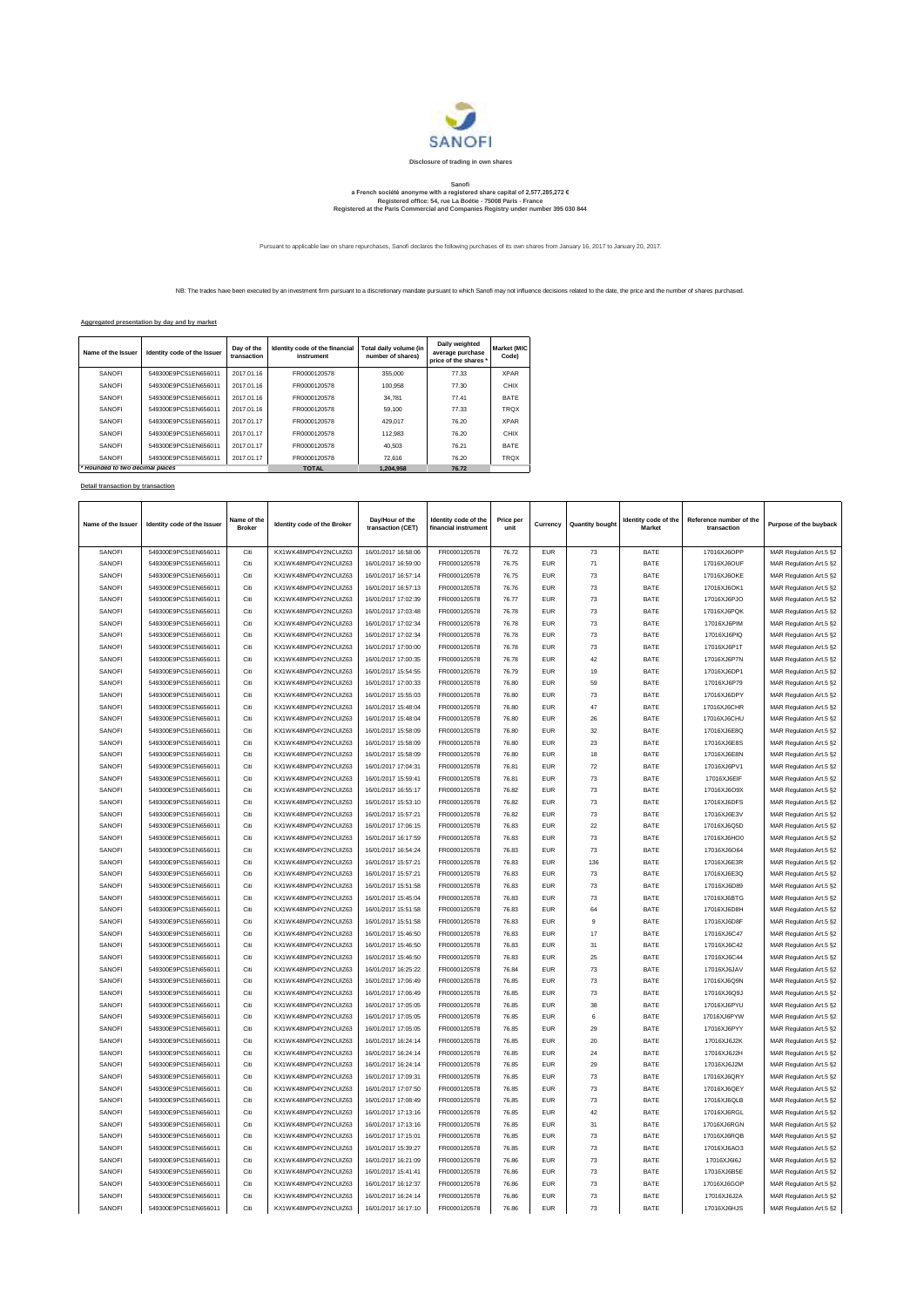

## Sanofi<br>a French société anonyme with a registered share capital of 2,577,285,272 €<br>Registered office: 54, rue La Boétie - 75008 Paris - France<br>Registered at the Paris Commercial and Companies Registry under number 395 030

Pursuant to applicable law on share repurchases, Sanofi declares the following purchases of its own shares from January 16, 2017 to January 20, 2017.

NB: The trades have been executed by an investment firm pursuant to a discretionary mandate pursuant to which Sanofi may not influence decisions related to the date, the price and the number of shares purchased.

## **Aggregated presentation by day and by market**

| Name of the Issuer              | Identity code of the Issuer | Day of the<br>transaction | Identity code of the financial<br>instrument | Total daily volume (in<br>number of shares) | Daily weighted<br>average purchase<br>price of the shares * | <b>Market (MIC</b><br>Code) |
|---------------------------------|-----------------------------|---------------------------|----------------------------------------------|---------------------------------------------|-------------------------------------------------------------|-----------------------------|
| SANOFI                          | 549300E9PC51EN656011        | 2017.01.16                | FR0000120578                                 | 355,000                                     | 77.33                                                       | <b>XPAR</b>                 |
| SANOFI                          | 549300E9PC51EN656011        | 2017.01.16                | FR0000120578                                 | 100.958                                     | 77.30                                                       | CHIX                        |
| SANOFI                          | 549300E9PC51EN656011        | 2017.01.16                | FR0000120578                                 | 34.781                                      | 77.41                                                       | <b>BATE</b>                 |
| SANOFI                          | 549300E9PC51EN656011        | 2017.01.16                | FR0000120578                                 | 59,100                                      | 77.33                                                       | <b>TROX</b>                 |
| SANOFI                          | 549300E9PC51EN656011        | 2017.01.17                | FR0000120578                                 | 429.017                                     | 76.20                                                       | <b>XPAR</b>                 |
| SANOFI                          | 549300E9PC51EN656011        | 2017.01.17                | FR0000120578                                 | 112.983                                     | 76.20                                                       | CHIX                        |
| SANOFI                          | 549300E9PC51EN656011        | 2017.01.17                | FR0000120578                                 | 40.503                                      | 76.21                                                       | <b>BATE</b>                 |
| SANOFI                          | 549300E9PC51EN656011        | 2017.01.17                | FR0000120578                                 | 72.616                                      | 76.20                                                       | <b>TRQX</b>                 |
| * Rounded to two decimal places |                             |                           | <b>TOTAL</b>                                 | 1.204.958                                   | 76.72                                                       |                             |

**Detail transaction by transaction**

| Name of the Issuer | Identity code of the Issuer | Name of the<br><b>Broke</b> | <b>Identity code of the Broker</b> | Dav/Hour of the<br>transaction (CET) | Identity code of the<br>financial instrument | Price per<br>unit | Currency   | <b>Quantity bough</b> | dentity code of the<br>Market | Reference number of the<br>transaction | Purpose of the buyback                             |
|--------------------|-----------------------------|-----------------------------|------------------------------------|--------------------------------------|----------------------------------------------|-------------------|------------|-----------------------|-------------------------------|----------------------------------------|----------------------------------------------------|
| SANOFI             | 549300E9PC51EN656011        | Citi                        | KX1WK48MPD4Y2NCUIZ63               | 16/01/2017 16:58:06                  | FR0000120578                                 | 76.72             | <b>EUR</b> | 73                    | BATE                          | 17016XJ6OPP                            | MAR Regulation Art.5 §2                            |
| SANOFI             | 549300E9PC51EN656011        | Citi                        | KX1WK48MPD4Y2NCUIZ63               | 16/01/2017 16:59:00                  | FR0000120578                                 | 76.75             | <b>FUR</b> | 71                    | BATE                          | 17016XJ6OUF                            | MAR Regulation Art.5 §2                            |
| SANOFI             | 549300E9PC51EN656011        | Citi                        | KX1WK48MPD4Y2NCUIZ63               | 16/01/2017 16:57:14                  | FR0000120578                                 | 76.75             | <b>EUR</b> | 73                    | BATE                          | 17016XJ6OKE                            | MAR Regulation Art.5 §2                            |
| SANOFI             | 549300E9PC51EN656011        | Citi                        | KX1WK48MPD4Y2NCUIZ63               | 16/01/2017 16:57:13                  | FR0000120578                                 | 76.76             | <b>EUR</b> | 73                    | BATE                          | 17016XJ6OK1                            | MAR Regulation Art.5 §2                            |
| SANOFI             | 549300E9PC51EN656011        | Citi                        | KX1WK48MPD4Y2NCUIZ63               | 16/01/2017 17:02:39                  | FR0000120578                                 | 76.77             | <b>EUR</b> | $\mathbf{73}$         | BATE                          | 17016XJ6PJO                            | MAR Regulation Art.5 §2                            |
| SANOFI             | 549300E9PC51EN656011        | Citi                        | KX1WK48MPD4Y2NCUIZ63               | 16/01/2017 17:03:48                  | FR0000120578                                 | 76.78             | <b>EUR</b> | 73                    | BATE                          | 17016XJ6PQK                            | MAR Regulation Art.5 §2                            |
| SANOFI             | 549300E9PC51EN656011        | Citi                        | KX1WK48MPD4Y2NCUIZ63               | 16/01/2017 17:02:34                  | FR0000120578                                 | 76.78             | <b>EUR</b> | 73                    | BATE                          | 17016XJ6PIM                            | MAR Regulation Art.5 §2                            |
| SANOFI             | 549300E9PC51EN656011        | Citi                        | KX1WK48MPD4Y2NCUIZ63               | 16/01/2017 17:02:34                  | FR0000120578                                 | 76.78             | <b>FUR</b> | 73                    | BATE                          | 17016XJ6PIQ                            | MAR Regulation Art.5 §2                            |
| SANOFI             | 549300E9PC51EN656011        | Citi                        | KX1WK48MPD4Y2NCUIZ63               | 16/01/2017 17:00:00                  | FR0000120578                                 | 76.78             | <b>FUR</b> | 73                    | <b>BATF</b>                   | 17016XJ6P1T                            | MAR Regulation Art.5 §2                            |
| SANOFI             | 549300E9PC51EN656011        | Citi                        | KX1WK48MPD4Y2NCUIZ63               | 16/01/2017 17:00:35                  | FR0000120578                                 | 76.78             | <b>EUR</b> | 42                    | BATE                          | 17016XJ6P7N                            | MAR Regulation Art.5 §2                            |
| SANOFI             | 549300E9PC51EN656011        | Citi                        | KX1WK48MPD4Y2NCUIZ63               | 16/01/2017 15:54:55                  | FR0000120578                                 | 76.79             | <b>EUR</b> | 19                    | BATE                          | 17016XJ6DP1                            | MAR Regulation Art.5 §2                            |
| SANOFI             | 549300E9PC51EN656011        | Citi                        | KX1WK48MPD4Y2NCUIZ63               | 16/01/2017 17:00:33                  | FR0000120578                                 | 76.80             | <b>EUR</b> | 59                    | BATE                          | 17016XJ6P79                            | MAR Regulation Art.5 §2                            |
| SANOFI             | 549300E9PC51EN656011        | Citi                        | KX1WK48MPD4Y2NCUIZ63               | 16/01/2017 15:55:03                  | FR0000120578                                 | 76.80             | <b>EUR</b> | 73                    | BATE                          | 17016XJ6DPY                            |                                                    |
| SANOFI             | 549300E9PC51EN656011        | Citi                        | KX1WK48MPD4Y2NCUIZ63               | 16/01/2017 15:48:04                  | FR0000120578                                 | 76.80             | <b>FUR</b> | 47                    | BATE                          | 17016XJ6CHR                            | MAR Regulation Art.5 §2<br>MAR Regulation Art.5 §2 |
|                    |                             |                             |                                    |                                      |                                              |                   |            |                       |                               |                                        |                                                    |
| SANOFI             | 549300E9PC51EN656011        | Citi                        | KX1WK48MPD4Y2NCUIZ63               | 16/01/2017 15:48:04                  | FR0000120578                                 | 76.80             | <b>EUR</b> | 26                    | BATE                          | 17016XJ6CHU                            | MAR Regulation Art.5 §2                            |
| SANOFI             | 549300E9PC51EN656011        | Citi                        | KX1WK48MPD4Y2NCUIZ63               | 16/01/2017 15:58:09                  | FR0000120578                                 | 76.80             | <b>EUR</b> | $32\,$                | BATE                          | 17016XJ6E8Q                            | MAR Regulation Art.5 §2                            |
| SANOFI             | 549300E9PC51EN656011        | Citi                        | KX1WK48MPD4Y2NCUIZ63               | 16/01/2017 15:58:09                  | FR0000120578                                 | 76.80             | <b>FUR</b> | 23                    | BATE                          | 17016XJ6E8S                            | MAR Regulation Art.5 §2                            |
| SANOFI             | 549300E9PC51EN656011        | Citi                        | KX1WK48MPD4Y2NCUIZ63               | 16/01/2017 15:58:09                  | FR0000120578                                 | 76.80             | <b>EUR</b> | 18                    | BATE                          | 17016XJ6E8N                            | MAR Regulation Art.5 §2                            |
| SANOFI             | 549300E9PC51EN656011        | Citi                        | KX1WK48MPD4Y2NCUIZ63               | 16/01/2017 17:04:31                  | FR0000120578                                 | 76.81             | <b>EUR</b> | 72                    | BATE                          | 17016XJ6PV1                            | MAR Regulation Art.5 §2                            |
| SANOFI             | 549300E9PC51EN656011        | Citi                        | KX1WK48MPD4Y2NCUIZ63               | 16/01/2017 15:59:41                  | FR0000120578                                 | 76.81             | <b>EUR</b> | 73                    | BATE                          | 17016XJ6EIF                            | MAR Regulation Art.5 §2                            |
| SANOFI             | 549300E9PC51EN656011        | Citi                        | KX1WK48MPD4Y2NCUIZ63               | 16/01/2017 16:55:17                  | FR0000120578                                 | 76.82             | <b>EUR</b> | 73                    | BATE                          | 17016XJ6O9X                            | MAR Regulation Art.5 §2                            |
| SANOFI             | 549300E9PC51EN656011        | Citi                        | KX1WK48MPD4Y2NCUIZ63               | 16/01/2017 15:53:10                  | FR0000120578                                 | 76.82             | <b>EUR</b> | $\mathbf{73}$         | BATE                          | 17016XJ6DFS                            | MAR Regulation Art.5 §2                            |
| SANOFI             | 549300E9PC51EN656011        | Citi                        | KX1WK48MPD4Y2NCUIZ63               | 16/01/2017 15:57:21                  | FR0000120578                                 | 76.82             | <b>EUR</b> | 73                    | BATE                          | 17016XJ6E3V                            | MAR Regulation Art.5 §2                            |
| SANOFI             | 549300E9PC51EN656011        | Citi                        | KX1WK48MPD4Y2NCUIZ63               | 16/01/2017 17:06:15                  | FR0000120578                                 | 76.83             | <b>EUR</b> | $22\,$                | BATE                          | 17016XJ6Q5D                            | MAR Regulation Art.5 §2                            |
| SANOFI             | 549300E9PC51EN656011        | Citi                        | KX1WK48MPD4Y2NCUIZ63               | 16/01/2017 16:17:59                  | FR0000120578                                 | 76.83             | <b>EUR</b> | $\mathbf{73}$         | BATE                          | 17016XJ6HO0                            | MAR Regulation Art.5 §2                            |
| SANOFI             | 549300E9PC51EN656011        | Citi                        | KX1WK48MPD4Y2NCUIZ63               | 16/01/2017 16:54:24                  | FR0000120578                                 | 76.83             | <b>EUR</b> | 73                    | BATE                          | 17016XJ6O64                            | MAR Regulation Art.5 §2                            |
| SANOFI             | 549300E9PC51EN656011        | Citi                        | KX1WK48MPD4Y2NCUIZ63               | 16/01/2017 15:57:21                  | FR0000120578                                 | 76.83             | <b>EUR</b> | 136                   | BATE                          | 17016XJ6E3R                            | MAR Regulation Art.5 §2                            |
| SANOFI             | 549300E9PC51EN656011        | Citi                        | KX1WK48MPD4Y2NCUIZ63               | 16/01/2017 15:57:21                  | FR0000120578                                 | 76.83             | <b>EUR</b> | $\sqrt{73}$           | BATE                          | 17016XJ6E3Q                            | MAR Regulation Art.5 §2                            |
| <b>SANOFI</b>      | 549300E9PC51EN656011        | Citi                        | KX1WK48MPD4Y2NCUIZ63               | 16/01/2017 15:51:58                  | FR0000120578                                 | 76.83             | <b>EUR</b> | 73                    | BATE                          | 17016XJ6D89                            | MAR Regulation Art.5 §2                            |
| SANOFI             | 549300E9PC51EN656011        | Citi                        | KX1WK48MPD4Y2NCUIZ63               | 16/01/2017 15:45:04                  | FR0000120578                                 | 76.83             | <b>EUR</b> | 73                    | BATE                          | 17016XJ6BTG                            | MAR Regulation Art.5 §2                            |
| SANOFI             | 549300E9PC51EN656011        | Citi                        | KX1WK48MPD4Y2NCUIZ63               | 16/01/2017 15:51:58                  | FR0000120578                                 | 76.83             | <b>EUR</b> | 64                    | BATE                          | 17016XJ6D8H                            | MAR Regulation Art.5 §2                            |
| SANOFI             | 549300E9PC51EN656011        | Citi                        | KX1WK48MPD4Y2NCUIZ63               | 16/01/2017 15:51:58                  | FR0000120578                                 | 76.83             | <b>EUR</b> | $\mathbf{q}$          | BATE                          | 17016XJ6D8F                            | MAR Regulation Art.5 §2                            |
| SANOFI             | 549300E9PC51EN656011        | Citi                        | KX1WK48MPD4Y2NCUIZ63               | 16/01/2017 15:46:50                  | FR0000120578                                 | 76.83             | EUR        | 17                    | BATE                          | 17016XJ6C47                            | MAR Regulation Art.5 §2                            |
| SANOFI             | 549300E9PC51EN656011        | Citi                        | KX1WK48MPD4Y2NCUIZ63               | 16/01/2017 15:46:50                  | FR0000120578                                 | 76.83             | <b>EUR</b> | 31                    | BATE                          | 17016XJ6C42                            | MAR Regulation Art.5 §2                            |
| SANOFI             | 549300E9PC51EN656011        | Citi                        | KX1WK48MPD4Y2NCUIZ63               | 16/01/2017 15:46:50                  | FR0000120578                                 | 76.83             | <b>FUR</b> | 25                    | <b>BATF</b>                   | 17016XJ6C44                            | MAR Regulation Art.5 §2                            |
| SANOFI             | 549300E9PC51EN656011        | Citi                        | KX1WK48MPD4Y2NCUIZ63               | 16/01/2017 16:25:22                  | FR0000120578                                 | 76.84             | <b>EUR</b> | 73                    | BATE                          | 17016XJ6JAV                            | MAR Regulation Art.5 §2                            |
| SANOFI             | 549300E9PC51EN656011        | Citi                        | KX1WK48MPD4Y2NCUIZ63               | 16/01/2017 17:06:49                  | FR0000120578                                 | 76.85             | <b>EUR</b> | 73                    | BATE                          | 17016XJ6Q9N                            | MAR Regulation Art.5 §2                            |
| SANOFI             | 549300E9PC51EN656011        | Citi                        | KX1WK48MPD4Y2NCUIZ63               | 16/01/2017 17:06:49                  | FR0000120578                                 | 76.85             | <b>FUR</b> | 73                    | BATE                          | 17016XJ6Q9J                            | MAR Regulation Art.5 §2                            |
| SANOFI             | 549300E9PC51EN656011        | Citi                        | KX1WK48MPD4Y2NCUIZ63               | 16/01/2017 17:05:05                  | FR0000120578                                 | 76.85             | <b>EUR</b> | 38                    | BATE                          | 17016XJ6PYU                            |                                                    |
| SANOFI             | 549300E9PC51EN656011        | Citi                        | KX1WK48MPD4Y2NCUIZ63               | 16/01/2017 17:05:05                  | FR0000120578                                 | 76.85             | <b>EUR</b> | 6                     | BATE                          | 17016XJ6PYW                            | MAR Regulation Art.5 §2<br>MAR Regulation Art.5 §2 |
| SANOFI             | 549300E9PC51EN656011        | Citi                        | KX1WK48MPD4Y2NCUIZ63               | 16/01/2017 17:05:05                  | FR0000120578                                 | 76.85             | <b>EUR</b> | 29                    | BATE                          | 17016XJ6PYY                            | MAR Regulation Art.5 §2                            |
|                    |                             |                             |                                    |                                      |                                              |                   |            |                       |                               |                                        |                                                    |
| SANOFI             | 549300E9PC51EN656011        | Citi                        | KX1WK48MPD4Y2NCUIZ63               | 16/01/2017 16:24:14                  | FR0000120578                                 | 76.85             | <b>EUR</b> | 20                    | BATE                          | 17016XJ6J2K                            | MAR Regulation Art.5 §2                            |
| SANOFI             | 549300E9PC51EN656011        | Citi                        | KX1WK48MPD4Y2NCUIZ63               | 16/01/2017 16:24:14                  | FR0000120578                                 | 76.85             | <b>EUR</b> | 24                    | BATE                          | 17016XJ6J2H                            | MAR Regulation Art.5 §2                            |
| SANOFI             | 549300E9PC51EN656011        | Citi                        | KX1WK48MPD4Y2NCUIZ63               | 16/01/2017 16:24:14                  | FR0000120578                                 | 76.85             | <b>EUR</b> | 29                    | BATE                          | 17016XJ6J2M                            | MAR Regulation Art.5 §2                            |
| SANOFI             | 549300E9PC51EN656011        | Citi                        | KX1WK48MPD4Y2NCUIZ63               | 16/01/2017 17:09:31                  | FR0000120578                                 | 76.85             | <b>EUR</b> | $\mathbf{73}$         | BATE                          | 17016XJ6QRY                            | MAR Regulation Art.5 §2                            |
| SANOFI             | 549300E9PC51EN656011        | Citi                        | KX1WK48MPD4Y2NCUIZ63               | 16/01/2017 17:07:50                  | FR0000120578                                 | 76.85             | <b>EUR</b> | $\mathbf{73}$         | BATE                          | 17016XJ6QEY                            | MAR Regulation Art.5 §2                            |
| SANOFI             | 549300E9PC51EN656011        | Citi                        | KX1WK48MPD4Y2NCUIZ63               | 16/01/2017 17:08:49                  | FR0000120578                                 | 76.85             | <b>EUR</b> | 73                    | BATE                          | 17016XJ6QLB                            | MAR Regulation Art.5 §2                            |
| SANOFI             | 549300E9PC51EN656011        | Citi                        | KX1WK48MPD4Y2NCUIZ63               | 16/01/2017 17:13:16                  | FR0000120578                                 | 76.85             | <b>EUR</b> | 42                    | BATE                          | 17016XJ6RGL                            | MAR Regulation Art.5 §2                            |
| SANOFI             | 549300E9PC51EN656011        | Citi                        | KX1WK48MPD4Y2NCUIZ63               | 16/01/2017 17:13:16                  | FR0000120578                                 | 76.85             | <b>EUR</b> | 31                    | BATE                          | 17016XJ6RGN                            | MAR Regulation Art.5 §2                            |
| SANOFI             | 549300E9PC51EN656011        | Citi                        | KX1WK48MPD4Y2NCUIZ63               | 16/01/2017 17:15:01                  | FR0000120578                                 | 76.85             | <b>FUR</b> | 73                    | BATE                          | 17016XJ6RQB                            | MAR Regulation Art.5 §2                            |
| SANOFI             | 549300E9PC51EN656011        | Citi                        | KX1WK48MPD4Y2NCUIZ63               | 16/01/2017 15:39:27                  | FR0000120578                                 | 76.85             | <b>EUR</b> | $\mathbf{73}$         | BATE                          | 17016XJ6AO3                            | MAR Regulation Art.5 §2                            |
| SANOFI             | 549300E9PC51EN656011        | Citi                        | KX1WK48MPD4Y2NCUIZ63               | 16/01/2017 16:21:09                  | FR0000120578                                 | 76.86             | <b>EUR</b> | 73                    | BATE                          | 17016XJ6I6J                            | MAR Regulation Art.5 §2                            |
| SANOFI             | 549300E9PC51EN656011        | Citi                        | KX1WK48MPD4Y2NCUIZ63               | 16/01/2017 15:41:41                  | FR0000120578                                 | 76.86             | <b>FUR</b> | 73                    | BATE                          | 17016XJ6B5E                            | MAR Regulation Art.5 §2                            |
| SANOFI             | 549300E9PC51EN656011        | Citi                        | KX1WK48MPD4Y2NCUIZ63               | 16/01/2017 16:12:37                  | FR0000120578                                 | 76.86             | <b>FUR</b> | 73                    | BATE                          | 17016XJ6GOP                            | MAR Regulation Art.5 §2                            |
| SANOFI             | 549300E9PC51EN656011        | Citi                        | KX1WK48MPD4Y2NCUIZ63               | 16/01/2017 16:24:14                  | FR0000120578                                 | 76.86             | <b>FUR</b> | $\mathbf{73}$         | BATE                          | 17016XJ6J2A                            | MAR Regulation Art.5 §2                            |
| SANOFI             | 549300E9PC51EN656011        | Citi                        | KX1WK48MPD4Y2NCUIZ63               | 16/01/2017 16:17:10                  | FR0000120578                                 | 76.86             | <b>FUR</b> | 73                    | BATE                          | 17016XJ6HJS                            | MAR Regulation Art.5 §2                            |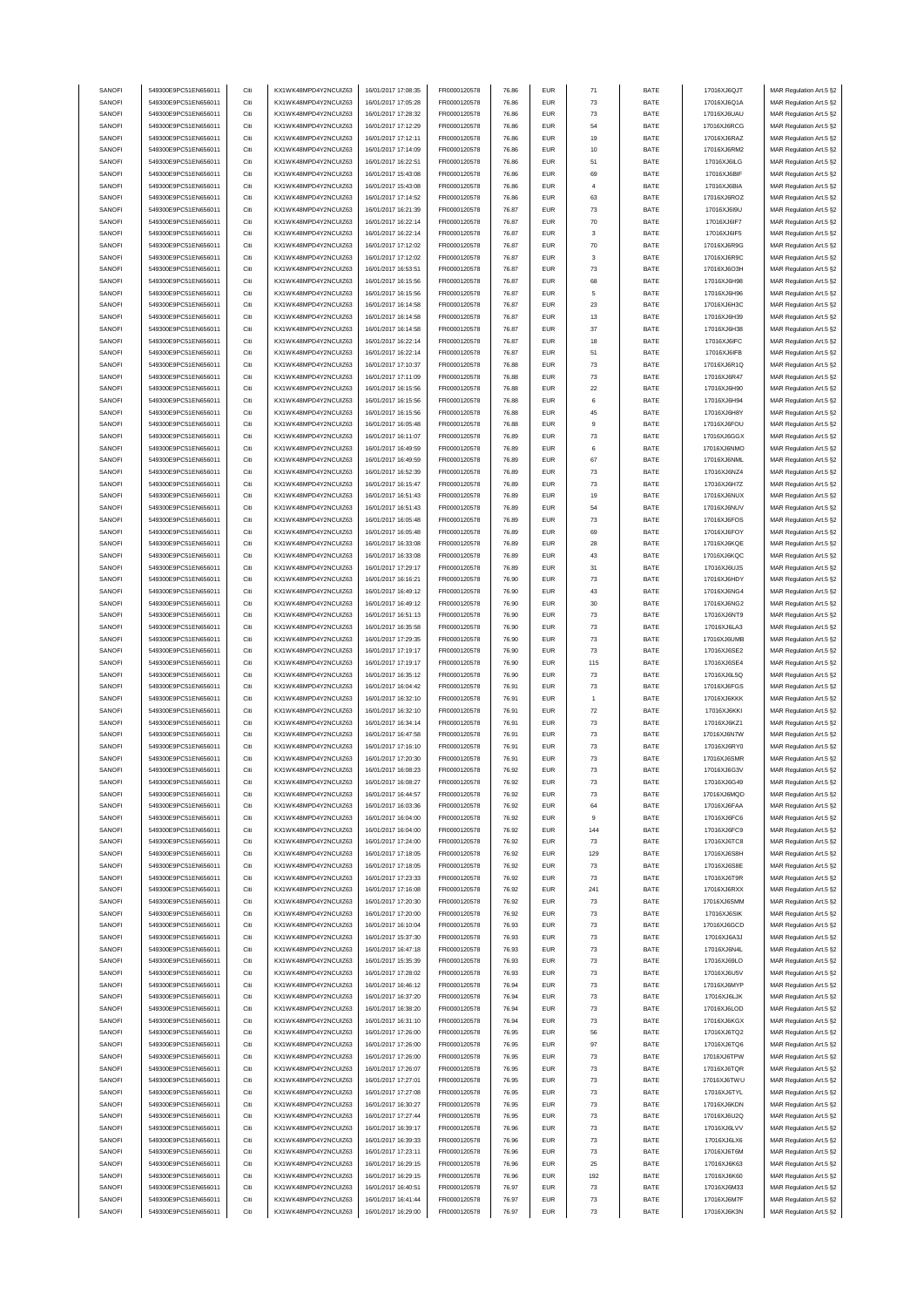| SANOFI           |                                              |              |                                              |                                            |                              |                |                          |                                |              |                            |                                                    |
|------------------|----------------------------------------------|--------------|----------------------------------------------|--------------------------------------------|------------------------------|----------------|--------------------------|--------------------------------|--------------|----------------------------|----------------------------------------------------|
|                  | 549300E9PC51EN656011                         | Citi         | KX1WK48MPD4Y2NCUIZ63                         | 16/01/2017 17:08:35                        | FR0000120578                 | 76.86          | <b>EUR</b>               | 71                             | BATE         | 17016XJ6QJT                | MAR Regulation Art.5 §2                            |
|                  | 549300E9PC51EN656011                         |              | KX1WK48MPD4Y2NCUIZ63                         |                                            |                              |                |                          |                                |              |                            |                                                    |
| SANOFI           |                                              | Citi         |                                              | 16/01/2017 17:05:28                        | FR0000120578                 | 76.86          | <b>EUR</b>               | $\bf 73$                       | BATE         | 17016XJ6Q1A                | MAR Regulation Art.5 §2                            |
| SANOFI           | 549300E9PC51EN656011                         | Citi         | KX1WK48MPD4Y2NCUIZ63                         | 16/01/2017 17:28:32                        | FR0000120578                 | 76.86          | <b>EUR</b>               | 73                             | BATE         | 17016XJ6UAU                | MAR Regulation Art.5 §2                            |
| SANOFI           | 549300E9PC51EN656011                         | Citi         | KX1WK48MPD4Y2NCUIZ63                         | 16/01/2017 17:12:29                        | FR0000120578                 | 76.86          | <b>EUR</b>               | 54                             | BATE         | 17016XJ6RCG                | MAR Regulation Art.5 §2                            |
| SANOFI           | 549300E9PC51EN656011                         | Citi         | KX1WK48MPD4Y2NCUIZ63                         | 16/01/2017 17:12:11                        | FR0000120578                 | 76.86          | <b>EUR</b>               | 19                             | BATE         | 17016XJ6RAZ                | MAR Regulation Art.5 §2                            |
| SANOFI           | 549300E9PC51EN656011                         | Citi         | KX1WK48MPD4Y2NCUIZ63                         | 16/01/2017 17:14:09                        | FR0000120578                 | 76.86          | <b>EUR</b>               | 10                             | BATE         | 17016XJ6RM2                | MAR Regulation Art.5 §2                            |
| SANOFI           |                                              | Citi         |                                              |                                            | FR0000120578                 | 76.86          | <b>EUR</b>               |                                | BATE         | 17016XJ6ILG                |                                                    |
|                  | 549300E9PC51EN656011                         |              | KX1WK48MPD4Y2NCUIZ63                         | 16/01/2017 16:22:51                        |                              |                |                          | 51                             |              |                            | MAR Regulation Art.5 §2                            |
| SANOFI           | 549300E9PC51EN656011                         | Citi         | KX1WK48MPD4Y2NCUIZ63                         | 16/01/2017 15:43:08                        | FR0000120578                 | 76.86          | <b>EUR</b>               | 69                             | BATE         | 17016XJ6BIF                | MAR Regulation Art.5 §2                            |
| SANOFI           | 549300E9PC51EN656011                         | Citi         | KX1WK48MPD4Y2NCUIZ63                         | 16/01/2017 15:43:08                        | FR0000120578                 | 76.86          | <b>EUR</b>               | $\overline{4}$                 | BATE         | 17016XJ6BIA                | MAR Regulation Art.5 §2                            |
| SANOFI           | 549300E9PC51EN656011                         | Citi         | KX1WK48MPD4Y2NCUIZ63                         | 16/01/2017 17:14:52                        | FR0000120578                 | 76.86          | <b>EUR</b>               | 63                             | BATE         | 17016XJ6ROZ                | MAR Regulation Art.5 §2                            |
| SANOFI           | 549300E9PC51EN656011                         | Citi         | KX1WK48MPD4Y2NCUIZ63                         | 16/01/2017 16:21:39                        | FR0000120578                 | 76.87          | <b>EUR</b>               | $\mathbf{73}$                  | BATE         | 17016XJ6I9U                | MAR Regulation Art.5 §2                            |
|                  |                                              |              |                                              |                                            |                              |                |                          |                                |              |                            |                                                    |
| SANOFI           | 549300E9PC51EN656011                         | Citi         | KX1WK48MPD4Y2NCUIZ63                         | 16/01/2017 16:22:14                        | FR0000120578                 | 76.87          | <b>EUR</b>               | 70                             | BATE         | 17016XJ6IF7                | MAR Regulation Art.5 §2                            |
| SANOFI           | 549300E9PC51EN656011                         | Citi         | KX1WK48MPD4Y2NCUIZ63                         | 16/01/2017 16:22:14                        | FR0000120578                 | 76.87          | <b>EUR</b>               | 3                              | BATE         | 17016XJ6IF5                | MAR Regulation Art.5 §2                            |
| SANOFI           | 549300E9PC51EN656011                         | Citi         | KX1WK48MPD4Y2NCUIZ63                         | 16/01/2017 17:12:02                        | FR0000120578                 | 76.87          | <b>EUR</b>               | 70                             | BATE         | 17016XJ6R9G                | MAR Regulation Art.5 §2                            |
| SANOFI           | 549300E9PC51EN656011                         | Citi         | KX1WK48MPD4Y2NCUIZ63                         | 16/01/2017 17:12:02                        | FR0000120578                 | 76.87          | <b>EUR</b>               | 3                              | BATE         | 17016XJ6R9C                | MAR Regulation Art.5 §2                            |
|                  |                                              |              |                                              |                                            |                              |                |                          |                                |              |                            |                                                    |
| SANOFI           | 549300E9PC51EN656011                         | Citi         | KX1WK48MPD4Y2NCUIZ63                         | 16/01/2017 16:53:51                        | FR0000120578                 | 76.87          | <b>EUR</b>               | 73                             | BATE         | 17016XJ6O3H                | MAR Regulation Art.5 §2                            |
| SANOFI           | 549300E9PC51EN656011                         | Citi         | KX1WK48MPD4Y2NCUIZ63                         | 16/01/2017 16:15:56                        | FR0000120578                 | 76.87          | <b>EUR</b>               | 68                             | BATE         | 17016XJ6H98                | MAR Regulation Art.5 §2                            |
| SANOFI           | 549300E9PC51EN656011                         | Citi         | KX1WK48MPD4Y2NCUIZ63                         | 16/01/2017 16:15:56                        | FR0000120578                 | 76.87          | <b>EUR</b>               | $\,$ 5 $\,$                    | BATE         | 17016XJ6H96                | MAR Regulation Art.5 §2                            |
| SANOFI           | 549300E9PC51EN656011                         | Citi         | KX1WK48MPD4Y2NCUIZ63                         | 16/01/2017 16:14:58                        | FR0000120578                 | 76.87          | <b>EUR</b>               | 23                             | BATE         | 17016XJ6H3C                | MAR Regulation Art.5 §2                            |
|                  |                                              |              |                                              |                                            |                              |                |                          |                                |              |                            |                                                    |
| SANOFI           | 549300E9PC51EN656011                         | Citi         | KX1WK48MPD4Y2NCUIZ63                         | 16/01/2017 16:14:58                        | FR0000120578                 | 76.87          | <b>EUR</b>               | 13                             | BATE         | 17016XJ6H39                | MAR Regulation Art.5 §2                            |
| SANOFI           | 549300E9PC51EN656011                         | Citi         | KX1WK48MPD4Y2NCUIZ63                         | 16/01/2017 16:14:58                        | FR0000120578                 | 76.87          | <b>EUR</b>               | 37                             | BATE         | 17016XJ6H38                | MAR Regulation Art.5 §2                            |
| SANOFI           | 549300E9PC51EN656011                         | Citi         | KX1WK48MPD4Y2NCUIZ63                         | 16/01/2017 16:22:14                        | FR0000120578                 | 76.87          | <b>EUR</b>               | 18                             | BATE         | 17016XJ6IFC                | MAR Regulation Art.5 §2                            |
| SANOFI           | 549300E9PC51EN656011                         | Citi         | KX1WK48MPD4Y2NCUIZ63                         | 16/01/2017 16:22:14                        | FR0000120578                 | 76.87          | <b>EUR</b>               | 51                             | BATE         | 17016XJ6IFB                | MAR Regulation Art.5 §2                            |
| SANOFI           | 549300E9PC51EN656011                         | Citi         | KX1WK48MPD4Y2NCUIZ63                         | 16/01/2017 17:10:37                        | FR0000120578                 | 76.88          | <b>EUR</b>               | 73                             | BATE         | 17016XJ6R1Q                | MAR Regulation Art.5 §2                            |
| SANOFI           | 549300E9PC51EN656011                         | Citi         | KX1WK48MPD4Y2NCUIZ63                         | 16/01/2017 17:11:09                        | FR0000120578                 | 76.88          | <b>EUR</b>               | 73                             | BATE         |                            |                                                    |
|                  |                                              |              |                                              |                                            |                              |                |                          |                                |              | 17016XJ6R47                | MAR Regulation Art.5 §2                            |
| SANOFI           | 549300E9PC51EN656011                         | Citi         | KX1WK48MPD4Y2NCUIZ63                         | 16/01/2017 16:15:56                        | FR0000120578                 | 76.88          | <b>EUR</b>               | $22\,$                         | BATE         | 17016XJ6H90                | MAR Regulation Art.5 §2                            |
| SANOFI           | 549300E9PC51EN656011                         | Citi         | KX1WK48MPD4Y2NCUIZ63                         | 16/01/2017 16:15:56                        | FR0000120578                 | 76.88          | <b>EUR</b>               | 6                              | BATE         | 17016XJ6H94                | MAR Regulation Art.5 §2                            |
| SANOFI           | 549300E9PC51EN656011                         | Citi         | KX1WK48MPD4Y2NCUIZ63                         | 16/01/2017 16:15:56                        | FR0000120578                 | 76.88          | <b>EUR</b>               | 45                             | BATE         | 17016XJ6H8Y                | MAR Regulation Art.5 §2                            |
| SANOFI           | 549300E9PC51EN656011                         | Citi         | KX1WK48MPD4Y2NCUIZ63                         | 16/01/2017 16:05:48                        | FR0000120578                 | 76.88          | <b>EUR</b>               | 9                              | BATE         | 17016XJ6FOU                | MAR Regulation Art.5 §2                            |
|                  | 549300E9PC51EN656011                         |              |                                              |                                            |                              |                |                          |                                |              |                            |                                                    |
| SANOFI           |                                              | Citi         | KX1WK48MPD4Y2NCUIZ63                         | 16/01/2017 16:11:07                        | FR0000120578                 | 76.89          | <b>EUR</b>               | 73                             | BATE         | 17016XJ6GGX                | MAR Regulation Art.5 §2                            |
| SANOFI           | 549300E9PC51EN656011                         | Citi         | KX1WK48MPD4Y2NCUIZ63                         | 16/01/2017 16:49:59                        | FR0000120578                 | 76.89          | <b>EUR</b>               | 6                              | BATE         | 17016XJ6NMO                | MAR Regulation Art.5 §2                            |
| SANOFI           | 549300E9PC51EN656011                         | Citi         | KX1WK48MPD4Y2NCUIZ63                         | 16/01/2017 16:49:59                        | FR0000120578                 | 76.89          | <b>EUR</b>               | 67                             | BATE         | 17016XJ6NML                | MAR Regulation Art.5 §2                            |
| SANOFI           | 549300E9PC51EN656011                         | Citi         | KX1WK48MPD4Y2NCUIZ63                         | 16/01/2017 16:52:39                        | FR0000120578                 | 76.89          | <b>EUR</b>               | 73                             | BATE         | 17016XJ6NZ4                | MAR Regulation Art.5 §2                            |
|                  | 549300E9PC51EN656011                         | Citi         | KX1WK48MPD4Y2NCUIZ63                         |                                            | FR0000120578                 | 76.89          | <b>EUR</b>               |                                | BATE         | 17016XJ6H7Z                |                                                    |
| SANOFI           |                                              |              |                                              | 16/01/2017 16:15:47                        |                              |                |                          | $\mathbf{73}$                  |              |                            | MAR Regulation Art.5 §2                            |
| SANOFI           | 549300E9PC51EN656011                         | Citi         | KX1WK48MPD4Y2NCUIZ63                         | 16/01/2017 16:51:43                        | FR0000120578                 | 76.89          | <b>EUR</b>               | 19                             | BATE         | 17016XJ6NUX                | MAR Regulation Art.5 §2                            |
| SANOFI           | 549300E9PC51EN656011                         | Citi         | KX1WK48MPD4Y2NCUIZ63                         | 16/01/2017 16:51:43                        | FR0000120578                 | 76.89          | <b>EUR</b>               | 54                             | BATE         | 17016XJ6NUV                | MAR Regulation Art.5 §2                            |
| SANOFI           | 549300E9PC51EN656011                         | Citi         | KX1WK48MPD4Y2NCUIZ63                         | 16/01/2017 16:05:48                        | FR0000120578                 | 76.89          | <b>EUR</b>               | $\mathbf{73}$                  | BATE         | 17016XJ6FOS                | MAR Regulation Art.5 §2                            |
| SANOFI           | 549300E9PC51EN656011                         | Citi         | KX1WK48MPD4Y2NCUIZ63                         | 16/01/2017 16:05:48                        | FR0000120578                 | 76.89          | <b>EUR</b>               | 69                             | BATE         | 17016XJ6FOY                | MAR Regulation Art.5 §2                            |
|                  |                                              |              |                                              |                                            |                              |                |                          |                                |              |                            |                                                    |
| SANOFI           | 549300E9PC51EN656011                         | Citi         | KX1WK48MPD4Y2NCUIZ63                         | 16/01/2017 16:33:08                        | FR0000120578                 | 76.89          | <b>EUR</b>               | 28                             | BATE         | 17016XJ6KQE                | MAR Regulation Art.5 §2                            |
| SANOFI           | 549300E9PC51EN656011                         | Citi         | KX1WK48MPD4Y2NCUIZ63                         | 16/01/2017 16:33:08                        | FR0000120578                 | 76.89          | <b>EUR</b>               | 43                             | BATE         | 17016XJ6KQC                | MAR Regulation Art.5 §2                            |
| SANOFI           | 549300E9PC51EN656011                         | Citi         | KX1WK48MPD4Y2NCUIZ63                         | 16/01/2017 17:29:17                        | FR0000120578                 | 76.89          | <b>EUR</b>               | 31                             | BATE         | 17016XJ6UJS                | MAR Regulation Art.5 §2                            |
| SANOFI           | 549300E9PC51EN656011                         | Citi         | KX1WK48MPD4Y2NCUIZ63                         | 16/01/2017 16:16:21                        | FR0000120578                 | 76.90          | <b>EUR</b>               | 73                             | BATE         | 17016XJ6HDY                | MAR Regulation Art.5 §2                            |
| SANOFI           | 549300E9PC51EN656011                         | Citi         | KX1WK48MPD4Y2NCUIZ63                         | 16/01/2017 16:49:12                        | FR0000120578                 | 76.90          | <b>EUR</b>               | 43                             | BATE         | 17016XJ6NG4                |                                                    |
|                  |                                              |              |                                              |                                            |                              |                |                          |                                |              |                            | MAR Regulation Art.5 §2                            |
| SANOFI           | 549300E9PC51EN656011                         | Citi         | KX1WK48MPD4Y2NCUIZ63                         | 16/01/2017 16:49:12                        | FR0000120578                 | 76.90          | <b>EUR</b>               | 30                             | BATE         | 17016XJ6NG2                | MAR Regulation Art.5 §2                            |
| SANOFI           | 549300E9PC51EN656011                         | Citi         | KX1WK48MPD4Y2NCUIZ63                         | 16/01/2017 16:51:13                        | FR0000120578                 | 76.90          | <b>EUR</b>               | $\mathbf{73}$                  | BATE         | 17016XJ6NT9                | MAR Regulation Art.5 §2                            |
| SANOFI           | 549300E9PC51EN656011                         | Citi         | KX1WK48MPD4Y2NCUIZ63                         | 16/01/2017 16:35:58                        | FR0000120578                 | 76.90          | <b>EUR</b>               | $\mathbf{73}$                  | BATE         | 17016XJ6LA3                | MAR Regulation Art.5 §2                            |
| SANOFI           | 549300E9PC51EN656011                         | Citi         | KX1WK48MPD4Y2NCUIZ63                         | 16/01/2017 17:29:35                        | FR0000120578                 | 76.90          | <b>EUR</b>               | $\bf 73$                       | BATE         | 17016XJ6UMB                | MAR Regulation Art.5 §2                            |
| SANOFI           |                                              |              |                                              |                                            | FR0000120578                 |                | <b>EUR</b>               |                                |              |                            |                                                    |
|                  | 549300E9PC51EN656011                         | Citi         | KX1WK48MPD4Y2NCUIZ63                         | 16/01/2017 17:19:17                        |                              | 76.90          |                          | $\mathbf{73}$                  | BATE         | 17016XJ6SE2                | MAR Regulation Art.5 §2                            |
| SANOFI           | 549300E9PC51EN656011                         | Citi         | KX1WK48MPD4Y2NCUIZ63                         | 16/01/2017 17:19:17                        | FR0000120578                 | 76.90          | <b>EUR</b>               | 115                            | BATE         | 17016XJ6SE4                | MAR Regulation Art.5 §2                            |
| SANOFI           | 549300E9PC51EN656011                         | Citi         | KX1WK48MPD4Y2NCUIZ63                         | 16/01/2017 16:35:12                        | FR0000120578                 | 76.90          | <b>EUR</b>               | 73                             | BATE         | 17016XJ6L5Q                | MAR Regulation Art.5 §2                            |
| SANOFI           | 549300E9PC51EN656011                         | Citi         | KX1WK48MPD4Y2NCUIZ63                         | 16/01/2017 16:04:42                        | FR0000120578                 | 76.91          | <b>EUR</b>               | $\mathbf{73}$                  | BATE         | 17016XJ6FGS                | MAR Regulation Art.5 §2                            |
| SANOFI           | 549300E9PC51EN656011                         | Citi         | KX1WK48MPD4Y2NCUIZ63                         | 16/01/2017 16:32:10                        | FR0000120578                 | 76.91          | <b>EUR</b>               | $\overline{1}$                 | BATE         | 17016XJ6KKK                | MAR Regulation Art.5 §2                            |
|                  |                                              |              |                                              |                                            |                              |                |                          |                                |              |                            |                                                    |
| SANOFI           | 549300E9PC51EN656011                         | Citi         | KX1WK48MPD4Y2NCUIZ63                         | 16/01/2017 16:32:10                        | FR0000120578                 | 76.91          | <b>EUR</b>               | $\scriptstyle{72}$             | BATE         | 17016XJ6KKI                | MAR Regulation Art.5 §2                            |
| SANOFI           | 549300E9PC51EN656011                         | Citi         | KX1WK48MPD4Y2NCUIZ63                         | 16/01/2017 16:34:14                        | FR0000120578                 | 76.91          | <b>EUR</b>               | $\mathbf{73}$                  | BATE         | 17016XJ6KZ1                | MAR Regulation Art.5 §2                            |
| SANOFI           | 549300E9PC51EN656011                         | Citi         | KX1WK48MPD4Y2NCUIZ63                         | 16/01/2017 16:47:58                        | FR0000120578                 | 76.91          | <b>EUR</b>               | $\mathbf{73}$                  | <b>BATE</b>  | 17016XJ6N7W                | MAR Regulation Art.5 §2                            |
| SANOFI           | 549300E9PC51EN656011                         | Citi         | KX1WK48MPD4Y2NCUIZ63                         | 16/01/2017 17:16:10                        | FR0000120578                 |                |                          |                                |              |                            |                                                    |
| SANOFI           | 549300E9PC51EN656011                         |              |                                              |                                            |                              | 76.91          | <b>EUR</b>               |                                |              |                            |                                                    |
|                  |                                              |              |                                              |                                            |                              |                |                          | $\mathbf{73}$                  | BATE         | 17016XJ6RY0                | MAR Regulation Art.5 §2                            |
| SANOFI           |                                              | Citi         | KX1WK48MPD4Y2NCUIZ63                         | 16/01/2017 17:20:30                        | FR0000120578                 | 76.91          | <b>EUR</b>               | 73                             | BATE         | 17016XJ6SMR                | MAR Regulation Art.5 §2                            |
|                  | 549300E9PC51EN656011                         |              | KX1WK48MPD4Y2NCUIZ63                         | 16/01/2017 16:08:23                        | FR0000120578                 | 76.92          | FUR                      |                                | <b>BATE</b>  | 17016XJ6G3V                | MAR Regulation Art 5 82                            |
| SANOFI           | 549300E9PC51EN656011                         | Citi         | KX1WK48MPD4Y2NCUIZ63                         | 16/01/2017 16:08:27                        | FR0000120578                 | 76.92          | <b>EUR</b>               | 73                             | BATE         | 17016XJ6G49                | MAR Regulation Art.5 §2                            |
| SANOFI           | 549300E9PC51EN656011                         | Citi         | KX1WK48MPD4Y2NCUIZ63                         | 16/01/2017 16:44:57                        | FR0000120578                 | 76.92          | <b>EUR</b>               | $\mathbf{73}$                  | BATE         | 17016XJ6MQD                | MAR Regulation Art.5 §2                            |
|                  |                                              |              |                                              |                                            |                              |                |                          |                                |              |                            |                                                    |
| SANOFI           | 549300E9PC51EN656011                         | Citi         | KX1WK48MPD4Y2NCUIZ63                         | 16/01/2017 16:03:36                        | FR0000120578                 | 76.92          | <b>EUR</b>               | 64                             | BATE         | 17016XJ6FAA                | MAR Regulation Art.5 §2                            |
| SANOFI           | 549300E9PC51EN656011                         | Citi         | KX1WK48MPD4Y2NCUIZ63                         | 16/01/2017 16:04:00                        | FR0000120578                 | 76.92          | <b>EUR</b>               | $\mathsf g$                    | BATE         | 17016XJ6FC6                | MAR Regulation Art.5 §2                            |
| SANOFI           | 549300E9PC51EN656011                         | Citi         | KX1WK48MPD4Y2NCUIZ63                         | 16/01/2017 16:04:00                        | FR0000120578                 | 76.92          | <b>EUR</b>               | 144                            | BATE         | 17016XJ6FC9                | MAR Regulation Art.5 §2                            |
| SANOFI           | 549300E9PC51EN656011                         | Citi         | KX1WK48MPD4Y2NCUIZ63                         | 16/01/2017 17:24:00                        | FR0000120578                 | 76.92          | <b>EUR</b>               | $\mathbf{73}$                  | BATE         | 17016XJ6TC8                | MAR Regulation Art.5 §2                            |
| SANOFI           | 549300E9PC51EN656011                         | Citi         | KX1WK48MPD4Y2NCUIZ63                         | 16/01/2017 17:18:05                        | FR0000120578                 | 76.92          | <b>EUR</b>               | 129                            | BATE         | 17016XJ6S8H                | MAR Regulation Art.5 §2                            |
| SANOFI           | 549300E9PC51EN656011                         | Citi         | KX1WK48MPD4Y2NCUIZ63                         | 16/01/2017 17:18:05                        | FR0000120578                 | 76.92          | <b>EUR</b>               | 73                             | BATE         | 17016XJ6S8E                | MAR Regulation Art.5 §2                            |
|                  |                                              |              |                                              |                                            |                              | 76.92          |                          |                                |              |                            |                                                    |
| SANOFI           | 549300E9PC51EN656011                         | Citi         | KX1WK48MPD4Y2NCUIZ63                         | 16/01/2017 17:23:33                        | FR0000120578                 |                | <b>EUR</b>               | 73                             | BATE         | 17016XJ6T9R                | MAR Regulation Art.5 §2                            |
| SANOFI           | 549300E9PC51EN656011                         | Citi         | KX1WK48MPD4Y2NCUIZ63                         | 16/01/2017 17:16:08                        | FR0000120578                 | 76.92          | <b>EUR</b>               | 241                            | BATE         | 17016XJ6RXX                | MAR Regulation Art.5 §2                            |
| SANOFI           | 549300E9PC51EN656011                         | Citi         | KX1WK48MPD4Y2NCUIZ63                         | 16/01/2017 17:20:30                        | FR0000120578                 | 76.92          | <b>EUR</b>               | $\mathbf{73}$                  | BATE         | 17016XJ6SMM                | MAR Regulation Art.5 §2                            |
| SANOFI           | 549300E9PC51EN656011                         | Citi         | KX1WK48MPD4Y2NCUIZ63                         | 16/01/2017 17:20:00                        | FR0000120578                 | 76.92          | <b>EUR</b>               | $\mathbf{73}$                  | BATE         | 17016XJ6SIK                | MAR Regulation Art.5 §2                            |
| SANOFI           | 549300E9PC51EN656011                         | Citi         | KX1WK48MPD4Y2NCUIZ63                         | 16/01/2017 16:10:04                        | FR0000120578                 | 76.93          | <b>EUR</b>               | $\mathbf{73}$                  | BATE         | 17016XJ6GCD                | MAR Regulation Art.5 §2                            |
| SANOFI           | 549300E9PC51EN656011                         | Citi         | KX1WK48MPD4Y2NCUIZ63                         | 16/01/2017 15:37:30                        | FR0000120578                 | 76.93          | <b>EUR</b>               | $\mathbf{73}$                  | BATE         | 17016XJ6A3J                | MAR Regulation Art.5 §2                            |
|                  |                                              |              |                                              |                                            |                              |                |                          |                                |              |                            |                                                    |
| SANOFI           | 549300E9PC51EN656011                         | Citi         | KX1WK48MPD4Y2NCUIZ63                         | 16/01/2017 16:47:18                        | FR0000120578                 | 76.93          | <b>EUR</b>               | 73                             | BATE         | 17016XJ6N4L                | MAR Regulation Art.5 §2                            |
| SANOFI           | 549300E9PC51EN656011                         | Citi         | KX1WK48MPD4Y2NCUIZ63                         | 16/01/2017 15:35:39                        | FR0000120578                 | 76.93          | <b>EUR</b>               | $\mathbf{73}$                  | BATE         | 17016XJ69LO                | MAR Regulation Art.5 §2                            |
| SANOFI           | 549300E9PC51EN656011                         | Citi         | KX1WK48MPD4Y2NCUIZ63                         | 16/01/2017 17:28:02                        | FR0000120578                 | 76.93          | <b>EUR</b>               | $\mathbf{73}$                  | BATE         | 17016XJ6U5V                | MAR Regulation Art.5 §2                            |
| SANOFI           | 549300E9PC51EN656011                         | Citi         | KX1WK48MPD4Y2NCUIZ63                         | 16/01/2017 16:46:12                        | FR0000120578                 | 76.94          | <b>EUR</b>               | 73                             | BATE         | 17016XJ6MYP                | MAR Regulation Art.5 §2                            |
| SANOFI           | 549300E9PC51EN656011                         | Citi         | KX1WK48MPD4Y2NCUIZ63                         | 16/01/2017 16:37:20                        | FR0000120578                 | 76.94          | <b>EUR</b>               | $\mathbf{73}$                  | BATE         | 17016XJ6LJK                | MAR Regulation Art.5 §2                            |
|                  |                                              |              |                                              |                                            |                              |                |                          |                                |              |                            |                                                    |
| SANOFI           | 549300E9PC51EN656011                         | Citi         | KX1WK48MPD4Y2NCUIZ63                         | 16/01/2017 16:38:20                        | FR0000120578                 | 76.94          | <b>EUR</b>               | $\mathbf{73}$                  | BATE         | 17016XJ6LOD                | MAR Regulation Art.5 §2                            |
| SANOFI           | 549300E9PC51EN656011                         | Citi         | KX1WK48MPD4Y2NCUIZ63                         | 16/01/2017 16:31:10                        | FR0000120578                 | 76.94          | <b>EUR</b>               | $\mathbf{73}$                  | BATE         | 17016XJ6KGX                | MAR Regulation Art.5 §2                            |
| SANOFI           | 549300E9PC51EN656011                         | Citi         | KX1WK48MPD4Y2NCUIZ63                         | 16/01/2017 17:26:00                        | FR0000120578                 | 76.95          | <b>EUR</b>               | 56                             | BATE         | 17016XJ6TQ2                | MAR Regulation Art.5 §2                            |
| SANOFI           | 549300E9PC51EN656011                         | Citi         | KX1WK48MPD4Y2NCUIZ63                         | 16/01/2017 17:26:00                        | FR0000120578                 | 76.95          | <b>EUR</b>               | 97                             | BATE         | 17016XJ6TQ6                | MAR Regulation Art.5 §2                            |
|                  |                                              | Citi         |                                              |                                            |                              | 76.95          |                          |                                |              |                            |                                                    |
| SANOFI           | 549300E9PC51EN656011                         |              | KX1WK48MPD4Y2NCUIZ63                         | 16/01/2017 17:26:00                        | FR0000120578                 |                | <b>EUR</b>               | $\mathbf{73}$                  | BATE         | 17016XJ6TPW                | MAR Regulation Art.5 §2                            |
| SANOFI           | 549300E9PC51EN656011                         | Citi         | KX1WK48MPD4Y2NCUIZ63                         | 16/01/2017 17:26:07                        | FR0000120578                 | 76.95          | <b>EUR</b>               | 73                             | BATE         | 17016XJ6TQR                | MAR Regulation Art.5 §2                            |
| SANOFI           | 549300E9PC51EN656011                         | Citi         | KX1WK48MPD4Y2NCUIZ63                         | 16/01/2017 17:27:01                        | FR0000120578                 | 76.95          | <b>EUR</b>               | $\mathbf{73}$                  | BATE         | 17016XJ6TWU                | MAR Regulation Art.5 §2                            |
| SANOFI           | 549300E9PC51EN656011                         | Citi         | KX1WK48MPD4Y2NCUIZ63                         | 16/01/2017 17:27:08                        | FR0000120578                 | 76.95          | <b>EUR</b>               | 73                             | BATE         | 17016XJ6TYL                | MAR Regulation Art.5 §2                            |
| SANOFI           | 549300E9PC51EN656011                         | Citi         | KX1WK48MPD4Y2NCUIZ63                         | 16/01/2017 16:30:27                        | FR0000120578                 | 76.95          | <b>EUR</b>               | $\mathbf{73}$                  | BATE         | 17016XJ6KDN                | MAR Regulation Art.5 §2                            |
|                  |                                              |              |                                              |                                            |                              |                |                          |                                |              |                            |                                                    |
| SANOFI           | 549300E9PC51EN656011                         | Citi         | KX1WK48MPD4Y2NCUIZ63                         | 16/01/2017 17:27:44                        | FR0000120578                 | 76.95          | <b>EUR</b>               | $\mathbf{73}$                  | BATE         | 17016XJ6U2Q                | MAR Regulation Art.5 §2                            |
| SANOFI           | 549300E9PC51EN656011                         | Citi         | KX1WK48MPD4Y2NCUIZ63                         | 16/01/2017 16:39:17                        | FR0000120578                 | 76.96          | <b>EUR</b>               | $\mathbf{73}$                  | BATE         | 17016XJ6LVV                | MAR Regulation Art.5 §2                            |
| SANOFI           | 549300E9PC51EN656011                         | Citi         | KX1WK48MPD4Y2NCUIZ63                         | 16/01/2017 16:39:33                        | FR0000120578                 | 76.96          | <b>EUR</b>               | $\mathbf{73}$                  | BATE         | 17016XJ6LX6                | MAR Regulation Art.5 §2                            |
| SANOFI           | 549300E9PC51EN656011                         | Citi         | KX1WK48MPD4Y2NCUIZ63                         | 16/01/2017 17:23:11                        | FR0000120578                 | 76.96          | <b>EUR</b>               | 73                             | BATE         | 17016XJ6T6M                | MAR Regulation Art.5 §2                            |
| SANOFI           | 549300E9PC51EN656011                         | Citi         | KX1WK48MPD4Y2NCUIZ63                         | 16/01/2017 16:29:15                        | FR0000120578                 | 76.96          | <b>EUR</b>               | 25                             | BATE         | 17016XJ6K63                | MAR Regulation Art.5 §2                            |
|                  |                                              |              |                                              |                                            |                              | 76.96          |                          |                                |              |                            |                                                    |
| SANOFI           | 549300E9PC51EN656011                         | Citi         | KX1WK48MPD4Y2NCUIZ63                         | 16/01/2017 16:29:15                        | FR0000120578                 |                | <b>EUR</b>               | 192                            | BATE         | 17016XJ6K60                | MAR Regulation Art.5 §2                            |
| SANOFI           | 549300E9PC51EN656011                         | Citi         | KX1WK48MPD4Y2NCUIZ63                         | 16/01/2017 16:40:51                        | FR0000120578                 | 76.97          | <b>EUR</b>               | 73                             | BATE         | 17016XJ6M33                | MAR Regulation Art.5 §2                            |
| SANOFI<br>SANOFI | 549300E9PC51EN656011<br>549300E9PC51EN656011 | Citi<br>Citi | KX1WK48MPD4Y2NCUIZ63<br>KX1WK48MPD4Y2NCUIZ63 | 16/01/2017 16:41:44<br>16/01/2017 16:29:00 | FR0000120578<br>FR0000120578 | 76.97<br>76.97 | <b>EUR</b><br><b>EUR</b> | $\mathbf{73}$<br>$\mathbf{73}$ | BATE<br>BATE | 17016XJ6M7F<br>17016XJ6K3N | MAR Regulation Art.5 §2<br>MAR Regulation Art.5 §2 |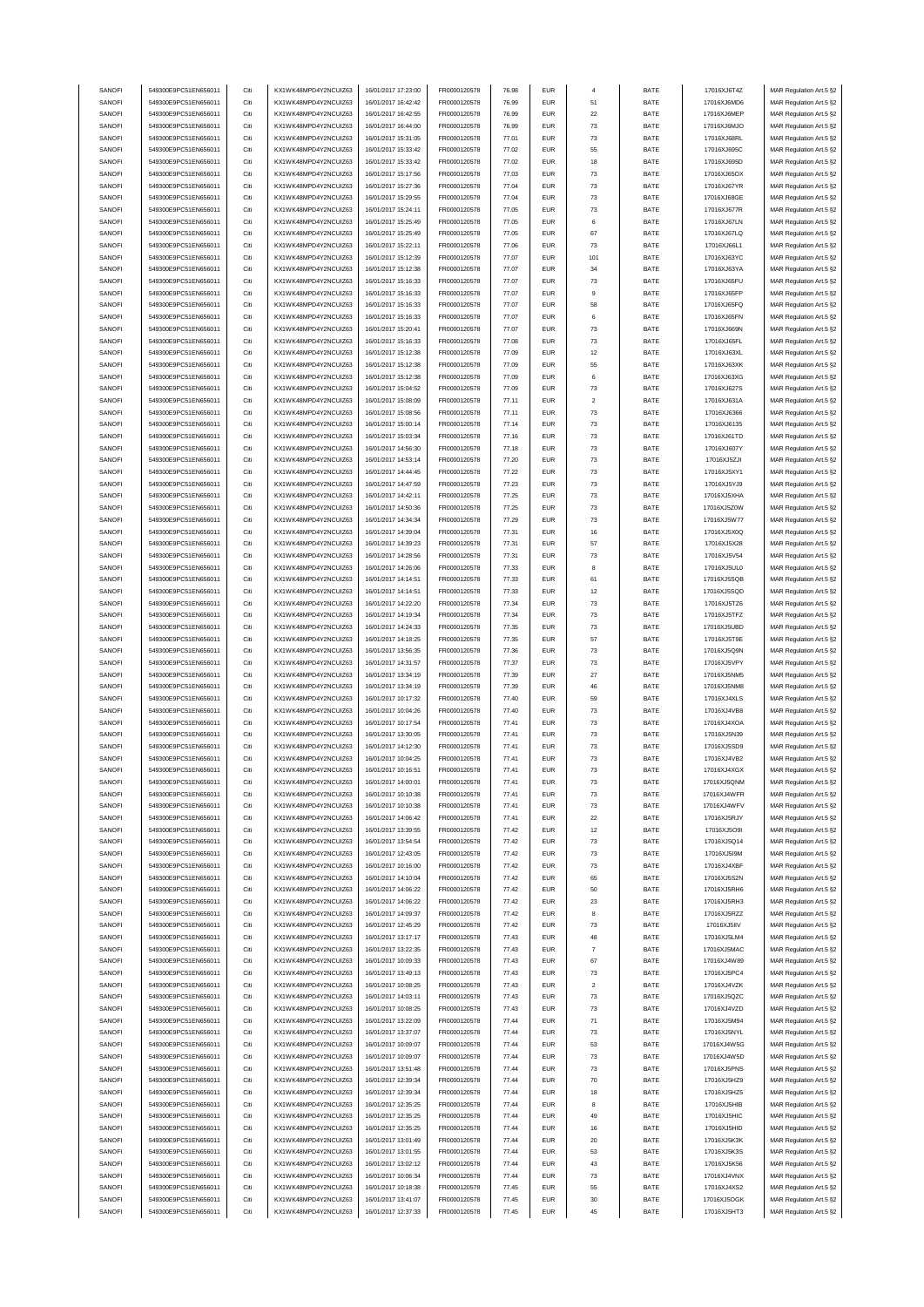| SANOFI | 549300E9PC51EN656011 | Citi | KX1WK48MPD4Y2NCUIZ63  | 16/01/2017 17:23:00 | FR0000120578        | 76.98 | <b>EUR</b> | $\overline{4}$   | BATE        | 17016XJ6T4Z | MAR Regulation Art.5 §2 |
|--------|----------------------|------|-----------------------|---------------------|---------------------|-------|------------|------------------|-------------|-------------|-------------------------|
|        |                      |      | KX1WK48MPD4Y2NCLIIZ63 |                     |                     |       |            |                  |             |             |                         |
| SANOFI | 549300E9PC51EN656011 | Citi |                       | 16/01/2017 16:42:42 | FR0000120578        | 76.99 | <b>EUR</b> | 51               | BATE        | 17016XJ6MD6 | MAR Regulation Art.5 §2 |
| SANOFI | 549300E9PC51EN656011 | Citi | KX1WK48MPD4Y2NCUIZ63  | 16/01/2017 16:42:55 | FR0000120578        | 76.99 | <b>EUR</b> | $22\,$           | BATE        | 17016XJ6MEP | MAR Regulation Art.5 §2 |
| SANOFI | 549300E9PC51EN656011 | Citi | KX1WK48MPD4Y2NCUIZ63  | 16/01/2017 16:44:00 | FR0000120578        | 76.99 | <b>EUR</b> | $\mathbf{73}$    | BATE        | 17016XJ6MJO | MAR Regulation Art.5 §2 |
| SANOFI | 549300E9PC51EN656011 | Citi | KX1WK48MPD4Y2NCUIZ63  | 16/01/2017 15:31:05 | FR0000120578        | 77.01 | <b>EUR</b> | $\mathbf{73}$    | BATE        | 17016XJ68RL | MAR Regulation Art.5 §2 |
| SANOFI | 549300E9PC51EN656011 | Citi | KX1WK48MPD4Y2NCUIZ63  | 16/01/2017 15:33:42 | FR0000120578        | 77.02 | <b>EUR</b> | 55               | BATE        | 17016XJ695C | MAR Regulation Art.5 §2 |
| SANOFI | 549300E9PC51EN656011 | Citi | KX1WK48MPD4Y2NCUIZ63  | 16/01/2017 15:33:42 | FR0000120578        | 77.02 | <b>EUR</b> | 18               | BATE        | 17016XJ695D | MAR Regulation Art.5 §2 |
|        |                      |      |                       |                     |                     |       |            |                  |             |             |                         |
| SANOFI | 549300E9PC51EN656011 | Citi | KX1WK48MPD4Y2NCUIZ63  | 16/01/2017 15:17:56 | FR0000120578        | 77.03 | <b>EUR</b> | 73               | BATE        | 17016XJ65OX | MAR Regulation Art.5 §2 |
| SANOFI | 549300E9PC51EN656011 | Citi | KX1WK48MPD4Y2NCUIZ63  | 16/01/2017 15:27:36 | FR0000120578        | 77.04 | <b>EUR</b> | 73               | BATE        | 17016XJ67YR | MAR Regulation Art.5 §2 |
| SANOFI | 549300E9PC51EN656011 | Citi | KX1WK48MPD4Y2NCUIZ63  | 16/01/2017 15:29:55 | FR0000120578        | 77.04 | <b>EUR</b> | $\bf 73$         | BATE        | 17016XJ68GE | MAR Regulation Art.5 §2 |
| SANOFI | 549300E9PC51EN656011 | Citi | KX1WK48MPD4Y2NCUIZ63  | 16/01/2017 15:24:11 | FR0000120578        | 77.05 | <b>EUR</b> | $\mathbf{73}$    | BATE        | 17016XJ677R |                         |
|        |                      |      |                       |                     |                     |       |            |                  |             |             | MAR Regulation Art.5 §2 |
| SANOFI | 549300E9PC51EN656011 | Citi | KX1WK48MPD4Y2NCUIZ63  | 16/01/2017 15:25:49 | FR0000120578        | 77.05 | <b>EUR</b> | 6                | BATE        | 17016XJ67LN | MAR Regulation Art.5 §2 |
| SANOFI | 549300E9PC51EN656011 | Citi | KX1WK48MPD4Y2NCUIZ63  | 16/01/2017 15:25:49 | FR0000120578        | 77.05 | <b>EUR</b> | 67               | BATE        | 17016XJ67LQ | MAR Regulation Art.5 §2 |
| SANOFI | 549300E9PC51EN656011 | Citi | KX1WK48MPD4Y2NCUIZ63  | 16/01/2017 15:22:11 | FR0000120578        | 77.06 | <b>EUR</b> | 73               | BATE        | 17016XJ66L1 | MAR Regulation Art.5 §2 |
| SANOFI | 549300E9PC51EN656011 | Citi | KX1WK48MPD4Y2NCUIZ63  | 16/01/2017 15:12:39 | FR0000120578        | 77.07 | <b>EUR</b> | 101              | BATE        | 17016XJ63YC | MAR Regulation Art.5 §2 |
|        |                      |      |                       |                     |                     |       |            |                  |             |             |                         |
| SANOFI | 549300E9PC51EN656011 | Citi | KX1WK48MPD4Y2NCUIZ63  | 16/01/2017 15:12:38 | FR0000120578        | 77.07 | <b>EUR</b> | 34               | BATE        | 17016XJ63YA | MAR Regulation Art.5 §2 |
| SANOFI | 549300E9PC51EN656011 | Citi | KX1WK48MPD4Y2NCUIZ63  | 16/01/2017 15:16:33 | FR0000120578        | 77.07 | <b>EUR</b> | 73               | BATE        | 17016XJ65FU | MAR Regulation Art.5 §2 |
| SANOFI | 549300E9PC51EN656011 | Citi | KX1WK48MPD4Y2NCUIZ63  | 16/01/2017 15:16:33 | FR0000120578        | 77.07 | <b>EUR</b> | 9                | BATE        | 17016XJ65FP | MAR Regulation Art.5 §2 |
| SANOFI | 549300E9PC51EN656011 | Citi | KX1WK48MPD4Y2NCUIZ63  | 16/01/2017 15:16:33 | FR0000120578        | 77.07 | <b>EUR</b> | 58               | BATE        | 17016XJ65FQ | MAR Regulation Art.5 §2 |
|        |                      |      |                       |                     |                     |       |            |                  |             |             |                         |
| SANOFI | 549300E9PC51EN656011 | Citi | KX1WK48MPD4Y2NCUIZ63  | 16/01/2017 15:16:33 | FR0000120578        | 77.07 | <b>EUR</b> | 6                | BATE        | 17016XJ65FN | MAR Regulation Art.5 §2 |
| SANOFI | 549300E9PC51EN656011 | Citi | KX1WK48MPD4Y2NCUIZ63  | 16/01/2017 15:20:41 | FR0000120578        | 77.07 | <b>EUR</b> | $\mathbf{73}$    | BATE        | 17016XJ669N | MAR Regulation Art.5 §2 |
| SANOFI | 549300E9PC51EN656011 | Citi | KX1WK48MPD4Y2NCUIZ63  | 16/01/2017 15:16:33 | FR0000120578        | 77.08 | <b>EUR</b> | $\bf 73$         | BATE        | 17016XJ65FL | MAR Regulation Art.5 §2 |
| SANOFI | 549300E9PC51EN656011 | Citi | KX1WK48MPD4Y2NCUIZ63  | 16/01/2017 15:12:38 | FR0000120578        | 77.09 | <b>EUR</b> | 12               | BATE        | 17016XJ63XL | MAR Regulation Art.5 §2 |
| SANOFI | 549300E9PC51EN656011 | Citi | KX1WK48MPD4Y2NCUIZ63  | 16/01/2017 15:12:38 | FR0000120578        | 77.09 | <b>EUR</b> | 55               | BATE        | 17016XJ63XK | MAR Regulation Art.5 §2 |
| SANOFI | 549300E9PC51EN656011 | Citi | KX1WK48MPD4Y2NCLIIZ63 | 16/01/2017 15:12:38 | FR0000120578        | 77.09 | <b>EUR</b> | 6                | BATE        |             |                         |
|        |                      |      |                       |                     |                     |       |            |                  |             | 17016XJ63XG | MAR Regulation Art.5 §2 |
| SANOFI | 549300E9PC51EN656011 | Citi | KX1WK48MPD4Y2NCUIZ63  | 16/01/2017 15:04:52 | FR0000120578        | 77.09 | <b>EUR</b> | $\mathbf{73}$    | BATE        | 17016XJ627S | MAR Regulation Art.5 §2 |
| SANOFI | 549300E9PC51EN656011 | Citi | KX1WK48MPD4Y2NCUIZ63  | 16/01/2017 15:08:09 | FR0000120578        | 77.11 | <b>EUR</b> | $\sqrt{2}$       | BATE        | 17016XJ631A | MAR Regulation Art.5 §2 |
| SANOFI | 549300E9PC51EN656011 | Citi | KX1WK48MPD4Y2NCUIZ63  | 16/01/2017 15:08:56 | FR0000120578        | 77.11 | <b>EUR</b> | $\mathbf{73}$    | BATE        | 17016XJ6366 | MAR Regulation Art.5 §2 |
| SANOFI | 549300E9PC51EN656011 | Citi | KX1WK48MPD4Y2NCUIZ63  | 16/01/2017 15:00:14 | FR0000120578        | 77.14 | <b>EUR</b> | $\mathbf{73}$    | BATE        | 17016XJ6135 | MAR Regulation Art.5 §2 |
|        |                      |      |                       |                     |                     |       |            |                  |             |             |                         |
| SANOFI | 549300E9PC51EN656011 | Citi | KX1WK48MPD4Y2NCUIZ63  | 16/01/2017 15:03:34 | FR0000120578        | 77.16 | <b>EUR</b> | $\mathbf{73}$    | BATE        | 17016XJ61TD | MAR Regulation Art.5 §2 |
| SANOFI | 549300E9PC51EN656011 | Citi | KX1WK48MPD4Y2NCUIZ63  | 16/01/2017 14:56:30 | FR0000120578        | 77.18 | <b>EUR</b> | $\mathbf{73}$    | BATE        | 17016XJ607Y | MAR Regulation Art.5 §2 |
| SANOFI | 549300E9PC51EN656011 | Citi | KX1WK48MPD4Y2NCUIZ63  | 16/01/2017 14:53:14 | FR0000120578        | 77.20 | <b>EUR</b> | 73               | BATE        | 17016XJ5ZJI | MAR Regulation Art.5 §2 |
| SANOFI | 549300E9PC51EN656011 | Citi | KX1WK48MPD4Y2NCUIZ63  | 16/01/2017 14:44:45 | FR0000120578        | 77.22 | <b>EUR</b> | 73               | BATE        | 17016XJ5XY1 | MAR Regulation Art.5 §2 |
|        | 549300E9PC51EN656011 |      | KX1WK48MPD4Y2NCLIIZ63 |                     |                     |       |            |                  |             |             |                         |
| SANOFI |                      | Citi |                       | 16/01/2017 14:47:59 | FR0000120578        | 77.23 | <b>EUR</b> | $\mathbf{73}$    | BATE        | 17016XJ5YJ9 | MAR Regulation Art.5 §2 |
| SANOFI | 549300E9PC51EN656011 | Citi | KX1WK48MPD4Y2NCUIZ63  | 16/01/2017 14:42:11 | FR0000120578        | 77.25 | <b>EUR</b> | $\mathbf{73}$    | BATE        | 17016XJ5XHA | MAR Regulation Art.5 §2 |
| SANOFI | 549300E9PC51EN656011 | Citi | KX1WK48MPD4Y2NCUIZ63  | 16/01/2017 14:50:36 | FR0000120578        | 77.25 | <b>EUR</b> | $\mathbf{73}$    | BATE        | 17016XJ5Z0W | MAR Regulation Art.5 §2 |
| SANOFI | 549300E9PC51EN656011 | Citi | KX1WK48MPD4Y2NCUIZ63  | 16/01/2017 14:34:34 | FR0000120578        | 77.29 | <b>EUR</b> | $\mathbf{73}$    | BATE        | 17016XJ5W77 | MAR Regulation Art.5 §2 |
| SANOFI |                      | Citi |                       |                     | FR0000120578        |       | <b>EUR</b> |                  | BATE        |             |                         |
|        | 549300E9PC51EN656011 |      | KX1WK48MPD4Y2NCUIZ63  | 16/01/2017 14:39:04 |                     | 77.31 |            | 16               |             | 17016XJ5X0Q | MAR Regulation Art.5 §2 |
| SANOFI | 549300E9PC51EN656011 | Citi | KX1WK48MPD4Y2NCUIZ63  | 16/01/2017 14:39:23 | FR0000120578        | 77.31 | <b>EUR</b> | 57               | BATE        | 17016XJ5X28 | MAR Regulation Art.5 §2 |
| SANOFI | 549300E9PC51EN656011 | Citi | KX1WK48MPD4Y2NCUIZ63  | 16/01/2017 14:28:56 | FR0000120578        | 77.31 | <b>EUR</b> | $\mathbf{73}$    | BATE        | 17016XJ5V54 | MAR Regulation Art.5 §2 |
| SANOFI | 549300E9PC51EN656011 | Citi | KX1WK48MPD4Y2NCUIZ63  | 16/01/2017 14:26:06 | FR0000120578        | 77.33 | <b>EUR</b> | 8                | BATE        | 17016XJ5UL0 | MAR Regulation Art.5 §2 |
| SANOFI | 549300E9PC51EN656011 | Citi | KX1WK48MPD4Y2NCUIZ63  | 16/01/2017 14:14:51 | FR0000120578        | 77.33 | <b>EUR</b> | 61               | BATE        | 17016XJ5SQB | MAR Regulation Art.5 §2 |
|        |                      |      |                       |                     |                     |       |            |                  |             |             |                         |
| SANOFI | 549300E9PC51EN656011 | Citi | KX1WK48MPD4Y2NCUIZ63  | 16/01/2017 14:14:51 | FR0000120578        | 77.33 | <b>EUR</b> | 12               | BATE        | 17016XJ5SQD | MAR Regulation Art.5 §2 |
| SANOFI | 549300E9PC51EN656011 | Citi | KX1WK48MPD4Y2NCUIZ63  | 16/01/2017 14:22:20 | FR0000120578        | 77.34 | <b>EUR</b> | $\bf 73$         | BATE        | 17016XJ5TZ6 | MAR Regulation Art.5 §2 |
| SANOFI | 549300E9PC51EN656011 | Citi | KX1WK48MPD4Y2NCUIZ63  | 16/01/2017 14:19:34 | FR0000120578        | 77.34 | <b>EUR</b> | $\mathbf{73}$    | BATE        | 17016XJ5TFZ | MAR Regulation Art.5 §2 |
| SANOFI | 549300E9PC51EN656011 | Citi | KX1WK48MPD4Y2NCUIZ63  | 16/01/2017 14:24:33 | FR0000120578        | 77.35 | <b>EUR</b> | $\mathbf{73}$    | BATE        | 17016XJ5UBD | MAR Regulation Art.5 §2 |
| SANOFI | 549300E9PC51EN656011 | Citi | KX1WK48MPD4Y2NCUIZ63  | 16/01/2017 14:18:25 | FR0000120578        | 77.35 | <b>EUR</b> | 57               | BATE        | 17016XJ5T9E | MAR Regulation Art.5 §2 |
|        |                      |      |                       |                     |                     |       |            |                  |             |             |                         |
| SANOFI | 549300E9PC51EN656011 | Citi | KX1WK48MPD4Y2NCUIZ63  | 16/01/2017 13:56:35 | FR0000120578        | 77.36 | <b>EUR</b> | $\mathbf{73}$    | BATE        | 17016XJ5Q9N | MAR Regulation Art.5 §2 |
| SANOFI | 549300E9PC51EN656011 | Citi | KX1WK48MPD4Y2NCUIZ63  | 16/01/2017 14:31:57 | FR0000120578        | 77.37 | <b>EUR</b> | 73               | BATE        | 17016XJ5VPY | MAR Regulation Art.5 §2 |
| SANOFI | 549300E9PC51EN656011 | Citi | KX1WK48MPD4Y2NCLIIZ63 | 16/01/2017 13:34:19 | FR0000120578        | 77.39 | <b>EUR</b> | 27               | BATE        | 17016XJ5NM5 | MAR Regulation Art.5 §2 |
| SANOFI | 549300E9PC51EN656011 | Citi | KX1WK48MPD4Y2NCUIZ63  | 16/01/2017 13:34:19 | FR0000120578        | 77.39 | EUR        | 46               | BATE        | 17016XJ5NM8 | MAR Regulation Art.5 §2 |
|        | 549300E9PC51EN656011 | Citi | KX1WK48MPD4Y2NCUIZ63  |                     |                     |       | <b>EUR</b> |                  |             |             |                         |
| SANOFI |                      |      |                       | 16/01/2017 10:17:32 | FR0000120578        | 77.40 |            | 59               | BATE        | 17016XJ4XLS | MAR Regulation Art.5 §2 |
| SANOFI | 549300E9PC51EN656011 | Citi | KX1WK48MPD4Y2NCUIZ63  | 16/01/2017 10:04:26 | FR0000120578        | 77.40 | <b>EUR</b> | $\mathbf{73}$    | BATE        | 17016XJ4VB8 | MAR Regulation Art.5 §2 |
| SANOFI | 549300E9PC51EN656011 | Citi | KX1WK48MPD4Y2NCUIZ63  | 16/01/2017 10:17:54 | FR0000120578        | 77.41 | <b>EUR</b> | $\mathbf{73}$    | BATE        | 17016XJ4XOA | MAR Regulation Art.5 §2 |
| SANOFI | 549300E9PC51EN656011 | Citi | KX1WK48MPD4Y2NCUIZ63  | 16/01/2017 13:30:05 | FR0000120578        | 77.41 | <b>EUR</b> | $\mathbf{73}$    | BATE        | 17016XJ5N39 | MAR Regulation Art.5 §2 |
| SANOFI | 549300E9PC51EN656011 | Citi | KX1WK48MPD4Y2NCUIZ63  | 16/01/2017 14:12:30 | FR0000120578        | 77.41 | <b>EUR</b> | $\mathbf{73}$    | BATE        | 17016XJ5SD9 | MAR Regulation Art.5 §2 |
|        |                      |      |                       |                     |                     |       |            |                  |             |             |                         |
| SANOFI | 549300E9PC51EN656011 | Citi | KX1WK48MPD4Y2NCUIZ63  | 16/01/2017 10:04:25 | FR0000120578        | 77.41 | <b>EUR</b> | 73               | BATE        | 17016XJ4VB2 | MAR Regulation Art.5 §2 |
| SANOFI | 549300E9PC51EN656011 | Citi | KX1WK48MPD4Y2NCLIIZ63 | 16/01/2017 10:16:51 | <b>ER0000120578</b> | 77.41 |            |                  | <b>BATE</b> | 17016XJ4XGX | MAR Regulation Art 5 82 |
| SANOFI | 549300E9PC51EN656011 | Citi | KX1WK48MPD4Y2NCUIZ63  | 16/01/2017 14:00:01 | FR0000120578        | 77.41 | <b>EUR</b> | 73               | BATE        | 17016XJ5QNM | MAR Regulation Art.5 §2 |
| SANOFI | 549300E9PC51EN656011 | Citi | KX1WK48MPD4Y2NCUIZ63  | 16/01/2017 10:10:38 | FR0000120578        | 77.41 | <b>EUR</b> | $\bf 73$         | BATE        | 17016XJ4WFR | MAR Regulation Art.5 §2 |
| SANOFI | 549300E9PC51EN656011 | Citi | KX1WK48MPD4Y2NCUIZ63  | 16/01/2017 10:10:38 | FR0000120578        | 77.41 | <b>EUR</b> | $\mathbf{73}$    | BATE        | 17016XJ4WFV |                         |
|        |                      |      |                       |                     |                     |       |            |                  |             |             | MAR Regulation Art.5 §2 |
| SANOFI | 549300E9PC51EN656011 | Citi | KX1WK48MPD4Y2NCUIZ63  | 16/01/2017 14:06:42 | FR0000120578        | 77.41 | <b>EUR</b> | $22\,$           | BATE        | 17016XJ5RJY | MAR Regulation Art.5 §2 |
| SANOFI | 549300E9PC51EN656011 | Citi | KX1WK48MPD4Y2NCUIZ63  | 16/01/2017 13:39:55 | FR0000120578        | 77.42 | <b>EUR</b> | 12               | BATE        | 17016XJ5O9I | MAR Regulation Art.5 §2 |
| SANOFI | 549300E9PC51EN656011 | Citi | KX1WK48MPD4Y2NCUIZ63  | 16/01/2017 13:54:54 | FR0000120578        | 77.42 | <b>EUR</b> | 73               | BATE        | 17016XJ5Q14 | MAR Regulation Art.5 §2 |
| SANOFI | 549300E9PC51EN656011 | Citi | KX1WK48MPD4Y2NCUIZ63  | 16/01/2017 12:43:05 | FR0000120578        | 77.42 | <b>EUR</b> | $\bf 73$         | BATE        | 17016XJ5I9M | MAR Regulation Art.5 §2 |
| SANOFI | 549300E9PC51EN656011 | Citi | KX1WK48MPD4Y2NCUIZ63  | 16/01/2017 10:16:00 | FR0000120578        | 77.42 | <b>EUR</b> | $\mathbf{73}$    | BATE        | 17016XJ4XBF | MAR Regulation Art.5 §2 |
|        |                      |      |                       |                     |                     |       |            |                  |             |             |                         |
| SANOFI | 549300E9PC51EN656011 | Citi | KX1WK48MPD4Y2NCUIZ63  | 16/01/2017 14:10:04 | FR0000120578        | 77.42 | <b>EUR</b> | 65               | BATE        | 17016XJ5S2N | MAR Regulation Art.5 §2 |
| SANOFI | 549300E9PC51EN656011 | Citi | KX1WK48MPD4Y2NCUIZ63  | 16/01/2017 14:06:22 | FR0000120578        | 77.42 | <b>EUR</b> | 50               | BATE        | 17016XJ5RH6 | MAR Regulation Art.5 §2 |
| SANOFI | 549300E9PC51EN656011 | Citi | KX1WK48MPD4Y2NCUIZ63  | 16/01/2017 14:06:22 | FR0000120578        | 77.42 | <b>EUR</b> | 23               | BATE        | 17016XJ5RH3 | MAR Regulation Art.5 §2 |
| SANOFI | 549300E9PC51EN656011 | Citi | KX1WK48MPD4Y2NCUIZ63  | 16/01/2017 14:09:37 | FR0000120578        | 77.42 | <b>EUR</b> | 8                | BATE        | 17016XJ5RZZ | MAR Regulation Art.5 §2 |
| SANOFI | 549300E9PC51EN656011 | Citi | KX1WK48MPD4Y2NCUIZ63  | 16/01/2017 12:45:29 | FR0000120578        | 77.42 | <b>EUR</b> | $\mathbf{73}$    | BATE        | 17016XJ5IIV | MAR Regulation Art.5 §2 |
|        |                      |      |                       |                     |                     |       |            |                  |             |             |                         |
| SANOFI | 549300E9PC51EN656011 | Citi | KX1WK48MPD4Y2NCUIZ63  | 16/01/2017 13:17:17 | FR0000120578        | 77.43 | <b>EUR</b> | 48               | BATE        | 17016XJ5LM4 | MAR Regulation Art.5 §2 |
| SANOFI | 549300E9PC51EN656011 | Citi | KX1WK48MPD4Y2NCUIZ63  | 16/01/2017 13:22:35 | FR0000120578        | 77.43 | <b>EUR</b> | $\overline{7}$   | BATE        | 17016XJ5MAC | MAR Regulation Art.5 §2 |
| SANOFI | 549300E9PC51EN656011 | Citi | KX1WK48MPD4Y2NCUIZ63  | 16/01/2017 10:09:33 | FR0000120578        | 77.43 | <b>EUR</b> | 67               | BATE        | 17016XJ4W89 | MAR Regulation Art.5 §2 |
| SANOFI | 549300E9PC51EN656011 | Citi | KX1WK48MPD4Y2NCUIZ63  | 16/01/2017 13:49:13 | FR0000120578        | 77.43 | <b>EUR</b> | $\mathbf{73}$    | BATE        | 17016XJ5PC4 | MAR Regulation Art.5 §2 |
|        |                      |      |                       |                     |                     |       |            |                  | BATE        |             |                         |
| SANOFI | 549300E9PC51EN656011 | Citi | KX1WK48MPD4Y2NCUIZ63  | 16/01/2017 10:08:25 | FR0000120578        | 77.43 | <b>EUR</b> | $\boldsymbol{2}$ |             | 17016XJ4VZK | MAR Regulation Art.5 §2 |
| SANOFI | 549300E9PC51EN656011 | Citi | KX1WK48MPD4Y2NCUIZ63  | 16/01/2017 14:03:11 | FR0000120578        | 77.43 | <b>EUR</b> | $\mathbf{73}$    | BATE        | 17016XJ5QZC | MAR Regulation Art.5 §2 |
| SANOFI | 549300E9PC51EN656011 | Citi | KX1WK48MPD4Y2NCUIZ63  | 16/01/2017 10:08:25 | FR0000120578        | 77.43 | <b>EUR</b> | $\mathbf{73}$    | BATE        | 17016XJ4VZD | MAR Regulation Art.5 §2 |
| SANOFI | 549300E9PC51EN656011 | Citi | KX1WK48MPD4Y2NCUIZ63  | 16/01/2017 13:22:09 | FR0000120578        | 77.44 | <b>EUR</b> | 71               | BATE        | 17016XJ5M94 | MAR Regulation Art.5 §2 |
| SANOFI | 549300E9PC51EN656011 | Citi | KX1WK48MPD4Y2NCUIZ63  | 16/01/2017 13:37:07 | FR0000120578        | 77.44 | <b>EUR</b> | $\mathbf{73}$    | BATE        | 17016XJ5NYL | MAR Regulation Art.5 §2 |
|        |                      |      |                       |                     |                     |       |            |                  |             |             |                         |
| SANOFI | 549300E9PC51EN656011 | Citi | KX1WK48MPD4Y2NCUIZ63  | 16/01/2017 10:09:07 | FR0000120578        | 77.44 | <b>EUR</b> | 53               | BATE        | 17016XJ4W5G | MAR Regulation Art.5 §2 |
| SANOFI | 549300E9PC51EN656011 | Citi | KX1WK48MPD4Y2NCUIZ63  | 16/01/2017 10:09:07 | FR0000120578        | 77.44 | <b>EUR</b> | 73               | BATE        | 17016XJ4W5D | MAR Regulation Art.5 §2 |
| SANOFI | 549300E9PC51EN656011 | Citi | KX1WK48MPD4Y2NCUIZ63  | 16/01/2017 13:51:48 | FR0000120578        | 77.44 | <b>EUR</b> | $\mathbf{73}$    | BATE        | 17016XJ5PNS | MAR Regulation Art.5 §2 |
| SANOFI | 549300E9PC51EN656011 | Citi | KX1WK48MPD4Y2NCUIZ63  | 16/01/2017 12:39:34 | FR0000120578        | 77.44 | <b>EUR</b> | 70               | BATE        | 17016XJ5HZ9 | MAR Regulation Art.5 §2 |
| SANOFI | 549300E9PC51EN656011 | Citi | KX1WK48MPD4Y2NCUIZ63  | 16/01/2017 12:39:34 | FR0000120578        | 77.44 | <b>EUR</b> | 18               | BATE        | 17016XJ5HZ5 | MAR Regulation Art.5 §2 |
|        |                      |      |                       |                     |                     |       |            |                  |             |             |                         |
| SANOFI | 549300E9PC51EN656011 | Citi | KX1WK48MPD4Y2NCUIZ63  | 16/01/2017 12:35:25 | FR0000120578        | 77.44 | <b>EUR</b> | 8                | BATE        | 17016XJ5HIB | MAR Regulation Art.5 §2 |
| SANOFI | 549300E9PC51EN656011 | Citi | KX1WK48MPD4Y2NCUIZ63  | 16/01/2017 12:35:25 | FR0000120578        | 77.44 | <b>EUR</b> | 49               | BATE        | 17016XJ5HIC | MAR Regulation Art.5 §2 |
| SANOFI | 549300E9PC51EN656011 | Citi | KX1WK48MPD4Y2NCUIZ63  | 16/01/2017 12:35:25 | FR0000120578        | 77.44 | <b>EUR</b> | 16               | BATE        | 17016XJ5HID | MAR Regulation Art.5 §2 |
| SANOFI | 549300E9PC51EN656011 | Citi | KX1WK48MPD4Y2NCUIZ63  | 16/01/2017 13:01:49 | FR0000120578        | 77.44 | <b>EUR</b> | $20\,$           | BATE        | 17016XJ5K3K | MAR Regulation Art.5 §2 |
| SANOFI | 549300E9PC51EN656011 | Citi | KX1WK48MPD4Y2NCUIZ63  | 16/01/2017 13:01:55 | FR0000120578        | 77.44 | <b>EUR</b> | 53               | BATE        | 17016XJ5K3S | MAR Regulation Art.5 §2 |
|        |                      |      |                       |                     |                     |       |            |                  |             |             |                         |
| SANOFI | 549300E9PC51EN656011 | Citi | KX1WK48MPD4Y2NCUIZ63  | 16/01/2017 13:02:12 | FR0000120578        | 77.44 | <b>EUR</b> | 43               | BATE        | 17016XJ5K56 | MAR Regulation Art.5 §2 |
| SANOFI | 549300E9PC51EN656011 | Citi | KX1WK48MPD4Y2NCUIZ63  | 16/01/2017 10:06:34 | FR0000120578        | 77.44 | <b>EUR</b> | $\bf 73$         | BATE        | 17016XJ4VNX | MAR Regulation Art.5 §2 |
| SANOFI | 549300E9PC51EN656011 | Citi | KX1WK48MPD4Y2NCUIZ63  | 16/01/2017 10:18:38 | FR0000120578        | 77.45 | <b>EUR</b> | 55               | BATE        | 17016XJ4XS2 | MAR Regulation Art.5 §2 |
| SANOFI | 549300E9PC51EN656011 | Citi | KX1WK48MPD4Y2NCUIZ63  | 16/01/2017 13:41:07 | FR0000120578        | 77.45 | <b>EUR</b> | 30               | BATE        | 17016XJ5OGK | MAR Regulation Art.5 §2 |
| SANOFI | 549300E9PC51EN656011 | Citi | KX1WK48MPD4Y2NCUIZ63  | 16/01/2017 12:37:33 | FR0000120578        | 77.45 | <b>EUR</b> | 45               | BATE        | 17016XJ5HT3 | MAR Regulation Art.5 §2 |
|        |                      |      |                       |                     |                     |       |            |                  |             |             |                         |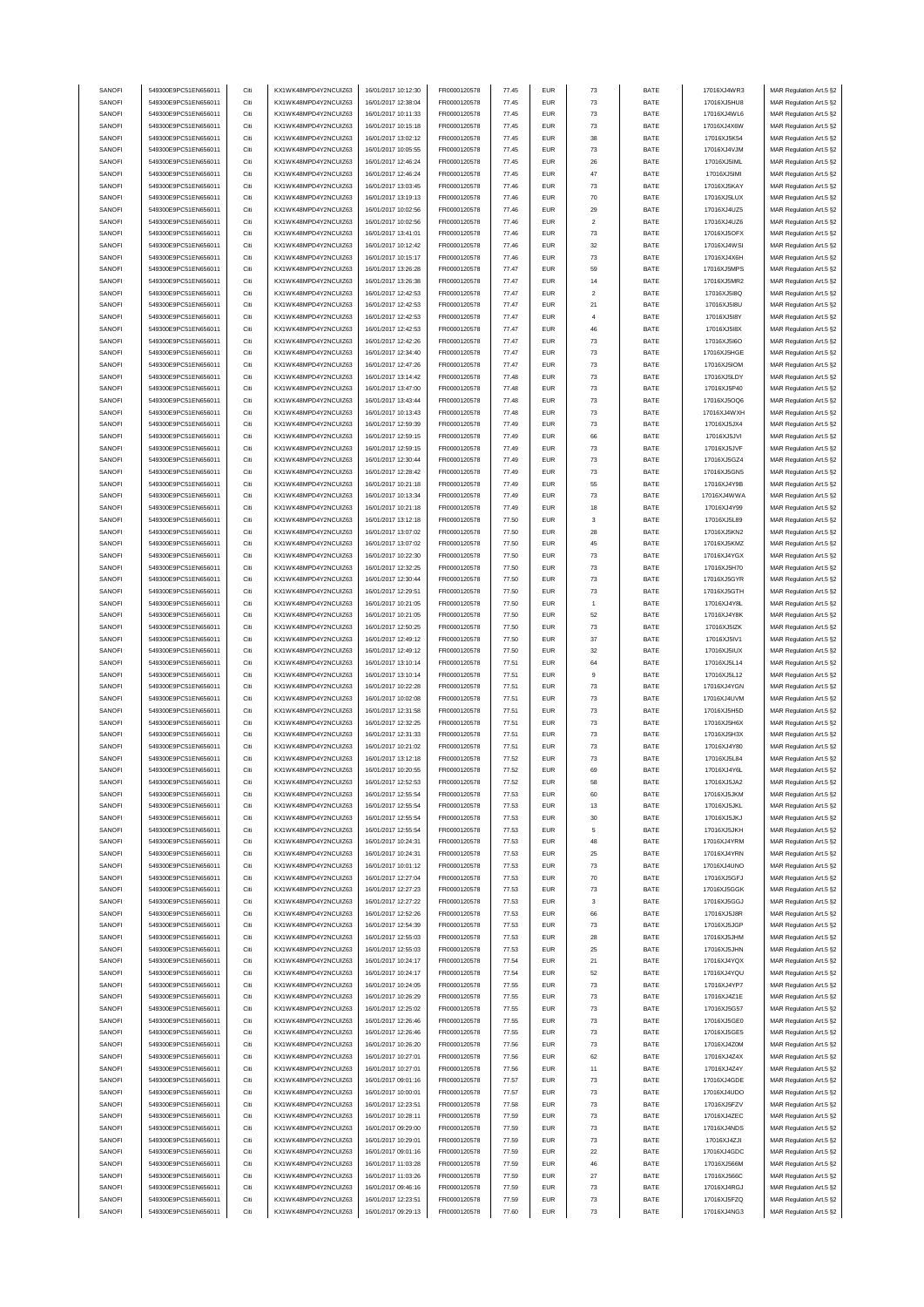| SANOFI | 549300E9PC51EN656011 | Citi | KX1WK48MPD4Y2NCUIZ63  | 16/01/2017 10:12:30 | FR0000120578 | 77.45 | <b>EUR</b> | 73             | BATE        | 17016XJ4WR3 | MAR Regulation Art.5 §2 |
|--------|----------------------|------|-----------------------|---------------------|--------------|-------|------------|----------------|-------------|-------------|-------------------------|
| SANOFI | 549300E9PC51EN656011 | Citi | KX1WK48MPD4Y2NCUIZ63  | 16/01/2017 12:38:04 | FR0000120578 | 77.45 | <b>EUR</b> | 73             | BATE        |             |                         |
|        |                      |      |                       |                     |              |       |            |                |             | 17016XJ5HU8 | MAR Regulation Art.5 §2 |
| SANOFI | 549300E9PC51EN656011 | Citi | KX1WK48MPD4Y2NCUIZ63  | 16/01/2017 10:11:33 | FR0000120578 | 77.45 | <b>EUR</b> | 73             | BATE        | 17016XJ4WL6 | MAR Regulation Art.5 §2 |
| SANOFI | 549300E9PC51EN656011 | Citi | KX1WK48MPD4Y2NCUIZ63  | 16/01/2017 10:15:18 | FR0000120578 | 77.45 | EUR        | 73             | BATE        | 17016XJ4X6W | MAR Regulation Art.5 §2 |
| SANOFI | 549300E9PC51EN656011 | Citi | KX1WK48MPD4Y2NCLIIZ63 | 16/01/2017 13:02:12 | FR0000120578 | 77.45 | <b>EUR</b> | 38             | BATE        | 17016XJ5K54 | MAR Regulation Art.5 §2 |
| SANOFI | 549300E9PC51EN656011 | Citi | KX1WK48MPD4Y2NCUIZ63  | 16/01/2017 10:05:55 | FR0000120578 | 77.45 | <b>EUR</b> | 73             | BATE        | 17016XJ4VJM | MAR Regulation Art.5 §2 |
| SANOFI | 549300E9PC51EN656011 | Citi | KX1WK48MPD4Y2NCUIZ63  | 16/01/2017 12:46:24 | FR0000120578 | 77.45 | <b>EUR</b> | 26             | BATE        | 17016XJ5IML | MAR Regulation Art.5 §2 |
|        |                      |      |                       |                     |              |       |            |                |             |             |                         |
| SANOFI | 549300E9PC51EN656011 | Citi | KX1WK48MPD4Y2NCUIZ63  | 16/01/2017 12:46:24 | FR0000120578 | 77.45 | <b>EUR</b> | 47             | BATE        | 17016XJ5IMI | MAR Regulation Art.5 §2 |
| SANOFI | 549300E9PC51EN656011 | Citi | KX1WK48MPD4Y2NCUIZ63  | 16/01/2017 13:03:45 | FR0000120578 | 77.46 | <b>EUR</b> | 73             | BATE        | 17016XJ5KAY | MAR Regulation Art.5 §2 |
| SANOFI | 549300E9PC51EN656011 | Citi | KX1WK48MPD4Y2NCUIZ63  | 16/01/2017 13:19:13 | FR0000120578 | 77.46 | <b>EUR</b> | 70             | BATE        | 17016XJ5LUX | MAR Regulation Art.5 §2 |
| SANOFI | 549300E9PC51EN656011 | Citi | KX1WK48MPD4Y2NCUIZ63  | 16/01/2017 10:02:56 | FR0000120578 | 77.46 | <b>EUR</b> | 29             | BATE        | 17016XJ4UZ5 | MAR Regulation Art.5 §2 |
| SANOFI | 549300E9PC51EN656011 | Citi | KX1WK48MPD4Y2NCUIZ63  | 16/01/2017 10:02:56 | FR0000120578 | 77.46 | <b>EUR</b> | $\sqrt{2}$     | BATE        | 17016XJ4UZ6 | MAR Regulation Art.5 §2 |
|        |                      |      |                       |                     |              |       |            |                |             |             |                         |
| SANOFI | 549300E9PC51EN656011 | Citi | KX1WK48MPD4Y2NCUIZ63  | 16/01/2017 13:41:01 | FR0000120578 | 77.46 | EUR        | 73             | BATE        | 17016XJ5OFX | MAR Regulation Art.5 §2 |
| SANOFI | 549300E9PC51EN656011 | Citi | KX1WK48MPD4Y2NCUIZ63  | 16/01/2017 10:12:42 | FR0000120578 | 77.46 | <b>EUR</b> | 32             | BATE        | 17016XJ4WSI | MAR Regulation Art.5 §2 |
| SANOFI | 549300E9PC51EN656011 | Citi | KX1WK48MPD4Y2NCUIZ63  | 16/01/2017 10:15:17 | FR0000120578 | 77.46 | <b>EUR</b> | 73             | BATE        | 17016XJ4X6H | MAR Regulation Art.5 §2 |
| SANOFI | 549300E9PC51EN656011 | Citi | KX1WK48MPD4Y2NCUIZ63  | 16/01/2017 13:26:28 | FR0000120578 | 77.47 | <b>EUR</b> | 59             | BATE        | 17016XJ5MPS | MAR Regulation Art.5 §2 |
| SANOFI | 549300E9PC51EN656011 | Citi | KX1WK48MPD4Y2NCUIZ63  | 16/01/2017 13:26:38 | FR0000120578 | 77.47 | <b>EUR</b> | 14             | BATE        | 17016XJ5MR2 | MAR Regulation Art.5 §2 |
|        | 549300E9PC51EN656011 | Citi | KX1WK48MPD4Y2NCUIZ63  | 16/01/2017 12:42:53 |              | 77.47 | <b>EUR</b> | $\overline{2}$ | BATE        |             |                         |
| SANOFI |                      |      |                       |                     | FR0000120578 |       |            |                |             | 17016XJ5I8Q | MAR Regulation Art.5 §2 |
| SANOFI | 549300E9PC51EN656011 | Citi | KX1WK48MPD4Y2NCUIZ63  | 16/01/2017 12:42:53 | FR0000120578 | 77.47 | <b>EUR</b> | 21             | BATE        | 17016XJ5I8U | MAR Regulation Art.5 §2 |
| SANOFI | 549300E9PC51EN656011 | Citi | KX1WK48MPD4Y2NCUIZ63  | 16/01/2017 12:42:53 | FR0000120578 | 77.47 | <b>EUR</b> | $\overline{4}$ | BATE        | 17016XJ5I8Y | MAR Regulation Art.5 §2 |
| SANOFI | 549300E9PC51EN656011 | Citi | KX1WK48MPD4Y2NCUIZ63  | 16/01/2017 12:42:53 | FR0000120578 | 77.47 | <b>EUR</b> | 46             | BATE        | 17016XJ5I8X | MAR Regulation Art.5 §2 |
| SANOFI | 549300E9PC51EN656011 | Citi | KX1WK48MPD4Y2NCUIZ63  | 16/01/2017 12:42:26 | FR0000120578 | 77.47 | <b>EUR</b> | 73             | BATE        | 17016XJ5I6O | MAR Regulation Art.5 §2 |
|        |                      |      |                       |                     |              |       |            |                |             |             |                         |
| SANOFI | 549300E9PC51EN656011 | Citi | KX1WK48MPD4Y2NCUIZ63  | 16/01/2017 12:34:40 | FR0000120578 | 77.47 | <b>EUR</b> | 73             | BATE        | 17016XJ5HGE | MAR Regulation Art.5 §2 |
| SANOFI | 549300E9PC51EN656011 | Citi | KX1WK48MPD4Y2NCUIZ63  | 16/01/2017 12:47:26 | FR0000120578 | 77.47 | <b>EUR</b> | 73             | BATE        | 17016XJ5IOM | MAR Regulation Art.5 §2 |
| SANOFI | 549300E9PC51EN656011 | Citi | KX1WK48MPD4Y2NCUIZ63  | 16/01/2017 13:14:42 | FR0000120578 | 77.48 | <b>EUR</b> | 73             | BATE        | 17016XJ5LDY | MAR Regulation Art.5 §2 |
| SANOFI | 549300E9PC51EN656011 | Citi | KX1WK48MPD4Y2NCUIZ63  | 16/01/2017 13:47:00 | FR0000120578 | 77.48 | <b>EUR</b> | 73             | BATE        | 17016XJ5P40 | MAR Regulation Art.5 §2 |
| SANOFI | 549300E9PC51EN656011 | Citi | KX1WK48MPD4Y2NCUIZ63  | 16/01/2017 13:43:44 | FR0000120578 | 77.48 | <b>EUR</b> | 73             | BATE        | 17016XJ5OQ6 | MAR Regulation Art.5 §2 |
|        | 549300E9PC51EN656011 | Citi | KX1WK48MPD4Y2NCUIZ63  |                     |              | 77.48 | <b>EUR</b> |                |             |             |                         |
| SANOFI |                      |      |                       | 16/01/2017 10:13:43 | FR0000120578 |       |            | 73             | BATE        | 17016XJ4WXH | MAR Regulation Art.5 §2 |
| SANOFI | 549300E9PC51EN656011 | Citi | KX1WK48MPD4Y2NCUIZ63  | 16/01/2017 12:59:39 | FR0000120578 | 77.49 | <b>EUR</b> | 73             | BATE        | 17016XJ5JX4 | MAR Regulation Art.5 §2 |
| SANOFI | 549300E9PC51EN656011 | Citi | KX1WK48MPD4Y2NCUIZ63  | 16/01/2017 12:59:15 | FR0000120578 | 77.49 | <b>EUR</b> | 66             | BATE        | 17016XJ5JVI | MAR Regulation Art.5 §2 |
| SANOFI | 549300E9PC51EN656011 | Citi | KX1WK48MPD4Y2NCUIZ63  | 16/01/2017 12:59:15 | FR0000120578 | 77.49 | <b>EUR</b> | 73             | BATE        | 17016XJ5JVF | MAR Regulation Art.5 §2 |
| SANOFI | 549300E9PC51EN656011 | Citi | KX1WK48MPD4Y2NCUIZ63  | 16/01/2017 12:30:44 | FR0000120578 | 77.49 | <b>EUR</b> | 73             | BATE        | 17016XJ5GZ4 | MAR Regulation Art.5 §2 |
| SANOFI | 549300E9PC51EN656011 | Citi | KX1WK48MPD4Y2NCUIZ63  | 16/01/2017 12:28:42 | FR0000120578 | 77.49 | <b>EUR</b> | 73             | BATE        | 17016XJ5GN5 | MAR Regulation Art.5 §2 |
|        |                      |      |                       |                     |              |       |            |                |             |             |                         |
| SANOFI | 549300E9PC51EN656011 | Citi | KX1WK48MPD4Y2NCUIZ63  | 16/01/2017 10:21:18 | FR0000120578 | 77.49 | <b>EUR</b> | 55             | BATE        | 17016XJ4Y9B | MAR Regulation Art.5 §2 |
| SANOFI | 549300E9PC51EN656011 | Citi | KX1WK48MPD4Y2NCUIZ63  | 16/01/2017 10:13:34 | FR0000120578 | 77.49 | <b>EUR</b> | 73             | BATE        | 17016XJ4WWA | MAR Regulation Art.5 §2 |
| SANOFI | 549300E9PC51EN656011 | Citi | KX1WK48MPD4Y2NCUIZ63  | 16/01/2017 10:21:18 | FR0000120578 | 77.49 | <b>EUR</b> | 18             | BATE        | 17016XJ4Y99 | MAR Regulation Art.5 §2 |
| SANOFI | 549300E9PC51EN656011 | Citi | KX1WK48MPD4Y2NCUIZ63  | 16/01/2017 13:12:18 | FR0000120578 | 77.50 | <b>EUR</b> | 3              | BATE        | 17016XJ5L89 | MAR Regulation Art.5 §2 |
| SANOFI | 549300E9PC51EN656011 | Citi | KX1WK48MPD4Y2NCUIZ63  | 16/01/2017 13:07:02 | FR0000120578 | 77.50 | <b>EUR</b> | 28             | BATE        | 17016XJ5KN2 | MAR Regulation Art.5 §2 |
|        |                      |      |                       |                     |              |       |            |                |             |             |                         |
| SANOFI | 549300E9PC51EN656011 | Citi | KX1WK48MPD4Y2NCUIZ63  | 16/01/2017 13:07:02 | FR0000120578 | 77.50 | <b>EUR</b> | 45             | BATE        | 17016XJ5KMZ | MAR Regulation Art.5 §2 |
| SANOFI | 549300E9PC51EN656011 | Citi | KX1WK48MPD4Y2NCUIZ63  | 16/01/2017 10:22:30 | FR0000120578 | 77.50 | <b>EUR</b> | 73             | BATE        | 17016XJ4YGX | MAR Regulation Art.5 §2 |
| SANOFI | 549300E9PC51EN656011 | Citi | KX1WK48MPD4Y2NCUIZ63  | 16/01/2017 12:32:25 | FR0000120578 | 77.50 | <b>EUR</b> | 73             | BATE        | 17016XJ5H70 | MAR Regulation Art.5 §2 |
| SANOFI | 549300E9PC51EN656011 | Citi | KX1WK48MPD4Y2NCUIZ63  | 16/01/2017 12:30:44 | FR0000120578 | 77.50 | <b>EUR</b> | 73             | BATE        | 17016XJ5GYR | MAR Regulation Art.5 §2 |
| SANOFI | 549300E9PC51EN656011 | Citi | KX1WK48MPD4Y2NCUIZ63  | 16/01/2017 12:29:51 | FR0000120578 | 77.50 | <b>EUR</b> | 73             | BATE        | 17016XJ5GTH | MAR Regulation Art.5 §2 |
| SANOFI | 549300E9PC51EN656011 | Citi | KX1WK48MPD4Y2NCUIZ63  | 16/01/2017 10:21:05 | FR0000120578 | 77.50 | <b>EUR</b> |                | BATE        | 17016XJ4Y8L |                         |
|        |                      |      |                       |                     |              |       |            | $\overline{1}$ |             |             | MAR Regulation Art.5 §2 |
| SANOFI | 549300E9PC51EN656011 | Citi | KX1WK48MPD4Y2NCUIZ63  | 16/01/2017 10:21:05 | FR0000120578 | 77.50 | <b>EUR</b> | 52             | BATE        | 17016XJ4Y8K | MAR Regulation Art.5 §2 |
| SANOFI | 549300E9PC51EN656011 | Citi | KX1WK48MPD4Y2NCUIZ63  | 16/01/2017 12:50:25 | FR0000120578 | 77.50 | <b>EUR</b> | 73             | BATE        | 17016XJ5IZK | MAR Regulation Art.5 §2 |
| SANOFI | 549300E9PC51EN656011 | Citi | KX1WK48MPD4Y2NCUIZ63  | 16/01/2017 12:49:12 | FR0000120578 | 77.50 | <b>EUR</b> | 37             | BATE        | 17016XJ5IV1 | MAR Regulation Art.5 §2 |
| SANOFI | 549300E9PC51EN656011 | Citi | KX1WK48MPD4Y2NCUIZ63  | 16/01/2017 12:49:12 | FR0000120578 | 77.50 | <b>EUR</b> | 32             | BATE        | 17016XJ5IUX | MAR Regulation Art.5 §2 |
| SANOFI | 549300E9PC51EN656011 | Citi | KX1WK48MPD4Y2NCUIZ63  | 16/01/2017 13:10:14 | FR0000120578 | 77.51 | <b>EUR</b> | 64             | BATE        | 17016XJ5L14 | MAR Regulation Art.5 §2 |
|        |                      |      |                       |                     |              |       |            |                |             |             |                         |
| SANOFI | 549300E9PC51EN656011 | Citi | KX1WK48MPD4Y2NCUIZ63  | 16/01/2017 13:10:14 | FR0000120578 | 77.51 | <b>EUR</b> | 9              | BATE        | 17016XJ5L12 | MAR Regulation Art.5 §2 |
| SANOFI | 549300E9PC51EN656011 | Citi | KX1WK48MPD4Y2NCUIZ63  | 16/01/2017 10:22:28 | FR0000120578 | 77.51 | <b>EUR</b> | 73             | BATE        | 17016XJ4YGN | MAR Regulation Art.5 §2 |
| SANOFI | 549300E9PC51EN656011 | Citi | KX1WK48MPD4Y2NCUIZ63  | 16/01/2017 10:02:08 | FR0000120578 | 77.51 | <b>EUR</b> | 73             | BATE        | 17016XJ4UVM | MAR Regulation Art.5 §2 |
| SANOFI | 549300E9PC51EN656011 | Citi | KX1WK48MPD4Y2NCLIIZ63 | 16/01/2017 12:31:58 | FR0000120578 | 77.51 | <b>EUR</b> | 73             | BATE        | 17016XJ5H5D | MAR Regulation Art.5 §2 |
| SANOFI | 549300E9PC51EN656011 | Citi | KX1WK48MPD4Y2NCUIZ63  | 16/01/2017 12:32:25 | FR0000120578 | 77.51 | <b>EUR</b> | 73             | BATE        | 17016XJ5H6X | MAR Regulation Art.5 §2 |
|        |                      |      |                       |                     |              |       |            |                |             |             |                         |
| SANOFI | 549300E9PC51EN656011 | Citi | KX1WK48MPD4Y2NCUIZ63  | 16/01/2017 12:31:33 | FR0000120578 | 77.51 | <b>EUR</b> | 73             | BATE        | 17016XJ5H3X | MAR Regulation Art.5 §2 |
| SANOFI | 549300E9PC51EN656011 | Citi | KX1WK48MPD4Y2NCUIZ63  | 16/01/2017 10:21:02 | FR0000120578 | 77.51 | <b>EUR</b> | 73             | BATE        | 17016XJ4Y80 | MAR Regulation Art.5 §2 |
| SANOFI | 549300E9PC51EN656011 | Citi | KX1WK48MPD4Y2NCUIZ63  | 16/01/2017 13:12:18 | FR0000120578 | 77.52 | <b>EUR</b> | 73             | BATE        | 17016XJ5L84 | MAR Regulation Art.5 §2 |
| SANOFI | 549300E9PC51EN656011 | Citi | KX1WK48MPD4Y2NCUIZ63  | 16/01/2017 10:20:55 | FR0000120578 | 77.52 | <b>EUR</b> | 69             | BATE        | 17016XJ4Y6L | MAR Regulation Art.5 §2 |
| SANOFI | 549300E9PC51EN656011 | Citi | KX1WK48MPD4Y2NCLIIZ63 | 16/01/2017 12:52:53 | ER0000120578 | 77.52 | FUR        |                | <b>BATF</b> | 17016XJ5JA2 | MAR Regulation Art 5.82 |
| SANOFI |                      |      |                       |                     |              |       |            |                |             | 17016XJ5JKM |                         |
|        | 549300E9PC51EN656011 | Citi | KX1WK48MPD4Y2NCUIZ63  | 16/01/2017 12:55:54 | FR0000120578 | 77.53 | <b>EUR</b> | 60             | BATE        |             | MAR Regulation Art.5 §2 |
| SANOFI | 549300E9PC51EN656011 | Citi | KX1WK48MPD4Y2NCUIZ63  | 16/01/2017 12:55:54 | FR0000120578 | 77.53 | <b>EUR</b> | 13             | BATE        | 17016XJ5JKL | MAR Regulation Art.5 §2 |
| SANOFI | 549300E9PC51EN656011 | Citi | KX1WK48MPD4Y2NCUIZ63  | 16/01/2017 12:55:54 | FR0000120578 | 77.53 | <b>EUR</b> | 30             | BATE        | 17016XJ5JKJ | MAR Regulation Art.5 §2 |
| SANOFI | 549300E9PC51EN656011 | Citi | KX1WK48MPD4Y2NCUIZ63  | 16/01/2017 12:55:54 | FR0000120578 | 77.53 | <b>EUR</b> | 5              | BATE        | 17016XJ5JKH | MAR Regulation Art.5 §2 |
| SANOFI | 549300E9PC51EN656011 | Citi | KX1WK48MPD4Y2NCUIZ63  | 16/01/2017 10:24:31 | FR0000120578 | 77.53 | <b>EUR</b> | 48             | BATE        | 17016XJ4YRM | MAR Regulation Art.5 §2 |
| SANOFI | 549300E9PC51EN656011 | Citi | KX1WK48MPD4Y2NCUIZ63  | 16/01/2017 10:24:31 | FR0000120578 | 77.53 | <b>EUR</b> | 25             | BATE        | 17016XJ4YRN | MAR Regulation Art.5 §2 |
|        |                      |      |                       |                     |              |       |            |                |             |             |                         |
| SANOFI | 549300E9PC51EN656011 | Citi | KX1WK48MPD4Y2NCUIZ63  | 16/01/2017 10:01:12 | FR0000120578 | 77.53 | <b>EUR</b> | 73             | BATE        | 17016XJ4UNO | MAR Regulation Art.5 §2 |
| SANOFI | 549300E9PC51EN656011 | Citi | KX1WK48MPD4Y2NCUIZ63  | 16/01/2017 12:27:04 | FR0000120578 | 77.53 | <b>EUR</b> | 70             | BATE        | 17016XJ5GFJ | MAR Regulation Art.5 §2 |
| SANOFI | 549300E9PC51EN656011 | Citi | KX1WK48MPD4Y2NCUIZ63  | 16/01/2017 12:27:23 | FR0000120578 | 77.53 | <b>EUR</b> | 73             | BATE        | 17016XJ5GGK | MAR Regulation Art.5 §2 |
| SANOFI | 549300E9PC51EN656011 | Citi | KX1WK48MPD4Y2NCUIZ63  | 16/01/2017 12:27:22 | FR0000120578 | 77.53 | <b>EUR</b> | 3              | BATE        | 17016XJ5GGJ | MAR Regulation Art.5 §2 |
| SANOFI | 549300E9PC51EN656011 | Citi | KX1WK48MPD4Y2NCUIZ63  | 16/01/2017 12:52:26 | FR0000120578 | 77.53 | <b>EUR</b> | 66             | BATE        | 17016XJ5J8R | MAR Regulation Art.5 §2 |
|        | 549300E9PC51EN656011 |      | KX1WK48MPD4Y2NCUIZ63  | 16/01/2017 12:54:39 |              |       |            |                |             |             | MAR Regulation Art.5 §2 |
| SANOFI |                      | Citi |                       |                     | FR0000120578 | 77.53 | <b>EUR</b> | 73             | BATE        | 17016XJ5JGP |                         |
| SANOFI | 549300E9PC51EN656011 | Citi | KX1WK48MPD4Y2NCUIZ63  | 16/01/2017 12:55:03 | FR0000120578 | 77.53 | <b>EUR</b> | 28             | BATE        | 17016XJ5JHM | MAR Regulation Art.5 §2 |
| SANOFI | 549300E9PC51EN656011 | Citi | KX1WK48MPD4Y2NCUIZ63  | 16/01/2017 12:55:03 | FR0000120578 | 77.53 | <b>EUR</b> | 25             | BATE        | 17016XJ5JHN | MAR Regulation Art.5 §2 |
| SANOFI | 549300E9PC51EN656011 | Citi | KX1WK48MPD4Y2NCUIZ63  | 16/01/2017 10:24:17 | FR0000120578 | 77.54 | <b>EUR</b> | 21             | BATE        | 17016XJ4YQX | MAR Regulation Art.5 §2 |
| SANOFI | 549300E9PC51EN656011 | Citi | KX1WK48MPD4Y2NCUIZ63  | 16/01/2017 10:24:17 | FR0000120578 | 77.54 | <b>EUR</b> | 52             | BATE        | 17016XJ4YQU | MAR Regulation Art.5 §2 |
| SANOFI |                      |      |                       |                     |              |       |            |                |             |             |                         |
|        |                      |      |                       |                     |              |       |            |                |             |             |                         |
| SANOFI | 549300E9PC51EN656011 | Citi | KX1WK48MPD4Y2NCUIZ63  | 16/01/2017 10:24:05 | FR0000120578 | 77.55 | <b>EUR</b> | 73             | BATE        | 17016XJ4YP7 | MAR Regulation Art.5 §2 |
|        | 549300E9PC51EN656011 | Citi | KX1WK48MPD4Y2NCUIZ63  | 16/01/2017 10:26:29 | FR0000120578 | 77.55 | <b>EUR</b> | 73             | BATE        | 17016XJ4Z1E | MAR Regulation Art.5 §2 |
| SANOFI | 549300E9PC51EN656011 | Citi | KX1WK48MPD4Y2NCUIZ63  | 16/01/2017 12:25:02 | FR0000120578 | 77.55 | <b>EUR</b> | 73             | BATE        | 17016XJ5G57 | MAR Regulation Art.5 §2 |
| SANOFI | 549300E9PC51EN656011 | Citi | KX1WK48MPD4Y2NCUIZ63  | 16/01/2017 12:26:46 | FR0000120578 | 77.55 | <b>EUR</b> | 73             | BATE        | 17016XJ5GE0 | MAR Regulation Art.5 §2 |
|        |                      |      |                       |                     |              |       |            |                |             |             |                         |
| SANOFI | 549300E9PC51EN656011 | Citi | KX1WK48MPD4Y2NCUIZ63  | 16/01/2017 12:26:46 | FR0000120578 | 77.55 | <b>EUR</b> | 73             | BATE        | 17016XJ5GE5 | MAR Regulation Art.5 §2 |
| SANOFI | 549300E9PC51EN656011 | Citi | KX1WK48MPD4Y2NCUIZ63  | 16/01/2017 10:26:20 | FR0000120578 | 77.56 | <b>EUR</b> | 73             | BATE        | 17016XJ4Z0M | MAR Regulation Art.5 §2 |
| SANOFI | 549300E9PC51EN656011 | Citi | KX1WK48MPD4Y2NCUIZ63  | 16/01/2017 10:27:01 | FR0000120578 | 77.56 | <b>EUR</b> | 62             | BATE        | 17016XJ4Z4X | MAR Regulation Art.5 §2 |
| SANOFI | 549300E9PC51EN656011 | Citi | KX1WK48MPD4Y2NCUIZ63  | 16/01/2017 10:27:01 | FR0000120578 | 77.56 | <b>EUR</b> | 11             | BATE        | 17016XJ4Z4Y | MAR Regulation Art.5 §2 |
| SANOFI | 549300E9PC51EN656011 | Citi | KX1WK48MPD4Y2NCUIZ63  | 16/01/2017 09:01:16 | FR0000120578 | 77.57 | <b>EUR</b> | 73             | BATE        | 17016XJ4GDE | MAR Regulation Art.5 §2 |
| SANOFI |                      | Citi |                       |                     |              |       | <b>EUR</b> |                |             |             |                         |
|        | 549300E9PC51EN656011 |      | KX1WK48MPD4Y2NCUIZ63  | 16/01/2017 10:00:01 | FR0000120578 | 77.57 |            | 73             | BATE        | 17016XJ4UDO | MAR Regulation Art.5 §2 |
| SANOFI | 549300E9PC51EN656011 | Citi | KX1WK48MPD4Y2NCUIZ63  | 16/01/2017 12:23:51 | FR0000120578 | 77.58 | <b>EUR</b> | 73             | BATE        | 17016XJ5FZV | MAR Regulation Art.5 §2 |
| SANOFI | 549300E9PC51EN656011 | Citi | KX1WK48MPD4Y2NCUIZ63  | 16/01/2017 10:28:11 | FR0000120578 | 77.59 | <b>EUR</b> | 73             | BATE        | 17016XJ4ZEC | MAR Regulation Art.5 §2 |
| SANOFI | 549300E9PC51EN656011 | Citi | KX1WK48MPD4Y2NCUIZ63  | 16/01/2017 09:29:00 | FR0000120578 | 77.59 | <b>EUR</b> | 73             | BATE        | 17016XJ4NDS | MAR Regulation Art.5 §2 |
| SANOFI | 549300E9PC51EN656011 | Citi | KX1WK48MPD4Y2NCUIZ63  | 16/01/2017 10:29:01 | FR0000120578 | 77.59 | <b>EUR</b> | 73             | BATE        | 17016XJ4ZJI | MAR Regulation Art.5 §2 |
| SANOFI | 549300E9PC51EN656011 | Citi | KX1WK48MPD4Y2NCUIZ63  | 16/01/2017 09:01:16 | FR0000120578 | 77.59 | <b>EUR</b> | $22\,$         | BATE        | 17016XJ4GDC | MAR Regulation Art.5 §2 |
| SANOFI | 549300E9PC51EN656011 | Citi | KX1WK48MPD4Y2NCUIZ63  | 16/01/2017 11:03:28 | FR0000120578 | 77.59 | <b>EUR</b> | 46             | BATE        | 17016XJ566M |                         |
|        |                      |      |                       |                     |              |       |            |                |             |             | MAR Regulation Art.5 §2 |
| SANOFI | 549300E9PC51EN656011 | Citi | KX1WK48MPD4Y2NCUIZ63  | 16/01/2017 11:03:26 | FR0000120578 | 77.59 | <b>EUR</b> | 27             | BATE        | 17016XJ566C | MAR Regulation Art.5 §2 |
| SANOFI | 549300E9PC51EN656011 | Citi | KX1WK48MPD4Y2NCUIZ63  | 16/01/2017 09:46:16 | FR0000120578 | 77.59 | <b>EUR</b> | 73             | BATE        | 17016XJ4RGJ | MAR Regulation Art.5 §2 |
| SANOFI | 549300E9PC51EN656011 | Citi | KX1WK48MPD4Y2NCUIZ63  | 16/01/2017 12:23:51 | FR0000120578 | 77.59 | <b>EUR</b> | 73             | BATE        | 17016XJ5FZQ | MAR Regulation Art.5 §2 |
| SANOFI | 549300E9PC51EN656011 | Citi | KX1WK48MPD4Y2NCUIZ63  | 16/01/2017 09:29:13 | FR0000120578 | 77.60 | <b>EUR</b> | 73             | BATE        | 17016XJ4NG3 | MAR Regulation Art.5 §2 |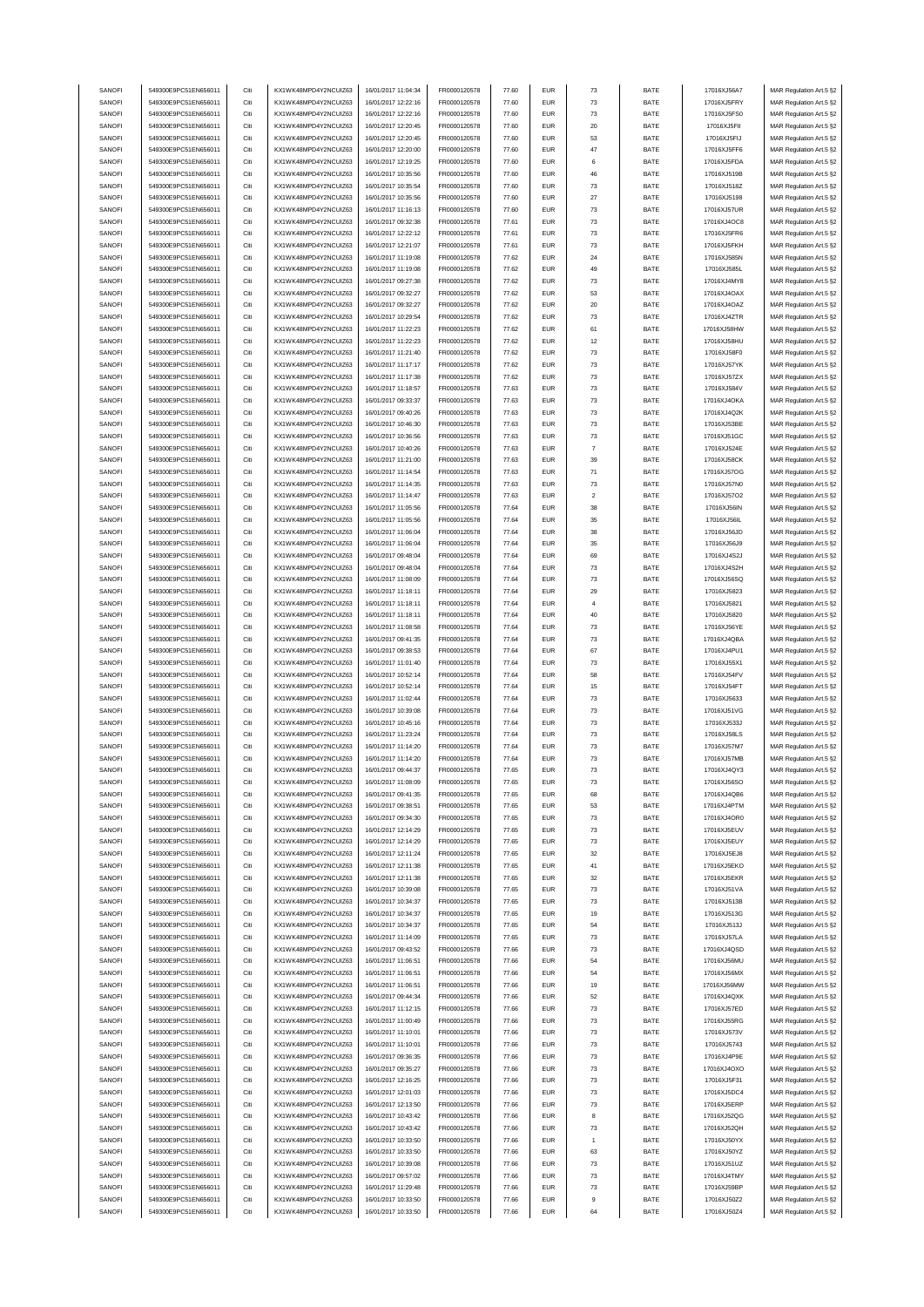| SANOFI           | 549300E9PC51EN656011 | Citi | KX1WK48MPD4Y2NCUIZ63  | 16/01/2017 11:04:34 | FR0000120578        | 77.60 | <b>EUR</b> | $\mathbf{73}$  | BATE        | 17016XJ56A7 | MAR Regulation Art.5 §2 |
|------------------|----------------------|------|-----------------------|---------------------|---------------------|-------|------------|----------------|-------------|-------------|-------------------------|
| SANOFI           | 549300E9PC51EN656011 | Citi | KX1WK48MPD4Y2NCLIIZ63 | 16/01/2017 12:22:16 | FR0000120578        | 77.60 | <b>EUR</b> | $\bf 73$       | BATE        | 17016XJ5FRY | MAR Regulation Art.5 §2 |
|                  | 549300E9PC51EN656011 | Citi |                       |                     |                     |       | <b>EUR</b> |                | BATE        |             | MAR Regulation Art.5 §2 |
| SANOFI           |                      |      | KX1WK48MPD4Y2NCUIZ63  | 16/01/2017 12:22:16 | FR0000120578        | 77.60 |            | 73             |             | 17016XJ5FS0 |                         |
| SANOFI           | 549300E9PC51EN656011 | Citi | KX1WK48MPD4Y2NCUIZ63  | 16/01/2017 12:20:45 | FR0000120578        | 77.60 | <b>EUR</b> | $20\,$         | BATE        | 17016XJ5FII | MAR Regulation Art.5 §2 |
| SANOFI           | 549300E9PC51EN656011 | Citi | KX1WK48MPD4Y2NCUIZ63  | 16/01/2017 12:20:45 | FR0000120578        | 77.60 | <b>EUR</b> | 53             | BATE        | 17016XJ5FIJ | MAR Regulation Art.5 §2 |
| SANOFI           | 549300E9PC51EN656011 | Citi | KX1WK48MPD4Y2NCUIZ63  | 16/01/2017 12:20:00 | FR0000120578        | 77.60 | <b>EUR</b> | 47             | BATE        | 17016XJ5FF6 | MAR Regulation Art.5 §2 |
| SANOFI           | 549300E9PC51EN656011 | Citi | KX1WK48MPD4Y2NCUIZ63  | 16/01/2017 12:19:25 | FR0000120578        | 77.60 | <b>EUR</b> | 6              | BATE        | 17016XJ5FDA | MAR Regulation Art.5 §2 |
| SANOFI           | 549300E9PC51EN656011 | Citi | KX1WK48MPD4Y2NCUIZ63  | 16/01/2017 10:35:56 | FR0000120578        | 77.60 | <b>EUR</b> | 46             | BATE        | 17016XJ519B | MAR Regulation Art.5 §2 |
| SANOFI           | 549300E9PC51EN656011 | Citi | KX1WK48MPD4Y2NCUIZ63  | 16/01/2017 10:35:54 | FR0000120578        | 77.60 | <b>EUR</b> | 73             | BATE        |             |                         |
|                  |                      |      |                       |                     |                     |       |            |                |             | 17016XJ518Z | MAR Regulation Art.5 §2 |
| SANOFI           | 549300E9PC51EN656011 | Citi | KX1WK48MPD4Y2NCUIZ63  | 16/01/2017 10:35:56 | FR0000120578        | 77.60 | <b>EUR</b> | $27\,$         | BATE        | 17016XJ5198 | MAR Regulation Art.5 §2 |
| SANOFI           | 549300E9PC51EN656011 | Citi | KX1WK48MPD4Y2NCUIZ63  | 16/01/2017 11:16:13 | FR0000120578        | 77.60 | <b>EUR</b> | $\mathbf{73}$  | BATE        | 17016XJ57UR | MAR Regulation Art.5 §2 |
| SANOFI           | 549300E9PC51EN656011 | Citi | KX1WK48MPD4Y2NCUIZ63  | 16/01/2017 09:32:38 | FR0000120578        | 77.61 | <b>EUR</b> | $\mathbf{73}$  | BATE        | 17016XJ4OC8 | MAR Regulation Art.5 §2 |
| SANOFI           | 549300E9PC51EN656011 | Citi | KX1WK48MPD4Y2NCUIZ63  | 16/01/2017 12:22:12 | FR0000120578        | 77.61 | <b>EUR</b> | $\mathbf{73}$  | BATE        | 17016XJ5FR6 | MAR Regulation Art.5 §2 |
| SANOFI           | 549300E9PC51EN656011 | Citi | KX1WK48MPD4Y2NCUIZ63  | 16/01/2017 12:21:07 | FR0000120578        | 77.61 | <b>EUR</b> | 73             | BATE        | 17016XJ5FKH | MAR Regulation Art.5 §2 |
|                  |                      |      |                       |                     |                     |       |            |                |             |             |                         |
| SANOFI           | 549300E9PC51EN656011 | Citi | KX1WK48MPD4Y2NCUIZ63  | 16/01/2017 11:19:08 | FR0000120578        | 77.62 | <b>EUR</b> | 24             | BATE        | 17016XJ585N | MAR Regulation Art.5 §2 |
| SANOFI           | 549300E9PC51EN656011 | Citi | KX1WK48MPD4Y2NCUIZ63  | 16/01/2017 11:19:08 | FR0000120578        | 77.62 | <b>EUR</b> | 49             | BATE        | 17016XJ585L | MAR Regulation Art.5 §2 |
| SANOFI           | 549300E9PC51EN656011 | Citi | KX1WK48MPD4Y2NCUIZ63  | 16/01/2017 09:27:38 | FR0000120578        | 77.62 | <b>EUR</b> | 73             | BATE        | 17016XJ4MY8 | MAR Regulation Art.5 §2 |
| SANOFI           | 549300E9PC51EN656011 | Citi | KX1WK48MPD4Y2NCUIZ63  | 16/01/2017 09:32:27 | FR0000120578        | 77.62 | <b>EUR</b> | 53             | BATE        | 17016XJ4OAX | MAR Regulation Art.5 §2 |
| SANOFI           | 549300E9PC51EN656011 | Citi | KX1WK48MPD4Y2NCUIZ63  | 16/01/2017 09:32:27 | FR0000120578        | 77.62 | <b>EUR</b> | $20\,$         | BATE        | 17016XJ4OAZ | MAR Regulation Art.5 §2 |
| SANOFI           | 549300E9PC51EN656011 | Citi | KX1WK48MPD4Y2NCUIZ63  | 16/01/2017 10:29:54 | FR0000120578        | 77.62 | <b>EUR</b> | $\mathbf{73}$  | BATE        | 17016XJ4ZTR | MAR Regulation Art.5 §2 |
|                  |                      |      |                       |                     |                     |       |            |                |             |             |                         |
| SANOFI           | 549300E9PC51EN656011 | Citi | KX1WK48MPD4Y2NCUIZ63  | 16/01/2017 11:22:23 | FR0000120578        | 77.62 | <b>EUR</b> | 61             | BATE        | 17016XJ58HW | MAR Regulation Art.5 §2 |
| SANOFI           | 549300E9PC51EN656011 | Citi | KX1WK48MPD4Y2NCUIZ63  | 16/01/2017 11:22:23 | FR0000120578        | 77.62 | <b>EUR</b> | 12             | BATE        | 17016XJ58HU | MAR Regulation Art.5 §2 |
| SANOFI           | 549300E9PC51EN656011 | Citi | KX1WK48MPD4Y2NCUIZ63  | 16/01/2017 11:21:40 | FR0000120578        | 77.62 | <b>EUR</b> | $\mathbf{73}$  | BATE        | 17016XJ58F0 | MAR Regulation Art.5 §2 |
| SANOFI           | 549300E9PC51EN656011 | Citi | KX1WK48MPD4Y2NCUIZ63  | 16/01/2017 11:17:17 | FR0000120578        | 77.62 | <b>EUR</b> | 73             | BATE        | 17016XJ57YK | MAR Regulation Art.5 §2 |
| SANOFI           | 549300E9PC51EN656011 | Citi | KX1WK48MPD4Y2NCLIIZ63 | 16/01/2017 11:17:38 | FR0000120578        | 77.62 | <b>EUR</b> | 73             | BATE        | 17016XJ57ZX | MAR Regulation Art.5 §2 |
|                  |                      | Citi |                       |                     |                     |       |            |                |             |             | MAR Regulation Art.5 §2 |
| SANOFI           | 549300E9PC51EN656011 |      | KX1WK48MPD4Y2NCUIZ63  | 16/01/2017 11:18:57 | FR0000120578        | 77.63 | <b>EUR</b> | $\mathbf{73}$  | BATE        | 17016XJ584V |                         |
| SANOFI           | 549300E9PC51EN656011 | Citi | KX1WK48MPD4Y2NCUIZ63  | 16/01/2017 09:33:37 | FR0000120578        | 77.63 | <b>EUR</b> | $\mathbf{73}$  | BATE        | 17016XJ4OKA | MAR Regulation Art.5 §2 |
| SANOFI           | 549300E9PC51EN656011 | Citi | KX1WK48MPD4Y2NCUIZ63  | 16/01/2017 09:40:26 | FR0000120578        | 77.63 | <b>EUR</b> | $\mathbf{73}$  | BATE        | 17016XJ4Q2K | MAR Regulation Art.5 §2 |
| SANOFI           | 549300E9PC51EN656011 | Citi | KX1WK48MPD4Y2NCUIZ63  | 16/01/2017 10:46:30 | FR0000120578        | 77.63 | <b>EUR</b> | $\mathbf{73}$  | BATE        | 17016XJ53BE | MAR Regulation Art.5 §2 |
| SANOFI           | 549300E9PC51EN656011 | Citi | KX1WK48MPD4Y2NCUIZ63  | 16/01/2017 10:36:56 | FR0000120578        | 77.63 | <b>EUR</b> | $\mathbf{73}$  | BATE        | 17016XJ51GC | MAR Regulation Art.5 §2 |
| SANOFI           | 549300E9PC51EN656011 | Citi | KX1WK48MPD4Y2NCUIZ63  | 16/01/2017 10:40:26 | FR0000120578        | 77.63 | <b>EUR</b> | $\overline{7}$ | BATE        | 17016XJ524E | MAR Regulation Art.5 §2 |
|                  |                      |      |                       |                     |                     |       |            |                |             |             |                         |
| SANOFI           | 549300E9PC51EN656011 | Citi | KX1WK48MPD4Y2NCUIZ63  | 16/01/2017 11:21:00 | FR0000120578        | 77.63 | <b>EUR</b> | 39             | BATE        | 17016XJ58CK | MAR Regulation Art.5 §2 |
| SANOFI           | 549300E9PC51EN656011 | Citi | KX1WK48MPD4Y2NCUIZ63  | 16/01/2017 11:14:54 | FR0000120578        | 77.63 | <b>EUR</b> | 71             | BATE        | 17016XJ57OG | MAR Regulation Art.5 §2 |
| SANOFI           | 549300E9PC51EN656011 | Citi | KX1WK48MPD4Y2NCLIIZ63 | 16/01/2017 11:14:35 | FR0000120578        | 77.63 | <b>EUR</b> | $\mathbf{73}$  | BATE        | 17016XJ57N0 | MAR Regulation Art.5 §2 |
| SANOFI           | 549300E9PC51EN656011 | Citi | KX1WK48MPD4Y2NCUIZ63  | 16/01/2017 11:14:47 | FR0000120578        | 77.63 | <b>EUR</b> | $\sqrt{2}$     | BATE        | 17016XJ57O2 | MAR Regulation Art.5 §2 |
| SANOFI           | 549300E9PC51EN656011 | Citi | KX1WK48MPD4Y2NCUIZ63  | 16/01/2017 11:05:56 | FR0000120578        | 77.64 | <b>EUR</b> | 38             | BATE        | 17016XJ56IN | MAR Regulation Art.5 §2 |
|                  |                      |      |                       | 16/01/2017 11:05:56 |                     |       |            |                |             |             |                         |
| SANOFI           | 549300E9PC51EN656011 | Citi | KX1WK48MPD4Y2NCUIZ63  |                     | FR0000120578        | 77.64 | <b>EUR</b> | 35             | BATE        | 17016XJ56IL | MAR Regulation Art.5 §2 |
| SANOFI           | 549300E9PC51EN656011 | Citi | KX1WK48MPD4Y2NCUIZ63  | 16/01/2017 11:06:04 | FR0000120578        | 77.64 | <b>EUR</b> | 38             | BATE        | 17016XJ56JD | MAR Regulation Art.5 §2 |
| SANOFI           | 549300E9PC51EN656011 | Citi | KX1WK48MPD4Y2NCUIZ63  | 16/01/2017 11:06:04 | FR0000120578        | 77.64 | <b>EUR</b> | 35             | BATE        | 17016XJ56J9 | MAR Regulation Art.5 §2 |
| SANOFI           | 549300E9PC51EN656011 | Citi | KX1WK48MPD4Y2NCUIZ63  | 16/01/2017 09:48:04 | FR0000120578        | 77.64 | <b>EUR</b> | 69             | BATE        | 17016XJ4S2J | MAR Regulation Art.5 §2 |
| SANOFI           | 549300E9PC51EN656011 | Citi | KX1WK48MPD4Y2NCUIZ63  | 16/01/2017 09:48:04 | FR0000120578        | 77.64 | <b>EUR</b> | 73             | BATE        | 17016XJ4S2H | MAR Regulation Art.5 §2 |
| SANOFI           | 549300E9PC51EN656011 | Citi | KX1WK48MPD4Y2NCUIZ63  | 16/01/2017 11:08:09 | FR0000120578        | 77.64 | <b>EUR</b> | 73             | BATE        | 17016XJ56SQ | MAR Regulation Art.5 §2 |
|                  |                      |      |                       |                     |                     |       |            |                |             |             |                         |
| SANOFI           | 549300E9PC51EN656011 | Citi | KX1WK48MPD4Y2NCUIZ63  | 16/01/2017 11:18:11 | FR0000120578        | 77.64 | <b>EUR</b> | 29             | BATE        | 17016XJ5823 | MAR Regulation Art.5 §2 |
| SANOFI           | 549300E9PC51EN656011 | Citi | KX1WK48MPD4Y2NCUIZ63  | 16/01/2017 11:18:11 | FR0000120578        | 77.64 | <b>EUR</b> | $\overline{4}$ | BATE        | 17016XJ5821 | MAR Regulation Art.5 §2 |
| SANOFI           | 549300E9PC51EN656011 | Citi | KX1WK48MPD4Y2NCUIZ63  | 16/01/2017 11:18:11 | FR0000120578        | 77.64 | <b>EUR</b> | 40             | BATE        | 17016XJ5820 | MAR Regulation Art.5 §2 |
| SANOFI           | 549300E9PC51EN656011 | Citi | KX1WK48MPD4Y2NCUIZ63  | 16/01/2017 11:08:58 | FR0000120578        | 77.64 | <b>EUR</b> | $\mathbf{73}$  | BATE        | 17016XJ56YE | MAR Regulation Art.5 §2 |
| SANOFI           | 549300E9PC51EN656011 | Citi | KX1WK48MPD4Y2NCUIZ63  | 16/01/2017 09:41:35 | FR0000120578        | 77.64 | <b>EUR</b> | $\bf 73$       | BATE        | 17016XJ4QBA | MAR Regulation Art.5 §2 |
| SANOFI           | 549300E9PC51EN656011 | Citi | KX1WK48MPD4Y2NCUIZ63  | 16/01/2017 09:38:53 | FR0000120578        | 77.64 | <b>EUR</b> | 67             | BATE        | 17016XJ4PU1 | MAR Regulation Art.5 §2 |
|                  |                      |      |                       |                     |                     |       |            |                |             |             |                         |
| SANOFI           | 549300E9PC51EN656011 | Citi | KX1WK48MPD4Y2NCUIZ63  | 16/01/2017 11:01:40 | FR0000120578        | 77.64 | <b>EUR</b> | 73             | BATE        | 17016XJ55X1 | MAR Regulation Art.5 §2 |
| SANOFI           | 549300E9PC51EN656011 | Citi | KX1WK48MPD4Y2NCLIIZ63 | 16/01/2017 10:52:14 | FR0000120578        | 77.64 | <b>EUR</b> | 58             | BATE        | 17016XJ54FV | MAR Regulation Art.5 §2 |
| SANOFI           | 549300E9PC51EN656011 | Citi | KX1WK48MPD4Y2NCUIZ63  | 16/01/2017 10:52:14 | FR0000120578        | 77.64 | EUR        | 15             | BATE        | 17016XJ54FT | MAR Regulation Art.5 §2 |
| SANOFI           | 549300E9PC51EN656011 | Citi | KX1WK48MPD4Y2NCUIZ63  | 16/01/2017 11:02:44 | FR0000120578        | 77.64 | <b>EUR</b> | $\mathbf{73}$  | BATE        | 17016XJ5633 | MAR Regulation Art.5 §2 |
| SANOFI           | 549300E9PC51EN656011 | Citi | KX1WK48MPD4Y2NCUIZ63  | 16/01/2017 10:39:08 | FR0000120578        | 77.64 | <b>EUR</b> | $\mathbf{73}$  | BATE        | 17016XJ51VG | MAR Regulation Art.5 §2 |
|                  |                      |      | KX1WK48MPD4Y2NCUIZ63  | 16/01/2017 10:45:16 |                     |       |            |                |             | 17016XJ533J |                         |
| SANOFI           | 549300E9PC51EN656011 | Citi |                       |                     | FR0000120578        | 77.64 | <b>EUR</b> | $\mathbf{73}$  | BATE        |             | MAR Regulation Art.5 §2 |
| SANOFI           | 549300E9PC51EN656011 | Citi | KX1WK48MPD4Y2NCUIZ63  | 16/01/2017 11:23:24 | FR0000120578        | 77.64 | <b>EUR</b> | $\mathbf{73}$  | BATE        | 17016XJ58LS | MAR Regulation Art.5 §2 |
| SANOFI           | 549300E9PC51EN656011 | Citi | KX1WK48MPD4Y2NCUIZ63  | 16/01/2017 11:14:20 | FR0000120578        | 77.64 | <b>EUR</b> | $\mathbf{73}$  | BATE        | 17016XJ57M7 | MAR Regulation Art.5 §2 |
| SANOFI           | 549300E9PC51EN656011 | Citi | KX1WK48MPD4Y2NCUIZ63  | 16/01/2017 11:14:20 | FR0000120578        | 77.64 | <b>EUR</b> | 73             | BATE        | 17016XJ57MB | MAR Regulation Art.5 §2 |
| SANOFI           | 549300E9PC51EN656011 | Citi | KX1WK48MPD4Y2NCLIIZ63 | 16/01/2017 09:44:37 | <b>ER0000120578</b> | 77.65 |            |                | <b>BATE</b> | 17016XJ4OY3 | MAR Regulation Art 5 82 |
| <b>SANOFI</b>    | 549300E9PC51EN656011 | Citi | KX1WK48MPD4Y2NCUIZ63  | 16/01/2017 11:08:09 | FR0000120578        | 77.65 | <b>EUR</b> | 73             | BATE        | 17016XJ56SO | MAR Regulation Art.5 §2 |
|                  |                      |      | KX1WK48MPD4Y2NCUIZ63  |                     |                     |       |            |                | BATE        |             |                         |
| SANOFI           | 549300E9PC51EN656011 | Citi |                       | 16/01/2017 09:41:35 | FR0000120578        | 77.65 | <b>EUR</b> | 68             |             | 17016XJ4QB6 | MAR Regulation Art.5 §2 |
| SANOFI           | 549300E9PC51EN656011 | Citi | KX1WK48MPD4Y2NCUIZ63  | 16/01/2017 09:38:51 | FR0000120578        | 77.65 | <b>EUR</b> | 53             | BATE        | 17016XJ4PTM | MAR Regulation Art.5 §2 |
| SANOFI           | 549300E9PC51EN656011 | Citi | KX1WK48MPD4Y2NCUIZ63  | 16/01/2017 09:34:30 | FR0000120578        | 77.65 | <b>EUR</b> | $\mathbf{73}$  | BATE        | 17016XJ4OR0 | MAR Regulation Art.5 §2 |
| SANOFI           | 549300E9PC51EN656011 | Citi | KX1WK48MPD4Y2NCUIZ63  | 16/01/2017 12:14:29 | FR0000120578        | 77.65 | <b>EUR</b> | $\mathbf{73}$  | BATE        | 17016XJ5EUV | MAR Regulation Art.5 §2 |
| SANOFI           | 549300E9PC51EN656011 | Citi | KX1WK48MPD4Y2NCUIZ63  | 16/01/2017 12:14:29 | FR0000120578        | 77.65 | <b>EUR</b> | 73             | BATE        | 17016XJ5EUY | MAR Regulation Art.5 §2 |
| SANOFI           | 549300E9PC51EN656011 | Citi | KX1WK48MPD4Y2NCUIZ63  | 16/01/2017 12:11:24 | FR0000120578        | 77.65 | <b>EUR</b> | 32             | BATE        | 17016XJ5EJ8 | MAR Regulation Art.5 §2 |
| SANOFI           | 549300E9PC51EN656011 | Citi | KX1WK48MPD4Y2NCUIZ63  | 16/01/2017 12:11:38 | FR0000120578        | 77.65 | <b>EUR</b> | 41             | BATE        | 17016XJ5EKO |                         |
|                  |                      |      |                       |                     |                     |       |            |                |             |             | MAR Regulation Art.5 §2 |
| SANOFI           | 549300E9PC51EN656011 | Citi | KX1WK48MPD4Y2NCUIZ63  | 16/01/2017 12:11:38 | FR0000120578        | 77.65 | <b>EUR</b> | 32             | BATE        | 17016XJ5EKR | MAR Regulation Art.5 §2 |
| SANOFI           | 549300E9PC51EN656011 | Citi | KX1WK48MPD4Y2NCUIZ63  | 16/01/2017 10:39:08 | FR0000120578        | 77.65 | <b>EUR</b> | $\mathbf{73}$  | BATE        | 17016XJ51VA | MAR Regulation Art.5 §2 |
| SANOFI           | 549300E9PC51EN656011 | Citi | KX1WK48MPD4Y2NCUIZ63  | 16/01/2017 10:34:37 | FR0000120578        | 77.65 | <b>EUR</b> | $\mathbf{73}$  | BATE        | 17016XJ513B | MAR Regulation Art.5 §2 |
| SANOFI           | 549300E9PC51EN656011 | Citi | KX1WK48MPD4Y2NCUIZ63  | 16/01/2017 10:34:37 | FR0000120578        | 77.65 | <b>EUR</b> | 19             | BATE        | 17016XJ513G | MAR Regulation Art.5 §2 |
| SANOFI           | 549300E9PC51EN656011 | Citi | KX1WK48MPD4Y2NCUIZ63  | 16/01/2017 10:34:37 | FR0000120578        | 77.65 | <b>EUR</b> | 54             | BATE        | 17016XJ513J | MAR Regulation Art.5 §2 |
|                  | 549300E9PC51EN656011 |      |                       |                     |                     |       |            |                |             |             | MAR Regulation Art.5 §2 |
| SANOFI           |                      | Citi | KX1WK48MPD4Y2NCUIZ63  | 16/01/2017 11:14:09 | FR0000120578        | 77.65 | <b>EUR</b> | $\mathbf{73}$  | BATE        | 17016XJ57LA |                         |
| SANOFI           | 549300E9PC51EN656011 | Citi | KX1WK48MPD4Y2NCUIZ63  | 16/01/2017 09:43:52 | FR0000120578        | 77.66 | <b>EUR</b> | 73             | BATE        | 17016XJ4QSD | MAR Regulation Art.5 §2 |
| SANOFI           | 549300E9PC51EN656011 | Citi | KX1WK48MPD4Y2NCUIZ63  | 16/01/2017 11:06:51 | FR0000120578        | 77.66 | <b>EUR</b> | 54             | BATE        | 17016XJ56MU | MAR Regulation Art.5 §2 |
| SANOFI           | 549300E9PC51EN656011 | Citi | KX1WK48MPD4Y2NCUIZ63  | 16/01/2017 11:06:51 | FR0000120578        | 77.66 | <b>EUR</b> | 54             | BATE        | 17016XJ56MX | MAR Regulation Art.5 §2 |
| SANOFI           | 549300E9PC51EN656011 | Citi | KX1WK48MPD4Y2NCUIZ63  | 16/01/2017 11:06:51 | FR0000120578        | 77.66 | <b>EUR</b> | 19             | BATE        | 17016XJ56MW | MAR Regulation Art.5 §2 |
|                  |                      |      |                       |                     |                     |       |            |                |             |             |                         |
| SANOFI           | 549300E9PC51EN656011 | Citi | KX1WK48MPD4Y2NCUIZ63  | 16/01/2017 09:44:34 | FR0000120578        | 77.66 | <b>EUR</b> | 52             | BATE        | 17016XJ4QXK | MAR Regulation Art.5 §2 |
| SANOFI           | 549300E9PC51EN656011 | Citi | KX1WK48MPD4Y2NCUIZ63  | 16/01/2017 11:12:15 | FR0000120578        | 77.66 | <b>EUR</b> | $\mathbf{73}$  | BATE        | 17016XJ57ED | MAR Regulation Art.5 §2 |
| SANOFI           | 549300E9PC51EN656011 | Citi | KX1WK48MPD4Y2NCUIZ63  | 16/01/2017 11:00:49 | FR0000120578        | 77.66 | <b>EUR</b> | $\mathbf{73}$  | BATE        | 17016XJ55RG | MAR Regulation Art.5 §2 |
| SANOFI           | 549300E9PC51EN656011 | Citi | KX1WK48MPD4Y2NCUIZ63  | 16/01/2017 11:10:01 | FR0000120578        | 77.66 | <b>EUR</b> | $\mathbf{73}$  | BATE        | 17016XJ573V | MAR Regulation Art.5 §2 |
| SANOFI           | 549300E9PC51EN656011 | Citi | KX1WK48MPD4Y2NCUIZ63  | 16/01/2017 11:10:01 | FR0000120578        | 77.66 | <b>EUR</b> | 73             | BATE        | 17016XJ5743 | MAR Regulation Art.5 §2 |
| SANOFI           | 549300E9PC51EN656011 | Citi | KX1WK48MPD4Y2NCUIZ63  | 16/01/2017 09:36:35 | FR0000120578        | 77.66 | <b>EUR</b> | 73             | BATE        | 17016XJ4P9E | MAR Regulation Art.5 §2 |
|                  |                      |      |                       |                     |                     |       |            |                |             |             |                         |
| SANOFI           | 549300E9PC51EN656011 | Citi | KX1WK48MPD4Y2NCUIZ63  | 16/01/2017 09:35:27 | FR0000120578        | 77.66 | <b>EUR</b> | $\mathbf{73}$  | BATE        | 17016XJ4OXO | MAR Regulation Art.5 §2 |
| SANOFI           | 549300E9PC51EN656011 | Citi | KX1WK48MPD4Y2NCUIZ63  | 16/01/2017 12:16:25 | FR0000120578        | 77.66 | <b>EUR</b> | $\mathbf{73}$  | BATE        | 17016XJ5F31 | MAR Regulation Art.5 §2 |
| SANOFI           | 549300E9PC51EN656011 | Citi | KX1WK48MPD4Y2NCUIZ63  | 16/01/2017 12:01:03 | FR0000120578        | 77.66 | <b>EUR</b> | 73             | BATE        | 17016XJ5DC4 | MAR Regulation Art.5 §2 |
| SANOFI           | 549300E9PC51EN656011 | Citi | KX1WK48MPD4Y2NCUIZ63  | 16/01/2017 12:13:50 | FR0000120578        | 77.66 | <b>EUR</b> | $\mathbf{73}$  | BATE        | 17016XJ5ERP | MAR Regulation Art.5 §2 |
| SANOFI           | 549300E9PC51EN656011 | Citi | KX1WK48MPD4Y2NCUIZ63  | 16/01/2017 10:43:42 | FR0000120578        | 77.66 | <b>EUR</b> | 8              | BATE        | 17016XJ52QG | MAR Regulation Art.5 §2 |
| SANOFI           | 549300E9PC51EN656011 | Citi | KX1WK48MPD4Y2NCUIZ63  | 16/01/2017 10:43:42 | FR0000120578        | 77.66 | <b>EUR</b> | $\mathbf{73}$  | BATE        | 17016XJ52QH | MAR Regulation Art.5 §2 |
|                  |                      |      |                       |                     |                     |       |            |                |             |             |                         |
| SANOFI           | 549300E9PC51EN656011 | Citi | KX1WK48MPD4Y2NCUIZ63  | 16/01/2017 10:33:50 | FR0000120578        | 77.66 | <b>EUR</b> | $\mathbf{1}$   | BATE        | 17016XJ50YX | MAR Regulation Art.5 §2 |
| SANOFI           | 549300E9PC51EN656011 | Citi | KX1WK48MPD4Y2NCUIZ63  | 16/01/2017 10:33:50 | FR0000120578        | 77.66 | <b>EUR</b> | 63             | BATE        | 17016XJ50YZ | MAR Regulation Art.5 §2 |
| SANOFI           | 549300E9PC51EN656011 | Citi | KX1WK48MPD4Y2NCUIZ63  | 16/01/2017 10:39:08 | FR0000120578        | 77.66 | <b>EUR</b> | 73             | BATE        | 17016XJ51UZ | MAR Regulation Art.5 §2 |
| SANOFI           | 549300E9PC51EN656011 | Citi | KX1WK48MPD4Y2NCUIZ63  | 16/01/2017 09:57:02 | FR0000120578        | 77.66 | <b>EUR</b> | 73             | BATE        | 17016XJ4TMY | MAR Regulation Art.5 §2 |
| SANOFI           | 549300E9PC51EN656011 | Citi | KX1WK48MPD4Y2NCUIZ63  | 16/01/2017 11:29:48 | FR0000120578        | 77.66 | <b>EUR</b> | $\mathbf{73}$  | BATE        | 17016XJ59BP | MAR Regulation Art.5 §2 |
|                  | 549300E9PC51EN656011 |      |                       |                     |                     |       |            | 9              |             |             |                         |
|                  |                      | Citi | KX1WK48MPD4Y2NCUIZ63  | 16/01/2017 10:33:50 | FR0000120578        | 77.66 | <b>EUR</b> |                | BATE        | 17016XJ50Z2 | MAR Regulation Art.5 §2 |
| SANOFI<br>SANOFI | 549300E9PC51EN656011 | Citi | KX1WK48MPD4Y2NCUIZ63  | 16/01/2017 10:33:50 | FR0000120578        | 77.66 | <b>EUR</b> | 64             | BATE        | 17016XJ50Z4 | MAR Regulation Art.5 §2 |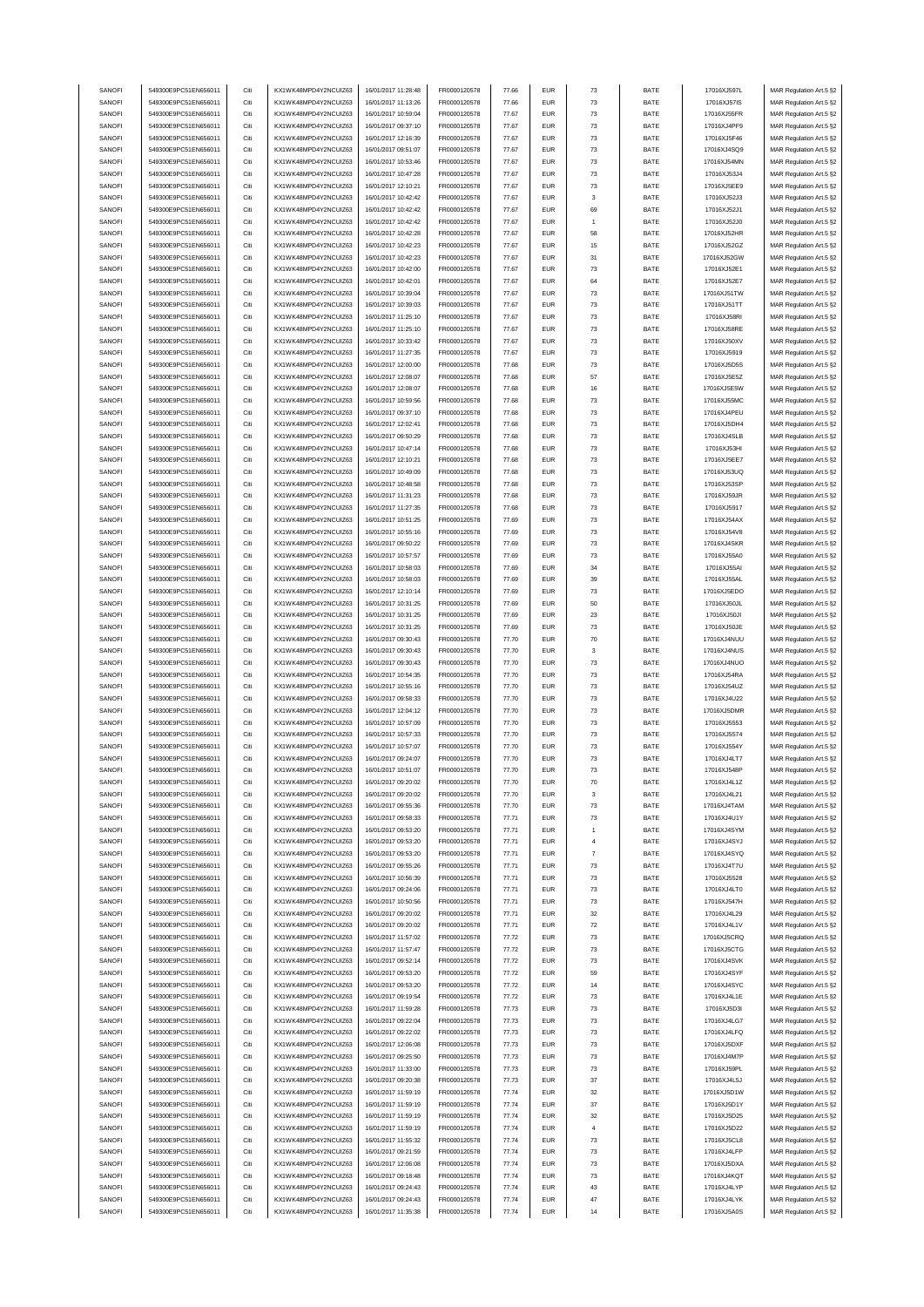| SANOFI | 549300E9PC51EN656011 | Citi | KX1WK48MPD4Y2NCUIZ63  | 16/01/2017 11:28:48 | FR0000120578 | 77.66 | <b>EUR</b> | 73                 | BATE        | 17016XJ597L  | MAR Regulation Art.5 §2 |
|--------|----------------------|------|-----------------------|---------------------|--------------|-------|------------|--------------------|-------------|--------------|-------------------------|
| SANOFI | 549300E9PC51EN656011 | Citi | KX1WK48MPD4Y2NCUIZ63  | 16/01/2017 11:13:26 | FR0000120578 | 77.66 | <b>EUR</b> | 73                 | BATE        | 17016XJ57IS  | MAR Regulation Art.5 §2 |
| SANOFI | 549300E9PC51EN656011 | Citi | KX1WK48MPD4Y2NCUIZ63  | 16/01/2017 10:59:04 | FR0000120578 | 77.67 | <b>EUR</b> | 73                 | BATE        | 17016XJ55FR  | MAR Regulation Art.5 §2 |
| SANOFI | 549300E9PC51EN656011 | Citi | KX1WK48MPD4Y2NCUIZ63  | 16/01/2017 09:37:10 | FR0000120578 | 77.67 | <b>EUR</b> | 73                 | BATE        | 17016XJ4PF9  | MAR Regulation Art.5 §2 |
|        |                      |      |                       |                     |              |       |            |                    |             |              |                         |
| SANOFI | 549300E9PC51EN656011 | Citi | KX1WK48MPD4Y2NCUIZ63  | 16/01/2017 12:16:39 | FR0000120578 | 77.67 | <b>EUR</b> | 73                 | BATE        | 17016XJ5F46  | MAR Regulation Art.5 §2 |
| SANOFI | 549300E9PC51EN656011 | Citi | KX1WK48MPD4Y2NCUIZ63  | 16/01/2017 09:51:07 | FR0000120578 | 77.67 | <b>EUR</b> | 73                 | BATE        | 17016XJ4SQ9  | MAR Regulation Art.5 §2 |
| SANOFI | 549300E9PC51EN656011 | Citi | KX1WK48MPD4Y2NCUIZ63  | 16/01/2017 10:53:46 | FR0000120578 | 77.67 | <b>EUR</b> | 73                 | BATE        | 17016XJ54MN  | MAR Regulation Art.5 §2 |
| SANOFI | 549300E9PC51EN656011 | Citi | KX1WK48MPD4Y2NCUIZ63  | 16/01/2017 10:47:28 | FR0000120578 | 77.67 | <b>EUR</b> | 73                 | BATE        | 17016XJ53J4  | MAR Regulation Art.5 §2 |
| SANOFI | 549300E9PC51EN656011 | Citi | KX1WK48MPD4Y2NCUIZ63  | 16/01/2017 12:10:21 | FR0000120578 | 77.67 | <b>EUR</b> | 73                 | BATE        | 17016XJ5EE9  | MAR Regulation Art.5 §2 |
| SANOFI | 549300E9PC51EN656011 | Citi | KX1WK48MPD4Y2NCUIZ63  | 16/01/2017 10:42:42 | FR0000120578 | 77.67 | <b>EUR</b> | 3                  | BATE        | 17016XJ52J3  | MAR Regulation Art.5 §2 |
| SANOFI | 549300E9PC51EN656011 | Citi | KX1WK48MPD4Y2NCUIZ63  | 16/01/2017 10:42:42 | FR0000120578 | 77.67 | <b>EUR</b> | 69                 | BATE        | 17016XJ52J1  | MAR Regulation Art.5 §2 |
| SANOFI | 549300E9PC51EN656011 | Citi | KX1WK48MPD4Y2NCUIZ63  | 16/01/2017 10:42:42 | FR0000120578 | 77.67 | <b>EUR</b> | 1                  | BATE        | 17016XJ52J0  | MAR Regulation Art.5 §2 |
| SANOFI | 549300E9PC51EN656011 | Citi | KX1WK48MPD4Y2NCUIZ63  | 16/01/2017 10:42:28 | FR0000120578 | 77.67 | <b>EUR</b> | 58                 | BATE        | 17016XJ52HR  | MAR Regulation Art.5 §2 |
| SANOFI | 549300E9PC51EN656011 | Citi | KX1WK48MPD4Y2NCUIZ63  | 16/01/2017 10:42:23 | FR0000120578 | 77.67 | <b>EUR</b> | 15                 | BATE        | 17016XJ52GZ  | MAR Regulation Art.5 §2 |
| SANOFI | 549300E9PC51EN656011 | Citi | KX1WK48MPD4Y2NCUIZ63  | 16/01/2017 10:42:23 | FR0000120578 | 77.67 | <b>EUR</b> | 31                 | BATE        | 17016XJ52GW  | MAR Regulation Art.5 §2 |
| SANOFI | 549300E9PC51EN656011 | Citi | KX1WK48MPD4Y2NCUIZ63  | 16/01/2017 10:42:00 | FR0000120578 | 77.67 | <b>EUR</b> | 73                 | BATE        | 17016XJ52F1  | MAR Regulation Art.5 §2 |
|        | 549300E9PC51EN656011 |      |                       |                     |              |       |            |                    |             |              |                         |
| SANOFI |                      | Citi | KX1WK48MPD4Y2NCUIZ63  | 16/01/2017 10:42:01 | FR0000120578 | 77.67 | <b>EUR</b> | 64                 | BATE        | 17016XJ52E7  | MAR Regulation Art.5 §2 |
| SANOFI | 549300E9PC51EN656011 | Citi | KX1WK48MPD4Y2NCLIIZ63 | 16/01/2017 10:39:04 | FR0000120578 | 77.67 | <b>EUR</b> | 73                 | BATE        | 17016XJ51TW  | MAR Regulation Art.5 §2 |
| SANOFI | 549300E9PC51EN656011 | Citi | KX1WK48MPD4Y2NCUIZ63  | 16/01/2017 10:39:03 | FR0000120578 | 77.67 | <b>EUR</b> | 73                 | BATE        | 17016XJ51TT  | MAR Regulation Art.5 §2 |
| SANOFI | 549300E9PC51EN656011 | Citi | KX1WK48MPD4Y2NCUIZ63  | 16/01/2017 11:25:10 | FR0000120578 | 77.67 | <b>EUR</b> | 73                 | BATE        | 17016XJ58RI  | MAR Regulation Art.5 §2 |
| SANOFI | 549300E9PC51EN656011 | Citi | KX1WK48MPD4Y2NCUIZ63  | 16/01/2017 11:25:10 | FR0000120578 | 77.67 | <b>EUR</b> | 73                 | BATE        | 17016XJ58RE  | MAR Regulation Art.5 §2 |
| SANOFI | 549300E9PC51EN656011 | Citi | KX1WK48MPD4Y2NCUIZ63  | 16/01/2017 10:33:42 | FR0000120578 | 77.67 | <b>EUR</b> | 73                 | BATE        | 17016XJ50XV  | MAR Regulation Art.5 §2 |
| SANOFI | 549300E9PC51EN656011 | Citi | KX1WK48MPD4Y2NCUIZ63  | 16/01/2017 11:27:35 | FR0000120578 | 77.67 | <b>EUR</b> | 73                 | BATE        | 17016XJ5919  | MAR Regulation Art.5 §2 |
| SANOFI | 549300E9PC51EN656011 | Citi | KX1WK48MPD4Y2NCUIZ63  | 16/01/2017 12:00:00 | FR0000120578 | 77.68 | <b>EUR</b> | 73                 | BATE        | 17016XJ5D5S  | MAR Regulation Art.5 §2 |
| SANOFI | 549300E9PC51EN656011 | Citi | KX1WK48MPD4Y2NCUIZ63  | 16/01/2017 12:08:07 | FR0000120578 | 77.68 | <b>EUR</b> | 57                 | BATE        | 17016XJ5E5Z  | MAR Regulation Art.5 §2 |
| SANOFI | 549300E9PC51EN656011 | Citi | KX1WK48MPD4Y2NCUIZ63  | 16/01/2017 12:08:07 | FR0000120578 | 77.68 | <b>EUR</b> | 16                 | BATE        | 17016XJ5E5W  | MAR Regulation Art.5 §2 |
| SANOFI | 549300E9PC51EN656011 | Citi | KX1WK48MPD4Y2NCLIIZ63 | 16/01/2017 10:59:56 | FR0000120578 | 77.68 | <b>EUR</b> | 73                 | BATE        | 17016XJ55MC  | MAR Regulation Art.5 §2 |
|        |                      |      |                       |                     |              |       |            |                    |             |              |                         |
| SANOFI | 549300E9PC51EN656011 | Citi | KX1WK48MPD4Y2NCUIZ63  | 16/01/2017 09:37:10 | FR0000120578 | 77.68 | <b>EUR</b> | 73                 | BATE        | 17016XJ4PEU  | MAR Regulation Art.5 §2 |
| SANOFI | 549300E9PC51EN656011 | Citi | KX1WK48MPD4Y2NCUIZ63  | 16/01/2017 12:02:41 | FR0000120578 | 77.68 | <b>EUR</b> | 73                 | BATE        | 17016XJ5DH4  | MAR Regulation Art.5 §2 |
| SANOFI | 549300E9PC51EN656011 | Citi | KX1WK48MPD4Y2NCUIZ63  | 16/01/2017 09:50:29 | FR0000120578 | 77.68 | <b>EUR</b> | 73                 | BATE        | 17016XJ4SLB  | MAR Regulation Art.5 §2 |
| SANOFI | 549300E9PC51EN656011 | Citi | KX1WK48MPD4Y2NCUIZ63  | 16/01/2017 10:47:14 | FR0000120578 | 77.68 | <b>EUR</b> | 73                 | BATE        | 17016XJ53HI  | MAR Regulation Art.5 §2 |
| SANOFI | 549300E9PC51EN656011 | Citi | KX1WK48MPD4Y2NCUIZ63  | 16/01/2017 12:10:21 | FR0000120578 | 77.68 | <b>EUR</b> | 73                 | BATE        | 17016XJ5EE7  | MAR Regulation Art.5 §2 |
| SANOFI | 549300E9PC51EN656011 | Citi | KX1WK48MPD4Y2NCUIZ63  | 16/01/2017 10:49:09 | FR0000120578 | 77.68 | <b>EUR</b> | 73                 | BATE        | 17016XJ53UQ  | MAR Regulation Art.5 §2 |
| SANOFI | 549300E9PC51EN656011 | Citi | KX1WK48MPD4Y2NCUIZ63  | 16/01/2017 10:48:58 | FR0000120578 | 77.68 | <b>EUR</b> | 73                 | BATE        | 17016XJ53SP  | MAR Regulation Art.5 §2 |
| SANOFI | 549300E9PC51EN656011 | Citi | KX1WK48MPD4Y2NCUIZ63  | 16/01/2017 11:31:23 | FR0000120578 | 77.68 | <b>EUR</b> | 73                 | BATE        | 17016XJ59JR  | MAR Regulation Art.5 §2 |
| SANOFI | 549300E9PC51EN656011 | Citi | KX1WK48MPD4Y2NCLIIZ63 | 16/01/2017 11:27:35 | FR0000120578 | 77.68 | <b>EUR</b> | 73                 | BATE        | 17016XJ5917  | MAR Regulation Art.5 §2 |
| SANOFI | 549300E9PC51EN656011 | Citi | KX1WK48MPD4Y2NCUIZ63  | 16/01/2017 10:51:25 | FR0000120578 | 77.69 | <b>EUR</b> | 73                 | BATE        | 17016XJ54AX  | MAR Regulation Art.5 §2 |
|        | 549300E9PC51EN656011 | Citi |                       |                     |              | 77.69 | <b>EUR</b> |                    |             |              |                         |
| SANOFI |                      |      | KX1WK48MPD4Y2NCUIZ63  | 16/01/2017 10:55:16 | FR0000120578 |       |            | 73                 | BATE        | 17016XJ54V8  | MAR Regulation Art.5 §2 |
| SANOFI | 549300E9PC51EN656011 | Citi | KX1WK48MPD4Y2NCUIZ63  | 16/01/2017 09:50:22 | FR0000120578 | 77.69 | <b>EUR</b> | 73                 | BATE        | 17016XJ4SKR  | MAR Regulation Art.5 §2 |
| SANOFI | 549300E9PC51EN656011 | Citi | KX1WK48MPD4Y2NCUIZ63  | 16/01/2017 10:57:57 | FR0000120578 | 77.69 | <b>EUR</b> | 73                 | BATE        | 17016XJ55A0  | MAR Regulation Art.5 §2 |
| SANOFI | 549300E9PC51EN656011 | Citi | KX1WK48MPD4Y2NCUIZ63  | 16/01/2017 10:58:03 | FR0000120578 | 77.69 | <b>EUR</b> | 34                 | BATE        | 17016XJ55AI  | MAR Regulation Art.5 §2 |
| SANOFI | 549300E9PC51EN656011 | Citi | KX1WK48MPD4Y2NCUIZ63  | 16/01/2017 10:58:03 | FR0000120578 | 77.69 | <b>EUR</b> | 39                 | BATE        | 17016XJ55AL  | MAR Regulation Art.5 §2 |
| SANOFI | 549300E9PC51EN656011 | Citi | KX1WK48MPD4Y2NCUIZ63  | 16/01/2017 12:10:14 | FR0000120578 | 77.69 | <b>EUR</b> | 73                 | BATE        | 17016XJ5EDO  | MAR Regulation Art.5 §2 |
| SANOFI | 549300E9PC51EN656011 | Citi | KX1WK48MPD4Y2NCUIZ63  | 16/01/2017 10:31:25 | FR0000120578 | 77.69 | EUR        | 50                 | BATE        | 17016XJ50JL  | MAR Regulation Art.5 §2 |
| SANOFI | 549300E9PC51EN656011 | Citi | KX1WK48MPD4Y2NCUIZ63  | 16/01/2017 10:31:25 | FR0000120578 | 77.69 | <b>EUR</b> | 23                 | BATE        | 17016XJ50JI  | MAR Regulation Art.5 §2 |
| SANOFI | 549300E9PC51EN656011 | Citi | KX1WK48MPD4Y2NCUIZ63  | 16/01/2017 10:31:25 | FR0000120578 | 77.69 | <b>EUR</b> | 73                 | BATE        | 17016XJ50JE  | MAR Regulation Art.5 §2 |
| SANOFI | 549300E9PC51EN656011 | Citi | KX1WK48MPD4Y2NCUIZ63  | 16/01/2017 09:30:43 | FR0000120578 | 77.70 | <b>EUR</b> | 70                 | BATE        | 17016XJ4NUU  | MAR Regulation Art.5 §2 |
| SANOFI | 549300E9PC51EN656011 | Citi | KX1WK48MPD4Y2NCUIZ63  | 16/01/2017 09:30:43 | FR0000120578 | 77.70 | <b>EUR</b> | 3                  | BATE        | 17016XJ4NUS  | MAR Regulation Art.5 §2 |
| SANOFI | 549300E9PC51EN656011 | Citi | KX1WK48MPD4Y2NCUIZ63  | 16/01/2017 09:30:43 | FR0000120578 | 77.70 | <b>EUR</b> | 73                 | BATE        |              |                         |
|        |                      |      | KX1WK48MPD4Y2NCUIZ63  |                     |              |       |            |                    |             | 17016XJ4NUO  | MAR Regulation Art.5 §2 |
| SANOFI | 549300E9PC51EN656011 | Citi |                       | 16/01/2017 10:54:35 | FR0000120578 | 77.70 | <b>EUR</b> | 73                 | BATE        | 17016XJ54RA  | MAR Regulation Art.5 §2 |
| SANOFI | 549300E9PC51EN656011 | Citi | KX1WK48MPD4Y2NCUIZ63  | 16/01/2017 10:55:16 | FR0000120578 | 77.70 | <b>EUR</b> | 73                 | BATE        | 17016XJ54UZ  | MAR Regulation Art.5 §2 |
| SANOFI | 549300E9PC51EN656011 | Citi | KX1WK48MPD4Y2NCUIZ63  | 16/01/2017 09:58:33 | FR0000120578 | 77.70 | <b>EUR</b> | 73                 | BATE        | 17016XJ4U22  | MAR Regulation Art.5 §2 |
| SANOFI | 549300E9PC51EN656011 | Citi | KX1WK48MPD4Y2NCUIZ63  | 16/01/2017 12:04:12 | FR0000120578 | 77.70 | <b>EUR</b> | 73                 | BATE        | 17016XJ5DMR  | MAR Regulation Art.5 §2 |
| SANOFI | 549300E9PC51EN656011 | Citi | KX1WK48MPD4Y2NCUIZ63  | 16/01/2017 10:57:09 | FR0000120578 | 77.70 | <b>EUR</b> | 73                 | BATE        | 17016XJ5553  | MAR Regulation Art.5 §2 |
| SANOFI | 549300E9PC51EN656011 | Citi | KX1WK48MPD4Y2NCLIIZ63 | 16/01/2017 10:57:33 | FR0000120578 | 77.70 | <b>EUR</b> | 73                 | BATE        | 17016XJ5574  | MAR Regulation Art.5 §2 |
| SANOFI | 549300E9PC51EN656011 | Citi | KX1WK48MPD4Y2NCUIZ63  | 16/01/2017 10:57:07 | FR0000120578 | 77.70 | <b>EUR</b> | 73                 | BATE        | 17016XJ554Y  | MAR Regulation Art.5 §2 |
| SANOFI | 549300E9PC51EN656011 | Citi | KX1WK48MPD4Y2NCUIZ63  | 16/01/2017 09:24:07 | FR0000120578 | 77.70 | <b>EUR</b> | 73                 | BATE        | 17016XJ4LT7  | MAR Regulation Art.5 §2 |
| SANOFI | 549300E9PC51EN656011 | Citi | KX1WK48MPD4Y2NCLIIZ63 | 16/01/2017 10:51:07 | FR0000120578 | 77.70 | FUR        |                    | <b>BATF</b> | 17016X I548P | MAR Regulation Art 5.82 |
| SANOFI | 549300E9PC51EN656011 | Citi | KX1WK48MPD4Y2NCUIZ63  | 16/01/2017 09:20:02 | FR0000120578 | 77.70 | <b>EUR</b> | 70                 | BATE        | 17016XJ4L1Z  | MAR Regulation Art.5 §2 |
| SANOFI | 549300E9PC51EN656011 | Citi | KX1WK48MPD4Y2NCUIZ63  | 16/01/2017 09:20:02 | FR0000120578 | 77.70 | <b>EUR</b> | 3                  | BATE        | 17016XJ4L21  | MAR Regulation Art.5 §2 |
|        |                      |      | KX1WK48MPD4Y2NCUIZ63  |                     |              |       |            |                    |             |              |                         |
| SANOFI | 549300E9PC51EN656011 | Citi |                       | 16/01/2017 09:55:36 | FR0000120578 | 77.70 | <b>EUR</b> | 73                 | BATE        | 17016XJ4TAM  | MAR Regulation Art.5 §2 |
| SANOFI | 549300E9PC51EN656011 | Citi | KX1WK48MPD4Y2NCUIZ63  | 16/01/2017 09:58:33 | FR0000120578 | 77.71 | <b>EUR</b> | 73                 | BATE        | 17016XJ4U1Y  | MAR Regulation Art.5 §2 |
| SANOFI | 549300E9PC51EN656011 | Citi | KX1WK48MPD4Y2NCUIZ63  | 16/01/2017 09:53:20 | FR0000120578 | 77.71 | <b>EUR</b> | 1                  | BATE        | 17016XJ4SYM  | MAR Regulation Art.5 §2 |
| SANOFI | 549300E9PC51EN656011 | Citi | KX1WK48MPD4Y2NCUIZ63  | 16/01/2017 09:53:20 | FR0000120578 | 77.71 | <b>EUR</b> | $\overline{4}$     | BATE        | 17016XJ4SYJ  | MAR Regulation Art.5 §2 |
| SANOFI | 549300E9PC51EN656011 | Citi | KX1WK48MPD4Y2NCUIZ63  | 16/01/2017 09:53:20 | FR0000120578 | 77.71 | <b>EUR</b> | $\overline{7}$     | BATE        | 17016XJ4SYQ  | MAR Regulation Art.5 §2 |
| SANOFI | 549300E9PC51EN656011 | Citi | KX1WK48MPD4Y2NCUIZ63  | 16/01/2017 09:55:26 | FR0000120578 | 77.71 | <b>EUR</b> | 73                 | BATE        | 17016XJ4T7U  | MAR Regulation Art.5 §2 |
| SANOFI | 549300E9PC51EN656011 | Citi | KX1WK48MPD4Y2NCUIZ63  | 16/01/2017 10:56:39 | FR0000120578 | 77.71 | <b>EUR</b> | 73                 | BATE        | 17016XJ5528  | MAR Regulation Art.5 §2 |
| SANOFI | 549300E9PC51EN656011 | Citi | KX1WK48MPD4Y2NCUIZ63  | 16/01/2017 09:24:06 | FR0000120578 | 77.71 | <b>EUR</b> | 73                 | BATE        | 17016XJ4LT0  | MAR Regulation Art.5 §2 |
| SANOFI | 549300E9PC51EN656011 | Citi | KX1WK48MPD4Y2NCUIZ63  | 16/01/2017 10:50:56 | FR0000120578 | 77.71 | <b>EUR</b> | 73                 | BATE        | 17016XJ547H  | MAR Regulation Art.5 §2 |
| SANOFI | 549300E9PC51EN656011 | Citi | KX1WK48MPD4Y2NCUIZ63  | 16/01/2017 09:20:02 | FR0000120578 | 77.71 | <b>EUR</b> | 32                 | BATE        | 17016XJ4L29  | MAR Regulation Art.5 §2 |
| SANOFI | 549300E9PC51EN656011 | Citi | KX1WK48MPD4Y2NCUIZ63  | 16/01/2017 09:20:02 | FR0000120578 | 77.71 | <b>EUR</b> | $\scriptstyle{72}$ | BATE        | 17016XJ4L1V  | MAR Regulation Art.5 §2 |
| SANOFI | 549300E9PC51EN656011 | Citi | KX1WK48MPD4Y2NCUIZ63  | 16/01/2017 11:57:02 | FR0000120578 | 77.72 | <b>EUR</b> | 73                 | BATE        | 17016XJ5CRQ  | MAR Regulation Art.5 §2 |
| SANOFI | 549300E9PC51EN656011 | Citi | KX1WK48MPD4Y2NCUIZ63  | 16/01/2017 11:57:47 | FR0000120578 | 77.72 | <b>EUR</b> | 73                 | BATE        | 17016XJ5CTG  | MAR Regulation Art.5 §2 |
| SANOFI | 549300E9PC51EN656011 | Citi | KX1WK48MPD4Y2NCUIZ63  | 16/01/2017 09:52:14 | FR0000120578 | 77.72 | <b>EUR</b> | 73                 | BATE        | 17016XJ4SVK  | MAR Regulation Art.5 §2 |
|        | 549300E9PC51EN656011 | Citi | KX1WK48MPD4Y2NCUIZ63  |                     |              |       |            |                    |             |              |                         |
| SANOFI |                      |      |                       | 16/01/2017 09:53:20 | FR0000120578 | 77.72 | <b>EUR</b> | 59                 | BATE        | 17016XJ4SYF  | MAR Regulation Art.5 §2 |
| SANOFI | 549300E9PC51EN656011 | Citi | KX1WK48MPD4Y2NCUIZ63  | 16/01/2017 09:53:20 | FR0000120578 | 77.72 | <b>EUR</b> | 14                 | BATE        | 17016XJ4SYC  | MAR Regulation Art.5 §2 |
| SANOFI | 549300E9PC51EN656011 | Citi | KX1WK48MPD4Y2NCUIZ63  | 16/01/2017 09:19:54 | FR0000120578 | 77.72 | <b>EUR</b> | 73                 | BATE        | 17016XJ4L1E  | MAR Regulation Art.5 §2 |
| SANOFI | 549300E9PC51EN656011 | Citi | KX1WK48MPD4Y2NCUIZ63  | 16/01/2017 11:59:28 | FR0000120578 | 77.73 | <b>EUR</b> | 73                 | BATE        | 17016XJ5D3I  | MAR Regulation Art.5 §2 |
| SANOFI | 549300E9PC51EN656011 | Citi | KX1WK48MPD4Y2NCUIZ63  | 16/01/2017 09:22:04 | FR0000120578 | 77.73 | <b>EUR</b> | 73                 | BATE        | 17016XJ4LG7  | MAR Regulation Art.5 §2 |
| SANOFI | 549300E9PC51EN656011 | Citi | KX1WK48MPD4Y2NCUIZ63  | 16/01/2017 09:22:02 | FR0000120578 | 77.73 | <b>EUR</b> | 73                 | BATE        | 17016XJ4LFQ  | MAR Regulation Art.5 §2 |
| SANOFI | 549300E9PC51EN656011 | Citi | KX1WK48MPD4Y2NCUIZ63  | 16/01/2017 12:06:08 | FR0000120578 | 77.73 | <b>EUR</b> | 73                 | BATE        | 17016XJ5DXF  | MAR Regulation Art.5 §2 |
| SANOFI | 549300E9PC51EN656011 | Citi | KX1WK48MPD4Y2NCUIZ63  | 16/01/2017 09:25:50 | FR0000120578 | 77.73 | <b>EUR</b> | 73                 | BATE        | 17016XJ4M7P  | MAR Regulation Art.5 §2 |
| SANOFI | 549300E9PC51EN656011 | Citi | KX1WK48MPD4Y2NCUIZ63  | 16/01/2017 11:33:00 | FR0000120578 | 77.73 | <b>EUR</b> | 73                 | BATE        | 17016XJ59PL  | MAR Regulation Art.5 §2 |
| SANOFI | 549300E9PC51EN656011 | Citi | KX1WK48MPD4Y2NCUIZ63  | 16/01/2017 09:20:38 | FR0000120578 | 77.73 | <b>EUR</b> | 37                 | BATE        | 17016XJ4L5J  | MAR Regulation Art.5 §2 |
| SANOFI | 549300E9PC51EN656011 | Citi | KX1WK48MPD4Y2NCUIZ63  | 16/01/2017 11:59:19 | FR0000120578 | 77.74 | <b>EUR</b> | 32                 | BATE        | 17016XJ5D1W  | MAR Regulation Art.5 §2 |
|        |                      |      |                       |                     |              |       |            |                    |             |              |                         |
| SANOFI | 549300E9PC51EN656011 | Citi | KX1WK48MPD4Y2NCUIZ63  | 16/01/2017 11:59:19 | FR0000120578 | 77.74 | <b>EUR</b> | 37                 | BATE        | 17016XJ5D1Y  | MAR Regulation Art.5 §2 |
| SANOFI | 549300E9PC51EN656011 | Citi | KX1WK48MPD4Y2NCUIZ63  | 16/01/2017 11:59:19 | FR0000120578 | 77.74 | <b>EUR</b> | 32                 | BATE        | 17016XJ5D25  | MAR Regulation Art.5 §2 |
| SANOFI | 549300E9PC51EN656011 | Citi | KX1WK48MPD4Y2NCUIZ63  | 16/01/2017 11:59:19 | FR0000120578 | 77.74 | <b>EUR</b> | $\overline{4}$     | BATE        | 17016XJ5D22  | MAR Regulation Art.5 §2 |
| SANOFI | 549300E9PC51EN656011 | Citi | KX1WK48MPD4Y2NCUIZ63  | 16/01/2017 11:55:32 | FR0000120578 | 77.74 | <b>EUR</b> | 73                 | BATE        | 17016XJ5CL8  | MAR Regulation Art.5 §2 |
| SANOFI | 549300E9PC51EN656011 | Citi | KX1WK48MPD4Y2NCUIZ63  | 16/01/2017 09:21:59 | FR0000120578 | 77.74 | <b>EUR</b> | 73                 | BATE        | 17016XJ4LFP  | MAR Regulation Art.5 §2 |
| SANOFI | 549300E9PC51EN656011 | Citi | KX1WK48MPD4Y2NCUIZ63  | 16/01/2017 12:06:08 | FR0000120578 | 77.74 | <b>EUR</b> | 73                 | BATE        | 17016XJ5DXA  | MAR Regulation Art.5 §2 |
| SANOFI | 549300E9PC51EN656011 | Citi | KX1WK48MPD4Y2NCUIZ63  | 16/01/2017 09:18:48 | FR0000120578 | 77.74 | <b>EUR</b> | 73                 | BATE        | 17016XJ4KQT  | MAR Regulation Art.5 §2 |
| SANOFI | 549300E9PC51EN656011 | Citi | KX1WK48MPD4Y2NCUIZ63  | 16/01/2017 09:24:43 | FR0000120578 | 77.74 | <b>EUR</b> | 43                 | BATE        | 17016XJ4LYP  | MAR Regulation Art.5 §2 |
| SANOFI | 549300E9PC51EN656011 | Citi | KX1WK48MPD4Y2NCUIZ63  | 16/01/2017 09:24:43 | FR0000120578 | 77.74 | <b>EUR</b> | 47                 | BATE        | 17016XJ4LYK  | MAR Regulation Art.5 §2 |
| SANOFI | 549300E9PC51EN656011 | Citi | KX1WK48MPD4Y2NCUIZ63  | 16/01/2017 11:35:38 | FR0000120578 | 77.74 | <b>EUR</b> | 14                 | BATE        | 17016XJ5A0S  | MAR Regulation Art.5 §2 |
|        |                      |      |                       |                     |              |       |            |                    |             |              |                         |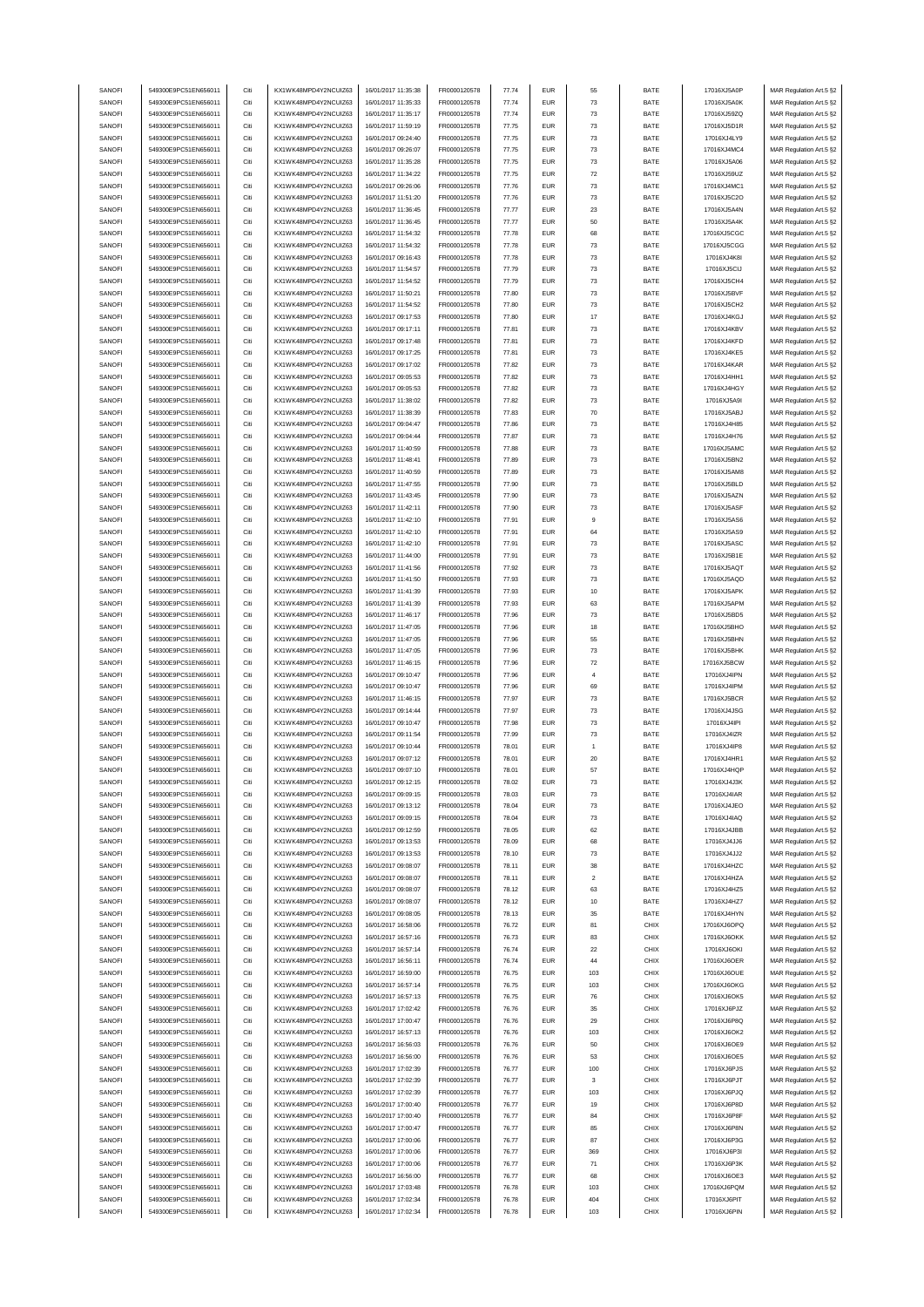| SANOFI           | 549300E9PC51EN656011                         | Citi         | KX1WK48MPD4Y2NCUIZ63                         | 16/01/2017 11:35:38                        | FR0000120578                 | 77.74          | <b>EUR</b>               | 55             | BATE         | 17016XJ5A0P                | MAR Regulation Art.5 §2                            |
|------------------|----------------------------------------------|--------------|----------------------------------------------|--------------------------------------------|------------------------------|----------------|--------------------------|----------------|--------------|----------------------------|----------------------------------------------------|
| SANOFI           | 549300E9PC51EN656011                         | Citi         | KX1WK48MPD4Y2NCUIZ63                         | 16/01/2017 11:35:33                        | FR0000120578                 | 77.74          | <b>EUR</b>               | 73             | BATE         | 17016XJ5A0K                | MAR Regulation Art.5 §2                            |
| SANOFI           | 549300E9PC51EN656011                         | Citi         | KX1WK48MPD4Y2NCUIZ63                         | 16/01/2017 11:35:17                        | FR0000120578                 | 77.74          | <b>EUR</b>               | 73             | BATE         | 17016XJ59ZQ                | MAR Regulation Art.5 §2                            |
| SANOFI           | 549300E9PC51EN656011                         | Citi         | KX1WK48MPD4Y2NCUIZ63                         | 16/01/2017 11:59:19                        | FR0000120578                 | 77.75          | <b>EUR</b>               | 73             | BATE         | 17016XJ5D1R                | MAR Regulation Art.5 §2                            |
|                  |                                              |              |                                              |                                            |                              |                |                          |                |              |                            |                                                    |
| SANOFI           | 549300E9PC51EN656011                         | Citi         | KX1WK48MPD4Y2NCUIZ63                         | 16/01/2017 09:24:40                        | FR0000120578                 | 77.75          | <b>EUR</b>               | 73             | BATE         | 17016XJ4LY9                | MAR Regulation Art.5 §2                            |
| SANOFI           | 549300E9PC51EN656011                         | Citi         | KX1WK48MPD4Y2NCUIZ63                         | 16/01/2017 09:26:07                        | FR0000120578                 | 77.75          | <b>EUR</b>               | 73             | BATE         | 17016XJ4MC4                | MAR Regulation Art.5 §2                            |
| SANOFI           | 549300E9PC51EN656011                         | Citi         | KX1WK48MPD4Y2NCUIZ63                         | 16/01/2017 11:35:28                        | FR0000120578                 | 77.75          | <b>EUR</b>               | 73             | BATE         | 17016XJ5A06                | MAR Regulation Art.5 §2                            |
| SANOFI           | 549300E9PC51EN656011                         | Citi         | KX1WK48MPD4Y2NCUIZ63                         | 16/01/2017 11:34:22                        | FR0000120578                 | 77.75          | <b>EUR</b>               | 72             | BATE         | 17016XJ59UZ                | MAR Regulation Art.5 §2                            |
| SANOFI           | 549300E9PC51EN656011                         | Citi         | KX1WK48MPD4Y2NCUIZ63                         | 16/01/2017 09:26:06                        | FR0000120578                 | 77.76          | <b>EUR</b>               | 73             | BATE         | 17016XJ4MC1                | MAR Regulation Art.5 §2                            |
| SANOFI           | 549300E9PC51EN656011                         | Citi         | KX1WK48MPD4Y2NCUIZ63                         | 16/01/2017 11:51:20                        | FR0000120578                 | 77.76          | <b>EUR</b>               | 73             | BATE         | 17016XJ5C2O                | MAR Regulation Art.5 §2                            |
| SANOFI           | 549300E9PC51EN656011                         | Citi         | KX1WK48MPD4Y2NCUIZ63                         | 16/01/2017 11:36:45                        | FR0000120578                 | 77.77          | <b>EUR</b>               | 23             | BATE         | 17016XJ5A4N                | MAR Regulation Art.5 §2                            |
| SANOFI           | 549300E9PC51EN656011                         | Citi         | KX1WK48MPD4Y2NCUIZ63                         | 16/01/2017 11:36:45                        | FR0000120578                 | 77.77          | <b>EUR</b>               | 50             | BATE         | 17016XJ5A4K                | MAR Regulation Art.5 §2                            |
| SANOFI           | 549300E9PC51EN656011                         | Citi         | KX1WK48MPD4Y2NCUIZ63                         | 16/01/2017 11:54:32                        | FR0000120578                 | 77.78          | <b>EUR</b>               | 68             | BATE         | 17016XJ5CGC                | MAR Regulation Art.5 §2                            |
| SANOFI           | 549300E9PC51EN656011                         | Citi         | KX1WK48MPD4Y2NCUIZ63                         | 16/01/2017 11:54:32                        | FR0000120578                 | 77.78          | <b>EUR</b>               | 73             | BATE         | 17016XJ5CGG                | MAR Regulation Art.5 §2                            |
| SANOFI           | 549300E9PC51EN656011                         | Citi         | KX1WK48MPD4Y2NCUIZ63                         | 16/01/2017 09:16:43                        | FR0000120578                 | 77.78          | <b>EUR</b>               | 73             | BATE         | 17016XJ4K8I                | MAR Regulation Art.5 §2                            |
| SANOFI           | 549300E9PC51EN656011                         | Citi         | KX1WK48MPD4Y2NCUIZ63                         | 16/01/2017 11:54:57                        | FR0000120578                 | 77.79          | <b>EUR</b>               | 73             | BATE         | 17016XJ5CIJ                | MAR Regulation Art.5 §2                            |
| SANOFI           | 549300E9PC51EN656011                         | Citi         | KX1WK48MPD4Y2NCUIZ63                         | 16/01/2017 11:54:52                        | FR0000120578                 | 77.79          | <b>EUR</b>               | 73             | BATE         | 17016XJ5CH4                | MAR Regulation Art.5 §2                            |
| SANOFI           | 549300E9PC51EN656011                         | Citi         | KX1WK48MPD4Y2NCLIIZ63                        | 16/01/2017 11:50:21                        | FR0000120578                 | 77.80          | <b>EUR</b>               | 73             | BATE         | 17016XJ5BVF                |                                                    |
|                  | 549300E9PC51EN656011                         | Citi         |                                              |                                            |                              |                |                          |                | BATE         |                            | MAR Regulation Art.5 §2                            |
| SANOFI           |                                              |              | KX1WK48MPD4Y2NCUIZ63                         | 16/01/2017 11:54:52                        | FR0000120578                 | 77.80          | <b>EUR</b>               | 73             |              | 17016XJ5CH2                | MAR Regulation Art.5 §2                            |
| SANOFI           | 549300E9PC51EN656011                         | Citi         | KX1WK48MPD4Y2NCUIZ63                         | 16/01/2017 09:17:53                        | FR0000120578                 | 77.80          | <b>EUR</b>               | 17             | BATE         | 17016XJ4KGJ                | MAR Regulation Art.5 §2                            |
| SANOFI           | 549300E9PC51EN656011                         | Citi         | KX1WK48MPD4Y2NCUIZ63                         | 16/01/2017 09:17:11                        | FR0000120578                 | 77.81          | <b>EUR</b>               | 73             | BATE         | 17016XJ4KBV                | MAR Regulation Art.5 §2                            |
| SANOFI           | 549300E9PC51EN656011                         | Citi         | KX1WK48MPD4Y2NCUIZ63                         | 16/01/2017 09:17:48                        | FR0000120578                 | 77.81          | <b>EUR</b>               | 73             | BATE         | 17016XJ4KFD                | MAR Regulation Art.5 §2                            |
| SANOFI           | 549300E9PC51EN656011                         | Citi         | KX1WK48MPD4Y2NCUIZ63                         | 16/01/2017 09:17:25                        | FR0000120578                 | 77.81          | <b>EUR</b>               | 73             | BATE         | 17016XJ4KE5                | MAR Regulation Art.5 §2                            |
| SANOFI           | 549300E9PC51EN656011                         | Citi         | KX1WK48MPD4Y2NCUIZ63                         | 16/01/2017 09:17:02                        | FR0000120578                 | 77.82          | <b>EUR</b>               | 73             | BATE         | 17016XJ4KAR                | MAR Regulation Art.5 §2                            |
| SANOFI           | 549300E9PC51EN656011                         | Citi         | KX1WK48MPD4Y2NCUIZ63                         | 16/01/2017 09:05:53                        | FR0000120578                 | 77.82          | <b>EUR</b>               | 73             | BATE         | 17016XJ4HH1                | MAR Regulation Art.5 §2                            |
| SANOFI           | 549300E9PC51EN656011                         | Citi         | KX1WK48MPD4Y2NCUIZ63                         | 16/01/2017 09:05:53                        | FR0000120578                 | 77.82          | <b>EUR</b>               | 73             | BATE         | 17016XJ4HGY                | MAR Regulation Art.5 §2                            |
| SANOFI           | 549300E9PC51EN656011                         | Citi         | KX1WK48MPD4Y2NCUIZ63                         | 16/01/2017 11:38:02                        | FR0000120578                 | 77.82          | <b>EUR</b>               | 73             | BATE         | 17016XJ5A9I                | MAR Regulation Art.5 §2                            |
| SANOFI           | 549300E9PC51EN656011                         | Citi         | KX1WK48MPD4Y2NCUIZ63                         | 16/01/2017 11:38:39                        | FR0000120578                 | 77.83          | <b>EUR</b>               | 70             | BATE         | 17016XJ5ABJ                | MAR Regulation Art.5 §2                            |
| SANOFI           | 549300E9PC51EN656011                         | Citi         | KX1WK48MPD4Y2NCUIZ63                         | 16/01/2017 09:04:47                        | FR0000120578                 | 77.86          | <b>EUR</b>               | 73             | BATE         | 17016XJ4H85                | MAR Regulation Art.5 §2                            |
| SANOFI           | 549300E9PC51EN656011                         | Citi         | KX1WK48MPD4Y2NCUIZ63                         | 16/01/2017 09:04:44                        | FR0000120578                 | 77.87          | <b>EUR</b>               | 73             | BATE         | 17016XJ4H76                | MAR Regulation Art.5 §2                            |
| SANOFI           | 549300E9PC51EN656011                         | Citi         | KX1WK48MPD4Y2NCUIZ63                         | 16/01/2017 11:40:59                        | FR0000120578                 | 77.88          | <b>EUR</b>               | 73             | BATE         | 17016XJ5AMC                | MAR Regulation Art.5 §2                            |
| SANOFI           | 549300E9PC51EN656011                         | Citi         | KX1WK48MPD4Y2NCUIZ63                         | 16/01/2017 11:48:41                        | FR0000120578                 | 77.89          | <b>EUR</b>               | 73             | BATE         | 17016XJ5BN2                | MAR Regulation Art.5 §2                            |
| SANOFI           | 549300E9PC51EN656011                         | Citi         | KX1WK48MPD4Y2NCUIZ63                         | 16/01/2017 11:40:59                        | FR0000120578                 | 77.89          | <b>EUR</b>               | 73             | BATE         |                            | MAR Regulation Art.5 §2                            |
|                  |                                              |              |                                              |                                            |                              |                |                          |                |              | 17016XJ5AM8                |                                                    |
| SANOFI           | 549300E9PC51EN656011                         | Citi         | KX1WK48MPD4Y2NCUIZ63                         | 16/01/2017 11:47:55                        | FR0000120578                 | 77.90          | <b>EUR</b>               | 73             | BATE         | 17016XJ5BLD                | MAR Regulation Art.5 §2                            |
| SANOFI           | 549300E9PC51EN656011                         | Citi         | KX1WK48MPD4Y2NCUIZ63                         | 16/01/2017 11:43:45                        | FR0000120578                 | 77.90          | <b>EUR</b>               | 73             | BATE         | 17016XJ5AZN                | MAR Regulation Art.5 §2                            |
| SANOFI           | 549300E9PC51EN656011                         | Citi         | KX1WK48MPD4Y2NCLIIZ63                        | 16/01/2017 11:42:11                        | FR0000120578                 | 77.90          | <b>EUR</b>               | 73             | BATE         | 17016XJ5ASF                | MAR Regulation Art.5 §2                            |
| SANOFI           | 549300E9PC51EN656011                         | Citi         | KX1WK48MPD4Y2NCUIZ63                         | 16/01/2017 11:42:10                        | FR0000120578                 | 77.91          | <b>EUR</b>               | 9              | BATE         | 17016XJ5AS6                | MAR Regulation Art.5 §2                            |
| SANOFI           | 549300E9PC51EN656011                         | Citi         | KX1WK48MPD4Y2NCUIZ63                         | 16/01/2017 11:42:10                        | FR0000120578                 | 77.91          | <b>EUR</b>               | 64             | BATE         | 17016XJ5AS9                | MAR Regulation Art.5 §2                            |
| SANOFI           | 549300E9PC51EN656011                         | Citi         | KX1WK48MPD4Y2NCUIZ63                         | 16/01/2017 11:42:10                        | FR0000120578                 | 77.91          | <b>EUR</b>               | 73             | BATE         | 17016XJ5ASC                | MAR Regulation Art.5 §2                            |
| SANOFI           | 549300E9PC51EN656011                         | Citi         | KX1WK48MPD4Y2NCUIZ63                         | 16/01/2017 11:44:00                        | FR0000120578                 | 77.91          | <b>EUR</b>               | 73             | BATE         | 17016XJ5B1E                | MAR Regulation Art.5 §2                            |
| SANOFI           | 549300E9PC51EN656011                         | Citi         | KX1WK48MPD4Y2NCUIZ63                         | 16/01/2017 11:41:56                        | FR0000120578                 | 77.92          | <b>EUR</b>               | 73             | BATE         | 17016XJ5AQT                | MAR Regulation Art.5 §2                            |
| SANOFI           | 549300E9PC51EN656011                         | Citi         | KX1WK48MPD4Y2NCUIZ63                         | 16/01/2017 11:41:50                        | FR0000120578                 | 77.93          | <b>EUR</b>               | 73             | BATE         | 17016XJ5AQD                | MAR Regulation Art.5 §2                            |
| SANOFI           | 549300E9PC51EN656011                         | Citi         | KX1WK48MPD4Y2NCUIZ63                         | 16/01/2017 11:41:39                        | FR0000120578                 | 77.93          | <b>EUR</b>               | 10             | BATE         | 17016XJ5APK                | MAR Regulation Art.5 §2                            |
| SANOFI           | 549300E9PC51EN656011                         | Citi         | KX1WK48MPD4Y2NCUIZ63                         | 16/01/2017 11:41:39                        | FR0000120578                 | 77.93          | EUR                      | 63             | BATE         | 17016XJ5APM                | MAR Regulation Art.5 §2                            |
| SANOFI           | 549300E9PC51EN656011                         | Citi         | KX1WK48MPD4Y2NCUIZ63                         | 16/01/2017 11:46:17                        | FR0000120578                 | 77.96          | <b>EUR</b>               | 73             | BATE         | 17016XJ5BD5                | MAR Regulation Art.5 §2                            |
| SANOFI           | 549300E9PC51EN656011                         | Citi         | KX1WK48MPD4Y2NCUIZ63                         | 16/01/2017 11:47:05                        | FR0000120578                 | 77.96          | <b>EUR</b>               | 18             | BATE         | 17016XJ5BHO                | MAR Regulation Art.5 §2                            |
|                  |                                              |              |                                              |                                            |                              |                |                          |                |              |                            |                                                    |
| SANOFI           | 549300E9PC51EN656011                         | Citi         | KX1WK48MPD4Y2NCUIZ63                         | 16/01/2017 11:47:05                        | FR0000120578                 | 77.96          | <b>EUR</b>               | 55             | BATE         | 17016XJ5BHN                | MAR Regulation Art.5 §2                            |
| SANOFI           | 549300E9PC51EN656011                         | Citi         | KX1WK48MPD4Y2NCUIZ63                         | 16/01/2017 11:47:05                        | FR0000120578                 | 77.96          | <b>EUR</b>               | 73             | BATE         | 17016XJ5BHK                | MAR Regulation Art.5 §2                            |
| SANOFI           | 549300E9PC51EN656011                         | Citi         | KX1WK48MPD4Y2NCUIZ63                         | 16/01/2017 11:46:15                        | FR0000120578                 | 77.96          | <b>EUR</b>               | 72             | BATE         | 17016XJ5BCW                | MAR Regulation Art.5 §2                            |
| SANOFI           | 549300E9PC51EN656011                         | Citi         | KX1WK48MPD4Y2NCUIZ63                         | 16/01/2017 09:10:47                        | FR0000120578                 | 77.96          | <b>EUR</b>               | $\overline{4}$ | BATE         | 17016XJ4IPN                | MAR Regulation Art.5 §2                            |
| SANOFI           | 549300E9PC51EN656011                         | Citi         | KX1WK48MPD4Y2NCUIZ63                         | 16/01/2017 09:10:47                        | FR0000120578                 | 77.96          | <b>EUR</b>               | 69             | BATE         | 17016XJ4IPM                | MAR Regulation Art.5 §2                            |
| SANOFI           | 549300E9PC51EN656011                         | Citi         | KX1WK48MPD4Y2NCUIZ63                         | 16/01/2017 11:46:15                        | FR0000120578                 | 77.97          | <b>EUR</b>               | 73             | BATE         | 17016XJ5BCR                | MAR Regulation Art.5 §2                            |
| SANOFI           | 549300E9PC51EN656011                         | Citi         | KX1WK48MPD4Y2NCUIZ63                         | 16/01/2017 09:14:44                        | FR0000120578                 | 77.97          | <b>EUR</b>               | 73             | BATE         | 17016XJ4JSG                | MAR Regulation Art.5 §2                            |
| SANOFI           | 549300E9PC51EN656011                         | Citi         | KX1WK48MPD4Y2NCUIZ63                         | 16/01/2017 09:10:47                        | FR0000120578                 | 77.98          | <b>EUR</b>               | 73             | BATE         | 17016XJ4IPI                | MAR Regulation Art.5 §2                            |
| SANOFI           | 549300E9PC51EN656011                         | Citi         | KX1WK48MPD4Y2NCLIIZ63                        | 16/01/2017 09:11:54                        | FR0000120578                 | 77.99          | <b>EUR</b>               | 73             | BATE         | 17016XJ4IZR                | MAR Regulation Art.5 §2                            |
| SANOFI           | 549300E9PC51EN656011                         | Citi         | KX1WK48MPD4Y2NCUIZ63                         | 16/01/2017 09:10:44                        | FR0000120578                 | 78.01          | <b>EUR</b>               | $\overline{1}$ | BATE         | 17016XJ4IP8                | MAR Regulation Art.5 §2                            |
| SANOFI           | 549300E9PC51EN656011                         | Citi         | KX1WK48MPD4Y2NCUIZ63                         | 16/01/2017 09:07:12                        | FR0000120578                 | 78.01          | <b>EUR</b>               | 20             | BATE         | 17016XJ4HR1                | MAR Regulation Art.5 §2                            |
| SANOFI           | 549300E9PC51EN656011                         | Citi         | KX1WK48MPD4Y2NCLIIZ63                        | 16/01/2017 09:07:10                        | FR0000120578                 | 78.01          | FUR                      |                | <b>BATF</b>  | 17016X.I4HOF               | MAR Regulation Art 5 82                            |
| <b>SANOFI</b>    | 549300E9PC51EN656011                         | Citi         | KX1WK48MPD4Y2NCUIZ63                         | 16/01/2017 09:12:15                        | FR0000120578                 | 78.02          | <b>EUR</b>               | 73             | BATE         | 17016XJ4J3K                | MAR Regulation Art.5 §2                            |
|                  |                                              |              |                                              | 16/01/2017 09:09:15                        | FR0000120578                 |                |                          |                | BATE         |                            |                                                    |
| SANOFI           | 549300E9PC51EN656011                         | Citi         | KX1WK48MPD4Y2NCUIZ63                         |                                            |                              | 78.03          | <b>EUR</b>               | 73             |              | 17016XJ4IAR                | MAR Regulation Art.5 §2                            |
| SANOFI           | 549300E9PC51EN656011                         | Citi         | KX1WK48MPD4Y2NCUIZ63                         | 16/01/2017 09:13:12                        | FR0000120578                 | 78.04          | <b>EUR</b>               | 73             | BATE         | 17016XJ4JEO                | MAR Regulation Art.5 §2                            |
| SANOFI           | 549300E9PC51EN656011                         | Citi         | KX1WK48MPD4Y2NCUIZ63                         | 16/01/2017 09:09:15                        | FR0000120578                 | 78.04          | <b>EUR</b>               | 73             | BATE         | 17016XJ4IAQ                | MAR Regulation Art.5 §2                            |
| SANOFI           | 549300E9PC51EN656011                         | Citi         | KX1WK48MPD4Y2NCUIZ63                         | 16/01/2017 09:12:59                        | FR0000120578                 | 78.05          | <b>EUR</b>               | 62             | BATE         | 17016XJ4JBB                | MAR Regulation Art.5 §2                            |
| SANOFI           | 549300E9PC51EN656011                         | Citi         | KX1WK48MPD4Y2NCUIZ63                         | 16/01/2017 09:13:53                        | FR0000120578                 | 78.09          | <b>EUR</b>               | 68             | BATE         | 17016XJ4JJ6                | MAR Regulation Art.5 §2                            |
| SANOFI           | 549300E9PC51EN656011                         | Citi         | KX1WK48MPD4Y2NCUIZ63                         | 16/01/2017 09:13:53                        | FR0000120578                 | 78.10          | <b>EUR</b>               | 73             | BATE         | 17016XJ4JJ2                | MAR Regulation Art.5 §2                            |
| SANOFI           | 549300E9PC51EN656011                         | Citi         | KX1WK48MPD4Y2NCUIZ63                         | 16/01/2017 09:08:07                        | FR0000120578                 | 78.11          | <b>EUR</b>               | 38             | BATE         | 17016XJ4HZC                | MAR Regulation Art.5 §2                            |
| SANOFI           | 549300E9PC51EN656011                         | Citi         | KX1WK48MPD4Y2NCUIZ63                         | 16/01/2017 09:08:07                        | FR0000120578                 | 78.11          | <b>EUR</b>               | $\sqrt{2}$     | BATE         | 17016XJ4HZA                | MAR Regulation Art.5 §2                            |
| SANOFI           | 549300E9PC51EN656011                         | Citi         | KX1WK48MPD4Y2NCUIZ63                         | 16/01/2017 09:08:07                        | FR0000120578                 | 78.12          | <b>EUR</b>               | 63             | BATE         | 17016XJ4HZ5                | MAR Regulation Art.5 §2                            |
| SANOFI           | 549300E9PC51EN656011                         | Citi         | KX1WK48MPD4Y2NCUIZ63                         | 16/01/2017 09:08:07                        | FR0000120578                 | 78.12          | <b>EUR</b>               | 10             | BATE         | 17016XJ4HZ7                | MAR Regulation Art.5 §2                            |
| SANOFI           | 549300E9PC51EN656011                         | Citi         | KX1WK48MPD4Y2NCUIZ63                         | 16/01/2017 09:08:05                        | FR0000120578                 | 78.13          | <b>EUR</b>               | 35             | BATE         | 17016XJ4HYN                | MAR Regulation Art.5 §2                            |
| SANOFI           | 549300E9PC51EN656011                         | Citi         | KX1WK48MPD4Y2NCUIZ63                         | 16/01/2017 16:58:06                        | FR0000120578                 | 76.72          | <b>EUR</b>               | 81             | CHIX         | 17016XJ6OPQ                | MAR Regulation Art.5 §2                            |
| SANOFI           | 549300E9PC51EN656011                         | Citi         | KX1WK48MPD4Y2NCUIZ63                         | 16/01/2017 16:57:16                        | FR0000120578                 | 76.73          | <b>EUR</b>               | 83             | CHIX         | 17016XJ6OKK                | MAR Regulation Art.5 §2                            |
| SANOFI           | 549300E9PC51EN656011                         | Citi         | KX1WK48MPD4Y2NCUIZ63                         | 16/01/2017 16:57:14                        | FR0000120578                 | 76.74          | <b>EUR</b>               | 22             | CHIX         | 17016XJ6OKI                | MAR Regulation Art.5 §2                            |
| SANOFI           | 549300E9PC51EN656011                         | Citi         | KX1WK48MPD4Y2NCUIZ63                         | 16/01/2017 16:56:11                        | FR0000120578                 | 76.74          | <b>EUR</b>               | 44             | CHIX         | 17016XJ6OER                | MAR Regulation Art.5 §2                            |
|                  | 549300E9PC51EN656011                         | Citi         | KX1WK48MPD4Y2NCUIZ63                         |                                            |                              |                |                          |                |              |                            |                                                    |
| SANOFI           |                                              |              |                                              | 16/01/2017 16:59:00                        | FR0000120578                 | 76.75          | <b>EUR</b>               | 103            | CHIX         | 17016XJ6OUE                | MAR Regulation Art.5 §2                            |
| SANOFI           | 549300E9PC51EN656011                         | Citi         | KX1WK48MPD4Y2NCUIZ63                         | 16/01/2017 16:57:14                        | FR0000120578                 | 76.75          | <b>EUR</b>               | 103            | CHIX         | 17016XJ6OKG                | MAR Regulation Art.5 §2                            |
| SANOFI           | 549300E9PC51EN656011                         | Citi         | KX1WK48MPD4Y2NCUIZ63                         | 16/01/2017 16:57:13                        | FR0000120578                 | 76.75          | <b>EUR</b>               | 76             | CHIX         | 17016XJ6OK5                | MAR Regulation Art.5 §2                            |
| SANOFI           | 549300E9PC51EN656011                         | Citi         | KX1WK48MPD4Y2NCUIZ63                         | 16/01/2017 17:02:42                        | FR0000120578                 | 76.76          | <b>EUR</b>               | 35             | CHIX         | 17016XJ6PJZ                | MAR Regulation Art.5 §2                            |
| SANOFI           | 549300E9PC51EN656011                         | Citi         | KX1WK48MPD4Y2NCUIZ63                         | 16/01/2017 17:00:47                        | FR0000120578                 | 76.76          | <b>EUR</b>               | 29             | CHIX         | 17016XJ6P8Q                | MAR Regulation Art.5 §2                            |
| SANOFI           | 549300E9PC51EN656011                         | Citi         | KX1WK48MPD4Y2NCUIZ63                         | 16/01/2017 16:57:13                        | FR0000120578                 | 76.76          | <b>EUR</b>               | 103            | CHIX         | 17016XJ6OK2                | MAR Regulation Art.5 §2                            |
| SANOFI           | 549300E9PC51EN656011                         | Citi         | KX1WK48MPD4Y2NCUIZ63                         | 16/01/2017 16:56:03                        | FR0000120578                 | 76.76          | <b>EUR</b>               | 50             | CHIX         | 17016XJ6OE9                | MAR Regulation Art.5 §2                            |
| SANOFI           | 549300E9PC51EN656011                         | Citi         | KX1WK48MPD4Y2NCUIZ63                         | 16/01/2017 16:56:00                        | FR0000120578                 | 76.76          | <b>EUR</b>               | 53             | CHIX         | 17016XJ6OE5                | MAR Regulation Art.5 §2                            |
| SANOFI           | 549300E9PC51EN656011                         | Citi         | KX1WK48MPD4Y2NCUIZ63                         | 16/01/2017 17:02:39                        | FR0000120578                 | 76.77          | <b>EUR</b>               | 100            | CHIX         | 17016XJ6PJS                | MAR Regulation Art.5 §2                            |
| SANOFI           | 549300E9PC51EN656011                         | Citi         | KX1WK48MPD4Y2NCUIZ63                         | 16/01/2017 17:02:39                        | FR0000120578                 | 76.77          | <b>EUR</b>               | 3              | CHIX         | 17016XJ6PJT                | MAR Regulation Art.5 §2                            |
| SANOFI           | 549300E9PC51EN656011                         | Citi         | KX1WK48MPD4Y2NCUIZ63                         | 16/01/2017 17:02:39                        | FR0000120578                 | 76.77          | <b>EUR</b>               | 103            | CHIX         | 17016XJ6PJQ                | MAR Regulation Art.5 §2                            |
| SANOFI           | 549300E9PC51EN656011                         | Citi         | KX1WK48MPD4Y2NCUIZ63                         | 16/01/2017 17:00:40                        | FR0000120578                 | 76.77          | <b>EUR</b>               | 19             | CHIX         | 17016XJ6P8D                | MAR Regulation Art.5 §2                            |
| SANOFI           | 549300E9PC51EN656011                         | Citi         | KX1WK48MPD4Y2NCUIZ63                         | 16/01/2017 17:00:40                        | FR0000120578                 | 76.77          | <b>EUR</b>               | 84             | CHIX         | 17016XJ6P8F                | MAR Regulation Art.5 §2                            |
| SANOFI           | 549300E9PC51EN656011                         | Citi         | KX1WK48MPD4Y2NCUIZ63                         | 16/01/2017 17:00:47                        | FR0000120578                 | 76.77          | <b>EUR</b>               | 85             | CHIX         | 17016XJ6P8N                | MAR Regulation Art.5 §2                            |
| SANOFI           | 549300E9PC51EN656011                         | Citi         | KX1WK48MPD4Y2NCUIZ63                         | 16/01/2017 17:00:06                        | FR0000120578                 | 76.77          | <b>EUR</b>               | 87             | CHIX         | 17016XJ6P3G                | MAR Regulation Art.5 §2                            |
| SANOFI           | 549300E9PC51EN656011                         | Citi         | KX1WK48MPD4Y2NCUIZ63                         | 16/01/2017 17:00:06                        | FR0000120578                 | 76.77          | <b>EUR</b>               | 369            | CHIX         | 17016XJ6P3I                | MAR Regulation Art.5 §2                            |
| SANOFI           | 549300E9PC51EN656011                         | Citi         | KX1WK48MPD4Y2NCUIZ63                         | 16/01/2017 17:00:06                        | FR0000120578                 | 76.77          | <b>EUR</b>               | 71             | CHIX         | 17016XJ6P3K                |                                                    |
| SANOFI           |                                              |              |                                              |                                            |                              |                |                          |                |              |                            | MAR Regulation Art.5 §2                            |
|                  |                                              |              |                                              |                                            |                              |                |                          |                |              |                            |                                                    |
|                  | 549300E9PC51EN656011                         | Citi         | KX1WK48MPD4Y2NCUIZ63                         | 16/01/2017 16:56:00                        | FR0000120578                 | 76.77          | <b>EUR</b>               | 68             | CHIX         | 17016XJ6OE3                | MAR Regulation Art.5 §2                            |
| SANOFI           | 549300E9PC51EN656011                         | Citi         | KX1WK48MPD4Y2NCUIZ63                         | 16/01/2017 17:03:48                        | FR0000120578                 | 76.78          | <b>EUR</b>               | 103            | CHIX         | 17016XJ6PQM                | MAR Regulation Art.5 §2                            |
| SANOFI<br>SANOFI | 549300E9PC51EN656011<br>549300E9PC51EN656011 | Citi<br>Citi | KX1WK48MPD4Y2NCUIZ63<br>KX1WK48MPD4Y2NCUIZ63 | 16/01/2017 17:02:34<br>16/01/2017 17:02:34 | FR0000120578<br>FR0000120578 | 76.78<br>76.78 | <b>EUR</b><br><b>EUR</b> | 404<br>103     | CHIX<br>CHIX | 17016XJ6PIT<br>17016XJ6PIN | MAR Regulation Art.5 §2<br>MAR Regulation Art.5 §2 |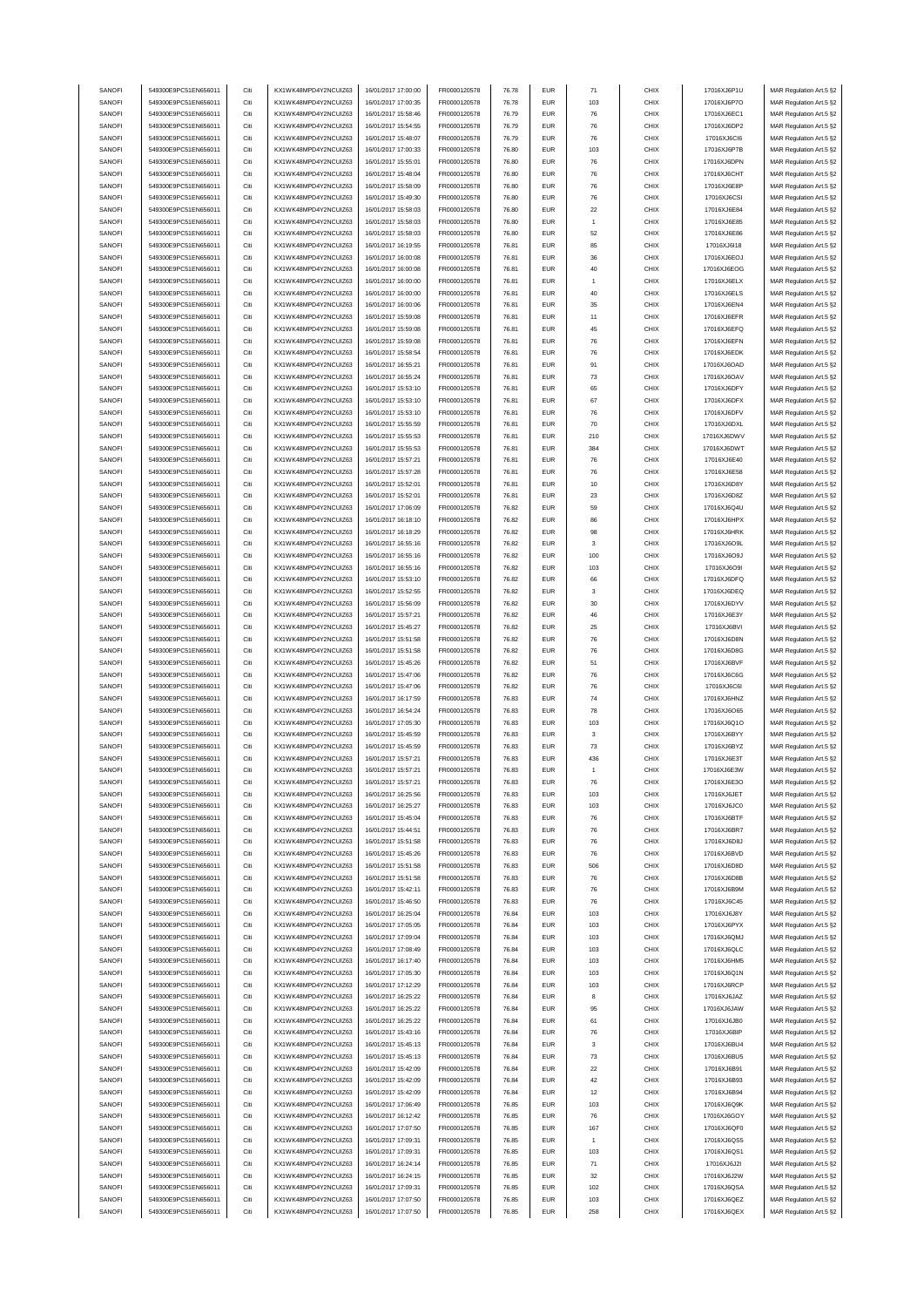| SANOFI | 549300E9PC51EN656011 | Citi | KX1WK48MPD4Y2NCUIZ63  | 16/01/2017 17:00:00 | FR0000120578 | 76.78 | <b>EUR</b> | 71             | CHIX | 17016XJ6P1U | MAR Regulation Art.5 §2                            |
|--------|----------------------|------|-----------------------|---------------------|--------------|-------|------------|----------------|------|-------------|----------------------------------------------------|
| SANOFI | 549300E9PC51EN656011 | Citi | KX1WK48MPD4Y2NCUIZ63  | 16/01/2017 17:00:35 | FR0000120578 | 76.78 | <b>EUR</b> | 103            | CHIX | 17016XJ6P7O | MAR Regulation Art.5 §2                            |
| SANOFI | 549300E9PC51EN656011 | Citi | KX1WK48MPD4Y2NCUIZ63  | 16/01/2017 15:58:46 | FR0000120578 | 76.79 | <b>EUR</b> | 76             | CHIX |             | MAR Regulation Art.5 §2                            |
|        |                      |      |                       |                     |              |       |            |                |      | 17016XJ6EC1 |                                                    |
| SANOFI | 549300E9PC51EN656011 | Citi | KX1WK48MPD4Y2NCUIZ63  | 16/01/2017 15:54:55 | FR0000120578 | 76.79 | <b>EUR</b> | 76             | CHIX | 17016XJ6DP2 | MAR Regulation Art.5 §2                            |
| SANOFI | 549300E9PC51EN656011 | Citi | KX1WK48MPD4Y2NCUIZ63  | 16/01/2017 15:48:07 | FR0000120578 | 76.79 | <b>EUR</b> | 76             | CHIX | 17016XJ6Cl6 | MAR Regulation Art.5 §2                            |
| SANOFI | 549300E9PC51EN656011 | Citi | KX1WK48MPD4Y2NCUIZ63  | 16/01/2017 17:00:33 | FR0000120578 | 76.80 | <b>EUR</b> | 103            | CHIX | 17016XJ6P7B | MAR Regulation Art.5 §2                            |
| SANOFI | 549300E9PC51EN656011 | Citi | KX1WK48MPD4Y2NCUIZ63  | 16/01/2017 15:55:01 | FR0000120578 | 76.80 | <b>EUR</b> | 76             | CHIX | 17016XJ6DPN | MAR Regulation Art.5 §2                            |
|        | 549300E9PC51EN656011 |      |                       |                     |              |       |            |                |      |             |                                                    |
| SANOFI |                      | Citi | KX1WK48MPD4Y2NCUIZ63  | 16/01/2017 15:48:04 | FR0000120578 | 76.80 | <b>EUR</b> | 76             | CHIX | 17016XJ6CHT | MAR Regulation Art.5 §2                            |
| SANOFI | 549300E9PC51EN656011 | Citi | KX1WK48MPD4Y2NCUIZ63  | 16/01/2017 15:58:09 | FR0000120578 | 76.80 | <b>EUR</b> | 76             | CHIX | 17016XJ6E8P | MAR Regulation Art.5 §2                            |
| SANOFI | 549300E9PC51EN656011 | Citi | KX1WK48MPD4Y2NCUIZ63  | 16/01/2017 15:49:30 | FR0000120578 | 76.80 | <b>EUR</b> | 76             | CHIX | 17016XJ6CSI | MAR Regulation Art.5 §2                            |
| SANOFI | 549300E9PC51EN656011 | Citi | KX1WK48MPD4Y2NCUIZ63  | 16/01/2017 15:58:03 | FR0000120578 | 76.80 | <b>EUR</b> | $22\,$         | CHIX | 17016XJ6E84 | MAR Regulation Art.5 §2                            |
| SANOFI | 549300E9PC51EN656011 | Citi | KX1WK48MPD4Y2NCUIZ63  | 16/01/2017 15:58:03 | FR0000120578 | 76.80 | <b>EUR</b> | $\overline{1}$ | CHIX | 17016XJ6E85 | MAR Regulation Art.5 §2                            |
|        |                      |      |                       |                     |              |       |            |                |      |             |                                                    |
| SANOFI | 549300E9PC51EN656011 | Citi | KX1WK48MPD4Y2NCUIZ63  | 16/01/2017 15:58:03 | FR0000120578 | 76.80 | <b>EUR</b> | 52             | CHIX | 17016XJ6E86 | MAR Regulation Art.5 §2                            |
| SANOFI | 549300E9PC51EN656011 | Citi | KX1WK48MPD4Y2NCUIZ63  | 16/01/2017 16:19:55 | FR0000120578 | 76.81 | <b>EUR</b> | 85             | CHIX | 17016XJ6I18 | MAR Regulation Art.5 §2                            |
| SANOFI | 549300E9PC51EN656011 | Citi | KX1WK48MPD4Y2NCUIZ63  | 16/01/2017 16:00:08 | FR0000120578 | 76.81 | <b>EUR</b> | 36             | CHIX | 17016XJ6EOJ | MAR Regulation Art.5 §2                            |
|        |                      |      |                       |                     |              |       |            |                |      |             |                                                    |
| SANOFI | 549300E9PC51EN656011 | Citi | KX1WK48MPD4Y2NCUIZ63  | 16/01/2017 16:00:08 | FR0000120578 | 76.81 | <b>EUR</b> | 40             | CHIX | 17016XJ6EOG | MAR Regulation Art.5 §2                            |
| SANOFI | 549300E9PC51EN656011 | Citi | KX1WK48MPD4Y2NCUIZ63  | 16/01/2017 16:00:00 | FR0000120578 | 76.81 | <b>EUR</b> | $\overline{1}$ | CHIX | 17016XJ6ELX | MAR Regulation Art.5 §2                            |
| SANOFI | 549300E9PC51EN656011 | Citi | KX1WK48MPD4Y2NCUIZ63  | 16/01/2017 16:00:00 | FR0000120578 | 76.81 | <b>EUR</b> | 40             | CHIX | 17016XJ6ELS | MAR Regulation Art.5 §2                            |
| SANOFI | 549300E9PC51EN656011 | Citi | KX1WK48MPD4Y2NCUIZ63  | 16/01/2017 16:00:06 | FR0000120578 | 76.81 | <b>EUR</b> | 35             | CHIX | 17016XJ6EN4 | MAR Regulation Art.5 §2                            |
|        |                      |      |                       |                     |              |       |            | 11             | CHIX |             |                                                    |
| SANOFI | 549300E9PC51EN656011 | Citi | KX1WK48MPD4Y2NCUIZ63  | 16/01/2017 15:59:08 | FR0000120578 | 76.81 | <b>EUR</b> |                |      | 17016XJ6EFR | MAR Regulation Art.5 §2                            |
| SANOFI | 549300E9PC51EN656011 | Citi | KX1WK48MPD4Y2NCUIZ63  | 16/01/2017 15:59:08 | FR0000120578 | 76.81 | <b>EUR</b> | 45             | CHIX | 17016XJ6EFQ | MAR Regulation Art.5 §2                            |
| SANOFI | 549300E9PC51EN656011 | Citi | KX1WK48MPD4Y2NCUIZ63  | 16/01/2017 15:59:08 | FR0000120578 | 76.81 | <b>EUR</b> | 76             | CHIX | 17016XJ6EFN | MAR Regulation Art.5 §2                            |
| SANOFI | 549300E9PC51EN656011 | Citi | KX1WK48MPD4Y2NCUIZ63  | 16/01/2017 15:58:54 | FR0000120578 | 76.81 | <b>EUR</b> | 76             | CHIX | 17016XJ6EDK | MAR Regulation Art.5 §2                            |
| SANOFI | 549300E9PC51EN656011 | Citi | KX1WK48MPD4Y2NCUIZ63  | 16/01/2017 16:55:21 | FR0000120578 | 76.81 | <b>EUR</b> | 91             | CHIX | 17016XJ6OAD | MAR Regulation Art.5 §2                            |
|        |                      |      |                       |                     |              |       |            |                |      |             |                                                    |
| SANOFI | 549300E9PC51EN656011 | Citi | KX1WK48MPD4Y2NCUIZ63  | 16/01/2017 16:55:24 | FR0000120578 | 76.81 | <b>EUR</b> | $\mathbf{73}$  | CHIX | 17016XJ6OAV | MAR Regulation Art.5 §2                            |
| SANOFI | 549300E9PC51EN656011 | Citi | KX1WK48MPD4Y2NCUIZ63  | 16/01/2017 15:53:10 | FR0000120578 | 76.81 | <b>EUR</b> | 65             | CHIX | 17016XJ6DFY | MAR Regulation Art.5 §2                            |
| SANOFI | 549300E9PC51EN656011 | Citi | KX1WK48MPD4Y2NCUIZ63  | 16/01/2017 15:53:10 | FR0000120578 | 76.81 | <b>EUR</b> | 67             | CHIX | 17016XJ6DFX | MAR Regulation Art.5 §2                            |
| SANOFI | 549300E9PC51EN656011 | Citi | KX1WK48MPD4Y2NCUIZ63  | 16/01/2017 15:53:10 | FR0000120578 | 76.81 | <b>EUR</b> | 76             | CHIX | 17016XJ6DFV | MAR Regulation Art.5 §2                            |
|        |                      |      |                       |                     |              |       |            |                |      |             |                                                    |
| SANOFI | 549300E9PC51EN656011 | Citi | KX1WK48MPD4Y2NCUIZ63  | 16/01/2017 15:55:59 | FR0000120578 | 76.81 | <b>EUR</b> | $70\,$         | CHIX | 17016XJ6DXL | MAR Regulation Art.5 §2                            |
| SANOFI | 549300E9PC51EN656011 | Citi | KX1WK48MPD4Y2NCUIZ63  | 16/01/2017 15:55:53 | FR0000120578 | 76.81 | <b>EUR</b> | 210            | CHIX | 17016XJ6DWV | MAR Regulation Art.5 §2                            |
| SANOFI | 549300E9PC51EN656011 | Citi | KX1WK48MPD4Y2NCUIZ63  | 16/01/2017 15:55:53 | FR0000120578 | 76.81 | <b>EUR</b> | 384            | CHIX | 17016XJ6DWT | MAR Regulation Art.5 §2                            |
| SANOFI | 549300E9PC51EN656011 | Citi | KX1WK48MPD4Y2NCUIZ63  | 16/01/2017 15:57:21 | FR0000120578 | 76.81 | <b>EUR</b> | 76             | CHIX | 17016XJ6E40 | MAR Regulation Art.5 §2                            |
| SANOFI |                      | Citi |                       |                     | FR0000120578 |       |            |                | CHIX |             |                                                    |
|        | 549300E9PC51EN656011 |      | KX1WK48MPD4Y2NCUIZ63  | 16/01/2017 15:57:28 |              | 76.81 | <b>EUR</b> | 76             |      | 17016XJ6E58 | MAR Regulation Art.5 §2                            |
| SANOFI | 549300E9PC51EN656011 | Citi | KX1WK48MPD4Y2NCUIZ63  | 16/01/2017 15:52:01 | FR0000120578 | 76.81 | <b>EUR</b> | 10             | CHIX | 17016XJ6D8Y | MAR Regulation Art.5 §2                            |
| SANOFI | 549300E9PC51EN656011 | Citi | KX1WK48MPD4Y2NCUIZ63  | 16/01/2017 15:52:01 | FR0000120578 | 76.81 | <b>EUR</b> | 23             | CHIX | 17016XJ6D8Z | MAR Regulation Art.5 §2                            |
| SANOFI | 549300E9PC51EN656011 | Citi | KX1WK48MPD4Y2NCUIZ63  | 16/01/2017 17:06:09 | FR0000120578 | 76.82 | <b>EUR</b> | 59             | CHIX | 17016XJ6Q4U | MAR Regulation Art.5 §2                            |
| SANOFI | 549300E9PC51EN656011 | Citi | KX1WK48MPD4Y2NCUIZ63  | 16/01/2017 16:18:10 | FR0000120578 | 76.82 | <b>EUR</b> | 86             | CHIX | 17016XJ6HPX |                                                    |
|        |                      |      |                       |                     |              |       |            |                |      |             | MAR Regulation Art.5 §2                            |
| SANOFI | 549300E9PC51EN656011 | Citi | KX1WK48MPD4Y2NCUIZ63  | 16/01/2017 16:18:29 | FR0000120578 | 76.82 | <b>EUR</b> | 98             | CHIX | 17016XJ6HRK | MAR Regulation Art.5 §2                            |
| SANOFI | 549300E9PC51EN656011 | Citi | KX1WK48MPD4Y2NCUIZ63  | 16/01/2017 16:55:16 | FR0000120578 | 76.82 | <b>EUR</b> | 3              | CHIX | 17016XJ6O9L | MAR Regulation Art.5 §2                            |
| SANOFI | 549300E9PC51EN656011 | Citi | KX1WK48MPD4Y2NCUIZ63  | 16/01/2017 16:55:16 | FR0000120578 | 76.82 | <b>EUR</b> | 100            | CHIX | 17016XJ6O9J | MAR Regulation Art.5 §2                            |
| SANOFI | 549300E9PC51EN656011 | Citi | KX1WK48MPD4Y2NCUIZ63  | 16/01/2017 16:55:16 | FR0000120578 | 76.82 | <b>EUR</b> | 103            | CHIX | 17016XJ6O9I | MAR Regulation Art.5 §2                            |
|        |                      |      |                       |                     |              |       |            |                |      |             |                                                    |
| SANOFI | 549300E9PC51EN656011 | Citi | KX1WK48MPD4Y2NCUIZ63  | 16/01/2017 15:53:10 | FR0000120578 | 76.82 | <b>EUR</b> | 66             | CHIX | 17016XJ6DFQ | MAR Regulation Art.5 §2                            |
| SANOFI | 549300E9PC51EN656011 | Citi | KX1WK48MPD4Y2NCUIZ63  | 16/01/2017 15:52:55 | FR0000120578 | 76.82 | <b>EUR</b> | 3              | CHIX | 17016XJ6DEQ | MAR Regulation Art.5 §2                            |
| SANOFI | 549300E9PC51EN656011 | Citi | KX1WK48MPD4Y2NCUIZ63  | 16/01/2017 15:56:09 | FR0000120578 | 76.82 | <b>EUR</b> | 30             | CHIX | 17016XJ6DYV | MAR Regulation Art.5 §2                            |
| SANOFI | 549300E9PC51EN656011 | Citi | KX1WK48MPD4Y2NCUIZ63  | 16/01/2017 15:57:21 | FR0000120578 | 76.82 | <b>EUR</b> | 46             | CHIX | 17016XJ6E3Y | MAR Regulation Art.5 §2                            |
| SANOFI | 549300E9PC51EN656011 | Citi | KX1WK48MPD4Y2NCUIZ63  | 16/01/2017 15:45:27 | FR0000120578 | 76.82 | <b>EUR</b> | 25             | CHIX | 17016XJ6BVI | MAR Regulation Art.5 §2                            |
|        |                      |      |                       |                     |              |       |            |                |      |             |                                                    |
| SANOFI | 549300E9PC51EN656011 | Citi | KX1WK48MPD4Y2NCUIZ63  | 16/01/2017 15:51:58 | FR0000120578 | 76.82 | <b>EUR</b> | 76             | CHIX | 17016XJ6D8N | MAR Regulation Art.5 §2                            |
| SANOFI | 549300E9PC51EN656011 | Citi | KX1WK48MPD4Y2NCUIZ63  | 16/01/2017 15:51:58 | FR0000120578 | 76.82 | <b>EUR</b> | 76             | CHIX | 17016XJ6D8G | MAR Regulation Art.5 §2                            |
| SANOFI | 549300E9PC51EN656011 | Citi | KX1WK48MPD4Y2NCUIZ63  | 16/01/2017 15:45:26 | FR0000120578 | 76.82 | <b>EUR</b> | 51             | CHIX | 17016XJ6BVF | MAR Regulation Art.5 §2                            |
| SANOFI | 549300E9PC51EN656011 | Citi | KX1WK48MPD4Y2NCUIZ63  | 16/01/2017 15:47:06 | FR0000120578 | 76.82 | <b>EUR</b> | 76             | CHIX | 17016XJ6C6G | MAR Regulation Art.5 §2                            |
|        |                      |      |                       |                     |              |       |            |                |      |             |                                                    |
| SANOFI | 549300E9PC51EN656011 | Citi | KX1WK48MPD4Y2NCUIZ63  | 16/01/2017 15:47:06 | FR0000120578 | 76.82 | <b>EUR</b> | 76             | CHIX | 17016XJ6C6I | MAR Regulation Art.5 §2                            |
| SANOFI | 549300E9PC51EN656011 | Citi | KX1WK48MPD4Y2NCUIZ63  | 16/01/2017 16:17:59 | FR0000120578 | 76.83 | <b>EUR</b> | 74             | CHIX | 17016XJ6HNZ | MAR Regulation Art.5 §2                            |
| SANOFI | 549300E9PC51EN656011 | Citi | KX1WK48MPD4Y2NCUIZ63  | 16/01/2017 16:54:24 | FR0000120578 | 76.83 | <b>EUR</b> | 78             | CHIX | 17016XJ6O65 | MAR Regulation Art.5 §2                            |
| SANOFI | 549300E9PC51EN656011 | Citi | KX1WK48MPD4Y2NCUIZ63  | 16/01/2017 17:05:30 | FR0000120578 | 76.83 | <b>EUR</b> | 103            | CHIX | 17016XJ6Q1O | MAR Regulation Art.5 §2                            |
|        |                      |      | KX1WK48MPD4Y2NCUIZ63  |                     |              |       |            |                |      |             |                                                    |
| SANOFI | 549300E9PC51EN656011 | Citi |                       | 16/01/2017 15:45:59 | FR0000120578 |       | <b>EUR</b> |                |      |             |                                                    |
| SANOFI | 549300E9PC51EN656011 |      |                       |                     |              | 76.83 |            | 3              | CHIX | 17016XJ6BYY | MAR Regulation Art.5 §2                            |
|        |                      | Citi | KX1WK48MPD4Y2NCUIZ63  | 16/01/2017 15:45:59 | FR0000120578 | 76.83 | <b>EUR</b> | $\mathbf{73}$  | CHIX | 17016XJ6BYZ | MAR Regulation Art.5 §2                            |
| SANOFI | 549300E9PC51EN656011 | Citi | KX1WK48MPD4Y2NCUIZ63  | 16/01/2017 15:57:21 | FR0000120578 | 76.83 | <b>EUR</b> | 436            | CHIX | 17016XJ6E3T | MAR Regulation Art.5 §2                            |
| SANOFI | 549300E9PC51EN656011 | Citi | KX1WK48MPD4Y2NCUIZ63  | 16/01/2017 15:57:21 | FR0000120578 | 76.83 | <b>EUR</b> | $\overline{1}$ | CHIX | 17016XJ6E3W |                                                    |
|        |                      |      |                       |                     |              |       |            |                |      |             | MAR Regulation Art.5 §2<br>MAR Regulation Art 5.82 |
| SANOFI | 549300E9PC51EN656011 |      | KX1WK48MPD4Y2NCLIIZ63 | 16/01/2017 15:57:21 | FR0000120578 | 76.83 | FUR        | 76             | CHIX | 17016XJ6F3O |                                                    |
| SANOFI | 549300E9PC51EN656011 | Citi | KX1WK48MPD4Y2NCUIZ63  | 16/01/2017 16:25:56 | FR0000120578 | 76.83 | <b>EUR</b> | 103            | CHIX | 17016XJ6JET | MAR Regulation Art.5 §2                            |
| SANOFI | 549300E9PC51EN656011 | Citi | KX1WK48MPD4Y2NCUIZ63  | 16/01/2017 16:25:27 | FR0000120578 | 76.83 | <b>EUR</b> | 103            | CHIX | 17016XJ6JC0 | MAR Regulation Art.5 §2                            |
| SANOFI | 549300E9PC51EN656011 | Citi | KX1WK48MPD4Y2NCUIZ63  | 16/01/2017 15:45:04 | FR0000120578 | 76.83 | <b>EUR</b> | 76             | CHIX | 17016XJ6BTF | MAR Regulation Art.5 §2                            |
|        |                      |      | KX1WK48MPD4Y2NCUIZ63  |                     | FR0000120578 |       |            |                |      |             |                                                    |
| SANOFI | 549300E9PC51EN656011 | Citi |                       | 16/01/2017 15:44:51 |              | 76.83 | <b>EUR</b> | 76             | CHIX | 17016XJ6BR7 | MAR Regulation Art.5 §2                            |
| SANOFI | 549300E9PC51EN656011 | Citi | KX1WK48MPD4Y2NCUIZ63  | 16/01/2017 15:51:58 | FR0000120578 | 76.83 | <b>EUR</b> | 76             | CHIX | 17016XJ6D8J | MAR Regulation Art.5 §2                            |
| SANOFI | 549300E9PC51EN656011 | Citi | KX1WK48MPD4Y2NCUIZ63  | 16/01/2017 15:45:26 | FR0000120578 | 76.83 | <b>EUR</b> | 76             | CHIX | 17016XJ6BVD | MAR Regulation Art.5 §2                            |
| SANOFI | 549300E9PC51EN656011 | Citi | KX1WK48MPD4Y2NCUIZ63  | 16/01/2017 15:51:58 | FR0000120578 | 76.83 | <b>EUR</b> | 506            | CHIX | 17016XJ6D8D | MAR Regulation Art.5 §2                            |
| SANOFI | 549300E9PC51EN656011 | Citi | KX1WK48MPD4Y2NCUIZ63  | 16/01/2017 15:51:58 | FR0000120578 | 76.83 | <b>EUR</b> | 76             | CHIX | 17016XJ6D8B | MAR Regulation Art.5 §2                            |
| SANOFI | 549300E9PC51EN656011 | Citi | KX1WK48MPD4Y2NCUIZ63  | 16/01/2017 15:42:11 | FR0000120578 | 76.83 | <b>EUR</b> | 76             | CHIX | 17016XJ6B9M | MAR Regulation Art.5 §2                            |
|        |                      |      |                       |                     |              |       |            |                |      |             |                                                    |
| SANOFI | 549300E9PC51EN656011 | Citi | KX1WK48MPD4Y2NCUIZ63  | 16/01/2017 15:46:50 | FR0000120578 | 76.83 | <b>EUR</b> | 76             | CHIX | 17016XJ6C45 | MAR Regulation Art.5 §2                            |
| SANOFI | 549300E9PC51EN656011 | Citi | KX1WK48MPD4Y2NCUIZ63  | 16/01/2017 16:25:04 | FR0000120578 | 76.84 | <b>EUR</b> | 103            | CHIX | 17016XJ6J8Y | MAR Regulation Art.5 §2                            |
| SANOFI | 549300E9PC51EN656011 | Citi | KX1WK48MPD4Y2NCUIZ63  | 16/01/2017 17:05:05 | FR0000120578 | 76.84 | <b>EUR</b> | 103            | CHIX | 17016XJ6PYX | MAR Regulation Art.5 §2                            |
| SANOFI | 549300E9PC51EN656011 | Citi | KX1WK48MPD4Y2NCUIZ63  | 16/01/2017 17:09:04 | FR0000120578 | 76.84 | <b>EUR</b> | 103            | CHIX | 17016XJ6QMJ | MAR Regulation Art.5 §2                            |
| SANOFI | 549300E9PC51EN656011 | Citi | KX1WK48MPD4Y2NCUIZ63  | 16/01/2017 17:08:49 | FR0000120578 | 76.84 | <b>EUR</b> | 103            | CHIX | 17016XJ6QLC |                                                    |
|        |                      |      |                       |                     |              |       |            |                |      |             | MAR Regulation Art.5 §2                            |
| SANOFI | 549300E9PC51EN656011 | Citi | KX1WK48MPD4Y2NCUIZ63  | 16/01/2017 16:17:40 | FR0000120578 | 76.84 | <b>EUR</b> | 103            | CHIX | 17016XJ6HM5 | MAR Regulation Art.5 §2                            |
| SANOFI | 549300E9PC51EN656011 | Citi | KX1WK48MPD4Y2NCUIZ63  | 16/01/2017 17:05:30 | FR0000120578 | 76.84 | <b>EUR</b> | 103            | CHIX | 17016XJ6Q1N | MAR Regulation Art.5 §2                            |
| SANOFI | 549300E9PC51EN656011 | Citi | KX1WK48MPD4Y2NCUIZ63  | 16/01/2017 17:12:29 | FR0000120578 | 76.84 | <b>EUR</b> | 103            | CHIX | 17016XJ6RCP | MAR Regulation Art.5 §2                            |
| SANOFI | 549300E9PC51EN656011 | Citi | KX1WK48MPD4Y2NCUIZ63  | 16/01/2017 16:25:22 | FR0000120578 | 76.84 | <b>EUR</b> | 8              | CHIX | 17016XJ6JAZ | MAR Regulation Art.5 §2                            |
|        |                      |      |                       |                     |              |       |            |                |      |             |                                                    |
| SANOFI | 549300E9PC51EN656011 | Citi | KX1WK48MPD4Y2NCUIZ63  | 16/01/2017 16:25:22 | FR0000120578 | 76.84 | <b>EUR</b> | 95             | CHIX | 17016XJ6JAW | MAR Regulation Art.5 §2                            |
| SANOFI | 549300E9PC51EN656011 | Citi | KX1WK48MPD4Y2NCUIZ63  | 16/01/2017 16:25:22 | FR0000120578 | 76.84 | <b>EUR</b> | 61             | CHIX | 17016XJ6JB0 | MAR Regulation Art.5 §2                            |
| SANOFI | 549300E9PC51EN656011 | Citi | KX1WK48MPD4Y2NCUIZ63  | 16/01/2017 15:43:16 | FR0000120578 | 76.84 | <b>EUR</b> | 76             | CHIX | 17016XJ6BIP | MAR Regulation Art.5 §2                            |
| SANOFI | 549300E9PC51EN656011 | Citi | KX1WK48MPD4Y2NCUIZ63  | 16/01/2017 15:45:13 | FR0000120578 | 76.84 | <b>EUR</b> | 3              | CHIX | 17016XJ6BU4 | MAR Regulation Art.5 §2                            |
|        |                      |      |                       |                     |              |       |            |                |      |             |                                                    |
| SANOFI | 549300E9PC51EN656011 | Citi | KX1WK48MPD4Y2NCUIZ63  | 16/01/2017 15:45:13 | FR0000120578 | 76.84 | <b>EUR</b> | $\mathbf{73}$  | CHIX | 17016XJ6BU5 | MAR Regulation Art.5 §2                            |
| SANOFI | 549300E9PC51EN656011 | Citi | KX1WK48MPD4Y2NCUIZ63  | 16/01/2017 15:42:09 | FR0000120578 | 76.84 | <b>EUR</b> | $22\,$         | CHIX | 17016XJ6B91 | MAR Regulation Art.5 §2                            |
| SANOFI | 549300E9PC51EN656011 | Citi | KX1WK48MPD4Y2NCUIZ63  | 16/01/2017 15:42:09 | FR0000120578 | 76.84 | <b>EUR</b> | 42             | CHIX | 17016XJ6B93 | MAR Regulation Art.5 §2                            |
| SANOFI | 549300E9PC51EN656011 | Citi | KX1WK48MPD4Y2NCUIZ63  | 16/01/2017 15:42:09 | FR0000120578 | 76.84 | <b>EUR</b> | 12             | CHIX | 17016XJ6B94 | MAR Regulation Art.5 §2                            |
|        |                      |      |                       |                     |              | 76.85 |            |                |      |             |                                                    |
| SANOFI | 549300E9PC51EN656011 | Citi | KX1WK48MPD4Y2NCUIZ63  | 16/01/2017 17:06:49 | FR0000120578 |       | <b>EUR</b> | 103            | CHIX | 17016XJ6Q9K | MAR Regulation Art.5 §2                            |
| SANOFI | 549300E9PC51EN656011 | Citi | KX1WK48MPD4Y2NCUIZ63  | 16/01/2017 16:12:42 | FR0000120578 | 76.85 | <b>EUR</b> | ${\bf 76}$     | CHIX | 17016XJ6GOY | MAR Regulation Art.5 §2                            |
| SANOFI | 549300E9PC51EN656011 | Citi | KX1WK48MPD4Y2NCUIZ63  | 16/01/2017 17:07:50 | FR0000120578 | 76.85 | <b>EUR</b> | 167            | CHIX | 17016XJ6QF0 | MAR Regulation Art.5 §2                            |
| SANOFI | 549300E9PC51EN656011 | Citi | KX1WK48MPD4Y2NCUIZ63  | 16/01/2017 17:09:31 | FR0000120578 | 76.85 | <b>EUR</b> | $\mathbf{1}$   | CHIX | 17016XJ6QS5 | MAR Regulation Art.5 §2                            |
| SANOFI | 549300E9PC51EN656011 | Citi | KX1WK48MPD4Y2NCUIZ63  | 16/01/2017 17:09:31 | FR0000120578 | 76.85 | <b>EUR</b> | 103            | CHIX | 17016XJ6QS1 | MAR Regulation Art.5 §2                            |
| SANOFI | 549300E9PC51EN656011 | Citi | KX1WK48MPD4Y2NCUIZ63  | 16/01/2017 16:24:14 | FR0000120578 | 76.85 | <b>EUR</b> | 71             | CHIX | 17016XJ6J2I |                                                    |
|        |                      |      |                       |                     |              |       |            |                |      |             | MAR Regulation Art.5 §2                            |
| SANOFI | 549300E9PC51EN656011 | Citi | KX1WK48MPD4Y2NCUIZ63  | 16/01/2017 16:24:15 | FR0000120578 | 76.85 | <b>EUR</b> | 32             | CHIX | 17016XJ6J2W | MAR Regulation Art.5 §2                            |
| SANOFI | 549300E9PC51EN656011 | Citi | KX1WK48MPD4Y2NCUIZ63  | 16/01/2017 17:09:31 | FR0000120578 | 76.85 | <b>EUR</b> | 102            | CHIX | 17016XJ6QSA | MAR Regulation Art.5 §2                            |
| SANOFI | 549300E9PC51EN656011 | Citi | KX1WK48MPD4Y2NCUIZ63  | 16/01/2017 17:07:50 | FR0000120578 | 76.85 | <b>EUR</b> | 103            | CHIX | 17016XJ6QEZ | MAR Regulation Art.5 §2                            |
| SANOFI | 549300E9PC51EN656011 | Citi | KX1WK48MPD4Y2NCUIZ63  | 16/01/2017 17:07:50 | FR0000120578 | 76.85 | <b>EUR</b> | 258            | CHIX | 17016XJ6QEX | MAR Regulation Art.5 §2                            |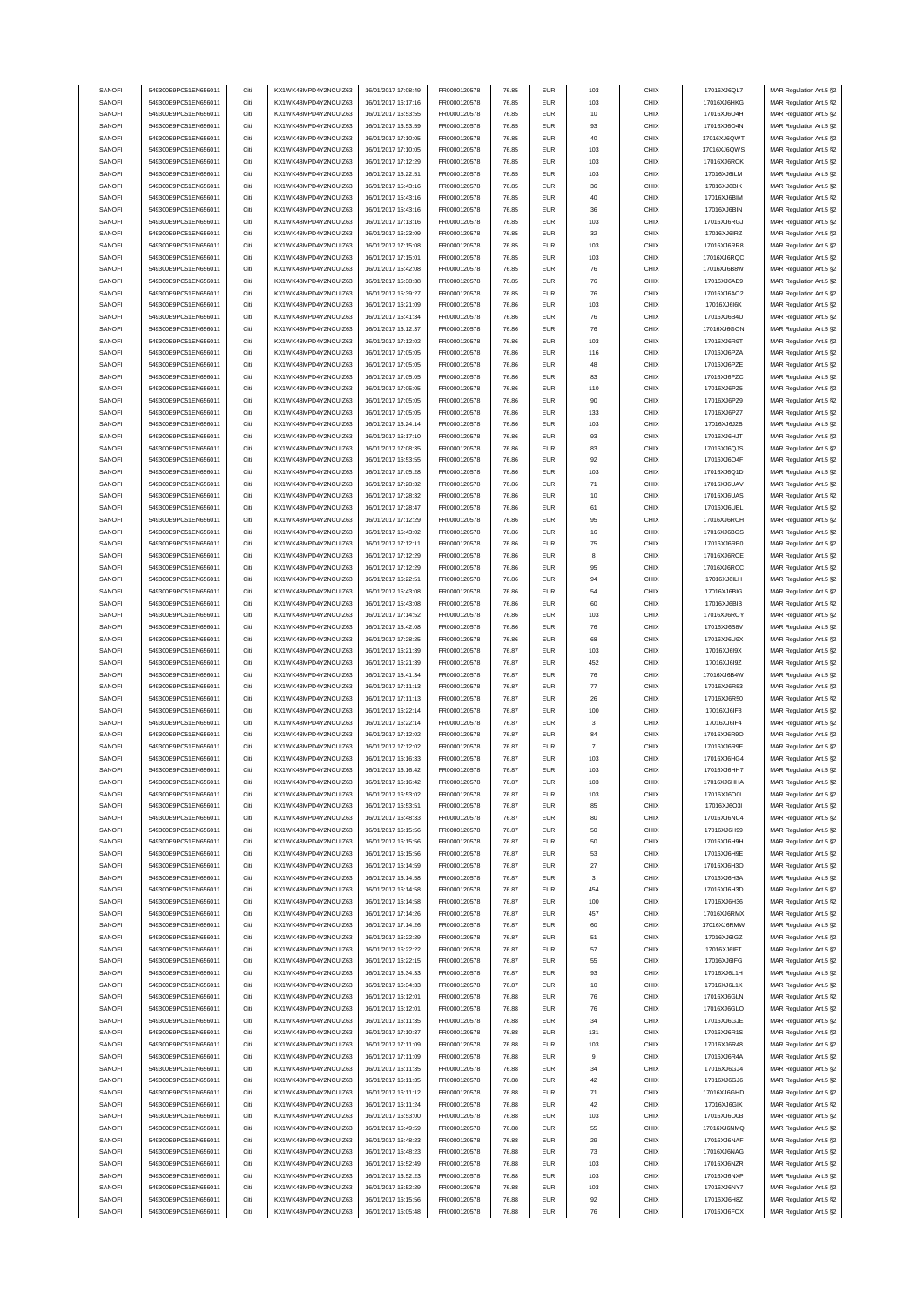| SANOFI<br>SANOFI<br>549300E9PC51EN656011<br>Citi<br>KX1WK48MPD4Y2NCUIZ63<br>16/01/2017 16:17:16<br><b>EUR</b><br>103<br>CHIX<br>FR0000120578<br>76.85<br>17016XJ6HKG<br>SANOFI<br>549300E9PC51EN656011<br>Citi<br>KX1WK48MPD4Y2NCUIZ63<br>16/01/2017 16:53:55<br>FR0000120578<br><b>EUR</b><br>$10$<br>CHIX<br>17016XJ6O4H<br>76.85<br><b>EUR</b><br>CHIX<br>SANOFI<br>549300E9PC51EN656011<br>Citi<br>KX1WK48MPD4Y2NCUIZ63<br>16/01/2017 16:53:59<br>FR0000120578<br>76.85<br>93<br>17016XJ6O4N<br>CHIX<br>SANOFI<br>549300E9PC51EN656011<br>Citi<br>KX1WK48MPD4Y2NCUIZ63<br>16/01/2017 17:10:05<br>FR0000120578<br>76.85<br><b>EUR</b><br>40<br>17016XJ6QWT<br>SANOFI<br>549300E9PC51EN656011<br>Citi<br>KX1WK48MPD4Y2NCUIZ63<br>16/01/2017 17:10:05<br>FR0000120578<br>76.85<br><b>EUR</b><br>103<br>CHIX<br>17016XJ6QWS<br>SANOFI<br>549300E9PC51EN656011<br>Citi<br>KX1WK48MPD4Y2NCUIZ63<br>16/01/2017 17:12:29<br>FR0000120578<br>76.85<br><b>EUR</b><br>103<br>CHIX<br>17016XJ6RCK<br>SANOFI<br>549300E9PC51EN656011<br>Citi<br>16/01/2017 16:22:51<br>FR0000120578<br><b>EUR</b><br>103<br>CHIX<br>KX1WK48MPD4Y2NCUIZ63<br>76.85<br>17016XJ6ILM<br>SANOFI<br>549300E9PC51EN656011<br>Citi<br>KX1WK48MPD4Y2NCUIZ63<br>16/01/2017 15:43:16<br>FR0000120578<br>CHIX<br>76.85<br><b>EUR</b><br>36<br>17016XJ6BIK<br>SANOFI<br>549300E9PC51EN656011<br>Citi<br>KX1WK48MPD4Y2NCUIZ63<br>16/01/2017 15:43:16<br>FR0000120578<br><b>EUR</b><br>40<br>CHIX<br>17016XJ6BIM<br>76.85<br>SANOFI<br>549300E9PC51EN656011<br>Citi<br>KX1WK48MPD4Y2NCUIZ63<br>16/01/2017 15:43:16<br><b>EUR</b><br>CHIX<br>FR0000120578<br>76.85<br>36<br>17016XJ6BIN<br>Citi<br><b>EUR</b><br>103<br>CHIX<br>SANOFI<br>549300E9PC51EN656011<br>KX1WK48MPD4Y2NCUIZ63<br>16/01/2017 17:13:16<br>FR0000120578<br>76.85<br>17016XJ6RGJ<br><b>EUR</b><br>$32\,$<br>CHIX<br>SANOFI<br>549300E9PC51EN656011<br>Citi<br>KX1WK48MPD4Y2NCUIZ63<br>16/01/2017 16:23:09<br>FR0000120578<br>76.85<br>17016XJ6IRZ<br>SANOFI<br>549300E9PC51EN656011<br>Citi<br>KX1WK48MPD4Y2NCUIZ63<br>16/01/2017 17:15:08<br>FR0000120578<br>76.85<br><b>EUR</b><br>103<br>CHIX<br>17016XJ6RR8<br><b>EUR</b><br>SANOFI<br>549300E9PC51EN656011<br>Citi<br>KX1WK48MPD4Y2NCUIZ63<br>16/01/2017 17:15:01<br>FR0000120578<br>76.85<br>103<br>CHIX<br>17016XJ6RQC<br>SANOFI<br>549300E9PC51EN656011<br>Citi<br>KX1WK48MPD4Y2NCUIZ63<br>16/01/2017 15:42:08<br>FR0000120578<br><b>EUR</b><br>76<br>CHIX<br>17016XJ6B8W<br>76.85<br>SANOFI<br>549300E9PC51EN656011<br>Citi<br>KX1WK48MPD4Y2NCUIZ63<br>FR0000120578<br>CHIX<br>17016XJ6AE9<br>16/01/2017 15:38:38<br>76.85<br><b>EUR</b><br>76<br>SANOFI<br>549300E9PC51EN656011<br>Citi<br>KX1WK48MPD4Y2NCUIZ63<br>16/01/2017 15:39:27<br><b>EUR</b><br>76<br>CHIX<br>FR0000120578<br>76.85<br>17016XJ6AO2<br>SANOFI<br>549300E9PC51EN656011<br>Citi<br>KX1WK48MPD4Y2NCUIZ63<br>16/01/2017 16:21:09<br>FR0000120578<br>76.86<br><b>EUR</b><br>103<br>CHIX<br>17016XJ6I6K<br>${\bf 76}$<br>CHIX<br>SANOFI<br>549300E9PC51EN656011<br>Citi<br>KX1WK48MPD4Y2NCUIZ63<br>16/01/2017 15:41:34<br>76.86<br><b>EUR</b><br>17016XJ6B4U<br>FR0000120578<br>SANOFI<br>CHIX<br>549300E9PC51EN656011<br>Citi<br>KX1WK48MPD4Y2NCUIZ63<br>16/01/2017 16:12:37<br>FR0000120578<br>76.86<br><b>EUR</b><br>76<br>17016XJ6GON<br>SANOFI<br>549300E9PC51EN656011<br>Citi<br>KX1WK48MPD4Y2NCUIZ63<br>16/01/2017 17:12:02<br>FR0000120578<br>76.86<br><b>EUR</b><br>103<br>CHIX<br>17016XJ6R9T<br>SANOFI<br>549300E9PC51EN656011<br>Citi<br>KX1WK48MPD4Y2NCUIZ63<br>16/01/2017 17:05:05<br>FR0000120578<br>76.86<br><b>EUR</b><br>116<br>CHIX<br>17016XJ6PZA<br>SANOFI<br>549300E9PC51EN656011<br>FR0000120578<br>CHIX<br>Citi<br>KX1WK48MPD4Y2NCUIZ63<br>16/01/2017 17:05:05<br>76.86<br><b>EUR</b><br>48<br>17016XJ6PZE<br>SANOFI<br>549300E9PC51EN656011<br>KX1WK48MPD4Y2NCUIZ63<br>FR0000120578<br><b>EUR</b><br>CHIX<br>Citi<br>16/01/2017 17:05:05<br>76.86<br>83<br>17016XJ6PZC<br>SANOFI<br>549300E9PC51EN656011<br>Citi<br>KX1WK48MPD4Y2NCUIZ63<br>16/01/2017 17:05:05<br>FR0000120578<br>76.86<br><b>EUR</b><br>110<br>CHIX<br>17016XJ6PZ5<br>SANOFI<br>549300E9PC51EN656011<br>Citi<br>KX1WK48MPD4Y2NCUIZ63<br>16/01/2017 17:05:05<br><b>EUR</b><br>$90\,$<br>CHIX<br>FR0000120578<br>76.86<br>17016XJ6PZ9<br>133<br>CHIX<br>SANOFI<br>549300E9PC51EN656011<br>Citi<br>KX1WK48MPD4Y2NCUIZ63<br>16/01/2017 17:05:05<br>FR0000120578<br>76.86<br><b>EUR</b><br>17016XJ6PZ7<br><b>EUR</b><br>CHIX<br>SANOFI<br>549300E9PC51EN656011<br>Citi<br>KX1WK48MPD4Y2NCUIZ63<br>16/01/2017 16:24:14<br>FR0000120578<br>103<br>17016XJ6J2B<br>76.86<br>Citi<br>SANOFI<br>549300E9PC51EN656011<br>KX1WK48MPD4Y2NCUIZ63<br>16/01/2017 16:17:10<br>FR0000120578<br>76.86<br><b>EUR</b><br>93<br>CHIX<br>17016XJ6HJT<br>SANOFI<br>549300E9PC51EN656011<br>Citi<br>KX1WK48MPD4Y2NCUIZ63<br>16/01/2017 17:08:35<br>FR0000120578<br>76.86<br><b>EUR</b><br>83<br>CHIX<br>17016XJ6QJS<br>SANOFI<br>549300E9PC51EN656011<br>Citi<br>KX1WK48MPD4Y2NCUIZ63<br>FR0000120578<br><b>EUR</b><br>92<br>CHIX<br>17016XJ6O4F<br>16/01/2017 16:53:55<br>76.86<br>SANOFI<br>Citi<br>FR0000120578<br>103<br>CHIX<br>549300E9PC51EN656011<br>KX1WK48MPD4Y2NCUIZ63<br>16/01/2017 17:05:28<br>76.86<br><b>EUR</b><br>17016XJ6Q1D<br>SANOFI<br>549300E9PC51EN656011<br>Citi<br>KX1WK48MPD4Y2NCUIZ63<br>16/01/2017 17:28:32<br>FR0000120578<br><b>EUR</b><br>71<br>CHIX<br>76.86<br>17016XJ6UAV<br>SANOFI<br>549300E9PC51EN656011<br>Citi<br>KX1WK48MPD4Y2NCUIZ63<br>16/01/2017 17:28:32<br>FR0000120578<br><b>EUR</b><br>CHIX<br>17016XJ6UAS<br>76.86<br>10<br>SANOFI<br>Citi<br>KX1WK48MPD4Y2NCUIZ63<br>16/01/2017 17:28:47<br><b>EUR</b><br>CHIX<br>549300E9PC51EN656011<br>FR0000120578<br>76.86<br>61<br>17016XJ6UEL<br>Citi<br><b>EUR</b><br>CHIX<br>SANOFI<br>549300E9PC51EN656011<br>KX1WK48MPD4Y2NCUIZ63<br>16/01/2017 17:12:29<br>FR0000120578<br>76.86<br>95<br>17016XJ6RCH<br>SANOFI<br>549300E9PC51EN656011<br>Citi<br>KX1WK48MPD4Y2NCUIZ63<br>16/01/2017 15:43:02<br>FR0000120578<br>76.86<br><b>EUR</b><br>16<br>CHIX<br>17016XJ6BGS<br>SANOFI<br>549300E9PC51EN656011<br>Citi<br>KX1WK48MPD4Y2NCUIZ63<br>16/01/2017 17:12:11<br>FR0000120578<br>76.86<br><b>EUR</b><br>75<br>CHIX<br>17016XJ6RB0<br>SANOFI<br>549300E9PC51EN656011<br>Citi<br>KX1WK48MPD4Y2NCUIZ63<br>16/01/2017 17:12:29<br>FR0000120578<br>76.86<br><b>EUR</b><br>8<br>CHIX<br>17016XJ6RCE<br>SANOFI<br>549300E9PC51EN656011<br>Citi<br>KX1WK48MPD4Y2NCUIZ63<br>16/01/2017 17:12:29<br>FR0000120578<br><b>EUR</b><br>95<br>CHIX<br>17016XJ6RCC<br>76.86<br>SANOFI<br>549300E9PC51EN656011<br>FR0000120578<br>CHIX<br>Citi<br>KX1WK48MPD4Y2NCUIZ63<br>16/01/2017 16:22:51<br>76.86<br><b>EUR</b><br>94<br>17016XJ6ILH<br>SANOFI<br>549300E9PC51EN656011<br>Citi<br>KX1WK48MPD4Y2NCUIZ63<br>16/01/2017 15:43:08<br>FR0000120578<br><b>EUR</b><br>CHIX<br>76.86<br>54<br>17016XJ6BIG<br>SANOFI<br>549300E9PC51EN656011<br>Citi<br>KX1WK48MPD4Y2NCUIZ63<br>16/01/2017 15:43:08<br>FR0000120578<br>76.86<br><b>EUR</b><br>60<br>CHIX<br>17016XJ6BIB<br>103<br>CHIX<br>SANOFI<br>549300E9PC51EN656011<br>Citi<br>KX1WK48MPD4Y2NCUIZ63<br>16/01/2017 17:14:52<br>FR0000120578<br>76.86<br><b>EUR</b><br>17016XJ6ROY<br>SANOFI<br>CHIX<br>549300E9PC51EN656011<br>Citi<br>KX1WK48MPD4Y2NCUIZ63<br>16/01/2017 15:42:08<br>FR0000120578<br>76.86<br><b>EUR</b><br>76<br>17016XJ6B8V<br>SANOFI<br>549300E9PC51EN656011<br>Citi<br>KX1WK48MPD4Y2NCUIZ63<br>16/01/2017 17:28:25<br>FR0000120578<br>76.86<br><b>EUR</b><br>68<br>CHIX<br>17016XJ6U9X<br>SANOFI<br>549300E9PC51EN656011<br>Citi<br>KX1WK48MPD4Y2NCUIZ63<br>16/01/2017 16:21:39<br>FR0000120578<br>76.87<br><b>EUR</b><br>103<br>CHIX<br>17016XJ6I9X<br>SANOFI<br>549300E9PC51EN656011<br>KX1WK48MPD4Y2NCUIZ63<br>16/01/2017 16:21:39<br>FR0000120578<br>452<br>CHIX<br>Citi<br>76.87<br><b>EUR</b><br>17016XJ6I9Z<br>SANOFI<br>Citi<br>FR0000120578<br><b>EUR</b><br>76<br>CHIX<br>17016XJ6B4W<br>549300E9PC51EN656011<br>KX1WK48MPD4Y2NCUIZ63<br>16/01/2017 15:41:34<br>76.87<br>SANOFI<br>549300E9PC51EN656011<br>Citi<br>KX1WK48MPD4Y2NCUIZ63<br>16/01/2017 17:11:13<br>FR0000120578<br>76.87<br><b>EUR</b><br>$77\,$<br>CHIX<br>17016XJ6R53<br>SANOFI<br>549300E9PC51EN656011<br>Citi<br>KX1WK48MPD4Y2NCUIZ63<br>16/01/2017 17:11:13<br>FR0000120578<br>76.87<br><b>EUR</b><br>26<br>CHIX<br>17016XJ6R50<br>CHIX<br>SANOFI<br>549300E9PC51EN656011<br>Citi<br>KX1WK48MPD4Y2NCUIZ63<br>16/01/2017 16:22:14<br>FR0000120578<br>76.87<br><b>EUR</b><br>100<br>17016XJ6IF8<br><b>EUR</b><br>CHIX<br>SANOFI<br>549300E9PC51EN656011<br>Citi<br>KX1WK48MPD4Y2NCUIZ63<br>16/01/2017 16:22:14<br>FR0000120578<br>76.87<br>3<br>17016XJ6IF4<br>SANOFI<br>549300E9PC51EN656011<br>Citi<br>KX1WK48MPD4Y2NCUIZ63<br>16/01/2017 17:12:02<br>FR0000120578<br>76.87<br><b>EUR</b><br>84<br>CHIX<br>17016XJ6R9O<br>SANOFI<br>549300E9PC51EN656011<br>Citi<br>KX1WK48MPD4Y2NCUIZ63<br>16/01/2017 17:12:02<br>FR0000120578<br>76.87<br><b>EUR</b><br>$\overline{7}$<br>CHIX<br>17016XJ6R9E<br>SANOFI<br>549300E9PC51EN656011<br>KX1WK48MPD4Y2NCUIZ63<br>16/01/2017 16:16:33<br>FR0000120578<br><b>EUR</b><br>CHIX<br>17016XJ6HG4<br>Citi<br>76.87<br>103<br>SANOFI<br>FR0000120578<br><b>EUR</b><br>CHIX<br>549300E9PC51EN656011<br>Citi<br>KX1WK48MPD4Y2NCUIZ63<br>16/01/2017 16:16:42<br>76.87<br>103<br>17016XJ6HH7<br>SANOFI<br>549300E9PC51EN656011<br>KX1WK48MPD4Y2NCLIIZ63<br>16/01/2017 16:16:42<br>FR0000120578<br>76.87<br>FUR<br>CHIX<br>103<br>17016X.I6HHA<br>SANOFI<br>549300E9PC51EN656011<br>KX1WK48MPD4Y2NCUIZ63<br>16/01/2017 16:53:02<br>Citi<br>FR0000120578<br>76.87<br><b>EUR</b><br>103<br>CHIX<br>17016XJ6O0L<br>SANOFI<br>549300E9PC51EN656011<br>Citi<br>KX1WK48MPD4Y2NCUIZ63<br>16/01/2017 16:53:51<br>FR0000120578<br><b>EUR</b><br>CHIX<br>17016XJ6O3I<br>76.87<br>85<br>SANOFI<br>549300E9PC51EN656011<br>Citi<br>KX1WK48MPD4Y2NCUIZ63<br>16/01/2017 16:48:33<br>FR0000120578<br><b>EUR</b><br>CHIX<br>17016XJ6NC4<br>76.87<br>80<br>SANOFI<br>549300E9PC51EN656011<br>Citi<br>KX1WK48MPD4Y2NCUIZ63<br>16/01/2017 16:15:56<br>FR0000120578<br>76.87<br><b>EUR</b><br>50<br>CHIX<br>17016XJ6H99<br>SANOFI<br>549300E9PC51EN656011<br>Citi<br>KX1WK48MPD4Y2NCUIZ63<br>16/01/2017 16:15:56<br>FR0000120578<br>76.87<br><b>EUR</b><br>50<br>CHIX<br>17016XJ6H9H<br>SANOFI<br>549300E9PC51EN656011<br>KX1WK48MPD4Y2NCUIZ63<br>16/01/2017 16:15:56<br>FR0000120578<br>CHIX<br>Citi<br>76.87<br><b>EUR</b><br>53<br>17016XJ6H9E<br>27<br>SANOFI<br>549300E9PC51EN656011<br>Citi<br>KX1WK48MPD4Y2NCUIZ63<br>16/01/2017 16:14:59<br>FR0000120578<br>76.87<br><b>EUR</b><br>CHIX<br>17016XJ6H3O<br>SANOFI<br>549300E9PC51EN656011<br>KX1WK48MPD4Y2NCUIZ63<br>16/01/2017 16:14:58<br>FR0000120578<br>CHIX<br>17016XJ6H3A<br>Citi<br>76.87<br><b>EUR</b><br>3<br>SANOFI<br>549300E9PC51EN656011<br>Citi<br>KX1WK48MPD4Y2NCUIZ63<br>16/01/2017 16:14:58<br><b>EUR</b><br>CHIX<br>FR0000120578<br>76.87<br>454<br>17016XJ6H3D<br>SANOFI<br>549300E9PC51EN656011<br>Citi<br>KX1WK48MPD4Y2NCUIZ63<br>16/01/2017 16:14:58<br>FR0000120578<br><b>EUR</b><br>CHIX<br>17016XJ6H36<br>76.87<br>100<br>SANOFI<br>549300E9PC51EN656011<br>Citi<br>KX1WK48MPD4Y2NCUIZ63<br>16/01/2017 17:14:26<br>FR0000120578<br><b>EUR</b><br>457<br>CHIX<br>17016XJ6RMX<br>76.87<br>SANOFI<br>549300E9PC51EN656011<br>Citi<br>KX1WK48MPD4Y2NCUIZ63<br>16/01/2017 17:14:26<br>FR0000120578<br>76.87<br><b>EUR</b><br>60<br>CHIX<br>17016XJ6RMW<br>SANOFI<br>549300E9PC51EN656011<br>Citi<br>KX1WK48MPD4Y2NCUIZ63<br>16/01/2017 16:22:29<br>FR0000120578<br>76.87<br><b>EUR</b><br>51<br>CHIX<br>17016XJ6IGZ<br>KX1WK48MPD4Y2NCUIZ63<br>16/01/2017 16:22:22<br>SANOFI<br>549300E9PC51EN656011<br>Citi<br>FR0000120578<br>76.87<br><b>EUR</b><br>57<br>CHIX<br>17016XJ6IFT<br>SANOFI<br>549300E9PC51EN656011<br>KX1WK48MPD4Y2NCUIZ63<br>17016XJ6IFG<br>Citi<br>16/01/2017 16:22:15<br>FR0000120578<br>76.87<br><b>EUR</b><br>55<br>CHIX<br>SANOFI<br>549300E9PC51EN656011<br>KX1WK48MPD4Y2NCUIZ63<br>16/01/2017 16:34:33<br><b>EUR</b><br>CHIX<br>Citi<br>FR0000120578<br>76.87<br>93<br>17016XJ6L1H<br>SANOFI<br>549300E9PC51EN656011<br>Citi<br>KX1WK48MPD4Y2NCUIZ63<br>16/01/2017 16:34:33<br>FR0000120578<br><b>EUR</b><br>CHIX<br>17016XJ6L1K<br>76.87<br>10<br>SANOFI<br>549300E9PC51EN656011<br>Citi<br>KX1WK48MPD4Y2NCUIZ63<br>16/01/2017 16:12:01<br><b>EUR</b><br>76<br>CHIX<br>17016XJ6GLN<br>FR0000120578<br>76.88<br>SANOFI<br>549300E9PC51EN656011<br>KX1WK48MPD4Y2NCUIZ63<br>16/01/2017 16:12:01<br>FR0000120578<br><b>EUR</b><br>CHIX<br>17016XJ6GLO<br>Citi<br>76.88<br>76<br><b>EUR</b><br>SANOFI<br>549300E9PC51EN656011<br>Citi<br>KX1WK48MPD4Y2NCUIZ63<br>16/01/2017 16:11:35<br>FR0000120578<br>34<br>CHIX<br>17016XJ6GJE<br>76.88<br>SANOFI<br>549300E9PC51EN656011<br>Citi<br>KX1WK48MPD4Y2NCUIZ63<br>16/01/2017 17:10:37<br>FR0000120578<br>76.88<br><b>EUR</b><br>131<br>CHIX<br>17016XJ6R1S<br>SANOFI<br>549300E9PC51EN656011<br>Citi<br>KX1WK48MPD4Y2NCUIZ63<br>16/01/2017 17:11:09<br>FR0000120578<br>76.88<br><b>EUR</b><br>103<br>CHIX<br>17016XJ6R48<br>SANOFI<br>KX1WK48MPD4Y2NCUIZ63<br>549300E9PC51EN656011<br>Citi<br>16/01/2017 17:11:09<br>FR0000120578<br>76.88<br><b>EUR</b><br>9<br>CHIX<br>17016XJ6R4A<br>SANOFI<br>549300E9PC51EN656011<br>Citi<br>KX1WK48MPD4Y2NCUIZ63<br>16/01/2017 16:11:35<br>FR0000120578<br>76.88<br><b>EUR</b><br>34<br>CHIX<br>17016XJ6GJ4<br>SANOFI<br>549300E9PC51EN656011<br>Citi<br>KX1WK48MPD4Y2NCUIZ63<br>16/01/2017 16:11:35<br><b>EUR</b><br>42<br>CHIX<br>17016XJ6GJ6<br>FR0000120578<br>76.88<br>SANOFI<br>549300E9PC51EN656011<br>KX1WK48MPD4Y2NCUIZ63<br>16/01/2017 16:11:12<br>FR0000120578<br><b>EUR</b><br>CHIX<br>17016XJ6GHD<br>Citi<br>76.88<br>71<br>SANOFI<br>549300E9PC51EN656011<br>Citi<br>KX1WK48MPD4Y2NCUIZ63<br>16/01/2017 16:11:24<br>FR0000120578<br><b>EUR</b><br>42<br>CHIX<br>17016XJ6GIK<br>76.88<br>SANOFI<br>549300E9PC51EN656011<br>Citi<br>KX1WK48MPD4Y2NCUIZ63<br>16/01/2017 16:53:00<br>FR0000120578<br><b>EUR</b><br>103<br>CHIX<br>17016XJ6O0B<br>76.88<br>SANOFI<br>549300E9PC51EN656011<br>Citi<br>KX1WK48MPD4Y2NCUIZ63<br>16/01/2017 16:49:59<br>FR0000120578<br>76.88<br><b>EUR</b><br>55<br>CHIX<br>17016XJ6NMQ<br>SANOFI<br>549300E9PC51EN656011<br>Citi<br>KX1WK48MPD4Y2NCUIZ63<br>16/01/2017 16:48:23<br>FR0000120578<br>76.88<br><b>EUR</b><br>29<br>CHIX<br>17016XJ6NAF<br>SANOFI<br>549300E9PC51EN656011<br>KX1WK48MPD4Y2NCUIZ63<br>16/01/2017 16:48:23<br>FR0000120578<br><b>EUR</b><br>CHIX<br>Citi<br>76.88<br>73<br>17016XJ6NAG<br>16/01/2017 16:52:49<br>SANOFI<br>549300E9PC51EN656011<br>Citi<br>KX1WK48MPD4Y2NCUIZ63<br>FR0000120578<br>76.88<br><b>EUR</b><br>103<br>CHIX<br>17016XJ6NZR<br>SANOFI<br>549300E9PC51EN656011<br>KX1WK48MPD4Y2NCUIZ63<br>16/01/2017 16:52:23<br>FR0000120578<br><b>EUR</b><br>103<br>CHIX<br>17016XJ6NXP<br>Citi<br>76.88<br>SANOFI<br>549300E9PC51EN656011<br>KX1WK48MPD4Y2NCUIZ63<br><b>EUR</b><br>CHIX<br>Citi<br>16/01/2017 16:52:29<br>FR0000120578<br>76.88<br>103<br>17016XJ6NY7<br>SANOFI<br>549300E9PC51EN656011<br>Citi<br>KX1WK48MPD4Y2NCUIZ63<br>16/01/2017 16:15:56<br>FR0000120578<br><b>EUR</b><br>92<br>CHIX<br>17016XJ6H8Z<br>76.88<br>16/01/2017 16:05:48<br>SANOFI<br>549300E9PC51EN656011<br>Citi<br>KX1WK48MPD4Y2NCUIZ63<br>FR0000120578<br>76.88<br><b>EUR</b><br>76<br><b>CHIX</b><br>17016XJ6FOX<br>MAR Regulation Art.5 §2 | 549300E9PC51EN656011 | Citi | KX1WK48MPD4Y2NCUIZ63 | 16/01/2017 17:08:49 | FR0000120578 | 76.85 | <b>EUR</b> | 103 | CHIX | 17016XJ6QL7 | MAR Regulation Art.5 §2 |
|----------------------------------------------------------------------------------------------------------------------------------------------------------------------------------------------------------------------------------------------------------------------------------------------------------------------------------------------------------------------------------------------------------------------------------------------------------------------------------------------------------------------------------------------------------------------------------------------------------------------------------------------------------------------------------------------------------------------------------------------------------------------------------------------------------------------------------------------------------------------------------------------------------------------------------------------------------------------------------------------------------------------------------------------------------------------------------------------------------------------------------------------------------------------------------------------------------------------------------------------------------------------------------------------------------------------------------------------------------------------------------------------------------------------------------------------------------------------------------------------------------------------------------------------------------------------------------------------------------------------------------------------------------------------------------------------------------------------------------------------------------------------------------------------------------------------------------------------------------------------------------------------------------------------------------------------------------------------------------------------------------------------------------------------------------------------------------------------------------------------------------------------------------------------------------------------------------------------------------------------------------------------------------------------------------------------------------------------------------------------------------------------------------------------------------------------------------------------------------------------------------------------------------------------------------------------------------------------------------------------------------------------------------------------------------------------------------------------------------------------------------------------------------------------------------------------------------------------------------------------------------------------------------------------------------------------------------------------------------------------------------------------------------------------------------------------------------------------------------------------------------------------------------------------------------------------------------------------------------------------------------------------------------------------------------------------------------------------------------------------------------------------------------------------------------------------------------------------------------------------------------------------------------------------------------------------------------------------------------------------------------------------------------------------------------------------------------------------------------------------------------------------------------------------------------------------------------------------------------------------------------------------------------------------------------------------------------------------------------------------------------------------------------------------------------------------------------------------------------------------------------------------------------------------------------------------------------------------------------------------------------------------------------------------------------------------------------------------------------------------------------------------------------------------------------------------------------------------------------------------------------------------------------------------------------------------------------------------------------------------------------------------------------------------------------------------------------------------------------------------------------------------------------------------------------------------------------------------------------------------------------------------------------------------------------------------------------------------------------------------------------------------------------------------------------------------------------------------------------------------------------------------------------------------------------------------------------------------------------------------------------------------------------------------------------------------------------------------------------------------------------------------------------------------------------------------------------------------------------------------------------------------------------------------------------------------------------------------------------------------------------------------------------------------------------------------------------------------------------------------------------------------------------------------------------------------------------------------------------------------------------------------------------------------------------------------------------------------------------------------------------------------------------------------------------------------------------------------------------------------------------------------------------------------------------------------------------------------------------------------------------------------------------------------------------------------------------------------------------------------------------------------------------------------------------------------------------------------------------------------------------------------------------------------------------------------------------------------------------------------------------------------------------------------------------------------------------------------------------------------------------------------------------------------------------------------------------------------------------------------------------------------------------------------------------------------------------------------------------------------------------------------------------------------------------------------------------------------------------------------------------------------------------------------------------------------------------------------------------------------------------------------------------------------------------------------------------------------------------------------------------------------------------------------------------------------------------------------------------------------------------------------------------------------------------------------------------------------------------------------------------------------------------------------------------------------------------------------------------------------------------------------------------------------------------------------------------------------------------------------------------------------------------------------------------------------------------------------------------------------------------------------------------------------------------------------------------------------------------------------------------------------------------------------------------------------------------------------------------------------------------------------------------------------------------------------------------------------------------------------------------------------------------------------------------------------------------------------------------------------------------------------------------------------------------------------------------------------------------------------------------------------------------------------------------------------------------------------------------------------------------------------------------------------------------------------------------------------------------------------------------------------------------------------------------------------------------------------------------------------------------------------------------------------------------------------------------------------------------------------------------------------------------------------------------------------------------------------------------------------------------------------------------------------------------------------------------------------------------------------------------------------------------------------------------------------------------------------------------------------------------------------------------------------------------------------------------------------------------------------------------------------------------------------------------------------------------------------------------------------------------------------------------------------------------------------------------------------------------------------------------------------------------------------------------------------------------------------------------------------------------------------------------------------------------------------------------------------------------------------------------------------------------------------------------------------------------------------------------------------------------------------------------------------------------------------------------------------------------------------------------------------------------------------------------------------------------------------------------------------------------------------------------------------------------------------------------------------------------------------------------------------------------------------------------------------------------------------------------------------------------------------------------------------------------------------------------------------------------------------------------------------------------------------------------------------------------------------------------------------------------------------------------------------------------------------------------------------------------------------------------------------------------------------------------------------------------------------------------------------------------------------------------------------------------------------------------------------------------------------------------------------------------------------------------------------------------------------------------------------------------------------------------------------------------------------------------------------------------------------------------------------------------------------------------------------------------------------------------------------------------------------------------------------------------------------------------------------------------------------------------------------------------------------------------------------------------------------------------------------------------------------------------------------------------------------------------------------------------------------------------------------------------------------------------------------------------------------------------------------------------------------------------------------------------------------------------------------------------------------------------------------------------------------------------------------------------------------------------------------------------------------------------------------------------------------------------------------------------------------------------------------------------------------------------------------------------------------------------------------------------------------------------------------------------------------------------------------------------------------------------------------------------------------------------------------------------------------------------------------------------------------------------------------------------------------------------------------------------------------------------------------------------------------------------------------------------------------------------------------------------------------------------------------------------------------------------------------------------------------------------------------------------------------------------------------------------------------------------------------------------------------------------------------------------------------------------------------------------------------------------------------------------------------------------------------------------------------------------------------------------------------------------------------------------------------------------------------------------------------------------------------------------------------------------------------------------------------------------------------------------------------------------------------------------------------------------------------------------------------------------------------------------------------------------------------------------------------------------------------------------------------------------------------------------------------------------------------------------------------------------------------------------------------------------------------------------------------------------------------------------------------------------------------------------------------------------------------------------------------------------------------------------------------------------------------------------------------------------------------------------------------------------------------------------------------------------------------------------------------------------------------------------------------------------------------------------------------------------------------------------------------------------------------------------------------------------------------------------------------------------------------------------------------------------------------------------------------------------------------------------------------------------------------------------------------------------------------------------------------------------------------------------------------------------------------------------------|----------------------|------|----------------------|---------------------|--------------|-------|------------|-----|------|-------------|-------------------------|
|                                                                                                                                                                                                                                                                                                                                                                                                                                                                                                                                                                                                                                                                                                                                                                                                                                                                                                                                                                                                                                                                                                                                                                                                                                                                                                                                                                                                                                                                                                                                                                                                                                                                                                                                                                                                                                                                                                                                                                                                                                                                                                                                                                                                                                                                                                                                                                                                                                                                                                                                                                                                                                                                                                                                                                                                                                                                                                                                                                                                                                                                                                                                                                                                                                                                                                                                                                                                                                                                                                                                                                                                                                                                                                                                                                                                                                                                                                                                                                                                                                                                                                                                                                                                                                                                                                                                                                                                                                                                                                                                                                                                                                                                                                                                                                                                                                                                                                                                                                                                                                                                                                                                                                                                                                                                                                                                                                                                                                                                                                                                                                                                                                                                                                                                                                                                                                                                                                                                                                                                                                                                                                                                                                                                                                                                                                                                                                                                                                                                                                                                                                                                                                                                                                                                                                                                                                                                                                                                                                                                                                                                                                                                                                                                                                                                                                                                                                                                                                                                                                                                                                                                                                                                                                                                                                                                                                                                                                                                                                                                                                                                                                                                                                                                                                                                                                                                                                                                                                                                                                                                                                                                                                                                                                                                                                                                                                                                                                                                                                                                                                                                                                                                                                                                                                                                                                                                                                                                                                                                                                                                                                                                                                                                                                                                                                                                                                                                                                                                                                                                                                                                                                                                                                                                                                                                                                                                                                                                                                                                                                                                                                                                                                                                                                                                                                                                                                                                                                                                                                                                                                                                                                                                                                                                                                                                                                                                                                                                                                                                                                                                                                                                                                                                                                                                                                                                                                                                                                                                                                                                                                                                                                                                                                                                                                                                                                                                                                                                                                                                                                                                                                                                                                                                                                                                                                                                                                                                                                                                                                                                                                                                                                                                                                                                                                                                                                                                                                                                                                                                                                                                                                                                                                                                                                                                                                                                                                                                                                                                                                                                                                                                                                                                                                                                                                                                                                                                                                                                                                                                                                                                                                                                                                                                                                                                                                                                                                                                                                                                                                                                                                                                                                                                                                                                                                                                                                                                                                                                                                                                |                      |      |                      |                     |              |       |            |     |      |             |                         |
|                                                                                                                                                                                                                                                                                                                                                                                                                                                                                                                                                                                                                                                                                                                                                                                                                                                                                                                                                                                                                                                                                                                                                                                                                                                                                                                                                                                                                                                                                                                                                                                                                                                                                                                                                                                                                                                                                                                                                                                                                                                                                                                                                                                                                                                                                                                                                                                                                                                                                                                                                                                                                                                                                                                                                                                                                                                                                                                                                                                                                                                                                                                                                                                                                                                                                                                                                                                                                                                                                                                                                                                                                                                                                                                                                                                                                                                                                                                                                                                                                                                                                                                                                                                                                                                                                                                                                                                                                                                                                                                                                                                                                                                                                                                                                                                                                                                                                                                                                                                                                                                                                                                                                                                                                                                                                                                                                                                                                                                                                                                                                                                                                                                                                                                                                                                                                                                                                                                                                                                                                                                                                                                                                                                                                                                                                                                                                                                                                                                                                                                                                                                                                                                                                                                                                                                                                                                                                                                                                                                                                                                                                                                                                                                                                                                                                                                                                                                                                                                                                                                                                                                                                                                                                                                                                                                                                                                                                                                                                                                                                                                                                                                                                                                                                                                                                                                                                                                                                                                                                                                                                                                                                                                                                                                                                                                                                                                                                                                                                                                                                                                                                                                                                                                                                                                                                                                                                                                                                                                                                                                                                                                                                                                                                                                                                                                                                                                                                                                                                                                                                                                                                                                                                                                                                                                                                                                                                                                                                                                                                                                                                                                                                                                                                                                                                                                                                                                                                                                                                                                                                                                                                                                                                                                                                                                                                                                                                                                                                                                                                                                                                                                                                                                                                                                                                                                                                                                                                                                                                                                                                                                                                                                                                                                                                                                                                                                                                                                                                                                                                                                                                                                                                                                                                                                                                                                                                                                                                                                                                                                                                                                                                                                                                                                                                                                                                                                                                                                                                                                                                                                                                                                                                                                                                                                                                                                                                                                                                                                                                                                                                                                                                                                                                                                                                                                                                                                                                                                                                                                                                                                                                                                                                                                                                                                                                                                                                                                                                                                                                                                                                                                                                                                                                                                                                                                                                                                                                                                                                                                                |                      |      |                      |                     |              |       |            |     |      |             | MAR Regulation Art.5 §2 |
|                                                                                                                                                                                                                                                                                                                                                                                                                                                                                                                                                                                                                                                                                                                                                                                                                                                                                                                                                                                                                                                                                                                                                                                                                                                                                                                                                                                                                                                                                                                                                                                                                                                                                                                                                                                                                                                                                                                                                                                                                                                                                                                                                                                                                                                                                                                                                                                                                                                                                                                                                                                                                                                                                                                                                                                                                                                                                                                                                                                                                                                                                                                                                                                                                                                                                                                                                                                                                                                                                                                                                                                                                                                                                                                                                                                                                                                                                                                                                                                                                                                                                                                                                                                                                                                                                                                                                                                                                                                                                                                                                                                                                                                                                                                                                                                                                                                                                                                                                                                                                                                                                                                                                                                                                                                                                                                                                                                                                                                                                                                                                                                                                                                                                                                                                                                                                                                                                                                                                                                                                                                                                                                                                                                                                                                                                                                                                                                                                                                                                                                                                                                                                                                                                                                                                                                                                                                                                                                                                                                                                                                                                                                                                                                                                                                                                                                                                                                                                                                                                                                                                                                                                                                                                                                                                                                                                                                                                                                                                                                                                                                                                                                                                                                                                                                                                                                                                                                                                                                                                                                                                                                                                                                                                                                                                                                                                                                                                                                                                                                                                                                                                                                                                                                                                                                                                                                                                                                                                                                                                                                                                                                                                                                                                                                                                                                                                                                                                                                                                                                                                                                                                                                                                                                                                                                                                                                                                                                                                                                                                                                                                                                                                                                                                                                                                                                                                                                                                                                                                                                                                                                                                                                                                                                                                                                                                                                                                                                                                                                                                                                                                                                                                                                                                                                                                                                                                                                                                                                                                                                                                                                                                                                                                                                                                                                                                                                                                                                                                                                                                                                                                                                                                                                                                                                                                                                                                                                                                                                                                                                                                                                                                                                                                                                                                                                                                                                                                                                                                                                                                                                                                                                                                                                                                                                                                                                                                                                                                                                                                                                                                                                                                                                                                                                                                                                                                                                                                                                                                                                                                                                                                                                                                                                                                                                                                                                                                                                                                                                                                                                                                                                                                                                                                                                                                                                                                                                                                                                                                                                                |                      |      |                      |                     |              |       |            |     |      |             | MAR Regulation Art.5 §2 |
|                                                                                                                                                                                                                                                                                                                                                                                                                                                                                                                                                                                                                                                                                                                                                                                                                                                                                                                                                                                                                                                                                                                                                                                                                                                                                                                                                                                                                                                                                                                                                                                                                                                                                                                                                                                                                                                                                                                                                                                                                                                                                                                                                                                                                                                                                                                                                                                                                                                                                                                                                                                                                                                                                                                                                                                                                                                                                                                                                                                                                                                                                                                                                                                                                                                                                                                                                                                                                                                                                                                                                                                                                                                                                                                                                                                                                                                                                                                                                                                                                                                                                                                                                                                                                                                                                                                                                                                                                                                                                                                                                                                                                                                                                                                                                                                                                                                                                                                                                                                                                                                                                                                                                                                                                                                                                                                                                                                                                                                                                                                                                                                                                                                                                                                                                                                                                                                                                                                                                                                                                                                                                                                                                                                                                                                                                                                                                                                                                                                                                                                                                                                                                                                                                                                                                                                                                                                                                                                                                                                                                                                                                                                                                                                                                                                                                                                                                                                                                                                                                                                                                                                                                                                                                                                                                                                                                                                                                                                                                                                                                                                                                                                                                                                                                                                                                                                                                                                                                                                                                                                                                                                                                                                                                                                                                                                                                                                                                                                                                                                                                                                                                                                                                                                                                                                                                                                                                                                                                                                                                                                                                                                                                                                                                                                                                                                                                                                                                                                                                                                                                                                                                                                                                                                                                                                                                                                                                                                                                                                                                                                                                                                                                                                                                                                                                                                                                                                                                                                                                                                                                                                                                                                                                                                                                                                                                                                                                                                                                                                                                                                                                                                                                                                                                                                                                                                                                                                                                                                                                                                                                                                                                                                                                                                                                                                                                                                                                                                                                                                                                                                                                                                                                                                                                                                                                                                                                                                                                                                                                                                                                                                                                                                                                                                                                                                                                                                                                                                                                                                                                                                                                                                                                                                                                                                                                                                                                                                                                                                                                                                                                                                                                                                                                                                                                                                                                                                                                                                                                                                                                                                                                                                                                                                                                                                                                                                                                                                                                                                                                                                                                                                                                                                                                                                                                                                                                                                                                                                                                                                                |                      |      |                      |                     |              |       |            |     |      |             | MAR Regulation Art.5 §2 |
|                                                                                                                                                                                                                                                                                                                                                                                                                                                                                                                                                                                                                                                                                                                                                                                                                                                                                                                                                                                                                                                                                                                                                                                                                                                                                                                                                                                                                                                                                                                                                                                                                                                                                                                                                                                                                                                                                                                                                                                                                                                                                                                                                                                                                                                                                                                                                                                                                                                                                                                                                                                                                                                                                                                                                                                                                                                                                                                                                                                                                                                                                                                                                                                                                                                                                                                                                                                                                                                                                                                                                                                                                                                                                                                                                                                                                                                                                                                                                                                                                                                                                                                                                                                                                                                                                                                                                                                                                                                                                                                                                                                                                                                                                                                                                                                                                                                                                                                                                                                                                                                                                                                                                                                                                                                                                                                                                                                                                                                                                                                                                                                                                                                                                                                                                                                                                                                                                                                                                                                                                                                                                                                                                                                                                                                                                                                                                                                                                                                                                                                                                                                                                                                                                                                                                                                                                                                                                                                                                                                                                                                                                                                                                                                                                                                                                                                                                                                                                                                                                                                                                                                                                                                                                                                                                                                                                                                                                                                                                                                                                                                                                                                                                                                                                                                                                                                                                                                                                                                                                                                                                                                                                                                                                                                                                                                                                                                                                                                                                                                                                                                                                                                                                                                                                                                                                                                                                                                                                                                                                                                                                                                                                                                                                                                                                                                                                                                                                                                                                                                                                                                                                                                                                                                                                                                                                                                                                                                                                                                                                                                                                                                                                                                                                                                                                                                                                                                                                                                                                                                                                                                                                                                                                                                                                                                                                                                                                                                                                                                                                                                                                                                                                                                                                                                                                                                                                                                                                                                                                                                                                                                                                                                                                                                                                                                                                                                                                                                                                                                                                                                                                                                                                                                                                                                                                                                                                                                                                                                                                                                                                                                                                                                                                                                                                                                                                                                                                                                                                                                                                                                                                                                                                                                                                                                                                                                                                                                                                                                                                                                                                                                                                                                                                                                                                                                                                                                                                                                                                                                                                                                                                                                                                                                                                                                                                                                                                                                                                                                                                                                                                                                                                                                                                                                                                                                                                                                                                                                                                                                                |                      |      |                      |                     |              |       |            |     |      |             | MAR Regulation Art.5 §2 |
|                                                                                                                                                                                                                                                                                                                                                                                                                                                                                                                                                                                                                                                                                                                                                                                                                                                                                                                                                                                                                                                                                                                                                                                                                                                                                                                                                                                                                                                                                                                                                                                                                                                                                                                                                                                                                                                                                                                                                                                                                                                                                                                                                                                                                                                                                                                                                                                                                                                                                                                                                                                                                                                                                                                                                                                                                                                                                                                                                                                                                                                                                                                                                                                                                                                                                                                                                                                                                                                                                                                                                                                                                                                                                                                                                                                                                                                                                                                                                                                                                                                                                                                                                                                                                                                                                                                                                                                                                                                                                                                                                                                                                                                                                                                                                                                                                                                                                                                                                                                                                                                                                                                                                                                                                                                                                                                                                                                                                                                                                                                                                                                                                                                                                                                                                                                                                                                                                                                                                                                                                                                                                                                                                                                                                                                                                                                                                                                                                                                                                                                                                                                                                                                                                                                                                                                                                                                                                                                                                                                                                                                                                                                                                                                                                                                                                                                                                                                                                                                                                                                                                                                                                                                                                                                                                                                                                                                                                                                                                                                                                                                                                                                                                                                                                                                                                                                                                                                                                                                                                                                                                                                                                                                                                                                                                                                                                                                                                                                                                                                                                                                                                                                                                                                                                                                                                                                                                                                                                                                                                                                                                                                                                                                                                                                                                                                                                                                                                                                                                                                                                                                                                                                                                                                                                                                                                                                                                                                                                                                                                                                                                                                                                                                                                                                                                                                                                                                                                                                                                                                                                                                                                                                                                                                                                                                                                                                                                                                                                                                                                                                                                                                                                                                                                                                                                                                                                                                                                                                                                                                                                                                                                                                                                                                                                                                                                                                                                                                                                                                                                                                                                                                                                                                                                                                                                                                                                                                                                                                                                                                                                                                                                                                                                                                                                                                                                                                                                                                                                                                                                                                                                                                                                                                                                                                                                                                                                                                                                                                                                                                                                                                                                                                                                                                                                                                                                                                                                                                                                                                                                                                                                                                                                                                                                                                                                                                                                                                                                                                                                                                                                                                                                                                                                                                                                                                                                                                                                                                                                                                                |                      |      |                      |                     |              |       |            |     |      |             | MAR Regulation Art.5 §2 |
|                                                                                                                                                                                                                                                                                                                                                                                                                                                                                                                                                                                                                                                                                                                                                                                                                                                                                                                                                                                                                                                                                                                                                                                                                                                                                                                                                                                                                                                                                                                                                                                                                                                                                                                                                                                                                                                                                                                                                                                                                                                                                                                                                                                                                                                                                                                                                                                                                                                                                                                                                                                                                                                                                                                                                                                                                                                                                                                                                                                                                                                                                                                                                                                                                                                                                                                                                                                                                                                                                                                                                                                                                                                                                                                                                                                                                                                                                                                                                                                                                                                                                                                                                                                                                                                                                                                                                                                                                                                                                                                                                                                                                                                                                                                                                                                                                                                                                                                                                                                                                                                                                                                                                                                                                                                                                                                                                                                                                                                                                                                                                                                                                                                                                                                                                                                                                                                                                                                                                                                                                                                                                                                                                                                                                                                                                                                                                                                                                                                                                                                                                                                                                                                                                                                                                                                                                                                                                                                                                                                                                                                                                                                                                                                                                                                                                                                                                                                                                                                                                                                                                                                                                                                                                                                                                                                                                                                                                                                                                                                                                                                                                                                                                                                                                                                                                                                                                                                                                                                                                                                                                                                                                                                                                                                                                                                                                                                                                                                                                                                                                                                                                                                                                                                                                                                                                                                                                                                                                                                                                                                                                                                                                                                                                                                                                                                                                                                                                                                                                                                                                                                                                                                                                                                                                                                                                                                                                                                                                                                                                                                                                                                                                                                                                                                                                                                                                                                                                                                                                                                                                                                                                                                                                                                                                                                                                                                                                                                                                                                                                                                                                                                                                                                                                                                                                                                                                                                                                                                                                                                                                                                                                                                                                                                                                                                                                                                                                                                                                                                                                                                                                                                                                                                                                                                                                                                                                                                                                                                                                                                                                                                                                                                                                                                                                                                                                                                                                                                                                                                                                                                                                                                                                                                                                                                                                                                                                                                                                                                                                                                                                                                                                                                                                                                                                                                                                                                                                                                                                                                                                                                                                                                                                                                                                                                                                                                                                                                                                                                                                                                                                                                                                                                                                                                                                                                                                                                                                                                                                                                                |                      |      |                      |                     |              |       |            |     |      |             | MAR Regulation Art.5 §2 |
|                                                                                                                                                                                                                                                                                                                                                                                                                                                                                                                                                                                                                                                                                                                                                                                                                                                                                                                                                                                                                                                                                                                                                                                                                                                                                                                                                                                                                                                                                                                                                                                                                                                                                                                                                                                                                                                                                                                                                                                                                                                                                                                                                                                                                                                                                                                                                                                                                                                                                                                                                                                                                                                                                                                                                                                                                                                                                                                                                                                                                                                                                                                                                                                                                                                                                                                                                                                                                                                                                                                                                                                                                                                                                                                                                                                                                                                                                                                                                                                                                                                                                                                                                                                                                                                                                                                                                                                                                                                                                                                                                                                                                                                                                                                                                                                                                                                                                                                                                                                                                                                                                                                                                                                                                                                                                                                                                                                                                                                                                                                                                                                                                                                                                                                                                                                                                                                                                                                                                                                                                                                                                                                                                                                                                                                                                                                                                                                                                                                                                                                                                                                                                                                                                                                                                                                                                                                                                                                                                                                                                                                                                                                                                                                                                                                                                                                                                                                                                                                                                                                                                                                                                                                                                                                                                                                                                                                                                                                                                                                                                                                                                                                                                                                                                                                                                                                                                                                                                                                                                                                                                                                                                                                                                                                                                                                                                                                                                                                                                                                                                                                                                                                                                                                                                                                                                                                                                                                                                                                                                                                                                                                                                                                                                                                                                                                                                                                                                                                                                                                                                                                                                                                                                                                                                                                                                                                                                                                                                                                                                                                                                                                                                                                                                                                                                                                                                                                                                                                                                                                                                                                                                                                                                                                                                                                                                                                                                                                                                                                                                                                                                                                                                                                                                                                                                                                                                                                                                                                                                                                                                                                                                                                                                                                                                                                                                                                                                                                                                                                                                                                                                                                                                                                                                                                                                                                                                                                                                                                                                                                                                                                                                                                                                                                                                                                                                                                                                                                                                                                                                                                                                                                                                                                                                                                                                                                                                                                                                                                                                                                                                                                                                                                                                                                                                                                                                                                                                                                                                                                                                                                                                                                                                                                                                                                                                                                                                                                                                                                                                                                                                                                                                                                                                                                                                                                                                                                                                                                                                                                                |                      |      |                      |                     |              |       |            |     |      |             | MAR Regulation Art.5 §2 |
|                                                                                                                                                                                                                                                                                                                                                                                                                                                                                                                                                                                                                                                                                                                                                                                                                                                                                                                                                                                                                                                                                                                                                                                                                                                                                                                                                                                                                                                                                                                                                                                                                                                                                                                                                                                                                                                                                                                                                                                                                                                                                                                                                                                                                                                                                                                                                                                                                                                                                                                                                                                                                                                                                                                                                                                                                                                                                                                                                                                                                                                                                                                                                                                                                                                                                                                                                                                                                                                                                                                                                                                                                                                                                                                                                                                                                                                                                                                                                                                                                                                                                                                                                                                                                                                                                                                                                                                                                                                                                                                                                                                                                                                                                                                                                                                                                                                                                                                                                                                                                                                                                                                                                                                                                                                                                                                                                                                                                                                                                                                                                                                                                                                                                                                                                                                                                                                                                                                                                                                                                                                                                                                                                                                                                                                                                                                                                                                                                                                                                                                                                                                                                                                                                                                                                                                                                                                                                                                                                                                                                                                                                                                                                                                                                                                                                                                                                                                                                                                                                                                                                                                                                                                                                                                                                                                                                                                                                                                                                                                                                                                                                                                                                                                                                                                                                                                                                                                                                                                                                                                                                                                                                                                                                                                                                                                                                                                                                                                                                                                                                                                                                                                                                                                                                                                                                                                                                                                                                                                                                                                                                                                                                                                                                                                                                                                                                                                                                                                                                                                                                                                                                                                                                                                                                                                                                                                                                                                                                                                                                                                                                                                                                                                                                                                                                                                                                                                                                                                                                                                                                                                                                                                                                                                                                                                                                                                                                                                                                                                                                                                                                                                                                                                                                                                                                                                                                                                                                                                                                                                                                                                                                                                                                                                                                                                                                                                                                                                                                                                                                                                                                                                                                                                                                                                                                                                                                                                                                                                                                                                                                                                                                                                                                                                                                                                                                                                                                                                                                                                                                                                                                                                                                                                                                                                                                                                                                                                                                                                                                                                                                                                                                                                                                                                                                                                                                                                                                                                                                                                                                                                                                                                                                                                                                                                                                                                                                                                                                                                                                                                                                                                                                                                                                                                                                                                                                                                                                                                                                                                                |                      |      |                      |                     |              |       |            |     |      |             |                         |
|                                                                                                                                                                                                                                                                                                                                                                                                                                                                                                                                                                                                                                                                                                                                                                                                                                                                                                                                                                                                                                                                                                                                                                                                                                                                                                                                                                                                                                                                                                                                                                                                                                                                                                                                                                                                                                                                                                                                                                                                                                                                                                                                                                                                                                                                                                                                                                                                                                                                                                                                                                                                                                                                                                                                                                                                                                                                                                                                                                                                                                                                                                                                                                                                                                                                                                                                                                                                                                                                                                                                                                                                                                                                                                                                                                                                                                                                                                                                                                                                                                                                                                                                                                                                                                                                                                                                                                                                                                                                                                                                                                                                                                                                                                                                                                                                                                                                                                                                                                                                                                                                                                                                                                                                                                                                                                                                                                                                                                                                                                                                                                                                                                                                                                                                                                                                                                                                                                                                                                                                                                                                                                                                                                                                                                                                                                                                                                                                                                                                                                                                                                                                                                                                                                                                                                                                                                                                                                                                                                                                                                                                                                                                                                                                                                                                                                                                                                                                                                                                                                                                                                                                                                                                                                                                                                                                                                                                                                                                                                                                                                                                                                                                                                                                                                                                                                                                                                                                                                                                                                                                                                                                                                                                                                                                                                                                                                                                                                                                                                                                                                                                                                                                                                                                                                                                                                                                                                                                                                                                                                                                                                                                                                                                                                                                                                                                                                                                                                                                                                                                                                                                                                                                                                                                                                                                                                                                                                                                                                                                                                                                                                                                                                                                                                                                                                                                                                                                                                                                                                                                                                                                                                                                                                                                                                                                                                                                                                                                                                                                                                                                                                                                                                                                                                                                                                                                                                                                                                                                                                                                                                                                                                                                                                                                                                                                                                                                                                                                                                                                                                                                                                                                                                                                                                                                                                                                                                                                                                                                                                                                                                                                                                                                                                                                                                                                                                                                                                                                                                                                                                                                                                                                                                                                                                                                                                                                                                                                                                                                                                                                                                                                                                                                                                                                                                                                                                                                                                                                                                                                                                                                                                                                                                                                                                                                                                                                                                                                                                                                                                                                                                                                                                                                                                                                                                                                                                                                                                                                                                                                |                      |      |                      |                     |              |       |            |     |      |             | MAR Regulation Art.5 §2 |
|                                                                                                                                                                                                                                                                                                                                                                                                                                                                                                                                                                                                                                                                                                                                                                                                                                                                                                                                                                                                                                                                                                                                                                                                                                                                                                                                                                                                                                                                                                                                                                                                                                                                                                                                                                                                                                                                                                                                                                                                                                                                                                                                                                                                                                                                                                                                                                                                                                                                                                                                                                                                                                                                                                                                                                                                                                                                                                                                                                                                                                                                                                                                                                                                                                                                                                                                                                                                                                                                                                                                                                                                                                                                                                                                                                                                                                                                                                                                                                                                                                                                                                                                                                                                                                                                                                                                                                                                                                                                                                                                                                                                                                                                                                                                                                                                                                                                                                                                                                                                                                                                                                                                                                                                                                                                                                                                                                                                                                                                                                                                                                                                                                                                                                                                                                                                                                                                                                                                                                                                                                                                                                                                                                                                                                                                                                                                                                                                                                                                                                                                                                                                                                                                                                                                                                                                                                                                                                                                                                                                                                                                                                                                                                                                                                                                                                                                                                                                                                                                                                                                                                                                                                                                                                                                                                                                                                                                                                                                                                                                                                                                                                                                                                                                                                                                                                                                                                                                                                                                                                                                                                                                                                                                                                                                                                                                                                                                                                                                                                                                                                                                                                                                                                                                                                                                                                                                                                                                                                                                                                                                                                                                                                                                                                                                                                                                                                                                                                                                                                                                                                                                                                                                                                                                                                                                                                                                                                                                                                                                                                                                                                                                                                                                                                                                                                                                                                                                                                                                                                                                                                                                                                                                                                                                                                                                                                                                                                                                                                                                                                                                                                                                                                                                                                                                                                                                                                                                                                                                                                                                                                                                                                                                                                                                                                                                                                                                                                                                                                                                                                                                                                                                                                                                                                                                                                                                                                                                                                                                                                                                                                                                                                                                                                                                                                                                                                                                                                                                                                                                                                                                                                                                                                                                                                                                                                                                                                                                                                                                                                                                                                                                                                                                                                                                                                                                                                                                                                                                                                                                                                                                                                                                                                                                                                                                                                                                                                                                                                                                                                                                                                                                                                                                                                                                                                                                                                                                                                                                                                                                |                      |      |                      |                     |              |       |            |     |      |             | MAR Regulation Art.5 §2 |
|                                                                                                                                                                                                                                                                                                                                                                                                                                                                                                                                                                                                                                                                                                                                                                                                                                                                                                                                                                                                                                                                                                                                                                                                                                                                                                                                                                                                                                                                                                                                                                                                                                                                                                                                                                                                                                                                                                                                                                                                                                                                                                                                                                                                                                                                                                                                                                                                                                                                                                                                                                                                                                                                                                                                                                                                                                                                                                                                                                                                                                                                                                                                                                                                                                                                                                                                                                                                                                                                                                                                                                                                                                                                                                                                                                                                                                                                                                                                                                                                                                                                                                                                                                                                                                                                                                                                                                                                                                                                                                                                                                                                                                                                                                                                                                                                                                                                                                                                                                                                                                                                                                                                                                                                                                                                                                                                                                                                                                                                                                                                                                                                                                                                                                                                                                                                                                                                                                                                                                                                                                                                                                                                                                                                                                                                                                                                                                                                                                                                                                                                                                                                                                                                                                                                                                                                                                                                                                                                                                                                                                                                                                                                                                                                                                                                                                                                                                                                                                                                                                                                                                                                                                                                                                                                                                                                                                                                                                                                                                                                                                                                                                                                                                                                                                                                                                                                                                                                                                                                                                                                                                                                                                                                                                                                                                                                                                                                                                                                                                                                                                                                                                                                                                                                                                                                                                                                                                                                                                                                                                                                                                                                                                                                                                                                                                                                                                                                                                                                                                                                                                                                                                                                                                                                                                                                                                                                                                                                                                                                                                                                                                                                                                                                                                                                                                                                                                                                                                                                                                                                                                                                                                                                                                                                                                                                                                                                                                                                                                                                                                                                                                                                                                                                                                                                                                                                                                                                                                                                                                                                                                                                                                                                                                                                                                                                                                                                                                                                                                                                                                                                                                                                                                                                                                                                                                                                                                                                                                                                                                                                                                                                                                                                                                                                                                                                                                                                                                                                                                                                                                                                                                                                                                                                                                                                                                                                                                                                                                                                                                                                                                                                                                                                                                                                                                                                                                                                                                                                                                                                                                                                                                                                                                                                                                                                                                                                                                                                                                                                                                                                                                                                                                                                                                                                                                                                                                                                                                                                                                                                |                      |      |                      |                     |              |       |            |     |      |             | MAR Regulation Art.5 §2 |
|                                                                                                                                                                                                                                                                                                                                                                                                                                                                                                                                                                                                                                                                                                                                                                                                                                                                                                                                                                                                                                                                                                                                                                                                                                                                                                                                                                                                                                                                                                                                                                                                                                                                                                                                                                                                                                                                                                                                                                                                                                                                                                                                                                                                                                                                                                                                                                                                                                                                                                                                                                                                                                                                                                                                                                                                                                                                                                                                                                                                                                                                                                                                                                                                                                                                                                                                                                                                                                                                                                                                                                                                                                                                                                                                                                                                                                                                                                                                                                                                                                                                                                                                                                                                                                                                                                                                                                                                                                                                                                                                                                                                                                                                                                                                                                                                                                                                                                                                                                                                                                                                                                                                                                                                                                                                                                                                                                                                                                                                                                                                                                                                                                                                                                                                                                                                                                                                                                                                                                                                                                                                                                                                                                                                                                                                                                                                                                                                                                                                                                                                                                                                                                                                                                                                                                                                                                                                                                                                                                                                                                                                                                                                                                                                                                                                                                                                                                                                                                                                                                                                                                                                                                                                                                                                                                                                                                                                                                                                                                                                                                                                                                                                                                                                                                                                                                                                                                                                                                                                                                                                                                                                                                                                                                                                                                                                                                                                                                                                                                                                                                                                                                                                                                                                                                                                                                                                                                                                                                                                                                                                                                                                                                                                                                                                                                                                                                                                                                                                                                                                                                                                                                                                                                                                                                                                                                                                                                                                                                                                                                                                                                                                                                                                                                                                                                                                                                                                                                                                                                                                                                                                                                                                                                                                                                                                                                                                                                                                                                                                                                                                                                                                                                                                                                                                                                                                                                                                                                                                                                                                                                                                                                                                                                                                                                                                                                                                                                                                                                                                                                                                                                                                                                                                                                                                                                                                                                                                                                                                                                                                                                                                                                                                                                                                                                                                                                                                                                                                                                                                                                                                                                                                                                                                                                                                                                                                                                                                                                                                                                                                                                                                                                                                                                                                                                                                                                                                                                                                                                                                                                                                                                                                                                                                                                                                                                                                                                                                                                                                                                                                                                                                                                                                                                                                                                                                                                                                                                                                                                                                |                      |      |                      |                     |              |       |            |     |      |             | MAR Regulation Art.5 §2 |
|                                                                                                                                                                                                                                                                                                                                                                                                                                                                                                                                                                                                                                                                                                                                                                                                                                                                                                                                                                                                                                                                                                                                                                                                                                                                                                                                                                                                                                                                                                                                                                                                                                                                                                                                                                                                                                                                                                                                                                                                                                                                                                                                                                                                                                                                                                                                                                                                                                                                                                                                                                                                                                                                                                                                                                                                                                                                                                                                                                                                                                                                                                                                                                                                                                                                                                                                                                                                                                                                                                                                                                                                                                                                                                                                                                                                                                                                                                                                                                                                                                                                                                                                                                                                                                                                                                                                                                                                                                                                                                                                                                                                                                                                                                                                                                                                                                                                                                                                                                                                                                                                                                                                                                                                                                                                                                                                                                                                                                                                                                                                                                                                                                                                                                                                                                                                                                                                                                                                                                                                                                                                                                                                                                                                                                                                                                                                                                                                                                                                                                                                                                                                                                                                                                                                                                                                                                                                                                                                                                                                                                                                                                                                                                                                                                                                                                                                                                                                                                                                                                                                                                                                                                                                                                                                                                                                                                                                                                                                                                                                                                                                                                                                                                                                                                                                                                                                                                                                                                                                                                                                                                                                                                                                                                                                                                                                                                                                                                                                                                                                                                                                                                                                                                                                                                                                                                                                                                                                                                                                                                                                                                                                                                                                                                                                                                                                                                                                                                                                                                                                                                                                                                                                                                                                                                                                                                                                                                                                                                                                                                                                                                                                                                                                                                                                                                                                                                                                                                                                                                                                                                                                                                                                                                                                                                                                                                                                                                                                                                                                                                                                                                                                                                                                                                                                                                                                                                                                                                                                                                                                                                                                                                                                                                                                                                                                                                                                                                                                                                                                                                                                                                                                                                                                                                                                                                                                                                                                                                                                                                                                                                                                                                                                                                                                                                                                                                                                                                                                                                                                                                                                                                                                                                                                                                                                                                                                                                                                                                                                                                                                                                                                                                                                                                                                                                                                                                                                                                                                                                                                                                                                                                                                                                                                                                                                                                                                                                                                                                                                                                                                                                                                                                                                                                                                                                                                                                                                                                                                                                                                |                      |      |                      |                     |              |       |            |     |      |             |                         |
|                                                                                                                                                                                                                                                                                                                                                                                                                                                                                                                                                                                                                                                                                                                                                                                                                                                                                                                                                                                                                                                                                                                                                                                                                                                                                                                                                                                                                                                                                                                                                                                                                                                                                                                                                                                                                                                                                                                                                                                                                                                                                                                                                                                                                                                                                                                                                                                                                                                                                                                                                                                                                                                                                                                                                                                                                                                                                                                                                                                                                                                                                                                                                                                                                                                                                                                                                                                                                                                                                                                                                                                                                                                                                                                                                                                                                                                                                                                                                                                                                                                                                                                                                                                                                                                                                                                                                                                                                                                                                                                                                                                                                                                                                                                                                                                                                                                                                                                                                                                                                                                                                                                                                                                                                                                                                                                                                                                                                                                                                                                                                                                                                                                                                                                                                                                                                                                                                                                                                                                                                                                                                                                                                                                                                                                                                                                                                                                                                                                                                                                                                                                                                                                                                                                                                                                                                                                                                                                                                                                                                                                                                                                                                                                                                                                                                                                                                                                                                                                                                                                                                                                                                                                                                                                                                                                                                                                                                                                                                                                                                                                                                                                                                                                                                                                                                                                                                                                                                                                                                                                                                                                                                                                                                                                                                                                                                                                                                                                                                                                                                                                                                                                                                                                                                                                                                                                                                                                                                                                                                                                                                                                                                                                                                                                                                                                                                                                                                                                                                                                                                                                                                                                                                                                                                                                                                                                                                                                                                                                                                                                                                                                                                                                                                                                                                                                                                                                                                                                                                                                                                                                                                                                                                                                                                                                                                                                                                                                                                                                                                                                                                                                                                                                                                                                                                                                                                                                                                                                                                                                                                                                                                                                                                                                                                                                                                                                                                                                                                                                                                                                                                                                                                                                                                                                                                                                                                                                                                                                                                                                                                                                                                                                                                                                                                                                                                                                                                                                                                                                                                                                                                                                                                                                                                                                                                                                                                                                                                                                                                                                                                                                                                                                                                                                                                                                                                                                                                                                                                                                                                                                                                                                                                                                                                                                                                                                                                                                                                                                                                                                                                                                                                                                                                                                                                                                                                                                                                                                                                                                                |                      |      |                      |                     |              |       |            |     |      |             | MAR Regulation Art.5 §2 |
|                                                                                                                                                                                                                                                                                                                                                                                                                                                                                                                                                                                                                                                                                                                                                                                                                                                                                                                                                                                                                                                                                                                                                                                                                                                                                                                                                                                                                                                                                                                                                                                                                                                                                                                                                                                                                                                                                                                                                                                                                                                                                                                                                                                                                                                                                                                                                                                                                                                                                                                                                                                                                                                                                                                                                                                                                                                                                                                                                                                                                                                                                                                                                                                                                                                                                                                                                                                                                                                                                                                                                                                                                                                                                                                                                                                                                                                                                                                                                                                                                                                                                                                                                                                                                                                                                                                                                                                                                                                                                                                                                                                                                                                                                                                                                                                                                                                                                                                                                                                                                                                                                                                                                                                                                                                                                                                                                                                                                                                                                                                                                                                                                                                                                                                                                                                                                                                                                                                                                                                                                                                                                                                                                                                                                                                                                                                                                                                                                                                                                                                                                                                                                                                                                                                                                                                                                                                                                                                                                                                                                                                                                                                                                                                                                                                                                                                                                                                                                                                                                                                                                                                                                                                                                                                                                                                                                                                                                                                                                                                                                                                                                                                                                                                                                                                                                                                                                                                                                                                                                                                                                                                                                                                                                                                                                                                                                                                                                                                                                                                                                                                                                                                                                                                                                                                                                                                                                                                                                                                                                                                                                                                                                                                                                                                                                                                                                                                                                                                                                                                                                                                                                                                                                                                                                                                                                                                                                                                                                                                                                                                                                                                                                                                                                                                                                                                                                                                                                                                                                                                                                                                                                                                                                                                                                                                                                                                                                                                                                                                                                                                                                                                                                                                                                                                                                                                                                                                                                                                                                                                                                                                                                                                                                                                                                                                                                                                                                                                                                                                                                                                                                                                                                                                                                                                                                                                                                                                                                                                                                                                                                                                                                                                                                                                                                                                                                                                                                                                                                                                                                                                                                                                                                                                                                                                                                                                                                                                                                                                                                                                                                                                                                                                                                                                                                                                                                                                                                                                                                                                                                                                                                                                                                                                                                                                                                                                                                                                                                                                                                                                                                                                                                                                                                                                                                                                                                                                                                                                                                                                                |                      |      |                      |                     |              |       |            |     |      |             | MAR Regulation Art.5 §2 |
|                                                                                                                                                                                                                                                                                                                                                                                                                                                                                                                                                                                                                                                                                                                                                                                                                                                                                                                                                                                                                                                                                                                                                                                                                                                                                                                                                                                                                                                                                                                                                                                                                                                                                                                                                                                                                                                                                                                                                                                                                                                                                                                                                                                                                                                                                                                                                                                                                                                                                                                                                                                                                                                                                                                                                                                                                                                                                                                                                                                                                                                                                                                                                                                                                                                                                                                                                                                                                                                                                                                                                                                                                                                                                                                                                                                                                                                                                                                                                                                                                                                                                                                                                                                                                                                                                                                                                                                                                                                                                                                                                                                                                                                                                                                                                                                                                                                                                                                                                                                                                                                                                                                                                                                                                                                                                                                                                                                                                                                                                                                                                                                                                                                                                                                                                                                                                                                                                                                                                                                                                                                                                                                                                                                                                                                                                                                                                                                                                                                                                                                                                                                                                                                                                                                                                                                                                                                                                                                                                                                                                                                                                                                                                                                                                                                                                                                                                                                                                                                                                                                                                                                                                                                                                                                                                                                                                                                                                                                                                                                                                                                                                                                                                                                                                                                                                                                                                                                                                                                                                                                                                                                                                                                                                                                                                                                                                                                                                                                                                                                                                                                                                                                                                                                                                                                                                                                                                                                                                                                                                                                                                                                                                                                                                                                                                                                                                                                                                                                                                                                                                                                                                                                                                                                                                                                                                                                                                                                                                                                                                                                                                                                                                                                                                                                                                                                                                                                                                                                                                                                                                                                                                                                                                                                                                                                                                                                                                                                                                                                                                                                                                                                                                                                                                                                                                                                                                                                                                                                                                                                                                                                                                                                                                                                                                                                                                                                                                                                                                                                                                                                                                                                                                                                                                                                                                                                                                                                                                                                                                                                                                                                                                                                                                                                                                                                                                                                                                                                                                                                                                                                                                                                                                                                                                                                                                                                                                                                                                                                                                                                                                                                                                                                                                                                                                                                                                                                                                                                                                                                                                                                                                                                                                                                                                                                                                                                                                                                                                                                                                                                                                                                                                                                                                                                                                                                                                                                                                                                                                                                                |                      |      |                      |                     |              |       |            |     |      |             | MAR Regulation Art.5 §2 |
|                                                                                                                                                                                                                                                                                                                                                                                                                                                                                                                                                                                                                                                                                                                                                                                                                                                                                                                                                                                                                                                                                                                                                                                                                                                                                                                                                                                                                                                                                                                                                                                                                                                                                                                                                                                                                                                                                                                                                                                                                                                                                                                                                                                                                                                                                                                                                                                                                                                                                                                                                                                                                                                                                                                                                                                                                                                                                                                                                                                                                                                                                                                                                                                                                                                                                                                                                                                                                                                                                                                                                                                                                                                                                                                                                                                                                                                                                                                                                                                                                                                                                                                                                                                                                                                                                                                                                                                                                                                                                                                                                                                                                                                                                                                                                                                                                                                                                                                                                                                                                                                                                                                                                                                                                                                                                                                                                                                                                                                                                                                                                                                                                                                                                                                                                                                                                                                                                                                                                                                                                                                                                                                                                                                                                                                                                                                                                                                                                                                                                                                                                                                                                                                                                                                                                                                                                                                                                                                                                                                                                                                                                                                                                                                                                                                                                                                                                                                                                                                                                                                                                                                                                                                                                                                                                                                                                                                                                                                                                                                                                                                                                                                                                                                                                                                                                                                                                                                                                                                                                                                                                                                                                                                                                                                                                                                                                                                                                                                                                                                                                                                                                                                                                                                                                                                                                                                                                                                                                                                                                                                                                                                                                                                                                                                                                                                                                                                                                                                                                                                                                                                                                                                                                                                                                                                                                                                                                                                                                                                                                                                                                                                                                                                                                                                                                                                                                                                                                                                                                                                                                                                                                                                                                                                                                                                                                                                                                                                                                                                                                                                                                                                                                                                                                                                                                                                                                                                                                                                                                                                                                                                                                                                                                                                                                                                                                                                                                                                                                                                                                                                                                                                                                                                                                                                                                                                                                                                                                                                                                                                                                                                                                                                                                                                                                                                                                                                                                                                                                                                                                                                                                                                                                                                                                                                                                                                                                                                                                                                                                                                                                                                                                                                                                                                                                                                                                                                                                                                                                                                                                                                                                                                                                                                                                                                                                                                                                                                                                                                                                                                                                                                                                                                                                                                                                                                                                                                                                                                                                                                                |                      |      |                      |                     |              |       |            |     |      |             | MAR Regulation Art.5 §2 |
|                                                                                                                                                                                                                                                                                                                                                                                                                                                                                                                                                                                                                                                                                                                                                                                                                                                                                                                                                                                                                                                                                                                                                                                                                                                                                                                                                                                                                                                                                                                                                                                                                                                                                                                                                                                                                                                                                                                                                                                                                                                                                                                                                                                                                                                                                                                                                                                                                                                                                                                                                                                                                                                                                                                                                                                                                                                                                                                                                                                                                                                                                                                                                                                                                                                                                                                                                                                                                                                                                                                                                                                                                                                                                                                                                                                                                                                                                                                                                                                                                                                                                                                                                                                                                                                                                                                                                                                                                                                                                                                                                                                                                                                                                                                                                                                                                                                                                                                                                                                                                                                                                                                                                                                                                                                                                                                                                                                                                                                                                                                                                                                                                                                                                                                                                                                                                                                                                                                                                                                                                                                                                                                                                                                                                                                                                                                                                                                                                                                                                                                                                                                                                                                                                                                                                                                                                                                                                                                                                                                                                                                                                                                                                                                                                                                                                                                                                                                                                                                                                                                                                                                                                                                                                                                                                                                                                                                                                                                                                                                                                                                                                                                                                                                                                                                                                                                                                                                                                                                                                                                                                                                                                                                                                                                                                                                                                                                                                                                                                                                                                                                                                                                                                                                                                                                                                                                                                                                                                                                                                                                                                                                                                                                                                                                                                                                                                                                                                                                                                                                                                                                                                                                                                                                                                                                                                                                                                                                                                                                                                                                                                                                                                                                                                                                                                                                                                                                                                                                                                                                                                                                                                                                                                                                                                                                                                                                                                                                                                                                                                                                                                                                                                                                                                                                                                                                                                                                                                                                                                                                                                                                                                                                                                                                                                                                                                                                                                                                                                                                                                                                                                                                                                                                                                                                                                                                                                                                                                                                                                                                                                                                                                                                                                                                                                                                                                                                                                                                                                                                                                                                                                                                                                                                                                                                                                                                                                                                                                                                                                                                                                                                                                                                                                                                                                                                                                                                                                                                                                                                                                                                                                                                                                                                                                                                                                                                                                                                                                                                                                                                                                                                                                                                                                                                                                                                                                                                                                                                                                                                                |                      |      |                      |                     |              |       |            |     |      |             | MAR Regulation Art.5 §2 |
|                                                                                                                                                                                                                                                                                                                                                                                                                                                                                                                                                                                                                                                                                                                                                                                                                                                                                                                                                                                                                                                                                                                                                                                                                                                                                                                                                                                                                                                                                                                                                                                                                                                                                                                                                                                                                                                                                                                                                                                                                                                                                                                                                                                                                                                                                                                                                                                                                                                                                                                                                                                                                                                                                                                                                                                                                                                                                                                                                                                                                                                                                                                                                                                                                                                                                                                                                                                                                                                                                                                                                                                                                                                                                                                                                                                                                                                                                                                                                                                                                                                                                                                                                                                                                                                                                                                                                                                                                                                                                                                                                                                                                                                                                                                                                                                                                                                                                                                                                                                                                                                                                                                                                                                                                                                                                                                                                                                                                                                                                                                                                                                                                                                                                                                                                                                                                                                                                                                                                                                                                                                                                                                                                                                                                                                                                                                                                                                                                                                                                                                                                                                                                                                                                                                                                                                                                                                                                                                                                                                                                                                                                                                                                                                                                                                                                                                                                                                                                                                                                                                                                                                                                                                                                                                                                                                                                                                                                                                                                                                                                                                                                                                                                                                                                                                                                                                                                                                                                                                                                                                                                                                                                                                                                                                                                                                                                                                                                                                                                                                                                                                                                                                                                                                                                                                                                                                                                                                                                                                                                                                                                                                                                                                                                                                                                                                                                                                                                                                                                                                                                                                                                                                                                                                                                                                                                                                                                                                                                                                                                                                                                                                                                                                                                                                                                                                                                                                                                                                                                                                                                                                                                                                                                                                                                                                                                                                                                                                                                                                                                                                                                                                                                                                                                                                                                                                                                                                                                                                                                                                                                                                                                                                                                                                                                                                                                                                                                                                                                                                                                                                                                                                                                                                                                                                                                                                                                                                                                                                                                                                                                                                                                                                                                                                                                                                                                                                                                                                                                                                                                                                                                                                                                                                                                                                                                                                                                                                                                                                                                                                                                                                                                                                                                                                                                                                                                                                                                                                                                                                                                                                                                                                                                                                                                                                                                                                                                                                                                                                                                                                                                                                                                                                                                                                                                                                                                                                                                                                                                                                                |                      |      |                      |                     |              |       |            |     |      |             | MAR Regulation Art.5 §2 |
|                                                                                                                                                                                                                                                                                                                                                                                                                                                                                                                                                                                                                                                                                                                                                                                                                                                                                                                                                                                                                                                                                                                                                                                                                                                                                                                                                                                                                                                                                                                                                                                                                                                                                                                                                                                                                                                                                                                                                                                                                                                                                                                                                                                                                                                                                                                                                                                                                                                                                                                                                                                                                                                                                                                                                                                                                                                                                                                                                                                                                                                                                                                                                                                                                                                                                                                                                                                                                                                                                                                                                                                                                                                                                                                                                                                                                                                                                                                                                                                                                                                                                                                                                                                                                                                                                                                                                                                                                                                                                                                                                                                                                                                                                                                                                                                                                                                                                                                                                                                                                                                                                                                                                                                                                                                                                                                                                                                                                                                                                                                                                                                                                                                                                                                                                                                                                                                                                                                                                                                                                                                                                                                                                                                                                                                                                                                                                                                                                                                                                                                                                                                                                                                                                                                                                                                                                                                                                                                                                                                                                                                                                                                                                                                                                                                                                                                                                                                                                                                                                                                                                                                                                                                                                                                                                                                                                                                                                                                                                                                                                                                                                                                                                                                                                                                                                                                                                                                                                                                                                                                                                                                                                                                                                                                                                                                                                                                                                                                                                                                                                                                                                                                                                                                                                                                                                                                                                                                                                                                                                                                                                                                                                                                                                                                                                                                                                                                                                                                                                                                                                                                                                                                                                                                                                                                                                                                                                                                                                                                                                                                                                                                                                                                                                                                                                                                                                                                                                                                                                                                                                                                                                                                                                                                                                                                                                                                                                                                                                                                                                                                                                                                                                                                                                                                                                                                                                                                                                                                                                                                                                                                                                                                                                                                                                                                                                                                                                                                                                                                                                                                                                                                                                                                                                                                                                                                                                                                                                                                                                                                                                                                                                                                                                                                                                                                                                                                                                                                                                                                                                                                                                                                                                                                                                                                                                                                                                                                                                                                                                                                                                                                                                                                                                                                                                                                                                                                                                                                                                                                                                                                                                                                                                                                                                                                                                                                                                                                                                                                                                                                                                                                                                                                                                                                                                                                                                                                                                                                                                                                                |                      |      |                      |                     |              |       |            |     |      |             |                         |
|                                                                                                                                                                                                                                                                                                                                                                                                                                                                                                                                                                                                                                                                                                                                                                                                                                                                                                                                                                                                                                                                                                                                                                                                                                                                                                                                                                                                                                                                                                                                                                                                                                                                                                                                                                                                                                                                                                                                                                                                                                                                                                                                                                                                                                                                                                                                                                                                                                                                                                                                                                                                                                                                                                                                                                                                                                                                                                                                                                                                                                                                                                                                                                                                                                                                                                                                                                                                                                                                                                                                                                                                                                                                                                                                                                                                                                                                                                                                                                                                                                                                                                                                                                                                                                                                                                                                                                                                                                                                                                                                                                                                                                                                                                                                                                                                                                                                                                                                                                                                                                                                                                                                                                                                                                                                                                                                                                                                                                                                                                                                                                                                                                                                                                                                                                                                                                                                                                                                                                                                                                                                                                                                                                                                                                                                                                                                                                                                                                                                                                                                                                                                                                                                                                                                                                                                                                                                                                                                                                                                                                                                                                                                                                                                                                                                                                                                                                                                                                                                                                                                                                                                                                                                                                                                                                                                                                                                                                                                                                                                                                                                                                                                                                                                                                                                                                                                                                                                                                                                                                                                                                                                                                                                                                                                                                                                                                                                                                                                                                                                                                                                                                                                                                                                                                                                                                                                                                                                                                                                                                                                                                                                                                                                                                                                                                                                                                                                                                                                                                                                                                                                                                                                                                                                                                                                                                                                                                                                                                                                                                                                                                                                                                                                                                                                                                                                                                                                                                                                                                                                                                                                                                                                                                                                                                                                                                                                                                                                                                                                                                                                                                                                                                                                                                                                                                                                                                                                                                                                                                                                                                                                                                                                                                                                                                                                                                                                                                                                                                                                                                                                                                                                                                                                                                                                                                                                                                                                                                                                                                                                                                                                                                                                                                                                                                                                                                                                                                                                                                                                                                                                                                                                                                                                                                                                                                                                                                                                                                                                                                                                                                                                                                                                                                                                                                                                                                                                                                                                                                                                                                                                                                                                                                                                                                                                                                                                                                                                                                                                                                                                                                                                                                                                                                                                                                                                                                                                                                                                                                                                |                      |      |                      |                     |              |       |            |     |      |             | MAR Regulation Art.5 §2 |
|                                                                                                                                                                                                                                                                                                                                                                                                                                                                                                                                                                                                                                                                                                                                                                                                                                                                                                                                                                                                                                                                                                                                                                                                                                                                                                                                                                                                                                                                                                                                                                                                                                                                                                                                                                                                                                                                                                                                                                                                                                                                                                                                                                                                                                                                                                                                                                                                                                                                                                                                                                                                                                                                                                                                                                                                                                                                                                                                                                                                                                                                                                                                                                                                                                                                                                                                                                                                                                                                                                                                                                                                                                                                                                                                                                                                                                                                                                                                                                                                                                                                                                                                                                                                                                                                                                                                                                                                                                                                                                                                                                                                                                                                                                                                                                                                                                                                                                                                                                                                                                                                                                                                                                                                                                                                                                                                                                                                                                                                                                                                                                                                                                                                                                                                                                                                                                                                                                                                                                                                                                                                                                                                                                                                                                                                                                                                                                                                                                                                                                                                                                                                                                                                                                                                                                                                                                                                                                                                                                                                                                                                                                                                                                                                                                                                                                                                                                                                                                                                                                                                                                                                                                                                                                                                                                                                                                                                                                                                                                                                                                                                                                                                                                                                                                                                                                                                                                                                                                                                                                                                                                                                                                                                                                                                                                                                                                                                                                                                                                                                                                                                                                                                                                                                                                                                                                                                                                                                                                                                                                                                                                                                                                                                                                                                                                                                                                                                                                                                                                                                                                                                                                                                                                                                                                                                                                                                                                                                                                                                                                                                                                                                                                                                                                                                                                                                                                                                                                                                                                                                                                                                                                                                                                                                                                                                                                                                                                                                                                                                                                                                                                                                                                                                                                                                                                                                                                                                                                                                                                                                                                                                                                                                                                                                                                                                                                                                                                                                                                                                                                                                                                                                                                                                                                                                                                                                                                                                                                                                                                                                                                                                                                                                                                                                                                                                                                                                                                                                                                                                                                                                                                                                                                                                                                                                                                                                                                                                                                                                                                                                                                                                                                                                                                                                                                                                                                                                                                                                                                                                                                                                                                                                                                                                                                                                                                                                                                                                                                                                                                                                                                                                                                                                                                                                                                                                                                                                                                                                                                                                |                      |      |                      |                     |              |       |            |     |      |             | MAR Regulation Art.5 §2 |
|                                                                                                                                                                                                                                                                                                                                                                                                                                                                                                                                                                                                                                                                                                                                                                                                                                                                                                                                                                                                                                                                                                                                                                                                                                                                                                                                                                                                                                                                                                                                                                                                                                                                                                                                                                                                                                                                                                                                                                                                                                                                                                                                                                                                                                                                                                                                                                                                                                                                                                                                                                                                                                                                                                                                                                                                                                                                                                                                                                                                                                                                                                                                                                                                                                                                                                                                                                                                                                                                                                                                                                                                                                                                                                                                                                                                                                                                                                                                                                                                                                                                                                                                                                                                                                                                                                                                                                                                                                                                                                                                                                                                                                                                                                                                                                                                                                                                                                                                                                                                                                                                                                                                                                                                                                                                                                                                                                                                                                                                                                                                                                                                                                                                                                                                                                                                                                                                                                                                                                                                                                                                                                                                                                                                                                                                                                                                                                                                                                                                                                                                                                                                                                                                                                                                                                                                                                                                                                                                                                                                                                                                                                                                                                                                                                                                                                                                                                                                                                                                                                                                                                                                                                                                                                                                                                                                                                                                                                                                                                                                                                                                                                                                                                                                                                                                                                                                                                                                                                                                                                                                                                                                                                                                                                                                                                                                                                                                                                                                                                                                                                                                                                                                                                                                                                                                                                                                                                                                                                                                                                                                                                                                                                                                                                                                                                                                                                                                                                                                                                                                                                                                                                                                                                                                                                                                                                                                                                                                                                                                                                                                                                                                                                                                                                                                                                                                                                                                                                                                                                                                                                                                                                                                                                                                                                                                                                                                                                                                                                                                                                                                                                                                                                                                                                                                                                                                                                                                                                                                                                                                                                                                                                                                                                                                                                                                                                                                                                                                                                                                                                                                                                                                                                                                                                                                                                                                                                                                                                                                                                                                                                                                                                                                                                                                                                                                                                                                                                                                                                                                                                                                                                                                                                                                                                                                                                                                                                                                                                                                                                                                                                                                                                                                                                                                                                                                                                                                                                                                                                                                                                                                                                                                                                                                                                                                                                                                                                                                                                                                                                                                                                                                                                                                                                                                                                                                                                                                                                                                                                                                |                      |      |                      |                     |              |       |            |     |      |             | MAR Regulation Art.5 §2 |
|                                                                                                                                                                                                                                                                                                                                                                                                                                                                                                                                                                                                                                                                                                                                                                                                                                                                                                                                                                                                                                                                                                                                                                                                                                                                                                                                                                                                                                                                                                                                                                                                                                                                                                                                                                                                                                                                                                                                                                                                                                                                                                                                                                                                                                                                                                                                                                                                                                                                                                                                                                                                                                                                                                                                                                                                                                                                                                                                                                                                                                                                                                                                                                                                                                                                                                                                                                                                                                                                                                                                                                                                                                                                                                                                                                                                                                                                                                                                                                                                                                                                                                                                                                                                                                                                                                                                                                                                                                                                                                                                                                                                                                                                                                                                                                                                                                                                                                                                                                                                                                                                                                                                                                                                                                                                                                                                                                                                                                                                                                                                                                                                                                                                                                                                                                                                                                                                                                                                                                                                                                                                                                                                                                                                                                                                                                                                                                                                                                                                                                                                                                                                                                                                                                                                                                                                                                                                                                                                                                                                                                                                                                                                                                                                                                                                                                                                                                                                                                                                                                                                                                                                                                                                                                                                                                                                                                                                                                                                                                                                                                                                                                                                                                                                                                                                                                                                                                                                                                                                                                                                                                                                                                                                                                                                                                                                                                                                                                                                                                                                                                                                                                                                                                                                                                                                                                                                                                                                                                                                                                                                                                                                                                                                                                                                                                                                                                                                                                                                                                                                                                                                                                                                                                                                                                                                                                                                                                                                                                                                                                                                                                                                                                                                                                                                                                                                                                                                                                                                                                                                                                                                                                                                                                                                                                                                                                                                                                                                                                                                                                                                                                                                                                                                                                                                                                                                                                                                                                                                                                                                                                                                                                                                                                                                                                                                                                                                                                                                                                                                                                                                                                                                                                                                                                                                                                                                                                                                                                                                                                                                                                                                                                                                                                                                                                                                                                                                                                                                                                                                                                                                                                                                                                                                                                                                                                                                                                                                                                                                                                                                                                                                                                                                                                                                                                                                                                                                                                                                                                                                                                                                                                                                                                                                                                                                                                                                                                                                                                                                                                                                                                                                                                                                                                                                                                                                                                                                                                                                                                                                |                      |      |                      |                     |              |       |            |     |      |             | MAR Regulation Art.5 §2 |
|                                                                                                                                                                                                                                                                                                                                                                                                                                                                                                                                                                                                                                                                                                                                                                                                                                                                                                                                                                                                                                                                                                                                                                                                                                                                                                                                                                                                                                                                                                                                                                                                                                                                                                                                                                                                                                                                                                                                                                                                                                                                                                                                                                                                                                                                                                                                                                                                                                                                                                                                                                                                                                                                                                                                                                                                                                                                                                                                                                                                                                                                                                                                                                                                                                                                                                                                                                                                                                                                                                                                                                                                                                                                                                                                                                                                                                                                                                                                                                                                                                                                                                                                                                                                                                                                                                                                                                                                                                                                                                                                                                                                                                                                                                                                                                                                                                                                                                                                                                                                                                                                                                                                                                                                                                                                                                                                                                                                                                                                                                                                                                                                                                                                                                                                                                                                                                                                                                                                                                                                                                                                                                                                                                                                                                                                                                                                                                                                                                                                                                                                                                                                                                                                                                                                                                                                                                                                                                                                                                                                                                                                                                                                                                                                                                                                                                                                                                                                                                                                                                                                                                                                                                                                                                                                                                                                                                                                                                                                                                                                                                                                                                                                                                                                                                                                                                                                                                                                                                                                                                                                                                                                                                                                                                                                                                                                                                                                                                                                                                                                                                                                                                                                                                                                                                                                                                                                                                                                                                                                                                                                                                                                                                                                                                                                                                                                                                                                                                                                                                                                                                                                                                                                                                                                                                                                                                                                                                                                                                                                                                                                                                                                                                                                                                                                                                                                                                                                                                                                                                                                                                                                                                                                                                                                                                                                                                                                                                                                                                                                                                                                                                                                                                                                                                                                                                                                                                                                                                                                                                                                                                                                                                                                                                                                                                                                                                                                                                                                                                                                                                                                                                                                                                                                                                                                                                                                                                                                                                                                                                                                                                                                                                                                                                                                                                                                                                                                                                                                                                                                                                                                                                                                                                                                                                                                                                                                                                                                                                                                                                                                                                                                                                                                                                                                                                                                                                                                                                                                                                                                                                                                                                                                                                                                                                                                                                                                                                                                                                                                                                                                                                                                                                                                                                                                                                                                                                                                                                                                                                                                |                      |      |                      |                     |              |       |            |     |      |             |                         |
|                                                                                                                                                                                                                                                                                                                                                                                                                                                                                                                                                                                                                                                                                                                                                                                                                                                                                                                                                                                                                                                                                                                                                                                                                                                                                                                                                                                                                                                                                                                                                                                                                                                                                                                                                                                                                                                                                                                                                                                                                                                                                                                                                                                                                                                                                                                                                                                                                                                                                                                                                                                                                                                                                                                                                                                                                                                                                                                                                                                                                                                                                                                                                                                                                                                                                                                                                                                                                                                                                                                                                                                                                                                                                                                                                                                                                                                                                                                                                                                                                                                                                                                                                                                                                                                                                                                                                                                                                                                                                                                                                                                                                                                                                                                                                                                                                                                                                                                                                                                                                                                                                                                                                                                                                                                                                                                                                                                                                                                                                                                                                                                                                                                                                                                                                                                                                                                                                                                                                                                                                                                                                                                                                                                                                                                                                                                                                                                                                                                                                                                                                                                                                                                                                                                                                                                                                                                                                                                                                                                                                                                                                                                                                                                                                                                                                                                                                                                                                                                                                                                                                                                                                                                                                                                                                                                                                                                                                                                                                                                                                                                                                                                                                                                                                                                                                                                                                                                                                                                                                                                                                                                                                                                                                                                                                                                                                                                                                                                                                                                                                                                                                                                                                                                                                                                                                                                                                                                                                                                                                                                                                                                                                                                                                                                                                                                                                                                                                                                                                                                                                                                                                                                                                                                                                                                                                                                                                                                                                                                                                                                                                                                                                                                                                                                                                                                                                                                                                                                                                                                                                                                                                                                                                                                                                                                                                                                                                                                                                                                                                                                                                                                                                                                                                                                                                                                                                                                                                                                                                                                                                                                                                                                                                                                                                                                                                                                                                                                                                                                                                                                                                                                                                                                                                                                                                                                                                                                                                                                                                                                                                                                                                                                                                                                                                                                                                                                                                                                                                                                                                                                                                                                                                                                                                                                                                                                                                                                                                                                                                                                                                                                                                                                                                                                                                                                                                                                                                                                                                                                                                                                                                                                                                                                                                                                                                                                                                                                                                                                                                                                                                                                                                                                                                                                                                                                                                                                                                                                                                                                                |                      |      |                      |                     |              |       |            |     |      |             | MAR Regulation Art.5 §2 |
|                                                                                                                                                                                                                                                                                                                                                                                                                                                                                                                                                                                                                                                                                                                                                                                                                                                                                                                                                                                                                                                                                                                                                                                                                                                                                                                                                                                                                                                                                                                                                                                                                                                                                                                                                                                                                                                                                                                                                                                                                                                                                                                                                                                                                                                                                                                                                                                                                                                                                                                                                                                                                                                                                                                                                                                                                                                                                                                                                                                                                                                                                                                                                                                                                                                                                                                                                                                                                                                                                                                                                                                                                                                                                                                                                                                                                                                                                                                                                                                                                                                                                                                                                                                                                                                                                                                                                                                                                                                                                                                                                                                                                                                                                                                                                                                                                                                                                                                                                                                                                                                                                                                                                                                                                                                                                                                                                                                                                                                                                                                                                                                                                                                                                                                                                                                                                                                                                                                                                                                                                                                                                                                                                                                                                                                                                                                                                                                                                                                                                                                                                                                                                                                                                                                                                                                                                                                                                                                                                                                                                                                                                                                                                                                                                                                                                                                                                                                                                                                                                                                                                                                                                                                                                                                                                                                                                                                                                                                                                                                                                                                                                                                                                                                                                                                                                                                                                                                                                                                                                                                                                                                                                                                                                                                                                                                                                                                                                                                                                                                                                                                                                                                                                                                                                                                                                                                                                                                                                                                                                                                                                                                                                                                                                                                                                                                                                                                                                                                                                                                                                                                                                                                                                                                                                                                                                                                                                                                                                                                                                                                                                                                                                                                                                                                                                                                                                                                                                                                                                                                                                                                                                                                                                                                                                                                                                                                                                                                                                                                                                                                                                                                                                                                                                                                                                                                                                                                                                                                                                                                                                                                                                                                                                                                                                                                                                                                                                                                                                                                                                                                                                                                                                                                                                                                                                                                                                                                                                                                                                                                                                                                                                                                                                                                                                                                                                                                                                                                                                                                                                                                                                                                                                                                                                                                                                                                                                                                                                                                                                                                                                                                                                                                                                                                                                                                                                                                                                                                                                                                                                                                                                                                                                                                                                                                                                                                                                                                                                                                                                                                                                                                                                                                                                                                                                                                                                                                                                                                                                                                                |                      |      |                      |                     |              |       |            |     |      |             | MAR Regulation Art.5 §2 |
|                                                                                                                                                                                                                                                                                                                                                                                                                                                                                                                                                                                                                                                                                                                                                                                                                                                                                                                                                                                                                                                                                                                                                                                                                                                                                                                                                                                                                                                                                                                                                                                                                                                                                                                                                                                                                                                                                                                                                                                                                                                                                                                                                                                                                                                                                                                                                                                                                                                                                                                                                                                                                                                                                                                                                                                                                                                                                                                                                                                                                                                                                                                                                                                                                                                                                                                                                                                                                                                                                                                                                                                                                                                                                                                                                                                                                                                                                                                                                                                                                                                                                                                                                                                                                                                                                                                                                                                                                                                                                                                                                                                                                                                                                                                                                                                                                                                                                                                                                                                                                                                                                                                                                                                                                                                                                                                                                                                                                                                                                                                                                                                                                                                                                                                                                                                                                                                                                                                                                                                                                                                                                                                                                                                                                                                                                                                                                                                                                                                                                                                                                                                                                                                                                                                                                                                                                                                                                                                                                                                                                                                                                                                                                                                                                                                                                                                                                                                                                                                                                                                                                                                                                                                                                                                                                                                                                                                                                                                                                                                                                                                                                                                                                                                                                                                                                                                                                                                                                                                                                                                                                                                                                                                                                                                                                                                                                                                                                                                                                                                                                                                                                                                                                                                                                                                                                                                                                                                                                                                                                                                                                                                                                                                                                                                                                                                                                                                                                                                                                                                                                                                                                                                                                                                                                                                                                                                                                                                                                                                                                                                                                                                                                                                                                                                                                                                                                                                                                                                                                                                                                                                                                                                                                                                                                                                                                                                                                                                                                                                                                                                                                                                                                                                                                                                                                                                                                                                                                                                                                                                                                                                                                                                                                                                                                                                                                                                                                                                                                                                                                                                                                                                                                                                                                                                                                                                                                                                                                                                                                                                                                                                                                                                                                                                                                                                                                                                                                                                                                                                                                                                                                                                                                                                                                                                                                                                                                                                                                                                                                                                                                                                                                                                                                                                                                                                                                                                                                                                                                                                                                                                                                                                                                                                                                                                                                                                                                                                                                                                                                                                                                                                                                                                                                                                                                                                                                                                                                                                                                                                                |                      |      |                      |                     |              |       |            |     |      |             | MAR Regulation Art.5 §2 |
|                                                                                                                                                                                                                                                                                                                                                                                                                                                                                                                                                                                                                                                                                                                                                                                                                                                                                                                                                                                                                                                                                                                                                                                                                                                                                                                                                                                                                                                                                                                                                                                                                                                                                                                                                                                                                                                                                                                                                                                                                                                                                                                                                                                                                                                                                                                                                                                                                                                                                                                                                                                                                                                                                                                                                                                                                                                                                                                                                                                                                                                                                                                                                                                                                                                                                                                                                                                                                                                                                                                                                                                                                                                                                                                                                                                                                                                                                                                                                                                                                                                                                                                                                                                                                                                                                                                                                                                                                                                                                                                                                                                                                                                                                                                                                                                                                                                                                                                                                                                                                                                                                                                                                                                                                                                                                                                                                                                                                                                                                                                                                                                                                                                                                                                                                                                                                                                                                                                                                                                                                                                                                                                                                                                                                                                                                                                                                                                                                                                                                                                                                                                                                                                                                                                                                                                                                                                                                                                                                                                                                                                                                                                                                                                                                                                                                                                                                                                                                                                                                                                                                                                                                                                                                                                                                                                                                                                                                                                                                                                                                                                                                                                                                                                                                                                                                                                                                                                                                                                                                                                                                                                                                                                                                                                                                                                                                                                                                                                                                                                                                                                                                                                                                                                                                                                                                                                                                                                                                                                                                                                                                                                                                                                                                                                                                                                                                                                                                                                                                                                                                                                                                                                                                                                                                                                                                                                                                                                                                                                                                                                                                                                                                                                                                                                                                                                                                                                                                                                                                                                                                                                                                                                                                                                                                                                                                                                                                                                                                                                                                                                                                                                                                                                                                                                                                                                                                                                                                                                                                                                                                                                                                                                                                                                                                                                                                                                                                                                                                                                                                                                                                                                                                                                                                                                                                                                                                                                                                                                                                                                                                                                                                                                                                                                                                                                                                                                                                                                                                                                                                                                                                                                                                                                                                                                                                                                                                                                                                                                                                                                                                                                                                                                                                                                                                                                                                                                                                                                                                                                                                                                                                                                                                                                                                                                                                                                                                                                                                                                                                                                                                                                                                                                                                                                                                                                                                                                                                                                                                                                                |                      |      |                      |                     |              |       |            |     |      |             | MAR Regulation Art.5 §2 |
|                                                                                                                                                                                                                                                                                                                                                                                                                                                                                                                                                                                                                                                                                                                                                                                                                                                                                                                                                                                                                                                                                                                                                                                                                                                                                                                                                                                                                                                                                                                                                                                                                                                                                                                                                                                                                                                                                                                                                                                                                                                                                                                                                                                                                                                                                                                                                                                                                                                                                                                                                                                                                                                                                                                                                                                                                                                                                                                                                                                                                                                                                                                                                                                                                                                                                                                                                                                                                                                                                                                                                                                                                                                                                                                                                                                                                                                                                                                                                                                                                                                                                                                                                                                                                                                                                                                                                                                                                                                                                                                                                                                                                                                                                                                                                                                                                                                                                                                                                                                                                                                                                                                                                                                                                                                                                                                                                                                                                                                                                                                                                                                                                                                                                                                                                                                                                                                                                                                                                                                                                                                                                                                                                                                                                                                                                                                                                                                                                                                                                                                                                                                                                                                                                                                                                                                                                                                                                                                                                                                                                                                                                                                                                                                                                                                                                                                                                                                                                                                                                                                                                                                                                                                                                                                                                                                                                                                                                                                                                                                                                                                                                                                                                                                                                                                                                                                                                                                                                                                                                                                                                                                                                                                                                                                                                                                                                                                                                                                                                                                                                                                                                                                                                                                                                                                                                                                                                                                                                                                                                                                                                                                                                                                                                                                                                                                                                                                                                                                                                                                                                                                                                                                                                                                                                                                                                                                                                                                                                                                                                                                                                                                                                                                                                                                                                                                                                                                                                                                                                                                                                                                                                                                                                                                                                                                                                                                                                                                                                                                                                                                                                                                                                                                                                                                                                                                                                                                                                                                                                                                                                                                                                                                                                                                                                                                                                                                                                                                                                                                                                                                                                                                                                                                                                                                                                                                                                                                                                                                                                                                                                                                                                                                                                                                                                                                                                                                                                                                                                                                                                                                                                                                                                                                                                                                                                                                                                                                                                                                                                                                                                                                                                                                                                                                                                                                                                                                                                                                                                                                                                                                                                                                                                                                                                                                                                                                                                                                                                                                                                                                                                                                                                                                                                                                                                                                                                                                                                                                                                                                                |                      |      |                      |                     |              |       |            |     |      |             | MAR Regulation Art.5 §2 |
|                                                                                                                                                                                                                                                                                                                                                                                                                                                                                                                                                                                                                                                                                                                                                                                                                                                                                                                                                                                                                                                                                                                                                                                                                                                                                                                                                                                                                                                                                                                                                                                                                                                                                                                                                                                                                                                                                                                                                                                                                                                                                                                                                                                                                                                                                                                                                                                                                                                                                                                                                                                                                                                                                                                                                                                                                                                                                                                                                                                                                                                                                                                                                                                                                                                                                                                                                                                                                                                                                                                                                                                                                                                                                                                                                                                                                                                                                                                                                                                                                                                                                                                                                                                                                                                                                                                                                                                                                                                                                                                                                                                                                                                                                                                                                                                                                                                                                                                                                                                                                                                                                                                                                                                                                                                                                                                                                                                                                                                                                                                                                                                                                                                                                                                                                                                                                                                                                                                                                                                                                                                                                                                                                                                                                                                                                                                                                                                                                                                                                                                                                                                                                                                                                                                                                                                                                                                                                                                                                                                                                                                                                                                                                                                                                                                                                                                                                                                                                                                                                                                                                                                                                                                                                                                                                                                                                                                                                                                                                                                                                                                                                                                                                                                                                                                                                                                                                                                                                                                                                                                                                                                                                                                                                                                                                                                                                                                                                                                                                                                                                                                                                                                                                                                                                                                                                                                                                                                                                                                                                                                                                                                                                                                                                                                                                                                                                                                                                                                                                                                                                                                                                                                                                                                                                                                                                                                                                                                                                                                                                                                                                                                                                                                                                                                                                                                                                                                                                                                                                                                                                                                                                                                                                                                                                                                                                                                                                                                                                                                                                                                                                                                                                                                                                                                                                                                                                                                                                                                                                                                                                                                                                                                                                                                                                                                                                                                                                                                                                                                                                                                                                                                                                                                                                                                                                                                                                                                                                                                                                                                                                                                                                                                                                                                                                                                                                                                                                                                                                                                                                                                                                                                                                                                                                                                                                                                                                                                                                                                                                                                                                                                                                                                                                                                                                                                                                                                                                                                                                                                                                                                                                                                                                                                                                                                                                                                                                                                                                                                                                                                                                                                                                                                                                                                                                                                                                                                                                                                                                                                                |                      |      |                      |                     |              |       |            |     |      |             |                         |
|                                                                                                                                                                                                                                                                                                                                                                                                                                                                                                                                                                                                                                                                                                                                                                                                                                                                                                                                                                                                                                                                                                                                                                                                                                                                                                                                                                                                                                                                                                                                                                                                                                                                                                                                                                                                                                                                                                                                                                                                                                                                                                                                                                                                                                                                                                                                                                                                                                                                                                                                                                                                                                                                                                                                                                                                                                                                                                                                                                                                                                                                                                                                                                                                                                                                                                                                                                                                                                                                                                                                                                                                                                                                                                                                                                                                                                                                                                                                                                                                                                                                                                                                                                                                                                                                                                                                                                                                                                                                                                                                                                                                                                                                                                                                                                                                                                                                                                                                                                                                                                                                                                                                                                                                                                                                                                                                                                                                                                                                                                                                                                                                                                                                                                                                                                                                                                                                                                                                                                                                                                                                                                                                                                                                                                                                                                                                                                                                                                                                                                                                                                                                                                                                                                                                                                                                                                                                                                                                                                                                                                                                                                                                                                                                                                                                                                                                                                                                                                                                                                                                                                                                                                                                                                                                                                                                                                                                                                                                                                                                                                                                                                                                                                                                                                                                                                                                                                                                                                                                                                                                                                                                                                                                                                                                                                                                                                                                                                                                                                                                                                                                                                                                                                                                                                                                                                                                                                                                                                                                                                                                                                                                                                                                                                                                                                                                                                                                                                                                                                                                                                                                                                                                                                                                                                                                                                                                                                                                                                                                                                                                                                                                                                                                                                                                                                                                                                                                                                                                                                                                                                                                                                                                                                                                                                                                                                                                                                                                                                                                                                                                                                                                                                                                                                                                                                                                                                                                                                                                                                                                                                                                                                                                                                                                                                                                                                                                                                                                                                                                                                                                                                                                                                                                                                                                                                                                                                                                                                                                                                                                                                                                                                                                                                                                                                                                                                                                                                                                                                                                                                                                                                                                                                                                                                                                                                                                                                                                                                                                                                                                                                                                                                                                                                                                                                                                                                                                                                                                                                                                                                                                                                                                                                                                                                                                                                                                                                                                                                                                                                                                                                                                                                                                                                                                                                                                                                                                                                                                                                                                |                      |      |                      |                     |              |       |            |     |      |             | MAR Regulation Art.5 §2 |
|                                                                                                                                                                                                                                                                                                                                                                                                                                                                                                                                                                                                                                                                                                                                                                                                                                                                                                                                                                                                                                                                                                                                                                                                                                                                                                                                                                                                                                                                                                                                                                                                                                                                                                                                                                                                                                                                                                                                                                                                                                                                                                                                                                                                                                                                                                                                                                                                                                                                                                                                                                                                                                                                                                                                                                                                                                                                                                                                                                                                                                                                                                                                                                                                                                                                                                                                                                                                                                                                                                                                                                                                                                                                                                                                                                                                                                                                                                                                                                                                                                                                                                                                                                                                                                                                                                                                                                                                                                                                                                                                                                                                                                                                                                                                                                                                                                                                                                                                                                                                                                                                                                                                                                                                                                                                                                                                                                                                                                                                                                                                                                                                                                                                                                                                                                                                                                                                                                                                                                                                                                                                                                                                                                                                                                                                                                                                                                                                                                                                                                                                                                                                                                                                                                                                                                                                                                                                                                                                                                                                                                                                                                                                                                                                                                                                                                                                                                                                                                                                                                                                                                                                                                                                                                                                                                                                                                                                                                                                                                                                                                                                                                                                                                                                                                                                                                                                                                                                                                                                                                                                                                                                                                                                                                                                                                                                                                                                                                                                                                                                                                                                                                                                                                                                                                                                                                                                                                                                                                                                                                                                                                                                                                                                                                                                                                                                                                                                                                                                                                                                                                                                                                                                                                                                                                                                                                                                                                                                                                                                                                                                                                                                                                                                                                                                                                                                                                                                                                                                                                                                                                                                                                                                                                                                                                                                                                                                                                                                                                                                                                                                                                                                                                                                                                                                                                                                                                                                                                                                                                                                                                                                                                                                                                                                                                                                                                                                                                                                                                                                                                                                                                                                                                                                                                                                                                                                                                                                                                                                                                                                                                                                                                                                                                                                                                                                                                                                                                                                                                                                                                                                                                                                                                                                                                                                                                                                                                                                                                                                                                                                                                                                                                                                                                                                                                                                                                                                                                                                                                                                                                                                                                                                                                                                                                                                                                                                                                                                                                                                                                                                                                                                                                                                                                                                                                                                                                                                                                                                                                                                |                      |      |                      |                     |              |       |            |     |      |             | MAR Regulation Art.5 §2 |
|                                                                                                                                                                                                                                                                                                                                                                                                                                                                                                                                                                                                                                                                                                                                                                                                                                                                                                                                                                                                                                                                                                                                                                                                                                                                                                                                                                                                                                                                                                                                                                                                                                                                                                                                                                                                                                                                                                                                                                                                                                                                                                                                                                                                                                                                                                                                                                                                                                                                                                                                                                                                                                                                                                                                                                                                                                                                                                                                                                                                                                                                                                                                                                                                                                                                                                                                                                                                                                                                                                                                                                                                                                                                                                                                                                                                                                                                                                                                                                                                                                                                                                                                                                                                                                                                                                                                                                                                                                                                                                                                                                                                                                                                                                                                                                                                                                                                                                                                                                                                                                                                                                                                                                                                                                                                                                                                                                                                                                                                                                                                                                                                                                                                                                                                                                                                                                                                                                                                                                                                                                                                                                                                                                                                                                                                                                                                                                                                                                                                                                                                                                                                                                                                                                                                                                                                                                                                                                                                                                                                                                                                                                                                                                                                                                                                                                                                                                                                                                                                                                                                                                                                                                                                                                                                                                                                                                                                                                                                                                                                                                                                                                                                                                                                                                                                                                                                                                                                                                                                                                                                                                                                                                                                                                                                                                                                                                                                                                                                                                                                                                                                                                                                                                                                                                                                                                                                                                                                                                                                                                                                                                                                                                                                                                                                                                                                                                                                                                                                                                                                                                                                                                                                                                                                                                                                                                                                                                                                                                                                                                                                                                                                                                                                                                                                                                                                                                                                                                                                                                                                                                                                                                                                                                                                                                                                                                                                                                                                                                                                                                                                                                                                                                                                                                                                                                                                                                                                                                                                                                                                                                                                                                                                                                                                                                                                                                                                                                                                                                                                                                                                                                                                                                                                                                                                                                                                                                                                                                                                                                                                                                                                                                                                                                                                                                                                                                                                                                                                                                                                                                                                                                                                                                                                                                                                                                                                                                                                                                                                                                                                                                                                                                                                                                                                                                                                                                                                                                                                                                                                                                                                                                                                                                                                                                                                                                                                                                                                                                                                                                                                                                                                                                                                                                                                                                                                                                                                                                                                                                                                |                      |      |                      |                     |              |       |            |     |      |             | MAR Regulation Art.5 §2 |
|                                                                                                                                                                                                                                                                                                                                                                                                                                                                                                                                                                                                                                                                                                                                                                                                                                                                                                                                                                                                                                                                                                                                                                                                                                                                                                                                                                                                                                                                                                                                                                                                                                                                                                                                                                                                                                                                                                                                                                                                                                                                                                                                                                                                                                                                                                                                                                                                                                                                                                                                                                                                                                                                                                                                                                                                                                                                                                                                                                                                                                                                                                                                                                                                                                                                                                                                                                                                                                                                                                                                                                                                                                                                                                                                                                                                                                                                                                                                                                                                                                                                                                                                                                                                                                                                                                                                                                                                                                                                                                                                                                                                                                                                                                                                                                                                                                                                                                                                                                                                                                                                                                                                                                                                                                                                                                                                                                                                                                                                                                                                                                                                                                                                                                                                                                                                                                                                                                                                                                                                                                                                                                                                                                                                                                                                                                                                                                                                                                                                                                                                                                                                                                                                                                                                                                                                                                                                                                                                                                                                                                                                                                                                                                                                                                                                                                                                                                                                                                                                                                                                                                                                                                                                                                                                                                                                                                                                                                                                                                                                                                                                                                                                                                                                                                                                                                                                                                                                                                                                                                                                                                                                                                                                                                                                                                                                                                                                                                                                                                                                                                                                                                                                                                                                                                                                                                                                                                                                                                                                                                                                                                                                                                                                                                                                                                                                                                                                                                                                                                                                                                                                                                                                                                                                                                                                                                                                                                                                                                                                                                                                                                                                                                                                                                                                                                                                                                                                                                                                                                                                                                                                                                                                                                                                                                                                                                                                                                                                                                                                                                                                                                                                                                                                                                                                                                                                                                                                                                                                                                                                                                                                                                                                                                                                                                                                                                                                                                                                                                                                                                                                                                                                                                                                                                                                                                                                                                                                                                                                                                                                                                                                                                                                                                                                                                                                                                                                                                                                                                                                                                                                                                                                                                                                                                                                                                                                                                                                                                                                                                                                                                                                                                                                                                                                                                                                                                                                                                                                                                                                                                                                                                                                                                                                                                                                                                                                                                                                                                                                                                                                                                                                                                                                                                                                                                                                                                                                                                                                                                                                |                      |      |                      |                     |              |       |            |     |      |             | MAR Regulation Art.5 §2 |
|                                                                                                                                                                                                                                                                                                                                                                                                                                                                                                                                                                                                                                                                                                                                                                                                                                                                                                                                                                                                                                                                                                                                                                                                                                                                                                                                                                                                                                                                                                                                                                                                                                                                                                                                                                                                                                                                                                                                                                                                                                                                                                                                                                                                                                                                                                                                                                                                                                                                                                                                                                                                                                                                                                                                                                                                                                                                                                                                                                                                                                                                                                                                                                                                                                                                                                                                                                                                                                                                                                                                                                                                                                                                                                                                                                                                                                                                                                                                                                                                                                                                                                                                                                                                                                                                                                                                                                                                                                                                                                                                                                                                                                                                                                                                                                                                                                                                                                                                                                                                                                                                                                                                                                                                                                                                                                                                                                                                                                                                                                                                                                                                                                                                                                                                                                                                                                                                                                                                                                                                                                                                                                                                                                                                                                                                                                                                                                                                                                                                                                                                                                                                                                                                                                                                                                                                                                                                                                                                                                                                                                                                                                                                                                                                                                                                                                                                                                                                                                                                                                                                                                                                                                                                                                                                                                                                                                                                                                                                                                                                                                                                                                                                                                                                                                                                                                                                                                                                                                                                                                                                                                                                                                                                                                                                                                                                                                                                                                                                                                                                                                                                                                                                                                                                                                                                                                                                                                                                                                                                                                                                                                                                                                                                                                                                                                                                                                                                                                                                                                                                                                                                                                                                                                                                                                                                                                                                                                                                                                                                                                                                                                                                                                                                                                                                                                                                                                                                                                                                                                                                                                                                                                                                                                                                                                                                                                                                                                                                                                                                                                                                                                                                                                                                                                                                                                                                                                                                                                                                                                                                                                                                                                                                                                                                                                                                                                                                                                                                                                                                                                                                                                                                                                                                                                                                                                                                                                                                                                                                                                                                                                                                                                                                                                                                                                                                                                                                                                                                                                                                                                                                                                                                                                                                                                                                                                                                                                                                                                                                                                                                                                                                                                                                                                                                                                                                                                                                                                                                                                                                                                                                                                                                                                                                                                                                                                                                                                                                                                                                                                                                                                                                                                                                                                                                                                                                                                                                                                                                                                                                |                      |      |                      |                     |              |       |            |     |      |             | MAR Regulation Art.5 §2 |
|                                                                                                                                                                                                                                                                                                                                                                                                                                                                                                                                                                                                                                                                                                                                                                                                                                                                                                                                                                                                                                                                                                                                                                                                                                                                                                                                                                                                                                                                                                                                                                                                                                                                                                                                                                                                                                                                                                                                                                                                                                                                                                                                                                                                                                                                                                                                                                                                                                                                                                                                                                                                                                                                                                                                                                                                                                                                                                                                                                                                                                                                                                                                                                                                                                                                                                                                                                                                                                                                                                                                                                                                                                                                                                                                                                                                                                                                                                                                                                                                                                                                                                                                                                                                                                                                                                                                                                                                                                                                                                                                                                                                                                                                                                                                                                                                                                                                                                                                                                                                                                                                                                                                                                                                                                                                                                                                                                                                                                                                                                                                                                                                                                                                                                                                                                                                                                                                                                                                                                                                                                                                                                                                                                                                                                                                                                                                                                                                                                                                                                                                                                                                                                                                                                                                                                                                                                                                                                                                                                                                                                                                                                                                                                                                                                                                                                                                                                                                                                                                                                                                                                                                                                                                                                                                                                                                                                                                                                                                                                                                                                                                                                                                                                                                                                                                                                                                                                                                                                                                                                                                                                                                                                                                                                                                                                                                                                                                                                                                                                                                                                                                                                                                                                                                                                                                                                                                                                                                                                                                                                                                                                                                                                                                                                                                                                                                                                                                                                                                                                                                                                                                                                                                                                                                                                                                                                                                                                                                                                                                                                                                                                                                                                                                                                                                                                                                                                                                                                                                                                                                                                                                                                                                                                                                                                                                                                                                                                                                                                                                                                                                                                                                                                                                                                                                                                                                                                                                                                                                                                                                                                                                                                                                                                                                                                                                                                                                                                                                                                                                                                                                                                                                                                                                                                                                                                                                                                                                                                                                                                                                                                                                                                                                                                                                                                                                                                                                                                                                                                                                                                                                                                                                                                                                                                                                                                                                                                                                                                                                                                                                                                                                                                                                                                                                                                                                                                                                                                                                                                                                                                                                                                                                                                                                                                                                                                                                                                                                                                                                                                                                                                                                                                                                                                                                                                                                                                                                                                                                                                                                |                      |      |                      |                     |              |       |            |     |      |             | MAR Regulation Art.5 §2 |
|                                                                                                                                                                                                                                                                                                                                                                                                                                                                                                                                                                                                                                                                                                                                                                                                                                                                                                                                                                                                                                                                                                                                                                                                                                                                                                                                                                                                                                                                                                                                                                                                                                                                                                                                                                                                                                                                                                                                                                                                                                                                                                                                                                                                                                                                                                                                                                                                                                                                                                                                                                                                                                                                                                                                                                                                                                                                                                                                                                                                                                                                                                                                                                                                                                                                                                                                                                                                                                                                                                                                                                                                                                                                                                                                                                                                                                                                                                                                                                                                                                                                                                                                                                                                                                                                                                                                                                                                                                                                                                                                                                                                                                                                                                                                                                                                                                                                                                                                                                                                                                                                                                                                                                                                                                                                                                                                                                                                                                                                                                                                                                                                                                                                                                                                                                                                                                                                                                                                                                                                                                                                                                                                                                                                                                                                                                                                                                                                                                                                                                                                                                                                                                                                                                                                                                                                                                                                                                                                                                                                                                                                                                                                                                                                                                                                                                                                                                                                                                                                                                                                                                                                                                                                                                                                                                                                                                                                                                                                                                                                                                                                                                                                                                                                                                                                                                                                                                                                                                                                                                                                                                                                                                                                                                                                                                                                                                                                                                                                                                                                                                                                                                                                                                                                                                                                                                                                                                                                                                                                                                                                                                                                                                                                                                                                                                                                                                                                                                                                                                                                                                                                                                                                                                                                                                                                                                                                                                                                                                                                                                                                                                                                                                                                                                                                                                                                                                                                                                                                                                                                                                                                                                                                                                                                                                                                                                                                                                                                                                                                                                                                                                                                                                                                                                                                                                                                                                                                                                                                                                                                                                                                                                                                                                                                                                                                                                                                                                                                                                                                                                                                                                                                                                                                                                                                                                                                                                                                                                                                                                                                                                                                                                                                                                                                                                                                                                                                                                                                                                                                                                                                                                                                                                                                                                                                                                                                                                                                                                                                                                                                                                                                                                                                                                                                                                                                                                                                                                                                                                                                                                                                                                                                                                                                                                                                                                                                                                                                                                                                                                                                                                                                                                                                                                                                                                                                                                                                                                                                                                                                |                      |      |                      |                     |              |       |            |     |      |             |                         |
|                                                                                                                                                                                                                                                                                                                                                                                                                                                                                                                                                                                                                                                                                                                                                                                                                                                                                                                                                                                                                                                                                                                                                                                                                                                                                                                                                                                                                                                                                                                                                                                                                                                                                                                                                                                                                                                                                                                                                                                                                                                                                                                                                                                                                                                                                                                                                                                                                                                                                                                                                                                                                                                                                                                                                                                                                                                                                                                                                                                                                                                                                                                                                                                                                                                                                                                                                                                                                                                                                                                                                                                                                                                                                                                                                                                                                                                                                                                                                                                                                                                                                                                                                                                                                                                                                                                                                                                                                                                                                                                                                                                                                                                                                                                                                                                                                                                                                                                                                                                                                                                                                                                                                                                                                                                                                                                                                                                                                                                                                                                                                                                                                                                                                                                                                                                                                                                                                                                                                                                                                                                                                                                                                                                                                                                                                                                                                                                                                                                                                                                                                                                                                                                                                                                                                                                                                                                                                                                                                                                                                                                                                                                                                                                                                                                                                                                                                                                                                                                                                                                                                                                                                                                                                                                                                                                                                                                                                                                                                                                                                                                                                                                                                                                                                                                                                                                                                                                                                                                                                                                                                                                                                                                                                                                                                                                                                                                                                                                                                                                                                                                                                                                                                                                                                                                                                                                                                                                                                                                                                                                                                                                                                                                                                                                                                                                                                                                                                                                                                                                                                                                                                                                                                                                                                                                                                                                                                                                                                                                                                                                                                                                                                                                                                                                                                                                                                                                                                                                                                                                                                                                                                                                                                                                                                                                                                                                                                                                                                                                                                                                                                                                                                                                                                                                                                                                                                                                                                                                                                                                                                                                                                                                                                                                                                                                                                                                                                                                                                                                                                                                                                                                                                                                                                                                                                                                                                                                                                                                                                                                                                                                                                                                                                                                                                                                                                                                                                                                                                                                                                                                                                                                                                                                                                                                                                                                                                                                                                                                                                                                                                                                                                                                                                                                                                                                                                                                                                                                                                                                                                                                                                                                                                                                                                                                                                                                                                                                                                                                                                                                                                                                                                                                                                                                                                                                                                                                                                                                                                                                                |                      |      |                      |                     |              |       |            |     |      |             | MAR Regulation Art.5 §2 |
|                                                                                                                                                                                                                                                                                                                                                                                                                                                                                                                                                                                                                                                                                                                                                                                                                                                                                                                                                                                                                                                                                                                                                                                                                                                                                                                                                                                                                                                                                                                                                                                                                                                                                                                                                                                                                                                                                                                                                                                                                                                                                                                                                                                                                                                                                                                                                                                                                                                                                                                                                                                                                                                                                                                                                                                                                                                                                                                                                                                                                                                                                                                                                                                                                                                                                                                                                                                                                                                                                                                                                                                                                                                                                                                                                                                                                                                                                                                                                                                                                                                                                                                                                                                                                                                                                                                                                                                                                                                                                                                                                                                                                                                                                                                                                                                                                                                                                                                                                                                                                                                                                                                                                                                                                                                                                                                                                                                                                                                                                                                                                                                                                                                                                                                                                                                                                                                                                                                                                                                                                                                                                                                                                                                                                                                                                                                                                                                                                                                                                                                                                                                                                                                                                                                                                                                                                                                                                                                                                                                                                                                                                                                                                                                                                                                                                                                                                                                                                                                                                                                                                                                                                                                                                                                                                                                                                                                                                                                                                                                                                                                                                                                                                                                                                                                                                                                                                                                                                                                                                                                                                                                                                                                                                                                                                                                                                                                                                                                                                                                                                                                                                                                                                                                                                                                                                                                                                                                                                                                                                                                                                                                                                                                                                                                                                                                                                                                                                                                                                                                                                                                                                                                                                                                                                                                                                                                                                                                                                                                                                                                                                                                                                                                                                                                                                                                                                                                                                                                                                                                                                                                                                                                                                                                                                                                                                                                                                                                                                                                                                                                                                                                                                                                                                                                                                                                                                                                                                                                                                                                                                                                                                                                                                                                                                                                                                                                                                                                                                                                                                                                                                                                                                                                                                                                                                                                                                                                                                                                                                                                                                                                                                                                                                                                                                                                                                                                                                                                                                                                                                                                                                                                                                                                                                                                                                                                                                                                                                                                                                                                                                                                                                                                                                                                                                                                                                                                                                                                                                                                                                                                                                                                                                                                                                                                                                                                                                                                                                                                                                                                                                                                                                                                                                                                                                                                                                                                                                                                                                                                                |                      |      |                      |                     |              |       |            |     |      |             | MAR Regulation Art.5 §2 |
|                                                                                                                                                                                                                                                                                                                                                                                                                                                                                                                                                                                                                                                                                                                                                                                                                                                                                                                                                                                                                                                                                                                                                                                                                                                                                                                                                                                                                                                                                                                                                                                                                                                                                                                                                                                                                                                                                                                                                                                                                                                                                                                                                                                                                                                                                                                                                                                                                                                                                                                                                                                                                                                                                                                                                                                                                                                                                                                                                                                                                                                                                                                                                                                                                                                                                                                                                                                                                                                                                                                                                                                                                                                                                                                                                                                                                                                                                                                                                                                                                                                                                                                                                                                                                                                                                                                                                                                                                                                                                                                                                                                                                                                                                                                                                                                                                                                                                                                                                                                                                                                                                                                                                                                                                                                                                                                                                                                                                                                                                                                                                                                                                                                                                                                                                                                                                                                                                                                                                                                                                                                                                                                                                                                                                                                                                                                                                                                                                                                                                                                                                                                                                                                                                                                                                                                                                                                                                                                                                                                                                                                                                                                                                                                                                                                                                                                                                                                                                                                                                                                                                                                                                                                                                                                                                                                                                                                                                                                                                                                                                                                                                                                                                                                                                                                                                                                                                                                                                                                                                                                                                                                                                                                                                                                                                                                                                                                                                                                                                                                                                                                                                                                                                                                                                                                                                                                                                                                                                                                                                                                                                                                                                                                                                                                                                                                                                                                                                                                                                                                                                                                                                                                                                                                                                                                                                                                                                                                                                                                                                                                                                                                                                                                                                                                                                                                                                                                                                                                                                                                                                                                                                                                                                                                                                                                                                                                                                                                                                                                                                                                                                                                                                                                                                                                                                                                                                                                                                                                                                                                                                                                                                                                                                                                                                                                                                                                                                                                                                                                                                                                                                                                                                                                                                                                                                                                                                                                                                                                                                                                                                                                                                                                                                                                                                                                                                                                                                                                                                                                                                                                                                                                                                                                                                                                                                                                                                                                                                                                                                                                                                                                                                                                                                                                                                                                                                                                                                                                                                                                                                                                                                                                                                                                                                                                                                                                                                                                                                                                                                                                                                                                                                                                                                                                                                                                                                                                                                                                                                                                                |                      |      |                      |                     |              |       |            |     |      |             | MAR Regulation Art.5 §2 |
|                                                                                                                                                                                                                                                                                                                                                                                                                                                                                                                                                                                                                                                                                                                                                                                                                                                                                                                                                                                                                                                                                                                                                                                                                                                                                                                                                                                                                                                                                                                                                                                                                                                                                                                                                                                                                                                                                                                                                                                                                                                                                                                                                                                                                                                                                                                                                                                                                                                                                                                                                                                                                                                                                                                                                                                                                                                                                                                                                                                                                                                                                                                                                                                                                                                                                                                                                                                                                                                                                                                                                                                                                                                                                                                                                                                                                                                                                                                                                                                                                                                                                                                                                                                                                                                                                                                                                                                                                                                                                                                                                                                                                                                                                                                                                                                                                                                                                                                                                                                                                                                                                                                                                                                                                                                                                                                                                                                                                                                                                                                                                                                                                                                                                                                                                                                                                                                                                                                                                                                                                                                                                                                                                                                                                                                                                                                                                                                                                                                                                                                                                                                                                                                                                                                                                                                                                                                                                                                                                                                                                                                                                                                                                                                                                                                                                                                                                                                                                                                                                                                                                                                                                                                                                                                                                                                                                                                                                                                                                                                                                                                                                                                                                                                                                                                                                                                                                                                                                                                                                                                                                                                                                                                                                                                                                                                                                                                                                                                                                                                                                                                                                                                                                                                                                                                                                                                                                                                                                                                                                                                                                                                                                                                                                                                                                                                                                                                                                                                                                                                                                                                                                                                                                                                                                                                                                                                                                                                                                                                                                                                                                                                                                                                                                                                                                                                                                                                                                                                                                                                                                                                                                                                                                                                                                                                                                                                                                                                                                                                                                                                                                                                                                                                                                                                                                                                                                                                                                                                                                                                                                                                                                                                                                                                                                                                                                                                                                                                                                                                                                                                                                                                                                                                                                                                                                                                                                                                                                                                                                                                                                                                                                                                                                                                                                                                                                                                                                                                                                                                                                                                                                                                                                                                                                                                                                                                                                                                                                                                                                                                                                                                                                                                                                                                                                                                                                                                                                                                                                                                                                                                                                                                                                                                                                                                                                                                                                                                                                                                                                                                                                                                                                                                                                                                                                                                                                                                                                                                                                                                                |                      |      |                      |                     |              |       |            |     |      |             | MAR Regulation Art.5 §2 |
|                                                                                                                                                                                                                                                                                                                                                                                                                                                                                                                                                                                                                                                                                                                                                                                                                                                                                                                                                                                                                                                                                                                                                                                                                                                                                                                                                                                                                                                                                                                                                                                                                                                                                                                                                                                                                                                                                                                                                                                                                                                                                                                                                                                                                                                                                                                                                                                                                                                                                                                                                                                                                                                                                                                                                                                                                                                                                                                                                                                                                                                                                                                                                                                                                                                                                                                                                                                                                                                                                                                                                                                                                                                                                                                                                                                                                                                                                                                                                                                                                                                                                                                                                                                                                                                                                                                                                                                                                                                                                                                                                                                                                                                                                                                                                                                                                                                                                                                                                                                                                                                                                                                                                                                                                                                                                                                                                                                                                                                                                                                                                                                                                                                                                                                                                                                                                                                                                                                                                                                                                                                                                                                                                                                                                                                                                                                                                                                                                                                                                                                                                                                                                                                                                                                                                                                                                                                                                                                                                                                                                                                                                                                                                                                                                                                                                                                                                                                                                                                                                                                                                                                                                                                                                                                                                                                                                                                                                                                                                                                                                                                                                                                                                                                                                                                                                                                                                                                                                                                                                                                                                                                                                                                                                                                                                                                                                                                                                                                                                                                                                                                                                                                                                                                                                                                                                                                                                                                                                                                                                                                                                                                                                                                                                                                                                                                                                                                                                                                                                                                                                                                                                                                                                                                                                                                                                                                                                                                                                                                                                                                                                                                                                                                                                                                                                                                                                                                                                                                                                                                                                                                                                                                                                                                                                                                                                                                                                                                                                                                                                                                                                                                                                                                                                                                                                                                                                                                                                                                                                                                                                                                                                                                                                                                                                                                                                                                                                                                                                                                                                                                                                                                                                                                                                                                                                                                                                                                                                                                                                                                                                                                                                                                                                                                                                                                                                                                                                                                                                                                                                                                                                                                                                                                                                                                                                                                                                                                                                                                                                                                                                                                                                                                                                                                                                                                                                                                                                                                                                                                                                                                                                                                                                                                                                                                                                                                                                                                                                                                                                                                                                                                                                                                                                                                                                                                                                                                                                                                                                                                                |                      |      |                      |                     |              |       |            |     |      |             | MAR Regulation Art.5 §2 |
|                                                                                                                                                                                                                                                                                                                                                                                                                                                                                                                                                                                                                                                                                                                                                                                                                                                                                                                                                                                                                                                                                                                                                                                                                                                                                                                                                                                                                                                                                                                                                                                                                                                                                                                                                                                                                                                                                                                                                                                                                                                                                                                                                                                                                                                                                                                                                                                                                                                                                                                                                                                                                                                                                                                                                                                                                                                                                                                                                                                                                                                                                                                                                                                                                                                                                                                                                                                                                                                                                                                                                                                                                                                                                                                                                                                                                                                                                                                                                                                                                                                                                                                                                                                                                                                                                                                                                                                                                                                                                                                                                                                                                                                                                                                                                                                                                                                                                                                                                                                                                                                                                                                                                                                                                                                                                                                                                                                                                                                                                                                                                                                                                                                                                                                                                                                                                                                                                                                                                                                                                                                                                                                                                                                                                                                                                                                                                                                                                                                                                                                                                                                                                                                                                                                                                                                                                                                                                                                                                                                                                                                                                                                                                                                                                                                                                                                                                                                                                                                                                                                                                                                                                                                                                                                                                                                                                                                                                                                                                                                                                                                                                                                                                                                                                                                                                                                                                                                                                                                                                                                                                                                                                                                                                                                                                                                                                                                                                                                                                                                                                                                                                                                                                                                                                                                                                                                                                                                                                                                                                                                                                                                                                                                                                                                                                                                                                                                                                                                                                                                                                                                                                                                                                                                                                                                                                                                                                                                                                                                                                                                                                                                                                                                                                                                                                                                                                                                                                                                                                                                                                                                                                                                                                                                                                                                                                                                                                                                                                                                                                                                                                                                                                                                                                                                                                                                                                                                                                                                                                                                                                                                                                                                                                                                                                                                                                                                                                                                                                                                                                                                                                                                                                                                                                                                                                                                                                                                                                                                                                                                                                                                                                                                                                                                                                                                                                                                                                                                                                                                                                                                                                                                                                                                                                                                                                                                                                                                                                                                                                                                                                                                                                                                                                                                                                                                                                                                                                                                                                                                                                                                                                                                                                                                                                                                                                                                                                                                                                                                                                                                                                                                                                                                                                                                                                                                                                                                                                                                                                                                                |                      |      |                      |                     |              |       |            |     |      |             |                         |
|                                                                                                                                                                                                                                                                                                                                                                                                                                                                                                                                                                                                                                                                                                                                                                                                                                                                                                                                                                                                                                                                                                                                                                                                                                                                                                                                                                                                                                                                                                                                                                                                                                                                                                                                                                                                                                                                                                                                                                                                                                                                                                                                                                                                                                                                                                                                                                                                                                                                                                                                                                                                                                                                                                                                                                                                                                                                                                                                                                                                                                                                                                                                                                                                                                                                                                                                                                                                                                                                                                                                                                                                                                                                                                                                                                                                                                                                                                                                                                                                                                                                                                                                                                                                                                                                                                                                                                                                                                                                                                                                                                                                                                                                                                                                                                                                                                                                                                                                                                                                                                                                                                                                                                                                                                                                                                                                                                                                                                                                                                                                                                                                                                                                                                                                                                                                                                                                                                                                                                                                                                                                                                                                                                                                                                                                                                                                                                                                                                                                                                                                                                                                                                                                                                                                                                                                                                                                                                                                                                                                                                                                                                                                                                                                                                                                                                                                                                                                                                                                                                                                                                                                                                                                                                                                                                                                                                                                                                                                                                                                                                                                                                                                                                                                                                                                                                                                                                                                                                                                                                                                                                                                                                                                                                                                                                                                                                                                                                                                                                                                                                                                                                                                                                                                                                                                                                                                                                                                                                                                                                                                                                                                                                                                                                                                                                                                                                                                                                                                                                                                                                                                                                                                                                                                                                                                                                                                                                                                                                                                                                                                                                                                                                                                                                                                                                                                                                                                                                                                                                                                                                                                                                                                                                                                                                                                                                                                                                                                                                                                                                                                                                                                                                                                                                                                                                                                                                                                                                                                                                                                                                                                                                                                                                                                                                                                                                                                                                                                                                                                                                                                                                                                                                                                                                                                                                                                                                                                                                                                                                                                                                                                                                                                                                                                                                                                                                                                                                                                                                                                                                                                                                                                                                                                                                                                                                                                                                                                                                                                                                                                                                                                                                                                                                                                                                                                                                                                                                                                                                                                                                                                                                                                                                                                                                                                                                                                                                                                                                                                                                                                                                                                                                                                                                                                                                                                                                                                                                                                                                                                |                      |      |                      |                     |              |       |            |     |      |             | MAR Regulation Art.5 §2 |
|                                                                                                                                                                                                                                                                                                                                                                                                                                                                                                                                                                                                                                                                                                                                                                                                                                                                                                                                                                                                                                                                                                                                                                                                                                                                                                                                                                                                                                                                                                                                                                                                                                                                                                                                                                                                                                                                                                                                                                                                                                                                                                                                                                                                                                                                                                                                                                                                                                                                                                                                                                                                                                                                                                                                                                                                                                                                                                                                                                                                                                                                                                                                                                                                                                                                                                                                                                                                                                                                                                                                                                                                                                                                                                                                                                                                                                                                                                                                                                                                                                                                                                                                                                                                                                                                                                                                                                                                                                                                                                                                                                                                                                                                                                                                                                                                                                                                                                                                                                                                                                                                                                                                                                                                                                                                                                                                                                                                                                                                                                                                                                                                                                                                                                                                                                                                                                                                                                                                                                                                                                                                                                                                                                                                                                                                                                                                                                                                                                                                                                                                                                                                                                                                                                                                                                                                                                                                                                                                                                                                                                                                                                                                                                                                                                                                                                                                                                                                                                                                                                                                                                                                                                                                                                                                                                                                                                                                                                                                                                                                                                                                                                                                                                                                                                                                                                                                                                                                                                                                                                                                                                                                                                                                                                                                                                                                                                                                                                                                                                                                                                                                                                                                                                                                                                                                                                                                                                                                                                                                                                                                                                                                                                                                                                                                                                                                                                                                                                                                                                                                                                                                                                                                                                                                                                                                                                                                                                                                                                                                                                                                                                                                                                                                                                                                                                                                                                                                                                                                                                                                                                                                                                                                                                                                                                                                                                                                                                                                                                                                                                                                                                                                                                                                                                                                                                                                                                                                                                                                                                                                                                                                                                                                                                                                                                                                                                                                                                                                                                                                                                                                                                                                                                                                                                                                                                                                                                                                                                                                                                                                                                                                                                                                                                                                                                                                                                                                                                                                                                                                                                                                                                                                                                                                                                                                                                                                                                                                                                                                                                                                                                                                                                                                                                                                                                                                                                                                                                                                                                                                                                                                                                                                                                                                                                                                                                                                                                                                                                                                                                                                                                                                                                                                                                                                                                                                                                                                                                                                                                                                |                      |      |                      |                     |              |       |            |     |      |             | MAR Regulation Art.5 §2 |
|                                                                                                                                                                                                                                                                                                                                                                                                                                                                                                                                                                                                                                                                                                                                                                                                                                                                                                                                                                                                                                                                                                                                                                                                                                                                                                                                                                                                                                                                                                                                                                                                                                                                                                                                                                                                                                                                                                                                                                                                                                                                                                                                                                                                                                                                                                                                                                                                                                                                                                                                                                                                                                                                                                                                                                                                                                                                                                                                                                                                                                                                                                                                                                                                                                                                                                                                                                                                                                                                                                                                                                                                                                                                                                                                                                                                                                                                                                                                                                                                                                                                                                                                                                                                                                                                                                                                                                                                                                                                                                                                                                                                                                                                                                                                                                                                                                                                                                                                                                                                                                                                                                                                                                                                                                                                                                                                                                                                                                                                                                                                                                                                                                                                                                                                                                                                                                                                                                                                                                                                                                                                                                                                                                                                                                                                                                                                                                                                                                                                                                                                                                                                                                                                                                                                                                                                                                                                                                                                                                                                                                                                                                                                                                                                                                                                                                                                                                                                                                                                                                                                                                                                                                                                                                                                                                                                                                                                                                                                                                                                                                                                                                                                                                                                                                                                                                                                                                                                                                                                                                                                                                                                                                                                                                                                                                                                                                                                                                                                                                                                                                                                                                                                                                                                                                                                                                                                                                                                                                                                                                                                                                                                                                                                                                                                                                                                                                                                                                                                                                                                                                                                                                                                                                                                                                                                                                                                                                                                                                                                                                                                                                                                                                                                                                                                                                                                                                                                                                                                                                                                                                                                                                                                                                                                                                                                                                                                                                                                                                                                                                                                                                                                                                                                                                                                                                                                                                                                                                                                                                                                                                                                                                                                                                                                                                                                                                                                                                                                                                                                                                                                                                                                                                                                                                                                                                                                                                                                                                                                                                                                                                                                                                                                                                                                                                                                                                                                                                                                                                                                                                                                                                                                                                                                                                                                                                                                                                                                                                                                                                                                                                                                                                                                                                                                                                                                                                                                                                                                                                                                                                                                                                                                                                                                                                                                                                                                                                                                                                                                                                                                                                                                                                                                                                                                                                                                                                                                                                                                                                                                |                      |      |                      |                     |              |       |            |     |      |             | MAR Regulation Art.5 §2 |
|                                                                                                                                                                                                                                                                                                                                                                                                                                                                                                                                                                                                                                                                                                                                                                                                                                                                                                                                                                                                                                                                                                                                                                                                                                                                                                                                                                                                                                                                                                                                                                                                                                                                                                                                                                                                                                                                                                                                                                                                                                                                                                                                                                                                                                                                                                                                                                                                                                                                                                                                                                                                                                                                                                                                                                                                                                                                                                                                                                                                                                                                                                                                                                                                                                                                                                                                                                                                                                                                                                                                                                                                                                                                                                                                                                                                                                                                                                                                                                                                                                                                                                                                                                                                                                                                                                                                                                                                                                                                                                                                                                                                                                                                                                                                                                                                                                                                                                                                                                                                                                                                                                                                                                                                                                                                                                                                                                                                                                                                                                                                                                                                                                                                                                                                                                                                                                                                                                                                                                                                                                                                                                                                                                                                                                                                                                                                                                                                                                                                                                                                                                                                                                                                                                                                                                                                                                                                                                                                                                                                                                                                                                                                                                                                                                                                                                                                                                                                                                                                                                                                                                                                                                                                                                                                                                                                                                                                                                                                                                                                                                                                                                                                                                                                                                                                                                                                                                                                                                                                                                                                                                                                                                                                                                                                                                                                                                                                                                                                                                                                                                                                                                                                                                                                                                                                                                                                                                                                                                                                                                                                                                                                                                                                                                                                                                                                                                                                                                                                                                                                                                                                                                                                                                                                                                                                                                                                                                                                                                                                                                                                                                                                                                                                                                                                                                                                                                                                                                                                                                                                                                                                                                                                                                                                                                                                                                                                                                                                                                                                                                                                                                                                                                                                                                                                                                                                                                                                                                                                                                                                                                                                                                                                                                                                                                                                                                                                                                                                                                                                                                                                                                                                                                                                                                                                                                                                                                                                                                                                                                                                                                                                                                                                                                                                                                                                                                                                                                                                                                                                                                                                                                                                                                                                                                                                                                                                                                                                                                                                                                                                                                                                                                                                                                                                                                                                                                                                                                                                                                                                                                                                                                                                                                                                                                                                                                                                                                                                                                                                                                                                                                                                                                                                                                                                                                                                                                                                                                                                                                                                |                      |      |                      |                     |              |       |            |     |      |             | MAR Regulation Art.5 §2 |
|                                                                                                                                                                                                                                                                                                                                                                                                                                                                                                                                                                                                                                                                                                                                                                                                                                                                                                                                                                                                                                                                                                                                                                                                                                                                                                                                                                                                                                                                                                                                                                                                                                                                                                                                                                                                                                                                                                                                                                                                                                                                                                                                                                                                                                                                                                                                                                                                                                                                                                                                                                                                                                                                                                                                                                                                                                                                                                                                                                                                                                                                                                                                                                                                                                                                                                                                                                                                                                                                                                                                                                                                                                                                                                                                                                                                                                                                                                                                                                                                                                                                                                                                                                                                                                                                                                                                                                                                                                                                                                                                                                                                                                                                                                                                                                                                                                                                                                                                                                                                                                                                                                                                                                                                                                                                                                                                                                                                                                                                                                                                                                                                                                                                                                                                                                                                                                                                                                                                                                                                                                                                                                                                                                                                                                                                                                                                                                                                                                                                                                                                                                                                                                                                                                                                                                                                                                                                                                                                                                                                                                                                                                                                                                                                                                                                                                                                                                                                                                                                                                                                                                                                                                                                                                                                                                                                                                                                                                                                                                                                                                                                                                                                                                                                                                                                                                                                                                                                                                                                                                                                                                                                                                                                                                                                                                                                                                                                                                                                                                                                                                                                                                                                                                                                                                                                                                                                                                                                                                                                                                                                                                                                                                                                                                                                                                                                                                                                                                                                                                                                                                                                                                                                                                                                                                                                                                                                                                                                                                                                                                                                                                                                                                                                                                                                                                                                                                                                                                                                                                                                                                                                                                                                                                                                                                                                                                                                                                                                                                                                                                                                                                                                                                                                                                                                                                                                                                                                                                                                                                                                                                                                                                                                                                                                                                                                                                                                                                                                                                                                                                                                                                                                                                                                                                                                                                                                                                                                                                                                                                                                                                                                                                                                                                                                                                                                                                                                                                                                                                                                                                                                                                                                                                                                                                                                                                                                                                                                                                                                                                                                                                                                                                                                                                                                                                                                                                                                                                                                                                                                                                                                                                                                                                                                                                                                                                                                                                                                                                                                                                                                                                                                                                                                                                                                                                                                                                                                                                                                                                                                |                      |      |                      |                     |              |       |            |     |      |             | MAR Regulation Art.5 §2 |
|                                                                                                                                                                                                                                                                                                                                                                                                                                                                                                                                                                                                                                                                                                                                                                                                                                                                                                                                                                                                                                                                                                                                                                                                                                                                                                                                                                                                                                                                                                                                                                                                                                                                                                                                                                                                                                                                                                                                                                                                                                                                                                                                                                                                                                                                                                                                                                                                                                                                                                                                                                                                                                                                                                                                                                                                                                                                                                                                                                                                                                                                                                                                                                                                                                                                                                                                                                                                                                                                                                                                                                                                                                                                                                                                                                                                                                                                                                                                                                                                                                                                                                                                                                                                                                                                                                                                                                                                                                                                                                                                                                                                                                                                                                                                                                                                                                                                                                                                                                                                                                                                                                                                                                                                                                                                                                                                                                                                                                                                                                                                                                                                                                                                                                                                                                                                                                                                                                                                                                                                                                                                                                                                                                                                                                                                                                                                                                                                                                                                                                                                                                                                                                                                                                                                                                                                                                                                                                                                                                                                                                                                                                                                                                                                                                                                                                                                                                                                                                                                                                                                                                                                                                                                                                                                                                                                                                                                                                                                                                                                                                                                                                                                                                                                                                                                                                                                                                                                                                                                                                                                                                                                                                                                                                                                                                                                                                                                                                                                                                                                                                                                                                                                                                                                                                                                                                                                                                                                                                                                                                                                                                                                                                                                                                                                                                                                                                                                                                                                                                                                                                                                                                                                                                                                                                                                                                                                                                                                                                                                                                                                                                                                                                                                                                                                                                                                                                                                                                                                                                                                                                                                                                                                                                                                                                                                                                                                                                                                                                                                                                                                                                                                                                                                                                                                                                                                                                                                                                                                                                                                                                                                                                                                                                                                                                                                                                                                                                                                                                                                                                                                                                                                                                                                                                                                                                                                                                                                                                                                                                                                                                                                                                                                                                                                                                                                                                                                                                                                                                                                                                                                                                                                                                                                                                                                                                                                                                                                                                                                                                                                                                                                                                                                                                                                                                                                                                                                                                                                                                                                                                                                                                                                                                                                                                                                                                                                                                                                                                                                                                                                                                                                                                                                                                                                                                                                                                                                                                                                                                                                |                      |      |                      |                     |              |       |            |     |      |             |                         |
|                                                                                                                                                                                                                                                                                                                                                                                                                                                                                                                                                                                                                                                                                                                                                                                                                                                                                                                                                                                                                                                                                                                                                                                                                                                                                                                                                                                                                                                                                                                                                                                                                                                                                                                                                                                                                                                                                                                                                                                                                                                                                                                                                                                                                                                                                                                                                                                                                                                                                                                                                                                                                                                                                                                                                                                                                                                                                                                                                                                                                                                                                                                                                                                                                                                                                                                                                                                                                                                                                                                                                                                                                                                                                                                                                                                                                                                                                                                                                                                                                                                                                                                                                                                                                                                                                                                                                                                                                                                                                                                                                                                                                                                                                                                                                                                                                                                                                                                                                                                                                                                                                                                                                                                                                                                                                                                                                                                                                                                                                                                                                                                                                                                                                                                                                                                                                                                                                                                                                                                                                                                                                                                                                                                                                                                                                                                                                                                                                                                                                                                                                                                                                                                                                                                                                                                                                                                                                                                                                                                                                                                                                                                                                                                                                                                                                                                                                                                                                                                                                                                                                                                                                                                                                                                                                                                                                                                                                                                                                                                                                                                                                                                                                                                                                                                                                                                                                                                                                                                                                                                                                                                                                                                                                                                                                                                                                                                                                                                                                                                                                                                                                                                                                                                                                                                                                                                                                                                                                                                                                                                                                                                                                                                                                                                                                                                                                                                                                                                                                                                                                                                                                                                                                                                                                                                                                                                                                                                                                                                                                                                                                                                                                                                                                                                                                                                                                                                                                                                                                                                                                                                                                                                                                                                                                                                                                                                                                                                                                                                                                                                                                                                                                                                                                                                                                                                                                                                                                                                                                                                                                                                                                                                                                                                                                                                                                                                                                                                                                                                                                                                                                                                                                                                                                                                                                                                                                                                                                                                                                                                                                                                                                                                                                                                                                                                                                                                                                                                                                                                                                                                                                                                                                                                                                                                                                                                                                                                                                                                                                                                                                                                                                                                                                                                                                                                                                                                                                                                                                                                                                                                                                                                                                                                                                                                                                                                                                                                                                                                                                                                                                                                                                                                                                                                                                                                                                                                                                                                                                                                                |                      |      |                      |                     |              |       |            |     |      |             | MAR Regulation Art.5 §2 |
|                                                                                                                                                                                                                                                                                                                                                                                                                                                                                                                                                                                                                                                                                                                                                                                                                                                                                                                                                                                                                                                                                                                                                                                                                                                                                                                                                                                                                                                                                                                                                                                                                                                                                                                                                                                                                                                                                                                                                                                                                                                                                                                                                                                                                                                                                                                                                                                                                                                                                                                                                                                                                                                                                                                                                                                                                                                                                                                                                                                                                                                                                                                                                                                                                                                                                                                                                                                                                                                                                                                                                                                                                                                                                                                                                                                                                                                                                                                                                                                                                                                                                                                                                                                                                                                                                                                                                                                                                                                                                                                                                                                                                                                                                                                                                                                                                                                                                                                                                                                                                                                                                                                                                                                                                                                                                                                                                                                                                                                                                                                                                                                                                                                                                                                                                                                                                                                                                                                                                                                                                                                                                                                                                                                                                                                                                                                                                                                                                                                                                                                                                                                                                                                                                                                                                                                                                                                                                                                                                                                                                                                                                                                                                                                                                                                                                                                                                                                                                                                                                                                                                                                                                                                                                                                                                                                                                                                                                                                                                                                                                                                                                                                                                                                                                                                                                                                                                                                                                                                                                                                                                                                                                                                                                                                                                                                                                                                                                                                                                                                                                                                                                                                                                                                                                                                                                                                                                                                                                                                                                                                                                                                                                                                                                                                                                                                                                                                                                                                                                                                                                                                                                                                                                                                                                                                                                                                                                                                                                                                                                                                                                                                                                                                                                                                                                                                                                                                                                                                                                                                                                                                                                                                                                                                                                                                                                                                                                                                                                                                                                                                                                                                                                                                                                                                                                                                                                                                                                                                                                                                                                                                                                                                                                                                                                                                                                                                                                                                                                                                                                                                                                                                                                                                                                                                                                                                                                                                                                                                                                                                                                                                                                                                                                                                                                                                                                                                                                                                                                                                                                                                                                                                                                                                                                                                                                                                                                                                                                                                                                                                                                                                                                                                                                                                                                                                                                                                                                                                                                                                                                                                                                                                                                                                                                                                                                                                                                                                                                                                                                                                                                                                                                                                                                                                                                                                                                                                                                                                                                                                                |                      |      |                      |                     |              |       |            |     |      |             | MAR Regulation Art.5 §2 |
|                                                                                                                                                                                                                                                                                                                                                                                                                                                                                                                                                                                                                                                                                                                                                                                                                                                                                                                                                                                                                                                                                                                                                                                                                                                                                                                                                                                                                                                                                                                                                                                                                                                                                                                                                                                                                                                                                                                                                                                                                                                                                                                                                                                                                                                                                                                                                                                                                                                                                                                                                                                                                                                                                                                                                                                                                                                                                                                                                                                                                                                                                                                                                                                                                                                                                                                                                                                                                                                                                                                                                                                                                                                                                                                                                                                                                                                                                                                                                                                                                                                                                                                                                                                                                                                                                                                                                                                                                                                                                                                                                                                                                                                                                                                                                                                                                                                                                                                                                                                                                                                                                                                                                                                                                                                                                                                                                                                                                                                                                                                                                                                                                                                                                                                                                                                                                                                                                                                                                                                                                                                                                                                                                                                                                                                                                                                                                                                                                                                                                                                                                                                                                                                                                                                                                                                                                                                                                                                                                                                                                                                                                                                                                                                                                                                                                                                                                                                                                                                                                                                                                                                                                                                                                                                                                                                                                                                                                                                                                                                                                                                                                                                                                                                                                                                                                                                                                                                                                                                                                                                                                                                                                                                                                                                                                                                                                                                                                                                                                                                                                                                                                                                                                                                                                                                                                                                                                                                                                                                                                                                                                                                                                                                                                                                                                                                                                                                                                                                                                                                                                                                                                                                                                                                                                                                                                                                                                                                                                                                                                                                                                                                                                                                                                                                                                                                                                                                                                                                                                                                                                                                                                                                                                                                                                                                                                                                                                                                                                                                                                                                                                                                                                                                                                                                                                                                                                                                                                                                                                                                                                                                                                                                                                                                                                                                                                                                                                                                                                                                                                                                                                                                                                                                                                                                                                                                                                                                                                                                                                                                                                                                                                                                                                                                                                                                                                                                                                                                                                                                                                                                                                                                                                                                                                                                                                                                                                                                                                                                                                                                                                                                                                                                                                                                                                                                                                                                                                                                                                                                                                                                                                                                                                                                                                                                                                                                                                                                                                                                                                                                                                                                                                                                                                                                                                                                                                                                                                                                                                                                                |                      |      |                      |                     |              |       |            |     |      |             | MAR Regulation Art.5 §2 |
|                                                                                                                                                                                                                                                                                                                                                                                                                                                                                                                                                                                                                                                                                                                                                                                                                                                                                                                                                                                                                                                                                                                                                                                                                                                                                                                                                                                                                                                                                                                                                                                                                                                                                                                                                                                                                                                                                                                                                                                                                                                                                                                                                                                                                                                                                                                                                                                                                                                                                                                                                                                                                                                                                                                                                                                                                                                                                                                                                                                                                                                                                                                                                                                                                                                                                                                                                                                                                                                                                                                                                                                                                                                                                                                                                                                                                                                                                                                                                                                                                                                                                                                                                                                                                                                                                                                                                                                                                                                                                                                                                                                                                                                                                                                                                                                                                                                                                                                                                                                                                                                                                                                                                                                                                                                                                                                                                                                                                                                                                                                                                                                                                                                                                                                                                                                                                                                                                                                                                                                                                                                                                                                                                                                                                                                                                                                                                                                                                                                                                                                                                                                                                                                                                                                                                                                                                                                                                                                                                                                                                                                                                                                                                                                                                                                                                                                                                                                                                                                                                                                                                                                                                                                                                                                                                                                                                                                                                                                                                                                                                                                                                                                                                                                                                                                                                                                                                                                                                                                                                                                                                                                                                                                                                                                                                                                                                                                                                                                                                                                                                                                                                                                                                                                                                                                                                                                                                                                                                                                                                                                                                                                                                                                                                                                                                                                                                                                                                                                                                                                                                                                                                                                                                                                                                                                                                                                                                                                                                                                                                                                                                                                                                                                                                                                                                                                                                                                                                                                                                                                                                                                                                                                                                                                                                                                                                                                                                                                                                                                                                                                                                                                                                                                                                                                                                                                                                                                                                                                                                                                                                                                                                                                                                                                                                                                                                                                                                                                                                                                                                                                                                                                                                                                                                                                                                                                                                                                                                                                                                                                                                                                                                                                                                                                                                                                                                                                                                                                                                                                                                                                                                                                                                                                                                                                                                                                                                                                                                                                                                                                                                                                                                                                                                                                                                                                                                                                                                                                                                                                                                                                                                                                                                                                                                                                                                                                                                                                                                                                                                                                                                                                                                                                                                                                                                                                                                                                                                                                                                                                                |                      |      |                      |                     |              |       |            |     |      |             | MAR Regulation Art.5 §2 |
|                                                                                                                                                                                                                                                                                                                                                                                                                                                                                                                                                                                                                                                                                                                                                                                                                                                                                                                                                                                                                                                                                                                                                                                                                                                                                                                                                                                                                                                                                                                                                                                                                                                                                                                                                                                                                                                                                                                                                                                                                                                                                                                                                                                                                                                                                                                                                                                                                                                                                                                                                                                                                                                                                                                                                                                                                                                                                                                                                                                                                                                                                                                                                                                                                                                                                                                                                                                                                                                                                                                                                                                                                                                                                                                                                                                                                                                                                                                                                                                                                                                                                                                                                                                                                                                                                                                                                                                                                                                                                                                                                                                                                                                                                                                                                                                                                                                                                                                                                                                                                                                                                                                                                                                                                                                                                                                                                                                                                                                                                                                                                                                                                                                                                                                                                                                                                                                                                                                                                                                                                                                                                                                                                                                                                                                                                                                                                                                                                                                                                                                                                                                                                                                                                                                                                                                                                                                                                                                                                                                                                                                                                                                                                                                                                                                                                                                                                                                                                                                                                                                                                                                                                                                                                                                                                                                                                                                                                                                                                                                                                                                                                                                                                                                                                                                                                                                                                                                                                                                                                                                                                                                                                                                                                                                                                                                                                                                                                                                                                                                                                                                                                                                                                                                                                                                                                                                                                                                                                                                                                                                                                                                                                                                                                                                                                                                                                                                                                                                                                                                                                                                                                                                                                                                                                                                                                                                                                                                                                                                                                                                                                                                                                                                                                                                                                                                                                                                                                                                                                                                                                                                                                                                                                                                                                                                                                                                                                                                                                                                                                                                                                                                                                                                                                                                                                                                                                                                                                                                                                                                                                                                                                                                                                                                                                                                                                                                                                                                                                                                                                                                                                                                                                                                                                                                                                                                                                                                                                                                                                                                                                                                                                                                                                                                                                                                                                                                                                                                                                                                                                                                                                                                                                                                                                                                                                                                                                                                                                                                                                                                                                                                                                                                                                                                                                                                                                                                                                                                                                                                                                                                                                                                                                                                                                                                                                                                                                                                                                                                                                                                                                                                                                                                                                                                                                                                                                                                                                                                                                                                                |                      |      |                      |                     |              |       |            |     |      |             | MAR Regulation Art.5 §2 |
|                                                                                                                                                                                                                                                                                                                                                                                                                                                                                                                                                                                                                                                                                                                                                                                                                                                                                                                                                                                                                                                                                                                                                                                                                                                                                                                                                                                                                                                                                                                                                                                                                                                                                                                                                                                                                                                                                                                                                                                                                                                                                                                                                                                                                                                                                                                                                                                                                                                                                                                                                                                                                                                                                                                                                                                                                                                                                                                                                                                                                                                                                                                                                                                                                                                                                                                                                                                                                                                                                                                                                                                                                                                                                                                                                                                                                                                                                                                                                                                                                                                                                                                                                                                                                                                                                                                                                                                                                                                                                                                                                                                                                                                                                                                                                                                                                                                                                                                                                                                                                                                                                                                                                                                                                                                                                                                                                                                                                                                                                                                                                                                                                                                                                                                                                                                                                                                                                                                                                                                                                                                                                                                                                                                                                                                                                                                                                                                                                                                                                                                                                                                                                                                                                                                                                                                                                                                                                                                                                                                                                                                                                                                                                                                                                                                                                                                                                                                                                                                                                                                                                                                                                                                                                                                                                                                                                                                                                                                                                                                                                                                                                                                                                                                                                                                                                                                                                                                                                                                                                                                                                                                                                                                                                                                                                                                                                                                                                                                                                                                                                                                                                                                                                                                                                                                                                                                                                                                                                                                                                                                                                                                                                                                                                                                                                                                                                                                                                                                                                                                                                                                                                                                                                                                                                                                                                                                                                                                                                                                                                                                                                                                                                                                                                                                                                                                                                                                                                                                                                                                                                                                                                                                                                                                                                                                                                                                                                                                                                                                                                                                                                                                                                                                                                                                                                                                                                                                                                                                                                                                                                                                                                                                                                                                                                                                                                                                                                                                                                                                                                                                                                                                                                                                                                                                                                                                                                                                                                                                                                                                                                                                                                                                                                                                                                                                                                                                                                                                                                                                                                                                                                                                                                                                                                                                                                                                                                                                                                                                                                                                                                                                                                                                                                                                                                                                                                                                                                                                                                                                                                                                                                                                                                                                                                                                                                                                                                                                                                                                                                                                                                                                                                                                                                                                                                                                                                                                                                                                                                                                                |                      |      |                      |                     |              |       |            |     |      |             | MAR Regulation Art.5 §2 |
|                                                                                                                                                                                                                                                                                                                                                                                                                                                                                                                                                                                                                                                                                                                                                                                                                                                                                                                                                                                                                                                                                                                                                                                                                                                                                                                                                                                                                                                                                                                                                                                                                                                                                                                                                                                                                                                                                                                                                                                                                                                                                                                                                                                                                                                                                                                                                                                                                                                                                                                                                                                                                                                                                                                                                                                                                                                                                                                                                                                                                                                                                                                                                                                                                                                                                                                                                                                                                                                                                                                                                                                                                                                                                                                                                                                                                                                                                                                                                                                                                                                                                                                                                                                                                                                                                                                                                                                                                                                                                                                                                                                                                                                                                                                                                                                                                                                                                                                                                                                                                                                                                                                                                                                                                                                                                                                                                                                                                                                                                                                                                                                                                                                                                                                                                                                                                                                                                                                                                                                                                                                                                                                                                                                                                                                                                                                                                                                                                                                                                                                                                                                                                                                                                                                                                                                                                                                                                                                                                                                                                                                                                                                                                                                                                                                                                                                                                                                                                                                                                                                                                                                                                                                                                                                                                                                                                                                                                                                                                                                                                                                                                                                                                                                                                                                                                                                                                                                                                                                                                                                                                                                                                                                                                                                                                                                                                                                                                                                                                                                                                                                                                                                                                                                                                                                                                                                                                                                                                                                                                                                                                                                                                                                                                                                                                                                                                                                                                                                                                                                                                                                                                                                                                                                                                                                                                                                                                                                                                                                                                                                                                                                                                                                                                                                                                                                                                                                                                                                                                                                                                                                                                                                                                                                                                                                                                                                                                                                                                                                                                                                                                                                                                                                                                                                                                                                                                                                                                                                                                                                                                                                                                                                                                                                                                                                                                                                                                                                                                                                                                                                                                                                                                                                                                                                                                                                                                                                                                                                                                                                                                                                                                                                                                                                                                                                                                                                                                                                                                                                                                                                                                                                                                                                                                                                                                                                                                                                                                                                                                                                                                                                                                                                                                                                                                                                                                                                                                                                                                                                                                                                                                                                                                                                                                                                                                                                                                                                                                                                                                                                                                                                                                                                                                                                                                                                                                                                                                                                                                                                                |                      |      |                      |                     |              |       |            |     |      |             |                         |
|                                                                                                                                                                                                                                                                                                                                                                                                                                                                                                                                                                                                                                                                                                                                                                                                                                                                                                                                                                                                                                                                                                                                                                                                                                                                                                                                                                                                                                                                                                                                                                                                                                                                                                                                                                                                                                                                                                                                                                                                                                                                                                                                                                                                                                                                                                                                                                                                                                                                                                                                                                                                                                                                                                                                                                                                                                                                                                                                                                                                                                                                                                                                                                                                                                                                                                                                                                                                                                                                                                                                                                                                                                                                                                                                                                                                                                                                                                                                                                                                                                                                                                                                                                                                                                                                                                                                                                                                                                                                                                                                                                                                                                                                                                                                                                                                                                                                                                                                                                                                                                                                                                                                                                                                                                                                                                                                                                                                                                                                                                                                                                                                                                                                                                                                                                                                                                                                                                                                                                                                                                                                                                                                                                                                                                                                                                                                                                                                                                                                                                                                                                                                                                                                                                                                                                                                                                                                                                                                                                                                                                                                                                                                                                                                                                                                                                                                                                                                                                                                                                                                                                                                                                                                                                                                                                                                                                                                                                                                                                                                                                                                                                                                                                                                                                                                                                                                                                                                                                                                                                                                                                                                                                                                                                                                                                                                                                                                                                                                                                                                                                                                                                                                                                                                                                                                                                                                                                                                                                                                                                                                                                                                                                                                                                                                                                                                                                                                                                                                                                                                                                                                                                                                                                                                                                                                                                                                                                                                                                                                                                                                                                                                                                                                                                                                                                                                                                                                                                                                                                                                                                                                                                                                                                                                                                                                                                                                                                                                                                                                                                                                                                                                                                                                                                                                                                                                                                                                                                                                                                                                                                                                                                                                                                                                                                                                                                                                                                                                                                                                                                                                                                                                                                                                                                                                                                                                                                                                                                                                                                                                                                                                                                                                                                                                                                                                                                                                                                                                                                                                                                                                                                                                                                                                                                                                                                                                                                                                                                                                                                                                                                                                                                                                                                                                                                                                                                                                                                                                                                                                                                                                                                                                                                                                                                                                                                                                                                                                                                                                                                                                                                                                                                                                                                                                                                                                                                                                                                                                                                                                |                      |      |                      |                     |              |       |            |     |      |             |                         |
|                                                                                                                                                                                                                                                                                                                                                                                                                                                                                                                                                                                                                                                                                                                                                                                                                                                                                                                                                                                                                                                                                                                                                                                                                                                                                                                                                                                                                                                                                                                                                                                                                                                                                                                                                                                                                                                                                                                                                                                                                                                                                                                                                                                                                                                                                                                                                                                                                                                                                                                                                                                                                                                                                                                                                                                                                                                                                                                                                                                                                                                                                                                                                                                                                                                                                                                                                                                                                                                                                                                                                                                                                                                                                                                                                                                                                                                                                                                                                                                                                                                                                                                                                                                                                                                                                                                                                                                                                                                                                                                                                                                                                                                                                                                                                                                                                                                                                                                                                                                                                                                                                                                                                                                                                                                                                                                                                                                                                                                                                                                                                                                                                                                                                                                                                                                                                                                                                                                                                                                                                                                                                                                                                                                                                                                                                                                                                                                                                                                                                                                                                                                                                                                                                                                                                                                                                                                                                                                                                                                                                                                                                                                                                                                                                                                                                                                                                                                                                                                                                                                                                                                                                                                                                                                                                                                                                                                                                                                                                                                                                                                                                                                                                                                                                                                                                                                                                                                                                                                                                                                                                                                                                                                                                                                                                                                                                                                                                                                                                                                                                                                                                                                                                                                                                                                                                                                                                                                                                                                                                                                                                                                                                                                                                                                                                                                                                                                                                                                                                                                                                                                                                                                                                                                                                                                                                                                                                                                                                                                                                                                                                                                                                                                                                                                                                                                                                                                                                                                                                                                                                                                                                                                                                                                                                                                                                                                                                                                                                                                                                                                                                                                                                                                                                                                                                                                                                                                                                                                                                                                                                                                                                                                                                                                                                                                                                                                                                                                                                                                                                                                                                                                                                                                                                                                                                                                                                                                                                                                                                                                                                                                                                                                                                                                                                                                                                                                                                                                                                                                                                                                                                                                                                                                                                                                                                                                                                                                                                                                                                                                                                                                                                                                                                                                                                                                                                                                                                                                                                                                                                                                                                                                                                                                                                                                                                                                                                                                                                                                                                                                                                                                                                                                                                                                                                                                                                                                                                                                                                                                                |                      |      |                      |                     |              |       |            |     |      |             | MAR Regulation Art.5 §2 |
|                                                                                                                                                                                                                                                                                                                                                                                                                                                                                                                                                                                                                                                                                                                                                                                                                                                                                                                                                                                                                                                                                                                                                                                                                                                                                                                                                                                                                                                                                                                                                                                                                                                                                                                                                                                                                                                                                                                                                                                                                                                                                                                                                                                                                                                                                                                                                                                                                                                                                                                                                                                                                                                                                                                                                                                                                                                                                                                                                                                                                                                                                                                                                                                                                                                                                                                                                                                                                                                                                                                                                                                                                                                                                                                                                                                                                                                                                                                                                                                                                                                                                                                                                                                                                                                                                                                                                                                                                                                                                                                                                                                                                                                                                                                                                                                                                                                                                                                                                                                                                                                                                                                                                                                                                                                                                                                                                                                                                                                                                                                                                                                                                                                                                                                                                                                                                                                                                                                                                                                                                                                                                                                                                                                                                                                                                                                                                                                                                                                                                                                                                                                                                                                                                                                                                                                                                                                                                                                                                                                                                                                                                                                                                                                                                                                                                                                                                                                                                                                                                                                                                                                                                                                                                                                                                                                                                                                                                                                                                                                                                                                                                                                                                                                                                                                                                                                                                                                                                                                                                                                                                                                                                                                                                                                                                                                                                                                                                                                                                                                                                                                                                                                                                                                                                                                                                                                                                                                                                                                                                                                                                                                                                                                                                                                                                                                                                                                                                                                                                                                                                                                                                                                                                                                                                                                                                                                                                                                                                                                                                                                                                                                                                                                                                                                                                                                                                                                                                                                                                                                                                                                                                                                                                                                                                                                                                                                                                                                                                                                                                                                                                                                                                                                                                                                                                                                                                                                                                                                                                                                                                                                                                                                                                                                                                                                                                                                                                                                                                                                                                                                                                                                                                                                                                                                                                                                                                                                                                                                                                                                                                                                                                                                                                                                                                                                                                                                                                                                                                                                                                                                                                                                                                                                                                                                                                                                                                                                                                                                                                                                                                                                                                                                                                                                                                                                                                                                                                                                                                                                                                                                                                                                                                                                                                                                                                                                                                                                                                                                                                                                                                                                                                                                                                                                                                                                                                                                                                                                                                                                                |                      |      |                      |                     |              |       |            |     |      |             | MAR Regulation Art.5 §2 |
|                                                                                                                                                                                                                                                                                                                                                                                                                                                                                                                                                                                                                                                                                                                                                                                                                                                                                                                                                                                                                                                                                                                                                                                                                                                                                                                                                                                                                                                                                                                                                                                                                                                                                                                                                                                                                                                                                                                                                                                                                                                                                                                                                                                                                                                                                                                                                                                                                                                                                                                                                                                                                                                                                                                                                                                                                                                                                                                                                                                                                                                                                                                                                                                                                                                                                                                                                                                                                                                                                                                                                                                                                                                                                                                                                                                                                                                                                                                                                                                                                                                                                                                                                                                                                                                                                                                                                                                                                                                                                                                                                                                                                                                                                                                                                                                                                                                                                                                                                                                                                                                                                                                                                                                                                                                                                                                                                                                                                                                                                                                                                                                                                                                                                                                                                                                                                                                                                                                                                                                                                                                                                                                                                                                                                                                                                                                                                                                                                                                                                                                                                                                                                                                                                                                                                                                                                                                                                                                                                                                                                                                                                                                                                                                                                                                                                                                                                                                                                                                                                                                                                                                                                                                                                                                                                                                                                                                                                                                                                                                                                                                                                                                                                                                                                                                                                                                                                                                                                                                                                                                                                                                                                                                                                                                                                                                                                                                                                                                                                                                                                                                                                                                                                                                                                                                                                                                                                                                                                                                                                                                                                                                                                                                                                                                                                                                                                                                                                                                                                                                                                                                                                                                                                                                                                                                                                                                                                                                                                                                                                                                                                                                                                                                                                                                                                                                                                                                                                                                                                                                                                                                                                                                                                                                                                                                                                                                                                                                                                                                                                                                                                                                                                                                                                                                                                                                                                                                                                                                                                                                                                                                                                                                                                                                                                                                                                                                                                                                                                                                                                                                                                                                                                                                                                                                                                                                                                                                                                                                                                                                                                                                                                                                                                                                                                                                                                                                                                                                                                                                                                                                                                                                                                                                                                                                                                                                                                                                                                                                                                                                                                                                                                                                                                                                                                                                                                                                                                                                                                                                                                                                                                                                                                                                                                                                                                                                                                                                                                                                                                                                                                                                                                                                                                                                                                                                                                                                                                                                                                                                                |                      |      |                      |                     |              |       |            |     |      |             | MAR Regulation Art.5 §2 |
|                                                                                                                                                                                                                                                                                                                                                                                                                                                                                                                                                                                                                                                                                                                                                                                                                                                                                                                                                                                                                                                                                                                                                                                                                                                                                                                                                                                                                                                                                                                                                                                                                                                                                                                                                                                                                                                                                                                                                                                                                                                                                                                                                                                                                                                                                                                                                                                                                                                                                                                                                                                                                                                                                                                                                                                                                                                                                                                                                                                                                                                                                                                                                                                                                                                                                                                                                                                                                                                                                                                                                                                                                                                                                                                                                                                                                                                                                                                                                                                                                                                                                                                                                                                                                                                                                                                                                                                                                                                                                                                                                                                                                                                                                                                                                                                                                                                                                                                                                                                                                                                                                                                                                                                                                                                                                                                                                                                                                                                                                                                                                                                                                                                                                                                                                                                                                                                                                                                                                                                                                                                                                                                                                                                                                                                                                                                                                                                                                                                                                                                                                                                                                                                                                                                                                                                                                                                                                                                                                                                                                                                                                                                                                                                                                                                                                                                                                                                                                                                                                                                                                                                                                                                                                                                                                                                                                                                                                                                                                                                                                                                                                                                                                                                                                                                                                                                                                                                                                                                                                                                                                                                                                                                                                                                                                                                                                                                                                                                                                                                                                                                                                                                                                                                                                                                                                                                                                                                                                                                                                                                                                                                                                                                                                                                                                                                                                                                                                                                                                                                                                                                                                                                                                                                                                                                                                                                                                                                                                                                                                                                                                                                                                                                                                                                                                                                                                                                                                                                                                                                                                                                                                                                                                                                                                                                                                                                                                                                                                                                                                                                                                                                                                                                                                                                                                                                                                                                                                                                                                                                                                                                                                                                                                                                                                                                                                                                                                                                                                                                                                                                                                                                                                                                                                                                                                                                                                                                                                                                                                                                                                                                                                                                                                                                                                                                                                                                                                                                                                                                                                                                                                                                                                                                                                                                                                                                                                                                                                                                                                                                                                                                                                                                                                                                                                                                                                                                                                                                                                                                                                                                                                                                                                                                                                                                                                                                                                                                                                                                                                                                                                                                                                                                                                                                                                                                                                                                                                                                                                                                                |                      |      |                      |                     |              |       |            |     |      |             |                         |
|                                                                                                                                                                                                                                                                                                                                                                                                                                                                                                                                                                                                                                                                                                                                                                                                                                                                                                                                                                                                                                                                                                                                                                                                                                                                                                                                                                                                                                                                                                                                                                                                                                                                                                                                                                                                                                                                                                                                                                                                                                                                                                                                                                                                                                                                                                                                                                                                                                                                                                                                                                                                                                                                                                                                                                                                                                                                                                                                                                                                                                                                                                                                                                                                                                                                                                                                                                                                                                                                                                                                                                                                                                                                                                                                                                                                                                                                                                                                                                                                                                                                                                                                                                                                                                                                                                                                                                                                                                                                                                                                                                                                                                                                                                                                                                                                                                                                                                                                                                                                                                                                                                                                                                                                                                                                                                                                                                                                                                                                                                                                                                                                                                                                                                                                                                                                                                                                                                                                                                                                                                                                                                                                                                                                                                                                                                                                                                                                                                                                                                                                                                                                                                                                                                                                                                                                                                                                                                                                                                                                                                                                                                                                                                                                                                                                                                                                                                                                                                                                                                                                                                                                                                                                                                                                                                                                                                                                                                                                                                                                                                                                                                                                                                                                                                                                                                                                                                                                                                                                                                                                                                                                                                                                                                                                                                                                                                                                                                                                                                                                                                                                                                                                                                                                                                                                                                                                                                                                                                                                                                                                                                                                                                                                                                                                                                                                                                                                                                                                                                                                                                                                                                                                                                                                                                                                                                                                                                                                                                                                                                                                                                                                                                                                                                                                                                                                                                                                                                                                                                                                                                                                                                                                                                                                                                                                                                                                                                                                                                                                                                                                                                                                                                                                                                                                                                                                                                                                                                                                                                                                                                                                                                                                                                                                                                                                                                                                                                                                                                                                                                                                                                                                                                                                                                                                                                                                                                                                                                                                                                                                                                                                                                                                                                                                                                                                                                                                                                                                                                                                                                                                                                                                                                                                                                                                                                                                                                                                                                                                                                                                                                                                                                                                                                                                                                                                                                                                                                                                                                                                                                                                                                                                                                                                                                                                                                                                                                                                                                                                                                                                                                                                                                                                                                                                                                                                                                                                                                                                                                                                |                      |      |                      |                     |              |       |            |     |      |             | MAR Regulation Art.5 §2 |
|                                                                                                                                                                                                                                                                                                                                                                                                                                                                                                                                                                                                                                                                                                                                                                                                                                                                                                                                                                                                                                                                                                                                                                                                                                                                                                                                                                                                                                                                                                                                                                                                                                                                                                                                                                                                                                                                                                                                                                                                                                                                                                                                                                                                                                                                                                                                                                                                                                                                                                                                                                                                                                                                                                                                                                                                                                                                                                                                                                                                                                                                                                                                                                                                                                                                                                                                                                                                                                                                                                                                                                                                                                                                                                                                                                                                                                                                                                                                                                                                                                                                                                                                                                                                                                                                                                                                                                                                                                                                                                                                                                                                                                                                                                                                                                                                                                                                                                                                                                                                                                                                                                                                                                                                                                                                                                                                                                                                                                                                                                                                                                                                                                                                                                                                                                                                                                                                                                                                                                                                                                                                                                                                                                                                                                                                                                                                                                                                                                                                                                                                                                                                                                                                                                                                                                                                                                                                                                                                                                                                                                                                                                                                                                                                                                                                                                                                                                                                                                                                                                                                                                                                                                                                                                                                                                                                                                                                                                                                                                                                                                                                                                                                                                                                                                                                                                                                                                                                                                                                                                                                                                                                                                                                                                                                                                                                                                                                                                                                                                                                                                                                                                                                                                                                                                                                                                                                                                                                                                                                                                                                                                                                                                                                                                                                                                                                                                                                                                                                                                                                                                                                                                                                                                                                                                                                                                                                                                                                                                                                                                                                                                                                                                                                                                                                                                                                                                                                                                                                                                                                                                                                                                                                                                                                                                                                                                                                                                                                                                                                                                                                                                                                                                                                                                                                                                                                                                                                                                                                                                                                                                                                                                                                                                                                                                                                                                                                                                                                                                                                                                                                                                                                                                                                                                                                                                                                                                                                                                                                                                                                                                                                                                                                                                                                                                                                                                                                                                                                                                                                                                                                                                                                                                                                                                                                                                                                                                                                                                                                                                                                                                                                                                                                                                                                                                                                                                                                                                                                                                                                                                                                                                                                                                                                                                                                                                                                                                                                                                                                                                                                                                                                                                                                                                                                                                                                                                                                                                                                                                                                |                      |      |                      |                     |              |       |            |     |      |             | MAR Regulation Art.5 §2 |
|                                                                                                                                                                                                                                                                                                                                                                                                                                                                                                                                                                                                                                                                                                                                                                                                                                                                                                                                                                                                                                                                                                                                                                                                                                                                                                                                                                                                                                                                                                                                                                                                                                                                                                                                                                                                                                                                                                                                                                                                                                                                                                                                                                                                                                                                                                                                                                                                                                                                                                                                                                                                                                                                                                                                                                                                                                                                                                                                                                                                                                                                                                                                                                                                                                                                                                                                                                                                                                                                                                                                                                                                                                                                                                                                                                                                                                                                                                                                                                                                                                                                                                                                                                                                                                                                                                                                                                                                                                                                                                                                                                                                                                                                                                                                                                                                                                                                                                                                                                                                                                                                                                                                                                                                                                                                                                                                                                                                                                                                                                                                                                                                                                                                                                                                                                                                                                                                                                                                                                                                                                                                                                                                                                                                                                                                                                                                                                                                                                                                                                                                                                                                                                                                                                                                                                                                                                                                                                                                                                                                                                                                                                                                                                                                                                                                                                                                                                                                                                                                                                                                                                                                                                                                                                                                                                                                                                                                                                                                                                                                                                                                                                                                                                                                                                                                                                                                                                                                                                                                                                                                                                                                                                                                                                                                                                                                                                                                                                                                                                                                                                                                                                                                                                                                                                                                                                                                                                                                                                                                                                                                                                                                                                                                                                                                                                                                                                                                                                                                                                                                                                                                                                                                                                                                                                                                                                                                                                                                                                                                                                                                                                                                                                                                                                                                                                                                                                                                                                                                                                                                                                                                                                                                                                                                                                                                                                                                                                                                                                                                                                                                                                                                                                                                                                                                                                                                                                                                                                                                                                                                                                                                                                                                                                                                                                                                                                                                                                                                                                                                                                                                                                                                                                                                                                                                                                                                                                                                                                                                                                                                                                                                                                                                                                                                                                                                                                                                                                                                                                                                                                                                                                                                                                                                                                                                                                                                                                                                                                                                                                                                                                                                                                                                                                                                                                                                                                                                                                                                                                                                                                                                                                                                                                                                                                                                                                                                                                                                                                                                                                                                                                                                                                                                                                                                                                                                                                                                                                                                                                                                |                      |      |                      |                     |              |       |            |     |      |             | MAR Regulation Art.5 §2 |
|                                                                                                                                                                                                                                                                                                                                                                                                                                                                                                                                                                                                                                                                                                                                                                                                                                                                                                                                                                                                                                                                                                                                                                                                                                                                                                                                                                                                                                                                                                                                                                                                                                                                                                                                                                                                                                                                                                                                                                                                                                                                                                                                                                                                                                                                                                                                                                                                                                                                                                                                                                                                                                                                                                                                                                                                                                                                                                                                                                                                                                                                                                                                                                                                                                                                                                                                                                                                                                                                                                                                                                                                                                                                                                                                                                                                                                                                                                                                                                                                                                                                                                                                                                                                                                                                                                                                                                                                                                                                                                                                                                                                                                                                                                                                                                                                                                                                                                                                                                                                                                                                                                                                                                                                                                                                                                                                                                                                                                                                                                                                                                                                                                                                                                                                                                                                                                                                                                                                                                                                                                                                                                                                                                                                                                                                                                                                                                                                                                                                                                                                                                                                                                                                                                                                                                                                                                                                                                                                                                                                                                                                                                                                                                                                                                                                                                                                                                                                                                                                                                                                                                                                                                                                                                                                                                                                                                                                                                                                                                                                                                                                                                                                                                                                                                                                                                                                                                                                                                                                                                                                                                                                                                                                                                                                                                                                                                                                                                                                                                                                                                                                                                                                                                                                                                                                                                                                                                                                                                                                                                                                                                                                                                                                                                                                                                                                                                                                                                                                                                                                                                                                                                                                                                                                                                                                                                                                                                                                                                                                                                                                                                                                                                                                                                                                                                                                                                                                                                                                                                                                                                                                                                                                                                                                                                                                                                                                                                                                                                                                                                                                                                                                                                                                                                                                                                                                                                                                                                                                                                                                                                                                                                                                                                                                                                                                                                                                                                                                                                                                                                                                                                                                                                                                                                                                                                                                                                                                                                                                                                                                                                                                                                                                                                                                                                                                                                                                                                                                                                                                                                                                                                                                                                                                                                                                                                                                                                                                                                                                                                                                                                                                                                                                                                                                                                                                                                                                                                                                                                                                                                                                                                                                                                                                                                                                                                                                                                                                                                                                                                                                                                                                                                                                                                                                                                                                                                                                                                                                                                                                |                      |      |                      |                     |              |       |            |     |      |             | MAR Regulation Art.5 §2 |
|                                                                                                                                                                                                                                                                                                                                                                                                                                                                                                                                                                                                                                                                                                                                                                                                                                                                                                                                                                                                                                                                                                                                                                                                                                                                                                                                                                                                                                                                                                                                                                                                                                                                                                                                                                                                                                                                                                                                                                                                                                                                                                                                                                                                                                                                                                                                                                                                                                                                                                                                                                                                                                                                                                                                                                                                                                                                                                                                                                                                                                                                                                                                                                                                                                                                                                                                                                                                                                                                                                                                                                                                                                                                                                                                                                                                                                                                                                                                                                                                                                                                                                                                                                                                                                                                                                                                                                                                                                                                                                                                                                                                                                                                                                                                                                                                                                                                                                                                                                                                                                                                                                                                                                                                                                                                                                                                                                                                                                                                                                                                                                                                                                                                                                                                                                                                                                                                                                                                                                                                                                                                                                                                                                                                                                                                                                                                                                                                                                                                                                                                                                                                                                                                                                                                                                                                                                                                                                                                                                                                                                                                                                                                                                                                                                                                                                                                                                                                                                                                                                                                                                                                                                                                                                                                                                                                                                                                                                                                                                                                                                                                                                                                                                                                                                                                                                                                                                                                                                                                                                                                                                                                                                                                                                                                                                                                                                                                                                                                                                                                                                                                                                                                                                                                                                                                                                                                                                                                                                                                                                                                                                                                                                                                                                                                                                                                                                                                                                                                                                                                                                                                                                                                                                                                                                                                                                                                                                                                                                                                                                                                                                                                                                                                                                                                                                                                                                                                                                                                                                                                                                                                                                                                                                                                                                                                                                                                                                                                                                                                                                                                                                                                                                                                                                                                                                                                                                                                                                                                                                                                                                                                                                                                                                                                                                                                                                                                                                                                                                                                                                                                                                                                                                                                                                                                                                                                                                                                                                                                                                                                                                                                                                                                                                                                                                                                                                                                                                                                                                                                                                                                                                                                                                                                                                                                                                                                                                                                                                                                                                                                                                                                                                                                                                                                                                                                                                                                                                                                                                                                                                                                                                                                                                                                                                                                                                                                                                                                                                                                                                                                                                                                                                                                                                                                                                                                                                                                                                                                                                                                |                      |      |                      |                     |              |       |            |     |      |             | MAR Regulation Art.5 §2 |
|                                                                                                                                                                                                                                                                                                                                                                                                                                                                                                                                                                                                                                                                                                                                                                                                                                                                                                                                                                                                                                                                                                                                                                                                                                                                                                                                                                                                                                                                                                                                                                                                                                                                                                                                                                                                                                                                                                                                                                                                                                                                                                                                                                                                                                                                                                                                                                                                                                                                                                                                                                                                                                                                                                                                                                                                                                                                                                                                                                                                                                                                                                                                                                                                                                                                                                                                                                                                                                                                                                                                                                                                                                                                                                                                                                                                                                                                                                                                                                                                                                                                                                                                                                                                                                                                                                                                                                                                                                                                                                                                                                                                                                                                                                                                                                                                                                                                                                                                                                                                                                                                                                                                                                                                                                                                                                                                                                                                                                                                                                                                                                                                                                                                                                                                                                                                                                                                                                                                                                                                                                                                                                                                                                                                                                                                                                                                                                                                                                                                                                                                                                                                                                                                                                                                                                                                                                                                                                                                                                                                                                                                                                                                                                                                                                                                                                                                                                                                                                                                                                                                                                                                                                                                                                                                                                                                                                                                                                                                                                                                                                                                                                                                                                                                                                                                                                                                                                                                                                                                                                                                                                                                                                                                                                                                                                                                                                                                                                                                                                                                                                                                                                                                                                                                                                                                                                                                                                                                                                                                                                                                                                                                                                                                                                                                                                                                                                                                                                                                                                                                                                                                                                                                                                                                                                                                                                                                                                                                                                                                                                                                                                                                                                                                                                                                                                                                                                                                                                                                                                                                                                                                                                                                                                                                                                                                                                                                                                                                                                                                                                                                                                                                                                                                                                                                                                                                                                                                                                                                                                                                                                                                                                                                                                                                                                                                                                                                                                                                                                                                                                                                                                                                                                                                                                                                                                                                                                                                                                                                                                                                                                                                                                                                                                                                                                                                                                                                                                                                                                                                                                                                                                                                                                                                                                                                                                                                                                                                                                                                                                                                                                                                                                                                                                                                                                                                                                                                                                                                                                                                                                                                                                                                                                                                                                                                                                                                                                                                                                                                                                                                                                                                                                                                                                                                                                                                                                                                                                                                                                                                |                      |      |                      |                     |              |       |            |     |      |             |                         |
|                                                                                                                                                                                                                                                                                                                                                                                                                                                                                                                                                                                                                                                                                                                                                                                                                                                                                                                                                                                                                                                                                                                                                                                                                                                                                                                                                                                                                                                                                                                                                                                                                                                                                                                                                                                                                                                                                                                                                                                                                                                                                                                                                                                                                                                                                                                                                                                                                                                                                                                                                                                                                                                                                                                                                                                                                                                                                                                                                                                                                                                                                                                                                                                                                                                                                                                                                                                                                                                                                                                                                                                                                                                                                                                                                                                                                                                                                                                                                                                                                                                                                                                                                                                                                                                                                                                                                                                                                                                                                                                                                                                                                                                                                                                                                                                                                                                                                                                                                                                                                                                                                                                                                                                                                                                                                                                                                                                                                                                                                                                                                                                                                                                                                                                                                                                                                                                                                                                                                                                                                                                                                                                                                                                                                                                                                                                                                                                                                                                                                                                                                                                                                                                                                                                                                                                                                                                                                                                                                                                                                                                                                                                                                                                                                                                                                                                                                                                                                                                                                                                                                                                                                                                                                                                                                                                                                                                                                                                                                                                                                                                                                                                                                                                                                                                                                                                                                                                                                                                                                                                                                                                                                                                                                                                                                                                                                                                                                                                                                                                                                                                                                                                                                                                                                                                                                                                                                                                                                                                                                                                                                                                                                                                                                                                                                                                                                                                                                                                                                                                                                                                                                                                                                                                                                                                                                                                                                                                                                                                                                                                                                                                                                                                                                                                                                                                                                                                                                                                                                                                                                                                                                                                                                                                                                                                                                                                                                                                                                                                                                                                                                                                                                                                                                                                                                                                                                                                                                                                                                                                                                                                                                                                                                                                                                                                                                                                                                                                                                                                                                                                                                                                                                                                                                                                                                                                                                                                                                                                                                                                                                                                                                                                                                                                                                                                                                                                                                                                                                                                                                                                                                                                                                                                                                                                                                                                                                                                                                                                                                                                                                                                                                                                                                                                                                                                                                                                                                                                                                                                                                                                                                                                                                                                                                                                                                                                                                                                                                                                                                                                                                                                                                                                                                                                                                                                                                                                                                                                                                                                                |                      |      |                      |                     |              |       |            |     |      |             | MAR Regulation Art.5 §2 |
|                                                                                                                                                                                                                                                                                                                                                                                                                                                                                                                                                                                                                                                                                                                                                                                                                                                                                                                                                                                                                                                                                                                                                                                                                                                                                                                                                                                                                                                                                                                                                                                                                                                                                                                                                                                                                                                                                                                                                                                                                                                                                                                                                                                                                                                                                                                                                                                                                                                                                                                                                                                                                                                                                                                                                                                                                                                                                                                                                                                                                                                                                                                                                                                                                                                                                                                                                                                                                                                                                                                                                                                                                                                                                                                                                                                                                                                                                                                                                                                                                                                                                                                                                                                                                                                                                                                                                                                                                                                                                                                                                                                                                                                                                                                                                                                                                                                                                                                                                                                                                                                                                                                                                                                                                                                                                                                                                                                                                                                                                                                                                                                                                                                                                                                                                                                                                                                                                                                                                                                                                                                                                                                                                                                                                                                                                                                                                                                                                                                                                                                                                                                                                                                                                                                                                                                                                                                                                                                                                                                                                                                                                                                                                                                                                                                                                                                                                                                                                                                                                                                                                                                                                                                                                                                                                                                                                                                                                                                                                                                                                                                                                                                                                                                                                                                                                                                                                                                                                                                                                                                                                                                                                                                                                                                                                                                                                                                                                                                                                                                                                                                                                                                                                                                                                                                                                                                                                                                                                                                                                                                                                                                                                                                                                                                                                                                                                                                                                                                                                                                                                                                                                                                                                                                                                                                                                                                                                                                                                                                                                                                                                                                                                                                                                                                                                                                                                                                                                                                                                                                                                                                                                                                                                                                                                                                                                                                                                                                                                                                                                                                                                                                                                                                                                                                                                                                                                                                                                                                                                                                                                                                                                                                                                                                                                                                                                                                                                                                                                                                                                                                                                                                                                                                                                                                                                                                                                                                                                                                                                                                                                                                                                                                                                                                                                                                                                                                                                                                                                                                                                                                                                                                                                                                                                                                                                                                                                                                                                                                                                                                                                                                                                                                                                                                                                                                                                                                                                                                                                                                                                                                                                                                                                                                                                                                                                                                                                                                                                                                                                                                                                                                                                                                                                                                                                                                                                                                                                                                                                                                                |                      |      |                      |                     |              |       |            |     |      |             | MAR Regulation Art 5 82 |
|                                                                                                                                                                                                                                                                                                                                                                                                                                                                                                                                                                                                                                                                                                                                                                                                                                                                                                                                                                                                                                                                                                                                                                                                                                                                                                                                                                                                                                                                                                                                                                                                                                                                                                                                                                                                                                                                                                                                                                                                                                                                                                                                                                                                                                                                                                                                                                                                                                                                                                                                                                                                                                                                                                                                                                                                                                                                                                                                                                                                                                                                                                                                                                                                                                                                                                                                                                                                                                                                                                                                                                                                                                                                                                                                                                                                                                                                                                                                                                                                                                                                                                                                                                                                                                                                                                                                                                                                                                                                                                                                                                                                                                                                                                                                                                                                                                                                                                                                                                                                                                                                                                                                                                                                                                                                                                                                                                                                                                                                                                                                                                                                                                                                                                                                                                                                                                                                                                                                                                                                                                                                                                                                                                                                                                                                                                                                                                                                                                                                                                                                                                                                                                                                                                                                                                                                                                                                                                                                                                                                                                                                                                                                                                                                                                                                                                                                                                                                                                                                                                                                                                                                                                                                                                                                                                                                                                                                                                                                                                                                                                                                                                                                                                                                                                                                                                                                                                                                                                                                                                                                                                                                                                                                                                                                                                                                                                                                                                                                                                                                                                                                                                                                                                                                                                                                                                                                                                                                                                                                                                                                                                                                                                                                                                                                                                                                                                                                                                                                                                                                                                                                                                                                                                                                                                                                                                                                                                                                                                                                                                                                                                                                                                                                                                                                                                                                                                                                                                                                                                                                                                                                                                                                                                                                                                                                                                                                                                                                                                                                                                                                                                                                                                                                                                                                                                                                                                                                                                                                                                                                                                                                                                                                                                                                                                                                                                                                                                                                                                                                                                                                                                                                                                                                                                                                                                                                                                                                                                                                                                                                                                                                                                                                                                                                                                                                                                                                                                                                                                                                                                                                                                                                                                                                                                                                                                                                                                                                                                                                                                                                                                                                                                                                                                                                                                                                                                                                                                                                                                                                                                                                                                                                                                                                                                                                                                                                                                                                                                                                                                                                                                                                                                                                                                                                                                                                                                                                                                                                                                                                |                      |      |                      |                     |              |       |            |     |      |             | MAR Regulation Art.5 §2 |
|                                                                                                                                                                                                                                                                                                                                                                                                                                                                                                                                                                                                                                                                                                                                                                                                                                                                                                                                                                                                                                                                                                                                                                                                                                                                                                                                                                                                                                                                                                                                                                                                                                                                                                                                                                                                                                                                                                                                                                                                                                                                                                                                                                                                                                                                                                                                                                                                                                                                                                                                                                                                                                                                                                                                                                                                                                                                                                                                                                                                                                                                                                                                                                                                                                                                                                                                                                                                                                                                                                                                                                                                                                                                                                                                                                                                                                                                                                                                                                                                                                                                                                                                                                                                                                                                                                                                                                                                                                                                                                                                                                                                                                                                                                                                                                                                                                                                                                                                                                                                                                                                                                                                                                                                                                                                                                                                                                                                                                                                                                                                                                                                                                                                                                                                                                                                                                                                                                                                                                                                                                                                                                                                                                                                                                                                                                                                                                                                                                                                                                                                                                                                                                                                                                                                                                                                                                                                                                                                                                                                                                                                                                                                                                                                                                                                                                                                                                                                                                                                                                                                                                                                                                                                                                                                                                                                                                                                                                                                                                                                                                                                                                                                                                                                                                                                                                                                                                                                                                                                                                                                                                                                                                                                                                                                                                                                                                                                                                                                                                                                                                                                                                                                                                                                                                                                                                                                                                                                                                                                                                                                                                                                                                                                                                                                                                                                                                                                                                                                                                                                                                                                                                                                                                                                                                                                                                                                                                                                                                                                                                                                                                                                                                                                                                                                                                                                                                                                                                                                                                                                                                                                                                                                                                                                                                                                                                                                                                                                                                                                                                                                                                                                                                                                                                                                                                                                                                                                                                                                                                                                                                                                                                                                                                                                                                                                                                                                                                                                                                                                                                                                                                                                                                                                                                                                                                                                                                                                                                                                                                                                                                                                                                                                                                                                                                                                                                                                                                                                                                                                                                                                                                                                                                                                                                                                                                                                                                                                                                                                                                                                                                                                                                                                                                                                                                                                                                                                                                                                                                                                                                                                                                                                                                                                                                                                                                                                                                                                                                                                                                                                                                                                                                                                                                                                                                                                                                                                                                                                                                                                |                      |      |                      |                     |              |       |            |     |      |             | MAR Regulation Art.5 §2 |
|                                                                                                                                                                                                                                                                                                                                                                                                                                                                                                                                                                                                                                                                                                                                                                                                                                                                                                                                                                                                                                                                                                                                                                                                                                                                                                                                                                                                                                                                                                                                                                                                                                                                                                                                                                                                                                                                                                                                                                                                                                                                                                                                                                                                                                                                                                                                                                                                                                                                                                                                                                                                                                                                                                                                                                                                                                                                                                                                                                                                                                                                                                                                                                                                                                                                                                                                                                                                                                                                                                                                                                                                                                                                                                                                                                                                                                                                                                                                                                                                                                                                                                                                                                                                                                                                                                                                                                                                                                                                                                                                                                                                                                                                                                                                                                                                                                                                                                                                                                                                                                                                                                                                                                                                                                                                                                                                                                                                                                                                                                                                                                                                                                                                                                                                                                                                                                                                                                                                                                                                                                                                                                                                                                                                                                                                                                                                                                                                                                                                                                                                                                                                                                                                                                                                                                                                                                                                                                                                                                                                                                                                                                                                                                                                                                                                                                                                                                                                                                                                                                                                                                                                                                                                                                                                                                                                                                                                                                                                                                                                                                                                                                                                                                                                                                                                                                                                                                                                                                                                                                                                                                                                                                                                                                                                                                                                                                                                                                                                                                                                                                                                                                                                                                                                                                                                                                                                                                                                                                                                                                                                                                                                                                                                                                                                                                                                                                                                                                                                                                                                                                                                                                                                                                                                                                                                                                                                                                                                                                                                                                                                                                                                                                                                                                                                                                                                                                                                                                                                                                                                                                                                                                                                                                                                                                                                                                                                                                                                                                                                                                                                                                                                                                                                                                                                                                                                                                                                                                                                                                                                                                                                                                                                                                                                                                                                                                                                                                                                                                                                                                                                                                                                                                                                                                                                                                                                                                                                                                                                                                                                                                                                                                                                                                                                                                                                                                                                                                                                                                                                                                                                                                                                                                                                                                                                                                                                                                                                                                                                                                                                                                                                                                                                                                                                                                                                                                                                                                                                                                                                                                                                                                                                                                                                                                                                                                                                                                                                                                                                                                                                                                                                                                                                                                                                                                                                                                                                                                                                                                                                |                      |      |                      |                     |              |       |            |     |      |             | MAR Regulation Art.5 §2 |
|                                                                                                                                                                                                                                                                                                                                                                                                                                                                                                                                                                                                                                                                                                                                                                                                                                                                                                                                                                                                                                                                                                                                                                                                                                                                                                                                                                                                                                                                                                                                                                                                                                                                                                                                                                                                                                                                                                                                                                                                                                                                                                                                                                                                                                                                                                                                                                                                                                                                                                                                                                                                                                                                                                                                                                                                                                                                                                                                                                                                                                                                                                                                                                                                                                                                                                                                                                                                                                                                                                                                                                                                                                                                                                                                                                                                                                                                                                                                                                                                                                                                                                                                                                                                                                                                                                                                                                                                                                                                                                                                                                                                                                                                                                                                                                                                                                                                                                                                                                                                                                                                                                                                                                                                                                                                                                                                                                                                                                                                                                                                                                                                                                                                                                                                                                                                                                                                                                                                                                                                                                                                                                                                                                                                                                                                                                                                                                                                                                                                                                                                                                                                                                                                                                                                                                                                                                                                                                                                                                                                                                                                                                                                                                                                                                                                                                                                                                                                                                                                                                                                                                                                                                                                                                                                                                                                                                                                                                                                                                                                                                                                                                                                                                                                                                                                                                                                                                                                                                                                                                                                                                                                                                                                                                                                                                                                                                                                                                                                                                                                                                                                                                                                                                                                                                                                                                                                                                                                                                                                                                                                                                                                                                                                                                                                                                                                                                                                                                                                                                                                                                                                                                                                                                                                                                                                                                                                                                                                                                                                                                                                                                                                                                                                                                                                                                                                                                                                                                                                                                                                                                                                                                                                                                                                                                                                                                                                                                                                                                                                                                                                                                                                                                                                                                                                                                                                                                                                                                                                                                                                                                                                                                                                                                                                                                                                                                                                                                                                                                                                                                                                                                                                                                                                                                                                                                                                                                                                                                                                                                                                                                                                                                                                                                                                                                                                                                                                                                                                                                                                                                                                                                                                                                                                                                                                                                                                                                                                                                                                                                                                                                                                                                                                                                                                                                                                                                                                                                                                                                                                                                                                                                                                                                                                                                                                                                                                                                                                                                                                                                                                                                                                                                                                                                                                                                                                                                                                                                                                                                                                |                      |      |                      |                     |              |       |            |     |      |             | MAR Regulation Art.5 §2 |
|                                                                                                                                                                                                                                                                                                                                                                                                                                                                                                                                                                                                                                                                                                                                                                                                                                                                                                                                                                                                                                                                                                                                                                                                                                                                                                                                                                                                                                                                                                                                                                                                                                                                                                                                                                                                                                                                                                                                                                                                                                                                                                                                                                                                                                                                                                                                                                                                                                                                                                                                                                                                                                                                                                                                                                                                                                                                                                                                                                                                                                                                                                                                                                                                                                                                                                                                                                                                                                                                                                                                                                                                                                                                                                                                                                                                                                                                                                                                                                                                                                                                                                                                                                                                                                                                                                                                                                                                                                                                                                                                                                                                                                                                                                                                                                                                                                                                                                                                                                                                                                                                                                                                                                                                                                                                                                                                                                                                                                                                                                                                                                                                                                                                                                                                                                                                                                                                                                                                                                                                                                                                                                                                                                                                                                                                                                                                                                                                                                                                                                                                                                                                                                                                                                                                                                                                                                                                                                                                                                                                                                                                                                                                                                                                                                                                                                                                                                                                                                                                                                                                                                                                                                                                                                                                                                                                                                                                                                                                                                                                                                                                                                                                                                                                                                                                                                                                                                                                                                                                                                                                                                                                                                                                                                                                                                                                                                                                                                                                                                                                                                                                                                                                                                                                                                                                                                                                                                                                                                                                                                                                                                                                                                                                                                                                                                                                                                                                                                                                                                                                                                                                                                                                                                                                                                                                                                                                                                                                                                                                                                                                                                                                                                                                                                                                                                                                                                                                                                                                                                                                                                                                                                                                                                                                                                                                                                                                                                                                                                                                                                                                                                                                                                                                                                                                                                                                                                                                                                                                                                                                                                                                                                                                                                                                                                                                                                                                                                                                                                                                                                                                                                                                                                                                                                                                                                                                                                                                                                                                                                                                                                                                                                                                                                                                                                                                                                                                                                                                                                                                                                                                                                                                                                                                                                                                                                                                                                                                                                                                                                                                                                                                                                                                                                                                                                                                                                                                                                                                                                                                                                                                                                                                                                                                                                                                                                                                                                                                                                                                                                                                                                                                                                                                                                                                                                                                                                                                                                                                                                                                |                      |      |                      |                     |              |       |            |     |      |             |                         |
|                                                                                                                                                                                                                                                                                                                                                                                                                                                                                                                                                                                                                                                                                                                                                                                                                                                                                                                                                                                                                                                                                                                                                                                                                                                                                                                                                                                                                                                                                                                                                                                                                                                                                                                                                                                                                                                                                                                                                                                                                                                                                                                                                                                                                                                                                                                                                                                                                                                                                                                                                                                                                                                                                                                                                                                                                                                                                                                                                                                                                                                                                                                                                                                                                                                                                                                                                                                                                                                                                                                                                                                                                                                                                                                                                                                                                                                                                                                                                                                                                                                                                                                                                                                                                                                                                                                                                                                                                                                                                                                                                                                                                                                                                                                                                                                                                                                                                                                                                                                                                                                                                                                                                                                                                                                                                                                                                                                                                                                                                                                                                                                                                                                                                                                                                                                                                                                                                                                                                                                                                                                                                                                                                                                                                                                                                                                                                                                                                                                                                                                                                                                                                                                                                                                                                                                                                                                                                                                                                                                                                                                                                                                                                                                                                                                                                                                                                                                                                                                                                                                                                                                                                                                                                                                                                                                                                                                                                                                                                                                                                                                                                                                                                                                                                                                                                                                                                                                                                                                                                                                                                                                                                                                                                                                                                                                                                                                                                                                                                                                                                                                                                                                                                                                                                                                                                                                                                                                                                                                                                                                                                                                                                                                                                                                                                                                                                                                                                                                                                                                                                                                                                                                                                                                                                                                                                                                                                                                                                                                                                                                                                                                                                                                                                                                                                                                                                                                                                                                                                                                                                                                                                                                                                                                                                                                                                                                                                                                                                                                                                                                                                                                                                                                                                                                                                                                                                                                                                                                                                                                                                                                                                                                                                                                                                                                                                                                                                                                                                                                                                                                                                                                                                                                                                                                                                                                                                                                                                                                                                                                                                                                                                                                                                                                                                                                                                                                                                                                                                                                                                                                                                                                                                                                                                                                                                                                                                                                                                                                                                                                                                                                                                                                                                                                                                                                                                                                                                                                                                                                                                                                                                                                                                                                                                                                                                                                                                                                                                                                                                                                                                                                                                                                                                                                                                                                                                                                                                                                                                                                                |                      |      |                      |                     |              |       |            |     |      |             | MAR Regulation Art.5 §2 |
|                                                                                                                                                                                                                                                                                                                                                                                                                                                                                                                                                                                                                                                                                                                                                                                                                                                                                                                                                                                                                                                                                                                                                                                                                                                                                                                                                                                                                                                                                                                                                                                                                                                                                                                                                                                                                                                                                                                                                                                                                                                                                                                                                                                                                                                                                                                                                                                                                                                                                                                                                                                                                                                                                                                                                                                                                                                                                                                                                                                                                                                                                                                                                                                                                                                                                                                                                                                                                                                                                                                                                                                                                                                                                                                                                                                                                                                                                                                                                                                                                                                                                                                                                                                                                                                                                                                                                                                                                                                                                                                                                                                                                                                                                                                                                                                                                                                                                                                                                                                                                                                                                                                                                                                                                                                                                                                                                                                                                                                                                                                                                                                                                                                                                                                                                                                                                                                                                                                                                                                                                                                                                                                                                                                                                                                                                                                                                                                                                                                                                                                                                                                                                                                                                                                                                                                                                                                                                                                                                                                                                                                                                                                                                                                                                                                                                                                                                                                                                                                                                                                                                                                                                                                                                                                                                                                                                                                                                                                                                                                                                                                                                                                                                                                                                                                                                                                                                                                                                                                                                                                                                                                                                                                                                                                                                                                                                                                                                                                                                                                                                                                                                                                                                                                                                                                                                                                                                                                                                                                                                                                                                                                                                                                                                                                                                                                                                                                                                                                                                                                                                                                                                                                                                                                                                                                                                                                                                                                                                                                                                                                                                                                                                                                                                                                                                                                                                                                                                                                                                                                                                                                                                                                                                                                                                                                                                                                                                                                                                                                                                                                                                                                                                                                                                                                                                                                                                                                                                                                                                                                                                                                                                                                                                                                                                                                                                                                                                                                                                                                                                                                                                                                                                                                                                                                                                                                                                                                                                                                                                                                                                                                                                                                                                                                                                                                                                                                                                                                                                                                                                                                                                                                                                                                                                                                                                                                                                                                                                                                                                                                                                                                                                                                                                                                                                                                                                                                                                                                                                                                                                                                                                                                                                                                                                                                                                                                                                                                                                                                                                                                                                                                                                                                                                                                                                                                                                                                                                                                                                                                                |                      |      |                      |                     |              |       |            |     |      |             | MAR Regulation Art.5 §2 |
|                                                                                                                                                                                                                                                                                                                                                                                                                                                                                                                                                                                                                                                                                                                                                                                                                                                                                                                                                                                                                                                                                                                                                                                                                                                                                                                                                                                                                                                                                                                                                                                                                                                                                                                                                                                                                                                                                                                                                                                                                                                                                                                                                                                                                                                                                                                                                                                                                                                                                                                                                                                                                                                                                                                                                                                                                                                                                                                                                                                                                                                                                                                                                                                                                                                                                                                                                                                                                                                                                                                                                                                                                                                                                                                                                                                                                                                                                                                                                                                                                                                                                                                                                                                                                                                                                                                                                                                                                                                                                                                                                                                                                                                                                                                                                                                                                                                                                                                                                                                                                                                                                                                                                                                                                                                                                                                                                                                                                                                                                                                                                                                                                                                                                                                                                                                                                                                                                                                                                                                                                                                                                                                                                                                                                                                                                                                                                                                                                                                                                                                                                                                                                                                                                                                                                                                                                                                                                                                                                                                                                                                                                                                                                                                                                                                                                                                                                                                                                                                                                                                                                                                                                                                                                                                                                                                                                                                                                                                                                                                                                                                                                                                                                                                                                                                                                                                                                                                                                                                                                                                                                                                                                                                                                                                                                                                                                                                                                                                                                                                                                                                                                                                                                                                                                                                                                                                                                                                                                                                                                                                                                                                                                                                                                                                                                                                                                                                                                                                                                                                                                                                                                                                                                                                                                                                                                                                                                                                                                                                                                                                                                                                                                                                                                                                                                                                                                                                                                                                                                                                                                                                                                                                                                                                                                                                                                                                                                                                                                                                                                                                                                                                                                                                                                                                                                                                                                                                                                                                                                                                                                                                                                                                                                                                                                                                                                                                                                                                                                                                                                                                                                                                                                                                                                                                                                                                                                                                                                                                                                                                                                                                                                                                                                                                                                                                                                                                                                                                                                                                                                                                                                                                                                                                                                                                                                                                                                                                                                                                                                                                                                                                                                                                                                                                                                                                                                                                                                                                                                                                                                                                                                                                                                                                                                                                                                                                                                                                                                                                                                                                                                                                                                                                                                                                                                                                                                                                                                                                                                                                                |                      |      |                      |                     |              |       |            |     |      |             | MAR Regulation Art.5 §2 |
|                                                                                                                                                                                                                                                                                                                                                                                                                                                                                                                                                                                                                                                                                                                                                                                                                                                                                                                                                                                                                                                                                                                                                                                                                                                                                                                                                                                                                                                                                                                                                                                                                                                                                                                                                                                                                                                                                                                                                                                                                                                                                                                                                                                                                                                                                                                                                                                                                                                                                                                                                                                                                                                                                                                                                                                                                                                                                                                                                                                                                                                                                                                                                                                                                                                                                                                                                                                                                                                                                                                                                                                                                                                                                                                                                                                                                                                                                                                                                                                                                                                                                                                                                                                                                                                                                                                                                                                                                                                                                                                                                                                                                                                                                                                                                                                                                                                                                                                                                                                                                                                                                                                                                                                                                                                                                                                                                                                                                                                                                                                                                                                                                                                                                                                                                                                                                                                                                                                                                                                                                                                                                                                                                                                                                                                                                                                                                                                                                                                                                                                                                                                                                                                                                                                                                                                                                                                                                                                                                                                                                                                                                                                                                                                                                                                                                                                                                                                                                                                                                                                                                                                                                                                                                                                                                                                                                                                                                                                                                                                                                                                                                                                                                                                                                                                                                                                                                                                                                                                                                                                                                                                                                                                                                                                                                                                                                                                                                                                                                                                                                                                                                                                                                                                                                                                                                                                                                                                                                                                                                                                                                                                                                                                                                                                                                                                                                                                                                                                                                                                                                                                                                                                                                                                                                                                                                                                                                                                                                                                                                                                                                                                                                                                                                                                                                                                                                                                                                                                                                                                                                                                                                                                                                                                                                                                                                                                                                                                                                                                                                                                                                                                                                                                                                                                                                                                                                                                                                                                                                                                                                                                                                                                                                                                                                                                                                                                                                                                                                                                                                                                                                                                                                                                                                                                                                                                                                                                                                                                                                                                                                                                                                                                                                                                                                                                                                                                                                                                                                                                                                                                                                                                                                                                                                                                                                                                                                                                                                                                                                                                                                                                                                                                                                                                                                                                                                                                                                                                                                                                                                                                                                                                                                                                                                                                                                                                                                                                                                                                                                                                                                                                                                                                                                                                                                                                                                                                                                                                                                                                                |                      |      |                      |                     |              |       |            |     |      |             | MAR Regulation Art.5 §2 |
|                                                                                                                                                                                                                                                                                                                                                                                                                                                                                                                                                                                                                                                                                                                                                                                                                                                                                                                                                                                                                                                                                                                                                                                                                                                                                                                                                                                                                                                                                                                                                                                                                                                                                                                                                                                                                                                                                                                                                                                                                                                                                                                                                                                                                                                                                                                                                                                                                                                                                                                                                                                                                                                                                                                                                                                                                                                                                                                                                                                                                                                                                                                                                                                                                                                                                                                                                                                                                                                                                                                                                                                                                                                                                                                                                                                                                                                                                                                                                                                                                                                                                                                                                                                                                                                                                                                                                                                                                                                                                                                                                                                                                                                                                                                                                                                                                                                                                                                                                                                                                                                                                                                                                                                                                                                                                                                                                                                                                                                                                                                                                                                                                                                                                                                                                                                                                                                                                                                                                                                                                                                                                                                                                                                                                                                                                                                                                                                                                                                                                                                                                                                                                                                                                                                                                                                                                                                                                                                                                                                                                                                                                                                                                                                                                                                                                                                                                                                                                                                                                                                                                                                                                                                                                                                                                                                                                                                                                                                                                                                                                                                                                                                                                                                                                                                                                                                                                                                                                                                                                                                                                                                                                                                                                                                                                                                                                                                                                                                                                                                                                                                                                                                                                                                                                                                                                                                                                                                                                                                                                                                                                                                                                                                                                                                                                                                                                                                                                                                                                                                                                                                                                                                                                                                                                                                                                                                                                                                                                                                                                                                                                                                                                                                                                                                                                                                                                                                                                                                                                                                                                                                                                                                                                                                                                                                                                                                                                                                                                                                                                                                                                                                                                                                                                                                                                                                                                                                                                                                                                                                                                                                                                                                                                                                                                                                                                                                                                                                                                                                                                                                                                                                                                                                                                                                                                                                                                                                                                                                                                                                                                                                                                                                                                                                                                                                                                                                                                                                                                                                                                                                                                                                                                                                                                                                                                                                                                                                                                                                                                                                                                                                                                                                                                                                                                                                                                                                                                                                                                                                                                                                                                                                                                                                                                                                                                                                                                                                                                                                                                                                                                                                                                                                                                                                                                                                                                                                                                                                                                                                                |                      |      |                      |                     |              |       |            |     |      |             | MAR Regulation Art.5 §2 |
|                                                                                                                                                                                                                                                                                                                                                                                                                                                                                                                                                                                                                                                                                                                                                                                                                                                                                                                                                                                                                                                                                                                                                                                                                                                                                                                                                                                                                                                                                                                                                                                                                                                                                                                                                                                                                                                                                                                                                                                                                                                                                                                                                                                                                                                                                                                                                                                                                                                                                                                                                                                                                                                                                                                                                                                                                                                                                                                                                                                                                                                                                                                                                                                                                                                                                                                                                                                                                                                                                                                                                                                                                                                                                                                                                                                                                                                                                                                                                                                                                                                                                                                                                                                                                                                                                                                                                                                                                                                                                                                                                                                                                                                                                                                                                                                                                                                                                                                                                                                                                                                                                                                                                                                                                                                                                                                                                                                                                                                                                                                                                                                                                                                                                                                                                                                                                                                                                                                                                                                                                                                                                                                                                                                                                                                                                                                                                                                                                                                                                                                                                                                                                                                                                                                                                                                                                                                                                                                                                                                                                                                                                                                                                                                                                                                                                                                                                                                                                                                                                                                                                                                                                                                                                                                                                                                                                                                                                                                                                                                                                                                                                                                                                                                                                                                                                                                                                                                                                                                                                                                                                                                                                                                                                                                                                                                                                                                                                                                                                                                                                                                                                                                                                                                                                                                                                                                                                                                                                                                                                                                                                                                                                                                                                                                                                                                                                                                                                                                                                                                                                                                                                                                                                                                                                                                                                                                                                                                                                                                                                                                                                                                                                                                                                                                                                                                                                                                                                                                                                                                                                                                                                                                                                                                                                                                                                                                                                                                                                                                                                                                                                                                                                                                                                                                                                                                                                                                                                                                                                                                                                                                                                                                                                                                                                                                                                                                                                                                                                                                                                                                                                                                                                                                                                                                                                                                                                                                                                                                                                                                                                                                                                                                                                                                                                                                                                                                                                                                                                                                                                                                                                                                                                                                                                                                                                                                                                                                                                                                                                                                                                                                                                                                                                                                                                                                                                                                                                                                                                                                                                                                                                                                                                                                                                                                                                                                                                                                                                                                                                                                                                                                                                                                                                                                                                                                                                                                                                                                                                                                                |                      |      |                      |                     |              |       |            |     |      |             | MAR Regulation Art.5 §2 |
|                                                                                                                                                                                                                                                                                                                                                                                                                                                                                                                                                                                                                                                                                                                                                                                                                                                                                                                                                                                                                                                                                                                                                                                                                                                                                                                                                                                                                                                                                                                                                                                                                                                                                                                                                                                                                                                                                                                                                                                                                                                                                                                                                                                                                                                                                                                                                                                                                                                                                                                                                                                                                                                                                                                                                                                                                                                                                                                                                                                                                                                                                                                                                                                                                                                                                                                                                                                                                                                                                                                                                                                                                                                                                                                                                                                                                                                                                                                                                                                                                                                                                                                                                                                                                                                                                                                                                                                                                                                                                                                                                                                                                                                                                                                                                                                                                                                                                                                                                                                                                                                                                                                                                                                                                                                                                                                                                                                                                                                                                                                                                                                                                                                                                                                                                                                                                                                                                                                                                                                                                                                                                                                                                                                                                                                                                                                                                                                                                                                                                                                                                                                                                                                                                                                                                                                                                                                                                                                                                                                                                                                                                                                                                                                                                                                                                                                                                                                                                                                                                                                                                                                                                                                                                                                                                                                                                                                                                                                                                                                                                                                                                                                                                                                                                                                                                                                                                                                                                                                                                                                                                                                                                                                                                                                                                                                                                                                                                                                                                                                                                                                                                                                                                                                                                                                                                                                                                                                                                                                                                                                                                                                                                                                                                                                                                                                                                                                                                                                                                                                                                                                                                                                                                                                                                                                                                                                                                                                                                                                                                                                                                                                                                                                                                                                                                                                                                                                                                                                                                                                                                                                                                                                                                                                                                                                                                                                                                                                                                                                                                                                                                                                                                                                                                                                                                                                                                                                                                                                                                                                                                                                                                                                                                                                                                                                                                                                                                                                                                                                                                                                                                                                                                                                                                                                                                                                                                                                                                                                                                                                                                                                                                                                                                                                                                                                                                                                                                                                                                                                                                                                                                                                                                                                                                                                                                                                                                                                                                                                                                                                                                                                                                                                                                                                                                                                                                                                                                                                                                                                                                                                                                                                                                                                                                                                                                                                                                                                                                                                                                                                                                                                                                                                                                                                                                                                                                                                                                                                                                                                                |                      |      |                      |                     |              |       |            |     |      |             |                         |
|                                                                                                                                                                                                                                                                                                                                                                                                                                                                                                                                                                                                                                                                                                                                                                                                                                                                                                                                                                                                                                                                                                                                                                                                                                                                                                                                                                                                                                                                                                                                                                                                                                                                                                                                                                                                                                                                                                                                                                                                                                                                                                                                                                                                                                                                                                                                                                                                                                                                                                                                                                                                                                                                                                                                                                                                                                                                                                                                                                                                                                                                                                                                                                                                                                                                                                                                                                                                                                                                                                                                                                                                                                                                                                                                                                                                                                                                                                                                                                                                                                                                                                                                                                                                                                                                                                                                                                                                                                                                                                                                                                                                                                                                                                                                                                                                                                                                                                                                                                                                                                                                                                                                                                                                                                                                                                                                                                                                                                                                                                                                                                                                                                                                                                                                                                                                                                                                                                                                                                                                                                                                                                                                                                                                                                                                                                                                                                                                                                                                                                                                                                                                                                                                                                                                                                                                                                                                                                                                                                                                                                                                                                                                                                                                                                                                                                                                                                                                                                                                                                                                                                                                                                                                                                                                                                                                                                                                                                                                                                                                                                                                                                                                                                                                                                                                                                                                                                                                                                                                                                                                                                                                                                                                                                                                                                                                                                                                                                                                                                                                                                                                                                                                                                                                                                                                                                                                                                                                                                                                                                                                                                                                                                                                                                                                                                                                                                                                                                                                                                                                                                                                                                                                                                                                                                                                                                                                                                                                                                                                                                                                                                                                                                                                                                                                                                                                                                                                                                                                                                                                                                                                                                                                                                                                                                                                                                                                                                                                                                                                                                                                                                                                                                                                                                                                                                                                                                                                                                                                                                                                                                                                                                                                                                                                                                                                                                                                                                                                                                                                                                                                                                                                                                                                                                                                                                                                                                                                                                                                                                                                                                                                                                                                                                                                                                                                                                                                                                                                                                                                                                                                                                                                                                                                                                                                                                                                                                                                                                                                                                                                                                                                                                                                                                                                                                                                                                                                                                                                                                                                                                                                                                                                                                                                                                                                                                                                                                                                                                                                                                                                                                                                                                                                                                                                                                                                                                                                                                                                                                                                |                      |      |                      |                     |              |       |            |     |      |             | MAR Regulation Art.5 §2 |
|                                                                                                                                                                                                                                                                                                                                                                                                                                                                                                                                                                                                                                                                                                                                                                                                                                                                                                                                                                                                                                                                                                                                                                                                                                                                                                                                                                                                                                                                                                                                                                                                                                                                                                                                                                                                                                                                                                                                                                                                                                                                                                                                                                                                                                                                                                                                                                                                                                                                                                                                                                                                                                                                                                                                                                                                                                                                                                                                                                                                                                                                                                                                                                                                                                                                                                                                                                                                                                                                                                                                                                                                                                                                                                                                                                                                                                                                                                                                                                                                                                                                                                                                                                                                                                                                                                                                                                                                                                                                                                                                                                                                                                                                                                                                                                                                                                                                                                                                                                                                                                                                                                                                                                                                                                                                                                                                                                                                                                                                                                                                                                                                                                                                                                                                                                                                                                                                                                                                                                                                                                                                                                                                                                                                                                                                                                                                                                                                                                                                                                                                                                                                                                                                                                                                                                                                                                                                                                                                                                                                                                                                                                                                                                                                                                                                                                                                                                                                                                                                                                                                                                                                                                                                                                                                                                                                                                                                                                                                                                                                                                                                                                                                                                                                                                                                                                                                                                                                                                                                                                                                                                                                                                                                                                                                                                                                                                                                                                                                                                                                                                                                                                                                                                                                                                                                                                                                                                                                                                                                                                                                                                                                                                                                                                                                                                                                                                                                                                                                                                                                                                                                                                                                                                                                                                                                                                                                                                                                                                                                                                                                                                                                                                                                                                                                                                                                                                                                                                                                                                                                                                                                                                                                                                                                                                                                                                                                                                                                                                                                                                                                                                                                                                                                                                                                                                                                                                                                                                                                                                                                                                                                                                                                                                                                                                                                                                                                                                                                                                                                                                                                                                                                                                                                                                                                                                                                                                                                                                                                                                                                                                                                                                                                                                                                                                                                                                                                                                                                                                                                                                                                                                                                                                                                                                                                                                                                                                                                                                                                                                                                                                                                                                                                                                                                                                                                                                                                                                                                                                                                                                                                                                                                                                                                                                                                                                                                                                                                                                                                                                                                                                                                                                                                                                                                                                                                                                                                                                                                                                                                |                      |      |                      |                     |              |       |            |     |      |             | MAR Regulation Art.5 §2 |
|                                                                                                                                                                                                                                                                                                                                                                                                                                                                                                                                                                                                                                                                                                                                                                                                                                                                                                                                                                                                                                                                                                                                                                                                                                                                                                                                                                                                                                                                                                                                                                                                                                                                                                                                                                                                                                                                                                                                                                                                                                                                                                                                                                                                                                                                                                                                                                                                                                                                                                                                                                                                                                                                                                                                                                                                                                                                                                                                                                                                                                                                                                                                                                                                                                                                                                                                                                                                                                                                                                                                                                                                                                                                                                                                                                                                                                                                                                                                                                                                                                                                                                                                                                                                                                                                                                                                                                                                                                                                                                                                                                                                                                                                                                                                                                                                                                                                                                                                                                                                                                                                                                                                                                                                                                                                                                                                                                                                                                                                                                                                                                                                                                                                                                                                                                                                                                                                                                                                                                                                                                                                                                                                                                                                                                                                                                                                                                                                                                                                                                                                                                                                                                                                                                                                                                                                                                                                                                                                                                                                                                                                                                                                                                                                                                                                                                                                                                                                                                                                                                                                                                                                                                                                                                                                                                                                                                                                                                                                                                                                                                                                                                                                                                                                                                                                                                                                                                                                                                                                                                                                                                                                                                                                                                                                                                                                                                                                                                                                                                                                                                                                                                                                                                                                                                                                                                                                                                                                                                                                                                                                                                                                                                                                                                                                                                                                                                                                                                                                                                                                                                                                                                                                                                                                                                                                                                                                                                                                                                                                                                                                                                                                                                                                                                                                                                                                                                                                                                                                                                                                                                                                                                                                                                                                                                                                                                                                                                                                                                                                                                                                                                                                                                                                                                                                                                                                                                                                                                                                                                                                                                                                                                                                                                                                                                                                                                                                                                                                                                                                                                                                                                                                                                                                                                                                                                                                                                                                                                                                                                                                                                                                                                                                                                                                                                                                                                                                                                                                                                                                                                                                                                                                                                                                                                                                                                                                                                                                                                                                                                                                                                                                                                                                                                                                                                                                                                                                                                                                                                                                                                                                                                                                                                                                                                                                                                                                                                                                                                                                                                                                                                                                                                                                                                                                                                                                                                                                                                                                                                                                |                      |      |                      |                     |              |       |            |     |      |             | MAR Regulation Art.5 §2 |
|                                                                                                                                                                                                                                                                                                                                                                                                                                                                                                                                                                                                                                                                                                                                                                                                                                                                                                                                                                                                                                                                                                                                                                                                                                                                                                                                                                                                                                                                                                                                                                                                                                                                                                                                                                                                                                                                                                                                                                                                                                                                                                                                                                                                                                                                                                                                                                                                                                                                                                                                                                                                                                                                                                                                                                                                                                                                                                                                                                                                                                                                                                                                                                                                                                                                                                                                                                                                                                                                                                                                                                                                                                                                                                                                                                                                                                                                                                                                                                                                                                                                                                                                                                                                                                                                                                                                                                                                                                                                                                                                                                                                                                                                                                                                                                                                                                                                                                                                                                                                                                                                                                                                                                                                                                                                                                                                                                                                                                                                                                                                                                                                                                                                                                                                                                                                                                                                                                                                                                                                                                                                                                                                                                                                                                                                                                                                                                                                                                                                                                                                                                                                                                                                                                                                                                                                                                                                                                                                                                                                                                                                                                                                                                                                                                                                                                                                                                                                                                                                                                                                                                                                                                                                                                                                                                                                                                                                                                                                                                                                                                                                                                                                                                                                                                                                                                                                                                                                                                                                                                                                                                                                                                                                                                                                                                                                                                                                                                                                                                                                                                                                                                                                                                                                                                                                                                                                                                                                                                                                                                                                                                                                                                                                                                                                                                                                                                                                                                                                                                                                                                                                                                                                                                                                                                                                                                                                                                                                                                                                                                                                                                                                                                                                                                                                                                                                                                                                                                                                                                                                                                                                                                                                                                                                                                                                                                                                                                                                                                                                                                                                                                                                                                                                                                                                                                                                                                                                                                                                                                                                                                                                                                                                                                                                                                                                                                                                                                                                                                                                                                                                                                                                                                                                                                                                                                                                                                                                                                                                                                                                                                                                                                                                                                                                                                                                                                                                                                                                                                                                                                                                                                                                                                                                                                                                                                                                                                                                                                                                                                                                                                                                                                                                                                                                                                                                                                                                                                                                                                                                                                                                                                                                                                                                                                                                                                                                                                                                                                                                                                                                                                                                                                                                                                                                                                                                                                                                                                                                                                                                |                      |      |                      |                     |              |       |            |     |      |             | MAR Regulation Art.5 §2 |
|                                                                                                                                                                                                                                                                                                                                                                                                                                                                                                                                                                                                                                                                                                                                                                                                                                                                                                                                                                                                                                                                                                                                                                                                                                                                                                                                                                                                                                                                                                                                                                                                                                                                                                                                                                                                                                                                                                                                                                                                                                                                                                                                                                                                                                                                                                                                                                                                                                                                                                                                                                                                                                                                                                                                                                                                                                                                                                                                                                                                                                                                                                                                                                                                                                                                                                                                                                                                                                                                                                                                                                                                                                                                                                                                                                                                                                                                                                                                                                                                                                                                                                                                                                                                                                                                                                                                                                                                                                                                                                                                                                                                                                                                                                                                                                                                                                                                                                                                                                                                                                                                                                                                                                                                                                                                                                                                                                                                                                                                                                                                                                                                                                                                                                                                                                                                                                                                                                                                                                                                                                                                                                                                                                                                                                                                                                                                                                                                                                                                                                                                                                                                                                                                                                                                                                                                                                                                                                                                                                                                                                                                                                                                                                                                                                                                                                                                                                                                                                                                                                                                                                                                                                                                                                                                                                                                                                                                                                                                                                                                                                                                                                                                                                                                                                                                                                                                                                                                                                                                                                                                                                                                                                                                                                                                                                                                                                                                                                                                                                                                                                                                                                                                                                                                                                                                                                                                                                                                                                                                                                                                                                                                                                                                                                                                                                                                                                                                                                                                                                                                                                                                                                                                                                                                                                                                                                                                                                                                                                                                                                                                                                                                                                                                                                                                                                                                                                                                                                                                                                                                                                                                                                                                                                                                                                                                                                                                                                                                                                                                                                                                                                                                                                                                                                                                                                                                                                                                                                                                                                                                                                                                                                                                                                                                                                                                                                                                                                                                                                                                                                                                                                                                                                                                                                                                                                                                                                                                                                                                                                                                                                                                                                                                                                                                                                                                                                                                                                                                                                                                                                                                                                                                                                                                                                                                                                                                                                                                                                                                                                                                                                                                                                                                                                                                                                                                                                                                                                                                                                                                                                                                                                                                                                                                                                                                                                                                                                                                                                                                                                                                                                                                                                                                                                                                                                                                                                                                                                                                                                                                |                      |      |                      |                     |              |       |            |     |      |             | MAR Regulation Art.5 §2 |
|                                                                                                                                                                                                                                                                                                                                                                                                                                                                                                                                                                                                                                                                                                                                                                                                                                                                                                                                                                                                                                                                                                                                                                                                                                                                                                                                                                                                                                                                                                                                                                                                                                                                                                                                                                                                                                                                                                                                                                                                                                                                                                                                                                                                                                                                                                                                                                                                                                                                                                                                                                                                                                                                                                                                                                                                                                                                                                                                                                                                                                                                                                                                                                                                                                                                                                                                                                                                                                                                                                                                                                                                                                                                                                                                                                                                                                                                                                                                                                                                                                                                                                                                                                                                                                                                                                                                                                                                                                                                                                                                                                                                                                                                                                                                                                                                                                                                                                                                                                                                                                                                                                                                                                                                                                                                                                                                                                                                                                                                                                                                                                                                                                                                                                                                                                                                                                                                                                                                                                                                                                                                                                                                                                                                                                                                                                                                                                                                                                                                                                                                                                                                                                                                                                                                                                                                                                                                                                                                                                                                                                                                                                                                                                                                                                                                                                                                                                                                                                                                                                                                                                                                                                                                                                                                                                                                                                                                                                                                                                                                                                                                                                                                                                                                                                                                                                                                                                                                                                                                                                                                                                                                                                                                                                                                                                                                                                                                                                                                                                                                                                                                                                                                                                                                                                                                                                                                                                                                                                                                                                                                                                                                                                                                                                                                                                                                                                                                                                                                                                                                                                                                                                                                                                                                                                                                                                                                                                                                                                                                                                                                                                                                                                                                                                                                                                                                                                                                                                                                                                                                                                                                                                                                                                                                                                                                                                                                                                                                                                                                                                                                                                                                                                                                                                                                                                                                                                                                                                                                                                                                                                                                                                                                                                                                                                                                                                                                                                                                                                                                                                                                                                                                                                                                                                                                                                                                                                                                                                                                                                                                                                                                                                                                                                                                                                                                                                                                                                                                                                                                                                                                                                                                                                                                                                                                                                                                                                                                                                                                                                                                                                                                                                                                                                                                                                                                                                                                                                                                                                                                                                                                                                                                                                                                                                                                                                                                                                                                                                                                                                                                                                                                                                                                                                                                                                                                                                                                                                                                                                                                |                      |      |                      |                     |              |       |            |     |      |             |                         |
|                                                                                                                                                                                                                                                                                                                                                                                                                                                                                                                                                                                                                                                                                                                                                                                                                                                                                                                                                                                                                                                                                                                                                                                                                                                                                                                                                                                                                                                                                                                                                                                                                                                                                                                                                                                                                                                                                                                                                                                                                                                                                                                                                                                                                                                                                                                                                                                                                                                                                                                                                                                                                                                                                                                                                                                                                                                                                                                                                                                                                                                                                                                                                                                                                                                                                                                                                                                                                                                                                                                                                                                                                                                                                                                                                                                                                                                                                                                                                                                                                                                                                                                                                                                                                                                                                                                                                                                                                                                                                                                                                                                                                                                                                                                                                                                                                                                                                                                                                                                                                                                                                                                                                                                                                                                                                                                                                                                                                                                                                                                                                                                                                                                                                                                                                                                                                                                                                                                                                                                                                                                                                                                                                                                                                                                                                                                                                                                                                                                                                                                                                                                                                                                                                                                                                                                                                                                                                                                                                                                                                                                                                                                                                                                                                                                                                                                                                                                                                                                                                                                                                                                                                                                                                                                                                                                                                                                                                                                                                                                                                                                                                                                                                                                                                                                                                                                                                                                                                                                                                                                                                                                                                                                                                                                                                                                                                                                                                                                                                                                                                                                                                                                                                                                                                                                                                                                                                                                                                                                                                                                                                                                                                                                                                                                                                                                                                                                                                                                                                                                                                                                                                                                                                                                                                                                                                                                                                                                                                                                                                                                                                                                                                                                                                                                                                                                                                                                                                                                                                                                                                                                                                                                                                                                                                                                                                                                                                                                                                                                                                                                                                                                                                                                                                                                                                                                                                                                                                                                                                                                                                                                                                                                                                                                                                                                                                                                                                                                                                                                                                                                                                                                                                                                                                                                                                                                                                                                                                                                                                                                                                                                                                                                                                                                                                                                                                                                                                                                                                                                                                                                                                                                                                                                                                                                                                                                                                                                                                                                                                                                                                                                                                                                                                                                                                                                                                                                                                                                                                                                                                                                                                                                                                                                                                                                                                                                                                                                                                                                                                                                                                                                                                                                                                                                                                                                                                                                                                                                                                                                                |                      |      |                      |                     |              |       |            |     |      |             | MAR Regulation Art.5 §2 |
|                                                                                                                                                                                                                                                                                                                                                                                                                                                                                                                                                                                                                                                                                                                                                                                                                                                                                                                                                                                                                                                                                                                                                                                                                                                                                                                                                                                                                                                                                                                                                                                                                                                                                                                                                                                                                                                                                                                                                                                                                                                                                                                                                                                                                                                                                                                                                                                                                                                                                                                                                                                                                                                                                                                                                                                                                                                                                                                                                                                                                                                                                                                                                                                                                                                                                                                                                                                                                                                                                                                                                                                                                                                                                                                                                                                                                                                                                                                                                                                                                                                                                                                                                                                                                                                                                                                                                                                                                                                                                                                                                                                                                                                                                                                                                                                                                                                                                                                                                                                                                                                                                                                                                                                                                                                                                                                                                                                                                                                                                                                                                                                                                                                                                                                                                                                                                                                                                                                                                                                                                                                                                                                                                                                                                                                                                                                                                                                                                                                                                                                                                                                                                                                                                                                                                                                                                                                                                                                                                                                                                                                                                                                                                                                                                                                                                                                                                                                                                                                                                                                                                                                                                                                                                                                                                                                                                                                                                                                                                                                                                                                                                                                                                                                                                                                                                                                                                                                                                                                                                                                                                                                                                                                                                                                                                                                                                                                                                                                                                                                                                                                                                                                                                                                                                                                                                                                                                                                                                                                                                                                                                                                                                                                                                                                                                                                                                                                                                                                                                                                                                                                                                                                                                                                                                                                                                                                                                                                                                                                                                                                                                                                                                                                                                                                                                                                                                                                                                                                                                                                                                                                                                                                                                                                                                                                                                                                                                                                                                                                                                                                                                                                                                                                                                                                                                                                                                                                                                                                                                                                                                                                                                                                                                                                                                                                                                                                                                                                                                                                                                                                                                                                                                                                                                                                                                                                                                                                                                                                                                                                                                                                                                                                                                                                                                                                                                                                                                                                                                                                                                                                                                                                                                                                                                                                                                                                                                                                                                                                                                                                                                                                                                                                                                                                                                                                                                                                                                                                                                                                                                                                                                                                                                                                                                                                                                                                                                                                                                                                                                                                                                                                                                                                                                                                                                                                                                                                                                                                                                                                                |                      |      |                      |                     |              |       |            |     |      |             | MAR Regulation Art.5 §2 |
|                                                                                                                                                                                                                                                                                                                                                                                                                                                                                                                                                                                                                                                                                                                                                                                                                                                                                                                                                                                                                                                                                                                                                                                                                                                                                                                                                                                                                                                                                                                                                                                                                                                                                                                                                                                                                                                                                                                                                                                                                                                                                                                                                                                                                                                                                                                                                                                                                                                                                                                                                                                                                                                                                                                                                                                                                                                                                                                                                                                                                                                                                                                                                                                                                                                                                                                                                                                                                                                                                                                                                                                                                                                                                                                                                                                                                                                                                                                                                                                                                                                                                                                                                                                                                                                                                                                                                                                                                                                                                                                                                                                                                                                                                                                                                                                                                                                                                                                                                                                                                                                                                                                                                                                                                                                                                                                                                                                                                                                                                                                                                                                                                                                                                                                                                                                                                                                                                                                                                                                                                                                                                                                                                                                                                                                                                                                                                                                                                                                                                                                                                                                                                                                                                                                                                                                                                                                                                                                                                                                                                                                                                                                                                                                                                                                                                                                                                                                                                                                                                                                                                                                                                                                                                                                                                                                                                                                                                                                                                                                                                                                                                                                                                                                                                                                                                                                                                                                                                                                                                                                                                                                                                                                                                                                                                                                                                                                                                                                                                                                                                                                                                                                                                                                                                                                                                                                                                                                                                                                                                                                                                                                                                                                                                                                                                                                                                                                                                                                                                                                                                                                                                                                                                                                                                                                                                                                                                                                                                                                                                                                                                                                                                                                                                                                                                                                                                                                                                                                                                                                                                                                                                                                                                                                                                                                                                                                                                                                                                                                                                                                                                                                                                                                                                                                                                                                                                                                                                                                                                                                                                                                                                                                                                                                                                                                                                                                                                                                                                                                                                                                                                                                                                                                                                                                                                                                                                                                                                                                                                                                                                                                                                                                                                                                                                                                                                                                                                                                                                                                                                                                                                                                                                                                                                                                                                                                                                                                                                                                                                                                                                                                                                                                                                                                                                                                                                                                                                                                                                                                                                                                                                                                                                                                                                                                                                                                                                                                                                                                                                                                                                                                                                                                                                                                                                                                                                                                                                                                                                                                                |                      |      |                      |                     |              |       |            |     |      |             | MAR Regulation Art.5 §2 |
|                                                                                                                                                                                                                                                                                                                                                                                                                                                                                                                                                                                                                                                                                                                                                                                                                                                                                                                                                                                                                                                                                                                                                                                                                                                                                                                                                                                                                                                                                                                                                                                                                                                                                                                                                                                                                                                                                                                                                                                                                                                                                                                                                                                                                                                                                                                                                                                                                                                                                                                                                                                                                                                                                                                                                                                                                                                                                                                                                                                                                                                                                                                                                                                                                                                                                                                                                                                                                                                                                                                                                                                                                                                                                                                                                                                                                                                                                                                                                                                                                                                                                                                                                                                                                                                                                                                                                                                                                                                                                                                                                                                                                                                                                                                                                                                                                                                                                                                                                                                                                                                                                                                                                                                                                                                                                                                                                                                                                                                                                                                                                                                                                                                                                                                                                                                                                                                                                                                                                                                                                                                                                                                                                                                                                                                                                                                                                                                                                                                                                                                                                                                                                                                                                                                                                                                                                                                                                                                                                                                                                                                                                                                                                                                                                                                                                                                                                                                                                                                                                                                                                                                                                                                                                                                                                                                                                                                                                                                                                                                                                                                                                                                                                                                                                                                                                                                                                                                                                                                                                                                                                                                                                                                                                                                                                                                                                                                                                                                                                                                                                                                                                                                                                                                                                                                                                                                                                                                                                                                                                                                                                                                                                                                                                                                                                                                                                                                                                                                                                                                                                                                                                                                                                                                                                                                                                                                                                                                                                                                                                                                                                                                                                                                                                                                                                                                                                                                                                                                                                                                                                                                                                                                                                                                                                                                                                                                                                                                                                                                                                                                                                                                                                                                                                                                                                                                                                                                                                                                                                                                                                                                                                                                                                                                                                                                                                                                                                                                                                                                                                                                                                                                                                                                                                                                                                                                                                                                                                                                                                                                                                                                                                                                                                                                                                                                                                                                                                                                                                                                                                                                                                                                                                                                                                                                                                                                                                                                                                                                                                                                                                                                                                                                                                                                                                                                                                                                                                                                                                                                                                                                                                                                                                                                                                                                                                                                                                                                                                                                                                                                                                                                                                                                                                                                                                                                                                                                                                                                                                                                                |                      |      |                      |                     |              |       |            |     |      |             | MAR Regulation Art.5 §2 |
|                                                                                                                                                                                                                                                                                                                                                                                                                                                                                                                                                                                                                                                                                                                                                                                                                                                                                                                                                                                                                                                                                                                                                                                                                                                                                                                                                                                                                                                                                                                                                                                                                                                                                                                                                                                                                                                                                                                                                                                                                                                                                                                                                                                                                                                                                                                                                                                                                                                                                                                                                                                                                                                                                                                                                                                                                                                                                                                                                                                                                                                                                                                                                                                                                                                                                                                                                                                                                                                                                                                                                                                                                                                                                                                                                                                                                                                                                                                                                                                                                                                                                                                                                                                                                                                                                                                                                                                                                                                                                                                                                                                                                                                                                                                                                                                                                                                                                                                                                                                                                                                                                                                                                                                                                                                                                                                                                                                                                                                                                                                                                                                                                                                                                                                                                                                                                                                                                                                                                                                                                                                                                                                                                                                                                                                                                                                                                                                                                                                                                                                                                                                                                                                                                                                                                                                                                                                                                                                                                                                                                                                                                                                                                                                                                                                                                                                                                                                                                                                                                                                                                                                                                                                                                                                                                                                                                                                                                                                                                                                                                                                                                                                                                                                                                                                                                                                                                                                                                                                                                                                                                                                                                                                                                                                                                                                                                                                                                                                                                                                                                                                                                                                                                                                                                                                                                                                                                                                                                                                                                                                                                                                                                                                                                                                                                                                                                                                                                                                                                                                                                                                                                                                                                                                                                                                                                                                                                                                                                                                                                                                                                                                                                                                                                                                                                                                                                                                                                                                                                                                                                                                                                                                                                                                                                                                                                                                                                                                                                                                                                                                                                                                                                                                                                                                                                                                                                                                                                                                                                                                                                                                                                                                                                                                                                                                                                                                                                                                                                                                                                                                                                                                                                                                                                                                                                                                                                                                                                                                                                                                                                                                                                                                                                                                                                                                                                                                                                                                                                                                                                                                                                                                                                                                                                                                                                                                                                                                                                                                                                                                                                                                                                                                                                                                                                                                                                                                                                                                                                                                                                                                                                                                                                                                                                                                                                                                                                                                                                                                                                                                                                                                                                                                                                                                                                                                                                                                                                                                                                                                                |                      |      |                      |                     |              |       |            |     |      |             | MAR Regulation Art.5 §2 |
|                                                                                                                                                                                                                                                                                                                                                                                                                                                                                                                                                                                                                                                                                                                                                                                                                                                                                                                                                                                                                                                                                                                                                                                                                                                                                                                                                                                                                                                                                                                                                                                                                                                                                                                                                                                                                                                                                                                                                                                                                                                                                                                                                                                                                                                                                                                                                                                                                                                                                                                                                                                                                                                                                                                                                                                                                                                                                                                                                                                                                                                                                                                                                                                                                                                                                                                                                                                                                                                                                                                                                                                                                                                                                                                                                                                                                                                                                                                                                                                                                                                                                                                                                                                                                                                                                                                                                                                                                                                                                                                                                                                                                                                                                                                                                                                                                                                                                                                                                                                                                                                                                                                                                                                                                                                                                                                                                                                                                                                                                                                                                                                                                                                                                                                                                                                                                                                                                                                                                                                                                                                                                                                                                                                                                                                                                                                                                                                                                                                                                                                                                                                                                                                                                                                                                                                                                                                                                                                                                                                                                                                                                                                                                                                                                                                                                                                                                                                                                                                                                                                                                                                                                                                                                                                                                                                                                                                                                                                                                                                                                                                                                                                                                                                                                                                                                                                                                                                                                                                                                                                                                                                                                                                                                                                                                                                                                                                                                                                                                                                                                                                                                                                                                                                                                                                                                                                                                                                                                                                                                                                                                                                                                                                                                                                                                                                                                                                                                                                                                                                                                                                                                                                                                                                                                                                                                                                                                                                                                                                                                                                                                                                                                                                                                                                                                                                                                                                                                                                                                                                                                                                                                                                                                                                                                                                                                                                                                                                                                                                                                                                                                                                                                                                                                                                                                                                                                                                                                                                                                                                                                                                                                                                                                                                                                                                                                                                                                                                                                                                                                                                                                                                                                                                                                                                                                                                                                                                                                                                                                                                                                                                                                                                                                                                                                                                                                                                                                                                                                                                                                                                                                                                                                                                                                                                                                                                                                                                                                                                                                                                                                                                                                                                                                                                                                                                                                                                                                                                                                                                                                                                                                                                                                                                                                                                                                                                                                                                                                                                                                                                                                                                                                                                                                                                                                                                                                                                                                                                                                                                                |                      |      |                      |                     |              |       |            |     |      |             |                         |
|                                                                                                                                                                                                                                                                                                                                                                                                                                                                                                                                                                                                                                                                                                                                                                                                                                                                                                                                                                                                                                                                                                                                                                                                                                                                                                                                                                                                                                                                                                                                                                                                                                                                                                                                                                                                                                                                                                                                                                                                                                                                                                                                                                                                                                                                                                                                                                                                                                                                                                                                                                                                                                                                                                                                                                                                                                                                                                                                                                                                                                                                                                                                                                                                                                                                                                                                                                                                                                                                                                                                                                                                                                                                                                                                                                                                                                                                                                                                                                                                                                                                                                                                                                                                                                                                                                                                                                                                                                                                                                                                                                                                                                                                                                                                                                                                                                                                                                                                                                                                                                                                                                                                                                                                                                                                                                                                                                                                                                                                                                                                                                                                                                                                                                                                                                                                                                                                                                                                                                                                                                                                                                                                                                                                                                                                                                                                                                                                                                                                                                                                                                                                                                                                                                                                                                                                                                                                                                                                                                                                                                                                                                                                                                                                                                                                                                                                                                                                                                                                                                                                                                                                                                                                                                                                                                                                                                                                                                                                                                                                                                                                                                                                                                                                                                                                                                                                                                                                                                                                                                                                                                                                                                                                                                                                                                                                                                                                                                                                                                                                                                                                                                                                                                                                                                                                                                                                                                                                                                                                                                                                                                                                                                                                                                                                                                                                                                                                                                                                                                                                                                                                                                                                                                                                                                                                                                                                                                                                                                                                                                                                                                                                                                                                                                                                                                                                                                                                                                                                                                                                                                                                                                                                                                                                                                                                                                                                                                                                                                                                                                                                                                                                                                                                                                                                                                                                                                                                                                                                                                                                                                                                                                                                                                                                                                                                                                                                                                                                                                                                                                                                                                                                                                                                                                                                                                                                                                                                                                                                                                                                                                                                                                                                                                                                                                                                                                                                                                                                                                                                                                                                                                                                                                                                                                                                                                                                                                                                                                                                                                                                                                                                                                                                                                                                                                                                                                                                                                                                                                                                                                                                                                                                                                                                                                                                                                                                                                                                                                                                                                                                                                                                                                                                                                                                                                                                                                                                                                                                                                                                |                      |      |                      |                     |              |       |            |     |      |             | MAR Regulation Art.5 §2 |
|                                                                                                                                                                                                                                                                                                                                                                                                                                                                                                                                                                                                                                                                                                                                                                                                                                                                                                                                                                                                                                                                                                                                                                                                                                                                                                                                                                                                                                                                                                                                                                                                                                                                                                                                                                                                                                                                                                                                                                                                                                                                                                                                                                                                                                                                                                                                                                                                                                                                                                                                                                                                                                                                                                                                                                                                                                                                                                                                                                                                                                                                                                                                                                                                                                                                                                                                                                                                                                                                                                                                                                                                                                                                                                                                                                                                                                                                                                                                                                                                                                                                                                                                                                                                                                                                                                                                                                                                                                                                                                                                                                                                                                                                                                                                                                                                                                                                                                                                                                                                                                                                                                                                                                                                                                                                                                                                                                                                                                                                                                                                                                                                                                                                                                                                                                                                                                                                                                                                                                                                                                                                                                                                                                                                                                                                                                                                                                                                                                                                                                                                                                                                                                                                                                                                                                                                                                                                                                                                                                                                                                                                                                                                                                                                                                                                                                                                                                                                                                                                                                                                                                                                                                                                                                                                                                                                                                                                                                                                                                                                                                                                                                                                                                                                                                                                                                                                                                                                                                                                                                                                                                                                                                                                                                                                                                                                                                                                                                                                                                                                                                                                                                                                                                                                                                                                                                                                                                                                                                                                                                                                                                                                                                                                                                                                                                                                                                                                                                                                                                                                                                                                                                                                                                                                                                                                                                                                                                                                                                                                                                                                                                                                                                                                                                                                                                                                                                                                                                                                                                                                                                                                                                                                                                                                                                                                                                                                                                                                                                                                                                                                                                                                                                                                                                                                                                                                                                                                                                                                                                                                                                                                                                                                                                                                                                                                                                                                                                                                                                                                                                                                                                                                                                                                                                                                                                                                                                                                                                                                                                                                                                                                                                                                                                                                                                                                                                                                                                                                                                                                                                                                                                                                                                                                                                                                                                                                                                                                                                                                                                                                                                                                                                                                                                                                                                                                                                                                                                                                                                                                                                                                                                                                                                                                                                                                                                                                                                                                                                                                                                                                                                                                                                                                                                                                                                                                                                                                                                                                                                                                |                      |      |                      |                     |              |       |            |     |      |             | MAR Regulation Art.5 §2 |
|                                                                                                                                                                                                                                                                                                                                                                                                                                                                                                                                                                                                                                                                                                                                                                                                                                                                                                                                                                                                                                                                                                                                                                                                                                                                                                                                                                                                                                                                                                                                                                                                                                                                                                                                                                                                                                                                                                                                                                                                                                                                                                                                                                                                                                                                                                                                                                                                                                                                                                                                                                                                                                                                                                                                                                                                                                                                                                                                                                                                                                                                                                                                                                                                                                                                                                                                                                                                                                                                                                                                                                                                                                                                                                                                                                                                                                                                                                                                                                                                                                                                                                                                                                                                                                                                                                                                                                                                                                                                                                                                                                                                                                                                                                                                                                                                                                                                                                                                                                                                                                                                                                                                                                                                                                                                                                                                                                                                                                                                                                                                                                                                                                                                                                                                                                                                                                                                                                                                                                                                                                                                                                                                                                                                                                                                                                                                                                                                                                                                                                                                                                                                                                                                                                                                                                                                                                                                                                                                                                                                                                                                                                                                                                                                                                                                                                                                                                                                                                                                                                                                                                                                                                                                                                                                                                                                                                                                                                                                                                                                                                                                                                                                                                                                                                                                                                                                                                                                                                                                                                                                                                                                                                                                                                                                                                                                                                                                                                                                                                                                                                                                                                                                                                                                                                                                                                                                                                                                                                                                                                                                                                                                                                                                                                                                                                                                                                                                                                                                                                                                                                                                                                                                                                                                                                                                                                                                                                                                                                                                                                                                                                                                                                                                                                                                                                                                                                                                                                                                                                                                                                                                                                                                                                                                                                                                                                                                                                                                                                                                                                                                                                                                                                                                                                                                                                                                                                                                                                                                                                                                                                                                                                                                                                                                                                                                                                                                                                                                                                                                                                                                                                                                                                                                                                                                                                                                                                                                                                                                                                                                                                                                                                                                                                                                                                                                                                                                                                                                                                                                                                                                                                                                                                                                                                                                                                                                                                                                                                                                                                                                                                                                                                                                                                                                                                                                                                                                                                                                                                                                                                                                                                                                                                                                                                                                                                                                                                                                                                                                                                                                                                                                                                                                                                                                                                                                                                                                                                                                                                                                |                      |      |                      |                     |              |       |            |     |      |             | MAR Regulation Art.5 §2 |
|                                                                                                                                                                                                                                                                                                                                                                                                                                                                                                                                                                                                                                                                                                                                                                                                                                                                                                                                                                                                                                                                                                                                                                                                                                                                                                                                                                                                                                                                                                                                                                                                                                                                                                                                                                                                                                                                                                                                                                                                                                                                                                                                                                                                                                                                                                                                                                                                                                                                                                                                                                                                                                                                                                                                                                                                                                                                                                                                                                                                                                                                                                                                                                                                                                                                                                                                                                                                                                                                                                                                                                                                                                                                                                                                                                                                                                                                                                                                                                                                                                                                                                                                                                                                                                                                                                                                                                                                                                                                                                                                                                                                                                                                                                                                                                                                                                                                                                                                                                                                                                                                                                                                                                                                                                                                                                                                                                                                                                                                                                                                                                                                                                                                                                                                                                                                                                                                                                                                                                                                                                                                                                                                                                                                                                                                                                                                                                                                                                                                                                                                                                                                                                                                                                                                                                                                                                                                                                                                                                                                                                                                                                                                                                                                                                                                                                                                                                                                                                                                                                                                                                                                                                                                                                                                                                                                                                                                                                                                                                                                                                                                                                                                                                                                                                                                                                                                                                                                                                                                                                                                                                                                                                                                                                                                                                                                                                                                                                                                                                                                                                                                                                                                                                                                                                                                                                                                                                                                                                                                                                                                                                                                                                                                                                                                                                                                                                                                                                                                                                                                                                                                                                                                                                                                                                                                                                                                                                                                                                                                                                                                                                                                                                                                                                                                                                                                                                                                                                                                                                                                                                                                                                                                                                                                                                                                                                                                                                                                                                                                                                                                                                                                                                                                                                                                                                                                                                                                                                                                                                                                                                                                                                                                                                                                                                                                                                                                                                                                                                                                                                                                                                                                                                                                                                                                                                                                                                                                                                                                                                                                                                                                                                                                                                                                                                                                                                                                                                                                                                                                                                                                                                                                                                                                                                                                                                                                                                                                                                                                                                                                                                                                                                                                                                                                                                                                                                                                                                                                                                                                                                                                                                                                                                                                                                                                                                                                                                                                                                                                                                                                                                                                                                                                                                                                                                                                                                                                                                                                                                                                |                      |      |                      |                     |              |       |            |     |      |             | MAR Regulation Art.5 §2 |
|                                                                                                                                                                                                                                                                                                                                                                                                                                                                                                                                                                                                                                                                                                                                                                                                                                                                                                                                                                                                                                                                                                                                                                                                                                                                                                                                                                                                                                                                                                                                                                                                                                                                                                                                                                                                                                                                                                                                                                                                                                                                                                                                                                                                                                                                                                                                                                                                                                                                                                                                                                                                                                                                                                                                                                                                                                                                                                                                                                                                                                                                                                                                                                                                                                                                                                                                                                                                                                                                                                                                                                                                                                                                                                                                                                                                                                                                                                                                                                                                                                                                                                                                                                                                                                                                                                                                                                                                                                                                                                                                                                                                                                                                                                                                                                                                                                                                                                                                                                                                                                                                                                                                                                                                                                                                                                                                                                                                                                                                                                                                                                                                                                                                                                                                                                                                                                                                                                                                                                                                                                                                                                                                                                                                                                                                                                                                                                                                                                                                                                                                                                                                                                                                                                                                                                                                                                                                                                                                                                                                                                                                                                                                                                                                                                                                                                                                                                                                                                                                                                                                                                                                                                                                                                                                                                                                                                                                                                                                                                                                                                                                                                                                                                                                                                                                                                                                                                                                                                                                                                                                                                                                                                                                                                                                                                                                                                                                                                                                                                                                                                                                                                                                                                                                                                                                                                                                                                                                                                                                                                                                                                                                                                                                                                                                                                                                                                                                                                                                                                                                                                                                                                                                                                                                                                                                                                                                                                                                                                                                                                                                                                                                                                                                                                                                                                                                                                                                                                                                                                                                                                                                                                                                                                                                                                                                                                                                                                                                                                                                                                                                                                                                                                                                                                                                                                                                                                                                                                                                                                                                                                                                                                                                                                                                                                                                                                                                                                                                                                                                                                                                                                                                                                                                                                                                                                                                                                                                                                                                                                                                                                                                                                                                                                                                                                                                                                                                                                                                                                                                                                                                                                                                                                                                                                                                                                                                                                                                                                                                                                                                                                                                                                                                                                                                                                                                                                                                                                                                                                                                                                                                                                                                                                                                                                                                                                                                                                                                                                                                                                                                                                                                                                                                                                                                                                                                                                                                                                                                                                                                |                      |      |                      |                     |              |       |            |     |      |             | MAR Regulation Art.5 §2 |
|                                                                                                                                                                                                                                                                                                                                                                                                                                                                                                                                                                                                                                                                                                                                                                                                                                                                                                                                                                                                                                                                                                                                                                                                                                                                                                                                                                                                                                                                                                                                                                                                                                                                                                                                                                                                                                                                                                                                                                                                                                                                                                                                                                                                                                                                                                                                                                                                                                                                                                                                                                                                                                                                                                                                                                                                                                                                                                                                                                                                                                                                                                                                                                                                                                                                                                                                                                                                                                                                                                                                                                                                                                                                                                                                                                                                                                                                                                                                                                                                                                                                                                                                                                                                                                                                                                                                                                                                                                                                                                                                                                                                                                                                                                                                                                                                                                                                                                                                                                                                                                                                                                                                                                                                                                                                                                                                                                                                                                                                                                                                                                                                                                                                                                                                                                                                                                                                                                                                                                                                                                                                                                                                                                                                                                                                                                                                                                                                                                                                                                                                                                                                                                                                                                                                                                                                                                                                                                                                                                                                                                                                                                                                                                                                                                                                                                                                                                                                                                                                                                                                                                                                                                                                                                                                                                                                                                                                                                                                                                                                                                                                                                                                                                                                                                                                                                                                                                                                                                                                                                                                                                                                                                                                                                                                                                                                                                                                                                                                                                                                                                                                                                                                                                                                                                                                                                                                                                                                                                                                                                                                                                                                                                                                                                                                                                                                                                                                                                                                                                                                                                                                                                                                                                                                                                                                                                                                                                                                                                                                                                                                                                                                                                                                                                                                                                                                                                                                                                                                                                                                                                                                                                                                                                                                                                                                                                                                                                                                                                                                                                                                                                                                                                                                                                                                                                                                                                                                                                                                                                                                                                                                                                                                                                                                                                                                                                                                                                                                                                                                                                                                                                                                                                                                                                                                                                                                                                                                                                                                                                                                                                                                                                                                                                                                                                                                                                                                                                                                                                                                                                                                                                                                                                                                                                                                                                                                                                                                                                                                                                                                                                                                                                                                                                                                                                                                                                                                                                                                                                                                                                                                                                                                                                                                                                                                                                                                                                                                                                                                                                                                                                                                                                                                                                                                                                                                                                                                                                                                                                                                |                      |      |                      |                     |              |       |            |     |      |             |                         |
|                                                                                                                                                                                                                                                                                                                                                                                                                                                                                                                                                                                                                                                                                                                                                                                                                                                                                                                                                                                                                                                                                                                                                                                                                                                                                                                                                                                                                                                                                                                                                                                                                                                                                                                                                                                                                                                                                                                                                                                                                                                                                                                                                                                                                                                                                                                                                                                                                                                                                                                                                                                                                                                                                                                                                                                                                                                                                                                                                                                                                                                                                                                                                                                                                                                                                                                                                                                                                                                                                                                                                                                                                                                                                                                                                                                                                                                                                                                                                                                                                                                                                                                                                                                                                                                                                                                                                                                                                                                                                                                                                                                                                                                                                                                                                                                                                                                                                                                                                                                                                                                                                                                                                                                                                                                                                                                                                                                                                                                                                                                                                                                                                                                                                                                                                                                                                                                                                                                                                                                                                                                                                                                                                                                                                                                                                                                                                                                                                                                                                                                                                                                                                                                                                                                                                                                                                                                                                                                                                                                                                                                                                                                                                                                                                                                                                                                                                                                                                                                                                                                                                                                                                                                                                                                                                                                                                                                                                                                                                                                                                                                                                                                                                                                                                                                                                                                                                                                                                                                                                                                                                                                                                                                                                                                                                                                                                                                                                                                                                                                                                                                                                                                                                                                                                                                                                                                                                                                                                                                                                                                                                                                                                                                                                                                                                                                                                                                                                                                                                                                                                                                                                                                                                                                                                                                                                                                                                                                                                                                                                                                                                                                                                                                                                                                                                                                                                                                                                                                                                                                                                                                                                                                                                                                                                                                                                                                                                                                                                                                                                                                                                                                                                                                                                                                                                                                                                                                                                                                                                                                                                                                                                                                                                                                                                                                                                                                                                                                                                                                                                                                                                                                                                                                                                                                                                                                                                                                                                                                                                                                                                                                                                                                                                                                                                                                                                                                                                                                                                                                                                                                                                                                                                                                                                                                                                                                                                                                                                                                                                                                                                                                                                                                                                                                                                                                                                                                                                                                                                                                                                                                                                                                                                                                                                                                                                                                                                                                                                                                                                                                                                                                                                                                                                                                                                                                                                                                                                                                                                                                                |                      |      |                      |                     |              |       |            |     |      |             | MAR Regulation Art.5 §2 |
|                                                                                                                                                                                                                                                                                                                                                                                                                                                                                                                                                                                                                                                                                                                                                                                                                                                                                                                                                                                                                                                                                                                                                                                                                                                                                                                                                                                                                                                                                                                                                                                                                                                                                                                                                                                                                                                                                                                                                                                                                                                                                                                                                                                                                                                                                                                                                                                                                                                                                                                                                                                                                                                                                                                                                                                                                                                                                                                                                                                                                                                                                                                                                                                                                                                                                                                                                                                                                                                                                                                                                                                                                                                                                                                                                                                                                                                                                                                                                                                                                                                                                                                                                                                                                                                                                                                                                                                                                                                                                                                                                                                                                                                                                                                                                                                                                                                                                                                                                                                                                                                                                                                                                                                                                                                                                                                                                                                                                                                                                                                                                                                                                                                                                                                                                                                                                                                                                                                                                                                                                                                                                                                                                                                                                                                                                                                                                                                                                                                                                                                                                                                                                                                                                                                                                                                                                                                                                                                                                                                                                                                                                                                                                                                                                                                                                                                                                                                                                                                                                                                                                                                                                                                                                                                                                                                                                                                                                                                                                                                                                                                                                                                                                                                                                                                                                                                                                                                                                                                                                                                                                                                                                                                                                                                                                                                                                                                                                                                                                                                                                                                                                                                                                                                                                                                                                                                                                                                                                                                                                                                                                                                                                                                                                                                                                                                                                                                                                                                                                                                                                                                                                                                                                                                                                                                                                                                                                                                                                                                                                                                                                                                                                                                                                                                                                                                                                                                                                                                                                                                                                                                                                                                                                                                                                                                                                                                                                                                                                                                                                                                                                                                                                                                                                                                                                                                                                                                                                                                                                                                                                                                                                                                                                                                                                                                                                                                                                                                                                                                                                                                                                                                                                                                                                                                                                                                                                                                                                                                                                                                                                                                                                                                                                                                                                                                                                                                                                                                                                                                                                                                                                                                                                                                                                                                                                                                                                                                                                                                                                                                                                                                                                                                                                                                                                                                                                                                                                                                                                                                                                                                                                                                                                                                                                                                                                                                                                                                                                                                                                                                                                                                                                                                                                                                                                                                                                                                                                                                                                                                                |                      |      |                      |                     |              |       |            |     |      |             | MAR Regulation Art.5 §2 |
|                                                                                                                                                                                                                                                                                                                                                                                                                                                                                                                                                                                                                                                                                                                                                                                                                                                                                                                                                                                                                                                                                                                                                                                                                                                                                                                                                                                                                                                                                                                                                                                                                                                                                                                                                                                                                                                                                                                                                                                                                                                                                                                                                                                                                                                                                                                                                                                                                                                                                                                                                                                                                                                                                                                                                                                                                                                                                                                                                                                                                                                                                                                                                                                                                                                                                                                                                                                                                                                                                                                                                                                                                                                                                                                                                                                                                                                                                                                                                                                                                                                                                                                                                                                                                                                                                                                                                                                                                                                                                                                                                                                                                                                                                                                                                                                                                                                                                                                                                                                                                                                                                                                                                                                                                                                                                                                                                                                                                                                                                                                                                                                                                                                                                                                                                                                                                                                                                                                                                                                                                                                                                                                                                                                                                                                                                                                                                                                                                                                                                                                                                                                                                                                                                                                                                                                                                                                                                                                                                                                                                                                                                                                                                                                                                                                                                                                                                                                                                                                                                                                                                                                                                                                                                                                                                                                                                                                                                                                                                                                                                                                                                                                                                                                                                                                                                                                                                                                                                                                                                                                                                                                                                                                                                                                                                                                                                                                                                                                                                                                                                                                                                                                                                                                                                                                                                                                                                                                                                                                                                                                                                                                                                                                                                                                                                                                                                                                                                                                                                                                                                                                                                                                                                                                                                                                                                                                                                                                                                                                                                                                                                                                                                                                                                                                                                                                                                                                                                                                                                                                                                                                                                                                                                                                                                                                                                                                                                                                                                                                                                                                                                                                                                                                                                                                                                                                                                                                                                                                                                                                                                                                                                                                                                                                                                                                                                                                                                                                                                                                                                                                                                                                                                                                                                                                                                                                                                                                                                                                                                                                                                                                                                                                                                                                                                                                                                                                                                                                                                                                                                                                                                                                                                                                                                                                                                                                                                                                                                                                                                                                                                                                                                                                                                                                                                                                                                                                                                                                                                                                                                                                                                                                                                                                                                                                                                                                                                                                                                                                                                                                                                                                                                                                                                                                                                                                                                                                                                                                                                                                                |                      |      |                      |                     |              |       |            |     |      |             | MAR Regulation Art.5 §2 |
|                                                                                                                                                                                                                                                                                                                                                                                                                                                                                                                                                                                                                                                                                                                                                                                                                                                                                                                                                                                                                                                                                                                                                                                                                                                                                                                                                                                                                                                                                                                                                                                                                                                                                                                                                                                                                                                                                                                                                                                                                                                                                                                                                                                                                                                                                                                                                                                                                                                                                                                                                                                                                                                                                                                                                                                                                                                                                                                                                                                                                                                                                                                                                                                                                                                                                                                                                                                                                                                                                                                                                                                                                                                                                                                                                                                                                                                                                                                                                                                                                                                                                                                                                                                                                                                                                                                                                                                                                                                                                                                                                                                                                                                                                                                                                                                                                                                                                                                                                                                                                                                                                                                                                                                                                                                                                                                                                                                                                                                                                                                                                                                                                                                                                                                                                                                                                                                                                                                                                                                                                                                                                                                                                                                                                                                                                                                                                                                                                                                                                                                                                                                                                                                                                                                                                                                                                                                                                                                                                                                                                                                                                                                                                                                                                                                                                                                                                                                                                                                                                                                                                                                                                                                                                                                                                                                                                                                                                                                                                                                                                                                                                                                                                                                                                                                                                                                                                                                                                                                                                                                                                                                                                                                                                                                                                                                                                                                                                                                                                                                                                                                                                                                                                                                                                                                                                                                                                                                                                                                                                                                                                                                                                                                                                                                                                                                                                                                                                                                                                                                                                                                                                                                                                                                                                                                                                                                                                                                                                                                                                                                                                                                                                                                                                                                                                                                                                                                                                                                                                                                                                                                                                                                                                                                                                                                                                                                                                                                                                                                                                                                                                                                                                                                                                                                                                                                                                                                                                                                                                                                                                                                                                                                                                                                                                                                                                                                                                                                                                                                                                                                                                                                                                                                                                                                                                                                                                                                                                                                                                                                                                                                                                                                                                                                                                                                                                                                                                                                                                                                                                                                                                                                                                                                                                                                                                                                                                                                                                                                                                                                                                                                                                                                                                                                                                                                                                                                                                                                                                                                                                                                                                                                                                                                                                                                                                                                                                                                                                                                                                                                                                                                                                                                                                                                                                                                                                                                                                                                                                                                                |                      |      |                      |                     |              |       |            |     |      |             | MAR Regulation Art.5 §2 |
|                                                                                                                                                                                                                                                                                                                                                                                                                                                                                                                                                                                                                                                                                                                                                                                                                                                                                                                                                                                                                                                                                                                                                                                                                                                                                                                                                                                                                                                                                                                                                                                                                                                                                                                                                                                                                                                                                                                                                                                                                                                                                                                                                                                                                                                                                                                                                                                                                                                                                                                                                                                                                                                                                                                                                                                                                                                                                                                                                                                                                                                                                                                                                                                                                                                                                                                                                                                                                                                                                                                                                                                                                                                                                                                                                                                                                                                                                                                                                                                                                                                                                                                                                                                                                                                                                                                                                                                                                                                                                                                                                                                                                                                                                                                                                                                                                                                                                                                                                                                                                                                                                                                                                                                                                                                                                                                                                                                                                                                                                                                                                                                                                                                                                                                                                                                                                                                                                                                                                                                                                                                                                                                                                                                                                                                                                                                                                                                                                                                                                                                                                                                                                                                                                                                                                                                                                                                                                                                                                                                                                                                                                                                                                                                                                                                                                                                                                                                                                                                                                                                                                                                                                                                                                                                                                                                                                                                                                                                                                                                                                                                                                                                                                                                                                                                                                                                                                                                                                                                                                                                                                                                                                                                                                                                                                                                                                                                                                                                                                                                                                                                                                                                                                                                                                                                                                                                                                                                                                                                                                                                                                                                                                                                                                                                                                                                                                                                                                                                                                                                                                                                                                                                                                                                                                                                                                                                                                                                                                                                                                                                                                                                                                                                                                                                                                                                                                                                                                                                                                                                                                                                                                                                                                                                                                                                                                                                                                                                                                                                                                                                                                                                                                                                                                                                                                                                                                                                                                                                                                                                                                                                                                                                                                                                                                                                                                                                                                                                                                                                                                                                                                                                                                                                                                                                                                                                                                                                                                                                                                                                                                                                                                                                                                                                                                                                                                                                                                                                                                                                                                                                                                                                                                                                                                                                                                                                                                                                                                                                                                                                                                                                                                                                                                                                                                                                                                                                                                                                                                                                                                                                                                                                                                                                                                                                                                                                                                                                                                                                                                                                                                                                                                                                                                                                                                                                                                                                                                                                                                                                                |                      |      |                      |                     |              |       |            |     |      |             | MAR Regulation Art.5 §2 |
|                                                                                                                                                                                                                                                                                                                                                                                                                                                                                                                                                                                                                                                                                                                                                                                                                                                                                                                                                                                                                                                                                                                                                                                                                                                                                                                                                                                                                                                                                                                                                                                                                                                                                                                                                                                                                                                                                                                                                                                                                                                                                                                                                                                                                                                                                                                                                                                                                                                                                                                                                                                                                                                                                                                                                                                                                                                                                                                                                                                                                                                                                                                                                                                                                                                                                                                                                                                                                                                                                                                                                                                                                                                                                                                                                                                                                                                                                                                                                                                                                                                                                                                                                                                                                                                                                                                                                                                                                                                                                                                                                                                                                                                                                                                                                                                                                                                                                                                                                                                                                                                                                                                                                                                                                                                                                                                                                                                                                                                                                                                                                                                                                                                                                                                                                                                                                                                                                                                                                                                                                                                                                                                                                                                                                                                                                                                                                                                                                                                                                                                                                                                                                                                                                                                                                                                                                                                                                                                                                                                                                                                                                                                                                                                                                                                                                                                                                                                                                                                                                                                                                                                                                                                                                                                                                                                                                                                                                                                                                                                                                                                                                                                                                                                                                                                                                                                                                                                                                                                                                                                                                                                                                                                                                                                                                                                                                                                                                                                                                                                                                                                                                                                                                                                                                                                                                                                                                                                                                                                                                                                                                                                                                                                                                                                                                                                                                                                                                                                                                                                                                                                                                                                                                                                                                                                                                                                                                                                                                                                                                                                                                                                                                                                                                                                                                                                                                                                                                                                                                                                                                                                                                                                                                                                                                                                                                                                                                                                                                                                                                                                                                                                                                                                                                                                                                                                                                                                                                                                                                                                                                                                                                                                                                                                                                                                                                                                                                                                                                                                                                                                                                                                                                                                                                                                                                                                                                                                                                                                                                                                                                                                                                                                                                                                                                                                                                                                                                                                                                                                                                                                                                                                                                                                                                                                                                                                                                                                                                                                                                                                                                                                                                                                                                                                                                                                                                                                                                                                                                                                                                                                                                                                                                                                                                                                                                                                                                                                                                                                                                                                                                                                                                                                                                                                                                                                                                                                                                                                                                                                                |                      |      |                      |                     |              |       |            |     |      |             | MAR Regulation Art.5 §2 |
|                                                                                                                                                                                                                                                                                                                                                                                                                                                                                                                                                                                                                                                                                                                                                                                                                                                                                                                                                                                                                                                                                                                                                                                                                                                                                                                                                                                                                                                                                                                                                                                                                                                                                                                                                                                                                                                                                                                                                                                                                                                                                                                                                                                                                                                                                                                                                                                                                                                                                                                                                                                                                                                                                                                                                                                                                                                                                                                                                                                                                                                                                                                                                                                                                                                                                                                                                                                                                                                                                                                                                                                                                                                                                                                                                                                                                                                                                                                                                                                                                                                                                                                                                                                                                                                                                                                                                                                                                                                                                                                                                                                                                                                                                                                                                                                                                                                                                                                                                                                                                                                                                                                                                                                                                                                                                                                                                                                                                                                                                                                                                                                                                                                                                                                                                                                                                                                                                                                                                                                                                                                                                                                                                                                                                                                                                                                                                                                                                                                                                                                                                                                                                                                                                                                                                                                                                                                                                                                                                                                                                                                                                                                                                                                                                                                                                                                                                                                                                                                                                                                                                                                                                                                                                                                                                                                                                                                                                                                                                                                                                                                                                                                                                                                                                                                                                                                                                                                                                                                                                                                                                                                                                                                                                                                                                                                                                                                                                                                                                                                                                                                                                                                                                                                                                                                                                                                                                                                                                                                                                                                                                                                                                                                                                                                                                                                                                                                                                                                                                                                                                                                                                                                                                                                                                                                                                                                                                                                                                                                                                                                                                                                                                                                                                                                                                                                                                                                                                                                                                                                                                                                                                                                                                                                                                                                                                                                                                                                                                                                                                                                                                                                                                                                                                                                                                                                                                                                                                                                                                                                                                                                                                                                                                                                                                                                                                                                                                                                                                                                                                                                                                                                                                                                                                                                                                                                                                                                                                                                                                                                                                                                                                                                                                                                                                                                                                                                                                                                                                                                                                                                                                                                                                                                                                                                                                                                                                                                                                                                                                                                                                                                                                                                                                                                                                                                                                                                                                                                                                                                                                                                                                                                                                                                                                                                                                                                                                                                                                                                                                                                                                                                                                                                                                                                                                                                                                                                                                                                                                                                                |                      |      |                      |                     |              |       |            |     |      |             |                         |
|                                                                                                                                                                                                                                                                                                                                                                                                                                                                                                                                                                                                                                                                                                                                                                                                                                                                                                                                                                                                                                                                                                                                                                                                                                                                                                                                                                                                                                                                                                                                                                                                                                                                                                                                                                                                                                                                                                                                                                                                                                                                                                                                                                                                                                                                                                                                                                                                                                                                                                                                                                                                                                                                                                                                                                                                                                                                                                                                                                                                                                                                                                                                                                                                                                                                                                                                                                                                                                                                                                                                                                                                                                                                                                                                                                                                                                                                                                                                                                                                                                                                                                                                                                                                                                                                                                                                                                                                                                                                                                                                                                                                                                                                                                                                                                                                                                                                                                                                                                                                                                                                                                                                                                                                                                                                                                                                                                                                                                                                                                                                                                                                                                                                                                                                                                                                                                                                                                                                                                                                                                                                                                                                                                                                                                                                                                                                                                                                                                                                                                                                                                                                                                                                                                                                                                                                                                                                                                                                                                                                                                                                                                                                                                                                                                                                                                                                                                                                                                                                                                                                                                                                                                                                                                                                                                                                                                                                                                                                                                                                                                                                                                                                                                                                                                                                                                                                                                                                                                                                                                                                                                                                                                                                                                                                                                                                                                                                                                                                                                                                                                                                                                                                                                                                                                                                                                                                                                                                                                                                                                                                                                                                                                                                                                                                                                                                                                                                                                                                                                                                                                                                                                                                                                                                                                                                                                                                                                                                                                                                                                                                                                                                                                                                                                                                                                                                                                                                                                                                                                                                                                                                                                                                                                                                                                                                                                                                                                                                                                                                                                                                                                                                                                                                                                                                                                                                                                                                                                                                                                                                                                                                                                                                                                                                                                                                                                                                                                                                                                                                                                                                                                                                                                                                                                                                                                                                                                                                                                                                                                                                                                                                                                                                                                                                                                                                                                                                                                                                                                                                                                                                                                                                                                                                                                                                                                                                                                                                                                                                                                                                                                                                                                                                                                                                                                                                                                                                                                                                                                                                                                                                                                                                                                                                                                                                                                                                                                                                                                                                                                                                                                                                                                                                                                                                                                                                                                                                                                                                                                                                |                      |      |                      |                     |              |       |            |     |      |             | MAR Regulation Art.5 §2 |
|                                                                                                                                                                                                                                                                                                                                                                                                                                                                                                                                                                                                                                                                                                                                                                                                                                                                                                                                                                                                                                                                                                                                                                                                                                                                                                                                                                                                                                                                                                                                                                                                                                                                                                                                                                                                                                                                                                                                                                                                                                                                                                                                                                                                                                                                                                                                                                                                                                                                                                                                                                                                                                                                                                                                                                                                                                                                                                                                                                                                                                                                                                                                                                                                                                                                                                                                                                                                                                                                                                                                                                                                                                                                                                                                                                                                                                                                                                                                                                                                                                                                                                                                                                                                                                                                                                                                                                                                                                                                                                                                                                                                                                                                                                                                                                                                                                                                                                                                                                                                                                                                                                                                                                                                                                                                                                                                                                                                                                                                                                                                                                                                                                                                                                                                                                                                                                                                                                                                                                                                                                                                                                                                                                                                                                                                                                                                                                                                                                                                                                                                                                                                                                                                                                                                                                                                                                                                                                                                                                                                                                                                                                                                                                                                                                                                                                                                                                                                                                                                                                                                                                                                                                                                                                                                                                                                                                                                                                                                                                                                                                                                                                                                                                                                                                                                                                                                                                                                                                                                                                                                                                                                                                                                                                                                                                                                                                                                                                                                                                                                                                                                                                                                                                                                                                                                                                                                                                                                                                                                                                                                                                                                                                                                                                                                                                                                                                                                                                                                                                                                                                                                                                                                                                                                                                                                                                                                                                                                                                                                                                                                                                                                                                                                                                                                                                                                                                                                                                                                                                                                                                                                                                                                                                                                                                                                                                                                                                                                                                                                                                                                                                                                                                                                                                                                                                                                                                                                                                                                                                                                                                                                                                                                                                                                                                                                                                                                                                                                                                                                                                                                                                                                                                                                                                                                                                                                                                                                                                                                                                                                                                                                                                                                                                                                                                                                                                                                                                                                                                                                                                                                                                                                                                                                                                                                                                                                                                                                                                                                                                                                                                                                                                                                                                                                                                                                                                                                                                                                                                                                                                                                                                                                                                                                                                                                                                                                                                                                                                                                                                                                                                                                                                                                                                                                                                                                                                                                                                                                                                                                |                      |      |                      |                     |              |       |            |     |      |             | MAR Regulation Art.5 §2 |
|                                                                                                                                                                                                                                                                                                                                                                                                                                                                                                                                                                                                                                                                                                                                                                                                                                                                                                                                                                                                                                                                                                                                                                                                                                                                                                                                                                                                                                                                                                                                                                                                                                                                                                                                                                                                                                                                                                                                                                                                                                                                                                                                                                                                                                                                                                                                                                                                                                                                                                                                                                                                                                                                                                                                                                                                                                                                                                                                                                                                                                                                                                                                                                                                                                                                                                                                                                                                                                                                                                                                                                                                                                                                                                                                                                                                                                                                                                                                                                                                                                                                                                                                                                                                                                                                                                                                                                                                                                                                                                                                                                                                                                                                                                                                                                                                                                                                                                                                                                                                                                                                                                                                                                                                                                                                                                                                                                                                                                                                                                                                                                                                                                                                                                                                                                                                                                                                                                                                                                                                                                                                                                                                                                                                                                                                                                                                                                                                                                                                                                                                                                                                                                                                                                                                                                                                                                                                                                                                                                                                                                                                                                                                                                                                                                                                                                                                                                                                                                                                                                                                                                                                                                                                                                                                                                                                                                                                                                                                                                                                                                                                                                                                                                                                                                                                                                                                                                                                                                                                                                                                                                                                                                                                                                                                                                                                                                                                                                                                                                                                                                                                                                                                                                                                                                                                                                                                                                                                                                                                                                                                                                                                                                                                                                                                                                                                                                                                                                                                                                                                                                                                                                                                                                                                                                                                                                                                                                                                                                                                                                                                                                                                                                                                                                                                                                                                                                                                                                                                                                                                                                                                                                                                                                                                                                                                                                                                                                                                                                                                                                                                                                                                                                                                                                                                                                                                                                                                                                                                                                                                                                                                                                                                                                                                                                                                                                                                                                                                                                                                                                                                                                                                                                                                                                                                                                                                                                                                                                                                                                                                                                                                                                                                                                                                                                                                                                                                                                                                                                                                                                                                                                                                                                                                                                                                                                                                                                                                                                                                                                                                                                                                                                                                                                                                                                                                                                                                                                                                                                                                                                                                                                                                                                                                                                                                                                                                                                                                                                                                                                                                                                                                                                                                                                                                                                                                                                                                                                                                                                                                |                      |      |                      |                     |              |       |            |     |      |             | MAR Regulation Art.5 §2 |
|                                                                                                                                                                                                                                                                                                                                                                                                                                                                                                                                                                                                                                                                                                                                                                                                                                                                                                                                                                                                                                                                                                                                                                                                                                                                                                                                                                                                                                                                                                                                                                                                                                                                                                                                                                                                                                                                                                                                                                                                                                                                                                                                                                                                                                                                                                                                                                                                                                                                                                                                                                                                                                                                                                                                                                                                                                                                                                                                                                                                                                                                                                                                                                                                                                                                                                                                                                                                                                                                                                                                                                                                                                                                                                                                                                                                                                                                                                                                                                                                                                                                                                                                                                                                                                                                                                                                                                                                                                                                                                                                                                                                                                                                                                                                                                                                                                                                                                                                                                                                                                                                                                                                                                                                                                                                                                                                                                                                                                                                                                                                                                                                                                                                                                                                                                                                                                                                                                                                                                                                                                                                                                                                                                                                                                                                                                                                                                                                                                                                                                                                                                                                                                                                                                                                                                                                                                                                                                                                                                                                                                                                                                                                                                                                                                                                                                                                                                                                                                                                                                                                                                                                                                                                                                                                                                                                                                                                                                                                                                                                                                                                                                                                                                                                                                                                                                                                                                                                                                                                                                                                                                                                                                                                                                                                                                                                                                                                                                                                                                                                                                                                                                                                                                                                                                                                                                                                                                                                                                                                                                                                                                                                                                                                                                                                                                                                                                                                                                                                                                                                                                                                                                                                                                                                                                                                                                                                                                                                                                                                                                                                                                                                                                                                                                                                                                                                                                                                                                                                                                                                                                                                                                                                                                                                                                                                                                                                                                                                                                                                                                                                                                                                                                                                                                                                                                                                                                                                                                                                                                                                                                                                                                                                                                                                                                                                                                                                                                                                                                                                                                                                                                                                                                                                                                                                                                                                                                                                                                                                                                                                                                                                                                                                                                                                                                                                                                                                                                                                                                                                                                                                                                                                                                                                                                                                                                                                                                                                                                                                                                                                                                                                                                                                                                                                                                                                                                                                                                                                                                                                                                                                                                                                                                                                                                                                                                                                                                                                                                                                                                                                                                                                                                                                                                                                                                                                                                                                                                                                                                                                |                      |      |                      |                     |              |       |            |     |      |             | MAR Regulation Art.5 §2 |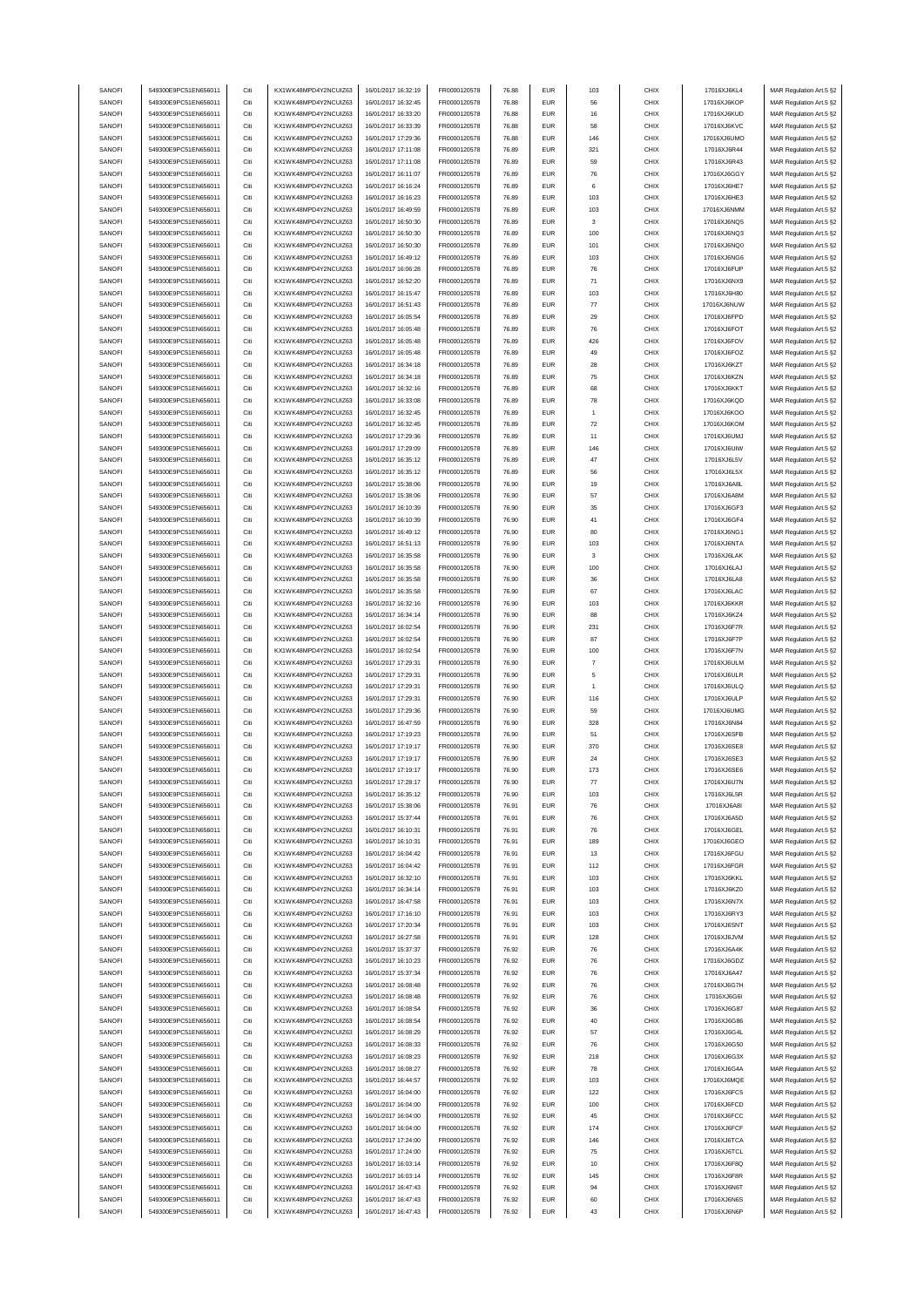| SANOFI | 549300E9PC51EN656011 | Citi | KX1WK48MPD4Y2NCUIZ63  | 16/01/2017 16:32:19 | FR0000120578 | 76.88 | <b>EUR</b> | 103            | CHIX        | 17016XJ6KL4 | MAR Regulation Art.5 §2 |
|--------|----------------------|------|-----------------------|---------------------|--------------|-------|------------|----------------|-------------|-------------|-------------------------|
| SANOFI | 549300E9PC51EN656011 | Citi | KX1WK48MPD4Y2NCUIZ63  | 16/01/2017 16:32:45 | FR0000120578 | 76.88 | <b>EUR</b> | 56             | CHIX        | 17016XJ6KOP | MAR Regulation Art.5 §2 |
| SANOFI | 549300E9PC51EN656011 | Citi | KX1WK48MPD4Y2NCUIZ63  | 16/01/2017 16:33:20 | FR0000120578 | 76.88 | <b>EUR</b> | 16             | CHIX        |             |                         |
|        |                      |      |                       |                     |              |       |            |                |             | 17016XJ6KUD | MAR Regulation Art.5 §2 |
| SANOFI | 549300E9PC51EN656011 | Citi | KX1WK48MPD4Y2NCUIZ63  | 16/01/2017 16:33:39 | FR0000120578 | 76.88 | <b>EUR</b> | 58             | CHIX        | 17016XJ6KVC | MAR Regulation Art.5 §2 |
| SANOFI | 549300E9PC51EN656011 | Citi | KX1WK48MPD4Y2NCUIZ63  | 16/01/2017 17:29:36 | FR0000120578 | 76.88 | <b>EUR</b> | 146            | CHIX        | 17016XJ6UMO | MAR Regulation Art.5 §2 |
| SANOFI | 549300E9PC51EN656011 | Citi | KX1WK48MPD4Y2NCUIZ63  | 16/01/2017 17:11:08 | FR0000120578 | 76.89 | <b>EUR</b> | 321            | CHIX        | 17016XJ6R44 | MAR Regulation Art.5 §2 |
| SANOFI | 549300E9PC51EN656011 | Citi | KX1WK48MPD4Y2NCUIZ63  | 16/01/2017 17:11:08 | FR0000120578 | 76.89 | <b>EUR</b> | 59             | CHIX        | 17016XJ6R43 | MAR Regulation Art.5 §2 |
|        |                      |      |                       |                     |              |       |            |                |             |             |                         |
| SANOFI | 549300E9PC51EN656011 | Citi | KX1WK48MPD4Y2NCUIZ63  | 16/01/2017 16:11:07 | FR0000120578 | 76.89 | <b>EUR</b> | 76             | CHIX        | 17016XJ6GGY | MAR Regulation Art.5 §2 |
| SANOFI | 549300E9PC51EN656011 | Citi | KX1WK48MPD4Y2NCUIZ63  | 16/01/2017 16:16:24 | FR0000120578 | 76.89 | <b>EUR</b> | 6              | CHIX        | 17016XJ6HE7 | MAR Regulation Art.5 §2 |
| SANOFI | 549300E9PC51EN656011 | Citi | KX1WK48MPD4Y2NCUIZ63  | 16/01/2017 16:16:23 | FR0000120578 | 76.89 | <b>EUR</b> | 103            | CHIX        | 17016XJ6HE3 | MAR Regulation Art.5 §2 |
| SANOFI | 549300E9PC51EN656011 | Citi | KX1WK48MPD4Y2NCUIZ63  | 16/01/2017 16:49:59 | FR0000120578 | 76.89 | <b>EUR</b> | 103            | CHIX        | 17016XJ6NMM | MAR Regulation Art.5 §2 |
| SANOFI | 549300E9PC51EN656011 | Citi | KX1WK48MPD4Y2NCUIZ63  | 16/01/2017 16:50:30 | FR0000120578 | 76.89 | <b>EUR</b> | $\mathsf 3$    | CHIX        | 17016XJ6NQ5 | MAR Regulation Art.5 §2 |
|        |                      |      |                       |                     |              |       |            |                |             |             |                         |
| SANOFI | 549300E9PC51EN656011 | Citi | KX1WK48MPD4Y2NCUIZ63  | 16/01/2017 16:50:30 | FR0000120578 | 76.89 | <b>EUR</b> | 100            | CHIX        | 17016XJ6NQ3 | MAR Regulation Art.5 §2 |
| SANOFI | 549300E9PC51EN656011 | Citi | KX1WK48MPD4Y2NCUIZ63  | 16/01/2017 16:50:30 | FR0000120578 | 76.89 | <b>EUR</b> | 101            | CHIX        | 17016XJ6NQ0 | MAR Regulation Art.5 §2 |
| SANOFI | 549300E9PC51EN656011 | Citi | KX1WK48MPD4Y2NCUIZ63  | 16/01/2017 16:49:12 | FR0000120578 | 76.89 | <b>EUR</b> | 103            | CHIX        | 17016XJ6NG6 | MAR Regulation Art.5 §2 |
|        |                      |      |                       |                     |              |       |            |                |             |             |                         |
| SANOFI | 549300E9PC51EN656011 | Citi | KX1WK48MPD4Y2NCUIZ63  | 16/01/2017 16:06:28 | FR0000120578 | 76.89 | <b>EUR</b> | 76             | CHIX        | 17016XJ6FUP | MAR Regulation Art.5 §2 |
| SANOFI | 549300E9PC51EN656011 | Citi | KX1WK48MPD4Y2NCUIZ63  | 16/01/2017 16:52:20 | FR0000120578 | 76.89 | <b>EUR</b> | $71\,$         | CHIX        | 17016XJ6NX9 | MAR Regulation Art.5 §2 |
| SANOFI | 549300E9PC51EN656011 | Citi | KX1WK48MPD4Y2NCUIZ63  | 16/01/2017 16:15:47 | FR0000120578 | 76.89 | <b>EUR</b> | 103            | CHIX        | 17016XJ6H80 | MAR Regulation Art.5 §2 |
| SANOFI | 549300E9PC51EN656011 | Citi | KX1WK48MPD4Y2NCUIZ63  | 16/01/2017 16:51:43 | FR0000120578 | 76.89 | <b>EUR</b> | ${\bf 77}$     | CHIX        | 17016XJ6NUW | MAR Regulation Art.5 §2 |
|        |                      |      |                       |                     |              |       |            |                | CHIX        |             |                         |
| SANOFI | 549300E9PC51EN656011 | Citi | KX1WK48MPD4Y2NCUIZ63  | 16/01/2017 16:05:54 | FR0000120578 | 76.89 | <b>EUR</b> | 29             |             | 17016XJ6FPD | MAR Regulation Art.5 §2 |
| SANOFI | 549300E9PC51EN656011 | Citi | KX1WK48MPD4Y2NCUIZ63  | 16/01/2017 16:05:48 | FR0000120578 | 76.89 | <b>EUR</b> | 76             | CHIX        | 17016XJ6FOT | MAR Regulation Art.5 §2 |
| SANOFI | 549300E9PC51EN656011 | Citi | KX1WK48MPD4Y2NCUIZ63  | 16/01/2017 16:05:48 | FR0000120578 | 76.89 | <b>EUR</b> | 426            | CHIX        | 17016XJ6FOV | MAR Regulation Art.5 §2 |
| SANOFI | 549300E9PC51EN656011 | Citi | KX1WK48MPD4Y2NCUIZ63  | 16/01/2017 16:05:48 | FR0000120578 | 76.89 | <b>EUR</b> | 49             | CHIX        | 17016XJ6FOZ | MAR Regulation Art.5 §2 |
| SANOFI | 549300E9PC51EN656011 | Citi | KX1WK48MPD4Y2NCUIZ63  | 16/01/2017 16:34:18 | FR0000120578 | 76.89 | <b>EUR</b> | 28             | CHIX        | 17016XJ6KZT | MAR Regulation Art.5 §2 |
|        |                      |      |                       |                     |              |       |            |                |             |             |                         |
| SANOFI | 549300E9PC51EN656011 | Citi | KX1WK48MPD4Y2NCUIZ63  | 16/01/2017 16:34:18 | FR0000120578 | 76.89 | <b>EUR</b> | 75             | CHIX        | 17016XJ6KZN | MAR Regulation Art.5 §2 |
| SANOFI | 549300E9PC51EN656011 | Citi | KX1WK48MPD4Y2NCUIZ63  | 16/01/2017 16:32:16 | FR0000120578 | 76.89 | <b>EUR</b> | 68             | CHIX        | 17016XJ6KKT | MAR Regulation Art.5 §2 |
| SANOFI | 549300E9PC51EN656011 | Citi | KX1WK48MPD4Y2NCUIZ63  | 16/01/2017 16:33:08 | FR0000120578 | 76.89 | <b>EUR</b> | 78             | CHIX        | 17016XJ6KQD | MAR Regulation Art.5 §2 |
| SANOFI | 549300E9PC51EN656011 | Citi | KX1WK48MPD4Y2NCUIZ63  | 16/01/2017 16:32:45 | FR0000120578 | 76.89 | <b>EUR</b> | $\overline{1}$ | CHIX        | 17016XJ6KOO | MAR Regulation Art.5 §2 |
|        |                      |      |                       |                     |              |       |            |                |             |             |                         |
| SANOFI | 549300E9PC51EN656011 | Citi | KX1WK48MPD4Y2NCUIZ63  | 16/01/2017 16:32:45 | FR0000120578 | 76.89 | <b>EUR</b> | 72             | CHIX        | 17016XJ6KOM | MAR Regulation Art.5 §2 |
| SANOFI | 549300E9PC51EN656011 | Citi | KX1WK48MPD4Y2NCUIZ63  | 16/01/2017 17:29:36 | FR0000120578 | 76.89 | <b>EUR</b> | 11             | CHIX        | 17016XJ6UMJ | MAR Regulation Art.5 §2 |
| SANOFI | 549300E9PC51EN656011 | Citi | KX1WK48MPD4Y2NCUIZ63  | 16/01/2017 17:29:09 | FR0000120578 | 76.89 | <b>EUR</b> | 146            | CHIX        | 17016XJ6UIW | MAR Regulation Art.5 §2 |
| SANOFI | 549300E9PC51EN656011 | Citi | KX1WK48MPD4Y2NCUIZ63  | 16/01/2017 16:35:12 | FR0000120578 | 76.89 | <b>EUR</b> | 47             | CHIX        | 17016XJ6L5V | MAR Regulation Art.5 §2 |
| SANOFI |                      | Citi |                       |                     | FR0000120578 |       |            |                | CHIX        | 17016XJ6L5X | MAR Regulation Art.5 §2 |
|        | 549300E9PC51EN656011 |      | KX1WK48MPD4Y2NCUIZ63  | 16/01/2017 16:35:12 |              | 76.89 | <b>EUR</b> | 56             |             |             |                         |
| SANOFI | 549300E9PC51EN656011 | Citi | KX1WK48MPD4Y2NCUIZ63  | 16/01/2017 15:38:06 | FR0000120578 | 76.90 | <b>EUR</b> | 19             | CHIX        | 17016XJ6A8L | MAR Regulation Art.5 §2 |
| SANOFI | 549300E9PC51EN656011 | Citi | KX1WK48MPD4Y2NCUIZ63  | 16/01/2017 15:38:06 | FR0000120578 | 76.90 | <b>EUR</b> | 57             | CHIX        | 17016XJ6A8M | MAR Regulation Art.5 §2 |
| SANOFI | 549300E9PC51EN656011 | Citi | KX1WK48MPD4Y2NCUIZ63  | 16/01/2017 16:10:39 | FR0000120578 | 76.90 | <b>EUR</b> | 35             | CHIX        | 17016XJ6GF3 | MAR Regulation Art.5 §2 |
| SANOFI | 549300E9PC51EN656011 | Citi | KX1WK48MPD4Y2NCUIZ63  | 16/01/2017 16:10:39 | FR0000120578 | 76.90 | <b>EUR</b> | 41             | CHIX        | 17016XJ6GF4 | MAR Regulation Art.5 §2 |
|        |                      |      |                       |                     |              |       |            |                |             |             |                         |
| SANOFI | 549300E9PC51EN656011 | Citi | KX1WK48MPD4Y2NCUIZ63  | 16/01/2017 16:49:12 | FR0000120578 | 76.90 | <b>EUR</b> | 80             | CHIX        | 17016XJ6NG1 | MAR Regulation Art.5 §2 |
| SANOFI | 549300E9PC51EN656011 | Citi | KX1WK48MPD4Y2NCUIZ63  | 16/01/2017 16:51:13 | FR0000120578 | 76.90 | <b>EUR</b> | 103            | CHIX        | 17016XJ6NTA | MAR Regulation Art.5 §2 |
| SANOFI | 549300E9PC51EN656011 | Citi | KX1WK48MPD4Y2NCUIZ63  | 16/01/2017 16:35:58 | FR0000120578 | 76.90 | <b>EUR</b> | 3              | CHIX        | 17016XJ6LAK | MAR Regulation Art.5 §2 |
| SANOFI | 549300E9PC51EN656011 | Citi | KX1WK48MPD4Y2NCUIZ63  | 16/01/2017 16:35:58 | FR0000120578 | 76.90 | <b>EUR</b> | 100            | CHIX        | 17016XJ6LAJ | MAR Regulation Art.5 §2 |
|        |                      |      |                       |                     |              |       |            |                |             |             |                         |
| SANOFI | 549300E9PC51EN656011 | Citi | KX1WK48MPD4Y2NCUIZ63  | 16/01/2017 16:35:58 | FR0000120578 | 76.90 | <b>EUR</b> | 36             | CHIX        | 17016XJ6LA8 | MAR Regulation Art.5 §2 |
| SANOFI | 549300E9PC51EN656011 | Citi | KX1WK48MPD4Y2NCUIZ63  | 16/01/2017 16:35:58 | FR0000120578 | 76.90 | <b>EUR</b> | 67             | CHIX        | 17016XJ6LAC | MAR Regulation Art.5 §2 |
| SANOFI | 549300E9PC51EN656011 | Citi | KX1WK48MPD4Y2NCUIZ63  | 16/01/2017 16:32:16 | FR0000120578 | 76.90 | <b>EUR</b> | 103            | CHIX        | 17016XJ6KKR | MAR Regulation Art.5 §2 |
| SANOFI | 549300E9PC51EN656011 | Citi | KX1WK48MPD4Y2NCUIZ63  | 16/01/2017 16:34:14 | FR0000120578 | 76.90 | <b>EUR</b> | 88             | CHIX        | 17016XJ6KZ4 | MAR Regulation Art.5 §2 |
| SANOFI | 549300E9PC51EN656011 | Citi | KX1WK48MPD4Y2NCUIZ63  | 16/01/2017 16:02:54 | FR0000120578 | 76.90 | <b>EUR</b> | 231            | CHIX        | 17016XJ6F7R |                         |
|        |                      |      |                       |                     |              |       |            |                |             |             | MAR Regulation Art.5 §2 |
| SANOFI | 549300E9PC51EN656011 | Citi | KX1WK48MPD4Y2NCUIZ63  | 16/01/2017 16:02:54 | FR0000120578 | 76.90 | <b>EUR</b> | 87             | CHIX        | 17016XJ6F7P | MAR Regulation Art.5 §2 |
| SANOFI | 549300E9PC51EN656011 | Citi | KX1WK48MPD4Y2NCUIZ63  | 16/01/2017 16:02:54 | FR0000120578 | 76.90 | <b>EUR</b> | 100            | CHIX        | 17016XJ6F7N | MAR Regulation Art.5 §2 |
| SANOFI | 549300E9PC51EN656011 | Citi | KX1WK48MPD4Y2NCUIZ63  | 16/01/2017 17:29:31 | FR0000120578 | 76.90 | <b>EUR</b> | $\overline{7}$ | CHIX        | 17016XJ6ULM | MAR Regulation Art.5 §2 |
| SANOFI | 549300E9PC51EN656011 | Citi | KX1WK48MPD4Y2NCUIZ63  | 16/01/2017 17:29:31 | FR0000120578 | 76.90 | <b>EUR</b> | 5              | CHIX        | 17016XJ6ULR | MAR Regulation Art.5 §2 |
|        |                      |      |                       |                     |              |       |            |                |             |             |                         |
| SANOFI | 549300E9PC51EN656011 | Citi | KX1WK48MPD4Y2NCUIZ63  | 16/01/2017 17:29:31 | FR0000120578 | 76.90 | <b>EUR</b> | $\overline{1}$ | CHIX        | 17016XJ6ULQ | MAR Regulation Art.5 §2 |
| SANOFI | 549300E9PC51EN656011 | Citi | KX1WK48MPD4Y2NCUIZ63  | 16/01/2017 17:29:31 | FR0000120578 | 76.90 | <b>EUR</b> | 116            | CHIX        | 17016XJ6ULP | MAR Regulation Art.5 §2 |
| SANOFI | 549300E9PC51EN656011 | Citi | KX1WK48MPD4Y2NCUIZ63  | 16/01/2017 17:29:36 | FR0000120578 | 76.90 | <b>EUR</b> | 59             | CHIX        | 17016XJ6UMG | MAR Regulation Art.5 §2 |
| SANOFI | 549300E9PC51EN656011 | Citi | KX1WK48MPD4Y2NCUIZ63  | 16/01/2017 16:47:59 | FR0000120578 | 76.90 | <b>EUR</b> | 328            | CHIX        | 17016XJ6N84 | MAR Regulation Art.5 §2 |
|        |                      |      |                       |                     | FR0000120578 |       |            |                |             | 17016XJ6SFB |                         |
| SANOFI | 549300E9PC51EN656011 | Citi | KX1WK48MPD4Y2NCUIZ63  | 16/01/2017 17:19:23 |              | 76.90 | <b>EUR</b> | 51             | CHIX        |             | MAR Regulation Art.5 §2 |
| SANOFI | 549300E9PC51EN656011 | Citi | KX1WK48MPD4Y2NCUIZ63  | 16/01/2017 17:19:17 | FR0000120578 | 76.90 | <b>EUR</b> | 370            | CHIX        | 17016XJ6SE8 | MAR Regulation Art.5 §2 |
| SANOFI | 549300E9PC51EN656011 | Citi | KX1WK48MPD4Y2NCUIZ63  | 16/01/2017 17:19:17 | FR0000120578 | 76.90 | <b>EUR</b> | $\mathbf{24}$  | CHIX        | 17016XJ6SE3 | MAR Regulation Art.5 §2 |
| SANOFI | 549300E9PC51EN656011 | Citi | KX1WK48MPD4Y2NCUIZ63  | 16/01/2017 17:19:17 | FR0000120578 | 76.90 | <b>EUR</b> | 173            | CHIX        | 17016XJ6SE6 | MAR Regulation Art.5 §2 |
| SANOFI | 549300E9PC51EN656011 |      | KX1WK48MPD4Y2NCLIIZ63 | 16/01/2017 17:28:17 | FR0000120578 | 76.90 | FUR        | 77             | CHIX        | 17016XJ6U7N | MAR Regulation Art 5 82 |
|        |                      |      |                       |                     |              |       |            |                |             |             |                         |
| SANOFI | 549300E9PC51EN656011 | Citi | KX1WK48MPD4Y2NCUIZ63  | 16/01/2017 16:35:12 | FR0000120578 | 76.90 | <b>EUR</b> | 103            | CHIX        | 17016XJ6L5R | MAR Regulation Art.5 §2 |
| SANOFI | 549300E9PC51EN656011 | Citi | KX1WK48MPD4Y2NCUIZ63  | 16/01/2017 15:38:06 | FR0000120578 | 76.91 | <b>EUR</b> | 76             | CHIX        | 17016XJ6A8I | MAR Regulation Art.5 §2 |
| SANOFI | 549300E9PC51EN656011 | Citi | KX1WK48MPD4Y2NCUIZ63  | 16/01/2017 15:37:44 | FR0000120578 | 76.91 | <b>EUR</b> | 76             | CHIX        | 17016XJ6A5D | MAR Regulation Art.5 §2 |
| SANOFI | 549300E9PC51EN656011 | Citi | KX1WK48MPD4Y2NCUIZ63  | 16/01/2017 16:10:31 | FR0000120578 | 76.91 | <b>EUR</b> |                | CHIX        | 17016XJ6GEL | MAR Regulation Art.5 §2 |
| SANOFI | 549300E9PC51EN656011 | Citi | KX1WK48MPD4Y2NCUIZ63  | 16/01/2017 16:10:31 | FR0000120578 | 76.91 |            |                | CHIX        |             |                         |
|        |                      |      |                       |                     |              |       |            | 76             |             |             |                         |
| SANOFI | 549300E9PC51EN656011 | Citi | KX1WK48MPD4Y2NCUIZ63  | 16/01/2017 16:04:42 |              |       | <b>EUR</b> | 189            |             | 17016XJ6GEO | MAR Regulation Art.5 §2 |
| SANOFI | 549300E9PC51EN656011 | Citi |                       |                     | FR0000120578 | 76.91 | <b>EUR</b> | 13             | CHIX        | 17016XJ6FGU | MAR Regulation Art.5 §2 |
| SANOFI | 549300E9PC51EN656011 |      | KX1WK48MPD4Y2NCUIZ63  | 16/01/2017 16:04:42 | FR0000120578 | 76.91 | <b>EUR</b> | 112            | CHIX        | 17016XJ6FGR | MAR Regulation Art.5 §2 |
| SANOFI |                      | Citi | KX1WK48MPD4Y2NCUIZ63  | 16/01/2017 16:32:10 | FR0000120578 | 76.91 | <b>EUR</b> | 103            | CHIX        | 17016XJ6KKL | MAR Regulation Art.5 §2 |
|        | 549300E9PC51EN656011 | Citi | KX1WK48MPD4Y2NCUIZ63  | 16/01/2017 16:34:14 | FR0000120578 | 76.91 | <b>EUR</b> | 103            | CHIX        | 17016XJ6KZ0 | MAR Regulation Art.5 §2 |
|        |                      |      |                       |                     |              |       |            |                |             |             |                         |
| SANOFI | 549300E9PC51EN656011 | Citi | KX1WK48MPD4Y2NCUIZ63  | 16/01/2017 16:47:58 | FR0000120578 | 76.91 | <b>EUR</b> | 103            | CHIX        | 17016XJ6N7X | MAR Regulation Art.5 §2 |
| SANOFI | 549300E9PC51EN656011 | Citi | KX1WK48MPD4Y2NCUIZ63  | 16/01/2017 17:16:10 | FR0000120578 | 76.91 | <b>EUR</b> | 103            | CHIX        | 17016XJ6RY3 | MAR Regulation Art.5 §2 |
| SANOFI | 549300E9PC51EN656011 | Citi | KX1WK48MPD4Y2NCUIZ63  | 16/01/2017 17:20:34 | FR0000120578 | 76.91 | <b>EUR</b> | 103            | CHIX        | 17016XJ6SNT | MAR Regulation Art.5 §2 |
| SANOFI | 549300E9PC51EN656011 | Citi | KX1WK48MPD4Y2NCUIZ63  | 16/01/2017 16:27:58 | FR0000120578 | 76.91 | <b>EUR</b> | 128            | CHIX        | 17016XJ6JVM | MAR Regulation Art.5 §2 |
|        |                      |      |                       |                     |              |       |            |                |             |             |                         |
| SANOFI | 549300E9PC51EN656011 | Citi | KX1WK48MPD4Y2NCUIZ63  | 16/01/2017 15:37:37 | FR0000120578 | 76.92 | <b>EUR</b> | 76             | CHIX        | 17016XJ6A4K | MAR Regulation Art.5 §2 |
| SANOFI | 549300E9PC51EN656011 | Citi | KX1WK48MPD4Y2NCUIZ63  | 16/01/2017 16:10:23 | FR0000120578 | 76.92 | <b>EUR</b> | 76             | CHIX        | 17016XJ6GDZ | MAR Regulation Art.5 §2 |
| SANOFI | 549300E9PC51EN656011 | Citi | KX1WK48MPD4Y2NCUIZ63  | 16/01/2017 15:37:34 | FR0000120578 | 76.92 | <b>EUR</b> | 76             | CHIX        | 17016XJ6A47 | MAR Regulation Art.5 §2 |
| SANOFI | 549300E9PC51EN656011 | Citi | KX1WK48MPD4Y2NCUIZ63  | 16/01/2017 16:08:48 | FR0000120578 | 76.92 | <b>EUR</b> | 76             | CHIX        | 17016XJ6G7H | MAR Regulation Art.5 §2 |
| SANOFI | 549300E9PC51EN656011 | Citi | KX1WK48MPD4Y2NCUIZ63  | 16/01/2017 16:08:48 | FR0000120578 | 76.92 | <b>EUR</b> | 76             | CHIX        | 17016XJ6G6I | MAR Regulation Art.5 §2 |
|        |                      |      |                       |                     |              |       |            |                |             |             |                         |
| SANOFI | 549300E9PC51EN656011 | Citi | KX1WK48MPD4Y2NCUIZ63  | 16/01/2017 16:08:54 | FR0000120578 | 76.92 | <b>EUR</b> | 36             | CHIX        | 17016XJ6G87 | MAR Regulation Art.5 §2 |
| SANOFI | 549300E9PC51EN656011 | Citi | KX1WK48MPD4Y2NCUIZ63  | 16/01/2017 16:08:54 | FR0000120578 | 76.92 | <b>EUR</b> | 40             | CHIX        | 17016XJ6G86 | MAR Regulation Art.5 §2 |
| SANOFI | 549300E9PC51EN656011 | Citi | KX1WK48MPD4Y2NCUIZ63  | 16/01/2017 16:08:29 | FR0000120578 | 76.92 | <b>EUR</b> | 57             | CHIX        | 17016XJ6G4L | MAR Regulation Art.5 §2 |
| SANOFI | 549300E9PC51EN656011 | Citi | KX1WK48MPD4Y2NCUIZ63  | 16/01/2017 16:08:33 | FR0000120578 | 76.92 | <b>EUR</b> | 76             | CHIX        | 17016XJ6G50 | MAR Regulation Art.5 §2 |
|        |                      |      |                       |                     |              |       |            |                |             |             |                         |
| SANOFI | 549300E9PC51EN656011 | Citi | KX1WK48MPD4Y2NCUIZ63  | 16/01/2017 16:08:23 | FR0000120578 | 76.92 | <b>EUR</b> | 218            | CHIX        | 17016XJ6G3X | MAR Regulation Art.5 §2 |
| SANOFI | 549300E9PC51EN656011 | Citi | KX1WK48MPD4Y2NCUIZ63  | 16/01/2017 16:08:27 | FR0000120578 | 76.92 | <b>EUR</b> | 78             | CHIX        | 17016XJ6G4A | MAR Regulation Art.5 §2 |
| SANOFI | 549300E9PC51EN656011 | Citi | KX1WK48MPD4Y2NCUIZ63  | 16/01/2017 16:44:57 | FR0000120578 | 76.92 | <b>EUR</b> | 103            | CHIX        | 17016XJ6MQE | MAR Regulation Art.5 §2 |
| SANOFI | 549300E9PC51EN656011 | Citi | KX1WK48MPD4Y2NCUIZ63  | 16/01/2017 16:04:00 | FR0000120578 | 76.92 | <b>EUR</b> | 122            | CHIX        | 17016XJ6FC5 | MAR Regulation Art.5 §2 |
|        |                      |      |                       |                     |              | 76.92 |            |                |             |             |                         |
| SANOFI | 549300E9PC51EN656011 | Citi | KX1WK48MPD4Y2NCUIZ63  | 16/01/2017 16:04:00 | FR0000120578 |       | <b>EUR</b> | 100            | CHIX        | 17016XJ6FCD | MAR Regulation Art.5 §2 |
| SANOFI | 549300E9PC51EN656011 | Citi | KX1WK48MPD4Y2NCUIZ63  | 16/01/2017 16:04:00 | FR0000120578 | 76.92 | <b>EUR</b> | 45             | CHIX        | 17016XJ6FCC | MAR Regulation Art.5 §2 |
| SANOFI | 549300E9PC51EN656011 | Citi | KX1WK48MPD4Y2NCUIZ63  | 16/01/2017 16:04:00 | FR0000120578 | 76.92 | <b>EUR</b> | 174            | CHIX        | 17016XJ6FCF | MAR Regulation Art.5 §2 |
| SANOFI | 549300E9PC51EN656011 | Citi | KX1WK48MPD4Y2NCUIZ63  | 16/01/2017 17:24:00 | FR0000120578 | 76.92 | <b>EUR</b> | 146            | CHIX        | 17016XJ6TCA | MAR Regulation Art.5 §2 |
| SANOFI | 549300E9PC51EN656011 | Citi | KX1WK48MPD4Y2NCUIZ63  | 16/01/2017 17:24:00 | FR0000120578 | 76.92 | <b>EUR</b> | 75             | CHIX        | 17016XJ6TCL | MAR Regulation Art.5 §2 |
| SANOFI | 549300E9PC51EN656011 | Citi | KX1WK48MPD4Y2NCUIZ63  | 16/01/2017 16:03:14 | FR0000120578 | 76.92 | <b>EUR</b> | 10             | CHIX        | 17016XJ6F8Q |                         |
|        |                      |      |                       |                     |              |       |            |                |             |             | MAR Regulation Art.5 §2 |
| SANOFI | 549300E9PC51EN656011 | Citi | KX1WK48MPD4Y2NCUIZ63  | 16/01/2017 16:03:14 | FR0000120578 | 76.92 | <b>EUR</b> | 145            | CHIX        | 17016XJ6F8R | MAR Regulation Art.5 §2 |
| SANOFI | 549300E9PC51EN656011 | Citi | KX1WK48MPD4Y2NCUIZ63  | 16/01/2017 16:47:43 | FR0000120578 | 76.92 | <b>EUR</b> | 94             | CHIX        | 17016XJ6N6T | MAR Regulation Art.5 §2 |
| SANOFI | 549300E9PC51EN656011 | Citi | KX1WK48MPD4Y2NCUIZ63  | 16/01/2017 16:47:43 | FR0000120578 | 76.92 | <b>EUR</b> | 60             | CHIX        | 17016XJ6N6S | MAR Regulation Art.5 §2 |
| SANOFI | 549300E9PC51EN656011 | Citi | KX1WK48MPD4Y2NCUIZ63  | 16/01/2017 16:47:43 | FR0000120578 | 76.92 | <b>EUR</b> | 43             | <b>CHIX</b> | 17016XJ6N6P | MAR Regulation Art.5 §2 |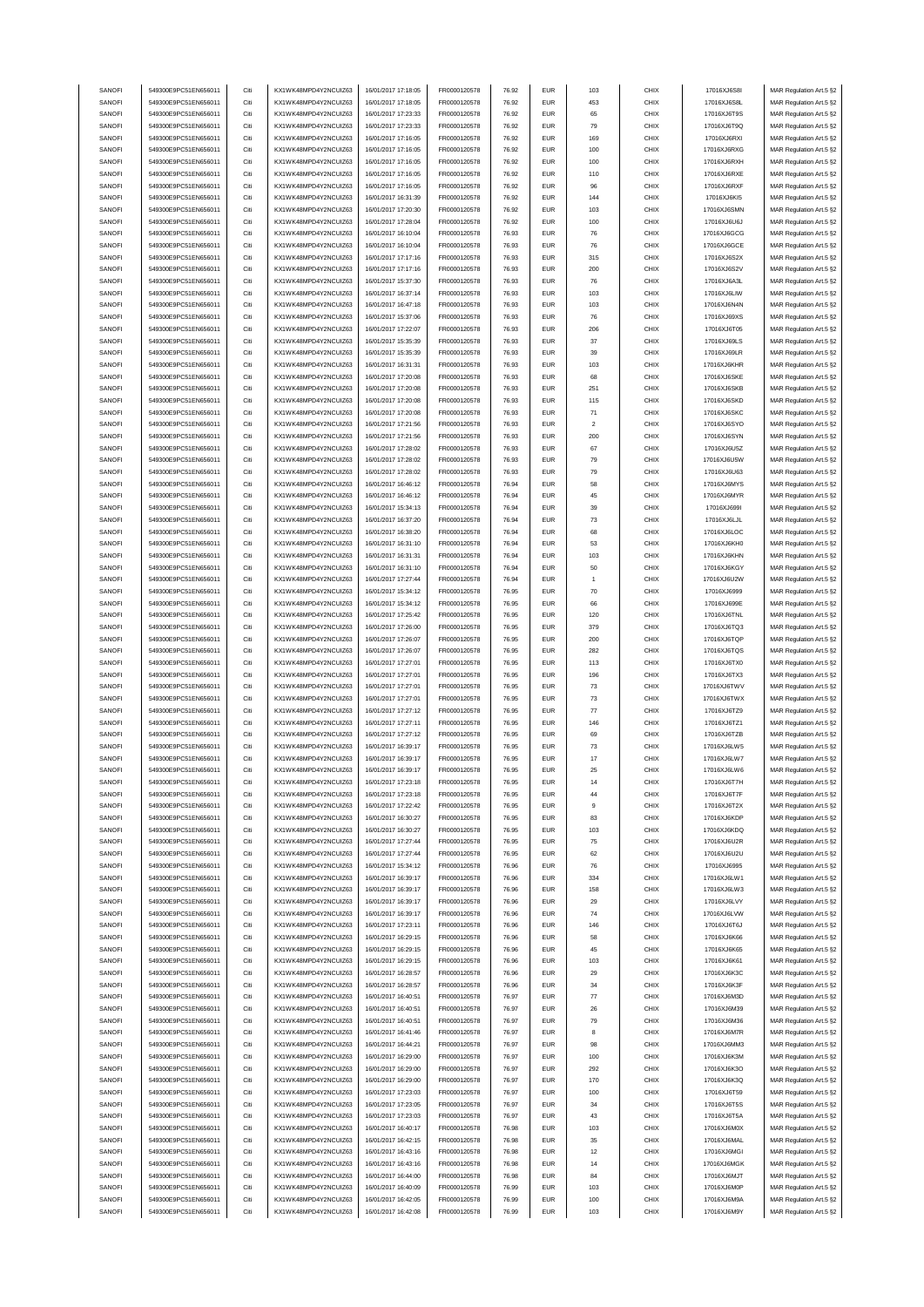| SANOFI | 549300E9PC51EN656011 | Citi | KX1WK48MPD4Y2NCUIZ63  | 16/01/2017 17:18:05 | FR0000120578 | 76.92 | <b>EUR</b> | 103              | CHIX | 17016XJ6S8I | MAR Regulation Art.5 §2 |
|--------|----------------------|------|-----------------------|---------------------|--------------|-------|------------|------------------|------|-------------|-------------------------|
| SANOFI | 549300E9PC51EN656011 | Citi | KX1WK48MPD4Y2NCUIZ63  | 16/01/2017 17:18:05 | FR0000120578 | 76.92 | <b>EUR</b> | 453              | CHIX | 17016XJ6S8L | MAR Regulation Art.5 §2 |
|        |                      |      |                       |                     |              |       |            |                  |      |             |                         |
| SANOFI | 549300E9PC51EN656011 | Citi | KX1WK48MPD4Y2NCUIZ63  | 16/01/2017 17:23:33 | FR0000120578 | 76.92 | <b>EUR</b> | 65               | CHIX | 17016XJ6T9S | MAR Regulation Art.5 §2 |
| SANOFI | 549300E9PC51EN656011 | Citi | KX1WK48MPD4Y2NCUIZ63  | 16/01/2017 17:23:33 | FR0000120578 | 76.92 | <b>EUR</b> | 79               | CHIX | 17016XJ6T9Q | MAR Regulation Art.5 §2 |
| SANOFI | 549300E9PC51EN656011 | Citi | KX1WK48MPD4Y2NCUIZ63  | 16/01/2017 17:16:05 | FR0000120578 | 76.92 | <b>EUR</b> | 169              | CHIX | 17016XJ6RXI | MAR Regulation Art.5 §2 |
| SANOFI | 549300E9PC51EN656011 | Citi | KX1WK48MPD4Y2NCUIZ63  | 16/01/2017 17:16:05 | FR0000120578 | 76.92 | <b>EUR</b> | 100              | CHIX | 17016XJ6RXG | MAR Regulation Art.5 §2 |
| SANOFI | 549300E9PC51EN656011 | Citi | KX1WK48MPD4Y2NCUIZ63  | 16/01/2017 17:16:05 | FR0000120578 | 76.92 | <b>EUR</b> | 100              | CHIX | 17016XJ6RXH | MAR Regulation Art.5 §2 |
|        |                      |      |                       |                     |              |       |            |                  |      |             |                         |
| SANOFI | 549300E9PC51EN656011 | Citi | KX1WK48MPD4Y2NCUIZ63  | 16/01/2017 17:16:05 | FR0000120578 | 76.92 | <b>EUR</b> | 110              | CHIX | 17016XJ6RXE | MAR Regulation Art.5 §2 |
| SANOFI | 549300E9PC51EN656011 | Citi | KX1WK48MPD4Y2NCUIZ63  | 16/01/2017 17:16:05 | FR0000120578 | 76.92 | <b>EUR</b> | 96               | CHIX | 17016XJ6RXF | MAR Regulation Art.5 §2 |
| SANOFI | 549300E9PC51EN656011 | Citi | KX1WK48MPD4Y2NCUIZ63  | 16/01/2017 16:31:39 | FR0000120578 | 76.92 | <b>EUR</b> | 144              | CHIX | 17016XJ6KI5 | MAR Regulation Art.5 §2 |
| SANOFI | 549300E9PC51EN656011 | Citi | KX1WK48MPD4Y2NCUIZ63  | 16/01/2017 17:20:30 | FR0000120578 | 76.92 | <b>EUR</b> | 103              | CHIX | 17016XJ6SMN | MAR Regulation Art.5 §2 |
| SANOFI | 549300E9PC51EN656011 | Citi | KX1WK48MPD4Y2NCUIZ63  | 16/01/2017 17:28:04 | FR0000120578 | 76.92 | <b>EUR</b> | 100              | CHIX | 17016XJ6U6J | MAR Regulation Art.5 §2 |
|        |                      |      |                       |                     |              |       |            |                  |      |             |                         |
| SANOFI | 549300E9PC51EN656011 | Citi | KX1WK48MPD4Y2NCUIZ63  | 16/01/2017 16:10:04 | FR0000120578 | 76.93 | <b>EUR</b> | ${\bf 76}$       | CHIX | 17016XJ6GCG | MAR Regulation Art.5 §2 |
| SANOFI | 549300E9PC51EN656011 | Citi | KX1WK48MPD4Y2NCUIZ63  | 16/01/2017 16:10:04 | FR0000120578 | 76.93 | <b>EUR</b> | 76               | CHIX | 17016XJ6GCE | MAR Regulation Art.5 §2 |
| SANOFI | 549300E9PC51EN656011 | Citi | KX1WK48MPD4Y2NCUIZ63  | 16/01/2017 17:17:16 | FR0000120578 | 76.93 | <b>EUR</b> | 315              | CHIX | 17016XJ6S2X | MAR Regulation Art.5 §2 |
|        |                      |      |                       |                     |              |       |            |                  |      |             |                         |
| SANOFI | 549300E9PC51EN656011 | Citi | KX1WK48MPD4Y2NCUIZ63  | 16/01/2017 17:17:16 | FR0000120578 | 76.93 | <b>EUR</b> | 200              | CHIX | 17016XJ6S2V | MAR Regulation Art.5 §2 |
| SANOFI | 549300E9PC51EN656011 | Citi | KX1WK48MPD4Y2NCUIZ63  | 16/01/2017 15:37:30 | FR0000120578 | 76.93 | <b>EUR</b> | 76               | CHIX | 17016XJ6A3L | MAR Regulation Art.5 §2 |
| SANOFI | 549300E9PC51EN656011 | Citi | KX1WK48MPD4Y2NCUIZ63  | 16/01/2017 16:37:14 | FR0000120578 | 76.93 | <b>EUR</b> | 103              | CHIX | 17016XJ6LIW | MAR Regulation Art.5 §2 |
| SANOFI | 549300E9PC51EN656011 | Citi | KX1WK48MPD4Y2NCUIZ63  | 16/01/2017 16:47:18 | FR0000120578 | 76.93 | <b>EUR</b> | 103              | CHIX | 17016XJ6N4N | MAR Regulation Art.5 §2 |
|        |                      |      |                       |                     |              |       |            |                  | CHIX |             |                         |
| SANOFI | 549300E9PC51EN656011 | Citi | KX1WK48MPD4Y2NCUIZ63  | 16/01/2017 15:37:06 | FR0000120578 | 76.93 | <b>EUR</b> | ${\bf 76}$       |      | 17016XJ69XS | MAR Regulation Art.5 §2 |
| SANOFI | 549300E9PC51EN656011 | Citi | KX1WK48MPD4Y2NCUIZ63  | 16/01/2017 17:22:07 | FR0000120578 | 76.93 | <b>EUR</b> | 206              | CHIX | 17016XJ6T05 | MAR Regulation Art.5 §2 |
| SANOFI | 549300E9PC51EN656011 | Citi | KX1WK48MPD4Y2NCUIZ63  | 16/01/2017 15:35:39 | FR0000120578 | 76.93 | <b>EUR</b> | 37               | CHIX | 17016XJ69LS | MAR Regulation Art.5 §2 |
| SANOFI | 549300E9PC51EN656011 | Citi | KX1WK48MPD4Y2NCUIZ63  | 16/01/2017 15:35:39 | FR0000120578 | 76.93 | <b>EUR</b> | 39               | CHIX | 17016XJ69LR | MAR Regulation Art.5 §2 |
| SANOFI | 549300E9PC51EN656011 | Citi | KX1WK48MPD4Y2NCUIZ63  | 16/01/2017 16:31:31 | FR0000120578 | 76.93 | <b>EUR</b> | 103              | CHIX | 17016XJ6KHR | MAR Regulation Art.5 §2 |
|        |                      |      |                       |                     |              |       |            |                  |      |             |                         |
| SANOFI | 549300E9PC51EN656011 | Citi | KX1WK48MPD4Y2NCUIZ63  | 16/01/2017 17:20:08 | FR0000120578 | 76.93 | <b>EUR</b> | 68               | CHIX | 17016XJ6SKE | MAR Regulation Art.5 §2 |
| SANOFI | 549300E9PC51EN656011 | Citi | KX1WK48MPD4Y2NCUIZ63  | 16/01/2017 17:20:08 | FR0000120578 | 76.93 | <b>EUR</b> | 251              | CHIX | 17016XJ6SKB | MAR Regulation Art.5 §2 |
| SANOFI | 549300E9PC51EN656011 | Citi | KX1WK48MPD4Y2NCUIZ63  | 16/01/2017 17:20:08 | FR0000120578 | 76.93 | <b>EUR</b> | 115              | CHIX | 17016XJ6SKD | MAR Regulation Art.5 §2 |
| SANOFI | 549300E9PC51EN656011 | Citi | KX1WK48MPD4Y2NCUIZ63  | 16/01/2017 17:20:08 | FR0000120578 | 76.93 | <b>EUR</b> | ${\bf 71}$       | CHIX | 17016XJ6SKC | MAR Regulation Art.5 §2 |
|        |                      |      |                       |                     |              |       |            |                  |      |             |                         |
| SANOFI | 549300E9PC51EN656011 | Citi | KX1WK48MPD4Y2NCUIZ63  | 16/01/2017 17:21:56 | FR0000120578 | 76.93 | <b>EUR</b> | $\boldsymbol{2}$ | CHIX | 17016XJ6SYO | MAR Regulation Art.5 §2 |
| SANOFI | 549300E9PC51EN656011 | Citi | KX1WK48MPD4Y2NCUIZ63  | 16/01/2017 17:21:56 | FR0000120578 | 76.93 | <b>EUR</b> | 200              | CHIX | 17016XJ6SYN | MAR Regulation Art.5 §2 |
| SANOFI | 549300E9PC51EN656011 | Citi | KX1WK48MPD4Y2NCUIZ63  | 16/01/2017 17:28:02 | FR0000120578 | 76.93 | <b>EUR</b> | 67               | CHIX | 17016XJ6U5Z | MAR Regulation Art.5 §2 |
| SANOFI | 549300E9PC51EN656011 | Citi | KX1WK48MPD4Y2NCUIZ63  | 16/01/2017 17:28:02 | FR0000120578 | 76.93 | <b>EUR</b> | 79               | CHIX | 17016XJ6U5W | MAR Regulation Art.5 §2 |
|        |                      |      |                       |                     |              |       |            |                  |      |             |                         |
| SANOFI | 549300E9PC51EN656011 | Citi | KX1WK48MPD4Y2NCUIZ63  | 16/01/2017 17:28:02 | FR0000120578 | 76.93 | <b>EUR</b> | 79               | CHIX | 17016XJ6U63 | MAR Regulation Art.5 §2 |
| SANOFI | 549300E9PC51EN656011 | Citi | KX1WK48MPD4Y2NCUIZ63  | 16/01/2017 16:46:12 | FR0000120578 | 76.94 | <b>EUR</b> | 58               | CHIX | 17016XJ6MYS | MAR Regulation Art.5 §2 |
| SANOFI | 549300E9PC51EN656011 | Citi | KX1WK48MPD4Y2NCUIZ63  | 16/01/2017 16:46:12 | FR0000120578 | 76.94 | <b>EUR</b> | 45               | CHIX | 17016XJ6MYR | MAR Regulation Art.5 §2 |
| SANOFI | 549300E9PC51EN656011 | Citi | KX1WK48MPD4Y2NCUIZ63  | 16/01/2017 15:34:13 | FR0000120578 | 76.94 | <b>EUR</b> | 39               | CHIX | 17016XJ699I | MAR Regulation Art.5 §2 |
|        | 549300E9PC51EN656011 | Citi |                       |                     |              |       | <b>EUR</b> |                  | CHIX |             |                         |
| SANOFI |                      |      | KX1WK48MPD4Y2NCUIZ63  | 16/01/2017 16:37:20 | FR0000120578 | 76.94 |            | $\mathbf{73}$    |      | 17016XJ6LJL | MAR Regulation Art.5 §2 |
| SANOFI | 549300E9PC51EN656011 | Citi | KX1WK48MPD4Y2NCUIZ63  | 16/01/2017 16:38:20 | FR0000120578 | 76.94 | <b>EUR</b> | 68               | CHIX | 17016XJ6LOC | MAR Regulation Art.5 §2 |
| SANOFI | 549300E9PC51EN656011 | Citi | KX1WK48MPD4Y2NCUIZ63  | 16/01/2017 16:31:10 | FR0000120578 | 76.94 | <b>EUR</b> | 53               | CHIX | 17016XJ6KH0 | MAR Regulation Art.5 §2 |
| SANOFI | 549300E9PC51EN656011 | Citi | KX1WK48MPD4Y2NCUIZ63  | 16/01/2017 16:31:31 | FR0000120578 | 76.94 | <b>EUR</b> | 103              | CHIX | 17016XJ6KHN | MAR Regulation Art.5 §2 |
| SANOFI | 549300E9PC51EN656011 | Citi | KX1WK48MPD4Y2NCUIZ63  | 16/01/2017 16:31:10 | FR0000120578 | 76.94 | <b>EUR</b> | 50               | CHIX | 17016XJ6KGY | MAR Regulation Art.5 §2 |
|        |                      |      |                       |                     |              |       |            |                  |      |             |                         |
| SANOFI | 549300E9PC51EN656011 | Citi | KX1WK48MPD4Y2NCUIZ63  | 16/01/2017 17:27:44 | FR0000120578 | 76.94 | <b>EUR</b> | $\mathbf{1}$     | CHIX | 17016XJ6U2W | MAR Regulation Art.5 §2 |
| SANOFI | 549300E9PC51EN656011 | Citi | KX1WK48MPD4Y2NCUIZ63  | 16/01/2017 15:34:12 | FR0000120578 | 76.95 | <b>EUR</b> | 70               | CHIX | 17016XJ6999 | MAR Regulation Art.5 §2 |
| SANOFI | 549300E9PC51EN656011 | Citi | KX1WK48MPD4Y2NCUIZ63  | 16/01/2017 15:34:12 | FR0000120578 | 76.95 | <b>EUR</b> | 66               | CHIX | 17016XJ699E | MAR Regulation Art.5 §2 |
| SANOFI | 549300E9PC51EN656011 | Citi | KX1WK48MPD4Y2NCUIZ63  | 16/01/2017 17:25:42 | FR0000120578 | 76.95 | <b>EUR</b> | 120              | CHIX | 17016XJ6TNL | MAR Regulation Art.5 §2 |
| SANOFI | 549300E9PC51EN656011 | Citi | KX1WK48MPD4Y2NCUIZ63  |                     | FR0000120578 | 76.95 | <b>EUR</b> | 379              | CHIX |             |                         |
|        |                      |      |                       | 16/01/2017 17:26:00 |              |       |            |                  |      | 17016XJ6TQ3 | MAR Regulation Art.5 §2 |
| SANOFI | 549300E9PC51EN656011 | Citi | KX1WK48MPD4Y2NCUIZ63  | 16/01/2017 17:26:07 | FR0000120578 | 76.95 | <b>EUR</b> | 200              | CHIX | 17016XJ6TQP | MAR Regulation Art.5 §2 |
| SANOFI | 549300E9PC51EN656011 | Citi | KX1WK48MPD4Y2NCUIZ63  | 16/01/2017 17:26:07 | FR0000120578 | 76.95 | <b>EUR</b> | 282              | CHIX | 17016XJ6TQS | MAR Regulation Art.5 §2 |
| SANOFI | 549300E9PC51EN656011 | Citi | KX1WK48MPD4Y2NCUIZ63  | 16/01/2017 17:27:01 | FR0000120578 | 76.95 | <b>EUR</b> | 113              | CHIX | 17016XJ6TX0 | MAR Regulation Art.5 §2 |
| SANOFI | 549300E9PC51EN656011 | Citi | KX1WK48MPD4Y2NCUIZ63  | 16/01/2017 17:27:01 | FR0000120578 | 76.95 | <b>EUR</b> | 196              | CHIX | 17016XJ6TX3 | MAR Regulation Art.5 §2 |
|        |                      |      |                       |                     |              |       |            |                  |      |             |                         |
| SANOFI | 549300E9PC51EN656011 | Citi | KX1WK48MPD4Y2NCUIZ63  | 16/01/2017 17:27:01 | FR0000120578 | 76.95 | <b>EUR</b> | $\mathbf{73}$    | CHIX | 17016XJ6TWV | MAR Regulation Art.5 §2 |
| SANOFI |                      |      |                       |                     |              |       |            |                  |      |             |                         |
|        | 549300E9PC51EN656011 | Citi | KX1WK48MPD4Y2NCUIZ63  | 16/01/2017 17:27:01 | FR0000120578 | 76.95 | <b>EUR</b> | 73               | CHIX | 17016XJ6TWX | MAR Regulation Art.5 §2 |
| SANOFI | 549300E9PC51EN656011 | Citi | KX1WK48MPD4Y2NCUIZ63  | 16/01/2017 17:27:12 | FR0000120578 | 76.95 | <b>EUR</b> | $77\,$           | CHIX | 17016XJ6TZ9 |                         |
|        |                      |      |                       |                     |              |       |            |                  |      |             | MAR Regulation Art.5 §2 |
| SANOFI | 549300E9PC51EN656011 | Citi | KX1WK48MPD4Y2NCUIZ63  | 16/01/2017 17:27:11 | FR0000120578 | 76.95 | <b>EUR</b> | 146              | CHIX | 17016XJ6TZ1 | MAR Regulation Art.5 §2 |
| SANOFI | 549300E9PC51EN656011 | Citi | KX1WK48MPD4Y2NCUIZ63  | 16/01/2017 17:27:12 | FR0000120578 | 76.95 | <b>EUR</b> | 69               | CHIX | 17016XJ6TZB | MAR Regulation Art.5 §2 |
| SANOFI | 549300E9PC51EN656011 | Citi | KX1WK48MPD4Y2NCUIZ63  | 16/01/2017 16:39:17 | FR0000120578 | 76.95 | <b>EUR</b> | $\mathbf{73}$    | CHIX | 17016XJ6LW5 | MAR Regulation Art.5 §2 |
| SANOFI | 549300E9PC51EN656011 | Citi | KX1WK48MPD4Y2NCUIZ63  | 16/01/2017 16:39:17 | FR0000120578 | 76.95 | <b>EUR</b> | 17               | CHIX | 17016XJ6LW7 | MAR Regulation Art.5 §2 |
|        |                      | Citi |                       | 16/01/2017 16:39:17 |              |       | <b>EUR</b> |                  |      |             |                         |
| SANOFI | 549300E9PC51EN656011 |      | KX1WK48MPD4Y2NCUIZ63  |                     | FR0000120578 | 76.95 |            | 25               | CHIX | 17016XJ6LW6 | MAR Regulation Art.5 §2 |
| SANOFI | 549300E9PC51EN656011 |      | KX1WK48MPD4Y2NCLIIZ63 | 16/01/2017 17:23:18 | FR0000120578 | 76.95 | FUR        |                  | CHIX | 17016XJ6T7H | MAR Regulation Art 5.82 |
| SANOFI | 549300E9PC51EN656011 | Citi | KX1WK48MPD4Y2NCUIZ63  | 16/01/2017 17:23:18 | FR0000120578 | 76.95 | <b>EUR</b> | 44               | CHIX | 17016XJ6T7F | MAR Regulation Art.5 §2 |
| SANOFI | 549300E9PC51EN656011 | Citi | KX1WK48MPD4Y2NCUIZ63  | 16/01/2017 17:22:42 | FR0000120578 | 76.95 | <b>EUR</b> | $\mathsf g$      | CHIX | 17016XJ6T2X | MAR Regulation Art.5 §2 |
| SANOFI | 549300E9PC51EN656011 | Citi | KX1WK48MPD4Y2NCUIZ63  | 16/01/2017 16:30:27 | FR0000120578 | 76.95 | <b>EUR</b> | 83               | CHIX | 17016XJ6KDP | MAR Regulation Art.5 §2 |
|        |                      |      | KX1WK48MPD4Y2NCUIZ63  | 16/01/2017 16:30:27 | FR0000120578 |       |            |                  |      |             |                         |
| SANOFI | 549300E9PC51EN656011 | Citi |                       |                     |              | 76.95 | <b>EUR</b> | 103              | CHIX | 17016XJ6KDQ | MAR Regulation Art.5 §2 |
| SANOFI | 549300E9PC51EN656011 | Citi | KX1WK48MPD4Y2NCUIZ63  | 16/01/2017 17:27:44 | FR0000120578 | 76.95 | <b>EUR</b> | 75               | CHIX | 17016XJ6U2R | MAR Regulation Art.5 §2 |
| SANOFI | 549300E9PC51EN656011 | Citi | KX1WK48MPD4Y2NCUIZ63  | 16/01/2017 17:27:44 | FR0000120578 | 76.95 | <b>EUR</b> | 62               | CHIX | 17016XJ6U2U | MAR Regulation Art.5 §2 |
| SANOFI | 549300E9PC51EN656011 | Citi | KX1WK48MPD4Y2NCUIZ63  | 16/01/2017 15:34:12 | FR0000120578 | 76.96 | <b>EUR</b> | 76               | CHIX | 17016XJ6995 | MAR Regulation Art.5 §2 |
| SANOFI | 549300E9PC51EN656011 | Citi | KX1WK48MPD4Y2NCUIZ63  | 16/01/2017 16:39:17 | FR0000120578 | 76.96 | <b>EUR</b> | 334              | CHIX | 17016XJ6LW1 | MAR Regulation Art.5 §2 |
| SANOFI | 549300E9PC51EN656011 | Citi | KX1WK48MPD4Y2NCUIZ63  | 16/01/2017 16:39:17 | FR0000120578 | 76.96 | <b>EUR</b> | 158              | CHIX | 17016XJ6LW3 | MAR Regulation Art.5 §2 |
|        |                      |      |                       |                     |              |       |            |                  |      |             |                         |
| SANOFI | 549300E9PC51EN656011 | Citi | KX1WK48MPD4Y2NCUIZ63  | 16/01/2017 16:39:17 | FR0000120578 | 76.96 | <b>EUR</b> | 29               | CHIX | 17016XJ6LVY | MAR Regulation Art.5 §2 |
| SANOFI | 549300E9PC51EN656011 | Citi | KX1WK48MPD4Y2NCUIZ63  | 16/01/2017 16:39:17 | FR0000120578 | 76.96 | <b>EUR</b> | 74               | CHIX | 17016XJ6LVW | MAR Regulation Art.5 §2 |
| SANOFI | 549300E9PC51EN656011 | Citi | KX1WK48MPD4Y2NCUIZ63  | 16/01/2017 17:23:11 | FR0000120578 | 76.96 | <b>EUR</b> | 146              | CHIX | 17016XJ6T6J | MAR Regulation Art.5 §2 |
| SANOFI | 549300E9PC51EN656011 | Citi | KX1WK48MPD4Y2NCUIZ63  | 16/01/2017 16:29:15 | FR0000120578 | 76.96 | <b>EUR</b> | 58               | CHIX | 17016XJ6K66 | MAR Regulation Art.5 §2 |
| SANOFI | 549300E9PC51EN656011 | Citi | KX1WK48MPD4Y2NCUIZ63  | 16/01/2017 16:29:15 | FR0000120578 | 76.96 | <b>EUR</b> | 45               | CHIX | 17016XJ6K65 |                         |
|        |                      |      |                       |                     |              |       |            |                  |      |             | MAR Regulation Art.5 §2 |
| SANOFI | 549300E9PC51EN656011 | Citi | KX1WK48MPD4Y2NCUIZ63  | 16/01/2017 16:29:15 | FR0000120578 | 76.96 | <b>EUR</b> | 103              | CHIX | 17016XJ6K61 | MAR Regulation Art.5 §2 |
| SANOFI | 549300E9PC51EN656011 | Citi | KX1WK48MPD4Y2NCUIZ63  | 16/01/2017 16:28:57 | FR0000120578 | 76.96 | <b>EUR</b> | 29               | CHIX | 17016XJ6K3C | MAR Regulation Art.5 §2 |
| SANOFI | 549300E9PC51EN656011 | Citi | KX1WK48MPD4Y2NCUIZ63  | 16/01/2017 16:28:57 | FR0000120578 | 76.96 | <b>EUR</b> | 34               | CHIX | 17016XJ6K3F | MAR Regulation Art.5 §2 |
| SANOFI | 549300E9PC51EN656011 | Citi | KX1WK48MPD4Y2NCUIZ63  | 16/01/2017 16:40:51 | FR0000120578 | 76.97 | <b>EUR</b> | ${\bf 77}$       | CHIX | 17016XJ6M3D | MAR Regulation Art.5 §2 |
|        |                      |      |                       |                     |              |       |            |                  |      |             |                         |
| SANOFI | 549300E9PC51EN656011 | Citi | KX1WK48MPD4Y2NCUIZ63  | 16/01/2017 16:40:51 | FR0000120578 | 76.97 | <b>EUR</b> | 26               | CHIX | 17016XJ6M39 | MAR Regulation Art.5 §2 |
| SANOFI | 549300E9PC51EN656011 | Citi | KX1WK48MPD4Y2NCUIZ63  | 16/01/2017 16:40:51 | FR0000120578 | 76.97 | <b>EUR</b> | 79               | CHIX | 17016XJ6M36 | MAR Regulation Art.5 §2 |
| SANOFI | 549300E9PC51EN656011 | Citi | KX1WK48MPD4Y2NCUIZ63  | 16/01/2017 16:41:46 | FR0000120578 | 76.97 | <b>EUR</b> | 8                | CHIX | 17016XJ6M7R | MAR Regulation Art.5 §2 |
| SANOFI | 549300E9PC51EN656011 | Citi | KX1WK48MPD4Y2NCUIZ63  | 16/01/2017 16:44:21 | FR0000120578 | 76.97 | <b>EUR</b> | 98               | CHIX | 17016XJ6MM3 | MAR Regulation Art.5 §2 |
| SANOFI | 549300E9PC51EN656011 | Citi | KX1WK48MPD4Y2NCUIZ63  | 16/01/2017 16:29:00 | FR0000120578 | 76.97 | <b>EUR</b> | 100              | CHIX | 17016XJ6K3M | MAR Regulation Art.5 §2 |
|        |                      |      |                       |                     |              |       |            |                  |      |             |                         |
| SANOFI | 549300E9PC51EN656011 | Citi | KX1WK48MPD4Y2NCUIZ63  | 16/01/2017 16:29:00 | FR0000120578 | 76.97 | <b>EUR</b> | 292              | CHIX | 17016XJ6K3O | MAR Regulation Art.5 §2 |
| SANOFI | 549300E9PC51EN656011 | Citi | KX1WK48MPD4Y2NCUIZ63  | 16/01/2017 16:29:00 | FR0000120578 | 76.97 | <b>EUR</b> | 170              | CHIX | 17016XJ6K3Q | MAR Regulation Art.5 §2 |
| SANOFI | 549300E9PC51EN656011 | Citi | KX1WK48MPD4Y2NCUIZ63  | 16/01/2017 17:23:03 | FR0000120578 | 76.97 | <b>EUR</b> | 100              | CHIX | 17016XJ6T59 | MAR Regulation Art.5 §2 |
| SANOFI | 549300E9PC51EN656011 | Citi | KX1WK48MPD4Y2NCUIZ63  | 16/01/2017 17:23:05 | FR0000120578 | 76.97 | <b>EUR</b> | 34               | CHIX | 17016XJ6T5S | MAR Regulation Art.5 §2 |
|        |                      |      |                       |                     |              |       |            |                  |      |             |                         |
| SANOFI | 549300E9PC51EN656011 | Citi | KX1WK48MPD4Y2NCUIZ63  | 16/01/2017 17:23:03 | FR0000120578 | 76.97 | <b>EUR</b> | 43               | CHIX | 17016XJ6T5A | MAR Regulation Art.5 §2 |
| SANOFI | 549300E9PC51EN656011 | Citi | KX1WK48MPD4Y2NCUIZ63  | 16/01/2017 16:40:17 | FR0000120578 | 76.98 | <b>EUR</b> | 103              | CHIX | 17016XJ6M0X | MAR Regulation Art.5 §2 |
| SANOFI | 549300E9PC51EN656011 | Citi | KX1WK48MPD4Y2NCUIZ63  | 16/01/2017 16:42:15 | FR0000120578 | 76.98 | <b>EUR</b> | 35               | CHIX | 17016XJ6MAL | MAR Regulation Art.5 §2 |
| SANOFI | 549300E9PC51EN656011 | Citi | KX1WK48MPD4Y2NCUIZ63  | 16/01/2017 16:43:16 | FR0000120578 | 76.98 | <b>EUR</b> | 12               | CHIX | 17016XJ6MGI | MAR Regulation Art.5 §2 |
| SANOFI | 549300E9PC51EN656011 | Citi | KX1WK48MPD4Y2NCUIZ63  | 16/01/2017 16:43:16 | FR0000120578 | 76.98 | <b>EUR</b> | 14               | CHIX | 17016XJ6MGK | MAR Regulation Art.5 §2 |
|        |                      | Citi |                       |                     |              | 76.98 |            | 84               |      |             |                         |
| SANOFI | 549300E9PC51EN656011 |      | KX1WK48MPD4Y2NCUIZ63  | 16/01/2017 16:44:00 | FR0000120578 |       | <b>EUR</b> |                  | CHIX | 17016XJ6MJT | MAR Regulation Art.5 §2 |
| SANOFI | 549300E9PC51EN656011 | Citi | KX1WK48MPD4Y2NCUIZ63  | 16/01/2017 16:40:09 | FR0000120578 | 76.99 | <b>EUR</b> | 103              | CHIX | 17016XJ6M0P | MAR Regulation Art.5 §2 |
| SANOFI | 549300E9PC51EN656011 | Citi | KX1WK48MPD4Y2NCUIZ63  | 16/01/2017 16:42:05 | FR0000120578 | 76.99 | <b>EUR</b> | 100              | CHIX | 17016XJ6M9A | MAR Regulation Art.5 §2 |
| SANOFI | 549300E9PC51EN656011 | Citi | KX1WK48MPD4Y2NCUIZ63  | 16/01/2017 16:42:08 | FR0000120578 | 76.99 | <b>EUR</b> | 103              | CHIX | 17016XJ6M9Y | MAR Regulation Art.5 §2 |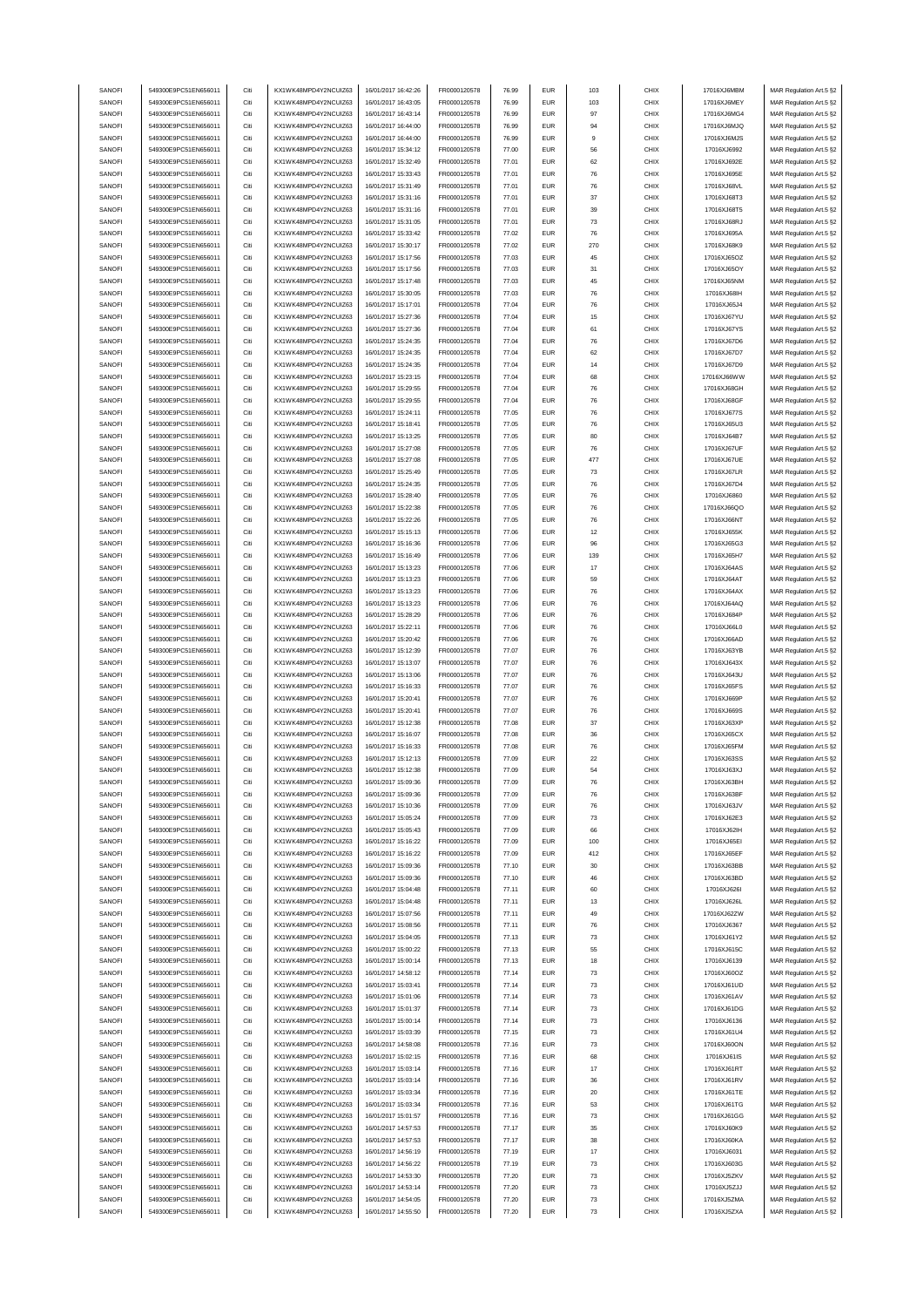| SANOFI | 549300E9PC51EN656011 | Citi | KX1WK48MPD4Y2NCUIZ63  | 16/01/2017 16:42:26 | FR0000120578 | 76.99 | <b>EUR</b> | 103 | CHIX | 17016XJ6MBM | MAR Regulation Art.5 §2 |
|--------|----------------------|------|-----------------------|---------------------|--------------|-------|------------|-----|------|-------------|-------------------------|
| SANOFI | 549300E9PC51EN656011 | Citi | KX1WK48MPD4Y2NCUIZ63  | 16/01/2017 16:43:05 |              | 76.99 | <b>EUR</b> | 103 | CHIX |             |                         |
|        |                      |      |                       |                     | FR0000120578 |       |            |     |      | 17016XJ6MEY | MAR Regulation Art.5 §2 |
| SANOFI | 549300E9PC51EN656011 | Citi | KX1WK48MPD4Y2NCUIZ63  | 16/01/2017 16:43:14 | FR0000120578 | 76.99 | <b>EUR</b> | 97  | CHIX | 17016XJ6MG4 | MAR Regulation Art.5 §2 |
| SANOFI | 549300E9PC51EN656011 | Citi | KX1WK48MPD4Y2NCUIZ63  | 16/01/2017 16:44:00 | FR0000120578 | 76.99 | EUR        | 94  | CHIX | 17016XJ6MJQ | MAR Regulation Art.5 §2 |
| SANOFI | 549300E9PC51EN656011 | Citi | KX1WK48MPD4Y2NCLIIZ63 | 16/01/2017 16:44:00 | FR0000120578 | 76.99 | <b>EUR</b> | 9   | CHIX | 17016XJ6MJS | MAR Regulation Art.5 §2 |
| SANOFI | 549300E9PC51EN656011 | Citi | KX1WK48MPD4Y2NCUIZ63  | 16/01/2017 15:34:12 | FR0000120578 | 77.00 | <b>EUR</b> | 56  | CHIX | 17016XJ6992 | MAR Regulation Art.5 §2 |
| SANOFI | 549300E9PC51EN656011 | Citi | KX1WK48MPD4Y2NCUIZ63  | 16/01/2017 15:32:49 | FR0000120578 | 77.01 | <b>EUR</b> | 62  | CHIX | 17016XJ692E | MAR Regulation Art.5 §2 |
|        |                      |      |                       |                     |              |       |            |     |      |             |                         |
| SANOFI | 549300E9PC51EN656011 | Citi | KX1WK48MPD4Y2NCUIZ63  | 16/01/2017 15:33:43 | FR0000120578 | 77.01 | <b>EUR</b> | 76  | CHIX | 17016XJ695E | MAR Regulation Art.5 §2 |
| SANOFI | 549300E9PC51EN656011 | Citi | KX1WK48MPD4Y2NCUIZ63  | 16/01/2017 15:31:49 | FR0000120578 | 77.01 | <b>EUR</b> | 76  | CHIX | 17016XJ68VL | MAR Regulation Art.5 §2 |
| SANOFI | 549300E9PC51EN656011 | Citi | KX1WK48MPD4Y2NCUIZ63  | 16/01/2017 15:31:16 | FR0000120578 | 77.01 | <b>EUR</b> | 37  | CHIX | 17016XJ68T3 | MAR Regulation Art.5 §2 |
| SANOFI | 549300E9PC51EN656011 | Citi | KX1WK48MPD4Y2NCUIZ63  | 16/01/2017 15:31:16 | FR0000120578 | 77.01 | <b>EUR</b> | 39  | CHIX | 17016XJ68T5 | MAR Regulation Art.5 §2 |
| SANOFI | 549300E9PC51EN656011 | Citi | KX1WK48MPD4Y2NCUIZ63  | 16/01/2017 15:31:05 | FR0000120578 | 77.01 | <b>EUR</b> | 73  | CHIX | 17016XJ68RJ | MAR Regulation Art.5 §2 |
|        |                      |      |                       |                     |              |       |            |     |      |             |                         |
| SANOFI | 549300E9PC51EN656011 | Citi | KX1WK48MPD4Y2NCUIZ63  | 16/01/2017 15:33:42 | FR0000120578 | 77.02 | EUR        | 76  | CHIX | 17016XJ695A | MAR Regulation Art.5 §2 |
| SANOFI | 549300E9PC51EN656011 | Citi | KX1WK48MPD4Y2NCUIZ63  | 16/01/2017 15:30:17 | FR0000120578 | 77.02 | <b>EUR</b> | 270 | CHIX | 17016XJ68K9 | MAR Regulation Art.5 §2 |
| SANOFI | 549300E9PC51EN656011 | Citi | KX1WK48MPD4Y2NCUIZ63  | 16/01/2017 15:17:56 | FR0000120578 | 77.03 | <b>EUR</b> | 45  | CHIX | 17016XJ65OZ | MAR Regulation Art.5 §2 |
| SANOFI | 549300E9PC51EN656011 | Citi | KX1WK48MPD4Y2NCUIZ63  | 16/01/2017 15:17:56 | FR0000120578 | 77.03 | <b>EUR</b> | 31  | CHIX | 17016XJ65OY | MAR Regulation Art.5 §2 |
| SANOFI | 549300E9PC51EN656011 | Citi | KX1WK48MPD4Y2NCUIZ63  | 16/01/2017 15:17:48 | FR0000120578 | 77.03 | <b>EUR</b> | 45  | CHIX | 17016XJ65NM | MAR Regulation Art.5 §2 |
|        | 549300E9PC51EN656011 | Citi | KX1WK48MPD4Y2NCUIZ63  | 16/01/2017 15:30:05 |              | 77.03 | <b>EUR</b> | 76  | CHIX |             | MAR Regulation Art.5 §2 |
| SANOFI |                      |      |                       |                     | FR0000120578 |       |            |     |      | 17016XJ68IH |                         |
| SANOFI | 549300E9PC51EN656011 | Citi | KX1WK48MPD4Y2NCUIZ63  | 16/01/2017 15:17:01 | FR0000120578 | 77.04 | <b>EUR</b> | 76  | CHIX | 17016XJ65J4 | MAR Regulation Art.5 §2 |
| SANOFI | 549300E9PC51EN656011 | Citi | KX1WK48MPD4Y2NCUIZ63  | 16/01/2017 15:27:36 | FR0000120578 | 77.04 | <b>EUR</b> | 15  | CHIX | 17016XJ67YU | MAR Regulation Art.5 §2 |
| SANOFI | 549300E9PC51EN656011 | Citi | KX1WK48MPD4Y2NCUIZ63  | 16/01/2017 15:27:36 | FR0000120578 | 77.04 | <b>EUR</b> | 61  | CHIX | 17016XJ67YS | MAR Regulation Art.5 §2 |
| SANOFI | 549300E9PC51EN656011 | Citi | KX1WK48MPD4Y2NCUIZ63  | 16/01/2017 15:24:35 | FR0000120578 | 77.04 | <b>EUR</b> | 76  | CHIX | 17016XJ67D6 | MAR Regulation Art.5 §2 |
|        |                      |      |                       |                     |              |       |            |     |      |             |                         |
| SANOFI | 549300E9PC51EN656011 | Citi | KX1WK48MPD4Y2NCUIZ63  | 16/01/2017 15:24:35 | FR0000120578 | 77.04 | <b>EUR</b> | 62  | CHIX | 17016XJ67D7 | MAR Regulation Art.5 §2 |
| SANOFI | 549300E9PC51EN656011 | Citi | KX1WK48MPD4Y2NCUIZ63  | 16/01/2017 15:24:35 | FR0000120578 | 77.04 | <b>EUR</b> | 14  | CHIX | 17016XJ67D9 | MAR Regulation Art.5 §2 |
| SANOFI | 549300E9PC51EN656011 | Citi | KX1WK48MPD4Y2NCUIZ63  | 16/01/2017 15:23:15 | FR0000120578 | 77.04 | <b>EUR</b> | 68  | CHIX | 17016XJ66WW | MAR Regulation Art.5 §2 |
| SANOFI | 549300E9PC51EN656011 | Citi | KX1WK48MPD4Y2NCUIZ63  | 16/01/2017 15:29:55 | FR0000120578 | 77.04 | <b>EUR</b> | 76  | CHIX | 17016XJ68GH | MAR Regulation Art.5 §2 |
| SANOFI | 549300E9PC51EN656011 | Citi | KX1WK48MPD4Y2NCUIZ63  | 16/01/2017 15:29:55 | FR0000120578 | 77.04 | <b>EUR</b> | 76  | CHIX | 17016XJ68GF | MAR Regulation Art.5 §2 |
| SANOFI | 549300E9PC51EN656011 | Citi | KX1WK48MPD4Y2NCUIZ63  |                     |              | 77.05 | <b>EUR</b> |     | CHIX |             |                         |
|        |                      |      |                       | 16/01/2017 15:24:11 | FR0000120578 |       |            | 76  |      | 17016XJ677S | MAR Regulation Art.5 §2 |
| SANOFI | 549300E9PC51EN656011 | Citi | KX1WK48MPD4Y2NCUIZ63  | 16/01/2017 15:18:41 | FR0000120578 | 77.05 | <b>EUR</b> | 76  | CHIX | 17016XJ65U3 | MAR Regulation Art.5 §2 |
| SANOFI | 549300E9PC51EN656011 | Citi | KX1WK48MPD4Y2NCUIZ63  | 16/01/2017 15:13:25 | FR0000120578 | 77.05 | <b>EUR</b> | 80  | CHIX | 17016XJ64B7 | MAR Regulation Art.5 §2 |
| SANOFI | 549300E9PC51EN656011 | Citi | KX1WK48MPD4Y2NCUIZ63  | 16/01/2017 15:27:08 | FR0000120578 | 77.05 | <b>EUR</b> | 76  | CHIX | 17016XJ67UF | MAR Regulation Art.5 §2 |
| SANOFI | 549300E9PC51EN656011 | Citi | KX1WK48MPD4Y2NCUIZ63  | 16/01/2017 15:27:08 | FR0000120578 | 77.05 | <b>EUR</b> | 477 | CHIX | 17016XJ67UE | MAR Regulation Art.5 §2 |
| SANOFI | 549300E9PC51EN656011 | Citi | KX1WK48MPD4Y2NCUIZ63  | 16/01/2017 15:25:49 | FR0000120578 | 77.05 | <b>EUR</b> | 73  | CHIX | 17016XJ67LR | MAR Regulation Art.5 §2 |
|        |                      |      |                       |                     |              |       |            |     |      |             |                         |
| SANOFI | 549300E9PC51EN656011 | Citi | KX1WK48MPD4Y2NCUIZ63  | 16/01/2017 15:24:35 | FR0000120578 | 77.05 | <b>EUR</b> | 76  | CHIX | 17016XJ67D4 | MAR Regulation Art.5 §2 |
| SANOFI | 549300E9PC51EN656011 | Citi | KX1WK48MPD4Y2NCUIZ63  | 16/01/2017 15:28:40 | FR0000120578 | 77.05 | <b>EUR</b> | 76  | CHIX | 17016XJ6860 | MAR Regulation Art.5 §2 |
| SANOFI | 549300E9PC51EN656011 | Citi | KX1WK48MPD4Y2NCUIZ63  | 16/01/2017 15:22:38 | FR0000120578 | 77.05 | <b>EUR</b> | 76  | CHIX | 17016XJ66QO | MAR Regulation Art.5 §2 |
| SANOFI | 549300E9PC51EN656011 | Citi | KX1WK48MPD4Y2NCUIZ63  | 16/01/2017 15:22:26 | FR0000120578 | 77.05 | <b>EUR</b> | 76  | CHIX | 17016XJ66NT | MAR Regulation Art.5 §2 |
| SANOFI | 549300E9PC51EN656011 | Citi | KX1WK48MPD4Y2NCUIZ63  | 16/01/2017 15:15:13 | FR0000120578 | 77.06 | <b>EUR</b> | 12  | CHIX | 17016XJ655K | MAR Regulation Art.5 §2 |
|        |                      |      |                       |                     |              |       |            |     |      |             |                         |
| SANOFI | 549300E9PC51EN656011 | Citi | KX1WK48MPD4Y2NCUIZ63  | 16/01/2017 15:16:36 | FR0000120578 | 77.06 | <b>EUR</b> | 96  | CHIX | 17016XJ65G3 | MAR Regulation Art.5 §2 |
| SANOFI | 549300E9PC51EN656011 | Citi | KX1WK48MPD4Y2NCUIZ63  | 16/01/2017 15:16:49 | FR0000120578 | 77.06 | <b>EUR</b> | 139 | CHIX | 17016XJ65H7 | MAR Regulation Art.5 §2 |
| SANOFI | 549300E9PC51EN656011 | Citi | KX1WK48MPD4Y2NCUIZ63  | 16/01/2017 15:13:23 | FR0000120578 | 77.06 | <b>EUR</b> | 17  | CHIX | 17016XJ64AS | MAR Regulation Art.5 §2 |
| SANOFI | 549300E9PC51EN656011 | Citi | KX1WK48MPD4Y2NCUIZ63  | 16/01/2017 15:13:23 | FR0000120578 | 77.06 | <b>EUR</b> | 59  | CHIX | 17016XJ64AT | MAR Regulation Art.5 §2 |
| SANOFI | 549300E9PC51EN656011 | Citi | KX1WK48MPD4Y2NCUIZ63  | 16/01/2017 15:13:23 | FR0000120578 | 77.06 | <b>EUR</b> | 76  | CHIX | 17016XJ64AX | MAR Regulation Art.5 §2 |
| SANOFI | 549300E9PC51EN656011 | Citi | KX1WK48MPD4Y2NCUIZ63  | 16/01/2017 15:13:23 | FR0000120578 | 77.06 | <b>EUR</b> | 76  | CHIX | 17016XJ64AQ |                         |
|        |                      |      |                       |                     |              |       |            |     |      |             | MAR Regulation Art.5 §2 |
| SANOFI | 549300E9PC51EN656011 | Citi | KX1WK48MPD4Y2NCUIZ63  | 16/01/2017 15:28:29 | FR0000120578 | 77.06 | <b>EUR</b> | 76  | CHIX | 17016XJ684P | MAR Regulation Art.5 §2 |
| SANOFI | 549300E9PC51EN656011 | Citi | KX1WK48MPD4Y2NCUIZ63  | 16/01/2017 15:22:11 | FR0000120578 | 77.06 | <b>EUR</b> | 76  | CHIX | 17016XJ66L0 | MAR Regulation Art.5 §2 |
| SANOFI | 549300E9PC51EN656011 | Citi | KX1WK48MPD4Y2NCUIZ63  | 16/01/2017 15:20:42 | FR0000120578 | 77.06 | <b>EUR</b> | 76  | CHIX | 17016XJ66AD | MAR Regulation Art.5 §2 |
| SANOFI | 549300E9PC51EN656011 | Citi | KX1WK48MPD4Y2NCUIZ63  | 16/01/2017 15:12:39 | FR0000120578 | 77.07 | <b>EUR</b> | 76  | CHIX | 17016XJ63YB | MAR Regulation Art.5 §2 |
| SANOFI | 549300E9PC51EN656011 | Citi | KX1WK48MPD4Y2NCUIZ63  | 16/01/2017 15:13:07 | FR0000120578 | 77.07 | <b>EUR</b> | 76  | CHIX | 17016XJ643X | MAR Regulation Art.5 §2 |
|        |                      |      |                       |                     |              |       |            |     |      |             |                         |
| SANOFI | 549300E9PC51EN656011 | Citi | KX1WK48MPD4Y2NCUIZ63  | 16/01/2017 15:13:06 | FR0000120578 | 77.07 | <b>EUR</b> | 76  | CHIX | 17016XJ643U | MAR Regulation Art.5 §2 |
| SANOFI | 549300E9PC51EN656011 | Citi | KX1WK48MPD4Y2NCUIZ63  | 16/01/2017 15:16:33 | FR0000120578 | 77.07 | <b>EUR</b> | 76  | CHIX | 17016XJ65FS | MAR Regulation Art.5 §2 |
| SANOFI | 549300E9PC51EN656011 | Citi | KX1WK48MPD4Y2NCUIZ63  | 16/01/2017 15:20:41 | FR0000120578 | 77.07 | <b>EUR</b> | 76  | CHIX | 17016XJ669P | MAR Regulation Art.5 §2 |
| SANOFI | 549300E9PC51EN656011 | Citi | KX1WK48MPD4Y2NCLIIZ63 | 16/01/2017 15:20:41 | FR0000120578 | 77.07 | <b>EUR</b> | 76  | CHIX | 17016XJ669S | MAR Regulation Art.5 §2 |
| SANOFI | 549300E9PC51EN656011 | Citi | KX1WK48MPD4Y2NCUIZ63  | 16/01/2017 15:12:38 | FR0000120578 | 77.08 | <b>EUR</b> | 37  | CHIX | 17016XJ63XP | MAR Regulation Art.5 §2 |
|        |                      |      |                       |                     |              |       |            |     |      |             |                         |
| SANOFI | 549300E9PC51EN656011 | Citi | KX1WK48MPD4Y2NCUIZ63  | 16/01/2017 15:16:07 | FR0000120578 | 77.08 | <b>EUR</b> | 36  | CHIX | 17016XJ65CX | MAR Regulation Art.5 §2 |
| SANOFI | 549300E9PC51EN656011 | Citi | KX1WK48MPD4Y2NCUIZ63  | 16/01/2017 15:16:33 | FR0000120578 | 77.08 | <b>EUR</b> | 76  | CHIX | 17016XJ65FM | MAR Regulation Art.5 §2 |
| SANOFI | 549300E9PC51EN656011 | Citi | KX1WK48MPD4Y2NCUIZ63  | 16/01/2017 15:12:13 | FR0000120578 | 77.09 | <b>EUR</b> | 22  | CHIX | 17016XJ63SS | MAR Regulation Art.5 §2 |
| SANOFI | 549300E9PC51EN656011 | Citi | KX1WK48MPD4Y2NCUIZ63  | 16/01/2017 15:12:38 | FR0000120578 | 77.09 | <b>EUR</b> | 54  | CHIX | 17016XJ63XJ | MAR Regulation Art.5 §2 |
| SANOFI | 549300E9PC51EN656011 |      | KX1WK48MPD4Y2NCLIIZ63 | 16/01/2017 15:09:36 | FR0000120578 | 77.09 | FUR        | 76  | CHIX | 17016XJ63BH | MAR Regulation Art 5.82 |
| SANOFI |                      |      |                       |                     |              |       |            |     |      |             |                         |
|        | 549300E9PC51EN656011 | Citi | KX1WK48MPD4Y2NCUIZ63  | 16/01/2017 15:09:36 | FR0000120578 | 77.09 | <b>EUR</b> | 76  | CHIX | 17016XJ63BF | MAR Regulation Art.5 §2 |
| SANOFI | 549300E9PC51EN656011 | Citi | KX1WK48MPD4Y2NCUIZ63  | 16/01/2017 15:10:36 | FR0000120578 | 77.09 | <b>EUR</b> | 76  | CHIX | 17016XJ63JV | MAR Regulation Art.5 §2 |
| SANOFI | 549300E9PC51EN656011 | Citi | KX1WK48MPD4Y2NCUIZ63  | 16/01/2017 15:05:24 | FR0000120578 | 77.09 | <b>EUR</b> | 73  | CHIX | 17016XJ62E3 | MAR Regulation Art.5 §2 |
| SANOFI | 549300E9PC51EN656011 | Citi | KX1WK48MPD4Y2NCUIZ63  | 16/01/2017 15:05:43 | FR0000120578 | 77.09 | <b>EUR</b> | 66  | CHIX | 17016XJ62IH | MAR Regulation Art.5 §2 |
| SANOFI | 549300E9PC51EN656011 | Citi | KX1WK48MPD4Y2NCUIZ63  | 16/01/2017 15:16:22 | FR0000120578 | 77.09 | <b>EUR</b> | 100 | CHIX | 17016XJ65EI | MAR Regulation Art.5 §2 |
|        |                      | Citi |                       |                     |              |       |            |     |      |             | MAR Regulation Art.5 §2 |
| SANOFI | 549300E9PC51EN656011 |      | KX1WK48MPD4Y2NCUIZ63  | 16/01/2017 15:16:22 | FR0000120578 | 77.09 | <b>EUR</b> | 412 | CHIX | 17016XJ65EF |                         |
| SANOFI | 549300E9PC51EN656011 | Citi | KX1WK48MPD4Y2NCUIZ63  | 16/01/2017 15:09:36 | FR0000120578 | 77.10 | <b>EUR</b> | 30  | CHIX | 17016XJ63BB | MAR Regulation Art.5 §2 |
| SANOFI | 549300E9PC51EN656011 | Citi | KX1WK48MPD4Y2NCUIZ63  | 16/01/2017 15:09:36 | FR0000120578 | 77.10 | <b>EUR</b> | 46  | CHIX | 17016XJ63BD | MAR Regulation Art.5 §2 |
| SANOFI | 549300E9PC51EN656011 | Citi | KX1WK48MPD4Y2NCUIZ63  | 16/01/2017 15:04:48 | FR0000120578 | 77.11 | <b>EUR</b> | 60  | CHIX | 17016XJ626I | MAR Regulation Art.5 §2 |
| SANOFI | 549300E9PC51EN656011 | Citi | KX1WK48MPD4Y2NCUIZ63  | 16/01/2017 15:04:48 | FR0000120578 | 77.11 | <b>EUR</b> | 13  | CHIX | 17016XJ626L | MAR Regulation Art.5 §2 |
| SANOFI | 549300E9PC51EN656011 | Citi | KX1WK48MPD4Y2NCUIZ63  | 16/01/2017 15:07:56 | FR0000120578 | 77.11 | <b>EUR</b> | 49  | CHIX | 17016XJ62ZW |                         |
|        |                      |      |                       |                     |              |       |            |     |      |             | MAR Regulation Art.5 §2 |
| SANOFI | 549300E9PC51EN656011 | Citi | KX1WK48MPD4Y2NCUIZ63  | 16/01/2017 15:08:56 | FR0000120578 | 77.11 | <b>EUR</b> | 76  | CHIX | 17016XJ6367 | MAR Regulation Art.5 §2 |
| SANOFI | 549300E9PC51EN656011 | Citi | KX1WK48MPD4Y2NCUIZ63  | 16/01/2017 15:04:05 | FR0000120578 | 77.13 | <b>EUR</b> | 73  | CHIX | 17016XJ61Y2 | MAR Regulation Art.5 §2 |
| SANOFI | 549300E9PC51EN656011 | Citi | KX1WK48MPD4Y2NCUIZ63  | 16/01/2017 15:00:22 | FR0000120578 | 77.13 | <b>EUR</b> | 55  | CHIX | 17016XJ615C | MAR Regulation Art.5 §2 |
| SANOFI | 549300E9PC51EN656011 | Citi | KX1WK48MPD4Y2NCUIZ63  | 16/01/2017 15:00:14 | FR0000120578 | 77.13 | <b>EUR</b> | 18  | CHIX | 17016XJ6139 | MAR Regulation Art.5 §2 |
| SANOFI | 549300E9PC51EN656011 | Citi | KX1WK48MPD4Y2NCUIZ63  | 16/01/2017 14:58:12 | FR0000120578 | 77.14 | <b>EUR</b> | 73  | CHIX | 17016XJ60OZ | MAR Regulation Art.5 §2 |
|        |                      |      |                       |                     |              |       |            |     |      |             |                         |
| SANOFI | 549300E9PC51EN656011 | Citi | KX1WK48MPD4Y2NCUIZ63  | 16/01/2017 15:03:41 | FR0000120578 | 77.14 | <b>EUR</b> | 73  | CHIX | 17016XJ61UD | MAR Regulation Art.5 §2 |
| SANOFI | 549300E9PC51EN656011 | Citi | KX1WK48MPD4Y2NCUIZ63  | 16/01/2017 15:01:06 | FR0000120578 | 77.14 | <b>EUR</b> | 73  | CHIX | 17016XJ61AV | MAR Regulation Art.5 §2 |
| SANOFI | 549300E9PC51EN656011 | Citi | KX1WK48MPD4Y2NCUIZ63  | 16/01/2017 15:01:37 | FR0000120578 | 77.14 | <b>EUR</b> | 73  | CHIX | 17016XJ61DG | MAR Regulation Art.5 §2 |
| SANOFI | 549300E9PC51EN656011 | Citi | KX1WK48MPD4Y2NCUIZ63  | 16/01/2017 15:00:14 | FR0000120578 | 77.14 | <b>EUR</b> | 73  | CHIX | 17016XJ6136 | MAR Regulation Art.5 §2 |
| SANOFI | 549300E9PC51EN656011 | Citi | KX1WK48MPD4Y2NCUIZ63  | 16/01/2017 15:03:39 | FR0000120578 | 77.15 | <b>EUR</b> | 73  | CHIX | 17016XJ61U4 | MAR Regulation Art.5 §2 |
|        |                      |      |                       |                     |              |       |            |     |      |             |                         |
| SANOFI | 549300E9PC51EN656011 | Citi | KX1WK48MPD4Y2NCUIZ63  | 16/01/2017 14:58:08 | FR0000120578 | 77.16 | <b>EUR</b> | 73  | CHIX | 17016XJ60ON | MAR Regulation Art.5 §2 |
| SANOFI | 549300E9PC51EN656011 | Citi | KX1WK48MPD4Y2NCUIZ63  | 16/01/2017 15:02:15 | FR0000120578 | 77.16 | <b>EUR</b> | 68  | CHIX | 17016XJ61IS | MAR Regulation Art.5 §2 |
|        |                      |      | KX1WK48MPD4Y2NCUIZ63  | 16/01/2017 15:03:14 | FR0000120578 | 77.16 | <b>EUR</b> | 17  | CHIX | 17016XJ61RT | MAR Regulation Art.5 §2 |
| SANOFI | 549300E9PC51EN656011 | Citi |                       |                     |              | 77.16 | <b>EUR</b> | 36  | CHIX | 17016XJ61RV |                         |
| SANOFI | 549300E9PC51EN656011 | Citi | KX1WK48MPD4Y2NCUIZ63  | 16/01/2017 15:03:14 | FR0000120578 |       |            |     |      |             | MAR Regulation Art.5 §2 |
|        |                      |      |                       |                     |              |       |            |     |      |             |                         |
| SANOFI | 549300E9PC51EN656011 | Citi | KX1WK48MPD4Y2NCUIZ63  | 16/01/2017 15:03:34 | FR0000120578 | 77.16 | <b>EUR</b> | 20  | CHIX | 17016XJ61TE | MAR Regulation Art.5 §2 |
| SANOFI | 549300E9PC51EN656011 | Citi | KX1WK48MPD4Y2NCUIZ63  | 16/01/2017 15:03:34 | FR0000120578 | 77.16 | <b>EUR</b> | 53  | CHIX | 17016XJ61TG | MAR Regulation Art.5 §2 |
| SANOFI | 549300E9PC51EN656011 | Citi | KX1WK48MPD4Y2NCUIZ63  | 16/01/2017 15:01:57 | FR0000120578 | 77.16 | <b>EUR</b> | 73  | CHIX | 17016XJ61GG | MAR Regulation Art.5 §2 |
| SANOFI | 549300E9PC51EN656011 | Citi | KX1WK48MPD4Y2NCUIZ63  | 16/01/2017 14:57:53 | FR0000120578 | 77.17 | <b>EUR</b> | 35  | CHIX | 17016XJ60K9 | MAR Regulation Art.5 §2 |
| SANOFI | 549300E9PC51EN656011 | Citi | KX1WK48MPD4Y2NCUIZ63  | 16/01/2017 14:57:53 | FR0000120578 | 77.17 | <b>EUR</b> | 38  | CHIX | 17016XJ60KA | MAR Regulation Art.5 §2 |
| SANOFI | 549300E9PC51EN656011 | Citi | KX1WK48MPD4Y2NCUIZ63  | 16/01/2017 14:56:19 | FR0000120578 | 77.19 | <b>EUR</b> | 17  | CHIX | 17016XJ6031 |                         |
|        |                      |      |                       |                     |              |       |            |     |      |             | MAR Regulation Art.5 §2 |
| SANOFI | 549300E9PC51EN656011 | Citi | KX1WK48MPD4Y2NCUIZ63  | 16/01/2017 14:56:22 | FR0000120578 | 77.19 | <b>EUR</b> | 73  | CHIX | 17016XJ603G | MAR Regulation Art.5 §2 |
| SANOFI | 549300E9PC51EN656011 | Citi | KX1WK48MPD4Y2NCUIZ63  | 16/01/2017 14:53:30 | FR0000120578 | 77.20 | <b>EUR</b> | 73  | CHIX | 17016XJ5ZKV | MAR Regulation Art.5 §2 |
| SANOFI | 549300E9PC51EN656011 | Citi | KX1WK48MPD4Y2NCUIZ63  | 16/01/2017 14:53:14 | FR0000120578 | 77.20 | <b>EUR</b> | 73  | CHIX | 17016XJ5ZJJ | MAR Regulation Art.5 §2 |
| SANOFI | 549300E9PC51EN656011 | Citi | KX1WK48MPD4Y2NCUIZ63  | 16/01/2017 14:54:05 | FR0000120578 | 77.20 | <b>EUR</b> | 73  | CHIX | 17016XJ5ZMA | MAR Regulation Art.5 §2 |
| SANOFI | 549300E9PC51EN656011 | Citi | KX1WK48MPD4Y2NCUIZ63  | 16/01/2017 14:55:50 | FR0000120578 | 77.20 | <b>EUR</b> | 73  | CHIX | 17016XJ5ZXA | MAR Regulation Art.5 §2 |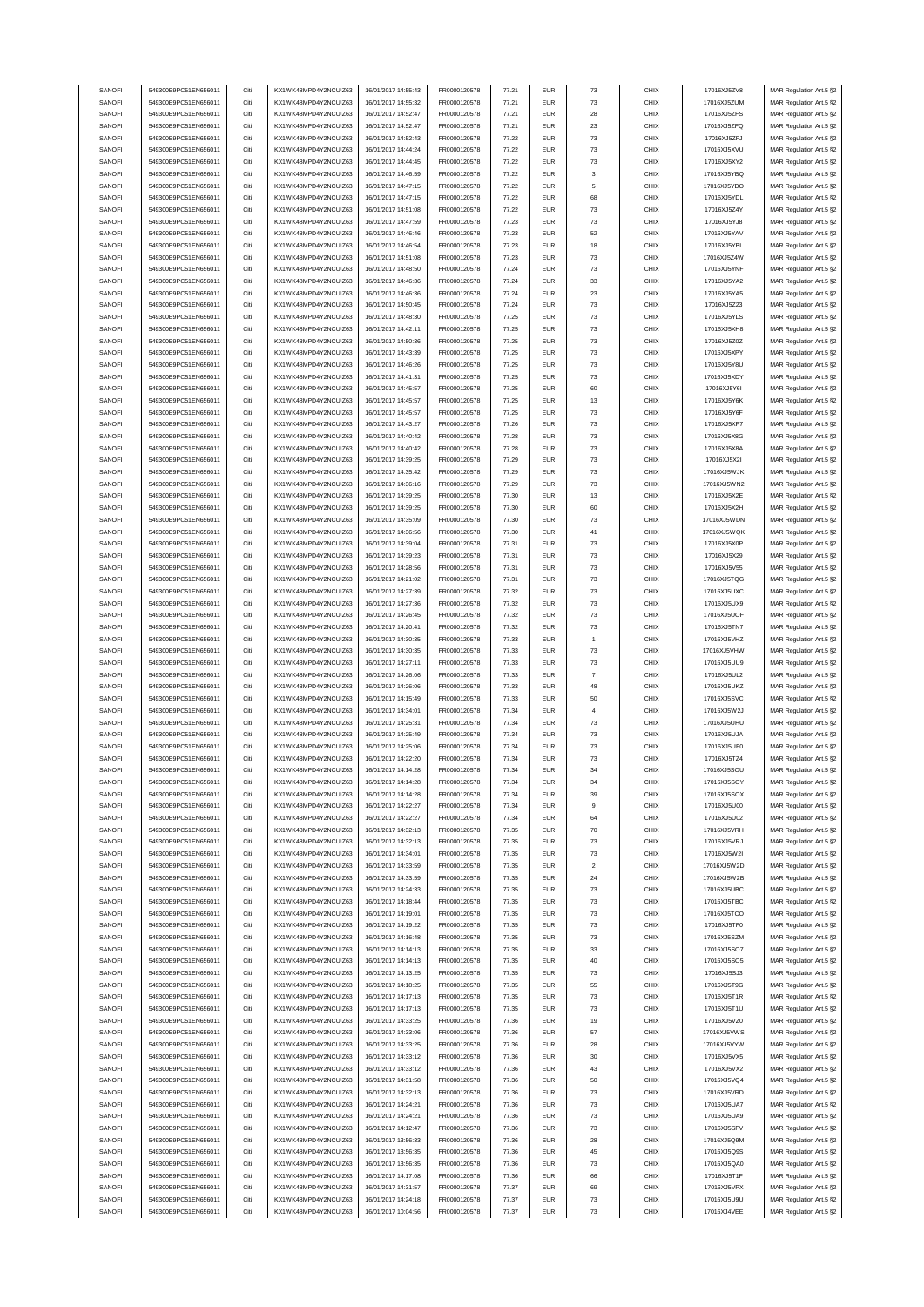| SANOFI | 549300E9PC51EN656011 | Citi | KX1WK48MPD4Y2NCUIZ63  | 16/01/2017 14:55:43 | FR0000120578        | 77.21 | <b>EUR</b> | $\mathbf{73}$  | CHIX | 17016XJ5ZV8 | MAR Regulation Art.5 §2 |
|--------|----------------------|------|-----------------------|---------------------|---------------------|-------|------------|----------------|------|-------------|-------------------------|
| SANOFI | 549300E9PC51EN656011 | Citi | KX1WK48MPD4Y2NCLIIZ63 | 16/01/2017 14:55:32 | FR0000120578        | 77.21 | <b>EUR</b> | $\bf 73$       | CHIX | 17016XJ5ZUM | MAR Regulation Art.5 §2 |
|        |                      |      |                       |                     |                     |       |            |                |      |             |                         |
| SANOFI | 549300E9PC51EN656011 | Citi | KX1WK48MPD4Y2NCUIZ63  | 16/01/2017 14:52:47 | FR0000120578        | 77.21 | <b>EUR</b> | 28             | CHIX | 17016XJ5ZFS | MAR Regulation Art.5 §2 |
| SANOFI | 549300E9PC51EN656011 | Citi | KX1WK48MPD4Y2NCUIZ63  | 16/01/2017 14:52:47 | FR0000120578        | 77.21 | <b>EUR</b> | 23             | CHIX | 17016XJ5ZFQ | MAR Regulation Art.5 §2 |
| SANOFI | 549300E9PC51EN656011 | Citi | KX1WK48MPD4Y2NCUIZ63  | 16/01/2017 14:52:43 | FR0000120578        | 77.22 | <b>EUR</b> | $\mathbf{73}$  | CHIX | 17016XJ5ZFJ | MAR Regulation Art.5 §2 |
| SANOFI | 549300E9PC51EN656011 | Citi | KX1WK48MPD4Y2NCUIZ63  | 16/01/2017 14:44:24 | FR0000120578        | 77.22 | <b>EUR</b> | $\mathbf{73}$  | CHIX | 17016XJ5XVU | MAR Regulation Art.5 §2 |
| SANOFI | 549300E9PC51EN656011 | Citi | KX1WK48MPD4Y2NCUIZ63  | 16/01/2017 14:44:45 | FR0000120578        | 77.22 | <b>EUR</b> | $\mathbf{73}$  | CHIX | 17016XJ5XY2 | MAR Regulation Art.5 §2 |
| SANOFI | 549300E9PC51EN656011 | Citi | KX1WK48MPD4Y2NCUIZ63  | 16/01/2017 14:46:59 | FR0000120578        | 77.22 | <b>EUR</b> | 3              | CHIX | 17016XJ5YBQ | MAR Regulation Art.5 §2 |
|        |                      |      |                       |                     |                     |       |            |                |      |             |                         |
| SANOFI | 549300E9PC51EN656011 | Citi | KX1WK48MPD4Y2NCUIZ63  | 16/01/2017 14:47:15 | FR0000120578        | 77.22 | <b>EUR</b> | 5              | CHIX | 17016XJ5YDO | MAR Regulation Art.5 §2 |
| SANOFI | 549300E9PC51EN656011 | Citi | KX1WK48MPD4Y2NCUIZ63  | 16/01/2017 14:47:15 | FR0000120578        | 77.22 | <b>EUR</b> | 68             | CHIX | 17016XJ5YDL | MAR Regulation Art.5 §2 |
| SANOFI | 549300E9PC51EN656011 | Citi | KX1WK48MPD4Y2NCUIZ63  | 16/01/2017 14:51:08 | FR0000120578        | 77.22 | <b>EUR</b> | $\mathbf{73}$  | CHIX | 17016XJ5Z4Y | MAR Regulation Art.5 §2 |
| SANOFI | 549300E9PC51EN656011 | Citi | KX1WK48MPD4Y2NCUIZ63  | 16/01/2017 14:47:59 | FR0000120578        | 77.23 | <b>EUR</b> | $\mathbf{73}$  | CHIX | 17016XJ5YJ8 | MAR Regulation Art.5 §2 |
| SANOFI | 549300E9PC51EN656011 | Citi | KX1WK48MPD4Y2NCUIZ63  | 16/01/2017 14:46:46 | FR0000120578        | 77.23 | <b>EUR</b> | 52             | CHIX | 17016XJ5YAV | MAR Regulation Art.5 §2 |
|        |                      |      |                       |                     |                     |       |            |                |      |             |                         |
| SANOFI | 549300E9PC51EN656011 | Citi | KX1WK48MPD4Y2NCUIZ63  | 16/01/2017 14:46:54 | FR0000120578        | 77.23 | <b>EUR</b> | 18             | CHIX | 17016XJ5YBL | MAR Regulation Art.5 §2 |
| SANOFI | 549300E9PC51EN656011 | Citi | KX1WK48MPD4Y2NCUIZ63  | 16/01/2017 14:51:08 | FR0000120578        | 77.23 | <b>EUR</b> | $\mathbf{73}$  | CHIX | 17016XJ5Z4W | MAR Regulation Art.5 §2 |
| SANOFI | 549300E9PC51EN656011 | Citi | KX1WK48MPD4Y2NCUIZ63  | 16/01/2017 14:48:50 | FR0000120578        | 77.24 | <b>EUR</b> | 73             | CHIX | 17016XJ5YNF | MAR Regulation Art.5 §2 |
| SANOFI | 549300E9PC51EN656011 | Citi | KX1WK48MPD4Y2NCUIZ63  | 16/01/2017 14:46:36 | FR0000120578        | 77.24 | <b>EUR</b> | 33             | CHIX | 17016XJ5YA2 | MAR Regulation Art.5 §2 |
| SANOFI | 549300E9PC51EN656011 | Citi | KX1WK48MPD4Y2NCUIZ63  | 16/01/2017 14:46:36 | FR0000120578        | 77.24 | <b>EUR</b> | 23             | CHIX | 17016XJ5YA5 | MAR Regulation Art.5 §2 |
| SANOFI | 549300E9PC51EN656011 | Citi | KX1WK48MPD4Y2NCUIZ63  | 16/01/2017 14:50:45 | FR0000120578        | 77.24 | <b>EUR</b> | $\bf 73$       | CHIX | 17016XJ5Z23 | MAR Regulation Art.5 §2 |
|        |                      |      |                       |                     |                     |       |            |                |      |             |                         |
| SANOFI | 549300E9PC51EN656011 | Citi | KX1WK48MPD4Y2NCUIZ63  | 16/01/2017 14:48:30 | FR0000120578        | 77.25 | <b>EUR</b> | $\mathbf{73}$  | CHIX | 17016XJ5YLS | MAR Regulation Art.5 §2 |
| SANOFI | 549300E9PC51EN656011 | Citi | KX1WK48MPD4Y2NCUIZ63  | 16/01/2017 14:42:11 | FR0000120578        | 77.25 | <b>EUR</b> | $\mathbf{73}$  | CHIX | 17016XJ5XH8 | MAR Regulation Art.5 §2 |
| SANOFI | 549300E9PC51EN656011 | Citi | KX1WK48MPD4Y2NCUIZ63  | 16/01/2017 14:50:36 | FR0000120578        | 77.25 | <b>EUR</b> | $\bf 73$       | CHIX | 17016XJ5Z0Z | MAR Regulation Art.5 §2 |
| SANOFI | 549300E9PC51EN656011 | Citi | KX1WK48MPD4Y2NCUIZ63  | 16/01/2017 14:43:39 | FR0000120578        | 77.25 | <b>EUR</b> | $\mathbf{73}$  | CHIX | 17016XJ5XPY | MAR Regulation Art.5 §2 |
| SANOFI | 549300E9PC51EN656011 | Citi | KX1WK48MPD4Y2NCUIZ63  | 16/01/2017 14:46:26 | FR0000120578        | 77.25 | <b>EUR</b> | 73             | CHIX | 17016XJ5Y8U | MAR Regulation Art.5 §2 |
| SANOFI | 549300E9PC51EN656011 | Citi | KX1WK48MPD4Y2NCUIZ63  | 16/01/2017 14:41:31 | FR0000120578        | 77.25 | <b>EUR</b> | 73             | CHIX | 17016XJ5XDY | MAR Regulation Art.5 §2 |
|        |                      |      |                       |                     |                     |       |            |                |      |             |                         |
| SANOFI | 549300E9PC51EN656011 | Citi | KX1WK48MPD4Y2NCUIZ63  | 16/01/2017 14:45:57 | FR0000120578        | 77.25 | <b>EUR</b> | 60             | CHIX | 17016XJ5Y6I | MAR Regulation Art.5 §2 |
| SANOFI | 549300E9PC51EN656011 | Citi | KX1WK48MPD4Y2NCLIIZ63 | 16/01/2017 14:45:57 | FR0000120578        | 77.25 | <b>EUR</b> | 13             | CHIX | 17016XJ5Y6K | MAR Regulation Art.5 §2 |
| SANOFI | 549300E9PC51EN656011 | Citi | KX1WK48MPD4Y2NCUIZ63  | 16/01/2017 14:45:57 | FR0000120578        | 77.25 | <b>EUR</b> | $\mathbf{73}$  | CHIX | 17016XJ5Y6F | MAR Regulation Art.5 §2 |
| SANOFI | 549300E9PC51EN656011 | Citi | KX1WK48MPD4Y2NCUIZ63  | 16/01/2017 14:43:27 | FR0000120578        | 77.26 | <b>EUR</b> | $\mathbf{73}$  | CHIX | 17016XJ5XP7 | MAR Regulation Art.5 §2 |
| SANOFI | 549300E9PC51EN656011 | Citi | KX1WK48MPD4Y2NCUIZ63  | 16/01/2017 14:40:42 | FR0000120578        | 77.28 | <b>EUR</b> | $\mathbf{73}$  | CHIX | 17016XJ5X8G | MAR Regulation Art.5 §2 |
|        |                      |      |                       |                     |                     |       |            |                |      |             |                         |
| SANOFI | 549300E9PC51EN656011 | Citi | KX1WK48MPD4Y2NCUIZ63  | 16/01/2017 14:40:42 | FR0000120578        | 77.28 | <b>EUR</b> | $\mathbf{73}$  | CHIX | 17016XJ5X8A | MAR Regulation Art.5 §2 |
| SANOFI | 549300E9PC51EN656011 | Citi | KX1WK48MPD4Y2NCUIZ63  | 16/01/2017 14:39:25 | FR0000120578        | 77.29 | <b>EUR</b> | 73             | CHIX | 17016XJ5X2I | MAR Regulation Art.5 §2 |
| SANOFI | 549300E9PC51EN656011 | Citi | KX1WK48MPD4Y2NCUIZ63  | 16/01/2017 14:35:42 | FR0000120578        | 77.29 | <b>EUR</b> | 73             | CHIX | 17016XJ5WJK | MAR Regulation Art.5 §2 |
| SANOFI | 549300E9PC51EN656011 | Citi | KX1WK48MPD4Y2NCLIIZ63 | 16/01/2017 14:36:16 | FR0000120578        | 77.29 | <b>EUR</b> | $\mathbf{73}$  | CHIX | 17016XJ5WN2 | MAR Regulation Art.5 §2 |
| SANOFI | 549300E9PC51EN656011 | Citi | KX1WK48MPD4Y2NCUIZ63  | 16/01/2017 14:39:25 | FR0000120578        | 77.30 | <b>EUR</b> | 13             | CHIX | 17016XJ5X2E | MAR Regulation Art.5 §2 |
| SANOFI | 549300E9PC51EN656011 | Citi | KX1WK48MPD4Y2NCUIZ63  | 16/01/2017 14:39:25 | FR0000120578        | 77.30 | <b>EUR</b> | 60             | CHIX | 17016XJ5X2H | MAR Regulation Art.5 §2 |
|        |                      |      |                       |                     |                     |       |            |                |      |             |                         |
| SANOFI | 549300E9PC51EN656011 | Citi | KX1WK48MPD4Y2NCUIZ63  | 16/01/2017 14:35:09 | FR0000120578        | 77.30 | <b>EUR</b> | $\mathbf{73}$  | CHIX | 17016XJ5WDN | MAR Regulation Art.5 §2 |
| SANOFI | 549300E9PC51EN656011 | Citi | KX1WK48MPD4Y2NCUIZ63  | 16/01/2017 14:36:56 | FR0000120578        | 77.30 | <b>EUR</b> | 41             | CHIX | 17016XJ5WQK | MAR Regulation Art.5 §2 |
| SANOFI | 549300E9PC51EN656011 | Citi | KX1WK48MPD4Y2NCUIZ63  | 16/01/2017 14:39:04 | FR0000120578        | 77.31 | <b>EUR</b> | 73             | CHIX | 17016XJ5X0P | MAR Regulation Art.5 §2 |
| SANOFI | 549300E9PC51EN656011 | Citi | KX1WK48MPD4Y2NCUIZ63  | 16/01/2017 14:39:23 | FR0000120578        | 77.31 | <b>EUR</b> | $\mathbf{73}$  | CHIX | 17016XJ5X29 | MAR Regulation Art.5 §2 |
| SANOFI | 549300E9PC51EN656011 | Citi | KX1WK48MPD4Y2NCUIZ63  | 16/01/2017 14:28:56 | FR0000120578        | 77.31 | <b>EUR</b> | 73             | CHIX | 17016XJ5V55 | MAR Regulation Art.5 §2 |
| SANOFI | 549300E9PC51EN656011 | Citi | KX1WK48MPD4Y2NCUIZ63  | 16/01/2017 14:21:02 | FR0000120578        | 77.31 | <b>EUR</b> | 73             | CHIX | 17016XJ5TQG | MAR Regulation Art.5 §2 |
|        |                      |      |                       |                     |                     |       |            |                |      |             |                         |
| SANOFI | 549300E9PC51EN656011 | Citi | KX1WK48MPD4Y2NCUIZ63  | 16/01/2017 14:27:39 | FR0000120578        | 77.32 | <b>EUR</b> | $\mathbf{73}$  | CHIX | 17016XJ5UXC | MAR Regulation Art.5 §2 |
| SANOFI | 549300E9PC51EN656011 | Citi | KX1WK48MPD4Y2NCUIZ63  | 16/01/2017 14:27:36 | FR0000120578        | 77.32 | <b>EUR</b> | $\mathbf{73}$  | CHIX | 17016XJ5UX9 | MAR Regulation Art.5 §2 |
| SANOFI | 549300E9PC51EN656011 | Citi | KX1WK48MPD4Y2NCUIZ63  | 16/01/2017 14:26:45 | FR0000120578        | 77.32 | <b>EUR</b> | $\mathbf{73}$  | CHIX | 17016XJ5UOF | MAR Regulation Art.5 §2 |
| SANOFI | 549300E9PC51EN656011 | Citi | KX1WK48MPD4Y2NCUIZ63  | 16/01/2017 14:20:41 | FR0000120578        | 77.32 | <b>EUR</b> | $\mathbf{73}$  | CHIX | 17016XJ5TN7 | MAR Regulation Art.5 §2 |
| SANOFI | 549300E9PC51EN656011 | Citi | KX1WK48MPD4Y2NCUIZ63  | 16/01/2017 14:30:35 | FR0000120578        | 77.33 | <b>EUR</b> | $\overline{1}$ | CHIX | 17016XJ5VHZ | MAR Regulation Art.5 §2 |
| SANOFI | 549300E9PC51EN656011 | Citi | KX1WK48MPD4Y2NCUIZ63  | 16/01/2017 14:30:35 | FR0000120578        | 77.33 | <b>EUR</b> | $\mathbf{73}$  | CHIX | 17016XJ5VHW | MAR Regulation Art.5 §2 |
|        |                      |      |                       |                     |                     |       |            |                |      |             |                         |
| SANOFI | 549300E9PC51EN656011 | Citi | KX1WK48MPD4Y2NCUIZ63  | 16/01/2017 14:27:11 | FR0000120578        | 77.33 | <b>EUR</b> | 73             | CHIX | 17016XJ5UU9 | MAR Regulation Art.5 §2 |
| SANOFI | 549300E9PC51EN656011 | Citi | KX1WK48MPD4Y2NCLIIZ63 | 16/01/2017 14:26:06 | FR0000120578        | 77.33 | <b>EUR</b> | $\overline{7}$ | CHIX | 17016XJ5UL2 | MAR Regulation Art.5 §2 |
| SANOFI | 549300E9PC51EN656011 | Citi | KX1WK48MPD4Y2NCUIZ63  | 16/01/2017 14:26:06 | FR0000120578        | 77.33 | <b>EUR</b> | 48             | CHIX | 17016XJ5UKZ | MAR Regulation Art.5 §2 |
| SANOFI | 549300E9PC51EN656011 | Citi | KX1WK48MPD4Y2NCUIZ63  | 16/01/2017 14:15:49 | FR0000120578        | 77.33 | <b>EUR</b> | 50             | CHIX | 17016XJ5SVC | MAR Regulation Art.5 §2 |
| SANOFI | 549300E9PC51EN656011 | Citi | KX1WK48MPD4Y2NCUIZ63  | 16/01/2017 14:34:01 | FR0000120578        | 77.34 | <b>EUR</b> | $\sqrt{4}$     | CHIX | 17016XJ5W2J | MAR Regulation Art.5 §2 |
|        |                      |      | KX1WK48MPD4Y2NCUIZ63  |                     |                     |       |            |                |      |             |                         |
| SANOFI | 549300E9PC51EN656011 | Citi |                       | 16/01/2017 14:25:31 | FR0000120578        | 77.34 | <b>EUR</b> | $\mathbf{73}$  | CHIX | 17016XJ5UHU | MAR Regulation Art.5 §2 |
| SANOFI | 549300E9PC51EN656011 | Citi | KX1WK48MPD4Y2NCUIZ63  | 16/01/2017 14:25:49 | FR0000120578        | 77.34 | <b>EUR</b> | $\mathbf{73}$  | CHIX | 17016XJ5UJA | MAR Regulation Art.5 §2 |
| SANOFI | 549300E9PC51EN656011 | Citi | KX1WK48MPD4Y2NCUIZ63  | 16/01/2017 14:25:06 | FR0000120578        | 77.34 | <b>EUR</b> | $\mathbf{73}$  | CHIX | 17016XJ5UF0 | MAR Regulation Art.5 §2 |
| SANOFI | 549300E9PC51EN656011 | Citi | KX1WK48MPD4Y2NCUIZ63  | 16/01/2017 14:22:20 | FR0000120578        | 77.34 | <b>EUR</b> | 73             | CHIX | 17016XJ5TZ4 | MAR Regulation Art.5 §2 |
| SANOFI | 549300E9PC51EN656011 | Citi | KX1WK48MPD4Y2NCLIIZ63 | 16/01/2017 14:14:28 | <b>ER0000120578</b> | 77.34 |            |                | CHIX | 17016XJ5SOU | MAR Regulation Art 5 82 |
| SANOFI | 549300E9PC51EN656011 | Citi | KX1WK48MPD4Y2NCUIZ63  | 16/01/2017 14:14:28 | FR0000120578        | 77.34 | <b>EUR</b> | 34             | CHIX | 17016XJ5SOY | MAR Regulation Art.5 §2 |
|        |                      |      | KX1WK48MPD4Y2NCUIZ63  |                     | FR0000120578        |       |            |                |      |             |                         |
| SANOFI | 549300E9PC51EN656011 | Citi |                       | 16/01/2017 14:14:28 |                     | 77.34 | <b>EUR</b> | 39             | CHIX | 17016XJ5SOX | MAR Regulation Art.5 §2 |
| SANOFI | 549300E9PC51EN656011 | Citi | KX1WK48MPD4Y2NCUIZ63  | 16/01/2017 14:22:27 | FR0000120578        | 77.34 | <b>EUR</b> | $\mathsf g$    | CHIX | 17016XJ5U00 | MAR Regulation Art.5 §2 |
| SANOFI | 549300E9PC51EN656011 | Citi | KX1WK48MPD4Y2NCUIZ63  | 16/01/2017 14:22:27 | FR0000120578        | 77.34 | <b>EUR</b> | 64             | CHIX | 17016XJ5U02 | MAR Regulation Art.5 §2 |
| SANOFI | 549300E9PC51EN656011 | Citi | KX1WK48MPD4Y2NCUIZ63  | 16/01/2017 14:32:13 | FR0000120578        | 77.35 | <b>EUR</b> | 70             | CHIX | 17016XJ5VRH | MAR Regulation Art.5 §2 |
| SANOFI | 549300E9PC51EN656011 | Citi | KX1WK48MPD4Y2NCUIZ63  | 16/01/2017 14:32:13 | FR0000120578        | 77.35 | <b>EUR</b> | 73             | CHIX | 17016XJ5VRJ | MAR Regulation Art.5 §2 |
| SANOFI | 549300E9PC51EN656011 | Citi | KX1WK48MPD4Y2NCUIZ63  | 16/01/2017 14:34:01 | FR0000120578        | 77.35 | <b>EUR</b> | $\bf 73$       | CHIX | 17016XJ5W2I | MAR Regulation Art.5 §2 |
| SANOFI | 549300E9PC51EN656011 | Citi | KX1WK48MPD4Y2NCUIZ63  | 16/01/2017 14:33:59 | FR0000120578        | 77.35 | <b>EUR</b> | $\sqrt{2}$     | CHIX | 17016XJ5W2D | MAR Regulation Art.5 §2 |
|        |                      |      |                       |                     |                     |       |            |                |      |             |                         |
| SANOFI | 549300E9PC51EN656011 | Citi | KX1WK48MPD4Y2NCUIZ63  | 16/01/2017 14:33:59 | FR0000120578        | 77.35 | <b>EUR</b> | 24             | CHIX | 17016XJ5W2B | MAR Regulation Art.5 §2 |
| SANOFI | 549300E9PC51EN656011 | Citi | KX1WK48MPD4Y2NCUIZ63  | 16/01/2017 14:24:33 | FR0000120578        | 77.35 | <b>EUR</b> | $\mathbf{73}$  | CHIX | 17016XJ5UBC | MAR Regulation Art.5 §2 |
| SANOFI | 549300E9PC51EN656011 | Citi | KX1WK48MPD4Y2NCUIZ63  | 16/01/2017 14:18:44 | FR0000120578        | 77.35 | <b>EUR</b> | $\mathbf{73}$  | CHIX | 17016XJ5TBC | MAR Regulation Art.5 §2 |
| SANOFI | 549300E9PC51EN656011 | Citi | KX1WK48MPD4Y2NCUIZ63  | 16/01/2017 14:19:01 | FR0000120578        | 77.35 | <b>EUR</b> | $\mathbf{73}$  | CHIX | 17016XJ5TCO | MAR Regulation Art.5 §2 |
| SANOFI | 549300E9PC51EN656011 | Citi | KX1WK48MPD4Y2NCUIZ63  | 16/01/2017 14:19:22 | FR0000120578        | 77.35 | <b>EUR</b> | $\mathbf{73}$  | CHIX | 17016XJ5TF0 | MAR Regulation Art.5 §2 |
| SANOFI | 549300E9PC51EN656011 | Citi | KX1WK48MPD4Y2NCUIZ63  | 16/01/2017 14:16:48 | FR0000120578        | 77.35 | <b>EUR</b> | $\mathbf{73}$  | CHIX | 17016XJ5SZM | MAR Regulation Art.5 §2 |
|        |                      |      |                       |                     |                     |       |            |                |      |             |                         |
| SANOFI | 549300E9PC51EN656011 | Citi | KX1WK48MPD4Y2NCUIZ63  | 16/01/2017 14:14:13 | FR0000120578        | 77.35 | <b>EUR</b> | 33             | CHIX | 17016XJ5SO7 | MAR Regulation Art.5 §2 |
| SANOFI | 549300E9PC51EN656011 | Citi | KX1WK48MPD4Y2NCUIZ63  | 16/01/2017 14:14:13 | FR0000120578        | 77.35 | <b>EUR</b> | 40             | CHIX | 17016XJ5SO5 | MAR Regulation Art.5 §2 |
| SANOFI | 549300E9PC51EN656011 | Citi | KX1WK48MPD4Y2NCUIZ63  | 16/01/2017 14:13:25 | FR0000120578        | 77.35 | <b>EUR</b> | $\mathbf{73}$  | CHIX | 17016XJ5SJ3 | MAR Regulation Art.5 §2 |
| SANOFI | 549300E9PC51EN656011 | Citi | KX1WK48MPD4Y2NCUIZ63  | 16/01/2017 14:18:25 | FR0000120578        | 77.35 | <b>EUR</b> | 55             | CHIX | 17016XJ5T9G | MAR Regulation Art.5 §2 |
| SANOFI | 549300E9PC51EN656011 | Citi | KX1WK48MPD4Y2NCUIZ63  | 16/01/2017 14:17:13 | FR0000120578        | 77.35 | <b>EUR</b> | $\mathbf{73}$  | CHIX | 17016XJ5T1R | MAR Regulation Art.5 §2 |
|        |                      |      |                       |                     |                     |       |            |                |      |             |                         |
| SANOFI | 549300E9PC51EN656011 | Citi | KX1WK48MPD4Y2NCUIZ63  | 16/01/2017 14:17:13 | FR0000120578        | 77.35 | <b>EUR</b> | 73             | CHIX | 17016XJ5T1U | MAR Regulation Art.5 §2 |
| SANOFI | 549300E9PC51EN656011 | Citi | KX1WK48MPD4Y2NCUIZ63  | 16/01/2017 14:33:25 | FR0000120578        | 77.36 | <b>EUR</b> | 19             | CHIX | 17016XJ5VZ0 | MAR Regulation Art.5 §2 |
| SANOFI | 549300E9PC51EN656011 | Citi | KX1WK48MPD4Y2NCUIZ63  | 16/01/2017 14:33:06 | FR0000120578        | 77.36 | <b>EUR</b> | 57             | CHIX | 17016XJ5VWS | MAR Regulation Art.5 §2 |
| SANOFI | 549300E9PC51EN656011 | Citi | KX1WK48MPD4Y2NCUIZ63  | 16/01/2017 14:33:25 | FR0000120578        | 77.36 | <b>EUR</b> | 28             | CHIX | 17016XJ5VYW | MAR Regulation Art.5 §2 |
| SANOFI | 549300E9PC51EN656011 | Citi | KX1WK48MPD4Y2NCUIZ63  | 16/01/2017 14:33:12 | FR0000120578        | 77.36 | <b>EUR</b> | 30             | CHIX | 17016XJ5VX5 | MAR Regulation Art.5 §2 |
| SANOFI | 549300E9PC51EN656011 | Citi | KX1WK48MPD4Y2NCUIZ63  | 16/01/2017 14:33:12 | FR0000120578        | 77.36 | <b>EUR</b> | 43             | CHIX | 17016XJ5VX2 | MAR Regulation Art.5 §2 |
|        |                      |      |                       |                     |                     |       |            |                |      |             |                         |
| SANOFI | 549300E9PC51EN656011 | Citi | KX1WK48MPD4Y2NCUIZ63  | 16/01/2017 14:31:58 | FR0000120578        | 77.36 | <b>EUR</b> | 50             | CHIX | 17016XJ5VQ4 | MAR Regulation Art.5 §2 |
| SANOFI | 549300E9PC51EN656011 | Citi | KX1WK48MPD4Y2NCUIZ63  | 16/01/2017 14:32:13 | FR0000120578        | 77.36 | <b>EUR</b> | $\bf 73$       | CHIX | 17016XJ5VRD | MAR Regulation Art.5 §2 |
| SANOFI | 549300E9PC51EN656011 | Citi | KX1WK48MPD4Y2NCUIZ63  | 16/01/2017 14:24:21 | FR0000120578        | 77.36 | <b>EUR</b> | $\mathbf{73}$  | CHIX | 17016XJ5UA7 | MAR Regulation Art.5 §2 |
| SANOFI | 549300E9PC51EN656011 | Citi | KX1WK48MPD4Y2NCUIZ63  | 16/01/2017 14:24:21 | FR0000120578        | 77.36 | <b>EUR</b> | $\mathbf{73}$  | CHIX | 17016XJ5UA9 | MAR Regulation Art.5 §2 |
| SANOFI | 549300E9PC51EN656011 | Citi | KX1WK48MPD4Y2NCUIZ63  | 16/01/2017 14:12:47 | FR0000120578        | 77.36 | <b>EUR</b> | 73             | CHIX | 17016XJ5SFV | MAR Regulation Art.5 §2 |
| SANOFI | 549300E9PC51EN656011 | Citi | KX1WK48MPD4Y2NCUIZ63  | 16/01/2017 13:56:33 | FR0000120578        | 77.36 | <b>EUR</b> | 28             | CHIX | 17016XJ5Q9M | MAR Regulation Art.5 §2 |
|        |                      |      |                       |                     |                     |       |            |                |      |             |                         |
| SANOFI | 549300E9PC51EN656011 | Citi | KX1WK48MPD4Y2NCUIZ63  | 16/01/2017 13:56:35 | FR0000120578        | 77.36 | <b>EUR</b> | 45             | CHIX | 17016XJ5Q9S | MAR Regulation Art.5 §2 |
| SANOFI | 549300E9PC51EN656011 | Citi | KX1WK48MPD4Y2NCUIZ63  | 16/01/2017 13:56:35 | FR0000120578        | 77.36 | <b>EUR</b> | 73             | CHIX | 17016XJ5QA0 | MAR Regulation Art.5 §2 |
| SANOFI | 549300E9PC51EN656011 | Citi | KX1WK48MPD4Y2NCUIZ63  | 16/01/2017 14:17:08 | FR0000120578        | 77.36 | <b>EUR</b> | 66             | CHIX | 17016XJ5T1F | MAR Regulation Art.5 §2 |
| SANOFI | 549300E9PC51EN656011 | Citi | KX1WK48MPD4Y2NCUIZ63  | 16/01/2017 14:31:57 | FR0000120578        | 77.37 | <b>EUR</b> | 69             | CHIX | 17016XJ5VPX | MAR Regulation Art.5 §2 |
| SANOFI | 549300E9PC51EN656011 | Citi | KX1WK48MPD4Y2NCUIZ63  | 16/01/2017 14:24:18 | FR0000120578        | 77.37 | <b>EUR</b> | $\mathbf{73}$  | CHIX | 17016XJ5U9U | MAR Regulation Art.5 §2 |
| SANOFI | 549300E9PC51EN656011 | Citi | KX1WK48MPD4Y2NCUIZ63  | 16/01/2017 10:04:56 | FR0000120578        | 77.37 | <b>EUR</b> | $\mathbf{73}$  | CHIX | 17016XJ4VEE | MAR Regulation Art.5 §2 |
|        |                      |      |                       |                     |                     |       |            |                |      |             |                         |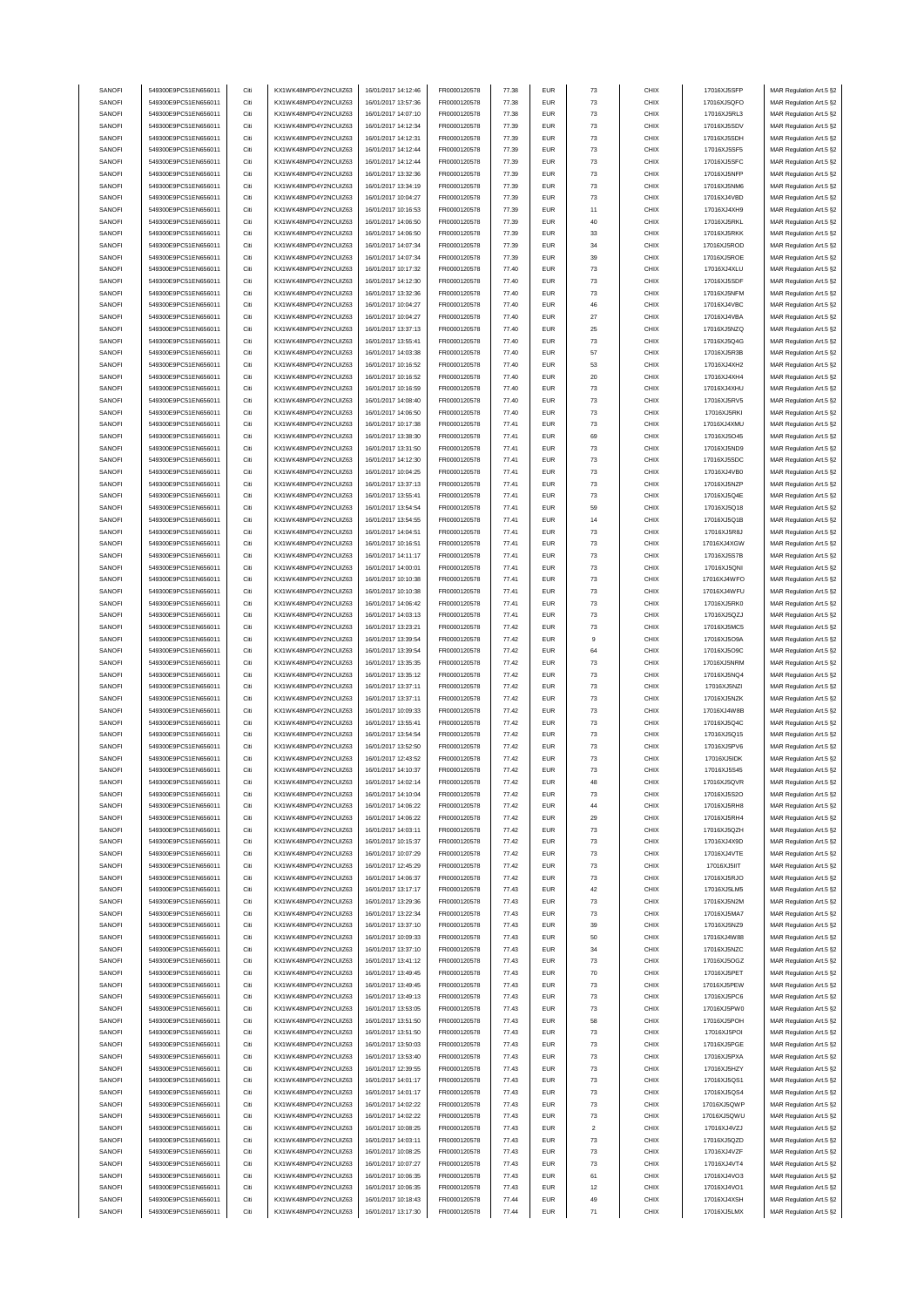| SANOFI | 549300E9PC51EN656011 | Citi | KX1WK48MPD4Y2NCUIZ63  | 16/01/2017 14:12:46 | FR0000120578 | 77.38 | <b>EUR</b> | 73             | CHIX | 17016XJ5SFP  | MAR Regulation Art.5 §2 |
|--------|----------------------|------|-----------------------|---------------------|--------------|-------|------------|----------------|------|--------------|-------------------------|
| SANOFI | 549300E9PC51EN656011 | Citi | KX1WK48MPD4Y2NCUIZ63  | 16/01/2017 13:57:36 |              | 77.38 | <b>EUR</b> | 73             | CHIX |              |                         |
|        |                      |      |                       |                     | FR0000120578 |       |            |                |      | 17016XJ5QFO  | MAR Regulation Art.5 §2 |
| SANOFI | 549300E9PC51EN656011 | Citi | KX1WK48MPD4Y2NCUIZ63  | 16/01/2017 14:07:10 | FR0000120578 | 77.38 | <b>EUR</b> | 73             | CHIX | 17016XJ5RL3  | MAR Regulation Art.5 §2 |
| SANOFI | 549300E9PC51EN656011 | Citi | KX1WK48MPD4Y2NCUIZ63  | 16/01/2017 14:12:34 | FR0000120578 | 77.39 | EUR        | 73             | CHIX | 17016XJ5SDV  | MAR Regulation Art.5 §2 |
| SANOFI | 549300E9PC51EN656011 | Citi | KX1WK48MPD4Y2NCLIIZ63 | 16/01/2017 14:12:31 | FR0000120578 | 77.39 | <b>EUR</b> | 73             | CHIX | 17016XJ5SDH  | MAR Regulation Art.5 §2 |
| SANOFI | 549300E9PC51EN656011 | Citi | KX1WK48MPD4Y2NCUIZ63  | 16/01/2017 14:12:44 | FR0000120578 | 77.39 | <b>EUR</b> | 73             | CHIX | 17016XJ5SF5  | MAR Regulation Art.5 §2 |
| SANOFI | 549300E9PC51EN656011 | Citi | KX1WK48MPD4Y2NCUIZ63  | 16/01/2017 14:12:44 | FR0000120578 | 77.39 | <b>EUR</b> | 73             | CHIX | 17016XJ5SFC  | MAR Regulation Art.5 §2 |
|        |                      |      |                       |                     |              |       |            |                |      |              |                         |
| SANOFI | 549300E9PC51EN656011 | Citi | KX1WK48MPD4Y2NCUIZ63  | 16/01/2017 13:32:36 | FR0000120578 | 77.39 | <b>EUR</b> | 73             | CHIX | 17016XJ5NFP  | MAR Regulation Art.5 §2 |
| SANOFI | 549300E9PC51EN656011 | Citi | KX1WK48MPD4Y2NCUIZ63  | 16/01/2017 13:34:19 | FR0000120578 | 77.39 | <b>EUR</b> | 73             | CHIX | 17016XJ5NM6  | MAR Regulation Art.5 §2 |
| SANOFI | 549300E9PC51EN656011 | Citi | KX1WK48MPD4Y2NCUIZ63  | 16/01/2017 10:04:27 | FR0000120578 | 77.39 | <b>EUR</b> | 73             | CHIX | 17016XJ4VBD  | MAR Regulation Art.5 §2 |
| SANOFI | 549300E9PC51EN656011 | Citi | KX1WK48MPD4Y2NCUIZ63  | 16/01/2017 10:16:53 | FR0000120578 | 77.39 | <b>EUR</b> | 11             | CHIX | 17016XJ4XH9  | MAR Regulation Art.5 §2 |
| SANOFI | 549300E9PC51EN656011 | Citi | KX1WK48MPD4Y2NCUIZ63  | 16/01/2017 14:06:50 | FR0000120578 | 77.39 | <b>EUR</b> | 40             | CHIX | 17016XJ5RKL  | MAR Regulation Art.5 §2 |
|        |                      |      |                       |                     |              |       |            |                |      |              |                         |
| SANOFI | 549300E9PC51EN656011 | Citi | KX1WK48MPD4Y2NCUIZ63  | 16/01/2017 14:06:50 | FR0000120578 | 77.39 | EUR        | 33             | CHIX | 17016XJ5RKK  | MAR Regulation Art.5 §2 |
| SANOFI | 549300E9PC51EN656011 | Citi | KX1WK48MPD4Y2NCUIZ63  | 16/01/2017 14:07:34 | FR0000120578 | 77.39 | <b>EUR</b> | 34             | CHIX | 17016XJ5ROD  | MAR Regulation Art.5 §2 |
| SANOFI | 549300E9PC51EN656011 | Citi | KX1WK48MPD4Y2NCUIZ63  | 16/01/2017 14:07:34 | FR0000120578 | 77.39 | <b>EUR</b> | 39             | CHIX | 17016XJ5ROE  | MAR Regulation Art.5 §2 |
| SANOFI | 549300E9PC51EN656011 | Citi | KX1WK48MPD4Y2NCUIZ63  | 16/01/2017 10:17:32 | FR0000120578 | 77.40 | <b>EUR</b> | 73             | CHIX | 17016XJ4XLU  | MAR Regulation Art.5 §2 |
| SANOFI | 549300E9PC51EN656011 | Citi | KX1WK48MPD4Y2NCUIZ63  | 16/01/2017 14:12:30 | FR0000120578 | 77.40 | <b>EUR</b> | 73             | CHIX | 17016XJ5SDF  | MAR Regulation Art.5 §2 |
|        | 549300E9PC51EN656011 | Citi | KX1WK48MPD4Y2NCUIZ63  | 16/01/2017 13:32:36 |              | 77.40 | <b>EUR</b> | 73             | CHIX |              |                         |
| SANOFI |                      |      |                       |                     | FR0000120578 |       |            |                |      | 17016XJ5NFM  | MAR Regulation Art.5 §2 |
| SANOFI | 549300E9PC51EN656011 | Citi | KX1WK48MPD4Y2NCUIZ63  | 16/01/2017 10:04:27 | FR0000120578 | 77.40 | <b>EUR</b> | 46             | CHIX | 17016XJ4VBC  | MAR Regulation Art.5 §2 |
| SANOFI | 549300E9PC51EN656011 | Citi | KX1WK48MPD4Y2NCUIZ63  | 16/01/2017 10:04:27 | FR0000120578 | 77.40 | <b>EUR</b> | $27\,$         | CHIX | 17016XJ4VBA  | MAR Regulation Art.5 §2 |
| SANOFI | 549300E9PC51EN656011 | Citi | KX1WK48MPD4Y2NCUIZ63  | 16/01/2017 13:37:13 | FR0000120578 | 77.40 | <b>EUR</b> | 25             | CHIX | 17016XJ5NZQ  | MAR Regulation Art.5 §2 |
| SANOFI | 549300E9PC51EN656011 | Citi | KX1WK48MPD4Y2NCUIZ63  | 16/01/2017 13:55:41 | FR0000120578 | 77.40 | <b>EUR</b> | 73             | CHIX | 17016XJ5Q4G  | MAR Regulation Art.5 §2 |
| SANOFI | 549300E9PC51EN656011 | Citi | KX1WK48MPD4Y2NCUIZ63  | 16/01/2017 14:03:38 | FR0000120578 | 77.40 | <b>EUR</b> | 57             | CHIX | 17016XJ5R3B  |                         |
|        |                      |      |                       |                     |              |       |            |                |      |              | MAR Regulation Art.5 §2 |
| SANOFI | 549300E9PC51EN656011 | Citi | KX1WK48MPD4Y2NCUIZ63  | 16/01/2017 10:16:52 | FR0000120578 | 77.40 | <b>EUR</b> | 53             | CHIX | 17016XJ4XH2  | MAR Regulation Art.5 §2 |
| SANOFI | 549300E9PC51EN656011 | Citi | KX1WK48MPD4Y2NCUIZ63  | 16/01/2017 10:16:52 | FR0000120578 | 77.40 | <b>EUR</b> | 20             | CHIX | 17016XJ4XH4  | MAR Regulation Art.5 §2 |
| SANOFI | 549300E9PC51EN656011 | Citi | KX1WK48MPD4Y2NCUIZ63  | 16/01/2017 10:16:59 | FR0000120578 | 77.40 | <b>EUR</b> | 73             | CHIX | 17016XJ4XHU  | MAR Regulation Art.5 §2 |
| SANOFI | 549300E9PC51EN656011 | Citi | KX1WK48MPD4Y2NCUIZ63  | 16/01/2017 14:08:40 | FR0000120578 | 77.40 | <b>EUR</b> | 73             | CHIX | 17016XJ5RV5  | MAR Regulation Art.5 §2 |
| SANOFI | 549300E9PC51EN656011 | Citi | KX1WK48MPD4Y2NCUIZ63  | 16/01/2017 14:06:50 |              | 77.40 | <b>EUR</b> | 73             | CHIX |              |                         |
|        |                      |      |                       |                     | FR0000120578 |       |            |                |      | 17016XJ5RKI  | MAR Regulation Art.5 §2 |
| SANOFI | 549300E9PC51EN656011 | Citi | KX1WK48MPD4Y2NCUIZ63  | 16/01/2017 10:17:38 | FR0000120578 | 77.41 | <b>EUR</b> | 73             | CHIX | 17016XJ4XMU  | MAR Regulation Art.5 §2 |
| SANOFI | 549300E9PC51EN656011 | Citi | KX1WK48MPD4Y2NCUIZ63  | 16/01/2017 13:38:30 | FR0000120578 | 77.41 | <b>EUR</b> | 69             | CHIX | 17016XJ5O45  | MAR Regulation Art.5 §2 |
| SANOFI | 549300E9PC51EN656011 | Citi | KX1WK48MPD4Y2NCUIZ63  | 16/01/2017 13:31:50 | FR0000120578 | 77.41 | <b>EUR</b> | 73             | CHIX | 17016XJ5ND9  | MAR Regulation Art.5 §2 |
| SANOFI | 549300E9PC51EN656011 | Citi | KX1WK48MPD4Y2NCUIZ63  | 16/01/2017 14:12:30 | FR0000120578 | 77.41 | <b>EUR</b> | 73             | CHIX | 17016XJ5SDC  | MAR Regulation Art.5 §2 |
| SANOFI | 549300E9PC51EN656011 | Citi | KX1WK48MPD4Y2NCUIZ63  | 16/01/2017 10:04:25 | FR0000120578 | 77.41 | <b>EUR</b> | 73             | CHIX | 17016XJ4VB0  | MAR Regulation Art.5 §2 |
|        |                      |      |                       |                     |              |       |            |                |      |              |                         |
| SANOFI | 549300E9PC51EN656011 | Citi | KX1WK48MPD4Y2NCUIZ63  | 16/01/2017 13:37:13 | FR0000120578 | 77.41 | <b>EUR</b> | 73             | CHIX | 17016XJ5NZP  | MAR Regulation Art.5 §2 |
| SANOFI | 549300E9PC51EN656011 | Citi | KX1WK48MPD4Y2NCUIZ63  | 16/01/2017 13:55:41 | FR0000120578 | 77.41 | <b>EUR</b> | 73             | CHIX | 17016XJ5Q4E  | MAR Regulation Art.5 §2 |
| SANOFI | 549300E9PC51EN656011 | Citi | KX1WK48MPD4Y2NCUIZ63  | 16/01/2017 13:54:54 | FR0000120578 | 77.41 | <b>EUR</b> | 59             | CHIX | 17016XJ5Q18  | MAR Regulation Art.5 §2 |
| SANOFI | 549300E9PC51EN656011 | Citi | KX1WK48MPD4Y2NCUIZ63  | 16/01/2017 13:54:55 | FR0000120578 | 77.41 | <b>EUR</b> | 14             | CHIX | 17016XJ5Q1B  | MAR Regulation Art.5 §2 |
| SANOFI | 549300E9PC51EN656011 | Citi | KX1WK48MPD4Y2NCUIZ63  | 16/01/2017 14:04:51 | FR0000120578 | 77.41 | <b>EUR</b> | 73             | CHIX | 17016XJ5R8J  | MAR Regulation Art.5 §2 |
|        |                      |      |                       |                     |              |       |            |                |      |              |                         |
| SANOFI | 549300E9PC51EN656011 | Citi | KX1WK48MPD4Y2NCUIZ63  | 16/01/2017 10:16:51 | FR0000120578 | 77.41 | <b>EUR</b> | 73             | CHIX | 17016XJ4XGW  | MAR Regulation Art.5 §2 |
| SANOFI | 549300E9PC51EN656011 | Citi | KX1WK48MPD4Y2NCUIZ63  | 16/01/2017 14:11:17 | FR0000120578 | 77.41 | <b>EUR</b> | 73             | CHIX | 17016XJ5S7B  | MAR Regulation Art.5 §2 |
| SANOFI | 549300E9PC51EN656011 | Citi | KX1WK48MPD4Y2NCUIZ63  | 16/01/2017 14:00:01 | FR0000120578 | 77.41 | <b>EUR</b> | 73             | CHIX | 17016XJ5QNI  | MAR Regulation Art.5 §2 |
| SANOFI | 549300E9PC51EN656011 | Citi | KX1WK48MPD4Y2NCUIZ63  | 16/01/2017 10:10:38 | FR0000120578 | 77.41 | <b>EUR</b> | 73             | CHIX | 17016XJ4WFO  | MAR Regulation Art.5 §2 |
| SANOFI | 549300E9PC51EN656011 | Citi | KX1WK48MPD4Y2NCUIZ63  | 16/01/2017 10:10:38 | FR0000120578 | 77.41 | <b>EUR</b> | 73             | CHIX | 17016XJ4WFU  | MAR Regulation Art.5 §2 |
| SANOFI | 549300E9PC51EN656011 | Citi | KX1WK48MPD4Y2NCUIZ63  | 16/01/2017 14:06:42 | FR0000120578 | 77.41 | <b>EUR</b> | 73             | CHIX | 17016XJ5RK0  |                         |
|        |                      |      |                       |                     |              |       |            |                |      |              | MAR Regulation Art.5 §2 |
| SANOFI | 549300E9PC51EN656011 | Citi | KX1WK48MPD4Y2NCUIZ63  | 16/01/2017 14:03:13 | FR0000120578 | 77.41 | <b>EUR</b> | 73             | CHIX | 17016XJ5QZJ  | MAR Regulation Art.5 §2 |
| SANOFI | 549300E9PC51EN656011 | Citi | KX1WK48MPD4Y2NCUIZ63  | 16/01/2017 13:23:21 | FR0000120578 | 77.42 | <b>EUR</b> | 73             | CHIX | 17016XJ5MC5  | MAR Regulation Art.5 §2 |
| SANOFI | 549300E9PC51EN656011 | Citi | KX1WK48MPD4Y2NCUIZ63  | 16/01/2017 13:39:54 | FR0000120578 | 77.42 | <b>EUR</b> | 9              | CHIX | 17016XJ5O9A  | MAR Regulation Art.5 §2 |
| SANOFI | 549300E9PC51EN656011 | Citi | KX1WK48MPD4Y2NCUIZ63  | 16/01/2017 13:39:54 | FR0000120578 | 77.42 | <b>EUR</b> | 64             | CHIX | 17016XJ5O9C  | MAR Regulation Art.5 §2 |
| SANOFI | 549300E9PC51EN656011 | Citi | KX1WK48MPD4Y2NCUIZ63  | 16/01/2017 13:35:35 | FR0000120578 | 77.42 | <b>EUR</b> | 73             | CHIX | 17016XJ5NRM  | MAR Regulation Art.5 §2 |
|        |                      |      |                       |                     |              |       |            |                |      |              |                         |
| SANOFI | 549300E9PC51EN656011 | Citi | KX1WK48MPD4Y2NCUIZ63  | 16/01/2017 13:35:12 | FR0000120578 | 77.42 | <b>EUR</b> | 73             | CHIX | 17016XJ5NQ4  | MAR Regulation Art.5 §2 |
| SANOFI | 549300E9PC51EN656011 | Citi | KX1WK48MPD4Y2NCUIZ63  | 16/01/2017 13:37:11 | FR0000120578 | 77.42 | <b>EUR</b> | 73             | CHIX | 17016XJ5NZI  | MAR Regulation Art.5 §2 |
| SANOFI | 549300E9PC51EN656011 | Citi | KX1WK48MPD4Y2NCUIZ63  | 16/01/2017 13:37:11 | FR0000120578 | 77.42 | <b>EUR</b> | 73             | CHIX | 17016XJ5NZK  | MAR Regulation Art.5 §2 |
| SANOFI | 549300E9PC51EN656011 | Citi | KX1WK48MPD4Y2NCLIIZ63 | 16/01/2017 10:09:33 | FR0000120578 | 77.42 | <b>EUR</b> | 73             | CHIX | 17016XJ4W8B  | MAR Regulation Art.5 §2 |
| SANOFI | 549300E9PC51EN656011 | Citi | KX1WK48MPD4Y2NCUIZ63  | 16/01/2017 13:55:41 | FR0000120578 | 77.42 | <b>EUR</b> | 73             | CHIX | 17016XJ5Q4C  | MAR Regulation Art.5 §2 |
|        |                      |      |                       |                     |              |       |            |                |      |              |                         |
| SANOFI | 549300E9PC51EN656011 | Citi | KX1WK48MPD4Y2NCUIZ63  | 16/01/2017 13:54:54 | FR0000120578 | 77.42 | <b>EUR</b> | 73             | CHIX | 17016XJ5Q15  | MAR Regulation Art.5 §2 |
| SANOFI | 549300E9PC51EN656011 | Citi | KX1WK48MPD4Y2NCUIZ63  | 16/01/2017 13:52:50 | FR0000120578 | 77.42 | <b>EUR</b> | 73             | CHIX | 17016XJ5PV6  | MAR Regulation Art.5 §2 |
| SANOFI | 549300E9PC51EN656011 | Citi | KX1WK48MPD4Y2NCUIZ63  | 16/01/2017 12:43:52 | FR0000120578 | 77.42 | <b>EUR</b> | 73             | CHIX | 17016XJ5IDK  | MAR Regulation Art.5 §2 |
| SANOFI | 549300E9PC51EN656011 | Citi | KX1WK48MPD4Y2NCUIZ63  | 16/01/2017 14:10:37 | FR0000120578 | 77.42 | <b>EUR</b> | 73             | CHIX | 17016XJ5S45  | MAR Regulation Art.5 §2 |
| SANOFI | 549300E9PC51EN656011 | Citi | KX1WK48MPD4Y2NCLIIZ63 | 16/01/2017 14:02:14 | FR0000120578 | 77.42 | FUR        |                | CHIX | 17016X.I5OVR | MAR Regulation Art 5.82 |
| SANOFI |                      |      |                       | 16/01/2017 14:10:04 |              |       |            |                |      |              |                         |
|        | 549300E9PC51EN656011 | Citi | KX1WK48MPD4Y2NCUIZ63  |                     | FR0000120578 | 77.42 | <b>EUR</b> | 73             | CHIX | 17016XJ5S2O  | MAR Regulation Art.5 §2 |
| SANOFI | 549300E9PC51EN656011 | Citi | KX1WK48MPD4Y2NCUIZ63  | 16/01/2017 14:06:22 | FR0000120578 | 77.42 | <b>EUR</b> | 44             | CHIX | 17016XJ5RH8  | MAR Regulation Art.5 §2 |
| SANOFI | 549300E9PC51EN656011 | Citi | KX1WK48MPD4Y2NCUIZ63  | 16/01/2017 14:06:22 | FR0000120578 | 77.42 | <b>EUR</b> | 29             | CHIX | 17016XJ5RH4  | MAR Regulation Art.5 §2 |
| SANOFI | 549300E9PC51EN656011 | Citi | KX1WK48MPD4Y2NCUIZ63  | 16/01/2017 14:03:11 | FR0000120578 | 77.42 | <b>EUR</b> | 73             | CHIX | 17016XJ5QZH  | MAR Regulation Art.5 §2 |
| SANOFI | 549300E9PC51EN656011 | Citi | KX1WK48MPD4Y2NCUIZ63  | 16/01/2017 10:15:37 | FR0000120578 | 77.42 | <b>EUR</b> | 73             | CHIX | 17016XJ4X9D  | MAR Regulation Art.5 §2 |
| SANOFI | 549300E9PC51EN656011 | Citi | KX1WK48MPD4Y2NCUIZ63  | 16/01/2017 10:07:29 | FR0000120578 | 77.42 | <b>EUR</b> | 73             | CHIX | 17016XJ4VTE  | MAR Regulation Art.5 §2 |
|        |                      |      |                       |                     |              |       |            |                |      |              |                         |
| SANOFI | 549300E9PC51EN656011 | Citi | KX1WK48MPD4Y2NCUIZ63  | 16/01/2017 12:45:29 | FR0000120578 | 77.42 | <b>EUR</b> | 73             | CHIX | 17016XJ5IIT  | MAR Regulation Art.5 §2 |
| SANOFI | 549300E9PC51EN656011 | Citi | KX1WK48MPD4Y2NCUIZ63  | 16/01/2017 14:06:37 | FR0000120578 | 77.42 | <b>EUR</b> | 73             | CHIX | 17016XJ5RJO  | MAR Regulation Art.5 §2 |
| SANOFI | 549300E9PC51EN656011 | Citi | KX1WK48MPD4Y2NCUIZ63  | 16/01/2017 13:17:17 | FR0000120578 | 77.43 | <b>EUR</b> | 42             | CHIX | 17016XJ5LM5  | MAR Regulation Art.5 §2 |
| SANOFI | 549300E9PC51EN656011 | Citi | KX1WK48MPD4Y2NCUIZ63  | 16/01/2017 13:29:36 | FR0000120578 | 77.43 | <b>EUR</b> | 73             | CHIX | 17016XJ5N2M  | MAR Regulation Art.5 §2 |
| SANOFI | 549300E9PC51EN656011 | Citi | KX1WK48MPD4Y2NCUIZ63  | 16/01/2017 13:22:34 | FR0000120578 | 77.43 | <b>EUR</b> | 73             | CHIX | 17016XJ5MA7  | MAR Regulation Art.5 §2 |
|        | 549300E9PC51EN656011 |      |                       |                     |              |       |            |                |      |              |                         |
| SANOFI |                      | Citi | KX1WK48MPD4Y2NCUIZ63  | 16/01/2017 13:37:10 | FR0000120578 | 77.43 | <b>EUR</b> | 39             | CHIX | 17016XJ5NZ9  | MAR Regulation Art.5 §2 |
| SANOFI | 549300E9PC51EN656011 | Citi | KX1WK48MPD4Y2NCUIZ63  | 16/01/2017 10:09:33 | FR0000120578 | 77.43 | <b>EUR</b> | 50             | CHIX | 17016XJ4W88  | MAR Regulation Art.5 §2 |
| SANOFI | 549300E9PC51EN656011 | Citi | KX1WK48MPD4Y2NCUIZ63  | 16/01/2017 13:37:10 | FR0000120578 | 77.43 | <b>EUR</b> | 34             | CHIX | 17016XJ5NZC  | MAR Regulation Art.5 §2 |
| SANOFI | 549300E9PC51EN656011 | Citi | KX1WK48MPD4Y2NCUIZ63  | 16/01/2017 13:41:12 | FR0000120578 | 77.43 | <b>EUR</b> | 73             | CHIX | 17016XJ5OGZ  | MAR Regulation Art.5 §2 |
| SANOFI | 549300E9PC51EN656011 | Citi | KX1WK48MPD4Y2NCUIZ63  | 16/01/2017 13:49:45 | FR0000120578 | 77.43 | <b>EUR</b> | 70             | CHIX | 17016XJ5PET  | MAR Regulation Art.5 §2 |
| SANOFI | 549300E9PC51EN656011 | Citi | KX1WK48MPD4Y2NCUIZ63  | 16/01/2017 13:49:45 | FR0000120578 | 77.43 | <b>EUR</b> | 73             | CHIX | 17016XJ5PEW  | MAR Regulation Art.5 §2 |
|        |                      |      |                       |                     |              |       |            |                |      |              |                         |
| SANOFI | 549300E9PC51EN656011 |      |                       |                     |              |       |            |                |      |              |                         |
| SANOFI |                      | Citi | KX1WK48MPD4Y2NCUIZ63  | 16/01/2017 13:49:13 | FR0000120578 | 77.43 | <b>EUR</b> | 73             | CHIX | 17016XJ5PC6  | MAR Regulation Art.5 §2 |
| SANOFI | 549300E9PC51EN656011 | Citi | KX1WK48MPD4Y2NCUIZ63  | 16/01/2017 13:53:05 | FR0000120578 | 77.43 | <b>EUR</b> | 73             | CHIX | 17016XJ5PW0  | MAR Regulation Art.5 §2 |
| SANOFI | 549300E9PC51EN656011 | Citi | KX1WK48MPD4Y2NCUIZ63  | 16/01/2017 13:51:50 | FR0000120578 | 77.43 | <b>EUR</b> | 58             | CHIX | 17016XJ5POH  | MAR Regulation Art.5 §2 |
|        |                      |      |                       |                     |              |       |            |                |      |              |                         |
|        | 549300E9PC51EN656011 | Citi | KX1WK48MPD4Y2NCUIZ63  | 16/01/2017 13:51:50 | FR0000120578 | 77.43 | <b>EUR</b> | 73             | CHIX | 17016XJ5POI  | MAR Regulation Art.5 §2 |
| SANOFI | 549300E9PC51EN656011 | Citi | KX1WK48MPD4Y2NCUIZ63  | 16/01/2017 13:50:03 | FR0000120578 | 77.43 | <b>EUR</b> | 73             | CHIX | 17016XJ5PGE  | MAR Regulation Art.5 §2 |
| SANOFI | 549300E9PC51EN656011 | Citi | KX1WK48MPD4Y2NCUIZ63  | 16/01/2017 13:53:40 | FR0000120578 | 77.43 | <b>EUR</b> | 73             | CHIX | 17016XJ5PXA  | MAR Regulation Art.5 §2 |
| SANOFI | 549300E9PC51EN656011 | Citi | KX1WK48MPD4Y2NCUIZ63  | 16/01/2017 12:39:55 | FR0000120578 | 77.43 | <b>EUR</b> | 73             | CHIX | 17016XJ5HZY  | MAR Regulation Art.5 §2 |
| SANOFI | 549300E9PC51EN656011 | Citi | KX1WK48MPD4Y2NCUIZ63  | 16/01/2017 14:01:17 | FR0000120578 | 77.43 | <b>EUR</b> | 73             | CHIX | 17016XJ5QS1  | MAR Regulation Art.5 §2 |
| SANOFI |                      | Citi |                       |                     |              |       | <b>EUR</b> |                |      |              |                         |
|        | 549300E9PC51EN656011 |      | KX1WK48MPD4Y2NCUIZ63  | 16/01/2017 14:01:17 | FR0000120578 | 77.43 |            | 73             | CHIX | 17016XJ5QS4  | MAR Regulation Art.5 §2 |
| SANOFI | 549300E9PC51EN656011 | Citi | KX1WK48MPD4Y2NCUIZ63  | 16/01/2017 14:02:22 | FR0000120578 | 77.43 | <b>EUR</b> | 73             | CHIX | 17016XJ5QWP  | MAR Regulation Art.5 §2 |
| SANOFI | 549300E9PC51EN656011 | Citi | KX1WK48MPD4Y2NCUIZ63  | 16/01/2017 14:02:22 | FR0000120578 | 77.43 | <b>EUR</b> | 73             | CHIX | 17016XJ5QWU  | MAR Regulation Art.5 §2 |
| SANOFI | 549300E9PC51EN656011 | Citi | KX1WK48MPD4Y2NCUIZ63  | 16/01/2017 10:08:25 | FR0000120578 | 77.43 | <b>EUR</b> | $\overline{2}$ | CHIX | 17016XJ4VZJ  | MAR Regulation Art.5 §2 |
| SANOFI | 549300E9PC51EN656011 | Citi | KX1WK48MPD4Y2NCUIZ63  | 16/01/2017 14:03:11 | FR0000120578 | 77.43 | <b>EUR</b> | 73             | CHIX | 17016XJ5QZD  | MAR Regulation Art.5 §2 |
| SANOFI | 549300E9PC51EN656011 | Citi | KX1WK48MPD4Y2NCUIZ63  | 16/01/2017 10:08:25 | FR0000120578 | 77.43 | <b>EUR</b> | 73             | CHIX | 17016XJ4VZF  | MAR Regulation Art.5 §2 |
| SANOFI | 549300E9PC51EN656011 | Citi | KX1WK48MPD4Y2NCUIZ63  | 16/01/2017 10:07:27 | FR0000120578 | 77.43 | <b>EUR</b> | 73             | CHIX | 17016XJ4VT4  |                         |
|        |                      |      |                       |                     |              |       |            |                |      |              | MAR Regulation Art.5 §2 |
| SANOFI | 549300E9PC51EN656011 | Citi | KX1WK48MPD4Y2NCUIZ63  | 16/01/2017 10:06:35 | FR0000120578 | 77.43 | <b>EUR</b> | 61             | CHIX | 17016XJ4VO3  | MAR Regulation Art.5 §2 |
| SANOFI | 549300E9PC51EN656011 | Citi | KX1WK48MPD4Y2NCUIZ63  | 16/01/2017 10:06:35 | FR0000120578 | 77.43 | <b>EUR</b> | 12             | CHIX | 17016XJ4VO1  | MAR Regulation Art.5 §2 |
| SANOFI | 549300E9PC51EN656011 | Citi | KX1WK48MPD4Y2NCUIZ63  | 16/01/2017 10:18:43 | FR0000120578 | 77.44 | <b>EUR</b> | 49             | CHIX | 17016XJ4XSH  | MAR Regulation Art.5 §2 |
| SANOFI | 549300E9PC51EN656011 | Citi | KX1WK48MPD4Y2NCUIZ63  | 16/01/2017 13:17:30 | FR0000120578 | 77.44 | <b>EUR</b> | ${\bf 71}$     | CHIX | 17016XJ5LMX  | MAR Regulation Art.5 §2 |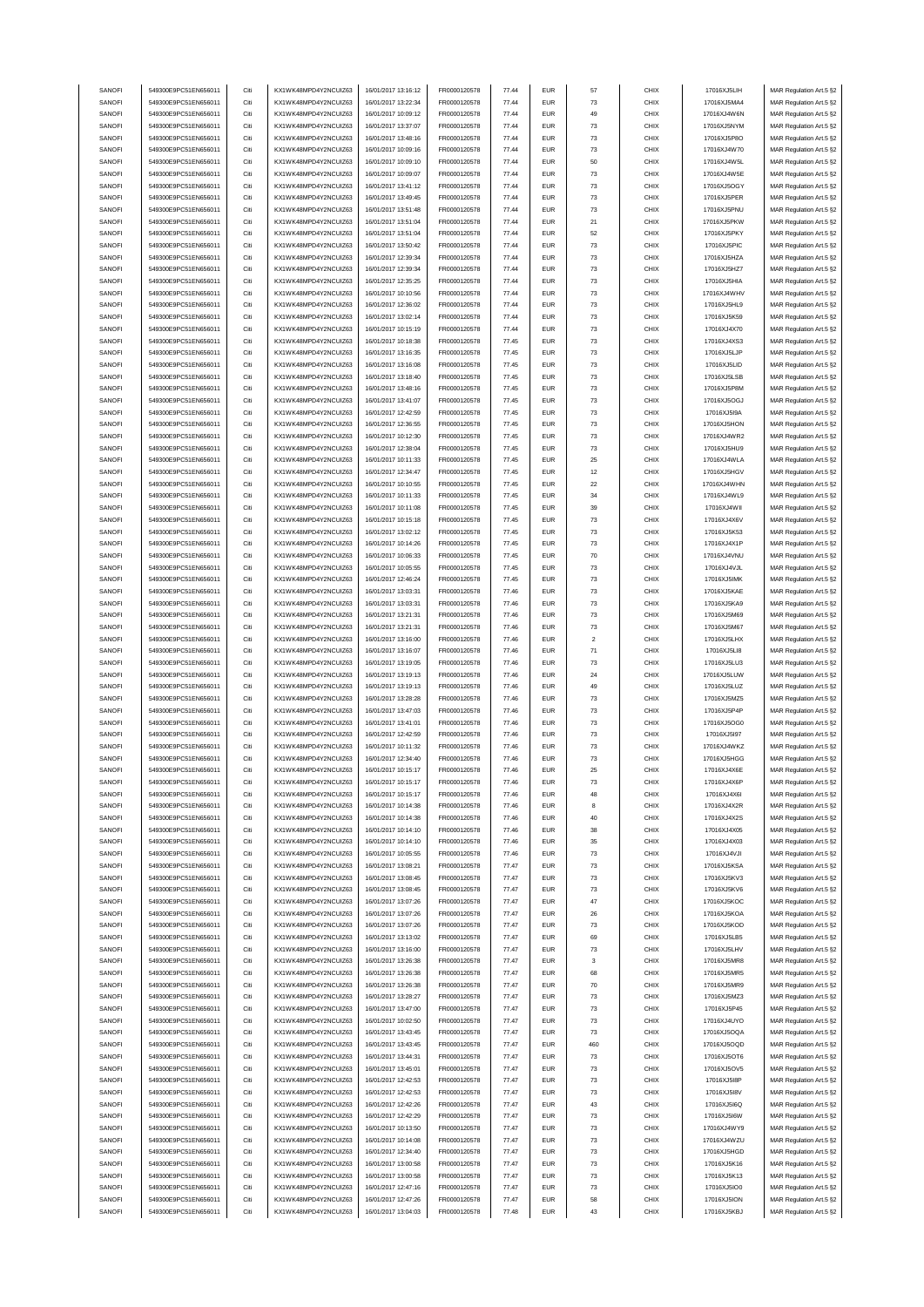| SANOFI | 549300E9PC51EN656011 | Citi | KX1WK48MPD4Y2NCUIZ63  | 16/01/2017 13:16:12 | FR0000120578 | 77.44 | <b>EUR</b> | 57                      | CHIX | 17016XJ5LIH | MAR Regulation Art.5 §2 |
|--------|----------------------|------|-----------------------|---------------------|--------------|-------|------------|-------------------------|------|-------------|-------------------------|
| SANOFI | 549300E9PC51EN656011 | Citi | KX1WK48MPD4Y2NCUIZ63  | 16/01/2017 13:22:34 |              | 77.44 | <b>EUR</b> | 73                      | CHIX |             |                         |
|        |                      |      |                       |                     | FR0000120578 |       |            |                         |      | 17016XJ5MA4 | MAR Regulation Art.5 §2 |
| SANOFI | 549300E9PC51EN656011 | Citi | KX1WK48MPD4Y2NCUIZ63  | 16/01/2017 10:09:12 | FR0000120578 | 77.44 | <b>EUR</b> | 49                      | CHIX | 17016XJ4W6N | MAR Regulation Art.5 §2 |
| SANOFI | 549300E9PC51EN656011 | Citi | KX1WK48MPD4Y2NCUIZ63  | 16/01/2017 13:37:07 | FR0000120578 | 77.44 | EUR        | 73                      | CHIX | 17016XJ5NYM | MAR Regulation Art.5 §2 |
| SANOFI | 549300E9PC51EN656011 | Citi | KX1WK48MPD4Y2NCLIIZ63 | 16/01/2017 13:48:16 | FR0000120578 | 77.44 | <b>EUR</b> | 73                      | CHIX | 17016XJ5P8O | MAR Regulation Art.5 §2 |
| SANOFI | 549300E9PC51EN656011 | Citi | KX1WK48MPD4Y2NCUIZ63  | 16/01/2017 10:09:16 | FR0000120578 | 77.44 | <b>EUR</b> | 73                      | CHIX | 17016XJ4W70 | MAR Regulation Art.5 §2 |
| SANOFI | 549300E9PC51EN656011 | Citi | KX1WK48MPD4Y2NCUIZ63  | 16/01/2017 10:09:10 | FR0000120578 | 77.44 | <b>EUR</b> | 50                      | CHIX | 17016XJ4W5L | MAR Regulation Art.5 §2 |
|        |                      |      |                       |                     |              |       |            |                         |      |             |                         |
| SANOFI | 549300E9PC51EN656011 | Citi | KX1WK48MPD4Y2NCUIZ63  | 16/01/2017 10:09:07 | FR0000120578 | 77.44 | <b>EUR</b> | 73                      | CHIX | 17016XJ4W5E | MAR Regulation Art.5 §2 |
| SANOFI | 549300E9PC51EN656011 | Citi | KX1WK48MPD4Y2NCUIZ63  | 16/01/2017 13:41:12 | FR0000120578 | 77.44 | <b>EUR</b> | 73                      | CHIX | 17016XJ5OGY | MAR Regulation Art.5 §2 |
| SANOFI | 549300E9PC51EN656011 | Citi | KX1WK48MPD4Y2NCUIZ63  | 16/01/2017 13:49:45 | FR0000120578 | 77.44 | <b>EUR</b> | 73                      | CHIX | 17016XJ5PER | MAR Regulation Art.5 §2 |
| SANOFI | 549300E9PC51EN656011 | Citi | KX1WK48MPD4Y2NCUIZ63  | 16/01/2017 13:51:48 | FR0000120578 | 77.44 | <b>EUR</b> | 73                      | CHIX | 17016XJ5PNU | MAR Regulation Art.5 §2 |
| SANOFI | 549300E9PC51EN656011 | Citi | KX1WK48MPD4Y2NCUIZ63  | 16/01/2017 13:51:04 | FR0000120578 | 77.44 | <b>EUR</b> | 21                      | CHIX | 17016XJ5PKW | MAR Regulation Art.5 §2 |
|        |                      |      |                       |                     |              |       |            |                         |      |             |                         |
| SANOFI | 549300E9PC51EN656011 | Citi | KX1WK48MPD4Y2NCUIZ63  | 16/01/2017 13:51:04 | FR0000120578 | 77.44 | EUR        | 52                      | CHIX | 17016XJ5PKY | MAR Regulation Art.5 §2 |
| SANOFI | 549300E9PC51EN656011 | Citi | KX1WK48MPD4Y2NCUIZ63  | 16/01/2017 13:50:42 | FR0000120578 | 77.44 | <b>EUR</b> | 73                      | CHIX | 17016XJ5PIC | MAR Regulation Art.5 §2 |
| SANOFI | 549300E9PC51EN656011 | Citi | KX1WK48MPD4Y2NCUIZ63  | 16/01/2017 12:39:34 | FR0000120578 | 77.44 | <b>EUR</b> | 73                      | CHIX | 17016XJ5HZA | MAR Regulation Art.5 §2 |
| SANOFI | 549300E9PC51EN656011 | Citi | KX1WK48MPD4Y2NCUIZ63  | 16/01/2017 12:39:34 | FR0000120578 | 77.44 | <b>EUR</b> | 73                      | CHIX | 17016XJ5HZ7 | MAR Regulation Art.5 §2 |
| SANOFI | 549300E9PC51EN656011 | Citi | KX1WK48MPD4Y2NCUIZ63  | 16/01/2017 12:35:25 | FR0000120578 | 77.44 | <b>EUR</b> | 73                      | CHIX | 17016XJ5HIA | MAR Regulation Art.5 §2 |
|        | 549300E9PC51EN656011 | Citi | KX1WK48MPD4Y2NCUIZ63  | 16/01/2017 10:10:56 |              | 77.44 | <b>EUR</b> | 73                      | CHIX |             | MAR Regulation Art.5 §2 |
| SANOFI |                      |      |                       |                     | FR0000120578 |       |            |                         |      | 17016XJ4WHV |                         |
| SANOFI | 549300E9PC51EN656011 | Citi | KX1WK48MPD4Y2NCUIZ63  | 16/01/2017 12:36:02 | FR0000120578 | 77.44 | <b>EUR</b> | 73                      | CHIX | 17016XJ5HL9 | MAR Regulation Art.5 §2 |
| SANOFI | 549300E9PC51EN656011 | Citi | KX1WK48MPD4Y2NCUIZ63  | 16/01/2017 13:02:14 | FR0000120578 | 77.44 | <b>EUR</b> | 73                      | CHIX | 17016XJ5K59 | MAR Regulation Art.5 §2 |
| SANOFI | 549300E9PC51EN656011 | Citi | KX1WK48MPD4Y2NCUIZ63  | 16/01/2017 10:15:19 | FR0000120578 | 77.44 | <b>EUR</b> | 73                      | CHIX | 17016XJ4X70 | MAR Regulation Art.5 §2 |
| SANOFI | 549300E9PC51EN656011 | Citi | KX1WK48MPD4Y2NCUIZ63  | 16/01/2017 10:18:38 | FR0000120578 | 77.45 | <b>EUR</b> | 73                      | CHIX | 17016XJ4XS3 | MAR Regulation Art.5 §2 |
| SANOFI | 549300E9PC51EN656011 | Citi | KX1WK48MPD4Y2NCUIZ63  | 16/01/2017 13:16:35 | FR0000120578 | 77.45 | <b>EUR</b> | 73                      | CHIX | 17016XJ5LJP |                         |
|        |                      |      |                       |                     |              |       |            |                         |      |             | MAR Regulation Art.5 §2 |
| SANOFI | 549300E9PC51EN656011 | Citi | KX1WK48MPD4Y2NCUIZ63  | 16/01/2017 13:16:08 | FR0000120578 | 77.45 | <b>EUR</b> | 73                      | CHIX | 17016XJ5LID | MAR Regulation Art.5 §2 |
| SANOFI | 549300E9PC51EN656011 | Citi | KX1WK48MPD4Y2NCUIZ63  | 16/01/2017 13:18:40 | FR0000120578 | 77.45 | <b>EUR</b> | 73                      | CHIX | 17016XJ5LSB | MAR Regulation Art.5 §2 |
| SANOFI | 549300E9PC51EN656011 | Citi | KX1WK48MPD4Y2NCUIZ63  | 16/01/2017 13:48:16 | FR0000120578 | 77.45 | <b>EUR</b> | 73                      | CHIX | 17016XJ5P8M | MAR Regulation Art.5 §2 |
| SANOFI | 549300E9PC51EN656011 | Citi | KX1WK48MPD4Y2NCUIZ63  | 16/01/2017 13:41:07 | FR0000120578 | 77.45 | <b>EUR</b> | 73                      | CHIX | 17016XJ5OGJ | MAR Regulation Art.5 §2 |
| SANOFI | 549300E9PC51EN656011 | Citi | KX1WK48MPD4Y2NCUIZ63  | 16/01/2017 12:42:59 |              | 77.45 | <b>EUR</b> | 73                      | CHIX |             |                         |
|        |                      |      |                       |                     | FR0000120578 |       |            |                         |      | 17016XJ5I9A | MAR Regulation Art.5 §2 |
| SANOFI | 549300E9PC51EN656011 | Citi | KX1WK48MPD4Y2NCUIZ63  | 16/01/2017 12:36:55 | FR0000120578 | 77.45 | <b>EUR</b> | 73                      | CHIX | 17016XJ5HON | MAR Regulation Art.5 §2 |
| SANOFI | 549300E9PC51EN656011 | Citi | KX1WK48MPD4Y2NCUIZ63  | 16/01/2017 10:12:30 | FR0000120578 | 77.45 | <b>EUR</b> | 73                      | CHIX | 17016XJ4WR2 | MAR Regulation Art.5 §2 |
| SANOFI | 549300E9PC51EN656011 | Citi | KX1WK48MPD4Y2NCUIZ63  | 16/01/2017 12:38:04 | FR0000120578 | 77.45 | <b>EUR</b> | 73                      | CHIX | 17016XJ5HU9 | MAR Regulation Art.5 §2 |
| SANOFI | 549300E9PC51EN656011 | Citi | KX1WK48MPD4Y2NCUIZ63  | 16/01/2017 10:11:33 | FR0000120578 | 77.45 | <b>EUR</b> | 25                      | CHIX | 17016XJ4WLA | MAR Regulation Art.5 §2 |
| SANOFI | 549300E9PC51EN656011 | Citi | KX1WK48MPD4Y2NCUIZ63  | 16/01/2017 12:34:47 | FR0000120578 | 77.45 | <b>EUR</b> | 12                      | CHIX | 17016XJ5HGV | MAR Regulation Art.5 §2 |
|        |                      |      |                       |                     |              |       |            |                         |      |             |                         |
| SANOFI | 549300E9PC51EN656011 | Citi | KX1WK48MPD4Y2NCUIZ63  | 16/01/2017 10:10:55 | FR0000120578 | 77.45 | <b>EUR</b> | 22                      | CHIX | 17016XJ4WHN | MAR Regulation Art.5 §2 |
| SANOFI | 549300E9PC51EN656011 | Citi | KX1WK48MPD4Y2NCUIZ63  | 16/01/2017 10:11:33 | FR0000120578 | 77.45 | <b>EUR</b> | 34                      | CHIX | 17016XJ4WL9 | MAR Regulation Art.5 §2 |
| SANOFI | 549300E9PC51EN656011 | Citi | KX1WK48MPD4Y2NCUIZ63  | 16/01/2017 10:11:08 | FR0000120578 | 77.45 | <b>EUR</b> | 39                      | CHIX | 17016XJ4WII | MAR Regulation Art.5 §2 |
| SANOFI | 549300E9PC51EN656011 | Citi | KX1WK48MPD4Y2NCUIZ63  | 16/01/2017 10:15:18 | FR0000120578 | 77.45 | <b>EUR</b> | 73                      | CHIX | 17016XJ4X6V | MAR Regulation Art.5 §2 |
| SANOFI | 549300E9PC51EN656011 | Citi | KX1WK48MPD4Y2NCUIZ63  | 16/01/2017 13:02:12 | FR0000120578 | 77.45 | <b>EUR</b> | 73                      | CHIX | 17016XJ5K53 | MAR Regulation Art.5 §2 |
|        |                      |      |                       |                     |              |       |            |                         |      |             |                         |
| SANOFI | 549300E9PC51EN656011 | Citi | KX1WK48MPD4Y2NCUIZ63  | 16/01/2017 10:14:26 | FR0000120578 | 77.45 | <b>EUR</b> | 73                      | CHIX | 17016XJ4X1P | MAR Regulation Art.5 §2 |
| SANOFI | 549300E9PC51EN656011 | Citi | KX1WK48MPD4Y2NCUIZ63  | 16/01/2017 10:06:33 | FR0000120578 | 77.45 | <b>EUR</b> | 70                      | CHIX | 17016XJ4VNU | MAR Regulation Art.5 §2 |
| SANOFI | 549300E9PC51EN656011 | Citi | KX1WK48MPD4Y2NCUIZ63  | 16/01/2017 10:05:55 | FR0000120578 | 77.45 | <b>EUR</b> | 73                      | CHIX | 17016XJ4VJL | MAR Regulation Art.5 §2 |
| SANOFI | 549300E9PC51EN656011 | Citi | KX1WK48MPD4Y2NCUIZ63  | 16/01/2017 12:46:24 | FR0000120578 | 77.45 | <b>EUR</b> | 73                      | CHIX | 17016XJ5IMK | MAR Regulation Art.5 §2 |
| SANOFI | 549300E9PC51EN656011 | Citi | KX1WK48MPD4Y2NCUIZ63  | 16/01/2017 13:03:31 | FR0000120578 | 77.46 | <b>EUR</b> | 73                      | CHIX | 17016XJ5KAE | MAR Regulation Art.5 §2 |
| SANOFI | 549300E9PC51EN656011 | Citi | KX1WK48MPD4Y2NCUIZ63  | 16/01/2017 13:03:31 | FR0000120578 | 77.46 | <b>EUR</b> | 73                      | CHIX |             |                         |
|        |                      |      |                       |                     |              |       |            |                         |      | 17016XJ5KA9 | MAR Regulation Art.5 §2 |
| SANOFI | 549300E9PC51EN656011 | Citi | KX1WK48MPD4Y2NCUIZ63  | 16/01/2017 13:21:31 | FR0000120578 | 77.46 | <b>EUR</b> | 73                      | CHIX | 17016XJ5M69 | MAR Regulation Art.5 §2 |
| SANOFI | 549300E9PC51EN656011 | Citi | KX1WK48MPD4Y2NCUIZ63  | 16/01/2017 13:21:31 | FR0000120578 | 77.46 | <b>EUR</b> | 73                      | CHIX | 17016XJ5M67 | MAR Regulation Art.5 §2 |
| SANOFI | 549300E9PC51EN656011 | Citi | KX1WK48MPD4Y2NCUIZ63  | 16/01/2017 13:16:00 | FR0000120578 | 77.46 | <b>EUR</b> | $\overline{\mathbf{c}}$ | CHIX | 17016XJ5LHX | MAR Regulation Art.5 §2 |
| SANOFI | 549300E9PC51EN656011 | Citi | KX1WK48MPD4Y2NCUIZ63  | 16/01/2017 13:16:07 | FR0000120578 | 77.46 | <b>EUR</b> | $71\,$                  | CHIX | 17016XJ5LI8 | MAR Regulation Art.5 §2 |
| SANOFI | 549300E9PC51EN656011 | Citi | KX1WK48MPD4Y2NCUIZ63  | 16/01/2017 13:19:05 | FR0000120578 | 77.46 | <b>EUR</b> | 73                      | CHIX | 17016XJ5LU3 | MAR Regulation Art.5 §2 |
|        |                      |      |                       |                     |              |       |            |                         |      |             |                         |
| SANOFI | 549300E9PC51EN656011 | Citi | KX1WK48MPD4Y2NCUIZ63  | 16/01/2017 13:19:13 | FR0000120578 | 77.46 | <b>EUR</b> | 24                      | CHIX | 17016XJ5LUW | MAR Regulation Art.5 §2 |
| SANOFI | 549300E9PC51EN656011 | Citi | KX1WK48MPD4Y2NCUIZ63  | 16/01/2017 13:19:13 | FR0000120578 | 77.46 | <b>EUR</b> | 49                      | CHIX | 17016XJ5LUZ | MAR Regulation Art.5 §2 |
| SANOFI | 549300E9PC51EN656011 | Citi | KX1WK48MPD4Y2NCUIZ63  | 16/01/2017 13:28:28 | FR0000120578 | 77.46 | <b>EUR</b> | 73                      | CHIX | 17016XJ5MZ5 | MAR Regulation Art.5 §2 |
| SANOFI | 549300E9PC51EN656011 | Citi | KX1WK48MPD4Y2NCLIIZ63 | 16/01/2017 13:47:03 | FR0000120578 | 77.46 | <b>EUR</b> | 73                      | CHIX | 17016XJ5P4P | MAR Regulation Art.5 §2 |
| SANOFI | 549300E9PC51EN656011 | Citi | KX1WK48MPD4Y2NCUIZ63  | 16/01/2017 13:41:01 | FR0000120578 | 77.46 | <b>EUR</b> | 73                      | CHIX | 17016XJ5OG0 | MAR Regulation Art.5 §2 |
|        |                      |      |                       |                     |              |       |            |                         |      |             |                         |
| SANOFI | 549300E9PC51EN656011 | Citi | KX1WK48MPD4Y2NCUIZ63  | 16/01/2017 12:42:59 | FR0000120578 | 77.46 | <b>EUR</b> | 73                      | CHIX | 17016XJ5l97 | MAR Regulation Art.5 §2 |
| SANOFI | 549300E9PC51EN656011 | Citi | KX1WK48MPD4Y2NCUIZ63  | 16/01/2017 10:11:32 | FR0000120578 | 77.46 | <b>EUR</b> | 73                      | CHIX | 17016XJ4WKZ | MAR Regulation Art.5 §2 |
| SANOFI | 549300E9PC51EN656011 | Citi | KX1WK48MPD4Y2NCUIZ63  | 16/01/2017 12:34:40 | FR0000120578 | 77.46 | <b>EUR</b> | 73                      | CHIX | 17016XJ5HGG | MAR Regulation Art.5 §2 |
| SANOFI | 549300E9PC51EN656011 | Citi | KX1WK48MPD4Y2NCUIZ63  | 16/01/2017 10:15:17 | FR0000120578 | 77.46 | <b>EUR</b> | 25                      | CHIX | 17016XJ4X6E | MAR Regulation Art.5 §2 |
| SANOFI | 549300E9PC51EN656011 |      | KX1WK48MPD4Y2NCLIIZ63 | 16/01/2017 10:15:17 | ER0000120578 | 77.46 | FUR        | 73                      | CHIX | 17016XJ4X6P | MAR Regulation Art 5.82 |
| SANOFI |                      |      |                       |                     |              |       |            |                         |      |             |                         |
|        | 549300E9PC51EN656011 | Citi | KX1WK48MPD4Y2NCUIZ63  | 16/01/2017 10:15:17 | FR0000120578 | 77.46 | <b>EUR</b> | 48                      | CHIX | 17016XJ4X6I | MAR Regulation Art.5 §2 |
| SANOFI | 549300E9PC51EN656011 | Citi | KX1WK48MPD4Y2NCUIZ63  | 16/01/2017 10:14:38 | FR0000120578 | 77.46 | <b>EUR</b> | 8                       | CHIX | 17016XJ4X2R | MAR Regulation Art.5 §2 |
| SANOFI | 549300E9PC51EN656011 | Citi | KX1WK48MPD4Y2NCUIZ63  | 16/01/2017 10:14:38 | FR0000120578 | 77.46 | <b>EUR</b> | 40                      | CHIX | 17016XJ4X2S | MAR Regulation Art.5 §2 |
| SANOFI | 549300E9PC51EN656011 | Citi | KX1WK48MPD4Y2NCUIZ63  | 16/01/2017 10:14:10 | FR0000120578 | 77.46 | <b>EUR</b> | 38                      | CHIX | 17016XJ4X05 | MAR Regulation Art.5 §2 |
| SANOFI | 549300E9PC51EN656011 | Citi | KX1WK48MPD4Y2NCUIZ63  | 16/01/2017 10:14:10 | FR0000120578 | 77.46 | <b>EUR</b> | 35                      | CHIX | 17016XJ4X03 | MAR Regulation Art.5 §2 |
| SANOFI | 549300E9PC51EN656011 | Citi | KX1WK48MPD4Y2NCUIZ63  | 16/01/2017 10:05:55 |              |       | <b>EUR</b> |                         |      | 17016XJ4VJI | MAR Regulation Art.5 §2 |
|        |                      | Citi | KX1WK48MPD4Y2NCUIZ63  |                     | FR0000120578 | 77.46 |            | 73                      | CHIX |             |                         |
| SANOFI | 549300E9PC51EN656011 |      |                       | 16/01/2017 13:08:21 | FR0000120578 | 77.47 | <b>EUR</b> | 73                      | CHIX | 17016XJ5KSA | MAR Regulation Art.5 §2 |
| SANOFI | 549300E9PC51EN656011 | Citi | KX1WK48MPD4Y2NCUIZ63  | 16/01/2017 13:08:45 | FR0000120578 | 77.47 | <b>EUR</b> | 73                      | CHIX | 17016XJ5KV3 | MAR Regulation Art.5 §2 |
| SANOFI | 549300E9PC51EN656011 | Citi | KX1WK48MPD4Y2NCUIZ63  | 16/01/2017 13:08:45 | FR0000120578 | 77.47 | <b>EUR</b> | 73                      | CHIX | 17016XJ5KV6 | MAR Regulation Art.5 §2 |
| SANOFI | 549300E9PC51EN656011 | Citi | KX1WK48MPD4Y2NCUIZ63  | 16/01/2017 13:07:26 | FR0000120578 | 77.47 | <b>EUR</b> | 47                      | CHIX | 17016XJ5KOC | MAR Regulation Art.5 §2 |
| SANOFI | 549300E9PC51EN656011 | Citi | KX1WK48MPD4Y2NCUIZ63  | 16/01/2017 13:07:26 | FR0000120578 | 77.47 | <b>EUR</b> | 26                      | CHIX | 17016XJ5KOA | MAR Regulation Art.5 §2 |
|        |                      |      | KX1WK48MPD4Y2NCUIZ63  | 16/01/2017 13:07:26 |              |       |            |                         |      | 17016XJ5KOD |                         |
| SANOFI | 549300E9PC51EN656011 | Citi |                       |                     | FR0000120578 | 77.47 | <b>EUR</b> | 73                      | CHIX |             | MAR Regulation Art.5 §2 |
| SANOFI | 549300E9PC51EN656011 | Citi | KX1WK48MPD4Y2NCUIZ63  | 16/01/2017 13:13:02 | FR0000120578 | 77.47 | <b>EUR</b> | 69                      | CHIX | 17016XJ5LB5 | MAR Regulation Art.5 §2 |
| SANOFI | 549300E9PC51EN656011 | Citi | KX1WK48MPD4Y2NCUIZ63  | 16/01/2017 13:16:00 | FR0000120578 | 77.47 | <b>EUR</b> | 73                      | CHIX | 17016XJ5LHV | MAR Regulation Art.5 §2 |
| SANOFI | 549300E9PC51EN656011 | Citi | KX1WK48MPD4Y2NCUIZ63  | 16/01/2017 13:26:38 | FR0000120578 | 77.47 | <b>EUR</b> | 3                       | CHIX | 17016XJ5MR8 | MAR Regulation Art.5 §2 |
| SANOFI | 549300E9PC51EN656011 | Citi | KX1WK48MPD4Y2NCUIZ63  | 16/01/2017 13:26:38 | FR0000120578 | 77.47 | <b>EUR</b> | 68                      | CHIX | 17016XJ5MR5 | MAR Regulation Art.5 §2 |
| SANOFI | 549300E9PC51EN656011 | Citi | KX1WK48MPD4Y2NCUIZ63  | 16/01/2017 13:26:38 | FR0000120578 | 77.47 | <b>EUR</b> | 70                      | CHIX | 17016XJ5MR9 |                         |
|        |                      |      |                       |                     |              |       |            |                         |      |             | MAR Regulation Art.5 §2 |
| SANOFI | 549300E9PC51EN656011 | Citi | KX1WK48MPD4Y2NCUIZ63  | 16/01/2017 13:28:27 | FR0000120578 | 77.47 | <b>EUR</b> | 73                      | CHIX | 17016XJ5MZ3 | MAR Regulation Art.5 §2 |
| SANOFI | 549300E9PC51EN656011 |      |                       |                     | FR0000120578 |       | <b>EUR</b> |                         |      | 17016XJ5P45 |                         |
| SANOFI |                      | Citi | KX1WK48MPD4Y2NCUIZ63  | 16/01/2017 13:47:00 |              | 77.47 |            | 73                      | CHIX |             | MAR Regulation Art.5 §2 |
| SANOFI | 549300E9PC51EN656011 | Citi | KX1WK48MPD4Y2NCUIZ63  | 16/01/2017 10:02:50 | FR0000120578 | 77.47 | <b>EUR</b> | 73                      | CHIX | 17016XJ4UYO | MAR Regulation Art.5 §2 |
| SANOFI |                      |      |                       |                     |              |       |            |                         |      |             |                         |
|        | 549300E9PC51EN656011 | Citi | KX1WK48MPD4Y2NCUIZ63  | 16/01/2017 13:43:45 | FR0000120578 | 77.47 | <b>EUR</b> | 73                      | CHIX | 17016XJ5OQA | MAR Regulation Art.5 §2 |
|        | 549300E9PC51EN656011 | Citi | KX1WK48MPD4Y2NCUIZ63  | 16/01/2017 13:43:45 | FR0000120578 | 77.47 | <b>EUR</b> | 460                     | CHIX | 17016XJ5OQD | MAR Regulation Art.5 §2 |
| SANOFI | 549300E9PC51EN656011 | Citi | KX1WK48MPD4Y2NCUIZ63  | 16/01/2017 13:44:31 | FR0000120578 | 77.47 | <b>EUR</b> | 73                      | CHIX | 17016XJ5OT6 | MAR Regulation Art.5 §2 |
| SANOFI | 549300E9PC51EN656011 | Citi | KX1WK48MPD4Y2NCUIZ63  | 16/01/2017 13:45:01 | FR0000120578 | 77.47 | <b>EUR</b> | 73                      | CHIX | 17016XJ5OV5 | MAR Regulation Art.5 §2 |
| SANOFI | 549300E9PC51EN656011 | Citi | KX1WK48MPD4Y2NCUIZ63  | 16/01/2017 12:42:53 | FR0000120578 | 77.47 | <b>EUR</b> | 73                      | CHIX | 17016XJ5I8P | MAR Regulation Art.5 §2 |
| SANOFI |                      | Citi |                       |                     |              | 77.47 | <b>EUR</b> | 73                      |      |             |                         |
|        | 549300E9PC51EN656011 |      | KX1WK48MPD4Y2NCUIZ63  | 16/01/2017 12:42:53 | FR0000120578 |       |            |                         | CHIX | 17016XJ5I8V | MAR Regulation Art.5 §2 |
| SANOFI | 549300E9PC51EN656011 | Citi | KX1WK48MPD4Y2NCUIZ63  | 16/01/2017 12:42:26 | FR0000120578 | 77.47 | <b>EUR</b> | 43                      | CHIX | 17016XJ5I6Q | MAR Regulation Art.5 §2 |
| SANOFI | 549300E9PC51EN656011 | Citi | KX1WK48MPD4Y2NCUIZ63  | 16/01/2017 12:42:29 | FR0000120578 | 77.47 | <b>EUR</b> | 73                      | CHIX | 17016XJ5I6W | MAR Regulation Art.5 §2 |
| SANOFI | 549300E9PC51EN656011 | Citi | KX1WK48MPD4Y2NCUIZ63  | 16/01/2017 10:13:50 | FR0000120578 | 77.47 | <b>EUR</b> | 73                      | CHIX | 17016XJ4WY9 | MAR Regulation Art.5 §2 |
| SANOFI | 549300E9PC51EN656011 | Citi | KX1WK48MPD4Y2NCUIZ63  | 16/01/2017 10:14:08 | FR0000120578 | 77.47 | <b>EUR</b> | 73                      | CHIX | 17016XJ4WZU | MAR Regulation Art.5 §2 |
| SANOFI | 549300E9PC51EN656011 | Citi | KX1WK48MPD4Y2NCUIZ63  | 16/01/2017 12:34:40 | FR0000120578 | 77.47 | <b>EUR</b> | 73                      | CHIX | 17016XJ5HGD | MAR Regulation Art.5 §2 |
| SANOFI | 549300E9PC51EN656011 | Citi | KX1WK48MPD4Y2NCUIZ63  | 16/01/2017 13:00:58 | FR0000120578 | 77.47 | <b>EUR</b> | 73                      | CHIX | 17016XJ5K16 |                         |
|        |                      |      |                       |                     |              |       |            |                         |      |             | MAR Regulation Art.5 §2 |
| SANOFI | 549300E9PC51EN656011 | Citi | KX1WK48MPD4Y2NCUIZ63  | 16/01/2017 13:00:58 | FR0000120578 | 77.47 | <b>EUR</b> | 73                      | CHIX | 17016XJ5K13 | MAR Regulation Art.5 §2 |
| SANOFI | 549300E9PC51EN656011 | Citi | KX1WK48MPD4Y2NCUIZ63  | 16/01/2017 12:47:16 | FR0000120578 | 77.47 | <b>EUR</b> | 73                      | CHIX | 17016XJ5IO0 | MAR Regulation Art.5 §2 |
| SANOFI | 549300E9PC51EN656011 | Citi | KX1WK48MPD4Y2NCUIZ63  | 16/01/2017 12:47:26 | FR0000120578 | 77.47 | <b>EUR</b> | 58                      | CHIX | 17016XJ5ION | MAR Regulation Art.5 §2 |
| SANOFI | 549300E9PC51EN656011 | Citi | KX1WK48MPD4Y2NCUIZ63  | 16/01/2017 13:04:03 | FR0000120578 | 77.48 | <b>EUR</b> | 43                      | CHIX | 17016XJ5KBJ | MAR Regulation Art.5 §2 |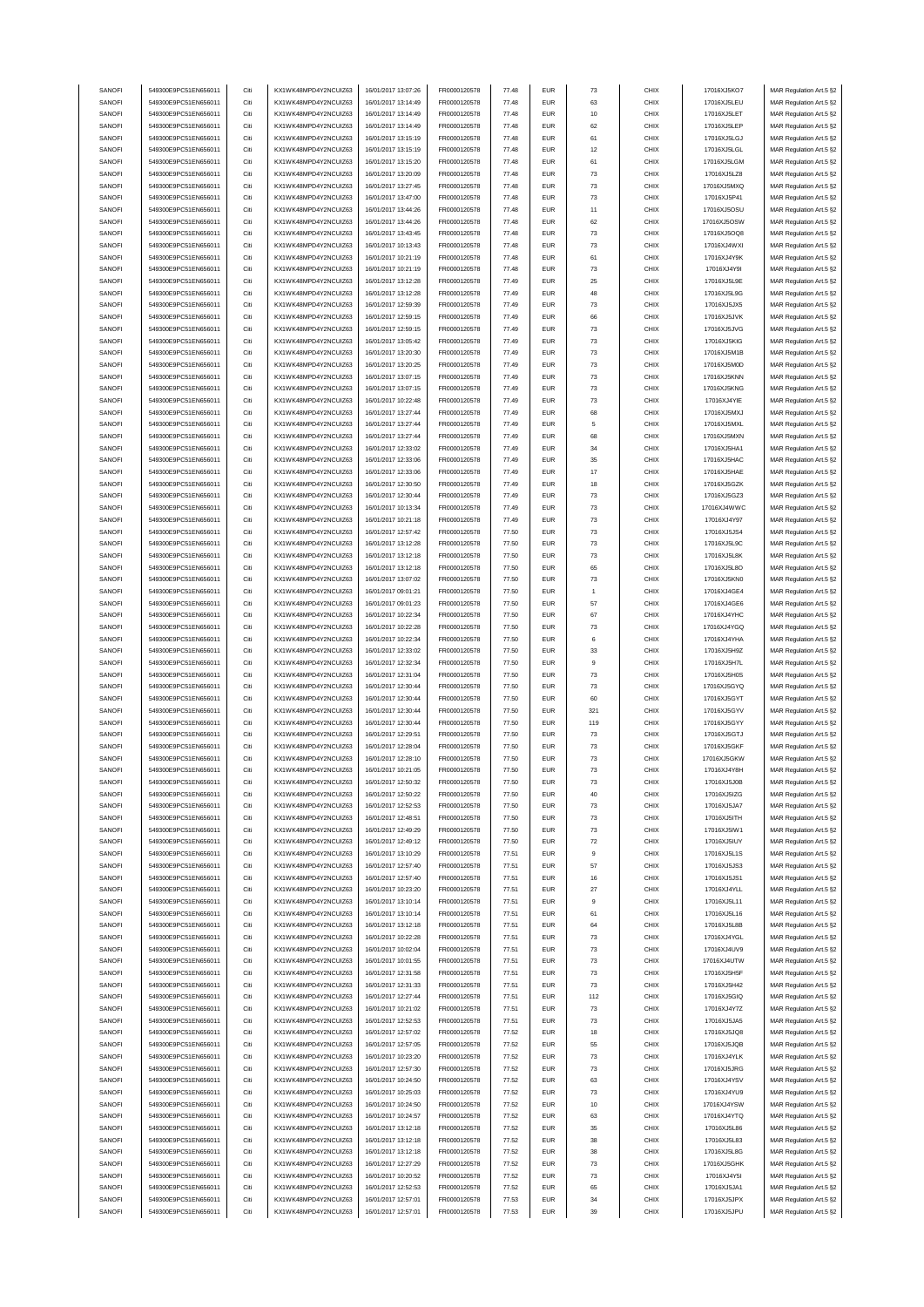| SANOFI<br>SANOFI | 549300E9PC51EN656011                         | Citi         | KX1WK48MPD4Y2NCUIZ63                         | 16/01/2017 13:07:26                        | FR0000120578                 | 77.48          | <b>EUR</b>               | 73             | CHIX         | 17016XJ5KO7                | MAR Regulation Art.5 §2                            |
|------------------|----------------------------------------------|--------------|----------------------------------------------|--------------------------------------------|------------------------------|----------------|--------------------------|----------------|--------------|----------------------------|----------------------------------------------------|
|                  | 549300E9PC51EN656011                         | Citi         | KX1WK48MPD4Y2NCUIZ63                         | 16/01/2017 13:14:49                        | FR0000120578                 | 77.48          | <b>EUR</b>               | 63             | CHIX         |                            |                                                    |
|                  |                                              |              |                                              |                                            |                              |                |                          |                |              | 17016XJ5LEU                | MAR Regulation Art.5 §2                            |
| SANOFI           | 549300E9PC51EN656011                         | Citi         | KX1WK48MPD4Y2NCUIZ63                         | 16/01/2017 13:14:49                        | FR0000120578                 | 77.48          | <b>EUR</b>               | 10             | CHIX         | 17016XJ5LET                | MAR Regulation Art.5 §2                            |
| SANOFI           | 549300E9PC51EN656011                         | Citi         | KX1WK48MPD4Y2NCUIZ63                         | 16/01/2017 13:14:49                        | FR0000120578                 | 77.48          | EUR                      | 62             | CHIX         | 17016XJ5LEP                | MAR Regulation Art.5 §2                            |
| SANOFI           | 549300E9PC51EN656011                         | Citi         | KX1WK48MPD4Y2NCUIZ63                         | 16/01/2017 13:15:19                        | FR0000120578                 | 77.48          | <b>EUR</b>               | 61             | CHIX         | 17016XJ5LGJ                | MAR Regulation Art.5 §2                            |
| SANOFI           | 549300E9PC51EN656011                         | Citi         | KX1WK48MPD4Y2NCUIZ63                         | 16/01/2017 13:15:19                        | FR0000120578                 | 77.48          | <b>EUR</b>               | 12             | CHIX         | 17016XJ5LGL                | MAR Regulation Art.5 §2                            |
| SANOFI           | 549300E9PC51EN656011                         | Citi         | KX1WK48MPD4Y2NCUIZ63                         | 16/01/2017 13:15:20                        | FR0000120578                 | 77.48          | <b>EUR</b>               | 61             | CHIX         | 17016XJ5LGM                | MAR Regulation Art.5 §2                            |
|                  |                                              |              |                                              |                                            |                              |                |                          |                |              |                            |                                                    |
| SANOFI           | 549300E9PC51EN656011                         | Citi         | KX1WK48MPD4Y2NCUIZ63                         | 16/01/2017 13:20:09                        | FR0000120578                 | 77.48          | <b>EUR</b>               | 73             | CHIX         | 17016XJ5LZ8                | MAR Regulation Art.5 §2                            |
| SANOFI           | 549300E9PC51EN656011                         | Citi         | KX1WK48MPD4Y2NCUIZ63                         | 16/01/2017 13:27:45                        | FR0000120578                 | 77.48          | <b>EUR</b>               | 73             | CHIX         | 17016XJ5MXQ                | MAR Regulation Art.5 §2                            |
| SANOFI           | 549300E9PC51EN656011                         | Citi         | KX1WK48MPD4Y2NCUIZ63                         | 16/01/2017 13:47:00                        | FR0000120578                 | 77.48          | <b>EUR</b>               | 73             | CHIX         | 17016XJ5P41                | MAR Regulation Art.5 §2                            |
| SANOFI           | 549300E9PC51EN656011                         | Citi         | KX1WK48MPD4Y2NCUIZ63                         | 16/01/2017 13:44:26                        | FR0000120578                 | 77.48          | <b>EUR</b>               | 11             | CHIX         | 17016XJ5OSU                | MAR Regulation Art.5 §2                            |
| SANOFI           | 549300E9PC51EN656011                         | Citi         | KX1WK48MPD4Y2NCUIZ63                         | 16/01/2017 13:44:26                        | FR0000120578                 | 77.48          | <b>EUR</b>               | 62             | CHIX         | 17016XJ5OSW                | MAR Regulation Art.5 §2                            |
|                  |                                              |              |                                              |                                            |                              |                |                          |                |              |                            |                                                    |
| SANOFI           | 549300E9PC51EN656011                         | Citi         | KX1WK48MPD4Y2NCUIZ63                         | 16/01/2017 13:43:45                        | FR0000120578                 | 77.48          | EUR                      | 73             | CHIX         | 17016XJ5OQ8                | MAR Regulation Art.5 §2                            |
| SANOFI           | 549300E9PC51EN656011                         | Citi         | KX1WK48MPD4Y2NCUIZ63                         | 16/01/2017 10:13:43                        | FR0000120578                 | 77.48          | <b>EUR</b>               | 73             | CHIX         | 17016XJ4WXI                | MAR Regulation Art.5 §2                            |
| SANOFI           | 549300E9PC51EN656011                         | Citi         | KX1WK48MPD4Y2NCUIZ63                         | 16/01/2017 10:21:19                        | FR0000120578                 | 77.48          | <b>EUR</b>               | 61             | CHIX         | 17016XJ4Y9K                | MAR Regulation Art.5 §2                            |
| SANOFI           | 549300E9PC51EN656011                         | Citi         | KX1WK48MPD4Y2NCUIZ63                         | 16/01/2017 10:21:19                        | FR0000120578                 | 77.48          | <b>EUR</b>               | 73             | CHIX         | 17016XJ4Y9I                | MAR Regulation Art.5 §2                            |
| SANOFI           | 549300E9PC51EN656011                         | Citi         | KX1WK48MPD4Y2NCUIZ63                         | 16/01/2017 13:12:28                        | FR0000120578                 | 77.49          | <b>EUR</b>               | 25             | CHIX         | 17016XJ5L9E                | MAR Regulation Art.5 §2                            |
|                  | 549300E9PC51EN656011                         | Citi         | KX1WK48MPD4Y2NCUIZ63                         | 16/01/2017 13:12:28                        |                              | 77.49          | <b>EUR</b>               |                | CHIX         | 17016XJ5L9G                | MAR Regulation Art.5 §2                            |
| SANOFI           |                                              |              |                                              |                                            | FR0000120578                 |                |                          | 48             |              |                            |                                                    |
| SANOFI           | 549300E9PC51EN656011                         | Citi         | KX1WK48MPD4Y2NCUIZ63                         | 16/01/2017 12:59:39                        | FR0000120578                 | 77.49          | <b>EUR</b>               | 73             | CHIX         | 17016XJ5JX5                | MAR Regulation Art.5 §2                            |
| SANOFI           | 549300E9PC51EN656011                         | Citi         | KX1WK48MPD4Y2NCUIZ63                         | 16/01/2017 12:59:15                        | FR0000120578                 | 77.49          | <b>EUR</b>               | 66             | CHIX         | 17016XJ5JVK                | MAR Regulation Art.5 §2                            |
| SANOFI           | 549300E9PC51EN656011                         | Citi         | KX1WK48MPD4Y2NCUIZ63                         | 16/01/2017 12:59:15                        | FR0000120578                 | 77.49          | <b>EUR</b>               | 73             | CHIX         | 17016XJ5JVG                | MAR Regulation Art.5 §2                            |
| SANOFI           | 549300E9PC51EN656011                         | Citi         | KX1WK48MPD4Y2NCUIZ63                         | 16/01/2017 13:05:42                        | FR0000120578                 | 77.49          | <b>EUR</b>               | 73             | CHIX         | 17016XJ5KIG                | MAR Regulation Art.5 §2                            |
| SANOFI           | 549300E9PC51EN656011                         | Citi         | KX1WK48MPD4Y2NCUIZ63                         | 16/01/2017 13:20:30                        | FR0000120578                 | 77.49          | <b>EUR</b>               | 73             | CHIX         | 17016XJ5M1B                | MAR Regulation Art.5 §2                            |
|                  |                                              |              |                                              |                                            |                              |                |                          |                |              |                            |                                                    |
| SANOFI           | 549300E9PC51EN656011                         | Citi         | KX1WK48MPD4Y2NCUIZ63                         | 16/01/2017 13:20:25                        | FR0000120578                 | 77.49          | <b>EUR</b>               | 73             | CHIX         | 17016XJ5M0D                | MAR Regulation Art.5 §2                            |
| SANOFI           | 549300E9PC51EN656011                         | Citi         | KX1WK48MPD4Y2NCUIZ63                         | 16/01/2017 13:07:15                        | FR0000120578                 | 77.49          | <b>EUR</b>               | 73             | CHIX         | 17016XJ5KNN                | MAR Regulation Art.5 §2                            |
| SANOFI           | 549300E9PC51EN656011                         | Citi         | KX1WK48MPD4Y2NCUIZ63                         | 16/01/2017 13:07:15                        | FR0000120578                 | 77.49          | <b>EUR</b>               | 73             | CHIX         | 17016XJ5KNG                | MAR Regulation Art.5 §2                            |
| SANOFI           | 549300E9PC51EN656011                         | Citi         | KX1WK48MPD4Y2NCUIZ63                         | 16/01/2017 10:22:48                        | FR0000120578                 | 77.49          | <b>EUR</b>               | 73             | CHIX         | 17016XJ4YIE                | MAR Regulation Art.5 §2                            |
|                  | 549300E9PC51EN656011                         | Citi         | KX1WK48MPD4Y2NCUIZ63                         |                                            |                              | 77.49          | <b>EUR</b>               |                |              |                            |                                                    |
| SANOFI           |                                              |              |                                              | 16/01/2017 13:27:44                        | FR0000120578                 |                |                          | 68             | CHIX         | 17016XJ5MXJ                | MAR Regulation Art.5 §2                            |
| SANOFI           | 549300E9PC51EN656011                         | Citi         | KX1WK48MPD4Y2NCUIZ63                         | 16/01/2017 13:27:44                        | FR0000120578                 | 77.49          | <b>EUR</b>               | 5              | CHIX         | 17016XJ5MXL                | MAR Regulation Art.5 §2                            |
| SANOFI           | 549300E9PC51EN656011                         | Citi         | KX1WK48MPD4Y2NCUIZ63                         | 16/01/2017 13:27:44                        | FR0000120578                 | 77.49          | <b>EUR</b>               | 68             | CHIX         | 17016XJ5MXN                | MAR Regulation Art.5 §2                            |
| SANOFI           | 549300E9PC51EN656011                         | Citi         | KX1WK48MPD4Y2NCUIZ63                         | 16/01/2017 12:33:02                        | FR0000120578                 | 77.49          | <b>EUR</b>               | 34             | CHIX         | 17016XJ5HA1                | MAR Regulation Art.5 §2                            |
| SANOFI           | 549300E9PC51EN656011                         | Citi         | KX1WK48MPD4Y2NCUIZ63                         | 16/01/2017 12:33:06                        | FR0000120578                 | 77.49          | <b>EUR</b>               | 35             | CHIX         | 17016XJ5HAC                | MAR Regulation Art.5 §2                            |
| SANOFI           | 549300E9PC51EN656011                         | Citi         | KX1WK48MPD4Y2NCUIZ63                         | 16/01/2017 12:33:06                        | FR0000120578                 | 77.49          | <b>EUR</b>               | 17             | CHIX         | 17016XJ5HAE                | MAR Regulation Art.5 §2                            |
|                  |                                              |              |                                              |                                            |                              |                |                          |                |              |                            |                                                    |
| SANOFI           | 549300E9PC51EN656011                         | Citi         | KX1WK48MPD4Y2NCUIZ63                         | 16/01/2017 12:30:50                        | FR0000120578                 | 77.49          | <b>EUR</b>               | 18             | CHIX         | 17016XJ5GZK                | MAR Regulation Art.5 §2                            |
| SANOFI           | 549300E9PC51EN656011                         | Citi         | KX1WK48MPD4Y2NCUIZ63                         | 16/01/2017 12:30:44                        | FR0000120578                 | 77.49          | <b>EUR</b>               | 73             | CHIX         | 17016XJ5GZ3                | MAR Regulation Art.5 §2                            |
| SANOFI           | 549300E9PC51EN656011                         | Citi         | KX1WK48MPD4Y2NCUIZ63                         | 16/01/2017 10:13:34                        | FR0000120578                 | 77.49          | <b>EUR</b>               | 73             | CHIX         | 17016XJ4WWC                | MAR Regulation Art.5 §2                            |
| SANOFI           | 549300E9PC51EN656011                         | Citi         | KX1WK48MPD4Y2NCUIZ63                         | 16/01/2017 10:21:18                        | FR0000120578                 | 77.49          | EUR                      | 73             | CHIX         | 17016XJ4Y97                | MAR Regulation Art.5 §2                            |
| SANOFI           | 549300E9PC51EN656011                         | Citi         | KX1WK48MPD4Y2NCUIZ63                         | 16/01/2017 12:57:42                        | FR0000120578                 | 77.50          | <b>EUR</b>               | 73             | CHIX         | 17016XJ5JS4                | MAR Regulation Art.5 §2                            |
|                  |                                              |              |                                              |                                            |                              |                |                          |                |              |                            |                                                    |
| SANOFI           | 549300E9PC51EN656011                         | Citi         | KX1WK48MPD4Y2NCUIZ63                         | 16/01/2017 13:12:28                        | FR0000120578                 | 77.50          | <b>EUR</b>               | 73             | CHIX         | 17016XJ5L9C                | MAR Regulation Art.5 §2                            |
| SANOFI           | 549300E9PC51EN656011                         | Citi         | KX1WK48MPD4Y2NCUIZ63                         | 16/01/2017 13:12:18                        | FR0000120578                 | 77.50          | <b>EUR</b>               | 73             | CHIX         | 17016XJ5L8K                | MAR Regulation Art.5 §2                            |
| SANOFI           | 549300E9PC51EN656011                         | Citi         | KX1WK48MPD4Y2NCUIZ63                         | 16/01/2017 13:12:18                        | FR0000120578                 | 77.50          | <b>EUR</b>               | 65             | CHIX         | 17016XJ5L8O                | MAR Regulation Art.5 §2                            |
| SANOFI           | 549300E9PC51EN656011                         | Citi         | KX1WK48MPD4Y2NCUIZ63                         | 16/01/2017 13:07:02                        | FR0000120578                 | 77.50          | <b>EUR</b>               | 73             | CHIX         | 17016XJ5KN0                | MAR Regulation Art.5 §2                            |
| SANOFI           | 549300E9PC51EN656011                         | Citi         | KX1WK48MPD4Y2NCUIZ63                         | 16/01/2017 09:01:21                        | FR0000120578                 | 77.50          | <b>EUR</b>               | $\overline{1}$ | CHIX         | 17016XJ4GE4                | MAR Regulation Art.5 §2                            |
| SANOFI           | 549300E9PC51EN656011                         | Citi         | KX1WK48MPD4Y2NCUIZ63                         | 16/01/2017 09:01:23                        | FR0000120578                 | 77.50          | <b>EUR</b>               | 57             | CHIX         | 17016XJ4GE6                |                                                    |
|                  |                                              |              |                                              |                                            |                              |                |                          |                |              |                            | MAR Regulation Art.5 §2                            |
| SANOFI           | 549300E9PC51EN656011                         | Citi         | KX1WK48MPD4Y2NCUIZ63                         | 16/01/2017 10:22:34                        | FR0000120578                 | 77.50          | <b>EUR</b>               | 67             | CHIX         | 17016XJ4YHC                | MAR Regulation Art.5 §2                            |
| SANOFI           | 549300E9PC51EN656011                         | Citi         | KX1WK48MPD4Y2NCUIZ63                         | 16/01/2017 10:22:28                        | FR0000120578                 | 77.50          | <b>EUR</b>               | 73             | CHIX         | 17016XJ4YGQ                | MAR Regulation Art.5 §2                            |
| SANOFI           | 549300E9PC51EN656011                         | Citi         | KX1WK48MPD4Y2NCUIZ63                         | 16/01/2017 10:22:34                        | FR0000120578                 | 77.50          | <b>EUR</b>               | 6              | CHIX         | 17016XJ4YHA                | MAR Regulation Art.5 §2                            |
| SANOFI           | 549300E9PC51EN656011                         | Citi         | KX1WK48MPD4Y2NCUIZ63                         | 16/01/2017 12:33:02                        | FR0000120578                 | 77.50          | <b>EUR</b>               | 33             | CHIX         | 17016XJ5H9Z                | MAR Regulation Art.5 §2                            |
| SANOFI           | 549300E9PC51EN656011                         | Citi         | KX1WK48MPD4Y2NCUIZ63                         | 16/01/2017 12:32:34                        | FR0000120578                 | 77.50          | <b>EUR</b>               | 9              | CHIX         | 17016XJ5H7L                | MAR Regulation Art.5 §2                            |
|                  |                                              |              |                                              |                                            |                              |                |                          |                |              |                            |                                                    |
| SANOFI           | 549300E9PC51EN656011                         | Citi         | KX1WK48MPD4Y2NCUIZ63                         | 16/01/2017 12:31:04                        | FR0000120578                 | 77.50          | <b>EUR</b>               | 73             | CHIX         | 17016XJ5H0S                | MAR Regulation Art.5 §2                            |
| SANOFI           | 549300E9PC51EN656011                         | Citi         | KX1WK48MPD4Y2NCUIZ63                         | 16/01/2017 12:30:44                        | FR0000120578                 | 77.50          | <b>EUR</b>               | 73             | CHIX         | 17016XJ5GYQ                | MAR Regulation Art.5 §2                            |
| SANOFI           | 549300E9PC51EN656011                         | Citi         | KX1WK48MPD4Y2NCUIZ63                         | 16/01/2017 12:30:44                        | FR0000120578                 | 77.50          | <b>EUR</b>               | 60             | CHIX         | 17016XJ5GYT                | MAR Regulation Art.5 §2                            |
| SANOFI           | 549300E9PC51EN656011                         | Citi         | KX1WK48MPD4Y2NCLIIZ63                        | 16/01/2017 12:30:44                        | FR0000120578                 | 77.50          | <b>EUR</b>               | 321            | CHIX         | 17016XJ5GYV                | MAR Regulation Art.5 §2                            |
| SANOFI           | 549300E9PC51EN656011                         | Citi         | KX1WK48MPD4Y2NCUIZ63                         | 16/01/2017 12:30:44                        | FR0000120578                 | 77.50          | <b>EUR</b>               | 119            | CHIX         | 17016XJ5GYY                | MAR Regulation Art.5 §2                            |
|                  | 549300E9PC51EN656011                         |              |                                              |                                            |                              |                |                          |                |              |                            |                                                    |
|                  |                                              |              | KX1WK48MPD4Y2NCUIZ63                         | 16/01/2017 12:29:51                        | FR0000120578                 | 77.50          | <b>EUR</b>               | 73             |              |                            | MAR Regulation Art.5 §2                            |
| SANOFI           |                                              | Citi         |                                              |                                            |                              |                |                          |                | CHIX         | 17016XJ5GTJ                |                                                    |
| SANOFI           | 549300E9PC51EN656011                         | Citi         | KX1WK48MPD4Y2NCUIZ63                         | 16/01/2017 12:28:04                        | FR0000120578                 | 77.50          | <b>EUR</b>               | 73             | CHIX         | 17016XJ5GKF                | MAR Regulation Art.5 §2                            |
| SANOFI           | 549300E9PC51EN656011                         | Citi         | KX1WK48MPD4Y2NCUIZ63                         | 16/01/2017 12:28:10                        | FR0000120578                 | 77.50          | <b>EUR</b>               | 73             | CHIX         | 17016XJ5GKW                | MAR Regulation Art.5 §2                            |
|                  |                                              | Citi         |                                              |                                            |                              |                | <b>EUR</b>               |                |              |                            | MAR Regulation Art.5 §2                            |
| SANOFI           | 549300E9PC51EN656011                         |              | KX1WK48MPD4Y2NCUIZ63                         | 16/01/2017 10:21:05                        | FR0000120578                 | 77.50          |                          | 73             | CHIX         | 17016XJ4Y8H                | MAR Regulation Art 5.82                            |
| SANOFI           | 549300E9PC51EN656011                         |              | KX1WK48MPD4Y2NCLIIZ63                        | 16/01/2017 12:50:32                        | FR0000120578                 | 77.50          | FUR                      |                | CHIX         | 17016XJ5J0B                |                                                    |
| SANOFI           | 549300E9PC51EN656011                         | Citi         | KX1WK48MPD4Y2NCUIZ63                         | 16/01/2017 12:50:22                        | FR0000120578                 | 77.50          | <b>EUR</b>               | 40             | CHIX         | 17016XJ5IZG                | MAR Regulation Art.5 §2                            |
| SANOFI           | 549300E9PC51EN656011                         | Citi         | KX1WK48MPD4Y2NCUIZ63                         | 16/01/2017 12:52:53                        | FR0000120578                 | 77.50          | <b>EUR</b>               | 73             | CHIX         | 17016XJ5JA7                | MAR Regulation Art.5 §2                            |
| SANOFI           | 549300E9PC51EN656011                         | Citi         | KX1WK48MPD4Y2NCUIZ63                         | 16/01/2017 12:48:51                        | FR0000120578                 | 77.50          | <b>EUR</b>               | 73             | CHIX         | 17016XJ5ITH                | MAR Regulation Art.5 §2                            |
| SANOFI           | 549300E9PC51EN656011                         | Citi         | KX1WK48MPD4Y2NCUIZ63                         | 16/01/2017 12:49:29                        | FR0000120578                 | 77.50          | <b>EUR</b>               | 73             | CHIX         | 17016XJ5IW1                |                                                    |
|                  |                                              |              |                                              |                                            |                              |                |                          |                |              |                            | MAR Regulation Art.5 §2                            |
| SANOFI           | 549300E9PC51EN656011                         | Citi         | KX1WK48MPD4Y2NCUIZ63                         | 16/01/2017 12:49:12                        | FR0000120578                 | 77.50          | <b>EUR</b>               | 72             | CHIX         | 17016XJ5IUY                | MAR Regulation Art.5 §2                            |
| SANOFI           | 549300E9PC51EN656011                         | Citi         | KX1WK48MPD4Y2NCUIZ63                         | 16/01/2017 13:10:29                        | FR0000120578                 | 77.51          | <b>EUR</b>               | 9              | CHIX         | 17016XJ5L1S                | MAR Regulation Art.5 §2                            |
| SANOFI           | 549300E9PC51EN656011                         | Citi         | KX1WK48MPD4Y2NCUIZ63                         | 16/01/2017 12:57:40                        | FR0000120578                 | 77.51          | <b>EUR</b>               | 57             | CHIX         | 17016XJ5JS3                | MAR Regulation Art.5 §2                            |
| SANOFI           | 549300E9PC51EN656011                         | Citi         | KX1WK48MPD4Y2NCUIZ63                         | 16/01/2017 12:57:40                        | FR0000120578                 | 77.51          | <b>EUR</b>               | 16             | CHIX         | 17016XJ5JS1                | MAR Regulation Art.5 §2                            |
| SANOFI           | 549300E9PC51EN656011                         | Citi         | KX1WK48MPD4Y2NCUIZ63                         | 16/01/2017 10:23:20                        | FR0000120578                 | 77.51          | <b>EUR</b>               | 27             | CHIX         | 17016XJ4YLL                | MAR Regulation Art.5 §2                            |
| SANOFI           | 549300E9PC51EN656011                         | Citi         | KX1WK48MPD4Y2NCUIZ63                         | 16/01/2017 13:10:14                        | FR0000120578                 | 77.51          | <b>EUR</b>               | 9              | CHIX         | 17016XJ5L11                | MAR Regulation Art.5 §2                            |
|                  |                                              |              |                                              |                                            |                              |                |                          |                |              |                            |                                                    |
| SANOFI           | 549300E9PC51EN656011                         | Citi         | KX1WK48MPD4Y2NCUIZ63                         | 16/01/2017 13:10:14                        | FR0000120578                 | 77.51          | <b>EUR</b>               | 61             | CHIX         | 17016XJ5L16                | MAR Regulation Art.5 §2                            |
| SANOFI           | 549300E9PC51EN656011                         | Citi         | KX1WK48MPD4Y2NCUIZ63                         | 16/01/2017 13:12:18                        | FR0000120578                 | 77.51          | <b>EUR</b>               | 64             | CHIX         | 17016XJ5L8B                | MAR Regulation Art.5 §2                            |
| SANOFI           | 549300E9PC51EN656011                         | Citi         | KX1WK48MPD4Y2NCUIZ63                         | 16/01/2017 10:22:28                        | FR0000120578                 | 77.51          | <b>EUR</b>               | 73             | CHIX         | 17016XJ4YGL                | MAR Regulation Art.5 §2                            |
| SANOFI           | 549300E9PC51EN656011                         | Citi         | KX1WK48MPD4Y2NCUIZ63                         | 16/01/2017 10:02:04                        | FR0000120578                 | 77.51          | <b>EUR</b>               | 73             | CHIX         | 17016XJ4UV9                | MAR Regulation Art.5 §2                            |
| SANOFI           | 549300E9PC51EN656011                         | Citi         | KX1WK48MPD4Y2NCUIZ63                         | 16/01/2017 10:01:55                        | FR0000120578                 | 77.51          | <b>EUR</b>               | 73             | CHIX         | 17016XJ4UTW                | MAR Regulation Art.5 §2                            |
|                  |                                              |              |                                              |                                            |                              |                |                          |                |              |                            |                                                    |
| SANOFI           | 549300E9PC51EN656011                         | Citi         | KX1WK48MPD4Y2NCUIZ63                         | 16/01/2017 12:31:58                        | FR0000120578                 | 77.51          | <b>EUR</b>               | 73             | CHIX         | 17016XJ5H5F                | MAR Regulation Art.5 §2                            |
| SANOFI           | 549300E9PC51EN656011                         | Citi         | KX1WK48MPD4Y2NCUIZ63                         | 16/01/2017 12:31:33                        | FR0000120578                 | 77.51          | <b>EUR</b>               | 73             | CHIX         | 17016XJ5H42                | MAR Regulation Art.5 §2                            |
| SANOFI           | 549300E9PC51EN656011                         | Citi         | KX1WK48MPD4Y2NCUIZ63                         | 16/01/2017 12:27:44                        | FR0000120578                 | 77.51          | <b>EUR</b>               | 112            | CHIX         | 17016XJ5GIQ                | MAR Regulation Art.5 §2                            |
| SANOFI           | 549300E9PC51EN656011                         | Citi         | KX1WK48MPD4Y2NCUIZ63                         | 16/01/2017 10:21:02                        | FR0000120578                 | 77.51          | <b>EUR</b>               | 73             | CHIX         | 17016XJ4Y7Z                | MAR Regulation Art.5 §2                            |
| SANOFI           | 549300E9PC51EN656011                         | Citi         | KX1WK48MPD4Y2NCUIZ63                         | 16/01/2017 12:52:53                        | FR0000120578                 | 77.51          | <b>EUR</b>               | 73             | CHIX         | 17016XJ5JA5                | MAR Regulation Art.5 §2                            |
| SANOFI           | 549300E9PC51EN656011                         | Citi         | KX1WK48MPD4Y2NCUIZ63                         | 16/01/2017 12:57:02                        | FR0000120578                 | 77.52          | <b>EUR</b>               | 18             | CHIX         | 17016XJ5JQ8                | MAR Regulation Art.5 §2                            |
|                  |                                              |              |                                              |                                            |                              |                |                          |                |              |                            |                                                    |
| SANOFI           | 549300E9PC51EN656011                         | Citi         | KX1WK48MPD4Y2NCUIZ63                         | 16/01/2017 12:57:05                        | FR0000120578                 | 77.52          | <b>EUR</b>               | 55             | CHIX         | 17016XJ5JQB                | MAR Regulation Art.5 §2                            |
| SANOFI           | 549300E9PC51EN656011                         | Citi         | KX1WK48MPD4Y2NCUIZ63                         | 16/01/2017 10:23:20                        | FR0000120578                 | 77.52          | <b>EUR</b>               | 73             | CHIX         | 17016XJ4YLK                | MAR Regulation Art.5 §2                            |
| SANOFI           | 549300E9PC51EN656011                         | Citi         | KX1WK48MPD4Y2NCUIZ63                         | 16/01/2017 12:57:30                        | FR0000120578                 | 77.52          | <b>EUR</b>               | 73             | CHIX         | 17016XJ5JRG                | MAR Regulation Art.5 §2                            |
| SANOFI           | 549300E9PC51EN656011                         | Citi         | KX1WK48MPD4Y2NCUIZ63                         | 16/01/2017 10:24:50                        | FR0000120578                 | 77.52          | <b>EUR</b>               | 63             | CHIX         | 17016XJ4YSV                | MAR Regulation Art.5 §2                            |
| SANOFI           | 549300E9PC51EN656011                         | Citi         | KX1WK48MPD4Y2NCUIZ63                         | 16/01/2017 10:25:03                        | FR0000120578                 | 77.52          | <b>EUR</b>               | 73             | CHIX         | 17016XJ4YU9                | MAR Regulation Art.5 §2                            |
|                  |                                              |              |                                              |                                            |                              |                |                          |                |              |                            |                                                    |
| SANOFI           | 549300E9PC51EN656011                         | Citi         | KX1WK48MPD4Y2NCUIZ63                         | 16/01/2017 10:24:50                        | FR0000120578                 | 77.52          | <b>EUR</b>               | 10             | CHIX         | 17016XJ4YSW                | MAR Regulation Art.5 §2                            |
| SANOFI           | 549300E9PC51EN656011                         | Citi         | KX1WK48MPD4Y2NCUIZ63                         | 16/01/2017 10:24:57                        | FR0000120578                 | 77.52          | <b>EUR</b>               | 63             | CHIX         | 17016XJ4YTQ                | MAR Regulation Art.5 §2                            |
| SANOFI           | 549300E9PC51EN656011                         | Citi         | KX1WK48MPD4Y2NCUIZ63                         | 16/01/2017 13:12:18                        | FR0000120578                 | 77.52          | <b>EUR</b>               | 35             | CHIX         | 17016XJ5L86                | MAR Regulation Art.5 §2                            |
| SANOFI           | 549300E9PC51EN656011                         | Citi         | KX1WK48MPD4Y2NCUIZ63                         | 16/01/2017 13:12:18                        | FR0000120578                 | 77.52          | <b>EUR</b>               | 38             | CHIX         | 17016XJ5L83                | MAR Regulation Art.5 §2                            |
| SANOFI           | 549300E9PC51EN656011                         | Citi         | KX1WK48MPD4Y2NCUIZ63                         | 16/01/2017 13:12:18                        | FR0000120578                 | 77.52          | <b>EUR</b>               | 38             | CHIX         | 17016XJ5L8G                | MAR Regulation Art.5 §2                            |
| SANOFI           | 549300E9PC51EN656011                         | Citi         | KX1WK48MPD4Y2NCUIZ63                         | 16/01/2017 12:27:29                        | FR0000120578                 | 77.52          | <b>EUR</b>               | 73             | CHIX         | 17016XJ5GHK                | MAR Regulation Art.5 §2                            |
| SANOFI           | 549300E9PC51EN656011                         | Citi         | KX1WK48MPD4Y2NCUIZ63                         | 16/01/2017 10:20:52                        |                              | 77.52          | <b>EUR</b>               | 73             | CHIX         |                            |                                                    |
|                  |                                              |              |                                              |                                            | FR0000120578                 |                |                          |                |              | 17016XJ4Y5I                | MAR Regulation Art.5 §2                            |
| SANOFI           | 549300E9PC51EN656011                         | Citi         | KX1WK48MPD4Y2NCUIZ63                         | 16/01/2017 12:52:53                        | FR0000120578                 | 77.52          | <b>EUR</b>               | 65             | CHIX         | 17016XJ5JA1                | MAR Regulation Art.5 §2                            |
| SANOFI<br>SANOFI | 549300E9PC51EN656011<br>549300E9PC51EN656011 | Citi<br>Citi | KX1WK48MPD4Y2NCUIZ63<br>KX1WK48MPD4Y2NCUIZ63 | 16/01/2017 12:57:01<br>16/01/2017 12:57:01 | FR0000120578<br>FR0000120578 | 77.53<br>77.53 | <b>EUR</b><br><b>EUR</b> | 34<br>39       | CHIX<br>CHIX | 17016XJ5JPX<br>17016XJ5JPU | MAR Regulation Art.5 §2<br>MAR Regulation Art.5 §2 |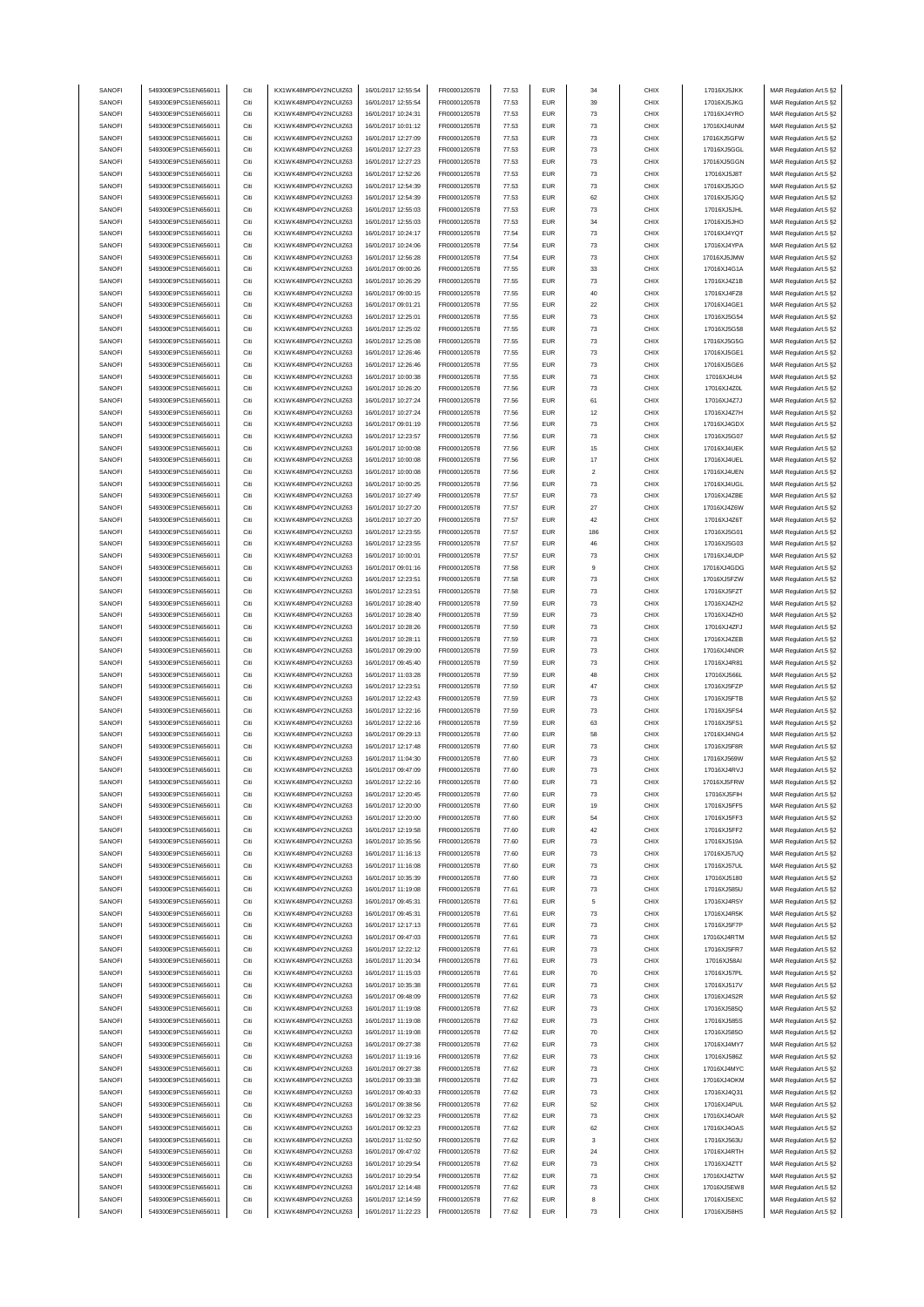| SANOFI | 549300E9PC51EN656011 | Citi | KX1WK48MPD4Y2NCUIZ63  | 16/01/2017 12:55:54 | FR0000120578 | 77.53 | <b>EUR</b> | 34                      | CHIX | 17016XJ5JKK |                                                    |
|--------|----------------------|------|-----------------------|---------------------|--------------|-------|------------|-------------------------|------|-------------|----------------------------------------------------|
| SANOFI | 549300E9PC51EN656011 | Citi | KX1WK48MPD4Y2NCUIZ63  | 16/01/2017 12:55:54 | FR0000120578 | 77.53 | <b>EUR</b> | 39                      | CHIX |             | MAR Regulation Art.5 §2                            |
|        |                      |      |                       |                     |              |       |            |                         |      | 17016XJ5JKG | MAR Regulation Art.5 §2                            |
| SANOFI | 549300E9PC51EN656011 | Citi | KX1WK48MPD4Y2NCUIZ63  | 16/01/2017 10:24:31 | FR0000120578 | 77.53 | <b>EUR</b> | 73                      | CHIX | 17016XJ4YRO | MAR Regulation Art.5 §2                            |
| SANOFI | 549300E9PC51EN656011 | Citi | KX1WK48MPD4Y2NCUIZ63  | 16/01/2017 10:01:12 | FR0000120578 | 77.53 | EUR        | 73                      | CHIX | 17016XJ4UNM | MAR Regulation Art.5 §2                            |
| SANOFI | 549300E9PC51EN656011 | Citi | KX1WK48MPD4Y2NCLIIZ63 | 16/01/2017 12:27:09 | FR0000120578 | 77.53 | <b>EUR</b> | 73                      | CHIX | 17016XJ5GFW | MAR Regulation Art.5 §2                            |
| SANOFI | 549300E9PC51EN656011 | Citi | KX1WK48MPD4Y2NCUIZ63  | 16/01/2017 12:27:23 | FR0000120578 | 77.53 | <b>EUR</b> | 73                      | CHIX | 17016XJ5GGL | MAR Regulation Art.5 §2                            |
| SANOFI | 549300E9PC51EN656011 | Citi | KX1WK48MPD4Y2NCUIZ63  | 16/01/2017 12:27:23 | FR0000120578 | 77.53 | <b>EUR</b> | 73                      | CHIX | 17016XJ5GGN | MAR Regulation Art.5 §2                            |
|        |                      |      |                       |                     |              |       |            |                         |      |             |                                                    |
| SANOFI | 549300E9PC51EN656011 | Citi | KX1WK48MPD4Y2NCUIZ63  | 16/01/2017 12:52:26 | FR0000120578 | 77.53 | <b>EUR</b> | 73                      | CHIX | 17016XJ5J8T | MAR Regulation Art.5 §2                            |
| SANOFI | 549300E9PC51EN656011 | Citi | KX1WK48MPD4Y2NCUIZ63  | 16/01/2017 12:54:39 | FR0000120578 | 77.53 | <b>EUR</b> | 73                      | CHIX | 17016XJ5JGO | MAR Regulation Art.5 §2                            |
| SANOFI | 549300E9PC51EN656011 | Citi | KX1WK48MPD4Y2NCUIZ63  | 16/01/2017 12:54:39 | FR0000120578 | 77.53 | <b>EUR</b> | 62                      | CHIX | 17016XJ5JGQ | MAR Regulation Art.5 §2                            |
| SANOFI | 549300E9PC51EN656011 | Citi | KX1WK48MPD4Y2NCUIZ63  | 16/01/2017 12:55:03 | FR0000120578 | 77.53 | <b>EUR</b> | 73                      | CHIX | 17016XJ5JHL | MAR Regulation Art.5 §2                            |
| SANOFI | 549300E9PC51EN656011 | Citi | KX1WK48MPD4Y2NCUIZ63  | 16/01/2017 12:55:03 | FR0000120578 | 77.53 | <b>EUR</b> | 34                      | CHIX | 17016XJ5JHO | MAR Regulation Art.5 §2                            |
|        |                      |      |                       |                     |              |       |            |                         |      |             |                                                    |
| SANOFI | 549300E9PC51EN656011 | Citi | KX1WK48MPD4Y2NCUIZ63  | 16/01/2017 10:24:17 | FR0000120578 | 77.54 | EUR        | 73                      | CHIX | 17016XJ4YQT | MAR Regulation Art.5 §2                            |
| SANOFI | 549300E9PC51EN656011 | Citi | KX1WK48MPD4Y2NCUIZ63  | 16/01/2017 10:24:06 | FR0000120578 | 77.54 | <b>EUR</b> | 73                      | CHIX | 17016XJ4YPA | MAR Regulation Art.5 §2                            |
| SANOFI | 549300E9PC51EN656011 | Citi | KX1WK48MPD4Y2NCUIZ63  | 16/01/2017 12:56:28 | FR0000120578 | 77.54 | <b>EUR</b> | 73                      | CHIX | 17016XJ5JMW | MAR Regulation Art.5 §2                            |
| SANOFI | 549300E9PC51EN656011 | Citi | KX1WK48MPD4Y2NCUIZ63  | 16/01/2017 09:00:26 | FR0000120578 | 77.55 | <b>EUR</b> | 33                      | CHIX | 17016XJ4G1A | MAR Regulation Art.5 §2                            |
| SANOFI | 549300E9PC51EN656011 | Citi | KX1WK48MPD4Y2NCUIZ63  | 16/01/2017 10:26:29 | FR0000120578 | 77.55 | <b>EUR</b> | 73                      | CHIX | 17016XJ4Z1B | MAR Regulation Art.5 §2                            |
|        | 549300E9PC51EN656011 | Citi | KX1WK48MPD4Y2NCUIZ63  | 16/01/2017 09:00:15 |              | 77.55 | <b>EUR</b> |                         | CHIX |             | MAR Regulation Art.5 §2                            |
| SANOFI |                      |      |                       |                     | FR0000120578 |       |            | 40                      |      | 17016XJ4FZ8 |                                                    |
| SANOFI | 549300E9PC51EN656011 | Citi | KX1WK48MPD4Y2NCUIZ63  | 16/01/2017 09:01:21 | FR0000120578 | 77.55 | <b>EUR</b> | 22                      | CHIX | 17016XJ4GE1 | MAR Regulation Art.5 §2                            |
| SANOFI | 549300E9PC51EN656011 | Citi | KX1WK48MPD4Y2NCUIZ63  | 16/01/2017 12:25:01 | FR0000120578 | 77.55 | <b>EUR</b> | 73                      | CHIX | 17016XJ5G54 | MAR Regulation Art.5 §2                            |
| SANOFI | 549300E9PC51EN656011 | Citi | KX1WK48MPD4Y2NCUIZ63  | 16/01/2017 12:25:02 | FR0000120578 | 77.55 | <b>EUR</b> | 73                      | CHIX | 17016XJ5G58 | MAR Regulation Art.5 §2                            |
| SANOFI | 549300E9PC51EN656011 | Citi | KX1WK48MPD4Y2NCUIZ63  | 16/01/2017 12:25:08 | FR0000120578 | 77.55 | <b>EUR</b> | 73                      | CHIX | 17016XJ5G5G | MAR Regulation Art.5 §2                            |
| SANOFI | 549300E9PC51EN656011 | Citi | KX1WK48MPD4Y2NCUIZ63  | 16/01/2017 12:26:46 | FR0000120578 | 77.55 | <b>EUR</b> | 73                      | CHIX | 17016XJ5GE1 |                                                    |
|        |                      |      |                       |                     |              |       |            |                         |      |             | MAR Regulation Art.5 §2                            |
| SANOFI | 549300E9PC51EN656011 | Citi | KX1WK48MPD4Y2NCUIZ63  | 16/01/2017 12:26:46 | FR0000120578 | 77.55 | <b>EUR</b> | 73                      | CHIX | 17016XJ5GE6 | MAR Regulation Art.5 §2                            |
| SANOFI | 549300E9PC51EN656011 | Citi | KX1WK48MPD4Y2NCUIZ63  | 16/01/2017 10:00:38 | FR0000120578 | 77.55 | <b>EUR</b> | 73                      | CHIX | 17016XJ4UI4 | MAR Regulation Art.5 §2                            |
| SANOFI | 549300E9PC51EN656011 | Citi | KX1WK48MPD4Y2NCUIZ63  | 16/01/2017 10:26:20 | FR0000120578 | 77.56 | <b>EUR</b> | 73                      | CHIX | 17016XJ4Z0L | MAR Regulation Art.5 §2                            |
| SANOFI | 549300E9PC51EN656011 | Citi | KX1WK48MPD4Y2NCUIZ63  | 16/01/2017 10:27:24 | FR0000120578 | 77.56 | <b>EUR</b> | 61                      | CHIX | 17016XJ4Z7J | MAR Regulation Art.5 §2                            |
|        | 549300E9PC51EN656011 | Citi | KX1WK48MPD4Y2NCUIZ63  |                     |              | 77.56 | <b>EUR</b> |                         |      |             |                                                    |
| SANOFI |                      |      |                       | 16/01/2017 10:27:24 | FR0000120578 |       |            | 12                      | CHIX | 17016XJ4Z7H | MAR Regulation Art.5 §2                            |
| SANOFI | 549300E9PC51EN656011 | Citi | KX1WK48MPD4Y2NCUIZ63  | 16/01/2017 09:01:19 | FR0000120578 | 77.56 | <b>EUR</b> | 73                      | CHIX | 17016XJ4GDX | MAR Regulation Art.5 §2                            |
| SANOFI | 549300E9PC51EN656011 | Citi | KX1WK48MPD4Y2NCUIZ63  | 16/01/2017 12:23:57 | FR0000120578 | 77.56 | <b>EUR</b> | 73                      | CHIX | 17016XJ5G07 | MAR Regulation Art.5 §2                            |
| SANOFI | 549300E9PC51EN656011 | Citi | KX1WK48MPD4Y2NCUIZ63  | 16/01/2017 10:00:08 | FR0000120578 | 77.56 | <b>EUR</b> | 15                      | CHIX | 17016XJ4UEK | MAR Regulation Art.5 §2                            |
| SANOFI | 549300E9PC51EN656011 | Citi | KX1WK48MPD4Y2NCUIZ63  | 16/01/2017 10:00:08 | FR0000120578 | 77.56 | <b>EUR</b> | 17                      | CHIX | 17016XJ4UEL | MAR Regulation Art.5 §2                            |
| SANOFI | 549300E9PC51EN656011 | Citi | KX1WK48MPD4Y2NCUIZ63  | 16/01/2017 10:00:08 | FR0000120578 | 77.56 | <b>EUR</b> | $\overline{\mathbf{c}}$ | CHIX | 17016XJ4UEN | MAR Regulation Art.5 §2                            |
|        |                      |      |                       |                     |              |       |            |                         |      |             |                                                    |
| SANOFI | 549300E9PC51EN656011 | Citi | KX1WK48MPD4Y2NCUIZ63  | 16/01/2017 10:00:25 | FR0000120578 | 77.56 | <b>EUR</b> | 73                      | CHIX | 17016XJ4UGL | MAR Regulation Art.5 §2                            |
| SANOFI | 549300E9PC51EN656011 | Citi | KX1WK48MPD4Y2NCUIZ63  | 16/01/2017 10:27:49 | FR0000120578 | 77.57 | <b>EUR</b> | 73                      | CHIX | 17016XJ4ZBE | MAR Regulation Art.5 §2                            |
| SANOFI | 549300E9PC51EN656011 | Citi | KX1WK48MPD4Y2NCUIZ63  | 16/01/2017 10:27:20 | FR0000120578 | 77.57 | <b>EUR</b> | 27                      | CHIX | 17016XJ4Z6W | MAR Regulation Art.5 §2                            |
| SANOFI | 549300E9PC51EN656011 | Citi | KX1WK48MPD4Y2NCUIZ63  | 16/01/2017 10:27:20 | FR0000120578 | 77.57 | <b>EUR</b> | 42                      | CHIX | 17016XJ4Z6T | MAR Regulation Art.5 §2                            |
| SANOFI | 549300E9PC51EN656011 | Citi | KX1WK48MPD4Y2NCUIZ63  | 16/01/2017 12:23:55 | FR0000120578 | 77.57 | <b>EUR</b> | 186                     | CHIX | 17016XJ5G01 | MAR Regulation Art.5 §2                            |
|        |                      |      |                       |                     |              |       |            |                         |      |             |                                                    |
| SANOFI | 549300E9PC51EN656011 | Citi | KX1WK48MPD4Y2NCUIZ63  | 16/01/2017 12:23:55 | FR0000120578 | 77.57 | <b>EUR</b> | 46                      | CHIX | 17016XJ5G03 | MAR Regulation Art.5 §2                            |
| SANOFI | 549300E9PC51EN656011 | Citi | KX1WK48MPD4Y2NCUIZ63  | 16/01/2017 10:00:01 | FR0000120578 | 77.57 | <b>EUR</b> | 73                      | CHIX | 17016XJ4UDP | MAR Regulation Art.5 §2                            |
| SANOFI | 549300E9PC51EN656011 | Citi | KX1WK48MPD4Y2NCUIZ63  | 16/01/2017 09:01:16 | FR0000120578 | 77.58 | <b>EUR</b> | 9                       | CHIX | 17016XJ4GDG | MAR Regulation Art.5 §2                            |
| SANOFI | 549300E9PC51EN656011 | Citi | KX1WK48MPD4Y2NCUIZ63  | 16/01/2017 12:23:51 | FR0000120578 | 77.58 | <b>EUR</b> | 73                      | CHIX | 17016XJ5FZW | MAR Regulation Art.5 §2                            |
| SANOFI | 549300E9PC51EN656011 | Citi | KX1WK48MPD4Y2NCUIZ63  | 16/01/2017 12:23:51 | FR0000120578 | 77.58 | <b>EUR</b> | 73                      | CHIX | 17016XJ5FZT | MAR Regulation Art.5 §2                            |
| SANOFI | 549300E9PC51EN656011 | Citi | KX1WK48MPD4Y2NCUIZ63  | 16/01/2017 10:28:40 | FR0000120578 | 77.59 | <b>EUR</b> | 73                      | CHIX | 17016XJ4ZH2 |                                                    |
|        |                      |      |                       |                     |              |       |            |                         |      |             | MAR Regulation Art.5 §2                            |
| SANOFI | 549300E9PC51EN656011 | Citi | KX1WK48MPD4Y2NCUIZ63  | 16/01/2017 10:28:40 | FR0000120578 | 77.59 | <b>EUR</b> | 73                      | CHIX | 17016XJ4ZH0 | MAR Regulation Art.5 §2                            |
| SANOFI | 549300E9PC51EN656011 | Citi | KX1WK48MPD4Y2NCUIZ63  | 16/01/2017 10:28:26 | FR0000120578 | 77.59 | <b>EUR</b> | 73                      | CHIX | 17016XJ4ZFJ | MAR Regulation Art.5 §2                            |
| SANOFI | 549300E9PC51EN656011 | Citi | KX1WK48MPD4Y2NCUIZ63  | 16/01/2017 10:28:11 | FR0000120578 | 77.59 | <b>EUR</b> | 73                      | CHIX | 17016XJ4ZEB | MAR Regulation Art.5 §2                            |
| SANOFI | 549300E9PC51EN656011 | Citi | KX1WK48MPD4Y2NCUIZ63  | 16/01/2017 09:29:00 | FR0000120578 | 77.59 | <b>EUR</b> | 73                      | CHIX | 17016XJ4NDR | MAR Regulation Art.5 §2                            |
| SANOFI | 549300E9PC51EN656011 | Citi | KX1WK48MPD4Y2NCUIZ63  | 16/01/2017 09:45:40 | FR0000120578 | 77.59 | <b>EUR</b> | 73                      | CHIX | 17016XJ4R81 | MAR Regulation Art.5 §2                            |
|        |                      |      |                       |                     |              |       |            |                         |      |             |                                                    |
| SANOFI | 549300E9PC51EN656011 | Citi | KX1WK48MPD4Y2NCUIZ63  | 16/01/2017 11:03:28 | FR0000120578 | 77.59 | <b>EUR</b> | 48                      | CHIX | 17016XJ566L | MAR Regulation Art.5 §2                            |
| SANOFI | 549300E9PC51EN656011 | Citi | KX1WK48MPD4Y2NCUIZ63  | 16/01/2017 12:23:51 | FR0000120578 | 77.59 | <b>EUR</b> | 47                      | CHIX | 17016XJ5FZP | MAR Regulation Art.5 §2                            |
| SANOFI | 549300E9PC51EN656011 | Citi | KX1WK48MPD4Y2NCUIZ63  | 16/01/2017 12:22:43 | FR0000120578 | 77.59 | <b>EUR</b> | 73                      | CHIX | 17016XJ5FTB | MAR Regulation Art.5 §2                            |
| SANOFI | 549300E9PC51EN656011 | Citi | KX1WK48MPD4Y2NCLIIZ63 | 16/01/2017 12:22:16 | FR0000120578 | 77.59 | <b>EUR</b> | 73                      | CHIX | 17016XJ5FS4 | MAR Regulation Art.5 §2                            |
| SANOFI | 549300E9PC51EN656011 | Citi | KX1WK48MPD4Y2NCUIZ63  | 16/01/2017 12:22:16 | FR0000120578 | 77.59 | <b>EUR</b> | 63                      | CHIX | 17016XJ5FS1 | MAR Regulation Art.5 §2                            |
|        |                      |      |                       |                     |              |       |            |                         |      |             |                                                    |
| SANOFI | 549300E9PC51EN656011 | Citi | KX1WK48MPD4Y2NCUIZ63  | 16/01/2017 09:29:13 | FR0000120578 | 77.60 | <b>EUR</b> | 58                      | CHIX | 17016XJ4NG4 | MAR Regulation Art.5 §2                            |
| SANOFI | 549300E9PC51EN656011 | Citi | KX1WK48MPD4Y2NCUIZ63  | 16/01/2017 12:17:48 | FR0000120578 | 77.60 | <b>EUR</b> | 73                      | CHIX | 17016XJ5F8R | MAR Regulation Art.5 §2                            |
| SANOFI | 549300E9PC51EN656011 | Citi | KX1WK48MPD4Y2NCUIZ63  | 16/01/2017 11:04:30 | FR0000120578 | 77.60 | <b>EUR</b> | 73                      | CHIX | 17016XJ569W | MAR Regulation Art.5 §2                            |
| SANOFI | 549300E9PC51EN656011 | Citi | KX1WK48MPD4Y2NCUIZ63  | 16/01/2017 09:47:09 | FR0000120578 | 77.60 | <b>EUR</b> |                         |      |             |                                                    |
| SANOFI | 549300E9PC51EN656011 |      | KX1WK48MPD4Y2NCLIIZ63 | 16/01/2017 12:22:16 |              |       |            |                         |      |             |                                                    |
|        |                      |      |                       |                     |              |       |            | 73                      | CHIX | 17016XJ4RVJ | MAR Regulation Art.5 §2<br>MAR Regulation Art 5.82 |
|        |                      | Citi |                       |                     | FR0000120578 | 77.60 | FUR        |                         | CHIX | 17016XJ5FRW |                                                    |
| SANOFI | 549300E9PC51EN656011 | Citi | KX1WK48MPD4Y2NCUIZ63  | 16/01/2017 12:20:45 | FR0000120578 | 77.60 | <b>EUR</b> | 73                      | CHIX | 17016XJ5FIH | MAR Regulation Art.5 §2                            |
| SANOFI | 549300E9PC51EN656011 | Citi | KX1WK48MPD4Y2NCUIZ63  | 16/01/2017 12:20:00 | FR0000120578 | 77.60 | <b>EUR</b> | 19                      | CHIX | 17016XJ5FF5 | MAR Regulation Art.5 §2                            |
| SANOFI | 549300E9PC51EN656011 | Citi | KX1WK48MPD4Y2NCUIZ63  | 16/01/2017 12:20:00 | FR0000120578 | 77.60 | <b>EUR</b> | 54                      | CHIX | 17016XJ5FF3 | MAR Regulation Art.5 §2                            |
| SANOFI | 549300E9PC51EN656011 | Citi | KX1WK48MPD4Y2NCUIZ63  | 16/01/2017 12:19:58 | FR0000120578 | 77.60 | <b>EUR</b> | 42                      | CHIX | 17016XJ5FF2 | MAR Regulation Art.5 §2                            |
|        |                      |      |                       |                     |              |       |            |                         |      |             |                                                    |
| SANOFI | 549300E9PC51EN656011 | Citi | KX1WK48MPD4Y2NCUIZ63  | 16/01/2017 10:35:56 | FR0000120578 | 77.60 | <b>EUR</b> | 73                      | CHIX | 17016XJ519A | MAR Regulation Art.5 §2                            |
| SANOFI | 549300E9PC51EN656011 | Citi | KX1WK48MPD4Y2NCUIZ63  | 16/01/2017 11:16:13 | FR0000120578 | 77.60 | <b>EUR</b> | 73                      | CHIX | 17016XJ57UQ | MAR Regulation Art.5 §2                            |
| SANOFI | 549300E9PC51EN656011 | Citi | KX1WK48MPD4Y2NCUIZ63  | 16/01/2017 11:16:08 | FR0000120578 | 77.60 | <b>EUR</b> | 73                      | CHIX | 17016XJ57UL | MAR Regulation Art.5 §2                            |
| SANOFI | 549300E9PC51EN656011 | Citi | KX1WK48MPD4Y2NCUIZ63  | 16/01/2017 10:35:39 | FR0000120578 | 77.60 | <b>EUR</b> | 73                      | CHIX | 17016XJ5180 | MAR Regulation Art.5 §2                            |
| SANOFI | 549300E9PC51EN656011 | Citi | KX1WK48MPD4Y2NCUIZ63  | 16/01/2017 11:19:08 | FR0000120578 | 77.61 | <b>EUR</b> | 73                      | CHIX | 17016XJ585U | MAR Regulation Art.5 §2                            |
| SANOFI | 549300E9PC51EN656011 | Citi | KX1WK48MPD4Y2NCUIZ63  | 16/01/2017 09:45:31 | FR0000120578 | 77.61 | <b>EUR</b> | 5                       | CHIX | 17016XJ4R5Y | MAR Regulation Art.5 §2                            |
|        |                      |      |                       |                     |              |       |            |                         |      |             |                                                    |
| SANOFI | 549300E9PC51EN656011 | Citi | KX1WK48MPD4Y2NCUIZ63  | 16/01/2017 09:45:31 | FR0000120578 | 77.61 | <b>EUR</b> | 73                      | CHIX | 17016XJ4R5K | MAR Regulation Art.5 §2                            |
| SANOFI | 549300E9PC51EN656011 | Citi | KX1WK48MPD4Y2NCUIZ63  | 16/01/2017 12:17:13 | FR0000120578 | 77.61 | <b>EUR</b> | 73                      | CHIX | 17016XJ5F7P | MAR Regulation Art.5 §2                            |
| SANOFI | 549300E9PC51EN656011 | Citi | KX1WK48MPD4Y2NCUIZ63  | 16/01/2017 09:47:03 | FR0000120578 | 77.61 | <b>EUR</b> | 73                      | CHIX | 17016XJ4RTM | MAR Regulation Art.5 §2                            |
| SANOFI | 549300E9PC51EN656011 | Citi | KX1WK48MPD4Y2NCUIZ63  | 16/01/2017 12:22:12 | FR0000120578 | 77.61 | <b>EUR</b> | 73                      | CHIX | 17016XJ5FR7 | MAR Regulation Art.5 §2                            |
| SANOFI | 549300E9PC51EN656011 | Citi | KX1WK48MPD4Y2NCUIZ63  | 16/01/2017 11:20:34 | FR0000120578 | 77.61 | <b>EUR</b> | 73                      | CHIX | 17016XJ58AI | MAR Regulation Art.5 §2                            |
|        |                      |      |                       |                     |              |       |            |                         |      |             |                                                    |
| SANOFI | 549300E9PC51EN656011 | Citi | KX1WK48MPD4Y2NCUIZ63  | 16/01/2017 11:15:03 | FR0000120578 | 77.61 | <b>EUR</b> | 70                      | CHIX | 17016XJ57PL | MAR Regulation Art.5 §2                            |
| SANOFI | 549300E9PC51EN656011 | Citi | KX1WK48MPD4Y2NCUIZ63  | 16/01/2017 10:35:38 | FR0000120578 | 77.61 | <b>EUR</b> | 73                      | CHIX | 17016XJ517V | MAR Regulation Art.5 §2                            |
| SANOFI | 549300E9PC51EN656011 | Citi | KX1WK48MPD4Y2NCUIZ63  | 16/01/2017 09:48:09 | FR0000120578 | 77.62 | <b>EUR</b> | 73                      | CHIX | 17016XJ4S2R | MAR Regulation Art.5 §2                            |
| SANOFI | 549300E9PC51EN656011 | Citi | KX1WK48MPD4Y2NCUIZ63  | 16/01/2017 11:19:08 | FR0000120578 | 77.62 | <b>EUR</b> | 73                      | CHIX | 17016XJ585Q | MAR Regulation Art.5 §2                            |
| SANOFI | 549300E9PC51EN656011 | Citi | KX1WK48MPD4Y2NCUIZ63  | 16/01/2017 11:19:08 | FR0000120578 | 77.62 | <b>EUR</b> | 73                      | CHIX | 17016XJ585S | MAR Regulation Art.5 §2                            |
| SANOFI | 549300E9PC51EN656011 | Citi | KX1WK48MPD4Y2NCUIZ63  | 16/01/2017 11:19:08 | FR0000120578 | 77.62 | <b>EUR</b> | 70                      | CHIX | 17016XJ585O |                                                    |
|        |                      |      |                       |                     |              |       |            |                         |      |             | MAR Regulation Art.5 §2                            |
| SANOFI | 549300E9PC51EN656011 | Citi | KX1WK48MPD4Y2NCUIZ63  | 16/01/2017 09:27:38 | FR0000120578 | 77.62 | <b>EUR</b> | 73                      | CHIX | 17016XJ4MY7 | MAR Regulation Art.5 §2                            |
| SANOFI | 549300E9PC51EN656011 | Citi | KX1WK48MPD4Y2NCUIZ63  | 16/01/2017 11:19:16 | FR0000120578 | 77.62 | <b>EUR</b> | 73                      | CHIX | 17016XJ586Z | MAR Regulation Art.5 §2                            |
| SANOFI | 549300E9PC51EN656011 | Citi | KX1WK48MPD4Y2NCUIZ63  | 16/01/2017 09:27:38 | FR0000120578 | 77.62 | <b>EUR</b> | 73                      | CHIX | 17016XJ4MYC | MAR Regulation Art.5 §2                            |
| SANOFI | 549300E9PC51EN656011 | Citi | KX1WK48MPD4Y2NCUIZ63  | 16/01/2017 09:33:38 | FR0000120578 | 77.62 | <b>EUR</b> | 73                      | CHIX | 17016XJ4OKM | MAR Regulation Art.5 §2                            |
| SANOFI |                      | Citi |                       |                     |              | 77.62 | <b>EUR</b> |                         |      |             |                                                    |
|        | 549300E9PC51EN656011 |      | KX1WK48MPD4Y2NCUIZ63  | 16/01/2017 09:40:33 | FR0000120578 |       |            | 73                      | CHIX | 17016XJ4Q31 | MAR Regulation Art.5 §2                            |
| SANOFI | 549300E9PC51EN656011 | Citi | KX1WK48MPD4Y2NCUIZ63  | 16/01/2017 09:38:56 | FR0000120578 | 77.62 | <b>EUR</b> | 52                      | CHIX | 17016XJ4PUL | MAR Regulation Art.5 §2                            |
| SANOFI | 549300E9PC51EN656011 | Citi | KX1WK48MPD4Y2NCUIZ63  | 16/01/2017 09:32:23 | FR0000120578 | 77.62 | <b>EUR</b> | 73                      | CHIX | 17016XJ4OAR | MAR Regulation Art.5 §2                            |
| SANOFI | 549300E9PC51EN656011 | Citi | KX1WK48MPD4Y2NCUIZ63  | 16/01/2017 09:32:23 | FR0000120578 | 77.62 | <b>EUR</b> | 62                      | CHIX | 17016XJ4OAS | MAR Regulation Art.5 §2                            |
| SANOFI | 549300E9PC51EN656011 | Citi | KX1WK48MPD4Y2NCUIZ63  | 16/01/2017 11:02:50 | FR0000120578 | 77.62 | <b>EUR</b> | 3                       | CHIX | 17016XJ563U | MAR Regulation Art.5 §2                            |
| SANOFI | 549300E9PC51EN656011 | Citi | KX1WK48MPD4Y2NCUIZ63  | 16/01/2017 09:47:02 | FR0000120578 | 77.62 | <b>EUR</b> | 24                      | CHIX | 17016XJ4RTH | MAR Regulation Art.5 §2                            |
| SANOFI | 549300E9PC51EN656011 | Citi | KX1WK48MPD4Y2NCUIZ63  | 16/01/2017 10:29:54 | FR0000120578 | 77.62 | <b>EUR</b> | 73                      | CHIX | 17016XJ4ZTT |                                                    |
|        |                      |      |                       |                     |              |       |            |                         |      |             | MAR Regulation Art.5 §2                            |
| SANOFI | 549300E9PC51EN656011 | Citi | KX1WK48MPD4Y2NCUIZ63  | 16/01/2017 10:29:54 | FR0000120578 | 77.62 | <b>EUR</b> | 73                      | CHIX | 17016XJ4ZTW | MAR Regulation Art.5 §2                            |
| SANOFI | 549300E9PC51EN656011 | Citi | KX1WK48MPD4Y2NCUIZ63  | 16/01/2017 12:14:48 | FR0000120578 | 77.62 | <b>EUR</b> | 73                      | CHIX | 17016XJ5EW8 | MAR Regulation Art.5 §2                            |
| SANOFI | 549300E9PC51EN656011 | Citi | KX1WK48MPD4Y2NCUIZ63  | 16/01/2017 12:14:59 | FR0000120578 | 77.62 | <b>EUR</b> | 8                       | CHIX | 17016XJ5EXC | MAR Regulation Art.5 §2                            |
| SANOFI | 549300E9PC51EN656011 | Citi | KX1WK48MPD4Y2NCUIZ63  | 16/01/2017 11:22:23 | FR0000120578 | 77.62 | <b>EUR</b> | 73                      | CHIX | 17016XJ58HS | MAR Regulation Art.5 §2                            |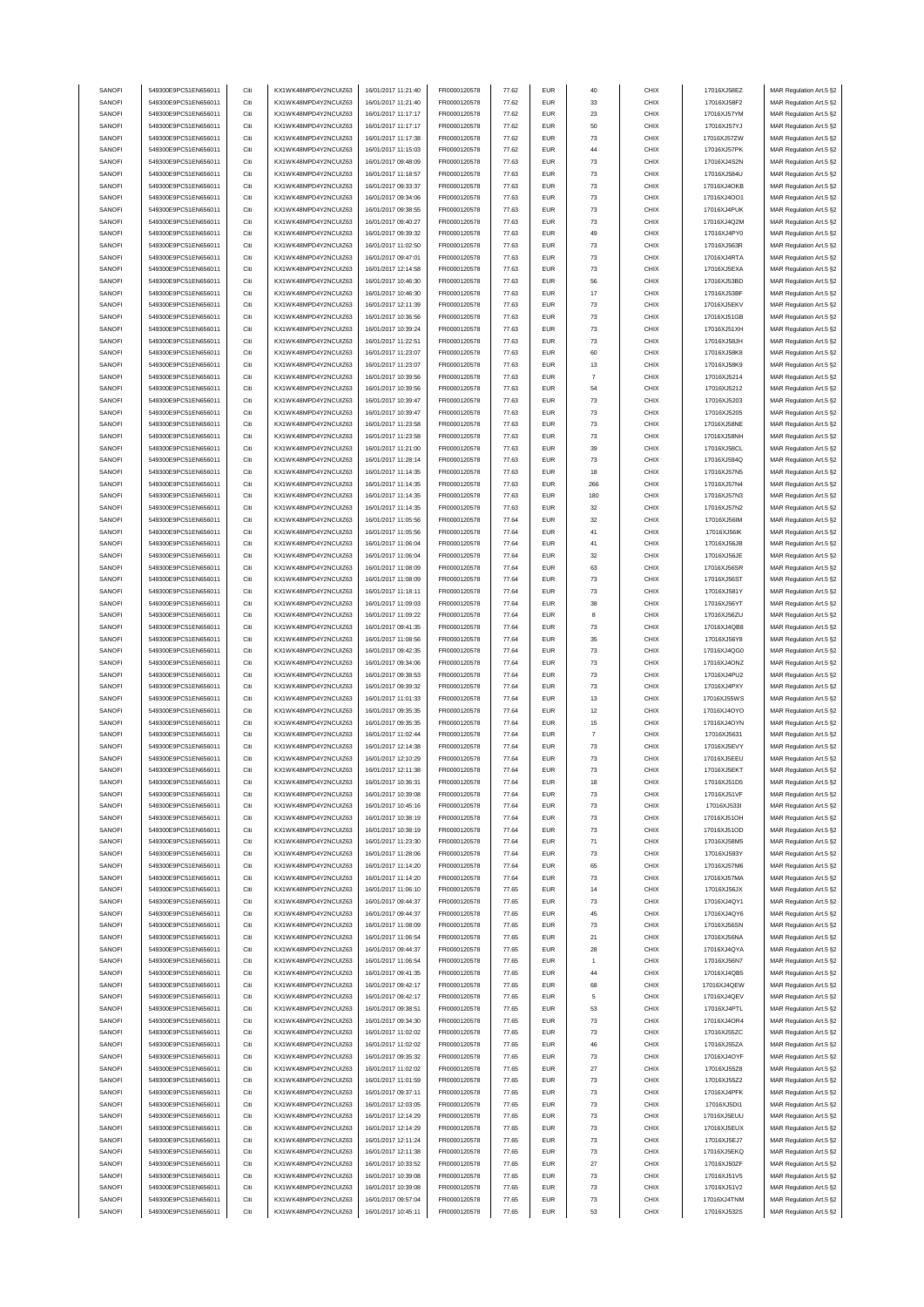| SANOFI | 549300E9PC51EN656011 | Citi |                                              | 16/01/2017 11:21:40 | FR0000120578 | 77.62 | <b>EUR</b> |                   | CHIX |             |                                                    |
|--------|----------------------|------|----------------------------------------------|---------------------|--------------|-------|------------|-------------------|------|-------------|----------------------------------------------------|
|        | 549300E9PC51EN656011 | Citi | KX1WK48MPD4Y2NCUIZ63<br>KX1WK48MPD4Y2NCUIZ63 | 16/01/2017 11:21:40 |              | 77.62 | <b>EUR</b> | 40<br>33          | CHIX | 17016XJ58EZ | MAR Regulation Art.5 §2                            |
| SANOFI |                      |      |                                              |                     | FR0000120578 |       |            |                   |      | 17016XJ58F2 | MAR Regulation Art.5 §2                            |
| SANOFI | 549300E9PC51EN656011 | Citi | KX1WK48MPD4Y2NCUIZ63                         | 16/01/2017 11:17:17 | FR0000120578 | 77.62 | <b>EUR</b> | 23                | CHIX | 17016XJ57YM | MAR Regulation Art.5 §2                            |
| SANOFI | 549300E9PC51EN656011 | Citi | KX1WK48MPD4Y2NCUIZ63                         | 16/01/2017 11:17:17 | FR0000120578 | 77.62 | EUR        | 50                | CHIX | 17016XJ57YJ | MAR Regulation Art.5 §2                            |
| SANOFI | 549300E9PC51EN656011 | Citi | KX1WK48MPD4Y2NCLIIZ63                        | 16/01/2017 11:17:38 | FR0000120578 | 77.62 | <b>EUR</b> | 73                | CHIX | 17016XJ57ZW | MAR Regulation Art.5 §2                            |
| SANOFI | 549300E9PC51EN656011 | Citi | KX1WK48MPD4Y2NCUIZ63                         | 16/01/2017 11:15:03 | FR0000120578 | 77.62 | <b>EUR</b> | 44                | CHIX | 17016XJ57PK | MAR Regulation Art.5 §2                            |
| SANOFI | 549300E9PC51EN656011 | Citi | KX1WK48MPD4Y2NCUIZ63                         | 16/01/2017 09:48:09 | FR0000120578 | 77.63 | <b>EUR</b> | 73                | CHIX | 17016XJ4S2N | MAR Regulation Art.5 §2                            |
|        |                      |      |                                              |                     |              |       |            |                   |      |             |                                                    |
| SANOFI | 549300E9PC51EN656011 | Citi | KX1WK48MPD4Y2NCUIZ63                         | 16/01/2017 11:18:57 | FR0000120578 | 77.63 | <b>EUR</b> | 73                | CHIX | 17016XJ584U | MAR Regulation Art.5 §2                            |
| SANOFI | 549300E9PC51EN656011 | Citi | KX1WK48MPD4Y2NCUIZ63                         | 16/01/2017 09:33:37 | FR0000120578 | 77.63 | <b>EUR</b> | 73                | CHIX | 17016XJ4OKB | MAR Regulation Art.5 §2                            |
| SANOFI | 549300E9PC51EN656011 | Citi | KX1WK48MPD4Y2NCUIZ63                         | 16/01/2017 09:34:06 | FR0000120578 | 77.63 | <b>EUR</b> | 73                | CHIX | 17016XJ4OO1 | MAR Regulation Art.5 §2                            |
| SANOFI | 549300E9PC51EN656011 | Citi | KX1WK48MPD4Y2NCUIZ63                         | 16/01/2017 09:38:55 | FR0000120578 | 77.63 | <b>EUR</b> | 73                | CHIX | 17016XJ4PUK | MAR Regulation Art.5 §2                            |
| SANOFI | 549300E9PC51EN656011 | Citi | KX1WK48MPD4Y2NCUIZ63                         | 16/01/2017 09:40:27 | FR0000120578 | 77.63 | <b>EUR</b> | 73                | CHIX | 17016XJ4Q2M | MAR Regulation Art.5 §2                            |
|        |                      |      |                                              |                     |              |       |            |                   |      |             |                                                    |
| SANOFI | 549300E9PC51EN656011 | Citi | KX1WK48MPD4Y2NCUIZ63                         | 16/01/2017 09:39:32 | FR0000120578 | 77.63 | EUR        | 49                | CHIX | 17016XJ4PY0 | MAR Regulation Art.5 §2                            |
| SANOFI | 549300E9PC51EN656011 | Citi | KX1WK48MPD4Y2NCUIZ63                         | 16/01/2017 11:02:50 | FR0000120578 | 77.63 | <b>EUR</b> | 73                | CHIX | 17016XJ563R | MAR Regulation Art.5 §2                            |
| SANOFI | 549300E9PC51EN656011 | Citi | KX1WK48MPD4Y2NCUIZ63                         | 16/01/2017 09:47:01 | FR0000120578 | 77.63 | <b>EUR</b> | 73                | CHIX | 17016XJ4RTA | MAR Regulation Art.5 §2                            |
| SANOFI | 549300E9PC51EN656011 | Citi | KX1WK48MPD4Y2NCUIZ63                         | 16/01/2017 12:14:58 | FR0000120578 | 77.63 | <b>EUR</b> | 73                | CHIX | 17016XJ5EXA | MAR Regulation Art.5 §2                            |
| SANOFI | 549300E9PC51EN656011 | Citi | KX1WK48MPD4Y2NCUIZ63                         | 16/01/2017 10:46:30 | FR0000120578 | 77.63 | <b>EUR</b> | 56                | CHIX | 17016XJ53BD | MAR Regulation Art.5 §2                            |
|        | 549300E9PC51EN656011 | Citi | KX1WK48MPD4Y2NCUIZ63                         | 16/01/2017 10:46:30 |              | 77.63 | <b>EUR</b> | 17                | CHIX | 17016XJ53BF | MAR Regulation Art.5 §2                            |
| SANOFI |                      |      |                                              |                     | FR0000120578 |       |            |                   |      |             |                                                    |
| SANOFI | 549300E9PC51EN656011 | Citi | KX1WK48MPD4Y2NCUIZ63                         | 16/01/2017 12:11:39 | FR0000120578 | 77.63 | <b>EUR</b> | 73                | CHIX | 17016XJ5EKV | MAR Regulation Art.5 §2                            |
| SANOFI | 549300E9PC51EN656011 | Citi | KX1WK48MPD4Y2NCUIZ63                         | 16/01/2017 10:36:56 | FR0000120578 | 77.63 | <b>EUR</b> | 73                | CHIX | 17016XJ51GB | MAR Regulation Art.5 §2                            |
| SANOFI | 549300E9PC51EN656011 | Citi | KX1WK48MPD4Y2NCUIZ63                         | 16/01/2017 10:39:24 | FR0000120578 | 77.63 | <b>EUR</b> | 73                | CHIX | 17016XJ51XH | MAR Regulation Art.5 §2                            |
| SANOFI | 549300E9PC51EN656011 | Citi | KX1WK48MPD4Y2NCUIZ63                         | 16/01/2017 11:22:51 | FR0000120578 | 77.63 | <b>EUR</b> | 73                | CHIX | 17016XJ58JH | MAR Regulation Art.5 §2                            |
| SANOFI | 549300E9PC51EN656011 | Citi | KX1WK48MPD4Y2NCUIZ63                         | 16/01/2017 11:23:07 | FR0000120578 | 77.63 | <b>EUR</b> | 60                | CHIX | 17016XJ58K8 |                                                    |
|        |                      |      |                                              |                     |              |       |            |                   |      |             | MAR Regulation Art.5 §2                            |
| SANOFI | 549300E9PC51EN656011 | Citi | KX1WK48MPD4Y2NCUIZ63                         | 16/01/2017 11:23:07 | FR0000120578 | 77.63 | <b>EUR</b> | 13                | CHIX | 17016XJ58K9 | MAR Regulation Art.5 §2                            |
| SANOFI | 549300E9PC51EN656011 | Citi | KX1WK48MPD4Y2NCUIZ63                         | 16/01/2017 10:39:56 | FR0000120578 | 77.63 | <b>EUR</b> | $\overline{7}$    | CHIX | 17016XJ5214 | MAR Regulation Art.5 §2                            |
| SANOFI | 549300E9PC51EN656011 | Citi | KX1WK48MPD4Y2NCUIZ63                         | 16/01/2017 10:39:56 | FR0000120578 | 77.63 | <b>EUR</b> | 54                | CHIX | 17016XJ5212 | MAR Regulation Art.5 §2                            |
| SANOFI | 549300E9PC51EN656011 | Citi | KX1WK48MPD4Y2NCUIZ63                         | 16/01/2017 10:39:47 | FR0000120578 | 77.63 | <b>EUR</b> | 73                | CHIX | 17016XJ5203 | MAR Regulation Art.5 §2                            |
| SANOFI | 549300E9PC51EN656011 | Citi | KX1WK48MPD4Y2NCUIZ63                         |                     |              | 77.63 | <b>EUR</b> | 73                | CHIX |             |                                                    |
|        |                      |      |                                              | 16/01/2017 10:39:47 | FR0000120578 |       |            |                   |      | 17016XJ5205 | MAR Regulation Art.5 §2                            |
| SANOFI | 549300E9PC51EN656011 | Citi | KX1WK48MPD4Y2NCUIZ63                         | 16/01/2017 11:23:58 | FR0000120578 | 77.63 | <b>EUR</b> | 73                | CHIX | 17016XJ58NE | MAR Regulation Art.5 §2                            |
| SANOFI | 549300E9PC51EN656011 | Citi | KX1WK48MPD4Y2NCUIZ63                         | 16/01/2017 11:23:58 | FR0000120578 | 77.63 | <b>EUR</b> | 73                | CHIX | 17016XJ58NH | MAR Regulation Art.5 §2                            |
| SANOFI | 549300E9PC51EN656011 | Citi | KX1WK48MPD4Y2NCUIZ63                         | 16/01/2017 11:21:00 | FR0000120578 | 77.63 | <b>EUR</b> | 39                | CHIX | 17016XJ58CL | MAR Regulation Art.5 §2                            |
| SANOFI | 549300E9PC51EN656011 | Citi | KX1WK48MPD4Y2NCUIZ63                         | 16/01/2017 11:28:14 | FR0000120578 | 77.63 | <b>EUR</b> | 73                | CHIX | 17016XJ594Q | MAR Regulation Art.5 §2                            |
| SANOFI | 549300E9PC51EN656011 | Citi | KX1WK48MPD4Y2NCUIZ63                         | 16/01/2017 11:14:35 | FR0000120578 | 77.63 | <b>EUR</b> | 18                | CHIX | 17016XJ57N5 | MAR Regulation Art.5 §2                            |
|        |                      |      |                                              |                     |              |       |            |                   |      |             |                                                    |
| SANOFI | 549300E9PC51EN656011 | Citi | KX1WK48MPD4Y2NCUIZ63                         | 16/01/2017 11:14:35 | FR0000120578 | 77.63 | <b>EUR</b> | 266               | CHIX | 17016XJ57N4 | MAR Regulation Art.5 §2                            |
| SANOFI | 549300E9PC51EN656011 | Citi | KX1WK48MPD4Y2NCUIZ63                         | 16/01/2017 11:14:35 | FR0000120578 | 77.63 | <b>EUR</b> | 180               | CHIX | 17016XJ57N3 | MAR Regulation Art.5 §2                            |
| SANOFI | 549300E9PC51EN656011 | Citi | KX1WK48MPD4Y2NCUIZ63                         | 16/01/2017 11:14:35 | FR0000120578 | 77.63 | <b>EUR</b> | 32                | CHIX | 17016XJ57N2 | MAR Regulation Art.5 §2                            |
| SANOFI | 549300E9PC51EN656011 | Citi | KX1WK48MPD4Y2NCUIZ63                         | 16/01/2017 11:05:56 | FR0000120578 | 77.64 | <b>EUR</b> | 32                | CHIX | 17016XJ56IM | MAR Regulation Art.5 §2                            |
| SANOFI | 549300E9PC51EN656011 | Citi | KX1WK48MPD4Y2NCUIZ63                         | 16/01/2017 11:05:56 | FR0000120578 | 77.64 | <b>EUR</b> | 41                | CHIX | 17016XJ56IK | MAR Regulation Art.5 §2                            |
|        |                      |      |                                              |                     |              |       |            |                   |      |             |                                                    |
| SANOFI | 549300E9PC51EN656011 | Citi | KX1WK48MPD4Y2NCUIZ63                         | 16/01/2017 11:06:04 | FR0000120578 | 77.64 | <b>EUR</b> | 41                | CHIX | 17016XJ56JB | MAR Regulation Art.5 §2                            |
| SANOFI | 549300E9PC51EN656011 | Citi | KX1WK48MPD4Y2NCUIZ63                         | 16/01/2017 11:06:04 | FR0000120578 | 77.64 | <b>EUR</b> | 32                | CHIX | 17016XJ56JE | MAR Regulation Art.5 §2                            |
| SANOFI | 549300E9PC51EN656011 | Citi | KX1WK48MPD4Y2NCUIZ63                         | 16/01/2017 11:08:09 | FR0000120578 | 77.64 | <b>EUR</b> | 63                | CHIX | 17016XJ56SR | MAR Regulation Art.5 §2                            |
| SANOFI | 549300E9PC51EN656011 | Citi | KX1WK48MPD4Y2NCUIZ63                         | 16/01/2017 11:08:09 | FR0000120578 | 77.64 | <b>EUR</b> | 73                | CHIX | 17016XJ56ST | MAR Regulation Art.5 §2                            |
| SANOFI | 549300E9PC51EN656011 | Citi | KX1WK48MPD4Y2NCUIZ63                         | 16/01/2017 11:18:11 | FR0000120578 | 77.64 | <b>EUR</b> | 73                | CHIX | 17016XJ581Y | MAR Regulation Art.5 §2                            |
| SANOFI | 549300E9PC51EN656011 | Citi | KX1WK48MPD4Y2NCUIZ63                         | 16/01/2017 11:09:03 | FR0000120578 | 77.64 | <b>EUR</b> | 38                | CHIX | 17016XJ56YT |                                                    |
|        |                      |      |                                              |                     |              |       |            |                   |      |             | MAR Regulation Art.5 §2                            |
| SANOFI | 549300E9PC51EN656011 | Citi | KX1WK48MPD4Y2NCUIZ63                         | 16/01/2017 11:09:22 | FR0000120578 | 77.64 | <b>EUR</b> | 8                 | CHIX | 17016XJ56ZU | MAR Regulation Art.5 §2                            |
| SANOFI | 549300E9PC51EN656011 | Citi | KX1WK48MPD4Y2NCUIZ63                         | 16/01/2017 09:41:35 | FR0000120578 | 77.64 | <b>EUR</b> | 73                | CHIX | 17016XJ4QB8 | MAR Regulation Art.5 §2                            |
| SANOFI | 549300E9PC51EN656011 | Citi | KX1WK48MPD4Y2NCUIZ63                         | 16/01/2017 11:08:56 | FR0000120578 | 77.64 | <b>EUR</b> | 35                | CHIX | 17016XJ56Y8 | MAR Regulation Art.5 §2                            |
| SANOFI | 549300E9PC51EN656011 | Citi | KX1WK48MPD4Y2NCUIZ63                         | 16/01/2017 09:42:35 | FR0000120578 | 77.64 | <b>EUR</b> | 73                | CHIX | 17016XJ4QG0 | MAR Regulation Art.5 §2                            |
| SANOFI | 549300E9PC51EN656011 | Citi | KX1WK48MPD4Y2NCUIZ63                         | 16/01/2017 09:34:06 | FR0000120578 | 77.64 | <b>EUR</b> | 73                | CHIX | 17016XJ4ONZ | MAR Regulation Art.5 §2                            |
|        |                      |      |                                              |                     |              |       |            |                   |      |             |                                                    |
| SANOFI | 549300E9PC51EN656011 | Citi | KX1WK48MPD4Y2NCUIZ63                         | 16/01/2017 09:38:53 | FR0000120578 | 77.64 | <b>EUR</b> | 73                | CHIX | 17016XJ4PU2 | MAR Regulation Art.5 §2                            |
| SANOFI | 549300E9PC51EN656011 | Citi | KX1WK48MPD4Y2NCUIZ63                         | 16/01/2017 09:39:32 | FR0000120578 | 77.64 | <b>EUR</b> | 73                | CHIX | 17016XJ4PXY | MAR Regulation Art.5 §2                            |
| SANOFI | 549300E9PC51EN656011 | Citi | KX1WK48MPD4Y2NCUIZ63                         | 16/01/2017 11:01:33 | FR0000120578 | 77.64 | <b>EUR</b> | 13                | CHIX | 17016XJ55WS | MAR Regulation Art.5 §2                            |
| SANOFI | 549300E9PC51EN656011 | Citi | KX1WK48MPD4Y2NCLIIZ63                        | 16/01/2017 09:35:35 | FR0000120578 | 77.64 | <b>EUR</b> | 12                | CHIX | 17016XJ4OYO | MAR Regulation Art.5 §2                            |
| SANOFI | 549300E9PC51EN656011 | Citi | KX1WK48MPD4Y2NCUIZ63                         | 16/01/2017 09:35:35 | FR0000120578 | 77.64 | <b>EUR</b> | 15                | CHIX | 17016XJ4OYN | MAR Regulation Art.5 §2                            |
|        |                      |      |                                              |                     |              |       |            |                   |      |             |                                                    |
| SANOFI | 549300E9PC51EN656011 | Citi | KX1WK48MPD4Y2NCUIZ63                         | 16/01/2017 11:02:44 | FR0000120578 | 77.64 | <b>EUR</b> | $\scriptstyle{7}$ | CHIX | 17016XJ5631 | MAR Regulation Art.5 §2                            |
| SANOFI | 549300E9PC51EN656011 | Citi | KX1WK48MPD4Y2NCUIZ63                         | 16/01/2017 12:14:38 | FR0000120578 | 77.64 | <b>EUR</b> | 73                | CHIX | 17016XJ5EVY | MAR Regulation Art.5 §2                            |
| SANOFI | 549300E9PC51EN656011 | Citi | KX1WK48MPD4Y2NCUIZ63                         | 16/01/2017 12:10:29 | FR0000120578 | 77.64 | <b>EUR</b> | 73                | CHIX | 17016XJ5EEU | MAR Regulation Art.5 §2                            |
| SANOFI | 549300E9PC51EN656011 | Citi | KX1WK48MPD4Y2NCUIZ63                         | 16/01/2017 12:11:38 | FR0000120578 |       |            |                   |      |             |                                                    |
| SANOFI | 549300E9PC51EN656011 |      |                                              |                     |              |       | <b>EUR</b> |                   |      |             |                                                    |
|        |                      |      |                                              |                     |              | 77.64 |            | 73                | CHIX | 17016XJ5EKT | MAR Regulation Art.5 §2<br>MAR Regulation Art 5.82 |
|        |                      |      | KX1WK48MPD4Y2NCLIIZ63                        | 16/01/2017 10:36:31 | FR0000120578 | 77.64 | FUR        | 18                | CHIX | 17016XJ51D5 |                                                    |
| SANOFI | 549300E9PC51EN656011 | Citi | KX1WK48MPD4Y2NCUIZ63                         | 16/01/2017 10:39:08 | FR0000120578 | 77.64 | <b>EUR</b> | 73                | CHIX | 17016XJ51VF | MAR Regulation Art.5 §2                            |
| SANOFI | 549300E9PC51EN656011 | Citi | KX1WK48MPD4Y2NCUIZ63                         | 16/01/2017 10:45:16 | FR0000120578 | 77.64 | <b>EUR</b> | 73                | CHIX | 17016XJ533I | MAR Regulation Art.5 §2                            |
| SANOFI | 549300E9PC51EN656011 | Citi | KX1WK48MPD4Y2NCUIZ63                         | 16/01/2017 10:38:19 | FR0000120578 | 77.64 | <b>EUR</b> | 73                | CHIX | 17016XJ51OH | MAR Regulation Art.5 §2                            |
| SANOFI | 549300E9PC51EN656011 | Citi | KX1WK48MPD4Y2NCUIZ63                         | 16/01/2017 10:38:19 | FR0000120578 | 77.64 | <b>EUR</b> | 73                | CHIX | 17016XJ51OD |                                                    |
|        |                      |      |                                              |                     |              |       |            |                   |      |             | MAR Regulation Art.5 §2                            |
| SANOFI | 549300E9PC51EN656011 | Citi | KX1WK48MPD4Y2NCUIZ63                         | 16/01/2017 11:23:30 | FR0000120578 | 77.64 | <b>EUR</b> | 71                | CHIX | 17016XJ58M5 | MAR Regulation Art.5 §2                            |
| SANOFI | 549300E9PC51EN656011 | Citi | KX1WK48MPD4Y2NCUIZ63                         | 16/01/2017 11:28:06 | FR0000120578 | 77.64 | <b>EUR</b> | 73                | CHIX | 17016XJ593Y | MAR Regulation Art.5 §2                            |
| SANOFI | 549300E9PC51EN656011 | Citi | KX1WK48MPD4Y2NCUIZ63                         | 16/01/2017 11:14:20 | FR0000120578 | 77.64 | <b>EUR</b> | 65                | CHIX | 17016XJ57M6 | MAR Regulation Art.5 §2                            |
| SANOFI | 549300E9PC51EN656011 | Citi | KX1WK48MPD4Y2NCUIZ63                         | 16/01/2017 11:14:20 | FR0000120578 | 77.64 | <b>EUR</b> | 73                | CHIX | 17016XJ57MA | MAR Regulation Art.5 §2                            |
| SANOFI | 549300E9PC51EN656011 | Citi | KX1WK48MPD4Y2NCUIZ63                         | 16/01/2017 11:06:10 | FR0000120578 | 77.65 | <b>EUR</b> | 14                | CHIX | 17016XJ56JX | MAR Regulation Art.5 §2                            |
| SANOFI | 549300E9PC51EN656011 | Citi | KX1WK48MPD4Y2NCUIZ63                         | 16/01/2017 09:44:37 | FR0000120578 | 77.65 | <b>EUR</b> | 73                | CHIX | 17016XJ4QY1 | MAR Regulation Art.5 §2                            |
|        |                      |      |                                              |                     |              |       |            |                   |      |             |                                                    |
| SANOFI | 549300E9PC51EN656011 | Citi | KX1WK48MPD4Y2NCUIZ63                         | 16/01/2017 09:44:37 | FR0000120578 | 77.65 | <b>EUR</b> | 45                | CHIX | 17016XJ4QY6 | MAR Regulation Art.5 §2                            |
| SANOFI | 549300E9PC51EN656011 | Citi | KX1WK48MPD4Y2NCUIZ63                         | 16/01/2017 11:08:09 | FR0000120578 | 77.65 | <b>EUR</b> | 73                | CHIX | 17016XJ56SN | MAR Regulation Art.5 §2                            |
| SANOFI | 549300E9PC51EN656011 | Citi | KX1WK48MPD4Y2NCUIZ63                         | 16/01/2017 11:06:54 | FR0000120578 | 77.65 | <b>EUR</b> | 21                | CHIX | 17016XJ56NA | MAR Regulation Art.5 §2                            |
| SANOFI | 549300E9PC51EN656011 | Citi | KX1WK48MPD4Y2NCUIZ63                         | 16/01/2017 09:44:37 | FR0000120578 | 77.65 | <b>EUR</b> | 28                | CHIX | 17016XJ4QYA | MAR Regulation Art.5 §2                            |
| SANOFI | 549300E9PC51EN656011 | Citi | KX1WK48MPD4Y2NCUIZ63                         | 16/01/2017 11:06:54 | FR0000120578 | 77.65 | <b>EUR</b> | $\mathbf{1}$      | CHIX | 17016XJ56N7 | MAR Regulation Art.5 §2                            |
|        |                      |      |                                              |                     |              |       |            |                   |      |             |                                                    |
| SANOFI | 549300E9PC51EN656011 | Citi | KX1WK48MPD4Y2NCUIZ63                         | 16/01/2017 09:41:35 | FR0000120578 | 77.65 | <b>EUR</b> | 44                | CHIX | 17016XJ4QB5 | MAR Regulation Art.5 §2                            |
| SANOFI | 549300E9PC51EN656011 | Citi | KX1WK48MPD4Y2NCUIZ63                         | 16/01/2017 09:42:17 | FR0000120578 | 77.65 | <b>EUR</b> | 68                | CHIX | 17016XJ4QEW | MAR Regulation Art.5 §2                            |
| SANOFI | 549300E9PC51EN656011 | Citi | KX1WK48MPD4Y2NCUIZ63                         | 16/01/2017 09:42:17 | FR0000120578 | 77.65 | <b>EUR</b> | 5                 | CHIX | 17016XJ4QEV | MAR Regulation Art.5 §2                            |
| SANOFI | 549300E9PC51EN656011 | Citi | KX1WK48MPD4Y2NCUIZ63                         | 16/01/2017 09:38:51 | FR0000120578 | 77.65 | <b>EUR</b> | 53                | CHIX | 17016XJ4PTL | MAR Regulation Art.5 §2                            |
| SANOFI | 549300E9PC51EN656011 | Citi | KX1WK48MPD4Y2NCUIZ63                         | 16/01/2017 09:34:30 | FR0000120578 | 77.65 | <b>EUR</b> | 73                | CHIX | 17016XJ4OR4 | MAR Regulation Art.5 §2                            |
|        |                      |      |                                              |                     |              |       |            |                   |      |             |                                                    |
| SANOFI | 549300E9PC51EN656011 | Citi | KX1WK48MPD4Y2NCUIZ63                         | 16/01/2017 11:02:02 | FR0000120578 | 77.65 | <b>EUR</b> | 73                | CHIX | 17016XJ55ZC | MAR Regulation Art.5 §2                            |
| SANOFI | 549300E9PC51EN656011 | Citi | KX1WK48MPD4Y2NCUIZ63                         | 16/01/2017 11:02:02 | FR0000120578 | 77.65 | <b>EUR</b> | 46                | CHIX | 17016XJ55ZA | MAR Regulation Art.5 §2                            |
| SANOFI | 549300E9PC51EN656011 | Citi | KX1WK48MPD4Y2NCUIZ63                         | 16/01/2017 09:35:32 | FR0000120578 | 77.65 | <b>EUR</b> | 73                | CHIX | 17016XJ4OYF | MAR Regulation Art.5 §2                            |
| SANOFI | 549300E9PC51EN656011 | Citi | KX1WK48MPD4Y2NCUIZ63                         | 16/01/2017 11:02:02 | FR0000120578 | 77.65 | <b>EUR</b> | 27                | CHIX | 17016XJ55Z8 | MAR Regulation Art.5 §2                            |
| SANOFI | 549300E9PC51EN656011 | Citi | KX1WK48MPD4Y2NCUIZ63                         | 16/01/2017 11:01:59 | FR0000120578 | 77.65 | <b>EUR</b> | 73                | CHIX | 17016XJ55Z2 | MAR Regulation Art.5 §2                            |
| SANOFI |                      | Citi |                                              |                     |              | 77.65 | <b>EUR</b> |                   |      |             |                                                    |
|        | 549300E9PC51EN656011 |      | KX1WK48MPD4Y2NCUIZ63                         | 16/01/2017 09:37:11 | FR0000120578 |       |            | 73                | CHIX | 17016XJ4PFK | MAR Regulation Art.5 §2                            |
| SANOFI | 549300E9PC51EN656011 | Citi | KX1WK48MPD4Y2NCUIZ63                         | 16/01/2017 12:03:05 | FR0000120578 | 77.65 | <b>EUR</b> | 73                | CHIX | 17016XJ5DI1 | MAR Regulation Art.5 §2                            |
| SANOFI | 549300E9PC51EN656011 | Citi | KX1WK48MPD4Y2NCUIZ63                         | 16/01/2017 12:14:29 | FR0000120578 | 77.65 | <b>EUR</b> | 73                | CHIX | 17016XJ5EUU | MAR Regulation Art.5 §2                            |
| SANOFI | 549300E9PC51EN656011 | Citi | KX1WK48MPD4Y2NCUIZ63                         | 16/01/2017 12:14:29 | FR0000120578 | 77.65 | <b>EUR</b> | 73                | CHIX | 17016XJ5EUX | MAR Regulation Art.5 §2                            |
| SANOFI | 549300E9PC51EN656011 | Citi | KX1WK48MPD4Y2NCUIZ63                         | 16/01/2017 12:11:24 | FR0000120578 | 77.65 | <b>EUR</b> | 73                | CHIX | 17016XJ5EJ7 | MAR Regulation Art.5 §2                            |
| SANOFI | 549300E9PC51EN656011 | Citi | KX1WK48MPD4Y2NCUIZ63                         | 16/01/2017 12:11:38 | FR0000120578 | 77.65 | <b>EUR</b> | 73                | CHIX | 17016XJ5EKQ | MAR Regulation Art.5 §2                            |
| SANOFI | 549300E9PC51EN656011 | Citi | KX1WK48MPD4Y2NCUIZ63                         | 16/01/2017 10:33:52 | FR0000120578 | 77.65 | <b>EUR</b> | $27\,$            | CHIX | 17016XJ50ZF |                                                    |
|        |                      |      |                                              |                     |              |       |            |                   |      |             | MAR Regulation Art.5 §2                            |
| SANOFI | 549300E9PC51EN656011 | Citi | KX1WK48MPD4Y2NCUIZ63                         | 16/01/2017 10:39:08 | FR0000120578 | 77.65 | <b>EUR</b> | 73                | CHIX | 17016XJ51V5 | MAR Regulation Art.5 §2                            |
| SANOFI | 549300E9PC51EN656011 | Citi | KX1WK48MPD4Y2NCUIZ63                         | 16/01/2017 10:39:08 | FR0000120578 | 77.65 | <b>EUR</b> | 73                | CHIX | 17016XJ51V2 | MAR Regulation Art.5 §2                            |
| SANOFI | 549300E9PC51EN656011 | Citi | KX1WK48MPD4Y2NCUIZ63                         | 16/01/2017 09:57:04 | FR0000120578 | 77.65 | <b>EUR</b> | 73                | CHIX | 17016XJ4TNM | MAR Regulation Art.5 §2                            |
| SANOFI | 549300E9PC51EN656011 | Citi | KX1WK48MPD4Y2NCUIZ63                         | 16/01/2017 10:45:11 | FR0000120578 | 77.65 | <b>EUR</b> | 53                | CHIX | 17016XJ532S | MAR Regulation Art.5 §2                            |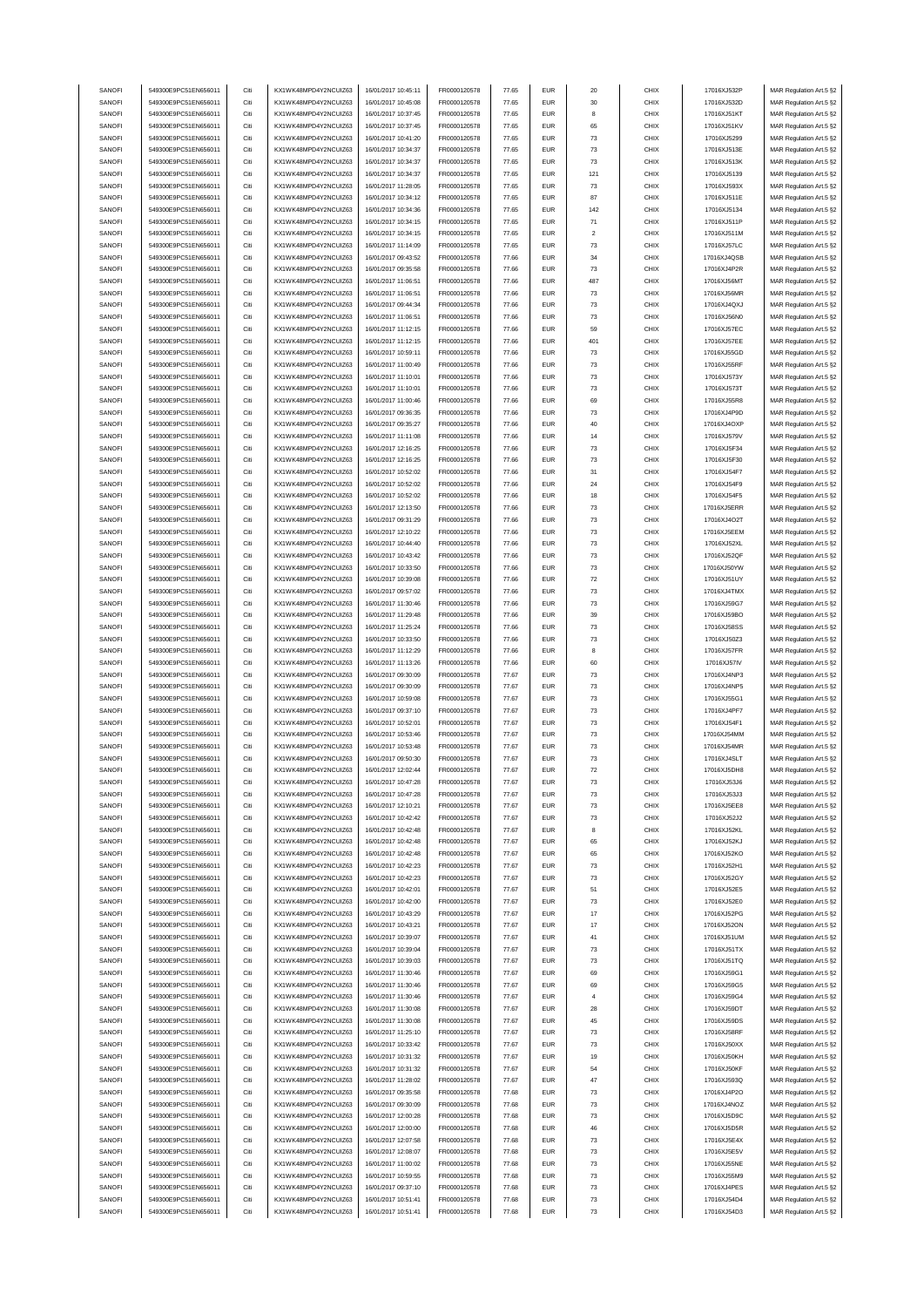| SANOFI           |                                              | Citi         | KX1WK48MPD4Y2NCUIZ63                         | 16/01/2017 10:45:11                        | FR0000120578                 | 77.65          | <b>EUR</b>               | 20                 | CHIX         | 17016XJ532P                | MAR Regulation Art.5 §2                            |
|------------------|----------------------------------------------|--------------|----------------------------------------------|--------------------------------------------|------------------------------|----------------|--------------------------|--------------------|--------------|----------------------------|----------------------------------------------------|
|                  | 549300E9PC51EN656011<br>549300E9PC51EN656011 | Citi         | KX1WK48MPD4Y2NCUIZ63                         | 16/01/2017 10:45:08                        |                              | 77.65          | <b>EUR</b>               | 30                 | CHIX         |                            |                                                    |
| SANOFI           |                                              |              |                                              |                                            | FR0000120578                 |                |                          |                    |              | 17016XJ532D                | MAR Regulation Art.5 §2                            |
| SANOFI           | 549300E9PC51EN656011                         | Citi         | KX1WK48MPD4Y2NCUIZ63                         | 16/01/2017 10:37:45                        | FR0000120578                 | 77.65          | <b>EUR</b>               | 8                  | CHIX         | 17016XJ51KT                | MAR Regulation Art.5 §2                            |
| SANOFI           | 549300E9PC51EN656011                         | Citi         | KX1WK48MPD4Y2NCUIZ63                         | 16/01/2017 10:37:45                        | FR0000120578                 | 77.65          | EUR                      | 65                 | CHIX         | 17016XJ51KV                | MAR Regulation Art.5 §2                            |
| SANOFI           | 549300E9PC51EN656011                         | Citi         | KX1WK48MPD4Y2NCLIIZ63                        | 16/01/2017 10:41:20                        | FR0000120578                 | 77.65          | <b>EUR</b>               | 73                 | CHIX         | 17016XJ5299                | MAR Regulation Art.5 §2                            |
| SANOFI           | 549300E9PC51EN656011                         | Citi         | KX1WK48MPD4Y2NCUIZ63                         | 16/01/2017 10:34:37                        | FR0000120578                 | 77.65          | <b>EUR</b>               | 73                 | CHIX         | 17016XJ513E                | MAR Regulation Art.5 §2                            |
| SANOFI           | 549300E9PC51EN656011                         | Citi         | KX1WK48MPD4Y2NCUIZ63                         | 16/01/2017 10:34:37                        | FR0000120578                 | 77.65          | <b>EUR</b>               | 73                 | CHIX         | 17016XJ513K                | MAR Regulation Art.5 §2                            |
|                  | 549300E9PC51EN656011                         | Citi         |                                              |                                            |                              | 77.65          | <b>EUR</b>               |                    |              |                            | MAR Regulation Art.5 §2                            |
| SANOFI           |                                              |              | KX1WK48MPD4Y2NCUIZ63                         | 16/01/2017 10:34:37                        | FR0000120578                 |                |                          | 121                | CHIX         | 17016XJ5139                |                                                    |
| SANOFI           | 549300E9PC51EN656011                         | Citi         | KX1WK48MPD4Y2NCUIZ63                         | 16/01/2017 11:28:05                        | FR0000120578                 | 77.65          | <b>EUR</b>               | 73                 | CHIX         | 17016XJ593X                | MAR Regulation Art.5 §2                            |
| SANOFI           | 549300E9PC51EN656011                         | Citi         | KX1WK48MPD4Y2NCUIZ63                         | 16/01/2017 10:34:12                        | FR0000120578                 | 77.65          | <b>EUR</b>               | 87                 | CHIX         | 17016XJ511E                | MAR Regulation Art.5 §2                            |
| SANOFI           | 549300E9PC51EN656011                         | Citi         | KX1WK48MPD4Y2NCUIZ63                         | 16/01/2017 10:34:36                        | FR0000120578                 | 77.65          | <b>EUR</b>               | 142                | CHIX         | 17016XJ5134                | MAR Regulation Art.5 §2                            |
| SANOFI           | 549300E9PC51EN656011                         | Citi         | KX1WK48MPD4Y2NCUIZ63                         | 16/01/2017 10:34:15                        | FR0000120578                 | 77.65          | <b>EUR</b>               | ${\bf 71}$         | CHIX         | 17016XJ511P                | MAR Regulation Art.5 §2                            |
|                  |                                              |              |                                              |                                            |                              |                |                          |                    |              |                            |                                                    |
| SANOFI           | 549300E9PC51EN656011                         | Citi         | KX1WK48MPD4Y2NCUIZ63                         | 16/01/2017 10:34:15                        | FR0000120578                 | 77.65          | EUR                      | $\sqrt{2}$         | CHIX         | 17016XJ511M                | MAR Regulation Art.5 §2                            |
| SANOFI           | 549300E9PC51EN656011                         | Citi         | KX1WK48MPD4Y2NCUIZ63                         | 16/01/2017 11:14:09                        | FR0000120578                 | 77.65          | <b>EUR</b>               | 73                 | CHIX         | 17016XJ57LC                | MAR Regulation Art.5 §2                            |
| SANOFI           | 549300E9PC51EN656011                         | Citi         | KX1WK48MPD4Y2NCUIZ63                         | 16/01/2017 09:43:52                        | FR0000120578                 | 77.66          | <b>EUR</b>               | 34                 | CHIX         | 17016XJ4QSB                | MAR Regulation Art.5 §2                            |
| SANOFI           | 549300E9PC51EN656011                         | Citi         | KX1WK48MPD4Y2NCUIZ63                         | 16/01/2017 09:35:58                        | FR0000120578                 | 77.66          | <b>EUR</b>               | 73                 | CHIX         | 17016XJ4P2R                | MAR Regulation Art.5 §2                            |
| SANOFI           | 549300E9PC51EN656011                         | Citi         | KX1WK48MPD4Y2NCUIZ63                         | 16/01/2017 11:06:51                        | FR0000120578                 | 77.66          | <b>EUR</b>               | 487                | CHIX         | 17016XJ56MT                | MAR Regulation Art.5 §2                            |
|                  | 549300E9PC51EN656011                         | Citi         | KX1WK48MPD4Y2NCUIZ63                         | 16/01/2017 11:06:51                        |                              | 77.66          | <b>EUR</b>               | 73                 | CHIX         |                            |                                                    |
| SANOFI           |                                              |              |                                              |                                            | FR0000120578                 |                |                          |                    |              | 17016XJ56MR                | MAR Regulation Art.5 §2                            |
| SANOFI           | 549300E9PC51EN656011                         | Citi         | KX1WK48MPD4Y2NCUIZ63                         | 16/01/2017 09:44:34                        | FR0000120578                 | 77.66          | <b>EUR</b>               | 73                 | CHIX         | 17016XJ4QXJ                | MAR Regulation Art.5 §2                            |
| SANOFI           | 549300E9PC51EN656011                         | Citi         | KX1WK48MPD4Y2NCUIZ63                         | 16/01/2017 11:06:51                        | FR0000120578                 | 77.66          | <b>EUR</b>               | 73                 | CHIX         | 17016XJ56N0                | MAR Regulation Art.5 §2                            |
| SANOFI           | 549300E9PC51EN656011                         | Citi         | KX1WK48MPD4Y2NCUIZ63                         | 16/01/2017 11:12:15                        | FR0000120578                 | 77.66          | <b>EUR</b>               | 59                 | CHIX         | 17016XJ57EC                | MAR Regulation Art.5 §2                            |
| SANOFI           | 549300E9PC51EN656011                         | Citi         | KX1WK48MPD4Y2NCUIZ63                         | 16/01/2017 11:12:15                        | FR0000120578                 | 77.66          | <b>EUR</b>               | 401                | CHIX         | 17016XJ57EE                | MAR Regulation Art.5 §2                            |
| SANOFI           | 549300E9PC51EN656011                         | Citi         | KX1WK48MPD4Y2NCUIZ63                         | 16/01/2017 10:59:11                        | FR0000120578                 | 77.66          | <b>EUR</b>               | 73                 | CHIX         | 17016XJ55GD                |                                                    |
|                  |                                              |              |                                              |                                            |                              |                |                          |                    |              |                            | MAR Regulation Art.5 §2                            |
| SANOFI           | 549300E9PC51EN656011                         | Citi         | KX1WK48MPD4Y2NCUIZ63                         | 16/01/2017 11:00:49                        | FR0000120578                 | 77.66          | <b>EUR</b>               | 73                 | CHIX         | 17016XJ55RF                | MAR Regulation Art.5 §2                            |
| SANOFI           | 549300E9PC51EN656011                         | Citi         | KX1WK48MPD4Y2NCUIZ63                         | 16/01/2017 11:10:01                        | FR0000120578                 | 77.66          | <b>EUR</b>               | 73                 | CHIX         | 17016XJ573Y                | MAR Regulation Art.5 §2                            |
| SANOFI           | 549300E9PC51EN656011                         | Citi         | KX1WK48MPD4Y2NCUIZ63                         | 16/01/2017 11:10:01                        | FR0000120578                 | 77.66          | <b>EUR</b>               | 73                 | CHIX         | 17016XJ573T                | MAR Regulation Art.5 §2                            |
| SANOFI           | 549300E9PC51EN656011                         | Citi         | KX1WK48MPD4Y2NCUIZ63                         | 16/01/2017 11:00:46                        | FR0000120578                 | 77.66          | <b>EUR</b>               | 69                 | CHIX         | 17016XJ55R8                | MAR Regulation Art.5 §2                            |
|                  | 549300E9PC51EN656011                         | Citi         | KX1WK48MPD4Y2NCUIZ63                         | 16/01/2017 09:36:35                        |                              | 77.66          | <b>EUR</b>               |                    |              |                            |                                                    |
| SANOFI           |                                              |              |                                              |                                            | FR0000120578                 |                |                          | 73                 | CHIX         | 17016XJ4P9D                | MAR Regulation Art.5 §2                            |
| SANOFI           | 549300E9PC51EN656011                         | Citi         | KX1WK48MPD4Y2NCUIZ63                         | 16/01/2017 09:35:27                        | FR0000120578                 | 77.66          | <b>EUR</b>               | 40                 | CHIX         | 17016XJ4OXP                | MAR Regulation Art.5 §2                            |
| SANOFI           | 549300E9PC51EN656011                         | Citi         | KX1WK48MPD4Y2NCUIZ63                         | 16/01/2017 11:11:08                        | FR0000120578                 | 77.66          | <b>EUR</b>               | 14                 | CHIX         | 17016XJ579V                | MAR Regulation Art.5 §2                            |
| SANOFI           | 549300E9PC51EN656011                         | Citi         | KX1WK48MPD4Y2NCUIZ63                         | 16/01/2017 12:16:25                        | FR0000120578                 | 77.66          | <b>EUR</b>               | 73                 | CHIX         | 17016XJ5F34                | MAR Regulation Art.5 §2                            |
| SANOFI           | 549300E9PC51EN656011                         | Citi         | KX1WK48MPD4Y2NCUIZ63                         | 16/01/2017 12:16:25                        | FR0000120578                 | 77.66          | <b>EUR</b>               | 73                 | CHIX         | 17016XJ5F30                | MAR Regulation Art.5 §2                            |
| SANOFI           | 549300E9PC51EN656011                         | Citi         | KX1WK48MPD4Y2NCUIZ63                         | 16/01/2017 10:52:02                        | FR0000120578                 | 77.66          | <b>EUR</b>               | 31                 | CHIX         | 17016XJ54F7                | MAR Regulation Art.5 §2                            |
|                  |                                              |              |                                              |                                            |                              |                |                          |                    |              |                            |                                                    |
| SANOFI           | 549300E9PC51EN656011                         | Citi         | KX1WK48MPD4Y2NCUIZ63                         | 16/01/2017 10:52:02                        | FR0000120578                 | 77.66          | <b>EUR</b>               | 24                 | CHIX         | 17016XJ54F9                | MAR Regulation Art.5 §2                            |
| SANOFI           | 549300E9PC51EN656011                         | Citi         | KX1WK48MPD4Y2NCUIZ63                         | 16/01/2017 10:52:02                        | FR0000120578                 | 77.66          | <b>EUR</b>               | 18                 | CHIX         | 17016XJ54F5                | MAR Regulation Art.5 §2                            |
| SANOFI           | 549300E9PC51EN656011                         | Citi         | KX1WK48MPD4Y2NCUIZ63                         | 16/01/2017 12:13:50                        | FR0000120578                 | 77.66          | <b>EUR</b>               | 73                 | CHIX         | 17016XJ5ERR                | MAR Regulation Art.5 §2                            |
| SANOFI           | 549300E9PC51EN656011                         | Citi         | KX1WK48MPD4Y2NCUIZ63                         | 16/01/2017 09:31:29                        | FR0000120578                 | 77.66          | <b>EUR</b>               | 73                 | CHIX         | 17016XJ4O2T                | MAR Regulation Art.5 §2                            |
| SANOFI           | 549300E9PC51EN656011                         | Citi         | KX1WK48MPD4Y2NCUIZ63                         | 16/01/2017 12:10:22                        | FR0000120578                 | 77.66          | <b>EUR</b>               | 73                 | CHIX         | 17016XJ5EEM                | MAR Regulation Art.5 §2                            |
|                  |                                              |              |                                              |                                            |                              |                |                          |                    |              |                            |                                                    |
| SANOFI           | 549300E9PC51EN656011                         | Citi         | KX1WK48MPD4Y2NCUIZ63                         | 16/01/2017 10:44:40                        | FR0000120578                 | 77.66          | <b>EUR</b>               | 73                 | CHIX         | 17016XJ52XL                | MAR Regulation Art.5 §2                            |
| SANOFI           | 549300E9PC51EN656011                         | Citi         | KX1WK48MPD4Y2NCUIZ63                         | 16/01/2017 10:43:42                        | FR0000120578                 | 77.66          | <b>EUR</b>               | 73                 | CHIX         | 17016XJ52QF                | MAR Regulation Art.5 §2                            |
| SANOFI           | 549300E9PC51EN656011                         | Citi         | KX1WK48MPD4Y2NCUIZ63                         | 16/01/2017 10:33:50                        | FR0000120578                 | 77.66          | <b>EUR</b>               | 73                 | CHIX         | 17016XJ50YW                | MAR Regulation Art.5 §2                            |
| SANOFI           | 549300E9PC51EN656011                         | Citi         | KX1WK48MPD4Y2NCUIZ63                         | 16/01/2017 10:39:08                        | FR0000120578                 | 77.66          | <b>EUR</b>               | 72                 | CHIX         | 17016XJ51UY                | MAR Regulation Art.5 §2                            |
| SANOFI           | 549300E9PC51EN656011                         | Citi         | KX1WK48MPD4Y2NCUIZ63                         | 16/01/2017 09:57:02                        | FR0000120578                 | 77.66          | <b>EUR</b>               | 73                 | CHIX         | 17016XJ4TMX                | MAR Regulation Art.5 §2                            |
| SANOFI           | 549300E9PC51EN656011                         | Citi         | KX1WK48MPD4Y2NCUIZ63                         | 16/01/2017 11:30:46                        | FR0000120578                 | 77.66          | <b>EUR</b>               | 73                 | CHIX         |                            |                                                    |
|                  |                                              |              |                                              |                                            |                              |                |                          |                    |              | 17016XJ59G7                | MAR Regulation Art.5 §2                            |
| SANOFI           | 549300E9PC51EN656011                         | Citi         | KX1WK48MPD4Y2NCUIZ63                         | 16/01/2017 11:29:48                        | FR0000120578                 | 77.66          | <b>EUR</b>               | 39                 | CHIX         | 17016XJ59BO                | MAR Regulation Art.5 §2                            |
| SANOFI           | 549300E9PC51EN656011                         | Citi         | KX1WK48MPD4Y2NCUIZ63                         | 16/01/2017 11:25:24                        | FR0000120578                 | 77.66          | <b>EUR</b>               | 73                 | CHIX         | 17016XJ58SS                | MAR Regulation Art.5 §2                            |
| SANOFI           | 549300E9PC51EN656011                         | Citi         | KX1WK48MPD4Y2NCUIZ63                         | 16/01/2017 10:33:50                        | FR0000120578                 | 77.66          | <b>EUR</b>               | 73                 | CHIX         | 17016XJ50Z3                | MAR Regulation Art.5 §2                            |
| SANOFI           | 549300E9PC51EN656011                         | Citi         | KX1WK48MPD4Y2NCUIZ63                         | 16/01/2017 11:12:29                        | FR0000120578                 | 77.66          | <b>EUR</b>               | 8                  | CHIX         | 17016XJ57FR                | MAR Regulation Art.5 §2                            |
| SANOFI           | 549300E9PC51EN656011                         | Citi         | KX1WK48MPD4Y2NCUIZ63                         | 16/01/2017 11:13:26                        | FR0000120578                 | 77.66          | <b>EUR</b>               | 60                 | CHIX         | 17016XJ57IV                | MAR Regulation Art.5 §2                            |
|                  |                                              |              |                                              |                                            |                              |                |                          |                    |              |                            |                                                    |
| SANOFI           | 549300E9PC51EN656011                         | Citi         | KX1WK48MPD4Y2NCUIZ63                         | 16/01/2017 09:30:09                        | FR0000120578                 | 77.67          | <b>EUR</b>               | 73                 | CHIX         | 17016XJ4NP3                | MAR Regulation Art.5 §2                            |
| SANOFI           | 549300E9PC51EN656011                         | Citi         | KX1WK48MPD4Y2NCUIZ63                         | 16/01/2017 09:30:09                        | FR0000120578                 | 77.67          | <b>EUR</b>               | 73                 | CHIX         | 17016XJ4NP5                | MAR Regulation Art.5 §2                            |
| SANOFI           | 549300E9PC51EN656011                         | Citi         | KX1WK48MPD4Y2NCUIZ63                         | 16/01/2017 10:59:08                        | FR0000120578                 | 77.67          | <b>EUR</b>               | 73                 | CHIX         | 17016XJ55G1                | MAR Regulation Art.5 §2                            |
| SANOFI           | 549300E9PC51EN656011                         | Citi         | KX1WK48MPD4Y2NCLIIZ63                        | 16/01/2017 09:37:10                        | FR0000120578                 | 77.67          | <b>EUR</b>               | 73                 | CHIX         | 17016XJ4PF7                | MAR Regulation Art.5 §2                            |
|                  | 549300E9PC51EN656011                         |              | KX1WK48MPD4Y2NCUIZ63                         | 16/01/2017 10:52:01                        | FR0000120578                 | 77.67          | <b>EUR</b>               | 73                 | CHIX         | 17016XJ54F1                | MAR Regulation Art.5 §2                            |
|                  |                                              |              |                                              |                                            |                              |                |                          |                    |              |                            |                                                    |
| SANOFI           |                                              | Citi         |                                              |                                            |                              |                |                          |                    |              |                            |                                                    |
| SANOFI           | 549300E9PC51EN656011                         | Citi         | KX1WK48MPD4Y2NCUIZ63                         | 16/01/2017 10:53:46                        | FR0000120578                 | 77.67          | <b>EUR</b>               | 73                 | CHIX         | 17016XJ54MM                | MAR Regulation Art.5 §2                            |
| SANOFI           | 549300E9PC51EN656011                         | Citi         | KX1WK48MPD4Y2NCUIZ63                         | 16/01/2017 10:53:48                        | FR0000120578                 | 77.67          | <b>EUR</b>               | 73                 | CHIX         | 17016XJ54MR                | MAR Regulation Art.5 §2                            |
| SANOFI           | 549300E9PC51EN656011                         | Citi         | KX1WK48MPD4Y2NCUIZ63                         | 16/01/2017 09:50:30                        | FR0000120578                 | 77.67          | <b>EUR</b>               | 73                 | CHIX         | 17016XJ4SLT                | MAR Regulation Art.5 §2                            |
|                  |                                              | Citi         |                                              |                                            |                              |                | <b>EUR</b>               |                    |              |                            |                                                    |
| SANOFI           | 549300E9PC51EN656011                         |              | KX1WK48MPD4Y2NCUIZ63                         | 16/01/2017 12:02:44                        | FR0000120578                 | 77.67          |                          | $\scriptstyle{72}$ | CHIX         | 17016XJ5DH8<br>17016X15316 | MAR Regulation Art.5 §2<br>MAR Regulation Art 5.82 |
| SANOFI           | 549300E9PC51EN656011                         |              | KX1WK48MPD4Y2NCLIIZ63                        | 16/01/2017 10:47:28                        | FR0000120578                 | 77.67          | FUR                      | 73                 | CHIX         |                            |                                                    |
| SANOFI           | 549300E9PC51EN656011                         | Citi         | KX1WK48MPD4Y2NCUIZ63                         | 16/01/2017 10:47:28                        | FR0000120578                 | 77.67          | <b>EUR</b>               | 73                 | CHIX         | 17016XJ53J3                | MAR Regulation Art.5 §2                            |
| SANOFI           | 549300E9PC51EN656011                         | Citi         | KX1WK48MPD4Y2NCUIZ63                         | 16/01/2017 12:10:21                        | FR0000120578                 | 77.67          | <b>EUR</b>               | 73                 | CHIX         | 17016XJ5EE8                | MAR Regulation Art.5 §2                            |
| SANOFI           | 549300E9PC51EN656011                         | Citi         | KX1WK48MPD4Y2NCUIZ63                         | 16/01/2017 10:42:42                        | FR0000120578                 | 77.67          | <b>EUR</b>               | 73                 | CHIX         | 17016XJ52J2                | MAR Regulation Art.5 §2                            |
| SANOFI           | 549300E9PC51EN656011                         | Citi         | KX1WK48MPD4Y2NCUIZ63                         | 16/01/2017 10:42:48                        | FR0000120578                 | 77.67          | <b>EUR</b>               | 8                  | CHIX         | 17016XJ52KL                |                                                    |
|                  |                                              |              |                                              |                                            |                              |                |                          |                    |              |                            | MAR Regulation Art.5 §2                            |
| SANOFI           | 549300E9PC51EN656011                         | Citi         | KX1WK48MPD4Y2NCUIZ63                         | 16/01/2017 10:42:48                        | FR0000120578                 | 77.67          | <b>EUR</b>               | 65                 | CHIX         | 17016XJ52KJ                | MAR Regulation Art.5 §2                            |
| SANOFI           | 549300E9PC51EN656011                         | Citi         | KX1WK48MPD4Y2NCUIZ63                         | 16/01/2017 10:42:48                        | FR0000120578                 | 77.67          | <b>EUR</b>               | 65                 | CHIX         | 17016XJ52KO                | MAR Regulation Art.5 §2                            |
| SANOFI           | 549300E9PC51EN656011                         | Citi         | KX1WK48MPD4Y2NCUIZ63                         | 16/01/2017 10:42:23                        | FR0000120578                 | 77.67          | <b>EUR</b>               | 73                 | CHIX         | 17016XJ52H1                | MAR Regulation Art.5 §2                            |
| SANOFI           | 549300E9PC51EN656011                         | Citi         | KX1WK48MPD4Y2NCUIZ63                         | 16/01/2017 10:42:23                        | FR0000120578                 | 77.67          | <b>EUR</b>               | 73                 | CHIX         | 17016XJ52GY                | MAR Regulation Art.5 §2                            |
| SANOFI           | 549300E9PC51EN656011                         | Citi         | KX1WK48MPD4Y2NCUIZ63                         | 16/01/2017 10:42:01                        | FR0000120578                 | 77.67          | <b>EUR</b>               | 51                 | CHIX         | 17016XJ52E5                | MAR Regulation Art.5 §2                            |
| SANOFI           | 549300E9PC51EN656011                         | Citi         | KX1WK48MPD4Y2NCUIZ63                         | 16/01/2017 10:42:00                        | FR0000120578                 | 77.67          | <b>EUR</b>               | 73                 | CHIX         | 17016XJ52E0                | MAR Regulation Art.5 §2                            |
|                  |                                              |              |                                              |                                            |                              |                |                          |                    |              |                            |                                                    |
| SANOFI           | 549300E9PC51EN656011                         | Citi         | KX1WK48MPD4Y2NCUIZ63                         | 16/01/2017 10:43:29                        | FR0000120578                 | 77.67          | <b>EUR</b>               | 17                 | CHIX         | 17016XJ52PG                | MAR Regulation Art.5 §2                            |
| SANOFI           | 549300E9PC51EN656011                         | Citi         | KX1WK48MPD4Y2NCUIZ63                         | 16/01/2017 10:43:21                        | FR0000120578                 | 77.67          | <b>EUR</b>               | 17                 | CHIX         | 17016XJ52ON                | MAR Regulation Art.5 §2                            |
| SANOFI           | 549300E9PC51EN656011                         | Citi         | KX1WK48MPD4Y2NCUIZ63                         | 16/01/2017 10:39:07                        | FR0000120578                 | 77.67          | <b>EUR</b>               | 41                 | CHIX         | 17016XJ51UM                | MAR Regulation Art.5 §2                            |
| SANOFI           | 549300E9PC51EN656011                         | Citi         | KX1WK48MPD4Y2NCUIZ63                         | 16/01/2017 10:39:04                        | FR0000120578                 | 77.67          | <b>EUR</b>               | 73                 | CHIX         | 17016XJ51TX                | MAR Regulation Art.5 §2                            |
| SANOFI           | 549300E9PC51EN656011                         | Citi         | KX1WK48MPD4Y2NCUIZ63                         | 16/01/2017 10:39:03                        | FR0000120578                 | 77.67          | <b>EUR</b>               | 73                 | CHIX         | 17016XJ51TQ                | MAR Regulation Art.5 §2                            |
|                  |                                              | Citi         |                                              |                                            |                              |                | <b>EUR</b>               |                    |              |                            |                                                    |
| SANOFI           | 549300E9PC51EN656011                         |              | KX1WK48MPD4Y2NCUIZ63                         | 16/01/2017 11:30:46                        | FR0000120578                 | 77.67          |                          | 69                 | CHIX         | 17016XJ59G1                | MAR Regulation Art.5 §2                            |
| SANOFI           | 549300E9PC51EN656011                         | Citi         | KX1WK48MPD4Y2NCUIZ63                         | 16/01/2017 11:30:46                        | FR0000120578                 | 77.67          | <b>EUR</b>               | 69                 | CHIX         | 17016XJ59G5                | MAR Regulation Art.5 §2                            |
| SANOFI           | 549300E9PC51EN656011                         | Citi         | KX1WK48MPD4Y2NCUIZ63                         | 16/01/2017 11:30:46                        | FR0000120578                 | 77.67          | <b>EUR</b>               | 4                  | CHIX         | 17016XJ59G4                | MAR Regulation Art.5 §2                            |
| SANOFI           | 549300E9PC51EN656011                         | Citi         | KX1WK48MPD4Y2NCUIZ63                         | 16/01/2017 11:30:08                        | FR0000120578                 | 77.67          | <b>EUR</b>               | 28                 | CHIX         | 17016XJ59DT                | MAR Regulation Art.5 §2                            |
| SANOFI           | 549300E9PC51EN656011                         | Citi         | KX1WK48MPD4Y2NCUIZ63                         | 16/01/2017 11:30:08                        | FR0000120578                 | 77.67          | <b>EUR</b>               | 45                 | CHIX         | 17016XJ59DS                | MAR Regulation Art.5 §2                            |
| SANOFI           | 549300E9PC51EN656011                         | Citi         | KX1WK48MPD4Y2NCUIZ63                         | 16/01/2017 11:25:10                        | FR0000120578                 | 77.67          | <b>EUR</b>               | 73                 | CHIX         | 17016XJ58RF                | MAR Regulation Art.5 §2                            |
|                  |                                              |              |                                              |                                            |                              |                |                          |                    |              |                            |                                                    |
| SANOFI           | 549300E9PC51EN656011                         | Citi         | KX1WK48MPD4Y2NCUIZ63                         | 16/01/2017 10:33:42                        | FR0000120578                 | 77.67          | <b>EUR</b>               | 73                 | CHIX         | 17016XJ50XX                | MAR Regulation Art.5 §2                            |
| SANOFI           | 549300E9PC51EN656011                         | Citi         | KX1WK48MPD4Y2NCUIZ63                         | 16/01/2017 10:31:32                        | FR0000120578                 | 77.67          | <b>EUR</b>               | 19                 | CHIX         | 17016XJ50KH                | MAR Regulation Art.5 §2                            |
| SANOFI           | 549300E9PC51EN656011                         | Citi         | KX1WK48MPD4Y2NCUIZ63                         | 16/01/2017 10:31:32                        | FR0000120578                 | 77.67          | <b>EUR</b>               | 54                 | CHIX         | 17016XJ50KF                | MAR Regulation Art.5 §2                            |
| SANOFI           | 549300E9PC51EN656011                         | Citi         | KX1WK48MPD4Y2NCUIZ63                         | 16/01/2017 11:28:02                        | FR0000120578                 | 77.67          | <b>EUR</b>               | 47                 | CHIX         | 17016XJ593Q                | MAR Regulation Art.5 §2                            |
| SANOFI           | 549300E9PC51EN656011                         | Citi         | KX1WK48MPD4Y2NCUIZ63                         | 16/01/2017 09:35:58                        | FR0000120578                 | 77.68          | <b>EUR</b>               | 73                 | CHIX         | 17016XJ4P2O                | MAR Regulation Art.5 §2                            |
|                  |                                              |              |                                              |                                            |                              |                |                          |                    |              |                            |                                                    |
| SANOFI           | 549300E9PC51EN656011                         | Citi         | KX1WK48MPD4Y2NCUIZ63                         | 16/01/2017 09:30:09                        | FR0000120578                 | 77.68          | <b>EUR</b>               | 73                 | CHIX         | 17016XJ4NOZ                | MAR Regulation Art.5 §2                            |
| SANOFI           | 549300E9PC51EN656011                         | Citi         | KX1WK48MPD4Y2NCUIZ63                         | 16/01/2017 12:00:28                        | FR0000120578                 | 77.68          | <b>EUR</b>               | 73                 | CHIX         | 17016XJ5D9C                | MAR Regulation Art.5 §2                            |
| SANOFI           | 549300E9PC51EN656011                         | Citi         | KX1WK48MPD4Y2NCUIZ63                         | 16/01/2017 12:00:00                        | FR0000120578                 | 77.68          | <b>EUR</b>               | 46                 | CHIX         | 17016XJ5D5R                | MAR Regulation Art.5 §2                            |
| SANOFI           | 549300E9PC51EN656011                         | Citi         | KX1WK48MPD4Y2NCUIZ63                         | 16/01/2017 12:07:58                        | FR0000120578                 | 77.68          | <b>EUR</b>               | 73                 | CHIX         | 17016XJ5E4X                | MAR Regulation Art.5 §2                            |
| SANOFI           | 549300E9PC51EN656011                         | Citi         | KX1WK48MPD4Y2NCUIZ63                         | 16/01/2017 12:08:07                        | FR0000120578                 | 77.68          | <b>EUR</b>               | 73                 | CHIX         | 17016XJ5E5V                | MAR Regulation Art.5 §2                            |
| SANOFI           | 549300E9PC51EN656011                         | Citi         | KX1WK48MPD4Y2NCUIZ63                         | 16/01/2017 11:00:02                        | FR0000120578                 | 77.68          | <b>EUR</b>               | 73                 | CHIX         | 17016XJ55NE                | MAR Regulation Art.5 §2                            |
| SANOFI           | 549300E9PC51EN656011                         | Citi         | KX1WK48MPD4Y2NCUIZ63                         | 16/01/2017 10:59:55                        |                              | 77.68          | <b>EUR</b>               | 73                 | CHIX         |                            |                                                    |
|                  |                                              |              |                                              |                                            | FR0000120578                 |                |                          |                    |              | 17016XJ55M9                | MAR Regulation Art.5 §2                            |
| SANOFI           | 549300E9PC51EN656011                         | Citi         | KX1WK48MPD4Y2NCUIZ63                         | 16/01/2017 09:37:10                        | FR0000120578                 | 77.68          | <b>EUR</b>               | 73                 | CHIX         | 17016XJ4PES                | MAR Regulation Art.5 §2                            |
| SANOFI<br>SANOFI | 549300E9PC51EN656011<br>549300E9PC51EN656011 | Citi<br>Citi | KX1WK48MPD4Y2NCUIZ63<br>KX1WK48MPD4Y2NCUIZ63 | 16/01/2017 10:51:41<br>16/01/2017 10:51:41 | FR0000120578<br>FR0000120578 | 77.68<br>77.68 | <b>EUR</b><br><b>EUR</b> | 73<br>73           | CHIX<br>CHIX | 17016XJ54D4<br>17016XJ54D3 | MAR Regulation Art.5 §2<br>MAR Regulation Art.5 §2 |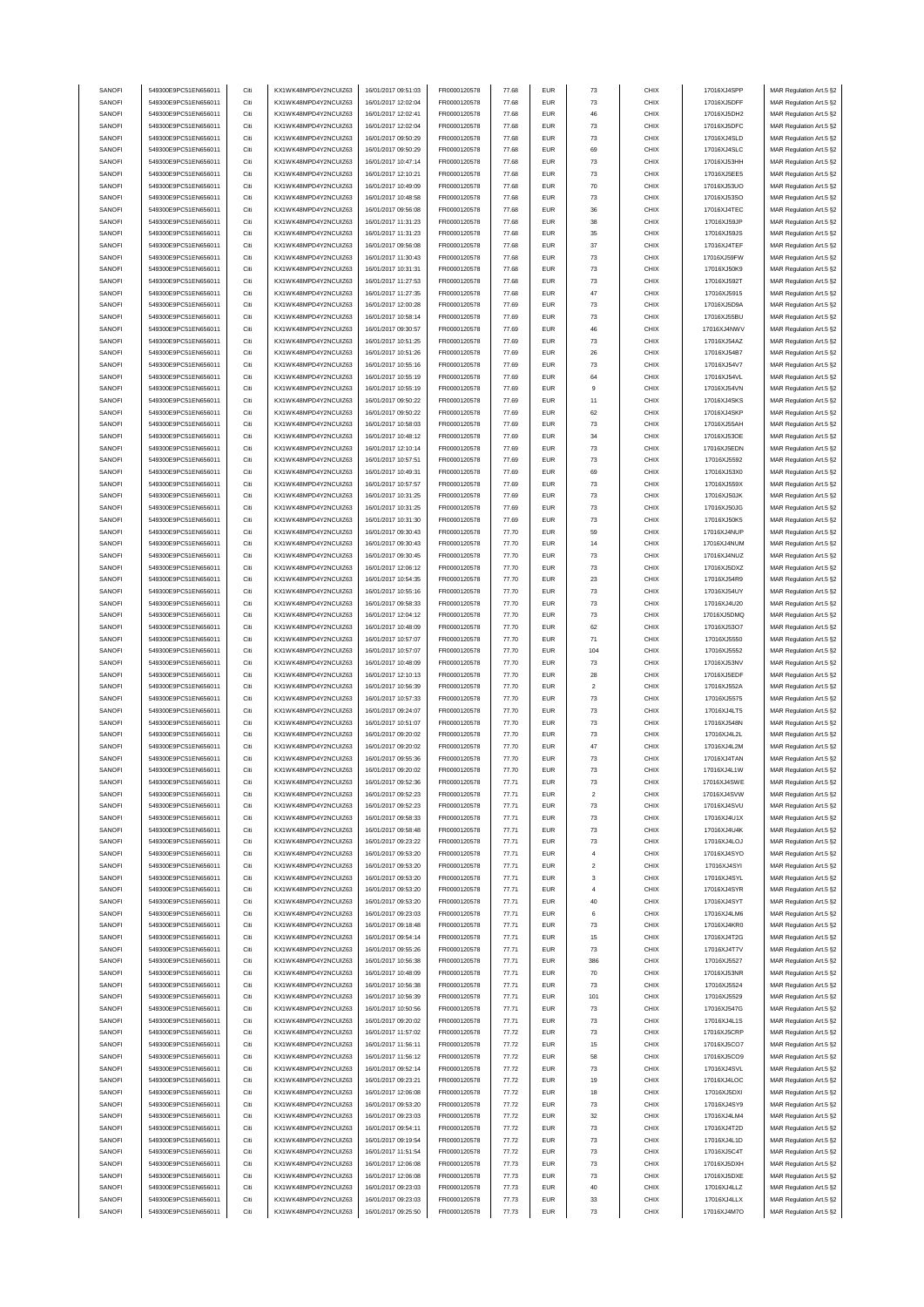| SANOFI<br>SANOFI | 549300E9PC51EN656011 | Citi | KX1WK48MPD4Y2NCUIZ63  | 16/01/2017 09:51:03 | FR0000120578 | 77.68 | <b>EUR</b> | $\mathbf{73}$  | CHIX        | 17016XJ4SPP  | MAR Regulation Art.5 §2 |
|------------------|----------------------|------|-----------------------|---------------------|--------------|-------|------------|----------------|-------------|--------------|-------------------------|
|                  | 549300E9PC51EN656011 | Citi | KX1WK48MPD4Y2NCUIZ63  | 16/01/2017 12:02:04 |              | 77.68 | <b>EUR</b> | 73             | CHIX        | 17016XJ5DFF  |                         |
|                  |                      |      |                       |                     | FR0000120578 |       |            |                |             |              | MAR Regulation Art.5 §2 |
| SANOFI           | 549300E9PC51EN656011 | Citi | KX1WK48MPD4Y2NCUIZ63  | 16/01/2017 12:02:41 | FR0000120578 | 77.68 | <b>EUR</b> | 46             | CHIX        | 17016XJ5DH2  | MAR Regulation Art.5 §2 |
| SANOFI           | 549300E9PC51EN656011 | Citi | KX1WK48MPD4Y2NCUIZ63  | 16/01/2017 12:02:04 | FR0000120578 | 77.68 | <b>EUR</b> | $\bf 73$       | CHIX        | 17016XJ5DFC  | MAR Regulation Art.5 §2 |
| SANOFI           | 549300E9PC51EN656011 | Citi | KX1WK48MPD4Y2NCLIIZ63 | 16/01/2017 09:50:29 | FR0000120578 | 77.68 | <b>EUR</b> | $\mathbf{73}$  | CHIX        | 17016XJ4SLD  | MAR Regulation Art.5 §2 |
| SANOFI           | 549300E9PC51EN656011 | Citi | KX1WK48MPD4Y2NCUIZ63  | 16/01/2017 09:50:29 | FR0000120578 | 77.68 | <b>EUR</b> | 69             | CHIX        | 17016XJ4SLC  | MAR Regulation Art.5 §2 |
| SANOFI           | 549300E9PC51EN656011 | Citi | KX1WK48MPD4Y2NCUIZ63  | 16/01/2017 10:47:14 | FR0000120578 | 77.68 | <b>EUR</b> | $\mathbf{73}$  | CHIX        | 17016XJ53HH  | MAR Regulation Art.5 §2 |
|                  |                      | Citi | KX1WK48MPD4Y2NCUIZ63  |                     |              | 77.68 | <b>EUR</b> |                |             |              | MAR Regulation Art.5 §2 |
| SANOFI           | 549300E9PC51EN656011 |      |                       | 16/01/2017 12:10:21 | FR0000120578 |       |            | $\bf 73$       | CHIX        | 17016XJ5EE5  |                         |
| SANOFI           | 549300E9PC51EN656011 | Citi | KX1WK48MPD4Y2NCUIZ63  | 16/01/2017 10:49:09 | FR0000120578 | 77.68 | <b>EUR</b> | 70             | CHIX        | 17016XJ53UO  | MAR Regulation Art.5 §2 |
| SANOFI           | 549300E9PC51EN656011 | Citi | KX1WK48MPD4Y2NCUIZ63  | 16/01/2017 10:48:58 | FR0000120578 | 77.68 | <b>EUR</b> | 73             | CHIX        | 17016XJ53SO  | MAR Regulation Art.5 §2 |
| SANOFI           | 549300E9PC51EN656011 | Citi | KX1WK48MPD4Y2NCUIZ63  | 16/01/2017 09:56:08 | FR0000120578 | 77.68 | <b>EUR</b> | 36             | CHIX        | 17016XJ4TEC  | MAR Regulation Art.5 §2 |
| SANOFI           | 549300E9PC51EN656011 | Citi | KX1WK48MPD4Y2NCUIZ63  | 16/01/2017 11:31:23 | FR0000120578 | 77.68 | <b>EUR</b> | 38             | CHIX        | 17016XJ59JP  | MAR Regulation Art.5 §2 |
|                  |                      |      |                       |                     |              |       |            |                |             |              |                         |
| SANOFI           | 549300E9PC51EN656011 | Citi | KX1WK48MPD4Y2NCUIZ63  | 16/01/2017 11:31:23 | FR0000120578 | 77.68 | <b>EUR</b> | 35             | CHIX        | 17016XJ59JS  | MAR Regulation Art.5 §2 |
| SANOFI           | 549300E9PC51EN656011 | Citi | KX1WK48MPD4Y2NCUIZ63  | 16/01/2017 09:56:08 | FR0000120578 | 77.68 | <b>EUR</b> | 37             | CHIX        | 17016XJ4TEF  | MAR Regulation Art.5 §2 |
| SANOFI           | 549300E9PC51EN656011 | Citi | KX1WK48MPD4Y2NCUIZ63  | 16/01/2017 11:30:43 | FR0000120578 | 77.68 | <b>EUR</b> | $\mathbf{73}$  | CHIX        | 17016XJ59FW  | MAR Regulation Art.5 §2 |
| SANOFI           | 549300E9PC51EN656011 | Citi | KX1WK48MPD4Y2NCUIZ63  | 16/01/2017 10:31:31 | FR0000120578 | 77.68 | <b>EUR</b> | $\bf 73$       | CHIX        | 17016XJ50K9  | MAR Regulation Art.5 §2 |
|                  |                      |      |                       |                     |              |       |            |                |             |              |                         |
| SANOFI           | 549300E9PC51EN656011 | Citi | KX1WK48MPD4Y2NCUIZ63  | 16/01/2017 11:27:53 | FR0000120578 | 77.68 | <b>EUR</b> | $\bf 73$       | CHIX        | 17016XJ592T  | MAR Regulation Art.5 §2 |
| SANOFI           | 549300E9PC51EN656011 | Citi | KX1WK48MPD4Y2NCUIZ63  | 16/01/2017 11:27:35 | FR0000120578 | 77.68 | <b>EUR</b> | 47             | CHIX        | 17016XJ5915  | MAR Regulation Art.5 §2 |
| SANOFI           | 549300E9PC51EN656011 | Citi | KX1WK48MPD4Y2NCUIZ63  | 16/01/2017 12:00:28 | FR0000120578 | 77.69 | <b>EUR</b> | 73             | CHIX        | 17016XJ5D9A  | MAR Regulation Art.5 §2 |
| SANOFI           | 549300E9PC51EN656011 | Citi | KX1WK48MPD4Y2NCUIZ63  | 16/01/2017 10:58:14 | FR0000120578 | 77.69 | <b>EUR</b> | $\bf 73$       | CHIX        | 17016XJ55BU  | MAR Regulation Art.5 §2 |
| SANOFI           | 549300E9PC51EN656011 | Citi | KX1WK48MPD4Y2NCUIZ63  | 16/01/2017 09:30:57 | FR0000120578 | 77.69 | <b>EUR</b> | 46             | CHIX        | 17016XJ4NWV  | MAR Regulation Art.5 §2 |
|                  |                      |      |                       |                     |              |       |            |                |             |              |                         |
| SANOFI           | 549300E9PC51EN656011 | Citi | KX1WK48MPD4Y2NCUIZ63  | 16/01/2017 10:51:25 | FR0000120578 | 77.69 | <b>EUR</b> | $\mathbf{73}$  | CHIX        | 17016XJ54AZ  | MAR Regulation Art.5 §2 |
| SANOFI           | 549300E9PC51EN656011 | Citi | KX1WK48MPD4Y2NCUIZ63  | 16/01/2017 10:51:26 | FR0000120578 | 77.69 | <b>EUR</b> | 26             | CHIX        | 17016XJ54B7  | MAR Regulation Art.5 §2 |
| SANOFI           | 549300E9PC51EN656011 | Citi | KX1WK48MPD4Y2NCUIZ63  | 16/01/2017 10:55:16 | FR0000120578 | 77.69 | <b>EUR</b> | $\mathbf{73}$  | CHIX        | 17016XJ54V7  | MAR Regulation Art.5 §2 |
| SANOFI           | 549300E9PC51EN656011 | Citi | KX1WK48MPD4Y2NCUIZ63  | 16/01/2017 10:55:19 | FR0000120578 | 77.69 | <b>EUR</b> | 64             | CHIX        | 17016XJ54VL  | MAR Regulation Art.5 §2 |
| SANOFI           | 549300E9PC51EN656011 | Citi | KX1WK48MPD4Y2NCUIZ63  | 16/01/2017 10:55:19 | FR0000120578 | 77.69 | <b>EUR</b> | $\overline{9}$ | CHIX        | 17016XJ54VN  | MAR Regulation Art.5 §2 |
|                  | 549300E9PC51EN656011 |      |                       |                     |              |       |            |                |             |              |                         |
| SANOFI           |                      | Citi | KX1WK48MPD4Y2NCUIZ63  | 16/01/2017 09:50:22 | FR0000120578 | 77.69 | <b>EUR</b> | 11             | CHIX        | 17016XJ4SKS  | MAR Regulation Art.5 §2 |
| SANOFI           | 549300E9PC51EN656011 | Citi | KX1WK48MPD4Y2NCUIZ63  | 16/01/2017 09:50:22 | FR0000120578 | 77.69 | <b>EUR</b> | 62             | CHIX        | 17016XJ4SKP  | MAR Regulation Art.5 §2 |
| SANOFI           | 549300E9PC51EN656011 | Citi | KX1WK48MPD4Y2NCUIZ63  | 16/01/2017 10:58:03 | FR0000120578 | 77.69 | <b>EUR</b> | $\bf 73$       | CHIX        | 17016XJ55AH  | MAR Regulation Art.5 §2 |
| SANOFI           | 549300E9PC51EN656011 | Citi | KX1WK48MPD4Y2NCUIZ63  | 16/01/2017 10:48:12 | FR0000120578 | 77.69 | <b>EUR</b> | 34             | CHIX        | 17016XJ53OE  | MAR Regulation Art.5 §2 |
| SANOFI           | 549300E9PC51EN656011 | Citi | KX1WK48MPD4Y2NCUIZ63  | 16/01/2017 12:10:14 | FR0000120578 | 77.69 | <b>EUR</b> | $\mathbf{73}$  | CHIX        | 17016XJ5EDN  | MAR Regulation Art.5 §2 |
|                  |                      |      |                       |                     |              |       |            |                |             |              |                         |
| SANOFI           | 549300E9PC51EN656011 | Citi | KX1WK48MPD4Y2NCUIZ63  | 16/01/2017 10:57:51 | FR0000120578 | 77.69 | <b>EUR</b> | $\bf 73$       | CHIX        | 17016XJ5592  | MAR Regulation Art.5 §2 |
| SANOFI           | 549300E9PC51EN656011 | Citi | KX1WK48MPD4Y2NCUIZ63  | 16/01/2017 10:49:31 | FR0000120578 | 77.69 | <b>EUR</b> | 69             | CHIX        | 17016XJ53X0  | MAR Regulation Art.5 §2 |
| SANOFI           | 549300E9PC51EN656011 | Citi | KX1WK48MPD4Y2NCUIZ63  | 16/01/2017 10:57:57 | FR0000120578 | 77.69 | <b>EUR</b> | 73             | CHIX        | 17016XJ559X  | MAR Regulation Art.5 §2 |
| SANOFI           | 549300E9PC51EN656011 | Citi | KX1WK48MPD4Y2NCUIZ63  | 16/01/2017 10:31:25 | FR0000120578 | 77.69 | <b>EUR</b> | 73             | CHIX        | 17016XJ50JK  | MAR Regulation Art.5 §2 |
| SANOFI           | 549300E9PC51EN656011 | Citi | KX1WK48MPD4Y2NCUIZ63  | 16/01/2017 10:31:25 | FR0000120578 | 77.69 | <b>EUR</b> | $\bf 73$       | CHIX        | 17016XJ50JG  | MAR Regulation Art.5 §2 |
|                  |                      |      |                       |                     |              |       |            |                |             |              |                         |
| SANOFI           | 549300E9PC51EN656011 | Citi | KX1WK48MPD4Y2NCUIZ63  | 16/01/2017 10:31:30 | FR0000120578 | 77.69 | <b>EUR</b> | $\bf 73$       | CHIX        | 17016XJ50K5  | MAR Regulation Art.5 §2 |
| SANOFI           | 549300E9PC51EN656011 | Citi | KX1WK48MPD4Y2NCUIZ63  | 16/01/2017 09:30:43 | FR0000120578 | 77.70 | <b>EUR</b> | 59             | CHIX        | 17016XJ4NUP  | MAR Regulation Art.5 §2 |
| SANOFI           | 549300E9PC51EN656011 | Citi | KX1WK48MPD4Y2NCUIZ63  | 16/01/2017 09:30:43 | FR0000120578 | 77.70 | <b>EUR</b> | 14             | CHIX        | 17016XJ4NUM  | MAR Regulation Art.5 §2 |
| SANOFI           | 549300E9PC51EN656011 | Citi | KX1WK48MPD4Y2NCUIZ63  | 16/01/2017 09:30:45 | FR0000120578 | 77.70 | <b>EUR</b> | $\mathbf{73}$  | CHIX        | 17016XJ4NUZ  | MAR Regulation Art.5 §2 |
| SANOFI           | 549300E9PC51EN656011 | Citi | KX1WK48MPD4Y2NCUIZ63  | 16/01/2017 12:06:12 | FR0000120578 | 77.70 | <b>EUR</b> | $\bf 73$       | CHIX        | 17016XJ5DXZ  | MAR Regulation Art.5 §2 |
| SANOFI           | 549300E9PC51EN656011 | Citi | KX1WK48MPD4Y2NCUIZ63  | 16/01/2017 10:54:35 | FR0000120578 | 77.70 | <b>EUR</b> | 23             | CHIX        | 17016XJ54R9  | MAR Regulation Art.5 §2 |
|                  |                      |      |                       |                     |              |       |            |                |             |              |                         |
| SANOFI           | 549300E9PC51EN656011 | Citi | KX1WK48MPD4Y2NCUIZ63  | 16/01/2017 10:55:16 | FR0000120578 | 77.70 | <b>EUR</b> | 73             | CHIX        | 17016XJ54UY  | MAR Regulation Art.5 §2 |
| SANOFI           | 549300E9PC51EN656011 | Citi | KX1WK48MPD4Y2NCUIZ63  | 16/01/2017 09:58:33 | FR0000120578 | 77.70 | <b>EUR</b> | 73             | CHIX        | 17016XJ4U20  | MAR Regulation Art.5 §2 |
| SANOFI           | 549300E9PC51EN656011 | Citi | KX1WK48MPD4Y2NCUIZ63  | 16/01/2017 12:04:12 | FR0000120578 | 77.70 | <b>EUR</b> | $\bf 73$       | CHIX        | 17016XJ5DMQ  | MAR Regulation Art.5 §2 |
| SANOFI           | 549300E9PC51EN656011 | Citi | KX1WK48MPD4Y2NCUIZ63  | 16/01/2017 10:48:09 | FR0000120578 | 77.70 | <b>EUR</b> | 62             | CHIX        | 17016XJ53O7  | MAR Regulation Art.5 §2 |
| SANOFI           | 549300E9PC51EN656011 | Citi | KX1WK48MPD4Y2NCUIZ63  | 16/01/2017 10:57:07 | FR0000120578 | 77.70 | <b>EUR</b> | 71             | CHIX        | 17016XJ5550  | MAR Regulation Art.5 §2 |
|                  |                      |      |                       |                     |              |       |            |                |             |              |                         |
| SANOFI           | 549300E9PC51EN656011 | Citi | KX1WK48MPD4Y2NCUIZ63  | 16/01/2017 10:57:07 | FR0000120578 | 77.70 | <b>EUR</b> | 104            | CHIX        | 17016XJ5552  | MAR Regulation Art.5 §2 |
| SANOFI           | 549300E9PC51EN656011 | Citi | KX1WK48MPD4Y2NCUIZ63  | 16/01/2017 10:48:09 | FR0000120578 | 77.70 | <b>EUR</b> | $\mathbf{73}$  | CHIX        | 17016XJ53NV  | MAR Regulation Art.5 §2 |
| SANOFI           | 549300E9PC51EN656011 | Citi | KX1WK48MPD4Y2NCUIZ63  | 16/01/2017 12:10:13 | FR0000120578 | 77.70 | <b>EUR</b> | ${\bf 28}$     | CHIX        | 17016XJ5EDF  | MAR Regulation Art.5 §2 |
| SANOFI           | 549300E9PC51EN656011 | Citi | KX1WK48MPD4Y2NCUIZ63  | 16/01/2017 10:56:39 | FR0000120578 | 77.70 | <b>EUR</b> | $\sqrt{2}$     | CHIX        | 17016XJ552A  | MAR Regulation Art.5 §2 |
| SANOFI           | 549300E9PC51EN656011 | Citi | KX1WK48MPD4Y2NCUIZ63  | 16/01/2017 10:57:33 | FR0000120578 | 77.70 | <b>EUR</b> | 73             | CHIX        | 17016XJ5575  | MAR Regulation Art.5 §2 |
|                  |                      | Citi |                       |                     |              |       |            |                |             |              |                         |
| SANOFI           | 549300E9PC51EN656011 |      | KX1WK48MPD4Y2NCUIZ63  | 16/01/2017 09:24:07 | FR0000120578 | 77.70 | <b>EUR</b> | $\mathbf{73}$  | CHIX        | 17016XJ4LT5  | MAR Regulation Art.5 §2 |
| SANOFI           | 549300E9PC51EN656011 |      |                       | 16/01/2017 10:51:07 | FR0000120578 | 77.70 | <b>EUR</b> | $\bf 73$       | CHIX        | 17016XJ548N  | MAR Regulation Art.5 §2 |
|                  |                      | Citi | KX1WK48MPD4Y2NCUIZ63  |                     |              |       |            |                |             |              |                         |
| SANOFI           | 549300E9PC51EN656011 | Citi | KX1WK48MPD4Y2NCUIZ63  | 16/01/2017 09:20:02 | FR0000120578 | 77.70 | <b>EUR</b> | $\mathbf{73}$  | CHIX        | 17016XJ4L2L  | MAR Regulation Art.5 §2 |
| SANOFI           | 549300E9PC51EN656011 | Citi | KX1WK48MPD4Y2NCUIZ63  | 16/01/2017 09:20:02 | FR0000120578 | 77.70 | <b>EUR</b> | 47             | CHIX        | 17016XJ4L2M  | MAR Regulation Art.5 §2 |
|                  |                      |      |                       |                     |              |       |            |                |             |              |                         |
| SANOFI           | 549300E9PC51EN656011 | Citi | KX1WK48MPD4Y2NCUIZ63  | 16/01/2017 09:55:36 | FR0000120578 | 77.70 | <b>EUR</b> | $\mathbf{73}$  | CHIX        | 17016XJ4TAN  | MAR Regulation Art.5 §2 |
| SANOFI           | 549300E9PC51EN656011 | Citi | KX1WK48MPD4Y2NCUIZ63  | 16/01/2017 09:20:02 | FR0000120578 | 77.70 | <b>EUR</b> | $\mathbf{73}$  | CHIX        | 17016XJ4L1W  | MAR Regulation Art.5 §2 |
| SANOFI           | 549300E9PC51EN656011 |      | KX1WK48MPD4Y2NCLIIZ63 | 16/01/2017 09:52:36 | FR0000120578 | 77.71 | FUR        |                | CHIX        | 17016X IASWE | MAR Regulation Art 5 82 |
| SANOFI           | 549300E9PC51EN656011 | Citi | KX1WK48MPD4Y2NCUIZ63  | 16/01/2017 09:52:23 | FR0000120578 | 77.71 | <b>EUR</b> | $\sqrt{2}$     | CHIX        | 17016XJ4SVW  | MAR Regulation Art.5 §2 |
| SANOFI           | 549300E9PC51EN656011 | Citi | KX1WK48MPD4Y2NCUIZ63  | 16/01/2017 09:52:23 | FR0000120578 | 77.71 | <b>EUR</b> | $\mathbf{73}$  | CHIX        | 17016XJ4SVU  | MAR Regulation Art.5 §2 |
|                  |                      |      |                       |                     |              |       |            |                |             |              |                         |
| SANOFI           | 549300E9PC51EN656011 | Citi | KX1WK48MPD4Y2NCUIZ63  | 16/01/2017 09:58:33 | FR0000120578 | 77.71 | <b>EUR</b> | 73             | CHIX        | 17016XJ4U1X  | MAR Regulation Art.5 §2 |
| SANOFI           | 549300E9PC51EN656011 | Citi | KX1WK48MPD4Y2NCUIZ63  | 16/01/2017 09:58:48 | FR0000120578 | 77.71 | <b>EUR</b> | $\mathbf{73}$  | CHIX        | 17016XJ4U4K  | MAR Regulation Art.5 §2 |
| SANOFI           | 549300E9PC51EN656011 | Citi | KX1WK48MPD4Y2NCUIZ63  | 16/01/2017 09:23:22 | FR0000120578 | 77.71 | <b>EUR</b> | $\mathbf{73}$  | CHIX        | 17016XJ4LOJ  | MAR Regulation Art.5 §2 |
| SANOFI           | 549300E9PC51EN656011 | Citi | KX1WK48MPD4Y2NCUIZ63  | 16/01/2017 09:53:20 | FR0000120578 | 77.71 | <b>EUR</b> | $\sqrt{4}$     | CHIX        | 17016XJ4SYO  | MAR Regulation Art.5 §2 |
| SANOFI           | 549300E9PC51EN656011 | Citi | KX1WK48MPD4Y2NCUIZ63  | 16/01/2017 09:53:20 | FR0000120578 | 77.71 | <b>EUR</b> | $\sqrt{2}$     | CHIX        | 17016XJ4SYI  | MAR Regulation Art.5 §2 |
| SANOFI           | 549300E9PC51EN656011 | Citi | KX1WK48MPD4Y2NCUIZ63  | 16/01/2017 09:53:20 | FR0000120578 | 77.71 | <b>EUR</b> | 3              | CHIX        | 17016XJ4SYL  | MAR Regulation Art.5 §2 |
|                  |                      |      |                       |                     |              |       |            |                |             |              |                         |
| SANOFI           | 549300E9PC51EN656011 | Citi | KX1WK48MPD4Y2NCUIZ63  | 16/01/2017 09:53:20 | FR0000120578 | 77.71 | <b>EUR</b> | $\overline{4}$ | CHIX        | 17016XJ4SYR  | MAR Regulation Art.5 §2 |
| SANOFI           | 549300E9PC51EN656011 | Citi | KX1WK48MPD4Y2NCUIZ63  | 16/01/2017 09:53:20 | FR0000120578 | 77.71 | <b>EUR</b> | 40             | CHIX        | 17016XJ4SYT  | MAR Regulation Art.5 §2 |
| SANOFI           | 549300E9PC51EN656011 | Citi | KX1WK48MPD4Y2NCUIZ63  | 16/01/2017 09:23:03 | FR0000120578 | 77.71 | <b>EUR</b> | 6              | CHIX        | 17016XJ4LM6  | MAR Regulation Art.5 §2 |
| SANOFI           | 549300E9PC51EN656011 | Citi | KX1WK48MPD4Y2NCUIZ63  | 16/01/2017 09:18:48 | FR0000120578 | 77.71 | <b>EUR</b> | $\mathbf{73}$  | CHIX        | 17016XJ4KR0  | MAR Regulation Art.5 §2 |
|                  |                      |      | KX1WK48MPD4Y2NCUIZ63  |                     | FR0000120578 |       |            |                |             | 17016XJ4T2G  |                         |
| SANOFI           | 549300E9PC51EN656011 | Citi |                       | 16/01/2017 09:54:14 |              | 77.71 | <b>EUR</b> | 15             | CHIX        |              | MAR Regulation Art.5 §2 |
| SANOFI           | 549300E9PC51EN656011 | Citi | KX1WK48MPD4Y2NCUIZ63  | 16/01/2017 09:55:26 | FR0000120578 | 77.71 | <b>EUR</b> | 73             | CHIX        | 17016XJ4T7V  | MAR Regulation Art.5 §2 |
| SANOFI           | 549300E9PC51EN656011 | Citi | KX1WK48MPD4Y2NCUIZ63  | 16/01/2017 10:56:38 | FR0000120578 | 77.71 | <b>EUR</b> | 386            | CHIX        | 17016XJ5527  | MAR Regulation Art.5 §2 |
| SANOFI           | 549300E9PC51EN656011 | Citi | KX1WK48MPD4Y2NCUIZ63  | 16/01/2017 10:48:09 | FR0000120578 | 77.71 | <b>EUR</b> | 70             | CHIX        | 17016XJ53NR  | MAR Regulation Art.5 §2 |
| SANOFI           | 549300E9PC51EN656011 | Citi | KX1WK48MPD4Y2NCUIZ63  | 16/01/2017 10:56:38 | FR0000120578 | 77.71 | <b>EUR</b> | 73             | CHIX        | 17016XJ5524  | MAR Regulation Art.5 §2 |
| SANOFI           | 549300E9PC51EN656011 | Citi | KX1WK48MPD4Y2NCUIZ63  | 16/01/2017 10:56:39 | FR0000120578 | 77.71 | <b>EUR</b> | 101            | CHIX        | 17016XJ5529  | MAR Regulation Art.5 §2 |
| SANOFI           | 549300E9PC51EN656011 | Citi | KX1WK48MPD4Y2NCUIZ63  | 16/01/2017 10:50:56 | FR0000120578 | 77.71 | <b>EUR</b> | 73             | CHIX        | 17016XJ547G  | MAR Regulation Art.5 §2 |
|                  |                      |      |                       |                     |              |       |            |                |             |              |                         |
| SANOFI           | 549300E9PC51EN656011 | Citi | KX1WK48MPD4Y2NCUIZ63  | 16/01/2017 09:20:02 | FR0000120578 | 77.71 | <b>EUR</b> | $\bf 73$       | CHIX        | 17016XJ4L1S  | MAR Regulation Art.5 §2 |
| SANOFI           | 549300E9PC51EN656011 | Citi | KX1WK48MPD4Y2NCUIZ63  | 16/01/2017 11:57:02 | FR0000120578 | 77.72 | <b>EUR</b> | $\mathbf{73}$  | CHIX        | 17016XJ5CRP  | MAR Regulation Art.5 §2 |
| SANOFI           | 549300E9PC51EN656011 | Citi | KX1WK48MPD4Y2NCUIZ63  | 16/01/2017 11:56:11 | FR0000120578 | 77.72 | <b>EUR</b> | 15             | CHIX        | 17016XJ5CO7  | MAR Regulation Art.5 §2 |
| SANOFI           | 549300E9PC51EN656011 | Citi | KX1WK48MPD4Y2NCUIZ63  | 16/01/2017 11:56:12 | FR0000120578 | 77.72 | <b>EUR</b> | 58             | CHIX        | 17016XJ5CO9  | MAR Regulation Art.5 §2 |
| SANOFI           | 549300E9PC51EN656011 | Citi | KX1WK48MPD4Y2NCUIZ63  | 16/01/2017 09:52:14 | FR0000120578 | 77.72 | <b>EUR</b> | $\mathbf{73}$  | CHIX        | 17016XJ4SVL  | MAR Regulation Art.5 §2 |
|                  |                      | Citi |                       |                     |              |       |            |                |             |              |                         |
| SANOFI           | 549300E9PC51EN656011 |      | KX1WK48MPD4Y2NCUIZ63  | 16/01/2017 09:23:21 | FR0000120578 | 77.72 | <b>EUR</b> | 19             | CHIX        | 17016XJ4LOC  | MAR Regulation Art.5 §2 |
| SANOFI           | 549300E9PC51EN656011 | Citi | KX1WK48MPD4Y2NCUIZ63  | 16/01/2017 12:06:08 | FR0000120578 | 77.72 | <b>EUR</b> | 18             | CHIX        | 17016XJ5DXI  | MAR Regulation Art.5 §2 |
| SANOFI           | 549300E9PC51EN656011 | Citi | KX1WK48MPD4Y2NCUIZ63  | 16/01/2017 09:53:20 | FR0000120578 | 77.72 | <b>EUR</b> | $\bf 73$       | CHIX        | 17016XJ4SY9  | MAR Regulation Art.5 §2 |
| SANOFI           | 549300E9PC51EN656011 | Citi | KX1WK48MPD4Y2NCUIZ63  | 16/01/2017 09:23:03 | FR0000120578 | 77.72 | <b>EUR</b> | 32             | CHIX        | 17016XJ4LM4  | MAR Regulation Art.5 §2 |
| SANOFI           | 549300E9PC51EN656011 | Citi | KX1WK48MPD4Y2NCUIZ63  | 16/01/2017 09:54:11 | FR0000120578 | 77.72 | <b>EUR</b> | $\mathbf{73}$  | CHIX        | 17016XJ4T2D  | MAR Regulation Art.5 §2 |
| SANOFI           | 549300E9PC51EN656011 | Citi | KX1WK48MPD4Y2NCUIZ63  | 16/01/2017 09:19:54 | FR0000120578 | 77.72 | <b>EUR</b> | $\mathbf{73}$  | CHIX        | 17016XJ4L1D  | MAR Regulation Art.5 §2 |
| SANOFI           | 549300E9PC51EN656011 | Citi | KX1WK48MPD4Y2NCUIZ63  | 16/01/2017 11:51:54 | FR0000120578 | 77.72 | <b>EUR</b> | $\mathbf{73}$  | CHIX        | 17016XJ5C4T  |                         |
|                  |                      |      |                       |                     |              |       |            |                |             |              | MAR Regulation Art.5 §2 |
| SANOFI           | 549300E9PC51EN656011 | Citi | KX1WK48MPD4Y2NCUIZ63  | 16/01/2017 12:06:08 | FR0000120578 | 77.73 | <b>EUR</b> | $\mathbf{73}$  | CHIX        | 17016XJ5DXH  | MAR Regulation Art.5 §2 |
| SANOFI           | 549300E9PC51EN656011 | Citi | KX1WK48MPD4Y2NCUIZ63  | 16/01/2017 12:06:08 | FR0000120578 | 77.73 | <b>EUR</b> | 73             | CHIX        | 17016XJ5DXE  | MAR Regulation Art.5 §2 |
| SANOFI           | 549300E9PC51EN656011 | Citi | KX1WK48MPD4Y2NCUIZ63  | 16/01/2017 09:23:03 | FR0000120578 | 77.73 | <b>EUR</b> | 40             | CHIX        | 17016XJ4LLZ  | MAR Regulation Art.5 §2 |
| SANOFI           | 549300E9PC51EN656011 | Citi | KX1WK48MPD4Y2NCUIZ63  | 16/01/2017 09:23:03 | FR0000120578 | 77.73 | <b>EUR</b> | 33             | CHIX        | 17016XJ4LLX  | MAR Regulation Art.5 §2 |
| SANOFI           | 549300E9PC51EN656011 | Citi | KX1WK48MPD4Y2NCUIZ63  | 16/01/2017 09:25:50 | FR0000120578 | 77.73 | <b>EUR</b> | $\bf 73$       | <b>CHIX</b> | 17016XJ4M7O  | MAR Regulation Art.5 §2 |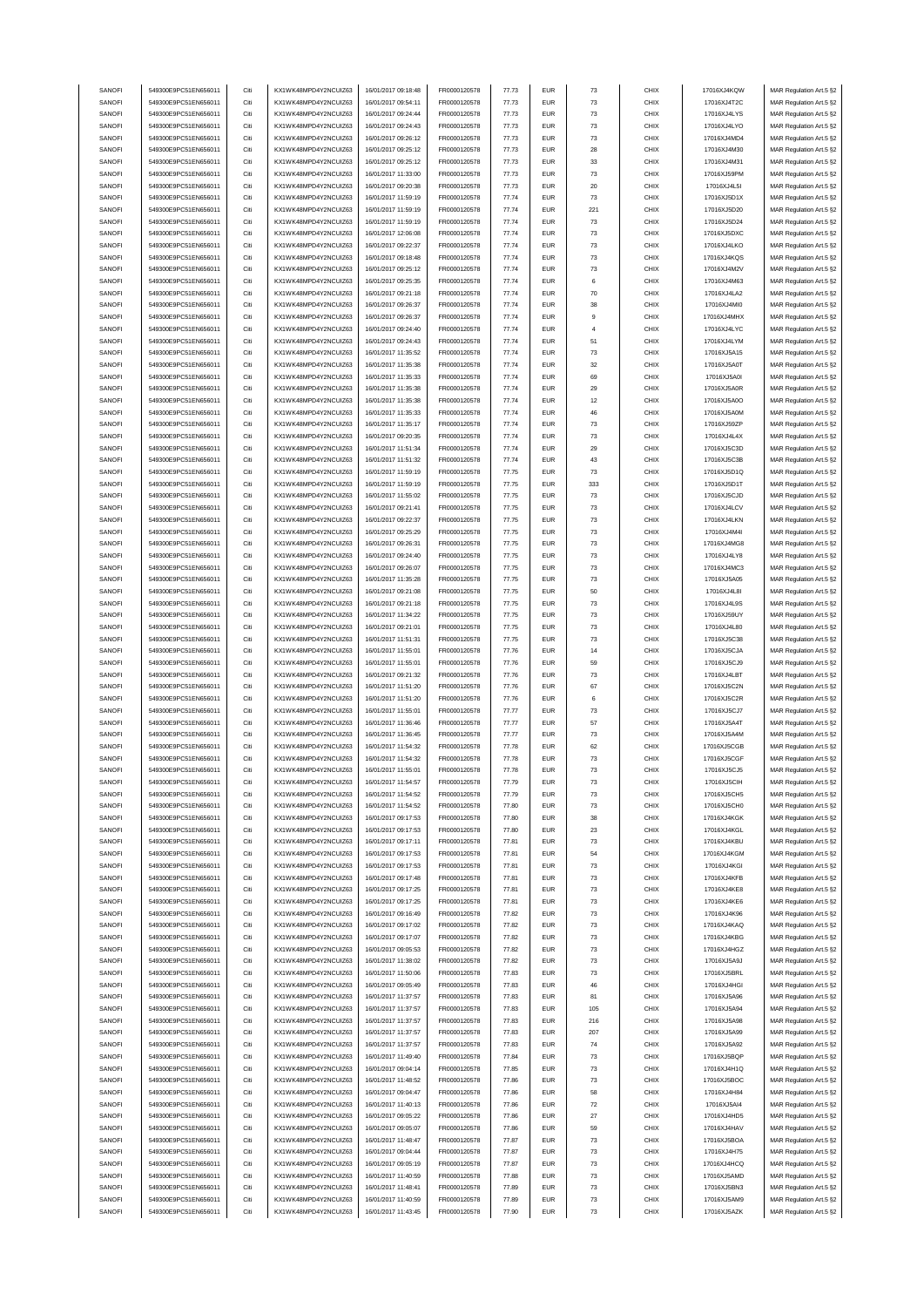| SANOFI<br>SANOFI |                                              | Citi | KX1WK48MPD4Y2NCUIZ63  | 16/01/2017 09:18:48 | FR0000120578 | 77.73 | <b>EUR</b> | 73             | CHIX | 17016XJ4KQW | MAR Regulation Art.5 §2                            |
|------------------|----------------------------------------------|------|-----------------------|---------------------|--------------|-------|------------|----------------|------|-------------|----------------------------------------------------|
|                  | 549300E9PC51EN656011<br>549300E9PC51EN656011 | Citi | KX1WK48MPD4Y2NCUIZ63  | 16/01/2017 09:54:11 |              | 77.73 | <b>EUR</b> | 73             | CHIX | 17016XJ4T2C |                                                    |
|                  |                                              |      |                       |                     | FR0000120578 |       |            |                |      |             | MAR Regulation Art.5 §2                            |
| SANOFI           | 549300E9PC51EN656011                         | Citi | KX1WK48MPD4Y2NCUIZ63  | 16/01/2017 09:24:44 | FR0000120578 | 77.73 | <b>EUR</b> | 73             | CHIX | 17016XJ4LYS | MAR Regulation Art.5 §2                            |
| SANOFI           | 549300E9PC51EN656011                         | Citi | KX1WK48MPD4Y2NCUIZ63  | 16/01/2017 09:24:43 | FR0000120578 | 77.73 | EUR        | 73             | CHIX | 17016XJ4LYO | MAR Regulation Art.5 §2                            |
| SANOFI           | 549300E9PC51EN656011                         | Citi | KX1WK48MPD4Y2NCLIIZ63 | 16/01/2017 09:26:12 | FR0000120578 | 77.73 | <b>EUR</b> | 73             | CHIX | 17016XJ4MD4 | MAR Regulation Art.5 §2                            |
| SANOFI           | 549300E9PC51EN656011                         | Citi | KX1WK48MPD4Y2NCUIZ63  | 16/01/2017 09:25:12 | FR0000120578 | 77.73 | <b>EUR</b> | 28             | CHIX | 17016XJ4M30 | MAR Regulation Art.5 §2                            |
| SANOFI           | 549300E9PC51EN656011                         | Citi | KX1WK48MPD4Y2NCUIZ63  | 16/01/2017 09:25:12 | FR0000120578 | 77.73 | <b>EUR</b> | 33             | CHIX | 17016XJ4M31 | MAR Regulation Art.5 §2                            |
|                  |                                              |      |                       |                     |              |       |            |                |      |             |                                                    |
| SANOFI           | 549300E9PC51EN656011                         | Citi | KX1WK48MPD4Y2NCUIZ63  | 16/01/2017 11:33:00 | FR0000120578 | 77.73 | <b>EUR</b> | 73             | CHIX | 17016XJ59PM | MAR Regulation Art.5 §2                            |
| SANOFI           | 549300E9PC51EN656011                         | Citi | KX1WK48MPD4Y2NCUIZ63  | 16/01/2017 09:20:38 | FR0000120578 | 77.73 | <b>EUR</b> | 20             | CHIX | 17016XJ4L5I | MAR Regulation Art.5 §2                            |
| SANOFI           | 549300E9PC51EN656011                         | Citi | KX1WK48MPD4Y2NCUIZ63  | 16/01/2017 11:59:19 | FR0000120578 | 77.74 | <b>EUR</b> | 73             | CHIX | 17016XJ5D1X | MAR Regulation Art.5 §2                            |
| SANOFI           | 549300E9PC51EN656011                         | Citi | KX1WK48MPD4Y2NCUIZ63  | 16/01/2017 11:59:19 | FR0000120578 | 77.74 | <b>EUR</b> | 221            | CHIX | 17016XJ5D20 | MAR Regulation Art.5 §2                            |
| SANOFI           | 549300E9PC51EN656011                         | Citi | KX1WK48MPD4Y2NCUIZ63  | 16/01/2017 11:59:19 | FR0000120578 | 77.74 | <b>EUR</b> | 73             | CHIX | 17016XJ5D24 | MAR Regulation Art.5 §2                            |
|                  |                                              |      |                       |                     |              |       |            |                |      |             |                                                    |
| SANOFI           | 549300E9PC51EN656011                         | Citi | KX1WK48MPD4Y2NCUIZ63  | 16/01/2017 12:06:08 | FR0000120578 | 77.74 | EUR        | 73             | CHIX | 17016XJ5DXC | MAR Regulation Art.5 §2                            |
| SANOFI           | 549300E9PC51EN656011                         | Citi | KX1WK48MPD4Y2NCUIZ63  | 16/01/2017 09:22:37 | FR0000120578 | 77.74 | <b>EUR</b> | 73             | CHIX | 17016XJ4LKO | MAR Regulation Art.5 §2                            |
| SANOFI           | 549300E9PC51EN656011                         | Citi | KX1WK48MPD4Y2NCUIZ63  | 16/01/2017 09:18:48 | FR0000120578 | 77.74 | <b>EUR</b> | 73             | CHIX | 17016XJ4KQS | MAR Regulation Art.5 §2                            |
| SANOFI           | 549300E9PC51EN656011                         | Citi | KX1WK48MPD4Y2NCUIZ63  | 16/01/2017 09:25:12 | FR0000120578 | 77.74 | <b>EUR</b> | 73             | CHIX | 17016XJ4M2V | MAR Regulation Art.5 §2                            |
| SANOFI           | 549300E9PC51EN656011                         | Citi | KX1WK48MPD4Y2NCUIZ63  | 16/01/2017 09:25:35 | FR0000120578 | 77.74 | <b>EUR</b> | 6              | CHIX | 17016XJ4M63 | MAR Regulation Art.5 §2                            |
|                  | 549300E9PC51EN656011                         | Citi | KX1WK48MPD4Y2NCUIZ63  | 16/01/2017 09:21:18 |              | 77.74 | <b>EUR</b> | 70             | CHIX |             |                                                    |
| SANOFI           |                                              |      |                       |                     | FR0000120578 |       |            |                |      | 17016XJ4LA2 | MAR Regulation Art.5 §2                            |
| SANOFI           | 549300E9PC51EN656011                         | Citi | KX1WK48MPD4Y2NCUIZ63  | 16/01/2017 09:26:37 | FR0000120578 | 77.74 | <b>EUR</b> | 38             | CHIX | 17016XJ4MI0 | MAR Regulation Art.5 §2                            |
| SANOFI           | 549300E9PC51EN656011                         | Citi | KX1WK48MPD4Y2NCUIZ63  | 16/01/2017 09:26:37 | FR0000120578 | 77.74 | <b>EUR</b> | 9              | CHIX | 17016XJ4MHX | MAR Regulation Art.5 §2                            |
| SANOFI           | 549300E9PC51EN656011                         | Citi | KX1WK48MPD4Y2NCUIZ63  | 16/01/2017 09:24:40 | FR0000120578 | 77.74 | <b>EUR</b> | $\overline{4}$ | CHIX | 17016XJ4LYC | MAR Regulation Art.5 §2                            |
| SANOFI           | 549300E9PC51EN656011                         | Citi | KX1WK48MPD4Y2NCUIZ63  | 16/01/2017 09:24:43 | FR0000120578 | 77.74 | <b>EUR</b> | 51             | CHIX | 17016XJ4LYM | MAR Regulation Art.5 §2                            |
| SANOFI           | 549300E9PC51EN656011                         | Citi | KX1WK48MPD4Y2NCUIZ63  | 16/01/2017 11:35:52 | FR0000120578 | 77.74 | <b>EUR</b> | 73             | CHIX | 17016XJ5A15 |                                                    |
|                  |                                              |      |                       |                     |              |       |            |                |      |             | MAR Regulation Art.5 §2                            |
| SANOFI           | 549300E9PC51EN656011                         | Citi | KX1WK48MPD4Y2NCUIZ63  | 16/01/2017 11:35:38 | FR0000120578 | 77.74 | <b>EUR</b> | 32             | CHIX | 17016XJ5A0T | MAR Regulation Art.5 §2                            |
| SANOFI           | 549300E9PC51EN656011                         | Citi | KX1WK48MPD4Y2NCUIZ63  | 16/01/2017 11:35:33 | FR0000120578 | 77.74 | <b>EUR</b> | 69             | CHIX | 17016XJ5A0I | MAR Regulation Art.5 §2                            |
| SANOFI           | 549300E9PC51EN656011                         | Citi | KX1WK48MPD4Y2NCUIZ63  | 16/01/2017 11:35:38 | FR0000120578 | 77.74 | <b>EUR</b> | 29             | CHIX | 17016XJ5A0R | MAR Regulation Art.5 §2                            |
| SANOFI           | 549300E9PC51EN656011                         | Citi | KX1WK48MPD4Y2NCUIZ63  | 16/01/2017 11:35:38 | FR0000120578 | 77.74 | <b>EUR</b> | 12             | CHIX | 17016XJ5A0O | MAR Regulation Art.5 §2                            |
| SANOFI           | 549300E9PC51EN656011                         | Citi | KX1WK48MPD4Y2NCUIZ63  |                     |              | 77.74 | <b>EUR</b> |                | CHIX |             |                                                    |
|                  |                                              |      |                       | 16/01/2017 11:35:33 | FR0000120578 |       |            | 46             |      | 17016XJ5A0M | MAR Regulation Art.5 §2                            |
| SANOFI           | 549300E9PC51EN656011                         | Citi | KX1WK48MPD4Y2NCUIZ63  | 16/01/2017 11:35:17 | FR0000120578 | 77.74 | <b>EUR</b> | 73             | CHIX | 17016XJ59ZP | MAR Regulation Art.5 §2                            |
| SANOFI           | 549300E9PC51EN656011                         | Citi | KX1WK48MPD4Y2NCUIZ63  | 16/01/2017 09:20:35 | FR0000120578 | 77.74 | <b>EUR</b> | 73             | CHIX | 17016XJ4L4X | MAR Regulation Art.5 §2                            |
| SANOFI           | 549300E9PC51EN656011                         | Citi | KX1WK48MPD4Y2NCUIZ63  | 16/01/2017 11:51:34 | FR0000120578 | 77.74 | <b>EUR</b> | 29             | CHIX | 17016XJ5C3D | MAR Regulation Art.5 §2                            |
| SANOFI           | 549300E9PC51EN656011                         | Citi | KX1WK48MPD4Y2NCUIZ63  | 16/01/2017 11:51:32 | FR0000120578 | 77.74 | <b>EUR</b> | 43             | CHIX | 17016XJ5C3B | MAR Regulation Art.5 §2                            |
| SANOFI           | 549300E9PC51EN656011                         |      | KX1WK48MPD4Y2NCUIZ63  |                     | FR0000120578 |       |            | 73             | CHIX |             |                                                    |
|                  |                                              | Citi |                       | 16/01/2017 11:59:19 |              | 77.75 | <b>EUR</b> |                |      | 17016XJ5D1Q | MAR Regulation Art.5 §2                            |
| SANOFI           | 549300E9PC51EN656011                         | Citi | KX1WK48MPD4Y2NCUIZ63  | 16/01/2017 11:59:19 | FR0000120578 | 77.75 | <b>EUR</b> | 333            | CHIX | 17016XJ5D1T | MAR Regulation Art.5 §2                            |
| SANOFI           | 549300E9PC51EN656011                         | Citi | KX1WK48MPD4Y2NCUIZ63  | 16/01/2017 11:55:02 | FR0000120578 | 77.75 | <b>EUR</b> | 73             | CHIX | 17016XJ5CJD | MAR Regulation Art.5 §2                            |
| SANOFI           | 549300E9PC51EN656011                         | Citi | KX1WK48MPD4Y2NCUIZ63  | 16/01/2017 09:21:41 | FR0000120578 | 77.75 | <b>EUR</b> | 73             | CHIX | 17016XJ4LCV | MAR Regulation Art.5 §2                            |
| SANOFI           | 549300E9PC51EN656011                         | Citi | KX1WK48MPD4Y2NCUIZ63  | 16/01/2017 09:22:37 | FR0000120578 | 77.75 | <b>EUR</b> | 73             | CHIX | 17016XJ4LKN | MAR Regulation Art.5 §2                            |
| SANOFI           | 549300E9PC51EN656011                         | Citi | KX1WK48MPD4Y2NCUIZ63  | 16/01/2017 09:25:29 | FR0000120578 | 77.75 | <b>EUR</b> | 73             | CHIX | 17016XJ4M4I | MAR Regulation Art.5 §2                            |
|                  |                                              |      |                       |                     |              |       |            |                |      |             |                                                    |
| SANOFI           | 549300E9PC51EN656011                         | Citi | KX1WK48MPD4Y2NCUIZ63  | 16/01/2017 09:26:31 | FR0000120578 | 77.75 | <b>EUR</b> | 73             | CHIX | 17016XJ4MG8 | MAR Regulation Art.5 §2                            |
| SANOFI           | 549300E9PC51EN656011                         | Citi | KX1WK48MPD4Y2NCUIZ63  | 16/01/2017 09:24:40 | FR0000120578 | 77.75 | <b>EUR</b> | 73             | CHIX | 17016XJ4LY8 | MAR Regulation Art.5 §2                            |
| SANOFI           | 549300E9PC51EN656011                         | Citi | KX1WK48MPD4Y2NCUIZ63  | 16/01/2017 09:26:07 | FR0000120578 | 77.75 | <b>EUR</b> | 73             | CHIX | 17016XJ4MC3 | MAR Regulation Art.5 §2                            |
| SANOFI           | 549300E9PC51EN656011                         | Citi | KX1WK48MPD4Y2NCUIZ63  | 16/01/2017 11:35:28 | FR0000120578 | 77.75 | <b>EUR</b> | 73             | CHIX | 17016XJ5A05 | MAR Regulation Art.5 §2                            |
| SANOFI           | 549300E9PC51EN656011                         | Citi | KX1WK48MPD4Y2NCUIZ63  | 16/01/2017 09:21:08 | FR0000120578 | 77.75 | <b>EUR</b> | 50             | CHIX | 17016XJ4L8I | MAR Regulation Art.5 §2                            |
| SANOFI           | 549300E9PC51EN656011                         | Citi | KX1WK48MPD4Y2NCUIZ63  | 16/01/2017 09:21:18 | FR0000120578 | 77.75 | <b>EUR</b> | 73             | CHIX | 17016XJ4L9S |                                                    |
|                  |                                              |      |                       |                     |              |       |            |                |      |             | MAR Regulation Art.5 §2                            |
| SANOFI           | 549300E9PC51EN656011                         | Citi | KX1WK48MPD4Y2NCUIZ63  | 16/01/2017 11:34:22 | FR0000120578 | 77.75 | <b>EUR</b> | 73             | CHIX | 17016XJ59UY | MAR Regulation Art.5 §2                            |
| SANOFI           | 549300E9PC51EN656011                         | Citi | KX1WK48MPD4Y2NCUIZ63  | 16/01/2017 09:21:01 | FR0000120578 | 77.75 | <b>EUR</b> | 73             | CHIX | 17016XJ4L80 | MAR Regulation Art.5 §2                            |
| SANOFI           | 549300E9PC51EN656011                         | Citi | KX1WK48MPD4Y2NCUIZ63  | 16/01/2017 11:51:31 | FR0000120578 | 77.75 | <b>EUR</b> | 73             | CHIX | 17016XJ5C38 | MAR Regulation Art.5 §2                            |
| SANOFI           | 549300E9PC51EN656011                         | Citi | KX1WK48MPD4Y2NCUIZ63  | 16/01/2017 11:55:01 | FR0000120578 | 77.76 | <b>EUR</b> | 14             | CHIX | 17016XJ5CJA | MAR Regulation Art.5 §2                            |
| SANOFI           | 549300E9PC51EN656011                         | Citi | KX1WK48MPD4Y2NCUIZ63  | 16/01/2017 11:55:01 | FR0000120578 | 77.76 | <b>EUR</b> | 59             | CHIX | 17016XJ5CJ9 | MAR Regulation Art.5 §2                            |
|                  |                                              |      |                       |                     |              |       |            |                |      |             |                                                    |
| SANOFI           | 549300E9PC51EN656011                         | Citi | KX1WK48MPD4Y2NCUIZ63  | 16/01/2017 09:21:32 | FR0000120578 | 77.76 | <b>EUR</b> | 73             | CHIX | 17016XJ4LBT | MAR Regulation Art.5 §2                            |
| SANOFI           | 549300E9PC51EN656011                         | Citi | KX1WK48MPD4Y2NCUIZ63  | 16/01/2017 11:51:20 | FR0000120578 | 77.76 | <b>EUR</b> | 67             | CHIX | 17016XJ5C2N | MAR Regulation Art.5 §2                            |
| SANOFI           |                                              |      |                       |                     |              | 77.76 | <b>EUR</b> | 6              |      |             |                                                    |
|                  | 549300E9PC51EN656011                         | Citi | KX1WK48MPD4Y2NCUIZ63  | 16/01/2017 11:51:20 | FR0000120578 |       |            |                | CHIX | 17016XJ5C2R | MAR Regulation Art.5 §2                            |
|                  | 549300E9PC51EN656011                         | Citi | KX1WK48MPD4Y2NCLIIZ63 | 16/01/2017 11:55:01 |              |       |            |                |      | 17016XJ5CJ7 |                                                    |
| SANOFI           |                                              |      |                       |                     | FR0000120578 | 77.77 | <b>EUR</b> | 73             | CHIX |             | MAR Regulation Art.5 §2                            |
| SANOFI           | 549300E9PC51EN656011                         | Citi | KX1WK48MPD4Y2NCUIZ63  | 16/01/2017 11:36:46 | FR0000120578 | 77.77 | <b>EUR</b> | 57             | CHIX | 17016XJ5A4T | MAR Regulation Art.5 §2                            |
| SANOFI           | 549300E9PC51EN656011                         | Citi | KX1WK48MPD4Y2NCUIZ63  | 16/01/2017 11:36:45 | FR0000120578 | 77.77 | <b>EUR</b> | 73             | CHIX | 17016XJ5A4M | MAR Regulation Art.5 §2                            |
| SANOFI           | 549300E9PC51EN656011                         | Citi | KX1WK48MPD4Y2NCUIZ63  | 16/01/2017 11:54:32 | FR0000120578 | 77.78 | <b>EUR</b> | 62             | CHIX | 17016XJ5CGB | MAR Regulation Art.5 §2                            |
| SANOFI           | 549300E9PC51EN656011                         | Citi | KX1WK48MPD4Y2NCUIZ63  | 16/01/2017 11:54:32 | FR0000120578 | 77.78 | <b>EUR</b> | 73             | CHIX | 17016XJ5CGF | MAR Regulation Art.5 §2                            |
|                  |                                              | Citi |                       |                     |              |       | <b>EUR</b> |                |      |             |                                                    |
| SANOFI           | 549300E9PC51EN656011                         |      | KX1WK48MPD4Y2NCUIZ63  | 16/01/2017 11:55:01 | FR0000120578 | 77.78 |            | 73             | CHIX | 17016XJ5CJ5 | MAR Regulation Art.5 §2<br>MAR Regulation Art 5.82 |
| SANOFI           | 549300E9PC51EN656011                         | Citi | KX1WK48MPD4Y2NCLIIZ63 | 16/01/2017 11:54:57 | FR0000120578 | 77.79 | FUR        | 73             | CHIX | 17016XJ5CIH |                                                    |
| SANOFI           | 549300E9PC51EN656011                         | Citi | KX1WK48MPD4Y2NCUIZ63  | 16/01/2017 11:54:52 | FR0000120578 | 77.79 | <b>EUR</b> | 73             | CHIX | 17016XJ5CH5 | MAR Regulation Art.5 §2                            |
| SANOFI           | 549300E9PC51EN656011                         | Citi | KX1WK48MPD4Y2NCUIZ63  | 16/01/2017 11:54:52 | FR0000120578 | 77.80 | <b>EUR</b> | 73             | CHIX | 17016XJ5CH0 | MAR Regulation Art.5 §2                            |
| SANOFI           | 549300E9PC51EN656011                         | Citi | KX1WK48MPD4Y2NCUIZ63  | 16/01/2017 09:17:53 | FR0000120578 | 77.80 | <b>EUR</b> | 38             | CHIX | 17016XJ4KGK | MAR Regulation Art.5 §2                            |
| SANOFI           | 549300E9PC51EN656011                         | Citi | KX1WK48MPD4Y2NCUIZ63  | 16/01/2017 09:17:53 | FR0000120578 | 77.80 | <b>EUR</b> | 23             | CHIX | 17016XJ4KGL |                                                    |
|                  |                                              |      |                       |                     |              |       |            |                |      |             | MAR Regulation Art.5 §2                            |
| SANOFI           | 549300E9PC51EN656011                         | Citi | KX1WK48MPD4Y2NCUIZ63  | 16/01/2017 09:17:11 | FR0000120578 | 77.81 | <b>EUR</b> | 73             | CHIX | 17016XJ4KBU | MAR Regulation Art.5 §2                            |
| SANOFI           | 549300E9PC51EN656011                         | Citi | KX1WK48MPD4Y2NCUIZ63  | 16/01/2017 09:17:53 | FR0000120578 | 77.81 | <b>EUR</b> | 54             | CHIX | 17016XJ4KGM | MAR Regulation Art.5 §2                            |
| SANOFI           | 549300E9PC51EN656011                         | Citi | KX1WK48MPD4Y2NCUIZ63  | 16/01/2017 09:17:53 | FR0000120578 | 77.81 | <b>EUR</b> | 73             | CHIX | 17016XJ4KGI | MAR Regulation Art.5 §2                            |
| SANOFI           | 549300E9PC51EN656011                         | Citi | KX1WK48MPD4Y2NCUIZ63  | 16/01/2017 09:17:48 | FR0000120578 | 77.81 | <b>EUR</b> | 73             | CHIX | 17016XJ4KFB | MAR Regulation Art.5 §2                            |
| SANOFI           | 549300E9PC51EN656011                         | Citi | KX1WK48MPD4Y2NCUIZ63  | 16/01/2017 09:17:25 | FR0000120578 | 77.81 | <b>EUR</b> | 73             | CHIX | 17016XJ4KE8 | MAR Regulation Art.5 §2                            |
| SANOFI           | 549300E9PC51EN656011                         | Citi | KX1WK48MPD4Y2NCUIZ63  | 16/01/2017 09:17:25 | FR0000120578 | 77.81 | <b>EUR</b> | 73             | CHIX | 17016XJ4KE6 | MAR Regulation Art.5 §2                            |
|                  |                                              |      |                       |                     |              |       |            |                |      |             |                                                    |
| SANOFI           | 549300E9PC51EN656011                         | Citi | KX1WK48MPD4Y2NCUIZ63  | 16/01/2017 09:16:49 | FR0000120578 | 77.82 | <b>EUR</b> | 73             | CHIX | 17016XJ4K96 | MAR Regulation Art.5 §2                            |
| SANOFI           | 549300E9PC51EN656011                         | Citi | KX1WK48MPD4Y2NCUIZ63  | 16/01/2017 09:17:02 | FR0000120578 | 77.82 | <b>EUR</b> | 73             | CHIX | 17016XJ4KAQ | MAR Regulation Art.5 §2                            |
| SANOFI           | 549300E9PC51EN656011                         | Citi | KX1WK48MPD4Y2NCUIZ63  | 16/01/2017 09:17:07 | FR0000120578 | 77.82 | <b>EUR</b> | 73             | CHIX | 17016XJ4KBG | MAR Regulation Art.5 §2                            |
| SANOFI           | 549300E9PC51EN656011                         | Citi | KX1WK48MPD4Y2NCUIZ63  | 16/01/2017 09:05:53 | FR0000120578 | 77.82 | <b>EUR</b> | 73             | CHIX | 17016XJ4HGZ | MAR Regulation Art.5 §2                            |
| SANOFI           | 549300E9PC51EN656011                         | Citi | KX1WK48MPD4Y2NCUIZ63  | 16/01/2017 11:38:02 | FR0000120578 | 77.82 | <b>EUR</b> | 73             | CHIX | 17016XJ5A9J | MAR Regulation Art.5 §2                            |
|                  |                                              |      |                       |                     |              |       |            |                |      |             |                                                    |
| SANOFI           | 549300E9PC51EN656011                         | Citi | KX1WK48MPD4Y2NCUIZ63  | 16/01/2017 11:50:06 | FR0000120578 | 77.83 | <b>EUR</b> | 73             | CHIX | 17016XJ5BRL | MAR Regulation Art.5 §2                            |
| SANOFI           | 549300E9PC51EN656011                         | Citi | KX1WK48MPD4Y2NCUIZ63  | 16/01/2017 09:05:49 | FR0000120578 | 77.83 | <b>EUR</b> | 46             | CHIX | 17016XJ4HGI | MAR Regulation Art.5 §2                            |
| SANOFI           | 549300E9PC51EN656011                         | Citi | KX1WK48MPD4Y2NCUIZ63  | 16/01/2017 11:37:57 | FR0000120578 | 77.83 | <b>EUR</b> | 81             | CHIX | 17016XJ5A96 | MAR Regulation Art.5 §2                            |
| SANOFI           | 549300E9PC51EN656011                         | Citi | KX1WK48MPD4Y2NCUIZ63  | 16/01/2017 11:37:57 | FR0000120578 | 77.83 | <b>EUR</b> | 105            | CHIX | 17016XJ5A94 | MAR Regulation Art.5 §2                            |
| SANOFI           | 549300E9PC51EN656011                         | Citi | KX1WK48MPD4Y2NCUIZ63  | 16/01/2017 11:37:57 | FR0000120578 | 77.83 | <b>EUR</b> | 216            | CHIX | 17016XJ5A98 | MAR Regulation Art.5 §2                            |
|                  |                                              |      |                       |                     |              |       |            |                |      |             |                                                    |
| SANOFI           | 549300E9PC51EN656011                         | Citi | KX1WK48MPD4Y2NCUIZ63  | 16/01/2017 11:37:57 | FR0000120578 | 77.83 | <b>EUR</b> | 207            | CHIX | 17016XJ5A99 | MAR Regulation Art.5 §2                            |
| SANOFI           | 549300E9PC51EN656011                         | Citi | KX1WK48MPD4Y2NCUIZ63  | 16/01/2017 11:37:57 | FR0000120578 | 77.83 | <b>EUR</b> | 74             | CHIX | 17016XJ5A92 | MAR Regulation Art.5 §2                            |
| SANOFI           | 549300E9PC51EN656011                         | Citi | KX1WK48MPD4Y2NCUIZ63  | 16/01/2017 11:49:40 | FR0000120578 | 77.84 | <b>EUR</b> | 73             | CHIX | 17016XJ5BQP | MAR Regulation Art.5 §2                            |
| SANOFI           | 549300E9PC51EN656011                         | Citi | KX1WK48MPD4Y2NCUIZ63  | 16/01/2017 09:04:14 | FR0000120578 | 77.85 | <b>EUR</b> | 73             | CHIX | 17016XJ4H1Q | MAR Regulation Art.5 §2                            |
| SANOFI           | 549300E9PC51EN656011                         | Citi | KX1WK48MPD4Y2NCUIZ63  | 16/01/2017 11:48:52 | FR0000120578 | 77.86 | <b>EUR</b> | 73             | CHIX | 17016XJ5BOC | MAR Regulation Art.5 §2                            |
| SANOFI           |                                              | Citi |                       |                     |              | 77.86 | <b>EUR</b> | 58             |      |             |                                                    |
|                  | 549300E9PC51EN656011                         |      | KX1WK48MPD4Y2NCUIZ63  | 16/01/2017 09:04:47 | FR0000120578 |       |            |                | CHIX | 17016XJ4H84 | MAR Regulation Art.5 §2                            |
| SANOFI           | 549300E9PC51EN656011                         | Citi | KX1WK48MPD4Y2NCUIZ63  | 16/01/2017 11:40:13 | FR0000120578 | 77.86 | <b>EUR</b> | 72             | CHIX | 17016XJ5Al4 | MAR Regulation Art.5 §2                            |
| SANOFI           | 549300E9PC51EN656011                         | Citi | KX1WK48MPD4Y2NCUIZ63  | 16/01/2017 09:05:22 | FR0000120578 | 77.86 | <b>EUR</b> | 27             | CHIX | 17016XJ4HD5 | MAR Regulation Art.5 §2                            |
| SANOFI           | 549300E9PC51EN656011                         | Citi | KX1WK48MPD4Y2NCUIZ63  | 16/01/2017 09:05:07 | FR0000120578 | 77.86 | <b>EUR</b> | 59             | CHIX | 17016XJ4HAV | MAR Regulation Art.5 §2                            |
| SANOFI           | 549300E9PC51EN656011                         | Citi | KX1WK48MPD4Y2NCUIZ63  | 16/01/2017 11:48:47 | FR0000120578 | 77.87 | <b>EUR</b> | 73             | CHIX | 17016XJ5BOA | MAR Regulation Art.5 §2                            |
| SANOFI           | 549300E9PC51EN656011                         | Citi | KX1WK48MPD4Y2NCUIZ63  | 16/01/2017 09:04:44 | FR0000120578 | 77.87 | <b>EUR</b> | 73             | CHIX | 17016XJ4H75 | MAR Regulation Art.5 §2                            |
| SANOFI           | 549300E9PC51EN656011                         | Citi | KX1WK48MPD4Y2NCUIZ63  | 16/01/2017 09:05:19 | FR0000120578 | 77.87 | <b>EUR</b> | 73             | CHIX | 17016XJ4HCQ |                                                    |
|                  |                                              |      |                       |                     |              |       |            |                |      |             | MAR Regulation Art.5 §2                            |
| SANOFI           | 549300E9PC51EN656011                         | Citi | KX1WK48MPD4Y2NCUIZ63  | 16/01/2017 11:40:59 | FR0000120578 | 77.88 | <b>EUR</b> | 73             | CHIX | 17016XJ5AMD | MAR Regulation Art.5 §2                            |
| SANOFI           | 549300E9PC51EN656011                         | Citi | KX1WK48MPD4Y2NCUIZ63  | 16/01/2017 11:48:41 | FR0000120578 | 77.89 | <b>EUR</b> | 73             | CHIX | 17016XJ5BN3 | MAR Regulation Art.5 §2                            |
| SANOFI           | 549300E9PC51EN656011                         | Citi | KX1WK48MPD4Y2NCUIZ63  | 16/01/2017 11:40:59 | FR0000120578 | 77.89 | <b>EUR</b> | 73             | CHIX | 17016XJ5AM9 | MAR Regulation Art.5 §2                            |
| SANOFI           | 549300E9PC51EN656011                         | Citi | KX1WK48MPD4Y2NCUIZ63  | 16/01/2017 11:43:45 | FR0000120578 | 77.90 | <b>EUR</b> | 73             | CHIX | 17016XJ5AZK | MAR Regulation Art.5 §2                            |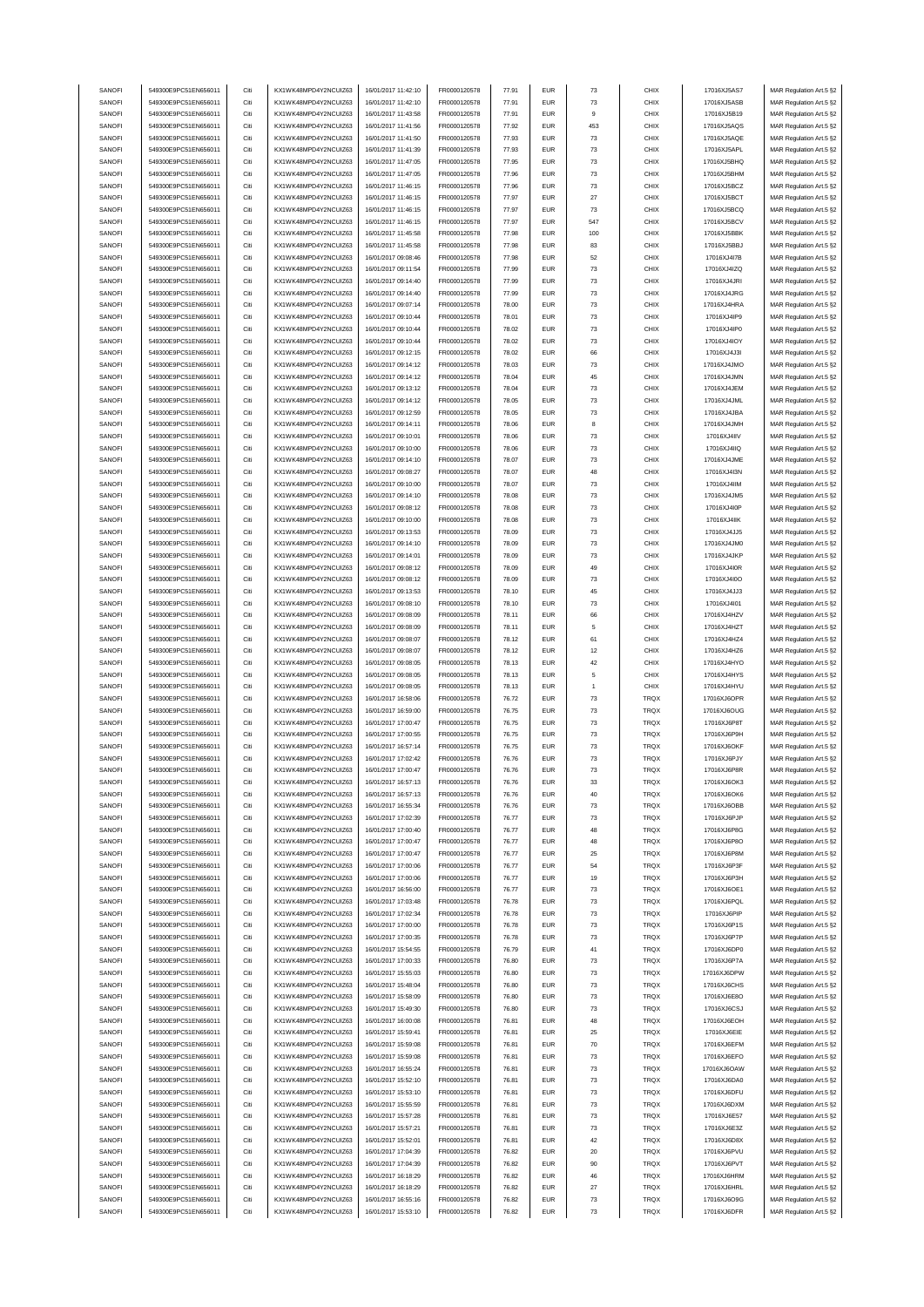| SANOFI<br>SANOFI |                                              | Citi | KX1WK48MPD4Y2NCUIZ63  | 16/01/2017 11:42:10 | FR0000120578 | 77.91 | <b>EUR</b> | 73             | CHIX        | 17016XJ5AS7                 | MAR Regulation Art.5 §2                            |
|------------------|----------------------------------------------|------|-----------------------|---------------------|--------------|-------|------------|----------------|-------------|-----------------------------|----------------------------------------------------|
|                  | 549300E9PC51EN656011<br>549300E9PC51EN656011 | Citi | KX1WK48MPD4Y2NCUIZ63  | 16/01/2017 11:42:10 |              | 77.91 | <b>EUR</b> | 73             | CHIX        |                             |                                                    |
|                  |                                              |      |                       |                     | FR0000120578 |       |            |                |             | 17016XJ5ASB                 | MAR Regulation Art.5 §2                            |
| SANOFI           | 549300E9PC51EN656011                         | Citi | KX1WK48MPD4Y2NCUIZ63  | 16/01/2017 11:43:58 | FR0000120578 | 77.91 | <b>EUR</b> | 9              | CHIX        | 17016XJ5B19                 | MAR Regulation Art.5 §2                            |
| SANOFI           | 549300E9PC51EN656011                         | Citi | KX1WK48MPD4Y2NCUIZ63  | 16/01/2017 11:41:56 | FR0000120578 | 77.92 | EUR        | 453            | CHIX        | 17016XJ5AQS                 | MAR Regulation Art.5 §2                            |
| SANOFI           | 549300E9PC51EN656011                         | Citi | KX1WK48MPD4Y2NCLIIZ63 | 16/01/2017 11:41:50 | FR0000120578 | 77.93 | <b>EUR</b> | 73             | CHIX        | 17016XJ5AQE                 | MAR Regulation Art.5 §2                            |
| SANOFI           | 549300E9PC51EN656011                         | Citi | KX1WK48MPD4Y2NCUIZ63  | 16/01/2017 11:41:39 | FR0000120578 | 77.93 | <b>EUR</b> | 73             | CHIX        | 17016XJ5APL                 | MAR Regulation Art.5 §2                            |
| SANOFI           | 549300E9PC51EN656011                         | Citi | KX1WK48MPD4Y2NCUIZ63  | 16/01/2017 11:47:05 | FR0000120578 | 77.95 | <b>EUR</b> | 73             | CHIX        | 17016XJ5BHQ                 | MAR Regulation Art.5 §2                            |
|                  | 549300E9PC51EN656011                         |      |                       |                     |              |       |            |                |             |                             |                                                    |
| SANOFI           |                                              | Citi | KX1WK48MPD4Y2NCUIZ63  | 16/01/2017 11:47:05 | FR0000120578 | 77.96 | <b>EUR</b> | 73             | CHIX        | 17016XJ5BHM                 | MAR Regulation Art.5 §2                            |
| SANOFI           | 549300E9PC51EN656011                         | Citi | KX1WK48MPD4Y2NCUIZ63  | 16/01/2017 11:46:15 | FR0000120578 | 77.96 | <b>EUR</b> | 73             | CHIX        | 17016XJ5BCZ                 | MAR Regulation Art.5 §2                            |
| SANOFI           | 549300E9PC51EN656011                         | Citi | KX1WK48MPD4Y2NCUIZ63  | 16/01/2017 11:46:15 | FR0000120578 | 77.97 | <b>EUR</b> | 27             | CHIX        | 17016XJ5BCT                 | MAR Regulation Art.5 §2                            |
| SANOFI           | 549300E9PC51EN656011                         | Citi | KX1WK48MPD4Y2NCUIZ63  | 16/01/2017 11:46:15 | FR0000120578 | 77.97 | <b>EUR</b> | 73             | CHIX        | 17016XJ5BCQ                 | MAR Regulation Art.5 §2                            |
| SANOFI           | 549300E9PC51EN656011                         | Citi | KX1WK48MPD4Y2NCUIZ63  | 16/01/2017 11:46:15 | FR0000120578 | 77.97 | <b>EUR</b> | 547            | CHIX        | 17016XJ5BCV                 | MAR Regulation Art.5 §2                            |
|                  |                                              |      |                       |                     |              |       |            |                |             |                             |                                                    |
| SANOFI           | 549300E9PC51EN656011                         | Citi | KX1WK48MPD4Y2NCUIZ63  | 16/01/2017 11:45:58 | FR0000120578 | 77.98 | EUR        | 100            | CHIX        | 17016XJ5BBK                 | MAR Regulation Art.5 §2                            |
| SANOFI           | 549300E9PC51EN656011                         | Citi | KX1WK48MPD4Y2NCUIZ63  | 16/01/2017 11:45:58 | FR0000120578 | 77.98 | <b>EUR</b> | 83             | CHIX        | 17016XJ5BBJ                 | MAR Regulation Art.5 §2                            |
| SANOFI           | 549300E9PC51EN656011                         | Citi | KX1WK48MPD4Y2NCUIZ63  | 16/01/2017 09:08:46 | FR0000120578 | 77.98 | <b>EUR</b> | 52             | CHIX        | 17016XJ4I7B                 | MAR Regulation Art.5 §2                            |
| SANOFI           | 549300E9PC51EN656011                         | Citi | KX1WK48MPD4Y2NCUIZ63  | 16/01/2017 09:11:54 | FR0000120578 | 77.99 | <b>EUR</b> | 73             | CHIX        | 17016XJ4IZQ                 | MAR Regulation Art.5 §2                            |
| SANOFI           | 549300E9PC51EN656011                         | Citi | KX1WK48MPD4Y2NCUIZ63  | 16/01/2017 09:14:40 | FR0000120578 | 77.99 | <b>EUR</b> | 73             | CHIX        | 17016XJ4JRI                 | MAR Regulation Art.5 §2                            |
|                  | 549300E9PC51EN656011                         | Citi | KX1WK48MPD4Y2NCUIZ63  | 16/01/2017 09:14:40 |              | 77.99 | <b>EUR</b> | 73             | CHIX        |                             |                                                    |
| SANOFI           |                                              |      |                       |                     | FR0000120578 |       |            |                |             | 17016XJ4JRG                 | MAR Regulation Art.5 §2                            |
| SANOFI           | 549300E9PC51EN656011                         | Citi | KX1WK48MPD4Y2NCUIZ63  | 16/01/2017 09:07:14 | FR0000120578 | 78.00 | <b>EUR</b> | 73             | CHIX        | 17016XJ4HRA                 | MAR Regulation Art.5 §2                            |
| SANOFI           | 549300E9PC51EN656011                         | Citi | KX1WK48MPD4Y2NCUIZ63  | 16/01/2017 09:10:44 | FR0000120578 | 78.01 | <b>EUR</b> | 73             | CHIX        | 17016XJ4IP9                 | MAR Regulation Art.5 §2                            |
| SANOFI           | 549300E9PC51EN656011                         | Citi | KX1WK48MPD4Y2NCUIZ63  | 16/01/2017 09:10:44 | FR0000120578 | 78.02 | <b>EUR</b> | 73             | CHIX        | 17016XJ4IP0                 | MAR Regulation Art.5 §2                            |
| SANOFI           | 549300E9PC51EN656011                         | Citi | KX1WK48MPD4Y2NCUIZ63  | 16/01/2017 09:10:44 | FR0000120578 | 78.02 | <b>EUR</b> | 73             | CHIX        | 17016XJ4IOY                 | MAR Regulation Art.5 §2                            |
|                  |                                              |      |                       |                     |              |       |            |                |             |                             |                                                    |
| SANOFI           | 549300E9PC51EN656011                         | Citi | KX1WK48MPD4Y2NCUIZ63  | 16/01/2017 09:12:15 | FR0000120578 | 78.02 | <b>EUR</b> | 66             | CHIX        | 17016XJ4J3I                 | MAR Regulation Art.5 §2                            |
| SANOFI           | 549300E9PC51EN656011                         | Citi | KX1WK48MPD4Y2NCUIZ63  | 16/01/2017 09:14:12 | FR0000120578 | 78.03 | <b>EUR</b> | 73             | CHIX        | 17016XJ4JMO                 | MAR Regulation Art.5 §2                            |
| SANOFI           | 549300E9PC51EN656011                         | Citi | KX1WK48MPD4Y2NCUIZ63  | 16/01/2017 09:14:12 | FR0000120578 | 78.04 | <b>EUR</b> | 45             | CHIX        | 17016XJ4JMN                 | MAR Regulation Art.5 §2                            |
| SANOFI           | 549300E9PC51EN656011                         | Citi | KX1WK48MPD4Y2NCUIZ63  | 16/01/2017 09:13:12 | FR0000120578 | 78.04 | <b>EUR</b> | 73             | CHIX        | 17016XJ4JEM                 | MAR Regulation Art.5 §2                            |
| SANOFI           | 549300E9PC51EN656011                         | Citi | KX1WK48MPD4Y2NCUIZ63  | 16/01/2017 09:14:12 | FR0000120578 | 78.05 | <b>EUR</b> | 73             | CHIX        | 17016XJ4JML                 | MAR Regulation Art.5 §2                            |
| SANOFI           | 549300E9PC51EN656011                         | Citi | KX1WK48MPD4Y2NCUIZ63  |                     |              |       | <b>EUR</b> | 73             | CHIX        |                             |                                                    |
|                  |                                              |      |                       | 16/01/2017 09:12:59 | FR0000120578 | 78.05 |            |                |             | 17016XJ4JBA                 | MAR Regulation Art.5 §2                            |
| SANOFI           | 549300E9PC51EN656011                         | Citi | KX1WK48MPD4Y2NCUIZ63  | 16/01/2017 09:14:11 | FR0000120578 | 78.06 | <b>EUR</b> | 8              | CHIX        | 17016XJ4JMH                 | MAR Regulation Art.5 §2                            |
| SANOFI           | 549300E9PC51EN656011                         | Citi | KX1WK48MPD4Y2NCUIZ63  | 16/01/2017 09:10:01 | FR0000120578 | 78.06 | <b>EUR</b> | 73             | CHIX        | 17016XJ4IIV                 | MAR Regulation Art.5 §2                            |
| SANOFI           | 549300E9PC51EN656011                         | Citi | KX1WK48MPD4Y2NCUIZ63  | 16/01/2017 09:10:00 | FR0000120578 | 78.06 | <b>EUR</b> | 73             | CHIX        | 17016XJ4IIQ                 | MAR Regulation Art.5 §2                            |
| SANOFI           | 549300E9PC51EN656011                         | Citi | KX1WK48MPD4Y2NCUIZ63  | 16/01/2017 09:14:10 | FR0000120578 | 78.07 | <b>EUR</b> | 73             | CHIX        | 17016XJ4JME                 | MAR Regulation Art.5 §2                            |
| SANOFI           | 549300E9PC51EN656011                         | Citi | KX1WK48MPD4Y2NCUIZ63  | 16/01/2017 09:08:27 | FR0000120578 | 78.07 | <b>EUR</b> | 48             | CHIX        | 17016XJ4I3N                 | MAR Regulation Art.5 §2                            |
|                  |                                              |      |                       |                     |              |       |            |                |             |                             |                                                    |
| SANOFI           | 549300E9PC51EN656011                         | Citi | KX1WK48MPD4Y2NCUIZ63  | 16/01/2017 09:10:00 | FR0000120578 | 78.07 | <b>EUR</b> | 73             | CHIX        | 17016XJ4IIM                 | MAR Regulation Art.5 §2                            |
| SANOFI           | 549300E9PC51EN656011                         | Citi | KX1WK48MPD4Y2NCUIZ63  | 16/01/2017 09:14:10 | FR0000120578 | 78.08 | <b>EUR</b> | 73             | CHIX        | 17016XJ4JM5                 | MAR Regulation Art.5 §2                            |
| SANOFI           | 549300E9PC51EN656011                         | Citi | KX1WK48MPD4Y2NCUIZ63  | 16/01/2017 09:08:12 | FR0000120578 | 78.08 | <b>EUR</b> | 73             | CHIX        | 17016XJ4I0P                 | MAR Regulation Art.5 §2                            |
| SANOFI           | 549300E9PC51EN656011                         | Citi | KX1WK48MPD4Y2NCUIZ63  | 16/01/2017 09:10:00 | FR0000120578 | 78.08 | <b>EUR</b> | 73             | CHIX        | 17016XJ4IIK                 | MAR Regulation Art.5 §2                            |
| SANOFI           | 549300E9PC51EN656011                         | Citi | KX1WK48MPD4Y2NCUIZ63  | 16/01/2017 09:13:53 | FR0000120578 | 78.09 | <b>EUR</b> | 73             | CHIX        | 17016XJ4JJ5                 | MAR Regulation Art.5 §2                            |
|                  |                                              |      |                       |                     |              |       |            |                |             |                             |                                                    |
| SANOFI           | 549300E9PC51EN656011                         | Citi | KX1WK48MPD4Y2NCUIZ63  | 16/01/2017 09:14:10 | FR0000120578 | 78.09 | <b>EUR</b> | 73             | CHIX        | 17016XJ4JM0                 | MAR Regulation Art.5 §2                            |
| SANOFI           | 549300E9PC51EN656011                         | Citi | KX1WK48MPD4Y2NCUIZ63  | 16/01/2017 09:14:01 | FR0000120578 | 78.09 | <b>EUR</b> | 73             | CHIX        | 17016XJ4JKP                 | MAR Regulation Art.5 §2                            |
| SANOFI           | 549300E9PC51EN656011                         | Citi | KX1WK48MPD4Y2NCUIZ63  | 16/01/2017 09:08:12 | FR0000120578 | 78.09 | <b>EUR</b> | 49             | CHIX        | 17016XJ4I0R                 | MAR Regulation Art.5 §2                            |
| SANOFI           | 549300E9PC51EN656011                         | Citi | KX1WK48MPD4Y2NCUIZ63  | 16/01/2017 09:08:12 | FR0000120578 | 78.09 | <b>EUR</b> | 73             | CHIX        | 17016XJ4I0O                 | MAR Regulation Art.5 §2                            |
| SANOFI           | 549300E9PC51EN656011                         | Citi | KX1WK48MPD4Y2NCUIZ63  | 16/01/2017 09:13:53 | FR0000120578 | 78.10 | <b>EUR</b> | 45             | CHIX        | 17016XJ4JJ3                 | MAR Regulation Art.5 §2                            |
| SANOFI           | 549300E9PC51EN656011                         | Citi | KX1WK48MPD4Y2NCUIZ63  | 16/01/2017 09:08:10 | FR0000120578 | 78.10 | <b>EUR</b> | 73             | CHIX        | 17016XJ4I01                 |                                                    |
|                  |                                              |      |                       |                     |              |       |            |                |             |                             | MAR Regulation Art.5 §2                            |
| SANOFI           | 549300E9PC51EN656011                         | Citi | KX1WK48MPD4Y2NCUIZ63  | 16/01/2017 09:08:09 | FR0000120578 | 78.11 | <b>EUR</b> | 66             | CHIX        | 17016XJ4HZV                 | MAR Regulation Art.5 §2                            |
| SANOFI           | 549300E9PC51EN656011                         | Citi | KX1WK48MPD4Y2NCUIZ63  | 16/01/2017 09:08:09 | FR0000120578 | 78.11 | <b>EUR</b> | 5              | CHIX        | 17016XJ4HZT                 | MAR Regulation Art.5 §2                            |
| SANOFI           | 549300E9PC51EN656011                         | Citi | KX1WK48MPD4Y2NCUIZ63  | 16/01/2017 09:08:07 | FR0000120578 | 78.12 | <b>EUR</b> | 61             | CHIX        | 17016XJ4HZ4                 | MAR Regulation Art.5 §2                            |
| SANOFI           | 549300E9PC51EN656011                         | Citi | KX1WK48MPD4Y2NCUIZ63  | 16/01/2017 09:08:07 | FR0000120578 | 78.12 | <b>EUR</b> | 12             | CHIX        | 17016XJ4HZ6                 | MAR Regulation Art.5 §2                            |
| SANOFI           | 549300E9PC51EN656011                         | Citi | KX1WK48MPD4Y2NCUIZ63  | 16/01/2017 09:08:05 | FR0000120578 | 78.13 | <b>EUR</b> | 42             | CHIX        | 17016XJ4HYO                 | MAR Regulation Art.5 §2                            |
|                  |                                              |      |                       |                     |              |       |            |                |             |                             |                                                    |
| SANOFI           | 549300E9PC51EN656011                         | Citi | KX1WK48MPD4Y2NCUIZ63  | 16/01/2017 09:08:05 | FR0000120578 | 78.13 | <b>EUR</b> | 5              | CHIX        | 17016XJ4HYS                 | MAR Regulation Art.5 §2                            |
| SANOFI           | 549300E9PC51EN656011                         | Citi | KX1WK48MPD4Y2NCUIZ63  | 16/01/2017 09:08:05 | FR0000120578 | 78.13 | <b>EUR</b> | $\overline{1}$ | CHIX        | 17016XJ4HYU                 | MAR Regulation Art.5 §2                            |
| SANOFI           |                                              |      |                       |                     |              | 76.72 | <b>EUR</b> | 73             | TRQX        |                             |                                                    |
|                  | 549300E9PC51EN656011                         | Citi | KX1WK48MPD4Y2NCUIZ63  | 16/01/2017 16:58:06 | FR0000120578 |       |            |                |             | 17016XJ6OPR                 | MAR Regulation Art.5 §2                            |
|                  | 549300E9PC51EN656011                         | Citi | KX1WK48MPD4Y2NCUIZ63  |                     |              |       |            |                |             |                             |                                                    |
| SANOFI           |                                              |      |                       | 16/01/2017 16:59:00 | FR0000120578 | 76.75 | <b>EUR</b> | 73             | TRQX        | 17016XJ6OUG                 | MAR Regulation Art.5 §2                            |
| SANOFI           | 549300E9PC51EN656011                         | Citi | KX1WK48MPD4Y2NCUIZ63  | 16/01/2017 17:00:47 | FR0000120578 | 76.75 | <b>EUR</b> | 73             | TRQX        | 17016XJ6P8T                 | MAR Regulation Art.5 §2                            |
| SANOFI           | 549300E9PC51EN656011                         | Citi | KX1WK48MPD4Y2NCUIZ63  | 16/01/2017 17:00:55 | FR0000120578 | 76.75 | <b>EUR</b> | 73             | TRQX        | 17016XJ6P9H                 | MAR Regulation Art.5 §2                            |
| SANOFI           | 549300E9PC51EN656011                         | Citi | KX1WK48MPD4Y2NCUIZ63  | 16/01/2017 16:57:14 | FR0000120578 | 76.75 | <b>EUR</b> | 73             | TRQX        | 17016XJ6OKF                 | MAR Regulation Art.5 §2                            |
| SANOFI           | 549300E9PC51EN656011                         | Citi | KX1WK48MPD4Y2NCUIZ63  | 16/01/2017 17:02:42 | FR0000120578 | 76.76 | <b>EUR</b> | 73             | TRQX        | 17016XJ6PJY                 | MAR Regulation Art.5 §2                            |
|                  |                                              | Citi |                       |                     |              |       | <b>EUR</b> |                |             |                             |                                                    |
| SANOFI           | 549300E9PC51EN656011<br>549300E9PC51EN656011 |      | KX1WK48MPD4Y2NCUIZ63  | 16/01/2017 17:00:47 | FR0000120578 | 76.76 |            | 73             | TRQX        | 17016XJ6P8R<br>17016X.I6OK3 | MAR Regulation Art.5 §2<br>MAR Regulation Art 5.82 |
| SANOFI           |                                              |      | KX1WK48MPD4Y2NCLIIZ63 | 16/01/2017 16:57:13 | FR0000120578 | 76.76 | FUR        | 33             | TROX        |                             |                                                    |
| SANOFI           | 549300E9PC51EN656011                         | Citi | KX1WK48MPD4Y2NCUIZ63  | 16/01/2017 16:57:13 | FR0000120578 | 76.76 | <b>EUR</b> | 40             | TRQX        | 17016XJ6OK6                 | MAR Regulation Art.5 §2                            |
| SANOFI           | 549300E9PC51EN656011                         | Citi | KX1WK48MPD4Y2NCUIZ63  | 16/01/2017 16:55:34 | FR0000120578 | 76.76 | <b>EUR</b> | 73             | TRQX        | 17016XJ6OBB                 | MAR Regulation Art.5 §2                            |
| SANOFI           | 549300E9PC51EN656011                         | Citi | KX1WK48MPD4Y2NCUIZ63  | 16/01/2017 17:02:39 | FR0000120578 | 76.77 | <b>EUR</b> | 73             | TRQX        | 17016XJ6PJP                 | MAR Regulation Art.5 §2                            |
| SANOFI           | 549300E9PC51EN656011                         | Citi | KX1WK48MPD4Y2NCUIZ63  | 16/01/2017 17:00:40 | FR0000120578 | 76.77 | <b>EUR</b> | 48             | TRQX        | 17016XJ6P8G                 |                                                    |
|                  |                                              |      |                       |                     |              |       |            |                |             |                             | MAR Regulation Art.5 §2                            |
| SANOFI           | 549300E9PC51EN656011                         | Citi | KX1WK48MPD4Y2NCUIZ63  | 16/01/2017 17:00:47 | FR0000120578 | 76.77 | <b>EUR</b> | 48             | TRQX        | 17016XJ6P8O                 | MAR Regulation Art.5 §2                            |
| SANOFI           | 549300E9PC51EN656011                         | Citi | KX1WK48MPD4Y2NCUIZ63  | 16/01/2017 17:00:47 | FR0000120578 | 76.77 | <b>EUR</b> | 25             | TRQX        | 17016XJ6P8M                 | MAR Regulation Art.5 §2                            |
| SANOFI           | 549300E9PC51EN656011                         | Citi | KX1WK48MPD4Y2NCUIZ63  | 16/01/2017 17:00:06 | FR0000120578 | 76.77 | <b>EUR</b> | 54             | TRQX        | 17016XJ6P3F                 | MAR Regulation Art.5 §2                            |
| SANOFI           | 549300E9PC51EN656011                         | Citi | KX1WK48MPD4Y2NCUIZ63  | 16/01/2017 17:00:06 | FR0000120578 | 76.77 | <b>EUR</b> | 19             | TRQX        | 17016XJ6P3H                 | MAR Regulation Art.5 §2                            |
| SANOFI           | 549300E9PC51EN656011                         | Citi | KX1WK48MPD4Y2NCUIZ63  | 16/01/2017 16:56:00 | FR0000120578 | 76.77 | <b>EUR</b> | 73             | TRQX        | 17016XJ6OE1                 | MAR Regulation Art.5 §2                            |
| SANOFI           | 549300E9PC51EN656011                         | Citi | KX1WK48MPD4Y2NCUIZ63  | 16/01/2017 17:03:48 | FR0000120578 | 76.78 | <b>EUR</b> | 73             | TRQX        | 17016XJ6PQL                 | MAR Regulation Art.5 §2                            |
|                  |                                              |      |                       |                     |              | 76.78 |            |                |             |                             |                                                    |
| SANOFI           | 549300E9PC51EN656011                         | Citi | KX1WK48MPD4Y2NCUIZ63  | 16/01/2017 17:02:34 | FR0000120578 |       | <b>EUR</b> | 73             | TRQX        | 17016XJ6PIP                 | MAR Regulation Art.5 §2                            |
| SANOFI           | 549300E9PC51EN656011                         | Citi | KX1WK48MPD4Y2NCUIZ63  | 16/01/2017 17:00:00 | FR0000120578 | 76.78 | <b>EUR</b> | 73             | TRQX        | 17016XJ6P1S                 | MAR Regulation Art.5 §2                            |
| SANOFI           | 549300E9PC51EN656011                         | Citi | KX1WK48MPD4Y2NCUIZ63  | 16/01/2017 17:00:35 | FR0000120578 | 76.78 | <b>EUR</b> | 73             | TRQX        | 17016XJ6P7P                 | MAR Regulation Art.5 §2                            |
| SANOFI           | 549300E9PC51EN656011                         | Citi | KX1WK48MPD4Y2NCUIZ63  | 16/01/2017 15:54:55 | FR0000120578 | 76.79 | <b>EUR</b> | 41             | TRQX        | 17016XJ6DP0                 | MAR Regulation Art.5 §2                            |
| SANOFI           | 549300E9PC51EN656011                         | Citi | KX1WK48MPD4Y2NCUIZ63  | 16/01/2017 17:00:33 | FR0000120578 | 76.80 | <b>EUR</b> | 73             | TRQX        | 17016XJ6P7A                 | MAR Regulation Art.5 §2                            |
|                  |                                              |      |                       |                     |              |       |            |                |             |                             |                                                    |
| SANOFI           | 549300E9PC51EN656011                         | Citi | KX1WK48MPD4Y2NCUIZ63  | 16/01/2017 15:55:03 | FR0000120578 | 76.80 | <b>EUR</b> | 73             | TRQX        | 17016XJ6DPW                 | MAR Regulation Art.5 §2                            |
| SANOFI           | 549300E9PC51EN656011                         | Citi | KX1WK48MPD4Y2NCUIZ63  | 16/01/2017 15:48:04 | FR0000120578 | 76.80 | <b>EUR</b> | 73             | <b>TRQX</b> | 17016XJ6CHS                 | MAR Regulation Art.5 §2                            |
| SANOFI           | 549300E9PC51EN656011                         | Citi | KX1WK48MPD4Y2NCUIZ63  | 16/01/2017 15:58:09 | FR0000120578 | 76.80 | <b>EUR</b> | 73             | TRQX        | 17016XJ6E8O                 | MAR Regulation Art.5 §2                            |
| SANOFI           | 549300E9PC51EN656011                         | Citi | KX1WK48MPD4Y2NCUIZ63  | 16/01/2017 15:49:30 | FR0000120578 | 76.80 | <b>EUR</b> | 73             | TRQX        | 17016XJ6CSJ                 | MAR Regulation Art.5 §2                            |
| SANOFI           | 549300E9PC51EN656011                         | Citi | KX1WK48MPD4Y2NCUIZ63  | 16/01/2017 16:00:08 | FR0000120578 | 76.81 | <b>EUR</b> | 48             | TRQX        | 17016XJ6EOH                 | MAR Regulation Art.5 §2                            |
|                  |                                              |      |                       |                     |              |       |            |                |             |                             |                                                    |
| SANOFI           | 549300E9PC51EN656011                         | Citi | KX1WK48MPD4Y2NCUIZ63  | 16/01/2017 15:59:41 | FR0000120578 | 76.81 | <b>EUR</b> | 25             | TRQX        | 17016XJ6EIE                 | MAR Regulation Art.5 §2                            |
| SANOFI           | 549300E9PC51EN656011                         | Citi | KX1WK48MPD4Y2NCUIZ63  | 16/01/2017 15:59:08 | FR0000120578 | 76.81 | <b>EUR</b> | 70             | TRQX        | 17016XJ6EFM                 | MAR Regulation Art.5 §2                            |
| SANOFI           | 549300E9PC51EN656011                         | Citi | KX1WK48MPD4Y2NCUIZ63  | 16/01/2017 15:59:08 | FR0000120578 | 76.81 | <b>EUR</b> | 73             | TRQX        | 17016XJ6EFO                 | MAR Regulation Art.5 §2                            |
| SANOFI           | 549300E9PC51EN656011                         | Citi | KX1WK48MPD4Y2NCUIZ63  | 16/01/2017 16:55:24 | FR0000120578 | 76.81 | <b>EUR</b> | 73             | TRQX        | 17016XJ6OAW                 | MAR Regulation Art.5 §2                            |
| SANOFI           | 549300E9PC51EN656011                         | Citi | KX1WK48MPD4Y2NCUIZ63  | 16/01/2017 15:52:10 | FR0000120578 | 76.81 | <b>EUR</b> | 73             | TRQX        | 17016XJ6DA0                 | MAR Regulation Art.5 §2                            |
| SANOFI           | 549300E9PC51EN656011                         | Citi |                       |                     |              | 76.81 | <b>EUR</b> |                | TRQX        |                             |                                                    |
|                  |                                              |      | KX1WK48MPD4Y2NCUIZ63  | 16/01/2017 15:53:10 | FR0000120578 |       |            | 73             |             | 17016XJ6DFU                 | MAR Regulation Art.5 §2                            |
| SANOFI           | 549300E9PC51EN656011                         | Citi | KX1WK48MPD4Y2NCUIZ63  | 16/01/2017 15:55:59 | FR0000120578 | 76.81 | <b>EUR</b> | 73             | TRQX        | 17016XJ6DXM                 | MAR Regulation Art.5 §2                            |
| SANOFI           | 549300E9PC51EN656011                         | Citi | KX1WK48MPD4Y2NCUIZ63  | 16/01/2017 15:57:28 | FR0000120578 | 76.81 | <b>EUR</b> | 73             | TRQX        | 17016XJ6E57                 | MAR Regulation Art.5 §2                            |
| SANOFI           | 549300E9PC51EN656011                         | Citi | KX1WK48MPD4Y2NCUIZ63  | 16/01/2017 15:57:21 | FR0000120578 | 76.81 | <b>EUR</b> | 73             | TRQX        | 17016XJ6E3Z                 | MAR Regulation Art.5 §2                            |
| SANOFI           | 549300E9PC51EN656011                         | Citi | KX1WK48MPD4Y2NCUIZ63  | 16/01/2017 15:52:01 | FR0000120578 | 76.81 | <b>EUR</b> | 42             | TRQX        | 17016XJ6D8X                 | MAR Regulation Art.5 §2                            |
| SANOFI           | 549300E9PC51EN656011                         | Citi | KX1WK48MPD4Y2NCUIZ63  | 16/01/2017 17:04:39 | FR0000120578 | 76.82 | <b>EUR</b> | 20             | TRQX        | 17016XJ6PVU                 | MAR Regulation Art.5 §2                            |
| SANOFI           | 549300E9PC51EN656011                         | Citi | KX1WK48MPD4Y2NCUIZ63  | 16/01/2017 17:04:39 | FR0000120578 | 76.82 | <b>EUR</b> | 90             | TRQX        | 17016XJ6PVT                 |                                                    |
|                  |                                              |      |                       |                     |              |       |            |                |             |                             | MAR Regulation Art.5 §2                            |
| SANOFI           | 549300E9PC51EN656011                         | Citi | KX1WK48MPD4Y2NCUIZ63  | 16/01/2017 16:18:29 | FR0000120578 | 76.82 | <b>EUR</b> | 46             | TRQX        | 17016XJ6HRM                 | MAR Regulation Art.5 §2                            |
| SANOFI           | 549300E9PC51EN656011                         | Citi | KX1WK48MPD4Y2NCUIZ63  | 16/01/2017 16:18:29 | FR0000120578 | 76.82 | <b>EUR</b> | 27             | TRQX        | 17016XJ6HRL                 | MAR Regulation Art.5 §2                            |
| SANOFI           | 549300E9PC51EN656011                         | Citi | KX1WK48MPD4Y2NCUIZ63  | 16/01/2017 16:55:16 | FR0000120578 | 76.82 | <b>EUR</b> | 73             | TRQX        | 17016XJ6O9G                 | MAR Regulation Art.5 §2                            |
| SANOFI           | 549300E9PC51EN656011                         | Citi | KX1WK48MPD4Y2NCUIZ63  | 16/01/2017 15:53:10 | FR0000120578 | 76.82 | <b>EUR</b> | 73             | TRQX        | 17016XJ6DFR                 | MAR Regulation Art.5 §2                            |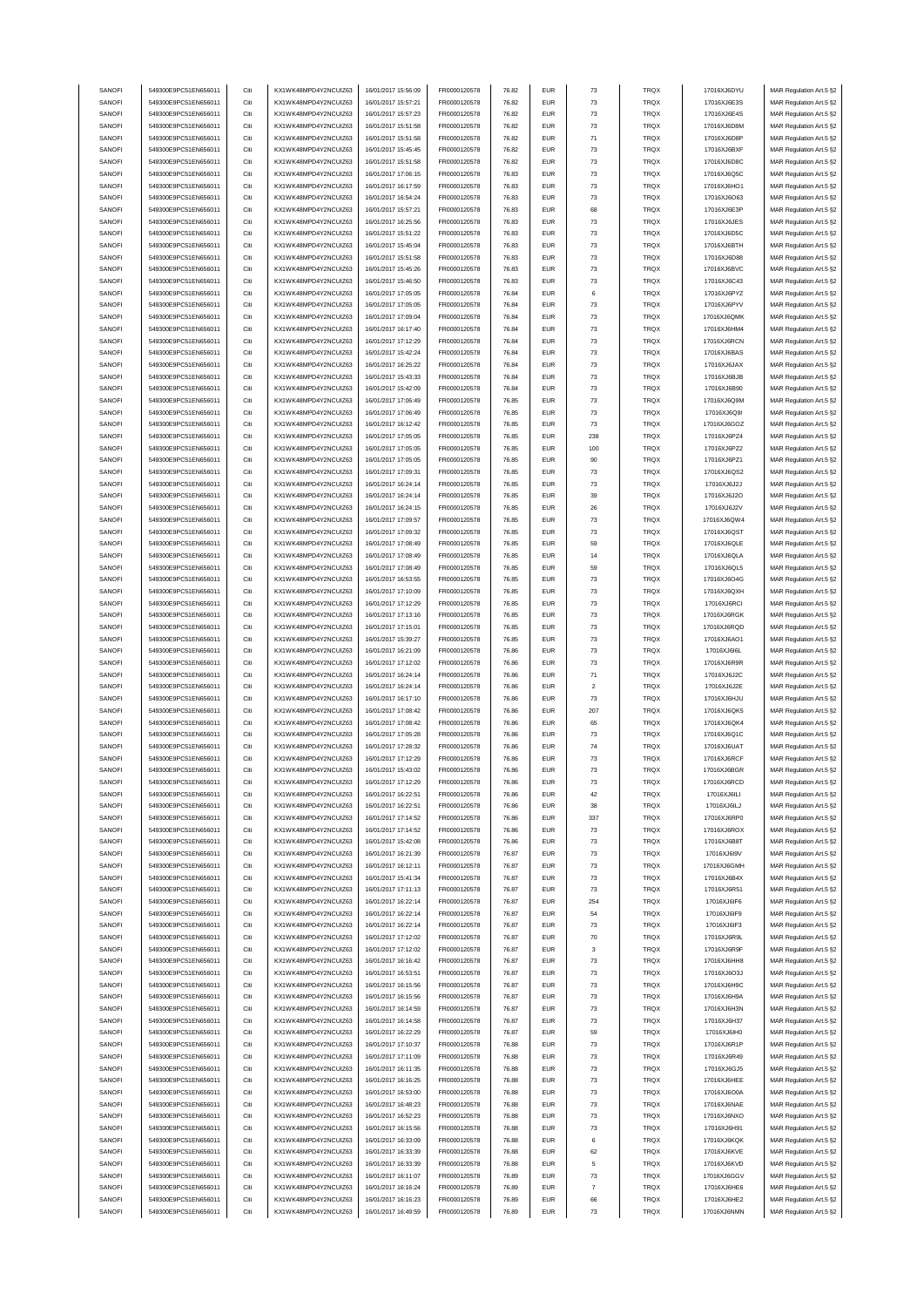| SANOFI | 549300E9PC51EN656011 | Citi | KX1WK48MPD4Y2NCUIZ63  | 16/01/2017 15:56:09 | FR0000120578 | 76.82        | <b>EUR</b> | $\mathbf{73}$  | <b>TRQX</b> | 17016XJ6DYU  | MAR Regulation Art.5 §2 |
|--------|----------------------|------|-----------------------|---------------------|--------------|--------------|------------|----------------|-------------|--------------|-------------------------|
| SANOFI | 549300E9PC51EN656011 | Citi | KX1WK48MPD4Y2NCUIZ63  | 16/01/2017 15:57:21 | FR0000120578 | 76.82        | <b>EUR</b> | $\bf 73$       | <b>TRQX</b> | 17016XJ6E3S  | MAR Regulation Art.5 §2 |
|        |                      |      |                       |                     |              |              |            |                |             |              |                         |
| SANOFI | 549300E9PC51EN656011 | Citi | KX1WK48MPD4Y2NCUIZ63  | 16/01/2017 15:57:23 | FR0000120578 | 76.82        | <b>EUR</b> | $\bf 73$       | TRQX        | 17016XJ6E4S  | MAR Regulation Art.5 §2 |
| SANOFI | 549300E9PC51EN656011 | Citi | KX1WK48MPD4Y2NCUIZ63  | 16/01/2017 15:51:58 | FR0000120578 | 76.82        | <b>EUR</b> | $\mathbf{73}$  | TRQX        | 17016XJ6D8M  | MAR Regulation Art.5 §2 |
| SANOFI | 549300E9PC51EN656011 | Citi | KX1WK48MPD4Y2NCUIZ63  | 16/01/2017 15:51:58 | FR0000120578 | 76.82        | <b>EUR</b> | 71             | TRQX        | 17016XJ6D8P  | MAR Regulation Art.5 §2 |
| SANOFI | 549300E9PC51EN656011 | Citi | KX1WK48MPD4Y2NCUIZ63  | 16/01/2017 15:45:45 | FR0000120578 | 76.82        | <b>EUR</b> | $\mathbf{73}$  | TRQX        | 17016XJ6BXF  | MAR Regulation Art.5 §2 |
| SANOFI | 549300E9PC51EN656011 | Citi | KX1WK48MPD4Y2NCUIZ63  | 16/01/2017 15:51:58 | FR0000120578 | 76.82        | <b>EUR</b> | $\mathbf{73}$  | TRQX        | 17016XJ6D8C  | MAR Regulation Art.5 §2 |
| SANOFI | 549300E9PC51EN656011 | Citi | KX1WK48MPD4Y2NCUIZ63  | 16/01/2017 17:06:15 | FR0000120578 | 76.83        | <b>EUR</b> | 73             | <b>TRQX</b> | 17016XJ6Q5C  | MAR Regulation Art.5 §2 |
|        |                      |      |                       |                     |              |              |            |                |             |              |                         |
| SANOFI | 549300E9PC51EN656011 | Citi | KX1WK48MPD4Y2NCUIZ63  | 16/01/2017 16:17:59 | FR0000120578 | 76.83        | <b>EUR</b> | 73             | <b>TRQX</b> | 17016XJ6HO1  | MAR Regulation Art.5 §2 |
| SANOFI | 549300E9PC51EN656011 | Citi | KX1WK48MPD4Y2NCUIZ63  | 16/01/2017 16:54:24 | FR0000120578 | 76.83        | <b>EUR</b> | $\bf 73$       | TRQX        | 17016XJ6O63  | MAR Regulation Art.5 §2 |
| SANOFI | 549300E9PC51EN656011 | Citi | KX1WK48MPD4Y2NCUIZ63  | 16/01/2017 15:57:21 | FR0000120578 | 76.83        | <b>EUR</b> | 68             | TRQX        | 17016XJ6E3P  | MAR Regulation Art.5 §2 |
| SANOFI | 549300E9PC51EN656011 | Citi | KX1WK48MPD4Y2NCUIZ63  | 16/01/2017 16:25:56 | FR0000120578 | 76.83        | <b>EUR</b> | $\mathbf{73}$  | TRQX        | 17016XJ6JES  | MAR Regulation Art.5 §2 |
| SANOFI | 549300E9PC51EN656011 | Citi | KX1WK48MPD4Y2NCUIZ63  | 16/01/2017 15:51:22 | FR0000120578 | 76.83        | <b>EUR</b> | $\mathbf{73}$  | TRQX        | 17016XJ6D5C  | MAR Regulation Art.5 §2 |
|        |                      |      |                       |                     |              |              |            |                |             |              |                         |
| SANOFI | 549300E9PC51EN656011 | Citi | KX1WK48MPD4Y2NCUIZ63  | 16/01/2017 15:45:04 | FR0000120578 | 76.83        | <b>EUR</b> | $\mathbf{73}$  | TRQX        | 17016XJ6BTH  | MAR Regulation Art.5 §2 |
| SANOFI | 549300E9PC51EN656011 | Citi | KX1WK48MPD4Y2NCUIZ63  | 16/01/2017 15:51:58 | FR0000120578 | 76.83        | <b>EUR</b> | $\mathbf{73}$  | TRQX        | 17016XJ6D88  | MAR Regulation Art.5 §2 |
| SANOFI | 549300E9PC51EN656011 | Citi | KX1WK48MPD4Y2NCUIZ63  | 16/01/2017 15:45:26 | FR0000120578 | 76.83        | <b>EUR</b> | 73             | <b>TRQX</b> | 17016XJ6BVC  | MAR Regulation Art.5 §2 |
| SANOFI | 549300E9PC51EN656011 | Citi | KX1WK48MPD4Y2NCUIZ63  | 16/01/2017 15:46:50 | FR0000120578 | 76.83        | <b>EUR</b> | 73             | TRQX        | 17016XJ6C43  | MAR Regulation Art.5 §2 |
| SANOFI | 549300E9PC51EN656011 | Citi | KX1WK48MPD4Y2NCUIZ63  | 16/01/2017 17:05:05 | FR0000120578 | 76.84        | <b>EUR</b> | 6              | TRQX        | 17016XJ6PYZ  | MAR Regulation Art.5 §2 |
| SANOFI | 549300E9PC51EN656011 | Citi | KX1WK48MPD4Y2NCUIZ63  | 16/01/2017 17:05:05 | FR0000120578 | 76.84        | <b>EUR</b> | $\bf 73$       | TRQX        | 17016XJ6PYV  |                         |
|        |                      |      |                       |                     |              |              |            |                |             |              | MAR Regulation Art.5 §2 |
| SANOFI | 549300E9PC51EN656011 | Citi | KX1WK48MPD4Y2NCUIZ63  | 16/01/2017 17:09:04 | FR0000120578 | 76.84        | <b>EUR</b> | $\mathbf{73}$  | TRQX        | 17016XJ6QMK  | MAR Regulation Art.5 §2 |
| SANOFI | 549300E9PC51EN656011 | Citi | KX1WK48MPD4Y2NCUIZ63  | 16/01/2017 16:17:40 | FR0000120578 | 76.84        | <b>EUR</b> | $\mathbf{73}$  | TRQX        | 17016XJ6HM4  | MAR Regulation Art.5 §2 |
| SANOFI | 549300E9PC51EN656011 | Citi | KX1WK48MPD4Y2NCUIZ63  | 16/01/2017 17:12:29 | FR0000120578 | 76.84        | <b>EUR</b> | $\bf 73$       | TRQX        | 17016XJ6RCN  | MAR Regulation Art.5 §2 |
| SANOFI | 549300E9PC51EN656011 | Citi | KX1WK48MPD4Y2NCUIZ63  | 16/01/2017 15:42:24 | FR0000120578 | 76.84        | <b>EUR</b> | $\mathbf{73}$  | TRQX        | 17016XJ6BAS  | MAR Regulation Art.5 §2 |
| SANOFI | 549300E9PC51EN656011 | Citi | KX1WK48MPD4Y2NCUIZ63  | 16/01/2017 16:25:22 | FR0000120578 | 76.84        | <b>EUR</b> | 73             | <b>TRQX</b> | 17016XJ6JAX  | MAR Regulation Art.5 §2 |
| SANOFI | 549300E9PC51EN656011 | Citi | KX1WK48MPD4Y2NCLIIZ63 | 16/01/2017 15:43:33 | FR0000120578 | 76.84        | <b>EUR</b> | 73             | <b>TRQX</b> | 17016XJ6BJB  | MAR Regulation Art.5 §2 |
|        |                      |      |                       |                     |              |              |            |                |             |              |                         |
| SANOFI | 549300E9PC51EN656011 | Citi | KX1WK48MPD4Y2NCUIZ63  | 16/01/2017 15:42:09 | FR0000120578 | 76.84        | <b>EUR</b> | $\mathbf{73}$  | TRQX        | 17016XJ6B90  | MAR Regulation Art.5 §2 |
| SANOFI | 549300E9PC51EN656011 | Citi | KX1WK48MPD4Y2NCUIZ63  | 16/01/2017 17:06:49 | FR0000120578 | 76.85        | <b>EUR</b> | $\mathbf{73}$  | TRQX        | 17016XJ6Q9M  | MAR Regulation Art.5 §2 |
| SANOFI | 549300E9PC51EN656011 | Citi | KX1WK48MPD4Y2NCUIZ63  | 16/01/2017 17:06:49 | FR0000120578 | 76.85        | <b>EUR</b> | $\mathbf{73}$  | TRQX        | 17016XJ6Q9I  | MAR Regulation Art.5 §2 |
| SANOFI | 549300E9PC51EN656011 | Citi | KX1WK48MPD4Y2NCUIZ63  | 16/01/2017 16:12:42 | FR0000120578 | 76.85        | <b>EUR</b> | 73             | TRQX        | 17016XJ6GOZ  | MAR Regulation Art.5 §2 |
| SANOFI | 549300E9PC51EN656011 | Citi | KX1WK48MPD4Y2NCUIZ63  | 16/01/2017 17:05:05 | FR0000120578 | 76.85        | <b>EUR</b> | 238            | TRQX        | 17016XJ6PZ4  | MAR Regulation Art.5 §2 |
|        |                      |      |                       |                     |              |              |            |                |             |              |                         |
| SANOFI | 549300E9PC51EN656011 | Citi | KX1WK48MPD4Y2NCUIZ63  | 16/01/2017 17:05:05 | FR0000120578 | 76.85        | <b>EUR</b> | 100            | TRQX        | 17016XJ6PZ2  | MAR Regulation Art.5 §2 |
| SANOFI | 549300E9PC51EN656011 | Citi | KX1WK48MPD4Y2NCUIZ63  | 16/01/2017 17:05:05 | FR0000120578 | 76.85        | <b>EUR</b> | $90\,$         | <b>TRQX</b> | 17016XJ6PZ1  | MAR Regulation Art.5 §2 |
| SANOFI | 549300E9PC51EN656011 | Citi | KX1WK48MPD4Y2NCUIZ63  | 16/01/2017 17:09:31 | FR0000120578 | 76.85        | <b>EUR</b> | 73             | <b>TRQX</b> | 17016XJ6QS2  | MAR Regulation Art.5 §2 |
| SANOFI | 549300E9PC51EN656011 | Citi | KX1WK48MPD4Y2NCLIIZ63 | 16/01/2017 16:24:14 | FR0000120578 | 76.85        | <b>EUR</b> | $\mathbf{73}$  | TRQX        | 17016XJ6J2J  | MAR Regulation Art.5 §2 |
| SANOFI | 549300E9PC51EN656011 | Citi | KX1WK48MPD4Y2NCUIZ63  | 16/01/2017 16:24:14 | FR0000120578 | 76.85        | <b>EUR</b> | 39             | TRQX        | 17016XJ6J2O  | MAR Regulation Art.5 §2 |
|        | 549300E9PC51EN656011 | Citi | KX1WK48MPD4Y2NCUIZ63  |                     |              |              | <b>EUR</b> |                | TRQX        |              |                         |
| SANOFI |                      |      |                       | 16/01/2017 16:24:15 | FR0000120578 | 76.85        |            | 26             |             | 17016XJ6J2V  | MAR Regulation Art.5 §2 |
| SANOFI | 549300E9PC51EN656011 | Citi | KX1WK48MPD4Y2NCUIZ63  | 16/01/2017 17:09:57 | FR0000120578 | 76.85        | <b>EUR</b> | $\mathbf{73}$  | TRQX        | 17016XJ6QW4  | MAR Regulation Art.5 §2 |
| SANOFI | 549300E9PC51EN656011 | Citi | KX1WK48MPD4Y2NCUIZ63  | 16/01/2017 17:09:32 | FR0000120578 | 76.85        | <b>EUR</b> | $\bf 73$       | TRQX        | 17016XJ6QST  | MAR Regulation Art.5 §2 |
| SANOFI | 549300E9PC51EN656011 | Citi | KX1WK48MPD4Y2NCUIZ63  | 16/01/2017 17:08:49 | FR0000120578 | 76.85        | <b>EUR</b> | 59             | TRQX        | 17016XJ6QLE  | MAR Regulation Art.5 §2 |
| SANOFI | 549300E9PC51EN656011 | Citi | KX1WK48MPD4Y2NCUIZ63  | 16/01/2017 17:08:49 | FR0000120578 | 76.85        | <b>EUR</b> | 14             | TRQX        | 17016XJ6QLA  | MAR Regulation Art.5 §2 |
| SANOFI | 549300E9PC51EN656011 | Citi | KX1WK48MPD4Y2NCUIZ63  | 16/01/2017 17:08:49 | FR0000120578 | 76.85        | <b>EUR</b> | 59             | <b>TRQX</b> | 17016XJ6QL5  | MAR Regulation Art.5 §2 |
|        | 549300E9PC51EN656011 | Citi | KX1WK48MPD4Y2NCUIZ63  | 16/01/2017 16:53:55 | FR0000120578 | 76.85        | <b>EUR</b> | 73             | TRQX        |              |                         |
| SANOFI |                      |      |                       |                     |              |              |            |                |             | 17016XJ6O4G  | MAR Regulation Art.5 §2 |
| SANOFI | 549300E9PC51EN656011 | Citi | KX1WK48MPD4Y2NCUIZ63  | 16/01/2017 17:10:09 | FR0000120578 | 76.85        | <b>EUR</b> | $\mathbf{73}$  | TRQX        | 17016XJ6QXH  | MAR Regulation Art.5 §2 |
| SANOFI | 549300E9PC51EN656011 | Citi | KX1WK48MPD4Y2NCUIZ63  | 16/01/2017 17:12:29 | FR0000120578 | 76.85        | <b>EUR</b> | $\mathbf{73}$  | TRQX        | 17016XJ6RCI  | MAR Regulation Art.5 §2 |
| SANOFI | 549300E9PC51EN656011 | Citi | KX1WK48MPD4Y2NCUIZ63  | 16/01/2017 17:13:16 | FR0000120578 | 76.85        | <b>EUR</b> | $\mathbf{73}$  | TRQX        | 17016XJ6RGK  | MAR Regulation Art.5 §2 |
| SANOFI | 549300E9PC51EN656011 | Citi | KX1WK48MPD4Y2NCUIZ63  | 16/01/2017 17:15:01 | FR0000120578 | 76.85        | <b>EUR</b> | $\mathbf{73}$  | TRQX        | 17016XJ6RQD  | MAR Regulation Art.5 §2 |
| SANOFI | 549300E9PC51EN656011 | Citi | KX1WK48MPD4Y2NCUIZ63  | 16/01/2017 15:39:27 | FR0000120578 | 76.85        | <b>EUR</b> | $\bf 73$       | TRQX        | 17016XJ6AO1  | MAR Regulation Art.5 §2 |
|        |                      |      |                       |                     |              |              |            |                |             |              |                         |
| SANOFI | 549300E9PC51EN656011 | Citi | KX1WK48MPD4Y2NCUIZ63  | 16/01/2017 16:21:09 | FR0000120578 | 76.86        | <b>EUR</b> | $\mathbf{73}$  | TRQX        | 17016XJ6I6L  | MAR Regulation Art.5 §2 |
| SANOFI | 549300E9PC51EN656011 | Citi | KX1WK48MPD4Y2NCUIZ63  | 16/01/2017 17:12:02 | FR0000120578 | 76.86        | <b>EUR</b> | 73             | <b>TRQX</b> | 17016XJ6R9R  | MAR Regulation Art.5 §2 |
| SANOFI | 549300E9PC51EN656011 | Citi | KX1WK48MPD4Y2NCUIZ63  | 16/01/2017 16:24:14 | FR0000120578 | 76.86        | <b>EUR</b> | 71             | <b>TRQX</b> | 17016XJ6J2C  | MAR Regulation Art.5 §2 |
| SANOFI | 549300E9PC51EN656011 | Citi | KX1WK48MPD4Y2NCUIZ63  | 16/01/2017 16:24:14 | FR0000120578 | 76.86        | EUR        | $\sqrt{2}$     | TRQX        | 17016XJ6J2E  | MAR Regulation Art.5 §2 |
| SANOFI | 549300E9PC51EN656011 | Citi | KX1WK48MPD4Y2NCUIZ63  | 16/01/2017 16:17:10 | FR0000120578 | 76.86        | <b>EUR</b> | $\mathbf{73}$  | TRQX        | 17016XJ6HJU  | MAR Regulation Art.5 §2 |
|        | 549300E9PC51EN656011 |      |                       |                     |              |              |            |                |             |              |                         |
| SANOFI |                      | Citi | KX1WK48MPD4Y2NCUIZ63  | 16/01/2017 17:08:42 | FR0000120578 | 76.86        | <b>EUR</b> | 207            | TRQX        | 17016XJ6QK5  | MAR Regulation Art.5 §2 |
| SANOFI | 549300E9PC51EN656011 | Citi | KX1WK48MPD4Y2NCUIZ63  | 16/01/2017 17:08:42 | FR0000120578 | 76.86        | <b>EUR</b> | 65             | TRQX        | 17016XJ6QK4  | MAR Regulation Art.5 §2 |
| SANOFI | 549300E9PC51EN656011 | Citi | KX1WK48MPD4Y2NCUIZ63  | 16/01/2017 17:05:28 | FR0000120578 | 76.86        | <b>EUR</b> | $\mathbf{73}$  | TRQX        | 17016XJ6Q1C  | MAR Regulation Art.5 §2 |
| SANOFI | 549300E9PC51EN656011 | Citi | KX1WK48MPD4Y2NCUIZ63  | 16/01/2017 17:28:32 | FR0000120578 | 76.86        | <b>EUR</b> | 74             | TRQX        | 17016XJ6UAT  | MAR Regulation Art.5 §2 |
| SANOFI | 549300E9PC51EN656011 | Citi | KX1WK48MPD4Y2NCUIZ63  | 16/01/2017 17:12:29 | FR0000120578 | 76.86        | <b>EUR</b> | 73             | <b>TRQX</b> | 17016XJ6RCF  | MAR Regulation Art.5 §2 |
| SANOFI | 549300E9PC51EN656011 | Citi | KX1WK48MPD4Y2NCLIIZ63 | 16/01/2017 15:43:02 | FR0000120578 | <b>76.86</b> |            |                | TROX        | 17016X.I6BGR | MAR Regulation Art 5 82 |
|        |                      |      |                       |                     |              |              |            |                |             |              |                         |
| SANOFI | 549300E9PC51EN656011 | Citi | KX1WK48MPD4Y2NCUIZ63  | 16/01/2017 17:12:29 | FR0000120578 | 76.86        | <b>EUR</b> | 73             | TRQX        | 17016XJ6RCD  | MAR Regulation Art.5 §2 |
| SANOFI | 549300E9PC51EN656011 | Citi | KX1WK48MPD4Y2NCUIZ63  | 16/01/2017 16:22:51 | FR0000120578 | 76.86        | <b>EUR</b> | 42             | TRQX        | 17016XJ6ILI  | MAR Regulation Art.5 §2 |
| SANOFI | 549300E9PC51EN656011 | Citi | KX1WK48MPD4Y2NCUIZ63  | 16/01/2017 16:22:51 | FR0000120578 | 76.86        | <b>EUR</b> | 38             | TRQX        | 17016XJ6ILJ  | MAR Regulation Art.5 §2 |
| SANOFI | 549300E9PC51EN656011 | Citi | KX1WK48MPD4Y2NCUIZ63  | 16/01/2017 17:14:52 | FR0000120578 | 76.86        | <b>EUR</b> | 337            | TRQX        | 17016XJ6RP0  | MAR Regulation Art.5 §2 |
| SANOFI | 549300E9PC51EN656011 | Citi | KX1WK48MPD4Y2NCUIZ63  | 16/01/2017 17:14:52 | FR0000120578 | 76.86        | <b>EUR</b> | 73             | TRQX        | 17016XJ6ROX  | MAR Regulation Art.5 §2 |
| SANOFI | 549300E9PC51EN656011 | Citi | KX1WK48MPD4Y2NCUIZ63  | 16/01/2017 15:42:08 | FR0000120578 | 76.86        | <b>EUR</b> | 73             | TRQX        | 17016XJ6B8T  | MAR Regulation Art.5 §2 |
|        |                      |      |                       |                     |              |              |            |                |             |              |                         |
| SANOFI | 549300E9PC51EN656011 | Citi | KX1WK48MPD4Y2NCUIZ63  | 16/01/2017 16:21:39 | FR0000120578 | 76.87        | <b>EUR</b> | $\mathbf{73}$  | TRQX        | 17016XJ6I9V  | MAR Regulation Art.5 §2 |
| SANOFI | 549300E9PC51EN656011 | Citi | KX1WK48MPD4Y2NCUIZ63  | 16/01/2017 16:12:11 | FR0000120578 | 76.87        | <b>EUR</b> | 73             | <b>TRQX</b> | 17016XJ6GMH  | MAR Regulation Art.5 §2 |
| SANOFI | 549300E9PC51EN656011 | Citi | KX1WK48MPD4Y2NCUIZ63  | 16/01/2017 15:41:34 | FR0000120578 | 76.87        | <b>EUR</b> | $73\,$         | TRQX        | 17016XJ6B4X  | MAR Regulation Art.5 §2 |
| SANOFI | 549300E9PC51EN656011 | Citi | KX1WK48MPD4Y2NCLIIZ63 | 16/01/2017 17:11:13 | FR0000120578 | 76.87        | <b>EUR</b> | 73             | TRQX        | 17016XJ6R51  | MAR Regulation Art.5 §2 |
| SANOFI | 549300E9PC51EN656011 | Citi | KX1WK48MPD4Y2NCUIZ63  | 16/01/2017 16:22:14 | FR0000120578 | 76.87        | <b>EUR</b> | 254            | TRQX        | 17016XJ6IF6  | MAR Regulation Art.5 §2 |
| SANOFI | 549300E9PC51EN656011 | Citi | KX1WK48MPD4Y2NCUIZ63  | 16/01/2017 16:22:14 | FR0000120578 | 76.87        | <b>EUR</b> | 54             | TRQX        | 17016XJ6IF9  | MAR Regulation Art.5 §2 |
|        |                      |      |                       |                     |              |              |            |                |             |              |                         |
| SANOFI | 549300E9PC51EN656011 | Citi | KX1WK48MPD4Y2NCUIZ63  | 16/01/2017 16:22:14 | FR0000120578 | 76.87        | <b>EUR</b> | 73             | TRQX        | 17016XJ6IF3  | MAR Regulation Art.5 §2 |
| SANOFI | 549300E9PC51EN656011 | Citi | KX1WK48MPD4Y2NCUIZ63  | 16/01/2017 17:12:02 | FR0000120578 | 76.87        | <b>EUR</b> | 70             | TRQX        | 17016XJ6R9L  | MAR Regulation Art.5 §2 |
| SANOFI | 549300E9PC51EN656011 | Citi | KX1WK48MPD4Y2NCUIZ63  | 16/01/2017 17:12:02 | FR0000120578 | 76.87        | <b>EUR</b> | 3              | <b>TRQX</b> | 17016XJ6R9F  | MAR Regulation Art.5 §2 |
| SANOFI | 549300E9PC51EN656011 | Citi | KX1WK48MPD4Y2NCUIZ63  | 16/01/2017 16:16:42 | FR0000120578 | 76.87        | <b>EUR</b> | $\mathbf{73}$  | TRQX        | 17016XJ6HH8  | MAR Regulation Art.5 §2 |
| SANOFI | 549300E9PC51EN656011 | Citi | KX1WK48MPD4Y2NCUIZ63  | 16/01/2017 16:53:51 | FR0000120578 | 76.87        | <b>EUR</b> | $\mathbf{73}$  | TRQX        | 17016XJ6O3J  | MAR Regulation Art.5 §2 |
| SANOFI | 549300E9PC51EN656011 | Citi | KX1WK48MPD4Y2NCUIZ63  | 16/01/2017 16:15:56 | FR0000120578 | 76.87        | <b>EUR</b> |                | TRQX        | 17016XJ6H9C  |                         |
|        |                      |      |                       |                     |              |              |            | $\bf 73$       |             |              | MAR Regulation Art.5 §2 |
| SANOFI | 549300E9PC51EN656011 | Citi | KX1WK48MPD4Y2NCUIZ63  | 16/01/2017 16:15:56 | FR0000120578 | 76.87        | <b>EUR</b> | $\mathbf{73}$  | TRQX        | 17016XJ6H9A  | MAR Regulation Art.5 §2 |
| SANOFI | 549300E9PC51EN656011 | Citi | KX1WK48MPD4Y2NCUIZ63  | 16/01/2017 16:14:59 | FR0000120578 | 76.87        | <b>EUR</b> | 73             | TRQX        | 17016XJ6H3N  | MAR Regulation Art.5 §2 |
| SANOFI | 549300E9PC51EN656011 | Citi | KX1WK48MPD4Y2NCUIZ63  | 16/01/2017 16:14:58 | FR0000120578 | 76.87        | <b>EUR</b> | $\mathbf{73}$  | TRQX        | 17016XJ6H37  | MAR Regulation Art.5 §2 |
| SANOFI | 549300E9PC51EN656011 | Citi | KX1WK48MPD4Y2NCUIZ63  | 16/01/2017 16:22:29 | FR0000120578 | 76.87        | <b>EUR</b> | 59             | TRQX        | 17016XJ6IH0  | MAR Regulation Art.5 §2 |
| SANOFI | 549300E9PC51EN656011 | Citi | KX1WK48MPD4Y2NCUIZ63  | 16/01/2017 17:10:37 | FR0000120578 | 76.88        | <b>EUR</b> | $\mathbf{73}$  | TRQX        | 17016XJ6R1P  | MAR Regulation Art.5 §2 |
|        |                      |      |                       |                     |              |              |            |                |             |              |                         |
| SANOFI | 549300E9PC51EN656011 | Citi | KX1WK48MPD4Y2NCUIZ63  | 16/01/2017 17:11:09 | FR0000120578 | 76.88        | <b>EUR</b> | 73             | <b>TRQX</b> | 17016XJ6R49  | MAR Regulation Art.5 §2 |
| SANOFI | 549300E9PC51EN656011 | Citi | KX1WK48MPD4Y2NCUIZ63  | 16/01/2017 16:11:35 | FR0000120578 | 76.88        | <b>EUR</b> | $\mathbf{73}$  | TRQX        | 17016XJ6GJ5  | MAR Regulation Art.5 §2 |
| SANOFI | 549300E9PC51EN656011 | Citi | KX1WK48MPD4Y2NCUIZ63  | 16/01/2017 16:16:25 | FR0000120578 | 76.88        | <b>EUR</b> | $\mathbf{73}$  | TRQX        | 17016XJ6HEE  | MAR Regulation Art.5 §2 |
| SANOFI | 549300E9PC51EN656011 | Citi | KX1WK48MPD4Y2NCUIZ63  | 16/01/2017 16:53:00 | FR0000120578 | 76.88        | <b>EUR</b> | $\bf 73$       | TRQX        | 17016XJ6O0A  | MAR Regulation Art.5 §2 |
| SANOFI | 549300E9PC51EN656011 | Citi | KX1WK48MPD4Y2NCUIZ63  | 16/01/2017 16:48:23 | FR0000120578 | 76.88        | <b>EUR</b> | $\mathbf{73}$  | TRQX        | 17016XJ6NAE  | MAR Regulation Art.5 §2 |
| SANOFI | 549300E9PC51EN656011 | Citi | KX1WK48MPD4Y2NCUIZ63  | 16/01/2017 16:52:23 | FR0000120578 | 76.88        | <b>EUR</b> | $\mathbf{73}$  | TRQX        | 17016XJ6NXO  |                         |
|        |                      |      |                       |                     |              |              |            |                |             |              | MAR Regulation Art.5 §2 |
| SANOFI | 549300E9PC51EN656011 | Citi | KX1WK48MPD4Y2NCUIZ63  | 16/01/2017 16:15:56 | FR0000120578 | 76.88        | <b>EUR</b> | $\mathbf{73}$  | TRQX        | 17016XJ6H91  | MAR Regulation Art.5 §2 |
| SANOFI | 549300E9PC51EN656011 | Citi | KX1WK48MPD4Y2NCUIZ63  | 16/01/2017 16:33:09 | FR0000120578 | 76.88        | <b>EUR</b> | 6              | TRQX        | 17016XJ6KQK  | MAR Regulation Art.5 §2 |
| SANOFI | 549300E9PC51EN656011 | Citi | KX1WK48MPD4Y2NCUIZ63  | 16/01/2017 16:33:39 | FR0000120578 | 76.88        | <b>EUR</b> | 62             | <b>TRQX</b> | 17016XJ6KVE  | MAR Regulation Art.5 §2 |
| SANOFI | 549300E9PC51EN656011 | Citi | KX1WK48MPD4Y2NCUIZ63  | 16/01/2017 16:33:39 | FR0000120578 | 76.88        | <b>EUR</b> | 5              | <b>TRQX</b> | 17016XJ6KVD  | MAR Regulation Art.5 §2 |
| SANOFI | 549300E9PC51EN656011 | Citi | KX1WK48MPD4Y2NCUIZ63  | 16/01/2017 16:11:07 | FR0000120578 | 76.89        | <b>EUR</b> | $\bf 73$       | TRQX        | 17016XJ6GGV  | MAR Regulation Art.5 §2 |
| SANOFI | 549300E9PC51EN656011 | Citi | KX1WK48MPD4Y2NCUIZ63  | 16/01/2017 16:16:24 | FR0000120578 | 76.89        | <b>EUR</b> | $\overline{7}$ | TRQX        | 17016XJ6HE6  |                         |
|        |                      |      |                       |                     |              |              |            |                |             |              | MAR Regulation Art.5 §2 |
| SANOFI | 549300E9PC51EN656011 | Citi | KX1WK48MPD4Y2NCUIZ63  | 16/01/2017 16:16:23 | FR0000120578 | 76.89        | <b>EUR</b> | 66             | TRQX        | 17016XJ6HE2  | MAR Regulation Art.5 §2 |
| SANOFI | 549300E9PC51EN656011 | Citi | KX1WK48MPD4Y2NCUIZ63  | 16/01/2017 16:49:59 | FR0000120578 | 76.89        | <b>EUR</b> | $\mathbf{73}$  | TRQX        | 17016XJ6NMN  | MAR Regulation Art.5 §2 |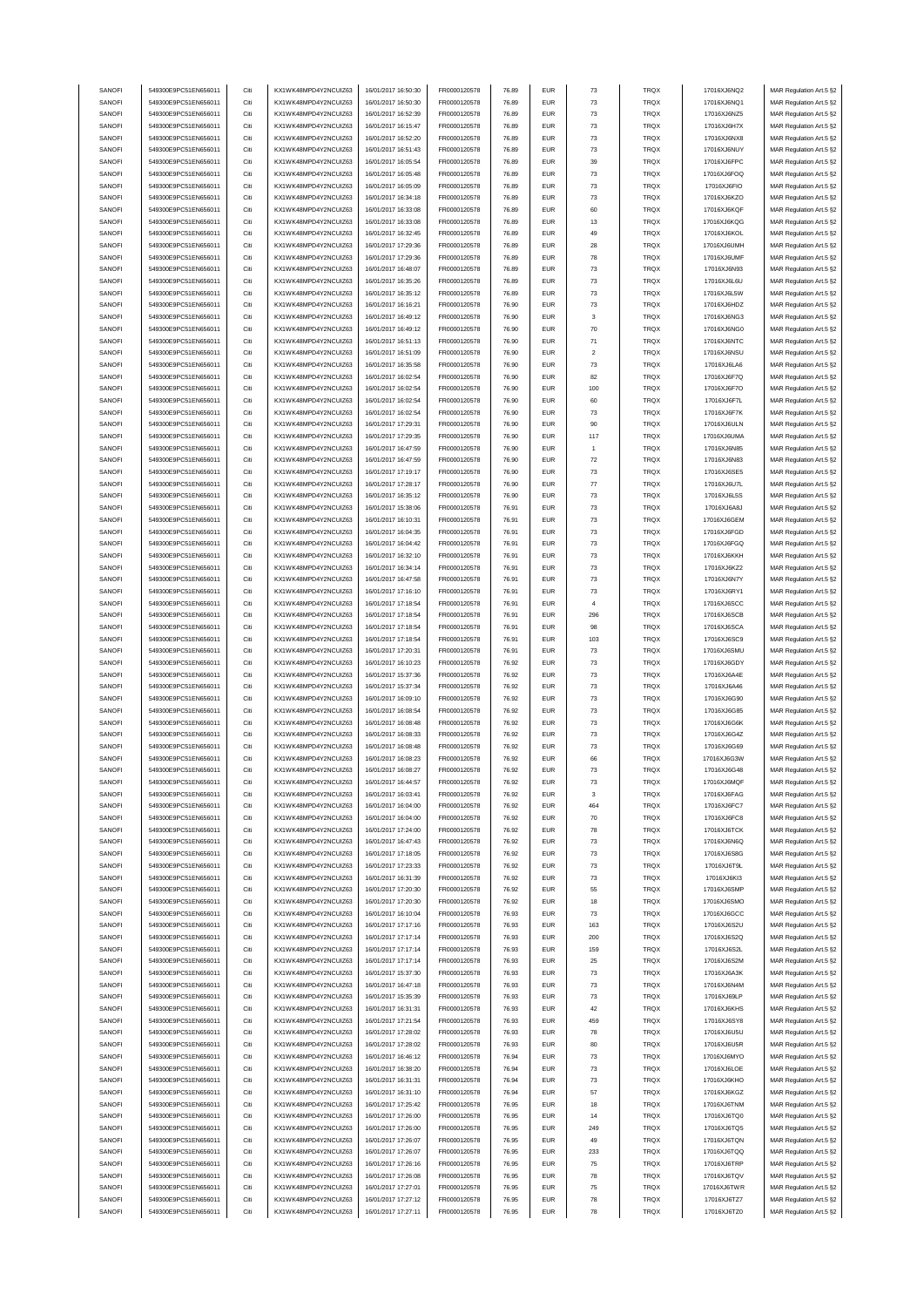| SANOFI           | 549300E9PC51EN656011                         | Citi         | KX1WK48MPD4Y2NCUIZ63                         | 16/01/2017 16:50:30                        | FR0000120578                 | 76.89          | <b>EUR</b>               | 73                 | <b>TRQX</b>  | 17016XJ6NQ2                | MAR Regulation Art.5 §2                            |
|------------------|----------------------------------------------|--------------|----------------------------------------------|--------------------------------------------|------------------------------|----------------|--------------------------|--------------------|--------------|----------------------------|----------------------------------------------------|
| SANOFI           | 549300E9PC51EN656011                         | Citi         | KX1WK48MPD4Y2NCUIZ63                         | 16/01/2017 16:50:30                        | FR0000120578                 | 76.89          | <b>EUR</b>               | $\bf 73$           | <b>TRQX</b>  | 17016XJ6NQ1                | MAR Regulation Art.5 §2                            |
|                  | 549300E9PC51EN656011                         | Citi         | KX1WK48MPD4Y2NCUIZ63                         |                                            |                              |                | <b>EUR</b>               |                    | TRQX         |                            | MAR Regulation Art.5 §2                            |
| SANOFI           |                                              |              |                                              | 16/01/2017 16:52:39                        | FR0000120578                 | 76.89          |                          | $\bf 73$           |              | 17016XJ6NZ5                |                                                    |
| SANOFI           | 549300E9PC51EN656011                         | Citi         | KX1WK48MPD4Y2NCUIZ63                         | 16/01/2017 16:15:47                        | FR0000120578                 | 76.89          | <b>EUR</b>               | $\mathbf{73}$      | TRQX         | 17016XJ6H7X                | MAR Regulation Art.5 §2                            |
| SANOFI           | 549300E9PC51EN656011                         | Citi         | KX1WK48MPD4Y2NCUIZ63                         | 16/01/2017 16:52:20                        | FR0000120578                 | 76.89          | <b>EUR</b>               | $\mathbf{73}$      | TRQX         | 17016XJ6NX8                | MAR Regulation Art.5 §2                            |
| SANOFI           | 549300E9PC51EN656011                         | Citi         | KX1WK48MPD4Y2NCUIZ63                         | 16/01/2017 16:51:43                        | FR0000120578                 | 76.89          | <b>EUR</b>               | $\mathbf{73}$      | TRQX         | 17016XJ6NUY                | MAR Regulation Art.5 §2                            |
| SANOFI           | 549300E9PC51EN656011                         | Citi         | KX1WK48MPD4Y2NCUIZ63                         | 16/01/2017 16:05:54                        | FR0000120578                 | 76.89          | <b>EUR</b>               | 39                 | TRQX         | 17016XJ6FPC                | MAR Regulation Art.5 §2                            |
| SANOFI           | 549300E9PC51EN656011                         | Citi         | KX1WK48MPD4Y2NCUIZ63                         | 16/01/2017 16:05:48                        | FR0000120578                 | 76.89          | <b>EUR</b>               | 73                 | <b>TRQX</b>  | 17016XJ6FOQ                | MAR Regulation Art.5 §2                            |
| SANOFI           | 549300E9PC51EN656011                         | Citi         | KX1WK48MPD4Y2NCUIZ63                         | 16/01/2017 16:05:09                        | FR0000120578                 | 76.89          | <b>EUR</b>               | 73                 | <b>TRQX</b>  | 17016XJ6FIO                |                                                    |
|                  |                                              |              |                                              |                                            |                              |                |                          |                    |              |                            | MAR Regulation Art.5 §2                            |
| SANOFI           | 549300E9PC51EN656011                         | Citi         | KX1WK48MPD4Y2NCUIZ63                         | 16/01/2017 16:34:18                        | FR0000120578                 | 76.89          | <b>EUR</b>               | $\bf 73$           | TRQX         | 17016XJ6KZO                | MAR Regulation Art.5 §2                            |
| SANOFI           | 549300E9PC51EN656011                         | Citi         | KX1WK48MPD4Y2NCUIZ63                         | 16/01/2017 16:33:08                        | FR0000120578                 | 76.89          | <b>EUR</b>               | 60                 | TRQX         | 17016XJ6KQF                | MAR Regulation Art.5 §2                            |
| SANOFI           | 549300E9PC51EN656011                         | Citi         | KX1WK48MPD4Y2NCUIZ63                         | 16/01/2017 16:33:08                        | FR0000120578                 | 76.89          | <b>EUR</b>               | 13                 | TRQX         | 17016XJ6KQG                | MAR Regulation Art.5 §2                            |
| SANOFI           | 549300E9PC51EN656011                         | Citi         | KX1WK48MPD4Y2NCUIZ63                         | 16/01/2017 16:32:45                        | FR0000120578                 | 76.89          | <b>EUR</b>               | 49                 | TRQX         | 17016XJ6KOL                | MAR Regulation Art.5 §2                            |
| SANOFI           | 549300E9PC51EN656011                         | Citi         | KX1WK48MPD4Y2NCUIZ63                         | 16/01/2017 17:29:36                        | FR0000120578                 | 76.89          | <b>EUR</b>               | 28                 | TRQX         | 17016XJ6UMH                | MAR Regulation Art.5 §2                            |
|                  |                                              |              |                                              |                                            |                              |                |                          |                    |              |                            |                                                    |
| SANOFI           | 549300E9PC51EN656011                         | Citi         | KX1WK48MPD4Y2NCUIZ63                         | 16/01/2017 17:29:36                        | FR0000120578                 | 76.89          | <b>EUR</b>               | 78                 | TRQX         | 17016XJ6UMF                | MAR Regulation Art.5 §2                            |
| SANOFI           | 549300E9PC51EN656011                         | Citi         | KX1WK48MPD4Y2NCUIZ63                         | 16/01/2017 16:48:07                        | FR0000120578                 | 76.89          | <b>EUR</b>               | 73                 | <b>TRQX</b>  | 17016XJ6N93                | MAR Regulation Art.5 §2                            |
| SANOFI           | 549300E9PC51EN656011                         | Citi         | KX1WK48MPD4Y2NCUIZ63                         | 16/01/2017 16:35:26                        | FR0000120578                 | 76.89          | <b>EUR</b>               | 73                 | TRQX         | 17016XJ6L6U                | MAR Regulation Art.5 §2                            |
| SANOFI           | 549300E9PC51EN656011                         | Citi         | KX1WK48MPD4Y2NCLIIZ63                        | 16/01/2017 16:35:12                        | FR0000120578                 | 76.89          | <b>EUR</b>               | $\mathbf{73}$      | TRQX         | 17016XJ6L5W                | MAR Regulation Art.5 §2                            |
| SANOFI           | 549300E9PC51EN656011                         | Citi         | KX1WK48MPD4Y2NCUIZ63                         | 16/01/2017 16:16:21                        | FR0000120578                 | 76.90          | <b>EUR</b>               | $\bf 73$           | TRQX         | 17016XJ6HDZ                | MAR Regulation Art.5 §2                            |
| SANOFI           | 549300E9PC51EN656011                         | Citi         | KX1WK48MPD4Y2NCUIZ63                         | 16/01/2017 16:49:12                        | FR0000120578                 | 76.90          | <b>EUR</b>               | 3                  | TRQX         | 17016XJ6NG3                | MAR Regulation Art.5 §2                            |
|                  |                                              |              |                                              |                                            |                              |                |                          |                    |              |                            |                                                    |
| SANOFI           | 549300E9PC51EN656011                         | Citi         | KX1WK48MPD4Y2NCUIZ63                         | 16/01/2017 16:49:12                        | FR0000120578                 | 76.90          | <b>EUR</b>               | 70                 | TRQX         | 17016XJ6NG0                | MAR Regulation Art.5 §2                            |
| SANOFI           | 549300E9PC51EN656011                         | Citi         | KX1WK48MPD4Y2NCUIZ63                         | 16/01/2017 16:51:13                        | FR0000120578                 | 76.90          | <b>EUR</b>               | 71                 | TRQX         | 17016XJ6NTC                | MAR Regulation Art.5 §2                            |
| SANOFI           | 549300E9PC51EN656011                         | Citi         | KX1WK48MPD4Y2NCUIZ63                         | 16/01/2017 16:51:09                        | FR0000120578                 | 76.90          | <b>EUR</b>               | $\sqrt{2}$         | TRQX         | 17016XJ6NSU                | MAR Regulation Art.5 §2                            |
| SANOFI           | 549300E9PC51EN656011                         | Citi         | KX1WK48MPD4Y2NCUIZ63                         | 16/01/2017 16:35:58                        | FR0000120578                 | 76.90          | <b>EUR</b>               | 73                 | <b>TRQX</b>  | 17016XJ6LA6                | MAR Regulation Art.5 §2                            |
| SANOFI           | 549300E9PC51EN656011                         | Citi         | KX1WK48MPD4Y2NCUIZ63                         | 16/01/2017 16:02:54                        | FR0000120578                 | 76.90          | <b>EUR</b>               | 82                 | <b>TRQX</b>  | 17016XJ6F7Q                | MAR Regulation Art.5 §2                            |
|                  | 549300E9PC51EN656011                         | Citi         |                                              |                                            |                              |                | <b>EUR</b>               |                    |              |                            | MAR Regulation Art.5 §2                            |
| SANOFI           |                                              |              | KX1WK48MPD4Y2NCUIZ63                         | 16/01/2017 16:02:54                        | FR0000120578                 | 76.90          |                          | 100                | TRQX         | 17016XJ6F7O                |                                                    |
| SANOFI           | 549300E9PC51EN656011                         | Citi         | KX1WK48MPD4Y2NCUIZ63                         | 16/01/2017 16:02:54                        | FR0000120578                 | 76.90          | <b>EUR</b>               | 60                 | TRQX         | 17016XJ6F7L                | MAR Regulation Art.5 §2                            |
| SANOFI           | 549300E9PC51EN656011                         | Citi         | KX1WK48MPD4Y2NCUIZ63                         | 16/01/2017 16:02:54                        | FR0000120578                 | 76.90          | <b>EUR</b>               | $\mathbf{73}$      | TRQX         | 17016XJ6F7K                | MAR Regulation Art.5 §2                            |
| SANOFI           | 549300E9PC51EN656011                         | Citi         | KX1WK48MPD4Y2NCUIZ63                         | 16/01/2017 17:29:31                        | FR0000120578                 | 76.90          | <b>EUR</b>               | 90                 | TRQX         | 17016XJ6ULN                | MAR Regulation Art.5 §2                            |
| SANOFI           | 549300E9PC51EN656011                         | Citi         | KX1WK48MPD4Y2NCUIZ63                         | 16/01/2017 17:29:35                        | FR0000120578                 | 76.90          | <b>EUR</b>               | 117                | TRQX         | 17016XJ6UMA                | MAR Regulation Art.5 §2                            |
| SANOFI           | 549300E9PC51EN656011                         | Citi         | KX1WK48MPD4Y2NCUIZ63                         | 16/01/2017 16:47:59                        | FR0000120578                 | 76.90          | <b>EUR</b>               | $\overline{1}$     | TRQX         | 17016XJ6N85                | MAR Regulation Art.5 §2                            |
|                  |                                              |              |                                              |                                            |                              |                |                          |                    |              |                            |                                                    |
| SANOFI           | 549300E9PC51EN656011                         | Citi         | KX1WK48MPD4Y2NCUIZ63                         | 16/01/2017 16:47:59                        | FR0000120578                 | 76.90          | <b>EUR</b>               | $\scriptstyle{72}$ | <b>TRQX</b>  | 17016XJ6N83                | MAR Regulation Art.5 §2                            |
| SANOFI           | 549300E9PC51EN656011                         | Citi         | KX1WK48MPD4Y2NCUIZ63                         | 16/01/2017 17:19:17                        | FR0000120578                 | 76.90          | <b>EUR</b>               | 73                 | <b>TRQX</b>  | 17016XJ6SE5                | MAR Regulation Art.5 §2                            |
| SANOFI           | 549300E9PC51EN656011                         | Citi         | KX1WK48MPD4Y2NCUIZ63                         | 16/01/2017 17:28:17                        | FR0000120578                 | 76.90          | <b>EUR</b>               | $77\,$             | TRQX         | 17016XJ6U7L                | MAR Regulation Art.5 §2                            |
| SANOFI           | 549300E9PC51EN656011                         | Citi         | KX1WK48MPD4Y2NCUIZ63                         | 16/01/2017 16:35:12                        | FR0000120578                 | 76.90          | <b>EUR</b>               | $\mathbf{73}$      | TRQX         | 17016XJ6L5S                | MAR Regulation Art.5 §2                            |
| SANOFI           | 549300E9PC51EN656011                         | Citi         | KX1WK48MPD4Y2NCUIZ63                         | 16/01/2017 15:38:06                        | FR0000120578                 | 76.91          | <b>EUR</b>               | $\mathbf{73}$      | TRQX         | 17016XJ6A8J                | MAR Regulation Art.5 §2                            |
|                  |                                              |              |                                              |                                            |                              |                |                          |                    |              |                            |                                                    |
| SANOFI           | 549300E9PC51EN656011                         | Citi         | KX1WK48MPD4Y2NCUIZ63                         | 16/01/2017 16:10:31                        | FR0000120578                 | 76.91          | <b>EUR</b>               | $\mathbf{73}$      | TRQX         | 17016XJ6GEM                | MAR Regulation Art.5 §2                            |
| SANOFI           | 549300E9PC51EN656011                         | Citi         | KX1WK48MPD4Y2NCUIZ63                         | 16/01/2017 16:04:35                        | FR0000120578                 | 76.91          | <b>EUR</b>               | $\bf 73$           | TRQX         | 17016XJ6FGD                | MAR Regulation Art.5 §2                            |
| SANOFI           | 549300E9PC51EN656011                         | Citi         | KX1WK48MPD4Y2NCUIZ63                         | 16/01/2017 16:04:42                        | FR0000120578                 | 76.91          | <b>EUR</b>               | 73                 | TRQX         | 17016XJ6FGQ                | MAR Regulation Art.5 §2                            |
| SANOFI           | 549300E9PC51EN656011                         | Citi         | KX1WK48MPD4Y2NCUIZ63                         | 16/01/2017 16:32:10                        | FR0000120578                 | 76.91          | <b>EUR</b>               | $\mathbf{73}$      | TRQX         | 17016XJ6KKH                | MAR Regulation Art.5 §2                            |
| SANOFI           | 549300E9PC51EN656011                         | Citi         | KX1WK48MPD4Y2NCUIZ63                         | 16/01/2017 16:34:14                        | FR0000120578                 | 76.91          | <b>EUR</b>               | 73                 | <b>TRQX</b>  | 17016XJ6KZ2                | MAR Regulation Art.5 §2                            |
| SANOFI           | 549300E9PC51EN656011                         | Citi         | KX1WK48MPD4Y2NCUIZ63                         | 16/01/2017 16:47:58                        | FR0000120578                 | 76.91          | <b>EUR</b>               | 73                 | TRQX         | 17016XJ6N7Y                | MAR Regulation Art.5 §2                            |
|                  |                                              |              |                                              |                                            |                              |                |                          |                    |              |                            |                                                    |
| SANOFI           | 549300E9PC51EN656011                         | Citi         | KX1WK48MPD4Y2NCUIZ63                         | 16/01/2017 17:16:10                        | FR0000120578                 | 76.91          | <b>EUR</b>               | $\mathbf{73}$      | TRQX         | 17016XJ6RY1                | MAR Regulation Art.5 §2                            |
| SANOFI           | 549300E9PC51EN656011                         | Citi         | KX1WK48MPD4Y2NCUIZ63                         | 16/01/2017 17:18:54                        | FR0000120578                 | 76.91          | <b>EUR</b>               | $\overline{4}$     | TRQX         | 17016XJ6SCC                | MAR Regulation Art.5 §2                            |
| SANOFI           | 549300E9PC51EN656011                         | Citi         | KX1WK48MPD4Y2NCUIZ63                         | 16/01/2017 17:18:54                        | FR0000120578                 | 76.91          | <b>EUR</b>               | 296                | TRQX         | 17016XJ6SCB                | MAR Regulation Art.5 §2                            |
| SANOFI           | 549300E9PC51EN656011                         | Citi         | KX1WK48MPD4Y2NCUIZ63                         | 16/01/2017 17:18:54                        | FR0000120578                 | 76.91          | <b>EUR</b>               | 98                 | TRQX         | 17016XJ6SCA                | MAR Regulation Art.5 §2                            |
| SANOFI           | 549300E9PC51EN656011                         | Citi         | KX1WK48MPD4Y2NCUIZ63                         | 16/01/2017 17:18:54                        | FR0000120578                 | 76.91          | <b>EUR</b>               | 103                | TRQX         | 17016XJ6SC9                | MAR Regulation Art.5 §2                            |
|                  |                                              | Citi         |                                              |                                            |                              |                |                          |                    |              |                            |                                                    |
| SANOFI           | 549300E9PC51EN656011                         |              | KX1WK48MPD4Y2NCUIZ63                         | 16/01/2017 17:20:31                        | FR0000120578                 | 76.91          | <b>EUR</b>               | $\mathbf{73}$      | TRQX         | 17016XJ6SMU                | MAR Regulation Art.5 §2                            |
| SANOFI           | 549300E9PC51EN656011                         | Citi         | KX1WK48MPD4Y2NCUIZ63                         | 16/01/2017 16:10:23                        | FR0000120578                 | 76.92          | <b>EUR</b>               | 73                 | <b>TRQX</b>  | 17016XJ6GDY                | MAR Regulation Art.5 §2                            |
| SANOFI           | 549300E9PC51EN656011                         | Citi         | KX1WK48MPD4Y2NCUIZ63                         | 16/01/2017 15:37:36                        | FR0000120578                 | 76.92          | <b>EUR</b>               | 73                 | <b>TRQX</b>  | 17016XJ6A4E                | MAR Regulation Art.5 §2                            |
| SANOFI           | 549300E9PC51EN656011                         | Citi         | KX1WK48MPD4Y2NCUIZ63                         | 16/01/2017 15:37:34                        | FR0000120578                 | 76.92          | <b>EUR</b>               | $\bf 73$           | TRQX         | 17016XJ6A46                | MAR Regulation Art.5 §2                            |
| SANOFI           | 549300E9PC51EN656011                         | Citi         | KX1WK48MPD4Y2NCUIZ63                         | 16/01/2017 16:09:10                        | FR0000120578                 | 76.92          | <b>EUR</b>               | $\mathbf{73}$      | TRQX         | 17016XJ6G90                | MAR Regulation Art.5 §2                            |
| SANOFI           | 549300E9PC51EN656011                         | Citi         | KX1WK48MPD4Y2NCUIZ63                         | 16/01/2017 16:08:54                        | FR0000120578                 | 76.92          | <b>EUR</b>               | $\mathbf{73}$      | TRQX         | 17016XJ6G85                | MAR Regulation Art.5 §2                            |
|                  |                                              |              |                                              |                                            |                              |                |                          |                    |              |                            |                                                    |
| SANOFI           | 549300E9PC51EN656011                         | Citi         | KX1WK48MPD4Y2NCUIZ63                         | 16/01/2017 16:08:48                        | FR0000120578                 | 76.92          | <b>EUR</b>               | $\mathbf{73}$      | TRQX         | 17016XJ6G6K                | MAR Regulation Art.5 §2                            |
| SANOFI           | 549300E9PC51EN656011                         | Citi         | KX1WK48MPD4Y2NCLIIZ63                        | 16/01/2017 16:08:33                        | FR0000120578                 | 76.92          | <b>EUR</b>               | $\mathbf{73}$      | TRQX         | 17016XJ6G4Z                | MAR Regulation Art.5 §2                            |
| SANOFI           | 549300E9PC51EN656011                         | Citi         | KX1WK48MPD4Y2NCUIZ63                         | 16/01/2017 16:08:48                        | FR0000120578                 | 76.92          | <b>EUR</b>               | $\mathbf{73}$      | TRQX         | 17016XJ6G69                | MAR Regulation Art.5 §2                            |
| SANOFI           | 549300E9PC51EN656011                         | Citi         | KX1WK48MPD4Y2NCUIZ63                         | 16/01/2017 16:08:23                        | FR0000120578                 | 76.92          | <b>EUR</b>               | 66                 | <b>TRQX</b>  | 17016XJ6G3W                | MAR Regulation Art.5 §2                            |
| SANOFI           | 549300E9PC51EN656011                         | Citi         | KX1WK48MPD4Y2NCLIIZ63                        | 16/01/2017 16:08:27                        | FR0000120578                 | 76.92          |                          |                    | TROX         | 17016XJ6G48                | MAR Regulation Art 5 82                            |
|                  |                                              |              |                                              |                                            |                              |                |                          |                    |              |                            |                                                    |
| SANOFI           | 549300E9PC51EN656011                         | Citi         | KX1WK48MPD4Y2NCUIZ63                         | 16/01/2017 16:44:57                        | FR0000120578                 | 76.92          | <b>EUR</b>               | 73                 | TRQX         | 17016XJ6MQF                | MAR Regulation Art.5 §2                            |
| SANOFI           | 549300E9PC51EN656011                         | Citi         | KX1WK48MPD4Y2NCUIZ63                         | 16/01/2017 16:03:41                        | FR0000120578                 | 76.92          | <b>EUR</b>               | 3                  | TRQX         | 17016XJ6FAG                | MAR Regulation Art.5 §2                            |
| SANOFI           | 549300E9PC51EN656011                         | Citi         | KX1WK48MPD4Y2NCUIZ63                         | 16/01/2017 16:04:00                        | FR0000120578                 | 76.92          | <b>EUR</b>               | 464                | TRQX         | 17016XJ6FC7                | MAR Regulation Art.5 §2                            |
| SANOFI           | 549300E9PC51EN656011                         | Citi         | KX1WK48MPD4Y2NCUIZ63                         | 16/01/2017 16:04:00                        | FR0000120578                 | 76.92          | <b>EUR</b>               | 70                 | TRQX         | 17016XJ6FC8                | MAR Regulation Art.5 §2                            |
| SANOFI           | 549300E9PC51EN656011                         | Citi         | KX1WK48MPD4Y2NCUIZ63                         | 16/01/2017 17:24:00                        | FR0000120578                 | 76.92          | <b>EUR</b>               | 78                 | TRQX         | 17016XJ6TCK                | MAR Regulation Art.5 §2                            |
| SANOFI           | 549300E9PC51EN656011                         | Citi         | KX1WK48MPD4Y2NCUIZ63                         | 16/01/2017 16:47:43                        | FR0000120578                 | 76.92          | <b>EUR</b>               | 73                 | TRQX         | 17016XJ6N6Q                | MAR Regulation Art.5 §2                            |
|                  | 549300E9PC51EN656011                         | Citi         | KX1WK48MPD4Y2NCUIZ63                         | 16/01/2017 17:18:05                        | FR0000120578                 |                |                          |                    |              |                            |                                                    |
| SANOFI           |                                              |              |                                              |                                            |                              | 76.92          | <b>EUR</b>               | $\bf 73$           | TRQX         | 17016XJ6S8G                | MAR Regulation Art.5 §2                            |
| SANOFI           | 549300E9PC51EN656011                         | Citi         | KX1WK48MPD4Y2NCUIZ63                         | 16/01/2017 17:23:33                        | FR0000120578                 | 76.92          | <b>EUR</b>               | 73                 | <b>TRQX</b>  | 17016XJ6T9L                | MAR Regulation Art.5 §2                            |
| SANOFI           | 549300E9PC51EN656011                         | Citi         | KX1WK48MPD4Y2NCUIZ63                         | 16/01/2017 16:31:39                        | FR0000120578                 | 76.92          | <b>EUR</b>               | $\bf 73$           | TRQX         | 17016XJ6KI3                | MAR Regulation Art.5 §2                            |
| SANOFI           | 549300E9PC51EN656011                         | Citi         | KX1WK48MPD4Y2NCUIZ63                         | 16/01/2017 17:20:30                        | FR0000120578                 | 76.92          | <b>EUR</b>               | 55                 | TRQX         | 17016XJ6SMP                | MAR Regulation Art.5 §2                            |
| SANOFI           | 549300E9PC51EN656011                         | Citi         | KX1WK48MPD4Y2NCUIZ63                         | 16/01/2017 17:20:30                        | FR0000120578                 | 76.92          | <b>EUR</b>               | 18                 | TRQX         | 17016XJ6SMO                | MAR Regulation Art.5 §2                            |
| SANOFI           | 549300E9PC51EN656011                         | Citi         | KX1WK48MPD4Y2NCUIZ63                         | 16/01/2017 16:10:04                        | FR0000120578                 | 76.93          | <b>EUR</b>               | $\mathbf{73}$      | TRQX         | 17016XJ6GCC                | MAR Regulation Art.5 §2                            |
|                  |                                              | Citi         |                                              |                                            |                              |                |                          |                    |              |                            |                                                    |
| SANOFI           | 549300E9PC51EN656011                         |              | KX1WK48MPD4Y2NCUIZ63                         | 16/01/2017 17:17:16                        | FR0000120578                 | 76.93          | <b>EUR</b>               | 163                | TRQX         | 17016XJ6S2U                | MAR Regulation Art.5 §2                            |
| SANOFI           | 549300E9PC51EN656011                         | Citi         | KX1WK48MPD4Y2NCUIZ63                         | 16/01/2017 17:17:14                        | FR0000120578                 | 76.93          | <b>EUR</b>               | 200                | TRQX         | 17016XJ6S2Q                | MAR Regulation Art.5 §2                            |
| SANOFI           | 549300E9PC51EN656011                         | Citi         | KX1WK48MPD4Y2NCUIZ63                         | 16/01/2017 17:17:14                        | FR0000120578                 | 76.93          | <b>EUR</b>               | 159                | <b>TRQX</b>  | 17016XJ6S2L                | MAR Regulation Art.5 §2                            |
| SANOFI           | 549300E9PC51EN656011                         | Citi         | KX1WK48MPD4Y2NCUIZ63                         | 16/01/2017 17:17:14                        | FR0000120578                 | 76.93          | <b>EUR</b>               | 25                 | TRQX         | 17016XJ6S2M                | MAR Regulation Art.5 §2                            |
| SANOFI           | 549300E9PC51EN656011                         | Citi         | KX1WK48MPD4Y2NCUIZ63                         | 16/01/2017 15:37:30                        | FR0000120578                 | 76.93          | <b>EUR</b>               | $\mathbf{73}$      | TRQX         | 17016XJ6A3K                | MAR Regulation Art.5 §2                            |
|                  |                                              |              |                                              |                                            |                              |                |                          |                    |              |                            |                                                    |
| SANOFI           | 549300E9PC51EN656011                         | Citi         | KX1WK48MPD4Y2NCUIZ63                         | 16/01/2017 16:47:18                        | FR0000120578                 | 76.93          | <b>EUR</b>               | $\bf 73$           | TRQX         | 17016XJ6N4M                | MAR Regulation Art.5 §2                            |
| SANOFI           | 549300E9PC51EN656011                         | Citi         | KX1WK48MPD4Y2NCUIZ63                         | 16/01/2017 15:35:39                        | FR0000120578                 | 76.93          | <b>EUR</b>               | $\mathbf{73}$      | TRQX         | 17016XJ69LP                | MAR Regulation Art.5 §2                            |
| SANOFI           | 549300E9PC51EN656011                         | Citi         | KX1WK48MPD4Y2NCUIZ63                         | 16/01/2017 16:31:31                        | FR0000120578                 | 76.93          | <b>EUR</b>               | 42                 | TRQX         | 17016XJ6KHS                | MAR Regulation Art.5 §2                            |
| SANOFI           | 549300E9PC51EN656011                         | Citi         | KX1WK48MPD4Y2NCUIZ63                         | 16/01/2017 17:21:54                        | FR0000120578                 | 76.93          | <b>EUR</b>               | 459                | TRQX         | 17016XJ6SY8                | MAR Regulation Art.5 §2                            |
| SANOFI           | 549300E9PC51EN656011                         | Citi         | KX1WK48MPD4Y2NCUIZ63                         | 16/01/2017 17:28:02                        | FR0000120578                 | 76.93          | <b>EUR</b>               | 78                 | TRQX         | 17016XJ6U5U                | MAR Regulation Art.5 §2                            |
| SANOFI           | 549300E9PC51EN656011                         | Citi         | KX1WK48MPD4Y2NCUIZ63                         | 16/01/2017 17:28:02                        | FR0000120578                 | 76.93          | <b>EUR</b>               | 80                 | TRQX         | 17016XJ6U5R                | MAR Regulation Art.5 §2                            |
| SANOFI           | 549300E9PC51EN656011                         | Citi         | KX1WK48MPD4Y2NCUIZ63                         | 16/01/2017 16:46:12                        | FR0000120578                 | 76.94          | <b>EUR</b>               | 73                 | <b>TRQX</b>  |                            |                                                    |
|                  |                                              |              |                                              |                                            |                              |                |                          |                    |              | 17016XJ6MYO                | MAR Regulation Art.5 §2                            |
| SANOFI           | 549300E9PC51EN656011                         | Citi         | KX1WK48MPD4Y2NCUIZ63                         | 16/01/2017 16:38:20                        | FR0000120578                 | 76.94          | <b>EUR</b>               | $\mathbf{73}$      | TRQX         | 17016XJ6LOE                | MAR Regulation Art.5 §2                            |
| SANOFI           | 549300E9PC51EN656011                         | Citi         | KX1WK48MPD4Y2NCUIZ63                         | 16/01/2017 16:31:31                        | FR0000120578                 | 76.94          | <b>EUR</b>               | $\mathbf{73}$      | TRQX         | 17016XJ6KHO                | MAR Regulation Art.5 §2                            |
| SANOFI           | 549300E9PC51EN656011                         | Citi         | KX1WK48MPD4Y2NCUIZ63                         | 16/01/2017 16:31:10                        | FR0000120578                 | 76.94          | <b>EUR</b>               | 57                 | TRQX         | 17016XJ6KGZ                | MAR Regulation Art.5 §2                            |
| SANOFI           | 549300E9PC51EN656011                         | Citi         | KX1WK48MPD4Y2NCUIZ63                         | 16/01/2017 17:25:42                        | FR0000120578                 | 76.95          | <b>EUR</b>               | 18                 | TRQX         | 17016XJ6TNM                | MAR Regulation Art.5 §2                            |
| SANOFI           | 549300E9PC51EN656011                         | Citi         | KX1WK48MPD4Y2NCUIZ63                         | 16/01/2017 17:26:00                        | FR0000120578                 | 76.95          | <b>EUR</b>               | 14                 | TRQX         | 17016XJ6TQ0                | MAR Regulation Art.5 §2                            |
|                  |                                              |              |                                              |                                            |                              |                |                          |                    |              |                            |                                                    |
| SANOFI           | 549300E9PC51EN656011                         | Citi         | KX1WK48MPD4Y2NCUIZ63                         | 16/01/2017 17:26:00                        | FR0000120578                 | 76.95          | <b>EUR</b>               | 249                | TRQX         | 17016XJ6TQ5                | MAR Regulation Art.5 §2                            |
| SANOFI           | 549300E9PC51EN656011                         | Citi         | KX1WK48MPD4Y2NCUIZ63                         | 16/01/2017 17:26:07                        | FR0000120578                 | 76.95          | <b>EUR</b>               | 49                 | TRQX         | 17016XJ6TQN                | MAR Regulation Art.5 §2                            |
| SANOFI           | 549300E9PC51EN656011                         | Citi         | KX1WK48MPD4Y2NCUIZ63                         | 16/01/2017 17:26:07                        | FR0000120578                 | 76.95          | <b>EUR</b>               | 233                | <b>TRQX</b>  | 17016XJ6TQQ                | MAR Regulation Art.5 §2                            |
| SANOFI           | 549300E9PC51EN656011                         | Citi         | KX1WK48MPD4Y2NCUIZ63                         | 16/01/2017 17:26:16                        | FR0000120578                 | 76.95          | <b>EUR</b>               | 75                 | <b>TRQX</b>  | 17016XJ6TRP                | MAR Regulation Art.5 §2                            |
| SANOFI           | 549300E9PC51EN656011                         | Citi         | KX1WK48MPD4Y2NCUIZ63                         | 16/01/2017 17:26:08                        | FR0000120578                 | 76.95          | <b>EUR</b>               | 78                 | TRQX         | 17016XJ6TQV                | MAR Regulation Art.5 §2                            |
| SANOFI           | 549300E9PC51EN656011                         | Citi         | KX1WK48MPD4Y2NCUIZ63                         | 16/01/2017 17:27:01                        | FR0000120578                 | 76.95          | <b>EUR</b>               | 75                 | TRQX         |                            |                                                    |
|                  |                                              |              |                                              |                                            |                              |                |                          |                    |              |                            |                                                    |
|                  |                                              |              |                                              |                                            |                              |                |                          |                    |              | 17016XJ6TWR                | MAR Regulation Art.5 §2                            |
| SANOFI<br>SANOFI | 549300E9PC51EN656011<br>549300E9PC51EN656011 | Citi<br>Citi | KX1WK48MPD4Y2NCUIZ63<br>KX1WK48MPD4Y2NCUIZ63 | 16/01/2017 17:27:12<br>16/01/2017 17:27:11 | FR0000120578<br>FR0000120578 | 76.95<br>76.95 | <b>EUR</b><br><b>EUR</b> | 78<br>78           | TRQX<br>TRQX | 17016XJ6TZ7<br>17016XJ6TZ0 | MAR Regulation Art.5 §2<br>MAR Regulation Art.5 §2 |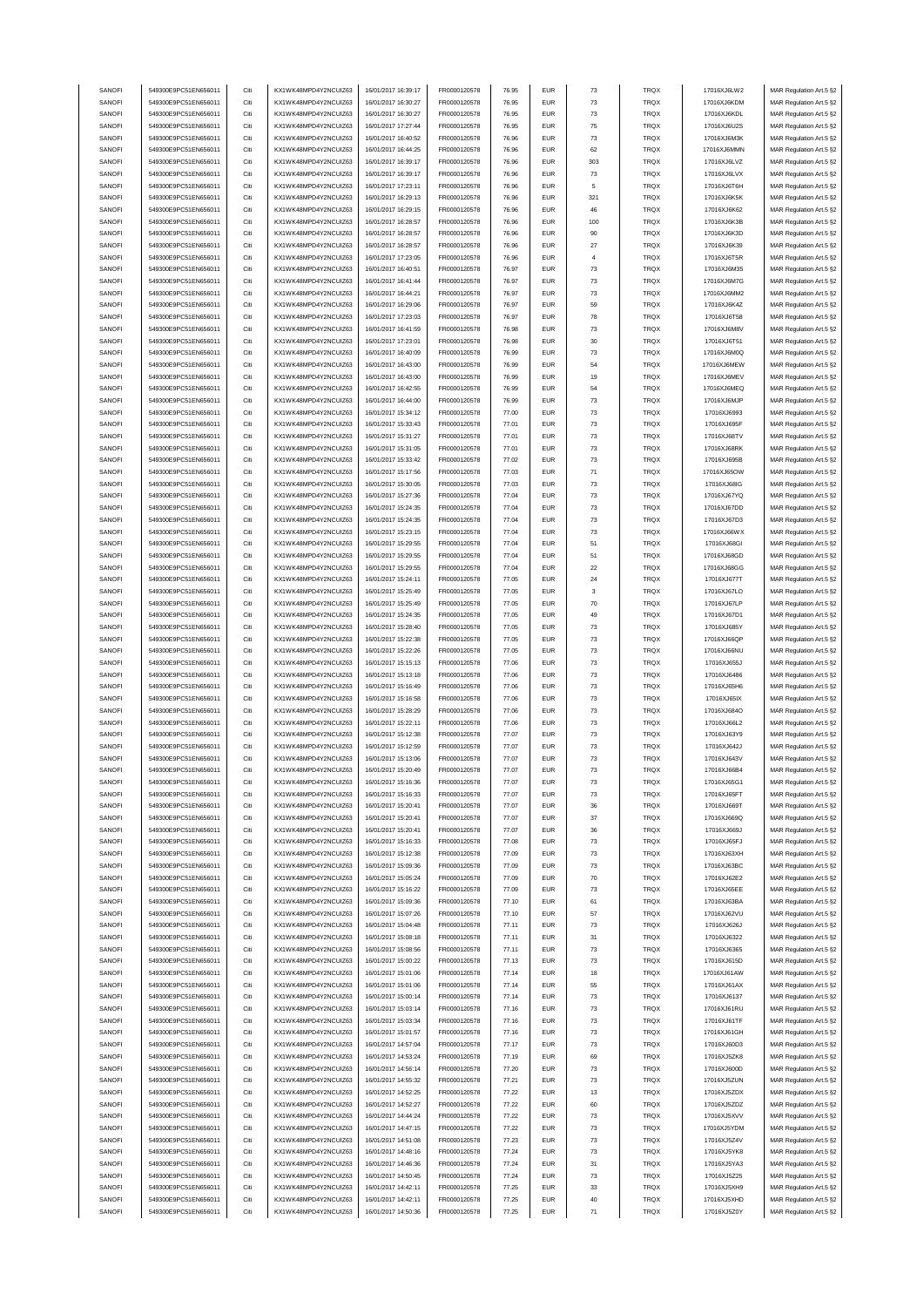| SANOFI        | 549300E9PC51EN656011 | Citi | KX1WK48MPD4Y2NCUIZ63  | 16/01/2017 16:39:17 | FR0000120578 | 76.95 | <b>EUR</b> | $\mathbf{73}$  | <b>TRQX</b> | 17016XJ6LW2  | MAR Regulation Art.5 §2 |
|---------------|----------------------|------|-----------------------|---------------------|--------------|-------|------------|----------------|-------------|--------------|-------------------------|
|               |                      |      |                       |                     |              |       |            |                |             | 17016X.I6KDM |                         |
| SANOFI        | 549300E9PC51EN656011 | Citi | KX1WK48MPD4Y2NCUIZ63  | 16/01/2017 16:30:27 | FR0000120578 | 76.95 | <b>EUR</b> | $\bf 73$       | <b>TRQX</b> |              | MAR Regulation Art.5 §2 |
| SANOFI        | 549300E9PC51EN656011 | Citi | KX1WK48MPD4Y2NCUIZ63  | 16/01/2017 16:30:27 | FR0000120578 | 76.95 | <b>EUR</b> | $\bf 73$       | TRQX        | 17016XJ6KDL  | MAR Regulation Art.5 §2 |
| SANOFI        | 549300E9PC51EN656011 | Citi | KX1WK48MPD4Y2NCUIZ63  | 16/01/2017 17:27:44 | FR0000120578 | 76.95 | <b>EUR</b> | 75             | TRQX        | 17016XJ6U2S  | MAR Regulation Art.5 §2 |
| SANOFI        | 549300E9PC51EN656011 | Citi | KX1WK48MPD4Y2NCUIZ63  | 16/01/2017 16:40:52 | FR0000120578 | 76.96 | <b>EUR</b> | $\mathbf{73}$  | TRQX        | 17016XJ6M3K  | MAR Regulation Art.5 §2 |
| SANOFI        | 549300E9PC51EN656011 | Citi | KX1WK48MPD4Y2NCUIZ63  | 16/01/2017 16:44:25 | FR0000120578 | 76.96 | <b>EUR</b> | 62             | TRQX        | 17016XJ6MMN  | MAR Regulation Art.5 §2 |
| SANOFI        |                      | Citi | KX1WK48MPD4Y2NCUIZ63  |                     | FR0000120578 | 76.96 | <b>EUR</b> |                | TRQX        | 17016XJ6LVZ  |                         |
|               | 549300E9PC51EN656011 |      |                       | 16/01/2017 16:39:17 |              |       |            | 303            |             |              | MAR Regulation Art.5 §2 |
| SANOFI        | 549300E9PC51EN656011 | Citi | KX1WK48MPD4Y2NCUIZ63  | 16/01/2017 16:39:17 | FR0000120578 | 76.96 | <b>EUR</b> | 73             | <b>TRQX</b> | 17016XJ6LVX  | MAR Regulation Art.5 §2 |
| SANOFI        | 549300E9PC51EN656011 | Citi | KX1WK48MPD4Y2NCUIZ63  | 16/01/2017 17:23:11 | FR0000120578 | 76.96 | <b>EUR</b> | 5              | <b>TRQX</b> | 17016XJ6T6H  | MAR Regulation Art.5 §2 |
| SANOFI        | 549300E9PC51EN656011 | Citi | KX1WK48MPD4Y2NCUIZ63  | 16/01/2017 16:29:13 | FR0000120578 | 76.96 | <b>EUR</b> | 321            | TRQX        | 17016XJ6K5K  | MAR Regulation Art.5 §2 |
| SANOFI        | 549300E9PC51EN656011 | Citi | KX1WK48MPD4Y2NCUIZ63  | 16/01/2017 16:29:15 | FR0000120578 | 76.96 | <b>EUR</b> | 46             | TRQX        | 17016XJ6K62  |                         |
|               |                      |      |                       |                     |              |       |            |                |             |              | MAR Regulation Art.5 §2 |
| SANOFI        | 549300E9PC51EN656011 | Citi | KX1WK48MPD4Y2NCUIZ63  | 16/01/2017 16:28:57 | FR0000120578 | 76.96 | <b>EUR</b> | 100            | TRQX        | 17016XJ6K3B  | MAR Regulation Art.5 §2 |
| SANOFI        | 549300E9PC51EN656011 | Citi | KX1WK48MPD4Y2NCUIZ63  | 16/01/2017 16:28:57 | FR0000120578 | 76.96 | <b>EUR</b> | 90             | TRQX        | 17016XJ6K3D  | MAR Regulation Art.5 §2 |
| SANOFI        | 549300E9PC51EN656011 | Citi | KX1WK48MPD4Y2NCUIZ63  | 16/01/2017 16:28:57 | FR0000120578 | 76.96 | <b>EUR</b> | 27             | TRQX        | 17016XJ6K39  | MAR Regulation Art.5 §2 |
| SANOFI        | 549300E9PC51EN656011 | Citi | KX1WK48MPD4Y2NCUIZ63  | 16/01/2017 17:23:05 | FR0000120578 | 76.96 | <b>EUR</b> | $\overline{4}$ | TRQX        | 17016XJ6T5R  | MAR Regulation Art.5 §2 |
|               |                      |      |                       |                     |              |       |            |                |             |              |                         |
| SANOFI        | 549300E9PC51EN656011 | Citi | KX1WK48MPD4Y2NCUIZ63  | 16/01/2017 16:40:51 | FR0000120578 | 76.97 | <b>EUR</b> | 73             | <b>TRQX</b> | 17016XJ6M35  | MAR Regulation Art.5 §2 |
| SANOFI        | 549300E9PC51EN656011 | Citi | KX1WK48MPD4Y2NCUIZ63  | 16/01/2017 16:41:44 | FR0000120578 | 76.97 | <b>EUR</b> | 73             | TRQX        | 17016XJ6M7G  | MAR Regulation Art.5 §2 |
| SANOFI        | 549300E9PC51EN656011 | Citi | KX1WK48MPD4Y2NCLIIZ63 | 16/01/2017 16:44:21 | FR0000120578 | 76.97 | <b>EUR</b> | $\mathbf{73}$  | TRQX        | 17016XJ6MM2  | MAR Regulation Art.5 §2 |
| SANOFI        | 549300E9PC51EN656011 | Citi | KX1WK48MPD4Y2NCUIZ63  | 16/01/2017 16:29:06 | FR0000120578 | 76.97 | <b>EUR</b> | 59             | TRQX        | 17016XJ6K4Z  | MAR Regulation Art.5 §2 |
| SANOFI        | 549300E9PC51EN656011 | Citi | KX1WK48MPD4Y2NCUIZ63  | 16/01/2017 17:23:03 | FR0000120578 | 76.97 | <b>EUR</b> | 78             | TRQX        | 17016XJ6T58  | MAR Regulation Art.5 §2 |
|               |                      |      |                       |                     |              |       |            |                |             |              |                         |
| SANOFI        | 549300E9PC51EN656011 | Citi | KX1WK48MPD4Y2NCUIZ63  | 16/01/2017 16:41:59 | FR0000120578 | 76.98 | <b>EUR</b> | $\mathbf{73}$  | TRQX        | 17016XJ6M8V  | MAR Regulation Art.5 §2 |
| SANOFI        | 549300E9PC51EN656011 | Citi | KX1WK48MPD4Y2NCUIZ63  | 16/01/2017 17:23:01 | FR0000120578 | 76.98 | <b>EUR</b> | 30             | TRQX        | 17016XJ6T51  | MAR Regulation Art.5 §2 |
| SANOFI        | 549300E9PC51EN656011 | Citi | KX1WK48MPD4Y2NCUIZ63  | 16/01/2017 16:40:09 | FR0000120578 | 76.99 | <b>EUR</b> | $\mathbf{73}$  | TRQX        | 17016XJ6M0Q  | MAR Regulation Art.5 §2 |
| SANOFI        | 549300E9PC51EN656011 | Citi | KX1WK48MPD4Y2NCUIZ63  | 16/01/2017 16:43:00 | FR0000120578 | 76.99 | <b>EUR</b> | 54             | <b>TRQX</b> | 17016XJ6MEW  | MAR Regulation Art.5 §2 |
| SANOFI        | 549300E9PC51EN656011 | Citi | KX1WK48MPD4Y2NCLIIZ63 | 16/01/2017 16:43:00 | FR0000120578 | 76.99 | <b>EUR</b> | 19             | <b>TRQX</b> |              |                         |
|               |                      |      |                       |                     |              |       |            |                |             | 17016XJ6MEV  | MAR Regulation Art.5 §2 |
| SANOFI        | 549300E9PC51EN656011 | Citi | KX1WK48MPD4Y2NCUIZ63  | 16/01/2017 16:42:55 | FR0000120578 | 76.99 | <b>EUR</b> | 54             | TRQX        | 17016XJ6MEQ  | MAR Regulation Art.5 §2 |
| SANOFI        | 549300E9PC51EN656011 | Citi | KX1WK48MPD4Y2NCUIZ63  | 16/01/2017 16:44:00 | FR0000120578 | 76.99 | <b>EUR</b> | $\mathbf{73}$  | TRQX        | 17016XJ6MJP  | MAR Regulation Art.5 §2 |
| SANOFI        | 549300E9PC51EN656011 | Citi | KX1WK48MPD4Y2NCUIZ63  | 16/01/2017 15:34:12 | FR0000120578 | 77.00 | <b>EUR</b> | $\mathbf{73}$  | TRQX        | 17016XJ6993  | MAR Regulation Art.5 §2 |
| SANOFI        | 549300E9PC51EN656011 | Citi | KX1WK48MPD4Y2NCUIZ63  | 16/01/2017 15:33:43 | FR0000120578 | 77.01 | <b>EUR</b> | $\mathbf{73}$  | TRQX        | 17016XJ695F  | MAR Regulation Art.5 §2 |
|               |                      |      |                       |                     |              |       |            |                |             |              |                         |
| SANOFI        | 549300E9PC51EN656011 | Citi | KX1WK48MPD4Y2NCUIZ63  | 16/01/2017 15:31:27 | FR0000120578 | 77.01 | <b>EUR</b> | $\mathbf{73}$  | TRQX        | 17016XJ68TV  | MAR Regulation Art.5 §2 |
| SANOFI        | 549300E9PC51EN656011 | Citi | KX1WK48MPD4Y2NCUIZ63  | 16/01/2017 15:31:05 | FR0000120578 | 77.01 | <b>EUR</b> | $\mathbf{73}$  | TRQX        | 17016XJ68RK  | MAR Regulation Art.5 §2 |
| SANOFI        | 549300E9PC51EN656011 | Citi | KX1WK48MPD4Y2NCUIZ63  | 16/01/2017 15:33:42 | FR0000120578 | 77.02 | <b>EUR</b> | 73             | <b>TRQX</b> | 17016XJ695B  | MAR Regulation Art.5 §2 |
| SANOFI        | 549300E9PC51EN656011 | Citi | KX1WK48MPD4Y2NCUIZ63  | 16/01/2017 15:17:56 | FR0000120578 | 77.03 | <b>EUR</b> | 71             | <b>TRQX</b> | 17016XJ65OW  | MAR Regulation Art.5 §2 |
|               |                      |      |                       |                     |              |       |            |                |             |              |                         |
| SANOFI        | 549300E9PC51EN656011 | Citi | KX1WK48MPD4Y2NCUIZ63  | 16/01/2017 15:30:05 | FR0000120578 | 77.03 | <b>EUR</b> | $\mathbf{73}$  | TRQX        | 17016XJ68IG  | MAR Regulation Art.5 §2 |
| SANOFI        | 549300E9PC51EN656011 | Citi | KX1WK48MPD4Y2NCUIZ63  | 16/01/2017 15:27:36 | FR0000120578 | 77.04 | <b>EUR</b> | $\mathbf{73}$  | TRQX        | 17016XJ67YQ  | MAR Regulation Art.5 §2 |
| SANOFI        | 549300E9PC51EN656011 | Citi | KX1WK48MPD4Y2NCUIZ63  | 16/01/2017 15:24:35 | FR0000120578 | 77.04 | <b>EUR</b> | $\mathbf{73}$  | TRQX        | 17016XJ67DD  | MAR Regulation Art.5 §2 |
| SANOFI        | 549300E9PC51EN656011 | Citi | KX1WK48MPD4Y2NCUIZ63  | 16/01/2017 15:24:35 | FR0000120578 | 77.04 | <b>EUR</b> | $\mathbf{73}$  | TRQX        | 17016XJ67D3  | MAR Regulation Art.5 §2 |
|               |                      |      |                       |                     |              |       |            |                |             |              |                         |
| SANOFI        | 549300E9PC51EN656011 | Citi | KX1WK48MPD4Y2NCUIZ63  | 16/01/2017 15:23:15 | FR0000120578 | 77.04 | <b>EUR</b> | $\bf 73$       | TRQX        | 17016XJ66WX  | MAR Regulation Art.5 §2 |
| SANOFI        | 549300E9PC51EN656011 | Citi | KX1WK48MPD4Y2NCUIZ63  | 16/01/2017 15:29:55 | FR0000120578 | 77.04 | <b>EUR</b> | 51             | TRQX        | 17016XJ68GI  | MAR Regulation Art.5 §2 |
| SANOFI        | 549300E9PC51EN656011 | Citi | KX1WK48MPD4Y2NCUIZ63  | 16/01/2017 15:29:55 | FR0000120578 | 77.04 | <b>EUR</b> | 51             | TRQX        | 17016XJ68GD  | MAR Regulation Art.5 §2 |
| SANOFI        | 549300E9PC51EN656011 | Citi | KX1WK48MPD4Y2NCUIZ63  | 16/01/2017 15:29:55 | FR0000120578 | 77.04 | <b>EUR</b> | 22             | <b>TRQX</b> | 17016XJ68GG  | MAR Regulation Art.5 §2 |
| SANOFI        | 549300E9PC51EN656011 | Citi | KX1WK48MPD4Y2NCUIZ63  | 16/01/2017 15:24:11 | FR0000120578 | 77.05 | <b>EUR</b> | 24             | TRQX        | 17016XJ677T  | MAR Regulation Art.5 §2 |
|               |                      |      |                       |                     |              |       |            |                |             |              |                         |
| SANOFI        | 549300E9PC51EN656011 | Citi | KX1WK48MPD4Y2NCUIZ63  | 16/01/2017 15:25:49 | FR0000120578 | 77.05 | <b>EUR</b> | 3              | TRQX        | 17016XJ67LO  | MAR Regulation Art.5 §2 |
| SANOFI        | 549300E9PC51EN656011 | Citi | KX1WK48MPD4Y2NCUIZ63  | 16/01/2017 15:25:49 | FR0000120578 | 77.05 | <b>EUR</b> | 70             | TRQX        | 17016XJ67LP  | MAR Regulation Art.5 §2 |
| SANOFI        | 549300E9PC51EN656011 | Citi | KX1WK48MPD4Y2NCUIZ63  | 16/01/2017 15:24:35 | FR0000120578 | 77.05 | <b>EUR</b> | 49             | TRQX        | 17016XJ67D1  | MAR Regulation Art.5 §2 |
| SANOFI        | 549300E9PC51EN656011 | Citi | KX1WK48MPD4Y2NCUIZ63  | 16/01/2017 15:28:40 | FR0000120578 | 77.05 | <b>EUR</b> | $\mathbf{73}$  | TRQX        | 17016XJ685Y  | MAR Regulation Art.5 §2 |
| SANOFI        |                      | Citi |                       |                     |              |       | <b>EUR</b> | $\bf 73$       | TRQX        |              |                         |
|               | 549300E9PC51EN656011 |      | KX1WK48MPD4Y2NCUIZ63  | 16/01/2017 15:22:38 | FR0000120578 | 77.05 |            |                |             | 17016XJ66QP  | MAR Regulation Art.5 §2 |
| SANOFI        | 549300E9PC51EN656011 | Citi | KX1WK48MPD4Y2NCUIZ63  | 16/01/2017 15:22:26 | FR0000120578 | 77.05 | <b>EUR</b> | $\mathbf{73}$  | TRQX        | 17016XJ66NU  | MAR Regulation Art.5 §2 |
| SANOFI        | 549300E9PC51EN656011 | Citi | KX1WK48MPD4Y2NCUIZ63  | 16/01/2017 15:15:13 | FR0000120578 | 77.06 | <b>EUR</b> | 73             | <b>TRQX</b> | 17016XJ655J  | MAR Regulation Art.5 §2 |
| SANOFI        | 549300E9PC51EN656011 | Citi | KX1WK48MPD4Y2NCUIZ63  | 16/01/2017 15:13:18 | FR0000120578 | 77.06 | <b>EUR</b> | 73             | <b>TRQX</b> | 17016XJ6486  | MAR Regulation Art.5 §2 |
| SANOFI        | 549300E9PC51EN656011 | Citi | KX1WK48MPD4Y2NCUIZ63  | 16/01/2017 15:16:49 | FR0000120578 | 77.06 | <b>EUR</b> | $\bf 73$       | TRQX        | 17016XJ65H6  | MAR Regulation Art.5 §2 |
|               |                      |      |                       |                     |              |       |            |                |             |              |                         |
| SANOFI        | 549300E9PC51EN656011 | Citi | KX1WK48MPD4Y2NCUIZ63  | 16/01/2017 15:16:58 | FR0000120578 | 77.06 | <b>EUR</b> | $\mathbf{73}$  | TRQX        | 17016XJ65IX  | MAR Regulation Art.5 §2 |
| SANOFI        | 549300E9PC51EN656011 | Citi | KX1WK48MPD4Y2NCUIZ63  | 16/01/2017 15:28:29 | FR0000120578 | 77.06 | <b>EUR</b> | $\mathbf{73}$  | TRQX        | 17016XJ684O  | MAR Regulation Art.5 §2 |
| SANOFI        | 549300E9PC51EN656011 | Citi | KX1WK48MPD4Y2NCUIZ63  | 16/01/2017 15:22:11 | FR0000120578 | 77.06 | <b>EUR</b> | $\mathbf{73}$  | TRQX        | 17016XJ66L2  | MAR Regulation Art.5 §2 |
| SANOFI        | 549300E9PC51EN656011 | Citi | KX1WK48MPD4Y2NCUIZ63  | 16/01/2017 15:12:38 | FR0000120578 | 77.07 | <b>EUR</b> | $\mathbf{73}$  | TRQX        | 17016XJ63Y9  | MAR Regulation Art.5 §2 |
|               | 549300E9PC51EN656011 | Citi | KX1WK48MPD4Y2NCUIZ63  |                     |              |       | <b>EUR</b> |                |             |              |                         |
| SANOFI        |                      |      |                       | 16/01/2017 15:12:59 | FR0000120578 | 77.07 |            | $\mathbf{73}$  | TRQX        | 17016XJ642J  | MAR Regulation Art.5 §2 |
| SANOFI        | 549300E9PC51EN656011 | Citi | KX1WK48MPD4Y2NCUIZ63  | 16/01/2017 15:13:06 | FR0000120578 | 77.07 | <b>EUR</b> | 73             | <b>TRQX</b> | 17016XJ643V  | MAR Regulation Art.5 §2 |
| SANOFI        | 549300E9PC51EN656011 | Citi | KX1WK48MPD4Y2NCLIIZ63 | 16/01/2017 15:20:49 | FR0000120578 | 77.07 |            |                | TROX        | 17016XJ66B4  | MAR Regulation Art 5 82 |
| SANOFI        | 549300E9PC51EN656011 | Citi | KX1WK48MPD4Y2NCUIZ63  | 16/01/2017 15:16:36 | FR0000120578 | 77.07 | <b>EUR</b> | 73             | TRQX        | 17016XJ65G1  | MAR Regulation Art.5 §2 |
| SANOFI        | 549300E9PC51EN656011 | Citi | KX1WK48MPD4Y2NCUIZ63  | 16/01/2017 15:16:33 | FR0000120578 | 77.07 | <b>EUR</b> | $\bf 73$       | TRQX        | 17016XJ65FT  | MAR Regulation Art.5 §2 |
|               |                      |      |                       |                     |              |       |            |                |             |              |                         |
| SANOFI        | 549300E9PC51EN656011 | Citi | KX1WK48MPD4Y2NCUIZ63  | 16/01/2017 15:20:41 | FR0000120578 | 77.07 | <b>EUR</b> | 36             | TRQX        | 17016XJ669T  | MAR Regulation Art.5 §2 |
| SANOFI        | 549300E9PC51EN656011 | Citi | KX1WK48MPD4Y2NCUIZ63  | 16/01/2017 15:20:41 | FR0000120578 | 77.07 | <b>EUR</b> | 37             | TRQX        | 17016XJ669Q  | MAR Regulation Art.5 §2 |
| SANOFI        | 549300E9PC51EN656011 | Citi | KX1WK48MPD4Y2NCUIZ63  | 16/01/2017 15:20:41 | FR0000120578 | 77.07 | <b>EUR</b> | 36             | TRQX        | 17016XJ669J  | MAR Regulation Art.5 §2 |
| SANOFI        | 549300E9PC51EN656011 | Citi | KX1WK48MPD4Y2NCUIZ63  | 16/01/2017 15:16:33 | FR0000120578 | 77.08 | <b>EUR</b> | 73             | TRQX        | 17016XJ65FJ  | MAR Regulation Art.5 §2 |
| SANOFI        | 549300E9PC51EN656011 | Citi | KX1WK48MPD4Y2NCUIZ63  | 16/01/2017 15:12:38 | FR0000120578 | 77.09 | <b>EUR</b> | $\bf 73$       | TRQX        | 17016XJ63XH  | MAR Regulation Art.5 §2 |
| SANOFI        | 549300E9PC51EN656011 | Citi | KX1WK48MPD4Y2NCUIZ63  | 16/01/2017 15:09:36 | FR0000120578 | 77.09 | <b>EUR</b> | 73             | <b>TRQX</b> | 17016XJ63BC  | MAR Regulation Art.5 §2 |
|               |                      |      |                       |                     |              |       |            |                |             |              |                         |
| SANOFI        | 549300E9PC51EN656011 | Citi | KX1WK48MPD4Y2NCUIZ63  | 16/01/2017 15:05:24 | FR0000120578 | 77.09 | <b>EUR</b> | 70             | TRQX        | 17016XJ62E2  | MAR Regulation Art.5 §2 |
| SANOFI        | 549300E9PC51EN656011 | Citi | KX1WK48MPD4Y2NCUIZ63  | 16/01/2017 15:16:22 | FR0000120578 | 77.09 | <b>EUR</b> | $\bf 73$       | TRQX        | 17016XJ65EE  | MAR Regulation Art.5 §2 |
| SANOFI        | 549300E9PC51EN656011 | Citi | KX1WK48MPD4Y2NCUIZ63  | 16/01/2017 15:09:36 | FR0000120578 | 77.10 | <b>EUR</b> | 61             | TRQX        | 17016XJ63BA  | MAR Regulation Art.5 §2 |
| SANOFI        | 549300E9PC51EN656011 | Citi | KX1WK48MPD4Y2NCUIZ63  | 16/01/2017 15:07:26 | FR0000120578 | 77.10 | <b>EUR</b> | 57             | TRQX        | 17016XJ62VU  | MAR Regulation Art.5 §2 |
| SANOFI        | 549300E9PC51EN656011 | Citi | KX1WK48MPD4Y2NCUIZ63  | 16/01/2017 15:04:48 | FR0000120578 | 77.11 | <b>EUR</b> | 73             | TRQX        | 17016XJ626J  | MAR Regulation Art.5 §2 |
|               |                      |      |                       |                     |              |       |            |                |             |              |                         |
| SANOFI        | 549300E9PC51EN656011 | Citi | KX1WK48MPD4Y2NCUIZ63  | 16/01/2017 15:08:18 | FR0000120578 | 77.11 | <b>EUR</b> | 31             | TRQX        | 17016XJ6322  | MAR Regulation Art.5 §2 |
| SANOFI        | 549300E9PC51EN656011 | Citi | KX1WK48MPD4Y2NCUIZ63  | 16/01/2017 15:08:56 | FR0000120578 | 77.11 | <b>EUR</b> | 73             | <b>TRQX</b> | 17016XJ6365  | MAR Regulation Art.5 §2 |
| SANOFI        | 549300E9PC51EN656011 | Citi | KX1WK48MPD4Y2NCUIZ63  | 16/01/2017 15:00:22 | FR0000120578 | 77.13 | <b>EUR</b> | 73             | TRQX        | 17016XJ615D  | MAR Regulation Art.5 §2 |
| SANOFI        | 549300E9PC51EN656011 | Citi | KX1WK48MPD4Y2NCUIZ63  | 16/01/2017 15:01:06 | FR0000120578 | 77.14 | <b>EUR</b> | 18             | TRQX        | 17016XJ61AW  | MAR Regulation Art.5 §2 |
| SANOFI        | 549300E9PC51EN656011 | Citi | KX1WK48MPD4Y2NCUIZ63  | 16/01/2017 15:01:06 | FR0000120578 | 77.14 | <b>EUR</b> | 55             | TRQX        | 17016XJ61AX  | MAR Regulation Art.5 §2 |
|               |                      |      |                       |                     |              |       |            |                |             |              |                         |
| SANOFI        | 549300E9PC51EN656011 | Citi | KX1WK48MPD4Y2NCUIZ63  | 16/01/2017 15:00:14 | FR0000120578 | 77.14 | <b>EUR</b> | $\mathbf{73}$  | TRQX        | 17016XJ6137  | MAR Regulation Art.5 §2 |
| SANOFI        | 549300E9PC51EN656011 | Citi | KX1WK48MPD4Y2NCUIZ63  | 16/01/2017 15:03:14 | FR0000120578 | 77.16 | <b>EUR</b> | $\mathbf{73}$  | TRQX        | 17016XJ61RU  | MAR Regulation Art.5 §2 |
| SANOFI        | 549300E9PC51EN656011 | Citi | KX1WK48MPD4Y2NCUIZ63  | 16/01/2017 15:03:34 | FR0000120578 | 77.16 | <b>EUR</b> | $\mathbf{73}$  | TRQX        | 17016XJ61TF  | MAR Regulation Art.5 §2 |
| SANOFI        | 549300E9PC51EN656011 | Citi | KX1WK48MPD4Y2NCUIZ63  | 16/01/2017 15:01:57 | FR0000120578 | 77.16 | <b>EUR</b> | $\mathbf{73}$  | TRQX        | 17016XJ61GH  | MAR Regulation Art.5 §2 |
|               |                      |      |                       |                     |              |       |            |                |             |              |                         |
| SANOFI        | 549300E9PC51EN656011 | Citi | KX1WK48MPD4Y2NCUIZ63  | 16/01/2017 14:57:04 | FR0000120578 | 77.17 | <b>EUR</b> | $\mathbf{73}$  | TRQX        | 17016XJ60D3  | MAR Regulation Art.5 §2 |
| SANOFI        | 549300E9PC51EN656011 | Citi | KX1WK48MPD4Y2NCUIZ63  | 16/01/2017 14:53:24 | FR0000120578 | 77.19 | <b>EUR</b> | 69             | <b>TRQX</b> | 17016XJ5ZK8  | MAR Regulation Art.5 §2 |
| SANOFI        | 549300E9PC51EN656011 | Citi | KX1WK48MPD4Y2NCUIZ63  | 16/01/2017 14:56:14 | FR0000120578 | 77.20 | <b>EUR</b> | $\bf 73$       | TRQX        | 17016XJ600D  | MAR Regulation Art.5 §2 |
| <b>SANOFI</b> | 549300E9PC51EN656011 | Citi | KX1WK48MPD4Y2NCUIZ63  | 16/01/2017 14:55:32 | FR0000120578 | 77.21 | <b>EUR</b> | $\mathbf{73}$  | TRQX        | 17016XJ5ZUN  | MAR Regulation Art.5 §2 |
| SANOFI        | 549300E9PC51EN656011 | Citi | KX1WK48MPD4Y2NCUIZ63  | 16/01/2017 14:52:25 | FR0000120578 | 77.22 | <b>EUR</b> | $13\,$         | TRQX        | 17016XJ5ZDX  | MAR Regulation Art.5 §2 |
|               |                      |      |                       |                     |              |       |            |                |             |              |                         |
| SANOFI        | 549300E9PC51EN656011 | Citi | KX1WK48MPD4Y2NCUIZ63  | 16/01/2017 14:52:27 | FR0000120578 | 77.22 | <b>EUR</b> | 60             | TRQX        | 17016XJ5ZDZ  | MAR Regulation Art.5 §2 |
| SANOFI        | 549300E9PC51EN656011 | Citi | KX1WK48MPD4Y2NCUIZ63  | 16/01/2017 14:44:24 | FR0000120578 | 77.22 | <b>EUR</b> | $\mathbf{73}$  | TRQX        | 17016XJ5XVV  | MAR Regulation Art.5 §2 |
| SANOFI        | 549300E9PC51EN656011 | Citi | KX1WK48MPD4Y2NCUIZ63  | 16/01/2017 14:47:15 | FR0000120578 | 77.22 | <b>EUR</b> | 73             | TRQX        | 17016XJ5YDM  | MAR Regulation Art.5 §2 |
| SANOFI        | 549300E9PC51EN656011 | Citi | KX1WK48MPD4Y2NCUIZ63  | 16/01/2017 14:51:08 | FR0000120578 | 77.23 | <b>EUR</b> | 73             | TRQX        | 17016XJ5Z4V  | MAR Regulation Art.5 §2 |
| SANOFI        | 549300E9PC51EN656011 | Citi | KX1WK48MPD4Y2NCUIZ63  | 16/01/2017 14:48:16 | FR0000120578 |       | <b>EUR</b> | $\bf 73$       | <b>TRQX</b> | 17016XJ5YK8  |                         |
|               |                      |      |                       |                     |              | 77.24 |            |                |             |              | MAR Regulation Art.5 §2 |
| SANOFI        | 549300E9PC51EN656011 | Citi | KX1WK48MPD4Y2NCUIZ63  | 16/01/2017 14:46:36 | FR0000120578 | 77.24 | <b>EUR</b> | 31             | <b>TRQX</b> | 17016XJ5YA3  | MAR Regulation Art.5 §2 |
| SANOFI        | 549300E9PC51EN656011 | Citi | KX1WK48MPD4Y2NCUIZ63  | 16/01/2017 14:50:45 | FR0000120578 | 77.24 | <b>EUR</b> | $\bf 73$       | TRQX        | 17016XJ5Z25  | MAR Regulation Art.5 §2 |
| SANOFI        | 549300E9PC51EN656011 | Citi | KX1WK48MPD4Y2NCUIZ63  | 16/01/2017 14:42:11 | FR0000120578 | 77.25 | <b>EUR</b> | 33             | TRQX        | 17016XJ5XH9  | MAR Regulation Art.5 §2 |
| SANOFI        | 549300E9PC51EN656011 | Citi | KX1WK48MPD4Y2NCUIZ63  | 16/01/2017 14:42:11 | FR0000120578 | 77.25 | <b>EUR</b> | 40             | TRQX        | 17016XJ5XHD  | MAR Regulation Art.5 §2 |
| SANOFI        | 549300E9PC51EN656011 | Citi | KX1WK48MPD4Y2NCUIZ63  | 16/01/2017 14:50:36 | FR0000120578 | 77.25 | <b>EUR</b> | 71             | TRQX        | 17016XJ5Z0Y  | MAR Regulation Art.5 §2 |
|               |                      |      |                       |                     |              |       |            |                |             |              |                         |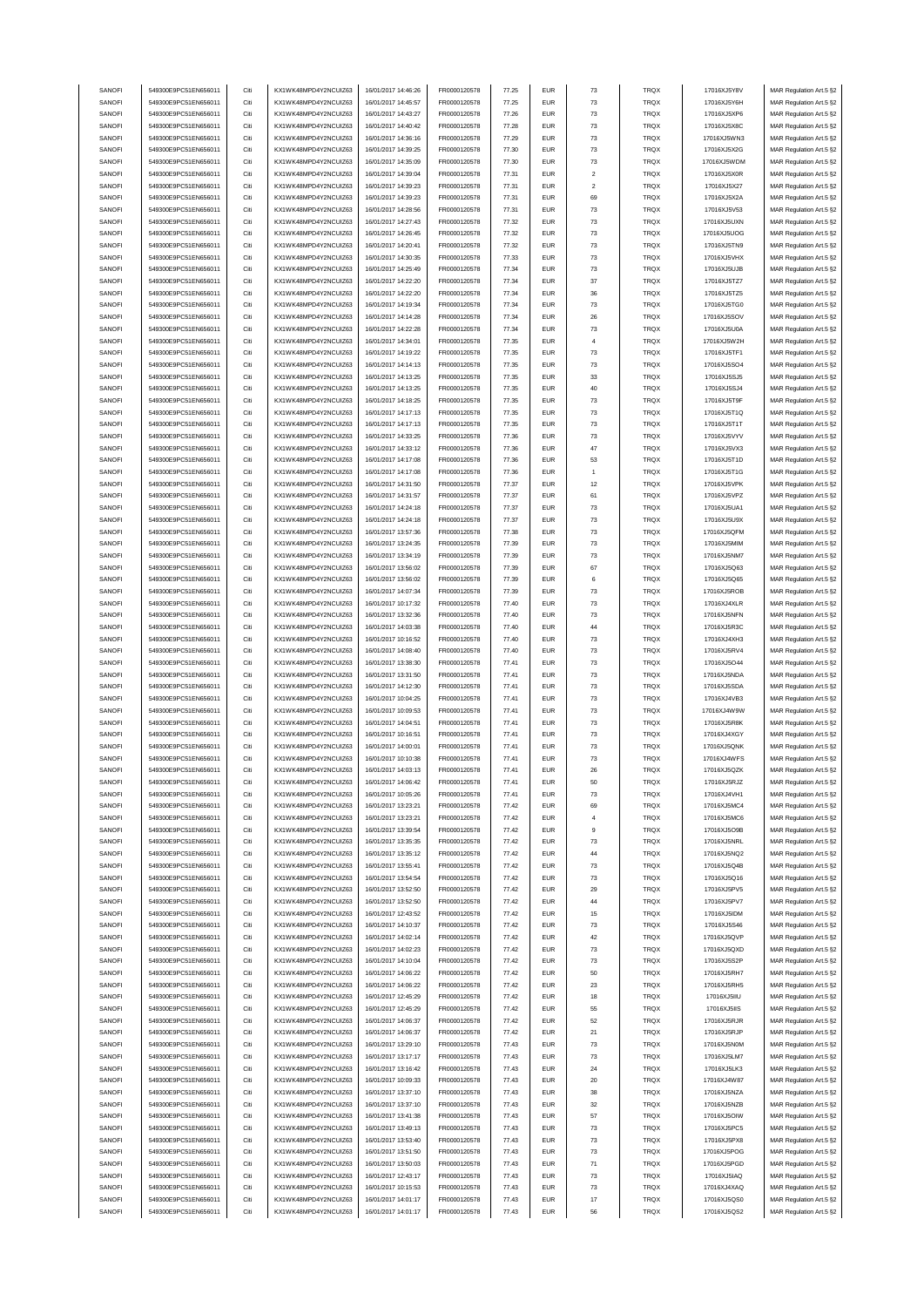| SANOFI<br>SANOFI<br>549300E9PC51EN656011<br>Citi<br>KX1WK48MPD4Y2NCUIZ63<br>16/01/2017 14:45:57<br><b>EUR</b><br>73<br><b>TRQX</b><br>FR0000120578<br>77.25<br>17016XJ5Y6H<br>SANOFI<br>549300E9PC51EN656011<br>Citi<br>KX1WK48MPD4Y2NCUIZ63<br>16/01/2017 14:43:27<br>FR0000120578<br>77.26<br><b>EUR</b><br>73<br><b>TRQX</b><br>17016XJ5XP6<br><b>EUR</b><br>TRQX<br>SANOFI<br>549300E9PC51EN656011<br>Citi<br>KX1WK48MPD4Y2NCUIZ63<br>16/01/2017 14:40:42<br>FR0000120578<br>77.28<br>$\bf 73$<br>17016XJ5X8C<br>Citi<br>77.29<br><b>EUR</b><br>TRQX<br>SANOFI<br>549300E9PC51EN656011<br>KX1WK48MPD4Y2NCUIZ63<br>16/01/2017 14:36:16<br>FR0000120578<br>$\mathbf{73}$<br>17016XJ5WN3<br>$\bf 73$<br>SANOFI<br>549300E9PC51EN656011<br>Citi<br>KX1WK48MPD4Y2NCUIZ63<br>16/01/2017 14:39:25<br>FR0000120578<br>77.30<br><b>EUR</b><br>TRQX<br>17016XJ5X2G<br>SANOFI<br>549300E9PC51EN656011<br>Citi<br>KX1WK48MPD4Y2NCUIZ63<br>16/01/2017 14:35:09<br>FR0000120578<br>77.30<br><b>EUR</b><br>$\mathbf{73}$<br>TRQX<br>17016XJ5WDM<br>SANOFI<br>549300E9PC51EN656011<br>Citi<br>16/01/2017 14:39:04<br>FR0000120578<br><b>EUR</b><br>TRQX<br>KX1WK48MPD4Y2NCUIZ63<br>77.31<br>$\sqrt{2}$<br>17016XJ5X0R<br>SANOFI<br>549300E9PC51EN656011<br>Citi<br>KX1WK48MPD4Y2NCUIZ63<br>16/01/2017 14:39:23<br>FR0000120578<br>TRQX<br>77.31<br><b>EUR</b><br>$\sqrt{2}$<br>17016XJ5X27<br>SANOFI<br>549300E9PC51EN656011<br>Citi<br>KX1WK48MPD4Y2NCUIZ63<br>16/01/2017 14:39:23<br>FR0000120578<br><b>EUR</b><br>69<br><b>TRQX</b><br>17016XJ5X2A<br>77.31<br>SANOFI<br>549300E9PC51EN656011<br>Citi<br>KX1WK48MPD4Y2NCUIZ63<br>16/01/2017 14:28:56<br>FR0000120578<br><b>EUR</b><br>73<br>TRQX<br>77.31<br>17016XJ5V53<br>Citi<br>77.32<br><b>EUR</b><br>$\bf 73$<br>TRQX<br>SANOFI<br>549300E9PC51EN656011<br>KX1WK48MPD4Y2NCUIZ63<br>16/01/2017 14:27:43<br>FR0000120578<br>17016XJ5UXN<br><b>EUR</b><br>$\mathbf{73}$<br>TRQX<br>SANOFI<br>549300E9PC51EN656011<br>Citi<br>KX1WK48MPD4Y2NCUIZ63<br>16/01/2017 14:26:45<br>FR0000120578<br>77.32<br>17016XJ5UOG<br>SANOFI<br>549300E9PC51EN656011<br>Citi<br>KX1WK48MPD4Y2NCUIZ63<br>16/01/2017 14:20:41<br>FR0000120578<br>77.32<br><b>EUR</b><br>$\mathbf{73}$<br>TRQX<br>17016XJ5TN9<br>Citi<br>SANOFI<br>549300E9PC51EN656011<br>KX1WK48MPD4Y2NCUIZ63<br>16/01/2017 14:30:35<br>FR0000120578<br>77.33<br><b>EUR</b><br>$\mathbf{73}$<br>TRQX<br>17016XJ5VHX<br>SANOFI<br>549300E9PC51EN656011<br>Citi<br>KX1WK48MPD4Y2NCUIZ63<br>16/01/2017 14:25:49<br>FR0000120578<br>$\bf 73$<br>TRQX<br>77.34<br><b>EUR</b><br>17016XJ5UJB<br>SANOFI<br>549300E9PC51EN656011<br>Citi<br>KX1WK48MPD4Y2NCUIZ63<br>16/01/2017 14:22:20<br>FR0000120578<br>37<br>TRQX<br>77.34<br><b>EUR</b><br>17016XJ5TZ7<br>SANOFI<br>549300E9PC51EN656011<br>Citi<br>KX1WK48MPD4Y2NCUIZ63<br>16/01/2017 14:22:20<br><b>EUR</b><br>TRQX<br>FR0000120578<br>77.34<br>36<br>17016XJ5TZ5<br>SANOFI<br>549300E9PC51EN656011<br>Citi<br>KX1WK48MPD4Y2NCUIZ63<br>16/01/2017 14:19:34<br>FR0000120578<br>77.34<br><b>EUR</b><br>73<br><b>TRQX</b><br>17016XJ5TG0<br>TRQX<br>SANOFI<br>549300E9PC51EN656011<br>Citi<br>KX1WK48MPD4Y2NCUIZ63<br>16/01/2017 14:14:28<br>FR0000120578<br>77.34<br><b>EUR</b><br>26<br>17016XJ5SOV<br>SANOFI<br>TRQX<br>549300E9PC51EN656011<br>Citi<br>KX1WK48MPD4Y2NCUIZ63<br>16/01/2017 14:22:28<br>FR0000120578<br>77.34<br><b>EUR</b><br>$\mathbf{73}$<br>17016XJ5U0A<br>SANOFI<br>549300E9PC51EN656011<br>Citi<br>KX1WK48MPD4Y2NCUIZ63<br>16/01/2017 14:34:01<br>FR0000120578<br>77.35<br><b>EUR</b><br>$\sqrt{4}$<br>TRQX<br>17016XJ5W2H<br>SANOFI<br>549300E9PC51EN656011<br>Citi<br>KX1WK48MPD4Y2NCUIZ63<br>16/01/2017 14:19:22<br>FR0000120578<br>77.35<br><b>EUR</b><br>$\mathbf{73}$<br>TRQX<br>17016XJ5TF1<br>SANOFI<br>549300E9PC51EN656011<br>FR0000120578<br>$\bf 73$<br>TRQX<br>Citi<br>KX1WK48MPD4Y2NCUIZ63<br>16/01/2017 14:14:13<br>77.35<br><b>EUR</b><br>17016XJ5SO4<br>SANOFI<br>549300E9PC51EN656011<br>Citi<br>KX1WK48MPD4Y2NCUIZ63<br>FR0000120578<br><b>EUR</b><br>33<br>TRQX<br>16/01/2017 14:13:25<br>77.35<br>17016XJ5SJ5<br>SANOFI<br>549300E9PC51EN656011<br>Citi<br>KX1WK48MPD4Y2NCUIZ63<br>16/01/2017 14:13:25<br>FR0000120578<br>77.35<br><b>EUR</b><br>40<br>TRQX<br>17016XJ5SJ4<br>SANOFI<br>549300E9PC51EN656011<br>Citi<br>KX1WK48MPD4Y2NCUIZ63<br>16/01/2017 14:18:25<br>FR0000120578<br><b>EUR</b><br>73<br>TRQX<br>17016XJ5T9F<br>77.35<br>TRQX<br>SANOFI<br>549300E9PC51EN656011<br>Citi<br>KX1WK48MPD4Y2NCUIZ63<br>16/01/2017 14:17:13<br>FR0000120578<br>77.35<br><b>EUR</b><br>$\mathbf{73}$<br>17016XJ5T1Q<br><b>EUR</b><br>SANOFI<br>549300E9PC51EN656011<br>Citi<br>KX1WK48MPD4Y2NCUIZ63<br>16/01/2017 14:17:13<br>FR0000120578<br>77.35<br>$\bf 73$<br>TRQX<br>17016XJ5T1T<br>Citi<br>SANOFI<br>549300E9PC51EN656011<br>KX1WK48MPD4Y2NCUIZ63<br>16/01/2017 14:33:25<br>FR0000120578<br>77.36<br><b>EUR</b><br>$\mathbf{73}$<br>TRQX<br>17016XJ5VYV<br>SANOFI<br>549300E9PC51EN656011<br>Citi<br>KX1WK48MPD4Y2NCUIZ63<br>16/01/2017 14:33:12<br>FR0000120578<br>77.36<br><b>EUR</b><br>47<br>TRQX<br>17016XJ5VX3<br>SANOFI<br>549300E9PC51EN656011<br>Citi<br>KX1WK48MPD4Y2NCUIZ63<br>FR0000120578<br><b>EUR</b><br>53<br>TRQX<br>17016XJ5T1D<br>16/01/2017 14:17:08<br>77.36<br>SANOFI<br>Citi<br>FR0000120578<br>TRQX<br>549300E9PC51EN656011<br>KX1WK48MPD4Y2NCUIZ63<br>16/01/2017 14:17:08<br>77.36<br><b>EUR</b><br>$\overline{1}$<br>17016XJ5T1G<br>SANOFI<br>549300E9PC51EN656011<br>Citi<br>KX1WK48MPD4Y2NCUIZ63<br>16/01/2017 14:31:50<br>FR0000120578<br>77.37<br><b>EUR</b><br>12<br><b>TRQX</b><br>17016XJ5VPK<br>SANOFI<br>549300E9PC51EN656011<br>Citi<br>KX1WK48MPD4Y2NCUIZ63<br>FR0000120578<br><b>EUR</b><br><b>TRQX</b><br>17016XJ5VPZ<br>16/01/2017 14:31:57<br>77.37<br>61<br>SANOFI<br>Citi<br>KX1WK48MPD4Y2NCUIZ63<br><b>EUR</b><br>$\bf 73$<br>TRQX<br>549300E9PC51EN656011<br>16/01/2017 14:24:18<br>FR0000120578<br>77.37<br>17016XJ5UA1<br>Citi<br>77.37<br><b>EUR</b><br>$\bf 73$<br>TRQX<br>SANOFI<br>549300E9PC51EN656011<br>KX1WK48MPD4Y2NCUIZ63<br>16/01/2017 14:24:18<br>FR0000120578<br>17016XJ5U9X<br>SANOFI<br>549300E9PC51EN656011<br>Citi<br>KX1WK48MPD4Y2NCUIZ63<br>16/01/2017 13:57:36<br>FR0000120578<br>77.38<br><b>EUR</b><br>$\mathbf{73}$<br>TRQX<br>17016XJ5QFM<br>SANOFI<br>549300E9PC51EN656011<br>Citi<br>KX1WK48MPD4Y2NCUIZ63<br>16/01/2017 13:24:35<br>FR0000120578<br>77.39<br><b>EUR</b><br>$\mathbf{73}$<br>TRQX<br>17016XJ5MIM<br>SANOFI<br>549300E9PC51EN656011<br>Citi<br>KX1WK48MPD4Y2NCUIZ63<br>16/01/2017 13:34:19<br>FR0000120578<br>77.39<br><b>EUR</b><br>$\mathbf{73}$<br>TRQX<br>17016XJ5NM7<br>SANOFI<br>549300E9PC51EN656011<br>Citi<br>KX1WK48MPD4Y2NCUIZ63<br>16/01/2017 13:56:02<br>FR0000120578<br><b>EUR</b><br>67<br>TRQX<br>17016XJ5Q63<br>77.39<br>SANOFI<br>549300E9PC51EN656011<br>FR0000120578<br>TRQX<br>Citi<br>KX1WK48MPD4Y2NCUIZ63<br>16/01/2017 13:56:02<br>77.39<br><b>EUR</b><br>6<br>17016XJ5Q65<br>SANOFI<br>549300E9PC51EN656011<br>Citi<br>KX1WK48MPD4Y2NCUIZ63<br>16/01/2017 14:07:34<br>FR0000120578<br><b>EUR</b><br>73<br>TRQX<br>17016XJ5ROB<br>77.39<br>SANOFI<br>549300E9PC51EN656011<br>Citi<br>KX1WK48MPD4Y2NCUIZ63<br>16/01/2017 10:17:32<br>FR0000120578<br>77.40<br><b>EUR</b><br>73<br>TRQX<br>17016XJ4XLR<br>$\bf 73$<br>TRQX<br>SANOFI<br>549300E9PC51EN656011<br>Citi<br>KX1WK48MPD4Y2NCUIZ63<br>16/01/2017 13:32:36<br>FR0000120578<br>77.40<br><b>EUR</b><br>17016XJ5NFN<br>SANOFI<br>TRQX<br>549300E9PC51EN656011<br>Citi<br>KX1WK48MPD4Y2NCUIZ63<br>16/01/2017 14:03:38<br>FR0000120578<br>77.40<br><b>EUR</b><br>44<br>17016XJ5R3C<br>SANOFI<br>549300E9PC51EN656011<br>Citi<br>KX1WK48MPD4Y2NCUIZ63<br>16/01/2017 10:16:52<br>FR0000120578<br>77.40<br><b>EUR</b><br>$\mathbf{73}$<br>TRQX<br>17016XJ4XH3<br>Citi<br>SANOFI<br>549300E9PC51EN656011<br>KX1WK48MPD4Y2NCUIZ63<br>16/01/2017 14:08:40<br>FR0000120578<br>77.40<br><b>EUR</b><br>$\mathbf{73}$<br>TRQX<br>17016XJ5RV4<br>SANOFI<br>549300E9PC51EN656011<br>KX1WK48MPD4Y2NCUIZ63<br>16/01/2017 13:38:30<br>FR0000120578<br>TRQX<br>17016XJ5O44<br>Citi<br>77.41<br><b>EUR</b><br>$\mathbf{73}$<br>SANOFI<br>Citi<br>FR0000120578<br><b>EUR</b><br>$\bf 73$<br>TRQX<br>549300E9PC51EN656011<br>KX1WK48MPD4Y2NCUIZ63<br>16/01/2017 13:31:50<br>77.41<br>17016XJ5NDA<br>SANOFI<br>549300E9PC51EN656011<br>Citi<br>KX1WK48MPD4Y2NCUIZ63<br>16/01/2017 14:12:30<br>FR0000120578<br><b>EUR</b><br>$\bf 73$<br>TRQX<br>77.41<br>17016XJ5SDA<br>SANOFI<br>549300E9PC51EN656011<br>Citi<br>KX1WK48MPD4Y2NCUIZ63<br>16/01/2017 10:04:25<br>FR0000120578<br>77.41<br><b>EUR</b><br>73<br><b>TRQX</b><br>17016XJ4VB3<br>TRQX<br>SANOFI<br>549300E9PC51EN656011<br>Citi<br>KX1WK48MPD4Y2NCUIZ63<br>16/01/2017 10:09:53<br>FR0000120578<br>77.41<br><b>EUR</b><br>$\mathbf{73}$<br>17016XJ4W9W<br><b>EUR</b><br>SANOFI<br>549300E9PC51EN656011<br>Citi<br>KX1WK48MPD4Y2NCUIZ63<br>16/01/2017 14:04:51<br>FR0000120578<br>77.41<br>$\bf 73$<br>TRQX<br>17016XJ5R8K<br>SANOFI<br>549300E9PC51EN656011<br>Citi<br>KX1WK48MPD4Y2NCUIZ63<br>16/01/2017 10:16:51<br>FR0000120578<br>77.41<br><b>EUR</b><br>$\mathbf{73}$<br>TRQX<br>17016XJ4XGY<br>SANOFI<br>549300E9PC51EN656011<br>Citi<br>KX1WK48MPD4Y2NCUIZ63<br>16/01/2017 14:00:01<br>FR0000120578<br>77.41<br><b>EUR</b><br>$\mathbf{73}$<br>TRQX<br>17016XJ5QNK<br>SANOFI<br>549300E9PC51EN656011<br>Citi<br>KX1WK48MPD4Y2NCUIZ63<br>FR0000120578<br><b>EUR</b><br>$\bf 73$<br>TRQX<br>17016XJ4WFS<br>16/01/2017 10:10:38<br>77.41<br>SANOFI<br>16/01/2017 14:03:13<br>FR0000120578<br><b>EUR</b><br>TRQX<br>549300E9PC51EN656011<br>Citi<br>KX1WK48MPD4Y2NCUIZ63<br>77.41<br>26<br>17016XJ5QZK<br>SANOFI<br>549300E9PC51EN656011<br>KX1WK48MPD4Y2NCLIIZ63<br>16/01/2017 14:06:42<br>FR0000120578<br>77.41<br>FUR<br>TROX<br>17016XJ5RJZ<br>Citi<br>SANOFI<br>549300E9PC51EN656011<br>KX1WK48MPD4Y2NCUIZ63<br>16/01/2017 10:05:26<br>Citi<br>FR0000120578<br>77.41<br><b>EUR</b><br>$\mathbf{73}$<br><b>TRQX</b><br>17016XJ4VH1<br>SANOFI<br>549300E9PC51EN656011<br>Citi<br>KX1WK48MPD4Y2NCUIZ63<br>16/01/2017 13:23:21<br>FR0000120578<br>77.42<br><b>EUR</b><br>TRQX<br>69<br>17016XJ5MC4<br>SANOFI<br>549300E9PC51EN656011<br>Citi<br>KX1WK48MPD4Y2NCUIZ63<br>16/01/2017 13:23:21<br>FR0000120578<br>77.42<br><b>EUR</b><br>TRQX<br>17016XJ5MC6<br>$\overline{4}$<br>SANOFI<br>549300E9PC51EN656011<br>Citi<br>KX1WK48MPD4Y2NCUIZ63<br>16/01/2017 13:39:54<br>FR0000120578<br>77.42<br><b>EUR</b><br>9<br>TRQX<br>17016XJ5O9B<br>SANOFI<br>549300E9PC51EN656011<br>Citi<br>KX1WK48MPD4Y2NCUIZ63<br>16/01/2017 13:35:35<br>FR0000120578<br>77.42<br><b>EUR</b><br>$\mathbf{73}$<br>TRQX<br>17016XJ5NRL<br>SANOFI<br>549300E9PC51EN656011<br>KX1WK48MPD4Y2NCUIZ63<br>16/01/2017 13:35:12<br>FR0000120578<br>TRQX<br>17016XJ5NQ2<br>Citi<br>77.42<br><b>EUR</b><br>44<br>16/01/2017 13:55:41<br>SANOFI<br>549300E9PC51EN656011<br>Citi<br>KX1WK48MPD4Y2NCUIZ63<br>FR0000120578<br>77.42<br><b>EUR</b><br>$\mathbf{73}$<br>TRQX<br>17016XJ5Q4B<br>SANOFI<br>549300E9PC51EN656011<br>KX1WK48MPD4Y2NCUIZ63<br>16/01/2017 13:54:54<br>FR0000120578<br>77.42<br><b>TRQX</b><br>17016XJ5Q16<br>Citi<br><b>EUR</b><br>$\mathbf{73}$<br>SANOFI<br>549300E9PC51EN656011<br>Citi<br>KX1WK48MPD4Y2NCUIZ63<br>16/01/2017 13:52:50<br>77.42<br><b>EUR</b><br>29<br>TRQX<br>17016XJ5PV5<br>FR0000120578<br>KX1WK48MPD4Y2NCUIZ63<br>SANOFI<br>549300E9PC51EN656011<br>Citi<br>16/01/2017 13:52:50<br>FR0000120578<br>77.42<br><b>EUR</b><br>44<br>TRQX<br>17016XJ5PV7<br>SANOFI<br>549300E9PC51EN656011<br>Citi<br>KX1WK48MPD4Y2NCUIZ63<br>16/01/2017 12:43:52<br>FR0000120578<br>77.42<br><b>EUR</b><br>15<br>TRQX<br>17016XJ5IDM<br>SANOFI<br>549300E9PC51EN656011<br>Citi<br>KX1WK48MPD4Y2NCUIZ63<br>16/01/2017 14:10:37<br>FR0000120578<br>77.42<br><b>EUR</b><br>$\mathbf{73}$<br>TRQX<br>17016XJ5S46<br>SANOFI<br>549300E9PC51EN656011<br>Citi<br>KX1WK48MPD4Y2NCUIZ63<br>16/01/2017 14:02:14<br>FR0000120578<br>77.42<br><b>EUR</b><br>42<br>TRQX<br>17016XJ5QVP<br>KX1WK48MPD4Y2NCUIZ63<br>16/01/2017 14:02:23<br>SANOFI<br>549300E9PC51EN656011<br>Citi<br>FR0000120578<br>77.42<br><b>EUR</b><br>$\mathbf{73}$<br>TRQX<br>17016XJ5QXD<br>SANOFI<br>549300E9PC51EN656011<br>KX1WK48MPD4Y2NCUIZ63<br>17016XJ5S2P<br>Citi<br>16/01/2017 14:10:04<br>FR0000120578<br>77.42<br><b>EUR</b><br>$\mathbf{73}$<br>TRQX<br>SANOFI<br>549300E9PC51EN656011<br>KX1WK48MPD4Y2NCUIZ63<br>16/01/2017 14:06:22<br><b>EUR</b><br>TRQX<br>Citi<br>FR0000120578<br>77.42<br>50<br>17016XJ5RH7<br>SANOFI<br>549300E9PC51EN656011<br>Citi<br>KX1WK48MPD4Y2NCUIZ63<br>16/01/2017 14:06:22<br>FR0000120578<br>77.42<br><b>EUR</b><br><b>TRQX</b><br>17016XJ5RH5<br>23<br>SANOFI<br>549300E9PC51EN656011<br>Citi<br>KX1WK48MPD4Y2NCUIZ63<br>16/01/2017 12:45:29<br>FR0000120578<br>77.42<br><b>EUR</b><br>18<br>TRQX<br>17016XJ5IIU<br>SANOFI<br>549300E9PC51EN656011<br>KX1WK48MPD4Y2NCUIZ63<br>16/01/2017 12:45:29<br>FR0000120578<br>77.42<br><b>EUR</b><br>TRQX<br>17016XJ5IIS<br>Citi<br>55<br><b>EUR</b><br>SANOFI<br>549300E9PC51EN656011<br>Citi<br>KX1WK48MPD4Y2NCUIZ63<br>16/01/2017 14:06:37<br>FR0000120578<br>77.42<br>52<br>TRQX<br>17016XJ5RJR<br>SANOFI<br>549300E9PC51EN656011<br>Citi<br>KX1WK48MPD4Y2NCUIZ63<br>16/01/2017 14:06:37<br>FR0000120578<br>77.42<br><b>EUR</b><br>21<br>TRQX<br>17016XJ5RJP<br>SANOFI<br>549300E9PC51EN656011<br>Citi<br>KX1WK48MPD4Y2NCUIZ63<br>16/01/2017 13:29:10<br>FR0000120578<br>77.43<br><b>EUR</b><br>$\mathbf{73}$<br>TRQX<br>17016XJ5N0M<br>SANOFI<br>KX1WK48MPD4Y2NCUIZ63<br>TRQX<br>549300E9PC51EN656011<br>Citi<br>16/01/2017 13:17:17<br>FR0000120578<br>77.43<br><b>EUR</b><br>$\mathbf{73}$<br>17016XJ5LM7<br>SANOFI<br>549300E9PC51EN656011<br>Citi<br>KX1WK48MPD4Y2NCUIZ63<br>16/01/2017 13:16:42<br>FR0000120578<br>77.43<br><b>EUR</b><br>24<br>TRQX<br>17016XJ5LK3<br>SANOFI<br>549300E9PC51EN656011<br>Citi<br>KX1WK48MPD4Y2NCUIZ63<br>16/01/2017 10:09:33<br><b>EUR</b><br>TRQX<br>17016XJ4W87<br>FR0000120578<br>77.43<br>$20\,$<br>SANOFI<br>549300E9PC51EN656011<br>KX1WK48MPD4Y2NCUIZ63<br>16/01/2017 13:37:10<br>FR0000120578<br>77.43<br><b>EUR</b><br><b>TRQX</b><br>17016XJ5NZA<br>Citi<br>38<br>SANOFI<br>549300E9PC51EN656011<br>Citi<br>KX1WK48MPD4Y2NCUIZ63<br>16/01/2017 13:37:10<br>FR0000120578<br><b>EUR</b><br>32<br>TRQX<br>17016XJ5NZB<br>77.43<br>SANOFI<br>549300E9PC51EN656011<br>Citi<br>KX1WK48MPD4Y2NCUIZ63<br>16/01/2017 13:41:38<br>FR0000120578<br>77.43<br><b>EUR</b><br>57<br>TRQX<br>17016XJ5OIW<br>SANOFI<br>549300E9PC51EN656011<br>Citi<br>KX1WK48MPD4Y2NCUIZ63<br>16/01/2017 13:49:13<br>FR0000120578<br>77.43<br><b>EUR</b><br>$\mathbf{73}$<br>TRQX<br>17016XJ5PC5<br>SANOFI<br>549300E9PC51EN656011<br>Citi<br>KX1WK48MPD4Y2NCUIZ63<br>16/01/2017 13:53:40<br>FR0000120578<br>77.43<br><b>EUR</b><br>$\mathbf{73}$<br>TRQX<br>17016XJ5PX8<br>SANOFI<br>549300E9PC51EN656011<br>KX1WK48MPD4Y2NCUIZ63<br>16/01/2017 13:51:50<br>FR0000120578<br>TRQX<br>17016XJ5POG<br>Citi<br>77.43<br><b>EUR</b><br>$\mathbf{73}$<br>KX1WK48MPD4Y2NCUIZ63<br>16/01/2017 13:50:03<br>SANOFI<br>549300E9PC51EN656011<br>Citi<br>FR0000120578<br>77.43<br><b>EUR</b><br>71<br>TRQX<br>17016XJ5PGD<br>SANOFI<br>549300E9PC51EN656011<br>KX1WK48MPD4Y2NCUIZ63<br>16/01/2017 12:43:17<br>FR0000120578<br>77.43<br><b>EUR</b><br><b>TRQX</b><br>17016XJ5IAQ<br>Citi<br>73<br>SANOFI<br>549300E9PC51EN656011<br>KX1WK48MPD4Y2NCUIZ63<br><b>EUR</b><br>TRQX<br>Citi<br>16/01/2017 10:15:53<br>FR0000120578<br>77.43<br>$\mathbf{73}$<br>17016XJ4XAQ<br>SANOFI<br>549300E9PC51EN656011<br>Citi<br>KX1WK48MPD4Y2NCUIZ63<br>16/01/2017 14:01:17<br>FR0000120578<br>77.43<br><b>EUR</b><br>$17\,$<br>TRQX<br>17016XJ5QS0<br>16/01/2017 14:01:17<br><b>EUR</b><br>SANOFI<br>549300E9PC51EN656011<br>Citi<br>KX1WK48MPD4Y2NCUIZ63<br>FR0000120578<br>77.43<br>56<br>TRQX<br>17016XJ5QS2<br>MAR Regulation Art.5 §2 | 549300E9PC51EN656011 | Citi | KX1WK48MPD4Y2NCUIZ63 | 16/01/2017 14:46:26 | FR0000120578 | 77.25 | <b>EUR</b> | $\mathbf{73}$ | TRQX | 17016XJ5Y8V | MAR Regulation Art.5 §2 |
|--------------------------------------------------------------------------------------------------------------------------------------------------------------------------------------------------------------------------------------------------------------------------------------------------------------------------------------------------------------------------------------------------------------------------------------------------------------------------------------------------------------------------------------------------------------------------------------------------------------------------------------------------------------------------------------------------------------------------------------------------------------------------------------------------------------------------------------------------------------------------------------------------------------------------------------------------------------------------------------------------------------------------------------------------------------------------------------------------------------------------------------------------------------------------------------------------------------------------------------------------------------------------------------------------------------------------------------------------------------------------------------------------------------------------------------------------------------------------------------------------------------------------------------------------------------------------------------------------------------------------------------------------------------------------------------------------------------------------------------------------------------------------------------------------------------------------------------------------------------------------------------------------------------------------------------------------------------------------------------------------------------------------------------------------------------------------------------------------------------------------------------------------------------------------------------------------------------------------------------------------------------------------------------------------------------------------------------------------------------------------------------------------------------------------------------------------------------------------------------------------------------------------------------------------------------------------------------------------------------------------------------------------------------------------------------------------------------------------------------------------------------------------------------------------------------------------------------------------------------------------------------------------------------------------------------------------------------------------------------------------------------------------------------------------------------------------------------------------------------------------------------------------------------------------------------------------------------------------------------------------------------------------------------------------------------------------------------------------------------------------------------------------------------------------------------------------------------------------------------------------------------------------------------------------------------------------------------------------------------------------------------------------------------------------------------------------------------------------------------------------------------------------------------------------------------------------------------------------------------------------------------------------------------------------------------------------------------------------------------------------------------------------------------------------------------------------------------------------------------------------------------------------------------------------------------------------------------------------------------------------------------------------------------------------------------------------------------------------------------------------------------------------------------------------------------------------------------------------------------------------------------------------------------------------------------------------------------------------------------------------------------------------------------------------------------------------------------------------------------------------------------------------------------------------------------------------------------------------------------------------------------------------------------------------------------------------------------------------------------------------------------------------------------------------------------------------------------------------------------------------------------------------------------------------------------------------------------------------------------------------------------------------------------------------------------------------------------------------------------------------------------------------------------------------------------------------------------------------------------------------------------------------------------------------------------------------------------------------------------------------------------------------------------------------------------------------------------------------------------------------------------------------------------------------------------------------------------------------------------------------------------------------------------------------------------------------------------------------------------------------------------------------------------------------------------------------------------------------------------------------------------------------------------------------------------------------------------------------------------------------------------------------------------------------------------------------------------------------------------------------------------------------------------------------------------------------------------------------------------------------------------------------------------------------------------------------------------------------------------------------------------------------------------------------------------------------------------------------------------------------------------------------------------------------------------------------------------------------------------------------------------------------------------------------------------------------------------------------------------------------------------------------------------------------------------------------------------------------------------------------------------------------------------------------------------------------------------------------------------------------------------------------------------------------------------------------------------------------------------------------------------------------------------------------------------------------------------------------------------------------------------------------------------------------------------------------------------------------------------------------------------------------------------------------------------------------------------------------------------------------------------------------------------------------------------------------------------------------------------------------------------------------------------------------------------------------------------------------------------------------------------------------------------------------------------------------------------------------------------------------------------------------------------------------------------------------------------------------------------------------------------------------------------------------------------------------------------------------------------------------------------------------------------------------------------------------------------------------------------------------------------------------------------------------------------------------------------------------------------------------------------------------------------------------------------------------------------------------------------------------------------------------------------------------------------------------------------------------------------------------------------------------------------------------------------------------------------------------------------------------------------------------------------------------------------------------------------------------------------------------------------------------------------------------------------------------------------------------------------------------------------------------------------------------------------------------------------------------------------------------------------------------------------------------------------------------------------------------------------------------------------------------------------------------------------------------------------------------------------------------------------------------------------------------------------------------------------------------------------------------------------------------------------------------------------------------------------------------------------------------------------------------------------------------------------------------------------------------------------------------------------------------------------------------------------------------------------------------------------------------------------------------------------------------------------------------------------------------------------------------------------------------------------------------------------------------------------------------------------------------------------------------------------------------------------------------------------------------------------------------------------------------------------------------------------------------------------------------------------------------------------------------------------------------------------------------------------------------------------------------------------------------------------------------------------------------------------------------------------------------------------------------------------------------------------------------------------------------------------------------------------------------------------------------------------------------------------------------------------------------------------------------------------------------------------------------------------------------------------------------------------------------------------------------------------------------------------------------------------------------------------------------------------------------------------------------------------------------------------------------------------------------------------------------------------------------------------------------------------------------------------------------------------------------------------------------------------------------------------------------------------------------------------------------------------------------------------------------------------------------------------------------------------------------------------------------------------------------------------------------------------------------------------------------------------------------------------------------------------------------------------------------------------------------------------------------------------------------------------------------------------------------------------------------------------------------------------------------------------------------------------------------------------------------------------------------------------------------------------------------------------------------------------------------------------------------------------------------------------------------------------------------------------------------------------------------------------------------------------------------------------------------------------------------------------------------------------------------------------------------------------------------------------------------------------------------------------------------------------------------------------------------------------------------------------------------------------------------------------------------------------------------------------------------------------------------------------------------------------------------------------------------------------------------------------------------------------------------------------------------------------------------------------------------------------------------------------------------------------------------------------------------------------------------------------------------------------------------------------------------------------------------------------------------------------------------------------------------------------------------------------------------------------------------------------------------------------------------------------------------------------------------------------------------------------------------------------------------------------------------------------------------------------------------------------------------------------------------------------------------------------------------------------------------------------------------------------------------------------------------------------------------------------------------------------------------------------------------------------------------------------------------------------------------------------------------------------------------------------------------------------------------------------------------------------------------------------------------------------------------------------------------------------------------------------------------------------------------------------------------------------------------------------------------------------------------------------------------------------------------------------------------------------------------------------------------------------------------------------------------------------------------------------------------------------------------------------------------------------------------------------------------------------------------------------------------------------------------------------------------------------------------------------------------------------------------------------------------------------------------------------------------------------------------------------------------------------------------------------------------------------------------------------------------------------------------------------------------------------------------------------------------------------------------------------------------------------------------------------------------------------------------------------------------------------------------------------------------------------------------------------------------------------------------------------------------------------------------|----------------------|------|----------------------|---------------------|--------------|-------|------------|---------------|------|-------------|-------------------------|
|                                                                                                                                                                                                                                                                                                                                                                                                                                                                                                                                                                                                                                                                                                                                                                                                                                                                                                                                                                                                                                                                                                                                                                                                                                                                                                                                                                                                                                                                                                                                                                                                                                                                                                                                                                                                                                                                                                                                                                                                                                                                                                                                                                                                                                                                                                                                                                                                                                                                                                                                                                                                                                                                                                                                                                                                                                                                                                                                                                                                                                                                                                                                                                                                                                                                                                                                                                                                                                                                                                                                                                                                                                                                                                                                                                                                                                                                                                                                                                                                                                                                                                                                                                                                                                                                                                                                                                                                                                                                                                                                                                                                                                                                                                                                                                                                                                                                                                                                                                                                                                                                                                                                                                                                                                                                                                                                                                                                                                                                                                                                                                                                                                                                                                                                                                                                                                                                                                                                                                                                                                                                                                                                                                                                                                                                                                                                                                                                                                                                                                                                                                                                                                                                                                                                                                                                                                                                                                                                                                                                                                                                                                                                                                                                                                                                                                                                                                                                                                                                                                                                                                                                                                                                                                                                                                                                                                                                                                                                                                                                                                                                                                                                                                                                                                                                                                                                                                                                                                                                                                                                                                                                                                                                                                                                                                                                                                                                                                                                                                                                                                                                                                                                                                                                                                                                                                                                                                                                                                                                                                                                                                                                                                                                                                                                                                                                                                                                                                                                                                                                                                                                                                                                                                                                                                                                                                                                                                                                                                                                                                                                                                                                                                                                                                                                                                                                                                                                                                                                                                                                                                                                                                                                                                                                                                                                                                                                                                                                                                                                                                                                                                                                                                                                                                                                                                                                                                                                                                                                                                                                                                                                                                                                                                                                                                                                                                                                                                                                                                                                                                                                                                                                                                                                                                                                                                                                                                                                                                                                                                                                                                                                                                                                                                                                                                                                                                                                                                                                                                                                                                                                                                                                                                                                                                                                                                                                                                                                                                                                                                                                                                                                                                                                                                                                                                                                                                                                                                                                                                                                                                                                                                                                                                                                                                                                                                                                                                                                                                                                                                                                                                                                                                                                                                                                                                                                                                                                                                                                                                                                                                                                                                                                                                                                                                                                                                                                                                                                                                                                                                          |                      |      |                      |                     |              |       |            |               |      |             |                         |
|                                                                                                                                                                                                                                                                                                                                                                                                                                                                                                                                                                                                                                                                                                                                                                                                                                                                                                                                                                                                                                                                                                                                                                                                                                                                                                                                                                                                                                                                                                                                                                                                                                                                                                                                                                                                                                                                                                                                                                                                                                                                                                                                                                                                                                                                                                                                                                                                                                                                                                                                                                                                                                                                                                                                                                                                                                                                                                                                                                                                                                                                                                                                                                                                                                                                                                                                                                                                                                                                                                                                                                                                                                                                                                                                                                                                                                                                                                                                                                                                                                                                                                                                                                                                                                                                                                                                                                                                                                                                                                                                                                                                                                                                                                                                                                                                                                                                                                                                                                                                                                                                                                                                                                                                                                                                                                                                                                                                                                                                                                                                                                                                                                                                                                                                                                                                                                                                                                                                                                                                                                                                                                                                                                                                                                                                                                                                                                                                                                                                                                                                                                                                                                                                                                                                                                                                                                                                                                                                                                                                                                                                                                                                                                                                                                                                                                                                                                                                                                                                                                                                                                                                                                                                                                                                                                                                                                                                                                                                                                                                                                                                                                                                                                                                                                                                                                                                                                                                                                                                                                                                                                                                                                                                                                                                                                                                                                                                                                                                                                                                                                                                                                                                                                                                                                                                                                                                                                                                                                                                                                                                                                                                                                                                                                                                                                                                                                                                                                                                                                                                                                                                                                                                                                                                                                                                                                                                                                                                                                                                                                                                                                                                                                                                                                                                                                                                                                                                                                                                                                                                                                                                                                                                                                                                                                                                                                                                                                                                                                                                                                                                                                                                                                                                                                                                                                                                                                                                                                                                                                                                                                                                                                                                                                                                                                                                                                                                                                                                                                                                                                                                                                                                                                                                                                                                                                                                                                                                                                                                                                                                                                                                                                                                                                                                                                                                                                                                                                                                                                                                                                                                                                                                                                                                                                                                                                                                                                                                                                                                                                                                                                                                                                                                                                                                                                                                                                                                                                                                                                                                                                                                                                                                                                                                                                                                                                                                                                                                                                                                                                                                                                                                                                                                                                                                                                                                                                                                                                                                                                                                                                                                                                                                                                                                                                                                                                                                                                                                                                                                                                          |                      |      |                      |                     |              |       |            |               |      |             | MAR Regulation Art.5 §2 |
|                                                                                                                                                                                                                                                                                                                                                                                                                                                                                                                                                                                                                                                                                                                                                                                                                                                                                                                                                                                                                                                                                                                                                                                                                                                                                                                                                                                                                                                                                                                                                                                                                                                                                                                                                                                                                                                                                                                                                                                                                                                                                                                                                                                                                                                                                                                                                                                                                                                                                                                                                                                                                                                                                                                                                                                                                                                                                                                                                                                                                                                                                                                                                                                                                                                                                                                                                                                                                                                                                                                                                                                                                                                                                                                                                                                                                                                                                                                                                                                                                                                                                                                                                                                                                                                                                                                                                                                                                                                                                                                                                                                                                                                                                                                                                                                                                                                                                                                                                                                                                                                                                                                                                                                                                                                                                                                                                                                                                                                                                                                                                                                                                                                                                                                                                                                                                                                                                                                                                                                                                                                                                                                                                                                                                                                                                                                                                                                                                                                                                                                                                                                                                                                                                                                                                                                                                                                                                                                                                                                                                                                                                                                                                                                                                                                                                                                                                                                                                                                                                                                                                                                                                                                                                                                                                                                                                                                                                                                                                                                                                                                                                                                                                                                                                                                                                                                                                                                                                                                                                                                                                                                                                                                                                                                                                                                                                                                                                                                                                                                                                                                                                                                                                                                                                                                                                                                                                                                                                                                                                                                                                                                                                                                                                                                                                                                                                                                                                                                                                                                                                                                                                                                                                                                                                                                                                                                                                                                                                                                                                                                                                                                                                                                                                                                                                                                                                                                                                                                                                                                                                                                                                                                                                                                                                                                                                                                                                                                                                                                                                                                                                                                                                                                                                                                                                                                                                                                                                                                                                                                                                                                                                                                                                                                                                                                                                                                                                                                                                                                                                                                                                                                                                                                                                                                                                                                                                                                                                                                                                                                                                                                                                                                                                                                                                                                                                                                                                                                                                                                                                                                                                                                                                                                                                                                                                                                                                                                                                                                                                                                                                                                                                                                                                                                                                                                                                                                                                                                                                                                                                                                                                                                                                                                                                                                                                                                                                                                                                                                                                                                                                                                                                                                                                                                                                                                                                                                                                                                                                                                                                                                                                                                                                                                                                                                                                                                                                                                                                                                                                                          |                      |      |                      |                     |              |       |            |               |      |             | MAR Regulation Art.5 §2 |
|                                                                                                                                                                                                                                                                                                                                                                                                                                                                                                                                                                                                                                                                                                                                                                                                                                                                                                                                                                                                                                                                                                                                                                                                                                                                                                                                                                                                                                                                                                                                                                                                                                                                                                                                                                                                                                                                                                                                                                                                                                                                                                                                                                                                                                                                                                                                                                                                                                                                                                                                                                                                                                                                                                                                                                                                                                                                                                                                                                                                                                                                                                                                                                                                                                                                                                                                                                                                                                                                                                                                                                                                                                                                                                                                                                                                                                                                                                                                                                                                                                                                                                                                                                                                                                                                                                                                                                                                                                                                                                                                                                                                                                                                                                                                                                                                                                                                                                                                                                                                                                                                                                                                                                                                                                                                                                                                                                                                                                                                                                                                                                                                                                                                                                                                                                                                                                                                                                                                                                                                                                                                                                                                                                                                                                                                                                                                                                                                                                                                                                                                                                                                                                                                                                                                                                                                                                                                                                                                                                                                                                                                                                                                                                                                                                                                                                                                                                                                                                                                                                                                                                                                                                                                                                                                                                                                                                                                                                                                                                                                                                                                                                                                                                                                                                                                                                                                                                                                                                                                                                                                                                                                                                                                                                                                                                                                                                                                                                                                                                                                                                                                                                                                                                                                                                                                                                                                                                                                                                                                                                                                                                                                                                                                                                                                                                                                                                                                                                                                                                                                                                                                                                                                                                                                                                                                                                                                                                                                                                                                                                                                                                                                                                                                                                                                                                                                                                                                                                                                                                                                                                                                                                                                                                                                                                                                                                                                                                                                                                                                                                                                                                                                                                                                                                                                                                                                                                                                                                                                                                                                                                                                                                                                                                                                                                                                                                                                                                                                                                                                                                                                                                                                                                                                                                                                                                                                                                                                                                                                                                                                                                                                                                                                                                                                                                                                                                                                                                                                                                                                                                                                                                                                                                                                                                                                                                                                                                                                                                                                                                                                                                                                                                                                                                                                                                                                                                                                                                                                                                                                                                                                                                                                                                                                                                                                                                                                                                                                                                                                                                                                                                                                                                                                                                                                                                                                                                                                                                                                                                                                                                                                                                                                                                                                                                                                                                                                                                                                                                                                                                          |                      |      |                      |                     |              |       |            |               |      |             | MAR Regulation Art.5 §2 |
|                                                                                                                                                                                                                                                                                                                                                                                                                                                                                                                                                                                                                                                                                                                                                                                                                                                                                                                                                                                                                                                                                                                                                                                                                                                                                                                                                                                                                                                                                                                                                                                                                                                                                                                                                                                                                                                                                                                                                                                                                                                                                                                                                                                                                                                                                                                                                                                                                                                                                                                                                                                                                                                                                                                                                                                                                                                                                                                                                                                                                                                                                                                                                                                                                                                                                                                                                                                                                                                                                                                                                                                                                                                                                                                                                                                                                                                                                                                                                                                                                                                                                                                                                                                                                                                                                                                                                                                                                                                                                                                                                                                                                                                                                                                                                                                                                                                                                                                                                                                                                                                                                                                                                                                                                                                                                                                                                                                                                                                                                                                                                                                                                                                                                                                                                                                                                                                                                                                                                                                                                                                                                                                                                                                                                                                                                                                                                                                                                                                                                                                                                                                                                                                                                                                                                                                                                                                                                                                                                                                                                                                                                                                                                                                                                                                                                                                                                                                                                                                                                                                                                                                                                                                                                                                                                                                                                                                                                                                                                                                                                                                                                                                                                                                                                                                                                                                                                                                                                                                                                                                                                                                                                                                                                                                                                                                                                                                                                                                                                                                                                                                                                                                                                                                                                                                                                                                                                                                                                                                                                                                                                                                                                                                                                                                                                                                                                                                                                                                                                                                                                                                                                                                                                                                                                                                                                                                                                                                                                                                                                                                                                                                                                                                                                                                                                                                                                                                                                                                                                                                                                                                                                                                                                                                                                                                                                                                                                                                                                                                                                                                                                                                                                                                                                                                                                                                                                                                                                                                                                                                                                                                                                                                                                                                                                                                                                                                                                                                                                                                                                                                                                                                                                                                                                                                                                                                                                                                                                                                                                                                                                                                                                                                                                                                                                                                                                                                                                                                                                                                                                                                                                                                                                                                                                                                                                                                                                                                                                                                                                                                                                                                                                                                                                                                                                                                                                                                                                                                                                                                                                                                                                                                                                                                                                                                                                                                                                                                                                                                                                                                                                                                                                                                                                                                                                                                                                                                                                                                                                                                                                                                                                                                                                                                                                                                                                                                                                                                                                                                                                                          |                      |      |                      |                     |              |       |            |               |      |             | MAR Regulation Art.5 §2 |
|                                                                                                                                                                                                                                                                                                                                                                                                                                                                                                                                                                                                                                                                                                                                                                                                                                                                                                                                                                                                                                                                                                                                                                                                                                                                                                                                                                                                                                                                                                                                                                                                                                                                                                                                                                                                                                                                                                                                                                                                                                                                                                                                                                                                                                                                                                                                                                                                                                                                                                                                                                                                                                                                                                                                                                                                                                                                                                                                                                                                                                                                                                                                                                                                                                                                                                                                                                                                                                                                                                                                                                                                                                                                                                                                                                                                                                                                                                                                                                                                                                                                                                                                                                                                                                                                                                                                                                                                                                                                                                                                                                                                                                                                                                                                                                                                                                                                                                                                                                                                                                                                                                                                                                                                                                                                                                                                                                                                                                                                                                                                                                                                                                                                                                                                                                                                                                                                                                                                                                                                                                                                                                                                                                                                                                                                                                                                                                                                                                                                                                                                                                                                                                                                                                                                                                                                                                                                                                                                                                                                                                                                                                                                                                                                                                                                                                                                                                                                                                                                                                                                                                                                                                                                                                                                                                                                                                                                                                                                                                                                                                                                                                                                                                                                                                                                                                                                                                                                                                                                                                                                                                                                                                                                                                                                                                                                                                                                                                                                                                                                                                                                                                                                                                                                                                                                                                                                                                                                                                                                                                                                                                                                                                                                                                                                                                                                                                                                                                                                                                                                                                                                                                                                                                                                                                                                                                                                                                                                                                                                                                                                                                                                                                                                                                                                                                                                                                                                                                                                                                                                                                                                                                                                                                                                                                                                                                                                                                                                                                                                                                                                                                                                                                                                                                                                                                                                                                                                                                                                                                                                                                                                                                                                                                                                                                                                                                                                                                                                                                                                                                                                                                                                                                                                                                                                                                                                                                                                                                                                                                                                                                                                                                                                                                                                                                                                                                                                                                                                                                                                                                                                                                                                                                                                                                                                                                                                                                                                                                                                                                                                                                                                                                                                                                                                                                                                                                                                                                                                                                                                                                                                                                                                                                                                                                                                                                                                                                                                                                                                                                                                                                                                                                                                                                                                                                                                                                                                                                                                                                                                                                                                                                                                                                                                                                                                                                                                                                                                                                                                                                          |                      |      |                      |                     |              |       |            |               |      |             | MAR Regulation Art.5 §2 |
|                                                                                                                                                                                                                                                                                                                                                                                                                                                                                                                                                                                                                                                                                                                                                                                                                                                                                                                                                                                                                                                                                                                                                                                                                                                                                                                                                                                                                                                                                                                                                                                                                                                                                                                                                                                                                                                                                                                                                                                                                                                                                                                                                                                                                                                                                                                                                                                                                                                                                                                                                                                                                                                                                                                                                                                                                                                                                                                                                                                                                                                                                                                                                                                                                                                                                                                                                                                                                                                                                                                                                                                                                                                                                                                                                                                                                                                                                                                                                                                                                                                                                                                                                                                                                                                                                                                                                                                                                                                                                                                                                                                                                                                                                                                                                                                                                                                                                                                                                                                                                                                                                                                                                                                                                                                                                                                                                                                                                                                                                                                                                                                                                                                                                                                                                                                                                                                                                                                                                                                                                                                                                                                                                                                                                                                                                                                                                                                                                                                                                                                                                                                                                                                                                                                                                                                                                                                                                                                                                                                                                                                                                                                                                                                                                                                                                                                                                                                                                                                                                                                                                                                                                                                                                                                                                                                                                                                                                                                                                                                                                                                                                                                                                                                                                                                                                                                                                                                                                                                                                                                                                                                                                                                                                                                                                                                                                                                                                                                                                                                                                                                                                                                                                                                                                                                                                                                                                                                                                                                                                                                                                                                                                                                                                                                                                                                                                                                                                                                                                                                                                                                                                                                                                                                                                                                                                                                                                                                                                                                                                                                                                                                                                                                                                                                                                                                                                                                                                                                                                                                                                                                                                                                                                                                                                                                                                                                                                                                                                                                                                                                                                                                                                                                                                                                                                                                                                                                                                                                                                                                                                                                                                                                                                                                                                                                                                                                                                                                                                                                                                                                                                                                                                                                                                                                                                                                                                                                                                                                                                                                                                                                                                                                                                                                                                                                                                                                                                                                                                                                                                                                                                                                                                                                                                                                                                                                                                                                                                                                                                                                                                                                                                                                                                                                                                                                                                                                                                                                                                                                                                                                                                                                                                                                                                                                                                                                                                                                                                                                                                                                                                                                                                                                                                                                                                                                                                                                                                                                                                                                                                                                                                                                                                                                                                                                                                                                                                                                                                                                                                                          |                      |      |                      |                     |              |       |            |               |      |             | MAR Regulation Art.5 §2 |
|                                                                                                                                                                                                                                                                                                                                                                                                                                                                                                                                                                                                                                                                                                                                                                                                                                                                                                                                                                                                                                                                                                                                                                                                                                                                                                                                                                                                                                                                                                                                                                                                                                                                                                                                                                                                                                                                                                                                                                                                                                                                                                                                                                                                                                                                                                                                                                                                                                                                                                                                                                                                                                                                                                                                                                                                                                                                                                                                                                                                                                                                                                                                                                                                                                                                                                                                                                                                                                                                                                                                                                                                                                                                                                                                                                                                                                                                                                                                                                                                                                                                                                                                                                                                                                                                                                                                                                                                                                                                                                                                                                                                                                                                                                                                                                                                                                                                                                                                                                                                                                                                                                                                                                                                                                                                                                                                                                                                                                                                                                                                                                                                                                                                                                                                                                                                                                                                                                                                                                                                                                                                                                                                                                                                                                                                                                                                                                                                                                                                                                                                                                                                                                                                                                                                                                                                                                                                                                                                                                                                                                                                                                                                                                                                                                                                                                                                                                                                                                                                                                                                                                                                                                                                                                                                                                                                                                                                                                                                                                                                                                                                                                                                                                                                                                                                                                                                                                                                                                                                                                                                                                                                                                                                                                                                                                                                                                                                                                                                                                                                                                                                                                                                                                                                                                                                                                                                                                                                                                                                                                                                                                                                                                                                                                                                                                                                                                                                                                                                                                                                                                                                                                                                                                                                                                                                                                                                                                                                                                                                                                                                                                                                                                                                                                                                                                                                                                                                                                                                                                                                                                                                                                                                                                                                                                                                                                                                                                                                                                                                                                                                                                                                                                                                                                                                                                                                                                                                                                                                                                                                                                                                                                                                                                                                                                                                                                                                                                                                                                                                                                                                                                                                                                                                                                                                                                                                                                                                                                                                                                                                                                                                                                                                                                                                                                                                                                                                                                                                                                                                                                                                                                                                                                                                                                                                                                                                                                                                                                                                                                                                                                                                                                                                                                                                                                                                                                                                                                                                                                                                                                                                                                                                                                                                                                                                                                                                                                                                                                                                                                                                                                                                                                                                                                                                                                                                                                                                                                                                                                                                                                                                                                                                                                                                                                                                                                                                                                                                                                                                                                          |                      |      |                      |                     |              |       |            |               |      |             |                         |
|                                                                                                                                                                                                                                                                                                                                                                                                                                                                                                                                                                                                                                                                                                                                                                                                                                                                                                                                                                                                                                                                                                                                                                                                                                                                                                                                                                                                                                                                                                                                                                                                                                                                                                                                                                                                                                                                                                                                                                                                                                                                                                                                                                                                                                                                                                                                                                                                                                                                                                                                                                                                                                                                                                                                                                                                                                                                                                                                                                                                                                                                                                                                                                                                                                                                                                                                                                                                                                                                                                                                                                                                                                                                                                                                                                                                                                                                                                                                                                                                                                                                                                                                                                                                                                                                                                                                                                                                                                                                                                                                                                                                                                                                                                                                                                                                                                                                                                                                                                                                                                                                                                                                                                                                                                                                                                                                                                                                                                                                                                                                                                                                                                                                                                                                                                                                                                                                                                                                                                                                                                                                                                                                                                                                                                                                                                                                                                                                                                                                                                                                                                                                                                                                                                                                                                                                                                                                                                                                                                                                                                                                                                                                                                                                                                                                                                                                                                                                                                                                                                                                                                                                                                                                                                                                                                                                                                                                                                                                                                                                                                                                                                                                                                                                                                                                                                                                                                                                                                                                                                                                                                                                                                                                                                                                                                                                                                                                                                                                                                                                                                                                                                                                                                                                                                                                                                                                                                                                                                                                                                                                                                                                                                                                                                                                                                                                                                                                                                                                                                                                                                                                                                                                                                                                                                                                                                                                                                                                                                                                                                                                                                                                                                                                                                                                                                                                                                                                                                                                                                                                                                                                                                                                                                                                                                                                                                                                                                                                                                                                                                                                                                                                                                                                                                                                                                                                                                                                                                                                                                                                                                                                                                                                                                                                                                                                                                                                                                                                                                                                                                                                                                                                                                                                                                                                                                                                                                                                                                                                                                                                                                                                                                                                                                                                                                                                                                                                                                                                                                                                                                                                                                                                                                                                                                                                                                                                                                                                                                                                                                                                                                                                                                                                                                                                                                                                                                                                                                                                                                                                                                                                                                                                                                                                                                                                                                                                                                                                                                                                                                                                                                                                                                                                                                                                                                                                                                                                                                                                                                                                                                                                                                                                                                                                                                                                                                                                                                                                                                                                                                          |                      |      |                      |                     |              |       |            |               |      |             | MAR Regulation Art.5 §2 |
|                                                                                                                                                                                                                                                                                                                                                                                                                                                                                                                                                                                                                                                                                                                                                                                                                                                                                                                                                                                                                                                                                                                                                                                                                                                                                                                                                                                                                                                                                                                                                                                                                                                                                                                                                                                                                                                                                                                                                                                                                                                                                                                                                                                                                                                                                                                                                                                                                                                                                                                                                                                                                                                                                                                                                                                                                                                                                                                                                                                                                                                                                                                                                                                                                                                                                                                                                                                                                                                                                                                                                                                                                                                                                                                                                                                                                                                                                                                                                                                                                                                                                                                                                                                                                                                                                                                                                                                                                                                                                                                                                                                                                                                                                                                                                                                                                                                                                                                                                                                                                                                                                                                                                                                                                                                                                                                                                                                                                                                                                                                                                                                                                                                                                                                                                                                                                                                                                                                                                                                                                                                                                                                                                                                                                                                                                                                                                                                                                                                                                                                                                                                                                                                                                                                                                                                                                                                                                                                                                                                                                                                                                                                                                                                                                                                                                                                                                                                                                                                                                                                                                                                                                                                                                                                                                                                                                                                                                                                                                                                                                                                                                                                                                                                                                                                                                                                                                                                                                                                                                                                                                                                                                                                                                                                                                                                                                                                                                                                                                                                                                                                                                                                                                                                                                                                                                                                                                                                                                                                                                                                                                                                                                                                                                                                                                                                                                                                                                                                                                                                                                                                                                                                                                                                                                                                                                                                                                                                                                                                                                                                                                                                                                                                                                                                                                                                                                                                                                                                                                                                                                                                                                                                                                                                                                                                                                                                                                                                                                                                                                                                                                                                                                                                                                                                                                                                                                                                                                                                                                                                                                                                                                                                                                                                                                                                                                                                                                                                                                                                                                                                                                                                                                                                                                                                                                                                                                                                                                                                                                                                                                                                                                                                                                                                                                                                                                                                                                                                                                                                                                                                                                                                                                                                                                                                                                                                                                                                                                                                                                                                                                                                                                                                                                                                                                                                                                                                                                                                                                                                                                                                                                                                                                                                                                                                                                                                                                                                                                                                                                                                                                                                                                                                                                                                                                                                                                                                                                                                                                                                                                                                                                                                                                                                                                                                                                                                                                                                                                                                                                                          |                      |      |                      |                     |              |       |            |               |      |             | MAR Regulation Art.5 §2 |
|                                                                                                                                                                                                                                                                                                                                                                                                                                                                                                                                                                                                                                                                                                                                                                                                                                                                                                                                                                                                                                                                                                                                                                                                                                                                                                                                                                                                                                                                                                                                                                                                                                                                                                                                                                                                                                                                                                                                                                                                                                                                                                                                                                                                                                                                                                                                                                                                                                                                                                                                                                                                                                                                                                                                                                                                                                                                                                                                                                                                                                                                                                                                                                                                                                                                                                                                                                                                                                                                                                                                                                                                                                                                                                                                                                                                                                                                                                                                                                                                                                                                                                                                                                                                                                                                                                                                                                                                                                                                                                                                                                                                                                                                                                                                                                                                                                                                                                                                                                                                                                                                                                                                                                                                                                                                                                                                                                                                                                                                                                                                                                                                                                                                                                                                                                                                                                                                                                                                                                                                                                                                                                                                                                                                                                                                                                                                                                                                                                                                                                                                                                                                                                                                                                                                                                                                                                                                                                                                                                                                                                                                                                                                                                                                                                                                                                                                                                                                                                                                                                                                                                                                                                                                                                                                                                                                                                                                                                                                                                                                                                                                                                                                                                                                                                                                                                                                                                                                                                                                                                                                                                                                                                                                                                                                                                                                                                                                                                                                                                                                                                                                                                                                                                                                                                                                                                                                                                                                                                                                                                                                                                                                                                                                                                                                                                                                                                                                                                                                                                                                                                                                                                                                                                                                                                                                                                                                                                                                                                                                                                                                                                                                                                                                                                                                                                                                                                                                                                                                                                                                                                                                                                                                                                                                                                                                                                                                                                                                                                                                                                                                                                                                                                                                                                                                                                                                                                                                                                                                                                                                                                                                                                                                                                                                                                                                                                                                                                                                                                                                                                                                                                                                                                                                                                                                                                                                                                                                                                                                                                                                                                                                                                                                                                                                                                                                                                                                                                                                                                                                                                                                                                                                                                                                                                                                                                                                                                                                                                                                                                                                                                                                                                                                                                                                                                                                                                                                                                                                                                                                                                                                                                                                                                                                                                                                                                                                                                                                                                                                                                                                                                                                                                                                                                                                                                                                                                                                                                                                                                                                                                                                                                                                                                                                                                                                                                                                                                                                                                                                                                          |                      |      |                      |                     |              |       |            |               |      |             | MAR Regulation Art.5 §2 |
|                                                                                                                                                                                                                                                                                                                                                                                                                                                                                                                                                                                                                                                                                                                                                                                                                                                                                                                                                                                                                                                                                                                                                                                                                                                                                                                                                                                                                                                                                                                                                                                                                                                                                                                                                                                                                                                                                                                                                                                                                                                                                                                                                                                                                                                                                                                                                                                                                                                                                                                                                                                                                                                                                                                                                                                                                                                                                                                                                                                                                                                                                                                                                                                                                                                                                                                                                                                                                                                                                                                                                                                                                                                                                                                                                                                                                                                                                                                                                                                                                                                                                                                                                                                                                                                                                                                                                                                                                                                                                                                                                                                                                                                                                                                                                                                                                                                                                                                                                                                                                                                                                                                                                                                                                                                                                                                                                                                                                                                                                                                                                                                                                                                                                                                                                                                                                                                                                                                                                                                                                                                                                                                                                                                                                                                                                                                                                                                                                                                                                                                                                                                                                                                                                                                                                                                                                                                                                                                                                                                                                                                                                                                                                                                                                                                                                                                                                                                                                                                                                                                                                                                                                                                                                                                                                                                                                                                                                                                                                                                                                                                                                                                                                                                                                                                                                                                                                                                                                                                                                                                                                                                                                                                                                                                                                                                                                                                                                                                                                                                                                                                                                                                                                                                                                                                                                                                                                                                                                                                                                                                                                                                                                                                                                                                                                                                                                                                                                                                                                                                                                                                                                                                                                                                                                                                                                                                                                                                                                                                                                                                                                                                                                                                                                                                                                                                                                                                                                                                                                                                                                                                                                                                                                                                                                                                                                                                                                                                                                                                                                                                                                                                                                                                                                                                                                                                                                                                                                                                                                                                                                                                                                                                                                                                                                                                                                                                                                                                                                                                                                                                                                                                                                                                                                                                                                                                                                                                                                                                                                                                                                                                                                                                                                                                                                                                                                                                                                                                                                                                                                                                                                                                                                                                                                                                                                                                                                                                                                                                                                                                                                                                                                                                                                                                                                                                                                                                                                                                                                                                                                                                                                                                                                                                                                                                                                                                                                                                                                                                                                                                                                                                                                                                                                                                                                                                                                                                                                                                                                                                                                                                                                                                                                                                                                                                                                                                                                                                                                                                                                                          |                      |      |                      |                     |              |       |            |               |      |             | MAR Regulation Art.5 §2 |
|                                                                                                                                                                                                                                                                                                                                                                                                                                                                                                                                                                                                                                                                                                                                                                                                                                                                                                                                                                                                                                                                                                                                                                                                                                                                                                                                                                                                                                                                                                                                                                                                                                                                                                                                                                                                                                                                                                                                                                                                                                                                                                                                                                                                                                                                                                                                                                                                                                                                                                                                                                                                                                                                                                                                                                                                                                                                                                                                                                                                                                                                                                                                                                                                                                                                                                                                                                                                                                                                                                                                                                                                                                                                                                                                                                                                                                                                                                                                                                                                                                                                                                                                                                                                                                                                                                                                                                                                                                                                                                                                                                                                                                                                                                                                                                                                                                                                                                                                                                                                                                                                                                                                                                                                                                                                                                                                                                                                                                                                                                                                                                                                                                                                                                                                                                                                                                                                                                                                                                                                                                                                                                                                                                                                                                                                                                                                                                                                                                                                                                                                                                                                                                                                                                                                                                                                                                                                                                                                                                                                                                                                                                                                                                                                                                                                                                                                                                                                                                                                                                                                                                                                                                                                                                                                                                                                                                                                                                                                                                                                                                                                                                                                                                                                                                                                                                                                                                                                                                                                                                                                                                                                                                                                                                                                                                                                                                                                                                                                                                                                                                                                                                                                                                                                                                                                                                                                                                                                                                                                                                                                                                                                                                                                                                                                                                                                                                                                                                                                                                                                                                                                                                                                                                                                                                                                                                                                                                                                                                                                                                                                                                                                                                                                                                                                                                                                                                                                                                                                                                                                                                                                                                                                                                                                                                                                                                                                                                                                                                                                                                                                                                                                                                                                                                                                                                                                                                                                                                                                                                                                                                                                                                                                                                                                                                                                                                                                                                                                                                                                                                                                                                                                                                                                                                                                                                                                                                                                                                                                                                                                                                                                                                                                                                                                                                                                                                                                                                                                                                                                                                                                                                                                                                                                                                                                                                                                                                                                                                                                                                                                                                                                                                                                                                                                                                                                                                                                                                                                                                                                                                                                                                                                                                                                                                                                                                                                                                                                                                                                                                                                                                                                                                                                                                                                                                                                                                                                                                                                                                                                                                                                                                                                                                                                                                                                                                                                                                                                                                                                                                          |                      |      |                      |                     |              |       |            |               |      |             | MAR Regulation Art.5 §2 |
|                                                                                                                                                                                                                                                                                                                                                                                                                                                                                                                                                                                                                                                                                                                                                                                                                                                                                                                                                                                                                                                                                                                                                                                                                                                                                                                                                                                                                                                                                                                                                                                                                                                                                                                                                                                                                                                                                                                                                                                                                                                                                                                                                                                                                                                                                                                                                                                                                                                                                                                                                                                                                                                                                                                                                                                                                                                                                                                                                                                                                                                                                                                                                                                                                                                                                                                                                                                                                                                                                                                                                                                                                                                                                                                                                                                                                                                                                                                                                                                                                                                                                                                                                                                                                                                                                                                                                                                                                                                                                                                                                                                                                                                                                                                                                                                                                                                                                                                                                                                                                                                                                                                                                                                                                                                                                                                                                                                                                                                                                                                                                                                                                                                                                                                                                                                                                                                                                                                                                                                                                                                                                                                                                                                                                                                                                                                                                                                                                                                                                                                                                                                                                                                                                                                                                                                                                                                                                                                                                                                                                                                                                                                                                                                                                                                                                                                                                                                                                                                                                                                                                                                                                                                                                                                                                                                                                                                                                                                                                                                                                                                                                                                                                                                                                                                                                                                                                                                                                                                                                                                                                                                                                                                                                                                                                                                                                                                                                                                                                                                                                                                                                                                                                                                                                                                                                                                                                                                                                                                                                                                                                                                                                                                                                                                                                                                                                                                                                                                                                                                                                                                                                                                                                                                                                                                                                                                                                                                                                                                                                                                                                                                                                                                                                                                                                                                                                                                                                                                                                                                                                                                                                                                                                                                                                                                                                                                                                                                                                                                                                                                                                                                                                                                                                                                                                                                                                                                                                                                                                                                                                                                                                                                                                                                                                                                                                                                                                                                                                                                                                                                                                                                                                                                                                                                                                                                                                                                                                                                                                                                                                                                                                                                                                                                                                                                                                                                                                                                                                                                                                                                                                                                                                                                                                                                                                                                                                                                                                                                                                                                                                                                                                                                                                                                                                                                                                                                                                                                                                                                                                                                                                                                                                                                                                                                                                                                                                                                                                                                                                                                                                                                                                                                                                                                                                                                                                                                                                                                                                                                                                                                                                                                                                                                                                                                                                                                                                                                                                                                                                                          |                      |      |                      |                     |              |       |            |               |      |             |                         |
|                                                                                                                                                                                                                                                                                                                                                                                                                                                                                                                                                                                                                                                                                                                                                                                                                                                                                                                                                                                                                                                                                                                                                                                                                                                                                                                                                                                                                                                                                                                                                                                                                                                                                                                                                                                                                                                                                                                                                                                                                                                                                                                                                                                                                                                                                                                                                                                                                                                                                                                                                                                                                                                                                                                                                                                                                                                                                                                                                                                                                                                                                                                                                                                                                                                                                                                                                                                                                                                                                                                                                                                                                                                                                                                                                                                                                                                                                                                                                                                                                                                                                                                                                                                                                                                                                                                                                                                                                                                                                                                                                                                                                                                                                                                                                                                                                                                                                                                                                                                                                                                                                                                                                                                                                                                                                                                                                                                                                                                                                                                                                                                                                                                                                                                                                                                                                                                                                                                                                                                                                                                                                                                                                                                                                                                                                                                                                                                                                                                                                                                                                                                                                                                                                                                                                                                                                                                                                                                                                                                                                                                                                                                                                                                                                                                                                                                                                                                                                                                                                                                                                                                                                                                                                                                                                                                                                                                                                                                                                                                                                                                                                                                                                                                                                                                                                                                                                                                                                                                                                                                                                                                                                                                                                                                                                                                                                                                                                                                                                                                                                                                                                                                                                                                                                                                                                                                                                                                                                                                                                                                                                                                                                                                                                                                                                                                                                                                                                                                                                                                                                                                                                                                                                                                                                                                                                                                                                                                                                                                                                                                                                                                                                                                                                                                                                                                                                                                                                                                                                                                                                                                                                                                                                                                                                                                                                                                                                                                                                                                                                                                                                                                                                                                                                                                                                                                                                                                                                                                                                                                                                                                                                                                                                                                                                                                                                                                                                                                                                                                                                                                                                                                                                                                                                                                                                                                                                                                                                                                                                                                                                                                                                                                                                                                                                                                                                                                                                                                                                                                                                                                                                                                                                                                                                                                                                                                                                                                                                                                                                                                                                                                                                                                                                                                                                                                                                                                                                                                                                                                                                                                                                                                                                                                                                                                                                                                                                                                                                                                                                                                                                                                                                                                                                                                                                                                                                                                                                                                                                                                                                                                                                                                                                                                                                                                                                                                                                                                                                                                                                                          |                      |      |                      |                     |              |       |            |               |      |             | MAR Regulation Art.5 §2 |
|                                                                                                                                                                                                                                                                                                                                                                                                                                                                                                                                                                                                                                                                                                                                                                                                                                                                                                                                                                                                                                                                                                                                                                                                                                                                                                                                                                                                                                                                                                                                                                                                                                                                                                                                                                                                                                                                                                                                                                                                                                                                                                                                                                                                                                                                                                                                                                                                                                                                                                                                                                                                                                                                                                                                                                                                                                                                                                                                                                                                                                                                                                                                                                                                                                                                                                                                                                                                                                                                                                                                                                                                                                                                                                                                                                                                                                                                                                                                                                                                                                                                                                                                                                                                                                                                                                                                                                                                                                                                                                                                                                                                                                                                                                                                                                                                                                                                                                                                                                                                                                                                                                                                                                                                                                                                                                                                                                                                                                                                                                                                                                                                                                                                                                                                                                                                                                                                                                                                                                                                                                                                                                                                                                                                                                                                                                                                                                                                                                                                                                                                                                                                                                                                                                                                                                                                                                                                                                                                                                                                                                                                                                                                                                                                                                                                                                                                                                                                                                                                                                                                                                                                                                                                                                                                                                                                                                                                                                                                                                                                                                                                                                                                                                                                                                                                                                                                                                                                                                                                                                                                                                                                                                                                                                                                                                                                                                                                                                                                                                                                                                                                                                                                                                                                                                                                                                                                                                                                                                                                                                                                                                                                                                                                                                                                                                                                                                                                                                                                                                                                                                                                                                                                                                                                                                                                                                                                                                                                                                                                                                                                                                                                                                                                                                                                                                                                                                                                                                                                                                                                                                                                                                                                                                                                                                                                                                                                                                                                                                                                                                                                                                                                                                                                                                                                                                                                                                                                                                                                                                                                                                                                                                                                                                                                                                                                                                                                                                                                                                                                                                                                                                                                                                                                                                                                                                                                                                                                                                                                                                                                                                                                                                                                                                                                                                                                                                                                                                                                                                                                                                                                                                                                                                                                                                                                                                                                                                                                                                                                                                                                                                                                                                                                                                                                                                                                                                                                                                                                                                                                                                                                                                                                                                                                                                                                                                                                                                                                                                                                                                                                                                                                                                                                                                                                                                                                                                                                                                                                                                                                                                                                                                                                                                                                                                                                                                                                                                                                                                                                                                          |                      |      |                      |                     |              |       |            |               |      |             | MAR Regulation Art.5 §2 |
|                                                                                                                                                                                                                                                                                                                                                                                                                                                                                                                                                                                                                                                                                                                                                                                                                                                                                                                                                                                                                                                                                                                                                                                                                                                                                                                                                                                                                                                                                                                                                                                                                                                                                                                                                                                                                                                                                                                                                                                                                                                                                                                                                                                                                                                                                                                                                                                                                                                                                                                                                                                                                                                                                                                                                                                                                                                                                                                                                                                                                                                                                                                                                                                                                                                                                                                                                                                                                                                                                                                                                                                                                                                                                                                                                                                                                                                                                                                                                                                                                                                                                                                                                                                                                                                                                                                                                                                                                                                                                                                                                                                                                                                                                                                                                                                                                                                                                                                                                                                                                                                                                                                                                                                                                                                                                                                                                                                                                                                                                                                                                                                                                                                                                                                                                                                                                                                                                                                                                                                                                                                                                                                                                                                                                                                                                                                                                                                                                                                                                                                                                                                                                                                                                                                                                                                                                                                                                                                                                                                                                                                                                                                                                                                                                                                                                                                                                                                                                                                                                                                                                                                                                                                                                                                                                                                                                                                                                                                                                                                                                                                                                                                                                                                                                                                                                                                                                                                                                                                                                                                                                                                                                                                                                                                                                                                                                                                                                                                                                                                                                                                                                                                                                                                                                                                                                                                                                                                                                                                                                                                                                                                                                                                                                                                                                                                                                                                                                                                                                                                                                                                                                                                                                                                                                                                                                                                                                                                                                                                                                                                                                                                                                                                                                                                                                                                                                                                                                                                                                                                                                                                                                                                                                                                                                                                                                                                                                                                                                                                                                                                                                                                                                                                                                                                                                                                                                                                                                                                                                                                                                                                                                                                                                                                                                                                                                                                                                                                                                                                                                                                                                                                                                                                                                                                                                                                                                                                                                                                                                                                                                                                                                                                                                                                                                                                                                                                                                                                                                                                                                                                                                                                                                                                                                                                                                                                                                                                                                                                                                                                                                                                                                                                                                                                                                                                                                                                                                                                                                                                                                                                                                                                                                                                                                                                                                                                                                                                                                                                                                                                                                                                                                                                                                                                                                                                                                                                                                                                                                                                                                                                                                                                                                                                                                                                                                                                                                                                                                                                                                                          |                      |      |                      |                     |              |       |            |               |      |             | MAR Regulation Art.5 §2 |
|                                                                                                                                                                                                                                                                                                                                                                                                                                                                                                                                                                                                                                                                                                                                                                                                                                                                                                                                                                                                                                                                                                                                                                                                                                                                                                                                                                                                                                                                                                                                                                                                                                                                                                                                                                                                                                                                                                                                                                                                                                                                                                                                                                                                                                                                                                                                                                                                                                                                                                                                                                                                                                                                                                                                                                                                                                                                                                                                                                                                                                                                                                                                                                                                                                                                                                                                                                                                                                                                                                                                                                                                                                                                                                                                                                                                                                                                                                                                                                                                                                                                                                                                                                                                                                                                                                                                                                                                                                                                                                                                                                                                                                                                                                                                                                                                                                                                                                                                                                                                                                                                                                                                                                                                                                                                                                                                                                                                                                                                                                                                                                                                                                                                                                                                                                                                                                                                                                                                                                                                                                                                                                                                                                                                                                                                                                                                                                                                                                                                                                                                                                                                                                                                                                                                                                                                                                                                                                                                                                                                                                                                                                                                                                                                                                                                                                                                                                                                                                                                                                                                                                                                                                                                                                                                                                                                                                                                                                                                                                                                                                                                                                                                                                                                                                                                                                                                                                                                                                                                                                                                                                                                                                                                                                                                                                                                                                                                                                                                                                                                                                                                                                                                                                                                                                                                                                                                                                                                                                                                                                                                                                                                                                                                                                                                                                                                                                                                                                                                                                                                                                                                                                                                                                                                                                                                                                                                                                                                                                                                                                                                                                                                                                                                                                                                                                                                                                                                                                                                                                                                                                                                                                                                                                                                                                                                                                                                                                                                                                                                                                                                                                                                                                                                                                                                                                                                                                                                                                                                                                                                                                                                                                                                                                                                                                                                                                                                                                                                                                                                                                                                                                                                                                                                                                                                                                                                                                                                                                                                                                                                                                                                                                                                                                                                                                                                                                                                                                                                                                                                                                                                                                                                                                                                                                                                                                                                                                                                                                                                                                                                                                                                                                                                                                                                                                                                                                                                                                                                                                                                                                                                                                                                                                                                                                                                                                                                                                                                                                                                                                                                                                                                                                                                                                                                                                                                                                                                                                                                                                                                                                                                                                                                                                                                                                                                                                                                                                                                                                                                                                          |                      |      |                      |                     |              |       |            |               |      |             | MAR Regulation Art.5 §2 |
|                                                                                                                                                                                                                                                                                                                                                                                                                                                                                                                                                                                                                                                                                                                                                                                                                                                                                                                                                                                                                                                                                                                                                                                                                                                                                                                                                                                                                                                                                                                                                                                                                                                                                                                                                                                                                                                                                                                                                                                                                                                                                                                                                                                                                                                                                                                                                                                                                                                                                                                                                                                                                                                                                                                                                                                                                                                                                                                                                                                                                                                                                                                                                                                                                                                                                                                                                                                                                                                                                                                                                                                                                                                                                                                                                                                                                                                                                                                                                                                                                                                                                                                                                                                                                                                                                                                                                                                                                                                                                                                                                                                                                                                                                                                                                                                                                                                                                                                                                                                                                                                                                                                                                                                                                                                                                                                                                                                                                                                                                                                                                                                                                                                                                                                                                                                                                                                                                                                                                                                                                                                                                                                                                                                                                                                                                                                                                                                                                                                                                                                                                                                                                                                                                                                                                                                                                                                                                                                                                                                                                                                                                                                                                                                                                                                                                                                                                                                                                                                                                                                                                                                                                                                                                                                                                                                                                                                                                                                                                                                                                                                                                                                                                                                                                                                                                                                                                                                                                                                                                                                                                                                                                                                                                                                                                                                                                                                                                                                                                                                                                                                                                                                                                                                                                                                                                                                                                                                                                                                                                                                                                                                                                                                                                                                                                                                                                                                                                                                                                                                                                                                                                                                                                                                                                                                                                                                                                                                                                                                                                                                                                                                                                                                                                                                                                                                                                                                                                                                                                                                                                                                                                                                                                                                                                                                                                                                                                                                                                                                                                                                                                                                                                                                                                                                                                                                                                                                                                                                                                                                                                                                                                                                                                                                                                                                                                                                                                                                                                                                                                                                                                                                                                                                                                                                                                                                                                                                                                                                                                                                                                                                                                                                                                                                                                                                                                                                                                                                                                                                                                                                                                                                                                                                                                                                                                                                                                                                                                                                                                                                                                                                                                                                                                                                                                                                                                                                                                                                                                                                                                                                                                                                                                                                                                                                                                                                                                                                                                                                                                                                                                                                                                                                                                                                                                                                                                                                                                                                                                                                                                                                                                                                                                                                                                                                                                                                                                                                                                                                                                                          |                      |      |                      |                     |              |       |            |               |      |             | MAR Regulation Art.5 §2 |
|                                                                                                                                                                                                                                                                                                                                                                                                                                                                                                                                                                                                                                                                                                                                                                                                                                                                                                                                                                                                                                                                                                                                                                                                                                                                                                                                                                                                                                                                                                                                                                                                                                                                                                                                                                                                                                                                                                                                                                                                                                                                                                                                                                                                                                                                                                                                                                                                                                                                                                                                                                                                                                                                                                                                                                                                                                                                                                                                                                                                                                                                                                                                                                                                                                                                                                                                                                                                                                                                                                                                                                                                                                                                                                                                                                                                                                                                                                                                                                                                                                                                                                                                                                                                                                                                                                                                                                                                                                                                                                                                                                                                                                                                                                                                                                                                                                                                                                                                                                                                                                                                                                                                                                                                                                                                                                                                                                                                                                                                                                                                                                                                                                                                                                                                                                                                                                                                                                                                                                                                                                                                                                                                                                                                                                                                                                                                                                                                                                                                                                                                                                                                                                                                                                                                                                                                                                                                                                                                                                                                                                                                                                                                                                                                                                                                                                                                                                                                                                                                                                                                                                                                                                                                                                                                                                                                                                                                                                                                                                                                                                                                                                                                                                                                                                                                                                                                                                                                                                                                                                                                                                                                                                                                                                                                                                                                                                                                                                                                                                                                                                                                                                                                                                                                                                                                                                                                                                                                                                                                                                                                                                                                                                                                                                                                                                                                                                                                                                                                                                                                                                                                                                                                                                                                                                                                                                                                                                                                                                                                                                                                                                                                                                                                                                                                                                                                                                                                                                                                                                                                                                                                                                                                                                                                                                                                                                                                                                                                                                                                                                                                                                                                                                                                                                                                                                                                                                                                                                                                                                                                                                                                                                                                                                                                                                                                                                                                                                                                                                                                                                                                                                                                                                                                                                                                                                                                                                                                                                                                                                                                                                                                                                                                                                                                                                                                                                                                                                                                                                                                                                                                                                                                                                                                                                                                                                                                                                                                                                                                                                                                                                                                                                                                                                                                                                                                                                                                                                                                                                                                                                                                                                                                                                                                                                                                                                                                                                                                                                                                                                                                                                                                                                                                                                                                                                                                                                                                                                                                                                                                                                                                                                                                                                                                                                                                                                                                                                                                                                                                                                          |                      |      |                      |                     |              |       |            |               |      |             |                         |
|                                                                                                                                                                                                                                                                                                                                                                                                                                                                                                                                                                                                                                                                                                                                                                                                                                                                                                                                                                                                                                                                                                                                                                                                                                                                                                                                                                                                                                                                                                                                                                                                                                                                                                                                                                                                                                                                                                                                                                                                                                                                                                                                                                                                                                                                                                                                                                                                                                                                                                                                                                                                                                                                                                                                                                                                                                                                                                                                                                                                                                                                                                                                                                                                                                                                                                                                                                                                                                                                                                                                                                                                                                                                                                                                                                                                                                                                                                                                                                                                                                                                                                                                                                                                                                                                                                                                                                                                                                                                                                                                                                                                                                                                                                                                                                                                                                                                                                                                                                                                                                                                                                                                                                                                                                                                                                                                                                                                                                                                                                                                                                                                                                                                                                                                                                                                                                                                                                                                                                                                                                                                                                                                                                                                                                                                                                                                                                                                                                                                                                                                                                                                                                                                                                                                                                                                                                                                                                                                                                                                                                                                                                                                                                                                                                                                                                                                                                                                                                                                                                                                                                                                                                                                                                                                                                                                                                                                                                                                                                                                                                                                                                                                                                                                                                                                                                                                                                                                                                                                                                                                                                                                                                                                                                                                                                                                                                                                                                                                                                                                                                                                                                                                                                                                                                                                                                                                                                                                                                                                                                                                                                                                                                                                                                                                                                                                                                                                                                                                                                                                                                                                                                                                                                                                                                                                                                                                                                                                                                                                                                                                                                                                                                                                                                                                                                                                                                                                                                                                                                                                                                                                                                                                                                                                                                                                                                                                                                                                                                                                                                                                                                                                                                                                                                                                                                                                                                                                                                                                                                                                                                                                                                                                                                                                                                                                                                                                                                                                                                                                                                                                                                                                                                                                                                                                                                                                                                                                                                                                                                                                                                                                                                                                                                                                                                                                                                                                                                                                                                                                                                                                                                                                                                                                                                                                                                                                                                                                                                                                                                                                                                                                                                                                                                                                                                                                                                                                                                                                                                                                                                                                                                                                                                                                                                                                                                                                                                                                                                                                                                                                                                                                                                                                                                                                                                                                                                                                                                                                                                                                                                                                                                                                                                                                                                                                                                                                                                                                                                                                                                          |                      |      |                      |                     |              |       |            |               |      |             | MAR Regulation Art.5 §2 |
|                                                                                                                                                                                                                                                                                                                                                                                                                                                                                                                                                                                                                                                                                                                                                                                                                                                                                                                                                                                                                                                                                                                                                                                                                                                                                                                                                                                                                                                                                                                                                                                                                                                                                                                                                                                                                                                                                                                                                                                                                                                                                                                                                                                                                                                                                                                                                                                                                                                                                                                                                                                                                                                                                                                                                                                                                                                                                                                                                                                                                                                                                                                                                                                                                                                                                                                                                                                                                                                                                                                                                                                                                                                                                                                                                                                                                                                                                                                                                                                                                                                                                                                                                                                                                                                                                                                                                                                                                                                                                                                                                                                                                                                                                                                                                                                                                                                                                                                                                                                                                                                                                                                                                                                                                                                                                                                                                                                                                                                                                                                                                                                                                                                                                                                                                                                                                                                                                                                                                                                                                                                                                                                                                                                                                                                                                                                                                                                                                                                                                                                                                                                                                                                                                                                                                                                                                                                                                                                                                                                                                                                                                                                                                                                                                                                                                                                                                                                                                                                                                                                                                                                                                                                                                                                                                                                                                                                                                                                                                                                                                                                                                                                                                                                                                                                                                                                                                                                                                                                                                                                                                                                                                                                                                                                                                                                                                                                                                                                                                                                                                                                                                                                                                                                                                                                                                                                                                                                                                                                                                                                                                                                                                                                                                                                                                                                                                                                                                                                                                                                                                                                                                                                                                                                                                                                                                                                                                                                                                                                                                                                                                                                                                                                                                                                                                                                                                                                                                                                                                                                                                                                                                                                                                                                                                                                                                                                                                                                                                                                                                                                                                                                                                                                                                                                                                                                                                                                                                                                                                                                                                                                                                                                                                                                                                                                                                                                                                                                                                                                                                                                                                                                                                                                                                                                                                                                                                                                                                                                                                                                                                                                                                                                                                                                                                                                                                                                                                                                                                                                                                                                                                                                                                                                                                                                                                                                                                                                                                                                                                                                                                                                                                                                                                                                                                                                                                                                                                                                                                                                                                                                                                                                                                                                                                                                                                                                                                                                                                                                                                                                                                                                                                                                                                                                                                                                                                                                                                                                                                                                                                                                                                                                                                                                                                                                                                                                                                                                                                                                                                                          |                      |      |                      |                     |              |       |            |               |      |             | MAR Regulation Art.5 §2 |
|                                                                                                                                                                                                                                                                                                                                                                                                                                                                                                                                                                                                                                                                                                                                                                                                                                                                                                                                                                                                                                                                                                                                                                                                                                                                                                                                                                                                                                                                                                                                                                                                                                                                                                                                                                                                                                                                                                                                                                                                                                                                                                                                                                                                                                                                                                                                                                                                                                                                                                                                                                                                                                                                                                                                                                                                                                                                                                                                                                                                                                                                                                                                                                                                                                                                                                                                                                                                                                                                                                                                                                                                                                                                                                                                                                                                                                                                                                                                                                                                                                                                                                                                                                                                                                                                                                                                                                                                                                                                                                                                                                                                                                                                                                                                                                                                                                                                                                                                                                                                                                                                                                                                                                                                                                                                                                                                                                                                                                                                                                                                                                                                                                                                                                                                                                                                                                                                                                                                                                                                                                                                                                                                                                                                                                                                                                                                                                                                                                                                                                                                                                                                                                                                                                                                                                                                                                                                                                                                                                                                                                                                                                                                                                                                                                                                                                                                                                                                                                                                                                                                                                                                                                                                                                                                                                                                                                                                                                                                                                                                                                                                                                                                                                                                                                                                                                                                                                                                                                                                                                                                                                                                                                                                                                                                                                                                                                                                                                                                                                                                                                                                                                                                                                                                                                                                                                                                                                                                                                                                                                                                                                                                                                                                                                                                                                                                                                                                                                                                                                                                                                                                                                                                                                                                                                                                                                                                                                                                                                                                                                                                                                                                                                                                                                                                                                                                                                                                                                                                                                                                                                                                                                                                                                                                                                                                                                                                                                                                                                                                                                                                                                                                                                                                                                                                                                                                                                                                                                                                                                                                                                                                                                                                                                                                                                                                                                                                                                                                                                                                                                                                                                                                                                                                                                                                                                                                                                                                                                                                                                                                                                                                                                                                                                                                                                                                                                                                                                                                                                                                                                                                                                                                                                                                                                                                                                                                                                                                                                                                                                                                                                                                                                                                                                                                                                                                                                                                                                                                                                                                                                                                                                                                                                                                                                                                                                                                                                                                                                                                                                                                                                                                                                                                                                                                                                                                                                                                                                                                                                                                                                                                                                                                                                                                                                                                                                                                                                                                                                                                                                          |                      |      |                      |                     |              |       |            |               |      |             | MAR Regulation Art.5 §2 |
|                                                                                                                                                                                                                                                                                                                                                                                                                                                                                                                                                                                                                                                                                                                                                                                                                                                                                                                                                                                                                                                                                                                                                                                                                                                                                                                                                                                                                                                                                                                                                                                                                                                                                                                                                                                                                                                                                                                                                                                                                                                                                                                                                                                                                                                                                                                                                                                                                                                                                                                                                                                                                                                                                                                                                                                                                                                                                                                                                                                                                                                                                                                                                                                                                                                                                                                                                                                                                                                                                                                                                                                                                                                                                                                                                                                                                                                                                                                                                                                                                                                                                                                                                                                                                                                                                                                                                                                                                                                                                                                                                                                                                                                                                                                                                                                                                                                                                                                                                                                                                                                                                                                                                                                                                                                                                                                                                                                                                                                                                                                                                                                                                                                                                                                                                                                                                                                                                                                                                                                                                                                                                                                                                                                                                                                                                                                                                                                                                                                                                                                                                                                                                                                                                                                                                                                                                                                                                                                                                                                                                                                                                                                                                                                                                                                                                                                                                                                                                                                                                                                                                                                                                                                                                                                                                                                                                                                                                                                                                                                                                                                                                                                                                                                                                                                                                                                                                                                                                                                                                                                                                                                                                                                                                                                                                                                                                                                                                                                                                                                                                                                                                                                                                                                                                                                                                                                                                                                                                                                                                                                                                                                                                                                                                                                                                                                                                                                                                                                                                                                                                                                                                                                                                                                                                                                                                                                                                                                                                                                                                                                                                                                                                                                                                                                                                                                                                                                                                                                                                                                                                                                                                                                                                                                                                                                                                                                                                                                                                                                                                                                                                                                                                                                                                                                                                                                                                                                                                                                                                                                                                                                                                                                                                                                                                                                                                                                                                                                                                                                                                                                                                                                                                                                                                                                                                                                                                                                                                                                                                                                                                                                                                                                                                                                                                                                                                                                                                                                                                                                                                                                                                                                                                                                                                                                                                                                                                                                                                                                                                                                                                                                                                                                                                                                                                                                                                                                                                                                                                                                                                                                                                                                                                                                                                                                                                                                                                                                                                                                                                                                                                                                                                                                                                                                                                                                                                                                                                                                                                                                                                                                                                                                                                                                                                                                                                                                                                                                                                                                                                                          |                      |      |                      |                     |              |       |            |               |      |             | MAR Regulation Art.5 §2 |
|                                                                                                                                                                                                                                                                                                                                                                                                                                                                                                                                                                                                                                                                                                                                                                                                                                                                                                                                                                                                                                                                                                                                                                                                                                                                                                                                                                                                                                                                                                                                                                                                                                                                                                                                                                                                                                                                                                                                                                                                                                                                                                                                                                                                                                                                                                                                                                                                                                                                                                                                                                                                                                                                                                                                                                                                                                                                                                                                                                                                                                                                                                                                                                                                                                                                                                                                                                                                                                                                                                                                                                                                                                                                                                                                                                                                                                                                                                                                                                                                                                                                                                                                                                                                                                                                                                                                                                                                                                                                                                                                                                                                                                                                                                                                                                                                                                                                                                                                                                                                                                                                                                                                                                                                                                                                                                                                                                                                                                                                                                                                                                                                                                                                                                                                                                                                                                                                                                                                                                                                                                                                                                                                                                                                                                                                                                                                                                                                                                                                                                                                                                                                                                                                                                                                                                                                                                                                                                                                                                                                                                                                                                                                                                                                                                                                                                                                                                                                                                                                                                                                                                                                                                                                                                                                                                                                                                                                                                                                                                                                                                                                                                                                                                                                                                                                                                                                                                                                                                                                                                                                                                                                                                                                                                                                                                                                                                                                                                                                                                                                                                                                                                                                                                                                                                                                                                                                                                                                                                                                                                                                                                                                                                                                                                                                                                                                                                                                                                                                                                                                                                                                                                                                                                                                                                                                                                                                                                                                                                                                                                                                                                                                                                                                                                                                                                                                                                                                                                                                                                                                                                                                                                                                                                                                                                                                                                                                                                                                                                                                                                                                                                                                                                                                                                                                                                                                                                                                                                                                                                                                                                                                                                                                                                                                                                                                                                                                                                                                                                                                                                                                                                                                                                                                                                                                                                                                                                                                                                                                                                                                                                                                                                                                                                                                                                                                                                                                                                                                                                                                                                                                                                                                                                                                                                                                                                                                                                                                                                                                                                                                                                                                                                                                                                                                                                                                                                                                                                                                                                                                                                                                                                                                                                                                                                                                                                                                                                                                                                                                                                                                                                                                                                                                                                                                                                                                                                                                                                                                                                                                                                                                                                                                                                                                                                                                                                                                                                                                                                                                                                          |                      |      |                      |                     |              |       |            |               |      |             | MAR Regulation Art.5 §2 |
|                                                                                                                                                                                                                                                                                                                                                                                                                                                                                                                                                                                                                                                                                                                                                                                                                                                                                                                                                                                                                                                                                                                                                                                                                                                                                                                                                                                                                                                                                                                                                                                                                                                                                                                                                                                                                                                                                                                                                                                                                                                                                                                                                                                                                                                                                                                                                                                                                                                                                                                                                                                                                                                                                                                                                                                                                                                                                                                                                                                                                                                                                                                                                                                                                                                                                                                                                                                                                                                                                                                                                                                                                                                                                                                                                                                                                                                                                                                                                                                                                                                                                                                                                                                                                                                                                                                                                                                                                                                                                                                                                                                                                                                                                                                                                                                                                                                                                                                                                                                                                                                                                                                                                                                                                                                                                                                                                                                                                                                                                                                                                                                                                                                                                                                                                                                                                                                                                                                                                                                                                                                                                                                                                                                                                                                                                                                                                                                                                                                                                                                                                                                                                                                                                                                                                                                                                                                                                                                                                                                                                                                                                                                                                                                                                                                                                                                                                                                                                                                                                                                                                                                                                                                                                                                                                                                                                                                                                                                                                                                                                                                                                                                                                                                                                                                                                                                                                                                                                                                                                                                                                                                                                                                                                                                                                                                                                                                                                                                                                                                                                                                                                                                                                                                                                                                                                                                                                                                                                                                                                                                                                                                                                                                                                                                                                                                                                                                                                                                                                                                                                                                                                                                                                                                                                                                                                                                                                                                                                                                                                                                                                                                                                                                                                                                                                                                                                                                                                                                                                                                                                                                                                                                                                                                                                                                                                                                                                                                                                                                                                                                                                                                                                                                                                                                                                                                                                                                                                                                                                                                                                                                                                                                                                                                                                                                                                                                                                                                                                                                                                                                                                                                                                                                                                                                                                                                                                                                                                                                                                                                                                                                                                                                                                                                                                                                                                                                                                                                                                                                                                                                                                                                                                                                                                                                                                                                                                                                                                                                                                                                                                                                                                                                                                                                                                                                                                                                                                                                                                                                                                                                                                                                                                                                                                                                                                                                                                                                                                                                                                                                                                                                                                                                                                                                                                                                                                                                                                                                                                                                                                                                                                                                                                                                                                                                                                                                                                                                                                                                                                                          |                      |      |                      |                     |              |       |            |               |      |             |                         |
|                                                                                                                                                                                                                                                                                                                                                                                                                                                                                                                                                                                                                                                                                                                                                                                                                                                                                                                                                                                                                                                                                                                                                                                                                                                                                                                                                                                                                                                                                                                                                                                                                                                                                                                                                                                                                                                                                                                                                                                                                                                                                                                                                                                                                                                                                                                                                                                                                                                                                                                                                                                                                                                                                                                                                                                                                                                                                                                                                                                                                                                                                                                                                                                                                                                                                                                                                                                                                                                                                                                                                                                                                                                                                                                                                                                                                                                                                                                                                                                                                                                                                                                                                                                                                                                                                                                                                                                                                                                                                                                                                                                                                                                                                                                                                                                                                                                                                                                                                                                                                                                                                                                                                                                                                                                                                                                                                                                                                                                                                                                                                                                                                                                                                                                                                                                                                                                                                                                                                                                                                                                                                                                                                                                                                                                                                                                                                                                                                                                                                                                                                                                                                                                                                                                                                                                                                                                                                                                                                                                                                                                                                                                                                                                                                                                                                                                                                                                                                                                                                                                                                                                                                                                                                                                                                                                                                                                                                                                                                                                                                                                                                                                                                                                                                                                                                                                                                                                                                                                                                                                                                                                                                                                                                                                                                                                                                                                                                                                                                                                                                                                                                                                                                                                                                                                                                                                                                                                                                                                                                                                                                                                                                                                                                                                                                                                                                                                                                                                                                                                                                                                                                                                                                                                                                                                                                                                                                                                                                                                                                                                                                                                                                                                                                                                                                                                                                                                                                                                                                                                                                                                                                                                                                                                                                                                                                                                                                                                                                                                                                                                                                                                                                                                                                                                                                                                                                                                                                                                                                                                                                                                                                                                                                                                                                                                                                                                                                                                                                                                                                                                                                                                                                                                                                                                                                                                                                                                                                                                                                                                                                                                                                                                                                                                                                                                                                                                                                                                                                                                                                                                                                                                                                                                                                                                                                                                                                                                                                                                                                                                                                                                                                                                                                                                                                                                                                                                                                                                                                                                                                                                                                                                                                                                                                                                                                                                                                                                                                                                                                                                                                                                                                                                                                                                                                                                                                                                                                                                                                                                                                                                                                                                                                                                                                                                                                                                                                                                                                                                                                                          |                      |      |                      |                     |              |       |            |               |      |             | MAR Regulation Art.5 §2 |
|                                                                                                                                                                                                                                                                                                                                                                                                                                                                                                                                                                                                                                                                                                                                                                                                                                                                                                                                                                                                                                                                                                                                                                                                                                                                                                                                                                                                                                                                                                                                                                                                                                                                                                                                                                                                                                                                                                                                                                                                                                                                                                                                                                                                                                                                                                                                                                                                                                                                                                                                                                                                                                                                                                                                                                                                                                                                                                                                                                                                                                                                                                                                                                                                                                                                                                                                                                                                                                                                                                                                                                                                                                                                                                                                                                                                                                                                                                                                                                                                                                                                                                                                                                                                                                                                                                                                                                                                                                                                                                                                                                                                                                                                                                                                                                                                                                                                                                                                                                                                                                                                                                                                                                                                                                                                                                                                                                                                                                                                                                                                                                                                                                                                                                                                                                                                                                                                                                                                                                                                                                                                                                                                                                                                                                                                                                                                                                                                                                                                                                                                                                                                                                                                                                                                                                                                                                                                                                                                                                                                                                                                                                                                                                                                                                                                                                                                                                                                                                                                                                                                                                                                                                                                                                                                                                                                                                                                                                                                                                                                                                                                                                                                                                                                                                                                                                                                                                                                                                                                                                                                                                                                                                                                                                                                                                                                                                                                                                                                                                                                                                                                                                                                                                                                                                                                                                                                                                                                                                                                                                                                                                                                                                                                                                                                                                                                                                                                                                                                                                                                                                                                                                                                                                                                                                                                                                                                                                                                                                                                                                                                                                                                                                                                                                                                                                                                                                                                                                                                                                                                                                                                                                                                                                                                                                                                                                                                                                                                                                                                                                                                                                                                                                                                                                                                                                                                                                                                                                                                                                                                                                                                                                                                                                                                                                                                                                                                                                                                                                                                                                                                                                                                                                                                                                                                                                                                                                                                                                                                                                                                                                                                                                                                                                                                                                                                                                                                                                                                                                                                                                                                                                                                                                                                                                                                                                                                                                                                                                                                                                                                                                                                                                                                                                                                                                                                                                                                                                                                                                                                                                                                                                                                                                                                                                                                                                                                                                                                                                                                                                                                                                                                                                                                                                                                                                                                                                                                                                                                                                                                                                                                                                                                                                                                                                                                                                                                                                                                                                                                                                          |                      |      |                      |                     |              |       |            |               |      |             | MAR Regulation Art.5 §2 |
|                                                                                                                                                                                                                                                                                                                                                                                                                                                                                                                                                                                                                                                                                                                                                                                                                                                                                                                                                                                                                                                                                                                                                                                                                                                                                                                                                                                                                                                                                                                                                                                                                                                                                                                                                                                                                                                                                                                                                                                                                                                                                                                                                                                                                                                                                                                                                                                                                                                                                                                                                                                                                                                                                                                                                                                                                                                                                                                                                                                                                                                                                                                                                                                                                                                                                                                                                                                                                                                                                                                                                                                                                                                                                                                                                                                                                                                                                                                                                                                                                                                                                                                                                                                                                                                                                                                                                                                                                                                                                                                                                                                                                                                                                                                                                                                                                                                                                                                                                                                                                                                                                                                                                                                                                                                                                                                                                                                                                                                                                                                                                                                                                                                                                                                                                                                                                                                                                                                                                                                                                                                                                                                                                                                                                                                                                                                                                                                                                                                                                                                                                                                                                                                                                                                                                                                                                                                                                                                                                                                                                                                                                                                                                                                                                                                                                                                                                                                                                                                                                                                                                                                                                                                                                                                                                                                                                                                                                                                                                                                                                                                                                                                                                                                                                                                                                                                                                                                                                                                                                                                                                                                                                                                                                                                                                                                                                                                                                                                                                                                                                                                                                                                                                                                                                                                                                                                                                                                                                                                                                                                                                                                                                                                                                                                                                                                                                                                                                                                                                                                                                                                                                                                                                                                                                                                                                                                                                                                                                                                                                                                                                                                                                                                                                                                                                                                                                                                                                                                                                                                                                                                                                                                                                                                                                                                                                                                                                                                                                                                                                                                                                                                                                                                                                                                                                                                                                                                                                                                                                                                                                                                                                                                                                                                                                                                                                                                                                                                                                                                                                                                                                                                                                                                                                                                                                                                                                                                                                                                                                                                                                                                                                                                                                                                                                                                                                                                                                                                                                                                                                                                                                                                                                                                                                                                                                                                                                                                                                                                                                                                                                                                                                                                                                                                                                                                                                                                                                                                                                                                                                                                                                                                                                                                                                                                                                                                                                                                                                                                                                                                                                                                                                                                                                                                                                                                                                                                                                                                                                                                                                                                                                                                                                                                                                                                                                                                                                                                                                                                                                                          |                      |      |                      |                     |              |       |            |               |      |             | MAR Regulation Art.5 §2 |
|                                                                                                                                                                                                                                                                                                                                                                                                                                                                                                                                                                                                                                                                                                                                                                                                                                                                                                                                                                                                                                                                                                                                                                                                                                                                                                                                                                                                                                                                                                                                                                                                                                                                                                                                                                                                                                                                                                                                                                                                                                                                                                                                                                                                                                                                                                                                                                                                                                                                                                                                                                                                                                                                                                                                                                                                                                                                                                                                                                                                                                                                                                                                                                                                                                                                                                                                                                                                                                                                                                                                                                                                                                                                                                                                                                                                                                                                                                                                                                                                                                                                                                                                                                                                                                                                                                                                                                                                                                                                                                                                                                                                                                                                                                                                                                                                                                                                                                                                                                                                                                                                                                                                                                                                                                                                                                                                                                                                                                                                                                                                                                                                                                                                                                                                                                                                                                                                                                                                                                                                                                                                                                                                                                                                                                                                                                                                                                                                                                                                                                                                                                                                                                                                                                                                                                                                                                                                                                                                                                                                                                                                                                                                                                                                                                                                                                                                                                                                                                                                                                                                                                                                                                                                                                                                                                                                                                                                                                                                                                                                                                                                                                                                                                                                                                                                                                                                                                                                                                                                                                                                                                                                                                                                                                                                                                                                                                                                                                                                                                                                                                                                                                                                                                                                                                                                                                                                                                                                                                                                                                                                                                                                                                                                                                                                                                                                                                                                                                                                                                                                                                                                                                                                                                                                                                                                                                                                                                                                                                                                                                                                                                                                                                                                                                                                                                                                                                                                                                                                                                                                                                                                                                                                                                                                                                                                                                                                                                                                                                                                                                                                                                                                                                                                                                                                                                                                                                                                                                                                                                                                                                                                                                                                                                                                                                                                                                                                                                                                                                                                                                                                                                                                                                                                                                                                                                                                                                                                                                                                                                                                                                                                                                                                                                                                                                                                                                                                                                                                                                                                                                                                                                                                                                                                                                                                                                                                                                                                                                                                                                                                                                                                                                                                                                                                                                                                                                                                                                                                                                                                                                                                                                                                                                                                                                                                                                                                                                                                                                                                                                                                                                                                                                                                                                                                                                                                                                                                                                                                                                                                                                                                                                                                                                                                                                                                                                                                                                                                                                                                                                          |                      |      |                      |                     |              |       |            |               |      |             | MAR Regulation Art.5 §2 |
|                                                                                                                                                                                                                                                                                                                                                                                                                                                                                                                                                                                                                                                                                                                                                                                                                                                                                                                                                                                                                                                                                                                                                                                                                                                                                                                                                                                                                                                                                                                                                                                                                                                                                                                                                                                                                                                                                                                                                                                                                                                                                                                                                                                                                                                                                                                                                                                                                                                                                                                                                                                                                                                                                                                                                                                                                                                                                                                                                                                                                                                                                                                                                                                                                                                                                                                                                                                                                                                                                                                                                                                                                                                                                                                                                                                                                                                                                                                                                                                                                                                                                                                                                                                                                                                                                                                                                                                                                                                                                                                                                                                                                                                                                                                                                                                                                                                                                                                                                                                                                                                                                                                                                                                                                                                                                                                                                                                                                                                                                                                                                                                                                                                                                                                                                                                                                                                                                                                                                                                                                                                                                                                                                                                                                                                                                                                                                                                                                                                                                                                                                                                                                                                                                                                                                                                                                                                                                                                                                                                                                                                                                                                                                                                                                                                                                                                                                                                                                                                                                                                                                                                                                                                                                                                                                                                                                                                                                                                                                                                                                                                                                                                                                                                                                                                                                                                                                                                                                                                                                                                                                                                                                                                                                                                                                                                                                                                                                                                                                                                                                                                                                                                                                                                                                                                                                                                                                                                                                                                                                                                                                                                                                                                                                                                                                                                                                                                                                                                                                                                                                                                                                                                                                                                                                                                                                                                                                                                                                                                                                                                                                                                                                                                                                                                                                                                                                                                                                                                                                                                                                                                                                                                                                                                                                                                                                                                                                                                                                                                                                                                                                                                                                                                                                                                                                                                                                                                                                                                                                                                                                                                                                                                                                                                                                                                                                                                                                                                                                                                                                                                                                                                                                                                                                                                                                                                                                                                                                                                                                                                                                                                                                                                                                                                                                                                                                                                                                                                                                                                                                                                                                                                                                                                                                                                                                                                                                                                                                                                                                                                                                                                                                                                                                                                                                                                                                                                                                                                                                                                                                                                                                                                                                                                                                                                                                                                                                                                                                                                                                                                                                                                                                                                                                                                                                                                                                                                                                                                                                                                                                                                                                                                                                                                                                                                                                                                                                                                                                                                                                                          |                      |      |                      |                     |              |       |            |               |      |             | MAR Regulation Art.5 §2 |
|                                                                                                                                                                                                                                                                                                                                                                                                                                                                                                                                                                                                                                                                                                                                                                                                                                                                                                                                                                                                                                                                                                                                                                                                                                                                                                                                                                                                                                                                                                                                                                                                                                                                                                                                                                                                                                                                                                                                                                                                                                                                                                                                                                                                                                                                                                                                                                                                                                                                                                                                                                                                                                                                                                                                                                                                                                                                                                                                                                                                                                                                                                                                                                                                                                                                                                                                                                                                                                                                                                                                                                                                                                                                                                                                                                                                                                                                                                                                                                                                                                                                                                                                                                                                                                                                                                                                                                                                                                                                                                                                                                                                                                                                                                                                                                                                                                                                                                                                                                                                                                                                                                                                                                                                                                                                                                                                                                                                                                                                                                                                                                                                                                                                                                                                                                                                                                                                                                                                                                                                                                                                                                                                                                                                                                                                                                                                                                                                                                                                                                                                                                                                                                                                                                                                                                                                                                                                                                                                                                                                                                                                                                                                                                                                                                                                                                                                                                                                                                                                                                                                                                                                                                                                                                                                                                                                                                                                                                                                                                                                                                                                                                                                                                                                                                                                                                                                                                                                                                                                                                                                                                                                                                                                                                                                                                                                                                                                                                                                                                                                                                                                                                                                                                                                                                                                                                                                                                                                                                                                                                                                                                                                                                                                                                                                                                                                                                                                                                                                                                                                                                                                                                                                                                                                                                                                                                                                                                                                                                                                                                                                                                                                                                                                                                                                                                                                                                                                                                                                                                                                                                                                                                                                                                                                                                                                                                                                                                                                                                                                                                                                                                                                                                                                                                                                                                                                                                                                                                                                                                                                                                                                                                                                                                                                                                                                                                                                                                                                                                                                                                                                                                                                                                                                                                                                                                                                                                                                                                                                                                                                                                                                                                                                                                                                                                                                                                                                                                                                                                                                                                                                                                                                                                                                                                                                                                                                                                                                                                                                                                                                                                                                                                                                                                                                                                                                                                                                                                                                                                                                                                                                                                                                                                                                                                                                                                                                                                                                                                                                                                                                                                                                                                                                                                                                                                                                                                                                                                                                                                                                                                                                                                                                                                                                                                                                                                                                                                                                                                                                                                          |                      |      |                      |                     |              |       |            |               |      |             |                         |
|                                                                                                                                                                                                                                                                                                                                                                                                                                                                                                                                                                                                                                                                                                                                                                                                                                                                                                                                                                                                                                                                                                                                                                                                                                                                                                                                                                                                                                                                                                                                                                                                                                                                                                                                                                                                                                                                                                                                                                                                                                                                                                                                                                                                                                                                                                                                                                                                                                                                                                                                                                                                                                                                                                                                                                                                                                                                                                                                                                                                                                                                                                                                                                                                                                                                                                                                                                                                                                                                                                                                                                                                                                                                                                                                                                                                                                                                                                                                                                                                                                                                                                                                                                                                                                                                                                                                                                                                                                                                                                                                                                                                                                                                                                                                                                                                                                                                                                                                                                                                                                                                                                                                                                                                                                                                                                                                                                                                                                                                                                                                                                                                                                                                                                                                                                                                                                                                                                                                                                                                                                                                                                                                                                                                                                                                                                                                                                                                                                                                                                                                                                                                                                                                                                                                                                                                                                                                                                                                                                                                                                                                                                                                                                                                                                                                                                                                                                                                                                                                                                                                                                                                                                                                                                                                                                                                                                                                                                                                                                                                                                                                                                                                                                                                                                                                                                                                                                                                                                                                                                                                                                                                                                                                                                                                                                                                                                                                                                                                                                                                                                                                                                                                                                                                                                                                                                                                                                                                                                                                                                                                                                                                                                                                                                                                                                                                                                                                                                                                                                                                                                                                                                                                                                                                                                                                                                                                                                                                                                                                                                                                                                                                                                                                                                                                                                                                                                                                                                                                                                                                                                                                                                                                                                                                                                                                                                                                                                                                                                                                                                                                                                                                                                                                                                                                                                                                                                                                                                                                                                                                                                                                                                                                                                                                                                                                                                                                                                                                                                                                                                                                                                                                                                                                                                                                                                                                                                                                                                                                                                                                                                                                                                                                                                                                                                                                                                                                                                                                                                                                                                                                                                                                                                                                                                                                                                                                                                                                                                                                                                                                                                                                                                                                                                                                                                                                                                                                                                                                                                                                                                                                                                                                                                                                                                                                                                                                                                                                                                                                                                                                                                                                                                                                                                                                                                                                                                                                                                                                                                                                                                                                                                                                                                                                                                                                                                                                                                                                                                                                                                          |                      |      |                      |                     |              |       |            |               |      |             | MAR Regulation Art.5 §2 |
|                                                                                                                                                                                                                                                                                                                                                                                                                                                                                                                                                                                                                                                                                                                                                                                                                                                                                                                                                                                                                                                                                                                                                                                                                                                                                                                                                                                                                                                                                                                                                                                                                                                                                                                                                                                                                                                                                                                                                                                                                                                                                                                                                                                                                                                                                                                                                                                                                                                                                                                                                                                                                                                                                                                                                                                                                                                                                                                                                                                                                                                                                                                                                                                                                                                                                                                                                                                                                                                                                                                                                                                                                                                                                                                                                                                                                                                                                                                                                                                                                                                                                                                                                                                                                                                                                                                                                                                                                                                                                                                                                                                                                                                                                                                                                                                                                                                                                                                                                                                                                                                                                                                                                                                                                                                                                                                                                                                                                                                                                                                                                                                                                                                                                                                                                                                                                                                                                                                                                                                                                                                                                                                                                                                                                                                                                                                                                                                                                                                                                                                                                                                                                                                                                                                                                                                                                                                                                                                                                                                                                                                                                                                                                                                                                                                                                                                                                                                                                                                                                                                                                                                                                                                                                                                                                                                                                                                                                                                                                                                                                                                                                                                                                                                                                                                                                                                                                                                                                                                                                                                                                                                                                                                                                                                                                                                                                                                                                                                                                                                                                                                                                                                                                                                                                                                                                                                                                                                                                                                                                                                                                                                                                                                                                                                                                                                                                                                                                                                                                                                                                                                                                                                                                                                                                                                                                                                                                                                                                                                                                                                                                                                                                                                                                                                                                                                                                                                                                                                                                                                                                                                                                                                                                                                                                                                                                                                                                                                                                                                                                                                                                                                                                                                                                                                                                                                                                                                                                                                                                                                                                                                                                                                                                                                                                                                                                                                                                                                                                                                                                                                                                                                                                                                                                                                                                                                                                                                                                                                                                                                                                                                                                                                                                                                                                                                                                                                                                                                                                                                                                                                                                                                                                                                                                                                                                                                                                                                                                                                                                                                                                                                                                                                                                                                                                                                                                                                                                                                                                                                                                                                                                                                                                                                                                                                                                                                                                                                                                                                                                                                                                                                                                                                                                                                                                                                                                                                                                                                                                                                                                                                                                                                                                                                                                                                                                                                                                                                                                                                                                                          |                      |      |                      |                     |              |       |            |               |      |             | MAR Regulation Art.5 §2 |
|                                                                                                                                                                                                                                                                                                                                                                                                                                                                                                                                                                                                                                                                                                                                                                                                                                                                                                                                                                                                                                                                                                                                                                                                                                                                                                                                                                                                                                                                                                                                                                                                                                                                                                                                                                                                                                                                                                                                                                                                                                                                                                                                                                                                                                                                                                                                                                                                                                                                                                                                                                                                                                                                                                                                                                                                                                                                                                                                                                                                                                                                                                                                                                                                                                                                                                                                                                                                                                                                                                                                                                                                                                                                                                                                                                                                                                                                                                                                                                                                                                                                                                                                                                                                                                                                                                                                                                                                                                                                                                                                                                                                                                                                                                                                                                                                                                                                                                                                                                                                                                                                                                                                                                                                                                                                                                                                                                                                                                                                                                                                                                                                                                                                                                                                                                                                                                                                                                                                                                                                                                                                                                                                                                                                                                                                                                                                                                                                                                                                                                                                                                                                                                                                                                                                                                                                                                                                                                                                                                                                                                                                                                                                                                                                                                                                                                                                                                                                                                                                                                                                                                                                                                                                                                                                                                                                                                                                                                                                                                                                                                                                                                                                                                                                                                                                                                                                                                                                                                                                                                                                                                                                                                                                                                                                                                                                                                                                                                                                                                                                                                                                                                                                                                                                                                                                                                                                                                                                                                                                                                                                                                                                                                                                                                                                                                                                                                                                                                                                                                                                                                                                                                                                                                                                                                                                                                                                                                                                                                                                                                                                                                                                                                                                                                                                                                                                                                                                                                                                                                                                                                                                                                                                                                                                                                                                                                                                                                                                                                                                                                                                                                                                                                                                                                                                                                                                                                                                                                                                                                                                                                                                                                                                                                                                                                                                                                                                                                                                                                                                                                                                                                                                                                                                                                                                                                                                                                                                                                                                                                                                                                                                                                                                                                                                                                                                                                                                                                                                                                                                                                                                                                                                                                                                                                                                                                                                                                                                                                                                                                                                                                                                                                                                                                                                                                                                                                                                                                                                                                                                                                                                                                                                                                                                                                                                                                                                                                                                                                                                                                                                                                                                                                                                                                                                                                                                                                                                                                                                                                                                                                                                                                                                                                                                                                                                                                                                                                                                                                                                                                          |                      |      |                      |                     |              |       |            |               |      |             | MAR Regulation Art.5 §2 |
|                                                                                                                                                                                                                                                                                                                                                                                                                                                                                                                                                                                                                                                                                                                                                                                                                                                                                                                                                                                                                                                                                                                                                                                                                                                                                                                                                                                                                                                                                                                                                                                                                                                                                                                                                                                                                                                                                                                                                                                                                                                                                                                                                                                                                                                                                                                                                                                                                                                                                                                                                                                                                                                                                                                                                                                                                                                                                                                                                                                                                                                                                                                                                                                                                                                                                                                                                                                                                                                                                                                                                                                                                                                                                                                                                                                                                                                                                                                                                                                                                                                                                                                                                                                                                                                                                                                                                                                                                                                                                                                                                                                                                                                                                                                                                                                                                                                                                                                                                                                                                                                                                                                                                                                                                                                                                                                                                                                                                                                                                                                                                                                                                                                                                                                                                                                                                                                                                                                                                                                                                                                                                                                                                                                                                                                                                                                                                                                                                                                                                                                                                                                                                                                                                                                                                                                                                                                                                                                                                                                                                                                                                                                                                                                                                                                                                                                                                                                                                                                                                                                                                                                                                                                                                                                                                                                                                                                                                                                                                                                                                                                                                                                                                                                                                                                                                                                                                                                                                                                                                                                                                                                                                                                                                                                                                                                                                                                                                                                                                                                                                                                                                                                                                                                                                                                                                                                                                                                                                                                                                                                                                                                                                                                                                                                                                                                                                                                                                                                                                                                                                                                                                                                                                                                                                                                                                                                                                                                                                                                                                                                                                                                                                                                                                                                                                                                                                                                                                                                                                                                                                                                                                                                                                                                                                                                                                                                                                                                                                                                                                                                                                                                                                                                                                                                                                                                                                                                                                                                                                                                                                                                                                                                                                                                                                                                                                                                                                                                                                                                                                                                                                                                                                                                                                                                                                                                                                                                                                                                                                                                                                                                                                                                                                                                                                                                                                                                                                                                                                                                                                                                                                                                                                                                                                                                                                                                                                                                                                                                                                                                                                                                                                                                                                                                                                                                                                                                                                                                                                                                                                                                                                                                                                                                                                                                                                                                                                                                                                                                                                                                                                                                                                                                                                                                                                                                                                                                                                                                                                                                                                                                                                                                                                                                                                                                                                                                                                                                                                                                                                                          |                      |      |                      |                     |              |       |            |               |      |             | MAR Regulation Art.5 §2 |
|                                                                                                                                                                                                                                                                                                                                                                                                                                                                                                                                                                                                                                                                                                                                                                                                                                                                                                                                                                                                                                                                                                                                                                                                                                                                                                                                                                                                                                                                                                                                                                                                                                                                                                                                                                                                                                                                                                                                                                                                                                                                                                                                                                                                                                                                                                                                                                                                                                                                                                                                                                                                                                                                                                                                                                                                                                                                                                                                                                                                                                                                                                                                                                                                                                                                                                                                                                                                                                                                                                                                                                                                                                                                                                                                                                                                                                                                                                                                                                                                                                                                                                                                                                                                                                                                                                                                                                                                                                                                                                                                                                                                                                                                                                                                                                                                                                                                                                                                                                                                                                                                                                                                                                                                                                                                                                                                                                                                                                                                                                                                                                                                                                                                                                                                                                                                                                                                                                                                                                                                                                                                                                                                                                                                                                                                                                                                                                                                                                                                                                                                                                                                                                                                                                                                                                                                                                                                                                                                                                                                                                                                                                                                                                                                                                                                                                                                                                                                                                                                                                                                                                                                                                                                                                                                                                                                                                                                                                                                                                                                                                                                                                                                                                                                                                                                                                                                                                                                                                                                                                                                                                                                                                                                                                                                                                                                                                                                                                                                                                                                                                                                                                                                                                                                                                                                                                                                                                                                                                                                                                                                                                                                                                                                                                                                                                                                                                                                                                                                                                                                                                                                                                                                                                                                                                                                                                                                                                                                                                                                                                                                                                                                                                                                                                                                                                                                                                                                                                                                                                                                                                                                                                                                                                                                                                                                                                                                                                                                                                                                                                                                                                                                                                                                                                                                                                                                                                                                                                                                                                                                                                                                                                                                                                                                                                                                                                                                                                                                                                                                                                                                                                                                                                                                                                                                                                                                                                                                                                                                                                                                                                                                                                                                                                                                                                                                                                                                                                                                                                                                                                                                                                                                                                                                                                                                                                                                                                                                                                                                                                                                                                                                                                                                                                                                                                                                                                                                                                                                                                                                                                                                                                                                                                                                                                                                                                                                                                                                                                                                                                                                                                                                                                                                                                                                                                                                                                                                                                                                                                                                                                                                                                                                                                                                                                                                                                                                                                                                                                                                                                          |                      |      |                      |                     |              |       |            |               |      |             | MAR Regulation Art.5 §2 |
|                                                                                                                                                                                                                                                                                                                                                                                                                                                                                                                                                                                                                                                                                                                                                                                                                                                                                                                                                                                                                                                                                                                                                                                                                                                                                                                                                                                                                                                                                                                                                                                                                                                                                                                                                                                                                                                                                                                                                                                                                                                                                                                                                                                                                                                                                                                                                                                                                                                                                                                                                                                                                                                                                                                                                                                                                                                                                                                                                                                                                                                                                                                                                                                                                                                                                                                                                                                                                                                                                                                                                                                                                                                                                                                                                                                                                                                                                                                                                                                                                                                                                                                                                                                                                                                                                                                                                                                                                                                                                                                                                                                                                                                                                                                                                                                                                                                                                                                                                                                                                                                                                                                                                                                                                                                                                                                                                                                                                                                                                                                                                                                                                                                                                                                                                                                                                                                                                                                                                                                                                                                                                                                                                                                                                                                                                                                                                                                                                                                                                                                                                                                                                                                                                                                                                                                                                                                                                                                                                                                                                                                                                                                                                                                                                                                                                                                                                                                                                                                                                                                                                                                                                                                                                                                                                                                                                                                                                                                                                                                                                                                                                                                                                                                                                                                                                                                                                                                                                                                                                                                                                                                                                                                                                                                                                                                                                                                                                                                                                                                                                                                                                                                                                                                                                                                                                                                                                                                                                                                                                                                                                                                                                                                                                                                                                                                                                                                                                                                                                                                                                                                                                                                                                                                                                                                                                                                                                                                                                                                                                                                                                                                                                                                                                                                                                                                                                                                                                                                                                                                                                                                                                                                                                                                                                                                                                                                                                                                                                                                                                                                                                                                                                                                                                                                                                                                                                                                                                                                                                                                                                                                                                                                                                                                                                                                                                                                                                                                                                                                                                                                                                                                                                                                                                                                                                                                                                                                                                                                                                                                                                                                                                                                                                                                                                                                                                                                                                                                                                                                                                                                                                                                                                                                                                                                                                                                                                                                                                                                                                                                                                                                                                                                                                                                                                                                                                                                                                                                                                                                                                                                                                                                                                                                                                                                                                                                                                                                                                                                                                                                                                                                                                                                                                                                                                                                                                                                                                                                                                                                                                                                                                                                                                                                                                                                                                                                                                                                                                                                                                                          |                      |      |                      |                     |              |       |            |               |      |             | MAR Regulation Art.5 §2 |
|                                                                                                                                                                                                                                                                                                                                                                                                                                                                                                                                                                                                                                                                                                                                                                                                                                                                                                                                                                                                                                                                                                                                                                                                                                                                                                                                                                                                                                                                                                                                                                                                                                                                                                                                                                                                                                                                                                                                                                                                                                                                                                                                                                                                                                                                                                                                                                                                                                                                                                                                                                                                                                                                                                                                                                                                                                                                                                                                                                                                                                                                                                                                                                                                                                                                                                                                                                                                                                                                                                                                                                                                                                                                                                                                                                                                                                                                                                                                                                                                                                                                                                                                                                                                                                                                                                                                                                                                                                                                                                                                                                                                                                                                                                                                                                                                                                                                                                                                                                                                                                                                                                                                                                                                                                                                                                                                                                                                                                                                                                                                                                                                                                                                                                                                                                                                                                                                                                                                                                                                                                                                                                                                                                                                                                                                                                                                                                                                                                                                                                                                                                                                                                                                                                                                                                                                                                                                                                                                                                                                                                                                                                                                                                                                                                                                                                                                                                                                                                                                                                                                                                                                                                                                                                                                                                                                                                                                                                                                                                                                                                                                                                                                                                                                                                                                                                                                                                                                                                                                                                                                                                                                                                                                                                                                                                                                                                                                                                                                                                                                                                                                                                                                                                                                                                                                                                                                                                                                                                                                                                                                                                                                                                                                                                                                                                                                                                                                                                                                                                                                                                                                                                                                                                                                                                                                                                                                                                                                                                                                                                                                                                                                                                                                                                                                                                                                                                                                                                                                                                                                                                                                                                                                                                                                                                                                                                                                                                                                                                                                                                                                                                                                                                                                                                                                                                                                                                                                                                                                                                                                                                                                                                                                                                                                                                                                                                                                                                                                                                                                                                                                                                                                                                                                                                                                                                                                                                                                                                                                                                                                                                                                                                                                                                                                                                                                                                                                                                                                                                                                                                                                                                                                                                                                                                                                                                                                                                                                                                                                                                                                                                                                                                                                                                                                                                                                                                                                                                                                                                                                                                                                                                                                                                                                                                                                                                                                                                                                                                                                                                                                                                                                                                                                                                                                                                                                                                                                                                                                                                                                                                                                                                                                                                                                                                                                                                                                                                                                                                                                                                          |                      |      |                      |                     |              |       |            |               |      |             |                         |
|                                                                                                                                                                                                                                                                                                                                                                                                                                                                                                                                                                                                                                                                                                                                                                                                                                                                                                                                                                                                                                                                                                                                                                                                                                                                                                                                                                                                                                                                                                                                                                                                                                                                                                                                                                                                                                                                                                                                                                                                                                                                                                                                                                                                                                                                                                                                                                                                                                                                                                                                                                                                                                                                                                                                                                                                                                                                                                                                                                                                                                                                                                                                                                                                                                                                                                                                                                                                                                                                                                                                                                                                                                                                                                                                                                                                                                                                                                                                                                                                                                                                                                                                                                                                                                                                                                                                                                                                                                                                                                                                                                                                                                                                                                                                                                                                                                                                                                                                                                                                                                                                                                                                                                                                                                                                                                                                                                                                                                                                                                                                                                                                                                                                                                                                                                                                                                                                                                                                                                                                                                                                                                                                                                                                                                                                                                                                                                                                                                                                                                                                                                                                                                                                                                                                                                                                                                                                                                                                                                                                                                                                                                                                                                                                                                                                                                                                                                                                                                                                                                                                                                                                                                                                                                                                                                                                                                                                                                                                                                                                                                                                                                                                                                                                                                                                                                                                                                                                                                                                                                                                                                                                                                                                                                                                                                                                                                                                                                                                                                                                                                                                                                                                                                                                                                                                                                                                                                                                                                                                                                                                                                                                                                                                                                                                                                                                                                                                                                                                                                                                                                                                                                                                                                                                                                                                                                                                                                                                                                                                                                                                                                                                                                                                                                                                                                                                                                                                                                                                                                                                                                                                                                                                                                                                                                                                                                                                                                                                                                                                                                                                                                                                                                                                                                                                                                                                                                                                                                                                                                                                                                                                                                                                                                                                                                                                                                                                                                                                                                                                                                                                                                                                                                                                                                                                                                                                                                                                                                                                                                                                                                                                                                                                                                                                                                                                                                                                                                                                                                                                                                                                                                                                                                                                                                                                                                                                                                                                                                                                                                                                                                                                                                                                                                                                                                                                                                                                                                                                                                                                                                                                                                                                                                                                                                                                                                                                                                                                                                                                                                                                                                                                                                                                                                                                                                                                                                                                                                                                                                                                                                                                                                                                                                                                                                                                                                                                                                                                                                                                                                          |                      |      |                      |                     |              |       |            |               |      |             | MAR Regulation Art.5 §2 |
|                                                                                                                                                                                                                                                                                                                                                                                                                                                                                                                                                                                                                                                                                                                                                                                                                                                                                                                                                                                                                                                                                                                                                                                                                                                                                                                                                                                                                                                                                                                                                                                                                                                                                                                                                                                                                                                                                                                                                                                                                                                                                                                                                                                                                                                                                                                                                                                                                                                                                                                                                                                                                                                                                                                                                                                                                                                                                                                                                                                                                                                                                                                                                                                                                                                                                                                                                                                                                                                                                                                                                                                                                                                                                                                                                                                                                                                                                                                                                                                                                                                                                                                                                                                                                                                                                                                                                                                                                                                                                                                                                                                                                                                                                                                                                                                                                                                                                                                                                                                                                                                                                                                                                                                                                                                                                                                                                                                                                                                                                                                                                                                                                                                                                                                                                                                                                                                                                                                                                                                                                                                                                                                                                                                                                                                                                                                                                                                                                                                                                                                                                                                                                                                                                                                                                                                                                                                                                                                                                                                                                                                                                                                                                                                                                                                                                                                                                                                                                                                                                                                                                                                                                                                                                                                                                                                                                                                                                                                                                                                                                                                                                                                                                                                                                                                                                                                                                                                                                                                                                                                                                                                                                                                                                                                                                                                                                                                                                                                                                                                                                                                                                                                                                                                                                                                                                                                                                                                                                                                                                                                                                                                                                                                                                                                                                                                                                                                                                                                                                                                                                                                                                                                                                                                                                                                                                                                                                                                                                                                                                                                                                                                                                                                                                                                                                                                                                                                                                                                                                                                                                                                                                                                                                                                                                                                                                                                                                                                                                                                                                                                                                                                                                                                                                                                                                                                                                                                                                                                                                                                                                                                                                                                                                                                                                                                                                                                                                                                                                                                                                                                                                                                                                                                                                                                                                                                                                                                                                                                                                                                                                                                                                                                                                                                                                                                                                                                                                                                                                                                                                                                                                                                                                                                                                                                                                                                                                                                                                                                                                                                                                                                                                                                                                                                                                                                                                                                                                                                                                                                                                                                                                                                                                                                                                                                                                                                                                                                                                                                                                                                                                                                                                                                                                                                                                                                                                                                                                                                                                                                                                                                                                                                                                                                                                                                                                                                                                                                                                                                                                                          |                      |      |                      |                     |              |       |            |               |      |             | MAR Regulation Art.5 §2 |
|                                                                                                                                                                                                                                                                                                                                                                                                                                                                                                                                                                                                                                                                                                                                                                                                                                                                                                                                                                                                                                                                                                                                                                                                                                                                                                                                                                                                                                                                                                                                                                                                                                                                                                                                                                                                                                                                                                                                                                                                                                                                                                                                                                                                                                                                                                                                                                                                                                                                                                                                                                                                                                                                                                                                                                                                                                                                                                                                                                                                                                                                                                                                                                                                                                                                                                                                                                                                                                                                                                                                                                                                                                                                                                                                                                                                                                                                                                                                                                                                                                                                                                                                                                                                                                                                                                                                                                                                                                                                                                                                                                                                                                                                                                                                                                                                                                                                                                                                                                                                                                                                                                                                                                                                                                                                                                                                                                                                                                                                                                                                                                                                                                                                                                                                                                                                                                                                                                                                                                                                                                                                                                                                                                                                                                                                                                                                                                                                                                                                                                                                                                                                                                                                                                                                                                                                                                                                                                                                                                                                                                                                                                                                                                                                                                                                                                                                                                                                                                                                                                                                                                                                                                                                                                                                                                                                                                                                                                                                                                                                                                                                                                                                                                                                                                                                                                                                                                                                                                                                                                                                                                                                                                                                                                                                                                                                                                                                                                                                                                                                                                                                                                                                                                                                                                                                                                                                                                                                                                                                                                                                                                                                                                                                                                                                                                                                                                                                                                                                                                                                                                                                                                                                                                                                                                                                                                                                                                                                                                                                                                                                                                                                                                                                                                                                                                                                                                                                                                                                                                                                                                                                                                                                                                                                                                                                                                                                                                                                                                                                                                                                                                                                                                                                                                                                                                                                                                                                                                                                                                                                                                                                                                                                                                                                                                                                                                                                                                                                                                                                                                                                                                                                                                                                                                                                                                                                                                                                                                                                                                                                                                                                                                                                                                                                                                                                                                                                                                                                                                                                                                                                                                                                                                                                                                                                                                                                                                                                                                                                                                                                                                                                                                                                                                                                                                                                                                                                                                                                                                                                                                                                                                                                                                                                                                                                                                                                                                                                                                                                                                                                                                                                                                                                                                                                                                                                                                                                                                                                                                                                                                                                                                                                                                                                                                                                                                                                                                                                                                                                                                          |                      |      |                      |                     |              |       |            |               |      |             | MAR Regulation Art.5 §2 |
|                                                                                                                                                                                                                                                                                                                                                                                                                                                                                                                                                                                                                                                                                                                                                                                                                                                                                                                                                                                                                                                                                                                                                                                                                                                                                                                                                                                                                                                                                                                                                                                                                                                                                                                                                                                                                                                                                                                                                                                                                                                                                                                                                                                                                                                                                                                                                                                                                                                                                                                                                                                                                                                                                                                                                                                                                                                                                                                                                                                                                                                                                                                                                                                                                                                                                                                                                                                                                                                                                                                                                                                                                                                                                                                                                                                                                                                                                                                                                                                                                                                                                                                                                                                                                                                                                                                                                                                                                                                                                                                                                                                                                                                                                                                                                                                                                                                                                                                                                                                                                                                                                                                                                                                                                                                                                                                                                                                                                                                                                                                                                                                                                                                                                                                                                                                                                                                                                                                                                                                                                                                                                                                                                                                                                                                                                                                                                                                                                                                                                                                                                                                                                                                                                                                                                                                                                                                                                                                                                                                                                                                                                                                                                                                                                                                                                                                                                                                                                                                                                                                                                                                                                                                                                                                                                                                                                                                                                                                                                                                                                                                                                                                                                                                                                                                                                                                                                                                                                                                                                                                                                                                                                                                                                                                                                                                                                                                                                                                                                                                                                                                                                                                                                                                                                                                                                                                                                                                                                                                                                                                                                                                                                                                                                                                                                                                                                                                                                                                                                                                                                                                                                                                                                                                                                                                                                                                                                                                                                                                                                                                                                                                                                                                                                                                                                                                                                                                                                                                                                                                                                                                                                                                                                                                                                                                                                                                                                                                                                                                                                                                                                                                                                                                                                                                                                                                                                                                                                                                                                                                                                                                                                                                                                                                                                                                                                                                                                                                                                                                                                                                                                                                                                                                                                                                                                                                                                                                                                                                                                                                                                                                                                                                                                                                                                                                                                                                                                                                                                                                                                                                                                                                                                                                                                                                                                                                                                                                                                                                                                                                                                                                                                                                                                                                                                                                                                                                                                                                                                                                                                                                                                                                                                                                                                                                                                                                                                                                                                                                                                                                                                                                                                                                                                                                                                                                                                                                                                                                                                                                                                                                                                                                                                                                                                                                                                                                                                                                                                                                                                                          |                      |      |                      |                     |              |       |            |               |      |             | MAR Regulation Art.5 §2 |
|                                                                                                                                                                                                                                                                                                                                                                                                                                                                                                                                                                                                                                                                                                                                                                                                                                                                                                                                                                                                                                                                                                                                                                                                                                                                                                                                                                                                                                                                                                                                                                                                                                                                                                                                                                                                                                                                                                                                                                                                                                                                                                                                                                                                                                                                                                                                                                                                                                                                                                                                                                                                                                                                                                                                                                                                                                                                                                                                                                                                                                                                                                                                                                                                                                                                                                                                                                                                                                                                                                                                                                                                                                                                                                                                                                                                                                                                                                                                                                                                                                                                                                                                                                                                                                                                                                                                                                                                                                                                                                                                                                                                                                                                                                                                                                                                                                                                                                                                                                                                                                                                                                                                                                                                                                                                                                                                                                                                                                                                                                                                                                                                                                                                                                                                                                                                                                                                                                                                                                                                                                                                                                                                                                                                                                                                                                                                                                                                                                                                                                                                                                                                                                                                                                                                                                                                                                                                                                                                                                                                                                                                                                                                                                                                                                                                                                                                                                                                                                                                                                                                                                                                                                                                                                                                                                                                                                                                                                                                                                                                                                                                                                                                                                                                                                                                                                                                                                                                                                                                                                                                                                                                                                                                                                                                                                                                                                                                                                                                                                                                                                                                                                                                                                                                                                                                                                                                                                                                                                                                                                                                                                                                                                                                                                                                                                                                                                                                                                                                                                                                                                                                                                                                                                                                                                                                                                                                                                                                                                                                                                                                                                                                                                                                                                                                                                                                                                                                                                                                                                                                                                                                                                                                                                                                                                                                                                                                                                                                                                                                                                                                                                                                                                                                                                                                                                                                                                                                                                                                                                                                                                                                                                                                                                                                                                                                                                                                                                                                                                                                                                                                                                                                                                                                                                                                                                                                                                                                                                                                                                                                                                                                                                                                                                                                                                                                                                                                                                                                                                                                                                                                                                                                                                                                                                                                                                                                                                                                                                                                                                                                                                                                                                                                                                                                                                                                                                                                                                                                                                                                                                                                                                                                                                                                                                                                                                                                                                                                                                                                                                                                                                                                                                                                                                                                                                                                                                                                                                                                                                                                                                                                                                                                                                                                                                                                                                                                                                                                                                                                                                          |                      |      |                      |                     |              |       |            |               |      |             | MAR Regulation Art.5 §2 |
|                                                                                                                                                                                                                                                                                                                                                                                                                                                                                                                                                                                                                                                                                                                                                                                                                                                                                                                                                                                                                                                                                                                                                                                                                                                                                                                                                                                                                                                                                                                                                                                                                                                                                                                                                                                                                                                                                                                                                                                                                                                                                                                                                                                                                                                                                                                                                                                                                                                                                                                                                                                                                                                                                                                                                                                                                                                                                                                                                                                                                                                                                                                                                                                                                                                                                                                                                                                                                                                                                                                                                                                                                                                                                                                                                                                                                                                                                                                                                                                                                                                                                                                                                                                                                                                                                                                                                                                                                                                                                                                                                                                                                                                                                                                                                                                                                                                                                                                                                                                                                                                                                                                                                                                                                                                                                                                                                                                                                                                                                                                                                                                                                                                                                                                                                                                                                                                                                                                                                                                                                                                                                                                                                                                                                                                                                                                                                                                                                                                                                                                                                                                                                                                                                                                                                                                                                                                                                                                                                                                                                                                                                                                                                                                                                                                                                                                                                                                                                                                                                                                                                                                                                                                                                                                                                                                                                                                                                                                                                                                                                                                                                                                                                                                                                                                                                                                                                                                                                                                                                                                                                                                                                                                                                                                                                                                                                                                                                                                                                                                                                                                                                                                                                                                                                                                                                                                                                                                                                                                                                                                                                                                                                                                                                                                                                                                                                                                                                                                                                                                                                                                                                                                                                                                                                                                                                                                                                                                                                                                                                                                                                                                                                                                                                                                                                                                                                                                                                                                                                                                                                                                                                                                                                                                                                                                                                                                                                                                                                                                                                                                                                                                                                                                                                                                                                                                                                                                                                                                                                                                                                                                                                                                                                                                                                                                                                                                                                                                                                                                                                                                                                                                                                                                                                                                                                                                                                                                                                                                                                                                                                                                                                                                                                                                                                                                                                                                                                                                                                                                                                                                                                                                                                                                                                                                                                                                                                                                                                                                                                                                                                                                                                                                                                                                                                                                                                                                                                                                                                                                                                                                                                                                                                                                                                                                                                                                                                                                                                                                                                                                                                                                                                                                                                                                                                                                                                                                                                                                                                                                                                                                                                                                                                                                                                                                                                                                                                                                                                                                                                                          |                      |      |                      |                     |              |       |            |               |      |             |                         |
|                                                                                                                                                                                                                                                                                                                                                                                                                                                                                                                                                                                                                                                                                                                                                                                                                                                                                                                                                                                                                                                                                                                                                                                                                                                                                                                                                                                                                                                                                                                                                                                                                                                                                                                                                                                                                                                                                                                                                                                                                                                                                                                                                                                                                                                                                                                                                                                                                                                                                                                                                                                                                                                                                                                                                                                                                                                                                                                                                                                                                                                                                                                                                                                                                                                                                                                                                                                                                                                                                                                                                                                                                                                                                                                                                                                                                                                                                                                                                                                                                                                                                                                                                                                                                                                                                                                                                                                                                                                                                                                                                                                                                                                                                                                                                                                                                                                                                                                                                                                                                                                                                                                                                                                                                                                                                                                                                                                                                                                                                                                                                                                                                                                                                                                                                                                                                                                                                                                                                                                                                                                                                                                                                                                                                                                                                                                                                                                                                                                                                                                                                                                                                                                                                                                                                                                                                                                                                                                                                                                                                                                                                                                                                                                                                                                                                                                                                                                                                                                                                                                                                                                                                                                                                                                                                                                                                                                                                                                                                                                                                                                                                                                                                                                                                                                                                                                                                                                                                                                                                                                                                                                                                                                                                                                                                                                                                                                                                                                                                                                                                                                                                                                                                                                                                                                                                                                                                                                                                                                                                                                                                                                                                                                                                                                                                                                                                                                                                                                                                                                                                                                                                                                                                                                                                                                                                                                                                                                                                                                                                                                                                                                                                                                                                                                                                                                                                                                                                                                                                                                                                                                                                                                                                                                                                                                                                                                                                                                                                                                                                                                                                                                                                                                                                                                                                                                                                                                                                                                                                                                                                                                                                                                                                                                                                                                                                                                                                                                                                                                                                                                                                                                                                                                                                                                                                                                                                                                                                                                                                                                                                                                                                                                                                                                                                                                                                                                                                                                                                                                                                                                                                                                                                                                                                                                                                                                                                                                                                                                                                                                                                                                                                                                                                                                                                                                                                                                                                                                                                                                                                                                                                                                                                                                                                                                                                                                                                                                                                                                                                                                                                                                                                                                                                                                                                                                                                                                                                                                                                                                                                                                                                                                                                                                                                                                                                                                                                                                                                                                                                                          |                      |      |                      |                     |              |       |            |               |      |             | MAR Regulation Art.5 §2 |
|                                                                                                                                                                                                                                                                                                                                                                                                                                                                                                                                                                                                                                                                                                                                                                                                                                                                                                                                                                                                                                                                                                                                                                                                                                                                                                                                                                                                                                                                                                                                                                                                                                                                                                                                                                                                                                                                                                                                                                                                                                                                                                                                                                                                                                                                                                                                                                                                                                                                                                                                                                                                                                                                                                                                                                                                                                                                                                                                                                                                                                                                                                                                                                                                                                                                                                                                                                                                                                                                                                                                                                                                                                                                                                                                                                                                                                                                                                                                                                                                                                                                                                                                                                                                                                                                                                                                                                                                                                                                                                                                                                                                                                                                                                                                                                                                                                                                                                                                                                                                                                                                                                                                                                                                                                                                                                                                                                                                                                                                                                                                                                                                                                                                                                                                                                                                                                                                                                                                                                                                                                                                                                                                                                                                                                                                                                                                                                                                                                                                                                                                                                                                                                                                                                                                                                                                                                                                                                                                                                                                                                                                                                                                                                                                                                                                                                                                                                                                                                                                                                                                                                                                                                                                                                                                                                                                                                                                                                                                                                                                                                                                                                                                                                                                                                                                                                                                                                                                                                                                                                                                                                                                                                                                                                                                                                                                                                                                                                                                                                                                                                                                                                                                                                                                                                                                                                                                                                                                                                                                                                                                                                                                                                                                                                                                                                                                                                                                                                                                                                                                                                                                                                                                                                                                                                                                                                                                                                                                                                                                                                                                                                                                                                                                                                                                                                                                                                                                                                                                                                                                                                                                                                                                                                                                                                                                                                                                                                                                                                                                                                                                                                                                                                                                                                                                                                                                                                                                                                                                                                                                                                                                                                                                                                                                                                                                                                                                                                                                                                                                                                                                                                                                                                                                                                                                                                                                                                                                                                                                                                                                                                                                                                                                                                                                                                                                                                                                                                                                                                                                                                                                                                                                                                                                                                                                                                                                                                                                                                                                                                                                                                                                                                                                                                                                                                                                                                                                                                                                                                                                                                                                                                                                                                                                                                                                                                                                                                                                                                                                                                                                                                                                                                                                                                                                                                                                                                                                                                                                                                                                                                                                                                                                                                                                                                                                                                                                                                                                                                                                                                          |                      |      |                      |                     |              |       |            |               |      |             | MAR Regulation Art.5 §2 |
|                                                                                                                                                                                                                                                                                                                                                                                                                                                                                                                                                                                                                                                                                                                                                                                                                                                                                                                                                                                                                                                                                                                                                                                                                                                                                                                                                                                                                                                                                                                                                                                                                                                                                                                                                                                                                                                                                                                                                                                                                                                                                                                                                                                                                                                                                                                                                                                                                                                                                                                                                                                                                                                                                                                                                                                                                                                                                                                                                                                                                                                                                                                                                                                                                                                                                                                                                                                                                                                                                                                                                                                                                                                                                                                                                                                                                                                                                                                                                                                                                                                                                                                                                                                                                                                                                                                                                                                                                                                                                                                                                                                                                                                                                                                                                                                                                                                                                                                                                                                                                                                                                                                                                                                                                                                                                                                                                                                                                                                                                                                                                                                                                                                                                                                                                                                                                                                                                                                                                                                                                                                                                                                                                                                                                                                                                                                                                                                                                                                                                                                                                                                                                                                                                                                                                                                                                                                                                                                                                                                                                                                                                                                                                                                                                                                                                                                                                                                                                                                                                                                                                                                                                                                                                                                                                                                                                                                                                                                                                                                                                                                                                                                                                                                                                                                                                                                                                                                                                                                                                                                                                                                                                                                                                                                                                                                                                                                                                                                                                                                                                                                                                                                                                                                                                                                                                                                                                                                                                                                                                                                                                                                                                                                                                                                                                                                                                                                                                                                                                                                                                                                                                                                                                                                                                                                                                                                                                                                                                                                                                                                                                                                                                                                                                                                                                                                                                                                                                                                                                                                                                                                                                                                                                                                                                                                                                                                                                                                                                                                                                                                                                                                                                                                                                                                                                                                                                                                                                                                                                                                                                                                                                                                                                                                                                                                                                                                                                                                                                                                                                                                                                                                                                                                                                                                                                                                                                                                                                                                                                                                                                                                                                                                                                                                                                                                                                                                                                                                                                                                                                                                                                                                                                                                                                                                                                                                                                                                                                                                                                                                                                                                                                                                                                                                                                                                                                                                                                                                                                                                                                                                                                                                                                                                                                                                                                                                                                                                                                                                                                                                                                                                                                                                                                                                                                                                                                                                                                                                                                                                                                                                                                                                                                                                                                                                                                                                                                                                                                                                                                                          |                      |      |                      |                     |              |       |            |               |      |             | MAR Regulation Art.5 §2 |
|                                                                                                                                                                                                                                                                                                                                                                                                                                                                                                                                                                                                                                                                                                                                                                                                                                                                                                                                                                                                                                                                                                                                                                                                                                                                                                                                                                                                                                                                                                                                                                                                                                                                                                                                                                                                                                                                                                                                                                                                                                                                                                                                                                                                                                                                                                                                                                                                                                                                                                                                                                                                                                                                                                                                                                                                                                                                                                                                                                                                                                                                                                                                                                                                                                                                                                                                                                                                                                                                                                                                                                                                                                                                                                                                                                                                                                                                                                                                                                                                                                                                                                                                                                                                                                                                                                                                                                                                                                                                                                                                                                                                                                                                                                                                                                                                                                                                                                                                                                                                                                                                                                                                                                                                                                                                                                                                                                                                                                                                                                                                                                                                                                                                                                                                                                                                                                                                                                                                                                                                                                                                                                                                                                                                                                                                                                                                                                                                                                                                                                                                                                                                                                                                                                                                                                                                                                                                                                                                                                                                                                                                                                                                                                                                                                                                                                                                                                                                                                                                                                                                                                                                                                                                                                                                                                                                                                                                                                                                                                                                                                                                                                                                                                                                                                                                                                                                                                                                                                                                                                                                                                                                                                                                                                                                                                                                                                                                                                                                                                                                                                                                                                                                                                                                                                                                                                                                                                                                                                                                                                                                                                                                                                                                                                                                                                                                                                                                                                                                                                                                                                                                                                                                                                                                                                                                                                                                                                                                                                                                                                                                                                                                                                                                                                                                                                                                                                                                                                                                                                                                                                                                                                                                                                                                                                                                                                                                                                                                                                                                                                                                                                                                                                                                                                                                                                                                                                                                                                                                                                                                                                                                                                                                                                                                                                                                                                                                                                                                                                                                                                                                                                                                                                                                                                                                                                                                                                                                                                                                                                                                                                                                                                                                                                                                                                                                                                                                                                                                                                                                                                                                                                                                                                                                                                                                                                                                                                                                                                                                                                                                                                                                                                                                                                                                                                                                                                                                                                                                                                                                                                                                                                                                                                                                                                                                                                                                                                                                                                                                                                                                                                                                                                                                                                                                                                                                                                                                                                                                                                                                                                                                                                                                                                                                                                                                                                                                                                                                                                                                                                          |                      |      |                      |                     |              |       |            |               |      |             | MAR Regulation Art.5 §2 |
|                                                                                                                                                                                                                                                                                                                                                                                                                                                                                                                                                                                                                                                                                                                                                                                                                                                                                                                                                                                                                                                                                                                                                                                                                                                                                                                                                                                                                                                                                                                                                                                                                                                                                                                                                                                                                                                                                                                                                                                                                                                                                                                                                                                                                                                                                                                                                                                                                                                                                                                                                                                                                                                                                                                                                                                                                                                                                                                                                                                                                                                                                                                                                                                                                                                                                                                                                                                                                                                                                                                                                                                                                                                                                                                                                                                                                                                                                                                                                                                                                                                                                                                                                                                                                                                                                                                                                                                                                                                                                                                                                                                                                                                                                                                                                                                                                                                                                                                                                                                                                                                                                                                                                                                                                                                                                                                                                                                                                                                                                                                                                                                                                                                                                                                                                                                                                                                                                                                                                                                                                                                                                                                                                                                                                                                                                                                                                                                                                                                                                                                                                                                                                                                                                                                                                                                                                                                                                                                                                                                                                                                                                                                                                                                                                                                                                                                                                                                                                                                                                                                                                                                                                                                                                                                                                                                                                                                                                                                                                                                                                                                                                                                                                                                                                                                                                                                                                                                                                                                                                                                                                                                                                                                                                                                                                                                                                                                                                                                                                                                                                                                                                                                                                                                                                                                                                                                                                                                                                                                                                                                                                                                                                                                                                                                                                                                                                                                                                                                                                                                                                                                                                                                                                                                                                                                                                                                                                                                                                                                                                                                                                                                                                                                                                                                                                                                                                                                                                                                                                                                                                                                                                                                                                                                                                                                                                                                                                                                                                                                                                                                                                                                                                                                                                                                                                                                                                                                                                                                                                                                                                                                                                                                                                                                                                                                                                                                                                                                                                                                                                                                                                                                                                                                                                                                                                                                                                                                                                                                                                                                                                                                                                                                                                                                                                                                                                                                                                                                                                                                                                                                                                                                                                                                                                                                                                                                                                                                                                                                                                                                                                                                                                                                                                                                                                                                                                                                                                                                                                                                                                                                                                                                                                                                                                                                                                                                                                                                                                                                                                                                                                                                                                                                                                                                                                                                                                                                                                                                                                                                                                                                                                                                                                                                                                                                                                                                                                                                                                                                                                                          |                      |      |                      |                     |              |       |            |               |      |             | MAR Regulation Art.5 §2 |
|                                                                                                                                                                                                                                                                                                                                                                                                                                                                                                                                                                                                                                                                                                                                                                                                                                                                                                                                                                                                                                                                                                                                                                                                                                                                                                                                                                                                                                                                                                                                                                                                                                                                                                                                                                                                                                                                                                                                                                                                                                                                                                                                                                                                                                                                                                                                                                                                                                                                                                                                                                                                                                                                                                                                                                                                                                                                                                                                                                                                                                                                                                                                                                                                                                                                                                                                                                                                                                                                                                                                                                                                                                                                                                                                                                                                                                                                                                                                                                                                                                                                                                                                                                                                                                                                                                                                                                                                                                                                                                                                                                                                                                                                                                                                                                                                                                                                                                                                                                                                                                                                                                                                                                                                                                                                                                                                                                                                                                                                                                                                                                                                                                                                                                                                                                                                                                                                                                                                                                                                                                                                                                                                                                                                                                                                                                                                                                                                                                                                                                                                                                                                                                                                                                                                                                                                                                                                                                                                                                                                                                                                                                                                                                                                                                                                                                                                                                                                                                                                                                                                                                                                                                                                                                                                                                                                                                                                                                                                                                                                                                                                                                                                                                                                                                                                                                                                                                                                                                                                                                                                                                                                                                                                                                                                                                                                                                                                                                                                                                                                                                                                                                                                                                                                                                                                                                                                                                                                                                                                                                                                                                                                                                                                                                                                                                                                                                                                                                                                                                                                                                                                                                                                                                                                                                                                                                                                                                                                                                                                                                                                                                                                                                                                                                                                                                                                                                                                                                                                                                                                                                                                                                                                                                                                                                                                                                                                                                                                                                                                                                                                                                                                                                                                                                                                                                                                                                                                                                                                                                                                                                                                                                                                                                                                                                                                                                                                                                                                                                                                                                                                                                                                                                                                                                                                                                                                                                                                                                                                                                                                                                                                                                                                                                                                                                                                                                                                                                                                                                                                                                                                                                                                                                                                                                                                                                                                                                                                                                                                                                                                                                                                                                                                                                                                                                                                                                                                                                                                                                                                                                                                                                                                                                                                                                                                                                                                                                                                                                                                                                                                                                                                                                                                                                                                                                                                                                                                                                                                                                                                                                                                                                                                                                                                                                                                                                                                                                                                                                                                                                          |                      |      |                      |                     |              |       |            |               |      |             |                         |
|                                                                                                                                                                                                                                                                                                                                                                                                                                                                                                                                                                                                                                                                                                                                                                                                                                                                                                                                                                                                                                                                                                                                                                                                                                                                                                                                                                                                                                                                                                                                                                                                                                                                                                                                                                                                                                                                                                                                                                                                                                                                                                                                                                                                                                                                                                                                                                                                                                                                                                                                                                                                                                                                                                                                                                                                                                                                                                                                                                                                                                                                                                                                                                                                                                                                                                                                                                                                                                                                                                                                                                                                                                                                                                                                                                                                                                                                                                                                                                                                                                                                                                                                                                                                                                                                                                                                                                                                                                                                                                                                                                                                                                                                                                                                                                                                                                                                                                                                                                                                                                                                                                                                                                                                                                                                                                                                                                                                                                                                                                                                                                                                                                                                                                                                                                                                                                                                                                                                                                                                                                                                                                                                                                                                                                                                                                                                                                                                                                                                                                                                                                                                                                                                                                                                                                                                                                                                                                                                                                                                                                                                                                                                                                                                                                                                                                                                                                                                                                                                                                                                                                                                                                                                                                                                                                                                                                                                                                                                                                                                                                                                                                                                                                                                                                                                                                                                                                                                                                                                                                                                                                                                                                                                                                                                                                                                                                                                                                                                                                                                                                                                                                                                                                                                                                                                                                                                                                                                                                                                                                                                                                                                                                                                                                                                                                                                                                                                                                                                                                                                                                                                                                                                                                                                                                                                                                                                                                                                                                                                                                                                                                                                                                                                                                                                                                                                                                                                                                                                                                                                                                                                                                                                                                                                                                                                                                                                                                                                                                                                                                                                                                                                                                                                                                                                                                                                                                                                                                                                                                                                                                                                                                                                                                                                                                                                                                                                                                                                                                                                                                                                                                                                                                                                                                                                                                                                                                                                                                                                                                                                                                                                                                                                                                                                                                                                                                                                                                                                                                                                                                                                                                                                                                                                                                                                                                                                                                                                                                                                                                                                                                                                                                                                                                                                                                                                                                                                                                                                                                                                                                                                                                                                                                                                                                                                                                                                                                                                                                                                                                                                                                                                                                                                                                                                                                                                                                                                                                                                                                                                                                                                                                                                                                                                                                                                                                                                                                                                                                                                                                          |                      |      |                      |                     |              |       |            |               |      |             | MAR Regulation Art.5 §2 |
|                                                                                                                                                                                                                                                                                                                                                                                                                                                                                                                                                                                                                                                                                                                                                                                                                                                                                                                                                                                                                                                                                                                                                                                                                                                                                                                                                                                                                                                                                                                                                                                                                                                                                                                                                                                                                                                                                                                                                                                                                                                                                                                                                                                                                                                                                                                                                                                                                                                                                                                                                                                                                                                                                                                                                                                                                                                                                                                                                                                                                                                                                                                                                                                                                                                                                                                                                                                                                                                                                                                                                                                                                                                                                                                                                                                                                                                                                                                                                                                                                                                                                                                                                                                                                                                                                                                                                                                                                                                                                                                                                                                                                                                                                                                                                                                                                                                                                                                                                                                                                                                                                                                                                                                                                                                                                                                                                                                                                                                                                                                                                                                                                                                                                                                                                                                                                                                                                                                                                                                                                                                                                                                                                                                                                                                                                                                                                                                                                                                                                                                                                                                                                                                                                                                                                                                                                                                                                                                                                                                                                                                                                                                                                                                                                                                                                                                                                                                                                                                                                                                                                                                                                                                                                                                                                                                                                                                                                                                                                                                                                                                                                                                                                                                                                                                                                                                                                                                                                                                                                                                                                                                                                                                                                                                                                                                                                                                                                                                                                                                                                                                                                                                                                                                                                                                                                                                                                                                                                                                                                                                                                                                                                                                                                                                                                                                                                                                                                                                                                                                                                                                                                                                                                                                                                                                                                                                                                                                                                                                                                                                                                                                                                                                                                                                                                                                                                                                                                                                                                                                                                                                                                                                                                                                                                                                                                                                                                                                                                                                                                                                                                                                                                                                                                                                                                                                                                                                                                                                                                                                                                                                                                                                                                                                                                                                                                                                                                                                                                                                                                                                                                                                                                                                                                                                                                                                                                                                                                                                                                                                                                                                                                                                                                                                                                                                                                                                                                                                                                                                                                                                                                                                                                                                                                                                                                                                                                                                                                                                                                                                                                                                                                                                                                                                                                                                                                                                                                                                                                                                                                                                                                                                                                                                                                                                                                                                                                                                                                                                                                                                                                                                                                                                                                                                                                                                                                                                                                                                                                                                                                                                                                                                                                                                                                                                                                                                                                                                                                                                                                                          |                      |      |                      |                     |              |       |            |               |      |             | MAR Regulation Art.5 §2 |
|                                                                                                                                                                                                                                                                                                                                                                                                                                                                                                                                                                                                                                                                                                                                                                                                                                                                                                                                                                                                                                                                                                                                                                                                                                                                                                                                                                                                                                                                                                                                                                                                                                                                                                                                                                                                                                                                                                                                                                                                                                                                                                                                                                                                                                                                                                                                                                                                                                                                                                                                                                                                                                                                                                                                                                                                                                                                                                                                                                                                                                                                                                                                                                                                                                                                                                                                                                                                                                                                                                                                                                                                                                                                                                                                                                                                                                                                                                                                                                                                                                                                                                                                                                                                                                                                                                                                                                                                                                                                                                                                                                                                                                                                                                                                                                                                                                                                                                                                                                                                                                                                                                                                                                                                                                                                                                                                                                                                                                                                                                                                                                                                                                                                                                                                                                                                                                                                                                                                                                                                                                                                                                                                                                                                                                                                                                                                                                                                                                                                                                                                                                                                                                                                                                                                                                                                                                                                                                                                                                                                                                                                                                                                                                                                                                                                                                                                                                                                                                                                                                                                                                                                                                                                                                                                                                                                                                                                                                                                                                                                                                                                                                                                                                                                                                                                                                                                                                                                                                                                                                                                                                                                                                                                                                                                                                                                                                                                                                                                                                                                                                                                                                                                                                                                                                                                                                                                                                                                                                                                                                                                                                                                                                                                                                                                                                                                                                                                                                                                                                                                                                                                                                                                                                                                                                                                                                                                                                                                                                                                                                                                                                                                                                                                                                                                                                                                                                                                                                                                                                                                                                                                                                                                                                                                                                                                                                                                                                                                                                                                                                                                                                                                                                                                                                                                                                                                                                                                                                                                                                                                                                                                                                                                                                                                                                                                                                                                                                                                                                                                                                                                                                                                                                                                                                                                                                                                                                                                                                                                                                                                                                                                                                                                                                                                                                                                                                                                                                                                                                                                                                                                                                                                                                                                                                                                                                                                                                                                                                                                                                                                                                                                                                                                                                                                                                                                                                                                                                                                                                                                                                                                                                                                                                                                                                                                                                                                                                                                                                                                                                                                                                                                                                                                                                                                                                                                                                                                                                                                                                                                                                                                                                                                                                                                                                                                                                                                                                                                                                                                                                          |                      |      |                      |                     |              |       |            |               |      |             | MAR Regulation Art.5 §2 |
|                                                                                                                                                                                                                                                                                                                                                                                                                                                                                                                                                                                                                                                                                                                                                                                                                                                                                                                                                                                                                                                                                                                                                                                                                                                                                                                                                                                                                                                                                                                                                                                                                                                                                                                                                                                                                                                                                                                                                                                                                                                                                                                                                                                                                                                                                                                                                                                                                                                                                                                                                                                                                                                                                                                                                                                                                                                                                                                                                                                                                                                                                                                                                                                                                                                                                                                                                                                                                                                                                                                                                                                                                                                                                                                                                                                                                                                                                                                                                                                                                                                                                                                                                                                                                                                                                                                                                                                                                                                                                                                                                                                                                                                                                                                                                                                                                                                                                                                                                                                                                                                                                                                                                                                                                                                                                                                                                                                                                                                                                                                                                                                                                                                                                                                                                                                                                                                                                                                                                                                                                                                                                                                                                                                                                                                                                                                                                                                                                                                                                                                                                                                                                                                                                                                                                                                                                                                                                                                                                                                                                                                                                                                                                                                                                                                                                                                                                                                                                                                                                                                                                                                                                                                                                                                                                                                                                                                                                                                                                                                                                                                                                                                                                                                                                                                                                                                                                                                                                                                                                                                                                                                                                                                                                                                                                                                                                                                                                                                                                                                                                                                                                                                                                                                                                                                                                                                                                                                                                                                                                                                                                                                                                                                                                                                                                                                                                                                                                                                                                                                                                                                                                                                                                                                                                                                                                                                                                                                                                                                                                                                                                                                                                                                                                                                                                                                                                                                                                                                                                                                                                                                                                                                                                                                                                                                                                                                                                                                                                                                                                                                                                                                                                                                                                                                                                                                                                                                                                                                                                                                                                                                                                                                                                                                                                                                                                                                                                                                                                                                                                                                                                                                                                                                                                                                                                                                                                                                                                                                                                                                                                                                                                                                                                                                                                                                                                                                                                                                                                                                                                                                                                                                                                                                                                                                                                                                                                                                                                                                                                                                                                                                                                                                                                                                                                                                                                                                                                                                                                                                                                                                                                                                                                                                                                                                                                                                                                                                                                                                                                                                                                                                                                                                                                                                                                                                                                                                                                                                                                                                                                                                                                                                                                                                                                                                                                                                                                                                                                                                                                                          |                      |      |                      |                     |              |       |            |               |      |             | MAR Regulation Art.5 §2 |
|                                                                                                                                                                                                                                                                                                                                                                                                                                                                                                                                                                                                                                                                                                                                                                                                                                                                                                                                                                                                                                                                                                                                                                                                                                                                                                                                                                                                                                                                                                                                                                                                                                                                                                                                                                                                                                                                                                                                                                                                                                                                                                                                                                                                                                                                                                                                                                                                                                                                                                                                                                                                                                                                                                                                                                                                                                                                                                                                                                                                                                                                                                                                                                                                                                                                                                                                                                                                                                                                                                                                                                                                                                                                                                                                                                                                                                                                                                                                                                                                                                                                                                                                                                                                                                                                                                                                                                                                                                                                                                                                                                                                                                                                                                                                                                                                                                                                                                                                                                                                                                                                                                                                                                                                                                                                                                                                                                                                                                                                                                                                                                                                                                                                                                                                                                                                                                                                                                                                                                                                                                                                                                                                                                                                                                                                                                                                                                                                                                                                                                                                                                                                                                                                                                                                                                                                                                                                                                                                                                                                                                                                                                                                                                                                                                                                                                                                                                                                                                                                                                                                                                                                                                                                                                                                                                                                                                                                                                                                                                                                                                                                                                                                                                                                                                                                                                                                                                                                                                                                                                                                                                                                                                                                                                                                                                                                                                                                                                                                                                                                                                                                                                                                                                                                                                                                                                                                                                                                                                                                                                                                                                                                                                                                                                                                                                                                                                                                                                                                                                                                                                                                                                                                                                                                                                                                                                                                                                                                                                                                                                                                                                                                                                                                                                                                                                                                                                                                                                                                                                                                                                                                                                                                                                                                                                                                                                                                                                                                                                                                                                                                                                                                                                                                                                                                                                                                                                                                                                                                                                                                                                                                                                                                                                                                                                                                                                                                                                                                                                                                                                                                                                                                                                                                                                                                                                                                                                                                                                                                                                                                                                                                                                                                                                                                                                                                                                                                                                                                                                                                                                                                                                                                                                                                                                                                                                                                                                                                                                                                                                                                                                                                                                                                                                                                                                                                                                                                                                                                                                                                                                                                                                                                                                                                                                                                                                                                                                                                                                                                                                                                                                                                                                                                                                                                                                                                                                                                                                                                                                                                                                                                                                                                                                                                                                                                                                                                                                                                                                                                                                          |                      |      |                      |                     |              |       |            |               |      |             | MAR Regulation Art.5 §2 |
|                                                                                                                                                                                                                                                                                                                                                                                                                                                                                                                                                                                                                                                                                                                                                                                                                                                                                                                                                                                                                                                                                                                                                                                                                                                                                                                                                                                                                                                                                                                                                                                                                                                                                                                                                                                                                                                                                                                                                                                                                                                                                                                                                                                                                                                                                                                                                                                                                                                                                                                                                                                                                                                                                                                                                                                                                                                                                                                                                                                                                                                                                                                                                                                                                                                                                                                                                                                                                                                                                                                                                                                                                                                                                                                                                                                                                                                                                                                                                                                                                                                                                                                                                                                                                                                                                                                                                                                                                                                                                                                                                                                                                                                                                                                                                                                                                                                                                                                                                                                                                                                                                                                                                                                                                                                                                                                                                                                                                                                                                                                                                                                                                                                                                                                                                                                                                                                                                                                                                                                                                                                                                                                                                                                                                                                                                                                                                                                                                                                                                                                                                                                                                                                                                                                                                                                                                                                                                                                                                                                                                                                                                                                                                                                                                                                                                                                                                                                                                                                                                                                                                                                                                                                                                                                                                                                                                                                                                                                                                                                                                                                                                                                                                                                                                                                                                                                                                                                                                                                                                                                                                                                                                                                                                                                                                                                                                                                                                                                                                                                                                                                                                                                                                                                                                                                                                                                                                                                                                                                                                                                                                                                                                                                                                                                                                                                                                                                                                                                                                                                                                                                                                                                                                                                                                                                                                                                                                                                                                                                                                                                                                                                                                                                                                                                                                                                                                                                                                                                                                                                                                                                                                                                                                                                                                                                                                                                                                                                                                                                                                                                                                                                                                                                                                                                                                                                                                                                                                                                                                                                                                                                                                                                                                                                                                                                                                                                                                                                                                                                                                                                                                                                                                                                                                                                                                                                                                                                                                                                                                                                                                                                                                                                                                                                                                                                                                                                                                                                                                                                                                                                                                                                                                                                                                                                                                                                                                                                                                                                                                                                                                                                                                                                                                                                                                                                                                                                                                                                                                                                                                                                                                                                                                                                                                                                                                                                                                                                                                                                                                                                                                                                                                                                                                                                                                                                                                                                                                                                                                                                                                                                                                                                                                                                                                                                                                                                                                                                                                                                                                                          |                      |      |                      |                     |              |       |            |               |      |             | MAR Regulation Art.5 §2 |
|                                                                                                                                                                                                                                                                                                                                                                                                                                                                                                                                                                                                                                                                                                                                                                                                                                                                                                                                                                                                                                                                                                                                                                                                                                                                                                                                                                                                                                                                                                                                                                                                                                                                                                                                                                                                                                                                                                                                                                                                                                                                                                                                                                                                                                                                                                                                                                                                                                                                                                                                                                                                                                                                                                                                                                                                                                                                                                                                                                                                                                                                                                                                                                                                                                                                                                                                                                                                                                                                                                                                                                                                                                                                                                                                                                                                                                                                                                                                                                                                                                                                                                                                                                                                                                                                                                                                                                                                                                                                                                                                                                                                                                                                                                                                                                                                                                                                                                                                                                                                                                                                                                                                                                                                                                                                                                                                                                                                                                                                                                                                                                                                                                                                                                                                                                                                                                                                                                                                                                                                                                                                                                                                                                                                                                                                                                                                                                                                                                                                                                                                                                                                                                                                                                                                                                                                                                                                                                                                                                                                                                                                                                                                                                                                                                                                                                                                                                                                                                                                                                                                                                                                                                                                                                                                                                                                                                                                                                                                                                                                                                                                                                                                                                                                                                                                                                                                                                                                                                                                                                                                                                                                                                                                                                                                                                                                                                                                                                                                                                                                                                                                                                                                                                                                                                                                                                                                                                                                                                                                                                                                                                                                                                                                                                                                                                                                                                                                                                                                                                                                                                                                                                                                                                                                                                                                                                                                                                                                                                                                                                                                                                                                                                                                                                                                                                                                                                                                                                                                                                                                                                                                                                                                                                                                                                                                                                                                                                                                                                                                                                                                                                                                                                                                                                                                                                                                                                                                                                                                                                                                                                                                                                                                                                                                                                                                                                                                                                                                                                                                                                                                                                                                                                                                                                                                                                                                                                                                                                                                                                                                                                                                                                                                                                                                                                                                                                                                                                                                                                                                                                                                                                                                                                                                                                                                                                                                                                                                                                                                                                                                                                                                                                                                                                                                                                                                                                                                                                                                                                                                                                                                                                                                                                                                                                                                                                                                                                                                                                                                                                                                                                                                                                                                                                                                                                                                                                                                                                                                                                                                                                                                                                                                                                                                                                                                                                                                                                                                                                                                                                          |                      |      |                      |                     |              |       |            |               |      |             |                         |
|                                                                                                                                                                                                                                                                                                                                                                                                                                                                                                                                                                                                                                                                                                                                                                                                                                                                                                                                                                                                                                                                                                                                                                                                                                                                                                                                                                                                                                                                                                                                                                                                                                                                                                                                                                                                                                                                                                                                                                                                                                                                                                                                                                                                                                                                                                                                                                                                                                                                                                                                                                                                                                                                                                                                                                                                                                                                                                                                                                                                                                                                                                                                                                                                                                                                                                                                                                                                                                                                                                                                                                                                                                                                                                                                                                                                                                                                                                                                                                                                                                                                                                                                                                                                                                                                                                                                                                                                                                                                                                                                                                                                                                                                                                                                                                                                                                                                                                                                                                                                                                                                                                                                                                                                                                                                                                                                                                                                                                                                                                                                                                                                                                                                                                                                                                                                                                                                                                                                                                                                                                                                                                                                                                                                                                                                                                                                                                                                                                                                                                                                                                                                                                                                                                                                                                                                                                                                                                                                                                                                                                                                                                                                                                                                                                                                                                                                                                                                                                                                                                                                                                                                                                                                                                                                                                                                                                                                                                                                                                                                                                                                                                                                                                                                                                                                                                                                                                                                                                                                                                                                                                                                                                                                                                                                                                                                                                                                                                                                                                                                                                                                                                                                                                                                                                                                                                                                                                                                                                                                                                                                                                                                                                                                                                                                                                                                                                                                                                                                                                                                                                                                                                                                                                                                                                                                                                                                                                                                                                                                                                                                                                                                                                                                                                                                                                                                                                                                                                                                                                                                                                                                                                                                                                                                                                                                                                                                                                                                                                                                                                                                                                                                                                                                                                                                                                                                                                                                                                                                                                                                                                                                                                                                                                                                                                                                                                                                                                                                                                                                                                                                                                                                                                                                                                                                                                                                                                                                                                                                                                                                                                                                                                                                                                                                                                                                                                                                                                                                                                                                                                                                                                                                                                                                                                                                                                                                                                                                                                                                                                                                                                                                                                                                                                                                                                                                                                                                                                                                                                                                                                                                                                                                                                                                                                                                                                                                                                                                                                                                                                                                                                                                                                                                                                                                                                                                                                                                                                                                                                                                                                                                                                                                                                                                                                                                                                                                                                                                                                                                                                          |                      |      |                      |                     |              |       |            |               |      |             | MAR Regulation Art.5 §2 |
|                                                                                                                                                                                                                                                                                                                                                                                                                                                                                                                                                                                                                                                                                                                                                                                                                                                                                                                                                                                                                                                                                                                                                                                                                                                                                                                                                                                                                                                                                                                                                                                                                                                                                                                                                                                                                                                                                                                                                                                                                                                                                                                                                                                                                                                                                                                                                                                                                                                                                                                                                                                                                                                                                                                                                                                                                                                                                                                                                                                                                                                                                                                                                                                                                                                                                                                                                                                                                                                                                                                                                                                                                                                                                                                                                                                                                                                                                                                                                                                                                                                                                                                                                                                                                                                                                                                                                                                                                                                                                                                                                                                                                                                                                                                                                                                                                                                                                                                                                                                                                                                                                                                                                                                                                                                                                                                                                                                                                                                                                                                                                                                                                                                                                                                                                                                                                                                                                                                                                                                                                                                                                                                                                                                                                                                                                                                                                                                                                                                                                                                                                                                                                                                                                                                                                                                                                                                                                                                                                                                                                                                                                                                                                                                                                                                                                                                                                                                                                                                                                                                                                                                                                                                                                                                                                                                                                                                                                                                                                                                                                                                                                                                                                                                                                                                                                                                                                                                                                                                                                                                                                                                                                                                                                                                                                                                                                                                                                                                                                                                                                                                                                                                                                                                                                                                                                                                                                                                                                                                                                                                                                                                                                                                                                                                                                                                                                                                                                                                                                                                                                                                                                                                                                                                                                                                                                                                                                                                                                                                                                                                                                                                                                                                                                                                                                                                                                                                                                                                                                                                                                                                                                                                                                                                                                                                                                                                                                                                                                                                                                                                                                                                                                                                                                                                                                                                                                                                                                                                                                                                                                                                                                                                                                                                                                                                                                                                                                                                                                                                                                                                                                                                                                                                                                                                                                                                                                                                                                                                                                                                                                                                                                                                                                                                                                                                                                                                                                                                                                                                                                                                                                                                                                                                                                                                                                                                                                                                                                                                                                                                                                                                                                                                                                                                                                                                                                                                                                                                                                                                                                                                                                                                                                                                                                                                                                                                                                                                                                                                                                                                                                                                                                                                                                                                                                                                                                                                                                                                                                                                                                                                                                                                                                                                                                                                                                                                                                                                                                                                                                                          |                      |      |                      |                     |              |       |            |               |      |             | MAR Regulation Art.5 §2 |
|                                                                                                                                                                                                                                                                                                                                                                                                                                                                                                                                                                                                                                                                                                                                                                                                                                                                                                                                                                                                                                                                                                                                                                                                                                                                                                                                                                                                                                                                                                                                                                                                                                                                                                                                                                                                                                                                                                                                                                                                                                                                                                                                                                                                                                                                                                                                                                                                                                                                                                                                                                                                                                                                                                                                                                                                                                                                                                                                                                                                                                                                                                                                                                                                                                                                                                                                                                                                                                                                                                                                                                                                                                                                                                                                                                                                                                                                                                                                                                                                                                                                                                                                                                                                                                                                                                                                                                                                                                                                                                                                                                                                                                                                                                                                                                                                                                                                                                                                                                                                                                                                                                                                                                                                                                                                                                                                                                                                                                                                                                                                                                                                                                                                                                                                                                                                                                                                                                                                                                                                                                                                                                                                                                                                                                                                                                                                                                                                                                                                                                                                                                                                                                                                                                                                                                                                                                                                                                                                                                                                                                                                                                                                                                                                                                                                                                                                                                                                                                                                                                                                                                                                                                                                                                                                                                                                                                                                                                                                                                                                                                                                                                                                                                                                                                                                                                                                                                                                                                                                                                                                                                                                                                                                                                                                                                                                                                                                                                                                                                                                                                                                                                                                                                                                                                                                                                                                                                                                                                                                                                                                                                                                                                                                                                                                                                                                                                                                                                                                                                                                                                                                                                                                                                                                                                                                                                                                                                                                                                                                                                                                                                                                                                                                                                                                                                                                                                                                                                                                                                                                                                                                                                                                                                                                                                                                                                                                                                                                                                                                                                                                                                                                                                                                                                                                                                                                                                                                                                                                                                                                                                                                                                                                                                                                                                                                                                                                                                                                                                                                                                                                                                                                                                                                                                                                                                                                                                                                                                                                                                                                                                                                                                                                                                                                                                                                                                                                                                                                                                                                                                                                                                                                                                                                                                                                                                                                                                                                                                                                                                                                                                                                                                                                                                                                                                                                                                                                                                                                                                                                                                                                                                                                                                                                                                                                                                                                                                                                                                                                                                                                                                                                                                                                                                                                                                                                                                                                                                                                                                                                                                                                                                                                                                                                                                                                                                                                                                                                                                                                                                          |                      |      |                      |                     |              |       |            |               |      |             | MAR Regulation Art.5 §2 |
|                                                                                                                                                                                                                                                                                                                                                                                                                                                                                                                                                                                                                                                                                                                                                                                                                                                                                                                                                                                                                                                                                                                                                                                                                                                                                                                                                                                                                                                                                                                                                                                                                                                                                                                                                                                                                                                                                                                                                                                                                                                                                                                                                                                                                                                                                                                                                                                                                                                                                                                                                                                                                                                                                                                                                                                                                                                                                                                                                                                                                                                                                                                                                                                                                                                                                                                                                                                                                                                                                                                                                                                                                                                                                                                                                                                                                                                                                                                                                                                                                                                                                                                                                                                                                                                                                                                                                                                                                                                                                                                                                                                                                                                                                                                                                                                                                                                                                                                                                                                                                                                                                                                                                                                                                                                                                                                                                                                                                                                                                                                                                                                                                                                                                                                                                                                                                                                                                                                                                                                                                                                                                                                                                                                                                                                                                                                                                                                                                                                                                                                                                                                                                                                                                                                                                                                                                                                                                                                                                                                                                                                                                                                                                                                                                                                                                                                                                                                                                                                                                                                                                                                                                                                                                                                                                                                                                                                                                                                                                                                                                                                                                                                                                                                                                                                                                                                                                                                                                                                                                                                                                                                                                                                                                                                                                                                                                                                                                                                                                                                                                                                                                                                                                                                                                                                                                                                                                                                                                                                                                                                                                                                                                                                                                                                                                                                                                                                                                                                                                                                                                                                                                                                                                                                                                                                                                                                                                                                                                                                                                                                                                                                                                                                                                                                                                                                                                                                                                                                                                                                                                                                                                                                                                                                                                                                                                                                                                                                                                                                                                                                                                                                                                                                                                                                                                                                                                                                                                                                                                                                                                                                                                                                                                                                                                                                                                                                                                                                                                                                                                                                                                                                                                                                                                                                                                                                                                                                                                                                                                                                                                                                                                                                                                                                                                                                                                                                                                                                                                                                                                                                                                                                                                                                                                                                                                                                                                                                                                                                                                                                                                                                                                                                                                                                                                                                                                                                                                                                                                                                                                                                                                                                                                                                                                                                                                                                                                                                                                                                                                                                                                                                                                                                                                                                                                                                                                                                                                                                                                                                                                                                                                                                                                                                                                                                                                                                                                                                                                                                                                                          |                      |      |                      |                     |              |       |            |               |      |             | MAR Regulation Art.5 §2 |
|                                                                                                                                                                                                                                                                                                                                                                                                                                                                                                                                                                                                                                                                                                                                                                                                                                                                                                                                                                                                                                                                                                                                                                                                                                                                                                                                                                                                                                                                                                                                                                                                                                                                                                                                                                                                                                                                                                                                                                                                                                                                                                                                                                                                                                                                                                                                                                                                                                                                                                                                                                                                                                                                                                                                                                                                                                                                                                                                                                                                                                                                                                                                                                                                                                                                                                                                                                                                                                                                                                                                                                                                                                                                                                                                                                                                                                                                                                                                                                                                                                                                                                                                                                                                                                                                                                                                                                                                                                                                                                                                                                                                                                                                                                                                                                                                                                                                                                                                                                                                                                                                                                                                                                                                                                                                                                                                                                                                                                                                                                                                                                                                                                                                                                                                                                                                                                                                                                                                                                                                                                                                                                                                                                                                                                                                                                                                                                                                                                                                                                                                                                                                                                                                                                                                                                                                                                                                                                                                                                                                                                                                                                                                                                                                                                                                                                                                                                                                                                                                                                                                                                                                                                                                                                                                                                                                                                                                                                                                                                                                                                                                                                                                                                                                                                                                                                                                                                                                                                                                                                                                                                                                                                                                                                                                                                                                                                                                                                                                                                                                                                                                                                                                                                                                                                                                                                                                                                                                                                                                                                                                                                                                                                                                                                                                                                                                                                                                                                                                                                                                                                                                                                                                                                                                                                                                                                                                                                                                                                                                                                                                                                                                                                                                                                                                                                                                                                                                                                                                                                                                                                                                                                                                                                                                                                                                                                                                                                                                                                                                                                                                                                                                                                                                                                                                                                                                                                                                                                                                                                                                                                                                                                                                                                                                                                                                                                                                                                                                                                                                                                                                                                                                                                                                                                                                                                                                                                                                                                                                                                                                                                                                                                                                                                                                                                                                                                                                                                                                                                                                                                                                                                                                                                                                                                                                                                                                                                                                                                                                                                                                                                                                                                                                                                                                                                                                                                                                                                                                                                                                                                                                                                                                                                                                                                                                                                                                                                                                                                                                                                                                                                                                                                                                                                                                                                                                                                                                                                                                                                                                                                                                                                                                                                                                                                                                                                                                                                                                                                                                                                          |                      |      |                      |                     |              |       |            |               |      |             |                         |
|                                                                                                                                                                                                                                                                                                                                                                                                                                                                                                                                                                                                                                                                                                                                                                                                                                                                                                                                                                                                                                                                                                                                                                                                                                                                                                                                                                                                                                                                                                                                                                                                                                                                                                                                                                                                                                                                                                                                                                                                                                                                                                                                                                                                                                                                                                                                                                                                                                                                                                                                                                                                                                                                                                                                                                                                                                                                                                                                                                                                                                                                                                                                                                                                                                                                                                                                                                                                                                                                                                                                                                                                                                                                                                                                                                                                                                                                                                                                                                                                                                                                                                                                                                                                                                                                                                                                                                                                                                                                                                                                                                                                                                                                                                                                                                                                                                                                                                                                                                                                                                                                                                                                                                                                                                                                                                                                                                                                                                                                                                                                                                                                                                                                                                                                                                                                                                                                                                                                                                                                                                                                                                                                                                                                                                                                                                                                                                                                                                                                                                                                                                                                                                                                                                                                                                                                                                                                                                                                                                                                                                                                                                                                                                                                                                                                                                                                                                                                                                                                                                                                                                                                                                                                                                                                                                                                                                                                                                                                                                                                                                                                                                                                                                                                                                                                                                                                                                                                                                                                                                                                                                                                                                                                                                                                                                                                                                                                                                                                                                                                                                                                                                                                                                                                                                                                                                                                                                                                                                                                                                                                                                                                                                                                                                                                                                                                                                                                                                                                                                                                                                                                                                                                                                                                                                                                                                                                                                                                                                                                                                                                                                                                                                                                                                                                                                                                                                                                                                                                                                                                                                                                                                                                                                                                                                                                                                                                                                                                                                                                                                                                                                                                                                                                                                                                                                                                                                                                                                                                                                                                                                                                                                                                                                                                                                                                                                                                                                                                                                                                                                                                                                                                                                                                                                                                                                                                                                                                                                                                                                                                                                                                                                                                                                                                                                                                                                                                                                                                                                                                                                                                                                                                                                                                                                                                                                                                                                                                                                                                                                                                                                                                                                                                                                                                                                                                                                                                                                                                                                                                                                                                                                                                                                                                                                                                                                                                                                                                                                                                                                                                                                                                                                                                                                                                                                                                                                                                                                                                                                                                                                                                                                                                                                                                                                                                                                                                                                                                                                                                                                          |                      |      |                      |                     |              |       |            |               |      |             |                         |
|                                                                                                                                                                                                                                                                                                                                                                                                                                                                                                                                                                                                                                                                                                                                                                                                                                                                                                                                                                                                                                                                                                                                                                                                                                                                                                                                                                                                                                                                                                                                                                                                                                                                                                                                                                                                                                                                                                                                                                                                                                                                                                                                                                                                                                                                                                                                                                                                                                                                                                                                                                                                                                                                                                                                                                                                                                                                                                                                                                                                                                                                                                                                                                                                                                                                                                                                                                                                                                                                                                                                                                                                                                                                                                                                                                                                                                                                                                                                                                                                                                                                                                                                                                                                                                                                                                                                                                                                                                                                                                                                                                                                                                                                                                                                                                                                                                                                                                                                                                                                                                                                                                                                                                                                                                                                                                                                                                                                                                                                                                                                                                                                                                                                                                                                                                                                                                                                                                                                                                                                                                                                                                                                                                                                                                                                                                                                                                                                                                                                                                                                                                                                                                                                                                                                                                                                                                                                                                                                                                                                                                                                                                                                                                                                                                                                                                                                                                                                                                                                                                                                                                                                                                                                                                                                                                                                                                                                                                                                                                                                                                                                                                                                                                                                                                                                                                                                                                                                                                                                                                                                                                                                                                                                                                                                                                                                                                                                                                                                                                                                                                                                                                                                                                                                                                                                                                                                                                                                                                                                                                                                                                                                                                                                                                                                                                                                                                                                                                                                                                                                                                                                                                                                                                                                                                                                                                                                                                                                                                                                                                                                                                                                                                                                                                                                                                                                                                                                                                                                                                                                                                                                                                                                                                                                                                                                                                                                                                                                                                                                                                                                                                                                                                                                                                                                                                                                                                                                                                                                                                                                                                                                                                                                                                                                                                                                                                                                                                                                                                                                                                                                                                                                                                                                                                                                                                                                                                                                                                                                                                                                                                                                                                                                                                                                                                                                                                                                                                                                                                                                                                                                                                                                                                                                                                                                                                                                                                                                                                                                                                                                                                                                                                                                                                                                                                                                                                                                                                                                                                                                                                                                                                                                                                                                                                                                                                                                                                                                                                                                                                                                                                                                                                                                                                                                                                                                                                                                                                                                                                                                                                                                                                                                                                                                                                                                                                                                                                                                                                                                                                          |                      |      |                      |                     |              |       |            |               |      |             | MAR Regulation Art.5 §2 |
|                                                                                                                                                                                                                                                                                                                                                                                                                                                                                                                                                                                                                                                                                                                                                                                                                                                                                                                                                                                                                                                                                                                                                                                                                                                                                                                                                                                                                                                                                                                                                                                                                                                                                                                                                                                                                                                                                                                                                                                                                                                                                                                                                                                                                                                                                                                                                                                                                                                                                                                                                                                                                                                                                                                                                                                                                                                                                                                                                                                                                                                                                                                                                                                                                                                                                                                                                                                                                                                                                                                                                                                                                                                                                                                                                                                                                                                                                                                                                                                                                                                                                                                                                                                                                                                                                                                                                                                                                                                                                                                                                                                                                                                                                                                                                                                                                                                                                                                                                                                                                                                                                                                                                                                                                                                                                                                                                                                                                                                                                                                                                                                                                                                                                                                                                                                                                                                                                                                                                                                                                                                                                                                                                                                                                                                                                                                                                                                                                                                                                                                                                                                                                                                                                                                                                                                                                                                                                                                                                                                                                                                                                                                                                                                                                                                                                                                                                                                                                                                                                                                                                                                                                                                                                                                                                                                                                                                                                                                                                                                                                                                                                                                                                                                                                                                                                                                                                                                                                                                                                                                                                                                                                                                                                                                                                                                                                                                                                                                                                                                                                                                                                                                                                                                                                                                                                                                                                                                                                                                                                                                                                                                                                                                                                                                                                                                                                                                                                                                                                                                                                                                                                                                                                                                                                                                                                                                                                                                                                                                                                                                                                                                                                                                                                                                                                                                                                                                                                                                                                                                                                                                                                                                                                                                                                                                                                                                                                                                                                                                                                                                                                                                                                                                                                                                                                                                                                                                                                                                                                                                                                                                                                                                                                                                                                                                                                                                                                                                                                                                                                                                                                                                                                                                                                                                                                                                                                                                                                                                                                                                                                                                                                                                                                                                                                                                                                                                                                                                                                                                                                                                                                                                                                                                                                                                                                                                                                                                                                                                                                                                                                                                                                                                                                                                                                                                                                                                                                                                                                                                                                                                                                                                                                                                                                                                                                                                                                                                                                                                                                                                                                                                                                                                                                                                                                                                                                                                                                                                                                                                                                                                                                                                                                                                                                                                                                                                                                                                                                                                                                                          |                      |      |                      |                     |              |       |            |               |      |             | MAR Regulation Art.5 §2 |
|                                                                                                                                                                                                                                                                                                                                                                                                                                                                                                                                                                                                                                                                                                                                                                                                                                                                                                                                                                                                                                                                                                                                                                                                                                                                                                                                                                                                                                                                                                                                                                                                                                                                                                                                                                                                                                                                                                                                                                                                                                                                                                                                                                                                                                                                                                                                                                                                                                                                                                                                                                                                                                                                                                                                                                                                                                                                                                                                                                                                                                                                                                                                                                                                                                                                                                                                                                                                                                                                                                                                                                                                                                                                                                                                                                                                                                                                                                                                                                                                                                                                                                                                                                                                                                                                                                                                                                                                                                                                                                                                                                                                                                                                                                                                                                                                                                                                                                                                                                                                                                                                                                                                                                                                                                                                                                                                                                                                                                                                                                                                                                                                                                                                                                                                                                                                                                                                                                                                                                                                                                                                                                                                                                                                                                                                                                                                                                                                                                                                                                                                                                                                                                                                                                                                                                                                                                                                                                                                                                                                                                                                                                                                                                                                                                                                                                                                                                                                                                                                                                                                                                                                                                                                                                                                                                                                                                                                                                                                                                                                                                                                                                                                                                                                                                                                                                                                                                                                                                                                                                                                                                                                                                                                                                                                                                                                                                                                                                                                                                                                                                                                                                                                                                                                                                                                                                                                                                                                                                                                                                                                                                                                                                                                                                                                                                                                                                                                                                                                                                                                                                                                                                                                                                                                                                                                                                                                                                                                                                                                                                                                                                                                                                                                                                                                                                                                                                                                                                                                                                                                                                                                                                                                                                                                                                                                                                                                                                                                                                                                                                                                                                                                                                                                                                                                                                                                                                                                                                                                                                                                                                                                                                                                                                                                                                                                                                                                                                                                                                                                                                                                                                                                                                                                                                                                                                                                                                                                                                                                                                                                                                                                                                                                                                                                                                                                                                                                                                                                                                                                                                                                                                                                                                                                                                                                                                                                                                                                                                                                                                                                                                                                                                                                                                                                                                                                                                                                                                                                                                                                                                                                                                                                                                                                                                                                                                                                                                                                                                                                                                                                                                                                                                                                                                                                                                                                                                                                                                                                                                                                                                                                                                                                                                                                                                                                                                                                                                                                                                                                                                          |                      |      |                      |                     |              |       |            |               |      |             | MAR Regulation Art.5 §2 |
|                                                                                                                                                                                                                                                                                                                                                                                                                                                                                                                                                                                                                                                                                                                                                                                                                                                                                                                                                                                                                                                                                                                                                                                                                                                                                                                                                                                                                                                                                                                                                                                                                                                                                                                                                                                                                                                                                                                                                                                                                                                                                                                                                                                                                                                                                                                                                                                                                                                                                                                                                                                                                                                                                                                                                                                                                                                                                                                                                                                                                                                                                                                                                                                                                                                                                                                                                                                                                                                                                                                                                                                                                                                                                                                                                                                                                                                                                                                                                                                                                                                                                                                                                                                                                                                                                                                                                                                                                                                                                                                                                                                                                                                                                                                                                                                                                                                                                                                                                                                                                                                                                                                                                                                                                                                                                                                                                                                                                                                                                                                                                                                                                                                                                                                                                                                                                                                                                                                                                                                                                                                                                                                                                                                                                                                                                                                                                                                                                                                                                                                                                                                                                                                                                                                                                                                                                                                                                                                                                                                                                                                                                                                                                                                                                                                                                                                                                                                                                                                                                                                                                                                                                                                                                                                                                                                                                                                                                                                                                                                                                                                                                                                                                                                                                                                                                                                                                                                                                                                                                                                                                                                                                                                                                                                                                                                                                                                                                                                                                                                                                                                                                                                                                                                                                                                                                                                                                                                                                                                                                                                                                                                                                                                                                                                                                                                                                                                                                                                                                                                                                                                                                                                                                                                                                                                                                                                                                                                                                                                                                                                                                                                                                                                                                                                                                                                                                                                                                                                                                                                                                                                                                                                                                                                                                                                                                                                                                                                                                                                                                                                                                                                                                                                                                                                                                                                                                                                                                                                                                                                                                                                                                                                                                                                                                                                                                                                                                                                                                                                                                                                                                                                                                                                                                                                                                                                                                                                                                                                                                                                                                                                                                                                                                                                                                                                                                                                                                                                                                                                                                                                                                                                                                                                                                                                                                                                                                                                                                                                                                                                                                                                                                                                                                                                                                                                                                                                                                                                                                                                                                                                                                                                                                                                                                                                                                                                                                                                                                                                                                                                                                                                                                                                                                                                                                                                                                                                                                                                                                                                                                                                                                                                                                                                                                                                                                                                                                                                                                                                                                                          |                      |      |                      |                     |              |       |            |               |      |             | MAR Regulation Art.5 §2 |
|                                                                                                                                                                                                                                                                                                                                                                                                                                                                                                                                                                                                                                                                                                                                                                                                                                                                                                                                                                                                                                                                                                                                                                                                                                                                                                                                                                                                                                                                                                                                                                                                                                                                                                                                                                                                                                                                                                                                                                                                                                                                                                                                                                                                                                                                                                                                                                                                                                                                                                                                                                                                                                                                                                                                                                                                                                                                                                                                                                                                                                                                                                                                                                                                                                                                                                                                                                                                                                                                                                                                                                                                                                                                                                                                                                                                                                                                                                                                                                                                                                                                                                                                                                                                                                                                                                                                                                                                                                                                                                                                                                                                                                                                                                                                                                                                                                                                                                                                                                                                                                                                                                                                                                                                                                                                                                                                                                                                                                                                                                                                                                                                                                                                                                                                                                                                                                                                                                                                                                                                                                                                                                                                                                                                                                                                                                                                                                                                                                                                                                                                                                                                                                                                                                                                                                                                                                                                                                                                                                                                                                                                                                                                                                                                                                                                                                                                                                                                                                                                                                                                                                                                                                                                                                                                                                                                                                                                                                                                                                                                                                                                                                                                                                                                                                                                                                                                                                                                                                                                                                                                                                                                                                                                                                                                                                                                                                                                                                                                                                                                                                                                                                                                                                                                                                                                                                                                                                                                                                                                                                                                                                                                                                                                                                                                                                                                                                                                                                                                                                                                                                                                                                                                                                                                                                                                                                                                                                                                                                                                                                                                                                                                                                                                                                                                                                                                                                                                                                                                                                                                                                                                                                                                                                                                                                                                                                                                                                                                                                                                                                                                                                                                                                                                                                                                                                                                                                                                                                                                                                                                                                                                                                                                                                                                                                                                                                                                                                                                                                                                                                                                                                                                                                                                                                                                                                                                                                                                                                                                                                                                                                                                                                                                                                                                                                                                                                                                                                                                                                                                                                                                                                                                                                                                                                                                                                                                                                                                                                                                                                                                                                                                                                                                                                                                                                                                                                                                                                                                                                                                                                                                                                                                                                                                                                                                                                                                                                                                                                                                                                                                                                                                                                                                                                                                                                                                                                                                                                                                                                                                                                                                                                                                                                                                                                                                                                                                                                                                                                                                                                          |                      |      |                      |                     |              |       |            |               |      |             |                         |
|                                                                                                                                                                                                                                                                                                                                                                                                                                                                                                                                                                                                                                                                                                                                                                                                                                                                                                                                                                                                                                                                                                                                                                                                                                                                                                                                                                                                                                                                                                                                                                                                                                                                                                                                                                                                                                                                                                                                                                                                                                                                                                                                                                                                                                                                                                                                                                                                                                                                                                                                                                                                                                                                                                                                                                                                                                                                                                                                                                                                                                                                                                                                                                                                                                                                                                                                                                                                                                                                                                                                                                                                                                                                                                                                                                                                                                                                                                                                                                                                                                                                                                                                                                                                                                                                                                                                                                                                                                                                                                                                                                                                                                                                                                                                                                                                                                                                                                                                                                                                                                                                                                                                                                                                                                                                                                                                                                                                                                                                                                                                                                                                                                                                                                                                                                                                                                                                                                                                                                                                                                                                                                                                                                                                                                                                                                                                                                                                                                                                                                                                                                                                                                                                                                                                                                                                                                                                                                                                                                                                                                                                                                                                                                                                                                                                                                                                                                                                                                                                                                                                                                                                                                                                                                                                                                                                                                                                                                                                                                                                                                                                                                                                                                                                                                                                                                                                                                                                                                                                                                                                                                                                                                                                                                                                                                                                                                                                                                                                                                                                                                                                                                                                                                                                                                                                                                                                                                                                                                                                                                                                                                                                                                                                                                                                                                                                                                                                                                                                                                                                                                                                                                                                                                                                                                                                                                                                                                                                                                                                                                                                                                                                                                                                                                                                                                                                                                                                                                                                                                                                                                                                                                                                                                                                                                                                                                                                                                                                                                                                                                                                                                                                                                                                                                                                                                                                                                                                                                                                                                                                                                                                                                                                                                                                                                                                                                                                                                                                                                                                                                                                                                                                                                                                                                                                                                                                                                                                                                                                                                                                                                                                                                                                                                                                                                                                                                                                                                                                                                                                                                                                                                                                                                                                                                                                                                                                                                                                                                                                                                                                                                                                                                                                                                                                                                                                                                                                                                                                                                                                                                                                                                                                                                                                                                                                                                                                                                                                                                                                                                                                                                                                                                                                                                                                                                                                                                                                                                                                                                                                                                                                                                                                                                                                                                                                                                                                                                                                                                                                                                          |                      |      |                      |                     |              |       |            |               |      |             | MAR Regulation Art.5 §2 |
|                                                                                                                                                                                                                                                                                                                                                                                                                                                                                                                                                                                                                                                                                                                                                                                                                                                                                                                                                                                                                                                                                                                                                                                                                                                                                                                                                                                                                                                                                                                                                                                                                                                                                                                                                                                                                                                                                                                                                                                                                                                                                                                                                                                                                                                                                                                                                                                                                                                                                                                                                                                                                                                                                                                                                                                                                                                                                                                                                                                                                                                                                                                                                                                                                                                                                                                                                                                                                                                                                                                                                                                                                                                                                                                                                                                                                                                                                                                                                                                                                                                                                                                                                                                                                                                                                                                                                                                                                                                                                                                                                                                                                                                                                                                                                                                                                                                                                                                                                                                                                                                                                                                                                                                                                                                                                                                                                                                                                                                                                                                                                                                                                                                                                                                                                                                                                                                                                                                                                                                                                                                                                                                                                                                                                                                                                                                                                                                                                                                                                                                                                                                                                                                                                                                                                                                                                                                                                                                                                                                                                                                                                                                                                                                                                                                                                                                                                                                                                                                                                                                                                                                                                                                                                                                                                                                                                                                                                                                                                                                                                                                                                                                                                                                                                                                                                                                                                                                                                                                                                                                                                                                                                                                                                                                                                                                                                                                                                                                                                                                                                                                                                                                                                                                                                                                                                                                                                                                                                                                                                                                                                                                                                                                                                                                                                                                                                                                                                                                                                                                                                                                                                                                                                                                                                                                                                                                                                                                                                                                                                                                                                                                                                                                                                                                                                                                                                                                                                                                                                                                                                                                                                                                                                                                                                                                                                                                                                                                                                                                                                                                                                                                                                                                                                                                                                                                                                                                                                                                                                                                                                                                                                                                                                                                                                                                                                                                                                                                                                                                                                                                                                                                                                                                                                                                                                                                                                                                                                                                                                                                                                                                                                                                                                                                                                                                                                                                                                                                                                                                                                                                                                                                                                                                                                                                                                                                                                                                                                                                                                                                                                                                                                                                                                                                                                                                                                                                                                                                                                                                                                                                                                                                                                                                                                                                                                                                                                                                                                                                                                                                                                                                                                                                                                                                                                                                                                                                                                                                                                                                                                                                                                                                                                                                                                                                                                                                                                                                                                                                                                                          |                      |      |                      |                     |              |       |            |               |      |             | MAR Regulation Art 5 82 |
|                                                                                                                                                                                                                                                                                                                                                                                                                                                                                                                                                                                                                                                                                                                                                                                                                                                                                                                                                                                                                                                                                                                                                                                                                                                                                                                                                                                                                                                                                                                                                                                                                                                                                                                                                                                                                                                                                                                                                                                                                                                                                                                                                                                                                                                                                                                                                                                                                                                                                                                                                                                                                                                                                                                                                                                                                                                                                                                                                                                                                                                                                                                                                                                                                                                                                                                                                                                                                                                                                                                                                                                                                                                                                                                                                                                                                                                                                                                                                                                                                                                                                                                                                                                                                                                                                                                                                                                                                                                                                                                                                                                                                                                                                                                                                                                                                                                                                                                                                                                                                                                                                                                                                                                                                                                                                                                                                                                                                                                                                                                                                                                                                                                                                                                                                                                                                                                                                                                                                                                                                                                                                                                                                                                                                                                                                                                                                                                                                                                                                                                                                                                                                                                                                                                                                                                                                                                                                                                                                                                                                                                                                                                                                                                                                                                                                                                                                                                                                                                                                                                                                                                                                                                                                                                                                                                                                                                                                                                                                                                                                                                                                                                                                                                                                                                                                                                                                                                                                                                                                                                                                                                                                                                                                                                                                                                                                                                                                                                                                                                                                                                                                                                                                                                                                                                                                                                                                                                                                                                                                                                                                                                                                                                                                                                                                                                                                                                                                                                                                                                                                                                                                                                                                                                                                                                                                                                                                                                                                                                                                                                                                                                                                                                                                                                                                                                                                                                                                                                                                                                                                                                                                                                                                                                                                                                                                                                                                                                                                                                                                                                                                                                                                                                                                                                                                                                                                                                                                                                                                                                                                                                                                                                                                                                                                                                                                                                                                                                                                                                                                                                                                                                                                                                                                                                                                                                                                                                                                                                                                                                                                                                                                                                                                                                                                                                                                                                                                                                                                                                                                                                                                                                                                                                                                                                                                                                                                                                                                                                                                                                                                                                                                                                                                                                                                                                                                                                                                                                                                                                                                                                                                                                                                                                                                                                                                                                                                                                                                                                                                                                                                                                                                                                                                                                                                                                                                                                                                                                                                                                                                                                                                                                                                                                                                                                                                                                                                                                                                                                                                                          |                      |      |                      |                     |              |       |            |               |      |             | MAR Regulation Art.5 §2 |
|                                                                                                                                                                                                                                                                                                                                                                                                                                                                                                                                                                                                                                                                                                                                                                                                                                                                                                                                                                                                                                                                                                                                                                                                                                                                                                                                                                                                                                                                                                                                                                                                                                                                                                                                                                                                                                                                                                                                                                                                                                                                                                                                                                                                                                                                                                                                                                                                                                                                                                                                                                                                                                                                                                                                                                                                                                                                                                                                                                                                                                                                                                                                                                                                                                                                                                                                                                                                                                                                                                                                                                                                                                                                                                                                                                                                                                                                                                                                                                                                                                                                                                                                                                                                                                                                                                                                                                                                                                                                                                                                                                                                                                                                                                                                                                                                                                                                                                                                                                                                                                                                                                                                                                                                                                                                                                                                                                                                                                                                                                                                                                                                                                                                                                                                                                                                                                                                                                                                                                                                                                                                                                                                                                                                                                                                                                                                                                                                                                                                                                                                                                                                                                                                                                                                                                                                                                                                                                                                                                                                                                                                                                                                                                                                                                                                                                                                                                                                                                                                                                                                                                                                                                                                                                                                                                                                                                                                                                                                                                                                                                                                                                                                                                                                                                                                                                                                                                                                                                                                                                                                                                                                                                                                                                                                                                                                                                                                                                                                                                                                                                                                                                                                                                                                                                                                                                                                                                                                                                                                                                                                                                                                                                                                                                                                                                                                                                                                                                                                                                                                                                                                                                                                                                                                                                                                                                                                                                                                                                                                                                                                                                                                                                                                                                                                                                                                                                                                                                                                                                                                                                                                                                                                                                                                                                                                                                                                                                                                                                                                                                                                                                                                                                                                                                                                                                                                                                                                                                                                                                                                                                                                                                                                                                                                                                                                                                                                                                                                                                                                                                                                                                                                                                                                                                                                                                                                                                                                                                                                                                                                                                                                                                                                                                                                                                                                                                                                                                                                                                                                                                                                                                                                                                                                                                                                                                                                                                                                                                                                                                                                                                                                                                                                                                                                                                                                                                                                                                                                                                                                                                                                                                                                                                                                                                                                                                                                                                                                                                                                                                                                                                                                                                                                                                                                                                                                                                                                                                                                                                                                                                                                                                                                                                                                                                                                                                                                                                                                                                                                                                          |                      |      |                      |                     |              |       |            |               |      |             | MAR Regulation Art.5 §2 |
|                                                                                                                                                                                                                                                                                                                                                                                                                                                                                                                                                                                                                                                                                                                                                                                                                                                                                                                                                                                                                                                                                                                                                                                                                                                                                                                                                                                                                                                                                                                                                                                                                                                                                                                                                                                                                                                                                                                                                                                                                                                                                                                                                                                                                                                                                                                                                                                                                                                                                                                                                                                                                                                                                                                                                                                                                                                                                                                                                                                                                                                                                                                                                                                                                                                                                                                                                                                                                                                                                                                                                                                                                                                                                                                                                                                                                                                                                                                                                                                                                                                                                                                                                                                                                                                                                                                                                                                                                                                                                                                                                                                                                                                                                                                                                                                                                                                                                                                                                                                                                                                                                                                                                                                                                                                                                                                                                                                                                                                                                                                                                                                                                                                                                                                                                                                                                                                                                                                                                                                                                                                                                                                                                                                                                                                                                                                                                                                                                                                                                                                                                                                                                                                                                                                                                                                                                                                                                                                                                                                                                                                                                                                                                                                                                                                                                                                                                                                                                                                                                                                                                                                                                                                                                                                                                                                                                                                                                                                                                                                                                                                                                                                                                                                                                                                                                                                                                                                                                                                                                                                                                                                                                                                                                                                                                                                                                                                                                                                                                                                                                                                                                                                                                                                                                                                                                                                                                                                                                                                                                                                                                                                                                                                                                                                                                                                                                                                                                                                                                                                                                                                                                                                                                                                                                                                                                                                                                                                                                                                                                                                                                                                                                                                                                                                                                                                                                                                                                                                                                                                                                                                                                                                                                                                                                                                                                                                                                                                                                                                                                                                                                                                                                                                                                                                                                                                                                                                                                                                                                                                                                                                                                                                                                                                                                                                                                                                                                                                                                                                                                                                                                                                                                                                                                                                                                                                                                                                                                                                                                                                                                                                                                                                                                                                                                                                                                                                                                                                                                                                                                                                                                                                                                                                                                                                                                                                                                                                                                                                                                                                                                                                                                                                                                                                                                                                                                                                                                                                                                                                                                                                                                                                                                                                                                                                                                                                                                                                                                                                                                                                                                                                                                                                                                                                                                                                                                                                                                                                                                                                                                                                                                                                                                                                                                                                                                                                                                                                                                                                                                                          |                      |      |                      |                     |              |       |            |               |      |             | MAR Regulation Art.5 §2 |
|                                                                                                                                                                                                                                                                                                                                                                                                                                                                                                                                                                                                                                                                                                                                                                                                                                                                                                                                                                                                                                                                                                                                                                                                                                                                                                                                                                                                                                                                                                                                                                                                                                                                                                                                                                                                                                                                                                                                                                                                                                                                                                                                                                                                                                                                                                                                                                                                                                                                                                                                                                                                                                                                                                                                                                                                                                                                                                                                                                                                                                                                                                                                                                                                                                                                                                                                                                                                                                                                                                                                                                                                                                                                                                                                                                                                                                                                                                                                                                                                                                                                                                                                                                                                                                                                                                                                                                                                                                                                                                                                                                                                                                                                                                                                                                                                                                                                                                                                                                                                                                                                                                                                                                                                                                                                                                                                                                                                                                                                                                                                                                                                                                                                                                                                                                                                                                                                                                                                                                                                                                                                                                                                                                                                                                                                                                                                                                                                                                                                                                                                                                                                                                                                                                                                                                                                                                                                                                                                                                                                                                                                                                                                                                                                                                                                                                                                                                                                                                                                                                                                                                                                                                                                                                                                                                                                                                                                                                                                                                                                                                                                                                                                                                                                                                                                                                                                                                                                                                                                                                                                                                                                                                                                                                                                                                                                                                                                                                                                                                                                                                                                                                                                                                                                                                                                                                                                                                                                                                                                                                                                                                                                                                                                                                                                                                                                                                                                                                                                                                                                                                                                                                                                                                                                                                                                                                                                                                                                                                                                                                                                                                                                                                                                                                                                                                                                                                                                                                                                                                                                                                                                                                                                                                                                                                                                                                                                                                                                                                                                                                                                                                                                                                                                                                                                                                                                                                                                                                                                                                                                                                                                                                                                                                                                                                                                                                                                                                                                                                                                                                                                                                                                                                                                                                                                                                                                                                                                                                                                                                                                                                                                                                                                                                                                                                                                                                                                                                                                                                                                                                                                                                                                                                                                                                                                                                                                                                                                                                                                                                                                                                                                                                                                                                                                                                                                                                                                                                                                                                                                                                                                                                                                                                                                                                                                                                                                                                                                                                                                                                                                                                                                                                                                                                                                                                                                                                                                                                                                                                                                                                                                                                                                                                                                                                                                                                                                                                                                                                                                                                          |                      |      |                      |                     |              |       |            |               |      |             |                         |
|                                                                                                                                                                                                                                                                                                                                                                                                                                                                                                                                                                                                                                                                                                                                                                                                                                                                                                                                                                                                                                                                                                                                                                                                                                                                                                                                                                                                                                                                                                                                                                                                                                                                                                                                                                                                                                                                                                                                                                                                                                                                                                                                                                                                                                                                                                                                                                                                                                                                                                                                                                                                                                                                                                                                                                                                                                                                                                                                                                                                                                                                                                                                                                                                                                                                                                                                                                                                                                                                                                                                                                                                                                                                                                                                                                                                                                                                                                                                                                                                                                                                                                                                                                                                                                                                                                                                                                                                                                                                                                                                                                                                                                                                                                                                                                                                                                                                                                                                                                                                                                                                                                                                                                                                                                                                                                                                                                                                                                                                                                                                                                                                                                                                                                                                                                                                                                                                                                                                                                                                                                                                                                                                                                                                                                                                                                                                                                                                                                                                                                                                                                                                                                                                                                                                                                                                                                                                                                                                                                                                                                                                                                                                                                                                                                                                                                                                                                                                                                                                                                                                                                                                                                                                                                                                                                                                                                                                                                                                                                                                                                                                                                                                                                                                                                                                                                                                                                                                                                                                                                                                                                                                                                                                                                                                                                                                                                                                                                                                                                                                                                                                                                                                                                                                                                                                                                                                                                                                                                                                                                                                                                                                                                                                                                                                                                                                                                                                                                                                                                                                                                                                                                                                                                                                                                                                                                                                                                                                                                                                                                                                                                                                                                                                                                                                                                                                                                                                                                                                                                                                                                                                                                                                                                                                                                                                                                                                                                                                                                                                                                                                                                                                                                                                                                                                                                                                                                                                                                                                                                                                                                                                                                                                                                                                                                                                                                                                                                                                                                                                                                                                                                                                                                                                                                                                                                                                                                                                                                                                                                                                                                                                                                                                                                                                                                                                                                                                                                                                                                                                                                                                                                                                                                                                                                                                                                                                                                                                                                                                                                                                                                                                                                                                                                                                                                                                                                                                                                                                                                                                                                                                                                                                                                                                                                                                                                                                                                                                                                                                                                                                                                                                                                                                                                                                                                                                                                                                                                                                                                                                                                                                                                                                                                                                                                                                                                                                                                                                                                                                                                          |                      |      |                      |                     |              |       |            |               |      |             | MAR Regulation Art.5 §2 |
|                                                                                                                                                                                                                                                                                                                                                                                                                                                                                                                                                                                                                                                                                                                                                                                                                                                                                                                                                                                                                                                                                                                                                                                                                                                                                                                                                                                                                                                                                                                                                                                                                                                                                                                                                                                                                                                                                                                                                                                                                                                                                                                                                                                                                                                                                                                                                                                                                                                                                                                                                                                                                                                                                                                                                                                                                                                                                                                                                                                                                                                                                                                                                                                                                                                                                                                                                                                                                                                                                                                                                                                                                                                                                                                                                                                                                                                                                                                                                                                                                                                                                                                                                                                                                                                                                                                                                                                                                                                                                                                                                                                                                                                                                                                                                                                                                                                                                                                                                                                                                                                                                                                                                                                                                                                                                                                                                                                                                                                                                                                                                                                                                                                                                                                                                                                                                                                                                                                                                                                                                                                                                                                                                                                                                                                                                                                                                                                                                                                                                                                                                                                                                                                                                                                                                                                                                                                                                                                                                                                                                                                                                                                                                                                                                                                                                                                                                                                                                                                                                                                                                                                                                                                                                                                                                                                                                                                                                                                                                                                                                                                                                                                                                                                                                                                                                                                                                                                                                                                                                                                                                                                                                                                                                                                                                                                                                                                                                                                                                                                                                                                                                                                                                                                                                                                                                                                                                                                                                                                                                                                                                                                                                                                                                                                                                                                                                                                                                                                                                                                                                                                                                                                                                                                                                                                                                                                                                                                                                                                                                                                                                                                                                                                                                                                                                                                                                                                                                                                                                                                                                                                                                                                                                                                                                                                                                                                                                                                                                                                                                                                                                                                                                                                                                                                                                                                                                                                                                                                                                                                                                                                                                                                                                                                                                                                                                                                                                                                                                                                                                                                                                                                                                                                                                                                                                                                                                                                                                                                                                                                                                                                                                                                                                                                                                                                                                                                                                                                                                                                                                                                                                                                                                                                                                                                                                                                                                                                                                                                                                                                                                                                                                                                                                                                                                                                                                                                                                                                                                                                                                                                                                                                                                                                                                                                                                                                                                                                                                                                                                                                                                                                                                                                                                                                                                                                                                                                                                                                                                                                                                                                                                                                                                                                                                                                                                                                                                                                                                                                                                                          |                      |      |                      |                     |              |       |            |               |      |             | MAR Regulation Art.5 §2 |
|                                                                                                                                                                                                                                                                                                                                                                                                                                                                                                                                                                                                                                                                                                                                                                                                                                                                                                                                                                                                                                                                                                                                                                                                                                                                                                                                                                                                                                                                                                                                                                                                                                                                                                                                                                                                                                                                                                                                                                                                                                                                                                                                                                                                                                                                                                                                                                                                                                                                                                                                                                                                                                                                                                                                                                                                                                                                                                                                                                                                                                                                                                                                                                                                                                                                                                                                                                                                                                                                                                                                                                                                                                                                                                                                                                                                                                                                                                                                                                                                                                                                                                                                                                                                                                                                                                                                                                                                                                                                                                                                                                                                                                                                                                                                                                                                                                                                                                                                                                                                                                                                                                                                                                                                                                                                                                                                                                                                                                                                                                                                                                                                                                                                                                                                                                                                                                                                                                                                                                                                                                                                                                                                                                                                                                                                                                                                                                                                                                                                                                                                                                                                                                                                                                                                                                                                                                                                                                                                                                                                                                                                                                                                                                                                                                                                                                                                                                                                                                                                                                                                                                                                                                                                                                                                                                                                                                                                                                                                                                                                                                                                                                                                                                                                                                                                                                                                                                                                                                                                                                                                                                                                                                                                                                                                                                                                                                                                                                                                                                                                                                                                                                                                                                                                                                                                                                                                                                                                                                                                                                                                                                                                                                                                                                                                                                                                                                                                                                                                                                                                                                                                                                                                                                                                                                                                                                                                                                                                                                                                                                                                                                                                                                                                                                                                                                                                                                                                                                                                                                                                                                                                                                                                                                                                                                                                                                                                                                                                                                                                                                                                                                                                                                                                                                                                                                                                                                                                                                                                                                                                                                                                                                                                                                                                                                                                                                                                                                                                                                                                                                                                                                                                                                                                                                                                                                                                                                                                                                                                                                                                                                                                                                                                                                                                                                                                                                                                                                                                                                                                                                                                                                                                                                                                                                                                                                                                                                                                                                                                                                                                                                                                                                                                                                                                                                                                                                                                                                                                                                                                                                                                                                                                                                                                                                                                                                                                                                                                                                                                                                                                                                                                                                                                                                                                                                                                                                                                                                                                                                                                                                                                                                                                                                                                                                                                                                                                                                                                                                                                                                          |                      |      |                      |                     |              |       |            |               |      |             | MAR Regulation Art.5 §2 |
|                                                                                                                                                                                                                                                                                                                                                                                                                                                                                                                                                                                                                                                                                                                                                                                                                                                                                                                                                                                                                                                                                                                                                                                                                                                                                                                                                                                                                                                                                                                                                                                                                                                                                                                                                                                                                                                                                                                                                                                                                                                                                                                                                                                                                                                                                                                                                                                                                                                                                                                                                                                                                                                                                                                                                                                                                                                                                                                                                                                                                                                                                                                                                                                                                                                                                                                                                                                                                                                                                                                                                                                                                                                                                                                                                                                                                                                                                                                                                                                                                                                                                                                                                                                                                                                                                                                                                                                                                                                                                                                                                                                                                                                                                                                                                                                                                                                                                                                                                                                                                                                                                                                                                                                                                                                                                                                                                                                                                                                                                                                                                                                                                                                                                                                                                                                                                                                                                                                                                                                                                                                                                                                                                                                                                                                                                                                                                                                                                                                                                                                                                                                                                                                                                                                                                                                                                                                                                                                                                                                                                                                                                                                                                                                                                                                                                                                                                                                                                                                                                                                                                                                                                                                                                                                                                                                                                                                                                                                                                                                                                                                                                                                                                                                                                                                                                                                                                                                                                                                                                                                                                                                                                                                                                                                                                                                                                                                                                                                                                                                                                                                                                                                                                                                                                                                                                                                                                                                                                                                                                                                                                                                                                                                                                                                                                                                                                                                                                                                                                                                                                                                                                                                                                                                                                                                                                                                                                                                                                                                                                                                                                                                                                                                                                                                                                                                                                                                                                                                                                                                                                                                                                                                                                                                                                                                                                                                                                                                                                                                                                                                                                                                                                                                                                                                                                                                                                                                                                                                                                                                                                                                                                                                                                                                                                                                                                                                                                                                                                                                                                                                                                                                                                                                                                                                                                                                                                                                                                                                                                                                                                                                                                                                                                                                                                                                                                                                                                                                                                                                                                                                                                                                                                                                                                                                                                                                                                                                                                                                                                                                                                                                                                                                                                                                                                                                                                                                                                                                                                                                                                                                                                                                                                                                                                                                                                                                                                                                                                                                                                                                                                                                                                                                                                                                                                                                                                                                                                                                                                                                                                                                                                                                                                                                                                                                                                                                                                                                                                                                                                                          |                      |      |                      |                     |              |       |            |               |      |             | MAR Regulation Art.5 §2 |
|                                                                                                                                                                                                                                                                                                                                                                                                                                                                                                                                                                                                                                                                                                                                                                                                                                                                                                                                                                                                                                                                                                                                                                                                                                                                                                                                                                                                                                                                                                                                                                                                                                                                                                                                                                                                                                                                                                                                                                                                                                                                                                                                                                                                                                                                                                                                                                                                                                                                                                                                                                                                                                                                                                                                                                                                                                                                                                                                                                                                                                                                                                                                                                                                                                                                                                                                                                                                                                                                                                                                                                                                                                                                                                                                                                                                                                                                                                                                                                                                                                                                                                                                                                                                                                                                                                                                                                                                                                                                                                                                                                                                                                                                                                                                                                                                                                                                                                                                                                                                                                                                                                                                                                                                                                                                                                                                                                                                                                                                                                                                                                                                                                                                                                                                                                                                                                                                                                                                                                                                                                                                                                                                                                                                                                                                                                                                                                                                                                                                                                                                                                                                                                                                                                                                                                                                                                                                                                                                                                                                                                                                                                                                                                                                                                                                                                                                                                                                                                                                                                                                                                                                                                                                                                                                                                                                                                                                                                                                                                                                                                                                                                                                                                                                                                                                                                                                                                                                                                                                                                                                                                                                                                                                                                                                                                                                                                                                                                                                                                                                                                                                                                                                                                                                                                                                                                                                                                                                                                                                                                                                                                                                                                                                                                                                                                                                                                                                                                                                                                                                                                                                                                                                                                                                                                                                                                                                                                                                                                                                                                                                                                                                                                                                                                                                                                                                                                                                                                                                                                                                                                                                                                                                                                                                                                                                                                                                                                                                                                                                                                                                                                                                                                                                                                                                                                                                                                                                                                                                                                                                                                                                                                                                                                                                                                                                                                                                                                                                                                                                                                                                                                                                                                                                                                                                                                                                                                                                                                                                                                                                                                                                                                                                                                                                                                                                                                                                                                                                                                                                                                                                                                                                                                                                                                                                                                                                                                                                                                                                                                                                                                                                                                                                                                                                                                                                                                                                                                                                                                                                                                                                                                                                                                                                                                                                                                                                                                                                                                                                                                                                                                                                                                                                                                                                                                                                                                                                                                                                                                                                                                                                                                                                                                                                                                                                                                                                                                                                                                                                                                          |                      |      |                      |                     |              |       |            |               |      |             | MAR Regulation Art.5 §2 |
|                                                                                                                                                                                                                                                                                                                                                                                                                                                                                                                                                                                                                                                                                                                                                                                                                                                                                                                                                                                                                                                                                                                                                                                                                                                                                                                                                                                                                                                                                                                                                                                                                                                                                                                                                                                                                                                                                                                                                                                                                                                                                                                                                                                                                                                                                                                                                                                                                                                                                                                                                                                                                                                                                                                                                                                                                                                                                                                                                                                                                                                                                                                                                                                                                                                                                                                                                                                                                                                                                                                                                                                                                                                                                                                                                                                                                                                                                                                                                                                                                                                                                                                                                                                                                                                                                                                                                                                                                                                                                                                                                                                                                                                                                                                                                                                                                                                                                                                                                                                                                                                                                                                                                                                                                                                                                                                                                                                                                                                                                                                                                                                                                                                                                                                                                                                                                                                                                                                                                                                                                                                                                                                                                                                                                                                                                                                                                                                                                                                                                                                                                                                                                                                                                                                                                                                                                                                                                                                                                                                                                                                                                                                                                                                                                                                                                                                                                                                                                                                                                                                                                                                                                                                                                                                                                                                                                                                                                                                                                                                                                                                                                                                                                                                                                                                                                                                                                                                                                                                                                                                                                                                                                                                                                                                                                                                                                                                                                                                                                                                                                                                                                                                                                                                                                                                                                                                                                                                                                                                                                                                                                                                                                                                                                                                                                                                                                                                                                                                                                                                                                                                                                                                                                                                                                                                                                                                                                                                                                                                                                                                                                                                                                                                                                                                                                                                                                                                                                                                                                                                                                                                                                                                                                                                                                                                                                                                                                                                                                                                                                                                                                                                                                                                                                                                                                                                                                                                                                                                                                                                                                                                                                                                                                                                                                                                                                                                                                                                                                                                                                                                                                                                                                                                                                                                                                                                                                                                                                                                                                                                                                                                                                                                                                                                                                                                                                                                                                                                                                                                                                                                                                                                                                                                                                                                                                                                                                                                                                                                                                                                                                                                                                                                                                                                                                                                                                                                                                                                                                                                                                                                                                                                                                                                                                                                                                                                                                                                                                                                                                                                                                                                                                                                                                                                                                                                                                                                                                                                                                                                                                                                                                                                                                                                                                                                                                                                                                                                                                                                                                                          |                      |      |                      |                     |              |       |            |               |      |             | MAR Regulation Art.5 §2 |
|                                                                                                                                                                                                                                                                                                                                                                                                                                                                                                                                                                                                                                                                                                                                                                                                                                                                                                                                                                                                                                                                                                                                                                                                                                                                                                                                                                                                                                                                                                                                                                                                                                                                                                                                                                                                                                                                                                                                                                                                                                                                                                                                                                                                                                                                                                                                                                                                                                                                                                                                                                                                                                                                                                                                                                                                                                                                                                                                                                                                                                                                                                                                                                                                                                                                                                                                                                                                                                                                                                                                                                                                                                                                                                                                                                                                                                                                                                                                                                                                                                                                                                                                                                                                                                                                                                                                                                                                                                                                                                                                                                                                                                                                                                                                                                                                                                                                                                                                                                                                                                                                                                                                                                                                                                                                                                                                                                                                                                                                                                                                                                                                                                                                                                                                                                                                                                                                                                                                                                                                                                                                                                                                                                                                                                                                                                                                                                                                                                                                                                                                                                                                                                                                                                                                                                                                                                                                                                                                                                                                                                                                                                                                                                                                                                                                                                                                                                                                                                                                                                                                                                                                                                                                                                                                                                                                                                                                                                                                                                                                                                                                                                                                                                                                                                                                                                                                                                                                                                                                                                                                                                                                                                                                                                                                                                                                                                                                                                                                                                                                                                                                                                                                                                                                                                                                                                                                                                                                                                                                                                                                                                                                                                                                                                                                                                                                                                                                                                                                                                                                                                                                                                                                                                                                                                                                                                                                                                                                                                                                                                                                                                                                                                                                                                                                                                                                                                                                                                                                                                                                                                                                                                                                                                                                                                                                                                                                                                                                                                                                                                                                                                                                                                                                                                                                                                                                                                                                                                                                                                                                                                                                                                                                                                                                                                                                                                                                                                                                                                                                                                                                                                                                                                                                                                                                                                                                                                                                                                                                                                                                                                                                                                                                                                                                                                                                                                                                                                                                                                                                                                                                                                                                                                                                                                                                                                                                                                                                                                                                                                                                                                                                                                                                                                                                                                                                                                                                                                                                                                                                                                                                                                                                                                                                                                                                                                                                                                                                                                                                                                                                                                                                                                                                                                                                                                                                                                                                                                                                                                                                                                                                                                                                                                                                                                                                                                                                                                                                                                                                                                          |                      |      |                      |                     |              |       |            |               |      |             | MAR Regulation Art.5 §2 |
|                                                                                                                                                                                                                                                                                                                                                                                                                                                                                                                                                                                                                                                                                                                                                                                                                                                                                                                                                                                                                                                                                                                                                                                                                                                                                                                                                                                                                                                                                                                                                                                                                                                                                                                                                                                                                                                                                                                                                                                                                                                                                                                                                                                                                                                                                                                                                                                                                                                                                                                                                                                                                                                                                                                                                                                                                                                                                                                                                                                                                                                                                                                                                                                                                                                                                                                                                                                                                                                                                                                                                                                                                                                                                                                                                                                                                                                                                                                                                                                                                                                                                                                                                                                                                                                                                                                                                                                                                                                                                                                                                                                                                                                                                                                                                                                                                                                                                                                                                                                                                                                                                                                                                                                                                                                                                                                                                                                                                                                                                                                                                                                                                                                                                                                                                                                                                                                                                                                                                                                                                                                                                                                                                                                                                                                                                                                                                                                                                                                                                                                                                                                                                                                                                                                                                                                                                                                                                                                                                                                                                                                                                                                                                                                                                                                                                                                                                                                                                                                                                                                                                                                                                                                                                                                                                                                                                                                                                                                                                                                                                                                                                                                                                                                                                                                                                                                                                                                                                                                                                                                                                                                                                                                                                                                                                                                                                                                                                                                                                                                                                                                                                                                                                                                                                                                                                                                                                                                                                                                                                                                                                                                                                                                                                                                                                                                                                                                                                                                                                                                                                                                                                                                                                                                                                                                                                                                                                                                                                                                                                                                                                                                                                                                                                                                                                                                                                                                                                                                                                                                                                                                                                                                                                                                                                                                                                                                                                                                                                                                                                                                                                                                                                                                                                                                                                                                                                                                                                                                                                                                                                                                                                                                                                                                                                                                                                                                                                                                                                                                                                                                                                                                                                                                                                                                                                                                                                                                                                                                                                                                                                                                                                                                                                                                                                                                                                                                                                                                                                                                                                                                                                                                                                                                                                                                                                                                                                                                                                                                                                                                                                                                                                                                                                                                                                                                                                                                                                                                                                                                                                                                                                                                                                                                                                                                                                                                                                                                                                                                                                                                                                                                                                                                                                                                                                                                                                                                                                                                                                                                                                                                                                                                                                                                                                                                                                                                                                                                                                                                                                                          |                      |      |                      |                     |              |       |            |               |      |             |                         |
|                                                                                                                                                                                                                                                                                                                                                                                                                                                                                                                                                                                                                                                                                                                                                                                                                                                                                                                                                                                                                                                                                                                                                                                                                                                                                                                                                                                                                                                                                                                                                                                                                                                                                                                                                                                                                                                                                                                                                                                                                                                                                                                                                                                                                                                                                                                                                                                                                                                                                                                                                                                                                                                                                                                                                                                                                                                                                                                                                                                                                                                                                                                                                                                                                                                                                                                                                                                                                                                                                                                                                                                                                                                                                                                                                                                                                                                                                                                                                                                                                                                                                                                                                                                                                                                                                                                                                                                                                                                                                                                                                                                                                                                                                                                                                                                                                                                                                                                                                                                                                                                                                                                                                                                                                                                                                                                                                                                                                                                                                                                                                                                                                                                                                                                                                                                                                                                                                                                                                                                                                                                                                                                                                                                                                                                                                                                                                                                                                                                                                                                                                                                                                                                                                                                                                                                                                                                                                                                                                                                                                                                                                                                                                                                                                                                                                                                                                                                                                                                                                                                                                                                                                                                                                                                                                                                                                                                                                                                                                                                                                                                                                                                                                                                                                                                                                                                                                                                                                                                                                                                                                                                                                                                                                                                                                                                                                                                                                                                                                                                                                                                                                                                                                                                                                                                                                                                                                                                                                                                                                                                                                                                                                                                                                                                                                                                                                                                                                                                                                                                                                                                                                                                                                                                                                                                                                                                                                                                                                                                                                                                                                                                                                                                                                                                                                                                                                                                                                                                                                                                                                                                                                                                                                                                                                                                                                                                                                                                                                                                                                                                                                                                                                                                                                                                                                                                                                                                                                                                                                                                                                                                                                                                                                                                                                                                                                                                                                                                                                                                                                                                                                                                                                                                                                                                                                                                                                                                                                                                                                                                                                                                                                                                                                                                                                                                                                                                                                                                                                                                                                                                                                                                                                                                                                                                                                                                                                                                                                                                                                                                                                                                                                                                                                                                                                                                                                                                                                                                                                                                                                                                                                                                                                                                                                                                                                                                                                                                                                                                                                                                                                                                                                                                                                                                                                                                                                                                                                                                                                                                                                                                                                                                                                                                                                                                                                                                                                                                                                                                                                                          |                      |      |                      |                     |              |       |            |               |      |             | MAR Regulation Art.5 §2 |
|                                                                                                                                                                                                                                                                                                                                                                                                                                                                                                                                                                                                                                                                                                                                                                                                                                                                                                                                                                                                                                                                                                                                                                                                                                                                                                                                                                                                                                                                                                                                                                                                                                                                                                                                                                                                                                                                                                                                                                                                                                                                                                                                                                                                                                                                                                                                                                                                                                                                                                                                                                                                                                                                                                                                                                                                                                                                                                                                                                                                                                                                                                                                                                                                                                                                                                                                                                                                                                                                                                                                                                                                                                                                                                                                                                                                                                                                                                                                                                                                                                                                                                                                                                                                                                                                                                                                                                                                                                                                                                                                                                                                                                                                                                                                                                                                                                                                                                                                                                                                                                                                                                                                                                                                                                                                                                                                                                                                                                                                                                                                                                                                                                                                                                                                                                                                                                                                                                                                                                                                                                                                                                                                                                                                                                                                                                                                                                                                                                                                                                                                                                                                                                                                                                                                                                                                                                                                                                                                                                                                                                                                                                                                                                                                                                                                                                                                                                                                                                                                                                                                                                                                                                                                                                                                                                                                                                                                                                                                                                                                                                                                                                                                                                                                                                                                                                                                                                                                                                                                                                                                                                                                                                                                                                                                                                                                                                                                                                                                                                                                                                                                                                                                                                                                                                                                                                                                                                                                                                                                                                                                                                                                                                                                                                                                                                                                                                                                                                                                                                                                                                                                                                                                                                                                                                                                                                                                                                                                                                                                                                                                                                                                                                                                                                                                                                                                                                                                                                                                                                                                                                                                                                                                                                                                                                                                                                                                                                                                                                                                                                                                                                                                                                                                                                                                                                                                                                                                                                                                                                                                                                                                                                                                                                                                                                                                                                                                                                                                                                                                                                                                                                                                                                                                                                                                                                                                                                                                                                                                                                                                                                                                                                                                                                                                                                                                                                                                                                                                                                                                                                                                                                                                                                                                                                                                                                                                                                                                                                                                                                                                                                                                                                                                                                                                                                                                                                                                                                                                                                                                                                                                                                                                                                                                                                                                                                                                                                                                                                                                                                                                                                                                                                                                                                                                                                                                                                                                                                                                                                                                                                                                                                                                                                                                                                                                                                                                                                                                                                                                                                          |                      |      |                      |                     |              |       |            |               |      |             | MAR Regulation Art.5 §2 |
|                                                                                                                                                                                                                                                                                                                                                                                                                                                                                                                                                                                                                                                                                                                                                                                                                                                                                                                                                                                                                                                                                                                                                                                                                                                                                                                                                                                                                                                                                                                                                                                                                                                                                                                                                                                                                                                                                                                                                                                                                                                                                                                                                                                                                                                                                                                                                                                                                                                                                                                                                                                                                                                                                                                                                                                                                                                                                                                                                                                                                                                                                                                                                                                                                                                                                                                                                                                                                                                                                                                                                                                                                                                                                                                                                                                                                                                                                                                                                                                                                                                                                                                                                                                                                                                                                                                                                                                                                                                                                                                                                                                                                                                                                                                                                                                                                                                                                                                                                                                                                                                                                                                                                                                                                                                                                                                                                                                                                                                                                                                                                                                                                                                                                                                                                                                                                                                                                                                                                                                                                                                                                                                                                                                                                                                                                                                                                                                                                                                                                                                                                                                                                                                                                                                                                                                                                                                                                                                                                                                                                                                                                                                                                                                                                                                                                                                                                                                                                                                                                                                                                                                                                                                                                                                                                                                                                                                                                                                                                                                                                                                                                                                                                                                                                                                                                                                                                                                                                                                                                                                                                                                                                                                                                                                                                                                                                                                                                                                                                                                                                                                                                                                                                                                                                                                                                                                                                                                                                                                                                                                                                                                                                                                                                                                                                                                                                                                                                                                                                                                                                                                                                                                                                                                                                                                                                                                                                                                                                                                                                                                                                                                                                                                                                                                                                                                                                                                                                                                                                                                                                                                                                                                                                                                                                                                                                                                                                                                                                                                                                                                                                                                                                                                                                                                                                                                                                                                                                                                                                                                                                                                                                                                                                                                                                                                                                                                                                                                                                                                                                                                                                                                                                                                                                                                                                                                                                                                                                                                                                                                                                                                                                                                                                                                                                                                                                                                                                                                                                                                                                                                                                                                                                                                                                                                                                                                                                                                                                                                                                                                                                                                                                                                                                                                                                                                                                                                                                                                                                                                                                                                                                                                                                                                                                                                                                                                                                                                                                                                                                                                                                                                                                                                                                                                                                                                                                                                                                                                                                                                                                                                                                                                                                                                                                                                                                                                                                                                                                                                                                                          |                      |      |                      |                     |              |       |            |               |      |             | MAR Regulation Art.5 §2 |
|                                                                                                                                                                                                                                                                                                                                                                                                                                                                                                                                                                                                                                                                                                                                                                                                                                                                                                                                                                                                                                                                                                                                                                                                                                                                                                                                                                                                                                                                                                                                                                                                                                                                                                                                                                                                                                                                                                                                                                                                                                                                                                                                                                                                                                                                                                                                                                                                                                                                                                                                                                                                                                                                                                                                                                                                                                                                                                                                                                                                                                                                                                                                                                                                                                                                                                                                                                                                                                                                                                                                                                                                                                                                                                                                                                                                                                                                                                                                                                                                                                                                                                                                                                                                                                                                                                                                                                                                                                                                                                                                                                                                                                                                                                                                                                                                                                                                                                                                                                                                                                                                                                                                                                                                                                                                                                                                                                                                                                                                                                                                                                                                                                                                                                                                                                                                                                                                                                                                                                                                                                                                                                                                                                                                                                                                                                                                                                                                                                                                                                                                                                                                                                                                                                                                                                                                                                                                                                                                                                                                                                                                                                                                                                                                                                                                                                                                                                                                                                                                                                                                                                                                                                                                                                                                                                                                                                                                                                                                                                                                                                                                                                                                                                                                                                                                                                                                                                                                                                                                                                                                                                                                                                                                                                                                                                                                                                                                                                                                                                                                                                                                                                                                                                                                                                                                                                                                                                                                                                                                                                                                                                                                                                                                                                                                                                                                                                                                                                                                                                                                                                                                                                                                                                                                                                                                                                                                                                                                                                                                                                                                                                                                                                                                                                                                                                                                                                                                                                                                                                                                                                                                                                                                                                                                                                                                                                                                                                                                                                                                                                                                                                                                                                                                                                                                                                                                                                                                                                                                                                                                                                                                                                                                                                                                                                                                                                                                                                                                                                                                                                                                                                                                                                                                                                                                                                                                                                                                                                                                                                                                                                                                                                                                                                                                                                                                                                                                                                                                                                                                                                                                                                                                                                                                                                                                                                                                                                                                                                                                                                                                                                                                                                                                                                                                                                                                                                                                                                                                                                                                                                                                                                                                                                                                                                                                                                                                                                                                                                                                                                                                                                                                                                                                                                                                                                                                                                                                                                                                                                                                                                                                                                                                                                                                                                                                                                                                                                                                                                                                                                          |                      |      |                      |                     |              |       |            |               |      |             | MAR Regulation Art.5 §2 |
|                                                                                                                                                                                                                                                                                                                                                                                                                                                                                                                                                                                                                                                                                                                                                                                                                                                                                                                                                                                                                                                                                                                                                                                                                                                                                                                                                                                                                                                                                                                                                                                                                                                                                                                                                                                                                                                                                                                                                                                                                                                                                                                                                                                                                                                                                                                                                                                                                                                                                                                                                                                                                                                                                                                                                                                                                                                                                                                                                                                                                                                                                                                                                                                                                                                                                                                                                                                                                                                                                                                                                                                                                                                                                                                                                                                                                                                                                                                                                                                                                                                                                                                                                                                                                                                                                                                                                                                                                                                                                                                                                                                                                                                                                                                                                                                                                                                                                                                                                                                                                                                                                                                                                                                                                                                                                                                                                                                                                                                                                                                                                                                                                                                                                                                                                                                                                                                                                                                                                                                                                                                                                                                                                                                                                                                                                                                                                                                                                                                                                                                                                                                                                                                                                                                                                                                                                                                                                                                                                                                                                                                                                                                                                                                                                                                                                                                                                                                                                                                                                                                                                                                                                                                                                                                                                                                                                                                                                                                                                                                                                                                                                                                                                                                                                                                                                                                                                                                                                                                                                                                                                                                                                                                                                                                                                                                                                                                                                                                                                                                                                                                                                                                                                                                                                                                                                                                                                                                                                                                                                                                                                                                                                                                                                                                                                                                                                                                                                                                                                                                                                                                                                                                                                                                                                                                                                                                                                                                                                                                                                                                                                                                                                                                                                                                                                                                                                                                                                                                                                                                                                                                                                                                                                                                                                                                                                                                                                                                                                                                                                                                                                                                                                                                                                                                                                                                                                                                                                                                                                                                                                                                                                                                                                                                                                                                                                                                                                                                                                                                                                                                                                                                                                                                                                                                                                                                                                                                                                                                                                                                                                                                                                                                                                                                                                                                                                                                                                                                                                                                                                                                                                                                                                                                                                                                                                                                                                                                                                                                                                                                                                                                                                                                                                                                                                                                                                                                                                                                                                                                                                                                                                                                                                                                                                                                                                                                                                                                                                                                                                                                                                                                                                                                                                                                                                                                                                                                                                                                                                                                                                                                                                                                                                                                                                                                                                                                                                                                                                                                                                                          |                      |      |                      |                     |              |       |            |               |      |             | MAR Regulation Art.5 §2 |
|                                                                                                                                                                                                                                                                                                                                                                                                                                                                                                                                                                                                                                                                                                                                                                                                                                                                                                                                                                                                                                                                                                                                                                                                                                                                                                                                                                                                                                                                                                                                                                                                                                                                                                                                                                                                                                                                                                                                                                                                                                                                                                                                                                                                                                                                                                                                                                                                                                                                                                                                                                                                                                                                                                                                                                                                                                                                                                                                                                                                                                                                                                                                                                                                                                                                                                                                                                                                                                                                                                                                                                                                                                                                                                                                                                                                                                                                                                                                                                                                                                                                                                                                                                                                                                                                                                                                                                                                                                                                                                                                                                                                                                                                                                                                                                                                                                                                                                                                                                                                                                                                                                                                                                                                                                                                                                                                                                                                                                                                                                                                                                                                                                                                                                                                                                                                                                                                                                                                                                                                                                                                                                                                                                                                                                                                                                                                                                                                                                                                                                                                                                                                                                                                                                                                                                                                                                                                                                                                                                                                                                                                                                                                                                                                                                                                                                                                                                                                                                                                                                                                                                                                                                                                                                                                                                                                                                                                                                                                                                                                                                                                                                                                                                                                                                                                                                                                                                                                                                                                                                                                                                                                                                                                                                                                                                                                                                                                                                                                                                                                                                                                                                                                                                                                                                                                                                                                                                                                                                                                                                                                                                                                                                                                                                                                                                                                                                                                                                                                                                                                                                                                                                                                                                                                                                                                                                                                                                                                                                                                                                                                                                                                                                                                                                                                                                                                                                                                                                                                                                                                                                                                                                                                                                                                                                                                                                                                                                                                                                                                                                                                                                                                                                                                                                                                                                                                                                                                                                                                                                                                                                                                                                                                                                                                                                                                                                                                                                                                                                                                                                                                                                                                                                                                                                                                                                                                                                                                                                                                                                                                                                                                                                                                                                                                                                                                                                                                                                                                                                                                                                                                                                                                                                                                                                                                                                                                                                                                                                                                                                                                                                                                                                                                                                                                                                                                                                                                                                                                                                                                                                                                                                                                                                                                                                                                                                                                                                                                                                                                                                                                                                                                                                                                                                                                                                                                                                                                                                                                                                                                                                                                                                                                                                                                                                                                                                                                                                                                                                                                                                          |                      |      |                      |                     |              |       |            |               |      |             |                         |
|                                                                                                                                                                                                                                                                                                                                                                                                                                                                                                                                                                                                                                                                                                                                                                                                                                                                                                                                                                                                                                                                                                                                                                                                                                                                                                                                                                                                                                                                                                                                                                                                                                                                                                                                                                                                                                                                                                                                                                                                                                                                                                                                                                                                                                                                                                                                                                                                                                                                                                                                                                                                                                                                                                                                                                                                                                                                                                                                                                                                                                                                                                                                                                                                                                                                                                                                                                                                                                                                                                                                                                                                                                                                                                                                                                                                                                                                                                                                                                                                                                                                                                                                                                                                                                                                                                                                                                                                                                                                                                                                                                                                                                                                                                                                                                                                                                                                                                                                                                                                                                                                                                                                                                                                                                                                                                                                                                                                                                                                                                                                                                                                                                                                                                                                                                                                                                                                                                                                                                                                                                                                                                                                                                                                                                                                                                                                                                                                                                                                                                                                                                                                                                                                                                                                                                                                                                                                                                                                                                                                                                                                                                                                                                                                                                                                                                                                                                                                                                                                                                                                                                                                                                                                                                                                                                                                                                                                                                                                                                                                                                                                                                                                                                                                                                                                                                                                                                                                                                                                                                                                                                                                                                                                                                                                                                                                                                                                                                                                                                                                                                                                                                                                                                                                                                                                                                                                                                                                                                                                                                                                                                                                                                                                                                                                                                                                                                                                                                                                                                                                                                                                                                                                                                                                                                                                                                                                                                                                                                                                                                                                                                                                                                                                                                                                                                                                                                                                                                                                                                                                                                                                                                                                                                                                                                                                                                                                                                                                                                                                                                                                                                                                                                                                                                                                                                                                                                                                                                                                                                                                                                                                                                                                                                                                                                                                                                                                                                                                                                                                                                                                                                                                                                                                                                                                                                                                                                                                                                                                                                                                                                                                                                                                                                                                                                                                                                                                                                                                                                                                                                                                                                                                                                                                                                                                                                                                                                                                                                                                                                                                                                                                                                                                                                                                                                                                                                                                                                                                                                                                                                                                                                                                                                                                                                                                                                                                                                                                                                                                                                                                                                                                                                                                                                                                                                                                                                                                                                                                                                                                                                                                                                                                                                                                                                                                                                                                                                                                                                                                                                          |                      |      |                      |                     |              |       |            |               |      |             | MAR Regulation Art.5 §2 |
|                                                                                                                                                                                                                                                                                                                                                                                                                                                                                                                                                                                                                                                                                                                                                                                                                                                                                                                                                                                                                                                                                                                                                                                                                                                                                                                                                                                                                                                                                                                                                                                                                                                                                                                                                                                                                                                                                                                                                                                                                                                                                                                                                                                                                                                                                                                                                                                                                                                                                                                                                                                                                                                                                                                                                                                                                                                                                                                                                                                                                                                                                                                                                                                                                                                                                                                                                                                                                                                                                                                                                                                                                                                                                                                                                                                                                                                                                                                                                                                                                                                                                                                                                                                                                                                                                                                                                                                                                                                                                                                                                                                                                                                                                                                                                                                                                                                                                                                                                                                                                                                                                                                                                                                                                                                                                                                                                                                                                                                                                                                                                                                                                                                                                                                                                                                                                                                                                                                                                                                                                                                                                                                                                                                                                                                                                                                                                                                                                                                                                                                                                                                                                                                                                                                                                                                                                                                                                                                                                                                                                                                                                                                                                                                                                                                                                                                                                                                                                                                                                                                                                                                                                                                                                                                                                                                                                                                                                                                                                                                                                                                                                                                                                                                                                                                                                                                                                                                                                                                                                                                                                                                                                                                                                                                                                                                                                                                                                                                                                                                                                                                                                                                                                                                                                                                                                                                                                                                                                                                                                                                                                                                                                                                                                                                                                                                                                                                                                                                                                                                                                                                                                                                                                                                                                                                                                                                                                                                                                                                                                                                                                                                                                                                                                                                                                                                                                                                                                                                                                                                                                                                                                                                                                                                                                                                                                                                                                                                                                                                                                                                                                                                                                                                                                                                                                                                                                                                                                                                                                                                                                                                                                                                                                                                                                                                                                                                                                                                                                                                                                                                                                                                                                                                                                                                                                                                                                                                                                                                                                                                                                                                                                                                                                                                                                                                                                                                                                                                                                                                                                                                                                                                                                                                                                                                                                                                                                                                                                                                                                                                                                                                                                                                                                                                                                                                                                                                                                                                                                                                                                                                                                                                                                                                                                                                                                                                                                                                                                                                                                                                                                                                                                                                                                                                                                                                                                                                                                                                                                                                                                                                                                                                                                                                                                                                                                                                                                                                                                                                                                                          |                      |      |                      |                     |              |       |            |               |      |             | MAR Regulation Art.5 §2 |
|                                                                                                                                                                                                                                                                                                                                                                                                                                                                                                                                                                                                                                                                                                                                                                                                                                                                                                                                                                                                                                                                                                                                                                                                                                                                                                                                                                                                                                                                                                                                                                                                                                                                                                                                                                                                                                                                                                                                                                                                                                                                                                                                                                                                                                                                                                                                                                                                                                                                                                                                                                                                                                                                                                                                                                                                                                                                                                                                                                                                                                                                                                                                                                                                                                                                                                                                                                                                                                                                                                                                                                                                                                                                                                                                                                                                                                                                                                                                                                                                                                                                                                                                                                                                                                                                                                                                                                                                                                                                                                                                                                                                                                                                                                                                                                                                                                                                                                                                                                                                                                                                                                                                                                                                                                                                                                                                                                                                                                                                                                                                                                                                                                                                                                                                                                                                                                                                                                                                                                                                                                                                                                                                                                                                                                                                                                                                                                                                                                                                                                                                                                                                                                                                                                                                                                                                                                                                                                                                                                                                                                                                                                                                                                                                                                                                                                                                                                                                                                                                                                                                                                                                                                                                                                                                                                                                                                                                                                                                                                                                                                                                                                                                                                                                                                                                                                                                                                                                                                                                                                                                                                                                                                                                                                                                                                                                                                                                                                                                                                                                                                                                                                                                                                                                                                                                                                                                                                                                                                                                                                                                                                                                                                                                                                                                                                                                                                                                                                                                                                                                                                                                                                                                                                                                                                                                                                                                                                                                                                                                                                                                                                                                                                                                                                                                                                                                                                                                                                                                                                                                                                                                                                                                                                                                                                                                                                                                                                                                                                                                                                                                                                                                                                                                                                                                                                                                                                                                                                                                                                                                                                                                                                                                                                                                                                                                                                                                                                                                                                                                                                                                                                                                                                                                                                                                                                                                                                                                                                                                                                                                                                                                                                                                                                                                                                                                                                                                                                                                                                                                                                                                                                                                                                                                                                                                                                                                                                                                                                                                                                                                                                                                                                                                                                                                                                                                                                                                                                                                                                                                                                                                                                                                                                                                                                                                                                                                                                                                                                                                                                                                                                                                                                                                                                                                                                                                                                                                                                                                                                                                                                                                                                                                                                                                                                                                                                                                                                                                                                                                                                          |                      |      |                      |                     |              |       |            |               |      |             | MAR Regulation Art.5 §2 |
|                                                                                                                                                                                                                                                                                                                                                                                                                                                                                                                                                                                                                                                                                                                                                                                                                                                                                                                                                                                                                                                                                                                                                                                                                                                                                                                                                                                                                                                                                                                                                                                                                                                                                                                                                                                                                                                                                                                                                                                                                                                                                                                                                                                                                                                                                                                                                                                                                                                                                                                                                                                                                                                                                                                                                                                                                                                                                                                                                                                                                                                                                                                                                                                                                                                                                                                                                                                                                                                                                                                                                                                                                                                                                                                                                                                                                                                                                                                                                                                                                                                                                                                                                                                                                                                                                                                                                                                                                                                                                                                                                                                                                                                                                                                                                                                                                                                                                                                                                                                                                                                                                                                                                                                                                                                                                                                                                                                                                                                                                                                                                                                                                                                                                                                                                                                                                                                                                                                                                                                                                                                                                                                                                                                                                                                                                                                                                                                                                                                                                                                                                                                                                                                                                                                                                                                                                                                                                                                                                                                                                                                                                                                                                                                                                                                                                                                                                                                                                                                                                                                                                                                                                                                                                                                                                                                                                                                                                                                                                                                                                                                                                                                                                                                                                                                                                                                                                                                                                                                                                                                                                                                                                                                                                                                                                                                                                                                                                                                                                                                                                                                                                                                                                                                                                                                                                                                                                                                                                                                                                                                                                                                                                                                                                                                                                                                                                                                                                                                                                                                                                                                                                                                                                                                                                                                                                                                                                                                                                                                                                                                                                                                                                                                                                                                                                                                                                                                                                                                                                                                                                                                                                                                                                                                                                                                                                                                                                                                                                                                                                                                                                                                                                                                                                                                                                                                                                                                                                                                                                                                                                                                                                                                                                                                                                                                                                                                                                                                                                                                                                                                                                                                                                                                                                                                                                                                                                                                                                                                                                                                                                                                                                                                                                                                                                                                                                                                                                                                                                                                                                                                                                                                                                                                                                                                                                                                                                                                                                                                                                                                                                                                                                                                                                                                                                                                                                                                                                                                                                                                                                                                                                                                                                                                                                                                                                                                                                                                                                                                                                                                                                                                                                                                                                                                                                                                                                                                                                                                                                                                                                                                                                                                                                                                                                                                                                                                                                                                                                                                                                                          |                      |      |                      |                     |              |       |            |               |      |             | MAR Regulation Art.5 §2 |
|                                                                                                                                                                                                                                                                                                                                                                                                                                                                                                                                                                                                                                                                                                                                                                                                                                                                                                                                                                                                                                                                                                                                                                                                                                                                                                                                                                                                                                                                                                                                                                                                                                                                                                                                                                                                                                                                                                                                                                                                                                                                                                                                                                                                                                                                                                                                                                                                                                                                                                                                                                                                                                                                                                                                                                                                                                                                                                                                                                                                                                                                                                                                                                                                                                                                                                                                                                                                                                                                                                                                                                                                                                                                                                                                                                                                                                                                                                                                                                                                                                                                                                                                                                                                                                                                                                                                                                                                                                                                                                                                                                                                                                                                                                                                                                                                                                                                                                                                                                                                                                                                                                                                                                                                                                                                                                                                                                                                                                                                                                                                                                                                                                                                                                                                                                                                                                                                                                                                                                                                                                                                                                                                                                                                                                                                                                                                                                                                                                                                                                                                                                                                                                                                                                                                                                                                                                                                                                                                                                                                                                                                                                                                                                                                                                                                                                                                                                                                                                                                                                                                                                                                                                                                                                                                                                                                                                                                                                                                                                                                                                                                                                                                                                                                                                                                                                                                                                                                                                                                                                                                                                                                                                                                                                                                                                                                                                                                                                                                                                                                                                                                                                                                                                                                                                                                                                                                                                                                                                                                                                                                                                                                                                                                                                                                                                                                                                                                                                                                                                                                                                                                                                                                                                                                                                                                                                                                                                                                                                                                                                                                                                                                                                                                                                                                                                                                                                                                                                                                                                                                                                                                                                                                                                                                                                                                                                                                                                                                                                                                                                                                                                                                                                                                                                                                                                                                                                                                                                                                                                                                                                                                                                                                                                                                                                                                                                                                                                                                                                                                                                                                                                                                                                                                                                                                                                                                                                                                                                                                                                                                                                                                                                                                                                                                                                                                                                                                                                                                                                                                                                                                                                                                                                                                                                                                                                                                                                                                                                                                                                                                                                                                                                                                                                                                                                                                                                                                                                                                                                                                                                                                                                                                                                                                                                                                                                                                                                                                                                                                                                                                                                                                                                                                                                                                                                                                                                                                                                                                                                                                                                                                                                                                                                                                                                                                                                                                                                                                                                                                                                          |                      |      |                      |                     |              |       |            |               |      |             | MAR Regulation Art.5 §2 |
|                                                                                                                                                                                                                                                                                                                                                                                                                                                                                                                                                                                                                                                                                                                                                                                                                                                                                                                                                                                                                                                                                                                                                                                                                                                                                                                                                                                                                                                                                                                                                                                                                                                                                                                                                                                                                                                                                                                                                                                                                                                                                                                                                                                                                                                                                                                                                                                                                                                                                                                                                                                                                                                                                                                                                                                                                                                                                                                                                                                                                                                                                                                                                                                                                                                                                                                                                                                                                                                                                                                                                                                                                                                                                                                                                                                                                                                                                                                                                                                                                                                                                                                                                                                                                                                                                                                                                                                                                                                                                                                                                                                                                                                                                                                                                                                                                                                                                                                                                                                                                                                                                                                                                                                                                                                                                                                                                                                                                                                                                                                                                                                                                                                                                                                                                                                                                                                                                                                                                                                                                                                                                                                                                                                                                                                                                                                                                                                                                                                                                                                                                                                                                                                                                                                                                                                                                                                                                                                                                                                                                                                                                                                                                                                                                                                                                                                                                                                                                                                                                                                                                                                                                                                                                                                                                                                                                                                                                                                                                                                                                                                                                                                                                                                                                                                                                                                                                                                                                                                                                                                                                                                                                                                                                                                                                                                                                                                                                                                                                                                                                                                                                                                                                                                                                                                                                                                                                                                                                                                                                                                                                                                                                                                                                                                                                                                                                                                                                                                                                                                                                                                                                                                                                                                                                                                                                                                                                                                                                                                                                                                                                                                                                                                                                                                                                                                                                                                                                                                                                                                                                                                                                                                                                                                                                                                                                                                                                                                                                                                                                                                                                                                                                                                                                                                                                                                                                                                                                                                                                                                                                                                                                                                                                                                                                                                                                                                                                                                                                                                                                                                                                                                                                                                                                                                                                                                                                                                                                                                                                                                                                                                                                                                                                                                                                                                                                                                                                                                                                                                                                                                                                                                                                                                                                                                                                                                                                                                                                                                                                                                                                                                                                                                                                                                                                                                                                                                                                                                                                                                                                                                                                                                                                                                                                                                                                                                                                                                                                                                                                                                                                                                                                                                                                                                                                                                                                                                                                                                                                                                                                                                                                                                                                                                                                                                                                                                                                                                                                                                                                                          |                      |      |                      |                     |              |       |            |               |      |             |                         |
|                                                                                                                                                                                                                                                                                                                                                                                                                                                                                                                                                                                                                                                                                                                                                                                                                                                                                                                                                                                                                                                                                                                                                                                                                                                                                                                                                                                                                                                                                                                                                                                                                                                                                                                                                                                                                                                                                                                                                                                                                                                                                                                                                                                                                                                                                                                                                                                                                                                                                                                                                                                                                                                                                                                                                                                                                                                                                                                                                                                                                                                                                                                                                                                                                                                                                                                                                                                                                                                                                                                                                                                                                                                                                                                                                                                                                                                                                                                                                                                                                                                                                                                                                                                                                                                                                                                                                                                                                                                                                                                                                                                                                                                                                                                                                                                                                                                                                                                                                                                                                                                                                                                                                                                                                                                                                                                                                                                                                                                                                                                                                                                                                                                                                                                                                                                                                                                                                                                                                                                                                                                                                                                                                                                                                                                                                                                                                                                                                                                                                                                                                                                                                                                                                                                                                                                                                                                                                                                                                                                                                                                                                                                                                                                                                                                                                                                                                                                                                                                                                                                                                                                                                                                                                                                                                                                                                                                                                                                                                                                                                                                                                                                                                                                                                                                                                                                                                                                                                                                                                                                                                                                                                                                                                                                                                                                                                                                                                                                                                                                                                                                                                                                                                                                                                                                                                                                                                                                                                                                                                                                                                                                                                                                                                                                                                                                                                                                                                                                                                                                                                                                                                                                                                                                                                                                                                                                                                                                                                                                                                                                                                                                                                                                                                                                                                                                                                                                                                                                                                                                                                                                                                                                                                                                                                                                                                                                                                                                                                                                                                                                                                                                                                                                                                                                                                                                                                                                                                                                                                                                                                                                                                                                                                                                                                                                                                                                                                                                                                                                                                                                                                                                                                                                                                                                                                                                                                                                                                                                                                                                                                                                                                                                                                                                                                                                                                                                                                                                                                                                                                                                                                                                                                                                                                                                                                                                                                                                                                                                                                                                                                                                                                                                                                                                                                                                                                                                                                                                                                                                                                                                                                                                                                                                                                                                                                                                                                                                                                                                                                                                                                                                                                                                                                                                                                                                                                                                                                                                                                                                                                                                                                                                                                                                                                                                                                                                                                                                                                                                                                                          |                      |      |                      |                     |              |       |            |               |      |             | MAR Regulation Art.5 §2 |
|                                                                                                                                                                                                                                                                                                                                                                                                                                                                                                                                                                                                                                                                                                                                                                                                                                                                                                                                                                                                                                                                                                                                                                                                                                                                                                                                                                                                                                                                                                                                                                                                                                                                                                                                                                                                                                                                                                                                                                                                                                                                                                                                                                                                                                                                                                                                                                                                                                                                                                                                                                                                                                                                                                                                                                                                                                                                                                                                                                                                                                                                                                                                                                                                                                                                                                                                                                                                                                                                                                                                                                                                                                                                                                                                                                                                                                                                                                                                                                                                                                                                                                                                                                                                                                                                                                                                                                                                                                                                                                                                                                                                                                                                                                                                                                                                                                                                                                                                                                                                                                                                                                                                                                                                                                                                                                                                                                                                                                                                                                                                                                                                                                                                                                                                                                                                                                                                                                                                                                                                                                                                                                                                                                                                                                                                                                                                                                                                                                                                                                                                                                                                                                                                                                                                                                                                                                                                                                                                                                                                                                                                                                                                                                                                                                                                                                                                                                                                                                                                                                                                                                                                                                                                                                                                                                                                                                                                                                                                                                                                                                                                                                                                                                                                                                                                                                                                                                                                                                                                                                                                                                                                                                                                                                                                                                                                                                                                                                                                                                                                                                                                                                                                                                                                                                                                                                                                                                                                                                                                                                                                                                                                                                                                                                                                                                                                                                                                                                                                                                                                                                                                                                                                                                                                                                                                                                                                                                                                                                                                                                                                                                                                                                                                                                                                                                                                                                                                                                                                                                                                                                                                                                                                                                                                                                                                                                                                                                                                                                                                                                                                                                                                                                                                                                                                                                                                                                                                                                                                                                                                                                                                                                                                                                                                                                                                                                                                                                                                                                                                                                                                                                                                                                                                                                                                                                                                                                                                                                                                                                                                                                                                                                                                                                                                                                                                                                                                                                                                                                                                                                                                                                                                                                                                                                                                                                                                                                                                                                                                                                                                                                                                                                                                                                                                                                                                                                                                                                                                                                                                                                                                                                                                                                                                                                                                                                                                                                                                                                                                                                                                                                                                                                                                                                                                                                                                                                                                                                                                                                                                                                                                                                                                                                                                                                                                                                                                                                                                                                                                                                          |                      |      |                      |                     |              |       |            |               |      |             | MAR Regulation Art.5 §2 |
|                                                                                                                                                                                                                                                                                                                                                                                                                                                                                                                                                                                                                                                                                                                                                                                                                                                                                                                                                                                                                                                                                                                                                                                                                                                                                                                                                                                                                                                                                                                                                                                                                                                                                                                                                                                                                                                                                                                                                                                                                                                                                                                                                                                                                                                                                                                                                                                                                                                                                                                                                                                                                                                                                                                                                                                                                                                                                                                                                                                                                                                                                                                                                                                                                                                                                                                                                                                                                                                                                                                                                                                                                                                                                                                                                                                                                                                                                                                                                                                                                                                                                                                                                                                                                                                                                                                                                                                                                                                                                                                                                                                                                                                                                                                                                                                                                                                                                                                                                                                                                                                                                                                                                                                                                                                                                                                                                                                                                                                                                                                                                                                                                                                                                                                                                                                                                                                                                                                                                                                                                                                                                                                                                                                                                                                                                                                                                                                                                                                                                                                                                                                                                                                                                                                                                                                                                                                                                                                                                                                                                                                                                                                                                                                                                                                                                                                                                                                                                                                                                                                                                                                                                                                                                                                                                                                                                                                                                                                                                                                                                                                                                                                                                                                                                                                                                                                                                                                                                                                                                                                                                                                                                                                                                                                                                                                                                                                                                                                                                                                                                                                                                                                                                                                                                                                                                                                                                                                                                                                                                                                                                                                                                                                                                                                                                                                                                                                                                                                                                                                                                                                                                                                                                                                                                                                                                                                                                                                                                                                                                                                                                                                                                                                                                                                                                                                                                                                                                                                                                                                                                                                                                                                                                                                                                                                                                                                                                                                                                                                                                                                                                                                                                                                                                                                                                                                                                                                                                                                                                                                                                                                                                                                                                                                                                                                                                                                                                                                                                                                                                                                                                                                                                                                                                                                                                                                                                                                                                                                                                                                                                                                                                                                                                                                                                                                                                                                                                                                                                                                                                                                                                                                                                                                                                                                                                                                                                                                                                                                                                                                                                                                                                                                                                                                                                                                                                                                                                                                                                                                                                                                                                                                                                                                                                                                                                                                                                                                                                                                                                                                                                                                                                                                                                                                                                                                                                                                                                                                                                                                                                                                                                                                                                                                                                                                                                                                                                                                                                                                                                                          |                      |      |                      |                     |              |       |            |               |      |             | MAR Regulation Art.5 §2 |
|                                                                                                                                                                                                                                                                                                                                                                                                                                                                                                                                                                                                                                                                                                                                                                                                                                                                                                                                                                                                                                                                                                                                                                                                                                                                                                                                                                                                                                                                                                                                                                                                                                                                                                                                                                                                                                                                                                                                                                                                                                                                                                                                                                                                                                                                                                                                                                                                                                                                                                                                                                                                                                                                                                                                                                                                                                                                                                                                                                                                                                                                                                                                                                                                                                                                                                                                                                                                                                                                                                                                                                                                                                                                                                                                                                                                                                                                                                                                                                                                                                                                                                                                                                                                                                                                                                                                                                                                                                                                                                                                                                                                                                                                                                                                                                                                                                                                                                                                                                                                                                                                                                                                                                                                                                                                                                                                                                                                                                                                                                                                                                                                                                                                                                                                                                                                                                                                                                                                                                                                                                                                                                                                                                                                                                                                                                                                                                                                                                                                                                                                                                                                                                                                                                                                                                                                                                                                                                                                                                                                                                                                                                                                                                                                                                                                                                                                                                                                                                                                                                                                                                                                                                                                                                                                                                                                                                                                                                                                                                                                                                                                                                                                                                                                                                                                                                                                                                                                                                                                                                                                                                                                                                                                                                                                                                                                                                                                                                                                                                                                                                                                                                                                                                                                                                                                                                                                                                                                                                                                                                                                                                                                                                                                                                                                                                                                                                                                                                                                                                                                                                                                                                                                                                                                                                                                                                                                                                                                                                                                                                                                                                                                                                                                                                                                                                                                                                                                                                                                                                                                                                                                                                                                                                                                                                                                                                                                                                                                                                                                                                                                                                                                                                                                                                                                                                                                                                                                                                                                                                                                                                                                                                                                                                                                                                                                                                                                                                                                                                                                                                                                                                                                                                                                                                                                                                                                                                                                                                                                                                                                                                                                                                                                                                                                                                                                                                                                                                                                                                                                                                                                                                                                                                                                                                                                                                                                                                                                                                                                                                                                                                                                                                                                                                                                                                                                                                                                                                                                                                                                                                                                                                                                                                                                                                                                                                                                                                                                                                                                                                                                                                                                                                                                                                                                                                                                                                                                                                                                                                                                                                                                                                                                                                                                                                                                                                                                                                                                                                                                                                          |                      |      |                      |                     |              |       |            |               |      |             | MAR Regulation Art.5 §2 |
|                                                                                                                                                                                                                                                                                                                                                                                                                                                                                                                                                                                                                                                                                                                                                                                                                                                                                                                                                                                                                                                                                                                                                                                                                                                                                                                                                                                                                                                                                                                                                                                                                                                                                                                                                                                                                                                                                                                                                                                                                                                                                                                                                                                                                                                                                                                                                                                                                                                                                                                                                                                                                                                                                                                                                                                                                                                                                                                                                                                                                                                                                                                                                                                                                                                                                                                                                                                                                                                                                                                                                                                                                                                                                                                                                                                                                                                                                                                                                                                                                                                                                                                                                                                                                                                                                                                                                                                                                                                                                                                                                                                                                                                                                                                                                                                                                                                                                                                                                                                                                                                                                                                                                                                                                                                                                                                                                                                                                                                                                                                                                                                                                                                                                                                                                                                                                                                                                                                                                                                                                                                                                                                                                                                                                                                                                                                                                                                                                                                                                                                                                                                                                                                                                                                                                                                                                                                                                                                                                                                                                                                                                                                                                                                                                                                                                                                                                                                                                                                                                                                                                                                                                                                                                                                                                                                                                                                                                                                                                                                                                                                                                                                                                                                                                                                                                                                                                                                                                                                                                                                                                                                                                                                                                                                                                                                                                                                                                                                                                                                                                                                                                                                                                                                                                                                                                                                                                                                                                                                                                                                                                                                                                                                                                                                                                                                                                                                                                                                                                                                                                                                                                                                                                                                                                                                                                                                                                                                                                                                                                                                                                                                                                                                                                                                                                                                                                                                                                                                                                                                                                                                                                                                                                                                                                                                                                                                                                                                                                                                                                                                                                                                                                                                                                                                                                                                                                                                                                                                                                                                                                                                                                                                                                                                                                                                                                                                                                                                                                                                                                                                                                                                                                                                                                                                                                                                                                                                                                                                                                                                                                                                                                                                                                                                                                                                                                                                                                                                                                                                                                                                                                                                                                                                                                                                                                                                                                                                                                                                                                                                                                                                                                                                                                                                                                                                                                                                                                                                                                                                                                                                                                                                                                                                                                                                                                                                                                                                                                                                                                                                                                                                                                                                                                                                                                                                                                                                                                                                                                                                                                                                                                                                                                                                                                                                                                                                                                                                                                                                                                                          |                      |      |                      |                     |              |       |            |               |      |             | MAR Regulation Art.5 §2 |
|                                                                                                                                                                                                                                                                                                                                                                                                                                                                                                                                                                                                                                                                                                                                                                                                                                                                                                                                                                                                                                                                                                                                                                                                                                                                                                                                                                                                                                                                                                                                                                                                                                                                                                                                                                                                                                                                                                                                                                                                                                                                                                                                                                                                                                                                                                                                                                                                                                                                                                                                                                                                                                                                                                                                                                                                                                                                                                                                                                                                                                                                                                                                                                                                                                                                                                                                                                                                                                                                                                                                                                                                                                                                                                                                                                                                                                                                                                                                                                                                                                                                                                                                                                                                                                                                                                                                                                                                                                                                                                                                                                                                                                                                                                                                                                                                                                                                                                                                                                                                                                                                                                                                                                                                                                                                                                                                                                                                                                                                                                                                                                                                                                                                                                                                                                                                                                                                                                                                                                                                                                                                                                                                                                                                                                                                                                                                                                                                                                                                                                                                                                                                                                                                                                                                                                                                                                                                                                                                                                                                                                                                                                                                                                                                                                                                                                                                                                                                                                                                                                                                                                                                                                                                                                                                                                                                                                                                                                                                                                                                                                                                                                                                                                                                                                                                                                                                                                                                                                                                                                                                                                                                                                                                                                                                                                                                                                                                                                                                                                                                                                                                                                                                                                                                                                                                                                                                                                                                                                                                                                                                                                                                                                                                                                                                                                                                                                                                                                                                                                                                                                                                                                                                                                                                                                                                                                                                                                                                                                                                                                                                                                                                                                                                                                                                                                                                                                                                                                                                                                                                                                                                                                                                                                                                                                                                                                                                                                                                                                                                                                                                                                                                                                                                                                                                                                                                                                                                                                                                                                                                                                                                                                                                                                                                                                                                                                                                                                                                                                                                                                                                                                                                                                                                                                                                                                                                                                                                                                                                                                                                                                                                                                                                                                                                                                                                                                                                                                                                                                                                                                                                                                                                                                                                                                                                                                                                                                                                                                                                                                                                                                                                                                                                                                                                                                                                                                                                                                                                                                                                                                                                                                                                                                                                                                                                                                                                                                                                                                                                                                                                                                                                                                                                                                                                                                                                                                                                                                                                                                                                                                                                                                                                                                                                                                                                                                                                                                                                                                                                                                          |                      |      |                      |                     |              |       |            |               |      |             |                         |
|                                                                                                                                                                                                                                                                                                                                                                                                                                                                                                                                                                                                                                                                                                                                                                                                                                                                                                                                                                                                                                                                                                                                                                                                                                                                                                                                                                                                                                                                                                                                                                                                                                                                                                                                                                                                                                                                                                                                                                                                                                                                                                                                                                                                                                                                                                                                                                                                                                                                                                                                                                                                                                                                                                                                                                                                                                                                                                                                                                                                                                                                                                                                                                                                                                                                                                                                                                                                                                                                                                                                                                                                                                                                                                                                                                                                                                                                                                                                                                                                                                                                                                                                                                                                                                                                                                                                                                                                                                                                                                                                                                                                                                                                                                                                                                                                                                                                                                                                                                                                                                                                                                                                                                                                                                                                                                                                                                                                                                                                                                                                                                                                                                                                                                                                                                                                                                                                                                                                                                                                                                                                                                                                                                                                                                                                                                                                                                                                                                                                                                                                                                                                                                                                                                                                                                                                                                                                                                                                                                                                                                                                                                                                                                                                                                                                                                                                                                                                                                                                                                                                                                                                                                                                                                                                                                                                                                                                                                                                                                                                                                                                                                                                                                                                                                                                                                                                                                                                                                                                                                                                                                                                                                                                                                                                                                                                                                                                                                                                                                                                                                                                                                                                                                                                                                                                                                                                                                                                                                                                                                                                                                                                                                                                                                                                                                                                                                                                                                                                                                                                                                                                                                                                                                                                                                                                                                                                                                                                                                                                                                                                                                                                                                                                                                                                                                                                                                                                                                                                                                                                                                                                                                                                                                                                                                                                                                                                                                                                                                                                                                                                                                                                                                                                                                                                                                                                                                                                                                                                                                                                                                                                                                                                                                                                                                                                                                                                                                                                                                                                                                                                                                                                                                                                                                                                                                                                                                                                                                                                                                                                                                                                                                                                                                                                                                                                                                                                                                                                                                                                                                                                                                                                                                                                                                                                                                                                                                                                                                                                                                                                                                                                                                                                                                                                                                                                                                                                                                                                                                                                                                                                                                                                                                                                                                                                                                                                                                                                                                                                                                                                                                                                                                                                                                                                                                                                                                                                                                                                                                                                                                                                                                                                                                                                                                                                                                                                                                                                                                                                                                          |                      |      |                      |                     |              |       |            |               |      |             | MAR Regulation Art.5 §2 |
|                                                                                                                                                                                                                                                                                                                                                                                                                                                                                                                                                                                                                                                                                                                                                                                                                                                                                                                                                                                                                                                                                                                                                                                                                                                                                                                                                                                                                                                                                                                                                                                                                                                                                                                                                                                                                                                                                                                                                                                                                                                                                                                                                                                                                                                                                                                                                                                                                                                                                                                                                                                                                                                                                                                                                                                                                                                                                                                                                                                                                                                                                                                                                                                                                                                                                                                                                                                                                                                                                                                                                                                                                                                                                                                                                                                                                                                                                                                                                                                                                                                                                                                                                                                                                                                                                                                                                                                                                                                                                                                                                                                                                                                                                                                                                                                                                                                                                                                                                                                                                                                                                                                                                                                                                                                                                                                                                                                                                                                                                                                                                                                                                                                                                                                                                                                                                                                                                                                                                                                                                                                                                                                                                                                                                                                                                                                                                                                                                                                                                                                                                                                                                                                                                                                                                                                                                                                                                                                                                                                                                                                                                                                                                                                                                                                                                                                                                                                                                                                                                                                                                                                                                                                                                                                                                                                                                                                                                                                                                                                                                                                                                                                                                                                                                                                                                                                                                                                                                                                                                                                                                                                                                                                                                                                                                                                                                                                                                                                                                                                                                                                                                                                                                                                                                                                                                                                                                                                                                                                                                                                                                                                                                                                                                                                                                                                                                                                                                                                                                                                                                                                                                                                                                                                                                                                                                                                                                                                                                                                                                                                                                                                                                                                                                                                                                                                                                                                                                                                                                                                                                                                                                                                                                                                                                                                                                                                                                                                                                                                                                                                                                                                                                                                                                                                                                                                                                                                                                                                                                                                                                                                                                                                                                                                                                                                                                                                                                                                                                                                                                                                                                                                                                                                                                                                                                                                                                                                                                                                                                                                                                                                                                                                                                                                                                                                                                                                                                                                                                                                                                                                                                                                                                                                                                                                                                                                                                                                                                                                                                                                                                                                                                                                                                                                                                                                                                                                                                                                                                                                                                                                                                                                                                                                                                                                                                                                                                                                                                                                                                                                                                                                                                                                                                                                                                                                                                                                                                                                                                                                                                                                                                                                                                                                                                                                                                                                                                                                                                                                                                                          |                      |      |                      |                     |              |       |            |               |      |             | MAR Regulation Art.5 §2 |
|                                                                                                                                                                                                                                                                                                                                                                                                                                                                                                                                                                                                                                                                                                                                                                                                                                                                                                                                                                                                                                                                                                                                                                                                                                                                                                                                                                                                                                                                                                                                                                                                                                                                                                                                                                                                                                                                                                                                                                                                                                                                                                                                                                                                                                                                                                                                                                                                                                                                                                                                                                                                                                                                                                                                                                                                                                                                                                                                                                                                                                                                                                                                                                                                                                                                                                                                                                                                                                                                                                                                                                                                                                                                                                                                                                                                                                                                                                                                                                                                                                                                                                                                                                                                                                                                                                                                                                                                                                                                                                                                                                                                                                                                                                                                                                                                                                                                                                                                                                                                                                                                                                                                                                                                                                                                                                                                                                                                                                                                                                                                                                                                                                                                                                                                                                                                                                                                                                                                                                                                                                                                                                                                                                                                                                                                                                                                                                                                                                                                                                                                                                                                                                                                                                                                                                                                                                                                                                                                                                                                                                                                                                                                                                                                                                                                                                                                                                                                                                                                                                                                                                                                                                                                                                                                                                                                                                                                                                                                                                                                                                                                                                                                                                                                                                                                                                                                                                                                                                                                                                                                                                                                                                                                                                                                                                                                                                                                                                                                                                                                                                                                                                                                                                                                                                                                                                                                                                                                                                                                                                                                                                                                                                                                                                                                                                                                                                                                                                                                                                                                                                                                                                                                                                                                                                                                                                                                                                                                                                                                                                                                                                                                                                                                                                                                                                                                                                                                                                                                                                                                                                                                                                                                                                                                                                                                                                                                                                                                                                                                                                                                                                                                                                                                                                                                                                                                                                                                                                                                                                                                                                                                                                                                                                                                                                                                                                                                                                                                                                                                                                                                                                                                                                                                                                                                                                                                                                                                                                                                                                                                                                                                                                                                                                                                                                                                                                                                                                                                                                                                                                                                                                                                                                                                                                                                                                                                                                                                                                                                                                                                                                                                                                                                                                                                                                                                                                                                                                                                                                                                                                                                                                                                                                                                                                                                                                                                                                                                                                                                                                                                                                                                                                                                                                                                                                                                                                                                                                                                                                                                                                                                                                                                                                                                                                                                                                                                                                                                                                                                                                          |                      |      |                      |                     |              |       |            |               |      |             | MAR Regulation Art.5 §2 |
|                                                                                                                                                                                                                                                                                                                                                                                                                                                                                                                                                                                                                                                                                                                                                                                                                                                                                                                                                                                                                                                                                                                                                                                                                                                                                                                                                                                                                                                                                                                                                                                                                                                                                                                                                                                                                                                                                                                                                                                                                                                                                                                                                                                                                                                                                                                                                                                                                                                                                                                                                                                                                                                                                                                                                                                                                                                                                                                                                                                                                                                                                                                                                                                                                                                                                                                                                                                                                                                                                                                                                                                                                                                                                                                                                                                                                                                                                                                                                                                                                                                                                                                                                                                                                                                                                                                                                                                                                                                                                                                                                                                                                                                                                                                                                                                                                                                                                                                                                                                                                                                                                                                                                                                                                                                                                                                                                                                                                                                                                                                                                                                                                                                                                                                                                                                                                                                                                                                                                                                                                                                                                                                                                                                                                                                                                                                                                                                                                                                                                                                                                                                                                                                                                                                                                                                                                                                                                                                                                                                                                                                                                                                                                                                                                                                                                                                                                                                                                                                                                                                                                                                                                                                                                                                                                                                                                                                                                                                                                                                                                                                                                                                                                                                                                                                                                                                                                                                                                                                                                                                                                                                                                                                                                                                                                                                                                                                                                                                                                                                                                                                                                                                                                                                                                                                                                                                                                                                                                                                                                                                                                                                                                                                                                                                                                                                                                                                                                                                                                                                                                                                                                                                                                                                                                                                                                                                                                                                                                                                                                                                                                                                                                                                                                                                                                                                                                                                                                                                                                                                                                                                                                                                                                                                                                                                                                                                                                                                                                                                                                                                                                                                                                                                                                                                                                                                                                                                                                                                                                                                                                                                                                                                                                                                                                                                                                                                                                                                                                                                                                                                                                                                                                                                                                                                                                                                                                                                                                                                                                                                                                                                                                                                                                                                                                                                                                                                                                                                                                                                                                                                                                                                                                                                                                                                                                                                                                                                                                                                                                                                                                                                                                                                                                                                                                                                                                                                                                                                                                                                                                                                                                                                                                                                                                                                                                                                                                                                                                                                                                                                                                                                                                                                                                                                                                                                                                                                                                                                                                                                                                                                                                                                                                                                                                                                                                                                                                                                                                                                                                                          |                      |      |                      |                     |              |       |            |               |      |             | MAR Regulation Art.5 §2 |
|                                                                                                                                                                                                                                                                                                                                                                                                                                                                                                                                                                                                                                                                                                                                                                                                                                                                                                                                                                                                                                                                                                                                                                                                                                                                                                                                                                                                                                                                                                                                                                                                                                                                                                                                                                                                                                                                                                                                                                                                                                                                                                                                                                                                                                                                                                                                                                                                                                                                                                                                                                                                                                                                                                                                                                                                                                                                                                                                                                                                                                                                                                                                                                                                                                                                                                                                                                                                                                                                                                                                                                                                                                                                                                                                                                                                                                                                                                                                                                                                                                                                                                                                                                                                                                                                                                                                                                                                                                                                                                                                                                                                                                                                                                                                                                                                                                                                                                                                                                                                                                                                                                                                                                                                                                                                                                                                                                                                                                                                                                                                                                                                                                                                                                                                                                                                                                                                                                                                                                                                                                                                                                                                                                                                                                                                                                                                                                                                                                                                                                                                                                                                                                                                                                                                                                                                                                                                                                                                                                                                                                                                                                                                                                                                                                                                                                                                                                                                                                                                                                                                                                                                                                                                                                                                                                                                                                                                                                                                                                                                                                                                                                                                                                                                                                                                                                                                                                                                                                                                                                                                                                                                                                                                                                                                                                                                                                                                                                                                                                                                                                                                                                                                                                                                                                                                                                                                                                                                                                                                                                                                                                                                                                                                                                                                                                                                                                                                                                                                                                                                                                                                                                                                                                                                                                                                                                                                                                                                                                                                                                                                                                                                                                                                                                                                                                                                                                                                                                                                                                                                                                                                                                                                                                                                                                                                                                                                                                                                                                                                                                                                                                                                                                                                                                                                                                                                                                                                                                                                                                                                                                                                                                                                                                                                                                                                                                                                                                                                                                                                                                                                                                                                                                                                                                                                                                                                                                                                                                                                                                                                                                                                                                                                                                                                                                                                                                                                                                                                                                                                                                                                                                                                                                                                                                                                                                                                                                                                                                                                                                                                                                                                                                                                                                                                                                                                                                                                                                                                                                                                                                                                                                                                                                                                                                                                                                                                                                                                                                                                                                                                                                                                                                                                                                                                                                                                                                                                                                                                                                                                                                                                                                                                                                                                                                                                                                                                                                                                                                                                                                          |                      |      |                      |                     |              |       |            |               |      |             | MAR Regulation Art.5 §2 |
|                                                                                                                                                                                                                                                                                                                                                                                                                                                                                                                                                                                                                                                                                                                                                                                                                                                                                                                                                                                                                                                                                                                                                                                                                                                                                                                                                                                                                                                                                                                                                                                                                                                                                                                                                                                                                                                                                                                                                                                                                                                                                                                                                                                                                                                                                                                                                                                                                                                                                                                                                                                                                                                                                                                                                                                                                                                                                                                                                                                                                                                                                                                                                                                                                                                                                                                                                                                                                                                                                                                                                                                                                                                                                                                                                                                                                                                                                                                                                                                                                                                                                                                                                                                                                                                                                                                                                                                                                                                                                                                                                                                                                                                                                                                                                                                                                                                                                                                                                                                                                                                                                                                                                                                                                                                                                                                                                                                                                                                                                                                                                                                                                                                                                                                                                                                                                                                                                                                                                                                                                                                                                                                                                                                                                                                                                                                                                                                                                                                                                                                                                                                                                                                                                                                                                                                                                                                                                                                                                                                                                                                                                                                                                                                                                                                                                                                                                                                                                                                                                                                                                                                                                                                                                                                                                                                                                                                                                                                                                                                                                                                                                                                                                                                                                                                                                                                                                                                                                                                                                                                                                                                                                                                                                                                                                                                                                                                                                                                                                                                                                                                                                                                                                                                                                                                                                                                                                                                                                                                                                                                                                                                                                                                                                                                                                                                                                                                                                                                                                                                                                                                                                                                                                                                                                                                                                                                                                                                                                                                                                                                                                                                                                                                                                                                                                                                                                                                                                                                                                                                                                                                                                                                                                                                                                                                                                                                                                                                                                                                                                                                                                                                                                                                                                                                                                                                                                                                                                                                                                                                                                                                                                                                                                                                                                                                                                                                                                                                                                                                                                                                                                                                                                                                                                                                                                                                                                                                                                                                                                                                                                                                                                                                                                                                                                                                                                                                                                                                                                                                                                                                                                                                                                                                                                                                                                                                                                                                                                                                                                                                                                                                                                                                                                                                                                                                                                                                                                                                                                                                                                                                                                                                                                                                                                                                                                                                                                                                                                                                                                                                                                                                                                                                                                                                                                                                                                                                                                                                                                                                                                                                                                                                                                                                                                                                                                                                                                                                                                                                                                                          |                      |      |                      |                     |              |       |            |               |      |             | MAR Regulation Art.5 §2 |
|                                                                                                                                                                                                                                                                                                                                                                                                                                                                                                                                                                                                                                                                                                                                                                                                                                                                                                                                                                                                                                                                                                                                                                                                                                                                                                                                                                                                                                                                                                                                                                                                                                                                                                                                                                                                                                                                                                                                                                                                                                                                                                                                                                                                                                                                                                                                                                                                                                                                                                                                                                                                                                                                                                                                                                                                                                                                                                                                                                                                                                                                                                                                                                                                                                                                                                                                                                                                                                                                                                                                                                                                                                                                                                                                                                                                                                                                                                                                                                                                                                                                                                                                                                                                                                                                                                                                                                                                                                                                                                                                                                                                                                                                                                                                                                                                                                                                                                                                                                                                                                                                                                                                                                                                                                                                                                                                                                                                                                                                                                                                                                                                                                                                                                                                                                                                                                                                                                                                                                                                                                                                                                                                                                                                                                                                                                                                                                                                                                                                                                                                                                                                                                                                                                                                                                                                                                                                                                                                                                                                                                                                                                                                                                                                                                                                                                                                                                                                                                                                                                                                                                                                                                                                                                                                                                                                                                                                                                                                                                                                                                                                                                                                                                                                                                                                                                                                                                                                                                                                                                                                                                                                                                                                                                                                                                                                                                                                                                                                                                                                                                                                                                                                                                                                                                                                                                                                                                                                                                                                                                                                                                                                                                                                                                                                                                                                                                                                                                                                                                                                                                                                                                                                                                                                                                                                                                                                                                                                                                                                                                                                                                                                                                                                                                                                                                                                                                                                                                                                                                                                                                                                                                                                                                                                                                                                                                                                                                                                                                                                                                                                                                                                                                                                                                                                                                                                                                                                                                                                                                                                                                                                                                                                                                                                                                                                                                                                                                                                                                                                                                                                                                                                                                                                                                                                                                                                                                                                                                                                                                                                                                                                                                                                                                                                                                                                                                                                                                                                                                                                                                                                                                                                                                                                                                                                                                                                                                                                                                                                                                                                                                                                                                                                                                                                                                                                                                                                                                                                                                                                                                                                                                                                                                                                                                                                                                                                                                                                                                                                                                                                                                                                                                                                                                                                                                                                                                                                                                                                                                                                                                                                                                                                                                                                                                                                                                                                                                                                                                                                                                          |                      |      |                      |                     |              |       |            |               |      |             |                         |
|                                                                                                                                                                                                                                                                                                                                                                                                                                                                                                                                                                                                                                                                                                                                                                                                                                                                                                                                                                                                                                                                                                                                                                                                                                                                                                                                                                                                                                                                                                                                                                                                                                                                                                                                                                                                                                                                                                                                                                                                                                                                                                                                                                                                                                                                                                                                                                                                                                                                                                                                                                                                                                                                                                                                                                                                                                                                                                                                                                                                                                                                                                                                                                                                                                                                                                                                                                                                                                                                                                                                                                                                                                                                                                                                                                                                                                                                                                                                                                                                                                                                                                                                                                                                                                                                                                                                                                                                                                                                                                                                                                                                                                                                                                                                                                                                                                                                                                                                                                                                                                                                                                                                                                                                                                                                                                                                                                                                                                                                                                                                                                                                                                                                                                                                                                                                                                                                                                                                                                                                                                                                                                                                                                                                                                                                                                                                                                                                                                                                                                                                                                                                                                                                                                                                                                                                                                                                                                                                                                                                                                                                                                                                                                                                                                                                                                                                                                                                                                                                                                                                                                                                                                                                                                                                                                                                                                                                                                                                                                                                                                                                                                                                                                                                                                                                                                                                                                                                                                                                                                                                                                                                                                                                                                                                                                                                                                                                                                                                                                                                                                                                                                                                                                                                                                                                                                                                                                                                                                                                                                                                                                                                                                                                                                                                                                                                                                                                                                                                                                                                                                                                                                                                                                                                                                                                                                                                                                                                                                                                                                                                                                                                                                                                                                                                                                                                                                                                                                                                                                                                                                                                                                                                                                                                                                                                                                                                                                                                                                                                                                                                                                                                                                                                                                                                                                                                                                                                                                                                                                                                                                                                                                                                                                                                                                                                                                                                                                                                                                                                                                                                                                                                                                                                                                                                                                                                                                                                                                                                                                                                                                                                                                                                                                                                                                                                                                                                                                                                                                                                                                                                                                                                                                                                                                                                                                                                                                                                                                                                                                                                                                                                                                                                                                                                                                                                                                                                                                                                                                                                                                                                                                                                                                                                                                                                                                                                                                                                                                                                                                                                                                                                                                                                                                                                                                                                                                                                                                                                                                                                                                                                                                                                                                                                                                                                                                                                                                                                                                                                                                          |                      |      |                      |                     |              |       |            |               |      |             | MAR Regulation Art.5 §2 |
|                                                                                                                                                                                                                                                                                                                                                                                                                                                                                                                                                                                                                                                                                                                                                                                                                                                                                                                                                                                                                                                                                                                                                                                                                                                                                                                                                                                                                                                                                                                                                                                                                                                                                                                                                                                                                                                                                                                                                                                                                                                                                                                                                                                                                                                                                                                                                                                                                                                                                                                                                                                                                                                                                                                                                                                                                                                                                                                                                                                                                                                                                                                                                                                                                                                                                                                                                                                                                                                                                                                                                                                                                                                                                                                                                                                                                                                                                                                                                                                                                                                                                                                                                                                                                                                                                                                                                                                                                                                                                                                                                                                                                                                                                                                                                                                                                                                                                                                                                                                                                                                                                                                                                                                                                                                                                                                                                                                                                                                                                                                                                                                                                                                                                                                                                                                                                                                                                                                                                                                                                                                                                                                                                                                                                                                                                                                                                                                                                                                                                                                                                                                                                                                                                                                                                                                                                                                                                                                                                                                                                                                                                                                                                                                                                                                                                                                                                                                                                                                                                                                                                                                                                                                                                                                                                                                                                                                                                                                                                                                                                                                                                                                                                                                                                                                                                                                                                                                                                                                                                                                                                                                                                                                                                                                                                                                                                                                                                                                                                                                                                                                                                                                                                                                                                                                                                                                                                                                                                                                                                                                                                                                                                                                                                                                                                                                                                                                                                                                                                                                                                                                                                                                                                                                                                                                                                                                                                                                                                                                                                                                                                                                                                                                                                                                                                                                                                                                                                                                                                                                                                                                                                                                                                                                                                                                                                                                                                                                                                                                                                                                                                                                                                                                                                                                                                                                                                                                                                                                                                                                                                                                                                                                                                                                                                                                                                                                                                                                                                                                                                                                                                                                                                                                                                                                                                                                                                                                                                                                                                                                                                                                                                                                                                                                                                                                                                                                                                                                                                                                                                                                                                                                                                                                                                                                                                                                                                                                                                                                                                                                                                                                                                                                                                                                                                                                                                                                                                                                                                                                                                                                                                                                                                                                                                                                                                                                                                                                                                                                                                                                                                                                                                                                                                                                                                                                                                                                                                                                                                                                                                                                                                                                                                                                                                                                                                                                                                                                                                                                                                                          |                      |      |                      |                     |              |       |            |               |      |             | MAR Regulation Art.5 §2 |
|                                                                                                                                                                                                                                                                                                                                                                                                                                                                                                                                                                                                                                                                                                                                                                                                                                                                                                                                                                                                                                                                                                                                                                                                                                                                                                                                                                                                                                                                                                                                                                                                                                                                                                                                                                                                                                                                                                                                                                                                                                                                                                                                                                                                                                                                                                                                                                                                                                                                                                                                                                                                                                                                                                                                                                                                                                                                                                                                                                                                                                                                                                                                                                                                                                                                                                                                                                                                                                                                                                                                                                                                                                                                                                                                                                                                                                                                                                                                                                                                                                                                                                                                                                                                                                                                                                                                                                                                                                                                                                                                                                                                                                                                                                                                                                                                                                                                                                                                                                                                                                                                                                                                                                                                                                                                                                                                                                                                                                                                                                                                                                                                                                                                                                                                                                                                                                                                                                                                                                                                                                                                                                                                                                                                                                                                                                                                                                                                                                                                                                                                                                                                                                                                                                                                                                                                                                                                                                                                                                                                                                                                                                                                                                                                                                                                                                                                                                                                                                                                                                                                                                                                                                                                                                                                                                                                                                                                                                                                                                                                                                                                                                                                                                                                                                                                                                                                                                                                                                                                                                                                                                                                                                                                                                                                                                                                                                                                                                                                                                                                                                                                                                                                                                                                                                                                                                                                                                                                                                                                                                                                                                                                                                                                                                                                                                                                                                                                                                                                                                                                                                                                                                                                                                                                                                                                                                                                                                                                                                                                                                                                                                                                                                                                                                                                                                                                                                                                                                                                                                                                                                                                                                                                                                                                                                                                                                                                                                                                                                                                                                                                                                                                                                                                                                                                                                                                                                                                                                                                                                                                                                                                                                                                                                                                                                                                                                                                                                                                                                                                                                                                                                                                                                                                                                                                                                                                                                                                                                                                                                                                                                                                                                                                                                                                                                                                                                                                                                                                                                                                                                                                                                                                                                                                                                                                                                                                                                                                                                                                                                                                                                                                                                                                                                                                                                                                                                                                                                                                                                                                                                                                                                                                                                                                                                                                                                                                                                                                                                                                                                                                                                                                                                                                                                                                                                                                                                                                                                                                                                                                                                                                                                                                                                                                                                                                                                                                                                                                                                                                                                          |                      |      |                      |                     |              |       |            |               |      |             | MAR Regulation Art.5 §2 |
|                                                                                                                                                                                                                                                                                                                                                                                                                                                                                                                                                                                                                                                                                                                                                                                                                                                                                                                                                                                                                                                                                                                                                                                                                                                                                                                                                                                                                                                                                                                                                                                                                                                                                                                                                                                                                                                                                                                                                                                                                                                                                                                                                                                                                                                                                                                                                                                                                                                                                                                                                                                                                                                                                                                                                                                                                                                                                                                                                                                                                                                                                                                                                                                                                                                                                                                                                                                                                                                                                                                                                                                                                                                                                                                                                                                                                                                                                                                                                                                                                                                                                                                                                                                                                                                                                                                                                                                                                                                                                                                                                                                                                                                                                                                                                                                                                                                                                                                                                                                                                                                                                                                                                                                                                                                                                                                                                                                                                                                                                                                                                                                                                                                                                                                                                                                                                                                                                                                                                                                                                                                                                                                                                                                                                                                                                                                                                                                                                                                                                                                                                                                                                                                                                                                                                                                                                                                                                                                                                                                                                                                                                                                                                                                                                                                                                                                                                                                                                                                                                                                                                                                                                                                                                                                                                                                                                                                                                                                                                                                                                                                                                                                                                                                                                                                                                                                                                                                                                                                                                                                                                                                                                                                                                                                                                                                                                                                                                                                                                                                                                                                                                                                                                                                                                                                                                                                                                                                                                                                                                                                                                                                                                                                                                                                                                                                                                                                                                                                                                                                                                                                                                                                                                                                                                                                                                                                                                                                                                                                                                                                                                                                                                                                                                                                                                                                                                                                                                                                                                                                                                                                                                                                                                                                                                                                                                                                                                                                                                                                                                                                                                                                                                                                                                                                                                                                                                                                                                                                                                                                                                                                                                                                                                                                                                                                                                                                                                                                                                                                                                                                                                                                                                                                                                                                                                                                                                                                                                                                                                                                                                                                                                                                                                                                                                                                                                                                                                                                                                                                                                                                                                                                                                                                                                                                                                                                                                                                                                                                                                                                                                                                                                                                                                                                                                                                                                                                                                                                                                                                                                                                                                                                                                                                                                                                                                                                                                                                                                                                                                                                                                                                                                                                                                                                                                                                                                                                                                                                                                                                                                                                                                                                                                                                                                                                                                                                                                                                                                                                                                                          |                      |      |                      |                     |              |       |            |               |      |             | MAR Regulation Art.5 §2 |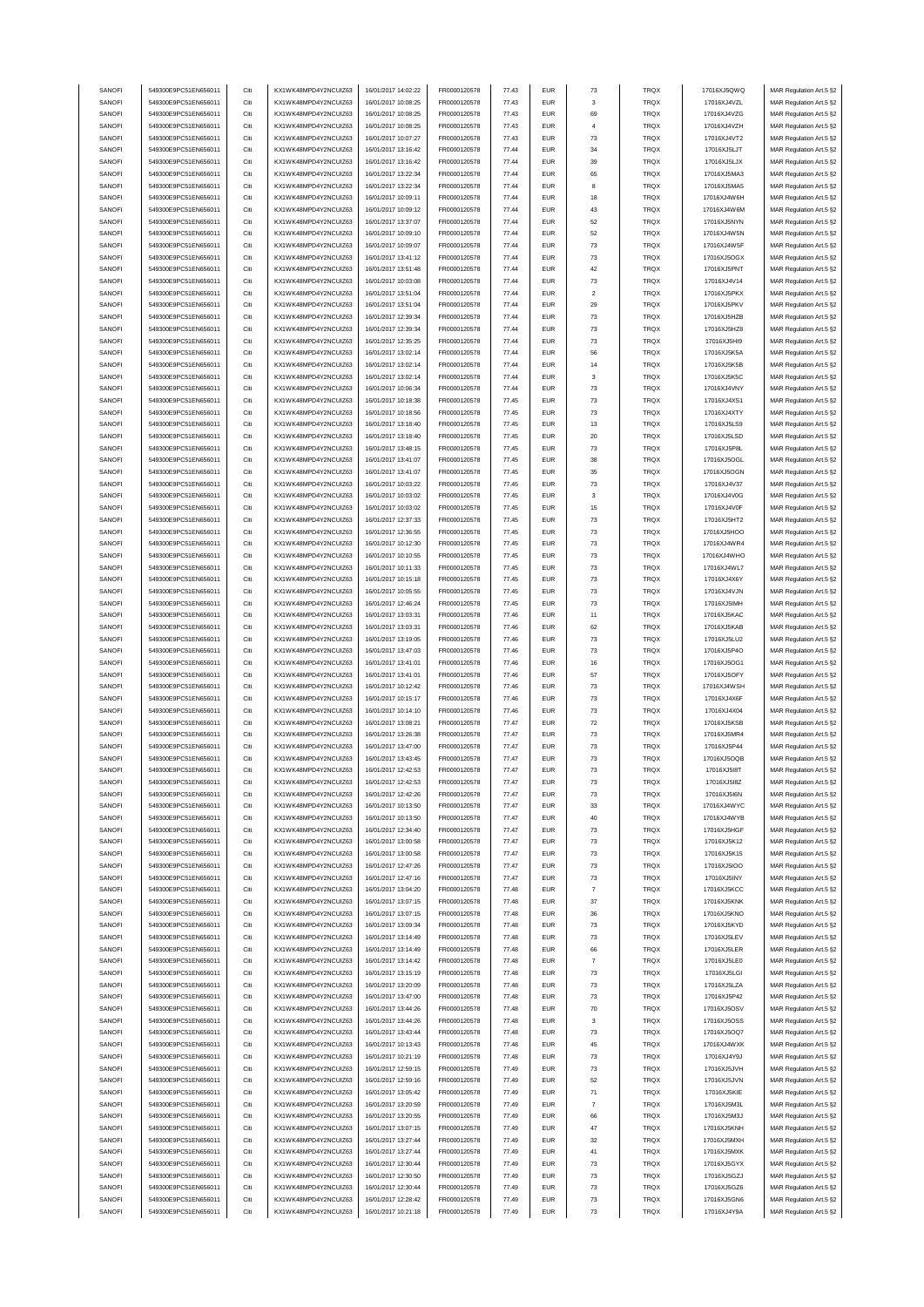| SANOFI | 549300E9PC51EN656011 | Citi | KX1WK48MPD4Y2NCUIZ63  | 16/01/2017 14:02:22 | FR0000120578 | 77.43 | <b>EUR</b> | 73                 | TRQX | 17016XJ5QWQ | MAR Regulation Art.5 §2 |
|--------|----------------------|------|-----------------------|---------------------|--------------|-------|------------|--------------------|------|-------------|-------------------------|
| SANOFI | 549300E9PC51EN656011 | Citi | KX1WK48MPD4Y2NCUIZ63  | 16/01/2017 10:08:25 |              | 77.43 | <b>EUR</b> | 3                  | TRQX |             |                         |
|        |                      |      | KX1WK48MPD4Y2NCUIZ63  |                     | FR0000120578 |       |            |                    |      | 17016XJ4VZL | MAR Regulation Art.5 §2 |
| SANOFI | 549300E9PC51EN656011 | Citi |                       | 16/01/2017 10:08:25 | FR0000120578 | 77.43 | <b>EUR</b> | 69                 | TRQX | 17016XJ4VZG | MAR Regulation Art.5 §2 |
| SANOFI | 549300E9PC51EN656011 | Citi | KX1WK48MPD4Y2NCUIZ63  | 16/01/2017 10:08:25 | FR0000120578 | 77.43 | EUR        | $\overline{4}$     | TRQX | 17016XJ4VZH | MAR Regulation Art.5 §2 |
| SANOFI | 549300E9PC51EN656011 | Citi | KX1WK48MPD4Y2NCLIIZ63 | 16/01/2017 10:07:27 | FR0000120578 | 77.43 | <b>EUR</b> | 73                 | TRQX | 17016XJ4VT2 | MAR Regulation Art.5 §2 |
| SANOFI | 549300E9PC51EN656011 | Citi | KX1WK48MPD4Y2NCUIZ63  | 16/01/2017 13:16:42 | FR0000120578 | 77.44 | <b>EUR</b> | 34                 | TRQX | 17016XJ5LJT | MAR Regulation Art.5 §2 |
| SANOFI | 549300E9PC51EN656011 | Citi | KX1WK48MPD4Y2NCUIZ63  | 16/01/2017 13:16:42 | FR0000120578 | 77.44 | <b>EUR</b> | 39                 | TRQX | 17016XJ5LJX | MAR Regulation Art.5 §2 |
|        |                      |      |                       |                     |              |       |            |                    |      |             |                         |
| SANOFI | 549300E9PC51EN656011 | Citi | KX1WK48MPD4Y2NCUIZ63  | 16/01/2017 13:22:34 | FR0000120578 | 77.44 | <b>EUR</b> | 65                 | TRQX | 17016XJ5MA3 | MAR Regulation Art.5 §2 |
| SANOFI | 549300E9PC51EN656011 | Citi | KX1WK48MPD4Y2NCUIZ63  | 16/01/2017 13:22:34 | FR0000120578 | 77.44 | <b>EUR</b> | 8                  | TRQX | 17016XJ5MA5 | MAR Regulation Art.5 §2 |
| SANOFI | 549300E9PC51EN656011 | Citi | KX1WK48MPD4Y2NCUIZ63  | 16/01/2017 10:09:11 | FR0000120578 | 77.44 | <b>EUR</b> | 18                 | TRQX | 17016XJ4W6H | MAR Regulation Art.5 §2 |
| SANOFI | 549300E9PC51EN656011 | Citi | KX1WK48MPD4Y2NCUIZ63  | 16/01/2017 10:09:12 | FR0000120578 | 77.44 | <b>EUR</b> | 43                 | TRQX | 17016XJ4W6M | MAR Regulation Art.5 §2 |
| SANOFI | 549300E9PC51EN656011 | Citi | KX1WK48MPD4Y2NCUIZ63  | 16/01/2017 13:37:07 | FR0000120578 | 77.44 | <b>EUR</b> | 52                 | TRQX | 17016XJ5NYN | MAR Regulation Art.5 §2 |
|        |                      |      |                       |                     |              |       |            |                    |      |             |                         |
| SANOFI | 549300E9PC51EN656011 | Citi | KX1WK48MPD4Y2NCUIZ63  | 16/01/2017 10:09:10 | FR0000120578 | 77.44 | EUR        | 52                 | TRQX | 17016XJ4W5N | MAR Regulation Art.5 §2 |
| SANOFI | 549300E9PC51EN656011 | Citi | KX1WK48MPD4Y2NCUIZ63  | 16/01/2017 10:09:07 | FR0000120578 | 77.44 | <b>EUR</b> | 73                 | TRQX | 17016XJ4W5F | MAR Regulation Art.5 §2 |
| SANOFI | 549300E9PC51EN656011 | Citi | KX1WK48MPD4Y2NCUIZ63  | 16/01/2017 13:41:12 | FR0000120578 | 77.44 | <b>EUR</b> | 73                 | TRQX | 17016XJ5OGX | MAR Regulation Art.5 §2 |
| SANOFI | 549300E9PC51EN656011 | Citi | KX1WK48MPD4Y2NCUIZ63  | 16/01/2017 13:51:48 | FR0000120578 | 77.44 | <b>EUR</b> | 42                 | TRQX | 17016XJ5PNT | MAR Regulation Art.5 §2 |
| SANOFI | 549300E9PC51EN656011 | Citi | KX1WK48MPD4Y2NCUIZ63  | 16/01/2017 10:03:08 | FR0000120578 | 77.44 | <b>EUR</b> | 73                 | TRQX | 17016XJ4V14 | MAR Regulation Art.5 §2 |
|        | 549300E9PC51EN656011 | Citi | KX1WK48MPD4Y2NCUIZ63  | 16/01/2017 13:51:04 |              | 77.44 | <b>EUR</b> | $\overline{2}$     |      |             | MAR Regulation Art.5 §2 |
| SANOFI |                      |      |                       |                     | FR0000120578 |       |            |                    | TRQX | 17016XJ5PKX |                         |
| SANOFI | 549300E9PC51EN656011 | Citi | KX1WK48MPD4Y2NCUIZ63  | 16/01/2017 13:51:04 | FR0000120578 | 77.44 | <b>EUR</b> | 29                 | TRQX | 17016XJ5PKV | MAR Regulation Art.5 §2 |
| SANOFI | 549300E9PC51EN656011 | Citi | KX1WK48MPD4Y2NCUIZ63  | 16/01/2017 12:39:34 | FR0000120578 | 77.44 | <b>EUR</b> | 73                 | TRQX | 17016XJ5HZB | MAR Regulation Art.5 §2 |
| SANOFI | 549300E9PC51EN656011 | Citi | KX1WK48MPD4Y2NCUIZ63  | 16/01/2017 12:39:34 | FR0000120578 | 77.44 | <b>EUR</b> | 73                 | TRQX | 17016XJ5HZ8 | MAR Regulation Art.5 §2 |
| SANOFI | 549300E9PC51EN656011 | Citi | KX1WK48MPD4Y2NCUIZ63  | 16/01/2017 12:35:25 | FR0000120578 | 77.44 | <b>EUR</b> | 73                 | TRQX | 17016XJ5HI9 | MAR Regulation Art.5 §2 |
| SANOFI | 549300E9PC51EN656011 | Citi | KX1WK48MPD4Y2NCUIZ63  | 16/01/2017 13:02:14 | FR0000120578 | 77.44 | <b>EUR</b> | 56                 | TRQX | 17016XJ5K5A | MAR Regulation Art.5 §2 |
|        |                      |      |                       |                     |              |       |            |                    |      |             |                         |
| SANOFI | 549300E9PC51EN656011 | Citi | KX1WK48MPD4Y2NCUIZ63  | 16/01/2017 13:02:14 | FR0000120578 | 77.44 | <b>EUR</b> | 14                 | TRQX | 17016XJ5K5B | MAR Regulation Art.5 §2 |
| SANOFI | 549300E9PC51EN656011 | Citi | KX1WK48MPD4Y2NCUIZ63  | 16/01/2017 13:02:14 | FR0000120578 | 77.44 | <b>EUR</b> | 3                  | TRQX | 17016XJ5K5C | MAR Regulation Art.5 §2 |
| SANOFI | 549300E9PC51EN656011 | Citi | KX1WK48MPD4Y2NCUIZ63  | 16/01/2017 10:06:34 | FR0000120578 | 77.44 | <b>EUR</b> | 73                 | TRQX | 17016XJ4VNY | MAR Regulation Art.5 §2 |
| SANOFI | 549300E9PC51EN656011 | Citi | KX1WK48MPD4Y2NCUIZ63  | 16/01/2017 10:18:38 | FR0000120578 | 77.45 | <b>EUR</b> | 73                 | TRQX | 17016XJ4XS1 | MAR Regulation Art.5 §2 |
| SANOFI | 549300E9PC51EN656011 | Citi | KX1WK48MPD4Y2NCUIZ63  | 16/01/2017 10:18:56 |              | 77.45 | <b>EUR</b> | 73                 | TRQX |             |                         |
|        |                      |      |                       |                     | FR0000120578 |       |            |                    |      | 17016XJ4XTY | MAR Regulation Art.5 §2 |
| SANOFI | 549300E9PC51EN656011 | Citi | KX1WK48MPD4Y2NCUIZ63  | 16/01/2017 13:18:40 | FR0000120578 | 77.45 | <b>EUR</b> | 13                 | TRQX | 17016XJ5LS9 | MAR Regulation Art.5 §2 |
| SANOFI | 549300E9PC51EN656011 | Citi | KX1WK48MPD4Y2NCUIZ63  | 16/01/2017 13:18:40 | FR0000120578 | 77.45 | <b>EUR</b> | 20                 | TRQX | 17016XJ5LSD | MAR Regulation Art.5 §2 |
| SANOFI | 549300E9PC51EN656011 | Citi | KX1WK48MPD4Y2NCUIZ63  | 16/01/2017 13:48:15 | FR0000120578 | 77.45 | <b>EUR</b> | 73                 | TRQX | 17016XJ5P8L | MAR Regulation Art.5 §2 |
| SANOFI | 549300E9PC51EN656011 | Citi | KX1WK48MPD4Y2NCUIZ63  | 16/01/2017 13:41:07 | FR0000120578 | 77.45 | <b>EUR</b> | 38                 | TRQX | 17016XJ5OGL | MAR Regulation Art.5 §2 |
| SANOFI | 549300E9PC51EN656011 | Citi | KX1WK48MPD4Y2NCUIZ63  | 16/01/2017 13:41:07 | FR0000120578 | 77.45 | <b>EUR</b> | 35                 | TRQX | 17016XJ5OGN | MAR Regulation Art.5 §2 |
|        |                      |      |                       |                     |              |       |            |                    |      |             |                         |
| SANOFI | 549300E9PC51EN656011 | Citi | KX1WK48MPD4Y2NCUIZ63  | 16/01/2017 10:03:22 | FR0000120578 | 77.45 | <b>EUR</b> | 73                 | TRQX | 17016XJ4V37 | MAR Regulation Art.5 §2 |
| SANOFI | 549300E9PC51EN656011 | Citi | KX1WK48MPD4Y2NCUIZ63  | 16/01/2017 10:03:02 | FR0000120578 | 77.45 | <b>EUR</b> | 3                  | TRQX | 17016XJ4V0G | MAR Regulation Art.5 §2 |
| SANOFI | 549300E9PC51EN656011 | Citi | KX1WK48MPD4Y2NCUIZ63  | 16/01/2017 10:03:02 | FR0000120578 | 77.45 | <b>EUR</b> | 15                 | TRQX | 17016XJ4V0F | MAR Regulation Art.5 §2 |
| SANOFI | 549300E9PC51EN656011 | Citi | KX1WK48MPD4Y2NCUIZ63  | 16/01/2017 12:37:33 | FR0000120578 | 77.45 | <b>EUR</b> | 73                 | TRQX | 17016XJ5HT2 | MAR Regulation Art.5 §2 |
| SANOFI | 549300E9PC51EN656011 | Citi | KX1WK48MPD4Y2NCUIZ63  | 16/01/2017 12:36:55 | FR0000120578 | 77.45 | <b>EUR</b> | 73                 | TRQX | 17016XJ5HOO | MAR Regulation Art.5 §2 |
|        |                      |      |                       |                     |              |       |            |                    |      |             |                         |
| SANOFI | 549300E9PC51EN656011 | Citi | KX1WK48MPD4Y2NCUIZ63  | 16/01/2017 10:12:30 | FR0000120578 | 77.45 | <b>EUR</b> | 73                 | TRQX | 17016XJ4WR4 | MAR Regulation Art.5 §2 |
| SANOFI | 549300E9PC51EN656011 | Citi | KX1WK48MPD4Y2NCUIZ63  | 16/01/2017 10:10:55 | FR0000120578 | 77.45 | <b>EUR</b> | 73                 | TRQX | 17016XJ4WHO | MAR Regulation Art.5 §2 |
| SANOFI | 549300E9PC51EN656011 | Citi | KX1WK48MPD4Y2NCUIZ63  | 16/01/2017 10:11:33 | FR0000120578 | 77.45 | <b>EUR</b> | 73                 | TRQX | 17016XJ4WL7 | MAR Regulation Art.5 §2 |
| SANOFI | 549300E9PC51EN656011 | Citi | KX1WK48MPD4Y2NCUIZ63  | 16/01/2017 10:15:18 | FR0000120578 | 77.45 | <b>EUR</b> | 73                 | TRQX | 17016XJ4X6Y | MAR Regulation Art.5 §2 |
| SANOFI | 549300E9PC51EN656011 | Citi | KX1WK48MPD4Y2NCUIZ63  | 16/01/2017 10:05:55 | FR0000120578 | 77.45 | <b>EUR</b> | 73                 | TRQX | 17016XJ4VJN | MAR Regulation Art.5 §2 |
| SANOFI | 549300E9PC51EN656011 | Citi | KX1WK48MPD4Y2NCUIZ63  | 16/01/2017 12:46:24 | FR0000120578 | 77.45 | <b>EUR</b> | 73                 | TRQX | 17016XJ5IMH |                         |
|        |                      |      |                       |                     |              |       |            |                    |      |             | MAR Regulation Art.5 §2 |
| SANOFI | 549300E9PC51EN656011 | Citi | KX1WK48MPD4Y2NCUIZ63  | 16/01/2017 13:03:31 | FR0000120578 | 77.46 | <b>EUR</b> | 11                 | TRQX | 17016XJ5KAC | MAR Regulation Art.5 §2 |
| SANOFI | 549300E9PC51EN656011 | Citi | KX1WK48MPD4Y2NCUIZ63  | 16/01/2017 13:03:31 | FR0000120578 | 77.46 | <b>EUR</b> | 62                 | TRQX | 17016XJ5KAB | MAR Regulation Art.5 §2 |
| SANOFI | 549300E9PC51EN656011 | Citi | KX1WK48MPD4Y2NCUIZ63  | 16/01/2017 13:19:05 | FR0000120578 | 77.46 | <b>EUR</b> | 73                 | TRQX | 17016XJ5LU2 | MAR Regulation Art.5 §2 |
| SANOFI | 549300E9PC51EN656011 | Citi | KX1WK48MPD4Y2NCUIZ63  | 16/01/2017 13:47:03 | FR0000120578 | 77.46 | <b>EUR</b> | 73                 | TRQX | 17016XJ5P4O | MAR Regulation Art.5 §2 |
| SANOFI | 549300E9PC51EN656011 | Citi | KX1WK48MPD4Y2NCUIZ63  | 16/01/2017 13:41:01 | FR0000120578 | 77.46 | <b>EUR</b> | 16                 | TRQX | 17016XJ5OG1 | MAR Regulation Art.5 §2 |
|        |                      |      |                       |                     |              |       |            |                    |      |             |                         |
| SANOFI | 549300E9PC51EN656011 | Citi | KX1WK48MPD4Y2NCUIZ63  | 16/01/2017 13:41:01 | FR0000120578 | 77.46 | <b>EUR</b> | 57                 | TRQX | 17016XJ5OFY | MAR Regulation Art.5 §2 |
| SANOFI | 549300E9PC51EN656011 | Citi | KX1WK48MPD4Y2NCUIZ63  | 16/01/2017 10:12:42 | FR0000120578 | 77.46 | <b>EUR</b> | 73                 | TRQX | 17016XJ4WSH | MAR Regulation Art.5 §2 |
| SANOFI | 549300E9PC51EN656011 | Citi | KX1WK48MPD4Y2NCUIZ63  | 16/01/2017 10:15:17 | FR0000120578 | 77.46 | <b>EUR</b> | 73                 | TRQX | 17016XJ4X6F | MAR Regulation Art.5 §2 |
| SANOFI | 549300E9PC51EN656011 | Citi | KX1WK48MPD4Y2NCLIIZ63 | 16/01/2017 10:14:10 | FR0000120578 | 77.46 | <b>EUR</b> | 73                 | TRQX | 17016XJ4X04 | MAR Regulation Art.5 §2 |
| SANOFI | 549300E9PC51EN656011 | Citi | KX1WK48MPD4Y2NCUIZ63  | 16/01/2017 13:08:21 | FR0000120578 | 77.47 | <b>EUR</b> | $\scriptstyle{72}$ | TRQX | 17016XJ5KSB | MAR Regulation Art.5 §2 |
|        |                      |      |                       |                     |              |       |            |                    |      |             |                         |
| SANOFI | 549300E9PC51EN656011 | Citi | KX1WK48MPD4Y2NCUIZ63  | 16/01/2017 13:26:38 | FR0000120578 | 77.47 | <b>EUR</b> | 73                 | TRQX | 17016XJ5MR4 | MAR Regulation Art.5 §2 |
| SANOFI | 549300E9PC51EN656011 | Citi | KX1WK48MPD4Y2NCUIZ63  | 16/01/2017 13:47:00 | FR0000120578 | 77.47 | <b>EUR</b> | 73                 | TRQX | 17016XJ5P44 | MAR Regulation Art.5 §2 |
| SANOFI | 549300E9PC51EN656011 | Citi | KX1WK48MPD4Y2NCUIZ63  | 16/01/2017 13:43:45 | FR0000120578 | 77.47 | <b>EUR</b> | 73                 | TRQX | 17016XJ5OQB | MAR Regulation Art.5 §2 |
| SANOFI | 549300E9PC51EN656011 | Citi | KX1WK48MPD4Y2NCUIZ63  | 16/01/2017 12:42:53 | FR0000120578 | 77.47 | <b>EUR</b> | 73                 | TRQX | 17016XJ5I8T | MAR Regulation Art.5 §2 |
| SANOFI | 549300E9PC51EN656011 |      | KX1WK48MPD4Y2NCUIZ63  | 16/01/2017 12:42:53 | FR0000120578 | 77.47 | FUR        | 73                 | TROX | 17016XJ5I87 | MAR Regulation Art 5.82 |
| SANOFI |                      |      |                       | 16/01/2017 12:42:26 |              |       |            |                    | TRQX |             |                         |
|        | 549300E9PC51EN656011 | Citi | KX1WK48MPD4Y2NCUIZ63  |                     | FR0000120578 | 77.47 | <b>EUR</b> | 73                 |      | 17016XJ5I6N | MAR Regulation Art.5 §2 |
| SANOFI | 549300E9PC51EN656011 | Citi | KX1WK48MPD4Y2NCUIZ63  | 16/01/2017 10:13:50 | FR0000120578 | 77.47 |            |                    |      |             |                         |
| SANOFI | 549300E9PC51EN656011 | Citi | KX1WK48MPD4Y2NCUIZ63  | 16/01/2017 10:13:50 | FR0000120578 |       | <b>EUR</b> | 33                 | TRQX | 17016XJ4WYC | MAR Regulation Art.5 §2 |
| SANOFI | 549300E9PC51EN656011 | Citi | KX1WK48MPD4Y2NCUIZ63  |                     |              | 77.47 | <b>EUR</b> | 40                 | TRQX | 17016XJ4WYB | MAR Regulation Art.5 §2 |
| SANOFI | 549300E9PC51EN656011 | Citi |                       | 16/01/2017 12:34:40 | FR0000120578 | 77.47 | <b>EUR</b> | 73                 | TRQX | 17016XJ5HGF |                         |
| SANOFI | 549300E9PC51EN656011 |      |                       |                     |              |       |            |                    |      |             | MAR Regulation Art.5 §2 |
|        |                      |      | KX1WK48MPD4Y2NCUIZ63  | 16/01/2017 13:00:58 | FR0000120578 | 77.47 | <b>EUR</b> | 73                 | TRQX | 17016XJ5K12 | MAR Regulation Art.5 §2 |
|        |                      | Citi | KX1WK48MPD4Y2NCUIZ63  | 16/01/2017 13:00:58 | FR0000120578 | 77.47 | <b>EUR</b> | 73                 | TRQX | 17016XJ5K15 | MAR Regulation Art.5 §2 |
| SANOFI | 549300E9PC51EN656011 | Citi | KX1WK48MPD4Y2NCUIZ63  | 16/01/2017 12:47:26 | FR0000120578 | 77.47 | <b>EUR</b> | 73                 | TRQX | 17016XJ5IOO | MAR Regulation Art.5 §2 |
| SANOFI | 549300E9PC51EN656011 | Citi | KX1WK48MPD4Y2NCUIZ63  | 16/01/2017 12:47:16 | FR0000120578 | 77.47 | <b>EUR</b> | 73                 | TRQX | 17016XJ5INY | MAR Regulation Art.5 §2 |
| SANOFI | 549300E9PC51EN656011 | Citi | KX1WK48MPD4Y2NCUIZ63  | 16/01/2017 13:04:20 | FR0000120578 | 77.48 | <b>EUR</b> | $\overline{7}$     | TRQX | 17016XJ5KCC | MAR Regulation Art.5 §2 |
| SANOFI | 549300E9PC51EN656011 | Citi | KX1WK48MPD4Y2NCUIZ63  | 16/01/2017 13:07:15 | FR0000120578 | 77.48 | <b>EUR</b> | 37                 | TRQX | 17016XJ5KNK | MAR Regulation Art.5 §2 |
|        |                      |      |                       |                     |              |       |            |                    |      |             |                         |
| SANOFI | 549300E9PC51EN656011 | Citi | KX1WK48MPD4Y2NCUIZ63  | 16/01/2017 13:07:15 | FR0000120578 | 77.48 | <b>EUR</b> | 36                 | TRQX | 17016XJ5KNO | MAR Regulation Art.5 §2 |
| SANOFI | 549300E9PC51EN656011 | Citi | KX1WK48MPD4Y2NCUIZ63  | 16/01/2017 13:09:34 | FR0000120578 | 77.48 | <b>EUR</b> | 73                 | TRQX | 17016XJ5KYD | MAR Regulation Art.5 §2 |
| SANOFI | 549300E9PC51EN656011 | Citi | KX1WK48MPD4Y2NCUIZ63  | 16/01/2017 13:14:49 | FR0000120578 | 77.48 | <b>EUR</b> | 73                 | TRQX | 17016XJ5LEV | MAR Regulation Art.5 §2 |
| SANOFI | 549300E9PC51EN656011 | Citi | KX1WK48MPD4Y2NCUIZ63  | 16/01/2017 13:14:49 | FR0000120578 | 77.48 | <b>EUR</b> | 66                 | TRQX | 17016XJ5LER | MAR Regulation Art.5 §2 |
| SANOFI | 549300E9PC51EN656011 | Citi | KX1WK48MPD4Y2NCUIZ63  | 16/01/2017 13:14:42 | FR0000120578 | 77.48 | <b>EUR</b> | $\overline{7}$     | TRQX | 17016XJ5LE0 | MAR Regulation Art.5 §2 |
|        |                      |      |                       |                     |              |       |            |                    |      |             |                         |
| SANOFI | 549300E9PC51EN656011 | Citi | KX1WK48MPD4Y2NCUIZ63  | 16/01/2017 13:15:19 | FR0000120578 | 77.48 | <b>EUR</b> | 73                 | TRQX | 17016XJ5LGI | MAR Regulation Art.5 §2 |
| SANOFI | 549300E9PC51EN656011 | Citi | KX1WK48MPD4Y2NCUIZ63  | 16/01/2017 13:20:09 | FR0000120578 | 77.48 | <b>EUR</b> | 73                 | TRQX | 17016XJ5LZA | MAR Regulation Art.5 §2 |
| SANOFI | 549300E9PC51EN656011 | Citi | KX1WK48MPD4Y2NCUIZ63  | 16/01/2017 13:47:00 | FR0000120578 | 77.48 | <b>EUR</b> | 73                 | TRQX | 17016XJ5P42 | MAR Regulation Art.5 §2 |
| SANOFI | 549300E9PC51EN656011 | Citi | KX1WK48MPD4Y2NCUIZ63  | 16/01/2017 13:44:26 | FR0000120578 | 77.48 | <b>EUR</b> | 70                 | TRQX | 17016XJ5OSV | MAR Regulation Art.5 §2 |
| SANOFI | 549300E9PC51EN656011 | Citi | KX1WK48MPD4Y2NCUIZ63  | 16/01/2017 13:44:26 | FR0000120578 | 77.48 | <b>EUR</b> | 3                  | TRQX | 17016XJ5OSS | MAR Regulation Art.5 §2 |
| SANOFI | 549300E9PC51EN656011 | Citi | KX1WK48MPD4Y2NCUIZ63  | 16/01/2017 13:43:44 | FR0000120578 | 77.48 | <b>EUR</b> | 73                 | TRQX | 17016XJ5OQ7 | MAR Regulation Art.5 §2 |
|        |                      |      |                       |                     |              |       |            |                    |      |             |                         |
| SANOFI | 549300E9PC51EN656011 | Citi | KX1WK48MPD4Y2NCUIZ63  | 16/01/2017 10:13:43 | FR0000120578 | 77.48 | <b>EUR</b> | 45                 | TRQX | 17016XJ4WXK | MAR Regulation Art.5 §2 |
| SANOFI | 549300E9PC51EN656011 | Citi | KX1WK48MPD4Y2NCUIZ63  | 16/01/2017 10:21:19 | FR0000120578 | 77.48 | <b>EUR</b> | 73                 | TRQX | 17016XJ4Y9J | MAR Regulation Art.5 §2 |
| SANOFI | 549300E9PC51EN656011 | Citi | KX1WK48MPD4Y2NCUIZ63  | 16/01/2017 12:59:15 | FR0000120578 | 77.49 | <b>EUR</b> | 73                 | TRQX | 17016XJ5JVH | MAR Regulation Art.5 §2 |
| SANOFI | 549300E9PC51EN656011 | Citi | KX1WK48MPD4Y2NCUIZ63  | 16/01/2017 12:59:16 | FR0000120578 | 77.49 | <b>EUR</b> | 52                 | TRQX | 17016XJ5JVN | MAR Regulation Art.5 §2 |
| SANOFI | 549300E9PC51EN656011 | Citi |                       |                     |              | 77.49 | <b>EUR</b> | 71                 | TRQX |             |                         |
|        |                      |      | KX1WK48MPD4Y2NCUIZ63  | 16/01/2017 13:05:42 | FR0000120578 |       |            |                    |      | 17016XJ5KIE | MAR Regulation Art.5 §2 |
| SANOFI | 549300E9PC51EN656011 | Citi | KX1WK48MPD4Y2NCUIZ63  | 16/01/2017 13:20:59 | FR0000120578 | 77.49 | <b>EUR</b> | $\overline{7}$     | TRQX | 17016XJ5M3L | MAR Regulation Art.5 §2 |
| SANOFI | 549300E9PC51EN656011 | Citi | KX1WK48MPD4Y2NCUIZ63  | 16/01/2017 13:20:55 | FR0000120578 | 77.49 | <b>EUR</b> | 66                 | TRQX | 17016XJ5M3J | MAR Regulation Art.5 §2 |
| SANOFI | 549300E9PC51EN656011 | Citi | KX1WK48MPD4Y2NCUIZ63  | 16/01/2017 13:07:15 | FR0000120578 | 77.49 | <b>EUR</b> | 47                 | TRQX | 17016XJ5KNH | MAR Regulation Art.5 §2 |
| SANOFI | 549300E9PC51EN656011 | Citi | KX1WK48MPD4Y2NCUIZ63  | 16/01/2017 13:27:44 | FR0000120578 | 77.49 | <b>EUR</b> | 32                 | TRQX | 17016XJ5MXH | MAR Regulation Art.5 §2 |
| SANOFI | 549300E9PC51EN656011 | Citi | KX1WK48MPD4Y2NCUIZ63  | 16/01/2017 13:27:44 | FR0000120578 | 77.49 | <b>EUR</b> | 41                 | TRQX | 17016XJ5MXK | MAR Regulation Art.5 §2 |
| SANOFI | 549300E9PC51EN656011 | Citi | KX1WK48MPD4Y2NCUIZ63  | 16/01/2017 12:30:44 | FR0000120578 | 77.49 | <b>EUR</b> | 73                 | TRQX | 17016XJ5GYX |                         |
|        |                      |      |                       |                     |              |       |            |                    |      |             | MAR Regulation Art.5 §2 |
| SANOFI | 549300E9PC51EN656011 | Citi | KX1WK48MPD4Y2NCUIZ63  | 16/01/2017 12:30:50 | FR0000120578 | 77.49 | <b>EUR</b> | 73                 | TRQX | 17016XJ5GZJ | MAR Regulation Art.5 §2 |
| SANOFI | 549300E9PC51EN656011 | Citi | KX1WK48MPD4Y2NCUIZ63  | 16/01/2017 12:30:44 | FR0000120578 | 77.49 | <b>EUR</b> | 73                 | TRQX | 17016XJ5GZ6 | MAR Regulation Art.5 §2 |
| SANOFI | 549300E9PC51EN656011 | Citi | KX1WK48MPD4Y2NCUIZ63  | 16/01/2017 12:28:42 | FR0000120578 | 77.49 | <b>EUR</b> | 73                 | TRQX | 17016XJ5GN6 | MAR Regulation Art.5 §2 |
| SANOFI | 549300E9PC51EN656011 | Citi | KX1WK48MPD4Y2NCUIZ63  | 16/01/2017 10:21:18 | FR0000120578 | 77.49 | <b>EUR</b> | 73                 | TRQX | 17016XJ4Y9A | MAR Regulation Art.5 §2 |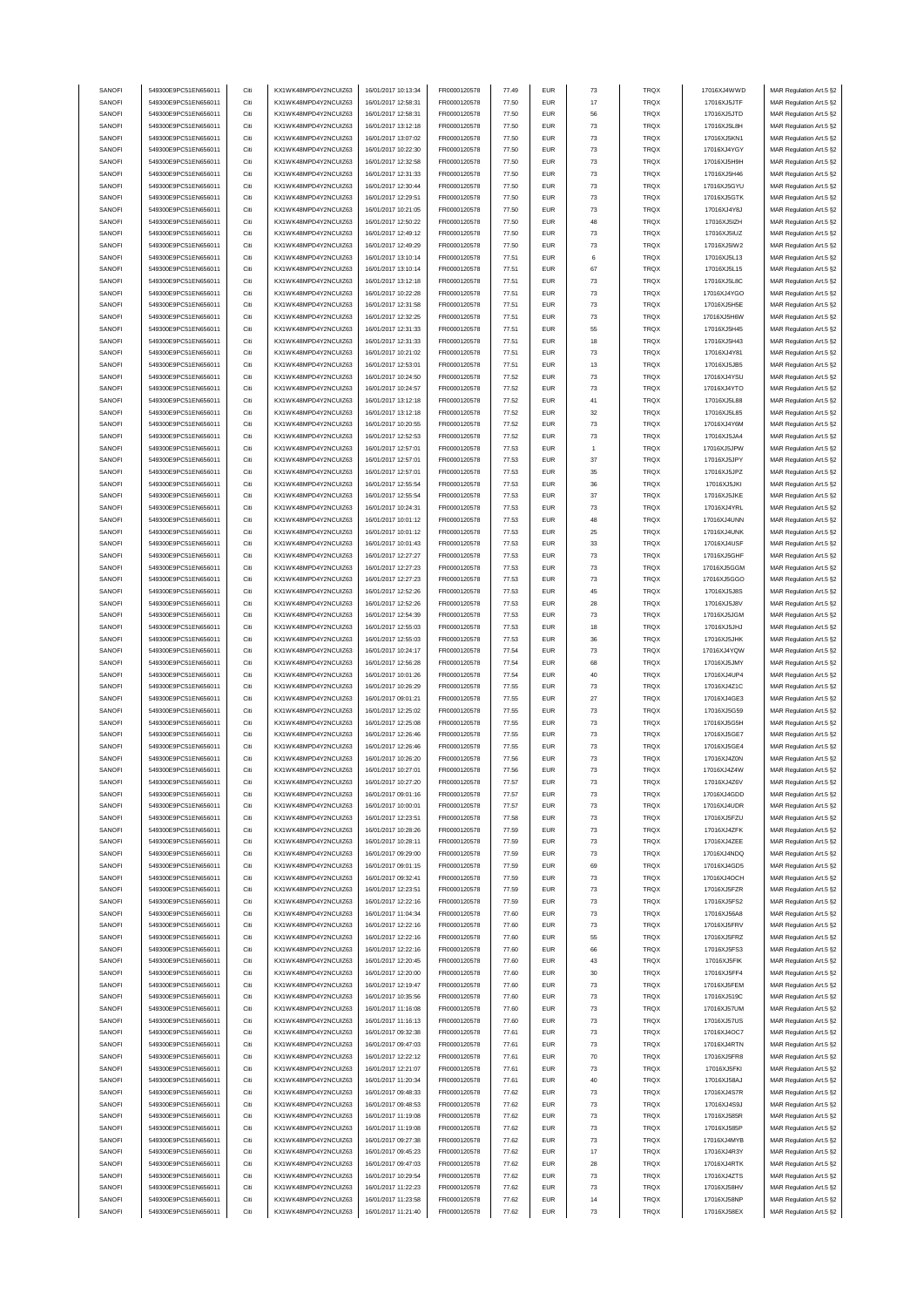| SANOFI<br>SANOFI |                                              | Citi | KX1WK48MPD4Y2NCUIZ63  | 16/01/2017 10:13:34 | FR0000120578 | 77.49 | <b>EUR</b> | 73 | TRQX | 17016XJ4WWD  | MAR Regulation Art.5 §2 |
|------------------|----------------------------------------------|------|-----------------------|---------------------|--------------|-------|------------|----|------|--------------|-------------------------|
|                  | 549300E9PC51EN656011<br>549300E9PC51EN656011 | Citi | KX1WK48MPD4Y2NCUIZ63  | 16/01/2017 12:58:31 |              | 77.50 | <b>EUR</b> | 17 | TRQX |              |                         |
|                  |                                              |      |                       |                     | FR0000120578 |       |            |    |      | 17016XJ5JTF  | MAR Regulation Art.5 §2 |
| SANOFI           | 549300E9PC51EN656011                         | Citi | KX1WK48MPD4Y2NCUIZ63  | 16/01/2017 12:58:31 | FR0000120578 | 77.50 | <b>EUR</b> | 56 | TRQX | 17016XJ5JTD  | MAR Regulation Art.5 §2 |
| SANOFI           | 549300E9PC51EN656011                         | Citi | KX1WK48MPD4Y2NCUIZ63  | 16/01/2017 13:12:18 | FR0000120578 | 77.50 | EUR        | 73 | TRQX | 17016XJ5L8H  | MAR Regulation Art.5 §2 |
| SANOFI           | 549300E9PC51EN656011                         | Citi | KX1WK48MPD4Y2NCLIIZ63 | 16/01/2017 13:07:02 | FR0000120578 | 77.50 | <b>EUR</b> | 73 | TRQX | 17016XJ5KN1  | MAR Regulation Art.5 §2 |
| SANOFI           | 549300E9PC51EN656011                         | Citi | KX1WK48MPD4Y2NCUIZ63  | 16/01/2017 10:22:30 | FR0000120578 | 77.50 | <b>EUR</b> | 73 | TRQX | 17016XJ4YGY  | MAR Regulation Art.5 §2 |
| SANOFI           | 549300E9PC51EN656011                         | Citi | KX1WK48MPD4Y2NCUIZ63  | 16/01/2017 12:32:58 | FR0000120578 | 77.50 | <b>EUR</b> | 73 | TRQX | 17016XJ5H9H  | MAR Regulation Art.5 §2 |
|                  |                                              |      | KX1WK48MPD4Y2NCUIZ63  |                     |              |       |            |    |      |              |                         |
| SANOFI           | 549300E9PC51EN656011                         | Citi |                       | 16/01/2017 12:31:33 | FR0000120578 | 77.50 | <b>EUR</b> | 73 | TRQX | 17016XJ5H46  | MAR Regulation Art.5 §2 |
| SANOFI           | 549300E9PC51EN656011                         | Citi | KX1WK48MPD4Y2NCUIZ63  | 16/01/2017 12:30:44 | FR0000120578 | 77.50 | <b>EUR</b> | 73 | TRQX | 17016XJ5GYU  | MAR Regulation Art.5 §2 |
| SANOFI           | 549300E9PC51EN656011                         | Citi | KX1WK48MPD4Y2NCUIZ63  | 16/01/2017 12:29:51 | FR0000120578 | 77.50 | <b>EUR</b> | 73 | TRQX | 17016XJ5GTK  | MAR Regulation Art.5 §2 |
| SANOFI           | 549300E9PC51EN656011                         | Citi | KX1WK48MPD4Y2NCUIZ63  | 16/01/2017 10:21:05 | FR0000120578 | 77.50 | <b>EUR</b> | 73 | TRQX | 17016XJ4Y8J  | MAR Regulation Art.5 §2 |
| SANOFI           | 549300E9PC51EN656011                         | Citi | KX1WK48MPD4Y2NCUIZ63  | 16/01/2017 12:50:22 | FR0000120578 | 77.50 | <b>EUR</b> | 48 | TRQX | 17016XJ5IZH  | MAR Regulation Art.5 §2 |
|                  |                                              |      |                       |                     |              |       |            |    |      |              |                         |
| SANOFI           | 549300E9PC51EN656011                         | Citi | KX1WK48MPD4Y2NCUIZ63  | 16/01/2017 12:49:12 | FR0000120578 | 77.50 | EUR        | 73 | TRQX | 17016XJ5IUZ  | MAR Regulation Art.5 §2 |
| SANOFI           | 549300E9PC51EN656011                         | Citi | KX1WK48MPD4Y2NCUIZ63  | 16/01/2017 12:49:29 | FR0000120578 | 77.50 | <b>EUR</b> | 73 | TRQX | 17016XJ5IW2  | MAR Regulation Art.5 §2 |
| SANOFI           | 549300E9PC51EN656011                         | Citi | KX1WK48MPD4Y2NCUIZ63  | 16/01/2017 13:10:14 | FR0000120578 | 77.51 | <b>EUR</b> | 6  | TRQX | 17016XJ5L13  | MAR Regulation Art.5 §2 |
| SANOFI           | 549300E9PC51EN656011                         | Citi | KX1WK48MPD4Y2NCUIZ63  | 16/01/2017 13:10:14 | FR0000120578 | 77.51 | <b>EUR</b> | 67 | TRQX | 17016XJ5L15  | MAR Regulation Art.5 §2 |
| SANOFI           | 549300E9PC51EN656011                         | Citi | KX1WK48MPD4Y2NCUIZ63  | 16/01/2017 13:12:18 | FR0000120578 | 77.51 | <b>EUR</b> | 73 | TRQX | 17016XJ5L8C  | MAR Regulation Art.5 §2 |
|                  | 549300E9PC51EN656011                         | Citi | KX1WK48MPD4Y2NCUIZ63  | 16/01/2017 10:22:28 |              | 77.51 | <b>EUR</b> | 73 |      |              |                         |
| SANOFI           |                                              |      |                       |                     | FR0000120578 |       |            |    | TRQX | 17016XJ4YGO  | MAR Regulation Art.5 §2 |
| SANOFI           | 549300E9PC51EN656011                         | Citi | KX1WK48MPD4Y2NCUIZ63  | 16/01/2017 12:31:58 | FR0000120578 | 77.51 | <b>EUR</b> | 73 | TRQX | 17016XJ5H5E  | MAR Regulation Art.5 §2 |
| SANOFI           | 549300E9PC51EN656011                         | Citi | KX1WK48MPD4Y2NCUIZ63  | 16/01/2017 12:32:25 | FR0000120578 | 77.51 | <b>EUR</b> | 73 | TRQX | 17016XJ5H6W  | MAR Regulation Art.5 §2 |
| SANOFI           | 549300E9PC51EN656011                         | Citi | KX1WK48MPD4Y2NCUIZ63  | 16/01/2017 12:31:33 | FR0000120578 | 77.51 | <b>EUR</b> | 55 | TRQX | 17016XJ5H45  | MAR Regulation Art.5 §2 |
| SANOFI           | 549300E9PC51EN656011                         | Citi | KX1WK48MPD4Y2NCUIZ63  | 16/01/2017 12:31:33 | FR0000120578 | 77.51 | <b>EUR</b> | 18 | TRQX | 17016XJ5H43  | MAR Regulation Art.5 §2 |
| SANOFI           | 549300E9PC51EN656011                         | Citi | KX1WK48MPD4Y2NCUIZ63  | 16/01/2017 10:21:02 | FR0000120578 | 77.51 | <b>EUR</b> | 73 | TRQX | 17016XJ4Y81  | MAR Regulation Art.5 §2 |
|                  |                                              |      |                       |                     |              |       |            |    |      |              |                         |
| SANOFI           | 549300E9PC51EN656011                         | Citi | KX1WK48MPD4Y2NCUIZ63  | 16/01/2017 12:53:01 | FR0000120578 | 77.51 | <b>EUR</b> | 13 | TRQX | 17016XJ5JB5  | MAR Regulation Art.5 §2 |
| SANOFI           | 549300E9PC51EN656011                         | Citi | KX1WK48MPD4Y2NCUIZ63  | 16/01/2017 10:24:50 | FR0000120578 | 77.52 | <b>EUR</b> | 73 | TRQX | 17016XJ4YSU  | MAR Regulation Art.5 §2 |
| SANOFI           | 549300E9PC51EN656011                         | Citi | KX1WK48MPD4Y2NCUIZ63  | 16/01/2017 10:24:57 | FR0000120578 | 77.52 | <b>EUR</b> | 73 | TRQX | 17016XJ4YTO  | MAR Regulation Art.5 §2 |
| SANOFI           | 549300E9PC51EN656011                         | Citi | KX1WK48MPD4Y2NCUIZ63  | 16/01/2017 13:12:18 | FR0000120578 | 77.52 | <b>EUR</b> | 41 | TRQX | 17016XJ5L88  | MAR Regulation Art.5 §2 |
| SANOFI           | 549300E9PC51EN656011                         | Citi | KX1WK48MPD4Y2NCUIZ63  | 16/01/2017 13:12:18 |              | 77.52 | <b>EUR</b> |    | TRQX |              |                         |
|                  |                                              |      |                       |                     | FR0000120578 |       |            | 32 |      | 17016XJ5L85  | MAR Regulation Art.5 §2 |
| SANOFI           | 549300E9PC51EN656011                         | Citi | KX1WK48MPD4Y2NCUIZ63  | 16/01/2017 10:20:55 | FR0000120578 | 77.52 | <b>EUR</b> | 73 | TRQX | 17016XJ4Y6M  | MAR Regulation Art.5 §2 |
| SANOFI           | 549300E9PC51EN656011                         | Citi | KX1WK48MPD4Y2NCUIZ63  | 16/01/2017 12:52:53 | FR0000120578 | 77.52 | <b>EUR</b> | 73 | TRQX | 17016XJ5JA4  | MAR Regulation Art.5 §2 |
| SANOFI           | 549300E9PC51EN656011                         | Citi | KX1WK48MPD4Y2NCUIZ63  | 16/01/2017 12:57:01 | FR0000120578 | 77.53 | <b>EUR</b> | 1  | TRQX | 17016XJ5JPW  | MAR Regulation Art.5 §2 |
| SANOFI           | 549300E9PC51EN656011                         | Citi | KX1WK48MPD4Y2NCUIZ63  | 16/01/2017 12:57:01 | FR0000120578 | 77.53 | <b>EUR</b> | 37 | TRQX | 17016XJ5JPY  | MAR Regulation Art.5 §2 |
| SANOFI           | 549300E9PC51EN656011                         | Citi | KX1WK48MPD4Y2NCUIZ63  | 16/01/2017 12:57:01 | FR0000120578 | 77.53 | <b>EUR</b> | 35 | TRQX | 17016XJ5JPZ  | MAR Regulation Art.5 §2 |
|                  |                                              |      |                       |                     |              |       |            |    |      |              |                         |
| SANOFI           | 549300E9PC51EN656011                         | Citi | KX1WK48MPD4Y2NCUIZ63  | 16/01/2017 12:55:54 | FR0000120578 | 77.53 | <b>EUR</b> | 36 | TRQX | 17016XJ5JKI  | MAR Regulation Art.5 §2 |
| SANOFI           | 549300E9PC51EN656011                         | Citi | KX1WK48MPD4Y2NCUIZ63  | 16/01/2017 12:55:54 | FR0000120578 | 77.53 | <b>EUR</b> | 37 | TRQX | 17016XJ5JKE  | MAR Regulation Art.5 §2 |
| SANOFI           | 549300E9PC51EN656011                         | Citi | KX1WK48MPD4Y2NCUIZ63  | 16/01/2017 10:24:31 | FR0000120578 | 77.53 | <b>EUR</b> | 73 | TRQX | 17016XJ4YRL  | MAR Regulation Art.5 §2 |
| SANOFI           | 549300E9PC51EN656011                         | Citi | KX1WK48MPD4Y2NCUIZ63  | 16/01/2017 10:01:12 | FR0000120578 | 77.53 | <b>EUR</b> | 48 | TRQX | 17016XJ4UNN  | MAR Regulation Art.5 §2 |
| SANOFI           | 549300E9PC51EN656011                         | Citi | KX1WK48MPD4Y2NCUIZ63  | 16/01/2017 10:01:12 | FR0000120578 | 77.53 | <b>EUR</b> | 25 | TRQX | 17016XJ4UNK  | MAR Regulation Art.5 §2 |
|                  |                                              |      |                       |                     |              |       |            |    |      |              |                         |
| SANOFI           | 549300E9PC51EN656011                         | Citi | KX1WK48MPD4Y2NCUIZ63  | 16/01/2017 10:01:43 | FR0000120578 | 77.53 | <b>EUR</b> | 33 | TRQX | 17016XJ4USF  | MAR Regulation Art.5 §2 |
| SANOFI           | 549300E9PC51EN656011                         | Citi | KX1WK48MPD4Y2NCUIZ63  | 16/01/2017 12:27:27 | FR0000120578 | 77.53 | <b>EUR</b> | 73 | TRQX | 17016XJ5GHF  | MAR Regulation Art.5 §2 |
| SANOFI           | 549300E9PC51EN656011                         | Citi | KX1WK48MPD4Y2NCUIZ63  | 16/01/2017 12:27:23 | FR0000120578 | 77.53 | <b>EUR</b> | 73 | TRQX | 17016XJ5GGM  | MAR Regulation Art.5 §2 |
| SANOFI           | 549300E9PC51EN656011                         | Citi | KX1WK48MPD4Y2NCUIZ63  | 16/01/2017 12:27:23 | FR0000120578 | 77.53 | <b>EUR</b> | 73 | TRQX | 17016XJ5GGO  | MAR Regulation Art.5 §2 |
| SANOFI           | 549300E9PC51EN656011                         | Citi | KX1WK48MPD4Y2NCUIZ63  | 16/01/2017 12:52:26 | FR0000120578 | 77.53 | <b>EUR</b> | 45 | TRQX | 17016XJ5J8S  | MAR Regulation Art.5 §2 |
| SANOFI           | 549300E9PC51EN656011                         | Citi | KX1WK48MPD4Y2NCUIZ63  | 16/01/2017 12:52:26 | FR0000120578 | 77.53 | <b>EUR</b> | 28 | TRQX | 17016XJ5J8V  |                         |
|                  |                                              |      |                       |                     |              |       |            |    |      |              | MAR Regulation Art.5 §2 |
| SANOFI           | 549300E9PC51EN656011                         | Citi | KX1WK48MPD4Y2NCUIZ63  | 16/01/2017 12:54:39 | FR0000120578 | 77.53 | <b>EUR</b> | 73 | TRQX | 17016XJ5JGM  | MAR Regulation Art.5 §2 |
| SANOFI           | 549300E9PC51EN656011                         | Citi | KX1WK48MPD4Y2NCUIZ63  | 16/01/2017 12:55:03 | FR0000120578 | 77.53 | <b>EUR</b> | 18 | TRQX | 17016XJ5JHJ  | MAR Regulation Art.5 §2 |
| SANOFI           | 549300E9PC51EN656011                         | Citi | KX1WK48MPD4Y2NCUIZ63  | 16/01/2017 12:55:03 | FR0000120578 | 77.53 | <b>EUR</b> | 36 | TRQX | 17016XJ5JHK  | MAR Regulation Art.5 §2 |
| SANOFI           | 549300E9PC51EN656011                         | Citi | KX1WK48MPD4Y2NCUIZ63  | 16/01/2017 10:24:17 | FR0000120578 | 77.54 | <b>EUR</b> | 73 | TRQX | 17016XJ4YQW  | MAR Regulation Art.5 §2 |
| SANOFI           | 549300E9PC51EN656011                         | Citi | KX1WK48MPD4Y2NCUIZ63  | 16/01/2017 12:56:28 | FR0000120578 | 77.54 | <b>EUR</b> | 68 | TRQX | 17016XJ5JMY  | MAR Regulation Art.5 §2 |
|                  |                                              |      |                       |                     |              |       |            |    |      |              |                         |
| SANOFI           | 549300E9PC51EN656011                         | Citi | KX1WK48MPD4Y2NCUIZ63  | 16/01/2017 10:01:26 | FR0000120578 | 77.54 | <b>EUR</b> | 40 | TRQX | 17016XJ4UP4  | MAR Regulation Art.5 §2 |
| SANOFI           | 549300E9PC51EN656011                         | Citi | KX1WK48MPD4Y2NCUIZ63  | 16/01/2017 10:26:29 | FR0000120578 | 77.55 | <b>EUR</b> | 73 | TRQX | 17016XJ4Z1C  | MAR Regulation Art.5 §2 |
| SANOFI           | 549300E9PC51EN656011                         | Citi | KX1WK48MPD4Y2NCUIZ63  | 16/01/2017 09:01:21 | FR0000120578 | 77.55 | <b>EUR</b> | 27 | TRQX | 17016XJ4GE3  | MAR Regulation Art.5 §2 |
| SANOFI           | 549300E9PC51EN656011                         |      | KX1WK48MPD4Y2NCLIIZ63 | 16/01/2017 12:25:02 | FR0000120578 | 77.55 | <b>EUR</b> | 73 | TRQX | 17016XJ5G59  | MAR Regulation Art.5 §2 |
|                  |                                              | Citi |                       |                     |              |       |            |    |      |              |                         |
|                  |                                              |      |                       |                     |              |       |            |    |      |              |                         |
| SANOFI           | 549300E9PC51EN656011                         | Citi | KX1WK48MPD4Y2NCUIZ63  | 16/01/2017 12:25:08 | FR0000120578 | 77.55 | <b>EUR</b> | 73 | TRQX | 17016XJ5G5H  | MAR Regulation Art.5 §2 |
| SANOFI           | 549300E9PC51EN656011                         | Citi | KX1WK48MPD4Y2NCUIZ63  | 16/01/2017 12:26:46 | FR0000120578 | 77.55 | <b>EUR</b> | 73 | TRQX | 17016XJ5GE7  | MAR Regulation Art.5 §2 |
| SANOFI           | 549300E9PC51EN656011                         | Citi | KX1WK48MPD4Y2NCUIZ63  | 16/01/2017 12:26:46 | FR0000120578 | 77.55 | <b>EUR</b> | 73 | TRQX | 17016XJ5GE4  | MAR Regulation Art.5 §2 |
| SANOFI           | 549300E9PC51EN656011                         | Citi | KX1WK48MPD4Y2NCUIZ63  | 16/01/2017 10:26:20 | FR0000120578 | 77.56 | <b>EUR</b> | 73 | TRQX | 17016XJ4Z0N  | MAR Regulation Art.5 §2 |
|                  |                                              | Citi |                       | 16/01/2017 10:27:01 |              | 77.56 | <b>EUR</b> |    |      |              | MAR Regulation Art.5 §2 |
| SANOFI           | 549300E9PC51EN656011                         |      | KX1WK48MPD4Y2NCUIZ63  |                     | FR0000120578 |       |            | 73 | TRQX | 17016XJ4Z4W  | MAR Regulation Art 5.82 |
| SANOFI           | 549300E9PC51EN656011                         | Citi | KX1WK48MPD4Y2NCLIIZ63 | 16/01/2017 10:27:20 | FR0000120578 | 77.57 | FUR        | 73 | TROX | 17016X.I476V |                         |
| SANOFI           | 549300E9PC51EN656011                         | Citi | KX1WK48MPD4Y2NCUIZ63  | 16/01/2017 09:01:16 | FR0000120578 | 77.57 | <b>EUR</b> | 73 | TRQX | 17016XJ4GDD  | MAR Regulation Art.5 §2 |
| SANOFI           | 549300E9PC51EN656011                         | Citi | KX1WK48MPD4Y2NCUIZ63  | 16/01/2017 10:00:01 | FR0000120578 | 77.57 | <b>EUR</b> | 73 | TRQX | 17016XJ4UDR  | MAR Regulation Art.5 §2 |
| SANOFI           | 549300E9PC51EN656011                         | Citi | KX1WK48MPD4Y2NCUIZ63  | 16/01/2017 12:23:51 | FR0000120578 | 77.58 | <b>EUR</b> | 73 | TRQX | 17016XJ5FZU  | MAR Regulation Art.5 §2 |
| SANOFI           | 549300E9PC51EN656011                         | Citi | KX1WK48MPD4Y2NCUIZ63  | 16/01/2017 10:28:26 | FR0000120578 | 77.59 | <b>EUR</b> | 73 | TRQX | 17016XJ4ZFK  |                         |
|                  |                                              |      |                       |                     |              |       |            |    |      |              | MAR Regulation Art.5 §2 |
| SANOFI           | 549300E9PC51EN656011                         | Citi | KX1WK48MPD4Y2NCUIZ63  | 16/01/2017 10:28:11 | FR0000120578 | 77.59 | <b>EUR</b> | 73 | TRQX | 17016XJ4ZEE  | MAR Regulation Art.5 §2 |
| SANOFI           | 549300E9PC51EN656011                         | Citi | KX1WK48MPD4Y2NCUIZ63  | 16/01/2017 09:29:00 | FR0000120578 | 77.59 | <b>EUR</b> | 73 | TRQX | 17016XJ4NDQ  | MAR Regulation Art.5 §2 |
| SANOFI           | 549300E9PC51EN656011                         | Citi | KX1WK48MPD4Y2NCUIZ63  | 16/01/2017 09:01:15 | FR0000120578 | 77.59 | <b>EUR</b> | 69 | TRQX | 17016XJ4GD5  | MAR Regulation Art.5 §2 |
| SANOFI           | 549300E9PC51EN656011                         | Citi | KX1WK48MPD4Y2NCUIZ63  | 16/01/2017 09:32:41 | FR0000120578 | 77.59 | <b>EUR</b> | 73 | TRQX | 17016XJ4OCH  | MAR Regulation Art.5 §2 |
| SANOFI           | 549300E9PC51EN656011                         | Citi | KX1WK48MPD4Y2NCUIZ63  | 16/01/2017 12:23:51 | FR0000120578 | 77.59 | <b>EUR</b> | 73 | TRQX | 17016XJ5FZR  | MAR Regulation Art.5 §2 |
| SANOFI           | 549300E9PC51EN656011                         | Citi | KX1WK48MPD4Y2NCUIZ63  | 16/01/2017 12:22:16 | FR0000120578 | 77.59 | <b>EUR</b> | 73 | TRQX | 17016XJ5FS2  | MAR Regulation Art.5 §2 |
|                  |                                              |      |                       |                     |              |       |            |    |      |              |                         |
| SANOFI           | 549300E9PC51EN656011                         | Citi | KX1WK48MPD4Y2NCUIZ63  | 16/01/2017 11:04:34 | FR0000120578 | 77.60 | <b>EUR</b> | 73 | TRQX | 17016XJ56A8  | MAR Regulation Art.5 §2 |
| SANOFI           | 549300E9PC51EN656011                         | Citi | KX1WK48MPD4Y2NCUIZ63  | 16/01/2017 12:22:16 | FR0000120578 | 77.60 | <b>EUR</b> | 73 | TRQX | 17016XJ5FRV  | MAR Regulation Art.5 §2 |
| SANOFI           | 549300E9PC51EN656011                         | Citi | KX1WK48MPD4Y2NCUIZ63  | 16/01/2017 12:22:16 | FR0000120578 | 77.60 | <b>EUR</b> | 55 | TRQX | 17016XJ5FRZ  | MAR Regulation Art.5 §2 |
| SANOFI           | 549300E9PC51EN656011                         | Citi | KX1WK48MPD4Y2NCUIZ63  | 16/01/2017 12:22:16 | FR0000120578 | 77.60 | <b>EUR</b> | 66 | TRQX | 17016XJ5FS3  | MAR Regulation Art.5 §2 |
| SANOFI           | 549300E9PC51EN656011                         | Citi | KX1WK48MPD4Y2NCUIZ63  | 16/01/2017 12:20:45 | FR0000120578 | 77.60 | <b>EUR</b> | 43 | TRQX | 17016XJ5FIK  | MAR Regulation Art.5 §2 |
|                  |                                              |      |                       |                     |              |       |            |    |      |              |                         |
| SANOFI           | 549300E9PC51EN656011                         | Citi | KX1WK48MPD4Y2NCUIZ63  | 16/01/2017 12:20:00 | FR0000120578 | 77.60 | <b>EUR</b> | 30 | TRQX | 17016XJ5FF4  | MAR Regulation Art.5 §2 |
| SANOFI           | 549300E9PC51EN656011                         | Citi | KX1WK48MPD4Y2NCUIZ63  | 16/01/2017 12:19:47 | FR0000120578 | 77.60 | <b>EUR</b> | 73 | TRQX | 17016XJ5FEM  | MAR Regulation Art.5 §2 |
| SANOFI           | 549300E9PC51EN656011                         | Citi | KX1WK48MPD4Y2NCUIZ63  | 16/01/2017 10:35:56 | FR0000120578 | 77.60 | <b>EUR</b> | 73 | TRQX | 17016XJ519C  | MAR Regulation Art.5 §2 |
| SANOFI           | 549300E9PC51EN656011                         | Citi | KX1WK48MPD4Y2NCUIZ63  | 16/01/2017 11:16:08 | FR0000120578 | 77.60 | <b>EUR</b> | 73 | TRQX | 17016XJ57UM  | MAR Regulation Art.5 §2 |
| SANOFI           | 549300E9PC51EN656011                         | Citi | KX1WK48MPD4Y2NCUIZ63  | 16/01/2017 11:16:13 | FR0000120578 | 77.60 | <b>EUR</b> | 73 | TRQX | 17016XJ57US  | MAR Regulation Art.5 §2 |
|                  |                                              |      |                       |                     |              |       |            |    |      |              |                         |
| SANOFI           | 549300E9PC51EN656011                         | Citi | KX1WK48MPD4Y2NCUIZ63  | 16/01/2017 09:32:38 | FR0000120578 | 77.61 | <b>EUR</b> | 73 | TRQX | 17016XJ4OC7  | MAR Regulation Art.5 §2 |
| SANOFI           | 549300E9PC51EN656011                         | Citi | KX1WK48MPD4Y2NCUIZ63  | 16/01/2017 09:47:03 | FR0000120578 | 77.61 | <b>EUR</b> | 73 | TRQX | 17016XJ4RTN  | MAR Regulation Art.5 §2 |
| SANOFI           | 549300E9PC51EN656011                         | Citi | KX1WK48MPD4Y2NCUIZ63  | 16/01/2017 12:22:12 | FR0000120578 | 77.61 | <b>EUR</b> | 70 | TRQX | 17016XJ5FR8  | MAR Regulation Art.5 §2 |
| SANOFI           | 549300E9PC51EN656011                         | Citi | KX1WK48MPD4Y2NCUIZ63  | 16/01/2017 12:21:07 | FR0000120578 | 77.61 | <b>EUR</b> | 73 | TRQX | 17016XJ5FKI  | MAR Regulation Art.5 §2 |
| SANOFI           | 549300E9PC51EN656011                         | Citi | KX1WK48MPD4Y2NCUIZ63  | 16/01/2017 11:20:34 | FR0000120578 | 77.61 | <b>EUR</b> | 40 | TRQX | 17016XJ58AJ  | MAR Regulation Art.5 §2 |
| SANOFI           | 549300E9PC51EN656011                         | Citi |                       |                     |              | 77.62 | <b>EUR</b> |    | TRQX |              |                         |
|                  |                                              |      | KX1WK48MPD4Y2NCUIZ63  | 16/01/2017 09:48:33 | FR0000120578 |       |            | 73 |      | 17016XJ4S7R  | MAR Regulation Art.5 §2 |
| SANOFI           | 549300E9PC51EN656011                         | Citi | KX1WK48MPD4Y2NCUIZ63  | 16/01/2017 09:48:53 | FR0000120578 | 77.62 | <b>EUR</b> | 73 | TRQX | 17016XJ4S9J  | MAR Regulation Art.5 §2 |
| SANOFI           | 549300E9PC51EN656011                         | Citi | KX1WK48MPD4Y2NCUIZ63  | 16/01/2017 11:19:08 | FR0000120578 | 77.62 | <b>EUR</b> | 73 | TRQX | 17016XJ585R  | MAR Regulation Art.5 §2 |
| SANOFI           | 549300E9PC51EN656011                         | Citi | KX1WK48MPD4Y2NCUIZ63  | 16/01/2017 11:19:08 | FR0000120578 | 77.62 | <b>EUR</b> | 73 | TRQX | 17016XJ585P  | MAR Regulation Art.5 §2 |
| SANOFI           | 549300E9PC51EN656011                         | Citi | KX1WK48MPD4Y2NCUIZ63  | 16/01/2017 09:27:38 | FR0000120578 | 77.62 | <b>EUR</b> | 73 | TRQX | 17016XJ4MYB  | MAR Regulation Art.5 §2 |
| SANOFI           | 549300E9PC51EN656011                         | Citi | KX1WK48MPD4Y2NCUIZ63  | 16/01/2017 09:45:23 | FR0000120578 | 77.62 | <b>EUR</b> | 17 | TRQX | 17016XJ4R3Y  | MAR Regulation Art.5 §2 |
| SANOFI           | 549300E9PC51EN656011                         | Citi | KX1WK48MPD4Y2NCUIZ63  | 16/01/2017 09:47:03 | FR0000120578 | 77.62 | <b>EUR</b> | 28 | TRQX | 17016XJ4RTK  |                         |
|                  |                                              |      |                       |                     |              |       |            |    |      |              | MAR Regulation Art.5 §2 |
| SANOFI           | 549300E9PC51EN656011                         | Citi | KX1WK48MPD4Y2NCUIZ63  | 16/01/2017 10:29:54 | FR0000120578 | 77.62 | <b>EUR</b> | 73 | TRQX | 17016XJ4ZTS  | MAR Regulation Art.5 §2 |
| SANOFI           | 549300E9PC51EN656011                         | Citi | KX1WK48MPD4Y2NCUIZ63  | 16/01/2017 11:22:23 | FR0000120578 | 77.62 | <b>EUR</b> | 73 | TRQX | 17016XJ58HV  | MAR Regulation Art.5 §2 |
| SANOFI           | 549300E9PC51EN656011                         | Citi | KX1WK48MPD4Y2NCUIZ63  | 16/01/2017 11:23:58 | FR0000120578 | 77.62 | <b>EUR</b> | 14 | TRQX | 17016XJ58NP  | MAR Regulation Art.5 §2 |
| SANOFI           | 549300E9PC51EN656011                         | Citi | KX1WK48MPD4Y2NCUIZ63  | 16/01/2017 11:21:40 | FR0000120578 | 77.62 | <b>EUR</b> | 73 | TRQX | 17016XJ58EX  | MAR Regulation Art.5 §2 |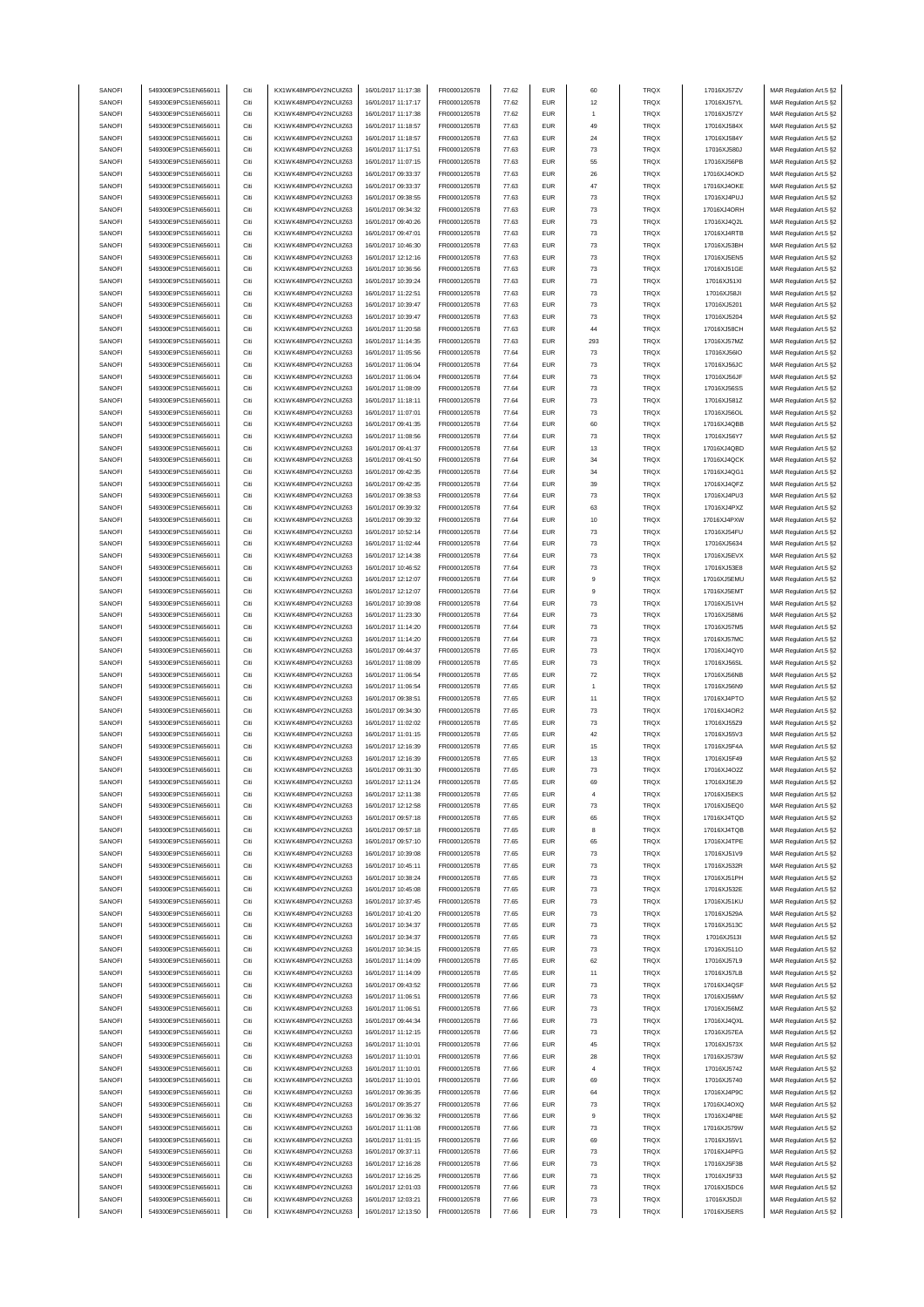| SANOFI | 549300E9PC51EN656011 | Citi | KX1WK48MPD4Y2NCUIZ63  | 16/01/2017 11:17:38 | FR0000120578 | 77.62 | <b>EUR</b> | 60                   | TRQX        | 17016XJ57ZV  | MAR Regulation Art.5 §2 |
|--------|----------------------|------|-----------------------|---------------------|--------------|-------|------------|----------------------|-------------|--------------|-------------------------|
| SANOFI | 549300E9PC51EN656011 | Citi | KX1WK48MPD4Y2NCUIZ63  | 16/01/2017 11:17:17 | FR0000120578 | 77.62 | <b>EUR</b> | 12                   | TRQX        | 17016XJ57YL  | MAR Regulation Art.5 §2 |
|        |                      |      |                       |                     |              |       |            |                      |             |              |                         |
| SANOFI | 549300E9PC51EN656011 | Citi | KX1WK48MPD4Y2NCUIZ63  | 16/01/2017 11:17:38 | FR0000120578 | 77.62 | EUR        | $\ddot{\phantom{1}}$ | TRQX        | 17016XJ57ZY  | MAR Regulation Art.5 §2 |
| SANOFI | 549300E9PC51EN656011 | Citi | KX1WK48MPD4Y2NCUIZ63  | 16/01/2017 11:18:57 | FR0000120578 | 77.63 | <b>EUR</b> | 49                   | TRQX        | 17016XJ584X  | MAR Regulation Art.5 §2 |
| SANOFI | 549300E9PC51EN656011 | Citi | KX1WK48MPD4Y2NCUIZ63  | 16/01/2017 11:18:57 | FR0000120578 | 77.63 | <b>EUR</b> | 24                   | TRQX        | 17016XJ584Y  | MAR Regulation Art.5 §2 |
| SANOFI | 549300E9PC51EN656011 | Citi | KX1WK48MPD4Y2NCUIZ63  | 16/01/2017 11:17:51 | FR0000120578 | 77.63 | <b>EUR</b> | 73                   | TRQX        | 17016XJ580J  | MAR Regulation Art.5 §2 |
| SANOFI | 549300E9PC51EN656011 | Citi | KX1WK48MPD4Y2NCUIZ63  | 16/01/2017 11:07:15 | FR0000120578 | 77.63 | <b>EUR</b> | 55                   | TRQX        | 17016XJ56PB  | MAR Regulation Art.5 §2 |
| SANOFI | 549300E9PC51EN656011 | Citi | KX1WK48MPD4Y2NCUIZ63  | 16/01/2017 09:33:37 | FR0000120578 | 77.63 | <b>EUR</b> | 26                   | TRQX        | 17016XJ4OKD  | MAR Regulation Art.5 §2 |
|        |                      |      |                       |                     |              |       |            |                      |             |              |                         |
| SANOFI | 549300E9PC51EN656011 | Citi | KX1WK48MPD4Y2NCUIZ63  | 16/01/2017 09:33:37 | FR0000120578 | 77.63 | <b>EUR</b> | 47                   | TRQX        | 17016XJ4OKE  | MAR Regulation Art.5 §2 |
| SANOFI | 549300E9PC51EN656011 | Citi | KX1WK48MPD4Y2NCUIZ63  | 16/01/2017 09:38:55 | FR0000120578 | 77.63 | <b>EUR</b> | 73                   | TRQX        | 17016XJ4PUJ  | MAR Regulation Art.5 §2 |
| SANOFI | 549300E9PC51EN656011 | Citi | KX1WK48MPD4Y2NCUIZ63  | 16/01/2017 09:34:32 | FR0000120578 | 77.63 | <b>EUR</b> | 73                   | TRQX        | 17016XJ4ORH  | MAR Regulation Art.5 §2 |
| SANOFI | 549300E9PC51EN656011 | Citi | KX1WK48MPD4Y2NCUIZ63  | 16/01/2017 09:40:26 | FR0000120578 | 77.63 | <b>EUR</b> | 73                   | TRQX        | 17016XJ4Q2L  | MAR Regulation Art.5 §2 |
| SANOFI | 549300E9PC51EN656011 | Citi | KX1WK48MPD4Y2NCUIZ63  | 16/01/2017 09:47:01 | FR0000120578 | 77.63 | <b>EUR</b> | 73                   | TRQX        | 17016XJ4RTB  | MAR Regulation Art.5 §2 |
|        |                      |      |                       |                     |              |       |            |                      |             |              |                         |
| SANOFI | 549300E9PC51EN656011 | Citi | KX1WK48MPD4Y2NCUIZ63  | 16/01/2017 10:46:30 | FR0000120578 | 77.63 | <b>EUR</b> | 73                   | TRQX        | 17016XJ53BH  | MAR Regulation Art.5 §2 |
| SANOFI | 549300E9PC51EN656011 | Citi | KX1WK48MPD4Y2NCUIZ63  | 16/01/2017 12:12:16 | FR0000120578 | 77.63 | <b>EUR</b> | 73                   | TRQX        | 17016XJ5EN5  | MAR Regulation Art.5 §2 |
| SANOFI | 549300E9PC51EN656011 | Citi | KX1WK48MPD4Y2NCUIZ63  | 16/01/2017 10:36:56 | FR0000120578 | 77.63 | <b>EUR</b> | 73                   | TRQX        | 17016XJ51GE  | MAR Regulation Art.5 §2 |
| SANOFI | 549300E9PC51EN656011 | Citi | KX1WK48MPD4Y2NCUIZ63  | 16/01/2017 10:39:24 | FR0000120578 | 77.63 | <b>EUR</b> | 73                   | TRQX        | 17016XJ51XI  | MAR Regulation Art.5 §2 |
| SANOFI | 549300E9PC51EN656011 | Citi | KX1WK48MPD4Y2NCUIZ63  | 16/01/2017 11:22:51 | FR0000120578 | 77.63 | <b>EUR</b> | 73                   | TRQX        | 17016XJ58JI  | MAR Regulation Art.5 §2 |
| SANOFI | 549300E9PC51EN656011 | Citi | KX1WK48MPD4Y2NCUIZ63  | 16/01/2017 10:39:47 | FR0000120578 | 77.63 | EUR        | 73                   | TRQX        | 17016XJ5201  |                         |
|        |                      |      |                       |                     |              |       |            |                      |             |              | MAR Regulation Art.5 §2 |
| SANOFI | 549300E9PC51EN656011 | Citi | KX1WK48MPD4Y2NCUIZ63  | 16/01/2017 10:39:47 | FR0000120578 | 77.63 | <b>EUR</b> | 73                   | TRQX        | 17016XJ5204  | MAR Regulation Art.5 §2 |
| SANOFI | 549300E9PC51EN656011 | Citi | KX1WK48MPD4Y2NCUIZ63  | 16/01/2017 11:20:58 | FR0000120578 | 77.63 | <b>EUR</b> | 44                   | TRQX        | 17016XJ58CH  | MAR Regulation Art.5 §2 |
| SANOFI | 549300E9PC51EN656011 | Citi | KX1WK48MPD4Y2NCUIZ63  | 16/01/2017 11:14:35 | FR0000120578 | 77.63 | <b>EUR</b> | 293                  | TRQX        | 17016XJ57MZ  | MAR Regulation Art.5 §2 |
| SANOFI | 549300E9PC51EN656011 | Citi | KX1WK48MPD4Y2NCUIZ63  | 16/01/2017 11:05:56 | FR0000120578 | 77.64 | <b>EUR</b> | 73                   | TRQX        | 17016XJ56IO  | MAR Regulation Art.5 §2 |
| SANOFI | 549300E9PC51EN656011 | Citi | KX1WK48MPD4Y2NCUIZ63  | 16/01/2017 11:06:04 | FR0000120578 | 77.64 | <b>EUR</b> | 73                   | TRQX        | 17016XJ56JC  | MAR Regulation Art.5 §2 |
| SANOFI | 549300E9PC51EN656011 | Citi | KX1WK48MPD4Y2NCLIIZ63 | 16/01/2017 11:06:04 | FR0000120578 | 77.64 | <b>EUR</b> | 73                   | TRQX        | 17016XJ56JF  | MAR Regulation Art.5 §2 |
|        |                      |      |                       |                     |              |       |            |                      |             |              |                         |
| SANOFI | 549300E9PC51EN656011 | Citi | KX1WK48MPD4Y2NCUIZ63  | 16/01/2017 11:08:09 | FR0000120578 | 77.64 | <b>EUR</b> | 73                   | TRQX        | 17016XJ56SS  | MAR Regulation Art.5 §2 |
| SANOFI | 549300E9PC51EN656011 | Citi | KX1WK48MPD4Y2NCUIZ63  | 16/01/2017 11:18:11 | FR0000120578 | 77.64 | <b>EUR</b> | 73                   | TRQX        | 17016XJ581Z  | MAR Regulation Art.5 §2 |
| SANOFI | 549300E9PC51EN656011 | Citi | KX1WK48MPD4Y2NCUIZ63  | 16/01/2017 11:07:01 | FR0000120578 | 77.64 | <b>EUR</b> | 73                   | TRQX        | 17016XJ56OL  | MAR Regulation Art.5 §2 |
| SANOFI | 549300E9PC51EN656011 | Citi | KX1WK48MPD4Y2NCUIZ63  | 16/01/2017 09:41:35 | FR0000120578 | 77.64 | <b>EUR</b> | 60                   | TRQX        | 17016XJ4QBB  | MAR Regulation Art.5 §2 |
| SANOFI | 549300E9PC51EN656011 | Citi | KX1WK48MPD4Y2NCUIZ63  | 16/01/2017 11:08:56 | FR0000120578 | 77.64 | <b>EUR</b> | 73                   | TRQX        | 17016XJ56Y7  | MAR Regulation Art.5 §2 |
|        | 549300E9PC51EN656011 |      |                       |                     |              |       |            |                      |             |              |                         |
| SANOFI |                      | Citi | KX1WK48MPD4Y2NCUIZ63  | 16/01/2017 09:41:37 | FR0000120578 | 77.64 | <b>EUR</b> | 13                   | TRQX        | 17016XJ4QBD  | MAR Regulation Art.5 §2 |
| SANOFI | 549300E9PC51EN656011 | Citi | KX1WK48MPD4Y2NCUIZ63  | 16/01/2017 09:41:50 | FR0000120578 | 77.64 | <b>EUR</b> | 34                   | TRQX        | 17016XJ4QCK  | MAR Regulation Art.5 §2 |
| SANOFI | 549300E9PC51EN656011 | Citi | KX1WK48MPD4Y2NCUIZ63  | 16/01/2017 09:42:35 | FR0000120578 | 77.64 | <b>EUR</b> | 34                   | TRQX        | 17016XJ4QG1  | MAR Regulation Art.5 §2 |
| SANOFI | 549300E9PC51EN656011 | Citi | KX1WK48MPD4Y2NCUIZ63  | 16/01/2017 09:42:35 | FR0000120578 | 77.64 | <b>EUR</b> | 39                   | TRQX        | 17016XJ4QFZ  | MAR Regulation Art.5 §2 |
| SANOFI | 549300E9PC51EN656011 | Citi | KX1WK48MPD4Y2NCUIZ63  | 16/01/2017 09:38:53 | FR0000120578 | 77.64 | <b>EUR</b> | 73                   | TRQX        | 17016XJ4PU3  | MAR Regulation Art.5 §2 |
| SANOFI | 549300E9PC51EN656011 | Citi | KX1WK48MPD4Y2NCLIIZ63 | 16/01/2017 09:39:32 | FR0000120578 | 77.64 | <b>EUR</b> | 63                   | TRQX        | 17016XJ4PXZ  |                         |
|        |                      |      |                       |                     |              |       |            |                      |             |              | MAR Regulation Art.5 §2 |
| SANOFI | 549300E9PC51EN656011 | Citi | KX1WK48MPD4Y2NCUIZ63  | 16/01/2017 09:39:32 | FR0000120578 | 77.64 | <b>EUR</b> | 10                   | TRQX        | 17016XJ4PXW  | MAR Regulation Art.5 §2 |
| SANOFI | 549300E9PC51EN656011 | Citi | KX1WK48MPD4Y2NCUIZ63  | 16/01/2017 10:52:14 | FR0000120578 | 77.64 | <b>EUR</b> | 73                   | TRQX        | 17016XJ54FU  | MAR Regulation Art.5 §2 |
| SANOFI | 549300E9PC51EN656011 | Citi | KX1WK48MPD4Y2NCUIZ63  | 16/01/2017 11:02:44 | FR0000120578 | 77.64 | <b>EUR</b> | 73                   | TRQX        | 17016XJ5634  | MAR Regulation Art.5 §2 |
| SANOFI | 549300E9PC51EN656011 | Citi | KX1WK48MPD4Y2NCUIZ63  | 16/01/2017 12:14:38 | FR0000120578 | 77.64 | <b>EUR</b> | 73                   | TRQX        | 17016XJ5EVX  | MAR Regulation Art.5 §2 |
| SANOFI | 549300E9PC51EN656011 | Citi | KX1WK48MPD4Y2NCUIZ63  | 16/01/2017 10:46:52 | FR0000120578 | 77.64 | <b>EUR</b> | 73                   | TRQX        | 17016XJ53E8  | MAR Regulation Art.5 §2 |
| SANOFI | 549300E9PC51EN656011 | Citi | KX1WK48MPD4Y2NCUIZ63  | 16/01/2017 12:12:07 | FR0000120578 | 77.64 | <b>EUR</b> | 9                    | TRQX        |              |                         |
|        |                      |      |                       |                     |              |       |            |                      |             | 17016XJ5EMU  | MAR Regulation Art.5 §2 |
| SANOFI | 549300E9PC51EN656011 | Citi | KX1WK48MPD4Y2NCUIZ63  | 16/01/2017 12:12:07 | FR0000120578 | 77.64 | <b>EUR</b> | 9                    | TRQX        | 17016XJ5EMT  | MAR Regulation Art.5 §2 |
| SANOFI | 549300E9PC51EN656011 | Citi | KX1WK48MPD4Y2NCUIZ63  | 16/01/2017 10:39:08 | FR0000120578 | 77.64 | EUR        | 73                   | TRQX        | 17016XJ51VH  | MAR Regulation Art.5 §2 |
| SANOFI | 549300E9PC51EN656011 | Citi | KX1WK48MPD4Y2NCUIZ63  | 16/01/2017 11:23:30 | FR0000120578 | 77.64 | <b>EUR</b> | 73                   | TRQX        | 17016XJ58M6  | MAR Regulation Art.5 §2 |
| SANOFI | 549300E9PC51EN656011 | Citi | KX1WK48MPD4Y2NCUIZ63  | 16/01/2017 11:14:20 | FR0000120578 | 77.64 | <b>EUR</b> | 73                   | TRQX        | 17016XJ57M5  | MAR Regulation Art.5 §2 |
| SANOFI | 549300E9PC51EN656011 | Citi | KX1WK48MPD4Y2NCUIZ63  | 16/01/2017 11:14:20 | FR0000120578 | 77.64 | <b>EUR</b> | 73                   | TRQX        | 17016XJ57MC  | MAR Regulation Art.5 §2 |
|        |                      |      |                       |                     |              |       |            |                      |             |              |                         |
| SANOFI | 549300E9PC51EN656011 | Citi | KX1WK48MPD4Y2NCUIZ63  | 16/01/2017 09:44:37 | FR0000120578 | 77.65 | <b>EUR</b> | 73                   | TRQX        | 17016XJ4QY0  | MAR Regulation Art.5 §2 |
| SANOFI | 549300E9PC51EN656011 | Citi | KX1WK48MPD4Y2NCUIZ63  | 16/01/2017 11:08:09 | FR0000120578 | 77.65 | <b>EUR</b> | 73                   | TRQX        | 17016XJ56SL  | MAR Regulation Art.5 §2 |
| SANOFI | 549300E9PC51EN656011 | Citi | KX1WK48MPD4Y2NCUIZ63  | 16/01/2017 11:06:54 | FR0000120578 | 77.65 | <b>EUR</b> | 72                   | TRQX        | 17016XJ56NB  | MAR Regulation Art.5 §2 |
| SANOFI | 549300E9PC51EN656011 | Citi | KX1WK48MPD4Y2NCUIZ63  | 16/01/2017 11:06:54 | FR0000120578 | 77.65 | <b>EUR</b> | $\overline{1}$       | TRQX        | 17016XJ56N9  | MAR Regulation Art.5 §2 |
| SANOFI | 549300E9PC51EN656011 | Citi | KX1WK48MPD4Y2NCUIZ63  | 16/01/2017 09:38:51 | FR0000120578 | 77.65 | <b>EUR</b> | 11                   | TRQX        | 17016XJ4PTO  | MAR Regulation Art.5 §2 |
|        |                      |      |                       |                     |              |       |            |                      |             |              |                         |
| SANOFI | 549300E9PC51EN656011 | Citi | KX1WK48MPD4Y2NCUIZ63  | 16/01/2017 09:34:30 | FR0000120578 | 77.65 | <b>EUR</b> | 73                   | TRQX        | 17016XJ4OR2  | MAR Regulation Art.5 §2 |
| SANOFI | 549300E9PC51EN656011 | Citi | KX1WK48MPD4Y2NCUIZ63  | 16/01/2017 11:02:02 | FR0000120578 | 77.65 | <b>EUR</b> | 73                   | TRQX        | 17016XJ55Z9  | MAR Regulation Art.5 §2 |
| SANOFI | 549300E9PC51EN656011 | Citi | KX1WK48MPD4Y2NCLIIZ63 | 16/01/2017 11:01:15 | FR0000120578 | 77.65 | <b>EUR</b> | 42                   | TRQX        | 17016XJ55V3  | MAR Regulation Art.5 §2 |
| SANOFI | 549300E9PC51EN656011 | Citi | KX1WK48MPD4Y2NCUIZ63  | 16/01/2017 12:16:39 | FR0000120578 | 77.65 | <b>EUR</b> | 15                   | TRQX        | 17016XJ5F4A  | MAR Regulation Art.5 §2 |
| SANOFI | 549300E9PC51EN656011 | Citi | KX1WK48MPD4Y2NCUIZ63  | 16/01/2017 12:16:39 | FR0000120578 | 77.65 | <b>EUR</b> | 13                   | <b>TRQX</b> | 17016XJ5F49  | MAR Regulation Art.5 §2 |
| SANOFI | 549300E9PC51EN656011 |      | KX1WK48MPD4Y2NCLIIZ63 | 16/01/2017 09:31:30 | FR0000120578 | 77.65 | FUR        |                      | TROX        | 17016X.I4O27 | MAR Regulation Art 5.82 |
|        |                      |      |                       |                     |              |       |            |                      |             |              |                         |
| SANOFI | 549300E9PC51EN656011 | Citi | KX1WK48MPD4Y2NCUIZ63  | 16/01/2017 12:11:24 | FR0000120578 | 77.65 | <b>EUR</b> | 69                   | TRQX        | 17016XJ5EJ9  | MAR Regulation Art.5 §2 |
| SANOFI | 549300E9PC51EN656011 | Citi | KX1WK48MPD4Y2NCUIZ63  | 16/01/2017 12:11:38 | FR0000120578 | 77.65 | <b>EUR</b> | 4                    | TRQX        | 17016XJ5EKS  | MAR Regulation Art.5 §2 |
| SANOFI | 549300E9PC51EN656011 | Citi | KX1WK48MPD4Y2NCUIZ63  | 16/01/2017 12:12:58 | FR0000120578 | 77.65 | <b>EUR</b> | 73                   | TRQX        | 17016XJ5EQ0  | MAR Regulation Art.5 §2 |
| SANOFI | 549300E9PC51EN656011 | Citi | KX1WK48MPD4Y2NCUIZ63  | 16/01/2017 09:57:18 | FR0000120578 | 77.65 | <b>EUR</b> | 65                   | TRQX        | 17016XJ4TQD  | MAR Regulation Art.5 §2 |
| SANOFI | 549300E9PC51EN656011 | Citi | KX1WK48MPD4Y2NCUIZ63  | 16/01/2017 09:57:18 | FR0000120578 | 77.65 | <b>EUR</b> | 8                    | TRQX        | 17016XJ4TQB  | MAR Regulation Art.5 §2 |
| SANOFI | 549300E9PC51EN656011 | Citi | KX1WK48MPD4Y2NCUIZ63  | 16/01/2017 09:57:10 | FR0000120578 | 77.65 | <b>EUR</b> | 65                   | TRQX        | 17016XJ4TPE  | MAR Regulation Art.5 §2 |
|        |                      |      | KX1WK48MPD4Y2NCUIZ63  |                     |              |       |            |                      |             |              |                         |
| SANOFI | 549300E9PC51EN656011 | Citi |                       | 16/01/2017 10:39:08 | FR0000120578 | 77.65 | <b>EUR</b> | 73                   | TRQX        | 17016XJ51V9  | MAR Regulation Art.5 §2 |
| SANOFI | 549300E9PC51EN656011 | Citi | KX1WK48MPD4Y2NCUIZ63  | 16/01/2017 10:45:11 | FR0000120578 | 77.65 | <b>EUR</b> | 73                   | TRQX        | 17016XJ532R  | MAR Regulation Art.5 §2 |
| SANOFI | 549300E9PC51EN656011 | Citi | KX1WK48MPD4Y2NCUIZ63  | 16/01/2017 10:38:24 | FR0000120578 | 77.65 | <b>EUR</b> | 73                   | TRQX        | 17016XJ51PH  | MAR Regulation Art.5 §2 |
| SANOFI | 549300E9PC51EN656011 | Citi | KX1WK48MPD4Y2NCUIZ63  | 16/01/2017 10:45:08 | FR0000120578 | 77.65 | <b>EUR</b> | 73                   | TRQX        | 17016XJ532E  | MAR Regulation Art.5 §2 |
| SANOFI | 549300E9PC51EN656011 | Citi | KX1WK48MPD4Y2NCUIZ63  | 16/01/2017 10:37:45 | FR0000120578 | 77.65 | <b>EUR</b> | 73                   | TRQX        | 17016XJ51KU  | MAR Regulation Art.5 §2 |
| SANOFI | 549300E9PC51EN656011 | Citi | KX1WK48MPD4Y2NCUIZ63  | 16/01/2017 10:41:20 | FR0000120578 | 77.65 | <b>EUR</b> | 73                   | TRQX        | 17016XJ529A  | MAR Regulation Art.5 §2 |
|        |                      |      |                       |                     |              |       |            |                      |             |              |                         |
| SANOFI | 549300E9PC51EN656011 | Citi | KX1WK48MPD4Y2NCUIZ63  | 16/01/2017 10:34:37 | FR0000120578 | 77.65 | <b>EUR</b> | 73                   | TRQX        | 17016XJ513C  | MAR Regulation Art.5 §2 |
| SANOFI | 549300E9PC51EN656011 | Citi | KX1WK48MPD4Y2NCUIZ63  | 16/01/2017 10:34:37 | FR0000120578 | 77.65 | <b>EUR</b> | 73                   | TRQX        | 17016XJ513I  | MAR Regulation Art.5 §2 |
| SANOFI | 549300E9PC51EN656011 | Citi | KX1WK48MPD4Y2NCUIZ63  | 16/01/2017 10:34:15 | FR0000120578 | 77.65 | <b>EUR</b> | 73                   | TRQX        | 17016XJ511O  | MAR Regulation Art.5 §2 |
| SANOFI | 549300E9PC51EN656011 | Citi | KX1WK48MPD4Y2NCUIZ63  | 16/01/2017 11:14:09 | FR0000120578 | 77.65 | <b>EUR</b> | 62                   | TRQX        | 17016XJ57L9  | MAR Regulation Art.5 §2 |
| SANOFI | 549300E9PC51EN656011 | Citi | KX1WK48MPD4Y2NCUIZ63  | 16/01/2017 11:14:09 | FR0000120578 | 77.65 | <b>EUR</b> | 11                   | TRQX        | 17016XJ57LB  | MAR Regulation Art.5 §2 |
|        |                      |      |                       |                     |              |       |            |                      |             |              |                         |
| SANOFI | 549300E9PC51EN656011 | Citi | KX1WK48MPD4Y2NCUIZ63  | 16/01/2017 09:43:52 | FR0000120578 | 77.66 | <b>EUR</b> | 73                   | TRQX        | 17016XJ4QSF  | MAR Regulation Art.5 §2 |
| SANOFI | 549300E9PC51EN656011 | Citi | KX1WK48MPD4Y2NCUIZ63  | 16/01/2017 11:06:51 | FR0000120578 | 77.66 | <b>EUR</b> | 73                   | TRQX        | 17016XJ56MV  | MAR Regulation Art.5 §2 |
| SANOFI | 549300E9PC51EN656011 | Citi | KX1WK48MPD4Y2NCUIZ63  | 16/01/2017 11:06:51 | FR0000120578 | 77.66 | <b>EUR</b> | 73                   | TRQX        | 17016XJ56MZ  | MAR Regulation Art.5 §2 |
| SANOFI | 549300E9PC51EN656011 | Citi | KX1WK48MPD4Y2NCUIZ63  | 16/01/2017 09:44:34 | FR0000120578 | 77.66 | <b>EUR</b> | 73                   | TRQX        | 17016XJ4QXL  | MAR Regulation Art.5 §2 |
| SANOFI | 549300E9PC51EN656011 | Citi | KX1WK48MPD4Y2NCUIZ63  | 16/01/2017 11:12:15 | FR0000120578 | 77.66 | <b>EUR</b> | 73                   | TRQX        | 17016XJ57EA  | MAR Regulation Art.5 §2 |
| SANOFI | 549300E9PC51EN656011 | Citi | KX1WK48MPD4Y2NCUIZ63  | 16/01/2017 11:10:01 | FR0000120578 | 77.66 | <b>EUR</b> | 45                   | TRQX        | 17016XJ573X  | MAR Regulation Art.5 §2 |
|        |                      |      |                       |                     |              |       |            |                      |             |              |                         |
| SANOFI | 549300E9PC51EN656011 | Citi | KX1WK48MPD4Y2NCUIZ63  | 16/01/2017 11:10:01 | FR0000120578 | 77.66 | <b>EUR</b> | 28                   | TRQX        | 17016XJ573W  | MAR Regulation Art.5 §2 |
| SANOFI | 549300E9PC51EN656011 | Citi | KX1WK48MPD4Y2NCUIZ63  | 16/01/2017 11:10:01 | FR0000120578 | 77.66 | <b>EUR</b> | $\overline{4}$       | TRQX        | 17016XJ5742  | MAR Regulation Art.5 §2 |
| SANOFI | 549300E9PC51EN656011 | Citi | KX1WK48MPD4Y2NCUIZ63  | 16/01/2017 11:10:01 | FR0000120578 | 77.66 | <b>EUR</b> | 69                   | TRQX        | 17016XJ5740  | MAR Regulation Art.5 §2 |
| SANOFI | 549300E9PC51EN656011 | Citi | KX1WK48MPD4Y2NCUIZ63  | 16/01/2017 09:36:35 | FR0000120578 | 77.66 | <b>EUR</b> | 64                   | TRQX        | 17016XJ4P9C  | MAR Regulation Art.5 §2 |
| SANOFI | 549300E9PC51EN656011 | Citi | KX1WK48MPD4Y2NCUIZ63  | 16/01/2017 09:35:27 | FR0000120578 | 77.66 | <b>EUR</b> | 73                   | TRQX        | 17016XJ4OXQ  | MAR Regulation Art.5 §2 |
| SANOFI | 549300E9PC51EN656011 | Citi | KX1WK48MPD4Y2NCUIZ63  | 16/01/2017 09:36:32 | FR0000120578 | 77.66 | <b>EUR</b> | 9                    | TRQX        | 17016XJ4P8E  | MAR Regulation Art.5 §2 |
|        |                      |      |                       |                     |              |       |            |                      |             |              |                         |
| SANOFI | 549300E9PC51EN656011 | Citi | KX1WK48MPD4Y2NCUIZ63  | 16/01/2017 11:11:08 | FR0000120578 | 77.66 | <b>EUR</b> | 73                   | TRQX        | 17016XJ579W  | MAR Regulation Art.5 §2 |
| SANOFI | 549300E9PC51EN656011 | Citi | KX1WK48MPD4Y2NCUIZ63  | 16/01/2017 11:01:15 | FR0000120578 | 77.66 | <b>EUR</b> | 69                   | TRQX        | 17016XJ55V1  | MAR Regulation Art.5 §2 |
| SANOFI | 549300E9PC51EN656011 | Citi | KX1WK48MPD4Y2NCUIZ63  | 16/01/2017 09:37:11 | FR0000120578 | 77.66 | <b>EUR</b> | 73                   | TRQX        | 17016XJ4PFG  | MAR Regulation Art.5 §2 |
| SANOFI | 549300E9PC51EN656011 | Citi | KX1WK48MPD4Y2NCUIZ63  | 16/01/2017 12:16:28 | FR0000120578 | 77.66 | <b>EUR</b> | 73                   | TRQX        | 17016XJ5F3B  | MAR Regulation Art.5 §2 |
| SANOFI | 549300E9PC51EN656011 | Citi | KX1WK48MPD4Y2NCUIZ63  | 16/01/2017 12:16:25 | FR0000120578 | 77.66 | <b>EUR</b> | 73                   | TRQX        | 17016XJ5F33  | MAR Regulation Art.5 §2 |
| SANOFI | 549300E9PC51EN656011 | Citi | KX1WK48MPD4Y2NCUIZ63  | 16/01/2017 12:01:03 | FR0000120578 | 77.66 | <b>EUR</b> | 73                   | TRQX        | 17016XJ5DC6  | MAR Regulation Art.5 §2 |
|        |                      |      |                       |                     |              |       |            |                      |             |              |                         |
| SANOFI | 549300E9PC51EN656011 | Citi | KX1WK48MPD4Y2NCUIZ63  | 16/01/2017 12:03:21 | FR0000120578 | 77.66 | <b>EUR</b> | 73                   | TRQX        | 17016XJ5DJI  | MAR Regulation Art.5 §2 |
| SANOFI | 549300E9PC51EN656011 | Citi | KX1WK48MPD4Y2NCUIZ63  | 16/01/2017 12:13:50 | FR0000120578 | 77.66 | <b>EUR</b> | 73                   | TRQX        | 17016XJ5ERS  | MAR Regulation Art.5 §2 |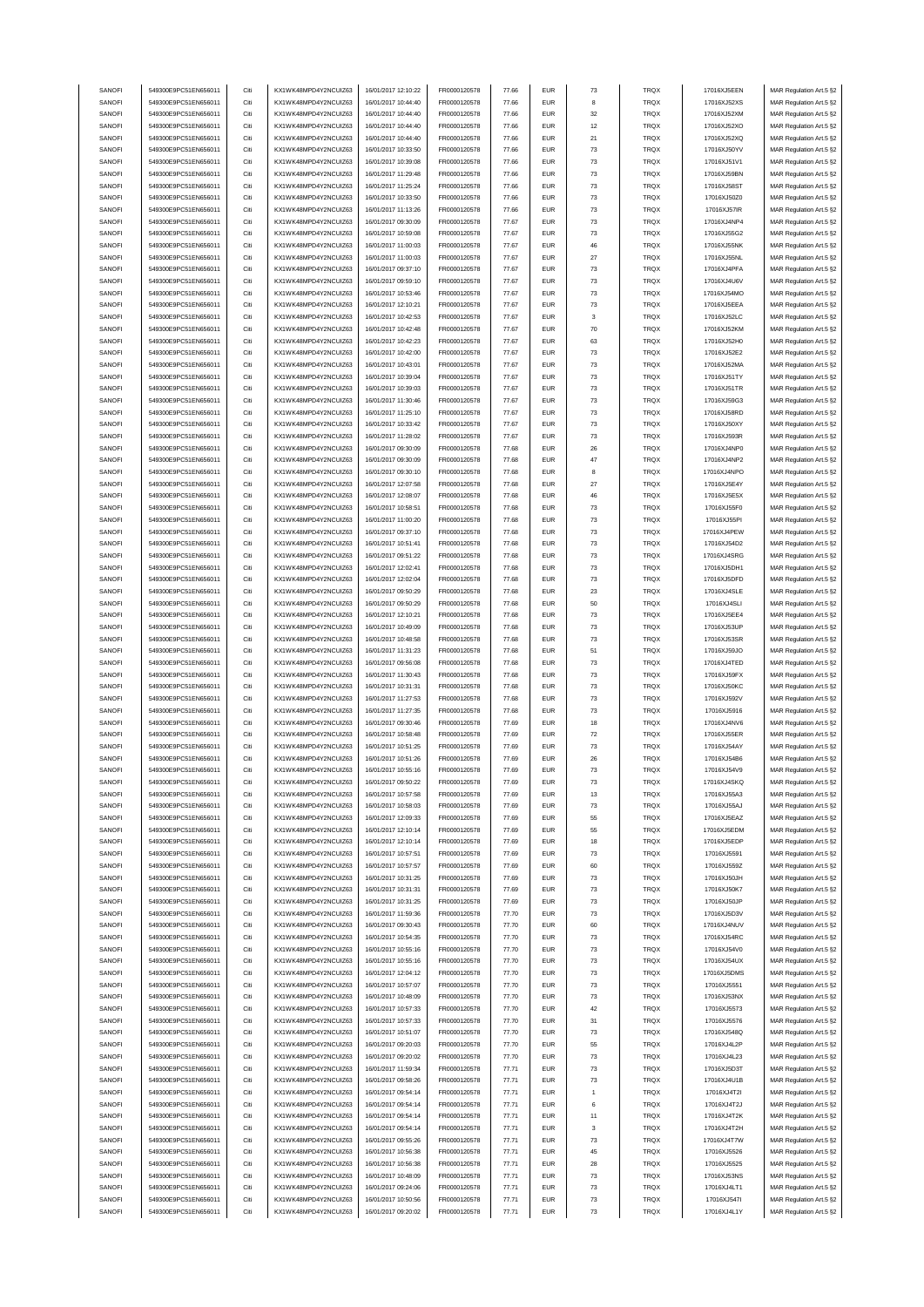| SANOFI | 549300E9PC51EN656011 | Citi | KX1WK48MPD4Y2NCUIZ63  | 16/01/2017 12:10:22 | FR0000120578        | 77.66 | <b>EUR</b> | $\mathbf{73}$      | <b>TRQX</b> | 17016XJ5EEN | MAR Regulation Art.5 §2 |
|--------|----------------------|------|-----------------------|---------------------|---------------------|-------|------------|--------------------|-------------|-------------|-------------------------|
| SANOFI | 549300E9PC51EN656011 | Citi | KX1WK48MPD4Y2NCUIZ63  | 16/01/2017 10:44:40 | FR0000120578        | 77.66 | <b>EUR</b> | 8                  | <b>TRQX</b> | 17016XJ52XS | MAR Regulation Art.5 §2 |
|        |                      |      |                       |                     |                     |       |            |                    |             |             |                         |
| SANOFI | 549300E9PC51EN656011 | Citi | KX1WK48MPD4Y2NCUIZ63  | 16/01/2017 10:44:40 | FR0000120578        | 77.66 | <b>EUR</b> | 32                 | TRQX        | 17016XJ52XM | MAR Regulation Art.5 §2 |
| SANOFI | 549300E9PC51EN656011 | Citi | KX1WK48MPD4Y2NCUIZ63  | 16/01/2017 10:44:40 | FR0000120578        | 77.66 | <b>EUR</b> | 12                 | TRQX        | 17016XJ52XO | MAR Regulation Art.5 §2 |
| SANOFI | 549300E9PC51EN656011 | Citi | KX1WK48MPD4Y2NCUIZ63  | 16/01/2017 10:44:40 | FR0000120578        | 77.66 | <b>EUR</b> | 21                 | TRQX        | 17016XJ52XQ | MAR Regulation Art.5 §2 |
| SANOFI | 549300E9PC51EN656011 | Citi | KX1WK48MPD4Y2NCUIZ63  | 16/01/2017 10:33:50 | FR0000120578        | 77.66 | <b>EUR</b> | $\mathbf{73}$      | TRQX        | 17016XJ50YV | MAR Regulation Art.5 §2 |
| SANOFI | 549300E9PC51EN656011 | Citi | KX1WK48MPD4Y2NCUIZ63  | 16/01/2017 10:39:08 | FR0000120578        | 77.66 | <b>EUR</b> | $\mathbf{73}$      | TRQX        | 17016XJ51V1 | MAR Regulation Art.5 §2 |
| SANOFI | 549300E9PC51EN656011 | Citi | KX1WK48MPD4Y2NCUIZ63  | 16/01/2017 11:29:48 | FR0000120578        | 77.66 | <b>EUR</b> | 73                 | <b>TRQX</b> | 17016XJ59BN | MAR Regulation Art.5 §2 |
|        |                      |      |                       |                     |                     |       |            |                    |             |             |                         |
| SANOFI | 549300E9PC51EN656011 | Citi | KX1WK48MPD4Y2NCUIZ63  | 16/01/2017 11:25:24 | FR0000120578        | 77.66 | <b>EUR</b> | 73                 | <b>TRQX</b> | 17016XJ58ST | MAR Regulation Art.5 §2 |
| SANOFI | 549300E9PC51EN656011 | Citi | KX1WK48MPD4Y2NCUIZ63  | 16/01/2017 10:33:50 | FR0000120578        | 77.66 | <b>EUR</b> | $\bf 73$           | TRQX        | 17016XJ50Z0 | MAR Regulation Art.5 §2 |
| SANOFI | 549300E9PC51EN656011 | Citi | KX1WK48MPD4Y2NCUIZ63  | 16/01/2017 11:13:26 | FR0000120578        | 77.66 | <b>EUR</b> | $\mathbf{73}$      | TRQX        | 17016XJ57IR | MAR Regulation Art.5 §2 |
| SANOFI | 549300E9PC51EN656011 | Citi | KX1WK48MPD4Y2NCUIZ63  | 16/01/2017 09:30:09 | FR0000120578        | 77.67 | <b>EUR</b> | $\mathbf{73}$      | TRQX        | 17016XJ4NP4 | MAR Regulation Art.5 §2 |
| SANOFI | 549300E9PC51EN656011 | Citi | KX1WK48MPD4Y2NCUIZ63  | 16/01/2017 10:59:08 | FR0000120578        | 77.67 | <b>EUR</b> | $\mathbf{73}$      | TRQX        | 17016XJ55G2 | MAR Regulation Art.5 §2 |
|        |                      |      |                       |                     |                     |       |            |                    |             |             |                         |
| SANOFI | 549300E9PC51EN656011 | Citi | KX1WK48MPD4Y2NCUIZ63  | 16/01/2017 11:00:03 | FR0000120578        | 77.67 | <b>EUR</b> | 46                 | TRQX        | 17016XJ55NK | MAR Regulation Art.5 §2 |
| SANOFI | 549300E9PC51EN656011 | Citi | KX1WK48MPD4Y2NCUIZ63  | 16/01/2017 11:00:03 | FR0000120578        | 77.67 | <b>EUR</b> | 27                 | TRQX        | 17016XJ55NL | MAR Regulation Art.5 §2 |
| SANOFI | 549300E9PC51EN656011 | Citi | KX1WK48MPD4Y2NCUIZ63  | 16/01/2017 09:37:10 | FR0000120578        | 77.67 | <b>EUR</b> | 73                 | <b>TRQX</b> | 17016XJ4PFA | MAR Regulation Art.5 §2 |
| SANOFI | 549300E9PC51EN656011 | Citi | KX1WK48MPD4Y2NCUIZ63  | 16/01/2017 09:59:10 | FR0000120578        | 77.67 | <b>EUR</b> | 73                 | TRQX        | 17016XJ4U6V | MAR Regulation Art.5 §2 |
| SANOFI | 549300E9PC51EN656011 | Citi | KX1WK48MPD4Y2NCUIZ63  | 16/01/2017 10:53:46 | FR0000120578        | 77.67 | <b>EUR</b> | $\mathbf{73}$      | TRQX        | 17016XJ54MO | MAR Regulation Art.5 §2 |
| SANOFI | 549300E9PC51EN656011 | Citi | KX1WK48MPD4Y2NCUIZ63  | 16/01/2017 12:10:21 | FR0000120578        | 77.67 | <b>EUR</b> | $\bf 73$           | TRQX        | 17016XJ5EEA |                         |
|        |                      |      |                       |                     |                     |       |            |                    |             |             | MAR Regulation Art.5 §2 |
| SANOFI | 549300E9PC51EN656011 | Citi | KX1WK48MPD4Y2NCUIZ63  | 16/01/2017 10:42:53 | FR0000120578        | 77.67 | <b>EUR</b> | 3                  | TRQX        | 17016XJ52LC | MAR Regulation Art.5 §2 |
| SANOFI | 549300E9PC51EN656011 | Citi | KX1WK48MPD4Y2NCUIZ63  | 16/01/2017 10:42:48 | FR0000120578        | 77.67 | <b>EUR</b> | 70                 | TRQX        | 17016XJ52KM | MAR Regulation Art.5 §2 |
| SANOFI | 549300E9PC51EN656011 | Citi | KX1WK48MPD4Y2NCUIZ63  | 16/01/2017 10:42:23 | FR0000120578        | 77.67 | <b>EUR</b> | 63                 | TRQX        | 17016XJ52H0 | MAR Regulation Art.5 §2 |
| SANOFI | 549300E9PC51EN656011 | Citi | KX1WK48MPD4Y2NCUIZ63  | 16/01/2017 10:42:00 | FR0000120578        | 77.67 | <b>EUR</b> | $\mathbf{73}$      | TRQX        | 17016XJ52E2 | MAR Regulation Art.5 §2 |
| SANOFI | 549300E9PC51EN656011 | Citi | KX1WK48MPD4Y2NCUIZ63  | 16/01/2017 10:43:01 | FR0000120578        | 77.67 | <b>EUR</b> | 73                 | <b>TRQX</b> | 17016XJ52MA | MAR Regulation Art.5 §2 |
| SANOFI | 549300E9PC51EN656011 | Citi | KX1WK48MPD4Y2NCLIIZ63 | 16/01/2017 10:39:04 | FR0000120578        | 77.67 | <b>EUR</b> | 73                 | <b>TRQX</b> | 17016XJ51TY | MAR Regulation Art.5 §2 |
|        |                      |      |                       |                     |                     |       |            |                    |             |             |                         |
| SANOFI | 549300E9PC51EN656011 | Citi | KX1WK48MPD4Y2NCUIZ63  | 16/01/2017 10:39:03 | FR0000120578        | 77.67 | <b>EUR</b> | $\mathbf{73}$      | TRQX        | 17016XJ51TR | MAR Regulation Art.5 §2 |
| SANOFI | 549300E9PC51EN656011 | Citi | KX1WK48MPD4Y2NCUIZ63  | 16/01/2017 11:30:46 | FR0000120578        | 77.67 | <b>EUR</b> | $\mathbf{73}$      | TRQX        | 17016XJ59G3 | MAR Regulation Art.5 §2 |
| SANOFI | 549300E9PC51EN656011 | Citi | KX1WK48MPD4Y2NCUIZ63  | 16/01/2017 11:25:10 | FR0000120578        | 77.67 | <b>EUR</b> | $\mathbf{73}$      | TRQX        | 17016XJ58RD | MAR Regulation Art.5 §2 |
| SANOFI | 549300E9PC51EN656011 | Citi | KX1WK48MPD4Y2NCUIZ63  | 16/01/2017 10:33:42 | FR0000120578        | 77.67 | <b>EUR</b> | $\mathbf{73}$      | TRQX        | 17016XJ50XY | MAR Regulation Art.5 §2 |
| SANOFI | 549300E9PC51EN656011 | Citi | KX1WK48MPD4Y2NCUIZ63  | 16/01/2017 11:28:02 | FR0000120578        | 77.67 | <b>EUR</b> | $\mathbf{73}$      | TRQX        | 17016XJ593R | MAR Regulation Art.5 §2 |
|        |                      |      |                       |                     |                     |       |            |                    |             |             |                         |
| SANOFI | 549300E9PC51EN656011 | Citi | KX1WK48MPD4Y2NCUIZ63  | 16/01/2017 09:30:09 | FR0000120578        | 77.68 | <b>EUR</b> | 26                 | TRQX        | 17016XJ4NP0 | MAR Regulation Art.5 §2 |
| SANOFI | 549300E9PC51EN656011 | Citi | KX1WK48MPD4Y2NCUIZ63  | 16/01/2017 09:30:09 | FR0000120578        | 77.68 | <b>EUR</b> | 47                 | <b>TRQX</b> | 17016XJ4NP2 | MAR Regulation Art.5 §2 |
| SANOFI | 549300E9PC51EN656011 | Citi | KX1WK48MPD4Y2NCUIZ63  | 16/01/2017 09:30:10 | FR0000120578        | 77.68 | <b>EUR</b> | 8                  | <b>TRQX</b> | 17016XJ4NPO | MAR Regulation Art.5 §2 |
| SANOFI | 549300E9PC51EN656011 | Citi | KX1WK48MPD4Y2NCLIIZ63 | 16/01/2017 12:07:58 | FR0000120578        | 77.68 | <b>EUR</b> | 27                 | TRQX        | 17016XJ5E4Y | MAR Regulation Art.5 §2 |
| SANOFI | 549300E9PC51EN656011 | Citi | KX1WK48MPD4Y2NCUIZ63  | 16/01/2017 12:08:07 | FR0000120578        | 77.68 | <b>EUR</b> | 46                 | TRQX        | 17016XJ5E5X | MAR Regulation Art.5 §2 |
| SANOFI | 549300E9PC51EN656011 | Citi | KX1WK48MPD4Y2NCUIZ63  | 16/01/2017 10:58:51 | FR0000120578        | 77.68 | <b>EUR</b> | $\mathbf{73}$      | TRQX        | 17016XJ55F0 | MAR Regulation Art.5 §2 |
|        |                      |      |                       |                     |                     |       |            |                    |             |             |                         |
| SANOFI | 549300E9PC51EN656011 | Citi | KX1WK48MPD4Y2NCUIZ63  | 16/01/2017 11:00:20 | FR0000120578        | 77.68 | <b>EUR</b> | $\mathbf{73}$      | TRQX        | 17016XJ55PI | MAR Regulation Art.5 §2 |
| SANOFI | 549300E9PC51EN656011 | Citi | KX1WK48MPD4Y2NCUIZ63  | 16/01/2017 09:37:10 | FR0000120578        | 77.68 | <b>EUR</b> | $\bf 73$           | TRQX        | 17016XJ4PEW | MAR Regulation Art.5 §2 |
| SANOFI | 549300E9PC51EN656011 | Citi | KX1WK48MPD4Y2NCUIZ63  | 16/01/2017 10:51:41 | FR0000120578        | 77.68 | <b>EUR</b> | 73                 | TRQX        | 17016XJ54D2 | MAR Regulation Art.5 §2 |
| SANOFI | 549300E9PC51EN656011 | Citi | KX1WK48MPD4Y2NCUIZ63  | 16/01/2017 09:51:22 | FR0000120578        | 77.68 | <b>EUR</b> | $\mathbf{73}$      | TRQX        | 17016XJ4SRG | MAR Regulation Art.5 §2 |
| SANOFI | 549300E9PC51EN656011 | Citi | KX1WK48MPD4Y2NCUIZ63  | 16/01/2017 12:02:41 | FR0000120578        | 77.68 | <b>EUR</b> | 73                 | <b>TRQX</b> | 17016XJ5DH1 | MAR Regulation Art.5 §2 |
| SANOFI | 549300E9PC51EN656011 | Citi | KX1WK48MPD4Y2NCUIZ63  | 16/01/2017 12:02:04 | FR0000120578        | 77.68 | <b>EUR</b> | 73                 | TRQX        |             |                         |
|        |                      |      |                       |                     |                     |       |            |                    |             | 17016XJ5DFD | MAR Regulation Art.5 §2 |
| SANOFI | 549300E9PC51EN656011 | Citi | KX1WK48MPD4Y2NCUIZ63  | 16/01/2017 09:50:29 | FR0000120578        | 77.68 | <b>EUR</b> | 23                 | TRQX        | 17016XJ4SLE | MAR Regulation Art.5 §2 |
| SANOFI | 549300E9PC51EN656011 | Citi | KX1WK48MPD4Y2NCUIZ63  | 16/01/2017 09:50:29 | FR0000120578        | 77.68 | <b>EUR</b> | 50                 | TRQX        | 17016XJ4SLI | MAR Regulation Art.5 §2 |
| SANOFI | 549300E9PC51EN656011 | Citi | KX1WK48MPD4Y2NCUIZ63  | 16/01/2017 12:10:21 | FR0000120578        | 77.68 | <b>EUR</b> | $\mathbf{73}$      | TRQX        | 17016XJ5EE4 | MAR Regulation Art.5 §2 |
| SANOFI | 549300E9PC51EN656011 | Citi | KX1WK48MPD4Y2NCUIZ63  | 16/01/2017 10:49:09 | FR0000120578        | 77.68 | <b>EUR</b> | $\mathbf{73}$      | TRQX        | 17016XJ53UP | MAR Regulation Art.5 §2 |
| SANOFI | 549300E9PC51EN656011 | Citi | KX1WK48MPD4Y2NCUIZ63  | 16/01/2017 10:48:58 | FR0000120578        | 77.68 | <b>EUR</b> | $\bf 73$           | TRQX        | 17016XJ53SR | MAR Regulation Art.5 §2 |
|        |                      |      |                       |                     |                     |       |            |                    |             |             |                         |
| SANOFI | 549300E9PC51EN656011 | Citi | KX1WK48MPD4Y2NCUIZ63  | 16/01/2017 11:31:23 | FR0000120578        | 77.68 | <b>EUR</b> | 51                 | TRQX        | 17016XJ59JO | MAR Regulation Art.5 §2 |
| SANOFI | 549300E9PC51EN656011 | Citi | KX1WK48MPD4Y2NCUIZ63  | 16/01/2017 09:56:08 | FR0000120578        | 77.68 | <b>EUR</b> | 73                 | <b>TRQX</b> | 17016XJ4TED | MAR Regulation Art.5 §2 |
| SANOFI | 549300E9PC51EN656011 | Citi | KX1WK48MPD4Y2NCUIZ63  | 16/01/2017 11:30:43 | FR0000120578        | 77.68 | <b>EUR</b> | 73                 | <b>TRQX</b> | 17016XJ59FX | MAR Regulation Art.5 §2 |
| SANOFI | 549300E9PC51EN656011 | Citi | KX1WK48MPD4Y2NCUIZ63  | 16/01/2017 10:31:31 | FR0000120578        | 77.68 | <b>EUR</b> | $\bf 73$           | TRQX        | 17016XJ50KC | MAR Regulation Art.5 §2 |
| SANOFI | 549300E9PC51EN656011 | Citi | KX1WK48MPD4Y2NCUIZ63  | 16/01/2017 11:27:53 | FR0000120578        | 77.68 | <b>EUR</b> | $\mathbf{73}$      | TRQX        | 17016XJ592V | MAR Regulation Art.5 §2 |
|        |                      |      |                       |                     |                     |       |            |                    |             | 17016XJ5916 | MAR Regulation Art.5 §2 |
| SANOFI | 549300E9PC51EN656011 | Citi | KX1WK48MPD4Y2NCUIZ63  | 16/01/2017 11:27:35 | FR0000120578        | 77.68 | <b>EUR</b> | $\mathbf{73}$      | TRQX        |             |                         |
| SANOFI | 549300E9PC51EN656011 | Citi | KX1WK48MPD4Y2NCUIZ63  | 16/01/2017 09:30:46 | FR0000120578        | 77.69 | <b>EUR</b> | 18                 | TRQX        | 17016XJ4NV6 | MAR Regulation Art.5 §2 |
| SANOFI | 549300E9PC51EN656011 | Citi | KX1WK48MPD4Y2NCUIZ63  | 16/01/2017 10:58:48 | FR0000120578        | 77.69 | <b>EUR</b> | $\scriptstyle{72}$ | TRQX        | 17016XJ55ER | MAR Regulation Art.5 §2 |
| SANOFI | 549300E9PC51EN656011 | Citi | KX1WK48MPD4Y2NCUIZ63  | 16/01/2017 10:51:25 | FR0000120578        | 77.69 | <b>EUR</b> | $\mathbf{73}$      | TRQX        | 17016XJ54AY | MAR Regulation Art.5 §2 |
| SANOFI | 549300E9PC51EN656011 | Citi | KX1WK48MPD4Y2NCUIZ63  | 16/01/2017 10:51:26 | FR0000120578        | 77.69 | <b>EUR</b> | 26                 | <b>TRQX</b> | 17016XJ54B6 | MAR Regulation Art.5 §2 |
| SANOFI | 549300E9PC51EN656011 | Citi | KX1WK48MPD4Y2NCLIIZ63 | 16/01/2017 10:55:16 | <b>ER0000120578</b> | 77.69 |            |                    | TROX        | 17016XJ54V9 | MAR Regulation Art 5 82 |
|        |                      |      |                       |                     |                     |       |            |                    |             |             |                         |
| SANOFI | 549300E9PC51EN656011 | Citi | KX1WK48MPD4Y2NCUIZ63  | 16/01/2017 09:50:22 | FR0000120578        | 77.69 | <b>EUR</b> | 73                 | TRQX        | 17016XJ4SKQ | MAR Regulation Art.5 §2 |
| SANOFI | 549300E9PC51EN656011 | Citi | KX1WK48MPD4Y2NCUIZ63  | 16/01/2017 10:57:58 | FR0000120578        | 77.69 | <b>EUR</b> | $13\,$             | TRQX        | 17016XJ55A3 | MAR Regulation Art.5 §2 |
| SANOFI | 549300E9PC51EN656011 | Citi | KX1WK48MPD4Y2NCUIZ63  | 16/01/2017 10:58:03 | FR0000120578        | 77.69 | <b>EUR</b> | $\mathbf{73}$      | TRQX        | 17016XJ55AJ | MAR Regulation Art.5 §2 |
| SANOFI | 549300E9PC51EN656011 | Citi | KX1WK48MPD4Y2NCUIZ63  | 16/01/2017 12:09:33 | FR0000120578        | 77.69 | <b>EUR</b> | 55                 | TRQX        | 17016XJ5EAZ | MAR Regulation Art.5 §2 |
| SANOFI | 549300E9PC51EN656011 | Citi | KX1WK48MPD4Y2NCUIZ63  | 16/01/2017 12:10:14 | FR0000120578        | 77.69 | <b>EUR</b> | 55                 | TRQX        | 17016XJ5EDM | MAR Regulation Art.5 §2 |
| SANOFI | 549300E9PC51EN656011 | Citi | KX1WK48MPD4Y2NCUIZ63  | 16/01/2017 12:10:14 | FR0000120578        | 77.69 | <b>EUR</b> | 18                 | TRQX        | 17016XJ5EDP | MAR Regulation Art.5 §2 |
|        |                      |      | KX1WK48MPD4Y2NCUIZ63  |                     |                     |       |            |                    |             |             |                         |
| SANOFI | 549300E9PC51EN656011 | Citi |                       | 16/01/2017 10:57:51 | FR0000120578        | 77.69 | <b>EUR</b> | 73                 | TRQX        | 17016XJ5591 | MAR Regulation Art.5 §2 |
| SANOFI | 549300E9PC51EN656011 | Citi | KX1WK48MPD4Y2NCUIZ63  | 16/01/2017 10:57:57 | FR0000120578        | 77.69 | <b>EUR</b> | 60                 | <b>TRQX</b> | 17016XJ559Z | MAR Regulation Art.5 §2 |
| SANOFI | 549300E9PC51EN656011 | Citi | KX1WK48MPD4Y2NCUIZ63  | 16/01/2017 10:31:25 | FR0000120578        | 77.69 | <b>EUR</b> | 73                 | TRQX        | 17016XJ50JH | MAR Regulation Art.5 §2 |
| SANOFI | 549300E9PC51EN656011 | Citi | KX1WK48MPD4Y2NCUIZ63  | 16/01/2017 10:31:31 | FR0000120578        | 77.69 | <b>EUR</b> | $\mathbf{73}$      | TRQX        | 17016XJ50K7 | MAR Regulation Art.5 §2 |
| SANOFI | 549300E9PC51EN656011 | Citi | KX1WK48MPD4Y2NCUIZ63  | 16/01/2017 10:31:25 | FR0000120578        | 77.69 | <b>EUR</b> | $\mathbf{73}$      | TRQX        | 17016XJ50JP | MAR Regulation Art.5 §2 |
| SANOFI | 549300E9PC51EN656011 | Citi | KX1WK48MPD4Y2NCUIZ63  | 16/01/2017 11:59:36 | FR0000120578        | 77.70 | <b>EUR</b> | $\mathbf{73}$      | TRQX        | 17016XJ5D3V | MAR Regulation Art.5 §2 |
| SANOFI | 549300E9PC51EN656011 | Citi | KX1WK48MPD4Y2NCUIZ63  | 16/01/2017 09:30:43 | FR0000120578        | 77.70 | <b>EUR</b> | 60                 | TRQX        | 17016XJ4NUV | MAR Regulation Art.5 §2 |
|        |                      |      |                       |                     |                     |       |            |                    |             |             |                         |
| SANOFI | 549300E9PC51EN656011 | Citi | KX1WK48MPD4Y2NCUIZ63  | 16/01/2017 10:54:35 | FR0000120578        | 77.70 | <b>EUR</b> | $\mathbf{73}$      | TRQX        | 17016XJ54RC | MAR Regulation Art.5 §2 |
| SANOFI | 549300E9PC51EN656011 | Citi | KX1WK48MPD4Y2NCUIZ63  | 16/01/2017 10:55:16 | FR0000120578        | 77.70 | <b>EUR</b> | 73                 | <b>TRQX</b> | 17016XJ54V0 | MAR Regulation Art.5 §2 |
| SANOFI | 549300E9PC51EN656011 | Citi | KX1WK48MPD4Y2NCUIZ63  | 16/01/2017 10:55:16 | FR0000120578        | 77.70 | <b>EUR</b> | 73                 | TRQX        | 17016XJ54UX | MAR Regulation Art.5 §2 |
| SANOFI | 549300E9PC51EN656011 | Citi | KX1WK48MPD4Y2NCUIZ63  | 16/01/2017 12:04:12 | FR0000120578        | 77.70 | <b>EUR</b> | $\mathbf{73}$      | TRQX        | 17016XJ5DMS | MAR Regulation Art.5 §2 |
| SANOFI | 549300E9PC51EN656011 | Citi | KX1WK48MPD4Y2NCUIZ63  | 16/01/2017 10:57:07 | FR0000120578        | 77.70 | <b>EUR</b> | 73                 | TRQX        | 17016XJ5551 | MAR Regulation Art.5 §2 |
|        |                      |      |                       |                     |                     |       |            |                    |             |             |                         |
| SANOFI | 549300E9PC51EN656011 | Citi | KX1WK48MPD4Y2NCUIZ63  | 16/01/2017 10:48:09 | FR0000120578        | 77.70 | <b>EUR</b> | $\mathbf{73}$      | TRQX        | 17016XJ53NX | MAR Regulation Art.5 §2 |
| SANOFI | 549300E9PC51EN656011 | Citi | KX1WK48MPD4Y2NCUIZ63  | 16/01/2017 10:57:33 | FR0000120578        | 77.70 | <b>EUR</b> | 42                 | TRQX        | 17016XJ5573 | MAR Regulation Art.5 §2 |
| SANOFI | 549300E9PC51EN656011 | Citi | KX1WK48MPD4Y2NCUIZ63  | 16/01/2017 10:57:33 | FR0000120578        | 77.70 | <b>EUR</b> | 31                 | TRQX        | 17016XJ5576 | MAR Regulation Art.5 §2 |
| SANOFI | 549300E9PC51EN656011 | Citi | KX1WK48MPD4Y2NCUIZ63  | 16/01/2017 10:51:07 | FR0000120578        | 77.70 | <b>EUR</b> | $\mathbf{73}$      | TRQX        | 17016XJ548Q | MAR Regulation Art.5 §2 |
| SANOFI | 549300E9PC51EN656011 | Citi | KX1WK48MPD4Y2NCUIZ63  | 16/01/2017 09:20:03 | FR0000120578        | 77.70 | <b>EUR</b> | 55                 | TRQX        | 17016XJ4L2P | MAR Regulation Art.5 §2 |
| SANOFI | 549300E9PC51EN656011 | Citi | KX1WK48MPD4Y2NCUIZ63  | 16/01/2017 09:20:02 | FR0000120578        | 77.70 | <b>EUR</b> | 73                 | <b>TRQX</b> | 17016XJ4L23 | MAR Regulation Art.5 §2 |
|        |                      |      |                       |                     |                     |       |            |                    |             |             |                         |
| SANOFI | 549300E9PC51EN656011 | Citi | KX1WK48MPD4Y2NCUIZ63  | 16/01/2017 11:59:34 | FR0000120578        | 77.71 | <b>EUR</b> | $\mathbf{73}$      | TRQX        | 17016XJ5D3T | MAR Regulation Art.5 §2 |
| SANOFI | 549300E9PC51EN656011 | Citi | KX1WK48MPD4Y2NCUIZ63  | 16/01/2017 09:58:26 | FR0000120578        | 77.71 | <b>EUR</b> | $\mathbf{73}$      | TRQX        | 17016XJ4U1B | MAR Regulation Art.5 §2 |
| SANOFI | 549300E9PC51EN656011 | Citi | KX1WK48MPD4Y2NCUIZ63  | 16/01/2017 09:54:14 | FR0000120578        | 77.71 | <b>EUR</b> | $\overline{1}$     | TRQX        | 17016XJ4T2I | MAR Regulation Art.5 §2 |
| SANOFI | 549300E9PC51EN656011 | Citi | KX1WK48MPD4Y2NCUIZ63  | 16/01/2017 09:54:14 | FR0000120578        | 77.71 | <b>EUR</b> | 6                  | TRQX        | 17016XJ4T2J | MAR Regulation Art.5 §2 |
| SANOFI | 549300E9PC51EN656011 | Citi | KX1WK48MPD4Y2NCUIZ63  | 16/01/2017 09:54:14 | FR0000120578        | 77.71 | <b>EUR</b> | 11                 | TRQX        | 17016XJ4T2K | MAR Regulation Art.5 §2 |
| SANOFI |                      |      | KX1WK48MPD4Y2NCUIZ63  |                     | FR0000120578        |       |            | 3                  |             | 17016XJ4T2H |                         |
|        | 549300E9PC51EN656011 | Citi |                       | 16/01/2017 09:54:14 |                     | 77.71 | <b>EUR</b> |                    | TRQX        |             | MAR Regulation Art.5 §2 |
| SANOFI | 549300E9PC51EN656011 | Citi | KX1WK48MPD4Y2NCUIZ63  | 16/01/2017 09:55:26 | FR0000120578        | 77.71 | <b>EUR</b> | $\mathbf{73}$      | TRQX        | 17016XJ4T7W | MAR Regulation Art.5 §2 |
| SANOFI | 549300E9PC51EN656011 | Citi | KX1WK48MPD4Y2NCUIZ63  | 16/01/2017 10:56:38 | FR0000120578        | 77.71 | <b>EUR</b> | 45                 | <b>TRQX</b> | 17016XJ5526 | MAR Regulation Art.5 §2 |
| SANOFI | 549300E9PC51EN656011 | Citi | KX1WK48MPD4Y2NCUIZ63  | 16/01/2017 10:56:38 | FR0000120578        | 77.71 | <b>EUR</b> | 28                 | <b>TRQX</b> | 17016XJ5525 | MAR Regulation Art.5 §2 |
| SANOFI | 549300E9PC51EN656011 | Citi | KX1WK48MPD4Y2NCUIZ63  | 16/01/2017 10:48:09 | FR0000120578        | 77.71 | <b>EUR</b> | $\bf 73$           | TRQX        | 17016XJ53NS | MAR Regulation Art.5 §2 |
| SANOFI | 549300E9PC51EN656011 | Citi | KX1WK48MPD4Y2NCUIZ63  | 16/01/2017 09:24:06 | FR0000120578        | 77.71 | <b>EUR</b> | $\mathbf{73}$      | TRQX        | 17016XJ4LT1 | MAR Regulation Art.5 §2 |
|        |                      |      |                       |                     |                     |       |            |                    |             |             |                         |
| SANOFI | 549300E9PC51EN656011 | Citi | KX1WK48MPD4Y2NCUIZ63  | 16/01/2017 10:50:56 | FR0000120578        | 77.71 | <b>EUR</b> | $\mathbf{73}$      | TRQX        | 17016XJ547I | MAR Regulation Art.5 §2 |
| SANOFI | 549300E9PC51EN656011 | Citi | KX1WK48MPD4Y2NCUIZ63  | 16/01/2017 09:20:02 | FR0000120578        | 77.71 | <b>EUR</b> | $\mathbf{73}$      | TRQX        | 17016XJ4L1Y | MAR Regulation Art.5 §2 |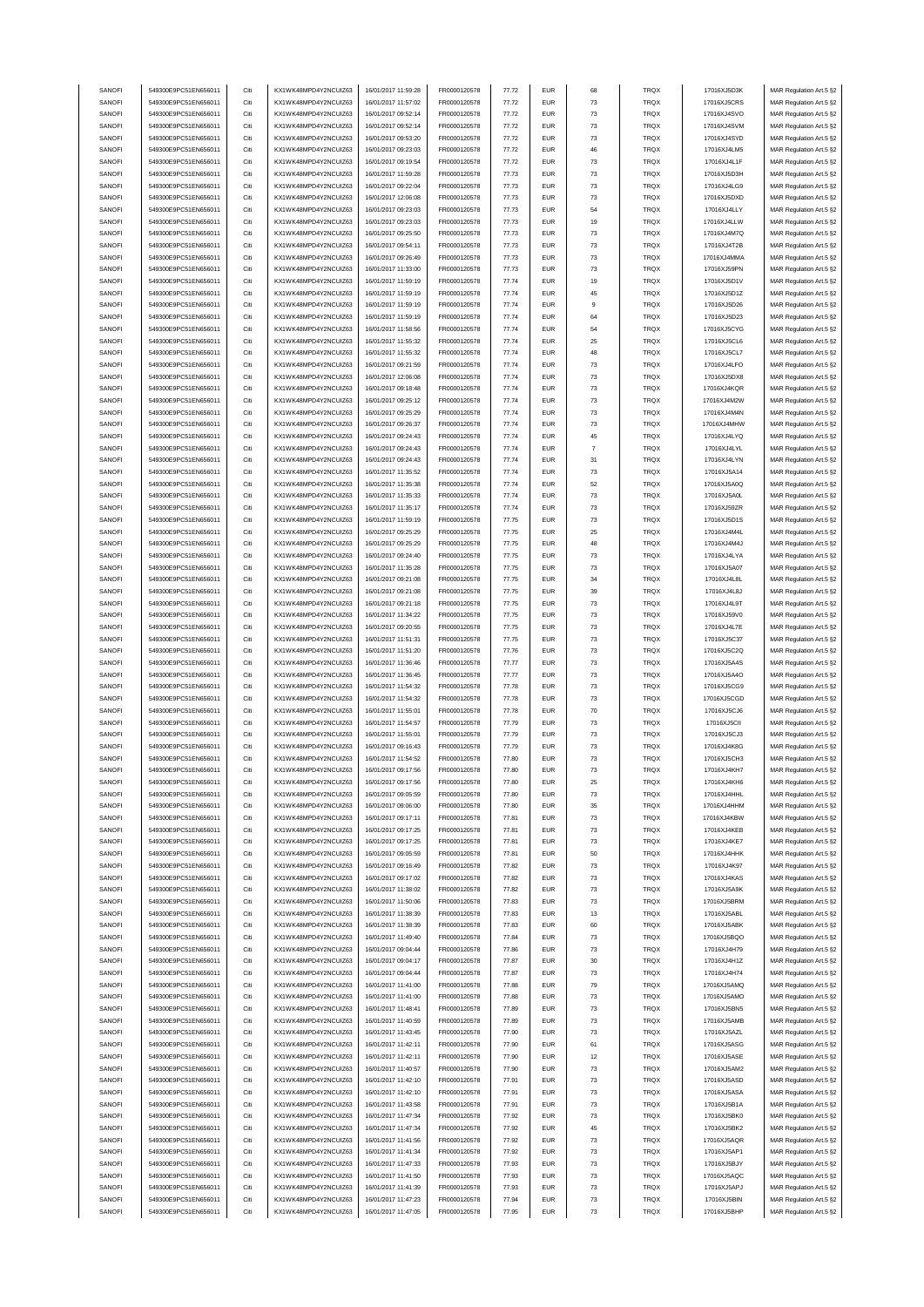| SANOFI           | 549300E9PC51EN656011                         | Citi         | KX1WK48MPD4Y2NCUIZ63                         | 16/01/2017 11:59:28                        | FR0000120578                 | 77.72          | <b>EUR</b>               | 68                             | <b>TRQX</b>  | 17016XJ5D3K                | MAR Regulation Art.5 §2                            |
|------------------|----------------------------------------------|--------------|----------------------------------------------|--------------------------------------------|------------------------------|----------------|--------------------------|--------------------------------|--------------|----------------------------|----------------------------------------------------|
| SANOFI           | 549300E9PC51EN656011                         | Citi         | KX1WK48MPD4Y2NCUIZ63                         | 16/01/2017 11:57:02                        | FR0000120578                 | 77.72          | <b>EUR</b>               | $\bf 73$                       | <b>TRQX</b>  | 17016XJ5CRS                | MAR Regulation Art.5 §2                            |
|                  | 549300E9PC51EN656011                         | Citi         |                                              |                                            |                              |                | <b>EUR</b>               |                                | TRQX         |                            | MAR Regulation Art.5 §2                            |
| SANOFI           |                                              |              | KX1WK48MPD4Y2NCUIZ63                         | 16/01/2017 09:52:14                        | FR0000120578                 | 77.72          |                          | $\bf 73$                       |              | 17016XJ4SVO                |                                                    |
| SANOFI           | 549300E9PC51EN656011                         | Citi         | KX1WK48MPD4Y2NCUIZ63                         | 16/01/2017 09:52:14                        | FR0000120578                 | 77.72          | <b>EUR</b>               | $\mathbf{73}$                  | TRQX         | 17016XJ4SVM                | MAR Regulation Art.5 §2                            |
| SANOFI           | 549300E9PC51EN656011                         | Citi         | KX1WK48MPD4Y2NCUIZ63                         | 16/01/2017 09:53:20                        | FR0000120578                 | 77.72          | <b>EUR</b>               | $\mathbf{73}$                  | TRQX         | 17016XJ4SYD                | MAR Regulation Art.5 §2                            |
| SANOFI           | 549300E9PC51EN656011                         | Citi         | KX1WK48MPD4Y2NCUIZ63                         | 16/01/2017 09:23:03                        | FR0000120578                 | 77.72          | <b>EUR</b>               | 46                             | TRQX         | 17016XJ4LM5                | MAR Regulation Art.5 §2                            |
| SANOFI           | 549300E9PC51EN656011                         | Citi         | KX1WK48MPD4Y2NCUIZ63                         | 16/01/2017 09:19:54                        | FR0000120578                 | 77.72          | <b>EUR</b>               | $\mathbf{73}$                  | TRQX         | 17016XJ4L1F                | MAR Regulation Art.5 §2                            |
| SANOFI           | 549300E9PC51EN656011                         | Citi         | KX1WK48MPD4Y2NCUIZ63                         | 16/01/2017 11:59:28                        | FR0000120578                 | 77.73          | <b>EUR</b>               | 73                             | <b>TRQX</b>  | 17016XJ5D3H                | MAR Regulation Art.5 §2                            |
| SANOFI           | 549300E9PC51EN656011                         | Citi         | KX1WK48MPD4Y2NCUIZ63                         | 16/01/2017 09:22:04                        | FR0000120578                 | 77.73          | <b>EUR</b>               | 73                             | <b>TRQX</b>  | 17016XJ4LG9                | MAR Regulation Art.5 §2                            |
|                  |                                              |              |                                              |                                            |                              |                |                          |                                |              |                            |                                                    |
| SANOFI           | 549300E9PC51EN656011                         | Citi         | KX1WK48MPD4Y2NCUIZ63                         | 16/01/2017 12:06:08                        | FR0000120578                 | 77.73          | <b>EUR</b>               | $\bf 73$                       | TRQX         | 17016XJ5DXD                | MAR Regulation Art.5 §2                            |
| SANOFI           | 549300E9PC51EN656011                         | Citi         | KX1WK48MPD4Y2NCUIZ63                         | 16/01/2017 09:23:03                        | FR0000120578                 | 77.73          | <b>EUR</b>               | 54                             | TRQX         | 17016XJ4LLY                | MAR Regulation Art.5 §2                            |
| SANOFI           | 549300E9PC51EN656011                         | Citi         | KX1WK48MPD4Y2NCUIZ63                         | 16/01/2017 09:23:03                        | FR0000120578                 | 77.73          | <b>EUR</b>               | 19                             | TRQX         | 17016XJ4LLW                | MAR Regulation Art.5 §2                            |
| SANOFI           | 549300E9PC51EN656011                         | Citi         | KX1WK48MPD4Y2NCUIZ63                         | 16/01/2017 09:25:50                        | FR0000120578                 | 77.73          | <b>EUR</b>               | $\mathbf{73}$                  | TRQX         | 17016XJ4M7Q                | MAR Regulation Art.5 §2                            |
| SANOFI           | 549300E9PC51EN656011                         | Citi         | KX1WK48MPD4Y2NCUIZ63                         | 16/01/2017 09:54:11                        | FR0000120578                 | 77.73          | <b>EUR</b>               | 73                             | TRQX         | 17016XJ4T2B                | MAR Regulation Art.5 §2                            |
|                  |                                              |              |                                              |                                            |                              |                |                          |                                |              |                            |                                                    |
| SANOFI           | 549300E9PC51EN656011                         | Citi         | KX1WK48MPD4Y2NCUIZ63                         | 16/01/2017 09:26:49                        | FR0000120578                 | 77.73          | <b>EUR</b>               | $\mathbf{73}$                  | TRQX         | 17016XJ4MMA                | MAR Regulation Art.5 §2                            |
| SANOFI           | 549300E9PC51EN656011                         | Citi         | KX1WK48MPD4Y2NCUIZ63                         | 16/01/2017 11:33:00                        | FR0000120578                 | 77.73          | <b>EUR</b>               | 73                             | <b>TRQX</b>  | 17016XJ59PN                | MAR Regulation Art.5 §2                            |
| SANOFI           | 549300E9PC51EN656011                         | Citi         | KX1WK48MPD4Y2NCUIZ63                         | 16/01/2017 11:59:19                        | FR0000120578                 | 77.74          | <b>EUR</b>               | 19                             | TRQX         | 17016XJ5D1V                | MAR Regulation Art.5 §2                            |
| SANOFI           | 549300E9PC51EN656011                         | Citi         | KX1WK48MPD4Y2NCUIZ63                         | 16/01/2017 11:59:19                        | FR0000120578                 | 77.74          | <b>EUR</b>               | 45                             | TRQX         | 17016XJ5D1Z                | MAR Regulation Art.5 §2                            |
| SANOFI           | 549300E9PC51EN656011                         | Citi         | KX1WK48MPD4Y2NCUIZ63                         | 16/01/2017 11:59:19                        | FR0000120578                 | 77.74          | <b>EUR</b>               | 9                              | TRQX         | 17016XJ5D26                | MAR Regulation Art.5 §2                            |
| SANOFI           | 549300E9PC51EN656011                         | Citi         | KX1WK48MPD4Y2NCUIZ63                         | 16/01/2017 11:59:19                        | FR0000120578                 | 77.74          | <b>EUR</b>               | 64                             | TRQX         | 17016XJ5D23                | MAR Regulation Art.5 §2                            |
|                  |                                              |              |                                              |                                            |                              |                |                          |                                |              |                            |                                                    |
| SANOFI           | 549300E9PC51EN656011                         | Citi         | KX1WK48MPD4Y2NCUIZ63                         | 16/01/2017 11:58:56                        | FR0000120578                 | 77.74          | <b>EUR</b>               | 54                             | TRQX         | 17016XJ5CYG                | MAR Regulation Art.5 §2                            |
| SANOFI           | 549300E9PC51EN656011                         | Citi         | KX1WK48MPD4Y2NCUIZ63                         | 16/01/2017 11:55:32                        | FR0000120578                 | 77.74          | <b>EUR</b>               | 25                             | TRQX         | 17016XJ5CL6                | MAR Regulation Art.5 §2                            |
| SANOFI           | 549300E9PC51EN656011                         | Citi         | KX1WK48MPD4Y2NCUIZ63                         | 16/01/2017 11:55:32                        | FR0000120578                 | 77.74          | <b>EUR</b>               | 48                             | TRQX         | 17016XJ5CL7                | MAR Regulation Art.5 §2                            |
| SANOFI           | 549300E9PC51EN656011                         | Citi         | KX1WK48MPD4Y2NCUIZ63                         | 16/01/2017 09:21:59                        | FR0000120578                 | 77.74          | <b>EUR</b>               | 73                             | <b>TRQX</b>  | 17016XJ4LFO                | MAR Regulation Art.5 §2                            |
| SANOFI           | 549300E9PC51EN656011                         | Citi         | KX1WK48MPD4Y2NCUIZ63                         | 16/01/2017 12:06:08                        | FR0000120578                 | 77.74          | <b>EUR</b>               | 73                             | <b>TRQX</b>  | 17016XJ5DX8                | MAR Regulation Art.5 §2                            |
|                  |                                              | Citi         |                                              |                                            |                              |                | <b>EUR</b>               |                                |              |                            |                                                    |
| SANOFI           | 549300E9PC51EN656011                         |              | KX1WK48MPD4Y2NCUIZ63                         | 16/01/2017 09:18:48                        | FR0000120578                 | 77.74          |                          | $\mathbf{73}$                  | TRQX         | 17016XJ4KQR                | MAR Regulation Art.5 §2                            |
| SANOFI           | 549300E9PC51EN656011                         | Citi         | KX1WK48MPD4Y2NCUIZ63                         | 16/01/2017 09:25:12                        | FR0000120578                 | 77.74          | <b>EUR</b>               | $\mathbf{73}$                  | TRQX         | 17016XJ4M2W                | MAR Regulation Art.5 §2                            |
| SANOFI           | 549300E9PC51EN656011                         | Citi         | KX1WK48MPD4Y2NCUIZ63                         | 16/01/2017 09:25:29                        | FR0000120578                 | 77.74          | <b>EUR</b>               | $\mathbf{73}$                  | TRQX         | 17016XJ4M4N                | MAR Regulation Art.5 §2                            |
| SANOFI           | 549300E9PC51EN656011                         | Citi         | KX1WK48MPD4Y2NCUIZ63                         | 16/01/2017 09:26:37                        | FR0000120578                 | 77.74          | <b>EUR</b>               | $\mathbf{73}$                  | TRQX         | 17016XJ4MHW                | MAR Regulation Art.5 §2                            |
| SANOFI           | 549300E9PC51EN656011                         | Citi         | KX1WK48MPD4Y2NCUIZ63                         | 16/01/2017 09:24:43                        | FR0000120578                 | 77.74          | <b>EUR</b>               | 45                             | TRQX         | 17016XJ4LYQ                | MAR Regulation Art.5 §2                            |
| SANOFI           | 549300E9PC51EN656011                         | Citi         | KX1WK48MPD4Y2NCUIZ63                         | 16/01/2017 09:24:43                        | FR0000120578                 | 77.74          | <b>EUR</b>               | $\overline{7}$                 | TRQX         | 17016XJ4LYL                | MAR Regulation Art.5 §2                            |
|                  |                                              |              |                                              |                                            |                              |                |                          |                                |              |                            |                                                    |
| SANOFI           | 549300E9PC51EN656011                         | Citi         | KX1WK48MPD4Y2NCUIZ63                         | 16/01/2017 09:24:43                        | FR0000120578                 | 77.74          | <b>EUR</b>               | 31                             | <b>TRQX</b>  | 17016XJ4LYN                | MAR Regulation Art.5 §2                            |
| SANOFI           | 549300E9PC51EN656011                         | Citi         | KX1WK48MPD4Y2NCUIZ63                         | 16/01/2017 11:35:52                        | FR0000120578                 | 77.74          | <b>EUR</b>               | 73                             | <b>TRQX</b>  | 17016XJ5A14                | MAR Regulation Art.5 §2                            |
| SANOFI           | 549300E9PC51EN656011                         | Citi         | KX1WK48MPD4Y2NCLIIZ63                        | 16/01/2017 11:35:38                        | FR0000120578                 | 77.74          | <b>EUR</b>               | 52                             | TRQX         | 17016XJ5A0Q                | MAR Regulation Art.5 §2                            |
| SANOFI           | 549300E9PC51EN656011                         | Citi         | KX1WK48MPD4Y2NCUIZ63                         | 16/01/2017 11:35:33                        | FR0000120578                 | 77.74          | <b>EUR</b>               | $\bf 73$                       | TRQX         | 17016XJ5A0L                | MAR Regulation Art.5 §2                            |
| SANOFI           | 549300E9PC51EN656011                         | Citi         | KX1WK48MPD4Y2NCUIZ63                         | 16/01/2017 11:35:17                        | FR0000120578                 | 77.74          | <b>EUR</b>               | $\mathbf{73}$                  | TRQX         | 17016XJ59ZR                | MAR Regulation Art.5 §2                            |
|                  |                                              |              |                                              |                                            |                              |                |                          |                                |              |                            |                                                    |
| SANOFI           | 549300E9PC51EN656011                         | Citi         | KX1WK48MPD4Y2NCUIZ63                         | 16/01/2017 11:59:19                        | FR0000120578                 | 77.75          | <b>EUR</b>               | $\mathbf{73}$                  | TRQX         | 17016XJ5D1S                | MAR Regulation Art.5 §2                            |
| SANOFI           | 549300E9PC51EN656011                         | Citi         | KX1WK48MPD4Y2NCUIZ63                         | 16/01/2017 09:25:29                        | FR0000120578                 | 77.75          | <b>EUR</b>               | 25                             | TRQX         | 17016XJ4M4L                | MAR Regulation Art.5 §2                            |
| SANOFI           | 549300E9PC51EN656011                         | Citi         | KX1WK48MPD4Y2NCUIZ63                         | 16/01/2017 09:25:29                        | FR0000120578                 | 77.75          | <b>EUR</b>               | 48                             | TRQX         | 17016XJ4M4J                | MAR Regulation Art.5 §2                            |
| SANOFI           | 549300E9PC51EN656011                         | Citi         | KX1WK48MPD4Y2NCUIZ63                         | 16/01/2017 09:24:40                        | FR0000120578                 | 77.75          | <b>EUR</b>               | $\mathbf{73}$                  | TRQX         | 17016XJ4LYA                | MAR Regulation Art.5 §2                            |
| SANOFI           | 549300E9PC51EN656011                         | Citi         | KX1WK48MPD4Y2NCUIZ63                         | 16/01/2017 11:35:28                        | FR0000120578                 | 77.75          | <b>EUR</b>               | 73                             | <b>TRQX</b>  | 17016XJ5A07                | MAR Regulation Art.5 §2                            |
| SANOFI           | 549300E9PC51EN656011                         | Citi         | KX1WK48MPD4Y2NCUIZ63                         | 16/01/2017 09:21:08                        | FR0000120578                 | 77.75          | <b>EUR</b>               | 34                             | TRQX         | 17016XJ4L8L                | MAR Regulation Art.5 §2                            |
|                  |                                              |              |                                              |                                            |                              |                |                          |                                |              |                            |                                                    |
| SANOFI           | 549300E9PC51EN656011                         | Citi         | KX1WK48MPD4Y2NCUIZ63                         | 16/01/2017 09:21:08                        | FR0000120578                 | 77.75          | <b>EUR</b>               | 39                             | TRQX         | 17016XJ4L8J                | MAR Regulation Art.5 §2                            |
| SANOFI           | 549300E9PC51EN656011                         | Citi         | KX1WK48MPD4Y2NCUIZ63                         | 16/01/2017 09:21:18                        | FR0000120578                 | 77.75          | <b>EUR</b>               | $\mathbf{73}$                  | TRQX         | 17016XJ4L9T                | MAR Regulation Art.5 §2                            |
| SANOFI           | 549300E9PC51EN656011                         | Citi         | KX1WK48MPD4Y2NCUIZ63                         | 16/01/2017 11:34:22                        | FR0000120578                 | 77.75          | <b>EUR</b>               | $\mathbf{73}$                  | TRQX         | 17016XJ59V0                | MAR Regulation Art.5 §2                            |
| SANOFI           | 549300E9PC51EN656011                         | Citi         | KX1WK48MPD4Y2NCUIZ63                         | 16/01/2017 09:20:55                        | FR0000120578                 | 77.75          | <b>EUR</b>               | $\mathbf{73}$                  | TRQX         | 17016XJ4L7E                | MAR Regulation Art.5 §2                            |
| SANOFI           | 549300E9PC51EN656011                         | Citi         | KX1WK48MPD4Y2NCUIZ63                         | 16/01/2017 11:51:31                        | FR0000120578                 | 77.75          | <b>EUR</b>               | $\bf 73$                       | TRQX         | 17016XJ5C37                | MAR Regulation Art.5 §2                            |
|                  |                                              | Citi         |                                              |                                            |                              |                |                          |                                |              |                            |                                                    |
| SANOFI           | 549300E9PC51EN656011                         |              | KX1WK48MPD4Y2NCUIZ63                         | 16/01/2017 11:51:20                        | FR0000120578                 | 77.76          | <b>EUR</b>               | $\mathbf{73}$                  | TRQX         | 17016XJ5C2Q                | MAR Regulation Art.5 §2                            |
| SANOFI           | 549300E9PC51EN656011                         | Citi         | KX1WK48MPD4Y2NCUIZ63                         | 16/01/2017 11:36:46                        | FR0000120578                 | 77.77          | <b>EUR</b>               | 73                             | <b>TRQX</b>  | 17016XJ5A4S                | MAR Regulation Art.5 §2                            |
| SANOFI           | 549300E9PC51EN656011                         | Citi         | KX1WK48MPD4Y2NCUIZ63                         | 16/01/2017 11:36:45                        | FR0000120578                 | 77.77          | <b>EUR</b>               | 73                             | <b>TRQX</b>  | 17016XJ5A4O                | MAR Regulation Art.5 §2                            |
| SANOFI           | 549300E9PC51EN656011                         | Citi         | KX1WK48MPD4Y2NCUIZ63                         | 16/01/2017 11:54:32                        | FR0000120578                 | 77.78          | <b>EUR</b>               | $\bf 73$                       | TRQX         | 17016XJ5CG9                | MAR Regulation Art.5 §2                            |
| SANOFI           | 549300E9PC51EN656011                         | Citi         | KX1WK48MPD4Y2NCUIZ63                         | 16/01/2017 11:54:32                        | FR0000120578                 | 77.78          | <b>EUR</b>               | $\mathbf{73}$                  | TRQX         | 17016XJ5CGD                | MAR Regulation Art.5 §2                            |
| SANOFI           | 549300E9PC51EN656011                         | Citi         | KX1WK48MPD4Y2NCUIZ63                         | 16/01/2017 11:55:01                        | FR0000120578                 | 77.78          | <b>EUR</b>               | 70                             | TRQX         | 17016XJ5CJ6                | MAR Regulation Art.5 §2                            |
|                  |                                              |              |                                              |                                            |                              |                |                          |                                |              |                            |                                                    |
| SANOFI           | 549300E9PC51EN656011                         | Citi         | KX1WK48MPD4Y2NCUIZ63                         | 16/01/2017 11:54:57                        | FR0000120578                 | 77.79          | <b>EUR</b>               | $\mathbf{73}$                  | TRQX         | 17016XJ5CII                | MAR Regulation Art.5 §2                            |
| SANOFI           | 549300E9PC51EN656011                         | Citi         | KX1WK48MPD4Y2NCUIZ63                         | 16/01/2017 11:55:01                        | FR0000120578                 | 77.79          | <b>EUR</b>               | $\mathbf{73}$                  | TRQX         | 17016XJ5CJ3                | MAR Regulation Art.5 §2                            |
| SANOFI           | 549300E9PC51EN656011                         | Citi         | KX1WK48MPD4Y2NCUIZ63                         | 16/01/2017 09:16:43                        | FR0000120578                 | 77.79          | <b>EUR</b>               | $\mathbf{73}$                  | TRQX         | 17016XJ4K8G                | MAR Regulation Art.5 §2                            |
| SANOFI           | 549300E9PC51EN656011                         | Citi         | KX1WK48MPD4Y2NCUIZ63                         | 16/01/2017 11:54:52                        | FR0000120578                 | 77.80          | <b>EUR</b>               | 73                             | <b>TRQX</b>  | 17016XJ5CH3                | MAR Regulation Art.5 §2                            |
| SANOFI           | 549300E9PC51EN656011                         | Citi         | KX1WK48MPD4Y2NCLIIZ63                        | 16/01/2017 09:17:56                        | <b>ER0000120578</b>          | 77.80          |                          |                                | TROX         | 17016X.I4KH7               | MAR Regulation Art 5 82                            |
|                  |                                              |              |                                              |                                            |                              |                |                          |                                |              |                            |                                                    |
| SANOFI           | 549300E9PC51EN656011                         | Citi         | KX1WK48MPD4Y2NCUIZ63                         | 16/01/2017 09:17:56                        | FR0000120578                 | 77.80          | <b>EUR</b>               | 25                             | TRQX         | 17016XJ4KH6                | MAR Regulation Art.5 §2                            |
| SANOFI           | 549300E9PC51EN656011                         | Citi         | KX1WK48MPD4Y2NCUIZ63                         | 16/01/2017 09:05:59                        | FR0000120578                 | 77.80          | <b>EUR</b>               | $\bf 73$                       | TRQX         | 17016XJ4HHL                | MAR Regulation Art.5 §2                            |
| SANOFI           | 549300E9PC51EN656011                         | Citi         | KX1WK48MPD4Y2NCUIZ63                         | 16/01/2017 09:06:00                        | FR0000120578                 | 77.80          | <b>EUR</b>               | 35                             | TRQX         | 17016XJ4HHM                | MAR Regulation Art.5 §2                            |
| SANOFI           | 549300E9PC51EN656011                         | Citi         | KX1WK48MPD4Y2NCUIZ63                         | 16/01/2017 09:17:11                        | FR0000120578                 | 77.81          | <b>EUR</b>               | $\mathbf{73}$                  | TRQX         | 17016XJ4KBW                | MAR Regulation Art.5 §2                            |
| SANOFI           | 549300E9PC51EN656011                         | Citi         | KX1WK48MPD4Y2NCUIZ63                         | 16/01/2017 09:17:25                        | FR0000120578                 | 77.81          | <b>EUR</b>               | $\mathbf{73}$                  | TRQX         | 17016XJ4KEB                | MAR Regulation Art.5 §2                            |
| SANOFI           | 549300E9PC51EN656011                         | Citi         | KX1WK48MPD4Y2NCUIZ63                         | 16/01/2017 09:17:25                        | FR0000120578                 | 77.81          | <b>EUR</b>               | 73                             | TRQX         | 17016XJ4KE7                | MAR Regulation Art.5 §2                            |
|                  | 549300E9PC51EN656011                         | Citi         | KX1WK48MPD4Y2NCUIZ63                         | 16/01/2017 09:05:59                        | FR0000120578                 |                |                          |                                |              | 17016XJ4HHK                |                                                    |
| SANOFI           |                                              |              |                                              |                                            |                              | 77.81          | <b>EUR</b>               | 50                             | TRQX         |                            | MAR Regulation Art.5 §2                            |
| SANOFI           | 549300E9PC51EN656011                         | Citi         | KX1WK48MPD4Y2NCUIZ63                         | 16/01/2017 09:16:49                        | FR0000120578                 | 77.82          | <b>EUR</b>               | 73                             | <b>TRQX</b>  | 17016XJ4K97                | MAR Regulation Art.5 §2                            |
| SANOFI           | 549300E9PC51EN656011                         | Citi         | KX1WK48MPD4Y2NCUIZ63                         | 16/01/2017 09:17:02                        | FR0000120578                 | 77.82          | <b>EUR</b>               | $\bf 73$                       | TRQX         | 17016XJ4KAS                | MAR Regulation Art.5 §2                            |
| SANOFI           | 549300E9PC51EN656011                         | Citi         | KX1WK48MPD4Y2NCUIZ63                         | 16/01/2017 11:38:02                        | FR0000120578                 | 77.82          | <b>EUR</b>               | $\mathbf{73}$                  | TRQX         | 17016XJ5A9K                | MAR Regulation Art.5 §2                            |
| SANOFI           | 549300E9PC51EN656011                         | Citi         | KX1WK48MPD4Y2NCUIZ63                         | 16/01/2017 11:50:06                        | FR0000120578                 | 77.83          | <b>EUR</b>               | $\mathbf{73}$                  | TRQX         | 17016XJ5BRM                | MAR Regulation Art.5 §2                            |
| SANOFI           | 549300E9PC51EN656011                         | Citi         | KX1WK48MPD4Y2NCUIZ63                         | 16/01/2017 11:38:39                        | FR0000120578                 | 77.83          | <b>EUR</b>               | 13                             | TRQX         | 17016XJ5ABL                | MAR Regulation Art.5 §2                            |
|                  |                                              |              |                                              |                                            |                              |                |                          |                                |              |                            |                                                    |
| SANOFI           | 549300E9PC51EN656011                         | Citi         | KX1WK48MPD4Y2NCUIZ63                         | 16/01/2017 11:38:39                        | FR0000120578                 | 77.83          | <b>EUR</b>               | 60                             | TRQX         | 17016XJ5ABK                | MAR Regulation Art.5 §2                            |
| SANOFI           | 549300E9PC51EN656011                         | Citi         | KX1WK48MPD4Y2NCUIZ63                         | 16/01/2017 11:49:40                        | FR0000120578                 | 77.84          | <b>EUR</b>               | $\mathbf{73}$                  | TRQX         | 17016XJ5BQO                | MAR Regulation Art.5 §2                            |
| SANOFI           | 549300E9PC51EN656011                         | Citi         | KX1WK48MPD4Y2NCUIZ63                         | 16/01/2017 09:04:44                        | FR0000120578                 | 77.86          | <b>EUR</b>               | 73                             | <b>TRQX</b>  | 17016XJ4H79                | MAR Regulation Art.5 §2                            |
| SANOFI           | 549300E9PC51EN656011                         | Citi         | KX1WK48MPD4Y2NCUIZ63                         | 16/01/2017 09:04:17                        | FR0000120578                 | 77.87          | <b>EUR</b>               | $30\,$                         | TRQX         | 17016XJ4H1Z                | MAR Regulation Art.5 §2                            |
| SANOFI           | 549300E9PC51EN656011                         | Citi         | KX1WK48MPD4Y2NCUIZ63                         | 16/01/2017 09:04:44                        | FR0000120578                 | 77.87          | <b>EUR</b>               | $\mathbf{73}$                  | TRQX         | 17016XJ4H74                | MAR Regulation Art.5 §2                            |
| SANOFI           | 549300E9PC51EN656011                         | Citi         | KX1WK48MPD4Y2NCUIZ63                         | 16/01/2017 11:41:00                        | FR0000120578                 | 77.88          | <b>EUR</b>               | 79                             | TRQX         | 17016XJ5AMQ                |                                                    |
|                  |                                              |              |                                              |                                            |                              |                |                          |                                |              |                            | MAR Regulation Art.5 §2                            |
| SANOFI           | 549300E9PC51EN656011                         | Citi         | KX1WK48MPD4Y2NCUIZ63                         | 16/01/2017 11:41:00                        | FR0000120578                 | 77.88          | <b>EUR</b>               | $\mathbf{73}$                  | TRQX         | 17016XJ5AMO                | MAR Regulation Art.5 §2                            |
| SANOFI           | 549300E9PC51EN656011                         | Citi         | KX1WK48MPD4Y2NCUIZ63                         | 16/01/2017 11:48:41                        | FR0000120578                 | 77.89          | <b>EUR</b>               | 73                             | TRQX         | 17016XJ5BN5                | MAR Regulation Art.5 §2                            |
| SANOFI           | 549300E9PC51EN656011                         | Citi         | KX1WK48MPD4Y2NCUIZ63                         | 16/01/2017 11:40:59                        | FR0000120578                 | 77.89          | <b>EUR</b>               | $\mathbf{73}$                  | TRQX         | 17016XJ5AMB                | MAR Regulation Art.5 §2                            |
| SANOFI           | 549300E9PC51EN656011                         | Citi         | KX1WK48MPD4Y2NCUIZ63                         | 16/01/2017 11:43:45                        | FR0000120578                 | 77.90          | <b>EUR</b>               | $\mathbf{73}$                  | TRQX         | 17016XJ5AZL                | MAR Regulation Art.5 §2                            |
| SANOFI           | 549300E9PC51EN656011                         | Citi         | KX1WK48MPD4Y2NCUIZ63                         | 16/01/2017 11:42:11                        | FR0000120578                 | 77.90          | <b>EUR</b>               | 61                             | TRQX         | 17016XJ5ASG                | MAR Regulation Art.5 §2                            |
| SANOFI           | 549300E9PC51EN656011                         | Citi         | KX1WK48MPD4Y2NCUIZ63                         | 16/01/2017 11:42:11                        | FR0000120578                 | 77.90          | <b>EUR</b>               | 12                             | <b>TRQX</b>  |                            |                                                    |
|                  |                                              |              |                                              |                                            |                              |                |                          |                                |              | 17016XJ5ASE                | MAR Regulation Art.5 §2                            |
| SANOFI           | 549300E9PC51EN656011                         | Citi         | KX1WK48MPD4Y2NCUIZ63                         | 16/01/2017 11:40:57                        | FR0000120578                 | 77.90          | <b>EUR</b>               | $\mathbf{73}$                  | TRQX         | 17016XJ5AM2                | MAR Regulation Art.5 §2                            |
| SANOFI           | 549300E9PC51EN656011                         | Citi         | KX1WK48MPD4Y2NCUIZ63                         | 16/01/2017 11:42:10                        | FR0000120578                 | 77.91          | <b>EUR</b>               | $\mathbf{73}$                  | TRQX         | 17016XJ5ASD                | MAR Regulation Art.5 §2                            |
| SANOFI           | 549300E9PC51EN656011                         | Citi         | KX1WK48MPD4Y2NCUIZ63                         | 16/01/2017 11:42:10                        | FR0000120578                 | 77.91          | <b>EUR</b>               | $\bf 73$                       | TRQX         | 17016XJ5ASA                | MAR Regulation Art.5 §2                            |
| SANOFI           | 549300E9PC51EN656011                         | Citi         | KX1WK48MPD4Y2NCUIZ63                         | 16/01/2017 11:43:58                        | FR0000120578                 | 77.91          | <b>EUR</b>               | $\mathbf{73}$                  | TRQX         | 17016XJ5B1A                | MAR Regulation Art.5 §2                            |
| SANOFI           | 549300E9PC51EN656011                         | Citi         | KX1WK48MPD4Y2NCUIZ63                         | 16/01/2017 11:47:34                        | FR0000120578                 | 77.92          | <b>EUR</b>               | $\mathbf{73}$                  | TRQX         | 17016XJ5BK0                | MAR Regulation Art.5 §2                            |
|                  |                                              |              |                                              |                                            |                              |                |                          |                                |              |                            |                                                    |
| SANOFI           | 549300E9PC51EN656011                         | Citi         | KX1WK48MPD4Y2NCUIZ63                         | 16/01/2017 11:47:34                        | FR0000120578                 | 77.92          | <b>EUR</b>               | 45                             | TRQX         | 17016XJ5BK2                | MAR Regulation Art.5 §2                            |
| SANOFI           | 549300E9PC51EN656011                         | Citi         | KX1WK48MPD4Y2NCUIZ63                         | 16/01/2017 11:41:56                        | FR0000120578                 | 77.92          | <b>EUR</b>               | 73                             | TRQX         | 17016XJ5AQR                | MAR Regulation Art.5 §2                            |
| SANOFI           | 549300E9PC51EN656011                         | Citi         | KX1WK48MPD4Y2NCUIZ63                         | 16/01/2017 11:41:34                        | FR0000120578                 | 77.92          | <b>EUR</b>               | $\bf 73$                       | <b>TRQX</b>  | 17016XJ5AP1                | MAR Regulation Art.5 §2                            |
| SANOFI           | 549300E9PC51EN656011                         | Citi         | KX1WK48MPD4Y2NCUIZ63                         | 16/01/2017 11:47:33                        | FR0000120578                 | 77.93          | <b>EUR</b>               | 73                             | <b>TRQX</b>  | 17016XJ5BJY                | MAR Regulation Art.5 §2                            |
|                  |                                              | Citi         | KX1WK48MPD4Y2NCUIZ63                         | 16/01/2017 11:41:50                        | FR0000120578                 | 77.93          | <b>EUR</b>               | $\bf 73$                       | TRQX         | 17016XJ5AQC                |                                                    |
|                  |                                              |              |                                              |                                            |                              |                |                          |                                |              |                            |                                                    |
| SANOFI           | 549300E9PC51EN656011                         |              |                                              |                                            |                              |                |                          |                                |              |                            | MAR Regulation Art.5 §2                            |
| SANOFI           | 549300E9PC51EN656011                         | Citi         | KX1WK48MPD4Y2NCUIZ63                         | 16/01/2017 11:41:39                        | FR0000120578                 | 77.93          | <b>EUR</b>               | $\mathbf{73}$                  | TRQX         | 17016XJ5APJ                | MAR Regulation Art.5 §2                            |
| SANOFI<br>SANOFI | 549300E9PC51EN656011<br>549300E9PC51EN656011 | Citi<br>Citi | KX1WK48MPD4Y2NCUIZ63<br>KX1WK48MPD4Y2NCUIZ63 | 16/01/2017 11:47:23<br>16/01/2017 11:47:05 | FR0000120578<br>FR0000120578 | 77.94<br>77.95 | <b>EUR</b><br><b>EUR</b> | $\mathbf{73}$<br>$\mathbf{73}$ | TRQX<br>TRQX | 17016XJ5BIN<br>17016XJ5BHP | MAR Regulation Art.5 §2<br>MAR Regulation Art.5 §2 |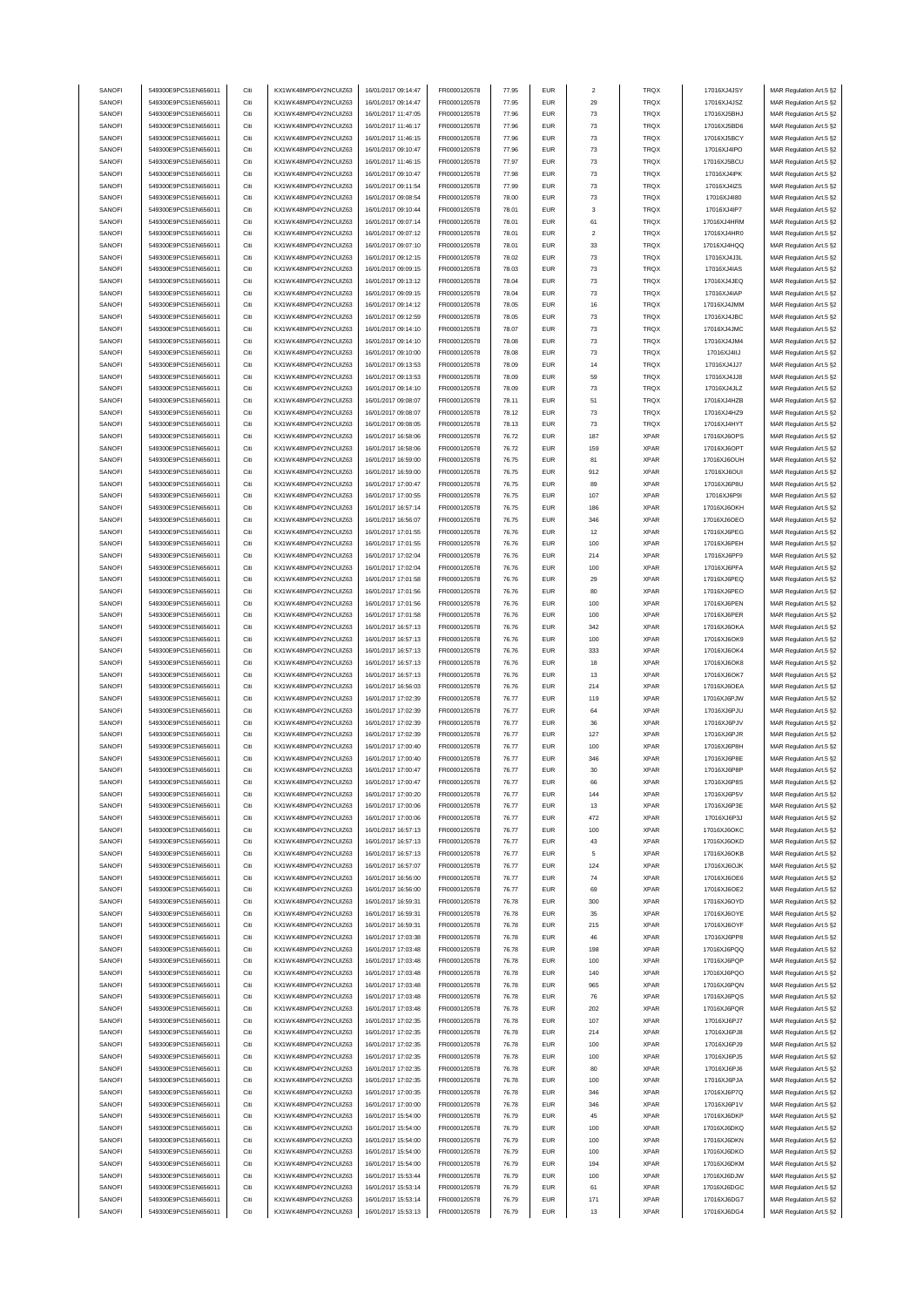| SANOFI        | 549300E9PC51EN656011 | Citi | KX1WK48MPD4Y2NCUIZ63  | 16/01/2017 09:14:47 | FR0000120578 | 77.95 | <b>EUR</b> | $\overline{2}$ | <b>TRQX</b> | 17016XJ4JSY | MAR Regulation Art.5 §2 |
|---------------|----------------------|------|-----------------------|---------------------|--------------|-------|------------|----------------|-------------|-------------|-------------------------|
|               |                      |      |                       | 16/01/2017 09:14:47 |              |       |            |                |             |             |                         |
| SANOFI        | 549300E9PC51EN656011 | Citi | KX1WK48MPD4Y2NCUIZ63  |                     | FR0000120578 | 77.95 | <b>EUR</b> | 29             | <b>TRQX</b> | 17016XJ4JSZ | MAR Regulation Art.5 §2 |
| SANOFI        | 549300E9PC51EN656011 | Citi | KX1WK48MPD4Y2NCUIZ63  | 16/01/2017 11:47:05 | FR0000120578 | 77.96 | <b>EUR</b> | $\bf 73$       | TRQX        | 17016XJ5BHJ | MAR Regulation Art.5 §2 |
| SANOFI        | 549300E9PC51EN656011 | Citi | KX1WK48MPD4Y2NCUIZ63  | 16/01/2017 11:46:17 | FR0000120578 | 77.96 | <b>EUR</b> | $\mathbf{73}$  | TRQX        | 17016XJ5BD6 | MAR Regulation Art.5 §2 |
| SANOFI        | 549300E9PC51EN656011 | Citi | KX1WK48MPD4Y2NCUIZ63  | 16/01/2017 11:46:15 | FR0000120578 | 77.96 | <b>EUR</b> | $\mathbf{73}$  | TRQX        | 17016XJ5BCY | MAR Regulation Art.5 §2 |
| SANOFI        | 549300E9PC51EN656011 | Citi | KX1WK48MPD4Y2NCUIZ63  | 16/01/2017 09:10:47 | FR0000120578 | 77.96 | <b>EUR</b> | $\mathbf{73}$  | TRQX        | 17016XJ4IPO | MAR Regulation Art.5 §2 |
| SANOFI        | 549300E9PC51EN656011 | Citi | KX1WK48MPD4Y2NCUIZ63  | 16/01/2017 11:46:15 | FR0000120578 | 77.97 | <b>EUR</b> | 73             | TRQX        | 17016XJ5BCU | MAR Regulation Art.5 §2 |
|               |                      |      |                       |                     |              |       |            |                |             |             |                         |
| SANOFI        | 549300E9PC51EN656011 | Citi | KX1WK48MPD4Y2NCUIZ63  | 16/01/2017 09:10:47 | FR0000120578 | 77.98 | <b>EUR</b> | 73             | <b>TRQX</b> | 17016XJ4IPK | MAR Regulation Art.5 §2 |
| SANOFI        | 549300E9PC51EN656011 | Citi | KX1WK48MPD4Y2NCUIZ63  | 16/01/2017 09:11:54 | FR0000120578 | 77.99 | <b>EUR</b> | 73             | <b>TRQX</b> | 17016XJ4IZS | MAR Regulation Art.5 §2 |
| SANOFI        | 549300E9PC51EN656011 | Citi | KX1WK48MPD4Y2NCUIZ63  | 16/01/2017 09:08:54 | FR0000120578 | 78.00 | <b>EUR</b> | $\bf 73$       | TRQX        | 17016XJ4I80 | MAR Regulation Art.5 §2 |
| SANOFI        | 549300E9PC51EN656011 | Citi | KX1WK48MPD4Y2NCUIZ63  | 16/01/2017 09:10:44 | FR0000120578 | 78.01 | <b>EUR</b> | 3              | TRQX        | 17016XJ4IP7 |                         |
|               |                      |      |                       |                     |              |       |            |                |             |             | MAR Regulation Art.5 §2 |
| SANOFI        | 549300E9PC51EN656011 | Citi | KX1WK48MPD4Y2NCUIZ63  | 16/01/2017 09:07:14 | FR0000120578 | 78.01 | <b>EUR</b> | 61             | TRQX        | 17016XJ4HRM | MAR Regulation Art.5 §2 |
| SANOFI        | 549300E9PC51EN656011 | Citi | KX1WK48MPD4Y2NCUIZ63  | 16/01/2017 09:07:12 | FR0000120578 | 78.01 | <b>EUR</b> | $\sqrt{2}$     | TRQX        | 17016XJ4HR0 | MAR Regulation Art.5 §2 |
| SANOFI        | 549300E9PC51EN656011 | Citi | KX1WK48MPD4Y2NCUIZ63  | 16/01/2017 09:07:10 | FR0000120578 | 78.01 | <b>EUR</b> | 33             | TRQX        | 17016XJ4HQQ | MAR Regulation Art.5 §2 |
| SANOFI        | 549300E9PC51EN656011 | Citi | KX1WK48MPD4Y2NCUIZ63  | 16/01/2017 09:12:15 | FR0000120578 | 78.02 | <b>EUR</b> | $\mathbf{73}$  | TRQX        | 17016XJ4J3L | MAR Regulation Art.5 §2 |
|               |                      |      |                       |                     |              |       |            |                |             |             |                         |
| SANOFI        | 549300E9PC51EN656011 | Citi | KX1WK48MPD4Y2NCUIZ63  | 16/01/2017 09:09:15 | FR0000120578 | 78.03 | <b>EUR</b> | 73             | <b>TRQX</b> | 17016XJ4IAS | MAR Regulation Art.5 §2 |
| SANOFI        | 549300E9PC51EN656011 | Citi | KX1WK48MPD4Y2NCUIZ63  | 16/01/2017 09:13:12 | FR0000120578 | 78.04 | <b>EUR</b> | 73             | TRQX        | 17016XJ4JEQ | MAR Regulation Art.5 §2 |
| SANOFI        | 549300E9PC51EN656011 | Citi | KX1WK48MPD4Y2NCLIIZ63 | 16/01/2017 09:09:15 | FR0000120578 | 78.04 | <b>EUR</b> | $\mathbf{73}$  | TRQX        | 17016XJ4IAP | MAR Regulation Art.5 §2 |
| SANOFI        | 549300E9PC51EN656011 | Citi | KX1WK48MPD4Y2NCUIZ63  | 16/01/2017 09:14:12 | FR0000120578 | 78.05 | <b>EUR</b> | 16             | TRQX        | 17016XJ4JMM | MAR Regulation Art.5 §2 |
|               |                      |      |                       |                     |              |       |            |                |             |             |                         |
| SANOFI        | 549300E9PC51EN656011 | Citi | KX1WK48MPD4Y2NCUIZ63  | 16/01/2017 09:12:59 | FR0000120578 | 78.05 | <b>EUR</b> | $\mathbf{73}$  | TRQX        | 17016XJ4JBC | MAR Regulation Art.5 §2 |
| SANOFI        | 549300E9PC51EN656011 | Citi | KX1WK48MPD4Y2NCUIZ63  | 16/01/2017 09:14:10 | FR0000120578 | 78.07 | <b>EUR</b> | $\mathbf{73}$  | TRQX        | 17016XJ4JMC | MAR Regulation Art.5 §2 |
| SANOFI        | 549300E9PC51EN656011 | Citi | KX1WK48MPD4Y2NCUIZ63  | 16/01/2017 09:14:10 | FR0000120578 | 78.08 | <b>EUR</b> | $\bf 73$       | TRQX        | 17016XJ4JM4 | MAR Regulation Art.5 §2 |
| SANOFI        | 549300E9PC51EN656011 | Citi | KX1WK48MPD4Y2NCUIZ63  | 16/01/2017 09:10:00 | FR0000120578 | 78.08 | <b>EUR</b> | $\mathbf{73}$  | TRQX        | 17016XJ4IIJ | MAR Regulation Art.5 §2 |
| SANOFI        | 549300E9PC51EN656011 | Citi | KX1WK48MPD4Y2NCUIZ63  | 16/01/2017 09:13:53 | FR0000120578 | 78.09 | <b>EUR</b> | 14             | <b>TRQX</b> | 17016XJ4JJ7 | MAR Regulation Art.5 §2 |
|               |                      |      |                       |                     |              |       |            |                |             |             |                         |
| SANOFI        | 549300E9PC51EN656011 | Citi | KX1WK48MPD4Y2NCLIIZ63 | 16/01/2017 09:13:53 | FR0000120578 | 78.09 | <b>EUR</b> | 59             | <b>TRQX</b> | 17016XJ4JJ8 | MAR Regulation Art.5 §2 |
| SANOFI        | 549300E9PC51EN656011 | Citi | KX1WK48MPD4Y2NCUIZ63  | 16/01/2017 09:14:10 | FR0000120578 | 78.09 | <b>EUR</b> | $\mathbf{73}$  | TRQX        | 17016XJ4JLZ | MAR Regulation Art.5 §2 |
| SANOFI        | 549300E9PC51EN656011 | Citi | KX1WK48MPD4Y2NCUIZ63  | 16/01/2017 09:08:07 | FR0000120578 | 78.11 | <b>EUR</b> | 51             | TRQX        | 17016XJ4HZB | MAR Regulation Art.5 §2 |
| SANOFI        | 549300E9PC51EN656011 | Citi | KX1WK48MPD4Y2NCUIZ63  | 16/01/2017 09:08:07 | FR0000120578 | 78.12 | <b>EUR</b> | $\mathbf{73}$  | TRQX        | 17016XJ4HZ9 | MAR Regulation Art.5 §2 |
|               |                      |      |                       |                     |              |       |            |                |             |             |                         |
| SANOFI        | 549300E9PC51EN656011 | Citi | KX1WK48MPD4Y2NCUIZ63  | 16/01/2017 09:08:05 | FR0000120578 | 78.13 | <b>EUR</b> | 73             | TRQX        | 17016XJ4HYT | MAR Regulation Art.5 §2 |
| SANOFI        | 549300E9PC51EN656011 | Citi | KX1WK48MPD4Y2NCUIZ63  | 16/01/2017 16:58:06 | FR0000120578 | 76.72 | <b>EUR</b> | 187            | <b>XPAR</b> | 17016XJ6OPS | MAR Regulation Art.5 §2 |
| SANOFI        | 549300E9PC51EN656011 | Citi | KX1WK48MPD4Y2NCUIZ63  | 16/01/2017 16:58:06 | FR0000120578 | 76.72 | <b>EUR</b> | 159            | <b>XPAR</b> | 17016XJ6OPT | MAR Regulation Art.5 §2 |
| SANOFI        | 549300E9PC51EN656011 | Citi | KX1WK48MPD4Y2NCUIZ63  | 16/01/2017 16:59:00 | FR0000120578 | 76.75 | <b>EUR</b> | 81             | <b>XPAR</b> | 17016XJ6OUH | MAR Regulation Art.5 §2 |
|               |                      |      | KX1WK48MPD4Y2NCUIZ63  |                     |              |       |            |                |             |             |                         |
| SANOFI        | 549300E9PC51EN656011 | Citi |                       | 16/01/2017 16:59:00 | FR0000120578 | 76.75 | <b>EUR</b> | 912            | <b>XPAR</b> | 17016XJ6OUI | MAR Regulation Art.5 §2 |
| SANOFI        | 549300E9PC51EN656011 | Citi | KX1WK48MPD4Y2NCUIZ63  | 16/01/2017 17:00:47 | FR0000120578 | 76.75 | <b>EUR</b> | 89             | <b>XPAR</b> | 17016XJ6P8U | MAR Regulation Art.5 §2 |
| SANOFI        | 549300E9PC51EN656011 | Citi | KX1WK48MPD4Y2NCUIZ63  | 16/01/2017 17:00:55 | FR0000120578 | 76.75 | <b>EUR</b> | 107            | <b>XPAR</b> | 17016XJ6P9I | MAR Regulation Art.5 §2 |
| SANOFI        | 549300E9PC51EN656011 | Citi | KX1WK48MPD4Y2NCUIZ63  | 16/01/2017 16:57:14 | FR0000120578 | 76.75 | <b>EUR</b> | 186            | <b>XPAR</b> | 17016XJ6OKH | MAR Regulation Art.5 §2 |
|               |                      |      | KX1WK48MPD4Y2NCUIZ63  |                     |              |       |            |                |             |             |                         |
| SANOFI        | 549300E9PC51EN656011 | Citi |                       | 16/01/2017 16:56:07 | FR0000120578 | 76.75 | <b>EUR</b> | 346            | <b>XPAR</b> | 17016XJ6OEO | MAR Regulation Art.5 §2 |
| SANOFI        | 549300E9PC51EN656011 | Citi | KX1WK48MPD4Y2NCUIZ63  | 16/01/2017 17:01:55 | FR0000120578 | 76.76 | <b>EUR</b> | 12             | <b>XPAR</b> | 17016XJ6PEG | MAR Regulation Art.5 §2 |
| SANOFI        | 549300E9PC51EN656011 | Citi | KX1WK48MPD4Y2NCUIZ63  | 16/01/2017 17:01:55 | FR0000120578 | 76.76 | <b>EUR</b> | 100            | <b>XPAR</b> | 17016XJ6PEH | MAR Regulation Art.5 §2 |
| SANOFI        | 549300E9PC51EN656011 | Citi | KX1WK48MPD4Y2NCUIZ63  | 16/01/2017 17:02:04 | FR0000120578 | 76.76 | <b>EUR</b> | 214            | <b>XPAR</b> | 17016XJ6PF9 | MAR Regulation Art.5 §2 |
| SANOFI        | 549300E9PC51EN656011 | Citi | KX1WK48MPD4Y2NCUIZ63  | 16/01/2017 17:02:04 | FR0000120578 | 76.76 | <b>EUR</b> | 100            | <b>XPAR</b> | 17016XJ6PFA | MAR Regulation Art.5 §2 |
|               |                      |      |                       |                     |              |       |            |                |             |             |                         |
| SANOFI        | 549300E9PC51EN656011 | Citi | KX1WK48MPD4Y2NCUIZ63  | 16/01/2017 17:01:58 | FR0000120578 | 76.76 | <b>EUR</b> | 29             | <b>XPAR</b> | 17016XJ6PEQ | MAR Regulation Art.5 §2 |
| SANOFI        | 549300E9PC51EN656011 | Citi | KX1WK48MPD4Y2NCUIZ63  | 16/01/2017 17:01:56 | FR0000120578 | 76.76 | <b>EUR</b> | 80             | <b>XPAR</b> | 17016XJ6PEO | MAR Regulation Art.5 §2 |
| SANOFI        | 549300E9PC51EN656011 | Citi | KX1WK48MPD4Y2NCUIZ63  | 16/01/2017 17:01:56 | FR0000120578 | 76.76 | <b>EUR</b> | 100            | <b>XPAR</b> | 17016XJ6PEN | MAR Regulation Art.5 §2 |
| SANOFI        | 549300E9PC51EN656011 | Citi | KX1WK48MPD4Y2NCUIZ63  | 16/01/2017 17:01:58 | FR0000120578 | 76.76 | <b>EUR</b> | 100            | <b>XPAR</b> | 17016XJ6PER | MAR Regulation Art.5 §2 |
| SANOFI        | 549300E9PC51EN656011 | Citi | KX1WK48MPD4Y2NCUIZ63  | 16/01/2017 16:57:13 | FR0000120578 | 76.76 | <b>EUR</b> | 342            | <b>XPAR</b> | 17016XJ6OKA | MAR Regulation Art.5 §2 |
|               |                      |      |                       |                     |              |       |            |                |             |             |                         |
| SANOFI        | 549300E9PC51EN656011 | Citi | KX1WK48MPD4Y2NCUIZ63  | 16/01/2017 16:57:13 | FR0000120578 | 76.76 | <b>EUR</b> | 100            | <b>XPAR</b> | 17016XJ6OK9 | MAR Regulation Art.5 §2 |
| SANOFI        | 549300E9PC51EN656011 | Citi | KX1WK48MPD4Y2NCUIZ63  | 16/01/2017 16:57:13 | FR0000120578 | 76.76 | <b>EUR</b> | 333            | <b>XPAR</b> | 17016XJ6OK4 | MAR Regulation Art.5 §2 |
| SANOFI        | 549300E9PC51EN656011 | Citi | KX1WK48MPD4Y2NCUIZ63  | 16/01/2017 16:57:13 | FR0000120578 | 76.76 | <b>EUR</b> | 18             | <b>XPAR</b> | 17016XJ6OK8 | MAR Regulation Art.5 §2 |
| SANOFI        | 549300E9PC51EN656011 | Citi | KX1WK48MPD4Y2NCUIZ63  | 16/01/2017 16:57:13 | FR0000120578 | 76.76 | <b>EUR</b> | 13             | <b>XPAR</b> | 17016XJ6OK7 | MAR Regulation Art.5 §2 |
|               |                      |      |                       |                     |              |       |            |                |             |             |                         |
| SANOFI        | 549300E9PC51EN656011 | Citi | KX1WK48MPD4Y2NCUIZ63  | 16/01/2017 16:56:03 | FR0000120578 | 76.76 | <b>EUR</b> | 214            | <b>XPAR</b> | 17016XJ6OEA | MAR Regulation Art.5 §2 |
| SANOFI        | 549300E9PC51EN656011 | Citi | KX1WK48MPD4Y2NCUIZ63  | 16/01/2017 17:02:39 | FR0000120578 | 76.77 | <b>EUR</b> | 119            | <b>XPAR</b> | 17016XJ6PJW | MAR Regulation Art.5 §2 |
| SANOFI        | 549300E9PC51EN656011 | Citi | KX1WK48MPD4Y2NCUIZ63  | 16/01/2017 17:02:39 | FR0000120578 | 76.77 | <b>EUR</b> | 64             | <b>XPAR</b> | 17016XJ6PJU | MAR Regulation Art.5 §2 |
| SANOFI        | 549300E9PC51EN656011 | Citi | KX1WK48MPD4Y2NCUIZ63  | 16/01/2017 17:02:39 | FR0000120578 | 76.77 | <b>EUR</b> | 36             | <b>XPAR</b> | 17016XJ6PJV | MAR Regulation Art.5 §2 |
|               |                      |      |                       |                     |              |       |            |                |             |             |                         |
| SANOFI        | 549300E9PC51EN656011 | Citi | KX1WK48MPD4Y2NCUIZ63  | 16/01/2017 17:02:39 | FR0000120578 | 76.77 | <b>EUR</b> | 127            | <b>XPAR</b> | 17016XJ6PJR | MAR Regulation Art.5 §2 |
| SANOFI        | 549300E9PC51EN656011 | Citi | KX1WK48MPD4Y2NCUIZ63  | 16/01/2017 17:00:40 | FR0000120578 | 76.77 | <b>EUR</b> | 100            | <b>XPAR</b> | 17016XJ6P8H | MAR Regulation Art.5 §2 |
| SANOFI        | 549300E9PC51EN656011 | Citi | KX1WK48MPD4Y2NCUIZ63  | 16/01/2017 17:00:40 | FR0000120578 | 76.77 | <b>EUR</b> | 346            | <b>XPAR</b> | 17016XJ6P8E | MAR Regulation Art.5 §2 |
| SANOFI        | 549300E9PC51EN656011 | Citi | KX1WK48MPD4Y2NCLIIZ63 | 16/01/2017 17:00:47 | FR0000120578 | 76.77 | FUR        |                | <b>XPAR</b> | 17016XJ6P8P | MAR Regulation Art 5 82 |
| SANOFI        |                      |      |                       |                     |              |       |            |                |             |             |                         |
|               | 549300E9PC51EN656011 | Citi | KX1WK48MPD4Y2NCUIZ63  | 16/01/2017 17:00:47 | FR0000120578 | 76.77 | <b>EUR</b> | 66             | <b>XPAR</b> | 17016XJ6P8S | MAR Regulation Art.5 §2 |
| SANOFI        | 549300E9PC51EN656011 | Citi | KX1WK48MPD4Y2NCUIZ63  | 16/01/2017 17:00:20 | FR0000120578 | 76.77 | <b>EUR</b> | 144            | <b>XPAR</b> | 17016XJ6P5V | MAR Regulation Art.5 §2 |
| SANOFI        | 549300E9PC51EN656011 | Citi | KX1WK48MPD4Y2NCUIZ63  | 16/01/2017 17:00:06 | FR0000120578 | 76.77 | <b>EUR</b> | 13             | <b>XPAR</b> | 17016XJ6P3E | MAR Regulation Art.5 §2 |
| SANOFI        | 549300E9PC51EN656011 | Citi | KX1WK48MPD4Y2NCUIZ63  | 16/01/2017 17:00:06 | FR0000120578 | 76.77 | <b>EUR</b> | 472            | <b>XPAR</b> | 17016XJ6P3J | MAR Regulation Art.5 §2 |
| SANOFI        | 549300E9PC51EN656011 | Citi | KX1WK48MPD4Y2NCUIZ63  | 16/01/2017 16:57:13 | FR0000120578 | 76.77 | <b>EUR</b> | 100            | <b>XPAR</b> | 17016XJ6OKC | MAR Regulation Art.5 §2 |
| SANOFI        |                      |      |                       |                     | FR0000120578 |       |            |                |             |             |                         |
|               | 549300E9PC51EN656011 | Citi | KX1WK48MPD4Y2NCUIZ63  | 16/01/2017 16:57:13 |              | 76.77 | <b>EUR</b> | 43             | <b>XPAR</b> | 17016XJ6OKD | MAR Regulation Art.5 §2 |
| SANOFI        | 549300E9PC51EN656011 | Citi | KX1WK48MPD4Y2NCUIZ63  | 16/01/2017 16:57:13 | FR0000120578 | 76.77 | <b>EUR</b> | 5              | <b>XPAR</b> | 17016XJ6OKB | MAR Regulation Art.5 §2 |
| SANOFI        | 549300E9PC51EN656011 | Citi | KX1WK48MPD4Y2NCUIZ63  | 16/01/2017 16:57:07 | FR0000120578 | 76.77 | <b>EUR</b> | 124            | <b>XPAR</b> | 17016XJ6OJK | MAR Regulation Art.5 §2 |
| SANOFI        | 549300E9PC51EN656011 | Citi | KX1WK48MPD4Y2NCUIZ63  | 16/01/2017 16:56:00 | FR0000120578 | 76.77 | <b>EUR</b> | 74             | <b>XPAR</b> | 17016XJ6OE6 | MAR Regulation Art.5 §2 |
| SANOFI        | 549300E9PC51EN656011 | Citi | KX1WK48MPD4Y2NCLIIZ63 | 16/01/2017 16:56:00 | FR0000120578 | 76.77 | <b>EUR</b> | 69             | <b>XPAR</b> | 17016XJ6OE2 | MAR Regulation Art.5 §2 |
|               |                      |      |                       |                     |              |       |            |                |             | 17016XJ6OYD |                         |
| SANOFI        | 549300E9PC51EN656011 | Citi | KX1WK48MPD4Y2NCUIZ63  | 16/01/2017 16:59:31 | FR0000120578 | 76.78 | <b>EUR</b> | 300            | <b>XPAR</b> |             | MAR Regulation Art.5 §2 |
| SANOFI        | 549300E9PC51EN656011 | Citi | KX1WK48MPD4Y2NCUIZ63  | 16/01/2017 16:59:31 | FR0000120578 | 76.78 | <b>EUR</b> | 35             | <b>XPAR</b> | 17016XJ6OYE | MAR Regulation Art.5 §2 |
| SANOFI        | 549300E9PC51EN656011 | Citi | KX1WK48MPD4Y2NCUIZ63  | 16/01/2017 16:59:31 | FR0000120578 | 76.78 | <b>EUR</b> | 215            | <b>XPAR</b> | 17016XJ6OYF | MAR Regulation Art.5 §2 |
| SANOFI        | 549300E9PC51EN656011 | Citi | KX1WK48MPD4Y2NCUIZ63  | 16/01/2017 17:03:38 | FR0000120578 | 76.78 | <b>EUR</b> | 46             | <b>XPAR</b> | 17016XJ6PP8 | MAR Regulation Art.5 §2 |
| SANOFI        | 549300E9PC51EN656011 | Citi | KX1WK48MPD4Y2NCUIZ63  | 16/01/2017 17:03:48 | FR0000120578 | 76.78 | <b>EUR</b> | 198            | <b>XPAR</b> | 17016XJ6PQQ | MAR Regulation Art.5 §2 |
|               |                      |      |                       |                     |              |       |            |                |             |             |                         |
| SANOFI        | 549300E9PC51EN656011 | Citi | KX1WK48MPD4Y2NCUIZ63  | 16/01/2017 17:03:48 | FR0000120578 | 76.78 | <b>EUR</b> | 100            | <b>XPAR</b> | 17016XJ6PQP | MAR Regulation Art.5 §2 |
| SANOFI        | 549300E9PC51EN656011 | Citi | KX1WK48MPD4Y2NCUIZ63  | 16/01/2017 17:03:48 | FR0000120578 | 76.78 | <b>EUR</b> | 140            | <b>XPAR</b> | 17016XJ6PQO | MAR Regulation Art.5 §2 |
| SANOFI        | 549300E9PC51EN656011 | Citi | KX1WK48MPD4Y2NCUIZ63  | 16/01/2017 17:03:48 | FR0000120578 | 76.78 | <b>EUR</b> | 965            | <b>XPAR</b> | 17016XJ6PQN | MAR Regulation Art.5 §2 |
| SANOFI        | 549300E9PC51EN656011 | Citi | KX1WK48MPD4Y2NCUIZ63  | 16/01/2017 17:03:48 | FR0000120578 | 76.78 | <b>EUR</b> | 76             | <b>XPAR</b> | 17016XJ6PQS | MAR Regulation Art.5 §2 |
|               |                      |      |                       |                     |              |       |            |                |             |             |                         |
| SANOFI        | 549300E9PC51EN656011 | Citi | KX1WK48MPD4Y2NCUIZ63  | 16/01/2017 17:03:48 | FR0000120578 | 76.78 | <b>EUR</b> | 202            | <b>XPAR</b> | 17016XJ6PQR | MAR Regulation Art.5 §2 |
| SANOFI        | 549300E9PC51EN656011 | Citi | KX1WK48MPD4Y2NCUIZ63  | 16/01/2017 17:02:35 | FR0000120578 | 76.78 | <b>EUR</b> | 107            | <b>XPAR</b> | 17016XJ6PJ7 | MAR Regulation Art.5 §2 |
| SANOFI        | 549300E9PC51EN656011 | Citi | KX1WK48MPD4Y2NCUIZ63  | 16/01/2017 17:02:35 | FR0000120578 | 76.78 | <b>EUR</b> | 214            | <b>XPAR</b> | 17016XJ6PJ8 | MAR Regulation Art.5 §2 |
| SANOFI        | 549300E9PC51EN656011 | Citi | KX1WK48MPD4Y2NCUIZ63  | 16/01/2017 17:02:35 | FR0000120578 | 76.78 | <b>EUR</b> | 100            | <b>XPAR</b> | 17016XJ6PJ9 | MAR Regulation Art.5 §2 |
|               |                      |      |                       |                     |              |       |            |                |             |             |                         |
| SANOFI        | 549300E9PC51EN656011 | Citi | KX1WK48MPD4Y2NCUIZ63  | 16/01/2017 17:02:35 | FR0000120578 | 76.78 | <b>EUR</b> | 100            | <b>XPAR</b> | 17016XJ6PJ5 | MAR Regulation Art.5 §2 |
| SANOFI        | 549300E9PC51EN656011 | Citi | KX1WK48MPD4Y2NCUIZ63  | 16/01/2017 17:02:35 | FR0000120578 | 76.78 | <b>EUR</b> | 80             | <b>XPAR</b> | 17016XJ6PJ6 | MAR Regulation Art.5 §2 |
| <b>SANOFI</b> | 549300E9PC51EN656011 | Citi | KX1WK48MPD4Y2NCUIZ63  | 16/01/2017 17:02:35 | FR0000120578 | 76.78 | <b>EUR</b> | 100            | <b>XPAR</b> | 17016XJ6PJA | MAR Regulation Art.5 §2 |
| SANOFI        | 549300E9PC51EN656011 | Citi | KX1WK48MPD4Y2NCUIZ63  | 16/01/2017 17:00:35 | FR0000120578 | 76.78 | <b>EUR</b> | 346            | <b>XPAR</b> | 17016XJ6P7Q | MAR Regulation Art.5 §2 |
|               |                      |      |                       |                     |              |       |            |                |             |             |                         |
| SANOFI        | 549300E9PC51EN656011 | Citi | KX1WK48MPD4Y2NCUIZ63  | 16/01/2017 17:00:00 | FR0000120578 | 76.78 | <b>EUR</b> | 346            | <b>XPAR</b> | 17016XJ6P1V | MAR Regulation Art.5 §2 |
| SANOFI        | 549300E9PC51EN656011 | Citi | KX1WK48MPD4Y2NCUIZ63  | 16/01/2017 15:54:00 | FR0000120578 | 76.79 | <b>EUR</b> | 45             | <b>XPAR</b> | 17016XJ6DKP | MAR Regulation Art.5 §2 |
| SANOFI        | 549300E9PC51EN656011 | Citi | KX1WK48MPD4Y2NCUIZ63  | 16/01/2017 15:54:00 | FR0000120578 | 76.79 | <b>EUR</b> | 100            | <b>XPAR</b> | 17016XJ6DKQ | MAR Regulation Art.5 §2 |
| SANOFI        | 549300E9PC51EN656011 | Citi | KX1WK48MPD4Y2NCUIZ63  | 16/01/2017 15:54:00 | FR0000120578 | 76.79 | <b>EUR</b> | 100            | <b>XPAR</b> | 17016XJ6DKN | MAR Regulation Art.5 §2 |
| SANOFI        | 549300E9PC51EN656011 | Citi | KX1WK48MPD4Y2NCUIZ63  | 16/01/2017 15:54:00 | FR0000120578 | 76.79 | <b>EUR</b> | 100            | <b>XPAR</b> | 17016XJ6DKO | MAR Regulation Art.5 §2 |
|               |                      |      |                       |                     |              |       |            |                |             |             |                         |
| SANOFI        | 549300E9PC51EN656011 | Citi | KX1WK48MPD4Y2NCUIZ63  | 16/01/2017 15:54:00 | FR0000120578 | 76.79 | <b>EUR</b> | 194            | <b>XPAR</b> | 17016XJ6DKM | MAR Regulation Art.5 §2 |
| SANOFI        | 549300E9PC51EN656011 | Citi | KX1WK48MPD4Y2NCUIZ63  | 16/01/2017 15:53:44 | FR0000120578 | 76.79 | <b>EUR</b> | 100            | <b>XPAR</b> | 17016XJ6DJW | MAR Regulation Art.5 §2 |
| SANOFI        | 549300E9PC51EN656011 | Citi | KX1WK48MPD4Y2NCUIZ63  | 16/01/2017 15:53:14 | FR0000120578 | 76.79 | <b>EUR</b> | 61             | <b>XPAR</b> | 17016XJ6DGC | MAR Regulation Art.5 §2 |
| SANOFI        | 549300E9PC51EN656011 | Citi | KX1WK48MPD4Y2NCUIZ63  | 16/01/2017 15:53:14 | FR0000120578 | 76.79 | <b>EUR</b> | 171            | <b>XPAR</b> | 17016XJ6DG7 | MAR Regulation Art.5 §2 |
| SANOFI        | 549300E9PC51EN656011 | Citi | KX1WK48MPD4Y2NCUIZ63  | 16/01/2017 15:53:13 | FR0000120578 | 76.79 | <b>EUR</b> | 13             | <b>XPAR</b> | 17016XJ6DG4 | MAR Regulation Art.5 §2 |
|               |                      |      |                       |                     |              |       |            |                |             |             |                         |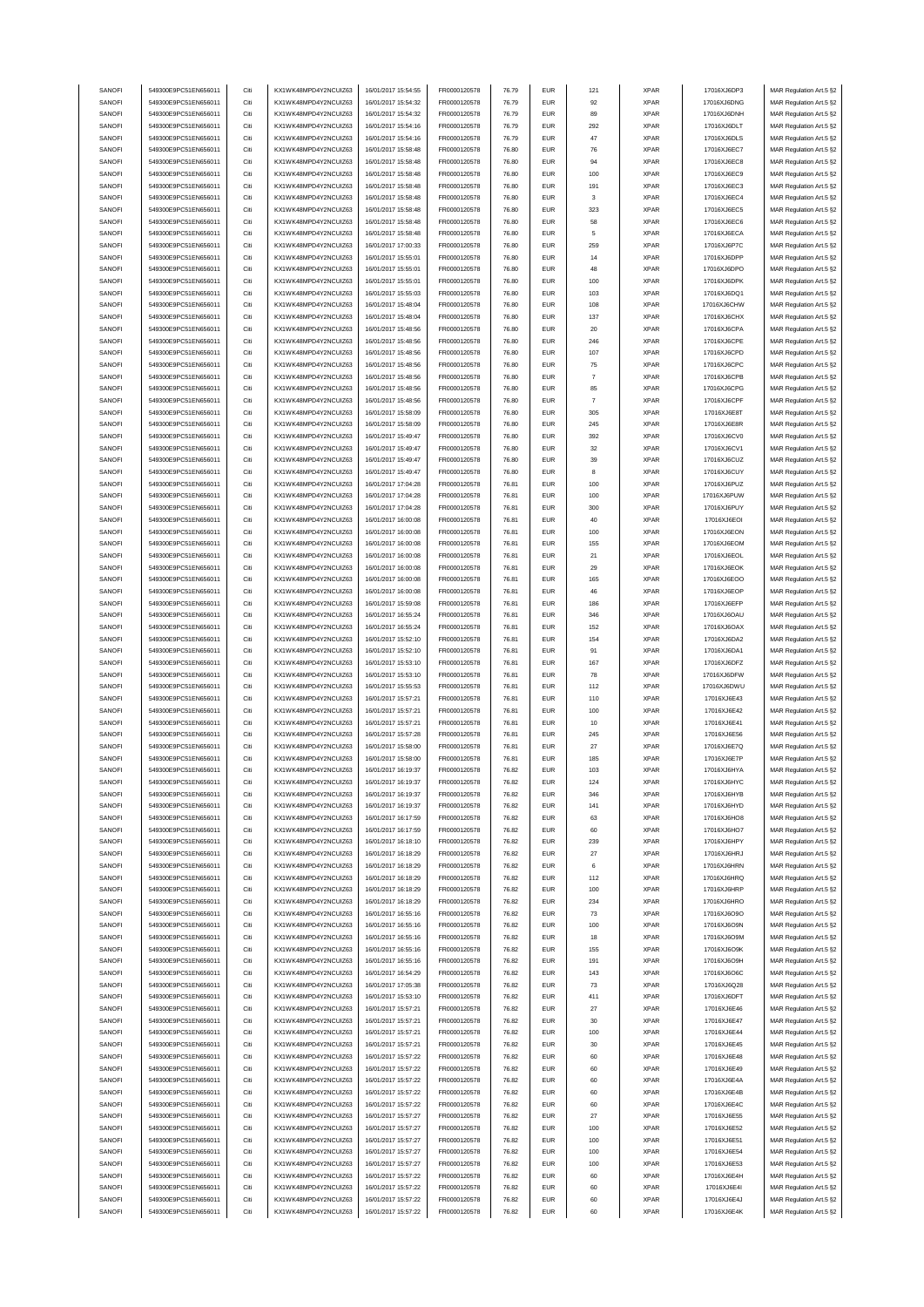| SANOFI        | 549300E9PC51EN656011 | Citi | KX1WK48MPD4Y2NCUIZ63  | 16/01/2017 15:54:55 | FR0000120578 | 76.79 | <b>EUR</b> | 121            | <b>XPAR</b> | 17016XJ6DP3  | MAR Regulation Art.5 §2 |
|---------------|----------------------|------|-----------------------|---------------------|--------------|-------|------------|----------------|-------------|--------------|-------------------------|
| SANOFI        | 549300E9PC51EN656011 | Citi | KX1WK48MPD4Y2NCUIZ63  | 16/01/2017 15:54:32 | FR0000120578 | 76.79 | <b>EUR</b> | 92             | <b>XPAR</b> | 17016XJ6DNG  | MAR Regulation Art.5 §2 |
|               |                      |      |                       |                     |              |       |            |                |             |              |                         |
| SANOFI        | 549300E9PC51EN656011 | Citi | KX1WK48MPD4Y2NCUIZ63  | 16/01/2017 15:54:32 | FR0000120578 | 76.79 | <b>EUR</b> | 89             | <b>XPAR</b> | 17016XJ6DNH  | MAR Regulation Art.5 §2 |
| SANOFI        | 549300E9PC51EN656011 | Citi | KX1WK48MPD4Y2NCUIZ63  | 16/01/2017 15:54:16 | FR0000120578 | 76.79 | <b>EUR</b> | 292            | <b>XPAR</b> | 17016XJ6DLT  | MAR Regulation Art.5 §2 |
| SANOFI        | 549300E9PC51EN656011 | Citi | KX1WK48MPD4Y2NCUIZ63  | 16/01/2017 15:54:16 | FR0000120578 | 76.79 | <b>EUR</b> | 47             | <b>XPAR</b> | 17016XJ6DLS  | MAR Regulation Art.5 §2 |
| SANOFI        | 549300E9PC51EN656011 | Citi | KX1WK48MPD4Y2NCUIZ63  | 16/01/2017 15:58:48 | FR0000120578 | 76.80 | <b>EUR</b> | 76             | <b>XPAR</b> | 17016XJ6EC7  | MAR Regulation Art.5 §2 |
| SANOFI        | 549300E9PC51EN656011 | Citi | KX1WK48MPD4Y2NCUIZ63  | 16/01/2017 15:58:48 | FR0000120578 | 76.80 | <b>EUR</b> | 94             | XPAR        | 17016XJ6EC8  | MAR Regulation Art.5 §2 |
| SANOFI        | 549300E9PC51EN656011 | Citi | KX1WK48MPD4Y2NCUIZ63  | 16/01/2017 15:58:48 | FR0000120578 | 76.80 | <b>EUR</b> | 100            | <b>XPAR</b> | 17016XJ6EC9  | MAR Regulation Art.5 §2 |
|               |                      |      |                       |                     |              |       |            |                |             |              |                         |
| SANOFI        | 549300E9PC51EN656011 | Citi | KX1WK48MPD4Y2NCUIZ63  | 16/01/2017 15:58:48 | FR0000120578 | 76.80 | <b>EUR</b> | 191            | <b>XPAR</b> | 17016XJ6EC3  | MAR Regulation Art.5 §2 |
| SANOFI        | 549300E9PC51EN656011 | Citi | KX1WK48MPD4Y2NCUIZ63  | 16/01/2017 15:58:48 | FR0000120578 | 76.80 | <b>EUR</b> | 3              | <b>XPAR</b> | 17016XJ6EC4  | MAR Regulation Art.5 §2 |
| SANOFI        | 549300E9PC51EN656011 | Citi | KX1WK48MPD4Y2NCUIZ63  | 16/01/2017 15:58:48 | FR0000120578 | 76.80 | <b>EUR</b> | 323            | XPAR        | 17016XJ6EC5  | MAR Regulation Art.5 §2 |
| SANOFI        | 549300E9PC51EN656011 | Citi | KX1WK48MPD4Y2NCUIZ63  | 16/01/2017 15:58:48 | FR0000120578 | 76.80 | <b>EUR</b> | 58             | <b>XPAR</b> | 17016XJ6EC6  | MAR Regulation Art.5 §2 |
| SANOFI        | 549300E9PC51EN656011 | Citi | KX1WK48MPD4Y2NCUIZ63  | 16/01/2017 15:58:48 | FR0000120578 | 76.80 | <b>EUR</b> | $\,$ 5 $\,$    | <b>XPAR</b> | 17016XJ6ECA  | MAR Regulation Art.5 §2 |
|               |                      |      |                       |                     |              |       |            |                |             |              |                         |
| SANOFI        | 549300E9PC51EN656011 | Citi | KX1WK48MPD4Y2NCUIZ63  | 16/01/2017 17:00:33 | FR0000120578 | 76.80 | <b>EUR</b> | 259            | XPAR        | 17016XJ6P7C  | MAR Regulation Art.5 §2 |
| SANOFI        | 549300E9PC51EN656011 | Citi | KX1WK48MPD4Y2NCUIZ63  | 16/01/2017 15:55:01 | FR0000120578 | 76.80 | <b>EUR</b> | 14             | <b>XPAR</b> | 17016XJ6DPP  | MAR Regulation Art.5 §2 |
| SANOFI        | 549300E9PC51EN656011 | Citi | KX1WK48MPD4Y2NCUIZ63  | 16/01/2017 15:55:01 | FR0000120578 | 76.80 | <b>EUR</b> | 48             | <b>XPAR</b> | 17016XJ6DPO  | MAR Regulation Art.5 §2 |
| SANOFI        | 549300E9PC51EN656011 | Citi | KX1WK48MPD4Y2NCUIZ63  | 16/01/2017 15:55:01 | FR0000120578 | 76.80 | <b>EUR</b> | 100            | <b>XPAR</b> | 17016XJ6DPK  | MAR Regulation Art.5 §2 |
| SANOFI        | 549300E9PC51EN656011 | Citi | KX1WK48MPD4Y2NCLIIZ63 | 16/01/2017 15:55:03 | FR0000120578 | 76.80 | <b>EUR</b> | 103            | XPAR        | 17016XJ6DQ1  | MAR Regulation Art.5 §2 |
| SANOFI        | 549300E9PC51EN656011 | Citi | KX1WK48MPD4Y2NCUIZ63  | 16/01/2017 15:48:04 | FR0000120578 | 76.80 | <b>EUR</b> | 108            | <b>XPAR</b> | 17016XJ6CHW  |                         |
|               |                      |      |                       |                     |              |       |            |                |             |              | MAR Regulation Art.5 §2 |
| SANOFI        | 549300E9PC51EN656011 | Citi | KX1WK48MPD4Y2NCUIZ63  | 16/01/2017 15:48:04 | FR0000120578 | 76.80 | <b>EUR</b> | 137            | <b>XPAR</b> | 17016XJ6CHX  | MAR Regulation Art.5 §2 |
| SANOFI        | 549300E9PC51EN656011 | Citi | KX1WK48MPD4Y2NCUIZ63  | 16/01/2017 15:48:56 | FR0000120578 | 76.80 | <b>EUR</b> | $20\,$         | <b>XPAR</b> | 17016XJ6CPA  | MAR Regulation Art.5 §2 |
| SANOFI        | 549300E9PC51EN656011 | Citi | KX1WK48MPD4Y2NCUIZ63  | 16/01/2017 15:48:56 | FR0000120578 | 76.80 | <b>EUR</b> | 246            | <b>XPAR</b> | 17016XJ6CPE  | MAR Regulation Art.5 §2 |
| SANOFI        | 549300E9PC51EN656011 | Citi | KX1WK48MPD4Y2NCUIZ63  | 16/01/2017 15:48:56 | FR0000120578 | 76.80 | <b>EUR</b> | 107            | <b>XPAR</b> | 17016XJ6CPD  | MAR Regulation Art.5 §2 |
| SANOFI        | 549300E9PC51EN656011 | Citi | KX1WK48MPD4Y2NCUIZ63  | 16/01/2017 15:48:56 | FR0000120578 | 76.80 | <b>EUR</b> | 75             | <b>XPAR</b> | 17016XJ6CPC  | MAR Regulation Art.5 §2 |
| SANOFI        | 549300E9PC51EN656011 | Citi | KX1WK48MPD4Y2NCLIIZ63 | 16/01/2017 15:48:56 | FR0000120578 | 76.80 | <b>EUR</b> | $\overline{7}$ | <b>XPAR</b> | 17016XJ6CPB  | MAR Regulation Art.5 §2 |
|               |                      |      |                       |                     |              |       |            |                |             |              |                         |
| SANOFI        | 549300E9PC51EN656011 | Citi | KX1WK48MPD4Y2NCUIZ63  | 16/01/2017 15:48:56 | FR0000120578 | 76.80 | <b>EUR</b> | 85             | <b>XPAR</b> | 17016XJ6CPG  | MAR Regulation Art.5 §2 |
| SANOFI        | 549300E9PC51EN656011 | Citi | KX1WK48MPD4Y2NCUIZ63  | 16/01/2017 15:48:56 | FR0000120578 | 76.80 | <b>EUR</b> | $\overline{7}$ | XPAR        | 17016XJ6CPF  | MAR Regulation Art.5 §2 |
| SANOFI        | 549300E9PC51EN656011 | Citi | KX1WK48MPD4Y2NCUIZ63  | 16/01/2017 15:58:09 | FR0000120578 | 76.80 | <b>EUR</b> | 305            | <b>XPAR</b> | 17016XJ6E8T  | MAR Regulation Art.5 §2 |
| SANOFI        | 549300E9PC51EN656011 | Citi | KX1WK48MPD4Y2NCUIZ63  | 16/01/2017 15:58:09 | FR0000120578 | 76.80 | <b>EUR</b> | 245            | <b>XPAR</b> | 17016XJ6E8R  | MAR Regulation Art.5 §2 |
| SANOFI        | 549300E9PC51EN656011 | Citi | KX1WK48MPD4Y2NCUIZ63  | 16/01/2017 15:49:47 | FR0000120578 | 76.80 | <b>EUR</b> | 392            | <b>XPAR</b> | 17016XJ6CV0  | MAR Regulation Art.5 §2 |
|               |                      |      |                       |                     |              |       |            |                |             |              |                         |
| SANOFI        | 549300E9PC51EN656011 | Citi | KX1WK48MPD4Y2NCUIZ63  | 16/01/2017 15:49:47 | FR0000120578 | 76.80 | <b>EUR</b> | 32             | <b>XPAR</b> | 17016XJ6CV1  | MAR Regulation Art.5 §2 |
| SANOFI        | 549300E9PC51EN656011 | Citi | KX1WK48MPD4Y2NCUIZ63  | 16/01/2017 15:49:47 | FR0000120578 | 76.80 | <b>EUR</b> | 39             | <b>XPAR</b> | 17016XJ6CUZ  | MAR Regulation Art.5 §2 |
| SANOFI        | 549300E9PC51EN656011 | Citi | KX1WK48MPD4Y2NCUIZ63  | 16/01/2017 15:49:47 | FR0000120578 | 76.80 | <b>EUR</b> | 8              | <b>XPAR</b> | 17016XJ6CUY  | MAR Regulation Art.5 §2 |
| SANOFI        | 549300E9PC51EN656011 | Citi | KX1WK48MPD4Y2NCUIZ63  | 16/01/2017 17:04:28 | FR0000120578 | 76.81 | <b>EUR</b> | 100            | <b>XPAR</b> | 17016XJ6PUZ  | MAR Regulation Art.5 §2 |
| SANOFI        | 549300E9PC51EN656011 | Citi | KX1WK48MPD4Y2NCUIZ63  | 16/01/2017 17:04:28 | FR0000120578 | 76.81 | <b>EUR</b> | 100            | <b>XPAR</b> | 17016XJ6PUW  | MAR Regulation Art.5 §2 |
| SANOFI        | 549300E9PC51EN656011 | Citi | KX1WK48MPD4Y2NCUIZ63  | 16/01/2017 17:04:28 | FR0000120578 | 76.81 | <b>EUR</b> | 300            | <b>XPAR</b> | 17016XJ6PUY  | MAR Regulation Art.5 §2 |
|               |                      |      |                       |                     |              |       |            |                |             |              |                         |
| SANOFI        | 549300E9PC51EN656011 | Citi | KX1WK48MPD4Y2NCUIZ63  | 16/01/2017 16:00:08 | FR0000120578 | 76.81 | <b>EUR</b> | 40             | <b>XPAR</b> | 17016XJ6EOI  | MAR Regulation Art.5 §2 |
| SANOFI        | 549300E9PC51EN656011 | Citi | KX1WK48MPD4Y2NCUIZ63  | 16/01/2017 16:00:08 | FR0000120578 | 76.81 | <b>EUR</b> | 100            | <b>XPAR</b> | 17016XJ6EON  | MAR Regulation Art.5 §2 |
| SANOFI        | 549300E9PC51EN656011 | Citi | KX1WK48MPD4Y2NCUIZ63  | 16/01/2017 16:00:08 | FR0000120578 | 76.81 | <b>EUR</b> | 155            | <b>XPAR</b> | 17016XJ6EOM  | MAR Regulation Art.5 §2 |
| SANOFI        | 549300E9PC51EN656011 | Citi | KX1WK48MPD4Y2NCUIZ63  | 16/01/2017 16:00:08 | FR0000120578 | 76.81 | <b>EUR</b> | 21             | <b>XPAR</b> | 17016XJ6EOL  | MAR Regulation Art.5 §2 |
| SANOFI        | 549300E9PC51EN656011 | Citi | KX1WK48MPD4Y2NCUIZ63  | 16/01/2017 16:00:08 | FR0000120578 | 76.81 | <b>EUR</b> | 29             | <b>XPAR</b> | 17016XJ6EOK  | MAR Regulation Art.5 §2 |
| SANOFI        | 549300E9PC51EN656011 | Citi | KX1WK48MPD4Y2NCUIZ63  | 16/01/2017 16:00:08 | FR0000120578 | 76.81 | <b>EUR</b> | 165            | <b>XPAR</b> |              |                         |
|               |                      |      |                       |                     |              |       |            |                |             | 17016XJ6EOO  | MAR Regulation Art.5 §2 |
| SANOFI        | 549300E9PC51EN656011 | Citi | KX1WK48MPD4Y2NCUIZ63  | 16/01/2017 16:00:08 | FR0000120578 | 76.81 | <b>EUR</b> | 46             | <b>XPAR</b> | 17016XJ6EOP  | MAR Regulation Art.5 §2 |
| SANOFI        | 549300E9PC51EN656011 | Citi | KX1WK48MPD4Y2NCUIZ63  | 16/01/2017 15:59:08 | FR0000120578 | 76.81 | <b>EUR</b> | 186            | <b>XPAR</b> | 17016XJ6EFP  | MAR Regulation Art.5 §2 |
| SANOFI        | 549300E9PC51EN656011 | Citi | KX1WK48MPD4Y2NCUIZ63  | 16/01/2017 16:55:24 | FR0000120578 | 76.81 | <b>EUR</b> | 346            | <b>XPAR</b> | 17016XJ6OAU  | MAR Regulation Art.5 §2 |
| SANOFI        | 549300E9PC51EN656011 | Citi | KX1WK48MPD4Y2NCUIZ63  | 16/01/2017 16:55:24 | FR0000120578 | 76.81 | <b>EUR</b> | 152            | <b>XPAR</b> | 17016XJ6OAX  | MAR Regulation Art.5 §2 |
| SANOFI        | 549300E9PC51EN656011 | Citi | KX1WK48MPD4Y2NCUIZ63  | 16/01/2017 15:52:10 | FR0000120578 | 76.81 | <b>EUR</b> | 154            | <b>XPAR</b> | 17016XJ6DA2  | MAR Regulation Art.5 §2 |
|               |                      |      |                       |                     |              |       |            |                |             |              |                         |
| SANOFI        | 549300E9PC51EN656011 | Citi | KX1WK48MPD4Y2NCUIZ63  | 16/01/2017 15:52:10 | FR0000120578 | 76.81 | <b>EUR</b> | 91             | <b>XPAR</b> | 17016XJ6DA1  | MAR Regulation Art.5 §2 |
| SANOFI        | 549300E9PC51EN656011 | Citi | KX1WK48MPD4Y2NCUIZ63  | 16/01/2017 15:53:10 | FR0000120578 | 76.81 | <b>EUR</b> | 167            | <b>XPAR</b> | 17016XJ6DFZ  | MAR Regulation Art.5 §2 |
| SANOFI        | 549300E9PC51EN656011 | Citi | KX1WK48MPD4Y2NCUIZ63  | 16/01/2017 15:53:10 | FR0000120578 | 76.81 | <b>EUR</b> | 78             | <b>XPAR</b> | 17016XJ6DFW  | MAR Regulation Art.5 §2 |
| SANOFI        | 549300E9PC51EN656011 | Citi | KX1WK48MPD4Y2NCUIZ63  | 16/01/2017 15:55:53 | FR0000120578 | 76.81 | <b>EUR</b> | 112            | <b>XPAR</b> | 17016XJ6DWU  | MAR Regulation Art.5 §2 |
| SANOFI        | 549300E9PC51EN656011 | Citi | KX1WK48MPD4Y2NCUIZ63  | 16/01/2017 15:57:21 | FR0000120578 | 76.81 | <b>EUR</b> | 110            | <b>XPAR</b> | 17016XJ6E43  | MAR Regulation Art.5 §2 |
|               |                      |      | KX1WK48MPD4Y2NCUIZ63  |                     |              |       |            |                |             | 17016XJ6E42  | MAR Regulation Art.5 §2 |
| SANOFI        | 549300E9PC51EN656011 | Citi |                       | 16/01/2017 15:57:21 | FR0000120578 | 76.81 | <b>EUR</b> | 100            | <b>XPAR</b> |              |                         |
| SANOFI        | 549300E9PC51EN656011 | Citi | KX1WK48MPD4Y2NCUIZ63  | 16/01/2017 15:57:21 | FR0000120578 | 76.81 | <b>EUR</b> | 10             | <b>XPAR</b> | 17016XJ6E41  | MAR Regulation Art.5 §2 |
| SANOFI        | 549300E9PC51EN656011 | Citi | KX1WK48MPD4Y2NCLIIZ63 | 16/01/2017 15:57:28 | FR0000120578 | 76.81 | <b>EUR</b> | 245            | <b>XPAR</b> | 17016XJ6E56  | MAR Regulation Art.5 §2 |
| SANOFI        | 549300E9PC51EN656011 | Citi | KX1WK48MPD4Y2NCUIZ63  | 16/01/2017 15:58:00 | FR0000120578 | 76.81 | <b>EUR</b> | $27\,$         | <b>XPAR</b> | 17016XJ6E7Q  | MAR Regulation Art.5 §2 |
| SANOFI        | 549300E9PC51EN656011 | Citi | KX1WK48MPD4Y2NCUIZ63  | 16/01/2017 15:58:00 | FR0000120578 | 76.81 | <b>EUR</b> | 185            | <b>XPAR</b> | 17016XJ6E7P  | MAR Regulation Art.5 §2 |
| SANOFI        | 549300E9PC51EN656011 |      | KX1WK48MPD4Y2NCLIIZ63 | 16/01/2017 16:19:37 | FR0000120578 | 76.82 |            | 103            | <b>XPAR</b> | 17016X.I6HYA | MAR Regulation Art 5 82 |
|               |                      |      |                       |                     |              |       |            |                |             |              |                         |
| SANOFI        | 549300E9PC51EN656011 | Citi | KX1WK48MPD4Y2NCUIZ63  | 16/01/2017 16:19:37 | FR0000120578 | 76.82 | <b>EUR</b> | 124            | <b>XPAR</b> | 17016XJ6HYC  | MAR Regulation Art.5 §2 |
| SANOFI        | 549300E9PC51EN656011 | Citi | KX1WK48MPD4Y2NCUIZ63  | 16/01/2017 16:19:37 | FR0000120578 | 76.82 | <b>EUR</b> | 346            | <b>XPAR</b> | 17016XJ6HYB  | MAR Regulation Art.5 §2 |
| SANOFI        | 549300E9PC51EN656011 | Citi | KX1WK48MPD4Y2NCUIZ63  | 16/01/2017 16:19:37 | FR0000120578 | 76.82 | <b>EUR</b> | 141            | <b>XPAR</b> | 17016XJ6HYD  | MAR Regulation Art.5 §2 |
| SANOFI        | 549300E9PC51EN656011 | Citi | KX1WK48MPD4Y2NCUIZ63  | 16/01/2017 16:17:59 | FR0000120578 | 76.82 | <b>EUR</b> | 63             | <b>XPAR</b> | 17016XJ6HO8  | MAR Regulation Art.5 §2 |
| SANOFI        | 549300E9PC51EN656011 | Citi | KX1WK48MPD4Y2NCUIZ63  | 16/01/2017 16:17:59 | FR0000120578 | 76.82 | <b>EUR</b> | 60             | <b>XPAR</b> | 17016XJ6HO7  | MAR Regulation Art.5 §2 |
| SANOFI        | 549300E9PC51EN656011 | Citi | KX1WK48MPD4Y2NCUIZ63  | 16/01/2017 16:18:10 | FR0000120578 | 76.82 | <b>EUR</b> | 239            | <b>XPAR</b> | 17016XJ6HPY  | MAR Regulation Art.5 §2 |
|               |                      |      |                       |                     |              |       |            |                |             |              |                         |
| SANOFI        | 549300E9PC51EN656011 | Citi | KX1WK48MPD4Y2NCUIZ63  | 16/01/2017 16:18:29 | FR0000120578 | 76.82 | <b>EUR</b> | $27\,$         | <b>XPAR</b> | 17016XJ6HRJ  | MAR Regulation Art.5 §2 |
| SANOFI        | 549300E9PC51EN656011 | Citi | KX1WK48MPD4Y2NCUIZ63  | 16/01/2017 16:18:29 | FR0000120578 | 76.82 | <b>EUR</b> | 6              | <b>XPAR</b> | 17016XJ6HRN  | MAR Regulation Art.5 §2 |
| SANOFI        | 549300E9PC51EN656011 | Citi | KX1WK48MPD4Y2NCUIZ63  | 16/01/2017 16:18:29 | FR0000120578 | 76.82 | <b>EUR</b> | 112            | <b>XPAR</b> | 17016XJ6HRQ  | MAR Regulation Art.5 §2 |
| SANOFI        | 549300E9PC51EN656011 | Citi | KX1WK48MPD4Y2NCLIIZ63 | 16/01/2017 16:18:29 | FR0000120578 | 76.82 | <b>EUR</b> | 100            | <b>XPAR</b> | 17016XJ6HRP  | MAR Regulation Art.5 §2 |
| SANOFI        | 549300E9PC51EN656011 | Citi | KX1WK48MPD4Y2NCUIZ63  | 16/01/2017 16:18:29 | FR0000120578 | 76.82 | <b>EUR</b> | 234            | <b>XPAR</b> | 17016XJ6HRO  | MAR Regulation Art.5 §2 |
| SANOFI        | 549300E9PC51EN656011 | Citi | KX1WK48MPD4Y2NCUIZ63  | 16/01/2017 16:55:16 | FR0000120578 | 76.82 | <b>EUR</b> | 73             | <b>XPAR</b> | 17016XJ6O9O  | MAR Regulation Art.5 §2 |
|               | 549300E9PC51EN656011 | Citi |                       | 16/01/2017 16:55:16 |              |       |            |                |             |              |                         |
| SANOFI        |                      |      | KX1WK48MPD4Y2NCUIZ63  |                     | FR0000120578 | 76.82 | <b>EUR</b> | 100            | XPAR        | 17016XJ6O9N  | MAR Regulation Art.5 §2 |
| SANOFI        | 549300E9PC51EN656011 | Citi | KX1WK48MPD4Y2NCUIZ63  | 16/01/2017 16:55:16 | FR0000120578 | 76.82 | <b>EUR</b> | 18             | <b>XPAR</b> | 17016XJ6O9M  | MAR Regulation Art.5 §2 |
| SANOFI        | 549300E9PC51EN656011 | Citi | KX1WK48MPD4Y2NCUIZ63  | 16/01/2017 16:55:16 | FR0000120578 | 76.82 | <b>EUR</b> | 155            | <b>XPAR</b> | 17016XJ6O9K  | MAR Regulation Art.5 §2 |
| SANOFI        | 549300E9PC51EN656011 | Citi | KX1WK48MPD4Y2NCUIZ63  | 16/01/2017 16:55:16 | FR0000120578 | 76.82 | <b>EUR</b> | 191            | XPAR        | 17016XJ6O9H  | MAR Regulation Art.5 §2 |
| SANOFI        | 549300E9PC51EN656011 | Citi | KX1WK48MPD4Y2NCUIZ63  | 16/01/2017 16:54:29 | FR0000120578 | 76.82 | <b>EUR</b> | 143            | <b>XPAR</b> | 17016XJ6O6C  | MAR Regulation Art.5 §2 |
| SANOFI        | 549300E9PC51EN656011 | Citi | KX1WK48MPD4Y2NCUIZ63  | 16/01/2017 17:05:38 | FR0000120578 | 76.82 | <b>EUR</b> |                | <b>XPAR</b> | 17016XJ6Q28  |                         |
|               |                      |      |                       |                     |              |       |            | $73\,$         |             |              | MAR Regulation Art.5 §2 |
| SANOFI        | 549300E9PC51EN656011 | Citi | KX1WK48MPD4Y2NCUIZ63  | 16/01/2017 15:53:10 | FR0000120578 | 76.82 | <b>EUR</b> | 411            | <b>XPAR</b> | 17016XJ6DFT  | MAR Regulation Art.5 §2 |
| SANOFI        | 549300E9PC51EN656011 | Citi | KX1WK48MPD4Y2NCUIZ63  | 16/01/2017 15:57:21 | FR0000120578 | 76.82 | <b>EUR</b> | $27\,$         | <b>XPAR</b> | 17016XJ6E46  | MAR Regulation Art.5 §2 |
| SANOFI        | 549300E9PC51EN656011 | Citi | KX1WK48MPD4Y2NCUIZ63  | 16/01/2017 15:57:21 | FR0000120578 | 76.82 | <b>EUR</b> | 30             | <b>XPAR</b> | 17016XJ6E47  | MAR Regulation Art.5 §2 |
| SANOFI        | 549300E9PC51EN656011 | Citi | KX1WK48MPD4Y2NCUIZ63  | 16/01/2017 15:57:21 | FR0000120578 | 76.82 | <b>EUR</b> | 100            | <b>XPAR</b> | 17016XJ6E44  | MAR Regulation Art.5 §2 |
| SANOFI        | 549300E9PC51EN656011 | Citi | KX1WK48MPD4Y2NCUIZ63  | 16/01/2017 15:57:21 | FR0000120578 | 76.82 | <b>EUR</b> | 30             | <b>XPAR</b> | 17016XJ6E45  | MAR Regulation Art.5 §2 |
|               |                      |      |                       |                     |              |       |            |                |             |              |                         |
| SANOFI        | 549300E9PC51EN656011 | Citi | KX1WK48MPD4Y2NCUIZ63  | 16/01/2017 15:57:22 | FR0000120578 | 76.82 | <b>EUR</b> | 60             | <b>XPAR</b> | 17016XJ6E48  | MAR Regulation Art.5 §2 |
| SANOFI        | 549300E9PC51EN656011 | Citi | KX1WK48MPD4Y2NCUIZ63  | 16/01/2017 15:57:22 | FR0000120578 | 76.82 | <b>EUR</b> | 60             | XPAR        | 17016XJ6E49  | MAR Regulation Art.5 §2 |
| <b>SANOFI</b> | 549300E9PC51EN656011 | Citi | KX1WK48MPD4Y2NCUIZ63  | 16/01/2017 15:57:22 | FR0000120578 | 76.82 | <b>EUR</b> | 60             | <b>XPAR</b> | 17016XJ6E4A  | MAR Regulation Art.5 §2 |
| SANOFI        | 549300E9PC51EN656011 | Citi | KX1WK48MPD4Y2NCUIZ63  | 16/01/2017 15:57:22 | FR0000120578 | 76.82 | <b>EUR</b> | 60             | <b>XPAR</b> | 17016XJ6E4B  | MAR Regulation Art.5 §2 |
| SANOFI        | 549300E9PC51EN656011 | Citi | KX1WK48MPD4Y2NCUIZ63  | 16/01/2017 15:57:22 | FR0000120578 | 76.82 | <b>EUR</b> | 60             | <b>XPAR</b> | 17016XJ6E4C  | MAR Regulation Art.5 §2 |
| SANOFI        | 549300E9PC51EN656011 | Citi | KX1WK48MPD4Y2NCUIZ63  | 16/01/2017 15:57:27 | FR0000120578 | 76.82 | <b>EUR</b> | 27             | <b>XPAR</b> | 17016XJ6E55  | MAR Regulation Art.5 §2 |
|               |                      |      |                       |                     |              |       |            |                |             |              |                         |
| SANOFI        | 549300E9PC51EN656011 | Citi | KX1WK48MPD4Y2NCUIZ63  | 16/01/2017 15:57:27 | FR0000120578 | 76.82 | <b>EUR</b> | 100            | <b>XPAR</b> | 17016XJ6E52  | MAR Regulation Art.5 §2 |
| SANOFI        | 549300E9PC51EN656011 | Citi | KX1WK48MPD4Y2NCUIZ63  | 16/01/2017 15:57:27 | FR0000120578 | 76.82 | <b>EUR</b> | 100            | <b>XPAR</b> | 17016XJ6E51  | MAR Regulation Art.5 §2 |
| SANOFI        | 549300E9PC51EN656011 | Citi | KX1WK48MPD4Y2NCUIZ63  | 16/01/2017 15:57:27 | FR0000120578 | 76.82 | <b>EUR</b> | 100            | <b>XPAR</b> | 17016XJ6E54  | MAR Regulation Art.5 §2 |
| SANOFI        | 549300E9PC51EN656011 | Citi | KX1WK48MPD4Y2NCUIZ63  | 16/01/2017 15:57:27 | FR0000120578 | 76.82 | <b>EUR</b> | 100            | <b>XPAR</b> | 17016XJ6E53  | MAR Regulation Art.5 §2 |
| SANOFI        | 549300E9PC51EN656011 | Citi | KX1WK48MPD4Y2NCUIZ63  | 16/01/2017 15:57:22 | FR0000120578 | 76.82 | <b>EUR</b> | 60             | <b>XPAR</b> | 17016XJ6E4H  | MAR Regulation Art.5 §2 |
| SANOFI        | 549300E9PC51EN656011 | Citi | KX1WK48MPD4Y2NCUIZ63  | 16/01/2017 15:57:22 | FR0000120578 | 76.82 | <b>EUR</b> | 60             | <b>XPAR</b> | 17016XJ6E4I  | MAR Regulation Art.5 §2 |
|               |                      |      |                       |                     |              |       |            |                |             |              |                         |
| SANOFI        | 549300E9PC51EN656011 | Citi | KX1WK48MPD4Y2NCUIZ63  | 16/01/2017 15:57:22 | FR0000120578 | 76.82 | <b>EUR</b> | 60             | <b>XPAR</b> | 17016XJ6E4J  | MAR Regulation Art.5 §2 |
| SANOFI        | 549300E9PC51EN656011 | Citi | KX1WK48MPD4Y2NCUIZ63  | 16/01/2017 15:57:22 | FR0000120578 | 76.82 | <b>EUR</b> | 60             | <b>XPAR</b> | 17016XJ6E4K  | MAR Regulation Art.5 §2 |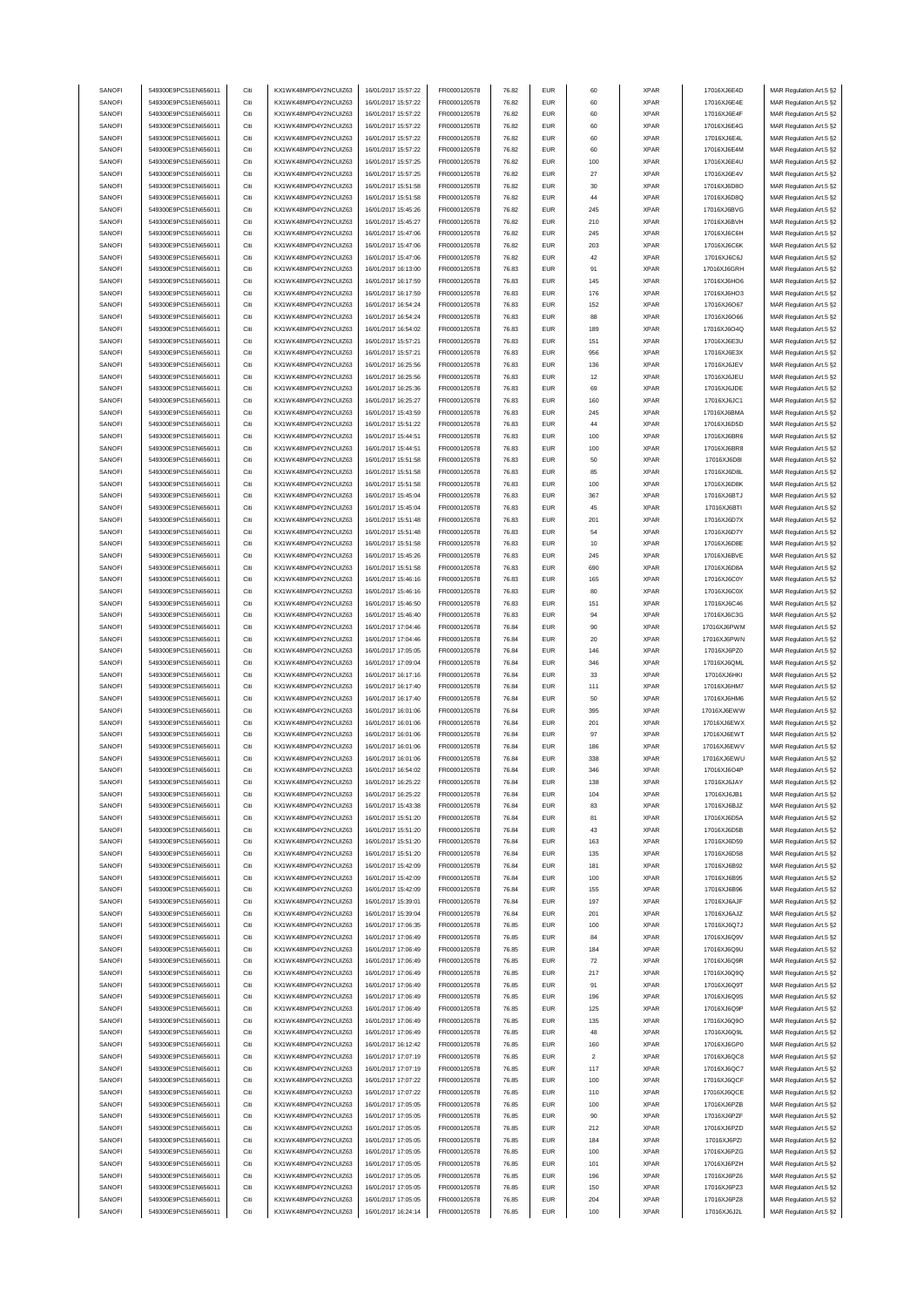| SANOFI | 549300E9PC51EN656011 | Citi | KX1WK48MPD4Y2NCUIZ63  | 16/01/2017 15:57:22 | FR0000120578        | 76.82 | <b>EUR</b> | 60             | <b>XPAR</b> | 17016XJ6E4D  | MAR Regulation Art.5 §2 |
|--------|----------------------|------|-----------------------|---------------------|---------------------|-------|------------|----------------|-------------|--------------|-------------------------|
| SANOFI | 549300E9PC51EN656011 | Citi | KX1WK48MPD4Y2NCUIZ63  | 16/01/2017 15:57:22 | FR0000120578        | 76.82 | <b>EUR</b> | 60             | <b>XPAR</b> | 17016XJ6E4E  | MAR Regulation Art.5 §2 |
|        |                      |      |                       |                     |                     |       |            |                |             |              |                         |
| SANOFI | 549300E9PC51EN656011 | Citi | KX1WK48MPD4Y2NCUIZ63  | 16/01/2017 15:57:22 | FR0000120578        | 76.82 | <b>EUR</b> | 60             | <b>XPAR</b> | 17016XJ6E4F  | MAR Regulation Art.5 §2 |
| SANOFI | 549300E9PC51EN656011 | Citi | KX1WK48MPD4Y2NCUIZ63  | 16/01/2017 15:57:22 | FR0000120578        | 76.82 | <b>EUR</b> | 60             | <b>XPAR</b> | 17016XJ6E4G  | MAR Regulation Art.5 §2 |
| SANOFI | 549300E9PC51EN656011 | Citi | KX1WK48MPD4Y2NCUIZ63  | 16/01/2017 15:57:22 | FR0000120578        | 76.82 | <b>EUR</b> | 60             | <b>XPAR</b> | 17016XJ6E4L  | MAR Regulation Art.5 §2 |
| SANOFI | 549300E9PC51EN656011 | Citi | KX1WK48MPD4Y2NCUIZ63  | 16/01/2017 15:57:22 | FR0000120578        | 76.82 | <b>EUR</b> | 60             | <b>XPAR</b> | 17016XJ6E4M  | MAR Regulation Art.5 §2 |
| SANOFI | 549300E9PC51EN656011 | Citi | KX1WK48MPD4Y2NCUIZ63  | 16/01/2017 15:57:25 | FR0000120578        | 76.82 | <b>EUR</b> | 100            | <b>XPAR</b> | 17016XJ6E4U  | MAR Regulation Art.5 §2 |
| SANOFI | 549300E9PC51EN656011 | Citi | KX1WK48MPD4Y2NCUIZ63  | 16/01/2017 15:57:25 | FR0000120578        | 76.82 | <b>EUR</b> | 27             | <b>XPAR</b> | 17016XJ6E4V  | MAR Regulation Art.5 §2 |
|        |                      |      |                       |                     |                     |       |            |                |             |              |                         |
| SANOFI | 549300E9PC51EN656011 | Citi | KX1WK48MPD4Y2NCUIZ63  | 16/01/2017 15:51:58 | FR0000120578        | 76.82 | <b>EUR</b> | 30             | <b>XPAR</b> | 17016XJ6D8O  | MAR Regulation Art.5 §2 |
| SANOFI | 549300E9PC51EN656011 | Citi | KX1WK48MPD4Y2NCUIZ63  | 16/01/2017 15:51:58 | FR0000120578        | 76.82 | <b>EUR</b> | 44             | <b>XPAR</b> | 17016XJ6D8Q  | MAR Regulation Art.5 §2 |
| SANOFI | 549300E9PC51EN656011 | Citi | KX1WK48MPD4Y2NCUIZ63  | 16/01/2017 15:45:26 | FR0000120578        | 76.82 | <b>EUR</b> | 245            | <b>XPAR</b> | 17016XJ6BVG  | MAR Regulation Art.5 §2 |
| SANOFI | 549300E9PC51EN656011 | Citi | KX1WK48MPD4Y2NCUIZ63  | 16/01/2017 15:45:27 | FR0000120578        | 76.82 | <b>EUR</b> | 210            | <b>XPAR</b> | 17016XJ6BVH  | MAR Regulation Art.5 §2 |
| SANOFI | 549300E9PC51EN656011 | Citi | KX1WK48MPD4Y2NCUIZ63  | 16/01/2017 15:47:06 | FR0000120578        | 76.82 | <b>EUR</b> | 245            | <b>XPAR</b> | 17016XJ6C6H  | MAR Regulation Art.5 §2 |
|        |                      |      |                       |                     |                     |       |            |                |             |              |                         |
| SANOFI | 549300E9PC51EN656011 | Citi | KX1WK48MPD4Y2NCUIZ63  | 16/01/2017 15:47:06 | FR0000120578        | 76.82 | <b>EUR</b> | 203            | <b>XPAR</b> | 17016XJ6C6K  | MAR Regulation Art.5 §2 |
| SANOFI | 549300E9PC51EN656011 | Citi | KX1WK48MPD4Y2NCUIZ63  | 16/01/2017 15:47:06 | FR0000120578        | 76.82 | <b>EUR</b> | 42             | <b>XPAR</b> | 17016XJ6C6J  | MAR Regulation Art.5 §2 |
| SANOFI | 549300E9PC51EN656011 | Citi | KX1WK48MPD4Y2NCUIZ63  | 16/01/2017 16:13:00 | FR0000120578        | 76.83 | <b>EUR</b> | 91             | <b>XPAR</b> | 17016XJ6GRH  | MAR Regulation Art.5 §2 |
| SANOFI | 549300E9PC51EN656011 | Citi | KX1WK48MPD4Y2NCUIZ63  | 16/01/2017 16:17:59 | FR0000120578        | 76.83 | <b>EUR</b> | 145            | <b>XPAR</b> | 17016XJ6HO6  | MAR Regulation Art.5 §2 |
| SANOFI | 549300E9PC51EN656011 | Citi | KX1WK48MPD4Y2NCLIIZ63 | 16/01/2017 16:17:59 | FR0000120578        | 76.83 | <b>EUR</b> | 176            | <b>XPAR</b> | 17016XJ6HO3  | MAR Regulation Art.5 §2 |
| SANOFI | 549300E9PC51EN656011 | Citi | KX1WK48MPD4Y2NCUIZ63  | 16/01/2017 16:54:24 | FR0000120578        | 76.83 | <b>EUR</b> | 152            | <b>XPAR</b> | 17016XJ6O67  |                         |
|        |                      |      |                       |                     |                     |       |            |                |             |              | MAR Regulation Art.5 §2 |
| SANOFI | 549300E9PC51EN656011 | Citi | KX1WK48MPD4Y2NCUIZ63  | 16/01/2017 16:54:24 | FR0000120578        | 76.83 | <b>EUR</b> | 88             | <b>XPAR</b> | 17016XJ6O66  | MAR Regulation Art.5 §2 |
| SANOFI | 549300E9PC51EN656011 | Citi | KX1WK48MPD4Y2NCUIZ63  | 16/01/2017 16:54:02 | FR0000120578        | 76.83 | <b>EUR</b> | 189            | <b>XPAR</b> | 17016XJ6O4Q  | MAR Regulation Art.5 §2 |
| SANOFI | 549300E9PC51EN656011 | Citi | KX1WK48MPD4Y2NCUIZ63  | 16/01/2017 15:57:21 | FR0000120578        | 76.83 | <b>EUR</b> | 151            | <b>XPAR</b> | 17016XJ6E3U  | MAR Regulation Art.5 §2 |
| SANOFI | 549300E9PC51EN656011 | Citi | KX1WK48MPD4Y2NCUIZ63  | 16/01/2017 15:57:21 | FR0000120578        | 76.83 | <b>EUR</b> | 956            | <b>XPAR</b> | 17016XJ6E3X  | MAR Regulation Art.5 §2 |
| SANOFI | 549300E9PC51EN656011 | Citi | KX1WK48MPD4Y2NCUIZ63  | 16/01/2017 16:25:56 | FR0000120578        | 76.83 | <b>EUR</b> | 136            | <b>XPAR</b> | 17016XJ6JEV  | MAR Regulation Art.5 §2 |
| SANOFI | 549300E9PC51EN656011 | Citi | KX1WK48MPD4Y2NCLIIZ63 | 16/01/2017 16:25:56 | FR0000120578        | 76.83 | <b>EUR</b> | 12             | <b>XPAR</b> | 17016XJ6JEU  | MAR Regulation Art.5 §2 |
|        |                      |      |                       |                     |                     |       |            |                |             |              |                         |
| SANOFI | 549300E9PC51EN656011 | Citi | KX1WK48MPD4Y2NCUIZ63  | 16/01/2017 16:25:36 | FR0000120578        | 76.83 | <b>EUR</b> | 69             | <b>XPAR</b> | 17016XJ6JDE  | MAR Regulation Art.5 §2 |
| SANOFI | 549300E9PC51EN656011 | Citi | KX1WK48MPD4Y2NCUIZ63  | 16/01/2017 16:25:27 | FR0000120578        | 76.83 | <b>EUR</b> | 160            | <b>XPAR</b> | 17016XJ6JC1  | MAR Regulation Art.5 §2 |
| SANOFI | 549300E9PC51EN656011 | Citi | KX1WK48MPD4Y2NCUIZ63  | 16/01/2017 15:43:59 | FR0000120578        | 76.83 | <b>EUR</b> | 245            | <b>XPAR</b> | 17016XJ6BMA  | MAR Regulation Art.5 §2 |
| SANOFI | 549300E9PC51EN656011 | Citi | KX1WK48MPD4Y2NCUIZ63  | 16/01/2017 15:51:22 | FR0000120578        | 76.83 | <b>EUR</b> | 44             | <b>XPAR</b> | 17016XJ6D5D  | MAR Regulation Art.5 §2 |
| SANOFI | 549300E9PC51EN656011 | Citi | KX1WK48MPD4Y2NCUIZ63  | 16/01/2017 15:44:51 | FR0000120578        | 76.83 | <b>EUR</b> | 100            | <b>XPAR</b> | 17016XJ6BR6  | MAR Regulation Art.5 §2 |
|        |                      |      |                       |                     |                     |       |            |                |             |              |                         |
| SANOFI | 549300E9PC51EN656011 | Citi | KX1WK48MPD4Y2NCUIZ63  | 16/01/2017 15:44:51 | FR0000120578        | 76.83 | <b>EUR</b> | 100            | <b>XPAR</b> | 17016XJ6BR8  | MAR Regulation Art.5 §2 |
| SANOFI | 549300E9PC51EN656011 | Citi | KX1WK48MPD4Y2NCUIZ63  | 16/01/2017 15:51:58 | FR0000120578        | 76.83 | <b>EUR</b> | 50             | <b>XPAR</b> | 17016XJ6D8I  | MAR Regulation Art.5 §2 |
| SANOFI | 549300E9PC51EN656011 | Citi | KX1WK48MPD4Y2NCUIZ63  | 16/01/2017 15:51:58 | FR0000120578        | 76.83 | <b>EUR</b> | 85             | <b>XPAR</b> | 17016XJ6D8L  | MAR Regulation Art.5 §2 |
| SANOFI | 549300E9PC51EN656011 | Citi | KX1WK48MPD4Y2NCUIZ63  | 16/01/2017 15:51:58 | FR0000120578        | 76.83 | <b>EUR</b> | 100            | <b>XPAR</b> | 17016XJ6D8K  | MAR Regulation Art.5 §2 |
| SANOFI | 549300E9PC51EN656011 | Citi | KX1WK48MPD4Y2NCUIZ63  | 16/01/2017 15:45:04 | FR0000120578        | 76.83 | <b>EUR</b> | 367            | <b>XPAR</b> | 17016XJ6BTJ  | MAR Regulation Art.5 §2 |
|        | 549300E9PC51EN656011 | Citi |                       | 16/01/2017 15:45:04 |                     |       | <b>EUR</b> |                |             |              |                         |
| SANOFI |                      |      | KX1WK48MPD4Y2NCUIZ63  |                     | FR0000120578        | 76.83 |            | 45             | <b>XPAR</b> | 17016XJ6BTI  | MAR Regulation Art.5 §2 |
| SANOFI | 549300E9PC51EN656011 | Citi | KX1WK48MPD4Y2NCUIZ63  | 16/01/2017 15:51:48 | FR0000120578        | 76.83 | <b>EUR</b> | 201            | <b>XPAR</b> | 17016XJ6D7X  | MAR Regulation Art.5 §2 |
| SANOFI | 549300E9PC51EN656011 | Citi | KX1WK48MPD4Y2NCUIZ63  | 16/01/2017 15:51:48 | FR0000120578        | 76.83 | <b>EUR</b> | 54             | <b>XPAR</b> | 17016XJ6D7Y  | MAR Regulation Art.5 §2 |
| SANOFI | 549300E9PC51EN656011 | Citi | KX1WK48MPD4Y2NCUIZ63  | 16/01/2017 15:51:58 | FR0000120578        | 76.83 | <b>EUR</b> | 10             | <b>XPAR</b> | 17016XJ6D8E  | MAR Regulation Art.5 §2 |
| SANOFI | 549300E9PC51EN656011 | Citi | KX1WK48MPD4Y2NCUIZ63  | 16/01/2017 15:45:26 | FR0000120578        | 76.83 | <b>EUR</b> | 245            | <b>XPAR</b> | 17016XJ6BVE  | MAR Regulation Art.5 §2 |
| SANOFI | 549300E9PC51EN656011 | Citi | KX1WK48MPD4Y2NCUIZ63  | 16/01/2017 15:51:58 | FR0000120578        | 76.83 | <b>EUR</b> | 690            | <b>XPAR</b> | 17016XJ6D8A  | MAR Regulation Art.5 §2 |
| SANOFI | 549300E9PC51EN656011 | Citi | KX1WK48MPD4Y2NCUIZ63  | 16/01/2017 15:46:16 | FR0000120578        | 76.83 | <b>EUR</b> | 165            | <b>XPAR</b> |              |                         |
|        |                      |      |                       |                     |                     |       |            |                |             | 17016XJ6C0Y  | MAR Regulation Art.5 §2 |
| SANOFI | 549300E9PC51EN656011 | Citi | KX1WK48MPD4Y2NCUIZ63  | 16/01/2017 15:46:16 | FR0000120578        | 76.83 | <b>EUR</b> | 80             | <b>XPAR</b> | 17016XJ6C0X  | MAR Regulation Art.5 §2 |
| SANOFI | 549300E9PC51EN656011 | Citi | KX1WK48MPD4Y2NCUIZ63  | 16/01/2017 15:46:50 | FR0000120578        | 76.83 | <b>EUR</b> | 151            | <b>XPAR</b> | 17016XJ6C46  | MAR Regulation Art.5 §2 |
| SANOFI | 549300E9PC51EN656011 | Citi | KX1WK48MPD4Y2NCUIZ63  | 16/01/2017 15:46:40 | FR0000120578        | 76.83 | <b>EUR</b> | 94             | <b>XPAR</b> | 17016XJ6C3G  | MAR Regulation Art.5 §2 |
| SANOFI | 549300E9PC51EN656011 | Citi | KX1WK48MPD4Y2NCUIZ63  | 16/01/2017 17:04:46 | FR0000120578        | 76.84 | <b>EUR</b> | 90             | <b>XPAR</b> | 17016XJ6PWM  | MAR Regulation Art.5 §2 |
| SANOFI | 549300E9PC51EN656011 | Citi | KX1WK48MPD4Y2NCUIZ63  | 16/01/2017 17:04:46 | FR0000120578        | 76.84 | <b>EUR</b> | $20\,$         | <b>XPAR</b> | 17016XJ6PWN  | MAR Regulation Art.5 §2 |
|        |                      |      |                       |                     |                     |       |            |                |             |              |                         |
| SANOFI | 549300E9PC51EN656011 | Citi | KX1WK48MPD4Y2NCUIZ63  | 16/01/2017 17:05:05 | FR0000120578        | 76.84 | <b>EUR</b> | 146            | <b>XPAR</b> | 17016XJ6PZ0  | MAR Regulation Art.5 §2 |
| SANOFI | 549300E9PC51EN656011 | Citi | KX1WK48MPD4Y2NCUIZ63  | 16/01/2017 17:09:04 | FR0000120578        | 76.84 | <b>EUR</b> | 346            | <b>XPAR</b> | 17016XJ6QML  | MAR Regulation Art.5 §2 |
| SANOFI | 549300E9PC51EN656011 | Citi | KX1WK48MPD4Y2NCUIZ63  | 16/01/2017 16:17:16 | FR0000120578        | 76.84 | <b>EUR</b> | 33             | <b>XPAR</b> | 17016XJ6HKI  | MAR Regulation Art.5 §2 |
| SANOFI | 549300E9PC51EN656011 | Citi | KX1WK48MPD4Y2NCUIZ63  | 16/01/2017 16:17:40 | FR0000120578        | 76.84 | <b>EUR</b> | 111            | <b>XPAR</b> | 17016XJ6HM7  | MAR Regulation Art.5 §2 |
| SANOFI | 549300E9PC51EN656011 | Citi | KX1WK48MPD4Y2NCUIZ63  | 16/01/2017 16:17:40 | FR0000120578        | 76.84 | <b>EUR</b> | 50             | <b>XPAR</b> | 17016XJ6HM6  | MAR Regulation Art.5 §2 |
|        |                      |      | KX1WK48MPD4Y2NCUIZ63  |                     |                     |       |            |                |             |              |                         |
| SANOFI | 549300E9PC51EN656011 | Citi |                       | 16/01/2017 16:01:06 | FR0000120578        | 76.84 | <b>EUR</b> | 395            | <b>XPAR</b> | 17016XJ6EWW  | MAR Regulation Art.5 §2 |
| SANOFI | 549300E9PC51EN656011 | Citi | KX1WK48MPD4Y2NCUIZ63  | 16/01/2017 16:01:06 | FR0000120578        | 76.84 | <b>EUR</b> | 201            | <b>XPAR</b> | 17016XJ6EWX  | MAR Regulation Art.5 §2 |
| SANOFI | 549300E9PC51EN656011 | Citi | KX1WK48MPD4Y2NCUIZ63  | 16/01/2017 16:01:06 | FR0000120578        | 76.84 | <b>EUR</b> | 97             | <b>XPAR</b> | 17016XJ6EWT  | MAR Regulation Art.5 §2 |
| SANOFI | 549300E9PC51EN656011 | Citi | KX1WK48MPD4Y2NCUIZ63  | 16/01/2017 16:01:06 | FR0000120578        | 76.84 | <b>EUR</b> | 186            | <b>XPAR</b> | 17016XJ6EWV  | MAR Regulation Art.5 §2 |
| SANOFI | 549300E9PC51EN656011 | Citi | KX1WK48MPD4Y2NCUIZ63  | 16/01/2017 16:01:06 | FR0000120578        | 76.84 | <b>EUR</b> | 338            | <b>XPAR</b> | 17016XJ6EWU  | MAR Regulation Art.5 §2 |
| SANOFI | 549300E9PC51EN656011 |      | KX1WK48MPD4Y2NCLIIZ63 | 16/01/2017 16:54:02 | <b>ER0000120578</b> | 76.84 |            | 346            | <b>XPAR</b> | 17016X.I6O4P | MAR Regulation Art 5 82 |
|        |                      |      |                       |                     |                     |       |            |                |             |              |                         |
| SANOFI | 549300E9PC51EN656011 | Citi | KX1WK48MPD4Y2NCUIZ63  | 16/01/2017 16:25:22 | FR0000120578        | 76.84 | <b>EUR</b> | 138            | <b>XPAR</b> | 17016XJ6JAY  | MAR Regulation Art.5 §2 |
| SANOFI | 549300E9PC51EN656011 | Citi | KX1WK48MPD4Y2NCUIZ63  | 16/01/2017 16:25:22 | FR0000120578        | 76.84 | <b>EUR</b> | 104            | <b>XPAR</b> | 17016XJ6JB1  | MAR Regulation Art.5 §2 |
| SANOFI | 549300E9PC51EN656011 | Citi | KX1WK48MPD4Y2NCUIZ63  | 16/01/2017 15:43:38 | FR0000120578        | 76.84 | <b>EUR</b> | 83             | <b>XPAR</b> | 17016XJ6BJZ  | MAR Regulation Art.5 §2 |
| SANOFI | 549300E9PC51EN656011 | Citi | KX1WK48MPD4Y2NCUIZ63  | 16/01/2017 15:51:20 | FR0000120578        | 76.84 | <b>EUR</b> | 81             | <b>XPAR</b> | 17016XJ6D5A  | MAR Regulation Art.5 §2 |
| SANOFI | 549300E9PC51EN656011 | Citi | KX1WK48MPD4Y2NCUIZ63  | 16/01/2017 15:51:20 | FR0000120578        | 76.84 | <b>EUR</b> | 43             | <b>XPAR</b> | 17016XJ6D5B  | MAR Regulation Art.5 §2 |
| SANOFI | 549300E9PC51EN656011 | Citi | KX1WK48MPD4Y2NCUIZ63  | 16/01/2017 15:51:20 | FR0000120578        | 76.84 | <b>EUR</b> | 163            | <b>XPAR</b> | 17016XJ6D59  | MAR Regulation Art.5 §2 |
|        |                      |      |                       |                     |                     |       |            |                |             |              |                         |
| SANOFI | 549300E9PC51EN656011 | Citi | KX1WK48MPD4Y2NCUIZ63  | 16/01/2017 15:51:20 | FR0000120578        | 76.84 | <b>EUR</b> | 135            | <b>XPAR</b> | 17016XJ6D58  | MAR Regulation Art.5 §2 |
| SANOFI | 549300E9PC51EN656011 | Citi | KX1WK48MPD4Y2NCUIZ63  | 16/01/2017 15:42:09 | FR0000120578        | 76.84 | <b>EUR</b> | 181            | <b>XPAR</b> | 17016XJ6B92  | MAR Regulation Art.5 §2 |
| SANOFI | 549300E9PC51EN656011 | Citi | KX1WK48MPD4Y2NCUIZ63  | 16/01/2017 15:42:09 | FR0000120578        | 76.84 | <b>EUR</b> | 100            | <b>XPAR</b> | 17016XJ6B95  | MAR Regulation Art.5 §2 |
| SANOFI | 549300E9PC51EN656011 | Citi | KX1WK48MPD4Y2NCUIZ63  | 16/01/2017 15:42:09 | FR0000120578        | 76.84 | <b>EUR</b> | 155            | <b>XPAR</b> | 17016XJ6B96  | MAR Regulation Art.5 §2 |
| SANOFI | 549300E9PC51EN656011 | Citi | KX1WK48MPD4Y2NCUIZ63  | 16/01/2017 15:39:01 | FR0000120578        | 76.84 | <b>EUR</b> | 197            | <b>XPAR</b> | 17016XJ6AJF  | MAR Regulation Art.5 §2 |
|        |                      |      |                       |                     |                     |       |            |                |             | 17016XJ6AJZ  |                         |
| SANOFI | 549300E9PC51EN656011 | Citi | KX1WK48MPD4Y2NCUIZ63  | 16/01/2017 15:39:04 | FR0000120578        | 76.84 | <b>EUR</b> | 201            | <b>XPAR</b> |              | MAR Regulation Art.5 §2 |
| SANOFI | 549300E9PC51EN656011 | Citi | KX1WK48MPD4Y2NCUIZ63  | 16/01/2017 17:06:35 | FR0000120578        | 76.85 | <b>EUR</b> | 100            | XPAR        | 17016XJ6Q7J  | MAR Regulation Art.5 §2 |
| SANOFI | 549300E9PC51EN656011 | Citi | KX1WK48MPD4Y2NCUIZ63  | 16/01/2017 17:06:49 | FR0000120578        | 76.85 | <b>EUR</b> | 84             | <b>XPAR</b> | 17016XJ6Q9V  | MAR Regulation Art.5 §2 |
| SANOFI | 549300E9PC51EN656011 | Citi | KX1WK48MPD4Y2NCUIZ63  | 16/01/2017 17:06:49 | FR0000120578        | 76.85 | <b>EUR</b> | 184            | <b>XPAR</b> | 17016XJ6Q9U  | MAR Regulation Art.5 §2 |
| SANOFI | 549300E9PC51EN656011 | Citi | KX1WK48MPD4Y2NCUIZ63  | 16/01/2017 17:06:49 | FR0000120578        | 76.85 | <b>EUR</b> | 72             | XPAR        | 17016XJ6Q9R  | MAR Regulation Art.5 §2 |
| SANOFI | 549300E9PC51EN656011 | Citi | KX1WK48MPD4Y2NCUIZ63  | 16/01/2017 17:06:49 | FR0000120578        | 76.85 | <b>EUR</b> | 217            | <b>XPAR</b> | 17016XJ6Q9Q  | MAR Regulation Art.5 §2 |
|        |                      |      |                       |                     |                     |       |            |                |             |              |                         |
| SANOFI | 549300E9PC51EN656011 | Citi | KX1WK48MPD4Y2NCUIZ63  | 16/01/2017 17:06:49 | FR0000120578        | 76.85 | <b>EUR</b> | 91             | <b>XPAR</b> | 17016XJ6Q9T  | MAR Regulation Art.5 §2 |
| SANOFI | 549300E9PC51EN656011 | Citi | KX1WK48MPD4Y2NCUIZ63  | 16/01/2017 17:06:49 | FR0000120578        | 76.85 | <b>EUR</b> | 196            | <b>XPAR</b> | 17016XJ6Q9S  | MAR Regulation Art.5 §2 |
| SANOFI | 549300E9PC51EN656011 | Citi | KX1WK48MPD4Y2NCUIZ63  | 16/01/2017 17:06:49 | FR0000120578        | 76.85 | <b>EUR</b> | 125            | <b>XPAR</b> | 17016XJ6Q9P  | MAR Regulation Art.5 §2 |
| SANOFI | 549300E9PC51EN656011 | Citi | KX1WK48MPD4Y2NCUIZ63  | 16/01/2017 17:06:49 | FR0000120578        | 76.85 | <b>EUR</b> | 135            | <b>XPAR</b> | 17016XJ6Q9O  | MAR Regulation Art.5 §2 |
| SANOFI | 549300E9PC51EN656011 | Citi | KX1WK48MPD4Y2NCUIZ63  | 16/01/2017 17:06:49 | FR0000120578        | 76.85 | <b>EUR</b> | 48             | <b>XPAR</b> | 17016XJ6Q9L  | MAR Regulation Art.5 §2 |
| SANOFI | 549300E9PC51EN656011 | Citi | KX1WK48MPD4Y2NCUIZ63  | 16/01/2017 16:12:42 | FR0000120578        | 76.85 | <b>EUR</b> | 160            | <b>XPAR</b> | 17016XJ6GP0  | MAR Regulation Art.5 §2 |
|        |                      |      |                       |                     |                     |       |            |                |             |              |                         |
| SANOFI | 549300E9PC51EN656011 | Citi | KX1WK48MPD4Y2NCUIZ63  | 16/01/2017 17:07:19 | FR0000120578        | 76.85 | <b>EUR</b> | $\overline{2}$ | <b>XPAR</b> | 17016XJ6QC8  | MAR Regulation Art.5 §2 |
| SANOFI | 549300E9PC51EN656011 | Citi | KX1WK48MPD4Y2NCUIZ63  | 16/01/2017 17:07:19 | FR0000120578        | 76.85 | <b>EUR</b> | 117            | XPAR        | 17016XJ6QC7  | MAR Regulation Art.5 §2 |
| SANOFI | 549300E9PC51EN656011 | Citi | KX1WK48MPD4Y2NCUIZ63  | 16/01/2017 17:07:22 | FR0000120578        | 76.85 | <b>EUR</b> | 100            | <b>XPAR</b> | 17016XJ6QCF  | MAR Regulation Art.5 §2 |
| SANOFI | 549300E9PC51EN656011 | Citi | KX1WK48MPD4Y2NCUIZ63  | 16/01/2017 17:07:22 | FR0000120578        | 76.85 | <b>EUR</b> | 110            | <b>XPAR</b> | 17016XJ6QCE  | MAR Regulation Art.5 §2 |
| SANOFI | 549300E9PC51EN656011 | Citi | KX1WK48MPD4Y2NCUIZ63  | 16/01/2017 17:05:05 | FR0000120578        | 76.85 | <b>EUR</b> | 100            | <b>XPAR</b> | 17016XJ6PZB  | MAR Regulation Art.5 §2 |
| SANOFI | 549300E9PC51EN656011 | Citi | KX1WK48MPD4Y2NCUIZ63  | 16/01/2017 17:05:05 | FR0000120578        | 76.85 | <b>EUR</b> | 90             | <b>XPAR</b> | 17016XJ6PZF  |                         |
|        |                      |      |                       |                     |                     |       |            |                |             |              | MAR Regulation Art.5 §2 |
| SANOFI | 549300E9PC51EN656011 | Citi | KX1WK48MPD4Y2NCUIZ63  | 16/01/2017 17:05:05 | FR0000120578        | 76.85 | <b>EUR</b> | 212            | <b>XPAR</b> | 17016XJ6PZD  | MAR Regulation Art.5 §2 |
| SANOFI | 549300E9PC51EN656011 | Citi | KX1WK48MPD4Y2NCUIZ63  | 16/01/2017 17:05:05 | FR0000120578        | 76.85 | <b>EUR</b> | 184            | <b>XPAR</b> | 17016XJ6PZI  | MAR Regulation Art.5 §2 |
| SANOFI | 549300E9PC51EN656011 | Citi | KX1WK48MPD4Y2NCUIZ63  | 16/01/2017 17:05:05 | FR0000120578        | 76.85 | <b>EUR</b> | 100            | <b>XPAR</b> | 17016XJ6PZG  | MAR Regulation Art.5 §2 |
| SANOFI | 549300E9PC51EN656011 | Citi | KX1WK48MPD4Y2NCUIZ63  | 16/01/2017 17:05:05 | FR0000120578        | 76.85 | <b>EUR</b> | 101            | <b>XPAR</b> | 17016XJ6PZH  | MAR Regulation Art.5 §2 |
| SANOFI | 549300E9PC51EN656011 | Citi | KX1WK48MPD4Y2NCUIZ63  | 16/01/2017 17:05:05 | FR0000120578        | 76.85 | <b>EUR</b> | 196            | <b>XPAR</b> | 17016XJ6PZ6  | MAR Regulation Art.5 §2 |
| SANOFI | 549300E9PC51EN656011 | Citi | KX1WK48MPD4Y2NCUIZ63  | 16/01/2017 17:05:05 | FR0000120578        | 76.85 | <b>EUR</b> | 150            | <b>XPAR</b> | 17016XJ6PZ3  |                         |
|        |                      |      |                       |                     |                     |       |            |                |             |              | MAR Regulation Art.5 §2 |
| SANOFI | 549300E9PC51EN656011 | Citi | KX1WK48MPD4Y2NCUIZ63  | 16/01/2017 17:05:05 | FR0000120578        | 76.85 | <b>EUR</b> | 204            | <b>XPAR</b> | 17016XJ6PZ8  | MAR Regulation Art.5 §2 |
| SANOFI | 549300E9PC51EN656011 | Citi | KX1WK48MPD4Y2NCUIZ63  | 16/01/2017 16:24:14 | FR0000120578        | 76.85 | <b>EUR</b> | 100            | <b>XPAR</b> | 17016XJ6J2L  | MAR Regulation Art.5 §2 |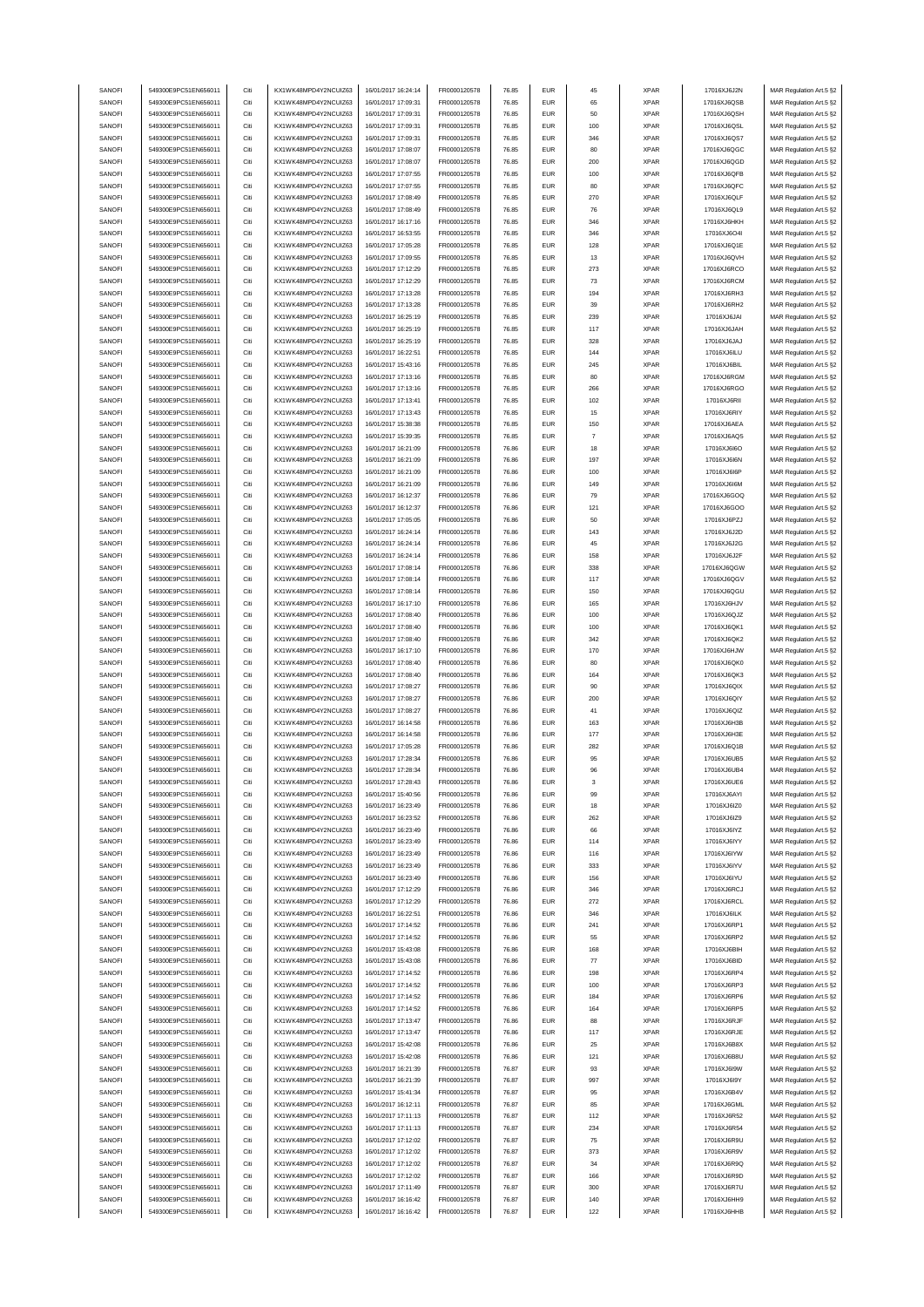| SANOFI        | 549300E9PC51EN656011 | Citi | KX1WK48MPD4Y2NCUIZ63  | 16/01/2017 16:24:14 | FR0000120578 | 76.85        | <b>EUR</b> | 45             | <b>XPAR</b> | 17016XJ6J2N  | MAR Regulation Art.5 §2 |
|---------------|----------------------|------|-----------------------|---------------------|--------------|--------------|------------|----------------|-------------|--------------|-------------------------|
| SANOFI        | 549300E9PC51EN656011 | Citi | KX1WK48MPD4Y2NCUIZ63  | 16/01/2017 17:09:31 | FR0000120578 | 76.85        | <b>EUR</b> | 65             | <b>XPAR</b> | 17016XJ6QSB  | MAR Regulation Art.5 §2 |
|               |                      |      |                       |                     |              |              |            |                |             |              |                         |
| SANOFI        | 549300E9PC51EN656011 | Citi | KX1WK48MPD4Y2NCUIZ63  | 16/01/2017 17:09:31 | FR0000120578 | 76.85        | <b>EUR</b> | 50             | <b>XPAR</b> | 17016XJ6QSH  | MAR Regulation Art.5 §2 |
| SANOFI        | 549300E9PC51EN656011 | Citi | KX1WK48MPD4Y2NCUIZ63  | 16/01/2017 17:09:31 | FR0000120578 | 76.85        | <b>EUR</b> | 100            | <b>XPAR</b> | 17016XJ6QSL  | MAR Regulation Art.5 §2 |
| SANOFI        | 549300E9PC51EN656011 | Citi | KX1WK48MPD4Y2NCUIZ63  | 16/01/2017 17:09:31 | FR0000120578 | 76.85        | <b>EUR</b> | 346            | <b>XPAR</b> | 17016XJ6QS7  | MAR Regulation Art.5 §2 |
| SANOFI        | 549300E9PC51EN656011 | Citi | KX1WK48MPD4Y2NCUIZ63  | 16/01/2017 17:08:07 | FR0000120578 | 76.85        | <b>EUR</b> | 80             | <b>XPAR</b> | 17016XJ6QGC  | MAR Regulation Art.5 §2 |
| SANOFI        | 549300E9PC51EN656011 | Citi | KX1WK48MPD4Y2NCUIZ63  | 16/01/2017 17:08:07 | FR0000120578 | 76.85        | <b>EUR</b> | 200            | XPAR        | 17016XJ6QGD  | MAR Regulation Art.5 §2 |
| SANOFI        | 549300E9PC51EN656011 | Citi | KX1WK48MPD4Y2NCUIZ63  | 16/01/2017 17:07:55 | FR0000120578 | 76.85        | <b>EUR</b> | 100            | <b>XPAR</b> | 17016XJ6QFB  | MAR Regulation Art.5 §2 |
|               |                      |      |                       |                     |              |              |            |                |             |              |                         |
| SANOFI        | 549300E9PC51EN656011 | Citi | KX1WK48MPD4Y2NCUIZ63  | 16/01/2017 17:07:55 | FR0000120578 | 76.85        | <b>EUR</b> | 80             | <b>XPAR</b> | 17016XJ6QFC  | MAR Regulation Art.5 §2 |
| SANOFI        | 549300E9PC51EN656011 | Citi | KX1WK48MPD4Y2NCUIZ63  | 16/01/2017 17:08:49 | FR0000120578 | 76.85        | <b>EUR</b> | 270            | <b>XPAR</b> | 17016XJ6QLF  | MAR Regulation Art.5 §2 |
| SANOFI        | 549300E9PC51EN656011 | Citi | KX1WK48MPD4Y2NCUIZ63  | 16/01/2017 17:08:49 | FR0000120578 | 76.85        | <b>EUR</b> | 76             | <b>XPAR</b> | 17016XJ6QL9  | MAR Regulation Art.5 §2 |
| SANOFI        | 549300E9PC51EN656011 | Citi | KX1WK48MPD4Y2NCUIZ63  | 16/01/2017 16:17:16 | FR0000120578 | 76.85        | <b>EUR</b> | 346            | <b>XPAR</b> | 17016XJ6HKH  | MAR Regulation Art.5 §2 |
| SANOFI        | 549300E9PC51EN656011 | Citi | KX1WK48MPD4Y2NCUIZ63  | 16/01/2017 16:53:55 | FR0000120578 | 76.85        | <b>EUR</b> | 346            | <b>XPAR</b> | 17016XJ6O4I  | MAR Regulation Art.5 §2 |
|               |                      |      |                       |                     |              |              |            |                |             |              |                         |
| SANOFI        | 549300E9PC51EN656011 | Citi | KX1WK48MPD4Y2NCUIZ63  | 16/01/2017 17:05:28 | FR0000120578 | 76.85        | <b>EUR</b> | 128            | <b>XPAR</b> | 17016XJ6Q1E  | MAR Regulation Art.5 §2 |
| SANOFI        | 549300E9PC51EN656011 | Citi | KX1WK48MPD4Y2NCUIZ63  | 16/01/2017 17:09:55 | FR0000120578 | 76.85        | <b>EUR</b> | 13             | <b>XPAR</b> | 17016XJ6QVH  | MAR Regulation Art.5 §2 |
| SANOFI        | 549300E9PC51EN656011 | Citi | KX1WK48MPD4Y2NCUIZ63  | 16/01/2017 17:12:29 | FR0000120578 | 76.85        | <b>EUR</b> | 273            | <b>XPAR</b> | 17016XJ6RCO  | MAR Regulation Art.5 §2 |
| SANOFI        | 549300E9PC51EN656011 | Citi | KX1WK48MPD4Y2NCUIZ63  | 16/01/2017 17:12:29 | FR0000120578 | 76.85        | <b>EUR</b> | 73             | <b>XPAR</b> | 17016XJ6RCM  | MAR Regulation Art.5 §2 |
| SANOFI        | 549300E9PC51EN656011 | Citi | KX1WK48MPD4Y2NCLIIZ63 | 16/01/2017 17:13:28 | FR0000120578 | 76.85        | <b>EUR</b> | 194            | <b>XPAR</b> | 17016XJ6RH3  | MAR Regulation Art.5 §2 |
| SANOFI        | 549300E9PC51EN656011 | Citi | KX1WK48MPD4Y2NCUIZ63  | 16/01/2017 17:13:28 | FR0000120578 | 76.85        | <b>EUR</b> | 39             | <b>XPAR</b> | 17016XJ6RH2  |                         |
|               |                      |      |                       |                     |              |              |            |                |             |              | MAR Regulation Art.5 §2 |
| SANOFI        | 549300E9PC51EN656011 | Citi | KX1WK48MPD4Y2NCUIZ63  | 16/01/2017 16:25:19 | FR0000120578 | 76.85        | <b>EUR</b> | 239            | <b>XPAR</b> | 17016XJ6JAI  | MAR Regulation Art.5 §2 |
| SANOFI        | 549300E9PC51EN656011 | Citi | KX1WK48MPD4Y2NCUIZ63  | 16/01/2017 16:25:19 | FR0000120578 | 76.85        | <b>EUR</b> | 117            | <b>XPAR</b> | 17016XJ6JAH  | MAR Regulation Art.5 §2 |
| SANOFI        | 549300E9PC51EN656011 | Citi | KX1WK48MPD4Y2NCUIZ63  | 16/01/2017 16:25:19 | FR0000120578 | 76.85        | <b>EUR</b> | 328            | <b>XPAR</b> | 17016XJ6JAJ  | MAR Regulation Art.5 §2 |
| SANOFI        | 549300E9PC51EN656011 | Citi | KX1WK48MPD4Y2NCUIZ63  | 16/01/2017 16:22:51 | FR0000120578 | 76.85        | <b>EUR</b> | 144            | <b>XPAR</b> | 17016XJ6ILU  | MAR Regulation Art.5 §2 |
| SANOFI        | 549300E9PC51EN656011 | Citi | KX1WK48MPD4Y2NCUIZ63  | 16/01/2017 15:43:16 | FR0000120578 | 76.85        | <b>EUR</b> | 245            | <b>XPAR</b> | 17016XJ6BIL  | MAR Regulation Art.5 §2 |
| SANOFI        | 549300E9PC51EN656011 | Citi | KX1WK48MPD4Y2NCLIIZ63 | 16/01/2017 17:13:16 | FR0000120578 | 76.85        | <b>EUR</b> | 80             | <b>XPAR</b> | 17016XJ6RGM  | MAR Regulation Art.5 §2 |
|               |                      |      |                       |                     |              |              |            |                |             |              |                         |
| SANOFI        | 549300E9PC51EN656011 | Citi | KX1WK48MPD4Y2NCUIZ63  | 16/01/2017 17:13:16 | FR0000120578 | 76.85        | <b>EUR</b> | 266            | <b>XPAR</b> | 17016XJ6RGO  | MAR Regulation Art.5 §2 |
| SANOFI        | 549300E9PC51EN656011 | Citi | KX1WK48MPD4Y2NCUIZ63  | 16/01/2017 17:13:41 | FR0000120578 | 76.85        | <b>EUR</b> | 102            | <b>XPAR</b> | 17016XJ6RII  | MAR Regulation Art.5 §2 |
| SANOFI        | 549300E9PC51EN656011 | Citi | KX1WK48MPD4Y2NCUIZ63  | 16/01/2017 17:13:43 | FR0000120578 | 76.85        | <b>EUR</b> | 15             | <b>XPAR</b> | 17016XJ6RIY  | MAR Regulation Art.5 §2 |
| SANOFI        | 549300E9PC51EN656011 | Citi | KX1WK48MPD4Y2NCUIZ63  | 16/01/2017 15:38:38 | FR0000120578 | 76.85        | <b>EUR</b> | 150            | <b>XPAR</b> | 17016XJ6AEA  | MAR Regulation Art.5 §2 |
| SANOFI        | 549300E9PC51EN656011 | Citi | KX1WK48MPD4Y2NCUIZ63  | 16/01/2017 15:39:35 | FR0000120578 | 76.85        | <b>EUR</b> | $\overline{7}$ | <b>XPAR</b> | 17016XJ6AQ5  | MAR Regulation Art.5 §2 |
|               |                      |      |                       |                     |              |              |            |                |             |              |                         |
| SANOFI        | 549300E9PC51EN656011 | Citi | KX1WK48MPD4Y2NCUIZ63  | 16/01/2017 16:21:09 | FR0000120578 | 76.86        | <b>EUR</b> | 18             | <b>XPAR</b> | 17016XJ6I6O  | MAR Regulation Art.5 §2 |
| SANOFI        | 549300E9PC51EN656011 | Citi | KX1WK48MPD4Y2NCUIZ63  | 16/01/2017 16:21:09 | FR0000120578 | 76.86        | <b>EUR</b> | 197            | <b>XPAR</b> | 17016XJ6I6N  | MAR Regulation Art.5 §2 |
| SANOFI        | 549300E9PC51EN656011 | Citi | KX1WK48MPD4Y2NCUIZ63  | 16/01/2017 16:21:09 | FR0000120578 | 76.86        | <b>EUR</b> | 100            | <b>XPAR</b> | 17016XJ6I6P  | MAR Regulation Art.5 §2 |
| SANOFI        | 549300E9PC51EN656011 | Citi | KX1WK48MPD4Y2NCUIZ63  | 16/01/2017 16:21:09 | FR0000120578 | 76.86        | <b>EUR</b> | 149            | <b>XPAR</b> | 17016XJ6I6M  | MAR Regulation Art.5 §2 |
| SANOFI        | 549300E9PC51EN656011 | Citi | KX1WK48MPD4Y2NCUIZ63  | 16/01/2017 16:12:37 | FR0000120578 | 76.86        | <b>EUR</b> | 79             | <b>XPAR</b> | 17016XJ6GOQ  | MAR Regulation Art.5 §2 |
| SANOFI        | 549300E9PC51EN656011 | Citi | KX1WK48MPD4Y2NCUIZ63  | 16/01/2017 16:12:37 | FR0000120578 | 76.86        | <b>EUR</b> | 121            | <b>XPAR</b> | 17016XJ6GOO  | MAR Regulation Art.5 §2 |
|               |                      |      |                       |                     |              |              |            |                |             |              |                         |
| SANOFI        | 549300E9PC51EN656011 | Citi | KX1WK48MPD4Y2NCUIZ63  | 16/01/2017 17:05:05 | FR0000120578 | 76.86        | <b>EUR</b> | 50             | <b>XPAR</b> | 17016XJ6PZJ  | MAR Regulation Art.5 §2 |
| SANOFI        | 549300E9PC51EN656011 | Citi | KX1WK48MPD4Y2NCUIZ63  | 16/01/2017 16:24:14 | FR0000120578 | 76.86        | <b>EUR</b> | 143            | <b>XPAR</b> | 17016XJ6J2D  | MAR Regulation Art.5 §2 |
| SANOFI        | 549300E9PC51EN656011 | Citi | KX1WK48MPD4Y2NCUIZ63  | 16/01/2017 16:24:14 | FR0000120578 | 76.86        | <b>EUR</b> | 45             | <b>XPAR</b> | 17016XJ6J2G  | MAR Regulation Art.5 §2 |
| SANOFI        | 549300E9PC51EN656011 | Citi | KX1WK48MPD4Y2NCUIZ63  | 16/01/2017 16:24:14 | FR0000120578 | 76.86        | <b>EUR</b> | 158            | <b>XPAR</b> | 17016XJ6J2F  | MAR Regulation Art.5 §2 |
| SANOFI        | 549300E9PC51EN656011 | Citi | KX1WK48MPD4Y2NCUIZ63  | 16/01/2017 17:08:14 | FR0000120578 | 76.86        | <b>EUR</b> | 338            | <b>XPAR</b> | 17016XJ6QGW  | MAR Regulation Art.5 §2 |
| SANOFI        | 549300E9PC51EN656011 | Citi | KX1WK48MPD4Y2NCUIZ63  | 16/01/2017 17:08:14 | FR0000120578 | 76.86        | <b>EUR</b> | 117            | <b>XPAR</b> |              |                         |
|               |                      |      |                       |                     |              |              |            |                |             | 17016XJ6QGV  | MAR Regulation Art.5 §2 |
| SANOFI        | 549300E9PC51EN656011 | Citi | KX1WK48MPD4Y2NCUIZ63  | 16/01/2017 17:08:14 | FR0000120578 | 76.86        | <b>EUR</b> | 150            | <b>XPAR</b> | 17016XJ6QGU  | MAR Regulation Art.5 §2 |
| SANOFI        | 549300E9PC51EN656011 | Citi | KX1WK48MPD4Y2NCUIZ63  | 16/01/2017 16:17:10 | FR0000120578 | 76.86        | <b>EUR</b> | 165            | <b>XPAR</b> | 17016XJ6HJV  | MAR Regulation Art.5 §2 |
| SANOFI        | 549300E9PC51EN656011 | Citi | KX1WK48MPD4Y2NCUIZ63  | 16/01/2017 17:08:40 | FR0000120578 | 76.86        | <b>EUR</b> | 100            | <b>XPAR</b> | 17016XJ6QJZ  | MAR Regulation Art.5 §2 |
| SANOFI        | 549300E9PC51EN656011 | Citi | KX1WK48MPD4Y2NCUIZ63  | 16/01/2017 17:08:40 | FR0000120578 | 76.86        | <b>EUR</b> | 100            | <b>XPAR</b> | 17016XJ6QK1  | MAR Regulation Art.5 §2 |
| SANOFI        | 549300E9PC51EN656011 | Citi | KX1WK48MPD4Y2NCUIZ63  | 16/01/2017 17:08:40 | FR0000120578 | 76.86        | <b>EUR</b> | 342            | <b>XPAR</b> | 17016XJ6QK2  | MAR Regulation Art.5 §2 |
|               |                      |      |                       |                     |              |              |            |                |             |              |                         |
| SANOFI        | 549300E9PC51EN656011 | Citi | KX1WK48MPD4Y2NCUIZ63  | 16/01/2017 16:17:10 | FR0000120578 | 76.86        | <b>EUR</b> | 170            | <b>XPAR</b> | 17016XJ6HJW  | MAR Regulation Art.5 §2 |
| SANOFI        | 549300E9PC51EN656011 | Citi | KX1WK48MPD4Y2NCUIZ63  | 16/01/2017 17:08:40 | FR0000120578 | 76.86        | <b>EUR</b> | 80             | <b>XPAR</b> | 17016XJ6QK0  | MAR Regulation Art.5 §2 |
| SANOFI        | 549300E9PC51EN656011 | Citi | KX1WK48MPD4Y2NCUIZ63  | 16/01/2017 17:08:40 | FR0000120578 | 76.86        | <b>EUR</b> | 164            | <b>XPAR</b> | 17016XJ6QK3  | MAR Regulation Art.5 §2 |
| SANOFI        | 549300E9PC51EN656011 | Citi | KX1WK48MPD4Y2NCUIZ63  | 16/01/2017 17:08:27 | FR0000120578 | 76.86        | <b>EUR</b> | 90             | <b>XPAR</b> | 17016XJ6QIX  | MAR Regulation Art.5 §2 |
| SANOFI        | 549300E9PC51EN656011 | Citi | KX1WK48MPD4Y2NCUIZ63  | 16/01/2017 17:08:27 | FR0000120578 | 76.86        | <b>EUR</b> | 200            | <b>XPAR</b> | 17016XJ6QIY  | MAR Regulation Art.5 §2 |
|               |                      |      | KX1WK48MPD4Y2NCUIZ63  |                     |              |              |            |                |             |              |                         |
| SANOFI        | 549300E9PC51EN656011 | Citi |                       | 16/01/2017 17:08:27 | FR0000120578 | 76.86        | <b>EUR</b> | 41             | <b>XPAR</b> | 17016XJ6QIZ  | MAR Regulation Art.5 §2 |
| SANOFI        | 549300E9PC51EN656011 | Citi | KX1WK48MPD4Y2NCUIZ63  | 16/01/2017 16:14:58 | FR0000120578 | 76.86        | <b>EUR</b> | 163            | <b>XPAR</b> | 17016XJ6H3B  | MAR Regulation Art.5 §2 |
| SANOFI        | 549300E9PC51EN656011 | Citi | KX1WK48MPD4Y2NCUIZ63  | 16/01/2017 16:14:58 | FR0000120578 | 76.86        | <b>EUR</b> | 177            | <b>XPAR</b> | 17016XJ6H3E  | MAR Regulation Art.5 §2 |
| SANOFI        | 549300E9PC51EN656011 | Citi | KX1WK48MPD4Y2NCUIZ63  | 16/01/2017 17:05:28 | FR0000120578 | 76.86        | <b>EUR</b> | 282            | <b>XPAR</b> | 17016XJ6Q1B  | MAR Regulation Art.5 §2 |
| SANOFI        | 549300E9PC51EN656011 | Citi | KX1WK48MPD4Y2NCUIZ63  | 16/01/2017 17:28:34 | FR0000120578 | 76.86        | <b>EUR</b> | 95             | <b>XPAR</b> | 17016XJ6UB5  | MAR Regulation Art.5 §2 |
| SANOFI        | 549300E9PC51EN656011 |      | KX1WK48MPD4Y2NCLIIZ63 | 16/01/2017 17:28:34 | FR0000120578 | <b>76.86</b> |            |                | <b>XPAR</b> | 17016X.I6UB4 | MAR Regulation Art 5 82 |
|               |                      |      |                       |                     |              |              |            |                |             |              |                         |
| SANOFI        | 549300E9PC51EN656011 | Citi | KX1WK48MPD4Y2NCUIZ63  | 16/01/2017 17:28:43 | FR0000120578 | 76.86        | <b>EUR</b> | 3              | <b>XPAR</b> | 17016XJ6UE6  | MAR Regulation Art.5 §2 |
| SANOFI        | 549300E9PC51EN656011 | Citi | KX1WK48MPD4Y2NCUIZ63  | 16/01/2017 15:40:56 | FR0000120578 | 76.86        | <b>EUR</b> | 99             | <b>XPAR</b> | 17016XJ6AYI  | MAR Regulation Art.5 §2 |
| SANOFI        | 549300E9PC51EN656011 | Citi | KX1WK48MPD4Y2NCUIZ63  | 16/01/2017 16:23:49 | FR0000120578 | 76.86        | <b>EUR</b> | 18             | <b>XPAR</b> | 17016XJ6IZ0  | MAR Regulation Art.5 §2 |
| SANOFI        | 549300E9PC51EN656011 | Citi | KX1WK48MPD4Y2NCUIZ63  | 16/01/2017 16:23:52 | FR0000120578 | 76.86        | <b>EUR</b> | 262            | <b>XPAR</b> | 17016XJ6IZ9  | MAR Regulation Art.5 §2 |
| SANOFI        | 549300E9PC51EN656011 | Citi | KX1WK48MPD4Y2NCUIZ63  | 16/01/2017 16:23:49 | FR0000120578 | 76.86        | <b>EUR</b> | 66             | <b>XPAR</b> | 17016XJ6IYZ  | MAR Regulation Art.5 §2 |
| SANOFI        | 549300E9PC51EN656011 | Citi | KX1WK48MPD4Y2NCUIZ63  | 16/01/2017 16:23:49 | FR0000120578 | 76.86        | <b>EUR</b> | 114            | <b>XPAR</b> | 17016XJ6IYY  | MAR Regulation Art.5 §2 |
|               |                      |      |                       |                     |              |              |            |                |             |              |                         |
| SANOFI        | 549300E9PC51EN656011 | Citi | KX1WK48MPD4Y2NCUIZ63  | 16/01/2017 16:23:49 | FR0000120578 | 76.86        | <b>EUR</b> | 116            | <b>XPAR</b> | 17016XJ6IYW  | MAR Regulation Art.5 §2 |
| SANOFI        | 549300E9PC51EN656011 | Citi | KX1WK48MPD4Y2NCUIZ63  | 16/01/2017 16:23:49 | FR0000120578 | 76.86        | <b>EUR</b> | 333            | <b>XPAR</b> | 17016XJ6IYV  | MAR Regulation Art.5 §2 |
| SANOFI        | 549300E9PC51EN656011 | Citi | KX1WK48MPD4Y2NCUIZ63  | 16/01/2017 16:23:49 | FR0000120578 | 76.86        | <b>EUR</b> | 156            | <b>XPAR</b> | 17016XJ6IYU  | MAR Regulation Art.5 §2 |
| SANOFI        | 549300E9PC51EN656011 | Citi | KX1WK48MPD4Y2NCUIZ63  | 16/01/2017 17:12:29 | FR0000120578 | 76.86        | <b>EUR</b> | 346            | <b>XPAR</b> | 17016XJ6RCJ  | MAR Regulation Art.5 §2 |
| SANOFI        | 549300E9PC51EN656011 | Citi | KX1WK48MPD4Y2NCUIZ63  | 16/01/2017 17:12:29 | FR0000120578 | 76.86        | <b>EUR</b> | 272            | <b>XPAR</b> | 17016XJ6RCL  | MAR Regulation Art.5 §2 |
| SANOFI        | 549300E9PC51EN656011 | Citi | KX1WK48MPD4Y2NCUIZ63  | 16/01/2017 16:22:51 | FR0000120578 | 76.86        | <b>EUR</b> | 346            | <b>XPAR</b> | 17016XJ6ILK  | MAR Regulation Art.5 §2 |
|               | 549300E9PC51EN656011 | Citi |                       |                     |              |              |            |                |             | 17016XJ6RP1  |                         |
| SANOFI        |                      |      | KX1WK48MPD4Y2NCUIZ63  | 16/01/2017 17:14:52 | FR0000120578 | 76.86        | <b>EUR</b> | 241            | XPAR        |              | MAR Regulation Art.5 §2 |
| SANOFI        | 549300E9PC51EN656011 | Citi | KX1WK48MPD4Y2NCUIZ63  | 16/01/2017 17:14:52 | FR0000120578 | 76.86        | <b>EUR</b> | 55             | <b>XPAR</b> | 17016XJ6RP2  | MAR Regulation Art.5 §2 |
| SANOFI        | 549300E9PC51EN656011 | Citi | KX1WK48MPD4Y2NCUIZ63  | 16/01/2017 15:43:08 | FR0000120578 | 76.86        | <b>EUR</b> | 168            | <b>XPAR</b> | 17016XJ6BIH  | MAR Regulation Art.5 §2 |
| SANOFI        | 549300E9PC51EN656011 | Citi | KX1WK48MPD4Y2NCUIZ63  | 16/01/2017 15:43:08 | FR0000120578 | 76.86        | <b>EUR</b> | ${\bf 77}$     | XPAR        | 17016XJ6BID  | MAR Regulation Art.5 §2 |
| SANOFI        | 549300E9PC51EN656011 | Citi | KX1WK48MPD4Y2NCUIZ63  | 16/01/2017 17:14:52 | FR0000120578 | 76.86        | <b>EUR</b> | 198            | <b>XPAR</b> | 17016XJ6RP4  | MAR Regulation Art.5 §2 |
| SANOFI        | 549300E9PC51EN656011 | Citi | KX1WK48MPD4Y2NCUIZ63  | 16/01/2017 17:14:52 | FR0000120578 | 76.86        | <b>EUR</b> | 100            | <b>XPAR</b> | 17016XJ6RP3  |                         |
|               |                      |      |                       |                     |              |              |            |                |             |              | MAR Regulation Art.5 §2 |
| SANOFI        | 549300E9PC51EN656011 | Citi | KX1WK48MPD4Y2NCUIZ63  | 16/01/2017 17:14:52 | FR0000120578 | 76.86        | <b>EUR</b> | 184            | <b>XPAR</b> | 17016XJ6RP6  | MAR Regulation Art.5 §2 |
| SANOFI        | 549300E9PC51EN656011 | Citi | KX1WK48MPD4Y2NCUIZ63  | 16/01/2017 17:14:52 | FR0000120578 | 76.86        | <b>EUR</b> | 164            | <b>XPAR</b> | 17016XJ6RP5  | MAR Regulation Art.5 §2 |
| SANOFI        | 549300E9PC51EN656011 | Citi | KX1WK48MPD4Y2NCUIZ63  | 16/01/2017 17:13:47 | FR0000120578 | 76.86        | <b>EUR</b> | 88             | <b>XPAR</b> | 17016XJ6RJF  | MAR Regulation Art.5 §2 |
| SANOFI        | 549300E9PC51EN656011 | Citi | KX1WK48MPD4Y2NCUIZ63  | 16/01/2017 17:13:47 | FR0000120578 | 76.86        | <b>EUR</b> | 117            | <b>XPAR</b> | 17016XJ6RJE  | MAR Regulation Art.5 §2 |
| SANOFI        | 549300E9PC51EN656011 | Citi | KX1WK48MPD4Y2NCUIZ63  | 16/01/2017 15:42:08 | FR0000120578 | 76.86        | <b>EUR</b> | 25             | <b>XPAR</b> | 17016XJ6B8X  | MAR Regulation Art.5 §2 |
|               |                      |      |                       |                     |              |              |            |                |             |              |                         |
| SANOFI        | 549300E9PC51EN656011 | Citi | KX1WK48MPD4Y2NCUIZ63  | 16/01/2017 15:42:08 | FR0000120578 | 76.86        | <b>EUR</b> | 121            | <b>XPAR</b> | 17016XJ6B8U  | MAR Regulation Art.5 §2 |
| SANOFI        | 549300E9PC51EN656011 | Citi | KX1WK48MPD4Y2NCUIZ63  | 16/01/2017 16:21:39 | FR0000120578 | 76.87        | <b>EUR</b> | 93             | XPAR        | 17016XJ6I9W  | MAR Regulation Art.5 §2 |
| <b>SANOFI</b> | 549300E9PC51EN656011 | Citi | KX1WK48MPD4Y2NCUIZ63  | 16/01/2017 16:21:39 | FR0000120578 | 76.87        | <b>EUR</b> | 997            | <b>XPAR</b> | 17016XJ6I9Y  | MAR Regulation Art.5 §2 |
| SANOFI        | 549300E9PC51EN656011 | Citi | KX1WK48MPD4Y2NCUIZ63  | 16/01/2017 15:41:34 | FR0000120578 | 76.87        | <b>EUR</b> | 95             | <b>XPAR</b> | 17016XJ6B4V  | MAR Regulation Art.5 §2 |
| SANOFI        | 549300E9PC51EN656011 | Citi | KX1WK48MPD4Y2NCUIZ63  | 16/01/2017 16:12:11 | FR0000120578 | 76.87        | <b>EUR</b> | 85             | <b>XPAR</b> | 17016XJ6GML  | MAR Regulation Art.5 §2 |
| SANOFI        | 549300E9PC51EN656011 | Citi | KX1WK48MPD4Y2NCUIZ63  | 16/01/2017 17:11:13 | FR0000120578 | 76.87        | <b>EUR</b> | 112            | <b>XPAR</b> | 17016XJ6R52  | MAR Regulation Art.5 §2 |
|               |                      |      |                       |                     |              |              |            |                |             |              |                         |
| SANOFI        | 549300E9PC51EN656011 | Citi | KX1WK48MPD4Y2NCUIZ63  | 16/01/2017 17:11:13 | FR0000120578 | 76.87        | <b>EUR</b> | 234            | <b>XPAR</b> | 17016XJ6R54  | MAR Regulation Art.5 §2 |
| SANOFI        | 549300E9PC51EN656011 | Citi | KX1WK48MPD4Y2NCUIZ63  | 16/01/2017 17:12:02 | FR0000120578 | 76.87        | <b>EUR</b> | 75             | <b>XPAR</b> | 17016XJ6R9U  | MAR Regulation Art.5 §2 |
| SANOFI        | 549300E9PC51EN656011 | Citi | KX1WK48MPD4Y2NCUIZ63  | 16/01/2017 17:12:02 | FR0000120578 | 76.87        | <b>EUR</b> | 373            | <b>XPAR</b> | 17016XJ6R9V  | MAR Regulation Art.5 §2 |
| SANOFI        | 549300E9PC51EN656011 | Citi | KX1WK48MPD4Y2NCUIZ63  | 16/01/2017 17:12:02 | FR0000120578 | 76.87        | <b>EUR</b> | 34             | <b>XPAR</b> | 17016XJ6R9Q  | MAR Regulation Art.5 §2 |
| SANOFI        | 549300E9PC51EN656011 | Citi | KX1WK48MPD4Y2NCUIZ63  | 16/01/2017 17:12:02 | FR0000120578 | 76.87        | <b>EUR</b> | 166            | <b>XPAR</b> | 17016XJ6R9D  | MAR Regulation Art.5 §2 |
| SANOFI        | 549300E9PC51EN656011 | Citi | KX1WK48MPD4Y2NCUIZ63  | 16/01/2017 17:11:49 | FR0000120578 | 76.87        | <b>EUR</b> | 300            | <b>XPAR</b> | 17016XJ6R7U  | MAR Regulation Art.5 §2 |
|               |                      |      |                       |                     |              |              |            |                |             |              |                         |
| SANOFI        | 549300E9PC51EN656011 | Citi | KX1WK48MPD4Y2NCUIZ63  | 16/01/2017 16:16:42 | FR0000120578 | 76.87        | <b>EUR</b> | 140            | <b>XPAR</b> | 17016XJ6HH9  | MAR Regulation Art.5 §2 |
| SANOFI        | 549300E9PC51EN656011 | Citi | KX1WK48MPD4Y2NCUIZ63  | 16/01/2017 16:16:42 | FR0000120578 | 76.87        | <b>EUR</b> | 122            | <b>XPAR</b> | 17016XJ6HHB  | MAR Regulation Art.5 §2 |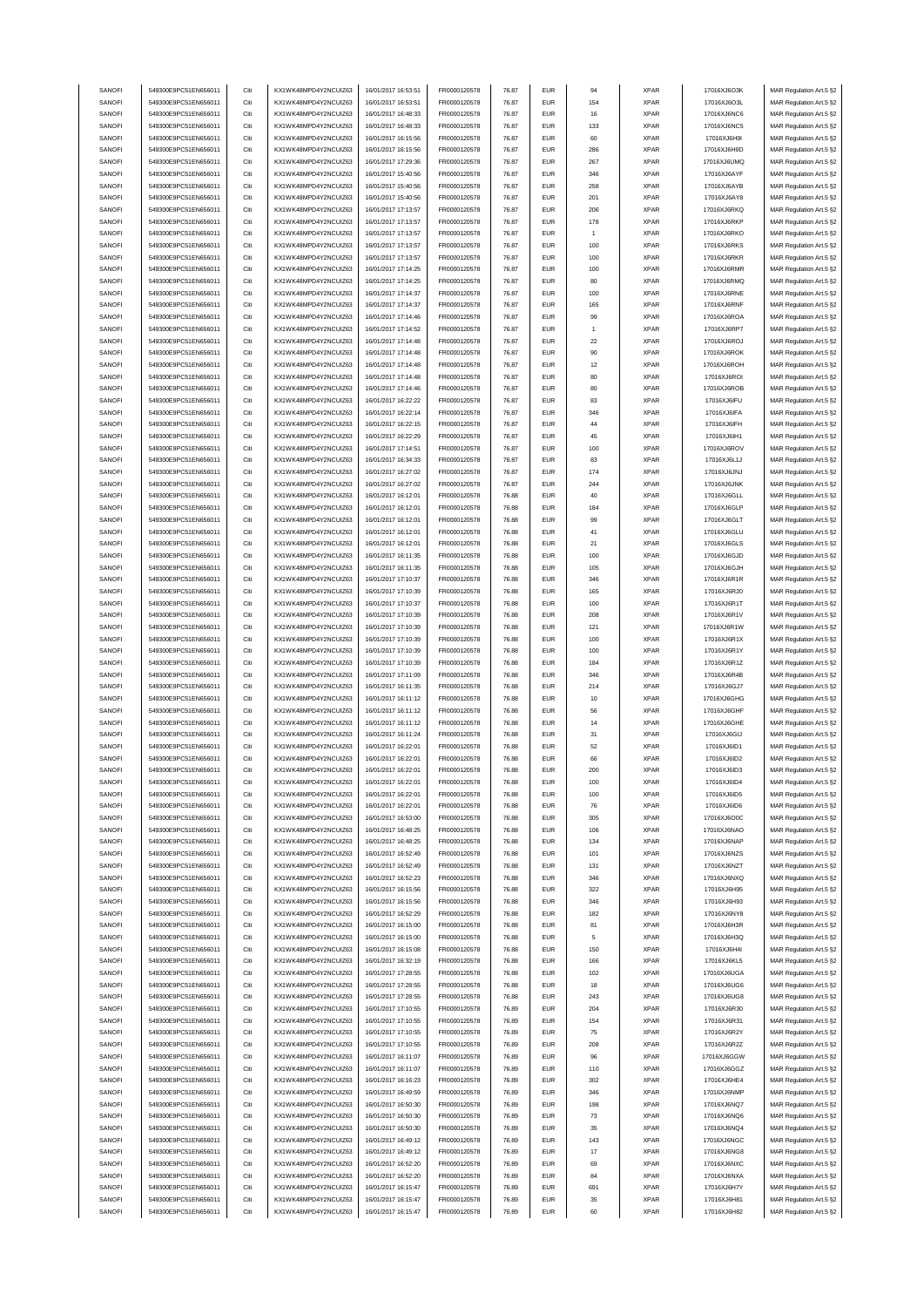| SANOFI        | 549300E9PC51EN656011 | Citi | KX1WK48MPD4Y2NCUIZ63  | 16/01/2017 16:53:51 | FR0000120578 | 76.87 | <b>EUR</b> | 94           | <b>XPAR</b> | 17016XJ6O3K | MAR Regulation Art.5 §2 |
|---------------|----------------------|------|-----------------------|---------------------|--------------|-------|------------|--------------|-------------|-------------|-------------------------|
| SANOFI        | 549300E9PC51EN656011 | Citi | KX1WK48MPD4Y2NCUIZ63  | 16/01/2017 16:53:51 | FR0000120578 | 76.87 | <b>EUR</b> | 154          | <b>XPAR</b> | 17016XJ6O3L | MAR Regulation Art.5 §2 |
|               |                      |      |                       |                     |              |       |            |              |             |             |                         |
| SANOFI        | 549300E9PC51EN656011 | Citi | KX1WK48MPD4Y2NCUIZ63  | 16/01/2017 16:48:33 | FR0000120578 | 76.87 | <b>EUR</b> | $16\,$       | <b>XPAR</b> | 17016XJ6NC6 | MAR Regulation Art.5 §2 |
| SANOFI        | 549300E9PC51EN656011 | Citi | KX1WK48MPD4Y2NCUIZ63  | 16/01/2017 16:48:33 | FR0000120578 | 76.87 | <b>EUR</b> | 133          | <b>XPAR</b> | 17016XJ6NC5 | MAR Regulation Art.5 §2 |
| SANOFI        | 549300E9PC51EN656011 | Citi | KX1WK48MPD4Y2NCUIZ63  | 16/01/2017 16:15:56 | FR0000120578 | 76.87 | <b>EUR</b> | 60           | <b>XPAR</b> | 17016XJ6H9I | MAR Regulation Art.5 §2 |
| SANOFI        | 549300E9PC51EN656011 | Citi | KX1WK48MPD4Y2NCUIZ63  | 16/01/2017 16:15:56 | FR0000120578 | 76.87 | <b>EUR</b> | 286          | <b>XPAR</b> | 17016XJ6H9D | MAR Regulation Art.5 §2 |
| SANOFI        | 549300E9PC51EN656011 | Citi | KX1WK48MPD4Y2NCUIZ63  | 16/01/2017 17:29:36 | FR0000120578 | 76.87 | <b>EUR</b> | 267          | XPAR        | 17016XJ6UMQ | MAR Regulation Art.5 §2 |
| SANOFI        | 549300E9PC51EN656011 | Citi | KX1WK48MPD4Y2NCUIZ63  | 16/01/2017 15:40:56 | FR0000120578 | 76.87 | <b>EUR</b> | 346          | <b>XPAR</b> | 17016XJ6AYF | MAR Regulation Art.5 §2 |
|               |                      |      |                       |                     |              |       |            |              |             |             |                         |
| SANOFI        | 549300E9PC51EN656011 | Citi | KX1WK48MPD4Y2NCUIZ63  | 16/01/2017 15:40:56 | FR0000120578 | 76.87 | <b>EUR</b> | 258          | <b>XPAR</b> | 17016XJ6AYB | MAR Regulation Art.5 §2 |
| SANOFI        | 549300E9PC51EN656011 | Citi | KX1WK48MPD4Y2NCUIZ63  | 16/01/2017 15:40:56 | FR0000120578 | 76.87 | <b>EUR</b> | 201          | <b>XPAR</b> | 17016XJ6AY8 | MAR Regulation Art.5 §2 |
| SANOFI        | 549300E9PC51EN656011 | Citi | KX1WK48MPD4Y2NCUIZ63  | 16/01/2017 17:13:57 | FR0000120578 | 76.87 | <b>EUR</b> | 206          | <b>XPAR</b> | 17016XJ6RKQ | MAR Regulation Art.5 §2 |
| SANOFI        | 549300E9PC51EN656011 | Citi | KX1WK48MPD4Y2NCUIZ63  | 16/01/2017 17:13:57 | FR0000120578 | 76.87 | <b>EUR</b> | 178          | <b>XPAR</b> | 17016XJ6RKP | MAR Regulation Art.5 §2 |
| SANOFI        | 549300E9PC51EN656011 | Citi | KX1WK48MPD4Y2NCUIZ63  | 16/01/2017 17:13:57 | FR0000120578 | 76.87 | <b>EUR</b> | $\mathbf{1}$ | <b>XPAR</b> | 17016XJ6RKO | MAR Regulation Art.5 §2 |
|               |                      |      |                       |                     |              |       |            |              |             |             |                         |
| SANOFI        | 549300E9PC51EN656011 | Citi | KX1WK48MPD4Y2NCUIZ63  | 16/01/2017 17:13:57 | FR0000120578 | 76.87 | <b>EUR</b> | 100          | <b>XPAR</b> | 17016XJ6RKS | MAR Regulation Art.5 §2 |
| SANOFI        | 549300E9PC51EN656011 | Citi | KX1WK48MPD4Y2NCUIZ63  | 16/01/2017 17:13:57 | FR0000120578 | 76.87 | <b>EUR</b> | 100          | <b>XPAR</b> | 17016XJ6RKR | MAR Regulation Art.5 §2 |
| SANOFI        | 549300E9PC51EN656011 | Citi | KX1WK48MPD4Y2NCUIZ63  | 16/01/2017 17:14:25 | FR0000120578 | 76.87 | <b>EUR</b> | 100          | <b>XPAR</b> | 17016XJ6RMR | MAR Regulation Art.5 §2 |
| SANOFI        | 549300E9PC51EN656011 | Citi | KX1WK48MPD4Y2NCUIZ63  | 16/01/2017 17:14:25 | FR0000120578 | 76.87 | <b>EUR</b> | 80           | <b>XPAR</b> | 17016XJ6RMQ | MAR Regulation Art.5 §2 |
| SANOFI        | 549300E9PC51EN656011 | Citi | KX1WK48MPD4Y2NCLIIZ63 | 16/01/2017 17:14:37 | FR0000120578 | 76.87 | <b>EUR</b> | 100          | <b>XPAR</b> | 17016XJ6RNE | MAR Regulation Art.5 §2 |
| SANOFI        | 549300E9PC51EN656011 | Citi | KX1WK48MPD4Y2NCUIZ63  | 16/01/2017 17:14:37 | FR0000120578 | 76.87 | <b>EUR</b> | 165          | <b>XPAR</b> | 17016XJ6RNF |                         |
|               |                      |      |                       |                     |              |       |            |              |             |             | MAR Regulation Art.5 §2 |
| SANOFI        | 549300E9PC51EN656011 | Citi | KX1WK48MPD4Y2NCUIZ63  | 16/01/2017 17:14:46 | FR0000120578 | 76.87 | <b>EUR</b> | 99           | <b>XPAR</b> | 17016XJ6ROA | MAR Regulation Art.5 §2 |
| SANOFI        | 549300E9PC51EN656011 | Citi | KX1WK48MPD4Y2NCUIZ63  | 16/01/2017 17:14:52 | FR0000120578 | 76.87 | <b>EUR</b> | $\mathbf{1}$ | <b>XPAR</b> | 17016XJ6RP7 | MAR Regulation Art.5 §2 |
| SANOFI        | 549300E9PC51EN656011 | Citi | KX1WK48MPD4Y2NCUIZ63  | 16/01/2017 17:14:48 | FR0000120578 | 76.87 | <b>EUR</b> | 22           | <b>XPAR</b> | 17016XJ6ROJ | MAR Regulation Art.5 §2 |
| SANOFI        | 549300E9PC51EN656011 | Citi | KX1WK48MPD4Y2NCUIZ63  | 16/01/2017 17:14:48 | FR0000120578 | 76.87 | <b>EUR</b> | 90           | <b>XPAR</b> | 17016XJ6ROK | MAR Regulation Art.5 §2 |
| SANOFI        | 549300E9PC51EN656011 | Citi | KX1WK48MPD4Y2NCUIZ63  | 16/01/2017 17:14:48 | FR0000120578 | 76.87 | <b>EUR</b> | 12           | <b>XPAR</b> | 17016XJ6ROH | MAR Regulation Art.5 §2 |
| SANOFI        | 549300E9PC51EN656011 | Citi | KX1WK48MPD4Y2NCLIIZ63 | 16/01/2017 17:14:48 | FR0000120578 | 76.87 | <b>EUR</b> | 80           | <b>XPAR</b> | 17016XJ6ROI | MAR Regulation Art.5 §2 |
|               |                      |      |                       |                     |              |       |            |              |             |             |                         |
| SANOFI        | 549300E9PC51EN656011 | Citi | KX1WK48MPD4Y2NCUIZ63  | 16/01/2017 17:14:46 | FR0000120578 | 76.87 | <b>EUR</b> | 80           | <b>XPAR</b> | 17016XJ6ROB | MAR Regulation Art.5 §2 |
| SANOFI        | 549300E9PC51EN656011 | Citi | KX1WK48MPD4Y2NCLIIZ63 | 16/01/2017 16:22:22 | FR0000120578 | 76.87 | <b>EUR</b> | 83           | <b>XPAR</b> | 17016XJ6IFU | MAR Regulation Art.5 §2 |
| SANOFI        | 549300E9PC51EN656011 | Citi | KX1WK48MPD4Y2NCUIZ63  | 16/01/2017 16:22:14 | FR0000120578 | 76.87 | <b>EUR</b> | 346          | <b>XPAR</b> | 17016XJ6IFA | MAR Regulation Art.5 §2 |
| SANOFI        | 549300E9PC51EN656011 | Citi | KX1WK48MPD4Y2NCUIZ63  | 16/01/2017 16:22:15 | FR0000120578 | 76.87 | <b>EUR</b> | 44           | <b>XPAR</b> | 17016XJ6IFH | MAR Regulation Art.5 §2 |
| SANOFI        | 549300E9PC51EN656011 | Citi | KX1WK48MPD4Y2NCUIZ63  | 16/01/2017 16:22:29 | FR0000120578 | 76.87 | <b>EUR</b> | 45           | <b>XPAR</b> | 17016XJ6IH1 | MAR Regulation Art.5 §2 |
|               |                      |      |                       |                     |              |       |            |              |             |             |                         |
| SANOFI        | 549300E9PC51EN656011 | Citi | KX1WK48MPD4Y2NCUIZ63  | 16/01/2017 17:14:51 | FR0000120578 | 76.87 | <b>EUR</b> | 100          | <b>XPAR</b> | 17016XJ6ROV | MAR Regulation Art.5 §2 |
| SANOFI        | 549300E9PC51EN656011 | Citi | KX1WK48MPD4Y2NCUIZ63  | 16/01/2017 16:34:33 | FR0000120578 | 76.87 | <b>EUR</b> | 83           | <b>XPAR</b> | 17016XJ6L1J | MAR Regulation Art.5 §2 |
| SANOFI        | 549300E9PC51EN656011 | Citi | KX1WK48MPD4Y2NCUIZ63  | 16/01/2017 16:27:02 | FR0000120578 | 76.87 | <b>EUR</b> | 174          | <b>XPAR</b> | 17016XJ6JNJ | MAR Regulation Art.5 §2 |
| SANOFI        | 549300E9PC51EN656011 | Citi | KX1WK48MPD4Y2NCUIZ63  | 16/01/2017 16:27:02 | FR0000120578 | 76.87 | <b>EUR</b> | 244          | <b>XPAR</b> | 17016XJ6JNK | MAR Regulation Art.5 §2 |
| SANOFI        | 549300E9PC51EN656011 | Citi | KX1WK48MPD4Y2NCUIZ63  | 16/01/2017 16:12:01 | FR0000120578 | 76.88 | <b>EUR</b> | 40           | <b>XPAR</b> | 17016XJ6GLL | MAR Regulation Art.5 §2 |
| SANOFI        | 549300E9PC51EN656011 | Citi | KX1WK48MPD4Y2NCUIZ63  | 16/01/2017 16:12:01 | FR0000120578 | 76.88 | <b>EUR</b> | 184          | <b>XPAR</b> | 17016XJ6GLP | MAR Regulation Art.5 §2 |
|               |                      |      |                       |                     |              |       |            |              |             |             |                         |
| SANOFI        | 549300E9PC51EN656011 | Citi | KX1WK48MPD4Y2NCUIZ63  | 16/01/2017 16:12:01 | FR0000120578 | 76.88 | <b>EUR</b> | 99           | <b>XPAR</b> | 17016XJ6GLT | MAR Regulation Art.5 §2 |
| SANOFI        | 549300E9PC51EN656011 | Citi | KX1WK48MPD4Y2NCUIZ63  | 16/01/2017 16:12:01 | FR0000120578 | 76.88 | <b>EUR</b> | 41           | <b>XPAR</b> | 17016XJ6GLU | MAR Regulation Art.5 §2 |
| SANOFI        | 549300E9PC51EN656011 | Citi | KX1WK48MPD4Y2NCUIZ63  | 16/01/2017 16:12:01 | FR0000120578 | 76.88 | <b>EUR</b> | 21           | <b>XPAR</b> | 17016XJ6GLS | MAR Regulation Art.5 §2 |
| SANOFI        | 549300E9PC51EN656011 | Citi | KX1WK48MPD4Y2NCUIZ63  | 16/01/2017 16:11:35 | FR0000120578 | 76.88 | <b>EUR</b> | 100          | <b>XPAR</b> | 17016XJ6GJD | MAR Regulation Art.5 §2 |
| SANOFI        | 549300E9PC51EN656011 | Citi | KX1WK48MPD4Y2NCUIZ63  | 16/01/2017 16:11:35 | FR0000120578 | 76.88 | <b>EUR</b> | 105          | <b>XPAR</b> | 17016XJ6GJH | MAR Regulation Art.5 §2 |
| SANOFI        | 549300E9PC51EN656011 | Citi | KX1WK48MPD4Y2NCUIZ63  | 16/01/2017 17:10:37 | FR0000120578 | 76.88 | <b>EUR</b> | 346          | <b>XPAR</b> |             |                         |
|               |                      |      |                       |                     |              |       |            |              |             | 17016XJ6R1R | MAR Regulation Art.5 §2 |
| SANOFI        | 549300E9PC51EN656011 | Citi | KX1WK48MPD4Y2NCUIZ63  | 16/01/2017 17:10:39 | FR0000120578 | 76.88 | <b>EUR</b> | 165          | <b>XPAR</b> | 17016XJ6R20 | MAR Regulation Art.5 §2 |
| SANOFI        | 549300E9PC51EN656011 | Citi | KX1WK48MPD4Y2NCUIZ63  | 16/01/2017 17:10:37 | FR0000120578 | 76.88 | <b>EUR</b> | 100          | <b>XPAR</b> | 17016XJ6R1T | MAR Regulation Art.5 §2 |
| SANOFI        | 549300E9PC51EN656011 | Citi | KX1WK48MPD4Y2NCUIZ63  | 16/01/2017 17:10:39 | FR0000120578 | 76.88 | <b>EUR</b> | 208          | <b>XPAR</b> | 17016XJ6R1V | MAR Regulation Art.5 §2 |
| SANOFI        | 549300E9PC51EN656011 | Citi | KX1WK48MPD4Y2NCUIZ63  | 16/01/2017 17:10:39 | FR0000120578 | 76.88 | <b>EUR</b> | 121          | <b>XPAR</b> | 17016XJ6R1W | MAR Regulation Art.5 §2 |
| SANOFI        | 549300E9PC51EN656011 | Citi | KX1WK48MPD4Y2NCUIZ63  | 16/01/2017 17:10:39 | FR0000120578 | 76.88 | <b>EUR</b> | 100          | <b>XPAR</b> | 17016XJ6R1X | MAR Regulation Art.5 §2 |
|               |                      |      |                       |                     |              |       |            |              |             |             |                         |
| SANOFI        | 549300E9PC51EN656011 | Citi | KX1WK48MPD4Y2NCUIZ63  | 16/01/2017 17:10:39 | FR0000120578 | 76.88 | <b>EUR</b> | 100          | <b>XPAR</b> | 17016XJ6R1Y | MAR Regulation Art.5 §2 |
| SANOFI        | 549300E9PC51EN656011 | Citi | KX1WK48MPD4Y2NCUIZ63  | 16/01/2017 17:10:39 | FR0000120578 | 76.88 | <b>EUR</b> | 184          | <b>XPAR</b> | 17016XJ6R1Z | MAR Regulation Art.5 §2 |
| SANOFI        | 549300E9PC51EN656011 | Citi | KX1WK48MPD4Y2NCUIZ63  | 16/01/2017 17:11:09 | FR0000120578 | 76.88 | <b>EUR</b> | 346          | <b>XPAR</b> | 17016XJ6R4B | MAR Regulation Art.5 §2 |
| SANOFI        | 549300E9PC51EN656011 | Citi | KX1WK48MPD4Y2NCUIZ63  | 16/01/2017 16:11:35 | FR0000120578 | 76.88 | <b>EUR</b> | 214          | <b>XPAR</b> | 17016XJ6GJ7 | MAR Regulation Art.5 §2 |
| SANOFI        | 549300E9PC51EN656011 | Citi | KX1WK48MPD4Y2NCUIZ63  | 16/01/2017 16:11:12 | FR0000120578 | 76.88 | <b>EUR</b> | $10$         | <b>XPAR</b> | 17016XJ6GHG | MAR Regulation Art.5 §2 |
|               |                      |      | KX1WK48MPD4Y2NCUIZ63  |                     |              |       |            |              |             |             | MAR Regulation Art.5 §2 |
| SANOFI        | 549300E9PC51EN656011 | Citi |                       | 16/01/2017 16:11:12 | FR0000120578 | 76.88 | <b>EUR</b> | 56           | <b>XPAR</b> | 17016XJ6GHF |                         |
| SANOFI        | 549300E9PC51EN656011 | Citi | KX1WK48MPD4Y2NCUIZ63  | 16/01/2017 16:11:12 | FR0000120578 | 76.88 | <b>EUR</b> | 14           | <b>XPAR</b> | 17016XJ6GHE | MAR Regulation Art.5 §2 |
| SANOFI        | 549300E9PC51EN656011 | Citi | KX1WK48MPD4Y2NCUIZ63  | 16/01/2017 16:11:24 | FR0000120578 | 76.88 | <b>EUR</b> | 31           | <b>XPAR</b> | 17016XJ6GIJ | MAR Regulation Art.5 §2 |
| SANOFI        | 549300E9PC51EN656011 | Citi | KX1WK48MPD4Y2NCUIZ63  | 16/01/2017 16:22:01 | FR0000120578 | 76.88 | <b>EUR</b> | 52           | <b>XPAR</b> | 17016XJ6ID1 | MAR Regulation Art.5 §2 |
| SANOFI        | 549300E9PC51EN656011 | Citi | KX1WK48MPD4Y2NCUIZ63  | 16/01/2017 16:22:01 | FR0000120578 | 76.88 | <b>EUR</b> | 66           | <b>XPAR</b> | 17016XJ6ID2 | MAR Regulation Art.5 §2 |
| SANOFI        | 549300E9PC51EN656011 |      | KX1WK48MPD4Y2NCLIIZ63 | 16/01/2017 16:22:01 | FR0000120578 | 76.88 |            | 200          | <b>XPAR</b> | 17016XJ6ID3 | MAR Regulation Art 5 82 |
|               |                      |      |                       |                     |              |       |            |              |             |             |                         |
| SANOFI        | 549300E9PC51EN656011 | Citi | KX1WK48MPD4Y2NCUIZ63  | 16/01/2017 16:22:01 | FR0000120578 | 76.88 | <b>EUR</b> | 100          | <b>XPAR</b> | 17016XJ6ID4 | MAR Regulation Art.5 §2 |
| SANOFI        | 549300E9PC51EN656011 | Citi | KX1WK48MPD4Y2NCUIZ63  | 16/01/2017 16:22:01 | FR0000120578 | 76.88 | <b>EUR</b> | 100          | <b>XPAR</b> | 17016XJ6ID5 | MAR Regulation Art.5 §2 |
| SANOFI        | 549300E9PC51EN656011 | Citi | KX1WK48MPD4Y2NCUIZ63  | 16/01/2017 16:22:01 | FR0000120578 | 76.88 | <b>EUR</b> | 76           | <b>XPAR</b> | 17016XJ6ID6 | MAR Regulation Art.5 §2 |
| SANOFI        | 549300E9PC51EN656011 | Citi | KX1WK48MPD4Y2NCUIZ63  | 16/01/2017 16:53:00 | FR0000120578 | 76.88 | <b>EUR</b> | 305          | <b>XPAR</b> | 17016XJ6O0C | MAR Regulation Art.5 §2 |
| SANOFI        | 549300E9PC51EN656011 | Citi | KX1WK48MPD4Y2NCUIZ63  | 16/01/2017 16:48:25 | FR0000120578 | 76.88 | <b>EUR</b> | 106          | <b>XPAR</b> | 17016XJ6NAO | MAR Regulation Art.5 §2 |
| SANOFI        | 549300E9PC51EN656011 | Citi | KX1WK48MPD4Y2NCUIZ63  | 16/01/2017 16:48:25 | FR0000120578 | 76.88 | <b>EUR</b> | 134          | <b>XPAR</b> | 17016XJ6NAP | MAR Regulation Art.5 §2 |
|               |                      |      |                       |                     |              |       |            |              |             |             |                         |
| SANOFI        | 549300E9PC51EN656011 | Citi | KX1WK48MPD4Y2NCUIZ63  | 16/01/2017 16:52:49 | FR0000120578 | 76.88 | <b>EUR</b> | 101          | <b>XPAR</b> | 17016XJ6NZS | MAR Regulation Art.5 §2 |
| SANOFI        | 549300E9PC51EN656011 | Citi | KX1WK48MPD4Y2NCUIZ63  | 16/01/2017 16:52:49 | FR0000120578 | 76.88 | <b>EUR</b> | 131          | <b>XPAR</b> | 17016XJ6NZT | MAR Regulation Art.5 §2 |
| SANOFI        | 549300E9PC51EN656011 | Citi | KX1WK48MPD4Y2NCUIZ63  | 16/01/2017 16:52:23 | FR0000120578 | 76.88 | <b>EUR</b> | 346          | <b>XPAR</b> | 17016XJ6NXQ | MAR Regulation Art.5 §2 |
| SANOFI        | 549300E9PC51EN656011 | Citi | KX1WK48MPD4Y2NCUIZ63  | 16/01/2017 16:15:56 | FR0000120578 | 76.88 | <b>EUR</b> | 322          | <b>XPAR</b> | 17016XJ6H95 | MAR Regulation Art.5 §2 |
| SANOFI        | 549300E9PC51EN656011 | Citi | KX1WK48MPD4Y2NCUIZ63  | 16/01/2017 16:15:56 | FR0000120578 | 76.88 | <b>EUR</b> | 346          | <b>XPAR</b> | 17016XJ6H93 | MAR Regulation Art.5 §2 |
| SANOFI        | 549300E9PC51EN656011 | Citi | KX1WK48MPD4Y2NCUIZ63  | 16/01/2017 16:52:29 | FR0000120578 | 76.88 | <b>EUR</b> | 182          | <b>XPAR</b> | 17016XJ6NY8 | MAR Regulation Art.5 §2 |
|               |                      |      |                       |                     |              |       |            |              |             |             |                         |
| SANOFI        | 549300E9PC51EN656011 | Citi | KX1WK48MPD4Y2NCUIZ63  | 16/01/2017 16:15:00 | FR0000120578 | 76.88 | <b>EUR</b> | 81           | <b>XPAR</b> | 17016XJ6H3R | MAR Regulation Art.5 §2 |
| SANOFI        | 549300E9PC51EN656011 | Citi | KX1WK48MPD4Y2NCUIZ63  | 16/01/2017 16:15:00 | FR0000120578 | 76.88 | <b>EUR</b> | 5            | <b>XPAR</b> | 17016XJ6H3Q | MAR Regulation Art.5 §2 |
| SANOFI        | 549300E9PC51EN656011 | Citi | KX1WK48MPD4Y2NCUIZ63  | 16/01/2017 16:15:08 | FR0000120578 | 76.88 | <b>EUR</b> | 150          | <b>XPAR</b> | 17016XJ6H4I | MAR Regulation Art.5 §2 |
| SANOFI        | 549300E9PC51EN656011 | Citi | KX1WK48MPD4Y2NCUIZ63  | 16/01/2017 16:32:19 | FR0000120578 | 76.88 | <b>EUR</b> | 166          | XPAR        | 17016XJ6KL5 | MAR Regulation Art.5 §2 |
| SANOFI        | 549300E9PC51EN656011 | Citi | KX1WK48MPD4Y2NCUIZ63  | 16/01/2017 17:28:55 | FR0000120578 | 76.88 | <b>EUR</b> | 102          | <b>XPAR</b> | 17016XJ6UGA | MAR Regulation Art.5 §2 |
|               |                      |      | KX1WK48MPD4Y2NCUIZ63  |                     |              |       |            |              |             |             |                         |
| SANOFI        | 549300E9PC51EN656011 | Citi |                       | 16/01/2017 17:28:55 | FR0000120578 | 76.88 | <b>EUR</b> | 18           | <b>XPAR</b> | 17016XJ6UG6 | MAR Regulation Art.5 §2 |
| SANOFI        | 549300E9PC51EN656011 | Citi | KX1WK48MPD4Y2NCUIZ63  | 16/01/2017 17:28:55 | FR0000120578 | 76.88 | <b>EUR</b> | 243          | <b>XPAR</b> | 17016XJ6UG8 | MAR Regulation Art.5 §2 |
| SANOFI        | 549300E9PC51EN656011 | Citi | KX1WK48MPD4Y2NCUIZ63  | 16/01/2017 17:10:55 | FR0000120578 | 76.89 | <b>EUR</b> | 204          | <b>XPAR</b> | 17016XJ6R30 | MAR Regulation Art.5 §2 |
| SANOFI        | 549300E9PC51EN656011 | Citi | KX1WK48MPD4Y2NCUIZ63  | 16/01/2017 17:10:55 | FR0000120578 | 76.89 | <b>EUR</b> | 154          | <b>XPAR</b> | 17016XJ6R31 | MAR Regulation Art.5 §2 |
| SANOFI        | 549300E9PC51EN656011 | Citi | KX1WK48MPD4Y2NCUIZ63  | 16/01/2017 17:10:55 | FR0000120578 | 76.89 | <b>EUR</b> | 75           | <b>XPAR</b> | 17016XJ6R2Y | MAR Regulation Art.5 §2 |
| SANOFI        | 549300E9PC51EN656011 | Citi | KX1WK48MPD4Y2NCUIZ63  | 16/01/2017 17:10:55 | FR0000120578 | 76.89 | <b>EUR</b> | 208          | <b>XPAR</b> | 17016XJ6R2Z | MAR Regulation Art.5 §2 |
|               |                      |      |                       |                     |              |       |            |              |             |             |                         |
| SANOFI        | 549300E9PC51EN656011 | Citi | KX1WK48MPD4Y2NCUIZ63  | 16/01/2017 16:11:07 | FR0000120578 | 76.89 | <b>EUR</b> | 96           | <b>XPAR</b> | 17016XJ6GGW | MAR Regulation Art.5 §2 |
| SANOFI        | 549300E9PC51EN656011 | Citi | KX1WK48MPD4Y2NCUIZ63  | 16/01/2017 16:11:07 | FR0000120578 | 76.89 | <b>EUR</b> | 110          | XPAR        | 17016XJ6GGZ | MAR Regulation Art.5 §2 |
| <b>SANOFI</b> | 549300E9PC51EN656011 | Citi | KX1WK48MPD4Y2NCUIZ63  | 16/01/2017 16:16:23 | FR0000120578 | 76.89 | <b>EUR</b> | 302          | <b>XPAR</b> | 17016XJ6HE4 | MAR Regulation Art.5 §2 |
| SANOFI        | 549300E9PC51EN656011 | Citi | KX1WK48MPD4Y2NCUIZ63  | 16/01/2017 16:49:59 | FR0000120578 | 76.89 | <b>EUR</b> | 346          | <b>XPAR</b> | 17016XJ6NMP | MAR Regulation Art.5 §2 |
| SANOFI        | 549300E9PC51EN656011 | Citi | KX1WK48MPD4Y2NCUIZ63  | 16/01/2017 16:50:30 | FR0000120578 | 76.89 | <b>EUR</b> | 198          | <b>XPAR</b> | 17016XJ6NQ7 | MAR Regulation Art.5 §2 |
| SANOFI        | 549300E9PC51EN656011 | Citi | KX1WK48MPD4Y2NCUIZ63  | 16/01/2017 16:50:30 | FR0000120578 | 76.89 | <b>EUR</b> | 73           | <b>XPAR</b> | 17016XJ6NQ6 |                         |
|               |                      |      |                       |                     |              |       |            |              |             |             | MAR Regulation Art.5 §2 |
| SANOFI        | 549300E9PC51EN656011 | Citi | KX1WK48MPD4Y2NCUIZ63  | 16/01/2017 16:50:30 | FR0000120578 | 76.89 | <b>EUR</b> | 35           | <b>XPAR</b> | 17016XJ6NQ4 | MAR Regulation Art.5 §2 |
| SANOFI        | 549300E9PC51EN656011 | Citi | KX1WK48MPD4Y2NCUIZ63  | 16/01/2017 16:49:12 | FR0000120578 | 76.89 | <b>EUR</b> | 143          | <b>XPAR</b> | 17016XJ6NGC | MAR Regulation Art.5 §2 |
| SANOFI        | 549300E9PC51EN656011 | Citi | KX1WK48MPD4Y2NCUIZ63  | 16/01/2017 16:49:12 | FR0000120578 | 76.89 | <b>EUR</b> | $17\,$       | <b>XPAR</b> | 17016XJ6NG8 | MAR Regulation Art.5 §2 |
| SANOFI        | 549300E9PC51EN656011 | Citi | KX1WK48MPD4Y2NCUIZ63  | 16/01/2017 16:52:20 | FR0000120578 | 76.89 | <b>EUR</b> | 69           | <b>XPAR</b> | 17016XJ6NXC | MAR Regulation Art.5 §2 |
| SANOFI        | 549300E9PC51EN656011 | Citi | KX1WK48MPD4Y2NCUIZ63  | 16/01/2017 16:52:20 | FR0000120578 | 76.89 | <b>EUR</b> | 84           | <b>XPAR</b> | 17016XJ6NXA | MAR Regulation Art.5 §2 |
| SANOFI        | 549300E9PC51EN656011 | Citi | KX1WK48MPD4Y2NCUIZ63  | 16/01/2017 16:15:47 | FR0000120578 | 76.89 | <b>EUR</b> | 691          | <b>XPAR</b> | 17016XJ6H7Y | MAR Regulation Art.5 §2 |
|               |                      |      |                       |                     |              |       |            |              |             |             |                         |
| SANOFI        | 549300E9PC51EN656011 | Citi | KX1WK48MPD4Y2NCUIZ63  | 16/01/2017 16:15:47 | FR0000120578 | 76.89 | <b>EUR</b> | 35           | <b>XPAR</b> | 17016XJ6H81 | MAR Regulation Art.5 §2 |
| SANOFI        | 549300E9PC51EN656011 | Citi | KX1WK48MPD4Y2NCUIZ63  | 16/01/2017 16:15:47 | FR0000120578 | 76.89 | <b>EUR</b> | 60           | <b>XPAR</b> | 17016XJ6H82 | MAR Regulation Art.5 §2 |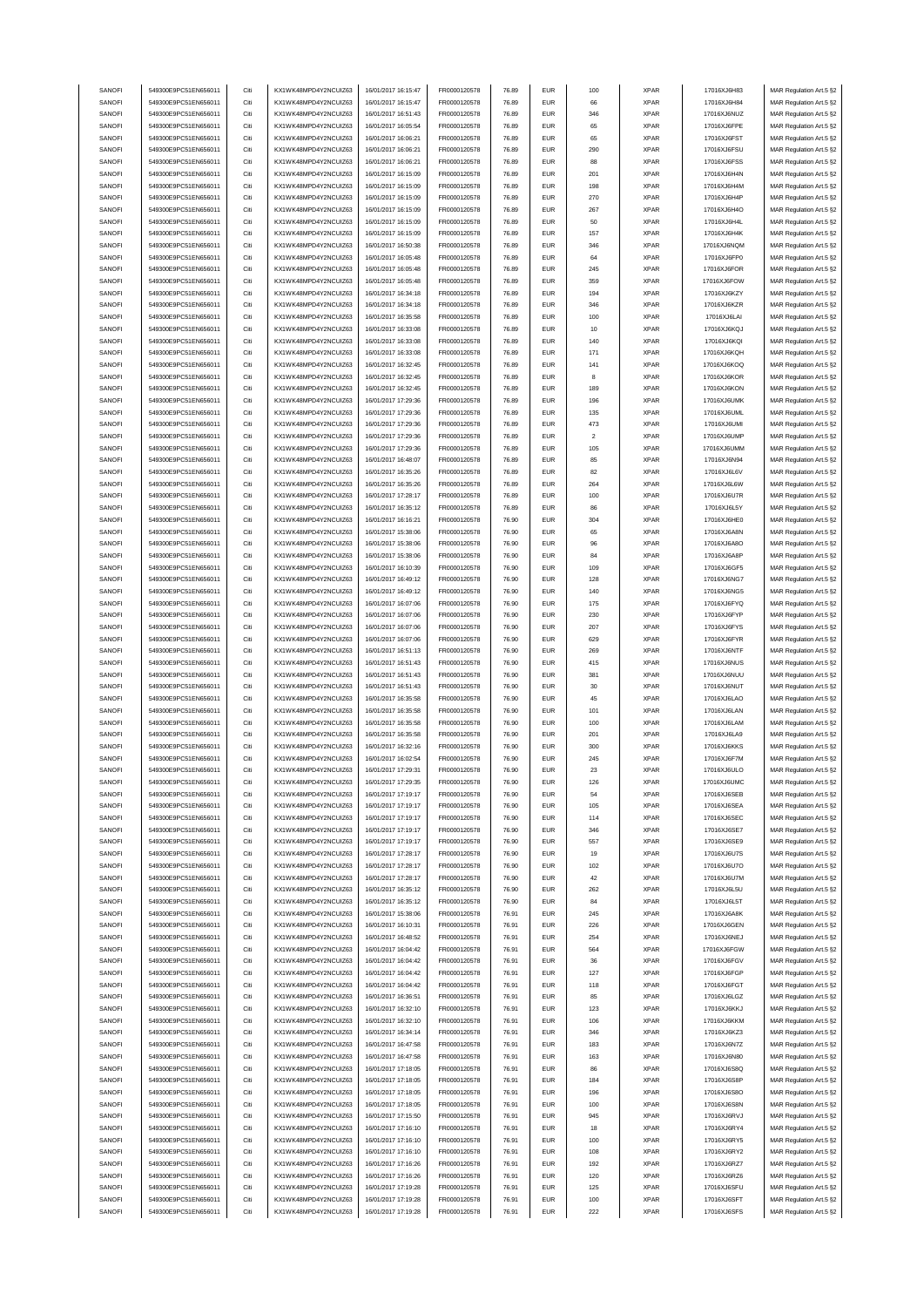| SANOFI | 549300E9PC51EN656011 | Citi | KX1WK48MPD4Y2NCUIZ63  | 16/01/2017 16:15:47 | FR0000120578 | 76.89 | <b>EUR</b> | 100        | <b>XPAR</b> | 17016XJ6H83 | MAR Regulation Art.5 §2 |
|--------|----------------------|------|-----------------------|---------------------|--------------|-------|------------|------------|-------------|-------------|-------------------------|
| SANOFI | 549300E9PC51EN656011 | Citi | KX1WK48MPD4Y2NCUIZ63  | 16/01/2017 16:15:47 | FR0000120578 | 76.89 | <b>EUR</b> | 66         | <b>XPAR</b> | 17016XJ6H84 | MAR Regulation Art.5 §2 |
|        |                      |      |                       |                     |              |       |            |            |             |             |                         |
| SANOFI | 549300E9PC51EN656011 | Citi | KX1WK48MPD4Y2NCUIZ63  | 16/01/2017 16:51:43 | FR0000120578 | 76.89 | <b>EUR</b> | 346        | <b>XPAR</b> | 17016XJ6NUZ | MAR Regulation Art.5 §2 |
| SANOFI | 549300E9PC51EN656011 | Citi | KX1WK48MPD4Y2NCUIZ63  | 16/01/2017 16:05:54 | FR0000120578 | 76.89 | <b>EUR</b> | 65         | <b>XPAR</b> | 17016XJ6FPE | MAR Regulation Art.5 §2 |
| SANOFI | 549300E9PC51EN656011 | Citi | KX1WK48MPD4Y2NCUIZ63  | 16/01/2017 16:06:21 | FR0000120578 | 76.89 | <b>EUR</b> | 65         | <b>XPAR</b> | 17016XJ6FST | MAR Regulation Art.5 §2 |
| SANOFI | 549300E9PC51EN656011 | Citi | KX1WK48MPD4Y2NCUIZ63  | 16/01/2017 16:06:21 | FR0000120578 | 76.89 | <b>EUR</b> | 290        | <b>XPAR</b> | 17016XJ6FSU | MAR Regulation Art.5 §2 |
| SANOFI | 549300E9PC51EN656011 | Citi | KX1WK48MPD4Y2NCUIZ63  | 16/01/2017 16:06:21 | FR0000120578 | 76.89 | <b>EUR</b> | 88         | XPAR        | 17016XJ6FSS | MAR Regulation Art.5 §2 |
| SANOFI | 549300E9PC51EN656011 | Citi | KX1WK48MPD4Y2NCUIZ63  | 16/01/2017 16:15:09 | FR0000120578 | 76.89 | <b>EUR</b> | 201        | <b>XPAR</b> | 17016XJ6H4N | MAR Regulation Art.5 §2 |
|        |                      |      |                       |                     |              |       |            |            |             |             |                         |
| SANOFI | 549300E9PC51EN656011 | Citi | KX1WK48MPD4Y2NCUIZ63  | 16/01/2017 16:15:09 | FR0000120578 | 76.89 | <b>EUR</b> | 198        | <b>XPAR</b> | 17016XJ6H4M | MAR Regulation Art.5 §2 |
| SANOFI | 549300E9PC51EN656011 | Citi | KX1WK48MPD4Y2NCUIZ63  | 16/01/2017 16:15:09 | FR0000120578 | 76.89 | <b>EUR</b> | 270        | <b>XPAR</b> | 17016XJ6H4P | MAR Regulation Art.5 §2 |
| SANOFI | 549300E9PC51EN656011 | Citi | KX1WK48MPD4Y2NCUIZ63  | 16/01/2017 16:15:09 | FR0000120578 | 76.89 | <b>EUR</b> | 267        | <b>XPAR</b> | 17016XJ6H4O | MAR Regulation Art.5 §2 |
| SANOFI | 549300E9PC51EN656011 | Citi | KX1WK48MPD4Y2NCUIZ63  | 16/01/2017 16:15:09 | FR0000120578 | 76.89 | <b>EUR</b> | 50         | <b>XPAR</b> | 17016XJ6H4L | MAR Regulation Art.5 §2 |
| SANOFI | 549300E9PC51EN656011 | Citi | KX1WK48MPD4Y2NCUIZ63  | 16/01/2017 16:15:09 | FR0000120578 | 76.89 | <b>EUR</b> | 157        | <b>XPAR</b> | 17016XJ6H4K | MAR Regulation Art.5 §2 |
|        |                      |      |                       |                     |              |       |            |            |             |             |                         |
| SANOFI | 549300E9PC51EN656011 | Citi | KX1WK48MPD4Y2NCUIZ63  | 16/01/2017 16:50:38 | FR0000120578 | 76.89 | <b>EUR</b> | 346        | XPAR        | 17016XJ6NQM | MAR Regulation Art.5 §2 |
| SANOFI | 549300E9PC51EN656011 | Citi | KX1WK48MPD4Y2NCUIZ63  | 16/01/2017 16:05:48 | FR0000120578 | 76.89 | <b>EUR</b> | 64         | <b>XPAR</b> | 17016XJ6FP0 | MAR Regulation Art.5 §2 |
| SANOFI | 549300E9PC51EN656011 | Citi | KX1WK48MPD4Y2NCUIZ63  | 16/01/2017 16:05:48 | FR0000120578 | 76.89 | <b>EUR</b> | 245        | <b>XPAR</b> | 17016XJ6FOR | MAR Regulation Art.5 §2 |
| SANOFI | 549300E9PC51EN656011 | Citi | KX1WK48MPD4Y2NCUIZ63  | 16/01/2017 16:05:48 | FR0000120578 | 76.89 | <b>EUR</b> | 359        | <b>XPAR</b> | 17016XJ6FOW | MAR Regulation Art.5 §2 |
| SANOFI | 549300E9PC51EN656011 | Citi | KX1WK48MPD4Y2NCLIIZ63 | 16/01/2017 16:34:18 | FR0000120578 | 76.89 | <b>EUR</b> | 194        | XPAR        | 17016XJ6KZY | MAR Regulation Art.5 §2 |
| SANOFI | 549300E9PC51EN656011 | Citi | KX1WK48MPD4Y2NCUIZ63  | 16/01/2017 16:34:18 | FR0000120578 | 76.89 | <b>EUR</b> | 346        | <b>XPAR</b> | 17016XJ6KZR |                         |
|        |                      |      |                       |                     |              |       |            |            |             |             | MAR Regulation Art.5 §2 |
| SANOFI | 549300E9PC51EN656011 | Citi | KX1WK48MPD4Y2NCUIZ63  | 16/01/2017 16:35:58 | FR0000120578 | 76.89 | <b>EUR</b> | 100        | <b>XPAR</b> | 17016XJ6LAI | MAR Regulation Art.5 §2 |
| SANOFI | 549300E9PC51EN656011 | Citi | KX1WK48MPD4Y2NCUIZ63  | 16/01/2017 16:33:08 | FR0000120578 | 76.89 | <b>EUR</b> | 10         | <b>XPAR</b> | 17016XJ6KQJ | MAR Regulation Art.5 §2 |
| SANOFI | 549300E9PC51EN656011 | Citi | KX1WK48MPD4Y2NCUIZ63  | 16/01/2017 16:33:08 | FR0000120578 | 76.89 | <b>EUR</b> | 140        | <b>XPAR</b> | 17016XJ6KQI | MAR Regulation Art.5 §2 |
| SANOFI | 549300E9PC51EN656011 | Citi | KX1WK48MPD4Y2NCUIZ63  | 16/01/2017 16:33:08 | FR0000120578 | 76.89 | <b>EUR</b> | 171        | <b>XPAR</b> | 17016XJ6KQH | MAR Regulation Art.5 §2 |
| SANOFI | 549300E9PC51EN656011 | Citi | KX1WK48MPD4Y2NCUIZ63  | 16/01/2017 16:32:45 | FR0000120578 | 76.89 | <b>EUR</b> | 141        | <b>XPAR</b> | 17016XJ6KOQ | MAR Regulation Art.5 §2 |
| SANOFI | 549300E9PC51EN656011 | Citi | KX1WK48MPD4Y2NCLIIZ63 | 16/01/2017 16:32:45 | FR0000120578 | 76.89 | <b>EUR</b> | 8          | <b>XPAR</b> | 17016XJ6KOR | MAR Regulation Art.5 §2 |
|        |                      |      |                       |                     |              |       |            |            |             |             |                         |
| SANOFI | 549300E9PC51EN656011 | Citi | KX1WK48MPD4Y2NCUIZ63  | 16/01/2017 16:32:45 | FR0000120578 | 76.89 | <b>EUR</b> | 189        | <b>XPAR</b> | 17016XJ6KON | MAR Regulation Art.5 §2 |
| SANOFI | 549300E9PC51EN656011 | Citi | KX1WK48MPD4Y2NCUIZ63  | 16/01/2017 17:29:36 | FR0000120578 | 76.89 | <b>EUR</b> | 196        | <b>XPAR</b> | 17016XJ6UMK | MAR Regulation Art.5 §2 |
| SANOFI | 549300E9PC51EN656011 | Citi | KX1WK48MPD4Y2NCUIZ63  | 16/01/2017 17:29:36 | FR0000120578 | 76.89 | <b>EUR</b> | 135        | <b>XPAR</b> | 17016XJ6UML | MAR Regulation Art.5 §2 |
| SANOFI | 549300E9PC51EN656011 | Citi | KX1WK48MPD4Y2NCUIZ63  | 16/01/2017 17:29:36 | FR0000120578 | 76.89 | <b>EUR</b> | 473        | <b>XPAR</b> | 17016XJ6UMI | MAR Regulation Art.5 §2 |
| SANOFI | 549300E9PC51EN656011 | Citi | KX1WK48MPD4Y2NCUIZ63  | 16/01/2017 17:29:36 | FR0000120578 | 76.89 | <b>EUR</b> | $\sqrt{2}$ | <b>XPAR</b> | 17016XJ6UMP | MAR Regulation Art.5 §2 |
|        |                      |      |                       |                     |              |       |            |            |             |             |                         |
| SANOFI | 549300E9PC51EN656011 | Citi | KX1WK48MPD4Y2NCUIZ63  | 16/01/2017 17:29:36 | FR0000120578 | 76.89 | <b>EUR</b> | 105        | <b>XPAR</b> | 17016XJ6UMM | MAR Regulation Art.5 §2 |
| SANOFI | 549300E9PC51EN656011 | Citi | KX1WK48MPD4Y2NCUIZ63  | 16/01/2017 16:48:07 | FR0000120578 | 76.89 | <b>EUR</b> | 85         | <b>XPAR</b> | 17016XJ6N94 | MAR Regulation Art.5 §2 |
| SANOFI | 549300E9PC51EN656011 | Citi | KX1WK48MPD4Y2NCUIZ63  | 16/01/2017 16:35:26 | FR0000120578 | 76.89 | <b>EUR</b> | 82         | <b>XPAR</b> | 17016XJ6L6V | MAR Regulation Art.5 §2 |
| SANOFI | 549300E9PC51EN656011 | Citi | KX1WK48MPD4Y2NCUIZ63  | 16/01/2017 16:35:26 | FR0000120578 | 76.89 | <b>EUR</b> | 264        | <b>XPAR</b> | 17016XJ6L6W | MAR Regulation Art.5 §2 |
| SANOFI | 549300E9PC51EN656011 | Citi | KX1WK48MPD4Y2NCUIZ63  | 16/01/2017 17:28:17 | FR0000120578 | 76.89 | <b>EUR</b> | 100        | <b>XPAR</b> | 17016XJ6U7R | MAR Regulation Art.5 §2 |
| SANOFI | 549300E9PC51EN656011 | Citi | KX1WK48MPD4Y2NCUIZ63  | 16/01/2017 16:35:12 | FR0000120578 | 76.89 | <b>EUR</b> | 86         | <b>XPAR</b> | 17016XJ6L5Y | MAR Regulation Art.5 §2 |
|        |                      |      |                       |                     |              |       |            |            |             |             |                         |
| SANOFI | 549300E9PC51EN656011 | Citi | KX1WK48MPD4Y2NCUIZ63  | 16/01/2017 16:16:21 | FR0000120578 | 76.90 | <b>EUR</b> | 304        | <b>XPAR</b> | 17016XJ6HE0 | MAR Regulation Art.5 §2 |
| SANOFI | 549300E9PC51EN656011 | Citi | KX1WK48MPD4Y2NCUIZ63  | 16/01/2017 15:38:06 | FR0000120578 | 76.90 | <b>EUR</b> | 65         | <b>XPAR</b> | 17016XJ6A8N | MAR Regulation Art.5 §2 |
| SANOFI | 549300E9PC51EN656011 | Citi | KX1WK48MPD4Y2NCUIZ63  | 16/01/2017 15:38:06 | FR0000120578 | 76.90 | <b>EUR</b> | 96         | <b>XPAR</b> | 17016XJ6A8O | MAR Regulation Art.5 §2 |
| SANOFI | 549300E9PC51EN656011 | Citi | KX1WK48MPD4Y2NCUIZ63  | 16/01/2017 15:38:06 | FR0000120578 | 76.90 | <b>EUR</b> | 84         | <b>XPAR</b> | 17016XJ6A8P | MAR Regulation Art.5 §2 |
| SANOFI | 549300E9PC51EN656011 | Citi | KX1WK48MPD4Y2NCUIZ63  | 16/01/2017 16:10:39 | FR0000120578 | 76.90 | <b>EUR</b> | 109        | <b>XPAR</b> | 17016XJ6GF5 | MAR Regulation Art.5 §2 |
| SANOFI | 549300E9PC51EN656011 | Citi | KX1WK48MPD4Y2NCUIZ63  | 16/01/2017 16:49:12 | FR0000120578 | 76.90 | <b>EUR</b> | 128        | <b>XPAR</b> |             |                         |
|        |                      |      |                       |                     |              |       |            |            |             | 17016XJ6NG7 | MAR Regulation Art.5 §2 |
| SANOFI | 549300E9PC51EN656011 | Citi | KX1WK48MPD4Y2NCUIZ63  | 16/01/2017 16:49:12 | FR0000120578 | 76.90 | <b>EUR</b> | 140        | <b>XPAR</b> | 17016XJ6NG5 | MAR Regulation Art.5 §2 |
| SANOFI | 549300E9PC51EN656011 | Citi | KX1WK48MPD4Y2NCUIZ63  | 16/01/2017 16:07:06 | FR0000120578 | 76.90 | EUR        | 175        | <b>XPAR</b> | 17016XJ6FYQ | MAR Regulation Art.5 §2 |
| SANOFI | 549300E9PC51EN656011 | Citi | KX1WK48MPD4Y2NCUIZ63  | 16/01/2017 16:07:06 | FR0000120578 | 76.90 | <b>EUR</b> | 230        | <b>XPAR</b> | 17016XJ6FYP | MAR Regulation Art.5 §2 |
| SANOFI | 549300E9PC51EN656011 | Citi | KX1WK48MPD4Y2NCUIZ63  | 16/01/2017 16:07:06 | FR0000120578 | 76.90 | <b>EUR</b> | 207        | <b>XPAR</b> | 17016XJ6FYS | MAR Regulation Art.5 §2 |
| SANOFI | 549300E9PC51EN656011 | Citi | KX1WK48MPD4Y2NCUIZ63  | 16/01/2017 16:07:06 | FR0000120578 | 76.90 | <b>EUR</b> | 629        | <b>XPAR</b> | 17016XJ6FYR | MAR Regulation Art.5 §2 |
|        |                      |      |                       |                     |              |       |            |            |             |             |                         |
| SANOFI | 549300E9PC51EN656011 | Citi | KX1WK48MPD4Y2NCUIZ63  | 16/01/2017 16:51:13 | FR0000120578 | 76.90 | <b>EUR</b> | 269        | <b>XPAR</b> | 17016XJ6NTF | MAR Regulation Art.5 §2 |
| SANOFI | 549300E9PC51EN656011 | Citi | KX1WK48MPD4Y2NCUIZ63  | 16/01/2017 16:51:43 | FR0000120578 | 76.90 | <b>EUR</b> | 415        | <b>XPAR</b> | 17016XJ6NUS | MAR Regulation Art.5 §2 |
| SANOFI | 549300E9PC51EN656011 | Citi | KX1WK48MPD4Y2NCUIZ63  | 16/01/2017 16:51:43 | FR0000120578 | 76.90 | <b>EUR</b> | 381        | <b>XPAR</b> | 17016XJ6NUU | MAR Regulation Art.5 §2 |
| SANOFI | 549300E9PC51EN656011 | Citi | KX1WK48MPD4Y2NCUIZ63  | 16/01/2017 16:51:43 | FR0000120578 | 76.90 | <b>EUR</b> | 30         | <b>XPAR</b> | 17016XJ6NUT | MAR Regulation Art.5 §2 |
| SANOFI | 549300E9PC51EN656011 | Citi | KX1WK48MPD4Y2NCUIZ63  | 16/01/2017 16:35:58 | FR0000120578 | 76.90 | <b>EUR</b> | 45         | <b>XPAR</b> | 17016XJ6LAO | MAR Regulation Art.5 §2 |
|        |                      |      | KX1WK48MPD4Y2NCUIZ63  | 16/01/2017 16:35:58 |              |       |            |            |             |             |                         |
| SANOFI | 549300E9PC51EN656011 | Citi |                       |                     | FR0000120578 | 76.90 | <b>EUR</b> | 101        | <b>XPAR</b> | 17016XJ6LAN | MAR Regulation Art.5 §2 |
| SANOFI | 549300E9PC51EN656011 | Citi | KX1WK48MPD4Y2NCUIZ63  | 16/01/2017 16:35:58 | FR0000120578 | 76.90 | <b>EUR</b> | 100        | <b>XPAR</b> | 17016XJ6LAM | MAR Regulation Art.5 §2 |
| SANOFI | 549300E9PC51EN656011 | Citi | KX1WK48MPD4Y2NCUIZ63  | 16/01/2017 16:35:58 | FR0000120578 | 76.90 | <b>EUR</b> | 201        | <b>XPAR</b> | 17016XJ6LA9 | MAR Regulation Art.5 §2 |
| SANOFI | 549300E9PC51EN656011 | Citi | KX1WK48MPD4Y2NCUIZ63  | 16/01/2017 16:32:16 | FR0000120578 | 76.90 | <b>EUR</b> | 300        | <b>XPAR</b> | 17016XJ6KKS | MAR Regulation Art.5 §2 |
| SANOFI | 549300E9PC51EN656011 | Citi | KX1WK48MPD4Y2NCUIZ63  | 16/01/2017 16:02:54 | FR0000120578 | 76.90 | <b>EUR</b> | 245        | <b>XPAR</b> | 17016XJ6F7M | MAR Regulation Art.5 §2 |
| SANOFI | 549300E9PC51EN656011 |      | KX1WK48MPD4Y2NCLIIZ63 | 16/01/2017 17:29:31 | FR0000120578 | 76.90 |            |            | <b>XPAR</b> | 17016XJ6ULO | MAR Regulation Art 5 82 |
|        |                      |      |                       |                     |              |       |            |            |             |             |                         |
| SANOFI | 549300E9PC51EN656011 | Citi | KX1WK48MPD4Y2NCUIZ63  | 16/01/2017 17:29:35 | FR0000120578 | 76.90 | <b>EUR</b> | 126        | <b>XPAR</b> | 17016XJ6UMC | MAR Regulation Art.5 §2 |
| SANOFI | 549300E9PC51EN656011 | Citi | KX1WK48MPD4Y2NCUIZ63  | 16/01/2017 17:19:17 | FR0000120578 | 76.90 | <b>EUR</b> | 54         | <b>XPAR</b> | 17016XJ6SEB | MAR Regulation Art.5 §2 |
| SANOFI | 549300E9PC51EN656011 | Citi | KX1WK48MPD4Y2NCUIZ63  | 16/01/2017 17:19:17 | FR0000120578 | 76.90 | <b>EUR</b> | 105        | <b>XPAR</b> | 17016XJ6SEA | MAR Regulation Art.5 §2 |
| SANOFI | 549300E9PC51EN656011 | Citi | KX1WK48MPD4Y2NCUIZ63  | 16/01/2017 17:19:17 | FR0000120578 | 76.90 | <b>EUR</b> | 114        | <b>XPAR</b> | 17016XJ6SEC | MAR Regulation Art.5 §2 |
| SANOFI | 549300E9PC51EN656011 | Citi | KX1WK48MPD4Y2NCUIZ63  | 16/01/2017 17:19:17 | FR0000120578 | 76.90 | <b>EUR</b> | 346        | <b>XPAR</b> | 17016XJ6SE7 | MAR Regulation Art.5 §2 |
| SANOFI | 549300E9PC51EN656011 | Citi | KX1WK48MPD4Y2NCUIZ63  | 16/01/2017 17:19:17 | FR0000120578 | 76.90 | <b>EUR</b> | 557        | <b>XPAR</b> | 17016XJ6SE9 | MAR Regulation Art.5 §2 |
|        | 549300E9PC51EN656011 |      | KX1WK48MPD4Y2NCUIZ63  |                     |              |       |            |            |             |             |                         |
| SANOFI |                      | Citi |                       | 16/01/2017 17:28:17 | FR0000120578 | 76.90 | <b>EUR</b> | 19         | <b>XPAR</b> | 17016XJ6U7S | MAR Regulation Art.5 §2 |
| SANOFI | 549300E9PC51EN656011 | Citi | KX1WK48MPD4Y2NCUIZ63  | 16/01/2017 17:28:17 | FR0000120578 | 76.90 | <b>EUR</b> | 102        | <b>XPAR</b> | 17016XJ6U7O | MAR Regulation Art.5 §2 |
| SANOFI | 549300E9PC51EN656011 | Citi | KX1WK48MPD4Y2NCUIZ63  | 16/01/2017 17:28:17 | FR0000120578 | 76.90 | <b>EUR</b> | 42         | <b>XPAR</b> | 17016XJ6U7M | MAR Regulation Art.5 §2 |
| SANOFI | 549300E9PC51EN656011 | Citi | KX1WK48MPD4Y2NCLIIZ63 | 16/01/2017 16:35:12 | FR0000120578 | 76.90 | <b>EUR</b> | 262        | <b>XPAR</b> | 17016XJ6L5U | MAR Regulation Art.5 §2 |
| SANOFI | 549300E9PC51EN656011 | Citi | KX1WK48MPD4Y2NCUIZ63  | 16/01/2017 16:35:12 | FR0000120578 | 76.90 | <b>EUR</b> | 84         | <b>XPAR</b> | 17016XJ6L5T | MAR Regulation Art.5 §2 |
| SANOFI | 549300E9PC51EN656011 | Citi | KX1WK48MPD4Y2NCUIZ63  | 16/01/2017 15:38:06 | FR0000120578 | 76.91 | <b>EUR</b> | 245        | <b>XPAR</b> | 17016XJ6A8K | MAR Regulation Art.5 §2 |
| SANOFI | 549300E9PC51EN656011 | Citi | KX1WK48MPD4Y2NCUIZ63  | 16/01/2017 16:10:31 | FR0000120578 | 76.91 | <b>EUR</b> | 226        | <b>XPAR</b> | 17016XJ6GEN | MAR Regulation Art.5 §2 |
|        |                      |      |                       |                     |              |       |            |            |             |             |                         |
| SANOFI | 549300E9PC51EN656011 | Citi | KX1WK48MPD4Y2NCUIZ63  | 16/01/2017 16:48:52 | FR0000120578 | 76.91 | <b>EUR</b> | 254        | <b>XPAR</b> | 17016XJ6NEJ | MAR Regulation Art.5 §2 |
| SANOFI | 549300E9PC51EN656011 | Citi | KX1WK48MPD4Y2NCUIZ63  | 16/01/2017 16:04:42 | FR0000120578 | 76.91 | <b>EUR</b> | 564        | <b>XPAR</b> | 17016XJ6FGW | MAR Regulation Art.5 §2 |
| SANOFI | 549300E9PC51EN656011 | Citi | KX1WK48MPD4Y2NCUIZ63  | 16/01/2017 16:04:42 | FR0000120578 | 76.91 | <b>EUR</b> | 36         | <b>XPAR</b> | 17016XJ6FGV | MAR Regulation Art.5 §2 |
| SANOFI | 549300E9PC51EN656011 | Citi | KX1WK48MPD4Y2NCUIZ63  | 16/01/2017 16:04:42 | FR0000120578 | 76.91 | <b>EUR</b> | 127        | <b>XPAR</b> | 17016XJ6FGP | MAR Regulation Art.5 §2 |
| SANOFI | 549300E9PC51EN656011 | Citi | KX1WK48MPD4Y2NCUIZ63  | 16/01/2017 16:04:42 | FR0000120578 | 76.91 | <b>EUR</b> | 118        | <b>XPAR</b> | 17016XJ6FGT | MAR Regulation Art.5 §2 |
|        |                      |      |                       |                     |              |       |            |            |             |             |                         |
| SANOFI | 549300E9PC51EN656011 | Citi | KX1WK48MPD4Y2NCUIZ63  | 16/01/2017 16:36:51 | FR0000120578 | 76.91 | <b>EUR</b> | 85         | <b>XPAR</b> | 17016XJ6LGZ | MAR Regulation Art.5 §2 |
| SANOFI | 549300E9PC51EN656011 | Citi | KX1WK48MPD4Y2NCUIZ63  | 16/01/2017 16:32:10 | FR0000120578 | 76.91 | <b>EUR</b> | 123        | <b>XPAR</b> | 17016XJ6KKJ | MAR Regulation Art.5 §2 |
| SANOFI | 549300E9PC51EN656011 | Citi | KX1WK48MPD4Y2NCUIZ63  | 16/01/2017 16:32:10 | FR0000120578 | 76.91 | <b>EUR</b> | 106        | <b>XPAR</b> | 17016XJ6KKM | MAR Regulation Art.5 §2 |
| SANOFI | 549300E9PC51EN656011 | Citi | KX1WK48MPD4Y2NCUIZ63  | 16/01/2017 16:34:14 | FR0000120578 | 76.91 | <b>EUR</b> | 346        | <b>XPAR</b> | 17016XJ6KZ3 | MAR Regulation Art.5 §2 |
| SANOFI | 549300E9PC51EN656011 | Citi | KX1WK48MPD4Y2NCUIZ63  | 16/01/2017 16:47:58 | FR0000120578 | 76.91 | <b>EUR</b> | 183        | <b>XPAR</b> | 17016XJ6N7Z | MAR Regulation Art.5 §2 |
| SANOFI | 549300E9PC51EN656011 | Citi | KX1WK48MPD4Y2NCUIZ63  | 16/01/2017 16:47:58 | FR0000120578 | 76.91 | <b>EUR</b> | 163        | <b>XPAR</b> | 17016XJ6N80 |                         |
|        |                      |      |                       |                     |              |       |            |            |             |             | MAR Regulation Art.5 §2 |
| SANOFI | 549300E9PC51EN656011 | Citi | KX1WK48MPD4Y2NCUIZ63  | 16/01/2017 17:18:05 | FR0000120578 | 76.91 | <b>EUR</b> | 86         | <b>XPAR</b> | 17016XJ6S8Q | MAR Regulation Art.5 §2 |
| SANOFI | 549300E9PC51EN656011 | Citi | KX1WK48MPD4Y2NCUIZ63  | 16/01/2017 17:18:05 | FR0000120578 | 76.91 | <b>EUR</b> | 184        | <b>XPAR</b> | 17016XJ6S8P | MAR Regulation Art.5 §2 |
| SANOFI | 549300E9PC51EN656011 | Citi | KX1WK48MPD4Y2NCUIZ63  | 16/01/2017 17:18:05 | FR0000120578 | 76.91 | <b>EUR</b> | 196        | <b>XPAR</b> | 17016XJ6S8O | MAR Regulation Art.5 §2 |
| SANOFI | 549300E9PC51EN656011 | Citi | KX1WK48MPD4Y2NCUIZ63  | 16/01/2017 17:18:05 | FR0000120578 | 76.91 | <b>EUR</b> | 100        | <b>XPAR</b> | 17016XJ6S8N | MAR Regulation Art.5 §2 |
| SANOFI | 549300E9PC51EN656011 | Citi | KX1WK48MPD4Y2NCUIZ63  | 16/01/2017 17:15:50 | FR0000120578 | 76.91 | <b>EUR</b> | 945        | <b>XPAR</b> | 17016XJ6RVJ | MAR Regulation Art.5 §2 |
| SANOFI |                      |      | KX1WK48MPD4Y2NCUIZ63  |                     |              |       |            |            |             | 17016XJ6RY4 |                         |
|        | 549300E9PC51EN656011 | Citi |                       | 16/01/2017 17:16:10 | FR0000120578 | 76.91 | <b>EUR</b> | 18         | <b>XPAR</b> |             | MAR Regulation Art.5 §2 |
| SANOFI | 549300E9PC51EN656011 | Citi | KX1WK48MPD4Y2NCUIZ63  | 16/01/2017 17:16:10 | FR0000120578 | 76.91 | <b>EUR</b> | 100        | <b>XPAR</b> | 17016XJ6RY5 | MAR Regulation Art.5 §2 |
| SANOFI | 549300E9PC51EN656011 | Citi | KX1WK48MPD4Y2NCUIZ63  | 16/01/2017 17:16:10 | FR0000120578 | 76.91 | <b>EUR</b> | 108        | <b>XPAR</b> | 17016XJ6RY2 | MAR Regulation Art.5 §2 |
| SANOFI | 549300E9PC51EN656011 | Citi | KX1WK48MPD4Y2NCUIZ63  | 16/01/2017 17:16:26 | FR0000120578 | 76.91 | <b>EUR</b> | 192        | <b>XPAR</b> | 17016XJ6RZ7 | MAR Regulation Art.5 §2 |
| SANOFI | 549300E9PC51EN656011 | Citi | KX1WK48MPD4Y2NCUIZ63  | 16/01/2017 17:16:26 | FR0000120578 | 76.91 | <b>EUR</b> | 120        | <b>XPAR</b> | 17016XJ6RZ6 | MAR Regulation Art.5 §2 |
| SANOFI | 549300E9PC51EN656011 | Citi | KX1WK48MPD4Y2NCUIZ63  | 16/01/2017 17:19:28 | FR0000120578 | 76.91 | <b>EUR</b> | 125        | <b>XPAR</b> | 17016XJ6SFU | MAR Regulation Art.5 §2 |
|        |                      |      |                       |                     |              |       |            |            |             |             |                         |
| SANOFI | 549300E9PC51EN656011 | Citi | KX1WK48MPD4Y2NCUIZ63  | 16/01/2017 17:19:28 | FR0000120578 | 76.91 | <b>EUR</b> | 100        | <b>XPAR</b> | 17016XJ6SFT | MAR Regulation Art.5 §2 |
| SANOFI | 549300E9PC51EN656011 | Citi | KX1WK48MPD4Y2NCUIZ63  | 16/01/2017 17:19:28 | FR0000120578 | 76.91 | <b>EUR</b> | 222        | <b>XPAR</b> | 17016XJ6SFS | MAR Regulation Art.5 §2 |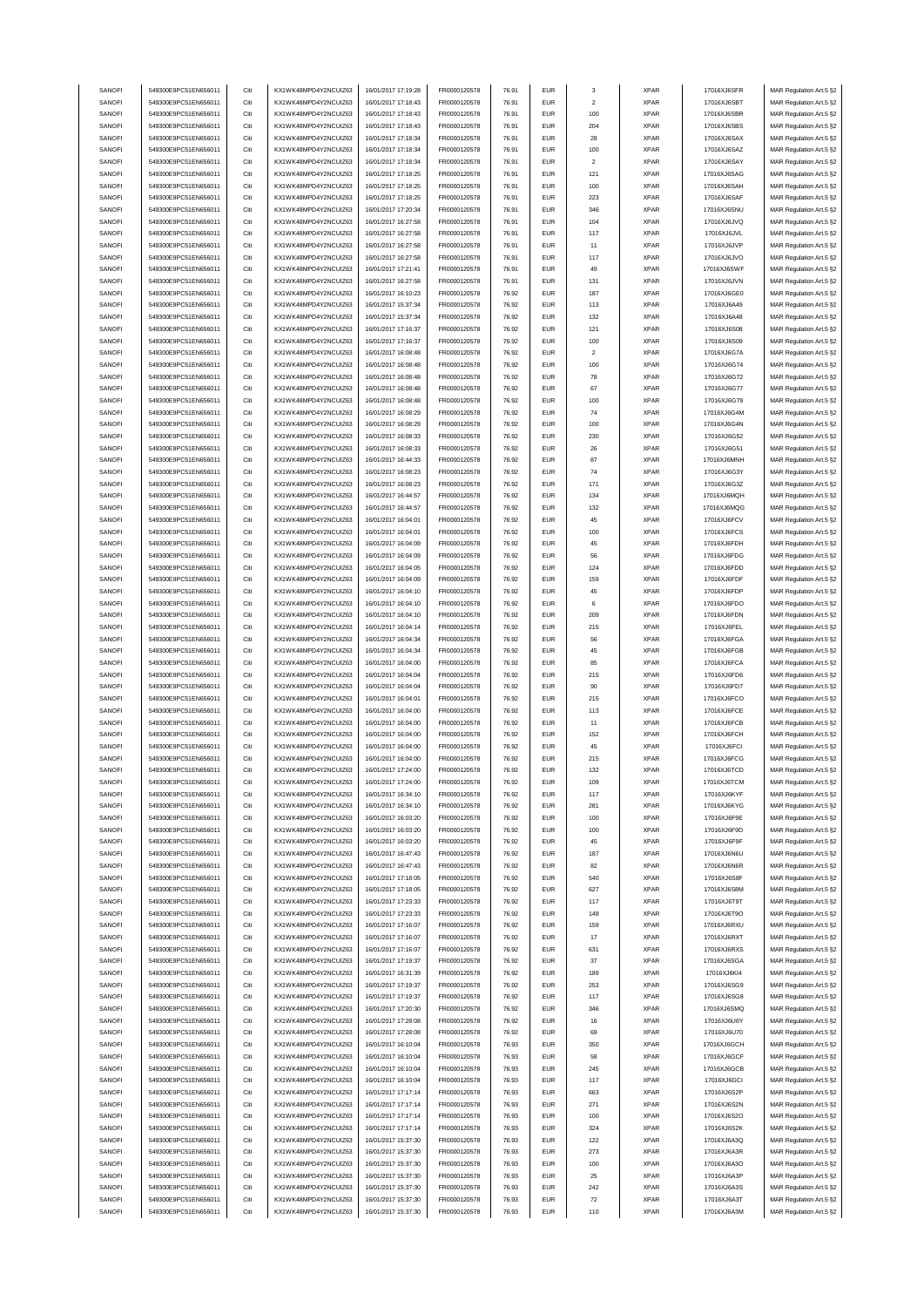| SANOFI | 549300E9PC51EN656011 | Citi | KX1WK48MPD4Y2NCUIZ63  | 16/01/2017 17:19:28 | FR0000120578        | 76.91 | <b>EUR</b> | 3          | <b>XPAR</b> | 17016XJ6SFR | MAR Regulation Art.5 §2 |
|--------|----------------------|------|-----------------------|---------------------|---------------------|-------|------------|------------|-------------|-------------|-------------------------|
| SANOFI | 549300E9PC51EN656011 | Citi | KX1WK48MPD4Y2NCUIZ63  | 16/01/2017 17:18:43 | FR0000120578        | 76.91 | <b>EUR</b> | $\sqrt{2}$ | <b>XPAR</b> | 17016XJ6SBT | MAR Regulation Art.5 §2 |
|        |                      |      |                       |                     |                     |       |            |            |             |             |                         |
| SANOFI | 549300E9PC51EN656011 | Citi | KX1WK48MPD4Y2NCUIZ63  | 16/01/2017 17:18:43 | FR0000120578        | 76.91 | <b>EUR</b> | 100        | <b>XPAR</b> | 17016XJ6SBR | MAR Regulation Art.5 §2 |
| SANOFI | 549300E9PC51EN656011 | Citi | KX1WK48MPD4Y2NCUIZ63  | 16/01/2017 17:18:43 | FR0000120578        | 76.91 | <b>EUR</b> | 204        | <b>XPAR</b> | 17016XJ6SBS | MAR Regulation Art.5 §2 |
| SANOFI | 549300E9PC51EN656011 | Citi | KX1WK48MPD4Y2NCUIZ63  | 16/01/2017 17:18:34 | FR0000120578        | 76.91 | <b>EUR</b> | 28         | <b>XPAR</b> | 17016XJ6SAX | MAR Regulation Art.5 §2 |
| SANOFI | 549300E9PC51EN656011 | Citi | KX1WK48MPD4Y2NCUIZ63  | 16/01/2017 17:18:34 | FR0000120578        | 76.91 | <b>EUR</b> | 100        | <b>XPAR</b> | 17016XJ6SAZ | MAR Regulation Art.5 §2 |
| SANOFI | 549300E9PC51EN656011 | Citi | KX1WK48MPD4Y2NCUIZ63  | 16/01/2017 17:18:34 | FR0000120578        | 76.91 | <b>EUR</b> | $\sqrt{2}$ | XPAR        | 17016XJ6SAY | MAR Regulation Art.5 §2 |
| SANOFI | 549300E9PC51EN656011 | Citi | KX1WK48MPD4Y2NCUIZ63  | 16/01/2017 17:18:25 | FR0000120578        | 76.91 | <b>EUR</b> | 121        | <b>XPAR</b> | 17016XJ6SAG | MAR Regulation Art.5 §2 |
|        |                      |      |                       |                     |                     |       |            |            |             |             |                         |
| SANOFI | 549300E9PC51EN656011 | Citi | KX1WK48MPD4Y2NCUIZ63  | 16/01/2017 17:18:25 | FR0000120578        | 76.91 | <b>EUR</b> | 100        | <b>XPAR</b> | 17016XJ6SAH | MAR Regulation Art.5 §2 |
| SANOFI | 549300E9PC51EN656011 | Citi | KX1WK48MPD4Y2NCUIZ63  | 16/01/2017 17:18:25 | FR0000120578        | 76.91 | <b>EUR</b> | 223        | <b>XPAR</b> | 17016XJ6SAF | MAR Regulation Art.5 §2 |
| SANOFI | 549300E9PC51EN656011 | Citi | KX1WK48MPD4Y2NCUIZ63  | 16/01/2017 17:20:34 | FR0000120578        | 76.91 | <b>EUR</b> | 346        | <b>XPAR</b> | 17016XJ6SNU | MAR Regulation Art.5 §2 |
| SANOFI | 549300E9PC51EN656011 | Citi | KX1WK48MPD4Y2NCUIZ63  | 16/01/2017 16:27:58 | FR0000120578        | 76.91 | <b>EUR</b> | 104        | <b>XPAR</b> | 17016XJ6JVQ | MAR Regulation Art.5 §2 |
| SANOFI | 549300E9PC51EN656011 | Citi | KX1WK48MPD4Y2NCUIZ63  | 16/01/2017 16:27:58 | FR0000120578        | 76.91 | <b>EUR</b> | 117        | <b>XPAR</b> | 17016XJ6JVL | MAR Regulation Art.5 §2 |
|        |                      |      |                       |                     |                     |       |            |            |             |             |                         |
| SANOFI | 549300E9PC51EN656011 | Citi | KX1WK48MPD4Y2NCUIZ63  | 16/01/2017 16:27:58 | FR0000120578        | 76.91 | <b>EUR</b> | 11         | XPAR        | 17016XJ6JVP | MAR Regulation Art.5 §2 |
| SANOFI | 549300E9PC51EN656011 | Citi | KX1WK48MPD4Y2NCUIZ63  | 16/01/2017 16:27:58 | FR0000120578        | 76.91 | <b>EUR</b> | 117        | <b>XPAR</b> | 17016XJ6JVO | MAR Regulation Art.5 §2 |
| SANOFI | 549300E9PC51EN656011 | Citi | KX1WK48MPD4Y2NCUIZ63  | 16/01/2017 17:21:41 | FR0000120578        | 76.91 | <b>EUR</b> | 49         | <b>XPAR</b> | 17016XJ6SWF | MAR Regulation Art.5 §2 |
| SANOFI | 549300E9PC51EN656011 | Citi | KX1WK48MPD4Y2NCUIZ63  | 16/01/2017 16:27:58 | FR0000120578        | 76.91 | <b>EUR</b> | 131        | <b>XPAR</b> | 17016XJ6JVN | MAR Regulation Art.5 §2 |
| SANOFI | 549300E9PC51EN656011 | Citi | KX1WK48MPD4Y2NCLIIZ63 | 16/01/2017 16:10:23 | FR0000120578        | 76.92 | <b>EUR</b> | 187        | XPAR        | 17016XJ6GE0 | MAR Regulation Art.5 §2 |
| SANOFI | 549300E9PC51EN656011 | Citi | KX1WK48MPD4Y2NCUIZ63  | 16/01/2017 15:37:34 | FR0000120578        | 76.92 | <b>EUR</b> | 113        | <b>XPAR</b> | 17016XJ6A49 |                         |
|        |                      |      |                       |                     |                     |       |            |            |             |             | MAR Regulation Art.5 §2 |
| SANOFI | 549300E9PC51EN656011 | Citi | KX1WK48MPD4Y2NCUIZ63  | 16/01/2017 15:37:34 | FR0000120578        | 76.92 | <b>EUR</b> | 132        | <b>XPAR</b> | 17016XJ6A48 | MAR Regulation Art.5 §2 |
| SANOFI | 549300E9PC51EN656011 | Citi | KX1WK48MPD4Y2NCUIZ63  | 16/01/2017 17:16:37 | FR0000120578        | 76.92 | <b>EUR</b> | 121        | <b>XPAR</b> | 17016XJ6S08 | MAR Regulation Art.5 §2 |
| SANOFI | 549300E9PC51EN656011 | Citi | KX1WK48MPD4Y2NCUIZ63  | 16/01/2017 17:16:37 | FR0000120578        | 76.92 | <b>EUR</b> | 100        | <b>XPAR</b> | 17016XJ6S09 | MAR Regulation Art.5 §2 |
| SANOFI | 549300E9PC51EN656011 | Citi | KX1WK48MPD4Y2NCUIZ63  | 16/01/2017 16:08:48 | FR0000120578        | 76.92 | <b>EUR</b> | $\sqrt{2}$ | XPAR        | 17016XJ6G7A | MAR Regulation Art.5 §2 |
| SANOFI | 549300E9PC51EN656011 | Citi | KX1WK48MPD4Y2NCUIZ63  | 16/01/2017 16:08:48 | FR0000120578        | 76.92 | <b>EUR</b> | 100        | <b>XPAR</b> | 17016XJ6G74 | MAR Regulation Art.5 §2 |
| SANOFI | 549300E9PC51EN656011 | Citi | KX1WK48MPD4Y2NCLIIZ63 | 16/01/2017 16:08:48 | FR0000120578        | 76.92 | <b>EUR</b> | 78         | <b>XPAR</b> | 17016XJ6G72 | MAR Regulation Art.5 §2 |
|        |                      |      |                       |                     |                     |       |            |            |             |             |                         |
| SANOFI | 549300E9PC51EN656011 | Citi | KX1WK48MPD4Y2NCUIZ63  | 16/01/2017 16:08:48 | FR0000120578        | 76.92 | <b>EUR</b> | 67         | <b>XPAR</b> | 17016XJ6G77 | MAR Regulation Art.5 §2 |
| SANOFI | 549300E9PC51EN656011 | Citi | KX1WK48MPD4Y2NCUIZ63  | 16/01/2017 16:08:48 | FR0000120578        | 76.92 | <b>EUR</b> | 100        | <b>XPAR</b> | 17016XJ6G79 | MAR Regulation Art.5 §2 |
| SANOFI | 549300E9PC51EN656011 | Citi | KX1WK48MPD4Y2NCUIZ63  | 16/01/2017 16:08:29 | FR0000120578        | 76.92 | <b>EUR</b> | 74         | <b>XPAR</b> | 17016XJ6G4M | MAR Regulation Art.5 §2 |
| SANOFI | 549300E9PC51EN656011 | Citi | KX1WK48MPD4Y2NCUIZ63  | 16/01/2017 16:08:29 | FR0000120578        | 76.92 | <b>EUR</b> | 100        | <b>XPAR</b> | 17016XJ6G4N | MAR Regulation Art.5 §2 |
| SANOFI | 549300E9PC51EN656011 | Citi | KX1WK48MPD4Y2NCUIZ63  | 16/01/2017 16:08:33 | FR0000120578        | 76.92 | <b>EUR</b> | 230        | <b>XPAR</b> | 17016XJ6G52 | MAR Regulation Art.5 §2 |
|        |                      |      |                       |                     |                     |       |            |            |             |             |                         |
| SANOFI | 549300E9PC51EN656011 | Citi | KX1WK48MPD4Y2NCUIZ63  | 16/01/2017 16:08:33 | FR0000120578        | 76.92 | <b>EUR</b> | 26         | <b>XPAR</b> | 17016XJ6G51 | MAR Regulation Art.5 §2 |
| SANOFI | 549300E9PC51EN656011 | Citi | KX1WK48MPD4Y2NCUIZ63  | 16/01/2017 16:44:33 | FR0000120578        | 76.92 | <b>EUR</b> | 87         | <b>XPAR</b> | 17016XJ6MNH | MAR Regulation Art.5 §2 |
| SANOFI | 549300E9PC51EN656011 | Citi | KX1WK48MPD4Y2NCUIZ63  | 16/01/2017 16:08:23 | FR0000120578        | 76.92 | <b>EUR</b> | 74         | <b>XPAR</b> | 17016XJ6G3Y | MAR Regulation Art.5 §2 |
| SANOFI | 549300E9PC51EN656011 | Citi | KX1WK48MPD4Y2NCUIZ63  | 16/01/2017 16:08:23 | FR0000120578        | 76.92 | <b>EUR</b> | 171        | <b>XPAR</b> | 17016XJ6G3Z | MAR Regulation Art.5 §2 |
| SANOFI | 549300E9PC51EN656011 | Citi | KX1WK48MPD4Y2NCUIZ63  | 16/01/2017 16:44:57 | FR0000120578        | 76.92 | EUR        | 134        | <b>XPAR</b> | 17016XJ6MQH | MAR Regulation Art.5 §2 |
| SANOFI | 549300E9PC51EN656011 | Citi | KX1WK48MPD4Y2NCUIZ63  | 16/01/2017 16:44:57 | FR0000120578        | 76.92 | <b>EUR</b> | 132        | <b>XPAR</b> | 17016XJ6MQG | MAR Regulation Art.5 §2 |
|        |                      |      |                       |                     |                     |       |            |            |             |             |                         |
| SANOFI | 549300E9PC51EN656011 | Citi | KX1WK48MPD4Y2NCUIZ63  | 16/01/2017 16:04:01 | FR0000120578        | 76.92 | <b>EUR</b> | 45         | <b>XPAR</b> | 17016XJ6FCV | MAR Regulation Art.5 §2 |
| SANOFI | 549300E9PC51EN656011 | Citi | KX1WK48MPD4Y2NCUIZ63  | 16/01/2017 16:04:01 | FR0000120578        | 76.92 | <b>EUR</b> | 100        | <b>XPAR</b> | 17016XJ6FCS | MAR Regulation Art.5 §2 |
| SANOFI | 549300E9PC51EN656011 | Citi | KX1WK48MPD4Y2NCUIZ63  | 16/01/2017 16:04:09 | FR0000120578        | 76.92 | <b>EUR</b> | 45         | <b>XPAR</b> | 17016XJ6FDH | MAR Regulation Art.5 §2 |
| SANOFI | 549300E9PC51EN656011 | Citi | KX1WK48MPD4Y2NCUIZ63  | 16/01/2017 16:04:09 | FR0000120578        | 76.92 | <b>EUR</b> | 56         | <b>XPAR</b> | 17016XJ6FDG | MAR Regulation Art.5 §2 |
| SANOFI | 549300E9PC51EN656011 | Citi | KX1WK48MPD4Y2NCUIZ63  | 16/01/2017 16:04:05 | FR0000120578        | 76.92 | <b>EUR</b> | 124        | <b>XPAR</b> | 17016XJ6FDD | MAR Regulation Art.5 §2 |
| SANOFI | 549300E9PC51EN656011 | Citi | KX1WK48MPD4Y2NCUIZ63  | 16/01/2017 16:04:09 | FR0000120578        | 76.92 | <b>EUR</b> | 159        | <b>XPAR</b> |             |                         |
|        |                      |      |                       |                     |                     |       |            |            |             | 17016XJ6FDF | MAR Regulation Art.5 §2 |
| SANOFI | 549300E9PC51EN656011 | Citi | KX1WK48MPD4Y2NCUIZ63  | 16/01/2017 16:04:10 | FR0000120578        | 76.92 | <b>EUR</b> | 45         | <b>XPAR</b> | 17016XJ6FDP | MAR Regulation Art.5 §2 |
| SANOFI | 549300E9PC51EN656011 | Citi | KX1WK48MPD4Y2NCUIZ63  | 16/01/2017 16:04:10 | FR0000120578        | 76.92 | <b>EUR</b> | 6          | <b>XPAR</b> | 17016XJ6FDO | MAR Regulation Art.5 §2 |
| SANOFI | 549300E9PC51EN656011 | Citi | KX1WK48MPD4Y2NCUIZ63  | 16/01/2017 16:04:10 | FR0000120578        | 76.92 | <b>EUR</b> | 209        | <b>XPAR</b> | 17016XJ6FDN | MAR Regulation Art.5 §2 |
| SANOFI | 549300E9PC51EN656011 | Citi | KX1WK48MPD4Y2NCUIZ63  | 16/01/2017 16:04:14 | FR0000120578        | 76.92 | <b>EUR</b> | 215        | <b>XPAR</b> | 17016XJ6FEL | MAR Regulation Art.5 §2 |
| SANOFI | 549300E9PC51EN656011 | Citi | KX1WK48MPD4Y2NCUIZ63  | 16/01/2017 16:04:34 | FR0000120578        | 76.92 | <b>EUR</b> | 56         | <b>XPAR</b> | 17016XJ6FGA | MAR Regulation Art.5 §2 |
|        |                      |      |                       |                     |                     |       |            |            |             |             |                         |
| SANOFI | 549300E9PC51EN656011 | Citi | KX1WK48MPD4Y2NCUIZ63  | 16/01/2017 16:04:34 | FR0000120578        | 76.92 | <b>EUR</b> | 45         | <b>XPAR</b> | 17016XJ6FGB | MAR Regulation Art.5 §2 |
| SANOFI | 549300E9PC51EN656011 | Citi | KX1WK48MPD4Y2NCUIZ63  | 16/01/2017 16:04:00 | FR0000120578        | 76.92 | <b>EUR</b> | 85         | <b>XPAR</b> | 17016XJ6FCA | MAR Regulation Art.5 §2 |
| SANOFI | 549300E9PC51EN656011 | Citi | KX1WK48MPD4Y2NCUIZ63  | 16/01/2017 16:04:04 | FR0000120578        | 76.92 | <b>EUR</b> | 215        | <b>XPAR</b> | 17016XJ6FD6 | MAR Regulation Art.5 §2 |
| SANOFI | 549300E9PC51EN656011 | Citi | KX1WK48MPD4Y2NCUIZ63  | 16/01/2017 16:04:04 | FR0000120578        | 76.92 | <b>EUR</b> | $90\,$     | <b>XPAR</b> | 17016XJ6FD7 | MAR Regulation Art.5 §2 |
| SANOFI | 549300E9PC51EN656011 | Citi | KX1WK48MPD4Y2NCUIZ63  | 16/01/2017 16:04:01 | FR0000120578        | 76.92 | <b>EUR</b> | 215        | <b>XPAR</b> | 17016XJ6FCO | MAR Regulation Art.5 §2 |
|        |                      |      | KX1WK48MPD4Y2NCUIZ63  | 16/01/2017 16:04:00 |                     |       |            |            |             |             |                         |
| SANOFI | 549300E9PC51EN656011 | Citi |                       |                     | FR0000120578        | 76.92 | <b>EUR</b> | 113        | <b>XPAR</b> | 17016XJ6FCE | MAR Regulation Art.5 §2 |
| SANOFI | 549300E9PC51EN656011 | Citi | KX1WK48MPD4Y2NCUIZ63  | 16/01/2017 16:04:00 | FR0000120578        | 76.92 | <b>EUR</b> | 11         | <b>XPAR</b> | 17016XJ6FCB | MAR Regulation Art.5 §2 |
| SANOFI | 549300E9PC51EN656011 | Citi | KX1WK48MPD4Y2NCUIZ63  | 16/01/2017 16:04:00 | FR0000120578        | 76.92 | <b>EUR</b> | 152        | <b>XPAR</b> | 17016XJ6FCH | MAR Regulation Art.5 §2 |
| SANOFI | 549300E9PC51EN656011 | Citi | KX1WK48MPD4Y2NCUIZ63  | 16/01/2017 16:04:00 | FR0000120578        | 76.92 | <b>EUR</b> | 45         | <b>XPAR</b> | 17016XJ6FCI | MAR Regulation Art.5 §2 |
| SANOFI | 549300E9PC51EN656011 | Citi | KX1WK48MPD4Y2NCUIZ63  | 16/01/2017 16:04:00 | FR0000120578        | 76.92 | <b>EUR</b> | 215        | <b>XPAR</b> | 17016XJ6FCG | MAR Regulation Art.5 §2 |
| SANOFI | 549300E9PC51EN656011 |      | KX1WK48MPD4Y2NCLIIZ63 | 16/01/2017 17:24:00 | <b>ER0000120578</b> | 76.92 |            |            | <b>XPAR</b> | 17016XJ6TCD | MAR Regulation Art 5 82 |
|        |                      |      |                       |                     |                     |       |            |            |             |             |                         |
| SANOFI | 549300E9PC51EN656011 | Citi | KX1WK48MPD4Y2NCUIZ63  | 16/01/2017 17:24:00 | FR0000120578        | 76.92 | <b>EUR</b> | 109        | <b>XPAR</b> | 17016XJ6TCM | MAR Regulation Art.5 §2 |
| SANOFI | 549300E9PC51EN656011 | Citi | KX1WK48MPD4Y2NCUIZ63  | 16/01/2017 16:34:10 | FR0000120578        | 76.92 | <b>EUR</b> | 117        | <b>XPAR</b> | 17016XJ6KYF | MAR Regulation Art.5 §2 |
| SANOFI | 549300E9PC51EN656011 | Citi | KX1WK48MPD4Y2NCUIZ63  | 16/01/2017 16:34:10 | FR0000120578        | 76.92 | <b>EUR</b> | 281        | <b>XPAR</b> | 17016XJ6KYG | MAR Regulation Art.5 §2 |
| SANOFI | 549300E9PC51EN656011 | Citi | KX1WK48MPD4Y2NCUIZ63  | 16/01/2017 16:03:20 | FR0000120578        | 76.92 | <b>EUR</b> | 100        | <b>XPAR</b> | 17016XJ6F9E | MAR Regulation Art.5 §2 |
| SANOFI | 549300E9PC51EN656011 | Citi | KX1WK48MPD4Y2NCUIZ63  | 16/01/2017 16:03:20 | FR0000120578        | 76.92 | <b>EUR</b> | 100        | <b>XPAR</b> | 17016XJ6F9D | MAR Regulation Art.5 §2 |
| SANOFI | 549300E9PC51EN656011 | Citi | KX1WK48MPD4Y2NCUIZ63  | 16/01/2017 16:03:20 | FR0000120578        | 76.92 | <b>EUR</b> | 45         | <b>XPAR</b> | 17016XJ6F9F | MAR Regulation Art.5 §2 |
|        |                      |      |                       |                     |                     |       |            |            |             |             |                         |
| SANOFI | 549300E9PC51EN656011 | Citi | KX1WK48MPD4Y2NCUIZ63  | 16/01/2017 16:47:43 | FR0000120578        | 76.92 | <b>EUR</b> | 187        | <b>XPAR</b> | 17016XJ6N6U | MAR Regulation Art.5 §2 |
| SANOFI | 549300E9PC51EN656011 | Citi | KX1WK48MPD4Y2NCUIZ63  | 16/01/2017 16:47:43 | FR0000120578        | 76.92 | <b>EUR</b> | 82         | <b>XPAR</b> | 17016XJ6N6R | MAR Regulation Art.5 §2 |
| SANOFI | 549300E9PC51EN656011 | Citi | KX1WK48MPD4Y2NCUIZ63  | 16/01/2017 17:18:05 | FR0000120578        | 76.92 | <b>EUR</b> | 540        | <b>XPAR</b> | 17016XJ6S8F | MAR Regulation Art.5 §2 |
| SANOFI | 549300E9PC51EN656011 | Citi | KX1WK48MPD4Y2NCLIIZ63 | 16/01/2017 17:18:05 | FR0000120578        | 76.92 | <b>EUR</b> | 627        | <b>XPAR</b> | 17016XJ6S8M | MAR Regulation Art.5 §2 |
| SANOFI | 549300E9PC51EN656011 | Citi | KX1WK48MPD4Y2NCUIZ63  | 16/01/2017 17:23:33 | FR0000120578        | 76.92 | <b>EUR</b> | 117        | <b>XPAR</b> | 17016XJ6T9T | MAR Regulation Art.5 §2 |
| SANOFI | 549300E9PC51EN656011 | Citi | KX1WK48MPD4Y2NCUIZ63  | 16/01/2017 17:23:33 | FR0000120578        | 76.92 | <b>EUR</b> | 148        | <b>XPAR</b> | 17016XJ6T9O | MAR Regulation Art.5 §2 |
|        |                      |      |                       |                     |                     |       |            |            |             |             |                         |
| SANOFI | 549300E9PC51EN656011 | Citi | KX1WK48MPD4Y2NCUIZ63  | 16/01/2017 17:16:07 | FR0000120578        | 76.92 | <b>EUR</b> | 159        | XPAR        | 17016XJ6RXU | MAR Regulation Art.5 §2 |
| SANOFI | 549300E9PC51EN656011 | Citi | KX1WK48MPD4Y2NCUIZ63  | 16/01/2017 17:16:07 | FR0000120578        | 76.92 | <b>EUR</b> | 17         | <b>XPAR</b> | 17016XJ6RXT | MAR Regulation Art.5 §2 |
| SANOFI | 549300E9PC51EN656011 | Citi | KX1WK48MPD4Y2NCUIZ63  | 16/01/2017 17:16:07 | FR0000120578        | 76.92 | <b>EUR</b> | 631        | <b>XPAR</b> | 17016XJ6RXS | MAR Regulation Art.5 §2 |
| SANOFI | 549300E9PC51EN656011 | Citi | KX1WK48MPD4Y2NCUIZ63  | 16/01/2017 17:19:37 | FR0000120578        | 76.92 | <b>EUR</b> | 37         | XPAR        | 17016XJ6SGA | MAR Regulation Art.5 §2 |
| SANOFI | 549300E9PC51EN656011 | Citi | KX1WK48MPD4Y2NCUIZ63  | 16/01/2017 16:31:39 | FR0000120578        | 76.92 | <b>EUR</b> | 189        | <b>XPAR</b> | 17016XJ6KI4 | MAR Regulation Art.5 §2 |
|        | 549300E9PC51EN656011 |      | KX1WK48MPD4Y2NCUIZ63  |                     |                     |       |            |            |             |             |                         |
| SANOFI |                      | Citi |                       | 16/01/2017 17:19:37 | FR0000120578        | 76.92 | <b>EUR</b> | 253        | <b>XPAR</b> | 17016XJ6SG9 | MAR Regulation Art.5 §2 |
| SANOFI | 549300E9PC51EN656011 | Citi | KX1WK48MPD4Y2NCUIZ63  | 16/01/2017 17:19:37 | FR0000120578        | 76.92 | <b>EUR</b> | 117        | <b>XPAR</b> | 17016XJ6SG8 | MAR Regulation Art.5 §2 |
| SANOFI | 549300E9PC51EN656011 | Citi | KX1WK48MPD4Y2NCUIZ63  | 16/01/2017 17:20:30 | FR0000120578        | 76.92 | <b>EUR</b> | 346        | <b>XPAR</b> | 17016XJ6SMQ | MAR Regulation Art.5 §2 |
| SANOFI | 549300E9PC51EN656011 | Citi | KX1WK48MPD4Y2NCUIZ63  | 16/01/2017 17:28:08 | FR0000120578        | 76.92 | <b>EUR</b> | 16         | <b>XPAR</b> | 17016XJ6U6Y | MAR Regulation Art.5 §2 |
| SANOFI | 549300E9PC51EN656011 | Citi | KX1WK48MPD4Y2NCUIZ63  | 16/01/2017 17:28:08 | FR0000120578        | 76.92 | <b>EUR</b> | 69         | <b>XPAR</b> | 17016XJ6U70 | MAR Regulation Art.5 §2 |
| SANOFI | 549300E9PC51EN656011 | Citi | KX1WK48MPD4Y2NCUIZ63  | 16/01/2017 16:10:04 | FR0000120578        | 76.93 | <b>EUR</b> | 350        | <b>XPAR</b> | 17016XJ6GCH | MAR Regulation Art.5 §2 |
|        |                      |      |                       |                     |                     |       |            |            |             |             |                         |
| SANOFI | 549300E9PC51EN656011 | Citi | KX1WK48MPD4Y2NCUIZ63  | 16/01/2017 16:10:04 | FR0000120578        | 76.93 | <b>EUR</b> | 58         | <b>XPAR</b> | 17016XJ6GCF | MAR Regulation Art.5 §2 |
| SANOFI | 549300E9PC51EN656011 | Citi | KX1WK48MPD4Y2NCUIZ63  | 16/01/2017 16:10:04 | FR0000120578        | 76.93 | <b>EUR</b> | 245        | XPAR        | 17016XJ6GCB | MAR Regulation Art.5 §2 |
| SANOFI | 549300E9PC51EN656011 | Citi | KX1WK48MPD4Y2NCUIZ63  | 16/01/2017 16:10:04 | FR0000120578        | 76.93 | <b>EUR</b> | 117        | <b>XPAR</b> | 17016XJ6GCI | MAR Regulation Art.5 §2 |
| SANOFI | 549300E9PC51EN656011 | Citi | KX1WK48MPD4Y2NCUIZ63  | 16/01/2017 17:17:14 | FR0000120578        | 76.93 | <b>EUR</b> | 663        | <b>XPAR</b> | 17016XJ6S2P | MAR Regulation Art.5 §2 |
| SANOFI | 549300E9PC51EN656011 | Citi | KX1WK48MPD4Y2NCUIZ63  | 16/01/2017 17:17:14 | FR0000120578        | 76.93 | <b>EUR</b> | 271        | <b>XPAR</b> | 17016XJ6S2N | MAR Regulation Art.5 §2 |
| SANOFI | 549300E9PC51EN656011 | Citi | KX1WK48MPD4Y2NCUIZ63  | 16/01/2017 17:17:14 | FR0000120578        | 76.93 | <b>EUR</b> | 100        | <b>XPAR</b> | 17016XJ6S2O | MAR Regulation Art.5 §2 |
|        |                      |      |                       |                     |                     |       |            |            |             |             |                         |
| SANOFI | 549300E9PC51EN656011 | Citi | KX1WK48MPD4Y2NCUIZ63  | 16/01/2017 17:17:14 | FR0000120578        | 76.93 | <b>EUR</b> | 324        | <b>XPAR</b> | 17016XJ6S2K | MAR Regulation Art.5 §2 |
| SANOFI | 549300E9PC51EN656011 | Citi | KX1WK48MPD4Y2NCUIZ63  | 16/01/2017 15:37:30 | FR0000120578        | 76.93 | <b>EUR</b> | 122        | <b>XPAR</b> | 17016XJ6A3Q | MAR Regulation Art.5 §2 |
| SANOFI | 549300E9PC51EN656011 | Citi | KX1WK48MPD4Y2NCUIZ63  | 16/01/2017 15:37:30 | FR0000120578        | 76.93 | <b>EUR</b> | 273        | <b>XPAR</b> | 17016XJ6A3R | MAR Regulation Art.5 §2 |
| SANOFI | 549300E9PC51EN656011 | Citi | KX1WK48MPD4Y2NCUIZ63  | 16/01/2017 15:37:30 | FR0000120578        | 76.93 | <b>EUR</b> | 100        | <b>XPAR</b> | 17016XJ6A3O | MAR Regulation Art.5 §2 |
| SANOFI | 549300E9PC51EN656011 | Citi | KX1WK48MPD4Y2NCUIZ63  | 16/01/2017 15:37:30 | FR0000120578        | 76.93 | <b>EUR</b> | 25         | <b>XPAR</b> | 17016XJ6A3P | MAR Regulation Art.5 §2 |
| SANOFI | 549300E9PC51EN656011 | Citi | KX1WK48MPD4Y2NCUIZ63  | 16/01/2017 15:37:30 | FR0000120578        | 76.93 | <b>EUR</b> | 242        | <b>XPAR</b> | 17016XJ6A3S | MAR Regulation Art.5 §2 |
|        |                      |      |                       |                     |                     |       |            |            |             |             |                         |
| SANOFI | 549300E9PC51EN656011 | Citi | KX1WK48MPD4Y2NCUIZ63  | 16/01/2017 15:37:30 | FR0000120578        | 76.93 | <b>EUR</b> | $\bf 72$   | <b>XPAR</b> | 17016XJ6A3T | MAR Regulation Art.5 §2 |
| SANOFI | 549300E9PC51EN656011 | Citi | KX1WK48MPD4Y2NCUIZ63  | 16/01/2017 15:37:30 | FR0000120578        | 76.93 | <b>EUR</b> | 110        | <b>XPAR</b> | 17016XJ6A3M | MAR Regulation Art.5 §2 |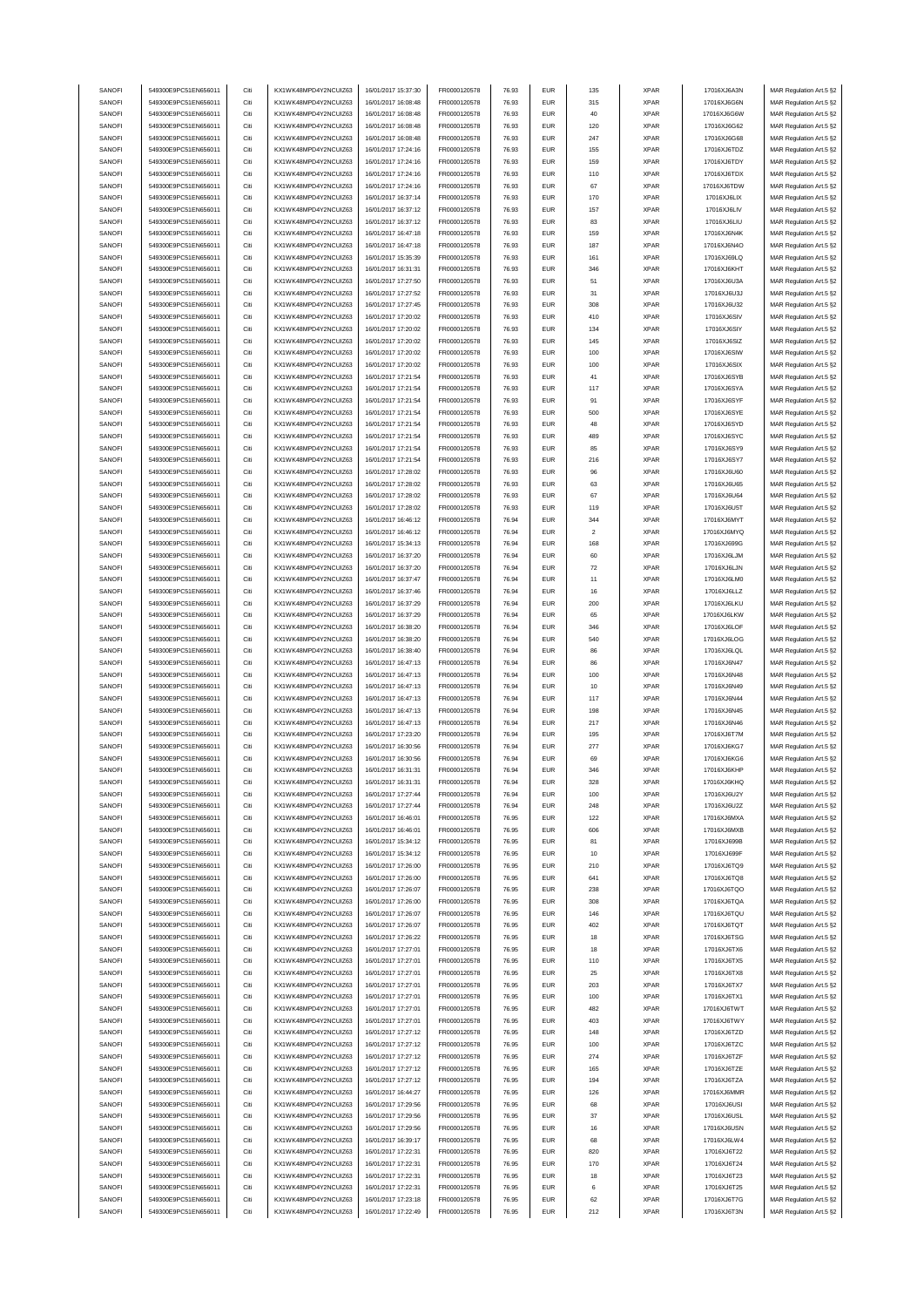| SANOFI | 549300E9PC51EN656011 | Citi | KX1WK48MPD4Y2NCUIZ63  | 16/01/2017 15:37:30 | FR0000120578 | 76.93 | <b>EUR</b> | 135                | <b>XPAR</b> | 17016XJ6A3N  | MAR Regulation Art.5 §2 |
|--------|----------------------|------|-----------------------|---------------------|--------------|-------|------------|--------------------|-------------|--------------|-------------------------|
| SANOFI | 549300E9PC51EN656011 | Citi | KX1WK48MPD4Y2NCUIZ63  | 16/01/2017 16:08:48 | FR0000120578 | 76.93 | <b>EUR</b> | 315                | <b>XPAR</b> | 17016XJ6G6N  | MAR Regulation Art.5 §2 |
|        |                      |      | KX1WK48MPD4Y2NCUIZ63  |                     |              |       |            |                    |             |              |                         |
| SANOFI | 549300E9PC51EN656011 | Citi |                       | 16/01/2017 16:08:48 | FR0000120578 | 76.93 | <b>EUR</b> | $40\,$             | <b>XPAR</b> | 17016XJ6G6W  | MAR Regulation Art.5 §2 |
| SANOFI | 549300E9PC51EN656011 | Citi | KX1WK48MPD4Y2NCUIZ63  | 16/01/2017 16:08:48 | FR0000120578 | 76.93 | <b>EUR</b> | 120                | <b>XPAR</b> | 17016XJ6G62  | MAR Regulation Art.5 §2 |
| SANOFI | 549300E9PC51EN656011 | Citi | KX1WK48MPD4Y2NCLIIZ63 | 16/01/2017 16:08:48 | FR0000120578 | 76.93 | <b>EUR</b> | 247                | <b>XPAR</b> | 17016XJ6G68  | MAR Regulation Art.5 §2 |
| SANOFI | 549300E9PC51EN656011 | Citi | KX1WK48MPD4Y2NCUIZ63  | 16/01/2017 17:24:16 | FR0000120578 | 76.93 | <b>EUR</b> | 155                | <b>XPAR</b> | 17016XJ6TDZ  | MAR Regulation Art.5 §2 |
| SANOFI | 549300E9PC51EN656011 | Citi | KX1WK48MPD4Y2NCUIZ63  | 16/01/2017 17:24:16 | FR0000120578 | 76.93 | <b>EUR</b> | 159                | <b>XPAR</b> | 17016XJ6TDY  | MAR Regulation Art.5 §2 |
|        |                      |      |                       |                     |              |       |            |                    |             |              |                         |
| SANOFI | 549300E9PC51EN656011 | Citi | KX1WK48MPD4Y2NCUIZ63  | 16/01/2017 17:24:16 | FR0000120578 | 76.93 | <b>EUR</b> | 110                | <b>XPAR</b> | 17016XJ6TDX  | MAR Regulation Art.5 §2 |
| SANOFI | 549300E9PC51EN656011 | Citi | KX1WK48MPD4Y2NCUIZ63  | 16/01/2017 17:24:16 | FR0000120578 | 76.93 | <b>EUR</b> | 67                 | <b>XPAR</b> | 17016XJ6TDW  | MAR Regulation Art.5 §2 |
| SANOFI | 549300E9PC51EN656011 | Citi | KX1WK48MPD4Y2NCUIZ63  | 16/01/2017 16:37:14 | FR0000120578 | 76.93 | <b>EUR</b> | 170                | <b>XPAR</b> | 17016XJ6LIX  | MAR Regulation Art.5 §2 |
| SANOFI | 549300E9PC51EN656011 | Citi | KX1WK48MPD4Y2NCUIZ63  | 16/01/2017 16:37:12 | FR0000120578 | 76.93 | <b>EUR</b> | 157                | <b>XPAR</b> | 17016XJ6LIV  | MAR Regulation Art.5 §2 |
| SANOFI | 549300E9PC51EN656011 | Citi | KX1WK48MPD4Y2NCUIZ63  | 16/01/2017 16:37:12 | FR0000120578 | 76.93 | <b>EUR</b> | 83                 | <b>XPAR</b> | 17016XJ6LIU  | MAR Regulation Art.5 §2 |
|        |                      |      |                       |                     |              |       |            |                    |             |              |                         |
| SANOFI | 549300E9PC51EN656011 | Citi | KX1WK48MPD4Y2NCUIZ63  | 16/01/2017 16:47:18 | FR0000120578 | 76.93 | <b>EUR</b> | 159                | <b>XPAR</b> | 17016XJ6N4K  | MAR Regulation Art.5 §2 |
| SANOFI | 549300E9PC51EN656011 | Citi | KX1WK48MPD4Y2NCUIZ63  | 16/01/2017 16:47:18 | FR0000120578 | 76.93 | <b>EUR</b> | 187                | <b>XPAR</b> | 17016XJ6N4O  | MAR Regulation Art.5 §2 |
| SANOFI | 549300E9PC51EN656011 | Citi | KX1WK48MPD4Y2NCUIZ63  | 16/01/2017 15:35:39 | FR0000120578 | 76.93 | <b>EUR</b> | 161                | <b>XPAR</b> | 17016XJ69LQ  | MAR Regulation Art.5 §2 |
|        | 549300E9PC51EN656011 | Citi |                       |                     |              |       | <b>EUR</b> |                    |             |              | MAR Regulation Art.5 §2 |
| SANOFI |                      |      | KX1WK48MPD4Y2NCUIZ63  | 16/01/2017 16:31:31 | FR0000120578 | 76.93 |            | 346                | <b>XPAR</b> | 17016XJ6KHT  |                         |
| SANOFI | 549300E9PC51EN656011 | Citi | KX1WK48MPD4Y2NCUIZ63  | 16/01/2017 17:27:50 | FR0000120578 | 76.93 | <b>EUR</b> | 51                 | <b>XPAR</b> | 17016XJ6U3A  | MAR Regulation Art.5 §2 |
| SANOFI | 549300E9PC51EN656011 | Citi | KX1WK48MPD4Y2NCUIZ63  | 16/01/2017 17:27:52 | FR0000120578 | 76.93 | <b>EUR</b> | 31                 | <b>XPAR</b> | 17016XJ6U3J  | MAR Regulation Art.5 §2 |
| SANOFI | 549300E9PC51EN656011 | Citi | KX1WK48MPD4Y2NCUIZ63  | 16/01/2017 17:27:45 | FR0000120578 | 76.93 | <b>EUR</b> | 308                | <b>XPAR</b> | 17016XJ6U32  | MAR Regulation Art.5 §2 |
|        |                      | Citi |                       |                     |              |       |            |                    |             |              |                         |
| SANOFI | 549300E9PC51EN656011 |      | KX1WK48MPD4Y2NCUIZ63  | 16/01/2017 17:20:02 | FR0000120578 | 76.93 | <b>EUR</b> | 410                | <b>XPAR</b> | 17016XJ6SIV  | MAR Regulation Art.5 §2 |
| SANOFI | 549300E9PC51EN656011 | Citi | KX1WK48MPD4Y2NCUIZ63  | 16/01/2017 17:20:02 | FR0000120578 | 76.93 | <b>EUR</b> | 134                | <b>XPAR</b> | 17016XJ6SIY  | MAR Regulation Art.5 §2 |
| SANOFI | 549300E9PC51EN656011 | Citi | KX1WK48MPD4Y2NCUIZ63  | 16/01/2017 17:20:02 | FR0000120578 | 76.93 | <b>EUR</b> | 145                | <b>XPAR</b> | 17016XJ6SIZ  | MAR Regulation Art.5 §2 |
| SANOFI | 549300E9PC51EN656011 | Citi | KX1WK48MPD4Y2NCUIZ63  | 16/01/2017 17:20:02 | FR0000120578 | 76.93 | <b>EUR</b> | 100                | <b>XPAR</b> | 17016XJ6SIW  | MAR Regulation Art.5 §2 |
| SANOFI | 549300E9PC51EN656011 | Citi | KX1WK48MPD4Y2NCUIZ63  | 16/01/2017 17:20:02 | FR0000120578 | 76.93 | <b>EUR</b> | 100                | <b>XPAR</b> | 17016XJ6SIX  | MAR Regulation Art.5 §2 |
|        |                      |      |                       |                     |              |       |            |                    |             |              |                         |
| SANOFI | 549300E9PC51EN656011 | Citi | KX1WK48MPD4Y2NCUIZ63  | 16/01/2017 17:21:54 | FR0000120578 | 76.93 | <b>EUR</b> | $41\,$             | <b>XPAR</b> | 17016XJ6SYB  | MAR Regulation Art.5 §2 |
| SANOFI | 549300E9PC51EN656011 | Citi | KX1WK48MPD4Y2NCUIZ63  | 16/01/2017 17:21:54 | FR0000120578 | 76.93 | <b>EUR</b> | 117                | <b>XPAR</b> | 17016XJ6SYA  | MAR Regulation Art.5 §2 |
| SANOFI | 549300E9PC51EN656011 | Citi | KX1WK48MPD4Y2NCUIZ63  | 16/01/2017 17:21:54 | FR0000120578 | 76.93 | <b>EUR</b> | 91                 | <b>XPAR</b> | 17016XJ6SYF  | MAR Regulation Art.5 §2 |
| SANOFI | 549300E9PC51EN656011 | Citi | KX1WK48MPD4Y2NCUIZ63  | 16/01/2017 17:21:54 | FR0000120578 | 76.93 | <b>EUR</b> | 500                | <b>XPAR</b> | 17016XJ6SYE  | MAR Regulation Art.5 §2 |
|        |                      |      | KX1WK48MPD4Y2NCUIZ63  |                     |              |       |            |                    |             |              |                         |
| SANOFI | 549300E9PC51EN656011 | Citi |                       | 16/01/2017 17:21:54 | FR0000120578 | 76.93 | <b>EUR</b> | 48                 | <b>XPAR</b> | 17016XJ6SYD  | MAR Regulation Art.5 §2 |
| SANOFI | 549300E9PC51EN656011 | Citi | KX1WK48MPD4Y2NCUIZ63  | 16/01/2017 17:21:54 | FR0000120578 | 76.93 | <b>EUR</b> | 489                | <b>XPAR</b> | 17016XJ6SYC  | MAR Regulation Art.5 §2 |
| SANOFI | 549300E9PC51EN656011 | Citi | KX1WK48MPD4Y2NCUIZ63  | 16/01/2017 17:21:54 | FR0000120578 | 76.93 | <b>EUR</b> | 85                 | <b>XPAR</b> | 17016XJ6SY9  | MAR Regulation Art.5 §2 |
| SANOFI | 549300E9PC51EN656011 | Citi | KX1WK48MPD4Y2NCUIZ63  | 16/01/2017 17:21:54 | FR0000120578 | 76.93 | <b>EUR</b> | 216                | <b>XPAR</b> | 17016XJ6SY7  | MAR Regulation Art.5 §2 |
|        |                      |      |                       |                     |              |       |            |                    |             |              |                         |
| SANOFI | 549300E9PC51EN656011 | Citi | KX1WK48MPD4Y2NCUIZ63  | 16/01/2017 17:28:02 | FR0000120578 | 76.93 | <b>EUR</b> | 96                 | <b>XPAR</b> | 17016XJ6U60  | MAR Regulation Art.5 §2 |
| SANOFI | 549300E9PC51EN656011 | Citi | KX1WK48MPD4Y2NCUIZ63  | 16/01/2017 17:28:02 | FR0000120578 | 76.93 | <b>EUR</b> | 63                 | <b>XPAR</b> | 17016XJ6U65  | MAR Regulation Art.5 §2 |
| SANOFI | 549300E9PC51EN656011 | Citi | KX1WK48MPD4Y2NCUIZ63  | 16/01/2017 17:28:02 | FR0000120578 | 76.93 | <b>EUR</b> | 67                 | <b>XPAR</b> | 17016XJ6U64  | MAR Regulation Art.5 §2 |
| SANOFI | 549300E9PC51EN656011 | Citi | KX1WK48MPD4Y2NCUIZ63  | 16/01/2017 17:28:02 | FR0000120578 | 76.93 | <b>EUR</b> | 119                | <b>XPAR</b> | 17016XJ6U5T  | MAR Regulation Art.5 §2 |
|        | 549300E9PC51EN656011 | Citi |                       |                     |              |       | <b>EUR</b> |                    |             |              |                         |
| SANOFI |                      |      | KX1WK48MPD4Y2NCUIZ63  | 16/01/2017 16:46:12 | FR0000120578 | 76.94 |            | 344                | <b>XPAR</b> | 17016XJ6MYT  | MAR Regulation Art.5 §2 |
| SANOFI | 549300E9PC51EN656011 | Citi | KX1WK48MPD4Y2NCUIZ63  | 16/01/2017 16:46:12 | FR0000120578 | 76.94 | <b>EUR</b> | $\overline{2}$     | <b>XPAR</b> | 17016XJ6MYQ  | MAR Regulation Art.5 §2 |
| SANOFI | 549300E9PC51EN656011 | Citi | KX1WK48MPD4Y2NCUIZ63  | 16/01/2017 15:34:13 | FR0000120578 | 76.94 | <b>EUR</b> | 168                | <b>XPAR</b> | 17016XJ699G  | MAR Regulation Art.5 §2 |
| SANOFI | 549300E9PC51EN656011 | Citi | KX1WK48MPD4Y2NCUIZ63  | 16/01/2017 16:37:20 | FR0000120578 | 76.94 | <b>EUR</b> | 60                 | <b>XPAR</b> | 17016XJ6LJM  | MAR Regulation Art.5 §2 |
| SANOFI | 549300E9PC51EN656011 | Citi | KX1WK48MPD4Y2NCUIZ63  | 16/01/2017 16:37:20 | FR0000120578 | 76.94 | <b>EUR</b> | $\scriptstyle{72}$ | <b>XPAR</b> | 17016XJ6LJN  | MAR Regulation Art.5 §2 |
|        |                      |      |                       |                     |              |       |            |                    |             |              |                         |
| SANOFI | 549300E9PC51EN656011 | Citi | KX1WK48MPD4Y2NCUIZ63  | 16/01/2017 16:37:47 | FR0000120578 | 76.94 | <b>EUR</b> | 11                 | <b>XPAR</b> | 17016XJ6LM0  | MAR Regulation Art.5 §2 |
| SANOFI | 549300E9PC51EN656011 | Citi | KX1WK48MPD4Y2NCUIZ63  | 16/01/2017 16:37:46 | FR0000120578 | 76.94 | <b>EUR</b> | 16                 | <b>XPAR</b> | 17016XJ6LLZ  | MAR Regulation Art.5 §2 |
| SANOFI | 549300E9PC51EN656011 | Citi | KX1WK48MPD4Y2NCUIZ63  | 16/01/2017 16:37:29 | FR0000120578 | 76.94 | <b>EUR</b> | 200                | <b>XPAR</b> | 17016XJ6LKU  | MAR Regulation Art.5 §2 |
| SANOFI | 549300E9PC51EN656011 | Citi | KX1WK48MPD4Y2NCUIZ63  | 16/01/2017 16:37:29 | FR0000120578 | 76.94 | <b>EUR</b> | 65                 | <b>XPAR</b> | 17016XJ6LKW  | MAR Regulation Art.5 §2 |
| SANOFI | 549300E9PC51EN656011 | Citi | KX1WK48MPD4Y2NCUIZ63  | 16/01/2017 16:38:20 | FR0000120578 | 76.94 | <b>EUR</b> | 346                | <b>XPAR</b> | 17016XJ6LOF  | MAR Regulation Art.5 §2 |
|        |                      |      |                       |                     |              |       |            |                    |             |              |                         |
| SANOFI | 549300E9PC51EN656011 | Citi | KX1WK48MPD4Y2NCUIZ63  | 16/01/2017 16:38:20 | FR0000120578 | 76.94 | <b>EUR</b> | 540                | <b>XPAR</b> | 17016XJ6LOG  | MAR Regulation Art.5 §2 |
| SANOFI | 549300E9PC51EN656011 | Citi | KX1WK48MPD4Y2NCUIZ63  | 16/01/2017 16:38:40 | FR0000120578 | 76.94 | <b>EUR</b> | 86                 | <b>XPAR</b> | 17016XJ6LQL  | MAR Regulation Art.5 §2 |
| SANOFI | 549300E9PC51EN656011 | Citi | KX1WK48MPD4Y2NCUIZ63  | 16/01/2017 16:47:13 | FR0000120578 | 76.94 | <b>EUR</b> | 86                 | <b>XPAR</b> | 17016XJ6N47  | MAR Regulation Art.5 §2 |
| SANOFI | 549300E9PC51EN656011 | Citi | KX1WK48MPD4Y2NCUIZ63  | 16/01/2017 16:47:13 | FR0000120578 | 76.94 | <b>EUR</b> | 100                | <b>XPAR</b> | 17016XJ6N48  | MAR Regulation Art.5 §2 |
|        |                      |      |                       |                     |              |       |            |                    |             |              |                         |
| SANOFI | 549300E9PC51EN656011 | Citi | KX1WK48MPD4Y2NCUIZ63  | 16/01/2017 16:47:13 | FR0000120578 | 76.94 | <b>EUR</b> | $10$               | <b>XPAR</b> | 17016XJ6N49  | MAR Regulation Art.5 §2 |
| SANOFI | 549300E9PC51EN656011 | Citi | KX1WK48MPD4Y2NCUIZ63  | 16/01/2017 16:47:13 | FR0000120578 | 76.94 | <b>EUR</b> | 117                |             | 17016XJ6N44  |                         |
|        |                      |      |                       |                     |              |       |            |                    | <b>XPAR</b> |              | MAR Regulation Art.5 §2 |
|        | 549300E9PC51EN656011 | Citi |                       |                     |              |       | <b>EUR</b> |                    |             |              |                         |
| SANOFI |                      |      | KX1WK48MPD4Y2NCUIZ63  | 16/01/2017 16:47:13 | FR0000120578 | 76.94 |            | 198                | <b>XPAR</b> | 17016XJ6N45  | MAR Regulation Art.5 §2 |
| SANOFI | 549300E9PC51EN656011 | Citi | KX1WK48MPD4Y2NCUIZ63  | 16/01/2017 16:47:13 | FR0000120578 | 76.94 | <b>EUR</b> | 217                | <b>XPAR</b> | 17016XJ6N46  | MAR Regulation Art.5 §2 |
| SANOFI | 549300E9PC51EN656011 | Citi | KX1WK48MPD4Y2NCUIZ63  | 16/01/2017 17:23:20 | FR0000120578 | 76.94 | <b>EUR</b> | 195                | <b>XPAR</b> | 17016XJ6T7M  | MAR Regulation Art.5 §2 |
| SANOFI | 549300E9PC51EN656011 | Citi | KX1WK48MPD4Y2NCUIZ63  | 16/01/2017 16:30:56 | FR0000120578 | 76.94 | <b>EUR</b> | 277                | <b>XPAR</b> | 17016XJ6KG7  | MAR Regulation Art.5 §2 |
| SANOFI | 549300E9PC51EN656011 | Citi | KX1WK48MPD4Y2NCUIZ63  | 16/01/2017 16:30:56 | FR0000120578 | 76.94 | <b>EUR</b> | 69                 | <b>XPAR</b> | 17016XJ6KG6  | MAR Regulation Art.5 §2 |
|        |                      |      |                       |                     |              |       |            |                    |             |              |                         |
| SANOFI | 549300E9PC51EN656011 | Citi | KX1WK48MPD4Y2NCUIZ63  | 16/01/2017 16:31:31 | FR0000120578 | 76.94 | <b>EUR</b> | 346                | <b>XPAR</b> | 17016XJ6KHP  | MAR Regulation Art.5 §2 |
| SANOFI | 549300E9PC51EN656011 |      | KX1WK48MPD4Y2NCLIIZ63 | 16/01/2017 16:31:31 | FR0000120578 | 76.94 | FUR        | 328                | <b>XPAR</b> | 17016X.I6KHO | MAR Regulation Art 5 82 |
| SANOFI | 549300E9PC51EN656011 | Citi | KX1WK48MPD4Y2NCUIZ63  | 16/01/2017 17:27:44 | FR0000120578 | 76.94 | <b>EUR</b> | 100                | <b>XPAR</b> | 17016XJ6U2Y  | MAR Regulation Art.5 §2 |
| SANOFI | 549300E9PC51EN656011 | Citi | KX1WK48MPD4Y2NCUIZ63  | 16/01/2017 17:27:44 | FR0000120578 | 76.94 | <b>EUR</b> | 248                | <b>XPAR</b> | 17016XJ6U2Z  | MAR Regulation Art.5 §2 |
|        | 549300E9PC51EN656011 |      |                       | 16/01/2017 16:46:01 |              |       |            |                    |             |              |                         |
| SANOFI |                      | Citi | KX1WK48MPD4Y2NCUIZ63  |                     | FR0000120578 | 76.95 | <b>EUR</b> | 122                | <b>XPAR</b> | 17016XJ6MXA  | MAR Regulation Art.5 §2 |
| SANOFI | 549300E9PC51EN656011 | Citi | KX1WK48MPD4Y2NCUIZ63  | 16/01/2017 16:46:01 | FR0000120578 | 76.95 | <b>EUR</b> | 606                | <b>XPAR</b> | 17016XJ6MXB  | MAR Regulation Art.5 §2 |
| SANOFI | 549300E9PC51EN656011 | Citi | KX1WK48MPD4Y2NCUIZ63  | 16/01/2017 15:34:12 | FR0000120578 | 76.95 | <b>EUR</b> | 81                 | <b>XPAR</b> | 17016XJ699B  | MAR Regulation Art.5 §2 |
| SANOFI | 549300E9PC51EN656011 | Citi | KX1WK48MPD4Y2NCUIZ63  | 16/01/2017 15:34:12 | FR0000120578 | 76.95 | <b>EUR</b> | 10                 | <b>XPAR</b> | 17016XJ699F  | MAR Regulation Art.5 §2 |
| SANOFI | 549300E9PC51EN656011 | Citi | KX1WK48MPD4Y2NCUIZ63  | 16/01/2017 17:26:00 | FR0000120578 | 76.95 | <b>EUR</b> | 210                | <b>XPAR</b> | 17016XJ6TQ9  | MAR Regulation Art.5 §2 |
| SANOFI | 549300E9PC51EN656011 | Citi | KX1WK48MPD4Y2NCUIZ63  |                     |              | 76.95 | <b>EUR</b> | 641                | <b>XPAR</b> |              |                         |
|        |                      |      |                       | 16/01/2017 17:26:00 | FR0000120578 |       |            |                    |             | 17016XJ6TQ8  | MAR Regulation Art.5 §2 |
| SANOFI | 549300E9PC51EN656011 | Citi | KX1WK48MPD4Y2NCUIZ63  | 16/01/2017 17:26:07 | FR0000120578 | 76.95 | <b>EUR</b> | 238                | <b>XPAR</b> | 17016XJ6TQO  | MAR Regulation Art.5 §2 |
| SANOFI | 549300E9PC51EN656011 | Citi | KX1WK48MPD4Y2NCUIZ63  | 16/01/2017 17:26:00 | FR0000120578 | 76.95 | <b>EUR</b> | 308                | <b>XPAR</b> | 17016XJ6TQA  | MAR Regulation Art.5 §2 |
| SANOFI | 549300E9PC51EN656011 | Citi | KX1WK48MPD4Y2NCUIZ63  | 16/01/2017 17:26:07 | FR0000120578 | 76.95 | <b>EUR</b> | 146                | <b>XPAR</b> | 17016XJ6TQU  | MAR Regulation Art.5 §2 |
| SANOFI | 549300E9PC51EN656011 | Citi | KX1WK48MPD4Y2NCUIZ63  | 16/01/2017 17:26:07 | FR0000120578 | 76.95 | <b>EUR</b> | 402                | <b>XPAR</b> | 17016XJ6TQT  | MAR Regulation Art.5 §2 |
|        |                      |      |                       |                     |              |       |            |                    |             |              |                         |
| SANOFI | 549300E9PC51EN656011 | Citi | KX1WK48MPD4Y2NCUIZ63  | 16/01/2017 17:26:22 | FR0000120578 | 76.95 | <b>EUR</b> | 18                 | <b>XPAR</b> | 17016XJ6TSG  | MAR Regulation Art.5 §2 |
| SANOFI | 549300E9PC51EN656011 | Citi | KX1WK48MPD4Y2NCUIZ63  | 16/01/2017 17:27:01 | FR0000120578 | 76.95 | <b>EUR</b> | 18                 | <b>XPAR</b> | 17016XJ6TX6  | MAR Regulation Art.5 §2 |
| SANOFI | 549300E9PC51EN656011 | Citi | KX1WK48MPD4Y2NCUIZ63  | 16/01/2017 17:27:01 | FR0000120578 | 76.95 | <b>EUR</b> | 110                | <b>XPAR</b> | 17016XJ6TX5  | MAR Regulation Art.5 §2 |
| SANOFI | 549300E9PC51EN656011 | Citi | KX1WK48MPD4Y2NCUIZ63  | 16/01/2017 17:27:01 | FR0000120578 | 76.95 | <b>EUR</b> | 25                 | <b>XPAR</b> | 17016XJ6TX8  |                         |
|        |                      |      |                       |                     |              |       |            |                    |             |              | MAR Regulation Art.5 §2 |
| SANOFI | 549300E9PC51EN656011 | Citi | KX1WK48MPD4Y2NCUIZ63  | 16/01/2017 17:27:01 | FR0000120578 | 76.95 | <b>EUR</b> | 203                | <b>XPAR</b> | 17016XJ6TX7  | MAR Regulation Art.5 §2 |
| SANOFI | 549300E9PC51EN656011 | Citi | KX1WK48MPD4Y2NCUIZ63  | 16/01/2017 17:27:01 | FR0000120578 | 76.95 | <b>EUR</b> | 100                | <b>XPAR</b> | 17016XJ6TX1  | MAR Regulation Art.5 §2 |
| SANOFI | 549300E9PC51EN656011 | Citi | KX1WK48MPD4Y2NCUIZ63  | 16/01/2017 17:27:01 | FR0000120578 | 76.95 | <b>EUR</b> | 482                | <b>XPAR</b> | 17016XJ6TWT  | MAR Regulation Art.5 §2 |
| SANOFI | 549300E9PC51EN656011 | Citi | KX1WK48MPD4Y2NCUIZ63  | 16/01/2017 17:27:01 | FR0000120578 | 76.95 | <b>EUR</b> | 403                | <b>XPAR</b> | 17016XJ6TWY  | MAR Regulation Art.5 §2 |
| SANOFI | 549300E9PC51EN656011 | Citi | KX1WK48MPD4Y2NCUIZ63  | 16/01/2017 17:27:12 | FR0000120578 | 76.95 | <b>EUR</b> | 148                | <b>XPAR</b> | 17016XJ6TZD  | MAR Regulation Art.5 §2 |
|        |                      |      |                       |                     |              |       |            |                    |             |              |                         |
| SANOFI | 549300E9PC51EN656011 | Citi | KX1WK48MPD4Y2NCUIZ63  | 16/01/2017 17:27:12 | FR0000120578 | 76.95 | <b>EUR</b> | 100                | <b>XPAR</b> | 17016XJ6TZC  | MAR Regulation Art.5 §2 |
| SANOFI | 549300E9PC51EN656011 | Citi | KX1WK48MPD4Y2NCUIZ63  | 16/01/2017 17:27:12 | FR0000120578 | 76.95 | <b>EUR</b> | 274                | <b>XPAR</b> | 17016XJ6TZF  | MAR Regulation Art.5 §2 |
| SANOFI | 549300E9PC51EN656011 | Citi | KX1WK48MPD4Y2NCUIZ63  | 16/01/2017 17:27:12 | FR0000120578 | 76.95 | <b>EUR</b> | 165                | <b>XPAR</b> | 17016XJ6TZE  | MAR Regulation Art.5 §2 |
| SANOFI | 549300E9PC51EN656011 | Citi | KX1WK48MPD4Y2NCUIZ63  | 16/01/2017 17:27:12 | FR0000120578 | 76.95 | <b>EUR</b> | 194                | <b>XPAR</b> | 17016XJ6TZA  | MAR Regulation Art.5 §2 |
|        |                      | Citi |                       |                     |              | 76.95 |            | 126                |             |              |                         |
| SANOFI | 549300E9PC51EN656011 |      | KX1WK48MPD4Y2NCUIZ63  | 16/01/2017 16:44:27 | FR0000120578 |       | <b>EUR</b> |                    | <b>XPAR</b> | 17016XJ6MMR  | MAR Regulation Art.5 §2 |
| SANOFI | 549300E9PC51EN656011 | Citi | KX1WK48MPD4Y2NCUIZ63  | 16/01/2017 17:29:56 | FR0000120578 | 76.95 | <b>EUR</b> | 68                 | <b>XPAR</b> | 17016XJ6USI  | MAR Regulation Art.5 §2 |
| SANOFI | 549300E9PC51EN656011 | Citi | KX1WK48MPD4Y2NCUIZ63  | 16/01/2017 17:29:56 | FR0000120578 | 76.95 | <b>EUR</b> | 37                 | <b>XPAR</b> | 17016XJ6USL  | MAR Regulation Art.5 §2 |
| SANOFI | 549300E9PC51EN656011 | Citi | KX1WK48MPD4Y2NCUIZ63  | 16/01/2017 17:29:56 | FR0000120578 | 76.95 | <b>EUR</b> | 16                 | <b>XPAR</b> | 17016XJ6USN  | MAR Regulation Art.5 §2 |
| SANOFI | 549300E9PC51EN656011 | Citi | KX1WK48MPD4Y2NCUIZ63  | 16/01/2017 16:39:17 | FR0000120578 | 76.95 | <b>EUR</b> | 68                 | <b>XPAR</b> | 17016XJ6LW4  | MAR Regulation Art.5 §2 |
|        |                      |      |                       |                     |              |       |            |                    |             |              |                         |
| SANOFI | 549300E9PC51EN656011 | Citi | KX1WK48MPD4Y2NCUIZ63  | 16/01/2017 17:22:31 | FR0000120578 | 76.95 | <b>EUR</b> | 820                | <b>XPAR</b> | 17016XJ6T22  | MAR Regulation Art.5 §2 |
| SANOFI | 549300E9PC51EN656011 | Citi | KX1WK48MPD4Y2NCUIZ63  | 16/01/2017 17:22:31 | FR0000120578 | 76.95 | <b>EUR</b> | 170                | <b>XPAR</b> | 17016XJ6T24  | MAR Regulation Art.5 §2 |
| SANOFI | 549300E9PC51EN656011 | Citi | KX1WK48MPD4Y2NCUIZ63  | 16/01/2017 17:22:31 | FR0000120578 | 76.95 | <b>EUR</b> | 18                 | <b>XPAR</b> | 17016XJ6T23  | MAR Regulation Art.5 §2 |
| SANOFI | 549300E9PC51EN656011 | Citi | KX1WK48MPD4Y2NCUIZ63  | 16/01/2017 17:22:31 | FR0000120578 | 76.95 | <b>EUR</b> | 6                  | <b>XPAR</b> | 17016XJ6T25  | MAR Regulation Art.5 §2 |
| SANOFI | 549300E9PC51EN656011 | Citi | KX1WK48MPD4Y2NCUIZ63  | 16/01/2017 17:23:18 | FR0000120578 | 76.95 | <b>EUR</b> | 62                 | <b>XPAR</b> | 17016XJ6T7G  | MAR Regulation Art.5 §2 |
| SANOFI | 549300E9PC51EN656011 | Citi | KX1WK48MPD4Y2NCUIZ63  | 16/01/2017 17:22:49 | FR0000120578 | 76.95 | <b>EUR</b> | 212                | XPAR        | 17016XJ6T3N  | MAR Regulation Art.5 §2 |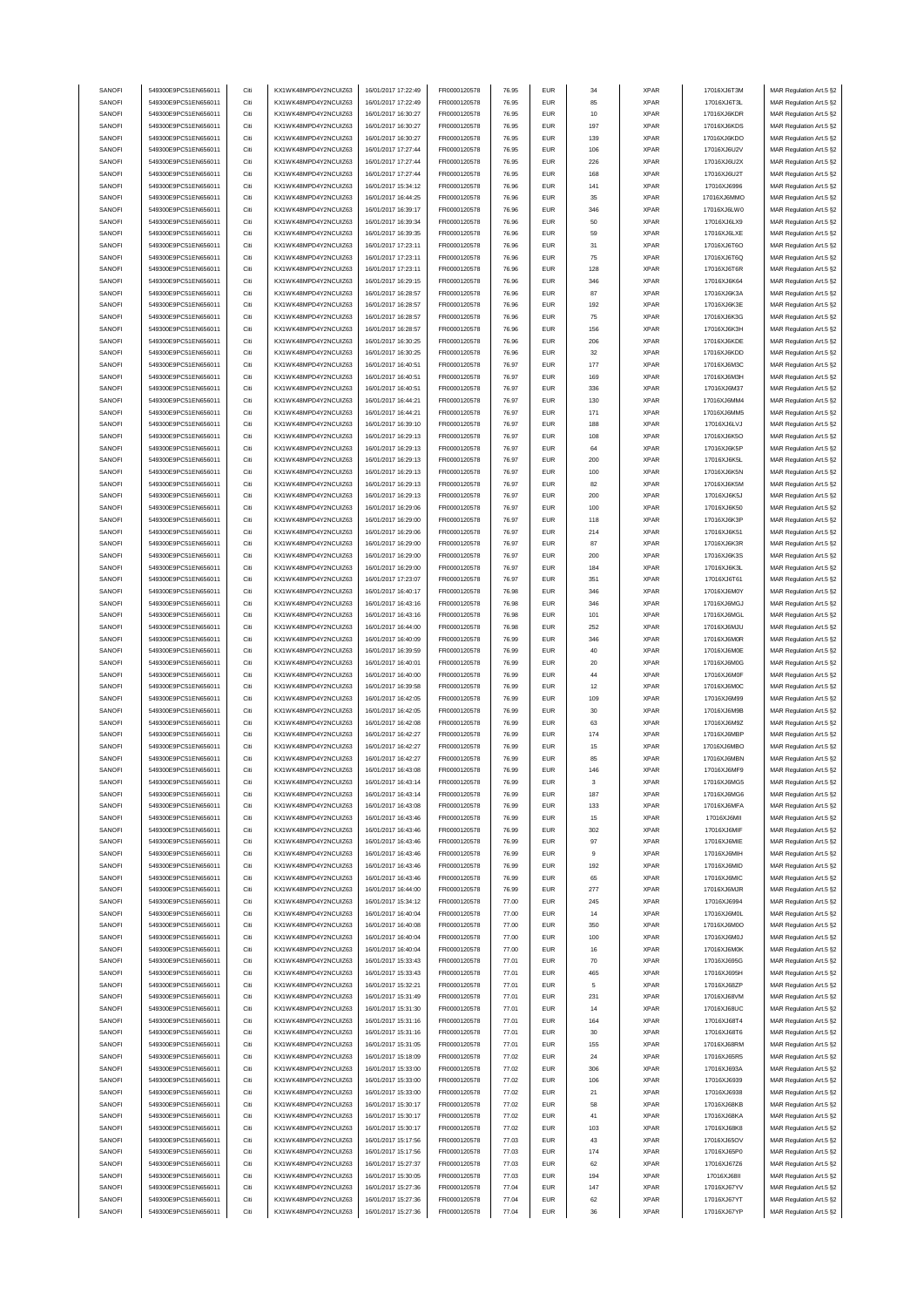| SANOFI | 549300E9PC51EN656011 | Citi | KX1WK48MPD4Y2NCUIZ63  | 16/01/2017 17:22:49 | FR0000120578 | 76.95 | <b>EUR</b> | 34   | <b>XPAR</b> | 17016XJ6T3M | MAR Regulation Art.5 §2 |
|--------|----------------------|------|-----------------------|---------------------|--------------|-------|------------|------|-------------|-------------|-------------------------|
| SANOFI | 549300E9PC51EN656011 | Citi | KX1WK48MPD4Y2NCLIIZ63 | 16/01/2017 17:22:49 | FR0000120578 | 76.95 | <b>EUR</b> | 85   | <b>XPAR</b> | 17016XJ6T3L | MAR Regulation Art.5 §2 |
|        |                      |      |                       |                     |              |       |            |      |             |             |                         |
| SANOFI | 549300E9PC51EN656011 | Citi | KX1WK48MPD4Y2NCUIZ63  | 16/01/2017 16:30:27 | FR0000120578 | 76.95 | <b>EUR</b> | $10$ | <b>XPAR</b> | 17016XJ6KDR | MAR Regulation Art.5 §2 |
| SANOFI | 549300E9PC51EN656011 | Citi | KX1WK48MPD4Y2NCUIZ63  | 16/01/2017 16:30:27 | FR0000120578 | 76.95 | <b>EUR</b> | 197  | <b>XPAR</b> | 17016XJ6KDS | MAR Regulation Art.5 §2 |
| SANOFI | 549300E9PC51EN656011 | Citi | KX1WK48MPD4Y2NCUIZ63  | 16/01/2017 16:30:27 | FR0000120578 | 76.95 | <b>EUR</b> | 139  | <b>XPAR</b> | 17016XJ6KDO | MAR Regulation Art.5 §2 |
| SANOFI | 549300E9PC51EN656011 | Citi | KX1WK48MPD4Y2NCUIZ63  | 16/01/2017 17:27:44 | FR0000120578 | 76.95 | <b>EUR</b> | 106  | <b>XPAR</b> | 17016XJ6U2V | MAR Regulation Art.5 §2 |
| SANOFI | 549300E9PC51EN656011 | Citi | KX1WK48MPD4Y2NCUIZ63  | 16/01/2017 17:27:44 | FR0000120578 | 76.95 | <b>EUR</b> | 226  | <b>XPAR</b> | 17016XJ6U2X | MAR Regulation Art.5 §2 |
| SANOFI | 549300E9PC51EN656011 | Citi | KX1WK48MPD4Y2NCUIZ63  | 16/01/2017 17:27:44 | FR0000120578 | 76.95 | <b>EUR</b> | 168  | <b>XPAR</b> | 17016XJ6U2T | MAR Regulation Art.5 §2 |
|        |                      |      |                       |                     |              |       |            |      |             |             |                         |
| SANOFI | 549300E9PC51EN656011 | Citi | KX1WK48MPD4Y2NCUIZ63  | 16/01/2017 15:34:12 | FR0000120578 | 76.96 | <b>EUR</b> | 141  | <b>XPAR</b> | 17016XJ6996 | MAR Regulation Art.5 §2 |
| SANOFI | 549300E9PC51EN656011 | Citi | KX1WK48MPD4Y2NCUIZ63  | 16/01/2017 16:44:25 | FR0000120578 | 76.96 | <b>EUR</b> | 35   | <b>XPAR</b> | 17016XJ6MMO | MAR Regulation Art.5 §2 |
| SANOFI | 549300E9PC51EN656011 | Citi | KX1WK48MPD4Y2NCUIZ63  | 16/01/2017 16:39:17 | FR0000120578 | 76.96 | <b>EUR</b> | 346  | <b>XPAR</b> | 17016XJ6LW0 | MAR Regulation Art.5 §2 |
| SANOFI | 549300E9PC51EN656011 | Citi | KX1WK48MPD4Y2NCUIZ63  | 16/01/2017 16:39:34 | FR0000120578 | 76.96 | <b>EUR</b> | 50   | <b>XPAR</b> | 17016XJ6LX9 | MAR Regulation Art.5 §2 |
| SANOFI | 549300E9PC51EN656011 | Citi | KX1WK48MPD4Y2NCUIZ63  | 16/01/2017 16:39:35 | FR0000120578 | 76.96 | <b>EUR</b> | 59   | <b>XPAR</b> | 17016XJ6LXE | MAR Regulation Art.5 §2 |
|        |                      |      |                       |                     |              |       |            |      |             |             |                         |
| SANOFI | 549300E9PC51EN656011 | Citi | KX1WK48MPD4Y2NCUIZ63  | 16/01/2017 17:23:11 | FR0000120578 | 76.96 | <b>EUR</b> | 31   | <b>XPAR</b> | 17016XJ6T6O | MAR Regulation Art.5 §2 |
| SANOFI | 549300E9PC51EN656011 | Citi | KX1WK48MPD4Y2NCUIZ63  | 16/01/2017 17:23:11 | FR0000120578 | 76.96 | <b>EUR</b> | 75   | <b>XPAR</b> | 17016XJ6T6Q | MAR Regulation Art.5 §2 |
| SANOFI | 549300E9PC51EN656011 | Citi | KX1WK48MPD4Y2NCUIZ63  | 16/01/2017 17:23:11 | FR0000120578 | 76.96 | <b>EUR</b> | 128  | <b>XPAR</b> | 17016XJ6T6R | MAR Regulation Art.5 §2 |
| SANOFI | 549300E9PC51EN656011 | Citi | KX1WK48MPD4Y2NCUIZ63  | 16/01/2017 16:29:15 | FR0000120578 | 76.96 | <b>EUR</b> | 346  | <b>XPAR</b> | 17016XJ6K64 | MAR Regulation Art.5 §2 |
| SANOFI | 549300E9PC51EN656011 | Citi | KX1WK48MPD4Y2NCLIIZ63 | 16/01/2017 16:28:57 | FR0000120578 | 76.96 | <b>EUR</b> | 87   | <b>XPAR</b> | 17016XJ6K3A | MAR Regulation Art.5 §2 |
| SANOFI | 549300E9PC51EN656011 | Citi | KX1WK48MPD4Y2NCUIZ63  | 16/01/2017 16:28:57 | FR0000120578 | 76.96 | <b>EUR</b> | 192  | <b>XPAR</b> | 17016XJ6K3E |                         |
|        |                      |      |                       |                     |              |       |            |      |             |             | MAR Regulation Art.5 §2 |
| SANOFI | 549300E9PC51EN656011 | Citi | KX1WK48MPD4Y2NCUIZ63  | 16/01/2017 16:28:57 | FR0000120578 | 76.96 | <b>EUR</b> | 75   | <b>XPAR</b> | 17016XJ6K3G | MAR Regulation Art.5 §2 |
| SANOFI | 549300E9PC51EN656011 | Citi | KX1WK48MPD4Y2NCUIZ63  | 16/01/2017 16:28:57 | FR0000120578 | 76.96 | <b>EUR</b> | 156  | <b>XPAR</b> | 17016XJ6K3H | MAR Regulation Art.5 §2 |
| SANOFI | 549300E9PC51EN656011 | Citi | KX1WK48MPD4Y2NCUIZ63  | 16/01/2017 16:30:25 | FR0000120578 | 76.96 | <b>EUR</b> | 206  | <b>XPAR</b> | 17016XJ6KDE | MAR Regulation Art.5 §2 |
| SANOFI | 549300E9PC51EN656011 | Citi | KX1WK48MPD4Y2NCUIZ63  | 16/01/2017 16:30:25 | FR0000120578 | 76.96 | <b>EUR</b> | 32   | <b>XPAR</b> | 17016XJ6KDD | MAR Regulation Art.5 §2 |
| SANOFI | 549300E9PC51EN656011 | Citi | KX1WK48MPD4Y2NCUIZ63  | 16/01/2017 16:40:51 | FR0000120578 | 76.97 | <b>EUR</b> | 177  | <b>XPAR</b> | 17016XJ6M3C | MAR Regulation Art.5 §2 |
| SANOFI | 549300E9PC51EN656011 | Citi | KX1WK48MPD4Y2NCLIIZ63 | 16/01/2017 16:40:51 | FR0000120578 | 76.97 | <b>EUR</b> | 169  | <b>XPAR</b> | 17016XJ6M3H | MAR Regulation Art.5 §2 |
|        |                      |      |                       |                     |              |       |            |      |             |             |                         |
| SANOFI | 549300E9PC51EN656011 | Citi | KX1WK48MPD4Y2NCUIZ63  | 16/01/2017 16:40:51 | FR0000120578 | 76.97 | <b>EUR</b> | 336  | <b>XPAR</b> | 17016XJ6M37 | MAR Regulation Art.5 §2 |
| SANOFI | 549300E9PC51EN656011 | Citi | KX1WK48MPD4Y2NCUIZ63  | 16/01/2017 16:44:21 | FR0000120578 | 76.97 | <b>EUR</b> | 130  | <b>XPAR</b> | 17016XJ6MM4 | MAR Regulation Art.5 §2 |
| SANOFI | 549300E9PC51EN656011 | Citi | KX1WK48MPD4Y2NCUIZ63  | 16/01/2017 16:44:21 | FR0000120578 | 76.97 | <b>EUR</b> | 171  | <b>XPAR</b> | 17016XJ6MM5 | MAR Regulation Art.5 §2 |
| SANOFI | 549300E9PC51EN656011 | Citi | KX1WK48MPD4Y2NCUIZ63  | 16/01/2017 16:39:10 | FR0000120578 | 76.97 | <b>EUR</b> | 188  | <b>XPAR</b> | 17016XJ6LVJ | MAR Regulation Art.5 §2 |
| SANOFI | 549300E9PC51EN656011 | Citi | KX1WK48MPD4Y2NCUIZ63  | 16/01/2017 16:29:13 | FR0000120578 | 76.97 | <b>EUR</b> | 108  | <b>XPAR</b> | 17016XJ6K5O | MAR Regulation Art.5 §2 |
|        |                      |      |                       |                     |              |       |            |      |             |             |                         |
| SANOFI | 549300E9PC51EN656011 | Citi | KX1WK48MPD4Y2NCUIZ63  | 16/01/2017 16:29:13 | FR0000120578 | 76.97 | <b>EUR</b> | 64   | <b>XPAR</b> | 17016XJ6K5P | MAR Regulation Art.5 §2 |
| SANOFI | 549300E9PC51EN656011 | Citi | KX1WK48MPD4Y2NCUIZ63  | 16/01/2017 16:29:13 | FR0000120578 | 76.97 | <b>EUR</b> | 200  | <b>XPAR</b> | 17016XJ6K5L | MAR Regulation Art.5 §2 |
| SANOFI | 549300E9PC51EN656011 | Citi | KX1WK48MPD4Y2NCUIZ63  | 16/01/2017 16:29:13 | FR0000120578 | 76.97 | <b>EUR</b> | 100  | <b>XPAR</b> | 17016XJ6K5N | MAR Regulation Art.5 §2 |
| SANOFI | 549300E9PC51EN656011 | Citi | KX1WK48MPD4Y2NCUIZ63  | 16/01/2017 16:29:13 | FR0000120578 | 76.97 | <b>EUR</b> | 82   | <b>XPAR</b> | 17016XJ6K5M | MAR Regulation Art.5 §2 |
| SANOFI | 549300E9PC51EN656011 | Citi | KX1WK48MPD4Y2NCUIZ63  | 16/01/2017 16:29:13 | FR0000120578 | 76.97 | <b>EUR</b> | 200  | <b>XPAR</b> | 17016XJ6K5J | MAR Regulation Art.5 §2 |
| SANOFI | 549300E9PC51EN656011 | Citi | KX1WK48MPD4Y2NCUIZ63  | 16/01/2017 16:29:06 | FR0000120578 | 76.97 | <b>EUR</b> | 100  | <b>XPAR</b> | 17016XJ6K50 | MAR Regulation Art.5 §2 |
|        |                      |      |                       |                     |              |       |            |      |             |             |                         |
| SANOFI | 549300E9PC51EN656011 | Citi | KX1WK48MPD4Y2NCUIZ63  | 16/01/2017 16:29:00 | FR0000120578 | 76.97 | <b>EUR</b> | 118  | <b>XPAR</b> | 17016XJ6K3P | MAR Regulation Art.5 §2 |
| SANOFI | 549300E9PC51EN656011 | Citi | KX1WK48MPD4Y2NCUIZ63  | 16/01/2017 16:29:06 | FR0000120578 | 76.97 | <b>EUR</b> | 214  | <b>XPAR</b> | 17016XJ6K51 | MAR Regulation Art.5 §2 |
| SANOFI | 549300E9PC51EN656011 | Citi | KX1WK48MPD4Y2NCUIZ63  | 16/01/2017 16:29:00 | FR0000120578 | 76.97 | <b>EUR</b> | 87   | <b>XPAR</b> | 17016XJ6K3R | MAR Regulation Art.5 §2 |
| SANOFI | 549300E9PC51EN656011 | Citi | KX1WK48MPD4Y2NCUIZ63  | 16/01/2017 16:29:00 | FR0000120578 | 76.97 | <b>EUR</b> | 200  | <b>XPAR</b> | 17016XJ6K3S | MAR Regulation Art.5 §2 |
| SANOFI | 549300E9PC51EN656011 | Citi | KX1WK48MPD4Y2NCUIZ63  | 16/01/2017 16:29:00 | FR0000120578 | 76.97 | <b>EUR</b> | 184  | <b>XPAR</b> | 17016XJ6K3L | MAR Regulation Art.5 §2 |
| SANOFI | 549300E9PC51EN656011 | Citi | KX1WK48MPD4Y2NCUIZ63  | 16/01/2017 17:23:07 | FR0000120578 | 76.97 | <b>EUR</b> | 351  | <b>XPAR</b> |             |                         |
|        |                      |      |                       |                     |              |       |            |      |             | 17016XJ6T61 | MAR Regulation Art.5 §2 |
| SANOFI | 549300E9PC51EN656011 | Citi | KX1WK48MPD4Y2NCUIZ63  | 16/01/2017 16:40:17 | FR0000120578 | 76.98 | <b>EUR</b> | 346  | <b>XPAR</b> | 17016XJ6M0Y | MAR Regulation Art.5 §2 |
| SANOFI | 549300E9PC51EN656011 | Citi | KX1WK48MPD4Y2NCUIZ63  | 16/01/2017 16:43:16 | FR0000120578 | 76.98 | <b>EUR</b> | 346  | <b>XPAR</b> | 17016XJ6MGJ | MAR Regulation Art.5 §2 |
| SANOFI | 549300E9PC51EN656011 | Citi | KX1WK48MPD4Y2NCUIZ63  | 16/01/2017 16:43:16 | FR0000120578 | 76.98 | <b>EUR</b> | 101  | <b>XPAR</b> | 17016XJ6MGL | MAR Regulation Art.5 §2 |
| SANOFI | 549300E9PC51EN656011 | Citi | KX1WK48MPD4Y2NCUIZ63  | 16/01/2017 16:44:00 | FR0000120578 | 76.98 | <b>EUR</b> | 252  | <b>XPAR</b> | 17016XJ6MJU | MAR Regulation Art.5 §2 |
| SANOFI | 549300E9PC51EN656011 | Citi | KX1WK48MPD4Y2NCUIZ63  | 16/01/2017 16:40:09 | FR0000120578 | 76.99 | <b>EUR</b> | 346  | <b>XPAR</b> | 17016XJ6M0R | MAR Regulation Art.5 §2 |
|        |                      |      |                       |                     |              |       |            |      |             |             |                         |
| SANOFI | 549300E9PC51EN656011 | Citi | KX1WK48MPD4Y2NCUIZ63  | 16/01/2017 16:39:59 | FR0000120578 | 76.99 | <b>EUR</b> | 40   | <b>XPAR</b> | 17016XJ6M0E | MAR Regulation Art.5 §2 |
| SANOFI | 549300E9PC51EN656011 | Citi | KX1WK48MPD4Y2NCUIZ63  | 16/01/2017 16:40:01 | FR0000120578 | 76.99 | <b>EUR</b> | 20   | <b>XPAR</b> | 17016XJ6M0G | MAR Regulation Art.5 §2 |
| SANOFI | 549300E9PC51EN656011 | Citi | KX1WK48MPD4Y2NCUIZ63  | 16/01/2017 16:40:00 | FR0000120578 | 76.99 | <b>EUR</b> | 44   | <b>XPAR</b> | 17016XJ6M0F | MAR Regulation Art.5 §2 |
| SANOFI | 549300E9PC51EN656011 | Citi | KX1WK48MPD4Y2NCUIZ63  | 16/01/2017 16:39:58 | FR0000120578 | 76.99 | <b>EUR</b> | 12   | <b>XPAR</b> | 17016XJ6M0C | MAR Regulation Art.5 §2 |
| SANOFI | 549300E9PC51EN656011 | Citi | KX1WK48MPD4Y2NCUIZ63  | 16/01/2017 16:42:05 | FR0000120578 | 76.99 | <b>EUR</b> | 109  | <b>XPAR</b> | 17016XJ6M99 | MAR Regulation Art.5 §2 |
|        |                      |      | KX1WK48MPD4Y2NCUIZ63  |                     |              |       |            |      |             |             |                         |
| SANOFI | 549300E9PC51EN656011 | Citi |                       | 16/01/2017 16:42:05 | FR0000120578 | 76.99 | <b>EUR</b> | 30   | <b>XPAR</b> | 17016XJ6M9B | MAR Regulation Art.5 §2 |
| SANOFI | 549300E9PC51EN656011 | Citi | KX1WK48MPD4Y2NCUIZ63  | 16/01/2017 16:42:08 | FR0000120578 | 76.99 | <b>EUR</b> | 63   | <b>XPAR</b> | 17016XJ6M9Z | MAR Regulation Art.5 §2 |
| SANOFI | 549300E9PC51EN656011 | Citi | KX1WK48MPD4Y2NCUIZ63  | 16/01/2017 16:42:27 | FR0000120578 | 76.99 | <b>EUR</b> | 174  | <b>XPAR</b> | 17016XJ6MBP | MAR Regulation Art.5 §2 |
| SANOFI | 549300E9PC51EN656011 | Citi | KX1WK48MPD4Y2NCUIZ63  | 16/01/2017 16:42:27 | FR0000120578 | 76.99 | <b>EUR</b> | 15   | <b>XPAR</b> | 17016XJ6MBO | MAR Regulation Art.5 §2 |
| SANOFI | 549300E9PC51EN656011 | Citi | KX1WK48MPD4Y2NCUIZ63  | 16/01/2017 16:42:27 | FR0000120578 | 76.99 | <b>EUR</b> | 85   | <b>XPAR</b> | 17016XJ6MBN | MAR Regulation Art.5 §2 |
| SANOFI | 549300E9PC51EN656011 |      | KX1WK48MPD4Y2NCLIIZ63 | 16/01/2017 16:43:08 | FR0000120578 | 76.99 |            |      | <b>XPAR</b> | 17016XJ6MF9 | MAR Regulation Art 5 82 |
|        |                      |      |                       |                     |              |       |            |      |             |             |                         |
| SANOFI | 549300E9PC51EN656011 | Citi | KX1WK48MPD4Y2NCUIZ63  | 16/01/2017 16:43:14 | FR0000120578 | 76.99 | <b>EUR</b> | 3    | <b>XPAR</b> | 17016XJ6MG5 | MAR Regulation Art.5 §2 |
| SANOFI | 549300E9PC51EN656011 | Citi | KX1WK48MPD4Y2NCUIZ63  | 16/01/2017 16:43:14 | FR0000120578 | 76.99 | <b>EUR</b> | 187  | <b>XPAR</b> | 17016XJ6MG6 | MAR Regulation Art.5 §2 |
| SANOFI | 549300E9PC51EN656011 | Citi | KX1WK48MPD4Y2NCUIZ63  | 16/01/2017 16:43:08 | FR0000120578 | 76.99 | <b>EUR</b> | 133  | <b>XPAR</b> | 17016XJ6MFA | MAR Regulation Art.5 §2 |
| SANOFI | 549300E9PC51EN656011 | Citi | KX1WK48MPD4Y2NCUIZ63  | 16/01/2017 16:43:46 | FR0000120578 | 76.99 | <b>EUR</b> | 15   | <b>XPAR</b> | 17016XJ6MII | MAR Regulation Art.5 §2 |
| SANOFI | 549300E9PC51EN656011 | Citi | KX1WK48MPD4Y2NCUIZ63  | 16/01/2017 16:43:46 | FR0000120578 | 76.99 | <b>EUR</b> | 302  | <b>XPAR</b> | 17016XJ6MIF | MAR Regulation Art.5 §2 |
| SANOFI | 549300E9PC51EN656011 | Citi | KX1WK48MPD4Y2NCUIZ63  | 16/01/2017 16:43:46 | FR0000120578 | 76.99 | <b>EUR</b> | 97   | <b>XPAR</b> | 17016XJ6MIE | MAR Regulation Art.5 §2 |
|        | 549300E9PC51EN656011 |      | KX1WK48MPD4Y2NCUIZ63  |                     |              |       |            |      |             |             |                         |
| SANOFI |                      | Citi |                       | 16/01/2017 16:43:46 | FR0000120578 | 76.99 | <b>EUR</b> | 9    | <b>XPAR</b> | 17016XJ6MIH | MAR Regulation Art.5 §2 |
| SANOFI | 549300E9PC51EN656011 | Citi | KX1WK48MPD4Y2NCUIZ63  | 16/01/2017 16:43:46 | FR0000120578 | 76.99 | <b>EUR</b> | 192  | <b>XPAR</b> | 17016XJ6MID | MAR Regulation Art.5 §2 |
| SANOFI | 549300E9PC51EN656011 | Citi | KX1WK48MPD4Y2NCUIZ63  | 16/01/2017 16:43:46 | FR0000120578 | 76.99 | <b>EUR</b> | 65   | <b>XPAR</b> | 17016XJ6MIC | MAR Regulation Art.5 §2 |
| SANOFI | 549300E9PC51EN656011 | Citi | KX1WK48MPD4Y2NCLIIZ63 | 16/01/2017 16:44:00 | FR0000120578 | 76.99 | <b>EUR</b> | 277  | <b>XPAR</b> | 17016XJ6MJR | MAR Regulation Art.5 §2 |
| SANOFI | 549300E9PC51EN656011 | Citi | KX1WK48MPD4Y2NCUIZ63  | 16/01/2017 15:34:12 | FR0000120578 | 77.00 | <b>EUR</b> | 245  | <b>XPAR</b> | 17016XJ6994 | MAR Regulation Art.5 §2 |
| SANOFI | 549300E9PC51EN656011 | Citi | KX1WK48MPD4Y2NCUIZ63  | 16/01/2017 16:40:04 | FR0000120578 | 77.00 | <b>EUR</b> | 14   | <b>XPAR</b> | 17016XJ6M0L | MAR Regulation Art.5 §2 |
| SANOFI | 549300E9PC51EN656011 | Citi | KX1WK48MPD4Y2NCUIZ63  | 16/01/2017 16:40:08 | FR0000120578 | 77.00 | <b>EUR</b> | 350  | <b>XPAR</b> | 17016XJ6M0O | MAR Regulation Art.5 §2 |
|        |                      |      |                       |                     |              |       |            |      |             |             |                         |
| SANOFI | 549300E9PC51EN656011 | Citi | KX1WK48MPD4Y2NCUIZ63  | 16/01/2017 16:40:04 | FR0000120578 | 77.00 | <b>EUR</b> | 100  | <b>XPAR</b> | 17016XJ6M0J | MAR Regulation Art.5 §2 |
| SANOFI | 549300E9PC51EN656011 | Citi | KX1WK48MPD4Y2NCUIZ63  | 16/01/2017 16:40:04 | FR0000120578 | 77.00 | <b>EUR</b> | 16   | <b>XPAR</b> | 17016XJ6M0K | MAR Regulation Art.5 §2 |
| SANOFI | 549300E9PC51EN656011 | Citi | KX1WK48MPD4Y2NCUIZ63  | 16/01/2017 15:33:43 | FR0000120578 | 77.01 | <b>EUR</b> | 70   | <b>XPAR</b> | 17016XJ695G | MAR Regulation Art.5 §2 |
| SANOFI | 549300E9PC51EN656011 | Citi | KX1WK48MPD4Y2NCUIZ63  | 16/01/2017 15:33:43 | FR0000120578 | 77.01 | <b>EUR</b> | 465  | <b>XPAR</b> | 17016XJ695H | MAR Regulation Art.5 §2 |
| SANOFI | 549300E9PC51EN656011 | Citi | KX1WK48MPD4Y2NCUIZ63  | 16/01/2017 15:32:21 | FR0000120578 | 77.01 | <b>EUR</b> | 5    | <b>XPAR</b> | 17016XJ68ZP | MAR Regulation Art.5 §2 |
|        |                      |      |                       |                     |              |       |            |      |             |             |                         |
| SANOFI | 549300E9PC51EN656011 | Citi | KX1WK48MPD4Y2NCUIZ63  | 16/01/2017 15:31:49 | FR0000120578 | 77.01 | <b>EUR</b> | 231  | <b>XPAR</b> | 17016XJ68VM | MAR Regulation Art.5 §2 |
| SANOFI | 549300E9PC51EN656011 | Citi | KX1WK48MPD4Y2NCUIZ63  | 16/01/2017 15:31:30 | FR0000120578 | 77.01 | <b>EUR</b> | 14   | <b>XPAR</b> | 17016XJ68UC | MAR Regulation Art.5 §2 |
| SANOFI | 549300E9PC51EN656011 | Citi | KX1WK48MPD4Y2NCUIZ63  | 16/01/2017 15:31:16 | FR0000120578 | 77.01 | <b>EUR</b> | 164  | <b>XPAR</b> | 17016XJ68T4 | MAR Regulation Art.5 §2 |
| SANOFI | 549300E9PC51EN656011 | Citi | KX1WK48MPD4Y2NCUIZ63  | 16/01/2017 15:31:16 | FR0000120578 | 77.01 | <b>EUR</b> | 30   | <b>XPAR</b> | 17016XJ68T6 | MAR Regulation Art.5 §2 |
| SANOFI | 549300E9PC51EN656011 | Citi | KX1WK48MPD4Y2NCUIZ63  | 16/01/2017 15:31:05 | FR0000120578 | 77.01 | <b>EUR</b> | 155  | <b>XPAR</b> | 17016XJ68RM | MAR Regulation Art.5 §2 |
| SANOFI | 549300E9PC51EN656011 | Citi | KX1WK48MPD4Y2NCUIZ63  | 16/01/2017 15:18:09 | FR0000120578 | 77.02 | <b>EUR</b> | 24   | <b>XPAR</b> | 17016XJ65R5 | MAR Regulation Art.5 §2 |
|        |                      |      |                       |                     |              |       |            |      |             |             |                         |
| SANOFI | 549300E9PC51EN656011 | Citi | KX1WK48MPD4Y2NCUIZ63  | 16/01/2017 15:33:00 | FR0000120578 | 77.02 | <b>EUR</b> | 306  | <b>XPAR</b> | 17016XJ693A | MAR Regulation Art.5 §2 |
| SANOFI | 549300E9PC51EN656011 | Citi | KX1WK48MPD4Y2NCUIZ63  | 16/01/2017 15:33:00 | FR0000120578 | 77.02 | <b>EUR</b> | 106  | <b>XPAR</b> | 17016XJ6939 | MAR Regulation Art.5 §2 |
| SANOFI | 549300E9PC51EN656011 | Citi | KX1WK48MPD4Y2NCUIZ63  | 16/01/2017 15:33:00 | FR0000120578 | 77.02 | <b>EUR</b> | 21   | <b>XPAR</b> | 17016XJ6938 | MAR Regulation Art.5 §2 |
| SANOFI | 549300E9PC51EN656011 | Citi | KX1WK48MPD4Y2NCUIZ63  | 16/01/2017 15:30:17 | FR0000120578 | 77.02 | <b>EUR</b> | 58   | <b>XPAR</b> | 17016XJ68KB | MAR Regulation Art.5 §2 |
| SANOFI | 549300E9PC51EN656011 | Citi | KX1WK48MPD4Y2NCUIZ63  | 16/01/2017 15:30:17 | FR0000120578 | 77.02 | <b>EUR</b> | 41   | <b>XPAR</b> | 17016XJ68KA | MAR Regulation Art.5 §2 |
| SANOFI |                      |      | KX1WK48MPD4Y2NCUIZ63  |                     | FR0000120578 |       |            |      |             |             |                         |
|        | 549300E9PC51EN656011 | Citi |                       | 16/01/2017 15:30:17 |              | 77.02 | <b>EUR</b> | 103  | <b>XPAR</b> | 17016XJ68K8 | MAR Regulation Art.5 §2 |
| SANOFI | 549300E9PC51EN656011 | Citi | KX1WK48MPD4Y2NCUIZ63  | 16/01/2017 15:17:56 | FR0000120578 | 77.03 | <b>EUR</b> | 43   | <b>XPAR</b> | 17016XJ65OV | MAR Regulation Art.5 §2 |
| SANOFI | 549300E9PC51EN656011 | Citi | KX1WK48MPD4Y2NCUIZ63  | 16/01/2017 15:17:56 | FR0000120578 | 77.03 | <b>EUR</b> | 174  | <b>XPAR</b> | 17016XJ65P0 | MAR Regulation Art.5 §2 |
| SANOFI | 549300E9PC51EN656011 | Citi | KX1WK48MPD4Y2NCUIZ63  | 16/01/2017 15:27:37 | FR0000120578 | 77.03 | <b>EUR</b> | 62   | <b>XPAR</b> | 17016XJ67Z6 | MAR Regulation Art.5 §2 |
| SANOFI | 549300E9PC51EN656011 | Citi | KX1WK48MPD4Y2NCUIZ63  | 16/01/2017 15:30:05 | FR0000120578 | 77.03 | <b>EUR</b> | 194  | <b>XPAR</b> | 17016XJ68II | MAR Regulation Art.5 §2 |
| SANOFI | 549300E9PC51EN656011 | Citi | KX1WK48MPD4Y2NCUIZ63  | 16/01/2017 15:27:36 | FR0000120578 | 77.04 | <b>EUR</b> | 147  | <b>XPAR</b> | 17016XJ67YV | MAR Regulation Art.5 §2 |
|        |                      |      |                       |                     |              |       |            |      |             |             |                         |
| SANOFI | 549300E9PC51EN656011 | Citi | KX1WK48MPD4Y2NCUIZ63  | 16/01/2017 15:27:36 | FR0000120578 | 77.04 | <b>EUR</b> | 62   | <b>XPAR</b> | 17016XJ67YT | MAR Regulation Art.5 §2 |
| SANOFI | 549300E9PC51EN656011 | Citi | KX1WK48MPD4Y2NCUIZ63  | 16/01/2017 15:27:36 | FR0000120578 | 77.04 | <b>EUR</b> | 36   | <b>XPAR</b> | 17016XJ67YP | MAR Regulation Art.5 §2 |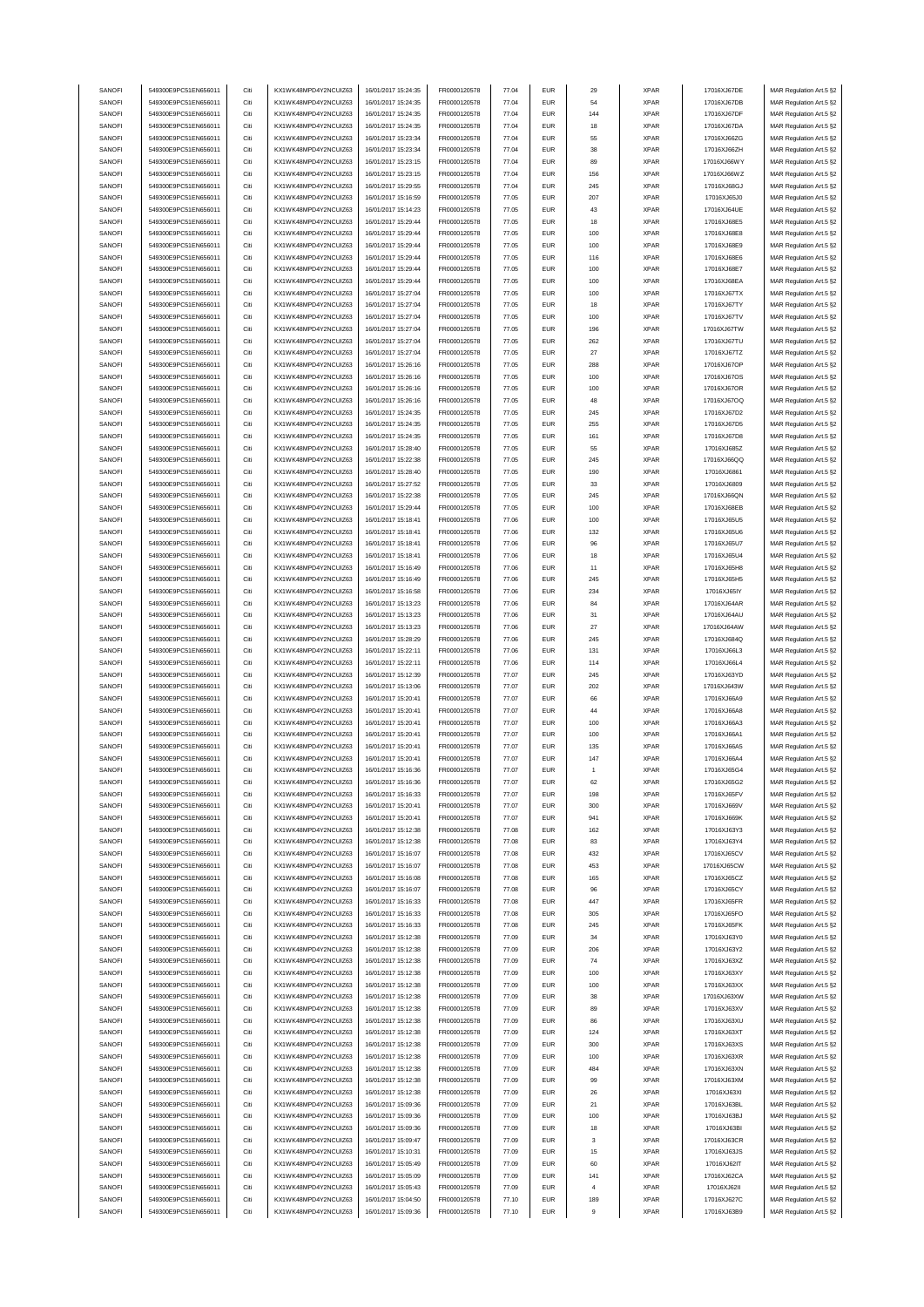| SANOFI | 549300E9PC51EN656011 | Citi | KX1WK48MPD4Y2NCUIZ63  | 16/01/2017 15:24:35 | FR0000120578 | 77.04 | <b>EUR</b> | 29          | <b>XPAR</b> | 17016XJ67DE | MAR Regulation Art.5 §2 |
|--------|----------------------|------|-----------------------|---------------------|--------------|-------|------------|-------------|-------------|-------------|-------------------------|
| SANOFI | 549300E9PC51EN656011 | Citi | KX1WK48MPD4Y2NCUIZ63  | 16/01/2017 15:24:35 | FR0000120578 | 77.04 | <b>EUR</b> | 54          | <b>XPAR</b> | 17016XJ67DB | MAR Regulation Art.5 §2 |
|        |                      |      |                       |                     |              |       |            |             |             |             |                         |
| SANOFI | 549300E9PC51EN656011 | Citi | KX1WK48MPD4Y2NCUIZ63  | 16/01/2017 15:24:35 | FR0000120578 | 77.04 | <b>EUR</b> | 144         | <b>XPAR</b> | 17016XJ67DF | MAR Regulation Art.5 §2 |
| SANOFI | 549300E9PC51EN656011 | Citi | KX1WK48MPD4Y2NCUIZ63  | 16/01/2017 15:24:35 | FR0000120578 | 77.04 | <b>EUR</b> | 18          | <b>XPAR</b> | 17016XJ67DA | MAR Regulation Art.5 §2 |
| SANOFI | 549300E9PC51EN656011 | Citi | KX1WK48MPD4Y2NCUIZ63  | 16/01/2017 15:23:34 | FR0000120578 | 77.04 | <b>EUR</b> | 55          | <b>XPAR</b> | 17016XJ66ZG | MAR Regulation Art.5 §2 |
| SANOFI | 549300E9PC51EN656011 | Citi | KX1WK48MPD4Y2NCUIZ63  | 16/01/2017 15:23:34 | FR0000120578 | 77.04 | <b>EUR</b> | 38          | <b>XPAR</b> | 17016XJ66ZH | MAR Regulation Art.5 §2 |
| SANOFI | 549300E9PC51EN656011 | Citi | KX1WK48MPD4Y2NCUIZ63  | 16/01/2017 15:23:15 | FR0000120578 | 77.04 | <b>EUR</b> | 89          | <b>XPAR</b> | 17016XJ66WY | MAR Regulation Art.5 §2 |
| SANOFI | 549300E9PC51EN656011 | Citi | KX1WK48MPD4Y2NCUIZ63  | 16/01/2017 15:23:15 | FR0000120578 | 77.04 | <b>EUR</b> | 156         | <b>XPAR</b> | 17016XJ66WZ | MAR Regulation Art.5 §2 |
|        |                      |      |                       |                     |              |       |            |             |             |             |                         |
| SANOFI | 549300E9PC51EN656011 | Citi | KX1WK48MPD4Y2NCUIZ63  | 16/01/2017 15:29:55 | FR0000120578 | 77.04 | <b>EUR</b> | 245         | <b>XPAR</b> | 17016XJ68GJ | MAR Regulation Art.5 §2 |
| SANOFI | 549300E9PC51EN656011 | Citi | KX1WK48MPD4Y2NCUIZ63  | 16/01/2017 15:16:59 | FR0000120578 | 77.05 | <b>EUR</b> | 207         | <b>XPAR</b> | 17016XJ65J0 | MAR Regulation Art.5 §2 |
| SANOFI | 549300E9PC51EN656011 | Citi | KX1WK48MPD4Y2NCUIZ63  | 16/01/2017 15:14:23 | FR0000120578 | 77.05 | <b>EUR</b> | 43          | <b>XPAR</b> | 17016XJ64UE | MAR Regulation Art.5 §2 |
| SANOFI | 549300E9PC51EN656011 | Citi | KX1WK48MPD4Y2NCUIZ63  | 16/01/2017 15:29:44 | FR0000120578 | 77.05 | <b>EUR</b> | 18          | <b>XPAR</b> | 17016XJ68E5 | MAR Regulation Art.5 §2 |
| SANOFI | 549300E9PC51EN656011 | Citi | KX1WK48MPD4Y2NCUIZ63  | 16/01/2017 15:29:44 | FR0000120578 | 77.05 | <b>EUR</b> | 100         | <b>XPAR</b> | 17016XJ68E8 | MAR Regulation Art.5 §2 |
|        |                      |      |                       |                     |              |       |            |             |             |             |                         |
| SANOFI | 549300E9PC51EN656011 | Citi | KX1WK48MPD4Y2NCUIZ63  | 16/01/2017 15:29:44 | FR0000120578 | 77.05 | <b>EUR</b> | 100         | <b>XPAR</b> | 17016XJ68E9 | MAR Regulation Art.5 §2 |
| SANOFI | 549300E9PC51EN656011 | Citi | KX1WK48MPD4Y2NCUIZ63  | 16/01/2017 15:29:44 | FR0000120578 | 77.05 | <b>EUR</b> | 116         | <b>XPAR</b> | 17016XJ68E6 | MAR Regulation Art.5 §2 |
| SANOFI | 549300E9PC51EN656011 | Citi | KX1WK48MPD4Y2NCUIZ63  | 16/01/2017 15:29:44 | FR0000120578 | 77.05 | <b>EUR</b> | 100         | <b>XPAR</b> | 17016XJ68E7 | MAR Regulation Art.5 §2 |
| SANOFI | 549300E9PC51EN656011 | Citi | KX1WK48MPD4Y2NCUIZ63  | 16/01/2017 15:29:44 | FR0000120578 | 77.05 | <b>EUR</b> | 100         | <b>XPAR</b> | 17016XJ68EA | MAR Regulation Art.5 §2 |
| SANOFI | 549300E9PC51EN656011 | Citi | KX1WK48MPD4Y2NCLIIZ63 | 16/01/2017 15:27:04 | FR0000120578 | 77.05 | <b>EUR</b> | 100         | <b>XPAR</b> | 17016XJ67TX | MAR Regulation Art.5 §2 |
| SANOFI | 549300E9PC51EN656011 | Citi | KX1WK48MPD4Y2NCUIZ63  | 16/01/2017 15:27:04 | FR0000120578 | 77.05 | <b>EUR</b> | 18          | <b>XPAR</b> | 17016XJ67TY |                         |
|        |                      |      |                       |                     |              |       |            |             |             |             | MAR Regulation Art.5 §2 |
| SANOFI | 549300E9PC51EN656011 | Citi | KX1WK48MPD4Y2NCUIZ63  | 16/01/2017 15:27:04 | FR0000120578 | 77.05 | <b>EUR</b> | 100         | <b>XPAR</b> | 17016XJ67TV | MAR Regulation Art.5 §2 |
| SANOFI | 549300E9PC51EN656011 | Citi | KX1WK48MPD4Y2NCUIZ63  | 16/01/2017 15:27:04 | FR0000120578 | 77.05 | <b>EUR</b> | 196         | <b>XPAR</b> | 17016XJ67TW | MAR Regulation Art.5 §2 |
| SANOFI | 549300E9PC51EN656011 | Citi | KX1WK48MPD4Y2NCUIZ63  | 16/01/2017 15:27:04 | FR0000120578 | 77.05 | <b>EUR</b> | 262         | <b>XPAR</b> | 17016XJ67TU | MAR Regulation Art.5 §2 |
| SANOFI | 549300E9PC51EN656011 | Citi | KX1WK48MPD4Y2NCUIZ63  | 16/01/2017 15:27:04 | FR0000120578 | 77.05 | <b>EUR</b> | $27\,$      | <b>XPAR</b> | 17016XJ67TZ | MAR Regulation Art.5 §2 |
| SANOFI | 549300E9PC51EN656011 | Citi | KX1WK48MPD4Y2NCUIZ63  | 16/01/2017 15:26:16 | FR0000120578 | 77.05 | <b>EUR</b> | 288         | <b>XPAR</b> | 17016XJ67OP | MAR Regulation Art.5 §2 |
| SANOFI | 549300E9PC51EN656011 | Citi | KX1WK48MPD4Y2NCLIIZ63 | 16/01/2017 15:26:16 | FR0000120578 | 77.05 | <b>EUR</b> | 100         | <b>XPAR</b> | 17016XJ67OS | MAR Regulation Art.5 §2 |
|        |                      |      |                       |                     |              |       |            |             |             |             |                         |
| SANOFI | 549300E9PC51EN656011 | Citi | KX1WK48MPD4Y2NCUIZ63  | 16/01/2017 15:26:16 | FR0000120578 | 77.05 | <b>EUR</b> | 100         | <b>XPAR</b> | 17016XJ67OR | MAR Regulation Art.5 §2 |
| SANOFI | 549300E9PC51EN656011 | Citi | KX1WK48MPD4Y2NCUIZ63  | 16/01/2017 15:26:16 | FR0000120578 | 77.05 | <b>EUR</b> | 48          | <b>XPAR</b> | 17016XJ67OQ | MAR Regulation Art.5 §2 |
| SANOFI | 549300E9PC51EN656011 | Citi | KX1WK48MPD4Y2NCUIZ63  | 16/01/2017 15:24:35 | FR0000120578 | 77.05 | <b>EUR</b> | 245         | <b>XPAR</b> | 17016XJ67D2 | MAR Regulation Art.5 §2 |
| SANOFI | 549300E9PC51EN656011 | Citi | KX1WK48MPD4Y2NCUIZ63  | 16/01/2017 15:24:35 | FR0000120578 | 77.05 | <b>EUR</b> | 255         | <b>XPAR</b> | 17016XJ67D5 | MAR Regulation Art.5 §2 |
| SANOFI | 549300E9PC51EN656011 | Citi | KX1WK48MPD4Y2NCUIZ63  | 16/01/2017 15:24:35 | FR0000120578 | 77.05 | <b>EUR</b> | 161         | <b>XPAR</b> | 17016XJ67D8 | MAR Regulation Art.5 §2 |
|        |                      |      |                       |                     |              |       |            |             |             |             |                         |
| SANOFI | 549300E9PC51EN656011 | Citi | KX1WK48MPD4Y2NCUIZ63  | 16/01/2017 15:28:40 | FR0000120578 | 77.05 | <b>EUR</b> | 55          | <b>XPAR</b> | 17016XJ685Z | MAR Regulation Art.5 §2 |
| SANOFI | 549300E9PC51EN656011 | Citi | KX1WK48MPD4Y2NCUIZ63  | 16/01/2017 15:22:38 | FR0000120578 | 77.05 | <b>EUR</b> | 245         | <b>XPAR</b> | 17016XJ66QQ | MAR Regulation Art.5 §2 |
| SANOFI | 549300E9PC51EN656011 | Citi | KX1WK48MPD4Y2NCUIZ63  | 16/01/2017 15:28:40 | FR0000120578 | 77.05 | <b>EUR</b> | 190         | <b>XPAR</b> | 17016XJ6861 | MAR Regulation Art.5 §2 |
| SANOFI | 549300E9PC51EN656011 | Citi | KX1WK48MPD4Y2NCUIZ63  | 16/01/2017 15:27:52 | FR0000120578 | 77.05 | <b>EUR</b> | 33          | <b>XPAR</b> | 17016XJ6809 | MAR Regulation Art.5 §2 |
| SANOFI | 549300E9PC51EN656011 | Citi | KX1WK48MPD4Y2NCUIZ63  | 16/01/2017 15:22:38 | FR0000120578 | 77.05 | <b>EUR</b> | 245         | <b>XPAR</b> | 17016XJ66QN | MAR Regulation Art.5 §2 |
|        | 549300E9PC51EN656011 | Citi |                       |                     |              | 77.05 | <b>EUR</b> |             |             |             |                         |
| SANOFI |                      |      | KX1WK48MPD4Y2NCUIZ63  | 16/01/2017 15:29:44 | FR0000120578 |       |            | 100         | <b>XPAR</b> | 17016XJ68EB | MAR Regulation Art.5 §2 |
| SANOFI | 549300E9PC51EN656011 | Citi | KX1WK48MPD4Y2NCUIZ63  | 16/01/2017 15:18:41 | FR0000120578 | 77.06 | <b>EUR</b> | 100         | <b>XPAR</b> | 17016XJ65U5 | MAR Regulation Art.5 §2 |
| SANOFI | 549300E9PC51EN656011 | Citi | KX1WK48MPD4Y2NCUIZ63  | 16/01/2017 15:18:41 | FR0000120578 | 77.06 | <b>EUR</b> | 132         | <b>XPAR</b> | 17016XJ65U6 | MAR Regulation Art.5 §2 |
| SANOFI | 549300E9PC51EN656011 | Citi | KX1WK48MPD4Y2NCUIZ63  | 16/01/2017 15:18:41 | FR0000120578 | 77.06 | <b>EUR</b> | 96          | <b>XPAR</b> | 17016XJ65U7 | MAR Regulation Art.5 §2 |
| SANOFI | 549300E9PC51EN656011 | Citi | KX1WK48MPD4Y2NCUIZ63  | 16/01/2017 15:18:41 | FR0000120578 | 77.06 | <b>EUR</b> | 18          | <b>XPAR</b> | 17016XJ65U4 | MAR Regulation Art.5 §2 |
| SANOFI | 549300E9PC51EN656011 | Citi | KX1WK48MPD4Y2NCUIZ63  | 16/01/2017 15:16:49 | FR0000120578 | 77.06 | <b>EUR</b> | 11          | <b>XPAR</b> | 17016XJ65H8 | MAR Regulation Art.5 §2 |
| SANOFI | 549300E9PC51EN656011 | Citi | KX1WK48MPD4Y2NCUIZ63  | 16/01/2017 15:16:49 | FR0000120578 | 77.06 | <b>EUR</b> | 245         | <b>XPAR</b> |             |                         |
|        |                      |      |                       |                     |              |       |            |             |             | 17016XJ65H5 | MAR Regulation Art.5 §2 |
| SANOFI | 549300E9PC51EN656011 | Citi | KX1WK48MPD4Y2NCUIZ63  | 16/01/2017 15:16:58 | FR0000120578 | 77.06 | <b>EUR</b> | 234         | <b>XPAR</b> | 17016XJ65IY | MAR Regulation Art.5 §2 |
| SANOFI | 549300E9PC51EN656011 | Citi | KX1WK48MPD4Y2NCUIZ63  | 16/01/2017 15:13:23 | FR0000120578 | 77.06 | <b>EUR</b> | 84          | <b>XPAR</b> | 17016XJ64AR | MAR Regulation Art.5 §2 |
| SANOFI | 549300E9PC51EN656011 | Citi | KX1WK48MPD4Y2NCUIZ63  | 16/01/2017 15:13:23 | FR0000120578 | 77.06 | <b>EUR</b> | 31          | <b>XPAR</b> | 17016XJ64AU | MAR Regulation Art.5 §2 |
| SANOFI | 549300E9PC51EN656011 | Citi | KX1WK48MPD4Y2NCUIZ63  | 16/01/2017 15:13:23 | FR0000120578 | 77.06 | <b>EUR</b> | $27\,$      | <b>XPAR</b> | 17016XJ64AW | MAR Regulation Art.5 §2 |
| SANOFI | 549300E9PC51EN656011 | Citi | KX1WK48MPD4Y2NCUIZ63  | 16/01/2017 15:28:29 | FR0000120578 | 77.06 | <b>EUR</b> | 245         | <b>XPAR</b> | 17016XJ684Q | MAR Regulation Art.5 §2 |
|        |                      |      |                       |                     |              |       |            |             |             |             |                         |
| SANOFI | 549300E9PC51EN656011 | Citi | KX1WK48MPD4Y2NCUIZ63  | 16/01/2017 15:22:11 | FR0000120578 | 77.06 | <b>EUR</b> | 131         | <b>XPAR</b> | 17016XJ66L3 | MAR Regulation Art.5 §2 |
| SANOFI | 549300E9PC51EN656011 | Citi | KX1WK48MPD4Y2NCUIZ63  | 16/01/2017 15:22:11 | FR0000120578 | 77.06 | <b>EUR</b> | 114         | <b>XPAR</b> | 17016XJ66L4 | MAR Regulation Art.5 §2 |
| SANOFI | 549300E9PC51EN656011 | Citi | KX1WK48MPD4Y2NCUIZ63  | 16/01/2017 15:12:39 | FR0000120578 | 77.07 | <b>EUR</b> | 245         | <b>XPAR</b> | 17016XJ63YD | MAR Regulation Art.5 §2 |
| SANOFI | 549300E9PC51EN656011 | Citi | KX1WK48MPD4Y2NCUIZ63  | 16/01/2017 15:13:06 | FR0000120578 | 77.07 | <b>EUR</b> | 202         | <b>XPAR</b> | 17016XJ643W | MAR Regulation Art.5 §2 |
| SANOFI | 549300E9PC51EN656011 | Citi | KX1WK48MPD4Y2NCUIZ63  | 16/01/2017 15:20:41 | FR0000120578 | 77.07 | <b>EUR</b> | 66          | <b>XPAR</b> | 17016XJ66A9 | MAR Regulation Art.5 §2 |
|        |                      |      |                       |                     |              |       |            |             |             | 17016XJ66A8 | MAR Regulation Art.5 §2 |
| SANOFI | 549300E9PC51EN656011 | Citi | KX1WK48MPD4Y2NCUIZ63  | 16/01/2017 15:20:41 | FR0000120578 | 77.07 | <b>EUR</b> | 44          | <b>XPAR</b> |             |                         |
| SANOFI | 549300E9PC51EN656011 | Citi | KX1WK48MPD4Y2NCUIZ63  | 16/01/2017 15:20:41 | FR0000120578 | 77.07 | <b>EUR</b> | 100         | <b>XPAR</b> | 17016XJ66A3 | MAR Regulation Art.5 §2 |
| SANOFI | 549300E9PC51EN656011 | Citi | KX1WK48MPD4Y2NCUIZ63  | 16/01/2017 15:20:41 | FR0000120578 | 77.07 | <b>EUR</b> | 100         | <b>XPAR</b> | 17016XJ66A1 | MAR Regulation Art.5 §2 |
| SANOFI | 549300E9PC51EN656011 | Citi | KX1WK48MPD4Y2NCUIZ63  | 16/01/2017 15:20:41 | FR0000120578 | 77.07 | <b>EUR</b> | 135         | <b>XPAR</b> | 17016XJ66A5 | MAR Regulation Art.5 §2 |
| SANOFI | 549300E9PC51EN656011 | Citi | KX1WK48MPD4Y2NCUIZ63  | 16/01/2017 15:20:41 | FR0000120578 | 77.07 | <b>EUR</b> | 147         | <b>XPAR</b> | 17016XJ66A4 | MAR Regulation Art.5 §2 |
| SANOFI | 549300E9PC51EN656011 |      | KX1WK48MPD4Y2NCLIIZ63 | 16/01/2017 15:16:36 | FR0000120578 | 77.07 | FUR        |             | <b>XPAR</b> | 17016XJ65G4 | MAR Regulation Art 5 82 |
|        |                      |      |                       |                     |              |       |            |             |             |             |                         |
| SANOFI | 549300E9PC51EN656011 | Citi | KX1WK48MPD4Y2NCUIZ63  | 16/01/2017 15:16:36 | FR0000120578 | 77.07 | <b>EUR</b> | 62          | <b>XPAR</b> | 17016XJ65G2 | MAR Regulation Art.5 §2 |
| SANOFI | 549300E9PC51EN656011 | Citi | KX1WK48MPD4Y2NCUIZ63  | 16/01/2017 15:16:33 | FR0000120578 | 77.07 | <b>EUR</b> | 198         | <b>XPAR</b> | 17016XJ65FV | MAR Regulation Art.5 §2 |
| SANOFI | 549300E9PC51EN656011 | Citi | KX1WK48MPD4Y2NCUIZ63  | 16/01/2017 15:20:41 | FR0000120578 | 77.07 | <b>EUR</b> | 300         | <b>XPAR</b> | 17016XJ669V | MAR Regulation Art.5 §2 |
| SANOFI | 549300E9PC51EN656011 | Citi | KX1WK48MPD4Y2NCUIZ63  | 16/01/2017 15:20:41 | FR0000120578 | 77.07 | <b>EUR</b> | 941         | <b>XPAR</b> | 17016XJ669K | MAR Regulation Art.5 §2 |
| SANOFI | 549300E9PC51EN656011 | Citi | KX1WK48MPD4Y2NCUIZ63  | 16/01/2017 15:12:38 | FR0000120578 | 77.08 | <b>EUR</b> | 162         | <b>XPAR</b> | 17016XJ63Y3 | MAR Regulation Art.5 §2 |
| SANOFI | 549300E9PC51EN656011 | Citi | KX1WK48MPD4Y2NCUIZ63  | 16/01/2017 15:12:38 | FR0000120578 | 77.08 | <b>EUR</b> | 83          | <b>XPAR</b> | 17016XJ63Y4 | MAR Regulation Art.5 §2 |
|        | 549300E9PC51EN656011 |      | KX1WK48MPD4Y2NCUIZ63  |                     |              |       |            |             |             |             |                         |
| SANOFI |                      | Citi |                       | 16/01/2017 15:16:07 | FR0000120578 | 77.08 | <b>EUR</b> | 432         | <b>XPAR</b> | 17016XJ65CV | MAR Regulation Art.5 §2 |
| SANOFI | 549300E9PC51EN656011 | Citi | KX1WK48MPD4Y2NCUIZ63  | 16/01/2017 15:16:07 | FR0000120578 | 77.08 | <b>EUR</b> | 453         | <b>XPAR</b> | 17016XJ65CW | MAR Regulation Art.5 §2 |
| SANOFI | 549300E9PC51EN656011 | Citi | KX1WK48MPD4Y2NCUIZ63  | 16/01/2017 15:16:08 | FR0000120578 | 77.08 | <b>EUR</b> | 165         | <b>XPAR</b> | 17016XJ65CZ | MAR Regulation Art.5 §2 |
| SANOFI | 549300E9PC51EN656011 | Citi | KX1WK48MPD4Y2NCUIZ63  | 16/01/2017 15:16:07 | FR0000120578 | 77.08 | <b>EUR</b> | 96          | <b>XPAR</b> | 17016XJ65CY | MAR Regulation Art.5 §2 |
| SANOFI | 549300E9PC51EN656011 | Citi | KX1WK48MPD4Y2NCUIZ63  | 16/01/2017 15:16:33 | FR0000120578 | 77.08 | <b>EUR</b> | 447         | <b>XPAR</b> | 17016XJ65FR | MAR Regulation Art.5 §2 |
| SANOFI | 549300E9PC51EN656011 | Citi | KX1WK48MPD4Y2NCUIZ63  | 16/01/2017 15:16:33 | FR0000120578 | 77.08 | <b>EUR</b> | 305         | <b>XPAR</b> | 17016XJ65FO | MAR Regulation Art.5 §2 |
| SANOFI | 549300E9PC51EN656011 | Citi | KX1WK48MPD4Y2NCUIZ63  | 16/01/2017 15:16:33 | FR0000120578 | 77.08 | <b>EUR</b> | 245         | <b>XPAR</b> | 17016XJ65FK | MAR Regulation Art.5 §2 |
|        |                      |      |                       |                     |              |       |            |             |             |             |                         |
| SANOFI | 549300E9PC51EN656011 | Citi | KX1WK48MPD4Y2NCUIZ63  | 16/01/2017 15:12:38 | FR0000120578 | 77.09 | <b>EUR</b> | 34          | <b>XPAR</b> | 17016XJ63Y0 | MAR Regulation Art.5 §2 |
| SANOFI | 549300E9PC51EN656011 | Citi | KX1WK48MPD4Y2NCUIZ63  | 16/01/2017 15:12:38 | FR0000120578 | 77.09 | <b>EUR</b> | 206         | <b>XPAR</b> | 17016XJ63Y2 | MAR Regulation Art.5 §2 |
| SANOFI | 549300E9PC51EN656011 | Citi | KX1WK48MPD4Y2NCUIZ63  | 16/01/2017 15:12:38 | FR0000120578 | 77.09 | <b>EUR</b> | 74          | <b>XPAR</b> | 17016XJ63XZ | MAR Regulation Art.5 §2 |
| SANOFI | 549300E9PC51EN656011 | Citi | KX1WK48MPD4Y2NCUIZ63  | 16/01/2017 15:12:38 | FR0000120578 | 77.09 | <b>EUR</b> | 100         | <b>XPAR</b> | 17016XJ63XY | MAR Regulation Art.5 §2 |
| SANOFI | 549300E9PC51EN656011 | Citi | KX1WK48MPD4Y2NCUIZ63  | 16/01/2017 15:12:38 | FR0000120578 | 77.09 | <b>EUR</b> | 100         | <b>XPAR</b> | 17016XJ63XX | MAR Regulation Art.5 §2 |
|        |                      |      |                       |                     |              |       |            |             |             |             |                         |
| SANOFI | 549300E9PC51EN656011 | Citi | KX1WK48MPD4Y2NCUIZ63  | 16/01/2017 15:12:38 | FR0000120578 | 77.09 | <b>EUR</b> | 38          | <b>XPAR</b> | 17016XJ63XW | MAR Regulation Art.5 §2 |
| SANOFI | 549300E9PC51EN656011 | Citi | KX1WK48MPD4Y2NCUIZ63  | 16/01/2017 15:12:38 | FR0000120578 | 77.09 | <b>EUR</b> | 89          | <b>XPAR</b> | 17016XJ63XV | MAR Regulation Art.5 §2 |
| SANOFI | 549300E9PC51EN656011 | Citi | KX1WK48MPD4Y2NCUIZ63  | 16/01/2017 15:12:38 | FR0000120578 | 77.09 | <b>EUR</b> | 86          | <b>XPAR</b> | 17016XJ63XU | MAR Regulation Art.5 §2 |
| SANOFI | 549300E9PC51EN656011 | Citi | KX1WK48MPD4Y2NCUIZ63  | 16/01/2017 15:12:38 | FR0000120578 | 77.09 | <b>EUR</b> | 124         | <b>XPAR</b> | 17016XJ63XT | MAR Regulation Art.5 §2 |
| SANOFI | 549300E9PC51EN656011 | Citi | KX1WK48MPD4Y2NCUIZ63  | 16/01/2017 15:12:38 | FR0000120578 | 77.09 | <b>EUR</b> | 300         | <b>XPAR</b> | 17016XJ63XS | MAR Regulation Art.5 §2 |
| SANOFI | 549300E9PC51EN656011 | Citi | KX1WK48MPD4Y2NCUIZ63  | 16/01/2017 15:12:38 | FR0000120578 | 77.09 | <b>EUR</b> | 100         | <b>XPAR</b> | 17016XJ63XR |                         |
|        |                      |      |                       |                     |              |       |            |             |             |             | MAR Regulation Art.5 §2 |
| SANOFI | 549300E9PC51EN656011 | Citi | KX1WK48MPD4Y2NCUIZ63  | 16/01/2017 15:12:38 | FR0000120578 | 77.09 | <b>EUR</b> | 484         | <b>XPAR</b> | 17016XJ63XN | MAR Regulation Art.5 §2 |
| SANOFI | 549300E9PC51EN656011 | Citi | KX1WK48MPD4Y2NCUIZ63  | 16/01/2017 15:12:38 | FR0000120578 | 77.09 | <b>EUR</b> | 99          | <b>XPAR</b> | 17016XJ63XM | MAR Regulation Art.5 §2 |
| SANOFI | 549300E9PC51EN656011 | Citi | KX1WK48MPD4Y2NCUIZ63  | 16/01/2017 15:12:38 | FR0000120578 | 77.09 | <b>EUR</b> | 26          | <b>XPAR</b> | 17016XJ63XI | MAR Regulation Art.5 §2 |
| SANOFI | 549300E9PC51EN656011 | Citi | KX1WK48MPD4Y2NCUIZ63  | 16/01/2017 15:09:36 | FR0000120578 | 77.09 | <b>EUR</b> | 21          | <b>XPAR</b> | 17016XJ63BL | MAR Regulation Art.5 §2 |
| SANOFI | 549300E9PC51EN656011 | Citi | KX1WK48MPD4Y2NCUIZ63  | 16/01/2017 15:09:36 | FR0000120578 | 77.09 | <b>EUR</b> | 100         | <b>XPAR</b> | 17016XJ63BJ | MAR Regulation Art.5 §2 |
| SANOFI |                      |      | KX1WK48MPD4Y2NCUIZ63  |                     |              |       |            |             |             | 17016XJ63BI |                         |
|        | 549300E9PC51EN656011 | Citi |                       | 16/01/2017 15:09:36 | FR0000120578 | 77.09 | <b>EUR</b> | 18          | <b>XPAR</b> |             | MAR Regulation Art.5 §2 |
| SANOFI | 549300E9PC51EN656011 | Citi | KX1WK48MPD4Y2NCUIZ63  | 16/01/2017 15:09:47 | FR0000120578 | 77.09 | <b>EUR</b> | 3           | <b>XPAR</b> | 17016XJ63CR | MAR Regulation Art.5 §2 |
| SANOFI | 549300E9PC51EN656011 | Citi | KX1WK48MPD4Y2NCUIZ63  | 16/01/2017 15:10:31 | FR0000120578 | 77.09 | <b>EUR</b> | 15          | <b>XPAR</b> | 17016XJ63JS | MAR Regulation Art.5 §2 |
| SANOFI | 549300E9PC51EN656011 | Citi | KX1WK48MPD4Y2NCUIZ63  | 16/01/2017 15:05:49 | FR0000120578 | 77.09 | <b>EUR</b> | 60          | <b>XPAR</b> | 17016XJ62IT | MAR Regulation Art.5 §2 |
| SANOFI | 549300E9PC51EN656011 | Citi | KX1WK48MPD4Y2NCUIZ63  | 16/01/2017 15:05:09 | FR0000120578 | 77.09 | <b>EUR</b> | 141         | <b>XPAR</b> | 17016XJ62CA | MAR Regulation Art.5 §2 |
| SANOFI | 549300E9PC51EN656011 | Citi | KX1WK48MPD4Y2NCUIZ63  | 16/01/2017 15:05:43 | FR0000120578 | 77.09 | <b>EUR</b> | 4           | <b>XPAR</b> | 17016XJ62II | MAR Regulation Art.5 §2 |
|        |                      |      |                       |                     |              |       |            |             |             |             |                         |
| SANOFI | 549300E9PC51EN656011 | Citi | KX1WK48MPD4Y2NCUIZ63  | 16/01/2017 15:04:50 | FR0000120578 | 77.10 | <b>EUR</b> | 189         | <b>XPAR</b> | 17016XJ627C | MAR Regulation Art.5 §2 |
| SANOFI | 549300E9PC51EN656011 | Citi | KX1WK48MPD4Y2NCUIZ63  | 16/01/2017 15:09:36 | FR0000120578 | 77.10 | <b>EUR</b> | $\mathsf g$ | <b>XPAR</b> | 17016XJ63B9 | MAR Regulation Art.5 §2 |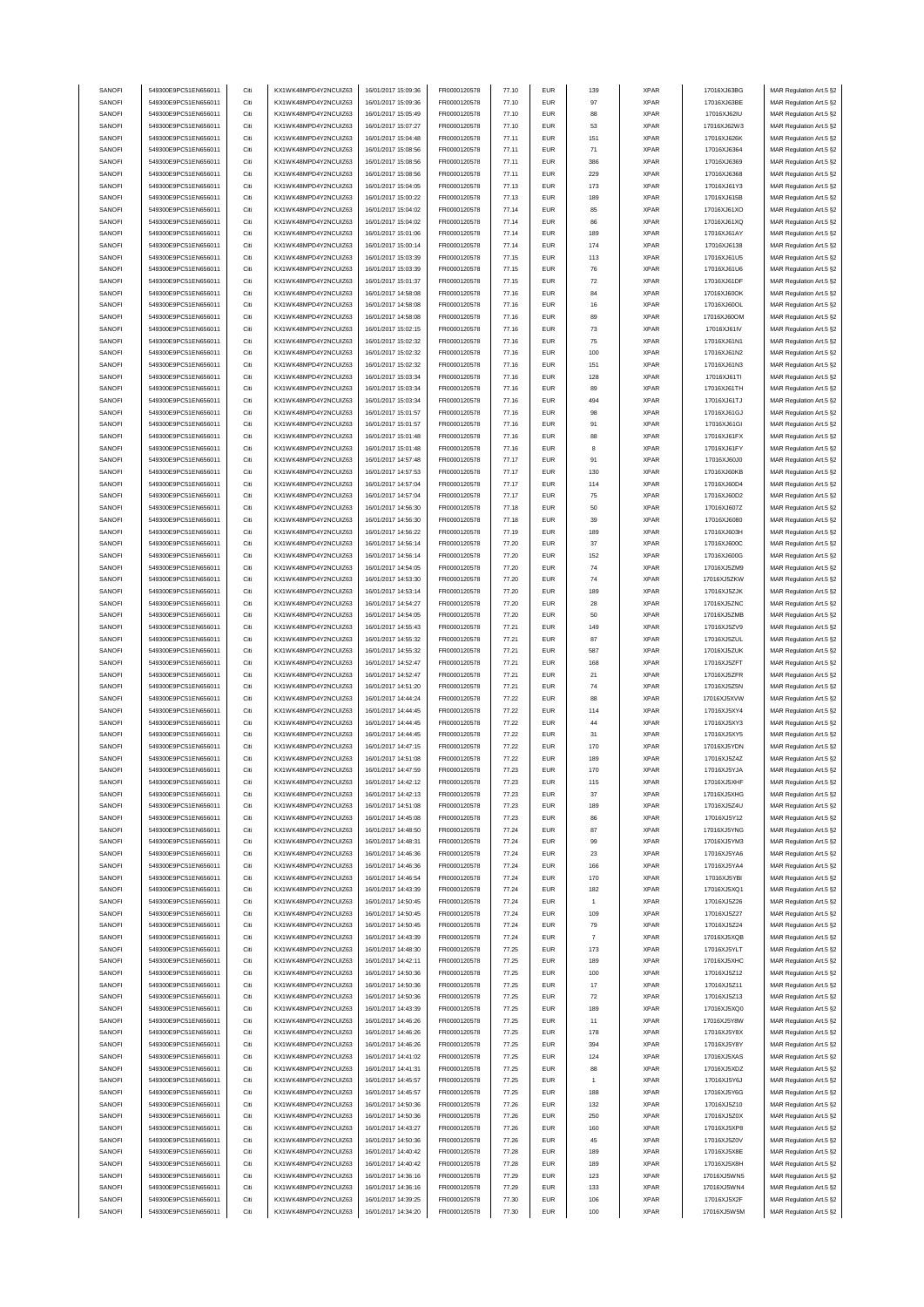|        | 549300E9PC51EN656011 | Citi | KX1WK48MPD4Y2NCUIZ63 | 16/01/2017 15:09:36 | FR0000120578 | 77.10 | <b>EUR</b> | 139                | <b>XPAR</b> | 17016XJ63BG | MAR Regulation Art.5 §2 |
|--------|----------------------|------|----------------------|---------------------|--------------|-------|------------|--------------------|-------------|-------------|-------------------------|
| SANOFI |                      |      | KX1WK48MPD4Y2NCUIZ63 |                     |              |       |            |                    |             |             |                         |
| SANOFI | 549300E9PC51EN656011 | Citi |                      | 16/01/2017 15:09:36 | FR0000120578 | 77.10 | <b>EUR</b> | 97                 | <b>XPAR</b> | 17016XJ63BE | MAR Regulation Art.5 §2 |
| SANOFI | 549300E9PC51EN656011 | Citi | KX1WK48MPD4Y2NCUIZ63 | 16/01/2017 15:05:49 | FR0000120578 | 77.10 | <b>EUR</b> | 88                 | <b>XPAR</b> | 17016XJ62IU | MAR Regulation Art.5 §2 |
| SANOFI | 549300E9PC51EN656011 | Citi | KX1WK48MPD4Y2NCUIZ63 | 16/01/2017 15:07:27 | FR0000120578 | 77.10 | <b>EUR</b> | 53                 | <b>XPAR</b> | 17016XJ62W3 | MAR Regulation Art.5 §2 |
| SANOFI | 549300E9PC51EN656011 | Citi | KX1WK48MPD4Y2NCUIZ63 | 16/01/2017 15:04:48 | FR0000120578 | 77.11 | <b>EUR</b> | 151                | <b>XPAR</b> | 17016XJ626K | MAR Regulation Art.5 §2 |
|        |                      |      |                      |                     |              |       |            |                    |             |             |                         |
| SANOFI | 549300E9PC51EN656011 | Citi | KX1WK48MPD4Y2NCUIZ63 | 16/01/2017 15:08:56 | FR0000120578 | 77.11 | <b>EUR</b> | ${\bf 71}$         | <b>XPAR</b> | 17016XJ6364 | MAR Regulation Art.5 §2 |
| SANOFI | 549300E9PC51EN656011 | Citi | KX1WK48MPD4Y2NCUIZ63 | 16/01/2017 15:08:56 | FR0000120578 | 77.11 | <b>EUR</b> | 386                | <b>XPAR</b> | 17016XJ6369 | MAR Regulation Art.5 §2 |
| SANOFI | 549300E9PC51EN656011 | Citi | KX1WK48MPD4Y2NCUIZ63 | 16/01/2017 15:08:56 | FR0000120578 | 77.11 | <b>EUR</b> | 229                | <b>XPAR</b> | 17016XJ6368 | MAR Regulation Art.5 §2 |
| SANOFI | 549300E9PC51EN656011 | Citi | KX1WK48MPD4Y2NCUIZ63 | 16/01/2017 15:04:05 | FR0000120578 |       | <b>EUR</b> | 173                | <b>XPAR</b> | 17016XJ61Y3 |                         |
|        |                      |      |                      |                     |              | 77.13 |            |                    |             |             | MAR Regulation Art.5 §2 |
| SANOFI | 549300E9PC51EN656011 | Citi | KX1WK48MPD4Y2NCUIZ63 | 16/01/2017 15:00:22 | FR0000120578 | 77.13 | <b>EUR</b> | 189                | <b>XPAR</b> | 17016XJ615B | MAR Regulation Art.5 §2 |
| SANOFI | 549300E9PC51EN656011 | Citi | KX1WK48MPD4Y2NCUIZ63 | 16/01/2017 15:04:02 | FR0000120578 | 77.14 | <b>EUR</b> | 85                 | <b>XPAR</b> | 17016XJ61XO | MAR Regulation Art.5 §2 |
|        | 549300E9PC51EN656011 | Citi |                      |                     |              | 77.14 | <b>EUR</b> |                    | <b>XPAR</b> |             |                         |
| SANOFI |                      |      | KX1WK48MPD4Y2NCUIZ63 | 16/01/2017 15:04:02 | FR0000120578 |       |            | 86                 |             | 17016XJ61XQ | MAR Regulation Art.5 §2 |
| SANOFI | 549300E9PC51EN656011 | Citi | KX1WK48MPD4Y2NCUIZ63 | 16/01/2017 15:01:06 | FR0000120578 | 77.14 | <b>EUR</b> | 189                | <b>XPAR</b> | 17016XJ61AY | MAR Regulation Art.5 §2 |
| SANOFI | 549300E9PC51EN656011 | Citi | KX1WK48MPD4Y2NCUIZ63 | 16/01/2017 15:00:14 | FR0000120578 | 77.14 | <b>EUR</b> | 174                | <b>XPAR</b> | 17016XJ6138 | MAR Regulation Art.5 §2 |
|        |                      | Citi | KX1WK48MPD4Y2NCUIZ63 |                     |              |       |            |                    |             |             |                         |
| SANOFI | 549300E9PC51EN656011 |      |                      | 16/01/2017 15:03:39 | FR0000120578 | 77.15 | <b>EUR</b> | 113                | <b>XPAR</b> | 17016XJ61U5 | MAR Regulation Art.5 §2 |
| SANOFI | 549300E9PC51EN656011 | Citi | KX1WK48MPD4Y2NCUIZ63 | 16/01/2017 15:03:39 | FR0000120578 | 77.15 | <b>EUR</b> | 76                 | <b>XPAR</b> | 17016XJ61U6 | MAR Regulation Art.5 §2 |
| SANOFI | 549300E9PC51EN656011 | Citi | KX1WK48MPD4Y2NCUIZ63 | 16/01/2017 15:01:37 | FR0000120578 | 77.15 | <b>EUR</b> | $\scriptstyle{72}$ | <b>XPAR</b> | 17016XJ61DF | MAR Regulation Art.5 §2 |
| SANOFI | 549300E9PC51EN656011 | Citi | KX1WK48MPD4Y2NCUIZ63 | 16/01/2017 14:58:08 | FR0000120578 | 77.16 | <b>EUR</b> | 84                 | <b>XPAR</b> | 17016XJ60OK | MAR Regulation Art.5 §2 |
|        |                      |      |                      |                     |              |       |            |                    |             |             |                         |
| SANOFI | 549300E9PC51EN656011 | Citi | KX1WK48MPD4Y2NCUIZ63 | 16/01/2017 14:58:08 | FR0000120578 | 77.16 | <b>EUR</b> | 16                 | <b>XPAR</b> | 17016XJ60OL | MAR Regulation Art.5 §2 |
| SANOFI | 549300E9PC51EN656011 | Citi | KX1WK48MPD4Y2NCUIZ63 | 16/01/2017 14:58:08 | FR0000120578 | 77.16 | EUR        | 89                 | <b>XPAR</b> | 17016XJ60OM | MAR Regulation Art.5 §2 |
| SANOFI | 549300E9PC51EN656011 | Citi | KX1WK48MPD4Y2NCUIZ63 | 16/01/2017 15:02:15 | FR0000120578 | 77.16 | <b>EUR</b> | $\mathbf{73}$      | <b>XPAR</b> | 17016XJ61IV | MAR Regulation Art.5 §2 |
|        |                      |      |                      |                     |              |       |            |                    |             |             |                         |
| SANOFI | 549300E9PC51EN656011 | Citi | KX1WK48MPD4Y2NCUIZ63 | 16/01/2017 15:02:32 | FR0000120578 | 77.16 | <b>EUR</b> | 75                 | <b>XPAR</b> | 17016XJ61N1 | MAR Regulation Art.5 §2 |
| SANOFI | 549300E9PC51EN656011 | Citi | KX1WK48MPD4Y2NCUIZ63 | 16/01/2017 15:02:32 | FR0000120578 | 77.16 | <b>EUR</b> | 100                | <b>XPAR</b> | 17016XJ61N2 | MAR Regulation Art.5 §2 |
| SANOFI | 549300E9PC51EN656011 | Citi | KX1WK48MPD4Y2NCUIZ63 | 16/01/2017 15:02:32 | FR0000120578 | 77.16 | <b>EUR</b> | 151                | <b>XPAR</b> | 17016XJ61N3 | MAR Regulation Art.5 §2 |
| SANOFI | 549300E9PC51EN656011 | Citi | KX1WK48MPD4Y2NCUIZ63 | 16/01/2017 15:03:34 | FR0000120578 | 77.16 | <b>EUR</b> | 128                | <b>XPAR</b> | 17016XJ61TI | MAR Regulation Art.5 §2 |
|        |                      |      |                      |                     |              |       |            |                    |             |             |                         |
| SANOFI | 549300E9PC51EN656011 | Citi | KX1WK48MPD4Y2NCUIZ63 | 16/01/2017 15:03:34 | FR0000120578 | 77.16 | <b>EUR</b> | 89                 | <b>XPAR</b> | 17016XJ61TH | MAR Regulation Art.5 §2 |
| SANOFI | 549300E9PC51EN656011 | Citi | KX1WK48MPD4Y2NCUIZ63 | 16/01/2017 15:03:34 | FR0000120578 | 77.16 | <b>EUR</b> | 494                | <b>XPAR</b> | 17016XJ61TJ | MAR Regulation Art.5 §2 |
| SANOFI | 549300E9PC51EN656011 | Citi | KX1WK48MPD4Y2NCUIZ63 | 16/01/2017 15:01:57 | FR0000120578 | 77.16 | <b>EUR</b> | 98                 | <b>XPAR</b> | 17016XJ61GJ | MAR Regulation Art.5 §2 |
|        |                      |      |                      |                     |              |       |            |                    |             |             |                         |
| SANOFI | 549300E9PC51EN656011 | Citi | KX1WK48MPD4Y2NCUIZ63 | 16/01/2017 15:01:57 | FR0000120578 | 77.16 | <b>EUR</b> | 91                 | <b>XPAR</b> | 17016XJ61GI | MAR Regulation Art.5 §2 |
| SANOFI | 549300E9PC51EN656011 | Citi | KX1WK48MPD4Y2NCUIZ63 | 16/01/2017 15:01:48 | FR0000120578 | 77.16 | <b>EUR</b> | 88                 | <b>XPAR</b> | 17016XJ61FX | MAR Regulation Art.5 §2 |
| SANOFI | 549300E9PC51EN656011 | Citi | KX1WK48MPD4Y2NCUIZ63 | 16/01/2017 15:01:48 | FR0000120578 | 77.16 | <b>EUR</b> | 8                  | <b>XPAR</b> | 17016XJ61FY | MAR Regulation Art.5 §2 |
|        |                      |      |                      |                     |              |       |            |                    |             |             |                         |
| SANOFI | 549300E9PC51EN656011 | Citi | KX1WK48MPD4Y2NCUIZ63 | 16/01/2017 14:57:48 | FR0000120578 | 77.17 | <b>EUR</b> | 91                 | <b>XPAR</b> | 17016XJ60J0 | MAR Regulation Art.5 §2 |
| SANOFI | 549300E9PC51EN656011 | Citi | KX1WK48MPD4Y2NCUIZ63 | 16/01/2017 14:57:53 | FR0000120578 | 77.17 | <b>EUR</b> | 130                | <b>XPAR</b> | 17016XJ60KB | MAR Regulation Art.5 §2 |
| SANOFI | 549300E9PC51EN656011 | Citi | KX1WK48MPD4Y2NCUIZ63 | 16/01/2017 14:57:04 | FR0000120578 | 77.17 | <b>EUR</b> | 114                | <b>XPAR</b> | 17016XJ60D4 | MAR Regulation Art.5 §2 |
|        | 549300E9PC51EN656011 | Citi | KX1WK48MPD4Y2NCUIZ63 | 16/01/2017 14:57:04 | FR0000120578 | 77.17 | <b>EUR</b> | 75                 | <b>XPAR</b> |             | MAR Regulation Art.5 §2 |
| SANOFI |                      |      |                      |                     |              |       |            |                    |             | 17016XJ60D2 |                         |
| SANOFI | 549300E9PC51EN656011 | Citi | KX1WK48MPD4Y2NCUIZ63 | 16/01/2017 14:56:30 | FR0000120578 | 77.18 | <b>EUR</b> | 50                 | <b>XPAR</b> | 17016XJ607Z | MAR Regulation Art.5 §2 |
| SANOFI | 549300E9PC51EN656011 | Citi | KX1WK48MPD4Y2NCUIZ63 | 16/01/2017 14:56:30 | FR0000120578 | 77.18 | <b>EUR</b> | 39                 | <b>XPAR</b> | 17016XJ6080 | MAR Regulation Art.5 §2 |
|        |                      | Citi |                      |                     | FR0000120578 |       |            |                    |             | 17016XJ603H |                         |
| SANOFI | 549300E9PC51EN656011 |      | KX1WK48MPD4Y2NCUIZ63 | 16/01/2017 14:56:22 |              | 77.19 | <b>EUR</b> | 189                | <b>XPAR</b> |             | MAR Regulation Art.5 §2 |
| SANOFI | 549300E9PC51EN656011 | Citi | KX1WK48MPD4Y2NCUIZ63 | 16/01/2017 14:56:14 | FR0000120578 | 77.20 | <b>EUR</b> | 37                 | <b>XPAR</b> | 17016XJ600C | MAR Regulation Art.5 §2 |
| SANOFI | 549300E9PC51EN656011 | Citi | KX1WK48MPD4Y2NCUIZ63 | 16/01/2017 14:56:14 | FR0000120578 | 77.20 | <b>EUR</b> | 152                | <b>XPAR</b> | 17016XJ600G | MAR Regulation Art.5 §2 |
| SANOFI | 549300E9PC51EN656011 | Citi | KX1WK48MPD4Y2NCUIZ63 | 16/01/2017 14:54:05 | FR0000120578 | 77.20 | <b>EUR</b> | 74                 | <b>XPAR</b> | 17016XJ5ZM9 | MAR Regulation Art.5 §2 |
|        |                      |      |                      |                     |              |       |            |                    |             |             |                         |
| SANOFI | 549300E9PC51EN656011 | Citi | KX1WK48MPD4Y2NCUIZ63 | 16/01/2017 14:53:30 | FR0000120578 | 77.20 | <b>EUR</b> | 74                 | <b>XPAR</b> | 17016XJ5ZKW | MAR Regulation Art.5 §2 |
| SANOFI | 549300E9PC51EN656011 | Citi | KX1WK48MPD4Y2NCUIZ63 | 16/01/2017 14:53:14 | FR0000120578 | 77.20 | <b>EUR</b> | 189                | <b>XPAR</b> | 17016XJ5ZJK | MAR Regulation Art.5 §2 |
| SANOFI | 549300E9PC51EN656011 | Citi | KX1WK48MPD4Y2NCUIZ63 | 16/01/2017 14:54:27 | FR0000120578 | 77.20 | <b>EUR</b> | 28                 | <b>XPAR</b> | 17016XJ5ZNC | MAR Regulation Art.5 §2 |
|        |                      |      |                      |                     |              |       |            |                    |             |             |                         |
| SANOFI | 549300E9PC51EN656011 | Citi | KX1WK48MPD4Y2NCUIZ63 | 16/01/2017 14:54:05 | FR0000120578 | 77.20 | <b>EUR</b> | 50                 | <b>XPAR</b> | 17016XJ5ZMB | MAR Regulation Art.5 §2 |
| SANOFI | 549300E9PC51EN656011 | Citi | KX1WK48MPD4Y2NCUIZ63 | 16/01/2017 14:55:43 | FR0000120578 | 77.21 | <b>EUR</b> | 149                | <b>XPAR</b> | 17016XJ5ZV9 | MAR Regulation Art.5 §2 |
| SANOFI | 549300E9PC51EN656011 | Citi | KX1WK48MPD4Y2NCUIZ63 | 16/01/2017 14:55:32 | FR0000120578 | 77.21 | <b>EUR</b> | 87                 | <b>XPAR</b> | 17016XJ5ZUL | MAR Regulation Art.5 §2 |
| SANOFI | 549300E9PC51EN656011 | Citi | KX1WK48MPD4Y2NCUIZ63 | 16/01/2017 14:55:32 | FR0000120578 | 77.21 | <b>EUR</b> | 587                | <b>XPAR</b> | 17016XJ5ZUK | MAR Regulation Art.5 §2 |
|        |                      |      |                      |                     |              |       |            |                    |             |             |                         |
| SANOFI | 549300E9PC51EN656011 | Citi | KX1WK48MPD4Y2NCUIZ63 | 16/01/2017 14:52:47 | FR0000120578 | 77.21 | <b>EUR</b> | 168                | <b>XPAR</b> | 17016XJ5ZFT | MAR Regulation Art.5 §2 |
| SANOFI | 549300E9PC51EN656011 | Citi | KX1WK48MPD4Y2NCUIZ63 | 16/01/2017 14:52:47 | FR0000120578 | 77.21 | <b>EUR</b> | 21                 | <b>XPAR</b> | 17016XJ5ZFR | MAR Regulation Art.5 §2 |
| SANOFI | 549300E9PC51EN656011 | Citi | KX1WK48MPD4Y2NCUIZ63 | 16/01/2017 14:51:20 | FR0000120578 | 77.21 | <b>EUR</b> | 74                 | <b>XPAR</b> | 17016XJ5Z5N | MAR Regulation Art.5 §2 |
|        |                      |      |                      |                     |              |       |            |                    |             |             |                         |
| SANOFI | 549300E9PC51EN656011 | Citi | KX1WK48MPD4Y2NCUIZ63 | 16/01/2017 14:44:24 | FR0000120578 | 77.22 | <b>EUR</b> | 88                 | <b>XPAR</b> | 17016XJ5XVW | MAR Regulation Art.5 §2 |
| SANOFI | 549300E9PC51EN656011 | Citi | KX1WK48MPD4Y2NCUIZ63 | 16/01/2017 14:44:45 | FR0000120578 | 77.22 | <b>EUR</b> | 114                | <b>XPAR</b> | 17016XJ5XY4 | MAR Regulation Art.5 §2 |
| SANOFI | 549300E9PC51EN656011 | Citi | KX1WK48MPD4Y2NCUIZ63 | 16/01/2017 14:44:45 | FR0000120578 | 77.22 | <b>EUR</b> | 44                 | <b>XPAR</b> | 17016XJ5XY3 | MAR Regulation Art.5 §2 |
| SANOFI | 549300E9PC51EN656011 | Citi | KX1WK48MPD4Y2NCUIZ63 | 16/01/2017 14:44:45 | FR0000120578 | 77.22 | <b>EUR</b> | 31                 | <b>XPAR</b> | 17016XJ5XY5 | MAR Regulation Art.5 §2 |
|        |                      |      |                      |                     |              |       |            |                    |             |             |                         |
| SANOFI | 549300E9PC51EN656011 | Citi | KX1WK48MPD4Y2NCUIZ63 | 16/01/2017 14:47:15 | FR0000120578 | 77.22 | <b>EUR</b> | 170                | <b>XPAR</b> | 17016XJ5YDN | MAR Regulation Art.5 §2 |
| SANOFI | 549300E9PC51EN656011 | Citi | KX1WK48MPD4Y2NCUIZ63 | 16/01/2017 14:51:08 | FR0000120578 | 77.22 | <b>EUR</b> | 189                | <b>XPAR</b> | 17016XJ5Z4Z | MAR Regulation Art.5 §2 |
| SANOFI | 549300E9PC51EN656011 | Citi | KX1WK48MPD4Y2NCUIZ63 | 16/01/2017 14:47:59 | FR0000120578 | 77.23 | <b>EUR</b> | 170                | <b>XPAR</b> |             | MAR Regulation Art.5 §2 |
|        |                      |      |                      |                     |              |       | FUR        |                    |             |             |                         |
| SANOFI | 549300E9PC51EN656011 |      | KX1WK48MPD4Y2NCUIZ63 | 16/01/2017 14:42:12 | FR0000120578 | 77.23 |            |                    |             | 17016XJ5YJA |                         |
| SANOFI | 549300E9PC51EN656011 | Citi | KX1WK48MPD4Y2NCUIZ63 | 16/01/2017 14:42:13 |              |       |            |                    | <b>XPAR</b> | 17016XJ5XHF | MAR Regulation Art 5.82 |
| SANOFI | 549300E9PC51EN656011 | Citi | KX1WK48MPD4Y2NCUIZ63 |                     | FR0000120578 | 77.23 | <b>EUR</b> | 37                 | XPAR        | 17016XJ5XHG | MAR Regulation Art.5 §2 |
| SANOFI | 549300E9PC51EN656011 |      |                      |                     |              |       |            | 189                |             |             |                         |
|        |                      |      |                      | 16/01/2017 14:51:08 | FR0000120578 | 77.23 | <b>EUR</b> |                    | <b>XPAR</b> | 17016XJ5Z4U | MAR Regulation Art.5 §2 |
| SANOFI | 549300E9PC51EN656011 | Citi | KX1WK48MPD4Y2NCUIZ63 | 16/01/2017 14:45:08 | FR0000120578 | 77.23 | <b>EUR</b> | 86                 | XPAR        | 17016XJ5Y12 | MAR Regulation Art.5 §2 |
| SANOFI |                      | Citi | KX1WK48MPD4Y2NCUIZ63 | 16/01/2017 14:48:50 | FR0000120578 | 77.24 | <b>EUR</b> | 87                 | <b>XPAR</b> | 17016XJ5YNG | MAR Regulation Art.5 §2 |
|        | 549300E9PC51EN656011 | Citi | KX1WK48MPD4Y2NCUIZ63 | 16/01/2017 14:48:31 | FR0000120578 | 77.24 | <b>EUR</b> | 99                 | <b>XPAR</b> | 17016XJ5YM3 | MAR Regulation Art.5 §2 |
|        | 549300E9PC51EN656011 |      |                      |                     |              |       | <b>EUR</b> |                    |             |             | MAR Regulation Art.5 §2 |
| SANOFI |                      | Citi | KX1WK48MPD4Y2NCUIZ63 | 16/01/2017 14:46:36 | FR0000120578 | 77.24 |            | 23                 | XPAR        | 17016XJ5YA6 |                         |
| SANOFI | 549300E9PC51EN656011 | Citi | KX1WK48MPD4Y2NCUIZ63 | 16/01/2017 14:46:36 | FR0000120578 | 77.24 | <b>EUR</b> | 166                | <b>XPAR</b> | 17016XJ5YA4 | MAR Regulation Art.5 §2 |
| SANOFI | 549300E9PC51EN656011 | Citi | KX1WK48MPD4Y2NCUIZ63 | 16/01/2017 14:46:54 | FR0000120578 | 77.24 | <b>EUR</b> | 170                | <b>XPAR</b> | 17016XJ5YBI | MAR Regulation Art.5 §2 |
| SANOFI | 549300E9PC51EN656011 | Citi | KX1WK48MPD4Y2NCUIZ63 | 16/01/2017 14:43:39 | FR0000120578 | 77.24 | <b>EUR</b> | 182                | <b>XPAR</b> | 17016XJ5XQ1 | MAR Regulation Art.5 §2 |
|        |                      |      |                      |                     |              |       |            |                    |             |             |                         |
| SANOFI | 549300E9PC51EN656011 | Citi | KX1WK48MPD4Y2NCUIZ63 | 16/01/2017 14:50:45 | FR0000120578 | 77.24 | <b>EUR</b> | $\mathbf{1}$       | <b>XPAR</b> | 17016XJ5Z26 | MAR Regulation Art.5 §2 |
| SANOFI | 549300E9PC51EN656011 | Citi | KX1WK48MPD4Y2NCUIZ63 | 16/01/2017 14:50:45 | FR0000120578 | 77.24 | <b>EUR</b> | 109                | <b>XPAR</b> | 17016XJ5Z27 | MAR Regulation Art.5 §2 |
| SANOFI | 549300E9PC51EN656011 | Citi | KX1WK48MPD4Y2NCUIZ63 | 16/01/2017 14:50:45 | FR0000120578 | 77.24 | <b>EUR</b> | 79                 | <b>XPAR</b> | 17016XJ5Z24 | MAR Regulation Art.5 §2 |
| SANOFI | 549300E9PC51EN656011 | Citi | KX1WK48MPD4Y2NCUIZ63 | 16/01/2017 14:43:39 | FR0000120578 | 77.24 | <b>EUR</b> | $\overline{7}$     | <b>XPAR</b> | 17016XJ5XQB |                         |
|        |                      |      |                      |                     |              |       |            |                    |             |             | MAR Regulation Art.5 §2 |
| SANOFI | 549300E9PC51EN656011 | Citi | KX1WK48MPD4Y2NCUIZ63 | 16/01/2017 14:48:30 | FR0000120578 | 77.25 | <b>EUR</b> | 173                | <b>XPAR</b> | 17016XJ5YLT | MAR Regulation Art.5 §2 |
| SANOFI | 549300E9PC51EN656011 | Citi | KX1WK48MPD4Y2NCUIZ63 | 16/01/2017 14:42:11 | FR0000120578 | 77.25 | <b>EUR</b> | 189                | XPAR        | 17016XJ5XHC | MAR Regulation Art.5 §2 |
|        |                      |      |                      |                     |              | 77.25 |            |                    |             |             |                         |
| SANOFI | 549300E9PC51EN656011 | Citi | KX1WK48MPD4Y2NCUIZ63 | 16/01/2017 14:50:36 | FR0000120578 |       | <b>EUR</b> | 100                | <b>XPAR</b> | 17016XJ5Z12 | MAR Regulation Art.5 §2 |
| SANOFI | 549300E9PC51EN656011 | Citi | KX1WK48MPD4Y2NCUIZ63 | 16/01/2017 14:50:36 | FR0000120578 | 77.25 | <b>EUR</b> | $17\,$             | <b>XPAR</b> | 17016XJ5Z11 | MAR Regulation Art.5 §2 |
| SANOFI | 549300E9PC51EN656011 | Citi | KX1WK48MPD4Y2NCUIZ63 | 16/01/2017 14:50:36 | FR0000120578 | 77.25 | <b>EUR</b> | 72                 | <b>XPAR</b> | 17016XJ5Z13 | MAR Regulation Art.5 §2 |
| SANOFI | 549300E9PC51EN656011 | Citi | KX1WK48MPD4Y2NCUIZ63 | 16/01/2017 14:43:39 | FR0000120578 | 77.25 | <b>EUR</b> | 189                | <b>XPAR</b> | 17016XJ5XQ0 | MAR Regulation Art.5 §2 |
|        |                      |      |                      |                     |              |       |            |                    |             |             |                         |
| SANOFI | 549300E9PC51EN656011 | Citi | KX1WK48MPD4Y2NCUIZ63 | 16/01/2017 14:46:26 | FR0000120578 | 77.25 | <b>EUR</b> | 11                 | <b>XPAR</b> | 17016XJ5Y8W | MAR Regulation Art.5 §2 |
| SANOFI | 549300E9PC51EN656011 | Citi | KX1WK48MPD4Y2NCUIZ63 | 16/01/2017 14:46:26 | FR0000120578 | 77.25 | <b>EUR</b> | 178                | <b>XPAR</b> | 17016XJ5Y8X | MAR Regulation Art.5 §2 |
| SANOFI | 549300E9PC51EN656011 | Citi | KX1WK48MPD4Y2NCUIZ63 | 16/01/2017 14:46:26 | FR0000120578 | 77.25 | <b>EUR</b> | 394                | <b>XPAR</b> | 17016XJ5Y8Y | MAR Regulation Art.5 §2 |
|        |                      |      |                      |                     |              |       | <b>EUR</b> |                    |             |             |                         |
| SANOFI | 549300E9PC51EN656011 | Citi | KX1WK48MPD4Y2NCUIZ63 | 16/01/2017 14:41:02 | FR0000120578 | 77.25 |            | 124                | <b>XPAR</b> | 17016XJ5XAS | MAR Regulation Art.5 §2 |
| SANOFI | 549300E9PC51EN656011 | Citi | KX1WK48MPD4Y2NCUIZ63 | 16/01/2017 14:41:31 | FR0000120578 | 77.25 | <b>EUR</b> | 88                 | XPAR        | 17016XJ5XDZ | MAR Regulation Art.5 §2 |
| SANOFI | 549300E9PC51EN656011 | Citi | KX1WK48MPD4Y2NCUIZ63 | 16/01/2017 14:45:57 | FR0000120578 | 77.25 | <b>EUR</b> | $\overline{1}$     | <b>XPAR</b> | 17016XJ5Y6J | MAR Regulation Art.5 §2 |
| SANOFI | 549300E9PC51EN656011 | Citi | KX1WK48MPD4Y2NCUIZ63 | 16/01/2017 14:45:57 | FR0000120578 | 77.25 | <b>EUR</b> | 188                | <b>XPAR</b> | 17016XJ5Y6G | MAR Regulation Art.5 §2 |
|        |                      |      |                      |                     |              |       |            |                    |             |             |                         |
| SANOFI | 549300E9PC51EN656011 | Citi | KX1WK48MPD4Y2NCUIZ63 | 16/01/2017 14:50:36 | FR0000120578 | 77.26 | <b>EUR</b> | 132                | <b>XPAR</b> | 17016XJ5Z10 | MAR Regulation Art.5 §2 |
| SANOFI | 549300E9PC51EN656011 | Citi | KX1WK48MPD4Y2NCUIZ63 | 16/01/2017 14:50:36 | FR0000120578 | 77.26 | <b>EUR</b> | 250                | XPAR        | 17016XJ5Z0X | MAR Regulation Art.5 §2 |
| SANOFI | 549300E9PC51EN656011 | Citi | KX1WK48MPD4Y2NCUIZ63 | 16/01/2017 14:43:27 | FR0000120578 | 77.26 | <b>EUR</b> | 160                | <b>XPAR</b> | 17016XJ5XP8 | MAR Regulation Art.5 §2 |
|        |                      |      |                      |                     |              |       |            |                    |             |             |                         |
| SANOFI | 549300E9PC51EN656011 | Citi | KX1WK48MPD4Y2NCUIZ63 | 16/01/2017 14:50:36 | FR0000120578 | 77.26 | <b>EUR</b> | 45                 | <b>XPAR</b> | 17016XJ5Z0V | MAR Regulation Art.5 §2 |
| SANOFI | 549300E9PC51EN656011 | Citi | KX1WK48MPD4Y2NCUIZ63 | 16/01/2017 14:40:42 | FR0000120578 | 77.28 | <b>EUR</b> | 189                | XPAR        | 17016XJ5X8E | MAR Regulation Art.5 §2 |
| SANOFI | 549300E9PC51EN656011 | Citi | KX1WK48MPD4Y2NCUIZ63 | 16/01/2017 14:40:42 | FR0000120578 | 77.28 | <b>EUR</b> | 189                | <b>XPAR</b> | 17016XJ5X8H | MAR Regulation Art.5 §2 |
| SANOFI | 549300E9PC51EN656011 | Citi | KX1WK48MPD4Y2NCUIZ63 | 16/01/2017 14:36:16 | FR0000120578 | 77.29 | <b>EUR</b> | 123                | <b>XPAR</b> | 17016XJ5WN5 |                         |
|        |                      |      |                      |                     |              |       |            |                    |             |             | MAR Regulation Art.5 §2 |
| SANOFI | 549300E9PC51EN656011 | Citi | KX1WK48MPD4Y2NCUIZ63 | 16/01/2017 14:36:16 | FR0000120578 | 77.29 | <b>EUR</b> | 133                | <b>XPAR</b> | 17016XJ5WN4 | MAR Regulation Art.5 §2 |
| SANOFI | 549300E9PC51EN656011 | Citi | KX1WK48MPD4Y2NCUIZ63 | 16/01/2017 14:39:25 | FR0000120578 | 77.30 | <b>EUR</b> | 106                | XPAR        | 17016XJ5X2F | MAR Regulation Art.5 §2 |
| SANOFI | 549300E9PC51EN656011 | Citi | KX1WK48MPD4Y2NCUIZ63 | 16/01/2017 14:34:20 | FR0000120578 | 77.30 | <b>EUR</b> | 100                | <b>XPAR</b> | 17016XJ5W5M | MAR Regulation Art.5 §2 |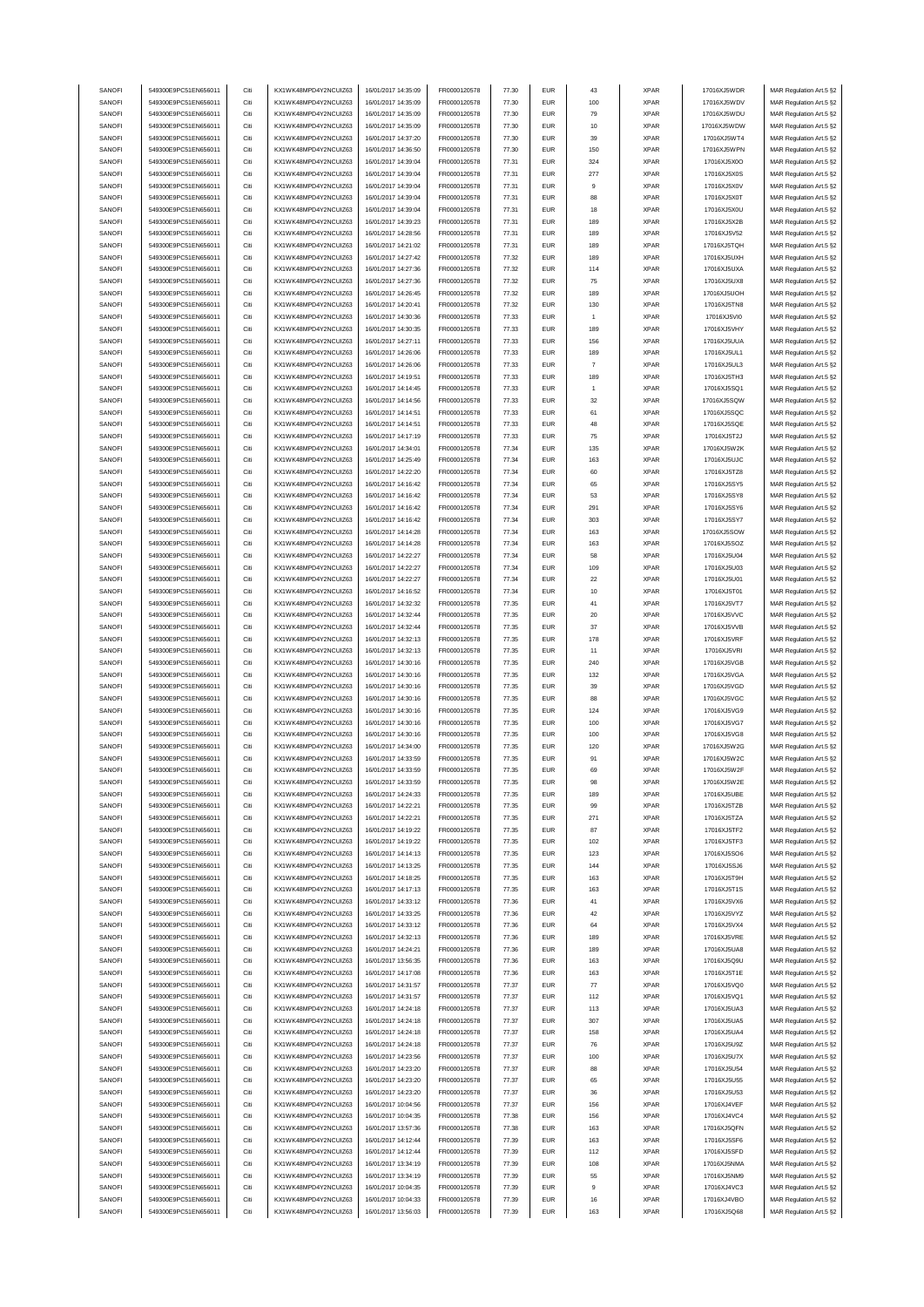| SANOFI<br>SANOFI |                                              | Citi | KX1WK48MPD4Y2NCUIZ63  | 16/01/2017 14:35:09 | FR0000120578 | 77.30 | <b>EUR</b> | 43                | <b>XPAR</b> | 17016XJ5WDR  | MAR Regulation Art.5 §2                            |
|------------------|----------------------------------------------|------|-----------------------|---------------------|--------------|-------|------------|-------------------|-------------|--------------|----------------------------------------------------|
|                  | 549300E9PC51EN656011<br>549300E9PC51EN656011 | Citi | KX1WK48MPD4Y2NCUIZ63  | 16/01/2017 14:35:09 |              | 77.30 | <b>EUR</b> | 100               | <b>XPAR</b> | 17016XJ5WDV  |                                                    |
|                  |                                              |      |                       |                     | FR0000120578 |       |            |                   |             |              | MAR Regulation Art.5 §2                            |
| SANOFI           | 549300E9PC51EN656011                         | Citi | KX1WK48MPD4Y2NCUIZ63  | 16/01/2017 14:35:09 | FR0000120578 | 77.30 | <b>EUR</b> | 79                | <b>XPAR</b> | 17016XJ5WDU  | MAR Regulation Art.5 §2                            |
| SANOFI           | 549300E9PC51EN656011                         | Citi | KX1WK48MPD4Y2NCUIZ63  | 16/01/2017 14:35:09 | FR0000120578 | 77.30 | EUR        | 10                | <b>XPAR</b> | 17016XJ5WDW  | MAR Regulation Art.5 §2                            |
| SANOFI           | 549300E9PC51EN656011                         | Citi | KX1WK48MPD4Y2NCLIIZ63 | 16/01/2017 14:37:20 | FR0000120578 | 77.30 | <b>EUR</b> | 39                | <b>XPAR</b> | 17016XJ5WT4  | MAR Regulation Art.5 §2                            |
| SANOFI           | 549300E9PC51EN656011                         | Citi | KX1WK48MPD4Y2NCUIZ63  | 16/01/2017 14:36:50 | FR0000120578 | 77.30 | <b>EUR</b> | 150               | <b>XPAR</b> | 17016XJ5WPN  | MAR Regulation Art.5 §2                            |
| SANOFI           | 549300E9PC51EN656011                         | Citi | KX1WK48MPD4Y2NCUIZ63  | 16/01/2017 14:39:04 | FR0000120578 | 77.31 | <b>EUR</b> | 324               | <b>XPAR</b> | 17016XJ5X0O  | MAR Regulation Art.5 §2                            |
|                  |                                              |      | KX1WK48MPD4Y2NCUIZ63  |                     |              |       |            |                   |             |              |                                                    |
| SANOFI           | 549300E9PC51EN656011                         | Citi |                       | 16/01/2017 14:39:04 | FR0000120578 | 77.31 | <b>EUR</b> | 277               | <b>XPAR</b> | 17016XJ5X0S  | MAR Regulation Art.5 §2                            |
| SANOFI           | 549300E9PC51EN656011                         | Citi | KX1WK48MPD4Y2NCUIZ63  | 16/01/2017 14:39:04 | FR0000120578 | 77.31 | <b>EUR</b> | 9                 | <b>XPAR</b> | 17016XJ5X0V  | MAR Regulation Art.5 §2                            |
| SANOFI           | 549300E9PC51EN656011                         | Citi | KX1WK48MPD4Y2NCUIZ63  | 16/01/2017 14:39:04 | FR0000120578 | 77.31 | <b>EUR</b> | 88                | <b>XPAR</b> | 17016XJ5X0T  | MAR Regulation Art.5 §2                            |
| SANOFI           | 549300E9PC51EN656011                         | Citi | KX1WK48MPD4Y2NCUIZ63  | 16/01/2017 14:39:04 | FR0000120578 | 77.31 | <b>EUR</b> | 18                | <b>XPAR</b> | 17016XJ5X0U  | MAR Regulation Art.5 §2                            |
| SANOFI           | 549300E9PC51EN656011                         | Citi | KX1WK48MPD4Y2NCUIZ63  | 16/01/2017 14:39:23 | FR0000120578 | 77.31 | <b>EUR</b> | 189               | <b>XPAR</b> | 17016XJ5X2B  | MAR Regulation Art.5 §2                            |
|                  |                                              |      |                       |                     |              |       |            |                   |             |              |                                                    |
| SANOFI           | 549300E9PC51EN656011                         | Citi | KX1WK48MPD4Y2NCUIZ63  | 16/01/2017 14:28:56 | FR0000120578 | 77.31 | EUR        | 189               | <b>XPAR</b> | 17016XJ5V52  | MAR Regulation Art.5 §2                            |
| SANOFI           | 549300E9PC51EN656011                         | Citi | KX1WK48MPD4Y2NCUIZ63  | 16/01/2017 14:21:02 | FR0000120578 | 77.31 | <b>EUR</b> | 189               | <b>XPAR</b> | 17016XJ5TQH  | MAR Regulation Art.5 §2                            |
| SANOFI           | 549300E9PC51EN656011                         | Citi | KX1WK48MPD4Y2NCUIZ63  | 16/01/2017 14:27:42 | FR0000120578 | 77.32 | <b>EUR</b> | 189               | <b>XPAR</b> | 17016XJ5UXH  | MAR Regulation Art.5 §2                            |
| SANOFI           | 549300E9PC51EN656011                         | Citi | KX1WK48MPD4Y2NCUIZ63  | 16/01/2017 14:27:36 | FR0000120578 | 77.32 | <b>EUR</b> | 114               | <b>XPAR</b> | 17016XJ5UXA  | MAR Regulation Art.5 §2                            |
| SANOFI           | 549300E9PC51EN656011                         | Citi | KX1WK48MPD4Y2NCUIZ63  | 16/01/2017 14:27:36 | FR0000120578 | 77.32 | <b>EUR</b> | 75                | <b>XPAR</b> | 17016XJ5UX8  | MAR Regulation Art.5 §2                            |
|                  | 549300E9PC51EN656011                         | Citi | KX1WK48MPD4Y2NCUIZ63  | 16/01/2017 14:26:45 |              | 77.32 | <b>EUR</b> | 189               | <b>XPAR</b> |              |                                                    |
| SANOFI           |                                              |      |                       |                     | FR0000120578 |       |            |                   |             | 17016XJ5UOH  | MAR Regulation Art.5 §2                            |
| SANOFI           | 549300E9PC51EN656011                         | Citi | KX1WK48MPD4Y2NCUIZ63  | 16/01/2017 14:20:41 | FR0000120578 | 77.32 | <b>EUR</b> | 130               | <b>XPAR</b> | 17016XJ5TN8  | MAR Regulation Art.5 §2                            |
| SANOFI           | 549300E9PC51EN656011                         | Citi | KX1WK48MPD4Y2NCUIZ63  | 16/01/2017 14:30:36 | FR0000120578 | 77.33 | <b>EUR</b> | $\overline{1}$    | <b>XPAR</b> | 17016XJ5VI0  | MAR Regulation Art.5 §2                            |
| SANOFI           | 549300E9PC51EN656011                         | Citi | KX1WK48MPD4Y2NCUIZ63  | 16/01/2017 14:30:35 | FR0000120578 | 77.33 | <b>EUR</b> | 189               | <b>XPAR</b> | 17016XJ5VHY  | MAR Regulation Art.5 §2                            |
| SANOFI           | 549300E9PC51EN656011                         | Citi | KX1WK48MPD4Y2NCUIZ63  | 16/01/2017 14:27:11 | FR0000120578 | 77.33 | <b>EUR</b> | 156               | <b>XPAR</b> | 17016XJ5UUA  | MAR Regulation Art.5 §2                            |
|                  |                                              |      |                       |                     |              |       |            |                   |             |              |                                                    |
| SANOFI           | 549300E9PC51EN656011                         | Citi | KX1WK48MPD4Y2NCUIZ63  | 16/01/2017 14:26:06 | FR0000120578 | 77.33 | <b>EUR</b> | 189               | <b>XPAR</b> | 17016XJ5UL1  | MAR Regulation Art.5 §2                            |
| SANOFI           | 549300E9PC51EN656011                         | Citi | KX1WK48MPD4Y2NCUIZ63  | 16/01/2017 14:26:06 | FR0000120578 | 77.33 | <b>EUR</b> | $\scriptstyle{7}$ | <b>XPAR</b> | 17016XJ5UL3  | MAR Regulation Art.5 §2                            |
| SANOFI           | 549300E9PC51EN656011                         | Citi | KX1WK48MPD4Y2NCUIZ63  | 16/01/2017 14:19:51 | FR0000120578 | 77.33 | <b>EUR</b> | 189               | <b>XPAR</b> | 17016XJ5TH3  | MAR Regulation Art.5 §2                            |
| SANOFI           | 549300E9PC51EN656011                         | Citi | KX1WK48MPD4Y2NCUIZ63  | 16/01/2017 14:14:45 | FR0000120578 | 77.33 | <b>EUR</b> | $\overline{1}$    | <b>XPAR</b> | 17016XJ5SQ1  | MAR Regulation Art.5 §2                            |
| SANOFI           | 549300E9PC51EN656011                         | Citi | KX1WK48MPD4Y2NCUIZ63  | 16/01/2017 14:14:56 | FR0000120578 | 77.33 | <b>EUR</b> | 32                | <b>XPAR</b> | 17016XJ5SQW  | MAR Regulation Art.5 §2                            |
| SANOFI           | 549300E9PC51EN656011                         | Citi | KX1WK48MPD4Y2NCUIZ63  |                     |              | 77.33 | <b>EUR</b> |                   | <b>XPAR</b> | 17016XJ5SQC  |                                                    |
|                  |                                              |      |                       | 16/01/2017 14:14:51 | FR0000120578 |       |            | 61                |             |              | MAR Regulation Art.5 §2                            |
| SANOFI           | 549300E9PC51EN656011                         | Citi | KX1WK48MPD4Y2NCUIZ63  | 16/01/2017 14:14:51 | FR0000120578 | 77.33 | <b>EUR</b> | 48                | <b>XPAR</b> | 17016XJ5SQE  | MAR Regulation Art.5 §2                            |
| SANOFI           | 549300E9PC51EN656011                         | Citi | KX1WK48MPD4Y2NCUIZ63  | 16/01/2017 14:17:19 | FR0000120578 | 77.33 | <b>EUR</b> | 75                | <b>XPAR</b> | 17016XJ5T2J  | MAR Regulation Art.5 §2                            |
| SANOFI           | 549300E9PC51EN656011                         | Citi | KX1WK48MPD4Y2NCUIZ63  | 16/01/2017 14:34:01 | FR0000120578 | 77.34 | <b>EUR</b> | 135               | <b>XPAR</b> | 17016XJ5W2K  | MAR Regulation Art.5 §2                            |
| SANOFI           | 549300E9PC51EN656011                         | Citi | KX1WK48MPD4Y2NCUIZ63  | 16/01/2017 14:25:49 | FR0000120578 | 77.34 | <b>EUR</b> | 163               | <b>XPAR</b> | 17016XJ5UJC  | MAR Regulation Art.5 §2                            |
| SANOFI           | 549300E9PC51EN656011                         | Citi | KX1WK48MPD4Y2NCUIZ63  | 16/01/2017 14:22:20 | FR0000120578 | 77.34 | <b>EUR</b> | 60                | <b>XPAR</b> | 17016XJ5TZ8  | MAR Regulation Art.5 §2                            |
|                  |                                              |      |                       |                     |              |       |            |                   |             |              |                                                    |
| SANOFI           | 549300E9PC51EN656011                         | Citi | KX1WK48MPD4Y2NCUIZ63  | 16/01/2017 14:16:42 | FR0000120578 | 77.34 | <b>EUR</b> | 65                | <b>XPAR</b> | 17016XJ5SY5  | MAR Regulation Art.5 §2                            |
| SANOFI           | 549300E9PC51EN656011                         | Citi | KX1WK48MPD4Y2NCUIZ63  | 16/01/2017 14:16:42 | FR0000120578 | 77.34 | <b>EUR</b> | 53                | <b>XPAR</b> | 17016XJ5SY8  | MAR Regulation Art.5 §2                            |
| SANOFI           | 549300E9PC51EN656011                         | Citi | KX1WK48MPD4Y2NCUIZ63  | 16/01/2017 14:16:42 | FR0000120578 | 77.34 | <b>EUR</b> | 291               | <b>XPAR</b> | 17016XJ5SY6  | MAR Regulation Art.5 §2                            |
| SANOFI           | 549300E9PC51EN656011                         | Citi | KX1WK48MPD4Y2NCUIZ63  | 16/01/2017 14:16:42 | FR0000120578 | 77.34 | <b>EUR</b> | 303               | <b>XPAR</b> | 17016XJ5SY7  | MAR Regulation Art.5 §2                            |
| SANOFI           | 549300E9PC51EN656011                         | Citi | KX1WK48MPD4Y2NCUIZ63  | 16/01/2017 14:14:28 | FR0000120578 | 77.34 | <b>EUR</b> | 163               | <b>XPAR</b> | 17016XJ5SOW  | MAR Regulation Art.5 §2                            |
|                  |                                              |      |                       |                     |              |       |            |                   |             |              |                                                    |
| SANOFI           | 549300E9PC51EN656011                         | Citi | KX1WK48MPD4Y2NCUIZ63  | 16/01/2017 14:14:28 | FR0000120578 | 77.34 | <b>EUR</b> | 163               | <b>XPAR</b> | 17016XJ5SOZ  | MAR Regulation Art.5 §2                            |
| SANOFI           | 549300E9PC51EN656011                         | Citi | KX1WK48MPD4Y2NCUIZ63  | 16/01/2017 14:22:27 | FR0000120578 | 77.34 | <b>EUR</b> | 58                | <b>XPAR</b> | 17016XJ5U04  | MAR Regulation Art.5 §2                            |
| SANOFI           | 549300E9PC51EN656011                         | Citi | KX1WK48MPD4Y2NCUIZ63  | 16/01/2017 14:22:27 | FR0000120578 | 77.34 | <b>EUR</b> | 109               | <b>XPAR</b> | 17016XJ5U03  | MAR Regulation Art.5 §2                            |
| SANOFI           | 549300E9PC51EN656011                         | Citi | KX1WK48MPD4Y2NCUIZ63  | 16/01/2017 14:22:27 | FR0000120578 | 77.34 | <b>EUR</b> | 22                | <b>XPAR</b> | 17016XJ5U01  | MAR Regulation Art.5 §2                            |
| SANOFI           | 549300E9PC51EN656011                         | Citi | KX1WK48MPD4Y2NCUIZ63  | 16/01/2017 14:16:52 | FR0000120578 | 77.34 | <b>EUR</b> | 10                | <b>XPAR</b> | 17016XJ5T01  | MAR Regulation Art.5 §2                            |
| SANOFI           | 549300E9PC51EN656011                         | Citi | KX1WK48MPD4Y2NCUIZ63  | 16/01/2017 14:32:32 | FR0000120578 | 77.35 | <b>EUR</b> |                   | <b>XPAR</b> | 17016XJ5VT7  |                                                    |
|                  |                                              |      |                       |                     |              |       |            | 41                |             |              | MAR Regulation Art.5 §2                            |
| SANOFI           | 549300E9PC51EN656011                         | Citi | KX1WK48MPD4Y2NCUIZ63  | 16/01/2017 14:32:44 | FR0000120578 | 77.35 | <b>EUR</b> | 20                | <b>XPAR</b> | 17016XJ5VVC  | MAR Regulation Art.5 §2                            |
| SANOFI           | 549300E9PC51EN656011                         | Citi | KX1WK48MPD4Y2NCUIZ63  | 16/01/2017 14:32:44 | FR0000120578 | 77.35 | <b>EUR</b> | 37                | <b>XPAR</b> | 17016XJ5VVB  | MAR Regulation Art.5 §2                            |
| SANOFI           | 549300E9PC51EN656011                         | Citi | KX1WK48MPD4Y2NCUIZ63  | 16/01/2017 14:32:13 | FR0000120578 | 77.35 | <b>EUR</b> | 178               | <b>XPAR</b> | 17016XJ5VRF  | MAR Regulation Art.5 §2                            |
| SANOFI           | 549300E9PC51EN656011                         | Citi | KX1WK48MPD4Y2NCUIZ63  | 16/01/2017 14:32:13 | FR0000120578 | 77.35 | <b>EUR</b> | 11                | <b>XPAR</b> | 17016XJ5VRI  | MAR Regulation Art.5 §2                            |
| SANOFI           | 549300E9PC51EN656011                         | Citi | KX1WK48MPD4Y2NCUIZ63  | 16/01/2017 14:30:16 | FR0000120578 | 77.35 | <b>EUR</b> | 240               | <b>XPAR</b> | 17016XJ5VGB  | MAR Regulation Art.5 §2                            |
|                  |                                              |      |                       |                     |              |       |            |                   |             |              |                                                    |
| SANOFI           | 549300E9PC51EN656011                         | Citi | KX1WK48MPD4Y2NCUIZ63  | 16/01/2017 14:30:16 | FR0000120578 | 77.35 | <b>EUR</b> | 132               | <b>XPAR</b> | 17016XJ5VGA  | MAR Regulation Art.5 §2                            |
| SANOFI           | 549300E9PC51EN656011                         | Citi | KX1WK48MPD4Y2NCUIZ63  | 16/01/2017 14:30:16 | FR0000120578 | 77.35 | <b>EUR</b> | 39                | <b>XPAR</b> | 17016XJ5VGD  | MAR Regulation Art.5 §2                            |
| SANOFI           | 549300E9PC51EN656011                         |      | KX1WK48MPD4Y2NCUIZ63  | 16/01/2017 14:30:16 | FR0000120578 | 77.35 | <b>EUR</b> | 88                | <b>XPAR</b> | 17016XJ5VGC  |                                                    |
|                  |                                              | Citi |                       |                     |              |       |            |                   |             |              | MAR Regulation Art.5 §2                            |
|                  | 549300E9PC51EN656011                         | Citi | KX1WK48MPD4Y2NCLIIZ63 |                     |              |       |            |                   | <b>XPAR</b> |              |                                                    |
| SANOFI           |                                              |      |                       | 16/01/2017 14:30:16 | FR0000120578 | 77.35 | <b>EUR</b> | 124               |             | 17016XJ5VG9  | MAR Regulation Art.5 §2                            |
| SANOFI           | 549300E9PC51EN656011                         | Citi | KX1WK48MPD4Y2NCUIZ63  | 16/01/2017 14:30:16 | FR0000120578 | 77.35 | <b>EUR</b> | 100               | <b>XPAR</b> | 17016XJ5VG7  | MAR Regulation Art.5 §2                            |
| SANOFI           | 549300E9PC51EN656011                         | Citi | KX1WK48MPD4Y2NCUIZ63  | 16/01/2017 14:30:16 | FR0000120578 | 77.35 | <b>EUR</b> | 100               | <b>XPAR</b> | 17016XJ5VG8  | MAR Regulation Art.5 §2                            |
| SANOFI           | 549300E9PC51EN656011                         | Citi | KX1WK48MPD4Y2NCUIZ63  | 16/01/2017 14:34:00 | FR0000120578 | 77.35 | <b>EUR</b> | 120               | <b>XPAR</b> | 17016XJ5W2G  | MAR Regulation Art.5 §2                            |
| SANOFI           | 549300E9PC51EN656011                         | Citi | KX1WK48MPD4Y2NCUIZ63  | 16/01/2017 14:33:59 | FR0000120578 | 77.35 | <b>EUR</b> | 91                | <b>XPAR</b> | 17016XJ5W2C  | MAR Regulation Art.5 §2                            |
|                  |                                              | Citi |                       |                     | FR0000120578 | 77.35 | <b>EUR</b> |                   |             |              |                                                    |
| SANOFI           | 549300E9PC51EN656011                         |      | KX1WK48MPD4Y2NCUIZ63  | 16/01/2017 14:33:59 |              |       |            | 69                | <b>XPAR</b> | 17016XJ5W2F  | MAR Regulation Art.5 §2<br>MAR Regulation Art 5.82 |
| SANOFI           | 549300E9PC51EN656011                         |      | KX1WK48MPD4Y2NCLIIZ63 | 16/01/2017 14:33:59 | FR0000120578 | 77.35 | FUR        |                   | <b>XPAR</b> | 17016X.I5W2F |                                                    |
| SANOFI           | 549300E9PC51EN656011                         | Citi | KX1WK48MPD4Y2NCUIZ63  | 16/01/2017 14:24:33 | FR0000120578 | 77.35 | <b>EUR</b> | 189               | <b>XPAR</b> | 17016XJ5UBE  | MAR Regulation Art.5 §2                            |
| SANOFI           | 549300E9PC51EN656011                         | Citi | KX1WK48MPD4Y2NCUIZ63  | 16/01/2017 14:22:21 | FR0000120578 | 77.35 | <b>EUR</b> | 99                | <b>XPAR</b> | 17016XJ5TZB  | MAR Regulation Art.5 §2                            |
| SANOFI           | 549300E9PC51EN656011                         | Citi | KX1WK48MPD4Y2NCUIZ63  | 16/01/2017 14:22:21 | FR0000120578 | 77.35 | <b>EUR</b> | 271               | <b>XPAR</b> | 17016XJ5TZA  | MAR Regulation Art.5 §2                            |
| SANOFI           | 549300E9PC51EN656011                         | Citi | KX1WK48MPD4Y2NCUIZ63  | 16/01/2017 14:19:22 | FR0000120578 | 77.35 | <b>EUR</b> | 87                | <b>XPAR</b> | 17016XJ5TF2  |                                                    |
|                  |                                              |      |                       |                     |              |       |            |                   |             |              | MAR Regulation Art.5 §2                            |
| SANOFI           | 549300E9PC51EN656011                         | Citi | KX1WK48MPD4Y2NCUIZ63  | 16/01/2017 14:19:22 | FR0000120578 | 77.35 | <b>EUR</b> | 102               | <b>XPAR</b> | 17016XJ5TF3  | MAR Regulation Art.5 §2                            |
| SANOFI           | 549300E9PC51EN656011                         | Citi | KX1WK48MPD4Y2NCUIZ63  | 16/01/2017 14:14:13 | FR0000120578 | 77.35 | <b>EUR</b> | 123               | <b>XPAR</b> | 17016XJ5SO6  | MAR Regulation Art.5 §2                            |
| SANOFI           | 549300E9PC51EN656011                         | Citi | KX1WK48MPD4Y2NCUIZ63  | 16/01/2017 14:13:25 | FR0000120578 | 77.35 | <b>EUR</b> | 144               | <b>XPAR</b> | 17016XJ5SJ6  | MAR Regulation Art.5 §2                            |
| SANOFI           | 549300E9PC51EN656011                         | Citi | KX1WK48MPD4Y2NCUIZ63  | 16/01/2017 14:18:25 | FR0000120578 | 77.35 | <b>EUR</b> | 163               | <b>XPAR</b> | 17016XJ5T9H  | MAR Regulation Art.5 §2                            |
| SANOFI           | 549300E9PC51EN656011                         | Citi | KX1WK48MPD4Y2NCUIZ63  | 16/01/2017 14:17:13 | FR0000120578 | 77.35 | EUR        | 163               | <b>XPAR</b> | 17016XJ5T1S  | MAR Regulation Art.5 §2                            |
| SANOFI           | 549300E9PC51EN656011                         | Citi | KX1WK48MPD4Y2NCUIZ63  | 16/01/2017 14:33:12 | FR0000120578 | 77.36 | <b>EUR</b> | 41                | <b>XPAR</b> | 17016XJ5VX6  | MAR Regulation Art.5 §2                            |
|                  |                                              |      |                       |                     |              |       |            |                   |             |              |                                                    |
| SANOFI           | 549300E9PC51EN656011                         | Citi | KX1WK48MPD4Y2NCUIZ63  | 16/01/2017 14:33:25 | FR0000120578 | 77.36 | <b>EUR</b> | 42                | <b>XPAR</b> | 17016XJ5VYZ  | MAR Regulation Art.5 §2                            |
| SANOFI           | 549300E9PC51EN656011                         | Citi | KX1WK48MPD4Y2NCUIZ63  | 16/01/2017 14:33:12 | FR0000120578 | 77.36 | <b>EUR</b> | 64                | <b>XPAR</b> | 17016XJ5VX4  | MAR Regulation Art.5 §2                            |
| SANOFI           | 549300E9PC51EN656011                         | Citi | KX1WK48MPD4Y2NCUIZ63  | 16/01/2017 14:32:13 | FR0000120578 | 77.36 | <b>EUR</b> | 189               | <b>XPAR</b> | 17016XJ5VRE  | MAR Regulation Art.5 §2                            |
| SANOFI           | 549300E9PC51EN656011                         | Citi | KX1WK48MPD4Y2NCUIZ63  | 16/01/2017 14:24:21 | FR0000120578 | 77.36 | <b>EUR</b> | 189               | <b>XPAR</b> | 17016XJ5UA8  | MAR Regulation Art.5 §2                            |
| SANOFI           | 549300E9PC51EN656011                         | Citi | KX1WK48MPD4Y2NCUIZ63  | 16/01/2017 13:56:35 | FR0000120578 | 77.36 | <b>EUR</b> | 163               | <b>XPAR</b> | 17016XJ5Q9U  | MAR Regulation Art.5 §2                            |
|                  |                                              |      |                       |                     |              |       |            |                   |             |              |                                                    |
| SANOFI           | 549300E9PC51EN656011                         | Citi | KX1WK48MPD4Y2NCUIZ63  | 16/01/2017 14:17:08 | FR0000120578 | 77.36 | <b>EUR</b> | 163               | <b>XPAR</b> | 17016XJ5T1E  | MAR Regulation Art.5 §2                            |
| SANOFI           | 549300E9PC51EN656011                         | Citi | KX1WK48MPD4Y2NCUIZ63  | 16/01/2017 14:31:57 | FR0000120578 | 77.37 | <b>EUR</b> | 77                | <b>XPAR</b> | 17016XJ5VQ0  | MAR Regulation Art.5 §2                            |
| SANOFI           | 549300E9PC51EN656011                         | Citi | KX1WK48MPD4Y2NCUIZ63  | 16/01/2017 14:31:57 | FR0000120578 | 77.37 | <b>EUR</b> | 112               | <b>XPAR</b> | 17016XJ5VQ1  | MAR Regulation Art.5 §2                            |
| SANOFI           | 549300E9PC51EN656011                         | Citi | KX1WK48MPD4Y2NCUIZ63  | 16/01/2017 14:24:18 | FR0000120578 | 77.37 | <b>EUR</b> | 113               | <b>XPAR</b> | 17016XJ5UA3  | MAR Regulation Art.5 §2                            |
| SANOFI           | 549300E9PC51EN656011                         | Citi | KX1WK48MPD4Y2NCUIZ63  | 16/01/2017 14:24:18 | FR0000120578 | 77.37 | <b>EUR</b> | 307               | <b>XPAR</b> | 17016XJ5UA5  | MAR Regulation Art.5 §2                            |
|                  |                                              |      |                       |                     |              |       |            |                   |             |              |                                                    |
| SANOFI           | 549300E9PC51EN656011                         | Citi | KX1WK48MPD4Y2NCUIZ63  | 16/01/2017 14:24:18 | FR0000120578 | 77.37 | <b>EUR</b> | 158               | <b>XPAR</b> | 17016XJ5UA4  | MAR Regulation Art.5 §2                            |
| SANOFI           | 549300E9PC51EN656011                         | Citi | KX1WK48MPD4Y2NCUIZ63  | 16/01/2017 14:24:18 | FR0000120578 | 77.37 | <b>EUR</b> | 76                | <b>XPAR</b> | 17016XJ5U9Z  | MAR Regulation Art.5 §2                            |
| SANOFI           | 549300E9PC51EN656011                         | Citi | KX1WK48MPD4Y2NCUIZ63  | 16/01/2017 14:23:56 | FR0000120578 | 77.37 | <b>EUR</b> | 100               | <b>XPAR</b> | 17016XJ5U7X  | MAR Regulation Art.5 §2                            |
| SANOFI           | 549300E9PC51EN656011                         | Citi | KX1WK48MPD4Y2NCUIZ63  | 16/01/2017 14:23:20 | FR0000120578 | 77.37 | <b>EUR</b> | 88                | <b>XPAR</b> | 17016XJ5U54  | MAR Regulation Art.5 §2                            |
| SANOFI           | 549300E9PC51EN656011                         | Citi | KX1WK48MPD4Y2NCUIZ63  | 16/01/2017 14:23:20 | FR0000120578 | 77.37 | <b>EUR</b> | 65                | <b>XPAR</b> | 17016XJ5U55  | MAR Regulation Art.5 §2                            |
| SANOFI           | 549300E9PC51EN656011                         | Citi |                       |                     |              |       | <b>EUR</b> | 36                | <b>XPAR</b> |              |                                                    |
|                  |                                              |      | KX1WK48MPD4Y2NCUIZ63  | 16/01/2017 14:23:20 | FR0000120578 | 77.37 |            |                   |             | 17016XJ5U53  | MAR Regulation Art.5 §2                            |
| SANOFI           | 549300E9PC51EN656011                         | Citi | KX1WK48MPD4Y2NCUIZ63  | 16/01/2017 10:04:56 | FR0000120578 | 77.37 | <b>EUR</b> | 156               | <b>XPAR</b> | 17016XJ4VEF  | MAR Regulation Art.5 §2                            |
| SANOFI           | 549300E9PC51EN656011                         | Citi | KX1WK48MPD4Y2NCUIZ63  | 16/01/2017 10:04:35 | FR0000120578 | 77.38 | <b>EUR</b> | 156               | <b>XPAR</b> | 17016XJ4VC4  | MAR Regulation Art.5 §2                            |
| SANOFI           | 549300E9PC51EN656011                         | Citi | KX1WK48MPD4Y2NCUIZ63  | 16/01/2017 13:57:36 | FR0000120578 | 77.38 | <b>EUR</b> | 163               | <b>XPAR</b> | 17016XJ5QFN  | MAR Regulation Art.5 §2                            |
| SANOFI           | 549300E9PC51EN656011                         | Citi | KX1WK48MPD4Y2NCUIZ63  | 16/01/2017 14:12:44 | FR0000120578 | 77.39 | <b>EUR</b> | 163               | <b>XPAR</b> | 17016XJ5SF6  | MAR Regulation Art.5 §2                            |
| SANOFI           | 549300E9PC51EN656011                         | Citi | KX1WK48MPD4Y2NCUIZ63  | 16/01/2017 14:12:44 | FR0000120578 | 77.39 | <b>EUR</b> | 112               | <b>XPAR</b> | 17016XJ5SFD  | MAR Regulation Art.5 §2                            |
| SANOFI           | 549300E9PC51EN656011                         | Citi | KX1WK48MPD4Y2NCUIZ63  | 16/01/2017 13:34:19 | FR0000120578 | 77.39 | <b>EUR</b> | 108               | <b>XPAR</b> | 17016XJ5NMA  |                                                    |
|                  |                                              |      |                       |                     |              |       |            |                   |             |              | MAR Regulation Art.5 §2                            |
| SANOFI           | 549300E9PC51EN656011                         | Citi | KX1WK48MPD4Y2NCUIZ63  | 16/01/2017 13:34:19 | FR0000120578 | 77.39 | <b>EUR</b> | 55                | <b>XPAR</b> | 17016XJ5NM9  | MAR Regulation Art.5 §2                            |
| SANOFI           | 549300E9PC51EN656011                         | Citi | KX1WK48MPD4Y2NCUIZ63  | 16/01/2017 10:04:35 | FR0000120578 | 77.39 | <b>EUR</b> | 9                 | <b>XPAR</b> | 17016XJ4VC3  | MAR Regulation Art.5 §2                            |
| SANOFI           | 549300E9PC51EN656011                         | Citi | KX1WK48MPD4Y2NCUIZ63  | 16/01/2017 10:04:33 | FR0000120578 | 77.39 | <b>EUR</b> | 16                | <b>XPAR</b> | 17016XJ4VBO  | MAR Regulation Art.5 §2                            |
| SANOFI           | 549300E9PC51EN656011                         | Citi | KX1WK48MPD4Y2NCUIZ63  | 16/01/2017 13:56:03 | FR0000120578 | 77.39 | <b>EUR</b> | 163               | XPAR        | 17016XJ5Q68  | MAR Regulation Art.5 §2                            |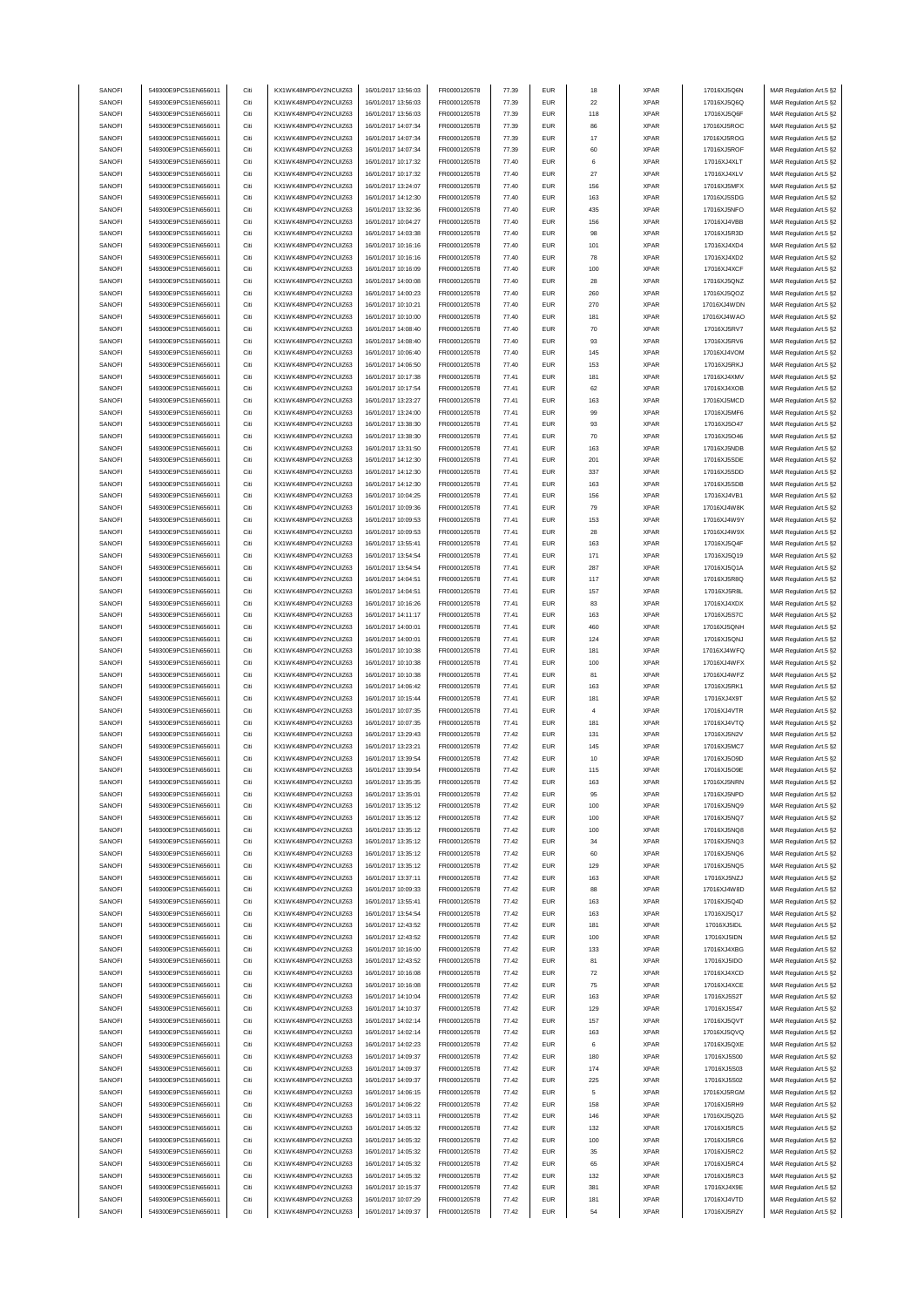| SANOFI<br>SANOFI<br>549300E9PC51EN656011<br>Citi<br>KX1WK48MPD4Y2NCUIZ63<br>16/01/2017 13:56:03<br><b>EUR</b><br>22<br><b>XPAR</b><br>17016XJ5Q6Q<br>FR0000120578<br>77.39<br>SANOFI<br>549300E9PC51EN656011<br>Citi<br>KX1WK48MPD4Y2NCUIZ63<br>16/01/2017 13:56:03<br>FR0000120578<br>77.39<br><b>EUR</b><br>118<br><b>XPAR</b><br>17016XJ5Q6F<br><b>EUR</b><br><b>XPAR</b><br>SANOFI<br>549300E9PC51EN656011<br>Citi<br>KX1WK48MPD4Y2NCUIZ63<br>16/01/2017 14:07:34<br>FR0000120578<br>77.39<br>86<br>17016XJ5ROC<br>Citi<br>77.39<br><b>EUR</b><br><b>XPAR</b><br>SANOFI<br>549300E9PC51EN656011<br>KX1WK48MPD4Y2NCLIIZ63<br>16/01/2017 14:07:34<br>FR0000120578<br>$17\,$<br>17016XJ5ROG<br>SANOFI<br>549300E9PC51EN656011<br>Citi<br>KX1WK48MPD4Y2NCUIZ63<br>16/01/2017 14:07:34<br>FR0000120578<br>77.39<br><b>EUR</b><br>60<br><b>XPAR</b><br>17016XJ5ROF<br>SANOFI<br>549300E9PC51EN656011<br>Citi<br>KX1WK48MPD4Y2NCUIZ63<br>16/01/2017 10:17:32<br>FR0000120578<br>77.40<br><b>EUR</b><br>6<br><b>XPAR</b><br>17016XJ4XLT<br>SANOFI<br>549300E9PC51EN656011<br>Citi<br>16/01/2017 10:17:32<br>FR0000120578<br><b>EUR</b><br>27<br><b>XPAR</b><br>KX1WK48MPD4Y2NCUIZ63<br>77.40<br>17016XJ4XLV<br>SANOFI<br>549300E9PC51EN656011<br>Citi<br>KX1WK48MPD4Y2NCUIZ63<br>16/01/2017 13:24:07<br>FR0000120578<br><b>XPAR</b><br>77.40<br><b>EUR</b><br>156<br>17016XJ5MFX<br>SANOFI<br>549300E9PC51EN656011<br>Citi<br>KX1WK48MPD4Y2NCUIZ63<br>16/01/2017 14:12:30<br>FR0000120578<br>77.40<br><b>EUR</b><br>163<br><b>XPAR</b><br>17016XJ5SDG<br>SANOFI<br>549300E9PC51EN656011<br>Citi<br>KX1WK48MPD4Y2NCUIZ63<br>16/01/2017 13:32:36<br>FR0000120578<br><b>EUR</b><br>435<br><b>XPAR</b><br>17016XJ5NFO<br>77.40<br>Citi<br>77.40<br><b>EUR</b><br><b>XPAR</b><br>SANOFI<br>549300E9PC51EN656011<br>KX1WK48MPD4Y2NCUIZ63<br>16/01/2017 10:04:27<br>FR0000120578<br>156<br>17016XJ4VBB<br>SANOFI<br><b>EUR</b><br>549300E9PC51EN656011<br>Citi<br>KX1WK48MPD4Y2NCUIZ63<br>16/01/2017 14:03:38<br>FR0000120578<br>77.40<br>98<br><b>XPAR</b><br>17016XJ5R3D<br>SANOFI<br>549300E9PC51EN656011<br>Citi<br>KX1WK48MPD4Y2NCUIZ63<br>16/01/2017 10:16:16<br>FR0000120578<br>77.40<br><b>EUR</b><br>101<br><b>XPAR</b><br>17016XJ4XD4<br>Citi<br><b>EUR</b><br>SANOFI<br>549300E9PC51EN656011<br>KX1WK48MPD4Y2NCUIZ63<br>16/01/2017 10:16:16<br>FR0000120578<br>77.40<br>78<br><b>XPAR</b><br>17016XJ4XD2<br>SANOFI<br>549300E9PC51EN656011<br>Citi<br>KX1WK48MPD4Y2NCUIZ63<br>16/01/2017 10:16:09<br>FR0000120578<br><b>EUR</b><br>100<br><b>XPAR</b><br>17016XJ4XCF<br>77.40<br>SANOFI<br>549300E9PC51EN656011<br>Citi<br>KX1WK48MPD4Y2NCUIZ63<br>FR0000120578<br>${\bf 28}$<br><b>XPAR</b><br>17016XJ5QNZ<br>16/01/2017 14:00:08<br>77.40<br><b>EUR</b><br>SANOFI<br>549300E9PC51EN656011<br>Citi<br>KX1WK48MPD4Y2NCUIZ63<br>16/01/2017 14:00:23<br><b>EUR</b><br><b>XPAR</b><br>FR0000120578<br>77.40<br>260<br>17016XJ5QOZ<br>SANOFI<br>549300E9PC51EN656011<br>Citi<br>KX1WK48MPD4Y2NCUIZ63<br>16/01/2017 10:10:21<br>FR0000120578<br>77.40<br><b>EUR</b><br>270<br><b>XPAR</b><br>17016XJ4WDN<br>SANOFI<br>549300E9PC51EN656011<br>Citi<br>KX1WK48MPD4Y2NCUIZ63<br>16/01/2017 10:10:00<br>FR0000120578<br>77.40<br><b>EUR</b><br>181<br><b>XPAR</b><br>17016XJ4WAO<br>SANOFI<br>70<br><b>XPAR</b><br>549300E9PC51EN656011<br>Citi<br>KX1WK48MPD4Y2NCUIZ63<br>16/01/2017 14:08:40<br>FR0000120578<br>77.40<br><b>EUR</b><br>17016XJ5RV7<br>SANOFI<br>549300E9PC51EN656011<br>Citi<br>KX1WK48MPD4Y2NCUIZ63<br>16/01/2017 14:08:40<br>FR0000120578<br>77.40<br><b>EUR</b><br>93<br><b>XPAR</b><br>17016XJ5RV6<br>SANOFI<br>549300E9PC51EN656011<br>Citi<br>KX1WK48MPD4Y2NCUIZ63<br>16/01/2017 10:06:40<br>FR0000120578<br>77.40<br><b>EUR</b><br>145<br><b>XPAR</b><br>17016XJ4VOM<br>SANOFI<br>549300E9PC51EN656011<br>FR0000120578<br>153<br><b>XPAR</b><br>17016XJ5RKJ<br>Citi<br>KX1WK48MPD4Y2NCUIZ63<br>16/01/2017 14:06:50<br>77.40<br><b>EUR</b><br>SANOFI<br>549300E9PC51EN656011<br>Citi<br>KX1WK48MPD4Y2NCUIZ63<br>FR0000120578<br><b>EUR</b><br>181<br><b>XPAR</b><br>17016XJ4XMV<br>16/01/2017 10:17:38<br>77.41<br>SANOFI<br>549300E9PC51EN656011<br>Citi<br>KX1WK48MPD4Y2NCUIZ63<br>16/01/2017 10:17:54<br>FR0000120578<br><b>EUR</b><br>62<br><b>XPAR</b><br>17016XJ4XOB<br>77.41<br>SANOFI<br>549300E9PC51EN656011<br>Citi<br>KX1WK48MPD4Y2NCUIZ63<br>16/01/2017 13:23:27<br>77.41<br><b>EUR</b><br>163<br><b>XPAR</b><br>17016XJ5MCD<br>FR0000120578<br>SANOFI<br><b>EUR</b><br>XPAR<br>549300E9PC51EN656011<br>Citi<br>KX1WK48MPD4Y2NCUIZ63<br>16/01/2017 13:24:00<br>FR0000120578<br>77.41<br>99<br>17016XJ5MF6<br><b>EUR</b><br>SANOFI<br>549300E9PC51EN656011<br>Citi<br>KX1WK48MPD4Y2NCUIZ63<br>16/01/2017 13:38:30<br>FR0000120578<br>77.41<br>93<br><b>XPAR</b><br>17016XJ5O47<br>Citi<br>SANOFI<br>549300E9PC51EN656011<br>KX1WK48MPD4Y2NCUIZ63<br>16/01/2017 13:38:30<br>FR0000120578<br>77.41<br><b>EUR</b><br>70<br><b>XPAR</b><br>17016XJ5O46<br>SANOFI<br>549300E9PC51EN656011<br>Citi<br>KX1WK48MPD4Y2NCUIZ63<br>16/01/2017 13:31:50<br>FR0000120578<br>77.41<br><b>EUR</b><br>163<br><b>XPAR</b><br>17016XJ5NDB<br>SANOFI<br>549300E9PC51EN656011<br>Citi<br>KX1WK48MPD4Y2NCUIZ63<br>FR0000120578<br><b>EUR</b><br>201<br><b>XPAR</b><br>17016XJ5SDE<br>16/01/2017 14:12:30<br>77.41<br>SANOFI<br>Citi<br>FR0000120578<br><b>EUR</b><br>337<br>XPAR<br>549300E9PC51EN656011<br>KX1WK48MPD4Y2NCUIZ63<br>16/01/2017 14:12:30<br>77.41<br>17016XJ5SDD<br>SANOFI<br>549300E9PC51EN656011<br>Citi<br>KX1WK48MPD4Y2NCUIZ63<br>16/01/2017 14:12:30<br>FR0000120578<br>77.41<br><b>EUR</b><br>163<br><b>XPAR</b><br>17016XJ5SDB<br>SANOFI<br>549300E9PC51EN656011<br>Citi<br>KX1WK48MPD4Y2NCUIZ63<br>16/01/2017 10:04:25<br>FR0000120578<br><b>EUR</b><br>156<br><b>XPAR</b><br>17016XJ4VB1<br>77.41<br>SANOFI<br>Citi<br>KX1WK48MPD4Y2NCUIZ63<br>16/01/2017 10:09:36<br><b>EUR</b><br>79<br><b>XPAR</b><br>549300E9PC51EN656011<br>FR0000120578<br>77.41<br>17016XJ4W8K<br>Citi<br>77.41<br><b>EUR</b><br><b>XPAR</b><br>SANOFI<br>549300E9PC51EN656011<br>KX1WK48MPD4Y2NCUIZ63<br>16/01/2017 10:09:53<br>FR0000120578<br>153<br>17016XJ4W9Y<br>SANOFI<br>549300E9PC51EN656011<br>Citi<br>KX1WK48MPD4Y2NCUIZ63<br>16/01/2017 10:09:53<br>FR0000120578<br>77.41<br><b>EUR</b><br>28<br><b>XPAR</b><br>17016XJ4W9X<br>SANOFI<br>549300E9PC51EN656011<br>Citi<br>KX1WK48MPD4Y2NCUIZ63<br>16/01/2017 13:55:41<br>FR0000120578<br>77.41<br><b>EUR</b><br>163<br><b>XPAR</b><br>17016XJ5Q4F<br>SANOFI<br>549300E9PC51EN656011<br>Citi<br>KX1WK48MPD4Y2NCUIZ63<br>16/01/2017 13:54:54<br>FR0000120578<br>77.41<br><b>EUR</b><br>171<br><b>XPAR</b><br>17016XJ5Q19<br>SANOFI<br>549300E9PC51EN656011<br>Citi<br>KX1WK48MPD4Y2NCUIZ63<br>16/01/2017 13:54:54<br>FR0000120578<br>77.41<br><b>EUR</b><br>287<br><b>XPAR</b><br>17016XJ5Q1A<br>SANOFI<br>549300E9PC51EN656011<br>FR0000120578<br>117<br>XPAR<br>Citi<br>KX1WK48MPD4Y2NCUIZ63<br>16/01/2017 14:04:51<br>77.41<br><b>EUR</b><br>17016XJ5R8Q<br>SANOFI<br>549300E9PC51EN656011<br>Citi<br>KX1WK48MPD4Y2NCUIZ63<br>16/01/2017 14:04:51<br>FR0000120578<br><b>EUR</b><br>157<br><b>XPAR</b><br>17016XJ5R8L<br>77.41<br>SANOFI<br>549300E9PC51EN656011<br>Citi<br>KX1WK48MPD4Y2NCUIZ63<br>16/01/2017 10:16:26<br>FR0000120578<br>77.41<br><b>EUR</b><br>83<br>XPAR<br>17016XJ4XDX<br><b>EUR</b><br>SANOFI<br>549300E9PC51EN656011<br>Citi<br>KX1WK48MPD4Y2NCUIZ63<br>16/01/2017 14:11:17<br>FR0000120578<br>77.41<br>163<br><b>XPAR</b><br>17016XJ5S7C<br>SANOFI<br><b>XPAR</b><br>549300E9PC51EN656011<br>Citi<br>KX1WK48MPD4Y2NCUIZ63<br>16/01/2017 14:00:01<br>FR0000120578<br>77.41<br><b>EUR</b><br>460<br>17016XJ5QNH<br>SANOFI<br>549300E9PC51EN656011<br>Citi<br>KX1WK48MPD4Y2NCUIZ63<br>16/01/2017 14:00:01<br>FR0000120578<br>77.41<br><b>EUR</b><br>124<br><b>XPAR</b><br>17016XJ5QNJ<br>SANOFI<br>549300E9PC51EN656011<br>Citi<br>KX1WK48MPD4Y2NCUIZ63<br>16/01/2017 10:10:38<br>FR0000120578<br>77.41<br><b>EUR</b><br>181<br><b>XPAR</b><br>17016XJ4WFQ<br>SANOFI<br>549300E9PC51EN656011<br>KX1WK48MPD4Y2NCUIZ63<br>16/01/2017 10:10:38<br>FR0000120578<br>XPAR<br>17016XJ4WFX<br>Citi<br>77.41<br><b>EUR</b><br>100<br>SANOFI<br>Citi<br>FR0000120578<br><b>EUR</b><br><b>XPAR</b><br>17016XJ4WFZ<br>549300E9PC51EN656011<br>KX1WK48MPD4Y2NCUIZ63<br>16/01/2017 10:10:38<br>77.41<br>81<br>SANOFI<br>549300E9PC51EN656011<br>Citi<br>KX1WK48MPD4Y2NCUIZ63<br>16/01/2017 14:06:42<br>FR0000120578<br><b>EUR</b><br>163<br>XPAR<br>77.41<br>17016XJ5RK1<br>SANOFI<br>549300E9PC51EN656011<br>Citi<br>KX1WK48MPD4Y2NCUIZ63<br>16/01/2017 10:15:44<br>FR0000120578<br>77.41<br><b>EUR</b><br>181<br><b>XPAR</b><br>17016XJ4X9T<br>XPAR<br>SANOFI<br>549300E9PC51EN656011<br>Citi<br>KX1WK48MPD4Y2NCUIZ63<br>16/01/2017 10:07:35<br>FR0000120578<br>77.41<br><b>EUR</b><br>17016XJ4VTR<br>4<br><b>EUR</b><br>SANOFI<br>549300E9PC51EN656011<br>Citi<br>KX1WK48MPD4Y2NCUIZ63<br>16/01/2017 10:07:35<br>FR0000120578<br>77.41<br>181<br><b>XPAR</b><br>17016XJ4VTQ<br>SANOFI<br>549300E9PC51EN656011<br>Citi<br>KX1WK48MPD4Y2NCUIZ63<br>16/01/2017 13:29:43<br>FR0000120578<br>77.42<br><b>EUR</b><br>131<br><b>XPAR</b><br>17016XJ5N2V<br>SANOFI<br>549300E9PC51EN656011<br>Citi<br>KX1WK48MPD4Y2NCUIZ63<br>16/01/2017 13:23:21<br>FR0000120578<br>77.42<br><b>EUR</b><br>145<br><b>XPAR</b><br>17016XJ5MC7<br>SANOFI<br>549300E9PC51EN656011<br>KX1WK48MPD4Y2NCUIZ63<br>16/01/2017 13:39:54<br>FR0000120578<br>77.42<br><b>EUR</b><br><b>XPAR</b><br>17016XJ5O9D<br>Citi<br>10<br>SANOFI<br>16/01/2017 13:39:54<br>FR0000120578<br>77.42<br><b>EUR</b><br>XPAR<br>549300E9PC51EN656011<br>Citi<br>KX1WK48MPD4Y2NCUIZ63<br>115<br>17016XJ5O9E<br>SANOFI<br>549300E9PC51EN656011<br>KX1WK48MPD4Y2NCLIIZ63<br>FR0000120578<br>77.42<br>FUR<br><b>XPAR</b><br>16/01/2017 13:35:35<br>163<br>17016X.I5NRN<br>SANOFI<br>549300E9PC51EN656011<br>KX1WK48MPD4Y2NCUIZ63<br>16/01/2017 13:35:01<br>77.42<br>Citi<br>FR0000120578<br><b>EUR</b><br>95<br><b>XPAR</b><br>17016XJ5NPD<br>SANOFI<br>549300E9PC51EN656011<br>Citi<br>KX1WK48MPD4Y2NCUIZ63<br>16/01/2017 13:35:12<br>FR0000120578<br>77.42<br><b>EUR</b><br>100<br><b>XPAR</b><br>17016XJ5NQ9<br>SANOFI<br>549300E9PC51EN656011<br>Citi<br>KX1WK48MPD4Y2NCUIZ63<br>16/01/2017 13:35:12<br>FR0000120578<br>77.42<br><b>EUR</b><br><b>XPAR</b><br>17016XJ5NQ7<br>100<br>SANOFI<br>549300E9PC51EN656011<br>Citi<br>KX1WK48MPD4Y2NCUIZ63<br>16/01/2017 13:35:12<br>FR0000120578<br>77.42<br><b>EUR</b><br>100<br><b>XPAR</b><br>17016XJ5NQ8<br>SANOFI<br>549300E9PC51EN656011<br>Citi<br>KX1WK48MPD4Y2NCUIZ63<br>16/01/2017 13:35:12<br>FR0000120578<br>77.42<br><b>EUR</b><br>34<br><b>XPAR</b><br>17016XJ5NQ3<br>SANOFI<br>549300E9PC51EN656011<br>KX1WK48MPD4Y2NCUIZ63<br>16/01/2017 13:35:12<br>FR0000120578<br><b>EUR</b><br>17016XJ5NQ6<br>Citi<br>77.42<br>60<br><b>XPAR</b><br>16/01/2017 13:35:12<br>17016XJ5NQ5<br>SANOFI<br>549300E9PC51EN656011<br>Citi<br>KX1WK48MPD4Y2NCUIZ63<br>FR0000120578<br>77.42<br><b>EUR</b><br>129<br><b>XPAR</b><br>SANOFI<br>549300E9PC51EN656011<br>KX1WK48MPD4Y2NCUIZ63<br>16/01/2017 13:37:11<br>FR0000120578<br>77.42<br><b>XPAR</b><br>17016XJ5NZJ<br>Citi<br><b>EUR</b><br>163<br>SANOFI<br>549300E9PC51EN656011<br>Citi<br>KX1WK48MPD4Y2NCUIZ63<br>16/01/2017 10:09:33<br>77.42<br><b>EUR</b><br>XPAR<br>17016XJ4W8D<br>FR0000120578<br>88<br>KX1WK48MPD4Y2NCUIZ63<br>SANOFI<br>549300E9PC51EN656011<br>Citi<br>16/01/2017 13:55:41<br>FR0000120578<br>77.42<br><b>EUR</b><br><b>XPAR</b><br>17016XJ5Q4D<br>163<br>SANOFI<br>549300E9PC51EN656011<br>Citi<br>KX1WK48MPD4Y2NCUIZ63<br>16/01/2017 13:54:54<br>FR0000120578<br>77.42<br><b>EUR</b><br>163<br><b>XPAR</b><br>17016XJ5Q17<br>SANOFI<br>549300E9PC51EN656011<br>Citi<br>KX1WK48MPD4Y2NCUIZ63<br>16/01/2017 12:43:52<br>FR0000120578<br>77.42<br><b>EUR</b><br>181<br><b>XPAR</b><br>17016XJ5IDL<br>SANOFI<br>549300E9PC51EN656011<br>Citi<br>KX1WK48MPD4Y2NCUIZ63<br>16/01/2017 12:43:52<br>FR0000120578<br>77.42<br><b>EUR</b><br>100<br><b>XPAR</b><br>17016XJ5IDN<br>KX1WK48MPD4Y2NCUIZ63<br>16/01/2017 10:16:00<br>17016XJ4XBG<br>SANOFI<br>549300E9PC51EN656011<br>Citi<br>FR0000120578<br>77.42<br><b>EUR</b><br>133<br><b>XPAR</b><br>SANOFI<br>549300E9PC51EN656011<br>KX1WK48MPD4Y2NCUIZ63<br>17016XJ5IDO<br>Citi<br>16/01/2017 12:43:52<br>FR0000120578<br>77.42<br><b>EUR</b><br>81<br><b>XPAR</b><br>SANOFI<br>549300E9PC51EN656011<br>KX1WK48MPD4Y2NCUIZ63<br>16/01/2017 10:16:08<br><b>EUR</b><br>Citi<br>FR0000120578<br>77.42<br>$\bf 72$<br><b>XPAR</b><br>17016XJ4XCD<br>SANOFI<br>549300E9PC51EN656011<br>Citi<br>KX1WK48MPD4Y2NCUIZ63<br>16/01/2017 10:16:08<br>FR0000120578<br>77.42<br><b>EUR</b><br>XPAR<br>17016XJ4XCE<br>75<br>SANOFI<br>549300E9PC51EN656011<br>Citi<br>KX1WK48MPD4Y2NCUIZ63<br>16/01/2017 14:10:04<br>FR0000120578<br>77.42<br><b>EUR</b><br>163<br><b>XPAR</b><br>17016XJ5S2T<br>SANOFI<br>549300E9PC51EN656011<br>KX1WK48MPD4Y2NCUIZ63<br>16/01/2017 14:10:37<br>FR0000120578<br>77.42<br><b>EUR</b><br><b>XPAR</b><br>17016XJ5S47<br>Citi<br>129<br><b>EUR</b><br>SANOFI<br>549300E9PC51EN656011<br>Citi<br>KX1WK48MPD4Y2NCUIZ63<br>16/01/2017 14:02:14<br>FR0000120578<br>77.42<br>157<br><b>XPAR</b><br>17016XJ5QVT<br>SANOFI<br>549300E9PC51EN656011<br>Citi<br>KX1WK48MPD4Y2NCUIZ63<br>16/01/2017 14:02:14<br>FR0000120578<br>77.42<br><b>EUR</b><br>163<br><b>XPAR</b><br>17016XJ5QVQ<br>SANOFI<br>549300E9PC51EN656011<br>Citi<br>KX1WK48MPD4Y2NCUIZ63<br>16/01/2017 14:02:23<br>FR0000120578<br>77.42<br><b>EUR</b><br>6<br><b>XPAR</b><br>17016XJ5QXE<br>SANOFI<br>KX1WK48MPD4Y2NCUIZ63<br>549300E9PC51EN656011<br>Citi<br>16/01/2017 14:09:37<br>FR0000120578<br>77.42<br><b>EUR</b><br>180<br><b>XPAR</b><br>17016XJ5S00<br>SANOFI<br>549300E9PC51EN656011<br>Citi<br>KX1WK48MPD4Y2NCUIZ63<br>16/01/2017 14:09:37<br>FR0000120578<br>77.42<br><b>EUR</b><br>174<br><b>XPAR</b><br>17016XJ5S03<br>SANOFI<br>549300E9PC51EN656011<br>Citi<br>KX1WK48MPD4Y2NCUIZ63<br>16/01/2017 14:09:37<br>77.42<br><b>EUR</b><br><b>XPAR</b><br>17016XJ5S02<br>FR0000120578<br>225<br>SANOFI<br>549300E9PC51EN656011<br>KX1WK48MPD4Y2NCUIZ63<br>16/01/2017 14:06:15<br>FR0000120578<br>77.42<br><b>EUR</b><br><b>XPAR</b><br>17016XJ5RGM<br>Citi<br>$\,$ 5 $\,$<br>SANOFI<br>549300E9PC51EN656011<br>Citi<br>KX1WK48MPD4Y2NCUIZ63<br>16/01/2017 14:06:22<br>FR0000120578<br>77.42<br><b>EUR</b><br>158<br><b>XPAR</b><br>17016XJ5RH9<br>SANOFI<br>549300E9PC51EN656011<br>Citi<br>KX1WK48MPD4Y2NCUIZ63<br>16/01/2017 14:03:11<br>FR0000120578<br>77.42<br><b>EUR</b><br><b>XPAR</b><br>17016XJ5QZG<br>146<br>SANOFI<br>549300E9PC51EN656011<br>Citi<br>KX1WK48MPD4Y2NCUIZ63<br>16/01/2017 14:05:32<br>FR0000120578<br>77.42<br><b>EUR</b><br>132<br><b>XPAR</b><br>17016XJ5RC5<br>SANOFI<br>549300E9PC51EN656011<br>Citi<br>KX1WK48MPD4Y2NCUIZ63<br>16/01/2017 14:05:32<br>FR0000120578<br>77.42<br><b>EUR</b><br>100<br><b>XPAR</b><br>17016XJ5RC6<br>SANOFI<br>549300E9PC51EN656011<br>Citi<br>KX1WK48MPD4Y2NCUIZ63<br>16/01/2017 14:05:32<br>FR0000120578<br><b>EUR</b><br>17016XJ5RC2<br>77.42<br>35<br><b>XPAR</b><br>KX1WK48MPD4Y2NCUIZ63<br>17016XJ5RC4<br>SANOFI<br>549300E9PC51EN656011<br>Citi<br>16/01/2017 14:05:32<br>FR0000120578<br>77.42<br><b>EUR</b><br>65<br><b>XPAR</b><br>SANOFI<br>549300E9PC51EN656011<br>KX1WK48MPD4Y2NCUIZ63<br>16/01/2017 14:05:32<br>FR0000120578<br>77.42<br><b>EUR</b><br>132<br><b>XPAR</b><br>17016XJ5RC3<br>Citi<br>SANOFI<br>549300E9PC51EN656011<br>KX1WK48MPD4Y2NCUIZ63<br><b>EUR</b><br>Citi<br>16/01/2017 10:15:37<br>FR0000120578<br>77.42<br>381<br><b>XPAR</b><br>17016XJ4X9E<br>SANOFI<br>549300E9PC51EN656011<br>Citi<br>KX1WK48MPD4Y2NCUIZ63<br>16/01/2017 10:07:29<br>FR0000120578<br>77.42<br><b>EUR</b><br>181<br><b>XPAR</b><br>17016XJ4VTD<br>16/01/2017 14:09:37<br><b>EUR</b><br>SANOFI<br>549300E9PC51EN656011<br>Citi<br>KX1WK48MPD4Y2NCUIZ63<br>FR0000120578<br>77.42<br>54<br>XPAR<br>17016XJ5RZY<br>MAR Regulation Art.5 §2 | 549300E9PC51EN656011 | Citi | KX1WK48MPD4Y2NCUIZ63 | 16/01/2017 13:56:03 | FR0000120578 | 77.39 | <b>EUR</b> | 18 | <b>XPAR</b> | 17016XJ5Q6N | MAR Regulation Art.5 §2 |
|---------------------------------------------------------------------------------------------------------------------------------------------------------------------------------------------------------------------------------------------------------------------------------------------------------------------------------------------------------------------------------------------------------------------------------------------------------------------------------------------------------------------------------------------------------------------------------------------------------------------------------------------------------------------------------------------------------------------------------------------------------------------------------------------------------------------------------------------------------------------------------------------------------------------------------------------------------------------------------------------------------------------------------------------------------------------------------------------------------------------------------------------------------------------------------------------------------------------------------------------------------------------------------------------------------------------------------------------------------------------------------------------------------------------------------------------------------------------------------------------------------------------------------------------------------------------------------------------------------------------------------------------------------------------------------------------------------------------------------------------------------------------------------------------------------------------------------------------------------------------------------------------------------------------------------------------------------------------------------------------------------------------------------------------------------------------------------------------------------------------------------------------------------------------------------------------------------------------------------------------------------------------------------------------------------------------------------------------------------------------------------------------------------------------------------------------------------------------------------------------------------------------------------------------------------------------------------------------------------------------------------------------------------------------------------------------------------------------------------------------------------------------------------------------------------------------------------------------------------------------------------------------------------------------------------------------------------------------------------------------------------------------------------------------------------------------------------------------------------------------------------------------------------------------------------------------------------------------------------------------------------------------------------------------------------------------------------------------------------------------------------------------------------------------------------------------------------------------------------------------------------------------------------------------------------------------------------------------------------------------------------------------------------------------------------------------------------------------------------------------------------------------------------------------------------------------------------------------------------------------------------------------------------------------------------------------------------------------------------------------------------------------------------------------------------------------------------------------------------------------------------------------------------------------------------------------------------------------------------------------------------------------------------------------------------------------------------------------------------------------------------------------------------------------------------------------------------------------------------------------------------------------------------------------------------------------------------------------------------------------------------------------------------------------------------------------------------------------------------------------------------------------------------------------------------------------------------------------------------------------------------------------------------------------------------------------------------------------------------------------------------------------------------------------------------------------------------------------------------------------------------------------------------------------------------------------------------------------------------------------------------------------------------------------------------------------------------------------------------------------------------------------------------------------------------------------------------------------------------------------------------------------------------------------------------------------------------------------------------------------------------------------------------------------------------------------------------------------------------------------------------------------------------------------------------------------------------------------------------------------------------------------------------------------------------------------------------------------------------------------------------------------------------------------------------------------------------------------------------------------------------------------------------------------------------------------------------------------------------------------------------------------------------------------------------------------------------------------------------------------------------------------------------------------------------------------------------------------------------------------------------------------------------------------------------------------------------------------------------------------------------------------------------------------------------------------------------------------------------------------------------------------------------------------------------------------------------------------------------------------------------------------------------------------------------------------------------------------------------------------------------------------------------------------------------------------------------------------------------------------------------------------------------------------------------------------------------------------------------------------------------------------------------------------------------------------------------------------------------------------------------------------------------------------------------------------------------------------------------------------------------------------------------------------------------------------------------------------------------------------------------------------------------------------------------------------------------------------------------------------------------------------------------------------------------------------------------------------------------------------------------------------------------------------------------------------------------------------------------------------------------------------------------------------------------------------------------------------------------------------------------------------------------------------------------------------------------------------------------------------------------------------------------------------------------------------------------------------------------------------------------------------------------------------------------------------------------------------------------------------------------------------------------------------------------------------------------------------------------------------------------------------------------------------------------------------------------------------------------------------------------------------------------------------------------------------------------------------------------------------------------------------------------------------------------------------------------------------------------------------------------------------------------------------------------------------------------------------------------------------------------------------------------------------------------------------------------------------------------------------------------------------------------------------------------------------------------------------------------------------------------------------------------------------------------------------------------------------------------------------------------------------------------------------------------------------------------------------------------------------------------------------------------------------------------------------------------------------------------------------------------------------------------------------------------------------------------------------------------------------------------------------------------------------------------------------------------------------------------------------------------------------------------------------------------------------------------------------------------------------------------------------------------------------------------------------------------------------------------------------------------------------------------------------------------------------------------------------------------------------------------------------------------------------------------------------------------------------------------------------------------------------------------------------------------------------------------------------------------------------------------------------------------------------------------------------------------------------------------------------------------------------------------------------------------------------------------------------------------------------------------------------------------------------------------------------------------------------------------------------------------------------------------------------------------------------------------------------------------------------------------------------------------------------------------------------------------------------------------------------------------------------------------------------------------------------------------------------------------------------------------------------------------------------------------------------------------------------------------------------------------------------------------------------------------------------------------------------------------------------------------------------------------------------------------------------------------------------------------------------------------------------------------------------------------------------------------------------------------------------------------------------------------------------------------------------------------------------------------------------------------------------------------------------------------------------------------------------------------------------------------------------------------------------------------------------------------------------------------------------------------------------------------------------------------------------------------------------------------------------------------------------------------------------------------------------------------------------------------------------------------------------------------------------------------------------------------------------------------------------------------------------------------------------------------------------------------------------------------------------------------------------------------------------------------------------------------------------------------------------------------------------------------------------------------------------------------------------------------------------------------------------------------------------------------------------------------------------------------------------------------------------------------------------------------------------------------------------------------------------------------------------------------------------------------------------------------------------------------------------------------------------------------------------------------------------------------------------------------------------------------------------------------------------------------------------------------------------------------------------------------------------------------------------------------------------------------------------------------------------------------------------------------------------------------------------------------------------------------------------------------------------------------------------------------------------------------------------------------------------------------------------------------------------------------------------------------------------------------------------------------------------------------------------------------------------------------------------------------------------------------------------------------------------------------------------------------------------------------------------------------------------------------------------------------------------------------------------------------------------------------------------------------------------------------------------------------------------------------------------------------------------------------------------------------------------------------------------------------------------------------------------------------------------------------------------------------------------------------------------------------------------------------------------------------------------------------------------------------------------------------------------------------------------------------------------------------------------------------------------------------------------------------------------------------------------------------------------------------------------------------------------------------------------------------------------------------------------------------------------------------------------------------------------------------------------------------------------------------------------------------------------------------------------------------------------------------------------------------------------------------------------------------------------------------------------------------------------------------------------------------------------------------------------------------------------------------------------------------------------------------------------------------------------------------------------------------------------------------------------------------------------------------------------------------------------------------------|----------------------|------|----------------------|---------------------|--------------|-------|------------|----|-------------|-------------|-------------------------|
|                                                                                                                                                                                                                                                                                                                                                                                                                                                                                                                                                                                                                                                                                                                                                                                                                                                                                                                                                                                                                                                                                                                                                                                                                                                                                                                                                                                                                                                                                                                                                                                                                                                                                                                                                                                                                                                                                                                                                                                                                                                                                                                                                                                                                                                                                                                                                                                                                                                                                                                                                                                                                                                                                                                                                                                                                                                                                                                                                                                                                                                                                                                                                                                                                                                                                                                                                                                                                                                                                                                                                                                                                                                                                                                                                                                                                                                                                                                                                                                                                                                                                                                                                                                                                                                                                                                                                                                                                                                                                                                                                                                                                                                                                                                                                                                                                                                                                                                                                                                                                                                                                                                                                                                                                                                                                                                                                                                                                                                                                                                                                                                                                                                                                                                                                                                                                                                                                                                                                                                                                                                                                                                                                                                                                                                                                                                                                                                                                                                                                                                                                                                                                                                                                                                                                                                                                                                                                                                                                                                                                                                                                                                                                                                                                                                                                                                                                                                                                                                                                                                                                                                                                                                                                                                                                                                                                                                                                                                                                                                                                                                                                                                                                                                                                                                                                                                                                                                                                                                                                                                                                                                                                                                                                                                                                                                                                                                                                                                                                                                                                                                                                                                                                                                                                                                                                                                                                                                                                                                                                                                                                                                                                                                                                                                                                                                                                                                                                                                                                                                                                                                                                                                                                                                                                                                                                                                                                                                                                                                                                                                                                                                                                                                                                                                                                                                                                                                                                                                                                                                                                                                                                                                                                                                                                                                                                                                                                                                                                                                                                                                                                                                                                                                                                                                                                                                                                                                                                                                                                                                                                                                                                                                                                                                                                                                                                                                                                                                                                                                                                                                                                                                                                                                                                                                                                                                                                                                                                                                                                                                                                                                                                                                                                                                                                                                                                                                                                                                                                                                                                                                                                                                                                                                                                                                                                                                                                                                                                                                                                                                                                                                                                                                                                                                                                                                                                                                                                                                                                                                                                                                                                                                                                                                                                                                                                                                                                                                                                                                                                                                                                                                                                                                                                                                                                                                                                                                                                                                                                                                                                                                                                                                                                                                                                                                                                                                                                                                                                                                                                                                                                                                                                       |                      |      |                      |                     |              |       |            |    |             |             |                         |
|                                                                                                                                                                                                                                                                                                                                                                                                                                                                                                                                                                                                                                                                                                                                                                                                                                                                                                                                                                                                                                                                                                                                                                                                                                                                                                                                                                                                                                                                                                                                                                                                                                                                                                                                                                                                                                                                                                                                                                                                                                                                                                                                                                                                                                                                                                                                                                                                                                                                                                                                                                                                                                                                                                                                                                                                                                                                                                                                                                                                                                                                                                                                                                                                                                                                                                                                                                                                                                                                                                                                                                                                                                                                                                                                                                                                                                                                                                                                                                                                                                                                                                                                                                                                                                                                                                                                                                                                                                                                                                                                                                                                                                                                                                                                                                                                                                                                                                                                                                                                                                                                                                                                                                                                                                                                                                                                                                                                                                                                                                                                                                                                                                                                                                                                                                                                                                                                                                                                                                                                                                                                                                                                                                                                                                                                                                                                                                                                                                                                                                                                                                                                                                                                                                                                                                                                                                                                                                                                                                                                                                                                                                                                                                                                                                                                                                                                                                                                                                                                                                                                                                                                                                                                                                                                                                                                                                                                                                                                                                                                                                                                                                                                                                                                                                                                                                                                                                                                                                                                                                                                                                                                                                                                                                                                                                                                                                                                                                                                                                                                                                                                                                                                                                                                                                                                                                                                                                                                                                                                                                                                                                                                                                                                                                                                                                                                                                                                                                                                                                                                                                                                                                                                                                                                                                                                                                                                                                                                                                                                                                                                                                                                                                                                                                                                                                                                                                                                                                                                                                                                                                                                                                                                                                                                                                                                                                                                                                                                                                                                                                                                                                                                                                                                                                                                                                                                                                                                                                                                                                                                                                                                                                                                                                                                                                                                                                                                                                                                                                                                                                                                                                                                                                                                                                                                                                                                                                                                                                                                                                                                                                                                                                                                                                                                                                                                                                                                                                                                                                                                                                                                                                                                                                                                                                                                                                                                                                                                                                                                                                                                                                                                                                                                                                                                                                                                                                                                                                                                                                                                                                                                                                                                                                                                                                                                                                                                                                                                                                                                                                                                                                                                                                                                                                                                                                                                                                                                                                                                                                                                                                                                                                                                                                                                                                                                                                                                                                                                                                                                                                                                                                                                                       |                      |      |                      |                     |              |       |            |    |             |             | MAR Regulation Art.5 §2 |
|                                                                                                                                                                                                                                                                                                                                                                                                                                                                                                                                                                                                                                                                                                                                                                                                                                                                                                                                                                                                                                                                                                                                                                                                                                                                                                                                                                                                                                                                                                                                                                                                                                                                                                                                                                                                                                                                                                                                                                                                                                                                                                                                                                                                                                                                                                                                                                                                                                                                                                                                                                                                                                                                                                                                                                                                                                                                                                                                                                                                                                                                                                                                                                                                                                                                                                                                                                                                                                                                                                                                                                                                                                                                                                                                                                                                                                                                                                                                                                                                                                                                                                                                                                                                                                                                                                                                                                                                                                                                                                                                                                                                                                                                                                                                                                                                                                                                                                                                                                                                                                                                                                                                                                                                                                                                                                                                                                                                                                                                                                                                                                                                                                                                                                                                                                                                                                                                                                                                                                                                                                                                                                                                                                                                                                                                                                                                                                                                                                                                                                                                                                                                                                                                                                                                                                                                                                                                                                                                                                                                                                                                                                                                                                                                                                                                                                                                                                                                                                                                                                                                                                                                                                                                                                                                                                                                                                                                                                                                                                                                                                                                                                                                                                                                                                                                                                                                                                                                                                                                                                                                                                                                                                                                                                                                                                                                                                                                                                                                                                                                                                                                                                                                                                                                                                                                                                                                                                                                                                                                                                                                                                                                                                                                                                                                                                                                                                                                                                                                                                                                                                                                                                                                                                                                                                                                                                                                                                                                                                                                                                                                                                                                                                                                                                                                                                                                                                                                                                                                                                                                                                                                                                                                                                                                                                                                                                                                                                                                                                                                                                                                                                                                                                                                                                                                                                                                                                                                                                                                                                                                                                                                                                                                                                                                                                                                                                                                                                                                                                                                                                                                                                                                                                                                                                                                                                                                                                                                                                                                                                                                                                                                                                                                                                                                                                                                                                                                                                                                                                                                                                                                                                                                                                                                                                                                                                                                                                                                                                                                                                                                                                                                                                                                                                                                                                                                                                                                                                                                                                                                                                                                                                                                                                                                                                                                                                                                                                                                                                                                                                                                                                                                                                                                                                                                                                                                                                                                                                                                                                                                                                                                                                                                                                                                                                                                                                                                                                                                                                                                                                                                                                                                                       |                      |      |                      |                     |              |       |            |    |             |             | MAR Regulation Art.5 §2 |
|                                                                                                                                                                                                                                                                                                                                                                                                                                                                                                                                                                                                                                                                                                                                                                                                                                                                                                                                                                                                                                                                                                                                                                                                                                                                                                                                                                                                                                                                                                                                                                                                                                                                                                                                                                                                                                                                                                                                                                                                                                                                                                                                                                                                                                                                                                                                                                                                                                                                                                                                                                                                                                                                                                                                                                                                                                                                                                                                                                                                                                                                                                                                                                                                                                                                                                                                                                                                                                                                                                                                                                                                                                                                                                                                                                                                                                                                                                                                                                                                                                                                                                                                                                                                                                                                                                                                                                                                                                                                                                                                                                                                                                                                                                                                                                                                                                                                                                                                                                                                                                                                                                                                                                                                                                                                                                                                                                                                                                                                                                                                                                                                                                                                                                                                                                                                                                                                                                                                                                                                                                                                                                                                                                                                                                                                                                                                                                                                                                                                                                                                                                                                                                                                                                                                                                                                                                                                                                                                                                                                                                                                                                                                                                                                                                                                                                                                                                                                                                                                                                                                                                                                                                                                                                                                                                                                                                                                                                                                                                                                                                                                                                                                                                                                                                                                                                                                                                                                                                                                                                                                                                                                                                                                                                                                                                                                                                                                                                                                                                                                                                                                                                                                                                                                                                                                                                                                                                                                                                                                                                                                                                                                                                                                                                                                                                                                                                                                                                                                                                                                                                                                                                                                                                                                                                                                                                                                                                                                                                                                                                                                                                                                                                                                                                                                                                                                                                                                                                                                                                                                                                                                                                                                                                                                                                                                                                                                                                                                                                                                                                                                                                                                                                                                                                                                                                                                                                                                                                                                                                                                                                                                                                                                                                                                                                                                                                                                                                                                                                                                                                                                                                                                                                                                                                                                                                                                                                                                                                                                                                                                                                                                                                                                                                                                                                                                                                                                                                                                                                                                                                                                                                                                                                                                                                                                                                                                                                                                                                                                                                                                                                                                                                                                                                                                                                                                                                                                                                                                                                                                                                                                                                                                                                                                                                                                                                                                                                                                                                                                                                                                                                                                                                                                                                                                                                                                                                                                                                                                                                                                                                                                                                                                                                                                                                                                                                                                                                                                                                                                                                                                                                                                                       |                      |      |                      |                     |              |       |            |    |             |             | MAR Regulation Art.5 §2 |
|                                                                                                                                                                                                                                                                                                                                                                                                                                                                                                                                                                                                                                                                                                                                                                                                                                                                                                                                                                                                                                                                                                                                                                                                                                                                                                                                                                                                                                                                                                                                                                                                                                                                                                                                                                                                                                                                                                                                                                                                                                                                                                                                                                                                                                                                                                                                                                                                                                                                                                                                                                                                                                                                                                                                                                                                                                                                                                                                                                                                                                                                                                                                                                                                                                                                                                                                                                                                                                                                                                                                                                                                                                                                                                                                                                                                                                                                                                                                                                                                                                                                                                                                                                                                                                                                                                                                                                                                                                                                                                                                                                                                                                                                                                                                                                                                                                                                                                                                                                                                                                                                                                                                                                                                                                                                                                                                                                                                                                                                                                                                                                                                                                                                                                                                                                                                                                                                                                                                                                                                                                                                                                                                                                                                                                                                                                                                                                                                                                                                                                                                                                                                                                                                                                                                                                                                                                                                                                                                                                                                                                                                                                                                                                                                                                                                                                                                                                                                                                                                                                                                                                                                                                                                                                                                                                                                                                                                                                                                                                                                                                                                                                                                                                                                                                                                                                                                                                                                                                                                                                                                                                                                                                                                                                                                                                                                                                                                                                                                                                                                                                                                                                                                                                                                                                                                                                                                                                                                                                                                                                                                                                                                                                                                                                                                                                                                                                                                                                                                                                                                                                                                                                                                                                                                                                                                                                                                                                                                                                                                                                                                                                                                                                                                                                                                                                                                                                                                                                                                                                                                                                                                                                                                                                                                                                                                                                                                                                                                                                                                                                                                                                                                                                                                                                                                                                                                                                                                                                                                                                                                                                                                                                                                                                                                                                                                                                                                                                                                                                                                                                                                                                                                                                                                                                                                                                                                                                                                                                                                                                                                                                                                                                                                                                                                                                                                                                                                                                                                                                                                                                                                                                                                                                                                                                                                                                                                                                                                                                                                                                                                                                                                                                                                                                                                                                                                                                                                                                                                                                                                                                                                                                                                                                                                                                                                                                                                                                                                                                                                                                                                                                                                                                                                                                                                                                                                                                                                                                                                                                                                                                                                                                                                                                                                                                                                                                                                                                                                                                                                                                                                                                                                                       |                      |      |                      |                     |              |       |            |    |             |             | MAR Regulation Art.5 §2 |
|                                                                                                                                                                                                                                                                                                                                                                                                                                                                                                                                                                                                                                                                                                                                                                                                                                                                                                                                                                                                                                                                                                                                                                                                                                                                                                                                                                                                                                                                                                                                                                                                                                                                                                                                                                                                                                                                                                                                                                                                                                                                                                                                                                                                                                                                                                                                                                                                                                                                                                                                                                                                                                                                                                                                                                                                                                                                                                                                                                                                                                                                                                                                                                                                                                                                                                                                                                                                                                                                                                                                                                                                                                                                                                                                                                                                                                                                                                                                                                                                                                                                                                                                                                                                                                                                                                                                                                                                                                                                                                                                                                                                                                                                                                                                                                                                                                                                                                                                                                                                                                                                                                                                                                                                                                                                                                                                                                                                                                                                                                                                                                                                                                                                                                                                                                                                                                                                                                                                                                                                                                                                                                                                                                                                                                                                                                                                                                                                                                                                                                                                                                                                                                                                                                                                                                                                                                                                                                                                                                                                                                                                                                                                                                                                                                                                                                                                                                                                                                                                                                                                                                                                                                                                                                                                                                                                                                                                                                                                                                                                                                                                                                                                                                                                                                                                                                                                                                                                                                                                                                                                                                                                                                                                                                                                                                                                                                                                                                                                                                                                                                                                                                                                                                                                                                                                                                                                                                                                                                                                                                                                                                                                                                                                                                                                                                                                                                                                                                                                                                                                                                                                                                                                                                                                                                                                                                                                                                                                                                                                                                                                                                                                                                                                                                                                                                                                                                                                                                                                                                                                                                                                                                                                                                                                                                                                                                                                                                                                                                                                                                                                                                                                                                                                                                                                                                                                                                                                                                                                                                                                                                                                                                                                                                                                                                                                                                                                                                                                                                                                                                                                                                                                                                                                                                                                                                                                                                                                                                                                                                                                                                                                                                                                                                                                                                                                                                                                                                                                                                                                                                                                                                                                                                                                                                                                                                                                                                                                                                                                                                                                                                                                                                                                                                                                                                                                                                                                                                                                                                                                                                                                                                                                                                                                                                                                                                                                                                                                                                                                                                                                                                                                                                                                                                                                                                                                                                                                                                                                                                                                                                                                                                                                                                                                                                                                                                                                                                                                                                                                                                                                                                                                                       |                      |      |                      |                     |              |       |            |    |             |             | MAR Regulation Art.5 §2 |
|                                                                                                                                                                                                                                                                                                                                                                                                                                                                                                                                                                                                                                                                                                                                                                                                                                                                                                                                                                                                                                                                                                                                                                                                                                                                                                                                                                                                                                                                                                                                                                                                                                                                                                                                                                                                                                                                                                                                                                                                                                                                                                                                                                                                                                                                                                                                                                                                                                                                                                                                                                                                                                                                                                                                                                                                                                                                                                                                                                                                                                                                                                                                                                                                                                                                                                                                                                                                                                                                                                                                                                                                                                                                                                                                                                                                                                                                                                                                                                                                                                                                                                                                                                                                                                                                                                                                                                                                                                                                                                                                                                                                                                                                                                                                                                                                                                                                                                                                                                                                                                                                                                                                                                                                                                                                                                                                                                                                                                                                                                                                                                                                                                                                                                                                                                                                                                                                                                                                                                                                                                                                                                                                                                                                                                                                                                                                                                                                                                                                                                                                                                                                                                                                                                                                                                                                                                                                                                                                                                                                                                                                                                                                                                                                                                                                                                                                                                                                                                                                                                                                                                                                                                                                                                                                                                                                                                                                                                                                                                                                                                                                                                                                                                                                                                                                                                                                                                                                                                                                                                                                                                                                                                                                                                                                                                                                                                                                                                                                                                                                                                                                                                                                                                                                                                                                                                                                                                                                                                                                                                                                                                                                                                                                                                                                                                                                                                                                                                                                                                                                                                                                                                                                                                                                                                                                                                                                                                                                                                                                                                                                                                                                                                                                                                                                                                                                                                                                                                                                                                                                                                                                                                                                                                                                                                                                                                                                                                                                                                                                                                                                                                                                                                                                                                                                                                                                                                                                                                                                                                                                                                                                                                                                                                                                                                                                                                                                                                                                                                                                                                                                                                                                                                                                                                                                                                                                                                                                                                                                                                                                                                                                                                                                                                                                                                                                                                                                                                                                                                                                                                                                                                                                                                                                                                                                                                                                                                                                                                                                                                                                                                                                                                                                                                                                                                                                                                                                                                                                                                                                                                                                                                                                                                                                                                                                                                                                                                                                                                                                                                                                                                                                                                                                                                                                                                                                                                                                                                                                                                                                                                                                                                                                                                                                                                                                                                                                                                                                                                                                                                                                                                                                                       |                      |      |                      |                     |              |       |            |    |             |             | MAR Regulation Art.5 §2 |
|                                                                                                                                                                                                                                                                                                                                                                                                                                                                                                                                                                                                                                                                                                                                                                                                                                                                                                                                                                                                                                                                                                                                                                                                                                                                                                                                                                                                                                                                                                                                                                                                                                                                                                                                                                                                                                                                                                                                                                                                                                                                                                                                                                                                                                                                                                                                                                                                                                                                                                                                                                                                                                                                                                                                                                                                                                                                                                                                                                                                                                                                                                                                                                                                                                                                                                                                                                                                                                                                                                                                                                                                                                                                                                                                                                                                                                                                                                                                                                                                                                                                                                                                                                                                                                                                                                                                                                                                                                                                                                                                                                                                                                                                                                                                                                                                                                                                                                                                                                                                                                                                                                                                                                                                                                                                                                                                                                                                                                                                                                                                                                                                                                                                                                                                                                                                                                                                                                                                                                                                                                                                                                                                                                                                                                                                                                                                                                                                                                                                                                                                                                                                                                                                                                                                                                                                                                                                                                                                                                                                                                                                                                                                                                                                                                                                                                                                                                                                                                                                                                                                                                                                                                                                                                                                                                                                                                                                                                                                                                                                                                                                                                                                                                                                                                                                                                                                                                                                                                                                                                                                                                                                                                                                                                                                                                                                                                                                                                                                                                                                                                                                                                                                                                                                                                                                                                                                                                                                                                                                                                                                                                                                                                                                                                                                                                                                                                                                                                                                                                                                                                                                                                                                                                                                                                                                                                                                                                                                                                                                                                                                                                                                                                                                                                                                                                                                                                                                                                                                                                                                                                                                                                                                                                                                                                                                                                                                                                                                                                                                                                                                                                                                                                                                                                                                                                                                                                                                                                                                                                                                                                                                                                                                                                                                                                                                                                                                                                                                                                                                                                                                                                                                                                                                                                                                                                                                                                                                                                                                                                                                                                                                                                                                                                                                                                                                                                                                                                                                                                                                                                                                                                                                                                                                                                                                                                                                                                                                                                                                                                                                                                                                                                                                                                                                                                                                                                                                                                                                                                                                                                                                                                                                                                                                                                                                                                                                                                                                                                                                                                                                                                                                                                                                                                                                                                                                                                                                                                                                                                                                                                                                                                                                                                                                                                                                                                                                                                                                                                                                                                                                                                                                                       |                      |      |                      |                     |              |       |            |    |             |             |                         |
|                                                                                                                                                                                                                                                                                                                                                                                                                                                                                                                                                                                                                                                                                                                                                                                                                                                                                                                                                                                                                                                                                                                                                                                                                                                                                                                                                                                                                                                                                                                                                                                                                                                                                                                                                                                                                                                                                                                                                                                                                                                                                                                                                                                                                                                                                                                                                                                                                                                                                                                                                                                                                                                                                                                                                                                                                                                                                                                                                                                                                                                                                                                                                                                                                                                                                                                                                                                                                                                                                                                                                                                                                                                                                                                                                                                                                                                                                                                                                                                                                                                                                                                                                                                                                                                                                                                                                                                                                                                                                                                                                                                                                                                                                                                                                                                                                                                                                                                                                                                                                                                                                                                                                                                                                                                                                                                                                                                                                                                                                                                                                                                                                                                                                                                                                                                                                                                                                                                                                                                                                                                                                                                                                                                                                                                                                                                                                                                                                                                                                                                                                                                                                                                                                                                                                                                                                                                                                                                                                                                                                                                                                                                                                                                                                                                                                                                                                                                                                                                                                                                                                                                                                                                                                                                                                                                                                                                                                                                                                                                                                                                                                                                                                                                                                                                                                                                                                                                                                                                                                                                                                                                                                                                                                                                                                                                                                                                                                                                                                                                                                                                                                                                                                                                                                                                                                                                                                                                                                                                                                                                                                                                                                                                                                                                                                                                                                                                                                                                                                                                                                                                                                                                                                                                                                                                                                                                                                                                                                                                                                                                                                                                                                                                                                                                                                                                                                                                                                                                                                                                                                                                                                                                                                                                                                                                                                                                                                                                                                                                                                                                                                                                                                                                                                                                                                                                                                                                                                                                                                                                                                                                                                                                                                                                                                                                                                                                                                                                                                                                                                                                                                                                                                                                                                                                                                                                                                                                                                                                                                                                                                                                                                                                                                                                                                                                                                                                                                                                                                                                                                                                                                                                                                                                                                                                                                                                                                                                                                                                                                                                                                                                                                                                                                                                                                                                                                                                                                                                                                                                                                                                                                                                                                                                                                                                                                                                                                                                                                                                                                                                                                                                                                                                                                                                                                                                                                                                                                                                                                                                                                                                                                                                                                                                                                                                                                                                                                                                                                                                                                                                                                                                                                       |                      |      |                      |                     |              |       |            |    |             |             | MAR Regulation Art.5 §2 |
|                                                                                                                                                                                                                                                                                                                                                                                                                                                                                                                                                                                                                                                                                                                                                                                                                                                                                                                                                                                                                                                                                                                                                                                                                                                                                                                                                                                                                                                                                                                                                                                                                                                                                                                                                                                                                                                                                                                                                                                                                                                                                                                                                                                                                                                                                                                                                                                                                                                                                                                                                                                                                                                                                                                                                                                                                                                                                                                                                                                                                                                                                                                                                                                                                                                                                                                                                                                                                                                                                                                                                                                                                                                                                                                                                                                                                                                                                                                                                                                                                                                                                                                                                                                                                                                                                                                                                                                                                                                                                                                                                                                                                                                                                                                                                                                                                                                                                                                                                                                                                                                                                                                                                                                                                                                                                                                                                                                                                                                                                                                                                                                                                                                                                                                                                                                                                                                                                                                                                                                                                                                                                                                                                                                                                                                                                                                                                                                                                                                                                                                                                                                                                                                                                                                                                                                                                                                                                                                                                                                                                                                                                                                                                                                                                                                                                                                                                                                                                                                                                                                                                                                                                                                                                                                                                                                                                                                                                                                                                                                                                                                                                                                                                                                                                                                                                                                                                                                                                                                                                                                                                                                                                                                                                                                                                                                                                                                                                                                                                                                                                                                                                                                                                                                                                                                                                                                                                                                                                                                                                                                                                                                                                                                                                                                                                                                                                                                                                                                                                                                                                                                                                                                                                                                                                                                                                                                                                                                                                                                                                                                                                                                                                                                                                                                                                                                                                                                                                                                                                                                                                                                                                                                                                                                                                                                                                                                                                                                                                                                                                                                                                                                                                                                                                                                                                                                                                                                                                                                                                                                                                                                                                                                                                                                                                                                                                                                                                                                                                                                                                                                                                                                                                                                                                                                                                                                                                                                                                                                                                                                                                                                                                                                                                                                                                                                                                                                                                                                                                                                                                                                                                                                                                                                                                                                                                                                                                                                                                                                                                                                                                                                                                                                                                                                                                                                                                                                                                                                                                                                                                                                                                                                                                                                                                                                                                                                                                                                                                                                                                                                                                                                                                                                                                                                                                                                                                                                                                                                                                                                                                                                                                                                                                                                                                                                                                                                                                                                                                                                                                                                                                                                                                       |                      |      |                      |                     |              |       |            |    |             |             | MAR Regulation Art.5 §2 |
|                                                                                                                                                                                                                                                                                                                                                                                                                                                                                                                                                                                                                                                                                                                                                                                                                                                                                                                                                                                                                                                                                                                                                                                                                                                                                                                                                                                                                                                                                                                                                                                                                                                                                                                                                                                                                                                                                                                                                                                                                                                                                                                                                                                                                                                                                                                                                                                                                                                                                                                                                                                                                                                                                                                                                                                                                                                                                                                                                                                                                                                                                                                                                                                                                                                                                                                                                                                                                                                                                                                                                                                                                                                                                                                                                                                                                                                                                                                                                                                                                                                                                                                                                                                                                                                                                                                                                                                                                                                                                                                                                                                                                                                                                                                                                                                                                                                                                                                                                                                                                                                                                                                                                                                                                                                                                                                                                                                                                                                                                                                                                                                                                                                                                                                                                                                                                                                                                                                                                                                                                                                                                                                                                                                                                                                                                                                                                                                                                                                                                                                                                                                                                                                                                                                                                                                                                                                                                                                                                                                                                                                                                                                                                                                                                                                                                                                                                                                                                                                                                                                                                                                                                                                                                                                                                                                                                                                                                                                                                                                                                                                                                                                                                                                                                                                                                                                                                                                                                                                                                                                                                                                                                                                                                                                                                                                                                                                                                                                                                                                                                                                                                                                                                                                                                                                                                                                                                                                                                                                                                                                                                                                                                                                                                                                                                                                                                                                                                                                                                                                                                                                                                                                                                                                                                                                                                                                                                                                                                                                                                                                                                                                                                                                                                                                                                                                                                                                                                                                                                                                                                                                                                                                                                                                                                                                                                                                                                                                                                                                                                                                                                                                                                                                                                                                                                                                                                                                                                                                                                                                                                                                                                                                                                                                                                                                                                                                                                                                                                                                                                                                                                                                                                                                                                                                                                                                                                                                                                                                                                                                                                                                                                                                                                                                                                                                                                                                                                                                                                                                                                                                                                                                                                                                                                                                                                                                                                                                                                                                                                                                                                                                                                                                                                                                                                                                                                                                                                                                                                                                                                                                                                                                                                                                                                                                                                                                                                                                                                                                                                                                                                                                                                                                                                                                                                                                                                                                                                                                                                                                                                                                                                                                                                                                                                                                                                                                                                                                                                                                                                                                                                                                                                       |                      |      |                      |                     |              |       |            |    |             |             | MAR Regulation Art.5 §2 |
|                                                                                                                                                                                                                                                                                                                                                                                                                                                                                                                                                                                                                                                                                                                                                                                                                                                                                                                                                                                                                                                                                                                                                                                                                                                                                                                                                                                                                                                                                                                                                                                                                                                                                                                                                                                                                                                                                                                                                                                                                                                                                                                                                                                                                                                                                                                                                                                                                                                                                                                                                                                                                                                                                                                                                                                                                                                                                                                                                                                                                                                                                                                                                                                                                                                                                                                                                                                                                                                                                                                                                                                                                                                                                                                                                                                                                                                                                                                                                                                                                                                                                                                                                                                                                                                                                                                                                                                                                                                                                                                                                                                                                                                                                                                                                                                                                                                                                                                                                                                                                                                                                                                                                                                                                                                                                                                                                                                                                                                                                                                                                                                                                                                                                                                                                                                                                                                                                                                                                                                                                                                                                                                                                                                                                                                                                                                                                                                                                                                                                                                                                                                                                                                                                                                                                                                                                                                                                                                                                                                                                                                                                                                                                                                                                                                                                                                                                                                                                                                                                                                                                                                                                                                                                                                                                                                                                                                                                                                                                                                                                                                                                                                                                                                                                                                                                                                                                                                                                                                                                                                                                                                                                                                                                                                                                                                                                                                                                                                                                                                                                                                                                                                                                                                                                                                                                                                                                                                                                                                                                                                                                                                                                                                                                                                                                                                                                                                                                                                                                                                                                                                                                                                                                                                                                                                                                                                                                                                                                                                                                                                                                                                                                                                                                                                                                                                                                                                                                                                                                                                                                                                                                                                                                                                                                                                                                                                                                                                                                                                                                                                                                                                                                                                                                                                                                                                                                                                                                                                                                                                                                                                                                                                                                                                                                                                                                                                                                                                                                                                                                                                                                                                                                                                                                                                                                                                                                                                                                                                                                                                                                                                                                                                                                                                                                                                                                                                                                                                                                                                                                                                                                                                                                                                                                                                                                                                                                                                                                                                                                                                                                                                                                                                                                                                                                                                                                                                                                                                                                                                                                                                                                                                                                                                                                                                                                                                                                                                                                                                                                                                                                                                                                                                                                                                                                                                                                                                                                                                                                                                                                                                                                                                                                                                                                                                                                                                                                                                                                                                                                                                                                                                                                       |                      |      |                      |                     |              |       |            |    |             |             | MAR Regulation Art.5 §2 |
|                                                                                                                                                                                                                                                                                                                                                                                                                                                                                                                                                                                                                                                                                                                                                                                                                                                                                                                                                                                                                                                                                                                                                                                                                                                                                                                                                                                                                                                                                                                                                                                                                                                                                                                                                                                                                                                                                                                                                                                                                                                                                                                                                                                                                                                                                                                                                                                                                                                                                                                                                                                                                                                                                                                                                                                                                                                                                                                                                                                                                                                                                                                                                                                                                                                                                                                                                                                                                                                                                                                                                                                                                                                                                                                                                                                                                                                                                                                                                                                                                                                                                                                                                                                                                                                                                                                                                                                                                                                                                                                                                                                                                                                                                                                                                                                                                                                                                                                                                                                                                                                                                                                                                                                                                                                                                                                                                                                                                                                                                                                                                                                                                                                                                                                                                                                                                                                                                                                                                                                                                                                                                                                                                                                                                                                                                                                                                                                                                                                                                                                                                                                                                                                                                                                                                                                                                                                                                                                                                                                                                                                                                                                                                                                                                                                                                                                                                                                                                                                                                                                                                                                                                                                                                                                                                                                                                                                                                                                                                                                                                                                                                                                                                                                                                                                                                                                                                                                                                                                                                                                                                                                                                                                                                                                                                                                                                                                                                                                                                                                                                                                                                                                                                                                                                                                                                                                                                                                                                                                                                                                                                                                                                                                                                                                                                                                                                                                                                                                                                                                                                                                                                                                                                                                                                                                                                                                                                                                                                                                                                                                                                                                                                                                                                                                                                                                                                                                                                                                                                                                                                                                                                                                                                                                                                                                                                                                                                                                                                                                                                                                                                                                                                                                                                                                                                                                                                                                                                                                                                                                                                                                                                                                                                                                                                                                                                                                                                                                                                                                                                                                                                                                                                                                                                                                                                                                                                                                                                                                                                                                                                                                                                                                                                                                                                                                                                                                                                                                                                                                                                                                                                                                                                                                                                                                                                                                                                                                                                                                                                                                                                                                                                                                                                                                                                                                                                                                                                                                                                                                                                                                                                                                                                                                                                                                                                                                                                                                                                                                                                                                                                                                                                                                                                                                                                                                                                                                                                                                                                                                                                                                                                                                                                                                                                                                                                                                                                                                                                                                                                                                                                                                                                       |                      |      |                      |                     |              |       |            |    |             |             | MAR Regulation Art.5 §2 |
|                                                                                                                                                                                                                                                                                                                                                                                                                                                                                                                                                                                                                                                                                                                                                                                                                                                                                                                                                                                                                                                                                                                                                                                                                                                                                                                                                                                                                                                                                                                                                                                                                                                                                                                                                                                                                                                                                                                                                                                                                                                                                                                                                                                                                                                                                                                                                                                                                                                                                                                                                                                                                                                                                                                                                                                                                                                                                                                                                                                                                                                                                                                                                                                                                                                                                                                                                                                                                                                                                                                                                                                                                                                                                                                                                                                                                                                                                                                                                                                                                                                                                                                                                                                                                                                                                                                                                                                                                                                                                                                                                                                                                                                                                                                                                                                                                                                                                                                                                                                                                                                                                                                                                                                                                                                                                                                                                                                                                                                                                                                                                                                                                                                                                                                                                                                                                                                                                                                                                                                                                                                                                                                                                                                                                                                                                                                                                                                                                                                                                                                                                                                                                                                                                                                                                                                                                                                                                                                                                                                                                                                                                                                                                                                                                                                                                                                                                                                                                                                                                                                                                                                                                                                                                                                                                                                                                                                                                                                                                                                                                                                                                                                                                                                                                                                                                                                                                                                                                                                                                                                                                                                                                                                                                                                                                                                                                                                                                                                                                                                                                                                                                                                                                                                                                                                                                                                                                                                                                                                                                                                                                                                                                                                                                                                                                                                                                                                                                                                                                                                                                                                                                                                                                                                                                                                                                                                                                                                                                                                                                                                                                                                                                                                                                                                                                                                                                                                                                                                                                                                                                                                                                                                                                                                                                                                                                                                                                                                                                                                                                                                                                                                                                                                                                                                                                                                                                                                                                                                                                                                                                                                                                                                                                                                                                                                                                                                                                                                                                                                                                                                                                                                                                                                                                                                                                                                                                                                                                                                                                                                                                                                                                                                                                                                                                                                                                                                                                                                                                                                                                                                                                                                                                                                                                                                                                                                                                                                                                                                                                                                                                                                                                                                                                                                                                                                                                                                                                                                                                                                                                                                                                                                                                                                                                                                                                                                                                                                                                                                                                                                                                                                                                                                                                                                                                                                                                                                                                                                                                                                                                                                                                                                                                                                                                                                                                                                                                                                                                                                                                                                                                                                                                       |                      |      |                      |                     |              |       |            |    |             |             |                         |
|                                                                                                                                                                                                                                                                                                                                                                                                                                                                                                                                                                                                                                                                                                                                                                                                                                                                                                                                                                                                                                                                                                                                                                                                                                                                                                                                                                                                                                                                                                                                                                                                                                                                                                                                                                                                                                                                                                                                                                                                                                                                                                                                                                                                                                                                                                                                                                                                                                                                                                                                                                                                                                                                                                                                                                                                                                                                                                                                                                                                                                                                                                                                                                                                                                                                                                                                                                                                                                                                                                                                                                                                                                                                                                                                                                                                                                                                                                                                                                                                                                                                                                                                                                                                                                                                                                                                                                                                                                                                                                                                                                                                                                                                                                                                                                                                                                                                                                                                                                                                                                                                                                                                                                                                                                                                                                                                                                                                                                                                                                                                                                                                                                                                                                                                                                                                                                                                                                                                                                                                                                                                                                                                                                                                                                                                                                                                                                                                                                                                                                                                                                                                                                                                                                                                                                                                                                                                                                                                                                                                                                                                                                                                                                                                                                                                                                                                                                                                                                                                                                                                                                                                                                                                                                                                                                                                                                                                                                                                                                                                                                                                                                                                                                                                                                                                                                                                                                                                                                                                                                                                                                                                                                                                                                                                                                                                                                                                                                                                                                                                                                                                                                                                                                                                                                                                                                                                                                                                                                                                                                                                                                                                                                                                                                                                                                                                                                                                                                                                                                                                                                                                                                                                                                                                                                                                                                                                                                                                                                                                                                                                                                                                                                                                                                                                                                                                                                                                                                                                                                                                                                                                                                                                                                                                                                                                                                                                                                                                                                                                                                                                                                                                                                                                                                                                                                                                                                                                                                                                                                                                                                                                                                                                                                                                                                                                                                                                                                                                                                                                                                                                                                                                                                                                                                                                                                                                                                                                                                                                                                                                                                                                                                                                                                                                                                                                                                                                                                                                                                                                                                                                                                                                                                                                                                                                                                                                                                                                                                                                                                                                                                                                                                                                                                                                                                                                                                                                                                                                                                                                                                                                                                                                                                                                                                                                                                                                                                                                                                                                                                                                                                                                                                                                                                                                                                                                                                                                                                                                                                                                                                                                                                                                                                                                                                                                                                                                                                                                                                                                                                                                                                                                                       |                      |      |                      |                     |              |       |            |    |             |             | MAR Regulation Art.5 §2 |
|                                                                                                                                                                                                                                                                                                                                                                                                                                                                                                                                                                                                                                                                                                                                                                                                                                                                                                                                                                                                                                                                                                                                                                                                                                                                                                                                                                                                                                                                                                                                                                                                                                                                                                                                                                                                                                                                                                                                                                                                                                                                                                                                                                                                                                                                                                                                                                                                                                                                                                                                                                                                                                                                                                                                                                                                                                                                                                                                                                                                                                                                                                                                                                                                                                                                                                                                                                                                                                                                                                                                                                                                                                                                                                                                                                                                                                                                                                                                                                                                                                                                                                                                                                                                                                                                                                                                                                                                                                                                                                                                                                                                                                                                                                                                                                                                                                                                                                                                                                                                                                                                                                                                                                                                                                                                                                                                                                                                                                                                                                                                                                                                                                                                                                                                                                                                                                                                                                                                                                                                                                                                                                                                                                                                                                                                                                                                                                                                                                                                                                                                                                                                                                                                                                                                                                                                                                                                                                                                                                                                                                                                                                                                                                                                                                                                                                                                                                                                                                                                                                                                                                                                                                                                                                                                                                                                                                                                                                                                                                                                                                                                                                                                                                                                                                                                                                                                                                                                                                                                                                                                                                                                                                                                                                                                                                                                                                                                                                                                                                                                                                                                                                                                                                                                                                                                                                                                                                                                                                                                                                                                                                                                                                                                                                                                                                                                                                                                                                                                                                                                                                                                                                                                                                                                                                                                                                                                                                                                                                                                                                                                                                                                                                                                                                                                                                                                                                                                                                                                                                                                                                                                                                                                                                                                                                                                                                                                                                                                                                                                                                                                                                                                                                                                                                                                                                                                                                                                                                                                                                                                                                                                                                                                                                                                                                                                                                                                                                                                                                                                                                                                                                                                                                                                                                                                                                                                                                                                                                                                                                                                                                                                                                                                                                                                                                                                                                                                                                                                                                                                                                                                                                                                                                                                                                                                                                                                                                                                                                                                                                                                                                                                                                                                                                                                                                                                                                                                                                                                                                                                                                                                                                                                                                                                                                                                                                                                                                                                                                                                                                                                                                                                                                                                                                                                                                                                                                                                                                                                                                                                                                                                                                                                                                                                                                                                                                                                                                                                                                                                                                                                                                                                                       |                      |      |                      |                     |              |       |            |    |             |             | MAR Regulation Art.5 §2 |
|                                                                                                                                                                                                                                                                                                                                                                                                                                                                                                                                                                                                                                                                                                                                                                                                                                                                                                                                                                                                                                                                                                                                                                                                                                                                                                                                                                                                                                                                                                                                                                                                                                                                                                                                                                                                                                                                                                                                                                                                                                                                                                                                                                                                                                                                                                                                                                                                                                                                                                                                                                                                                                                                                                                                                                                                                                                                                                                                                                                                                                                                                                                                                                                                                                                                                                                                                                                                                                                                                                                                                                                                                                                                                                                                                                                                                                                                                                                                                                                                                                                                                                                                                                                                                                                                                                                                                                                                                                                                                                                                                                                                                                                                                                                                                                                                                                                                                                                                                                                                                                                                                                                                                                                                                                                                                                                                                                                                                                                                                                                                                                                                                                                                                                                                                                                                                                                                                                                                                                                                                                                                                                                                                                                                                                                                                                                                                                                                                                                                                                                                                                                                                                                                                                                                                                                                                                                                                                                                                                                                                                                                                                                                                                                                                                                                                                                                                                                                                                                                                                                                                                                                                                                                                                                                                                                                                                                                                                                                                                                                                                                                                                                                                                                                                                                                                                                                                                                                                                                                                                                                                                                                                                                                                                                                                                                                                                                                                                                                                                                                                                                                                                                                                                                                                                                                                                                                                                                                                                                                                                                                                                                                                                                                                                                                                                                                                                                                                                                                                                                                                                                                                                                                                                                                                                                                                                                                                                                                                                                                                                                                                                                                                                                                                                                                                                                                                                                                                                                                                                                                                                                                                                                                                                                                                                                                                                                                                                                                                                                                                                                                                                                                                                                                                                                                                                                                                                                                                                                                                                                                                                                                                                                                                                                                                                                                                                                                                                                                                                                                                                                                                                                                                                                                                                                                                                                                                                                                                                                                                                                                                                                                                                                                                                                                                                                                                                                                                                                                                                                                                                                                                                                                                                                                                                                                                                                                                                                                                                                                                                                                                                                                                                                                                                                                                                                                                                                                                                                                                                                                                                                                                                                                                                                                                                                                                                                                                                                                                                                                                                                                                                                                                                                                                                                                                                                                                                                                                                                                                                                                                                                                                                                                                                                                                                                                                                                                                                                                                                                                                                                                                                                                                       |                      |      |                      |                     |              |       |            |    |             |             | MAR Regulation Art.5 §2 |
|                                                                                                                                                                                                                                                                                                                                                                                                                                                                                                                                                                                                                                                                                                                                                                                                                                                                                                                                                                                                                                                                                                                                                                                                                                                                                                                                                                                                                                                                                                                                                                                                                                                                                                                                                                                                                                                                                                                                                                                                                                                                                                                                                                                                                                                                                                                                                                                                                                                                                                                                                                                                                                                                                                                                                                                                                                                                                                                                                                                                                                                                                                                                                                                                                                                                                                                                                                                                                                                                                                                                                                                                                                                                                                                                                                                                                                                                                                                                                                                                                                                                                                                                                                                                                                                                                                                                                                                                                                                                                                                                                                                                                                                                                                                                                                                                                                                                                                                                                                                                                                                                                                                                                                                                                                                                                                                                                                                                                                                                                                                                                                                                                                                                                                                                                                                                                                                                                                                                                                                                                                                                                                                                                                                                                                                                                                                                                                                                                                                                                                                                                                                                                                                                                                                                                                                                                                                                                                                                                                                                                                                                                                                                                                                                                                                                                                                                                                                                                                                                                                                                                                                                                                                                                                                                                                                                                                                                                                                                                                                                                                                                                                                                                                                                                                                                                                                                                                                                                                                                                                                                                                                                                                                                                                                                                                                                                                                                                                                                                                                                                                                                                                                                                                                                                                                                                                                                                                                                                                                                                                                                                                                                                                                                                                                                                                                                                                                                                                                                                                                                                                                                                                                                                                                                                                                                                                                                                                                                                                                                                                                                                                                                                                                                                                                                                                                                                                                                                                                                                                                                                                                                                                                                                                                                                                                                                                                                                                                                                                                                                                                                                                                                                                                                                                                                                                                                                                                                                                                                                                                                                                                                                                                                                                                                                                                                                                                                                                                                                                                                                                                                                                                                                                                                                                                                                                                                                                                                                                                                                                                                                                                                                                                                                                                                                                                                                                                                                                                                                                                                                                                                                                                                                                                                                                                                                                                                                                                                                                                                                                                                                                                                                                                                                                                                                                                                                                                                                                                                                                                                                                                                                                                                                                                                                                                                                                                                                                                                                                                                                                                                                                                                                                                                                                                                                                                                                                                                                                                                                                                                                                                                                                                                                                                                                                                                                                                                                                                                                                                                                                                                                                                                                       |                      |      |                      |                     |              |       |            |    |             |             | MAR Regulation Art.5 §2 |
|                                                                                                                                                                                                                                                                                                                                                                                                                                                                                                                                                                                                                                                                                                                                                                                                                                                                                                                                                                                                                                                                                                                                                                                                                                                                                                                                                                                                                                                                                                                                                                                                                                                                                                                                                                                                                                                                                                                                                                                                                                                                                                                                                                                                                                                                                                                                                                                                                                                                                                                                                                                                                                                                                                                                                                                                                                                                                                                                                                                                                                                                                                                                                                                                                                                                                                                                                                                                                                                                                                                                                                                                                                                                                                                                                                                                                                                                                                                                                                                                                                                                                                                                                                                                                                                                                                                                                                                                                                                                                                                                                                                                                                                                                                                                                                                                                                                                                                                                                                                                                                                                                                                                                                                                                                                                                                                                                                                                                                                                                                                                                                                                                                                                                                                                                                                                                                                                                                                                                                                                                                                                                                                                                                                                                                                                                                                                                                                                                                                                                                                                                                                                                                                                                                                                                                                                                                                                                                                                                                                                                                                                                                                                                                                                                                                                                                                                                                                                                                                                                                                                                                                                                                                                                                                                                                                                                                                                                                                                                                                                                                                                                                                                                                                                                                                                                                                                                                                                                                                                                                                                                                                                                                                                                                                                                                                                                                                                                                                                                                                                                                                                                                                                                                                                                                                                                                                                                                                                                                                                                                                                                                                                                                                                                                                                                                                                                                                                                                                                                                                                                                                                                                                                                                                                                                                                                                                                                                                                                                                                                                                                                                                                                                                                                                                                                                                                                                                                                                                                                                                                                                                                                                                                                                                                                                                                                                                                                                                                                                                                                                                                                                                                                                                                                                                                                                                                                                                                                                                                                                                                                                                                                                                                                                                                                                                                                                                                                                                                                                                                                                                                                                                                                                                                                                                                                                                                                                                                                                                                                                                                                                                                                                                                                                                                                                                                                                                                                                                                                                                                                                                                                                                                                                                                                                                                                                                                                                                                                                                                                                                                                                                                                                                                                                                                                                                                                                                                                                                                                                                                                                                                                                                                                                                                                                                                                                                                                                                                                                                                                                                                                                                                                                                                                                                                                                                                                                                                                                                                                                                                                                                                                                                                                                                                                                                                                                                                                                                                                                                                                                                                                                                                                       |                      |      |                      |                     |              |       |            |    |             |             | MAR Regulation Art.5 §2 |
|                                                                                                                                                                                                                                                                                                                                                                                                                                                                                                                                                                                                                                                                                                                                                                                                                                                                                                                                                                                                                                                                                                                                                                                                                                                                                                                                                                                                                                                                                                                                                                                                                                                                                                                                                                                                                                                                                                                                                                                                                                                                                                                                                                                                                                                                                                                                                                                                                                                                                                                                                                                                                                                                                                                                                                                                                                                                                                                                                                                                                                                                                                                                                                                                                                                                                                                                                                                                                                                                                                                                                                                                                                                                                                                                                                                                                                                                                                                                                                                                                                                                                                                                                                                                                                                                                                                                                                                                                                                                                                                                                                                                                                                                                                                                                                                                                                                                                                                                                                                                                                                                                                                                                                                                                                                                                                                                                                                                                                                                                                                                                                                                                                                                                                                                                                                                                                                                                                                                                                                                                                                                                                                                                                                                                                                                                                                                                                                                                                                                                                                                                                                                                                                                                                                                                                                                                                                                                                                                                                                                                                                                                                                                                                                                                                                                                                                                                                                                                                                                                                                                                                                                                                                                                                                                                                                                                                                                                                                                                                                                                                                                                                                                                                                                                                                                                                                                                                                                                                                                                                                                                                                                                                                                                                                                                                                                                                                                                                                                                                                                                                                                                                                                                                                                                                                                                                                                                                                                                                                                                                                                                                                                                                                                                                                                                                                                                                                                                                                                                                                                                                                                                                                                                                                                                                                                                                                                                                                                                                                                                                                                                                                                                                                                                                                                                                                                                                                                                                                                                                                                                                                                                                                                                                                                                                                                                                                                                                                                                                                                                                                                                                                                                                                                                                                                                                                                                                                                                                                                                                                                                                                                                                                                                                                                                                                                                                                                                                                                                                                                                                                                                                                                                                                                                                                                                                                                                                                                                                                                                                                                                                                                                                                                                                                                                                                                                                                                                                                                                                                                                                                                                                                                                                                                                                                                                                                                                                                                                                                                                                                                                                                                                                                                                                                                                                                                                                                                                                                                                                                                                                                                                                                                                                                                                                                                                                                                                                                                                                                                                                                                                                                                                                                                                                                                                                                                                                                                                                                                                                                                                                                                                                                                                                                                                                                                                                                                                                                                                                                                                                                                                                                                                       |                      |      |                      |                     |              |       |            |    |             |             | MAR Regulation Art.5 §2 |
|                                                                                                                                                                                                                                                                                                                                                                                                                                                                                                                                                                                                                                                                                                                                                                                                                                                                                                                                                                                                                                                                                                                                                                                                                                                                                                                                                                                                                                                                                                                                                                                                                                                                                                                                                                                                                                                                                                                                                                                                                                                                                                                                                                                                                                                                                                                                                                                                                                                                                                                                                                                                                                                                                                                                                                                                                                                                                                                                                                                                                                                                                                                                                                                                                                                                                                                                                                                                                                                                                                                                                                                                                                                                                                                                                                                                                                                                                                                                                                                                                                                                                                                                                                                                                                                                                                                                                                                                                                                                                                                                                                                                                                                                                                                                                                                                                                                                                                                                                                                                                                                                                                                                                                                                                                                                                                                                                                                                                                                                                                                                                                                                                                                                                                                                                                                                                                                                                                                                                                                                                                                                                                                                                                                                                                                                                                                                                                                                                                                                                                                                                                                                                                                                                                                                                                                                                                                                                                                                                                                                                                                                                                                                                                                                                                                                                                                                                                                                                                                                                                                                                                                                                                                                                                                                                                                                                                                                                                                                                                                                                                                                                                                                                                                                                                                                                                                                                                                                                                                                                                                                                                                                                                                                                                                                                                                                                                                                                                                                                                                                                                                                                                                                                                                                                                                                                                                                                                                                                                                                                                                                                                                                                                                                                                                                                                                                                                                                                                                                                                                                                                                                                                                                                                                                                                                                                                                                                                                                                                                                                                                                                                                                                                                                                                                                                                                                                                                                                                                                                                                                                                                                                                                                                                                                                                                                                                                                                                                                                                                                                                                                                                                                                                                                                                                                                                                                                                                                                                                                                                                                                                                                                                                                                                                                                                                                                                                                                                                                                                                                                                                                                                                                                                                                                                                                                                                                                                                                                                                                                                                                                                                                                                                                                                                                                                                                                                                                                                                                                                                                                                                                                                                                                                                                                                                                                                                                                                                                                                                                                                                                                                                                                                                                                                                                                                                                                                                                                                                                                                                                                                                                                                                                                                                                                                                                                                                                                                                                                                                                                                                                                                                                                                                                                                                                                                                                                                                                                                                                                                                                                                                                                                                                                                                                                                                                                                                                                                                                                                                                                                                                                                                                                       |                      |      |                      |                     |              |       |            |    |             |             |                         |
|                                                                                                                                                                                                                                                                                                                                                                                                                                                                                                                                                                                                                                                                                                                                                                                                                                                                                                                                                                                                                                                                                                                                                                                                                                                                                                                                                                                                                                                                                                                                                                                                                                                                                                                                                                                                                                                                                                                                                                                                                                                                                                                                                                                                                                                                                                                                                                                                                                                                                                                                                                                                                                                                                                                                                                                                                                                                                                                                                                                                                                                                                                                                                                                                                                                                                                                                                                                                                                                                                                                                                                                                                                                                                                                                                                                                                                                                                                                                                                                                                                                                                                                                                                                                                                                                                                                                                                                                                                                                                                                                                                                                                                                                                                                                                                                                                                                                                                                                                                                                                                                                                                                                                                                                                                                                                                                                                                                                                                                                                                                                                                                                                                                                                                                                                                                                                                                                                                                                                                                                                                                                                                                                                                                                                                                                                                                                                                                                                                                                                                                                                                                                                                                                                                                                                                                                                                                                                                                                                                                                                                                                                                                                                                                                                                                                                                                                                                                                                                                                                                                                                                                                                                                                                                                                                                                                                                                                                                                                                                                                                                                                                                                                                                                                                                                                                                                                                                                                                                                                                                                                                                                                                                                                                                                                                                                                                                                                                                                                                                                                                                                                                                                                                                                                                                                                                                                                                                                                                                                                                                                                                                                                                                                                                                                                                                                                                                                                                                                                                                                                                                                                                                                                                                                                                                                                                                                                                                                                                                                                                                                                                                                                                                                                                                                                                                                                                                                                                                                                                                                                                                                                                                                                                                                                                                                                                                                                                                                                                                                                                                                                                                                                                                                                                                                                                                                                                                                                                                                                                                                                                                                                                                                                                                                                                                                                                                                                                                                                                                                                                                                                                                                                                                                                                                                                                                                                                                                                                                                                                                                                                                                                                                                                                                                                                                                                                                                                                                                                                                                                                                                                                                                                                                                                                                                                                                                                                                                                                                                                                                                                                                                                                                                                                                                                                                                                                                                                                                                                                                                                                                                                                                                                                                                                                                                                                                                                                                                                                                                                                                                                                                                                                                                                                                                                                                                                                                                                                                                                                                                                                                                                                                                                                                                                                                                                                                                                                                                                                                                                                                                                                                                                                       |                      |      |                      |                     |              |       |            |    |             |             | MAR Regulation Art.5 §2 |
|                                                                                                                                                                                                                                                                                                                                                                                                                                                                                                                                                                                                                                                                                                                                                                                                                                                                                                                                                                                                                                                                                                                                                                                                                                                                                                                                                                                                                                                                                                                                                                                                                                                                                                                                                                                                                                                                                                                                                                                                                                                                                                                                                                                                                                                                                                                                                                                                                                                                                                                                                                                                                                                                                                                                                                                                                                                                                                                                                                                                                                                                                                                                                                                                                                                                                                                                                                                                                                                                                                                                                                                                                                                                                                                                                                                                                                                                                                                                                                                                                                                                                                                                                                                                                                                                                                                                                                                                                                                                                                                                                                                                                                                                                                                                                                                                                                                                                                                                                                                                                                                                                                                                                                                                                                                                                                                                                                                                                                                                                                                                                                                                                                                                                                                                                                                                                                                                                                                                                                                                                                                                                                                                                                                                                                                                                                                                                                                                                                                                                                                                                                                                                                                                                                                                                                                                                                                                                                                                                                                                                                                                                                                                                                                                                                                                                                                                                                                                                                                                                                                                                                                                                                                                                                                                                                                                                                                                                                                                                                                                                                                                                                                                                                                                                                                                                                                                                                                                                                                                                                                                                                                                                                                                                                                                                                                                                                                                                                                                                                                                                                                                                                                                                                                                                                                                                                                                                                                                                                                                                                                                                                                                                                                                                                                                                                                                                                                                                                                                                                                                                                                                                                                                                                                                                                                                                                                                                                                                                                                                                                                                                                                                                                                                                                                                                                                                                                                                                                                                                                                                                                                                                                                                                                                                                                                                                                                                                                                                                                                                                                                                                                                                                                                                                                                                                                                                                                                                                                                                                                                                                                                                                                                                                                                                                                                                                                                                                                                                                                                                                                                                                                                                                                                                                                                                                                                                                                                                                                                                                                                                                                                                                                                                                                                                                                                                                                                                                                                                                                                                                                                                                                                                                                                                                                                                                                                                                                                                                                                                                                                                                                                                                                                                                                                                                                                                                                                                                                                                                                                                                                                                                                                                                                                                                                                                                                                                                                                                                                                                                                                                                                                                                                                                                                                                                                                                                                                                                                                                                                                                                                                                                                                                                                                                                                                                                                                                                                                                                                                                                                                                                                                                                       |                      |      |                      |                     |              |       |            |    |             |             | MAR Regulation Art.5 §2 |
|                                                                                                                                                                                                                                                                                                                                                                                                                                                                                                                                                                                                                                                                                                                                                                                                                                                                                                                                                                                                                                                                                                                                                                                                                                                                                                                                                                                                                                                                                                                                                                                                                                                                                                                                                                                                                                                                                                                                                                                                                                                                                                                                                                                                                                                                                                                                                                                                                                                                                                                                                                                                                                                                                                                                                                                                                                                                                                                                                                                                                                                                                                                                                                                                                                                                                                                                                                                                                                                                                                                                                                                                                                                                                                                                                                                                                                                                                                                                                                                                                                                                                                                                                                                                                                                                                                                                                                                                                                                                                                                                                                                                                                                                                                                                                                                                                                                                                                                                                                                                                                                                                                                                                                                                                                                                                                                                                                                                                                                                                                                                                                                                                                                                                                                                                                                                                                                                                                                                                                                                                                                                                                                                                                                                                                                                                                                                                                                                                                                                                                                                                                                                                                                                                                                                                                                                                                                                                                                                                                                                                                                                                                                                                                                                                                                                                                                                                                                                                                                                                                                                                                                                                                                                                                                                                                                                                                                                                                                                                                                                                                                                                                                                                                                                                                                                                                                                                                                                                                                                                                                                                                                                                                                                                                                                                                                                                                                                                                                                                                                                                                                                                                                                                                                                                                                                                                                                                                                                                                                                                                                                                                                                                                                                                                                                                                                                                                                                                                                                                                                                                                                                                                                                                                                                                                                                                                                                                                                                                                                                                                                                                                                                                                                                                                                                                                                                                                                                                                                                                                                                                                                                                                                                                                                                                                                                                                                                                                                                                                                                                                                                                                                                                                                                                                                                                                                                                                                                                                                                                                                                                                                                                                                                                                                                                                                                                                                                                                                                                                                                                                                                                                                                                                                                                                                                                                                                                                                                                                                                                                                                                                                                                                                                                                                                                                                                                                                                                                                                                                                                                                                                                                                                                                                                                                                                                                                                                                                                                                                                                                                                                                                                                                                                                                                                                                                                                                                                                                                                                                                                                                                                                                                                                                                                                                                                                                                                                                                                                                                                                                                                                                                                                                                                                                                                                                                                                                                                                                                                                                                                                                                                                                                                                                                                                                                                                                                                                                                                                                                                                                                                                                                                                       |                      |      |                      |                     |              |       |            |    |             |             | MAR Regulation Art.5 §2 |
|                                                                                                                                                                                                                                                                                                                                                                                                                                                                                                                                                                                                                                                                                                                                                                                                                                                                                                                                                                                                                                                                                                                                                                                                                                                                                                                                                                                                                                                                                                                                                                                                                                                                                                                                                                                                                                                                                                                                                                                                                                                                                                                                                                                                                                                                                                                                                                                                                                                                                                                                                                                                                                                                                                                                                                                                                                                                                                                                                                                                                                                                                                                                                                                                                                                                                                                                                                                                                                                                                                                                                                                                                                                                                                                                                                                                                                                                                                                                                                                                                                                                                                                                                                                                                                                                                                                                                                                                                                                                                                                                                                                                                                                                                                                                                                                                                                                                                                                                                                                                                                                                                                                                                                                                                                                                                                                                                                                                                                                                                                                                                                                                                                                                                                                                                                                                                                                                                                                                                                                                                                                                                                                                                                                                                                                                                                                                                                                                                                                                                                                                                                                                                                                                                                                                                                                                                                                                                                                                                                                                                                                                                                                                                                                                                                                                                                                                                                                                                                                                                                                                                                                                                                                                                                                                                                                                                                                                                                                                                                                                                                                                                                                                                                                                                                                                                                                                                                                                                                                                                                                                                                                                                                                                                                                                                                                                                                                                                                                                                                                                                                                                                                                                                                                                                                                                                                                                                                                                                                                                                                                                                                                                                                                                                                                                                                                                                                                                                                                                                                                                                                                                                                                                                                                                                                                                                                                                                                                                                                                                                                                                                                                                                                                                                                                                                                                                                                                                                                                                                                                                                                                                                                                                                                                                                                                                                                                                                                                                                                                                                                                                                                                                                                                                                                                                                                                                                                                                                                                                                                                                                                                                                                                                                                                                                                                                                                                                                                                                                                                                                                                                                                                                                                                                                                                                                                                                                                                                                                                                                                                                                                                                                                                                                                                                                                                                                                                                                                                                                                                                                                                                                                                                                                                                                                                                                                                                                                                                                                                                                                                                                                                                                                                                                                                                                                                                                                                                                                                                                                                                                                                                                                                                                                                                                                                                                                                                                                                                                                                                                                                                                                                                                                                                                                                                                                                                                                                                                                                                                                                                                                                                                                                                                                                                                                                                                                                                                                                                                                                                                                                                                                                                                       |                      |      |                      |                     |              |       |            |    |             |             | MAR Regulation Art.5 §2 |
|                                                                                                                                                                                                                                                                                                                                                                                                                                                                                                                                                                                                                                                                                                                                                                                                                                                                                                                                                                                                                                                                                                                                                                                                                                                                                                                                                                                                                                                                                                                                                                                                                                                                                                                                                                                                                                                                                                                                                                                                                                                                                                                                                                                                                                                                                                                                                                                                                                                                                                                                                                                                                                                                                                                                                                                                                                                                                                                                                                                                                                                                                                                                                                                                                                                                                                                                                                                                                                                                                                                                                                                                                                                                                                                                                                                                                                                                                                                                                                                                                                                                                                                                                                                                                                                                                                                                                                                                                                                                                                                                                                                                                                                                                                                                                                                                                                                                                                                                                                                                                                                                                                                                                                                                                                                                                                                                                                                                                                                                                                                                                                                                                                                                                                                                                                                                                                                                                                                                                                                                                                                                                                                                                                                                                                                                                                                                                                                                                                                                                                                                                                                                                                                                                                                                                                                                                                                                                                                                                                                                                                                                                                                                                                                                                                                                                                                                                                                                                                                                                                                                                                                                                                                                                                                                                                                                                                                                                                                                                                                                                                                                                                                                                                                                                                                                                                                                                                                                                                                                                                                                                                                                                                                                                                                                                                                                                                                                                                                                                                                                                                                                                                                                                                                                                                                                                                                                                                                                                                                                                                                                                                                                                                                                                                                                                                                                                                                                                                                                                                                                                                                                                                                                                                                                                                                                                                                                                                                                                                                                                                                                                                                                                                                                                                                                                                                                                                                                                                                                                                                                                                                                                                                                                                                                                                                                                                                                                                                                                                                                                                                                                                                                                                                                                                                                                                                                                                                                                                                                                                                                                                                                                                                                                                                                                                                                                                                                                                                                                                                                                                                                                                                                                                                                                                                                                                                                                                                                                                                                                                                                                                                                                                                                                                                                                                                                                                                                                                                                                                                                                                                                                                                                                                                                                                                                                                                                                                                                                                                                                                                                                                                                                                                                                                                                                                                                                                                                                                                                                                                                                                                                                                                                                                                                                                                                                                                                                                                                                                                                                                                                                                                                                                                                                                                                                                                                                                                                                                                                                                                                                                                                                                                                                                                                                                                                                                                                                                                                                                                                                                                                                                                                                       |                      |      |                      |                     |              |       |            |    |             |             |                         |
|                                                                                                                                                                                                                                                                                                                                                                                                                                                                                                                                                                                                                                                                                                                                                                                                                                                                                                                                                                                                                                                                                                                                                                                                                                                                                                                                                                                                                                                                                                                                                                                                                                                                                                                                                                                                                                                                                                                                                                                                                                                                                                                                                                                                                                                                                                                                                                                                                                                                                                                                                                                                                                                                                                                                                                                                                                                                                                                                                                                                                                                                                                                                                                                                                                                                                                                                                                                                                                                                                                                                                                                                                                                                                                                                                                                                                                                                                                                                                                                                                                                                                                                                                                                                                                                                                                                                                                                                                                                                                                                                                                                                                                                                                                                                                                                                                                                                                                                                                                                                                                                                                                                                                                                                                                                                                                                                                                                                                                                                                                                                                                                                                                                                                                                                                                                                                                                                                                                                                                                                                                                                                                                                                                                                                                                                                                                                                                                                                                                                                                                                                                                                                                                                                                                                                                                                                                                                                                                                                                                                                                                                                                                                                                                                                                                                                                                                                                                                                                                                                                                                                                                                                                                                                                                                                                                                                                                                                                                                                                                                                                                                                                                                                                                                                                                                                                                                                                                                                                                                                                                                                                                                                                                                                                                                                                                                                                                                                                                                                                                                                                                                                                                                                                                                                                                                                                                                                                                                                                                                                                                                                                                                                                                                                                                                                                                                                                                                                                                                                                                                                                                                                                                                                                                                                                                                                                                                                                                                                                                                                                                                                                                                                                                                                                                                                                                                                                                                                                                                                                                                                                                                                                                                                                                                                                                                                                                                                                                                                                                                                                                                                                                                                                                                                                                                                                                                                                                                                                                                                                                                                                                                                                                                                                                                                                                                                                                                                                                                                                                                                                                                                                                                                                                                                                                                                                                                                                                                                                                                                                                                                                                                                                                                                                                                                                                                                                                                                                                                                                                                                                                                                                                                                                                                                                                                                                                                                                                                                                                                                                                                                                                                                                                                                                                                                                                                                                                                                                                                                                                                                                                                                                                                                                                                                                                                                                                                                                                                                                                                                                                                                                                                                                                                                                                                                                                                                                                                                                                                                                                                                                                                                                                                                                                                                                                                                                                                                                                                                                                                                                                                                                                                                       |                      |      |                      |                     |              |       |            |    |             |             | MAR Regulation Art.5 §2 |
|                                                                                                                                                                                                                                                                                                                                                                                                                                                                                                                                                                                                                                                                                                                                                                                                                                                                                                                                                                                                                                                                                                                                                                                                                                                                                                                                                                                                                                                                                                                                                                                                                                                                                                                                                                                                                                                                                                                                                                                                                                                                                                                                                                                                                                                                                                                                                                                                                                                                                                                                                                                                                                                                                                                                                                                                                                                                                                                                                                                                                                                                                                                                                                                                                                                                                                                                                                                                                                                                                                                                                                                                                                                                                                                                                                                                                                                                                                                                                                                                                                                                                                                                                                                                                                                                                                                                                                                                                                                                                                                                                                                                                                                                                                                                                                                                                                                                                                                                                                                                                                                                                                                                                                                                                                                                                                                                                                                                                                                                                                                                                                                                                                                                                                                                                                                                                                                                                                                                                                                                                                                                                                                                                                                                                                                                                                                                                                                                                                                                                                                                                                                                                                                                                                                                                                                                                                                                                                                                                                                                                                                                                                                                                                                                                                                                                                                                                                                                                                                                                                                                                                                                                                                                                                                                                                                                                                                                                                                                                                                                                                                                                                                                                                                                                                                                                                                                                                                                                                                                                                                                                                                                                                                                                                                                                                                                                                                                                                                                                                                                                                                                                                                                                                                                                                                                                                                                                                                                                                                                                                                                                                                                                                                                                                                                                                                                                                                                                                                                                                                                                                                                                                                                                                                                                                                                                                                                                                                                                                                                                                                                                                                                                                                                                                                                                                                                                                                                                                                                                                                                                                                                                                                                                                                                                                                                                                                                                                                                                                                                                                                                                                                                                                                                                                                                                                                                                                                                                                                                                                                                                                                                                                                                                                                                                                                                                                                                                                                                                                                                                                                                                                                                                                                                                                                                                                                                                                                                                                                                                                                                                                                                                                                                                                                                                                                                                                                                                                                                                                                                                                                                                                                                                                                                                                                                                                                                                                                                                                                                                                                                                                                                                                                                                                                                                                                                                                                                                                                                                                                                                                                                                                                                                                                                                                                                                                                                                                                                                                                                                                                                                                                                                                                                                                                                                                                                                                                                                                                                                                                                                                                                                                                                                                                                                                                                                                                                                                                                                                                                                                                                                                                                                       |                      |      |                      |                     |              |       |            |    |             |             | MAR Regulation Art.5 §2 |
|                                                                                                                                                                                                                                                                                                                                                                                                                                                                                                                                                                                                                                                                                                                                                                                                                                                                                                                                                                                                                                                                                                                                                                                                                                                                                                                                                                                                                                                                                                                                                                                                                                                                                                                                                                                                                                                                                                                                                                                                                                                                                                                                                                                                                                                                                                                                                                                                                                                                                                                                                                                                                                                                                                                                                                                                                                                                                                                                                                                                                                                                                                                                                                                                                                                                                                                                                                                                                                                                                                                                                                                                                                                                                                                                                                                                                                                                                                                                                                                                                                                                                                                                                                                                                                                                                                                                                                                                                                                                                                                                                                                                                                                                                                                                                                                                                                                                                                                                                                                                                                                                                                                                                                                                                                                                                                                                                                                                                                                                                                                                                                                                                                                                                                                                                                                                                                                                                                                                                                                                                                                                                                                                                                                                                                                                                                                                                                                                                                                                                                                                                                                                                                                                                                                                                                                                                                                                                                                                                                                                                                                                                                                                                                                                                                                                                                                                                                                                                                                                                                                                                                                                                                                                                                                                                                                                                                                                                                                                                                                                                                                                                                                                                                                                                                                                                                                                                                                                                                                                                                                                                                                                                                                                                                                                                                                                                                                                                                                                                                                                                                                                                                                                                                                                                                                                                                                                                                                                                                                                                                                                                                                                                                                                                                                                                                                                                                                                                                                                                                                                                                                                                                                                                                                                                                                                                                                                                                                                                                                                                                                                                                                                                                                                                                                                                                                                                                                                                                                                                                                                                                                                                                                                                                                                                                                                                                                                                                                                                                                                                                                                                                                                                                                                                                                                                                                                                                                                                                                                                                                                                                                                                                                                                                                                                                                                                                                                                                                                                                                                                                                                                                                                                                                                                                                                                                                                                                                                                                                                                                                                                                                                                                                                                                                                                                                                                                                                                                                                                                                                                                                                                                                                                                                                                                                                                                                                                                                                                                                                                                                                                                                                                                                                                                                                                                                                                                                                                                                                                                                                                                                                                                                                                                                                                                                                                                                                                                                                                                                                                                                                                                                                                                                                                                                                                                                                                                                                                                                                                                                                                                                                                                                                                                                                                                                                                                                                                                                                                                                                                                                                                                                                                       |                      |      |                      |                     |              |       |            |    |             |             | MAR Regulation Art.5 §2 |
|                                                                                                                                                                                                                                                                                                                                                                                                                                                                                                                                                                                                                                                                                                                                                                                                                                                                                                                                                                                                                                                                                                                                                                                                                                                                                                                                                                                                                                                                                                                                                                                                                                                                                                                                                                                                                                                                                                                                                                                                                                                                                                                                                                                                                                                                                                                                                                                                                                                                                                                                                                                                                                                                                                                                                                                                                                                                                                                                                                                                                                                                                                                                                                                                                                                                                                                                                                                                                                                                                                                                                                                                                                                                                                                                                                                                                                                                                                                                                                                                                                                                                                                                                                                                                                                                                                                                                                                                                                                                                                                                                                                                                                                                                                                                                                                                                                                                                                                                                                                                                                                                                                                                                                                                                                                                                                                                                                                                                                                                                                                                                                                                                                                                                                                                                                                                                                                                                                                                                                                                                                                                                                                                                                                                                                                                                                                                                                                                                                                                                                                                                                                                                                                                                                                                                                                                                                                                                                                                                                                                                                                                                                                                                                                                                                                                                                                                                                                                                                                                                                                                                                                                                                                                                                                                                                                                                                                                                                                                                                                                                                                                                                                                                                                                                                                                                                                                                                                                                                                                                                                                                                                                                                                                                                                                                                                                                                                                                                                                                                                                                                                                                                                                                                                                                                                                                                                                                                                                                                                                                                                                                                                                                                                                                                                                                                                                                                                                                                                                                                                                                                                                                                                                                                                                                                                                                                                                                                                                                                                                                                                                                                                                                                                                                                                                                                                                                                                                                                                                                                                                                                                                                                                                                                                                                                                                                                                                                                                                                                                                                                                                                                                                                                                                                                                                                                                                                                                                                                                                                                                                                                                                                                                                                                                                                                                                                                                                                                                                                                                                                                                                                                                                                                                                                                                                                                                                                                                                                                                                                                                                                                                                                                                                                                                                                                                                                                                                                                                                                                                                                                                                                                                                                                                                                                                                                                                                                                                                                                                                                                                                                                                                                                                                                                                                                                                                                                                                                                                                                                                                                                                                                                                                                                                                                                                                                                                                                                                                                                                                                                                                                                                                                                                                                                                                                                                                                                                                                                                                                                                                                                                                                                                                                                                                                                                                                                                                                                                                                                                                                                                                                                                                                       |                      |      |                      |                     |              |       |            |    |             |             | MAR Regulation Art.5 §2 |
|                                                                                                                                                                                                                                                                                                                                                                                                                                                                                                                                                                                                                                                                                                                                                                                                                                                                                                                                                                                                                                                                                                                                                                                                                                                                                                                                                                                                                                                                                                                                                                                                                                                                                                                                                                                                                                                                                                                                                                                                                                                                                                                                                                                                                                                                                                                                                                                                                                                                                                                                                                                                                                                                                                                                                                                                                                                                                                                                                                                                                                                                                                                                                                                                                                                                                                                                                                                                                                                                                                                                                                                                                                                                                                                                                                                                                                                                                                                                                                                                                                                                                                                                                                                                                                                                                                                                                                                                                                                                                                                                                                                                                                                                                                                                                                                                                                                                                                                                                                                                                                                                                                                                                                                                                                                                                                                                                                                                                                                                                                                                                                                                                                                                                                                                                                                                                                                                                                                                                                                                                                                                                                                                                                                                                                                                                                                                                                                                                                                                                                                                                                                                                                                                                                                                                                                                                                                                                                                                                                                                                                                                                                                                                                                                                                                                                                                                                                                                                                                                                                                                                                                                                                                                                                                                                                                                                                                                                                                                                                                                                                                                                                                                                                                                                                                                                                                                                                                                                                                                                                                                                                                                                                                                                                                                                                                                                                                                                                                                                                                                                                                                                                                                                                                                                                                                                                                                                                                                                                                                                                                                                                                                                                                                                                                                                                                                                                                                                                                                                                                                                                                                                                                                                                                                                                                                                                                                                                                                                                                                                                                                                                                                                                                                                                                                                                                                                                                                                                                                                                                                                                                                                                                                                                                                                                                                                                                                                                                                                                                                                                                                                                                                                                                                                                                                                                                                                                                                                                                                                                                                                                                                                                                                                                                                                                                                                                                                                                                                                                                                                                                                                                                                                                                                                                                                                                                                                                                                                                                                                                                                                                                                                                                                                                                                                                                                                                                                                                                                                                                                                                                                                                                                                                                                                                                                                                                                                                                                                                                                                                                                                                                                                                                                                                                                                                                                                                                                                                                                                                                                                                                                                                                                                                                                                                                                                                                                                                                                                                                                                                                                                                                                                                                                                                                                                                                                                                                                                                                                                                                                                                                                                                                                                                                                                                                                                                                                                                                                                                                                                                                                                                                                                       |                      |      |                      |                     |              |       |            |    |             |             | MAR Regulation Art.5 §2 |
|                                                                                                                                                                                                                                                                                                                                                                                                                                                                                                                                                                                                                                                                                                                                                                                                                                                                                                                                                                                                                                                                                                                                                                                                                                                                                                                                                                                                                                                                                                                                                                                                                                                                                                                                                                                                                                                                                                                                                                                                                                                                                                                                                                                                                                                                                                                                                                                                                                                                                                                                                                                                                                                                                                                                                                                                                                                                                                                                                                                                                                                                                                                                                                                                                                                                                                                                                                                                                                                                                                                                                                                                                                                                                                                                                                                                                                                                                                                                                                                                                                                                                                                                                                                                                                                                                                                                                                                                                                                                                                                                                                                                                                                                                                                                                                                                                                                                                                                                                                                                                                                                                                                                                                                                                                                                                                                                                                                                                                                                                                                                                                                                                                                                                                                                                                                                                                                                                                                                                                                                                                                                                                                                                                                                                                                                                                                                                                                                                                                                                                                                                                                                                                                                                                                                                                                                                                                                                                                                                                                                                                                                                                                                                                                                                                                                                                                                                                                                                                                                                                                                                                                                                                                                                                                                                                                                                                                                                                                                                                                                                                                                                                                                                                                                                                                                                                                                                                                                                                                                                                                                                                                                                                                                                                                                                                                                                                                                                                                                                                                                                                                                                                                                                                                                                                                                                                                                                                                                                                                                                                                                                                                                                                                                                                                                                                                                                                                                                                                                                                                                                                                                                                                                                                                                                                                                                                                                                                                                                                                                                                                                                                                                                                                                                                                                                                                                                                                                                                                                                                                                                                                                                                                                                                                                                                                                                                                                                                                                                                                                                                                                                                                                                                                                                                                                                                                                                                                                                                                                                                                                                                                                                                                                                                                                                                                                                                                                                                                                                                                                                                                                                                                                                                                                                                                                                                                                                                                                                                                                                                                                                                                                                                                                                                                                                                                                                                                                                                                                                                                                                                                                                                                                                                                                                                                                                                                                                                                                                                                                                                                                                                                                                                                                                                                                                                                                                                                                                                                                                                                                                                                                                                                                                                                                                                                                                                                                                                                                                                                                                                                                                                                                                                                                                                                                                                                                                                                                                                                                                                                                                                                                                                                                                                                                                                                                                                                                                                                                                                                                                                                                                                                                                       |                      |      |                      |                     |              |       |            |    |             |             |                         |
|                                                                                                                                                                                                                                                                                                                                                                                                                                                                                                                                                                                                                                                                                                                                                                                                                                                                                                                                                                                                                                                                                                                                                                                                                                                                                                                                                                                                                                                                                                                                                                                                                                                                                                                                                                                                                                                                                                                                                                                                                                                                                                                                                                                                                                                                                                                                                                                                                                                                                                                                                                                                                                                                                                                                                                                                                                                                                                                                                                                                                                                                                                                                                                                                                                                                                                                                                                                                                                                                                                                                                                                                                                                                                                                                                                                                                                                                                                                                                                                                                                                                                                                                                                                                                                                                                                                                                                                                                                                                                                                                                                                                                                                                                                                                                                                                                                                                                                                                                                                                                                                                                                                                                                                                                                                                                                                                                                                                                                                                                                                                                                                                                                                                                                                                                                                                                                                                                                                                                                                                                                                                                                                                                                                                                                                                                                                                                                                                                                                                                                                                                                                                                                                                                                                                                                                                                                                                                                                                                                                                                                                                                                                                                                                                                                                                                                                                                                                                                                                                                                                                                                                                                                                                                                                                                                                                                                                                                                                                                                                                                                                                                                                                                                                                                                                                                                                                                                                                                                                                                                                                                                                                                                                                                                                                                                                                                                                                                                                                                                                                                                                                                                                                                                                                                                                                                                                                                                                                                                                                                                                                                                                                                                                                                                                                                                                                                                                                                                                                                                                                                                                                                                                                                                                                                                                                                                                                                                                                                                                                                                                                                                                                                                                                                                                                                                                                                                                                                                                                                                                                                                                                                                                                                                                                                                                                                                                                                                                                                                                                                                                                                                                                                                                                                                                                                                                                                                                                                                                                                                                                                                                                                                                                                                                                                                                                                                                                                                                                                                                                                                                                                                                                                                                                                                                                                                                                                                                                                                                                                                                                                                                                                                                                                                                                                                                                                                                                                                                                                                                                                                                                                                                                                                                                                                                                                                                                                                                                                                                                                                                                                                                                                                                                                                                                                                                                                                                                                                                                                                                                                                                                                                                                                                                                                                                                                                                                                                                                                                                                                                                                                                                                                                                                                                                                                                                                                                                                                                                                                                                                                                                                                                                                                                                                                                                                                                                                                                                                                                                                                                                                                                                                                       |                      |      |                      |                     |              |       |            |    |             |             | MAR Regulation Art.5 §2 |
|                                                                                                                                                                                                                                                                                                                                                                                                                                                                                                                                                                                                                                                                                                                                                                                                                                                                                                                                                                                                                                                                                                                                                                                                                                                                                                                                                                                                                                                                                                                                                                                                                                                                                                                                                                                                                                                                                                                                                                                                                                                                                                                                                                                                                                                                                                                                                                                                                                                                                                                                                                                                                                                                                                                                                                                                                                                                                                                                                                                                                                                                                                                                                                                                                                                                                                                                                                                                                                                                                                                                                                                                                                                                                                                                                                                                                                                                                                                                                                                                                                                                                                                                                                                                                                                                                                                                                                                                                                                                                                                                                                                                                                                                                                                                                                                                                                                                                                                                                                                                                                                                                                                                                                                                                                                                                                                                                                                                                                                                                                                                                                                                                                                                                                                                                                                                                                                                                                                                                                                                                                                                                                                                                                                                                                                                                                                                                                                                                                                                                                                                                                                                                                                                                                                                                                                                                                                                                                                                                                                                                                                                                                                                                                                                                                                                                                                                                                                                                                                                                                                                                                                                                                                                                                                                                                                                                                                                                                                                                                                                                                                                                                                                                                                                                                                                                                                                                                                                                                                                                                                                                                                                                                                                                                                                                                                                                                                                                                                                                                                                                                                                                                                                                                                                                                                                                                                                                                                                                                                                                                                                                                                                                                                                                                                                                                                                                                                                                                                                                                                                                                                                                                                                                                                                                                                                                                                                                                                                                                                                                                                                                                                                                                                                                                                                                                                                                                                                                                                                                                                                                                                                                                                                                                                                                                                                                                                                                                                                                                                                                                                                                                                                                                                                                                                                                                                                                                                                                                                                                                                                                                                                                                                                                                                                                                                                                                                                                                                                                                                                                                                                                                                                                                                                                                                                                                                                                                                                                                                                                                                                                                                                                                                                                                                                                                                                                                                                                                                                                                                                                                                                                                                                                                                                                                                                                                                                                                                                                                                                                                                                                                                                                                                                                                                                                                                                                                                                                                                                                                                                                                                                                                                                                                                                                                                                                                                                                                                                                                                                                                                                                                                                                                                                                                                                                                                                                                                                                                                                                                                                                                                                                                                                                                                                                                                                                                                                                                                                                                                                                                                                                                                                                       |                      |      |                      |                     |              |       |            |    |             |             | MAR Regulation Art.5 §2 |
|                                                                                                                                                                                                                                                                                                                                                                                                                                                                                                                                                                                                                                                                                                                                                                                                                                                                                                                                                                                                                                                                                                                                                                                                                                                                                                                                                                                                                                                                                                                                                                                                                                                                                                                                                                                                                                                                                                                                                                                                                                                                                                                                                                                                                                                                                                                                                                                                                                                                                                                                                                                                                                                                                                                                                                                                                                                                                                                                                                                                                                                                                                                                                                                                                                                                                                                                                                                                                                                                                                                                                                                                                                                                                                                                                                                                                                                                                                                                                                                                                                                                                                                                                                                                                                                                                                                                                                                                                                                                                                                                                                                                                                                                                                                                                                                                                                                                                                                                                                                                                                                                                                                                                                                                                                                                                                                                                                                                                                                                                                                                                                                                                                                                                                                                                                                                                                                                                                                                                                                                                                                                                                                                                                                                                                                                                                                                                                                                                                                                                                                                                                                                                                                                                                                                                                                                                                                                                                                                                                                                                                                                                                                                                                                                                                                                                                                                                                                                                                                                                                                                                                                                                                                                                                                                                                                                                                                                                                                                                                                                                                                                                                                                                                                                                                                                                                                                                                                                                                                                                                                                                                                                                                                                                                                                                                                                                                                                                                                                                                                                                                                                                                                                                                                                                                                                                                                                                                                                                                                                                                                                                                                                                                                                                                                                                                                                                                                                                                                                                                                                                                                                                                                                                                                                                                                                                                                                                                                                                                                                                                                                                                                                                                                                                                                                                                                                                                                                                                                                                                                                                                                                                                                                                                                                                                                                                                                                                                                                                                                                                                                                                                                                                                                                                                                                                                                                                                                                                                                                                                                                                                                                                                                                                                                                                                                                                                                                                                                                                                                                                                                                                                                                                                                                                                                                                                                                                                                                                                                                                                                                                                                                                                                                                                                                                                                                                                                                                                                                                                                                                                                                                                                                                                                                                                                                                                                                                                                                                                                                                                                                                                                                                                                                                                                                                                                                                                                                                                                                                                                                                                                                                                                                                                                                                                                                                                                                                                                                                                                                                                                                                                                                                                                                                                                                                                                                                                                                                                                                                                                                                                                                                                                                                                                                                                                                                                                                                                                                                                                                                                                                                                                                                       |                      |      |                      |                     |              |       |            |    |             |             | MAR Regulation Art.5 §2 |
|                                                                                                                                                                                                                                                                                                                                                                                                                                                                                                                                                                                                                                                                                                                                                                                                                                                                                                                                                                                                                                                                                                                                                                                                                                                                                                                                                                                                                                                                                                                                                                                                                                                                                                                                                                                                                                                                                                                                                                                                                                                                                                                                                                                                                                                                                                                                                                                                                                                                                                                                                                                                                                                                                                                                                                                                                                                                                                                                                                                                                                                                                                                                                                                                                                                                                                                                                                                                                                                                                                                                                                                                                                                                                                                                                                                                                                                                                                                                                                                                                                                                                                                                                                                                                                                                                                                                                                                                                                                                                                                                                                                                                                                                                                                                                                                                                                                                                                                                                                                                                                                                                                                                                                                                                                                                                                                                                                                                                                                                                                                                                                                                                                                                                                                                                                                                                                                                                                                                                                                                                                                                                                                                                                                                                                                                                                                                                                                                                                                                                                                                                                                                                                                                                                                                                                                                                                                                                                                                                                                                                                                                                                                                                                                                                                                                                                                                                                                                                                                                                                                                                                                                                                                                                                                                                                                                                                                                                                                                                                                                                                                                                                                                                                                                                                                                                                                                                                                                                                                                                                                                                                                                                                                                                                                                                                                                                                                                                                                                                                                                                                                                                                                                                                                                                                                                                                                                                                                                                                                                                                                                                                                                                                                                                                                                                                                                                                                                                                                                                                                                                                                                                                                                                                                                                                                                                                                                                                                                                                                                                                                                                                                                                                                                                                                                                                                                                                                                                                                                                                                                                                                                                                                                                                                                                                                                                                                                                                                                                                                                                                                                                                                                                                                                                                                                                                                                                                                                                                                                                                                                                                                                                                                                                                                                                                                                                                                                                                                                                                                                                                                                                                                                                                                                                                                                                                                                                                                                                                                                                                                                                                                                                                                                                                                                                                                                                                                                                                                                                                                                                                                                                                                                                                                                                                                                                                                                                                                                                                                                                                                                                                                                                                                                                                                                                                                                                                                                                                                                                                                                                                                                                                                                                                                                                                                                                                                                                                                                                                                                                                                                                                                                                                                                                                                                                                                                                                                                                                                                                                                                                                                                                                                                                                                                                                                                                                                                                                                                                                                                                                                                                                                                                       |                      |      |                      |                     |              |       |            |    |             |             | MAR Regulation Art.5 §2 |
|                                                                                                                                                                                                                                                                                                                                                                                                                                                                                                                                                                                                                                                                                                                                                                                                                                                                                                                                                                                                                                                                                                                                                                                                                                                                                                                                                                                                                                                                                                                                                                                                                                                                                                                                                                                                                                                                                                                                                                                                                                                                                                                                                                                                                                                                                                                                                                                                                                                                                                                                                                                                                                                                                                                                                                                                                                                                                                                                                                                                                                                                                                                                                                                                                                                                                                                                                                                                                                                                                                                                                                                                                                                                                                                                                                                                                                                                                                                                                                                                                                                                                                                                                                                                                                                                                                                                                                                                                                                                                                                                                                                                                                                                                                                                                                                                                                                                                                                                                                                                                                                                                                                                                                                                                                                                                                                                                                                                                                                                                                                                                                                                                                                                                                                                                                                                                                                                                                                                                                                                                                                                                                                                                                                                                                                                                                                                                                                                                                                                                                                                                                                                                                                                                                                                                                                                                                                                                                                                                                                                                                                                                                                                                                                                                                                                                                                                                                                                                                                                                                                                                                                                                                                                                                                                                                                                                                                                                                                                                                                                                                                                                                                                                                                                                                                                                                                                                                                                                                                                                                                                                                                                                                                                                                                                                                                                                                                                                                                                                                                                                                                                                                                                                                                                                                                                                                                                                                                                                                                                                                                                                                                                                                                                                                                                                                                                                                                                                                                                                                                                                                                                                                                                                                                                                                                                                                                                                                                                                                                                                                                                                                                                                                                                                                                                                                                                                                                                                                                                                                                                                                                                                                                                                                                                                                                                                                                                                                                                                                                                                                                                                                                                                                                                                                                                                                                                                                                                                                                                                                                                                                                                                                                                                                                                                                                                                                                                                                                                                                                                                                                                                                                                                                                                                                                                                                                                                                                                                                                                                                                                                                                                                                                                                                                                                                                                                                                                                                                                                                                                                                                                                                                                                                                                                                                                                                                                                                                                                                                                                                                                                                                                                                                                                                                                                                                                                                                                                                                                                                                                                                                                                                                                                                                                                                                                                                                                                                                                                                                                                                                                                                                                                                                                                                                                                                                                                                                                                                                                                                                                                                                                                                                                                                                                                                                                                                                                                                                                                                                                                                                                                                                                                       |                      |      |                      |                     |              |       |            |    |             |             | MAR Regulation Art.5 §2 |
|                                                                                                                                                                                                                                                                                                                                                                                                                                                                                                                                                                                                                                                                                                                                                                                                                                                                                                                                                                                                                                                                                                                                                                                                                                                                                                                                                                                                                                                                                                                                                                                                                                                                                                                                                                                                                                                                                                                                                                                                                                                                                                                                                                                                                                                                                                                                                                                                                                                                                                                                                                                                                                                                                                                                                                                                                                                                                                                                                                                                                                                                                                                                                                                                                                                                                                                                                                                                                                                                                                                                                                                                                                                                                                                                                                                                                                                                                                                                                                                                                                                                                                                                                                                                                                                                                                                                                                                                                                                                                                                                                                                                                                                                                                                                                                                                                                                                                                                                                                                                                                                                                                                                                                                                                                                                                                                                                                                                                                                                                                                                                                                                                                                                                                                                                                                                                                                                                                                                                                                                                                                                                                                                                                                                                                                                                                                                                                                                                                                                                                                                                                                                                                                                                                                                                                                                                                                                                                                                                                                                                                                                                                                                                                                                                                                                                                                                                                                                                                                                                                                                                                                                                                                                                                                                                                                                                                                                                                                                                                                                                                                                                                                                                                                                                                                                                                                                                                                                                                                                                                                                                                                                                                                                                                                                                                                                                                                                                                                                                                                                                                                                                                                                                                                                                                                                                                                                                                                                                                                                                                                                                                                                                                                                                                                                                                                                                                                                                                                                                                                                                                                                                                                                                                                                                                                                                                                                                                                                                                                                                                                                                                                                                                                                                                                                                                                                                                                                                                                                                                                                                                                                                                                                                                                                                                                                                                                                                                                                                                                                                                                                                                                                                                                                                                                                                                                                                                                                                                                                                                                                                                                                                                                                                                                                                                                                                                                                                                                                                                                                                                                                                                                                                                                                                                                                                                                                                                                                                                                                                                                                                                                                                                                                                                                                                                                                                                                                                                                                                                                                                                                                                                                                                                                                                                                                                                                                                                                                                                                                                                                                                                                                                                                                                                                                                                                                                                                                                                                                                                                                                                                                                                                                                                                                                                                                                                                                                                                                                                                                                                                                                                                                                                                                                                                                                                                                                                                                                                                                                                                                                                                                                                                                                                                                                                                                                                                                                                                                                                                                                                                                                                                                                       |                      |      |                      |                     |              |       |            |    |             |             | MAR Regulation Art.5 §2 |
|                                                                                                                                                                                                                                                                                                                                                                                                                                                                                                                                                                                                                                                                                                                                                                                                                                                                                                                                                                                                                                                                                                                                                                                                                                                                                                                                                                                                                                                                                                                                                                                                                                                                                                                                                                                                                                                                                                                                                                                                                                                                                                                                                                                                                                                                                                                                                                                                                                                                                                                                                                                                                                                                                                                                                                                                                                                                                                                                                                                                                                                                                                                                                                                                                                                                                                                                                                                                                                                                                                                                                                                                                                                                                                                                                                                                                                                                                                                                                                                                                                                                                                                                                                                                                                                                                                                                                                                                                                                                                                                                                                                                                                                                                                                                                                                                                                                                                                                                                                                                                                                                                                                                                                                                                                                                                                                                                                                                                                                                                                                                                                                                                                                                                                                                                                                                                                                                                                                                                                                                                                                                                                                                                                                                                                                                                                                                                                                                                                                                                                                                                                                                                                                                                                                                                                                                                                                                                                                                                                                                                                                                                                                                                                                                                                                                                                                                                                                                                                                                                                                                                                                                                                                                                                                                                                                                                                                                                                                                                                                                                                                                                                                                                                                                                                                                                                                                                                                                                                                                                                                                                                                                                                                                                                                                                                                                                                                                                                                                                                                                                                                                                                                                                                                                                                                                                                                                                                                                                                                                                                                                                                                                                                                                                                                                                                                                                                                                                                                                                                                                                                                                                                                                                                                                                                                                                                                                                                                                                                                                                                                                                                                                                                                                                                                                                                                                                                                                                                                                                                                                                                                                                                                                                                                                                                                                                                                                                                                                                                                                                                                                                                                                                                                                                                                                                                                                                                                                                                                                                                                                                                                                                                                                                                                                                                                                                                                                                                                                                                                                                                                                                                                                                                                                                                                                                                                                                                                                                                                                                                                                                                                                                                                                                                                                                                                                                                                                                                                                                                                                                                                                                                                                                                                                                                                                                                                                                                                                                                                                                                                                                                                                                                                                                                                                                                                                                                                                                                                                                                                                                                                                                                                                                                                                                                                                                                                                                                                                                                                                                                                                                                                                                                                                                                                                                                                                                                                                                                                                                                                                                                                                                                                                                                                                                                                                                                                                                                                                                                                                                                                                                                                                                       |                      |      |                      |                     |              |       |            |    |             |             |                         |
|                                                                                                                                                                                                                                                                                                                                                                                                                                                                                                                                                                                                                                                                                                                                                                                                                                                                                                                                                                                                                                                                                                                                                                                                                                                                                                                                                                                                                                                                                                                                                                                                                                                                                                                                                                                                                                                                                                                                                                                                                                                                                                                                                                                                                                                                                                                                                                                                                                                                                                                                                                                                                                                                                                                                                                                                                                                                                                                                                                                                                                                                                                                                                                                                                                                                                                                                                                                                                                                                                                                                                                                                                                                                                                                                                                                                                                                                                                                                                                                                                                                                                                                                                                                                                                                                                                                                                                                                                                                                                                                                                                                                                                                                                                                                                                                                                                                                                                                                                                                                                                                                                                                                                                                                                                                                                                                                                                                                                                                                                                                                                                                                                                                                                                                                                                                                                                                                                                                                                                                                                                                                                                                                                                                                                                                                                                                                                                                                                                                                                                                                                                                                                                                                                                                                                                                                                                                                                                                                                                                                                                                                                                                                                                                                                                                                                                                                                                                                                                                                                                                                                                                                                                                                                                                                                                                                                                                                                                                                                                                                                                                                                                                                                                                                                                                                                                                                                                                                                                                                                                                                                                                                                                                                                                                                                                                                                                                                                                                                                                                                                                                                                                                                                                                                                                                                                                                                                                                                                                                                                                                                                                                                                                                                                                                                                                                                                                                                                                                                                                                                                                                                                                                                                                                                                                                                                                                                                                                                                                                                                                                                                                                                                                                                                                                                                                                                                                                                                                                                                                                                                                                                                                                                                                                                                                                                                                                                                                                                                                                                                                                                                                                                                                                                                                                                                                                                                                                                                                                                                                                                                                                                                                                                                                                                                                                                                                                                                                                                                                                                                                                                                                                                                                                                                                                                                                                                                                                                                                                                                                                                                                                                                                                                                                                                                                                                                                                                                                                                                                                                                                                                                                                                                                                                                                                                                                                                                                                                                                                                                                                                                                                                                                                                                                                                                                                                                                                                                                                                                                                                                                                                                                                                                                                                                                                                                                                                                                                                                                                                                                                                                                                                                                                                                                                                                                                                                                                                                                                                                                                                                                                                                                                                                                                                                                                                                                                                                                                                                                                                                                                                                                                                                       |                      |      |                      |                     |              |       |            |    |             |             | MAR Regulation Art.5 §2 |
|                                                                                                                                                                                                                                                                                                                                                                                                                                                                                                                                                                                                                                                                                                                                                                                                                                                                                                                                                                                                                                                                                                                                                                                                                                                                                                                                                                                                                                                                                                                                                                                                                                                                                                                                                                                                                                                                                                                                                                                                                                                                                                                                                                                                                                                                                                                                                                                                                                                                                                                                                                                                                                                                                                                                                                                                                                                                                                                                                                                                                                                                                                                                                                                                                                                                                                                                                                                                                                                                                                                                                                                                                                                                                                                                                                                                                                                                                                                                                                                                                                                                                                                                                                                                                                                                                                                                                                                                                                                                                                                                                                                                                                                                                                                                                                                                                                                                                                                                                                                                                                                                                                                                                                                                                                                                                                                                                                                                                                                                                                                                                                                                                                                                                                                                                                                                                                                                                                                                                                                                                                                                                                                                                                                                                                                                                                                                                                                                                                                                                                                                                                                                                                                                                                                                                                                                                                                                                                                                                                                                                                                                                                                                                                                                                                                                                                                                                                                                                                                                                                                                                                                                                                                                                                                                                                                                                                                                                                                                                                                                                                                                                                                                                                                                                                                                                                                                                                                                                                                                                                                                                                                                                                                                                                                                                                                                                                                                                                                                                                                                                                                                                                                                                                                                                                                                                                                                                                                                                                                                                                                                                                                                                                                                                                                                                                                                                                                                                                                                                                                                                                                                                                                                                                                                                                                                                                                                                                                                                                                                                                                                                                                                                                                                                                                                                                                                                                                                                                                                                                                                                                                                                                                                                                                                                                                                                                                                                                                                                                                                                                                                                                                                                                                                                                                                                                                                                                                                                                                                                                                                                                                                                                                                                                                                                                                                                                                                                                                                                                                                                                                                                                                                                                                                                                                                                                                                                                                                                                                                                                                                                                                                                                                                                                                                                                                                                                                                                                                                                                                                                                                                                                                                                                                                                                                                                                                                                                                                                                                                                                                                                                                                                                                                                                                                                                                                                                                                                                                                                                                                                                                                                                                                                                                                                                                                                                                                                                                                                                                                                                                                                                                                                                                                                                                                                                                                                                                                                                                                                                                                                                                                                                                                                                                                                                                                                                                                                                                                                                                                                                                                                                                                                       |                      |      |                      |                     |              |       |            |    |             |             | MAR Regulation Art.5 §2 |
|                                                                                                                                                                                                                                                                                                                                                                                                                                                                                                                                                                                                                                                                                                                                                                                                                                                                                                                                                                                                                                                                                                                                                                                                                                                                                                                                                                                                                                                                                                                                                                                                                                                                                                                                                                                                                                                                                                                                                                                                                                                                                                                                                                                                                                                                                                                                                                                                                                                                                                                                                                                                                                                                                                                                                                                                                                                                                                                                                                                                                                                                                                                                                                                                                                                                                                                                                                                                                                                                                                                                                                                                                                                                                                                                                                                                                                                                                                                                                                                                                                                                                                                                                                                                                                                                                                                                                                                                                                                                                                                                                                                                                                                                                                                                                                                                                                                                                                                                                                                                                                                                                                                                                                                                                                                                                                                                                                                                                                                                                                                                                                                                                                                                                                                                                                                                                                                                                                                                                                                                                                                                                                                                                                                                                                                                                                                                                                                                                                                                                                                                                                                                                                                                                                                                                                                                                                                                                                                                                                                                                                                                                                                                                                                                                                                                                                                                                                                                                                                                                                                                                                                                                                                                                                                                                                                                                                                                                                                                                                                                                                                                                                                                                                                                                                                                                                                                                                                                                                                                                                                                                                                                                                                                                                                                                                                                                                                                                                                                                                                                                                                                                                                                                                                                                                                                                                                                                                                                                                                                                                                                                                                                                                                                                                                                                                                                                                                                                                                                                                                                                                                                                                                                                                                                                                                                                                                                                                                                                                                                                                                                                                                                                                                                                                                                                                                                                                                                                                                                                                                                                                                                                                                                                                                                                                                                                                                                                                                                                                                                                                                                                                                                                                                                                                                                                                                                                                                                                                                                                                                                                                                                                                                                                                                                                                                                                                                                                                                                                                                                                                                                                                                                                                                                                                                                                                                                                                                                                                                                                                                                                                                                                                                                                                                                                                                                                                                                                                                                                                                                                                                                                                                                                                                                                                                                                                                                                                                                                                                                                                                                                                                                                                                                                                                                                                                                                                                                                                                                                                                                                                                                                                                                                                                                                                                                                                                                                                                                                                                                                                                                                                                                                                                                                                                                                                                                                                                                                                                                                                                                                                                                                                                                                                                                                                                                                                                                                                                                                                                                                                                                                                                                                       |                      |      |                      |                     |              |       |            |    |             |             | MAR Regulation Art.5 §2 |
|                                                                                                                                                                                                                                                                                                                                                                                                                                                                                                                                                                                                                                                                                                                                                                                                                                                                                                                                                                                                                                                                                                                                                                                                                                                                                                                                                                                                                                                                                                                                                                                                                                                                                                                                                                                                                                                                                                                                                                                                                                                                                                                                                                                                                                                                                                                                                                                                                                                                                                                                                                                                                                                                                                                                                                                                                                                                                                                                                                                                                                                                                                                                                                                                                                                                                                                                                                                                                                                                                                                                                                                                                                                                                                                                                                                                                                                                                                                                                                                                                                                                                                                                                                                                                                                                                                                                                                                                                                                                                                                                                                                                                                                                                                                                                                                                                                                                                                                                                                                                                                                                                                                                                                                                                                                                                                                                                                                                                                                                                                                                                                                                                                                                                                                                                                                                                                                                                                                                                                                                                                                                                                                                                                                                                                                                                                                                                                                                                                                                                                                                                                                                                                                                                                                                                                                                                                                                                                                                                                                                                                                                                                                                                                                                                                                                                                                                                                                                                                                                                                                                                                                                                                                                                                                                                                                                                                                                                                                                                                                                                                                                                                                                                                                                                                                                                                                                                                                                                                                                                                                                                                                                                                                                                                                                                                                                                                                                                                                                                                                                                                                                                                                                                                                                                                                                                                                                                                                                                                                                                                                                                                                                                                                                                                                                                                                                                                                                                                                                                                                                                                                                                                                                                                                                                                                                                                                                                                                                                                                                                                                                                                                                                                                                                                                                                                                                                                                                                                                                                                                                                                                                                                                                                                                                                                                                                                                                                                                                                                                                                                                                                                                                                                                                                                                                                                                                                                                                                                                                                                                                                                                                                                                                                                                                                                                                                                                                                                                                                                                                                                                                                                                                                                                                                                                                                                                                                                                                                                                                                                                                                                                                                                                                                                                                                                                                                                                                                                                                                                                                                                                                                                                                                                                                                                                                                                                                                                                                                                                                                                                                                                                                                                                                                                                                                                                                                                                                                                                                                                                                                                                                                                                                                                                                                                                                                                                                                                                                                                                                                                                                                                                                                                                                                                                                                                                                                                                                                                                                                                                                                                                                                                                                                                                                                                                                                                                                                                                                                                                                                                                                                                                                                       |                      |      |                      |                     |              |       |            |    |             |             | MAR Regulation Art.5 §2 |
|                                                                                                                                                                                                                                                                                                                                                                                                                                                                                                                                                                                                                                                                                                                                                                                                                                                                                                                                                                                                                                                                                                                                                                                                                                                                                                                                                                                                                                                                                                                                                                                                                                                                                                                                                                                                                                                                                                                                                                                                                                                                                                                                                                                                                                                                                                                                                                                                                                                                                                                                                                                                                                                                                                                                                                                                                                                                                                                                                                                                                                                                                                                                                                                                                                                                                                                                                                                                                                                                                                                                                                                                                                                                                                                                                                                                                                                                                                                                                                                                                                                                                                                                                                                                                                                                                                                                                                                                                                                                                                                                                                                                                                                                                                                                                                                                                                                                                                                                                                                                                                                                                                                                                                                                                                                                                                                                                                                                                                                                                                                                                                                                                                                                                                                                                                                                                                                                                                                                                                                                                                                                                                                                                                                                                                                                                                                                                                                                                                                                                                                                                                                                                                                                                                                                                                                                                                                                                                                                                                                                                                                                                                                                                                                                                                                                                                                                                                                                                                                                                                                                                                                                                                                                                                                                                                                                                                                                                                                                                                                                                                                                                                                                                                                                                                                                                                                                                                                                                                                                                                                                                                                                                                                                                                                                                                                                                                                                                                                                                                                                                                                                                                                                                                                                                                                                                                                                                                                                                                                                                                                                                                                                                                                                                                                                                                                                                                                                                                                                                                                                                                                                                                                                                                                                                                                                                                                                                                                                                                                                                                                                                                                                                                                                                                                                                                                                                                                                                                                                                                                                                                                                                                                                                                                                                                                                                                                                                                                                                                                                                                                                                                                                                                                                                                                                                                                                                                                                                                                                                                                                                                                                                                                                                                                                                                                                                                                                                                                                                                                                                                                                                                                                                                                                                                                                                                                                                                                                                                                                                                                                                                                                                                                                                                                                                                                                                                                                                                                                                                                                                                                                                                                                                                                                                                                                                                                                                                                                                                                                                                                                                                                                                                                                                                                                                                                                                                                                                                                                                                                                                                                                                                                                                                                                                                                                                                                                                                                                                                                                                                                                                                                                                                                                                                                                                                                                                                                                                                                                                                                                                                                                                                                                                                                                                                                                                                                                                                                                                                                                                                                                                                                                                       |                      |      |                      |                     |              |       |            |    |             |             | MAR Regulation Art.5 §2 |
|                                                                                                                                                                                                                                                                                                                                                                                                                                                                                                                                                                                                                                                                                                                                                                                                                                                                                                                                                                                                                                                                                                                                                                                                                                                                                                                                                                                                                                                                                                                                                                                                                                                                                                                                                                                                                                                                                                                                                                                                                                                                                                                                                                                                                                                                                                                                                                                                                                                                                                                                                                                                                                                                                                                                                                                                                                                                                                                                                                                                                                                                                                                                                                                                                                                                                                                                                                                                                                                                                                                                                                                                                                                                                                                                                                                                                                                                                                                                                                                                                                                                                                                                                                                                                                                                                                                                                                                                                                                                                                                                                                                                                                                                                                                                                                                                                                                                                                                                                                                                                                                                                                                                                                                                                                                                                                                                                                                                                                                                                                                                                                                                                                                                                                                                                                                                                                                                                                                                                                                                                                                                                                                                                                                                                                                                                                                                                                                                                                                                                                                                                                                                                                                                                                                                                                                                                                                                                                                                                                                                                                                                                                                                                                                                                                                                                                                                                                                                                                                                                                                                                                                                                                                                                                                                                                                                                                                                                                                                                                                                                                                                                                                                                                                                                                                                                                                                                                                                                                                                                                                                                                                                                                                                                                                                                                                                                                                                                                                                                                                                                                                                                                                                                                                                                                                                                                                                                                                                                                                                                                                                                                                                                                                                                                                                                                                                                                                                                                                                                                                                                                                                                                                                                                                                                                                                                                                                                                                                                                                                                                                                                                                                                                                                                                                                                                                                                                                                                                                                                                                                                                                                                                                                                                                                                                                                                                                                                                                                                                                                                                                                                                                                                                                                                                                                                                                                                                                                                                                                                                                                                                                                                                                                                                                                                                                                                                                                                                                                                                                                                                                                                                                                                                                                                                                                                                                                                                                                                                                                                                                                                                                                                                                                                                                                                                                                                                                                                                                                                                                                                                                                                                                                                                                                                                                                                                                                                                                                                                                                                                                                                                                                                                                                                                                                                                                                                                                                                                                                                                                                                                                                                                                                                                                                                                                                                                                                                                                                                                                                                                                                                                                                                                                                                                                                                                                                                                                                                                                                                                                                                                                                                                                                                                                                                                                                                                                                                                                                                                                                                                                                                                                                                       |                      |      |                      |                     |              |       |            |    |             |             |                         |
|                                                                                                                                                                                                                                                                                                                                                                                                                                                                                                                                                                                                                                                                                                                                                                                                                                                                                                                                                                                                                                                                                                                                                                                                                                                                                                                                                                                                                                                                                                                                                                                                                                                                                                                                                                                                                                                                                                                                                                                                                                                                                                                                                                                                                                                                                                                                                                                                                                                                                                                                                                                                                                                                                                                                                                                                                                                                                                                                                                                                                                                                                                                                                                                                                                                                                                                                                                                                                                                                                                                                                                                                                                                                                                                                                                                                                                                                                                                                                                                                                                                                                                                                                                                                                                                                                                                                                                                                                                                                                                                                                                                                                                                                                                                                                                                                                                                                                                                                                                                                                                                                                                                                                                                                                                                                                                                                                                                                                                                                                                                                                                                                                                                                                                                                                                                                                                                                                                                                                                                                                                                                                                                                                                                                                                                                                                                                                                                                                                                                                                                                                                                                                                                                                                                                                                                                                                                                                                                                                                                                                                                                                                                                                                                                                                                                                                                                                                                                                                                                                                                                                                                                                                                                                                                                                                                                                                                                                                                                                                                                                                                                                                                                                                                                                                                                                                                                                                                                                                                                                                                                                                                                                                                                                                                                                                                                                                                                                                                                                                                                                                                                                                                                                                                                                                                                                                                                                                                                                                                                                                                                                                                                                                                                                                                                                                                                                                                                                                                                                                                                                                                                                                                                                                                                                                                                                                                                                                                                                                                                                                                                                                                                                                                                                                                                                                                                                                                                                                                                                                                                                                                                                                                                                                                                                                                                                                                                                                                                                                                                                                                                                                                                                                                                                                                                                                                                                                                                                                                                                                                                                                                                                                                                                                                                                                                                                                                                                                                                                                                                                                                                                                                                                                                                                                                                                                                                                                                                                                                                                                                                                                                                                                                                                                                                                                                                                                                                                                                                                                                                                                                                                                                                                                                                                                                                                                                                                                                                                                                                                                                                                                                                                                                                                                                                                                                                                                                                                                                                                                                                                                                                                                                                                                                                                                                                                                                                                                                                                                                                                                                                                                                                                                                                                                                                                                                                                                                                                                                                                                                                                                                                                                                                                                                                                                                                                                                                                                                                                                                                                                                                                                                                                       |                      |      |                      |                     |              |       |            |    |             |             | MAR Regulation Art.5 §2 |
|                                                                                                                                                                                                                                                                                                                                                                                                                                                                                                                                                                                                                                                                                                                                                                                                                                                                                                                                                                                                                                                                                                                                                                                                                                                                                                                                                                                                                                                                                                                                                                                                                                                                                                                                                                                                                                                                                                                                                                                                                                                                                                                                                                                                                                                                                                                                                                                                                                                                                                                                                                                                                                                                                                                                                                                                                                                                                                                                                                                                                                                                                                                                                                                                                                                                                                                                                                                                                                                                                                                                                                                                                                                                                                                                                                                                                                                                                                                                                                                                                                                                                                                                                                                                                                                                                                                                                                                                                                                                                                                                                                                                                                                                                                                                                                                                                                                                                                                                                                                                                                                                                                                                                                                                                                                                                                                                                                                                                                                                                                                                                                                                                                                                                                                                                                                                                                                                                                                                                                                                                                                                                                                                                                                                                                                                                                                                                                                                                                                                                                                                                                                                                                                                                                                                                                                                                                                                                                                                                                                                                                                                                                                                                                                                                                                                                                                                                                                                                                                                                                                                                                                                                                                                                                                                                                                                                                                                                                                                                                                                                                                                                                                                                                                                                                                                                                                                                                                                                                                                                                                                                                                                                                                                                                                                                                                                                                                                                                                                                                                                                                                                                                                                                                                                                                                                                                                                                                                                                                                                                                                                                                                                                                                                                                                                                                                                                                                                                                                                                                                                                                                                                                                                                                                                                                                                                                                                                                                                                                                                                                                                                                                                                                                                                                                                                                                                                                                                                                                                                                                                                                                                                                                                                                                                                                                                                                                                                                                                                                                                                                                                                                                                                                                                                                                                                                                                                                                                                                                                                                                                                                                                                                                                                                                                                                                                                                                                                                                                                                                                                                                                                                                                                                                                                                                                                                                                                                                                                                                                                                                                                                                                                                                                                                                                                                                                                                                                                                                                                                                                                                                                                                                                                                                                                                                                                                                                                                                                                                                                                                                                                                                                                                                                                                                                                                                                                                                                                                                                                                                                                                                                                                                                                                                                                                                                                                                                                                                                                                                                                                                                                                                                                                                                                                                                                                                                                                                                                                                                                                                                                                                                                                                                                                                                                                                                                                                                                                                                                                                                                                                                                                                                                       |                      |      |                      |                     |              |       |            |    |             |             | MAR Regulation Art.5 §2 |
|                                                                                                                                                                                                                                                                                                                                                                                                                                                                                                                                                                                                                                                                                                                                                                                                                                                                                                                                                                                                                                                                                                                                                                                                                                                                                                                                                                                                                                                                                                                                                                                                                                                                                                                                                                                                                                                                                                                                                                                                                                                                                                                                                                                                                                                                                                                                                                                                                                                                                                                                                                                                                                                                                                                                                                                                                                                                                                                                                                                                                                                                                                                                                                                                                                                                                                                                                                                                                                                                                                                                                                                                                                                                                                                                                                                                                                                                                                                                                                                                                                                                                                                                                                                                                                                                                                                                                                                                                                                                                                                                                                                                                                                                                                                                                                                                                                                                                                                                                                                                                                                                                                                                                                                                                                                                                                                                                                                                                                                                                                                                                                                                                                                                                                                                                                                                                                                                                                                                                                                                                                                                                                                                                                                                                                                                                                                                                                                                                                                                                                                                                                                                                                                                                                                                                                                                                                                                                                                                                                                                                                                                                                                                                                                                                                                                                                                                                                                                                                                                                                                                                                                                                                                                                                                                                                                                                                                                                                                                                                                                                                                                                                                                                                                                                                                                                                                                                                                                                                                                                                                                                                                                                                                                                                                                                                                                                                                                                                                                                                                                                                                                                                                                                                                                                                                                                                                                                                                                                                                                                                                                                                                                                                                                                                                                                                                                                                                                                                                                                                                                                                                                                                                                                                                                                                                                                                                                                                                                                                                                                                                                                                                                                                                                                                                                                                                                                                                                                                                                                                                                                                                                                                                                                                                                                                                                                                                                                                                                                                                                                                                                                                                                                                                                                                                                                                                                                                                                                                                                                                                                                                                                                                                                                                                                                                                                                                                                                                                                                                                                                                                                                                                                                                                                                                                                                                                                                                                                                                                                                                                                                                                                                                                                                                                                                                                                                                                                                                                                                                                                                                                                                                                                                                                                                                                                                                                                                                                                                                                                                                                                                                                                                                                                                                                                                                                                                                                                                                                                                                                                                                                                                                                                                                                                                                                                                                                                                                                                                                                                                                                                                                                                                                                                                                                                                                                                                                                                                                                                                                                                                                                                                                                                                                                                                                                                                                                                                                                                                                                                                                                                                                                                                       |                      |      |                      |                     |              |       |            |    |             |             | MAR Regulation Art.5 §2 |
|                                                                                                                                                                                                                                                                                                                                                                                                                                                                                                                                                                                                                                                                                                                                                                                                                                                                                                                                                                                                                                                                                                                                                                                                                                                                                                                                                                                                                                                                                                                                                                                                                                                                                                                                                                                                                                                                                                                                                                                                                                                                                                                                                                                                                                                                                                                                                                                                                                                                                                                                                                                                                                                                                                                                                                                                                                                                                                                                                                                                                                                                                                                                                                                                                                                                                                                                                                                                                                                                                                                                                                                                                                                                                                                                                                                                                                                                                                                                                                                                                                                                                                                                                                                                                                                                                                                                                                                                                                                                                                                                                                                                                                                                                                                                                                                                                                                                                                                                                                                                                                                                                                                                                                                                                                                                                                                                                                                                                                                                                                                                                                                                                                                                                                                                                                                                                                                                                                                                                                                                                                                                                                                                                                                                                                                                                                                                                                                                                                                                                                                                                                                                                                                                                                                                                                                                                                                                                                                                                                                                                                                                                                                                                                                                                                                                                                                                                                                                                                                                                                                                                                                                                                                                                                                                                                                                                                                                                                                                                                                                                                                                                                                                                                                                                                                                                                                                                                                                                                                                                                                                                                                                                                                                                                                                                                                                                                                                                                                                                                                                                                                                                                                                                                                                                                                                                                                                                                                                                                                                                                                                                                                                                                                                                                                                                                                                                                                                                                                                                                                                                                                                                                                                                                                                                                                                                                                                                                                                                                                                                                                                                                                                                                                                                                                                                                                                                                                                                                                                                                                                                                                                                                                                                                                                                                                                                                                                                                                                                                                                                                                                                                                                                                                                                                                                                                                                                                                                                                                                                                                                                                                                                                                                                                                                                                                                                                                                                                                                                                                                                                                                                                                                                                                                                                                                                                                                                                                                                                                                                                                                                                                                                                                                                                                                                                                                                                                                                                                                                                                                                                                                                                                                                                                                                                                                                                                                                                                                                                                                                                                                                                                                                                                                                                                                                                                                                                                                                                                                                                                                                                                                                                                                                                                                                                                                                                                                                                                                                                                                                                                                                                                                                                                                                                                                                                                                                                                                                                                                                                                                                                                                                                                                                                                                                                                                                                                                                                                                                                                                                                                                                                                                                       |                      |      |                      |                     |              |       |            |    |             |             | MAR Regulation Art.5 §2 |
|                                                                                                                                                                                                                                                                                                                                                                                                                                                                                                                                                                                                                                                                                                                                                                                                                                                                                                                                                                                                                                                                                                                                                                                                                                                                                                                                                                                                                                                                                                                                                                                                                                                                                                                                                                                                                                                                                                                                                                                                                                                                                                                                                                                                                                                                                                                                                                                                                                                                                                                                                                                                                                                                                                                                                                                                                                                                                                                                                                                                                                                                                                                                                                                                                                                                                                                                                                                                                                                                                                                                                                                                                                                                                                                                                                                                                                                                                                                                                                                                                                                                                                                                                                                                                                                                                                                                                                                                                                                                                                                                                                                                                                                                                                                                                                                                                                                                                                                                                                                                                                                                                                                                                                                                                                                                                                                                                                                                                                                                                                                                                                                                                                                                                                                                                                                                                                                                                                                                                                                                                                                                                                                                                                                                                                                                                                                                                                                                                                                                                                                                                                                                                                                                                                                                                                                                                                                                                                                                                                                                                                                                                                                                                                                                                                                                                                                                                                                                                                                                                                                                                                                                                                                                                                                                                                                                                                                                                                                                                                                                                                                                                                                                                                                                                                                                                                                                                                                                                                                                                                                                                                                                                                                                                                                                                                                                                                                                                                                                                                                                                                                                                                                                                                                                                                                                                                                                                                                                                                                                                                                                                                                                                                                                                                                                                                                                                                                                                                                                                                                                                                                                                                                                                                                                                                                                                                                                                                                                                                                                                                                                                                                                                                                                                                                                                                                                                                                                                                                                                                                                                                                                                                                                                                                                                                                                                                                                                                                                                                                                                                                                                                                                                                                                                                                                                                                                                                                                                                                                                                                                                                                                                                                                                                                                                                                                                                                                                                                                                                                                                                                                                                                                                                                                                                                                                                                                                                                                                                                                                                                                                                                                                                                                                                                                                                                                                                                                                                                                                                                                                                                                                                                                                                                                                                                                                                                                                                                                                                                                                                                                                                                                                                                                                                                                                                                                                                                                                                                                                                                                                                                                                                                                                                                                                                                                                                                                                                                                                                                                                                                                                                                                                                                                                                                                                                                                                                                                                                                                                                                                                                                                                                                                                                                                                                                                                                                                                                                                                                                                                                                                                                                                                       |                      |      |                      |                     |              |       |            |    |             |             | MAR Regulation Art.5 §2 |
|                                                                                                                                                                                                                                                                                                                                                                                                                                                                                                                                                                                                                                                                                                                                                                                                                                                                                                                                                                                                                                                                                                                                                                                                                                                                                                                                                                                                                                                                                                                                                                                                                                                                                                                                                                                                                                                                                                                                                                                                                                                                                                                                                                                                                                                                                                                                                                                                                                                                                                                                                                                                                                                                                                                                                                                                                                                                                                                                                                                                                                                                                                                                                                                                                                                                                                                                                                                                                                                                                                                                                                                                                                                                                                                                                                                                                                                                                                                                                                                                                                                                                                                                                                                                                                                                                                                                                                                                                                                                                                                                                                                                                                                                                                                                                                                                                                                                                                                                                                                                                                                                                                                                                                                                                                                                                                                                                                                                                                                                                                                                                                                                                                                                                                                                                                                                                                                                                                                                                                                                                                                                                                                                                                                                                                                                                                                                                                                                                                                                                                                                                                                                                                                                                                                                                                                                                                                                                                                                                                                                                                                                                                                                                                                                                                                                                                                                                                                                                                                                                                                                                                                                                                                                                                                                                                                                                                                                                                                                                                                                                                                                                                                                                                                                                                                                                                                                                                                                                                                                                                                                                                                                                                                                                                                                                                                                                                                                                                                                                                                                                                                                                                                                                                                                                                                                                                                                                                                                                                                                                                                                                                                                                                                                                                                                                                                                                                                                                                                                                                                                                                                                                                                                                                                                                                                                                                                                                                                                                                                                                                                                                                                                                                                                                                                                                                                                                                                                                                                                                                                                                                                                                                                                                                                                                                                                                                                                                                                                                                                                                                                                                                                                                                                                                                                                                                                                                                                                                                                                                                                                                                                                                                                                                                                                                                                                                                                                                                                                                                                                                                                                                                                                                                                                                                                                                                                                                                                                                                                                                                                                                                                                                                                                                                                                                                                                                                                                                                                                                                                                                                                                                                                                                                                                                                                                                                                                                                                                                                                                                                                                                                                                                                                                                                                                                                                                                                                                                                                                                                                                                                                                                                                                                                                                                                                                                                                                                                                                                                                                                                                                                                                                                                                                                                                                                                                                                                                                                                                                                                                                                                                                                                                                                                                                                                                                                                                                                                                                                                                                                                                                                                                                                       |                      |      |                      |                     |              |       |            |    |             |             |                         |
|                                                                                                                                                                                                                                                                                                                                                                                                                                                                                                                                                                                                                                                                                                                                                                                                                                                                                                                                                                                                                                                                                                                                                                                                                                                                                                                                                                                                                                                                                                                                                                                                                                                                                                                                                                                                                                                                                                                                                                                                                                                                                                                                                                                                                                                                                                                                                                                                                                                                                                                                                                                                                                                                                                                                                                                                                                                                                                                                                                                                                                                                                                                                                                                                                                                                                                                                                                                                                                                                                                                                                                                                                                                                                                                                                                                                                                                                                                                                                                                                                                                                                                                                                                                                                                                                                                                                                                                                                                                                                                                                                                                                                                                                                                                                                                                                                                                                                                                                                                                                                                                                                                                                                                                                                                                                                                                                                                                                                                                                                                                                                                                                                                                                                                                                                                                                                                                                                                                                                                                                                                                                                                                                                                                                                                                                                                                                                                                                                                                                                                                                                                                                                                                                                                                                                                                                                                                                                                                                                                                                                                                                                                                                                                                                                                                                                                                                                                                                                                                                                                                                                                                                                                                                                                                                                                                                                                                                                                                                                                                                                                                                                                                                                                                                                                                                                                                                                                                                                                                                                                                                                                                                                                                                                                                                                                                                                                                                                                                                                                                                                                                                                                                                                                                                                                                                                                                                                                                                                                                                                                                                                                                                                                                                                                                                                                                                                                                                                                                                                                                                                                                                                                                                                                                                                                                                                                                                                                                                                                                                                                                                                                                                                                                                                                                                                                                                                                                                                                                                                                                                                                                                                                                                                                                                                                                                                                                                                                                                                                                                                                                                                                                                                                                                                                                                                                                                                                                                                                                                                                                                                                                                                                                                                                                                                                                                                                                                                                                                                                                                                                                                                                                                                                                                                                                                                                                                                                                                                                                                                                                                                                                                                                                                                                                                                                                                                                                                                                                                                                                                                                                                                                                                                                                                                                                                                                                                                                                                                                                                                                                                                                                                                                                                                                                                                                                                                                                                                                                                                                                                                                                                                                                                                                                                                                                                                                                                                                                                                                                                                                                                                                                                                                                                                                                                                                                                                                                                                                                                                                                                                                                                                                                                                                                                                                                                                                                                                                                                                                                                                                                                                                                                                       |                      |      |                      |                     |              |       |            |    |             |             | MAR Regulation Art.5 §2 |
|                                                                                                                                                                                                                                                                                                                                                                                                                                                                                                                                                                                                                                                                                                                                                                                                                                                                                                                                                                                                                                                                                                                                                                                                                                                                                                                                                                                                                                                                                                                                                                                                                                                                                                                                                                                                                                                                                                                                                                                                                                                                                                                                                                                                                                                                                                                                                                                                                                                                                                                                                                                                                                                                                                                                                                                                                                                                                                                                                                                                                                                                                                                                                                                                                                                                                                                                                                                                                                                                                                                                                                                                                                                                                                                                                                                                                                                                                                                                                                                                                                                                                                                                                                                                                                                                                                                                                                                                                                                                                                                                                                                                                                                                                                                                                                                                                                                                                                                                                                                                                                                                                                                                                                                                                                                                                                                                                                                                                                                                                                                                                                                                                                                                                                                                                                                                                                                                                                                                                                                                                                                                                                                                                                                                                                                                                                                                                                                                                                                                                                                                                                                                                                                                                                                                                                                                                                                                                                                                                                                                                                                                                                                                                                                                                                                                                                                                                                                                                                                                                                                                                                                                                                                                                                                                                                                                                                                                                                                                                                                                                                                                                                                                                                                                                                                                                                                                                                                                                                                                                                                                                                                                                                                                                                                                                                                                                                                                                                                                                                                                                                                                                                                                                                                                                                                                                                                                                                                                                                                                                                                                                                                                                                                                                                                                                                                                                                                                                                                                                                                                                                                                                                                                                                                                                                                                                                                                                                                                                                                                                                                                                                                                                                                                                                                                                                                                                                                                                                                                                                                                                                                                                                                                                                                                                                                                                                                                                                                                                                                                                                                                                                                                                                                                                                                                                                                                                                                                                                                                                                                                                                                                                                                                                                                                                                                                                                                                                                                                                                                                                                                                                                                                                                                                                                                                                                                                                                                                                                                                                                                                                                                                                                                                                                                                                                                                                                                                                                                                                                                                                                                                                                                                                                                                                                                                                                                                                                                                                                                                                                                                                                                                                                                                                                                                                                                                                                                                                                                                                                                                                                                                                                                                                                                                                                                                                                                                                                                                                                                                                                                                                                                                                                                                                                                                                                                                                                                                                                                                                                                                                                                                                                                                                                                                                                                                                                                                                                                                                                                                                                                                                                                                                       |                      |      |                      |                     |              |       |            |    |             |             | MAR Regulation Art.5 §2 |
|                                                                                                                                                                                                                                                                                                                                                                                                                                                                                                                                                                                                                                                                                                                                                                                                                                                                                                                                                                                                                                                                                                                                                                                                                                                                                                                                                                                                                                                                                                                                                                                                                                                                                                                                                                                                                                                                                                                                                                                                                                                                                                                                                                                                                                                                                                                                                                                                                                                                                                                                                                                                                                                                                                                                                                                                                                                                                                                                                                                                                                                                                                                                                                                                                                                                                                                                                                                                                                                                                                                                                                                                                                                                                                                                                                                                                                                                                                                                                                                                                                                                                                                                                                                                                                                                                                                                                                                                                                                                                                                                                                                                                                                                                                                                                                                                                                                                                                                                                                                                                                                                                                                                                                                                                                                                                                                                                                                                                                                                                                                                                                                                                                                                                                                                                                                                                                                                                                                                                                                                                                                                                                                                                                                                                                                                                                                                                                                                                                                                                                                                                                                                                                                                                                                                                                                                                                                                                                                                                                                                                                                                                                                                                                                                                                                                                                                                                                                                                                                                                                                                                                                                                                                                                                                                                                                                                                                                                                                                                                                                                                                                                                                                                                                                                                                                                                                                                                                                                                                                                                                                                                                                                                                                                                                                                                                                                                                                                                                                                                                                                                                                                                                                                                                                                                                                                                                                                                                                                                                                                                                                                                                                                                                                                                                                                                                                                                                                                                                                                                                                                                                                                                                                                                                                                                                                                                                                                                                                                                                                                                                                                                                                                                                                                                                                                                                                                                                                                                                                                                                                                                                                                                                                                                                                                                                                                                                                                                                                                                                                                                                                                                                                                                                                                                                                                                                                                                                                                                                                                                                                                                                                                                                                                                                                                                                                                                                                                                                                                                                                                                                                                                                                                                                                                                                                                                                                                                                                                                                                                                                                                                                                                                                                                                                                                                                                                                                                                                                                                                                                                                                                                                                                                                                                                                                                                                                                                                                                                                                                                                                                                                                                                                                                                                                                                                                                                                                                                                                                                                                                                                                                                                                                                                                                                                                                                                                                                                                                                                                                                                                                                                                                                                                                                                                                                                                                                                                                                                                                                                                                                                                                                                                                                                                                                                                                                                                                                                                                                                                                                                                                                                                                                       |                      |      |                      |                     |              |       |            |    |             |             | MAR Regulation Art.5 §2 |
|                                                                                                                                                                                                                                                                                                                                                                                                                                                                                                                                                                                                                                                                                                                                                                                                                                                                                                                                                                                                                                                                                                                                                                                                                                                                                                                                                                                                                                                                                                                                                                                                                                                                                                                                                                                                                                                                                                                                                                                                                                                                                                                                                                                                                                                                                                                                                                                                                                                                                                                                                                                                                                                                                                                                                                                                                                                                                                                                                                                                                                                                                                                                                                                                                                                                                                                                                                                                                                                                                                                                                                                                                                                                                                                                                                                                                                                                                                                                                                                                                                                                                                                                                                                                                                                                                                                                                                                                                                                                                                                                                                                                                                                                                                                                                                                                                                                                                                                                                                                                                                                                                                                                                                                                                                                                                                                                                                                                                                                                                                                                                                                                                                                                                                                                                                                                                                                                                                                                                                                                                                                                                                                                                                                                                                                                                                                                                                                                                                                                                                                                                                                                                                                                                                                                                                                                                                                                                                                                                                                                                                                                                                                                                                                                                                                                                                                                                                                                                                                                                                                                                                                                                                                                                                                                                                                                                                                                                                                                                                                                                                                                                                                                                                                                                                                                                                                                                                                                                                                                                                                                                                                                                                                                                                                                                                                                                                                                                                                                                                                                                                                                                                                                                                                                                                                                                                                                                                                                                                                                                                                                                                                                                                                                                                                                                                                                                                                                                                                                                                                                                                                                                                                                                                                                                                                                                                                                                                                                                                                                                                                                                                                                                                                                                                                                                                                                                                                                                                                                                                                                                                                                                                                                                                                                                                                                                                                                                                                                                                                                                                                                                                                                                                                                                                                                                                                                                                                                                                                                                                                                                                                                                                                                                                                                                                                                                                                                                                                                                                                                                                                                                                                                                                                                                                                                                                                                                                                                                                                                                                                                                                                                                                                                                                                                                                                                                                                                                                                                                                                                                                                                                                                                                                                                                                                                                                                                                                                                                                                                                                                                                                                                                                                                                                                                                                                                                                                                                                                                                                                                                                                                                                                                                                                                                                                                                                                                                                                                                                                                                                                                                                                                                                                                                                                                                                                                                                                                                                                                                                                                                                                                                                                                                                                                                                                                                                                                                                                                                                                                                                                                                                                                                       |                      |      |                      |                     |              |       |            |    |             |             | MAR Regulation Art.5 §2 |
|                                                                                                                                                                                                                                                                                                                                                                                                                                                                                                                                                                                                                                                                                                                                                                                                                                                                                                                                                                                                                                                                                                                                                                                                                                                                                                                                                                                                                                                                                                                                                                                                                                                                                                                                                                                                                                                                                                                                                                                                                                                                                                                                                                                                                                                                                                                                                                                                                                                                                                                                                                                                                                                                                                                                                                                                                                                                                                                                                                                                                                                                                                                                                                                                                                                                                                                                                                                                                                                                                                                                                                                                                                                                                                                                                                                                                                                                                                                                                                                                                                                                                                                                                                                                                                                                                                                                                                                                                                                                                                                                                                                                                                                                                                                                                                                                                                                                                                                                                                                                                                                                                                                                                                                                                                                                                                                                                                                                                                                                                                                                                                                                                                                                                                                                                                                                                                                                                                                                                                                                                                                                                                                                                                                                                                                                                                                                                                                                                                                                                                                                                                                                                                                                                                                                                                                                                                                                                                                                                                                                                                                                                                                                                                                                                                                                                                                                                                                                                                                                                                                                                                                                                                                                                                                                                                                                                                                                                                                                                                                                                                                                                                                                                                                                                                                                                                                                                                                                                                                                                                                                                                                                                                                                                                                                                                                                                                                                                                                                                                                                                                                                                                                                                                                                                                                                                                                                                                                                                                                                                                                                                                                                                                                                                                                                                                                                                                                                                                                                                                                                                                                                                                                                                                                                                                                                                                                                                                                                                                                                                                                                                                                                                                                                                                                                                                                                                                                                                                                                                                                                                                                                                                                                                                                                                                                                                                                                                                                                                                                                                                                                                                                                                                                                                                                                                                                                                                                                                                                                                                                                                                                                                                                                                                                                                                                                                                                                                                                                                                                                                                                                                                                                                                                                                                                                                                                                                                                                                                                                                                                                                                                                                                                                                                                                                                                                                                                                                                                                                                                                                                                                                                                                                                                                                                                                                                                                                                                                                                                                                                                                                                                                                                                                                                                                                                                                                                                                                                                                                                                                                                                                                                                                                                                                                                                                                                                                                                                                                                                                                                                                                                                                                                                                                                                                                                                                                                                                                                                                                                                                                                                                                                                                                                                                                                                                                                                                                                                                                                                                                                                                                                                                                       |                      |      |                      |                     |              |       |            |    |             |             | MAR Regulation Art.5 §2 |
|                                                                                                                                                                                                                                                                                                                                                                                                                                                                                                                                                                                                                                                                                                                                                                                                                                                                                                                                                                                                                                                                                                                                                                                                                                                                                                                                                                                                                                                                                                                                                                                                                                                                                                                                                                                                                                                                                                                                                                                                                                                                                                                                                                                                                                                                                                                                                                                                                                                                                                                                                                                                                                                                                                                                                                                                                                                                                                                                                                                                                                                                                                                                                                                                                                                                                                                                                                                                                                                                                                                                                                                                                                                                                                                                                                                                                                                                                                                                                                                                                                                                                                                                                                                                                                                                                                                                                                                                                                                                                                                                                                                                                                                                                                                                                                                                                                                                                                                                                                                                                                                                                                                                                                                                                                                                                                                                                                                                                                                                                                                                                                                                                                                                                                                                                                                                                                                                                                                                                                                                                                                                                                                                                                                                                                                                                                                                                                                                                                                                                                                                                                                                                                                                                                                                                                                                                                                                                                                                                                                                                                                                                                                                                                                                                                                                                                                                                                                                                                                                                                                                                                                                                                                                                                                                                                                                                                                                                                                                                                                                                                                                                                                                                                                                                                                                                                                                                                                                                                                                                                                                                                                                                                                                                                                                                                                                                                                                                                                                                                                                                                                                                                                                                                                                                                                                                                                                                                                                                                                                                                                                                                                                                                                                                                                                                                                                                                                                                                                                                                                                                                                                                                                                                                                                                                                                                                                                                                                                                                                                                                                                                                                                                                                                                                                                                                                                                                                                                                                                                                                                                                                                                                                                                                                                                                                                                                                                                                                                                                                                                                                                                                                                                                                                                                                                                                                                                                                                                                                                                                                                                                                                                                                                                                                                                                                                                                                                                                                                                                                                                                                                                                                                                                                                                                                                                                                                                                                                                                                                                                                                                                                                                                                                                                                                                                                                                                                                                                                                                                                                                                                                                                                                                                                                                                                                                                                                                                                                                                                                                                                                                                                                                                                                                                                                                                                                                                                                                                                                                                                                                                                                                                                                                                                                                                                                                                                                                                                                                                                                                                                                                                                                                                                                                                                                                                                                                                                                                                                                                                                                                                                                                                                                                                                                                                                                                                                                                                                                                                                                                                                                                                                                                       |                      |      |                      |                     |              |       |            |    |             |             | MAR Regulation Art.5 §2 |
|                                                                                                                                                                                                                                                                                                                                                                                                                                                                                                                                                                                                                                                                                                                                                                                                                                                                                                                                                                                                                                                                                                                                                                                                                                                                                                                                                                                                                                                                                                                                                                                                                                                                                                                                                                                                                                                                                                                                                                                                                                                                                                                                                                                                                                                                                                                                                                                                                                                                                                                                                                                                                                                                                                                                                                                                                                                                                                                                                                                                                                                                                                                                                                                                                                                                                                                                                                                                                                                                                                                                                                                                                                                                                                                                                                                                                                                                                                                                                                                                                                                                                                                                                                                                                                                                                                                                                                                                                                                                                                                                                                                                                                                                                                                                                                                                                                                                                                                                                                                                                                                                                                                                                                                                                                                                                                                                                                                                                                                                                                                                                                                                                                                                                                                                                                                                                                                                                                                                                                                                                                                                                                                                                                                                                                                                                                                                                                                                                                                                                                                                                                                                                                                                                                                                                                                                                                                                                                                                                                                                                                                                                                                                                                                                                                                                                                                                                                                                                                                                                                                                                                                                                                                                                                                                                                                                                                                                                                                                                                                                                                                                                                                                                                                                                                                                                                                                                                                                                                                                                                                                                                                                                                                                                                                                                                                                                                                                                                                                                                                                                                                                                                                                                                                                                                                                                                                                                                                                                                                                                                                                                                                                                                                                                                                                                                                                                                                                                                                                                                                                                                                                                                                                                                                                                                                                                                                                                                                                                                                                                                                                                                                                                                                                                                                                                                                                                                                                                                                                                                                                                                                                                                                                                                                                                                                                                                                                                                                                                                                                                                                                                                                                                                                                                                                                                                                                                                                                                                                                                                                                                                                                                                                                                                                                                                                                                                                                                                                                                                                                                                                                                                                                                                                                                                                                                                                                                                                                                                                                                                                                                                                                                                                                                                                                                                                                                                                                                                                                                                                                                                                                                                                                                                                                                                                                                                                                                                                                                                                                                                                                                                                                                                                                                                                                                                                                                                                                                                                                                                                                                                                                                                                                                                                                                                                                                                                                                                                                                                                                                                                                                                                                                                                                                                                                                                                                                                                                                                                                                                                                                                                                                                                                                                                                                                                                                                                                                                                                                                                                                                                                                                                                                       |                      |      |                      |                     |              |       |            |    |             |             |                         |
|                                                                                                                                                                                                                                                                                                                                                                                                                                                                                                                                                                                                                                                                                                                                                                                                                                                                                                                                                                                                                                                                                                                                                                                                                                                                                                                                                                                                                                                                                                                                                                                                                                                                                                                                                                                                                                                                                                                                                                                                                                                                                                                                                                                                                                                                                                                                                                                                                                                                                                                                                                                                                                                                                                                                                                                                                                                                                                                                                                                                                                                                                                                                                                                                                                                                                                                                                                                                                                                                                                                                                                                                                                                                                                                                                                                                                                                                                                                                                                                                                                                                                                                                                                                                                                                                                                                                                                                                                                                                                                                                                                                                                                                                                                                                                                                                                                                                                                                                                                                                                                                                                                                                                                                                                                                                                                                                                                                                                                                                                                                                                                                                                                                                                                                                                                                                                                                                                                                                                                                                                                                                                                                                                                                                                                                                                                                                                                                                                                                                                                                                                                                                                                                                                                                                                                                                                                                                                                                                                                                                                                                                                                                                                                                                                                                                                                                                                                                                                                                                                                                                                                                                                                                                                                                                                                                                                                                                                                                                                                                                                                                                                                                                                                                                                                                                                                                                                                                                                                                                                                                                                                                                                                                                                                                                                                                                                                                                                                                                                                                                                                                                                                                                                                                                                                                                                                                                                                                                                                                                                                                                                                                                                                                                                                                                                                                                                                                                                                                                                                                                                                                                                                                                                                                                                                                                                                                                                                                                                                                                                                                                                                                                                                                                                                                                                                                                                                                                                                                                                                                                                                                                                                                                                                                                                                                                                                                                                                                                                                                                                                                                                                                                                                                                                                                                                                                                                                                                                                                                                                                                                                                                                                                                                                                                                                                                                                                                                                                                                                                                                                                                                                                                                                                                                                                                                                                                                                                                                                                                                                                                                                                                                                                                                                                                                                                                                                                                                                                                                                                                                                                                                                                                                                                                                                                                                                                                                                                                                                                                                                                                                                                                                                                                                                                                                                                                                                                                                                                                                                                                                                                                                                                                                                                                                                                                                                                                                                                                                                                                                                                                                                                                                                                                                                                                                                                                                                                                                                                                                                                                                                                                                                                                                                                                                                                                                                                                                                                                                                                                                                                                                                                                                       |                      |      |                      |                     |              |       |            |    |             |             | MAR Regulation Art.5 §2 |
|                                                                                                                                                                                                                                                                                                                                                                                                                                                                                                                                                                                                                                                                                                                                                                                                                                                                                                                                                                                                                                                                                                                                                                                                                                                                                                                                                                                                                                                                                                                                                                                                                                                                                                                                                                                                                                                                                                                                                                                                                                                                                                                                                                                                                                                                                                                                                                                                                                                                                                                                                                                                                                                                                                                                                                                                                                                                                                                                                                                                                                                                                                                                                                                                                                                                                                                                                                                                                                                                                                                                                                                                                                                                                                                                                                                                                                                                                                                                                                                                                                                                                                                                                                                                                                                                                                                                                                                                                                                                                                                                                                                                                                                                                                                                                                                                                                                                                                                                                                                                                                                                                                                                                                                                                                                                                                                                                                                                                                                                                                                                                                                                                                                                                                                                                                                                                                                                                                                                                                                                                                                                                                                                                                                                                                                                                                                                                                                                                                                                                                                                                                                                                                                                                                                                                                                                                                                                                                                                                                                                                                                                                                                                                                                                                                                                                                                                                                                                                                                                                                                                                                                                                                                                                                                                                                                                                                                                                                                                                                                                                                                                                                                                                                                                                                                                                                                                                                                                                                                                                                                                                                                                                                                                                                                                                                                                                                                                                                                                                                                                                                                                                                                                                                                                                                                                                                                                                                                                                                                                                                                                                                                                                                                                                                                                                                                                                                                                                                                                                                                                                                                                                                                                                                                                                                                                                                                                                                                                                                                                                                                                                                                                                                                                                                                                                                                                                                                                                                                                                                                                                                                                                                                                                                                                                                                                                                                                                                                                                                                                                                                                                                                                                                                                                                                                                                                                                                                                                                                                                                                                                                                                                                                                                                                                                                                                                                                                                                                                                                                                                                                                                                                                                                                                                                                                                                                                                                                                                                                                                                                                                                                                                                                                                                                                                                                                                                                                                                                                                                                                                                                                                                                                                                                                                                                                                                                                                                                                                                                                                                                                                                                                                                                                                                                                                                                                                                                                                                                                                                                                                                                                                                                                                                                                                                                                                                                                                                                                                                                                                                                                                                                                                                                                                                                                                                                                                                                                                                                                                                                                                                                                                                                                                                                                                                                                                                                                                                                                                                                                                                                                                                                                                       |                      |      |                      |                     |              |       |            |    |             |             | MAR Regulation Art.5 §2 |
|                                                                                                                                                                                                                                                                                                                                                                                                                                                                                                                                                                                                                                                                                                                                                                                                                                                                                                                                                                                                                                                                                                                                                                                                                                                                                                                                                                                                                                                                                                                                                                                                                                                                                                                                                                                                                                                                                                                                                                                                                                                                                                                                                                                                                                                                                                                                                                                                                                                                                                                                                                                                                                                                                                                                                                                                                                                                                                                                                                                                                                                                                                                                                                                                                                                                                                                                                                                                                                                                                                                                                                                                                                                                                                                                                                                                                                                                                                                                                                                                                                                                                                                                                                                                                                                                                                                                                                                                                                                                                                                                                                                                                                                                                                                                                                                                                                                                                                                                                                                                                                                                                                                                                                                                                                                                                                                                                                                                                                                                                                                                                                                                                                                                                                                                                                                                                                                                                                                                                                                                                                                                                                                                                                                                                                                                                                                                                                                                                                                                                                                                                                                                                                                                                                                                                                                                                                                                                                                                                                                                                                                                                                                                                                                                                                                                                                                                                                                                                                                                                                                                                                                                                                                                                                                                                                                                                                                                                                                                                                                                                                                                                                                                                                                                                                                                                                                                                                                                                                                                                                                                                                                                                                                                                                                                                                                                                                                                                                                                                                                                                                                                                                                                                                                                                                                                                                                                                                                                                                                                                                                                                                                                                                                                                                                                                                                                                                                                                                                                                                                                                                                                                                                                                                                                                                                                                                                                                                                                                                                                                                                                                                                                                                                                                                                                                                                                                                                                                                                                                                                                                                                                                                                                                                                                                                                                                                                                                                                                                                                                                                                                                                                                                                                                                                                                                                                                                                                                                                                                                                                                                                                                                                                                                                                                                                                                                                                                                                                                                                                                                                                                                                                                                                                                                                                                                                                                                                                                                                                                                                                                                                                                                                                                                                                                                                                                                                                                                                                                                                                                                                                                                                                                                                                                                                                                                                                                                                                                                                                                                                                                                                                                                                                                                                                                                                                                                                                                                                                                                                                                                                                                                                                                                                                                                                                                                                                                                                                                                                                                                                                                                                                                                                                                                                                                                                                                                                                                                                                                                                                                                                                                                                                                                                                                                                                                                                                                                                                                                                                                                                                                                                                                                       |                      |      |                      |                     |              |       |            |    |             |             |                         |
|                                                                                                                                                                                                                                                                                                                                                                                                                                                                                                                                                                                                                                                                                                                                                                                                                                                                                                                                                                                                                                                                                                                                                                                                                                                                                                                                                                                                                                                                                                                                                                                                                                                                                                                                                                                                                                                                                                                                                                                                                                                                                                                                                                                                                                                                                                                                                                                                                                                                                                                                                                                                                                                                                                                                                                                                                                                                                                                                                                                                                                                                                                                                                                                                                                                                                                                                                                                                                                                                                                                                                                                                                                                                                                                                                                                                                                                                                                                                                                                                                                                                                                                                                                                                                                                                                                                                                                                                                                                                                                                                                                                                                                                                                                                                                                                                                                                                                                                                                                                                                                                                                                                                                                                                                                                                                                                                                                                                                                                                                                                                                                                                                                                                                                                                                                                                                                                                                                                                                                                                                                                                                                                                                                                                                                                                                                                                                                                                                                                                                                                                                                                                                                                                                                                                                                                                                                                                                                                                                                                                                                                                                                                                                                                                                                                                                                                                                                                                                                                                                                                                                                                                                                                                                                                                                                                                                                                                                                                                                                                                                                                                                                                                                                                                                                                                                                                                                                                                                                                                                                                                                                                                                                                                                                                                                                                                                                                                                                                                                                                                                                                                                                                                                                                                                                                                                                                                                                                                                                                                                                                                                                                                                                                                                                                                                                                                                                                                                                                                                                                                                                                                                                                                                                                                                                                                                                                                                                                                                                                                                                                                                                                                                                                                                                                                                                                                                                                                                                                                                                                                                                                                                                                                                                                                                                                                                                                                                                                                                                                                                                                                                                                                                                                                                                                                                                                                                                                                                                                                                                                                                                                                                                                                                                                                                                                                                                                                                                                                                                                                                                                                                                                                                                                                                                                                                                                                                                                                                                                                                                                                                                                                                                                                                                                                                                                                                                                                                                                                                                                                                                                                                                                                                                                                                                                                                                                                                                                                                                                                                                                                                                                                                                                                                                                                                                                                                                                                                                                                                                                                                                                                                                                                                                                                                                                                                                                                                                                                                                                                                                                                                                                                                                                                                                                                                                                                                                                                                                                                                                                                                                                                                                                                                                                                                                                                                                                                                                                                                                                                                                                                                                                                                       |                      |      |                      |                     |              |       |            |    |             |             | MAR Regulation Art.5 §2 |
|                                                                                                                                                                                                                                                                                                                                                                                                                                                                                                                                                                                                                                                                                                                                                                                                                                                                                                                                                                                                                                                                                                                                                                                                                                                                                                                                                                                                                                                                                                                                                                                                                                                                                                                                                                                                                                                                                                                                                                                                                                                                                                                                                                                                                                                                                                                                                                                                                                                                                                                                                                                                                                                                                                                                                                                                                                                                                                                                                                                                                                                                                                                                                                                                                                                                                                                                                                                                                                                                                                                                                                                                                                                                                                                                                                                                                                                                                                                                                                                                                                                                                                                                                                                                                                                                                                                                                                                                                                                                                                                                                                                                                                                                                                                                                                                                                                                                                                                                                                                                                                                                                                                                                                                                                                                                                                                                                                                                                                                                                                                                                                                                                                                                                                                                                                                                                                                                                                                                                                                                                                                                                                                                                                                                                                                                                                                                                                                                                                                                                                                                                                                                                                                                                                                                                                                                                                                                                                                                                                                                                                                                                                                                                                                                                                                                                                                                                                                                                                                                                                                                                                                                                                                                                                                                                                                                                                                                                                                                                                                                                                                                                                                                                                                                                                                                                                                                                                                                                                                                                                                                                                                                                                                                                                                                                                                                                                                                                                                                                                                                                                                                                                                                                                                                                                                                                                                                                                                                                                                                                                                                                                                                                                                                                                                                                                                                                                                                                                                                                                                                                                                                                                                                                                                                                                                                                                                                                                                                                                                                                                                                                                                                                                                                                                                                                                                                                                                                                                                                                                                                                                                                                                                                                                                                                                                                                                                                                                                                                                                                                                                                                                                                                                                                                                                                                                                                                                                                                                                                                                                                                                                                                                                                                                                                                                                                                                                                                                                                                                                                                                                                                                                                                                                                                                                                                                                                                                                                                                                                                                                                                                                                                                                                                                                                                                                                                                                                                                                                                                                                                                                                                                                                                                                                                                                                                                                                                                                                                                                                                                                                                                                                                                                                                                                                                                                                                                                                                                                                                                                                                                                                                                                                                                                                                                                                                                                                                                                                                                                                                                                                                                                                                                                                                                                                                                                                                                                                                                                                                                                                                                                                                                                                                                                                                                                                                                                                                                                                                                                                                                                                                                                                                       |                      |      |                      |                     |              |       |            |    |             |             |                         |
|                                                                                                                                                                                                                                                                                                                                                                                                                                                                                                                                                                                                                                                                                                                                                                                                                                                                                                                                                                                                                                                                                                                                                                                                                                                                                                                                                                                                                                                                                                                                                                                                                                                                                                                                                                                                                                                                                                                                                                                                                                                                                                                                                                                                                                                                                                                                                                                                                                                                                                                                                                                                                                                                                                                                                                                                                                                                                                                                                                                                                                                                                                                                                                                                                                                                                                                                                                                                                                                                                                                                                                                                                                                                                                                                                                                                                                                                                                                                                                                                                                                                                                                                                                                                                                                                                                                                                                                                                                                                                                                                                                                                                                                                                                                                                                                                                                                                                                                                                                                                                                                                                                                                                                                                                                                                                                                                                                                                                                                                                                                                                                                                                                                                                                                                                                                                                                                                                                                                                                                                                                                                                                                                                                                                                                                                                                                                                                                                                                                                                                                                                                                                                                                                                                                                                                                                                                                                                                                                                                                                                                                                                                                                                                                                                                                                                                                                                                                                                                                                                                                                                                                                                                                                                                                                                                                                                                                                                                                                                                                                                                                                                                                                                                                                                                                                                                                                                                                                                                                                                                                                                                                                                                                                                                                                                                                                                                                                                                                                                                                                                                                                                                                                                                                                                                                                                                                                                                                                                                                                                                                                                                                                                                                                                                                                                                                                                                                                                                                                                                                                                                                                                                                                                                                                                                                                                                                                                                                                                                                                                                                                                                                                                                                                                                                                                                                                                                                                                                                                                                                                                                                                                                                                                                                                                                                                                                                                                                                                                                                                                                                                                                                                                                                                                                                                                                                                                                                                                                                                                                                                                                                                                                                                                                                                                                                                                                                                                                                                                                                                                                                                                                                                                                                                                                                                                                                                                                                                                                                                                                                                                                                                                                                                                                                                                                                                                                                                                                                                                                                                                                                                                                                                                                                                                                                                                                                                                                                                                                                                                                                                                                                                                                                                                                                                                                                                                                                                                                                                                                                                                                                                                                                                                                                                                                                                                                                                                                                                                                                                                                                                                                                                                                                                                                                                                                                                                                                                                                                                                                                                                                                                                                                                                                                                                                                                                                                                                                                                                                                                                                                                                                                                                       |                      |      |                      |                     |              |       |            |    |             |             | MAR Regulation Art.5 §2 |
|                                                                                                                                                                                                                                                                                                                                                                                                                                                                                                                                                                                                                                                                                                                                                                                                                                                                                                                                                                                                                                                                                                                                                                                                                                                                                                                                                                                                                                                                                                                                                                                                                                                                                                                                                                                                                                                                                                                                                                                                                                                                                                                                                                                                                                                                                                                                                                                                                                                                                                                                                                                                                                                                                                                                                                                                                                                                                                                                                                                                                                                                                                                                                                                                                                                                                                                                                                                                                                                                                                                                                                                                                                                                                                                                                                                                                                                                                                                                                                                                                                                                                                                                                                                                                                                                                                                                                                                                                                                                                                                                                                                                                                                                                                                                                                                                                                                                                                                                                                                                                                                                                                                                                                                                                                                                                                                                                                                                                                                                                                                                                                                                                                                                                                                                                                                                                                                                                                                                                                                                                                                                                                                                                                                                                                                                                                                                                                                                                                                                                                                                                                                                                                                                                                                                                                                                                                                                                                                                                                                                                                                                                                                                                                                                                                                                                                                                                                                                                                                                                                                                                                                                                                                                                                                                                                                                                                                                                                                                                                                                                                                                                                                                                                                                                                                                                                                                                                                                                                                                                                                                                                                                                                                                                                                                                                                                                                                                                                                                                                                                                                                                                                                                                                                                                                                                                                                                                                                                                                                                                                                                                                                                                                                                                                                                                                                                                                                                                                                                                                                                                                                                                                                                                                                                                                                                                                                                                                                                                                                                                                                                                                                                                                                                                                                                                                                                                                                                                                                                                                                                                                                                                                                                                                                                                                                                                                                                                                                                                                                                                                                                                                                                                                                                                                                                                                                                                                                                                                                                                                                                                                                                                                                                                                                                                                                                                                                                                                                                                                                                                                                                                                                                                                                                                                                                                                                                                                                                                                                                                                                                                                                                                                                                                                                                                                                                                                                                                                                                                                                                                                                                                                                                                                                                                                                                                                                                                                                                                                                                                                                                                                                                                                                                                                                                                                                                                                                                                                                                                                                                                                                                                                                                                                                                                                                                                                                                                                                                                                                                                                                                                                                                                                                                                                                                                                                                                                                                                                                                                                                                                                                                                                                                                                                                                                                                                                                                                                                                                                                                                                                                                                                                                       |                      |      |                      |                     |              |       |            |    |             |             | MAR Regulation Art.5 §2 |
|                                                                                                                                                                                                                                                                                                                                                                                                                                                                                                                                                                                                                                                                                                                                                                                                                                                                                                                                                                                                                                                                                                                                                                                                                                                                                                                                                                                                                                                                                                                                                                                                                                                                                                                                                                                                                                                                                                                                                                                                                                                                                                                                                                                                                                                                                                                                                                                                                                                                                                                                                                                                                                                                                                                                                                                                                                                                                                                                                                                                                                                                                                                                                                                                                                                                                                                                                                                                                                                                                                                                                                                                                                                                                                                                                                                                                                                                                                                                                                                                                                                                                                                                                                                                                                                                                                                                                                                                                                                                                                                                                                                                                                                                                                                                                                                                                                                                                                                                                                                                                                                                                                                                                                                                                                                                                                                                                                                                                                                                                                                                                                                                                                                                                                                                                                                                                                                                                                                                                                                                                                                                                                                                                                                                                                                                                                                                                                                                                                                                                                                                                                                                                                                                                                                                                                                                                                                                                                                                                                                                                                                                                                                                                                                                                                                                                                                                                                                                                                                                                                                                                                                                                                                                                                                                                                                                                                                                                                                                                                                                                                                                                                                                                                                                                                                                                                                                                                                                                                                                                                                                                                                                                                                                                                                                                                                                                                                                                                                                                                                                                                                                                                                                                                                                                                                                                                                                                                                                                                                                                                                                                                                                                                                                                                                                                                                                                                                                                                                                                                                                                                                                                                                                                                                                                                                                                                                                                                                                                                                                                                                                                                                                                                                                                                                                                                                                                                                                                                                                                                                                                                                                                                                                                                                                                                                                                                                                                                                                                                                                                                                                                                                                                                                                                                                                                                                                                                                                                                                                                                                                                                                                                                                                                                                                                                                                                                                                                                                                                                                                                                                                                                                                                                                                                                                                                                                                                                                                                                                                                                                                                                                                                                                                                                                                                                                                                                                                                                                                                                                                                                                                                                                                                                                                                                                                                                                                                                                                                                                                                                                                                                                                                                                                                                                                                                                                                                                                                                                                                                                                                                                                                                                                                                                                                                                                                                                                                                                                                                                                                                                                                                                                                                                                                                                                                                                                                                                                                                                                                                                                                                                                                                                                                                                                                                                                                                                                                                                                                                                                                                                                                                                                                       |                      |      |                      |                     |              |       |            |    |             |             | MAR Regulation Art.5 §2 |
|                                                                                                                                                                                                                                                                                                                                                                                                                                                                                                                                                                                                                                                                                                                                                                                                                                                                                                                                                                                                                                                                                                                                                                                                                                                                                                                                                                                                                                                                                                                                                                                                                                                                                                                                                                                                                                                                                                                                                                                                                                                                                                                                                                                                                                                                                                                                                                                                                                                                                                                                                                                                                                                                                                                                                                                                                                                                                                                                                                                                                                                                                                                                                                                                                                                                                                                                                                                                                                                                                                                                                                                                                                                                                                                                                                                                                                                                                                                                                                                                                                                                                                                                                                                                                                                                                                                                                                                                                                                                                                                                                                                                                                                                                                                                                                                                                                                                                                                                                                                                                                                                                                                                                                                                                                                                                                                                                                                                                                                                                                                                                                                                                                                                                                                                                                                                                                                                                                                                                                                                                                                                                                                                                                                                                                                                                                                                                                                                                                                                                                                                                                                                                                                                                                                                                                                                                                                                                                                                                                                                                                                                                                                                                                                                                                                                                                                                                                                                                                                                                                                                                                                                                                                                                                                                                                                                                                                                                                                                                                                                                                                                                                                                                                                                                                                                                                                                                                                                                                                                                                                                                                                                                                                                                                                                                                                                                                                                                                                                                                                                                                                                                                                                                                                                                                                                                                                                                                                                                                                                                                                                                                                                                                                                                                                                                                                                                                                                                                                                                                                                                                                                                                                                                                                                                                                                                                                                                                                                                                                                                                                                                                                                                                                                                                                                                                                                                                                                                                                                                                                                                                                                                                                                                                                                                                                                                                                                                                                                                                                                                                                                                                                                                                                                                                                                                                                                                                                                                                                                                                                                                                                                                                                                                                                                                                                                                                                                                                                                                                                                                                                                                                                                                                                                                                                                                                                                                                                                                                                                                                                                                                                                                                                                                                                                                                                                                                                                                                                                                                                                                                                                                                                                                                                                                                                                                                                                                                                                                                                                                                                                                                                                                                                                                                                                                                                                                                                                                                                                                                                                                                                                                                                                                                                                                                                                                                                                                                                                                                                                                                                                                                                                                                                                                                                                                                                                                                                                                                                                                                                                                                                                                                                                                                                                                                                                                                                                                                                                                                                                                                                                                                                                                       |                      |      |                      |                     |              |       |            |    |             |             | MAR Regulation Art.5 §2 |
|                                                                                                                                                                                                                                                                                                                                                                                                                                                                                                                                                                                                                                                                                                                                                                                                                                                                                                                                                                                                                                                                                                                                                                                                                                                                                                                                                                                                                                                                                                                                                                                                                                                                                                                                                                                                                                                                                                                                                                                                                                                                                                                                                                                                                                                                                                                                                                                                                                                                                                                                                                                                                                                                                                                                                                                                                                                                                                                                                                                                                                                                                                                                                                                                                                                                                                                                                                                                                                                                                                                                                                                                                                                                                                                                                                                                                                                                                                                                                                                                                                                                                                                                                                                                                                                                                                                                                                                                                                                                                                                                                                                                                                                                                                                                                                                                                                                                                                                                                                                                                                                                                                                                                                                                                                                                                                                                                                                                                                                                                                                                                                                                                                                                                                                                                                                                                                                                                                                                                                                                                                                                                                                                                                                                                                                                                                                                                                                                                                                                                                                                                                                                                                                                                                                                                                                                                                                                                                                                                                                                                                                                                                                                                                                                                                                                                                                                                                                                                                                                                                                                                                                                                                                                                                                                                                                                                                                                                                                                                                                                                                                                                                                                                                                                                                                                                                                                                                                                                                                                                                                                                                                                                                                                                                                                                                                                                                                                                                                                                                                                                                                                                                                                                                                                                                                                                                                                                                                                                                                                                                                                                                                                                                                                                                                                                                                                                                                                                                                                                                                                                                                                                                                                                                                                                                                                                                                                                                                                                                                                                                                                                                                                                                                                                                                                                                                                                                                                                                                                                                                                                                                                                                                                                                                                                                                                                                                                                                                                                                                                                                                                                                                                                                                                                                                                                                                                                                                                                                                                                                                                                                                                                                                                                                                                                                                                                                                                                                                                                                                                                                                                                                                                                                                                                                                                                                                                                                                                                                                                                                                                                                                                                                                                                                                                                                                                                                                                                                                                                                                                                                                                                                                                                                                                                                                                                                                                                                                                                                                                                                                                                                                                                                                                                                                                                                                                                                                                                                                                                                                                                                                                                                                                                                                                                                                                                                                                                                                                                                                                                                                                                                                                                                                                                                                                                                                                                                                                                                                                                                                                                                                                                                                                                                                                                                                                                                                                                                                                                                                                                                                                                                                                                       |                      |      |                      |                     |              |       |            |    |             |             | MAR Regulation Art.5 §2 |
|                                                                                                                                                                                                                                                                                                                                                                                                                                                                                                                                                                                                                                                                                                                                                                                                                                                                                                                                                                                                                                                                                                                                                                                                                                                                                                                                                                                                                                                                                                                                                                                                                                                                                                                                                                                                                                                                                                                                                                                                                                                                                                                                                                                                                                                                                                                                                                                                                                                                                                                                                                                                                                                                                                                                                                                                                                                                                                                                                                                                                                                                                                                                                                                                                                                                                                                                                                                                                                                                                                                                                                                                                                                                                                                                                                                                                                                                                                                                                                                                                                                                                                                                                                                                                                                                                                                                                                                                                                                                                                                                                                                                                                                                                                                                                                                                                                                                                                                                                                                                                                                                                                                                                                                                                                                                                                                                                                                                                                                                                                                                                                                                                                                                                                                                                                                                                                                                                                                                                                                                                                                                                                                                                                                                                                                                                                                                                                                                                                                                                                                                                                                                                                                                                                                                                                                                                                                                                                                                                                                                                                                                                                                                                                                                                                                                                                                                                                                                                                                                                                                                                                                                                                                                                                                                                                                                                                                                                                                                                                                                                                                                                                                                                                                                                                                                                                                                                                                                                                                                                                                                                                                                                                                                                                                                                                                                                                                                                                                                                                                                                                                                                                                                                                                                                                                                                                                                                                                                                                                                                                                                                                                                                                                                                                                                                                                                                                                                                                                                                                                                                                                                                                                                                                                                                                                                                                                                                                                                                                                                                                                                                                                                                                                                                                                                                                                                                                                                                                                                                                                                                                                                                                                                                                                                                                                                                                                                                                                                                                                                                                                                                                                                                                                                                                                                                                                                                                                                                                                                                                                                                                                                                                                                                                                                                                                                                                                                                                                                                                                                                                                                                                                                                                                                                                                                                                                                                                                                                                                                                                                                                                                                                                                                                                                                                                                                                                                                                                                                                                                                                                                                                                                                                                                                                                                                                                                                                                                                                                                                                                                                                                                                                                                                                                                                                                                                                                                                                                                                                                                                                                                                                                                                                                                                                                                                                                                                                                                                                                                                                                                                                                                                                                                                                                                                                                                                                                                                                                                                                                                                                                                                                                                                                                                                                                                                                                                                                                                                                                                                                                                                                                                                                       |                      |      |                      |                     |              |       |            |    |             |             |                         |
|                                                                                                                                                                                                                                                                                                                                                                                                                                                                                                                                                                                                                                                                                                                                                                                                                                                                                                                                                                                                                                                                                                                                                                                                                                                                                                                                                                                                                                                                                                                                                                                                                                                                                                                                                                                                                                                                                                                                                                                                                                                                                                                                                                                                                                                                                                                                                                                                                                                                                                                                                                                                                                                                                                                                                                                                                                                                                                                                                                                                                                                                                                                                                                                                                                                                                                                                                                                                                                                                                                                                                                                                                                                                                                                                                                                                                                                                                                                                                                                                                                                                                                                                                                                                                                                                                                                                                                                                                                                                                                                                                                                                                                                                                                                                                                                                                                                                                                                                                                                                                                                                                                                                                                                                                                                                                                                                                                                                                                                                                                                                                                                                                                                                                                                                                                                                                                                                                                                                                                                                                                                                                                                                                                                                                                                                                                                                                                                                                                                                                                                                                                                                                                                                                                                                                                                                                                                                                                                                                                                                                                                                                                                                                                                                                                                                                                                                                                                                                                                                                                                                                                                                                                                                                                                                                                                                                                                                                                                                                                                                                                                                                                                                                                                                                                                                                                                                                                                                                                                                                                                                                                                                                                                                                                                                                                                                                                                                                                                                                                                                                                                                                                                                                                                                                                                                                                                                                                                                                                                                                                                                                                                                                                                                                                                                                                                                                                                                                                                                                                                                                                                                                                                                                                                                                                                                                                                                                                                                                                                                                                                                                                                                                                                                                                                                                                                                                                                                                                                                                                                                                                                                                                                                                                                                                                                                                                                                                                                                                                                                                                                                                                                                                                                                                                                                                                                                                                                                                                                                                                                                                                                                                                                                                                                                                                                                                                                                                                                                                                                                                                                                                                                                                                                                                                                                                                                                                                                                                                                                                                                                                                                                                                                                                                                                                                                                                                                                                                                                                                                                                                                                                                                                                                                                                                                                                                                                                                                                                                                                                                                                                                                                                                                                                                                                                                                                                                                                                                                                                                                                                                                                                                                                                                                                                                                                                                                                                                                                                                                                                                                                                                                                                                                                                                                                                                                                                                                                                                                                                                                                                                                                                                                                                                                                                                                                                                                                                                                                                                                                                                                                                                                                                       |                      |      |                      |                     |              |       |            |    |             |             | MAR Regulation Art.5 §2 |
|                                                                                                                                                                                                                                                                                                                                                                                                                                                                                                                                                                                                                                                                                                                                                                                                                                                                                                                                                                                                                                                                                                                                                                                                                                                                                                                                                                                                                                                                                                                                                                                                                                                                                                                                                                                                                                                                                                                                                                                                                                                                                                                                                                                                                                                                                                                                                                                                                                                                                                                                                                                                                                                                                                                                                                                                                                                                                                                                                                                                                                                                                                                                                                                                                                                                                                                                                                                                                                                                                                                                                                                                                                                                                                                                                                                                                                                                                                                                                                                                                                                                                                                                                                                                                                                                                                                                                                                                                                                                                                                                                                                                                                                                                                                                                                                                                                                                                                                                                                                                                                                                                                                                                                                                                                                                                                                                                                                                                                                                                                                                                                                                                                                                                                                                                                                                                                                                                                                                                                                                                                                                                                                                                                                                                                                                                                                                                                                                                                                                                                                                                                                                                                                                                                                                                                                                                                                                                                                                                                                                                                                                                                                                                                                                                                                                                                                                                                                                                                                                                                                                                                                                                                                                                                                                                                                                                                                                                                                                                                                                                                                                                                                                                                                                                                                                                                                                                                                                                                                                                                                                                                                                                                                                                                                                                                                                                                                                                                                                                                                                                                                                                                                                                                                                                                                                                                                                                                                                                                                                                                                                                                                                                                                                                                                                                                                                                                                                                                                                                                                                                                                                                                                                                                                                                                                                                                                                                                                                                                                                                                                                                                                                                                                                                                                                                                                                                                                                                                                                                                                                                                                                                                                                                                                                                                                                                                                                                                                                                                                                                                                                                                                                                                                                                                                                                                                                                                                                                                                                                                                                                                                                                                                                                                                                                                                                                                                                                                                                                                                                                                                                                                                                                                                                                                                                                                                                                                                                                                                                                                                                                                                                                                                                                                                                                                                                                                                                                                                                                                                                                                                                                                                                                                                                                                                                                                                                                                                                                                                                                                                                                                                                                                                                                                                                                                                                                                                                                                                                                                                                                                                                                                                                                                                                                                                                                                                                                                                                                                                                                                                                                                                                                                                                                                                                                                                                                                                                                                                                                                                                                                                                                                                                                                                                                                                                                                                                                                                                                                                                                                                                                                                                                       |                      |      |                      |                     |              |       |            |    |             |             | MAR Regulation Art 5 82 |
|                                                                                                                                                                                                                                                                                                                                                                                                                                                                                                                                                                                                                                                                                                                                                                                                                                                                                                                                                                                                                                                                                                                                                                                                                                                                                                                                                                                                                                                                                                                                                                                                                                                                                                                                                                                                                                                                                                                                                                                                                                                                                                                                                                                                                                                                                                                                                                                                                                                                                                                                                                                                                                                                                                                                                                                                                                                                                                                                                                                                                                                                                                                                                                                                                                                                                                                                                                                                                                                                                                                                                                                                                                                                                                                                                                                                                                                                                                                                                                                                                                                                                                                                                                                                                                                                                                                                                                                                                                                                                                                                                                                                                                                                                                                                                                                                                                                                                                                                                                                                                                                                                                                                                                                                                                                                                                                                                                                                                                                                                                                                                                                                                                                                                                                                                                                                                                                                                                                                                                                                                                                                                                                                                                                                                                                                                                                                                                                                                                                                                                                                                                                                                                                                                                                                                                                                                                                                                                                                                                                                                                                                                                                                                                                                                                                                                                                                                                                                                                                                                                                                                                                                                                                                                                                                                                                                                                                                                                                                                                                                                                                                                                                                                                                                                                                                                                                                                                                                                                                                                                                                                                                                                                                                                                                                                                                                                                                                                                                                                                                                                                                                                                                                                                                                                                                                                                                                                                                                                                                                                                                                                                                                                                                                                                                                                                                                                                                                                                                                                                                                                                                                                                                                                                                                                                                                                                                                                                                                                                                                                                                                                                                                                                                                                                                                                                                                                                                                                                                                                                                                                                                                                                                                                                                                                                                                                                                                                                                                                                                                                                                                                                                                                                                                                                                                                                                                                                                                                                                                                                                                                                                                                                                                                                                                                                                                                                                                                                                                                                                                                                                                                                                                                                                                                                                                                                                                                                                                                                                                                                                                                                                                                                                                                                                                                                                                                                                                                                                                                                                                                                                                                                                                                                                                                                                                                                                                                                                                                                                                                                                                                                                                                                                                                                                                                                                                                                                                                                                                                                                                                                                                                                                                                                                                                                                                                                                                                                                                                                                                                                                                                                                                                                                                                                                                                                                                                                                                                                                                                                                                                                                                                                                                                                                                                                                                                                                                                                                                                                                                                                                                                                                                                       |                      |      |                      |                     |              |       |            |    |             |             | MAR Regulation Art.5 §2 |
|                                                                                                                                                                                                                                                                                                                                                                                                                                                                                                                                                                                                                                                                                                                                                                                                                                                                                                                                                                                                                                                                                                                                                                                                                                                                                                                                                                                                                                                                                                                                                                                                                                                                                                                                                                                                                                                                                                                                                                                                                                                                                                                                                                                                                                                                                                                                                                                                                                                                                                                                                                                                                                                                                                                                                                                                                                                                                                                                                                                                                                                                                                                                                                                                                                                                                                                                                                                                                                                                                                                                                                                                                                                                                                                                                                                                                                                                                                                                                                                                                                                                                                                                                                                                                                                                                                                                                                                                                                                                                                                                                                                                                                                                                                                                                                                                                                                                                                                                                                                                                                                                                                                                                                                                                                                                                                                                                                                                                                                                                                                                                                                                                                                                                                                                                                                                                                                                                                                                                                                                                                                                                                                                                                                                                                                                                                                                                                                                                                                                                                                                                                                                                                                                                                                                                                                                                                                                                                                                                                                                                                                                                                                                                                                                                                                                                                                                                                                                                                                                                                                                                                                                                                                                                                                                                                                                                                                                                                                                                                                                                                                                                                                                                                                                                                                                                                                                                                                                                                                                                                                                                                                                                                                                                                                                                                                                                                                                                                                                                                                                                                                                                                                                                                                                                                                                                                                                                                                                                                                                                                                                                                                                                                                                                                                                                                                                                                                                                                                                                                                                                                                                                                                                                                                                                                                                                                                                                                                                                                                                                                                                                                                                                                                                                                                                                                                                                                                                                                                                                                                                                                                                                                                                                                                                                                                                                                                                                                                                                                                                                                                                                                                                                                                                                                                                                                                                                                                                                                                                                                                                                                                                                                                                                                                                                                                                                                                                                                                                                                                                                                                                                                                                                                                                                                                                                                                                                                                                                                                                                                                                                                                                                                                                                                                                                                                                                                                                                                                                                                                                                                                                                                                                                                                                                                                                                                                                                                                                                                                                                                                                                                                                                                                                                                                                                                                                                                                                                                                                                                                                                                                                                                                                                                                                                                                                                                                                                                                                                                                                                                                                                                                                                                                                                                                                                                                                                                                                                                                                                                                                                                                                                                                                                                                                                                                                                                                                                                                                                                                                                                                                                                                                                       |                      |      |                      |                     |              |       |            |    |             |             | MAR Regulation Art.5 §2 |
|                                                                                                                                                                                                                                                                                                                                                                                                                                                                                                                                                                                                                                                                                                                                                                                                                                                                                                                                                                                                                                                                                                                                                                                                                                                                                                                                                                                                                                                                                                                                                                                                                                                                                                                                                                                                                                                                                                                                                                                                                                                                                                                                                                                                                                                                                                                                                                                                                                                                                                                                                                                                                                                                                                                                                                                                                                                                                                                                                                                                                                                                                                                                                                                                                                                                                                                                                                                                                                                                                                                                                                                                                                                                                                                                                                                                                                                                                                                                                                                                                                                                                                                                                                                                                                                                                                                                                                                                                                                                                                                                                                                                                                                                                                                                                                                                                                                                                                                                                                                                                                                                                                                                                                                                                                                                                                                                                                                                                                                                                                                                                                                                                                                                                                                                                                                                                                                                                                                                                                                                                                                                                                                                                                                                                                                                                                                                                                                                                                                                                                                                                                                                                                                                                                                                                                                                                                                                                                                                                                                                                                                                                                                                                                                                                                                                                                                                                                                                                                                                                                                                                                                                                                                                                                                                                                                                                                                                                                                                                                                                                                                                                                                                                                                                                                                                                                                                                                                                                                                                                                                                                                                                                                                                                                                                                                                                                                                                                                                                                                                                                                                                                                                                                                                                                                                                                                                                                                                                                                                                                                                                                                                                                                                                                                                                                                                                                                                                                                                                                                                                                                                                                                                                                                                                                                                                                                                                                                                                                                                                                                                                                                                                                                                                                                                                                                                                                                                                                                                                                                                                                                                                                                                                                                                                                                                                                                                                                                                                                                                                                                                                                                                                                                                                                                                                                                                                                                                                                                                                                                                                                                                                                                                                                                                                                                                                                                                                                                                                                                                                                                                                                                                                                                                                                                                                                                                                                                                                                                                                                                                                                                                                                                                                                                                                                                                                                                                                                                                                                                                                                                                                                                                                                                                                                                                                                                                                                                                                                                                                                                                                                                                                                                                                                                                                                                                                                                                                                                                                                                                                                                                                                                                                                                                                                                                                                                                                                                                                                                                                                                                                                                                                                                                                                                                                                                                                                                                                                                                                                                                                                                                                                                                                                                                                                                                                                                                                                                                                                                                                                                                                                                                                                       |                      |      |                      |                     |              |       |            |    |             |             | MAR Regulation Art.5 §2 |
|                                                                                                                                                                                                                                                                                                                                                                                                                                                                                                                                                                                                                                                                                                                                                                                                                                                                                                                                                                                                                                                                                                                                                                                                                                                                                                                                                                                                                                                                                                                                                                                                                                                                                                                                                                                                                                                                                                                                                                                                                                                                                                                                                                                                                                                                                                                                                                                                                                                                                                                                                                                                                                                                                                                                                                                                                                                                                                                                                                                                                                                                                                                                                                                                                                                                                                                                                                                                                                                                                                                                                                                                                                                                                                                                                                                                                                                                                                                                                                                                                                                                                                                                                                                                                                                                                                                                                                                                                                                                                                                                                                                                                                                                                                                                                                                                                                                                                                                                                                                                                                                                                                                                                                                                                                                                                                                                                                                                                                                                                                                                                                                                                                                                                                                                                                                                                                                                                                                                                                                                                                                                                                                                                                                                                                                                                                                                                                                                                                                                                                                                                                                                                                                                                                                                                                                                                                                                                                                                                                                                                                                                                                                                                                                                                                                                                                                                                                                                                                                                                                                                                                                                                                                                                                                                                                                                                                                                                                                                                                                                                                                                                                                                                                                                                                                                                                                                                                                                                                                                                                                                                                                                                                                                                                                                                                                                                                                                                                                                                                                                                                                                                                                                                                                                                                                                                                                                                                                                                                                                                                                                                                                                                                                                                                                                                                                                                                                                                                                                                                                                                                                                                                                                                                                                                                                                                                                                                                                                                                                                                                                                                                                                                                                                                                                                                                                                                                                                                                                                                                                                                                                                                                                                                                                                                                                                                                                                                                                                                                                                                                                                                                                                                                                                                                                                                                                                                                                                                                                                                                                                                                                                                                                                                                                                                                                                                                                                                                                                                                                                                                                                                                                                                                                                                                                                                                                                                                                                                                                                                                                                                                                                                                                                                                                                                                                                                                                                                                                                                                                                                                                                                                                                                                                                                                                                                                                                                                                                                                                                                                                                                                                                                                                                                                                                                                                                                                                                                                                                                                                                                                                                                                                                                                                                                                                                                                                                                                                                                                                                                                                                                                                                                                                                                                                                                                                                                                                                                                                                                                                                                                                                                                                                                                                                                                                                                                                                                                                                                                                                                                                                                                                                                       |                      |      |                      |                     |              |       |            |    |             |             |                         |
|                                                                                                                                                                                                                                                                                                                                                                                                                                                                                                                                                                                                                                                                                                                                                                                                                                                                                                                                                                                                                                                                                                                                                                                                                                                                                                                                                                                                                                                                                                                                                                                                                                                                                                                                                                                                                                                                                                                                                                                                                                                                                                                                                                                                                                                                                                                                                                                                                                                                                                                                                                                                                                                                                                                                                                                                                                                                                                                                                                                                                                                                                                                                                                                                                                                                                                                                                                                                                                                                                                                                                                                                                                                                                                                                                                                                                                                                                                                                                                                                                                                                                                                                                                                                                                                                                                                                                                                                                                                                                                                                                                                                                                                                                                                                                                                                                                                                                                                                                                                                                                                                                                                                                                                                                                                                                                                                                                                                                                                                                                                                                                                                                                                                                                                                                                                                                                                                                                                                                                                                                                                                                                                                                                                                                                                                                                                                                                                                                                                                                                                                                                                                                                                                                                                                                                                                                                                                                                                                                                                                                                                                                                                                                                                                                                                                                                                                                                                                                                                                                                                                                                                                                                                                                                                                                                                                                                                                                                                                                                                                                                                                                                                                                                                                                                                                                                                                                                                                                                                                                                                                                                                                                                                                                                                                                                                                                                                                                                                                                                                                                                                                                                                                                                                                                                                                                                                                                                                                                                                                                                                                                                                                                                                                                                                                                                                                                                                                                                                                                                                                                                                                                                                                                                                                                                                                                                                                                                                                                                                                                                                                                                                                                                                                                                                                                                                                                                                                                                                                                                                                                                                                                                                                                                                                                                                                                                                                                                                                                                                                                                                                                                                                                                                                                                                                                                                                                                                                                                                                                                                                                                                                                                                                                                                                                                                                                                                                                                                                                                                                                                                                                                                                                                                                                                                                                                                                                                                                                                                                                                                                                                                                                                                                                                                                                                                                                                                                                                                                                                                                                                                                                                                                                                                                                                                                                                                                                                                                                                                                                                                                                                                                                                                                                                                                                                                                                                                                                                                                                                                                                                                                                                                                                                                                                                                                                                                                                                                                                                                                                                                                                                                                                                                                                                                                                                                                                                                                                                                                                                                                                                                                                                                                                                                                                                                                                                                                                                                                                                                                                                                                                                                                                       |                      |      |                      |                     |              |       |            |    |             |             | MAR Regulation Art.5 §2 |
|                                                                                                                                                                                                                                                                                                                                                                                                                                                                                                                                                                                                                                                                                                                                                                                                                                                                                                                                                                                                                                                                                                                                                                                                                                                                                                                                                                                                                                                                                                                                                                                                                                                                                                                                                                                                                                                                                                                                                                                                                                                                                                                                                                                                                                                                                                                                                                                                                                                                                                                                                                                                                                                                                                                                                                                                                                                                                                                                                                                                                                                                                                                                                                                                                                                                                                                                                                                                                                                                                                                                                                                                                                                                                                                                                                                                                                                                                                                                                                                                                                                                                                                                                                                                                                                                                                                                                                                                                                                                                                                                                                                                                                                                                                                                                                                                                                                                                                                                                                                                                                                                                                                                                                                                                                                                                                                                                                                                                                                                                                                                                                                                                                                                                                                                                                                                                                                                                                                                                                                                                                                                                                                                                                                                                                                                                                                                                                                                                                                                                                                                                                                                                                                                                                                                                                                                                                                                                                                                                                                                                                                                                                                                                                                                                                                                                                                                                                                                                                                                                                                                                                                                                                                                                                                                                                                                                                                                                                                                                                                                                                                                                                                                                                                                                                                                                                                                                                                                                                                                                                                                                                                                                                                                                                                                                                                                                                                                                                                                                                                                                                                                                                                                                                                                                                                                                                                                                                                                                                                                                                                                                                                                                                                                                                                                                                                                                                                                                                                                                                                                                                                                                                                                                                                                                                                                                                                                                                                                                                                                                                                                                                                                                                                                                                                                                                                                                                                                                                                                                                                                                                                                                                                                                                                                                                                                                                                                                                                                                                                                                                                                                                                                                                                                                                                                                                                                                                                                                                                                                                                                                                                                                                                                                                                                                                                                                                                                                                                                                                                                                                                                                                                                                                                                                                                                                                                                                                                                                                                                                                                                                                                                                                                                                                                                                                                                                                                                                                                                                                                                                                                                                                                                                                                                                                                                                                                                                                                                                                                                                                                                                                                                                                                                                                                                                                                                                                                                                                                                                                                                                                                                                                                                                                                                                                                                                                                                                                                                                                                                                                                                                                                                                                                                                                                                                                                                                                                                                                                                                                                                                                                                                                                                                                                                                                                                                                                                                                                                                                                                                                                                                                                                                       |                      |      |                      |                     |              |       |            |    |             |             | MAR Regulation Art.5 §2 |
|                                                                                                                                                                                                                                                                                                                                                                                                                                                                                                                                                                                                                                                                                                                                                                                                                                                                                                                                                                                                                                                                                                                                                                                                                                                                                                                                                                                                                                                                                                                                                                                                                                                                                                                                                                                                                                                                                                                                                                                                                                                                                                                                                                                                                                                                                                                                                                                                                                                                                                                                                                                                                                                                                                                                                                                                                                                                                                                                                                                                                                                                                                                                                                                                                                                                                                                                                                                                                                                                                                                                                                                                                                                                                                                                                                                                                                                                                                                                                                                                                                                                                                                                                                                                                                                                                                                                                                                                                                                                                                                                                                                                                                                                                                                                                                                                                                                                                                                                                                                                                                                                                                                                                                                                                                                                                                                                                                                                                                                                                                                                                                                                                                                                                                                                                                                                                                                                                                                                                                                                                                                                                                                                                                                                                                                                                                                                                                                                                                                                                                                                                                                                                                                                                                                                                                                                                                                                                                                                                                                                                                                                                                                                                                                                                                                                                                                                                                                                                                                                                                                                                                                                                                                                                                                                                                                                                                                                                                                                                                                                                                                                                                                                                                                                                                                                                                                                                                                                                                                                                                                                                                                                                                                                                                                                                                                                                                                                                                                                                                                                                                                                                                                                                                                                                                                                                                                                                                                                                                                                                                                                                                                                                                                                                                                                                                                                                                                                                                                                                                                                                                                                                                                                                                                                                                                                                                                                                                                                                                                                                                                                                                                                                                                                                                                                                                                                                                                                                                                                                                                                                                                                                                                                                                                                                                                                                                                                                                                                                                                                                                                                                                                                                                                                                                                                                                                                                                                                                                                                                                                                                                                                                                                                                                                                                                                                                                                                                                                                                                                                                                                                                                                                                                                                                                                                                                                                                                                                                                                                                                                                                                                                                                                                                                                                                                                                                                                                                                                                                                                                                                                                                                                                                                                                                                                                                                                                                                                                                                                                                                                                                                                                                                                                                                                                                                                                                                                                                                                                                                                                                                                                                                                                                                                                                                                                                                                                                                                                                                                                                                                                                                                                                                                                                                                                                                                                                                                                                                                                                                                                                                                                                                                                                                                                                                                                                                                                                                                                                                                                                                                                                                                                                       |                      |      |                      |                     |              |       |            |    |             |             | MAR Regulation Art.5 §2 |
|                                                                                                                                                                                                                                                                                                                                                                                                                                                                                                                                                                                                                                                                                                                                                                                                                                                                                                                                                                                                                                                                                                                                                                                                                                                                                                                                                                                                                                                                                                                                                                                                                                                                                                                                                                                                                                                                                                                                                                                                                                                                                                                                                                                                                                                                                                                                                                                                                                                                                                                                                                                                                                                                                                                                                                                                                                                                                                                                                                                                                                                                                                                                                                                                                                                                                                                                                                                                                                                                                                                                                                                                                                                                                                                                                                                                                                                                                                                                                                                                                                                                                                                                                                                                                                                                                                                                                                                                                                                                                                                                                                                                                                                                                                                                                                                                                                                                                                                                                                                                                                                                                                                                                                                                                                                                                                                                                                                                                                                                                                                                                                                                                                                                                                                                                                                                                                                                                                                                                                                                                                                                                                                                                                                                                                                                                                                                                                                                                                                                                                                                                                                                                                                                                                                                                                                                                                                                                                                                                                                                                                                                                                                                                                                                                                                                                                                                                                                                                                                                                                                                                                                                                                                                                                                                                                                                                                                                                                                                                                                                                                                                                                                                                                                                                                                                                                                                                                                                                                                                                                                                                                                                                                                                                                                                                                                                                                                                                                                                                                                                                                                                                                                                                                                                                                                                                                                                                                                                                                                                                                                                                                                                                                                                                                                                                                                                                                                                                                                                                                                                                                                                                                                                                                                                                                                                                                                                                                                                                                                                                                                                                                                                                                                                                                                                                                                                                                                                                                                                                                                                                                                                                                                                                                                                                                                                                                                                                                                                                                                                                                                                                                                                                                                                                                                                                                                                                                                                                                                                                                                                                                                                                                                                                                                                                                                                                                                                                                                                                                                                                                                                                                                                                                                                                                                                                                                                                                                                                                                                                                                                                                                                                                                                                                                                                                                                                                                                                                                                                                                                                                                                                                                                                                                                                                                                                                                                                                                                                                                                                                                                                                                                                                                                                                                                                                                                                                                                                                                                                                                                                                                                                                                                                                                                                                                                                                                                                                                                                                                                                                                                                                                                                                                                                                                                                                                                                                                                                                                                                                                                                                                                                                                                                                                                                                                                                                                                                                                                                                                                                                                                                                                                                       |                      |      |                      |                     |              |       |            |    |             |             | MAR Regulation Art.5 §2 |
|                                                                                                                                                                                                                                                                                                                                                                                                                                                                                                                                                                                                                                                                                                                                                                                                                                                                                                                                                                                                                                                                                                                                                                                                                                                                                                                                                                                                                                                                                                                                                                                                                                                                                                                                                                                                                                                                                                                                                                                                                                                                                                                                                                                                                                                                                                                                                                                                                                                                                                                                                                                                                                                                                                                                                                                                                                                                                                                                                                                                                                                                                                                                                                                                                                                                                                                                                                                                                                                                                                                                                                                                                                                                                                                                                                                                                                                                                                                                                                                                                                                                                                                                                                                                                                                                                                                                                                                                                                                                                                                                                                                                                                                                                                                                                                                                                                                                                                                                                                                                                                                                                                                                                                                                                                                                                                                                                                                                                                                                                                                                                                                                                                                                                                                                                                                                                                                                                                                                                                                                                                                                                                                                                                                                                                                                                                                                                                                                                                                                                                                                                                                                                                                                                                                                                                                                                                                                                                                                                                                                                                                                                                                                                                                                                                                                                                                                                                                                                                                                                                                                                                                                                                                                                                                                                                                                                                                                                                                                                                                                                                                                                                                                                                                                                                                                                                                                                                                                                                                                                                                                                                                                                                                                                                                                                                                                                                                                                                                                                                                                                                                                                                                                                                                                                                                                                                                                                                                                                                                                                                                                                                                                                                                                                                                                                                                                                                                                                                                                                                                                                                                                                                                                                                                                                                                                                                                                                                                                                                                                                                                                                                                                                                                                                                                                                                                                                                                                                                                                                                                                                                                                                                                                                                                                                                                                                                                                                                                                                                                                                                                                                                                                                                                                                                                                                                                                                                                                                                                                                                                                                                                                                                                                                                                                                                                                                                                                                                                                                                                                                                                                                                                                                                                                                                                                                                                                                                                                                                                                                                                                                                                                                                                                                                                                                                                                                                                                                                                                                                                                                                                                                                                                                                                                                                                                                                                                                                                                                                                                                                                                                                                                                                                                                                                                                                                                                                                                                                                                                                                                                                                                                                                                                                                                                                                                                                                                                                                                                                                                                                                                                                                                                                                                                                                                                                                                                                                                                                                                                                                                                                                                                                                                                                                                                                                                                                                                                                                                                                                                                                                                                                                                                       |                      |      |                      |                     |              |       |            |    |             |             | MAR Regulation Art.5 §2 |
|                                                                                                                                                                                                                                                                                                                                                                                                                                                                                                                                                                                                                                                                                                                                                                                                                                                                                                                                                                                                                                                                                                                                                                                                                                                                                                                                                                                                                                                                                                                                                                                                                                                                                                                                                                                                                                                                                                                                                                                                                                                                                                                                                                                                                                                                                                                                                                                                                                                                                                                                                                                                                                                                                                                                                                                                                                                                                                                                                                                                                                                                                                                                                                                                                                                                                                                                                                                                                                                                                                                                                                                                                                                                                                                                                                                                                                                                                                                                                                                                                                                                                                                                                                                                                                                                                                                                                                                                                                                                                                                                                                                                                                                                                                                                                                                                                                                                                                                                                                                                                                                                                                                                                                                                                                                                                                                                                                                                                                                                                                                                                                                                                                                                                                                                                                                                                                                                                                                                                                                                                                                                                                                                                                                                                                                                                                                                                                                                                                                                                                                                                                                                                                                                                                                                                                                                                                                                                                                                                                                                                                                                                                                                                                                                                                                                                                                                                                                                                                                                                                                                                                                                                                                                                                                                                                                                                                                                                                                                                                                                                                                                                                                                                                                                                                                                                                                                                                                                                                                                                                                                                                                                                                                                                                                                                                                                                                                                                                                                                                                                                                                                                                                                                                                                                                                                                                                                                                                                                                                                                                                                                                                                                                                                                                                                                                                                                                                                                                                                                                                                                                                                                                                                                                                                                                                                                                                                                                                                                                                                                                                                                                                                                                                                                                                                                                                                                                                                                                                                                                                                                                                                                                                                                                                                                                                                                                                                                                                                                                                                                                                                                                                                                                                                                                                                                                                                                                                                                                                                                                                                                                                                                                                                                                                                                                                                                                                                                                                                                                                                                                                                                                                                                                                                                                                                                                                                                                                                                                                                                                                                                                                                                                                                                                                                                                                                                                                                                                                                                                                                                                                                                                                                                                                                                                                                                                                                                                                                                                                                                                                                                                                                                                                                                                                                                                                                                                                                                                                                                                                                                                                                                                                                                                                                                                                                                                                                                                                                                                                                                                                                                                                                                                                                                                                                                                                                                                                                                                                                                                                                                                                                                                                                                                                                                                                                                                                                                                                                                                                                                                                                                                                                                       |                      |      |                      |                     |              |       |            |    |             |             | MAR Regulation Art.5 §2 |
|                                                                                                                                                                                                                                                                                                                                                                                                                                                                                                                                                                                                                                                                                                                                                                                                                                                                                                                                                                                                                                                                                                                                                                                                                                                                                                                                                                                                                                                                                                                                                                                                                                                                                                                                                                                                                                                                                                                                                                                                                                                                                                                                                                                                                                                                                                                                                                                                                                                                                                                                                                                                                                                                                                                                                                                                                                                                                                                                                                                                                                                                                                                                                                                                                                                                                                                                                                                                                                                                                                                                                                                                                                                                                                                                                                                                                                                                                                                                                                                                                                                                                                                                                                                                                                                                                                                                                                                                                                                                                                                                                                                                                                                                                                                                                                                                                                                                                                                                                                                                                                                                                                                                                                                                                                                                                                                                                                                                                                                                                                                                                                                                                                                                                                                                                                                                                                                                                                                                                                                                                                                                                                                                                                                                                                                                                                                                                                                                                                                                                                                                                                                                                                                                                                                                                                                                                                                                                                                                                                                                                                                                                                                                                                                                                                                                                                                                                                                                                                                                                                                                                                                                                                                                                                                                                                                                                                                                                                                                                                                                                                                                                                                                                                                                                                                                                                                                                                                                                                                                                                                                                                                                                                                                                                                                                                                                                                                                                                                                                                                                                                                                                                                                                                                                                                                                                                                                                                                                                                                                                                                                                                                                                                                                                                                                                                                                                                                                                                                                                                                                                                                                                                                                                                                                                                                                                                                                                                                                                                                                                                                                                                                                                                                                                                                                                                                                                                                                                                                                                                                                                                                                                                                                                                                                                                                                                                                                                                                                                                                                                                                                                                                                                                                                                                                                                                                                                                                                                                                                                                                                                                                                                                                                                                                                                                                                                                                                                                                                                                                                                                                                                                                                                                                                                                                                                                                                                                                                                                                                                                                                                                                                                                                                                                                                                                                                                                                                                                                                                                                                                                                                                                                                                                                                                                                                                                                                                                                                                                                                                                                                                                                                                                                                                                                                                                                                                                                                                                                                                                                                                                                                                                                                                                                                                                                                                                                                                                                                                                                                                                                                                                                                                                                                                                                                                                                                                                                                                                                                                                                                                                                                                                                                                                                                                                                                                                                                                                                                                                                                                                                                                                                                                       |                      |      |                      |                     |              |       |            |    |             |             | MAR Regulation Art.5 §2 |
|                                                                                                                                                                                                                                                                                                                                                                                                                                                                                                                                                                                                                                                                                                                                                                                                                                                                                                                                                                                                                                                                                                                                                                                                                                                                                                                                                                                                                                                                                                                                                                                                                                                                                                                                                                                                                                                                                                                                                                                                                                                                                                                                                                                                                                                                                                                                                                                                                                                                                                                                                                                                                                                                                                                                                                                                                                                                                                                                                                                                                                                                                                                                                                                                                                                                                                                                                                                                                                                                                                                                                                                                                                                                                                                                                                                                                                                                                                                                                                                                                                                                                                                                                                                                                                                                                                                                                                                                                                                                                                                                                                                                                                                                                                                                                                                                                                                                                                                                                                                                                                                                                                                                                                                                                                                                                                                                                                                                                                                                                                                                                                                                                                                                                                                                                                                                                                                                                                                                                                                                                                                                                                                                                                                                                                                                                                                                                                                                                                                                                                                                                                                                                                                                                                                                                                                                                                                                                                                                                                                                                                                                                                                                                                                                                                                                                                                                                                                                                                                                                                                                                                                                                                                                                                                                                                                                                                                                                                                                                                                                                                                                                                                                                                                                                                                                                                                                                                                                                                                                                                                                                                                                                                                                                                                                                                                                                                                                                                                                                                                                                                                                                                                                                                                                                                                                                                                                                                                                                                                                                                                                                                                                                                                                                                                                                                                                                                                                                                                                                                                                                                                                                                                                                                                                                                                                                                                                                                                                                                                                                                                                                                                                                                                                                                                                                                                                                                                                                                                                                                                                                                                                                                                                                                                                                                                                                                                                                                                                                                                                                                                                                                                                                                                                                                                                                                                                                                                                                                                                                                                                                                                                                                                                                                                                                                                                                                                                                                                                                                                                                                                                                                                                                                                                                                                                                                                                                                                                                                                                                                                                                                                                                                                                                                                                                                                                                                                                                                                                                                                                                                                                                                                                                                                                                                                                                                                                                                                                                                                                                                                                                                                                                                                                                                                                                                                                                                                                                                                                                                                                                                                                                                                                                                                                                                                                                                                                                                                                                                                                                                                                                                                                                                                                                                                                                                                                                                                                                                                                                                                                                                                                                                                                                                                                                                                                                                                                                                                                                                                                                                                                                                                                                       |                      |      |                      |                     |              |       |            |    |             |             |                         |
|                                                                                                                                                                                                                                                                                                                                                                                                                                                                                                                                                                                                                                                                                                                                                                                                                                                                                                                                                                                                                                                                                                                                                                                                                                                                                                                                                                                                                                                                                                                                                                                                                                                                                                                                                                                                                                                                                                                                                                                                                                                                                                                                                                                                                                                                                                                                                                                                                                                                                                                                                                                                                                                                                                                                                                                                                                                                                                                                                                                                                                                                                                                                                                                                                                                                                                                                                                                                                                                                                                                                                                                                                                                                                                                                                                                                                                                                                                                                                                                                                                                                                                                                                                                                                                                                                                                                                                                                                                                                                                                                                                                                                                                                                                                                                                                                                                                                                                                                                                                                                                                                                                                                                                                                                                                                                                                                                                                                                                                                                                                                                                                                                                                                                                                                                                                                                                                                                                                                                                                                                                                                                                                                                                                                                                                                                                                                                                                                                                                                                                                                                                                                                                                                                                                                                                                                                                                                                                                                                                                                                                                                                                                                                                                                                                                                                                                                                                                                                                                                                                                                                                                                                                                                                                                                                                                                                                                                                                                                                                                                                                                                                                                                                                                                                                                                                                                                                                                                                                                                                                                                                                                                                                                                                                                                                                                                                                                                                                                                                                                                                                                                                                                                                                                                                                                                                                                                                                                                                                                                                                                                                                                                                                                                                                                                                                                                                                                                                                                                                                                                                                                                                                                                                                                                                                                                                                                                                                                                                                                                                                                                                                                                                                                                                                                                                                                                                                                                                                                                                                                                                                                                                                                                                                                                                                                                                                                                                                                                                                                                                                                                                                                                                                                                                                                                                                                                                                                                                                                                                                                                                                                                                                                                                                                                                                                                                                                                                                                                                                                                                                                                                                                                                                                                                                                                                                                                                                                                                                                                                                                                                                                                                                                                                                                                                                                                                                                                                                                                                                                                                                                                                                                                                                                                                                                                                                                                                                                                                                                                                                                                                                                                                                                                                                                                                                                                                                                                                                                                                                                                                                                                                                                                                                                                                                                                                                                                                                                                                                                                                                                                                                                                                                                                                                                                                                                                                                                                                                                                                                                                                                                                                                                                                                                                                                                                                                                                                                                                                                                                                                                                                                                                                       |                      |      |                      |                     |              |       |            |    |             |             | MAR Regulation Art.5 §2 |
|                                                                                                                                                                                                                                                                                                                                                                                                                                                                                                                                                                                                                                                                                                                                                                                                                                                                                                                                                                                                                                                                                                                                                                                                                                                                                                                                                                                                                                                                                                                                                                                                                                                                                                                                                                                                                                                                                                                                                                                                                                                                                                                                                                                                                                                                                                                                                                                                                                                                                                                                                                                                                                                                                                                                                                                                                                                                                                                                                                                                                                                                                                                                                                                                                                                                                                                                                                                                                                                                                                                                                                                                                                                                                                                                                                                                                                                                                                                                                                                                                                                                                                                                                                                                                                                                                                                                                                                                                                                                                                                                                                                                                                                                                                                                                                                                                                                                                                                                                                                                                                                                                                                                                                                                                                                                                                                                                                                                                                                                                                                                                                                                                                                                                                                                                                                                                                                                                                                                                                                                                                                                                                                                                                                                                                                                                                                                                                                                                                                                                                                                                                                                                                                                                                                                                                                                                                                                                                                                                                                                                                                                                                                                                                                                                                                                                                                                                                                                                                                                                                                                                                                                                                                                                                                                                                                                                                                                                                                                                                                                                                                                                                                                                                                                                                                                                                                                                                                                                                                                                                                                                                                                                                                                                                                                                                                                                                                                                                                                                                                                                                                                                                                                                                                                                                                                                                                                                                                                                                                                                                                                                                                                                                                                                                                                                                                                                                                                                                                                                                                                                                                                                                                                                                                                                                                                                                                                                                                                                                                                                                                                                                                                                                                                                                                                                                                                                                                                                                                                                                                                                                                                                                                                                                                                                                                                                                                                                                                                                                                                                                                                                                                                                                                                                                                                                                                                                                                                                                                                                                                                                                                                                                                                                                                                                                                                                                                                                                                                                                                                                                                                                                                                                                                                                                                                                                                                                                                                                                                                                                                                                                                                                                                                                                                                                                                                                                                                                                                                                                                                                                                                                                                                                                                                                                                                                                                                                                                                                                                                                                                                                                                                                                                                                                                                                                                                                                                                                                                                                                                                                                                                                                                                                                                                                                                                                                                                                                                                                                                                                                                                                                                                                                                                                                                                                                                                                                                                                                                                                                                                                                                                                                                                                                                                                                                                                                                                                                                                                                                                                                                                                                                                                       |                      |      |                      |                     |              |       |            |    |             |             | MAR Regulation Art.5 §2 |
|                                                                                                                                                                                                                                                                                                                                                                                                                                                                                                                                                                                                                                                                                                                                                                                                                                                                                                                                                                                                                                                                                                                                                                                                                                                                                                                                                                                                                                                                                                                                                                                                                                                                                                                                                                                                                                                                                                                                                                                                                                                                                                                                                                                                                                                                                                                                                                                                                                                                                                                                                                                                                                                                                                                                                                                                                                                                                                                                                                                                                                                                                                                                                                                                                                                                                                                                                                                                                                                                                                                                                                                                                                                                                                                                                                                                                                                                                                                                                                                                                                                                                                                                                                                                                                                                                                                                                                                                                                                                                                                                                                                                                                                                                                                                                                                                                                                                                                                                                                                                                                                                                                                                                                                                                                                                                                                                                                                                                                                                                                                                                                                                                                                                                                                                                                                                                                                                                                                                                                                                                                                                                                                                                                                                                                                                                                                                                                                                                                                                                                                                                                                                                                                                                                                                                                                                                                                                                                                                                                                                                                                                                                                                                                                                                                                                                                                                                                                                                                                                                                                                                                                                                                                                                                                                                                                                                                                                                                                                                                                                                                                                                                                                                                                                                                                                                                                                                                                                                                                                                                                                                                                                                                                                                                                                                                                                                                                                                                                                                                                                                                                                                                                                                                                                                                                                                                                                                                                                                                                                                                                                                                                                                                                                                                                                                                                                                                                                                                                                                                                                                                                                                                                                                                                                                                                                                                                                                                                                                                                                                                                                                                                                                                                                                                                                                                                                                                                                                                                                                                                                                                                                                                                                                                                                                                                                                                                                                                                                                                                                                                                                                                                                                                                                                                                                                                                                                                                                                                                                                                                                                                                                                                                                                                                                                                                                                                                                                                                                                                                                                                                                                                                                                                                                                                                                                                                                                                                                                                                                                                                                                                                                                                                                                                                                                                                                                                                                                                                                                                                                                                                                                                                                                                                                                                                                                                                                                                                                                                                                                                                                                                                                                                                                                                                                                                                                                                                                                                                                                                                                                                                                                                                                                                                                                                                                                                                                                                                                                                                                                                                                                                                                                                                                                                                                                                                                                                                                                                                                                                                                                                                                                                                                                                                                                                                                                                                                                                                                                                                                                                                                                                                                                       |                      |      |                      |                     |              |       |            |    |             |             | MAR Regulation Art.5 §2 |
|                                                                                                                                                                                                                                                                                                                                                                                                                                                                                                                                                                                                                                                                                                                                                                                                                                                                                                                                                                                                                                                                                                                                                                                                                                                                                                                                                                                                                                                                                                                                                                                                                                                                                                                                                                                                                                                                                                                                                                                                                                                                                                                                                                                                                                                                                                                                                                                                                                                                                                                                                                                                                                                                                                                                                                                                                                                                                                                                                                                                                                                                                                                                                                                                                                                                                                                                                                                                                                                                                                                                                                                                                                                                                                                                                                                                                                                                                                                                                                                                                                                                                                                                                                                                                                                                                                                                                                                                                                                                                                                                                                                                                                                                                                                                                                                                                                                                                                                                                                                                                                                                                                                                                                                                                                                                                                                                                                                                                                                                                                                                                                                                                                                                                                                                                                                                                                                                                                                                                                                                                                                                                                                                                                                                                                                                                                                                                                                                                                                                                                                                                                                                                                                                                                                                                                                                                                                                                                                                                                                                                                                                                                                                                                                                                                                                                                                                                                                                                                                                                                                                                                                                                                                                                                                                                                                                                                                                                                                                                                                                                                                                                                                                                                                                                                                                                                                                                                                                                                                                                                                                                                                                                                                                                                                                                                                                                                                                                                                                                                                                                                                                                                                                                                                                                                                                                                                                                                                                                                                                                                                                                                                                                                                                                                                                                                                                                                                                                                                                                                                                                                                                                                                                                                                                                                                                                                                                                                                                                                                                                                                                                                                                                                                                                                                                                                                                                                                                                                                                                                                                                                                                                                                                                                                                                                                                                                                                                                                                                                                                                                                                                                                                                                                                                                                                                                                                                                                                                                                                                                                                                                                                                                                                                                                                                                                                                                                                                                                                                                                                                                                                                                                                                                                                                                                                                                                                                                                                                                                                                                                                                                                                                                                                                                                                                                                                                                                                                                                                                                                                                                                                                                                                                                                                                                                                                                                                                                                                                                                                                                                                                                                                                                                                                                                                                                                                                                                                                                                                                                                                                                                                                                                                                                                                                                                                                                                                                                                                                                                                                                                                                                                                                                                                                                                                                                                                                                                                                                                                                                                                                                                                                                                                                                                                                                                                                                                                                                                                                                                                                                                                                                                                                       |                      |      |                      |                     |              |       |            |    |             |             | MAR Regulation Art.5 §2 |
|                                                                                                                                                                                                                                                                                                                                                                                                                                                                                                                                                                                                                                                                                                                                                                                                                                                                                                                                                                                                                                                                                                                                                                                                                                                                                                                                                                                                                                                                                                                                                                                                                                                                                                                                                                                                                                                                                                                                                                                                                                                                                                                                                                                                                                                                                                                                                                                                                                                                                                                                                                                                                                                                                                                                                                                                                                                                                                                                                                                                                                                                                                                                                                                                                                                                                                                                                                                                                                                                                                                                                                                                                                                                                                                                                                                                                                                                                                                                                                                                                                                                                                                                                                                                                                                                                                                                                                                                                                                                                                                                                                                                                                                                                                                                                                                                                                                                                                                                                                                                                                                                                                                                                                                                                                                                                                                                                                                                                                                                                                                                                                                                                                                                                                                                                                                                                                                                                                                                                                                                                                                                                                                                                                                                                                                                                                                                                                                                                                                                                                                                                                                                                                                                                                                                                                                                                                                                                                                                                                                                                                                                                                                                                                                                                                                                                                                                                                                                                                                                                                                                                                                                                                                                                                                                                                                                                                                                                                                                                                                                                                                                                                                                                                                                                                                                                                                                                                                                                                                                                                                                                                                                                                                                                                                                                                                                                                                                                                                                                                                                                                                                                                                                                                                                                                                                                                                                                                                                                                                                                                                                                                                                                                                                                                                                                                                                                                                                                                                                                                                                                                                                                                                                                                                                                                                                                                                                                                                                                                                                                                                                                                                                                                                                                                                                                                                                                                                                                                                                                                                                                                                                                                                                                                                                                                                                                                                                                                                                                                                                                                                                                                                                                                                                                                                                                                                                                                                                                                                                                                                                                                                                                                                                                                                                                                                                                                                                                                                                                                                                                                                                                                                                                                                                                                                                                                                                                                                                                                                                                                                                                                                                                                                                                                                                                                                                                                                                                                                                                                                                                                                                                                                                                                                                                                                                                                                                                                                                                                                                                                                                                                                                                                                                                                                                                                                                                                                                                                                                                                                                                                                                                                                                                                                                                                                                                                                                                                                                                                                                                                                                                                                                                                                                                                                                                                                                                                                                                                                                                                                                                                                                                                                                                                                                                                                                                                                                                                                                                                                                                                                                                                                                                       |                      |      |                      |                     |              |       |            |    |             |             | MAR Regulation Art.5 §2 |
|                                                                                                                                                                                                                                                                                                                                                                                                                                                                                                                                                                                                                                                                                                                                                                                                                                                                                                                                                                                                                                                                                                                                                                                                                                                                                                                                                                                                                                                                                                                                                                                                                                                                                                                                                                                                                                                                                                                                                                                                                                                                                                                                                                                                                                                                                                                                                                                                                                                                                                                                                                                                                                                                                                                                                                                                                                                                                                                                                                                                                                                                                                                                                                                                                                                                                                                                                                                                                                                                                                                                                                                                                                                                                                                                                                                                                                                                                                                                                                                                                                                                                                                                                                                                                                                                                                                                                                                                                                                                                                                                                                                                                                                                                                                                                                                                                                                                                                                                                                                                                                                                                                                                                                                                                                                                                                                                                                                                                                                                                                                                                                                                                                                                                                                                                                                                                                                                                                                                                                                                                                                                                                                                                                                                                                                                                                                                                                                                                                                                                                                                                                                                                                                                                                                                                                                                                                                                                                                                                                                                                                                                                                                                                                                                                                                                                                                                                                                                                                                                                                                                                                                                                                                                                                                                                                                                                                                                                                                                                                                                                                                                                                                                                                                                                                                                                                                                                                                                                                                                                                                                                                                                                                                                                                                                                                                                                                                                                                                                                                                                                                                                                                                                                                                                                                                                                                                                                                                                                                                                                                                                                                                                                                                                                                                                                                                                                                                                                                                                                                                                                                                                                                                                                                                                                                                                                                                                                                                                                                                                                                                                                                                                                                                                                                                                                                                                                                                                                                                                                                                                                                                                                                                                                                                                                                                                                                                                                                                                                                                                                                                                                                                                                                                                                                                                                                                                                                                                                                                                                                                                                                                                                                                                                                                                                                                                                                                                                                                                                                                                                                                                                                                                                                                                                                                                                                                                                                                                                                                                                                                                                                                                                                                                                                                                                                                                                                                                                                                                                                                                                                                                                                                                                                                                                                                                                                                                                                                                                                                                                                                                                                                                                                                                                                                                                                                                                                                                                                                                                                                                                                                                                                                                                                                                                                                                                                                                                                                                                                                                                                                                                                                                                                                                                                                                                                                                                                                                                                                                                                                                                                                                                                                                                                                                                                                                                                                                                                                                                                                                                                                                                                                                                       |                      |      |                      |                     |              |       |            |    |             |             |                         |
|                                                                                                                                                                                                                                                                                                                                                                                                                                                                                                                                                                                                                                                                                                                                                                                                                                                                                                                                                                                                                                                                                                                                                                                                                                                                                                                                                                                                                                                                                                                                                                                                                                                                                                                                                                                                                                                                                                                                                                                                                                                                                                                                                                                                                                                                                                                                                                                                                                                                                                                                                                                                                                                                                                                                                                                                                                                                                                                                                                                                                                                                                                                                                                                                                                                                                                                                                                                                                                                                                                                                                                                                                                                                                                                                                                                                                                                                                                                                                                                                                                                                                                                                                                                                                                                                                                                                                                                                                                                                                                                                                                                                                                                                                                                                                                                                                                                                                                                                                                                                                                                                                                                                                                                                                                                                                                                                                                                                                                                                                                                                                                                                                                                                                                                                                                                                                                                                                                                                                                                                                                                                                                                                                                                                                                                                                                                                                                                                                                                                                                                                                                                                                                                                                                                                                                                                                                                                                                                                                                                                                                                                                                                                                                                                                                                                                                                                                                                                                                                                                                                                                                                                                                                                                                                                                                                                                                                                                                                                                                                                                                                                                                                                                                                                                                                                                                                                                                                                                                                                                                                                                                                                                                                                                                                                                                                                                                                                                                                                                                                                                                                                                                                                                                                                                                                                                                                                                                                                                                                                                                                                                                                                                                                                                                                                                                                                                                                                                                                                                                                                                                                                                                                                                                                                                                                                                                                                                                                                                                                                                                                                                                                                                                                                                                                                                                                                                                                                                                                                                                                                                                                                                                                                                                                                                                                                                                                                                                                                                                                                                                                                                                                                                                                                                                                                                                                                                                                                                                                                                                                                                                                                                                                                                                                                                                                                                                                                                                                                                                                                                                                                                                                                                                                                                                                                                                                                                                                                                                                                                                                                                                                                                                                                                                                                                                                                                                                                                                                                                                                                                                                                                                                                                                                                                                                                                                                                                                                                                                                                                                                                                                                                                                                                                                                                                                                                                                                                                                                                                                                                                                                                                                                                                                                                                                                                                                                                                                                                                                                                                                                                                                                                                                                                                                                                                                                                                                                                                                                                                                                                                                                                                                                                                                                                                                                                                                                                                                                                                                                                                                                                                                                                                       |                      |      |                      |                     |              |       |            |    |             |             | MAR Regulation Art.5 §2 |
|                                                                                                                                                                                                                                                                                                                                                                                                                                                                                                                                                                                                                                                                                                                                                                                                                                                                                                                                                                                                                                                                                                                                                                                                                                                                                                                                                                                                                                                                                                                                                                                                                                                                                                                                                                                                                                                                                                                                                                                                                                                                                                                                                                                                                                                                                                                                                                                                                                                                                                                                                                                                                                                                                                                                                                                                                                                                                                                                                                                                                                                                                                                                                                                                                                                                                                                                                                                                                                                                                                                                                                                                                                                                                                                                                                                                                                                                                                                                                                                                                                                                                                                                                                                                                                                                                                                                                                                                                                                                                                                                                                                                                                                                                                                                                                                                                                                                                                                                                                                                                                                                                                                                                                                                                                                                                                                                                                                                                                                                                                                                                                                                                                                                                                                                                                                                                                                                                                                                                                                                                                                                                                                                                                                                                                                                                                                                                                                                                                                                                                                                                                                                                                                                                                                                                                                                                                                                                                                                                                                                                                                                                                                                                                                                                                                                                                                                                                                                                                                                                                                                                                                                                                                                                                                                                                                                                                                                                                                                                                                                                                                                                                                                                                                                                                                                                                                                                                                                                                                                                                                                                                                                                                                                                                                                                                                                                                                                                                                                                                                                                                                                                                                                                                                                                                                                                                                                                                                                                                                                                                                                                                                                                                                                                                                                                                                                                                                                                                                                                                                                                                                                                                                                                                                                                                                                                                                                                                                                                                                                                                                                                                                                                                                                                                                                                                                                                                                                                                                                                                                                                                                                                                                                                                                                                                                                                                                                                                                                                                                                                                                                                                                                                                                                                                                                                                                                                                                                                                                                                                                                                                                                                                                                                                                                                                                                                                                                                                                                                                                                                                                                                                                                                                                                                                                                                                                                                                                                                                                                                                                                                                                                                                                                                                                                                                                                                                                                                                                                                                                                                                                                                                                                                                                                                                                                                                                                                                                                                                                                                                                                                                                                                                                                                                                                                                                                                                                                                                                                                                                                                                                                                                                                                                                                                                                                                                                                                                                                                                                                                                                                                                                                                                                                                                                                                                                                                                                                                                                                                                                                                                                                                                                                                                                                                                                                                                                                                                                                                                                                                                                                                                                                                       |                      |      |                      |                     |              |       |            |    |             |             | MAR Regulation Art.5 §2 |
|                                                                                                                                                                                                                                                                                                                                                                                                                                                                                                                                                                                                                                                                                                                                                                                                                                                                                                                                                                                                                                                                                                                                                                                                                                                                                                                                                                                                                                                                                                                                                                                                                                                                                                                                                                                                                                                                                                                                                                                                                                                                                                                                                                                                                                                                                                                                                                                                                                                                                                                                                                                                                                                                                                                                                                                                                                                                                                                                                                                                                                                                                                                                                                                                                                                                                                                                                                                                                                                                                                                                                                                                                                                                                                                                                                                                                                                                                                                                                                                                                                                                                                                                                                                                                                                                                                                                                                                                                                                                                                                                                                                                                                                                                                                                                                                                                                                                                                                                                                                                                                                                                                                                                                                                                                                                                                                                                                                                                                                                                                                                                                                                                                                                                                                                                                                                                                                                                                                                                                                                                                                                                                                                                                                                                                                                                                                                                                                                                                                                                                                                                                                                                                                                                                                                                                                                                                                                                                                                                                                                                                                                                                                                                                                                                                                                                                                                                                                                                                                                                                                                                                                                                                                                                                                                                                                                                                                                                                                                                                                                                                                                                                                                                                                                                                                                                                                                                                                                                                                                                                                                                                                                                                                                                                                                                                                                                                                                                                                                                                                                                                                                                                                                                                                                                                                                                                                                                                                                                                                                                                                                                                                                                                                                                                                                                                                                                                                                                                                                                                                                                                                                                                                                                                                                                                                                                                                                                                                                                                                                                                                                                                                                                                                                                                                                                                                                                                                                                                                                                                                                                                                                                                                                                                                                                                                                                                                                                                                                                                                                                                                                                                                                                                                                                                                                                                                                                                                                                                                                                                                                                                                                                                                                                                                                                                                                                                                                                                                                                                                                                                                                                                                                                                                                                                                                                                                                                                                                                                                                                                                                                                                                                                                                                                                                                                                                                                                                                                                                                                                                                                                                                                                                                                                                                                                                                                                                                                                                                                                                                                                                                                                                                                                                                                                                                                                                                                                                                                                                                                                                                                                                                                                                                                                                                                                                                                                                                                                                                                                                                                                                                                                                                                                                                                                                                                                                                                                                                                                                                                                                                                                                                                                                                                                                                                                                                                                                                                                                                                                                                                                                                                                                                       |                      |      |                      |                     |              |       |            |    |             |             | MAR Regulation Art.5 §2 |
|                                                                                                                                                                                                                                                                                                                                                                                                                                                                                                                                                                                                                                                                                                                                                                                                                                                                                                                                                                                                                                                                                                                                                                                                                                                                                                                                                                                                                                                                                                                                                                                                                                                                                                                                                                                                                                                                                                                                                                                                                                                                                                                                                                                                                                                                                                                                                                                                                                                                                                                                                                                                                                                                                                                                                                                                                                                                                                                                                                                                                                                                                                                                                                                                                                                                                                                                                                                                                                                                                                                                                                                                                                                                                                                                                                                                                                                                                                                                                                                                                                                                                                                                                                                                                                                                                                                                                                                                                                                                                                                                                                                                                                                                                                                                                                                                                                                                                                                                                                                                                                                                                                                                                                                                                                                                                                                                                                                                                                                                                                                                                                                                                                                                                                                                                                                                                                                                                                                                                                                                                                                                                                                                                                                                                                                                                                                                                                                                                                                                                                                                                                                                                                                                                                                                                                                                                                                                                                                                                                                                                                                                                                                                                                                                                                                                                                                                                                                                                                                                                                                                                                                                                                                                                                                                                                                                                                                                                                                                                                                                                                                                                                                                                                                                                                                                                                                                                                                                                                                                                                                                                                                                                                                                                                                                                                                                                                                                                                                                                                                                                                                                                                                                                                                                                                                                                                                                                                                                                                                                                                                                                                                                                                                                                                                                                                                                                                                                                                                                                                                                                                                                                                                                                                                                                                                                                                                                                                                                                                                                                                                                                                                                                                                                                                                                                                                                                                                                                                                                                                                                                                                                                                                                                                                                                                                                                                                                                                                                                                                                                                                                                                                                                                                                                                                                                                                                                                                                                                                                                                                                                                                                                                                                                                                                                                                                                                                                                                                                                                                                                                                                                                                                                                                                                                                                                                                                                                                                                                                                                                                                                                                                                                                                                                                                                                                                                                                                                                                                                                                                                                                                                                                                                                                                                                                                                                                                                                                                                                                                                                                                                                                                                                                                                                                                                                                                                                                                                                                                                                                                                                                                                                                                                                                                                                                                                                                                                                                                                                                                                                                                                                                                                                                                                                                                                                                                                                                                                                                                                                                                                                                                                                                                                                                                                                                                                                                                                                                                                                                                                                                                                                                                                       |                      |      |                      |                     |              |       |            |    |             |             | MAR Regulation Art.5 §2 |
|                                                                                                                                                                                                                                                                                                                                                                                                                                                                                                                                                                                                                                                                                                                                                                                                                                                                                                                                                                                                                                                                                                                                                                                                                                                                                                                                                                                                                                                                                                                                                                                                                                                                                                                                                                                                                                                                                                                                                                                                                                                                                                                                                                                                                                                                                                                                                                                                                                                                                                                                                                                                                                                                                                                                                                                                                                                                                                                                                                                                                                                                                                                                                                                                                                                                                                                                                                                                                                                                                                                                                                                                                                                                                                                                                                                                                                                                                                                                                                                                                                                                                                                                                                                                                                                                                                                                                                                                                                                                                                                                                                                                                                                                                                                                                                                                                                                                                                                                                                                                                                                                                                                                                                                                                                                                                                                                                                                                                                                                                                                                                                                                                                                                                                                                                                                                                                                                                                                                                                                                                                                                                                                                                                                                                                                                                                                                                                                                                                                                                                                                                                                                                                                                                                                                                                                                                                                                                                                                                                                                                                                                                                                                                                                                                                                                                                                                                                                                                                                                                                                                                                                                                                                                                                                                                                                                                                                                                                                                                                                                                                                                                                                                                                                                                                                                                                                                                                                                                                                                                                                                                                                                                                                                                                                                                                                                                                                                                                                                                                                                                                                                                                                                                                                                                                                                                                                                                                                                                                                                                                                                                                                                                                                                                                                                                                                                                                                                                                                                                                                                                                                                                                                                                                                                                                                                                                                                                                                                                                                                                                                                                                                                                                                                                                                                                                                                                                                                                                                                                                                                                                                                                                                                                                                                                                                                                                                                                                                                                                                                                                                                                                                                                                                                                                                                                                                                                                                                                                                                                                                                                                                                                                                                                                                                                                                                                                                                                                                                                                                                                                                                                                                                                                                                                                                                                                                                                                                                                                                                                                                                                                                                                                                                                                                                                                                                                                                                                                                                                                                                                                                                                                                                                                                                                                                                                                                                                                                                                                                                                                                                                                                                                                                                                                                                                                                                                                                                                                                                                                                                                                                                                                                                                                                                                                                                                                                                                                                                                                                                                                                                                                                                                                                                                                                                                                                                                                                                                                                                                                                                                                                                                                                                                                                                                                                                                                                                                                                                                                                                                                                                                                                                                       |                      |      |                      |                     |              |       |            |    |             |             | MAR Regulation Art.5 §2 |
|                                                                                                                                                                                                                                                                                                                                                                                                                                                                                                                                                                                                                                                                                                                                                                                                                                                                                                                                                                                                                                                                                                                                                                                                                                                                                                                                                                                                                                                                                                                                                                                                                                                                                                                                                                                                                                                                                                                                                                                                                                                                                                                                                                                                                                                                                                                                                                                                                                                                                                                                                                                                                                                                                                                                                                                                                                                                                                                                                                                                                                                                                                                                                                                                                                                                                                                                                                                                                                                                                                                                                                                                                                                                                                                                                                                                                                                                                                                                                                                                                                                                                                                                                                                                                                                                                                                                                                                                                                                                                                                                                                                                                                                                                                                                                                                                                                                                                                                                                                                                                                                                                                                                                                                                                                                                                                                                                                                                                                                                                                                                                                                                                                                                                                                                                                                                                                                                                                                                                                                                                                                                                                                                                                                                                                                                                                                                                                                                                                                                                                                                                                                                                                                                                                                                                                                                                                                                                                                                                                                                                                                                                                                                                                                                                                                                                                                                                                                                                                                                                                                                                                                                                                                                                                                                                                                                                                                                                                                                                                                                                                                                                                                                                                                                                                                                                                                                                                                                                                                                                                                                                                                                                                                                                                                                                                                                                                                                                                                                                                                                                                                                                                                                                                                                                                                                                                                                                                                                                                                                                                                                                                                                                                                                                                                                                                                                                                                                                                                                                                                                                                                                                                                                                                                                                                                                                                                                                                                                                                                                                                                                                                                                                                                                                                                                                                                                                                                                                                                                                                                                                                                                                                                                                                                                                                                                                                                                                                                                                                                                                                                                                                                                                                                                                                                                                                                                                                                                                                                                                                                                                                                                                                                                                                                                                                                                                                                                                                                                                                                                                                                                                                                                                                                                                                                                                                                                                                                                                                                                                                                                                                                                                                                                                                                                                                                                                                                                                                                                                                                                                                                                                                                                                                                                                                                                                                                                                                                                                                                                                                                                                                                                                                                                                                                                                                                                                                                                                                                                                                                                                                                                                                                                                                                                                                                                                                                                                                                                                                                                                                                                                                                                                                                                                                                                                                                                                                                                                                                                                                                                                                                                                                                                                                                                                                                                                                                                                                                                                                                                                                                                                                                                                       |                      |      |                      |                     |              |       |            |    |             |             |                         |
|                                                                                                                                                                                                                                                                                                                                                                                                                                                                                                                                                                                                                                                                                                                                                                                                                                                                                                                                                                                                                                                                                                                                                                                                                                                                                                                                                                                                                                                                                                                                                                                                                                                                                                                                                                                                                                                                                                                                                                                                                                                                                                                                                                                                                                                                                                                                                                                                                                                                                                                                                                                                                                                                                                                                                                                                                                                                                                                                                                                                                                                                                                                                                                                                                                                                                                                                                                                                                                                                                                                                                                                                                                                                                                                                                                                                                                                                                                                                                                                                                                                                                                                                                                                                                                                                                                                                                                                                                                                                                                                                                                                                                                                                                                                                                                                                                                                                                                                                                                                                                                                                                                                                                                                                                                                                                                                                                                                                                                                                                                                                                                                                                                                                                                                                                                                                                                                                                                                                                                                                                                                                                                                                                                                                                                                                                                                                                                                                                                                                                                                                                                                                                                                                                                                                                                                                                                                                                                                                                                                                                                                                                                                                                                                                                                                                                                                                                                                                                                                                                                                                                                                                                                                                                                                                                                                                                                                                                                                                                                                                                                                                                                                                                                                                                                                                                                                                                                                                                                                                                                                                                                                                                                                                                                                                                                                                                                                                                                                                                                                                                                                                                                                                                                                                                                                                                                                                                                                                                                                                                                                                                                                                                                                                                                                                                                                                                                                                                                                                                                                                                                                                                                                                                                                                                                                                                                                                                                                                                                                                                                                                                                                                                                                                                                                                                                                                                                                                                                                                                                                                                                                                                                                                                                                                                                                                                                                                                                                                                                                                                                                                                                                                                                                                                                                                                                                                                                                                                                                                                                                                                                                                                                                                                                                                                                                                                                                                                                                                                                                                                                                                                                                                                                                                                                                                                                                                                                                                                                                                                                                                                                                                                                                                                                                                                                                                                                                                                                                                                                                                                                                                                                                                                                                                                                                                                                                                                                                                                                                                                                                                                                                                                                                                                                                                                                                                                                                                                                                                                                                                                                                                                                                                                                                                                                                                                                                                                                                                                                                                                                                                                                                                                                                                                                                                                                                                                                                                                                                                                                                                                                                                                                                                                                                                                                                                                                                                                                                                                                                                                                                                                                                                                       |                      |      |                      |                     |              |       |            |    |             |             | MAR Regulation Art.5 §2 |
|                                                                                                                                                                                                                                                                                                                                                                                                                                                                                                                                                                                                                                                                                                                                                                                                                                                                                                                                                                                                                                                                                                                                                                                                                                                                                                                                                                                                                                                                                                                                                                                                                                                                                                                                                                                                                                                                                                                                                                                                                                                                                                                                                                                                                                                                                                                                                                                                                                                                                                                                                                                                                                                                                                                                                                                                                                                                                                                                                                                                                                                                                                                                                                                                                                                                                                                                                                                                                                                                                                                                                                                                                                                                                                                                                                                                                                                                                                                                                                                                                                                                                                                                                                                                                                                                                                                                                                                                                                                                                                                                                                                                                                                                                                                                                                                                                                                                                                                                                                                                                                                                                                                                                                                                                                                                                                                                                                                                                                                                                                                                                                                                                                                                                                                                                                                                                                                                                                                                                                                                                                                                                                                                                                                                                                                                                                                                                                                                                                                                                                                                                                                                                                                                                                                                                                                                                                                                                                                                                                                                                                                                                                                                                                                                                                                                                                                                                                                                                                                                                                                                                                                                                                                                                                                                                                                                                                                                                                                                                                                                                                                                                                                                                                                                                                                                                                                                                                                                                                                                                                                                                                                                                                                                                                                                                                                                                                                                                                                                                                                                                                                                                                                                                                                                                                                                                                                                                                                                                                                                                                                                                                                                                                                                                                                                                                                                                                                                                                                                                                                                                                                                                                                                                                                                                                                                                                                                                                                                                                                                                                                                                                                                                                                                                                                                                                                                                                                                                                                                                                                                                                                                                                                                                                                                                                                                                                                                                                                                                                                                                                                                                                                                                                                                                                                                                                                                                                                                                                                                                                                                                                                                                                                                                                                                                                                                                                                                                                                                                                                                                                                                                                                                                                                                                                                                                                                                                                                                                                                                                                                                                                                                                                                                                                                                                                                                                                                                                                                                                                                                                                                                                                                                                                                                                                                                                                                                                                                                                                                                                                                                                                                                                                                                                                                                                                                                                                                                                                                                                                                                                                                                                                                                                                                                                                                                                                                                                                                                                                                                                                                                                                                                                                                                                                                                                                                                                                                                                                                                                                                                                                                                                                                                                                                                                                                                                                                                                                                                                                                                                                                                                                                                                       |                      |      |                      |                     |              |       |            |    |             |             | MAR Regulation Art.5 §2 |
|                                                                                                                                                                                                                                                                                                                                                                                                                                                                                                                                                                                                                                                                                                                                                                                                                                                                                                                                                                                                                                                                                                                                                                                                                                                                                                                                                                                                                                                                                                                                                                                                                                                                                                                                                                                                                                                                                                                                                                                                                                                                                                                                                                                                                                                                                                                                                                                                                                                                                                                                                                                                                                                                                                                                                                                                                                                                                                                                                                                                                                                                                                                                                                                                                                                                                                                                                                                                                                                                                                                                                                                                                                                                                                                                                                                                                                                                                                                                                                                                                                                                                                                                                                                                                                                                                                                                                                                                                                                                                                                                                                                                                                                                                                                                                                                                                                                                                                                                                                                                                                                                                                                                                                                                                                                                                                                                                                                                                                                                                                                                                                                                                                                                                                                                                                                                                                                                                                                                                                                                                                                                                                                                                                                                                                                                                                                                                                                                                                                                                                                                                                                                                                                                                                                                                                                                                                                                                                                                                                                                                                                                                                                                                                                                                                                                                                                                                                                                                                                                                                                                                                                                                                                                                                                                                                                                                                                                                                                                                                                                                                                                                                                                                                                                                                                                                                                                                                                                                                                                                                                                                                                                                                                                                                                                                                                                                                                                                                                                                                                                                                                                                                                                                                                                                                                                                                                                                                                                                                                                                                                                                                                                                                                                                                                                                                                                                                                                                                                                                                                                                                                                                                                                                                                                                                                                                                                                                                                                                                                                                                                                                                                                                                                                                                                                                                                                                                                                                                                                                                                                                                                                                                                                                                                                                                                                                                                                                                                                                                                                                                                                                                                                                                                                                                                                                                                                                                                                                                                                                                                                                                                                                                                                                                                                                                                                                                                                                                                                                                                                                                                                                                                                                                                                                                                                                                                                                                                                                                                                                                                                                                                                                                                                                                                                                                                                                                                                                                                                                                                                                                                                                                                                                                                                                                                                                                                                                                                                                                                                                                                                                                                                                                                                                                                                                                                                                                                                                                                                                                                                                                                                                                                                                                                                                                                                                                                                                                                                                                                                                                                                                                                                                                                                                                                                                                                                                                                                                                                                                                                                                                                                                                                                                                                                                                                                                                                                                                                                                                                                                                                                                                                                                       |                      |      |                      |                     |              |       |            |    |             |             | MAR Regulation Art.5 §2 |
|                                                                                                                                                                                                                                                                                                                                                                                                                                                                                                                                                                                                                                                                                                                                                                                                                                                                                                                                                                                                                                                                                                                                                                                                                                                                                                                                                                                                                                                                                                                                                                                                                                                                                                                                                                                                                                                                                                                                                                                                                                                                                                                                                                                                                                                                                                                                                                                                                                                                                                                                                                                                                                                                                                                                                                                                                                                                                                                                                                                                                                                                                                                                                                                                                                                                                                                                                                                                                                                                                                                                                                                                                                                                                                                                                                                                                                                                                                                                                                                                                                                                                                                                                                                                                                                                                                                                                                                                                                                                                                                                                                                                                                                                                                                                                                                                                                                                                                                                                                                                                                                                                                                                                                                                                                                                                                                                                                                                                                                                                                                                                                                                                                                                                                                                                                                                                                                                                                                                                                                                                                                                                                                                                                                                                                                                                                                                                                                                                                                                                                                                                                                                                                                                                                                                                                                                                                                                                                                                                                                                                                                                                                                                                                                                                                                                                                                                                                                                                                                                                                                                                                                                                                                                                                                                                                                                                                                                                                                                                                                                                                                                                                                                                                                                                                                                                                                                                                                                                                                                                                                                                                                                                                                                                                                                                                                                                                                                                                                                                                                                                                                                                                                                                                                                                                                                                                                                                                                                                                                                                                                                                                                                                                                                                                                                                                                                                                                                                                                                                                                                                                                                                                                                                                                                                                                                                                                                                                                                                                                                                                                                                                                                                                                                                                                                                                                                                                                                                                                                                                                                                                                                                                                                                                                                                                                                                                                                                                                                                                                                                                                                                                                                                                                                                                                                                                                                                                                                                                                                                                                                                                                                                                                                                                                                                                                                                                                                                                                                                                                                                                                                                                                                                                                                                                                                                                                                                                                                                                                                                                                                                                                                                                                                                                                                                                                                                                                                                                                                                                                                                                                                                                                                                                                                                                                                                                                                                                                                                                                                                                                                                                                                                                                                                                                                                                                                                                                                                                                                                                                                                                                                                                                                                                                                                                                                                                                                                                                                                                                                                                                                                                                                                                                                                                                                                                                                                                                                                                                                                                                                                                                                                                                                                                                                                                                                                                                                                                                                                                                                                                                                                                                                                       |                      |      |                      |                     |              |       |            |    |             |             | MAR Regulation Art.5 §2 |
|                                                                                                                                                                                                                                                                                                                                                                                                                                                                                                                                                                                                                                                                                                                                                                                                                                                                                                                                                                                                                                                                                                                                                                                                                                                                                                                                                                                                                                                                                                                                                                                                                                                                                                                                                                                                                                                                                                                                                                                                                                                                                                                                                                                                                                                                                                                                                                                                                                                                                                                                                                                                                                                                                                                                                                                                                                                                                                                                                                                                                                                                                                                                                                                                                                                                                                                                                                                                                                                                                                                                                                                                                                                                                                                                                                                                                                                                                                                                                                                                                                                                                                                                                                                                                                                                                                                                                                                                                                                                                                                                                                                                                                                                                                                                                                                                                                                                                                                                                                                                                                                                                                                                                                                                                                                                                                                                                                                                                                                                                                                                                                                                                                                                                                                                                                                                                                                                                                                                                                                                                                                                                                                                                                                                                                                                                                                                                                                                                                                                                                                                                                                                                                                                                                                                                                                                                                                                                                                                                                                                                                                                                                                                                                                                                                                                                                                                                                                                                                                                                                                                                                                                                                                                                                                                                                                                                                                                                                                                                                                                                                                                                                                                                                                                                                                                                                                                                                                                                                                                                                                                                                                                                                                                                                                                                                                                                                                                                                                                                                                                                                                                                                                                                                                                                                                                                                                                                                                                                                                                                                                                                                                                                                                                                                                                                                                                                                                                                                                                                                                                                                                                                                                                                                                                                                                                                                                                                                                                                                                                                                                                                                                                                                                                                                                                                                                                                                                                                                                                                                                                                                                                                                                                                                                                                                                                                                                                                                                                                                                                                                                                                                                                                                                                                                                                                                                                                                                                                                                                                                                                                                                                                                                                                                                                                                                                                                                                                                                                                                                                                                                                                                                                                                                                                                                                                                                                                                                                                                                                                                                                                                                                                                                                                                                                                                                                                                                                                                                                                                                                                                                                                                                                                                                                                                                                                                                                                                                                                                                                                                                                                                                                                                                                                                                                                                                                                                                                                                                                                                                                                                                                                                                                                                                                                                                                                                                                                                                                                                                                                                                                                                                                                                                                                                                                                                                                                                                                                                                                                                                                                                                                                                                                                                                                                                                                                                                                                                                                                                                                                                                                                                                                                       |                      |      |                      |                     |              |       |            |    |             |             | MAR Regulation Art.5 §2 |
|                                                                                                                                                                                                                                                                                                                                                                                                                                                                                                                                                                                                                                                                                                                                                                                                                                                                                                                                                                                                                                                                                                                                                                                                                                                                                                                                                                                                                                                                                                                                                                                                                                                                                                                                                                                                                                                                                                                                                                                                                                                                                                                                                                                                                                                                                                                                                                                                                                                                                                                                                                                                                                                                                                                                                                                                                                                                                                                                                                                                                                                                                                                                                                                                                                                                                                                                                                                                                                                                                                                                                                                                                                                                                                                                                                                                                                                                                                                                                                                                                                                                                                                                                                                                                                                                                                                                                                                                                                                                                                                                                                                                                                                                                                                                                                                                                                                                                                                                                                                                                                                                                                                                                                                                                                                                                                                                                                                                                                                                                                                                                                                                                                                                                                                                                                                                                                                                                                                                                                                                                                                                                                                                                                                                                                                                                                                                                                                                                                                                                                                                                                                                                                                                                                                                                                                                                                                                                                                                                                                                                                                                                                                                                                                                                                                                                                                                                                                                                                                                                                                                                                                                                                                                                                                                                                                                                                                                                                                                                                                                                                                                                                                                                                                                                                                                                                                                                                                                                                                                                                                                                                                                                                                                                                                                                                                                                                                                                                                                                                                                                                                                                                                                                                                                                                                                                                                                                                                                                                                                                                                                                                                                                                                                                                                                                                                                                                                                                                                                                                                                                                                                                                                                                                                                                                                                                                                                                                                                                                                                                                                                                                                                                                                                                                                                                                                                                                                                                                                                                                                                                                                                                                                                                                                                                                                                                                                                                                                                                                                                                                                                                                                                                                                                                                                                                                                                                                                                                                                                                                                                                                                                                                                                                                                                                                                                                                                                                                                                                                                                                                                                                                                                                                                                                                                                                                                                                                                                                                                                                                                                                                                                                                                                                                                                                                                                                                                                                                                                                                                                                                                                                                                                                                                                                                                                                                                                                                                                                                                                                                                                                                                                                                                                                                                                                                                                                                                                                                                                                                                                                                                                                                                                                                                                                                                                                                                                                                                                                                                                                                                                                                                                                                                                                                                                                                                                                                                                                                                                                                                                                                                                                                                                                                                                                                                                                                                                                                                                                                                                                                                                                                                                                       |                      |      |                      |                     |              |       |            |    |             |             |                         |
|                                                                                                                                                                                                                                                                                                                                                                                                                                                                                                                                                                                                                                                                                                                                                                                                                                                                                                                                                                                                                                                                                                                                                                                                                                                                                                                                                                                                                                                                                                                                                                                                                                                                                                                                                                                                                                                                                                                                                                                                                                                                                                                                                                                                                                                                                                                                                                                                                                                                                                                                                                                                                                                                                                                                                                                                                                                                                                                                                                                                                                                                                                                                                                                                                                                                                                                                                                                                                                                                                                                                                                                                                                                                                                                                                                                                                                                                                                                                                                                                                                                                                                                                                                                                                                                                                                                                                                                                                                                                                                                                                                                                                                                                                                                                                                                                                                                                                                                                                                                                                                                                                                                                                                                                                                                                                                                                                                                                                                                                                                                                                                                                                                                                                                                                                                                                                                                                                                                                                                                                                                                                                                                                                                                                                                                                                                                                                                                                                                                                                                                                                                                                                                                                                                                                                                                                                                                                                                                                                                                                                                                                                                                                                                                                                                                                                                                                                                                                                                                                                                                                                                                                                                                                                                                                                                                                                                                                                                                                                                                                                                                                                                                                                                                                                                                                                                                                                                                                                                                                                                                                                                                                                                                                                                                                                                                                                                                                                                                                                                                                                                                                                                                                                                                                                                                                                                                                                                                                                                                                                                                                                                                                                                                                                                                                                                                                                                                                                                                                                                                                                                                                                                                                                                                                                                                                                                                                                                                                                                                                                                                                                                                                                                                                                                                                                                                                                                                                                                                                                                                                                                                                                                                                                                                                                                                                                                                                                                                                                                                                                                                                                                                                                                                                                                                                                                                                                                                                                                                                                                                                                                                                                                                                                                                                                                                                                                                                                                                                                                                                                                                                                                                                                                                                                                                                                                                                                                                                                                                                                                                                                                                                                                                                                                                                                                                                                                                                                                                                                                                                                                                                                                                                                                                                                                                                                                                                                                                                                                                                                                                                                                                                                                                                                                                                                                                                                                                                                                                                                                                                                                                                                                                                                                                                                                                                                                                                                                                                                                                                                                                                                                                                                                                                                                                                                                                                                                                                                                                                                                                                                                                                                                                                                                                                                                                                                                                                                                                                                                                                                                                                                                                                                       |                      |      |                      |                     |              |       |            |    |             |             | MAR Regulation Art.5 §2 |
|                                                                                                                                                                                                                                                                                                                                                                                                                                                                                                                                                                                                                                                                                                                                                                                                                                                                                                                                                                                                                                                                                                                                                                                                                                                                                                                                                                                                                                                                                                                                                                                                                                                                                                                                                                                                                                                                                                                                                                                                                                                                                                                                                                                                                                                                                                                                                                                                                                                                                                                                                                                                                                                                                                                                                                                                                                                                                                                                                                                                                                                                                                                                                                                                                                                                                                                                                                                                                                                                                                                                                                                                                                                                                                                                                                                                                                                                                                                                                                                                                                                                                                                                                                                                                                                                                                                                                                                                                                                                                                                                                                                                                                                                                                                                                                                                                                                                                                                                                                                                                                                                                                                                                                                                                                                                                                                                                                                                                                                                                                                                                                                                                                                                                                                                                                                                                                                                                                                                                                                                                                                                                                                                                                                                                                                                                                                                                                                                                                                                                                                                                                                                                                                                                                                                                                                                                                                                                                                                                                                                                                                                                                                                                                                                                                                                                                                                                                                                                                                                                                                                                                                                                                                                                                                                                                                                                                                                                                                                                                                                                                                                                                                                                                                                                                                                                                                                                                                                                                                                                                                                                                                                                                                                                                                                                                                                                                                                                                                                                                                                                                                                                                                                                                                                                                                                                                                                                                                                                                                                                                                                                                                                                                                                                                                                                                                                                                                                                                                                                                                                                                                                                                                                                                                                                                                                                                                                                                                                                                                                                                                                                                                                                                                                                                                                                                                                                                                                                                                                                                                                                                                                                                                                                                                                                                                                                                                                                                                                                                                                                                                                                                                                                                                                                                                                                                                                                                                                                                                                                                                                                                                                                                                                                                                                                                                                                                                                                                                                                                                                                                                                                                                                                                                                                                                                                                                                                                                                                                                                                                                                                                                                                                                                                                                                                                                                                                                                                                                                                                                                                                                                                                                                                                                                                                                                                                                                                                                                                                                                                                                                                                                                                                                                                                                                                                                                                                                                                                                                                                                                                                                                                                                                                                                                                                                                                                                                                                                                                                                                                                                                                                                                                                                                                                                                                                                                                                                                                                                                                                                                                                                                                                                                                                                                                                                                                                                                                                                                                                                                                                                                                                                                                       |                      |      |                      |                     |              |       |            |    |             |             | MAR Regulation Art.5 §2 |
|                                                                                                                                                                                                                                                                                                                                                                                                                                                                                                                                                                                                                                                                                                                                                                                                                                                                                                                                                                                                                                                                                                                                                                                                                                                                                                                                                                                                                                                                                                                                                                                                                                                                                                                                                                                                                                                                                                                                                                                                                                                                                                                                                                                                                                                                                                                                                                                                                                                                                                                                                                                                                                                                                                                                                                                                                                                                                                                                                                                                                                                                                                                                                                                                                                                                                                                                                                                                                                                                                                                                                                                                                                                                                                                                                                                                                                                                                                                                                                                                                                                                                                                                                                                                                                                                                                                                                                                                                                                                                                                                                                                                                                                                                                                                                                                                                                                                                                                                                                                                                                                                                                                                                                                                                                                                                                                                                                                                                                                                                                                                                                                                                                                                                                                                                                                                                                                                                                                                                                                                                                                                                                                                                                                                                                                                                                                                                                                                                                                                                                                                                                                                                                                                                                                                                                                                                                                                                                                                                                                                                                                                                                                                                                                                                                                                                                                                                                                                                                                                                                                                                                                                                                                                                                                                                                                                                                                                                                                                                                                                                                                                                                                                                                                                                                                                                                                                                                                                                                                                                                                                                                                                                                                                                                                                                                                                                                                                                                                                                                                                                                                                                                                                                                                                                                                                                                                                                                                                                                                                                                                                                                                                                                                                                                                                                                                                                                                                                                                                                                                                                                                                                                                                                                                                                                                                                                                                                                                                                                                                                                                                                                                                                                                                                                                                                                                                                                                                                                                                                                                                                                                                                                                                                                                                                                                                                                                                                                                                                                                                                                                                                                                                                                                                                                                                                                                                                                                                                                                                                                                                                                                                                                                                                                                                                                                                                                                                                                                                                                                                                                                                                                                                                                                                                                                                                                                                                                                                                                                                                                                                                                                                                                                                                                                                                                                                                                                                                                                                                                                                                                                                                                                                                                                                                                                                                                                                                                                                                                                                                                                                                                                                                                                                                                                                                                                                                                                                                                                                                                                                                                                                                                                                                                                                                                                                                                                                                                                                                                                                                                                                                                                                                                                                                                                                                                                                                                                                                                                                                                                                                                                                                                                                                                                                                                                                                                                                                                                                                                                                                                                                                                                                                       |                      |      |                      |                     |              |       |            |    |             |             | MAR Regulation Art.5 §2 |
|                                                                                                                                                                                                                                                                                                                                                                                                                                                                                                                                                                                                                                                                                                                                                                                                                                                                                                                                                                                                                                                                                                                                                                                                                                                                                                                                                                                                                                                                                                                                                                                                                                                                                                                                                                                                                                                                                                                                                                                                                                                                                                                                                                                                                                                                                                                                                                                                                                                                                                                                                                                                                                                                                                                                                                                                                                                                                                                                                                                                                                                                                                                                                                                                                                                                                                                                                                                                                                                                                                                                                                                                                                                                                                                                                                                                                                                                                                                                                                                                                                                                                                                                                                                                                                                                                                                                                                                                                                                                                                                                                                                                                                                                                                                                                                                                                                                                                                                                                                                                                                                                                                                                                                                                                                                                                                                                                                                                                                                                                                                                                                                                                                                                                                                                                                                                                                                                                                                                                                                                                                                                                                                                                                                                                                                                                                                                                                                                                                                                                                                                                                                                                                                                                                                                                                                                                                                                                                                                                                                                                                                                                                                                                                                                                                                                                                                                                                                                                                                                                                                                                                                                                                                                                                                                                                                                                                                                                                                                                                                                                                                                                                                                                                                                                                                                                                                                                                                                                                                                                                                                                                                                                                                                                                                                                                                                                                                                                                                                                                                                                                                                                                                                                                                                                                                                                                                                                                                                                                                                                                                                                                                                                                                                                                                                                                                                                                                                                                                                                                                                                                                                                                                                                                                                                                                                                                                                                                                                                                                                                                                                                                                                                                                                                                                                                                                                                                                                                                                                                                                                                                                                                                                                                                                                                                                                                                                                                                                                                                                                                                                                                                                                                                                                                                                                                                                                                                                                                                                                                                                                                                                                                                                                                                                                                                                                                                                                                                                                                                                                                                                                                                                                                                                                                                                                                                                                                                                                                                                                                                                                                                                                                                                                                                                                                                                                                                                                                                                                                                                                                                                                                                                                                                                                                                                                                                                                                                                                                                                                                                                                                                                                                                                                                                                                                                                                                                                                                                                                                                                                                                                                                                                                                                                                                                                                                                                                                                                                                                                                                                                                                                                                                                                                                                                                                                                                                                                                                                                                                                                                                                                                                                                                                                                                                                                                                                                                                                                                                                                                                                                                                                                                                       |                      |      |                      |                     |              |       |            |    |             |             | MAR Regulation Art.5 §2 |
|                                                                                                                                                                                                                                                                                                                                                                                                                                                                                                                                                                                                                                                                                                                                                                                                                                                                                                                                                                                                                                                                                                                                                                                                                                                                                                                                                                                                                                                                                                                                                                                                                                                                                                                                                                                                                                                                                                                                                                                                                                                                                                                                                                                                                                                                                                                                                                                                                                                                                                                                                                                                                                                                                                                                                                                                                                                                                                                                                                                                                                                                                                                                                                                                                                                                                                                                                                                                                                                                                                                                                                                                                                                                                                                                                                                                                                                                                                                                                                                                                                                                                                                                                                                                                                                                                                                                                                                                                                                                                                                                                                                                                                                                                                                                                                                                                                                                                                                                                                                                                                                                                                                                                                                                                                                                                                                                                                                                                                                                                                                                                                                                                                                                                                                                                                                                                                                                                                                                                                                                                                                                                                                                                                                                                                                                                                                                                                                                                                                                                                                                                                                                                                                                                                                                                                                                                                                                                                                                                                                                                                                                                                                                                                                                                                                                                                                                                                                                                                                                                                                                                                                                                                                                                                                                                                                                                                                                                                                                                                                                                                                                                                                                                                                                                                                                                                                                                                                                                                                                                                                                                                                                                                                                                                                                                                                                                                                                                                                                                                                                                                                                                                                                                                                                                                                                                                                                                                                                                                                                                                                                                                                                                                                                                                                                                                                                                                                                                                                                                                                                                                                                                                                                                                                                                                                                                                                                                                                                                                                                                                                                                                                                                                                                                                                                                                                                                                                                                                                                                                                                                                                                                                                                                                                                                                                                                                                                                                                                                                                                                                                                                                                                                                                                                                                                                                                                                                                                                                                                                                                                                                                                                                                                                                                                                                                                                                                                                                                                                                                                                                                                                                                                                                                                                                                                                                                                                                                                                                                                                                                                                                                                                                                                                                                                                                                                                                                                                                                                                                                                                                                                                                                                                                                                                                                                                                                                                                                                                                                                                                                                                                                                                                                                                                                                                                                                                                                                                                                                                                                                                                                                                                                                                                                                                                                                                                                                                                                                                                                                                                                                                                                                                                                                                                                                                                                                                                                                                                                                                                                                                                                                                                                                                                                                                                                                                                                                                                                                                                                                                                                                                                                                                       |                      |      |                      |                     |              |       |            |    |             |             | MAR Regulation Art.5 §2 |
|                                                                                                                                                                                                                                                                                                                                                                                                                                                                                                                                                                                                                                                                                                                                                                                                                                                                                                                                                                                                                                                                                                                                                                                                                                                                                                                                                                                                                                                                                                                                                                                                                                                                                                                                                                                                                                                                                                                                                                                                                                                                                                                                                                                                                                                                                                                                                                                                                                                                                                                                                                                                                                                                                                                                                                                                                                                                                                                                                                                                                                                                                                                                                                                                                                                                                                                                                                                                                                                                                                                                                                                                                                                                                                                                                                                                                                                                                                                                                                                                                                                                                                                                                                                                                                                                                                                                                                                                                                                                                                                                                                                                                                                                                                                                                                                                                                                                                                                                                                                                                                                                                                                                                                                                                                                                                                                                                                                                                                                                                                                                                                                                                                                                                                                                                                                                                                                                                                                                                                                                                                                                                                                                                                                                                                                                                                                                                                                                                                                                                                                                                                                                                                                                                                                                                                                                                                                                                                                                                                                                                                                                                                                                                                                                                                                                                                                                                                                                                                                                                                                                                                                                                                                                                                                                                                                                                                                                                                                                                                                                                                                                                                                                                                                                                                                                                                                                                                                                                                                                                                                                                                                                                                                                                                                                                                                                                                                                                                                                                                                                                                                                                                                                                                                                                                                                                                                                                                                                                                                                                                                                                                                                                                                                                                                                                                                                                                                                                                                                                                                                                                                                                                                                                                                                                                                                                                                                                                                                                                                                                                                                                                                                                                                                                                                                                                                                                                                                                                                                                                                                                                                                                                                                                                                                                                                                                                                                                                                                                                                                                                                                                                                                                                                                                                                                                                                                                                                                                                                                                                                                                                                                                                                                                                                                                                                                                                                                                                                                                                                                                                                                                                                                                                                                                                                                                                                                                                                                                                                                                                                                                                                                                                                                                                                                                                                                                                                                                                                                                                                                                                                                                                                                                                                                                                                                                                                                                                                                                                                                                                                                                                                                                                                                                                                                                                                                                                                                                                                                                                                                                                                                                                                                                                                                                                                                                                                                                                                                                                                                                                                                                                                                                                                                                                                                                                                                                                                                                                                                                                                                                                                                                                                                                                                                                                                                                                                                                                                                                                                                                                                                                                                                                       |                      |      |                      |                     |              |       |            |    |             |             | MAR Regulation Art.5 §2 |
|                                                                                                                                                                                                                                                                                                                                                                                                                                                                                                                                                                                                                                                                                                                                                                                                                                                                                                                                                                                                                                                                                                                                                                                                                                                                                                                                                                                                                                                                                                                                                                                                                                                                                                                                                                                                                                                                                                                                                                                                                                                                                                                                                                                                                                                                                                                                                                                                                                                                                                                                                                                                                                                                                                                                                                                                                                                                                                                                                                                                                                                                                                                                                                                                                                                                                                                                                                                                                                                                                                                                                                                                                                                                                                                                                                                                                                                                                                                                                                                                                                                                                                                                                                                                                                                                                                                                                                                                                                                                                                                                                                                                                                                                                                                                                                                                                                                                                                                                                                                                                                                                                                                                                                                                                                                                                                                                                                                                                                                                                                                                                                                                                                                                                                                                                                                                                                                                                                                                                                                                                                                                                                                                                                                                                                                                                                                                                                                                                                                                                                                                                                                                                                                                                                                                                                                                                                                                                                                                                                                                                                                                                                                                                                                                                                                                                                                                                                                                                                                                                                                                                                                                                                                                                                                                                                                                                                                                                                                                                                                                                                                                                                                                                                                                                                                                                                                                                                                                                                                                                                                                                                                                                                                                                                                                                                                                                                                                                                                                                                                                                                                                                                                                                                                                                                                                                                                                                                                                                                                                                                                                                                                                                                                                                                                                                                                                                                                                                                                                                                                                                                                                                                                                                                                                                                                                                                                                                                                                                                                                                                                                                                                                                                                                                                                                                                                                                                                                                                                                                                                                                                                                                                                                                                                                                                                                                                                                                                                                                                                                                                                                                                                                                                                                                                                                                                                                                                                                                                                                                                                                                                                                                                                                                                                                                                                                                                                                                                                                                                                                                                                                                                                                                                                                                                                                                                                                                                                                                                                                                                                                                                                                                                                                                                                                                                                                                                                                                                                                                                                                                                                                                                                                                                                                                                                                                                                                                                                                                                                                                                                                                                                                                                                                                                                                                                                                                                                                                                                                                                                                                                                                                                                                                                                                                                                                                                                                                                                                                                                                                                                                                                                                                                                                                                                                                                                                                                                                                                                                                                                                                                                                                                                                                                                                                                                                                                                                                                                                                                                                                                                                                                                                                       |                      |      |                      |                     |              |       |            |    |             |             |                         |
|                                                                                                                                                                                                                                                                                                                                                                                                                                                                                                                                                                                                                                                                                                                                                                                                                                                                                                                                                                                                                                                                                                                                                                                                                                                                                                                                                                                                                                                                                                                                                                                                                                                                                                                                                                                                                                                                                                                                                                                                                                                                                                                                                                                                                                                                                                                                                                                                                                                                                                                                                                                                                                                                                                                                                                                                                                                                                                                                                                                                                                                                                                                                                                                                                                                                                                                                                                                                                                                                                                                                                                                                                                                                                                                                                                                                                                                                                                                                                                                                                                                                                                                                                                                                                                                                                                                                                                                                                                                                                                                                                                                                                                                                                                                                                                                                                                                                                                                                                                                                                                                                                                                                                                                                                                                                                                                                                                                                                                                                                                                                                                                                                                                                                                                                                                                                                                                                                                                                                                                                                                                                                                                                                                                                                                                                                                                                                                                                                                                                                                                                                                                                                                                                                                                                                                                                                                                                                                                                                                                                                                                                                                                                                                                                                                                                                                                                                                                                                                                                                                                                                                                                                                                                                                                                                                                                                                                                                                                                                                                                                                                                                                                                                                                                                                                                                                                                                                                                                                                                                                                                                                                                                                                                                                                                                                                                                                                                                                                                                                                                                                                                                                                                                                                                                                                                                                                                                                                                                                                                                                                                                                                                                                                                                                                                                                                                                                                                                                                                                                                                                                                                                                                                                                                                                                                                                                                                                                                                                                                                                                                                                                                                                                                                                                                                                                                                                                                                                                                                                                                                                                                                                                                                                                                                                                                                                                                                                                                                                                                                                                                                                                                                                                                                                                                                                                                                                                                                                                                                                                                                                                                                                                                                                                                                                                                                                                                                                                                                                                                                                                                                                                                                                                                                                                                                                                                                                                                                                                                                                                                                                                                                                                                                                                                                                                                                                                                                                                                                                                                                                                                                                                                                                                                                                                                                                                                                                                                                                                                                                                                                                                                                                                                                                                                                                                                                                                                                                                                                                                                                                                                                                                                                                                                                                                                                                                                                                                                                                                                                                                                                                                                                                                                                                                                                                                                                                                                                                                                                                                                                                                                                                                                                                                                                                                                                                                                                                                                                                                                                                                                                                                                                                       |                      |      |                      |                     |              |       |            |    |             |             | MAR Regulation Art.5 §2 |
|                                                                                                                                                                                                                                                                                                                                                                                                                                                                                                                                                                                                                                                                                                                                                                                                                                                                                                                                                                                                                                                                                                                                                                                                                                                                                                                                                                                                                                                                                                                                                                                                                                                                                                                                                                                                                                                                                                                                                                                                                                                                                                                                                                                                                                                                                                                                                                                                                                                                                                                                                                                                                                                                                                                                                                                                                                                                                                                                                                                                                                                                                                                                                                                                                                                                                                                                                                                                                                                                                                                                                                                                                                                                                                                                                                                                                                                                                                                                                                                                                                                                                                                                                                                                                                                                                                                                                                                                                                                                                                                                                                                                                                                                                                                                                                                                                                                                                                                                                                                                                                                                                                                                                                                                                                                                                                                                                                                                                                                                                                                                                                                                                                                                                                                                                                                                                                                                                                                                                                                                                                                                                                                                                                                                                                                                                                                                                                                                                                                                                                                                                                                                                                                                                                                                                                                                                                                                                                                                                                                                                                                                                                                                                                                                                                                                                                                                                                                                                                                                                                                                                                                                                                                                                                                                                                                                                                                                                                                                                                                                                                                                                                                                                                                                                                                                                                                                                                                                                                                                                                                                                                                                                                                                                                                                                                                                                                                                                                                                                                                                                                                                                                                                                                                                                                                                                                                                                                                                                                                                                                                                                                                                                                                                                                                                                                                                                                                                                                                                                                                                                                                                                                                                                                                                                                                                                                                                                                                                                                                                                                                                                                                                                                                                                                                                                                                                                                                                                                                                                                                                                                                                                                                                                                                                                                                                                                                                                                                                                                                                                                                                                                                                                                                                                                                                                                                                                                                                                                                                                                                                                                                                                                                                                                                                                                                                                                                                                                                                                                                                                                                                                                                                                                                                                                                                                                                                                                                                                                                                                                                                                                                                                                                                                                                                                                                                                                                                                                                                                                                                                                                                                                                                                                                                                                                                                                                                                                                                                                                                                                                                                                                                                                                                                                                                                                                                                                                                                                                                                                                                                                                                                                                                                                                                                                                                                                                                                                                                                                                                                                                                                                                                                                                                                                                                                                                                                                                                                                                                                                                                                                                                                                                                                                                                                                                                                                                                                                                                                                                                                                                                                                                                                       |                      |      |                      |                     |              |       |            |    |             |             | MAR Regulation Art.5 §2 |
|                                                                                                                                                                                                                                                                                                                                                                                                                                                                                                                                                                                                                                                                                                                                                                                                                                                                                                                                                                                                                                                                                                                                                                                                                                                                                                                                                                                                                                                                                                                                                                                                                                                                                                                                                                                                                                                                                                                                                                                                                                                                                                                                                                                                                                                                                                                                                                                                                                                                                                                                                                                                                                                                                                                                                                                                                                                                                                                                                                                                                                                                                                                                                                                                                                                                                                                                                                                                                                                                                                                                                                                                                                                                                                                                                                                                                                                                                                                                                                                                                                                                                                                                                                                                                                                                                                                                                                                                                                                                                                                                                                                                                                                                                                                                                                                                                                                                                                                                                                                                                                                                                                                                                                                                                                                                                                                                                                                                                                                                                                                                                                                                                                                                                                                                                                                                                                                                                                                                                                                                                                                                                                                                                                                                                                                                                                                                                                                                                                                                                                                                                                                                                                                                                                                                                                                                                                                                                                                                                                                                                                                                                                                                                                                                                                                                                                                                                                                                                                                                                                                                                                                                                                                                                                                                                                                                                                                                                                                                                                                                                                                                                                                                                                                                                                                                                                                                                                                                                                                                                                                                                                                                                                                                                                                                                                                                                                                                                                                                                                                                                                                                                                                                                                                                                                                                                                                                                                                                                                                                                                                                                                                                                                                                                                                                                                                                                                                                                                                                                                                                                                                                                                                                                                                                                                                                                                                                                                                                                                                                                                                                                                                                                                                                                                                                                                                                                                                                                                                                                                                                                                                                                                                                                                                                                                                                                                                                                                                                                                                                                                                                                                                                                                                                                                                                                                                                                                                                                                                                                                                                                                                                                                                                                                                                                                                                                                                                                                                                                                                                                                                                                                                                                                                                                                                                                                                                                                                                                                                                                                                                                                                                                                                                                                                                                                                                                                                                                                                                                                                                                                                                                                                                                                                                                                                                                                                                                                                                                                                                                                                                                                                                                                                                                                                                                                                                                                                                                                                                                                                                                                                                                                                                                                                                                                                                                                                                                                                                                                                                                                                                                                                                                                                                                                                                                                                                                                                                                                                                                                                                                                                                                                                                                                                                                                                                                                                                                                                                                                                                                                                                                                                                                       |                      |      |                      |                     |              |       |            |    |             |             | MAR Regulation Art.5 §2 |
|                                                                                                                                                                                                                                                                                                                                                                                                                                                                                                                                                                                                                                                                                                                                                                                                                                                                                                                                                                                                                                                                                                                                                                                                                                                                                                                                                                                                                                                                                                                                                                                                                                                                                                                                                                                                                                                                                                                                                                                                                                                                                                                                                                                                                                                                                                                                                                                                                                                                                                                                                                                                                                                                                                                                                                                                                                                                                                                                                                                                                                                                                                                                                                                                                                                                                                                                                                                                                                                                                                                                                                                                                                                                                                                                                                                                                                                                                                                                                                                                                                                                                                                                                                                                                                                                                                                                                                                                                                                                                                                                                                                                                                                                                                                                                                                                                                                                                                                                                                                                                                                                                                                                                                                                                                                                                                                                                                                                                                                                                                                                                                                                                                                                                                                                                                                                                                                                                                                                                                                                                                                                                                                                                                                                                                                                                                                                                                                                                                                                                                                                                                                                                                                                                                                                                                                                                                                                                                                                                                                                                                                                                                                                                                                                                                                                                                                                                                                                                                                                                                                                                                                                                                                                                                                                                                                                                                                                                                                                                                                                                                                                                                                                                                                                                                                                                                                                                                                                                                                                                                                                                                                                                                                                                                                                                                                                                                                                                                                                                                                                                                                                                                                                                                                                                                                                                                                                                                                                                                                                                                                                                                                                                                                                                                                                                                                                                                                                                                                                                                                                                                                                                                                                                                                                                                                                                                                                                                                                                                                                                                                                                                                                                                                                                                                                                                                                                                                                                                                                                                                                                                                                                                                                                                                                                                                                                                                                                                                                                                                                                                                                                                                                                                                                                                                                                                                                                                                                                                                                                                                                                                                                                                                                                                                                                                                                                                                                                                                                                                                                                                                                                                                                                                                                                                                                                                                                                                                                                                                                                                                                                                                                                                                                                                                                                                                                                                                                                                                                                                                                                                                                                                                                                                                                                                                                                                                                                                                                                                                                                                                                                                                                                                                                                                                                                                                                                                                                                                                                                                                                                                                                                                                                                                                                                                                                                                                                                                                                                                                                                                                                                                                                                                                                                                                                                                                                                                                                                                                                                                                                                                                                                                                                                                                                                                                                                                                                                                                                                                                                                                                                                                                                                       |                      |      |                      |                     |              |       |            |    |             |             | MAR Regulation Art.5 §2 |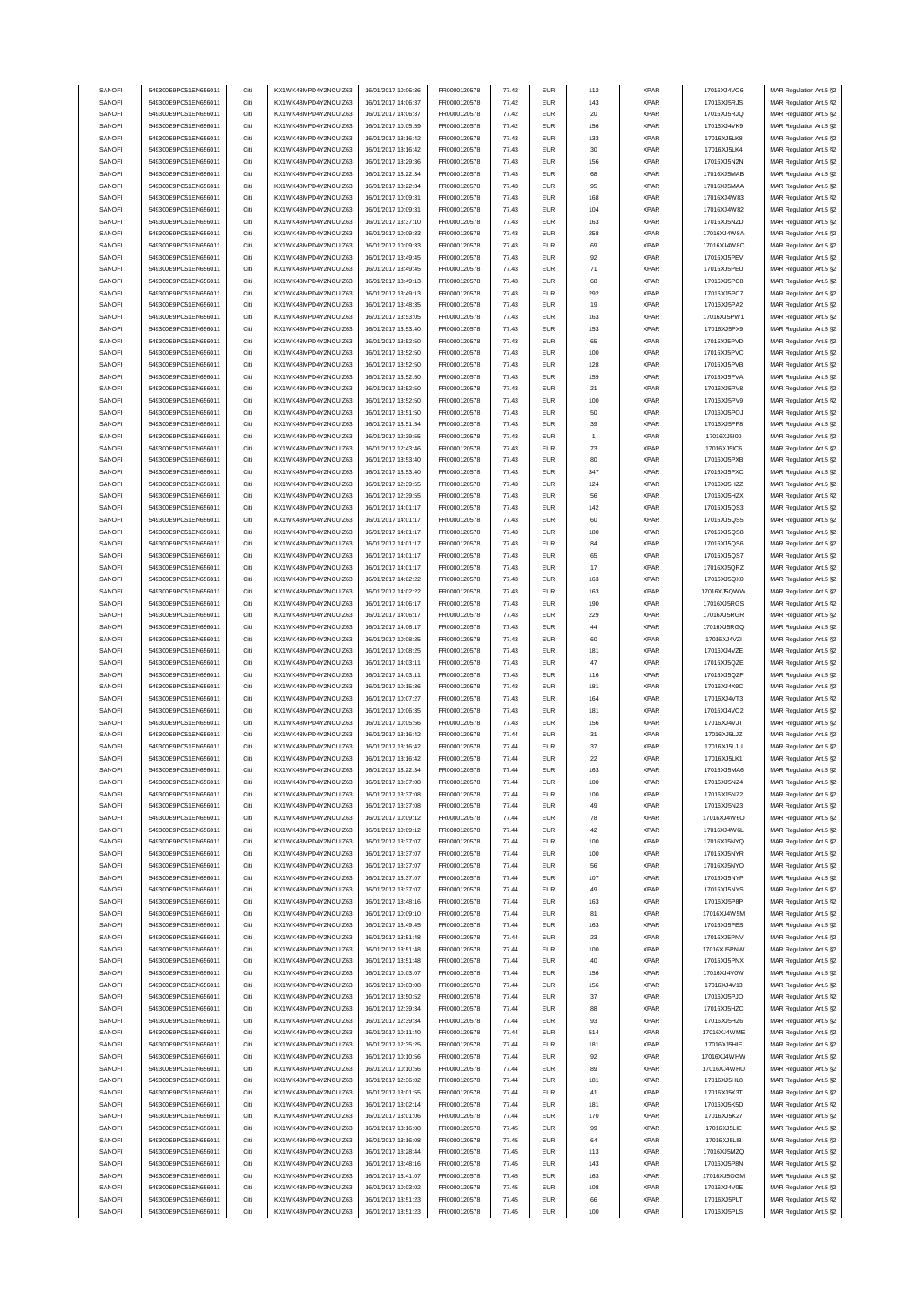| SANOFI | 549300E9PC51EN656011 | Citi | KX1WK48MPD4Y2NCUIZ63  | 16/01/2017 10:06:36 | FR0000120578 | 77.42 | <b>EUR</b>  | 112            | <b>XPAR</b> | 17016XJ4VO6 | MAR Regulation Art.5 §2 |
|--------|----------------------|------|-----------------------|---------------------|--------------|-------|-------------|----------------|-------------|-------------|-------------------------|
| SANOFI | 549300E9PC51EN656011 | Citi | KX1WK48MPD4Y2NCUIZ63  | 16/01/2017 14:06:37 |              | 77.42 | <b>EUR</b>  | 143            | <b>XPAR</b> | 17016XJ5RJS |                         |
|        |                      |      |                       |                     | FR0000120578 |       |             |                |             |             | MAR Regulation Art.5 §2 |
| SANOFI | 549300E9PC51EN656011 | Citi | KX1WK48MPD4Y2NCUIZ63  | 16/01/2017 14:06:37 | FR0000120578 | 77.42 | <b>EUR</b>  | 20             | <b>XPAR</b> | 17016XJ5RJQ | MAR Regulation Art.5 §2 |
| SANOFI | 549300E9PC51EN656011 | Citi | KX1WK48MPD4Y2NCUIZ63  | 16/01/2017 10:05:59 | FR0000120578 | 77.42 | <b>EUR</b>  | 156            | <b>XPAR</b> | 17016XJ4VK9 | MAR Regulation Art.5 §2 |
| SANOFI | 549300E9PC51EN656011 | Citi | KX1WK48MPD4Y2NCLIIZ63 | 16/01/2017 13:16:42 | FR0000120578 | 77.43 | <b>EUR</b>  | 133            | <b>XPAR</b> | 17016XJ5LK8 | MAR Regulation Art.5 §2 |
| SANOFI | 549300E9PC51EN656011 | Citi | KX1WK48MPD4Y2NCUIZ63  | 16/01/2017 13:16:42 | FR0000120578 | 77.43 | <b>EUR</b>  | 30             | <b>XPAR</b> | 17016XJ5LK4 | MAR Regulation Art.5 §2 |
| SANOFI | 549300E9PC51EN656011 | Citi | KX1WK48MPD4Y2NCUIZ63  | 16/01/2017 13:29:36 | FR0000120578 | 77.43 | <b>EUR</b>  | 156            | <b>XPAR</b> | 17016XJ5N2N | MAR Regulation Art.5 §2 |
|        | 549300E9PC51EN656011 |      |                       |                     |              |       |             |                |             |             |                         |
| SANOFI |                      | Citi | KX1WK48MPD4Y2NCUIZ63  | 16/01/2017 13:22:34 | FR0000120578 | 77.43 | <b>EUR</b>  | 68             | XPAR        | 17016XJ5MAB | MAR Regulation Art.5 §2 |
| SANOFI | 549300E9PC51EN656011 | Citi | KX1WK48MPD4Y2NCUIZ63  | 16/01/2017 13:22:34 | FR0000120578 | 77.43 | <b>EUR</b>  | 95             | <b>XPAR</b> | 17016XJ5MAA | MAR Regulation Art.5 §2 |
| SANOFI | 549300E9PC51EN656011 | Citi | KX1WK48MPD4Y2NCUIZ63  | 16/01/2017 10:09:31 | FR0000120578 | 77.43 | <b>EUR</b>  | 168            | <b>XPAR</b> | 17016XJ4W83 | MAR Regulation Art.5 §2 |
| SANOFI | 549300E9PC51EN656011 | Citi | KX1WK48MPD4Y2NCUIZ63  | 16/01/2017 10:09:31 | FR0000120578 | 77.43 | <b>EUR</b>  | 104            | <b>XPAR</b> | 17016XJ4W82 | MAR Regulation Art.5 §2 |
| SANOFI | 549300E9PC51EN656011 | Citi | KX1WK48MPD4Y2NCUIZ63  | 16/01/2017 13:37:10 | FR0000120578 | 77.43 | <b>EUR</b>  | 163            | <b>XPAR</b> | 17016XJ5NZD | MAR Regulation Art.5 §2 |
|        |                      |      |                       |                     |              |       |             |                |             |             |                         |
| SANOFI | 549300E9PC51EN656011 | Citi | KX1WK48MPD4Y2NCUIZ63  | 16/01/2017 10:09:33 | FR0000120578 | 77.43 | <b>EUR</b>  | 258            | <b>XPAR</b> | 17016XJ4W8A | MAR Regulation Art.5 §2 |
| SANOFI | 549300E9PC51EN656011 | Citi | KX1WK48MPD4Y2NCUIZ63  | 16/01/2017 10:09:33 | FR0000120578 | 77.43 | <b>EUR</b>  | 69             | <b>XPAR</b> | 17016XJ4W8C | MAR Regulation Art.5 §2 |
| SANOFI | 549300E9PC51EN656011 | Citi | KX1WK48MPD4Y2NCUIZ63  | 16/01/2017 13:49:45 | FR0000120578 | 77.43 | <b>EUR</b>  | 92             | <b>XPAR</b> | 17016XJ5PEV | MAR Regulation Art.5 §2 |
|        |                      |      |                       |                     |              |       |             |                |             |             |                         |
| SANOFI | 549300E9PC51EN656011 | Citi | KX1WK48MPD4Y2NCUIZ63  | 16/01/2017 13:49:45 | FR0000120578 | 77.43 | <b>EUR</b>  | $71\,$         | <b>XPAR</b> | 17016XJ5PEU | MAR Regulation Art.5 §2 |
| SANOFI | 549300E9PC51EN656011 | Citi | KX1WK48MPD4Y2NCUIZ63  | 16/01/2017 13:49:13 | FR0000120578 | 77.43 | <b>EUR</b>  | 68             | XPAR        | 17016XJ5PC8 | MAR Regulation Art.5 §2 |
| SANOFI | 549300E9PC51EN656011 | Citi | KX1WK48MPD4Y2NCUIZ63  | 16/01/2017 13:49:13 | FR0000120578 | 77.43 | <b>EUR</b>  | 292            | <b>XPAR</b> | 17016XJ5PC7 | MAR Regulation Art.5 §2 |
| SANOFI | 549300E9PC51EN656011 | Citi | KX1WK48MPD4Y2NCUIZ63  | 16/01/2017 13:48:35 | FR0000120578 | 77.43 | <b>EUR</b>  | 19             | <b>XPAR</b> | 17016XJ5PA2 | MAR Regulation Art.5 §2 |
|        |                      |      |                       |                     |              |       |             |                |             |             |                         |
| SANOFI | 549300E9PC51EN656011 | Citi | KX1WK48MPD4Y2NCUIZ63  | 16/01/2017 13:53:05 | FR0000120578 | 77.43 | <b>EUR</b>  | 163            | <b>XPAR</b> | 17016XJ5PW1 | MAR Regulation Art.5 §2 |
| SANOFI | 549300E9PC51EN656011 | Citi | KX1WK48MPD4Y2NCUIZ63  | 16/01/2017 13:53:40 | FR0000120578 | 77.43 | <b>EUR</b>  | 153            | <b>XPAR</b> | 17016XJ5PX9 | MAR Regulation Art.5 §2 |
| SANOFI | 549300E9PC51EN656011 | Citi | KX1WK48MPD4Y2NCUIZ63  | 16/01/2017 13:52:50 | FR0000120578 | 77.43 | <b>EUR</b>  | 65             | <b>XPAR</b> | 17016XJ5PVD | MAR Regulation Art.5 §2 |
| SANOFI | 549300E9PC51EN656011 | Citi | KX1WK48MPD4Y2NCUIZ63  | 16/01/2017 13:52:50 | FR0000120578 | 77.43 | <b>EUR</b>  | 100            | <b>XPAR</b> | 17016XJ5PVC | MAR Regulation Art.5 §2 |
| SANOFI | 549300E9PC51EN656011 | Citi | KX1WK48MPD4Y2NCUIZ63  | 16/01/2017 13:52:50 | FR0000120578 | 77.43 | <b>EUR</b>  | 128            | XPAR        | 17016XJ5PVB | MAR Regulation Art.5 §2 |
|        |                      |      |                       |                     |              |       |             |                |             |             |                         |
| SANOFI | 549300E9PC51EN656011 | Citi | KX1WK48MPD4Y2NCUIZ63  | 16/01/2017 13:52:50 | FR0000120578 | 77.43 | <b>EUR</b>  | 159            | <b>XPAR</b> | 17016XJ5PVA | MAR Regulation Art.5 §2 |
| SANOFI | 549300E9PC51EN656011 | Citi | KX1WK48MPD4Y2NCUIZ63  | 16/01/2017 13:52:50 | FR0000120578 | 77.43 | <b>EUR</b>  | 21             | <b>XPAR</b> | 17016XJ5PV8 | MAR Regulation Art.5 §2 |
| SANOFI | 549300E9PC51EN656011 | Citi | KX1WK48MPD4Y2NCUIZ63  | 16/01/2017 13:52:50 | FR0000120578 | 77.43 | <b>EUR</b>  | 100            | <b>XPAR</b> | 17016XJ5PV9 | MAR Regulation Art.5 §2 |
| SANOFI | 549300E9PC51EN656011 | Citi | KX1WK48MPD4Y2NCUIZ63  | 16/01/2017 13:51:50 | FR0000120578 | 77.43 | <b>EUR</b>  | 50             | XPAR        | 17016XJ5POJ | MAR Regulation Art.5 §2 |
|        |                      |      | KX1WK48MPD4Y2NCUIZ63  |                     |              |       |             |                |             |             |                         |
| SANOFI | 549300E9PC51EN656011 | Citi |                       | 16/01/2017 13:51:54 | FR0000120578 | 77.43 | <b>EUR</b>  | 39             | <b>XPAR</b> | 17016XJ5PP8 | MAR Regulation Art.5 §2 |
| SANOFI | 549300E9PC51EN656011 | Citi | KX1WK48MPD4Y2NCUIZ63  | 16/01/2017 12:39:55 | FR0000120578 | 77.43 | <b>EUR</b>  | $\overline{1}$ | <b>XPAR</b> | 17016XJ5I00 | MAR Regulation Art.5 §2 |
| SANOFI | 549300E9PC51EN656011 | Citi | KX1WK48MPD4Y2NCUIZ63  | 16/01/2017 12:43:46 | FR0000120578 | 77.43 | <b>EUR</b>  | $\mathbf{73}$  | <b>XPAR</b> | 17016XJ5IC6 | MAR Regulation Art.5 §2 |
| SANOFI | 549300E9PC51EN656011 | Citi | KX1WK48MPD4Y2NCUIZ63  | 16/01/2017 13:53:40 | FR0000120578 | 77.43 | <b>EUR</b>  | 80             | <b>XPAR</b> | 17016XJ5PXB | MAR Regulation Art.5 §2 |
| SANOFI | 549300E9PC51EN656011 | Citi | KX1WK48MPD4Y2NCUIZ63  | 16/01/2017 13:53:40 | FR0000120578 | 77.43 | <b>EUR</b>  | 347            | XPAR        | 17016XJ5PXC | MAR Regulation Art.5 §2 |
|        |                      |      |                       |                     |              |       |             |                |             |             |                         |
| SANOFI | 549300E9PC51EN656011 | Citi | KX1WK48MPD4Y2NCUIZ63  | 16/01/2017 12:39:55 | FR0000120578 | 77.43 | <b>EUR</b>  | 124            | <b>XPAR</b> | 17016XJ5HZZ | MAR Regulation Art.5 §2 |
| SANOFI | 549300E9PC51EN656011 | Citi | KX1WK48MPD4Y2NCUIZ63  | 16/01/2017 12:39:55 | FR0000120578 | 77.43 | <b>EUR</b>  | 56             | XPAR        | 17016XJ5HZX | MAR Regulation Art.5 §2 |
| SANOFI | 549300E9PC51EN656011 | Citi | KX1WK48MPD4Y2NCUIZ63  | 16/01/2017 14:01:17 | FR0000120578 | 77.43 | <b>EUR</b>  | 142            | <b>XPAR</b> | 17016XJ5QS3 | MAR Regulation Art.5 §2 |
| SANOFI | 549300E9PC51EN656011 | Citi | KX1WK48MPD4Y2NCUIZ63  | 16/01/2017 14:01:17 | FR0000120578 | 77.43 | <b>EUR</b>  | 60             | <b>XPAR</b> | 17016XJ5QS5 |                         |
|        |                      |      |                       |                     |              |       |             |                |             |             | MAR Regulation Art.5 §2 |
| SANOFI | 549300E9PC51EN656011 | Citi | KX1WK48MPD4Y2NCUIZ63  | 16/01/2017 14:01:17 | FR0000120578 | 77.43 | <b>EUR</b>  | 180            | <b>XPAR</b> | 17016XJ5QS8 | MAR Regulation Art.5 §2 |
| SANOFI | 549300E9PC51EN656011 | Citi | KX1WK48MPD4Y2NCUIZ63  | 16/01/2017 14:01:17 | FR0000120578 | 77.43 | <b>EUR</b>  | 84             | <b>XPAR</b> | 17016XJ5QS6 | MAR Regulation Art.5 §2 |
| SANOFI | 549300E9PC51EN656011 | Citi | KX1WK48MPD4Y2NCUIZ63  | 16/01/2017 14:01:17 | FR0000120578 | 77.43 | <b>EUR</b>  | 65             | <b>XPAR</b> | 17016XJ5QS7 | MAR Regulation Art.5 §2 |
| SANOFI | 549300E9PC51EN656011 | Citi | KX1WK48MPD4Y2NCUIZ63  | 16/01/2017 14:01:17 | FR0000120578 | 77.43 | <b>EUR</b>  | $17\,$         | <b>XPAR</b> | 17016XJ5QRZ | MAR Regulation Art.5 §2 |
|        |                      |      |                       |                     |              |       |             |                |             |             |                         |
| SANOFI | 549300E9PC51EN656011 | Citi | KX1WK48MPD4Y2NCUIZ63  | 16/01/2017 14:02:22 | FR0000120578 | 77.43 | <b>EUR</b>  | 163            | XPAR        | 17016XJ5QX0 | MAR Regulation Art.5 §2 |
| SANOFI | 549300E9PC51EN656011 | Citi | KX1WK48MPD4Y2NCUIZ63  | 16/01/2017 14:02:22 | FR0000120578 | 77.43 | <b>EUR</b>  | 163            | <b>XPAR</b> | 17016XJ5QWW | MAR Regulation Art.5 §2 |
| SANOFI | 549300E9PC51EN656011 | Citi | KX1WK48MPD4Y2NCUIZ63  | 16/01/2017 14:06:17 | FR0000120578 | 77.43 | <b>EUR</b>  | 190            | XPAR        | 17016XJ5RGS | MAR Regulation Art.5 §2 |
| SANOFI | 549300E9PC51EN656011 | Citi | KX1WK48MPD4Y2NCUIZ63  | 16/01/2017 14:06:17 | FR0000120578 | 77.43 | ${\sf EUR}$ | 229            | <b>XPAR</b> | 17016XJ5RGR | MAR Regulation Art.5 §2 |
| SANOFI | 549300E9PC51EN656011 | Citi | KX1WK48MPD4Y2NCUIZ63  | 16/01/2017 14:06:17 | FR0000120578 | 77.43 | <b>EUR</b>  | 44             | XPAR        | 17016XJ5RGQ |                         |
|        |                      |      |                       |                     |              |       |             |                |             |             | MAR Regulation Art.5 §2 |
| SANOFI | 549300E9PC51EN656011 | Citi | KX1WK48MPD4Y2NCUIZ63  | 16/01/2017 10:08:25 | FR0000120578 | 77.43 | <b>EUR</b>  | 60             | <b>XPAR</b> | 17016XJ4VZI | MAR Regulation Art.5 §2 |
| SANOFI | 549300E9PC51EN656011 | Citi | KX1WK48MPD4Y2NCUIZ63  | 16/01/2017 10:08:25 | FR0000120578 | 77.43 | <b>EUR</b>  | 181            | <b>XPAR</b> | 17016XJ4VZE | MAR Regulation Art.5 §2 |
| SANOFI | 549300E9PC51EN656011 | Citi | KX1WK48MPD4Y2NCUIZ63  | 16/01/2017 14:03:11 | FR0000120578 | 77.43 | <b>EUR</b>  | 47             | XPAR        | 17016XJ5QZE | MAR Regulation Art.5 §2 |
| SANOFI | 549300E9PC51EN656011 | Citi | KX1WK48MPD4Y2NCUIZ63  | 16/01/2017 14:03:11 | FR0000120578 | 77.43 | <b>EUR</b>  | 116            | <b>XPAR</b> | 17016XJ5QZF | MAR Regulation Art.5 §2 |
|        |                      |      |                       |                     |              |       |             |                |             |             |                         |
| SANOFI | 549300E9PC51EN656011 | Citi | KX1WK48MPD4Y2NCUIZ63  | 16/01/2017 10:15:36 | FR0000120578 | 77.43 | <b>EUR</b>  | 181            | XPAR        | 17016XJ4X9C | MAR Regulation Art.5 §2 |
| SANOFI | 549300E9PC51EN656011 | Citi | KX1WK48MPD4Y2NCUIZ63  | 16/01/2017 10:07:27 | FR0000120578 | 77.43 | <b>EUR</b>  | 164            | <b>XPAR</b> | 17016XJ4VT3 | MAR Regulation Art.5 §2 |
| SANOFI | 549300E9PC51EN656011 | Citi | KX1WK48MPD4Y2NCUIZ63  | 16/01/2017 10:06:35 | FR0000120578 | 77.43 | <b>EUR</b>  | 181            | XPAR        | 17016XJ4VO2 | MAR Regulation Art.5 §2 |
| SANOFI | 549300E9PC51EN656011 | Citi | KX1WK48MPD4Y2NCUIZ63  | 16/01/2017 10:05:56 | FR0000120578 | 77.43 | <b>EUR</b>  | 156            | <b>XPAR</b> | 17016XJ4VJT | MAR Regulation Art.5 §2 |
|        |                      |      | KX1WK48MPD4Y2NCUIZ63  |                     |              |       |             |                |             |             |                         |
| SANOFI | 549300E9PC51EN656011 | Citi |                       | 16/01/2017 13:16:42 | FR0000120578 | 77.44 | <b>EUR</b>  | 31             | <b>XPAR</b> | 17016XJ5LJZ | MAR Regulation Art.5 §2 |
| SANOFI | 549300E9PC51EN656011 | Citi | KX1WK48MPD4Y2NCUIZ63  | 16/01/2017 13:16:42 | FR0000120578 | 77.44 | <b>EUR</b>  | 37             | <b>XPAR</b> | 17016XJ5LJU | MAR Regulation Art.5 §2 |
| SANOFI | 549300E9PC51EN656011 | Citi | KX1WK48MPD4Y2NCUIZ63  | 16/01/2017 13:16:42 | FR0000120578 | 77.44 | <b>EUR</b>  | $22\,$         | <b>XPAR</b> | 17016XJ5LK1 | MAR Regulation Art.5 §2 |
| SANOFI | 549300E9PC51EN656011 | Citi | KX1WK48MPD4Y2NCUIZ63  | 16/01/2017 13:22:34 | FR0000120578 | 77.44 | <b>EUR</b>  | 163            | XPAR        | 17016XJ5MA6 | MAR Regulation Art.5 §2 |
| SANOFI | 549300E9PC51EN656011 |      | KX1WK48MPD4Y2NCLIIZ63 | 16/01/2017 13:37:08 | FR0000120578 | 77.44 | FUR         | 100            | <b>XPAR</b> | 17016XJ5N74 | MAR Regulation Art 5 82 |
|        |                      |      |                       |                     |              |       |             |                |             |             |                         |
| SANOFI | 549300E9PC51EN656011 | Citi | KX1WK48MPD4Y2NCUIZ63  | 16/01/2017 13:37:08 | FR0000120578 | 77.44 | <b>EUR</b>  | 100            | <b>XPAR</b> | 17016XJ5NZ2 | MAR Regulation Art.5 §2 |
| SANOFI | 549300E9PC51EN656011 | Citi | KX1WK48MPD4Y2NCUIZ63  | 16/01/2017 13:37:08 | FR0000120578 | 77.44 | <b>EUR</b>  | 49             | <b>XPAR</b> | 17016XJ5NZ3 | MAR Regulation Art.5 §2 |
| SANOFI | 549300E9PC51EN656011 | Citi | KX1WK48MPD4Y2NCUIZ63  | 16/01/2017 10:09:12 | FR0000120578 | 77.44 | <b>EUR</b>  | 78             | <b>XPAR</b> | 17016XJ4W6O | MAR Regulation Art.5 §2 |
| SANOFI | 549300E9PC51EN656011 | Citi | KX1WK48MPD4Y2NCUIZ63  | 16/01/2017 10:09:12 | FR0000120578 | 77.44 | <b>EUR</b>  | 42             | <b>XPAR</b> | 17016XJ4W6L | MAR Regulation Art.5 §2 |
| SANOFI | 549300E9PC51EN656011 | Citi | KX1WK48MPD4Y2NCUIZ63  | 16/01/2017 13:37:07 | FR0000120578 | 77.44 | <b>EUR</b>  | 100            | <b>XPAR</b> | 17016XJ5NYQ | MAR Regulation Art.5 §2 |
|        |                      |      |                       |                     |              |       |             |                |             |             |                         |
| SANOFI | 549300E9PC51EN656011 | Citi | KX1WK48MPD4Y2NCUIZ63  | 16/01/2017 13:37:07 | FR0000120578 | 77.44 | <b>EUR</b>  | 100            | <b>XPAR</b> | 17016XJ5NYR | MAR Regulation Art.5 §2 |
| SANOFI | 549300E9PC51EN656011 | Citi | KX1WK48MPD4Y2NCUIZ63  | 16/01/2017 13:37:07 | FR0000120578 | 77.44 | <b>EUR</b>  | 56             | <b>XPAR</b> | 17016XJ5NYO | MAR Regulation Art.5 §2 |
| SANOFI | 549300E9PC51EN656011 | Citi | KX1WK48MPD4Y2NCUIZ63  | 16/01/2017 13:37:07 | FR0000120578 | 77.44 | <b>EUR</b>  | 107            | <b>XPAR</b> | 17016XJ5NYP | MAR Regulation Art.5 §2 |
| SANOFI | 549300E9PC51EN656011 | Citi | KX1WK48MPD4Y2NCUIZ63  | 16/01/2017 13:37:07 | FR0000120578 | 77.44 | <b>EUR</b>  | 49             | XPAR        | 17016XJ5NYS | MAR Regulation Art.5 §2 |
| SANOFI | 549300E9PC51EN656011 | Citi | KX1WK48MPD4Y2NCUIZ63  | 16/01/2017 13:48:16 | FR0000120578 | 77.44 | <b>EUR</b>  | 163            | <b>XPAR</b> | 17016XJ5P8P | MAR Regulation Art.5 §2 |
|        |                      |      |                       |                     |              |       |             |                |             |             |                         |
| SANOFI | 549300E9PC51EN656011 | Citi | KX1WK48MPD4Y2NCUIZ63  | 16/01/2017 10:09:10 | FR0000120578 | 77.44 | <b>EUR</b>  | 81             | <b>XPAR</b> | 17016XJ4W5M | MAR Regulation Art.5 §2 |
| SANOFI | 549300E9PC51EN656011 | Citi | KX1WK48MPD4Y2NCUIZ63  | 16/01/2017 13:49:45 | FR0000120578 | 77.44 | <b>EUR</b>  | 163            | <b>XPAR</b> | 17016XJ5PES | MAR Regulation Art.5 §2 |
| SANOFI | 549300E9PC51EN656011 | Citi | KX1WK48MPD4Y2NCUIZ63  | 16/01/2017 13:51:48 | FR0000120578 | 77.44 | <b>EUR</b>  | 23             | <b>XPAR</b> | 17016XJ5PNV | MAR Regulation Art.5 §2 |
| SANOFI | 549300E9PC51EN656011 | Citi | KX1WK48MPD4Y2NCUIZ63  | 16/01/2017 13:51:48 | FR0000120578 | 77.44 | <b>EUR</b>  | 100            | <b>XPAR</b> | 17016XJ5PNW | MAR Regulation Art.5 §2 |
| SANOFI |                      |      |                       |                     |              |       |             |                |             |             |                         |
|        |                      |      |                       |                     |              |       |             |                |             |             |                         |
| SANOFI | 549300E9PC51EN656011 | Citi | KX1WK48MPD4Y2NCUIZ63  | 16/01/2017 13:51:48 | FR0000120578 | 77.44 | <b>EUR</b>  | 40             | <b>XPAR</b> | 17016XJ5PNX | MAR Regulation Art.5 §2 |
|        | 549300E9PC51EN656011 | Citi | KX1WK48MPD4Y2NCUIZ63  | 16/01/2017 10:03:07 | FR0000120578 | 77.44 | <b>EUR</b>  | 156            | <b>XPAR</b> | 17016XJ4V0W | MAR Regulation Art.5 §2 |
| SANOFI | 549300E9PC51EN656011 | Citi | KX1WK48MPD4Y2NCUIZ63  | 16/01/2017 10:03:08 | FR0000120578 | 77.44 | <b>EUR</b>  | 156            | <b>XPAR</b> | 17016XJ4V13 | MAR Regulation Art.5 §2 |
| SANOFI | 549300E9PC51EN656011 | Citi | KX1WK48MPD4Y2NCUIZ63  | 16/01/2017 13:50:52 | FR0000120578 | 77.44 | <b>EUR</b>  | 37             | <b>XPAR</b> | 17016XJ5PJO | MAR Regulation Art.5 §2 |
|        |                      |      |                       |                     |              |       |             |                |             |             |                         |
| SANOFI | 549300E9PC51EN656011 | Citi | KX1WK48MPD4Y2NCUIZ63  | 16/01/2017 12:39:34 | FR0000120578 | 77.44 | <b>EUR</b>  | 88             | <b>XPAR</b> | 17016XJ5HZC | MAR Regulation Art.5 §2 |
| SANOFI | 549300E9PC51EN656011 | Citi | KX1WK48MPD4Y2NCUIZ63  | 16/01/2017 12:39:34 | FR0000120578 | 77.44 | <b>EUR</b>  | 93             | <b>XPAR</b> | 17016XJ5HZ6 | MAR Regulation Art.5 §2 |
| SANOFI | 549300E9PC51EN656011 | Citi | KX1WK48MPD4Y2NCUIZ63  | 16/01/2017 10:11:40 | FR0000120578 | 77.44 | <b>EUR</b>  | 514            | <b>XPAR</b> | 17016XJ4WME | MAR Regulation Art.5 §2 |
| SANOFI | 549300E9PC51EN656011 | Citi | KX1WK48MPD4Y2NCUIZ63  | 16/01/2017 12:35:25 | FR0000120578 | 77.44 | <b>EUR</b>  | 181            | <b>XPAR</b> | 17016XJ5HIE | MAR Regulation Art.5 §2 |
|        |                      |      |                       |                     |              |       |             |                |             |             |                         |
| SANOFI | 549300E9PC51EN656011 | Citi | KX1WK48MPD4Y2NCUIZ63  | 16/01/2017 10:10:56 | FR0000120578 | 77.44 | <b>EUR</b>  | 92             | <b>XPAR</b> | 17016XJ4WHW | MAR Regulation Art.5 §2 |
| SANOFI | 549300E9PC51EN656011 | Citi | KX1WK48MPD4Y2NCUIZ63  | 16/01/2017 10:10:56 | FR0000120578 | 77.44 | <b>EUR</b>  | 89             | <b>XPAR</b> | 17016XJ4WHU | MAR Regulation Art.5 §2 |
| SANOFI | 549300E9PC51EN656011 | Citi | KX1WK48MPD4Y2NCUIZ63  | 16/01/2017 12:36:02 | FR0000120578 | 77.44 | <b>EUR</b>  | 181            | <b>XPAR</b> | 17016XJ5HL8 | MAR Regulation Art.5 §2 |
| SANOFI | 549300E9PC51EN656011 | Citi | KX1WK48MPD4Y2NCUIZ63  | 16/01/2017 13:01:55 | FR0000120578 | 77.44 | <b>EUR</b>  | 41             | <b>XPAR</b> | 17016XJ5K3T | MAR Regulation Art.5 §2 |
|        |                      |      |                       |                     |              | 77.44 |             |                |             |             |                         |
| SANOFI | 549300E9PC51EN656011 | Citi | KX1WK48MPD4Y2NCUIZ63  | 16/01/2017 13:02:14 | FR0000120578 |       | <b>EUR</b>  | 181            | <b>XPAR</b> | 17016XJ5K5D | MAR Regulation Art.5 §2 |
| SANOFI | 549300E9PC51EN656011 | Citi | KX1WK48MPD4Y2NCUIZ63  | 16/01/2017 13:01:06 | FR0000120578 | 77.44 | <b>EUR</b>  | 170            | <b>XPAR</b> | 17016XJ5K27 | MAR Regulation Art.5 §2 |
| SANOFI | 549300E9PC51EN656011 | Citi | KX1WK48MPD4Y2NCUIZ63  | 16/01/2017 13:16:08 | FR0000120578 | 77.45 | <b>EUR</b>  | 99             | <b>XPAR</b> | 17016XJ5LIE | MAR Regulation Art.5 §2 |
| SANOFI | 549300E9PC51EN656011 | Citi | KX1WK48MPD4Y2NCUIZ63  | 16/01/2017 13:16:08 | FR0000120578 | 77.45 | <b>EUR</b>  | 64             | <b>XPAR</b> | 17016XJ5LIB | MAR Regulation Art.5 §2 |
| SANOFI | 549300E9PC51EN656011 | Citi | KX1WK48MPD4Y2NCUIZ63  | 16/01/2017 13:28:44 | FR0000120578 | 77.45 | <b>EUR</b>  | 113            | <b>XPAR</b> | 17016XJ5MZQ | MAR Regulation Art.5 §2 |
| SANOFI | 549300E9PC51EN656011 | Citi | KX1WK48MPD4Y2NCUIZ63  | 16/01/2017 13:48:16 | FR0000120578 | 77.45 | <b>EUR</b>  | 143            | <b>XPAR</b> | 17016XJ5P8N |                         |
|        |                      |      |                       |                     |              |       |             |                |             |             | MAR Regulation Art.5 §2 |
| SANOFI | 549300E9PC51EN656011 | Citi | KX1WK48MPD4Y2NCUIZ63  | 16/01/2017 13:41:07 | FR0000120578 | 77.45 | <b>EUR</b>  | 163            | <b>XPAR</b> | 17016XJ5OGM | MAR Regulation Art.5 §2 |
| SANOFI | 549300E9PC51EN656011 | Citi | KX1WK48MPD4Y2NCUIZ63  | 16/01/2017 10:03:02 | FR0000120578 | 77.45 | <b>EUR</b>  | 108            | <b>XPAR</b> | 17016XJ4V0E | MAR Regulation Art.5 §2 |
| SANOFI | 549300E9PC51EN656011 | Citi | KX1WK48MPD4Y2NCUIZ63  | 16/01/2017 13:51:23 | FR0000120578 | 77.45 | <b>EUR</b>  | 66             | <b>XPAR</b> | 17016XJ5PLT | MAR Regulation Art.5 §2 |
| SANOFI | 549300E9PC51EN656011 | Citi | KX1WK48MPD4Y2NCUIZ63  | 16/01/2017 13:51:23 | FR0000120578 | 77.45 | <b>EUR</b>  | 100            | XPAR        | 17016XJ5PLS | MAR Regulation Art.5 §2 |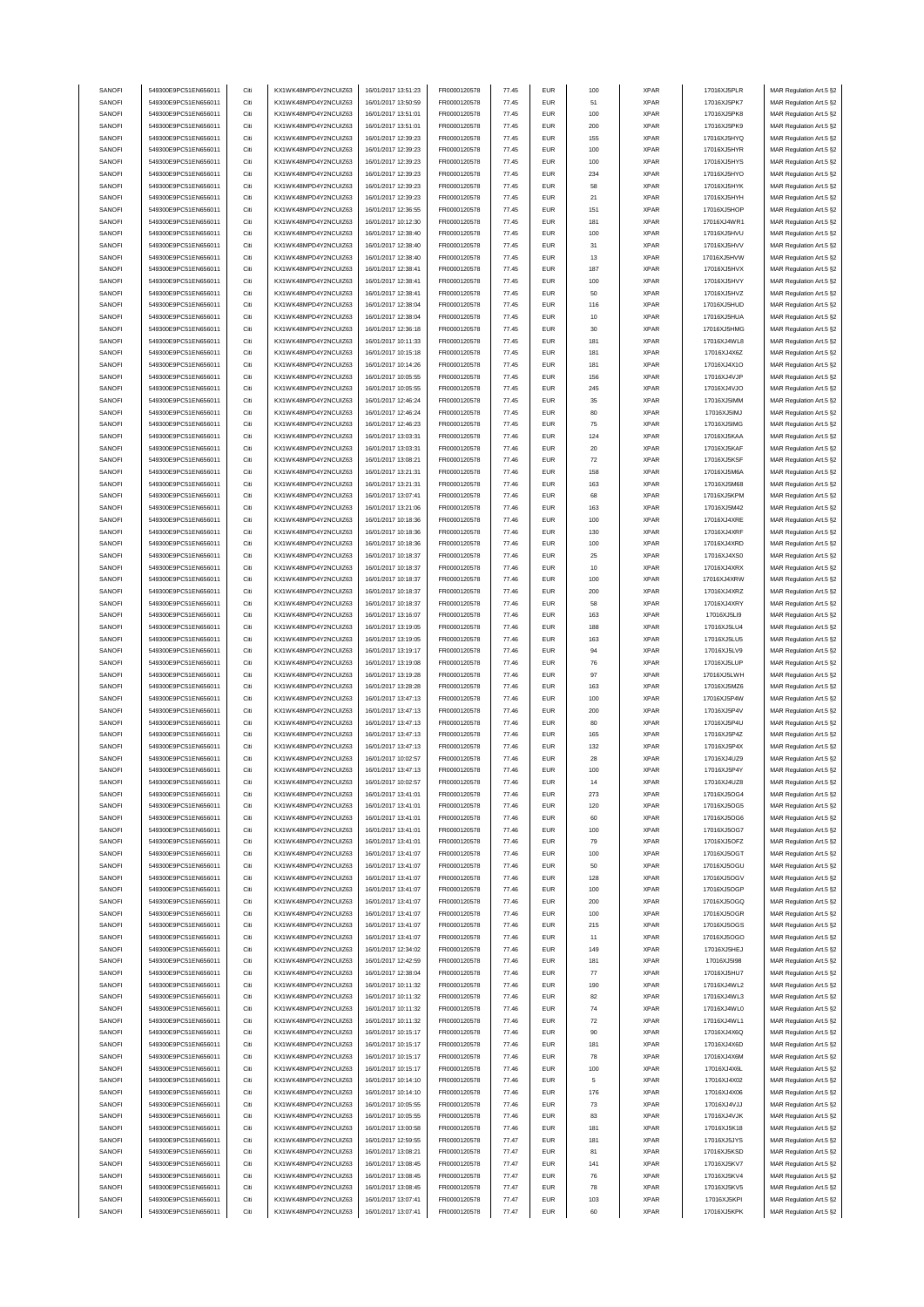| SANOFI | 549300E9PC51EN656011 | Citi | KX1WK48MPD4Y2NCUIZ63 | 16/01/2017 13:51:23 | FR0000120578 | 77.45 | <b>EUR</b> | 100                | <b>XPAR</b> | 17016XJ5PLR  | MAR Regulation Art.5 §2 |
|--------|----------------------|------|----------------------|---------------------|--------------|-------|------------|--------------------|-------------|--------------|-------------------------|
|        | 549300E9PC51EN656011 | Citi | KX1WK48MPD4Y2NCUIZ63 | 16/01/2017 13:50:59 | FR0000120578 | 77.45 | <b>EUR</b> | 51                 | <b>XPAR</b> | 17016XJ5PK7  | MAR Regulation Art.5 §2 |
| SANOFI |                      |      |                      |                     |              |       |            |                    |             |              |                         |
| SANOFI | 549300E9PC51EN656011 | Citi | KX1WK48MPD4Y2NCUIZ63 | 16/01/2017 13:51:01 | FR0000120578 | 77.45 | <b>EUR</b> | 100                | <b>XPAR</b> | 17016XJ5PK8  | MAR Regulation Art.5 §2 |
| SANOFI | 549300E9PC51EN656011 | Citi | KX1WK48MPD4Y2NCUIZ63 | 16/01/2017 13:51:01 | FR0000120578 | 77.45 | <b>EUR</b> | 200                | <b>XPAR</b> | 17016XJ5PK9  | MAR Regulation Art.5 §2 |
| SANOFI | 549300E9PC51EN656011 | Citi | KX1WK48MPD4Y2NCUIZ63 | 16/01/2017 12:39:23 | FR0000120578 | 77.45 | <b>EUR</b> | 155                | <b>XPAR</b> | 17016XJ5HYQ  | MAR Regulation Art.5 §2 |
|        |                      |      |                      |                     |              |       |            |                    |             |              |                         |
| SANOFI | 549300E9PC51EN656011 | Citi | KX1WK48MPD4Y2NCUIZ63 | 16/01/2017 12:39:23 | FR0000120578 | 77.45 | <b>EUR</b> | 100                | <b>XPAR</b> | 17016XJ5HYR  | MAR Regulation Art.5 §2 |
| SANOFI | 549300E9PC51EN656011 | Citi | KX1WK48MPD4Y2NCUIZ63 | 16/01/2017 12:39:23 | FR0000120578 | 77.45 | <b>EUR</b> | 100                | <b>XPAR</b> | 17016XJ5HYS  | MAR Regulation Art.5 §2 |
| SANOFI | 549300E9PC51EN656011 | Citi | KX1WK48MPD4Y2NCUIZ63 | 16/01/2017 12:39:23 | FR0000120578 | 77.45 | <b>EUR</b> | 234                | <b>XPAR</b> | 17016XJ5HYO  | MAR Regulation Art.5 §2 |
|        |                      |      |                      |                     |              |       | <b>EUR</b> |                    |             | 17016XJ5HYK  |                         |
| SANOFI | 549300E9PC51EN656011 | Citi | KX1WK48MPD4Y2NCUIZ63 | 16/01/2017 12:39:23 | FR0000120578 | 77.45 |            | 58                 | <b>XPAR</b> |              | MAR Regulation Art.5 §2 |
| SANOFI | 549300E9PC51EN656011 | Citi | KX1WK48MPD4Y2NCUIZ63 | 16/01/2017 12:39:23 | FR0000120578 | 77.45 | <b>EUR</b> | 21                 | <b>XPAR</b> | 17016XJ5HYH  | MAR Regulation Art.5 §2 |
| SANOFI | 549300E9PC51EN656011 | Citi | KX1WK48MPD4Y2NCUIZ63 | 16/01/2017 12:36:55 | FR0000120578 | 77.45 | <b>EUR</b> | 151                | <b>XPAR</b> | 17016XJ5HOP  | MAR Regulation Art.5 §2 |
|        |                      |      |                      |                     |              |       |            |                    |             |              |                         |
| SANOFI | 549300E9PC51EN656011 | Citi | KX1WK48MPD4Y2NCUIZ63 | 16/01/2017 10:12:30 | FR0000120578 | 77.45 | <b>EUR</b> | 181                | <b>XPAR</b> | 17016XJ4WR1  | MAR Regulation Art.5 §2 |
| SANOFI | 549300E9PC51EN656011 | Citi | KX1WK48MPD4Y2NCUIZ63 | 16/01/2017 12:38:40 | FR0000120578 | 77.45 | EUR        | 100                | <b>XPAR</b> | 17016XJ5HVU  | MAR Regulation Art.5 §2 |
| SANOFI | 549300E9PC51EN656011 | Citi | KX1WK48MPD4Y2NCUIZ63 | 16/01/2017 12:38:40 | FR0000120578 | 77.45 | <b>EUR</b> | 31                 | <b>XPAR</b> | 17016XJ5HVV  | MAR Regulation Art.5 §2 |
|        |                      |      |                      |                     |              |       |            |                    |             |              |                         |
| SANOFI | 549300E9PC51EN656011 | Citi | KX1WK48MPD4Y2NCUIZ63 | 16/01/2017 12:38:40 | FR0000120578 | 77.45 | <b>EUR</b> | 13                 | <b>XPAR</b> | 17016XJ5HVW  | MAR Regulation Art.5 §2 |
| SANOFI | 549300E9PC51EN656011 | Citi | KX1WK48MPD4Y2NCUIZ63 | 16/01/2017 12:38:41 | FR0000120578 | 77.45 | <b>EUR</b> | 187                | <b>XPAR</b> | 17016XJ5HVX  | MAR Regulation Art.5 §2 |
| SANOFI | 549300E9PC51EN656011 | Citi | KX1WK48MPD4Y2NCUIZ63 | 16/01/2017 12:38:41 | FR0000120578 | 77.45 | <b>EUR</b> | 100                | <b>XPAR</b> | 17016XJ5HVY  | MAR Regulation Art.5 §2 |
|        |                      |      |                      |                     |              |       |            |                    |             |              |                         |
| SANOFI | 549300E9PC51EN656011 | Citi | KX1WK48MPD4Y2NCUIZ63 | 16/01/2017 12:38:41 | FR0000120578 | 77.45 | <b>EUR</b> | 50                 | <b>XPAR</b> | 17016XJ5HVZ  | MAR Regulation Art.5 §2 |
| SANOFI | 549300E9PC51EN656011 | Citi | KX1WK48MPD4Y2NCUIZ63 | 16/01/2017 12:38:04 | FR0000120578 | 77.45 | <b>EUR</b> | 116                | <b>XPAR</b> | 17016XJ5HUD  | MAR Regulation Art.5 §2 |
| SANOFI | 549300E9PC51EN656011 | Citi | KX1WK48MPD4Y2NCUIZ63 | 16/01/2017 12:38:04 | FR0000120578 | 77.45 | <b>EUR</b> | 10                 | <b>XPAR</b> | 17016XJ5HUA  | MAR Regulation Art.5 §2 |
|        |                      |      |                      |                     |              |       |            |                    |             |              |                         |
| SANOFI | 549300E9PC51EN656011 | Citi | KX1WK48MPD4Y2NCUIZ63 | 16/01/2017 12:36:18 | FR0000120578 | 77.45 | <b>EUR</b> | 30                 | <b>XPAR</b> | 17016XJ5HMG  | MAR Regulation Art.5 §2 |
| SANOFI | 549300E9PC51EN656011 | Citi | KX1WK48MPD4Y2NCUIZ63 | 16/01/2017 10:11:33 | FR0000120578 | 77.45 | <b>EUR</b> | 181                | <b>XPAR</b> | 17016XJ4WL8  | MAR Regulation Art.5 §2 |
| SANOFI | 549300E9PC51EN656011 | Citi | KX1WK48MPD4Y2NCUIZ63 | 16/01/2017 10:15:18 | FR0000120578 | 77.45 | <b>EUR</b> | 181                | <b>XPAR</b> | 17016XJ4X6Z  | MAR Regulation Art.5 §2 |
|        |                      |      |                      |                     |              |       |            |                    |             |              |                         |
| SANOFI | 549300E9PC51EN656011 | Citi | KX1WK48MPD4Y2NCUIZ63 | 16/01/2017 10:14:26 | FR0000120578 | 77.45 | <b>EUR</b> | 181                | <b>XPAR</b> | 17016XJ4X1O  | MAR Regulation Art.5 §2 |
| SANOFI | 549300E9PC51EN656011 | Citi | KX1WK48MPD4Y2NCUIZ63 | 16/01/2017 10:05:55 | FR0000120578 | 77.45 | <b>EUR</b> | 156                | <b>XPAR</b> | 17016XJ4VJP  | MAR Regulation Art.5 §2 |
| SANOFI | 549300E9PC51EN656011 | Citi | KX1WK48MPD4Y2NCUIZ63 | 16/01/2017 10:05:55 | FR0000120578 | 77.45 | <b>EUR</b> | 245                | <b>XPAR</b> | 17016XJ4VJO  | MAR Regulation Art.5 §2 |
| SANOFI | 549300E9PC51EN656011 | Citi | KX1WK48MPD4Y2NCUIZ63 | 16/01/2017 12:46:24 | FR0000120578 | 77.45 | <b>EUR</b> | 35                 | <b>XPAR</b> | 17016XJ5IMM  |                         |
|        |                      |      |                      |                     |              |       |            |                    |             |              | MAR Regulation Art.5 §2 |
| SANOFI | 549300E9PC51EN656011 | Citi | KX1WK48MPD4Y2NCUIZ63 | 16/01/2017 12:46:24 | FR0000120578 | 77.45 | <b>EUR</b> | 80                 | <b>XPAR</b> | 17016XJ5IMJ  | MAR Regulation Art.5 §2 |
| SANOFI | 549300E9PC51EN656011 | Citi | KX1WK48MPD4Y2NCUIZ63 | 16/01/2017 12:46:23 | FR0000120578 | 77.45 | <b>EUR</b> | 75                 | <b>XPAR</b> | 17016XJ5IMG  | MAR Regulation Art.5 §2 |
|        | 549300E9PC51EN656011 |      | KX1WK48MPD4Y2NCUIZ63 |                     |              |       | <b>EUR</b> |                    |             | 17016XJ5KAA  |                         |
| SANOFI |                      | Citi |                      | 16/01/2017 13:03:31 | FR0000120578 | 77.46 |            | 124                | <b>XPAR</b> |              | MAR Regulation Art.5 §2 |
| SANOFI | 549300E9PC51EN656011 | Citi | KX1WK48MPD4Y2NCUIZ63 | 16/01/2017 13:03:31 | FR0000120578 | 77.46 | <b>EUR</b> | $20\,$             | <b>XPAR</b> | 17016XJ5KAF  | MAR Regulation Art.5 §2 |
| SANOFI | 549300E9PC51EN656011 | Citi | KX1WK48MPD4Y2NCUIZ63 | 16/01/2017 13:08:21 | FR0000120578 | 77.46 | <b>EUR</b> | $\scriptstyle{72}$ | <b>XPAR</b> | 17016XJ5KSF  | MAR Regulation Art.5 §2 |
|        |                      | Citi |                      | 16/01/2017 13:21:31 | FR0000120578 | 77.46 | <b>EUR</b> |                    |             | 17016XJ5M6A  |                         |
| SANOFI | 549300E9PC51EN656011 |      | KX1WK48MPD4Y2NCUIZ63 |                     |              |       |            | 158                | <b>XPAR</b> |              | MAR Regulation Art.5 §2 |
| SANOFI | 549300E9PC51EN656011 | Citi | KX1WK48MPD4Y2NCUIZ63 | 16/01/2017 13:21:31 | FR0000120578 | 77.46 | <b>EUR</b> | 163                | <b>XPAR</b> | 17016XJ5M68  | MAR Regulation Art.5 §2 |
| SANOFI | 549300E9PC51EN656011 | Citi | KX1WK48MPD4Y2NCUIZ63 | 16/01/2017 13:07:41 | FR0000120578 | 77.46 | <b>EUR</b> | 68                 | <b>XPAR</b> | 17016XJ5KPM  | MAR Regulation Art.5 §2 |
|        | 549300E9PC51EN656011 |      |                      |                     |              | 77.46 | <b>EUR</b> | 163                |             | 17016XJ5M42  |                         |
| SANOFI |                      | Citi | KX1WK48MPD4Y2NCUIZ63 | 16/01/2017 13:21:06 | FR0000120578 |       |            |                    | <b>XPAR</b> |              | MAR Regulation Art.5 §2 |
| SANOFI | 549300E9PC51EN656011 | Citi | KX1WK48MPD4Y2NCUIZ63 | 16/01/2017 10:18:36 | FR0000120578 | 77.46 | <b>EUR</b> | 100                | <b>XPAR</b> | 17016XJ4XRE  | MAR Regulation Art.5 §2 |
| SANOFI | 549300E9PC51EN656011 | Citi | KX1WK48MPD4Y2NCUIZ63 | 16/01/2017 10:18:36 | FR0000120578 | 77.46 | <b>EUR</b> | 130                | <b>XPAR</b> | 17016XJ4XRF  | MAR Regulation Art.5 §2 |
|        |                      |      |                      |                     |              |       |            |                    |             |              |                         |
| SANOFI | 549300E9PC51EN656011 | Citi | KX1WK48MPD4Y2NCUIZ63 | 16/01/2017 10:18:36 | FR0000120578 | 77.46 | <b>EUR</b> | 100                | <b>XPAR</b> | 17016XJ4XRD  | MAR Regulation Art.5 §2 |
| SANOFI | 549300E9PC51EN656011 | Citi | KX1WK48MPD4Y2NCUIZ63 | 16/01/2017 10:18:37 | FR0000120578 | 77.46 | <b>EUR</b> | 25                 | <b>XPAR</b> | 17016XJ4XS0  | MAR Regulation Art.5 §2 |
| SANOFI | 549300E9PC51EN656011 | Citi | KX1WK48MPD4Y2NCUIZ63 | 16/01/2017 10:18:37 | FR0000120578 | 77.46 | <b>EUR</b> | 10                 | <b>XPAR</b> | 17016XJ4XRX  | MAR Regulation Art.5 §2 |
| SANOFI | 549300E9PC51EN656011 | Citi | KX1WK48MPD4Y2NCUIZ63 | 16/01/2017 10:18:37 | FR0000120578 | 77.46 | <b>EUR</b> | 100                | <b>XPAR</b> | 17016XJ4XRW  | MAR Regulation Art.5 §2 |
|        |                      |      |                      |                     |              |       |            |                    |             |              |                         |
| SANOFI | 549300E9PC51EN656011 | Citi | KX1WK48MPD4Y2NCUIZ63 | 16/01/2017 10:18:37 | FR0000120578 | 77.46 | <b>EUR</b> | 200                | <b>XPAR</b> | 17016XJ4XRZ  | MAR Regulation Art.5 §2 |
| SANOFI | 549300E9PC51EN656011 | Citi | KX1WK48MPD4Y2NCUIZ63 | 16/01/2017 10:18:37 | FR0000120578 | 77.46 | <b>EUR</b> | 58                 | <b>XPAR</b> | 17016XJ4XRY  | MAR Regulation Art.5 §2 |
|        |                      |      |                      |                     |              | 77.46 | EUR        |                    |             |              |                         |
| SANOFI | 549300E9PC51EN656011 | Citi | KX1WK48MPD4Y2NCUIZ63 | 16/01/2017 13:16:07 | FR0000120578 |       |            | 163                | <b>XPAR</b> | 17016XJ5LI9  | MAR Regulation Art.5 §2 |
| SANOFI | 549300E9PC51EN656011 | Citi | KX1WK48MPD4Y2NCUIZ63 | 16/01/2017 13:19:05 | FR0000120578 | 77.46 | <b>EUR</b> | 188                | <b>XPAR</b> | 17016XJ5LU4  | MAR Regulation Art.5 §2 |
| SANOFI | 549300E9PC51EN656011 | Citi | KX1WK48MPD4Y2NCUIZ63 | 16/01/2017 13:19:05 | FR0000120578 | 77.46 | <b>EUR</b> | 163                | <b>XPAR</b> | 17016XJ5LU5  | MAR Regulation Art.5 §2 |
| SANOFI | 549300E9PC51EN656011 | Citi | KX1WK48MPD4Y2NCUIZ63 | 16/01/2017 13:19:17 | FR0000120578 | 77.46 | <b>EUR</b> | 94                 | <b>XPAR</b> | 17016XJ5LV9  | MAR Regulation Art.5 §2 |
|        |                      |      |                      |                     |              |       |            |                    |             |              |                         |
| SANOFI | 549300E9PC51EN656011 | Citi | KX1WK48MPD4Y2NCUIZ63 | 16/01/2017 13:19:08 | FR0000120578 | 77.46 | <b>EUR</b> | 76                 | <b>XPAR</b> | 17016XJ5LUP  | MAR Regulation Art.5 §2 |
| SANOFI | 549300E9PC51EN656011 | Citi | KX1WK48MPD4Y2NCUIZ63 | 16/01/2017 13:19:28 | FR0000120578 | 77.46 | <b>EUR</b> | 97                 | <b>XPAR</b> | 17016XJ5LWH  | MAR Regulation Art.5 §2 |
| SANOFI | 549300E9PC51EN656011 | Citi | KX1WK48MPD4Y2NCUIZ63 | 16/01/2017 13:28:28 | FR0000120578 | 77.46 | <b>EUR</b> | 163                | <b>XPAR</b> | 17016XJ5MZ6  | MAR Regulation Art.5 §2 |
|        |                      |      |                      |                     |              |       |            |                    |             |              |                         |
| SANOFI | 549300E9PC51EN656011 | Citi | KX1WK48MPD4Y2NCUIZ63 | 16/01/2017 13:47:13 | FR0000120578 | 77.46 | <b>EUR</b> | 100                | <b>XPAR</b> | 17016XJ5P4W  | MAR Regulation Art.5 §2 |
| SANOFI | 549300E9PC51EN656011 | Citi | KX1WK48MPD4Y2NCUIZ63 | 16/01/2017 13:47:13 | FR0000120578 | 77.46 | <b>EUR</b> | 200                | <b>XPAR</b> | 17016XJ5P4V  | MAR Regulation Art.5 §2 |
| SANOFI | 549300E9PC51EN656011 | Citi | KX1WK48MPD4Y2NCUIZ63 | 16/01/2017 13:47:13 | FR0000120578 | 77.46 | <b>EUR</b> | 80                 | <b>XPAR</b> | 17016XJ5P4U  | MAR Regulation Art.5 §2 |
|        |                      |      |                      |                     |              |       |            |                    |             |              |                         |
| SANOFI | 549300E9PC51EN656011 | Citi | KX1WK48MPD4Y2NCUIZ63 | 16/01/2017 13:47:13 | FR0000120578 | 77.46 | <b>EUR</b> | 165                | <b>XPAR</b> |              | MAR Regulation Art.5 §2 |
| SANOFI | 549300E9PC51EN656011 | Citi | KX1WK48MPD4Y2NCUIZ63 | 16/01/2017 13:47:13 | FR0000120578 | 77.46 | <b>EUR</b> | 132                |             | 17016XJ5P4Z  | MAR Regulation Art.5 §2 |
| SANOFI | 549300E9PC51EN656011 | Citi | KX1WK48MPD4Y2NCUIZ63 | 16/01/2017 10:02:57 | FR0000120578 |       |            |                    | <b>XPAR</b> | 17016XJ5P4X  |                         |
| SANOFI | 549300E9PC51EN656011 |      |                      |                     |              | 77.46 |            |                    |             |              |                         |
|        |                      |      |                      |                     |              |       | <b>EUR</b> | ${\bf 28}$         | <b>XPAR</b> | 17016XJ4UZ9  | MAR Regulation Art.5 §2 |
|        |                      | Citi | KX1WK48MPD4Y2NCUIZ63 | 16/01/2017 13:47:13 | FR0000120578 | 77.46 | <b>EUR</b> | 100                | <b>XPAR</b> | 17016XJ5P4Y  | MAR Regulation Art.5 §2 |
| SANOFI | 549300E9PC51EN656011 |      | KX1WK48MPD4Y2NCUIZ63 | 16/01/2017 10:02:57 | FR0000120578 | 77.46 | FUR        |                    | <b>XPAR</b> | 17016X.14U78 | MAR Regulation Art 5.82 |
| SANOFI | 549300E9PC51EN656011 | Citi | KX1WK48MPD4Y2NCUIZ63 | 16/01/2017 13:41:01 | FR0000120578 | 77.46 | <b>EUR</b> | 273                | XPAR        | 17016XJ5OG4  |                         |
|        |                      |      |                      |                     |              |       |            |                    |             |              | MAR Regulation Art.5 §2 |
| SANOFI | 549300E9PC51EN656011 | Citi | KX1WK48MPD4Y2NCUIZ63 | 16/01/2017 13:41:01 | FR0000120578 | 77.46 | <b>EUR</b> | 120                | <b>XPAR</b> | 17016XJ5OG5  | MAR Regulation Art.5 §2 |
| SANOFI | 549300E9PC51EN656011 | Citi | KX1WK48MPD4Y2NCUIZ63 | 16/01/2017 13:41:01 | FR0000120578 | 77.46 | <b>EUR</b> | 60                 | XPAR        | 17016XJ5OG6  | MAR Regulation Art.5 §2 |
| SANOFI | 549300E9PC51EN656011 | Citi | KX1WK48MPD4Y2NCUIZ63 | 16/01/2017 13:41:01 | FR0000120578 | 77.46 | <b>EUR</b> | 100                | <b>XPAR</b> | 17016XJ5OG7  |                         |
|        |                      |      |                      |                     |              |       |            |                    |             |              | MAR Regulation Art.5 §2 |
| SANOFI | 549300E9PC51EN656011 | Citi | KX1WK48MPD4Y2NCUIZ63 | 16/01/2017 13:41:01 | FR0000120578 | 77.46 | <b>EUR</b> | 79                 | <b>XPAR</b> | 17016XJ5OFZ  | MAR Regulation Art.5 §2 |
| SANOFI | 549300E9PC51EN656011 | Citi | KX1WK48MPD4Y2NCUIZ63 | 16/01/2017 13:41:07 | FR0000120578 | 77.46 | <b>EUR</b> | 100                | XPAR        | 17016XJ5OGT  | MAR Regulation Art.5 §2 |
| SANOFI | 549300E9PC51EN656011 | Citi | KX1WK48MPD4Y2NCUIZ63 | 16/01/2017 13:41:07 | FR0000120578 | 77.46 | <b>EUR</b> | 50                 | <b>XPAR</b> | 17016XJ5OGU  | MAR Regulation Art.5 §2 |
|        |                      |      |                      |                     |              |       |            |                    |             |              |                         |
| SANOFI | 549300E9PC51EN656011 | Citi | KX1WK48MPD4Y2NCUIZ63 | 16/01/2017 13:41:07 | FR0000120578 | 77.46 | <b>EUR</b> | 128                | <b>XPAR</b> | 17016XJ5OGV  | MAR Regulation Art.5 §2 |
| SANOFI | 549300E9PC51EN656011 | Citi | KX1WK48MPD4Y2NCUIZ63 | 16/01/2017 13:41:07 | FR0000120578 | 77.46 | <b>EUR</b> | 100                | <b>XPAR</b> | 17016XJ5OGP  | MAR Regulation Art.5 §2 |
| SANOFI | 549300E9PC51EN656011 | Citi | KX1WK48MPD4Y2NCUIZ63 | 16/01/2017 13:41:07 | FR0000120578 | 77.46 | <b>EUR</b> | 200                | <b>XPAR</b> | 17016XJ5OGQ  | MAR Regulation Art.5 §2 |
|        |                      |      |                      |                     |              | 77.46 |            | 100                |             |              |                         |
| SANOFI | 549300E9PC51EN656011 | Citi | KX1WK48MPD4Y2NCUIZ63 | 16/01/2017 13:41:07 | FR0000120578 |       | <b>EUR</b> |                    | <b>XPAR</b> | 17016XJ5OGR  | MAR Regulation Art.5 §2 |
| SANOFI | 549300E9PC51EN656011 | Citi | KX1WK48MPD4Y2NCUIZ63 | 16/01/2017 13:41:07 | FR0000120578 | 77.46 | <b>EUR</b> | 215                | <b>XPAR</b> | 17016XJ5OGS  | MAR Regulation Art.5 §2 |
| SANOFI | 549300E9PC51EN656011 | Citi | KX1WK48MPD4Y2NCUIZ63 | 16/01/2017 13:41:07 | FR0000120578 | 77.46 | <b>EUR</b> | 11                 | <b>XPAR</b> | 17016XJ5OGO  | MAR Regulation Art.5 §2 |
|        |                      |      | KX1WK48MPD4Y2NCUIZ63 |                     |              |       | <b>EUR</b> |                    |             |              |                         |
| SANOFI | 549300E9PC51EN656011 | Citi |                      | 16/01/2017 12:34:02 | FR0000120578 | 77.46 |            | 149                | <b>XPAR</b> | 17016XJ5HEJ  | MAR Regulation Art.5 §2 |
| SANOFI | 549300E9PC51EN656011 | Citi | KX1WK48MPD4Y2NCUIZ63 | 16/01/2017 12:42:59 | FR0000120578 | 77.46 | <b>EUR</b> | 181                | <b>XPAR</b> | 17016XJ5l98  | MAR Regulation Art.5 §2 |
| SANOFI | 549300E9PC51EN656011 | Citi | KX1WK48MPD4Y2NCUIZ63 | 16/01/2017 12:38:04 | FR0000120578 | 77.46 | <b>EUR</b> | $77\,$             | <b>XPAR</b> | 17016XJ5HU7  | MAR Regulation Art.5 §2 |
| SANOFI | 549300E9PC51EN656011 | Citi | KX1WK48MPD4Y2NCUIZ63 | 16/01/2017 10:11:32 | FR0000120578 | 77.46 | <b>EUR</b> | 190                | <b>XPAR</b> | 17016XJ4WL2  | MAR Regulation Art.5 §2 |
|        |                      |      |                      |                     |              |       |            |                    |             |              |                         |
| SANOFI | 549300E9PC51EN656011 | Citi | KX1WK48MPD4Y2NCUIZ63 | 16/01/2017 10:11:32 | FR0000120578 | 77.46 | <b>EUR</b> | 82                 | <b>XPAR</b> | 17016XJ4WL3  | MAR Regulation Art.5 §2 |
| SANOFI | 549300E9PC51EN656011 | Citi | KX1WK48MPD4Y2NCUIZ63 | 16/01/2017 10:11:32 | FR0000120578 | 77.46 | <b>EUR</b> | 74                 | <b>XPAR</b> | 17016XJ4WL0  | MAR Regulation Art.5 §2 |
| SANOFI | 549300E9PC51EN656011 | Citi | KX1WK48MPD4Y2NCUIZ63 | 16/01/2017 10:11:32 | FR0000120578 | 77.46 | <b>EUR</b> | 72                 | <b>XPAR</b> | 17016XJ4WL1  | MAR Regulation Art.5 §2 |
|        |                      |      |                      |                     |              |       |            |                    |             |              |                         |
| SANOFI | 549300E9PC51EN656011 | Citi | KX1WK48MPD4Y2NCUIZ63 | 16/01/2017 10:15:17 | FR0000120578 | 77.46 | <b>EUR</b> | 90                 | <b>XPAR</b> | 17016XJ4X6Q  | MAR Regulation Art.5 §2 |
| SANOFI | 549300E9PC51EN656011 | Citi | KX1WK48MPD4Y2NCUIZ63 | 16/01/2017 10:15:17 | FR0000120578 | 77.46 | <b>EUR</b> | 181                | <b>XPAR</b> | 17016XJ4X6D  | MAR Regulation Art.5 §2 |
| SANOFI | 549300E9PC51EN656011 | Citi | KX1WK48MPD4Y2NCUIZ63 | 16/01/2017 10:15:17 | FR0000120578 | 77.46 | <b>EUR</b> | 78                 | <b>XPAR</b> | 17016XJ4X6M  | MAR Regulation Art.5 §2 |
|        |                      |      |                      |                     |              |       |            |                    |             |              |                         |
| SANOFI | 549300E9PC51EN656011 | Citi | KX1WK48MPD4Y2NCUIZ63 | 16/01/2017 10:15:17 | FR0000120578 | 77.46 | <b>EUR</b> | 100                | XPAR        | 17016XJ4X6L  | MAR Regulation Art.5 §2 |
| SANOFI | 549300E9PC51EN656011 | Citi | KX1WK48MPD4Y2NCUIZ63 | 16/01/2017 10:14:10 | FR0000120578 | 77.46 | <b>EUR</b> | 5                  | <b>XPAR</b> | 17016XJ4X02  | MAR Regulation Art.5 §2 |
| SANOFI | 549300E9PC51EN656011 | Citi | KX1WK48MPD4Y2NCUIZ63 | 16/01/2017 10:14:10 | FR0000120578 | 77.46 | <b>EUR</b> | 176                | <b>XPAR</b> | 17016XJ4X06  | MAR Regulation Art.5 §2 |
|        |                      |      |                      |                     |              |       |            |                    |             |              |                         |
| SANOFI | 549300E9PC51EN656011 | Citi | KX1WK48MPD4Y2NCUIZ63 | 16/01/2017 10:05:55 | FR0000120578 | 77.46 | <b>EUR</b> | 73                 | <b>XPAR</b> | 17016XJ4VJJ  | MAR Regulation Art.5 §2 |
| SANOFI | 549300E9PC51EN656011 | Citi | KX1WK48MPD4Y2NCUIZ63 | 16/01/2017 10:05:55 | FR0000120578 | 77.46 | <b>EUR</b> | 83                 | <b>XPAR</b> | 17016XJ4VJK  | MAR Regulation Art.5 §2 |
| SANOFI | 549300E9PC51EN656011 | Citi | KX1WK48MPD4Y2NCUIZ63 | 16/01/2017 13:00:58 | FR0000120578 | 77.46 | <b>EUR</b> | 181                | <b>XPAR</b> | 17016XJ5K18  | MAR Regulation Art.5 §2 |
|        |                      |      |                      |                     |              |       |            |                    |             |              |                         |
| SANOFI | 549300E9PC51EN656011 | Citi | KX1WK48MPD4Y2NCUIZ63 | 16/01/2017 12:59:55 | FR0000120578 | 77.47 | <b>EUR</b> | 181                | <b>XPAR</b> | 17016XJ5JYS  | MAR Regulation Art.5 §2 |
| SANOFI | 549300E9PC51EN656011 | Citi | KX1WK48MPD4Y2NCUIZ63 | 16/01/2017 13:08:21 | FR0000120578 | 77.47 | <b>EUR</b> | 81                 | XPAR        | 17016XJ5KSD  | MAR Regulation Art.5 §2 |
| SANOFI | 549300E9PC51EN656011 | Citi | KX1WK48MPD4Y2NCUIZ63 | 16/01/2017 13:08:45 | FR0000120578 | 77.47 | <b>EUR</b> | 141                | <b>XPAR</b> | 17016XJ5KV7  | MAR Regulation Art.5 §2 |
|        |                      | Citi |                      |                     |              | 77.47 | <b>EUR</b> | 76                 |             |              |                         |
| SANOFI | 549300E9PC51EN656011 |      | KX1WK48MPD4Y2NCUIZ63 | 16/01/2017 13:08:45 | FR0000120578 |       |            |                    | <b>XPAR</b> | 17016XJ5KV4  | MAR Regulation Art.5 §2 |
| SANOFI | 549300E9PC51EN656011 | Citi | KX1WK48MPD4Y2NCUIZ63 | 16/01/2017 13:08:45 | FR0000120578 | 77.47 | <b>EUR</b> | 78                 | <b>XPAR</b> | 17016XJ5KV5  | MAR Regulation Art.5 §2 |
| SANOFI | 549300E9PC51EN656011 | Citi | KX1WK48MPD4Y2NCUIZ63 | 16/01/2017 13:07:41 | FR0000120578 | 77.47 | <b>EUR</b> | 103                | <b>XPAR</b> | 17016XJ5KPI  | MAR Regulation Art.5 §2 |
| SANOFI | 549300E9PC51EN656011 | Citi | KX1WK48MPD4Y2NCUIZ63 | 16/01/2017 13:07:41 | FR0000120578 | 77.47 | <b>EUR</b> | 60                 | <b>XPAR</b> | 17016XJ5KPK  | MAR Regulation Art.5 §2 |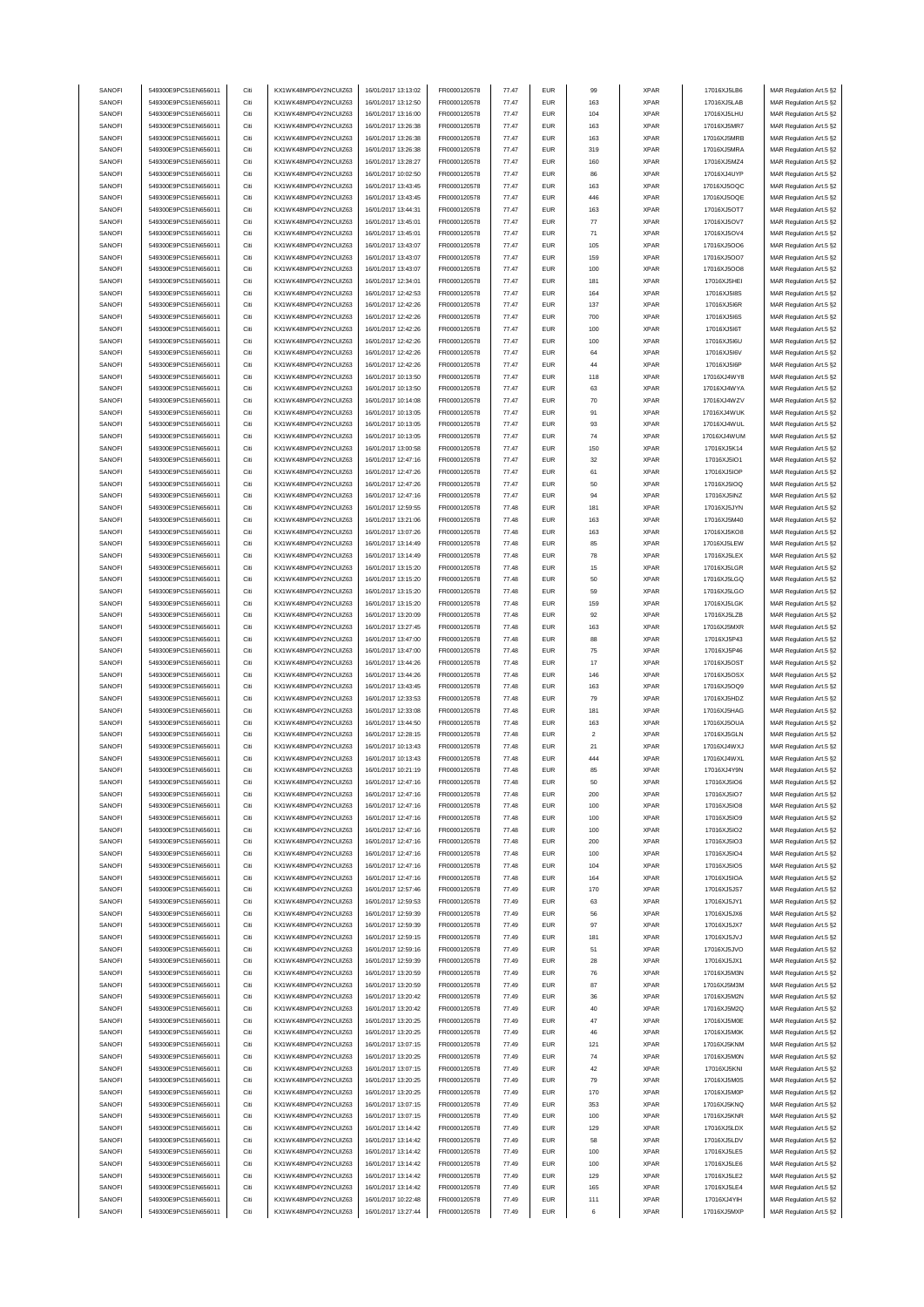| SANOFI           | 549300E9PC51EN656011                         | Citi         | KX1WK48MPD4Y2NCUIZ63                         | 16/01/2017 13:13:02                        | FR0000120578                 | 77.47          | <b>EUR</b>               | 99         | <b>XPAR</b>         | 17016XJ5LB6                | MAR Regulation Art.5 §2                            |
|------------------|----------------------------------------------|--------------|----------------------------------------------|--------------------------------------------|------------------------------|----------------|--------------------------|------------|---------------------|----------------------------|----------------------------------------------------|
|                  | 549300E9PC51EN656011                         | Citi         | KX1WK48MPD4Y2NCUIZ63                         | 16/01/2017 13:12:50                        | FR0000120578                 | 77.47          | <b>EUR</b>               | 163        | <b>XPAR</b>         | 17016XJ5LAB                | MAR Regulation Art.5 §2                            |
| SANOFI           |                                              |              |                                              |                                            |                              |                |                          |            |                     |                            |                                                    |
| SANOFI           | 549300E9PC51EN656011                         | Citi         | KX1WK48MPD4Y2NCUIZ63                         | 16/01/2017 13:16:00                        | FR0000120578                 | 77.47          | <b>EUR</b>               | 104        | <b>XPAR</b>         | 17016XJ5LHU                | MAR Regulation Art.5 §2                            |
| SANOFI           | 549300E9PC51EN656011                         | Citi         | KX1WK48MPD4Y2NCUIZ63                         | 16/01/2017 13:26:38                        | FR0000120578                 | 77.47          | <b>EUR</b>               | 163        | <b>XPAR</b>         | 17016XJ5MR7                | MAR Regulation Art.5 §2                            |
| SANOFI           | 549300E9PC51EN656011                         | Citi         | KX1WK48MPD4Y2NCLIIZ63                        | 16/01/2017 13:26:38                        | FR0000120578                 | 77.47          | <b>EUR</b>               | 163        | XPAR                | 17016XJ5MRB                | MAR Regulation Art.5 §2                            |
| SANOFI           | 549300E9PC51EN656011                         | Citi         | KX1WK48MPD4Y2NCUIZ63                         | 16/01/2017 13:26:38                        | FR0000120578                 | 77.47          | <b>EUR</b>               | 319        | <b>XPAR</b>         | 17016XJ5MRA                | MAR Regulation Art.5 §2                            |
| SANOFI           | 549300E9PC51EN656011                         | Citi         | KX1WK48MPD4Y2NCUIZ63                         | 16/01/2017 13:28:27                        | FR0000120578                 | 77.47          | <b>EUR</b>               | 160        | <b>XPAR</b>         | 17016XJ5MZ4                | MAR Regulation Art.5 §2                            |
|                  |                                              |              |                                              |                                            |                              |                |                          |            |                     |                            |                                                    |
| SANOFI           | 549300E9PC51EN656011                         | Citi         | KX1WK48MPD4Y2NCUIZ63                         | 16/01/2017 10:02:50                        | FR0000120578                 | 77.47          | <b>EUR</b>               | 86         | XPAR                | 17016XJ4UYP                | MAR Regulation Art.5 §2                            |
| SANOFI           | 549300E9PC51EN656011                         | Citi         | KX1WK48MPD4Y2NCUIZ63                         | 16/01/2017 13:43:45                        | FR0000120578                 | 77.47          | <b>EUR</b>               | 163        | <b>XPAR</b>         | 17016XJ5OQC                | MAR Regulation Art.5 §2                            |
| SANOFI           | 549300E9PC51EN656011                         | Citi         | KX1WK48MPD4Y2NCUIZ63                         | 16/01/2017 13:43:45                        | FR0000120578                 | 77.47          | <b>EUR</b>               | 446        | <b>XPAR</b>         | 17016XJ5OQE                | MAR Regulation Art.5 §2                            |
| SANOFI           | 549300E9PC51EN656011                         | Citi         | KX1WK48MPD4Y2NCUIZ63                         | 16/01/2017 13:44:31                        | FR0000120578                 | 77.47          | <b>EUR</b>               | 163        | <b>XPAR</b>         | 17016XJ5OT7                | MAR Regulation Art.5 §2                            |
| SANOFI           | 549300E9PC51EN656011                         | Citi         | KX1WK48MPD4Y2NCUIZ63                         | 16/01/2017 13:45:01                        | FR0000120578                 | 77.47          | <b>EUR</b>               | $77\,$     | <b>XPAR</b>         | 17016XJ5OV7                | MAR Regulation Art.5 §2                            |
|                  |                                              |              |                                              |                                            |                              |                |                          |            |                     |                            |                                                    |
| SANOFI           | 549300E9PC51EN656011                         | Citi         | KX1WK48MPD4Y2NCUIZ63                         | 16/01/2017 13:45:01                        | FR0000120578                 | 77.47          | <b>EUR</b>               | 71         | <b>XPAR</b>         | 17016XJ5OV4                | MAR Regulation Art.5 §2                            |
| SANOFI           | 549300E9PC51EN656011                         | Citi         | KX1WK48MPD4Y2NCUIZ63                         | 16/01/2017 13:43:07                        | FR0000120578                 | 77.47          | <b>EUR</b>               | 105        | <b>XPAR</b>         | 17016XJ5OO6                | MAR Regulation Art.5 §2                            |
| SANOFI           | 549300E9PC51EN656011                         | Citi         | KX1WK48MPD4Y2NCUIZ63                         | 16/01/2017 13:43:07                        | FR0000120578                 | 77.47          | <b>EUR</b>               | 159        | <b>XPAR</b>         | 17016XJ5OO7                | MAR Regulation Art.5 §2                            |
|                  |                                              |              |                                              |                                            |                              |                |                          |            |                     |                            |                                                    |
| SANOFI           | 549300E9PC51EN656011                         | Citi         | KX1WK48MPD4Y2NCUIZ63                         | 16/01/2017 13:43:07                        | FR0000120578                 | 77.47          | <b>EUR</b>               | 100        | <b>XPAR</b>         | 17016XJ5OO8                | MAR Regulation Art.5 §2                            |
| SANOFI           | 549300E9PC51EN656011                         | Citi         | KX1WK48MPD4Y2NCUIZ63                         | 16/01/2017 12:34:01                        | FR0000120578                 | 77.47          | <b>EUR</b>               | 181        | XPAR                | 17016XJ5HEI                | MAR Regulation Art.5 §2                            |
| SANOFI           | 549300E9PC51EN656011                         | Citi         | KX1WK48MPD4Y2NCUIZ63                         | 16/01/2017 12:42:53                        | FR0000120578                 | 77.47          | <b>EUR</b>               | 164        | <b>XPAR</b>         | 17016XJ5I8S                | MAR Regulation Art.5 §2                            |
| SANOFI           | 549300E9PC51EN656011                         | Citi         | KX1WK48MPD4Y2NCUIZ63                         | 16/01/2017 12:42:26                        | FR0000120578                 | 77.47          | <b>EUR</b>               | 137        | <b>XPAR</b>         | 17016XJ5I6R                | MAR Regulation Art.5 §2                            |
|                  |                                              | Citi         |                                              |                                            |                              |                |                          |            |                     |                            |                                                    |
| SANOFI           | 549300E9PC51EN656011                         |              | KX1WK48MPD4Y2NCUIZ63                         | 16/01/2017 12:42:26                        | FR0000120578                 | 77.47          | <b>EUR</b>               | 700        | <b>XPAR</b>         | 17016XJ5I6S                | MAR Regulation Art.5 §2                            |
| SANOFI           | 549300E9PC51EN656011                         | Citi         | KX1WK48MPD4Y2NCUIZ63                         | 16/01/2017 12:42:26                        | FR0000120578                 | 77.47          | <b>EUR</b>               | 100        | <b>XPAR</b>         | 17016XJ5I6T                | MAR Regulation Art.5 §2                            |
| SANOFI           | 549300E9PC51EN656011                         | Citi         | KX1WK48MPD4Y2NCUIZ63                         | 16/01/2017 12:42:26                        | FR0000120578                 | 77.47          | <b>EUR</b>               | 100        | <b>XPAR</b>         | 17016XJ5I6U                | MAR Regulation Art.5 §2                            |
| SANOFI           | 549300E9PC51EN656011                         | Citi         | KX1WK48MPD4Y2NCUIZ63                         | 16/01/2017 12:42:26                        | FR0000120578                 | 77.47          | <b>EUR</b>               | 64         | <b>XPAR</b>         | 17016XJ5I6V                | MAR Regulation Art.5 §2                            |
| SANOFI           | 549300E9PC51EN656011                         | Citi         | KX1WK48MPD4Y2NCUIZ63                         | 16/01/2017 12:42:26                        | FR0000120578                 | 77.47          | <b>EUR</b>               | 44         | XPAR                | 17016XJ5I6P                | MAR Regulation Art.5 §2                            |
|                  |                                              |              |                                              |                                            |                              |                |                          |            |                     |                            |                                                    |
| SANOFI           | 549300E9PC51EN656011                         | Citi         | KX1WK48MPD4Y2NCUIZ63                         | 16/01/2017 10:13:50                        | FR0000120578                 | 77.47          | <b>EUR</b>               | 118        | <b>XPAR</b>         | 17016XJ4WY8                | MAR Regulation Art.5 §2                            |
| SANOFI           | 549300E9PC51EN656011                         | Citi         | KX1WK48MPD4Y2NCUIZ63                         | 16/01/2017 10:13:50                        | FR0000120578                 | 77.47          | <b>EUR</b>               | 63         | XPAR                | 17016XJ4WYA                | MAR Regulation Art.5 §2                            |
| SANOFI           | 549300E9PC51EN656011                         | Citi         | KX1WK48MPD4Y2NCUIZ63                         | 16/01/2017 10:14:08                        | FR0000120578                 | 77.47          | <b>EUR</b>               | 70         | <b>XPAR</b>         | 17016XJ4WZV                | MAR Regulation Art.5 §2                            |
| SANOFI           | 549300E9PC51EN656011                         | Citi         | KX1WK48MPD4Y2NCUIZ63                         | 16/01/2017 10:13:05                        | FR0000120578                 | 77.47          | <b>EUR</b>               | 91         | XPAR                | 17016XJ4WUK                | MAR Regulation Art.5 §2                            |
|                  |                                              |              |                                              |                                            |                              |                |                          |            |                     |                            |                                                    |
| SANOFI           | 549300E9PC51EN656011                         | Citi         | KX1WK48MPD4Y2NCUIZ63                         | 16/01/2017 10:13:05                        | FR0000120578                 | 77.47          | <b>EUR</b>               | 93         | <b>XPAR</b>         | 17016XJ4WUL                | MAR Regulation Art.5 §2                            |
| SANOFI           | 549300E9PC51EN656011                         | Citi         | KX1WK48MPD4Y2NCUIZ63                         | 16/01/2017 10:13:05                        | FR0000120578                 | 77.47          | <b>EUR</b>               | 74         | <b>XPAR</b>         | 17016XJ4WUM                | MAR Regulation Art.5 §2                            |
| SANOFI           | 549300E9PC51EN656011                         | Citi         | KX1WK48MPD4Y2NCUIZ63                         | 16/01/2017 13:00:58                        | FR0000120578                 | 77.47          | <b>EUR</b>               | 150        | <b>XPAR</b>         | 17016XJ5K14                | MAR Regulation Art.5 §2                            |
| SANOFI           | 549300E9PC51EN656011                         | Citi         | KX1WK48MPD4Y2NCUIZ63                         | 16/01/2017 12:47:16                        | FR0000120578                 | 77.47          | <b>EUR</b>               | 32         | <b>XPAR</b>         | 17016XJ5IO1                | MAR Regulation Art.5 §2                            |
|                  |                                              |              | KX1WK48MPD4Y2NCUIZ63                         |                                            |                              |                |                          |            |                     |                            |                                                    |
| SANOFI           | 549300E9PC51EN656011                         | Citi         |                                              | 16/01/2017 12:47:26                        | FR0000120578                 | 77.47          | <b>EUR</b>               | 61         | XPAR                | 17016XJ5IOP                | MAR Regulation Art.5 §2                            |
| SANOFI           | 549300E9PC51EN656011                         | Citi         | KX1WK48MPD4Y2NCUIZ63                         | 16/01/2017 12:47:26                        | FR0000120578                 | 77.47          | <b>EUR</b>               | 50         | <b>XPAR</b>         | 17016XJ5IOQ                | MAR Regulation Art.5 §2                            |
| SANOFI           | 549300E9PC51EN656011                         | Citi         | KX1WK48MPD4Y2NCUIZ63                         | 16/01/2017 12:47:16                        | FR0000120578                 | 77.47          | <b>EUR</b>               | 94         | <b>XPAR</b>         | 17016XJ5INZ                | MAR Regulation Art.5 §2                            |
| SANOFI           | 549300E9PC51EN656011                         | Citi         | KX1WK48MPD4Y2NCUIZ63                         | 16/01/2017 12:59:55                        | FR0000120578                 | 77.48          | <b>EUR</b>               | 181        | <b>XPAR</b>         | 17016XJ5JYN                | MAR Regulation Art.5 §2                            |
|                  | 549300E9PC51EN656011                         | Citi         |                                              |                                            |                              | 77.48          | <b>EUR</b>               |            |                     |                            |                                                    |
| SANOFI           |                                              |              | KX1WK48MPD4Y2NCUIZ63                         | 16/01/2017 13:21:06                        | FR0000120578                 |                |                          | 163        | <b>XPAR</b>         | 17016XJ5M40                | MAR Regulation Art.5 §2                            |
| SANOFI           | 549300E9PC51EN656011                         | Citi         | KX1WK48MPD4Y2NCUIZ63                         | 16/01/2017 13:07:26                        | FR0000120578                 | 77.48          | <b>EUR</b>               | 163        | <b>XPAR</b>         | 17016XJ5KO8                | MAR Regulation Art.5 §2                            |
| SANOFI           | 549300E9PC51EN656011                         | Citi         | KX1WK48MPD4Y2NCUIZ63                         | 16/01/2017 13:14:49                        | FR0000120578                 | 77.48          | <b>EUR</b>               | 85         | <b>XPAR</b>         | 17016XJ5LEW                | MAR Regulation Art.5 §2                            |
| SANOFI           | 549300E9PC51EN656011                         | Citi         | KX1WK48MPD4Y2NCUIZ63                         | 16/01/2017 13:14:49                        | FR0000120578                 | 77.48          | <b>EUR</b>               | 78         | <b>XPAR</b>         | 17016XJ5LEX                | MAR Regulation Art.5 §2                            |
| SANOFI           | 549300E9PC51EN656011                         | Citi         | KX1WK48MPD4Y2NCUIZ63                         | 16/01/2017 13:15:20                        | FR0000120578                 | 77.48          | <b>EUR</b>               | 15         | <b>XPAR</b>         | 17016XJ5LGR                | MAR Regulation Art.5 §2                            |
|                  |                                              |              |                                              |                                            |                              |                |                          |            |                     |                            |                                                    |
| SANOFI           | 549300E9PC51EN656011                         | Citi         | KX1WK48MPD4Y2NCUIZ63                         | 16/01/2017 13:15:20                        | FR0000120578                 | 77.48          | <b>EUR</b>               | 50         | XPAR                | 17016XJ5LGQ                | MAR Regulation Art.5 §2                            |
| SANOFI           | 549300E9PC51EN656011                         | Citi         | KX1WK48MPD4Y2NCUIZ63                         | 16/01/2017 13:15:20                        | FR0000120578                 | 77.48          | <b>EUR</b>               | 59         | <b>XPAR</b>         | 17016XJ5LGO                | MAR Regulation Art.5 §2                            |
| SANOFI           | 549300E9PC51EN656011                         | Citi         | KX1WK48MPD4Y2NCUIZ63                         | 16/01/2017 13:15:20                        | FR0000120578                 | 77.48          | <b>EUR</b>               | 159        | XPAR                | 17016XJ5LGK                | MAR Regulation Art.5 §2                            |
| SANOFI           | 549300E9PC51EN656011                         | Citi         | KX1WK48MPD4Y2NCUIZ63                         | 16/01/2017 13:20:09                        | FR0000120578                 | 77.48          | EUR                      | 92         | <b>XPAR</b>         | 17016XJ5LZB                | MAR Regulation Art.5 §2                            |
| SANOFI           | 549300E9PC51EN656011                         | Citi         | KX1WK48MPD4Y2NCUIZ63                         | 16/01/2017 13:27:45                        | FR0000120578                 | 77.48          | <b>EUR</b>               | 163        | <b>XPAR</b>         | 17016XJ5MXR                |                                                    |
|                  |                                              |              |                                              |                                            |                              |                |                          |            |                     |                            | MAR Regulation Art.5 §2                            |
| SANOFI           | 549300E9PC51EN656011                         | Citi         | KX1WK48MPD4Y2NCUIZ63                         | 16/01/2017 13:47:00                        | FR0000120578                 | 77.48          | <b>EUR</b>               | 88         | <b>XPAR</b>         | 17016XJ5P43                | MAR Regulation Art.5 §2                            |
| SANOFI           | 549300E9PC51EN656011                         | Citi         | KX1WK48MPD4Y2NCUIZ63                         | 16/01/2017 13:47:00                        | FR0000120578                 | 77.48          | <b>EUR</b>               | 75         | <b>XPAR</b>         | 17016XJ5P46                | MAR Regulation Art.5 §2                            |
| SANOFI           | 549300E9PC51EN656011                         | Citi         | KX1WK48MPD4Y2NCUIZ63                         | 16/01/2017 13:44:26                        | FR0000120578                 | 77.48          | <b>EUR</b>               | 17         | XPAR                | 17016XJ5OST                | MAR Regulation Art.5 §2                            |
| SANOFI           |                                              | Citi         |                                              |                                            | FR0000120578                 |                | <b>EUR</b>               | 146        | <b>XPAR</b>         |                            |                                                    |
|                  | 549300E9PC51EN656011                         |              | KX1WK48MPD4Y2NCUIZ63                         | 16/01/2017 13:44:26                        |                              | 77.48          |                          |            |                     | 17016XJ5OSX                | MAR Regulation Art.5 §2                            |
| SANOFI           | 549300E9PC51EN656011                         | Citi         | KX1WK48MPD4Y2NCUIZ63                         | 16/01/2017 13:43:45                        | FR0000120578                 | 77.48          | <b>EUR</b>               | 163        | XPAR                | 17016XJ5OQ9                | MAR Regulation Art.5 §2                            |
| SANOFI           | 549300E9PC51EN656011                         | Citi         | KX1WK48MPD4Y2NCUIZ63                         | 16/01/2017 12:33:53                        | FR0000120578                 | 77.48          | <b>EUR</b>               | 79         | <b>XPAR</b>         | 17016XJ5HDZ                | MAR Regulation Art.5 §2                            |
| SANOFI           |                                              |              |                                              |                                            |                              |                |                          |            |                     |                            |                                                    |
|                  | 549300E9PC51EN656011                         | Citi         |                                              |                                            |                              |                | <b>EUR</b>               |            |                     |                            |                                                    |
|                  |                                              |              | KX1WK48MPD4Y2NCUIZ63                         | 16/01/2017 12:33:08                        | FR0000120578                 | 77.48          |                          | 181        | XPAR                | 17016XJ5HAG                | MAR Regulation Art.5 §2                            |
| SANOFI           | 549300E9PC51EN656011                         | Citi         | KX1WK48MPD4Y2NCUIZ63                         | 16/01/2017 13:44:50                        | FR0000120578                 | 77.48          | <b>EUR</b>               | 163        | <b>XPAR</b>         | 17016XJ5OUA                | MAR Regulation Art.5 §2                            |
| SANOFI           | 549300E9PC51EN656011                         | Citi         | KX1WK48MPD4Y2NCUIZ63                         | 16/01/2017 12:28:15                        | FR0000120578                 | 77.48          | <b>EUR</b>               | $\sqrt{2}$ | <b>XPAR</b>         | 17016XJ5GLN                | MAR Regulation Art.5 §2                            |
| SANOFI           | 549300E9PC51EN656011                         | Citi         | KX1WK48MPD4Y2NCUIZ63                         | 16/01/2017 10:13:43                        | FR0000120578                 | 77.48          | <b>EUR</b>               | 21         | <b>XPAR</b>         | 17016XJ4WXJ                | MAR Regulation Art.5 §2                            |
| SANOFI           | 549300E9PC51EN656011                         | Citi         | KX1WK48MPD4Y2NCUIZ63                         | 16/01/2017 10:13:43                        | FR0000120578                 | 77.48          | <b>EUR</b>               | 444        | <b>XPAR</b>         | 17016XJ4WXL                | MAR Regulation Art.5 §2                            |
|                  |                                              |              |                                              |                                            |                              |                |                          |            |                     |                            |                                                    |
| SANOFI           | 549300E9PC51EN656011                         | Citi         | KX1WK48MPD4Y2NCUIZ63                         | 16/01/2017 10:21:19                        | FR0000120578                 | 77.48          | <b>EUR</b>               | 85         | XPAR                | 17016XJ4Y9N                | MAR Regulation Art.5 §2                            |
| SANOFI           | 549300E9PC51EN656011                         |              | KX1WK48MPD4Y2NCLIIZ63                        | 16/01/2017 12:47:16                        | FR0000120578                 | 77.48          | FUR                      | 50         | <b>XPAR</b>         | 17016XJ5IO6                | MAR Regulation Art 5 82                            |
| SANOFI           | 549300E9PC51EN656011                         | Citi         | KX1WK48MPD4Y2NCUIZ63                         | 16/01/2017 12:47:16                        | FR0000120578                 | 77.48          | <b>EUR</b>               | 200        | <b>XPAR</b>         | 17016XJ5IO7                | MAR Regulation Art.5 §2                            |
| SANOFI           | 549300E9PC51EN656011                         | Citi         | KX1WK48MPD4Y2NCUIZ63                         | 16/01/2017 12:47:16                        | FR0000120578                 | 77.48          | <b>EUR</b>               | 100        | <b>XPAR</b>         | 17016XJ5IO8                | MAR Regulation Art.5 §2                            |
|                  | 549300E9PC51EN656011                         |              | KX1WK48MPD4Y2NCUIZ63                         | 16/01/2017 12:47:16                        |                              |                |                          | 100        |                     |                            |                                                    |
| SANOFI           |                                              | Citi         |                                              |                                            | FR0000120578                 | 77.48          | <b>EUR</b>               |            | <b>XPAR</b>         | 17016XJ5IO9                | MAR Regulation Art.5 §2                            |
| SANOFI           | 549300E9PC51EN656011                         | Citi         | KX1WK48MPD4Y2NCUIZ63                         | 16/01/2017 12:47:16                        | FR0000120578                 | 77.48          | <b>EUR</b>               | 100        | <b>XPAR</b>         | 17016XJ5IO2                | MAR Regulation Art.5 §2                            |
| SANOFI           | 549300E9PC51EN656011                         | Citi         | KX1WK48MPD4Y2NCUIZ63                         | 16/01/2017 12:47:16                        | FR0000120578                 | 77.48          | <b>EUR</b>               | 200        | <b>XPAR</b>         | 17016XJ5IO3                | MAR Regulation Art.5 §2                            |
| SANOFI           | 549300E9PC51EN656011                         | Citi         | KX1WK48MPD4Y2NCUIZ63                         | 16/01/2017 12:47:16                        | FR0000120578                 | 77.48          | <b>EUR</b>               | 100        | <b>XPAR</b>         | 17016XJ5IO4                | MAR Regulation Art.5 §2                            |
| SANOFI           | 549300E9PC51EN656011                         | Citi         | KX1WK48MPD4Y2NCUIZ63                         | 16/01/2017 12:47:16                        | FR0000120578                 | 77.48          | <b>EUR</b>               | 104        | <b>XPAR</b>         | 17016XJ5IO5                | MAR Regulation Art.5 §2                            |
| SANOFI           | 549300E9PC51EN656011                         | Citi         | KX1WK48MPD4Y2NCUIZ63                         | 16/01/2017 12:47:16                        | FR0000120578                 | 77.48          | <b>EUR</b>               | 164        | <b>XPAR</b>         | 17016XJ5IOA                | MAR Regulation Art.5 §2                            |
|                  |                                              |              |                                              |                                            |                              | 77.49          |                          |            |                     |                            |                                                    |
| SANOFI           | 549300E9PC51EN656011                         | Citi         | KX1WK48MPD4Y2NCUIZ63                         | 16/01/2017 12:57:46                        | FR0000120578                 |                | <b>EUR</b>               | 170        | <b>XPAR</b>         | 17016XJ5JS7                | MAR Regulation Art.5 §2                            |
| SANOFI           | 549300E9PC51EN656011                         | Citi         | KX1WK48MPD4Y2NCUIZ63                         | 16/01/2017 12:59:53                        | FR0000120578                 | 77.49          | <b>EUR</b>               | 63         | <b>XPAR</b>         | 17016XJ5JY1                | MAR Regulation Art.5 §2                            |
| SANOFI           | 549300E9PC51EN656011                         | Citi         | KX1WK48MPD4Y2NCUIZ63                         | 16/01/2017 12:59:39                        | FR0000120578                 | 77.49          | <b>EUR</b>               | 56         | <b>XPAR</b>         | 17016XJ5JX6                | MAR Regulation Art.5 §2                            |
| SANOFI           | 549300E9PC51EN656011                         | Citi         | KX1WK48MPD4Y2NCUIZ63                         | 16/01/2017 12:59:39                        | FR0000120578                 | 77.49          | <b>EUR</b>               | 97         | <b>XPAR</b>         | 17016XJ5JX7                | MAR Regulation Art.5 §2                            |
|                  |                                              |              | KX1WK48MPD4Y2NCUIZ63                         |                                            |                              |                |                          |            |                     |                            |                                                    |
| SANOFI           | 549300E9PC51EN656011                         | Citi         |                                              | 16/01/2017 12:59:15                        | FR0000120578                 | 77.49          | <b>EUR</b>               | 181        | <b>XPAR</b>         | 17016XJ5JVJ                | MAR Regulation Art.5 §2                            |
| SANOFI           | 549300E9PC51EN656011                         | Citi         | KX1WK48MPD4Y2NCUIZ63                         | 16/01/2017 12:59:16                        | FR0000120578                 | 77.49          | <b>EUR</b>               | 51         | <b>XPAR</b>         | 17016XJ5JVO                | MAR Regulation Art.5 §2                            |
| SANOFI           | 549300E9PC51EN656011                         | Citi         | KX1WK48MPD4Y2NCUIZ63                         | 16/01/2017 12:59:39                        | FR0000120578                 | 77.49          | <b>EUR</b>               | 28         | <b>XPAR</b>         | 17016XJ5JX1                | MAR Regulation Art.5 §2                            |
| SANOFI           | 549300E9PC51EN656011                         | Citi         | KX1WK48MPD4Y2NCUIZ63                         | 16/01/2017 13:20:59                        | FR0000120578                 | 77.49          | <b>EUR</b>               | 76         | <b>XPAR</b>         | 17016XJ5M3N                | MAR Regulation Art.5 §2                            |
| SANOFI           | 549300E9PC51EN656011                         | Citi         | KX1WK48MPD4Y2NCUIZ63                         |                                            |                              | 77.49          | <b>EUR</b>               | 87         | <b>XPAR</b>         |                            |                                                    |
|                  |                                              |              |                                              | 16/01/2017 13:20:59                        | FR0000120578                 |                |                          |            |                     | 17016XJ5M3M                | MAR Regulation Art.5 §2                            |
| SANOFI           | 549300E9PC51EN656011                         | Citi         | KX1WK48MPD4Y2NCUIZ63                         | 16/01/2017 13:20:42                        | FR0000120578                 | 77.49          | <b>EUR</b>               | 36         | <b>XPAR</b>         | 17016XJ5M2N                | MAR Regulation Art.5 §2                            |
| SANOFI           | 549300E9PC51EN656011                         | Citi         | KX1WK48MPD4Y2NCUIZ63                         | 16/01/2017 13:20:42                        | FR0000120578                 | 77.49          | <b>EUR</b>               | 40         | <b>XPAR</b>         | 17016XJ5M2Q                | MAR Regulation Art.5 §2                            |
| SANOFI           | 549300E9PC51EN656011                         | Citi         | KX1WK48MPD4Y2NCUIZ63                         | 16/01/2017 13:20:25                        | FR0000120578                 | 77.49          | <b>EUR</b>               | 47         | <b>XPAR</b>         | 17016XJ5M0E                | MAR Regulation Art.5 §2                            |
| SANOFI           | 549300E9PC51EN656011                         | Citi         | KX1WK48MPD4Y2NCUIZ63                         | 16/01/2017 13:20:25                        | FR0000120578                 | 77.49          | <b>EUR</b>               | 46         | <b>XPAR</b>         | 17016XJ5M0K                | MAR Regulation Art.5 §2                            |
|                  |                                              |              |                                              |                                            |                              |                |                          |            |                     |                            |                                                    |
| SANOFI           | 549300E9PC51EN656011                         | Citi         | KX1WK48MPD4Y2NCUIZ63                         | 16/01/2017 13:07:15                        | FR0000120578                 | 77.49          | <b>EUR</b>               | 121        | <b>XPAR</b>         | 17016XJ5KNM                | MAR Regulation Art.5 §2                            |
| SANOFI           | 549300E9PC51EN656011                         | Citi         | KX1WK48MPD4Y2NCUIZ63                         | 16/01/2017 13:20:25                        | FR0000120578                 | 77.49          | <b>EUR</b>               | 74         | <b>XPAR</b>         | 17016XJ5M0N                | MAR Regulation Art.5 §2                            |
| SANOFI           | 549300E9PC51EN656011                         | Citi         | KX1WK48MPD4Y2NCUIZ63                         | 16/01/2017 13:07:15                        | FR0000120578                 | 77.49          | <b>EUR</b>               | 42         | <b>XPAR</b>         | 17016XJ5KNI                | MAR Regulation Art.5 §2                            |
| SANOFI           | 549300E9PC51EN656011                         | Citi         | KX1WK48MPD4Y2NCUIZ63                         | 16/01/2017 13:20:25                        | FR0000120578                 | 77.49          | <b>EUR</b>               | 79         | <b>XPAR</b>         | 17016XJ5M0S                | MAR Regulation Art.5 §2                            |
|                  |                                              | Citi         |                                              |                                            |                              |                |                          |            |                     |                            |                                                    |
| SANOFI           | 549300E9PC51EN656011                         |              | KX1WK48MPD4Y2NCUIZ63                         | 16/01/2017 13:20:25                        | FR0000120578                 | 77.49          | <b>EUR</b>               | 170        | <b>XPAR</b>         | 17016XJ5M0P                | MAR Regulation Art.5 §2                            |
| SANOFI           | 549300E9PC51EN656011                         | Citi         | KX1WK48MPD4Y2NCUIZ63                         | 16/01/2017 13:07:15                        | FR0000120578                 | 77.49          | <b>EUR</b>               | 353        | <b>XPAR</b>         | 17016XJ5KNQ                | MAR Regulation Art.5 §2                            |
| SANOFI           | 549300E9PC51EN656011                         | Citi         | KX1WK48MPD4Y2NCUIZ63                         | 16/01/2017 13:07:15                        | FR0000120578                 | 77.49          | <b>EUR</b>               | 100        | <b>XPAR</b>         | 17016XJ5KNR                | MAR Regulation Art.5 §2                            |
| SANOFI           | 549300E9PC51EN656011                         | Citi         | KX1WK48MPD4Y2NCUIZ63                         | 16/01/2017 13:14:42                        | FR0000120578                 | 77.49          | <b>EUR</b>               | 129        | <b>XPAR</b>         | 17016XJ5LDX                | MAR Regulation Art.5 §2                            |
| SANOFI           | 549300E9PC51EN656011                         | Citi         | KX1WK48MPD4Y2NCUIZ63                         | 16/01/2017 13:14:42                        | FR0000120578                 | 77.49          | <b>EUR</b>               | 58         | <b>XPAR</b>         | 17016XJ5LDV                |                                                    |
|                  |                                              |              |                                              |                                            |                              |                |                          |            |                     |                            | MAR Regulation Art.5 §2                            |
| SANOFI           | 549300E9PC51EN656011                         | Citi         | KX1WK48MPD4Y2NCUIZ63                         | 16/01/2017 13:14:42                        | FR0000120578                 | 77.49          | <b>EUR</b>               | 100        | <b>XPAR</b>         | 17016XJ5LE5                | MAR Regulation Art.5 §2                            |
| SANOFI           | 549300E9PC51EN656011                         | Citi         | KX1WK48MPD4Y2NCUIZ63                         | 16/01/2017 13:14:42                        | FR0000120578                 | 77.49          | <b>EUR</b>               | 100        | <b>XPAR</b>         | 17016XJ5LE6                | MAR Regulation Art.5 §2                            |
| SANOFI           | 549300E9PC51EN656011                         | Citi         | KX1WK48MPD4Y2NCUIZ63                         | 16/01/2017 13:14:42                        | FR0000120578                 | 77.49          | <b>EUR</b>               | 129        | <b>XPAR</b>         | 17016XJ5LE2                | MAR Regulation Art.5 §2                            |
| SANOFI           | 549300E9PC51EN656011                         | Citi         | KX1WK48MPD4Y2NCUIZ63                         | 16/01/2017 13:14:42                        | FR0000120578                 | 77.49          | <b>EUR</b>               | 165        | <b>XPAR</b>         | 17016XJ5LE4                | MAR Regulation Art.5 §2                            |
|                  |                                              |              |                                              |                                            |                              |                |                          |            |                     |                            |                                                    |
| SANOFI<br>SANOFI | 549300E9PC51EN656011<br>549300E9PC51EN656011 | Citi<br>Citi | KX1WK48MPD4Y2NCUIZ63<br>KX1WK48MPD4Y2NCUIZ63 | 16/01/2017 10:22:48<br>16/01/2017 13:27:44 | FR0000120578<br>FR0000120578 | 77.49<br>77.49 | <b>EUR</b><br><b>EUR</b> | 111<br>6   | <b>XPAR</b><br>XPAR | 17016XJ4YIH<br>17016XJ5MXP | MAR Regulation Art.5 §2<br>MAR Regulation Art.5 §2 |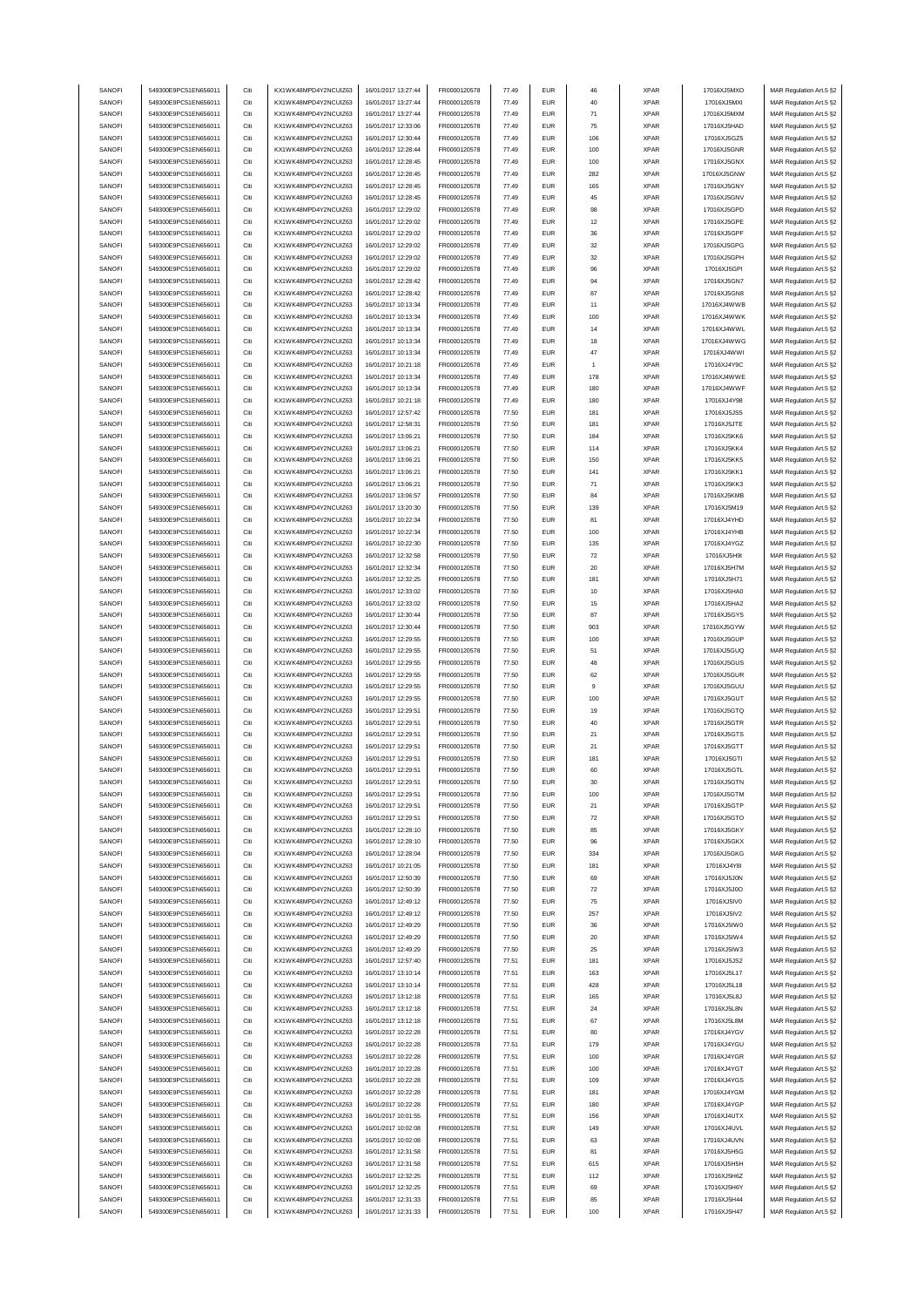| SANOFI           | 549300E9PC51EN656011                         | Citi         | KX1WK48MPD4Y2NCUIZ63                         | 16/01/2017 13:27:44                        | FR0000120578                 | 77.49          | <b>EUR</b>               | 46                 | <b>XPAR</b>         | 17016XJ5MXO                | MAR Regulation Art.5 §2                            |
|------------------|----------------------------------------------|--------------|----------------------------------------------|--------------------------------------------|------------------------------|----------------|--------------------------|--------------------|---------------------|----------------------------|----------------------------------------------------|
| SANOFI           | 549300E9PC51EN656011                         | Citi         | KX1WK48MPD4Y2NCUIZ63                         | 16/01/2017 13:27:44                        |                              | 77.49          | <b>EUR</b>               | 40                 | <b>XPAR</b>         |                            |                                                    |
|                  |                                              |              |                                              |                                            | FR0000120578                 |                |                          |                    |                     | 17016XJ5MXI                | MAR Regulation Art.5 §2                            |
| SANOFI           | 549300E9PC51EN656011                         | Citi         | KX1WK48MPD4Y2NCUIZ63                         | 16/01/2017 13:27:44                        | FR0000120578                 | 77.49          | <b>EUR</b>               | 71                 | <b>XPAR</b>         | 17016XJ5MXM                | MAR Regulation Art.5 §2                            |
| SANOFI           | 549300E9PC51EN656011                         | Citi         | KX1WK48MPD4Y2NCUIZ63                         | 16/01/2017 12:33:06                        | FR0000120578                 | 77.49          | <b>EUR</b>               | 75                 | XPAR                | 17016XJ5HAD                | MAR Regulation Art.5 §2                            |
| SANOFI           | 549300E9PC51EN656011                         | Citi         | KX1WK48MPD4Y2NCLIIZ63                        | 16/01/2017 12:30:44                        | FR0000120578                 | 77.49          | <b>EUR</b>               | 106                | XPAR                | 17016XJ5GZ5                | MAR Regulation Art.5 §2                            |
| SANOFI           | 549300E9PC51EN656011                         | Citi         | KX1WK48MPD4Y2NCUIZ63                         | 16/01/2017 12:28:44                        | FR0000120578                 | 77.49          | <b>EUR</b>               | 100                | <b>XPAR</b>         | 17016XJ5GNR                | MAR Regulation Art.5 §2                            |
| SANOFI           | 549300E9PC51EN656011                         | Citi         | KX1WK48MPD4Y2NCUIZ63                         | 16/01/2017 12:28:45                        | FR0000120578                 | 77.49          | <b>EUR</b>               | 100                | <b>XPAR</b>         | 17016XJ5GNX                | MAR Regulation Art.5 §2                            |
|                  | 549300E9PC51EN656011                         |              |                                              |                                            |                              |                |                          |                    |                     |                            |                                                    |
| SANOFI           |                                              | Citi         | KX1WK48MPD4Y2NCUIZ63                         | 16/01/2017 12:28:45                        | FR0000120578                 | 77.49          | <b>EUR</b>               | 282                | XPAR                | 17016XJ5GNW                | MAR Regulation Art.5 §2                            |
| SANOFI           | 549300E9PC51EN656011                         | Citi         | KX1WK48MPD4Y2NCUIZ63                         | 16/01/2017 12:28:45                        | FR0000120578                 | 77.49          | <b>EUR</b>               | 165                | <b>XPAR</b>         | 17016XJ5GNY                | MAR Regulation Art.5 §2                            |
| SANOFI           | 549300E9PC51EN656011                         | Citi         | KX1WK48MPD4Y2NCUIZ63                         | 16/01/2017 12:28:45                        | FR0000120578                 | 77.49          | <b>EUR</b>               | 45                 | <b>XPAR</b>         | 17016XJ5GNV                | MAR Regulation Art.5 §2                            |
| SANOFI           | 549300E9PC51EN656011                         | Citi         | KX1WK48MPD4Y2NCUIZ63                         | 16/01/2017 12:29:02                        | FR0000120578                 | 77.49          | <b>EUR</b>               | 98                 | <b>XPAR</b>         | 17016XJ5GPD                | MAR Regulation Art.5 §2                            |
| SANOFI           | 549300E9PC51EN656011                         | Citi         | KX1WK48MPD4Y2NCUIZ63                         | 16/01/2017 12:29:02                        | FR0000120578                 | 77.49          | <b>EUR</b>               | 12                 | <b>XPAR</b>         | 17016XJ5GPE                | MAR Regulation Art.5 §2                            |
|                  |                                              |              |                                              |                                            |                              |                |                          |                    |                     |                            |                                                    |
| SANOFI           | 549300E9PC51EN656011                         | Citi         | KX1WK48MPD4Y2NCUIZ63                         | 16/01/2017 12:29:02                        | FR0000120578                 | 77.49          | <b>EUR</b>               | 36                 | <b>XPAR</b>         | 17016XJ5GPF                | MAR Regulation Art.5 §2                            |
| SANOFI           | 549300E9PC51EN656011                         | Citi         | KX1WK48MPD4Y2NCUIZ63                         | 16/01/2017 12:29:02                        | FR0000120578                 | 77.49          | <b>EUR</b>               | 32                 | <b>XPAR</b>         | 17016XJ5GPG                | MAR Regulation Art.5 §2                            |
| SANOFI           | 549300E9PC51EN656011                         | Citi         | KX1WK48MPD4Y2NCUIZ63                         | 16/01/2017 12:29:02                        | FR0000120578                 | 77.49          | <b>EUR</b>               | 32                 | <b>XPAR</b>         | 17016XJ5GPH                | MAR Regulation Art.5 §2                            |
|                  |                                              |              |                                              |                                            |                              |                |                          |                    |                     |                            |                                                    |
| SANOFI           | 549300E9PC51EN656011                         | Citi         | KX1WK48MPD4Y2NCUIZ63                         | 16/01/2017 12:29:02                        | FR0000120578                 | 77.49          | <b>EUR</b>               | 96                 | <b>XPAR</b>         | 17016XJ5GPI                | MAR Regulation Art.5 §2                            |
| SANOFI           | 549300E9PC51EN656011                         | Citi         | KX1WK48MPD4Y2NCUIZ63                         | 16/01/2017 12:28:42                        | FR0000120578                 | 77.49          | <b>EUR</b>               | 94                 | XPAR                | 17016XJ5GN7                | MAR Regulation Art.5 §2                            |
| SANOFI           | 549300E9PC51EN656011                         | Citi         | KX1WK48MPD4Y2NCUIZ63                         | 16/01/2017 12:28:42                        | FR0000120578                 | 77.49          | <b>EUR</b>               | 87                 | <b>XPAR</b>         | 17016XJ5GN8                | MAR Regulation Art.5 §2                            |
| SANOFI           | 549300E9PC51EN656011                         | Citi         | KX1WK48MPD4Y2NCUIZ63                         | 16/01/2017 10:13:34                        | FR0000120578                 | 77.49          | <b>EUR</b>               | 11                 | <b>XPAR</b>         | 17016XJ4WWB                | MAR Regulation Art.5 §2                            |
|                  |                                              | Citi         |                                              |                                            |                              |                |                          |                    |                     |                            |                                                    |
| SANOFI           | 549300E9PC51EN656011                         |              | KX1WK48MPD4Y2NCUIZ63                         | 16/01/2017 10:13:34                        | FR0000120578                 | 77.49          | <b>EUR</b>               | 100                | <b>XPAR</b>         | 17016XJ4WWK                | MAR Regulation Art.5 §2                            |
| SANOFI           | 549300E9PC51EN656011                         | Citi         | KX1WK48MPD4Y2NCUIZ63                         | 16/01/2017 10:13:34                        | FR0000120578                 | 77.49          | <b>EUR</b>               | 14                 | XPAR                | 17016XJ4WWL                | MAR Regulation Art.5 §2                            |
| SANOFI           | 549300E9PC51EN656011                         | Citi         | KX1WK48MPD4Y2NCUIZ63                         | 16/01/2017 10:13:34                        | FR0000120578                 | 77.49          | <b>EUR</b>               | 18                 | <b>XPAR</b>         | 17016XJ4WWG                | MAR Regulation Art.5 §2                            |
| SANOFI           | 549300E9PC51EN656011                         | Citi         | KX1WK48MPD4Y2NCUIZ63                         | 16/01/2017 10:13:34                        | FR0000120578                 | 77.49          | <b>EUR</b>               | 47                 | <b>XPAR</b>         | 17016XJ4WWI                | MAR Regulation Art.5 §2                            |
| SANOFI           | 549300E9PC51EN656011                         | Citi         | KX1WK48MPD4Y2NCUIZ63                         | 16/01/2017 10:21:18                        | FR0000120578                 | 77.49          | <b>EUR</b>               | $\overline{1}$     | XPAR                | 17016XJ4Y9C                | MAR Regulation Art.5 §2                            |
|                  |                                              |              |                                              |                                            |                              |                |                          |                    |                     |                            |                                                    |
| SANOFI           | 549300E9PC51EN656011                         | Citi         | KX1WK48MPD4Y2NCUIZ63                         | 16/01/2017 10:13:34                        | FR0000120578                 | 77.49          | <b>EUR</b>               | 178                | <b>XPAR</b>         | 17016XJ4WWE                | MAR Regulation Art.5 §2                            |
| SANOFI           | 549300E9PC51EN656011                         | Citi         | KX1WK48MPD4Y2NCUIZ63                         | 16/01/2017 10:13:34                        | FR0000120578                 | 77.49          | <b>EUR</b>               | 180                | XPAR                | 17016XJ4WWF                | MAR Regulation Art.5 §2                            |
| SANOFI           | 549300E9PC51EN656011                         | Citi         | KX1WK48MPD4Y2NCUIZ63                         | 16/01/2017 10:21:18                        | FR0000120578                 | 77.49          | <b>EUR</b>               | 180                | <b>XPAR</b>         | 17016XJ4Y98                | MAR Regulation Art.5 §2                            |
| SANOFI           | 549300E9PC51EN656011                         | Citi         | KX1WK48MPD4Y2NCUIZ63                         | 16/01/2017 12:57:42                        | FR0000120578                 | 77.50          | <b>EUR</b>               | 181                | XPAR                | 17016XJ5JS5                | MAR Regulation Art.5 §2                            |
|                  |                                              |              | KX1WK48MPD4Y2NCUIZ63                         | 16/01/2017 12:58:31                        |                              |                |                          |                    |                     |                            |                                                    |
| SANOFI           | 549300E9PC51EN656011                         | Citi         |                                              |                                            | FR0000120578                 | 77.50          | <b>EUR</b>               | 181                | <b>XPAR</b>         | 17016XJ5JTE                | MAR Regulation Art.5 §2                            |
| SANOFI           | 549300E9PC51EN656011                         | Citi         | KX1WK48MPD4Y2NCUIZ63                         | 16/01/2017 13:06:21                        | FR0000120578                 | 77.50          | <b>EUR</b>               | 184                | <b>XPAR</b>         | 17016XJ5KK6                | MAR Regulation Art.5 §2                            |
| SANOFI           | 549300E9PC51EN656011                         | Citi         | KX1WK48MPD4Y2NCUIZ63                         | 16/01/2017 13:06:21                        | FR0000120578                 | 77.50          | <b>EUR</b>               | 114                | <b>XPAR</b>         | 17016XJ5KK4                | MAR Regulation Art.5 §2                            |
| SANOFI           | 549300E9PC51EN656011                         | Citi         | KX1WK48MPD4Y2NCUIZ63                         | 16/01/2017 13:06:21                        | FR0000120578                 | 77.50          | <b>EUR</b>               | 150                | <b>XPAR</b>         | 17016XJ5KK5                | MAR Regulation Art.5 §2                            |
| SANOFI           | 549300E9PC51EN656011                         | Citi         | KX1WK48MPD4Y2NCUIZ63                         | 16/01/2017 13:06:21                        | FR0000120578                 | 77.50          | <b>EUR</b>               | 141                | XPAR                | 17016XJ5KK1                | MAR Regulation Art.5 §2                            |
|                  |                                              |              |                                              |                                            |                              |                |                          |                    |                     |                            |                                                    |
| SANOFI           | 549300E9PC51EN656011                         | Citi         | KX1WK48MPD4Y2NCUIZ63                         | 16/01/2017 13:06:21                        | FR0000120578                 | 77.50          | <b>EUR</b>               | 71                 | <b>XPAR</b>         | 17016XJ5KK3                | MAR Regulation Art.5 §2                            |
| SANOFI           | 549300E9PC51EN656011                         | Citi         | KX1WK48MPD4Y2NCUIZ63                         | 16/01/2017 13:06:57                        | FR0000120578                 | 77.50          | <b>EUR</b>               | 84                 | <b>XPAR</b>         | 17016XJ5KMB                | MAR Regulation Art.5 §2                            |
| SANOFI           | 549300E9PC51EN656011                         | Citi         | KX1WK48MPD4Y2NCUIZ63                         | 16/01/2017 13:20:30                        | FR0000120578                 | 77.50          | <b>EUR</b>               | 139                | <b>XPAR</b>         | 17016XJ5M19                | MAR Regulation Art.5 §2                            |
| SANOFI           | 549300E9PC51EN656011                         | Citi         | KX1WK48MPD4Y2NCUIZ63                         | 16/01/2017 10:22:34                        | FR0000120578                 | 77.50          | <b>EUR</b>               | 81                 | <b>XPAR</b>         | 17016XJ4YHD                |                                                    |
|                  |                                              |              |                                              |                                            |                              |                |                          |                    |                     |                            | MAR Regulation Art.5 §2                            |
| SANOFI           | 549300E9PC51EN656011                         | Citi         | KX1WK48MPD4Y2NCUIZ63                         | 16/01/2017 10:22:34                        | FR0000120578                 | 77.50          | <b>EUR</b>               | 100                | <b>XPAR</b>         | 17016XJ4YHB                | MAR Regulation Art.5 §2                            |
| SANOFI           | 549300E9PC51EN656011                         | Citi         | KX1WK48MPD4Y2NCUIZ63                         | 16/01/2017 10:22:30                        | FR0000120578                 | 77.50          | <b>EUR</b>               | 135                | <b>XPAR</b>         | 17016XJ4YGZ                | MAR Regulation Art.5 §2                            |
| SANOFI           | 549300E9PC51EN656011                         | Citi         | KX1WK48MPD4Y2NCUIZ63                         | 16/01/2017 12:32:58                        | FR0000120578                 | 77.50          | <b>EUR</b>               | $\scriptstyle{72}$ | <b>XPAR</b>         | 17016XJ5H9I                | MAR Regulation Art.5 §2                            |
| SANOFI           | 549300E9PC51EN656011                         | Citi         | KX1WK48MPD4Y2NCUIZ63                         | 16/01/2017 12:32:34                        | FR0000120578                 | 77.50          | <b>EUR</b>               | $20\,$             | <b>XPAR</b>         | 17016XJ5H7M                | MAR Regulation Art.5 §2                            |
|                  |                                              |              |                                              |                                            |                              |                |                          |                    |                     |                            |                                                    |
| SANOFI           | 549300E9PC51EN656011                         | Citi         | KX1WK48MPD4Y2NCUIZ63                         | 16/01/2017 12:32:25                        | FR0000120578                 | 77.50          | <b>EUR</b>               | 181                | XPAR                | 17016XJ5H71                | MAR Regulation Art.5 §2                            |
| SANOFI           | 549300E9PC51EN656011                         | Citi         | KX1WK48MPD4Y2NCUIZ63                         | 16/01/2017 12:33:02                        | FR0000120578                 | 77.50          | <b>EUR</b>               | 10                 | <b>XPAR</b>         | 17016XJ5HA0                | MAR Regulation Art.5 §2                            |
| SANOFI           | 549300E9PC51EN656011                         | Citi         | KX1WK48MPD4Y2NCUIZ63                         | 16/01/2017 12:33:02                        | FR0000120578                 | 77.50          | <b>EUR</b>               | 15                 | XPAR                | 17016XJ5HA2                | MAR Regulation Art.5 §2                            |
| SANOFI           | 549300E9PC51EN656011                         | Citi         | KX1WK48MPD4Y2NCUIZ63                         | 16/01/2017 12:30:44                        | FR0000120578                 | 77.50          | <b>EUR</b>               | 87                 | <b>XPAR</b>         | 17016XJ5GYS                | MAR Regulation Art.5 §2                            |
| SANOFI           | 549300E9PC51EN656011                         | Citi         | KX1WK48MPD4Y2NCUIZ63                         | 16/01/2017 12:30:44                        | FR0000120578                 | 77.50          | <b>EUR</b>               | 903                | <b>XPAR</b>         | 17016XJ5GYW                |                                                    |
|                  |                                              |              |                                              |                                            |                              |                |                          |                    |                     |                            | MAR Regulation Art.5 §2                            |
| SANOFI           | 549300E9PC51EN656011                         | Citi         | KX1WK48MPD4Y2NCUIZ63                         | 16/01/2017 12:29:55                        | FR0000120578                 | 77.50          | <b>EUR</b>               | 100                | <b>XPAR</b>         | 17016XJ5GUP                | MAR Regulation Art.5 §2                            |
| SANOFI           | 549300E9PC51EN656011                         | Citi         | KX1WK48MPD4Y2NCUIZ63                         | 16/01/2017 12:29:55                        | FR0000120578                 | 77.50          | <b>EUR</b>               | 51                 | <b>XPAR</b>         | 17016XJ5GUQ                | MAR Regulation Art.5 §2                            |
| SANOFI           | 549300E9PC51EN656011                         | Citi         | KX1WK48MPD4Y2NCUIZ63                         | 16/01/2017 12:29:55                        | FR0000120578                 | 77.50          | <b>EUR</b>               | 48                 | <b>XPAR</b>         | 17016XJ5GUS                | MAR Regulation Art.5 §2                            |
| SANOFI           | 549300E9PC51EN656011                         | Citi         | KX1WK48MPD4Y2NCUIZ63                         | 16/01/2017 12:29:55                        | FR0000120578                 | 77.50          | <b>EUR</b>               | 62                 | <b>XPAR</b>         | 17016XJ5GUR                | MAR Regulation Art.5 §2                            |
|                  |                                              |              |                                              |                                            |                              |                |                          |                    |                     |                            |                                                    |
| SANOFI           | 549300E9PC51EN656011                         | Citi         | KX1WK48MPD4Y2NCUIZ63                         | 16/01/2017 12:29:55                        | FR0000120578                 | 77.50          | <b>EUR</b>               | $\mathsf g$        | <b>XPAR</b>         | 17016XJ5GUU                | MAR Regulation Art.5 §2                            |
| SANOFI           | 549300E9PC51EN656011                         | Citi         | KX1WK48MPD4Y2NCUIZ63                         | 16/01/2017 12:29:55                        | FR0000120578                 | 77.50          | <b>EUR</b>               | 100                | <b>XPAR</b>         | 17016XJ5GUT                | MAR Regulation Art.5 §2                            |
| SANOFI           | 549300E9PC51EN656011                         | Citi         | KX1WK48MPD4Y2NCUIZ63                         | 16/01/2017 12:29:51                        | FR0000120578                 | 77.50          | <b>EUR</b>               | 19                 | <b>XPAR</b>         | 17016XJ5GTQ                | MAR Regulation Art.5 §2                            |
| SANOFI           | 549300E9PC51EN656011                         | Citi         | KX1WK48MPD4Y2NCUIZ63                         | 16/01/2017 12:29:51                        | FR0000120578                 | 77.50          | <b>EUR</b>               | 40                 | <b>XPAR</b>         | 17016XJ5GTR                | MAR Regulation Art.5 §2                            |
|                  |                                              |              |                                              |                                            |                              |                |                          |                    |                     |                            |                                                    |
| SANOFI           |                                              |              | KX1WK48MPD4Y2NCUIZ63                         | 16/01/2017 12:29:51                        |                              |                |                          |                    | <b>XPAR</b>         |                            | MAR Regulation Art.5 §2                            |
|                  | 549300E9PC51EN656011                         | Citi         |                                              |                                            | FR0000120578                 | 77.50          | <b>EUR</b>               | 21                 |                     | 17016XJ5GTS                |                                                    |
| SANOFI           | 549300E9PC51EN656011                         | Citi         | KX1WK48MPD4Y2NCUIZ63                         | 16/01/2017 12:29:51                        | FR0000120578                 | 77.50          | <b>EUR</b>               | 21                 | <b>XPAR</b>         | 17016XJ5GTT                | MAR Regulation Art.5 §2                            |
| SANOFI           | 549300E9PC51EN656011                         | Citi         | KX1WK48MPD4Y2NCUIZ63                         | 16/01/2017 12:29:51                        | FR0000120578                 | 77.50          | <b>EUR</b>               | 181                | <b>XPAR</b>         | 17016XJ5GTI                | MAR Regulation Art.5 §2                            |
|                  |                                              |              |                                              |                                            |                              |                |                          |                    |                     |                            |                                                    |
| SANOFI           | 549300E9PC51EN656011                         | Citi         | KX1WK48MPD4Y2NCUIZ63                         | 16/01/2017 12:29:51                        | FR0000120578                 | 77.50          | <b>EUR</b>               | 60                 | <b>XPAR</b>         | 17016XJ5GTL                | MAR Regulation Art.5 §2                            |
| SANOFI           | 549300E9PC51EN656011                         |              | KX1WK48MPD4Y2NCLIIZ63                        | 16/01/2017 12:29:51                        | FR0000120578                 | 77.50          | FUR                      |                    | <b>XPAR</b>         | 17016X I5GTN               | MAR Regulation Art 5 82                            |
| SANOFI           | 549300E9PC51EN656011                         | Citi         | KX1WK48MPD4Y2NCUIZ63                         | 16/01/2017 12:29:51                        | FR0000120578                 | 77.50          | <b>EUR</b>               | 100                | <b>XPAR</b>         | 17016XJ5GTM                | MAR Regulation Art.5 §2                            |
| SANOFI           | 549300E9PC51EN656011                         | Citi         | KX1WK48MPD4Y2NCUIZ63                         | 16/01/2017 12:29:51                        | FR0000120578                 | 77.50          | <b>EUR</b>               | 21                 | <b>XPAR</b>         | 17016XJ5GTP                | MAR Regulation Art.5 §2                            |
|                  | 549300E9PC51EN656011                         |              |                                              | 16/01/2017 12:29:51                        |                              |                |                          |                    |                     |                            |                                                    |
| SANOFI           |                                              | Citi         | KX1WK48MPD4Y2NCUIZ63                         |                                            | FR0000120578                 | 77.50          | <b>EUR</b>               | 72                 | <b>XPAR</b>         | 17016XJ5GTO                | MAR Regulation Art.5 §2                            |
| SANOFI           | 549300E9PC51EN656011                         | Citi         | KX1WK48MPD4Y2NCUIZ63                         | 16/01/2017 12:28:10                        | FR0000120578                 | 77.50          | <b>EUR</b>               | 85                 | <b>XPAR</b>         | 17016XJ5GKY                | MAR Regulation Art.5 §2                            |
| SANOFI           | 549300E9PC51EN656011                         | Citi         | KX1WK48MPD4Y2NCUIZ63                         | 16/01/2017 12:28:10                        | FR0000120578                 | 77.50          | <b>EUR</b>               | 96                 | <b>XPAR</b>         | 17016XJ5GKX                | MAR Regulation Art.5 §2                            |
| SANOFI           | 549300E9PC51EN656011                         | Citi         | KX1WK48MPD4Y2NCUIZ63                         | 16/01/2017 12:28:04                        | FR0000120578                 | 77.50          | <b>EUR</b>               | 334                | <b>XPAR</b>         | 17016XJ5GKG                | MAR Regulation Art.5 §2                            |
| SANOFI           | 549300E9PC51EN656011                         | Citi         | KX1WK48MPD4Y2NCUIZ63                         | 16/01/2017 10:21:05                        | FR0000120578                 | 77.50          | <b>EUR</b>               | 181                | <b>XPAR</b>         | 17016XJ4Y8I                | MAR Regulation Art.5 §2                            |
| SANOFI           | 549300E9PC51EN656011                         | Citi         | KX1WK48MPD4Y2NCUIZ63                         | 16/01/2017 12:50:39                        |                              | 77.50          | <b>EUR</b>               | 69                 | <b>XPAR</b>         |                            |                                                    |
|                  |                                              |              |                                              |                                            | FR0000120578                 |                |                          |                    |                     | 17016XJ5J0N                | MAR Regulation Art.5 §2                            |
| SANOFI           | 549300E9PC51EN656011                         | Citi         | KX1WK48MPD4Y2NCUIZ63                         | 16/01/2017 12:50:39                        | FR0000120578                 | 77.50          | <b>EUR</b>               | 72                 | <b>XPAR</b>         | 17016XJ5J0O                | MAR Regulation Art.5 §2                            |
| SANOFI           | 549300E9PC51EN656011                         | Citi         | KX1WK48MPD4Y2NCUIZ63                         | 16/01/2017 12:49:12                        | FR0000120578                 | 77.50          | <b>EUR</b>               | 75                 | <b>XPAR</b>         | 17016XJ5IV0                | MAR Regulation Art.5 §2                            |
| SANOFI           | 549300E9PC51EN656011                         | Citi         | KX1WK48MPD4Y2NCUIZ63                         | 16/01/2017 12:49:12                        | FR0000120578                 | 77.50          | <b>EUR</b>               | 257                | <b>XPAR</b>         | 17016XJ5IV2                | MAR Regulation Art.5 §2                            |
| SANOFI           | 549300E9PC51EN656011                         | Citi         | KX1WK48MPD4Y2NCUIZ63                         | 16/01/2017 12:49:29                        | FR0000120578                 | 77.50          | <b>EUR</b>               | 36                 | <b>XPAR</b>         | 17016XJ5IW0                | MAR Regulation Art.5 §2                            |
|                  |                                              |              |                                              |                                            |                              |                |                          |                    |                     |                            |                                                    |
| SANOFI           | 549300E9PC51EN656011                         | Citi         | KX1WK48MPD4Y2NCUIZ63                         | 16/01/2017 12:49:29                        | FR0000120578                 | 77.50          | <b>EUR</b>               | $20\,$             | <b>XPAR</b>         | 17016XJ5IW4                | MAR Regulation Art.5 §2                            |
| SANOFI           | 549300E9PC51EN656011                         | Citi         | KX1WK48MPD4Y2NCUIZ63                         | 16/01/2017 12:49:29                        | FR0000120578                 | 77.50          | <b>EUR</b>               | 25                 | <b>XPAR</b>         | 17016XJ5IW3                | MAR Regulation Art.5 §2                            |
| SANOFI           | 549300E9PC51EN656011                         | Citi         | KX1WK48MPD4Y2NCUIZ63                         | 16/01/2017 12:57:40                        | FR0000120578                 | 77.51          | <b>EUR</b>               | 181                | <b>XPAR</b>         | 17016XJ5JS2                | MAR Regulation Art.5 §2                            |
| SANOFI           | 549300E9PC51EN656011                         | Citi         | KX1WK48MPD4Y2NCUIZ63                         | 16/01/2017 13:10:14                        | FR0000120578                 | 77.51          | <b>EUR</b>               | 163                | <b>XPAR</b>         | 17016XJ5L17                |                                                    |
|                  |                                              |              |                                              |                                            |                              |                |                          |                    |                     |                            | MAR Regulation Art.5 §2                            |
| SANOFI           | 549300E9PC51EN656011                         | Citi         | KX1WK48MPD4Y2NCUIZ63                         | 16/01/2017 13:10:14                        | FR0000120578                 | 77.51          | <b>EUR</b>               | 428                | <b>XPAR</b>         | 17016XJ5L18                | MAR Regulation Art.5 §2                            |
| SANOFI           | 549300E9PC51EN656011                         | Citi         | KX1WK48MPD4Y2NCUIZ63                         | 16/01/2017 13:12:18                        | FR0000120578                 | 77.51          | <b>EUR</b>               | 165                | <b>XPAR</b>         | 17016XJ5L8J                | MAR Regulation Art.5 §2                            |
| SANOFI           | 549300E9PC51EN656011                         | Citi         | KX1WK48MPD4Y2NCUIZ63                         | 16/01/2017 13:12:18                        | FR0000120578                 | 77.51          | <b>EUR</b>               | 24                 | <b>XPAR</b>         | 17016XJ5L8N                | MAR Regulation Art.5 §2                            |
| SANOFI           | 549300E9PC51EN656011                         | Citi         | KX1WK48MPD4Y2NCUIZ63                         | 16/01/2017 13:12:18                        | FR0000120578                 | 77.51          | <b>EUR</b>               | 67                 | <b>XPAR</b>         | 17016XJ5L8M                | MAR Regulation Art.5 §2                            |
| SANOFI           | 549300E9PC51EN656011                         | Citi         | KX1WK48MPD4Y2NCUIZ63                         | 16/01/2017 10:22:28                        | FR0000120578                 | 77.51          | <b>EUR</b>               | 80                 | <b>XPAR</b>         | 17016XJ4YGV                | MAR Regulation Art.5 §2                            |
|                  |                                              |              |                                              |                                            |                              |                |                          |                    |                     |                            |                                                    |
| SANOFI           | 549300E9PC51EN656011                         | Citi         | KX1WK48MPD4Y2NCUIZ63                         | 16/01/2017 10:22:28                        | FR0000120578                 | 77.51          | <b>EUR</b>               | 179                | <b>XPAR</b>         | 17016XJ4YGU                | MAR Regulation Art.5 §2                            |
| SANOFI           | 549300E9PC51EN656011                         | Citi         | KX1WK48MPD4Y2NCUIZ63                         | 16/01/2017 10:22:28                        | FR0000120578                 | 77.51          | <b>EUR</b>               | 100                | <b>XPAR</b>         | 17016XJ4YGR                | MAR Regulation Art.5 §2                            |
| SANOFI           | 549300E9PC51EN656011                         | Citi         | KX1WK48MPD4Y2NCUIZ63                         | 16/01/2017 10:22:28                        | FR0000120578                 | 77.51          | <b>EUR</b>               | 100                | <b>XPAR</b>         | 17016XJ4YGT                | MAR Regulation Art.5 §2                            |
| SANOFI           | 549300E9PC51EN656011                         | Citi         | KX1WK48MPD4Y2NCUIZ63                         | 16/01/2017 10:22:28                        | FR0000120578                 | 77.51          | <b>EUR</b>               | 109                | XPAR                | 17016XJ4YGS                | MAR Regulation Art.5 §2                            |
|                  |                                              | Citi         |                                              |                                            |                              |                |                          |                    |                     |                            |                                                    |
| SANOFI           | 549300E9PC51EN656011                         |              | KX1WK48MPD4Y2NCUIZ63                         | 16/01/2017 10:22:28                        | FR0000120578                 | 77.51          | <b>EUR</b>               | 181                | <b>XPAR</b>         | 17016XJ4YGM                | MAR Regulation Art.5 §2                            |
| SANOFI           | 549300E9PC51EN656011                         | Citi         | KX1WK48MPD4Y2NCUIZ63                         | 16/01/2017 10:22:28                        | FR0000120578                 | 77.51          | <b>EUR</b>               | 180                | <b>XPAR</b>         | 17016XJ4YGP                | MAR Regulation Art.5 §2                            |
| SANOFI           | 549300E9PC51EN656011                         | Citi         | KX1WK48MPD4Y2NCUIZ63                         | 16/01/2017 10:01:55                        | FR0000120578                 | 77.51          | <b>EUR</b>               | 156                | <b>XPAR</b>         | 17016XJ4UTX                | MAR Regulation Art.5 §2                            |
| SANOFI           | 549300E9PC51EN656011                         | Citi         | KX1WK48MPD4Y2NCUIZ63                         | 16/01/2017 10:02:08                        | FR0000120578                 | 77.51          | <b>EUR</b>               | 149                | <b>XPAR</b>         | 17016XJ4UVL                | MAR Regulation Art.5 §2                            |
| SANOFI           | 549300E9PC51EN656011                         | Citi         | KX1WK48MPD4Y2NCUIZ63                         | 16/01/2017 10:02:08                        | FR0000120578                 | 77.51          | <b>EUR</b>               | 63                 | <b>XPAR</b>         | 17016XJ4UVN                |                                                    |
|                  |                                              |              |                                              |                                            |                              |                |                          |                    |                     |                            | MAR Regulation Art.5 §2                            |
| SANOFI           | 549300E9PC51EN656011                         | Citi         | KX1WK48MPD4Y2NCUIZ63                         | 16/01/2017 12:31:58                        | FR0000120578                 | 77.51          | <b>EUR</b>               | 81                 | <b>XPAR</b>         | 17016XJ5H5G                | MAR Regulation Art.5 §2                            |
| SANOFI           | 549300E9PC51EN656011                         | Citi         | KX1WK48MPD4Y2NCUIZ63                         | 16/01/2017 12:31:58                        | FR0000120578                 | 77.51          | <b>EUR</b>               | 615                | <b>XPAR</b>         | 17016XJ5H5H                | MAR Regulation Art.5 §2                            |
| SANOFI           | 549300E9PC51EN656011                         | Citi         | KX1WK48MPD4Y2NCUIZ63                         | 16/01/2017 12:32:25                        | FR0000120578                 | 77.51          | <b>EUR</b>               | 112                | <b>XPAR</b>         | 17016XJ5H6Z                | MAR Regulation Art.5 §2                            |
| SANOFI           | 549300E9PC51EN656011                         | Citi         | KX1WK48MPD4Y2NCUIZ63                         | 16/01/2017 12:32:25                        | FR0000120578                 | 77.51          | <b>EUR</b>               | 69                 | <b>XPAR</b>         | 17016XJ5H6Y                | MAR Regulation Art.5 §2                            |
|                  |                                              |              |                                              |                                            |                              |                |                          |                    |                     |                            |                                                    |
| SANOFI<br>SANOFI | 549300E9PC51EN656011<br>549300E9PC51EN656011 | Citi<br>Citi | KX1WK48MPD4Y2NCUIZ63<br>KX1WK48MPD4Y2NCUIZ63 | 16/01/2017 12:31:33<br>16/01/2017 12:31:33 | FR0000120578<br>FR0000120578 | 77.51<br>77.51 | <b>EUR</b><br><b>EUR</b> | 85<br>100          | <b>XPAR</b><br>XPAR | 17016XJ5H44<br>17016XJ5H47 | MAR Regulation Art.5 §2<br>MAR Regulation Art.5 §2 |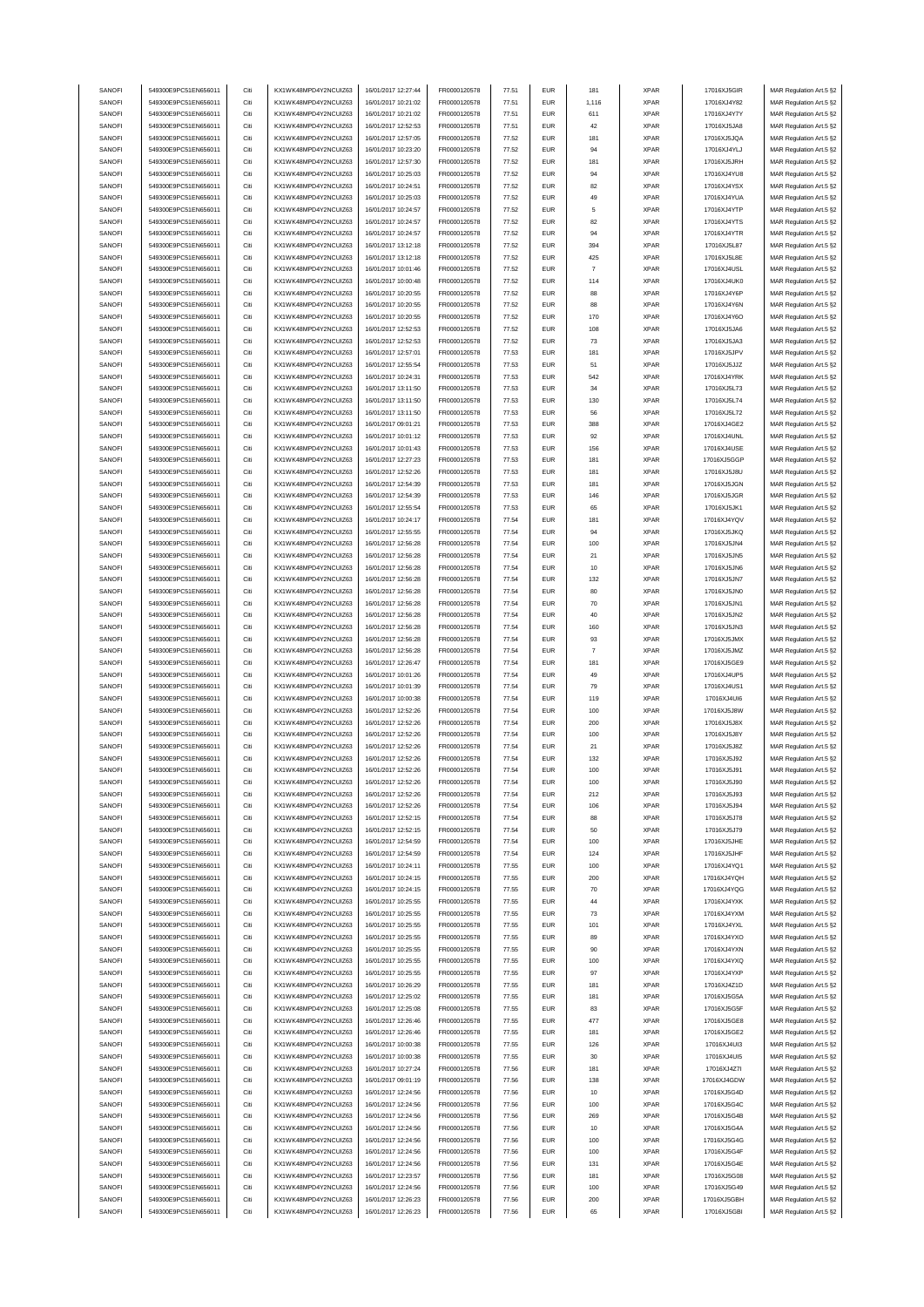| SANOFI | 549300E9PC51EN656011 | Citi | KX1WK48MPD4Y2NCUIZ63  | 16/01/2017 12:27:44 | FR0000120578 | 77.51 | <b>EUR</b> | 181            | <b>XPAR</b> | 17016XJ5GIR | MAR Regulation Art.5 §2 |
|--------|----------------------|------|-----------------------|---------------------|--------------|-------|------------|----------------|-------------|-------------|-------------------------|
|        |                      |      | KX1WK48MPD4Y2NCLIIZ63 |                     |              |       |            |                |             |             |                         |
| SANOFI | 549300E9PC51EN656011 | Citi |                       | 16/01/2017 10:21:02 | FR0000120578 | 77.51 | <b>EUR</b> | 1,116          | <b>XPAR</b> | 17016XJ4Y82 | MAR Regulation Art.5 §2 |
| SANOFI | 549300E9PC51EN656011 | Citi | KX1WK48MPD4Y2NCUIZ63  | 16/01/2017 10:21:02 | FR0000120578 | 77.51 | <b>EUR</b> | 611            | <b>XPAR</b> | 17016XJ4Y7Y | MAR Regulation Art.5 §2 |
| SANOFI | 549300E9PC51EN656011 | Citi | KX1WK48MPD4Y2NCUIZ63  | 16/01/2017 12:52:53 | FR0000120578 | 77.51 | <b>EUR</b> | 42             | <b>XPAR</b> | 17016XJ5JA8 | MAR Regulation Art.5 §2 |
| SANOFI | 549300E9PC51EN656011 | Citi | KX1WK48MPD4Y2NCUIZ63  | 16/01/2017 12:57:05 | FR0000120578 | 77.52 | <b>EUR</b> | 181            | <b>XPAR</b> | 17016XJ5JQA | MAR Regulation Art.5 §2 |
| SANOFI | 549300E9PC51EN656011 | Citi | KX1WK48MPD4Y2NCUIZ63  | 16/01/2017 10:23:20 | FR0000120578 | 77.52 | <b>EUR</b> | 94             | <b>XPAR</b> | 17016XJ4YLJ | MAR Regulation Art.5 §2 |
| SANOFI | 549300E9PC51EN656011 | Citi | KX1WK48MPD4Y2NCUIZ63  |                     | FR0000120578 | 77.52 | <b>EUR</b> |                | XPAR        |             |                         |
|        |                      |      |                       | 16/01/2017 12:57:30 |              |       |            | 181            |             | 17016XJ5JRH | MAR Regulation Art.5 §2 |
| SANOFI | 549300E9PC51EN656011 | Citi | KX1WK48MPD4Y2NCUIZ63  | 16/01/2017 10:25:03 | FR0000120578 | 77.52 | <b>EUR</b> | 94             | <b>XPAR</b> | 17016XJ4YU8 | MAR Regulation Art.5 §2 |
| SANOFI | 549300E9PC51EN656011 | Citi | KX1WK48MPD4Y2NCUIZ63  | 16/01/2017 10:24:51 | FR0000120578 | 77.52 | <b>EUR</b> | 82             | <b>XPAR</b> | 17016XJ4YSX | MAR Regulation Art.5 §2 |
| SANOFI | 549300E9PC51EN656011 | Citi | KX1WK48MPD4Y2NCUIZ63  | 16/01/2017 10:25:03 | FR0000120578 | 77.52 | <b>EUR</b> | 49             | <b>XPAR</b> | 17016XJ4YUA | MAR Regulation Art.5 §2 |
| SANOFI | 549300E9PC51EN656011 | Citi | KX1WK48MPD4Y2NCUIZ63  | 16/01/2017 10:24:57 | FR0000120578 | 77.52 | <b>EUR</b> | 5              | <b>XPAR</b> | 17016XJ4YTP | MAR Regulation Art.5 §2 |
|        |                      |      |                       |                     |              |       |            |                |             |             |                         |
| SANOFI | 549300E9PC51EN656011 | Citi | KX1WK48MPD4Y2NCUIZ63  | 16/01/2017 10:24:57 | FR0000120578 | 77.52 | <b>EUR</b> | 82             | <b>XPAR</b> | 17016XJ4YTS | MAR Regulation Art.5 §2 |
| SANOFI | 549300E9PC51EN656011 | Citi | KX1WK48MPD4Y2NCUIZ63  | 16/01/2017 10:24:57 | FR0000120578 | 77.52 | <b>EUR</b> | 94             | <b>XPAR</b> | 17016XJ4YTR | MAR Regulation Art.5 §2 |
| SANOFI | 549300E9PC51EN656011 | Citi | KX1WK48MPD4Y2NCUIZ63  | 16/01/2017 13:12:18 | FR0000120578 | 77.52 | <b>EUR</b> | 394            | XPAR        | 17016XJ5L87 | MAR Regulation Art.5 §2 |
| SANOFI | 549300E9PC51EN656011 | Citi | KX1WK48MPD4Y2NCUIZ63  | 16/01/2017 13:12:18 | FR0000120578 | 77.52 | <b>EUR</b> | 425            | <b>XPAR</b> | 17016XJ5L8E | MAR Regulation Art.5 §2 |
|        |                      |      |                       |                     |              |       |            |                |             |             |                         |
| SANOFI | 549300E9PC51EN656011 | Citi | KX1WK48MPD4Y2NCUIZ63  | 16/01/2017 10:01:46 | FR0000120578 | 77.52 | <b>EUR</b> | $\overline{7}$ | <b>XPAR</b> | 17016XJ4USL | MAR Regulation Art.5 §2 |
| SANOFI | 549300E9PC51EN656011 | Citi | KX1WK48MPD4Y2NCUIZ63  | 16/01/2017 10:00:48 | FR0000120578 | 77.52 | <b>EUR</b> | 114            | <b>XPAR</b> | 17016XJ4UK0 | MAR Regulation Art.5 §2 |
| SANOFI | 549300E9PC51EN656011 | Citi | KX1WK48MPD4Y2NCLIIZ63 | 16/01/2017 10:20:55 | FR0000120578 | 77.52 | <b>EUR</b> | 88             | <b>XPAR</b> | 17016XJ4Y6P | MAR Regulation Art.5 §2 |
| SANOFI | 549300E9PC51EN656011 | Citi | KX1WK48MPD4Y2NCUIZ63  | 16/01/2017 10:20:55 | FR0000120578 | 77.52 | <b>EUR</b> | 88             | <b>XPAR</b> | 17016XJ4Y6N | MAR Regulation Art.5 §2 |
| SANOFI | 549300E9PC51EN656011 | Citi | KX1WK48MPD4Y2NCUIZ63  | 16/01/2017 10:20:55 | FR0000120578 | 77.52 | <b>EUR</b> | 170            | <b>XPAR</b> | 17016XJ4Y6O | MAR Regulation Art.5 §2 |
|        |                      |      |                       |                     |              |       |            |                |             |             |                         |
| SANOFI | 549300E9PC51EN656011 | Citi | KX1WK48MPD4Y2NCUIZ63  | 16/01/2017 12:52:53 | FR0000120578 | 77.52 | <b>EUR</b> | 108            | <b>XPAR</b> | 17016XJ5JA6 | MAR Regulation Art.5 §2 |
| SANOFI | 549300E9PC51EN656011 | Citi | KX1WK48MPD4Y2NCUIZ63  | 16/01/2017 12:52:53 | FR0000120578 | 77.52 | <b>EUR</b> | $\mathbf{73}$  | <b>XPAR</b> | 17016XJ5JA3 | MAR Regulation Art.5 §2 |
| SANOFI | 549300E9PC51EN656011 | Citi | KX1WK48MPD4Y2NCUIZ63  | 16/01/2017 12:57:01 | FR0000120578 | 77.53 | <b>EUR</b> | 181            | <b>XPAR</b> | 17016XJ5JPV | MAR Regulation Art.5 §2 |
| SANOFI | 549300E9PC51EN656011 | Citi | KX1WK48MPD4Y2NCUIZ63  | 16/01/2017 12:55:54 | FR0000120578 | 77.53 | <b>EUR</b> | 51             | <b>XPAR</b> | 17016XJ5JJZ | MAR Regulation Art.5 §2 |
| SANOFI | 549300E9PC51EN656011 | Citi | KX1WK48MPD4Y2NCLIIZ63 | 16/01/2017 10:24:31 | FR0000120578 | 77.53 | <b>EUR</b> | 542            | <b>XPAR</b> |             |                         |
|        |                      |      |                       |                     |              |       |            |                |             | 17016XJ4YRK | MAR Regulation Art.5 §2 |
| SANOFI | 549300E9PC51EN656011 | Citi | KX1WK48MPD4Y2NCUIZ63  | 16/01/2017 13:11:50 | FR0000120578 | 77.53 | <b>EUR</b> | 34             | <b>XPAR</b> | 17016XJ5L73 | MAR Regulation Art.5 §2 |
| SANOFI | 549300E9PC51EN656011 | Citi | KX1WK48MPD4Y2NCLIIZ63 | 16/01/2017 13:11:50 | FR0000120578 | 77.53 | <b>EUR</b> | 130            | <b>XPAR</b> | 17016XJ5L74 | MAR Regulation Art.5 §2 |
| SANOFI | 549300E9PC51EN656011 | Citi | KX1WK48MPD4Y2NCUIZ63  | 16/01/2017 13:11:50 | FR0000120578 | 77.53 | <b>EUR</b> | 56             | <b>XPAR</b> | 17016XJ5L72 | MAR Regulation Art.5 §2 |
| SANOFI | 549300E9PC51EN656011 | Citi | KX1WK48MPD4Y2NCUIZ63  | 16/01/2017 09:01:21 | FR0000120578 | 77.53 | <b>EUR</b> | 388            | <b>XPAR</b> | 17016XJ4GE2 | MAR Regulation Art.5 §2 |
|        |                      |      |                       |                     |              |       |            |                |             |             |                         |
| SANOFI | 549300E9PC51EN656011 | Citi | KX1WK48MPD4Y2NCUIZ63  | 16/01/2017 10:01:12 | FR0000120578 | 77.53 | <b>EUR</b> | 92             | <b>XPAR</b> | 17016XJ4UNL | MAR Regulation Art.5 §2 |
| SANOFI | 549300E9PC51EN656011 | Citi | KX1WK48MPD4Y2NCUIZ63  | 16/01/2017 10:01:43 | FR0000120578 | 77.53 | <b>EUR</b> | 156            | <b>XPAR</b> | 17016XJ4USE | MAR Regulation Art.5 §2 |
| SANOFI | 549300E9PC51EN656011 | Citi | KX1WK48MPD4Y2NCUIZ63  | 16/01/2017 12:27:23 | FR0000120578 | 77.53 | <b>EUR</b> | 181            | <b>XPAR</b> | 17016XJ5GGP | MAR Regulation Art.5 §2 |
| SANOFI | 549300E9PC51EN656011 | Citi | KX1WK48MPD4Y2NCUIZ63  | 16/01/2017 12:52:26 | FR0000120578 | 77.53 | <b>EUR</b> | 181            | <b>XPAR</b> | 17016XJ5J8U | MAR Regulation Art.5 §2 |
|        |                      |      |                       |                     |              |       |            |                |             |             |                         |
| SANOFI | 549300E9PC51EN656011 | Citi | KX1WK48MPD4Y2NCLIIZ63 | 16/01/2017 12:54:39 | FR0000120578 | 77.53 | <b>EUR</b> | 181            | <b>XPAR</b> | 17016XJ5JGN | MAR Regulation Art.5 §2 |
| SANOFI | 549300E9PC51EN656011 | Citi | KX1WK48MPD4Y2NCUIZ63  | 16/01/2017 12:54:39 | FR0000120578 | 77.53 | <b>EUR</b> | 146            | <b>XPAR</b> | 17016XJ5JGR | MAR Regulation Art.5 §2 |
| SANOFI | 549300E9PC51EN656011 | Citi | KX1WK48MPD4Y2NCUIZ63  | 16/01/2017 12:55:54 | FR0000120578 | 77.53 | <b>EUR</b> | 65             | <b>XPAR</b> | 17016XJ5JK1 | MAR Regulation Art.5 §2 |
| SANOFI | 549300E9PC51EN656011 | Citi | KX1WK48MPD4Y2NCUIZ63  | 16/01/2017 10:24:17 | FR0000120578 | 77.54 | <b>EUR</b> | 181            | <b>XPAR</b> | 17016XJ4YQV | MAR Regulation Art.5 §2 |
| SANOFI |                      | Citi |                       |                     | FR0000120578 |       | <b>EUR</b> |                | <b>XPAR</b> |             |                         |
|        | 549300E9PC51EN656011 |      | KX1WK48MPD4Y2NCUIZ63  | 16/01/2017 12:55:55 |              | 77.54 |            | 94             |             | 17016XJ5JKQ | MAR Regulation Art.5 §2 |
| SANOFI | 549300E9PC51EN656011 | Citi | KX1WK48MPD4Y2NCUIZ63  | 16/01/2017 12:56:28 | FR0000120578 | 77.54 | <b>EUR</b> | 100            | <b>XPAR</b> | 17016XJ5JN4 | MAR Regulation Art.5 §2 |
| SANOFI | 549300E9PC51EN656011 | Citi | KX1WK48MPD4Y2NCUIZ63  | 16/01/2017 12:56:28 | FR0000120578 | 77.54 | <b>EUR</b> | 21             | <b>XPAR</b> | 17016XJ5JN5 | MAR Regulation Art.5 §2 |
| SANOFI | 549300E9PC51EN656011 | Citi | KX1WK48MPD4Y2NCUIZ63  | 16/01/2017 12:56:28 | FR0000120578 | 77.54 | <b>EUR</b> | 10             | <b>XPAR</b> | 17016XJ5JN6 | MAR Regulation Art.5 §2 |
| SANOFI | 549300E9PC51EN656011 | Citi | KX1WK48MPD4Y2NCUIZ63  | 16/01/2017 12:56:28 | FR0000120578 | 77.54 | <b>EUR</b> | 132            | <b>XPAR</b> | 17016XJ5JN7 | MAR Regulation Art.5 §2 |
|        |                      |      |                       |                     |              |       |            |                |             |             |                         |
| SANOFI | 549300E9PC51EN656011 | Citi | KX1WK48MPD4Y2NCUIZ63  | 16/01/2017 12:56:28 | FR0000120578 | 77.54 | <b>EUR</b> | 80             | <b>XPAR</b> | 17016XJ5JN0 | MAR Regulation Art.5 §2 |
| SANOFI | 549300E9PC51EN656011 | Citi | KX1WK48MPD4Y2NCUIZ63  | 16/01/2017 12:56:28 | FR0000120578 | 77.54 | <b>EUR</b> | 70             | <b>XPAR</b> | 17016XJ5JN1 | MAR Regulation Art.5 §2 |
| SANOFI | 549300E9PC51EN656011 | Citi | KX1WK48MPD4Y2NCUIZ63  | 16/01/2017 12:56:28 | FR0000120578 | 77.54 | <b>EUR</b> | 40             | <b>XPAR</b> | 17016XJ5JN2 | MAR Regulation Art.5 §2 |
| SANOFI | 549300E9PC51EN656011 | Citi | KX1WK48MPD4Y2NCUIZ63  | 16/01/2017 12:56:28 | FR0000120578 | 77.54 | <b>EUR</b> | 160            | <b>XPAR</b> | 17016XJ5JN3 | MAR Regulation Art.5 §2 |
| SANOFI | 549300E9PC51EN656011 | Citi | KX1WK48MPD4Y2NCUIZ63  | 16/01/2017 12:56:28 | FR0000120578 | 77.54 | <b>EUR</b> | 93             | <b>XPAR</b> | 17016XJ5JMX | MAR Regulation Art.5 §2 |
|        |                      |      |                       |                     |              |       |            |                |             |             |                         |
| SANOFI | 549300E9PC51EN656011 | Citi | KX1WK48MPD4Y2NCUIZ63  | 16/01/2017 12:56:28 | FR0000120578 | 77.54 | <b>EUR</b> | $\overline{7}$ | <b>XPAR</b> | 17016XJ5JMZ | MAR Regulation Art.5 §2 |
| SANOFI | 549300E9PC51EN656011 | Citi | KX1WK48MPD4Y2NCUIZ63  | 16/01/2017 12:26:47 | FR0000120578 | 77.54 | <b>EUR</b> | 181            | <b>XPAR</b> | 17016XJ5GE9 | MAR Regulation Art.5 §2 |
| SANOFI | 549300E9PC51EN656011 | Citi | KX1WK48MPD4Y2NCUIZ63  | 16/01/2017 10:01:26 | FR0000120578 | 77.54 | <b>EUR</b> | 49             | <b>XPAR</b> | 17016XJ4UP5 | MAR Regulation Art.5 §2 |
| SANOFI | 549300E9PC51EN656011 | Citi | KX1WK48MPD4Y2NCUIZ63  | 16/01/2017 10:01:39 | FR0000120578 | 77.54 | EUR        | 79             | <b>XPAR</b> | 17016XJ4US1 | MAR Regulation Art.5 §2 |
|        | 549300E9PC51EN656011 | Citi |                       |                     |              |       | <b>EUR</b> |                |             |             |                         |
| SANOFI |                      |      | KX1WK48MPD4Y2NCUIZ63  | 16/01/2017 10:00:38 | FR0000120578 | 77.54 |            | 119            | <b>XPAR</b> | 17016XJ4UI6 | MAR Regulation Art.5 §2 |
| SANOFI | 549300E9PC51EN656011 | Citi | KX1WK48MPD4Y2NCUIZ63  | 16/01/2017 12:52:26 | FR0000120578 | 77.54 | <b>EUR</b> | 100            | <b>XPAR</b> | 17016XJ5J8W | MAR Regulation Art.5 §2 |
| SANOFI | 549300E9PC51EN656011 | Citi | KX1WK48MPD4Y2NCUIZ63  | 16/01/2017 12:52:26 | FR0000120578 | 77.54 | <b>EUR</b> | 200            | <b>XPAR</b> | 17016XJ5J8X | MAR Regulation Art.5 §2 |
| SANOFI | 549300E9PC51EN656011 | Citi | KX1WK48MPD4Y2NCUIZ63  | 16/01/2017 12:52:26 | FR0000120578 | 77.54 | <b>EUR</b> | 100            | <b>XPAR</b> | 17016XJ5J8Y | MAR Regulation Art.5 §2 |
| SANOFI | 549300E9PC51EN656011 | Citi | KX1WK48MPD4Y2NCUIZ63  | 16/01/2017 12:52:26 | FR0000120578 | 77.54 | <b>EUR</b> | 21             | <b>XPAR</b> | 17016XJ5J8Z | MAR Regulation Art.5 §2 |
|        |                      |      |                       |                     |              |       |            |                |             |             |                         |
| SANOFI | 549300E9PC51EN656011 | Citi | KX1WK48MPD4Y2NCUIZ63  | 16/01/2017 12:52:26 | FR0000120578 | 77.54 | <b>EUR</b> | 132            | <b>XPAR</b> | 17016XJ5J92 | MAR Regulation Art.5 §2 |
| SANOFI | 549300E9PC51EN656011 | Citi | KX1WK48MPD4Y2NCLIIZ63 | 16/01/2017 12:52:26 | FR0000120578 | 77.54 |            | 100            | <b>XPAR</b> | 17016XJ5J91 | MAR Regulation Art 5 82 |
| SANOFI | 549300E9PC51EN656011 | Citi | KX1WK48MPD4Y2NCUIZ63  | 16/01/2017 12:52:26 | FR0000120578 | 77.54 | <b>EUR</b> | 100            | <b>XPAR</b> | 17016XJ5J90 | MAR Regulation Art.5 §2 |
| SANOFI | 549300E9PC51EN656011 | Citi | KX1WK48MPD4Y2NCUIZ63  | 16/01/2017 12:52:26 | FR0000120578 | 77.54 | <b>EUR</b> | 212            | <b>XPAR</b> | 17016XJ5J93 | MAR Regulation Art.5 §2 |
|        |                      |      |                       |                     |              |       |            |                |             |             |                         |
| SANOFI | 549300E9PC51EN656011 | Citi | KX1WK48MPD4Y2NCUIZ63  | 16/01/2017 12:52:26 | FR0000120578 | 77.54 | <b>EUR</b> | 106            | <b>XPAR</b> | 17016XJ5J94 | MAR Regulation Art.5 §2 |
| SANOFI | 549300E9PC51EN656011 | Citi | KX1WK48MPD4Y2NCUIZ63  | 16/01/2017 12:52:15 | FR0000120578 | 77.54 | <b>EUR</b> | 88             | <b>XPAR</b> | 17016XJ5J78 | MAR Regulation Art.5 §2 |
| SANOFI | 549300E9PC51EN656011 | Citi | KX1WK48MPD4Y2NCUIZ63  | 16/01/2017 12:52:15 | FR0000120578 | 77.54 | <b>EUR</b> | 50             | <b>XPAR</b> | 17016XJ5J79 | MAR Regulation Art.5 §2 |
| SANOFI | 549300E9PC51EN656011 | Citi | KX1WK48MPD4Y2NCUIZ63  | 16/01/2017 12:54:59 | FR0000120578 | 77.54 | <b>EUR</b> | 100            | <b>XPAR</b> | 17016XJ5JHE | MAR Regulation Art.5 §2 |
| SANOFI | 549300E9PC51EN656011 | Citi | KX1WK48MPD4Y2NCUIZ63  | 16/01/2017 12:54:59 | FR0000120578 | 77.54 | <b>EUR</b> | 124            | <b>XPAR</b> | 17016XJ5JHF | MAR Regulation Art.5 §2 |
| SANOFI | 549300E9PC51EN656011 | Citi | KX1WK48MPD4Y2NCUIZ63  | 16/01/2017 10:24:11 | FR0000120578 | 77.55 | <b>EUR</b> | 100            | <b>XPAR</b> | 17016XJ4YQ1 | MAR Regulation Art.5 §2 |
|        |                      |      |                       |                     |              |       |            |                |             |             |                         |
| SANOFI | 549300E9PC51EN656011 | Citi | KX1WK48MPD4Y2NCUIZ63  | 16/01/2017 10:24:15 | FR0000120578 | 77.55 | <b>EUR</b> | 200            | <b>XPAR</b> | 17016XJ4YQH | MAR Regulation Art.5 §2 |
| SANOFI | 549300E9PC51EN656011 | Citi | KX1WK48MPD4Y2NCUIZ63  | 16/01/2017 10:24:15 | FR0000120578 | 77.55 | <b>EUR</b> | 70             | <b>XPAR</b> | 17016XJ4YQG | MAR Regulation Art.5 §2 |
| SANOFI | 549300E9PC51EN656011 | Citi | KX1WK48MPD4Y2NCUIZ63  | 16/01/2017 10:25:55 | FR0000120578 | 77.55 | <b>EUR</b> | 44             | <b>XPAR</b> | 17016XJ4YXK | MAR Regulation Art.5 §2 |
| SANOFI | 549300E9PC51EN656011 | Citi | KX1WK48MPD4Y2NCUIZ63  | 16/01/2017 10:25:55 | FR0000120578 | 77.55 | <b>EUR</b> | $\mathbf{73}$  | <b>XPAR</b> | 17016XJ4YXM | MAR Regulation Art.5 §2 |
| SANOFI |                      | Citi | KX1WK48MPD4Y2NCUIZ63  | 16/01/2017 10:25:55 | FR0000120578 |       | <b>EUR</b> |                |             | 17016XJ4YXL |                         |
|        | 549300E9PC51EN656011 |      |                       |                     |              | 77.55 |            | 101            | <b>XPAR</b> |             | MAR Regulation Art.5 §2 |
| SANOFI | 549300E9PC51EN656011 | Citi | KX1WK48MPD4Y2NCUIZ63  | 16/01/2017 10:25:55 | FR0000120578 | 77.55 | <b>EUR</b> | 89             | <b>XPAR</b> | 17016XJ4YXO | MAR Regulation Art.5 §2 |
| SANOFI | 549300E9PC51EN656011 | Citi | KX1WK48MPD4Y2NCUIZ63  | 16/01/2017 10:25:55 | FR0000120578 | 77.55 | <b>EUR</b> | 90             | <b>XPAR</b> | 17016XJ4YXN | MAR Regulation Art.5 §2 |
| SANOFI | 549300E9PC51EN656011 | Citi | KX1WK48MPD4Y2NCUIZ63  | 16/01/2017 10:25:55 | FR0000120578 | 77.55 | <b>EUR</b> | 100            | <b>XPAR</b> | 17016XJ4YXQ | MAR Regulation Art.5 §2 |
| SANOFI | 549300E9PC51EN656011 | Citi | KX1WK48MPD4Y2NCUIZ63  | 16/01/2017 10:25:55 | FR0000120578 | 77.55 | <b>EUR</b> | 97             | <b>XPAR</b> | 17016XJ4YXP |                         |
|        |                      |      |                       |                     |              |       |            |                |             |             | MAR Regulation Art.5 §2 |
| SANOFI | 549300E9PC51EN656011 | Citi | KX1WK48MPD4Y2NCUIZ63  | 16/01/2017 10:26:29 | FR0000120578 | 77.55 | <b>EUR</b> | 181            | <b>XPAR</b> | 17016XJ4Z1D | MAR Regulation Art.5 §2 |
| SANOFI | 549300E9PC51EN656011 | Citi | KX1WK48MPD4Y2NCUIZ63  | 16/01/2017 12:25:02 | FR0000120578 | 77.55 | <b>EUR</b> | 181            | <b>XPAR</b> | 17016XJ5G5A | MAR Regulation Art.5 §2 |
| SANOFI | 549300E9PC51EN656011 | Citi | KX1WK48MPD4Y2NCUIZ63  | 16/01/2017 12:25:08 | FR0000120578 | 77.55 | <b>EUR</b> | 83             | <b>XPAR</b> | 17016XJ5G5F | MAR Regulation Art.5 §2 |
| SANOFI | 549300E9PC51EN656011 | Citi | KX1WK48MPD4Y2NCUIZ63  | 16/01/2017 12:26:46 | FR0000120578 | 77.55 | <b>EUR</b> | 477            | <b>XPAR</b> | 17016XJ5GE8 | MAR Regulation Art.5 §2 |
|        | 549300E9PC51EN656011 | Citi |                       |                     |              | 77.55 |            |                |             |             |                         |
| SANOFI |                      |      | KX1WK48MPD4Y2NCUIZ63  | 16/01/2017 12:26:46 | FR0000120578 |       | <b>EUR</b> | 181            | <b>XPAR</b> | 17016XJ5GE2 | MAR Regulation Art.5 §2 |
| SANOFI | 549300E9PC51EN656011 | Citi | KX1WK48MPD4Y2NCUIZ63  | 16/01/2017 10:00:38 | FR0000120578 | 77.55 | <b>EUR</b> | 126            | <b>XPAR</b> | 17016XJ4UI3 | MAR Regulation Art.5 §2 |
| SANOFI | 549300E9PC51EN656011 | Citi | KX1WK48MPD4Y2NCUIZ63  | 16/01/2017 10:00:38 | FR0000120578 | 77.55 | <b>EUR</b> | 30             | <b>XPAR</b> | 17016XJ4UI5 | MAR Regulation Art.5 §2 |
| SANOFI | 549300E9PC51EN656011 | Citi | KX1WK48MPD4Y2NCUIZ63  | 16/01/2017 10:27:24 | FR0000120578 | 77.56 | <b>EUR</b> | 181            | <b>XPAR</b> | 17016XJ4Z7I | MAR Regulation Art.5 §2 |
| SANOFI | 549300E9PC51EN656011 | Citi | KX1WK48MPD4Y2NCUIZ63  |                     |              |       |            |                |             | 17016XJ4GDW |                         |
|        |                      |      |                       | 16/01/2017 09:01:19 | FR0000120578 | 77.56 | <b>EUR</b> | 138            | <b>XPAR</b> |             | MAR Regulation Art.5 §2 |
| SANOFI | 549300E9PC51EN656011 | Citi | KX1WK48MPD4Y2NCUIZ63  | 16/01/2017 12:24:56 | FR0000120578 | 77.56 | <b>EUR</b> | $10$           | <b>XPAR</b> | 17016XJ5G4D | MAR Regulation Art.5 §2 |
| SANOFI | 549300E9PC51EN656011 | Citi | KX1WK48MPD4Y2NCUIZ63  | 16/01/2017 12:24:56 | FR0000120578 | 77.56 | <b>EUR</b> | 100            | <b>XPAR</b> | 17016XJ5G4C | MAR Regulation Art.5 §2 |
| SANOFI | 549300E9PC51EN656011 | Citi | KX1WK48MPD4Y2NCUIZ63  | 16/01/2017 12:24:56 | FR0000120578 | 77.56 | <b>EUR</b> | 269            | <b>XPAR</b> | 17016XJ5G4B | MAR Regulation Art.5 §2 |
| SANOFI | 549300E9PC51EN656011 | Citi | KX1WK48MPD4Y2NCUIZ63  | 16/01/2017 12:24:56 | FR0000120578 | 77.56 | <b>EUR</b> | 10             | <b>XPAR</b> | 17016XJ5G4A | MAR Regulation Art.5 §2 |
|        |                      |      |                       |                     |              |       |            |                |             |             |                         |
| SANOFI | 549300E9PC51EN656011 | Citi | KX1WK48MPD4Y2NCUIZ63  | 16/01/2017 12:24:56 | FR0000120578 | 77.56 | <b>EUR</b> | 100            | <b>XPAR</b> | 17016XJ5G4G | MAR Regulation Art.5 §2 |
| SANOFI | 549300E9PC51EN656011 | Citi | KX1WK48MPD4Y2NCUIZ63  | 16/01/2017 12:24:56 | FR0000120578 | 77.56 | <b>EUR</b> | 100            | <b>XPAR</b> | 17016XJ5G4F | MAR Regulation Art.5 §2 |
| SANOFI | 549300E9PC51EN656011 | Citi | KX1WK48MPD4Y2NCUIZ63  | 16/01/2017 12:24:56 | FR0000120578 | 77.56 | <b>EUR</b> | 131            | <b>XPAR</b> | 17016XJ5G4E | MAR Regulation Art.5 §2 |
| SANOFI | 549300E9PC51EN656011 | Citi | KX1WK48MPD4Y2NCUIZ63  | 16/01/2017 12:23:57 | FR0000120578 | 77.56 | <b>EUR</b> | 181            | <b>XPAR</b> | 17016XJ5G08 | MAR Regulation Art.5 §2 |
| SANOFI | 549300E9PC51EN656011 | Citi | KX1WK48MPD4Y2NCUIZ63  | 16/01/2017 12:24:56 | FR0000120578 | 77.56 | <b>EUR</b> | 100            | <b>XPAR</b> | 17016XJ5G49 | MAR Regulation Art.5 §2 |
|        |                      |      |                       |                     |              |       |            |                |             |             |                         |
| SANOFI | 549300E9PC51EN656011 | Citi | KX1WK48MPD4Y2NCUIZ63  | 16/01/2017 12:26:23 | FR0000120578 | 77.56 | <b>EUR</b> | 200            | <b>XPAR</b> | 17016XJ5GBH | MAR Regulation Art.5 §2 |
| SANOFI | 549300E9PC51EN656011 | Citi | KX1WK48MPD4Y2NCUIZ63  | 16/01/2017 12:26:23 | FR0000120578 | 77.56 | <b>EUR</b> | 65             | <b>XPAR</b> | 17016XJ5GBI | MAR Regulation Art.5 §2 |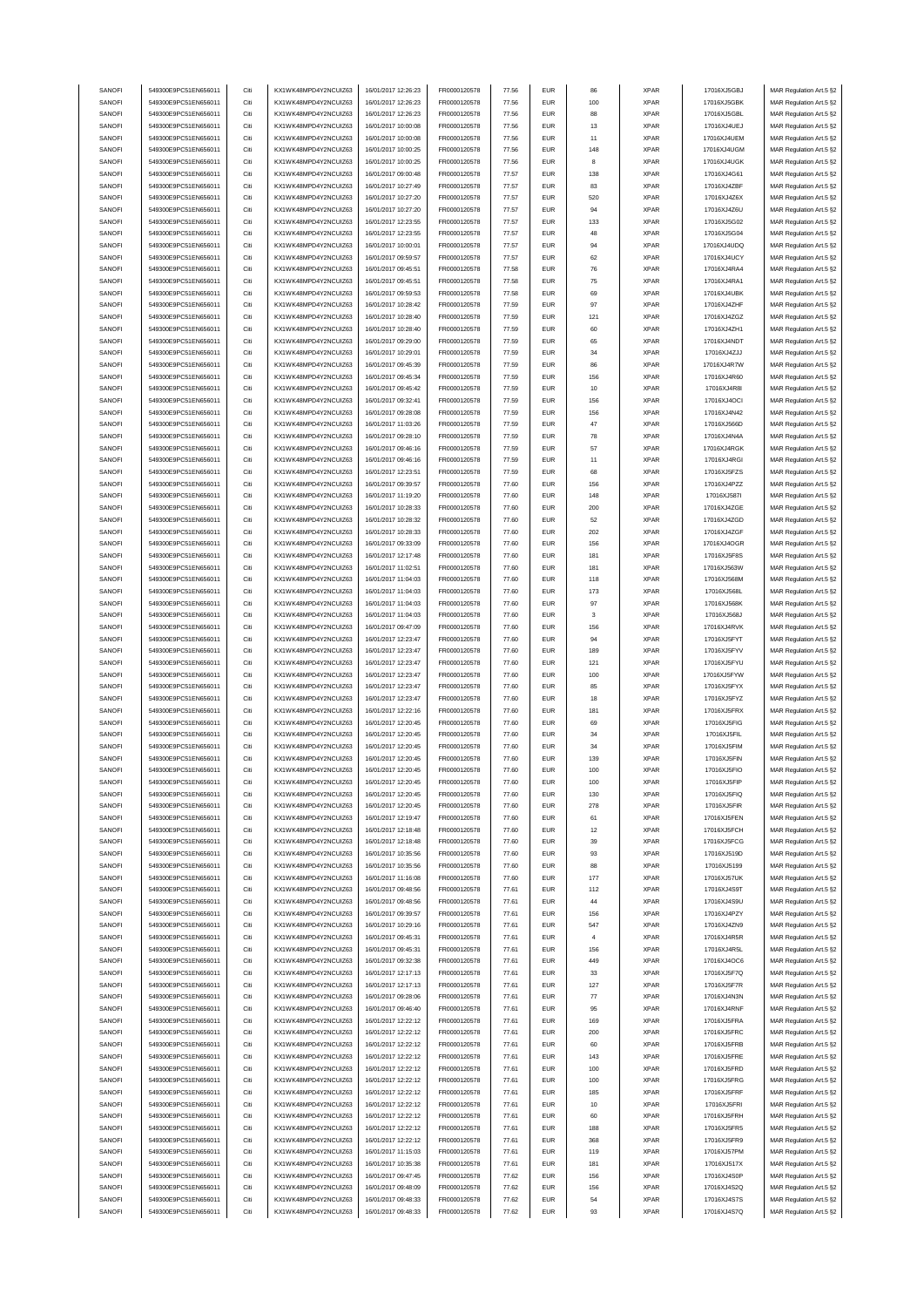| SANOFI<br>549300E9PC51EN656011<br>Citi<br>KX1WK48MPD4Y2NCUIZ63<br>16/01/2017 12:26:23<br><b>EUR</b><br>100<br><b>XPAR</b><br>FR0000120578<br>77.56<br>SANOFI<br>549300E9PC51EN656011<br>Citi<br>KX1WK48MPD4Y2NCUIZ63<br>16/01/2017 12:26:23<br>FR0000120578<br>77.56<br><b>EUR</b><br>88<br><b>XPAR</b><br><b>EUR</b><br><b>XPAR</b><br>SANOFI<br>549300E9PC51EN656011<br>Citi<br>KX1WK48MPD4Y2NCUIZ63<br>16/01/2017 10:00:08<br>FR0000120578<br>77.56<br>$13\,$<br>Citi<br>77.56<br><b>EUR</b><br><b>XPAR</b><br>SANOFI<br>549300E9PC51EN656011<br>KX1WK48MPD4Y2NCLIIZ63<br>16/01/2017 10:00:08<br>FR0000120578<br>11<br>SANOFI<br>549300E9PC51EN656011<br>Citi<br>KX1WK48MPD4Y2NCUIZ63<br>16/01/2017 10:00:25<br>FR0000120578<br>77.56<br><b>EUR</b><br>148<br><b>XPAR</b><br>SANOFI<br>549300E9PC51EN656011<br>Citi<br>KX1WK48MPD4Y2NCUIZ63<br>16/01/2017 10:00:25<br>FR0000120578<br>77.56<br><b>EUR</b><br>8<br><b>XPAR</b><br>SANOFI<br>549300E9PC51EN656011<br>Citi<br>16/01/2017 09:00:48<br>FR0000120578<br><b>EUR</b><br>138<br><b>XPAR</b><br>KX1WK48MPD4Y2NCUIZ63<br>77.57<br>SANOFI<br>549300E9PC51EN656011<br>Citi<br>KX1WK48MPD4Y2NCUIZ63<br>16/01/2017 10:27:49<br>FR0000120578<br><b>XPAR</b><br>77.57<br><b>EUR</b><br>83<br>SANOFI<br>549300E9PC51EN656011<br>Citi<br>KX1WK48MPD4Y2NCUIZ63<br>16/01/2017 10:27:20<br>FR0000120578<br><b>EUR</b><br>520<br><b>XPAR</b><br>77.57<br>SANOFI<br>549300E9PC51EN656011<br>Citi<br>KX1WK48MPD4Y2NCUIZ63<br>16/01/2017 10:27:20<br>FR0000120578<br><b>EUR</b><br><b>XPAR</b><br>77.57<br>94<br>Citi<br>77.57<br><b>EUR</b><br><b>XPAR</b><br>SANOFI<br>549300E9PC51EN656011<br>KX1WK48MPD4Y2NCUIZ63<br>16/01/2017 12:23:55<br>FR0000120578<br>133<br>SANOFI<br><b>EUR</b><br>549300E9PC51EN656011<br>Citi<br>KX1WK48MPD4Y2NCUIZ63<br>16/01/2017 12:23:55<br>FR0000120578<br>77.57<br>48<br><b>XPAR</b><br>SANOFI<br>549300E9PC51EN656011<br>Citi<br>KX1WK48MPD4Y2NCUIZ63<br>16/01/2017 10:00:01<br>FR0000120578<br>77.57<br><b>EUR</b><br>94<br><b>XPAR</b><br>Citi<br><b>EUR</b><br>SANOFI<br>549300E9PC51EN656011<br>KX1WK48MPD4Y2NCUIZ63<br>16/01/2017 09:59:57<br>FR0000120578<br>77.57<br>62<br><b>XPAR</b><br>SANOFI<br>549300E9PC51EN656011<br>Citi<br>KX1WK48MPD4Y2NCUIZ63<br>16/01/2017 09:45:51<br>FR0000120578<br><b>EUR</b><br>76<br><b>XPAR</b><br>77.58<br>SANOFI<br>549300E9PC51EN656011<br>Citi<br>KX1WK48MPD4Y2NCUIZ63<br>16/01/2017 09:45:51<br>FR0000120578<br>75<br><b>XPAR</b><br>77.58<br><b>EUR</b><br>SANOFI<br>549300E9PC51EN656011<br>Citi<br>KX1WK48MPD4Y2NCUIZ63<br>16/01/2017 09:59:53<br><b>EUR</b><br><b>XPAR</b><br>FR0000120578<br>77.58<br>69<br>SANOFI<br>549300E9PC51EN656011<br>Citi<br>KX1WK48MPD4Y2NCUIZ63<br>16/01/2017 10:28:42<br>FR0000120578<br>77.59<br><b>EUR</b><br>97<br><b>XPAR</b><br>SANOFI<br>549300E9PC51EN656011<br>Citi<br>KX1WK48MPD4Y2NCUIZ63<br>16/01/2017 10:28:40<br>FR0000120578<br>77.59<br><b>EUR</b><br>121<br><b>XPAR</b><br>SANOFI<br><b>XPAR</b><br>549300E9PC51EN656011<br>Citi<br>KX1WK48MPD4Y2NCUIZ63<br>16/01/2017 10:28:40<br>FR0000120578<br>77.59<br><b>EUR</b><br>60<br>SANOFI<br>549300E9PC51EN656011<br>Citi<br>KX1WK48MPD4Y2NCUIZ63<br>16/01/2017 09:29:00<br>FR0000120578<br>77.59<br><b>EUR</b><br>65<br><b>XPAR</b><br>SANOFI<br>549300E9PC51EN656011<br>Citi<br>KX1WK48MPD4Y2NCUIZ63<br>16/01/2017 10:29:01<br>FR0000120578<br>77.59<br><b>EUR</b><br>34<br><b>XPAR</b><br>SANOFI<br>549300E9PC51EN656011<br>FR0000120578<br><b>XPAR</b><br>Citi<br>KX1WK48MPD4Y2NCUIZ63<br>16/01/2017 09:45:39<br>77.59<br><b>EUR</b><br>86<br>SANOFI<br>549300E9PC51EN656011<br>Citi<br>KX1WK48MPD4Y2NCUIZ63<br>16/01/2017 09:45:34<br>FR0000120578<br><b>EUR</b><br><b>XPAR</b><br>77.59<br>156<br>SANOFI<br>549300E9PC51EN656011<br>Citi<br>KX1WK48MPD4Y2NCUIZ63<br>16/01/2017 09:45:42<br>FR0000120578<br>77.59<br><b>EUR</b><br>$10$<br><b>XPAR</b><br>SANOFI<br>549300E9PC51EN656011<br>Citi<br>KX1WK48MPD4Y2NCUIZ63<br>16/01/2017 09:32:41<br><b>EUR</b><br>156<br><b>XPAR</b><br>FR0000120578<br>77.59<br>SANOFI<br><b>XPAR</b><br>549300E9PC51EN656011<br>Citi<br>KX1WK48MPD4Y2NCUIZ63<br>16/01/2017 09:28:08<br>FR0000120578<br>77.59<br><b>EUR</b><br>156<br><b>EUR</b><br>SANOFI<br>549300E9PC51EN656011<br>Citi<br>KX1WK48MPD4Y2NCUIZ63<br>16/01/2017 11:03:26<br>FR0000120578<br>77.59<br>47<br><b>XPAR</b><br>Citi<br>SANOFI<br>549300E9PC51EN656011<br>KX1WK48MPD4Y2NCUIZ63<br>16/01/2017 09:28:10<br>FR0000120578<br>77.59<br><b>EUR</b><br>78<br><b>XPAR</b><br>SANOFI<br>549300E9PC51EN656011<br>Citi<br>KX1WK48MPD4Y2NCUIZ63<br>16/01/2017 09:46:16<br>FR0000120578<br>77.59<br><b>EUR</b><br>57<br><b>XPAR</b><br>SANOFI<br>549300E9PC51EN656011<br>Citi<br>KX1WK48MPD4Y2NCUIZ63<br>16/01/2017 09:46:16<br>FR0000120578<br><b>EUR</b><br><b>XPAR</b><br>77.59<br>11<br>SANOFI<br>Citi<br>FR0000120578<br><b>EUR</b><br><b>XPAR</b><br>549300E9PC51EN656011<br>KX1WK48MPD4Y2NCUIZ63<br>16/01/2017 12:23:51<br>77.59<br>68<br>SANOFI<br>549300E9PC51EN656011<br>Citi<br>KX1WK48MPD4Y2NCUIZ63<br>16/01/2017 09:39:57<br>FR0000120578<br>77.60<br><b>EUR</b><br>156<br><b>XPAR</b><br>SANOFI<br>549300E9PC51EN656011<br>Citi<br>KX1WK48MPD4Y2NCUIZ63<br>16/01/2017 11:19:20<br>FR0000120578<br>77.60<br><b>EUR</b><br>148<br><b>XPAR</b><br>SANOFI<br>Citi<br>KX1WK48MPD4Y2NCUIZ63<br>16/01/2017 10:28:33<br><b>EUR</b><br><b>XPAR</b><br>549300E9PC51EN656011<br>FR0000120578<br>77.60<br>200<br>Citi<br>77.60<br><b>EUR</b><br>52<br><b>XPAR</b><br>SANOFI<br>549300E9PC51EN656011<br>KX1WK48MPD4Y2NCUIZ63<br>16/01/2017 10:28:32<br>FR0000120578<br>SANOFI<br>549300E9PC51EN656011<br>Citi<br>KX1WK48MPD4Y2NCUIZ63<br>16/01/2017 10:28:33<br>FR0000120578<br>77.60<br><b>EUR</b><br>202<br><b>XPAR</b><br>SANOFI<br>549300E9PC51EN656011<br>Citi<br>KX1WK48MPD4Y2NCUIZ63<br>16/01/2017 09:33:09<br>FR0000120578<br>77.60<br><b>EUR</b><br>156<br><b>XPAR</b><br>SANOFI<br>549300E9PC51EN656011<br>Citi<br>KX1WK48MPD4Y2NCUIZ63<br>16/01/2017 12:17:48<br>FR0000120578<br>77.60<br><b>EUR</b><br>181<br><b>XPAR</b><br>SANOFI<br>549300E9PC51EN656011<br>Citi<br>KX1WK48MPD4Y2NCUIZ63<br>16/01/2017 11:02:51<br>FR0000120578<br><b>EUR</b><br>181<br><b>XPAR</b><br>77.60<br>SANOFI<br>549300E9PC51EN656011<br>FR0000120578<br><b>XPAR</b><br>Citi<br>KX1WK48MPD4Y2NCUIZ63<br>16/01/2017 11:04:03<br>77.60<br><b>EUR</b><br>118<br>SANOFI<br>549300E9PC51EN656011<br>Citi<br>KX1WK48MPD4Y2NCUIZ63<br>16/01/2017 11:04:03<br>FR0000120578<br>77.60<br><b>EUR</b><br>173<br><b>XPAR</b><br>SANOFI<br>549300E9PC51EN656011<br>Citi<br>KX1WK48MPD4Y2NCUIZ63<br>16/01/2017 11:04:03<br>FR0000120578<br>77.60<br><b>EUR</b><br>97<br><b>XPAR</b><br>SANOFI<br>549300E9PC51EN656011<br>Citi<br>KX1WK48MPD4Y2NCUIZ63<br>16/01/2017 11:04:03<br>FR0000120578<br>77.60<br><b>EUR</b><br>3<br><b>XPAR</b><br>SANOFI<br><b>XPAR</b><br>549300E9PC51EN656011<br>Citi<br>KX1WK48MPD4Y2NCUIZ63<br>16/01/2017 09:47:09<br>FR0000120578<br>77.60<br><b>EUR</b><br>156<br>SANOFI<br>549300E9PC51EN656011<br>Citi<br>KX1WK48MPD4Y2NCUIZ63<br>16/01/2017 12:23:47<br>FR0000120578<br>77.60<br><b>EUR</b><br>94<br><b>XPAR</b><br>SANOFI<br>549300E9PC51EN656011<br>Citi<br>KX1WK48MPD4Y2NCUIZ63<br>16/01/2017 12:23:47<br>FR0000120578<br>77.60<br><b>EUR</b><br>189<br><b>XPAR</b><br>SANOFI<br>549300E9PC51EN656011<br>KX1WK48MPD4Y2NCUIZ63<br>16/01/2017 12:23:47<br>FR0000120578<br><b>XPAR</b><br>Citi<br>77.60<br><b>EUR</b><br>121<br>SANOFI<br>Citi<br>FR0000120578<br><b>EUR</b><br>100<br><b>XPAR</b><br>549300E9PC51EN656011<br>KX1WK48MPD4Y2NCUIZ63<br>16/01/2017 12:23:47<br>77.60<br>SANOFI<br>549300E9PC51EN656011<br>Citi<br>KX1WK48MPD4Y2NCUIZ63<br>16/01/2017 12:23:47<br>FR0000120578<br>77.60<br><b>EUR</b><br>85<br><b>XPAR</b><br>SANOFI<br>549300E9PC51EN656011<br>Citi<br>KX1WK48MPD4Y2NCUIZ63<br>16/01/2017 12:23:47<br>FR0000120578<br>77.60<br><b>EUR</b><br>18<br><b>XPAR</b><br><b>XPAR</b><br>SANOFI<br>549300E9PC51EN656011<br>Citi<br>KX1WK48MPD4Y2NCUIZ63<br>16/01/2017 12:22:16<br>FR0000120578<br>77.60<br><b>EUR</b><br>181<br><b>EUR</b><br>SANOFI<br>549300E9PC51EN656011<br>Citi<br>KX1WK48MPD4Y2NCUIZ63<br>16/01/2017 12:20:45<br>FR0000120578<br>77.60<br>69<br><b>XPAR</b><br>SANOFI<br>549300E9PC51EN656011<br>Citi<br>KX1WK48MPD4Y2NCUIZ63<br>16/01/2017 12:20:45<br>FR0000120578<br>77.60<br><b>EUR</b><br>34<br><b>XPAR</b><br>SANOFI<br>549300E9PC51EN656011<br>Citi<br>KX1WK48MPD4Y2NCUIZ63<br>16/01/2017 12:20:45<br>FR0000120578<br>77.60<br><b>EUR</b><br>34<br><b>XPAR</b><br>SANOFI<br>549300E9PC51EN656011<br>KX1WK48MPD4Y2NCUIZ63<br>16/01/2017 12:20:45<br>FR0000120578<br><b>EUR</b><br><b>XPAR</b><br>Citi<br>77.60<br>139<br>SANOFI<br>16/01/2017 12:20:45<br>FR0000120578<br>77.60<br><b>EUR</b><br>549300E9PC51EN656011<br>Citi<br>KX1WK48MPD4Y2NCUIZ63<br>100<br><b>XPAR</b><br>SANOFI<br>549300E9PC51EN656011<br>KX1WK48MPD4Y2NCLIIZ63<br>16/01/2017 12:20:45<br>FR0000120578<br>77.60<br>FUR<br><b>XPAR</b><br>100<br>SANOFI<br>549300E9PC51EN656011<br>KX1WK48MPD4Y2NCUIZ63<br>16/01/2017 12:20:45<br>Citi<br>FR0000120578<br>77.60<br><b>EUR</b><br>130<br><b>XPAR</b><br>SANOFI<br>549300E9PC51EN656011<br>Citi<br>KX1WK48MPD4Y2NCUIZ63<br>16/01/2017 12:20:45<br>FR0000120578<br><b>EUR</b><br>278<br><b>XPAR</b><br>77.60<br>SANOFI<br>549300E9PC51EN656011<br>Citi<br>KX1WK48MPD4Y2NCUIZ63<br>16/01/2017 12:19:47<br>FR0000120578<br><b>EUR</b><br><b>XPAR</b><br>77.60<br>61<br>SANOFI<br>549300E9PC51EN656011<br>Citi<br>KX1WK48MPD4Y2NCUIZ63<br>16/01/2017 12:18:48<br>FR0000120578<br>77.60<br><b>EUR</b><br>12<br><b>XPAR</b><br>SANOFI<br>549300E9PC51EN656011<br>Citi<br>KX1WK48MPD4Y2NCUIZ63<br>16/01/2017 12:18:48<br>FR0000120578<br>77.60<br><b>EUR</b><br>39<br><b>XPAR</b><br>SANOFI<br>549300E9PC51EN656011<br>KX1WK48MPD4Y2NCUIZ63<br>16/01/2017 10:35:56<br>FR0000120578<br><b>EUR</b><br>Citi<br>77.60<br>93<br><b>XPAR</b><br>SANOFI<br>549300E9PC51EN656011<br>Citi<br>KX1WK48MPD4Y2NCUIZ63<br>16/01/2017 10:35:56<br>FR0000120578<br>77.60<br><b>EUR</b><br>88<br><b>XPAR</b><br>SANOFI<br>549300E9PC51EN656011<br>KX1WK48MPD4Y2NCUIZ63<br>16/01/2017 11:16:08<br>FR0000120578<br><b>XPAR</b><br>Citi<br>77.60<br><b>EUR</b><br>177<br>SANOFI<br>549300E9PC51EN656011<br>Citi<br>KX1WK48MPD4Y2NCUIZ63<br>16/01/2017 09:48:56<br><b>EUR</b><br>112<br><b>XPAR</b><br>FR0000120578<br>77.61<br>KX1WK48MPD4Y2NCUIZ63<br>SANOFI<br>549300E9PC51EN656011<br>Citi<br>16/01/2017 09:48:56<br>FR0000120578<br><b>EUR</b><br>44<br><b>XPAR</b><br>77.61<br>SANOFI<br>549300E9PC51EN656011<br>Citi<br>KX1WK48MPD4Y2NCUIZ63<br>16/01/2017 09:39:57<br>FR0000120578<br><b>EUR</b><br><b>XPAR</b><br>77.61<br>156<br>SANOFI<br>549300E9PC51EN656011<br>Citi<br>KX1WK48MPD4Y2NCUIZ63<br>16/01/2017 10:29:16<br>FR0000120578<br>77.61<br><b>EUR</b><br>547<br><b>XPAR</b><br>SANOFI<br>549300E9PC51EN656011<br>Citi<br>KX1WK48MPD4Y2NCUIZ63<br>16/01/2017 09:45:31<br>FR0000120578<br>77.61<br><b>EUR</b><br>$\sqrt{4}$<br><b>XPAR</b><br>KX1WK48MPD4Y2NCUIZ63<br>16/01/2017 09:45:31<br>SANOFI<br>549300E9PC51EN656011<br>Citi<br>FR0000120578<br>77.61<br><b>EUR</b><br>156<br><b>XPAR</b><br>SANOFI<br>549300E9PC51EN656011<br>KX1WK48MPD4Y2NCUIZ63<br>Citi<br>16/01/2017 09:32:38<br>FR0000120578<br>77.61<br><b>EUR</b><br>449<br><b>XPAR</b><br>SANOFI<br>549300E9PC51EN656011<br>KX1WK48MPD4Y2NCUIZ63<br>16/01/2017 12:17:13<br><b>EUR</b><br>Citi<br>FR0000120578<br>77.61<br>33<br><b>XPAR</b><br>SANOFI<br>549300E9PC51EN656011<br>Citi<br>KX1WK48MPD4Y2NCUIZ63<br>16/01/2017 12:17:13<br>FR0000120578<br><b>EUR</b><br><b>XPAR</b><br>77.61<br>127<br>${\bf 77}$<br>SANOFI<br>549300E9PC51EN656011<br>Citi<br>KX1WK48MPD4Y2NCUIZ63<br>16/01/2017 09:28:06<br>FR0000120578<br><b>EUR</b><br><b>XPAR</b><br>77.61<br>SANOFI<br>549300E9PC51EN656011<br>KX1WK48MPD4Y2NCUIZ63<br>16/01/2017 09:46:40<br>FR0000120578<br><b>EUR</b><br><b>XPAR</b><br>Citi<br>77.61<br>95<br><b>EUR</b><br>SANOFI<br>549300E9PC51EN656011<br>Citi<br>KX1WK48MPD4Y2NCUIZ63<br>16/01/2017 12:22:12<br>FR0000120578<br>169<br><b>XPAR</b><br>77.61<br>SANOFI<br>549300E9PC51EN656011<br>Citi<br>KX1WK48MPD4Y2NCUIZ63<br>16/01/2017 12:22:12<br>FR0000120578<br>77.61<br><b>EUR</b><br>200<br><b>XPAR</b><br>SANOFI<br>549300E9PC51EN656011<br>Citi<br>KX1WK48MPD4Y2NCUIZ63<br>16/01/2017 12:22:12<br>FR0000120578<br>77.61<br><b>EUR</b><br>60<br><b>XPAR</b><br>SANOFI<br>KX1WK48MPD4Y2NCUIZ63<br>16/01/2017 12:22:12<br>549300E9PC51EN656011<br>Citi<br>FR0000120578<br>77.61<br><b>EUR</b><br>143<br><b>XPAR</b><br>16/01/2017 12:22:12<br>SANOFI<br>549300E9PC51EN656011<br>Citi<br>KX1WK48MPD4Y2NCUIZ63<br>FR0000120578<br>77.61<br><b>EUR</b><br>100<br><b>XPAR</b><br>SANOFI<br>549300E9PC51EN656011<br>Citi<br>KX1WK48MPD4Y2NCUIZ63<br>16/01/2017 12:22:12<br><b>EUR</b><br><b>XPAR</b><br>FR0000120578<br>77.61<br>100<br>SANOFI<br>549300E9PC51EN656011<br>KX1WK48MPD4Y2NCUIZ63<br>16/01/2017 12:22:12<br>FR0000120578<br><b>EUR</b><br><b>XPAR</b><br>Citi<br>77.61<br>185<br>SANOFI<br>549300E9PC51EN656011<br>Citi<br>KX1WK48MPD4Y2NCUIZ63<br>16/01/2017 12:22:12<br>FR0000120578<br><b>EUR</b><br><b>XPAR</b><br>77.61<br>10<br>SANOFI<br>549300E9PC51EN656011<br>Citi<br>KX1WK48MPD4Y2NCUIZ63<br>16/01/2017 12:22:12<br>FR0000120578<br>77.61<br><b>EUR</b><br><b>XPAR</b><br>60<br>SANOFI<br>549300E9PC51EN656011<br>Citi<br>KX1WK48MPD4Y2NCUIZ63<br>16/01/2017 12:22:12<br>FR0000120578<br>77.61<br><b>EUR</b><br>188<br><b>XPAR</b><br>SANOFI<br>549300E9PC51EN656011<br>Citi<br>KX1WK48MPD4Y2NCUIZ63<br>16/01/2017 12:22:12<br>FR0000120578<br>77.61<br><b>EUR</b><br>368<br><b>XPAR</b><br>SANOFI<br>549300E9PC51EN656011<br>Citi<br>KX1WK48MPD4Y2NCUIZ63<br>16/01/2017 11:15:03<br>FR0000120578<br><b>EUR</b><br>77.61<br>119<br><b>XPAR</b><br>KX1WK48MPD4Y2NCUIZ63<br>16/01/2017 10:35:38<br>SANOFI<br>549300E9PC51EN656011<br>Citi<br>FR0000120578<br>77.61<br><b>EUR</b><br>181<br><b>XPAR</b> | 17016XJ5GBK<br>MAR Regulation Art.5 §2<br>17016XJ5GBL<br>MAR Regulation Art.5 §2<br>17016XJ4UEJ<br>MAR Regulation Art.5 §2<br>17016XJ4UEM<br>MAR Regulation Art.5 §2<br>17016XJ4UGM<br>MAR Regulation Art.5 §2<br>17016XJ4UGK<br>MAR Regulation Art.5 §2<br>17016XJ4G61<br>MAR Regulation Art.5 §2<br>17016XJ4ZBF<br>MAR Regulation Art.5 §2<br>17016XJ4Z6X<br>MAR Regulation Art.5 §2<br>17016XJ4Z6U<br>MAR Regulation Art.5 §2<br>17016XJ5G02<br>MAR Regulation Art.5 §2<br>17016XJ5G04<br>MAR Regulation Art.5 §2<br>17016XJ4UDQ<br>MAR Regulation Art.5 §2<br>17016XJ4UCY<br>MAR Regulation Art.5 §2<br>17016XJ4RA4<br>MAR Regulation Art.5 §2<br>17016XJ4RA1<br>MAR Regulation Art.5 §2<br>17016XJ4UBK<br>MAR Regulation Art.5 §2<br>17016XJ4ZHF<br>MAR Regulation Art.5 §2<br>17016XJ4ZGZ<br>MAR Regulation Art.5 §2<br>17016XJ4ZH1<br>MAR Regulation Art.5 §2<br>17016XJ4NDT<br>MAR Regulation Art.5 §2<br>17016XJ4ZJJ<br>MAR Regulation Art.5 §2<br>17016XJ4R7W<br>MAR Regulation Art.5 §2<br>17016XJ4R60<br>MAR Regulation Art.5 §2<br>17016XJ4R8I<br>MAR Regulation Art.5 §2<br>17016XJ4OCI<br>MAR Regulation Art.5 §2<br>17016XJ4N42<br>MAR Regulation Art.5 §2<br>17016XJ566D<br>MAR Regulation Art.5 §2<br>17016XJ4N4A<br>MAR Regulation Art.5 §2<br>17016XJ4RGK<br>MAR Regulation Art.5 §2<br>17016XJ4RGI<br>MAR Regulation Art.5 §2<br>17016XJ5FZS<br>MAR Regulation Art.5 §2<br>17016XJ4PZZ<br>MAR Regulation Art.5 §2<br>17016XJ587I<br>MAR Regulation Art.5 §2<br>17016XJ4ZGE<br>MAR Regulation Art.5 §2<br>17016XJ4ZGD<br>MAR Regulation Art.5 §2<br>17016XJ4ZGF<br>MAR Regulation Art.5 §2<br>17016XJ4OGR<br>MAR Regulation Art.5 §2<br>17016XJ5F8S<br>MAR Regulation Art.5 §2<br>17016XJ563W<br>MAR Regulation Art.5 §2<br>17016XJ568M<br>MAR Regulation Art.5 §2<br>17016XJ568L<br>MAR Regulation Art.5 §2<br>17016XJ568K<br>MAR Regulation Art.5 §2<br>17016XJ568J<br>MAR Regulation Art.5 §2<br>17016XJ4RVK<br>MAR Regulation Art.5 §2<br>17016XJ5FYT<br>MAR Regulation Art.5 §2<br>17016XJ5FYV<br>MAR Regulation Art.5 §2<br>17016XJ5FYU<br>MAR Regulation Art.5 §2<br>17016XJ5FYW<br>MAR Regulation Art.5 §2<br>17016XJ5FYX<br>MAR Regulation Art.5 §2<br>17016XJ5FYZ<br>MAR Regulation Art.5 §2<br>17016XJ5FRX<br>MAR Regulation Art.5 §2<br>17016XJ5FIG<br>MAR Regulation Art.5 §2<br>17016XJ5FIL<br>MAR Regulation Art.5 §2<br>17016XJ5FIM<br>MAR Regulation Art.5 §2<br>17016XJ5FIN<br>MAR Regulation Art.5 §2<br>17016XJ5FIO<br>MAR Regulation Art.5 §2<br>17016XJ5FIP<br>MAR Regulation Art 5 82<br>17016XJ5FIQ<br>MAR Regulation Art.5 §2<br>17016XJ5FIR<br>MAR Regulation Art.5 §2<br>17016XJ5FEN<br>MAR Regulation Art.5 §2<br>17016XJ5FCH<br>MAR Regulation Art.5 §2<br>17016XJ5FCG<br>MAR Regulation Art.5 §2<br>17016XJ519D<br>MAR Regulation Art.5 §2<br>17016XJ5199<br>MAR Regulation Art.5 §2<br>17016XJ57UK<br>MAR Regulation Art.5 §2<br>17016XJ4S9T<br>MAR Regulation Art.5 §2<br>17016XJ4S9U<br>MAR Regulation Art.5 §2<br>17016XJ4PZY<br>MAR Regulation Art.5 §2<br>17016XJ4ZN9<br>MAR Regulation Art.5 §2<br>17016XJ4R5R<br>MAR Regulation Art.5 §2<br>17016XJ4R5L<br>MAR Regulation Art.5 §2<br>17016XJ4OC6<br>MAR Regulation Art.5 §2<br>17016XJ5F7Q<br>MAR Regulation Art.5 §2<br>17016XJ5F7R<br>MAR Regulation Art.5 §2<br>17016XJ4N3N<br>MAR Regulation Art.5 §2<br>17016XJ4RNF<br>MAR Regulation Art.5 §2<br>17016XJ5FRA<br>MAR Regulation Art.5 §2<br>17016XJ5FRC<br>MAR Regulation Art.5 §2<br>17016XJ5FRB<br>MAR Regulation Art.5 §2<br>17016XJ5FRE<br>MAR Regulation Art.5 §2<br>17016XJ5FRD<br>MAR Regulation Art.5 §2<br>17016XJ5FRG<br>MAR Regulation Art.5 §2<br>17016XJ5FRF<br>MAR Regulation Art.5 §2<br>17016XJ5FRI<br>MAR Regulation Art.5 §2<br>17016XJ5FRH<br>MAR Regulation Art.5 §2<br>17016XJ5FR5<br>MAR Regulation Art.5 §2<br>17016XJ5FR9<br>MAR Regulation Art.5 §2<br>17016XJ57PM<br>MAR Regulation Art.5 §2<br>17016XJ517X<br>MAR Regulation Art.5 §2<br>549300E9PC51EN656011<br>KX1WK48MPD4Y2NCUIZ63<br>16/01/2017 09:47:45<br>FR0000120578<br><b>EUR</b><br><b>XPAR</b><br>17016XJ4S0P<br>Citi<br>77.62<br>156<br>MAR Regulation Art.5 §2<br>549300E9PC51EN656011<br>KX1WK48MPD4Y2NCUIZ63<br><b>EUR</b><br>Citi<br>16/01/2017 09:48:09<br>FR0000120578<br>77.62<br>156<br><b>XPAR</b><br>17016XJ4S2Q<br>MAR Regulation Art.5 §2<br>549300E9PC51EN656011<br>Citi<br>KX1WK48MPD4Y2NCUIZ63<br>16/01/2017 09:48:33<br>FR0000120578<br>77.62<br><b>EUR</b><br><b>XPAR</b><br>17016XJ4S7S<br>54<br>MAR Regulation Art.5 §2 | SANOFI | 549300E9PC51EN656011 | Citi | KX1WK48MPD4Y2NCUIZ63 | 16/01/2017 12:26:23 | FR0000120578 | 77.56 | <b>EUR</b> | 86 | <b>XPAR</b> | 17016XJ5GBJ | MAR Regulation Art.5 §2 |
|--------------------------------------------------------------------------------------------------------------------------------------------------------------------------------------------------------------------------------------------------------------------------------------------------------------------------------------------------------------------------------------------------------------------------------------------------------------------------------------------------------------------------------------------------------------------------------------------------------------------------------------------------------------------------------------------------------------------------------------------------------------------------------------------------------------------------------------------------------------------------------------------------------------------------------------------------------------------------------------------------------------------------------------------------------------------------------------------------------------------------------------------------------------------------------------------------------------------------------------------------------------------------------------------------------------------------------------------------------------------------------------------------------------------------------------------------------------------------------------------------------------------------------------------------------------------------------------------------------------------------------------------------------------------------------------------------------------------------------------------------------------------------------------------------------------------------------------------------------------------------------------------------------------------------------------------------------------------------------------------------------------------------------------------------------------------------------------------------------------------------------------------------------------------------------------------------------------------------------------------------------------------------------------------------------------------------------------------------------------------------------------------------------------------------------------------------------------------------------------------------------------------------------------------------------------------------------------------------------------------------------------------------------------------------------------------------------------------------------------------------------------------------------------------------------------------------------------------------------------------------------------------------------------------------------------------------------------------------------------------------------------------------------------------------------------------------------------------------------------------------------------------------------------------------------------------------------------------------------------------------------------------------------------------------------------------------------------------------------------------------------------------------------------------------------------------------------------------------------------------------------------------------------------------------------------------------------------------------------------------------------------------------------------------------------------------------------------------------------------------------------------------------------------------------------------------------------------------------------------------------------------------------------------------------------------------------------------------------------------------------------------------------------------------------------------------------------------------------------------------------------------------------------------------------------------------------------------------------------------------------------------------------------------------------------------------------------------------------------------------------------------------------------------------------------------------------------------------------------------------------------------------------------------------------------------------------------------------------------------------------------------------------------------------------------------------------------------------------------------------------------------------------------------------------------------------------------------------------------------------------------------------------------------------------------------------------------------------------------------------------------------------------------------------------------------------------------------------------------------------------------------------------------------------------------------------------------------------------------------------------------------------------------------------------------------------------------------------------------------------------------------------------------------------------------------------------------------------------------------------------------------------------------------------------------------------------------------------------------------------------------------------------------------------------------------------------------------------------------------------------------------------------------------------------------------------------------------------------------------------------------------------------------------------------------------------------------------------------------------------------------------------------------------------------------------------------------------------------------------------------------------------------------------------------------------------------------------------------------------------------------------------------------------------------------------------------------------------------------------------------------------------------------------------------------------------------------------------------------------------------------------------------------------------------------------------------------------------------------------------------------------------------------------------------------------------------------------------------------------------------------------------------------------------------------------------------------------------------------------------------------------------------------------------------------------------------------------------------------------------------------------------------------------------------------------------------------------------------------------------------------------------------------------------------------------------------------------------------------------------------------------------------------------------------------------------------------------------------------------------------------------------------------------------------------------------------------------------------------------------------------------------------------------------------------------------------------------------------------------------------------------------------------------------------------------------------------------------------------------------------------------------------------------------------------------------------------------------------------------------------------------------------------------------------------------------------------------------------------------------------------------------------------------------------------------------------------------------------------------------------------------------------------------------------------------------------------------------------------------------------------------------------------------------------------------------------------------------------------------------------------------------------------------------------------------------------------------------------------------------------------------------------------------------------------------------------------------------------------------------------------------------------------------------------------------------------------------------------------------------------------------------------------------------------------------------------------------------------------------------------------------------------------------------------------------------------------------------------------------------------------------------------------------------------------------------------------------------------------------------------------------------------------------------------------------------------------------------------------------------------------------------------------------------------------------------------------------------------------------------------------------------------------------------------------------------------------------------------------------------------------------------------------------------------------------------------------------------------------------------------------------------------------------------------------------------------------------------------------------------------------------------------------------------------------------------------------------------------------------------------------------------------------------------------------------------------------------------------------------------------------------------------------------------------------------------------------------------------------------------------------------------------------------------------------------------------------------------------------------------------------------------------------------------------------------------------------------------------------------------------------------------------------------------------------------------------------------------------------------------------------------------------------------------------------------------------------------------------------------------------------------------------------------------------------------------------------------------------------------------------------------------------------------------------------------------------------------------------------------------------------------------------------------------------------------------------------------------------------------------------------------------------------------------------------------------------------------------------------------------------------------------------------------------------------------------------------------------------------------------------------------------------------------------------------------------------------------------------------------------------------------------------------------------------------------------------------------------------------------------------------------------------------------------------------------------------------------------------------------------------------------------------------------------------------------------------------------------------------------------------------------------------------------------------------------------------------------------------------------------------------------------------------------------------------------------------------------------------------------------------------------------------------------------------------------------------------------------------------------------------------------------------------------------------------------------------------------------------------------------------------------------------------------------------------------------------------------------------------------------------------------------------------------------------------------------------------------------------------------------------------------------------------------------------------------------------------------------------------------------------------------------------------------------------------------------------------------------------------------------------------------------------------------------------------------------------------------------------------------------------------------------------------------------------------------------------------------------------------------------------------------------------------------------------------------------------------------------------------------------------------------------------------------------------------------------------------------------------------------------------------------------------------------------------------------------------------------------------------------------------------------------------------------------------------------------------------------------------------------------------------------------------------------------------------------------------------------------------------------------------------------------------------------------------------------------------------------------------------------------------------------------------------------------------------------------------------------------------------------------------------------------------------------------------------------------------------------------------------------------------------------------|---------------------------------------------------------------------------------------------------------------------------------------------------------------------------------------------------------------------------------------------------------------------------------------------------------------------------------------------------------------------------------------------------------------------------------------------------------------------------------------------------------------------------------------------------------------------------------------------------------------------------------------------------------------------------------------------------------------------------------------------------------------------------------------------------------------------------------------------------------------------------------------------------------------------------------------------------------------------------------------------------------------------------------------------------------------------------------------------------------------------------------------------------------------------------------------------------------------------------------------------------------------------------------------------------------------------------------------------------------------------------------------------------------------------------------------------------------------------------------------------------------------------------------------------------------------------------------------------------------------------------------------------------------------------------------------------------------------------------------------------------------------------------------------------------------------------------------------------------------------------------------------------------------------------------------------------------------------------------------------------------------------------------------------------------------------------------------------------------------------------------------------------------------------------------------------------------------------------------------------------------------------------------------------------------------------------------------------------------------------------------------------------------------------------------------------------------------------------------------------------------------------------------------------------------------------------------------------------------------------------------------------------------------------------------------------------------------------------------------------------------------------------------------------------------------------------------------------------------------------------------------------------------------------------------------------------------------------------------------------------------------------------------------------------------------------------------------------------------------------------------------------------------------------------------------------------------------------------------------------------------------------------------------------------------------------------------------------------------------------------------------------------------------------------------------------------------------------------------------------------------------------------------------------------------------------------------------------------------------------------------------------------------------------------------------------------------------------------------------------------------------------------------------------------------------------------------------------------------------------------------------------------------------------------------------------------------------------------------------------------------------------------------------------------------------------------------------------------------------------------------------------------------------------------------------------------------------------------------------------------------------------------------------------------------------------------------------------------------------------------------------------------------------------------------------------------------------------------------------------------------|--------|----------------------|------|----------------------|---------------------|--------------|-------|------------|----|-------------|-------------|-------------------------|
|                                                                                                                                                                                                                                                                                                                                                                                                                                                                                                                                                                                                                                                                                                                                                                                                                                                                                                                                                                                                                                                                                                                                                                                                                                                                                                                                                                                                                                                                                                                                                                                                                                                                                                                                                                                                                                                                                                                                                                                                                                                                                                                                                                                                                                                                                                                                                                                                                                                                                                                                                                                                                                                                                                                                                                                                                                                                                                                                                                                                                                                                                                                                                                                                                                                                                                                                                                                                                                                                                                                                                                                                                                                                                                                                                                                                                                                                                                                                                                                                                                                                                                                                                                                                                                                                                                                                                                                                                                                                                                                                                                                                                                                                                                                                                                                                                                                                                                                                                                                                                                                                                                                                                                                                                                                                                                                                                                                                                                                                                                                                                                                                                                                                                                                                                                                                                                                                                                                                                                                                                                                                                                                                                                                                                                                                                                                                                                                                                                                                                                                                                                                                                                                                                                                                                                                                                                                                                                                                                                                                                                                                                                                                                                                                                                                                                                                                                                                                                                                                                                                                                                                                                                                                                                                                                                                                                                                                                                                                                                                                                                                                                                                                                                                                                                                                                                                                                                                                                                                                                                                                                                                                                                                                                                                                                                                                                                                                                                                                                                                                                                                                                                                                                                                                                                                                                                                                                                                                                                                                                                                                                                                                                                                                                                                                                                                                                                                                                                                                                                                                                                                                                                                                                                                                                                                                                                                                                                                                                                                                                                                                                                                                                                                                                                                                                                                                                                                                                                                                                                                                                                                                                                                                                                                                                                                                                                                                                                                                                                                                                                                                                                                                                                                                                                                                                                                                                                                                                                                                                                                                                                                                                                                                                                                                                                                                                                                                                                                                                                                                                                                                                                                                                                                                                                                                                                                                                                                                                                                                                                                                                                                                                                                                                                                                                                                                                                                                                                                                                                                                                                                                                                                                                                                                                                                                                                                                                                                                                                                                                                                                                    |                                                                                                                                                                                                                                                                                                                                                                                                                                                                                                                                                                                                                                                                                                                                                                                                                                                                                                                                                                                                                                                                                                                                                                                                                                                                                                                                                                                                                                                                                                                                                                                                                                                                                                                                                                                                                                                                                                                                                                                                                                                                                                                                                                                                                                                                                                                                                                                                                                                                                                                                                                                                                                                                                                                                                                                                                                                                                                                                                                                                                                                                                                                                                                                                                                                                                                                                                                                                                                                                                                                                                                                                                                                                                                                                                                                                                                                                                                                                                                                                                                                                                                                                                                                                                                                                                                                                                                                                                                                                                                   |        |                      |      |                      |                     |              |       |            |    |             |             |                         |
|                                                                                                                                                                                                                                                                                                                                                                                                                                                                                                                                                                                                                                                                                                                                                                                                                                                                                                                                                                                                                                                                                                                                                                                                                                                                                                                                                                                                                                                                                                                                                                                                                                                                                                                                                                                                                                                                                                                                                                                                                                                                                                                                                                                                                                                                                                                                                                                                                                                                                                                                                                                                                                                                                                                                                                                                                                                                                                                                                                                                                                                                                                                                                                                                                                                                                                                                                                                                                                                                                                                                                                                                                                                                                                                                                                                                                                                                                                                                                                                                                                                                                                                                                                                                                                                                                                                                                                                                                                                                                                                                                                                                                                                                                                                                                                                                                                                                                                                                                                                                                                                                                                                                                                                                                                                                                                                                                                                                                                                                                                                                                                                                                                                                                                                                                                                                                                                                                                                                                                                                                                                                                                                                                                                                                                                                                                                                                                                                                                                                                                                                                                                                                                                                                                                                                                                                                                                                                                                                                                                                                                                                                                                                                                                                                                                                                                                                                                                                                                                                                                                                                                                                                                                                                                                                                                                                                                                                                                                                                                                                                                                                                                                                                                                                                                                                                                                                                                                                                                                                                                                                                                                                                                                                                                                                                                                                                                                                                                                                                                                                                                                                                                                                                                                                                                                                                                                                                                                                                                                                                                                                                                                                                                                                                                                                                                                                                                                                                                                                                                                                                                                                                                                                                                                                                                                                                                                                                                                                                                                                                                                                                                                                                                                                                                                                                                                                                                                                                                                                                                                                                                                                                                                                                                                                                                                                                                                                                                                                                                                                                                                                                                                                                                                                                                                                                                                                                                                                                                                                                                                                                                                                                                                                                                                                                                                                                                                                                                                                                                                                                                                                                                                                                                                                                                                                                                                                                                                                                                                                                                                                                                                                                                                                                                                                                                                                                                                                                                                                                                                                                                                                                                                                                                                                                                                                                                                                                                                                                                                                                                                                                    |                                                                                                                                                                                                                                                                                                                                                                                                                                                                                                                                                                                                                                                                                                                                                                                                                                                                                                                                                                                                                                                                                                                                                                                                                                                                                                                                                                                                                                                                                                                                                                                                                                                                                                                                                                                                                                                                                                                                                                                                                                                                                                                                                                                                                                                                                                                                                                                                                                                                                                                                                                                                                                                                                                                                                                                                                                                                                                                                                                                                                                                                                                                                                                                                                                                                                                                                                                                                                                                                                                                                                                                                                                                                                                                                                                                                                                                                                                                                                                                                                                                                                                                                                                                                                                                                                                                                                                                                                                                                                                   |        |                      |      |                      |                     |              |       |            |    |             |             |                         |
|                                                                                                                                                                                                                                                                                                                                                                                                                                                                                                                                                                                                                                                                                                                                                                                                                                                                                                                                                                                                                                                                                                                                                                                                                                                                                                                                                                                                                                                                                                                                                                                                                                                                                                                                                                                                                                                                                                                                                                                                                                                                                                                                                                                                                                                                                                                                                                                                                                                                                                                                                                                                                                                                                                                                                                                                                                                                                                                                                                                                                                                                                                                                                                                                                                                                                                                                                                                                                                                                                                                                                                                                                                                                                                                                                                                                                                                                                                                                                                                                                                                                                                                                                                                                                                                                                                                                                                                                                                                                                                                                                                                                                                                                                                                                                                                                                                                                                                                                                                                                                                                                                                                                                                                                                                                                                                                                                                                                                                                                                                                                                                                                                                                                                                                                                                                                                                                                                                                                                                                                                                                                                                                                                                                                                                                                                                                                                                                                                                                                                                                                                                                                                                                                                                                                                                                                                                                                                                                                                                                                                                                                                                                                                                                                                                                                                                                                                                                                                                                                                                                                                                                                                                                                                                                                                                                                                                                                                                                                                                                                                                                                                                                                                                                                                                                                                                                                                                                                                                                                                                                                                                                                                                                                                                                                                                                                                                                                                                                                                                                                                                                                                                                                                                                                                                                                                                                                                                                                                                                                                                                                                                                                                                                                                                                                                                                                                                                                                                                                                                                                                                                                                                                                                                                                                                                                                                                                                                                                                                                                                                                                                                                                                                                                                                                                                                                                                                                                                                                                                                                                                                                                                                                                                                                                                                                                                                                                                                                                                                                                                                                                                                                                                                                                                                                                                                                                                                                                                                                                                                                                                                                                                                                                                                                                                                                                                                                                                                                                                                                                                                                                                                                                                                                                                                                                                                                                                                                                                                                                                                                                                                                                                                                                                                                                                                                                                                                                                                                                                                                                                                                                                                                                                                                                                                                                                                                                                                                                                                                                                                                                                    |                                                                                                                                                                                                                                                                                                                                                                                                                                                                                                                                                                                                                                                                                                                                                                                                                                                                                                                                                                                                                                                                                                                                                                                                                                                                                                                                                                                                                                                                                                                                                                                                                                                                                                                                                                                                                                                                                                                                                                                                                                                                                                                                                                                                                                                                                                                                                                                                                                                                                                                                                                                                                                                                                                                                                                                                                                                                                                                                                                                                                                                                                                                                                                                                                                                                                                                                                                                                                                                                                                                                                                                                                                                                                                                                                                                                                                                                                                                                                                                                                                                                                                                                                                                                                                                                                                                                                                                                                                                                                                   |        |                      |      |                      |                     |              |       |            |    |             |             |                         |
|                                                                                                                                                                                                                                                                                                                                                                                                                                                                                                                                                                                                                                                                                                                                                                                                                                                                                                                                                                                                                                                                                                                                                                                                                                                                                                                                                                                                                                                                                                                                                                                                                                                                                                                                                                                                                                                                                                                                                                                                                                                                                                                                                                                                                                                                                                                                                                                                                                                                                                                                                                                                                                                                                                                                                                                                                                                                                                                                                                                                                                                                                                                                                                                                                                                                                                                                                                                                                                                                                                                                                                                                                                                                                                                                                                                                                                                                                                                                                                                                                                                                                                                                                                                                                                                                                                                                                                                                                                                                                                                                                                                                                                                                                                                                                                                                                                                                                                                                                                                                                                                                                                                                                                                                                                                                                                                                                                                                                                                                                                                                                                                                                                                                                                                                                                                                                                                                                                                                                                                                                                                                                                                                                                                                                                                                                                                                                                                                                                                                                                                                                                                                                                                                                                                                                                                                                                                                                                                                                                                                                                                                                                                                                                                                                                                                                                                                                                                                                                                                                                                                                                                                                                                                                                                                                                                                                                                                                                                                                                                                                                                                                                                                                                                                                                                                                                                                                                                                                                                                                                                                                                                                                                                                                                                                                                                                                                                                                                                                                                                                                                                                                                                                                                                                                                                                                                                                                                                                                                                                                                                                                                                                                                                                                                                                                                                                                                                                                                                                                                                                                                                                                                                                                                                                                                                                                                                                                                                                                                                                                                                                                                                                                                                                                                                                                                                                                                                                                                                                                                                                                                                                                                                                                                                                                                                                                                                                                                                                                                                                                                                                                                                                                                                                                                                                                                                                                                                                                                                                                                                                                                                                                                                                                                                                                                                                                                                                                                                                                                                                                                                                                                                                                                                                                                                                                                                                                                                                                                                                                                                                                                                                                                                                                                                                                                                                                                                                                                                                                                                                                                                                                                                                                                                                                                                                                                                                                                                                                                                                                                                                                    |                                                                                                                                                                                                                                                                                                                                                                                                                                                                                                                                                                                                                                                                                                                                                                                                                                                                                                                                                                                                                                                                                                                                                                                                                                                                                                                                                                                                                                                                                                                                                                                                                                                                                                                                                                                                                                                                                                                                                                                                                                                                                                                                                                                                                                                                                                                                                                                                                                                                                                                                                                                                                                                                                                                                                                                                                                                                                                                                                                                                                                                                                                                                                                                                                                                                                                                                                                                                                                                                                                                                                                                                                                                                                                                                                                                                                                                                                                                                                                                                                                                                                                                                                                                                                                                                                                                                                                                                                                                                                                   |        |                      |      |                      |                     |              |       |            |    |             |             |                         |
|                                                                                                                                                                                                                                                                                                                                                                                                                                                                                                                                                                                                                                                                                                                                                                                                                                                                                                                                                                                                                                                                                                                                                                                                                                                                                                                                                                                                                                                                                                                                                                                                                                                                                                                                                                                                                                                                                                                                                                                                                                                                                                                                                                                                                                                                                                                                                                                                                                                                                                                                                                                                                                                                                                                                                                                                                                                                                                                                                                                                                                                                                                                                                                                                                                                                                                                                                                                                                                                                                                                                                                                                                                                                                                                                                                                                                                                                                                                                                                                                                                                                                                                                                                                                                                                                                                                                                                                                                                                                                                                                                                                                                                                                                                                                                                                                                                                                                                                                                                                                                                                                                                                                                                                                                                                                                                                                                                                                                                                                                                                                                                                                                                                                                                                                                                                                                                                                                                                                                                                                                                                                                                                                                                                                                                                                                                                                                                                                                                                                                                                                                                                                                                                                                                                                                                                                                                                                                                                                                                                                                                                                                                                                                                                                                                                                                                                                                                                                                                                                                                                                                                                                                                                                                                                                                                                                                                                                                                                                                                                                                                                                                                                                                                                                                                                                                                                                                                                                                                                                                                                                                                                                                                                                                                                                                                                                                                                                                                                                                                                                                                                                                                                                                                                                                                                                                                                                                                                                                                                                                                                                                                                                                                                                                                                                                                                                                                                                                                                                                                                                                                                                                                                                                                                                                                                                                                                                                                                                                                                                                                                                                                                                                                                                                                                                                                                                                                                                                                                                                                                                                                                                                                                                                                                                                                                                                                                                                                                                                                                                                                                                                                                                                                                                                                                                                                                                                                                                                                                                                                                                                                                                                                                                                                                                                                                                                                                                                                                                                                                                                                                                                                                                                                                                                                                                                                                                                                                                                                                                                                                                                                                                                                                                                                                                                                                                                                                                                                                                                                                                                                                                                                                                                                                                                                                                                                                                                                                                                                                                                                                                                    |                                                                                                                                                                                                                                                                                                                                                                                                                                                                                                                                                                                                                                                                                                                                                                                                                                                                                                                                                                                                                                                                                                                                                                                                                                                                                                                                                                                                                                                                                                                                                                                                                                                                                                                                                                                                                                                                                                                                                                                                                                                                                                                                                                                                                                                                                                                                                                                                                                                                                                                                                                                                                                                                                                                                                                                                                                                                                                                                                                                                                                                                                                                                                                                                                                                                                                                                                                                                                                                                                                                                                                                                                                                                                                                                                                                                                                                                                                                                                                                                                                                                                                                                                                                                                                                                                                                                                                                                                                                                                                   |        |                      |      |                      |                     |              |       |            |    |             |             |                         |
|                                                                                                                                                                                                                                                                                                                                                                                                                                                                                                                                                                                                                                                                                                                                                                                                                                                                                                                                                                                                                                                                                                                                                                                                                                                                                                                                                                                                                                                                                                                                                                                                                                                                                                                                                                                                                                                                                                                                                                                                                                                                                                                                                                                                                                                                                                                                                                                                                                                                                                                                                                                                                                                                                                                                                                                                                                                                                                                                                                                                                                                                                                                                                                                                                                                                                                                                                                                                                                                                                                                                                                                                                                                                                                                                                                                                                                                                                                                                                                                                                                                                                                                                                                                                                                                                                                                                                                                                                                                                                                                                                                                                                                                                                                                                                                                                                                                                                                                                                                                                                                                                                                                                                                                                                                                                                                                                                                                                                                                                                                                                                                                                                                                                                                                                                                                                                                                                                                                                                                                                                                                                                                                                                                                                                                                                                                                                                                                                                                                                                                                                                                                                                                                                                                                                                                                                                                                                                                                                                                                                                                                                                                                                                                                                                                                                                                                                                                                                                                                                                                                                                                                                                                                                                                                                                                                                                                                                                                                                                                                                                                                                                                                                                                                                                                                                                                                                                                                                                                                                                                                                                                                                                                                                                                                                                                                                                                                                                                                                                                                                                                                                                                                                                                                                                                                                                                                                                                                                                                                                                                                                                                                                                                                                                                                                                                                                                                                                                                                                                                                                                                                                                                                                                                                                                                                                                                                                                                                                                                                                                                                                                                                                                                                                                                                                                                                                                                                                                                                                                                                                                                                                                                                                                                                                                                                                                                                                                                                                                                                                                                                                                                                                                                                                                                                                                                                                                                                                                                                                                                                                                                                                                                                                                                                                                                                                                                                                                                                                                                                                                                                                                                                                                                                                                                                                                                                                                                                                                                                                                                                                                                                                                                                                                                                                                                                                                                                                                                                                                                                                                                                                                                                                                                                                                                                                                                                                                                                                                                                                                                                                                    |                                                                                                                                                                                                                                                                                                                                                                                                                                                                                                                                                                                                                                                                                                                                                                                                                                                                                                                                                                                                                                                                                                                                                                                                                                                                                                                                                                                                                                                                                                                                                                                                                                                                                                                                                                                                                                                                                                                                                                                                                                                                                                                                                                                                                                                                                                                                                                                                                                                                                                                                                                                                                                                                                                                                                                                                                                                                                                                                                                                                                                                                                                                                                                                                                                                                                                                                                                                                                                                                                                                                                                                                                                                                                                                                                                                                                                                                                                                                                                                                                                                                                                                                                                                                                                                                                                                                                                                                                                                                                                   |        |                      |      |                      |                     |              |       |            |    |             |             |                         |
|                                                                                                                                                                                                                                                                                                                                                                                                                                                                                                                                                                                                                                                                                                                                                                                                                                                                                                                                                                                                                                                                                                                                                                                                                                                                                                                                                                                                                                                                                                                                                                                                                                                                                                                                                                                                                                                                                                                                                                                                                                                                                                                                                                                                                                                                                                                                                                                                                                                                                                                                                                                                                                                                                                                                                                                                                                                                                                                                                                                                                                                                                                                                                                                                                                                                                                                                                                                                                                                                                                                                                                                                                                                                                                                                                                                                                                                                                                                                                                                                                                                                                                                                                                                                                                                                                                                                                                                                                                                                                                                                                                                                                                                                                                                                                                                                                                                                                                                                                                                                                                                                                                                                                                                                                                                                                                                                                                                                                                                                                                                                                                                                                                                                                                                                                                                                                                                                                                                                                                                                                                                                                                                                                                                                                                                                                                                                                                                                                                                                                                                                                                                                                                                                                                                                                                                                                                                                                                                                                                                                                                                                                                                                                                                                                                                                                                                                                                                                                                                                                                                                                                                                                                                                                                                                                                                                                                                                                                                                                                                                                                                                                                                                                                                                                                                                                                                                                                                                                                                                                                                                                                                                                                                                                                                                                                                                                                                                                                                                                                                                                                                                                                                                                                                                                                                                                                                                                                                                                                                                                                                                                                                                                                                                                                                                                                                                                                                                                                                                                                                                                                                                                                                                                                                                                                                                                                                                                                                                                                                                                                                                                                                                                                                                                                                                                                                                                                                                                                                                                                                                                                                                                                                                                                                                                                                                                                                                                                                                                                                                                                                                                                                                                                                                                                                                                                                                                                                                                                                                                                                                                                                                                                                                                                                                                                                                                                                                                                                                                                                                                                                                                                                                                                                                                                                                                                                                                                                                                                                                                                                                                                                                                                                                                                                                                                                                                                                                                                                                                                                                                                                                                                                                                                                                                                                                                                                                                                                                                                                                                                                                                    |                                                                                                                                                                                                                                                                                                                                                                                                                                                                                                                                                                                                                                                                                                                                                                                                                                                                                                                                                                                                                                                                                                                                                                                                                                                                                                                                                                                                                                                                                                                                                                                                                                                                                                                                                                                                                                                                                                                                                                                                                                                                                                                                                                                                                                                                                                                                                                                                                                                                                                                                                                                                                                                                                                                                                                                                                                                                                                                                                                                                                                                                                                                                                                                                                                                                                                                                                                                                                                                                                                                                                                                                                                                                                                                                                                                                                                                                                                                                                                                                                                                                                                                                                                                                                                                                                                                                                                                                                                                                                                   |        |                      |      |                      |                     |              |       |            |    |             |             |                         |
|                                                                                                                                                                                                                                                                                                                                                                                                                                                                                                                                                                                                                                                                                                                                                                                                                                                                                                                                                                                                                                                                                                                                                                                                                                                                                                                                                                                                                                                                                                                                                                                                                                                                                                                                                                                                                                                                                                                                                                                                                                                                                                                                                                                                                                                                                                                                                                                                                                                                                                                                                                                                                                                                                                                                                                                                                                                                                                                                                                                                                                                                                                                                                                                                                                                                                                                                                                                                                                                                                                                                                                                                                                                                                                                                                                                                                                                                                                                                                                                                                                                                                                                                                                                                                                                                                                                                                                                                                                                                                                                                                                                                                                                                                                                                                                                                                                                                                                                                                                                                                                                                                                                                                                                                                                                                                                                                                                                                                                                                                                                                                                                                                                                                                                                                                                                                                                                                                                                                                                                                                                                                                                                                                                                                                                                                                                                                                                                                                                                                                                                                                                                                                                                                                                                                                                                                                                                                                                                                                                                                                                                                                                                                                                                                                                                                                                                                                                                                                                                                                                                                                                                                                                                                                                                                                                                                                                                                                                                                                                                                                                                                                                                                                                                                                                                                                                                                                                                                                                                                                                                                                                                                                                                                                                                                                                                                                                                                                                                                                                                                                                                                                                                                                                                                                                                                                                                                                                                                                                                                                                                                                                                                                                                                                                                                                                                                                                                                                                                                                                                                                                                                                                                                                                                                                                                                                                                                                                                                                                                                                                                                                                                                                                                                                                                                                                                                                                                                                                                                                                                                                                                                                                                                                                                                                                                                                                                                                                                                                                                                                                                                                                                                                                                                                                                                                                                                                                                                                                                                                                                                                                                                                                                                                                                                                                                                                                                                                                                                                                                                                                                                                                                                                                                                                                                                                                                                                                                                                                                                                                                                                                                                                                                                                                                                                                                                                                                                                                                                                                                                                                                                                                                                                                                                                                                                                                                                                                                                                                                                                                                                                    |                                                                                                                                                                                                                                                                                                                                                                                                                                                                                                                                                                                                                                                                                                                                                                                                                                                                                                                                                                                                                                                                                                                                                                                                                                                                                                                                                                                                                                                                                                                                                                                                                                                                                                                                                                                                                                                                                                                                                                                                                                                                                                                                                                                                                                                                                                                                                                                                                                                                                                                                                                                                                                                                                                                                                                                                                                                                                                                                                                                                                                                                                                                                                                                                                                                                                                                                                                                                                                                                                                                                                                                                                                                                                                                                                                                                                                                                                                                                                                                                                                                                                                                                                                                                                                                                                                                                                                                                                                                                                                   |        |                      |      |                      |                     |              |       |            |    |             |             |                         |
|                                                                                                                                                                                                                                                                                                                                                                                                                                                                                                                                                                                                                                                                                                                                                                                                                                                                                                                                                                                                                                                                                                                                                                                                                                                                                                                                                                                                                                                                                                                                                                                                                                                                                                                                                                                                                                                                                                                                                                                                                                                                                                                                                                                                                                                                                                                                                                                                                                                                                                                                                                                                                                                                                                                                                                                                                                                                                                                                                                                                                                                                                                                                                                                                                                                                                                                                                                                                                                                                                                                                                                                                                                                                                                                                                                                                                                                                                                                                                                                                                                                                                                                                                                                                                                                                                                                                                                                                                                                                                                                                                                                                                                                                                                                                                                                                                                                                                                                                                                                                                                                                                                                                                                                                                                                                                                                                                                                                                                                                                                                                                                                                                                                                                                                                                                                                                                                                                                                                                                                                                                                                                                                                                                                                                                                                                                                                                                                                                                                                                                                                                                                                                                                                                                                                                                                                                                                                                                                                                                                                                                                                                                                                                                                                                                                                                                                                                                                                                                                                                                                                                                                                                                                                                                                                                                                                                                                                                                                                                                                                                                                                                                                                                                                                                                                                                                                                                                                                                                                                                                                                                                                                                                                                                                                                                                                                                                                                                                                                                                                                                                                                                                                                                                                                                                                                                                                                                                                                                                                                                                                                                                                                                                                                                                                                                                                                                                                                                                                                                                                                                                                                                                                                                                                                                                                                                                                                                                                                                                                                                                                                                                                                                                                                                                                                                                                                                                                                                                                                                                                                                                                                                                                                                                                                                                                                                                                                                                                                                                                                                                                                                                                                                                                                                                                                                                                                                                                                                                                                                                                                                                                                                                                                                                                                                                                                                                                                                                                                                                                                                                                                                                                                                                                                                                                                                                                                                                                                                                                                                                                                                                                                                                                                                                                                                                                                                                                                                                                                                                                                                                                                                                                                                                                                                                                                                                                                                                                                                                                                                                                                                    |                                                                                                                                                                                                                                                                                                                                                                                                                                                                                                                                                                                                                                                                                                                                                                                                                                                                                                                                                                                                                                                                                                                                                                                                                                                                                                                                                                                                                                                                                                                                                                                                                                                                                                                                                                                                                                                                                                                                                                                                                                                                                                                                                                                                                                                                                                                                                                                                                                                                                                                                                                                                                                                                                                                                                                                                                                                                                                                                                                                                                                                                                                                                                                                                                                                                                                                                                                                                                                                                                                                                                                                                                                                                                                                                                                                                                                                                                                                                                                                                                                                                                                                                                                                                                                                                                                                                                                                                                                                                                                   |        |                      |      |                      |                     |              |       |            |    |             |             |                         |
|                                                                                                                                                                                                                                                                                                                                                                                                                                                                                                                                                                                                                                                                                                                                                                                                                                                                                                                                                                                                                                                                                                                                                                                                                                                                                                                                                                                                                                                                                                                                                                                                                                                                                                                                                                                                                                                                                                                                                                                                                                                                                                                                                                                                                                                                                                                                                                                                                                                                                                                                                                                                                                                                                                                                                                                                                                                                                                                                                                                                                                                                                                                                                                                                                                                                                                                                                                                                                                                                                                                                                                                                                                                                                                                                                                                                                                                                                                                                                                                                                                                                                                                                                                                                                                                                                                                                                                                                                                                                                                                                                                                                                                                                                                                                                                                                                                                                                                                                                                                                                                                                                                                                                                                                                                                                                                                                                                                                                                                                                                                                                                                                                                                                                                                                                                                                                                                                                                                                                                                                                                                                                                                                                                                                                                                                                                                                                                                                                                                                                                                                                                                                                                                                                                                                                                                                                                                                                                                                                                                                                                                                                                                                                                                                                                                                                                                                                                                                                                                                                                                                                                                                                                                                                                                                                                                                                                                                                                                                                                                                                                                                                                                                                                                                                                                                                                                                                                                                                                                                                                                                                                                                                                                                                                                                                                                                                                                                                                                                                                                                                                                                                                                                                                                                                                                                                                                                                                                                                                                                                                                                                                                                                                                                                                                                                                                                                                                                                                                                                                                                                                                                                                                                                                                                                                                                                                                                                                                                                                                                                                                                                                                                                                                                                                                                                                                                                                                                                                                                                                                                                                                                                                                                                                                                                                                                                                                                                                                                                                                                                                                                                                                                                                                                                                                                                                                                                                                                                                                                                                                                                                                                                                                                                                                                                                                                                                                                                                                                                                                                                                                                                                                                                                                                                                                                                                                                                                                                                                                                                                                                                                                                                                                                                                                                                                                                                                                                                                                                                                                                                                                                                                                                                                                                                                                                                                                                                                                                                                                                                                                                                    |                                                                                                                                                                                                                                                                                                                                                                                                                                                                                                                                                                                                                                                                                                                                                                                                                                                                                                                                                                                                                                                                                                                                                                                                                                                                                                                                                                                                                                                                                                                                                                                                                                                                                                                                                                                                                                                                                                                                                                                                                                                                                                                                                                                                                                                                                                                                                                                                                                                                                                                                                                                                                                                                                                                                                                                                                                                                                                                                                                                                                                                                                                                                                                                                                                                                                                                                                                                                                                                                                                                                                                                                                                                                                                                                                                                                                                                                                                                                                                                                                                                                                                                                                                                                                                                                                                                                                                                                                                                                                                   |        |                      |      |                      |                     |              |       |            |    |             |             |                         |
|                                                                                                                                                                                                                                                                                                                                                                                                                                                                                                                                                                                                                                                                                                                                                                                                                                                                                                                                                                                                                                                                                                                                                                                                                                                                                                                                                                                                                                                                                                                                                                                                                                                                                                                                                                                                                                                                                                                                                                                                                                                                                                                                                                                                                                                                                                                                                                                                                                                                                                                                                                                                                                                                                                                                                                                                                                                                                                                                                                                                                                                                                                                                                                                                                                                                                                                                                                                                                                                                                                                                                                                                                                                                                                                                                                                                                                                                                                                                                                                                                                                                                                                                                                                                                                                                                                                                                                                                                                                                                                                                                                                                                                                                                                                                                                                                                                                                                                                                                                                                                                                                                                                                                                                                                                                                                                                                                                                                                                                                                                                                                                                                                                                                                                                                                                                                                                                                                                                                                                                                                                                                                                                                                                                                                                                                                                                                                                                                                                                                                                                                                                                                                                                                                                                                                                                                                                                                                                                                                                                                                                                                                                                                                                                                                                                                                                                                                                                                                                                                                                                                                                                                                                                                                                                                                                                                                                                                                                                                                                                                                                                                                                                                                                                                                                                                                                                                                                                                                                                                                                                                                                                                                                                                                                                                                                                                                                                                                                                                                                                                                                                                                                                                                                                                                                                                                                                                                                                                                                                                                                                                                                                                                                                                                                                                                                                                                                                                                                                                                                                                                                                                                                                                                                                                                                                                                                                                                                                                                                                                                                                                                                                                                                                                                                                                                                                                                                                                                                                                                                                                                                                                                                                                                                                                                                                                                                                                                                                                                                                                                                                                                                                                                                                                                                                                                                                                                                                                                                                                                                                                                                                                                                                                                                                                                                                                                                                                                                                                                                                                                                                                                                                                                                                                                                                                                                                                                                                                                                                                                                                                                                                                                                                                                                                                                                                                                                                                                                                                                                                                                                                                                                                                                                                                                                                                                                                                                                                                                                                                                                                                                    |                                                                                                                                                                                                                                                                                                                                                                                                                                                                                                                                                                                                                                                                                                                                                                                                                                                                                                                                                                                                                                                                                                                                                                                                                                                                                                                                                                                                                                                                                                                                                                                                                                                                                                                                                                                                                                                                                                                                                                                                                                                                                                                                                                                                                                                                                                                                                                                                                                                                                                                                                                                                                                                                                                                                                                                                                                                                                                                                                                                                                                                                                                                                                                                                                                                                                                                                                                                                                                                                                                                                                                                                                                                                                                                                                                                                                                                                                                                                                                                                                                                                                                                                                                                                                                                                                                                                                                                                                                                                                                   |        |                      |      |                      |                     |              |       |            |    |             |             |                         |
|                                                                                                                                                                                                                                                                                                                                                                                                                                                                                                                                                                                                                                                                                                                                                                                                                                                                                                                                                                                                                                                                                                                                                                                                                                                                                                                                                                                                                                                                                                                                                                                                                                                                                                                                                                                                                                                                                                                                                                                                                                                                                                                                                                                                                                                                                                                                                                                                                                                                                                                                                                                                                                                                                                                                                                                                                                                                                                                                                                                                                                                                                                                                                                                                                                                                                                                                                                                                                                                                                                                                                                                                                                                                                                                                                                                                                                                                                                                                                                                                                                                                                                                                                                                                                                                                                                                                                                                                                                                                                                                                                                                                                                                                                                                                                                                                                                                                                                                                                                                                                                                                                                                                                                                                                                                                                                                                                                                                                                                                                                                                                                                                                                                                                                                                                                                                                                                                                                                                                                                                                                                                                                                                                                                                                                                                                                                                                                                                                                                                                                                                                                                                                                                                                                                                                                                                                                                                                                                                                                                                                                                                                                                                                                                                                                                                                                                                                                                                                                                                                                                                                                                                                                                                                                                                                                                                                                                                                                                                                                                                                                                                                                                                                                                                                                                                                                                                                                                                                                                                                                                                                                                                                                                                                                                                                                                                                                                                                                                                                                                                                                                                                                                                                                                                                                                                                                                                                                                                                                                                                                                                                                                                                                                                                                                                                                                                                                                                                                                                                                                                                                                                                                                                                                                                                                                                                                                                                                                                                                                                                                                                                                                                                                                                                                                                                                                                                                                                                                                                                                                                                                                                                                                                                                                                                                                                                                                                                                                                                                                                                                                                                                                                                                                                                                                                                                                                                                                                                                                                                                                                                                                                                                                                                                                                                                                                                                                                                                                                                                                                                                                                                                                                                                                                                                                                                                                                                                                                                                                                                                                                                                                                                                                                                                                                                                                                                                                                                                                                                                                                                                                                                                                                                                                                                                                                                                                                                                                                                                                                                                                                                    |                                                                                                                                                                                                                                                                                                                                                                                                                                                                                                                                                                                                                                                                                                                                                                                                                                                                                                                                                                                                                                                                                                                                                                                                                                                                                                                                                                                                                                                                                                                                                                                                                                                                                                                                                                                                                                                                                                                                                                                                                                                                                                                                                                                                                                                                                                                                                                                                                                                                                                                                                                                                                                                                                                                                                                                                                                                                                                                                                                                                                                                                                                                                                                                                                                                                                                                                                                                                                                                                                                                                                                                                                                                                                                                                                                                                                                                                                                                                                                                                                                                                                                                                                                                                                                                                                                                                                                                                                                                                                                   |        |                      |      |                      |                     |              |       |            |    |             |             |                         |
|                                                                                                                                                                                                                                                                                                                                                                                                                                                                                                                                                                                                                                                                                                                                                                                                                                                                                                                                                                                                                                                                                                                                                                                                                                                                                                                                                                                                                                                                                                                                                                                                                                                                                                                                                                                                                                                                                                                                                                                                                                                                                                                                                                                                                                                                                                                                                                                                                                                                                                                                                                                                                                                                                                                                                                                                                                                                                                                                                                                                                                                                                                                                                                                                                                                                                                                                                                                                                                                                                                                                                                                                                                                                                                                                                                                                                                                                                                                                                                                                                                                                                                                                                                                                                                                                                                                                                                                                                                                                                                                                                                                                                                                                                                                                                                                                                                                                                                                                                                                                                                                                                                                                                                                                                                                                                                                                                                                                                                                                                                                                                                                                                                                                                                                                                                                                                                                                                                                                                                                                                                                                                                                                                                                                                                                                                                                                                                                                                                                                                                                                                                                                                                                                                                                                                                                                                                                                                                                                                                                                                                                                                                                                                                                                                                                                                                                                                                                                                                                                                                                                                                                                                                                                                                                                                                                                                                                                                                                                                                                                                                                                                                                                                                                                                                                                                                                                                                                                                                                                                                                                                                                                                                                                                                                                                                                                                                                                                                                                                                                                                                                                                                                                                                                                                                                                                                                                                                                                                                                                                                                                                                                                                                                                                                                                                                                                                                                                                                                                                                                                                                                                                                                                                                                                                                                                                                                                                                                                                                                                                                                                                                                                                                                                                                                                                                                                                                                                                                                                                                                                                                                                                                                                                                                                                                                                                                                                                                                                                                                                                                                                                                                                                                                                                                                                                                                                                                                                                                                                                                                                                                                                                                                                                                                                                                                                                                                                                                                                                                                                                                                                                                                                                                                                                                                                                                                                                                                                                                                                                                                                                                                                                                                                                                                                                                                                                                                                                                                                                                                                                                                                                                                                                                                                                                                                                                                                                                                                                                                                                                                                                    |                                                                                                                                                                                                                                                                                                                                                                                                                                                                                                                                                                                                                                                                                                                                                                                                                                                                                                                                                                                                                                                                                                                                                                                                                                                                                                                                                                                                                                                                                                                                                                                                                                                                                                                                                                                                                                                                                                                                                                                                                                                                                                                                                                                                                                                                                                                                                                                                                                                                                                                                                                                                                                                                                                                                                                                                                                                                                                                                                                                                                                                                                                                                                                                                                                                                                                                                                                                                                                                                                                                                                                                                                                                                                                                                                                                                                                                                                                                                                                                                                                                                                                                                                                                                                                                                                                                                                                                                                                                                                                   |        |                      |      |                      |                     |              |       |            |    |             |             |                         |
|                                                                                                                                                                                                                                                                                                                                                                                                                                                                                                                                                                                                                                                                                                                                                                                                                                                                                                                                                                                                                                                                                                                                                                                                                                                                                                                                                                                                                                                                                                                                                                                                                                                                                                                                                                                                                                                                                                                                                                                                                                                                                                                                                                                                                                                                                                                                                                                                                                                                                                                                                                                                                                                                                                                                                                                                                                                                                                                                                                                                                                                                                                                                                                                                                                                                                                                                                                                                                                                                                                                                                                                                                                                                                                                                                                                                                                                                                                                                                                                                                                                                                                                                                                                                                                                                                                                                                                                                                                                                                                                                                                                                                                                                                                                                                                                                                                                                                                                                                                                                                                                                                                                                                                                                                                                                                                                                                                                                                                                                                                                                                                                                                                                                                                                                                                                                                                                                                                                                                                                                                                                                                                                                                                                                                                                                                                                                                                                                                                                                                                                                                                                                                                                                                                                                                                                                                                                                                                                                                                                                                                                                                                                                                                                                                                                                                                                                                                                                                                                                                                                                                                                                                                                                                                                                                                                                                                                                                                                                                                                                                                                                                                                                                                                                                                                                                                                                                                                                                                                                                                                                                                                                                                                                                                                                                                                                                                                                                                                                                                                                                                                                                                                                                                                                                                                                                                                                                                                                                                                                                                                                                                                                                                                                                                                                                                                                                                                                                                                                                                                                                                                                                                                                                                                                                                                                                                                                                                                                                                                                                                                                                                                                                                                                                                                                                                                                                                                                                                                                                                                                                                                                                                                                                                                                                                                                                                                                                                                                                                                                                                                                                                                                                                                                                                                                                                                                                                                                                                                                                                                                                                                                                                                                                                                                                                                                                                                                                                                                                                                                                                                                                                                                                                                                                                                                                                                                                                                                                                                                                                                                                                                                                                                                                                                                                                                                                                                                                                                                                                                                                                                                                                                                                                                                                                                                                                                                                                                                                                                                                                                                                    |                                                                                                                                                                                                                                                                                                                                                                                                                                                                                                                                                                                                                                                                                                                                                                                                                                                                                                                                                                                                                                                                                                                                                                                                                                                                                                                                                                                                                                                                                                                                                                                                                                                                                                                                                                                                                                                                                                                                                                                                                                                                                                                                                                                                                                                                                                                                                                                                                                                                                                                                                                                                                                                                                                                                                                                                                                                                                                                                                                                                                                                                                                                                                                                                                                                                                                                                                                                                                                                                                                                                                                                                                                                                                                                                                                                                                                                                                                                                                                                                                                                                                                                                                                                                                                                                                                                                                                                                                                                                                                   |        |                      |      |                      |                     |              |       |            |    |             |             |                         |
|                                                                                                                                                                                                                                                                                                                                                                                                                                                                                                                                                                                                                                                                                                                                                                                                                                                                                                                                                                                                                                                                                                                                                                                                                                                                                                                                                                                                                                                                                                                                                                                                                                                                                                                                                                                                                                                                                                                                                                                                                                                                                                                                                                                                                                                                                                                                                                                                                                                                                                                                                                                                                                                                                                                                                                                                                                                                                                                                                                                                                                                                                                                                                                                                                                                                                                                                                                                                                                                                                                                                                                                                                                                                                                                                                                                                                                                                                                                                                                                                                                                                                                                                                                                                                                                                                                                                                                                                                                                                                                                                                                                                                                                                                                                                                                                                                                                                                                                                                                                                                                                                                                                                                                                                                                                                                                                                                                                                                                                                                                                                                                                                                                                                                                                                                                                                                                                                                                                                                                                                                                                                                                                                                                                                                                                                                                                                                                                                                                                                                                                                                                                                                                                                                                                                                                                                                                                                                                                                                                                                                                                                                                                                                                                                                                                                                                                                                                                                                                                                                                                                                                                                                                                                                                                                                                                                                                                                                                                                                                                                                                                                                                                                                                                                                                                                                                                                                                                                                                                                                                                                                                                                                                                                                                                                                                                                                                                                                                                                                                                                                                                                                                                                                                                                                                                                                                                                                                                                                                                                                                                                                                                                                                                                                                                                                                                                                                                                                                                                                                                                                                                                                                                                                                                                                                                                                                                                                                                                                                                                                                                                                                                                                                                                                                                                                                                                                                                                                                                                                                                                                                                                                                                                                                                                                                                                                                                                                                                                                                                                                                                                                                                                                                                                                                                                                                                                                                                                                                                                                                                                                                                                                                                                                                                                                                                                                                                                                                                                                                                                                                                                                                                                                                                                                                                                                                                                                                                                                                                                                                                                                                                                                                                                                                                                                                                                                                                                                                                                                                                                                                                                                                                                                                                                                                                                                                                                                                                                                                                                                                                                                    |                                                                                                                                                                                                                                                                                                                                                                                                                                                                                                                                                                                                                                                                                                                                                                                                                                                                                                                                                                                                                                                                                                                                                                                                                                                                                                                                                                                                                                                                                                                                                                                                                                                                                                                                                                                                                                                                                                                                                                                                                                                                                                                                                                                                                                                                                                                                                                                                                                                                                                                                                                                                                                                                                                                                                                                                                                                                                                                                                                                                                                                                                                                                                                                                                                                                                                                                                                                                                                                                                                                                                                                                                                                                                                                                                                                                                                                                                                                                                                                                                                                                                                                                                                                                                                                                                                                                                                                                                                                                                                   |        |                      |      |                      |                     |              |       |            |    |             |             |                         |
|                                                                                                                                                                                                                                                                                                                                                                                                                                                                                                                                                                                                                                                                                                                                                                                                                                                                                                                                                                                                                                                                                                                                                                                                                                                                                                                                                                                                                                                                                                                                                                                                                                                                                                                                                                                                                                                                                                                                                                                                                                                                                                                                                                                                                                                                                                                                                                                                                                                                                                                                                                                                                                                                                                                                                                                                                                                                                                                                                                                                                                                                                                                                                                                                                                                                                                                                                                                                                                                                                                                                                                                                                                                                                                                                                                                                                                                                                                                                                                                                                                                                                                                                                                                                                                                                                                                                                                                                                                                                                                                                                                                                                                                                                                                                                                                                                                                                                                                                                                                                                                                                                                                                                                                                                                                                                                                                                                                                                                                                                                                                                                                                                                                                                                                                                                                                                                                                                                                                                                                                                                                                                                                                                                                                                                                                                                                                                                                                                                                                                                                                                                                                                                                                                                                                                                                                                                                                                                                                                                                                                                                                                                                                                                                                                                                                                                                                                                                                                                                                                                                                                                                                                                                                                                                                                                                                                                                                                                                                                                                                                                                                                                                                                                                                                                                                                                                                                                                                                                                                                                                                                                                                                                                                                                                                                                                                                                                                                                                                                                                                                                                                                                                                                                                                                                                                                                                                                                                                                                                                                                                                                                                                                                                                                                                                                                                                                                                                                                                                                                                                                                                                                                                                                                                                                                                                                                                                                                                                                                                                                                                                                                                                                                                                                                                                                                                                                                                                                                                                                                                                                                                                                                                                                                                                                                                                                                                                                                                                                                                                                                                                                                                                                                                                                                                                                                                                                                                                                                                                                                                                                                                                                                                                                                                                                                                                                                                                                                                                                                                                                                                                                                                                                                                                                                                                                                                                                                                                                                                                                                                                                                                                                                                                                                                                                                                                                                                                                                                                                                                                                                                                                                                                                                                                                                                                                                                                                                                                                                                                                                                                                    |                                                                                                                                                                                                                                                                                                                                                                                                                                                                                                                                                                                                                                                                                                                                                                                                                                                                                                                                                                                                                                                                                                                                                                                                                                                                                                                                                                                                                                                                                                                                                                                                                                                                                                                                                                                                                                                                                                                                                                                                                                                                                                                                                                                                                                                                                                                                                                                                                                                                                                                                                                                                                                                                                                                                                                                                                                                                                                                                                                                                                                                                                                                                                                                                                                                                                                                                                                                                                                                                                                                                                                                                                                                                                                                                                                                                                                                                                                                                                                                                                                                                                                                                                                                                                                                                                                                                                                                                                                                                                                   |        |                      |      |                      |                     |              |       |            |    |             |             |                         |
|                                                                                                                                                                                                                                                                                                                                                                                                                                                                                                                                                                                                                                                                                                                                                                                                                                                                                                                                                                                                                                                                                                                                                                                                                                                                                                                                                                                                                                                                                                                                                                                                                                                                                                                                                                                                                                                                                                                                                                                                                                                                                                                                                                                                                                                                                                                                                                                                                                                                                                                                                                                                                                                                                                                                                                                                                                                                                                                                                                                                                                                                                                                                                                                                                                                                                                                                                                                                                                                                                                                                                                                                                                                                                                                                                                                                                                                                                                                                                                                                                                                                                                                                                                                                                                                                                                                                                                                                                                                                                                                                                                                                                                                                                                                                                                                                                                                                                                                                                                                                                                                                                                                                                                                                                                                                                                                                                                                                                                                                                                                                                                                                                                                                                                                                                                                                                                                                                                                                                                                                                                                                                                                                                                                                                                                                                                                                                                                                                                                                                                                                                                                                                                                                                                                                                                                                                                                                                                                                                                                                                                                                                                                                                                                                                                                                                                                                                                                                                                                                                                                                                                                                                                                                                                                                                                                                                                                                                                                                                                                                                                                                                                                                                                                                                                                                                                                                                                                                                                                                                                                                                                                                                                                                                                                                                                                                                                                                                                                                                                                                                                                                                                                                                                                                                                                                                                                                                                                                                                                                                                                                                                                                                                                                                                                                                                                                                                                                                                                                                                                                                                                                                                                                                                                                                                                                                                                                                                                                                                                                                                                                                                                                                                                                                                                                                                                                                                                                                                                                                                                                                                                                                                                                                                                                                                                                                                                                                                                                                                                                                                                                                                                                                                                                                                                                                                                                                                                                                                                                                                                                                                                                                                                                                                                                                                                                                                                                                                                                                                                                                                                                                                                                                                                                                                                                                                                                                                                                                                                                                                                                                                                                                                                                                                                                                                                                                                                                                                                                                                                                                                                                                                                                                                                                                                                                                                                                                                                                                                                                                                                                                    |                                                                                                                                                                                                                                                                                                                                                                                                                                                                                                                                                                                                                                                                                                                                                                                                                                                                                                                                                                                                                                                                                                                                                                                                                                                                                                                                                                                                                                                                                                                                                                                                                                                                                                                                                                                                                                                                                                                                                                                                                                                                                                                                                                                                                                                                                                                                                                                                                                                                                                                                                                                                                                                                                                                                                                                                                                                                                                                                                                                                                                                                                                                                                                                                                                                                                                                                                                                                                                                                                                                                                                                                                                                                                                                                                                                                                                                                                                                                                                                                                                                                                                                                                                                                                                                                                                                                                                                                                                                                                                   |        |                      |      |                      |                     |              |       |            |    |             |             |                         |
|                                                                                                                                                                                                                                                                                                                                                                                                                                                                                                                                                                                                                                                                                                                                                                                                                                                                                                                                                                                                                                                                                                                                                                                                                                                                                                                                                                                                                                                                                                                                                                                                                                                                                                                                                                                                                                                                                                                                                                                                                                                                                                                                                                                                                                                                                                                                                                                                                                                                                                                                                                                                                                                                                                                                                                                                                                                                                                                                                                                                                                                                                                                                                                                                                                                                                                                                                                                                                                                                                                                                                                                                                                                                                                                                                                                                                                                                                                                                                                                                                                                                                                                                                                                                                                                                                                                                                                                                                                                                                                                                                                                                                                                                                                                                                                                                                                                                                                                                                                                                                                                                                                                                                                                                                                                                                                                                                                                                                                                                                                                                                                                                                                                                                                                                                                                                                                                                                                                                                                                                                                                                                                                                                                                                                                                                                                                                                                                                                                                                                                                                                                                                                                                                                                                                                                                                                                                                                                                                                                                                                                                                                                                                                                                                                                                                                                                                                                                                                                                                                                                                                                                                                                                                                                                                                                                                                                                                                                                                                                                                                                                                                                                                                                                                                                                                                                                                                                                                                                                                                                                                                                                                                                                                                                                                                                                                                                                                                                                                                                                                                                                                                                                                                                                                                                                                                                                                                                                                                                                                                                                                                                                                                                                                                                                                                                                                                                                                                                                                                                                                                                                                                                                                                                                                                                                                                                                                                                                                                                                                                                                                                                                                                                                                                                                                                                                                                                                                                                                                                                                                                                                                                                                                                                                                                                                                                                                                                                                                                                                                                                                                                                                                                                                                                                                                                                                                                                                                                                                                                                                                                                                                                                                                                                                                                                                                                                                                                                                                                                                                                                                                                                                                                                                                                                                                                                                                                                                                                                                                                                                                                                                                                                                                                                                                                                                                                                                                                                                                                                                                                                                                                                                                                                                                                                                                                                                                                                                                                                                                                                                                                    |                                                                                                                                                                                                                                                                                                                                                                                                                                                                                                                                                                                                                                                                                                                                                                                                                                                                                                                                                                                                                                                                                                                                                                                                                                                                                                                                                                                                                                                                                                                                                                                                                                                                                                                                                                                                                                                                                                                                                                                                                                                                                                                                                                                                                                                                                                                                                                                                                                                                                                                                                                                                                                                                                                                                                                                                                                                                                                                                                                                                                                                                                                                                                                                                                                                                                                                                                                                                                                                                                                                                                                                                                                                                                                                                                                                                                                                                                                                                                                                                                                                                                                                                                                                                                                                                                                                                                                                                                                                                                                   |        |                      |      |                      |                     |              |       |            |    |             |             |                         |
|                                                                                                                                                                                                                                                                                                                                                                                                                                                                                                                                                                                                                                                                                                                                                                                                                                                                                                                                                                                                                                                                                                                                                                                                                                                                                                                                                                                                                                                                                                                                                                                                                                                                                                                                                                                                                                                                                                                                                                                                                                                                                                                                                                                                                                                                                                                                                                                                                                                                                                                                                                                                                                                                                                                                                                                                                                                                                                                                                                                                                                                                                                                                                                                                                                                                                                                                                                                                                                                                                                                                                                                                                                                                                                                                                                                                                                                                                                                                                                                                                                                                                                                                                                                                                                                                                                                                                                                                                                                                                                                                                                                                                                                                                                                                                                                                                                                                                                                                                                                                                                                                                                                                                                                                                                                                                                                                                                                                                                                                                                                                                                                                                                                                                                                                                                                                                                                                                                                                                                                                                                                                                                                                                                                                                                                                                                                                                                                                                                                                                                                                                                                                                                                                                                                                                                                                                                                                                                                                                                                                                                                                                                                                                                                                                                                                                                                                                                                                                                                                                                                                                                                                                                                                                                                                                                                                                                                                                                                                                                                                                                                                                                                                                                                                                                                                                                                                                                                                                                                                                                                                                                                                                                                                                                                                                                                                                                                                                                                                                                                                                                                                                                                                                                                                                                                                                                                                                                                                                                                                                                                                                                                                                                                                                                                                                                                                                                                                                                                                                                                                                                                                                                                                                                                                                                                                                                                                                                                                                                                                                                                                                                                                                                                                                                                                                                                                                                                                                                                                                                                                                                                                                                                                                                                                                                                                                                                                                                                                                                                                                                                                                                                                                                                                                                                                                                                                                                                                                                                                                                                                                                                                                                                                                                                                                                                                                                                                                                                                                                                                                                                                                                                                                                                                                                                                                                                                                                                                                                                                                                                                                                                                                                                                                                                                                                                                                                                                                                                                                                                                                                                                                                                                                                                                                                                                                                                                                                                                                                                                                                                                                    |                                                                                                                                                                                                                                                                                                                                                                                                                                                                                                                                                                                                                                                                                                                                                                                                                                                                                                                                                                                                                                                                                                                                                                                                                                                                                                                                                                                                                                                                                                                                                                                                                                                                                                                                                                                                                                                                                                                                                                                                                                                                                                                                                                                                                                                                                                                                                                                                                                                                                                                                                                                                                                                                                                                                                                                                                                                                                                                                                                                                                                                                                                                                                                                                                                                                                                                                                                                                                                                                                                                                                                                                                                                                                                                                                                                                                                                                                                                                                                                                                                                                                                                                                                                                                                                                                                                                                                                                                                                                                                   |        |                      |      |                      |                     |              |       |            |    |             |             |                         |
|                                                                                                                                                                                                                                                                                                                                                                                                                                                                                                                                                                                                                                                                                                                                                                                                                                                                                                                                                                                                                                                                                                                                                                                                                                                                                                                                                                                                                                                                                                                                                                                                                                                                                                                                                                                                                                                                                                                                                                                                                                                                                                                                                                                                                                                                                                                                                                                                                                                                                                                                                                                                                                                                                                                                                                                                                                                                                                                                                                                                                                                                                                                                                                                                                                                                                                                                                                                                                                                                                                                                                                                                                                                                                                                                                                                                                                                                                                                                                                                                                                                                                                                                                                                                                                                                                                                                                                                                                                                                                                                                                                                                                                                                                                                                                                                                                                                                                                                                                                                                                                                                                                                                                                                                                                                                                                                                                                                                                                                                                                                                                                                                                                                                                                                                                                                                                                                                                                                                                                                                                                                                                                                                                                                                                                                                                                                                                                                                                                                                                                                                                                                                                                                                                                                                                                                                                                                                                                                                                                                                                                                                                                                                                                                                                                                                                                                                                                                                                                                                                                                                                                                                                                                                                                                                                                                                                                                                                                                                                                                                                                                                                                                                                                                                                                                                                                                                                                                                                                                                                                                                                                                                                                                                                                                                                                                                                                                                                                                                                                                                                                                                                                                                                                                                                                                                                                                                                                                                                                                                                                                                                                                                                                                                                                                                                                                                                                                                                                                                                                                                                                                                                                                                                                                                                                                                                                                                                                                                                                                                                                                                                                                                                                                                                                                                                                                                                                                                                                                                                                                                                                                                                                                                                                                                                                                                                                                                                                                                                                                                                                                                                                                                                                                                                                                                                                                                                                                                                                                                                                                                                                                                                                                                                                                                                                                                                                                                                                                                                                                                                                                                                                                                                                                                                                                                                                                                                                                                                                                                                                                                                                                                                                                                                                                                                                                                                                                                                                                                                                                                                                                                                                                                                                                                                                                                                                                                                                                                                                                                                                                                                    |                                                                                                                                                                                                                                                                                                                                                                                                                                                                                                                                                                                                                                                                                                                                                                                                                                                                                                                                                                                                                                                                                                                                                                                                                                                                                                                                                                                                                                                                                                                                                                                                                                                                                                                                                                                                                                                                                                                                                                                                                                                                                                                                                                                                                                                                                                                                                                                                                                                                                                                                                                                                                                                                                                                                                                                                                                                                                                                                                                                                                                                                                                                                                                                                                                                                                                                                                                                                                                                                                                                                                                                                                                                                                                                                                                                                                                                                                                                                                                                                                                                                                                                                                                                                                                                                                                                                                                                                                                                                                                   |        |                      |      |                      |                     |              |       |            |    |             |             |                         |
|                                                                                                                                                                                                                                                                                                                                                                                                                                                                                                                                                                                                                                                                                                                                                                                                                                                                                                                                                                                                                                                                                                                                                                                                                                                                                                                                                                                                                                                                                                                                                                                                                                                                                                                                                                                                                                                                                                                                                                                                                                                                                                                                                                                                                                                                                                                                                                                                                                                                                                                                                                                                                                                                                                                                                                                                                                                                                                                                                                                                                                                                                                                                                                                                                                                                                                                                                                                                                                                                                                                                                                                                                                                                                                                                                                                                                                                                                                                                                                                                                                                                                                                                                                                                                                                                                                                                                                                                                                                                                                                                                                                                                                                                                                                                                                                                                                                                                                                                                                                                                                                                                                                                                                                                                                                                                                                                                                                                                                                                                                                                                                                                                                                                                                                                                                                                                                                                                                                                                                                                                                                                                                                                                                                                                                                                                                                                                                                                                                                                                                                                                                                                                                                                                                                                                                                                                                                                                                                                                                                                                                                                                                                                                                                                                                                                                                                                                                                                                                                                                                                                                                                                                                                                                                                                                                                                                                                                                                                                                                                                                                                                                                                                                                                                                                                                                                                                                                                                                                                                                                                                                                                                                                                                                                                                                                                                                                                                                                                                                                                                                                                                                                                                                                                                                                                                                                                                                                                                                                                                                                                                                                                                                                                                                                                                                                                                                                                                                                                                                                                                                                                                                                                                                                                                                                                                                                                                                                                                                                                                                                                                                                                                                                                                                                                                                                                                                                                                                                                                                                                                                                                                                                                                                                                                                                                                                                                                                                                                                                                                                                                                                                                                                                                                                                                                                                                                                                                                                                                                                                                                                                                                                                                                                                                                                                                                                                                                                                                                                                                                                                                                                                                                                                                                                                                                                                                                                                                                                                                                                                                                                                                                                                                                                                                                                                                                                                                                                                                                                                                                                                                                                                                                                                                                                                                                                                                                                                                                                                                                                                                                                    |                                                                                                                                                                                                                                                                                                                                                                                                                                                                                                                                                                                                                                                                                                                                                                                                                                                                                                                                                                                                                                                                                                                                                                                                                                                                                                                                                                                                                                                                                                                                                                                                                                                                                                                                                                                                                                                                                                                                                                                                                                                                                                                                                                                                                                                                                                                                                                                                                                                                                                                                                                                                                                                                                                                                                                                                                                                                                                                                                                                                                                                                                                                                                                                                                                                                                                                                                                                                                                                                                                                                                                                                                                                                                                                                                                                                                                                                                                                                                                                                                                                                                                                                                                                                                                                                                                                                                                                                                                                                                                   |        |                      |      |                      |                     |              |       |            |    |             |             |                         |
|                                                                                                                                                                                                                                                                                                                                                                                                                                                                                                                                                                                                                                                                                                                                                                                                                                                                                                                                                                                                                                                                                                                                                                                                                                                                                                                                                                                                                                                                                                                                                                                                                                                                                                                                                                                                                                                                                                                                                                                                                                                                                                                                                                                                                                                                                                                                                                                                                                                                                                                                                                                                                                                                                                                                                                                                                                                                                                                                                                                                                                                                                                                                                                                                                                                                                                                                                                                                                                                                                                                                                                                                                                                                                                                                                                                                                                                                                                                                                                                                                                                                                                                                                                                                                                                                                                                                                                                                                                                                                                                                                                                                                                                                                                                                                                                                                                                                                                                                                                                                                                                                                                                                                                                                                                                                                                                                                                                                                                                                                                                                                                                                                                                                                                                                                                                                                                                                                                                                                                                                                                                                                                                                                                                                                                                                                                                                                                                                                                                                                                                                                                                                                                                                                                                                                                                                                                                                                                                                                                                                                                                                                                                                                                                                                                                                                                                                                                                                                                                                                                                                                                                                                                                                                                                                                                                                                                                                                                                                                                                                                                                                                                                                                                                                                                                                                                                                                                                                                                                                                                                                                                                                                                                                                                                                                                                                                                                                                                                                                                                                                                                                                                                                                                                                                                                                                                                                                                                                                                                                                                                                                                                                                                                                                                                                                                                                                                                                                                                                                                                                                                                                                                                                                                                                                                                                                                                                                                                                                                                                                                                                                                                                                                                                                                                                                                                                                                                                                                                                                                                                                                                                                                                                                                                                                                                                                                                                                                                                                                                                                                                                                                                                                                                                                                                                                                                                                                                                                                                                                                                                                                                                                                                                                                                                                                                                                                                                                                                                                                                                                                                                                                                                                                                                                                                                                                                                                                                                                                                                                                                                                                                                                                                                                                                                                                                                                                                                                                                                                                                                                                                                                                                                                                                                                                                                                                                                                                                                                                                                                                                                                    |                                                                                                                                                                                                                                                                                                                                                                                                                                                                                                                                                                                                                                                                                                                                                                                                                                                                                                                                                                                                                                                                                                                                                                                                                                                                                                                                                                                                                                                                                                                                                                                                                                                                                                                                                                                                                                                                                                                                                                                                                                                                                                                                                                                                                                                                                                                                                                                                                                                                                                                                                                                                                                                                                                                                                                                                                                                                                                                                                                                                                                                                                                                                                                                                                                                                                                                                                                                                                                                                                                                                                                                                                                                                                                                                                                                                                                                                                                                                                                                                                                                                                                                                                                                                                                                                                                                                                                                                                                                                                                   |        |                      |      |                      |                     |              |       |            |    |             |             |                         |
|                                                                                                                                                                                                                                                                                                                                                                                                                                                                                                                                                                                                                                                                                                                                                                                                                                                                                                                                                                                                                                                                                                                                                                                                                                                                                                                                                                                                                                                                                                                                                                                                                                                                                                                                                                                                                                                                                                                                                                                                                                                                                                                                                                                                                                                                                                                                                                                                                                                                                                                                                                                                                                                                                                                                                                                                                                                                                                                                                                                                                                                                                                                                                                                                                                                                                                                                                                                                                                                                                                                                                                                                                                                                                                                                                                                                                                                                                                                                                                                                                                                                                                                                                                                                                                                                                                                                                                                                                                                                                                                                                                                                                                                                                                                                                                                                                                                                                                                                                                                                                                                                                                                                                                                                                                                                                                                                                                                                                                                                                                                                                                                                                                                                                                                                                                                                                                                                                                                                                                                                                                                                                                                                                                                                                                                                                                                                                                                                                                                                                                                                                                                                                                                                                                                                                                                                                                                                                                                                                                                                                                                                                                                                                                                                                                                                                                                                                                                                                                                                                                                                                                                                                                                                                                                                                                                                                                                                                                                                                                                                                                                                                                                                                                                                                                                                                                                                                                                                                                                                                                                                                                                                                                                                                                                                                                                                                                                                                                                                                                                                                                                                                                                                                                                                                                                                                                                                                                                                                                                                                                                                                                                                                                                                                                                                                                                                                                                                                                                                                                                                                                                                                                                                                                                                                                                                                                                                                                                                                                                                                                                                                                                                                                                                                                                                                                                                                                                                                                                                                                                                                                                                                                                                                                                                                                                                                                                                                                                                                                                                                                                                                                                                                                                                                                                                                                                                                                                                                                                                                                                                                                                                                                                                                                                                                                                                                                                                                                                                                                                                                                                                                                                                                                                                                                                                                                                                                                                                                                                                                                                                                                                                                                                                                                                                                                                                                                                                                                                                                                                                                                                                                                                                                                                                                                                                                                                                                                                                                                                                                                                                                    |                                                                                                                                                                                                                                                                                                                                                                                                                                                                                                                                                                                                                                                                                                                                                                                                                                                                                                                                                                                                                                                                                                                                                                                                                                                                                                                                                                                                                                                                                                                                                                                                                                                                                                                                                                                                                                                                                                                                                                                                                                                                                                                                                                                                                                                                                                                                                                                                                                                                                                                                                                                                                                                                                                                                                                                                                                                                                                                                                                                                                                                                                                                                                                                                                                                                                                                                                                                                                                                                                                                                                                                                                                                                                                                                                                                                                                                                                                                                                                                                                                                                                                                                                                                                                                                                                                                                                                                                                                                                                                   |        |                      |      |                      |                     |              |       |            |    |             |             |                         |
|                                                                                                                                                                                                                                                                                                                                                                                                                                                                                                                                                                                                                                                                                                                                                                                                                                                                                                                                                                                                                                                                                                                                                                                                                                                                                                                                                                                                                                                                                                                                                                                                                                                                                                                                                                                                                                                                                                                                                                                                                                                                                                                                                                                                                                                                                                                                                                                                                                                                                                                                                                                                                                                                                                                                                                                                                                                                                                                                                                                                                                                                                                                                                                                                                                                                                                                                                                                                                                                                                                                                                                                                                                                                                                                                                                                                                                                                                                                                                                                                                                                                                                                                                                                                                                                                                                                                                                                                                                                                                                                                                                                                                                                                                                                                                                                                                                                                                                                                                                                                                                                                                                                                                                                                                                                                                                                                                                                                                                                                                                                                                                                                                                                                                                                                                                                                                                                                                                                                                                                                                                                                                                                                                                                                                                                                                                                                                                                                                                                                                                                                                                                                                                                                                                                                                                                                                                                                                                                                                                                                                                                                                                                                                                                                                                                                                                                                                                                                                                                                                                                                                                                                                                                                                                                                                                                                                                                                                                                                                                                                                                                                                                                                                                                                                                                                                                                                                                                                                                                                                                                                                                                                                                                                                                                                                                                                                                                                                                                                                                                                                                                                                                                                                                                                                                                                                                                                                                                                                                                                                                                                                                                                                                                                                                                                                                                                                                                                                                                                                                                                                                                                                                                                                                                                                                                                                                                                                                                                                                                                                                                                                                                                                                                                                                                                                                                                                                                                                                                                                                                                                                                                                                                                                                                                                                                                                                                                                                                                                                                                                                                                                                                                                                                                                                                                                                                                                                                                                                                                                                                                                                                                                                                                                                                                                                                                                                                                                                                                                                                                                                                                                                                                                                                                                                                                                                                                                                                                                                                                                                                                                                                                                                                                                                                                                                                                                                                                                                                                                                                                                                                                                                                                                                                                                                                                                                                                                                                                                                                                                                                                                    |                                                                                                                                                                                                                                                                                                                                                                                                                                                                                                                                                                                                                                                                                                                                                                                                                                                                                                                                                                                                                                                                                                                                                                                                                                                                                                                                                                                                                                                                                                                                                                                                                                                                                                                                                                                                                                                                                                                                                                                                                                                                                                                                                                                                                                                                                                                                                                                                                                                                                                                                                                                                                                                                                                                                                                                                                                                                                                                                                                                                                                                                                                                                                                                                                                                                                                                                                                                                                                                                                                                                                                                                                                                                                                                                                                                                                                                                                                                                                                                                                                                                                                                                                                                                                                                                                                                                                                                                                                                                                                   |        |                      |      |                      |                     |              |       |            |    |             |             |                         |
|                                                                                                                                                                                                                                                                                                                                                                                                                                                                                                                                                                                                                                                                                                                                                                                                                                                                                                                                                                                                                                                                                                                                                                                                                                                                                                                                                                                                                                                                                                                                                                                                                                                                                                                                                                                                                                                                                                                                                                                                                                                                                                                                                                                                                                                                                                                                                                                                                                                                                                                                                                                                                                                                                                                                                                                                                                                                                                                                                                                                                                                                                                                                                                                                                                                                                                                                                                                                                                                                                                                                                                                                                                                                                                                                                                                                                                                                                                                                                                                                                                                                                                                                                                                                                                                                                                                                                                                                                                                                                                                                                                                                                                                                                                                                                                                                                                                                                                                                                                                                                                                                                                                                                                                                                                                                                                                                                                                                                                                                                                                                                                                                                                                                                                                                                                                                                                                                                                                                                                                                                                                                                                                                                                                                                                                                                                                                                                                                                                                                                                                                                                                                                                                                                                                                                                                                                                                                                                                                                                                                                                                                                                                                                                                                                                                                                                                                                                                                                                                                                                                                                                                                                                                                                                                                                                                                                                                                                                                                                                                                                                                                                                                                                                                                                                                                                                                                                                                                                                                                                                                                                                                                                                                                                                                                                                                                                                                                                                                                                                                                                                                                                                                                                                                                                                                                                                                                                                                                                                                                                                                                                                                                                                                                                                                                                                                                                                                                                                                                                                                                                                                                                                                                                                                                                                                                                                                                                                                                                                                                                                                                                                                                                                                                                                                                                                                                                                                                                                                                                                                                                                                                                                                                                                                                                                                                                                                                                                                                                                                                                                                                                                                                                                                                                                                                                                                                                                                                                                                                                                                                                                                                                                                                                                                                                                                                                                                                                                                                                                                                                                                                                                                                                                                                                                                                                                                                                                                                                                                                                                                                                                                                                                                                                                                                                                                                                                                                                                                                                                                                                                                                                                                                                                                                                                                                                                                                                                                                                                                                                                                                                    |                                                                                                                                                                                                                                                                                                                                                                                                                                                                                                                                                                                                                                                                                                                                                                                                                                                                                                                                                                                                                                                                                                                                                                                                                                                                                                                                                                                                                                                                                                                                                                                                                                                                                                                                                                                                                                                                                                                                                                                                                                                                                                                                                                                                                                                                                                                                                                                                                                                                                                                                                                                                                                                                                                                                                                                                                                                                                                                                                                                                                                                                                                                                                                                                                                                                                                                                                                                                                                                                                                                                                                                                                                                                                                                                                                                                                                                                                                                                                                                                                                                                                                                                                                                                                                                                                                                                                                                                                                                                                                   |        |                      |      |                      |                     |              |       |            |    |             |             |                         |
|                                                                                                                                                                                                                                                                                                                                                                                                                                                                                                                                                                                                                                                                                                                                                                                                                                                                                                                                                                                                                                                                                                                                                                                                                                                                                                                                                                                                                                                                                                                                                                                                                                                                                                                                                                                                                                                                                                                                                                                                                                                                                                                                                                                                                                                                                                                                                                                                                                                                                                                                                                                                                                                                                                                                                                                                                                                                                                                                                                                                                                                                                                                                                                                                                                                                                                                                                                                                                                                                                                                                                                                                                                                                                                                                                                                                                                                                                                                                                                                                                                                                                                                                                                                                                                                                                                                                                                                                                                                                                                                                                                                                                                                                                                                                                                                                                                                                                                                                                                                                                                                                                                                                                                                                                                                                                                                                                                                                                                                                                                                                                                                                                                                                                                                                                                                                                                                                                                                                                                                                                                                                                                                                                                                                                                                                                                                                                                                                                                                                                                                                                                                                                                                                                                                                                                                                                                                                                                                                                                                                                                                                                                                                                                                                                                                                                                                                                                                                                                                                                                                                                                                                                                                                                                                                                                                                                                                                                                                                                                                                                                                                                                                                                                                                                                                                                                                                                                                                                                                                                                                                                                                                                                                                                                                                                                                                                                                                                                                                                                                                                                                                                                                                                                                                                                                                                                                                                                                                                                                                                                                                                                                                                                                                                                                                                                                                                                                                                                                                                                                                                                                                                                                                                                                                                                                                                                                                                                                                                                                                                                                                                                                                                                                                                                                                                                                                                                                                                                                                                                                                                                                                                                                                                                                                                                                                                                                                                                                                                                                                                                                                                                                                                                                                                                                                                                                                                                                                                                                                                                                                                                                                                                                                                                                                                                                                                                                                                                                                                                                                                                                                                                                                                                                                                                                                                                                                                                                                                                                                                                                                                                                                                                                                                                                                                                                                                                                                                                                                                                                                                                                                                                                                                                                                                                                                                                                                                                                                                                                                                                                                                    |                                                                                                                                                                                                                                                                                                                                                                                                                                                                                                                                                                                                                                                                                                                                                                                                                                                                                                                                                                                                                                                                                                                                                                                                                                                                                                                                                                                                                                                                                                                                                                                                                                                                                                                                                                                                                                                                                                                                                                                                                                                                                                                                                                                                                                                                                                                                                                                                                                                                                                                                                                                                                                                                                                                                                                                                                                                                                                                                                                                                                                                                                                                                                                                                                                                                                                                                                                                                                                                                                                                                                                                                                                                                                                                                                                                                                                                                                                                                                                                                                                                                                                                                                                                                                                                                                                                                                                                                                                                                                                   |        |                      |      |                      |                     |              |       |            |    |             |             |                         |
|                                                                                                                                                                                                                                                                                                                                                                                                                                                                                                                                                                                                                                                                                                                                                                                                                                                                                                                                                                                                                                                                                                                                                                                                                                                                                                                                                                                                                                                                                                                                                                                                                                                                                                                                                                                                                                                                                                                                                                                                                                                                                                                                                                                                                                                                                                                                                                                                                                                                                                                                                                                                                                                                                                                                                                                                                                                                                                                                                                                                                                                                                                                                                                                                                                                                                                                                                                                                                                                                                                                                                                                                                                                                                                                                                                                                                                                                                                                                                                                                                                                                                                                                                                                                                                                                                                                                                                                                                                                                                                                                                                                                                                                                                                                                                                                                                                                                                                                                                                                                                                                                                                                                                                                                                                                                                                                                                                                                                                                                                                                                                                                                                                                                                                                                                                                                                                                                                                                                                                                                                                                                                                                                                                                                                                                                                                                                                                                                                                                                                                                                                                                                                                                                                                                                                                                                                                                                                                                                                                                                                                                                                                                                                                                                                                                                                                                                                                                                                                                                                                                                                                                                                                                                                                                                                                                                                                                                                                                                                                                                                                                                                                                                                                                                                                                                                                                                                                                                                                                                                                                                                                                                                                                                                                                                                                                                                                                                                                                                                                                                                                                                                                                                                                                                                                                                                                                                                                                                                                                                                                                                                                                                                                                                                                                                                                                                                                                                                                                                                                                                                                                                                                                                                                                                                                                                                                                                                                                                                                                                                                                                                                                                                                                                                                                                                                                                                                                                                                                                                                                                                                                                                                                                                                                                                                                                                                                                                                                                                                                                                                                                                                                                                                                                                                                                                                                                                                                                                                                                                                                                                                                                                                                                                                                                                                                                                                                                                                                                                                                                                                                                                                                                                                                                                                                                                                                                                                                                                                                                                                                                                                                                                                                                                                                                                                                                                                                                                                                                                                                                                                                                                                                                                                                                                                                                                                                                                                                                                                                                                                                                                    |                                                                                                                                                                                                                                                                                                                                                                                                                                                                                                                                                                                                                                                                                                                                                                                                                                                                                                                                                                                                                                                                                                                                                                                                                                                                                                                                                                                                                                                                                                                                                                                                                                                                                                                                                                                                                                                                                                                                                                                                                                                                                                                                                                                                                                                                                                                                                                                                                                                                                                                                                                                                                                                                                                                                                                                                                                                                                                                                                                                                                                                                                                                                                                                                                                                                                                                                                                                                                                                                                                                                                                                                                                                                                                                                                                                                                                                                                                                                                                                                                                                                                                                                                                                                                                                                                                                                                                                                                                                                                                   |        |                      |      |                      |                     |              |       |            |    |             |             |                         |
|                                                                                                                                                                                                                                                                                                                                                                                                                                                                                                                                                                                                                                                                                                                                                                                                                                                                                                                                                                                                                                                                                                                                                                                                                                                                                                                                                                                                                                                                                                                                                                                                                                                                                                                                                                                                                                                                                                                                                                                                                                                                                                                                                                                                                                                                                                                                                                                                                                                                                                                                                                                                                                                                                                                                                                                                                                                                                                                                                                                                                                                                                                                                                                                                                                                                                                                                                                                                                                                                                                                                                                                                                                                                                                                                                                                                                                                                                                                                                                                                                                                                                                                                                                                                                                                                                                                                                                                                                                                                                                                                                                                                                                                                                                                                                                                                                                                                                                                                                                                                                                                                                                                                                                                                                                                                                                                                                                                                                                                                                                                                                                                                                                                                                                                                                                                                                                                                                                                                                                                                                                                                                                                                                                                                                                                                                                                                                                                                                                                                                                                                                                                                                                                                                                                                                                                                                                                                                                                                                                                                                                                                                                                                                                                                                                                                                                                                                                                                                                                                                                                                                                                                                                                                                                                                                                                                                                                                                                                                                                                                                                                                                                                                                                                                                                                                                                                                                                                                                                                                                                                                                                                                                                                                                                                                                                                                                                                                                                                                                                                                                                                                                                                                                                                                                                                                                                                                                                                                                                                                                                                                                                                                                                                                                                                                                                                                                                                                                                                                                                                                                                                                                                                                                                                                                                                                                                                                                                                                                                                                                                                                                                                                                                                                                                                                                                                                                                                                                                                                                                                                                                                                                                                                                                                                                                                                                                                                                                                                                                                                                                                                                                                                                                                                                                                                                                                                                                                                                                                                                                                                                                                                                                                                                                                                                                                                                                                                                                                                                                                                                                                                                                                                                                                                                                                                                                                                                                                                                                                                                                                                                                                                                                                                                                                                                                                                                                                                                                                                                                                                                                                                                                                                                                                                                                                                                                                                                                                                                                                                                                                                                    |                                                                                                                                                                                                                                                                                                                                                                                                                                                                                                                                                                                                                                                                                                                                                                                                                                                                                                                                                                                                                                                                                                                                                                                                                                                                                                                                                                                                                                                                                                                                                                                                                                                                                                                                                                                                                                                                                                                                                                                                                                                                                                                                                                                                                                                                                                                                                                                                                                                                                                                                                                                                                                                                                                                                                                                                                                                                                                                                                                                                                                                                                                                                                                                                                                                                                                                                                                                                                                                                                                                                                                                                                                                                                                                                                                                                                                                                                                                                                                                                                                                                                                                                                                                                                                                                                                                                                                                                                                                                                                   |        |                      |      |                      |                     |              |       |            |    |             |             |                         |
|                                                                                                                                                                                                                                                                                                                                                                                                                                                                                                                                                                                                                                                                                                                                                                                                                                                                                                                                                                                                                                                                                                                                                                                                                                                                                                                                                                                                                                                                                                                                                                                                                                                                                                                                                                                                                                                                                                                                                                                                                                                                                                                                                                                                                                                                                                                                                                                                                                                                                                                                                                                                                                                                                                                                                                                                                                                                                                                                                                                                                                                                                                                                                                                                                                                                                                                                                                                                                                                                                                                                                                                                                                                                                                                                                                                                                                                                                                                                                                                                                                                                                                                                                                                                                                                                                                                                                                                                                                                                                                                                                                                                                                                                                                                                                                                                                                                                                                                                                                                                                                                                                                                                                                                                                                                                                                                                                                                                                                                                                                                                                                                                                                                                                                                                                                                                                                                                                                                                                                                                                                                                                                                                                                                                                                                                                                                                                                                                                                                                                                                                                                                                                                                                                                                                                                                                                                                                                                                                                                                                                                                                                                                                                                                                                                                                                                                                                                                                                                                                                                                                                                                                                                                                                                                                                                                                                                                                                                                                                                                                                                                                                                                                                                                                                                                                                                                                                                                                                                                                                                                                                                                                                                                                                                                                                                                                                                                                                                                                                                                                                                                                                                                                                                                                                                                                                                                                                                                                                                                                                                                                                                                                                                                                                                                                                                                                                                                                                                                                                                                                                                                                                                                                                                                                                                                                                                                                                                                                                                                                                                                                                                                                                                                                                                                                                                                                                                                                                                                                                                                                                                                                                                                                                                                                                                                                                                                                                                                                                                                                                                                                                                                                                                                                                                                                                                                                                                                                                                                                                                                                                                                                                                                                                                                                                                                                                                                                                                                                                                                                                                                                                                                                                                                                                                                                                                                                                                                                                                                                                                                                                                                                                                                                                                                                                                                                                                                                                                                                                                                                                                                                                                                                                                                                                                                                                                                                                                                                                                                                                                                                                    |                                                                                                                                                                                                                                                                                                                                                                                                                                                                                                                                                                                                                                                                                                                                                                                                                                                                                                                                                                                                                                                                                                                                                                                                                                                                                                                                                                                                                                                                                                                                                                                                                                                                                                                                                                                                                                                                                                                                                                                                                                                                                                                                                                                                                                                                                                                                                                                                                                                                                                                                                                                                                                                                                                                                                                                                                                                                                                                                                                                                                                                                                                                                                                                                                                                                                                                                                                                                                                                                                                                                                                                                                                                                                                                                                                                                                                                                                                                                                                                                                                                                                                                                                                                                                                                                                                                                                                                                                                                                                                   |        |                      |      |                      |                     |              |       |            |    |             |             |                         |
|                                                                                                                                                                                                                                                                                                                                                                                                                                                                                                                                                                                                                                                                                                                                                                                                                                                                                                                                                                                                                                                                                                                                                                                                                                                                                                                                                                                                                                                                                                                                                                                                                                                                                                                                                                                                                                                                                                                                                                                                                                                                                                                                                                                                                                                                                                                                                                                                                                                                                                                                                                                                                                                                                                                                                                                                                                                                                                                                                                                                                                                                                                                                                                                                                                                                                                                                                                                                                                                                                                                                                                                                                                                                                                                                                                                                                                                                                                                                                                                                                                                                                                                                                                                                                                                                                                                                                                                                                                                                                                                                                                                                                                                                                                                                                                                                                                                                                                                                                                                                                                                                                                                                                                                                                                                                                                                                                                                                                                                                                                                                                                                                                                                                                                                                                                                                                                                                                                                                                                                                                                                                                                                                                                                                                                                                                                                                                                                                                                                                                                                                                                                                                                                                                                                                                                                                                                                                                                                                                                                                                                                                                                                                                                                                                                                                                                                                                                                                                                                                                                                                                                                                                                                                                                                                                                                                                                                                                                                                                                                                                                                                                                                                                                                                                                                                                                                                                                                                                                                                                                                                                                                                                                                                                                                                                                                                                                                                                                                                                                                                                                                                                                                                                                                                                                                                                                                                                                                                                                                                                                                                                                                                                                                                                                                                                                                                                                                                                                                                                                                                                                                                                                                                                                                                                                                                                                                                                                                                                                                                                                                                                                                                                                                                                                                                                                                                                                                                                                                                                                                                                                                                                                                                                                                                                                                                                                                                                                                                                                                                                                                                                                                                                                                                                                                                                                                                                                                                                                                                                                                                                                                                                                                                                                                                                                                                                                                                                                                                                                                                                                                                                                                                                                                                                                                                                                                                                                                                                                                                                                                                                                                                                                                                                                                                                                                                                                                                                                                                                                                                                                                                                                                                                                                                                                                                                                                                                                                                                                                                                                                                                    |                                                                                                                                                                                                                                                                                                                                                                                                                                                                                                                                                                                                                                                                                                                                                                                                                                                                                                                                                                                                                                                                                                                                                                                                                                                                                                                                                                                                                                                                                                                                                                                                                                                                                                                                                                                                                                                                                                                                                                                                                                                                                                                                                                                                                                                                                                                                                                                                                                                                                                                                                                                                                                                                                                                                                                                                                                                                                                                                                                                                                                                                                                                                                                                                                                                                                                                                                                                                                                                                                                                                                                                                                                                                                                                                                                                                                                                                                                                                                                                                                                                                                                                                                                                                                                                                                                                                                                                                                                                                                                   |        |                      |      |                      |                     |              |       |            |    |             |             |                         |
|                                                                                                                                                                                                                                                                                                                                                                                                                                                                                                                                                                                                                                                                                                                                                                                                                                                                                                                                                                                                                                                                                                                                                                                                                                                                                                                                                                                                                                                                                                                                                                                                                                                                                                                                                                                                                                                                                                                                                                                                                                                                                                                                                                                                                                                                                                                                                                                                                                                                                                                                                                                                                                                                                                                                                                                                                                                                                                                                                                                                                                                                                                                                                                                                                                                                                                                                                                                                                                                                                                                                                                                                                                                                                                                                                                                                                                                                                                                                                                                                                                                                                                                                                                                                                                                                                                                                                                                                                                                                                                                                                                                                                                                                                                                                                                                                                                                                                                                                                                                                                                                                                                                                                                                                                                                                                                                                                                                                                                                                                                                                                                                                                                                                                                                                                                                                                                                                                                                                                                                                                                                                                                                                                                                                                                                                                                                                                                                                                                                                                                                                                                                                                                                                                                                                                                                                                                                                                                                                                                                                                                                                                                                                                                                                                                                                                                                                                                                                                                                                                                                                                                                                                                                                                                                                                                                                                                                                                                                                                                                                                                                                                                                                                                                                                                                                                                                                                                                                                                                                                                                                                                                                                                                                                                                                                                                                                                                                                                                                                                                                                                                                                                                                                                                                                                                                                                                                                                                                                                                                                                                                                                                                                                                                                                                                                                                                                                                                                                                                                                                                                                                                                                                                                                                                                                                                                                                                                                                                                                                                                                                                                                                                                                                                                                                                                                                                                                                                                                                                                                                                                                                                                                                                                                                                                                                                                                                                                                                                                                                                                                                                                                                                                                                                                                                                                                                                                                                                                                                                                                                                                                                                                                                                                                                                                                                                                                                                                                                                                                                                                                                                                                                                                                                                                                                                                                                                                                                                                                                                                                                                                                                                                                                                                                                                                                                                                                                                                                                                                                                                                                                                                                                                                                                                                                                                                                                                                                                                                                                                                                                                                    |                                                                                                                                                                                                                                                                                                                                                                                                                                                                                                                                                                                                                                                                                                                                                                                                                                                                                                                                                                                                                                                                                                                                                                                                                                                                                                                                                                                                                                                                                                                                                                                                                                                                                                                                                                                                                                                                                                                                                                                                                                                                                                                                                                                                                                                                                                                                                                                                                                                                                                                                                                                                                                                                                                                                                                                                                                                                                                                                                                                                                                                                                                                                                                                                                                                                                                                                                                                                                                                                                                                                                                                                                                                                                                                                                                                                                                                                                                                                                                                                                                                                                                                                                                                                                                                                                                                                                                                                                                                                                                   |        |                      |      |                      |                     |              |       |            |    |             |             |                         |
|                                                                                                                                                                                                                                                                                                                                                                                                                                                                                                                                                                                                                                                                                                                                                                                                                                                                                                                                                                                                                                                                                                                                                                                                                                                                                                                                                                                                                                                                                                                                                                                                                                                                                                                                                                                                                                                                                                                                                                                                                                                                                                                                                                                                                                                                                                                                                                                                                                                                                                                                                                                                                                                                                                                                                                                                                                                                                                                                                                                                                                                                                                                                                                                                                                                                                                                                                                                                                                                                                                                                                                                                                                                                                                                                                                                                                                                                                                                                                                                                                                                                                                                                                                                                                                                                                                                                                                                                                                                                                                                                                                                                                                                                                                                                                                                                                                                                                                                                                                                                                                                                                                                                                                                                                                                                                                                                                                                                                                                                                                                                                                                                                                                                                                                                                                                                                                                                                                                                                                                                                                                                                                                                                                                                                                                                                                                                                                                                                                                                                                                                                                                                                                                                                                                                                                                                                                                                                                                                                                                                                                                                                                                                                                                                                                                                                                                                                                                                                                                                                                                                                                                                                                                                                                                                                                                                                                                                                                                                                                                                                                                                                                                                                                                                                                                                                                                                                                                                                                                                                                                                                                                                                                                                                                                                                                                                                                                                                                                                                                                                                                                                                                                                                                                                                                                                                                                                                                                                                                                                                                                                                                                                                                                                                                                                                                                                                                                                                                                                                                                                                                                                                                                                                                                                                                                                                                                                                                                                                                                                                                                                                                                                                                                                                                                                                                                                                                                                                                                                                                                                                                                                                                                                                                                                                                                                                                                                                                                                                                                                                                                                                                                                                                                                                                                                                                                                                                                                                                                                                                                                                                                                                                                                                                                                                                                                                                                                                                                                                                                                                                                                                                                                                                                                                                                                                                                                                                                                                                                                                                                                                                                                                                                                                                                                                                                                                                                                                                                                                                                                                                                                                                                                                                                                                                                                                                                                                                                                                                                                                                                                                    |                                                                                                                                                                                                                                                                                                                                                                                                                                                                                                                                                                                                                                                                                                                                                                                                                                                                                                                                                                                                                                                                                                                                                                                                                                                                                                                                                                                                                                                                                                                                                                                                                                                                                                                                                                                                                                                                                                                                                                                                                                                                                                                                                                                                                                                                                                                                                                                                                                                                                                                                                                                                                                                                                                                                                                                                                                                                                                                                                                                                                                                                                                                                                                                                                                                                                                                                                                                                                                                                                                                                                                                                                                                                                                                                                                                                                                                                                                                                                                                                                                                                                                                                                                                                                                                                                                                                                                                                                                                                                                   |        |                      |      |                      |                     |              |       |            |    |             |             |                         |
|                                                                                                                                                                                                                                                                                                                                                                                                                                                                                                                                                                                                                                                                                                                                                                                                                                                                                                                                                                                                                                                                                                                                                                                                                                                                                                                                                                                                                                                                                                                                                                                                                                                                                                                                                                                                                                                                                                                                                                                                                                                                                                                                                                                                                                                                                                                                                                                                                                                                                                                                                                                                                                                                                                                                                                                                                                                                                                                                                                                                                                                                                                                                                                                                                                                                                                                                                                                                                                                                                                                                                                                                                                                                                                                                                                                                                                                                                                                                                                                                                                                                                                                                                                                                                                                                                                                                                                                                                                                                                                                                                                                                                                                                                                                                                                                                                                                                                                                                                                                                                                                                                                                                                                                                                                                                                                                                                                                                                                                                                                                                                                                                                                                                                                                                                                                                                                                                                                                                                                                                                                                                                                                                                                                                                                                                                                                                                                                                                                                                                                                                                                                                                                                                                                                                                                                                                                                                                                                                                                                                                                                                                                                                                                                                                                                                                                                                                                                                                                                                                                                                                                                                                                                                                                                                                                                                                                                                                                                                                                                                                                                                                                                                                                                                                                                                                                                                                                                                                                                                                                                                                                                                                                                                                                                                                                                                                                                                                                                                                                                                                                                                                                                                                                                                                                                                                                                                                                                                                                                                                                                                                                                                                                                                                                                                                                                                                                                                                                                                                                                                                                                                                                                                                                                                                                                                                                                                                                                                                                                                                                                                                                                                                                                                                                                                                                                                                                                                                                                                                                                                                                                                                                                                                                                                                                                                                                                                                                                                                                                                                                                                                                                                                                                                                                                                                                                                                                                                                                                                                                                                                                                                                                                                                                                                                                                                                                                                                                                                                                                                                                                                                                                                                                                                                                                                                                                                                                                                                                                                                                                                                                                                                                                                                                                                                                                                                                                                                                                                                                                                                                                                                                                                                                                                                                                                                                                                                                                                                                                                                                                                                    |                                                                                                                                                                                                                                                                                                                                                                                                                                                                                                                                                                                                                                                                                                                                                                                                                                                                                                                                                                                                                                                                                                                                                                                                                                                                                                                                                                                                                                                                                                                                                                                                                                                                                                                                                                                                                                                                                                                                                                                                                                                                                                                                                                                                                                                                                                                                                                                                                                                                                                                                                                                                                                                                                                                                                                                                                                                                                                                                                                                                                                                                                                                                                                                                                                                                                                                                                                                                                                                                                                                                                                                                                                                                                                                                                                                                                                                                                                                                                                                                                                                                                                                                                                                                                                                                                                                                                                                                                                                                                                   |        |                      |      |                      |                     |              |       |            |    |             |             |                         |
|                                                                                                                                                                                                                                                                                                                                                                                                                                                                                                                                                                                                                                                                                                                                                                                                                                                                                                                                                                                                                                                                                                                                                                                                                                                                                                                                                                                                                                                                                                                                                                                                                                                                                                                                                                                                                                                                                                                                                                                                                                                                                                                                                                                                                                                                                                                                                                                                                                                                                                                                                                                                                                                                                                                                                                                                                                                                                                                                                                                                                                                                                                                                                                                                                                                                                                                                                                                                                                                                                                                                                                                                                                                                                                                                                                                                                                                                                                                                                                                                                                                                                                                                                                                                                                                                                                                                                                                                                                                                                                                                                                                                                                                                                                                                                                                                                                                                                                                                                                                                                                                                                                                                                                                                                                                                                                                                                                                                                                                                                                                                                                                                                                                                                                                                                                                                                                                                                                                                                                                                                                                                                                                                                                                                                                                                                                                                                                                                                                                                                                                                                                                                                                                                                                                                                                                                                                                                                                                                                                                                                                                                                                                                                                                                                                                                                                                                                                                                                                                                                                                                                                                                                                                                                                                                                                                                                                                                                                                                                                                                                                                                                                                                                                                                                                                                                                                                                                                                                                                                                                                                                                                                                                                                                                                                                                                                                                                                                                                                                                                                                                                                                                                                                                                                                                                                                                                                                                                                                                                                                                                                                                                                                                                                                                                                                                                                                                                                                                                                                                                                                                                                                                                                                                                                                                                                                                                                                                                                                                                                                                                                                                                                                                                                                                                                                                                                                                                                                                                                                                                                                                                                                                                                                                                                                                                                                                                                                                                                                                                                                                                                                                                                                                                                                                                                                                                                                                                                                                                                                                                                                                                                                                                                                                                                                                                                                                                                                                                                                                                                                                                                                                                                                                                                                                                                                                                                                                                                                                                                                                                                                                                                                                                                                                                                                                                                                                                                                                                                                                                                                                                                                                                                                                                                                                                                                                                                                                                                                                                                                                                                                    |                                                                                                                                                                                                                                                                                                                                                                                                                                                                                                                                                                                                                                                                                                                                                                                                                                                                                                                                                                                                                                                                                                                                                                                                                                                                                                                                                                                                                                                                                                                                                                                                                                                                                                                                                                                                                                                                                                                                                                                                                                                                                                                                                                                                                                                                                                                                                                                                                                                                                                                                                                                                                                                                                                                                                                                                                                                                                                                                                                                                                                                                                                                                                                                                                                                                                                                                                                                                                                                                                                                                                                                                                                                                                                                                                                                                                                                                                                                                                                                                                                                                                                                                                                                                                                                                                                                                                                                                                                                                                                   |        |                      |      |                      |                     |              |       |            |    |             |             |                         |
|                                                                                                                                                                                                                                                                                                                                                                                                                                                                                                                                                                                                                                                                                                                                                                                                                                                                                                                                                                                                                                                                                                                                                                                                                                                                                                                                                                                                                                                                                                                                                                                                                                                                                                                                                                                                                                                                                                                                                                                                                                                                                                                                                                                                                                                                                                                                                                                                                                                                                                                                                                                                                                                                                                                                                                                                                                                                                                                                                                                                                                                                                                                                                                                                                                                                                                                                                                                                                                                                                                                                                                                                                                                                                                                                                                                                                                                                                                                                                                                                                                                                                                                                                                                                                                                                                                                                                                                                                                                                                                                                                                                                                                                                                                                                                                                                                                                                                                                                                                                                                                                                                                                                                                                                                                                                                                                                                                                                                                                                                                                                                                                                                                                                                                                                                                                                                                                                                                                                                                                                                                                                                                                                                                                                                                                                                                                                                                                                                                                                                                                                                                                                                                                                                                                                                                                                                                                                                                                                                                                                                                                                                                                                                                                                                                                                                                                                                                                                                                                                                                                                                                                                                                                                                                                                                                                                                                                                                                                                                                                                                                                                                                                                                                                                                                                                                                                                                                                                                                                                                                                                                                                                                                                                                                                                                                                                                                                                                                                                                                                                                                                                                                                                                                                                                                                                                                                                                                                                                                                                                                                                                                                                                                                                                                                                                                                                                                                                                                                                                                                                                                                                                                                                                                                                                                                                                                                                                                                                                                                                                                                                                                                                                                                                                                                                                                                                                                                                                                                                                                                                                                                                                                                                                                                                                                                                                                                                                                                                                                                                                                                                                                                                                                                                                                                                                                                                                                                                                                                                                                                                                                                                                                                                                                                                                                                                                                                                                                                                                                                                                                                                                                                                                                                                                                                                                                                                                                                                                                                                                                                                                                                                                                                                                                                                                                                                                                                                                                                                                                                                                                                                                                                                                                                                                                                                                                                                                                                                                                                                                                                                                    |                                                                                                                                                                                                                                                                                                                                                                                                                                                                                                                                                                                                                                                                                                                                                                                                                                                                                                                                                                                                                                                                                                                                                                                                                                                                                                                                                                                                                                                                                                                                                                                                                                                                                                                                                                                                                                                                                                                                                                                                                                                                                                                                                                                                                                                                                                                                                                                                                                                                                                                                                                                                                                                                                                                                                                                                                                                                                                                                                                                                                                                                                                                                                                                                                                                                                                                                                                                                                                                                                                                                                                                                                                                                                                                                                                                                                                                                                                                                                                                                                                                                                                                                                                                                                                                                                                                                                                                                                                                                                                   |        |                      |      |                      |                     |              |       |            |    |             |             |                         |
|                                                                                                                                                                                                                                                                                                                                                                                                                                                                                                                                                                                                                                                                                                                                                                                                                                                                                                                                                                                                                                                                                                                                                                                                                                                                                                                                                                                                                                                                                                                                                                                                                                                                                                                                                                                                                                                                                                                                                                                                                                                                                                                                                                                                                                                                                                                                                                                                                                                                                                                                                                                                                                                                                                                                                                                                                                                                                                                                                                                                                                                                                                                                                                                                                                                                                                                                                                                                                                                                                                                                                                                                                                                                                                                                                                                                                                                                                                                                                                                                                                                                                                                                                                                                                                                                                                                                                                                                                                                                                                                                                                                                                                                                                                                                                                                                                                                                                                                                                                                                                                                                                                                                                                                                                                                                                                                                                                                                                                                                                                                                                                                                                                                                                                                                                                                                                                                                                                                                                                                                                                                                                                                                                                                                                                                                                                                                                                                                                                                                                                                                                                                                                                                                                                                                                                                                                                                                                                                                                                                                                                                                                                                                                                                                                                                                                                                                                                                                                                                                                                                                                                                                                                                                                                                                                                                                                                                                                                                                                                                                                                                                                                                                                                                                                                                                                                                                                                                                                                                                                                                                                                                                                                                                                                                                                                                                                                                                                                                                                                                                                                                                                                                                                                                                                                                                                                                                                                                                                                                                                                                                                                                                                                                                                                                                                                                                                                                                                                                                                                                                                                                                                                                                                                                                                                                                                                                                                                                                                                                                                                                                                                                                                                                                                                                                                                                                                                                                                                                                                                                                                                                                                                                                                                                                                                                                                                                                                                                                                                                                                                                                                                                                                                                                                                                                                                                                                                                                                                                                                                                                                                                                                                                                                                                                                                                                                                                                                                                                                                                                                                                                                                                                                                                                                                                                                                                                                                                                                                                                                                                                                                                                                                                                                                                                                                                                                                                                                                                                                                                                                                                                                                                                                                                                                                                                                                                                                                                                                                                                                                                                                    |                                                                                                                                                                                                                                                                                                                                                                                                                                                                                                                                                                                                                                                                                                                                                                                                                                                                                                                                                                                                                                                                                                                                                                                                                                                                                                                                                                                                                                                                                                                                                                                                                                                                                                                                                                                                                                                                                                                                                                                                                                                                                                                                                                                                                                                                                                                                                                                                                                                                                                                                                                                                                                                                                                                                                                                                                                                                                                                                                                                                                                                                                                                                                                                                                                                                                                                                                                                                                                                                                                                                                                                                                                                                                                                                                                                                                                                                                                                                                                                                                                                                                                                                                                                                                                                                                                                                                                                                                                                                                                   |        |                      |      |                      |                     |              |       |            |    |             |             |                         |
|                                                                                                                                                                                                                                                                                                                                                                                                                                                                                                                                                                                                                                                                                                                                                                                                                                                                                                                                                                                                                                                                                                                                                                                                                                                                                                                                                                                                                                                                                                                                                                                                                                                                                                                                                                                                                                                                                                                                                                                                                                                                                                                                                                                                                                                                                                                                                                                                                                                                                                                                                                                                                                                                                                                                                                                                                                                                                                                                                                                                                                                                                                                                                                                                                                                                                                                                                                                                                                                                                                                                                                                                                                                                                                                                                                                                                                                                                                                                                                                                                                                                                                                                                                                                                                                                                                                                                                                                                                                                                                                                                                                                                                                                                                                                                                                                                                                                                                                                                                                                                                                                                                                                                                                                                                                                                                                                                                                                                                                                                                                                                                                                                                                                                                                                                                                                                                                                                                                                                                                                                                                                                                                                                                                                                                                                                                                                                                                                                                                                                                                                                                                                                                                                                                                                                                                                                                                                                                                                                                                                                                                                                                                                                                                                                                                                                                                                                                                                                                                                                                                                                                                                                                                                                                                                                                                                                                                                                                                                                                                                                                                                                                                                                                                                                                                                                                                                                                                                                                                                                                                                                                                                                                                                                                                                                                                                                                                                                                                                                                                                                                                                                                                                                                                                                                                                                                                                                                                                                                                                                                                                                                                                                                                                                                                                                                                                                                                                                                                                                                                                                                                                                                                                                                                                                                                                                                                                                                                                                                                                                                                                                                                                                                                                                                                                                                                                                                                                                                                                                                                                                                                                                                                                                                                                                                                                                                                                                                                                                                                                                                                                                                                                                                                                                                                                                                                                                                                                                                                                                                                                                                                                                                                                                                                                                                                                                                                                                                                                                                                                                                                                                                                                                                                                                                                                                                                                                                                                                                                                                                                                                                                                                                                                                                                                                                                                                                                                                                                                                                                                                                                                                                                                                                                                                                                                                                                                                                                                                                                                                                                                                    |                                                                                                                                                                                                                                                                                                                                                                                                                                                                                                                                                                                                                                                                                                                                                                                                                                                                                                                                                                                                                                                                                                                                                                                                                                                                                                                                                                                                                                                                                                                                                                                                                                                                                                                                                                                                                                                                                                                                                                                                                                                                                                                                                                                                                                                                                                                                                                                                                                                                                                                                                                                                                                                                                                                                                                                                                                                                                                                                                                                                                                                                                                                                                                                                                                                                                                                                                                                                                                                                                                                                                                                                                                                                                                                                                                                                                                                                                                                                                                                                                                                                                                                                                                                                                                                                                                                                                                                                                                                                                                   |        |                      |      |                      |                     |              |       |            |    |             |             |                         |
|                                                                                                                                                                                                                                                                                                                                                                                                                                                                                                                                                                                                                                                                                                                                                                                                                                                                                                                                                                                                                                                                                                                                                                                                                                                                                                                                                                                                                                                                                                                                                                                                                                                                                                                                                                                                                                                                                                                                                                                                                                                                                                                                                                                                                                                                                                                                                                                                                                                                                                                                                                                                                                                                                                                                                                                                                                                                                                                                                                                                                                                                                                                                                                                                                                                                                                                                                                                                                                                                                                                                                                                                                                                                                                                                                                                                                                                                                                                                                                                                                                                                                                                                                                                                                                                                                                                                                                                                                                                                                                                                                                                                                                                                                                                                                                                                                                                                                                                                                                                                                                                                                                                                                                                                                                                                                                                                                                                                                                                                                                                                                                                                                                                                                                                                                                                                                                                                                                                                                                                                                                                                                                                                                                                                                                                                                                                                                                                                                                                                                                                                                                                                                                                                                                                                                                                                                                                                                                                                                                                                                                                                                                                                                                                                                                                                                                                                                                                                                                                                                                                                                                                                                                                                                                                                                                                                                                                                                                                                                                                                                                                                                                                                                                                                                                                                                                                                                                                                                                                                                                                                                                                                                                                                                                                                                                                                                                                                                                                                                                                                                                                                                                                                                                                                                                                                                                                                                                                                                                                                                                                                                                                                                                                                                                                                                                                                                                                                                                                                                                                                                                                                                                                                                                                                                                                                                                                                                                                                                                                                                                                                                                                                                                                                                                                                                                                                                                                                                                                                                                                                                                                                                                                                                                                                                                                                                                                                                                                                                                                                                                                                                                                                                                                                                                                                                                                                                                                                                                                                                                                                                                                                                                                                                                                                                                                                                                                                                                                                                                                                                                                                                                                                                                                                                                                                                                                                                                                                                                                                                                                                                                                                                                                                                                                                                                                                                                                                                                                                                                                                                                                                                                                                                                                                                                                                                                                                                                                                                                                                                                                                                    |                                                                                                                                                                                                                                                                                                                                                                                                                                                                                                                                                                                                                                                                                                                                                                                                                                                                                                                                                                                                                                                                                                                                                                                                                                                                                                                                                                                                                                                                                                                                                                                                                                                                                                                                                                                                                                                                                                                                                                                                                                                                                                                                                                                                                                                                                                                                                                                                                                                                                                                                                                                                                                                                                                                                                                                                                                                                                                                                                                                                                                                                                                                                                                                                                                                                                                                                                                                                                                                                                                                                                                                                                                                                                                                                                                                                                                                                                                                                                                                                                                                                                                                                                                                                                                                                                                                                                                                                                                                                                                   |        |                      |      |                      |                     |              |       |            |    |             |             |                         |
|                                                                                                                                                                                                                                                                                                                                                                                                                                                                                                                                                                                                                                                                                                                                                                                                                                                                                                                                                                                                                                                                                                                                                                                                                                                                                                                                                                                                                                                                                                                                                                                                                                                                                                                                                                                                                                                                                                                                                                                                                                                                                                                                                                                                                                                                                                                                                                                                                                                                                                                                                                                                                                                                                                                                                                                                                                                                                                                                                                                                                                                                                                                                                                                                                                                                                                                                                                                                                                                                                                                                                                                                                                                                                                                                                                                                                                                                                                                                                                                                                                                                                                                                                                                                                                                                                                                                                                                                                                                                                                                                                                                                                                                                                                                                                                                                                                                                                                                                                                                                                                                                                                                                                                                                                                                                                                                                                                                                                                                                                                                                                                                                                                                                                                                                                                                                                                                                                                                                                                                                                                                                                                                                                                                                                                                                                                                                                                                                                                                                                                                                                                                                                                                                                                                                                                                                                                                                                                                                                                                                                                                                                                                                                                                                                                                                                                                                                                                                                                                                                                                                                                                                                                                                                                                                                                                                                                                                                                                                                                                                                                                                                                                                                                                                                                                                                                                                                                                                                                                                                                                                                                                                                                                                                                                                                                                                                                                                                                                                                                                                                                                                                                                                                                                                                                                                                                                                                                                                                                                                                                                                                                                                                                                                                                                                                                                                                                                                                                                                                                                                                                                                                                                                                                                                                                                                                                                                                                                                                                                                                                                                                                                                                                                                                                                                                                                                                                                                                                                                                                                                                                                                                                                                                                                                                                                                                                                                                                                                                                                                                                                                                                                                                                                                                                                                                                                                                                                                                                                                                                                                                                                                                                                                                                                                                                                                                                                                                                                                                                                                                                                                                                                                                                                                                                                                                                                                                                                                                                                                                                                                                                                                                                                                                                                                                                                                                                                                                                                                                                                                                                                                                                                                                                                                                                                                                                                                                                                                                                                                                                                                                    |                                                                                                                                                                                                                                                                                                                                                                                                                                                                                                                                                                                                                                                                                                                                                                                                                                                                                                                                                                                                                                                                                                                                                                                                                                                                                                                                                                                                                                                                                                                                                                                                                                                                                                                                                                                                                                                                                                                                                                                                                                                                                                                                                                                                                                                                                                                                                                                                                                                                                                                                                                                                                                                                                                                                                                                                                                                                                                                                                                                                                                                                                                                                                                                                                                                                                                                                                                                                                                                                                                                                                                                                                                                                                                                                                                                                                                                                                                                                                                                                                                                                                                                                                                                                                                                                                                                                                                                                                                                                                                   |        |                      |      |                      |                     |              |       |            |    |             |             |                         |
|                                                                                                                                                                                                                                                                                                                                                                                                                                                                                                                                                                                                                                                                                                                                                                                                                                                                                                                                                                                                                                                                                                                                                                                                                                                                                                                                                                                                                                                                                                                                                                                                                                                                                                                                                                                                                                                                                                                                                                                                                                                                                                                                                                                                                                                                                                                                                                                                                                                                                                                                                                                                                                                                                                                                                                                                                                                                                                                                                                                                                                                                                                                                                                                                                                                                                                                                                                                                                                                                                                                                                                                                                                                                                                                                                                                                                                                                                                                                                                                                                                                                                                                                                                                                                                                                                                                                                                                                                                                                                                                                                                                                                                                                                                                                                                                                                                                                                                                                                                                                                                                                                                                                                                                                                                                                                                                                                                                                                                                                                                                                                                                                                                                                                                                                                                                                                                                                                                                                                                                                                                                                                                                                                                                                                                                                                                                                                                                                                                                                                                                                                                                                                                                                                                                                                                                                                                                                                                                                                                                                                                                                                                                                                                                                                                                                                                                                                                                                                                                                                                                                                                                                                                                                                                                                                                                                                                                                                                                                                                                                                                                                                                                                                                                                                                                                                                                                                                                                                                                                                                                                                                                                                                                                                                                                                                                                                                                                                                                                                                                                                                                                                                                                                                                                                                                                                                                                                                                                                                                                                                                                                                                                                                                                                                                                                                                                                                                                                                                                                                                                                                                                                                                                                                                                                                                                                                                                                                                                                                                                                                                                                                                                                                                                                                                                                                                                                                                                                                                                                                                                                                                                                                                                                                                                                                                                                                                                                                                                                                                                                                                                                                                                                                                                                                                                                                                                                                                                                                                                                                                                                                                                                                                                                                                                                                                                                                                                                                                                                                                                                                                                                                                                                                                                                                                                                                                                                                                                                                                                                                                                                                                                                                                                                                                                                                                                                                                                                                                                                                                                                                                                                                                                                                                                                                                                                                                                                                                                                                                                                                                                                    |                                                                                                                                                                                                                                                                                                                                                                                                                                                                                                                                                                                                                                                                                                                                                                                                                                                                                                                                                                                                                                                                                                                                                                                                                                                                                                                                                                                                                                                                                                                                                                                                                                                                                                                                                                                                                                                                                                                                                                                                                                                                                                                                                                                                                                                                                                                                                                                                                                                                                                                                                                                                                                                                                                                                                                                                                                                                                                                                                                                                                                                                                                                                                                                                                                                                                                                                                                                                                                                                                                                                                                                                                                                                                                                                                                                                                                                                                                                                                                                                                                                                                                                                                                                                                                                                                                                                                                                                                                                                                                   |        |                      |      |                      |                     |              |       |            |    |             |             |                         |
|                                                                                                                                                                                                                                                                                                                                                                                                                                                                                                                                                                                                                                                                                                                                                                                                                                                                                                                                                                                                                                                                                                                                                                                                                                                                                                                                                                                                                                                                                                                                                                                                                                                                                                                                                                                                                                                                                                                                                                                                                                                                                                                                                                                                                                                                                                                                                                                                                                                                                                                                                                                                                                                                                                                                                                                                                                                                                                                                                                                                                                                                                                                                                                                                                                                                                                                                                                                                                                                                                                                                                                                                                                                                                                                                                                                                                                                                                                                                                                                                                                                                                                                                                                                                                                                                                                                                                                                                                                                                                                                                                                                                                                                                                                                                                                                                                                                                                                                                                                                                                                                                                                                                                                                                                                                                                                                                                                                                                                                                                                                                                                                                                                                                                                                                                                                                                                                                                                                                                                                                                                                                                                                                                                                                                                                                                                                                                                                                                                                                                                                                                                                                                                                                                                                                                                                                                                                                                                                                                                                                                                                                                                                                                                                                                                                                                                                                                                                                                                                                                                                                                                                                                                                                                                                                                                                                                                                                                                                                                                                                                                                                                                                                                                                                                                                                                                                                                                                                                                                                                                                                                                                                                                                                                                                                                                                                                                                                                                                                                                                                                                                                                                                                                                                                                                                                                                                                                                                                                                                                                                                                                                                                                                                                                                                                                                                                                                                                                                                                                                                                                                                                                                                                                                                                                                                                                                                                                                                                                                                                                                                                                                                                                                                                                                                                                                                                                                                                                                                                                                                                                                                                                                                                                                                                                                                                                                                                                                                                                                                                                                                                                                                                                                                                                                                                                                                                                                                                                                                                                                                                                                                                                                                                                                                                                                                                                                                                                                                                                                                                                                                                                                                                                                                                                                                                                                                                                                                                                                                                                                                                                                                                                                                                                                                                                                                                                                                                                                                                                                                                                                                                                                                                                                                                                                                                                                                                                                                                                                                                                                                                                    |                                                                                                                                                                                                                                                                                                                                                                                                                                                                                                                                                                                                                                                                                                                                                                                                                                                                                                                                                                                                                                                                                                                                                                                                                                                                                                                                                                                                                                                                                                                                                                                                                                                                                                                                                                                                                                                                                                                                                                                                                                                                                                                                                                                                                                                                                                                                                                                                                                                                                                                                                                                                                                                                                                                                                                                                                                                                                                                                                                                                                                                                                                                                                                                                                                                                                                                                                                                                                                                                                                                                                                                                                                                                                                                                                                                                                                                                                                                                                                                                                                                                                                                                                                                                                                                                                                                                                                                                                                                                                                   |        |                      |      |                      |                     |              |       |            |    |             |             |                         |
|                                                                                                                                                                                                                                                                                                                                                                                                                                                                                                                                                                                                                                                                                                                                                                                                                                                                                                                                                                                                                                                                                                                                                                                                                                                                                                                                                                                                                                                                                                                                                                                                                                                                                                                                                                                                                                                                                                                                                                                                                                                                                                                                                                                                                                                                                                                                                                                                                                                                                                                                                                                                                                                                                                                                                                                                                                                                                                                                                                                                                                                                                                                                                                                                                                                                                                                                                                                                                                                                                                                                                                                                                                                                                                                                                                                                                                                                                                                                                                                                                                                                                                                                                                                                                                                                                                                                                                                                                                                                                                                                                                                                                                                                                                                                                                                                                                                                                                                                                                                                                                                                                                                                                                                                                                                                                                                                                                                                                                                                                                                                                                                                                                                                                                                                                                                                                                                                                                                                                                                                                                                                                                                                                                                                                                                                                                                                                                                                                                                                                                                                                                                                                                                                                                                                                                                                                                                                                                                                                                                                                                                                                                                                                                                                                                                                                                                                                                                                                                                                                                                                                                                                                                                                                                                                                                                                                                                                                                                                                                                                                                                                                                                                                                                                                                                                                                                                                                                                                                                                                                                                                                                                                                                                                                                                                                                                                                                                                                                                                                                                                                                                                                                                                                                                                                                                                                                                                                                                                                                                                                                                                                                                                                                                                                                                                                                                                                                                                                                                                                                                                                                                                                                                                                                                                                                                                                                                                                                                                                                                                                                                                                                                                                                                                                                                                                                                                                                                                                                                                                                                                                                                                                                                                                                                                                                                                                                                                                                                                                                                                                                                                                                                                                                                                                                                                                                                                                                                                                                                                                                                                                                                                                                                                                                                                                                                                                                                                                                                                                                                                                                                                                                                                                                                                                                                                                                                                                                                                                                                                                                                                                                                                                                                                                                                                                                                                                                                                                                                                                                                                                                                                                                                                                                                                                                                                                                                                                                                                                                                                                                                                    |                                                                                                                                                                                                                                                                                                                                                                                                                                                                                                                                                                                                                                                                                                                                                                                                                                                                                                                                                                                                                                                                                                                                                                                                                                                                                                                                                                                                                                                                                                                                                                                                                                                                                                                                                                                                                                                                                                                                                                                                                                                                                                                                                                                                                                                                                                                                                                                                                                                                                                                                                                                                                                                                                                                                                                                                                                                                                                                                                                                                                                                                                                                                                                                                                                                                                                                                                                                                                                                                                                                                                                                                                                                                                                                                                                                                                                                                                                                                                                                                                                                                                                                                                                                                                                                                                                                                                                                                                                                                                                   |        |                      |      |                      |                     |              |       |            |    |             |             |                         |
|                                                                                                                                                                                                                                                                                                                                                                                                                                                                                                                                                                                                                                                                                                                                                                                                                                                                                                                                                                                                                                                                                                                                                                                                                                                                                                                                                                                                                                                                                                                                                                                                                                                                                                                                                                                                                                                                                                                                                                                                                                                                                                                                                                                                                                                                                                                                                                                                                                                                                                                                                                                                                                                                                                                                                                                                                                                                                                                                                                                                                                                                                                                                                                                                                                                                                                                                                                                                                                                                                                                                                                                                                                                                                                                                                                                                                                                                                                                                                                                                                                                                                                                                                                                                                                                                                                                                                                                                                                                                                                                                                                                                                                                                                                                                                                                                                                                                                                                                                                                                                                                                                                                                                                                                                                                                                                                                                                                                                                                                                                                                                                                                                                                                                                                                                                                                                                                                                                                                                                                                                                                                                                                                                                                                                                                                                                                                                                                                                                                                                                                                                                                                                                                                                                                                                                                                                                                                                                                                                                                                                                                                                                                                                                                                                                                                                                                                                                                                                                                                                                                                                                                                                                                                                                                                                                                                                                                                                                                                                                                                                                                                                                                                                                                                                                                                                                                                                                                                                                                                                                                                                                                                                                                                                                                                                                                                                                                                                                                                                                                                                                                                                                                                                                                                                                                                                                                                                                                                                                                                                                                                                                                                                                                                                                                                                                                                                                                                                                                                                                                                                                                                                                                                                                                                                                                                                                                                                                                                                                                                                                                                                                                                                                                                                                                                                                                                                                                                                                                                                                                                                                                                                                                                                                                                                                                                                                                                                                                                                                                                                                                                                                                                                                                                                                                                                                                                                                                                                                                                                                                                                                                                                                                                                                                                                                                                                                                                                                                                                                                                                                                                                                                                                                                                                                                                                                                                                                                                                                                                                                                                                                                                                                                                                                                                                                                                                                                                                                                                                                                                                                                                                                                                                                                                                                                                                                                                                                                                                                                                                                                                                    |                                                                                                                                                                                                                                                                                                                                                                                                                                                                                                                                                                                                                                                                                                                                                                                                                                                                                                                                                                                                                                                                                                                                                                                                                                                                                                                                                                                                                                                                                                                                                                                                                                                                                                                                                                                                                                                                                                                                                                                                                                                                                                                                                                                                                                                                                                                                                                                                                                                                                                                                                                                                                                                                                                                                                                                                                                                                                                                                                                                                                                                                                                                                                                                                                                                                                                                                                                                                                                                                                                                                                                                                                                                                                                                                                                                                                                                                                                                                                                                                                                                                                                                                                                                                                                                                                                                                                                                                                                                                                                   |        |                      |      |                      |                     |              |       |            |    |             |             |                         |
|                                                                                                                                                                                                                                                                                                                                                                                                                                                                                                                                                                                                                                                                                                                                                                                                                                                                                                                                                                                                                                                                                                                                                                                                                                                                                                                                                                                                                                                                                                                                                                                                                                                                                                                                                                                                                                                                                                                                                                                                                                                                                                                                                                                                                                                                                                                                                                                                                                                                                                                                                                                                                                                                                                                                                                                                                                                                                                                                                                                                                                                                                                                                                                                                                                                                                                                                                                                                                                                                                                                                                                                                                                                                                                                                                                                                                                                                                                                                                                                                                                                                                                                                                                                                                                                                                                                                                                                                                                                                                                                                                                                                                                                                                                                                                                                                                                                                                                                                                                                                                                                                                                                                                                                                                                                                                                                                                                                                                                                                                                                                                                                                                                                                                                                                                                                                                                                                                                                                                                                                                                                                                                                                                                                                                                                                                                                                                                                                                                                                                                                                                                                                                                                                                                                                                                                                                                                                                                                                                                                                                                                                                                                                                                                                                                                                                                                                                                                                                                                                                                                                                                                                                                                                                                                                                                                                                                                                                                                                                                                                                                                                                                                                                                                                                                                                                                                                                                                                                                                                                                                                                                                                                                                                                                                                                                                                                                                                                                                                                                                                                                                                                                                                                                                                                                                                                                                                                                                                                                                                                                                                                                                                                                                                                                                                                                                                                                                                                                                                                                                                                                                                                                                                                                                                                                                                                                                                                                                                                                                                                                                                                                                                                                                                                                                                                                                                                                                                                                                                                                                                                                                                                                                                                                                                                                                                                                                                                                                                                                                                                                                                                                                                                                                                                                                                                                                                                                                                                                                                                                                                                                                                                                                                                                                                                                                                                                                                                                                                                                                                                                                                                                                                                                                                                                                                                                                                                                                                                                                                                                                                                                                                                                                                                                                                                                                                                                                                                                                                                                                                                                                                                                                                                                                                                                                                                                                                                                                                                                                                                                                                                    |                                                                                                                                                                                                                                                                                                                                                                                                                                                                                                                                                                                                                                                                                                                                                                                                                                                                                                                                                                                                                                                                                                                                                                                                                                                                                                                                                                                                                                                                                                                                                                                                                                                                                                                                                                                                                                                                                                                                                                                                                                                                                                                                                                                                                                                                                                                                                                                                                                                                                                                                                                                                                                                                                                                                                                                                                                                                                                                                                                                                                                                                                                                                                                                                                                                                                                                                                                                                                                                                                                                                                                                                                                                                                                                                                                                                                                                                                                                                                                                                                                                                                                                                                                                                                                                                                                                                                                                                                                                                                                   |        |                      |      |                      |                     |              |       |            |    |             |             |                         |
|                                                                                                                                                                                                                                                                                                                                                                                                                                                                                                                                                                                                                                                                                                                                                                                                                                                                                                                                                                                                                                                                                                                                                                                                                                                                                                                                                                                                                                                                                                                                                                                                                                                                                                                                                                                                                                                                                                                                                                                                                                                                                                                                                                                                                                                                                                                                                                                                                                                                                                                                                                                                                                                                                                                                                                                                                                                                                                                                                                                                                                                                                                                                                                                                                                                                                                                                                                                                                                                                                                                                                                                                                                                                                                                                                                                                                                                                                                                                                                                                                                                                                                                                                                                                                                                                                                                                                                                                                                                                                                                                                                                                                                                                                                                                                                                                                                                                                                                                                                                                                                                                                                                                                                                                                                                                                                                                                                                                                                                                                                                                                                                                                                                                                                                                                                                                                                                                                                                                                                                                                                                                                                                                                                                                                                                                                                                                                                                                                                                                                                                                                                                                                                                                                                                                                                                                                                                                                                                                                                                                                                                                                                                                                                                                                                                                                                                                                                                                                                                                                                                                                                                                                                                                                                                                                                                                                                                                                                                                                                                                                                                                                                                                                                                                                                                                                                                                                                                                                                                                                                                                                                                                                                                                                                                                                                                                                                                                                                                                                                                                                                                                                                                                                                                                                                                                                                                                                                                                                                                                                                                                                                                                                                                                                                                                                                                                                                                                                                                                                                                                                                                                                                                                                                                                                                                                                                                                                                                                                                                                                                                                                                                                                                                                                                                                                                                                                                                                                                                                                                                                                                                                                                                                                                                                                                                                                                                                                                                                                                                                                                                                                                                                                                                                                                                                                                                                                                                                                                                                                                                                                                                                                                                                                                                                                                                                                                                                                                                                                                                                                                                                                                                                                                                                                                                                                                                                                                                                                                                                                                                                                                                                                                                                                                                                                                                                                                                                                                                                                                                                                                                                                                                                                                                                                                                                                                                                                                                                                                                                                                                                                    |                                                                                                                                                                                                                                                                                                                                                                                                                                                                                                                                                                                                                                                                                                                                                                                                                                                                                                                                                                                                                                                                                                                                                                                                                                                                                                                                                                                                                                                                                                                                                                                                                                                                                                                                                                                                                                                                                                                                                                                                                                                                                                                                                                                                                                                                                                                                                                                                                                                                                                                                                                                                                                                                                                                                                                                                                                                                                                                                                                                                                                                                                                                                                                                                                                                                                                                                                                                                                                                                                                                                                                                                                                                                                                                                                                                                                                                                                                                                                                                                                                                                                                                                                                                                                                                                                                                                                                                                                                                                                                   |        |                      |      |                      |                     |              |       |            |    |             |             |                         |
|                                                                                                                                                                                                                                                                                                                                                                                                                                                                                                                                                                                                                                                                                                                                                                                                                                                                                                                                                                                                                                                                                                                                                                                                                                                                                                                                                                                                                                                                                                                                                                                                                                                                                                                                                                                                                                                                                                                                                                                                                                                                                                                                                                                                                                                                                                                                                                                                                                                                                                                                                                                                                                                                                                                                                                                                                                                                                                                                                                                                                                                                                                                                                                                                                                                                                                                                                                                                                                                                                                                                                                                                                                                                                                                                                                                                                                                                                                                                                                                                                                                                                                                                                                                                                                                                                                                                                                                                                                                                                                                                                                                                                                                                                                                                                                                                                                                                                                                                                                                                                                                                                                                                                                                                                                                                                                                                                                                                                                                                                                                                                                                                                                                                                                                                                                                                                                                                                                                                                                                                                                                                                                                                                                                                                                                                                                                                                                                                                                                                                                                                                                                                                                                                                                                                                                                                                                                                                                                                                                                                                                                                                                                                                                                                                                                                                                                                                                                                                                                                                                                                                                                                                                                                                                                                                                                                                                                                                                                                                                                                                                                                                                                                                                                                                                                                                                                                                                                                                                                                                                                                                                                                                                                                                                                                                                                                                                                                                                                                                                                                                                                                                                                                                                                                                                                                                                                                                                                                                                                                                                                                                                                                                                                                                                                                                                                                                                                                                                                                                                                                                                                                                                                                                                                                                                                                                                                                                                                                                                                                                                                                                                                                                                                                                                                                                                                                                                                                                                                                                                                                                                                                                                                                                                                                                                                                                                                                                                                                                                                                                                                                                                                                                                                                                                                                                                                                                                                                                                                                                                                                                                                                                                                                                                                                                                                                                                                                                                                                                                                                                                                                                                                                                                                                                                                                                                                                                                                                                                                                                                                                                                                                                                                                                                                                                                                                                                                                                                                                                                                                                                                                                                                                                                                                                                                                                                                                                                                                                                                                                                                                                    |                                                                                                                                                                                                                                                                                                                                                                                                                                                                                                                                                                                                                                                                                                                                                                                                                                                                                                                                                                                                                                                                                                                                                                                                                                                                                                                                                                                                                                                                                                                                                                                                                                                                                                                                                                                                                                                                                                                                                                                                                                                                                                                                                                                                                                                                                                                                                                                                                                                                                                                                                                                                                                                                                                                                                                                                                                                                                                                                                                                                                                                                                                                                                                                                                                                                                                                                                                                                                                                                                                                                                                                                                                                                                                                                                                                                                                                                                                                                                                                                                                                                                                                                                                                                                                                                                                                                                                                                                                                                                                   |        |                      |      |                      |                     |              |       |            |    |             |             |                         |
|                                                                                                                                                                                                                                                                                                                                                                                                                                                                                                                                                                                                                                                                                                                                                                                                                                                                                                                                                                                                                                                                                                                                                                                                                                                                                                                                                                                                                                                                                                                                                                                                                                                                                                                                                                                                                                                                                                                                                                                                                                                                                                                                                                                                                                                                                                                                                                                                                                                                                                                                                                                                                                                                                                                                                                                                                                                                                                                                                                                                                                                                                                                                                                                                                                                                                                                                                                                                                                                                                                                                                                                                                                                                                                                                                                                                                                                                                                                                                                                                                                                                                                                                                                                                                                                                                                                                                                                                                                                                                                                                                                                                                                                                                                                                                                                                                                                                                                                                                                                                                                                                                                                                                                                                                                                                                                                                                                                                                                                                                                                                                                                                                                                                                                                                                                                                                                                                                                                                                                                                                                                                                                                                                                                                                                                                                                                                                                                                                                                                                                                                                                                                                                                                                                                                                                                                                                                                                                                                                                                                                                                                                                                                                                                                                                                                                                                                                                                                                                                                                                                                                                                                                                                                                                                                                                                                                                                                                                                                                                                                                                                                                                                                                                                                                                                                                                                                                                                                                                                                                                                                                                                                                                                                                                                                                                                                                                                                                                                                                                                                                                                                                                                                                                                                                                                                                                                                                                                                                                                                                                                                                                                                                                                                                                                                                                                                                                                                                                                                                                                                                                                                                                                                                                                                                                                                                                                                                                                                                                                                                                                                                                                                                                                                                                                                                                                                                                                                                                                                                                                                                                                                                                                                                                                                                                                                                                                                                                                                                                                                                                                                                                                                                                                                                                                                                                                                                                                                                                                                                                                                                                                                                                                                                                                                                                                                                                                                                                                                                                                                                                                                                                                                                                                                                                                                                                                                                                                                                                                                                                                                                                                                                                                                                                                                                                                                                                                                                                                                                                                                                                                                                                                                                                                                                                                                                                                                                                                                                                                                                                                                                    |                                                                                                                                                                                                                                                                                                                                                                                                                                                                                                                                                                                                                                                                                                                                                                                                                                                                                                                                                                                                                                                                                                                                                                                                                                                                                                                                                                                                                                                                                                                                                                                                                                                                                                                                                                                                                                                                                                                                                                                                                                                                                                                                                                                                                                                                                                                                                                                                                                                                                                                                                                                                                                                                                                                                                                                                                                                                                                                                                                                                                                                                                                                                                                                                                                                                                                                                                                                                                                                                                                                                                                                                                                                                                                                                                                                                                                                                                                                                                                                                                                                                                                                                                                                                                                                                                                                                                                                                                                                                                                   |        |                      |      |                      |                     |              |       |            |    |             |             |                         |
|                                                                                                                                                                                                                                                                                                                                                                                                                                                                                                                                                                                                                                                                                                                                                                                                                                                                                                                                                                                                                                                                                                                                                                                                                                                                                                                                                                                                                                                                                                                                                                                                                                                                                                                                                                                                                                                                                                                                                                                                                                                                                                                                                                                                                                                                                                                                                                                                                                                                                                                                                                                                                                                                                                                                                                                                                                                                                                                                                                                                                                                                                                                                                                                                                                                                                                                                                                                                                                                                                                                                                                                                                                                                                                                                                                                                                                                                                                                                                                                                                                                                                                                                                                                                                                                                                                                                                                                                                                                                                                                                                                                                                                                                                                                                                                                                                                                                                                                                                                                                                                                                                                                                                                                                                                                                                                                                                                                                                                                                                                                                                                                                                                                                                                                                                                                                                                                                                                                                                                                                                                                                                                                                                                                                                                                                                                                                                                                                                                                                                                                                                                                                                                                                                                                                                                                                                                                                                                                                                                                                                                                                                                                                                                                                                                                                                                                                                                                                                                                                                                                                                                                                                                                                                                                                                                                                                                                                                                                                                                                                                                                                                                                                                                                                                                                                                                                                                                                                                                                                                                                                                                                                                                                                                                                                                                                                                                                                                                                                                                                                                                                                                                                                                                                                                                                                                                                                                                                                                                                                                                                                                                                                                                                                                                                                                                                                                                                                                                                                                                                                                                                                                                                                                                                                                                                                                                                                                                                                                                                                                                                                                                                                                                                                                                                                                                                                                                                                                                                                                                                                                                                                                                                                                                                                                                                                                                                                                                                                                                                                                                                                                                                                                                                                                                                                                                                                                                                                                                                                                                                                                                                                                                                                                                                                                                                                                                                                                                                                                                                                                                                                                                                                                                                                                                                                                                                                                                                                                                                                                                                                                                                                                                                                                                                                                                                                                                                                                                                                                                                                                                                                                                                                                                                                                                                                                                                                                                                                                                                                                                                                                    |                                                                                                                                                                                                                                                                                                                                                                                                                                                                                                                                                                                                                                                                                                                                                                                                                                                                                                                                                                                                                                                                                                                                                                                                                                                                                                                                                                                                                                                                                                                                                                                                                                                                                                                                                                                                                                                                                                                                                                                                                                                                                                                                                                                                                                                                                                                                                                                                                                                                                                                                                                                                                                                                                                                                                                                                                                                                                                                                                                                                                                                                                                                                                                                                                                                                                                                                                                                                                                                                                                                                                                                                                                                                                                                                                                                                                                                                                                                                                                                                                                                                                                                                                                                                                                                                                                                                                                                                                                                                                                   |        |                      |      |                      |                     |              |       |            |    |             |             |                         |
|                                                                                                                                                                                                                                                                                                                                                                                                                                                                                                                                                                                                                                                                                                                                                                                                                                                                                                                                                                                                                                                                                                                                                                                                                                                                                                                                                                                                                                                                                                                                                                                                                                                                                                                                                                                                                                                                                                                                                                                                                                                                                                                                                                                                                                                                                                                                                                                                                                                                                                                                                                                                                                                                                                                                                                                                                                                                                                                                                                                                                                                                                                                                                                                                                                                                                                                                                                                                                                                                                                                                                                                                                                                                                                                                                                                                                                                                                                                                                                                                                                                                                                                                                                                                                                                                                                                                                                                                                                                                                                                                                                                                                                                                                                                                                                                                                                                                                                                                                                                                                                                                                                                                                                                                                                                                                                                                                                                                                                                                                                                                                                                                                                                                                                                                                                                                                                                                                                                                                                                                                                                                                                                                                                                                                                                                                                                                                                                                                                                                                                                                                                                                                                                                                                                                                                                                                                                                                                                                                                                                                                                                                                                                                                                                                                                                                                                                                                                                                                                                                                                                                                                                                                                                                                                                                                                                                                                                                                                                                                                                                                                                                                                                                                                                                                                                                                                                                                                                                                                                                                                                                                                                                                                                                                                                                                                                                                                                                                                                                                                                                                                                                                                                                                                                                                                                                                                                                                                                                                                                                                                                                                                                                                                                                                                                                                                                                                                                                                                                                                                                                                                                                                                                                                                                                                                                                                                                                                                                                                                                                                                                                                                                                                                                                                                                                                                                                                                                                                                                                                                                                                                                                                                                                                                                                                                                                                                                                                                                                                                                                                                                                                                                                                                                                                                                                                                                                                                                                                                                                                                                                                                                                                                                                                                                                                                                                                                                                                                                                                                                                                                                                                                                                                                                                                                                                                                                                                                                                                                                                                                                                                                                                                                                                                                                                                                                                                                                                                                                                                                                                                                                                                                                                                                                                                                                                                                                                                                                                                                                                                                                                    |                                                                                                                                                                                                                                                                                                                                                                                                                                                                                                                                                                                                                                                                                                                                                                                                                                                                                                                                                                                                                                                                                                                                                                                                                                                                                                                                                                                                                                                                                                                                                                                                                                                                                                                                                                                                                                                                                                                                                                                                                                                                                                                                                                                                                                                                                                                                                                                                                                                                                                                                                                                                                                                                                                                                                                                                                                                                                                                                                                                                                                                                                                                                                                                                                                                                                                                                                                                                                                                                                                                                                                                                                                                                                                                                                                                                                                                                                                                                                                                                                                                                                                                                                                                                                                                                                                                                                                                                                                                                                                   |        |                      |      |                      |                     |              |       |            |    |             |             |                         |
|                                                                                                                                                                                                                                                                                                                                                                                                                                                                                                                                                                                                                                                                                                                                                                                                                                                                                                                                                                                                                                                                                                                                                                                                                                                                                                                                                                                                                                                                                                                                                                                                                                                                                                                                                                                                                                                                                                                                                                                                                                                                                                                                                                                                                                                                                                                                                                                                                                                                                                                                                                                                                                                                                                                                                                                                                                                                                                                                                                                                                                                                                                                                                                                                                                                                                                                                                                                                                                                                                                                                                                                                                                                                                                                                                                                                                                                                                                                                                                                                                                                                                                                                                                                                                                                                                                                                                                                                                                                                                                                                                                                                                                                                                                                                                                                                                                                                                                                                                                                                                                                                                                                                                                                                                                                                                                                                                                                                                                                                                                                                                                                                                                                                                                                                                                                                                                                                                                                                                                                                                                                                                                                                                                                                                                                                                                                                                                                                                                                                                                                                                                                                                                                                                                                                                                                                                                                                                                                                                                                                                                                                                                                                                                                                                                                                                                                                                                                                                                                                                                                                                                                                                                                                                                                                                                                                                                                                                                                                                                                                                                                                                                                                                                                                                                                                                                                                                                                                                                                                                                                                                                                                                                                                                                                                                                                                                                                                                                                                                                                                                                                                                                                                                                                                                                                                                                                                                                                                                                                                                                                                                                                                                                                                                                                                                                                                                                                                                                                                                                                                                                                                                                                                                                                                                                                                                                                                                                                                                                                                                                                                                                                                                                                                                                                                                                                                                                                                                                                                                                                                                                                                                                                                                                                                                                                                                                                                                                                                                                                                                                                                                                                                                                                                                                                                                                                                                                                                                                                                                                                                                                                                                                                                                                                                                                                                                                                                                                                                                                                                                                                                                                                                                                                                                                                                                                                                                                                                                                                                                                                                                                                                                                                                                                                                                                                                                                                                                                                                                                                                                                                                                                                                                                                                                                                                                                                                                                                                                                                                                                                                                    |                                                                                                                                                                                                                                                                                                                                                                                                                                                                                                                                                                                                                                                                                                                                                                                                                                                                                                                                                                                                                                                                                                                                                                                                                                                                                                                                                                                                                                                                                                                                                                                                                                                                                                                                                                                                                                                                                                                                                                                                                                                                                                                                                                                                                                                                                                                                                                                                                                                                                                                                                                                                                                                                                                                                                                                                                                                                                                                                                                                                                                                                                                                                                                                                                                                                                                                                                                                                                                                                                                                                                                                                                                                                                                                                                                                                                                                                                                                                                                                                                                                                                                                                                                                                                                                                                                                                                                                                                                                                                                   |        |                      |      |                      |                     |              |       |            |    |             |             |                         |
|                                                                                                                                                                                                                                                                                                                                                                                                                                                                                                                                                                                                                                                                                                                                                                                                                                                                                                                                                                                                                                                                                                                                                                                                                                                                                                                                                                                                                                                                                                                                                                                                                                                                                                                                                                                                                                                                                                                                                                                                                                                                                                                                                                                                                                                                                                                                                                                                                                                                                                                                                                                                                                                                                                                                                                                                                                                                                                                                                                                                                                                                                                                                                                                                                                                                                                                                                                                                                                                                                                                                                                                                                                                                                                                                                                                                                                                                                                                                                                                                                                                                                                                                                                                                                                                                                                                                                                                                                                                                                                                                                                                                                                                                                                                                                                                                                                                                                                                                                                                                                                                                                                                                                                                                                                                                                                                                                                                                                                                                                                                                                                                                                                                                                                                                                                                                                                                                                                                                                                                                                                                                                                                                                                                                                                                                                                                                                                                                                                                                                                                                                                                                                                                                                                                                                                                                                                                                                                                                                                                                                                                                                                                                                                                                                                                                                                                                                                                                                                                                                                                                                                                                                                                                                                                                                                                                                                                                                                                                                                                                                                                                                                                                                                                                                                                                                                                                                                                                                                                                                                                                                                                                                                                                                                                                                                                                                                                                                                                                                                                                                                                                                                                                                                                                                                                                                                                                                                                                                                                                                                                                                                                                                                                                                                                                                                                                                                                                                                                                                                                                                                                                                                                                                                                                                                                                                                                                                                                                                                                                                                                                                                                                                                                                                                                                                                                                                                                                                                                                                                                                                                                                                                                                                                                                                                                                                                                                                                                                                                                                                                                                                                                                                                                                                                                                                                                                                                                                                                                                                                                                                                                                                                                                                                                                                                                                                                                                                                                                                                                                                                                                                                                                                                                                                                                                                                                                                                                                                                                                                                                                                                                                                                                                                                                                                                                                                                                                                                                                                                                                                                                                                                                                                                                                                                                                                                                                                                                                                                                                                                                                                    |                                                                                                                                                                                                                                                                                                                                                                                                                                                                                                                                                                                                                                                                                                                                                                                                                                                                                                                                                                                                                                                                                                                                                                                                                                                                                                                                                                                                                                                                                                                                                                                                                                                                                                                                                                                                                                                                                                                                                                                                                                                                                                                                                                                                                                                                                                                                                                                                                                                                                                                                                                                                                                                                                                                                                                                                                                                                                                                                                                                                                                                                                                                                                                                                                                                                                                                                                                                                                                                                                                                                                                                                                                                                                                                                                                                                                                                                                                                                                                                                                                                                                                                                                                                                                                                                                                                                                                                                                                                                                                   |        |                      |      |                      |                     |              |       |            |    |             |             |                         |
|                                                                                                                                                                                                                                                                                                                                                                                                                                                                                                                                                                                                                                                                                                                                                                                                                                                                                                                                                                                                                                                                                                                                                                                                                                                                                                                                                                                                                                                                                                                                                                                                                                                                                                                                                                                                                                                                                                                                                                                                                                                                                                                                                                                                                                                                                                                                                                                                                                                                                                                                                                                                                                                                                                                                                                                                                                                                                                                                                                                                                                                                                                                                                                                                                                                                                                                                                                                                                                                                                                                                                                                                                                                                                                                                                                                                                                                                                                                                                                                                                                                                                                                                                                                                                                                                                                                                                                                                                                                                                                                                                                                                                                                                                                                                                                                                                                                                                                                                                                                                                                                                                                                                                                                                                                                                                                                                                                                                                                                                                                                                                                                                                                                                                                                                                                                                                                                                                                                                                                                                                                                                                                                                                                                                                                                                                                                                                                                                                                                                                                                                                                                                                                                                                                                                                                                                                                                                                                                                                                                                                                                                                                                                                                                                                                                                                                                                                                                                                                                                                                                                                                                                                                                                                                                                                                                                                                                                                                                                                                                                                                                                                                                                                                                                                                                                                                                                                                                                                                                                                                                                                                                                                                                                                                                                                                                                                                                                                                                                                                                                                                                                                                                                                                                                                                                                                                                                                                                                                                                                                                                                                                                                                                                                                                                                                                                                                                                                                                                                                                                                                                                                                                                                                                                                                                                                                                                                                                                                                                                                                                                                                                                                                                                                                                                                                                                                                                                                                                                                                                                                                                                                                                                                                                                                                                                                                                                                                                                                                                                                                                                                                                                                                                                                                                                                                                                                                                                                                                                                                                                                                                                                                                                                                                                                                                                                                                                                                                                                                                                                                                                                                                                                                                                                                                                                                                                                                                                                                                                                                                                                                                                                                                                                                                                                                                                                                                                                                                                                                                                                                                                                                                                                                                                                                                                                                                                                                                                                                                                                                                                                                    |                                                                                                                                                                                                                                                                                                                                                                                                                                                                                                                                                                                                                                                                                                                                                                                                                                                                                                                                                                                                                                                                                                                                                                                                                                                                                                                                                                                                                                                                                                                                                                                                                                                                                                                                                                                                                                                                                                                                                                                                                                                                                                                                                                                                                                                                                                                                                                                                                                                                                                                                                                                                                                                                                                                                                                                                                                                                                                                                                                                                                                                                                                                                                                                                                                                                                                                                                                                                                                                                                                                                                                                                                                                                                                                                                                                                                                                                                                                                                                                                                                                                                                                                                                                                                                                                                                                                                                                                                                                                                                   |        |                      |      |                      |                     |              |       |            |    |             |             |                         |
|                                                                                                                                                                                                                                                                                                                                                                                                                                                                                                                                                                                                                                                                                                                                                                                                                                                                                                                                                                                                                                                                                                                                                                                                                                                                                                                                                                                                                                                                                                                                                                                                                                                                                                                                                                                                                                                                                                                                                                                                                                                                                                                                                                                                                                                                                                                                                                                                                                                                                                                                                                                                                                                                                                                                                                                                                                                                                                                                                                                                                                                                                                                                                                                                                                                                                                                                                                                                                                                                                                                                                                                                                                                                                                                                                                                                                                                                                                                                                                                                                                                                                                                                                                                                                                                                                                                                                                                                                                                                                                                                                                                                                                                                                                                                                                                                                                                                                                                                                                                                                                                                                                                                                                                                                                                                                                                                                                                                                                                                                                                                                                                                                                                                                                                                                                                                                                                                                                                                                                                                                                                                                                                                                                                                                                                                                                                                                                                                                                                                                                                                                                                                                                                                                                                                                                                                                                                                                                                                                                                                                                                                                                                                                                                                                                                                                                                                                                                                                                                                                                                                                                                                                                                                                                                                                                                                                                                                                                                                                                                                                                                                                                                                                                                                                                                                                                                                                                                                                                                                                                                                                                                                                                                                                                                                                                                                                                                                                                                                                                                                                                                                                                                                                                                                                                                                                                                                                                                                                                                                                                                                                                                                                                                                                                                                                                                                                                                                                                                                                                                                                                                                                                                                                                                                                                                                                                                                                                                                                                                                                                                                                                                                                                                                                                                                                                                                                                                                                                                                                                                                                                                                                                                                                                                                                                                                                                                                                                                                                                                                                                                                                                                                                                                                                                                                                                                                                                                                                                                                                                                                                                                                                                                                                                                                                                                                                                                                                                                                                                                                                                                                                                                                                                                                                                                                                                                                                                                                                                                                                                                                                                                                                                                                                                                                                                                                                                                                                                                                                                                                                                                                                                                                                                                                                                                                                                                                                                                                                                                                                                                                                    |                                                                                                                                                                                                                                                                                                                                                                                                                                                                                                                                                                                                                                                                                                                                                                                                                                                                                                                                                                                                                                                                                                                                                                                                                                                                                                                                                                                                                                                                                                                                                                                                                                                                                                                                                                                                                                                                                                                                                                                                                                                                                                                                                                                                                                                                                                                                                                                                                                                                                                                                                                                                                                                                                                                                                                                                                                                                                                                                                                                                                                                                                                                                                                                                                                                                                                                                                                                                                                                                                                                                                                                                                                                                                                                                                                                                                                                                                                                                                                                                                                                                                                                                                                                                                                                                                                                                                                                                                                                                                                   |        |                      |      |                      |                     |              |       |            |    |             |             |                         |
|                                                                                                                                                                                                                                                                                                                                                                                                                                                                                                                                                                                                                                                                                                                                                                                                                                                                                                                                                                                                                                                                                                                                                                                                                                                                                                                                                                                                                                                                                                                                                                                                                                                                                                                                                                                                                                                                                                                                                                                                                                                                                                                                                                                                                                                                                                                                                                                                                                                                                                                                                                                                                                                                                                                                                                                                                                                                                                                                                                                                                                                                                                                                                                                                                                                                                                                                                                                                                                                                                                                                                                                                                                                                                                                                                                                                                                                                                                                                                                                                                                                                                                                                                                                                                                                                                                                                                                                                                                                                                                                                                                                                                                                                                                                                                                                                                                                                                                                                                                                                                                                                                                                                                                                                                                                                                                                                                                                                                                                                                                                                                                                                                                                                                                                                                                                                                                                                                                                                                                                                                                                                                                                                                                                                                                                                                                                                                                                                                                                                                                                                                                                                                                                                                                                                                                                                                                                                                                                                                                                                                                                                                                                                                                                                                                                                                                                                                                                                                                                                                                                                                                                                                                                                                                                                                                                                                                                                                                                                                                                                                                                                                                                                                                                                                                                                                                                                                                                                                                                                                                                                                                                                                                                                                                                                                                                                                                                                                                                                                                                                                                                                                                                                                                                                                                                                                                                                                                                                                                                                                                                                                                                                                                                                                                                                                                                                                                                                                                                                                                                                                                                                                                                                                                                                                                                                                                                                                                                                                                                                                                                                                                                                                                                                                                                                                                                                                                                                                                                                                                                                                                                                                                                                                                                                                                                                                                                                                                                                                                                                                                                                                                                                                                                                                                                                                                                                                                                                                                                                                                                                                                                                                                                                                                                                                                                                                                                                                                                                                                                                                                                                                                                                                                                                                                                                                                                                                                                                                                                                                                                                                                                                                                                                                                                                                                                                                                                                                                                                                                                                                                                                                                                                                                                                                                                                                                                                                                                                                                                                                                                                                    |                                                                                                                                                                                                                                                                                                                                                                                                                                                                                                                                                                                                                                                                                                                                                                                                                                                                                                                                                                                                                                                                                                                                                                                                                                                                                                                                                                                                                                                                                                                                                                                                                                                                                                                                                                                                                                                                                                                                                                                                                                                                                                                                                                                                                                                                                                                                                                                                                                                                                                                                                                                                                                                                                                                                                                                                                                                                                                                                                                                                                                                                                                                                                                                                                                                                                                                                                                                                                                                                                                                                                                                                                                                                                                                                                                                                                                                                                                                                                                                                                                                                                                                                                                                                                                                                                                                                                                                                                                                                                                   |        |                      |      |                      |                     |              |       |            |    |             |             |                         |
|                                                                                                                                                                                                                                                                                                                                                                                                                                                                                                                                                                                                                                                                                                                                                                                                                                                                                                                                                                                                                                                                                                                                                                                                                                                                                                                                                                                                                                                                                                                                                                                                                                                                                                                                                                                                                                                                                                                                                                                                                                                                                                                                                                                                                                                                                                                                                                                                                                                                                                                                                                                                                                                                                                                                                                                                                                                                                                                                                                                                                                                                                                                                                                                                                                                                                                                                                                                                                                                                                                                                                                                                                                                                                                                                                                                                                                                                                                                                                                                                                                                                                                                                                                                                                                                                                                                                                                                                                                                                                                                                                                                                                                                                                                                                                                                                                                                                                                                                                                                                                                                                                                                                                                                                                                                                                                                                                                                                                                                                                                                                                                                                                                                                                                                                                                                                                                                                                                                                                                                                                                                                                                                                                                                                                                                                                                                                                                                                                                                                                                                                                                                                                                                                                                                                                                                                                                                                                                                                                                                                                                                                                                                                                                                                                                                                                                                                                                                                                                                                                                                                                                                                                                                                                                                                                                                                                                                                                                                                                                                                                                                                                                                                                                                                                                                                                                                                                                                                                                                                                                                                                                                                                                                                                                                                                                                                                                                                                                                                                                                                                                                                                                                                                                                                                                                                                                                                                                                                                                                                                                                                                                                                                                                                                                                                                                                                                                                                                                                                                                                                                                                                                                                                                                                                                                                                                                                                                                                                                                                                                                                                                                                                                                                                                                                                                                                                                                                                                                                                                                                                                                                                                                                                                                                                                                                                                                                                                                                                                                                                                                                                                                                                                                                                                                                                                                                                                                                                                                                                                                                                                                                                                                                                                                                                                                                                                                                                                                                                                                                                                                                                                                                                                                                                                                                                                                                                                                                                                                                                                                                                                                                                                                                                                                                                                                                                                                                                                                                                                                                                                                                                                                                                                                                                                                                                                                                                                                                                                                                                                                                                                    |                                                                                                                                                                                                                                                                                                                                                                                                                                                                                                                                                                                                                                                                                                                                                                                                                                                                                                                                                                                                                                                                                                                                                                                                                                                                                                                                                                                                                                                                                                                                                                                                                                                                                                                                                                                                                                                                                                                                                                                                                                                                                                                                                                                                                                                                                                                                                                                                                                                                                                                                                                                                                                                                                                                                                                                                                                                                                                                                                                                                                                                                                                                                                                                                                                                                                                                                                                                                                                                                                                                                                                                                                                                                                                                                                                                                                                                                                                                                                                                                                                                                                                                                                                                                                                                                                                                                                                                                                                                                                                   |        |                      |      |                      |                     |              |       |            |    |             |             |                         |
|                                                                                                                                                                                                                                                                                                                                                                                                                                                                                                                                                                                                                                                                                                                                                                                                                                                                                                                                                                                                                                                                                                                                                                                                                                                                                                                                                                                                                                                                                                                                                                                                                                                                                                                                                                                                                                                                                                                                                                                                                                                                                                                                                                                                                                                                                                                                                                                                                                                                                                                                                                                                                                                                                                                                                                                                                                                                                                                                                                                                                                                                                                                                                                                                                                                                                                                                                                                                                                                                                                                                                                                                                                                                                                                                                                                                                                                                                                                                                                                                                                                                                                                                                                                                                                                                                                                                                                                                                                                                                                                                                                                                                                                                                                                                                                                                                                                                                                                                                                                                                                                                                                                                                                                                                                                                                                                                                                                                                                                                                                                                                                                                                                                                                                                                                                                                                                                                                                                                                                                                                                                                                                                                                                                                                                                                                                                                                                                                                                                                                                                                                                                                                                                                                                                                                                                                                                                                                                                                                                                                                                                                                                                                                                                                                                                                                                                                                                                                                                                                                                                                                                                                                                                                                                                                                                                                                                                                                                                                                                                                                                                                                                                                                                                                                                                                                                                                                                                                                                                                                                                                                                                                                                                                                                                                                                                                                                                                                                                                                                                                                                                                                                                                                                                                                                                                                                                                                                                                                                                                                                                                                                                                                                                                                                                                                                                                                                                                                                                                                                                                                                                                                                                                                                                                                                                                                                                                                                                                                                                                                                                                                                                                                                                                                                                                                                                                                                                                                                                                                                                                                                                                                                                                                                                                                                                                                                                                                                                                                                                                                                                                                                                                                                                                                                                                                                                                                                                                                                                                                                                                                                                                                                                                                                                                                                                                                                                                                                                                                                                                                                                                                                                                                                                                                                                                                                                                                                                                                                                                                                                                                                                                                                                                                                                                                                                                                                                                                                                                                                                                                                                                                                                                                                                                                                                                                                                                                                                                                                                                                                                                                    |                                                                                                                                                                                                                                                                                                                                                                                                                                                                                                                                                                                                                                                                                                                                                                                                                                                                                                                                                                                                                                                                                                                                                                                                                                                                                                                                                                                                                                                                                                                                                                                                                                                                                                                                                                                                                                                                                                                                                                                                                                                                                                                                                                                                                                                                                                                                                                                                                                                                                                                                                                                                                                                                                                                                                                                                                                                                                                                                                                                                                                                                                                                                                                                                                                                                                                                                                                                                                                                                                                                                                                                                                                                                                                                                                                                                                                                                                                                                                                                                                                                                                                                                                                                                                                                                                                                                                                                                                                                                                                   |        |                      |      |                      |                     |              |       |            |    |             |             |                         |
|                                                                                                                                                                                                                                                                                                                                                                                                                                                                                                                                                                                                                                                                                                                                                                                                                                                                                                                                                                                                                                                                                                                                                                                                                                                                                                                                                                                                                                                                                                                                                                                                                                                                                                                                                                                                                                                                                                                                                                                                                                                                                                                                                                                                                                                                                                                                                                                                                                                                                                                                                                                                                                                                                                                                                                                                                                                                                                                                                                                                                                                                                                                                                                                                                                                                                                                                                                                                                                                                                                                                                                                                                                                                                                                                                                                                                                                                                                                                                                                                                                                                                                                                                                                                                                                                                                                                                                                                                                                                                                                                                                                                                                                                                                                                                                                                                                                                                                                                                                                                                                                                                                                                                                                                                                                                                                                                                                                                                                                                                                                                                                                                                                                                                                                                                                                                                                                                                                                                                                                                                                                                                                                                                                                                                                                                                                                                                                                                                                                                                                                                                                                                                                                                                                                                                                                                                                                                                                                                                                                                                                                                                                                                                                                                                                                                                                                                                                                                                                                                                                                                                                                                                                                                                                                                                                                                                                                                                                                                                                                                                                                                                                                                                                                                                                                                                                                                                                                                                                                                                                                                                                                                                                                                                                                                                                                                                                                                                                                                                                                                                                                                                                                                                                                                                                                                                                                                                                                                                                                                                                                                                                                                                                                                                                                                                                                                                                                                                                                                                                                                                                                                                                                                                                                                                                                                                                                                                                                                                                                                                                                                                                                                                                                                                                                                                                                                                                                                                                                                                                                                                                                                                                                                                                                                                                                                                                                                                                                                                                                                                                                                                                                                                                                                                                                                                                                                                                                                                                                                                                                                                                                                                                                                                                                                                                                                                                                                                                                                                                                                                                                                                                                                                                                                                                                                                                                                                                                                                                                                                                                                                                                                                                                                                                                                                                                                                                                                                                                                                                                                                                                                                                                                                                                                                                                                                                                                                                                                                                                                                                                                                    |                                                                                                                                                                                                                                                                                                                                                                                                                                                                                                                                                                                                                                                                                                                                                                                                                                                                                                                                                                                                                                                                                                                                                                                                                                                                                                                                                                                                                                                                                                                                                                                                                                                                                                                                                                                                                                                                                                                                                                                                                                                                                                                                                                                                                                                                                                                                                                                                                                                                                                                                                                                                                                                                                                                                                                                                                                                                                                                                                                                                                                                                                                                                                                                                                                                                                                                                                                                                                                                                                                                                                                                                                                                                                                                                                                                                                                                                                                                                                                                                                                                                                                                                                                                                                                                                                                                                                                                                                                                                                                   |        |                      |      |                      |                     |              |       |            |    |             |             |                         |
|                                                                                                                                                                                                                                                                                                                                                                                                                                                                                                                                                                                                                                                                                                                                                                                                                                                                                                                                                                                                                                                                                                                                                                                                                                                                                                                                                                                                                                                                                                                                                                                                                                                                                                                                                                                                                                                                                                                                                                                                                                                                                                                                                                                                                                                                                                                                                                                                                                                                                                                                                                                                                                                                                                                                                                                                                                                                                                                                                                                                                                                                                                                                                                                                                                                                                                                                                                                                                                                                                                                                                                                                                                                                                                                                                                                                                                                                                                                                                                                                                                                                                                                                                                                                                                                                                                                                                                                                                                                                                                                                                                                                                                                                                                                                                                                                                                                                                                                                                                                                                                                                                                                                                                                                                                                                                                                                                                                                                                                                                                                                                                                                                                                                                                                                                                                                                                                                                                                                                                                                                                                                                                                                                                                                                                                                                                                                                                                                                                                                                                                                                                                                                                                                                                                                                                                                                                                                                                                                                                                                                                                                                                                                                                                                                                                                                                                                                                                                                                                                                                                                                                                                                                                                                                                                                                                                                                                                                                                                                                                                                                                                                                                                                                                                                                                                                                                                                                                                                                                                                                                                                                                                                                                                                                                                                                                                                                                                                                                                                                                                                                                                                                                                                                                                                                                                                                                                                                                                                                                                                                                                                                                                                                                                                                                                                                                                                                                                                                                                                                                                                                                                                                                                                                                                                                                                                                                                                                                                                                                                                                                                                                                                                                                                                                                                                                                                                                                                                                                                                                                                                                                                                                                                                                                                                                                                                                                                                                                                                                                                                                                                                                                                                                                                                                                                                                                                                                                                                                                                                                                                                                                                                                                                                                                                                                                                                                                                                                                                                                                                                                                                                                                                                                                                                                                                                                                                                                                                                                                                                                                                                                                                                                                                                                                                                                                                                                                                                                                                                                                                                                                                                                                                                                                                                                                                                                                                                                                                                                                                                                                                                    |                                                                                                                                                                                                                                                                                                                                                                                                                                                                                                                                                                                                                                                                                                                                                                                                                                                                                                                                                                                                                                                                                                                                                                                                                                                                                                                                                                                                                                                                                                                                                                                                                                                                                                                                                                                                                                                                                                                                                                                                                                                                                                                                                                                                                                                                                                                                                                                                                                                                                                                                                                                                                                                                                                                                                                                                                                                                                                                                                                                                                                                                                                                                                                                                                                                                                                                                                                                                                                                                                                                                                                                                                                                                                                                                                                                                                                                                                                                                                                                                                                                                                                                                                                                                                                                                                                                                                                                                                                                                                                   |        |                      |      |                      |                     |              |       |            |    |             |             |                         |
|                                                                                                                                                                                                                                                                                                                                                                                                                                                                                                                                                                                                                                                                                                                                                                                                                                                                                                                                                                                                                                                                                                                                                                                                                                                                                                                                                                                                                                                                                                                                                                                                                                                                                                                                                                                                                                                                                                                                                                                                                                                                                                                                                                                                                                                                                                                                                                                                                                                                                                                                                                                                                                                                                                                                                                                                                                                                                                                                                                                                                                                                                                                                                                                                                                                                                                                                                                                                                                                                                                                                                                                                                                                                                                                                                                                                                                                                                                                                                                                                                                                                                                                                                                                                                                                                                                                                                                                                                                                                                                                                                                                                                                                                                                                                                                                                                                                                                                                                                                                                                                                                                                                                                                                                                                                                                                                                                                                                                                                                                                                                                                                                                                                                                                                                                                                                                                                                                                                                                                                                                                                                                                                                                                                                                                                                                                                                                                                                                                                                                                                                                                                                                                                                                                                                                                                                                                                                                                                                                                                                                                                                                                                                                                                                                                                                                                                                                                                                                                                                                                                                                                                                                                                                                                                                                                                                                                                                                                                                                                                                                                                                                                                                                                                                                                                                                                                                                                                                                                                                                                                                                                                                                                                                                                                                                                                                                                                                                                                                                                                                                                                                                                                                                                                                                                                                                                                                                                                                                                                                                                                                                                                                                                                                                                                                                                                                                                                                                                                                                                                                                                                                                                                                                                                                                                                                                                                                                                                                                                                                                                                                                                                                                                                                                                                                                                                                                                                                                                                                                                                                                                                                                                                                                                                                                                                                                                                                                                                                                                                                                                                                                                                                                                                                                                                                                                                                                                                                                                                                                                                                                                                                                                                                                                                                                                                                                                                                                                                                                                                                                                                                                                                                                                                                                                                                                                                                                                                                                                                                                                                                                                                                                                                                                                                                                                                                                                                                                                                                                                                                                                                                                                                                                                                                                                                                                                                                                                                                                                                                                                                                                    |                                                                                                                                                                                                                                                                                                                                                                                                                                                                                                                                                                                                                                                                                                                                                                                                                                                                                                                                                                                                                                                                                                                                                                                                                                                                                                                                                                                                                                                                                                                                                                                                                                                                                                                                                                                                                                                                                                                                                                                                                                                                                                                                                                                                                                                                                                                                                                                                                                                                                                                                                                                                                                                                                                                                                                                                                                                                                                                                                                                                                                                                                                                                                                                                                                                                                                                                                                                                                                                                                                                                                                                                                                                                                                                                                                                                                                                                                                                                                                                                                                                                                                                                                                                                                                                                                                                                                                                                                                                                                                   |        |                      |      |                      |                     |              |       |            |    |             |             |                         |
|                                                                                                                                                                                                                                                                                                                                                                                                                                                                                                                                                                                                                                                                                                                                                                                                                                                                                                                                                                                                                                                                                                                                                                                                                                                                                                                                                                                                                                                                                                                                                                                                                                                                                                                                                                                                                                                                                                                                                                                                                                                                                                                                                                                                                                                                                                                                                                                                                                                                                                                                                                                                                                                                                                                                                                                                                                                                                                                                                                                                                                                                                                                                                                                                                                                                                                                                                                                                                                                                                                                                                                                                                                                                                                                                                                                                                                                                                                                                                                                                                                                                                                                                                                                                                                                                                                                                                                                                                                                                                                                                                                                                                                                                                                                                                                                                                                                                                                                                                                                                                                                                                                                                                                                                                                                                                                                                                                                                                                                                                                                                                                                                                                                                                                                                                                                                                                                                                                                                                                                                                                                                                                                                                                                                                                                                                                                                                                                                                                                                                                                                                                                                                                                                                                                                                                                                                                                                                                                                                                                                                                                                                                                                                                                                                                                                                                                                                                                                                                                                                                                                                                                                                                                                                                                                                                                                                                                                                                                                                                                                                                                                                                                                                                                                                                                                                                                                                                                                                                                                                                                                                                                                                                                                                                                                                                                                                                                                                                                                                                                                                                                                                                                                                                                                                                                                                                                                                                                                                                                                                                                                                                                                                                                                                                                                                                                                                                                                                                                                                                                                                                                                                                                                                                                                                                                                                                                                                                                                                                                                                                                                                                                                                                                                                                                                                                                                                                                                                                                                                                                                                                                                                                                                                                                                                                                                                                                                                                                                                                                                                                                                                                                                                                                                                                                                                                                                                                                                                                                                                                                                                                                                                                                                                                                                                                                                                                                                                                                                                                                                                                                                                                                                                                                                                                                                                                                                                                                                                                                                                                                                                                                                                                                                                                                                                                                                                                                                                                                                                                                                                                                                                                                                                                                                                                                                                                                                                                                                                                                                                                                                                    |                                                                                                                                                                                                                                                                                                                                                                                                                                                                                                                                                                                                                                                                                                                                                                                                                                                                                                                                                                                                                                                                                                                                                                                                                                                                                                                                                                                                                                                                                                                                                                                                                                                                                                                                                                                                                                                                                                                                                                                                                                                                                                                                                                                                                                                                                                                                                                                                                                                                                                                                                                                                                                                                                                                                                                                                                                                                                                                                                                                                                                                                                                                                                                                                                                                                                                                                                                                                                                                                                                                                                                                                                                                                                                                                                                                                                                                                                                                                                                                                                                                                                                                                                                                                                                                                                                                                                                                                                                                                                                   |        |                      |      |                      |                     |              |       |            |    |             |             |                         |
|                                                                                                                                                                                                                                                                                                                                                                                                                                                                                                                                                                                                                                                                                                                                                                                                                                                                                                                                                                                                                                                                                                                                                                                                                                                                                                                                                                                                                                                                                                                                                                                                                                                                                                                                                                                                                                                                                                                                                                                                                                                                                                                                                                                                                                                                                                                                                                                                                                                                                                                                                                                                                                                                                                                                                                                                                                                                                                                                                                                                                                                                                                                                                                                                                                                                                                                                                                                                                                                                                                                                                                                                                                                                                                                                                                                                                                                                                                                                                                                                                                                                                                                                                                                                                                                                                                                                                                                                                                                                                                                                                                                                                                                                                                                                                                                                                                                                                                                                                                                                                                                                                                                                                                                                                                                                                                                                                                                                                                                                                                                                                                                                                                                                                                                                                                                                                                                                                                                                                                                                                                                                                                                                                                                                                                                                                                                                                                                                                                                                                                                                                                                                                                                                                                                                                                                                                                                                                                                                                                                                                                                                                                                                                                                                                                                                                                                                                                                                                                                                                                                                                                                                                                                                                                                                                                                                                                                                                                                                                                                                                                                                                                                                                                                                                                                                                                                                                                                                                                                                                                                                                                                                                                                                                                                                                                                                                                                                                                                                                                                                                                                                                                                                                                                                                                                                                                                                                                                                                                                                                                                                                                                                                                                                                                                                                                                                                                                                                                                                                                                                                                                                                                                                                                                                                                                                                                                                                                                                                                                                                                                                                                                                                                                                                                                                                                                                                                                                                                                                                                                                                                                                                                                                                                                                                                                                                                                                                                                                                                                                                                                                                                                                                                                                                                                                                                                                                                                                                                                                                                                                                                                                                                                                                                                                                                                                                                                                                                                                                                                                                                                                                                                                                                                                                                                                                                                                                                                                                                                                                                                                                                                                                                                                                                                                                                                                                                                                                                                                                                                                                                                                                                                                                                                                                                                                                                                                                                                                                                                                                                                                                    |                                                                                                                                                                                                                                                                                                                                                                                                                                                                                                                                                                                                                                                                                                                                                                                                                                                                                                                                                                                                                                                                                                                                                                                                                                                                                                                                                                                                                                                                                                                                                                                                                                                                                                                                                                                                                                                                                                                                                                                                                                                                                                                                                                                                                                                                                                                                                                                                                                                                                                                                                                                                                                                                                                                                                                                                                                                                                                                                                                                                                                                                                                                                                                                                                                                                                                                                                                                                                                                                                                                                                                                                                                                                                                                                                                                                                                                                                                                                                                                                                                                                                                                                                                                                                                                                                                                                                                                                                                                                                                   |        |                      |      |                      |                     |              |       |            |    |             |             |                         |
|                                                                                                                                                                                                                                                                                                                                                                                                                                                                                                                                                                                                                                                                                                                                                                                                                                                                                                                                                                                                                                                                                                                                                                                                                                                                                                                                                                                                                                                                                                                                                                                                                                                                                                                                                                                                                                                                                                                                                                                                                                                                                                                                                                                                                                                                                                                                                                                                                                                                                                                                                                                                                                                                                                                                                                                                                                                                                                                                                                                                                                                                                                                                                                                                                                                                                                                                                                                                                                                                                                                                                                                                                                                                                                                                                                                                                                                                                                                                                                                                                                                                                                                                                                                                                                                                                                                                                                                                                                                                                                                                                                                                                                                                                                                                                                                                                                                                                                                                                                                                                                                                                                                                                                                                                                                                                                                                                                                                                                                                                                                                                                                                                                                                                                                                                                                                                                                                                                                                                                                                                                                                                                                                                                                                                                                                                                                                                                                                                                                                                                                                                                                                                                                                                                                                                                                                                                                                                                                                                                                                                                                                                                                                                                                                                                                                                                                                                                                                                                                                                                                                                                                                                                                                                                                                                                                                                                                                                                                                                                                                                                                                                                                                                                                                                                                                                                                                                                                                                                                                                                                                                                                                                                                                                                                                                                                                                                                                                                                                                                                                                                                                                                                                                                                                                                                                                                                                                                                                                                                                                                                                                                                                                                                                                                                                                                                                                                                                                                                                                                                                                                                                                                                                                                                                                                                                                                                                                                                                                                                                                                                                                                                                                                                                                                                                                                                                                                                                                                                                                                                                                                                                                                                                                                                                                                                                                                                                                                                                                                                                                                                                                                                                                                                                                                                                                                                                                                                                                                                                                                                                                                                                                                                                                                                                                                                                                                                                                                                                                                                                                                                                                                                                                                                                                                                                                                                                                                                                                                                                                                                                                                                                                                                                                                                                                                                                                                                                                                                                                                                                                                                                                                                                                                                                                                                                                                                                                                                                                                                                                                                                                    |                                                                                                                                                                                                                                                                                                                                                                                                                                                                                                                                                                                                                                                                                                                                                                                                                                                                                                                                                                                                                                                                                                                                                                                                                                                                                                                                                                                                                                                                                                                                                                                                                                                                                                                                                                                                                                                                                                                                                                                                                                                                                                                                                                                                                                                                                                                                                                                                                                                                                                                                                                                                                                                                                                                                                                                                                                                                                                                                                                                                                                                                                                                                                                                                                                                                                                                                                                                                                                                                                                                                                                                                                                                                                                                                                                                                                                                                                                                                                                                                                                                                                                                                                                                                                                                                                                                                                                                                                                                                                                   |        |                      |      |                      |                     |              |       |            |    |             |             |                         |
|                                                                                                                                                                                                                                                                                                                                                                                                                                                                                                                                                                                                                                                                                                                                                                                                                                                                                                                                                                                                                                                                                                                                                                                                                                                                                                                                                                                                                                                                                                                                                                                                                                                                                                                                                                                                                                                                                                                                                                                                                                                                                                                                                                                                                                                                                                                                                                                                                                                                                                                                                                                                                                                                                                                                                                                                                                                                                                                                                                                                                                                                                                                                                                                                                                                                                                                                                                                                                                                                                                                                                                                                                                                                                                                                                                                                                                                                                                                                                                                                                                                                                                                                                                                                                                                                                                                                                                                                                                                                                                                                                                                                                                                                                                                                                                                                                                                                                                                                                                                                                                                                                                                                                                                                                                                                                                                                                                                                                                                                                                                                                                                                                                                                                                                                                                                                                                                                                                                                                                                                                                                                                                                                                                                                                                                                                                                                                                                                                                                                                                                                                                                                                                                                                                                                                                                                                                                                                                                                                                                                                                                                                                                                                                                                                                                                                                                                                                                                                                                                                                                                                                                                                                                                                                                                                                                                                                                                                                                                                                                                                                                                                                                                                                                                                                                                                                                                                                                                                                                                                                                                                                                                                                                                                                                                                                                                                                                                                                                                                                                                                                                                                                                                                                                                                                                                                                                                                                                                                                                                                                                                                                                                                                                                                                                                                                                                                                                                                                                                                                                                                                                                                                                                                                                                                                                                                                                                                                                                                                                                                                                                                                                                                                                                                                                                                                                                                                                                                                                                                                                                                                                                                                                                                                                                                                                                                                                                                                                                                                                                                                                                                                                                                                                                                                                                                                                                                                                                                                                                                                                                                                                                                                                                                                                                                                                                                                                                                                                                                                                                                                                                                                                                                                                                                                                                                                                                                                                                                                                                                                                                                                                                                                                                                                                                                                                                                                                                                                                                                                                                                                                                                                                                                                                                                                                                                                                                                                                                                                                                                                                                                    |                                                                                                                                                                                                                                                                                                                                                                                                                                                                                                                                                                                                                                                                                                                                                                                                                                                                                                                                                                                                                                                                                                                                                                                                                                                                                                                                                                                                                                                                                                                                                                                                                                                                                                                                                                                                                                                                                                                                                                                                                                                                                                                                                                                                                                                                                                                                                                                                                                                                                                                                                                                                                                                                                                                                                                                                                                                                                                                                                                                                                                                                                                                                                                                                                                                                                                                                                                                                                                                                                                                                                                                                                                                                                                                                                                                                                                                                                                                                                                                                                                                                                                                                                                                                                                                                                                                                                                                                                                                                                                   |        |                      |      |                      |                     |              |       |            |    |             |             |                         |
|                                                                                                                                                                                                                                                                                                                                                                                                                                                                                                                                                                                                                                                                                                                                                                                                                                                                                                                                                                                                                                                                                                                                                                                                                                                                                                                                                                                                                                                                                                                                                                                                                                                                                                                                                                                                                                                                                                                                                                                                                                                                                                                                                                                                                                                                                                                                                                                                                                                                                                                                                                                                                                                                                                                                                                                                                                                                                                                                                                                                                                                                                                                                                                                                                                                                                                                                                                                                                                                                                                                                                                                                                                                                                                                                                                                                                                                                                                                                                                                                                                                                                                                                                                                                                                                                                                                                                                                                                                                                                                                                                                                                                                                                                                                                                                                                                                                                                                                                                                                                                                                                                                                                                                                                                                                                                                                                                                                                                                                                                                                                                                                                                                                                                                                                                                                                                                                                                                                                                                                                                                                                                                                                                                                                                                                                                                                                                                                                                                                                                                                                                                                                                                                                                                                                                                                                                                                                                                                                                                                                                                                                                                                                                                                                                                                                                                                                                                                                                                                                                                                                                                                                                                                                                                                                                                                                                                                                                                                                                                                                                                                                                                                                                                                                                                                                                                                                                                                                                                                                                                                                                                                                                                                                                                                                                                                                                                                                                                                                                                                                                                                                                                                                                                                                                                                                                                                                                                                                                                                                                                                                                                                                                                                                                                                                                                                                                                                                                                                                                                                                                                                                                                                                                                                                                                                                                                                                                                                                                                                                                                                                                                                                                                                                                                                                                                                                                                                                                                                                                                                                                                                                                                                                                                                                                                                                                                                                                                                                                                                                                                                                                                                                                                                                                                                                                                                                                                                                                                                                                                                                                                                                                                                                                                                                                                                                                                                                                                                                                                                                                                                                                                                                                                                                                                                                                                                                                                                                                                                                                                                                                                                                                                                                                                                                                                                                                                                                                                                                                                                                                                                                                                                                                                                                                                                                                                                                                                                                                                                                                                                                                    |                                                                                                                                                                                                                                                                                                                                                                                                                                                                                                                                                                                                                                                                                                                                                                                                                                                                                                                                                                                                                                                                                                                                                                                                                                                                                                                                                                                                                                                                                                                                                                                                                                                                                                                                                                                                                                                                                                                                                                                                                                                                                                                                                                                                                                                                                                                                                                                                                                                                                                                                                                                                                                                                                                                                                                                                                                                                                                                                                                                                                                                                                                                                                                                                                                                                                                                                                                                                                                                                                                                                                                                                                                                                                                                                                                                                                                                                                                                                                                                                                                                                                                                                                                                                                                                                                                                                                                                                                                                                                                   |        |                      |      |                      |                     |              |       |            |    |             |             |                         |
|                                                                                                                                                                                                                                                                                                                                                                                                                                                                                                                                                                                                                                                                                                                                                                                                                                                                                                                                                                                                                                                                                                                                                                                                                                                                                                                                                                                                                                                                                                                                                                                                                                                                                                                                                                                                                                                                                                                                                                                                                                                                                                                                                                                                                                                                                                                                                                                                                                                                                                                                                                                                                                                                                                                                                                                                                                                                                                                                                                                                                                                                                                                                                                                                                                                                                                                                                                                                                                                                                                                                                                                                                                                                                                                                                                                                                                                                                                                                                                                                                                                                                                                                                                                                                                                                                                                                                                                                                                                                                                                                                                                                                                                                                                                                                                                                                                                                                                                                                                                                                                                                                                                                                                                                                                                                                                                                                                                                                                                                                                                                                                                                                                                                                                                                                                                                                                                                                                                                                                                                                                                                                                                                                                                                                                                                                                                                                                                                                                                                                                                                                                                                                                                                                                                                                                                                                                                                                                                                                                                                                                                                                                                                                                                                                                                                                                                                                                                                                                                                                                                                                                                                                                                                                                                                                                                                                                                                                                                                                                                                                                                                                                                                                                                                                                                                                                                                                                                                                                                                                                                                                                                                                                                                                                                                                                                                                                                                                                                                                                                                                                                                                                                                                                                                                                                                                                                                                                                                                                                                                                                                                                                                                                                                                                                                                                                                                                                                                                                                                                                                                                                                                                                                                                                                                                                                                                                                                                                                                                                                                                                                                                                                                                                                                                                                                                                                                                                                                                                                                                                                                                                                                                                                                                                                                                                                                                                                                                                                                                                                                                                                                                                                                                                                                                                                                                                                                                                                                                                                                                                                                                                                                                                                                                                                                                                                                                                                                                                                                                                                                                                                                                                                                                                                                                                                                                                                                                                                                                                                                                                                                                                                                                                                                                                                                                                                                                                                                                                                                                                                                                                                                                                                                                                                                                                                                                                                                                                                                                                                                                                                                    |                                                                                                                                                                                                                                                                                                                                                                                                                                                                                                                                                                                                                                                                                                                                                                                                                                                                                                                                                                                                                                                                                                                                                                                                                                                                                                                                                                                                                                                                                                                                                                                                                                                                                                                                                                                                                                                                                                                                                                                                                                                                                                                                                                                                                                                                                                                                                                                                                                                                                                                                                                                                                                                                                                                                                                                                                                                                                                                                                                                                                                                                                                                                                                                                                                                                                                                                                                                                                                                                                                                                                                                                                                                                                                                                                                                                                                                                                                                                                                                                                                                                                                                                                                                                                                                                                                                                                                                                                                                                                                   |        |                      |      |                      |                     |              |       |            |    |             |             |                         |
|                                                                                                                                                                                                                                                                                                                                                                                                                                                                                                                                                                                                                                                                                                                                                                                                                                                                                                                                                                                                                                                                                                                                                                                                                                                                                                                                                                                                                                                                                                                                                                                                                                                                                                                                                                                                                                                                                                                                                                                                                                                                                                                                                                                                                                                                                                                                                                                                                                                                                                                                                                                                                                                                                                                                                                                                                                                                                                                                                                                                                                                                                                                                                                                                                                                                                                                                                                                                                                                                                                                                                                                                                                                                                                                                                                                                                                                                                                                                                                                                                                                                                                                                                                                                                                                                                                                                                                                                                                                                                                                                                                                                                                                                                                                                                                                                                                                                                                                                                                                                                                                                                                                                                                                                                                                                                                                                                                                                                                                                                                                                                                                                                                                                                                                                                                                                                                                                                                                                                                                                                                                                                                                                                                                                                                                                                                                                                                                                                                                                                                                                                                                                                                                                                                                                                                                                                                                                                                                                                                                                                                                                                                                                                                                                                                                                                                                                                                                                                                                                                                                                                                                                                                                                                                                                                                                                                                                                                                                                                                                                                                                                                                                                                                                                                                                                                                                                                                                                                                                                                                                                                                                                                                                                                                                                                                                                                                                                                                                                                                                                                                                                                                                                                                                                                                                                                                                                                                                                                                                                                                                                                                                                                                                                                                                                                                                                                                                                                                                                                                                                                                                                                                                                                                                                                                                                                                                                                                                                                                                                                                                                                                                                                                                                                                                                                                                                                                                                                                                                                                                                                                                                                                                                                                                                                                                                                                                                                                                                                                                                                                                                                                                                                                                                                                                                                                                                                                                                                                                                                                                                                                                                                                                                                                                                                                                                                                                                                                                                                                                                                                                                                                                                                                                                                                                                                                                                                                                                                                                                                                                                                                                                                                                                                                                                                                                                                                                                                                                                                                                                                                                                                                                                                                                                                                                                                                                                                                                                                                                                                                                                                    |                                                                                                                                                                                                                                                                                                                                                                                                                                                                                                                                                                                                                                                                                                                                                                                                                                                                                                                                                                                                                                                                                                                                                                                                                                                                                                                                                                                                                                                                                                                                                                                                                                                                                                                                                                                                                                                                                                                                                                                                                                                                                                                                                                                                                                                                                                                                                                                                                                                                                                                                                                                                                                                                                                                                                                                                                                                                                                                                                                                                                                                                                                                                                                                                                                                                                                                                                                                                                                                                                                                                                                                                                                                                                                                                                                                                                                                                                                                                                                                                                                                                                                                                                                                                                                                                                                                                                                                                                                                                                                   |        |                      |      |                      |                     |              |       |            |    |             |             |                         |
|                                                                                                                                                                                                                                                                                                                                                                                                                                                                                                                                                                                                                                                                                                                                                                                                                                                                                                                                                                                                                                                                                                                                                                                                                                                                                                                                                                                                                                                                                                                                                                                                                                                                                                                                                                                                                                                                                                                                                                                                                                                                                                                                                                                                                                                                                                                                                                                                                                                                                                                                                                                                                                                                                                                                                                                                                                                                                                                                                                                                                                                                                                                                                                                                                                                                                                                                                                                                                                                                                                                                                                                                                                                                                                                                                                                                                                                                                                                                                                                                                                                                                                                                                                                                                                                                                                                                                                                                                                                                                                                                                                                                                                                                                                                                                                                                                                                                                                                                                                                                                                                                                                                                                                                                                                                                                                                                                                                                                                                                                                                                                                                                                                                                                                                                                                                                                                                                                                                                                                                                                                                                                                                                                                                                                                                                                                                                                                                                                                                                                                                                                                                                                                                                                                                                                                                                                                                                                                                                                                                                                                                                                                                                                                                                                                                                                                                                                                                                                                                                                                                                                                                                                                                                                                                                                                                                                                                                                                                                                                                                                                                                                                                                                                                                                                                                                                                                                                                                                                                                                                                                                                                                                                                                                                                                                                                                                                                                                                                                                                                                                                                                                                                                                                                                                                                                                                                                                                                                                                                                                                                                                                                                                                                                                                                                                                                                                                                                                                                                                                                                                                                                                                                                                                                                                                                                                                                                                                                                                                                                                                                                                                                                                                                                                                                                                                                                                                                                                                                                                                                                                                                                                                                                                                                                                                                                                                                                                                                                                                                                                                                                                                                                                                                                                                                                                                                                                                                                                                                                                                                                                                                                                                                                                                                                                                                                                                                                                                                                                                                                                                                                                                                                                                                                                                                                                                                                                                                                                                                                                                                                                                                                                                                                                                                                                                                                                                                                                                                                                                                                                                                                                                                                                                                                                                                                                                                                                                                                                                                                                                                                                    |                                                                                                                                                                                                                                                                                                                                                                                                                                                                                                                                                                                                                                                                                                                                                                                                                                                                                                                                                                                                                                                                                                                                                                                                                                                                                                                                                                                                                                                                                                                                                                                                                                                                                                                                                                                                                                                                                                                                                                                                                                                                                                                                                                                                                                                                                                                                                                                                                                                                                                                                                                                                                                                                                                                                                                                                                                                                                                                                                                                                                                                                                                                                                                                                                                                                                                                                                                                                                                                                                                                                                                                                                                                                                                                                                                                                                                                                                                                                                                                                                                                                                                                                                                                                                                                                                                                                                                                                                                                                                                   |        |                      |      |                      |                     |              |       |            |    |             |             |                         |
|                                                                                                                                                                                                                                                                                                                                                                                                                                                                                                                                                                                                                                                                                                                                                                                                                                                                                                                                                                                                                                                                                                                                                                                                                                                                                                                                                                                                                                                                                                                                                                                                                                                                                                                                                                                                                                                                                                                                                                                                                                                                                                                                                                                                                                                                                                                                                                                                                                                                                                                                                                                                                                                                                                                                                                                                                                                                                                                                                                                                                                                                                                                                                                                                                                                                                                                                                                                                                                                                                                                                                                                                                                                                                                                                                                                                                                                                                                                                                                                                                                                                                                                                                                                                                                                                                                                                                                                                                                                                                                                                                                                                                                                                                                                                                                                                                                                                                                                                                                                                                                                                                                                                                                                                                                                                                                                                                                                                                                                                                                                                                                                                                                                                                                                                                                                                                                                                                                                                                                                                                                                                                                                                                                                                                                                                                                                                                                                                                                                                                                                                                                                                                                                                                                                                                                                                                                                                                                                                                                                                                                                                                                                                                                                                                                                                                                                                                                                                                                                                                                                                                                                                                                                                                                                                                                                                                                                                                                                                                                                                                                                                                                                                                                                                                                                                                                                                                                                                                                                                                                                                                                                                                                                                                                                                                                                                                                                                                                                                                                                                                                                                                                                                                                                                                                                                                                                                                                                                                                                                                                                                                                                                                                                                                                                                                                                                                                                                                                                                                                                                                                                                                                                                                                                                                                                                                                                                                                                                                                                                                                                                                                                                                                                                                                                                                                                                                                                                                                                                                                                                                                                                                                                                                                                                                                                                                                                                                                                                                                                                                                                                                                                                                                                                                                                                                                                                                                                                                                                                                                                                                                                                                                                                                                                                                                                                                                                                                                                                                                                                                                                                                                                                                                                                                                                                                                                                                                                                                                                                                                                                                                                                                                                                                                                                                                                                                                                                                                                                                                                                                                                                                                                                                                                                                                                                                                                                                                                                                                                                                                                                                    |                                                                                                                                                                                                                                                                                                                                                                                                                                                                                                                                                                                                                                                                                                                                                                                                                                                                                                                                                                                                                                                                                                                                                                                                                                                                                                                                                                                                                                                                                                                                                                                                                                                                                                                                                                                                                                                                                                                                                                                                                                                                                                                                                                                                                                                                                                                                                                                                                                                                                                                                                                                                                                                                                                                                                                                                                                                                                                                                                                                                                                                                                                                                                                                                                                                                                                                                                                                                                                                                                                                                                                                                                                                                                                                                                                                                                                                                                                                                                                                                                                                                                                                                                                                                                                                                                                                                                                                                                                                                                                   |        |                      |      |                      |                     |              |       |            |    |             |             |                         |
|                                                                                                                                                                                                                                                                                                                                                                                                                                                                                                                                                                                                                                                                                                                                                                                                                                                                                                                                                                                                                                                                                                                                                                                                                                                                                                                                                                                                                                                                                                                                                                                                                                                                                                                                                                                                                                                                                                                                                                                                                                                                                                                                                                                                                                                                                                                                                                                                                                                                                                                                                                                                                                                                                                                                                                                                                                                                                                                                                                                                                                                                                                                                                                                                                                                                                                                                                                                                                                                                                                                                                                                                                                                                                                                                                                                                                                                                                                                                                                                                                                                                                                                                                                                                                                                                                                                                                                                                                                                                                                                                                                                                                                                                                                                                                                                                                                                                                                                                                                                                                                                                                                                                                                                                                                                                                                                                                                                                                                                                                                                                                                                                                                                                                                                                                                                                                                                                                                                                                                                                                                                                                                                                                                                                                                                                                                                                                                                                                                                                                                                                                                                                                                                                                                                                                                                                                                                                                                                                                                                                                                                                                                                                                                                                                                                                                                                                                                                                                                                                                                                                                                                                                                                                                                                                                                                                                                                                                                                                                                                                                                                                                                                                                                                                                                                                                                                                                                                                                                                                                                                                                                                                                                                                                                                                                                                                                                                                                                                                                                                                                                                                                                                                                                                                                                                                                                                                                                                                                                                                                                                                                                                                                                                                                                                                                                                                                                                                                                                                                                                                                                                                                                                                                                                                                                                                                                                                                                                                                                                                                                                                                                                                                                                                                                                                                                                                                                                                                                                                                                                                                                                                                                                                                                                                                                                                                                                                                                                                                                                                                                                                                                                                                                                                                                                                                                                                                                                                                                                                                                                                                                                                                                                                                                                                                                                                                                                                                                                                                                                                                                                                                                                                                                                                                                                                                                                                                                                                                                                                                                                                                                                                                                                                                                                                                                                                                                                                                                                                                                                                                                                                                                                                                                                                                                                                                                                                                                                                                                                                                                                                                    |                                                                                                                                                                                                                                                                                                                                                                                                                                                                                                                                                                                                                                                                                                                                                                                                                                                                                                                                                                                                                                                                                                                                                                                                                                                                                                                                                                                                                                                                                                                                                                                                                                                                                                                                                                                                                                                                                                                                                                                                                                                                                                                                                                                                                                                                                                                                                                                                                                                                                                                                                                                                                                                                                                                                                                                                                                                                                                                                                                                                                                                                                                                                                                                                                                                                                                                                                                                                                                                                                                                                                                                                                                                                                                                                                                                                                                                                                                                                                                                                                                                                                                                                                                                                                                                                                                                                                                                                                                                                                                   |        |                      |      |                      |                     |              |       |            |    |             |             |                         |
|                                                                                                                                                                                                                                                                                                                                                                                                                                                                                                                                                                                                                                                                                                                                                                                                                                                                                                                                                                                                                                                                                                                                                                                                                                                                                                                                                                                                                                                                                                                                                                                                                                                                                                                                                                                                                                                                                                                                                                                                                                                                                                                                                                                                                                                                                                                                                                                                                                                                                                                                                                                                                                                                                                                                                                                                                                                                                                                                                                                                                                                                                                                                                                                                                                                                                                                                                                                                                                                                                                                                                                                                                                                                                                                                                                                                                                                                                                                                                                                                                                                                                                                                                                                                                                                                                                                                                                                                                                                                                                                                                                                                                                                                                                                                                                                                                                                                                                                                                                                                                                                                                                                                                                                                                                                                                                                                                                                                                                                                                                                                                                                                                                                                                                                                                                                                                                                                                                                                                                                                                                                                                                                                                                                                                                                                                                                                                                                                                                                                                                                                                                                                                                                                                                                                                                                                                                                                                                                                                                                                                                                                                                                                                                                                                                                                                                                                                                                                                                                                                                                                                                                                                                                                                                                                                                                                                                                                                                                                                                                                                                                                                                                                                                                                                                                                                                                                                                                                                                                                                                                                                                                                                                                                                                                                                                                                                                                                                                                                                                                                                                                                                                                                                                                                                                                                                                                                                                                                                                                                                                                                                                                                                                                                                                                                                                                                                                                                                                                                                                                                                                                                                                                                                                                                                                                                                                                                                                                                                                                                                                                                                                                                                                                                                                                                                                                                                                                                                                                                                                                                                                                                                                                                                                                                                                                                                                                                                                                                                                                                                                                                                                                                                                                                                                                                                                                                                                                                                                                                                                                                                                                                                                                                                                                                                                                                                                                                                                                                                                                                                                                                                                                                                                                                                                                                                                                                                                                                                                                                                                                                                                                                                                                                                                                                                                                                                                                                                                                                                                                                                                                                                                                                                                                                                                                                                                                                                                                                                                                                                                                                                    |                                                                                                                                                                                                                                                                                                                                                                                                                                                                                                                                                                                                                                                                                                                                                                                                                                                                                                                                                                                                                                                                                                                                                                                                                                                                                                                                                                                                                                                                                                                                                                                                                                                                                                                                                                                                                                                                                                                                                                                                                                                                                                                                                                                                                                                                                                                                                                                                                                                                                                                                                                                                                                                                                                                                                                                                                                                                                                                                                                                                                                                                                                                                                                                                                                                                                                                                                                                                                                                                                                                                                                                                                                                                                                                                                                                                                                                                                                                                                                                                                                                                                                                                                                                                                                                                                                                                                                                                                                                                                                   |        |                      |      |                      |                     |              |       |            |    |             |             |                         |
|                                                                                                                                                                                                                                                                                                                                                                                                                                                                                                                                                                                                                                                                                                                                                                                                                                                                                                                                                                                                                                                                                                                                                                                                                                                                                                                                                                                                                                                                                                                                                                                                                                                                                                                                                                                                                                                                                                                                                                                                                                                                                                                                                                                                                                                                                                                                                                                                                                                                                                                                                                                                                                                                                                                                                                                                                                                                                                                                                                                                                                                                                                                                                                                                                                                                                                                                                                                                                                                                                                                                                                                                                                                                                                                                                                                                                                                                                                                                                                                                                                                                                                                                                                                                                                                                                                                                                                                                                                                                                                                                                                                                                                                                                                                                                                                                                                                                                                                                                                                                                                                                                                                                                                                                                                                                                                                                                                                                                                                                                                                                                                                                                                                                                                                                                                                                                                                                                                                                                                                                                                                                                                                                                                                                                                                                                                                                                                                                                                                                                                                                                                                                                                                                                                                                                                                                                                                                                                                                                                                                                                                                                                                                                                                                                                                                                                                                                                                                                                                                                                                                                                                                                                                                                                                                                                                                                                                                                                                                                                                                                                                                                                                                                                                                                                                                                                                                                                                                                                                                                                                                                                                                                                                                                                                                                                                                                                                                                                                                                                                                                                                                                                                                                                                                                                                                                                                                                                                                                                                                                                                                                                                                                                                                                                                                                                                                                                                                                                                                                                                                                                                                                                                                                                                                                                                                                                                                                                                                                                                                                                                                                                                                                                                                                                                                                                                                                                                                                                                                                                                                                                                                                                                                                                                                                                                                                                                                                                                                                                                                                                                                                                                                                                                                                                                                                                                                                                                                                                                                                                                                                                                                                                                                                                                                                                                                                                                                                                                                                                                                                                                                                                                                                                                                                                                                                                                                                                                                                                                                                                                                                                                                                                                                                                                                                                                                                                                                                                                                                                                                                                                                                                                                                                                                                                                                                                                                                                                                                                                                                                                                                    |                                                                                                                                                                                                                                                                                                                                                                                                                                                                                                                                                                                                                                                                                                                                                                                                                                                                                                                                                                                                                                                                                                                                                                                                                                                                                                                                                                                                                                                                                                                                                                                                                                                                                                                                                                                                                                                                                                                                                                                                                                                                                                                                                                                                                                                                                                                                                                                                                                                                                                                                                                                                                                                                                                                                                                                                                                                                                                                                                                                                                                                                                                                                                                                                                                                                                                                                                                                                                                                                                                                                                                                                                                                                                                                                                                                                                                                                                                                                                                                                                                                                                                                                                                                                                                                                                                                                                                                                                                                                                                   |        |                      |      |                      |                     |              |       |            |    |             |             |                         |
|                                                                                                                                                                                                                                                                                                                                                                                                                                                                                                                                                                                                                                                                                                                                                                                                                                                                                                                                                                                                                                                                                                                                                                                                                                                                                                                                                                                                                                                                                                                                                                                                                                                                                                                                                                                                                                                                                                                                                                                                                                                                                                                                                                                                                                                                                                                                                                                                                                                                                                                                                                                                                                                                                                                                                                                                                                                                                                                                                                                                                                                                                                                                                                                                                                                                                                                                                                                                                                                                                                                                                                                                                                                                                                                                                                                                                                                                                                                                                                                                                                                                                                                                                                                                                                                                                                                                                                                                                                                                                                                                                                                                                                                                                                                                                                                                                                                                                                                                                                                                                                                                                                                                                                                                                                                                                                                                                                                                                                                                                                                                                                                                                                                                                                                                                                                                                                                                                                                                                                                                                                                                                                                                                                                                                                                                                                                                                                                                                                                                                                                                                                                                                                                                                                                                                                                                                                                                                                                                                                                                                                                                                                                                                                                                                                                                                                                                                                                                                                                                                                                                                                                                                                                                                                                                                                                                                                                                                                                                                                                                                                                                                                                                                                                                                                                                                                                                                                                                                                                                                                                                                                                                                                                                                                                                                                                                                                                                                                                                                                                                                                                                                                                                                                                                                                                                                                                                                                                                                                                                                                                                                                                                                                                                                                                                                                                                                                                                                                                                                                                                                                                                                                                                                                                                                                                                                                                                                                                                                                                                                                                                                                                                                                                                                                                                                                                                                                                                                                                                                                                                                                                                                                                                                                                                                                                                                                                                                                                                                                                                                                                                                                                                                                                                                                                                                                                                                                                                                                                                                                                                                                                                                                                                                                                                                                                                                                                                                                                                                                                                                                                                                                                                                                                                                                                                                                                                                                                                                                                                                                                                                                                                                                                                                                                                                                                                                                                                                                                                                                                                                                                                                                                                                                                                                                                                                                                                                                                                                                                                                                                                                    |                                                                                                                                                                                                                                                                                                                                                                                                                                                                                                                                                                                                                                                                                                                                                                                                                                                                                                                                                                                                                                                                                                                                                                                                                                                                                                                                                                                                                                                                                                                                                                                                                                                                                                                                                                                                                                                                                                                                                                                                                                                                                                                                                                                                                                                                                                                                                                                                                                                                                                                                                                                                                                                                                                                                                                                                                                                                                                                                                                                                                                                                                                                                                                                                                                                                                                                                                                                                                                                                                                                                                                                                                                                                                                                                                                                                                                                                                                                                                                                                                                                                                                                                                                                                                                                                                                                                                                                                                                                                                                   |        |                      |      |                      |                     |              |       |            |    |             |             |                         |
|                                                                                                                                                                                                                                                                                                                                                                                                                                                                                                                                                                                                                                                                                                                                                                                                                                                                                                                                                                                                                                                                                                                                                                                                                                                                                                                                                                                                                                                                                                                                                                                                                                                                                                                                                                                                                                                                                                                                                                                                                                                                                                                                                                                                                                                                                                                                                                                                                                                                                                                                                                                                                                                                                                                                                                                                                                                                                                                                                                                                                                                                                                                                                                                                                                                                                                                                                                                                                                                                                                                                                                                                                                                                                                                                                                                                                                                                                                                                                                                                                                                                                                                                                                                                                                                                                                                                                                                                                                                                                                                                                                                                                                                                                                                                                                                                                                                                                                                                                                                                                                                                                                                                                                                                                                                                                                                                                                                                                                                                                                                                                                                                                                                                                                                                                                                                                                                                                                                                                                                                                                                                                                                                                                                                                                                                                                                                                                                                                                                                                                                                                                                                                                                                                                                                                                                                                                                                                                                                                                                                                                                                                                                                                                                                                                                                                                                                                                                                                                                                                                                                                                                                                                                                                                                                                                                                                                                                                                                                                                                                                                                                                                                                                                                                                                                                                                                                                                                                                                                                                                                                                                                                                                                                                                                                                                                                                                                                                                                                                                                                                                                                                                                                                                                                                                                                                                                                                                                                                                                                                                                                                                                                                                                                                                                                                                                                                                                                                                                                                                                                                                                                                                                                                                                                                                                                                                                                                                                                                                                                                                                                                                                                                                                                                                                                                                                                                                                                                                                                                                                                                                                                                                                                                                                                                                                                                                                                                                                                                                                                                                                                                                                                                                                                                                                                                                                                                                                                                                                                                                                                                                                                                                                                                                                                                                                                                                                                                                                                                                                                                                                                                                                                                                                                                                                                                                                                                                                                                                                                                                                                                                                                                                                                                                                                                                                                                                                                                                                                                                                                                                                                                                                                                                                                                                                                                                                                                                                                                                                                                                                                                    |                                                                                                                                                                                                                                                                                                                                                                                                                                                                                                                                                                                                                                                                                                                                                                                                                                                                                                                                                                                                                                                                                                                                                                                                                                                                                                                                                                                                                                                                                                                                                                                                                                                                                                                                                                                                                                                                                                                                                                                                                                                                                                                                                                                                                                                                                                                                                                                                                                                                                                                                                                                                                                                                                                                                                                                                                                                                                                                                                                                                                                                                                                                                                                                                                                                                                                                                                                                                                                                                                                                                                                                                                                                                                                                                                                                                                                                                                                                                                                                                                                                                                                                                                                                                                                                                                                                                                                                                                                                                                                   |        |                      |      |                      |                     |              |       |            |    |             |             |                         |
|                                                                                                                                                                                                                                                                                                                                                                                                                                                                                                                                                                                                                                                                                                                                                                                                                                                                                                                                                                                                                                                                                                                                                                                                                                                                                                                                                                                                                                                                                                                                                                                                                                                                                                                                                                                                                                                                                                                                                                                                                                                                                                                                                                                                                                                                                                                                                                                                                                                                                                                                                                                                                                                                                                                                                                                                                                                                                                                                                                                                                                                                                                                                                                                                                                                                                                                                                                                                                                                                                                                                                                                                                                                                                                                                                                                                                                                                                                                                                                                                                                                                                                                                                                                                                                                                                                                                                                                                                                                                                                                                                                                                                                                                                                                                                                                                                                                                                                                                                                                                                                                                                                                                                                                                                                                                                                                                                                                                                                                                                                                                                                                                                                                                                                                                                                                                                                                                                                                                                                                                                                                                                                                                                                                                                                                                                                                                                                                                                                                                                                                                                                                                                                                                                                                                                                                                                                                                                                                                                                                                                                                                                                                                                                                                                                                                                                                                                                                                                                                                                                                                                                                                                                                                                                                                                                                                                                                                                                                                                                                                                                                                                                                                                                                                                                                                                                                                                                                                                                                                                                                                                                                                                                                                                                                                                                                                                                                                                                                                                                                                                                                                                                                                                                                                                                                                                                                                                                                                                                                                                                                                                                                                                                                                                                                                                                                                                                                                                                                                                                                                                                                                                                                                                                                                                                                                                                                                                                                                                                                                                                                                                                                                                                                                                                                                                                                                                                                                                                                                                                                                                                                                                                                                                                                                                                                                                                                                                                                                                                                                                                                                                                                                                                                                                                                                                                                                                                                                                                                                                                                                                                                                                                                                                                                                                                                                                                                                                                                                                                                                                                                                                                                                                                                                                                                                                                                                                                                                                                                                                                                                                                                                                                                                                                                                                                                                                                                                                                                                                                                                                                                                                                                                                                                                                                                                                                                                                                                                                                                                                                                                                    |                                                                                                                                                                                                                                                                                                                                                                                                                                                                                                                                                                                                                                                                                                                                                                                                                                                                                                                                                                                                                                                                                                                                                                                                                                                                                                                                                                                                                                                                                                                                                                                                                                                                                                                                                                                                                                                                                                                                                                                                                                                                                                                                                                                                                                                                                                                                                                                                                                                                                                                                                                                                                                                                                                                                                                                                                                                                                                                                                                                                                                                                                                                                                                                                                                                                                                                                                                                                                                                                                                                                                                                                                                                                                                                                                                                                                                                                                                                                                                                                                                                                                                                                                                                                                                                                                                                                                                                                                                                                                                   |        |                      |      |                      |                     |              |       |            |    |             |             |                         |
|                                                                                                                                                                                                                                                                                                                                                                                                                                                                                                                                                                                                                                                                                                                                                                                                                                                                                                                                                                                                                                                                                                                                                                                                                                                                                                                                                                                                                                                                                                                                                                                                                                                                                                                                                                                                                                                                                                                                                                                                                                                                                                                                                                                                                                                                                                                                                                                                                                                                                                                                                                                                                                                                                                                                                                                                                                                                                                                                                                                                                                                                                                                                                                                                                                                                                                                                                                                                                                                                                                                                                                                                                                                                                                                                                                                                                                                                                                                                                                                                                                                                                                                                                                                                                                                                                                                                                                                                                                                                                                                                                                                                                                                                                                                                                                                                                                                                                                                                                                                                                                                                                                                                                                                                                                                                                                                                                                                                                                                                                                                                                                                                                                                                                                                                                                                                                                                                                                                                                                                                                                                                                                                                                                                                                                                                                                                                                                                                                                                                                                                                                                                                                                                                                                                                                                                                                                                                                                                                                                                                                                                                                                                                                                                                                                                                                                                                                                                                                                                                                                                                                                                                                                                                                                                                                                                                                                                                                                                                                                                                                                                                                                                                                                                                                                                                                                                                                                                                                                                                                                                                                                                                                                                                                                                                                                                                                                                                                                                                                                                                                                                                                                                                                                                                                                                                                                                                                                                                                                                                                                                                                                                                                                                                                                                                                                                                                                                                                                                                                                                                                                                                                                                                                                                                                                                                                                                                                                                                                                                                                                                                                                                                                                                                                                                                                                                                                                                                                                                                                                                                                                                                                                                                                                                                                                                                                                                                                                                                                                                                                                                                                                                                                                                                                                                                                                                                                                                                                                                                                                                                                                                                                                                                                                                                                                                                                                                                                                                                                                                                                                                                                                                                                                                                                                                                                                                                                                                                                                                                                                                                                                                                                                                                                                                                                                                                                                                                                                                                                                                                                                                                                                                                                                                                                                                                                                                                                                                                                                                                                                                                                    |                                                                                                                                                                                                                                                                                                                                                                                                                                                                                                                                                                                                                                                                                                                                                                                                                                                                                                                                                                                                                                                                                                                                                                                                                                                                                                                                                                                                                                                                                                                                                                                                                                                                                                                                                                                                                                                                                                                                                                                                                                                                                                                                                                                                                                                                                                                                                                                                                                                                                                                                                                                                                                                                                                                                                                                                                                                                                                                                                                                                                                                                                                                                                                                                                                                                                                                                                                                                                                                                                                                                                                                                                                                                                                                                                                                                                                                                                                                                                                                                                                                                                                                                                                                                                                                                                                                                                                                                                                                                                                   |        |                      |      |                      |                     |              |       |            |    |             |             |                         |
|                                                                                                                                                                                                                                                                                                                                                                                                                                                                                                                                                                                                                                                                                                                                                                                                                                                                                                                                                                                                                                                                                                                                                                                                                                                                                                                                                                                                                                                                                                                                                                                                                                                                                                                                                                                                                                                                                                                                                                                                                                                                                                                                                                                                                                                                                                                                                                                                                                                                                                                                                                                                                                                                                                                                                                                                                                                                                                                                                                                                                                                                                                                                                                                                                                                                                                                                                                                                                                                                                                                                                                                                                                                                                                                                                                                                                                                                                                                                                                                                                                                                                                                                                                                                                                                                                                                                                                                                                                                                                                                                                                                                                                                                                                                                                                                                                                                                                                                                                                                                                                                                                                                                                                                                                                                                                                                                                                                                                                                                                                                                                                                                                                                                                                                                                                                                                                                                                                                                                                                                                                                                                                                                                                                                                                                                                                                                                                                                                                                                                                                                                                                                                                                                                                                                                                                                                                                                                                                                                                                                                                                                                                                                                                                                                                                                                                                                                                                                                                                                                                                                                                                                                                                                                                                                                                                                                                                                                                                                                                                                                                                                                                                                                                                                                                                                                                                                                                                                                                                                                                                                                                                                                                                                                                                                                                                                                                                                                                                                                                                                                                                                                                                                                                                                                                                                                                                                                                                                                                                                                                                                                                                                                                                                                                                                                                                                                                                                                                                                                                                                                                                                                                                                                                                                                                                                                                                                                                                                                                                                                                                                                                                                                                                                                                                                                                                                                                                                                                                                                                                                                                                                                                                                                                                                                                                                                                                                                                                                                                                                                                                                                                                                                                                                                                                                                                                                                                                                                                                                                                                                                                                                                                                                                                                                                                                                                                                                                                                                                                                                                                                                                                                                                                                                                                                                                                                                                                                                                                                                                                                                                                                                                                                                                                                                                                                                                                                                                                                                                                                                                                                                                                                                                                                                                                                                                                                                                                                                                                                                                                                                                    |                                                                                                                                                                                                                                                                                                                                                                                                                                                                                                                                                                                                                                                                                                                                                                                                                                                                                                                                                                                                                                                                                                                                                                                                                                                                                                                                                                                                                                                                                                                                                                                                                                                                                                                                                                                                                                                                                                                                                                                                                                                                                                                                                                                                                                                                                                                                                                                                                                                                                                                                                                                                                                                                                                                                                                                                                                                                                                                                                                                                                                                                                                                                                                                                                                                                                                                                                                                                                                                                                                                                                                                                                                                                                                                                                                                                                                                                                                                                                                                                                                                                                                                                                                                                                                                                                                                                                                                                                                                                                                   |        |                      |      |                      |                     |              |       |            |    |             |             |                         |
|                                                                                                                                                                                                                                                                                                                                                                                                                                                                                                                                                                                                                                                                                                                                                                                                                                                                                                                                                                                                                                                                                                                                                                                                                                                                                                                                                                                                                                                                                                                                                                                                                                                                                                                                                                                                                                                                                                                                                                                                                                                                                                                                                                                                                                                                                                                                                                                                                                                                                                                                                                                                                                                                                                                                                                                                                                                                                                                                                                                                                                                                                                                                                                                                                                                                                                                                                                                                                                                                                                                                                                                                                                                                                                                                                                                                                                                                                                                                                                                                                                                                                                                                                                                                                                                                                                                                                                                                                                                                                                                                                                                                                                                                                                                                                                                                                                                                                                                                                                                                                                                                                                                                                                                                                                                                                                                                                                                                                                                                                                                                                                                                                                                                                                                                                                                                                                                                                                                                                                                                                                                                                                                                                                                                                                                                                                                                                                                                                                                                                                                                                                                                                                                                                                                                                                                                                                                                                                                                                                                                                                                                                                                                                                                                                                                                                                                                                                                                                                                                                                                                                                                                                                                                                                                                                                                                                                                                                                                                                                                                                                                                                                                                                                                                                                                                                                                                                                                                                                                                                                                                                                                                                                                                                                                                                                                                                                                                                                                                                                                                                                                                                                                                                                                                                                                                                                                                                                                                                                                                                                                                                                                                                                                                                                                                                                                                                                                                                                                                                                                                                                                                                                                                                                                                                                                                                                                                                                                                                                                                                                                                                                                                                                                                                                                                                                                                                                                                                                                                                                                                                                                                                                                                                                                                                                                                                                                                                                                                                                                                                                                                                                                                                                                                                                                                                                                                                                                                                                                                                                                                                                                                                                                                                                                                                                                                                                                                                                                                                                                                                                                                                                                                                                                                                                                                                                                                                                                                                                                                                                                                                                                                                                                                                                                                                                                                                                                                                                                                                                                                                                                                                                                                                                                                                                                                                                                                                                                                                                                                                                                                                    |                                                                                                                                                                                                                                                                                                                                                                                                                                                                                                                                                                                                                                                                                                                                                                                                                                                                                                                                                                                                                                                                                                                                                                                                                                                                                                                                                                                                                                                                                                                                                                                                                                                                                                                                                                                                                                                                                                                                                                                                                                                                                                                                                                                                                                                                                                                                                                                                                                                                                                                                                                                                                                                                                                                                                                                                                                                                                                                                                                                                                                                                                                                                                                                                                                                                                                                                                                                                                                                                                                                                                                                                                                                                                                                                                                                                                                                                                                                                                                                                                                                                                                                                                                                                                                                                                                                                                                                                                                                                                                   |        |                      |      |                      |                     |              |       |            |    |             |             |                         |
|                                                                                                                                                                                                                                                                                                                                                                                                                                                                                                                                                                                                                                                                                                                                                                                                                                                                                                                                                                                                                                                                                                                                                                                                                                                                                                                                                                                                                                                                                                                                                                                                                                                                                                                                                                                                                                                                                                                                                                                                                                                                                                                                                                                                                                                                                                                                                                                                                                                                                                                                                                                                                                                                                                                                                                                                                                                                                                                                                                                                                                                                                                                                                                                                                                                                                                                                                                                                                                                                                                                                                                                                                                                                                                                                                                                                                                                                                                                                                                                                                                                                                                                                                                                                                                                                                                                                                                                                                                                                                                                                                                                                                                                                                                                                                                                                                                                                                                                                                                                                                                                                                                                                                                                                                                                                                                                                                                                                                                                                                                                                                                                                                                                                                                                                                                                                                                                                                                                                                                                                                                                                                                                                                                                                                                                                                                                                                                                                                                                                                                                                                                                                                                                                                                                                                                                                                                                                                                                                                                                                                                                                                                                                                                                                                                                                                                                                                                                                                                                                                                                                                                                                                                                                                                                                                                                                                                                                                                                                                                                                                                                                                                                                                                                                                                                                                                                                                                                                                                                                                                                                                                                                                                                                                                                                                                                                                                                                                                                                                                                                                                                                                                                                                                                                                                                                                                                                                                                                                                                                                                                                                                                                                                                                                                                                                                                                                                                                                                                                                                                                                                                                                                                                                                                                                                                                                                                                                                                                                                                                                                                                                                                                                                                                                                                                                                                                                                                                                                                                                                                                                                                                                                                                                                                                                                                                                                                                                                                                                                                                                                                                                                                                                                                                                                                                                                                                                                                                                                                                                                                                                                                                                                                                                                                                                                                                                                                                                                                                                                                                                                                                                                                                                                                                                                                                                                                                                                                                                                                                                                                                                                                                                                                                                                                                                                                                                                                                                                                                                                                                                                                                                                                                                                                                                                                                                                                                                                                                                                                                                                                                                    |                                                                                                                                                                                                                                                                                                                                                                                                                                                                                                                                                                                                                                                                                                                                                                                                                                                                                                                                                                                                                                                                                                                                                                                                                                                                                                                                                                                                                                                                                                                                                                                                                                                                                                                                                                                                                                                                                                                                                                                                                                                                                                                                                                                                                                                                                                                                                                                                                                                                                                                                                                                                                                                                                                                                                                                                                                                                                                                                                                                                                                                                                                                                                                                                                                                                                                                                                                                                                                                                                                                                                                                                                                                                                                                                                                                                                                                                                                                                                                                                                                                                                                                                                                                                                                                                                                                                                                                                                                                                                                   |        |                      |      |                      |                     |              |       |            |    |             |             |                         |
|                                                                                                                                                                                                                                                                                                                                                                                                                                                                                                                                                                                                                                                                                                                                                                                                                                                                                                                                                                                                                                                                                                                                                                                                                                                                                                                                                                                                                                                                                                                                                                                                                                                                                                                                                                                                                                                                                                                                                                                                                                                                                                                                                                                                                                                                                                                                                                                                                                                                                                                                                                                                                                                                                                                                                                                                                                                                                                                                                                                                                                                                                                                                                                                                                                                                                                                                                                                                                                                                                                                                                                                                                                                                                                                                                                                                                                                                                                                                                                                                                                                                                                                                                                                                                                                                                                                                                                                                                                                                                                                                                                                                                                                                                                                                                                                                                                                                                                                                                                                                                                                                                                                                                                                                                                                                                                                                                                                                                                                                                                                                                                                                                                                                                                                                                                                                                                                                                                                                                                                                                                                                                                                                                                                                                                                                                                                                                                                                                                                                                                                                                                                                                                                                                                                                                                                                                                                                                                                                                                                                                                                                                                                                                                                                                                                                                                                                                                                                                                                                                                                                                                                                                                                                                                                                                                                                                                                                                                                                                                                                                                                                                                                                                                                                                                                                                                                                                                                                                                                                                                                                                                                                                                                                                                                                                                                                                                                                                                                                                                                                                                                                                                                                                                                                                                                                                                                                                                                                                                                                                                                                                                                                                                                                                                                                                                                                                                                                                                                                                                                                                                                                                                                                                                                                                                                                                                                                                                                                                                                                                                                                                                                                                                                                                                                                                                                                                                                                                                                                                                                                                                                                                                                                                                                                                                                                                                                                                                                                                                                                                                                                                                                                                                                                                                                                                                                                                                                                                                                                                                                                                                                                                                                                                                                                                                                                                                                                                                                                                                                                                                                                                                                                                                                                                                                                                                                                                                                                                                                                                                                                                                                                                                                                                                                                                                                                                                                                                                                                                                                                                                                                                                                                                                                                                                                                                                                                                                                                                                                                                                                                                    |                                                                                                                                                                                                                                                                                                                                                                                                                                                                                                                                                                                                                                                                                                                                                                                                                                                                                                                                                                                                                                                                                                                                                                                                                                                                                                                                                                                                                                                                                                                                                                                                                                                                                                                                                                                                                                                                                                                                                                                                                                                                                                                                                                                                                                                                                                                                                                                                                                                                                                                                                                                                                                                                                                                                                                                                                                                                                                                                                                                                                                                                                                                                                                                                                                                                                                                                                                                                                                                                                                                                                                                                                                                                                                                                                                                                                                                                                                                                                                                                                                                                                                                                                                                                                                                                                                                                                                                                                                                                                                   |        |                      |      |                      |                     |              |       |            |    |             |             |                         |
|                                                                                                                                                                                                                                                                                                                                                                                                                                                                                                                                                                                                                                                                                                                                                                                                                                                                                                                                                                                                                                                                                                                                                                                                                                                                                                                                                                                                                                                                                                                                                                                                                                                                                                                                                                                                                                                                                                                                                                                                                                                                                                                                                                                                                                                                                                                                                                                                                                                                                                                                                                                                                                                                                                                                                                                                                                                                                                                                                                                                                                                                                                                                                                                                                                                                                                                                                                                                                                                                                                                                                                                                                                                                                                                                                                                                                                                                                                                                                                                                                                                                                                                                                                                                                                                                                                                                                                                                                                                                                                                                                                                                                                                                                                                                                                                                                                                                                                                                                                                                                                                                                                                                                                                                                                                                                                                                                                                                                                                                                                                                                                                                                                                                                                                                                                                                                                                                                                                                                                                                                                                                                                                                                                                                                                                                                                                                                                                                                                                                                                                                                                                                                                                                                                                                                                                                                                                                                                                                                                                                                                                                                                                                                                                                                                                                                                                                                                                                                                                                                                                                                                                                                                                                                                                                                                                                                                                                                                                                                                                                                                                                                                                                                                                                                                                                                                                                                                                                                                                                                                                                                                                                                                                                                                                                                                                                                                                                                                                                                                                                                                                                                                                                                                                                                                                                                                                                                                                                                                                                                                                                                                                                                                                                                                                                                                                                                                                                                                                                                                                                                                                                                                                                                                                                                                                                                                                                                                                                                                                                                                                                                                                                                                                                                                                                                                                                                                                                                                                                                                                                                                                                                                                                                                                                                                                                                                                                                                                                                                                                                                                                                                                                                                                                                                                                                                                                                                                                                                                                                                                                                                                                                                                                                                                                                                                                                                                                                                                                                                                                                                                                                                                                                                                                                                                                                                                                                                                                                                                                                                                                                                                                                                                                                                                                                                                                                                                                                                                                                                                                                                                                                                                                                                                                                                                                                                                                                                                                                                                                                                                                                    |                                                                                                                                                                                                                                                                                                                                                                                                                                                                                                                                                                                                                                                                                                                                                                                                                                                                                                                                                                                                                                                                                                                                                                                                                                                                                                                                                                                                                                                                                                                                                                                                                                                                                                                                                                                                                                                                                                                                                                                                                                                                                                                                                                                                                                                                                                                                                                                                                                                                                                                                                                                                                                                                                                                                                                                                                                                                                                                                                                                                                                                                                                                                                                                                                                                                                                                                                                                                                                                                                                                                                                                                                                                                                                                                                                                                                                                                                                                                                                                                                                                                                                                                                                                                                                                                                                                                                                                                                                                                                                   |        |                      |      |                      |                     |              |       |            |    |             |             |                         |
|                                                                                                                                                                                                                                                                                                                                                                                                                                                                                                                                                                                                                                                                                                                                                                                                                                                                                                                                                                                                                                                                                                                                                                                                                                                                                                                                                                                                                                                                                                                                                                                                                                                                                                                                                                                                                                                                                                                                                                                                                                                                                                                                                                                                                                                                                                                                                                                                                                                                                                                                                                                                                                                                                                                                                                                                                                                                                                                                                                                                                                                                                                                                                                                                                                                                                                                                                                                                                                                                                                                                                                                                                                                                                                                                                                                                                                                                                                                                                                                                                                                                                                                                                                                                                                                                                                                                                                                                                                                                                                                                                                                                                                                                                                                                                                                                                                                                                                                                                                                                                                                                                                                                                                                                                                                                                                                                                                                                                                                                                                                                                                                                                                                                                                                                                                                                                                                                                                                                                                                                                                                                                                                                                                                                                                                                                                                                                                                                                                                                                                                                                                                                                                                                                                                                                                                                                                                                                                                                                                                                                                                                                                                                                                                                                                                                                                                                                                                                                                                                                                                                                                                                                                                                                                                                                                                                                                                                                                                                                                                                                                                                                                                                                                                                                                                                                                                                                                                                                                                                                                                                                                                                                                                                                                                                                                                                                                                                                                                                                                                                                                                                                                                                                                                                                                                                                                                                                                                                                                                                                                                                                                                                                                                                                                                                                                                                                                                                                                                                                                                                                                                                                                                                                                                                                                                                                                                                                                                                                                                                                                                                                                                                                                                                                                                                                                                                                                                                                                                                                                                                                                                                                                                                                                                                                                                                                                                                                                                                                                                                                                                                                                                                                                                                                                                                                                                                                                                                                                                                                                                                                                                                                                                                                                                                                                                                                                                                                                                                                                                                                                                                                                                                                                                                                                                                                                                                                                                                                                                                                                                                                                                                                                                                                                                                                                                                                                                                                                                                                                                                                                                                                                                                                                                                                                                                                                                                                                                                                                                                                                                                                    |                                                                                                                                                                                                                                                                                                                                                                                                                                                                                                                                                                                                                                                                                                                                                                                                                                                                                                                                                                                                                                                                                                                                                                                                                                                                                                                                                                                                                                                                                                                                                                                                                                                                                                                                                                                                                                                                                                                                                                                                                                                                                                                                                                                                                                                                                                                                                                                                                                                                                                                                                                                                                                                                                                                                                                                                                                                                                                                                                                                                                                                                                                                                                                                                                                                                                                                                                                                                                                                                                                                                                                                                                                                                                                                                                                                                                                                                                                                                                                                                                                                                                                                                                                                                                                                                                                                                                                                                                                                                                                   |        |                      |      |                      |                     |              |       |            |    |             |             |                         |
|                                                                                                                                                                                                                                                                                                                                                                                                                                                                                                                                                                                                                                                                                                                                                                                                                                                                                                                                                                                                                                                                                                                                                                                                                                                                                                                                                                                                                                                                                                                                                                                                                                                                                                                                                                                                                                                                                                                                                                                                                                                                                                                                                                                                                                                                                                                                                                                                                                                                                                                                                                                                                                                                                                                                                                                                                                                                                                                                                                                                                                                                                                                                                                                                                                                                                                                                                                                                                                                                                                                                                                                                                                                                                                                                                                                                                                                                                                                                                                                                                                                                                                                                                                                                                                                                                                                                                                                                                                                                                                                                                                                                                                                                                                                                                                                                                                                                                                                                                                                                                                                                                                                                                                                                                                                                                                                                                                                                                                                                                                                                                                                                                                                                                                                                                                                                                                                                                                                                                                                                                                                                                                                                                                                                                                                                                                                                                                                                                                                                                                                                                                                                                                                                                                                                                                                                                                                                                                                                                                                                                                                                                                                                                                                                                                                                                                                                                                                                                                                                                                                                                                                                                                                                                                                                                                                                                                                                                                                                                                                                                                                                                                                                                                                                                                                                                                                                                                                                                                                                                                                                                                                                                                                                                                                                                                                                                                                                                                                                                                                                                                                                                                                                                                                                                                                                                                                                                                                                                                                                                                                                                                                                                                                                                                                                                                                                                                                                                                                                                                                                                                                                                                                                                                                                                                                                                                                                                                                                                                                                                                                                                                                                                                                                                                                                                                                                                                                                                                                                                                                                                                                                                                                                                                                                                                                                                                                                                                                                                                                                                                                                                                                                                                                                                                                                                                                                                                                                                                                                                                                                                                                                                                                                                                                                                                                                                                                                                                                                                                                                                                                                                                                                                                                                                                                                                                                                                                                                                                                                                                                                                                                                                                                                                                                                                                                                                                                                                                                                                                                                                                                                                                                                                                                                                                                                                                                                                                                                                                                                                                                                                    |                                                                                                                                                                                                                                                                                                                                                                                                                                                                                                                                                                                                                                                                                                                                                                                                                                                                                                                                                                                                                                                                                                                                                                                                                                                                                                                                                                                                                                                                                                                                                                                                                                                                                                                                                                                                                                                                                                                                                                                                                                                                                                                                                                                                                                                                                                                                                                                                                                                                                                                                                                                                                                                                                                                                                                                                                                                                                                                                                                                                                                                                                                                                                                                                                                                                                                                                                                                                                                                                                                                                                                                                                                                                                                                                                                                                                                                                                                                                                                                                                                                                                                                                                                                                                                                                                                                                                                                                                                                                                                   |        |                      |      |                      |                     |              |       |            |    |             |             |                         |
|                                                                                                                                                                                                                                                                                                                                                                                                                                                                                                                                                                                                                                                                                                                                                                                                                                                                                                                                                                                                                                                                                                                                                                                                                                                                                                                                                                                                                                                                                                                                                                                                                                                                                                                                                                                                                                                                                                                                                                                                                                                                                                                                                                                                                                                                                                                                                                                                                                                                                                                                                                                                                                                                                                                                                                                                                                                                                                                                                                                                                                                                                                                                                                                                                                                                                                                                                                                                                                                                                                                                                                                                                                                                                                                                                                                                                                                                                                                                                                                                                                                                                                                                                                                                                                                                                                                                                                                                                                                                                                                                                                                                                                                                                                                                                                                                                                                                                                                                                                                                                                                                                                                                                                                                                                                                                                                                                                                                                                                                                                                                                                                                                                                                                                                                                                                                                                                                                                                                                                                                                                                                                                                                                                                                                                                                                                                                                                                                                                                                                                                                                                                                                                                                                                                                                                                                                                                                                                                                                                                                                                                                                                                                                                                                                                                                                                                                                                                                                                                                                                                                                                                                                                                                                                                                                                                                                                                                                                                                                                                                                                                                                                                                                                                                                                                                                                                                                                                                                                                                                                                                                                                                                                                                                                                                                                                                                                                                                                                                                                                                                                                                                                                                                                                                                                                                                                                                                                                                                                                                                                                                                                                                                                                                                                                                                                                                                                                                                                                                                                                                                                                                                                                                                                                                                                                                                                                                                                                                                                                                                                                                                                                                                                                                                                                                                                                                                                                                                                                                                                                                                                                                                                                                                                                                                                                                                                                                                                                                                                                                                                                                                                                                                                                                                                                                                                                                                                                                                                                                                                                                                                                                                                                                                                                                                                                                                                                                                                                                                                                                                                                                                                                                                                                                                                                                                                                                                                                                                                                                                                                                                                                                                                                                                                                                                                                                                                                                                                                                                                                                                                                                                                                                                                                                                                                                                                                                                                                                                                                                                                                                                    |                                                                                                                                                                                                                                                                                                                                                                                                                                                                                                                                                                                                                                                                                                                                                                                                                                                                                                                                                                                                                                                                                                                                                                                                                                                                                                                                                                                                                                                                                                                                                                                                                                                                                                                                                                                                                                                                                                                                                                                                                                                                                                                                                                                                                                                                                                                                                                                                                                                                                                                                                                                                                                                                                                                                                                                                                                                                                                                                                                                                                                                                                                                                                                                                                                                                                                                                                                                                                                                                                                                                                                                                                                                                                                                                                                                                                                                                                                                                                                                                                                                                                                                                                                                                                                                                                                                                                                                                                                                                                                   |        |                      |      |                      |                     |              |       |            |    |             |             |                         |
|                                                                                                                                                                                                                                                                                                                                                                                                                                                                                                                                                                                                                                                                                                                                                                                                                                                                                                                                                                                                                                                                                                                                                                                                                                                                                                                                                                                                                                                                                                                                                                                                                                                                                                                                                                                                                                                                                                                                                                                                                                                                                                                                                                                                                                                                                                                                                                                                                                                                                                                                                                                                                                                                                                                                                                                                                                                                                                                                                                                                                                                                                                                                                                                                                                                                                                                                                                                                                                                                                                                                                                                                                                                                                                                                                                                                                                                                                                                                                                                                                                                                                                                                                                                                                                                                                                                                                                                                                                                                                                                                                                                                                                                                                                                                                                                                                                                                                                                                                                                                                                                                                                                                                                                                                                                                                                                                                                                                                                                                                                                                                                                                                                                                                                                                                                                                                                                                                                                                                                                                                                                                                                                                                                                                                                                                                                                                                                                                                                                                                                                                                                                                                                                                                                                                                                                                                                                                                                                                                                                                                                                                                                                                                                                                                                                                                                                                                                                                                                                                                                                                                                                                                                                                                                                                                                                                                                                                                                                                                                                                                                                                                                                                                                                                                                                                                                                                                                                                                                                                                                                                                                                                                                                                                                                                                                                                                                                                                                                                                                                                                                                                                                                                                                                                                                                                                                                                                                                                                                                                                                                                                                                                                                                                                                                                                                                                                                                                                                                                                                                                                                                                                                                                                                                                                                                                                                                                                                                                                                                                                                                                                                                                                                                                                                                                                                                                                                                                                                                                                                                                                                                                                                                                                                                                                                                                                                                                                                                                                                                                                                                                                                                                                                                                                                                                                                                                                                                                                                                                                                                                                                                                                                                                                                                                                                                                                                                                                                                                                                                                                                                                                                                                                                                                                                                                                                                                                                                                                                                                                                                                                                                                                                                                                                                                                                                                                                                                                                                                                                                                                                                                                                                                                                                                                                                                                                                                                                                                                                                                                                                                                    |                                                                                                                                                                                                                                                                                                                                                                                                                                                                                                                                                                                                                                                                                                                                                                                                                                                                                                                                                                                                                                                                                                                                                                                                                                                                                                                                                                                                                                                                                                                                                                                                                                                                                                                                                                                                                                                                                                                                                                                                                                                                                                                                                                                                                                                                                                                                                                                                                                                                                                                                                                                                                                                                                                                                                                                                                                                                                                                                                                                                                                                                                                                                                                                                                                                                                                                                                                                                                                                                                                                                                                                                                                                                                                                                                                                                                                                                                                                                                                                                                                                                                                                                                                                                                                                                                                                                                                                                                                                                                                   |        |                      |      |                      |                     |              |       |            |    |             |             |                         |
|                                                                                                                                                                                                                                                                                                                                                                                                                                                                                                                                                                                                                                                                                                                                                                                                                                                                                                                                                                                                                                                                                                                                                                                                                                                                                                                                                                                                                                                                                                                                                                                                                                                                                                                                                                                                                                                                                                                                                                                                                                                                                                                                                                                                                                                                                                                                                                                                                                                                                                                                                                                                                                                                                                                                                                                                                                                                                                                                                                                                                                                                                                                                                                                                                                                                                                                                                                                                                                                                                                                                                                                                                                                                                                                                                                                                                                                                                                                                                                                                                                                                                                                                                                                                                                                                                                                                                                                                                                                                                                                                                                                                                                                                                                                                                                                                                                                                                                                                                                                                                                                                                                                                                                                                                                                                                                                                                                                                                                                                                                                                                                                                                                                                                                                                                                                                                                                                                                                                                                                                                                                                                                                                                                                                                                                                                                                                                                                                                                                                                                                                                                                                                                                                                                                                                                                                                                                                                                                                                                                                                                                                                                                                                                                                                                                                                                                                                                                                                                                                                                                                                                                                                                                                                                                                                                                                                                                                                                                                                                                                                                                                                                                                                                                                                                                                                                                                                                                                                                                                                                                                                                                                                                                                                                                                                                                                                                                                                                                                                                                                                                                                                                                                                                                                                                                                                                                                                                                                                                                                                                                                                                                                                                                                                                                                                                                                                                                                                                                                                                                                                                                                                                                                                                                                                                                                                                                                                                                                                                                                                                                                                                                                                                                                                                                                                                                                                                                                                                                                                                                                                                                                                                                                                                                                                                                                                                                                                                                                                                                                                                                                                                                                                                                                                                                                                                                                                                                                                                                                                                                                                                                                                                                                                                                                                                                                                                                                                                                                                                                                                                                                                                                                                                                                                                                                                                                                                                                                                                                                                                                                                                                                                                                                                                                                                                                                                                                                                                                                                                                                                                                                                                                                                                                                                                                                                                                                                                                                                                                                                                                                                    |                                                                                                                                                                                                                                                                                                                                                                                                                                                                                                                                                                                                                                                                                                                                                                                                                                                                                                                                                                                                                                                                                                                                                                                                                                                                                                                                                                                                                                                                                                                                                                                                                                                                                                                                                                                                                                                                                                                                                                                                                                                                                                                                                                                                                                                                                                                                                                                                                                                                                                                                                                                                                                                                                                                                                                                                                                                                                                                                                                                                                                                                                                                                                                                                                                                                                                                                                                                                                                                                                                                                                                                                                                                                                                                                                                                                                                                                                                                                                                                                                                                                                                                                                                                                                                                                                                                                                                                                                                                                                                   |        |                      |      |                      |                     |              |       |            |    |             |             |                         |
|                                                                                                                                                                                                                                                                                                                                                                                                                                                                                                                                                                                                                                                                                                                                                                                                                                                                                                                                                                                                                                                                                                                                                                                                                                                                                                                                                                                                                                                                                                                                                                                                                                                                                                                                                                                                                                                                                                                                                                                                                                                                                                                                                                                                                                                                                                                                                                                                                                                                                                                                                                                                                                                                                                                                                                                                                                                                                                                                                                                                                                                                                                                                                                                                                                                                                                                                                                                                                                                                                                                                                                                                                                                                                                                                                                                                                                                                                                                                                                                                                                                                                                                                                                                                                                                                                                                                                                                                                                                                                                                                                                                                                                                                                                                                                                                                                                                                                                                                                                                                                                                                                                                                                                                                                                                                                                                                                                                                                                                                                                                                                                                                                                                                                                                                                                                                                                                                                                                                                                                                                                                                                                                                                                                                                                                                                                                                                                                                                                                                                                                                                                                                                                                                                                                                                                                                                                                                                                                                                                                                                                                                                                                                                                                                                                                                                                                                                                                                                                                                                                                                                                                                                                                                                                                                                                                                                                                                                                                                                                                                                                                                                                                                                                                                                                                                                                                                                                                                                                                                                                                                                                                                                                                                                                                                                                                                                                                                                                                                                                                                                                                                                                                                                                                                                                                                                                                                                                                                                                                                                                                                                                                                                                                                                                                                                                                                                                                                                                                                                                                                                                                                                                                                                                                                                                                                                                                                                                                                                                                                                                                                                                                                                                                                                                                                                                                                                                                                                                                                                                                                                                                                                                                                                                                                                                                                                                                                                                                                                                                                                                                                                                                                                                                                                                                                                                                                                                                                                                                                                                                                                                                                                                                                                                                                                                                                                                                                                                                                                                                                                                                                                                                                                                                                                                                                                                                                                                                                                                                                                                                                                                                                                                                                                                                                                                                                                                                                                                                                                                                                                                                                                                                                                                                                                                                                                                                                                                                                                                                                                                                                                    |                                                                                                                                                                                                                                                                                                                                                                                                                                                                                                                                                                                                                                                                                                                                                                                                                                                                                                                                                                                                                                                                                                                                                                                                                                                                                                                                                                                                                                                                                                                                                                                                                                                                                                                                                                                                                                                                                                                                                                                                                                                                                                                                                                                                                                                                                                                                                                                                                                                                                                                                                                                                                                                                                                                                                                                                                                                                                                                                                                                                                                                                                                                                                                                                                                                                                                                                                                                                                                                                                                                                                                                                                                                                                                                                                                                                                                                                                                                                                                                                                                                                                                                                                                                                                                                                                                                                                                                                                                                                                                   |        |                      |      |                      |                     |              |       |            |    |             |             |                         |
|                                                                                                                                                                                                                                                                                                                                                                                                                                                                                                                                                                                                                                                                                                                                                                                                                                                                                                                                                                                                                                                                                                                                                                                                                                                                                                                                                                                                                                                                                                                                                                                                                                                                                                                                                                                                                                                                                                                                                                                                                                                                                                                                                                                                                                                                                                                                                                                                                                                                                                                                                                                                                                                                                                                                                                                                                                                                                                                                                                                                                                                                                                                                                                                                                                                                                                                                                                                                                                                                                                                                                                                                                                                                                                                                                                                                                                                                                                                                                                                                                                                                                                                                                                                                                                                                                                                                                                                                                                                                                                                                                                                                                                                                                                                                                                                                                                                                                                                                                                                                                                                                                                                                                                                                                                                                                                                                                                                                                                                                                                                                                                                                                                                                                                                                                                                                                                                                                                                                                                                                                                                                                                                                                                                                                                                                                                                                                                                                                                                                                                                                                                                                                                                                                                                                                                                                                                                                                                                                                                                                                                                                                                                                                                                                                                                                                                                                                                                                                                                                                                                                                                                                                                                                                                                                                                                                                                                                                                                                                                                                                                                                                                                                                                                                                                                                                                                                                                                                                                                                                                                                                                                                                                                                                                                                                                                                                                                                                                                                                                                                                                                                                                                                                                                                                                                                                                                                                                                                                                                                                                                                                                                                                                                                                                                                                                                                                                                                                                                                                                                                                                                                                                                                                                                                                                                                                                                                                                                                                                                                                                                                                                                                                                                                                                                                                                                                                                                                                                                                                                                                                                                                                                                                                                                                                                                                                                                                                                                                                                                                                                                                                                                                                                                                                                                                                                                                                                                                                                                                                                                                                                                                                                                                                                                                                                                                                                                                                                                                                                                                                                                                                                                                                                                                                                                                                                                                                                                                                                                                                                                                                                                                                                                                                                                                                                                                                                                                                                                                                                                                                                                                                                                                                                                                                                                                                                                                                                                                                                                                                                                                                    |                                                                                                                                                                                                                                                                                                                                                                                                                                                                                                                                                                                                                                                                                                                                                                                                                                                                                                                                                                                                                                                                                                                                                                                                                                                                                                                                                                                                                                                                                                                                                                                                                                                                                                                                                                                                                                                                                                                                                                                                                                                                                                                                                                                                                                                                                                                                                                                                                                                                                                                                                                                                                                                                                                                                                                                                                                                                                                                                                                                                                                                                                                                                                                                                                                                                                                                                                                                                                                                                                                                                                                                                                                                                                                                                                                                                                                                                                                                                                                                                                                                                                                                                                                                                                                                                                                                                                                                                                                                                                                   |        |                      |      |                      |                     |              |       |            |    |             |             |                         |
|                                                                                                                                                                                                                                                                                                                                                                                                                                                                                                                                                                                                                                                                                                                                                                                                                                                                                                                                                                                                                                                                                                                                                                                                                                                                                                                                                                                                                                                                                                                                                                                                                                                                                                                                                                                                                                                                                                                                                                                                                                                                                                                                                                                                                                                                                                                                                                                                                                                                                                                                                                                                                                                                                                                                                                                                                                                                                                                                                                                                                                                                                                                                                                                                                                                                                                                                                                                                                                                                                                                                                                                                                                                                                                                                                                                                                                                                                                                                                                                                                                                                                                                                                                                                                                                                                                                                                                                                                                                                                                                                                                                                                                                                                                                                                                                                                                                                                                                                                                                                                                                                                                                                                                                                                                                                                                                                                                                                                                                                                                                                                                                                                                                                                                                                                                                                                                                                                                                                                                                                                                                                                                                                                                                                                                                                                                                                                                                                                                                                                                                                                                                                                                                                                                                                                                                                                                                                                                                                                                                                                                                                                                                                                                                                                                                                                                                                                                                                                                                                                                                                                                                                                                                                                                                                                                                                                                                                                                                                                                                                                                                                                                                                                                                                                                                                                                                                                                                                                                                                                                                                                                                                                                                                                                                                                                                                                                                                                                                                                                                                                                                                                                                                                                                                                                                                                                                                                                                                                                                                                                                                                                                                                                                                                                                                                                                                                                                                                                                                                                                                                                                                                                                                                                                                                                                                                                                                                                                                                                                                                                                                                                                                                                                                                                                                                                                                                                                                                                                                                                                                                                                                                                                                                                                                                                                                                                                                                                                                                                                                                                                                                                                                                                                                                                                                                                                                                                                                                                                                                                                                                                                                                                                                                                                                                                                                                                                                                                                                                                                                                                                                                                                                                                                                                                                                                                                                                                                                                                                                                                                                                                                                                                                                                                                                                                                                                                                                                                                                                                                                                                                                                                                                                                                                                                                                                                                                                                                                                                                                                                                                                    |                                                                                                                                                                                                                                                                                                                                                                                                                                                                                                                                                                                                                                                                                                                                                                                                                                                                                                                                                                                                                                                                                                                                                                                                                                                                                                                                                                                                                                                                                                                                                                                                                                                                                                                                                                                                                                                                                                                                                                                                                                                                                                                                                                                                                                                                                                                                                                                                                                                                                                                                                                                                                                                                                                                                                                                                                                                                                                                                                                                                                                                                                                                                                                                                                                                                                                                                                                                                                                                                                                                                                                                                                                                                                                                                                                                                                                                                                                                                                                                                                                                                                                                                                                                                                                                                                                                                                                                                                                                                                                   |        |                      |      |                      |                     |              |       |            |    |             |             |                         |
|                                                                                                                                                                                                                                                                                                                                                                                                                                                                                                                                                                                                                                                                                                                                                                                                                                                                                                                                                                                                                                                                                                                                                                                                                                                                                                                                                                                                                                                                                                                                                                                                                                                                                                                                                                                                                                                                                                                                                                                                                                                                                                                                                                                                                                                                                                                                                                                                                                                                                                                                                                                                                                                                                                                                                                                                                                                                                                                                                                                                                                                                                                                                                                                                                                                                                                                                                                                                                                                                                                                                                                                                                                                                                                                                                                                                                                                                                                                                                                                                                                                                                                                                                                                                                                                                                                                                                                                                                                                                                                                                                                                                                                                                                                                                                                                                                                                                                                                                                                                                                                                                                                                                                                                                                                                                                                                                                                                                                                                                                                                                                                                                                                                                                                                                                                                                                                                                                                                                                                                                                                                                                                                                                                                                                                                                                                                                                                                                                                                                                                                                                                                                                                                                                                                                                                                                                                                                                                                                                                                                                                                                                                                                                                                                                                                                                                                                                                                                                                                                                                                                                                                                                                                                                                                                                                                                                                                                                                                                                                                                                                                                                                                                                                                                                                                                                                                                                                                                                                                                                                                                                                                                                                                                                                                                                                                                                                                                                                                                                                                                                                                                                                                                                                                                                                                                                                                                                                                                                                                                                                                                                                                                                                                                                                                                                                                                                                                                                                                                                                                                                                                                                                                                                                                                                                                                                                                                                                                                                                                                                                                                                                                                                                                                                                                                                                                                                                                                                                                                                                                                                                                                                                                                                                                                                                                                                                                                                                                                                                                                                                                                                                                                                                                                                                                                                                                                                                                                                                                                                                                                                                                                                                                                                                                                                                                                                                                                                                                                                                                                                                                                                                                                                                                                                                                                                                                                                                                                                                                                                                                                                                                                                                                                                                                                                                                                                                                                                                                                                                                                                                                                                                                                                                                                                                                                                                                                                                                                                                                                                                                                                    |                                                                                                                                                                                                                                                                                                                                                                                                                                                                                                                                                                                                                                                                                                                                                                                                                                                                                                                                                                                                                                                                                                                                                                                                                                                                                                                                                                                                                                                                                                                                                                                                                                                                                                                                                                                                                                                                                                                                                                                                                                                                                                                                                                                                                                                                                                                                                                                                                                                                                                                                                                                                                                                                                                                                                                                                                                                                                                                                                                                                                                                                                                                                                                                                                                                                                                                                                                                                                                                                                                                                                                                                                                                                                                                                                                                                                                                                                                                                                                                                                                                                                                                                                                                                                                                                                                                                                                                                                                                                                                   |        |                      |      |                      |                     |              |       |            |    |             |             |                         |
|                                                                                                                                                                                                                                                                                                                                                                                                                                                                                                                                                                                                                                                                                                                                                                                                                                                                                                                                                                                                                                                                                                                                                                                                                                                                                                                                                                                                                                                                                                                                                                                                                                                                                                                                                                                                                                                                                                                                                                                                                                                                                                                                                                                                                                                                                                                                                                                                                                                                                                                                                                                                                                                                                                                                                                                                                                                                                                                                                                                                                                                                                                                                                                                                                                                                                                                                                                                                                                                                                                                                                                                                                                                                                                                                                                                                                                                                                                                                                                                                                                                                                                                                                                                                                                                                                                                                                                                                                                                                                                                                                                                                                                                                                                                                                                                                                                                                                                                                                                                                                                                                                                                                                                                                                                                                                                                                                                                                                                                                                                                                                                                                                                                                                                                                                                                                                                                                                                                                                                                                                                                                                                                                                                                                                                                                                                                                                                                                                                                                                                                                                                                                                                                                                                                                                                                                                                                                                                                                                                                                                                                                                                                                                                                                                                                                                                                                                                                                                                                                                                                                                                                                                                                                                                                                                                                                                                                                                                                                                                                                                                                                                                                                                                                                                                                                                                                                                                                                                                                                                                                                                                                                                                                                                                                                                                                                                                                                                                                                                                                                                                                                                                                                                                                                                                                                                                                                                                                                                                                                                                                                                                                                                                                                                                                                                                                                                                                                                                                                                                                                                                                                                                                                                                                                                                                                                                                                                                                                                                                                                                                                                                                                                                                                                                                                                                                                                                                                                                                                                                                                                                                                                                                                                                                                                                                                                                                                                                                                                                                                                                                                                                                                                                                                                                                                                                                                                                                                                                                                                                                                                                                                                                                                                                                                                                                                                                                                                                                                                                                                                                                                                                                                                                                                                                                                                                                                                                                                                                                                                                                                                                                                                                                                                                                                                                                                                                                                                                                                                                                                                                                                                                                                                                                                                                                                                                                                                                                                                                                                                                                                                    |                                                                                                                                                                                                                                                                                                                                                                                                                                                                                                                                                                                                                                                                                                                                                                                                                                                                                                                                                                                                                                                                                                                                                                                                                                                                                                                                                                                                                                                                                                                                                                                                                                                                                                                                                                                                                                                                                                                                                                                                                                                                                                                                                                                                                                                                                                                                                                                                                                                                                                                                                                                                                                                                                                                                                                                                                                                                                                                                                                                                                                                                                                                                                                                                                                                                                                                                                                                                                                                                                                                                                                                                                                                                                                                                                                                                                                                                                                                                                                                                                                                                                                                                                                                                                                                                                                                                                                                                                                                                                                   |        |                      |      |                      |                     |              |       |            |    |             |             |                         |
|                                                                                                                                                                                                                                                                                                                                                                                                                                                                                                                                                                                                                                                                                                                                                                                                                                                                                                                                                                                                                                                                                                                                                                                                                                                                                                                                                                                                                                                                                                                                                                                                                                                                                                                                                                                                                                                                                                                                                                                                                                                                                                                                                                                                                                                                                                                                                                                                                                                                                                                                                                                                                                                                                                                                                                                                                                                                                                                                                                                                                                                                                                                                                                                                                                                                                                                                                                                                                                                                                                                                                                                                                                                                                                                                                                                                                                                                                                                                                                                                                                                                                                                                                                                                                                                                                                                                                                                                                                                                                                                                                                                                                                                                                                                                                                                                                                                                                                                                                                                                                                                                                                                                                                                                                                                                                                                                                                                                                                                                                                                                                                                                                                                                                                                                                                                                                                                                                                                                                                                                                                                                                                                                                                                                                                                                                                                                                                                                                                                                                                                                                                                                                                                                                                                                                                                                                                                                                                                                                                                                                                                                                                                                                                                                                                                                                                                                                                                                                                                                                                                                                                                                                                                                                                                                                                                                                                                                                                                                                                                                                                                                                                                                                                                                                                                                                                                                                                                                                                                                                                                                                                                                                                                                                                                                                                                                                                                                                                                                                                                                                                                                                                                                                                                                                                                                                                                                                                                                                                                                                                                                                                                                                                                                                                                                                                                                                                                                                                                                                                                                                                                                                                                                                                                                                                                                                                                                                                                                                                                                                                                                                                                                                                                                                                                                                                                                                                                                                                                                                                                                                                                                                                                                                                                                                                                                                                                                                                                                                                                                                                                                                                                                                                                                                                                                                                                                                                                                                                                                                                                                                                                                                                                                                                                                                                                                                                                                                                                                                                                                                                                                                                                                                                                                                                                                                                                                                                                                                                                                                                                                                                                                                                                                                                                                                                                                                                                                                                                                                                                                                                                                                                                                                                                                                                                                                                                                                                                                                                                                                                                                                    |                                                                                                                                                                                                                                                                                                                                                                                                                                                                                                                                                                                                                                                                                                                                                                                                                                                                                                                                                                                                                                                                                                                                                                                                                                                                                                                                                                                                                                                                                                                                                                                                                                                                                                                                                                                                                                                                                                                                                                                                                                                                                                                                                                                                                                                                                                                                                                                                                                                                                                                                                                                                                                                                                                                                                                                                                                                                                                                                                                                                                                                                                                                                                                                                                                                                                                                                                                                                                                                                                                                                                                                                                                                                                                                                                                                                                                                                                                                                                                                                                                                                                                                                                                                                                                                                                                                                                                                                                                                                                                   |        |                      |      |                      |                     |              |       |            |    |             |             |                         |
|                                                                                                                                                                                                                                                                                                                                                                                                                                                                                                                                                                                                                                                                                                                                                                                                                                                                                                                                                                                                                                                                                                                                                                                                                                                                                                                                                                                                                                                                                                                                                                                                                                                                                                                                                                                                                                                                                                                                                                                                                                                                                                                                                                                                                                                                                                                                                                                                                                                                                                                                                                                                                                                                                                                                                                                                                                                                                                                                                                                                                                                                                                                                                                                                                                                                                                                                                                                                                                                                                                                                                                                                                                                                                                                                                                                                                                                                                                                                                                                                                                                                                                                                                                                                                                                                                                                                                                                                                                                                                                                                                                                                                                                                                                                                                                                                                                                                                                                                                                                                                                                                                                                                                                                                                                                                                                                                                                                                                                                                                                                                                                                                                                                                                                                                                                                                                                                                                                                                                                                                                                                                                                                                                                                                                                                                                                                                                                                                                                                                                                                                                                                                                                                                                                                                                                                                                                                                                                                                                                                                                                                                                                                                                                                                                                                                                                                                                                                                                                                                                                                                                                                                                                                                                                                                                                                                                                                                                                                                                                                                                                                                                                                                                                                                                                                                                                                                                                                                                                                                                                                                                                                                                                                                                                                                                                                                                                                                                                                                                                                                                                                                                                                                                                                                                                                                                                                                                                                                                                                                                                                                                                                                                                                                                                                                                                                                                                                                                                                                                                                                                                                                                                                                                                                                                                                                                                                                                                                                                                                                                                                                                                                                                                                                                                                                                                                                                                                                                                                                                                                                                                                                                                                                                                                                                                                                                                                                                                                                                                                                                                                                                                                                                                                                                                                                                                                                                                                                                                                                                                                                                                                                                                                                                                                                                                                                                                                                                                                                                                                                                                                                                                                                                                                                                                                                                                                                                                                                                                                                                                                                                                                                                                                                                                                                                                                                                                                                                                                                                                                                                                                                                                                                                                                                                                                                                                                                                                                                                                                                                                                                                    |                                                                                                                                                                                                                                                                                                                                                                                                                                                                                                                                                                                                                                                                                                                                                                                                                                                                                                                                                                                                                                                                                                                                                                                                                                                                                                                                                                                                                                                                                                                                                                                                                                                                                                                                                                                                                                                                                                                                                                                                                                                                                                                                                                                                                                                                                                                                                                                                                                                                                                                                                                                                                                                                                                                                                                                                                                                                                                                                                                                                                                                                                                                                                                                                                                                                                                                                                                                                                                                                                                                                                                                                                                                                                                                                                                                                                                                                                                                                                                                                                                                                                                                                                                                                                                                                                                                                                                                                                                                                                                   |        |                      |      |                      |                     |              |       |            |    |             |             |                         |
|                                                                                                                                                                                                                                                                                                                                                                                                                                                                                                                                                                                                                                                                                                                                                                                                                                                                                                                                                                                                                                                                                                                                                                                                                                                                                                                                                                                                                                                                                                                                                                                                                                                                                                                                                                                                                                                                                                                                                                                                                                                                                                                                                                                                                                                                                                                                                                                                                                                                                                                                                                                                                                                                                                                                                                                                                                                                                                                                                                                                                                                                                                                                                                                                                                                                                                                                                                                                                                                                                                                                                                                                                                                                                                                                                                                                                                                                                                                                                                                                                                                                                                                                                                                                                                                                                                                                                                                                                                                                                                                                                                                                                                                                                                                                                                                                                                                                                                                                                                                                                                                                                                                                                                                                                                                                                                                                                                                                                                                                                                                                                                                                                                                                                                                                                                                                                                                                                                                                                                                                                                                                                                                                                                                                                                                                                                                                                                                                                                                                                                                                                                                                                                                                                                                                                                                                                                                                                                                                                                                                                                                                                                                                                                                                                                                                                                                                                                                                                                                                                                                                                                                                                                                                                                                                                                                                                                                                                                                                                                                                                                                                                                                                                                                                                                                                                                                                                                                                                                                                                                                                                                                                                                                                                                                                                                                                                                                                                                                                                                                                                                                                                                                                                                                                                                                                                                                                                                                                                                                                                                                                                                                                                                                                                                                                                                                                                                                                                                                                                                                                                                                                                                                                                                                                                                                                                                                                                                                                                                                                                                                                                                                                                                                                                                                                                                                                                                                                                                                                                                                                                                                                                                                                                                                                                                                                                                                                                                                                                                                                                                                                                                                                                                                                                                                                                                                                                                                                                                                                                                                                                                                                                                                                                                                                                                                                                                                                                                                                                                                                                                                                                                                                                                                                                                                                                                                                                                                                                                                                                                                                                                                                                                                                                                                                                                                                                                                                                                                                                                                                                                                                                                                                                                                                                                                                                                                                                                                                                                                                                                                                                    |                                                                                                                                                                                                                                                                                                                                                                                                                                                                                                                                                                                                                                                                                                                                                                                                                                                                                                                                                                                                                                                                                                                                                                                                                                                                                                                                                                                                                                                                                                                                                                                                                                                                                                                                                                                                                                                                                                                                                                                                                                                                                                                                                                                                                                                                                                                                                                                                                                                                                                                                                                                                                                                                                                                                                                                                                                                                                                                                                                                                                                                                                                                                                                                                                                                                                                                                                                                                                                                                                                                                                                                                                                                                                                                                                                                                                                                                                                                                                                                                                                                                                                                                                                                                                                                                                                                                                                                                                                                                                                   |        |                      |      |                      |                     |              |       |            |    |             |             |                         |
|                                                                                                                                                                                                                                                                                                                                                                                                                                                                                                                                                                                                                                                                                                                                                                                                                                                                                                                                                                                                                                                                                                                                                                                                                                                                                                                                                                                                                                                                                                                                                                                                                                                                                                                                                                                                                                                                                                                                                                                                                                                                                                                                                                                                                                                                                                                                                                                                                                                                                                                                                                                                                                                                                                                                                                                                                                                                                                                                                                                                                                                                                                                                                                                                                                                                                                                                                                                                                                                                                                                                                                                                                                                                                                                                                                                                                                                                                                                                                                                                                                                                                                                                                                                                                                                                                                                                                                                                                                                                                                                                                                                                                                                                                                                                                                                                                                                                                                                                                                                                                                                                                                                                                                                                                                                                                                                                                                                                                                                                                                                                                                                                                                                                                                                                                                                                                                                                                                                                                                                                                                                                                                                                                                                                                                                                                                                                                                                                                                                                                                                                                                                                                                                                                                                                                                                                                                                                                                                                                                                                                                                                                                                                                                                                                                                                                                                                                                                                                                                                                                                                                                                                                                                                                                                                                                                                                                                                                                                                                                                                                                                                                                                                                                                                                                                                                                                                                                                                                                                                                                                                                                                                                                                                                                                                                                                                                                                                                                                                                                                                                                                                                                                                                                                                                                                                                                                                                                                                                                                                                                                                                                                                                                                                                                                                                                                                                                                                                                                                                                                                                                                                                                                                                                                                                                                                                                                                                                                                                                                                                                                                                                                                                                                                                                                                                                                                                                                                                                                                                                                                                                                                                                                                                                                                                                                                                                                                                                                                                                                                                                                                                                                                                                                                                                                                                                                                                                                                                                                                                                                                                                                                                                                                                                                                                                                                                                                                                                                                                                                                                                                                                                                                                                                                                                                                                                                                                                                                                                                                                                                                                                                                                                                                                                                                                                                                                                                                                                                                                                                                                                                                                                                                                                                                                                                                                                                                                                                                                                                                                                                                                    |                                                                                                                                                                                                                                                                                                                                                                                                                                                                                                                                                                                                                                                                                                                                                                                                                                                                                                                                                                                                                                                                                                                                                                                                                                                                                                                                                                                                                                                                                                                                                                                                                                                                                                                                                                                                                                                                                                                                                                                                                                                                                                                                                                                                                                                                                                                                                                                                                                                                                                                                                                                                                                                                                                                                                                                                                                                                                                                                                                                                                                                                                                                                                                                                                                                                                                                                                                                                                                                                                                                                                                                                                                                                                                                                                                                                                                                                                                                                                                                                                                                                                                                                                                                                                                                                                                                                                                                                                                                                                                   |        |                      |      |                      |                     |              |       |            |    |             |             |                         |
|                                                                                                                                                                                                                                                                                                                                                                                                                                                                                                                                                                                                                                                                                                                                                                                                                                                                                                                                                                                                                                                                                                                                                                                                                                                                                                                                                                                                                                                                                                                                                                                                                                                                                                                                                                                                                                                                                                                                                                                                                                                                                                                                                                                                                                                                                                                                                                                                                                                                                                                                                                                                                                                                                                                                                                                                                                                                                                                                                                                                                                                                                                                                                                                                                                                                                                                                                                                                                                                                                                                                                                                                                                                                                                                                                                                                                                                                                                                                                                                                                                                                                                                                                                                                                                                                                                                                                                                                                                                                                                                                                                                                                                                                                                                                                                                                                                                                                                                                                                                                                                                                                                                                                                                                                                                                                                                                                                                                                                                                                                                                                                                                                                                                                                                                                                                                                                                                                                                                                                                                                                                                                                                                                                                                                                                                                                                                                                                                                                                                                                                                                                                                                                                                                                                                                                                                                                                                                                                                                                                                                                                                                                                                                                                                                                                                                                                                                                                                                                                                                                                                                                                                                                                                                                                                                                                                                                                                                                                                                                                                                                                                                                                                                                                                                                                                                                                                                                                                                                                                                                                                                                                                                                                                                                                                                                                                                                                                                                                                                                                                                                                                                                                                                                                                                                                                                                                                                                                                                                                                                                                                                                                                                                                                                                                                                                                                                                                                                                                                                                                                                                                                                                                                                                                                                                                                                                                                                                                                                                                                                                                                                                                                                                                                                                                                                                                                                                                                                                                                                                                                                                                                                                                                                                                                                                                                                                                                                                                                                                                                                                                                                                                                                                                                                                                                                                                                                                                                                                                                                                                                                                                                                                                                                                                                                                                                                                                                                                                                                                                                                                                                                                                                                                                                                                                                                                                                                                                                                                                                                                                                                                                                                                                                                                                                                                                                                                                                                                                                                                                                                                                                                                                                                                                                                                                                                                                                                                                                                                                                                                                                                    |                                                                                                                                                                                                                                                                                                                                                                                                                                                                                                                                                                                                                                                                                                                                                                                                                                                                                                                                                                                                                                                                                                                                                                                                                                                                                                                                                                                                                                                                                                                                                                                                                                                                                                                                                                                                                                                                                                                                                                                                                                                                                                                                                                                                                                                                                                                                                                                                                                                                                                                                                                                                                                                                                                                                                                                                                                                                                                                                                                                                                                                                                                                                                                                                                                                                                                                                                                                                                                                                                                                                                                                                                                                                                                                                                                                                                                                                                                                                                                                                                                                                                                                                                                                                                                                                                                                                                                                                                                                                                                   |        |                      |      |                      |                     |              |       |            |    |             |             |                         |
|                                                                                                                                                                                                                                                                                                                                                                                                                                                                                                                                                                                                                                                                                                                                                                                                                                                                                                                                                                                                                                                                                                                                                                                                                                                                                                                                                                                                                                                                                                                                                                                                                                                                                                                                                                                                                                                                                                                                                                                                                                                                                                                                                                                                                                                                                                                                                                                                                                                                                                                                                                                                                                                                                                                                                                                                                                                                                                                                                                                                                                                                                                                                                                                                                                                                                                                                                                                                                                                                                                                                                                                                                                                                                                                                                                                                                                                                                                                                                                                                                                                                                                                                                                                                                                                                                                                                                                                                                                                                                                                                                                                                                                                                                                                                                                                                                                                                                                                                                                                                                                                                                                                                                                                                                                                                                                                                                                                                                                                                                                                                                                                                                                                                                                                                                                                                                                                                                                                                                                                                                                                                                                                                                                                                                                                                                                                                                                                                                                                                                                                                                                                                                                                                                                                                                                                                                                                                                                                                                                                                                                                                                                                                                                                                                                                                                                                                                                                                                                                                                                                                                                                                                                                                                                                                                                                                                                                                                                                                                                                                                                                                                                                                                                                                                                                                                                                                                                                                                                                                                                                                                                                                                                                                                                                                                                                                                                                                                                                                                                                                                                                                                                                                                                                                                                                                                                                                                                                                                                                                                                                                                                                                                                                                                                                                                                                                                                                                                                                                                                                                                                                                                                                                                                                                                                                                                                                                                                                                                                                                                                                                                                                                                                                                                                                                                                                                                                                                                                                                                                                                                                                                                                                                                                                                                                                                                                                                                                                                                                                                                                                                                                                                                                                                                                                                                                                                                                                                                                                                                                                                                                                                                                                                                                                                                                                                                                                                                                                                                                                                                                                                                                                                                                                                                                                                                                                                                                                                                                                                                                                                                                                                                                                                                                                                                                                                                                                                                                                                                                                                                                                                                                                                                                                                                                                                                                                                                                                                                                                                                                                                                    |                                                                                                                                                                                                                                                                                                                                                                                                                                                                                                                                                                                                                                                                                                                                                                                                                                                                                                                                                                                                                                                                                                                                                                                                                                                                                                                                                                                                                                                                                                                                                                                                                                                                                                                                                                                                                                                                                                                                                                                                                                                                                                                                                                                                                                                                                                                                                                                                                                                                                                                                                                                                                                                                                                                                                                                                                                                                                                                                                                                                                                                                                                                                                                                                                                                                                                                                                                                                                                                                                                                                                                                                                                                                                                                                                                                                                                                                                                                                                                                                                                                                                                                                                                                                                                                                                                                                                                                                                                                                                                   |        |                      |      |                      |                     |              |       |            |    |             |             |                         |
|                                                                                                                                                                                                                                                                                                                                                                                                                                                                                                                                                                                                                                                                                                                                                                                                                                                                                                                                                                                                                                                                                                                                                                                                                                                                                                                                                                                                                                                                                                                                                                                                                                                                                                                                                                                                                                                                                                                                                                                                                                                                                                                                                                                                                                                                                                                                                                                                                                                                                                                                                                                                                                                                                                                                                                                                                                                                                                                                                                                                                                                                                                                                                                                                                                                                                                                                                                                                                                                                                                                                                                                                                                                                                                                                                                                                                                                                                                                                                                                                                                                                                                                                                                                                                                                                                                                                                                                                                                                                                                                                                                                                                                                                                                                                                                                                                                                                                                                                                                                                                                                                                                                                                                                                                                                                                                                                                                                                                                                                                                                                                                                                                                                                                                                                                                                                                                                                                                                                                                                                                                                                                                                                                                                                                                                                                                                                                                                                                                                                                                                                                                                                                                                                                                                                                                                                                                                                                                                                                                                                                                                                                                                                                                                                                                                                                                                                                                                                                                                                                                                                                                                                                                                                                                                                                                                                                                                                                                                                                                                                                                                                                                                                                                                                                                                                                                                                                                                                                                                                                                                                                                                                                                                                                                                                                                                                                                                                                                                                                                                                                                                                                                                                                                                                                                                                                                                                                                                                                                                                                                                                                                                                                                                                                                                                                                                                                                                                                                                                                                                                                                                                                                                                                                                                                                                                                                                                                                                                                                                                                                                                                                                                                                                                                                                                                                                                                                                                                                                                                                                                                                                                                                                                                                                                                                                                                                                                                                                                                                                                                                                                                                                                                                                                                                                                                                                                                                                                                                                                                                                                                                                                                                                                                                                                                                                                                                                                                                                                                                                                                                                                                                                                                                                                                                                                                                                                                                                                                                                                                                                                                                                                                                                                                                                                                                                                                                                                                                                                                                                                                                                                                                                                                                                                                                                                                                                                                                                                                                                                                                                                                    |                                                                                                                                                                                                                                                                                                                                                                                                                                                                                                                                                                                                                                                                                                                                                                                                                                                                                                                                                                                                                                                                                                                                                                                                                                                                                                                                                                                                                                                                                                                                                                                                                                                                                                                                                                                                                                                                                                                                                                                                                                                                                                                                                                                                                                                                                                                                                                                                                                                                                                                                                                                                                                                                                                                                                                                                                                                                                                                                                                                                                                                                                                                                                                                                                                                                                                                                                                                                                                                                                                                                                                                                                                                                                                                                                                                                                                                                                                                                                                                                                                                                                                                                                                                                                                                                                                                                                                                                                                                                                                   |        |                      |      |                      |                     |              |       |            |    |             |             |                         |
|                                                                                                                                                                                                                                                                                                                                                                                                                                                                                                                                                                                                                                                                                                                                                                                                                                                                                                                                                                                                                                                                                                                                                                                                                                                                                                                                                                                                                                                                                                                                                                                                                                                                                                                                                                                                                                                                                                                                                                                                                                                                                                                                                                                                                                                                                                                                                                                                                                                                                                                                                                                                                                                                                                                                                                                                                                                                                                                                                                                                                                                                                                                                                                                                                                                                                                                                                                                                                                                                                                                                                                                                                                                                                                                                                                                                                                                                                                                                                                                                                                                                                                                                                                                                                                                                                                                                                                                                                                                                                                                                                                                                                                                                                                                                                                                                                                                                                                                                                                                                                                                                                                                                                                                                                                                                                                                                                                                                                                                                                                                                                                                                                                                                                                                                                                                                                                                                                                                                                                                                                                                                                                                                                                                                                                                                                                                                                                                                                                                                                                                                                                                                                                                                                                                                                                                                                                                                                                                                                                                                                                                                                                                                                                                                                                                                                                                                                                                                                                                                                                                                                                                                                                                                                                                                                                                                                                                                                                                                                                                                                                                                                                                                                                                                                                                                                                                                                                                                                                                                                                                                                                                                                                                                                                                                                                                                                                                                                                                                                                                                                                                                                                                                                                                                                                                                                                                                                                                                                                                                                                                                                                                                                                                                                                                                                                                                                                                                                                                                                                                                                                                                                                                                                                                                                                                                                                                                                                                                                                                                                                                                                                                                                                                                                                                                                                                                                                                                                                                                                                                                                                                                                                                                                                                                                                                                                                                                                                                                                                                                                                                                                                                                                                                                                                                                                                                                                                                                                                                                                                                                                                                                                                                                                                                                                                                                                                                                                                                                                                                                                                                                                                                                                                                                                                                                                                                                                                                                                                                                                                                                                                                                                                                                                                                                                                                                                                                                                                                                                                                                                                                                                                                                                                                                                                                                                                                                                                                                                                                                                                                                                    |                                                                                                                                                                                                                                                                                                                                                                                                                                                                                                                                                                                                                                                                                                                                                                                                                                                                                                                                                                                                                                                                                                                                                                                                                                                                                                                                                                                                                                                                                                                                                                                                                                                                                                                                                                                                                                                                                                                                                                                                                                                                                                                                                                                                                                                                                                                                                                                                                                                                                                                                                                                                                                                                                                                                                                                                                                                                                                                                                                                                                                                                                                                                                                                                                                                                                                                                                                                                                                                                                                                                                                                                                                                                                                                                                                                                                                                                                                                                                                                                                                                                                                                                                                                                                                                                                                                                                                                                                                                                                                   |        |                      |      |                      |                     |              |       |            |    |             |             |                         |
|                                                                                                                                                                                                                                                                                                                                                                                                                                                                                                                                                                                                                                                                                                                                                                                                                                                                                                                                                                                                                                                                                                                                                                                                                                                                                                                                                                                                                                                                                                                                                                                                                                                                                                                                                                                                                                                                                                                                                                                                                                                                                                                                                                                                                                                                                                                                                                                                                                                                                                                                                                                                                                                                                                                                                                                                                                                                                                                                                                                                                                                                                                                                                                                                                                                                                                                                                                                                                                                                                                                                                                                                                                                                                                                                                                                                                                                                                                                                                                                                                                                                                                                                                                                                                                                                                                                                                                                                                                                                                                                                                                                                                                                                                                                                                                                                                                                                                                                                                                                                                                                                                                                                                                                                                                                                                                                                                                                                                                                                                                                                                                                                                                                                                                                                                                                                                                                                                                                                                                                                                                                                                                                                                                                                                                                                                                                                                                                                                                                                                                                                                                                                                                                                                                                                                                                                                                                                                                                                                                                                                                                                                                                                                                                                                                                                                                                                                                                                                                                                                                                                                                                                                                                                                                                                                                                                                                                                                                                                                                                                                                                                                                                                                                                                                                                                                                                                                                                                                                                                                                                                                                                                                                                                                                                                                                                                                                                                                                                                                                                                                                                                                                                                                                                                                                                                                                                                                                                                                                                                                                                                                                                                                                                                                                                                                                                                                                                                                                                                                                                                                                                                                                                                                                                                                                                                                                                                                                                                                                                                                                                                                                                                                                                                                                                                                                                                                                                                                                                                                                                                                                                                                                                                                                                                                                                                                                                                                                                                                                                                                                                                                                                                                                                                                                                                                                                                                                                                                                                                                                                                                                                                                                                                                                                                                                                                                                                                                                                                                                                                                                                                                                                                                                                                                                                                                                                                                                                                                                                                                                                                                                                                                                                                                                                                                                                                                                                                                                                                                                                                                                                                                                                                                                                                                                                                                                                                                                                                                                                                                                                                                    |                                                                                                                                                                                                                                                                                                                                                                                                                                                                                                                                                                                                                                                                                                                                                                                                                                                                                                                                                                                                                                                                                                                                                                                                                                                                                                                                                                                                                                                                                                                                                                                                                                                                                                                                                                                                                                                                                                                                                                                                                                                                                                                                                                                                                                                                                                                                                                                                                                                                                                                                                                                                                                                                                                                                                                                                                                                                                                                                                                                                                                                                                                                                                                                                                                                                                                                                                                                                                                                                                                                                                                                                                                                                                                                                                                                                                                                                                                                                                                                                                                                                                                                                                                                                                                                                                                                                                                                                                                                                                                   |        |                      |      |                      |                     |              |       |            |    |             |             |                         |
|                                                                                                                                                                                                                                                                                                                                                                                                                                                                                                                                                                                                                                                                                                                                                                                                                                                                                                                                                                                                                                                                                                                                                                                                                                                                                                                                                                                                                                                                                                                                                                                                                                                                                                                                                                                                                                                                                                                                                                                                                                                                                                                                                                                                                                                                                                                                                                                                                                                                                                                                                                                                                                                                                                                                                                                                                                                                                                                                                                                                                                                                                                                                                                                                                                                                                                                                                                                                                                                                                                                                                                                                                                                                                                                                                                                                                                                                                                                                                                                                                                                                                                                                                                                                                                                                                                                                                                                                                                                                                                                                                                                                                                                                                                                                                                                                                                                                                                                                                                                                                                                                                                                                                                                                                                                                                                                                                                                                                                                                                                                                                                                                                                                                                                                                                                                                                                                                                                                                                                                                                                                                                                                                                                                                                                                                                                                                                                                                                                                                                                                                                                                                                                                                                                                                                                                                                                                                                                                                                                                                                                                                                                                                                                                                                                                                                                                                                                                                                                                                                                                                                                                                                                                                                                                                                                                                                                                                                                                                                                                                                                                                                                                                                                                                                                                                                                                                                                                                                                                                                                                                                                                                                                                                                                                                                                                                                                                                                                                                                                                                                                                                                                                                                                                                                                                                                                                                                                                                                                                                                                                                                                                                                                                                                                                                                                                                                                                                                                                                                                                                                                                                                                                                                                                                                                                                                                                                                                                                                                                                                                                                                                                                                                                                                                                                                                                                                                                                                                                                                                                                                                                                                                                                                                                                                                                                                                                                                                                                                                                                                                                                                                                                                                                                                                                                                                                                                                                                                                                                                                                                                                                                                                                                                                                                                                                                                                                                                                                                                                                                                                                                                                                                                                                                                                                                                                                                                                                                                                                                                                                                                                                                                                                                                                                                                                                                                                                                                                                                                                                                                                                                                                                                                                                                                                                                                                                                                                                                                                                                                                                                                    |                                                                                                                                                                                                                                                                                                                                                                                                                                                                                                                                                                                                                                                                                                                                                                                                                                                                                                                                                                                                                                                                                                                                                                                                                                                                                                                                                                                                                                                                                                                                                                                                                                                                                                                                                                                                                                                                                                                                                                                                                                                                                                                                                                                                                                                                                                                                                                                                                                                                                                                                                                                                                                                                                                                                                                                                                                                                                                                                                                                                                                                                                                                                                                                                                                                                                                                                                                                                                                                                                                                                                                                                                                                                                                                                                                                                                                                                                                                                                                                                                                                                                                                                                                                                                                                                                                                                                                                                                                                                                                   |        |                      |      |                      |                     |              |       |            |    |             |             |                         |
|                                                                                                                                                                                                                                                                                                                                                                                                                                                                                                                                                                                                                                                                                                                                                                                                                                                                                                                                                                                                                                                                                                                                                                                                                                                                                                                                                                                                                                                                                                                                                                                                                                                                                                                                                                                                                                                                                                                                                                                                                                                                                                                                                                                                                                                                                                                                                                                                                                                                                                                                                                                                                                                                                                                                                                                                                                                                                                                                                                                                                                                                                                                                                                                                                                                                                                                                                                                                                                                                                                                                                                                                                                                                                                                                                                                                                                                                                                                                                                                                                                                                                                                                                                                                                                                                                                                                                                                                                                                                                                                                                                                                                                                                                                                                                                                                                                                                                                                                                                                                                                                                                                                                                                                                                                                                                                                                                                                                                                                                                                                                                                                                                                                                                                                                                                                                                                                                                                                                                                                                                                                                                                                                                                                                                                                                                                                                                                                                                                                                                                                                                                                                                                                                                                                                                                                                                                                                                                                                                                                                                                                                                                                                                                                                                                                                                                                                                                                                                                                                                                                                                                                                                                                                                                                                                                                                                                                                                                                                                                                                                                                                                                                                                                                                                                                                                                                                                                                                                                                                                                                                                                                                                                                                                                                                                                                                                                                                                                                                                                                                                                                                                                                                                                                                                                                                                                                                                                                                                                                                                                                                                                                                                                                                                                                                                                                                                                                                                                                                                                                                                                                                                                                                                                                                                                                                                                                                                                                                                                                                                                                                                                                                                                                                                                                                                                                                                                                                                                                                                                                                                                                                                                                                                                                                                                                                                                                                                                                                                                                                                                                                                                                                                                                                                                                                                                                                                                                                                                                                                                                                                                                                                                                                                                                                                                                                                                                                                                                                                                                                                                                                                                                                                                                                                                                                                                                                                                                                                                                                                                                                                                                                                                                                                                                                                                                                                                                                                                                                                                                                                                                                                                                                                                                                                                                                                                                                                                                                                                                                                                                                                    |                                                                                                                                                                                                                                                                                                                                                                                                                                                                                                                                                                                                                                                                                                                                                                                                                                                                                                                                                                                                                                                                                                                                                                                                                                                                                                                                                                                                                                                                                                                                                                                                                                                                                                                                                                                                                                                                                                                                                                                                                                                                                                                                                                                                                                                                                                                                                                                                                                                                                                                                                                                                                                                                                                                                                                                                                                                                                                                                                                                                                                                                                                                                                                                                                                                                                                                                                                                                                                                                                                                                                                                                                                                                                                                                                                                                                                                                                                                                                                                                                                                                                                                                                                                                                                                                                                                                                                                                                                                                                                   |        |                      |      |                      |                     |              |       |            |    |             |             |                         |
|                                                                                                                                                                                                                                                                                                                                                                                                                                                                                                                                                                                                                                                                                                                                                                                                                                                                                                                                                                                                                                                                                                                                                                                                                                                                                                                                                                                                                                                                                                                                                                                                                                                                                                                                                                                                                                                                                                                                                                                                                                                                                                                                                                                                                                                                                                                                                                                                                                                                                                                                                                                                                                                                                                                                                                                                                                                                                                                                                                                                                                                                                                                                                                                                                                                                                                                                                                                                                                                                                                                                                                                                                                                                                                                                                                                                                                                                                                                                                                                                                                                                                                                                                                                                                                                                                                                                                                                                                                                                                                                                                                                                                                                                                                                                                                                                                                                                                                                                                                                                                                                                                                                                                                                                                                                                                                                                                                                                                                                                                                                                                                                                                                                                                                                                                                                                                                                                                                                                                                                                                                                                                                                                                                                                                                                                                                                                                                                                                                                                                                                                                                                                                                                                                                                                                                                                                                                                                                                                                                                                                                                                                                                                                                                                                                                                                                                                                                                                                                                                                                                                                                                                                                                                                                                                                                                                                                                                                                                                                                                                                                                                                                                                                                                                                                                                                                                                                                                                                                                                                                                                                                                                                                                                                                                                                                                                                                                                                                                                                                                                                                                                                                                                                                                                                                                                                                                                                                                                                                                                                                                                                                                                                                                                                                                                                                                                                                                                                                                                                                                                                                                                                                                                                                                                                                                                                                                                                                                                                                                                                                                                                                                                                                                                                                                                                                                                                                                                                                                                                                                                                                                                                                                                                                                                                                                                                                                                                                                                                                                                                                                                                                                                                                                                                                                                                                                                                                                                                                                                                                                                                                                                                                                                                                                                                                                                                                                                                                                                                                                                                                                                                                                                                                                                                                                                                                                                                                                                                                                                                                                                                                                                                                                                                                                                                                                                                                                                                                                                                                                                                                                                                                                                                                                                                                                                                                                                                                                                                                                                                                                                                    |                                                                                                                                                                                                                                                                                                                                                                                                                                                                                                                                                                                                                                                                                                                                                                                                                                                                                                                                                                                                                                                                                                                                                                                                                                                                                                                                                                                                                                                                                                                                                                                                                                                                                                                                                                                                                                                                                                                                                                                                                                                                                                                                                                                                                                                                                                                                                                                                                                                                                                                                                                                                                                                                                                                                                                                                                                                                                                                                                                                                                                                                                                                                                                                                                                                                                                                                                                                                                                                                                                                                                                                                                                                                                                                                                                                                                                                                                                                                                                                                                                                                                                                                                                                                                                                                                                                                                                                                                                                                                                   |        |                      |      |                      |                     |              |       |            |    |             |             |                         |
|                                                                                                                                                                                                                                                                                                                                                                                                                                                                                                                                                                                                                                                                                                                                                                                                                                                                                                                                                                                                                                                                                                                                                                                                                                                                                                                                                                                                                                                                                                                                                                                                                                                                                                                                                                                                                                                                                                                                                                                                                                                                                                                                                                                                                                                                                                                                                                                                                                                                                                                                                                                                                                                                                                                                                                                                                                                                                                                                                                                                                                                                                                                                                                                                                                                                                                                                                                                                                                                                                                                                                                                                                                                                                                                                                                                                                                                                                                                                                                                                                                                                                                                                                                                                                                                                                                                                                                                                                                                                                                                                                                                                                                                                                                                                                                                                                                                                                                                                                                                                                                                                                                                                                                                                                                                                                                                                                                                                                                                                                                                                                                                                                                                                                                                                                                                                                                                                                                                                                                                                                                                                                                                                                                                                                                                                                                                                                                                                                                                                                                                                                                                                                                                                                                                                                                                                                                                                                                                                                                                                                                                                                                                                                                                                                                                                                                                                                                                                                                                                                                                                                                                                                                                                                                                                                                                                                                                                                                                                                                                                                                                                                                                                                                                                                                                                                                                                                                                                                                                                                                                                                                                                                                                                                                                                                                                                                                                                                                                                                                                                                                                                                                                                                                                                                                                                                                                                                                                                                                                                                                                                                                                                                                                                                                                                                                                                                                                                                                                                                                                                                                                                                                                                                                                                                                                                                                                                                                                                                                                                                                                                                                                                                                                                                                                                                                                                                                                                                                                                                                                                                                                                                                                                                                                                                                                                                                                                                                                                                                                                                                                                                                                                                                                                                                                                                                                                                                                                                                                                                                                                                                                                                                                                                                                                                                                                                                                                                                                                                                                                                                                                                                                                                                                                                                                                                                                                                                                                                                                                                                                                                                                                                                                                                                                                                                                                                                                                                                                                                                                                                                                                                                                                                                                                                                                                                                                                                                                                                                                                                                                                                    |                                                                                                                                                                                                                                                                                                                                                                                                                                                                                                                                                                                                                                                                                                                                                                                                                                                                                                                                                                                                                                                                                                                                                                                                                                                                                                                                                                                                                                                                                                                                                                                                                                                                                                                                                                                                                                                                                                                                                                                                                                                                                                                                                                                                                                                                                                                                                                                                                                                                                                                                                                                                                                                                                                                                                                                                                                                                                                                                                                                                                                                                                                                                                                                                                                                                                                                                                                                                                                                                                                                                                                                                                                                                                                                                                                                                                                                                                                                                                                                                                                                                                                                                                                                                                                                                                                                                                                                                                                                                                                   |        |                      |      |                      |                     |              |       |            |    |             |             |                         |
|                                                                                                                                                                                                                                                                                                                                                                                                                                                                                                                                                                                                                                                                                                                                                                                                                                                                                                                                                                                                                                                                                                                                                                                                                                                                                                                                                                                                                                                                                                                                                                                                                                                                                                                                                                                                                                                                                                                                                                                                                                                                                                                                                                                                                                                                                                                                                                                                                                                                                                                                                                                                                                                                                                                                                                                                                                                                                                                                                                                                                                                                                                                                                                                                                                                                                                                                                                                                                                                                                                                                                                                                                                                                                                                                                                                                                                                                                                                                                                                                                                                                                                                                                                                                                                                                                                                                                                                                                                                                                                                                                                                                                                                                                                                                                                                                                                                                                                                                                                                                                                                                                                                                                                                                                                                                                                                                                                                                                                                                                                                                                                                                                                                                                                                                                                                                                                                                                                                                                                                                                                                                                                                                                                                                                                                                                                                                                                                                                                                                                                                                                                                                                                                                                                                                                                                                                                                                                                                                                                                                                                                                                                                                                                                                                                                                                                                                                                                                                                                                                                                                                                                                                                                                                                                                                                                                                                                                                                                                                                                                                                                                                                                                                                                                                                                                                                                                                                                                                                                                                                                                                                                                                                                                                                                                                                                                                                                                                                                                                                                                                                                                                                                                                                                                                                                                                                                                                                                                                                                                                                                                                                                                                                                                                                                                                                                                                                                                                                                                                                                                                                                                                                                                                                                                                                                                                                                                                                                                                                                                                                                                                                                                                                                                                                                                                                                                                                                                                                                                                                                                                                                                                                                                                                                                                                                                                                                                                                                                                                                                                                                                                                                                                                                                                                                                                                                                                                                                                                                                                                                                                                                                                                                                                                                                                                                                                                                                                                                                                                                                                                                                                                                                                                                                                                                                                                                                                                                                                                                                                                                                                                                                                                                                                                                                                                                                                                                                                                                                                                                                                                                                                                                                                                                                                                                                                                                                                                                                                                                                                                                                                    |                                                                                                                                                                                                                                                                                                                                                                                                                                                                                                                                                                                                                                                                                                                                                                                                                                                                                                                                                                                                                                                                                                                                                                                                                                                                                                                                                                                                                                                                                                                                                                                                                                                                                                                                                                                                                                                                                                                                                                                                                                                                                                                                                                                                                                                                                                                                                                                                                                                                                                                                                                                                                                                                                                                                                                                                                                                                                                                                                                                                                                                                                                                                                                                                                                                                                                                                                                                                                                                                                                                                                                                                                                                                                                                                                                                                                                                                                                                                                                                                                                                                                                                                                                                                                                                                                                                                                                                                                                                                                                   |        |                      |      |                      |                     |              |       |            |    |             |             |                         |
|                                                                                                                                                                                                                                                                                                                                                                                                                                                                                                                                                                                                                                                                                                                                                                                                                                                                                                                                                                                                                                                                                                                                                                                                                                                                                                                                                                                                                                                                                                                                                                                                                                                                                                                                                                                                                                                                                                                                                                                                                                                                                                                                                                                                                                                                                                                                                                                                                                                                                                                                                                                                                                                                                                                                                                                                                                                                                                                                                                                                                                                                                                                                                                                                                                                                                                                                                                                                                                                                                                                                                                                                                                                                                                                                                                                                                                                                                                                                                                                                                                                                                                                                                                                                                                                                                                                                                                                                                                                                                                                                                                                                                                                                                                                                                                                                                                                                                                                                                                                                                                                                                                                                                                                                                                                                                                                                                                                                                                                                                                                                                                                                                                                                                                                                                                                                                                                                                                                                                                                                                                                                                                                                                                                                                                                                                                                                                                                                                                                                                                                                                                                                                                                                                                                                                                                                                                                                                                                                                                                                                                                                                                                                                                                                                                                                                                                                                                                                                                                                                                                                                                                                                                                                                                                                                                                                                                                                                                                                                                                                                                                                                                                                                                                                                                                                                                                                                                                                                                                                                                                                                                                                                                                                                                                                                                                                                                                                                                                                                                                                                                                                                                                                                                                                                                                                                                                                                                                                                                                                                                                                                                                                                                                                                                                                                                                                                                                                                                                                                                                                                                                                                                                                                                                                                                                                                                                                                                                                                                                                                                                                                                                                                                                                                                                                                                                                                                                                                                                                                                                                                                                                                                                                                                                                                                                                                                                                                                                                                                                                                                                                                                                                                                                                                                                                                                                                                                                                                                                                                                                                                                                                                                                                                                                                                                                                                                                                                                                                                                                                                                                                                                                                                                                                                                                                                                                                                                                                                                                                                                                                                                                                                                                                                                                                                                                                                                                                                                                                                                                                                                                                                                                                                                                                                                                                                                                                                                                                                                                                                                                                                    |                                                                                                                                                                                                                                                                                                                                                                                                                                                                                                                                                                                                                                                                                                                                                                                                                                                                                                                                                                                                                                                                                                                                                                                                                                                                                                                                                                                                                                                                                                                                                                                                                                                                                                                                                                                                                                                                                                                                                                                                                                                                                                                                                                                                                                                                                                                                                                                                                                                                                                                                                                                                                                                                                                                                                                                                                                                                                                                                                                                                                                                                                                                                                                                                                                                                                                                                                                                                                                                                                                                                                                                                                                                                                                                                                                                                                                                                                                                                                                                                                                                                                                                                                                                                                                                                                                                                                                                                                                                                                                   |        |                      |      |                      |                     |              |       |            |    |             |             |                         |
|                                                                                                                                                                                                                                                                                                                                                                                                                                                                                                                                                                                                                                                                                                                                                                                                                                                                                                                                                                                                                                                                                                                                                                                                                                                                                                                                                                                                                                                                                                                                                                                                                                                                                                                                                                                                                                                                                                                                                                                                                                                                                                                                                                                                                                                                                                                                                                                                                                                                                                                                                                                                                                                                                                                                                                                                                                                                                                                                                                                                                                                                                                                                                                                                                                                                                                                                                                                                                                                                                                                                                                                                                                                                                                                                                                                                                                                                                                                                                                                                                                                                                                                                                                                                                                                                                                                                                                                                                                                                                                                                                                                                                                                                                                                                                                                                                                                                                                                                                                                                                                                                                                                                                                                                                                                                                                                                                                                                                                                                                                                                                                                                                                                                                                                                                                                                                                                                                                                                                                                                                                                                                                                                                                                                                                                                                                                                                                                                                                                                                                                                                                                                                                                                                                                                                                                                                                                                                                                                                                                                                                                                                                                                                                                                                                                                                                                                                                                                                                                                                                                                                                                                                                                                                                                                                                                                                                                                                                                                                                                                                                                                                                                                                                                                                                                                                                                                                                                                                                                                                                                                                                                                                                                                                                                                                                                                                                                                                                                                                                                                                                                                                                                                                                                                                                                                                                                                                                                                                                                                                                                                                                                                                                                                                                                                                                                                                                                                                                                                                                                                                                                                                                                                                                                                                                                                                                                                                                                                                                                                                                                                                                                                                                                                                                                                                                                                                                                                                                                                                                                                                                                                                                                                                                                                                                                                                                                                                                                                                                                                                                                                                                                                                                                                                                                                                                                                                                                                                                                                                                                                                                                                                                                                                                                                                                                                                                                                                                                                                                                                                                                                                                                                                                                                                                                                                                                                                                                                                                                                                                                                                                                                                                                                                                                                                                                                                                                                                                                                                                                                                                                                                                                                                                                                                                                                                                                                                                                                                                                                                                                                                    |                                                                                                                                                                                                                                                                                                                                                                                                                                                                                                                                                                                                                                                                                                                                                                                                                                                                                                                                                                                                                                                                                                                                                                                                                                                                                                                                                                                                                                                                                                                                                                                                                                                                                                                                                                                                                                                                                                                                                                                                                                                                                                                                                                                                                                                                                                                                                                                                                                                                                                                                                                                                                                                                                                                                                                                                                                                                                                                                                                                                                                                                                                                                                                                                                                                                                                                                                                                                                                                                                                                                                                                                                                                                                                                                                                                                                                                                                                                                                                                                                                                                                                                                                                                                                                                                                                                                                                                                                                                                                                   |        |                      |      |                      |                     |              |       |            |    |             |             |                         |
|                                                                                                                                                                                                                                                                                                                                                                                                                                                                                                                                                                                                                                                                                                                                                                                                                                                                                                                                                                                                                                                                                                                                                                                                                                                                                                                                                                                                                                                                                                                                                                                                                                                                                                                                                                                                                                                                                                                                                                                                                                                                                                                                                                                                                                                                                                                                                                                                                                                                                                                                                                                                                                                                                                                                                                                                                                                                                                                                                                                                                                                                                                                                                                                                                                                                                                                                                                                                                                                                                                                                                                                                                                                                                                                                                                                                                                                                                                                                                                                                                                                                                                                                                                                                                                                                                                                                                                                                                                                                                                                                                                                                                                                                                                                                                                                                                                                                                                                                                                                                                                                                                                                                                                                                                                                                                                                                                                                                                                                                                                                                                                                                                                                                                                                                                                                                                                                                                                                                                                                                                                                                                                                                                                                                                                                                                                                                                                                                                                                                                                                                                                                                                                                                                                                                                                                                                                                                                                                                                                                                                                                                                                                                                                                                                                                                                                                                                                                                                                                                                                                                                                                                                                                                                                                                                                                                                                                                                                                                                                                                                                                                                                                                                                                                                                                                                                                                                                                                                                                                                                                                                                                                                                                                                                                                                                                                                                                                                                                                                                                                                                                                                                                                                                                                                                                                                                                                                                                                                                                                                                                                                                                                                                                                                                                                                                                                                                                                                                                                                                                                                                                                                                                                                                                                                                                                                                                                                                                                                                                                                                                                                                                                                                                                                                                                                                                                                                                                                                                                                                                                                                                                                                                                                                                                                                                                                                                                                                                                                                                                                                                                                                                                                                                                                                                                                                                                                                                                                                                                                                                                                                                                                                                                                                                                                                                                                                                                                                                                                                                                                                                                                                                                                                                                                                                                                                                                                                                                                                                                                                                                                                                                                                                                                                                                                                                                                                                                                                                                                                                                                                                                                                                                                                                                                                                                                                                                                                                                                                                                                                                                                    |                                                                                                                                                                                                                                                                                                                                                                                                                                                                                                                                                                                                                                                                                                                                                                                                                                                                                                                                                                                                                                                                                                                                                                                                                                                                                                                                                                                                                                                                                                                                                                                                                                                                                                                                                                                                                                                                                                                                                                                                                                                                                                                                                                                                                                                                                                                                                                                                                                                                                                                                                                                                                                                                                                                                                                                                                                                                                                                                                                                                                                                                                                                                                                                                                                                                                                                                                                                                                                                                                                                                                                                                                                                                                                                                                                                                                                                                                                                                                                                                                                                                                                                                                                                                                                                                                                                                                                                                                                                                                                   |        |                      |      |                      |                     |              |       |            |    |             |             |                         |
|                                                                                                                                                                                                                                                                                                                                                                                                                                                                                                                                                                                                                                                                                                                                                                                                                                                                                                                                                                                                                                                                                                                                                                                                                                                                                                                                                                                                                                                                                                                                                                                                                                                                                                                                                                                                                                                                                                                                                                                                                                                                                                                                                                                                                                                                                                                                                                                                                                                                                                                                                                                                                                                                                                                                                                                                                                                                                                                                                                                                                                                                                                                                                                                                                                                                                                                                                                                                                                                                                                                                                                                                                                                                                                                                                                                                                                                                                                                                                                                                                                                                                                                                                                                                                                                                                                                                                                                                                                                                                                                                                                                                                                                                                                                                                                                                                                                                                                                                                                                                                                                                                                                                                                                                                                                                                                                                                                                                                                                                                                                                                                                                                                                                                                                                                                                                                                                                                                                                                                                                                                                                                                                                                                                                                                                                                                                                                                                                                                                                                                                                                                                                                                                                                                                                                                                                                                                                                                                                                                                                                                                                                                                                                                                                                                                                                                                                                                                                                                                                                                                                                                                                                                                                                                                                                                                                                                                                                                                                                                                                                                                                                                                                                                                                                                                                                                                                                                                                                                                                                                                                                                                                                                                                                                                                                                                                                                                                                                                                                                                                                                                                                                                                                                                                                                                                                                                                                                                                                                                                                                                                                                                                                                                                                                                                                                                                                                                                                                                                                                                                                                                                                                                                                                                                                                                                                                                                                                                                                                                                                                                                                                                                                                                                                                                                                                                                                                                                                                                                                                                                                                                                                                                                                                                                                                                                                                                                                                                                                                                                                                                                                                                                                                                                                                                                                                                                                                                                                                                                                                                                                                                                                                                                                                                                                                                                                                                                                                                                                                                                                                                                                                                                                                                                                                                                                                                                                                                                                                                                                                                                                                                                                                                                                                                                                                                                                                                                                                                                                                                                                                                                                                                                                                                                                                                                                                                                                                                                                                                                                                                                                    |                                                                                                                                                                                                                                                                                                                                                                                                                                                                                                                                                                                                                                                                                                                                                                                                                                                                                                                                                                                                                                                                                                                                                                                                                                                                                                                                                                                                                                                                                                                                                                                                                                                                                                                                                                                                                                                                                                                                                                                                                                                                                                                                                                                                                                                                                                                                                                                                                                                                                                                                                                                                                                                                                                                                                                                                                                                                                                                                                                                                                                                                                                                                                                                                                                                                                                                                                                                                                                                                                                                                                                                                                                                                                                                                                                                                                                                                                                                                                                                                                                                                                                                                                                                                                                                                                                                                                                                                                                                                                                   |        |                      |      |                      |                     |              |       |            |    |             |             |                         |
|                                                                                                                                                                                                                                                                                                                                                                                                                                                                                                                                                                                                                                                                                                                                                                                                                                                                                                                                                                                                                                                                                                                                                                                                                                                                                                                                                                                                                                                                                                                                                                                                                                                                                                                                                                                                                                                                                                                                                                                                                                                                                                                                                                                                                                                                                                                                                                                                                                                                                                                                                                                                                                                                                                                                                                                                                                                                                                                                                                                                                                                                                                                                                                                                                                                                                                                                                                                                                                                                                                                                                                                                                                                                                                                                                                                                                                                                                                                                                                                                                                                                                                                                                                                                                                                                                                                                                                                                                                                                                                                                                                                                                                                                                                                                                                                                                                                                                                                                                                                                                                                                                                                                                                                                                                                                                                                                                                                                                                                                                                                                                                                                                                                                                                                                                                                                                                                                                                                                                                                                                                                                                                                                                                                                                                                                                                                                                                                                                                                                                                                                                                                                                                                                                                                                                                                                                                                                                                                                                                                                                                                                                                                                                                                                                                                                                                                                                                                                                                                                                                                                                                                                                                                                                                                                                                                                                                                                                                                                                                                                                                                                                                                                                                                                                                                                                                                                                                                                                                                                                                                                                                                                                                                                                                                                                                                                                                                                                                                                                                                                                                                                                                                                                                                                                                                                                                                                                                                                                                                                                                                                                                                                                                                                                                                                                                                                                                                                                                                                                                                                                                                                                                                                                                                                                                                                                                                                                                                                                                                                                                                                                                                                                                                                                                                                                                                                                                                                                                                                                                                                                                                                                                                                                                                                                                                                                                                                                                                                                                                                                                                                                                                                                                                                                                                                                                                                                                                                                                                                                                                                                                                                                                                                                                                                                                                                                                                                                                                                                                                                                                                                                                                                                                                                                                                                                                                                                                                                                                                                                                                                                                                                                                                                                                                                                                                                                                                                                                                                                                                                                                                                                                                                                                                                                                                                                                                                                                                                                                                                                                                                                    |                                                                                                                                                                                                                                                                                                                                                                                                                                                                                                                                                                                                                                                                                                                                                                                                                                                                                                                                                                                                                                                                                                                                                                                                                                                                                                                                                                                                                                                                                                                                                                                                                                                                                                                                                                                                                                                                                                                                                                                                                                                                                                                                                                                                                                                                                                                                                                                                                                                                                                                                                                                                                                                                                                                                                                                                                                                                                                                                                                                                                                                                                                                                                                                                                                                                                                                                                                                                                                                                                                                                                                                                                                                                                                                                                                                                                                                                                                                                                                                                                                                                                                                                                                                                                                                                                                                                                                                                                                                                                                   |        |                      |      |                      |                     |              |       |            |    |             |             |                         |
|                                                                                                                                                                                                                                                                                                                                                                                                                                                                                                                                                                                                                                                                                                                                                                                                                                                                                                                                                                                                                                                                                                                                                                                                                                                                                                                                                                                                                                                                                                                                                                                                                                                                                                                                                                                                                                                                                                                                                                                                                                                                                                                                                                                                                                                                                                                                                                                                                                                                                                                                                                                                                                                                                                                                                                                                                                                                                                                                                                                                                                                                                                                                                                                                                                                                                                                                                                                                                                                                                                                                                                                                                                                                                                                                                                                                                                                                                                                                                                                                                                                                                                                                                                                                                                                                                                                                                                                                                                                                                                                                                                                                                                                                                                                                                                                                                                                                                                                                                                                                                                                                                                                                                                                                                                                                                                                                                                                                                                                                                                                                                                                                                                                                                                                                                                                                                                                                                                                                                                                                                                                                                                                                                                                                                                                                                                                                                                                                                                                                                                                                                                                                                                                                                                                                                                                                                                                                                                                                                                                                                                                                                                                                                                                                                                                                                                                                                                                                                                                                                                                                                                                                                                                                                                                                                                                                                                                                                                                                                                                                                                                                                                                                                                                                                                                                                                                                                                                                                                                                                                                                                                                                                                                                                                                                                                                                                                                                                                                                                                                                                                                                                                                                                                                                                                                                                                                                                                                                                                                                                                                                                                                                                                                                                                                                                                                                                                                                                                                                                                                                                                                                                                                                                                                                                                                                                                                                                                                                                                                                                                                                                                                                                                                                                                                                                                                                                                                                                                                                                                                                                                                                                                                                                                                                                                                                                                                                                                                                                                                                                                                                                                                                                                                                                                                                                                                                                                                                                                                                                                                                                                                                                                                                                                                                                                                                                                                                                                                                                                                                                                                                                                                                                                                                                                                                                                                                                                                                                                                                                                                                                                                                                                                                                                                                                                                                                                                                                                                                                                                                                                                                                                                                                                                                                                                                                                                                                                                                                                                                                                                                                    |                                                                                                                                                                                                                                                                                                                                                                                                                                                                                                                                                                                                                                                                                                                                                                                                                                                                                                                                                                                                                                                                                                                                                                                                                                                                                                                                                                                                                                                                                                                                                                                                                                                                                                                                                                                                                                                                                                                                                                                                                                                                                                                                                                                                                                                                                                                                                                                                                                                                                                                                                                                                                                                                                                                                                                                                                                                                                                                                                                                                                                                                                                                                                                                                                                                                                                                                                                                                                                                                                                                                                                                                                                                                                                                                                                                                                                                                                                                                                                                                                                                                                                                                                                                                                                                                                                                                                                                                                                                                                                   |        |                      |      |                      |                     |              |       |            |    |             |             |                         |
|                                                                                                                                                                                                                                                                                                                                                                                                                                                                                                                                                                                                                                                                                                                                                                                                                                                                                                                                                                                                                                                                                                                                                                                                                                                                                                                                                                                                                                                                                                                                                                                                                                                                                                                                                                                                                                                                                                                                                                                                                                                                                                                                                                                                                                                                                                                                                                                                                                                                                                                                                                                                                                                                                                                                                                                                                                                                                                                                                                                                                                                                                                                                                                                                                                                                                                                                                                                                                                                                                                                                                                                                                                                                                                                                                                                                                                                                                                                                                                                                                                                                                                                                                                                                                                                                                                                                                                                                                                                                                                                                                                                                                                                                                                                                                                                                                                                                                                                                                                                                                                                                                                                                                                                                                                                                                                                                                                                                                                                                                                                                                                                                                                                                                                                                                                                                                                                                                                                                                                                                                                                                                                                                                                                                                                                                                                                                                                                                                                                                                                                                                                                                                                                                                                                                                                                                                                                                                                                                                                                                                                                                                                                                                                                                                                                                                                                                                                                                                                                                                                                                                                                                                                                                                                                                                                                                                                                                                                                                                                                                                                                                                                                                                                                                                                                                                                                                                                                                                                                                                                                                                                                                                                                                                                                                                                                                                                                                                                                                                                                                                                                                                                                                                                                                                                                                                                                                                                                                                                                                                                                                                                                                                                                                                                                                                                                                                                                                                                                                                                                                                                                                                                                                                                                                                                                                                                                                                                                                                                                                                                                                                                                                                                                                                                                                                                                                                                                                                                                                                                                                                                                                                                                                                                                                                                                                                                                                                                                                                                                                                                                                                                                                                                                                                                                                                                                                                                                                                                                                                                                                                                                                                                                                                                                                                                                                                                                                                                                                                                                                                                                                                                                                                                                                                                                                                                                                                                                                                                                                                                                                                                                                                                                                                                                                                                                                                                                                                                                                                                                                                                                                                                                                                                                                                                                                                                                                                                                                                                                                                                                                                    |                                                                                                                                                                                                                                                                                                                                                                                                                                                                                                                                                                                                                                                                                                                                                                                                                                                                                                                                                                                                                                                                                                                                                                                                                                                                                                                                                                                                                                                                                                                                                                                                                                                                                                                                                                                                                                                                                                                                                                                                                                                                                                                                                                                                                                                                                                                                                                                                                                                                                                                                                                                                                                                                                                                                                                                                                                                                                                                                                                                                                                                                                                                                                                                                                                                                                                                                                                                                                                                                                                                                                                                                                                                                                                                                                                                                                                                                                                                                                                                                                                                                                                                                                                                                                                                                                                                                                                                                                                                                                                   | SANOFI |                      |      |                      |                     |              |       |            |    |             |             |                         |
| SANOFI                                                                                                                                                                                                                                                                                                                                                                                                                                                                                                                                                                                                                                                                                                                                                                                                                                                                                                                                                                                                                                                                                                                                                                                                                                                                                                                                                                                                                                                                                                                                                                                                                                                                                                                                                                                                                                                                                                                                                                                                                                                                                                                                                                                                                                                                                                                                                                                                                                                                                                                                                                                                                                                                                                                                                                                                                                                                                                                                                                                                                                                                                                                                                                                                                                                                                                                                                                                                                                                                                                                                                                                                                                                                                                                                                                                                                                                                                                                                                                                                                                                                                                                                                                                                                                                                                                                                                                                                                                                                                                                                                                                                                                                                                                                                                                                                                                                                                                                                                                                                                                                                                                                                                                                                                                                                                                                                                                                                                                                                                                                                                                                                                                                                                                                                                                                                                                                                                                                                                                                                                                                                                                                                                                                                                                                                                                                                                                                                                                                                                                                                                                                                                                                                                                                                                                                                                                                                                                                                                                                                                                                                                                                                                                                                                                                                                                                                                                                                                                                                                                                                                                                                                                                                                                                                                                                                                                                                                                                                                                                                                                                                                                                                                                                                                                                                                                                                                                                                                                                                                                                                                                                                                                                                                                                                                                                                                                                                                                                                                                                                                                                                                                                                                                                                                                                                                                                                                                                                                                                                                                                                                                                                                                                                                                                                                                                                                                                                                                                                                                                                                                                                                                                                                                                                                                                                                                                                                                                                                                                                                                                                                                                                                                                                                                                                                                                                                                                                                                                                                                                                                                                                                                                                                                                                                                                                                                                                                                                                                                                                                                                                                                                                                                                                                                                                                                                                                                                                                                                                                                                                                                                                                                                                                                                                                                                                                                                                                                                                                                                                                                                                                                                                                                                                                                                                                                                                                                                                                                                                                                                                                                                                                                                                                                                                                                                                                                                                                                                                                                                                                                                                                                                                                                                                                                                                                                                                                                                                                                                                                                                                             |                                                                                                                                                                                                                                                                                                                                                                                                                                                                                                                                                                                                                                                                                                                                                                                                                                                                                                                                                                                                                                                                                                                                                                                                                                                                                                                                                                                                                                                                                                                                                                                                                                                                                                                                                                                                                                                                                                                                                                                                                                                                                                                                                                                                                                                                                                                                                                                                                                                                                                                                                                                                                                                                                                                                                                                                                                                                                                                                                                                                                                                                                                                                                                                                                                                                                                                                                                                                                                                                                                                                                                                                                                                                                                                                                                                                                                                                                                                                                                                                                                                                                                                                                                                                                                                                                                                                                                                                                                                                                                   | SANOFI |                      |      |                      |                     |              |       |            |    |             |             |                         |
| SANOFI                                                                                                                                                                                                                                                                                                                                                                                                                                                                                                                                                                                                                                                                                                                                                                                                                                                                                                                                                                                                                                                                                                                                                                                                                                                                                                                                                                                                                                                                                                                                                                                                                                                                                                                                                                                                                                                                                                                                                                                                                                                                                                                                                                                                                                                                                                                                                                                                                                                                                                                                                                                                                                                                                                                                                                                                                                                                                                                                                                                                                                                                                                                                                                                                                                                                                                                                                                                                                                                                                                                                                                                                                                                                                                                                                                                                                                                                                                                                                                                                                                                                                                                                                                                                                                                                                                                                                                                                                                                                                                                                                                                                                                                                                                                                                                                                                                                                                                                                                                                                                                                                                                                                                                                                                                                                                                                                                                                                                                                                                                                                                                                                                                                                                                                                                                                                                                                                                                                                                                                                                                                                                                                                                                                                                                                                                                                                                                                                                                                                                                                                                                                                                                                                                                                                                                                                                                                                                                                                                                                                                                                                                                                                                                                                                                                                                                                                                                                                                                                                                                                                                                                                                                                                                                                                                                                                                                                                                                                                                                                                                                                                                                                                                                                                                                                                                                                                                                                                                                                                                                                                                                                                                                                                                                                                                                                                                                                                                                                                                                                                                                                                                                                                                                                                                                                                                                                                                                                                                                                                                                                                                                                                                                                                                                                                                                                                                                                                                                                                                                                                                                                                                                                                                                                                                                                                                                                                                                                                                                                                                                                                                                                                                                                                                                                                                                                                                                                                                                                                                                                                                                                                                                                                                                                                                                                                                                                                                                                                                                                                                                                                                                                                                                                                                                                                                                                                                                                                                                                                                                                                                                                                                                                                                                                                                                                                                                                                                                                                                                                                                                                                                                                                                                                                                                                                                                                                                                                                                                                                                                                                                                                                                                                                                                                                                                                                                                                                                                                                                                                                                                                                                                                                                                                                                                                                                                                                                                                                                                                                                                                                             | 16/01/2017 09:48:33<br><b>EUR</b><br>549300E9PC51EN656011<br>Citi<br>KX1WK48MPD4Y2NCUIZ63<br>FR0000120578<br>77.62<br>93<br>XPAR<br>17016XJ4S7Q<br>MAR Regulation Art.5 §2                                                                                                                                                                                                                                                                                                                                                                                                                                                                                                                                                                                                                                                                                                                                                                                                                                                                                                                                                                                                                                                                                                                                                                                                                                                                                                                                                                                                                                                                                                                                                                                                                                                                                                                                                                                                                                                                                                                                                                                                                                                                                                                                                                                                                                                                                                                                                                                                                                                                                                                                                                                                                                                                                                                                                                                                                                                                                                                                                                                                                                                                                                                                                                                                                                                                                                                                                                                                                                                                                                                                                                                                                                                                                                                                                                                                                                                                                                                                                                                                                                                                                                                                                                                                                                                                                                                        |        |                      |      |                      |                     |              |       |            |    |             |             |                         |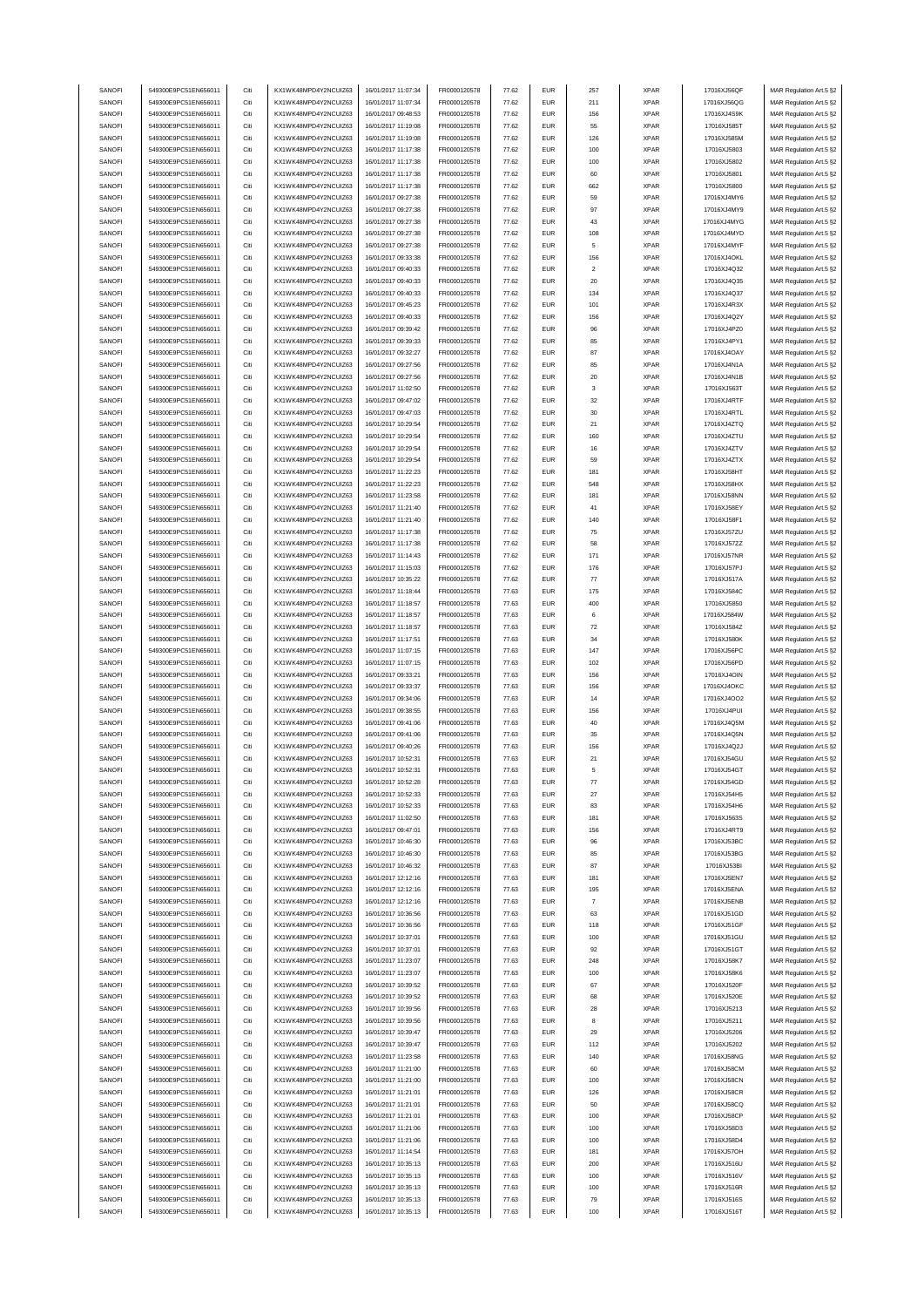| SANOFI | 549300E9PC51EN656011 | Citi | KX1WK48MPD4Y2NCUIZ63  | 16/01/2017 11:07:34 | FR0000120578 | 77.62 | <b>EUR</b> | 257                | <b>XPAR</b> | 17016XJ56QF  | MAR Regulation Art.5 §2 |
|--------|----------------------|------|-----------------------|---------------------|--------------|-------|------------|--------------------|-------------|--------------|-------------------------|
| SANOFI | 549300E9PC51EN656011 | Citi | KX1WK48MPD4Y2NCUIZ63  | 16/01/2017 11:07:34 |              | 77.62 | <b>EUR</b> | 211                | <b>XPAR</b> | 17016XJ56QG  |                         |
|        |                      |      | KX1WK48MPD4Y2NCUIZ63  |                     | FR0000120578 |       |            |                    |             |              | MAR Regulation Art.5 §2 |
| SANOFI | 549300E9PC51EN656011 | Citi |                       | 16/01/2017 09:48:53 | FR0000120578 | 77.62 | <b>EUR</b> | 156                | <b>XPAR</b> | 17016XJ4S9K  | MAR Regulation Art.5 §2 |
| SANOFI | 549300E9PC51EN656011 | Citi | KX1WK48MPD4Y2NCUIZ63  | 16/01/2017 11:19:08 | FR0000120578 | 77.62 | <b>EUR</b> | 55                 | <b>XPAR</b> | 17016XJ585T  | MAR Regulation Art.5 §2 |
| SANOFI | 549300E9PC51EN656011 | Citi | KX1WK48MPD4Y2NCLIIZ63 | 16/01/2017 11:19:08 | FR0000120578 | 77.62 | <b>EUR</b> | 126                | <b>XPAR</b> | 17016XJ585M  | MAR Regulation Art.5 §2 |
| SANOFI | 549300E9PC51EN656011 | Citi | KX1WK48MPD4Y2NCUIZ63  | 16/01/2017 11:17:38 | FR0000120578 | 77.62 | <b>EUR</b> | 100                | <b>XPAR</b> | 17016XJ5803  | MAR Regulation Art.5 §2 |
| SANOFI | 549300E9PC51EN656011 | Citi | KX1WK48MPD4Y2NCUIZ63  | 16/01/2017 11:17:38 | FR0000120578 | 77.62 | <b>EUR</b> | 100                | <b>XPAR</b> | 17016XJ5802  | MAR Regulation Art.5 §2 |
|        | 549300E9PC51EN656011 |      |                       |                     |              |       |            |                    |             |              |                         |
| SANOFI |                      | Citi | KX1WK48MPD4Y2NCUIZ63  | 16/01/2017 11:17:38 | FR0000120578 | 77.62 | <b>EUR</b> | 60                 | <b>XPAR</b> | 17016XJ5801  | MAR Regulation Art.5 §2 |
| SANOFI | 549300E9PC51EN656011 | Citi | KX1WK48MPD4Y2NCUIZ63  | 16/01/2017 11:17:38 | FR0000120578 | 77.62 | <b>EUR</b> | 662                | <b>XPAR</b> | 17016XJ5800  | MAR Regulation Art.5 §2 |
| SANOFI | 549300E9PC51EN656011 | Citi | KX1WK48MPD4Y2NCUIZ63  | 16/01/2017 09:27:38 | FR0000120578 | 77.62 | <b>EUR</b> | 59                 | <b>XPAR</b> | 17016XJ4MY6  | MAR Regulation Art.5 §2 |
| SANOFI | 549300E9PC51EN656011 | Citi | KX1WK48MPD4Y2NCUIZ63  | 16/01/2017 09:27:38 | FR0000120578 | 77.62 | <b>EUR</b> | 97                 | <b>XPAR</b> | 17016XJ4MY9  | MAR Regulation Art.5 §2 |
| SANOFI | 549300E9PC51EN656011 | Citi | KX1WK48MPD4Y2NCUIZ63  | 16/01/2017 09:27:38 | FR0000120578 | 77.62 | <b>EUR</b> | 43                 | <b>XPAR</b> | 17016XJ4MYG  | MAR Regulation Art.5 §2 |
|        |                      |      |                       |                     |              |       |            |                    |             |              |                         |
| SANOFI | 549300E9PC51EN656011 | Citi | KX1WK48MPD4Y2NCUIZ63  | 16/01/2017 09:27:38 | FR0000120578 | 77.62 | <b>EUR</b> | 108                | <b>XPAR</b> | 17016XJ4MYD  | MAR Regulation Art.5 §2 |
| SANOFI | 549300E9PC51EN656011 | Citi | KX1WK48MPD4Y2NCUIZ63  | 16/01/2017 09:27:38 | FR0000120578 | 77.62 | <b>EUR</b> | $\,$ 5 $\,$        | <b>XPAR</b> | 17016XJ4MYF  | MAR Regulation Art.5 §2 |
| SANOFI | 549300E9PC51EN656011 | Citi | KX1WK48MPD4Y2NCUIZ63  | 16/01/2017 09:33:38 | FR0000120578 | 77.62 | <b>EUR</b> | 156                | <b>XPAR</b> | 17016XJ4OKL  | MAR Regulation Art.5 §2 |
| SANOFI | 549300E9PC51EN656011 | Citi | KX1WK48MPD4Y2NCUIZ63  | 16/01/2017 09:40:33 | FR0000120578 | 77.62 | <b>EUR</b> | $\sqrt{2}$         | <b>XPAR</b> | 17016XJ4Q32  | MAR Regulation Art.5 §2 |
|        |                      |      |                       |                     |              |       |            |                    |             |              |                         |
| SANOFI | 549300E9PC51EN656011 | Citi | KX1WK48MPD4Y2NCUIZ63  | 16/01/2017 09:40:33 | FR0000120578 | 77.62 | <b>EUR</b> | $20\,$             | <b>XPAR</b> | 17016XJ4Q35  | MAR Regulation Art.5 §2 |
| SANOFI | 549300E9PC51EN656011 | Citi | KX1WK48MPD4Y2NCUIZ63  | 16/01/2017 09:40:33 | FR0000120578 | 77.62 | <b>EUR</b> | 134                | <b>XPAR</b> | 17016XJ4Q37  | MAR Regulation Art.5 §2 |
| SANOFI | 549300E9PC51EN656011 | Citi | KX1WK48MPD4Y2NCUIZ63  | 16/01/2017 09:45:23 | FR0000120578 | 77.62 | <b>EUR</b> | 101                | <b>XPAR</b> | 17016XJ4R3X  | MAR Regulation Art.5 §2 |
| SANOFI | 549300E9PC51EN656011 | Citi | KX1WK48MPD4Y2NCUIZ63  | 16/01/2017 09:40:33 | FR0000120578 | 77.62 | <b>EUR</b> | 156                | <b>XPAR</b> | 17016XJ4Q2Y  | MAR Regulation Art.5 §2 |
| SANOFI | 549300E9PC51EN656011 | Citi | KX1WK48MPD4Y2NCUIZ63  | 16/01/2017 09:39:42 | FR0000120578 | 77.62 | <b>EUR</b> | 96                 | <b>XPAR</b> | 17016XJ4PZ0  | MAR Regulation Art.5 §2 |
|        |                      |      |                       |                     |              |       |            |                    |             |              |                         |
| SANOFI | 549300E9PC51EN656011 | Citi | KX1WK48MPD4Y2NCUIZ63  | 16/01/2017 09:39:33 | FR0000120578 | 77.62 | <b>EUR</b> | 85                 | <b>XPAR</b> | 17016XJ4PY1  | MAR Regulation Art.5 §2 |
| SANOFI | 549300E9PC51EN656011 | Citi | KX1WK48MPD4Y2NCUIZ63  | 16/01/2017 09:32:27 | FR0000120578 | 77.62 | <b>EUR</b> | 87                 | <b>XPAR</b> | 17016XJ4OAY  | MAR Regulation Art.5 §2 |
| SANOFI | 549300E9PC51EN656011 | Citi | KX1WK48MPD4Y2NCUIZ63  | 16/01/2017 09:27:56 | FR0000120578 | 77.62 | <b>EUR</b> | 85                 | <b>XPAR</b> | 17016XJ4N1A  | MAR Regulation Art.5 §2 |
| SANOFI | 549300E9PC51EN656011 | Citi | KX1WK48MPD4Y2NCUIZ63  | 16/01/2017 09:27:56 | FR0000120578 | 77.62 | <b>EUR</b> | $20\,$             | <b>XPAR</b> | 17016XJ4N1B  | MAR Regulation Art.5 §2 |
| SANOFI | 549300E9PC51EN656011 | Citi | KX1WK48MPD4Y2NCUIZ63  | 16/01/2017 11:02:50 | FR0000120578 | 77.62 | <b>EUR</b> | 3                  | <b>XPAR</b> | 17016XJ563T  | MAR Regulation Art.5 §2 |
|        |                      |      |                       |                     |              |       |            |                    |             |              |                         |
| SANOFI | 549300E9PC51EN656011 | Citi | KX1WK48MPD4Y2NCUIZ63  | 16/01/2017 09:47:02 | FR0000120578 | 77.62 | <b>EUR</b> | 32                 | <b>XPAR</b> | 17016XJ4RTF  | MAR Regulation Art.5 §2 |
| SANOFI | 549300E9PC51EN656011 | Citi | KX1WK48MPD4Y2NCUIZ63  | 16/01/2017 09:47:03 | FR0000120578 | 77.62 | <b>EUR</b> | 30                 | <b>XPAR</b> | 17016XJ4RTL  | MAR Regulation Art.5 §2 |
| SANOFI | 549300E9PC51EN656011 | Citi | KX1WK48MPD4Y2NCUIZ63  | 16/01/2017 10:29:54 | FR0000120578 | 77.62 | <b>EUR</b> | 21                 | <b>XPAR</b> | 17016XJ4ZTQ  | MAR Regulation Art.5 §2 |
| SANOFI | 549300E9PC51EN656011 | Citi | KX1WK48MPD4Y2NCUIZ63  | 16/01/2017 10:29:54 | FR0000120578 | 77.62 | <b>EUR</b> | 160                | <b>XPAR</b> | 17016XJ4ZTU  | MAR Regulation Art.5 §2 |
|        |                      |      | KX1WK48MPD4Y2NCUIZ63  |                     |              |       |            |                    |             | 17016XJ4ZTV  |                         |
| SANOFI | 549300E9PC51EN656011 | Citi |                       | 16/01/2017 10:29:54 | FR0000120578 | 77.62 | <b>EUR</b> | 16                 | <b>XPAR</b> |              | MAR Regulation Art.5 §2 |
| SANOFI | 549300E9PC51EN656011 | Citi | KX1WK48MPD4Y2NCUIZ63  | 16/01/2017 10:29:54 | FR0000120578 | 77.62 | <b>EUR</b> | 59                 | <b>XPAR</b> | 17016XJ4ZTX  | MAR Regulation Art.5 §2 |
| SANOFI | 549300E9PC51EN656011 | Citi | KX1WK48MPD4Y2NCUIZ63  | 16/01/2017 11:22:23 | FR0000120578 | 77.62 | <b>EUR</b> | 181                | <b>XPAR</b> | 17016XJ58HT  | MAR Regulation Art.5 §2 |
| SANOFI | 549300E9PC51EN656011 | Citi | KX1WK48MPD4Y2NCUIZ63  | 16/01/2017 11:22:23 | FR0000120578 | 77.62 | <b>EUR</b> | 548                | <b>XPAR</b> | 17016XJ58HX  | MAR Regulation Art.5 §2 |
| SANOFI | 549300E9PC51EN656011 | Citi | KX1WK48MPD4Y2NCUIZ63  | 16/01/2017 11:23:58 | FR0000120578 | 77.62 | <b>EUR</b> | 181                | <b>XPAR</b> | 17016XJ58NN  | MAR Regulation Art.5 §2 |
|        |                      |      |                       |                     |              |       |            |                    |             |              |                         |
| SANOFI | 549300E9PC51EN656011 | Citi | KX1WK48MPD4Y2NCUIZ63  | 16/01/2017 11:21:40 | FR0000120578 | 77.62 | <b>EUR</b> | 41                 | <b>XPAR</b> | 17016XJ58EY  | MAR Regulation Art.5 §2 |
| SANOFI | 549300E9PC51EN656011 | Citi | KX1WK48MPD4Y2NCUIZ63  | 16/01/2017 11:21:40 | FR0000120578 | 77.62 | <b>EUR</b> | 140                | <b>XPAR</b> | 17016XJ58F1  | MAR Regulation Art.5 §2 |
| SANOFI | 549300E9PC51EN656011 | Citi | KX1WK48MPD4Y2NCUIZ63  | 16/01/2017 11:17:38 | FR0000120578 | 77.62 | <b>EUR</b> | 75                 | <b>XPAR</b> | 17016XJ57ZU  | MAR Regulation Art.5 §2 |
| SANOFI | 549300E9PC51EN656011 | Citi | KX1WK48MPD4Y2NCUIZ63  | 16/01/2017 11:17:38 | FR0000120578 | 77.62 | <b>EUR</b> | 58                 | <b>XPAR</b> | 17016XJ57ZZ  | MAR Regulation Art.5 §2 |
|        |                      |      |                       |                     |              |       |            |                    |             |              |                         |
| SANOFI | 549300E9PC51EN656011 | Citi | KX1WK48MPD4Y2NCUIZ63  | 16/01/2017 11:14:43 | FR0000120578 | 77.62 | <b>EUR</b> | 171                | <b>XPAR</b> | 17016XJ57NR  | MAR Regulation Art.5 §2 |
| SANOFI | 549300E9PC51EN656011 | Citi | KX1WK48MPD4Y2NCUIZ63  | 16/01/2017 11:15:03 | FR0000120578 | 77.62 | <b>EUR</b> | 176                | <b>XPAR</b> | 17016XJ57PJ  | MAR Regulation Art.5 §2 |
| SANOFI | 549300E9PC51EN656011 | Citi | KX1WK48MPD4Y2NCUIZ63  | 16/01/2017 10:35:22 | FR0000120578 | 77.62 | <b>EUR</b> | ${\bf 77}$         | <b>XPAR</b> | 17016XJ517A  | MAR Regulation Art.5 §2 |
| SANOFI | 549300E9PC51EN656011 | Citi | KX1WK48MPD4Y2NCUIZ63  | 16/01/2017 11:18:44 | FR0000120578 | 77.63 | <b>EUR</b> | 175                | <b>XPAR</b> | 17016XJ584C  | MAR Regulation Art.5 §2 |
| SANOFI | 549300E9PC51EN656011 | Citi | KX1WK48MPD4Y2NCUIZ63  | 16/01/2017 11:18:57 | FR0000120578 | 77.63 | <b>EUR</b> | 400                | <b>XPAR</b> | 17016XJ5850  | MAR Regulation Art.5 §2 |
| SANOFI | 549300E9PC51EN656011 | Citi | KX1WK48MPD4Y2NCUIZ63  | 16/01/2017 11:18:57 | FR0000120578 | 77.63 | EUR        | 6                  | <b>XPAR</b> | 17016XJ584W  | MAR Regulation Art.5 §2 |
|        |                      |      |                       |                     |              |       |            |                    |             |              |                         |
| SANOFI | 549300E9PC51EN656011 | Citi | KX1WK48MPD4Y2NCUIZ63  | 16/01/2017 11:18:57 | FR0000120578 | 77.63 | <b>EUR</b> | $\scriptstyle{72}$ | <b>XPAR</b> | 17016XJ584Z  | MAR Regulation Art.5 §2 |
| SANOFI | 549300E9PC51EN656011 | Citi | KX1WK48MPD4Y2NCUIZ63  | 16/01/2017 11:17:51 | FR0000120578 | 77.63 | <b>EUR</b> | 34                 | <b>XPAR</b> | 17016XJ580K  | MAR Regulation Art.5 §2 |
| SANOFI | 549300E9PC51EN656011 | Citi | KX1WK48MPD4Y2NCUIZ63  | 16/01/2017 11:07:15 | FR0000120578 | 77.63 | <b>EUR</b> | 147                | <b>XPAR</b> | 17016XJ56PC  | MAR Regulation Art.5 §2 |
| SANOFI | 549300E9PC51EN656011 | Citi | KX1WK48MPD4Y2NCUIZ63  | 16/01/2017 11:07:15 | FR0000120578 | 77.63 | <b>EUR</b> | 102                | <b>XPAR</b> | 17016XJ56PD  | MAR Regulation Art.5 §2 |
| SANOFI |                      | Citi |                       |                     | FR0000120578 |       | <b>EUR</b> | 156                | <b>XPAR</b> | 17016XJ4OIN  |                         |
|        | 549300E9PC51EN656011 |      | KX1WK48MPD4Y2NCUIZ63  | 16/01/2017 09:33:21 |              | 77.63 |            |                    |             |              | MAR Regulation Art.5 §2 |
| SANOFI | 549300E9PC51EN656011 | Citi | KX1WK48MPD4Y2NCUIZ63  | 16/01/2017 09:33:37 | FR0000120578 | 77.63 | <b>EUR</b> | 156                | <b>XPAR</b> | 17016XJ4OKC  | MAR Regulation Art.5 §2 |
| SANOFI | 549300E9PC51EN656011 | Citi | KX1WK48MPD4Y2NCUIZ63  | 16/01/2017 09:34:06 | FR0000120578 | 77.63 | <b>EUR</b> | 14                 | <b>XPAR</b> | 17016XJ4OO2  | MAR Regulation Art.5 §2 |
| SANOFI | 549300E9PC51EN656011 | Citi | KX1WK48MPD4Y2NCUIZ63  | 16/01/2017 09:38:55 | FR0000120578 | 77.63 | <b>EUR</b> | 156                | <b>XPAR</b> | 17016XJ4PUI  | MAR Regulation Art.5 §2 |
| SANOFI | 549300E9PC51EN656011 | Citi | KX1WK48MPD4Y2NCUIZ63  | 16/01/2017 09:41:06 | FR0000120578 | 77.63 | <b>EUR</b> | 40                 | <b>XPAR</b> | 17016XJ4Q5M  | MAR Regulation Art.5 §2 |
|        |                      |      |                       |                     |              |       |            |                    |             | 17016XJ4Q5N  |                         |
| SANOFI | 549300E9PC51EN656011 | Citi | KX1WK48MPD4Y2NCUIZ63  | 16/01/2017 09:41:06 | FR0000120578 | 77.63 | <b>EUR</b> | 35                 | <b>XPAR</b> |              | MAR Regulation Art.5 §2 |
| SANOFI | 549300E9PC51EN656011 | Citi | KX1WK48MPD4Y2NCUIZ63  | 16/01/2017 09:40:26 | FR0000120578 | 77.63 | <b>EUR</b> | 156                | <b>XPAR</b> | 17016XJ4Q2J  | MAR Regulation Art.5 §2 |
| SANOFI | 549300E9PC51EN656011 | Citi | KX1WK48MPD4Y2NCUIZ63  | 16/01/2017 10:52:31 | FR0000120578 | 77.63 | <b>EUR</b> | 21                 | <b>XPAR</b> | 17016XJ54GU  | MAR Regulation Art.5 §2 |
| SANOFI | 549300E9PC51EN656011 | Citi | KX1WK48MPD4Y2NCUIZ63  | 16/01/2017 10:52:31 | FR0000120578 | 77.63 | <b>EUR</b> | 5                  | <b>XPAR</b> | 17016XJ54GT  | MAR Regulation Art.5 §2 |
| SANOFI | 549300E9PC51EN656011 |      | KX1WK48MPD4Y2NCLIIZ63 | 16/01/2017 10:52:28 | FR0000120578 | 77.63 | FUR        | 77                 | <b>XPAR</b> | 17016X-154GD | MAR Regulation Art 5 82 |
| SANOFI | 549300E9PC51EN656011 | Citi | KX1WK48MPD4Y2NCUIZ63  | 16/01/2017 10:52:33 | FR0000120578 | 77.63 | <b>EUR</b> | 27                 | <b>XPAR</b> | 17016XJ54H5  | MAR Regulation Art.5 §2 |
|        |                      |      |                       |                     |              |       |            |                    |             |              |                         |
| SANOFI | 549300E9PC51EN656011 | Citi | KX1WK48MPD4Y2NCUIZ63  | 16/01/2017 10:52:33 | FR0000120578 | 77.63 | <b>EUR</b> | 83                 | <b>XPAR</b> | 17016XJ54H6  | MAR Regulation Art.5 §2 |
| SANOFI | 549300E9PC51EN656011 | Citi | KX1WK48MPD4Y2NCUIZ63  | 16/01/2017 11:02:50 | FR0000120578 | 77.63 | <b>EUR</b> | 181                | <b>XPAR</b> | 17016XJ563S  | MAR Regulation Art.5 §2 |
| SANOFI | 549300E9PC51EN656011 | Citi | KX1WK48MPD4Y2NCUIZ63  | 16/01/2017 09:47:01 | FR0000120578 | 77.63 | <b>EUR</b> | 156                | <b>XPAR</b> | 17016XJ4RT9  | MAR Regulation Art.5 §2 |
| SANOFI | 549300E9PC51EN656011 | Citi | KX1WK48MPD4Y2NCUIZ63  | 16/01/2017 10:46:30 | FR0000120578 | 77.63 | <b>EUR</b> | 96                 | <b>XPAR</b> | 17016XJ53BC  | MAR Regulation Art.5 §2 |
|        |                      | Citi |                       |                     | FR0000120578 |       |            |                    |             |              |                         |
| SANOFI | 549300E9PC51EN656011 |      | KX1WK48MPD4Y2NCUIZ63  | 16/01/2017 10:46:30 |              | 77.63 | <b>EUR</b> | 85                 | <b>XPAR</b> | 17016XJ53BG  | MAR Regulation Art.5 §2 |
| SANOFI | 549300E9PC51EN656011 | Citi | KX1WK48MPD4Y2NCUIZ63  | 16/01/2017 10:46:32 | FR0000120578 | 77.63 | <b>EUR</b> | 87                 | <b>XPAR</b> | 17016XJ53BI  | MAR Regulation Art.5 §2 |
| SANOFI | 549300E9PC51EN656011 | Citi | KX1WK48MPD4Y2NCUIZ63  | 16/01/2017 12:12:16 | FR0000120578 | 77.63 | <b>EUR</b> | 181                | <b>XPAR</b> | 17016XJ5EN7  | MAR Regulation Art.5 §2 |
| SANOFI | 549300E9PC51EN656011 | Citi | KX1WK48MPD4Y2NCUIZ63  | 16/01/2017 12:12:16 | FR0000120578 | 77.63 | <b>EUR</b> | 195                | <b>XPAR</b> | 17016XJ5ENA  | MAR Regulation Art.5 §2 |
| SANOFI | 549300E9PC51EN656011 | Citi | KX1WK48MPD4Y2NCUIZ63  | 16/01/2017 12:12:16 | FR0000120578 | 77.63 | <b>EUR</b> | $\scriptstyle{7}$  | <b>XPAR</b> | 17016XJ5ENB  | MAR Regulation Art.5 §2 |
| SANOFI | 549300E9PC51EN656011 | Citi | KX1WK48MPD4Y2NCUIZ63  | 16/01/2017 10:36:56 | FR0000120578 | 77.63 | <b>EUR</b> | 63                 | <b>XPAR</b> | 17016XJ51GD  | MAR Regulation Art.5 §2 |
|        |                      |      |                       |                     |              |       |            |                    |             |              |                         |
| SANOFI | 549300E9PC51EN656011 | Citi | KX1WK48MPD4Y2NCUIZ63  | 16/01/2017 10:36:56 | FR0000120578 | 77.63 | <b>EUR</b> | 118                | <b>XPAR</b> | 17016XJ51GF  | MAR Regulation Art.5 §2 |
| SANOFI | 549300E9PC51EN656011 | Citi | KX1WK48MPD4Y2NCUIZ63  | 16/01/2017 10:37:01 | FR0000120578 | 77.63 | <b>EUR</b> | 100                | <b>XPAR</b> | 17016XJ51GU  | MAR Regulation Art.5 §2 |
| SANOFI | 549300E9PC51EN656011 | Citi | KX1WK48MPD4Y2NCUIZ63  | 16/01/2017 10:37:01 | FR0000120578 | 77.63 | <b>EUR</b> | 92                 | <b>XPAR</b> | 17016XJ51GT  | MAR Regulation Art.5 §2 |
| SANOFI | 549300E9PC51EN656011 | Citi | KX1WK48MPD4Y2NCUIZ63  | 16/01/2017 11:23:07 | FR0000120578 | 77.63 | <b>EUR</b> | 248                | <b>XPAR</b> | 17016XJ58K7  | MAR Regulation Art.5 §2 |
| SANOFI | 549300E9PC51EN656011 | Citi | KX1WK48MPD4Y2NCUIZ63  | 16/01/2017 11:23:07 | FR0000120578 | 77.63 | <b>EUR</b> | 100                | <b>XPAR</b> | 17016XJ58K6  | MAR Regulation Art.5 §2 |
|        |                      |      |                       |                     |              |       |            |                    |             |              |                         |
| SANOFI | 549300E9PC51EN656011 | Citi | KX1WK48MPD4Y2NCUIZ63  | 16/01/2017 10:39:52 | FR0000120578 | 77.63 | <b>EUR</b> | 67                 | <b>XPAR</b> | 17016XJ520F  | MAR Regulation Art.5 §2 |
| SANOFI | 549300E9PC51EN656011 | Citi | KX1WK48MPD4Y2NCUIZ63  | 16/01/2017 10:39:52 | FR0000120578 | 77.63 | <b>EUR</b> | 68                 | <b>XPAR</b> | 17016XJ520E  | MAR Regulation Art.5 §2 |
| SANOFI | 549300E9PC51EN656011 |      |                       | 16/01/2017 10:39:56 |              | 77.63 |            |                    |             | 17016XJ5213  | MAR Regulation Art.5 §2 |
| SANOFI |                      | Citi | KX1WK48MPD4Y2NCUIZ63  |                     | FR0000120578 |       | <b>EUR</b> | 28                 | <b>XPAR</b> |              |                         |
| SANOFI | 549300E9PC51EN656011 | Citi | KX1WK48MPD4Y2NCUIZ63  | 16/01/2017 10:39:56 | FR0000120578 | 77.63 | <b>EUR</b> | 8                  | <b>XPAR</b> | 17016XJ5211  | MAR Regulation Art.5 §2 |
|        |                      |      |                       |                     |              |       |            |                    |             |              |                         |
| SANOFI | 549300E9PC51EN656011 | Citi | KX1WK48MPD4Y2NCUIZ63  | 16/01/2017 10:39:47 | FR0000120578 | 77.63 | <b>EUR</b> | 29                 | <b>XPAR</b> | 17016XJ5206  | MAR Regulation Art.5 §2 |
|        | 549300E9PC51EN656011 | Citi | KX1WK48MPD4Y2NCUIZ63  | 16/01/2017 10:39:47 | FR0000120578 | 77.63 | <b>EUR</b> | 112                | <b>XPAR</b> | 17016XJ5202  | MAR Regulation Art.5 §2 |
| SANOFI | 549300E9PC51EN656011 | Citi | KX1WK48MPD4Y2NCUIZ63  | 16/01/2017 11:23:58 | FR0000120578 | 77.63 | <b>EUR</b> | 140                | <b>XPAR</b> | 17016XJ58NG  | MAR Regulation Art.5 §2 |
| SANOFI | 549300E9PC51EN656011 | Citi | KX1WK48MPD4Y2NCUIZ63  | 16/01/2017 11:21:00 | FR0000120578 | 77.63 | <b>EUR</b> | 60                 | <b>XPAR</b> | 17016XJ58CM  | MAR Regulation Art.5 §2 |
| SANOFI | 549300E9PC51EN656011 | Citi | KX1WK48MPD4Y2NCUIZ63  | 16/01/2017 11:21:00 | FR0000120578 | 77.63 | <b>EUR</b> | 100                | <b>XPAR</b> | 17016XJ58CN  | MAR Regulation Art.5 §2 |
|        |                      | Citi |                       |                     |              | 77.63 |            | 126                |             |              |                         |
| SANOFI | 549300E9PC51EN656011 |      | KX1WK48MPD4Y2NCUIZ63  | 16/01/2017 11:21:01 | FR0000120578 |       | <b>EUR</b> |                    | <b>XPAR</b> | 17016XJ58CR  | MAR Regulation Art.5 §2 |
| SANOFI | 549300E9PC51EN656011 | Citi | KX1WK48MPD4Y2NCUIZ63  | 16/01/2017 11:21:01 | FR0000120578 | 77.63 | <b>EUR</b> | $50\,$             | <b>XPAR</b> | 17016XJ58CQ  | MAR Regulation Art.5 §2 |
| SANOFI | 549300E9PC51EN656011 | Citi | KX1WK48MPD4Y2NCUIZ63  | 16/01/2017 11:21:01 | FR0000120578 | 77.63 | <b>EUR</b> | 100                | <b>XPAR</b> | 17016XJ58CP  | MAR Regulation Art.5 §2 |
| SANOFI | 549300E9PC51EN656011 | Citi | KX1WK48MPD4Y2NCUIZ63  | 16/01/2017 11:21:06 | FR0000120578 | 77.63 | <b>EUR</b> | 100                | <b>XPAR</b> | 17016XJ58D3  | MAR Regulation Art.5 §2 |
| SANOFI | 549300E9PC51EN656011 | Citi | KX1WK48MPD4Y2NCUIZ63  | 16/01/2017 11:21:06 | FR0000120578 | 77.63 | <b>EUR</b> | 100                | <b>XPAR</b> | 17016XJ58D4  | MAR Regulation Art.5 §2 |
| SANOFI | 549300E9PC51EN656011 | Citi | KX1WK48MPD4Y2NCUIZ63  | 16/01/2017 11:14:54 | FR0000120578 | 77.63 | <b>EUR</b> | 181                | <b>XPAR</b> | 17016XJ57OH  |                         |
|        |                      |      |                       |                     |              |       |            |                    |             |              | MAR Regulation Art.5 §2 |
| SANOFI | 549300E9PC51EN656011 | Citi | KX1WK48MPD4Y2NCUIZ63  | 16/01/2017 10:35:13 | FR0000120578 | 77.63 | <b>EUR</b> | 200                | <b>XPAR</b> | 17016XJ516U  | MAR Regulation Art.5 §2 |
| SANOFI | 549300E9PC51EN656011 | Citi | KX1WK48MPD4Y2NCUIZ63  | 16/01/2017 10:35:13 | FR0000120578 | 77.63 | <b>EUR</b> | 100                | <b>XPAR</b> | 17016XJ516V  | MAR Regulation Art.5 §2 |
| SANOFI | 549300E9PC51EN656011 | Citi | KX1WK48MPD4Y2NCUIZ63  | 16/01/2017 10:35:13 | FR0000120578 | 77.63 | <b>EUR</b> | 100                | <b>XPAR</b> | 17016XJ516R  | MAR Regulation Art.5 §2 |
| SANOFI | 549300E9PC51EN656011 | Citi | KX1WK48MPD4Y2NCUIZ63  | 16/01/2017 10:35:13 | FR0000120578 | 77.63 | <b>EUR</b> | 79                 | <b>XPAR</b> | 17016XJ516S  | MAR Regulation Art.5 §2 |
| SANOFI | 549300E9PC51EN656011 | Citi | KX1WK48MPD4Y2NCUIZ63  | 16/01/2017 10:35:13 | FR0000120578 | 77.63 | <b>EUR</b> | 100                | XPAR        | 17016XJ516T  | MAR Regulation Art.5 §2 |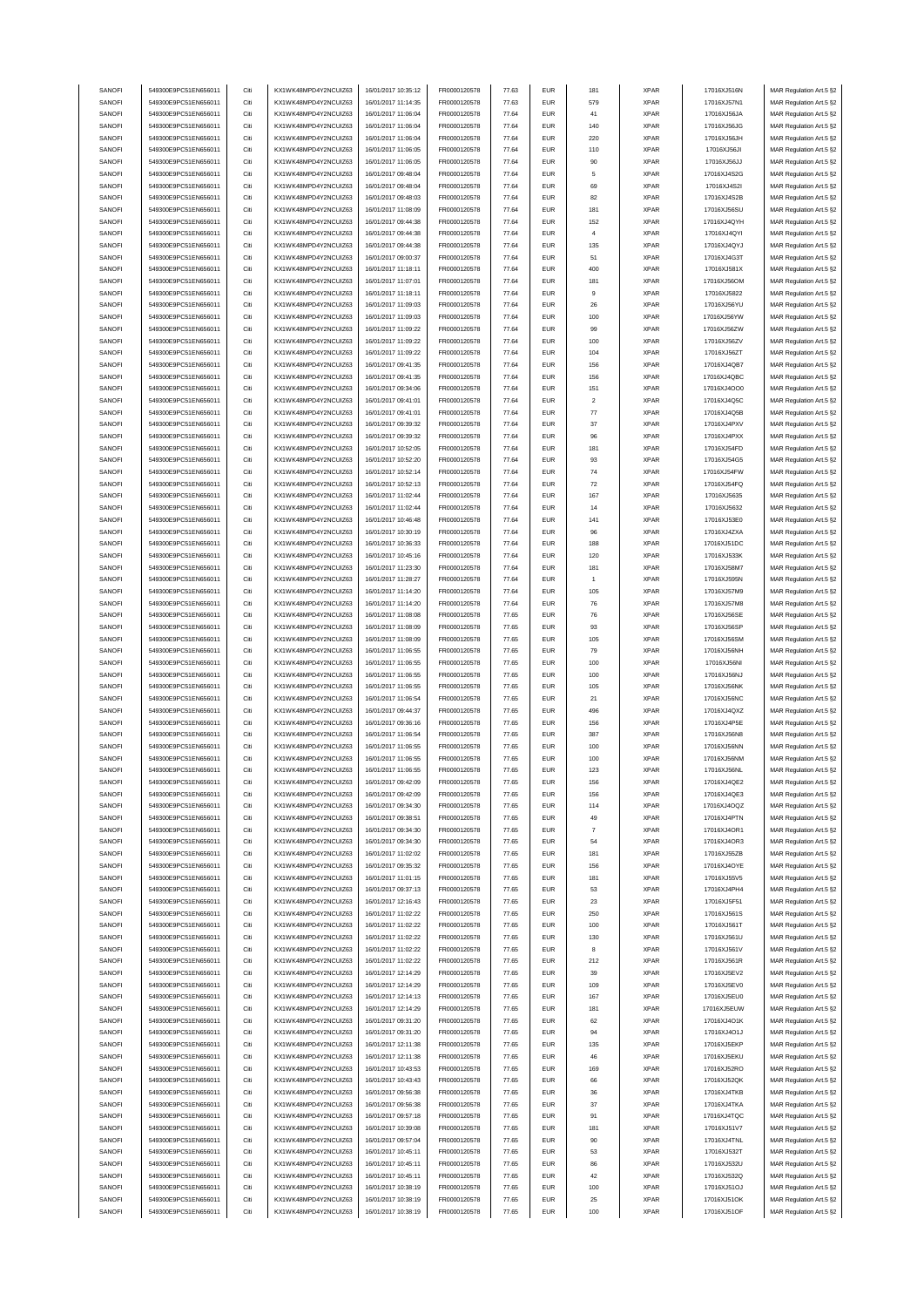| SANOFI | 549300E9PC51EN656011 | Citi | KX1WK48MPD4Y2NCUIZ63  | 16/01/2017 10:35:12 | FR0000120578        | 77.63 | <b>EUR</b> | 181                | <b>XPAR</b> | 17016XJ516N | MAR Regulation Art.5 §2 |
|--------|----------------------|------|-----------------------|---------------------|---------------------|-------|------------|--------------------|-------------|-------------|-------------------------|
| SANOFI | 549300E9PC51EN656011 | Citi | KX1WK48MPD4Y2NCLIIZ63 | 16/01/2017 11:14:35 | FR0000120578        | 77.63 | <b>EUR</b> | 579                | <b>XPAR</b> | 17016XJ57N1 | MAR Regulation Art.5 §2 |
|        |                      |      |                       |                     |                     |       |            |                    |             |             |                         |
| SANOFI | 549300E9PC51EN656011 | Citi | KX1WK48MPD4Y2NCUIZ63  | 16/01/2017 11:06:04 | FR0000120578        | 77.64 | <b>EUR</b> | 41                 | <b>XPAR</b> | 17016XJ56JA | MAR Regulation Art.5 §2 |
| SANOFI | 549300E9PC51EN656011 | Citi | KX1WK48MPD4Y2NCUIZ63  | 16/01/2017 11:06:04 | FR0000120578        | 77.64 | <b>EUR</b> | 140                | <b>XPAR</b> | 17016XJ56JG | MAR Regulation Art.5 §2 |
| SANOFI | 549300E9PC51EN656011 | Citi | KX1WK48MPD4Y2NCUIZ63  | 16/01/2017 11:06:04 | FR0000120578        | 77.64 | <b>EUR</b> | 220                | <b>XPAR</b> | 17016XJ56JH | MAR Regulation Art.5 §2 |
| SANOFI | 549300E9PC51EN656011 | Citi | KX1WK48MPD4Y2NCUIZ63  | 16/01/2017 11:06:05 | FR0000120578        | 77.64 | <b>EUR</b> | 110                | <b>XPAR</b> | 17016XJ56JI | MAR Regulation Art.5 §2 |
| SANOFI | 549300E9PC51EN656011 | Citi | KX1WK48MPD4Y2NCUIZ63  | 16/01/2017 11:06:05 | FR0000120578        | 77.64 | <b>EUR</b> | 90                 | <b>XPAR</b> | 17016XJ56JJ | MAR Regulation Art.5 §2 |
|        | 549300E9PC51EN656011 |      |                       |                     |                     |       |            |                    |             |             |                         |
| SANOFI |                      | Citi | KX1WK48MPD4Y2NCUIZ63  | 16/01/2017 09:48:04 | FR0000120578        | 77.64 | <b>EUR</b> | 5                  | <b>XPAR</b> | 17016XJ4S2G | MAR Regulation Art.5 §2 |
| SANOFI | 549300E9PC51EN656011 | Citi | KX1WK48MPD4Y2NCUIZ63  | 16/01/2017 09:48:04 | FR0000120578        | 77.64 | <b>EUR</b> | 69                 | <b>XPAR</b> | 17016XJ4S2I | MAR Regulation Art.5 §2 |
| SANOFI | 549300E9PC51EN656011 | Citi | KX1WK48MPD4Y2NCUIZ63  | 16/01/2017 09:48:03 | FR0000120578        | 77.64 | <b>EUR</b> | 82                 | <b>XPAR</b> | 17016XJ4S2B | MAR Regulation Art.5 §2 |
| SANOFI | 549300E9PC51EN656011 | Citi | KX1WK48MPD4Y2NCUIZ63  | 16/01/2017 11:08:09 | FR0000120578        | 77.64 | <b>EUR</b> | 181                | <b>XPAR</b> | 17016XJ56SU | MAR Regulation Art.5 §2 |
| SANOFI | 549300E9PC51EN656011 | Citi | KX1WK48MPD4Y2NCUIZ63  | 16/01/2017 09:44:38 | FR0000120578        | 77.64 | <b>EUR</b> | 152                | <b>XPAR</b> | 17016XJ4QYH | MAR Regulation Art.5 §2 |
|        |                      |      | KX1WK48MPD4Y2NCUIZ63  |                     |                     |       |            |                    |             |             |                         |
| SANOFI | 549300E9PC51EN656011 | Citi |                       | 16/01/2017 09:44:38 | FR0000120578        | 77.64 | <b>EUR</b> | $\sqrt{4}$         | <b>XPAR</b> | 17016XJ4QYI | MAR Regulation Art.5 §2 |
| SANOFI | 549300E9PC51EN656011 | Citi | KX1WK48MPD4Y2NCUIZ63  | 16/01/2017 09:44:38 | FR0000120578        | 77.64 | <b>EUR</b> | 135                | <b>XPAR</b> | 17016XJ4QYJ | MAR Regulation Art.5 §2 |
| SANOFI | 549300E9PC51EN656011 | Citi | KX1WK48MPD4Y2NCUIZ63  | 16/01/2017 09:00:37 | FR0000120578        | 77.64 | <b>EUR</b> | 51                 | <b>XPAR</b> | 17016XJ4G3T | MAR Regulation Art.5 §2 |
| SANOFI | 549300E9PC51EN656011 | Citi | KX1WK48MPD4Y2NCUIZ63  | 16/01/2017 11:18:11 | FR0000120578        | 77.64 | <b>EUR</b> | 400                | <b>XPAR</b> | 17016XJ581X | MAR Regulation Art.5 §2 |
| SANOFI | 549300E9PC51EN656011 | Citi | KX1WK48MPD4Y2NCUIZ63  | 16/01/2017 11:07:01 | FR0000120578        | 77.64 | <b>EUR</b> | 181                | <b>XPAR</b> | 17016XJ56OM | MAR Regulation Art.5 §2 |
|        |                      |      |                       |                     |                     |       |            |                    |             |             |                         |
| SANOFI | 549300E9PC51EN656011 | Citi | KX1WK48MPD4Y2NCLIIZ63 | 16/01/2017 11:18:11 | FR0000120578        | 77.64 | <b>EUR</b> | $\mathsf g$        | <b>XPAR</b> | 17016XJ5822 | MAR Regulation Art.5 §2 |
| SANOFI | 549300E9PC51EN656011 | Citi | KX1WK48MPD4Y2NCUIZ63  | 16/01/2017 11:09:03 | FR0000120578        | 77.64 | <b>EUR</b> | 26                 | <b>XPAR</b> | 17016XJ56YU | MAR Regulation Art.5 §2 |
| SANOFI | 549300E9PC51EN656011 | Citi | KX1WK48MPD4Y2NCUIZ63  | 16/01/2017 11:09:03 | FR0000120578        | 77.64 | <b>EUR</b> | 100                | <b>XPAR</b> | 17016XJ56YW | MAR Regulation Art.5 §2 |
| SANOFI | 549300E9PC51EN656011 | Citi | KX1WK48MPD4Y2NCUIZ63  | 16/01/2017 11:09:22 | FR0000120578        | 77.64 | <b>EUR</b> | 99                 | <b>XPAR</b> | 17016XJ56ZW | MAR Regulation Art.5 §2 |
| SANOFI | 549300E9PC51EN656011 | Citi | KX1WK48MPD4Y2NCUIZ63  | 16/01/2017 11:09:22 | FR0000120578        | 77.64 | <b>EUR</b> | 100                | <b>XPAR</b> | 17016XJ56ZV | MAR Regulation Art.5 §2 |
|        |                      |      |                       |                     |                     |       |            |                    |             |             |                         |
| SANOFI | 549300E9PC51EN656011 | Citi | KX1WK48MPD4Y2NCUIZ63  | 16/01/2017 11:09:22 | FR0000120578        | 77.64 | <b>EUR</b> | 104                | <b>XPAR</b> | 17016XJ56ZT | MAR Regulation Art.5 §2 |
| SANOFI | 549300E9PC51EN656011 | Citi | KX1WK48MPD4Y2NCUIZ63  | 16/01/2017 09:41:35 | FR0000120578        | 77.64 | <b>EUR</b> | 156                | <b>XPAR</b> | 17016XJ4QB7 | MAR Regulation Art.5 §2 |
| SANOFI | 549300E9PC51EN656011 | Citi | KX1WK48MPD4Y2NCLIIZ63 | 16/01/2017 09:41:35 | FR0000120578        | 77.64 | <b>EUR</b> | 156                | <b>XPAR</b> | 17016XJ4QBC | MAR Regulation Art.5 §2 |
| SANOFI | 549300E9PC51EN656011 | Citi | KX1WK48MPD4Y2NCUIZ63  | 16/01/2017 09:34:06 | FR0000120578        | 77.64 | <b>EUR</b> | 151                | <b>XPAR</b> | 17016XJ4OO0 | MAR Regulation Art.5 §2 |
| SANOFI | 549300E9PC51EN656011 | Citi | KX1WK48MPD4Y2NCLIIZ63 | 16/01/2017 09:41:01 | FR0000120578        | 77.64 | <b>EUR</b> | $\sqrt{2}$         | <b>XPAR</b> | 17016XJ4Q5C |                         |
|        |                      |      |                       |                     |                     |       |            |                    |             |             | MAR Regulation Art.5 §2 |
| SANOFI | 549300E9PC51EN656011 | Citi | KX1WK48MPD4Y2NCUIZ63  | 16/01/2017 09:41:01 | FR0000120578        | 77.64 | <b>EUR</b> | $77\,$             | <b>XPAR</b> | 17016XJ4Q5B | MAR Regulation Art.5 §2 |
| SANOFI | 549300E9PC51EN656011 | Citi | KX1WK48MPD4Y2NCUIZ63  | 16/01/2017 09:39:32 | FR0000120578        | 77.64 | <b>EUR</b> | 37                 | <b>XPAR</b> | 17016XJ4PXV | MAR Regulation Art.5 §2 |
| SANOFI | 549300E9PC51EN656011 | Citi | KX1WK48MPD4Y2NCUIZ63  | 16/01/2017 09:39:32 | FR0000120578        | 77.64 | <b>EUR</b> | 96                 | <b>XPAR</b> | 17016XJ4PXX | MAR Regulation Art.5 §2 |
| SANOFI | 549300E9PC51EN656011 | Citi | KX1WK48MPD4Y2NCUIZ63  | 16/01/2017 10:52:05 | FR0000120578        | 77.64 | <b>EUR</b> | 181                | <b>XPAR</b> | 17016XJ54FD | MAR Regulation Art.5 §2 |
|        |                      |      |                       |                     |                     |       |            |                    |             |             |                         |
| SANOFI | 549300E9PC51EN656011 | Citi | KX1WK48MPD4Y2NCUIZ63  | 16/01/2017 10:52:20 | FR0000120578        | 77.64 | <b>EUR</b> | 93                 | <b>XPAR</b> | 17016XJ54G5 | MAR Regulation Art.5 §2 |
| SANOFI | 549300E9PC51EN656011 | Citi | KX1WK48MPD4Y2NCUIZ63  | 16/01/2017 10:52:14 | FR0000120578        | 77.64 | <b>EUR</b> | 74                 | <b>XPAR</b> | 17016XJ54FW | MAR Regulation Art.5 §2 |
| SANOFI | 549300E9PC51EN656011 | Citi | KX1WK48MPD4Y2NCUIZ63  | 16/01/2017 10:52:13 | FR0000120578        | 77.64 | <b>EUR</b> | $\scriptstyle{72}$ | <b>XPAR</b> | 17016XJ54FQ | MAR Regulation Art.5 §2 |
| SANOFI | 549300E9PC51EN656011 | Citi | KX1WK48MPD4Y2NCUIZ63  | 16/01/2017 11:02:44 | FR0000120578        | 77.64 | <b>EUR</b> | 167                | <b>XPAR</b> | 17016XJ5635 | MAR Regulation Art.5 §2 |
|        |                      | Citi |                       |                     |                     |       | <b>EUR</b> |                    |             |             |                         |
| SANOFI | 549300E9PC51EN656011 |      | KX1WK48MPD4Y2NCUIZ63  | 16/01/2017 11:02:44 | FR0000120578        | 77.64 |            | 14                 | <b>XPAR</b> | 17016XJ5632 | MAR Regulation Art.5 §2 |
| SANOFI | 549300E9PC51EN656011 | Citi | KX1WK48MPD4Y2NCUIZ63  | 16/01/2017 10:46:48 | FR0000120578        | 77.64 | <b>EUR</b> | 141                | <b>XPAR</b> | 17016XJ53E0 | MAR Regulation Art.5 §2 |
| SANOFI | 549300E9PC51EN656011 | Citi | KX1WK48MPD4Y2NCUIZ63  | 16/01/2017 10:30:19 | FR0000120578        | 77.64 | <b>EUR</b> | 96                 | <b>XPAR</b> | 17016XJ4ZXA | MAR Regulation Art.5 §2 |
| SANOFI | 549300E9PC51EN656011 | Citi | KX1WK48MPD4Y2NCUIZ63  | 16/01/2017 10:36:33 | FR0000120578        | 77.64 | <b>EUR</b> | 188                | <b>XPAR</b> | 17016XJ51DC | MAR Regulation Art.5 §2 |
| SANOFI | 549300E9PC51EN656011 | Citi | KX1WK48MPD4Y2NCUIZ63  | 16/01/2017 10:45:16 | FR0000120578        | 77.64 | <b>EUR</b> | 120                | <b>XPAR</b> | 17016XJ533K | MAR Regulation Art.5 §2 |
|        |                      |      |                       |                     |                     |       |            |                    |             |             |                         |
| SANOFI | 549300E9PC51EN656011 | Citi | KX1WK48MPD4Y2NCUIZ63  | 16/01/2017 11:23:30 | FR0000120578        | 77.64 | <b>EUR</b> | 181                | <b>XPAR</b> | 17016XJ58M7 | MAR Regulation Art.5 §2 |
| SANOFI | 549300E9PC51EN656011 | Citi | KX1WK48MPD4Y2NCUIZ63  | 16/01/2017 11:28:27 | FR0000120578        | 77.64 | <b>EUR</b> | $\overline{1}$     | <b>XPAR</b> | 17016XJ595N | MAR Regulation Art.5 §2 |
| SANOFI | 549300E9PC51EN656011 | Citi | KX1WK48MPD4Y2NCUIZ63  | 16/01/2017 11:14:20 | FR0000120578        | 77.64 | <b>EUR</b> | 105                | <b>XPAR</b> | 17016XJ57M9 | MAR Regulation Art.5 §2 |
| SANOFI | 549300E9PC51EN656011 | Citi | KX1WK48MPD4Y2NCUIZ63  | 16/01/2017 11:14:20 | FR0000120578        | 77.64 | <b>EUR</b> | 76                 | <b>XPAR</b> | 17016XJ57M8 | MAR Regulation Art.5 §2 |
|        |                      |      |                       |                     |                     |       |            |                    |             |             |                         |
| SANOFI | 549300E9PC51EN656011 | Citi | KX1WK48MPD4Y2NCUIZ63  | 16/01/2017 11:08:08 | FR0000120578        | 77.65 | <b>EUR</b> | 76                 | <b>XPAR</b> | 17016XJ56SE | MAR Regulation Art.5 §2 |
| SANOFI | 549300E9PC51EN656011 | Citi | KX1WK48MPD4Y2NCUIZ63  | 16/01/2017 11:08:09 | FR0000120578        | 77.65 | <b>EUR</b> | 93                 | <b>XPAR</b> | 17016XJ56SP | MAR Regulation Art.5 §2 |
| SANOFI | 549300E9PC51EN656011 | Citi | KX1WK48MPD4Y2NCUIZ63  | 16/01/2017 11:08:09 | FR0000120578        | 77.65 | <b>EUR</b> | 105                | <b>XPAR</b> | 17016XJ56SM | MAR Regulation Art.5 §2 |
| SANOFI | 549300E9PC51EN656011 | Citi | KX1WK48MPD4Y2NCUIZ63  | 16/01/2017 11:06:55 | FR0000120578        | 77.65 | <b>EUR</b> | 79                 | <b>XPAR</b> | 17016XJ56NH | MAR Regulation Art.5 §2 |
| SANOFI | 549300E9PC51EN656011 | Citi | KX1WK48MPD4Y2NCUIZ63  | 16/01/2017 11:06:55 | FR0000120578        | 77.65 | <b>EUR</b> | 100                | <b>XPAR</b> | 17016XJ56NI | MAR Regulation Art.5 §2 |
| SANOFI | 549300E9PC51EN656011 | Citi | KX1WK48MPD4Y2NCUIZ63  | 16/01/2017 11:06:55 | FR0000120578        | 77.65 | <b>EUR</b> | 100                | <b>XPAR</b> | 17016XJ56NJ | MAR Regulation Art.5 §2 |
|        |                      |      |                       |                     |                     |       |            |                    |             |             |                         |
| SANOFI | 549300E9PC51EN656011 | Citi | KX1WK48MPD4Y2NCUIZ63  | 16/01/2017 11:06:55 | FR0000120578        | 77.65 | <b>EUR</b> | 105                | <b>XPAR</b> | 17016XJ56NK | MAR Regulation Art.5 §2 |
| SANOFI | 549300E9PC51EN656011 | Citi | KX1WK48MPD4Y2NCUIZ63  | 16/01/2017 11:06:54 | FR0000120578        | 77.65 | <b>EUR</b> | 21                 | <b>XPAR</b> | 17016XJ56NC | MAR Regulation Art.5 §2 |
| SANOFI | 549300E9PC51EN656011 | Citi | KX1WK48MPD4Y2NCUIZ63  | 16/01/2017 09:44:37 | FR0000120578        | 77.65 | <b>EUR</b> | 496                | <b>XPAR</b> | 17016XJ4QXZ | MAR Regulation Art.5 §2 |
| SANOFI | 549300E9PC51EN656011 | Citi | KX1WK48MPD4Y2NCUIZ63  | 16/01/2017 09:36:16 | FR0000120578        | 77.65 | <b>EUR</b> | 156                | <b>XPAR</b> | 17016XJ4P5E | MAR Regulation Art.5 §2 |
|        | 549300E9PC51EN656011 |      |                       |                     |                     |       |            |                    |             |             |                         |
| SANOFI |                      | Citi | KX1WK48MPD4Y2NCUIZ63  | 16/01/2017 11:06:54 | FR0000120578        | 77.65 | <b>EUR</b> | 387                | <b>XPAR</b> | 17016XJ56N8 | MAR Regulation Art.5 §2 |
| SANOFI | 549300E9PC51EN656011 | Citi | KX1WK48MPD4Y2NCUIZ63  | 16/01/2017 11:06:55 | FR0000120578        | 77.65 | <b>EUR</b> | 100                | <b>XPAR</b> | 17016XJ56NN | MAR Regulation Art.5 §2 |
| SANOFI | 549300E9PC51EN656011 | Citi | KX1WK48MPD4Y2NCUIZ63  | 16/01/2017 11:06:55 | FR0000120578        | 77.65 | <b>EUR</b> | 100                | <b>XPAR</b> | 17016XJ56NM | MAR Regulation Art.5 §2 |
| SANOFI | 549300E9PC51EN656011 |      | KX1WK48MPD4Y2NCLIIZ63 | 16/01/2017 11:06:55 | <b>ER0000120578</b> | 77.65 |            |                    | <b>XPAR</b> | 17016XJ56N  | MAR Regulation Art 5 82 |
| SANOFI | 549300E9PC51EN656011 | Citi | KX1WK48MPD4Y2NCUIZ63  | 16/01/2017 09:42:09 | FR0000120578        | 77.65 | <b>EUR</b> | 156                | <b>XPAR</b> | 17016XJ4QE2 | MAR Regulation Art.5 §2 |
|        |                      |      |                       |                     |                     |       |            |                    |             |             |                         |
| SANOFI | 549300E9PC51EN656011 | Citi | KX1WK48MPD4Y2NCUIZ63  | 16/01/2017 09:42:09 | FR0000120578        | 77.65 | <b>EUR</b> | 156                | <b>XPAR</b> | 17016XJ4QE3 | MAR Regulation Art.5 §2 |
| SANOFI | 549300E9PC51EN656011 | Citi | KX1WK48MPD4Y2NCUIZ63  | 16/01/2017 09:34:30 | FR0000120578        | 77.65 | <b>EUR</b> | 114                | <b>XPAR</b> | 17016XJ4OQZ | MAR Regulation Art.5 §2 |
| SANOFI | 549300E9PC51EN656011 | Citi | KX1WK48MPD4Y2NCUIZ63  | 16/01/2017 09:38:51 | FR0000120578        | 77.65 | <b>EUR</b> | 49                 | <b>XPAR</b> | 17016XJ4PTN | MAR Regulation Art.5 §2 |
| SANOFI | 549300E9PC51EN656011 | Citi | KX1WK48MPD4Y2NCUIZ63  | 16/01/2017 09:34:30 | FR0000120578        | 77.65 | <b>EUR</b> | $\overline{7}$     | <b>XPAR</b> | 17016XJ4OR1 | MAR Regulation Art.5 §2 |
| SANOFI | 549300E9PC51EN656011 | Citi | KX1WK48MPD4Y2NCUIZ63  | 16/01/2017 09:34:30 | FR0000120578        | 77.65 | <b>EUR</b> | 54                 | <b>XPAR</b> | 17016XJ4OR3 | MAR Regulation Art.5 §2 |
|        |                      |      |                       |                     |                     |       |            |                    |             |             |                         |
| SANOFI | 549300E9PC51EN656011 | Citi | KX1WK48MPD4Y2NCUIZ63  | 16/01/2017 11:02:02 | FR0000120578        | 77.65 | <b>EUR</b> | 181                | <b>XPAR</b> | 17016XJ55ZB | MAR Regulation Art.5 §2 |
| SANOFI | 549300E9PC51EN656011 | Citi | KX1WK48MPD4Y2NCUIZ63  | 16/01/2017 09:35:32 | FR0000120578        | 77.65 | <b>EUR</b> | 156                | <b>XPAR</b> | 17016XJ4OYE | MAR Regulation Art.5 §2 |
| SANOFI | 549300E9PC51EN656011 | Citi | KX1WK48MPD4Y2NCUIZ63  | 16/01/2017 11:01:15 | FR0000120578        | 77.65 | <b>EUR</b> | 181                | <b>XPAR</b> | 17016XJ55V5 | MAR Regulation Art.5 §2 |
| SANOFI | 549300E9PC51EN656011 | Citi | KX1WK48MPD4Y2NCUIZ63  | 16/01/2017 09:37:13 | FR0000120578        | 77.65 | <b>EUR</b> | 53                 | <b>XPAR</b> | 17016XJ4PH4 | MAR Regulation Art.5 §2 |
| SANOFI | 549300E9PC51EN656011 | Citi | KX1WK48MPD4Y2NCUIZ63  | 16/01/2017 12:16:43 | FR0000120578        | 77.65 | <b>EUR</b> | 23                 | <b>XPAR</b> | 17016XJ5F51 | MAR Regulation Art.5 §2 |
| SANOFI | 549300E9PC51EN656011 | Citi | KX1WK48MPD4Y2NCUIZ63  | 16/01/2017 11:02:22 | FR0000120578        | 77.65 | <b>EUR</b> | 250                | <b>XPAR</b> | 17016XJ561S | MAR Regulation Art.5 §2 |
|        |                      |      |                       |                     |                     |       |            |                    |             |             |                         |
| SANOFI | 549300E9PC51EN656011 | Citi | KX1WK48MPD4Y2NCUIZ63  | 16/01/2017 11:02:22 | FR0000120578        | 77.65 | <b>EUR</b> | 100                | XPAR        | 17016XJ561T | MAR Regulation Art.5 §2 |
| SANOFI | 549300E9PC51EN656011 | Citi | KX1WK48MPD4Y2NCUIZ63  | 16/01/2017 11:02:22 | FR0000120578        | 77.65 | <b>EUR</b> | 130                | <b>XPAR</b> | 17016XJ561U | MAR Regulation Art.5 §2 |
| SANOFI | 549300E9PC51EN656011 | Citi | KX1WK48MPD4Y2NCUIZ63  | 16/01/2017 11:02:22 | FR0000120578        | 77.65 | <b>EUR</b> | 8                  | <b>XPAR</b> | 17016XJ561V | MAR Regulation Art.5 §2 |
| SANOFI | 549300E9PC51EN656011 | Citi | KX1WK48MPD4Y2NCUIZ63  | 16/01/2017 11:02:22 | FR0000120578        | 77.65 | <b>EUR</b> | 212                | XPAR        | 17016XJ561R | MAR Regulation Art.5 §2 |
|        | 549300E9PC51EN656011 | Citi | KX1WK48MPD4Y2NCUIZ63  |                     |                     |       | <b>EUR</b> |                    |             | 17016XJ5EV2 |                         |
| SANOFI |                      |      |                       | 16/01/2017 12:14:29 | FR0000120578        | 77.65 |            | 39                 | <b>XPAR</b> |             | MAR Regulation Art.5 §2 |
| SANOFI | 549300E9PC51EN656011 | Citi | KX1WK48MPD4Y2NCUIZ63  | 16/01/2017 12:14:29 | FR0000120578        | 77.65 | <b>EUR</b> | 109                | <b>XPAR</b> | 17016XJ5EV0 | MAR Regulation Art.5 §2 |
| SANOFI | 549300E9PC51EN656011 | Citi | KX1WK48MPD4Y2NCUIZ63  | 16/01/2017 12:14:13 | FR0000120578        | 77.65 | <b>EUR</b> | 167                | <b>XPAR</b> | 17016XJ5EU0 | MAR Regulation Art.5 §2 |
| SANOFI | 549300E9PC51EN656011 | Citi | KX1WK48MPD4Y2NCUIZ63  | 16/01/2017 12:14:29 | FR0000120578        | 77.65 | <b>EUR</b> | 181                | <b>XPAR</b> | 17016XJ5EUW | MAR Regulation Art.5 §2 |
| SANOFI | 549300E9PC51EN656011 | Citi | KX1WK48MPD4Y2NCUIZ63  | 16/01/2017 09:31:20 | FR0000120578        | 77.65 | <b>EUR</b> | 62                 | <b>XPAR</b> | 17016XJ4O1K | MAR Regulation Art.5 §2 |
|        | 549300E9PC51EN656011 | Citi |                       |                     |                     | 77.65 |            |                    |             |             |                         |
| SANOFI |                      |      | KX1WK48MPD4Y2NCUIZ63  | 16/01/2017 09:31:20 | FR0000120578        |       | <b>EUR</b> | 94                 | <b>XPAR</b> | 17016XJ4O1J | MAR Regulation Art.5 §2 |
| SANOFI | 549300E9PC51EN656011 | Citi | KX1WK48MPD4Y2NCUIZ63  | 16/01/2017 12:11:38 | FR0000120578        | 77.65 | <b>EUR</b> | 135                | <b>XPAR</b> | 17016XJ5EKP | MAR Regulation Art.5 §2 |
| SANOFI | 549300E9PC51EN656011 | Citi | KX1WK48MPD4Y2NCUIZ63  | 16/01/2017 12:11:38 | FR0000120578        | 77.65 | <b>EUR</b> | 46                 | <b>XPAR</b> | 17016XJ5EKU | MAR Regulation Art.5 §2 |
| SANOFI | 549300E9PC51EN656011 | Citi | KX1WK48MPD4Y2NCUIZ63  | 16/01/2017 10:43:53 | FR0000120578        | 77.65 | <b>EUR</b> | 169                | <b>XPAR</b> | 17016XJ52RO | MAR Regulation Art.5 §2 |
| SANOFI | 549300E9PC51EN656011 | Citi | KX1WK48MPD4Y2NCUIZ63  | 16/01/2017 10:43:43 | FR0000120578        | 77.65 | <b>EUR</b> | 66                 | <b>XPAR</b> | 17016XJ52QK | MAR Regulation Art.5 §2 |
|        |                      |      |                       |                     |                     |       |            |                    |             |             |                         |
| SANOFI | 549300E9PC51EN656011 | Citi | KX1WK48MPD4Y2NCUIZ63  | 16/01/2017 09:56:38 | FR0000120578        | 77.65 | <b>EUR</b> | 36                 | <b>XPAR</b> | 17016XJ4TKB | MAR Regulation Art.5 §2 |
| SANOFI | 549300E9PC51EN656011 | Citi | KX1WK48MPD4Y2NCUIZ63  | 16/01/2017 09:56:38 | FR0000120578        | 77.65 | <b>EUR</b> | 37                 | <b>XPAR</b> | 17016XJ4TKA | MAR Regulation Art.5 §2 |
| SANOFI | 549300E9PC51EN656011 | Citi | KX1WK48MPD4Y2NCUIZ63  | 16/01/2017 09:57:18 | FR0000120578        | 77.65 | <b>EUR</b> | 91                 | <b>XPAR</b> | 17016XJ4TQC | MAR Regulation Art.5 §2 |
| SANOFI | 549300E9PC51EN656011 | Citi | KX1WK48MPD4Y2NCUIZ63  | 16/01/2017 10:39:08 | FR0000120578        | 77.65 | <b>EUR</b> | 181                | <b>XPAR</b> | 17016XJ51V7 | MAR Regulation Art.5 §2 |
| SANOFI | 549300E9PC51EN656011 | Citi | KX1WK48MPD4Y2NCUIZ63  | 16/01/2017 09:57:04 | FR0000120578        | 77.65 | <b>EUR</b> | 90                 | <b>XPAR</b> | 17016XJ4TNL | MAR Regulation Art.5 §2 |
|        |                      |      |                       |                     |                     |       |            |                    |             |             |                         |
| SANOFI | 549300E9PC51EN656011 | Citi | KX1WK48MPD4Y2NCUIZ63  | 16/01/2017 10:45:11 | FR0000120578        | 77.65 | <b>EUR</b> | 53                 | <b>XPAR</b> | 17016XJ532T | MAR Regulation Art.5 §2 |
| SANOFI | 549300E9PC51EN656011 | Citi | KX1WK48MPD4Y2NCUIZ63  | 16/01/2017 10:45:11 | FR0000120578        | 77.65 | <b>EUR</b> | 86                 | <b>XPAR</b> | 17016XJ532U | MAR Regulation Art.5 §2 |
| SANOFI | 549300E9PC51EN656011 | Citi | KX1WK48MPD4Y2NCUIZ63  | 16/01/2017 10:45:11 | FR0000120578        | 77.65 | <b>EUR</b> | 42                 | <b>XPAR</b> | 17016XJ532Q | MAR Regulation Art.5 §2 |
| SANOFI | 549300E9PC51EN656011 | Citi | KX1WK48MPD4Y2NCUIZ63  | 16/01/2017 10:38:19 | FR0000120578        | 77.65 | <b>EUR</b> | 100                | <b>XPAR</b> | 17016XJ51OJ | MAR Regulation Art.5 §2 |
| SANOFI | 549300E9PC51EN656011 | Citi | KX1WK48MPD4Y2NCUIZ63  | 16/01/2017 10:38:19 | FR0000120578        | 77.65 | <b>EUR</b> | 25                 | <b>XPAR</b> | 17016XJ51OK | MAR Regulation Art.5 §2 |
|        |                      |      |                       |                     |                     |       |            | 100                |             |             |                         |
| SANOFI | 549300E9PC51EN656011 | Citi | KX1WK48MPD4Y2NCUIZ63  | 16/01/2017 10:38:19 | FR0000120578        | 77.65 | <b>EUR</b> |                    | <b>XPAR</b> | 17016XJ51OF | MAR Regulation Art.5 §2 |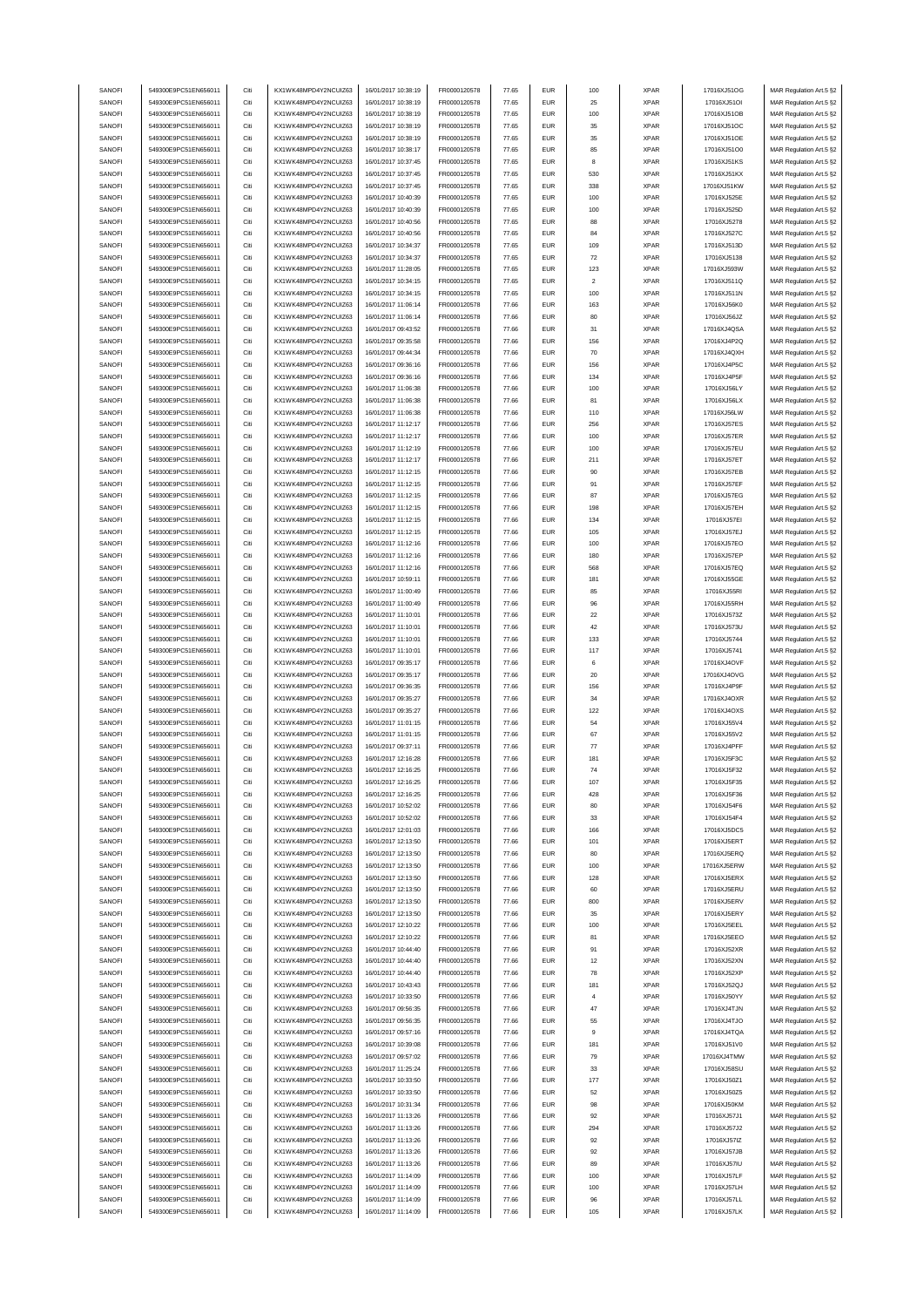| SANOFI | 549300E9PC51EN656011 | Citi | KX1WK48MPD4Y2NCUIZ63  | 16/01/2017 10:38:19 | FR0000120578 | 77.65 | <b>EUR</b> | 100            | <b>XPAR</b> | 17016XJ51OG  | MAR Regulation Art.5 §2 |
|--------|----------------------|------|-----------------------|---------------------|--------------|-------|------------|----------------|-------------|--------------|-------------------------|
| SANOFI | 549300E9PC51EN656011 | Citi | KX1WK48MPD4Y2NCUIZ63  | 16/01/2017 10:38:19 | FR0000120578 | 77.65 | <b>EUR</b> | 25             | <b>XPAR</b> | 17016XJ51OI  |                         |
|        |                      |      |                       |                     |              |       |            |                |             |              | MAR Regulation Art.5 §2 |
| SANOFI | 549300E9PC51EN656011 | Citi | KX1WK48MPD4Y2NCUIZ63  | 16/01/2017 10:38:19 | FR0000120578 | 77.65 | <b>EUR</b> | 100            | <b>XPAR</b> | 17016XJ51OB  | MAR Regulation Art.5 §2 |
| SANOFI | 549300E9PC51EN656011 | Citi | KX1WK48MPD4Y2NCUIZ63  | 16/01/2017 10:38:19 | FR0000120578 | 77.65 | <b>EUR</b> | 35             | <b>XPAR</b> | 17016XJ51OC  | MAR Regulation Art.5 §2 |
| SANOFI | 549300E9PC51EN656011 | Citi | KX1WK48MPD4Y2NCLIIZ63 | 16/01/2017 10:38:19 | FR0000120578 | 77.65 | <b>EUR</b> | 35             | <b>XPAR</b> | 17016XJ51OE  | MAR Regulation Art.5 §2 |
| SANOFI | 549300E9PC51EN656011 | Citi | KX1WK48MPD4Y2NCUIZ63  | 16/01/2017 10:38:17 | FR0000120578 | 77.65 | <b>EUR</b> | 85             | <b>XPAR</b> | 17016XJ51O0  | MAR Regulation Art.5 §2 |
| SANOFI | 549300E9PC51EN656011 | Citi | KX1WK48MPD4Y2NCUIZ63  | 16/01/2017 10:37:45 | FR0000120578 | 77.65 | <b>EUR</b> | 8              | <b>XPAR</b> | 17016XJ51KS  | MAR Regulation Art.5 §2 |
|        |                      |      |                       |                     |              |       |            |                |             |              |                         |
| SANOFI | 549300E9PC51EN656011 | Citi | KX1WK48MPD4Y2NCUIZ63  | 16/01/2017 10:37:45 | FR0000120578 | 77.65 | <b>EUR</b> | 530            | <b>XPAR</b> | 17016XJ51KX  | MAR Regulation Art.5 §2 |
| SANOFI | 549300E9PC51EN656011 | Citi | KX1WK48MPD4Y2NCUIZ63  | 16/01/2017 10:37:45 | FR0000120578 | 77.65 | <b>EUR</b> | 338            | <b>XPAR</b> | 17016XJ51KW  | MAR Regulation Art.5 §2 |
| SANOFI | 549300E9PC51EN656011 | Citi | KX1WK48MPD4Y2NCUIZ63  | 16/01/2017 10:40:39 | FR0000120578 | 77.65 | <b>EUR</b> | 100            | <b>XPAR</b> | 17016XJ525E  | MAR Regulation Art.5 §2 |
| SANOFI | 549300E9PC51EN656011 | Citi | KX1WK48MPD4Y2NCUIZ63  | 16/01/2017 10:40:39 | FR0000120578 | 77.65 | <b>EUR</b> | 100            | <b>XPAR</b> | 17016XJ525D  | MAR Regulation Art.5 §2 |
| SANOFI | 549300E9PC51EN656011 | Citi | KX1WK48MPD4Y2NCUIZ63  | 16/01/2017 10:40:56 | FR0000120578 | 77.65 | <b>EUR</b> | 88             | <b>XPAR</b> | 17016XJ5278  | MAR Regulation Art.5 §2 |
|        |                      |      |                       |                     |              |       |            |                |             |              |                         |
| SANOFI | 549300E9PC51EN656011 | Citi | KX1WK48MPD4Y2NCUIZ63  | 16/01/2017 10:40:56 | FR0000120578 | 77.65 | <b>EUR</b> | 84             | <b>XPAR</b> | 17016XJ527C  | MAR Regulation Art.5 §2 |
| SANOFI | 549300E9PC51EN656011 | Citi | KX1WK48MPD4Y2NCUIZ63  | 16/01/2017 10:34:37 | FR0000120578 | 77.65 | <b>EUR</b> | 109            | <b>XPAR</b> | 17016XJ513D  | MAR Regulation Art.5 §2 |
| SANOFI | 549300E9PC51EN656011 | Citi | KX1WK48MPD4Y2NCUIZ63  | 16/01/2017 10:34:37 | FR0000120578 | 77.65 | <b>EUR</b> | $\bf 72$       | <b>XPAR</b> | 17016XJ5138  | MAR Regulation Art.5 §2 |
| SANOFI | 549300E9PC51EN656011 | Citi | KX1WK48MPD4Y2NCUIZ63  | 16/01/2017 11:28:05 | FR0000120578 | 77.65 | <b>EUR</b> | 123            | <b>XPAR</b> | 17016XJ593W  | MAR Regulation Art.5 §2 |
|        |                      |      |                       |                     |              |       |            |                |             |              |                         |
| SANOFI | 549300E9PC51EN656011 | Citi | KX1WK48MPD4Y2NCUIZ63  | 16/01/2017 10:34:15 | FR0000120578 | 77.65 | <b>EUR</b> | $\sqrt{2}$     | <b>XPAR</b> | 17016XJ511Q  | MAR Regulation Art.5 §2 |
| SANOFI | 549300E9PC51EN656011 | Citi | KX1WK48MPD4Y2NCUIZ63  | 16/01/2017 10:34:15 | FR0000120578 | 77.65 | <b>EUR</b> | 100            | <b>XPAR</b> | 17016XJ511N  | MAR Regulation Art.5 §2 |
| SANOFI | 549300E9PC51EN656011 | Citi | KX1WK48MPD4Y2NCUIZ63  | 16/01/2017 11:06:14 | FR0000120578 | 77.66 | <b>EUR</b> | 163            | <b>XPAR</b> | 17016XJ56K0  | MAR Regulation Art.5 §2 |
| SANOFI | 549300E9PC51EN656011 | Citi | KX1WK48MPD4Y2NCUIZ63  | 16/01/2017 11:06:14 | FR0000120578 | 77.66 | <b>EUR</b> | 80             | <b>XPAR</b> | 17016XJ56JZ  | MAR Regulation Art.5 §2 |
| SANOFI | 549300E9PC51EN656011 | Citi | KX1WK48MPD4Y2NCUIZ63  | 16/01/2017 09:43:52 | FR0000120578 | 77.66 | <b>EUR</b> | 31             | <b>XPAR</b> | 17016XJ4QSA  | MAR Regulation Art.5 §2 |
|        |                      |      |                       |                     |              |       |            |                |             |              |                         |
| SANOFI | 549300E9PC51EN656011 | Citi | KX1WK48MPD4Y2NCUIZ63  | 16/01/2017 09:35:58 | FR0000120578 | 77.66 | <b>EUR</b> | 156            | <b>XPAR</b> | 17016XJ4P2Q  | MAR Regulation Art.5 §2 |
| SANOFI | 549300E9PC51EN656011 | Citi | KX1WK48MPD4Y2NCUIZ63  | 16/01/2017 09:44:34 | FR0000120578 | 77.66 | <b>EUR</b> | 70             | <b>XPAR</b> | 17016XJ4QXH  | MAR Regulation Art.5 §2 |
| SANOFI | 549300E9PC51EN656011 | Citi | KX1WK48MPD4Y2NCUIZ63  | 16/01/2017 09:36:16 | FR0000120578 | 77.66 | <b>EUR</b> | 156            | <b>XPAR</b> | 17016XJ4P5C  | MAR Regulation Art.5 §2 |
| SANOFI | 549300E9PC51EN656011 | Citi | KX1WK48MPD4Y2NCUIZ63  | 16/01/2017 09:36:16 | FR0000120578 | 77.66 | <b>EUR</b> | 134            | <b>XPAR</b> | 17016XJ4P5F  | MAR Regulation Art.5 §2 |
| SANOFI | 549300E9PC51EN656011 | Citi | KX1WK48MPD4Y2NCUIZ63  | 16/01/2017 11:06:38 | FR0000120578 | 77.66 | <b>EUR</b> | 100            | <b>XPAR</b> | 17016XJ56LY  | MAR Regulation Art.5 §2 |
|        |                      |      |                       |                     |              |       |            |                |             |              |                         |
| SANOFI | 549300E9PC51EN656011 | Citi | KX1WK48MPD4Y2NCUIZ63  | 16/01/2017 11:06:38 | FR0000120578 | 77.66 | <b>EUR</b> | 81             | <b>XPAR</b> | 17016XJ56LX  | MAR Regulation Art.5 §2 |
| SANOFI | 549300E9PC51EN656011 | Citi | KX1WK48MPD4Y2NCUIZ63  | 16/01/2017 11:06:38 | FR0000120578 | 77.66 | <b>EUR</b> | 110            | <b>XPAR</b> | 17016XJ56LW  | MAR Regulation Art.5 §2 |
| SANOFI | 549300E9PC51EN656011 | Citi | KX1WK48MPD4Y2NCUIZ63  | 16/01/2017 11:12:17 | FR0000120578 | 77.66 | <b>EUR</b> | 256            | <b>XPAR</b> | 17016XJ57ES  | MAR Regulation Art.5 §2 |
| SANOFI | 549300E9PC51EN656011 | Citi | KX1WK48MPD4Y2NCUIZ63  | 16/01/2017 11:12:17 | FR0000120578 | 77.66 | EUR        | 100            | <b>XPAR</b> | 17016XJ57ER  | MAR Regulation Art.5 §2 |
|        |                      |      | KX1WK48MPD4Y2NCUIZ63  |                     |              |       |            |                |             |              |                         |
| SANOFI | 549300E9PC51EN656011 | Citi |                       | 16/01/2017 11:12:19 | FR0000120578 | 77.66 | <b>EUR</b> | 100            | <b>XPAR</b> | 17016XJ57EU  | MAR Regulation Art.5 §2 |
| SANOFI | 549300E9PC51EN656011 | Citi | KX1WK48MPD4Y2NCUIZ63  | 16/01/2017 11:12:17 | FR0000120578 | 77.66 | <b>EUR</b> | 211            | <b>XPAR</b> | 17016XJ57ET  | MAR Regulation Art.5 §2 |
| SANOFI | 549300E9PC51EN656011 | Citi | KX1WK48MPD4Y2NCUIZ63  | 16/01/2017 11:12:15 | FR0000120578 | 77.66 | <b>EUR</b> | 90             | <b>XPAR</b> | 17016XJ57EB  | MAR Regulation Art.5 §2 |
| SANOFI | 549300E9PC51EN656011 | Citi | KX1WK48MPD4Y2NCUIZ63  | 16/01/2017 11:12:15 | FR0000120578 | 77.66 | <b>EUR</b> | 91             | <b>XPAR</b> | 17016XJ57EF  | MAR Regulation Art.5 §2 |
| SANOFI | 549300E9PC51EN656011 | Citi | KX1WK48MPD4Y2NCUIZ63  | 16/01/2017 11:12:15 | FR0000120578 | 77.66 | <b>EUR</b> | 87             | <b>XPAR</b> | 17016XJ57EG  | MAR Regulation Art.5 §2 |
|        |                      |      |                       |                     |              |       |            |                |             |              |                         |
| SANOFI | 549300E9PC51EN656011 | Citi | KX1WK48MPD4Y2NCUIZ63  | 16/01/2017 11:12:15 | FR0000120578 | 77.66 | <b>EUR</b> | 198            | <b>XPAR</b> | 17016XJ57EH  | MAR Regulation Art.5 §2 |
| SANOFI | 549300E9PC51EN656011 | Citi | KX1WK48MPD4Y2NCUIZ63  | 16/01/2017 11:12:15 | FR0000120578 | 77.66 | <b>EUR</b> | 134            | <b>XPAR</b> | 17016XJ57EI  | MAR Regulation Art.5 §2 |
| SANOFI | 549300E9PC51EN656011 | Citi | KX1WK48MPD4Y2NCUIZ63  | 16/01/2017 11:12:15 | FR0000120578 | 77.66 | <b>EUR</b> | 105            | <b>XPAR</b> | 17016XJ57EJ  | MAR Regulation Art.5 §2 |
| SANOFI | 549300E9PC51EN656011 | Citi | KX1WK48MPD4Y2NCUIZ63  | 16/01/2017 11:12:16 | FR0000120578 | 77.66 | <b>EUR</b> | 100            | <b>XPAR</b> | 17016XJ57EO  | MAR Regulation Art.5 §2 |
|        |                      |      |                       |                     |              |       |            |                |             |              |                         |
| SANOFI | 549300E9PC51EN656011 | Citi | KX1WK48MPD4Y2NCUIZ63  | 16/01/2017 11:12:16 | FR0000120578 | 77.66 | <b>EUR</b> | 180            | <b>XPAR</b> | 17016XJ57EP  | MAR Regulation Art.5 §2 |
| SANOFI | 549300E9PC51EN656011 | Citi | KX1WK48MPD4Y2NCUIZ63  | 16/01/2017 11:12:16 | FR0000120578 | 77.66 | <b>EUR</b> | 568            | <b>XPAR</b> | 17016XJ57EQ  | MAR Regulation Art.5 §2 |
| SANOFI | 549300E9PC51EN656011 | Citi | KX1WK48MPD4Y2NCUIZ63  | 16/01/2017 10:59:11 | FR0000120578 | 77.66 | <b>EUR</b> | 181            | <b>XPAR</b> | 17016XJ55GE  | MAR Regulation Art.5 §2 |
| SANOFI | 549300E9PC51EN656011 | Citi | KX1WK48MPD4Y2NCUIZ63  | 16/01/2017 11:00:49 | FR0000120578 | 77.66 | <b>EUR</b> | 85             | <b>XPAR</b> | 17016XJ55RI  | MAR Regulation Art.5 §2 |
| SANOFI | 549300E9PC51EN656011 | Citi | KX1WK48MPD4Y2NCUIZ63  | 16/01/2017 11:00:49 | FR0000120578 | 77.66 | <b>EUR</b> | 96             | <b>XPAR</b> | 17016XJ55RH  | MAR Regulation Art.5 §2 |
| SANOFI | 549300E9PC51EN656011 | Citi | KX1WK48MPD4Y2NCUIZ63  | 16/01/2017 11:10:01 | FR0000120578 | 77.66 | <b>EUR</b> | $22\,$         | <b>XPAR</b> | 17016XJ573Z  | MAR Regulation Art.5 §2 |
|        |                      |      |                       |                     |              |       |            |                |             |              |                         |
| SANOFI | 549300E9PC51EN656011 | Citi | KX1WK48MPD4Y2NCUIZ63  | 16/01/2017 11:10:01 | FR0000120578 | 77.66 | <b>EUR</b> | 42             | <b>XPAR</b> | 17016XJ573U  | MAR Regulation Art.5 §2 |
| SANOFI | 549300E9PC51EN656011 | Citi | KX1WK48MPD4Y2NCUIZ63  | 16/01/2017 11:10:01 | FR0000120578 | 77.66 | <b>EUR</b> | 133            | <b>XPAR</b> | 17016XJ5744  | MAR Regulation Art.5 §2 |
| SANOFI | 549300E9PC51EN656011 | Citi | KX1WK48MPD4Y2NCUIZ63  | 16/01/2017 11:10:01 | FR0000120578 | 77.66 | <b>EUR</b> | 117            | <b>XPAR</b> | 17016XJ5741  | MAR Regulation Art.5 §2 |
| SANOFI | 549300E9PC51EN656011 | Citi | KX1WK48MPD4Y2NCUIZ63  | 16/01/2017 09:35:17 | FR0000120578 | 77.66 | <b>EUR</b> | 6              | <b>XPAR</b> | 17016XJ4OVF  | MAR Regulation Art.5 §2 |
| SANOFI |                      | Citi |                       |                     |              |       |            |                |             |              |                         |
|        | 549300E9PC51EN656011 |      |                       |                     |              |       |            |                |             |              |                         |
|        |                      |      | KX1WK48MPD4Y2NCUIZ63  | 16/01/2017 09:35:17 | FR0000120578 | 77.66 | <b>EUR</b> | $20\,$         | <b>XPAR</b> | 17016XJ4OVG  | MAR Regulation Art.5 §2 |
| SANOFI | 549300E9PC51EN656011 | Citi | KX1WK48MPD4Y2NCUIZ63  | 16/01/2017 09:36:35 | FR0000120578 | 77.66 | <b>EUR</b> | 156            | <b>XPAR</b> | 17016XJ4P9F  | MAR Regulation Art.5 §2 |
| SANOFI | 549300E9PC51EN656011 | Citi | KX1WK48MPD4Y2NCUIZ63  | 16/01/2017 09:35:27 | FR0000120578 | 77.66 | <b>EUR</b> | 34             | <b>XPAR</b> | 17016XJ4OXR  | MAR Regulation Art.5 §2 |
| SANOFI | 549300E9PC51EN656011 | Citi | KX1WK48MPD4Y2NCUIZ63  | 16/01/2017 09:35:27 | FR0000120578 | 77.66 | <b>EUR</b> | 122            | <b>XPAR</b> | 17016XJ4OXS  |                         |
|        |                      |      |                       |                     |              |       |            |                |             |              | MAR Regulation Art.5 §2 |
| SANOFI | 549300E9PC51EN656011 | Citi | KX1WK48MPD4Y2NCUIZ63  | 16/01/2017 11:01:15 | FR0000120578 | 77.66 | <b>EUR</b> | 54             | <b>XPAR</b> | 17016XJ55V4  | MAR Regulation Art.5 §2 |
| SANOFI | 549300E9PC51EN656011 | Citi | KX1WK48MPD4Y2NCUIZ63  | 16/01/2017 11:01:15 | FR0000120578 | 77.66 | <b>EUR</b> | 67             | <b>XPAR</b> | 17016XJ55V2  | MAR Regulation Art.5 §2 |
| SANOFI | 549300E9PC51EN656011 | Citi | KX1WK48MPD4Y2NCUIZ63  | 16/01/2017 09:37:11 | FR0000120578 | 77.66 | <b>EUR</b> | $77\,$         | <b>XPAR</b> | 17016XJ4PFF  | MAR Regulation Art.5 §2 |
| SANOFI | 549300E9PC51EN656011 | Citi | KX1WK48MPD4Y2NCUIZ63  | 16/01/2017 12:16:28 | FR0000120578 | 77.66 | <b>EUR</b> | 181            | <b>XPAR</b> | 17016XJ5F3C  | MAR Regulation Art.5 §2 |
| SANOFI | 549300E9PC51EN656011 | Citi | KX1WK48MPD4Y2NCUIZ63  | 16/01/2017 12:16:25 | FR0000120578 | 77.66 | <b>EUR</b> | 74             | <b>XPAR</b> | 17016XJ5F32  | MAR Regulation Art.5 §2 |
| SANOFI | 549300E9PC51EN656011 |      | KX1WK48MPD4Y2NCLIIZ63 | 16/01/2017 12:16:25 | FR0000120578 | 77.66 | FUR        | 107            | <b>XPAR</b> | 17016X I5F35 | MAR Regulation Art 5 82 |
|        |                      |      |                       |                     |              |       |            |                |             |              |                         |
| SANOFI | 549300E9PC51EN656011 | Citi | KX1WK48MPD4Y2NCUIZ63  | 16/01/2017 12:16:25 | FR0000120578 | 77.66 | <b>EUR</b> | 428            | <b>XPAR</b> | 17016XJ5F36  | MAR Regulation Art.5 §2 |
| SANOFI | 549300E9PC51EN656011 | Citi | KX1WK48MPD4Y2NCUIZ63  | 16/01/2017 10:52:02 | FR0000120578 | 77.66 | <b>EUR</b> | 80             | <b>XPAR</b> | 17016XJ54F6  | MAR Regulation Art.5 §2 |
| SANOFI | 549300E9PC51EN656011 | Citi | KX1WK48MPD4Y2NCUIZ63  | 16/01/2017 10:52:02 | FR0000120578 | 77.66 | <b>EUR</b> | 33             | <b>XPAR</b> | 17016XJ54F4  | MAR Regulation Art.5 §2 |
| SANOFI | 549300E9PC51EN656011 | Citi | KX1WK48MPD4Y2NCUIZ63  | 16/01/2017 12:01:03 | FR0000120578 | 77.66 | <b>EUR</b> | 166            | <b>XPAR</b> | 17016XJ5DC5  |                         |
|        |                      |      |                       |                     |              |       |            |                |             |              | MAR Regulation Art.5 §2 |
| SANOFI | 549300E9PC51EN656011 | Citi | KX1WK48MPD4Y2NCUIZ63  | 16/01/2017 12:13:50 | FR0000120578 | 77.66 | <b>EUR</b> | 101            | <b>XPAR</b> | 17016XJ5ERT  | MAR Regulation Art.5 §2 |
| SANOFI | 549300E9PC51EN656011 | Citi | KX1WK48MPD4Y2NCUIZ63  | 16/01/2017 12:13:50 | FR0000120578 | 77.66 | <b>EUR</b> | 80             | <b>XPAR</b> | 17016XJ5ERQ  | MAR Regulation Art.5 §2 |
| SANOFI | 549300E9PC51EN656011 | Citi | KX1WK48MPD4Y2NCUIZ63  | 16/01/2017 12:13:50 | FR0000120578 | 77.66 | <b>EUR</b> | 100            | <b>XPAR</b> | 17016XJ5ERW  | MAR Regulation Art.5 §2 |
| SANOFI | 549300E9PC51EN656011 | Citi | KX1WK48MPD4Y2NCUIZ63  | 16/01/2017 12:13:50 | FR0000120578 | 77.66 | <b>EUR</b> | 128            | <b>XPAR</b> | 17016XJ5ERX  | MAR Regulation Art.5 §2 |
| SANOFI | 549300E9PC51EN656011 | Citi | KX1WK48MPD4Y2NCUIZ63  | 16/01/2017 12:13:50 | FR0000120578 | 77.66 | <b>EUR</b> | 60             | XPAR        | 17016XJ5ERU  | MAR Regulation Art.5 §2 |
| SANOFI | 549300E9PC51EN656011 | Citi | KX1WK48MPD4Y2NCUIZ63  | 16/01/2017 12:13:50 | FR0000120578 | 77.66 | <b>EUR</b> | 800            | <b>XPAR</b> | 17016XJ5ERV  |                         |
|        |                      |      |                       |                     |              |       |            |                |             |              | MAR Regulation Art.5 §2 |
| SANOFI | 549300E9PC51EN656011 | Citi | KX1WK48MPD4Y2NCUIZ63  | 16/01/2017 12:13:50 | FR0000120578 | 77.66 | <b>EUR</b> | 35             | <b>XPAR</b> | 17016XJ5ERY  | MAR Regulation Art.5 §2 |
| SANOFI | 549300E9PC51EN656011 | Citi | KX1WK48MPD4Y2NCUIZ63  | 16/01/2017 12:10:22 | FR0000120578 | 77.66 | <b>EUR</b> | 100            | <b>XPAR</b> | 17016XJ5EEL  | MAR Regulation Art.5 §2 |
| SANOFI | 549300E9PC51EN656011 | Citi | KX1WK48MPD4Y2NCUIZ63  | 16/01/2017 12:10:22 | FR0000120578 | 77.66 | <b>EUR</b> | 81             | <b>XPAR</b> | 17016XJ5EEO  | MAR Regulation Art.5 §2 |
| SANOFI | 549300E9PC51EN656011 | Citi | KX1WK48MPD4Y2NCUIZ63  | 16/01/2017 10:44:40 | FR0000120578 | 77.66 | <b>EUR</b> | 91             | <b>XPAR</b> | 17016XJ52XR  |                         |
|        |                      | Citi |                       |                     |              |       |            |                |             |              | MAR Regulation Art.5 §2 |
| SANOFI | 549300E9PC51EN656011 |      | KX1WK48MPD4Y2NCUIZ63  | 16/01/2017 10:44:40 | FR0000120578 | 77.66 | <b>EUR</b> | 12             | <b>XPAR</b> | 17016XJ52XN  | MAR Regulation Art.5 §2 |
| SANOFI | 549300E9PC51EN656011 | Citi | KX1WK48MPD4Y2NCUIZ63  | 16/01/2017 10:44:40 | FR0000120578 | 77.66 | <b>EUR</b> | 78             | <b>XPAR</b> | 17016XJ52XP  | MAR Regulation Art.5 §2 |
| SANOFI | 549300E9PC51EN656011 | Citi | KX1WK48MPD4Y2NCUIZ63  | 16/01/2017 10:43:43 | FR0000120578 | 77.66 | <b>EUR</b> | 181            | <b>XPAR</b> | 17016XJ52QJ  | MAR Regulation Art.5 §2 |
| SANOFI | 549300E9PC51EN656011 | Citi | KX1WK48MPD4Y2NCUIZ63  | 16/01/2017 10:33:50 | FR0000120578 | 77.66 | <b>EUR</b> | $\overline{4}$ | <b>XPAR</b> | 17016XJ50YY  | MAR Regulation Art.5 §2 |
| SANOFI | 549300E9PC51EN656011 | Citi | KX1WK48MPD4Y2NCUIZ63  | 16/01/2017 09:56:35 | FR0000120578 | 77.66 | <b>EUR</b> | 47             | <b>XPAR</b> | 17016XJ4TJN  | MAR Regulation Art.5 §2 |
|        |                      |      |                       |                     |              | 77.66 |            | 55             |             |              |                         |
| SANOFI | 549300E9PC51EN656011 | Citi | KX1WK48MPD4Y2NCUIZ63  | 16/01/2017 09:56:35 | FR0000120578 |       | <b>EUR</b> |                | <b>XPAR</b> | 17016XJ4TJO  | MAR Regulation Art.5 §2 |
| SANOFI | 549300E9PC51EN656011 | Citi | KX1WK48MPD4Y2NCUIZ63  | 16/01/2017 09:57:16 | FR0000120578 | 77.66 | <b>EUR</b> | $\mathsf g$    | <b>XPAR</b> | 17016XJ4TQA  | MAR Regulation Art.5 §2 |
| SANOFI | 549300E9PC51EN656011 | Citi | KX1WK48MPD4Y2NCUIZ63  | 16/01/2017 10:39:08 | FR0000120578 | 77.66 | <b>EUR</b> | 181            | <b>XPAR</b> | 17016XJ51V0  | MAR Regulation Art.5 §2 |
| SANOFI | 549300E9PC51EN656011 | Citi | KX1WK48MPD4Y2NCUIZ63  | 16/01/2017 09:57:02 | FR0000120578 | 77.66 | <b>EUR</b> | 79             | <b>XPAR</b> | 17016XJ4TMW  | MAR Regulation Art.5 §2 |
| SANOFI | 549300E9PC51EN656011 | Citi | KX1WK48MPD4Y2NCUIZ63  | 16/01/2017 11:25:24 | FR0000120578 | 77.66 | <b>EUR</b> | 33             | <b>XPAR</b> | 17016XJ58SU  | MAR Regulation Art.5 §2 |
|        |                      |      |                       |                     |              |       |            |                |             |              |                         |
| SANOFI | 549300E9PC51EN656011 | Citi | KX1WK48MPD4Y2NCUIZ63  | 16/01/2017 10:33:50 | FR0000120578 | 77.66 | <b>EUR</b> | 177            | XPAR        | 17016XJ50Z1  | MAR Regulation Art.5 §2 |
| SANOFI | 549300E9PC51EN656011 | Citi | KX1WK48MPD4Y2NCUIZ63  | 16/01/2017 10:33:50 | FR0000120578 | 77.66 | <b>EUR</b> | 52             | <b>XPAR</b> | 17016XJ50Z5  | MAR Regulation Art.5 §2 |
| SANOFI | 549300E9PC51EN656011 | Citi | KX1WK48MPD4Y2NCUIZ63  | 16/01/2017 10:31:34 | FR0000120578 | 77.66 | <b>EUR</b> | 98             | <b>XPAR</b> | 17016XJ50KM  | MAR Regulation Art.5 §2 |
| SANOFI | 549300E9PC51EN656011 | Citi | KX1WK48MPD4Y2NCUIZ63  | 16/01/2017 11:13:26 | FR0000120578 | 77.66 | <b>EUR</b> | 92             | <b>XPAR</b> | 17016XJ57J1  | MAR Regulation Art.5 §2 |
| SANOFI | 549300E9PC51EN656011 | Citi | KX1WK48MPD4Y2NCUIZ63  | 16/01/2017 11:13:26 | FR0000120578 | 77.66 | <b>EUR</b> | 294            | <b>XPAR</b> | 17016XJ57J2  | MAR Regulation Art.5 §2 |
| SANOFI | 549300E9PC51EN656011 | Citi | KX1WK48MPD4Y2NCUIZ63  | 16/01/2017 11:13:26 | FR0000120578 | 77.66 | <b>EUR</b> | 92             | <b>XPAR</b> | 17016XJ57IZ  |                         |
|        |                      |      |                       |                     |              |       |            |                |             |              | MAR Regulation Art.5 §2 |
| SANOFI | 549300E9PC51EN656011 | Citi | KX1WK48MPD4Y2NCUIZ63  | 16/01/2017 11:13:26 | FR0000120578 | 77.66 | <b>EUR</b> | 92             | <b>XPAR</b> | 17016XJ57JB  | MAR Regulation Art.5 §2 |
| SANOFI | 549300E9PC51EN656011 | Citi | KX1WK48MPD4Y2NCUIZ63  | 16/01/2017 11:13:26 | FR0000120578 | 77.66 | <b>EUR</b> | 89             | <b>XPAR</b> | 17016XJ57IU  | MAR Regulation Art.5 §2 |
| SANOFI | 549300E9PC51EN656011 | Citi | KX1WK48MPD4Y2NCUIZ63  | 16/01/2017 11:14:09 | FR0000120578 | 77.66 | <b>EUR</b> | 100            | <b>XPAR</b> | 17016XJ57LF  | MAR Regulation Art.5 §2 |
| SANOFI | 549300E9PC51EN656011 | Citi | KX1WK48MPD4Y2NCUIZ63  | 16/01/2017 11:14:09 | FR0000120578 | 77.66 | <b>EUR</b> | 100            | <b>XPAR</b> | 17016XJ57LH  | MAR Regulation Art.5 §2 |
| SANOFI | 549300E9PC51EN656011 | Citi | KX1WK48MPD4Y2NCUIZ63  | 16/01/2017 11:14:09 | FR0000120578 | 77.66 | <b>EUR</b> | 96             | <b>XPAR</b> | 17016XJ57LL  | MAR Regulation Art.5 §2 |
| SANOFI | 549300E9PC51EN656011 | Citi | KX1WK48MPD4Y2NCUIZ63  | 16/01/2017 11:14:09 | FR0000120578 | 77.66 | <b>EUR</b> | 105            | XPAR        | 17016XJ57LK  | MAR Regulation Art.5 §2 |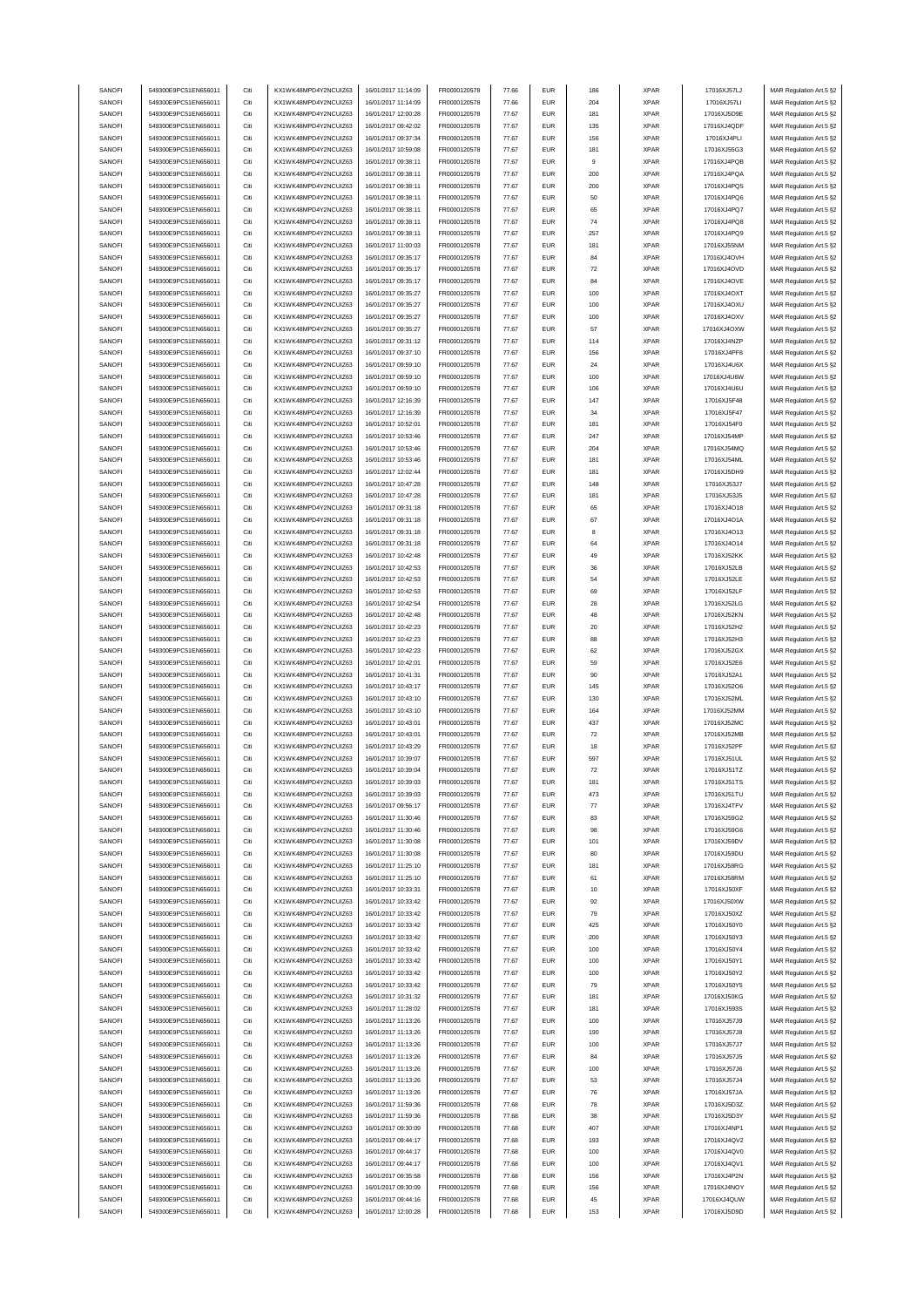| SANOFI           | 549300E9PC51EN656011                         | Citi | KX1WK48MPD4Y2NCUIZ63                         | 16/01/2017 11:14:09                        | FR0000120578                 | 77.66          | <b>EUR</b> | 186                | <b>XPAR</b>         | 17016XJ57LJ                | MAR Regulation Art.5 §2                            |
|------------------|----------------------------------------------|------|----------------------------------------------|--------------------------------------------|------------------------------|----------------|------------|--------------------|---------------------|----------------------------|----------------------------------------------------|
| SANOFI           | 549300E9PC51EN656011                         | Citi | KX1WK48MPD4Y2NCUIZ63                         | 16/01/2017 11:14:09                        |                              | 77.66          | <b>EUR</b> | 204                | <b>XPAR</b>         | 17016XJ57LI                |                                                    |
|                  |                                              |      | KX1WK48MPD4Y2NCUIZ63                         |                                            | FR0000120578                 |                |            |                    |                     |                            | MAR Regulation Art.5 §2                            |
| SANOFI           | 549300E9PC51EN656011                         | Citi |                                              | 16/01/2017 12:00:28                        | FR0000120578                 | 77.67          | <b>EUR</b> | 181                | <b>XPAR</b>         | 17016XJ5D9E                | MAR Regulation Art.5 §2                            |
| SANOFI           | 549300E9PC51EN656011                         | Citi | KX1WK48MPD4Y2NCUIZ63                         | 16/01/2017 09:42:02                        | FR0000120578                 | 77.67          | <b>EUR</b> | 135                | <b>XPAR</b>         | 17016XJ4QDF                | MAR Regulation Art.5 §2                            |
| SANOFI           | 549300E9PC51EN656011                         | Citi | KX1WK48MPD4Y2NCLIIZ63                        | 16/01/2017 09:37:34                        | FR0000120578                 | 77.67          | <b>EUR</b> | 156                | <b>XPAR</b>         | 17016XJ4PLI                | MAR Regulation Art.5 §2                            |
| SANOFI           | 549300E9PC51EN656011                         | Citi | KX1WK48MPD4Y2NCUIZ63                         | 16/01/2017 10:59:08                        | FR0000120578                 | 77.67          | <b>EUR</b> | 181                | <b>XPAR</b>         | 17016XJ55G3                | MAR Regulation Art.5 §2                            |
| SANOFI           | 549300E9PC51EN656011                         | Citi | KX1WK48MPD4Y2NCUIZ63                         | 16/01/2017 09:38:11                        | FR0000120578                 | 77.67          | <b>EUR</b> | $\mathsf g$        | <b>XPAR</b>         | 17016XJ4PQB                | MAR Regulation Art.5 §2                            |
|                  |                                              |      |                                              |                                            |                              |                |            |                    |                     |                            |                                                    |
| SANOFI           | 549300E9PC51EN656011                         | Citi | KX1WK48MPD4Y2NCUIZ63                         | 16/01/2017 09:38:11                        | FR0000120578                 | 77.67          | <b>EUR</b> | 200                | <b>XPAR</b>         | 17016XJ4PQA                | MAR Regulation Art.5 §2                            |
| SANOFI           | 549300E9PC51EN656011                         | Citi | KX1WK48MPD4Y2NCUIZ63                         | 16/01/2017 09:38:11                        | FR0000120578                 | 77.67          | <b>EUR</b> | 200                | <b>XPAR</b>         | 17016XJ4PQ5                | MAR Regulation Art.5 §2                            |
| SANOFI           | 549300E9PC51EN656011                         | Citi | KX1WK48MPD4Y2NCUIZ63                         | 16/01/2017 09:38:11                        | FR0000120578                 | 77.67          | <b>EUR</b> | 50                 | <b>XPAR</b>         | 17016XJ4PQ6                | MAR Regulation Art.5 §2                            |
| SANOFI           | 549300E9PC51EN656011                         | Citi | KX1WK48MPD4Y2NCUIZ63                         | 16/01/2017 09:38:11                        | FR0000120578                 | 77.67          | <b>EUR</b> | 65                 | <b>XPAR</b>         | 17016XJ4PQ7                | MAR Regulation Art.5 §2                            |
| SANOFI           | 549300E9PC51EN656011                         | Citi | KX1WK48MPD4Y2NCUIZ63                         | 16/01/2017 09:38:11                        | FR0000120578                 | 77.67          | <b>EUR</b> | $\bf 74$           | <b>XPAR</b>         | 17016XJ4PQ8                | MAR Regulation Art.5 §2                            |
|                  |                                              |      |                                              |                                            |                              |                |            |                    |                     |                            |                                                    |
| SANOFI           | 549300E9PC51EN656011                         | Citi | KX1WK48MPD4Y2NCUIZ63                         | 16/01/2017 09:38:11                        | FR0000120578                 | 77.67          | <b>EUR</b> | 257                | <b>XPAR</b>         | 17016XJ4PQ9                | MAR Regulation Art.5 §2                            |
| SANOFI           | 549300E9PC51EN656011                         | Citi | KX1WK48MPD4Y2NCUIZ63                         | 16/01/2017 11:00:03                        | FR0000120578                 | 77.67          | <b>EUR</b> | 181                | <b>XPAR</b>         | 17016XJ55NM                | MAR Regulation Art.5 §2                            |
| SANOFI           | 549300E9PC51EN656011                         | Citi | KX1WK48MPD4Y2NCUIZ63                         | 16/01/2017 09:35:17                        | FR0000120578                 | 77.67          | <b>EUR</b> | 84                 | <b>XPAR</b>         | 17016XJ4OVH                | MAR Regulation Art.5 §2                            |
| SANOFI           | 549300E9PC51EN656011                         | Citi | KX1WK48MPD4Y2NCUIZ63                         | 16/01/2017 09:35:17                        | FR0000120578                 | 77.67          | <b>EUR</b> | $\scriptstyle{72}$ | <b>XPAR</b>         | 17016XJ4OVD                | MAR Regulation Art.5 §2                            |
|                  |                                              |      |                                              |                                            |                              |                |            |                    |                     |                            |                                                    |
| SANOFI           | 549300E9PC51EN656011                         | Citi | KX1WK48MPD4Y2NCUIZ63                         | 16/01/2017 09:35:17                        | FR0000120578                 | 77.67          | <b>EUR</b> | 84                 | <b>XPAR</b>         | 17016XJ4OVE                | MAR Regulation Art.5 §2                            |
| SANOFI           | 549300E9PC51EN656011                         | Citi | KX1WK48MPD4Y2NCUIZ63                         | 16/01/2017 09:35:27                        | FR0000120578                 | 77.67          | <b>EUR</b> | 100                | <b>XPAR</b>         | 17016XJ4OXT                | MAR Regulation Art.5 §2                            |
| SANOFI           | 549300E9PC51EN656011                         | Citi | KX1WK48MPD4Y2NCUIZ63                         | 16/01/2017 09:35:27                        | FR0000120578                 | 77.67          | <b>EUR</b> | 100                | <b>XPAR</b>         | 17016XJ4OXU                | MAR Regulation Art.5 §2                            |
| SANOFI           | 549300E9PC51EN656011                         | Citi | KX1WK48MPD4Y2NCUIZ63                         | 16/01/2017 09:35:27                        | FR0000120578                 | 77.67          | <b>EUR</b> | 100                | <b>XPAR</b>         | 17016XJ4OXV                | MAR Regulation Art.5 §2                            |
| SANOFI           | 549300E9PC51EN656011                         | Citi | KX1WK48MPD4Y2NCUIZ63                         | 16/01/2017 09:35:27                        | FR0000120578                 | 77.67          | <b>EUR</b> | 57                 | <b>XPAR</b>         | 17016XJ4OXW                | MAR Regulation Art.5 §2                            |
|                  |                                              |      |                                              |                                            |                              |                |            |                    |                     |                            |                                                    |
| SANOFI           | 549300E9PC51EN656011                         | Citi | KX1WK48MPD4Y2NCUIZ63                         | 16/01/2017 09:31:12                        | FR0000120578                 | 77.67          | <b>EUR</b> | 114                | <b>XPAR</b>         | 17016XJ4NZP                | MAR Regulation Art.5 §2                            |
| SANOFI           | 549300E9PC51EN656011                         | Citi | KX1WK48MPD4Y2NCUIZ63                         | 16/01/2017 09:37:10                        | FR0000120578                 | 77.67          | <b>EUR</b> | 156                | <b>XPAR</b>         | 17016XJ4PF8                | MAR Regulation Art.5 §2                            |
| SANOFI           | 549300E9PC51EN656011                         | Citi | KX1WK48MPD4Y2NCUIZ63                         | 16/01/2017 09:59:10                        | FR0000120578                 | 77.67          | <b>EUR</b> | 24                 | <b>XPAR</b>         | 17016XJ4U6X                | MAR Regulation Art.5 §2                            |
| SANOFI           | 549300E9PC51EN656011                         | Citi | KX1WK48MPD4Y2NCUIZ63                         | 16/01/2017 09:59:10                        | FR0000120578                 | 77.67          | <b>EUR</b> | 100                | <b>XPAR</b>         | 17016XJ4U6W                | MAR Regulation Art.5 §2                            |
| SANOFI           | 549300E9PC51EN656011                         | Citi | KX1WK48MPD4Y2NCUIZ63                         | 16/01/2017 09:59:10                        | FR0000120578                 | 77.67          | <b>EUR</b> | 106                | <b>XPAR</b>         | 17016XJ4U6U                |                                                    |
|                  |                                              |      |                                              |                                            |                              |                |            |                    |                     |                            | MAR Regulation Art.5 §2                            |
| SANOFI           | 549300E9PC51EN656011                         | Citi | KX1WK48MPD4Y2NCUIZ63                         | 16/01/2017 12:16:39                        | FR0000120578                 | 77.67          | <b>EUR</b> | 147                | <b>XPAR</b>         | 17016XJ5F48                | MAR Regulation Art.5 §2                            |
| SANOFI           | 549300E9PC51EN656011                         | Citi | KX1WK48MPD4Y2NCUIZ63                         | 16/01/2017 12:16:39                        | FR0000120578                 | 77.67          | <b>EUR</b> | 34                 | <b>XPAR</b>         | 17016XJ5F47                | MAR Regulation Art.5 §2                            |
| SANOFI           | 549300E9PC51EN656011                         | Citi | KX1WK48MPD4Y2NCUIZ63                         | 16/01/2017 10:52:01                        | FR0000120578                 | 77.67          | <b>EUR</b> | 181                | <b>XPAR</b>         | 17016XJ54F0                | MAR Regulation Art.5 §2                            |
| SANOFI           | 549300E9PC51EN656011                         | Citi | KX1WK48MPD4Y2NCUIZ63                         | 16/01/2017 10:53:46                        | FR0000120578                 | 77.67          | <b>EUR</b> | 247                | <b>XPAR</b>         | 17016XJ54MP                | MAR Regulation Art.5 §2                            |
|                  |                                              |      | KX1WK48MPD4Y2NCUIZ63                         |                                            |                              |                |            |                    |                     | 17016XJ54MQ                |                                                    |
| SANOFI           | 549300E9PC51EN656011                         | Citi |                                              | 16/01/2017 10:53:46                        | FR0000120578                 | 77.67          | <b>EUR</b> | 204                | <b>XPAR</b>         |                            | MAR Regulation Art.5 §2                            |
| SANOFI           | 549300E9PC51EN656011                         | Citi | KX1WK48MPD4Y2NCUIZ63                         | 16/01/2017 10:53:46                        | FR0000120578                 | 77.67          | <b>EUR</b> | 181                | <b>XPAR</b>         | 17016XJ54ML                | MAR Regulation Art.5 §2                            |
| SANOFI           | 549300E9PC51EN656011                         | Citi | KX1WK48MPD4Y2NCUIZ63                         | 16/01/2017 12:02:44                        | FR0000120578                 | 77.67          | <b>EUR</b> | 181                | <b>XPAR</b>         | 17016XJ5DH9                | MAR Regulation Art.5 §2                            |
| SANOFI           | 549300E9PC51EN656011                         | Citi | KX1WK48MPD4Y2NCUIZ63                         | 16/01/2017 10:47:28                        | FR0000120578                 | 77.67          | <b>EUR</b> | 148                | <b>XPAR</b>         | 17016XJ53J7                | MAR Regulation Art.5 §2                            |
| SANOFI           | 549300E9PC51EN656011                         | Citi | KX1WK48MPD4Y2NCUIZ63                         | 16/01/2017 10:47:28                        | FR0000120578                 | 77.67          | <b>EUR</b> | 181                | <b>XPAR</b>         | 17016XJ53J5                | MAR Regulation Art.5 §2                            |
|                  |                                              |      |                                              |                                            |                              |                |            |                    |                     |                            |                                                    |
| SANOFI           | 549300E9PC51EN656011                         | Citi | KX1WK48MPD4Y2NCUIZ63                         | 16/01/2017 09:31:18                        | FR0000120578                 | 77.67          | <b>EUR</b> | 65                 | <b>XPAR</b>         | 17016XJ4O18                | MAR Regulation Art.5 §2                            |
| SANOFI           | 549300E9PC51EN656011                         | Citi | KX1WK48MPD4Y2NCUIZ63                         | 16/01/2017 09:31:18                        | FR0000120578                 | 77.67          | <b>EUR</b> | 67                 | <b>XPAR</b>         | 17016XJ4O1A                | MAR Regulation Art.5 §2                            |
| SANOFI           | 549300E9PC51EN656011                         | Citi | KX1WK48MPD4Y2NCUIZ63                         | 16/01/2017 09:31:18                        | FR0000120578                 | 77.67          | <b>EUR</b> | 8                  | <b>XPAR</b>         | 17016XJ4O13                | MAR Regulation Art.5 §2                            |
| SANOFI           | 549300E9PC51EN656011                         | Citi | KX1WK48MPD4Y2NCUIZ63                         | 16/01/2017 09:31:18                        | FR0000120578                 | 77.67          | <b>EUR</b> | 64                 | <b>XPAR</b>         | 17016XJ4O14                | MAR Regulation Art.5 §2                            |
|                  |                                              |      |                                              |                                            |                              |                |            |                    |                     |                            |                                                    |
| SANOFI           | 549300E9PC51EN656011                         | Citi | KX1WK48MPD4Y2NCUIZ63                         | 16/01/2017 10:42:48                        | FR0000120578                 | 77.67          | <b>EUR</b> | 49                 | <b>XPAR</b>         | 17016XJ52KK                | MAR Regulation Art.5 §2                            |
| SANOFI           | 549300E9PC51EN656011                         | Citi | KX1WK48MPD4Y2NCUIZ63                         | 16/01/2017 10:42:53                        | FR0000120578                 | 77.67          | <b>EUR</b> | 36                 | <b>XPAR</b>         | 17016XJ52LB                | MAR Regulation Art.5 §2                            |
| SANOFI           | 549300E9PC51EN656011                         | Citi | KX1WK48MPD4Y2NCUIZ63                         | 16/01/2017 10:42:53                        | FR0000120578                 | 77.67          | <b>EUR</b> | 54                 | <b>XPAR</b>         | 17016XJ52LE                | MAR Regulation Art.5 §2                            |
| SANOFI           | 549300E9PC51EN656011                         | Citi | KX1WK48MPD4Y2NCUIZ63                         | 16/01/2017 10:42:53                        | FR0000120578                 | 77.67          | <b>EUR</b> | 69                 | <b>XPAR</b>         | 17016XJ52LF                | MAR Regulation Art.5 §2                            |
| SANOFI           | 549300E9PC51EN656011                         | Citi | KX1WK48MPD4Y2NCUIZ63                         | 16/01/2017 10:42:54                        | FR0000120578                 | 77.67          | <b>EUR</b> | 28                 | <b>XPAR</b>         | 17016XJ52LG                | MAR Regulation Art.5 §2                            |
| SANOFI           | 549300E9PC51EN656011                         | Citi | KX1WK48MPD4Y2NCUIZ63                         | 16/01/2017 10:42:48                        | FR0000120578                 | 77.67          | EUR        | 48                 | <b>XPAR</b>         | 17016XJ52KN                | MAR Regulation Art.5 §2                            |
|                  |                                              |      |                                              |                                            |                              |                |            |                    |                     |                            |                                                    |
| SANOFI           | 549300E9PC51EN656011                         | Citi | KX1WK48MPD4Y2NCUIZ63                         | 16/01/2017 10:42:23                        | FR0000120578                 | 77.67          | <b>EUR</b> | 20                 | <b>XPAR</b>         | 17016XJ52H2                | MAR Regulation Art.5 §2                            |
| SANOFI           | 549300E9PC51EN656011                         | Citi | KX1WK48MPD4Y2NCUIZ63                         | 16/01/2017 10:42:23                        | FR0000120578                 | 77.67          | <b>EUR</b> | 88                 | <b>XPAR</b>         | 17016XJ52H3                | MAR Regulation Art.5 §2                            |
| SANOFI           | 549300E9PC51EN656011                         | Citi | KX1WK48MPD4Y2NCUIZ63                         | 16/01/2017 10:42:23                        | FR0000120578                 | 77.67          | <b>EUR</b> | 62                 | <b>XPAR</b>         | 17016XJ52GX                | MAR Regulation Art.5 §2                            |
| SANOFI           | 549300E9PC51EN656011                         | Citi | KX1WK48MPD4Y2NCUIZ63                         | 16/01/2017 10:42:01                        | FR0000120578                 | 77.67          | <b>EUR</b> | 59                 | <b>XPAR</b>         | 17016XJ52E6                | MAR Regulation Art.5 §2                            |
| SANOFI           | 549300E9PC51EN656011                         |      |                                              |                                            |                              |                |            |                    |                     |                            |                                                    |
|                  |                                              |      |                                              |                                            |                              |                |            |                    |                     |                            |                                                    |
|                  |                                              | Citi | KX1WK48MPD4Y2NCUIZ63                         | 16/01/2017 10:41:31                        | FR0000120578                 | 77.67          | <b>EUR</b> | 90                 | <b>XPAR</b>         | 17016XJ52A1                | MAR Regulation Art.5 §2                            |
| SANOFI           | 549300E9PC51EN656011                         | Citi | KX1WK48MPD4Y2NCUIZ63                         | 16/01/2017 10:43:17                        | FR0000120578                 | 77.67          | <b>EUR</b> | 145                | <b>XPAR</b>         | 17016XJ52O6                | MAR Regulation Art.5 §2                            |
| SANOFI           | 549300E9PC51EN656011                         | Citi | KX1WK48MPD4Y2NCUIZ63                         | 16/01/2017 10:43:10                        | FR0000120578                 | 77.67          | <b>EUR</b> | 130                | <b>XPAR</b>         | 17016XJ52ML                | MAR Regulation Art.5 §2                            |
| SANOFI           | 549300E9PC51EN656011                         | Citi | KX1WK48MPD4Y2NCUIZ63                         | 16/01/2017 10:43:10                        | FR0000120578                 | 77.67          | <b>EUR</b> | 164                | <b>XPAR</b>         | 17016XJ52MM                |                                                    |
|                  |                                              |      |                                              |                                            |                              |                |            |                    |                     |                            | MAR Regulation Art.5 §2                            |
| SANOFI           | 549300E9PC51EN656011                         | Citi | KX1WK48MPD4Y2NCUIZ63                         | 16/01/2017 10:43:01                        | FR0000120578                 | 77.67          | <b>EUR</b> | 437                | <b>XPAR</b>         | 17016XJ52MC                | MAR Regulation Art.5 §2                            |
| SANOFI           | 549300E9PC51EN656011                         | Citi | KX1WK48MPD4Y2NCUIZ63                         | 16/01/2017 10:43:01                        | FR0000120578                 | 77.67          | <b>EUR</b> | $\scriptstyle{72}$ | <b>XPAR</b>         | 17016XJ52MB                | MAR Regulation Art.5 §2                            |
| SANOFI           | 549300E9PC51EN656011                         | Citi | KX1WK48MPD4Y2NCUIZ63                         | 16/01/2017 10:43:29                        | FR0000120578                 | 77.67          | <b>EUR</b> | 18                 | <b>XPAR</b>         | 17016XJ52PF                | MAR Regulation Art.5 §2                            |
| SANOFI           | 549300E9PC51EN656011                         | Citi | KX1WK48MPD4Y2NCUIZ63                         | 16/01/2017 10:39:07                        | FR0000120578                 | 77.67          | <b>EUR</b> | 597                | <b>XPAR</b>         | 17016XJ51UL                | MAR Regulation Art.5 §2                            |
| SANOFI           | 549300E9PC51EN656011                         | Citi | KX1WK48MPD4Y2NCUIZ63                         | 16/01/2017 10:39:04                        | FR0000120578                 | 77.67          | <b>EUR</b> | $\bf 72$           | <b>XPAR</b>         | 17016XJ51TZ                | MAR Regulation Art.5 §2                            |
| SANOFI           | 549300E9PC51EN656011                         |      | KX1WK48MPD4Y2NCLIIZ63                        | 16/01/2017 10:39:03                        | FR0000120578                 | 77.67          | FUR        | 181                | <b>XPAR</b>         | 17016XJ51TS                | MAR Regulation Art 5 82                            |
|                  |                                              |      |                                              |                                            |                              |                |            |                    |                     |                            |                                                    |
| SANOFI           | 549300E9PC51EN656011                         | Citi | KX1WK48MPD4Y2NCUIZ63                         | 16/01/2017 10:39:03                        | FR0000120578                 | 77.67          | <b>EUR</b> | 473                | <b>XPAR</b>         | 17016XJ51TU                | MAR Regulation Art.5 §2                            |
| SANOFI           | 549300E9PC51EN656011                         | Citi | KX1WK48MPD4Y2NCUIZ63                         | 16/01/2017 09:56:17                        | FR0000120578                 | 77.67          | <b>EUR</b> | ${\bf 77}$         | <b>XPAR</b>         | 17016XJ4TFV                | MAR Regulation Art.5 §2                            |
| SANOFI           | 549300E9PC51EN656011                         | Citi | KX1WK48MPD4Y2NCUIZ63                         | 16/01/2017 11:30:46                        | FR0000120578                 | 77.67          | <b>EUR</b> | 83                 | <b>XPAR</b>         | 17016XJ59G2                | MAR Regulation Art.5 §2                            |
| SANOFI           | 549300E9PC51EN656011                         | Citi | KX1WK48MPD4Y2NCUIZ63                         | 16/01/2017 11:30:46                        | FR0000120578                 | 77.67          | <b>EUR</b> | 98                 | <b>XPAR</b>         | 17016XJ59G6                |                                                    |
|                  |                                              |      |                                              |                                            |                              |                |            |                    |                     |                            | MAR Regulation Art.5 §2                            |
| SANOFI           | 549300E9PC51EN656011                         | Citi | KX1WK48MPD4Y2NCUIZ63                         | 16/01/2017 11:30:08                        | FR0000120578                 | 77.67          | <b>EUR</b> | 101                | <b>XPAR</b>         | 17016XJ59DV                | MAR Regulation Art.5 §2                            |
| SANOFI           | 549300E9PC51EN656011                         | Citi | KX1WK48MPD4Y2NCUIZ63                         | 16/01/2017 11:30:08                        | FR0000120578                 | 77.67          | <b>EUR</b> | 80                 | <b>XPAR</b>         | 17016XJ59DU                | MAR Regulation Art.5 §2                            |
| SANOFI           | 549300E9PC51EN656011                         | Citi | KX1WK48MPD4Y2NCUIZ63                         | 16/01/2017 11:25:10                        | FR0000120578                 | 77.67          | <b>EUR</b> | 181                | <b>XPAR</b>         | 17016XJ58RG                | MAR Regulation Art.5 §2                            |
| SANOFI           | 549300E9PC51EN656011                         | Citi | KX1WK48MPD4Y2NCUIZ63                         | 16/01/2017 11:25:10                        | FR0000120578                 | 77.67          | <b>EUR</b> | 61                 | <b>XPAR</b>         | 17016XJ58RM                | MAR Regulation Art.5 §2                            |
| SANOFI           | 549300E9PC51EN656011                         | Citi | KX1WK48MPD4Y2NCUIZ63                         | 16/01/2017 10:33:31                        | FR0000120578                 | 77.67          | <b>EUR</b> | 10                 | <b>XPAR</b>         | 17016XJ50XF                | MAR Regulation Art.5 §2                            |
| SANOFI           | 549300E9PC51EN656011                         | Citi | KX1WK48MPD4Y2NCUIZ63                         | 16/01/2017 10:33:42                        | FR0000120578                 | 77.67          | <b>EUR</b> |                    | <b>XPAR</b>         |                            |                                                    |
|                  |                                              |      |                                              |                                            |                              |                |            | 92                 |                     | 17016XJ50XW                | MAR Regulation Art.5 §2                            |
| SANOFI           | 549300E9PC51EN656011                         | Citi | KX1WK48MPD4Y2NCUIZ63                         | 16/01/2017 10:33:42                        | FR0000120578                 | 77.67          | <b>EUR</b> | 79                 | <b>XPAR</b>         | 17016XJ50XZ                | MAR Regulation Art.5 §2                            |
| SANOFI           | 549300E9PC51EN656011                         | Citi | KX1WK48MPD4Y2NCUIZ63                         | 16/01/2017 10:33:42                        | FR0000120578                 | 77.67          | <b>EUR</b> | 425                | <b>XPAR</b>         | 17016XJ50Y0                | MAR Regulation Art.5 §2                            |
| SANOFI           | 549300E9PC51EN656011                         | Citi | KX1WK48MPD4Y2NCUIZ63                         | 16/01/2017 10:33:42                        | FR0000120578                 | 77.67          | <b>EUR</b> | 200                | <b>XPAR</b>         | 17016XJ50Y3                | MAR Regulation Art.5 §2                            |
| SANOFI           | 549300E9PC51EN656011                         | Citi | KX1WK48MPD4Y2NCUIZ63                         | 16/01/2017 10:33:42                        | FR0000120578                 | 77.67          | <b>EUR</b> | 100                | <b>XPAR</b>         | 17016XJ50Y4                | MAR Regulation Art.5 §2                            |
|                  |                                              |      |                                              |                                            |                              |                |            |                    |                     |                            |                                                    |
| SANOFI           | 549300E9PC51EN656011                         | Citi | KX1WK48MPD4Y2NCUIZ63                         | 16/01/2017 10:33:42                        | FR0000120578                 | 77.67          | <b>EUR</b> | 100                | <b>XPAR</b>         | 17016XJ50Y1                | MAR Regulation Art.5 §2                            |
| SANOFI           | 549300E9PC51EN656011                         | Citi | KX1WK48MPD4Y2NCUIZ63                         | 16/01/2017 10:33:42                        | FR0000120578                 | 77.67          | <b>EUR</b> | 100                | <b>XPAR</b>         | 17016XJ50Y2                | MAR Regulation Art.5 §2                            |
| SANOFI           | 549300E9PC51EN656011                         | Citi | KX1WK48MPD4Y2NCUIZ63                         | 16/01/2017 10:33:42                        | FR0000120578                 | 77.67          | <b>EUR</b> | 79                 | XPAR                | 17016XJ50Y5                | MAR Regulation Art.5 §2                            |
| SANOFI           | 549300E9PC51EN656011                         | Citi | KX1WK48MPD4Y2NCUIZ63                         | 16/01/2017 10:31:32                        | FR0000120578                 | 77.67          | <b>EUR</b> | 181                | <b>XPAR</b>         | 17016XJ50KG                | MAR Regulation Art.5 §2                            |
| SANOFI           | 549300E9PC51EN656011                         | Citi | KX1WK48MPD4Y2NCUIZ63                         | 16/01/2017 11:28:02                        | FR0000120578                 | 77.67          | <b>EUR</b> | 181                | <b>XPAR</b>         | 17016XJ593S                | MAR Regulation Art.5 §2                            |
|                  |                                              |      |                                              |                                            |                              |                |            |                    |                     |                            |                                                    |
| SANOFI           | 549300E9PC51EN656011                         | Citi | KX1WK48MPD4Y2NCUIZ63                         | 16/01/2017 11:13:26                        | FR0000120578                 | 77.67          | <b>EUR</b> | 100                | <b>XPAR</b>         | 17016XJ57J9                | MAR Regulation Art.5 §2                            |
| SANOFI           | 549300E9PC51EN656011                         | Citi | KX1WK48MPD4Y2NCUIZ63                         | 16/01/2017 11:13:26                        | FR0000120578                 | 77.67          | <b>EUR</b> | 190                | <b>XPAR</b>         | 17016XJ57J8                | MAR Regulation Art.5 §2                            |
| SANOFI           | 549300E9PC51EN656011                         | Citi | KX1WK48MPD4Y2NCUIZ63                         | 16/01/2017 11:13:26                        | FR0000120578                 | 77.67          | <b>EUR</b> | 100                | <b>XPAR</b>         | 17016XJ57J7                | MAR Regulation Art.5 §2                            |
| SANOFI           | 549300E9PC51EN656011                         | Citi | KX1WK48MPD4Y2NCUIZ63                         | 16/01/2017 11:13:26                        | FR0000120578                 | 77.67          | <b>EUR</b> | 84                 | <b>XPAR</b>         | 17016XJ57J5                | MAR Regulation Art.5 §2                            |
|                  |                                              | Citi |                                              |                                            |                              |                |            |                    |                     |                            |                                                    |
| SANOFI           | 549300E9PC51EN656011                         |      | KX1WK48MPD4Y2NCUIZ63                         | 16/01/2017 11:13:26                        | FR0000120578                 | 77.67          | <b>EUR</b> | 100                | <b>XPAR</b>         | 17016XJ57J6                | MAR Regulation Art.5 §2                            |
| SANOFI           | 549300E9PC51EN656011                         | Citi | KX1WK48MPD4Y2NCUIZ63                         | 16/01/2017 11:13:26                        | FR0000120578                 | 77.67          | <b>EUR</b> | 53                 | XPAR                | 17016XJ57J4                | MAR Regulation Art.5 §2                            |
| SANOFI           | 549300E9PC51EN656011                         | Citi | KX1WK48MPD4Y2NCUIZ63                         | 16/01/2017 11:13:26                        | FR0000120578                 | 77.67          | <b>EUR</b> | 76                 | <b>XPAR</b>         | 17016XJ57JA                | MAR Regulation Art.5 §2                            |
| SANOFI           | 549300E9PC51EN656011                         | Citi | KX1WK48MPD4Y2NCUIZ63                         | 16/01/2017 11:59:36                        | FR0000120578                 | 77.68          | <b>EUR</b> | 78                 | <b>XPAR</b>         | 17016XJ5D3Z                | MAR Regulation Art.5 §2                            |
| SANOFI           | 549300E9PC51EN656011                         | Citi | KX1WK48MPD4Y2NCUIZ63                         | 16/01/2017 11:59:36                        | FR0000120578                 | 77.68          | <b>EUR</b> | 38                 | <b>XPAR</b>         | 17016XJ5D3Y                | MAR Regulation Art.5 §2                            |
| SANOFI           | 549300E9PC51EN656011                         | Citi | KX1WK48MPD4Y2NCUIZ63                         | 16/01/2017 09:30:09                        | FR0000120578                 | 77.68          | <b>EUR</b> | 407                | <b>XPAR</b>         | 17016XJ4NP1                | MAR Regulation Art.5 §2                            |
|                  |                                              |      |                                              |                                            |                              |                |            |                    |                     |                            |                                                    |
| SANOFI           | 549300E9PC51EN656011                         | Citi | KX1WK48MPD4Y2NCUIZ63                         | 16/01/2017 09:44:17                        | FR0000120578                 | 77.68          | <b>EUR</b> | 193                | <b>XPAR</b>         | 17016XJ4QV2                | MAR Regulation Art.5 §2                            |
| SANOFI           | 549300E9PC51EN656011                         | Citi | KX1WK48MPD4Y2NCUIZ63                         | 16/01/2017 09:44:17                        | FR0000120578                 | 77.68          | <b>EUR</b> | 100                | <b>XPAR</b>         | 17016XJ4QV0                | MAR Regulation Art.5 §2                            |
| SANOFI           | 549300E9PC51EN656011                         | Citi | KX1WK48MPD4Y2NCUIZ63                         | 16/01/2017 09:44:17                        | FR0000120578                 | 77.68          | <b>EUR</b> | 100                | <b>XPAR</b>         | 17016XJ4QV1                | MAR Regulation Art.5 §2                            |
| SANOFI           | 549300E9PC51EN656011                         | Citi | KX1WK48MPD4Y2NCUIZ63                         | 16/01/2017 09:35:58                        | FR0000120578                 | 77.68          | <b>EUR</b> | 156                | <b>XPAR</b>         | 17016XJ4P2N                | MAR Regulation Art.5 §2                            |
| SANOFI           | 549300E9PC51EN656011                         | Citi | KX1WK48MPD4Y2NCUIZ63                         | 16/01/2017 09:30:09                        | FR0000120578                 | 77.68          | <b>EUR</b> | 156                | <b>XPAR</b>         | 17016XJ4NOY                | MAR Regulation Art.5 §2                            |
|                  |                                              | Citi |                                              |                                            |                              |                | <b>EUR</b> | 45                 |                     |                            |                                                    |
| SANOFI<br>SANOFI | 549300E9PC51EN656011<br>549300E9PC51EN656011 | Citi | KX1WK48MPD4Y2NCUIZ63<br>KX1WK48MPD4Y2NCUIZ63 | 16/01/2017 09:44:16<br>16/01/2017 12:00:28 | FR0000120578<br>FR0000120578 | 77.68<br>77.68 | <b>EUR</b> | 153                | <b>XPAR</b><br>XPAR | 17016XJ4QUW<br>17016XJ5D9D | MAR Regulation Art.5 §2<br>MAR Regulation Art.5 §2 |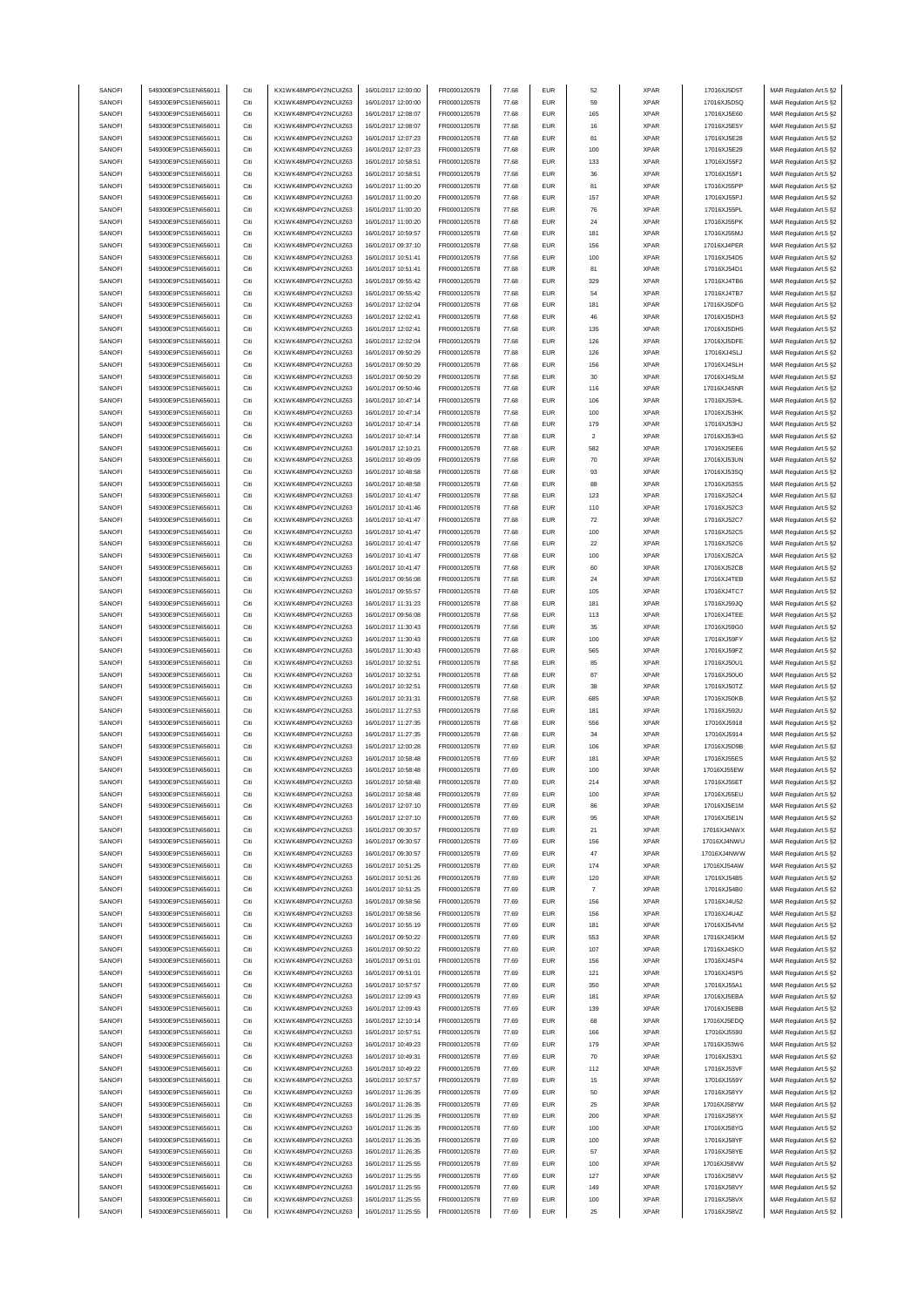| SANOFI | 549300E9PC51EN656011 | Citi | KX1WK48MPD4Y2NCUIZ63  | 16/01/2017 12:00:00 | FR0000120578 | 77.68 | <b>EUR</b> | 52                | <b>XPAR</b> | 17016XJ5D5T  | MAR Regulation Art.5 §2 |
|--------|----------------------|------|-----------------------|---------------------|--------------|-------|------------|-------------------|-------------|--------------|-------------------------|
| SANOFI | 549300E9PC51EN656011 | Citi | KX1WK48MPD4Y2NCLIIZ63 | 16/01/2017 12:00:00 | FR0000120578 | 77.68 | <b>EUR</b> | 59                | <b>XPAR</b> | 17016XJ5D5Q  | MAR Regulation Art.5 §2 |
|        |                      |      |                       |                     |              |       |            |                   |             |              |                         |
| SANOFI | 549300E9PC51EN656011 | Citi | KX1WK48MPD4Y2NCUIZ63  | 16/01/2017 12:08:07 | FR0000120578 | 77.68 | <b>EUR</b> | 165               | <b>XPAR</b> | 17016XJ5E60  | MAR Regulation Art.5 §2 |
| SANOFI | 549300E9PC51EN656011 | Citi | KX1WK48MPD4Y2NCUIZ63  | 16/01/2017 12:08:07 | FR0000120578 | 77.68 | <b>EUR</b> | 16                | <b>XPAR</b> | 17016XJ5E5Y  | MAR Regulation Art.5 §2 |
| SANOFI | 549300E9PC51EN656011 | Citi | KX1WK48MPD4Y2NCUIZ63  | 16/01/2017 12:07:23 | FR0000120578 | 77.68 | <b>EUR</b> | 81                | <b>XPAR</b> | 17016XJ5E28  | MAR Regulation Art.5 §2 |
| SANOFI | 549300E9PC51EN656011 | Citi | KX1WK48MPD4Y2NCUIZ63  | 16/01/2017 12:07:23 | FR0000120578 | 77.68 | <b>EUR</b> | 100               | <b>XPAR</b> | 17016XJ5E29  | MAR Regulation Art.5 §2 |
| SANOFI | 549300E9PC51EN656011 | Citi | KX1WK48MPD4Y2NCUIZ63  | 16/01/2017 10:58:51 | FR0000120578 | 77.68 | <b>EUR</b> | 133               | <b>XPAR</b> | 17016XJ55F2  | MAR Regulation Art.5 §2 |
| SANOFI | 549300E9PC51EN656011 | Citi | KX1WK48MPD4Y2NCUIZ63  | 16/01/2017 10:58:51 | FR0000120578 | 77.68 | <b>EUR</b> | 36                | <b>XPAR</b> | 17016XJ55F1  | MAR Regulation Art.5 §2 |
|        |                      |      |                       |                     |              |       |            |                   |             |              |                         |
| SANOFI | 549300E9PC51EN656011 | Citi | KX1WK48MPD4Y2NCUIZ63  | 16/01/2017 11:00:20 | FR0000120578 | 77.68 | <b>EUR</b> | 81                | <b>XPAR</b> | 17016XJ55PP  | MAR Regulation Art.5 §2 |
| SANOFI | 549300E9PC51EN656011 | Citi | KX1WK48MPD4Y2NCUIZ63  | 16/01/2017 11:00:20 | FR0000120578 | 77.68 | <b>EUR</b> | 157               | <b>XPAR</b> | 17016XJ55PJ  | MAR Regulation Art.5 §2 |
| SANOFI | 549300E9PC51EN656011 | Citi | KX1WK48MPD4Y2NCUIZ63  | 16/01/2017 11:00:20 | FR0000120578 | 77.68 | <b>EUR</b> | 76                | <b>XPAR</b> | 17016XJ55PL  | MAR Regulation Art.5 §2 |
| SANOFI | 549300E9PC51EN656011 | Citi | KX1WK48MPD4Y2NCUIZ63  | 16/01/2017 11:00:20 | FR0000120578 | 77.68 | <b>EUR</b> | 24                | <b>XPAR</b> | 17016XJ55PK  | MAR Regulation Art.5 §2 |
| SANOFI | 549300E9PC51EN656011 | Citi | KX1WK48MPD4Y2NCUIZ63  | 16/01/2017 10:59:57 | FR0000120578 | 77.68 | <b>EUR</b> | 181               | <b>XPAR</b> | 17016XJ55MJ  | MAR Regulation Art.5 §2 |
|        |                      |      |                       |                     |              |       |            |                   |             |              |                         |
| SANOFI | 549300E9PC51EN656011 | Citi | KX1WK48MPD4Y2NCUIZ63  | 16/01/2017 09:37:10 | FR0000120578 | 77.68 | <b>EUR</b> | 156               | <b>XPAR</b> | 17016XJ4PER  | MAR Regulation Art.5 §2 |
| SANOFI | 549300E9PC51EN656011 | Citi | KX1WK48MPD4Y2NCUIZ63  | 16/01/2017 10:51:41 | FR0000120578 | 77.68 | <b>EUR</b> | 100               | <b>XPAR</b> | 17016XJ54D5  | MAR Regulation Art.5 §2 |
| SANOFI | 549300E9PC51EN656011 | Citi | KX1WK48MPD4Y2NCUIZ63  | 16/01/2017 10:51:41 | FR0000120578 | 77.68 | <b>EUR</b> | 81                | <b>XPAR</b> | 17016XJ54D1  | MAR Regulation Art.5 §2 |
| SANOFI | 549300E9PC51EN656011 | Citi | KX1WK48MPD4Y2NCUIZ63  | 16/01/2017 09:55:42 | FR0000120578 | 77.68 | <b>EUR</b> | 329               | <b>XPAR</b> | 17016XJ4TB6  | MAR Regulation Art.5 §2 |
| SANOFI | 549300E9PC51EN656011 | Citi | KX1WK48MPD4Y2NCLIIZ63 | 16/01/2017 09:55:42 | FR0000120578 | 77.68 | <b>EUR</b> | 54                | <b>XPAR</b> | 17016XJ4TB7  | MAR Regulation Art.5 §2 |
| SANOFI | 549300E9PC51EN656011 | Citi | KX1WK48MPD4Y2NCUIZ63  | 16/01/2017 12:02:04 | FR0000120578 | 77.68 | <b>EUR</b> | 181               | <b>XPAR</b> | 17016XJ5DFG  |                         |
|        |                      |      |                       |                     |              |       |            |                   |             |              | MAR Regulation Art.5 §2 |
| SANOFI | 549300E9PC51EN656011 | Citi | KX1WK48MPD4Y2NCUIZ63  | 16/01/2017 12:02:41 | FR0000120578 | 77.68 | <b>EUR</b> | 46                | <b>XPAR</b> | 17016XJ5DH3  | MAR Regulation Art.5 §2 |
| SANOFI | 549300E9PC51EN656011 | Citi | KX1WK48MPD4Y2NCUIZ63  | 16/01/2017 12:02:41 | FR0000120578 | 77.68 | <b>EUR</b> | 135               | <b>XPAR</b> | 17016XJ5DH5  | MAR Regulation Art.5 §2 |
| SANOFI | 549300E9PC51EN656011 | Citi | KX1WK48MPD4Y2NCUIZ63  | 16/01/2017 12:02:04 | FR0000120578 | 77.68 | <b>EUR</b> | 126               | <b>XPAR</b> | 17016XJ5DFE  | MAR Regulation Art.5 §2 |
| SANOFI | 549300E9PC51EN656011 | Citi | KX1WK48MPD4Y2NCUIZ63  | 16/01/2017 09:50:29 | FR0000120578 | 77.68 | <b>EUR</b> | 126               | <b>XPAR</b> | 17016XJ4SLJ  | MAR Regulation Art.5 §2 |
| SANOFI | 549300E9PC51EN656011 | Citi | KX1WK48MPD4Y2NCUIZ63  | 16/01/2017 09:50:29 | FR0000120578 | 77.68 | <b>EUR</b> | 156               | <b>XPAR</b> | 17016XJ4SLH  | MAR Regulation Art.5 §2 |
| SANOFI | 549300E9PC51EN656011 | Citi | KX1WK48MPD4Y2NCLIIZ63 | 16/01/2017 09:50:29 | FR0000120578 | 77.68 | <b>EUR</b> | 30                | <b>XPAR</b> | 17016XJ4SLM  | MAR Regulation Art.5 §2 |
|        |                      |      |                       |                     |              |       |            |                   |             |              |                         |
| SANOFI | 549300E9PC51EN656011 | Citi | KX1WK48MPD4Y2NCUIZ63  | 16/01/2017 09:50:46 | FR0000120578 | 77.68 | <b>EUR</b> | 116               | <b>XPAR</b> | 17016XJ4SNR  | MAR Regulation Art.5 §2 |
| SANOFI | 549300E9PC51EN656011 | Citi | KX1WK48MPD4Y2NCUIZ63  | 16/01/2017 10:47:14 | FR0000120578 | 77.68 | <b>EUR</b> | 106               | <b>XPAR</b> | 17016XJ53HL  | MAR Regulation Art.5 §2 |
| SANOFI | 549300E9PC51EN656011 | Citi | KX1WK48MPD4Y2NCUIZ63  | 16/01/2017 10:47:14 | FR0000120578 | 77.68 | <b>EUR</b> | 100               | <b>XPAR</b> | 17016XJ53HK  | MAR Regulation Art.5 §2 |
| SANOFI | 549300E9PC51EN656011 | Citi | KX1WK48MPD4Y2NCUIZ63  | 16/01/2017 10:47:14 | FR0000120578 | 77.68 | <b>EUR</b> | 179               | <b>XPAR</b> | 17016XJ53HJ  | MAR Regulation Art.5 §2 |
| SANOFI | 549300E9PC51EN656011 | Citi | KX1WK48MPD4Y2NCUIZ63  | 16/01/2017 10:47:14 | FR0000120578 | 77.68 | <b>EUR</b> | $\sqrt{2}$        | <b>XPAR</b> | 17016XJ53HG  | MAR Regulation Art.5 §2 |
|        |                      |      |                       |                     |              |       |            |                   |             |              |                         |
| SANOFI | 549300E9PC51EN656011 | Citi | KX1WK48MPD4Y2NCUIZ63  | 16/01/2017 12:10:21 | FR0000120578 | 77.68 | <b>EUR</b> | 582               | <b>XPAR</b> | 17016XJ5EE6  | MAR Regulation Art.5 §2 |
| SANOFI | 549300E9PC51EN656011 | Citi | KX1WK48MPD4Y2NCUIZ63  | 16/01/2017 10:49:09 | FR0000120578 | 77.68 | <b>EUR</b> | 70                | <b>XPAR</b> | 17016XJ53UN  | MAR Regulation Art.5 §2 |
| SANOFI | 549300E9PC51EN656011 | Citi | KX1WK48MPD4Y2NCUIZ63  | 16/01/2017 10:48:58 | FR0000120578 | 77.68 | <b>EUR</b> | 93                | <b>XPAR</b> | 17016XJ53SQ  | MAR Regulation Art.5 §2 |
| SANOFI | 549300E9PC51EN656011 | Citi | KX1WK48MPD4Y2NCUIZ63  | 16/01/2017 10:48:58 | FR0000120578 | 77.68 | <b>EUR</b> | 88                | <b>XPAR</b> | 17016XJ53SS  | MAR Regulation Art.5 §2 |
| SANOFI | 549300E9PC51EN656011 | Citi | KX1WK48MPD4Y2NCUIZ63  | 16/01/2017 10:41:47 | FR0000120578 | 77.68 | <b>EUR</b> | 123               | <b>XPAR</b> | 17016XJ52C4  | MAR Regulation Art.5 §2 |
|        | 549300E9PC51EN656011 | Citi |                       |                     |              |       | <b>EUR</b> | 110               |             |              |                         |
| SANOFI |                      |      | KX1WK48MPD4Y2NCUIZ63  | 16/01/2017 10:41:46 | FR0000120578 | 77.68 |            |                   | <b>XPAR</b> | 17016XJ52C3  | MAR Regulation Art.5 §2 |
| SANOFI | 549300E9PC51EN656011 | Citi | KX1WK48MPD4Y2NCUIZ63  | 16/01/2017 10:41:47 | FR0000120578 | 77.68 | <b>EUR</b> | $\bf 72$          | <b>XPAR</b> | 17016XJ52C7  | MAR Regulation Art.5 §2 |
| SANOFI | 549300E9PC51EN656011 | Citi | KX1WK48MPD4Y2NCUIZ63  | 16/01/2017 10:41:47 | FR0000120578 | 77.68 | <b>EUR</b> | 100               | <b>XPAR</b> | 17016XJ52C5  | MAR Regulation Art.5 §2 |
| SANOFI | 549300E9PC51EN656011 | Citi | KX1WK48MPD4Y2NCUIZ63  | 16/01/2017 10:41:47 | FR0000120578 | 77.68 | <b>EUR</b> | $22\,$            | <b>XPAR</b> | 17016XJ52C6  | MAR Regulation Art.5 §2 |
| SANOFI | 549300E9PC51EN656011 | Citi | KX1WK48MPD4Y2NCUIZ63  | 16/01/2017 10:41:47 | FR0000120578 | 77.68 | <b>EUR</b> | 100               | <b>XPAR</b> | 17016XJ52CA  | MAR Regulation Art.5 §2 |
| SANOFI | 549300E9PC51EN656011 | Citi | KX1WK48MPD4Y2NCUIZ63  | 16/01/2017 10:41:47 | FR0000120578 | 77.68 | <b>EUR</b> | 60                | <b>XPAR</b> | 17016XJ52CB  | MAR Regulation Art.5 §2 |
| SANOFI | 549300E9PC51EN656011 | Citi | KX1WK48MPD4Y2NCUIZ63  | 16/01/2017 09:56:08 | FR0000120578 | 77.68 | <b>EUR</b> | 24                | <b>XPAR</b> |              |                         |
|        |                      |      |                       |                     |              |       |            |                   |             | 17016XJ4TEB  | MAR Regulation Art.5 §2 |
| SANOFI | 549300E9PC51EN656011 | Citi | KX1WK48MPD4Y2NCUIZ63  | 16/01/2017 09:55:57 | FR0000120578 | 77.68 | <b>EUR</b> | 105               | <b>XPAR</b> | 17016XJ4TC7  | MAR Regulation Art.5 §2 |
| SANOFI | 549300E9PC51EN656011 | Citi | KX1WK48MPD4Y2NCUIZ63  | 16/01/2017 11:31:23 | FR0000120578 | 77.68 | <b>EUR</b> | 181               | <b>XPAR</b> | 17016XJ59JQ  | MAR Regulation Art.5 §2 |
| SANOFI | 549300E9PC51EN656011 | Citi | KX1WK48MPD4Y2NCUIZ63  | 16/01/2017 09:56:08 | FR0000120578 | 77.68 | <b>EUR</b> | 113               | <b>XPAR</b> | 17016XJ4TEE  | MAR Regulation Art.5 §2 |
| SANOFI | 549300E9PC51EN656011 | Citi | KX1WK48MPD4Y2NCUIZ63  | 16/01/2017 11:30:43 | FR0000120578 | 77.68 | <b>EUR</b> | 35                | <b>XPAR</b> | 17016XJ59G0  | MAR Regulation Art.5 §2 |
| SANOFI | 549300E9PC51EN656011 | Citi | KX1WK48MPD4Y2NCUIZ63  | 16/01/2017 11:30:43 | FR0000120578 | 77.68 | <b>EUR</b> | 100               | <b>XPAR</b> | 17016XJ59FY  | MAR Regulation Art.5 §2 |
|        |                      |      |                       |                     |              |       |            |                   |             |              |                         |
| SANOFI | 549300E9PC51EN656011 | Citi | KX1WK48MPD4Y2NCUIZ63  | 16/01/2017 11:30:43 | FR0000120578 | 77.68 | <b>EUR</b> | 565               | <b>XPAR</b> | 17016XJ59FZ  | MAR Regulation Art.5 §2 |
| SANOFI | 549300E9PC51EN656011 | Citi | KX1WK48MPD4Y2NCUIZ63  | 16/01/2017 10:32:51 | FR0000120578 | 77.68 | <b>EUR</b> | 85                | <b>XPAR</b> | 17016XJ50U1  | MAR Regulation Art.5 §2 |
| SANOFI | 549300E9PC51EN656011 | Citi | KX1WK48MPD4Y2NCUIZ63  | 16/01/2017 10:32:51 | FR0000120578 | 77.68 | <b>EUR</b> | 87                | <b>XPAR</b> | 17016XJ50U0  | MAR Regulation Art.5 §2 |
| SANOFI | 549300E9PC51EN656011 | Citi | KX1WK48MPD4Y2NCUIZ63  | 16/01/2017 10:32:51 | FR0000120578 | 77.68 | <b>EUR</b> | 38                | <b>XPAR</b> | 17016XJ50TZ  | MAR Regulation Art.5 §2 |
| SANOFI | 549300E9PC51EN656011 | Citi | KX1WK48MPD4Y2NCUIZ63  | 16/01/2017 10:31:31 | FR0000120578 | 77.68 | <b>EUR</b> | 685               | <b>XPAR</b> | 17016XJ50KB  | MAR Regulation Art.5 §2 |
|        |                      |      |                       |                     |              |       |            |                   |             | 17016XJ592U  | MAR Regulation Art.5 §2 |
| SANOFI | 549300E9PC51EN656011 | Citi | KX1WK48MPD4Y2NCUIZ63  | 16/01/2017 11:27:53 | FR0000120578 | 77.68 | <b>EUR</b> | 181               | <b>XPAR</b> |              |                         |
| SANOFI | 549300E9PC51EN656011 | Citi | KX1WK48MPD4Y2NCUIZ63  | 16/01/2017 11:27:35 | FR0000120578 | 77.68 | <b>EUR</b> | 556               | <b>XPAR</b> | 17016XJ5918  | MAR Regulation Art.5 §2 |
| SANOFI | 549300E9PC51EN656011 | Citi | KX1WK48MPD4Y2NCUIZ63  | 16/01/2017 11:27:35 | FR0000120578 | 77.68 | <b>EUR</b> | 34                | <b>XPAR</b> | 17016XJ5914  | MAR Regulation Art.5 §2 |
| SANOFI | 549300E9PC51EN656011 | Citi | KX1WK48MPD4Y2NCUIZ63  | 16/01/2017 12:00:28 | FR0000120578 | 77.69 | <b>EUR</b> | 106               | <b>XPAR</b> | 17016XJ5D9B  | MAR Regulation Art.5 §2 |
| SANOFI | 549300E9PC51EN656011 | Citi | KX1WK48MPD4Y2NCUIZ63  | 16/01/2017 10:58:48 | FR0000120578 | 77.69 | <b>EUR</b> | 181               | <b>XPAR</b> | 17016XJ55ES  | MAR Regulation Art.5 §2 |
| SANOFI | 549300E9PC51EN656011 |      | KX1WK48MPD4Y2NCLIIZ63 | 16/01/2017 10:58:48 | FR0000120578 | 77.69 |            | 100               | <b>XPAR</b> | 17016X.I55FW | MAR Regulation Art 5 82 |
|        |                      |      |                       |                     |              |       |            |                   |             |              |                         |
| SANOFI | 549300E9PC51EN656011 | Citi | KX1WK48MPD4Y2NCUIZ63  | 16/01/2017 10:58:48 | FR0000120578 | 77.69 | <b>EUR</b> | 214               | <b>XPAR</b> | 17016XJ55ET  | MAR Regulation Art.5 §2 |
| SANOFI | 549300E9PC51EN656011 | Citi | KX1WK48MPD4Y2NCUIZ63  | 16/01/2017 10:58:48 | FR0000120578 | 77.69 | <b>EUR</b> | 100               | <b>XPAR</b> | 17016XJ55EU  | MAR Regulation Art.5 §2 |
| SANOFI | 549300E9PC51EN656011 | Citi | KX1WK48MPD4Y2NCUIZ63  | 16/01/2017 12:07:10 | FR0000120578 | 77.69 | <b>EUR</b> | 86                | <b>XPAR</b> | 17016XJ5E1M  | MAR Regulation Art.5 §2 |
| SANOFI | 549300E9PC51EN656011 | Citi | KX1WK48MPD4Y2NCUIZ63  | 16/01/2017 12:07:10 | FR0000120578 | 77.69 | <b>EUR</b> | 95                | <b>XPAR</b> | 17016XJ5E1N  | MAR Regulation Art.5 §2 |
| SANOFI | 549300E9PC51EN656011 | Citi | KX1WK48MPD4Y2NCUIZ63  | 16/01/2017 09:30:57 | FR0000120578 | 77.69 | <b>EUR</b> | 21                | <b>XPAR</b> | 17016XJ4NWX  | MAR Regulation Art.5 §2 |
| SANOFI | 549300E9PC51EN656011 | Citi | KX1WK48MPD4Y2NCUIZ63  | 16/01/2017 09:30:57 | FR0000120578 | 77.69 | <b>EUR</b> | 156               | <b>XPAR</b> | 17016XJ4NWU  | MAR Regulation Art.5 §2 |
|        |                      |      |                       |                     |              |       |            |                   |             |              |                         |
| SANOFI | 549300E9PC51EN656011 | Citi | KX1WK48MPD4Y2NCUIZ63  | 16/01/2017 09:30:57 | FR0000120578 | 77.69 | <b>EUR</b> | $47\,$            | <b>XPAR</b> | 17016XJ4NWW  | MAR Regulation Art.5 §2 |
| SANOFI | 549300E9PC51EN656011 | Citi | KX1WK48MPD4Y2NCUIZ63  | 16/01/2017 10:51:25 | FR0000120578 | 77.69 | <b>EUR</b> | 174               | <b>XPAR</b> | 17016XJ54AW  | MAR Regulation Art.5 §2 |
| SANOFI | 549300E9PC51EN656011 | Citi | KX1WK48MPD4Y2NCUIZ63  | 16/01/2017 10:51:26 | FR0000120578 | 77.69 | <b>EUR</b> | 120               | <b>XPAR</b> | 17016XJ54B5  | MAR Regulation Art.5 §2 |
| SANOFI | 549300E9PC51EN656011 | Citi | KX1WK48MPD4Y2NCUIZ63  | 16/01/2017 10:51:25 | FR0000120578 | 77.69 | <b>EUR</b> | $\scriptstyle{7}$ | <b>XPAR</b> | 17016XJ54B0  | MAR Regulation Art.5 §2 |
| SANOFI | 549300E9PC51EN656011 | Citi | KX1WK48MPD4Y2NCUIZ63  | 16/01/2017 09:58:56 | FR0000120578 | 77.69 | <b>EUR</b> | 156               | <b>XPAR</b> | 17016XJ4U52  | MAR Regulation Art.5 §2 |
| SANOFI | 549300E9PC51EN656011 | Citi | KX1WK48MPD4Y2NCUIZ63  | 16/01/2017 09:58:56 | FR0000120578 | 77.69 | <b>EUR</b> | 156               | <b>XPAR</b> | 17016XJ4U4Z  | MAR Regulation Art.5 §2 |
|        |                      |      |                       |                     |              |       |            |                   |             |              |                         |
| SANOFI | 549300E9PC51EN656011 | Citi | KX1WK48MPD4Y2NCUIZ63  | 16/01/2017 10:55:19 | FR0000120578 | 77.69 | <b>EUR</b> | 181               | <b>XPAR</b> | 17016XJ54VM  | MAR Regulation Art.5 §2 |
| SANOFI | 549300E9PC51EN656011 | Citi | KX1WK48MPD4Y2NCUIZ63  | 16/01/2017 09:50:22 | FR0000120578 | 77.69 | <b>EUR</b> | 553               | <b>XPAR</b> | 17016XJ4SKM  | MAR Regulation Art.5 §2 |
| SANOFI | 549300E9PC51EN656011 | Citi | KX1WK48MPD4Y2NCUIZ63  | 16/01/2017 09:50:22 | FR0000120578 | 77.69 | <b>EUR</b> | 107               | <b>XPAR</b> | 17016XJ4SKO  | MAR Regulation Art.5 §2 |
| SANOFI | 549300E9PC51EN656011 | Citi | KX1WK48MPD4Y2NCUIZ63  | 16/01/2017 09:51:01 | FR0000120578 | 77.69 | <b>EUR</b> | 156               | XPAR        | 17016XJ4SP4  | MAR Regulation Art.5 §2 |
| SANOFI | 549300E9PC51EN656011 | Citi | KX1WK48MPD4Y2NCUIZ63  | 16/01/2017 09:51:01 | FR0000120578 | 77.69 | <b>EUR</b> | 121               | <b>XPAR</b> | 17016XJ4SP5  | MAR Regulation Art.5 §2 |
|        |                      |      |                       |                     |              |       |            |                   |             |              |                         |
| SANOFI | 549300E9PC51EN656011 | Citi | KX1WK48MPD4Y2NCUIZ63  | 16/01/2017 10:57:57 | FR0000120578 | 77.69 | <b>EUR</b> | 350               | <b>XPAR</b> | 17016XJ55A1  | MAR Regulation Art.5 §2 |
| SANOFI | 549300E9PC51EN656011 | Citi | KX1WK48MPD4Y2NCUIZ63  | 16/01/2017 12:09:43 | FR0000120578 | 77.69 | <b>EUR</b> | 181               | <b>XPAR</b> | 17016XJ5EBA  | MAR Regulation Art.5 §2 |
| SANOFI | 549300E9PC51EN656011 | Citi | KX1WK48MPD4Y2NCUIZ63  | 16/01/2017 12:09:43 | FR0000120578 | 77.69 | <b>EUR</b> | 139               | <b>XPAR</b> | 17016XJ5EBB  | MAR Regulation Art.5 §2 |
| SANOFI | 549300E9PC51EN656011 | Citi | KX1WK48MPD4Y2NCUIZ63  | 16/01/2017 12:10:14 | FR0000120578 | 77.69 | <b>EUR</b> | 68                | <b>XPAR</b> | 17016XJ5EDQ  | MAR Regulation Art.5 §2 |
| SANOFI | 549300E9PC51EN656011 | Citi | KX1WK48MPD4Y2NCUIZ63  | 16/01/2017 10:57:51 | FR0000120578 | 77.69 | <b>EUR</b> | 166               | <b>XPAR</b> | 17016XJ5590  | MAR Regulation Art.5 §2 |
| SANOFI | 549300E9PC51EN656011 | Citi | KX1WK48MPD4Y2NCUIZ63  | 16/01/2017 10:49:23 | FR0000120578 | 77.69 | <b>EUR</b> | 179               | <b>XPAR</b> | 17016XJ53W6  | MAR Regulation Art.5 §2 |
|        |                      |      |                       |                     |              |       |            |                   |             |              |                         |
| SANOFI | 549300E9PC51EN656011 | Citi | KX1WK48MPD4Y2NCUIZ63  | 16/01/2017 10:49:31 | FR0000120578 | 77.69 | <b>EUR</b> | 70                | <b>XPAR</b> | 17016XJ53X1  | MAR Regulation Art.5 §2 |
| SANOFI | 549300E9PC51EN656011 | Citi | KX1WK48MPD4Y2NCUIZ63  | 16/01/2017 10:49:22 | FR0000120578 | 77.69 | <b>EUR</b> | 112               | XPAR        | 17016XJ53VF  | MAR Regulation Art.5 §2 |
| SANOFI | 549300E9PC51EN656011 | Citi | KX1WK48MPD4Y2NCUIZ63  | 16/01/2017 10:57:57 | FR0000120578 | 77.69 | <b>EUR</b> | $15\,$            | <b>XPAR</b> | 17016XJ559Y  | MAR Regulation Art.5 §2 |
| SANOFI | 549300E9PC51EN656011 | Citi | KX1WK48MPD4Y2NCUIZ63  | 16/01/2017 11:26:35 | FR0000120578 | 77.69 | <b>EUR</b> | $50\,$            | <b>XPAR</b> | 17016XJ58YY  | MAR Regulation Art.5 §2 |
| SANOFI | 549300E9PC51EN656011 | Citi | KX1WK48MPD4Y2NCUIZ63  | 16/01/2017 11:26:35 | FR0000120578 | 77.69 | <b>EUR</b> | 25                | <b>XPAR</b> | 17016XJ58YW  | MAR Regulation Art.5 §2 |
| SANOFI | 549300E9PC51EN656011 | Citi | KX1WK48MPD4Y2NCUIZ63  | 16/01/2017 11:26:35 | FR0000120578 | 77.69 | <b>EUR</b> | 200               | <b>XPAR</b> | 17016XJ58YX  |                         |
|        |                      |      |                       |                     |              |       |            |                   |             |              | MAR Regulation Art.5 §2 |
| SANOFI | 549300E9PC51EN656011 | Citi | KX1WK48MPD4Y2NCUIZ63  | 16/01/2017 11:26:35 | FR0000120578 | 77.69 | <b>EUR</b> | 100               | <b>XPAR</b> | 17016XJ58YG  | MAR Regulation Art.5 §2 |
| SANOFI | 549300E9PC51EN656011 | Citi | KX1WK48MPD4Y2NCUIZ63  | 16/01/2017 11:26:35 | FR0000120578 | 77.69 | <b>EUR</b> | 100               | <b>XPAR</b> | 17016XJ58YF  | MAR Regulation Art.5 §2 |
| SANOFI | 549300E9PC51EN656011 | Citi | KX1WK48MPD4Y2NCUIZ63  | 16/01/2017 11:26:35 | FR0000120578 | 77.69 | <b>EUR</b> | 57                | <b>XPAR</b> | 17016XJ58YE  | MAR Regulation Art.5 §2 |
| SANOFI | 549300E9PC51EN656011 | Citi | KX1WK48MPD4Y2NCUIZ63  | 16/01/2017 11:25:55 | FR0000120578 | 77.69 | <b>EUR</b> | 100               | <b>XPAR</b> | 17016XJ58VW  | MAR Regulation Art.5 §2 |
| SANOFI | 549300E9PC51EN656011 | Citi | KX1WK48MPD4Y2NCUIZ63  | 16/01/2017 11:25:55 | FR0000120578 | 77.69 | <b>EUR</b> | 127               | <b>XPAR</b> | 17016XJ58VV  | MAR Regulation Art.5 §2 |
| SANOFI | 549300E9PC51EN656011 | Citi | KX1WK48MPD4Y2NCUIZ63  | 16/01/2017 11:25:55 | FR0000120578 | 77.69 | <b>EUR</b> | 149               | <b>XPAR</b> | 17016XJ58VY  | MAR Regulation Art.5 §2 |
|        |                      |      |                       |                     |              |       |            |                   |             |              |                         |
| SANOFI | 549300E9PC51EN656011 | Citi | KX1WK48MPD4Y2NCUIZ63  | 16/01/2017 11:25:55 | FR0000120578 | 77.69 | <b>EUR</b> | 100               | <b>XPAR</b> | 17016XJ58VX  | MAR Regulation Art.5 §2 |
| SANOFI | 549300E9PC51EN656011 | Citi | KX1WK48MPD4Y2NCUIZ63  | 16/01/2017 11:25:55 | FR0000120578 | 77.69 | <b>EUR</b> | 25                | <b>XPAR</b> | 17016XJ58VZ  | MAR Regulation Art.5 §2 |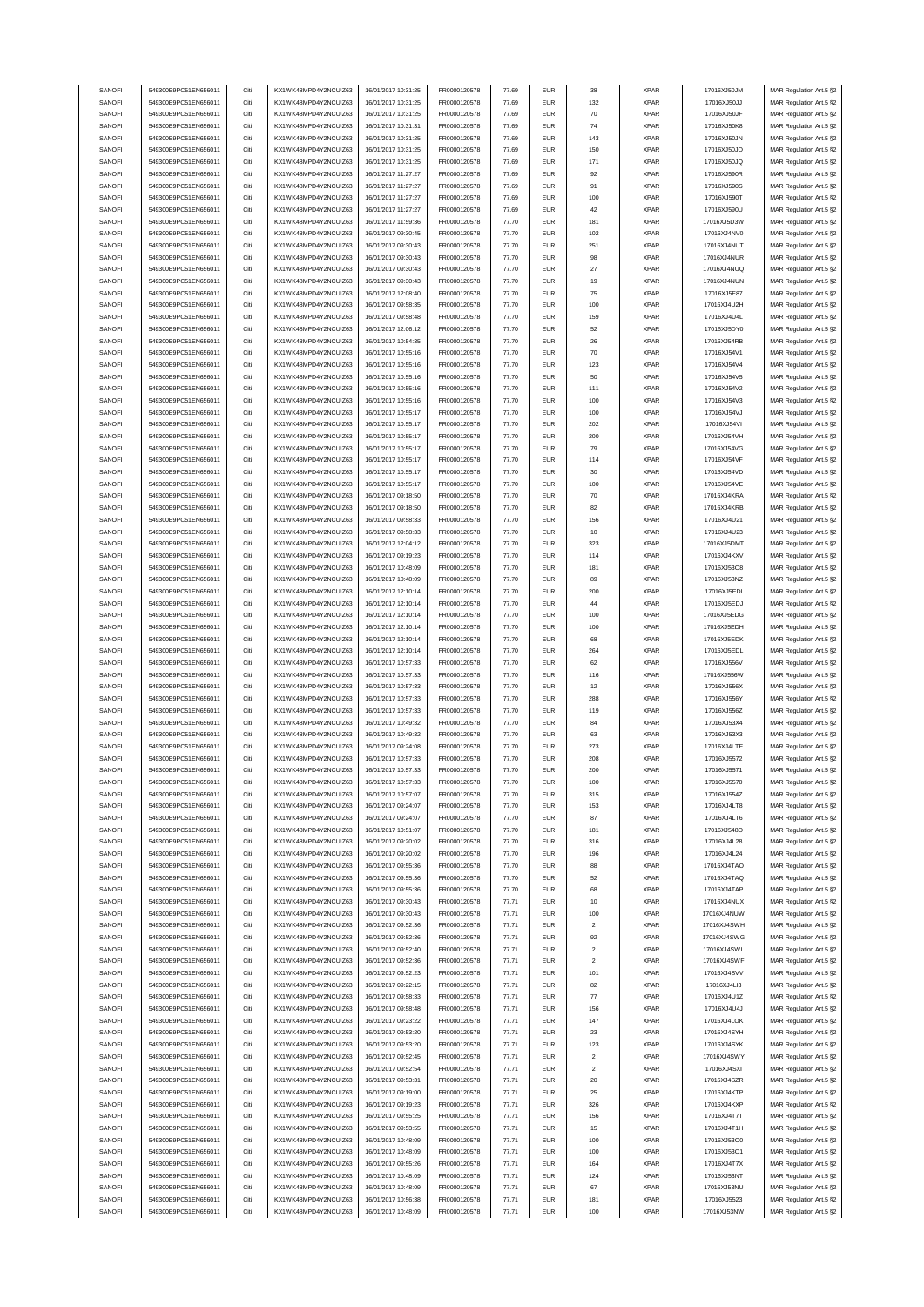| SANOFI | 549300E9PC51EN656011 | Citi | KX1WK48MPD4Y2NCUIZ63  | 16/01/2017 10:31:25 | FR0000120578        | 77.69 | <b>EUR</b> | 38             | <b>XPAR</b> | 17016XJ50JM | MAR Regulation Art.5 §2 |
|--------|----------------------|------|-----------------------|---------------------|---------------------|-------|------------|----------------|-------------|-------------|-------------------------|
| SANOFI | 549300E9PC51EN656011 | Citi | KX1WK48MPD4Y2NCLIIZ63 | 16/01/2017 10:31:25 | FR0000120578        | 77.69 | <b>EUR</b> | 132            | <b>XPAR</b> | 17016XJ50JJ | MAR Regulation Art.5 §2 |
|        |                      |      |                       |                     |                     |       |            |                |             |             |                         |
| SANOFI | 549300E9PC51EN656011 | Citi | KX1WK48MPD4Y2NCUIZ63  | 16/01/2017 10:31:25 | FR0000120578        | 77.69 | <b>EUR</b> | 70             | <b>XPAR</b> | 17016XJ50JF | MAR Regulation Art.5 §2 |
| SANOFI | 549300E9PC51EN656011 | Citi | KX1WK48MPD4Y2NCUIZ63  | 16/01/2017 10:31:31 | FR0000120578        | 77.69 | <b>EUR</b> | 74             | <b>XPAR</b> | 17016XJ50K8 | MAR Regulation Art.5 §2 |
| SANOFI | 549300E9PC51EN656011 | Citi | KX1WK48MPD4Y2NCUIZ63  | 16/01/2017 10:31:25 | FR0000120578        | 77.69 | <b>EUR</b> | 143            | <b>XPAR</b> | 17016XJ50JN | MAR Regulation Art.5 §2 |
| SANOFI | 549300E9PC51EN656011 | Citi | KX1WK48MPD4Y2NCUIZ63  | 16/01/2017 10:31:25 | FR0000120578        | 77.69 | <b>EUR</b> | 150            | <b>XPAR</b> | 17016XJ50JO | MAR Regulation Art.5 §2 |
| SANOFI | 549300E9PC51EN656011 | Citi | KX1WK48MPD4Y2NCUIZ63  | 16/01/2017 10:31:25 | FR0000120578        | 77.69 | <b>EUR</b> | 171            | <b>XPAR</b> | 17016XJ50JQ | MAR Regulation Art.5 §2 |
| SANOFI | 549300E9PC51EN656011 | Citi | KX1WK48MPD4Y2NCUIZ63  | 16/01/2017 11:27:27 | FR0000120578        | 77.69 | <b>EUR</b> | 92             | <b>XPAR</b> | 17016XJ590R | MAR Regulation Art.5 §2 |
|        |                      |      |                       |                     |                     |       |            |                |             |             |                         |
| SANOFI | 549300E9PC51EN656011 | Citi | KX1WK48MPD4Y2NCUIZ63  | 16/01/2017 11:27:27 | FR0000120578        | 77.69 | <b>EUR</b> | 91             | <b>XPAR</b> | 17016XJ590S | MAR Regulation Art.5 §2 |
| SANOFI | 549300E9PC51EN656011 | Citi | KX1WK48MPD4Y2NCUIZ63  | 16/01/2017 11:27:27 | FR0000120578        | 77.69 | <b>EUR</b> | 100            | <b>XPAR</b> | 17016XJ590T | MAR Regulation Art.5 §2 |
| SANOFI | 549300E9PC51EN656011 | Citi | KX1WK48MPD4Y2NCUIZ63  | 16/01/2017 11:27:27 | FR0000120578        | 77.69 | <b>EUR</b> | 42             | <b>XPAR</b> | 17016XJ590U | MAR Regulation Art.5 §2 |
| SANOFI | 549300E9PC51EN656011 | Citi | KX1WK48MPD4Y2NCUIZ63  | 16/01/2017 11:59:36 | FR0000120578        | 77.70 | <b>EUR</b> | 181            | <b>XPAR</b> | 17016XJ5D3W | MAR Regulation Art.5 §2 |
| SANOFI | 549300E9PC51EN656011 | Citi | KX1WK48MPD4Y2NCUIZ63  | 16/01/2017 09:30:45 | FR0000120578        | 77.70 | <b>EUR</b> | 102            | <b>XPAR</b> | 17016XJ4NV0 | MAR Regulation Art.5 §2 |
|        |                      |      |                       |                     |                     |       |            |                |             |             |                         |
| SANOFI | 549300E9PC51EN656011 | Citi | KX1WK48MPD4Y2NCUIZ63  | 16/01/2017 09:30:43 | FR0000120578        | 77.70 | <b>EUR</b> | 251            | <b>XPAR</b> | 17016XJ4NUT | MAR Regulation Art.5 §2 |
| SANOFI | 549300E9PC51EN656011 | Citi | KX1WK48MPD4Y2NCUIZ63  | 16/01/2017 09:30:43 | FR0000120578        | 77.70 | <b>EUR</b> | 98             | <b>XPAR</b> | 17016XJ4NUR | MAR Regulation Art.5 §2 |
| SANOFI | 549300E9PC51EN656011 | Citi | KX1WK48MPD4Y2NCUIZ63  | 16/01/2017 09:30:43 | FR0000120578        | 77.70 | <b>EUR</b> | 27             | <b>XPAR</b> | 17016XJ4NUQ | MAR Regulation Art.5 §2 |
| SANOFI | 549300E9PC51EN656011 | Citi | KX1WK48MPD4Y2NCUIZ63  | 16/01/2017 09:30:43 | FR0000120578        | 77.70 | <b>EUR</b> | 19             | <b>XPAR</b> | 17016XJ4NUN | MAR Regulation Art.5 §2 |
| SANOFI | 549300E9PC51EN656011 | Citi | KX1WK48MPD4Y2NCLIIZ63 | 16/01/2017 12:08:40 | FR0000120578        | 77.70 | <b>EUR</b> | 75             | <b>XPAR</b> | 17016XJ5E87 | MAR Regulation Art.5 §2 |
| SANOFI | 549300E9PC51EN656011 | Citi | KX1WK48MPD4Y2NCUIZ63  | 16/01/2017 09:58:35 | FR0000120578        | 77.70 | <b>EUR</b> | 100            | <b>XPAR</b> | 17016XJ4U2H |                         |
|        |                      |      |                       |                     |                     |       |            |                |             |             | MAR Regulation Art.5 §2 |
| SANOFI | 549300E9PC51EN656011 | Citi | KX1WK48MPD4Y2NCUIZ63  | 16/01/2017 09:58:48 | FR0000120578        | 77.70 | <b>EUR</b> | 159            | <b>XPAR</b> | 17016XJ4U4L | MAR Regulation Art.5 §2 |
| SANOFI | 549300E9PC51EN656011 | Citi | KX1WK48MPD4Y2NCUIZ63  | 16/01/2017 12:06:12 | FR0000120578        | 77.70 | <b>EUR</b> | 52             | <b>XPAR</b> | 17016XJ5DY0 | MAR Regulation Art.5 §2 |
| SANOFI | 549300E9PC51EN656011 | Citi | KX1WK48MPD4Y2NCUIZ63  | 16/01/2017 10:54:35 | FR0000120578        | 77.70 | <b>EUR</b> | ${\bf 26}$     | <b>XPAR</b> | 17016XJ54RB | MAR Regulation Art.5 §2 |
| SANOFI | 549300E9PC51EN656011 | Citi | KX1WK48MPD4Y2NCUIZ63  | 16/01/2017 10:55:16 | FR0000120578        | 77.70 | <b>EUR</b> | 70             | <b>XPAR</b> | 17016XJ54V1 | MAR Regulation Art.5 §2 |
| SANOFI | 549300E9PC51EN656011 | Citi | KX1WK48MPD4Y2NCUIZ63  | 16/01/2017 10:55:16 | FR0000120578        | 77.70 | <b>EUR</b> | 123            | <b>XPAR</b> | 17016XJ54V4 | MAR Regulation Art.5 §2 |
| SANOFI | 549300E9PC51EN656011 | Citi | KX1WK48MPD4Y2NCLIIZ63 | 16/01/2017 10:55:16 | FR0000120578        | 77.70 | <b>EUR</b> | 50             | <b>XPAR</b> | 17016XJ54V5 | MAR Regulation Art.5 §2 |
|        |                      |      |                       |                     |                     |       |            |                |             |             |                         |
| SANOFI | 549300E9PC51EN656011 | Citi | KX1WK48MPD4Y2NCUIZ63  | 16/01/2017 10:55:16 | FR0000120578        | 77.70 | <b>EUR</b> | 111            | <b>XPAR</b> | 17016XJ54V2 | MAR Regulation Art.5 §2 |
| SANOFI | 549300E9PC51EN656011 | Citi | KX1WK48MPD4Y2NCUIZ63  | 16/01/2017 10:55:16 | FR0000120578        | 77.70 | <b>EUR</b> | 100            | <b>XPAR</b> | 17016XJ54V3 | MAR Regulation Art.5 §2 |
| SANOFI | 549300E9PC51EN656011 | Citi | KX1WK48MPD4Y2NCUIZ63  | 16/01/2017 10:55:17 | FR0000120578        | 77.70 | <b>EUR</b> | 100            | <b>XPAR</b> | 17016XJ54VJ | MAR Regulation Art.5 §2 |
| SANOFI | 549300E9PC51EN656011 | Citi | KX1WK48MPD4Y2NCUIZ63  | 16/01/2017 10:55:17 | FR0000120578        | 77.70 | <b>EUR</b> | 202            | <b>XPAR</b> | 17016XJ54VI | MAR Regulation Art.5 §2 |
| SANOFI | 549300E9PC51EN656011 | Citi | KX1WK48MPD4Y2NCUIZ63  | 16/01/2017 10:55:17 | FR0000120578        | 77.70 | <b>EUR</b> | 200            | <b>XPAR</b> | 17016XJ54VH | MAR Regulation Art.5 §2 |
|        |                      |      |                       |                     |                     |       |            |                |             |             |                         |
| SANOFI | 549300E9PC51EN656011 | Citi | KX1WK48MPD4Y2NCUIZ63  | 16/01/2017 10:55:17 | FR0000120578        | 77.70 | <b>EUR</b> | 79             | <b>XPAR</b> | 17016XJ54VG | MAR Regulation Art.5 §2 |
| SANOFI | 549300E9PC51EN656011 | Citi | KX1WK48MPD4Y2NCUIZ63  | 16/01/2017 10:55:17 | FR0000120578        | 77.70 | <b>EUR</b> | 114            | <b>XPAR</b> | 17016XJ54VF | MAR Regulation Art.5 §2 |
| SANOFI | 549300E9PC51EN656011 | Citi | KX1WK48MPD4Y2NCUIZ63  | 16/01/2017 10:55:17 | FR0000120578        | 77.70 | <b>EUR</b> | 30             | <b>XPAR</b> | 17016XJ54VD | MAR Regulation Art.5 §2 |
| SANOFI | 549300E9PC51EN656011 | Citi | KX1WK48MPD4Y2NCUIZ63  | 16/01/2017 10:55:17 | FR0000120578        | 77.70 | <b>EUR</b> | 100            | <b>XPAR</b> | 17016XJ54VE | MAR Regulation Art.5 §2 |
| SANOFI | 549300E9PC51EN656011 | Citi | KX1WK48MPD4Y2NCUIZ63  | 16/01/2017 09:18:50 | FR0000120578        | 77.70 | <b>EUR</b> | 70             | <b>XPAR</b> | 17016XJ4KRA | MAR Regulation Art.5 §2 |
| SANOFI | 549300E9PC51EN656011 | Citi | KX1WK48MPD4Y2NCUIZ63  | 16/01/2017 09:18:50 | FR0000120578        | 77.70 | <b>EUR</b> | 82             | <b>XPAR</b> | 17016XJ4KRB | MAR Regulation Art.5 §2 |
|        |                      |      |                       |                     |                     |       |            |                |             |             |                         |
| SANOFI | 549300E9PC51EN656011 | Citi | KX1WK48MPD4Y2NCUIZ63  | 16/01/2017 09:58:33 | FR0000120578        | 77.70 | <b>EUR</b> | 156            | <b>XPAR</b> | 17016XJ4U21 | MAR Regulation Art.5 §2 |
| SANOFI | 549300E9PC51EN656011 | Citi | KX1WK48MPD4Y2NCUIZ63  | 16/01/2017 09:58:33 | FR0000120578        | 77.70 | <b>EUR</b> | 10             | <b>XPAR</b> | 17016XJ4U23 | MAR Regulation Art.5 §2 |
| SANOFI | 549300E9PC51EN656011 | Citi | KX1WK48MPD4Y2NCUIZ63  | 16/01/2017 12:04:12 | FR0000120578        | 77.70 | <b>EUR</b> | 323            | <b>XPAR</b> | 17016XJ5DMT | MAR Regulation Art.5 §2 |
| SANOFI | 549300E9PC51EN656011 | Citi | KX1WK48MPD4Y2NCUIZ63  | 16/01/2017 09:19:23 | FR0000120578        | 77.70 | <b>EUR</b> | 114            | <b>XPAR</b> | 17016XJ4KXV | MAR Regulation Art.5 §2 |
| SANOFI | 549300E9PC51EN656011 | Citi | KX1WK48MPD4Y2NCUIZ63  | 16/01/2017 10:48:09 | FR0000120578        | 77.70 | <b>EUR</b> | 181            | <b>XPAR</b> | 17016XJ53O8 | MAR Regulation Art.5 §2 |
| SANOFI | 549300E9PC51EN656011 | Citi | KX1WK48MPD4Y2NCUIZ63  | 16/01/2017 10:48:09 | FR0000120578        | 77.70 | <b>EUR</b> | 89             | <b>XPAR</b> |             |                         |
|        |                      |      |                       |                     |                     |       |            |                |             | 17016XJ53NZ | MAR Regulation Art.5 §2 |
| SANOFI | 549300E9PC51EN656011 | Citi | KX1WK48MPD4Y2NCUIZ63  | 16/01/2017 12:10:14 | FR0000120578        | 77.70 | <b>EUR</b> | 200            | <b>XPAR</b> | 17016XJ5EDI | MAR Regulation Art.5 §2 |
| SANOFI | 549300E9PC51EN656011 | Citi | KX1WK48MPD4Y2NCUIZ63  | 16/01/2017 12:10:14 | FR0000120578        | 77.70 | <b>EUR</b> | 44             | <b>XPAR</b> | 17016XJ5EDJ | MAR Regulation Art.5 §2 |
| SANOFI | 549300E9PC51EN656011 | Citi | KX1WK48MPD4Y2NCUIZ63  | 16/01/2017 12:10:14 | FR0000120578        | 77.70 | <b>EUR</b> | 100            | <b>XPAR</b> | 17016XJ5EDG | MAR Regulation Art.5 §2 |
| SANOFI | 549300E9PC51EN656011 | Citi | KX1WK48MPD4Y2NCUIZ63  | 16/01/2017 12:10:14 | FR0000120578        | 77.70 | <b>EUR</b> | 100            | <b>XPAR</b> | 17016XJ5EDH | MAR Regulation Art.5 §2 |
| SANOFI | 549300E9PC51EN656011 | Citi | KX1WK48MPD4Y2NCUIZ63  | 16/01/2017 12:10:14 | FR0000120578        | 77.70 | <b>EUR</b> | 68             | <b>XPAR</b> | 17016XJ5EDK | MAR Regulation Art.5 §2 |
|        |                      |      |                       |                     |                     |       |            |                |             |             |                         |
| SANOFI | 549300E9PC51EN656011 | Citi | KX1WK48MPD4Y2NCUIZ63  | 16/01/2017 12:10:14 | FR0000120578        | 77.70 | <b>EUR</b> | 264            | <b>XPAR</b> | 17016XJ5EDL | MAR Regulation Art.5 §2 |
| SANOFI | 549300E9PC51EN656011 | Citi | KX1WK48MPD4Y2NCUIZ63  | 16/01/2017 10:57:33 | FR0000120578        | 77.70 | <b>EUR</b> | 62             | <b>XPAR</b> | 17016XJ556V | MAR Regulation Art.5 §2 |
| SANOFI | 549300E9PC51EN656011 | Citi | KX1WK48MPD4Y2NCUIZ63  | 16/01/2017 10:57:33 | FR0000120578        | 77.70 | <b>EUR</b> | 116            | <b>XPAR</b> | 17016XJ556W | MAR Regulation Art.5 §2 |
| SANOFI | 549300E9PC51EN656011 | Citi | KX1WK48MPD4Y2NCUIZ63  | 16/01/2017 10:57:33 | FR0000120578        | 77.70 | <b>EUR</b> | 12             | <b>XPAR</b> | 17016XJ556X | MAR Regulation Art.5 §2 |
| SANOFI | 549300E9PC51EN656011 | Citi | KX1WK48MPD4Y2NCUIZ63  | 16/01/2017 10:57:33 | FR0000120578        | 77.70 | <b>EUR</b> | 288            | <b>XPAR</b> | 17016XJ556Y | MAR Regulation Art.5 §2 |
|        | 549300E9PC51EN656011 |      |                       | 16/01/2017 10:57:33 | FR0000120578        |       |            |                |             |             |                         |
| SANOFI |                      | Citi | KX1WK48MPD4Y2NCUIZ63  |                     |                     | 77.70 | <b>EUR</b> | 119            | <b>XPAR</b> | 17016XJ556Z | MAR Regulation Art.5 §2 |
| SANOFI | 549300E9PC51EN656011 | Citi | KX1WK48MPD4Y2NCUIZ63  | 16/01/2017 10:49:32 | FR0000120578        | 77.70 | <b>EUR</b> | 84             | <b>XPAR</b> | 17016XJ53X4 | MAR Regulation Art.5 §2 |
| SANOFI | 549300E9PC51EN656011 | Citi | KX1WK48MPD4Y2NCUIZ63  | 16/01/2017 10:49:32 | FR0000120578        | 77.70 | <b>EUR</b> | 63             | <b>XPAR</b> | 17016XJ53X3 | MAR Regulation Art.5 §2 |
| SANOFI | 549300E9PC51EN656011 | Citi | KX1WK48MPD4Y2NCUIZ63  | 16/01/2017 09:24:08 | FR0000120578        | 77.70 | <b>EUR</b> | 273            | <b>XPAR</b> | 17016XJ4LTE | MAR Regulation Art.5 §2 |
| SANOFI | 549300E9PC51EN656011 | Citi | KX1WK48MPD4Y2NCUIZ63  | 16/01/2017 10:57:33 | FR0000120578        | 77.70 | <b>EUR</b> | 208            | <b>XPAR</b> | 17016XJ5572 | MAR Regulation Art.5 §2 |
| SANOFI | 549300E9PC51EN656011 |      | KX1WK48MPD4Y2NCLIIZ63 | 16/01/2017 10:57:33 | <b>ER0000120578</b> | 77.70 |            | 200            | <b>XPAR</b> | 17016XJ5571 | MAR Regulation Art 5 82 |
|        |                      |      |                       |                     |                     |       |            |                |             |             |                         |
| SANOFI | 549300E9PC51EN656011 | Citi | KX1WK48MPD4Y2NCUIZ63  | 16/01/2017 10:57:33 | FR0000120578        | 77.70 | <b>EUR</b> | 100            | <b>XPAR</b> | 17016XJ5570 | MAR Regulation Art.5 §2 |
| SANOFI | 549300E9PC51EN656011 | Citi | KX1WK48MPD4Y2NCUIZ63  | 16/01/2017 10:57:07 | FR0000120578        | 77.70 | <b>EUR</b> | 315            | <b>XPAR</b> | 17016XJ554Z | MAR Regulation Art.5 §2 |
| SANOFI | 549300E9PC51EN656011 | Citi | KX1WK48MPD4Y2NCUIZ63  | 16/01/2017 09:24:07 | FR0000120578        | 77.70 | <b>EUR</b> | 153            | <b>XPAR</b> | 17016XJ4LT8 | MAR Regulation Art.5 §2 |
| SANOFI | 549300E9PC51EN656011 | Citi | KX1WK48MPD4Y2NCUIZ63  | 16/01/2017 09:24:07 | FR0000120578        | 77.70 | <b>EUR</b> | 87             | <b>XPAR</b> | 17016XJ4LT6 | MAR Regulation Art.5 §2 |
| SANOFI | 549300E9PC51EN656011 | Citi | KX1WK48MPD4Y2NCUIZ63  | 16/01/2017 10:51:07 | FR0000120578        | 77.70 | <b>EUR</b> | 181            | <b>XPAR</b> | 17016XJ548O | MAR Regulation Art.5 §2 |
| SANOFI | 549300E9PC51EN656011 | Citi | KX1WK48MPD4Y2NCUIZ63  | 16/01/2017 09:20:02 | FR0000120578        | 77.70 | <b>EUR</b> | 316            | <b>XPAR</b> | 17016XJ4L28 | MAR Regulation Art.5 §2 |
|        |                      |      | KX1WK48MPD4Y2NCUIZ63  |                     |                     |       |            |                |             |             |                         |
| SANOFI | 549300E9PC51EN656011 | Citi |                       | 16/01/2017 09:20:02 | FR0000120578        | 77.70 | <b>EUR</b> | 196            | <b>XPAR</b> | 17016XJ4L24 | MAR Regulation Art.5 §2 |
| SANOFI | 549300E9PC51EN656011 | Citi | KX1WK48MPD4Y2NCUIZ63  | 16/01/2017 09:55:36 | FR0000120578        | 77.70 | <b>EUR</b> | 88             | <b>XPAR</b> | 17016XJ4TAO | MAR Regulation Art.5 §2 |
| SANOFI | 549300E9PC51EN656011 | Citi | KX1WK48MPD4Y2NCUIZ63  | 16/01/2017 09:55:36 | FR0000120578        | 77.70 | <b>EUR</b> | 52             | <b>XPAR</b> | 17016XJ4TAQ | MAR Regulation Art.5 §2 |
| SANOFI | 549300E9PC51EN656011 | Citi | KX1WK48MPD4Y2NCUIZ63  | 16/01/2017 09:55:36 | FR0000120578        | 77.70 | <b>EUR</b> | 68             | <b>XPAR</b> | 17016XJ4TAP | MAR Regulation Art.5 §2 |
| SANOFI | 549300E9PC51EN656011 | Citi | KX1WK48MPD4Y2NCUIZ63  | 16/01/2017 09:30:43 | FR0000120578        | 77.71 | <b>EUR</b> | 10             | <b>XPAR</b> | 17016XJ4NUX | MAR Regulation Art.5 §2 |
| SANOFI | 549300E9PC51EN656011 | Citi | KX1WK48MPD4Y2NCUIZ63  | 16/01/2017 09:30:43 | FR0000120578        | 77.71 | <b>EUR</b> | 100            | <b>XPAR</b> | 17016XJ4NUW | MAR Regulation Art.5 §2 |
| SANOFI | 549300E9PC51EN656011 | Citi | KX1WK48MPD4Y2NCUIZ63  | 16/01/2017 09:52:36 | FR0000120578        | 77.71 | <b>EUR</b> | $\sqrt{2}$     | <b>XPAR</b> | 17016XJ4SWH | MAR Regulation Art.5 §2 |
|        |                      |      |                       |                     |                     |       |            |                |             |             |                         |
| SANOFI | 549300E9PC51EN656011 | Citi | KX1WK48MPD4Y2NCUIZ63  | 16/01/2017 09:52:36 | FR0000120578        | 77.71 | <b>EUR</b> | 92             | <b>XPAR</b> | 17016XJ4SWG | MAR Regulation Art.5 §2 |
| SANOFI | 549300E9PC51EN656011 | Citi | KX1WK48MPD4Y2NCUIZ63  | 16/01/2017 09:52:40 | FR0000120578        | 77.71 | <b>EUR</b> | $\overline{2}$ | <b>XPAR</b> | 17016XJ4SWL | MAR Regulation Art.5 §2 |
| SANOFI | 549300E9PC51EN656011 | Citi | KX1WK48MPD4Y2NCUIZ63  | 16/01/2017 09:52:36 | FR0000120578        | 77.71 | <b>EUR</b> | $\overline{2}$ | XPAR        | 17016XJ4SWF | MAR Regulation Art.5 §2 |
| SANOFI | 549300E9PC51EN656011 | Citi | KX1WK48MPD4Y2NCUIZ63  | 16/01/2017 09:52:23 | FR0000120578        | 77.71 | <b>EUR</b> | 101            | <b>XPAR</b> | 17016XJ4SVV | MAR Regulation Art.5 §2 |
| SANOFI | 549300E9PC51EN656011 | Citi | KX1WK48MPD4Y2NCUIZ63  | 16/01/2017 09:22:15 | FR0000120578        | 77.71 | <b>EUR</b> | 82             | <b>XPAR</b> | 17016XJ4LI3 | MAR Regulation Art.5 §2 |
|        |                      |      |                       |                     |                     |       |            |                |             |             |                         |
| SANOFI | 549300E9PC51EN656011 | Citi | KX1WK48MPD4Y2NCUIZ63  | 16/01/2017 09:58:33 | FR0000120578        | 77.71 | <b>EUR</b> | ${\bf 77}$     | <b>XPAR</b> | 17016XJ4U1Z | MAR Regulation Art.5 §2 |
| SANOFI | 549300E9PC51EN656011 | Citi | KX1WK48MPD4Y2NCUIZ63  | 16/01/2017 09:58:48 | FR0000120578        | 77.71 | <b>EUR</b> | 156            | <b>XPAR</b> | 17016XJ4U4J | MAR Regulation Art.5 §2 |
| SANOFI | 549300E9PC51EN656011 | Citi | KX1WK48MPD4Y2NCUIZ63  | 16/01/2017 09:23:22 | FR0000120578        | 77.71 | <b>EUR</b> | 147            | <b>XPAR</b> | 17016XJ4LOK | MAR Regulation Art.5 §2 |
| SANOFI | 549300E9PC51EN656011 | Citi | KX1WK48MPD4Y2NCUIZ63  | 16/01/2017 09:53:20 | FR0000120578        | 77.71 | <b>EUR</b> | 23             | <b>XPAR</b> | 17016XJ4SYH | MAR Regulation Art.5 §2 |
| SANOFI | 549300E9PC51EN656011 | Citi | KX1WK48MPD4Y2NCUIZ63  | 16/01/2017 09:53:20 | FR0000120578        | 77.71 | <b>EUR</b> | 123            | <b>XPAR</b> | 17016XJ4SYK | MAR Regulation Art.5 §2 |
| SANOFI | 549300E9PC51EN656011 | Citi | KX1WK48MPD4Y2NCUIZ63  | 16/01/2017 09:52:45 | FR0000120578        | 77.71 | <b>EUR</b> | $\overline{2}$ | <b>XPAR</b> | 17016XJ4SWY | MAR Regulation Art.5 §2 |
|        |                      |      |                       |                     |                     |       |            |                |             |             |                         |
| SANOFI | 549300E9PC51EN656011 | Citi | KX1WK48MPD4Y2NCUIZ63  | 16/01/2017 09:52:54 | FR0000120578        | 77.71 | <b>EUR</b> | $\sqrt{2}$     | XPAR        | 17016XJ4SXI | MAR Regulation Art.5 §2 |
| SANOFI | 549300E9PC51EN656011 | Citi | KX1WK48MPD4Y2NCUIZ63  | 16/01/2017 09:53:31 | FR0000120578        | 77.71 | <b>EUR</b> | $20\,$         | <b>XPAR</b> | 17016XJ4SZR | MAR Regulation Art.5 §2 |
| SANOFI | 549300E9PC51EN656011 | Citi | KX1WK48MPD4Y2NCUIZ63  | 16/01/2017 09:19:00 | FR0000120578        | 77.71 | <b>EUR</b> | 25             | <b>XPAR</b> | 17016XJ4KTP | MAR Regulation Art.5 §2 |
| SANOFI | 549300E9PC51EN656011 | Citi | KX1WK48MPD4Y2NCUIZ63  | 16/01/2017 09:19:23 | FR0000120578        | 77.71 | <b>EUR</b> | 326            | <b>XPAR</b> | 17016XJ4KXP | MAR Regulation Art.5 §2 |
| SANOFI | 549300E9PC51EN656011 | Citi | KX1WK48MPD4Y2NCUIZ63  | 16/01/2017 09:55:25 | FR0000120578        | 77.71 | <b>EUR</b> | 156            | <b>XPAR</b> | 17016XJ4T7T | MAR Regulation Art.5 §2 |
| SANOFI |                      |      | KX1WK48MPD4Y2NCUIZ63  |                     | FR0000120578        |       |            |                |             | 17016XJ4T1H |                         |
|        | 549300E9PC51EN656011 | Citi |                       | 16/01/2017 09:53:55 |                     | 77.71 | <b>EUR</b> | 15             | <b>XPAR</b> |             | MAR Regulation Art.5 §2 |
| SANOFI | 549300E9PC51EN656011 | Citi | KX1WK48MPD4Y2NCUIZ63  | 16/01/2017 10:48:09 | FR0000120578        | 77.71 | <b>EUR</b> | 100            | <b>XPAR</b> | 17016XJ53O0 | MAR Regulation Art.5 §2 |
| SANOFI | 549300E9PC51EN656011 | Citi | KX1WK48MPD4Y2NCUIZ63  | 16/01/2017 10:48:09 | FR0000120578        | 77.71 | <b>EUR</b> | 100            | <b>XPAR</b> | 17016XJ53O1 | MAR Regulation Art.5 §2 |
| SANOFI | 549300E9PC51EN656011 | Citi | KX1WK48MPD4Y2NCUIZ63  | 16/01/2017 09:55:26 | FR0000120578        | 77.71 | <b>EUR</b> | 164            | <b>XPAR</b> | 17016XJ4T7X | MAR Regulation Art.5 §2 |
| SANOFI | 549300E9PC51EN656011 | Citi | KX1WK48MPD4Y2NCUIZ63  | 16/01/2017 10:48:09 | FR0000120578        | 77.71 | <b>EUR</b> | 124            | <b>XPAR</b> | 17016XJ53NT | MAR Regulation Art.5 §2 |
| SANOFI | 549300E9PC51EN656011 | Citi | KX1WK48MPD4Y2NCUIZ63  | 16/01/2017 10:48:09 | FR0000120578        | 77.71 | <b>EUR</b> | 67             | <b>XPAR</b> | 17016XJ53NU | MAR Regulation Art.5 §2 |
|        |                      |      |                       |                     |                     |       |            |                |             |             |                         |
| SANOFI | 549300E9PC51EN656011 | Citi | KX1WK48MPD4Y2NCUIZ63  | 16/01/2017 10:56:38 | FR0000120578        | 77.71 | <b>EUR</b> | 181            | <b>XPAR</b> | 17016XJ5523 | MAR Regulation Art.5 §2 |
| SANOFI | 549300E9PC51EN656011 | Citi | KX1WK48MPD4Y2NCUIZ63  | 16/01/2017 10:48:09 | FR0000120578        | 77.71 | <b>EUR</b> | 100            | <b>XPAR</b> | 17016XJ53NW | MAR Regulation Art.5 §2 |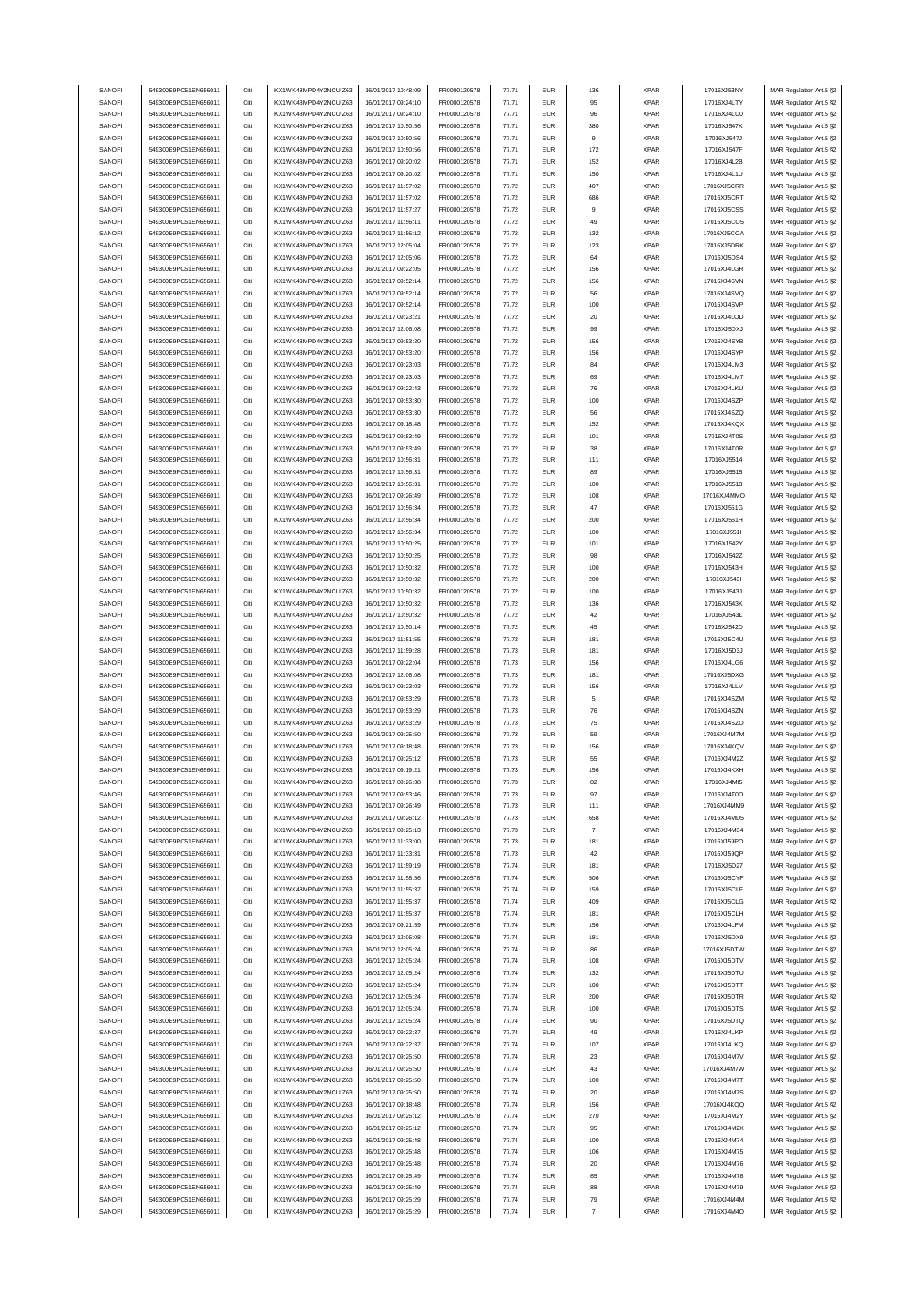| SANOFI<br>549300E9PC51EN656011<br>Citi<br>KX1WK48MPD4Y2NCUIZ63<br>16/01/2017 10:48:09<br>FR0000120578<br>77.71<br><b>EUR</b><br>136<br>SANOFI<br>549300E9PC51EN656011<br>Citi<br>KX1WK48MPD4Y2NCUIZ63<br>16/01/2017 09:24:10<br>77.71<br><b>EUR</b><br>95<br>FR0000120578<br>SANOFI<br>549300E9PC51EN656011<br>Citi<br>KX1WK48MPD4Y2NCUIZ63<br>16/01/2017 09:24:10<br>FR0000120578<br>77.71<br><b>EUR</b><br>96<br><b>EUR</b><br>SANOFI<br>549300E9PC51EN656011<br>Citi<br>KX1WK48MPD4Y2NCUIZ63<br>16/01/2017 10:50:56<br>FR0000120578<br>77.71<br>380<br>Citi<br>77.71<br><b>EUR</b><br>SANOFI<br>549300E9PC51EN656011<br>KX1WK48MPD4Y2NCLIIZ63<br>16/01/2017 10:50:56<br>FR0000120578<br>$\mathsf g$<br>SANOFI<br>549300E9PC51EN656011<br>Citi<br>KX1WK48MPD4Y2NCUIZ63<br>16/01/2017 10:50:56<br>FR0000120578<br>77.71<br><b>EUR</b><br>172<br>SANOFI<br>549300E9PC51EN656011<br>Citi<br>KX1WK48MPD4Y2NCUIZ63<br>16/01/2017 09:20:02<br>FR0000120578<br>77.71<br><b>EUR</b><br>152<br>SANOFI<br>549300E9PC51EN656011<br>Citi<br>16/01/2017 09:20:02<br>FR0000120578<br><b>EUR</b><br>150<br>KX1WK48MPD4Y2NCUIZ63<br>77.71<br>SANOFI<br>549300E9PC51EN656011<br>Citi<br>KX1WK48MPD4Y2NCUIZ63<br>16/01/2017 11:57:02<br>FR0000120578<br><b>EUR</b><br>77.72<br>407<br>SANOFI<br>549300E9PC51EN656011<br>Citi<br>KX1WK48MPD4Y2NCUIZ63<br>16/01/2017 11:57:02<br>FR0000120578<br>77.72<br><b>EUR</b><br>686<br>SANOFI<br>549300E9PC51EN656011<br>Citi<br>KX1WK48MPD4Y2NCUIZ63<br>16/01/2017 11:57:27<br>FR0000120578<br><b>EUR</b><br>77.72<br>9<br>Citi<br>77.72<br><b>EUR</b><br>SANOFI<br>549300E9PC51EN656011<br>KX1WK48MPD4Y2NCUIZ63<br>16/01/2017 11:56:11<br>FR0000120578<br>49<br>SANOFI<br><b>EUR</b><br>549300E9PC51EN656011<br>Citi<br>KX1WK48MPD4Y2NCUIZ63<br>16/01/2017 11:56:12<br>FR0000120578<br>77.72<br>132<br>SANOFI<br>549300E9PC51EN656011<br>Citi<br>KX1WK48MPD4Y2NCUIZ63<br>16/01/2017 12:05:04<br>FR0000120578<br>77.72<br><b>EUR</b><br>123<br>Citi<br><b>EUR</b><br>64<br>SANOFI<br>549300E9PC51EN656011<br>KX1WK48MPD4Y2NCUIZ63<br>16/01/2017 12:05:06<br>FR0000120578<br>77.72<br>SANOFI<br>549300E9PC51EN656011<br>Citi<br>KX1WK48MPD4Y2NCUIZ63<br>16/01/2017 09:22:05<br>FR0000120578<br><b>EUR</b><br>77.72<br>156<br>SANOFI<br>549300E9PC51EN656011<br>Citi<br>KX1WK48MPD4Y2NCUIZ63<br>16/01/2017 09:52:14<br>FR0000120578<br>77.72<br>156<br><b>EUR</b><br>SANOFI<br>549300E9PC51EN656011<br>Citi<br>KX1WK48MPD4Y2NCUIZ63<br>16/01/2017 09:52:14<br>77.72<br><b>EUR</b><br>FR0000120578<br>56<br>SANOFI<br>549300E9PC51EN656011<br>Citi<br>KX1WK48MPD4Y2NCUIZ63<br>16/01/2017 09:52:14<br>FR0000120578<br>77.72<br><b>EUR</b><br>100<br>SANOFI<br>549300E9PC51EN656011<br>Citi<br>KX1WK48MPD4Y2NCUIZ63<br>16/01/2017 09:23:21<br>FR0000120578<br>77.72<br><b>EUR</b><br>$20\,$<br>SANOFI<br>77.72<br>549300E9PC51EN656011<br>Citi<br>KX1WK48MPD4Y2NCUIZ63<br>16/01/2017 12:06:08<br>FR0000120578<br><b>EUR</b><br>99<br>SANOFI<br>549300E9PC51EN656011<br>Citi<br>KX1WK48MPD4Y2NCUIZ63<br>16/01/2017 09:53:20<br>FR0000120578<br>77.72<br><b>EUR</b><br>156<br>SANOFI<br>549300E9PC51EN656011<br>Citi<br>KX1WK48MPD4Y2NCUIZ63<br>16/01/2017 09:53:20<br>FR0000120578<br>77.72<br><b>EUR</b><br>156<br>SANOFI<br>549300E9PC51EN656011<br>16/01/2017 09:23:03<br>FR0000120578<br>Citi<br>KX1WK48MPD4Y2NCUIZ63<br>77.72<br><b>EUR</b><br>84<br>SANOFI<br>549300E9PC51EN656011<br>Citi<br>KX1WK48MPD4Y2NCUIZ63<br>16/01/2017 09:23:03<br>FR0000120578<br><b>EUR</b><br>77.72<br>69<br>SANOFI<br>549300E9PC51EN656011<br>Citi<br>KX1WK48MPD4Y2NCUIZ63<br>16/01/2017 09:22:43<br>FR0000120578<br>77.72<br><b>EUR</b><br>76<br>SANOFI<br>549300E9PC51EN656011<br>Citi<br>KX1WK48MPD4Y2NCUIZ63<br>16/01/2017 09:53:30<br>77.72<br><b>EUR</b><br>100<br>FR0000120578<br>SANOFI<br>549300E9PC51EN656011<br>Citi<br>KX1WK48MPD4Y2NCUIZ63<br>16/01/2017 09:53:30<br>FR0000120578<br>77.72<br><b>EUR</b><br>56<br><b>EUR</b><br>SANOFI<br>549300E9PC51EN656011<br>Citi<br>KX1WK48MPD4Y2NCUIZ63<br>16/01/2017 09:18:48<br>FR0000120578<br>77.72<br>152<br>Citi<br>SANOFI<br>549300E9PC51EN656011<br>KX1WK48MPD4Y2NCUIZ63<br>16/01/2017 09:53:49<br>FR0000120578<br>77.72<br><b>EUR</b><br>101<br>SANOFI<br>549300E9PC51EN656011<br>Citi<br>KX1WK48MPD4Y2NCUIZ63<br>16/01/2017 09:53:49<br>FR0000120578<br>77.72<br><b>EUR</b><br>38<br>SANOFI<br>549300E9PC51EN656011<br>Citi<br>KX1WK48MPD4Y2NCUIZ63<br>FR0000120578<br>77.72<br><b>EUR</b><br>111<br>16/01/2017 10:56:31<br>SANOFI<br>Citi<br>FR0000120578<br><b>EUR</b><br>549300E9PC51EN656011<br>KX1WK48MPD4Y2NCUIZ63<br>16/01/2017 10:56:31<br>77.72<br>89<br>SANOFI<br>549300E9PC51EN656011<br>Citi<br>KX1WK48MPD4Y2NCUIZ63<br>16/01/2017 10:56:31<br>FR0000120578<br>77.72<br><b>EUR</b><br>100<br>SANOFI<br>549300E9PC51EN656011<br>Citi<br>KX1WK48MPD4Y2NCUIZ63<br>16/01/2017 09:26:49<br>FR0000120578<br>77.72<br><b>EUR</b><br>108<br>SANOFI<br>Citi<br>KX1WK48MPD4Y2NCUIZ63<br><b>EUR</b><br>$47\,$<br>549300E9PC51EN656011<br>16/01/2017 10:56:34<br>FR0000120578<br>77.72<br>Citi<br>77.72<br><b>EUR</b><br>SANOFI<br>549300E9PC51EN656011<br>KX1WK48MPD4Y2NCUIZ63<br>16/01/2017 10:56:34<br>FR0000120578<br>200<br>SANOFI<br>549300E9PC51EN656011<br>Citi<br>KX1WK48MPD4Y2NCUIZ63<br>16/01/2017 10:56:34<br>FR0000120578<br>77.72<br><b>EUR</b><br>100<br>SANOFI<br>549300E9PC51EN656011<br>Citi<br>KX1WK48MPD4Y2NCUIZ63<br>16/01/2017 10:50:25<br>FR0000120578<br>77.72<br><b>EUR</b><br>101<br>SANOFI<br>549300E9PC51EN656011<br>Citi<br>KX1WK48MPD4Y2NCUIZ63<br>16/01/2017 10:50:25<br>FR0000120578<br>77.72<br><b>EUR</b><br>98<br>SANOFI<br>549300E9PC51EN656011<br>Citi<br>KX1WK48MPD4Y2NCUIZ63<br>16/01/2017 10:50:32<br>FR0000120578<br>77.72<br><b>EUR</b><br>100<br>SANOFI<br>549300E9PC51EN656011<br>16/01/2017 10:50:32<br>FR0000120578<br>Citi<br>KX1WK48MPD4Y2NCUIZ63<br>77.72<br><b>EUR</b><br>200<br>SANOFI<br>549300E9PC51EN656011<br>Citi<br>KX1WK48MPD4Y2NCUIZ63<br>16/01/2017 10:50:32<br>FR0000120578<br>77.72<br><b>EUR</b><br>100<br>SANOFI<br>549300E9PC51EN656011<br>Citi<br>KX1WK48MPD4Y2NCUIZ63<br>16/01/2017 10:50:32<br>FR0000120578<br>77.72<br><b>EUR</b><br>136<br>EUR<br>42<br>SANOFI<br>549300E9PC51EN656011<br>Citi<br>KX1WK48MPD4Y2NCUIZ63<br>16/01/2017 10:50:32<br>FR0000120578<br>77.72<br>SANOFI<br>549300E9PC51EN656011<br>Citi<br>KX1WK48MPD4Y2NCUIZ63<br>16/01/2017 10:50:14<br>FR0000120578<br>77.72<br><b>EUR</b><br>45<br>SANOFI<br>549300E9PC51EN656011<br>Citi<br>KX1WK48MPD4Y2NCUIZ63<br>16/01/2017 11:51:55<br>FR0000120578<br>77.72<br><b>EUR</b><br>181<br>Citi<br>SANOFI<br>549300E9PC51EN656011<br>KX1WK48MPD4Y2NCUIZ63<br>16/01/2017 11:59:28<br>FR0000120578<br>77.73<br><b>EUR</b><br>181<br>SANOFI<br>549300E9PC51EN656011<br>KX1WK48MPD4Y2NCUIZ63<br>16/01/2017 09:22:04<br>FR0000120578<br>Citi<br>77.73<br><b>EUR</b><br>156<br>SANOFI<br>Citi<br>FR0000120578<br><b>EUR</b><br>181<br>549300E9PC51EN656011<br>KX1WK48MPD4Y2NCUIZ63<br>16/01/2017 12:06:08<br>77.73<br>SANOFI<br>549300E9PC51EN656011<br>Citi<br>KX1WK48MPD4Y2NCUIZ63<br>16/01/2017 09:23:03<br>FR0000120578<br>77.73<br><b>EUR</b><br>156<br>SANOFI<br>549300E9PC51EN656011<br>Citi<br>KX1WK48MPD4Y2NCUIZ63<br>16/01/2017 09:53:29<br>FR0000120578<br>77.73<br><b>EUR</b><br>5<br>SANOFI<br>549300E9PC51EN656011<br>Citi<br>KX1WK48MPD4Y2NCUIZ63<br>16/01/2017 09:53:29<br>FR0000120578<br>77.73<br><b>EUR</b><br>76<br><b>EUR</b><br>SANOFI<br>549300E9PC51EN656011<br>Citi<br>KX1WK48MPD4Y2NCUIZ63<br>16/01/2017 09:53:29<br>FR0000120578<br>77.73<br>75<br>SANOFI<br>549300E9PC51EN656011<br>Citi<br>KX1WK48MPD4Y2NCUIZ63<br>16/01/2017 09:25:50<br>FR0000120578<br>77.73<br><b>EUR</b><br>59 | <b>XPAR</b><br>17016XJ53NY<br>MAR Regulation Art.5 §2<br><b>XPAR</b><br>17016XJ4LTY<br>MAR Regulation Art.5 §2<br><b>XPAR</b><br>17016XJ4LU0<br>MAR Regulation Art.5 §2<br><b>XPAR</b><br>17016XJ547K<br>MAR Regulation Art.5 §2<br><b>XPAR</b><br>17016XJ547J<br>MAR Regulation Art.5 §2<br><b>XPAR</b><br>17016XJ547F<br>MAR Regulation Art.5 §2<br><b>XPAR</b><br>17016XJ4L2B<br>MAR Regulation Art.5 §2<br><b>XPAR</b><br>17016XJ4L1U<br>MAR Regulation Art.5 §2<br><b>XPAR</b><br>17016XJ5CRR<br>MAR Regulation Art.5 §2<br><b>XPAR</b><br>17016XJ5CRT<br>MAR Regulation Art.5 §2<br><b>XPAR</b><br>17016XJ5CSS<br>MAR Regulation Art.5 §2<br><b>XPAR</b><br>17016XJ5CO5<br>MAR Regulation Art.5 §2<br><b>XPAR</b><br>17016XJ5COA<br>MAR Regulation Art.5 §2<br><b>XPAR</b><br>17016XJ5DRK<br>MAR Regulation Art.5 §2<br><b>XPAR</b><br>17016XJ5DS4<br>MAR Regulation Art.5 §2<br><b>XPAR</b><br>17016XJ4LGR<br>MAR Regulation Art.5 §2<br><b>XPAR</b><br>17016XJ4SVN<br>MAR Regulation Art.5 §2<br><b>XPAR</b><br>17016XJ4SVQ<br>MAR Regulation Art.5 §2<br><b>XPAR</b><br>17016XJ4SVP<br>MAR Regulation Art.5 §2<br><b>XPAR</b><br>17016XJ4LOD<br>MAR Regulation Art.5 §2<br><b>XPAR</b><br>17016XJ5DXJ<br>MAR Regulation Art.5 §2<br><b>XPAR</b><br>17016XJ4SYB<br>MAR Regulation Art.5 §2<br><b>XPAR</b><br>17016XJ4SYP<br>MAR Regulation Art.5 §2<br><b>XPAR</b><br>17016XJ4LM3<br>MAR Regulation Art.5 §2<br><b>XPAR</b><br>17016XJ4LM7<br>MAR Regulation Art.5 §2<br><b>XPAR</b><br>17016XJ4LKU<br>MAR Regulation Art.5 §2<br><b>XPAR</b><br>17016XJ4SZP<br>MAR Regulation Art.5 §2<br><b>XPAR</b><br>17016XJ4SZQ<br>MAR Regulation Art.5 §2<br><b>XPAR</b><br>17016XJ4KQX<br>MAR Regulation Art.5 §2<br><b>XPAR</b><br>17016XJ4T0S<br>MAR Regulation Art.5 §2<br><b>XPAR</b><br>17016XJ4T0R<br>MAR Regulation Art.5 §2<br><b>XPAR</b><br>17016XJ5514<br>MAR Regulation Art.5 §2<br><b>XPAR</b><br>17016XJ5515<br>MAR Regulation Art.5 §2<br><b>XPAR</b><br>17016XJ5513<br>MAR Regulation Art.5 §2<br><b>XPAR</b><br>17016XJ4MMO<br>MAR Regulation Art.5 §2<br><b>XPAR</b><br>17016XJ551G<br>MAR Regulation Art.5 §2<br><b>XPAR</b><br>17016XJ551H<br>MAR Regulation Art.5 §2<br><b>XPAR</b><br>17016XJ551I<br>MAR Regulation Art.5 §2<br><b>XPAR</b><br>17016XJ542Y<br>MAR Regulation Art.5 §2<br><b>XPAR</b><br>17016XJ542Z<br>MAR Regulation Art.5 §2<br><b>XPAR</b><br>17016XJ543H<br>MAR Regulation Art.5 §2<br><b>XPAR</b><br>17016XJ543I<br>MAR Regulation Art.5 §2 |
|-----------------------------------------------------------------------------------------------------------------------------------------------------------------------------------------------------------------------------------------------------------------------------------------------------------------------------------------------------------------------------------------------------------------------------------------------------------------------------------------------------------------------------------------------------------------------------------------------------------------------------------------------------------------------------------------------------------------------------------------------------------------------------------------------------------------------------------------------------------------------------------------------------------------------------------------------------------------------------------------------------------------------------------------------------------------------------------------------------------------------------------------------------------------------------------------------------------------------------------------------------------------------------------------------------------------------------------------------------------------------------------------------------------------------------------------------------------------------------------------------------------------------------------------------------------------------------------------------------------------------------------------------------------------------------------------------------------------------------------------------------------------------------------------------------------------------------------------------------------------------------------------------------------------------------------------------------------------------------------------------------------------------------------------------------------------------------------------------------------------------------------------------------------------------------------------------------------------------------------------------------------------------------------------------------------------------------------------------------------------------------------------------------------------------------------------------------------------------------------------------------------------------------------------------------------------------------------------------------------------------------------------------------------------------------------------------------------------------------------------------------------------------------------------------------------------------------------------------------------------------------------------------------------------------------------------------------------------------------------------------------------------------------------------------------------------------------------------------------------------------------------------------------------------------------------------------------------------------------------------------------------------------------------------------------------------------------------------------------------------------------------------------------------------------------------------------------------------------------------------------------------------------------------------------------------------------------------------------------------------------------------------------------------------------------------------------------------------------------------------------------------------------------------------------------------------------------------------------------------------------------------------------------------------------------------------------------------------------------------------------------------------------------------------------------------------------------------------------------------------------------------------------------------------------------------------------------------------------------------------------------------------------------------------------------------------------------------------------------------------------------------------------------------------------------------------------------------------------------------------------------------------------------------------------------------------------------------------------------------------------------------------------------------------------------------------------------------------------------------------------------------------------------------------------------------------------------------------------------------------------------------------------------------------------------------------------------------------------------------------------------------------------------------------------------------------------------------------------------------------------------------------------------------------------------------------------------------------------------------------------------------------------------------------------------------------------------------------------------------------------------------------------------------------------------------------------------------------------------------------------------------------------------------------------------------------------------------------------------------------------------------------------------------------------------------------------------------------------------------------------------------------------------------------------------------------------------------------------------------------------------------------------------------------------------------------------------------------------------------------------------------------------------------------------------------------------------------------------------------------------------------------------------------------------------------------------------------------------------------------------------------------------------------------------------------------------------------------------------------------------------------------------------------------------------------------------------------------------------------------------------------------------------------------------------------------------------------------------------------------------------------------------------------------------------------------------------------------------------------------------------------------------------------------------------------------------------------------------------------------------------------------------------------------------------------------------------------------------------------------------------------------------------------------------------------------------------------------------------------------------------------------------------------------------------------------------------------------------------------------------------------------------------------------------------------------------------------------------------------------------------------------------------------------------------------------------------------------------------------------------------------------------------------------------------------------------------------------------------------------------------------------------------------------------------------------------------------------|----------------------------------------------------------------------------------------------------------------------------------------------------------------------------------------------------------------------------------------------------------------------------------------------------------------------------------------------------------------------------------------------------------------------------------------------------------------------------------------------------------------------------------------------------------------------------------------------------------------------------------------------------------------------------------------------------------------------------------------------------------------------------------------------------------------------------------------------------------------------------------------------------------------------------------------------------------------------------------------------------------------------------------------------------------------------------------------------------------------------------------------------------------------------------------------------------------------------------------------------------------------------------------------------------------------------------------------------------------------------------------------------------------------------------------------------------------------------------------------------------------------------------------------------------------------------------------------------------------------------------------------------------------------------------------------------------------------------------------------------------------------------------------------------------------------------------------------------------------------------------------------------------------------------------------------------------------------------------------------------------------------------------------------------------------------------------------------------------------------------------------------------------------------------------------------------------------------------------------------------------------------------------------------------------------------------------------------------------------------------------------------------------------------------------------------------------------------------------------------|
|                                                                                                                                                                                                                                                                                                                                                                                                                                                                                                                                                                                                                                                                                                                                                                                                                                                                                                                                                                                                                                                                                                                                                                                                                                                                                                                                                                                                                                                                                                                                                                                                                                                                                                                                                                                                                                                                                                                                                                                                                                                                                                                                                                                                                                                                                                                                                                                                                                                                                                                                                                                                                                                                                                                                                                                                                                                                                                                                                                                                                                                                                                                                                                                                                                                                                                                                                                                                                                                                                                                                                                                                                                                                                                                                                                                                                                                                                                                                                                                                                                                                                                                                                                                                                                                                                                                                                                                                                                                                                                                                                                                                                                                                                                                                                                                                                                                                                                                                                                                                                                                                                                                                                                                                                                                                                                                                                                                                                                                                                                                                                                                                                                                                                                                                                                                                                                                                                                                                                                                                                                                                                                                                                                                                                                                                                                                                                                                                                                                                                                                                                                                                                                                                                                                                                                                                                                                                                                                                                                                                                                                                                                                                                                                                                                                                                                                                                                                                                                                                                                                                                                                                                                                                                                                 |                                                                                                                                                                                                                                                                                                                                                                                                                                                                                                                                                                                                                                                                                                                                                                                                                                                                                                                                                                                                                                                                                                                                                                                                                                                                                                                                                                                                                                                                                                                                                                                                                                                                                                                                                                                                                                                                                                                                                                                                                                                                                                                                                                                                                                                                                                                                                                                                                                                                                        |
|                                                                                                                                                                                                                                                                                                                                                                                                                                                                                                                                                                                                                                                                                                                                                                                                                                                                                                                                                                                                                                                                                                                                                                                                                                                                                                                                                                                                                                                                                                                                                                                                                                                                                                                                                                                                                                                                                                                                                                                                                                                                                                                                                                                                                                                                                                                                                                                                                                                                                                                                                                                                                                                                                                                                                                                                                                                                                                                                                                                                                                                                                                                                                                                                                                                                                                                                                                                                                                                                                                                                                                                                                                                                                                                                                                                                                                                                                                                                                                                                                                                                                                                                                                                                                                                                                                                                                                                                                                                                                                                                                                                                                                                                                                                                                                                                                                                                                                                                                                                                                                                                                                                                                                                                                                                                                                                                                                                                                                                                                                                                                                                                                                                                                                                                                                                                                                                                                                                                                                                                                                                                                                                                                                                                                                                                                                                                                                                                                                                                                                                                                                                                                                                                                                                                                                                                                                                                                                                                                                                                                                                                                                                                                                                                                                                                                                                                                                                                                                                                                                                                                                                                                                                                                                                 |                                                                                                                                                                                                                                                                                                                                                                                                                                                                                                                                                                                                                                                                                                                                                                                                                                                                                                                                                                                                                                                                                                                                                                                                                                                                                                                                                                                                                                                                                                                                                                                                                                                                                                                                                                                                                                                                                                                                                                                                                                                                                                                                                                                                                                                                                                                                                                                                                                                                                        |
|                                                                                                                                                                                                                                                                                                                                                                                                                                                                                                                                                                                                                                                                                                                                                                                                                                                                                                                                                                                                                                                                                                                                                                                                                                                                                                                                                                                                                                                                                                                                                                                                                                                                                                                                                                                                                                                                                                                                                                                                                                                                                                                                                                                                                                                                                                                                                                                                                                                                                                                                                                                                                                                                                                                                                                                                                                                                                                                                                                                                                                                                                                                                                                                                                                                                                                                                                                                                                                                                                                                                                                                                                                                                                                                                                                                                                                                                                                                                                                                                                                                                                                                                                                                                                                                                                                                                                                                                                                                                                                                                                                                                                                                                                                                                                                                                                                                                                                                                                                                                                                                                                                                                                                                                                                                                                                                                                                                                                                                                                                                                                                                                                                                                                                                                                                                                                                                                                                                                                                                                                                                                                                                                                                                                                                                                                                                                                                                                                                                                                                                                                                                                                                                                                                                                                                                                                                                                                                                                                                                                                                                                                                                                                                                                                                                                                                                                                                                                                                                                                                                                                                                                                                                                                                                 |                                                                                                                                                                                                                                                                                                                                                                                                                                                                                                                                                                                                                                                                                                                                                                                                                                                                                                                                                                                                                                                                                                                                                                                                                                                                                                                                                                                                                                                                                                                                                                                                                                                                                                                                                                                                                                                                                                                                                                                                                                                                                                                                                                                                                                                                                                                                                                                                                                                                                        |
|                                                                                                                                                                                                                                                                                                                                                                                                                                                                                                                                                                                                                                                                                                                                                                                                                                                                                                                                                                                                                                                                                                                                                                                                                                                                                                                                                                                                                                                                                                                                                                                                                                                                                                                                                                                                                                                                                                                                                                                                                                                                                                                                                                                                                                                                                                                                                                                                                                                                                                                                                                                                                                                                                                                                                                                                                                                                                                                                                                                                                                                                                                                                                                                                                                                                                                                                                                                                                                                                                                                                                                                                                                                                                                                                                                                                                                                                                                                                                                                                                                                                                                                                                                                                                                                                                                                                                                                                                                                                                                                                                                                                                                                                                                                                                                                                                                                                                                                                                                                                                                                                                                                                                                                                                                                                                                                                                                                                                                                                                                                                                                                                                                                                                                                                                                                                                                                                                                                                                                                                                                                                                                                                                                                                                                                                                                                                                                                                                                                                                                                                                                                                                                                                                                                                                                                                                                                                                                                                                                                                                                                                                                                                                                                                                                                                                                                                                                                                                                                                                                                                                                                                                                                                                                                 |                                                                                                                                                                                                                                                                                                                                                                                                                                                                                                                                                                                                                                                                                                                                                                                                                                                                                                                                                                                                                                                                                                                                                                                                                                                                                                                                                                                                                                                                                                                                                                                                                                                                                                                                                                                                                                                                                                                                                                                                                                                                                                                                                                                                                                                                                                                                                                                                                                                                                        |
|                                                                                                                                                                                                                                                                                                                                                                                                                                                                                                                                                                                                                                                                                                                                                                                                                                                                                                                                                                                                                                                                                                                                                                                                                                                                                                                                                                                                                                                                                                                                                                                                                                                                                                                                                                                                                                                                                                                                                                                                                                                                                                                                                                                                                                                                                                                                                                                                                                                                                                                                                                                                                                                                                                                                                                                                                                                                                                                                                                                                                                                                                                                                                                                                                                                                                                                                                                                                                                                                                                                                                                                                                                                                                                                                                                                                                                                                                                                                                                                                                                                                                                                                                                                                                                                                                                                                                                                                                                                                                                                                                                                                                                                                                                                                                                                                                                                                                                                                                                                                                                                                                                                                                                                                                                                                                                                                                                                                                                                                                                                                                                                                                                                                                                                                                                                                                                                                                                                                                                                                                                                                                                                                                                                                                                                                                                                                                                                                                                                                                                                                                                                                                                                                                                                                                                                                                                                                                                                                                                                                                                                                                                                                                                                                                                                                                                                                                                                                                                                                                                                                                                                                                                                                                                                 |                                                                                                                                                                                                                                                                                                                                                                                                                                                                                                                                                                                                                                                                                                                                                                                                                                                                                                                                                                                                                                                                                                                                                                                                                                                                                                                                                                                                                                                                                                                                                                                                                                                                                                                                                                                                                                                                                                                                                                                                                                                                                                                                                                                                                                                                                                                                                                                                                                                                                        |
|                                                                                                                                                                                                                                                                                                                                                                                                                                                                                                                                                                                                                                                                                                                                                                                                                                                                                                                                                                                                                                                                                                                                                                                                                                                                                                                                                                                                                                                                                                                                                                                                                                                                                                                                                                                                                                                                                                                                                                                                                                                                                                                                                                                                                                                                                                                                                                                                                                                                                                                                                                                                                                                                                                                                                                                                                                                                                                                                                                                                                                                                                                                                                                                                                                                                                                                                                                                                                                                                                                                                                                                                                                                                                                                                                                                                                                                                                                                                                                                                                                                                                                                                                                                                                                                                                                                                                                                                                                                                                                                                                                                                                                                                                                                                                                                                                                                                                                                                                                                                                                                                                                                                                                                                                                                                                                                                                                                                                                                                                                                                                                                                                                                                                                                                                                                                                                                                                                                                                                                                                                                                                                                                                                                                                                                                                                                                                                                                                                                                                                                                                                                                                                                                                                                                                                                                                                                                                                                                                                                                                                                                                                                                                                                                                                                                                                                                                                                                                                                                                                                                                                                                                                                                                                                 |                                                                                                                                                                                                                                                                                                                                                                                                                                                                                                                                                                                                                                                                                                                                                                                                                                                                                                                                                                                                                                                                                                                                                                                                                                                                                                                                                                                                                                                                                                                                                                                                                                                                                                                                                                                                                                                                                                                                                                                                                                                                                                                                                                                                                                                                                                                                                                                                                                                                                        |
|                                                                                                                                                                                                                                                                                                                                                                                                                                                                                                                                                                                                                                                                                                                                                                                                                                                                                                                                                                                                                                                                                                                                                                                                                                                                                                                                                                                                                                                                                                                                                                                                                                                                                                                                                                                                                                                                                                                                                                                                                                                                                                                                                                                                                                                                                                                                                                                                                                                                                                                                                                                                                                                                                                                                                                                                                                                                                                                                                                                                                                                                                                                                                                                                                                                                                                                                                                                                                                                                                                                                                                                                                                                                                                                                                                                                                                                                                                                                                                                                                                                                                                                                                                                                                                                                                                                                                                                                                                                                                                                                                                                                                                                                                                                                                                                                                                                                                                                                                                                                                                                                                                                                                                                                                                                                                                                                                                                                                                                                                                                                                                                                                                                                                                                                                                                                                                                                                                                                                                                                                                                                                                                                                                                                                                                                                                                                                                                                                                                                                                                                                                                                                                                                                                                                                                                                                                                                                                                                                                                                                                                                                                                                                                                                                                                                                                                                                                                                                                                                                                                                                                                                                                                                                                                 |                                                                                                                                                                                                                                                                                                                                                                                                                                                                                                                                                                                                                                                                                                                                                                                                                                                                                                                                                                                                                                                                                                                                                                                                                                                                                                                                                                                                                                                                                                                                                                                                                                                                                                                                                                                                                                                                                                                                                                                                                                                                                                                                                                                                                                                                                                                                                                                                                                                                                        |
|                                                                                                                                                                                                                                                                                                                                                                                                                                                                                                                                                                                                                                                                                                                                                                                                                                                                                                                                                                                                                                                                                                                                                                                                                                                                                                                                                                                                                                                                                                                                                                                                                                                                                                                                                                                                                                                                                                                                                                                                                                                                                                                                                                                                                                                                                                                                                                                                                                                                                                                                                                                                                                                                                                                                                                                                                                                                                                                                                                                                                                                                                                                                                                                                                                                                                                                                                                                                                                                                                                                                                                                                                                                                                                                                                                                                                                                                                                                                                                                                                                                                                                                                                                                                                                                                                                                                                                                                                                                                                                                                                                                                                                                                                                                                                                                                                                                                                                                                                                                                                                                                                                                                                                                                                                                                                                                                                                                                                                                                                                                                                                                                                                                                                                                                                                                                                                                                                                                                                                                                                                                                                                                                                                                                                                                                                                                                                                                                                                                                                                                                                                                                                                                                                                                                                                                                                                                                                                                                                                                                                                                                                                                                                                                                                                                                                                                                                                                                                                                                                                                                                                                                                                                                                                                 |                                                                                                                                                                                                                                                                                                                                                                                                                                                                                                                                                                                                                                                                                                                                                                                                                                                                                                                                                                                                                                                                                                                                                                                                                                                                                                                                                                                                                                                                                                                                                                                                                                                                                                                                                                                                                                                                                                                                                                                                                                                                                                                                                                                                                                                                                                                                                                                                                                                                                        |
|                                                                                                                                                                                                                                                                                                                                                                                                                                                                                                                                                                                                                                                                                                                                                                                                                                                                                                                                                                                                                                                                                                                                                                                                                                                                                                                                                                                                                                                                                                                                                                                                                                                                                                                                                                                                                                                                                                                                                                                                                                                                                                                                                                                                                                                                                                                                                                                                                                                                                                                                                                                                                                                                                                                                                                                                                                                                                                                                                                                                                                                                                                                                                                                                                                                                                                                                                                                                                                                                                                                                                                                                                                                                                                                                                                                                                                                                                                                                                                                                                                                                                                                                                                                                                                                                                                                                                                                                                                                                                                                                                                                                                                                                                                                                                                                                                                                                                                                                                                                                                                                                                                                                                                                                                                                                                                                                                                                                                                                                                                                                                                                                                                                                                                                                                                                                                                                                                                                                                                                                                                                                                                                                                                                                                                                                                                                                                                                                                                                                                                                                                                                                                                                                                                                                                                                                                                                                                                                                                                                                                                                                                                                                                                                                                                                                                                                                                                                                                                                                                                                                                                                                                                                                                                                 |                                                                                                                                                                                                                                                                                                                                                                                                                                                                                                                                                                                                                                                                                                                                                                                                                                                                                                                                                                                                                                                                                                                                                                                                                                                                                                                                                                                                                                                                                                                                                                                                                                                                                                                                                                                                                                                                                                                                                                                                                                                                                                                                                                                                                                                                                                                                                                                                                                                                                        |
|                                                                                                                                                                                                                                                                                                                                                                                                                                                                                                                                                                                                                                                                                                                                                                                                                                                                                                                                                                                                                                                                                                                                                                                                                                                                                                                                                                                                                                                                                                                                                                                                                                                                                                                                                                                                                                                                                                                                                                                                                                                                                                                                                                                                                                                                                                                                                                                                                                                                                                                                                                                                                                                                                                                                                                                                                                                                                                                                                                                                                                                                                                                                                                                                                                                                                                                                                                                                                                                                                                                                                                                                                                                                                                                                                                                                                                                                                                                                                                                                                                                                                                                                                                                                                                                                                                                                                                                                                                                                                                                                                                                                                                                                                                                                                                                                                                                                                                                                                                                                                                                                                                                                                                                                                                                                                                                                                                                                                                                                                                                                                                                                                                                                                                                                                                                                                                                                                                                                                                                                                                                                                                                                                                                                                                                                                                                                                                                                                                                                                                                                                                                                                                                                                                                                                                                                                                                                                                                                                                                                                                                                                                                                                                                                                                                                                                                                                                                                                                                                                                                                                                                                                                                                                                                 |                                                                                                                                                                                                                                                                                                                                                                                                                                                                                                                                                                                                                                                                                                                                                                                                                                                                                                                                                                                                                                                                                                                                                                                                                                                                                                                                                                                                                                                                                                                                                                                                                                                                                                                                                                                                                                                                                                                                                                                                                                                                                                                                                                                                                                                                                                                                                                                                                                                                                        |
|                                                                                                                                                                                                                                                                                                                                                                                                                                                                                                                                                                                                                                                                                                                                                                                                                                                                                                                                                                                                                                                                                                                                                                                                                                                                                                                                                                                                                                                                                                                                                                                                                                                                                                                                                                                                                                                                                                                                                                                                                                                                                                                                                                                                                                                                                                                                                                                                                                                                                                                                                                                                                                                                                                                                                                                                                                                                                                                                                                                                                                                                                                                                                                                                                                                                                                                                                                                                                                                                                                                                                                                                                                                                                                                                                                                                                                                                                                                                                                                                                                                                                                                                                                                                                                                                                                                                                                                                                                                                                                                                                                                                                                                                                                                                                                                                                                                                                                                                                                                                                                                                                                                                                                                                                                                                                                                                                                                                                                                                                                                                                                                                                                                                                                                                                                                                                                                                                                                                                                                                                                                                                                                                                                                                                                                                                                                                                                                                                                                                                                                                                                                                                                                                                                                                                                                                                                                                                                                                                                                                                                                                                                                                                                                                                                                                                                                                                                                                                                                                                                                                                                                                                                                                                                                 |                                                                                                                                                                                                                                                                                                                                                                                                                                                                                                                                                                                                                                                                                                                                                                                                                                                                                                                                                                                                                                                                                                                                                                                                                                                                                                                                                                                                                                                                                                                                                                                                                                                                                                                                                                                                                                                                                                                                                                                                                                                                                                                                                                                                                                                                                                                                                                                                                                                                                        |
|                                                                                                                                                                                                                                                                                                                                                                                                                                                                                                                                                                                                                                                                                                                                                                                                                                                                                                                                                                                                                                                                                                                                                                                                                                                                                                                                                                                                                                                                                                                                                                                                                                                                                                                                                                                                                                                                                                                                                                                                                                                                                                                                                                                                                                                                                                                                                                                                                                                                                                                                                                                                                                                                                                                                                                                                                                                                                                                                                                                                                                                                                                                                                                                                                                                                                                                                                                                                                                                                                                                                                                                                                                                                                                                                                                                                                                                                                                                                                                                                                                                                                                                                                                                                                                                                                                                                                                                                                                                                                                                                                                                                                                                                                                                                                                                                                                                                                                                                                                                                                                                                                                                                                                                                                                                                                                                                                                                                                                                                                                                                                                                                                                                                                                                                                                                                                                                                                                                                                                                                                                                                                                                                                                                                                                                                                                                                                                                                                                                                                                                                                                                                                                                                                                                                                                                                                                                                                                                                                                                                                                                                                                                                                                                                                                                                                                                                                                                                                                                                                                                                                                                                                                                                                                                 |                                                                                                                                                                                                                                                                                                                                                                                                                                                                                                                                                                                                                                                                                                                                                                                                                                                                                                                                                                                                                                                                                                                                                                                                                                                                                                                                                                                                                                                                                                                                                                                                                                                                                                                                                                                                                                                                                                                                                                                                                                                                                                                                                                                                                                                                                                                                                                                                                                                                                        |
|                                                                                                                                                                                                                                                                                                                                                                                                                                                                                                                                                                                                                                                                                                                                                                                                                                                                                                                                                                                                                                                                                                                                                                                                                                                                                                                                                                                                                                                                                                                                                                                                                                                                                                                                                                                                                                                                                                                                                                                                                                                                                                                                                                                                                                                                                                                                                                                                                                                                                                                                                                                                                                                                                                                                                                                                                                                                                                                                                                                                                                                                                                                                                                                                                                                                                                                                                                                                                                                                                                                                                                                                                                                                                                                                                                                                                                                                                                                                                                                                                                                                                                                                                                                                                                                                                                                                                                                                                                                                                                                                                                                                                                                                                                                                                                                                                                                                                                                                                                                                                                                                                                                                                                                                                                                                                                                                                                                                                                                                                                                                                                                                                                                                                                                                                                                                                                                                                                                                                                                                                                                                                                                                                                                                                                                                                                                                                                                                                                                                                                                                                                                                                                                                                                                                                                                                                                                                                                                                                                                                                                                                                                                                                                                                                                                                                                                                                                                                                                                                                                                                                                                                                                                                                                                 |                                                                                                                                                                                                                                                                                                                                                                                                                                                                                                                                                                                                                                                                                                                                                                                                                                                                                                                                                                                                                                                                                                                                                                                                                                                                                                                                                                                                                                                                                                                                                                                                                                                                                                                                                                                                                                                                                                                                                                                                                                                                                                                                                                                                                                                                                                                                                                                                                                                                                        |
|                                                                                                                                                                                                                                                                                                                                                                                                                                                                                                                                                                                                                                                                                                                                                                                                                                                                                                                                                                                                                                                                                                                                                                                                                                                                                                                                                                                                                                                                                                                                                                                                                                                                                                                                                                                                                                                                                                                                                                                                                                                                                                                                                                                                                                                                                                                                                                                                                                                                                                                                                                                                                                                                                                                                                                                                                                                                                                                                                                                                                                                                                                                                                                                                                                                                                                                                                                                                                                                                                                                                                                                                                                                                                                                                                                                                                                                                                                                                                                                                                                                                                                                                                                                                                                                                                                                                                                                                                                                                                                                                                                                                                                                                                                                                                                                                                                                                                                                                                                                                                                                                                                                                                                                                                                                                                                                                                                                                                                                                                                                                                                                                                                                                                                                                                                                                                                                                                                                                                                                                                                                                                                                                                                                                                                                                                                                                                                                                                                                                                                                                                                                                                                                                                                                                                                                                                                                                                                                                                                                                                                                                                                                                                                                                                                                                                                                                                                                                                                                                                                                                                                                                                                                                                                                 |                                                                                                                                                                                                                                                                                                                                                                                                                                                                                                                                                                                                                                                                                                                                                                                                                                                                                                                                                                                                                                                                                                                                                                                                                                                                                                                                                                                                                                                                                                                                                                                                                                                                                                                                                                                                                                                                                                                                                                                                                                                                                                                                                                                                                                                                                                                                                                                                                                                                                        |
|                                                                                                                                                                                                                                                                                                                                                                                                                                                                                                                                                                                                                                                                                                                                                                                                                                                                                                                                                                                                                                                                                                                                                                                                                                                                                                                                                                                                                                                                                                                                                                                                                                                                                                                                                                                                                                                                                                                                                                                                                                                                                                                                                                                                                                                                                                                                                                                                                                                                                                                                                                                                                                                                                                                                                                                                                                                                                                                                                                                                                                                                                                                                                                                                                                                                                                                                                                                                                                                                                                                                                                                                                                                                                                                                                                                                                                                                                                                                                                                                                                                                                                                                                                                                                                                                                                                                                                                                                                                                                                                                                                                                                                                                                                                                                                                                                                                                                                                                                                                                                                                                                                                                                                                                                                                                                                                                                                                                                                                                                                                                                                                                                                                                                                                                                                                                                                                                                                                                                                                                                                                                                                                                                                                                                                                                                                                                                                                                                                                                                                                                                                                                                                                                                                                                                                                                                                                                                                                                                                                                                                                                                                                                                                                                                                                                                                                                                                                                                                                                                                                                                                                                                                                                                                                 |                                                                                                                                                                                                                                                                                                                                                                                                                                                                                                                                                                                                                                                                                                                                                                                                                                                                                                                                                                                                                                                                                                                                                                                                                                                                                                                                                                                                                                                                                                                                                                                                                                                                                                                                                                                                                                                                                                                                                                                                                                                                                                                                                                                                                                                                                                                                                                                                                                                                                        |
|                                                                                                                                                                                                                                                                                                                                                                                                                                                                                                                                                                                                                                                                                                                                                                                                                                                                                                                                                                                                                                                                                                                                                                                                                                                                                                                                                                                                                                                                                                                                                                                                                                                                                                                                                                                                                                                                                                                                                                                                                                                                                                                                                                                                                                                                                                                                                                                                                                                                                                                                                                                                                                                                                                                                                                                                                                                                                                                                                                                                                                                                                                                                                                                                                                                                                                                                                                                                                                                                                                                                                                                                                                                                                                                                                                                                                                                                                                                                                                                                                                                                                                                                                                                                                                                                                                                                                                                                                                                                                                                                                                                                                                                                                                                                                                                                                                                                                                                                                                                                                                                                                                                                                                                                                                                                                                                                                                                                                                                                                                                                                                                                                                                                                                                                                                                                                                                                                                                                                                                                                                                                                                                                                                                                                                                                                                                                                                                                                                                                                                                                                                                                                                                                                                                                                                                                                                                                                                                                                                                                                                                                                                                                                                                                                                                                                                                                                                                                                                                                                                                                                                                                                                                                                                                 |                                                                                                                                                                                                                                                                                                                                                                                                                                                                                                                                                                                                                                                                                                                                                                                                                                                                                                                                                                                                                                                                                                                                                                                                                                                                                                                                                                                                                                                                                                                                                                                                                                                                                                                                                                                                                                                                                                                                                                                                                                                                                                                                                                                                                                                                                                                                                                                                                                                                                        |
|                                                                                                                                                                                                                                                                                                                                                                                                                                                                                                                                                                                                                                                                                                                                                                                                                                                                                                                                                                                                                                                                                                                                                                                                                                                                                                                                                                                                                                                                                                                                                                                                                                                                                                                                                                                                                                                                                                                                                                                                                                                                                                                                                                                                                                                                                                                                                                                                                                                                                                                                                                                                                                                                                                                                                                                                                                                                                                                                                                                                                                                                                                                                                                                                                                                                                                                                                                                                                                                                                                                                                                                                                                                                                                                                                                                                                                                                                                                                                                                                                                                                                                                                                                                                                                                                                                                                                                                                                                                                                                                                                                                                                                                                                                                                                                                                                                                                                                                                                                                                                                                                                                                                                                                                                                                                                                                                                                                                                                                                                                                                                                                                                                                                                                                                                                                                                                                                                                                                                                                                                                                                                                                                                                                                                                                                                                                                                                                                                                                                                                                                                                                                                                                                                                                                                                                                                                                                                                                                                                                                                                                                                                                                                                                                                                                                                                                                                                                                                                                                                                                                                                                                                                                                                                                 |                                                                                                                                                                                                                                                                                                                                                                                                                                                                                                                                                                                                                                                                                                                                                                                                                                                                                                                                                                                                                                                                                                                                                                                                                                                                                                                                                                                                                                                                                                                                                                                                                                                                                                                                                                                                                                                                                                                                                                                                                                                                                                                                                                                                                                                                                                                                                                                                                                                                                        |
|                                                                                                                                                                                                                                                                                                                                                                                                                                                                                                                                                                                                                                                                                                                                                                                                                                                                                                                                                                                                                                                                                                                                                                                                                                                                                                                                                                                                                                                                                                                                                                                                                                                                                                                                                                                                                                                                                                                                                                                                                                                                                                                                                                                                                                                                                                                                                                                                                                                                                                                                                                                                                                                                                                                                                                                                                                                                                                                                                                                                                                                                                                                                                                                                                                                                                                                                                                                                                                                                                                                                                                                                                                                                                                                                                                                                                                                                                                                                                                                                                                                                                                                                                                                                                                                                                                                                                                                                                                                                                                                                                                                                                                                                                                                                                                                                                                                                                                                                                                                                                                                                                                                                                                                                                                                                                                                                                                                                                                                                                                                                                                                                                                                                                                                                                                                                                                                                                                                                                                                                                                                                                                                                                                                                                                                                                                                                                                                                                                                                                                                                                                                                                                                                                                                                                                                                                                                                                                                                                                                                                                                                                                                                                                                                                                                                                                                                                                                                                                                                                                                                                                                                                                                                                                                 |                                                                                                                                                                                                                                                                                                                                                                                                                                                                                                                                                                                                                                                                                                                                                                                                                                                                                                                                                                                                                                                                                                                                                                                                                                                                                                                                                                                                                                                                                                                                                                                                                                                                                                                                                                                                                                                                                                                                                                                                                                                                                                                                                                                                                                                                                                                                                                                                                                                                                        |
|                                                                                                                                                                                                                                                                                                                                                                                                                                                                                                                                                                                                                                                                                                                                                                                                                                                                                                                                                                                                                                                                                                                                                                                                                                                                                                                                                                                                                                                                                                                                                                                                                                                                                                                                                                                                                                                                                                                                                                                                                                                                                                                                                                                                                                                                                                                                                                                                                                                                                                                                                                                                                                                                                                                                                                                                                                                                                                                                                                                                                                                                                                                                                                                                                                                                                                                                                                                                                                                                                                                                                                                                                                                                                                                                                                                                                                                                                                                                                                                                                                                                                                                                                                                                                                                                                                                                                                                                                                                                                                                                                                                                                                                                                                                                                                                                                                                                                                                                                                                                                                                                                                                                                                                                                                                                                                                                                                                                                                                                                                                                                                                                                                                                                                                                                                                                                                                                                                                                                                                                                                                                                                                                                                                                                                                                                                                                                                                                                                                                                                                                                                                                                                                                                                                                                                                                                                                                                                                                                                                                                                                                                                                                                                                                                                                                                                                                                                                                                                                                                                                                                                                                                                                                                                                 |                                                                                                                                                                                                                                                                                                                                                                                                                                                                                                                                                                                                                                                                                                                                                                                                                                                                                                                                                                                                                                                                                                                                                                                                                                                                                                                                                                                                                                                                                                                                                                                                                                                                                                                                                                                                                                                                                                                                                                                                                                                                                                                                                                                                                                                                                                                                                                                                                                                                                        |
|                                                                                                                                                                                                                                                                                                                                                                                                                                                                                                                                                                                                                                                                                                                                                                                                                                                                                                                                                                                                                                                                                                                                                                                                                                                                                                                                                                                                                                                                                                                                                                                                                                                                                                                                                                                                                                                                                                                                                                                                                                                                                                                                                                                                                                                                                                                                                                                                                                                                                                                                                                                                                                                                                                                                                                                                                                                                                                                                                                                                                                                                                                                                                                                                                                                                                                                                                                                                                                                                                                                                                                                                                                                                                                                                                                                                                                                                                                                                                                                                                                                                                                                                                                                                                                                                                                                                                                                                                                                                                                                                                                                                                                                                                                                                                                                                                                                                                                                                                                                                                                                                                                                                                                                                                                                                                                                                                                                                                                                                                                                                                                                                                                                                                                                                                                                                                                                                                                                                                                                                                                                                                                                                                                                                                                                                                                                                                                                                                                                                                                                                                                                                                                                                                                                                                                                                                                                                                                                                                                                                                                                                                                                                                                                                                                                                                                                                                                                                                                                                                                                                                                                                                                                                                                                 |                                                                                                                                                                                                                                                                                                                                                                                                                                                                                                                                                                                                                                                                                                                                                                                                                                                                                                                                                                                                                                                                                                                                                                                                                                                                                                                                                                                                                                                                                                                                                                                                                                                                                                                                                                                                                                                                                                                                                                                                                                                                                                                                                                                                                                                                                                                                                                                                                                                                                        |
|                                                                                                                                                                                                                                                                                                                                                                                                                                                                                                                                                                                                                                                                                                                                                                                                                                                                                                                                                                                                                                                                                                                                                                                                                                                                                                                                                                                                                                                                                                                                                                                                                                                                                                                                                                                                                                                                                                                                                                                                                                                                                                                                                                                                                                                                                                                                                                                                                                                                                                                                                                                                                                                                                                                                                                                                                                                                                                                                                                                                                                                                                                                                                                                                                                                                                                                                                                                                                                                                                                                                                                                                                                                                                                                                                                                                                                                                                                                                                                                                                                                                                                                                                                                                                                                                                                                                                                                                                                                                                                                                                                                                                                                                                                                                                                                                                                                                                                                                                                                                                                                                                                                                                                                                                                                                                                                                                                                                                                                                                                                                                                                                                                                                                                                                                                                                                                                                                                                                                                                                                                                                                                                                                                                                                                                                                                                                                                                                                                                                                                                                                                                                                                                                                                                                                                                                                                                                                                                                                                                                                                                                                                                                                                                                                                                                                                                                                                                                                                                                                                                                                                                                                                                                                                                 |                                                                                                                                                                                                                                                                                                                                                                                                                                                                                                                                                                                                                                                                                                                                                                                                                                                                                                                                                                                                                                                                                                                                                                                                                                                                                                                                                                                                                                                                                                                                                                                                                                                                                                                                                                                                                                                                                                                                                                                                                                                                                                                                                                                                                                                                                                                                                                                                                                                                                        |
|                                                                                                                                                                                                                                                                                                                                                                                                                                                                                                                                                                                                                                                                                                                                                                                                                                                                                                                                                                                                                                                                                                                                                                                                                                                                                                                                                                                                                                                                                                                                                                                                                                                                                                                                                                                                                                                                                                                                                                                                                                                                                                                                                                                                                                                                                                                                                                                                                                                                                                                                                                                                                                                                                                                                                                                                                                                                                                                                                                                                                                                                                                                                                                                                                                                                                                                                                                                                                                                                                                                                                                                                                                                                                                                                                                                                                                                                                                                                                                                                                                                                                                                                                                                                                                                                                                                                                                                                                                                                                                                                                                                                                                                                                                                                                                                                                                                                                                                                                                                                                                                                                                                                                                                                                                                                                                                                                                                                                                                                                                                                                                                                                                                                                                                                                                                                                                                                                                                                                                                                                                                                                                                                                                                                                                                                                                                                                                                                                                                                                                                                                                                                                                                                                                                                                                                                                                                                                                                                                                                                                                                                                                                                                                                                                                                                                                                                                                                                                                                                                                                                                                                                                                                                                                                 |                                                                                                                                                                                                                                                                                                                                                                                                                                                                                                                                                                                                                                                                                                                                                                                                                                                                                                                                                                                                                                                                                                                                                                                                                                                                                                                                                                                                                                                                                                                                                                                                                                                                                                                                                                                                                                                                                                                                                                                                                                                                                                                                                                                                                                                                                                                                                                                                                                                                                        |
|                                                                                                                                                                                                                                                                                                                                                                                                                                                                                                                                                                                                                                                                                                                                                                                                                                                                                                                                                                                                                                                                                                                                                                                                                                                                                                                                                                                                                                                                                                                                                                                                                                                                                                                                                                                                                                                                                                                                                                                                                                                                                                                                                                                                                                                                                                                                                                                                                                                                                                                                                                                                                                                                                                                                                                                                                                                                                                                                                                                                                                                                                                                                                                                                                                                                                                                                                                                                                                                                                                                                                                                                                                                                                                                                                                                                                                                                                                                                                                                                                                                                                                                                                                                                                                                                                                                                                                                                                                                                                                                                                                                                                                                                                                                                                                                                                                                                                                                                                                                                                                                                                                                                                                                                                                                                                                                                                                                                                                                                                                                                                                                                                                                                                                                                                                                                                                                                                                                                                                                                                                                                                                                                                                                                                                                                                                                                                                                                                                                                                                                                                                                                                                                                                                                                                                                                                                                                                                                                                                                                                                                                                                                                                                                                                                                                                                                                                                                                                                                                                                                                                                                                                                                                                                                 |                                                                                                                                                                                                                                                                                                                                                                                                                                                                                                                                                                                                                                                                                                                                                                                                                                                                                                                                                                                                                                                                                                                                                                                                                                                                                                                                                                                                                                                                                                                                                                                                                                                                                                                                                                                                                                                                                                                                                                                                                                                                                                                                                                                                                                                                                                                                                                                                                                                                                        |
|                                                                                                                                                                                                                                                                                                                                                                                                                                                                                                                                                                                                                                                                                                                                                                                                                                                                                                                                                                                                                                                                                                                                                                                                                                                                                                                                                                                                                                                                                                                                                                                                                                                                                                                                                                                                                                                                                                                                                                                                                                                                                                                                                                                                                                                                                                                                                                                                                                                                                                                                                                                                                                                                                                                                                                                                                                                                                                                                                                                                                                                                                                                                                                                                                                                                                                                                                                                                                                                                                                                                                                                                                                                                                                                                                                                                                                                                                                                                                                                                                                                                                                                                                                                                                                                                                                                                                                                                                                                                                                                                                                                                                                                                                                                                                                                                                                                                                                                                                                                                                                                                                                                                                                                                                                                                                                                                                                                                                                                                                                                                                                                                                                                                                                                                                                                                                                                                                                                                                                                                                                                                                                                                                                                                                                                                                                                                                                                                                                                                                                                                                                                                                                                                                                                                                                                                                                                                                                                                                                                                                                                                                                                                                                                                                                                                                                                                                                                                                                                                                                                                                                                                                                                                                                                 |                                                                                                                                                                                                                                                                                                                                                                                                                                                                                                                                                                                                                                                                                                                                                                                                                                                                                                                                                                                                                                                                                                                                                                                                                                                                                                                                                                                                                                                                                                                                                                                                                                                                                                                                                                                                                                                                                                                                                                                                                                                                                                                                                                                                                                                                                                                                                                                                                                                                                        |
|                                                                                                                                                                                                                                                                                                                                                                                                                                                                                                                                                                                                                                                                                                                                                                                                                                                                                                                                                                                                                                                                                                                                                                                                                                                                                                                                                                                                                                                                                                                                                                                                                                                                                                                                                                                                                                                                                                                                                                                                                                                                                                                                                                                                                                                                                                                                                                                                                                                                                                                                                                                                                                                                                                                                                                                                                                                                                                                                                                                                                                                                                                                                                                                                                                                                                                                                                                                                                                                                                                                                                                                                                                                                                                                                                                                                                                                                                                                                                                                                                                                                                                                                                                                                                                                                                                                                                                                                                                                                                                                                                                                                                                                                                                                                                                                                                                                                                                                                                                                                                                                                                                                                                                                                                                                                                                                                                                                                                                                                                                                                                                                                                                                                                                                                                                                                                                                                                                                                                                                                                                                                                                                                                                                                                                                                                                                                                                                                                                                                                                                                                                                                                                                                                                                                                                                                                                                                                                                                                                                                                                                                                                                                                                                                                                                                                                                                                                                                                                                                                                                                                                                                                                                                                                                 |                                                                                                                                                                                                                                                                                                                                                                                                                                                                                                                                                                                                                                                                                                                                                                                                                                                                                                                                                                                                                                                                                                                                                                                                                                                                                                                                                                                                                                                                                                                                                                                                                                                                                                                                                                                                                                                                                                                                                                                                                                                                                                                                                                                                                                                                                                                                                                                                                                                                                        |
|                                                                                                                                                                                                                                                                                                                                                                                                                                                                                                                                                                                                                                                                                                                                                                                                                                                                                                                                                                                                                                                                                                                                                                                                                                                                                                                                                                                                                                                                                                                                                                                                                                                                                                                                                                                                                                                                                                                                                                                                                                                                                                                                                                                                                                                                                                                                                                                                                                                                                                                                                                                                                                                                                                                                                                                                                                                                                                                                                                                                                                                                                                                                                                                                                                                                                                                                                                                                                                                                                                                                                                                                                                                                                                                                                                                                                                                                                                                                                                                                                                                                                                                                                                                                                                                                                                                                                                                                                                                                                                                                                                                                                                                                                                                                                                                                                                                                                                                                                                                                                                                                                                                                                                                                                                                                                                                                                                                                                                                                                                                                                                                                                                                                                                                                                                                                                                                                                                                                                                                                                                                                                                                                                                                                                                                                                                                                                                                                                                                                                                                                                                                                                                                                                                                                                                                                                                                                                                                                                                                                                                                                                                                                                                                                                                                                                                                                                                                                                                                                                                                                                                                                                                                                                                                 |                                                                                                                                                                                                                                                                                                                                                                                                                                                                                                                                                                                                                                                                                                                                                                                                                                                                                                                                                                                                                                                                                                                                                                                                                                                                                                                                                                                                                                                                                                                                                                                                                                                                                                                                                                                                                                                                                                                                                                                                                                                                                                                                                                                                                                                                                                                                                                                                                                                                                        |
|                                                                                                                                                                                                                                                                                                                                                                                                                                                                                                                                                                                                                                                                                                                                                                                                                                                                                                                                                                                                                                                                                                                                                                                                                                                                                                                                                                                                                                                                                                                                                                                                                                                                                                                                                                                                                                                                                                                                                                                                                                                                                                                                                                                                                                                                                                                                                                                                                                                                                                                                                                                                                                                                                                                                                                                                                                                                                                                                                                                                                                                                                                                                                                                                                                                                                                                                                                                                                                                                                                                                                                                                                                                                                                                                                                                                                                                                                                                                                                                                                                                                                                                                                                                                                                                                                                                                                                                                                                                                                                                                                                                                                                                                                                                                                                                                                                                                                                                                                                                                                                                                                                                                                                                                                                                                                                                                                                                                                                                                                                                                                                                                                                                                                                                                                                                                                                                                                                                                                                                                                                                                                                                                                                                                                                                                                                                                                                                                                                                                                                                                                                                                                                                                                                                                                                                                                                                                                                                                                                                                                                                                                                                                                                                                                                                                                                                                                                                                                                                                                                                                                                                                                                                                                                                 |                                                                                                                                                                                                                                                                                                                                                                                                                                                                                                                                                                                                                                                                                                                                                                                                                                                                                                                                                                                                                                                                                                                                                                                                                                                                                                                                                                                                                                                                                                                                                                                                                                                                                                                                                                                                                                                                                                                                                                                                                                                                                                                                                                                                                                                                                                                                                                                                                                                                                        |
|                                                                                                                                                                                                                                                                                                                                                                                                                                                                                                                                                                                                                                                                                                                                                                                                                                                                                                                                                                                                                                                                                                                                                                                                                                                                                                                                                                                                                                                                                                                                                                                                                                                                                                                                                                                                                                                                                                                                                                                                                                                                                                                                                                                                                                                                                                                                                                                                                                                                                                                                                                                                                                                                                                                                                                                                                                                                                                                                                                                                                                                                                                                                                                                                                                                                                                                                                                                                                                                                                                                                                                                                                                                                                                                                                                                                                                                                                                                                                                                                                                                                                                                                                                                                                                                                                                                                                                                                                                                                                                                                                                                                                                                                                                                                                                                                                                                                                                                                                                                                                                                                                                                                                                                                                                                                                                                                                                                                                                                                                                                                                                                                                                                                                                                                                                                                                                                                                                                                                                                                                                                                                                                                                                                                                                                                                                                                                                                                                                                                                                                                                                                                                                                                                                                                                                                                                                                                                                                                                                                                                                                                                                                                                                                                                                                                                                                                                                                                                                                                                                                                                                                                                                                                                                                 |                                                                                                                                                                                                                                                                                                                                                                                                                                                                                                                                                                                                                                                                                                                                                                                                                                                                                                                                                                                                                                                                                                                                                                                                                                                                                                                                                                                                                                                                                                                                                                                                                                                                                                                                                                                                                                                                                                                                                                                                                                                                                                                                                                                                                                                                                                                                                                                                                                                                                        |
|                                                                                                                                                                                                                                                                                                                                                                                                                                                                                                                                                                                                                                                                                                                                                                                                                                                                                                                                                                                                                                                                                                                                                                                                                                                                                                                                                                                                                                                                                                                                                                                                                                                                                                                                                                                                                                                                                                                                                                                                                                                                                                                                                                                                                                                                                                                                                                                                                                                                                                                                                                                                                                                                                                                                                                                                                                                                                                                                                                                                                                                                                                                                                                                                                                                                                                                                                                                                                                                                                                                                                                                                                                                                                                                                                                                                                                                                                                                                                                                                                                                                                                                                                                                                                                                                                                                                                                                                                                                                                                                                                                                                                                                                                                                                                                                                                                                                                                                                                                                                                                                                                                                                                                                                                                                                                                                                                                                                                                                                                                                                                                                                                                                                                                                                                                                                                                                                                                                                                                                                                                                                                                                                                                                                                                                                                                                                                                                                                                                                                                                                                                                                                                                                                                                                                                                                                                                                                                                                                                                                                                                                                                                                                                                                                                                                                                                                                                                                                                                                                                                                                                                                                                                                                                                 |                                                                                                                                                                                                                                                                                                                                                                                                                                                                                                                                                                                                                                                                                                                                                                                                                                                                                                                                                                                                                                                                                                                                                                                                                                                                                                                                                                                                                                                                                                                                                                                                                                                                                                                                                                                                                                                                                                                                                                                                                                                                                                                                                                                                                                                                                                                                                                                                                                                                                        |
|                                                                                                                                                                                                                                                                                                                                                                                                                                                                                                                                                                                                                                                                                                                                                                                                                                                                                                                                                                                                                                                                                                                                                                                                                                                                                                                                                                                                                                                                                                                                                                                                                                                                                                                                                                                                                                                                                                                                                                                                                                                                                                                                                                                                                                                                                                                                                                                                                                                                                                                                                                                                                                                                                                                                                                                                                                                                                                                                                                                                                                                                                                                                                                                                                                                                                                                                                                                                                                                                                                                                                                                                                                                                                                                                                                                                                                                                                                                                                                                                                                                                                                                                                                                                                                                                                                                                                                                                                                                                                                                                                                                                                                                                                                                                                                                                                                                                                                                                                                                                                                                                                                                                                                                                                                                                                                                                                                                                                                                                                                                                                                                                                                                                                                                                                                                                                                                                                                                                                                                                                                                                                                                                                                                                                                                                                                                                                                                                                                                                                                                                                                                                                                                                                                                                                                                                                                                                                                                                                                                                                                                                                                                                                                                                                                                                                                                                                                                                                                                                                                                                                                                                                                                                                                                 |                                                                                                                                                                                                                                                                                                                                                                                                                                                                                                                                                                                                                                                                                                                                                                                                                                                                                                                                                                                                                                                                                                                                                                                                                                                                                                                                                                                                                                                                                                                                                                                                                                                                                                                                                                                                                                                                                                                                                                                                                                                                                                                                                                                                                                                                                                                                                                                                                                                                                        |
|                                                                                                                                                                                                                                                                                                                                                                                                                                                                                                                                                                                                                                                                                                                                                                                                                                                                                                                                                                                                                                                                                                                                                                                                                                                                                                                                                                                                                                                                                                                                                                                                                                                                                                                                                                                                                                                                                                                                                                                                                                                                                                                                                                                                                                                                                                                                                                                                                                                                                                                                                                                                                                                                                                                                                                                                                                                                                                                                                                                                                                                                                                                                                                                                                                                                                                                                                                                                                                                                                                                                                                                                                                                                                                                                                                                                                                                                                                                                                                                                                                                                                                                                                                                                                                                                                                                                                                                                                                                                                                                                                                                                                                                                                                                                                                                                                                                                                                                                                                                                                                                                                                                                                                                                                                                                                                                                                                                                                                                                                                                                                                                                                                                                                                                                                                                                                                                                                                                                                                                                                                                                                                                                                                                                                                                                                                                                                                                                                                                                                                                                                                                                                                                                                                                                                                                                                                                                                                                                                                                                                                                                                                                                                                                                                                                                                                                                                                                                                                                                                                                                                                                                                                                                                                                 |                                                                                                                                                                                                                                                                                                                                                                                                                                                                                                                                                                                                                                                                                                                                                                                                                                                                                                                                                                                                                                                                                                                                                                                                                                                                                                                                                                                                                                                                                                                                                                                                                                                                                                                                                                                                                                                                                                                                                                                                                                                                                                                                                                                                                                                                                                                                                                                                                                                                                        |
|                                                                                                                                                                                                                                                                                                                                                                                                                                                                                                                                                                                                                                                                                                                                                                                                                                                                                                                                                                                                                                                                                                                                                                                                                                                                                                                                                                                                                                                                                                                                                                                                                                                                                                                                                                                                                                                                                                                                                                                                                                                                                                                                                                                                                                                                                                                                                                                                                                                                                                                                                                                                                                                                                                                                                                                                                                                                                                                                                                                                                                                                                                                                                                                                                                                                                                                                                                                                                                                                                                                                                                                                                                                                                                                                                                                                                                                                                                                                                                                                                                                                                                                                                                                                                                                                                                                                                                                                                                                                                                                                                                                                                                                                                                                                                                                                                                                                                                                                                                                                                                                                                                                                                                                                                                                                                                                                                                                                                                                                                                                                                                                                                                                                                                                                                                                                                                                                                                                                                                                                                                                                                                                                                                                                                                                                                                                                                                                                                                                                                                                                                                                                                                                                                                                                                                                                                                                                                                                                                                                                                                                                                                                                                                                                                                                                                                                                                                                                                                                                                                                                                                                                                                                                                                                 |                                                                                                                                                                                                                                                                                                                                                                                                                                                                                                                                                                                                                                                                                                                                                                                                                                                                                                                                                                                                                                                                                                                                                                                                                                                                                                                                                                                                                                                                                                                                                                                                                                                                                                                                                                                                                                                                                                                                                                                                                                                                                                                                                                                                                                                                                                                                                                                                                                                                                        |
|                                                                                                                                                                                                                                                                                                                                                                                                                                                                                                                                                                                                                                                                                                                                                                                                                                                                                                                                                                                                                                                                                                                                                                                                                                                                                                                                                                                                                                                                                                                                                                                                                                                                                                                                                                                                                                                                                                                                                                                                                                                                                                                                                                                                                                                                                                                                                                                                                                                                                                                                                                                                                                                                                                                                                                                                                                                                                                                                                                                                                                                                                                                                                                                                                                                                                                                                                                                                                                                                                                                                                                                                                                                                                                                                                                                                                                                                                                                                                                                                                                                                                                                                                                                                                                                                                                                                                                                                                                                                                                                                                                                                                                                                                                                                                                                                                                                                                                                                                                                                                                                                                                                                                                                                                                                                                                                                                                                                                                                                                                                                                                                                                                                                                                                                                                                                                                                                                                                                                                                                                                                                                                                                                                                                                                                                                                                                                                                                                                                                                                                                                                                                                                                                                                                                                                                                                                                                                                                                                                                                                                                                                                                                                                                                                                                                                                                                                                                                                                                                                                                                                                                                                                                                                                                 |                                                                                                                                                                                                                                                                                                                                                                                                                                                                                                                                                                                                                                                                                                                                                                                                                                                                                                                                                                                                                                                                                                                                                                                                                                                                                                                                                                                                                                                                                                                                                                                                                                                                                                                                                                                                                                                                                                                                                                                                                                                                                                                                                                                                                                                                                                                                                                                                                                                                                        |
|                                                                                                                                                                                                                                                                                                                                                                                                                                                                                                                                                                                                                                                                                                                                                                                                                                                                                                                                                                                                                                                                                                                                                                                                                                                                                                                                                                                                                                                                                                                                                                                                                                                                                                                                                                                                                                                                                                                                                                                                                                                                                                                                                                                                                                                                                                                                                                                                                                                                                                                                                                                                                                                                                                                                                                                                                                                                                                                                                                                                                                                                                                                                                                                                                                                                                                                                                                                                                                                                                                                                                                                                                                                                                                                                                                                                                                                                                                                                                                                                                                                                                                                                                                                                                                                                                                                                                                                                                                                                                                                                                                                                                                                                                                                                                                                                                                                                                                                                                                                                                                                                                                                                                                                                                                                                                                                                                                                                                                                                                                                                                                                                                                                                                                                                                                                                                                                                                                                                                                                                                                                                                                                                                                                                                                                                                                                                                                                                                                                                                                                                                                                                                                                                                                                                                                                                                                                                                                                                                                                                                                                                                                                                                                                                                                                                                                                                                                                                                                                                                                                                                                                                                                                                                                                 |                                                                                                                                                                                                                                                                                                                                                                                                                                                                                                                                                                                                                                                                                                                                                                                                                                                                                                                                                                                                                                                                                                                                                                                                                                                                                                                                                                                                                                                                                                                                                                                                                                                                                                                                                                                                                                                                                                                                                                                                                                                                                                                                                                                                                                                                                                                                                                                                                                                                                        |
|                                                                                                                                                                                                                                                                                                                                                                                                                                                                                                                                                                                                                                                                                                                                                                                                                                                                                                                                                                                                                                                                                                                                                                                                                                                                                                                                                                                                                                                                                                                                                                                                                                                                                                                                                                                                                                                                                                                                                                                                                                                                                                                                                                                                                                                                                                                                                                                                                                                                                                                                                                                                                                                                                                                                                                                                                                                                                                                                                                                                                                                                                                                                                                                                                                                                                                                                                                                                                                                                                                                                                                                                                                                                                                                                                                                                                                                                                                                                                                                                                                                                                                                                                                                                                                                                                                                                                                                                                                                                                                                                                                                                                                                                                                                                                                                                                                                                                                                                                                                                                                                                                                                                                                                                                                                                                                                                                                                                                                                                                                                                                                                                                                                                                                                                                                                                                                                                                                                                                                                                                                                                                                                                                                                                                                                                                                                                                                                                                                                                                                                                                                                                                                                                                                                                                                                                                                                                                                                                                                                                                                                                                                                                                                                                                                                                                                                                                                                                                                                                                                                                                                                                                                                                                                                 |                                                                                                                                                                                                                                                                                                                                                                                                                                                                                                                                                                                                                                                                                                                                                                                                                                                                                                                                                                                                                                                                                                                                                                                                                                                                                                                                                                                                                                                                                                                                                                                                                                                                                                                                                                                                                                                                                                                                                                                                                                                                                                                                                                                                                                                                                                                                                                                                                                                                                        |
|                                                                                                                                                                                                                                                                                                                                                                                                                                                                                                                                                                                                                                                                                                                                                                                                                                                                                                                                                                                                                                                                                                                                                                                                                                                                                                                                                                                                                                                                                                                                                                                                                                                                                                                                                                                                                                                                                                                                                                                                                                                                                                                                                                                                                                                                                                                                                                                                                                                                                                                                                                                                                                                                                                                                                                                                                                                                                                                                                                                                                                                                                                                                                                                                                                                                                                                                                                                                                                                                                                                                                                                                                                                                                                                                                                                                                                                                                                                                                                                                                                                                                                                                                                                                                                                                                                                                                                                                                                                                                                                                                                                                                                                                                                                                                                                                                                                                                                                                                                                                                                                                                                                                                                                                                                                                                                                                                                                                                                                                                                                                                                                                                                                                                                                                                                                                                                                                                                                                                                                                                                                                                                                                                                                                                                                                                                                                                                                                                                                                                                                                                                                                                                                                                                                                                                                                                                                                                                                                                                                                                                                                                                                                                                                                                                                                                                                                                                                                                                                                                                                                                                                                                                                                                                                 |                                                                                                                                                                                                                                                                                                                                                                                                                                                                                                                                                                                                                                                                                                                                                                                                                                                                                                                                                                                                                                                                                                                                                                                                                                                                                                                                                                                                                                                                                                                                                                                                                                                                                                                                                                                                                                                                                                                                                                                                                                                                                                                                                                                                                                                                                                                                                                                                                                                                                        |
|                                                                                                                                                                                                                                                                                                                                                                                                                                                                                                                                                                                                                                                                                                                                                                                                                                                                                                                                                                                                                                                                                                                                                                                                                                                                                                                                                                                                                                                                                                                                                                                                                                                                                                                                                                                                                                                                                                                                                                                                                                                                                                                                                                                                                                                                                                                                                                                                                                                                                                                                                                                                                                                                                                                                                                                                                                                                                                                                                                                                                                                                                                                                                                                                                                                                                                                                                                                                                                                                                                                                                                                                                                                                                                                                                                                                                                                                                                                                                                                                                                                                                                                                                                                                                                                                                                                                                                                                                                                                                                                                                                                                                                                                                                                                                                                                                                                                                                                                                                                                                                                                                                                                                                                                                                                                                                                                                                                                                                                                                                                                                                                                                                                                                                                                                                                                                                                                                                                                                                                                                                                                                                                                                                                                                                                                                                                                                                                                                                                                                                                                                                                                                                                                                                                                                                                                                                                                                                                                                                                                                                                                                                                                                                                                                                                                                                                                                                                                                                                                                                                                                                                                                                                                                                                 |                                                                                                                                                                                                                                                                                                                                                                                                                                                                                                                                                                                                                                                                                                                                                                                                                                                                                                                                                                                                                                                                                                                                                                                                                                                                                                                                                                                                                                                                                                                                                                                                                                                                                                                                                                                                                                                                                                                                                                                                                                                                                                                                                                                                                                                                                                                                                                                                                                                                                        |
|                                                                                                                                                                                                                                                                                                                                                                                                                                                                                                                                                                                                                                                                                                                                                                                                                                                                                                                                                                                                                                                                                                                                                                                                                                                                                                                                                                                                                                                                                                                                                                                                                                                                                                                                                                                                                                                                                                                                                                                                                                                                                                                                                                                                                                                                                                                                                                                                                                                                                                                                                                                                                                                                                                                                                                                                                                                                                                                                                                                                                                                                                                                                                                                                                                                                                                                                                                                                                                                                                                                                                                                                                                                                                                                                                                                                                                                                                                                                                                                                                                                                                                                                                                                                                                                                                                                                                                                                                                                                                                                                                                                                                                                                                                                                                                                                                                                                                                                                                                                                                                                                                                                                                                                                                                                                                                                                                                                                                                                                                                                                                                                                                                                                                                                                                                                                                                                                                                                                                                                                                                                                                                                                                                                                                                                                                                                                                                                                                                                                                                                                                                                                                                                                                                                                                                                                                                                                                                                                                                                                                                                                                                                                                                                                                                                                                                                                                                                                                                                                                                                                                                                                                                                                                                                 |                                                                                                                                                                                                                                                                                                                                                                                                                                                                                                                                                                                                                                                                                                                                                                                                                                                                                                                                                                                                                                                                                                                                                                                                                                                                                                                                                                                                                                                                                                                                                                                                                                                                                                                                                                                                                                                                                                                                                                                                                                                                                                                                                                                                                                                                                                                                                                                                                                                                                        |
|                                                                                                                                                                                                                                                                                                                                                                                                                                                                                                                                                                                                                                                                                                                                                                                                                                                                                                                                                                                                                                                                                                                                                                                                                                                                                                                                                                                                                                                                                                                                                                                                                                                                                                                                                                                                                                                                                                                                                                                                                                                                                                                                                                                                                                                                                                                                                                                                                                                                                                                                                                                                                                                                                                                                                                                                                                                                                                                                                                                                                                                                                                                                                                                                                                                                                                                                                                                                                                                                                                                                                                                                                                                                                                                                                                                                                                                                                                                                                                                                                                                                                                                                                                                                                                                                                                                                                                                                                                                                                                                                                                                                                                                                                                                                                                                                                                                                                                                                                                                                                                                                                                                                                                                                                                                                                                                                                                                                                                                                                                                                                                                                                                                                                                                                                                                                                                                                                                                                                                                                                                                                                                                                                                                                                                                                                                                                                                                                                                                                                                                                                                                                                                                                                                                                                                                                                                                                                                                                                                                                                                                                                                                                                                                                                                                                                                                                                                                                                                                                                                                                                                                                                                                                                                                 |                                                                                                                                                                                                                                                                                                                                                                                                                                                                                                                                                                                                                                                                                                                                                                                                                                                                                                                                                                                                                                                                                                                                                                                                                                                                                                                                                                                                                                                                                                                                                                                                                                                                                                                                                                                                                                                                                                                                                                                                                                                                                                                                                                                                                                                                                                                                                                                                                                                                                        |
|                                                                                                                                                                                                                                                                                                                                                                                                                                                                                                                                                                                                                                                                                                                                                                                                                                                                                                                                                                                                                                                                                                                                                                                                                                                                                                                                                                                                                                                                                                                                                                                                                                                                                                                                                                                                                                                                                                                                                                                                                                                                                                                                                                                                                                                                                                                                                                                                                                                                                                                                                                                                                                                                                                                                                                                                                                                                                                                                                                                                                                                                                                                                                                                                                                                                                                                                                                                                                                                                                                                                                                                                                                                                                                                                                                                                                                                                                                                                                                                                                                                                                                                                                                                                                                                                                                                                                                                                                                                                                                                                                                                                                                                                                                                                                                                                                                                                                                                                                                                                                                                                                                                                                                                                                                                                                                                                                                                                                                                                                                                                                                                                                                                                                                                                                                                                                                                                                                                                                                                                                                                                                                                                                                                                                                                                                                                                                                                                                                                                                                                                                                                                                                                                                                                                                                                                                                                                                                                                                                                                                                                                                                                                                                                                                                                                                                                                                                                                                                                                                                                                                                                                                                                                                                                 |                                                                                                                                                                                                                                                                                                                                                                                                                                                                                                                                                                                                                                                                                                                                                                                                                                                                                                                                                                                                                                                                                                                                                                                                                                                                                                                                                                                                                                                                                                                                                                                                                                                                                                                                                                                                                                                                                                                                                                                                                                                                                                                                                                                                                                                                                                                                                                                                                                                                                        |
|                                                                                                                                                                                                                                                                                                                                                                                                                                                                                                                                                                                                                                                                                                                                                                                                                                                                                                                                                                                                                                                                                                                                                                                                                                                                                                                                                                                                                                                                                                                                                                                                                                                                                                                                                                                                                                                                                                                                                                                                                                                                                                                                                                                                                                                                                                                                                                                                                                                                                                                                                                                                                                                                                                                                                                                                                                                                                                                                                                                                                                                                                                                                                                                                                                                                                                                                                                                                                                                                                                                                                                                                                                                                                                                                                                                                                                                                                                                                                                                                                                                                                                                                                                                                                                                                                                                                                                                                                                                                                                                                                                                                                                                                                                                                                                                                                                                                                                                                                                                                                                                                                                                                                                                                                                                                                                                                                                                                                                                                                                                                                                                                                                                                                                                                                                                                                                                                                                                                                                                                                                                                                                                                                                                                                                                                                                                                                                                                                                                                                                                                                                                                                                                                                                                                                                                                                                                                                                                                                                                                                                                                                                                                                                                                                                                                                                                                                                                                                                                                                                                                                                                                                                                                                                                 |                                                                                                                                                                                                                                                                                                                                                                                                                                                                                                                                                                                                                                                                                                                                                                                                                                                                                                                                                                                                                                                                                                                                                                                                                                                                                                                                                                                                                                                                                                                                                                                                                                                                                                                                                                                                                                                                                                                                                                                                                                                                                                                                                                                                                                                                                                                                                                                                                                                                                        |
|                                                                                                                                                                                                                                                                                                                                                                                                                                                                                                                                                                                                                                                                                                                                                                                                                                                                                                                                                                                                                                                                                                                                                                                                                                                                                                                                                                                                                                                                                                                                                                                                                                                                                                                                                                                                                                                                                                                                                                                                                                                                                                                                                                                                                                                                                                                                                                                                                                                                                                                                                                                                                                                                                                                                                                                                                                                                                                                                                                                                                                                                                                                                                                                                                                                                                                                                                                                                                                                                                                                                                                                                                                                                                                                                                                                                                                                                                                                                                                                                                                                                                                                                                                                                                                                                                                                                                                                                                                                                                                                                                                                                                                                                                                                                                                                                                                                                                                                                                                                                                                                                                                                                                                                                                                                                                                                                                                                                                                                                                                                                                                                                                                                                                                                                                                                                                                                                                                                                                                                                                                                                                                                                                                                                                                                                                                                                                                                                                                                                                                                                                                                                                                                                                                                                                                                                                                                                                                                                                                                                                                                                                                                                                                                                                                                                                                                                                                                                                                                                                                                                                                                                                                                                                                                 |                                                                                                                                                                                                                                                                                                                                                                                                                                                                                                                                                                                                                                                                                                                                                                                                                                                                                                                                                                                                                                                                                                                                                                                                                                                                                                                                                                                                                                                                                                                                                                                                                                                                                                                                                                                                                                                                                                                                                                                                                                                                                                                                                                                                                                                                                                                                                                                                                                                                                        |
|                                                                                                                                                                                                                                                                                                                                                                                                                                                                                                                                                                                                                                                                                                                                                                                                                                                                                                                                                                                                                                                                                                                                                                                                                                                                                                                                                                                                                                                                                                                                                                                                                                                                                                                                                                                                                                                                                                                                                                                                                                                                                                                                                                                                                                                                                                                                                                                                                                                                                                                                                                                                                                                                                                                                                                                                                                                                                                                                                                                                                                                                                                                                                                                                                                                                                                                                                                                                                                                                                                                                                                                                                                                                                                                                                                                                                                                                                                                                                                                                                                                                                                                                                                                                                                                                                                                                                                                                                                                                                                                                                                                                                                                                                                                                                                                                                                                                                                                                                                                                                                                                                                                                                                                                                                                                                                                                                                                                                                                                                                                                                                                                                                                                                                                                                                                                                                                                                                                                                                                                                                                                                                                                                                                                                                                                                                                                                                                                                                                                                                                                                                                                                                                                                                                                                                                                                                                                                                                                                                                                                                                                                                                                                                                                                                                                                                                                                                                                                                                                                                                                                                                                                                                                                                                 |                                                                                                                                                                                                                                                                                                                                                                                                                                                                                                                                                                                                                                                                                                                                                                                                                                                                                                                                                                                                                                                                                                                                                                                                                                                                                                                                                                                                                                                                                                                                                                                                                                                                                                                                                                                                                                                                                                                                                                                                                                                                                                                                                                                                                                                                                                                                                                                                                                                                                        |
|                                                                                                                                                                                                                                                                                                                                                                                                                                                                                                                                                                                                                                                                                                                                                                                                                                                                                                                                                                                                                                                                                                                                                                                                                                                                                                                                                                                                                                                                                                                                                                                                                                                                                                                                                                                                                                                                                                                                                                                                                                                                                                                                                                                                                                                                                                                                                                                                                                                                                                                                                                                                                                                                                                                                                                                                                                                                                                                                                                                                                                                                                                                                                                                                                                                                                                                                                                                                                                                                                                                                                                                                                                                                                                                                                                                                                                                                                                                                                                                                                                                                                                                                                                                                                                                                                                                                                                                                                                                                                                                                                                                                                                                                                                                                                                                                                                                                                                                                                                                                                                                                                                                                                                                                                                                                                                                                                                                                                                                                                                                                                                                                                                                                                                                                                                                                                                                                                                                                                                                                                                                                                                                                                                                                                                                                                                                                                                                                                                                                                                                                                                                                                                                                                                                                                                                                                                                                                                                                                                                                                                                                                                                                                                                                                                                                                                                                                                                                                                                                                                                                                                                                                                                                                                                 |                                                                                                                                                                                                                                                                                                                                                                                                                                                                                                                                                                                                                                                                                                                                                                                                                                                                                                                                                                                                                                                                                                                                                                                                                                                                                                                                                                                                                                                                                                                                                                                                                                                                                                                                                                                                                                                                                                                                                                                                                                                                                                                                                                                                                                                                                                                                                                                                                                                                                        |
|                                                                                                                                                                                                                                                                                                                                                                                                                                                                                                                                                                                                                                                                                                                                                                                                                                                                                                                                                                                                                                                                                                                                                                                                                                                                                                                                                                                                                                                                                                                                                                                                                                                                                                                                                                                                                                                                                                                                                                                                                                                                                                                                                                                                                                                                                                                                                                                                                                                                                                                                                                                                                                                                                                                                                                                                                                                                                                                                                                                                                                                                                                                                                                                                                                                                                                                                                                                                                                                                                                                                                                                                                                                                                                                                                                                                                                                                                                                                                                                                                                                                                                                                                                                                                                                                                                                                                                                                                                                                                                                                                                                                                                                                                                                                                                                                                                                                                                                                                                                                                                                                                                                                                                                                                                                                                                                                                                                                                                                                                                                                                                                                                                                                                                                                                                                                                                                                                                                                                                                                                                                                                                                                                                                                                                                                                                                                                                                                                                                                                                                                                                                                                                                                                                                                                                                                                                                                                                                                                                                                                                                                                                                                                                                                                                                                                                                                                                                                                                                                                                                                                                                                                                                                                                                 |                                                                                                                                                                                                                                                                                                                                                                                                                                                                                                                                                                                                                                                                                                                                                                                                                                                                                                                                                                                                                                                                                                                                                                                                                                                                                                                                                                                                                                                                                                                                                                                                                                                                                                                                                                                                                                                                                                                                                                                                                                                                                                                                                                                                                                                                                                                                                                                                                                                                                        |
|                                                                                                                                                                                                                                                                                                                                                                                                                                                                                                                                                                                                                                                                                                                                                                                                                                                                                                                                                                                                                                                                                                                                                                                                                                                                                                                                                                                                                                                                                                                                                                                                                                                                                                                                                                                                                                                                                                                                                                                                                                                                                                                                                                                                                                                                                                                                                                                                                                                                                                                                                                                                                                                                                                                                                                                                                                                                                                                                                                                                                                                                                                                                                                                                                                                                                                                                                                                                                                                                                                                                                                                                                                                                                                                                                                                                                                                                                                                                                                                                                                                                                                                                                                                                                                                                                                                                                                                                                                                                                                                                                                                                                                                                                                                                                                                                                                                                                                                                                                                                                                                                                                                                                                                                                                                                                                                                                                                                                                                                                                                                                                                                                                                                                                                                                                                                                                                                                                                                                                                                                                                                                                                                                                                                                                                                                                                                                                                                                                                                                                                                                                                                                                                                                                                                                                                                                                                                                                                                                                                                                                                                                                                                                                                                                                                                                                                                                                                                                                                                                                                                                                                                                                                                                                                 |                                                                                                                                                                                                                                                                                                                                                                                                                                                                                                                                                                                                                                                                                                                                                                                                                                                                                                                                                                                                                                                                                                                                                                                                                                                                                                                                                                                                                                                                                                                                                                                                                                                                                                                                                                                                                                                                                                                                                                                                                                                                                                                                                                                                                                                                                                                                                                                                                                                                                        |
|                                                                                                                                                                                                                                                                                                                                                                                                                                                                                                                                                                                                                                                                                                                                                                                                                                                                                                                                                                                                                                                                                                                                                                                                                                                                                                                                                                                                                                                                                                                                                                                                                                                                                                                                                                                                                                                                                                                                                                                                                                                                                                                                                                                                                                                                                                                                                                                                                                                                                                                                                                                                                                                                                                                                                                                                                                                                                                                                                                                                                                                                                                                                                                                                                                                                                                                                                                                                                                                                                                                                                                                                                                                                                                                                                                                                                                                                                                                                                                                                                                                                                                                                                                                                                                                                                                                                                                                                                                                                                                                                                                                                                                                                                                                                                                                                                                                                                                                                                                                                                                                                                                                                                                                                                                                                                                                                                                                                                                                                                                                                                                                                                                                                                                                                                                                                                                                                                                                                                                                                                                                                                                                                                                                                                                                                                                                                                                                                                                                                                                                                                                                                                                                                                                                                                                                                                                                                                                                                                                                                                                                                                                                                                                                                                                                                                                                                                                                                                                                                                                                                                                                                                                                                                                                 |                                                                                                                                                                                                                                                                                                                                                                                                                                                                                                                                                                                                                                                                                                                                                                                                                                                                                                                                                                                                                                                                                                                                                                                                                                                                                                                                                                                                                                                                                                                                                                                                                                                                                                                                                                                                                                                                                                                                                                                                                                                                                                                                                                                                                                                                                                                                                                                                                                                                                        |
|                                                                                                                                                                                                                                                                                                                                                                                                                                                                                                                                                                                                                                                                                                                                                                                                                                                                                                                                                                                                                                                                                                                                                                                                                                                                                                                                                                                                                                                                                                                                                                                                                                                                                                                                                                                                                                                                                                                                                                                                                                                                                                                                                                                                                                                                                                                                                                                                                                                                                                                                                                                                                                                                                                                                                                                                                                                                                                                                                                                                                                                                                                                                                                                                                                                                                                                                                                                                                                                                                                                                                                                                                                                                                                                                                                                                                                                                                                                                                                                                                                                                                                                                                                                                                                                                                                                                                                                                                                                                                                                                                                                                                                                                                                                                                                                                                                                                                                                                                                                                                                                                                                                                                                                                                                                                                                                                                                                                                                                                                                                                                                                                                                                                                                                                                                                                                                                                                                                                                                                                                                                                                                                                                                                                                                                                                                                                                                                                                                                                                                                                                                                                                                                                                                                                                                                                                                                                                                                                                                                                                                                                                                                                                                                                                                                                                                                                                                                                                                                                                                                                                                                                                                                                                                                 |                                                                                                                                                                                                                                                                                                                                                                                                                                                                                                                                                                                                                                                                                                                                                                                                                                                                                                                                                                                                                                                                                                                                                                                                                                                                                                                                                                                                                                                                                                                                                                                                                                                                                                                                                                                                                                                                                                                                                                                                                                                                                                                                                                                                                                                                                                                                                                                                                                                                                        |
|                                                                                                                                                                                                                                                                                                                                                                                                                                                                                                                                                                                                                                                                                                                                                                                                                                                                                                                                                                                                                                                                                                                                                                                                                                                                                                                                                                                                                                                                                                                                                                                                                                                                                                                                                                                                                                                                                                                                                                                                                                                                                                                                                                                                                                                                                                                                                                                                                                                                                                                                                                                                                                                                                                                                                                                                                                                                                                                                                                                                                                                                                                                                                                                                                                                                                                                                                                                                                                                                                                                                                                                                                                                                                                                                                                                                                                                                                                                                                                                                                                                                                                                                                                                                                                                                                                                                                                                                                                                                                                                                                                                                                                                                                                                                                                                                                                                                                                                                                                                                                                                                                                                                                                                                                                                                                                                                                                                                                                                                                                                                                                                                                                                                                                                                                                                                                                                                                                                                                                                                                                                                                                                                                                                                                                                                                                                                                                                                                                                                                                                                                                                                                                                                                                                                                                                                                                                                                                                                                                                                                                                                                                                                                                                                                                                                                                                                                                                                                                                                                                                                                                                                                                                                                                                 |                                                                                                                                                                                                                                                                                                                                                                                                                                                                                                                                                                                                                                                                                                                                                                                                                                                                                                                                                                                                                                                                                                                                                                                                                                                                                                                                                                                                                                                                                                                                                                                                                                                                                                                                                                                                                                                                                                                                                                                                                                                                                                                                                                                                                                                                                                                                                                                                                                                                                        |
|                                                                                                                                                                                                                                                                                                                                                                                                                                                                                                                                                                                                                                                                                                                                                                                                                                                                                                                                                                                                                                                                                                                                                                                                                                                                                                                                                                                                                                                                                                                                                                                                                                                                                                                                                                                                                                                                                                                                                                                                                                                                                                                                                                                                                                                                                                                                                                                                                                                                                                                                                                                                                                                                                                                                                                                                                                                                                                                                                                                                                                                                                                                                                                                                                                                                                                                                                                                                                                                                                                                                                                                                                                                                                                                                                                                                                                                                                                                                                                                                                                                                                                                                                                                                                                                                                                                                                                                                                                                                                                                                                                                                                                                                                                                                                                                                                                                                                                                                                                                                                                                                                                                                                                                                                                                                                                                                                                                                                                                                                                                                                                                                                                                                                                                                                                                                                                                                                                                                                                                                                                                                                                                                                                                                                                                                                                                                                                                                                                                                                                                                                                                                                                                                                                                                                                                                                                                                                                                                                                                                                                                                                                                                                                                                                                                                                                                                                                                                                                                                                                                                                                                                                                                                                                                 | <b>XPAR</b><br>17016XJ543J<br>MAR Regulation Art.5 §2                                                                                                                                                                                                                                                                                                                                                                                                                                                                                                                                                                                                                                                                                                                                                                                                                                                                                                                                                                                                                                                                                                                                                                                                                                                                                                                                                                                                                                                                                                                                                                                                                                                                                                                                                                                                                                                                                                                                                                                                                                                                                                                                                                                                                                                                                                                                                                                                                                  |
|                                                                                                                                                                                                                                                                                                                                                                                                                                                                                                                                                                                                                                                                                                                                                                                                                                                                                                                                                                                                                                                                                                                                                                                                                                                                                                                                                                                                                                                                                                                                                                                                                                                                                                                                                                                                                                                                                                                                                                                                                                                                                                                                                                                                                                                                                                                                                                                                                                                                                                                                                                                                                                                                                                                                                                                                                                                                                                                                                                                                                                                                                                                                                                                                                                                                                                                                                                                                                                                                                                                                                                                                                                                                                                                                                                                                                                                                                                                                                                                                                                                                                                                                                                                                                                                                                                                                                                                                                                                                                                                                                                                                                                                                                                                                                                                                                                                                                                                                                                                                                                                                                                                                                                                                                                                                                                                                                                                                                                                                                                                                                                                                                                                                                                                                                                                                                                                                                                                                                                                                                                                                                                                                                                                                                                                                                                                                                                                                                                                                                                                                                                                                                                                                                                                                                                                                                                                                                                                                                                                                                                                                                                                                                                                                                                                                                                                                                                                                                                                                                                                                                                                                                                                                                                                 | <b>XPAR</b>                                                                                                                                                                                                                                                                                                                                                                                                                                                                                                                                                                                                                                                                                                                                                                                                                                                                                                                                                                                                                                                                                                                                                                                                                                                                                                                                                                                                                                                                                                                                                                                                                                                                                                                                                                                                                                                                                                                                                                                                                                                                                                                                                                                                                                                                                                                                                                                                                                                                            |
|                                                                                                                                                                                                                                                                                                                                                                                                                                                                                                                                                                                                                                                                                                                                                                                                                                                                                                                                                                                                                                                                                                                                                                                                                                                                                                                                                                                                                                                                                                                                                                                                                                                                                                                                                                                                                                                                                                                                                                                                                                                                                                                                                                                                                                                                                                                                                                                                                                                                                                                                                                                                                                                                                                                                                                                                                                                                                                                                                                                                                                                                                                                                                                                                                                                                                                                                                                                                                                                                                                                                                                                                                                                                                                                                                                                                                                                                                                                                                                                                                                                                                                                                                                                                                                                                                                                                                                                                                                                                                                                                                                                                                                                                                                                                                                                                                                                                                                                                                                                                                                                                                                                                                                                                                                                                                                                                                                                                                                                                                                                                                                                                                                                                                                                                                                                                                                                                                                                                                                                                                                                                                                                                                                                                                                                                                                                                                                                                                                                                                                                                                                                                                                                                                                                                                                                                                                                                                                                                                                                                                                                                                                                                                                                                                                                                                                                                                                                                                                                                                                                                                                                                                                                                                                                 | 17016XJ543K<br>MAR Regulation Art.5 §2                                                                                                                                                                                                                                                                                                                                                                                                                                                                                                                                                                                                                                                                                                                                                                                                                                                                                                                                                                                                                                                                                                                                                                                                                                                                                                                                                                                                                                                                                                                                                                                                                                                                                                                                                                                                                                                                                                                                                                                                                                                                                                                                                                                                                                                                                                                                                                                                                                                 |
|                                                                                                                                                                                                                                                                                                                                                                                                                                                                                                                                                                                                                                                                                                                                                                                                                                                                                                                                                                                                                                                                                                                                                                                                                                                                                                                                                                                                                                                                                                                                                                                                                                                                                                                                                                                                                                                                                                                                                                                                                                                                                                                                                                                                                                                                                                                                                                                                                                                                                                                                                                                                                                                                                                                                                                                                                                                                                                                                                                                                                                                                                                                                                                                                                                                                                                                                                                                                                                                                                                                                                                                                                                                                                                                                                                                                                                                                                                                                                                                                                                                                                                                                                                                                                                                                                                                                                                                                                                                                                                                                                                                                                                                                                                                                                                                                                                                                                                                                                                                                                                                                                                                                                                                                                                                                                                                                                                                                                                                                                                                                                                                                                                                                                                                                                                                                                                                                                                                                                                                                                                                                                                                                                                                                                                                                                                                                                                                                                                                                                                                                                                                                                                                                                                                                                                                                                                                                                                                                                                                                                                                                                                                                                                                                                                                                                                                                                                                                                                                                                                                                                                                                                                                                                                                 | <b>XPAR</b><br>17016XJ543L<br>MAR Regulation Art.5 §2                                                                                                                                                                                                                                                                                                                                                                                                                                                                                                                                                                                                                                                                                                                                                                                                                                                                                                                                                                                                                                                                                                                                                                                                                                                                                                                                                                                                                                                                                                                                                                                                                                                                                                                                                                                                                                                                                                                                                                                                                                                                                                                                                                                                                                                                                                                                                                                                                                  |
|                                                                                                                                                                                                                                                                                                                                                                                                                                                                                                                                                                                                                                                                                                                                                                                                                                                                                                                                                                                                                                                                                                                                                                                                                                                                                                                                                                                                                                                                                                                                                                                                                                                                                                                                                                                                                                                                                                                                                                                                                                                                                                                                                                                                                                                                                                                                                                                                                                                                                                                                                                                                                                                                                                                                                                                                                                                                                                                                                                                                                                                                                                                                                                                                                                                                                                                                                                                                                                                                                                                                                                                                                                                                                                                                                                                                                                                                                                                                                                                                                                                                                                                                                                                                                                                                                                                                                                                                                                                                                                                                                                                                                                                                                                                                                                                                                                                                                                                                                                                                                                                                                                                                                                                                                                                                                                                                                                                                                                                                                                                                                                                                                                                                                                                                                                                                                                                                                                                                                                                                                                                                                                                                                                                                                                                                                                                                                                                                                                                                                                                                                                                                                                                                                                                                                                                                                                                                                                                                                                                                                                                                                                                                                                                                                                                                                                                                                                                                                                                                                                                                                                                                                                                                                                                 | <b>XPAR</b><br>17016XJ542D<br>MAR Regulation Art.5 §2                                                                                                                                                                                                                                                                                                                                                                                                                                                                                                                                                                                                                                                                                                                                                                                                                                                                                                                                                                                                                                                                                                                                                                                                                                                                                                                                                                                                                                                                                                                                                                                                                                                                                                                                                                                                                                                                                                                                                                                                                                                                                                                                                                                                                                                                                                                                                                                                                                  |
|                                                                                                                                                                                                                                                                                                                                                                                                                                                                                                                                                                                                                                                                                                                                                                                                                                                                                                                                                                                                                                                                                                                                                                                                                                                                                                                                                                                                                                                                                                                                                                                                                                                                                                                                                                                                                                                                                                                                                                                                                                                                                                                                                                                                                                                                                                                                                                                                                                                                                                                                                                                                                                                                                                                                                                                                                                                                                                                                                                                                                                                                                                                                                                                                                                                                                                                                                                                                                                                                                                                                                                                                                                                                                                                                                                                                                                                                                                                                                                                                                                                                                                                                                                                                                                                                                                                                                                                                                                                                                                                                                                                                                                                                                                                                                                                                                                                                                                                                                                                                                                                                                                                                                                                                                                                                                                                                                                                                                                                                                                                                                                                                                                                                                                                                                                                                                                                                                                                                                                                                                                                                                                                                                                                                                                                                                                                                                                                                                                                                                                                                                                                                                                                                                                                                                                                                                                                                                                                                                                                                                                                                                                                                                                                                                                                                                                                                                                                                                                                                                                                                                                                                                                                                                                                 | <b>XPAR</b><br>17016XJ5C4U<br>MAR Regulation Art.5 §2                                                                                                                                                                                                                                                                                                                                                                                                                                                                                                                                                                                                                                                                                                                                                                                                                                                                                                                                                                                                                                                                                                                                                                                                                                                                                                                                                                                                                                                                                                                                                                                                                                                                                                                                                                                                                                                                                                                                                                                                                                                                                                                                                                                                                                                                                                                                                                                                                                  |
|                                                                                                                                                                                                                                                                                                                                                                                                                                                                                                                                                                                                                                                                                                                                                                                                                                                                                                                                                                                                                                                                                                                                                                                                                                                                                                                                                                                                                                                                                                                                                                                                                                                                                                                                                                                                                                                                                                                                                                                                                                                                                                                                                                                                                                                                                                                                                                                                                                                                                                                                                                                                                                                                                                                                                                                                                                                                                                                                                                                                                                                                                                                                                                                                                                                                                                                                                                                                                                                                                                                                                                                                                                                                                                                                                                                                                                                                                                                                                                                                                                                                                                                                                                                                                                                                                                                                                                                                                                                                                                                                                                                                                                                                                                                                                                                                                                                                                                                                                                                                                                                                                                                                                                                                                                                                                                                                                                                                                                                                                                                                                                                                                                                                                                                                                                                                                                                                                                                                                                                                                                                                                                                                                                                                                                                                                                                                                                                                                                                                                                                                                                                                                                                                                                                                                                                                                                                                                                                                                                                                                                                                                                                                                                                                                                                                                                                                                                                                                                                                                                                                                                                                                                                                                                                 | <b>XPAR</b><br>17016XJ5D3J<br>MAR Regulation Art.5 §2                                                                                                                                                                                                                                                                                                                                                                                                                                                                                                                                                                                                                                                                                                                                                                                                                                                                                                                                                                                                                                                                                                                                                                                                                                                                                                                                                                                                                                                                                                                                                                                                                                                                                                                                                                                                                                                                                                                                                                                                                                                                                                                                                                                                                                                                                                                                                                                                                                  |
|                                                                                                                                                                                                                                                                                                                                                                                                                                                                                                                                                                                                                                                                                                                                                                                                                                                                                                                                                                                                                                                                                                                                                                                                                                                                                                                                                                                                                                                                                                                                                                                                                                                                                                                                                                                                                                                                                                                                                                                                                                                                                                                                                                                                                                                                                                                                                                                                                                                                                                                                                                                                                                                                                                                                                                                                                                                                                                                                                                                                                                                                                                                                                                                                                                                                                                                                                                                                                                                                                                                                                                                                                                                                                                                                                                                                                                                                                                                                                                                                                                                                                                                                                                                                                                                                                                                                                                                                                                                                                                                                                                                                                                                                                                                                                                                                                                                                                                                                                                                                                                                                                                                                                                                                                                                                                                                                                                                                                                                                                                                                                                                                                                                                                                                                                                                                                                                                                                                                                                                                                                                                                                                                                                                                                                                                                                                                                                                                                                                                                                                                                                                                                                                                                                                                                                                                                                                                                                                                                                                                                                                                                                                                                                                                                                                                                                                                                                                                                                                                                                                                                                                                                                                                                                                 | <b>XPAR</b><br>17016XJ4LG6<br>MAR Regulation Art.5 §2                                                                                                                                                                                                                                                                                                                                                                                                                                                                                                                                                                                                                                                                                                                                                                                                                                                                                                                                                                                                                                                                                                                                                                                                                                                                                                                                                                                                                                                                                                                                                                                                                                                                                                                                                                                                                                                                                                                                                                                                                                                                                                                                                                                                                                                                                                                                                                                                                                  |
|                                                                                                                                                                                                                                                                                                                                                                                                                                                                                                                                                                                                                                                                                                                                                                                                                                                                                                                                                                                                                                                                                                                                                                                                                                                                                                                                                                                                                                                                                                                                                                                                                                                                                                                                                                                                                                                                                                                                                                                                                                                                                                                                                                                                                                                                                                                                                                                                                                                                                                                                                                                                                                                                                                                                                                                                                                                                                                                                                                                                                                                                                                                                                                                                                                                                                                                                                                                                                                                                                                                                                                                                                                                                                                                                                                                                                                                                                                                                                                                                                                                                                                                                                                                                                                                                                                                                                                                                                                                                                                                                                                                                                                                                                                                                                                                                                                                                                                                                                                                                                                                                                                                                                                                                                                                                                                                                                                                                                                                                                                                                                                                                                                                                                                                                                                                                                                                                                                                                                                                                                                                                                                                                                                                                                                                                                                                                                                                                                                                                                                                                                                                                                                                                                                                                                                                                                                                                                                                                                                                                                                                                                                                                                                                                                                                                                                                                                                                                                                                                                                                                                                                                                                                                                                                 |                                                                                                                                                                                                                                                                                                                                                                                                                                                                                                                                                                                                                                                                                                                                                                                                                                                                                                                                                                                                                                                                                                                                                                                                                                                                                                                                                                                                                                                                                                                                                                                                                                                                                                                                                                                                                                                                                                                                                                                                                                                                                                                                                                                                                                                                                                                                                                                                                                                                                        |
|                                                                                                                                                                                                                                                                                                                                                                                                                                                                                                                                                                                                                                                                                                                                                                                                                                                                                                                                                                                                                                                                                                                                                                                                                                                                                                                                                                                                                                                                                                                                                                                                                                                                                                                                                                                                                                                                                                                                                                                                                                                                                                                                                                                                                                                                                                                                                                                                                                                                                                                                                                                                                                                                                                                                                                                                                                                                                                                                                                                                                                                                                                                                                                                                                                                                                                                                                                                                                                                                                                                                                                                                                                                                                                                                                                                                                                                                                                                                                                                                                                                                                                                                                                                                                                                                                                                                                                                                                                                                                                                                                                                                                                                                                                                                                                                                                                                                                                                                                                                                                                                                                                                                                                                                                                                                                                                                                                                                                                                                                                                                                                                                                                                                                                                                                                                                                                                                                                                                                                                                                                                                                                                                                                                                                                                                                                                                                                                                                                                                                                                                                                                                                                                                                                                                                                                                                                                                                                                                                                                                                                                                                                                                                                                                                                                                                                                                                                                                                                                                                                                                                                                                                                                                                                                 | <b>XPAR</b><br>17016XJ5DXG<br>MAR Regulation Art.5 §2                                                                                                                                                                                                                                                                                                                                                                                                                                                                                                                                                                                                                                                                                                                                                                                                                                                                                                                                                                                                                                                                                                                                                                                                                                                                                                                                                                                                                                                                                                                                                                                                                                                                                                                                                                                                                                                                                                                                                                                                                                                                                                                                                                                                                                                                                                                                                                                                                                  |
|                                                                                                                                                                                                                                                                                                                                                                                                                                                                                                                                                                                                                                                                                                                                                                                                                                                                                                                                                                                                                                                                                                                                                                                                                                                                                                                                                                                                                                                                                                                                                                                                                                                                                                                                                                                                                                                                                                                                                                                                                                                                                                                                                                                                                                                                                                                                                                                                                                                                                                                                                                                                                                                                                                                                                                                                                                                                                                                                                                                                                                                                                                                                                                                                                                                                                                                                                                                                                                                                                                                                                                                                                                                                                                                                                                                                                                                                                                                                                                                                                                                                                                                                                                                                                                                                                                                                                                                                                                                                                                                                                                                                                                                                                                                                                                                                                                                                                                                                                                                                                                                                                                                                                                                                                                                                                                                                                                                                                                                                                                                                                                                                                                                                                                                                                                                                                                                                                                                                                                                                                                                                                                                                                                                                                                                                                                                                                                                                                                                                                                                                                                                                                                                                                                                                                                                                                                                                                                                                                                                                                                                                                                                                                                                                                                                                                                                                                                                                                                                                                                                                                                                                                                                                                                                 | <b>XPAR</b><br>17016XJ4LLV<br>MAR Regulation Art.5 §2                                                                                                                                                                                                                                                                                                                                                                                                                                                                                                                                                                                                                                                                                                                                                                                                                                                                                                                                                                                                                                                                                                                                                                                                                                                                                                                                                                                                                                                                                                                                                                                                                                                                                                                                                                                                                                                                                                                                                                                                                                                                                                                                                                                                                                                                                                                                                                                                                                  |
|                                                                                                                                                                                                                                                                                                                                                                                                                                                                                                                                                                                                                                                                                                                                                                                                                                                                                                                                                                                                                                                                                                                                                                                                                                                                                                                                                                                                                                                                                                                                                                                                                                                                                                                                                                                                                                                                                                                                                                                                                                                                                                                                                                                                                                                                                                                                                                                                                                                                                                                                                                                                                                                                                                                                                                                                                                                                                                                                                                                                                                                                                                                                                                                                                                                                                                                                                                                                                                                                                                                                                                                                                                                                                                                                                                                                                                                                                                                                                                                                                                                                                                                                                                                                                                                                                                                                                                                                                                                                                                                                                                                                                                                                                                                                                                                                                                                                                                                                                                                                                                                                                                                                                                                                                                                                                                                                                                                                                                                                                                                                                                                                                                                                                                                                                                                                                                                                                                                                                                                                                                                                                                                                                                                                                                                                                                                                                                                                                                                                                                                                                                                                                                                                                                                                                                                                                                                                                                                                                                                                                                                                                                                                                                                                                                                                                                                                                                                                                                                                                                                                                                                                                                                                                                                 | <b>XPAR</b><br>17016XJ4SZM<br>MAR Regulation Art.5 §2                                                                                                                                                                                                                                                                                                                                                                                                                                                                                                                                                                                                                                                                                                                                                                                                                                                                                                                                                                                                                                                                                                                                                                                                                                                                                                                                                                                                                                                                                                                                                                                                                                                                                                                                                                                                                                                                                                                                                                                                                                                                                                                                                                                                                                                                                                                                                                                                                                  |
|                                                                                                                                                                                                                                                                                                                                                                                                                                                                                                                                                                                                                                                                                                                                                                                                                                                                                                                                                                                                                                                                                                                                                                                                                                                                                                                                                                                                                                                                                                                                                                                                                                                                                                                                                                                                                                                                                                                                                                                                                                                                                                                                                                                                                                                                                                                                                                                                                                                                                                                                                                                                                                                                                                                                                                                                                                                                                                                                                                                                                                                                                                                                                                                                                                                                                                                                                                                                                                                                                                                                                                                                                                                                                                                                                                                                                                                                                                                                                                                                                                                                                                                                                                                                                                                                                                                                                                                                                                                                                                                                                                                                                                                                                                                                                                                                                                                                                                                                                                                                                                                                                                                                                                                                                                                                                                                                                                                                                                                                                                                                                                                                                                                                                                                                                                                                                                                                                                                                                                                                                                                                                                                                                                                                                                                                                                                                                                                                                                                                                                                                                                                                                                                                                                                                                                                                                                                                                                                                                                                                                                                                                                                                                                                                                                                                                                                                                                                                                                                                                                                                                                                                                                                                                                                 | <b>XPAR</b><br>17016XJ4SZN<br>MAR Regulation Art.5 §2                                                                                                                                                                                                                                                                                                                                                                                                                                                                                                                                                                                                                                                                                                                                                                                                                                                                                                                                                                                                                                                                                                                                                                                                                                                                                                                                                                                                                                                                                                                                                                                                                                                                                                                                                                                                                                                                                                                                                                                                                                                                                                                                                                                                                                                                                                                                                                                                                                  |
|                                                                                                                                                                                                                                                                                                                                                                                                                                                                                                                                                                                                                                                                                                                                                                                                                                                                                                                                                                                                                                                                                                                                                                                                                                                                                                                                                                                                                                                                                                                                                                                                                                                                                                                                                                                                                                                                                                                                                                                                                                                                                                                                                                                                                                                                                                                                                                                                                                                                                                                                                                                                                                                                                                                                                                                                                                                                                                                                                                                                                                                                                                                                                                                                                                                                                                                                                                                                                                                                                                                                                                                                                                                                                                                                                                                                                                                                                                                                                                                                                                                                                                                                                                                                                                                                                                                                                                                                                                                                                                                                                                                                                                                                                                                                                                                                                                                                                                                                                                                                                                                                                                                                                                                                                                                                                                                                                                                                                                                                                                                                                                                                                                                                                                                                                                                                                                                                                                                                                                                                                                                                                                                                                                                                                                                                                                                                                                                                                                                                                                                                                                                                                                                                                                                                                                                                                                                                                                                                                                                                                                                                                                                                                                                                                                                                                                                                                                                                                                                                                                                                                                                                                                                                                                                 | <b>XPAR</b><br>17016XJ4SZO<br>MAR Regulation Art.5 §2                                                                                                                                                                                                                                                                                                                                                                                                                                                                                                                                                                                                                                                                                                                                                                                                                                                                                                                                                                                                                                                                                                                                                                                                                                                                                                                                                                                                                                                                                                                                                                                                                                                                                                                                                                                                                                                                                                                                                                                                                                                                                                                                                                                                                                                                                                                                                                                                                                  |
|                                                                                                                                                                                                                                                                                                                                                                                                                                                                                                                                                                                                                                                                                                                                                                                                                                                                                                                                                                                                                                                                                                                                                                                                                                                                                                                                                                                                                                                                                                                                                                                                                                                                                                                                                                                                                                                                                                                                                                                                                                                                                                                                                                                                                                                                                                                                                                                                                                                                                                                                                                                                                                                                                                                                                                                                                                                                                                                                                                                                                                                                                                                                                                                                                                                                                                                                                                                                                                                                                                                                                                                                                                                                                                                                                                                                                                                                                                                                                                                                                                                                                                                                                                                                                                                                                                                                                                                                                                                                                                                                                                                                                                                                                                                                                                                                                                                                                                                                                                                                                                                                                                                                                                                                                                                                                                                                                                                                                                                                                                                                                                                                                                                                                                                                                                                                                                                                                                                                                                                                                                                                                                                                                                                                                                                                                                                                                                                                                                                                                                                                                                                                                                                                                                                                                                                                                                                                                                                                                                                                                                                                                                                                                                                                                                                                                                                                                                                                                                                                                                                                                                                                                                                                                                                 |                                                                                                                                                                                                                                                                                                                                                                                                                                                                                                                                                                                                                                                                                                                                                                                                                                                                                                                                                                                                                                                                                                                                                                                                                                                                                                                                                                                                                                                                                                                                                                                                                                                                                                                                                                                                                                                                                                                                                                                                                                                                                                                                                                                                                                                                                                                                                                                                                                                                                        |
|                                                                                                                                                                                                                                                                                                                                                                                                                                                                                                                                                                                                                                                                                                                                                                                                                                                                                                                                                                                                                                                                                                                                                                                                                                                                                                                                                                                                                                                                                                                                                                                                                                                                                                                                                                                                                                                                                                                                                                                                                                                                                                                                                                                                                                                                                                                                                                                                                                                                                                                                                                                                                                                                                                                                                                                                                                                                                                                                                                                                                                                                                                                                                                                                                                                                                                                                                                                                                                                                                                                                                                                                                                                                                                                                                                                                                                                                                                                                                                                                                                                                                                                                                                                                                                                                                                                                                                                                                                                                                                                                                                                                                                                                                                                                                                                                                                                                                                                                                                                                                                                                                                                                                                                                                                                                                                                                                                                                                                                                                                                                                                                                                                                                                                                                                                                                                                                                                                                                                                                                                                                                                                                                                                                                                                                                                                                                                                                                                                                                                                                                                                                                                                                                                                                                                                                                                                                                                                                                                                                                                                                                                                                                                                                                                                                                                                                                                                                                                                                                                                                                                                                                                                                                                                                 | <b>XPAR</b><br>17016XJ4M7M<br>MAR Regulation Art.5 §2                                                                                                                                                                                                                                                                                                                                                                                                                                                                                                                                                                                                                                                                                                                                                                                                                                                                                                                                                                                                                                                                                                                                                                                                                                                                                                                                                                                                                                                                                                                                                                                                                                                                                                                                                                                                                                                                                                                                                                                                                                                                                                                                                                                                                                                                                                                                                                                                                                  |
| SANOFI<br>549300E9PC51EN656011<br>Citi<br>KX1WK48MPD4Y2NCUIZ63<br>16/01/2017 09:18:48<br>FR0000120578<br>77.73<br><b>EUR</b><br>156                                                                                                                                                                                                                                                                                                                                                                                                                                                                                                                                                                                                                                                                                                                                                                                                                                                                                                                                                                                                                                                                                                                                                                                                                                                                                                                                                                                                                                                                                                                                                                                                                                                                                                                                                                                                                                                                                                                                                                                                                                                                                                                                                                                                                                                                                                                                                                                                                                                                                                                                                                                                                                                                                                                                                                                                                                                                                                                                                                                                                                                                                                                                                                                                                                                                                                                                                                                                                                                                                                                                                                                                                                                                                                                                                                                                                                                                                                                                                                                                                                                                                                                                                                                                                                                                                                                                                                                                                                                                                                                                                                                                                                                                                                                                                                                                                                                                                                                                                                                                                                                                                                                                                                                                                                                                                                                                                                                                                                                                                                                                                                                                                                                                                                                                                                                                                                                                                                                                                                                                                                                                                                                                                                                                                                                                                                                                                                                                                                                                                                                                                                                                                                                                                                                                                                                                                                                                                                                                                                                                                                                                                                                                                                                                                                                                                                                                                                                                                                                                                                                                                                             | <b>XPAR</b><br>17016XJ4KQV<br>MAR Regulation Art.5 §2                                                                                                                                                                                                                                                                                                                                                                                                                                                                                                                                                                                                                                                                                                                                                                                                                                                                                                                                                                                                                                                                                                                                                                                                                                                                                                                                                                                                                                                                                                                                                                                                                                                                                                                                                                                                                                                                                                                                                                                                                                                                                                                                                                                                                                                                                                                                                                                                                                  |
| SANOFI<br>549300E9PC51EN656011<br>Citi<br>KX1WK48MPD4Y2NCUIZ63<br>16/01/2017 09:25:12<br>FR0000120578<br>77.73<br><b>EUR</b><br>55                                                                                                                                                                                                                                                                                                                                                                                                                                                                                                                                                                                                                                                                                                                                                                                                                                                                                                                                                                                                                                                                                                                                                                                                                                                                                                                                                                                                                                                                                                                                                                                                                                                                                                                                                                                                                                                                                                                                                                                                                                                                                                                                                                                                                                                                                                                                                                                                                                                                                                                                                                                                                                                                                                                                                                                                                                                                                                                                                                                                                                                                                                                                                                                                                                                                                                                                                                                                                                                                                                                                                                                                                                                                                                                                                                                                                                                                                                                                                                                                                                                                                                                                                                                                                                                                                                                                                                                                                                                                                                                                                                                                                                                                                                                                                                                                                                                                                                                                                                                                                                                                                                                                                                                                                                                                                                                                                                                                                                                                                                                                                                                                                                                                                                                                                                                                                                                                                                                                                                                                                                                                                                                                                                                                                                                                                                                                                                                                                                                                                                                                                                                                                                                                                                                                                                                                                                                                                                                                                                                                                                                                                                                                                                                                                                                                                                                                                                                                                                                                                                                                                                              | <b>XPAR</b><br>17016XJ4M2Z<br>MAR Regulation Art.5 §2                                                                                                                                                                                                                                                                                                                                                                                                                                                                                                                                                                                                                                                                                                                                                                                                                                                                                                                                                                                                                                                                                                                                                                                                                                                                                                                                                                                                                                                                                                                                                                                                                                                                                                                                                                                                                                                                                                                                                                                                                                                                                                                                                                                                                                                                                                                                                                                                                                  |
| SANOFI<br>16/01/2017 09:19:21<br>FR0000120578<br>77.73<br><b>EUR</b><br>549300E9PC51EN656011<br>Citi<br>KX1WK48MPD4Y2NCUIZ63<br>156                                                                                                                                                                                                                                                                                                                                                                                                                                                                                                                                                                                                                                                                                                                                                                                                                                                                                                                                                                                                                                                                                                                                                                                                                                                                                                                                                                                                                                                                                                                                                                                                                                                                                                                                                                                                                                                                                                                                                                                                                                                                                                                                                                                                                                                                                                                                                                                                                                                                                                                                                                                                                                                                                                                                                                                                                                                                                                                                                                                                                                                                                                                                                                                                                                                                                                                                                                                                                                                                                                                                                                                                                                                                                                                                                                                                                                                                                                                                                                                                                                                                                                                                                                                                                                                                                                                                                                                                                                                                                                                                                                                                                                                                                                                                                                                                                                                                                                                                                                                                                                                                                                                                                                                                                                                                                                                                                                                                                                                                                                                                                                                                                                                                                                                                                                                                                                                                                                                                                                                                                                                                                                                                                                                                                                                                                                                                                                                                                                                                                                                                                                                                                                                                                                                                                                                                                                                                                                                                                                                                                                                                                                                                                                                                                                                                                                                                                                                                                                                                                                                                                                             | <b>XPAR</b><br>17016XJ4KXH<br>MAR Regulation Art.5 §2                                                                                                                                                                                                                                                                                                                                                                                                                                                                                                                                                                                                                                                                                                                                                                                                                                                                                                                                                                                                                                                                                                                                                                                                                                                                                                                                                                                                                                                                                                                                                                                                                                                                                                                                                                                                                                                                                                                                                                                                                                                                                                                                                                                                                                                                                                                                                                                                                                  |
| SANOFI<br>549300E9PC51EN656011<br>KX1WK48MPD4Y2NCLIIZ63<br>16/01/2017 09:26:38<br>FR0000120578<br>77.73<br>FUR                                                                                                                                                                                                                                                                                                                                                                                                                                                                                                                                                                                                                                                                                                                                                                                                                                                                                                                                                                                                                                                                                                                                                                                                                                                                                                                                                                                                                                                                                                                                                                                                                                                                                                                                                                                                                                                                                                                                                                                                                                                                                                                                                                                                                                                                                                                                                                                                                                                                                                                                                                                                                                                                                                                                                                                                                                                                                                                                                                                                                                                                                                                                                                                                                                                                                                                                                                                                                                                                                                                                                                                                                                                                                                                                                                                                                                                                                                                                                                                                                                                                                                                                                                                                                                                                                                                                                                                                                                                                                                                                                                                                                                                                                                                                                                                                                                                                                                                                                                                                                                                                                                                                                                                                                                                                                                                                                                                                                                                                                                                                                                                                                                                                                                                                                                                                                                                                                                                                                                                                                                                                                                                                                                                                                                                                                                                                                                                                                                                                                                                                                                                                                                                                                                                                                                                                                                                                                                                                                                                                                                                                                                                                                                                                                                                                                                                                                                                                                                                                                                                                                                                                  | <b>XPAR</b><br>17016X.I4MI5<br>MAR Regulation Art 5 82                                                                                                                                                                                                                                                                                                                                                                                                                                                                                                                                                                                                                                                                                                                                                                                                                                                                                                                                                                                                                                                                                                                                                                                                                                                                                                                                                                                                                                                                                                                                                                                                                                                                                                                                                                                                                                                                                                                                                                                                                                                                                                                                                                                                                                                                                                                                                                                                                                 |
| SANOFI<br>16/01/2017 09:53:46<br>Citi<br>97                                                                                                                                                                                                                                                                                                                                                                                                                                                                                                                                                                                                                                                                                                                                                                                                                                                                                                                                                                                                                                                                                                                                                                                                                                                                                                                                                                                                                                                                                                                                                                                                                                                                                                                                                                                                                                                                                                                                                                                                                                                                                                                                                                                                                                                                                                                                                                                                                                                                                                                                                                                                                                                                                                                                                                                                                                                                                                                                                                                                                                                                                                                                                                                                                                                                                                                                                                                                                                                                                                                                                                                                                                                                                                                                                                                                                                                                                                                                                                                                                                                                                                                                                                                                                                                                                                                                                                                                                                                                                                                                                                                                                                                                                                                                                                                                                                                                                                                                                                                                                                                                                                                                                                                                                                                                                                                                                                                                                                                                                                                                                                                                                                                                                                                                                                                                                                                                                                                                                                                                                                                                                                                                                                                                                                                                                                                                                                                                                                                                                                                                                                                                                                                                                                                                                                                                                                                                                                                                                                                                                                                                                                                                                                                                                                                                                                                                                                                                                                                                                                                                                                                                                                                                     |                                                                                                                                                                                                                                                                                                                                                                                                                                                                                                                                                                                                                                                                                                                                                                                                                                                                                                                                                                                                                                                                                                                                                                                                                                                                                                                                                                                                                                                                                                                                                                                                                                                                                                                                                                                                                                                                                                                                                                                                                                                                                                                                                                                                                                                                                                                                                                                                                                                                                        |
| 549300E9PC51EN656011<br>KX1WK48MPD4Y2NCUIZ63<br>FR0000120578<br>77.73<br><b>EUR</b>                                                                                                                                                                                                                                                                                                                                                                                                                                                                                                                                                                                                                                                                                                                                                                                                                                                                                                                                                                                                                                                                                                                                                                                                                                                                                                                                                                                                                                                                                                                                                                                                                                                                                                                                                                                                                                                                                                                                                                                                                                                                                                                                                                                                                                                                                                                                                                                                                                                                                                                                                                                                                                                                                                                                                                                                                                                                                                                                                                                                                                                                                                                                                                                                                                                                                                                                                                                                                                                                                                                                                                                                                                                                                                                                                                                                                                                                                                                                                                                                                                                                                                                                                                                                                                                                                                                                                                                                                                                                                                                                                                                                                                                                                                                                                                                                                                                                                                                                                                                                                                                                                                                                                                                                                                                                                                                                                                                                                                                                                                                                                                                                                                                                                                                                                                                                                                                                                                                                                                                                                                                                                                                                                                                                                                                                                                                                                                                                                                                                                                                                                                                                                                                                                                                                                                                                                                                                                                                                                                                                                                                                                                                                                                                                                                                                                                                                                                                                                                                                                                                                                                                                                             | 17016XJ4T0O<br><b>XPAR</b><br>MAR Regulation Art.5 §2                                                                                                                                                                                                                                                                                                                                                                                                                                                                                                                                                                                                                                                                                                                                                                                                                                                                                                                                                                                                                                                                                                                                                                                                                                                                                                                                                                                                                                                                                                                                                                                                                                                                                                                                                                                                                                                                                                                                                                                                                                                                                                                                                                                                                                                                                                                                                                                                                                  |
| SANOFI<br>549300E9PC51EN656011<br>Citi<br>KX1WK48MPD4Y2NCUIZ63<br>16/01/2017 09:26:49<br>FR0000120578<br>77.73<br><b>EUR</b><br>111                                                                                                                                                                                                                                                                                                                                                                                                                                                                                                                                                                                                                                                                                                                                                                                                                                                                                                                                                                                                                                                                                                                                                                                                                                                                                                                                                                                                                                                                                                                                                                                                                                                                                                                                                                                                                                                                                                                                                                                                                                                                                                                                                                                                                                                                                                                                                                                                                                                                                                                                                                                                                                                                                                                                                                                                                                                                                                                                                                                                                                                                                                                                                                                                                                                                                                                                                                                                                                                                                                                                                                                                                                                                                                                                                                                                                                                                                                                                                                                                                                                                                                                                                                                                                                                                                                                                                                                                                                                                                                                                                                                                                                                                                                                                                                                                                                                                                                                                                                                                                                                                                                                                                                                                                                                                                                                                                                                                                                                                                                                                                                                                                                                                                                                                                                                                                                                                                                                                                                                                                                                                                                                                                                                                                                                                                                                                                                                                                                                                                                                                                                                                                                                                                                                                                                                                                                                                                                                                                                                                                                                                                                                                                                                                                                                                                                                                                                                                                                                                                                                                                                             | <b>XPAR</b><br>MAR Regulation Art.5 §2<br>17016XJ4MM9                                                                                                                                                                                                                                                                                                                                                                                                                                                                                                                                                                                                                                                                                                                                                                                                                                                                                                                                                                                                                                                                                                                                                                                                                                                                                                                                                                                                                                                                                                                                                                                                                                                                                                                                                                                                                                                                                                                                                                                                                                                                                                                                                                                                                                                                                                                                                                                                                                  |
| SANOFI<br>549300E9PC51EN656011<br>Citi<br>KX1WK48MPD4Y2NCUIZ63<br>16/01/2017 09:26:12<br>FR0000120578<br>77.73<br><b>EUR</b><br>658                                                                                                                                                                                                                                                                                                                                                                                                                                                                                                                                                                                                                                                                                                                                                                                                                                                                                                                                                                                                                                                                                                                                                                                                                                                                                                                                                                                                                                                                                                                                                                                                                                                                                                                                                                                                                                                                                                                                                                                                                                                                                                                                                                                                                                                                                                                                                                                                                                                                                                                                                                                                                                                                                                                                                                                                                                                                                                                                                                                                                                                                                                                                                                                                                                                                                                                                                                                                                                                                                                                                                                                                                                                                                                                                                                                                                                                                                                                                                                                                                                                                                                                                                                                                                                                                                                                                                                                                                                                                                                                                                                                                                                                                                                                                                                                                                                                                                                                                                                                                                                                                                                                                                                                                                                                                                                                                                                                                                                                                                                                                                                                                                                                                                                                                                                                                                                                                                                                                                                                                                                                                                                                                                                                                                                                                                                                                                                                                                                                                                                                                                                                                                                                                                                                                                                                                                                                                                                                                                                                                                                                                                                                                                                                                                                                                                                                                                                                                                                                                                                                                                                             | <b>XPAR</b><br>17016XJ4MD5<br>MAR Regulation Art.5 §2                                                                                                                                                                                                                                                                                                                                                                                                                                                                                                                                                                                                                                                                                                                                                                                                                                                                                                                                                                                                                                                                                                                                                                                                                                                                                                                                                                                                                                                                                                                                                                                                                                                                                                                                                                                                                                                                                                                                                                                                                                                                                                                                                                                                                                                                                                                                                                                                                                  |
| SANOFI<br>549300E9PC51EN656011<br>Citi<br>KX1WK48MPD4Y2NCUIZ63<br>16/01/2017 09:25:13<br>FR0000120578<br>77.73<br><b>EUR</b><br>$\overline{7}$                                                                                                                                                                                                                                                                                                                                                                                                                                                                                                                                                                                                                                                                                                                                                                                                                                                                                                                                                                                                                                                                                                                                                                                                                                                                                                                                                                                                                                                                                                                                                                                                                                                                                                                                                                                                                                                                                                                                                                                                                                                                                                                                                                                                                                                                                                                                                                                                                                                                                                                                                                                                                                                                                                                                                                                                                                                                                                                                                                                                                                                                                                                                                                                                                                                                                                                                                                                                                                                                                                                                                                                                                                                                                                                                                                                                                                                                                                                                                                                                                                                                                                                                                                                                                                                                                                                                                                                                                                                                                                                                                                                                                                                                                                                                                                                                                                                                                                                                                                                                                                                                                                                                                                                                                                                                                                                                                                                                                                                                                                                                                                                                                                                                                                                                                                                                                                                                                                                                                                                                                                                                                                                                                                                                                                                                                                                                                                                                                                                                                                                                                                                                                                                                                                                                                                                                                                                                                                                                                                                                                                                                                                                                                                                                                                                                                                                                                                                                                                                                                                                                                                  | <b>XPAR</b><br>17016XJ4M34<br>MAR Regulation Art.5 §2                                                                                                                                                                                                                                                                                                                                                                                                                                                                                                                                                                                                                                                                                                                                                                                                                                                                                                                                                                                                                                                                                                                                                                                                                                                                                                                                                                                                                                                                                                                                                                                                                                                                                                                                                                                                                                                                                                                                                                                                                                                                                                                                                                                                                                                                                                                                                                                                                                  |
| SANOFI<br>549300E9PC51EN656011<br>Citi<br>KX1WK48MPD4Y2NCUIZ63<br>16/01/2017 11:33:00<br>FR0000120578<br>77.73<br><b>EUR</b><br>181                                                                                                                                                                                                                                                                                                                                                                                                                                                                                                                                                                                                                                                                                                                                                                                                                                                                                                                                                                                                                                                                                                                                                                                                                                                                                                                                                                                                                                                                                                                                                                                                                                                                                                                                                                                                                                                                                                                                                                                                                                                                                                                                                                                                                                                                                                                                                                                                                                                                                                                                                                                                                                                                                                                                                                                                                                                                                                                                                                                                                                                                                                                                                                                                                                                                                                                                                                                                                                                                                                                                                                                                                                                                                                                                                                                                                                                                                                                                                                                                                                                                                                                                                                                                                                                                                                                                                                                                                                                                                                                                                                                                                                                                                                                                                                                                                                                                                                                                                                                                                                                                                                                                                                                                                                                                                                                                                                                                                                                                                                                                                                                                                                                                                                                                                                                                                                                                                                                                                                                                                                                                                                                                                                                                                                                                                                                                                                                                                                                                                                                                                                                                                                                                                                                                                                                                                                                                                                                                                                                                                                                                                                                                                                                                                                                                                                                                                                                                                                                                                                                                                                             | <b>XPAR</b><br>17016XJ59PO<br>MAR Regulation Art.5 §2                                                                                                                                                                                                                                                                                                                                                                                                                                                                                                                                                                                                                                                                                                                                                                                                                                                                                                                                                                                                                                                                                                                                                                                                                                                                                                                                                                                                                                                                                                                                                                                                                                                                                                                                                                                                                                                                                                                                                                                                                                                                                                                                                                                                                                                                                                                                                                                                                                  |
| SANOFI<br>549300E9PC51EN656011<br>KX1WK48MPD4Y2NCUIZ63<br>16/01/2017 11:33:31<br>FR0000120578<br><b>EUR</b><br>Citi<br>77.73<br>42                                                                                                                                                                                                                                                                                                                                                                                                                                                                                                                                                                                                                                                                                                                                                                                                                                                                                                                                                                                                                                                                                                                                                                                                                                                                                                                                                                                                                                                                                                                                                                                                                                                                                                                                                                                                                                                                                                                                                                                                                                                                                                                                                                                                                                                                                                                                                                                                                                                                                                                                                                                                                                                                                                                                                                                                                                                                                                                                                                                                                                                                                                                                                                                                                                                                                                                                                                                                                                                                                                                                                                                                                                                                                                                                                                                                                                                                                                                                                                                                                                                                                                                                                                                                                                                                                                                                                                                                                                                                                                                                                                                                                                                                                                                                                                                                                                                                                                                                                                                                                                                                                                                                                                                                                                                                                                                                                                                                                                                                                                                                                                                                                                                                                                                                                                                                                                                                                                                                                                                                                                                                                                                                                                                                                                                                                                                                                                                                                                                                                                                                                                                                                                                                                                                                                                                                                                                                                                                                                                                                                                                                                                                                                                                                                                                                                                                                                                                                                                                                                                                                                                              | 17016XJ59QP<br><b>XPAR</b><br>MAR Regulation Art.5 §2                                                                                                                                                                                                                                                                                                                                                                                                                                                                                                                                                                                                                                                                                                                                                                                                                                                                                                                                                                                                                                                                                                                                                                                                                                                                                                                                                                                                                                                                                                                                                                                                                                                                                                                                                                                                                                                                                                                                                                                                                                                                                                                                                                                                                                                                                                                                                                                                                                  |
|                                                                                                                                                                                                                                                                                                                                                                                                                                                                                                                                                                                                                                                                                                                                                                                                                                                                                                                                                                                                                                                                                                                                                                                                                                                                                                                                                                                                                                                                                                                                                                                                                                                                                                                                                                                                                                                                                                                                                                                                                                                                                                                                                                                                                                                                                                                                                                                                                                                                                                                                                                                                                                                                                                                                                                                                                                                                                                                                                                                                                                                                                                                                                                                                                                                                                                                                                                                                                                                                                                                                                                                                                                                                                                                                                                                                                                                                                                                                                                                                                                                                                                                                                                                                                                                                                                                                                                                                                                                                                                                                                                                                                                                                                                                                                                                                                                                                                                                                                                                                                                                                                                                                                                                                                                                                                                                                                                                                                                                                                                                                                                                                                                                                                                                                                                                                                                                                                                                                                                                                                                                                                                                                                                                                                                                                                                                                                                                                                                                                                                                                                                                                                                                                                                                                                                                                                                                                                                                                                                                                                                                                                                                                                                                                                                                                                                                                                                                                                                                                                                                                                                                                                                                                                                                 |                                                                                                                                                                                                                                                                                                                                                                                                                                                                                                                                                                                                                                                                                                                                                                                                                                                                                                                                                                                                                                                                                                                                                                                                                                                                                                                                                                                                                                                                                                                                                                                                                                                                                                                                                                                                                                                                                                                                                                                                                                                                                                                                                                                                                                                                                                                                                                                                                                                                                        |
| 16/01/2017 11:59:19<br>SANOFI<br>549300E9PC51EN656011<br>Citi<br>KX1WK48MPD4Y2NCUIZ63<br>FR0000120578<br>77.74<br><b>EUR</b><br>181                                                                                                                                                                                                                                                                                                                                                                                                                                                                                                                                                                                                                                                                                                                                                                                                                                                                                                                                                                                                                                                                                                                                                                                                                                                                                                                                                                                                                                                                                                                                                                                                                                                                                                                                                                                                                                                                                                                                                                                                                                                                                                                                                                                                                                                                                                                                                                                                                                                                                                                                                                                                                                                                                                                                                                                                                                                                                                                                                                                                                                                                                                                                                                                                                                                                                                                                                                                                                                                                                                                                                                                                                                                                                                                                                                                                                                                                                                                                                                                                                                                                                                                                                                                                                                                                                                                                                                                                                                                                                                                                                                                                                                                                                                                                                                                                                                                                                                                                                                                                                                                                                                                                                                                                                                                                                                                                                                                                                                                                                                                                                                                                                                                                                                                                                                                                                                                                                                                                                                                                                                                                                                                                                                                                                                                                                                                                                                                                                                                                                                                                                                                                                                                                                                                                                                                                                                                                                                                                                                                                                                                                                                                                                                                                                                                                                                                                                                                                                                                                                                                                                                             | <b>XPAR</b><br>17016XJ5D27<br>MAR Regulation Art.5 §2                                                                                                                                                                                                                                                                                                                                                                                                                                                                                                                                                                                                                                                                                                                                                                                                                                                                                                                                                                                                                                                                                                                                                                                                                                                                                                                                                                                                                                                                                                                                                                                                                                                                                                                                                                                                                                                                                                                                                                                                                                                                                                                                                                                                                                                                                                                                                                                                                                  |
| SANOFI<br>549300E9PC51EN656011<br>KX1WK48MPD4Y2NCUIZ63<br>16/01/2017 11:58:56<br>FR0000120578<br>Citi<br>77.74<br><b>EUR</b><br>506                                                                                                                                                                                                                                                                                                                                                                                                                                                                                                                                                                                                                                                                                                                                                                                                                                                                                                                                                                                                                                                                                                                                                                                                                                                                                                                                                                                                                                                                                                                                                                                                                                                                                                                                                                                                                                                                                                                                                                                                                                                                                                                                                                                                                                                                                                                                                                                                                                                                                                                                                                                                                                                                                                                                                                                                                                                                                                                                                                                                                                                                                                                                                                                                                                                                                                                                                                                                                                                                                                                                                                                                                                                                                                                                                                                                                                                                                                                                                                                                                                                                                                                                                                                                                                                                                                                                                                                                                                                                                                                                                                                                                                                                                                                                                                                                                                                                                                                                                                                                                                                                                                                                                                                                                                                                                                                                                                                                                                                                                                                                                                                                                                                                                                                                                                                                                                                                                                                                                                                                                                                                                                                                                                                                                                                                                                                                                                                                                                                                                                                                                                                                                                                                                                                                                                                                                                                                                                                                                                                                                                                                                                                                                                                                                                                                                                                                                                                                                                                                                                                                                                             | <b>XPAR</b><br>17016XJ5CYF<br>MAR Regulation Art.5 §2                                                                                                                                                                                                                                                                                                                                                                                                                                                                                                                                                                                                                                                                                                                                                                                                                                                                                                                                                                                                                                                                                                                                                                                                                                                                                                                                                                                                                                                                                                                                                                                                                                                                                                                                                                                                                                                                                                                                                                                                                                                                                                                                                                                                                                                                                                                                                                                                                                  |
| SANOFI<br>549300E9PC51EN656011<br>Citi<br>KX1WK48MPD4Y2NCUIZ63<br>16/01/2017 11:55:37<br><b>EUR</b><br>FR0000120578<br>77.74<br>159                                                                                                                                                                                                                                                                                                                                                                                                                                                                                                                                                                                                                                                                                                                                                                                                                                                                                                                                                                                                                                                                                                                                                                                                                                                                                                                                                                                                                                                                                                                                                                                                                                                                                                                                                                                                                                                                                                                                                                                                                                                                                                                                                                                                                                                                                                                                                                                                                                                                                                                                                                                                                                                                                                                                                                                                                                                                                                                                                                                                                                                                                                                                                                                                                                                                                                                                                                                                                                                                                                                                                                                                                                                                                                                                                                                                                                                                                                                                                                                                                                                                                                                                                                                                                                                                                                                                                                                                                                                                                                                                                                                                                                                                                                                                                                                                                                                                                                                                                                                                                                                                                                                                                                                                                                                                                                                                                                                                                                                                                                                                                                                                                                                                                                                                                                                                                                                                                                                                                                                                                                                                                                                                                                                                                                                                                                                                                                                                                                                                                                                                                                                                                                                                                                                                                                                                                                                                                                                                                                                                                                                                                                                                                                                                                                                                                                                                                                                                                                                                                                                                                                             |                                                                                                                                                                                                                                                                                                                                                                                                                                                                                                                                                                                                                                                                                                                                                                                                                                                                                                                                                                                                                                                                                                                                                                                                                                                                                                                                                                                                                                                                                                                                                                                                                                                                                                                                                                                                                                                                                                                                                                                                                                                                                                                                                                                                                                                                                                                                                                                                                                                                                        |
| KX1WK48MPD4Y2NCUIZ63<br>SANOFI<br>549300E9PC51EN656011<br>Citi<br>16/01/2017 11:55:37<br>FR0000120578<br>77.74<br><b>EUR</b><br>409                                                                                                                                                                                                                                                                                                                                                                                                                                                                                                                                                                                                                                                                                                                                                                                                                                                                                                                                                                                                                                                                                                                                                                                                                                                                                                                                                                                                                                                                                                                                                                                                                                                                                                                                                                                                                                                                                                                                                                                                                                                                                                                                                                                                                                                                                                                                                                                                                                                                                                                                                                                                                                                                                                                                                                                                                                                                                                                                                                                                                                                                                                                                                                                                                                                                                                                                                                                                                                                                                                                                                                                                                                                                                                                                                                                                                                                                                                                                                                                                                                                                                                                                                                                                                                                                                                                                                                                                                                                                                                                                                                                                                                                                                                                                                                                                                                                                                                                                                                                                                                                                                                                                                                                                                                                                                                                                                                                                                                                                                                                                                                                                                                                                                                                                                                                                                                                                                                                                                                                                                                                                                                                                                                                                                                                                                                                                                                                                                                                                                                                                                                                                                                                                                                                                                                                                                                                                                                                                                                                                                                                                                                                                                                                                                                                                                                                                                                                                                                                                                                                                                                             | <b>XPAR</b><br>17016XJ5CLF<br>MAR Regulation Art.5 §2                                                                                                                                                                                                                                                                                                                                                                                                                                                                                                                                                                                                                                                                                                                                                                                                                                                                                                                                                                                                                                                                                                                                                                                                                                                                                                                                                                                                                                                                                                                                                                                                                                                                                                                                                                                                                                                                                                                                                                                                                                                                                                                                                                                                                                                                                                                                                                                                                                  |
| SANOFI<br>549300E9PC51EN656011<br>Citi<br>KX1WK48MPD4Y2NCUIZ63<br>16/01/2017 11:55:37<br>FR0000120578<br><b>EUR</b><br>77.74<br>181                                                                                                                                                                                                                                                                                                                                                                                                                                                                                                                                                                                                                                                                                                                                                                                                                                                                                                                                                                                                                                                                                                                                                                                                                                                                                                                                                                                                                                                                                                                                                                                                                                                                                                                                                                                                                                                                                                                                                                                                                                                                                                                                                                                                                                                                                                                                                                                                                                                                                                                                                                                                                                                                                                                                                                                                                                                                                                                                                                                                                                                                                                                                                                                                                                                                                                                                                                                                                                                                                                                                                                                                                                                                                                                                                                                                                                                                                                                                                                                                                                                                                                                                                                                                                                                                                                                                                                                                                                                                                                                                                                                                                                                                                                                                                                                                                                                                                                                                                                                                                                                                                                                                                                                                                                                                                                                                                                                                                                                                                                                                                                                                                                                                                                                                                                                                                                                                                                                                                                                                                                                                                                                                                                                                                                                                                                                                                                                                                                                                                                                                                                                                                                                                                                                                                                                                                                                                                                                                                                                                                                                                                                                                                                                                                                                                                                                                                                                                                                                                                                                                                                             | <b>XPAR</b><br>17016XJ5CLG<br>MAR Regulation Art.5 §2                                                                                                                                                                                                                                                                                                                                                                                                                                                                                                                                                                                                                                                                                                                                                                                                                                                                                                                                                                                                                                                                                                                                                                                                                                                                                                                                                                                                                                                                                                                                                                                                                                                                                                                                                                                                                                                                                                                                                                                                                                                                                                                                                                                                                                                                                                                                                                                                                                  |
| SANOFI<br>549300E9PC51EN656011<br>Citi<br>KX1WK48MPD4Y2NCUIZ63<br>16/01/2017 09:21:59<br>FR0000120578<br>77.74<br><b>EUR</b><br>156                                                                                                                                                                                                                                                                                                                                                                                                                                                                                                                                                                                                                                                                                                                                                                                                                                                                                                                                                                                                                                                                                                                                                                                                                                                                                                                                                                                                                                                                                                                                                                                                                                                                                                                                                                                                                                                                                                                                                                                                                                                                                                                                                                                                                                                                                                                                                                                                                                                                                                                                                                                                                                                                                                                                                                                                                                                                                                                                                                                                                                                                                                                                                                                                                                                                                                                                                                                                                                                                                                                                                                                                                                                                                                                                                                                                                                                                                                                                                                                                                                                                                                                                                                                                                                                                                                                                                                                                                                                                                                                                                                                                                                                                                                                                                                                                                                                                                                                                                                                                                                                                                                                                                                                                                                                                                                                                                                                                                                                                                                                                                                                                                                                                                                                                                                                                                                                                                                                                                                                                                                                                                                                                                                                                                                                                                                                                                                                                                                                                                                                                                                                                                                                                                                                                                                                                                                                                                                                                                                                                                                                                                                                                                                                                                                                                                                                                                                                                                                                                                                                                                                             |                                                                                                                                                                                                                                                                                                                                                                                                                                                                                                                                                                                                                                                                                                                                                                                                                                                                                                                                                                                                                                                                                                                                                                                                                                                                                                                                                                                                                                                                                                                                                                                                                                                                                                                                                                                                                                                                                                                                                                                                                                                                                                                                                                                                                                                                                                                                                                                                                                                                                        |
|                                                                                                                                                                                                                                                                                                                                                                                                                                                                                                                                                                                                                                                                                                                                                                                                                                                                                                                                                                                                                                                                                                                                                                                                                                                                                                                                                                                                                                                                                                                                                                                                                                                                                                                                                                                                                                                                                                                                                                                                                                                                                                                                                                                                                                                                                                                                                                                                                                                                                                                                                                                                                                                                                                                                                                                                                                                                                                                                                                                                                                                                                                                                                                                                                                                                                                                                                                                                                                                                                                                                                                                                                                                                                                                                                                                                                                                                                                                                                                                                                                                                                                                                                                                                                                                                                                                                                                                                                                                                                                                                                                                                                                                                                                                                                                                                                                                                                                                                                                                                                                                                                                                                                                                                                                                                                                                                                                                                                                                                                                                                                                                                                                                                                                                                                                                                                                                                                                                                                                                                                                                                                                                                                                                                                                                                                                                                                                                                                                                                                                                                                                                                                                                                                                                                                                                                                                                                                                                                                                                                                                                                                                                                                                                                                                                                                                                                                                                                                                                                                                                                                                                                                                                                                                                 | <b>XPAR</b><br>17016XJ5CLH<br>MAR Regulation Art.5 §2                                                                                                                                                                                                                                                                                                                                                                                                                                                                                                                                                                                                                                                                                                                                                                                                                                                                                                                                                                                                                                                                                                                                                                                                                                                                                                                                                                                                                                                                                                                                                                                                                                                                                                                                                                                                                                                                                                                                                                                                                                                                                                                                                                                                                                                                                                                                                                                                                                  |
| SANOFI<br>549300E9PC51EN656011<br>Citi<br>KX1WK48MPD4Y2NCUIZ63<br>16/01/2017 12:06:08<br>FR0000120578<br>77.74<br><b>EUR</b><br>181                                                                                                                                                                                                                                                                                                                                                                                                                                                                                                                                                                                                                                                                                                                                                                                                                                                                                                                                                                                                                                                                                                                                                                                                                                                                                                                                                                                                                                                                                                                                                                                                                                                                                                                                                                                                                                                                                                                                                                                                                                                                                                                                                                                                                                                                                                                                                                                                                                                                                                                                                                                                                                                                                                                                                                                                                                                                                                                                                                                                                                                                                                                                                                                                                                                                                                                                                                                                                                                                                                                                                                                                                                                                                                                                                                                                                                                                                                                                                                                                                                                                                                                                                                                                                                                                                                                                                                                                                                                                                                                                                                                                                                                                                                                                                                                                                                                                                                                                                                                                                                                                                                                                                                                                                                                                                                                                                                                                                                                                                                                                                                                                                                                                                                                                                                                                                                                                                                                                                                                                                                                                                                                                                                                                                                                                                                                                                                                                                                                                                                                                                                                                                                                                                                                                                                                                                                                                                                                                                                                                                                                                                                                                                                                                                                                                                                                                                                                                                                                                                                                                                                             | <b>XPAR</b><br>17016XJ4LFM<br>MAR Regulation Art.5 §2                                                                                                                                                                                                                                                                                                                                                                                                                                                                                                                                                                                                                                                                                                                                                                                                                                                                                                                                                                                                                                                                                                                                                                                                                                                                                                                                                                                                                                                                                                                                                                                                                                                                                                                                                                                                                                                                                                                                                                                                                                                                                                                                                                                                                                                                                                                                                                                                                                  |
| KX1WK48MPD4Y2NCUIZ63<br>16/01/2017 12:05:24<br>SANOFI<br>549300E9PC51EN656011<br>Citi<br>FR0000120578<br>77.74<br><b>EUR</b><br>86                                                                                                                                                                                                                                                                                                                                                                                                                                                                                                                                                                                                                                                                                                                                                                                                                                                                                                                                                                                                                                                                                                                                                                                                                                                                                                                                                                                                                                                                                                                                                                                                                                                                                                                                                                                                                                                                                                                                                                                                                                                                                                                                                                                                                                                                                                                                                                                                                                                                                                                                                                                                                                                                                                                                                                                                                                                                                                                                                                                                                                                                                                                                                                                                                                                                                                                                                                                                                                                                                                                                                                                                                                                                                                                                                                                                                                                                                                                                                                                                                                                                                                                                                                                                                                                                                                                                                                                                                                                                                                                                                                                                                                                                                                                                                                                                                                                                                                                                                                                                                                                                                                                                                                                                                                                                                                                                                                                                                                                                                                                                                                                                                                                                                                                                                                                                                                                                                                                                                                                                                                                                                                                                                                                                                                                                                                                                                                                                                                                                                                                                                                                                                                                                                                                                                                                                                                                                                                                                                                                                                                                                                                                                                                                                                                                                                                                                                                                                                                                                                                                                                                              | <b>XPAR</b><br>17016XJ5DX9<br>MAR Regulation Art.5 §2                                                                                                                                                                                                                                                                                                                                                                                                                                                                                                                                                                                                                                                                                                                                                                                                                                                                                                                                                                                                                                                                                                                                                                                                                                                                                                                                                                                                                                                                                                                                                                                                                                                                                                                                                                                                                                                                                                                                                                                                                                                                                                                                                                                                                                                                                                                                                                                                                                  |
| SANOFI<br>549300E9PC51EN656011<br>KX1WK48MPD4Y2NCUIZ63<br>Citi<br>16/01/2017 12:05:24<br>FR0000120578<br>77.74<br><b>EUR</b><br>108                                                                                                                                                                                                                                                                                                                                                                                                                                                                                                                                                                                                                                                                                                                                                                                                                                                                                                                                                                                                                                                                                                                                                                                                                                                                                                                                                                                                                                                                                                                                                                                                                                                                                                                                                                                                                                                                                                                                                                                                                                                                                                                                                                                                                                                                                                                                                                                                                                                                                                                                                                                                                                                                                                                                                                                                                                                                                                                                                                                                                                                                                                                                                                                                                                                                                                                                                                                                                                                                                                                                                                                                                                                                                                                                                                                                                                                                                                                                                                                                                                                                                                                                                                                                                                                                                                                                                                                                                                                                                                                                                                                                                                                                                                                                                                                                                                                                                                                                                                                                                                                                                                                                                                                                                                                                                                                                                                                                                                                                                                                                                                                                                                                                                                                                                                                                                                                                                                                                                                                                                                                                                                                                                                                                                                                                                                                                                                                                                                                                                                                                                                                                                                                                                                                                                                                                                                                                                                                                                                                                                                                                                                                                                                                                                                                                                                                                                                                                                                                                                                                                                                             | 17016XJ5DTW<br><b>XPAR</b><br>MAR Regulation Art.5 §2                                                                                                                                                                                                                                                                                                                                                                                                                                                                                                                                                                                                                                                                                                                                                                                                                                                                                                                                                                                                                                                                                                                                                                                                                                                                                                                                                                                                                                                                                                                                                                                                                                                                                                                                                                                                                                                                                                                                                                                                                                                                                                                                                                                                                                                                                                                                                                                                                                  |
|                                                                                                                                                                                                                                                                                                                                                                                                                                                                                                                                                                                                                                                                                                                                                                                                                                                                                                                                                                                                                                                                                                                                                                                                                                                                                                                                                                                                                                                                                                                                                                                                                                                                                                                                                                                                                                                                                                                                                                                                                                                                                                                                                                                                                                                                                                                                                                                                                                                                                                                                                                                                                                                                                                                                                                                                                                                                                                                                                                                                                                                                                                                                                                                                                                                                                                                                                                                                                                                                                                                                                                                                                                                                                                                                                                                                                                                                                                                                                                                                                                                                                                                                                                                                                                                                                                                                                                                                                                                                                                                                                                                                                                                                                                                                                                                                                                                                                                                                                                                                                                                                                                                                                                                                                                                                                                                                                                                                                                                                                                                                                                                                                                                                                                                                                                                                                                                                                                                                                                                                                                                                                                                                                                                                                                                                                                                                                                                                                                                                                                                                                                                                                                                                                                                                                                                                                                                                                                                                                                                                                                                                                                                                                                                                                                                                                                                                                                                                                                                                                                                                                                                                                                                                                                                 | 17016XJ5DTV<br><b>XPAR</b><br>MAR Regulation Art.5 §2                                                                                                                                                                                                                                                                                                                                                                                                                                                                                                                                                                                                                                                                                                                                                                                                                                                                                                                                                                                                                                                                                                                                                                                                                                                                                                                                                                                                                                                                                                                                                                                                                                                                                                                                                                                                                                                                                                                                                                                                                                                                                                                                                                                                                                                                                                                                                                                                                                  |
|                                                                                                                                                                                                                                                                                                                                                                                                                                                                                                                                                                                                                                                                                                                                                                                                                                                                                                                                                                                                                                                                                                                                                                                                                                                                                                                                                                                                                                                                                                                                                                                                                                                                                                                                                                                                                                                                                                                                                                                                                                                                                                                                                                                                                                                                                                                                                                                                                                                                                                                                                                                                                                                                                                                                                                                                                                                                                                                                                                                                                                                                                                                                                                                                                                                                                                                                                                                                                                                                                                                                                                                                                                                                                                                                                                                                                                                                                                                                                                                                                                                                                                                                                                                                                                                                                                                                                                                                                                                                                                                                                                                                                                                                                                                                                                                                                                                                                                                                                                                                                                                                                                                                                                                                                                                                                                                                                                                                                                                                                                                                                                                                                                                                                                                                                                                                                                                                                                                                                                                                                                                                                                                                                                                                                                                                                                                                                                                                                                                                                                                                                                                                                                                                                                                                                                                                                                                                                                                                                                                                                                                                                                                                                                                                                                                                                                                                                                                                                                                                                                                                                                                                                                                                                                                 |                                                                                                                                                                                                                                                                                                                                                                                                                                                                                                                                                                                                                                                                                                                                                                                                                                                                                                                                                                                                                                                                                                                                                                                                                                                                                                                                                                                                                                                                                                                                                                                                                                                                                                                                                                                                                                                                                                                                                                                                                                                                                                                                                                                                                                                                                                                                                                                                                                                                                        |
| SANOFI<br>549300E9PC51EN656011<br>KX1WK48MPD4Y2NCUIZ63<br>16/01/2017 12:05:24<br><b>EUR</b><br>Citi<br>FR0000120578<br>77.74<br>132                                                                                                                                                                                                                                                                                                                                                                                                                                                                                                                                                                                                                                                                                                                                                                                                                                                                                                                                                                                                                                                                                                                                                                                                                                                                                                                                                                                                                                                                                                                                                                                                                                                                                                                                                                                                                                                                                                                                                                                                                                                                                                                                                                                                                                                                                                                                                                                                                                                                                                                                                                                                                                                                                                                                                                                                                                                                                                                                                                                                                                                                                                                                                                                                                                                                                                                                                                                                                                                                                                                                                                                                                                                                                                                                                                                                                                                                                                                                                                                                                                                                                                                                                                                                                                                                                                                                                                                                                                                                                                                                                                                                                                                                                                                                                                                                                                                                                                                                                                                                                                                                                                                                                                                                                                                                                                                                                                                                                                                                                                                                                                                                                                                                                                                                                                                                                                                                                                                                                                                                                                                                                                                                                                                                                                                                                                                                                                                                                                                                                                                                                                                                                                                                                                                                                                                                                                                                                                                                                                                                                                                                                                                                                                                                                                                                                                                                                                                                                                                                                                                                                                             | <b>XPAR</b><br>17016XJ5DTU<br>MAR Regulation Art.5 §2                                                                                                                                                                                                                                                                                                                                                                                                                                                                                                                                                                                                                                                                                                                                                                                                                                                                                                                                                                                                                                                                                                                                                                                                                                                                                                                                                                                                                                                                                                                                                                                                                                                                                                                                                                                                                                                                                                                                                                                                                                                                                                                                                                                                                                                                                                                                                                                                                                  |
| SANOFI<br>549300E9PC51EN656011<br>Citi<br>KX1WK48MPD4Y2NCUIZ63<br>16/01/2017 12:05:24<br>FR0000120578<br><b>EUR</b><br>77.74<br>100                                                                                                                                                                                                                                                                                                                                                                                                                                                                                                                                                                                                                                                                                                                                                                                                                                                                                                                                                                                                                                                                                                                                                                                                                                                                                                                                                                                                                                                                                                                                                                                                                                                                                                                                                                                                                                                                                                                                                                                                                                                                                                                                                                                                                                                                                                                                                                                                                                                                                                                                                                                                                                                                                                                                                                                                                                                                                                                                                                                                                                                                                                                                                                                                                                                                                                                                                                                                                                                                                                                                                                                                                                                                                                                                                                                                                                                                                                                                                                                                                                                                                                                                                                                                                                                                                                                                                                                                                                                                                                                                                                                                                                                                                                                                                                                                                                                                                                                                                                                                                                                                                                                                                                                                                                                                                                                                                                                                                                                                                                                                                                                                                                                                                                                                                                                                                                                                                                                                                                                                                                                                                                                                                                                                                                                                                                                                                                                                                                                                                                                                                                                                                                                                                                                                                                                                                                                                                                                                                                                                                                                                                                                                                                                                                                                                                                                                                                                                                                                                                                                                                                             | <b>XPAR</b><br>17016XJ5DTT<br>MAR Regulation Art.5 §2                                                                                                                                                                                                                                                                                                                                                                                                                                                                                                                                                                                                                                                                                                                                                                                                                                                                                                                                                                                                                                                                                                                                                                                                                                                                                                                                                                                                                                                                                                                                                                                                                                                                                                                                                                                                                                                                                                                                                                                                                                                                                                                                                                                                                                                                                                                                                                                                                                  |
| SANOFI<br>549300E9PC51EN656011<br>Citi<br>KX1WK48MPD4Y2NCUIZ63<br>16/01/2017 12:05:24<br>FR0000120578<br><b>EUR</b><br>77.74<br>200                                                                                                                                                                                                                                                                                                                                                                                                                                                                                                                                                                                                                                                                                                                                                                                                                                                                                                                                                                                                                                                                                                                                                                                                                                                                                                                                                                                                                                                                                                                                                                                                                                                                                                                                                                                                                                                                                                                                                                                                                                                                                                                                                                                                                                                                                                                                                                                                                                                                                                                                                                                                                                                                                                                                                                                                                                                                                                                                                                                                                                                                                                                                                                                                                                                                                                                                                                                                                                                                                                                                                                                                                                                                                                                                                                                                                                                                                                                                                                                                                                                                                                                                                                                                                                                                                                                                                                                                                                                                                                                                                                                                                                                                                                                                                                                                                                                                                                                                                                                                                                                                                                                                                                                                                                                                                                                                                                                                                                                                                                                                                                                                                                                                                                                                                                                                                                                                                                                                                                                                                                                                                                                                                                                                                                                                                                                                                                                                                                                                                                                                                                                                                                                                                                                                                                                                                                                                                                                                                                                                                                                                                                                                                                                                                                                                                                                                                                                                                                                                                                                                                                             | <b>XPAR</b><br>17016XJ5DTR<br>MAR Regulation Art.5 §2                                                                                                                                                                                                                                                                                                                                                                                                                                                                                                                                                                                                                                                                                                                                                                                                                                                                                                                                                                                                                                                                                                                                                                                                                                                                                                                                                                                                                                                                                                                                                                                                                                                                                                                                                                                                                                                                                                                                                                                                                                                                                                                                                                                                                                                                                                                                                                                                                                  |
| SANOFI<br>549300E9PC51EN656011<br>KX1WK48MPD4Y2NCUIZ63<br>16/01/2017 12:05:24<br>FR0000120578<br>77.74<br><b>EUR</b><br>Citi<br>100                                                                                                                                                                                                                                                                                                                                                                                                                                                                                                                                                                                                                                                                                                                                                                                                                                                                                                                                                                                                                                                                                                                                                                                                                                                                                                                                                                                                                                                                                                                                                                                                                                                                                                                                                                                                                                                                                                                                                                                                                                                                                                                                                                                                                                                                                                                                                                                                                                                                                                                                                                                                                                                                                                                                                                                                                                                                                                                                                                                                                                                                                                                                                                                                                                                                                                                                                                                                                                                                                                                                                                                                                                                                                                                                                                                                                                                                                                                                                                                                                                                                                                                                                                                                                                                                                                                                                                                                                                                                                                                                                                                                                                                                                                                                                                                                                                                                                                                                                                                                                                                                                                                                                                                                                                                                                                                                                                                                                                                                                                                                                                                                                                                                                                                                                                                                                                                                                                                                                                                                                                                                                                                                                                                                                                                                                                                                                                                                                                                                                                                                                                                                                                                                                                                                                                                                                                                                                                                                                                                                                                                                                                                                                                                                                                                                                                                                                                                                                                                                                                                                                                             | <b>XPAR</b><br>17016XJ5DTS<br>MAR Regulation Art.5 §2                                                                                                                                                                                                                                                                                                                                                                                                                                                                                                                                                                                                                                                                                                                                                                                                                                                                                                                                                                                                                                                                                                                                                                                                                                                                                                                                                                                                                                                                                                                                                                                                                                                                                                                                                                                                                                                                                                                                                                                                                                                                                                                                                                                                                                                                                                                                                                                                                                  |
| <b>EUR</b><br>SANOFI<br>549300E9PC51EN656011<br>Citi<br>KX1WK48MPD4Y2NCUIZ63<br>16/01/2017 12:05:24<br>FR0000120578<br>77.74<br>90                                                                                                                                                                                                                                                                                                                                                                                                                                                                                                                                                                                                                                                                                                                                                                                                                                                                                                                                                                                                                                                                                                                                                                                                                                                                                                                                                                                                                                                                                                                                                                                                                                                                                                                                                                                                                                                                                                                                                                                                                                                                                                                                                                                                                                                                                                                                                                                                                                                                                                                                                                                                                                                                                                                                                                                                                                                                                                                                                                                                                                                                                                                                                                                                                                                                                                                                                                                                                                                                                                                                                                                                                                                                                                                                                                                                                                                                                                                                                                                                                                                                                                                                                                                                                                                                                                                                                                                                                                                                                                                                                                                                                                                                                                                                                                                                                                                                                                                                                                                                                                                                                                                                                                                                                                                                                                                                                                                                                                                                                                                                                                                                                                                                                                                                                                                                                                                                                                                                                                                                                                                                                                                                                                                                                                                                                                                                                                                                                                                                                                                                                                                                                                                                                                                                                                                                                                                                                                                                                                                                                                                                                                                                                                                                                                                                                                                                                                                                                                                                                                                                                                              | <b>XPAR</b><br>17016XJ5DTQ<br>MAR Regulation Art.5 §2                                                                                                                                                                                                                                                                                                                                                                                                                                                                                                                                                                                                                                                                                                                                                                                                                                                                                                                                                                                                                                                                                                                                                                                                                                                                                                                                                                                                                                                                                                                                                                                                                                                                                                                                                                                                                                                                                                                                                                                                                                                                                                                                                                                                                                                                                                                                                                                                                                  |
|                                                                                                                                                                                                                                                                                                                                                                                                                                                                                                                                                                                                                                                                                                                                                                                                                                                                                                                                                                                                                                                                                                                                                                                                                                                                                                                                                                                                                                                                                                                                                                                                                                                                                                                                                                                                                                                                                                                                                                                                                                                                                                                                                                                                                                                                                                                                                                                                                                                                                                                                                                                                                                                                                                                                                                                                                                                                                                                                                                                                                                                                                                                                                                                                                                                                                                                                                                                                                                                                                                                                                                                                                                                                                                                                                                                                                                                                                                                                                                                                                                                                                                                                                                                                                                                                                                                                                                                                                                                                                                                                                                                                                                                                                                                                                                                                                                                                                                                                                                                                                                                                                                                                                                                                                                                                                                                                                                                                                                                                                                                                                                                                                                                                                                                                                                                                                                                                                                                                                                                                                                                                                                                                                                                                                                                                                                                                                                                                                                                                                                                                                                                                                                                                                                                                                                                                                                                                                                                                                                                                                                                                                                                                                                                                                                                                                                                                                                                                                                                                                                                                                                                                                                                                                                                 |                                                                                                                                                                                                                                                                                                                                                                                                                                                                                                                                                                                                                                                                                                                                                                                                                                                                                                                                                                                                                                                                                                                                                                                                                                                                                                                                                                                                                                                                                                                                                                                                                                                                                                                                                                                                                                                                                                                                                                                                                                                                                                                                                                                                                                                                                                                                                                                                                                                                                        |
| SANOFI<br>549300E9PC51EN656011<br>Citi<br>KX1WK48MPD4Y2NCUIZ63<br>16/01/2017 09:22:37<br>FR0000120578<br>77.74<br><b>EUR</b><br>49                                                                                                                                                                                                                                                                                                                                                                                                                                                                                                                                                                                                                                                                                                                                                                                                                                                                                                                                                                                                                                                                                                                                                                                                                                                                                                                                                                                                                                                                                                                                                                                                                                                                                                                                                                                                                                                                                                                                                                                                                                                                                                                                                                                                                                                                                                                                                                                                                                                                                                                                                                                                                                                                                                                                                                                                                                                                                                                                                                                                                                                                                                                                                                                                                                                                                                                                                                                                                                                                                                                                                                                                                                                                                                                                                                                                                                                                                                                                                                                                                                                                                                                                                                                                                                                                                                                                                                                                                                                                                                                                                                                                                                                                                                                                                                                                                                                                                                                                                                                                                                                                                                                                                                                                                                                                                                                                                                                                                                                                                                                                                                                                                                                                                                                                                                                                                                                                                                                                                                                                                                                                                                                                                                                                                                                                                                                                                                                                                                                                                                                                                                                                                                                                                                                                                                                                                                                                                                                                                                                                                                                                                                                                                                                                                                                                                                                                                                                                                                                                                                                                                                              | <b>XPAR</b><br>17016XJ4LKP<br>MAR Regulation Art.5 §2                                                                                                                                                                                                                                                                                                                                                                                                                                                                                                                                                                                                                                                                                                                                                                                                                                                                                                                                                                                                                                                                                                                                                                                                                                                                                                                                                                                                                                                                                                                                                                                                                                                                                                                                                                                                                                                                                                                                                                                                                                                                                                                                                                                                                                                                                                                                                                                                                                  |
| SANOFI<br>549300E9PC51EN656011<br>Citi<br>KX1WK48MPD4Y2NCUIZ63<br>16/01/2017 09:22:37<br>FR0000120578<br>77.74<br><b>EUR</b><br>107                                                                                                                                                                                                                                                                                                                                                                                                                                                                                                                                                                                                                                                                                                                                                                                                                                                                                                                                                                                                                                                                                                                                                                                                                                                                                                                                                                                                                                                                                                                                                                                                                                                                                                                                                                                                                                                                                                                                                                                                                                                                                                                                                                                                                                                                                                                                                                                                                                                                                                                                                                                                                                                                                                                                                                                                                                                                                                                                                                                                                                                                                                                                                                                                                                                                                                                                                                                                                                                                                                                                                                                                                                                                                                                                                                                                                                                                                                                                                                                                                                                                                                                                                                                                                                                                                                                                                                                                                                                                                                                                                                                                                                                                                                                                                                                                                                                                                                                                                                                                                                                                                                                                                                                                                                                                                                                                                                                                                                                                                                                                                                                                                                                                                                                                                                                                                                                                                                                                                                                                                                                                                                                                                                                                                                                                                                                                                                                                                                                                                                                                                                                                                                                                                                                                                                                                                                                                                                                                                                                                                                                                                                                                                                                                                                                                                                                                                                                                                                                                                                                                                                             | <b>XPAR</b><br>17016XJ4LKQ<br>MAR Regulation Art.5 §2                                                                                                                                                                                                                                                                                                                                                                                                                                                                                                                                                                                                                                                                                                                                                                                                                                                                                                                                                                                                                                                                                                                                                                                                                                                                                                                                                                                                                                                                                                                                                                                                                                                                                                                                                                                                                                                                                                                                                                                                                                                                                                                                                                                                                                                                                                                                                                                                                                  |
| SANOFI<br>KX1WK48MPD4Y2NCUIZ63<br>16/01/2017 09:25:50<br>549300E9PC51EN656011<br>Citi<br>FR0000120578<br>77.74<br><b>EUR</b><br>23                                                                                                                                                                                                                                                                                                                                                                                                                                                                                                                                                                                                                                                                                                                                                                                                                                                                                                                                                                                                                                                                                                                                                                                                                                                                                                                                                                                                                                                                                                                                                                                                                                                                                                                                                                                                                                                                                                                                                                                                                                                                                                                                                                                                                                                                                                                                                                                                                                                                                                                                                                                                                                                                                                                                                                                                                                                                                                                                                                                                                                                                                                                                                                                                                                                                                                                                                                                                                                                                                                                                                                                                                                                                                                                                                                                                                                                                                                                                                                                                                                                                                                                                                                                                                                                                                                                                                                                                                                                                                                                                                                                                                                                                                                                                                                                                                                                                                                                                                                                                                                                                                                                                                                                                                                                                                                                                                                                                                                                                                                                                                                                                                                                                                                                                                                                                                                                                                                                                                                                                                                                                                                                                                                                                                                                                                                                                                                                                                                                                                                                                                                                                                                                                                                                                                                                                                                                                                                                                                                                                                                                                                                                                                                                                                                                                                                                                                                                                                                                                                                                                                                              | <b>XPAR</b><br>17016XJ4M7V<br>MAR Regulation Art.5 §2                                                                                                                                                                                                                                                                                                                                                                                                                                                                                                                                                                                                                                                                                                                                                                                                                                                                                                                                                                                                                                                                                                                                                                                                                                                                                                                                                                                                                                                                                                                                                                                                                                                                                                                                                                                                                                                                                                                                                                                                                                                                                                                                                                                                                                                                                                                                                                                                                                  |
| SANOFI<br>549300E9PC51EN656011<br>Citi<br>KX1WK48MPD4Y2NCUIZ63<br>16/01/2017 09:25:50<br>FR0000120578<br>77.74<br><b>EUR</b><br>43                                                                                                                                                                                                                                                                                                                                                                                                                                                                                                                                                                                                                                                                                                                                                                                                                                                                                                                                                                                                                                                                                                                                                                                                                                                                                                                                                                                                                                                                                                                                                                                                                                                                                                                                                                                                                                                                                                                                                                                                                                                                                                                                                                                                                                                                                                                                                                                                                                                                                                                                                                                                                                                                                                                                                                                                                                                                                                                                                                                                                                                                                                                                                                                                                                                                                                                                                                                                                                                                                                                                                                                                                                                                                                                                                                                                                                                                                                                                                                                                                                                                                                                                                                                                                                                                                                                                                                                                                                                                                                                                                                                                                                                                                                                                                                                                                                                                                                                                                                                                                                                                                                                                                                                                                                                                                                                                                                                                                                                                                                                                                                                                                                                                                                                                                                                                                                                                                                                                                                                                                                                                                                                                                                                                                                                                                                                                                                                                                                                                                                                                                                                                                                                                                                                                                                                                                                                                                                                                                                                                                                                                                                                                                                                                                                                                                                                                                                                                                                                                                                                                                                              | <b>XPAR</b><br>17016XJ4M7W<br>MAR Regulation Art.5 §2                                                                                                                                                                                                                                                                                                                                                                                                                                                                                                                                                                                                                                                                                                                                                                                                                                                                                                                                                                                                                                                                                                                                                                                                                                                                                                                                                                                                                                                                                                                                                                                                                                                                                                                                                                                                                                                                                                                                                                                                                                                                                                                                                                                                                                                                                                                                                                                                                                  |
| SANOFI<br>549300E9PC51EN656011<br>Citi<br>KX1WK48MPD4Y2NCUIZ63<br>16/01/2017 09:25:50<br><b>EUR</b><br>FR0000120578<br>77.74<br>100                                                                                                                                                                                                                                                                                                                                                                                                                                                                                                                                                                                                                                                                                                                                                                                                                                                                                                                                                                                                                                                                                                                                                                                                                                                                                                                                                                                                                                                                                                                                                                                                                                                                                                                                                                                                                                                                                                                                                                                                                                                                                                                                                                                                                                                                                                                                                                                                                                                                                                                                                                                                                                                                                                                                                                                                                                                                                                                                                                                                                                                                                                                                                                                                                                                                                                                                                                                                                                                                                                                                                                                                                                                                                                                                                                                                                                                                                                                                                                                                                                                                                                                                                                                                                                                                                                                                                                                                                                                                                                                                                                                                                                                                                                                                                                                                                                                                                                                                                                                                                                                                                                                                                                                                                                                                                                                                                                                                                                                                                                                                                                                                                                                                                                                                                                                                                                                                                                                                                                                                                                                                                                                                                                                                                                                                                                                                                                                                                                                                                                                                                                                                                                                                                                                                                                                                                                                                                                                                                                                                                                                                                                                                                                                                                                                                                                                                                                                                                                                                                                                                                                             | XPAR<br>17016XJ4M7T<br>MAR Regulation Art.5 §2                                                                                                                                                                                                                                                                                                                                                                                                                                                                                                                                                                                                                                                                                                                                                                                                                                                                                                                                                                                                                                                                                                                                                                                                                                                                                                                                                                                                                                                                                                                                                                                                                                                                                                                                                                                                                                                                                                                                                                                                                                                                                                                                                                                                                                                                                                                                                                                                                                         |
| SANOFI<br>549300E9PC51EN656011<br><b>EUR</b><br>Citi<br>77.74                                                                                                                                                                                                                                                                                                                                                                                                                                                                                                                                                                                                                                                                                                                                                                                                                                                                                                                                                                                                                                                                                                                                                                                                                                                                                                                                                                                                                                                                                                                                                                                                                                                                                                                                                                                                                                                                                                                                                                                                                                                                                                                                                                                                                                                                                                                                                                                                                                                                                                                                                                                                                                                                                                                                                                                                                                                                                                                                                                                                                                                                                                                                                                                                                                                                                                                                                                                                                                                                                                                                                                                                                                                                                                                                                                                                                                                                                                                                                                                                                                                                                                                                                                                                                                                                                                                                                                                                                                                                                                                                                                                                                                                                                                                                                                                                                                                                                                                                                                                                                                                                                                                                                                                                                                                                                                                                                                                                                                                                                                                                                                                                                                                                                                                                                                                                                                                                                                                                                                                                                                                                                                                                                                                                                                                                                                                                                                                                                                                                                                                                                                                                                                                                                                                                                                                                                                                                                                                                                                                                                                                                                                                                                                                                                                                                                                                                                                                                                                                                                                                                                                                                                                                   | <b>XPAR</b>                                                                                                                                                                                                                                                                                                                                                                                                                                                                                                                                                                                                                                                                                                                                                                                                                                                                                                                                                                                                                                                                                                                                                                                                                                                                                                                                                                                                                                                                                                                                                                                                                                                                                                                                                                                                                                                                                                                                                                                                                                                                                                                                                                                                                                                                                                                                                                                                                                                                            |
| KX1WK48MPD4Y2NCUIZ63<br>16/01/2017 09:25:50<br>FR0000120578<br>$20\,$                                                                                                                                                                                                                                                                                                                                                                                                                                                                                                                                                                                                                                                                                                                                                                                                                                                                                                                                                                                                                                                                                                                                                                                                                                                                                                                                                                                                                                                                                                                                                                                                                                                                                                                                                                                                                                                                                                                                                                                                                                                                                                                                                                                                                                                                                                                                                                                                                                                                                                                                                                                                                                                                                                                                                                                                                                                                                                                                                                                                                                                                                                                                                                                                                                                                                                                                                                                                                                                                                                                                                                                                                                                                                                                                                                                                                                                                                                                                                                                                                                                                                                                                                                                                                                                                                                                                                                                                                                                                                                                                                                                                                                                                                                                                                                                                                                                                                                                                                                                                                                                                                                                                                                                                                                                                                                                                                                                                                                                                                                                                                                                                                                                                                                                                                                                                                                                                                                                                                                                                                                                                                                                                                                                                                                                                                                                                                                                                                                                                                                                                                                                                                                                                                                                                                                                                                                                                                                                                                                                                                                                                                                                                                                                                                                                                                                                                                                                                                                                                                                                                                                                                                                           | 17016XJ4M7S<br>MAR Regulation Art.5 §2                                                                                                                                                                                                                                                                                                                                                                                                                                                                                                                                                                                                                                                                                                                                                                                                                                                                                                                                                                                                                                                                                                                                                                                                                                                                                                                                                                                                                                                                                                                                                                                                                                                                                                                                                                                                                                                                                                                                                                                                                                                                                                                                                                                                                                                                                                                                                                                                                                                 |
| SANOFI<br>549300E9PC51EN656011<br>Citi<br>KX1WK48MPD4Y2NCUIZ63<br>16/01/2017 09:18:48<br>FR0000120578<br><b>EUR</b><br>77.74<br>156                                                                                                                                                                                                                                                                                                                                                                                                                                                                                                                                                                                                                                                                                                                                                                                                                                                                                                                                                                                                                                                                                                                                                                                                                                                                                                                                                                                                                                                                                                                                                                                                                                                                                                                                                                                                                                                                                                                                                                                                                                                                                                                                                                                                                                                                                                                                                                                                                                                                                                                                                                                                                                                                                                                                                                                                                                                                                                                                                                                                                                                                                                                                                                                                                                                                                                                                                                                                                                                                                                                                                                                                                                                                                                                                                                                                                                                                                                                                                                                                                                                                                                                                                                                                                                                                                                                                                                                                                                                                                                                                                                                                                                                                                                                                                                                                                                                                                                                                                                                                                                                                                                                                                                                                                                                                                                                                                                                                                                                                                                                                                                                                                                                                                                                                                                                                                                                                                                                                                                                                                                                                                                                                                                                                                                                                                                                                                                                                                                                                                                                                                                                                                                                                                                                                                                                                                                                                                                                                                                                                                                                                                                                                                                                                                                                                                                                                                                                                                                                                                                                                                                             | <b>XPAR</b><br>17016XJ4KQQ<br>MAR Regulation Art.5 §2                                                                                                                                                                                                                                                                                                                                                                                                                                                                                                                                                                                                                                                                                                                                                                                                                                                                                                                                                                                                                                                                                                                                                                                                                                                                                                                                                                                                                                                                                                                                                                                                                                                                                                                                                                                                                                                                                                                                                                                                                                                                                                                                                                                                                                                                                                                                                                                                                                  |
| SANOFI<br>549300E9PC51EN656011<br>Citi<br>KX1WK48MPD4Y2NCUIZ63<br>16/01/2017 09:25:12<br>FR0000120578<br>77.74<br><b>EUR</b><br>270                                                                                                                                                                                                                                                                                                                                                                                                                                                                                                                                                                                                                                                                                                                                                                                                                                                                                                                                                                                                                                                                                                                                                                                                                                                                                                                                                                                                                                                                                                                                                                                                                                                                                                                                                                                                                                                                                                                                                                                                                                                                                                                                                                                                                                                                                                                                                                                                                                                                                                                                                                                                                                                                                                                                                                                                                                                                                                                                                                                                                                                                                                                                                                                                                                                                                                                                                                                                                                                                                                                                                                                                                                                                                                                                                                                                                                                                                                                                                                                                                                                                                                                                                                                                                                                                                                                                                                                                                                                                                                                                                                                                                                                                                                                                                                                                                                                                                                                                                                                                                                                                                                                                                                                                                                                                                                                                                                                                                                                                                                                                                                                                                                                                                                                                                                                                                                                                                                                                                                                                                                                                                                                                                                                                                                                                                                                                                                                                                                                                                                                                                                                                                                                                                                                                                                                                                                                                                                                                                                                                                                                                                                                                                                                                                                                                                                                                                                                                                                                                                                                                                                             | <b>XPAR</b><br>17016XJ4M2Y<br>MAR Regulation Art.5 §2                                                                                                                                                                                                                                                                                                                                                                                                                                                                                                                                                                                                                                                                                                                                                                                                                                                                                                                                                                                                                                                                                                                                                                                                                                                                                                                                                                                                                                                                                                                                                                                                                                                                                                                                                                                                                                                                                                                                                                                                                                                                                                                                                                                                                                                                                                                                                                                                                                  |
| SANOFI<br>549300E9PC51EN656011<br>Citi<br>KX1WK48MPD4Y2NCUIZ63<br>16/01/2017 09:25:12<br>FR0000120578<br>77.74<br><b>EUR</b><br>95                                                                                                                                                                                                                                                                                                                                                                                                                                                                                                                                                                                                                                                                                                                                                                                                                                                                                                                                                                                                                                                                                                                                                                                                                                                                                                                                                                                                                                                                                                                                                                                                                                                                                                                                                                                                                                                                                                                                                                                                                                                                                                                                                                                                                                                                                                                                                                                                                                                                                                                                                                                                                                                                                                                                                                                                                                                                                                                                                                                                                                                                                                                                                                                                                                                                                                                                                                                                                                                                                                                                                                                                                                                                                                                                                                                                                                                                                                                                                                                                                                                                                                                                                                                                                                                                                                                                                                                                                                                                                                                                                                                                                                                                                                                                                                                                                                                                                                                                                                                                                                                                                                                                                                                                                                                                                                                                                                                                                                                                                                                                                                                                                                                                                                                                                                                                                                                                                                                                                                                                                                                                                                                                                                                                                                                                                                                                                                                                                                                                                                                                                                                                                                                                                                                                                                                                                                                                                                                                                                                                                                                                                                                                                                                                                                                                                                                                                                                                                                                                                                                                                                              | <b>XPAR</b><br>17016XJ4M2X<br>MAR Regulation Art.5 §2                                                                                                                                                                                                                                                                                                                                                                                                                                                                                                                                                                                                                                                                                                                                                                                                                                                                                                                                                                                                                                                                                                                                                                                                                                                                                                                                                                                                                                                                                                                                                                                                                                                                                                                                                                                                                                                                                                                                                                                                                                                                                                                                                                                                                                                                                                                                                                                                                                  |
| SANOFI<br>549300E9PC51EN656011<br>Citi<br>KX1WK48MPD4Y2NCUIZ63<br>16/01/2017 09:25:48<br>FR0000120578<br>77.74<br><b>EUR</b><br>100                                                                                                                                                                                                                                                                                                                                                                                                                                                                                                                                                                                                                                                                                                                                                                                                                                                                                                                                                                                                                                                                                                                                                                                                                                                                                                                                                                                                                                                                                                                                                                                                                                                                                                                                                                                                                                                                                                                                                                                                                                                                                                                                                                                                                                                                                                                                                                                                                                                                                                                                                                                                                                                                                                                                                                                                                                                                                                                                                                                                                                                                                                                                                                                                                                                                                                                                                                                                                                                                                                                                                                                                                                                                                                                                                                                                                                                                                                                                                                                                                                                                                                                                                                                                                                                                                                                                                                                                                                                                                                                                                                                                                                                                                                                                                                                                                                                                                                                                                                                                                                                                                                                                                                                                                                                                                                                                                                                                                                                                                                                                                                                                                                                                                                                                                                                                                                                                                                                                                                                                                                                                                                                                                                                                                                                                                                                                                                                                                                                                                                                                                                                                                                                                                                                                                                                                                                                                                                                                                                                                                                                                                                                                                                                                                                                                                                                                                                                                                                                                                                                                                                             | <b>XPAR</b><br>17016XJ4M74<br>MAR Regulation Art.5 §2                                                                                                                                                                                                                                                                                                                                                                                                                                                                                                                                                                                                                                                                                                                                                                                                                                                                                                                                                                                                                                                                                                                                                                                                                                                                                                                                                                                                                                                                                                                                                                                                                                                                                                                                                                                                                                                                                                                                                                                                                                                                                                                                                                                                                                                                                                                                                                                                                                  |
| SANOFI<br>549300E9PC51EN656011<br>Citi<br>KX1WK48MPD4Y2NCUIZ63<br>16/01/2017 09:25:48<br>FR0000120578<br><b>EUR</b><br>77.74<br>106                                                                                                                                                                                                                                                                                                                                                                                                                                                                                                                                                                                                                                                                                                                                                                                                                                                                                                                                                                                                                                                                                                                                                                                                                                                                                                                                                                                                                                                                                                                                                                                                                                                                                                                                                                                                                                                                                                                                                                                                                                                                                                                                                                                                                                                                                                                                                                                                                                                                                                                                                                                                                                                                                                                                                                                                                                                                                                                                                                                                                                                                                                                                                                                                                                                                                                                                                                                                                                                                                                                                                                                                                                                                                                                                                                                                                                                                                                                                                                                                                                                                                                                                                                                                                                                                                                                                                                                                                                                                                                                                                                                                                                                                                                                                                                                                                                                                                                                                                                                                                                                                                                                                                                                                                                                                                                                                                                                                                                                                                                                                                                                                                                                                                                                                                                                                                                                                                                                                                                                                                                                                                                                                                                                                                                                                                                                                                                                                                                                                                                                                                                                                                                                                                                                                                                                                                                                                                                                                                                                                                                                                                                                                                                                                                                                                                                                                                                                                                                                                                                                                                                             | <b>XPAR</b><br>17016XJ4M75<br>MAR Regulation Art.5 §2                                                                                                                                                                                                                                                                                                                                                                                                                                                                                                                                                                                                                                                                                                                                                                                                                                                                                                                                                                                                                                                                                                                                                                                                                                                                                                                                                                                                                                                                                                                                                                                                                                                                                                                                                                                                                                                                                                                                                                                                                                                                                                                                                                                                                                                                                                                                                                                                                                  |
| KX1WK48MPD4Y2NCUIZ63<br>16/01/2017 09:25:48<br>SANOFI<br>549300E9PC51EN656011<br>Citi<br>FR0000120578<br>77.74<br><b>EUR</b><br>$20\,$                                                                                                                                                                                                                                                                                                                                                                                                                                                                                                                                                                                                                                                                                                                                                                                                                                                                                                                                                                                                                                                                                                                                                                                                                                                                                                                                                                                                                                                                                                                                                                                                                                                                                                                                                                                                                                                                                                                                                                                                                                                                                                                                                                                                                                                                                                                                                                                                                                                                                                                                                                                                                                                                                                                                                                                                                                                                                                                                                                                                                                                                                                                                                                                                                                                                                                                                                                                                                                                                                                                                                                                                                                                                                                                                                                                                                                                                                                                                                                                                                                                                                                                                                                                                                                                                                                                                                                                                                                                                                                                                                                                                                                                                                                                                                                                                                                                                                                                                                                                                                                                                                                                                                                                                                                                                                                                                                                                                                                                                                                                                                                                                                                                                                                                                                                                                                                                                                                                                                                                                                                                                                                                                                                                                                                                                                                                                                                                                                                                                                                                                                                                                                                                                                                                                                                                                                                                                                                                                                                                                                                                                                                                                                                                                                                                                                                                                                                                                                                                                                                                                                                          | <b>XPAR</b><br>17016XJ4M76                                                                                                                                                                                                                                                                                                                                                                                                                                                                                                                                                                                                                                                                                                                                                                                                                                                                                                                                                                                                                                                                                                                                                                                                                                                                                                                                                                                                                                                                                                                                                                                                                                                                                                                                                                                                                                                                                                                                                                                                                                                                                                                                                                                                                                                                                                                                                                                                                                                             |
|                                                                                                                                                                                                                                                                                                                                                                                                                                                                                                                                                                                                                                                                                                                                                                                                                                                                                                                                                                                                                                                                                                                                                                                                                                                                                                                                                                                                                                                                                                                                                                                                                                                                                                                                                                                                                                                                                                                                                                                                                                                                                                                                                                                                                                                                                                                                                                                                                                                                                                                                                                                                                                                                                                                                                                                                                                                                                                                                                                                                                                                                                                                                                                                                                                                                                                                                                                                                                                                                                                                                                                                                                                                                                                                                                                                                                                                                                                                                                                                                                                                                                                                                                                                                                                                                                                                                                                                                                                                                                                                                                                                                                                                                                                                                                                                                                                                                                                                                                                                                                                                                                                                                                                                                                                                                                                                                                                                                                                                                                                                                                                                                                                                                                                                                                                                                                                                                                                                                                                                                                                                                                                                                                                                                                                                                                                                                                                                                                                                                                                                                                                                                                                                                                                                                                                                                                                                                                                                                                                                                                                                                                                                                                                                                                                                                                                                                                                                                                                                                                                                                                                                                                                                                                                                 | MAR Regulation Art.5 §2                                                                                                                                                                                                                                                                                                                                                                                                                                                                                                                                                                                                                                                                                                                                                                                                                                                                                                                                                                                                                                                                                                                                                                                                                                                                                                                                                                                                                                                                                                                                                                                                                                                                                                                                                                                                                                                                                                                                                                                                                                                                                                                                                                                                                                                                                                                                                                                                                                                                |
| SANOFI<br>549300E9PC51EN656011<br>KX1WK48MPD4Y2NCUIZ63<br>16/01/2017 09:25:49<br>FR0000120578<br><b>EUR</b><br>Citi<br>77.74<br>65                                                                                                                                                                                                                                                                                                                                                                                                                                                                                                                                                                                                                                                                                                                                                                                                                                                                                                                                                                                                                                                                                                                                                                                                                                                                                                                                                                                                                                                                                                                                                                                                                                                                                                                                                                                                                                                                                                                                                                                                                                                                                                                                                                                                                                                                                                                                                                                                                                                                                                                                                                                                                                                                                                                                                                                                                                                                                                                                                                                                                                                                                                                                                                                                                                                                                                                                                                                                                                                                                                                                                                                                                                                                                                                                                                                                                                                                                                                                                                                                                                                                                                                                                                                                                                                                                                                                                                                                                                                                                                                                                                                                                                                                                                                                                                                                                                                                                                                                                                                                                                                                                                                                                                                                                                                                                                                                                                                                                                                                                                                                                                                                                                                                                                                                                                                                                                                                                                                                                                                                                                                                                                                                                                                                                                                                                                                                                                                                                                                                                                                                                                                                                                                                                                                                                                                                                                                                                                                                                                                                                                                                                                                                                                                                                                                                                                                                                                                                                                                                                                                                                                              | <b>XPAR</b><br>17016XJ4M78<br>MAR Regulation Art.5 §2                                                                                                                                                                                                                                                                                                                                                                                                                                                                                                                                                                                                                                                                                                                                                                                                                                                                                                                                                                                                                                                                                                                                                                                                                                                                                                                                                                                                                                                                                                                                                                                                                                                                                                                                                                                                                                                                                                                                                                                                                                                                                                                                                                                                                                                                                                                                                                                                                                  |
| SANOFI<br>549300E9PC51EN656011<br>KX1WK48MPD4Y2NCUIZ63<br>16/01/2017 09:25:49<br><b>EUR</b><br>Citi<br>FR0000120578<br>77.74<br>88                                                                                                                                                                                                                                                                                                                                                                                                                                                                                                                                                                                                                                                                                                                                                                                                                                                                                                                                                                                                                                                                                                                                                                                                                                                                                                                                                                                                                                                                                                                                                                                                                                                                                                                                                                                                                                                                                                                                                                                                                                                                                                                                                                                                                                                                                                                                                                                                                                                                                                                                                                                                                                                                                                                                                                                                                                                                                                                                                                                                                                                                                                                                                                                                                                                                                                                                                                                                                                                                                                                                                                                                                                                                                                                                                                                                                                                                                                                                                                                                                                                                                                                                                                                                                                                                                                                                                                                                                                                                                                                                                                                                                                                                                                                                                                                                                                                                                                                                                                                                                                                                                                                                                                                                                                                                                                                                                                                                                                                                                                                                                                                                                                                                                                                                                                                                                                                                                                                                                                                                                                                                                                                                                                                                                                                                                                                                                                                                                                                                                                                                                                                                                                                                                                                                                                                                                                                                                                                                                                                                                                                                                                                                                                                                                                                                                                                                                                                                                                                                                                                                                                              | <b>XPAR</b><br>17016XJ4M79<br>MAR Regulation Art.5 §2                                                                                                                                                                                                                                                                                                                                                                                                                                                                                                                                                                                                                                                                                                                                                                                                                                                                                                                                                                                                                                                                                                                                                                                                                                                                                                                                                                                                                                                                                                                                                                                                                                                                                                                                                                                                                                                                                                                                                                                                                                                                                                                                                                                                                                                                                                                                                                                                                                  |
| SANOFI<br>549300E9PC51EN656011<br>Citi<br>KX1WK48MPD4Y2NCUIZ63<br>16/01/2017 09:25:29<br>FR0000120578<br>77.74<br><b>EUR</b><br>79<br>16/01/2017 09:25:29<br><b>EUR</b><br>$\overline{7}$<br>SANOFI<br>549300E9PC51EN656011<br>Citi<br>KX1WK48MPD4Y2NCUIZ63<br>FR0000120578<br>77.74                                                                                                                                                                                                                                                                                                                                                                                                                                                                                                                                                                                                                                                                                                                                                                                                                                                                                                                                                                                                                                                                                                                                                                                                                                                                                                                                                                                                                                                                                                                                                                                                                                                                                                                                                                                                                                                                                                                                                                                                                                                                                                                                                                                                                                                                                                                                                                                                                                                                                                                                                                                                                                                                                                                                                                                                                                                                                                                                                                                                                                                                                                                                                                                                                                                                                                                                                                                                                                                                                                                                                                                                                                                                                                                                                                                                                                                                                                                                                                                                                                                                                                                                                                                                                                                                                                                                                                                                                                                                                                                                                                                                                                                                                                                                                                                                                                                                                                                                                                                                                                                                                                                                                                                                                                                                                                                                                                                                                                                                                                                                                                                                                                                                                                                                                                                                                                                                                                                                                                                                                                                                                                                                                                                                                                                                                                                                                                                                                                                                                                                                                                                                                                                                                                                                                                                                                                                                                                                                                                                                                                                                                                                                                                                                                                                                                                                                                                                                                            | <b>XPAR</b><br>17016XJ4M4M<br>MAR Regulation Art.5 §2<br>XPAR<br>17016XJ4M4O<br>MAR Regulation Art.5 §2                                                                                                                                                                                                                                                                                                                                                                                                                                                                                                                                                                                                                                                                                                                                                                                                                                                                                                                                                                                                                                                                                                                                                                                                                                                                                                                                                                                                                                                                                                                                                                                                                                                                                                                                                                                                                                                                                                                                                                                                                                                                                                                                                                                                                                                                                                                                                                                |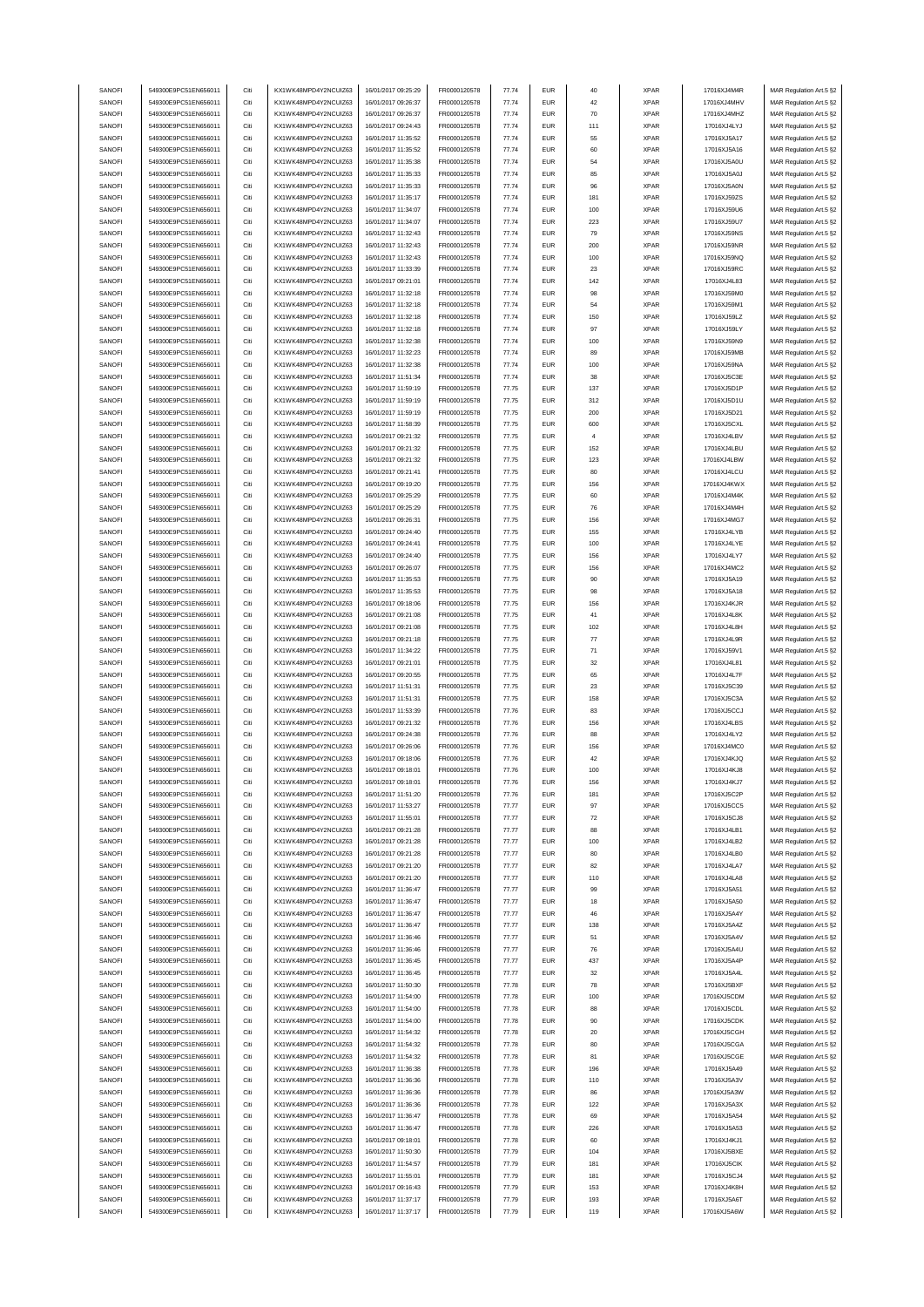| SANOFI<br>549300E9PC51EN656011<br>Citi<br>KX1WK48MPD4Y2NCUIZ63<br>16/01/2017 09:26:37<br>77.74<br><b>EUR</b><br>42<br><b>XPAR</b><br>17016XJ4MHV<br>FR0000120578<br>MAR Regulation Art.5 §2<br>SANOFI<br>549300E9PC51EN656011<br>Citi<br>KX1WK48MPD4Y2NCUIZ63<br>16/01/2017 09:26:37<br>FR0000120578<br>77.74<br><b>EUR</b><br>70<br><b>XPAR</b><br>17016XJ4MHZ<br>MAR Regulation Art.5 §2<br>Citi<br><b>XPAR</b><br>SANOFI<br>549300E9PC51EN656011<br>KX1WK48MPD4Y2NCUIZ63<br>16/01/2017 09:24:43<br>FR0000120578<br>77.74<br><b>EUR</b><br>111<br>17016XJ4LYJ<br>549300E9PC51EN656011<br>77.74<br><b>EUR</b><br><b>XPAR</b><br>SANOFI<br>Citi<br>KX1WK48MPD4Y2NCUIZ63<br>16/01/2017 11:35:52<br>FR0000120578<br>55<br>17016XJ5A17<br>SANOFI<br>549300E9PC51EN656011<br>Citi<br>KX1WK48MPD4Y2NCUIZ63<br>16/01/2017 11:35:52<br>FR0000120578<br>77.74<br><b>EUR</b><br>60<br><b>XPAR</b><br>17016XJ5A16<br>SANOFI<br>549300E9PC51EN656011<br>Citi<br>KX1WK48MPD4Y2NCUIZ63<br>16/01/2017 11:35:38<br>FR0000120578<br>77.74<br><b>EUR</b><br>54<br><b>XPAR</b><br>17016XJ5A0U<br>SANOFI<br>549300E9PC51EN656011<br>Citi<br>FR0000120578<br>77.74<br><b>EUR</b><br>85<br><b>XPAR</b><br>KX1WK48MPD4Y2NCUIZ63<br>16/01/2017 11:35:33<br>17016XJ5A0J<br>MAR Regulation Art.5 §2<br>SANOFI<br>549300E9PC51EN656011<br>Citi<br>KX1WK48MPD4Y2NCUIZ63<br>16/01/2017 11:35:33<br>FR0000120578<br><b>XPAR</b><br>77.74<br><b>EUR</b><br>96<br>17016XJ5A0N<br>SANOFI<br>549300E9PC51EN656011<br>Citi<br>KX1WK48MPD4Y2NCUIZ63<br>16/01/2017 11:35:17<br>FR0000120578<br>77.74<br><b>EUR</b><br>181<br><b>XPAR</b><br>17016XJ59ZS<br>SANOFI<br>549300E9PC51EN656011<br>Citi<br>KX1WK48MPD4Y2NCUIZ63<br>16/01/2017 11:34:07<br>FR0000120578<br><b>EUR</b><br>100<br><b>XPAR</b><br>77.74<br>17016XJ59U6<br>Citi<br>77.74<br><b>EUR</b><br><b>XPAR</b><br>SANOFI<br>549300E9PC51EN656011<br>KX1WK48MPD4Y2NCUIZ63<br>16/01/2017 11:34:07<br>FR0000120578<br>223<br>17016XJ59U7<br>MAR Regulation Art.5 §2<br>EUR<br>SANOFI<br>549300E9PC51EN656011<br>Citi<br>KX1WK48MPD4Y2NCUIZ63<br>16/01/2017 11:32:43<br>FR0000120578<br>77.74<br>79<br><b>XPAR</b><br>17016XJ59NS<br>SANOFI<br>549300E9PC51EN656011<br>Citi<br>KX1WK48MPD4Y2NCUIZ63<br>16/01/2017 11:32:43<br>FR0000120578<br>77.74<br><b>EUR</b><br>200<br><b>XPAR</b><br>17016XJ59NR<br>Citi<br>SANOFI<br>549300E9PC51EN656011<br>KX1WK48MPD4Y2NCUIZ63<br>16/01/2017 11:32:43<br>FR0000120578<br>77.74<br><b>EUR</b><br>100<br><b>XPAR</b><br>17016XJ59NQ<br>SANOFI<br>549300E9PC51EN656011<br>Citi<br>KX1WK48MPD4Y2NCUIZ63<br>16/01/2017 11:33:39<br>FR0000120578<br>77.74<br><b>EUR</b><br>23<br><b>XPAR</b><br>17016XJ59RC<br>SANOFI<br>549300E9PC51EN656011<br>KX1WK48MPD4Y2NCUIZ63<br>FR0000120578<br>77.74<br>142<br><b>XPAR</b><br>Citi<br>16/01/2017 09:21:01<br><b>EUR</b><br>17016XJ4L83<br>SANOFI<br>549300E9PC51EN656011<br>Citi<br>KX1WK48MPD4Y2NCUIZ63<br>16/01/2017 11:32:18<br>FR0000120578<br>77.74<br><b>EUR</b><br>98<br><b>XPAR</b><br>17016XJ59M0<br>MAR Regulation Art.5 §2<br>SANOFI<br>549300E9PC51EN656011<br>Citi<br>KX1WK48MPD4Y2NCUIZ63<br>16/01/2017 11:32:18<br>FR0000120578<br>77.74<br><b>EUR</b><br><b>XPAR</b><br>17016XJ59M1<br>54<br>EUR<br>150<br><b>XPAR</b><br>SANOFI<br>549300E9PC51EN656011<br>Citi<br>KX1WK48MPD4Y2NCUIZ63<br>16/01/2017 11:32:18<br>FR0000120578<br>77.74<br>17016XJ59LZ<br>SANOFI<br>549300E9PC51EN656011<br>Citi<br>KX1WK48MPD4Y2NCUIZ63<br>16/01/2017 11:32:18<br>FR0000120578<br>77.74<br><b>EUR</b><br>97<br><b>XPAR</b><br>17016XJ59LY<br>Citi<br>SANOFI<br>549300E9PC51EN656011<br>KX1WK48MPD4Y2NCUIZ63<br>16/01/2017 11:32:38<br>FR0000120578<br>77.74<br><b>EUR</b><br>100<br><b>XPAR</b><br>17016XJ59N9<br>Citi<br>SANOFI<br>549300E9PC51EN656011<br>KX1WK48MPD4Y2NCUIZ63<br>16/01/2017 11:32:23<br>FR0000120578<br>77.74<br><b>EUR</b><br>89<br><b>XPAR</b><br>17016XJ59MB<br>MAR Regulation Art.5 §2<br>SANOFI<br>549300E9PC51EN656011<br>KX1WK48MPD4Y2NCUIZ63<br>FR0000120578<br>77.74<br><b>XPAR</b><br>Citi<br>16/01/2017 11:32:38<br><b>EUR</b><br>100<br>17016XJ59NA<br>SANOFI<br>549300E9PC51EN656011<br>Citi<br>16/01/2017 11:51:34<br>FR0000120578<br><b>EUR</b><br>38<br><b>XPAR</b><br>17016XJ5C3E<br>KX1WK48MPD4Y2NCUIZ63<br>77.74<br>SANOFI<br>549300E9PC51EN656011<br>Citi<br>KX1WK48MPD4Y2NCUIZ63<br>16/01/2017 11:59:19<br>FR0000120578<br>77.75<br><b>EUR</b><br>137<br><b>XPAR</b><br>17016XJ5D1P<br>SANOFI<br>549300E9PC51EN656011<br>Citi<br>KX1WK48MPD4Y2NCUIZ63<br>16/01/2017 11:59:19<br>FR0000120578<br>77.75<br><b>EUR</b><br>312<br><b>XPAR</b><br>17016XJ5D1U<br><b>XPAR</b><br>SANOFI<br>549300E9PC51EN656011<br>Citi<br>KX1WK48MPD4Y2NCUIZ63<br>16/01/2017 11:59:19<br>FR0000120578<br>77.75<br><b>EUR</b><br>200<br>17016XJ5D21<br>MAR Regulation Art.5 §2<br>Citi<br><b>EUR</b><br>SANOFI<br>549300E9PC51EN656011<br>KX1WK48MPD4Y2NCUIZ63<br>16/01/2017 11:58:39<br>FR0000120578<br>77.75<br>600<br><b>XPAR</b><br>17016XJ5CXL<br>SANOFI<br>549300E9PC51EN656011<br>Citi<br>KX1WK48MPD4Y2NCUIZ63<br>16/01/2017 09:21:32<br>FR0000120578<br>77.75<br><b>EUR</b><br>$\sqrt{4}$<br><b>XPAR</b><br>17016XJ4LBV<br>SANOFI<br>549300E9PC51EN656011<br>Citi<br>KX1WK48MPD4Y2NCUIZ63<br>16/01/2017 09:21:32<br>FR0000120578<br>77.75<br><b>EUR</b><br>152<br><b>XPAR</b><br>17016XJ4LBU<br>SANOFI<br>549300E9PC51EN656011<br>Citi<br>KX1WK48MPD4Y2NCUIZ63<br>FR0000120578<br>123<br><b>XPAR</b><br>16/01/2017 09:21:32<br>77.75<br><b>EUR</b><br>17016XJ4LBW<br>SANOFI<br>549300E9PC51EN656011<br>Citi<br>KX1WK48MPD4Y2NCUIZ63<br>FR0000120578<br>77.75<br><b>EUR</b><br>80<br><b>XPAR</b><br>16/01/2017 09:21:41<br>17016XJ4LCU<br>MAR Regulation Art.5 §2<br>SANOFI<br>549300E9PC51EN656011<br>Citi<br>KX1WK48MPD4Y2NCUIZ63<br>16/01/2017 09:19:20<br>FR0000120578<br><b>EUR</b><br>156<br><b>XPAR</b><br>17016XJ4KWX<br>77.75<br>SANOFI<br>549300E9PC51EN656011<br>Citi<br>KX1WK48MPD4Y2NCUIZ63<br>16/01/2017 09:25:29<br>FR0000120578<br>77.75<br><b>EUR</b><br>60<br><b>XPAR</b><br>17016XJ4M4K<br>SANOFI<br>549300E9PC51EN656011<br>Citi<br>KX1WK48MPD4Y2NCUIZ63<br>16/01/2017 09:25:29<br>FR0000120578<br><b>EUR</b><br>76<br><b>XPAR</b><br>77.75<br>17016XJ4M4H<br>77.75<br><b>EUR</b><br><b>XPAR</b><br>SANOFI<br>549300E9PC51EN656011<br>Citi<br>KX1WK48MPD4Y2NCUIZ63<br>16/01/2017 09:26:31<br>FR0000120578<br>156<br>17016XJ4MG7<br>Citi<br>SANOFI<br>549300E9PC51EN656011<br>KX1WK48MPD4Y2NCUIZ63<br>16/01/2017 09:24:40<br>FR0000120578<br>77.75<br><b>EUR</b><br>155<br><b>XPAR</b><br>17016XJ4LYB<br>MAR Regulation Art.5 §2<br>SANOFI<br>549300E9PC51EN656011<br>Citi<br>KX1WK48MPD4Y2NCUIZ63<br>16/01/2017 09:24:41<br>FR0000120578<br>77.75<br><b>EUR</b><br>100<br><b>XPAR</b><br>17016XJ4LYE<br>Citi<br>SANOFI<br>549300E9PC51EN656011<br>KX1WK48MPD4Y2NCUIZ63<br>16/01/2017 09:24:40<br>FR0000120578<br>77.75<br><b>EUR</b><br>156<br><b>XPAR</b><br>17016XJ4LY7<br>SANOFI<br>549300E9PC51EN656011<br>Citi<br>KX1WK48MPD4Y2NCUIZ63<br>16/01/2017 09:26:07<br>FR0000120578<br>77.75<br><b>EUR</b><br><b>XPAR</b><br>156<br>17016XJ4MC2<br>SANOFI<br>549300E9PC51EN656011<br>Citi<br>KX1WK48MPD4Y2NCUIZ63<br>16/01/2017 11:35:53<br>FR0000120578<br>77.75<br><b>XPAR</b><br><b>EUR</b><br>90<br>17016XJ5A19<br>SANOFI<br>549300E9PC51EN656011<br>Citi<br>KX1WK48MPD4Y2NCUIZ63<br>FR0000120578<br><b>EUR</b><br><b>XPAR</b><br>16/01/2017 11:35:53<br>77.75<br>98<br>17016XJ5A18<br>SANOFI<br>549300E9PC51EN656011<br>Citi<br>KX1WK48MPD4Y2NCUIZ63<br>16/01/2017 09:18:06<br>FR0000120578<br>77.75<br><b>EUR</b><br>156<br><b>XPAR</b><br>17016XJ4KJR<br>MAR Regulation Art.5 §2<br>41<br>SANOFI<br>549300E9PC51EN656011<br>Citi<br>KX1WK48MPD4Y2NCUIZ63<br>16/01/2017 09:21:08<br>FR0000120578<br>77.75<br><b>EUR</b><br><b>XPAR</b><br>17016XJ4L8K<br>Citi<br><b>XPAR</b><br>SANOFI<br>549300E9PC51EN656011<br>KX1WK48MPD4Y2NCUIZ63<br>16/01/2017 09:21:08<br>FR0000120578<br>77.75<br><b>EUR</b><br>102<br>17016XJ4L8H<br>Citi<br>${\bf 77}$<br>SANOFI<br>549300E9PC51EN656011<br>KX1WK48MPD4Y2NCUIZ63<br>16/01/2017 09:21:18<br>FR0000120578<br>77.75<br><b>EUR</b><br><b>XPAR</b><br>17016XJ4L9R<br>Citi<br>SANOFI<br>549300E9PC51EN656011<br>KX1WK48MPD4Y2NCUIZ63<br>16/01/2017 11:34:22<br>FR0000120578<br>77.75<br><b>EUR</b><br>71<br><b>XPAR</b><br>17016XJ59V1<br>SANOFI<br>549300E9PC51EN656011<br>KX1WK48MPD4Y2NCUIZ63<br>16/01/2017 09:21:01<br>FR0000120578<br>32<br><b>XPAR</b><br>Citi<br>77.75<br><b>EUR</b><br>17016XJ4L81<br>MAR Regulation Art.5 §2<br>SANOFI<br>Citi<br>FR0000120578<br>65<br><b>XPAR</b><br>549300E9PC51EN656011<br>KX1WK48MPD4Y2NCUIZ63<br>16/01/2017 09:20:55<br>77.75<br><b>EUR</b><br>17016XJ4L7F<br>SANOFI<br>549300E9PC51EN656011<br>Citi<br>KX1WK48MPD4Y2NCUIZ63<br>16/01/2017 11:51:31<br>FR0000120578<br>77.75<br><b>EUR</b><br>23<br><b>XPAR</b><br>17016XJ5C39<br>SANOFI<br>549300E9PC51EN656011<br>Citi<br>KX1WK48MPD4Y2NCUIZ63<br>16/01/2017 11:51:31<br>FR0000120578<br>77.75<br><b>EUR</b><br>158<br><b>XPAR</b><br>17016XJ5C3A<br><b>XPAR</b><br>SANOFI<br>549300E9PC51EN656011<br>Citi<br>KX1WK48MPD4Y2NCUIZ63<br>16/01/2017 11:53:39<br>FR0000120578<br>77.76<br><b>EUR</b><br>83<br>17016XJ5CCJ<br>SANOFI<br>549300E9PC51EN656011<br>Citi<br>KX1WK48MPD4Y2NCUIZ63<br>16/01/2017 09:21:32<br>FR0000120578<br>77.76<br><b>EUR</b><br>156<br><b>XPAR</b><br>17016XJ4LBS<br>MAR Regulation Art.5 §2<br>SANOFI<br>549300E9PC51EN656011<br>Citi<br>KX1WK48MPD4Y2NCUIZ63<br>16/01/2017 09:24:38<br>FR0000120578<br>77.76<br><b>EUR</b><br>88<br><b>XPAR</b><br>17016XJ4LY2<br>MAR Regulation Art.5 §2<br>SANOFI<br>549300E9PC51EN656011<br>Citi<br>KX1WK48MPD4Y2NCUIZ63<br>16/01/2017 09:26:06<br>FR0000120578<br>77.76<br><b>EUR</b><br>156<br><b>XPAR</b><br>17016XJ4MC0<br>SANOFI<br>549300E9PC51EN656011<br>Citi<br>KX1WK48MPD4Y2NCUIZ63<br>FR0000120578<br>77.76<br><b>EUR</b><br>42<br><b>XPAR</b><br>17016XJ4KJQ<br>16/01/2017 09:18:06<br>SANOFI<br>549300E9PC51EN656011<br>Citi<br>KX1WK48MPD4Y2NCUIZ63<br>16/01/2017 09:18:01<br>FR0000120578<br>77.76<br><b>EUR</b><br>100<br><b>XPAR</b><br>17016XJ4KJ8<br>SANOFI<br>549300E9PC51EN656011<br>KX1WK48MPD4Y2NCUIZ63<br>16/01/2017 09:18:01<br>FUR<br><b>XPAR</b><br>FR0000120578<br>77.76<br>156<br>17016X IAK I7<br>SANOFI<br>549300E9PC51EN656011<br>KX1WK48MPD4Y2NCUIZ63<br>16/01/2017 11:51:20<br>FR0000120578<br>77.76<br><b>EUR</b><br>181<br>XPAR<br>17016XJ5C2P<br>MAR Regulation Art.5 §2<br>Citi<br>SANOFI<br>549300E9PC51EN656011<br>Citi<br>KX1WK48MPD4Y2NCUIZ63<br>16/01/2017 11:53:27<br>FR0000120578<br>77.77<br><b>EUR</b><br>97<br><b>XPAR</b><br>17016XJ5CC5<br>SANOFI<br>549300E9PC51EN656011<br>Citi<br>KX1WK48MPD4Y2NCUIZ63<br>16/01/2017 11:55:01<br>FR0000120578<br>77.77<br><b>EUR</b><br><b>XPAR</b><br>17016XJ5CJ8<br>72<br>SANOFI<br>549300E9PC51EN656011<br>Citi<br>KX1WK48MPD4Y2NCUIZ63<br>16/01/2017 09:21:28<br>FR0000120578<br>77.77<br><b>EUR</b><br>88<br><b>XPAR</b><br>17016XJ4LB1<br>SANOFI<br>549300E9PC51EN656011<br>Citi<br>KX1WK48MPD4Y2NCUIZ63<br>16/01/2017 09:21:28<br>FR0000120578<br>77.77<br><b>EUR</b><br>100<br><b>XPAR</b><br>17016XJ4LB2<br>SANOFI<br>549300E9PC51EN656011<br>KX1WK48MPD4Y2NCUIZ63<br>16/01/2017 09:21:28<br>FR0000120578<br><b>EUR</b><br>Citi<br>77.77<br>80<br>XPAR<br>17016XJ4LB0<br>MAR Regulation Art.5 §2<br>549300E9PC51EN656011<br>KX1WK48MPD4Y2NCUIZ63<br>16/01/2017 09:21:20<br>SANOFI<br>Citi<br>FR0000120578<br>77.77<br><b>EUR</b><br>82<br><b>XPAR</b><br>17016XJ4LA7<br>SANOFI<br>549300E9PC51EN656011<br>KX1WK48MPD4Y2NCUIZ63<br>16/01/2017 09:21:20<br>FR0000120578<br><b>XPAR</b><br>17016XJ4LA8<br>Citi<br>77.77<br><b>EUR</b><br>110<br>SANOFI<br>549300E9PC51EN656011<br>Citi<br>KX1WK48MPD4Y2NCUIZ63<br>16/01/2017 11:36:47<br>FR0000120578<br><b>EUR</b><br><b>XPAR</b><br>77.77<br>99<br>17016XJ5A51<br>SANOFI<br>549300E9PC51EN656011<br>Citi<br>KX1WK48MPD4Y2NCUIZ63<br>16/01/2017 11:36:47<br>FR0000120578<br>77.77<br><b>EUR</b><br><b>XPAR</b><br>17016XJ5A50<br>18<br>SANOFI<br>549300E9PC51EN656011<br>Citi<br>KX1WK48MPD4Y2NCUIZ63<br>16/01/2017 11:36:47<br>FR0000120578<br><b>EUR</b><br><b>XPAR</b><br>17016XJ5A4Y<br>77.77<br>46<br>SANOFI<br>549300E9PC51EN656011<br>Citi<br>KX1WK48MPD4Y2NCUIZ63<br>16/01/2017 11:36:47<br>FR0000120578<br>77.77<br><b>EUR</b><br>138<br><b>XPAR</b><br>17016XJ5A4Z<br>MAR Regulation Art.5 §2<br>SANOFI<br>549300E9PC51EN656011<br>Citi<br>KX1WK48MPD4Y2NCUIZ63<br>16/01/2017 11:36:46<br>FR0000120578<br>77.77<br><b>EUR</b><br>51<br><b>XPAR</b><br>17016XJ5A4V<br>549300E9PC51EN656011<br>KX1WK48MPD4Y2NCUIZ63<br>16/01/2017 11:36:46<br>FR0000120578<br>SANOFI<br>Citi<br>77.77<br><b>EUR</b><br>76<br><b>XPAR</b><br>17016XJ5A4U<br>SANOFI<br>549300E9PC51EN656011<br>KX1WK48MPD4Y2NCUIZ63<br>FR0000120578<br>Citi<br>16/01/2017 11:36:45<br>77.77<br><b>EUR</b><br>437<br><b>XPAR</b><br>17016XJ5A4P<br>SANOFI<br>549300E9PC51EN656011<br>KX1WK48MPD4Y2NCUIZ63<br><b>EUR</b><br>Citi<br>16/01/2017 11:36:45<br>FR0000120578<br>77.77<br>32<br><b>XPAR</b><br>17016XJ5A4L<br>SANOFI<br>549300E9PC51EN656011<br>Citi<br>KX1WK48MPD4Y2NCUIZ63<br>16/01/2017 11:50:30<br>FR0000120578<br><b>EUR</b><br><b>XPAR</b><br>17016XJ5BXF<br>77.78<br>78<br>SANOFI<br>549300E9PC51EN656011<br>Citi<br>KX1WK48MPD4Y2NCUIZ63<br>16/01/2017 11:54:00<br>FR0000120578<br><b>EUR</b><br><b>XPAR</b><br>17016XJ5CDM<br>77.78<br>100<br>17016XJ5CDL<br>SANOFI<br>549300E9PC51EN656011<br>Citi<br>KX1WK48MPD4Y2NCUIZ63<br>16/01/2017 11:54:00<br>FR0000120578<br>77.78<br><b>EUR</b><br><b>XPAR</b><br>88<br>SANOFI<br>549300E9PC51EN656011<br>Citi<br>KX1WK48MPD4Y2NCUIZ63<br>16/01/2017 11:54:00<br>FR0000120578<br><b>EUR</b><br><b>XPAR</b><br>17016XJ5CDK<br>77.78<br>90<br>SANOFI<br>549300E9PC51EN656011<br>Citi<br>KX1WK48MPD4Y2NCUIZ63<br>16/01/2017 11:54:32<br>FR0000120578<br>77.78<br><b>EUR</b><br>$20\,$<br><b>XPAR</b><br>17016XJ5CGH<br>SANOFI<br>549300E9PC51EN656011<br>Citi<br>KX1WK48MPD4Y2NCUIZ63<br>16/01/2017 11:54:32<br>FR0000120578<br>77.78<br><b>EUR</b><br>80<br><b>XPAR</b><br>17016XJ5CGA<br>SANOFI<br>549300E9PC51EN656011<br>KX1WK48MPD4Y2NCUIZ63<br>16/01/2017 11:54:32<br>FR0000120578<br>17016XJ5CGE<br>Citi<br>77.78<br><b>EUR</b><br>81<br><b>XPAR</b><br>SANOFI<br>549300E9PC51EN656011<br>Citi<br>KX1WK48MPD4Y2NCUIZ63<br>16/01/2017 11:36:38<br>FR0000120578<br>77.78<br><b>EUR</b><br>196<br>XPAR<br>17016XJ5A49<br>SANOFI<br>549300E9PC51EN656011<br>KX1WK48MPD4Y2NCUIZ63<br>16/01/2017 11:36:36<br>FR0000120578<br><b>EUR</b><br>110<br><b>XPAR</b><br>17016XJ5A3V<br>Citi<br>77.78<br>SANOFI<br>549300E9PC51EN656011<br>KX1WK48MPD4Y2NCUIZ63<br>16/01/2017 11:36:36<br>FR0000120578<br><b>EUR</b><br><b>XPAR</b><br>17016XJ5A3W<br>Citi<br>77.78<br>86<br>SANOFI<br>549300E9PC51EN656011<br>Citi<br>KX1WK48MPD4Y2NCUIZ63<br>16/01/2017 11:36:36<br>FR0000120578<br>77.78<br><b>EUR</b><br><b>XPAR</b><br>17016XJ5A3X<br>122<br>SANOFI<br>549300E9PC51EN656011<br>Citi<br>KX1WK48MPD4Y2NCUIZ63<br>16/01/2017 11:36:47<br>FR0000120578<br>77.78<br><b>EUR</b><br><b>XPAR</b><br>17016XJ5A54<br>69<br>SANOFI<br>549300E9PC51EN656011<br>Citi<br>KX1WK48MPD4Y2NCUIZ63<br>16/01/2017 11:36:47<br>FR0000120578<br>77.78<br><b>EUR</b><br>226<br><b>XPAR</b><br>17016XJ5A53<br>SANOFI<br>549300E9PC51EN656011<br>Citi<br>KX1WK48MPD4Y2NCUIZ63<br>16/01/2017 09:18:01<br>FR0000120578<br>77.78<br><b>EUR</b><br>60<br><b>XPAR</b><br>17016XJ4KJ1<br>SANOFI<br>549300E9PC51EN656011<br>KX1WK48MPD4Y2NCUIZ63<br>16/01/2017 11:50:30<br>17016XJ5BXE<br>Citi<br>FR0000120578<br>77.79<br><b>EUR</b><br>104<br>XPAR<br>SANOFI<br>549300E9PC51EN656011<br>Citi<br>KX1WK48MPD4Y2NCUIZ63<br>16/01/2017 11:54:57<br>FR0000120578<br>77.79<br><b>EUR</b><br>181<br><b>XPAR</b><br>17016XJ5ClK<br>SANOFI<br>549300E9PC51EN656011<br>KX1WK48MPD4Y2NCUIZ63<br>16/01/2017 11:55:01<br>FR0000120578<br><b>XPAR</b><br>17016XJ5CJ4<br>Citi<br>77.79<br><b>EUR</b><br>181<br>SANOFI<br>549300E9PC51EN656011<br>KX1WK48MPD4Y2NCUIZ63<br><b>EUR</b><br>Citi<br>16/01/2017 09:16:43<br>FR0000120578<br>77.79<br>153<br><b>XPAR</b><br>17016XJ4K8H<br>SANOFI<br>549300E9PC51EN656011<br>KX1WK48MPD4Y2NCUIZ63<br>16/01/2017 11:37:17<br>FR0000120578<br>77.79<br><b>XPAR</b><br>17016XJ5A6T<br>Citi<br><b>EUR</b><br>193<br><b>EUR</b><br>SANOFI<br>549300E9PC51EN656011<br>Citi<br>KX1WK48MPD4Y2NCUIZ63<br>16/01/2017 11:37:17<br>FR0000120578<br>77.79<br>119<br><b>XPAR</b><br>17016XJ5A6W<br>MAR Regulation Art.5 §2 | SANOFI | 549300E9PC51EN656011 | Citi | KX1WK48MPD4Y2NCUIZ63 | 16/01/2017 09:25:29 | FR0000120578 | 77.74 | <b>EUR</b> | 40 | <b>XPAR</b> | 17016XJ4M4R | MAR Regulation Art.5 §2 |
|-------------------------------------------------------------------------------------------------------------------------------------------------------------------------------------------------------------------------------------------------------------------------------------------------------------------------------------------------------------------------------------------------------------------------------------------------------------------------------------------------------------------------------------------------------------------------------------------------------------------------------------------------------------------------------------------------------------------------------------------------------------------------------------------------------------------------------------------------------------------------------------------------------------------------------------------------------------------------------------------------------------------------------------------------------------------------------------------------------------------------------------------------------------------------------------------------------------------------------------------------------------------------------------------------------------------------------------------------------------------------------------------------------------------------------------------------------------------------------------------------------------------------------------------------------------------------------------------------------------------------------------------------------------------------------------------------------------------------------------------------------------------------------------------------------------------------------------------------------------------------------------------------------------------------------------------------------------------------------------------------------------------------------------------------------------------------------------------------------------------------------------------------------------------------------------------------------------------------------------------------------------------------------------------------------------------------------------------------------------------------------------------------------------------------------------------------------------------------------------------------------------------------------------------------------------------------------------------------------------------------------------------------------------------------------------------------------------------------------------------------------------------------------------------------------------------------------------------------------------------------------------------------------------------------------------------------------------------------------------------------------------------------------------------------------------------------------------------------------------------------------------------------------------------------------------------------------------------------------------------------------------------------------------------------------------------------------------------------------------------------------------------------------------------------------------------------------------------------------------------------------------------------------------------------------------------------------------------------------------------------------------------------------------------------------------------------------------------------------------------------------------------------------------------------------------------------------------------------------------------------------------------------------------------------------------------------------------------------------------------------------------------------------------------------------------------------------------------------------------------------------------------------------------------------------------------------------------------------------------------------------------------------------------------------------------------------------------------------------------------------------------------------------------------------------------------------------------------------------------------------------------------------------------------------------------------------------------------------------------------------------------------------------------------------------------------------------------------------------------------------------------------------------------------------------------------------------------------------------------------------------------------------------------------------------------------------------------------------------------------------------------------------------------------------------------------------------------------------------------------------------------------------------------------------------------------------------------------------------------------------------------------------------------------------------------------------------------------------------------------------------------------------------------------------------------------------------------------------------------------------------------------------------------------------------------------------------------------------------------------------------------------------------------------------------------------------------------------------------------------------------------------------------------------------------------------------------------------------------------------------------------------------------------------------------------------------------------------------------------------------------------------------------------------------------------------------------------------------------------------------------------------------------------------------------------------------------------------------------------------------------------------------------------------------------------------------------------------------------------------------------------------------------------------------------------------------------------------------------------------------------------------------------------------------------------------------------------------------------------------------------------------------------------------------------------------------------------------------------------------------------------------------------------------------------------------------------------------------------------------------------------------------------------------------------------------------------------------------------------------------------------------------------------------------------------------------------------------------------------------------------------------------------------------------------------------------------------------------------------------------------------------------------------------------------------------------------------------------------------------------------------------------------------------------------------------------------------------------------------------------------------------------------------------------------------------------------------------------------------------------------------------------------------------------------------------------------------------------------------------------------------------------------------------------------------------------------------------------------------------------------------------------------------------------------------------------------------------------------------------------------------------------------------------------------------------------------------------------------------------------------------------------------------------------------------------------------------------------------------------------------------------------------------------------------------------------------------------------------------------------------------------------------------------------------------------------------------------------------------------------------------------------------------------------------------------------------------------------------------------------------------------------------------------------------------------------------------------------------------------------------------------------------------------------------------------------------------------------------------------------------------------------------------------------------------------------------------------------------------------------------------------------------------------------------------------------------------------------------------------------------------------------------------------------------------------------------------------------------------------------------------------------------------------------------------------------------------------------------------------------------------------------------------------------------------------------------------------------------------------------------------------------------------------------------------------------------------------------------------------------------------------------------------------------------------------------------------------------------------------------------------------------------------------------------------------------------------------------------------------------------------------------------------------------------------------------------------------------------------------------------------------------------------------------------------------------------------------------------------------------------------------------------------------------------------------------------------------------------------------------------------------------------------------------------------------------------------------------------------------------------------------------------------------------------------------------------------------------------------------------------------------------------------------------------------------------------------------------------------------------------------------------------------------------------------------------------------------------------------------------------------------------------------------------------------------------------------------------------------------------------------------------------------------------------------------------------------------------------------------------------------------------------------------------------------------------------------------------------------------------------------------------------------------------------------------------------------------------------------------------------------------------------------------------------------------------------------------------------------------------------------------------------------------------------------------------------------------------------------------------------------------------------------------------------------------------------------------------------------------------------------------------------------------------------------------------------------------------------------------------------------------------------------------------------------------------------------------------------------------------------------------------------------------------------------------------------------------------------------------------------------------------------------------------------------------------------------------------------------------------------------------------------------------------------------------------------------------------------------------------------------------------------------------------------------------------------------------------------------------------------------------------------------------------------------------------------------------------------------------------------------------------------------------------------------------------------------------------------------------------------------------------------------------------------------------------------------------------------------------------------------------------------------------------------------------------------------------------------------------------------------------------------------------------------------------------------------------------------------------------------------------------------------------------------------------------------------------------------------------------------------------------------------------------------------------------------------------------------------------------------------------------------------------------------------------------------------------------------------------------------------------------------------------------------------------------------------------------------------------------------------------------------------------------------------------------------------------------------------------------------------------------------------------------------------------------------------------------------------------------------------------------------------------------------------------------------------------------------------------------------------------------------------------------------------------------------------------------------------------------------------------------------------------------------------------------------------------------------------------------------------------------------------------------------------------------------------------------------------------------------------------------------------------------------------------------------------------------------------------------------------------------------------------------------------------------------------------------------------------------------------------------------------------------------------------------------------------------------------------------------------------------------------------------------------------------------------------------------------------------------------------------------------------------------------------------------------------------------------------------------------------------------------------------------------------------------------------------------------------------------------------------------------------------------------------------------------------------------------------------------------------------------------------------------------------------------------------------------------------------------------------------------------------------------------------------------------------------------------------------------------------------------------------------------------------------------------------------------------------------------------------------------------------------------------------------------------------------------------------------------------------------------------------------------------------------------------------------------------------------------------------------------------------------------------------------------------------------------------------------------------------------------------------------------------------------------------------------------------------------------------------------------------------------------------------------------------------------------------------------------------------------------------------------------------------------------------------------------------------------------------------------------------------------------------------------------------------------------------------------------------------------------------------------------------------------------------------------------------------------------------------------------------------|--------|----------------------|------|----------------------|---------------------|--------------|-------|------------|----|-------------|-------------|-------------------------|
|                                                                                                                                                                                                                                                                                                                                                                                                                                                                                                                                                                                                                                                                                                                                                                                                                                                                                                                                                                                                                                                                                                                                                                                                                                                                                                                                                                                                                                                                                                                                                                                                                                                                                                                                                                                                                                                                                                                                                                                                                                                                                                                                                                                                                                                                                                                                                                                                                                                                                                                                                                                                                                                                                                                                                                                                                                                                                                                                                                                                                                                                                                                                                                                                                                                                                                                                                                                                                                                                                                                                                                                                                                                                                                                                                                                                                                                                                                                                                                                                                                                                                                                                                                                                                                                                                                                                                                                                                                                                                                                                                                                                                                                                                                                                                                                                                                                                                                                                                                                                                                                                                                                                                                                                                                                                                                                                                                                                                                                                                                                                                                                                                                                                                                                                                                                                                                                                                                                                                                                                                                                                                                                                                                                                                                                                                                                                                                                                                                                                                                                                                                                                                                                                                                                                                                                                                                                                                                                                                                                                                                                                                                                                                                                                                                                                                                                                                                                                                                                                                                                                                                                                                                                                                                                                                                                                                                                                                                                                                                                                                                                                                                                                                                                                                                                                                                                                                                                                                                                                                                                                                                                                                                                                                                                                                                                                                                                                                                                                                                                                                                                                                                                                                                                                                                                                                                                                                                                                                                                                                                                                                                                                                                                                                                                                                                                                                                                                                                                                                                                                                                                                                                                                                                                                                                                                                                                                                                                                                                                                                                                                                                                                                                                                                                                                                                                                                                                                                                                                                                                                                                                                                                                                                                                                                                                                                                                                                                                                                                                                                                                                                                                                                                                                                                                                                                                                                                                                                                                                                                                                                                                                                                                                                                                                                                                                                                                                                                                                                                                                                                                                                                                                                                                                                                                                                                                                                                                                                                                                                                                                                                                                                                                                                                                                                                                                                                                                                                                                                                                                                                                                                                                                                                                                                                                                                                                                                                                                                                                                                                                                                                                                                                                                                                                                                                                                                                                                                                                                                                                                                                                                                                                                                                                                                                                                                                                                                                                                                                                                                                                                                                                                                                                                                                                                                                                                                                                                                                                                                                                                                                                                                                                                                                                                                                                                                                                                                                                                                                                                                                                                                                                                                                                                                                                                                                                                                                                                                                                                                                                                                                                                           |        |                      |      |                      |                     |              |       |            |    |             |             |                         |
|                                                                                                                                                                                                                                                                                                                                                                                                                                                                                                                                                                                                                                                                                                                                                                                                                                                                                                                                                                                                                                                                                                                                                                                                                                                                                                                                                                                                                                                                                                                                                                                                                                                                                                                                                                                                                                                                                                                                                                                                                                                                                                                                                                                                                                                                                                                                                                                                                                                                                                                                                                                                                                                                                                                                                                                                                                                                                                                                                                                                                                                                                                                                                                                                                                                                                                                                                                                                                                                                                                                                                                                                                                                                                                                                                                                                                                                                                                                                                                                                                                                                                                                                                                                                                                                                                                                                                                                                                                                                                                                                                                                                                                                                                                                                                                                                                                                                                                                                                                                                                                                                                                                                                                                                                                                                                                                                                                                                                                                                                                                                                                                                                                                                                                                                                                                                                                                                                                                                                                                                                                                                                                                                                                                                                                                                                                                                                                                                                                                                                                                                                                                                                                                                                                                                                                                                                                                                                                                                                                                                                                                                                                                                                                                                                                                                                                                                                                                                                                                                                                                                                                                                                                                                                                                                                                                                                                                                                                                                                                                                                                                                                                                                                                                                                                                                                                                                                                                                                                                                                                                                                                                                                                                                                                                                                                                                                                                                                                                                                                                                                                                                                                                                                                                                                                                                                                                                                                                                                                                                                                                                                                                                                                                                                                                                                                                                                                                                                                                                                                                                                                                                                                                                                                                                                                                                                                                                                                                                                                                                                                                                                                                                                                                                                                                                                                                                                                                                                                                                                                                                                                                                                                                                                                                                                                                                                                                                                                                                                                                                                                                                                                                                                                                                                                                                                                                                                                                                                                                                                                                                                                                                                                                                                                                                                                                                                                                                                                                                                                                                                                                                                                                                                                                                                                                                                                                                                                                                                                                                                                                                                                                                                                                                                                                                                                                                                                                                                                                                                                                                                                                                                                                                                                                                                                                                                                                                                                                                                                                                                                                                                                                                                                                                                                                                                                                                                                                                                                                                                                                                                                                                                                                                                                                                                                                                                                                                                                                                                                                                                                                                                                                                                                                                                                                                                                                                                                                                                                                                                                                                                                                                                                                                                                                                                                                                                                                                                                                                                                                                                                                                                                                                                                                                                                                                                                                                                                                                                                                                                                                                                                                                           |        |                      |      |                      |                     |              |       |            |    |             |             |                         |
|                                                                                                                                                                                                                                                                                                                                                                                                                                                                                                                                                                                                                                                                                                                                                                                                                                                                                                                                                                                                                                                                                                                                                                                                                                                                                                                                                                                                                                                                                                                                                                                                                                                                                                                                                                                                                                                                                                                                                                                                                                                                                                                                                                                                                                                                                                                                                                                                                                                                                                                                                                                                                                                                                                                                                                                                                                                                                                                                                                                                                                                                                                                                                                                                                                                                                                                                                                                                                                                                                                                                                                                                                                                                                                                                                                                                                                                                                                                                                                                                                                                                                                                                                                                                                                                                                                                                                                                                                                                                                                                                                                                                                                                                                                                                                                                                                                                                                                                                                                                                                                                                                                                                                                                                                                                                                                                                                                                                                                                                                                                                                                                                                                                                                                                                                                                                                                                                                                                                                                                                                                                                                                                                                                                                                                                                                                                                                                                                                                                                                                                                                                                                                                                                                                                                                                                                                                                                                                                                                                                                                                                                                                                                                                                                                                                                                                                                                                                                                                                                                                                                                                                                                                                                                                                                                                                                                                                                                                                                                                                                                                                                                                                                                                                                                                                                                                                                                                                                                                                                                                                                                                                                                                                                                                                                                                                                                                                                                                                                                                                                                                                                                                                                                                                                                                                                                                                                                                                                                                                                                                                                                                                                                                                                                                                                                                                                                                                                                                                                                                                                                                                                                                                                                                                                                                                                                                                                                                                                                                                                                                                                                                                                                                                                                                                                                                                                                                                                                                                                                                                                                                                                                                                                                                                                                                                                                                                                                                                                                                                                                                                                                                                                                                                                                                                                                                                                                                                                                                                                                                                                                                                                                                                                                                                                                                                                                                                                                                                                                                                                                                                                                                                                                                                                                                                                                                                                                                                                                                                                                                                                                                                                                                                                                                                                                                                                                                                                                                                                                                                                                                                                                                                                                                                                                                                                                                                                                                                                                                                                                                                                                                                                                                                                                                                                                                                                                                                                                                                                                                                                                                                                                                                                                                                                                                                                                                                                                                                                                                                                                                                                                                                                                                                                                                                                                                                                                                                                                                                                                                                                                                                                                                                                                                                                                                                                                                                                                                                                                                                                                                                                                                                                                                                                                                                                                                                                                                                                                                                                                                                                                                                                           |        |                      |      |                      |                     |              |       |            |    |             |             |                         |
|                                                                                                                                                                                                                                                                                                                                                                                                                                                                                                                                                                                                                                                                                                                                                                                                                                                                                                                                                                                                                                                                                                                                                                                                                                                                                                                                                                                                                                                                                                                                                                                                                                                                                                                                                                                                                                                                                                                                                                                                                                                                                                                                                                                                                                                                                                                                                                                                                                                                                                                                                                                                                                                                                                                                                                                                                                                                                                                                                                                                                                                                                                                                                                                                                                                                                                                                                                                                                                                                                                                                                                                                                                                                                                                                                                                                                                                                                                                                                                                                                                                                                                                                                                                                                                                                                                                                                                                                                                                                                                                                                                                                                                                                                                                                                                                                                                                                                                                                                                                                                                                                                                                                                                                                                                                                                                                                                                                                                                                                                                                                                                                                                                                                                                                                                                                                                                                                                                                                                                                                                                                                                                                                                                                                                                                                                                                                                                                                                                                                                                                                                                                                                                                                                                                                                                                                                                                                                                                                                                                                                                                                                                                                                                                                                                                                                                                                                                                                                                                                                                                                                                                                                                                                                                                                                                                                                                                                                                                                                                                                                                                                                                                                                                                                                                                                                                                                                                                                                                                                                                                                                                                                                                                                                                                                                                                                                                                                                                                                                                                                                                                                                                                                                                                                                                                                                                                                                                                                                                                                                                                                                                                                                                                                                                                                                                                                                                                                                                                                                                                                                                                                                                                                                                                                                                                                                                                                                                                                                                                                                                                                                                                                                                                                                                                                                                                                                                                                                                                                                                                                                                                                                                                                                                                                                                                                                                                                                                                                                                                                                                                                                                                                                                                                                                                                                                                                                                                                                                                                                                                                                                                                                                                                                                                                                                                                                                                                                                                                                                                                                                                                                                                                                                                                                                                                                                                                                                                                                                                                                                                                                                                                                                                                                                                                                                                                                                                                                                                                                                                                                                                                                                                                                                                                                                                                                                                                                                                                                                                                                                                                                                                                                                                                                                                                                                                                                                                                                                                                                                                                                                                                                                                                                                                                                                                                                                                                                                                                                                                                                                                                                                                                                                                                                                                                                                                                                                                                                                                                                                                                                                                                                                                                                                                                                                                                                                                                                                                                                                                                                                                                                                                                                                                                                                                                                                                                                                                                                                                                                                                                                                                                           |        |                      |      |                      |                     |              |       |            |    |             |             | MAR Regulation Art.5 §2 |
|                                                                                                                                                                                                                                                                                                                                                                                                                                                                                                                                                                                                                                                                                                                                                                                                                                                                                                                                                                                                                                                                                                                                                                                                                                                                                                                                                                                                                                                                                                                                                                                                                                                                                                                                                                                                                                                                                                                                                                                                                                                                                                                                                                                                                                                                                                                                                                                                                                                                                                                                                                                                                                                                                                                                                                                                                                                                                                                                                                                                                                                                                                                                                                                                                                                                                                                                                                                                                                                                                                                                                                                                                                                                                                                                                                                                                                                                                                                                                                                                                                                                                                                                                                                                                                                                                                                                                                                                                                                                                                                                                                                                                                                                                                                                                                                                                                                                                                                                                                                                                                                                                                                                                                                                                                                                                                                                                                                                                                                                                                                                                                                                                                                                                                                                                                                                                                                                                                                                                                                                                                                                                                                                                                                                                                                                                                                                                                                                                                                                                                                                                                                                                                                                                                                                                                                                                                                                                                                                                                                                                                                                                                                                                                                                                                                                                                                                                                                                                                                                                                                                                                                                                                                                                                                                                                                                                                                                                                                                                                                                                                                                                                                                                                                                                                                                                                                                                                                                                                                                                                                                                                                                                                                                                                                                                                                                                                                                                                                                                                                                                                                                                                                                                                                                                                                                                                                                                                                                                                                                                                                                                                                                                                                                                                                                                                                                                                                                                                                                                                                                                                                                                                                                                                                                                                                                                                                                                                                                                                                                                                                                                                                                                                                                                                                                                                                                                                                                                                                                                                                                                                                                                                                                                                                                                                                                                                                                                                                                                                                                                                                                                                                                                                                                                                                                                                                                                                                                                                                                                                                                                                                                                                                                                                                                                                                                                                                                                                                                                                                                                                                                                                                                                                                                                                                                                                                                                                                                                                                                                                                                                                                                                                                                                                                                                                                                                                                                                                                                                                                                                                                                                                                                                                                                                                                                                                                                                                                                                                                                                                                                                                                                                                                                                                                                                                                                                                                                                                                                                                                                                                                                                                                                                                                                                                                                                                                                                                                                                                                                                                                                                                                                                                                                                                                                                                                                                                                                                                                                                                                                                                                                                                                                                                                                                                                                                                                                                                                                                                                                                                                                                                                                                                                                                                                                                                                                                                                                                                                                                                                                                                                                           |        |                      |      |                      |                     |              |       |            |    |             |             | MAR Regulation Art.5 §2 |
|                                                                                                                                                                                                                                                                                                                                                                                                                                                                                                                                                                                                                                                                                                                                                                                                                                                                                                                                                                                                                                                                                                                                                                                                                                                                                                                                                                                                                                                                                                                                                                                                                                                                                                                                                                                                                                                                                                                                                                                                                                                                                                                                                                                                                                                                                                                                                                                                                                                                                                                                                                                                                                                                                                                                                                                                                                                                                                                                                                                                                                                                                                                                                                                                                                                                                                                                                                                                                                                                                                                                                                                                                                                                                                                                                                                                                                                                                                                                                                                                                                                                                                                                                                                                                                                                                                                                                                                                                                                                                                                                                                                                                                                                                                                                                                                                                                                                                                                                                                                                                                                                                                                                                                                                                                                                                                                                                                                                                                                                                                                                                                                                                                                                                                                                                                                                                                                                                                                                                                                                                                                                                                                                                                                                                                                                                                                                                                                                                                                                                                                                                                                                                                                                                                                                                                                                                                                                                                                                                                                                                                                                                                                                                                                                                                                                                                                                                                                                                                                                                                                                                                                                                                                                                                                                                                                                                                                                                                                                                                                                                                                                                                                                                                                                                                                                                                                                                                                                                                                                                                                                                                                                                                                                                                                                                                                                                                                                                                                                                                                                                                                                                                                                                                                                                                                                                                                                                                                                                                                                                                                                                                                                                                                                                                                                                                                                                                                                                                                                                                                                                                                                                                                                                                                                                                                                                                                                                                                                                                                                                                                                                                                                                                                                                                                                                                                                                                                                                                                                                                                                                                                                                                                                                                                                                                                                                                                                                                                                                                                                                                                                                                                                                                                                                                                                                                                                                                                                                                                                                                                                                                                                                                                                                                                                                                                                                                                                                                                                                                                                                                                                                                                                                                                                                                                                                                                                                                                                                                                                                                                                                                                                                                                                                                                                                                                                                                                                                                                                                                                                                                                                                                                                                                                                                                                                                                                                                                                                                                                                                                                                                                                                                                                                                                                                                                                                                                                                                                                                                                                                                                                                                                                                                                                                                                                                                                                                                                                                                                                                                                                                                                                                                                                                                                                                                                                                                                                                                                                                                                                                                                                                                                                                                                                                                                                                                                                                                                                                                                                                                                                                                                                                                                                                                                                                                                                                                                                                                                                                                                                                                                                                           |        |                      |      |                      |                     |              |       |            |    |             |             | MAR Regulation Art.5 §2 |
|                                                                                                                                                                                                                                                                                                                                                                                                                                                                                                                                                                                                                                                                                                                                                                                                                                                                                                                                                                                                                                                                                                                                                                                                                                                                                                                                                                                                                                                                                                                                                                                                                                                                                                                                                                                                                                                                                                                                                                                                                                                                                                                                                                                                                                                                                                                                                                                                                                                                                                                                                                                                                                                                                                                                                                                                                                                                                                                                                                                                                                                                                                                                                                                                                                                                                                                                                                                                                                                                                                                                                                                                                                                                                                                                                                                                                                                                                                                                                                                                                                                                                                                                                                                                                                                                                                                                                                                                                                                                                                                                                                                                                                                                                                                                                                                                                                                                                                                                                                                                                                                                                                                                                                                                                                                                                                                                                                                                                                                                                                                                                                                                                                                                                                                                                                                                                                                                                                                                                                                                                                                                                                                                                                                                                                                                                                                                                                                                                                                                                                                                                                                                                                                                                                                                                                                                                                                                                                                                                                                                                                                                                                                                                                                                                                                                                                                                                                                                                                                                                                                                                                                                                                                                                                                                                                                                                                                                                                                                                                                                                                                                                                                                                                                                                                                                                                                                                                                                                                                                                                                                                                                                                                                                                                                                                                                                                                                                                                                                                                                                                                                                                                                                                                                                                                                                                                                                                                                                                                                                                                                                                                                                                                                                                                                                                                                                                                                                                                                                                                                                                                                                                                                                                                                                                                                                                                                                                                                                                                                                                                                                                                                                                                                                                                                                                                                                                                                                                                                                                                                                                                                                                                                                                                                                                                                                                                                                                                                                                                                                                                                                                                                                                                                                                                                                                                                                                                                                                                                                                                                                                                                                                                                                                                                                                                                                                                                                                                                                                                                                                                                                                                                                                                                                                                                                                                                                                                                                                                                                                                                                                                                                                                                                                                                                                                                                                                                                                                                                                                                                                                                                                                                                                                                                                                                                                                                                                                                                                                                                                                                                                                                                                                                                                                                                                                                                                                                                                                                                                                                                                                                                                                                                                                                                                                                                                                                                                                                                                                                                                                                                                                                                                                                                                                                                                                                                                                                                                                                                                                                                                                                                                                                                                                                                                                                                                                                                                                                                                                                                                                                                                                                                                                                                                                                                                                                                                                                                                                                                                                                                                                                                           |        |                      |      |                      |                     |              |       |            |    |             |             | MAR Regulation Art.5 §2 |
|                                                                                                                                                                                                                                                                                                                                                                                                                                                                                                                                                                                                                                                                                                                                                                                                                                                                                                                                                                                                                                                                                                                                                                                                                                                                                                                                                                                                                                                                                                                                                                                                                                                                                                                                                                                                                                                                                                                                                                                                                                                                                                                                                                                                                                                                                                                                                                                                                                                                                                                                                                                                                                                                                                                                                                                                                                                                                                                                                                                                                                                                                                                                                                                                                                                                                                                                                                                                                                                                                                                                                                                                                                                                                                                                                                                                                                                                                                                                                                                                                                                                                                                                                                                                                                                                                                                                                                                                                                                                                                                                                                                                                                                                                                                                                                                                                                                                                                                                                                                                                                                                                                                                                                                                                                                                                                                                                                                                                                                                                                                                                                                                                                                                                                                                                                                                                                                                                                                                                                                                                                                                                                                                                                                                                                                                                                                                                                                                                                                                                                                                                                                                                                                                                                                                                                                                                                                                                                                                                                                                                                                                                                                                                                                                                                                                                                                                                                                                                                                                                                                                                                                                                                                                                                                                                                                                                                                                                                                                                                                                                                                                                                                                                                                                                                                                                                                                                                                                                                                                                                                                                                                                                                                                                                                                                                                                                                                                                                                                                                                                                                                                                                                                                                                                                                                                                                                                                                                                                                                                                                                                                                                                                                                                                                                                                                                                                                                                                                                                                                                                                                                                                                                                                                                                                                                                                                                                                                                                                                                                                                                                                                                                                                                                                                                                                                                                                                                                                                                                                                                                                                                                                                                                                                                                                                                                                                                                                                                                                                                                                                                                                                                                                                                                                                                                                                                                                                                                                                                                                                                                                                                                                                                                                                                                                                                                                                                                                                                                                                                                                                                                                                                                                                                                                                                                                                                                                                                                                                                                                                                                                                                                                                                                                                                                                                                                                                                                                                                                                                                                                                                                                                                                                                                                                                                                                                                                                                                                                                                                                                                                                                                                                                                                                                                                                                                                                                                                                                                                                                                                                                                                                                                                                                                                                                                                                                                                                                                                                                                                                                                                                                                                                                                                                                                                                                                                                                                                                                                                                                                                                                                                                                                                                                                                                                                                                                                                                                                                                                                                                                                                                                                                                                                                                                                                                                                                                                                                                                                                                                                                                                                                           |        |                      |      |                      |                     |              |       |            |    |             |             |                         |
|                                                                                                                                                                                                                                                                                                                                                                                                                                                                                                                                                                                                                                                                                                                                                                                                                                                                                                                                                                                                                                                                                                                                                                                                                                                                                                                                                                                                                                                                                                                                                                                                                                                                                                                                                                                                                                                                                                                                                                                                                                                                                                                                                                                                                                                                                                                                                                                                                                                                                                                                                                                                                                                                                                                                                                                                                                                                                                                                                                                                                                                                                                                                                                                                                                                                                                                                                                                                                                                                                                                                                                                                                                                                                                                                                                                                                                                                                                                                                                                                                                                                                                                                                                                                                                                                                                                                                                                                                                                                                                                                                                                                                                                                                                                                                                                                                                                                                                                                                                                                                                                                                                                                                                                                                                                                                                                                                                                                                                                                                                                                                                                                                                                                                                                                                                                                                                                                                                                                                                                                                                                                                                                                                                                                                                                                                                                                                                                                                                                                                                                                                                                                                                                                                                                                                                                                                                                                                                                                                                                                                                                                                                                                                                                                                                                                                                                                                                                                                                                                                                                                                                                                                                                                                                                                                                                                                                                                                                                                                                                                                                                                                                                                                                                                                                                                                                                                                                                                                                                                                                                                                                                                                                                                                                                                                                                                                                                                                                                                                                                                                                                                                                                                                                                                                                                                                                                                                                                                                                                                                                                                                                                                                                                                                                                                                                                                                                                                                                                                                                                                                                                                                                                                                                                                                                                                                                                                                                                                                                                                                                                                                                                                                                                                                                                                                                                                                                                                                                                                                                                                                                                                                                                                                                                                                                                                                                                                                                                                                                                                                                                                                                                                                                                                                                                                                                                                                                                                                                                                                                                                                                                                                                                                                                                                                                                                                                                                                                                                                                                                                                                                                                                                                                                                                                                                                                                                                                                                                                                                                                                                                                                                                                                                                                                                                                                                                                                                                                                                                                                                                                                                                                                                                                                                                                                                                                                                                                                                                                                                                                                                                                                                                                                                                                                                                                                                                                                                                                                                                                                                                                                                                                                                                                                                                                                                                                                                                                                                                                                                                                                                                                                                                                                                                                                                                                                                                                                                                                                                                                                                                                                                                                                                                                                                                                                                                                                                                                                                                                                                                                                                                                                                                                                                                                                                                                                                                                                                                                                                                                                                                                                                           |        |                      |      |                      |                     |              |       |            |    |             |             |                         |
|                                                                                                                                                                                                                                                                                                                                                                                                                                                                                                                                                                                                                                                                                                                                                                                                                                                                                                                                                                                                                                                                                                                                                                                                                                                                                                                                                                                                                                                                                                                                                                                                                                                                                                                                                                                                                                                                                                                                                                                                                                                                                                                                                                                                                                                                                                                                                                                                                                                                                                                                                                                                                                                                                                                                                                                                                                                                                                                                                                                                                                                                                                                                                                                                                                                                                                                                                                                                                                                                                                                                                                                                                                                                                                                                                                                                                                                                                                                                                                                                                                                                                                                                                                                                                                                                                                                                                                                                                                                                                                                                                                                                                                                                                                                                                                                                                                                                                                                                                                                                                                                                                                                                                                                                                                                                                                                                                                                                                                                                                                                                                                                                                                                                                                                                                                                                                                                                                                                                                                                                                                                                                                                                                                                                                                                                                                                                                                                                                                                                                                                                                                                                                                                                                                                                                                                                                                                                                                                                                                                                                                                                                                                                                                                                                                                                                                                                                                                                                                                                                                                                                                                                                                                                                                                                                                                                                                                                                                                                                                                                                                                                                                                                                                                                                                                                                                                                                                                                                                                                                                                                                                                                                                                                                                                                                                                                                                                                                                                                                                                                                                                                                                                                                                                                                                                                                                                                                                                                                                                                                                                                                                                                                                                                                                                                                                                                                                                                                                                                                                                                                                                                                                                                                                                                                                                                                                                                                                                                                                                                                                                                                                                                                                                                                                                                                                                                                                                                                                                                                                                                                                                                                                                                                                                                                                                                                                                                                                                                                                                                                                                                                                                                                                                                                                                                                                                                                                                                                                                                                                                                                                                                                                                                                                                                                                                                                                                                                                                                                                                                                                                                                                                                                                                                                                                                                                                                                                                                                                                                                                                                                                                                                                                                                                                                                                                                                                                                                                                                                                                                                                                                                                                                                                                                                                                                                                                                                                                                                                                                                                                                                                                                                                                                                                                                                                                                                                                                                                                                                                                                                                                                                                                                                                                                                                                                                                                                                                                                                                                                                                                                                                                                                                                                                                                                                                                                                                                                                                                                                                                                                                                                                                                                                                                                                                                                                                                                                                                                                                                                                                                                                                                                                                                                                                                                                                                                                                                                                                                                                                                                                                                                           |        |                      |      |                      |                     |              |       |            |    |             |             | MAR Regulation Art.5 §2 |
|                                                                                                                                                                                                                                                                                                                                                                                                                                                                                                                                                                                                                                                                                                                                                                                                                                                                                                                                                                                                                                                                                                                                                                                                                                                                                                                                                                                                                                                                                                                                                                                                                                                                                                                                                                                                                                                                                                                                                                                                                                                                                                                                                                                                                                                                                                                                                                                                                                                                                                                                                                                                                                                                                                                                                                                                                                                                                                                                                                                                                                                                                                                                                                                                                                                                                                                                                                                                                                                                                                                                                                                                                                                                                                                                                                                                                                                                                                                                                                                                                                                                                                                                                                                                                                                                                                                                                                                                                                                                                                                                                                                                                                                                                                                                                                                                                                                                                                                                                                                                                                                                                                                                                                                                                                                                                                                                                                                                                                                                                                                                                                                                                                                                                                                                                                                                                                                                                                                                                                                                                                                                                                                                                                                                                                                                                                                                                                                                                                                                                                                                                                                                                                                                                                                                                                                                                                                                                                                                                                                                                                                                                                                                                                                                                                                                                                                                                                                                                                                                                                                                                                                                                                                                                                                                                                                                                                                                                                                                                                                                                                                                                                                                                                                                                                                                                                                                                                                                                                                                                                                                                                                                                                                                                                                                                                                                                                                                                                                                                                                                                                                                                                                                                                                                                                                                                                                                                                                                                                                                                                                                                                                                                                                                                                                                                                                                                                                                                                                                                                                                                                                                                                                                                                                                                                                                                                                                                                                                                                                                                                                                                                                                                                                                                                                                                                                                                                                                                                                                                                                                                                                                                                                                                                                                                                                                                                                                                                                                                                                                                                                                                                                                                                                                                                                                                                                                                                                                                                                                                                                                                                                                                                                                                                                                                                                                                                                                                                                                                                                                                                                                                                                                                                                                                                                                                                                                                                                                                                                                                                                                                                                                                                                                                                                                                                                                                                                                                                                                                                                                                                                                                                                                                                                                                                                                                                                                                                                                                                                                                                                                                                                                                                                                                                                                                                                                                                                                                                                                                                                                                                                                                                                                                                                                                                                                                                                                                                                                                                                                                                                                                                                                                                                                                                                                                                                                                                                                                                                                                                                                                                                                                                                                                                                                                                                                                                                                                                                                                                                                                                                                                                                                                                                                                                                                                                                                                                                                                                                                                                                                                                                                           |        |                      |      |                      |                     |              |       |            |    |             |             | MAR Regulation Art.5 §2 |
|                                                                                                                                                                                                                                                                                                                                                                                                                                                                                                                                                                                                                                                                                                                                                                                                                                                                                                                                                                                                                                                                                                                                                                                                                                                                                                                                                                                                                                                                                                                                                                                                                                                                                                                                                                                                                                                                                                                                                                                                                                                                                                                                                                                                                                                                                                                                                                                                                                                                                                                                                                                                                                                                                                                                                                                                                                                                                                                                                                                                                                                                                                                                                                                                                                                                                                                                                                                                                                                                                                                                                                                                                                                                                                                                                                                                                                                                                                                                                                                                                                                                                                                                                                                                                                                                                                                                                                                                                                                                                                                                                                                                                                                                                                                                                                                                                                                                                                                                                                                                                                                                                                                                                                                                                                                                                                                                                                                                                                                                                                                                                                                                                                                                                                                                                                                                                                                                                                                                                                                                                                                                                                                                                                                                                                                                                                                                                                                                                                                                                                                                                                                                                                                                                                                                                                                                                                                                                                                                                                                                                                                                                                                                                                                                                                                                                                                                                                                                                                                                                                                                                                                                                                                                                                                                                                                                                                                                                                                                                                                                                                                                                                                                                                                                                                                                                                                                                                                                                                                                                                                                                                                                                                                                                                                                                                                                                                                                                                                                                                                                                                                                                                                                                                                                                                                                                                                                                                                                                                                                                                                                                                                                                                                                                                                                                                                                                                                                                                                                                                                                                                                                                                                                                                                                                                                                                                                                                                                                                                                                                                                                                                                                                                                                                                                                                                                                                                                                                                                                                                                                                                                                                                                                                                                                                                                                                                                                                                                                                                                                                                                                                                                                                                                                                                                                                                                                                                                                                                                                                                                                                                                                                                                                                                                                                                                                                                                                                                                                                                                                                                                                                                                                                                                                                                                                                                                                                                                                                                                                                                                                                                                                                                                                                                                                                                                                                                                                                                                                                                                                                                                                                                                                                                                                                                                                                                                                                                                                                                                                                                                                                                                                                                                                                                                                                                                                                                                                                                                                                                                                                                                                                                                                                                                                                                                                                                                                                                                                                                                                                                                                                                                                                                                                                                                                                                                                                                                                                                                                                                                                                                                                                                                                                                                                                                                                                                                                                                                                                                                                                                                                                                                                                                                                                                                                                                                                                                                                                                                                                                                                                                                                           |        |                      |      |                      |                     |              |       |            |    |             |             | MAR Regulation Art.5 §2 |
|                                                                                                                                                                                                                                                                                                                                                                                                                                                                                                                                                                                                                                                                                                                                                                                                                                                                                                                                                                                                                                                                                                                                                                                                                                                                                                                                                                                                                                                                                                                                                                                                                                                                                                                                                                                                                                                                                                                                                                                                                                                                                                                                                                                                                                                                                                                                                                                                                                                                                                                                                                                                                                                                                                                                                                                                                                                                                                                                                                                                                                                                                                                                                                                                                                                                                                                                                                                                                                                                                                                                                                                                                                                                                                                                                                                                                                                                                                                                                                                                                                                                                                                                                                                                                                                                                                                                                                                                                                                                                                                                                                                                                                                                                                                                                                                                                                                                                                                                                                                                                                                                                                                                                                                                                                                                                                                                                                                                                                                                                                                                                                                                                                                                                                                                                                                                                                                                                                                                                                                                                                                                                                                                                                                                                                                                                                                                                                                                                                                                                                                                                                                                                                                                                                                                                                                                                                                                                                                                                                                                                                                                                                                                                                                                                                                                                                                                                                                                                                                                                                                                                                                                                                                                                                                                                                                                                                                                                                                                                                                                                                                                                                                                                                                                                                                                                                                                                                                                                                                                                                                                                                                                                                                                                                                                                                                                                                                                                                                                                                                                                                                                                                                                                                                                                                                                                                                                                                                                                                                                                                                                                                                                                                                                                                                                                                                                                                                                                                                                                                                                                                                                                                                                                                                                                                                                                                                                                                                                                                                                                                                                                                                                                                                                                                                                                                                                                                                                                                                                                                                                                                                                                                                                                                                                                                                                                                                                                                                                                                                                                                                                                                                                                                                                                                                                                                                                                                                                                                                                                                                                                                                                                                                                                                                                                                                                                                                                                                                                                                                                                                                                                                                                                                                                                                                                                                                                                                                                                                                                                                                                                                                                                                                                                                                                                                                                                                                                                                                                                                                                                                                                                                                                                                                                                                                                                                                                                                                                                                                                                                                                                                                                                                                                                                                                                                                                                                                                                                                                                                                                                                                                                                                                                                                                                                                                                                                                                                                                                                                                                                                                                                                                                                                                                                                                                                                                                                                                                                                                                                                                                                                                                                                                                                                                                                                                                                                                                                                                                                                                                                                                                                                                                                                                                                                                                                                                                                                                                                                                                                                                                                                                           |        |                      |      |                      |                     |              |       |            |    |             |             |                         |
|                                                                                                                                                                                                                                                                                                                                                                                                                                                                                                                                                                                                                                                                                                                                                                                                                                                                                                                                                                                                                                                                                                                                                                                                                                                                                                                                                                                                                                                                                                                                                                                                                                                                                                                                                                                                                                                                                                                                                                                                                                                                                                                                                                                                                                                                                                                                                                                                                                                                                                                                                                                                                                                                                                                                                                                                                                                                                                                                                                                                                                                                                                                                                                                                                                                                                                                                                                                                                                                                                                                                                                                                                                                                                                                                                                                                                                                                                                                                                                                                                                                                                                                                                                                                                                                                                                                                                                                                                                                                                                                                                                                                                                                                                                                                                                                                                                                                                                                                                                                                                                                                                                                                                                                                                                                                                                                                                                                                                                                                                                                                                                                                                                                                                                                                                                                                                                                                                                                                                                                                                                                                                                                                                                                                                                                                                                                                                                                                                                                                                                                                                                                                                                                                                                                                                                                                                                                                                                                                                                                                                                                                                                                                                                                                                                                                                                                                                                                                                                                                                                                                                                                                                                                                                                                                                                                                                                                                                                                                                                                                                                                                                                                                                                                                                                                                                                                                                                                                                                                                                                                                                                                                                                                                                                                                                                                                                                                                                                                                                                                                                                                                                                                                                                                                                                                                                                                                                                                                                                                                                                                                                                                                                                                                                                                                                                                                                                                                                                                                                                                                                                                                                                                                                                                                                                                                                                                                                                                                                                                                                                                                                                                                                                                                                                                                                                                                                                                                                                                                                                                                                                                                                                                                                                                                                                                                                                                                                                                                                                                                                                                                                                                                                                                                                                                                                                                                                                                                                                                                                                                                                                                                                                                                                                                                                                                                                                                                                                                                                                                                                                                                                                                                                                                                                                                                                                                                                                                                                                                                                                                                                                                                                                                                                                                                                                                                                                                                                                                                                                                                                                                                                                                                                                                                                                                                                                                                                                                                                                                                                                                                                                                                                                                                                                                                                                                                                                                                                                                                                                                                                                                                                                                                                                                                                                                                                                                                                                                                                                                                                                                                                                                                                                                                                                                                                                                                                                                                                                                                                                                                                                                                                                                                                                                                                                                                                                                                                                                                                                                                                                                                                                                                                                                                                                                                                                                                                                                                                                                                                                                                                                                                           |        |                      |      |                      |                     |              |       |            |    |             |             |                         |
|                                                                                                                                                                                                                                                                                                                                                                                                                                                                                                                                                                                                                                                                                                                                                                                                                                                                                                                                                                                                                                                                                                                                                                                                                                                                                                                                                                                                                                                                                                                                                                                                                                                                                                                                                                                                                                                                                                                                                                                                                                                                                                                                                                                                                                                                                                                                                                                                                                                                                                                                                                                                                                                                                                                                                                                                                                                                                                                                                                                                                                                                                                                                                                                                                                                                                                                                                                                                                                                                                                                                                                                                                                                                                                                                                                                                                                                                                                                                                                                                                                                                                                                                                                                                                                                                                                                                                                                                                                                                                                                                                                                                                                                                                                                                                                                                                                                                                                                                                                                                                                                                                                                                                                                                                                                                                                                                                                                                                                                                                                                                                                                                                                                                                                                                                                                                                                                                                                                                                                                                                                                                                                                                                                                                                                                                                                                                                                                                                                                                                                                                                                                                                                                                                                                                                                                                                                                                                                                                                                                                                                                                                                                                                                                                                                                                                                                                                                                                                                                                                                                                                                                                                                                                                                                                                                                                                                                                                                                                                                                                                                                                                                                                                                                                                                                                                                                                                                                                                                                                                                                                                                                                                                                                                                                                                                                                                                                                                                                                                                                                                                                                                                                                                                                                                                                                                                                                                                                                                                                                                                                                                                                                                                                                                                                                                                                                                                                                                                                                                                                                                                                                                                                                                                                                                                                                                                                                                                                                                                                                                                                                                                                                                                                                                                                                                                                                                                                                                                                                                                                                                                                                                                                                                                                                                                                                                                                                                                                                                                                                                                                                                                                                                                                                                                                                                                                                                                                                                                                                                                                                                                                                                                                                                                                                                                                                                                                                                                                                                                                                                                                                                                                                                                                                                                                                                                                                                                                                                                                                                                                                                                                                                                                                                                                                                                                                                                                                                                                                                                                                                                                                                                                                                                                                                                                                                                                                                                                                                                                                                                                                                                                                                                                                                                                                                                                                                                                                                                                                                                                                                                                                                                                                                                                                                                                                                                                                                                                                                                                                                                                                                                                                                                                                                                                                                                                                                                                                                                                                                                                                                                                                                                                                                                                                                                                                                                                                                                                                                                                                                                                                                                                                                                                                                                                                                                                                                                                                                                                                                                                                                                                                           |        |                      |      |                      |                     |              |       |            |    |             |             | MAR Regulation Art.5 §2 |
|                                                                                                                                                                                                                                                                                                                                                                                                                                                                                                                                                                                                                                                                                                                                                                                                                                                                                                                                                                                                                                                                                                                                                                                                                                                                                                                                                                                                                                                                                                                                                                                                                                                                                                                                                                                                                                                                                                                                                                                                                                                                                                                                                                                                                                                                                                                                                                                                                                                                                                                                                                                                                                                                                                                                                                                                                                                                                                                                                                                                                                                                                                                                                                                                                                                                                                                                                                                                                                                                                                                                                                                                                                                                                                                                                                                                                                                                                                                                                                                                                                                                                                                                                                                                                                                                                                                                                                                                                                                                                                                                                                                                                                                                                                                                                                                                                                                                                                                                                                                                                                                                                                                                                                                                                                                                                                                                                                                                                                                                                                                                                                                                                                                                                                                                                                                                                                                                                                                                                                                                                                                                                                                                                                                                                                                                                                                                                                                                                                                                                                                                                                                                                                                                                                                                                                                                                                                                                                                                                                                                                                                                                                                                                                                                                                                                                                                                                                                                                                                                                                                                                                                                                                                                                                                                                                                                                                                                                                                                                                                                                                                                                                                                                                                                                                                                                                                                                                                                                                                                                                                                                                                                                                                                                                                                                                                                                                                                                                                                                                                                                                                                                                                                                                                                                                                                                                                                                                                                                                                                                                                                                                                                                                                                                                                                                                                                                                                                                                                                                                                                                                                                                                                                                                                                                                                                                                                                                                                                                                                                                                                                                                                                                                                                                                                                                                                                                                                                                                                                                                                                                                                                                                                                                                                                                                                                                                                                                                                                                                                                                                                                                                                                                                                                                                                                                                                                                                                                                                                                                                                                                                                                                                                                                                                                                                                                                                                                                                                                                                                                                                                                                                                                                                                                                                                                                                                                                                                                                                                                                                                                                                                                                                                                                                                                                                                                                                                                                                                                                                                                                                                                                                                                                                                                                                                                                                                                                                                                                                                                                                                                                                                                                                                                                                                                                                                                                                                                                                                                                                                                                                                                                                                                                                                                                                                                                                                                                                                                                                                                                                                                                                                                                                                                                                                                                                                                                                                                                                                                                                                                                                                                                                                                                                                                                                                                                                                                                                                                                                                                                                                                                                                                                                                                                                                                                                                                                                                                                                                                                                                                                                                                           |        |                      |      |                      |                     |              |       |            |    |             |             | MAR Regulation Art.5 §2 |
|                                                                                                                                                                                                                                                                                                                                                                                                                                                                                                                                                                                                                                                                                                                                                                                                                                                                                                                                                                                                                                                                                                                                                                                                                                                                                                                                                                                                                                                                                                                                                                                                                                                                                                                                                                                                                                                                                                                                                                                                                                                                                                                                                                                                                                                                                                                                                                                                                                                                                                                                                                                                                                                                                                                                                                                                                                                                                                                                                                                                                                                                                                                                                                                                                                                                                                                                                                                                                                                                                                                                                                                                                                                                                                                                                                                                                                                                                                                                                                                                                                                                                                                                                                                                                                                                                                                                                                                                                                                                                                                                                                                                                                                                                                                                                                                                                                                                                                                                                                                                                                                                                                                                                                                                                                                                                                                                                                                                                                                                                                                                                                                                                                                                                                                                                                                                                                                                                                                                                                                                                                                                                                                                                                                                                                                                                                                                                                                                                                                                                                                                                                                                                                                                                                                                                                                                                                                                                                                                                                                                                                                                                                                                                                                                                                                                                                                                                                                                                                                                                                                                                                                                                                                                                                                                                                                                                                                                                                                                                                                                                                                                                                                                                                                                                                                                                                                                                                                                                                                                                                                                                                                                                                                                                                                                                                                                                                                                                                                                                                                                                                                                                                                                                                                                                                                                                                                                                                                                                                                                                                                                                                                                                                                                                                                                                                                                                                                                                                                                                                                                                                                                                                                                                                                                                                                                                                                                                                                                                                                                                                                                                                                                                                                                                                                                                                                                                                                                                                                                                                                                                                                                                                                                                                                                                                                                                                                                                                                                                                                                                                                                                                                                                                                                                                                                                                                                                                                                                                                                                                                                                                                                                                                                                                                                                                                                                                                                                                                                                                                                                                                                                                                                                                                                                                                                                                                                                                                                                                                                                                                                                                                                                                                                                                                                                                                                                                                                                                                                                                                                                                                                                                                                                                                                                                                                                                                                                                                                                                                                                                                                                                                                                                                                                                                                                                                                                                                                                                                                                                                                                                                                                                                                                                                                                                                                                                                                                                                                                                                                                                                                                                                                                                                                                                                                                                                                                                                                                                                                                                                                                                                                                                                                                                                                                                                                                                                                                                                                                                                                                                                                                                                                                                                                                                                                                                                                                                                                                                                                                                                                                                                                           |        |                      |      |                      |                     |              |       |            |    |             |             | MAR Regulation Art.5 §2 |
|                                                                                                                                                                                                                                                                                                                                                                                                                                                                                                                                                                                                                                                                                                                                                                                                                                                                                                                                                                                                                                                                                                                                                                                                                                                                                                                                                                                                                                                                                                                                                                                                                                                                                                                                                                                                                                                                                                                                                                                                                                                                                                                                                                                                                                                                                                                                                                                                                                                                                                                                                                                                                                                                                                                                                                                                                                                                                                                                                                                                                                                                                                                                                                                                                                                                                                                                                                                                                                                                                                                                                                                                                                                                                                                                                                                                                                                                                                                                                                                                                                                                                                                                                                                                                                                                                                                                                                                                                                                                                                                                                                                                                                                                                                                                                                                                                                                                                                                                                                                                                                                                                                                                                                                                                                                                                                                                                                                                                                                                                                                                                                                                                                                                                                                                                                                                                                                                                                                                                                                                                                                                                                                                                                                                                                                                                                                                                                                                                                                                                                                                                                                                                                                                                                                                                                                                                                                                                                                                                                                                                                                                                                                                                                                                                                                                                                                                                                                                                                                                                                                                                                                                                                                                                                                                                                                                                                                                                                                                                                                                                                                                                                                                                                                                                                                                                                                                                                                                                                                                                                                                                                                                                                                                                                                                                                                                                                                                                                                                                                                                                                                                                                                                                                                                                                                                                                                                                                                                                                                                                                                                                                                                                                                                                                                                                                                                                                                                                                                                                                                                                                                                                                                                                                                                                                                                                                                                                                                                                                                                                                                                                                                                                                                                                                                                                                                                                                                                                                                                                                                                                                                                                                                                                                                                                                                                                                                                                                                                                                                                                                                                                                                                                                                                                                                                                                                                                                                                                                                                                                                                                                                                                                                                                                                                                                                                                                                                                                                                                                                                                                                                                                                                                                                                                                                                                                                                                                                                                                                                                                                                                                                                                                                                                                                                                                                                                                                                                                                                                                                                                                                                                                                                                                                                                                                                                                                                                                                                                                                                                                                                                                                                                                                                                                                                                                                                                                                                                                                                                                                                                                                                                                                                                                                                                                                                                                                                                                                                                                                                                                                                                                                                                                                                                                                                                                                                                                                                                                                                                                                                                                                                                                                                                                                                                                                                                                                                                                                                                                                                                                                                                                                                                                                                                                                                                                                                                                                                                                                                                                                                                                                                           |        |                      |      |                      |                     |              |       |            |    |             |             | MAR Regulation Art.5 §2 |
|                                                                                                                                                                                                                                                                                                                                                                                                                                                                                                                                                                                                                                                                                                                                                                                                                                                                                                                                                                                                                                                                                                                                                                                                                                                                                                                                                                                                                                                                                                                                                                                                                                                                                                                                                                                                                                                                                                                                                                                                                                                                                                                                                                                                                                                                                                                                                                                                                                                                                                                                                                                                                                                                                                                                                                                                                                                                                                                                                                                                                                                                                                                                                                                                                                                                                                                                                                                                                                                                                                                                                                                                                                                                                                                                                                                                                                                                                                                                                                                                                                                                                                                                                                                                                                                                                                                                                                                                                                                                                                                                                                                                                                                                                                                                                                                                                                                                                                                                                                                                                                                                                                                                                                                                                                                                                                                                                                                                                                                                                                                                                                                                                                                                                                                                                                                                                                                                                                                                                                                                                                                                                                                                                                                                                                                                                                                                                                                                                                                                                                                                                                                                                                                                                                                                                                                                                                                                                                                                                                                                                                                                                                                                                                                                                                                                                                                                                                                                                                                                                                                                                                                                                                                                                                                                                                                                                                                                                                                                                                                                                                                                                                                                                                                                                                                                                                                                                                                                                                                                                                                                                                                                                                                                                                                                                                                                                                                                                                                                                                                                                                                                                                                                                                                                                                                                                                                                                                                                                                                                                                                                                                                                                                                                                                                                                                                                                                                                                                                                                                                                                                                                                                                                                                                                                                                                                                                                                                                                                                                                                                                                                                                                                                                                                                                                                                                                                                                                                                                                                                                                                                                                                                                                                                                                                                                                                                                                                                                                                                                                                                                                                                                                                                                                                                                                                                                                                                                                                                                                                                                                                                                                                                                                                                                                                                                                                                                                                                                                                                                                                                                                                                                                                                                                                                                                                                                                                                                                                                                                                                                                                                                                                                                                                                                                                                                                                                                                                                                                                                                                                                                                                                                                                                                                                                                                                                                                                                                                                                                                                                                                                                                                                                                                                                                                                                                                                                                                                                                                                                                                                                                                                                                                                                                                                                                                                                                                                                                                                                                                                                                                                                                                                                                                                                                                                                                                                                                                                                                                                                                                                                                                                                                                                                                                                                                                                                                                                                                                                                                                                                                                                                                                                                                                                                                                                                                                                                                                                                                                                                                                                                                                           |        |                      |      |                      |                     |              |       |            |    |             |             | MAR Regulation Art.5 §2 |
|                                                                                                                                                                                                                                                                                                                                                                                                                                                                                                                                                                                                                                                                                                                                                                                                                                                                                                                                                                                                                                                                                                                                                                                                                                                                                                                                                                                                                                                                                                                                                                                                                                                                                                                                                                                                                                                                                                                                                                                                                                                                                                                                                                                                                                                                                                                                                                                                                                                                                                                                                                                                                                                                                                                                                                                                                                                                                                                                                                                                                                                                                                                                                                                                                                                                                                                                                                                                                                                                                                                                                                                                                                                                                                                                                                                                                                                                                                                                                                                                                                                                                                                                                                                                                                                                                                                                                                                                                                                                                                                                                                                                                                                                                                                                                                                                                                                                                                                                                                                                                                                                                                                                                                                                                                                                                                                                                                                                                                                                                                                                                                                                                                                                                                                                                                                                                                                                                                                                                                                                                                                                                                                                                                                                                                                                                                                                                                                                                                                                                                                                                                                                                                                                                                                                                                                                                                                                                                                                                                                                                                                                                                                                                                                                                                                                                                                                                                                                                                                                                                                                                                                                                                                                                                                                                                                                                                                                                                                                                                                                                                                                                                                                                                                                                                                                                                                                                                                                                                                                                                                                                                                                                                                                                                                                                                                                                                                                                                                                                                                                                                                                                                                                                                                                                                                                                                                                                                                                                                                                                                                                                                                                                                                                                                                                                                                                                                                                                                                                                                                                                                                                                                                                                                                                                                                                                                                                                                                                                                                                                                                                                                                                                                                                                                                                                                                                                                                                                                                                                                                                                                                                                                                                                                                                                                                                                                                                                                                                                                                                                                                                                                                                                                                                                                                                                                                                                                                                                                                                                                                                                                                                                                                                                                                                                                                                                                                                                                                                                                                                                                                                                                                                                                                                                                                                                                                                                                                                                                                                                                                                                                                                                                                                                                                                                                                                                                                                                                                                                                                                                                                                                                                                                                                                                                                                                                                                                                                                                                                                                                                                                                                                                                                                                                                                                                                                                                                                                                                                                                                                                                                                                                                                                                                                                                                                                                                                                                                                                                                                                                                                                                                                                                                                                                                                                                                                                                                                                                                                                                                                                                                                                                                                                                                                                                                                                                                                                                                                                                                                                                                                                                                                                                                                                                                                                                                                                                                                                                                                                                                                                                                                           |        |                      |      |                      |                     |              |       |            |    |             |             |                         |
|                                                                                                                                                                                                                                                                                                                                                                                                                                                                                                                                                                                                                                                                                                                                                                                                                                                                                                                                                                                                                                                                                                                                                                                                                                                                                                                                                                                                                                                                                                                                                                                                                                                                                                                                                                                                                                                                                                                                                                                                                                                                                                                                                                                                                                                                                                                                                                                                                                                                                                                                                                                                                                                                                                                                                                                                                                                                                                                                                                                                                                                                                                                                                                                                                                                                                                                                                                                                                                                                                                                                                                                                                                                                                                                                                                                                                                                                                                                                                                                                                                                                                                                                                                                                                                                                                                                                                                                                                                                                                                                                                                                                                                                                                                                                                                                                                                                                                                                                                                                                                                                                                                                                                                                                                                                                                                                                                                                                                                                                                                                                                                                                                                                                                                                                                                                                                                                                                                                                                                                                                                                                                                                                                                                                                                                                                                                                                                                                                                                                                                                                                                                                                                                                                                                                                                                                                                                                                                                                                                                                                                                                                                                                                                                                                                                                                                                                                                                                                                                                                                                                                                                                                                                                                                                                                                                                                                                                                                                                                                                                                                                                                                                                                                                                                                                                                                                                                                                                                                                                                                                                                                                                                                                                                                                                                                                                                                                                                                                                                                                                                                                                                                                                                                                                                                                                                                                                                                                                                                                                                                                                                                                                                                                                                                                                                                                                                                                                                                                                                                                                                                                                                                                                                                                                                                                                                                                                                                                                                                                                                                                                                                                                                                                                                                                                                                                                                                                                                                                                                                                                                                                                                                                                                                                                                                                                                                                                                                                                                                                                                                                                                                                                                                                                                                                                                                                                                                                                                                                                                                                                                                                                                                                                                                                                                                                                                                                                                                                                                                                                                                                                                                                                                                                                                                                                                                                                                                                                                                                                                                                                                                                                                                                                                                                                                                                                                                                                                                                                                                                                                                                                                                                                                                                                                                                                                                                                                                                                                                                                                                                                                                                                                                                                                                                                                                                                                                                                                                                                                                                                                                                                                                                                                                                                                                                                                                                                                                                                                                                                                                                                                                                                                                                                                                                                                                                                                                                                                                                                                                                                                                                                                                                                                                                                                                                                                                                                                                                                                                                                                                                                                                                                                                                                                                                                                                                                                                                                                                                                                                                                                                                                           |        |                      |      |                      |                     |              |       |            |    |             |             |                         |
|                                                                                                                                                                                                                                                                                                                                                                                                                                                                                                                                                                                                                                                                                                                                                                                                                                                                                                                                                                                                                                                                                                                                                                                                                                                                                                                                                                                                                                                                                                                                                                                                                                                                                                                                                                                                                                                                                                                                                                                                                                                                                                                                                                                                                                                                                                                                                                                                                                                                                                                                                                                                                                                                                                                                                                                                                                                                                                                                                                                                                                                                                                                                                                                                                                                                                                                                                                                                                                                                                                                                                                                                                                                                                                                                                                                                                                                                                                                                                                                                                                                                                                                                                                                                                                                                                                                                                                                                                                                                                                                                                                                                                                                                                                                                                                                                                                                                                                                                                                                                                                                                                                                                                                                                                                                                                                                                                                                                                                                                                                                                                                                                                                                                                                                                                                                                                                                                                                                                                                                                                                                                                                                                                                                                                                                                                                                                                                                                                                                                                                                                                                                                                                                                                                                                                                                                                                                                                                                                                                                                                                                                                                                                                                                                                                                                                                                                                                                                                                                                                                                                                                                                                                                                                                                                                                                                                                                                                                                                                                                                                                                                                                                                                                                                                                                                                                                                                                                                                                                                                                                                                                                                                                                                                                                                                                                                                                                                                                                                                                                                                                                                                                                                                                                                                                                                                                                                                                                                                                                                                                                                                                                                                                                                                                                                                                                                                                                                                                                                                                                                                                                                                                                                                                                                                                                                                                                                                                                                                                                                                                                                                                                                                                                                                                                                                                                                                                                                                                                                                                                                                                                                                                                                                                                                                                                                                                                                                                                                                                                                                                                                                                                                                                                                                                                                                                                                                                                                                                                                                                                                                                                                                                                                                                                                                                                                                                                                                                                                                                                                                                                                                                                                                                                                                                                                                                                                                                                                                                                                                                                                                                                                                                                                                                                                                                                                                                                                                                                                                                                                                                                                                                                                                                                                                                                                                                                                                                                                                                                                                                                                                                                                                                                                                                                                                                                                                                                                                                                                                                                                                                                                                                                                                                                                                                                                                                                                                                                                                                                                                                                                                                                                                                                                                                                                                                                                                                                                                                                                                                                                                                                                                                                                                                                                                                                                                                                                                                                                                                                                                                                                                                                                                                                                                                                                                                                                                                                                                                                                                                                                                                                                           |        |                      |      |                      |                     |              |       |            |    |             |             | MAR Regulation Art.5 §2 |
|                                                                                                                                                                                                                                                                                                                                                                                                                                                                                                                                                                                                                                                                                                                                                                                                                                                                                                                                                                                                                                                                                                                                                                                                                                                                                                                                                                                                                                                                                                                                                                                                                                                                                                                                                                                                                                                                                                                                                                                                                                                                                                                                                                                                                                                                                                                                                                                                                                                                                                                                                                                                                                                                                                                                                                                                                                                                                                                                                                                                                                                                                                                                                                                                                                                                                                                                                                                                                                                                                                                                                                                                                                                                                                                                                                                                                                                                                                                                                                                                                                                                                                                                                                                                                                                                                                                                                                                                                                                                                                                                                                                                                                                                                                                                                                                                                                                                                                                                                                                                                                                                                                                                                                                                                                                                                                                                                                                                                                                                                                                                                                                                                                                                                                                                                                                                                                                                                                                                                                                                                                                                                                                                                                                                                                                                                                                                                                                                                                                                                                                                                                                                                                                                                                                                                                                                                                                                                                                                                                                                                                                                                                                                                                                                                                                                                                                                                                                                                                                                                                                                                                                                                                                                                                                                                                                                                                                                                                                                                                                                                                                                                                                                                                                                                                                                                                                                                                                                                                                                                                                                                                                                                                                                                                                                                                                                                                                                                                                                                                                                                                                                                                                                                                                                                                                                                                                                                                                                                                                                                                                                                                                                                                                                                                                                                                                                                                                                                                                                                                                                                                                                                                                                                                                                                                                                                                                                                                                                                                                                                                                                                                                                                                                                                                                                                                                                                                                                                                                                                                                                                                                                                                                                                                                                                                                                                                                                                                                                                                                                                                                                                                                                                                                                                                                                                                                                                                                                                                                                                                                                                                                                                                                                                                                                                                                                                                                                                                                                                                                                                                                                                                                                                                                                                                                                                                                                                                                                                                                                                                                                                                                                                                                                                                                                                                                                                                                                                                                                                                                                                                                                                                                                                                                                                                                                                                                                                                                                                                                                                                                                                                                                                                                                                                                                                                                                                                                                                                                                                                                                                                                                                                                                                                                                                                                                                                                                                                                                                                                                                                                                                                                                                                                                                                                                                                                                                                                                                                                                                                                                                                                                                                                                                                                                                                                                                                                                                                                                                                                                                                                                                                                                                                                                                                                                                                                                                                                                                                                                                                                                                                                                           |        |                      |      |                      |                     |              |       |            |    |             |             | MAR Regulation Art.5 §2 |
|                                                                                                                                                                                                                                                                                                                                                                                                                                                                                                                                                                                                                                                                                                                                                                                                                                                                                                                                                                                                                                                                                                                                                                                                                                                                                                                                                                                                                                                                                                                                                                                                                                                                                                                                                                                                                                                                                                                                                                                                                                                                                                                                                                                                                                                                                                                                                                                                                                                                                                                                                                                                                                                                                                                                                                                                                                                                                                                                                                                                                                                                                                                                                                                                                                                                                                                                                                                                                                                                                                                                                                                                                                                                                                                                                                                                                                                                                                                                                                                                                                                                                                                                                                                                                                                                                                                                                                                                                                                                                                                                                                                                                                                                                                                                                                                                                                                                                                                                                                                                                                                                                                                                                                                                                                                                                                                                                                                                                                                                                                                                                                                                                                                                                                                                                                                                                                                                                                                                                                                                                                                                                                                                                                                                                                                                                                                                                                                                                                                                                                                                                                                                                                                                                                                                                                                                                                                                                                                                                                                                                                                                                                                                                                                                                                                                                                                                                                                                                                                                                                                                                                                                                                                                                                                                                                                                                                                                                                                                                                                                                                                                                                                                                                                                                                                                                                                                                                                                                                                                                                                                                                                                                                                                                                                                                                                                                                                                                                                                                                                                                                                                                                                                                                                                                                                                                                                                                                                                                                                                                                                                                                                                                                                                                                                                                                                                                                                                                                                                                                                                                                                                                                                                                                                                                                                                                                                                                                                                                                                                                                                                                                                                                                                                                                                                                                                                                                                                                                                                                                                                                                                                                                                                                                                                                                                                                                                                                                                                                                                                                                                                                                                                                                                                                                                                                                                                                                                                                                                                                                                                                                                                                                                                                                                                                                                                                                                                                                                                                                                                                                                                                                                                                                                                                                                                                                                                                                                                                                                                                                                                                                                                                                                                                                                                                                                                                                                                                                                                                                                                                                                                                                                                                                                                                                                                                                                                                                                                                                                                                                                                                                                                                                                                                                                                                                                                                                                                                                                                                                                                                                                                                                                                                                                                                                                                                                                                                                                                                                                                                                                                                                                                                                                                                                                                                                                                                                                                                                                                                                                                                                                                                                                                                                                                                                                                                                                                                                                                                                                                                                                                                                                                                                                                                                                                                                                                                                                                                                                                                                                                                                                                           |        |                      |      |                      |                     |              |       |            |    |             |             | MAR Regulation Art.5 §2 |
|                                                                                                                                                                                                                                                                                                                                                                                                                                                                                                                                                                                                                                                                                                                                                                                                                                                                                                                                                                                                                                                                                                                                                                                                                                                                                                                                                                                                                                                                                                                                                                                                                                                                                                                                                                                                                                                                                                                                                                                                                                                                                                                                                                                                                                                                                                                                                                                                                                                                                                                                                                                                                                                                                                                                                                                                                                                                                                                                                                                                                                                                                                                                                                                                                                                                                                                                                                                                                                                                                                                                                                                                                                                                                                                                                                                                                                                                                                                                                                                                                                                                                                                                                                                                                                                                                                                                                                                                                                                                                                                                                                                                                                                                                                                                                                                                                                                                                                                                                                                                                                                                                                                                                                                                                                                                                                                                                                                                                                                                                                                                                                                                                                                                                                                                                                                                                                                                                                                                                                                                                                                                                                                                                                                                                                                                                                                                                                                                                                                                                                                                                                                                                                                                                                                                                                                                                                                                                                                                                                                                                                                                                                                                                                                                                                                                                                                                                                                                                                                                                                                                                                                                                                                                                                                                                                                                                                                                                                                                                                                                                                                                                                                                                                                                                                                                                                                                                                                                                                                                                                                                                                                                                                                                                                                                                                                                                                                                                                                                                                                                                                                                                                                                                                                                                                                                                                                                                                                                                                                                                                                                                                                                                                                                                                                                                                                                                                                                                                                                                                                                                                                                                                                                                                                                                                                                                                                                                                                                                                                                                                                                                                                                                                                                                                                                                                                                                                                                                                                                                                                                                                                                                                                                                                                                                                                                                                                                                                                                                                                                                                                                                                                                                                                                                                                                                                                                                                                                                                                                                                                                                                                                                                                                                                                                                                                                                                                                                                                                                                                                                                                                                                                                                                                                                                                                                                                                                                                                                                                                                                                                                                                                                                                                                                                                                                                                                                                                                                                                                                                                                                                                                                                                                                                                                                                                                                                                                                                                                                                                                                                                                                                                                                                                                                                                                                                                                                                                                                                                                                                                                                                                                                                                                                                                                                                                                                                                                                                                                                                                                                                                                                                                                                                                                                                                                                                                                                                                                                                                                                                                                                                                                                                                                                                                                                                                                                                                                                                                                                                                                                                                                                                                                                                                                                                                                                                                                                                                                                                                                                                                                                                                           |        |                      |      |                      |                     |              |       |            |    |             |             | MAR Regulation Art.5 §2 |
|                                                                                                                                                                                                                                                                                                                                                                                                                                                                                                                                                                                                                                                                                                                                                                                                                                                                                                                                                                                                                                                                                                                                                                                                                                                                                                                                                                                                                                                                                                                                                                                                                                                                                                                                                                                                                                                                                                                                                                                                                                                                                                                                                                                                                                                                                                                                                                                                                                                                                                                                                                                                                                                                                                                                                                                                                                                                                                                                                                                                                                                                                                                                                                                                                                                                                                                                                                                                                                                                                                                                                                                                                                                                                                                                                                                                                                                                                                                                                                                                                                                                                                                                                                                                                                                                                                                                                                                                                                                                                                                                                                                                                                                                                                                                                                                                                                                                                                                                                                                                                                                                                                                                                                                                                                                                                                                                                                                                                                                                                                                                                                                                                                                                                                                                                                                                                                                                                                                                                                                                                                                                                                                                                                                                                                                                                                                                                                                                                                                                                                                                                                                                                                                                                                                                                                                                                                                                                                                                                                                                                                                                                                                                                                                                                                                                                                                                                                                                                                                                                                                                                                                                                                                                                                                                                                                                                                                                                                                                                                                                                                                                                                                                                                                                                                                                                                                                                                                                                                                                                                                                                                                                                                                                                                                                                                                                                                                                                                                                                                                                                                                                                                                                                                                                                                                                                                                                                                                                                                                                                                                                                                                                                                                                                                                                                                                                                                                                                                                                                                                                                                                                                                                                                                                                                                                                                                                                                                                                                                                                                                                                                                                                                                                                                                                                                                                                                                                                                                                                                                                                                                                                                                                                                                                                                                                                                                                                                                                                                                                                                                                                                                                                                                                                                                                                                                                                                                                                                                                                                                                                                                                                                                                                                                                                                                                                                                                                                                                                                                                                                                                                                                                                                                                                                                                                                                                                                                                                                                                                                                                                                                                                                                                                                                                                                                                                                                                                                                                                                                                                                                                                                                                                                                                                                                                                                                                                                                                                                                                                                                                                                                                                                                                                                                                                                                                                                                                                                                                                                                                                                                                                                                                                                                                                                                                                                                                                                                                                                                                                                                                                                                                                                                                                                                                                                                                                                                                                                                                                                                                                                                                                                                                                                                                                                                                                                                                                                                                                                                                                                                                                                                                                                                                                                                                                                                                                                                                                                                                                                                                                                                                                           |        |                      |      |                      |                     |              |       |            |    |             |             |                         |
|                                                                                                                                                                                                                                                                                                                                                                                                                                                                                                                                                                                                                                                                                                                                                                                                                                                                                                                                                                                                                                                                                                                                                                                                                                                                                                                                                                                                                                                                                                                                                                                                                                                                                                                                                                                                                                                                                                                                                                                                                                                                                                                                                                                                                                                                                                                                                                                                                                                                                                                                                                                                                                                                                                                                                                                                                                                                                                                                                                                                                                                                                                                                                                                                                                                                                                                                                                                                                                                                                                                                                                                                                                                                                                                                                                                                                                                                                                                                                                                                                                                                                                                                                                                                                                                                                                                                                                                                                                                                                                                                                                                                                                                                                                                                                                                                                                                                                                                                                                                                                                                                                                                                                                                                                                                                                                                                                                                                                                                                                                                                                                                                                                                                                                                                                                                                                                                                                                                                                                                                                                                                                                                                                                                                                                                                                                                                                                                                                                                                                                                                                                                                                                                                                                                                                                                                                                                                                                                                                                                                                                                                                                                                                                                                                                                                                                                                                                                                                                                                                                                                                                                                                                                                                                                                                                                                                                                                                                                                                                                                                                                                                                                                                                                                                                                                                                                                                                                                                                                                                                                                                                                                                                                                                                                                                                                                                                                                                                                                                                                                                                                                                                                                                                                                                                                                                                                                                                                                                                                                                                                                                                                                                                                                                                                                                                                                                                                                                                                                                                                                                                                                                                                                                                                                                                                                                                                                                                                                                                                                                                                                                                                                                                                                                                                                                                                                                                                                                                                                                                                                                                                                                                                                                                                                                                                                                                                                                                                                                                                                                                                                                                                                                                                                                                                                                                                                                                                                                                                                                                                                                                                                                                                                                                                                                                                                                                                                                                                                                                                                                                                                                                                                                                                                                                                                                                                                                                                                                                                                                                                                                                                                                                                                                                                                                                                                                                                                                                                                                                                                                                                                                                                                                                                                                                                                                                                                                                                                                                                                                                                                                                                                                                                                                                                                                                                                                                                                                                                                                                                                                                                                                                                                                                                                                                                                                                                                                                                                                                                                                                                                                                                                                                                                                                                                                                                                                                                                                                                                                                                                                                                                                                                                                                                                                                                                                                                                                                                                                                                                                                                                                                                                                                                                                                                                                                                                                                                                                                                                                                                                                                                                           |        |                      |      |                      |                     |              |       |            |    |             |             |                         |
|                                                                                                                                                                                                                                                                                                                                                                                                                                                                                                                                                                                                                                                                                                                                                                                                                                                                                                                                                                                                                                                                                                                                                                                                                                                                                                                                                                                                                                                                                                                                                                                                                                                                                                                                                                                                                                                                                                                                                                                                                                                                                                                                                                                                                                                                                                                                                                                                                                                                                                                                                                                                                                                                                                                                                                                                                                                                                                                                                                                                                                                                                                                                                                                                                                                                                                                                                                                                                                                                                                                                                                                                                                                                                                                                                                                                                                                                                                                                                                                                                                                                                                                                                                                                                                                                                                                                                                                                                                                                                                                                                                                                                                                                                                                                                                                                                                                                                                                                                                                                                                                                                                                                                                                                                                                                                                                                                                                                                                                                                                                                                                                                                                                                                                                                                                                                                                                                                                                                                                                                                                                                                                                                                                                                                                                                                                                                                                                                                                                                                                                                                                                                                                                                                                                                                                                                                                                                                                                                                                                                                                                                                                                                                                                                                                                                                                                                                                                                                                                                                                                                                                                                                                                                                                                                                                                                                                                                                                                                                                                                                                                                                                                                                                                                                                                                                                                                                                                                                                                                                                                                                                                                                                                                                                                                                                                                                                                                                                                                                                                                                                                                                                                                                                                                                                                                                                                                                                                                                                                                                                                                                                                                                                                                                                                                                                                                                                                                                                                                                                                                                                                                                                                                                                                                                                                                                                                                                                                                                                                                                                                                                                                                                                                                                                                                                                                                                                                                                                                                                                                                                                                                                                                                                                                                                                                                                                                                                                                                                                                                                                                                                                                                                                                                                                                                                                                                                                                                                                                                                                                                                                                                                                                                                                                                                                                                                                                                                                                                                                                                                                                                                                                                                                                                                                                                                                                                                                                                                                                                                                                                                                                                                                                                                                                                                                                                                                                                                                                                                                                                                                                                                                                                                                                                                                                                                                                                                                                                                                                                                                                                                                                                                                                                                                                                                                                                                                                                                                                                                                                                                                                                                                                                                                                                                                                                                                                                                                                                                                                                                                                                                                                                                                                                                                                                                                                                                                                                                                                                                                                                                                                                                                                                                                                                                                                                                                                                                                                                                                                                                                                                                                                                                                                                                                                                                                                                                                                                                                                                                                                                                                                                           |        |                      |      |                      |                     |              |       |            |    |             |             | MAR Regulation Art.5 §2 |
|                                                                                                                                                                                                                                                                                                                                                                                                                                                                                                                                                                                                                                                                                                                                                                                                                                                                                                                                                                                                                                                                                                                                                                                                                                                                                                                                                                                                                                                                                                                                                                                                                                                                                                                                                                                                                                                                                                                                                                                                                                                                                                                                                                                                                                                                                                                                                                                                                                                                                                                                                                                                                                                                                                                                                                                                                                                                                                                                                                                                                                                                                                                                                                                                                                                                                                                                                                                                                                                                                                                                                                                                                                                                                                                                                                                                                                                                                                                                                                                                                                                                                                                                                                                                                                                                                                                                                                                                                                                                                                                                                                                                                                                                                                                                                                                                                                                                                                                                                                                                                                                                                                                                                                                                                                                                                                                                                                                                                                                                                                                                                                                                                                                                                                                                                                                                                                                                                                                                                                                                                                                                                                                                                                                                                                                                                                                                                                                                                                                                                                                                                                                                                                                                                                                                                                                                                                                                                                                                                                                                                                                                                                                                                                                                                                                                                                                                                                                                                                                                                                                                                                                                                                                                                                                                                                                                                                                                                                                                                                                                                                                                                                                                                                                                                                                                                                                                                                                                                                                                                                                                                                                                                                                                                                                                                                                                                                                                                                                                                                                                                                                                                                                                                                                                                                                                                                                                                                                                                                                                                                                                                                                                                                                                                                                                                                                                                                                                                                                                                                                                                                                                                                                                                                                                                                                                                                                                                                                                                                                                                                                                                                                                                                                                                                                                                                                                                                                                                                                                                                                                                                                                                                                                                                                                                                                                                                                                                                                                                                                                                                                                                                                                                                                                                                                                                                                                                                                                                                                                                                                                                                                                                                                                                                                                                                                                                                                                                                                                                                                                                                                                                                                                                                                                                                                                                                                                                                                                                                                                                                                                                                                                                                                                                                                                                                                                                                                                                                                                                                                                                                                                                                                                                                                                                                                                                                                                                                                                                                                                                                                                                                                                                                                                                                                                                                                                                                                                                                                                                                                                                                                                                                                                                                                                                                                                                                                                                                                                                                                                                                                                                                                                                                                                                                                                                                                                                                                                                                                                                                                                                                                                                                                                                                                                                                                                                                                                                                                                                                                                                                                                                                                                                                                                                                                                                                                                                                                                                                                                                                                                                                                                           |        |                      |      |                      |                     |              |       |            |    |             |             | MAR Regulation Art.5 §2 |
|                                                                                                                                                                                                                                                                                                                                                                                                                                                                                                                                                                                                                                                                                                                                                                                                                                                                                                                                                                                                                                                                                                                                                                                                                                                                                                                                                                                                                                                                                                                                                                                                                                                                                                                                                                                                                                                                                                                                                                                                                                                                                                                                                                                                                                                                                                                                                                                                                                                                                                                                                                                                                                                                                                                                                                                                                                                                                                                                                                                                                                                                                                                                                                                                                                                                                                                                                                                                                                                                                                                                                                                                                                                                                                                                                                                                                                                                                                                                                                                                                                                                                                                                                                                                                                                                                                                                                                                                                                                                                                                                                                                                                                                                                                                                                                                                                                                                                                                                                                                                                                                                                                                                                                                                                                                                                                                                                                                                                                                                                                                                                                                                                                                                                                                                                                                                                                                                                                                                                                                                                                                                                                                                                                                                                                                                                                                                                                                                                                                                                                                                                                                                                                                                                                                                                                                                                                                                                                                                                                                                                                                                                                                                                                                                                                                                                                                                                                                                                                                                                                                                                                                                                                                                                                                                                                                                                                                                                                                                                                                                                                                                                                                                                                                                                                                                                                                                                                                                                                                                                                                                                                                                                                                                                                                                                                                                                                                                                                                                                                                                                                                                                                                                                                                                                                                                                                                                                                                                                                                                                                                                                                                                                                                                                                                                                                                                                                                                                                                                                                                                                                                                                                                                                                                                                                                                                                                                                                                                                                                                                                                                                                                                                                                                                                                                                                                                                                                                                                                                                                                                                                                                                                                                                                                                                                                                                                                                                                                                                                                                                                                                                                                                                                                                                                                                                                                                                                                                                                                                                                                                                                                                                                                                                                                                                                                                                                                                                                                                                                                                                                                                                                                                                                                                                                                                                                                                                                                                                                                                                                                                                                                                                                                                                                                                                                                                                                                                                                                                                                                                                                                                                                                                                                                                                                                                                                                                                                                                                                                                                                                                                                                                                                                                                                                                                                                                                                                                                                                                                                                                                                                                                                                                                                                                                                                                                                                                                                                                                                                                                                                                                                                                                                                                                                                                                                                                                                                                                                                                                                                                                                                                                                                                                                                                                                                                                                                                                                                                                                                                                                                                                                                                                                                                                                                                                                                                                                                                                                                                                                                                                                                                           |        |                      |      |                      |                     |              |       |            |    |             |             | MAR Regulation Art.5 §2 |
|                                                                                                                                                                                                                                                                                                                                                                                                                                                                                                                                                                                                                                                                                                                                                                                                                                                                                                                                                                                                                                                                                                                                                                                                                                                                                                                                                                                                                                                                                                                                                                                                                                                                                                                                                                                                                                                                                                                                                                                                                                                                                                                                                                                                                                                                                                                                                                                                                                                                                                                                                                                                                                                                                                                                                                                                                                                                                                                                                                                                                                                                                                                                                                                                                                                                                                                                                                                                                                                                                                                                                                                                                                                                                                                                                                                                                                                                                                                                                                                                                                                                                                                                                                                                                                                                                                                                                                                                                                                                                                                                                                                                                                                                                                                                                                                                                                                                                                                                                                                                                                                                                                                                                                                                                                                                                                                                                                                                                                                                                                                                                                                                                                                                                                                                                                                                                                                                                                                                                                                                                                                                                                                                                                                                                                                                                                                                                                                                                                                                                                                                                                                                                                                                                                                                                                                                                                                                                                                                                                                                                                                                                                                                                                                                                                                                                                                                                                                                                                                                                                                                                                                                                                                                                                                                                                                                                                                                                                                                                                                                                                                                                                                                                                                                                                                                                                                                                                                                                                                                                                                                                                                                                                                                                                                                                                                                                                                                                                                                                                                                                                                                                                                                                                                                                                                                                                                                                                                                                                                                                                                                                                                                                                                                                                                                                                                                                                                                                                                                                                                                                                                                                                                                                                                                                                                                                                                                                                                                                                                                                                                                                                                                                                                                                                                                                                                                                                                                                                                                                                                                                                                                                                                                                                                                                                                                                                                                                                                                                                                                                                                                                                                                                                                                                                                                                                                                                                                                                                                                                                                                                                                                                                                                                                                                                                                                                                                                                                                                                                                                                                                                                                                                                                                                                                                                                                                                                                                                                                                                                                                                                                                                                                                                                                                                                                                                                                                                                                                                                                                                                                                                                                                                                                                                                                                                                                                                                                                                                                                                                                                                                                                                                                                                                                                                                                                                                                                                                                                                                                                                                                                                                                                                                                                                                                                                                                                                                                                                                                                                                                                                                                                                                                                                                                                                                                                                                                                                                                                                                                                                                                                                                                                                                                                                                                                                                                                                                                                                                                                                                                                                                                                                                                                                                                                                                                                                                                                                                                                                                                                                                                                                           |        |                      |      |                      |                     |              |       |            |    |             |             | MAR Regulation Art.5 §2 |
|                                                                                                                                                                                                                                                                                                                                                                                                                                                                                                                                                                                                                                                                                                                                                                                                                                                                                                                                                                                                                                                                                                                                                                                                                                                                                                                                                                                                                                                                                                                                                                                                                                                                                                                                                                                                                                                                                                                                                                                                                                                                                                                                                                                                                                                                                                                                                                                                                                                                                                                                                                                                                                                                                                                                                                                                                                                                                                                                                                                                                                                                                                                                                                                                                                                                                                                                                                                                                                                                                                                                                                                                                                                                                                                                                                                                                                                                                                                                                                                                                                                                                                                                                                                                                                                                                                                                                                                                                                                                                                                                                                                                                                                                                                                                                                                                                                                                                                                                                                                                                                                                                                                                                                                                                                                                                                                                                                                                                                                                                                                                                                                                                                                                                                                                                                                                                                                                                                                                                                                                                                                                                                                                                                                                                                                                                                                                                                                                                                                                                                                                                                                                                                                                                                                                                                                                                                                                                                                                                                                                                                                                                                                                                                                                                                                                                                                                                                                                                                                                                                                                                                                                                                                                                                                                                                                                                                                                                                                                                                                                                                                                                                                                                                                                                                                                                                                                                                                                                                                                                                                                                                                                                                                                                                                                                                                                                                                                                                                                                                                                                                                                                                                                                                                                                                                                                                                                                                                                                                                                                                                                                                                                                                                                                                                                                                                                                                                                                                                                                                                                                                                                                                                                                                                                                                                                                                                                                                                                                                                                                                                                                                                                                                                                                                                                                                                                                                                                                                                                                                                                                                                                                                                                                                                                                                                                                                                                                                                                                                                                                                                                                                                                                                                                                                                                                                                                                                                                                                                                                                                                                                                                                                                                                                                                                                                                                                                                                                                                                                                                                                                                                                                                                                                                                                                                                                                                                                                                                                                                                                                                                                                                                                                                                                                                                                                                                                                                                                                                                                                                                                                                                                                                                                                                                                                                                                                                                                                                                                                                                                                                                                                                                                                                                                                                                                                                                                                                                                                                                                                                                                                                                                                                                                                                                                                                                                                                                                                                                                                                                                                                                                                                                                                                                                                                                                                                                                                                                                                                                                                                                                                                                                                                                                                                                                                                                                                                                                                                                                                                                                                                                                                                                                                                                                                                                                                                                                                                                                                                                                                                                                                                           |        |                      |      |                      |                     |              |       |            |    |             |             |                         |
|                                                                                                                                                                                                                                                                                                                                                                                                                                                                                                                                                                                                                                                                                                                                                                                                                                                                                                                                                                                                                                                                                                                                                                                                                                                                                                                                                                                                                                                                                                                                                                                                                                                                                                                                                                                                                                                                                                                                                                                                                                                                                                                                                                                                                                                                                                                                                                                                                                                                                                                                                                                                                                                                                                                                                                                                                                                                                                                                                                                                                                                                                                                                                                                                                                                                                                                                                                                                                                                                                                                                                                                                                                                                                                                                                                                                                                                                                                                                                                                                                                                                                                                                                                                                                                                                                                                                                                                                                                                                                                                                                                                                                                                                                                                                                                                                                                                                                                                                                                                                                                                                                                                                                                                                                                                                                                                                                                                                                                                                                                                                                                                                                                                                                                                                                                                                                                                                                                                                                                                                                                                                                                                                                                                                                                                                                                                                                                                                                                                                                                                                                                                                                                                                                                                                                                                                                                                                                                                                                                                                                                                                                                                                                                                                                                                                                                                                                                                                                                                                                                                                                                                                                                                                                                                                                                                                                                                                                                                                                                                                                                                                                                                                                                                                                                                                                                                                                                                                                                                                                                                                                                                                                                                                                                                                                                                                                                                                                                                                                                                                                                                                                                                                                                                                                                                                                                                                                                                                                                                                                                                                                                                                                                                                                                                                                                                                                                                                                                                                                                                                                                                                                                                                                                                                                                                                                                                                                                                                                                                                                                                                                                                                                                                                                                                                                                                                                                                                                                                                                                                                                                                                                                                                                                                                                                                                                                                                                                                                                                                                                                                                                                                                                                                                                                                                                                                                                                                                                                                                                                                                                                                                                                                                                                                                                                                                                                                                                                                                                                                                                                                                                                                                                                                                                                                                                                                                                                                                                                                                                                                                                                                                                                                                                                                                                                                                                                                                                                                                                                                                                                                                                                                                                                                                                                                                                                                                                                                                                                                                                                                                                                                                                                                                                                                                                                                                                                                                                                                                                                                                                                                                                                                                                                                                                                                                                                                                                                                                                                                                                                                                                                                                                                                                                                                                                                                                                                                                                                                                                                                                                                                                                                                                                                                                                                                                                                                                                                                                                                                                                                                                                                                                                                                                                                                                                                                                                                                                                                                                                                                                                                                                           |        |                      |      |                      |                     |              |       |            |    |             |             |                         |
|                                                                                                                                                                                                                                                                                                                                                                                                                                                                                                                                                                                                                                                                                                                                                                                                                                                                                                                                                                                                                                                                                                                                                                                                                                                                                                                                                                                                                                                                                                                                                                                                                                                                                                                                                                                                                                                                                                                                                                                                                                                                                                                                                                                                                                                                                                                                                                                                                                                                                                                                                                                                                                                                                                                                                                                                                                                                                                                                                                                                                                                                                                                                                                                                                                                                                                                                                                                                                                                                                                                                                                                                                                                                                                                                                                                                                                                                                                                                                                                                                                                                                                                                                                                                                                                                                                                                                                                                                                                                                                                                                                                                                                                                                                                                                                                                                                                                                                                                                                                                                                                                                                                                                                                                                                                                                                                                                                                                                                                                                                                                                                                                                                                                                                                                                                                                                                                                                                                                                                                                                                                                                                                                                                                                                                                                                                                                                                                                                                                                                                                                                                                                                                                                                                                                                                                                                                                                                                                                                                                                                                                                                                                                                                                                                                                                                                                                                                                                                                                                                                                                                                                                                                                                                                                                                                                                                                                                                                                                                                                                                                                                                                                                                                                                                                                                                                                                                                                                                                                                                                                                                                                                                                                                                                                                                                                                                                                                                                                                                                                                                                                                                                                                                                                                                                                                                                                                                                                                                                                                                                                                                                                                                                                                                                                                                                                                                                                                                                                                                                                                                                                                                                                                                                                                                                                                                                                                                                                                                                                                                                                                                                                                                                                                                                                                                                                                                                                                                                                                                                                                                                                                                                                                                                                                                                                                                                                                                                                                                                                                                                                                                                                                                                                                                                                                                                                                                                                                                                                                                                                                                                                                                                                                                                                                                                                                                                                                                                                                                                                                                                                                                                                                                                                                                                                                                                                                                                                                                                                                                                                                                                                                                                                                                                                                                                                                                                                                                                                                                                                                                                                                                                                                                                                                                                                                                                                                                                                                                                                                                                                                                                                                                                                                                                                                                                                                                                                                                                                                                                                                                                                                                                                                                                                                                                                                                                                                                                                                                                                                                                                                                                                                                                                                                                                                                                                                                                                                                                                                                                                                                                                                                                                                                                                                                                                                                                                                                                                                                                                                                                                                                                                                                                                                                                                                                                                                                                                                                                                                                                                                                                                                           |        |                      |      |                      |                     |              |       |            |    |             |             | MAR Regulation Art.5 §2 |
|                                                                                                                                                                                                                                                                                                                                                                                                                                                                                                                                                                                                                                                                                                                                                                                                                                                                                                                                                                                                                                                                                                                                                                                                                                                                                                                                                                                                                                                                                                                                                                                                                                                                                                                                                                                                                                                                                                                                                                                                                                                                                                                                                                                                                                                                                                                                                                                                                                                                                                                                                                                                                                                                                                                                                                                                                                                                                                                                                                                                                                                                                                                                                                                                                                                                                                                                                                                                                                                                                                                                                                                                                                                                                                                                                                                                                                                                                                                                                                                                                                                                                                                                                                                                                                                                                                                                                                                                                                                                                                                                                                                                                                                                                                                                                                                                                                                                                                                                                                                                                                                                                                                                                                                                                                                                                                                                                                                                                                                                                                                                                                                                                                                                                                                                                                                                                                                                                                                                                                                                                                                                                                                                                                                                                                                                                                                                                                                                                                                                                                                                                                                                                                                                                                                                                                                                                                                                                                                                                                                                                                                                                                                                                                                                                                                                                                                                                                                                                                                                                                                                                                                                                                                                                                                                                                                                                                                                                                                                                                                                                                                                                                                                                                                                                                                                                                                                                                                                                                                                                                                                                                                                                                                                                                                                                                                                                                                                                                                                                                                                                                                                                                                                                                                                                                                                                                                                                                                                                                                                                                                                                                                                                                                                                                                                                                                                                                                                                                                                                                                                                                                                                                                                                                                                                                                                                                                                                                                                                                                                                                                                                                                                                                                                                                                                                                                                                                                                                                                                                                                                                                                                                                                                                                                                                                                                                                                                                                                                                                                                                                                                                                                                                                                                                                                                                                                                                                                                                                                                                                                                                                                                                                                                                                                                                                                                                                                                                                                                                                                                                                                                                                                                                                                                                                                                                                                                                                                                                                                                                                                                                                                                                                                                                                                                                                                                                                                                                                                                                                                                                                                                                                                                                                                                                                                                                                                                                                                                                                                                                                                                                                                                                                                                                                                                                                                                                                                                                                                                                                                                                                                                                                                                                                                                                                                                                                                                                                                                                                                                                                                                                                                                                                                                                                                                                                                                                                                                                                                                                                                                                                                                                                                                                                                                                                                                                                                                                                                                                                                                                                                                                                                                                                                                                                                                                                                                                                                                                                                                                                                                                                                                           |        |                      |      |                      |                     |              |       |            |    |             |             | MAR Regulation Art.5 §2 |
|                                                                                                                                                                                                                                                                                                                                                                                                                                                                                                                                                                                                                                                                                                                                                                                                                                                                                                                                                                                                                                                                                                                                                                                                                                                                                                                                                                                                                                                                                                                                                                                                                                                                                                                                                                                                                                                                                                                                                                                                                                                                                                                                                                                                                                                                                                                                                                                                                                                                                                                                                                                                                                                                                                                                                                                                                                                                                                                                                                                                                                                                                                                                                                                                                                                                                                                                                                                                                                                                                                                                                                                                                                                                                                                                                                                                                                                                                                                                                                                                                                                                                                                                                                                                                                                                                                                                                                                                                                                                                                                                                                                                                                                                                                                                                                                                                                                                                                                                                                                                                                                                                                                                                                                                                                                                                                                                                                                                                                                                                                                                                                                                                                                                                                                                                                                                                                                                                                                                                                                                                                                                                                                                                                                                                                                                                                                                                                                                                                                                                                                                                                                                                                                                                                                                                                                                                                                                                                                                                                                                                                                                                                                                                                                                                                                                                                                                                                                                                                                                                                                                                                                                                                                                                                                                                                                                                                                                                                                                                                                                                                                                                                                                                                                                                                                                                                                                                                                                                                                                                                                                                                                                                                                                                                                                                                                                                                                                                                                                                                                                                                                                                                                                                                                                                                                                                                                                                                                                                                                                                                                                                                                                                                                                                                                                                                                                                                                                                                                                                                                                                                                                                                                                                                                                                                                                                                                                                                                                                                                                                                                                                                                                                                                                                                                                                                                                                                                                                                                                                                                                                                                                                                                                                                                                                                                                                                                                                                                                                                                                                                                                                                                                                                                                                                                                                                                                                                                                                                                                                                                                                                                                                                                                                                                                                                                                                                                                                                                                                                                                                                                                                                                                                                                                                                                                                                                                                                                                                                                                                                                                                                                                                                                                                                                                                                                                                                                                                                                                                                                                                                                                                                                                                                                                                                                                                                                                                                                                                                                                                                                                                                                                                                                                                                                                                                                                                                                                                                                                                                                                                                                                                                                                                                                                                                                                                                                                                                                                                                                                                                                                                                                                                                                                                                                                                                                                                                                                                                                                                                                                                                                                                                                                                                                                                                                                                                                                                                                                                                                                                                                                                                                                                                                                                                                                                                                                                                                                                                                                                                                                                                                                           |        |                      |      |                      |                     |              |       |            |    |             |             | MAR Regulation Art.5 §2 |
|                                                                                                                                                                                                                                                                                                                                                                                                                                                                                                                                                                                                                                                                                                                                                                                                                                                                                                                                                                                                                                                                                                                                                                                                                                                                                                                                                                                                                                                                                                                                                                                                                                                                                                                                                                                                                                                                                                                                                                                                                                                                                                                                                                                                                                                                                                                                                                                                                                                                                                                                                                                                                                                                                                                                                                                                                                                                                                                                                                                                                                                                                                                                                                                                                                                                                                                                                                                                                                                                                                                                                                                                                                                                                                                                                                                                                                                                                                                                                                                                                                                                                                                                                                                                                                                                                                                                                                                                                                                                                                                                                                                                                                                                                                                                                                                                                                                                                                                                                                                                                                                                                                                                                                                                                                                                                                                                                                                                                                                                                                                                                                                                                                                                                                                                                                                                                                                                                                                                                                                                                                                                                                                                                                                                                                                                                                                                                                                                                                                                                                                                                                                                                                                                                                                                                                                                                                                                                                                                                                                                                                                                                                                                                                                                                                                                                                                                                                                                                                                                                                                                                                                                                                                                                                                                                                                                                                                                                                                                                                                                                                                                                                                                                                                                                                                                                                                                                                                                                                                                                                                                                                                                                                                                                                                                                                                                                                                                                                                                                                                                                                                                                                                                                                                                                                                                                                                                                                                                                                                                                                                                                                                                                                                                                                                                                                                                                                                                                                                                                                                                                                                                                                                                                                                                                                                                                                                                                                                                                                                                                                                                                                                                                                                                                                                                                                                                                                                                                                                                                                                                                                                                                                                                                                                                                                                                                                                                                                                                                                                                                                                                                                                                                                                                                                                                                                                                                                                                                                                                                                                                                                                                                                                                                                                                                                                                                                                                                                                                                                                                                                                                                                                                                                                                                                                                                                                                                                                                                                                                                                                                                                                                                                                                                                                                                                                                                                                                                                                                                                                                                                                                                                                                                                                                                                                                                                                                                                                                                                                                                                                                                                                                                                                                                                                                                                                                                                                                                                                                                                                                                                                                                                                                                                                                                                                                                                                                                                                                                                                                                                                                                                                                                                                                                                                                                                                                                                                                                                                                                                                                                                                                                                                                                                                                                                                                                                                                                                                                                                                                                                                                                                                                                                                                                                                                                                                                                                                                                                                                                                                                                                                                           |        |                      |      |                      |                     |              |       |            |    |             |             | MAR Regulation Art.5 §2 |
|                                                                                                                                                                                                                                                                                                                                                                                                                                                                                                                                                                                                                                                                                                                                                                                                                                                                                                                                                                                                                                                                                                                                                                                                                                                                                                                                                                                                                                                                                                                                                                                                                                                                                                                                                                                                                                                                                                                                                                                                                                                                                                                                                                                                                                                                                                                                                                                                                                                                                                                                                                                                                                                                                                                                                                                                                                                                                                                                                                                                                                                                                                                                                                                                                                                                                                                                                                                                                                                                                                                                                                                                                                                                                                                                                                                                                                                                                                                                                                                                                                                                                                                                                                                                                                                                                                                                                                                                                                                                                                                                                                                                                                                                                                                                                                                                                                                                                                                                                                                                                                                                                                                                                                                                                                                                                                                                                                                                                                                                                                                                                                                                                                                                                                                                                                                                                                                                                                                                                                                                                                                                                                                                                                                                                                                                                                                                                                                                                                                                                                                                                                                                                                                                                                                                                                                                                                                                                                                                                                                                                                                                                                                                                                                                                                                                                                                                                                                                                                                                                                                                                                                                                                                                                                                                                                                                                                                                                                                                                                                                                                                                                                                                                                                                                                                                                                                                                                                                                                                                                                                                                                                                                                                                                                                                                                                                                                                                                                                                                                                                                                                                                                                                                                                                                                                                                                                                                                                                                                                                                                                                                                                                                                                                                                                                                                                                                                                                                                                                                                                                                                                                                                                                                                                                                                                                                                                                                                                                                                                                                                                                                                                                                                                                                                                                                                                                                                                                                                                                                                                                                                                                                                                                                                                                                                                                                                                                                                                                                                                                                                                                                                                                                                                                                                                                                                                                                                                                                                                                                                                                                                                                                                                                                                                                                                                                                                                                                                                                                                                                                                                                                                                                                                                                                                                                                                                                                                                                                                                                                                                                                                                                                                                                                                                                                                                                                                                                                                                                                                                                                                                                                                                                                                                                                                                                                                                                                                                                                                                                                                                                                                                                                                                                                                                                                                                                                                                                                                                                                                                                                                                                                                                                                                                                                                                                                                                                                                                                                                                                                                                                                                                                                                                                                                                                                                                                                                                                                                                                                                                                                                                                                                                                                                                                                                                                                                                                                                                                                                                                                                                                                                                                                                                                                                                                                                                                                                                                                                                                                                                                                                                                           |        |                      |      |                      |                     |              |       |            |    |             |             |                         |
|                                                                                                                                                                                                                                                                                                                                                                                                                                                                                                                                                                                                                                                                                                                                                                                                                                                                                                                                                                                                                                                                                                                                                                                                                                                                                                                                                                                                                                                                                                                                                                                                                                                                                                                                                                                                                                                                                                                                                                                                                                                                                                                                                                                                                                                                                                                                                                                                                                                                                                                                                                                                                                                                                                                                                                                                                                                                                                                                                                                                                                                                                                                                                                                                                                                                                                                                                                                                                                                                                                                                                                                                                                                                                                                                                                                                                                                                                                                                                                                                                                                                                                                                                                                                                                                                                                                                                                                                                                                                                                                                                                                                                                                                                                                                                                                                                                                                                                                                                                                                                                                                                                                                                                                                                                                                                                                                                                                                                                                                                                                                                                                                                                                                                                                                                                                                                                                                                                                                                                                                                                                                                                                                                                                                                                                                                                                                                                                                                                                                                                                                                                                                                                                                                                                                                                                                                                                                                                                                                                                                                                                                                                                                                                                                                                                                                                                                                                                                                                                                                                                                                                                                                                                                                                                                                                                                                                                                                                                                                                                                                                                                                                                                                                                                                                                                                                                                                                                                                                                                                                                                                                                                                                                                                                                                                                                                                                                                                                                                                                                                                                                                                                                                                                                                                                                                                                                                                                                                                                                                                                                                                                                                                                                                                                                                                                                                                                                                                                                                                                                                                                                                                                                                                                                                                                                                                                                                                                                                                                                                                                                                                                                                                                                                                                                                                                                                                                                                                                                                                                                                                                                                                                                                                                                                                                                                                                                                                                                                                                                                                                                                                                                                                                                                                                                                                                                                                                                                                                                                                                                                                                                                                                                                                                                                                                                                                                                                                                                                                                                                                                                                                                                                                                                                                                                                                                                                                                                                                                                                                                                                                                                                                                                                                                                                                                                                                                                                                                                                                                                                                                                                                                                                                                                                                                                                                                                                                                                                                                                                                                                                                                                                                                                                                                                                                                                                                                                                                                                                                                                                                                                                                                                                                                                                                                                                                                                                                                                                                                                                                                                                                                                                                                                                                                                                                                                                                                                                                                                                                                                                                                                                                                                                                                                                                                                                                                                                                                                                                                                                                                                                                                                                                                                                                                                                                                                                                                                                                                                                                                                                                                                                           |        |                      |      |                      |                     |              |       |            |    |             |             |                         |
|                                                                                                                                                                                                                                                                                                                                                                                                                                                                                                                                                                                                                                                                                                                                                                                                                                                                                                                                                                                                                                                                                                                                                                                                                                                                                                                                                                                                                                                                                                                                                                                                                                                                                                                                                                                                                                                                                                                                                                                                                                                                                                                                                                                                                                                                                                                                                                                                                                                                                                                                                                                                                                                                                                                                                                                                                                                                                                                                                                                                                                                                                                                                                                                                                                                                                                                                                                                                                                                                                                                                                                                                                                                                                                                                                                                                                                                                                                                                                                                                                                                                                                                                                                                                                                                                                                                                                                                                                                                                                                                                                                                                                                                                                                                                                                                                                                                                                                                                                                                                                                                                                                                                                                                                                                                                                                                                                                                                                                                                                                                                                                                                                                                                                                                                                                                                                                                                                                                                                                                                                                                                                                                                                                                                                                                                                                                                                                                                                                                                                                                                                                                                                                                                                                                                                                                                                                                                                                                                                                                                                                                                                                                                                                                                                                                                                                                                                                                                                                                                                                                                                                                                                                                                                                                                                                                                                                                                                                                                                                                                                                                                                                                                                                                                                                                                                                                                                                                                                                                                                                                                                                                                                                                                                                                                                                                                                                                                                                                                                                                                                                                                                                                                                                                                                                                                                                                                                                                                                                                                                                                                                                                                                                                                                                                                                                                                                                                                                                                                                                                                                                                                                                                                                                                                                                                                                                                                                                                                                                                                                                                                                                                                                                                                                                                                                                                                                                                                                                                                                                                                                                                                                                                                                                                                                                                                                                                                                                                                                                                                                                                                                                                                                                                                                                                                                                                                                                                                                                                                                                                                                                                                                                                                                                                                                                                                                                                                                                                                                                                                                                                                                                                                                                                                                                                                                                                                                                                                                                                                                                                                                                                                                                                                                                                                                                                                                                                                                                                                                                                                                                                                                                                                                                                                                                                                                                                                                                                                                                                                                                                                                                                                                                                                                                                                                                                                                                                                                                                                                                                                                                                                                                                                                                                                                                                                                                                                                                                                                                                                                                                                                                                                                                                                                                                                                                                                                                                                                                                                                                                                                                                                                                                                                                                                                                                                                                                                                                                                                                                                                                                                                                                                                                                                                                                                                                                                                                                                                                                                                                                                                                                                           |        |                      |      |                      |                     |              |       |            |    |             |             | MAR Regulation Art.5 §2 |
|                                                                                                                                                                                                                                                                                                                                                                                                                                                                                                                                                                                                                                                                                                                                                                                                                                                                                                                                                                                                                                                                                                                                                                                                                                                                                                                                                                                                                                                                                                                                                                                                                                                                                                                                                                                                                                                                                                                                                                                                                                                                                                                                                                                                                                                                                                                                                                                                                                                                                                                                                                                                                                                                                                                                                                                                                                                                                                                                                                                                                                                                                                                                                                                                                                                                                                                                                                                                                                                                                                                                                                                                                                                                                                                                                                                                                                                                                                                                                                                                                                                                                                                                                                                                                                                                                                                                                                                                                                                                                                                                                                                                                                                                                                                                                                                                                                                                                                                                                                                                                                                                                                                                                                                                                                                                                                                                                                                                                                                                                                                                                                                                                                                                                                                                                                                                                                                                                                                                                                                                                                                                                                                                                                                                                                                                                                                                                                                                                                                                                                                                                                                                                                                                                                                                                                                                                                                                                                                                                                                                                                                                                                                                                                                                                                                                                                                                                                                                                                                                                                                                                                                                                                                                                                                                                                                                                                                                                                                                                                                                                                                                                                                                                                                                                                                                                                                                                                                                                                                                                                                                                                                                                                                                                                                                                                                                                                                                                                                                                                                                                                                                                                                                                                                                                                                                                                                                                                                                                                                                                                                                                                                                                                                                                                                                                                                                                                                                                                                                                                                                                                                                                                                                                                                                                                                                                                                                                                                                                                                                                                                                                                                                                                                                                                                                                                                                                                                                                                                                                                                                                                                                                                                                                                                                                                                                                                                                                                                                                                                                                                                                                                                                                                                                                                                                                                                                                                                                                                                                                                                                                                                                                                                                                                                                                                                                                                                                                                                                                                                                                                                                                                                                                                                                                                                                                                                                                                                                                                                                                                                                                                                                                                                                                                                                                                                                                                                                                                                                                                                                                                                                                                                                                                                                                                                                                                                                                                                                                                                                                                                                                                                                                                                                                                                                                                                                                                                                                                                                                                                                                                                                                                                                                                                                                                                                                                                                                                                                                                                                                                                                                                                                                                                                                                                                                                                                                                                                                                                                                                                                                                                                                                                                                                                                                                                                                                                                                                                                                                                                                                                                                                                                                                                                                                                                                                                                                                                                                                                                                                                                                                                                           |        |                      |      |                      |                     |              |       |            |    |             |             | MAR Regulation Art.5 §2 |
|                                                                                                                                                                                                                                                                                                                                                                                                                                                                                                                                                                                                                                                                                                                                                                                                                                                                                                                                                                                                                                                                                                                                                                                                                                                                                                                                                                                                                                                                                                                                                                                                                                                                                                                                                                                                                                                                                                                                                                                                                                                                                                                                                                                                                                                                                                                                                                                                                                                                                                                                                                                                                                                                                                                                                                                                                                                                                                                                                                                                                                                                                                                                                                                                                                                                                                                                                                                                                                                                                                                                                                                                                                                                                                                                                                                                                                                                                                                                                                                                                                                                                                                                                                                                                                                                                                                                                                                                                                                                                                                                                                                                                                                                                                                                                                                                                                                                                                                                                                                                                                                                                                                                                                                                                                                                                                                                                                                                                                                                                                                                                                                                                                                                                                                                                                                                                                                                                                                                                                                                                                                                                                                                                                                                                                                                                                                                                                                                                                                                                                                                                                                                                                                                                                                                                                                                                                                                                                                                                                                                                                                                                                                                                                                                                                                                                                                                                                                                                                                                                                                                                                                                                                                                                                                                                                                                                                                                                                                                                                                                                                                                                                                                                                                                                                                                                                                                                                                                                                                                                                                                                                                                                                                                                                                                                                                                                                                                                                                                                                                                                                                                                                                                                                                                                                                                                                                                                                                                                                                                                                                                                                                                                                                                                                                                                                                                                                                                                                                                                                                                                                                                                                                                                                                                                                                                                                                                                                                                                                                                                                                                                                                                                                                                                                                                                                                                                                                                                                                                                                                                                                                                                                                                                                                                                                                                                                                                                                                                                                                                                                                                                                                                                                                                                                                                                                                                                                                                                                                                                                                                                                                                                                                                                                                                                                                                                                                                                                                                                                                                                                                                                                                                                                                                                                                                                                                                                                                                                                                                                                                                                                                                                                                                                                                                                                                                                                                                                                                                                                                                                                                                                                                                                                                                                                                                                                                                                                                                                                                                                                                                                                                                                                                                                                                                                                                                                                                                                                                                                                                                                                                                                                                                                                                                                                                                                                                                                                                                                                                                                                                                                                                                                                                                                                                                                                                                                                                                                                                                                                                                                                                                                                                                                                                                                                                                                                                                                                                                                                                                                                                                                                                                                                                                                                                                                                                                                                                                                                                                                                                                                                                                           |        |                      |      |                      |                     |              |       |            |    |             |             | MAR Regulation Art.5 §2 |
|                                                                                                                                                                                                                                                                                                                                                                                                                                                                                                                                                                                                                                                                                                                                                                                                                                                                                                                                                                                                                                                                                                                                                                                                                                                                                                                                                                                                                                                                                                                                                                                                                                                                                                                                                                                                                                                                                                                                                                                                                                                                                                                                                                                                                                                                                                                                                                                                                                                                                                                                                                                                                                                                                                                                                                                                                                                                                                                                                                                                                                                                                                                                                                                                                                                                                                                                                                                                                                                                                                                                                                                                                                                                                                                                                                                                                                                                                                                                                                                                                                                                                                                                                                                                                                                                                                                                                                                                                                                                                                                                                                                                                                                                                                                                                                                                                                                                                                                                                                                                                                                                                                                                                                                                                                                                                                                                                                                                                                                                                                                                                                                                                                                                                                                                                                                                                                                                                                                                                                                                                                                                                                                                                                                                                                                                                                                                                                                                                                                                                                                                                                                                                                                                                                                                                                                                                                                                                                                                                                                                                                                                                                                                                                                                                                                                                                                                                                                                                                                                                                                                                                                                                                                                                                                                                                                                                                                                                                                                                                                                                                                                                                                                                                                                                                                                                                                                                                                                                                                                                                                                                                                                                                                                                                                                                                                                                                                                                                                                                                                                                                                                                                                                                                                                                                                                                                                                                                                                                                                                                                                                                                                                                                                                                                                                                                                                                                                                                                                                                                                                                                                                                                                                                                                                                                                                                                                                                                                                                                                                                                                                                                                                                                                                                                                                                                                                                                                                                                                                                                                                                                                                                                                                                                                                                                                                                                                                                                                                                                                                                                                                                                                                                                                                                                                                                                                                                                                                                                                                                                                                                                                                                                                                                                                                                                                                                                                                                                                                                                                                                                                                                                                                                                                                                                                                                                                                                                                                                                                                                                                                                                                                                                                                                                                                                                                                                                                                                                                                                                                                                                                                                                                                                                                                                                                                                                                                                                                                                                                                                                                                                                                                                                                                                                                                                                                                                                                                                                                                                                                                                                                                                                                                                                                                                                                                                                                                                                                                                                                                                                                                                                                                                                                                                                                                                                                                                                                                                                                                                                                                                                                                                                                                                                                                                                                                                                                                                                                                                                                                                                                                                                                                                                                                                                                                                                                                                                                                                                                                                                                                                                                                           |        |                      |      |                      |                     |              |       |            |    |             |             | MAR Regulation Art.5 §2 |
|                                                                                                                                                                                                                                                                                                                                                                                                                                                                                                                                                                                                                                                                                                                                                                                                                                                                                                                                                                                                                                                                                                                                                                                                                                                                                                                                                                                                                                                                                                                                                                                                                                                                                                                                                                                                                                                                                                                                                                                                                                                                                                                                                                                                                                                                                                                                                                                                                                                                                                                                                                                                                                                                                                                                                                                                                                                                                                                                                                                                                                                                                                                                                                                                                                                                                                                                                                                                                                                                                                                                                                                                                                                                                                                                                                                                                                                                                                                                                                                                                                                                                                                                                                                                                                                                                                                                                                                                                                                                                                                                                                                                                                                                                                                                                                                                                                                                                                                                                                                                                                                                                                                                                                                                                                                                                                                                                                                                                                                                                                                                                                                                                                                                                                                                                                                                                                                                                                                                                                                                                                                                                                                                                                                                                                                                                                                                                                                                                                                                                                                                                                                                                                                                                                                                                                                                                                                                                                                                                                                                                                                                                                                                                                                                                                                                                                                                                                                                                                                                                                                                                                                                                                                                                                                                                                                                                                                                                                                                                                                                                                                                                                                                                                                                                                                                                                                                                                                                                                                                                                                                                                                                                                                                                                                                                                                                                                                                                                                                                                                                                                                                                                                                                                                                                                                                                                                                                                                                                                                                                                                                                                                                                                                                                                                                                                                                                                                                                                                                                                                                                                                                                                                                                                                                                                                                                                                                                                                                                                                                                                                                                                                                                                                                                                                                                                                                                                                                                                                                                                                                                                                                                                                                                                                                                                                                                                                                                                                                                                                                                                                                                                                                                                                                                                                                                                                                                                                                                                                                                                                                                                                                                                                                                                                                                                                                                                                                                                                                                                                                                                                                                                                                                                                                                                                                                                                                                                                                                                                                                                                                                                                                                                                                                                                                                                                                                                                                                                                                                                                                                                                                                                                                                                                                                                                                                                                                                                                                                                                                                                                                                                                                                                                                                                                                                                                                                                                                                                                                                                                                                                                                                                                                                                                                                                                                                                                                                                                                                                                                                                                                                                                                                                                                                                                                                                                                                                                                                                                                                                                                                                                                                                                                                                                                                                                                                                                                                                                                                                                                                                                                                                                                                                                                                                                                                                                                                                                                                                                                                                                                                                                                           |        |                      |      |                      |                     |              |       |            |    |             |             |                         |
|                                                                                                                                                                                                                                                                                                                                                                                                                                                                                                                                                                                                                                                                                                                                                                                                                                                                                                                                                                                                                                                                                                                                                                                                                                                                                                                                                                                                                                                                                                                                                                                                                                                                                                                                                                                                                                                                                                                                                                                                                                                                                                                                                                                                                                                                                                                                                                                                                                                                                                                                                                                                                                                                                                                                                                                                                                                                                                                                                                                                                                                                                                                                                                                                                                                                                                                                                                                                                                                                                                                                                                                                                                                                                                                                                                                                                                                                                                                                                                                                                                                                                                                                                                                                                                                                                                                                                                                                                                                                                                                                                                                                                                                                                                                                                                                                                                                                                                                                                                                                                                                                                                                                                                                                                                                                                                                                                                                                                                                                                                                                                                                                                                                                                                                                                                                                                                                                                                                                                                                                                                                                                                                                                                                                                                                                                                                                                                                                                                                                                                                                                                                                                                                                                                                                                                                                                                                                                                                                                                                                                                                                                                                                                                                                                                                                                                                                                                                                                                                                                                                                                                                                                                                                                                                                                                                                                                                                                                                                                                                                                                                                                                                                                                                                                                                                                                                                                                                                                                                                                                                                                                                                                                                                                                                                                                                                                                                                                                                                                                                                                                                                                                                                                                                                                                                                                                                                                                                                                                                                                                                                                                                                                                                                                                                                                                                                                                                                                                                                                                                                                                                                                                                                                                                                                                                                                                                                                                                                                                                                                                                                                                                                                                                                                                                                                                                                                                                                                                                                                                                                                                                                                                                                                                                                                                                                                                                                                                                                                                                                                                                                                                                                                                                                                                                                                                                                                                                                                                                                                                                                                                                                                                                                                                                                                                                                                                                                                                                                                                                                                                                                                                                                                                                                                                                                                                                                                                                                                                                                                                                                                                                                                                                                                                                                                                                                                                                                                                                                                                                                                                                                                                                                                                                                                                                                                                                                                                                                                                                                                                                                                                                                                                                                                                                                                                                                                                                                                                                                                                                                                                                                                                                                                                                                                                                                                                                                                                                                                                                                                                                                                                                                                                                                                                                                                                                                                                                                                                                                                                                                                                                                                                                                                                                                                                                                                                                                                                                                                                                                                                                                                                                                                                                                                                                                                                                                                                                                                                                                                                                                                                                                           |        |                      |      |                      |                     |              |       |            |    |             |             |                         |
|                                                                                                                                                                                                                                                                                                                                                                                                                                                                                                                                                                                                                                                                                                                                                                                                                                                                                                                                                                                                                                                                                                                                                                                                                                                                                                                                                                                                                                                                                                                                                                                                                                                                                                                                                                                                                                                                                                                                                                                                                                                                                                                                                                                                                                                                                                                                                                                                                                                                                                                                                                                                                                                                                                                                                                                                                                                                                                                                                                                                                                                                                                                                                                                                                                                                                                                                                                                                                                                                                                                                                                                                                                                                                                                                                                                                                                                                                                                                                                                                                                                                                                                                                                                                                                                                                                                                                                                                                                                                                                                                                                                                                                                                                                                                                                                                                                                                                                                                                                                                                                                                                                                                                                                                                                                                                                                                                                                                                                                                                                                                                                                                                                                                                                                                                                                                                                                                                                                                                                                                                                                                                                                                                                                                                                                                                                                                                                                                                                                                                                                                                                                                                                                                                                                                                                                                                                                                                                                                                                                                                                                                                                                                                                                                                                                                                                                                                                                                                                                                                                                                                                                                                                                                                                                                                                                                                                                                                                                                                                                                                                                                                                                                                                                                                                                                                                                                                                                                                                                                                                                                                                                                                                                                                                                                                                                                                                                                                                                                                                                                                                                                                                                                                                                                                                                                                                                                                                                                                                                                                                                                                                                                                                                                                                                                                                                                                                                                                                                                                                                                                                                                                                                                                                                                                                                                                                                                                                                                                                                                                                                                                                                                                                                                                                                                                                                                                                                                                                                                                                                                                                                                                                                                                                                                                                                                                                                                                                                                                                                                                                                                                                                                                                                                                                                                                                                                                                                                                                                                                                                                                                                                                                                                                                                                                                                                                                                                                                                                                                                                                                                                                                                                                                                                                                                                                                                                                                                                                                                                                                                                                                                                                                                                                                                                                                                                                                                                                                                                                                                                                                                                                                                                                                                                                                                                                                                                                                                                                                                                                                                                                                                                                                                                                                                                                                                                                                                                                                                                                                                                                                                                                                                                                                                                                                                                                                                                                                                                                                                                                                                                                                                                                                                                                                                                                                                                                                                                                                                                                                                                                                                                                                                                                                                                                                                                                                                                                                                                                                                                                                                                                                                                                                                                                                                                                                                                                                                                                                                                                                                                                                                                           |        |                      |      |                      |                     |              |       |            |    |             |             | MAR Regulation Art.5 §2 |
|                                                                                                                                                                                                                                                                                                                                                                                                                                                                                                                                                                                                                                                                                                                                                                                                                                                                                                                                                                                                                                                                                                                                                                                                                                                                                                                                                                                                                                                                                                                                                                                                                                                                                                                                                                                                                                                                                                                                                                                                                                                                                                                                                                                                                                                                                                                                                                                                                                                                                                                                                                                                                                                                                                                                                                                                                                                                                                                                                                                                                                                                                                                                                                                                                                                                                                                                                                                                                                                                                                                                                                                                                                                                                                                                                                                                                                                                                                                                                                                                                                                                                                                                                                                                                                                                                                                                                                                                                                                                                                                                                                                                                                                                                                                                                                                                                                                                                                                                                                                                                                                                                                                                                                                                                                                                                                                                                                                                                                                                                                                                                                                                                                                                                                                                                                                                                                                                                                                                                                                                                                                                                                                                                                                                                                                                                                                                                                                                                                                                                                                                                                                                                                                                                                                                                                                                                                                                                                                                                                                                                                                                                                                                                                                                                                                                                                                                                                                                                                                                                                                                                                                                                                                                                                                                                                                                                                                                                                                                                                                                                                                                                                                                                                                                                                                                                                                                                                                                                                                                                                                                                                                                                                                                                                                                                                                                                                                                                                                                                                                                                                                                                                                                                                                                                                                                                                                                                                                                                                                                                                                                                                                                                                                                                                                                                                                                                                                                                                                                                                                                                                                                                                                                                                                                                                                                                                                                                                                                                                                                                                                                                                                                                                                                                                                                                                                                                                                                                                                                                                                                                                                                                                                                                                                                                                                                                                                                                                                                                                                                                                                                                                                                                                                                                                                                                                                                                                                                                                                                                                                                                                                                                                                                                                                                                                                                                                                                                                                                                                                                                                                                                                                                                                                                                                                                                                                                                                                                                                                                                                                                                                                                                                                                                                                                                                                                                                                                                                                                                                                                                                                                                                                                                                                                                                                                                                                                                                                                                                                                                                                                                                                                                                                                                                                                                                                                                                                                                                                                                                                                                                                                                                                                                                                                                                                                                                                                                                                                                                                                                                                                                                                                                                                                                                                                                                                                                                                                                                                                                                                                                                                                                                                                                                                                                                                                                                                                                                                                                                                                                                                                                                                                                                                                                                                                                                                                                                                                                                                                                                                                                                                                           |        |                      |      |                      |                     |              |       |            |    |             |             | MAR Regulation Art.5 §2 |
|                                                                                                                                                                                                                                                                                                                                                                                                                                                                                                                                                                                                                                                                                                                                                                                                                                                                                                                                                                                                                                                                                                                                                                                                                                                                                                                                                                                                                                                                                                                                                                                                                                                                                                                                                                                                                                                                                                                                                                                                                                                                                                                                                                                                                                                                                                                                                                                                                                                                                                                                                                                                                                                                                                                                                                                                                                                                                                                                                                                                                                                                                                                                                                                                                                                                                                                                                                                                                                                                                                                                                                                                                                                                                                                                                                                                                                                                                                                                                                                                                                                                                                                                                                                                                                                                                                                                                                                                                                                                                                                                                                                                                                                                                                                                                                                                                                                                                                                                                                                                                                                                                                                                                                                                                                                                                                                                                                                                                                                                                                                                                                                                                                                                                                                                                                                                                                                                                                                                                                                                                                                                                                                                                                                                                                                                                                                                                                                                                                                                                                                                                                                                                                                                                                                                                                                                                                                                                                                                                                                                                                                                                                                                                                                                                                                                                                                                                                                                                                                                                                                                                                                                                                                                                                                                                                                                                                                                                                                                                                                                                                                                                                                                                                                                                                                                                                                                                                                                                                                                                                                                                                                                                                                                                                                                                                                                                                                                                                                                                                                                                                                                                                                                                                                                                                                                                                                                                                                                                                                                                                                                                                                                                                                                                                                                                                                                                                                                                                                                                                                                                                                                                                                                                                                                                                                                                                                                                                                                                                                                                                                                                                                                                                                                                                                                                                                                                                                                                                                                                                                                                                                                                                                                                                                                                                                                                                                                                                                                                                                                                                                                                                                                                                                                                                                                                                                                                                                                                                                                                                                                                                                                                                                                                                                                                                                                                                                                                                                                                                                                                                                                                                                                                                                                                                                                                                                                                                                                                                                                                                                                                                                                                                                                                                                                                                                                                                                                                                                                                                                                                                                                                                                                                                                                                                                                                                                                                                                                                                                                                                                                                                                                                                                                                                                                                                                                                                                                                                                                                                                                                                                                                                                                                                                                                                                                                                                                                                                                                                                                                                                                                                                                                                                                                                                                                                                                                                                                                                                                                                                                                                                                                                                                                                                                                                                                                                                                                                                                                                                                                                                                                                                                                                                                                                                                                                                                                                                                                                                                                                                                                                                                           |        |                      |      |                      |                     |              |       |            |    |             |             | MAR Regulation Art.5 §2 |
|                                                                                                                                                                                                                                                                                                                                                                                                                                                                                                                                                                                                                                                                                                                                                                                                                                                                                                                                                                                                                                                                                                                                                                                                                                                                                                                                                                                                                                                                                                                                                                                                                                                                                                                                                                                                                                                                                                                                                                                                                                                                                                                                                                                                                                                                                                                                                                                                                                                                                                                                                                                                                                                                                                                                                                                                                                                                                                                                                                                                                                                                                                                                                                                                                                                                                                                                                                                                                                                                                                                                                                                                                                                                                                                                                                                                                                                                                                                                                                                                                                                                                                                                                                                                                                                                                                                                                                                                                                                                                                                                                                                                                                                                                                                                                                                                                                                                                                                                                                                                                                                                                                                                                                                                                                                                                                                                                                                                                                                                                                                                                                                                                                                                                                                                                                                                                                                                                                                                                                                                                                                                                                                                                                                                                                                                                                                                                                                                                                                                                                                                                                                                                                                                                                                                                                                                                                                                                                                                                                                                                                                                                                                                                                                                                                                                                                                                                                                                                                                                                                                                                                                                                                                                                                                                                                                                                                                                                                                                                                                                                                                                                                                                                                                                                                                                                                                                                                                                                                                                                                                                                                                                                                                                                                                                                                                                                                                                                                                                                                                                                                                                                                                                                                                                                                                                                                                                                                                                                                                                                                                                                                                                                                                                                                                                                                                                                                                                                                                                                                                                                                                                                                                                                                                                                                                                                                                                                                                                                                                                                                                                                                                                                                                                                                                                                                                                                                                                                                                                                                                                                                                                                                                                                                                                                                                                                                                                                                                                                                                                                                                                                                                                                                                                                                                                                                                                                                                                                                                                                                                                                                                                                                                                                                                                                                                                                                                                                                                                                                                                                                                                                                                                                                                                                                                                                                                                                                                                                                                                                                                                                                                                                                                                                                                                                                                                                                                                                                                                                                                                                                                                                                                                                                                                                                                                                                                                                                                                                                                                                                                                                                                                                                                                                                                                                                                                                                                                                                                                                                                                                                                                                                                                                                                                                                                                                                                                                                                                                                                                                                                                                                                                                                                                                                                                                                                                                                                                                                                                                                                                                                                                                                                                                                                                                                                                                                                                                                                                                                                                                                                                                                                                                                                                                                                                                                                                                                                                                                                                                                                                                                                                           |        |                      |      |                      |                     |              |       |            |    |             |             | MAR Regulation Art.5 §2 |
|                                                                                                                                                                                                                                                                                                                                                                                                                                                                                                                                                                                                                                                                                                                                                                                                                                                                                                                                                                                                                                                                                                                                                                                                                                                                                                                                                                                                                                                                                                                                                                                                                                                                                                                                                                                                                                                                                                                                                                                                                                                                                                                                                                                                                                                                                                                                                                                                                                                                                                                                                                                                                                                                                                                                                                                                                                                                                                                                                                                                                                                                                                                                                                                                                                                                                                                                                                                                                                                                                                                                                                                                                                                                                                                                                                                                                                                                                                                                                                                                                                                                                                                                                                                                                                                                                                                                                                                                                                                                                                                                                                                                                                                                                                                                                                                                                                                                                                                                                                                                                                                                                                                                                                                                                                                                                                                                                                                                                                                                                                                                                                                                                                                                                                                                                                                                                                                                                                                                                                                                                                                                                                                                                                                                                                                                                                                                                                                                                                                                                                                                                                                                                                                                                                                                                                                                                                                                                                                                                                                                                                                                                                                                                                                                                                                                                                                                                                                                                                                                                                                                                                                                                                                                                                                                                                                                                                                                                                                                                                                                                                                                                                                                                                                                                                                                                                                                                                                                                                                                                                                                                                                                                                                                                                                                                                                                                                                                                                                                                                                                                                                                                                                                                                                                                                                                                                                                                                                                                                                                                                                                                                                                                                                                                                                                                                                                                                                                                                                                                                                                                                                                                                                                                                                                                                                                                                                                                                                                                                                                                                                                                                                                                                                                                                                                                                                                                                                                                                                                                                                                                                                                                                                                                                                                                                                                                                                                                                                                                                                                                                                                                                                                                                                                                                                                                                                                                                                                                                                                                                                                                                                                                                                                                                                                                                                                                                                                                                                                                                                                                                                                                                                                                                                                                                                                                                                                                                                                                                                                                                                                                                                                                                                                                                                                                                                                                                                                                                                                                                                                                                                                                                                                                                                                                                                                                                                                                                                                                                                                                                                                                                                                                                                                                                                                                                                                                                                                                                                                                                                                                                                                                                                                                                                                                                                                                                                                                                                                                                                                                                                                                                                                                                                                                                                                                                                                                                                                                                                                                                                                                                                                                                                                                                                                                                                                                                                                                                                                                                                                                                                                                                                                                                                                                                                                                                                                                                                                                                                                                                                                                                                                           |        |                      |      |                      |                     |              |       |            |    |             |             | MAR Regulation Art.5 §2 |
|                                                                                                                                                                                                                                                                                                                                                                                                                                                                                                                                                                                                                                                                                                                                                                                                                                                                                                                                                                                                                                                                                                                                                                                                                                                                                                                                                                                                                                                                                                                                                                                                                                                                                                                                                                                                                                                                                                                                                                                                                                                                                                                                                                                                                                                                                                                                                                                                                                                                                                                                                                                                                                                                                                                                                                                                                                                                                                                                                                                                                                                                                                                                                                                                                                                                                                                                                                                                                                                                                                                                                                                                                                                                                                                                                                                                                                                                                                                                                                                                                                                                                                                                                                                                                                                                                                                                                                                                                                                                                                                                                                                                                                                                                                                                                                                                                                                                                                                                                                                                                                                                                                                                                                                                                                                                                                                                                                                                                                                                                                                                                                                                                                                                                                                                                                                                                                                                                                                                                                                                                                                                                                                                                                                                                                                                                                                                                                                                                                                                                                                                                                                                                                                                                                                                                                                                                                                                                                                                                                                                                                                                                                                                                                                                                                                                                                                                                                                                                                                                                                                                                                                                                                                                                                                                                                                                                                                                                                                                                                                                                                                                                                                                                                                                                                                                                                                                                                                                                                                                                                                                                                                                                                                                                                                                                                                                                                                                                                                                                                                                                                                                                                                                                                                                                                                                                                                                                                                                                                                                                                                                                                                                                                                                                                                                                                                                                                                                                                                                                                                                                                                                                                                                                                                                                                                                                                                                                                                                                                                                                                                                                                                                                                                                                                                                                                                                                                                                                                                                                                                                                                                                                                                                                                                                                                                                                                                                                                                                                                                                                                                                                                                                                                                                                                                                                                                                                                                                                                                                                                                                                                                                                                                                                                                                                                                                                                                                                                                                                                                                                                                                                                                                                                                                                                                                                                                                                                                                                                                                                                                                                                                                                                                                                                                                                                                                                                                                                                                                                                                                                                                                                                                                                                                                                                                                                                                                                                                                                                                                                                                                                                                                                                                                                                                                                                                                                                                                                                                                                                                                                                                                                                                                                                                                                                                                                                                                                                                                                                                                                                                                                                                                                                                                                                                                                                                                                                                                                                                                                                                                                                                                                                                                                                                                                                                                                                                                                                                                                                                                                                                                                                                                                                                                                                                                                                                                                                                                                                                                                                                                                                                                           |        |                      |      |                      |                     |              |       |            |    |             |             |                         |
|                                                                                                                                                                                                                                                                                                                                                                                                                                                                                                                                                                                                                                                                                                                                                                                                                                                                                                                                                                                                                                                                                                                                                                                                                                                                                                                                                                                                                                                                                                                                                                                                                                                                                                                                                                                                                                                                                                                                                                                                                                                                                                                                                                                                                                                                                                                                                                                                                                                                                                                                                                                                                                                                                                                                                                                                                                                                                                                                                                                                                                                                                                                                                                                                                                                                                                                                                                                                                                                                                                                                                                                                                                                                                                                                                                                                                                                                                                                                                                                                                                                                                                                                                                                                                                                                                                                                                                                                                                                                                                                                                                                                                                                                                                                                                                                                                                                                                                                                                                                                                                                                                                                                                                                                                                                                                                                                                                                                                                                                                                                                                                                                                                                                                                                                                                                                                                                                                                                                                                                                                                                                                                                                                                                                                                                                                                                                                                                                                                                                                                                                                                                                                                                                                                                                                                                                                                                                                                                                                                                                                                                                                                                                                                                                                                                                                                                                                                                                                                                                                                                                                                                                                                                                                                                                                                                                                                                                                                                                                                                                                                                                                                                                                                                                                                                                                                                                                                                                                                                                                                                                                                                                                                                                                                                                                                                                                                                                                                                                                                                                                                                                                                                                                                                                                                                                                                                                                                                                                                                                                                                                                                                                                                                                                                                                                                                                                                                                                                                                                                                                                                                                                                                                                                                                                                                                                                                                                                                                                                                                                                                                                                                                                                                                                                                                                                                                                                                                                                                                                                                                                                                                                                                                                                                                                                                                                                                                                                                                                                                                                                                                                                                                                                                                                                                                                                                                                                                                                                                                                                                                                                                                                                                                                                                                                                                                                                                                                                                                                                                                                                                                                                                                                                                                                                                                                                                                                                                                                                                                                                                                                                                                                                                                                                                                                                                                                                                                                                                                                                                                                                                                                                                                                                                                                                                                                                                                                                                                                                                                                                                                                                                                                                                                                                                                                                                                                                                                                                                                                                                                                                                                                                                                                                                                                                                                                                                                                                                                                                                                                                                                                                                                                                                                                                                                                                                                                                                                                                                                                                                                                                                                                                                                                                                                                                                                                                                                                                                                                                                                                                                                                                                                                                                                                                                                                                                                                                                                                                                                                                                                                                                                           |        |                      |      |                      |                     |              |       |            |    |             |             |                         |
|                                                                                                                                                                                                                                                                                                                                                                                                                                                                                                                                                                                                                                                                                                                                                                                                                                                                                                                                                                                                                                                                                                                                                                                                                                                                                                                                                                                                                                                                                                                                                                                                                                                                                                                                                                                                                                                                                                                                                                                                                                                                                                                                                                                                                                                                                                                                                                                                                                                                                                                                                                                                                                                                                                                                                                                                                                                                                                                                                                                                                                                                                                                                                                                                                                                                                                                                                                                                                                                                                                                                                                                                                                                                                                                                                                                                                                                                                                                                                                                                                                                                                                                                                                                                                                                                                                                                                                                                                                                                                                                                                                                                                                                                                                                                                                                                                                                                                                                                                                                                                                                                                                                                                                                                                                                                                                                                                                                                                                                                                                                                                                                                                                                                                                                                                                                                                                                                                                                                                                                                                                                                                                                                                                                                                                                                                                                                                                                                                                                                                                                                                                                                                                                                                                                                                                                                                                                                                                                                                                                                                                                                                                                                                                                                                                                                                                                                                                                                                                                                                                                                                                                                                                                                                                                                                                                                                                                                                                                                                                                                                                                                                                                                                                                                                                                                                                                                                                                                                                                                                                                                                                                                                                                                                                                                                                                                                                                                                                                                                                                                                                                                                                                                                                                                                                                                                                                                                                                                                                                                                                                                                                                                                                                                                                                                                                                                                                                                                                                                                                                                                                                                                                                                                                                                                                                                                                                                                                                                                                                                                                                                                                                                                                                                                                                                                                                                                                                                                                                                                                                                                                                                                                                                                                                                                                                                                                                                                                                                                                                                                                                                                                                                                                                                                                                                                                                                                                                                                                                                                                                                                                                                                                                                                                                                                                                                                                                                                                                                                                                                                                                                                                                                                                                                                                                                                                                                                                                                                                                                                                                                                                                                                                                                                                                                                                                                                                                                                                                                                                                                                                                                                                                                                                                                                                                                                                                                                                                                                                                                                                                                                                                                                                                                                                                                                                                                                                                                                                                                                                                                                                                                                                                                                                                                                                                                                                                                                                                                                                                                                                                                                                                                                                                                                                                                                                                                                                                                                                                                                                                                                                                                                                                                                                                                                                                                                                                                                                                                                                                                                                                                                                                                                                                                                                                                                                                                                                                                                                                                                                                                                                                                           |        |                      |      |                      |                     |              |       |            |    |             |             | MAR Regulation Art.5 §2 |
|                                                                                                                                                                                                                                                                                                                                                                                                                                                                                                                                                                                                                                                                                                                                                                                                                                                                                                                                                                                                                                                                                                                                                                                                                                                                                                                                                                                                                                                                                                                                                                                                                                                                                                                                                                                                                                                                                                                                                                                                                                                                                                                                                                                                                                                                                                                                                                                                                                                                                                                                                                                                                                                                                                                                                                                                                                                                                                                                                                                                                                                                                                                                                                                                                                                                                                                                                                                                                                                                                                                                                                                                                                                                                                                                                                                                                                                                                                                                                                                                                                                                                                                                                                                                                                                                                                                                                                                                                                                                                                                                                                                                                                                                                                                                                                                                                                                                                                                                                                                                                                                                                                                                                                                                                                                                                                                                                                                                                                                                                                                                                                                                                                                                                                                                                                                                                                                                                                                                                                                                                                                                                                                                                                                                                                                                                                                                                                                                                                                                                                                                                                                                                                                                                                                                                                                                                                                                                                                                                                                                                                                                                                                                                                                                                                                                                                                                                                                                                                                                                                                                                                                                                                                                                                                                                                                                                                                                                                                                                                                                                                                                                                                                                                                                                                                                                                                                                                                                                                                                                                                                                                                                                                                                                                                                                                                                                                                                                                                                                                                                                                                                                                                                                                                                                                                                                                                                                                                                                                                                                                                                                                                                                                                                                                                                                                                                                                                                                                                                                                                                                                                                                                                                                                                                                                                                                                                                                                                                                                                                                                                                                                                                                                                                                                                                                                                                                                                                                                                                                                                                                                                                                                                                                                                                                                                                                                                                                                                                                                                                                                                                                                                                                                                                                                                                                                                                                                                                                                                                                                                                                                                                                                                                                                                                                                                                                                                                                                                                                                                                                                                                                                                                                                                                                                                                                                                                                                                                                                                                                                                                                                                                                                                                                                                                                                                                                                                                                                                                                                                                                                                                                                                                                                                                                                                                                                                                                                                                                                                                                                                                                                                                                                                                                                                                                                                                                                                                                                                                                                                                                                                                                                                                                                                                                                                                                                                                                                                                                                                                                                                                                                                                                                                                                                                                                                                                                                                                                                                                                                                                                                                                                                                                                                                                                                                                                                                                                                                                                                                                                                                                                                                                                                                                                                                                                                                                                                                                                                                                                                                                                                                                           |        |                      |      |                      |                     |              |       |            |    |             |             | MAR Regulation Art.5 §2 |
|                                                                                                                                                                                                                                                                                                                                                                                                                                                                                                                                                                                                                                                                                                                                                                                                                                                                                                                                                                                                                                                                                                                                                                                                                                                                                                                                                                                                                                                                                                                                                                                                                                                                                                                                                                                                                                                                                                                                                                                                                                                                                                                                                                                                                                                                                                                                                                                                                                                                                                                                                                                                                                                                                                                                                                                                                                                                                                                                                                                                                                                                                                                                                                                                                                                                                                                                                                                                                                                                                                                                                                                                                                                                                                                                                                                                                                                                                                                                                                                                                                                                                                                                                                                                                                                                                                                                                                                                                                                                                                                                                                                                                                                                                                                                                                                                                                                                                                                                                                                                                                                                                                                                                                                                                                                                                                                                                                                                                                                                                                                                                                                                                                                                                                                                                                                                                                                                                                                                                                                                                                                                                                                                                                                                                                                                                                                                                                                                                                                                                                                                                                                                                                                                                                                                                                                                                                                                                                                                                                                                                                                                                                                                                                                                                                                                                                                                                                                                                                                                                                                                                                                                                                                                                                                                                                                                                                                                                                                                                                                                                                                                                                                                                                                                                                                                                                                                                                                                                                                                                                                                                                                                                                                                                                                                                                                                                                                                                                                                                                                                                                                                                                                                                                                                                                                                                                                                                                                                                                                                                                                                                                                                                                                                                                                                                                                                                                                                                                                                                                                                                                                                                                                                                                                                                                                                                                                                                                                                                                                                                                                                                                                                                                                                                                                                                                                                                                                                                                                                                                                                                                                                                                                                                                                                                                                                                                                                                                                                                                                                                                                                                                                                                                                                                                                                                                                                                                                                                                                                                                                                                                                                                                                                                                                                                                                                                                                                                                                                                                                                                                                                                                                                                                                                                                                                                                                                                                                                                                                                                                                                                                                                                                                                                                                                                                                                                                                                                                                                                                                                                                                                                                                                                                                                                                                                                                                                                                                                                                                                                                                                                                                                                                                                                                                                                                                                                                                                                                                                                                                                                                                                                                                                                                                                                                                                                                                                                                                                                                                                                                                                                                                                                                                                                                                                                                                                                                                                                                                                                                                                                                                                                                                                                                                                                                                                                                                                                                                                                                                                                                                                                                                                                                                                                                                                                                                                                                                                                                                                                                                                                                                                           |        |                      |      |                      |                     |              |       |            |    |             |             | MAR Regulation Art.5 §2 |
|                                                                                                                                                                                                                                                                                                                                                                                                                                                                                                                                                                                                                                                                                                                                                                                                                                                                                                                                                                                                                                                                                                                                                                                                                                                                                                                                                                                                                                                                                                                                                                                                                                                                                                                                                                                                                                                                                                                                                                                                                                                                                                                                                                                                                                                                                                                                                                                                                                                                                                                                                                                                                                                                                                                                                                                                                                                                                                                                                                                                                                                                                                                                                                                                                                                                                                                                                                                                                                                                                                                                                                                                                                                                                                                                                                                                                                                                                                                                                                                                                                                                                                                                                                                                                                                                                                                                                                                                                                                                                                                                                                                                                                                                                                                                                                                                                                                                                                                                                                                                                                                                                                                                                                                                                                                                                                                                                                                                                                                                                                                                                                                                                                                                                                                                                                                                                                                                                                                                                                                                                                                                                                                                                                                                                                                                                                                                                                                                                                                                                                                                                                                                                                                                                                                                                                                                                                                                                                                                                                                                                                                                                                                                                                                                                                                                                                                                                                                                                                                                                                                                                                                                                                                                                                                                                                                                                                                                                                                                                                                                                                                                                                                                                                                                                                                                                                                                                                                                                                                                                                                                                                                                                                                                                                                                                                                                                                                                                                                                                                                                                                                                                                                                                                                                                                                                                                                                                                                                                                                                                                                                                                                                                                                                                                                                                                                                                                                                                                                                                                                                                                                                                                                                                                                                                                                                                                                                                                                                                                                                                                                                                                                                                                                                                                                                                                                                                                                                                                                                                                                                                                                                                                                                                                                                                                                                                                                                                                                                                                                                                                                                                                                                                                                                                                                                                                                                                                                                                                                                                                                                                                                                                                                                                                                                                                                                                                                                                                                                                                                                                                                                                                                                                                                                                                                                                                                                                                                                                                                                                                                                                                                                                                                                                                                                                                                                                                                                                                                                                                                                                                                                                                                                                                                                                                                                                                                                                                                                                                                                                                                                                                                                                                                                                                                                                                                                                                                                                                                                                                                                                                                                                                                                                                                                                                                                                                                                                                                                                                                                                                                                                                                                                                                                                                                                                                                                                                                                                                                                                                                                                                                                                                                                                                                                                                                                                                                                                                                                                                                                                                                                                                                                                                                                                                                                                                                                                                                                                                                                                                                                                                                                           |        |                      |      |                      |                     |              |       |            |    |             |             | MAR Regulation Art.5 §2 |
|                                                                                                                                                                                                                                                                                                                                                                                                                                                                                                                                                                                                                                                                                                                                                                                                                                                                                                                                                                                                                                                                                                                                                                                                                                                                                                                                                                                                                                                                                                                                                                                                                                                                                                                                                                                                                                                                                                                                                                                                                                                                                                                                                                                                                                                                                                                                                                                                                                                                                                                                                                                                                                                                                                                                                                                                                                                                                                                                                                                                                                                                                                                                                                                                                                                                                                                                                                                                                                                                                                                                                                                                                                                                                                                                                                                                                                                                                                                                                                                                                                                                                                                                                                                                                                                                                                                                                                                                                                                                                                                                                                                                                                                                                                                                                                                                                                                                                                                                                                                                                                                                                                                                                                                                                                                                                                                                                                                                                                                                                                                                                                                                                                                                                                                                                                                                                                                                                                                                                                                                                                                                                                                                                                                                                                                                                                                                                                                                                                                                                                                                                                                                                                                                                                                                                                                                                                                                                                                                                                                                                                                                                                                                                                                                                                                                                                                                                                                                                                                                                                                                                                                                                                                                                                                                                                                                                                                                                                                                                                                                                                                                                                                                                                                                                                                                                                                                                                                                                                                                                                                                                                                                                                                                                                                                                                                                                                                                                                                                                                                                                                                                                                                                                                                                                                                                                                                                                                                                                                                                                                                                                                                                                                                                                                                                                                                                                                                                                                                                                                                                                                                                                                                                                                                                                                                                                                                                                                                                                                                                                                                                                                                                                                                                                                                                                                                                                                                                                                                                                                                                                                                                                                                                                                                                                                                                                                                                                                                                                                                                                                                                                                                                                                                                                                                                                                                                                                                                                                                                                                                                                                                                                                                                                                                                                                                                                                                                                                                                                                                                                                                                                                                                                                                                                                                                                                                                                                                                                                                                                                                                                                                                                                                                                                                                                                                                                                                                                                                                                                                                                                                                                                                                                                                                                                                                                                                                                                                                                                                                                                                                                                                                                                                                                                                                                                                                                                                                                                                                                                                                                                                                                                                                                                                                                                                                                                                                                                                                                                                                                                                                                                                                                                                                                                                                                                                                                                                                                                                                                                                                                                                                                                                                                                                                                                                                                                                                                                                                                                                                                                                                                                                                                                                                                                                                                                                                                                                                                                                                                                                                                                                                           |        |                      |      |                      |                     |              |       |            |    |             |             |                         |
|                                                                                                                                                                                                                                                                                                                                                                                                                                                                                                                                                                                                                                                                                                                                                                                                                                                                                                                                                                                                                                                                                                                                                                                                                                                                                                                                                                                                                                                                                                                                                                                                                                                                                                                                                                                                                                                                                                                                                                                                                                                                                                                                                                                                                                                                                                                                                                                                                                                                                                                                                                                                                                                                                                                                                                                                                                                                                                                                                                                                                                                                                                                                                                                                                                                                                                                                                                                                                                                                                                                                                                                                                                                                                                                                                                                                                                                                                                                                                                                                                                                                                                                                                                                                                                                                                                                                                                                                                                                                                                                                                                                                                                                                                                                                                                                                                                                                                                                                                                                                                                                                                                                                                                                                                                                                                                                                                                                                                                                                                                                                                                                                                                                                                                                                                                                                                                                                                                                                                                                                                                                                                                                                                                                                                                                                                                                                                                                                                                                                                                                                                                                                                                                                                                                                                                                                                                                                                                                                                                                                                                                                                                                                                                                                                                                                                                                                                                                                                                                                                                                                                                                                                                                                                                                                                                                                                                                                                                                                                                                                                                                                                                                                                                                                                                                                                                                                                                                                                                                                                                                                                                                                                                                                                                                                                                                                                                                                                                                                                                                                                                                                                                                                                                                                                                                                                                                                                                                                                                                                                                                                                                                                                                                                                                                                                                                                                                                                                                                                                                                                                                                                                                                                                                                                                                                                                                                                                                                                                                                                                                                                                                                                                                                                                                                                                                                                                                                                                                                                                                                                                                                                                                                                                                                                                                                                                                                                                                                                                                                                                                                                                                                                                                                                                                                                                                                                                                                                                                                                                                                                                                                                                                                                                                                                                                                                                                                                                                                                                                                                                                                                                                                                                                                                                                                                                                                                                                                                                                                                                                                                                                                                                                                                                                                                                                                                                                                                                                                                                                                                                                                                                                                                                                                                                                                                                                                                                                                                                                                                                                                                                                                                                                                                                                                                                                                                                                                                                                                                                                                                                                                                                                                                                                                                                                                                                                                                                                                                                                                                                                                                                                                                                                                                                                                                                                                                                                                                                                                                                                                                                                                                                                                                                                                                                                                                                                                                                                                                                                                                                                                                                                                                                                                                                                                                                                                                                                                                                                                                                                                                                                                                           |        |                      |      |                      |                     |              |       |            |    |             |             |                         |
|                                                                                                                                                                                                                                                                                                                                                                                                                                                                                                                                                                                                                                                                                                                                                                                                                                                                                                                                                                                                                                                                                                                                                                                                                                                                                                                                                                                                                                                                                                                                                                                                                                                                                                                                                                                                                                                                                                                                                                                                                                                                                                                                                                                                                                                                                                                                                                                                                                                                                                                                                                                                                                                                                                                                                                                                                                                                                                                                                                                                                                                                                                                                                                                                                                                                                                                                                                                                                                                                                                                                                                                                                                                                                                                                                                                                                                                                                                                                                                                                                                                                                                                                                                                                                                                                                                                                                                                                                                                                                                                                                                                                                                                                                                                                                                                                                                                                                                                                                                                                                                                                                                                                                                                                                                                                                                                                                                                                                                                                                                                                                                                                                                                                                                                                                                                                                                                                                                                                                                                                                                                                                                                                                                                                                                                                                                                                                                                                                                                                                                                                                                                                                                                                                                                                                                                                                                                                                                                                                                                                                                                                                                                                                                                                                                                                                                                                                                                                                                                                                                                                                                                                                                                                                                                                                                                                                                                                                                                                                                                                                                                                                                                                                                                                                                                                                                                                                                                                                                                                                                                                                                                                                                                                                                                                                                                                                                                                                                                                                                                                                                                                                                                                                                                                                                                                                                                                                                                                                                                                                                                                                                                                                                                                                                                                                                                                                                                                                                                                                                                                                                                                                                                                                                                                                                                                                                                                                                                                                                                                                                                                                                                                                                                                                                                                                                                                                                                                                                                                                                                                                                                                                                                                                                                                                                                                                                                                                                                                                                                                                                                                                                                                                                                                                                                                                                                                                                                                                                                                                                                                                                                                                                                                                                                                                                                                                                                                                                                                                                                                                                                                                                                                                                                                                                                                                                                                                                                                                                                                                                                                                                                                                                                                                                                                                                                                                                                                                                                                                                                                                                                                                                                                                                                                                                                                                                                                                                                                                                                                                                                                                                                                                                                                                                                                                                                                                                                                                                                                                                                                                                                                                                                                                                                                                                                                                                                                                                                                                                                                                                                                                                                                                                                                                                                                                                                                                                                                                                                                                                                                                                                                                                                                                                                                                                                                                                                                                                                                                                                                                                                                                                                                                                                                                                                                                                                                                                                                                                                                                                                                                                                                           |        |                      |      |                      |                     |              |       |            |    |             |             | MAR Regulation Art.5 §2 |
|                                                                                                                                                                                                                                                                                                                                                                                                                                                                                                                                                                                                                                                                                                                                                                                                                                                                                                                                                                                                                                                                                                                                                                                                                                                                                                                                                                                                                                                                                                                                                                                                                                                                                                                                                                                                                                                                                                                                                                                                                                                                                                                                                                                                                                                                                                                                                                                                                                                                                                                                                                                                                                                                                                                                                                                                                                                                                                                                                                                                                                                                                                                                                                                                                                                                                                                                                                                                                                                                                                                                                                                                                                                                                                                                                                                                                                                                                                                                                                                                                                                                                                                                                                                                                                                                                                                                                                                                                                                                                                                                                                                                                                                                                                                                                                                                                                                                                                                                                                                                                                                                                                                                                                                                                                                                                                                                                                                                                                                                                                                                                                                                                                                                                                                                                                                                                                                                                                                                                                                                                                                                                                                                                                                                                                                                                                                                                                                                                                                                                                                                                                                                                                                                                                                                                                                                                                                                                                                                                                                                                                                                                                                                                                                                                                                                                                                                                                                                                                                                                                                                                                                                                                                                                                                                                                                                                                                                                                                                                                                                                                                                                                                                                                                                                                                                                                                                                                                                                                                                                                                                                                                                                                                                                                                                                                                                                                                                                                                                                                                                                                                                                                                                                                                                                                                                                                                                                                                                                                                                                                                                                                                                                                                                                                                                                                                                                                                                                                                                                                                                                                                                                                                                                                                                                                                                                                                                                                                                                                                                                                                                                                                                                                                                                                                                                                                                                                                                                                                                                                                                                                                                                                                                                                                                                                                                                                                                                                                                                                                                                                                                                                                                                                                                                                                                                                                                                                                                                                                                                                                                                                                                                                                                                                                                                                                                                                                                                                                                                                                                                                                                                                                                                                                                                                                                                                                                                                                                                                                                                                                                                                                                                                                                                                                                                                                                                                                                                                                                                                                                                                                                                                                                                                                                                                                                                                                                                                                                                                                                                                                                                                                                                                                                                                                                                                                                                                                                                                                                                                                                                                                                                                                                                                                                                                                                                                                                                                                                                                                                                                                                                                                                                                                                                                                                                                                                                                                                                                                                                                                                                                                                                                                                                                                                                                                                                                                                                                                                                                                                                                                                                                                                                                                                                                                                                                                                                                                                                                                                                                                                                                                                           |        |                      |      |                      |                     |              |       |            |    |             |             | MAR Regulation Art.5 §2 |
|                                                                                                                                                                                                                                                                                                                                                                                                                                                                                                                                                                                                                                                                                                                                                                                                                                                                                                                                                                                                                                                                                                                                                                                                                                                                                                                                                                                                                                                                                                                                                                                                                                                                                                                                                                                                                                                                                                                                                                                                                                                                                                                                                                                                                                                                                                                                                                                                                                                                                                                                                                                                                                                                                                                                                                                                                                                                                                                                                                                                                                                                                                                                                                                                                                                                                                                                                                                                                                                                                                                                                                                                                                                                                                                                                                                                                                                                                                                                                                                                                                                                                                                                                                                                                                                                                                                                                                                                                                                                                                                                                                                                                                                                                                                                                                                                                                                                                                                                                                                                                                                                                                                                                                                                                                                                                                                                                                                                                                                                                                                                                                                                                                                                                                                                                                                                                                                                                                                                                                                                                                                                                                                                                                                                                                                                                                                                                                                                                                                                                                                                                                                                                                                                                                                                                                                                                                                                                                                                                                                                                                                                                                                                                                                                                                                                                                                                                                                                                                                                                                                                                                                                                                                                                                                                                                                                                                                                                                                                                                                                                                                                                                                                                                                                                                                                                                                                                                                                                                                                                                                                                                                                                                                                                                                                                                                                                                                                                                                                                                                                                                                                                                                                                                                                                                                                                                                                                                                                                                                                                                                                                                                                                                                                                                                                                                                                                                                                                                                                                                                                                                                                                                                                                                                                                                                                                                                                                                                                                                                                                                                                                                                                                                                                                                                                                                                                                                                                                                                                                                                                                                                                                                                                                                                                                                                                                                                                                                                                                                                                                                                                                                                                                                                                                                                                                                                                                                                                                                                                                                                                                                                                                                                                                                                                                                                                                                                                                                                                                                                                                                                                                                                                                                                                                                                                                                                                                                                                                                                                                                                                                                                                                                                                                                                                                                                                                                                                                                                                                                                                                                                                                                                                                                                                                                                                                                                                                                                                                                                                                                                                                                                                                                                                                                                                                                                                                                                                                                                                                                                                                                                                                                                                                                                                                                                                                                                                                                                                                                                                                                                                                                                                                                                                                                                                                                                                                                                                                                                                                                                                                                                                                                                                                                                                                                                                                                                                                                                                                                                                                                                                                                                                                                                                                                                                                                                                                                                                                                                                                                                                                                                                           |        |                      |      |                      |                     |              |       |            |    |             |             | MAR Regulation Art.5 §2 |
|                                                                                                                                                                                                                                                                                                                                                                                                                                                                                                                                                                                                                                                                                                                                                                                                                                                                                                                                                                                                                                                                                                                                                                                                                                                                                                                                                                                                                                                                                                                                                                                                                                                                                                                                                                                                                                                                                                                                                                                                                                                                                                                                                                                                                                                                                                                                                                                                                                                                                                                                                                                                                                                                                                                                                                                                                                                                                                                                                                                                                                                                                                                                                                                                                                                                                                                                                                                                                                                                                                                                                                                                                                                                                                                                                                                                                                                                                                                                                                                                                                                                                                                                                                                                                                                                                                                                                                                                                                                                                                                                                                                                                                                                                                                                                                                                                                                                                                                                                                                                                                                                                                                                                                                                                                                                                                                                                                                                                                                                                                                                                                                                                                                                                                                                                                                                                                                                                                                                                                                                                                                                                                                                                                                                                                                                                                                                                                                                                                                                                                                                                                                                                                                                                                                                                                                                                                                                                                                                                                                                                                                                                                                                                                                                                                                                                                                                                                                                                                                                                                                                                                                                                                                                                                                                                                                                                                                                                                                                                                                                                                                                                                                                                                                                                                                                                                                                                                                                                                                                                                                                                                                                                                                                                                                                                                                                                                                                                                                                                                                                                                                                                                                                                                                                                                                                                                                                                                                                                                                                                                                                                                                                                                                                                                                                                                                                                                                                                                                                                                                                                                                                                                                                                                                                                                                                                                                                                                                                                                                                                                                                                                                                                                                                                                                                                                                                                                                                                                                                                                                                                                                                                                                                                                                                                                                                                                                                                                                                                                                                                                                                                                                                                                                                                                                                                                                                                                                                                                                                                                                                                                                                                                                                                                                                                                                                                                                                                                                                                                                                                                                                                                                                                                                                                                                                                                                                                                                                                                                                                                                                                                                                                                                                                                                                                                                                                                                                                                                                                                                                                                                                                                                                                                                                                                                                                                                                                                                                                                                                                                                                                                                                                                                                                                                                                                                                                                                                                                                                                                                                                                                                                                                                                                                                                                                                                                                                                                                                                                                                                                                                                                                                                                                                                                                                                                                                                                                                                                                                                                                                                                                                                                                                                                                                                                                                                                                                                                                                                                                                                                                                                                                                                                                                                                                                                                                                                                                                                                                                                                                                                                                                           |        |                      |      |                      |                     |              |       |            |    |             |             | MAR Regulation Art.5 §2 |
|                                                                                                                                                                                                                                                                                                                                                                                                                                                                                                                                                                                                                                                                                                                                                                                                                                                                                                                                                                                                                                                                                                                                                                                                                                                                                                                                                                                                                                                                                                                                                                                                                                                                                                                                                                                                                                                                                                                                                                                                                                                                                                                                                                                                                                                                                                                                                                                                                                                                                                                                                                                                                                                                                                                                                                                                                                                                                                                                                                                                                                                                                                                                                                                                                                                                                                                                                                                                                                                                                                                                                                                                                                                                                                                                                                                                                                                                                                                                                                                                                                                                                                                                                                                                                                                                                                                                                                                                                                                                                                                                                                                                                                                                                                                                                                                                                                                                                                                                                                                                                                                                                                                                                                                                                                                                                                                                                                                                                                                                                                                                                                                                                                                                                                                                                                                                                                                                                                                                                                                                                                                                                                                                                                                                                                                                                                                                                                                                                                                                                                                                                                                                                                                                                                                                                                                                                                                                                                                                                                                                                                                                                                                                                                                                                                                                                                                                                                                                                                                                                                                                                                                                                                                                                                                                                                                                                                                                                                                                                                                                                                                                                                                                                                                                                                                                                                                                                                                                                                                                                                                                                                                                                                                                                                                                                                                                                                                                                                                                                                                                                                                                                                                                                                                                                                                                                                                                                                                                                                                                                                                                                                                                                                                                                                                                                                                                                                                                                                                                                                                                                                                                                                                                                                                                                                                                                                                                                                                                                                                                                                                                                                                                                                                                                                                                                                                                                                                                                                                                                                                                                                                                                                                                                                                                                                                                                                                                                                                                                                                                                                                                                                                                                                                                                                                                                                                                                                                                                                                                                                                                                                                                                                                                                                                                                                                                                                                                                                                                                                                                                                                                                                                                                                                                                                                                                                                                                                                                                                                                                                                                                                                                                                                                                                                                                                                                                                                                                                                                                                                                                                                                                                                                                                                                                                                                                                                                                                                                                                                                                                                                                                                                                                                                                                                                                                                                                                                                                                                                                                                                                                                                                                                                                                                                                                                                                                                                                                                                                                                                                                                                                                                                                                                                                                                                                                                                                                                                                                                                                                                                                                                                                                                                                                                                                                                                                                                                                                                                                                                                                                                                                                                                                                                                                                                                                                                                                                                                                                                                                                                                                                                                           |        |                      |      |                      |                     |              |       |            |    |             |             |                         |
|                                                                                                                                                                                                                                                                                                                                                                                                                                                                                                                                                                                                                                                                                                                                                                                                                                                                                                                                                                                                                                                                                                                                                                                                                                                                                                                                                                                                                                                                                                                                                                                                                                                                                                                                                                                                                                                                                                                                                                                                                                                                                                                                                                                                                                                                                                                                                                                                                                                                                                                                                                                                                                                                                                                                                                                                                                                                                                                                                                                                                                                                                                                                                                                                                                                                                                                                                                                                                                                                                                                                                                                                                                                                                                                                                                                                                                                                                                                                                                                                                                                                                                                                                                                                                                                                                                                                                                                                                                                                                                                                                                                                                                                                                                                                                                                                                                                                                                                                                                                                                                                                                                                                                                                                                                                                                                                                                                                                                                                                                                                                                                                                                                                                                                                                                                                                                                                                                                                                                                                                                                                                                                                                                                                                                                                                                                                                                                                                                                                                                                                                                                                                                                                                                                                                                                                                                                                                                                                                                                                                                                                                                                                                                                                                                                                                                                                                                                                                                                                                                                                                                                                                                                                                                                                                                                                                                                                                                                                                                                                                                                                                                                                                                                                                                                                                                                                                                                                                                                                                                                                                                                                                                                                                                                                                                                                                                                                                                                                                                                                                                                                                                                                                                                                                                                                                                                                                                                                                                                                                                                                                                                                                                                                                                                                                                                                                                                                                                                                                                                                                                                                                                                                                                                                                                                                                                                                                                                                                                                                                                                                                                                                                                                                                                                                                                                                                                                                                                                                                                                                                                                                                                                                                                                                                                                                                                                                                                                                                                                                                                                                                                                                                                                                                                                                                                                                                                                                                                                                                                                                                                                                                                                                                                                                                                                                                                                                                                                                                                                                                                                                                                                                                                                                                                                                                                                                                                                                                                                                                                                                                                                                                                                                                                                                                                                                                                                                                                                                                                                                                                                                                                                                                                                                                                                                                                                                                                                                                                                                                                                                                                                                                                                                                                                                                                                                                                                                                                                                                                                                                                                                                                                                                                                                                                                                                                                                                                                                                                                                                                                                                                                                                                                                                                                                                                                                                                                                                                                                                                                                                                                                                                                                                                                                                                                                                                                                                                                                                                                                                                                                                                                                                                                                                                                                                                                                                                                                                                                                                                                                                                                                                           |        |                      |      |                      |                     |              |       |            |    |             |             |                         |
|                                                                                                                                                                                                                                                                                                                                                                                                                                                                                                                                                                                                                                                                                                                                                                                                                                                                                                                                                                                                                                                                                                                                                                                                                                                                                                                                                                                                                                                                                                                                                                                                                                                                                                                                                                                                                                                                                                                                                                                                                                                                                                                                                                                                                                                                                                                                                                                                                                                                                                                                                                                                                                                                                                                                                                                                                                                                                                                                                                                                                                                                                                                                                                                                                                                                                                                                                                                                                                                                                                                                                                                                                                                                                                                                                                                                                                                                                                                                                                                                                                                                                                                                                                                                                                                                                                                                                                                                                                                                                                                                                                                                                                                                                                                                                                                                                                                                                                                                                                                                                                                                                                                                                                                                                                                                                                                                                                                                                                                                                                                                                                                                                                                                                                                                                                                                                                                                                                                                                                                                                                                                                                                                                                                                                                                                                                                                                                                                                                                                                                                                                                                                                                                                                                                                                                                                                                                                                                                                                                                                                                                                                                                                                                                                                                                                                                                                                                                                                                                                                                                                                                                                                                                                                                                                                                                                                                                                                                                                                                                                                                                                                                                                                                                                                                                                                                                                                                                                                                                                                                                                                                                                                                                                                                                                                                                                                                                                                                                                                                                                                                                                                                                                                                                                                                                                                                                                                                                                                                                                                                                                                                                                                                                                                                                                                                                                                                                                                                                                                                                                                                                                                                                                                                                                                                                                                                                                                                                                                                                                                                                                                                                                                                                                                                                                                                                                                                                                                                                                                                                                                                                                                                                                                                                                                                                                                                                                                                                                                                                                                                                                                                                                                                                                                                                                                                                                                                                                                                                                                                                                                                                                                                                                                                                                                                                                                                                                                                                                                                                                                                                                                                                                                                                                                                                                                                                                                                                                                                                                                                                                                                                                                                                                                                                                                                                                                                                                                                                                                                                                                                                                                                                                                                                                                                                                                                                                                                                                                                                                                                                                                                                                                                                                                                                                                                                                                                                                                                                                                                                                                                                                                                                                                                                                                                                                                                                                                                                                                                                                                                                                                                                                                                                                                                                                                                                                                                                                                                                                                                                                                                                                                                                                                                                                                                                                                                                                                                                                                                                                                                                                                                                                                                                                                                                                                                                                                                                                                                                                                                                                                                                                           |        |                      |      |                      |                     |              |       |            |    |             |             |                         |
|                                                                                                                                                                                                                                                                                                                                                                                                                                                                                                                                                                                                                                                                                                                                                                                                                                                                                                                                                                                                                                                                                                                                                                                                                                                                                                                                                                                                                                                                                                                                                                                                                                                                                                                                                                                                                                                                                                                                                                                                                                                                                                                                                                                                                                                                                                                                                                                                                                                                                                                                                                                                                                                                                                                                                                                                                                                                                                                                                                                                                                                                                                                                                                                                                                                                                                                                                                                                                                                                                                                                                                                                                                                                                                                                                                                                                                                                                                                                                                                                                                                                                                                                                                                                                                                                                                                                                                                                                                                                                                                                                                                                                                                                                                                                                                                                                                                                                                                                                                                                                                                                                                                                                                                                                                                                                                                                                                                                                                                                                                                                                                                                                                                                                                                                                                                                                                                                                                                                                                                                                                                                                                                                                                                                                                                                                                                                                                                                                                                                                                                                                                                                                                                                                                                                                                                                                                                                                                                                                                                                                                                                                                                                                                                                                                                                                                                                                                                                                                                                                                                                                                                                                                                                                                                                                                                                                                                                                                                                                                                                                                                                                                                                                                                                                                                                                                                                                                                                                                                                                                                                                                                                                                                                                                                                                                                                                                                                                                                                                                                                                                                                                                                                                                                                                                                                                                                                                                                                                                                                                                                                                                                                                                                                                                                                                                                                                                                                                                                                                                                                                                                                                                                                                                                                                                                                                                                                                                                                                                                                                                                                                                                                                                                                                                                                                                                                                                                                                                                                                                                                                                                                                                                                                                                                                                                                                                                                                                                                                                                                                                                                                                                                                                                                                                                                                                                                                                                                                                                                                                                                                                                                                                                                                                                                                                                                                                                                                                                                                                                                                                                                                                                                                                                                                                                                                                                                                                                                                                                                                                                                                                                                                                                                                                                                                                                                                                                                                                                                                                                                                                                                                                                                                                                                                                                                                                                                                                                                                                                                                                                                                                                                                                                                                                                                                                                                                                                                                                                                                                                                                                                                                                                                                                                                                                                                                                                                                                                                                                                                                                                                                                                                                                                                                                                                                                                                                                                                                                                                                                                                                                                                                                                                                                                                                                                                                                                                                                                                                                                                                                                                                                                                                                                                                                                                                                                                                                                                                                                                                                                                                                                                           |        |                      |      |                      |                     |              |       |            |    |             |             | MAR Regulation Art.5 §2 |
|                                                                                                                                                                                                                                                                                                                                                                                                                                                                                                                                                                                                                                                                                                                                                                                                                                                                                                                                                                                                                                                                                                                                                                                                                                                                                                                                                                                                                                                                                                                                                                                                                                                                                                                                                                                                                                                                                                                                                                                                                                                                                                                                                                                                                                                                                                                                                                                                                                                                                                                                                                                                                                                                                                                                                                                                                                                                                                                                                                                                                                                                                                                                                                                                                                                                                                                                                                                                                                                                                                                                                                                                                                                                                                                                                                                                                                                                                                                                                                                                                                                                                                                                                                                                                                                                                                                                                                                                                                                                                                                                                                                                                                                                                                                                                                                                                                                                                                                                                                                                                                                                                                                                                                                                                                                                                                                                                                                                                                                                                                                                                                                                                                                                                                                                                                                                                                                                                                                                                                                                                                                                                                                                                                                                                                                                                                                                                                                                                                                                                                                                                                                                                                                                                                                                                                                                                                                                                                                                                                                                                                                                                                                                                                                                                                                                                                                                                                                                                                                                                                                                                                                                                                                                                                                                                                                                                                                                                                                                                                                                                                                                                                                                                                                                                                                                                                                                                                                                                                                                                                                                                                                                                                                                                                                                                                                                                                                                                                                                                                                                                                                                                                                                                                                                                                                                                                                                                                                                                                                                                                                                                                                                                                                                                                                                                                                                                                                                                                                                                                                                                                                                                                                                                                                                                                                                                                                                                                                                                                                                                                                                                                                                                                                                                                                                                                                                                                                                                                                                                                                                                                                                                                                                                                                                                                                                                                                                                                                                                                                                                                                                                                                                                                                                                                                                                                                                                                                                                                                                                                                                                                                                                                                                                                                                                                                                                                                                                                                                                                                                                                                                                                                                                                                                                                                                                                                                                                                                                                                                                                                                                                                                                                                                                                                                                                                                                                                                                                                                                                                                                                                                                                                                                                                                                                                                                                                                                                                                                                                                                                                                                                                                                                                                                                                                                                                                                                                                                                                                                                                                                                                                                                                                                                                                                                                                                                                                                                                                                                                                                                                                                                                                                                                                                                                                                                                                                                                                                                                                                                                                                                                                                                                                                                                                                                                                                                                                                                                                                                                                                                                                                                                                                                                                                                                                                                                                                                                                                                                                                                                                                                                                           |        |                      |      |                      |                     |              |       |            |    |             |             | MAR Regulation Art.5 §2 |
|                                                                                                                                                                                                                                                                                                                                                                                                                                                                                                                                                                                                                                                                                                                                                                                                                                                                                                                                                                                                                                                                                                                                                                                                                                                                                                                                                                                                                                                                                                                                                                                                                                                                                                                                                                                                                                                                                                                                                                                                                                                                                                                                                                                                                                                                                                                                                                                                                                                                                                                                                                                                                                                                                                                                                                                                                                                                                                                                                                                                                                                                                                                                                                                                                                                                                                                                                                                                                                                                                                                                                                                                                                                                                                                                                                                                                                                                                                                                                                                                                                                                                                                                                                                                                                                                                                                                                                                                                                                                                                                                                                                                                                                                                                                                                                                                                                                                                                                                                                                                                                                                                                                                                                                                                                                                                                                                                                                                                                                                                                                                                                                                                                                                                                                                                                                                                                                                                                                                                                                                                                                                                                                                                                                                                                                                                                                                                                                                                                                                                                                                                                                                                                                                                                                                                                                                                                                                                                                                                                                                                                                                                                                                                                                                                                                                                                                                                                                                                                                                                                                                                                                                                                                                                                                                                                                                                                                                                                                                                                                                                                                                                                                                                                                                                                                                                                                                                                                                                                                                                                                                                                                                                                                                                                                                                                                                                                                                                                                                                                                                                                                                                                                                                                                                                                                                                                                                                                                                                                                                                                                                                                                                                                                                                                                                                                                                                                                                                                                                                                                                                                                                                                                                                                                                                                                                                                                                                                                                                                                                                                                                                                                                                                                                                                                                                                                                                                                                                                                                                                                                                                                                                                                                                                                                                                                                                                                                                                                                                                                                                                                                                                                                                                                                                                                                                                                                                                                                                                                                                                                                                                                                                                                                                                                                                                                                                                                                                                                                                                                                                                                                                                                                                                                                                                                                                                                                                                                                                                                                                                                                                                                                                                                                                                                                                                                                                                                                                                                                                                                                                                                                                                                                                                                                                                                                                                                                                                                                                                                                                                                                                                                                                                                                                                                                                                                                                                                                                                                                                                                                                                                                                                                                                                                                                                                                                                                                                                                                                                                                                                                                                                                                                                                                                                                                                                                                                                                                                                                                                                                                                                                                                                                                                                                                                                                                                                                                                                                                                                                                                                                                                                                                                                                                                                                                                                                                                                                                                                                                                                                                                                                                           |        |                      |      |                      |                     |              |       |            |    |             |             | MAR Regulation Art.5 §2 |
|                                                                                                                                                                                                                                                                                                                                                                                                                                                                                                                                                                                                                                                                                                                                                                                                                                                                                                                                                                                                                                                                                                                                                                                                                                                                                                                                                                                                                                                                                                                                                                                                                                                                                                                                                                                                                                                                                                                                                                                                                                                                                                                                                                                                                                                                                                                                                                                                                                                                                                                                                                                                                                                                                                                                                                                                                                                                                                                                                                                                                                                                                                                                                                                                                                                                                                                                                                                                                                                                                                                                                                                                                                                                                                                                                                                                                                                                                                                                                                                                                                                                                                                                                                                                                                                                                                                                                                                                                                                                                                                                                                                                                                                                                                                                                                                                                                                                                                                                                                                                                                                                                                                                                                                                                                                                                                                                                                                                                                                                                                                                                                                                                                                                                                                                                                                                                                                                                                                                                                                                                                                                                                                                                                                                                                                                                                                                                                                                                                                                                                                                                                                                                                                                                                                                                                                                                                                                                                                                                                                                                                                                                                                                                                                                                                                                                                                                                                                                                                                                                                                                                                                                                                                                                                                                                                                                                                                                                                                                                                                                                                                                                                                                                                                                                                                                                                                                                                                                                                                                                                                                                                                                                                                                                                                                                                                                                                                                                                                                                                                                                                                                                                                                                                                                                                                                                                                                                                                                                                                                                                                                                                                                                                                                                                                                                                                                                                                                                                                                                                                                                                                                                                                                                                                                                                                                                                                                                                                                                                                                                                                                                                                                                                                                                                                                                                                                                                                                                                                                                                                                                                                                                                                                                                                                                                                                                                                                                                                                                                                                                                                                                                                                                                                                                                                                                                                                                                                                                                                                                                                                                                                                                                                                                                                                                                                                                                                                                                                                                                                                                                                                                                                                                                                                                                                                                                                                                                                                                                                                                                                                                                                                                                                                                                                                                                                                                                                                                                                                                                                                                                                                                                                                                                                                                                                                                                                                                                                                                                                                                                                                                                                                                                                                                                                                                                                                                                                                                                                                                                                                                                                                                                                                                                                                                                                                                                                                                                                                                                                                                                                                                                                                                                                                                                                                                                                                                                                                                                                                                                                                                                                                                                                                                                                                                                                                                                                                                                                                                                                                                                                                                                                                                                                                                                                                                                                                                                                                                                                                                                                                                                                                           |        |                      |      |                      |                     |              |       |            |    |             |             | MAR Regulation Art 5 82 |
|                                                                                                                                                                                                                                                                                                                                                                                                                                                                                                                                                                                                                                                                                                                                                                                                                                                                                                                                                                                                                                                                                                                                                                                                                                                                                                                                                                                                                                                                                                                                                                                                                                                                                                                                                                                                                                                                                                                                                                                                                                                                                                                                                                                                                                                                                                                                                                                                                                                                                                                                                                                                                                                                                                                                                                                                                                                                                                                                                                                                                                                                                                                                                                                                                                                                                                                                                                                                                                                                                                                                                                                                                                                                                                                                                                                                                                                                                                                                                                                                                                                                                                                                                                                                                                                                                                                                                                                                                                                                                                                                                                                                                                                                                                                                                                                                                                                                                                                                                                                                                                                                                                                                                                                                                                                                                                                                                                                                                                                                                                                                                                                                                                                                                                                                                                                                                                                                                                                                                                                                                                                                                                                                                                                                                                                                                                                                                                                                                                                                                                                                                                                                                                                                                                                                                                                                                                                                                                                                                                                                                                                                                                                                                                                                                                                                                                                                                                                                                                                                                                                                                                                                                                                                                                                                                                                                                                                                                                                                                                                                                                                                                                                                                                                                                                                                                                                                                                                                                                                                                                                                                                                                                                                                                                                                                                                                                                                                                                                                                                                                                                                                                                                                                                                                                                                                                                                                                                                                                                                                                                                                                                                                                                                                                                                                                                                                                                                                                                                                                                                                                                                                                                                                                                                                                                                                                                                                                                                                                                                                                                                                                                                                                                                                                                                                                                                                                                                                                                                                                                                                                                                                                                                                                                                                                                                                                                                                                                                                                                                                                                                                                                                                                                                                                                                                                                                                                                                                                                                                                                                                                                                                                                                                                                                                                                                                                                                                                                                                                                                                                                                                                                                                                                                                                                                                                                                                                                                                                                                                                                                                                                                                                                                                                                                                                                                                                                                                                                                                                                                                                                                                                                                                                                                                                                                                                                                                                                                                                                                                                                                                                                                                                                                                                                                                                                                                                                                                                                                                                                                                                                                                                                                                                                                                                                                                                                                                                                                                                                                                                                                                                                                                                                                                                                                                                                                                                                                                                                                                                                                                                                                                                                                                                                                                                                                                                                                                                                                                                                                                                                                                                                                                                                                                                                                                                                                                                                                                                                                                                                                                                                                                           |        |                      |      |                      |                     |              |       |            |    |             |             |                         |
|                                                                                                                                                                                                                                                                                                                                                                                                                                                                                                                                                                                                                                                                                                                                                                                                                                                                                                                                                                                                                                                                                                                                                                                                                                                                                                                                                                                                                                                                                                                                                                                                                                                                                                                                                                                                                                                                                                                                                                                                                                                                                                                                                                                                                                                                                                                                                                                                                                                                                                                                                                                                                                                                                                                                                                                                                                                                                                                                                                                                                                                                                                                                                                                                                                                                                                                                                                                                                                                                                                                                                                                                                                                                                                                                                                                                                                                                                                                                                                                                                                                                                                                                                                                                                                                                                                                                                                                                                                                                                                                                                                                                                                                                                                                                                                                                                                                                                                                                                                                                                                                                                                                                                                                                                                                                                                                                                                                                                                                                                                                                                                                                                                                                                                                                                                                                                                                                                                                                                                                                                                                                                                                                                                                                                                                                                                                                                                                                                                                                                                                                                                                                                                                                                                                                                                                                                                                                                                                                                                                                                                                                                                                                                                                                                                                                                                                                                                                                                                                                                                                                                                                                                                                                                                                                                                                                                                                                                                                                                                                                                                                                                                                                                                                                                                                                                                                                                                                                                                                                                                                                                                                                                                                                                                                                                                                                                                                                                                                                                                                                                                                                                                                                                                                                                                                                                                                                                                                                                                                                                                                                                                                                                                                                                                                                                                                                                                                                                                                                                                                                                                                                                                                                                                                                                                                                                                                                                                                                                                                                                                                                                                                                                                                                                                                                                                                                                                                                                                                                                                                                                                                                                                                                                                                                                                                                                                                                                                                                                                                                                                                                                                                                                                                                                                                                                                                                                                                                                                                                                                                                                                                                                                                                                                                                                                                                                                                                                                                                                                                                                                                                                                                                                                                                                                                                                                                                                                                                                                                                                                                                                                                                                                                                                                                                                                                                                                                                                                                                                                                                                                                                                                                                                                                                                                                                                                                                                                                                                                                                                                                                                                                                                                                                                                                                                                                                                                                                                                                                                                                                                                                                                                                                                                                                                                                                                                                                                                                                                                                                                                                                                                                                                                                                                                                                                                                                                                                                                                                                                                                                                                                                                                                                                                                                                                                                                                                                                                                                                                                                                                                                                                                                                                                                                                                                                                                                                                                                                                                                                                                                                                                                           |        |                      |      |                      |                     |              |       |            |    |             |             |                         |
|                                                                                                                                                                                                                                                                                                                                                                                                                                                                                                                                                                                                                                                                                                                                                                                                                                                                                                                                                                                                                                                                                                                                                                                                                                                                                                                                                                                                                                                                                                                                                                                                                                                                                                                                                                                                                                                                                                                                                                                                                                                                                                                                                                                                                                                                                                                                                                                                                                                                                                                                                                                                                                                                                                                                                                                                                                                                                                                                                                                                                                                                                                                                                                                                                                                                                                                                                                                                                                                                                                                                                                                                                                                                                                                                                                                                                                                                                                                                                                                                                                                                                                                                                                                                                                                                                                                                                                                                                                                                                                                                                                                                                                                                                                                                                                                                                                                                                                                                                                                                                                                                                                                                                                                                                                                                                                                                                                                                                                                                                                                                                                                                                                                                                                                                                                                                                                                                                                                                                                                                                                                                                                                                                                                                                                                                                                                                                                                                                                                                                                                                                                                                                                                                                                                                                                                                                                                                                                                                                                                                                                                                                                                                                                                                                                                                                                                                                                                                                                                                                                                                                                                                                                                                                                                                                                                                                                                                                                                                                                                                                                                                                                                                                                                                                                                                                                                                                                                                                                                                                                                                                                                                                                                                                                                                                                                                                                                                                                                                                                                                                                                                                                                                                                                                                                                                                                                                                                                                                                                                                                                                                                                                                                                                                                                                                                                                                                                                                                                                                                                                                                                                                                                                                                                                                                                                                                                                                                                                                                                                                                                                                                                                                                                                                                                                                                                                                                                                                                                                                                                                                                                                                                                                                                                                                                                                                                                                                                                                                                                                                                                                                                                                                                                                                                                                                                                                                                                                                                                                                                                                                                                                                                                                                                                                                                                                                                                                                                                                                                                                                                                                                                                                                                                                                                                                                                                                                                                                                                                                                                                                                                                                                                                                                                                                                                                                                                                                                                                                                                                                                                                                                                                                                                                                                                                                                                                                                                                                                                                                                                                                                                                                                                                                                                                                                                                                                                                                                                                                                                                                                                                                                                                                                                                                                                                                                                                                                                                                                                                                                                                                                                                                                                                                                                                                                                                                                                                                                                                                                                                                                                                                                                                                                                                                                                                                                                                                                                                                                                                                                                                                                                                                                                                                                                                                                                                                                                                                                                                                                                                                                                                                           |        |                      |      |                      |                     |              |       |            |    |             |             | MAR Regulation Art.5 §2 |
|                                                                                                                                                                                                                                                                                                                                                                                                                                                                                                                                                                                                                                                                                                                                                                                                                                                                                                                                                                                                                                                                                                                                                                                                                                                                                                                                                                                                                                                                                                                                                                                                                                                                                                                                                                                                                                                                                                                                                                                                                                                                                                                                                                                                                                                                                                                                                                                                                                                                                                                                                                                                                                                                                                                                                                                                                                                                                                                                                                                                                                                                                                                                                                                                                                                                                                                                                                                                                                                                                                                                                                                                                                                                                                                                                                                                                                                                                                                                                                                                                                                                                                                                                                                                                                                                                                                                                                                                                                                                                                                                                                                                                                                                                                                                                                                                                                                                                                                                                                                                                                                                                                                                                                                                                                                                                                                                                                                                                                                                                                                                                                                                                                                                                                                                                                                                                                                                                                                                                                                                                                                                                                                                                                                                                                                                                                                                                                                                                                                                                                                                                                                                                                                                                                                                                                                                                                                                                                                                                                                                                                                                                                                                                                                                                                                                                                                                                                                                                                                                                                                                                                                                                                                                                                                                                                                                                                                                                                                                                                                                                                                                                                                                                                                                                                                                                                                                                                                                                                                                                                                                                                                                                                                                                                                                                                                                                                                                                                                                                                                                                                                                                                                                                                                                                                                                                                                                                                                                                                                                                                                                                                                                                                                                                                                                                                                                                                                                                                                                                                                                                                                                                                                                                                                                                                                                                                                                                                                                                                                                                                                                                                                                                                                                                                                                                                                                                                                                                                                                                                                                                                                                                                                                                                                                                                                                                                                                                                                                                                                                                                                                                                                                                                                                                                                                                                                                                                                                                                                                                                                                                                                                                                                                                                                                                                                                                                                                                                                                                                                                                                                                                                                                                                                                                                                                                                                                                                                                                                                                                                                                                                                                                                                                                                                                                                                                                                                                                                                                                                                                                                                                                                                                                                                                                                                                                                                                                                                                                                                                                                                                                                                                                                                                                                                                                                                                                                                                                                                                                                                                                                                                                                                                                                                                                                                                                                                                                                                                                                                                                                                                                                                                                                                                                                                                                                                                                                                                                                                                                                                                                                                                                                                                                                                                                                                                                                                                                                                                                                                                                                                                                                                                                                                                                                                                                                                                                                                                                                                                                                                                                                                                           |        |                      |      |                      |                     |              |       |            |    |             |             | MAR Regulation Art.5 §2 |
|                                                                                                                                                                                                                                                                                                                                                                                                                                                                                                                                                                                                                                                                                                                                                                                                                                                                                                                                                                                                                                                                                                                                                                                                                                                                                                                                                                                                                                                                                                                                                                                                                                                                                                                                                                                                                                                                                                                                                                                                                                                                                                                                                                                                                                                                                                                                                                                                                                                                                                                                                                                                                                                                                                                                                                                                                                                                                                                                                                                                                                                                                                                                                                                                                                                                                                                                                                                                                                                                                                                                                                                                                                                                                                                                                                                                                                                                                                                                                                                                                                                                                                                                                                                                                                                                                                                                                                                                                                                                                                                                                                                                                                                                                                                                                                                                                                                                                                                                                                                                                                                                                                                                                                                                                                                                                                                                                                                                                                                                                                                                                                                                                                                                                                                                                                                                                                                                                                                                                                                                                                                                                                                                                                                                                                                                                                                                                                                                                                                                                                                                                                                                                                                                                                                                                                                                                                                                                                                                                                                                                                                                                                                                                                                                                                                                                                                                                                                                                                                                                                                                                                                                                                                                                                                                                                                                                                                                                                                                                                                                                                                                                                                                                                                                                                                                                                                                                                                                                                                                                                                                                                                                                                                                                                                                                                                                                                                                                                                                                                                                                                                                                                                                                                                                                                                                                                                                                                                                                                                                                                                                                                                                                                                                                                                                                                                                                                                                                                                                                                                                                                                                                                                                                                                                                                                                                                                                                                                                                                                                                                                                                                                                                                                                                                                                                                                                                                                                                                                                                                                                                                                                                                                                                                                                                                                                                                                                                                                                                                                                                                                                                                                                                                                                                                                                                                                                                                                                                                                                                                                                                                                                                                                                                                                                                                                                                                                                                                                                                                                                                                                                                                                                                                                                                                                                                                                                                                                                                                                                                                                                                                                                                                                                                                                                                                                                                                                                                                                                                                                                                                                                                                                                                                                                                                                                                                                                                                                                                                                                                                                                                                                                                                                                                                                                                                                                                                                                                                                                                                                                                                                                                                                                                                                                                                                                                                                                                                                                                                                                                                                                                                                                                                                                                                                                                                                                                                                                                                                                                                                                                                                                                                                                                                                                                                                                                                                                                                                                                                                                                                                                                                                                                                                                                                                                                                                                                                                                                                                                                                                                                                                                           |        |                      |      |                      |                     |              |       |            |    |             |             | MAR Regulation Art.5 §2 |
|                                                                                                                                                                                                                                                                                                                                                                                                                                                                                                                                                                                                                                                                                                                                                                                                                                                                                                                                                                                                                                                                                                                                                                                                                                                                                                                                                                                                                                                                                                                                                                                                                                                                                                                                                                                                                                                                                                                                                                                                                                                                                                                                                                                                                                                                                                                                                                                                                                                                                                                                                                                                                                                                                                                                                                                                                                                                                                                                                                                                                                                                                                                                                                                                                                                                                                                                                                                                                                                                                                                                                                                                                                                                                                                                                                                                                                                                                                                                                                                                                                                                                                                                                                                                                                                                                                                                                                                                                                                                                                                                                                                                                                                                                                                                                                                                                                                                                                                                                                                                                                                                                                                                                                                                                                                                                                                                                                                                                                                                                                                                                                                                                                                                                                                                                                                                                                                                                                                                                                                                                                                                                                                                                                                                                                                                                                                                                                                                                                                                                                                                                                                                                                                                                                                                                                                                                                                                                                                                                                                                                                                                                                                                                                                                                                                                                                                                                                                                                                                                                                                                                                                                                                                                                                                                                                                                                                                                                                                                                                                                                                                                                                                                                                                                                                                                                                                                                                                                                                                                                                                                                                                                                                                                                                                                                                                                                                                                                                                                                                                                                                                                                                                                                                                                                                                                                                                                                                                                                                                                                                                                                                                                                                                                                                                                                                                                                                                                                                                                                                                                                                                                                                                                                                                                                                                                                                                                                                                                                                                                                                                                                                                                                                                                                                                                                                                                                                                                                                                                                                                                                                                                                                                                                                                                                                                                                                                                                                                                                                                                                                                                                                                                                                                                                                                                                                                                                                                                                                                                                                                                                                                                                                                                                                                                                                                                                                                                                                                                                                                                                                                                                                                                                                                                                                                                                                                                                                                                                                                                                                                                                                                                                                                                                                                                                                                                                                                                                                                                                                                                                                                                                                                                                                                                                                                                                                                                                                                                                                                                                                                                                                                                                                                                                                                                                                                                                                                                                                                                                                                                                                                                                                                                                                                                                                                                                                                                                                                                                                                                                                                                                                                                                                                                                                                                                                                                                                                                                                                                                                                                                                                                                                                                                                                                                                                                                                                                                                                                                                                                                                                                                                                                                                                                                                                                                                                                                                                                                                                                                                                                                                                                           |        |                      |      |                      |                     |              |       |            |    |             |             | MAR Regulation Art.5 §2 |
|                                                                                                                                                                                                                                                                                                                                                                                                                                                                                                                                                                                                                                                                                                                                                                                                                                                                                                                                                                                                                                                                                                                                                                                                                                                                                                                                                                                                                                                                                                                                                                                                                                                                                                                                                                                                                                                                                                                                                                                                                                                                                                                                                                                                                                                                                                                                                                                                                                                                                                                                                                                                                                                                                                                                                                                                                                                                                                                                                                                                                                                                                                                                                                                                                                                                                                                                                                                                                                                                                                                                                                                                                                                                                                                                                                                                                                                                                                                                                                                                                                                                                                                                                                                                                                                                                                                                                                                                                                                                                                                                                                                                                                                                                                                                                                                                                                                                                                                                                                                                                                                                                                                                                                                                                                                                                                                                                                                                                                                                                                                                                                                                                                                                                                                                                                                                                                                                                                                                                                                                                                                                                                                                                                                                                                                                                                                                                                                                                                                                                                                                                                                                                                                                                                                                                                                                                                                                                                                                                                                                                                                                                                                                                                                                                                                                                                                                                                                                                                                                                                                                                                                                                                                                                                                                                                                                                                                                                                                                                                                                                                                                                                                                                                                                                                                                                                                                                                                                                                                                                                                                                                                                                                                                                                                                                                                                                                                                                                                                                                                                                                                                                                                                                                                                                                                                                                                                                                                                                                                                                                                                                                                                                                                                                                                                                                                                                                                                                                                                                                                                                                                                                                                                                                                                                                                                                                                                                                                                                                                                                                                                                                                                                                                                                                                                                                                                                                                                                                                                                                                                                                                                                                                                                                                                                                                                                                                                                                                                                                                                                                                                                                                                                                                                                                                                                                                                                                                                                                                                                                                                                                                                                                                                                                                                                                                                                                                                                                                                                                                                                                                                                                                                                                                                                                                                                                                                                                                                                                                                                                                                                                                                                                                                                                                                                                                                                                                                                                                                                                                                                                                                                                                                                                                                                                                                                                                                                                                                                                                                                                                                                                                                                                                                                                                                                                                                                                                                                                                                                                                                                                                                                                                                                                                                                                                                                                                                                                                                                                                                                                                                                                                                                                                                                                                                                                                                                                                                                                                                                                                                                                                                                                                                                                                                                                                                                                                                                                                                                                                                                                                                                                                                                                                                                                                                                                                                                                                                                                                                                                                                                                                                           |        |                      |      |                      |                     |              |       |            |    |             |             |                         |
|                                                                                                                                                                                                                                                                                                                                                                                                                                                                                                                                                                                                                                                                                                                                                                                                                                                                                                                                                                                                                                                                                                                                                                                                                                                                                                                                                                                                                                                                                                                                                                                                                                                                                                                                                                                                                                                                                                                                                                                                                                                                                                                                                                                                                                                                                                                                                                                                                                                                                                                                                                                                                                                                                                                                                                                                                                                                                                                                                                                                                                                                                                                                                                                                                                                                                                                                                                                                                                                                                                                                                                                                                                                                                                                                                                                                                                                                                                                                                                                                                                                                                                                                                                                                                                                                                                                                                                                                                                                                                                                                                                                                                                                                                                                                                                                                                                                                                                                                                                                                                                                                                                                                                                                                                                                                                                                                                                                                                                                                                                                                                                                                                                                                                                                                                                                                                                                                                                                                                                                                                                                                                                                                                                                                                                                                                                                                                                                                                                                                                                                                                                                                                                                                                                                                                                                                                                                                                                                                                                                                                                                                                                                                                                                                                                                                                                                                                                                                                                                                                                                                                                                                                                                                                                                                                                                                                                                                                                                                                                                                                                                                                                                                                                                                                                                                                                                                                                                                                                                                                                                                                                                                                                                                                                                                                                                                                                                                                                                                                                                                                                                                                                                                                                                                                                                                                                                                                                                                                                                                                                                                                                                                                                                                                                                                                                                                                                                                                                                                                                                                                                                                                                                                                                                                                                                                                                                                                                                                                                                                                                                                                                                                                                                                                                                                                                                                                                                                                                                                                                                                                                                                                                                                                                                                                                                                                                                                                                                                                                                                                                                                                                                                                                                                                                                                                                                                                                                                                                                                                                                                                                                                                                                                                                                                                                                                                                                                                                                                                                                                                                                                                                                                                                                                                                                                                                                                                                                                                                                                                                                                                                                                                                                                                                                                                                                                                                                                                                                                                                                                                                                                                                                                                                                                                                                                                                                                                                                                                                                                                                                                                                                                                                                                                                                                                                                                                                                                                                                                                                                                                                                                                                                                                                                                                                                                                                                                                                                                                                                                                                                                                                                                                                                                                                                                                                                                                                                                                                                                                                                                                                                                                                                                                                                                                                                                                                                                                                                                                                                                                                                                                                                                                                                                                                                                                                                                                                                                                                                                                                                                                                                                           |        |                      |      |                      |                     |              |       |            |    |             |             |                         |
|                                                                                                                                                                                                                                                                                                                                                                                                                                                                                                                                                                                                                                                                                                                                                                                                                                                                                                                                                                                                                                                                                                                                                                                                                                                                                                                                                                                                                                                                                                                                                                                                                                                                                                                                                                                                                                                                                                                                                                                                                                                                                                                                                                                                                                                                                                                                                                                                                                                                                                                                                                                                                                                                                                                                                                                                                                                                                                                                                                                                                                                                                                                                                                                                                                                                                                                                                                                                                                                                                                                                                                                                                                                                                                                                                                                                                                                                                                                                                                                                                                                                                                                                                                                                                                                                                                                                                                                                                                                                                                                                                                                                                                                                                                                                                                                                                                                                                                                                                                                                                                                                                                                                                                                                                                                                                                                                                                                                                                                                                                                                                                                                                                                                                                                                                                                                                                                                                                                                                                                                                                                                                                                                                                                                                                                                                                                                                                                                                                                                                                                                                                                                                                                                                                                                                                                                                                                                                                                                                                                                                                                                                                                                                                                                                                                                                                                                                                                                                                                                                                                                                                                                                                                                                                                                                                                                                                                                                                                                                                                                                                                                                                                                                                                                                                                                                                                                                                                                                                                                                                                                                                                                                                                                                                                                                                                                                                                                                                                                                                                                                                                                                                                                                                                                                                                                                                                                                                                                                                                                                                                                                                                                                                                                                                                                                                                                                                                                                                                                                                                                                                                                                                                                                                                                                                                                                                                                                                                                                                                                                                                                                                                                                                                                                                                                                                                                                                                                                                                                                                                                                                                                                                                                                                                                                                                                                                                                                                                                                                                                                                                                                                                                                                                                                                                                                                                                                                                                                                                                                                                                                                                                                                                                                                                                                                                                                                                                                                                                                                                                                                                                                                                                                                                                                                                                                                                                                                                                                                                                                                                                                                                                                                                                                                                                                                                                                                                                                                                                                                                                                                                                                                                                                                                                                                                                                                                                                                                                                                                                                                                                                                                                                                                                                                                                                                                                                                                                                                                                                                                                                                                                                                                                                                                                                                                                                                                                                                                                                                                                                                                                                                                                                                                                                                                                                                                                                                                                                                                                                                                                                                                                                                                                                                                                                                                                                                                                                                                                                                                                                                                                                                                                                                                                                                                                                                                                                                                                                                                                                                                                                                                                           |        |                      |      |                      |                     |              |       |            |    |             |             | MAR Regulation Art.5 §2 |
|                                                                                                                                                                                                                                                                                                                                                                                                                                                                                                                                                                                                                                                                                                                                                                                                                                                                                                                                                                                                                                                                                                                                                                                                                                                                                                                                                                                                                                                                                                                                                                                                                                                                                                                                                                                                                                                                                                                                                                                                                                                                                                                                                                                                                                                                                                                                                                                                                                                                                                                                                                                                                                                                                                                                                                                                                                                                                                                                                                                                                                                                                                                                                                                                                                                                                                                                                                                                                                                                                                                                                                                                                                                                                                                                                                                                                                                                                                                                                                                                                                                                                                                                                                                                                                                                                                                                                                                                                                                                                                                                                                                                                                                                                                                                                                                                                                                                                                                                                                                                                                                                                                                                                                                                                                                                                                                                                                                                                                                                                                                                                                                                                                                                                                                                                                                                                                                                                                                                                                                                                                                                                                                                                                                                                                                                                                                                                                                                                                                                                                                                                                                                                                                                                                                                                                                                                                                                                                                                                                                                                                                                                                                                                                                                                                                                                                                                                                                                                                                                                                                                                                                                                                                                                                                                                                                                                                                                                                                                                                                                                                                                                                                                                                                                                                                                                                                                                                                                                                                                                                                                                                                                                                                                                                                                                                                                                                                                                                                                                                                                                                                                                                                                                                                                                                                                                                                                                                                                                                                                                                                                                                                                                                                                                                                                                                                                                                                                                                                                                                                                                                                                                                                                                                                                                                                                                                                                                                                                                                                                                                                                                                                                                                                                                                                                                                                                                                                                                                                                                                                                                                                                                                                                                                                                                                                                                                                                                                                                                                                                                                                                                                                                                                                                                                                                                                                                                                                                                                                                                                                                                                                                                                                                                                                                                                                                                                                                                                                                                                                                                                                                                                                                                                                                                                                                                                                                                                                                                                                                                                                                                                                                                                                                                                                                                                                                                                                                                                                                                                                                                                                                                                                                                                                                                                                                                                                                                                                                                                                                                                                                                                                                                                                                                                                                                                                                                                                                                                                                                                                                                                                                                                                                                                                                                                                                                                                                                                                                                                                                                                                                                                                                                                                                                                                                                                                                                                                                                                                                                                                                                                                                                                                                                                                                                                                                                                                                                                                                                                                                                                                                                                                                                                                                                                                                                                                                                                                                                                                                                                                                                                                                           |        |                      |      |                      |                     |              |       |            |    |             |             | MAR Regulation Art.5 §2 |
|                                                                                                                                                                                                                                                                                                                                                                                                                                                                                                                                                                                                                                                                                                                                                                                                                                                                                                                                                                                                                                                                                                                                                                                                                                                                                                                                                                                                                                                                                                                                                                                                                                                                                                                                                                                                                                                                                                                                                                                                                                                                                                                                                                                                                                                                                                                                                                                                                                                                                                                                                                                                                                                                                                                                                                                                                                                                                                                                                                                                                                                                                                                                                                                                                                                                                                                                                                                                                                                                                                                                                                                                                                                                                                                                                                                                                                                                                                                                                                                                                                                                                                                                                                                                                                                                                                                                                                                                                                                                                                                                                                                                                                                                                                                                                                                                                                                                                                                                                                                                                                                                                                                                                                                                                                                                                                                                                                                                                                                                                                                                                                                                                                                                                                                                                                                                                                                                                                                                                                                                                                                                                                                                                                                                                                                                                                                                                                                                                                                                                                                                                                                                                                                                                                                                                                                                                                                                                                                                                                                                                                                                                                                                                                                                                                                                                                                                                                                                                                                                                                                                                                                                                                                                                                                                                                                                                                                                                                                                                                                                                                                                                                                                                                                                                                                                                                                                                                                                                                                                                                                                                                                                                                                                                                                                                                                                                                                                                                                                                                                                                                                                                                                                                                                                                                                                                                                                                                                                                                                                                                                                                                                                                                                                                                                                                                                                                                                                                                                                                                                                                                                                                                                                                                                                                                                                                                                                                                                                                                                                                                                                                                                                                                                                                                                                                                                                                                                                                                                                                                                                                                                                                                                                                                                                                                                                                                                                                                                                                                                                                                                                                                                                                                                                                                                                                                                                                                                                                                                                                                                                                                                                                                                                                                                                                                                                                                                                                                                                                                                                                                                                                                                                                                                                                                                                                                                                                                                                                                                                                                                                                                                                                                                                                                                                                                                                                                                                                                                                                                                                                                                                                                                                                                                                                                                                                                                                                                                                                                                                                                                                                                                                                                                                                                                                                                                                                                                                                                                                                                                                                                                                                                                                                                                                                                                                                                                                                                                                                                                                                                                                                                                                                                                                                                                                                                                                                                                                                                                                                                                                                                                                                                                                                                                                                                                                                                                                                                                                                                                                                                                                                                                                                                                                                                                                                                                                                                                                                                                                                                                                                                                                           |        |                      |      |                      |                     |              |       |            |    |             |             | MAR Regulation Art.5 §2 |
|                                                                                                                                                                                                                                                                                                                                                                                                                                                                                                                                                                                                                                                                                                                                                                                                                                                                                                                                                                                                                                                                                                                                                                                                                                                                                                                                                                                                                                                                                                                                                                                                                                                                                                                                                                                                                                                                                                                                                                                                                                                                                                                                                                                                                                                                                                                                                                                                                                                                                                                                                                                                                                                                                                                                                                                                                                                                                                                                                                                                                                                                                                                                                                                                                                                                                                                                                                                                                                                                                                                                                                                                                                                                                                                                                                                                                                                                                                                                                                                                                                                                                                                                                                                                                                                                                                                                                                                                                                                                                                                                                                                                                                                                                                                                                                                                                                                                                                                                                                                                                                                                                                                                                                                                                                                                                                                                                                                                                                                                                                                                                                                                                                                                                                                                                                                                                                                                                                                                                                                                                                                                                                                                                                                                                                                                                                                                                                                                                                                                                                                                                                                                                                                                                                                                                                                                                                                                                                                                                                                                                                                                                                                                                                                                                                                                                                                                                                                                                                                                                                                                                                                                                                                                                                                                                                                                                                                                                                                                                                                                                                                                                                                                                                                                                                                                                                                                                                                                                                                                                                                                                                                                                                                                                                                                                                                                                                                                                                                                                                                                                                                                                                                                                                                                                                                                                                                                                                                                                                                                                                                                                                                                                                                                                                                                                                                                                                                                                                                                                                                                                                                                                                                                                                                                                                                                                                                                                                                                                                                                                                                                                                                                                                                                                                                                                                                                                                                                                                                                                                                                                                                                                                                                                                                                                                                                                                                                                                                                                                                                                                                                                                                                                                                                                                                                                                                                                                                                                                                                                                                                                                                                                                                                                                                                                                                                                                                                                                                                                                                                                                                                                                                                                                                                                                                                                                                                                                                                                                                                                                                                                                                                                                                                                                                                                                                                                                                                                                                                                                                                                                                                                                                                                                                                                                                                                                                                                                                                                                                                                                                                                                                                                                                                                                                                                                                                                                                                                                                                                                                                                                                                                                                                                                                                                                                                                                                                                                                                                                                                                                                                                                                                                                                                                                                                                                                                                                                                                                                                                                                                                                                                                                                                                                                                                                                                                                                                                                                                                                                                                                                                                                                                                                                                                                                                                                                                                                                                                                                                                                                                                                                                           |        |                      |      |                      |                     |              |       |            |    |             |             | MAR Regulation Art.5 §2 |
|                                                                                                                                                                                                                                                                                                                                                                                                                                                                                                                                                                                                                                                                                                                                                                                                                                                                                                                                                                                                                                                                                                                                                                                                                                                                                                                                                                                                                                                                                                                                                                                                                                                                                                                                                                                                                                                                                                                                                                                                                                                                                                                                                                                                                                                                                                                                                                                                                                                                                                                                                                                                                                                                                                                                                                                                                                                                                                                                                                                                                                                                                                                                                                                                                                                                                                                                                                                                                                                                                                                                                                                                                                                                                                                                                                                                                                                                                                                                                                                                                                                                                                                                                                                                                                                                                                                                                                                                                                                                                                                                                                                                                                                                                                                                                                                                                                                                                                                                                                                                                                                                                                                                                                                                                                                                                                                                                                                                                                                                                                                                                                                                                                                                                                                                                                                                                                                                                                                                                                                                                                                                                                                                                                                                                                                                                                                                                                                                                                                                                                                                                                                                                                                                                                                                                                                                                                                                                                                                                                                                                                                                                                                                                                                                                                                                                                                                                                                                                                                                                                                                                                                                                                                                                                                                                                                                                                                                                                                                                                                                                                                                                                                                                                                                                                                                                                                                                                                                                                                                                                                                                                                                                                                                                                                                                                                                                                                                                                                                                                                                                                                                                                                                                                                                                                                                                                                                                                                                                                                                                                                                                                                                                                                                                                                                                                                                                                                                                                                                                                                                                                                                                                                                                                                                                                                                                                                                                                                                                                                                                                                                                                                                                                                                                                                                                                                                                                                                                                                                                                                                                                                                                                                                                                                                                                                                                                                                                                                                                                                                                                                                                                                                                                                                                                                                                                                                                                                                                                                                                                                                                                                                                                                                                                                                                                                                                                                                                                                                                                                                                                                                                                                                                                                                                                                                                                                                                                                                                                                                                                                                                                                                                                                                                                                                                                                                                                                                                                                                                                                                                                                                                                                                                                                                                                                                                                                                                                                                                                                                                                                                                                                                                                                                                                                                                                                                                                                                                                                                                                                                                                                                                                                                                                                                                                                                                                                                                                                                                                                                                                                                                                                                                                                                                                                                                                                                                                                                                                                                                                                                                                                                                                                                                                                                                                                                                                                                                                                                                                                                                                                                                                                                                                                                                                                                                                                                                                                                                                                                                                                                                                                                           |        |                      |      |                      |                     |              |       |            |    |             |             | MAR Regulation Art.5 §2 |
|                                                                                                                                                                                                                                                                                                                                                                                                                                                                                                                                                                                                                                                                                                                                                                                                                                                                                                                                                                                                                                                                                                                                                                                                                                                                                                                                                                                                                                                                                                                                                                                                                                                                                                                                                                                                                                                                                                                                                                                                                                                                                                                                                                                                                                                                                                                                                                                                                                                                                                                                                                                                                                                                                                                                                                                                                                                                                                                                                                                                                                                                                                                                                                                                                                                                                                                                                                                                                                                                                                                                                                                                                                                                                                                                                                                                                                                                                                                                                                                                                                                                                                                                                                                                                                                                                                                                                                                                                                                                                                                                                                                                                                                                                                                                                                                                                                                                                                                                                                                                                                                                                                                                                                                                                                                                                                                                                                                                                                                                                                                                                                                                                                                                                                                                                                                                                                                                                                                                                                                                                                                                                                                                                                                                                                                                                                                                                                                                                                                                                                                                                                                                                                                                                                                                                                                                                                                                                                                                                                                                                                                                                                                                                                                                                                                                                                                                                                                                                                                                                                                                                                                                                                                                                                                                                                                                                                                                                                                                                                                                                                                                                                                                                                                                                                                                                                                                                                                                                                                                                                                                                                                                                                                                                                                                                                                                                                                                                                                                                                                                                                                                                                                                                                                                                                                                                                                                                                                                                                                                                                                                                                                                                                                                                                                                                                                                                                                                                                                                                                                                                                                                                                                                                                                                                                                                                                                                                                                                                                                                                                                                                                                                                                                                                                                                                                                                                                                                                                                                                                                                                                                                                                                                                                                                                                                                                                                                                                                                                                                                                                                                                                                                                                                                                                                                                                                                                                                                                                                                                                                                                                                                                                                                                                                                                                                                                                                                                                                                                                                                                                                                                                                                                                                                                                                                                                                                                                                                                                                                                                                                                                                                                                                                                                                                                                                                                                                                                                                                                                                                                                                                                                                                                                                                                                                                                                                                                                                                                                                                                                                                                                                                                                                                                                                                                                                                                                                                                                                                                                                                                                                                                                                                                                                                                                                                                                                                                                                                                                                                                                                                                                                                                                                                                                                                                                                                                                                                                                                                                                                                                                                                                                                                                                                                                                                                                                                                                                                                                                                                                                                                                                                                                                                                                                                                                                                                                                                                                                                                                                                                                                                                           |        |                      |      |                      |                     |              |       |            |    |             |             |                         |
|                                                                                                                                                                                                                                                                                                                                                                                                                                                                                                                                                                                                                                                                                                                                                                                                                                                                                                                                                                                                                                                                                                                                                                                                                                                                                                                                                                                                                                                                                                                                                                                                                                                                                                                                                                                                                                                                                                                                                                                                                                                                                                                                                                                                                                                                                                                                                                                                                                                                                                                                                                                                                                                                                                                                                                                                                                                                                                                                                                                                                                                                                                                                                                                                                                                                                                                                                                                                                                                                                                                                                                                                                                                                                                                                                                                                                                                                                                                                                                                                                                                                                                                                                                                                                                                                                                                                                                                                                                                                                                                                                                                                                                                                                                                                                                                                                                                                                                                                                                                                                                                                                                                                                                                                                                                                                                                                                                                                                                                                                                                                                                                                                                                                                                                                                                                                                                                                                                                                                                                                                                                                                                                                                                                                                                                                                                                                                                                                                                                                                                                                                                                                                                                                                                                                                                                                                                                                                                                                                                                                                                                                                                                                                                                                                                                                                                                                                                                                                                                                                                                                                                                                                                                                                                                                                                                                                                                                                                                                                                                                                                                                                                                                                                                                                                                                                                                                                                                                                                                                                                                                                                                                                                                                                                                                                                                                                                                                                                                                                                                                                                                                                                                                                                                                                                                                                                                                                                                                                                                                                                                                                                                                                                                                                                                                                                                                                                                                                                                                                                                                                                                                                                                                                                                                                                                                                                                                                                                                                                                                                                                                                                                                                                                                                                                                                                                                                                                                                                                                                                                                                                                                                                                                                                                                                                                                                                                                                                                                                                                                                                                                                                                                                                                                                                                                                                                                                                                                                                                                                                                                                                                                                                                                                                                                                                                                                                                                                                                                                                                                                                                                                                                                                                                                                                                                                                                                                                                                                                                                                                                                                                                                                                                                                                                                                                                                                                                                                                                                                                                                                                                                                                                                                                                                                                                                                                                                                                                                                                                                                                                                                                                                                                                                                                                                                                                                                                                                                                                                                                                                                                                                                                                                                                                                                                                                                                                                                                                                                                                                                                                                                                                                                                                                                                                                                                                                                                                                                                                                                                                                                                                                                                                                                                                                                                                                                                                                                                                                                                                                                                                                                                                                                                                                                                                                                                                                                                                                                                                                                                                                                                                                           |        |                      |      |                      |                     |              |       |            |    |             |             |                         |
|                                                                                                                                                                                                                                                                                                                                                                                                                                                                                                                                                                                                                                                                                                                                                                                                                                                                                                                                                                                                                                                                                                                                                                                                                                                                                                                                                                                                                                                                                                                                                                                                                                                                                                                                                                                                                                                                                                                                                                                                                                                                                                                                                                                                                                                                                                                                                                                                                                                                                                                                                                                                                                                                                                                                                                                                                                                                                                                                                                                                                                                                                                                                                                                                                                                                                                                                                                                                                                                                                                                                                                                                                                                                                                                                                                                                                                                                                                                                                                                                                                                                                                                                                                                                                                                                                                                                                                                                                                                                                                                                                                                                                                                                                                                                                                                                                                                                                                                                                                                                                                                                                                                                                                                                                                                                                                                                                                                                                                                                                                                                                                                                                                                                                                                                                                                                                                                                                                                                                                                                                                                                                                                                                                                                                                                                                                                                                                                                                                                                                                                                                                                                                                                                                                                                                                                                                                                                                                                                                                                                                                                                                                                                                                                                                                                                                                                                                                                                                                                                                                                                                                                                                                                                                                                                                                                                                                                                                                                                                                                                                                                                                                                                                                                                                                                                                                                                                                                                                                                                                                                                                                                                                                                                                                                                                                                                                                                                                                                                                                                                                                                                                                                                                                                                                                                                                                                                                                                                                                                                                                                                                                                                                                                                                                                                                                                                                                                                                                                                                                                                                                                                                                                                                                                                                                                                                                                                                                                                                                                                                                                                                                                                                                                                                                                                                                                                                                                                                                                                                                                                                                                                                                                                                                                                                                                                                                                                                                                                                                                                                                                                                                                                                                                                                                                                                                                                                                                                                                                                                                                                                                                                                                                                                                                                                                                                                                                                                                                                                                                                                                                                                                                                                                                                                                                                                                                                                                                                                                                                                                                                                                                                                                                                                                                                                                                                                                                                                                                                                                                                                                                                                                                                                                                                                                                                                                                                                                                                                                                                                                                                                                                                                                                                                                                                                                                                                                                                                                                                                                                                                                                                                                                                                                                                                                                                                                                                                                                                                                                                                                                                                                                                                                                                                                                                                                                                                                                                                                                                                                                                                                                                                                                                                                                                                                                                                                                                                                                                                                                                                                                                                                                                                                                                                                                                                                                                                                                                                                                                                                                                                                                                           |        |                      |      |                      |                     |              |       |            |    |             |             | MAR Regulation Art.5 §2 |
|                                                                                                                                                                                                                                                                                                                                                                                                                                                                                                                                                                                                                                                                                                                                                                                                                                                                                                                                                                                                                                                                                                                                                                                                                                                                                                                                                                                                                                                                                                                                                                                                                                                                                                                                                                                                                                                                                                                                                                                                                                                                                                                                                                                                                                                                                                                                                                                                                                                                                                                                                                                                                                                                                                                                                                                                                                                                                                                                                                                                                                                                                                                                                                                                                                                                                                                                                                                                                                                                                                                                                                                                                                                                                                                                                                                                                                                                                                                                                                                                                                                                                                                                                                                                                                                                                                                                                                                                                                                                                                                                                                                                                                                                                                                                                                                                                                                                                                                                                                                                                                                                                                                                                                                                                                                                                                                                                                                                                                                                                                                                                                                                                                                                                                                                                                                                                                                                                                                                                                                                                                                                                                                                                                                                                                                                                                                                                                                                                                                                                                                                                                                                                                                                                                                                                                                                                                                                                                                                                                                                                                                                                                                                                                                                                                                                                                                                                                                                                                                                                                                                                                                                                                                                                                                                                                                                                                                                                                                                                                                                                                                                                                                                                                                                                                                                                                                                                                                                                                                                                                                                                                                                                                                                                                                                                                                                                                                                                                                                                                                                                                                                                                                                                                                                                                                                                                                                                                                                                                                                                                                                                                                                                                                                                                                                                                                                                                                                                                                                                                                                                                                                                                                                                                                                                                                                                                                                                                                                                                                                                                                                                                                                                                                                                                                                                                                                                                                                                                                                                                                                                                                                                                                                                                                                                                                                                                                                                                                                                                                                                                                                                                                                                                                                                                                                                                                                                                                                                                                                                                                                                                                                                                                                                                                                                                                                                                                                                                                                                                                                                                                                                                                                                                                                                                                                                                                                                                                                                                                                                                                                                                                                                                                                                                                                                                                                                                                                                                                                                                                                                                                                                                                                                                                                                                                                                                                                                                                                                                                                                                                                                                                                                                                                                                                                                                                                                                                                                                                                                                                                                                                                                                                                                                                                                                                                                                                                                                                                                                                                                                                                                                                                                                                                                                                                                                                                                                                                                                                                                                                                                                                                                                                                                                                                                                                                                                                                                                                                                                                                                                                                                                                                                                                                                                                                                                                                                                                                                                                                                                                                                                                                           |        |                      |      |                      |                     |              |       |            |    |             |             | MAR Regulation Art.5 §2 |
|                                                                                                                                                                                                                                                                                                                                                                                                                                                                                                                                                                                                                                                                                                                                                                                                                                                                                                                                                                                                                                                                                                                                                                                                                                                                                                                                                                                                                                                                                                                                                                                                                                                                                                                                                                                                                                                                                                                                                                                                                                                                                                                                                                                                                                                                                                                                                                                                                                                                                                                                                                                                                                                                                                                                                                                                                                                                                                                                                                                                                                                                                                                                                                                                                                                                                                                                                                                                                                                                                                                                                                                                                                                                                                                                                                                                                                                                                                                                                                                                                                                                                                                                                                                                                                                                                                                                                                                                                                                                                                                                                                                                                                                                                                                                                                                                                                                                                                                                                                                                                                                                                                                                                                                                                                                                                                                                                                                                                                                                                                                                                                                                                                                                                                                                                                                                                                                                                                                                                                                                                                                                                                                                                                                                                                                                                                                                                                                                                                                                                                                                                                                                                                                                                                                                                                                                                                                                                                                                                                                                                                                                                                                                                                                                                                                                                                                                                                                                                                                                                                                                                                                                                                                                                                                                                                                                                                                                                                                                                                                                                                                                                                                                                                                                                                                                                                                                                                                                                                                                                                                                                                                                                                                                                                                                                                                                                                                                                                                                                                                                                                                                                                                                                                                                                                                                                                                                                                                                                                                                                                                                                                                                                                                                                                                                                                                                                                                                                                                                                                                                                                                                                                                                                                                                                                                                                                                                                                                                                                                                                                                                                                                                                                                                                                                                                                                                                                                                                                                                                                                                                                                                                                                                                                                                                                                                                                                                                                                                                                                                                                                                                                                                                                                                                                                                                                                                                                                                                                                                                                                                                                                                                                                                                                                                                                                                                                                                                                                                                                                                                                                                                                                                                                                                                                                                                                                                                                                                                                                                                                                                                                                                                                                                                                                                                                                                                                                                                                                                                                                                                                                                                                                                                                                                                                                                                                                                                                                                                                                                                                                                                                                                                                                                                                                                                                                                                                                                                                                                                                                                                                                                                                                                                                                                                                                                                                                                                                                                                                                                                                                                                                                                                                                                                                                                                                                                                                                                                                                                                                                                                                                                                                                                                                                                                                                                                                                                                                                                                                                                                                                                                                                                                                                                                                                                                                                                                                                                                                                                                                                                                                                                           |        |                      |      |                      |                     |              |       |            |    |             |             | MAR Regulation Art.5 §2 |
|                                                                                                                                                                                                                                                                                                                                                                                                                                                                                                                                                                                                                                                                                                                                                                                                                                                                                                                                                                                                                                                                                                                                                                                                                                                                                                                                                                                                                                                                                                                                                                                                                                                                                                                                                                                                                                                                                                                                                                                                                                                                                                                                                                                                                                                                                                                                                                                                                                                                                                                                                                                                                                                                                                                                                                                                                                                                                                                                                                                                                                                                                                                                                                                                                                                                                                                                                                                                                                                                                                                                                                                                                                                                                                                                                                                                                                                                                                                                                                                                                                                                                                                                                                                                                                                                                                                                                                                                                                                                                                                                                                                                                                                                                                                                                                                                                                                                                                                                                                                                                                                                                                                                                                                                                                                                                                                                                                                                                                                                                                                                                                                                                                                                                                                                                                                                                                                                                                                                                                                                                                                                                                                                                                                                                                                                                                                                                                                                                                                                                                                                                                                                                                                                                                                                                                                                                                                                                                                                                                                                                                                                                                                                                                                                                                                                                                                                                                                                                                                                                                                                                                                                                                                                                                                                                                                                                                                                                                                                                                                                                                                                                                                                                                                                                                                                                                                                                                                                                                                                                                                                                                                                                                                                                                                                                                                                                                                                                                                                                                                                                                                                                                                                                                                                                                                                                                                                                                                                                                                                                                                                                                                                                                                                                                                                                                                                                                                                                                                                                                                                                                                                                                                                                                                                                                                                                                                                                                                                                                                                                                                                                                                                                                                                                                                                                                                                                                                                                                                                                                                                                                                                                                                                                                                                                                                                                                                                                                                                                                                                                                                                                                                                                                                                                                                                                                                                                                                                                                                                                                                                                                                                                                                                                                                                                                                                                                                                                                                                                                                                                                                                                                                                                                                                                                                                                                                                                                                                                                                                                                                                                                                                                                                                                                                                                                                                                                                                                                                                                                                                                                                                                                                                                                                                                                                                                                                                                                                                                                                                                                                                                                                                                                                                                                                                                                                                                                                                                                                                                                                                                                                                                                                                                                                                                                                                                                                                                                                                                                                                                                                                                                                                                                                                                                                                                                                                                                                                                                                                                                                                                                                                                                                                                                                                                                                                                                                                                                                                                                                                                                                                                                                                                                                                                                                                                                                                                                                                                                                                                                                                                                                                           |        |                      |      |                      |                     |              |       |            |    |             |             |                         |
|                                                                                                                                                                                                                                                                                                                                                                                                                                                                                                                                                                                                                                                                                                                                                                                                                                                                                                                                                                                                                                                                                                                                                                                                                                                                                                                                                                                                                                                                                                                                                                                                                                                                                                                                                                                                                                                                                                                                                                                                                                                                                                                                                                                                                                                                                                                                                                                                                                                                                                                                                                                                                                                                                                                                                                                                                                                                                                                                                                                                                                                                                                                                                                                                                                                                                                                                                                                                                                                                                                                                                                                                                                                                                                                                                                                                                                                                                                                                                                                                                                                                                                                                                                                                                                                                                                                                                                                                                                                                                                                                                                                                                                                                                                                                                                                                                                                                                                                                                                                                                                                                                                                                                                                                                                                                                                                                                                                                                                                                                                                                                                                                                                                                                                                                                                                                                                                                                                                                                                                                                                                                                                                                                                                                                                                                                                                                                                                                                                                                                                                                                                                                                                                                                                                                                                                                                                                                                                                                                                                                                                                                                                                                                                                                                                                                                                                                                                                                                                                                                                                                                                                                                                                                                                                                                                                                                                                                                                                                                                                                                                                                                                                                                                                                                                                                                                                                                                                                                                                                                                                                                                                                                                                                                                                                                                                                                                                                                                                                                                                                                                                                                                                                                                                                                                                                                                                                                                                                                                                                                                                                                                                                                                                                                                                                                                                                                                                                                                                                                                                                                                                                                                                                                                                                                                                                                                                                                                                                                                                                                                                                                                                                                                                                                                                                                                                                                                                                                                                                                                                                                                                                                                                                                                                                                                                                                                                                                                                                                                                                                                                                                                                                                                                                                                                                                                                                                                                                                                                                                                                                                                                                                                                                                                                                                                                                                                                                                                                                                                                                                                                                                                                                                                                                                                                                                                                                                                                                                                                                                                                                                                                                                                                                                                                                                                                                                                                                                                                                                                                                                                                                                                                                                                                                                                                                                                                                                                                                                                                                                                                                                                                                                                                                                                                                                                                                                                                                                                                                                                                                                                                                                                                                                                                                                                                                                                                                                                                                                                                                                                                                                                                                                                                                                                                                                                                                                                                                                                                                                                                                                                                                                                                                                                                                                                                                                                                                                                                                                                                                                                                                                                                                                                                                                                                                                                                                                                                                                                                                                                                                                                                                           |        |                      |      |                      |                     |              |       |            |    |             |             |                         |
|                                                                                                                                                                                                                                                                                                                                                                                                                                                                                                                                                                                                                                                                                                                                                                                                                                                                                                                                                                                                                                                                                                                                                                                                                                                                                                                                                                                                                                                                                                                                                                                                                                                                                                                                                                                                                                                                                                                                                                                                                                                                                                                                                                                                                                                                                                                                                                                                                                                                                                                                                                                                                                                                                                                                                                                                                                                                                                                                                                                                                                                                                                                                                                                                                                                                                                                                                                                                                                                                                                                                                                                                                                                                                                                                                                                                                                                                                                                                                                                                                                                                                                                                                                                                                                                                                                                                                                                                                                                                                                                                                                                                                                                                                                                                                                                                                                                                                                                                                                                                                                                                                                                                                                                                                                                                                                                                                                                                                                                                                                                                                                                                                                                                                                                                                                                                                                                                                                                                                                                                                                                                                                                                                                                                                                                                                                                                                                                                                                                                                                                                                                                                                                                                                                                                                                                                                                                                                                                                                                                                                                                                                                                                                                                                                                                                                                                                                                                                                                                                                                                                                                                                                                                                                                                                                                                                                                                                                                                                                                                                                                                                                                                                                                                                                                                                                                                                                                                                                                                                                                                                                                                                                                                                                                                                                                                                                                                                                                                                                                                                                                                                                                                                                                                                                                                                                                                                                                                                                                                                                                                                                                                                                                                                                                                                                                                                                                                                                                                                                                                                                                                                                                                                                                                                                                                                                                                                                                                                                                                                                                                                                                                                                                                                                                                                                                                                                                                                                                                                                                                                                                                                                                                                                                                                                                                                                                                                                                                                                                                                                                                                                                                                                                                                                                                                                                                                                                                                                                                                                                                                                                                                                                                                                                                                                                                                                                                                                                                                                                                                                                                                                                                                                                                                                                                                                                                                                                                                                                                                                                                                                                                                                                                                                                                                                                                                                                                                                                                                                                                                                                                                                                                                                                                                                                                                                                                                                                                                                                                                                                                                                                                                                                                                                                                                                                                                                                                                                                                                                                                                                                                                                                                                                                                                                                                                                                                                                                                                                                                                                                                                                                                                                                                                                                                                                                                                                                                                                                                                                                                                                                                                                                                                                                                                                                                                                                                                                                                                                                                                                                                                                                                                                                                                                                                                                                                                                                                                                                                                                                                                                                                                           |        |                      |      |                      |                     |              |       |            |    |             |             | MAR Regulation Art.5 §2 |
|                                                                                                                                                                                                                                                                                                                                                                                                                                                                                                                                                                                                                                                                                                                                                                                                                                                                                                                                                                                                                                                                                                                                                                                                                                                                                                                                                                                                                                                                                                                                                                                                                                                                                                                                                                                                                                                                                                                                                                                                                                                                                                                                                                                                                                                                                                                                                                                                                                                                                                                                                                                                                                                                                                                                                                                                                                                                                                                                                                                                                                                                                                                                                                                                                                                                                                                                                                                                                                                                                                                                                                                                                                                                                                                                                                                                                                                                                                                                                                                                                                                                                                                                                                                                                                                                                                                                                                                                                                                                                                                                                                                                                                                                                                                                                                                                                                                                                                                                                                                                                                                                                                                                                                                                                                                                                                                                                                                                                                                                                                                                                                                                                                                                                                                                                                                                                                                                                                                                                                                                                                                                                                                                                                                                                                                                                                                                                                                                                                                                                                                                                                                                                                                                                                                                                                                                                                                                                                                                                                                                                                                                                                                                                                                                                                                                                                                                                                                                                                                                                                                                                                                                                                                                                                                                                                                                                                                                                                                                                                                                                                                                                                                                                                                                                                                                                                                                                                                                                                                                                                                                                                                                                                                                                                                                                                                                                                                                                                                                                                                                                                                                                                                                                                                                                                                                                                                                                                                                                                                                                                                                                                                                                                                                                                                                                                                                                                                                                                                                                                                                                                                                                                                                                                                                                                                                                                                                                                                                                                                                                                                                                                                                                                                                                                                                                                                                                                                                                                                                                                                                                                                                                                                                                                                                                                                                                                                                                                                                                                                                                                                                                                                                                                                                                                                                                                                                                                                                                                                                                                                                                                                                                                                                                                                                                                                                                                                                                                                                                                                                                                                                                                                                                                                                                                                                                                                                                                                                                                                                                                                                                                                                                                                                                                                                                                                                                                                                                                                                                                                                                                                                                                                                                                                                                                                                                                                                                                                                                                                                                                                                                                                                                                                                                                                                                                                                                                                                                                                                                                                                                                                                                                                                                                                                                                                                                                                                                                                                                                                                                                                                                                                                                                                                                                                                                                                                                                                                                                                                                                                                                                                                                                                                                                                                                                                                                                                                                                                                                                                                                                                                                                                                                                                                                                                                                                                                                                                                                                                                                                                                                                                                           |        |                      |      |                      |                     |              |       |            |    |             |             | MAR Regulation Art.5 §2 |
|                                                                                                                                                                                                                                                                                                                                                                                                                                                                                                                                                                                                                                                                                                                                                                                                                                                                                                                                                                                                                                                                                                                                                                                                                                                                                                                                                                                                                                                                                                                                                                                                                                                                                                                                                                                                                                                                                                                                                                                                                                                                                                                                                                                                                                                                                                                                                                                                                                                                                                                                                                                                                                                                                                                                                                                                                                                                                                                                                                                                                                                                                                                                                                                                                                                                                                                                                                                                                                                                                                                                                                                                                                                                                                                                                                                                                                                                                                                                                                                                                                                                                                                                                                                                                                                                                                                                                                                                                                                                                                                                                                                                                                                                                                                                                                                                                                                                                                                                                                                                                                                                                                                                                                                                                                                                                                                                                                                                                                                                                                                                                                                                                                                                                                                                                                                                                                                                                                                                                                                                                                                                                                                                                                                                                                                                                                                                                                                                                                                                                                                                                                                                                                                                                                                                                                                                                                                                                                                                                                                                                                                                                                                                                                                                                                                                                                                                                                                                                                                                                                                                                                                                                                                                                                                                                                                                                                                                                                                                                                                                                                                                                                                                                                                                                                                                                                                                                                                                                                                                                                                                                                                                                                                                                                                                                                                                                                                                                                                                                                                                                                                                                                                                                                                                                                                                                                                                                                                                                                                                                                                                                                                                                                                                                                                                                                                                                                                                                                                                                                                                                                                                                                                                                                                                                                                                                                                                                                                                                                                                                                                                                                                                                                                                                                                                                                                                                                                                                                                                                                                                                                                                                                                                                                                                                                                                                                                                                                                                                                                                                                                                                                                                                                                                                                                                                                                                                                                                                                                                                                                                                                                                                                                                                                                                                                                                                                                                                                                                                                                                                                                                                                                                                                                                                                                                                                                                                                                                                                                                                                                                                                                                                                                                                                                                                                                                                                                                                                                                                                                                                                                                                                                                                                                                                                                                                                                                                                                                                                                                                                                                                                                                                                                                                                                                                                                                                                                                                                                                                                                                                                                                                                                                                                                                                                                                                                                                                                                                                                                                                                                                                                                                                                                                                                                                                                                                                                                                                                                                                                                                                                                                                                                                                                                                                                                                                                                                                                                                                                                                                                                                                                                                                                                                                                                                                                                                                                                                                                                                                                                                                                                                           |        |                      |      |                      |                     |              |       |            |    |             |             | MAR Regulation Art.5 §2 |
|                                                                                                                                                                                                                                                                                                                                                                                                                                                                                                                                                                                                                                                                                                                                                                                                                                                                                                                                                                                                                                                                                                                                                                                                                                                                                                                                                                                                                                                                                                                                                                                                                                                                                                                                                                                                                                                                                                                                                                                                                                                                                                                                                                                                                                                                                                                                                                                                                                                                                                                                                                                                                                                                                                                                                                                                                                                                                                                                                                                                                                                                                                                                                                                                                                                                                                                                                                                                                                                                                                                                                                                                                                                                                                                                                                                                                                                                                                                                                                                                                                                                                                                                                                                                                                                                                                                                                                                                                                                                                                                                                                                                                                                                                                                                                                                                                                                                                                                                                                                                                                                                                                                                                                                                                                                                                                                                                                                                                                                                                                                                                                                                                                                                                                                                                                                                                                                                                                                                                                                                                                                                                                                                                                                                                                                                                                                                                                                                                                                                                                                                                                                                                                                                                                                                                                                                                                                                                                                                                                                                                                                                                                                                                                                                                                                                                                                                                                                                                                                                                                                                                                                                                                                                                                                                                                                                                                                                                                                                                                                                                                                                                                                                                                                                                                                                                                                                                                                                                                                                                                                                                                                                                                                                                                                                                                                                                                                                                                                                                                                                                                                                                                                                                                                                                                                                                                                                                                                                                                                                                                                                                                                                                                                                                                                                                                                                                                                                                                                                                                                                                                                                                                                                                                                                                                                                                                                                                                                                                                                                                                                                                                                                                                                                                                                                                                                                                                                                                                                                                                                                                                                                                                                                                                                                                                                                                                                                                                                                                                                                                                                                                                                                                                                                                                                                                                                                                                                                                                                                                                                                                                                                                                                                                                                                                                                                                                                                                                                                                                                                                                                                                                                                                                                                                                                                                                                                                                                                                                                                                                                                                                                                                                                                                                                                                                                                                                                                                                                                                                                                                                                                                                                                                                                                                                                                                                                                                                                                                                                                                                                                                                                                                                                                                                                                                                                                                                                                                                                                                                                                                                                                                                                                                                                                                                                                                                                                                                                                                                                                                                                                                                                                                                                                                                                                                                                                                                                                                                                                                                                                                                                                                                                                                                                                                                                                                                                                                                                                                                                                                                                                                                                                                                                                                                                                                                                                                                                                                                                                                                                                                                                                           |        |                      |      |                      |                     |              |       |            |    |             |             | MAR Regulation Art.5 §2 |
|                                                                                                                                                                                                                                                                                                                                                                                                                                                                                                                                                                                                                                                                                                                                                                                                                                                                                                                                                                                                                                                                                                                                                                                                                                                                                                                                                                                                                                                                                                                                                                                                                                                                                                                                                                                                                                                                                                                                                                                                                                                                                                                                                                                                                                                                                                                                                                                                                                                                                                                                                                                                                                                                                                                                                                                                                                                                                                                                                                                                                                                                                                                                                                                                                                                                                                                                                                                                                                                                                                                                                                                                                                                                                                                                                                                                                                                                                                                                                                                                                                                                                                                                                                                                                                                                                                                                                                                                                                                                                                                                                                                                                                                                                                                                                                                                                                                                                                                                                                                                                                                                                                                                                                                                                                                                                                                                                                                                                                                                                                                                                                                                                                                                                                                                                                                                                                                                                                                                                                                                                                                                                                                                                                                                                                                                                                                                                                                                                                                                                                                                                                                                                                                                                                                                                                                                                                                                                                                                                                                                                                                                                                                                                                                                                                                                                                                                                                                                                                                                                                                                                                                                                                                                                                                                                                                                                                                                                                                                                                                                                                                                                                                                                                                                                                                                                                                                                                                                                                                                                                                                                                                                                                                                                                                                                                                                                                                                                                                                                                                                                                                                                                                                                                                                                                                                                                                                                                                                                                                                                                                                                                                                                                                                                                                                                                                                                                                                                                                                                                                                                                                                                                                                                                                                                                                                                                                                                                                                                                                                                                                                                                                                                                                                                                                                                                                                                                                                                                                                                                                                                                                                                                                                                                                                                                                                                                                                                                                                                                                                                                                                                                                                                                                                                                                                                                                                                                                                                                                                                                                                                                                                                                                                                                                                                                                                                                                                                                                                                                                                                                                                                                                                                                                                                                                                                                                                                                                                                                                                                                                                                                                                                                                                                                                                                                                                                                                                                                                                                                                                                                                                                                                                                                                                                                                                                                                                                                                                                                                                                                                                                                                                                                                                                                                                                                                                                                                                                                                                                                                                                                                                                                                                                                                                                                                                                                                                                                                                                                                                                                                                                                                                                                                                                                                                                                                                                                                                                                                                                                                                                                                                                                                                                                                                                                                                                                                                                                                                                                                                                                                                                                                                                                                                                                                                                                                                                                                                                                                                                                                                                                                                           |        |                      |      |                      |                     |              |       |            |    |             |             | MAR Regulation Art.5 §2 |
|                                                                                                                                                                                                                                                                                                                                                                                                                                                                                                                                                                                                                                                                                                                                                                                                                                                                                                                                                                                                                                                                                                                                                                                                                                                                                                                                                                                                                                                                                                                                                                                                                                                                                                                                                                                                                                                                                                                                                                                                                                                                                                                                                                                                                                                                                                                                                                                                                                                                                                                                                                                                                                                                                                                                                                                                                                                                                                                                                                                                                                                                                                                                                                                                                                                                                                                                                                                                                                                                                                                                                                                                                                                                                                                                                                                                                                                                                                                                                                                                                                                                                                                                                                                                                                                                                                                                                                                                                                                                                                                                                                                                                                                                                                                                                                                                                                                                                                                                                                                                                                                                                                                                                                                                                                                                                                                                                                                                                                                                                                                                                                                                                                                                                                                                                                                                                                                                                                                                                                                                                                                                                                                                                                                                                                                                                                                                                                                                                                                                                                                                                                                                                                                                                                                                                                                                                                                                                                                                                                                                                                                                                                                                                                                                                                                                                                                                                                                                                                                                                                                                                                                                                                                                                                                                                                                                                                                                                                                                                                                                                                                                                                                                                                                                                                                                                                                                                                                                                                                                                                                                                                                                                                                                                                                                                                                                                                                                                                                                                                                                                                                                                                                                                                                                                                                                                                                                                                                                                                                                                                                                                                                                                                                                                                                                                                                                                                                                                                                                                                                                                                                                                                                                                                                                                                                                                                                                                                                                                                                                                                                                                                                                                                                                                                                                                                                                                                                                                                                                                                                                                                                                                                                                                                                                                                                                                                                                                                                                                                                                                                                                                                                                                                                                                                                                                                                                                                                                                                                                                                                                                                                                                                                                                                                                                                                                                                                                                                                                                                                                                                                                                                                                                                                                                                                                                                                                                                                                                                                                                                                                                                                                                                                                                                                                                                                                                                                                                                                                                                                                                                                                                                                                                                                                                                                                                                                                                                                                                                                                                                                                                                                                                                                                                                                                                                                                                                                                                                                                                                                                                                                                                                                                                                                                                                                                                                                                                                                                                                                                                                                                                                                                                                                                                                                                                                                                                                                                                                                                                                                                                                                                                                                                                                                                                                                                                                                                                                                                                                                                                                                                                                                                                                                                                                                                                                                                                                                                                                                                                                                                                                                                           |        |                      |      |                      |                     |              |       |            |    |             |             |                         |
|                                                                                                                                                                                                                                                                                                                                                                                                                                                                                                                                                                                                                                                                                                                                                                                                                                                                                                                                                                                                                                                                                                                                                                                                                                                                                                                                                                                                                                                                                                                                                                                                                                                                                                                                                                                                                                                                                                                                                                                                                                                                                                                                                                                                                                                                                                                                                                                                                                                                                                                                                                                                                                                                                                                                                                                                                                                                                                                                                                                                                                                                                                                                                                                                                                                                                                                                                                                                                                                                                                                                                                                                                                                                                                                                                                                                                                                                                                                                                                                                                                                                                                                                                                                                                                                                                                                                                                                                                                                                                                                                                                                                                                                                                                                                                                                                                                                                                                                                                                                                                                                                                                                                                                                                                                                                                                                                                                                                                                                                                                                                                                                                                                                                                                                                                                                                                                                                                                                                                                                                                                                                                                                                                                                                                                                                                                                                                                                                                                                                                                                                                                                                                                                                                                                                                                                                                                                                                                                                                                                                                                                                                                                                                                                                                                                                                                                                                                                                                                                                                                                                                                                                                                                                                                                                                                                                                                                                                                                                                                                                                                                                                                                                                                                                                                                                                                                                                                                                                                                                                                                                                                                                                                                                                                                                                                                                                                                                                                                                                                                                                                                                                                                                                                                                                                                                                                                                                                                                                                                                                                                                                                                                                                                                                                                                                                                                                                                                                                                                                                                                                                                                                                                                                                                                                                                                                                                                                                                                                                                                                                                                                                                                                                                                                                                                                                                                                                                                                                                                                                                                                                                                                                                                                                                                                                                                                                                                                                                                                                                                                                                                                                                                                                                                                                                                                                                                                                                                                                                                                                                                                                                                                                                                                                                                                                                                                                                                                                                                                                                                                                                                                                                                                                                                                                                                                                                                                                                                                                                                                                                                                                                                                                                                                                                                                                                                                                                                                                                                                                                                                                                                                                                                                                                                                                                                                                                                                                                                                                                                                                                                                                                                                                                                                                                                                                                                                                                                                                                                                                                                                                                                                                                                                                                                                                                                                                                                                                                                                                                                                                                                                                                                                                                                                                                                                                                                                                                                                                                                                                                                                                                                                                                                                                                                                                                                                                                                                                                                                                                                                                                                                                                                                                                                                                                                                                                                                                                                                                                                                                                                                                                                           |        |                      |      |                      |                     |              |       |            |    |             |             | MAR Regulation Art.5 §2 |
|                                                                                                                                                                                                                                                                                                                                                                                                                                                                                                                                                                                                                                                                                                                                                                                                                                                                                                                                                                                                                                                                                                                                                                                                                                                                                                                                                                                                                                                                                                                                                                                                                                                                                                                                                                                                                                                                                                                                                                                                                                                                                                                                                                                                                                                                                                                                                                                                                                                                                                                                                                                                                                                                                                                                                                                                                                                                                                                                                                                                                                                                                                                                                                                                                                                                                                                                                                                                                                                                                                                                                                                                                                                                                                                                                                                                                                                                                                                                                                                                                                                                                                                                                                                                                                                                                                                                                                                                                                                                                                                                                                                                                                                                                                                                                                                                                                                                                                                                                                                                                                                                                                                                                                                                                                                                                                                                                                                                                                                                                                                                                                                                                                                                                                                                                                                                                                                                                                                                                                                                                                                                                                                                                                                                                                                                                                                                                                                                                                                                                                                                                                                                                                                                                                                                                                                                                                                                                                                                                                                                                                                                                                                                                                                                                                                                                                                                                                                                                                                                                                                                                                                                                                                                                                                                                                                                                                                                                                                                                                                                                                                                                                                                                                                                                                                                                                                                                                                                                                                                                                                                                                                                                                                                                                                                                                                                                                                                                                                                                                                                                                                                                                                                                                                                                                                                                                                                                                                                                                                                                                                                                                                                                                                                                                                                                                                                                                                                                                                                                                                                                                                                                                                                                                                                                                                                                                                                                                                                                                                                                                                                                                                                                                                                                                                                                                                                                                                                                                                                                                                                                                                                                                                                                                                                                                                                                                                                                                                                                                                                                                                                                                                                                                                                                                                                                                                                                                                                                                                                                                                                                                                                                                                                                                                                                                                                                                                                                                                                                                                                                                                                                                                                                                                                                                                                                                                                                                                                                                                                                                                                                                                                                                                                                                                                                                                                                                                                                                                                                                                                                                                                                                                                                                                                                                                                                                                                                                                                                                                                                                                                                                                                                                                                                                                                                                                                                                                                                                                                                                                                                                                                                                                                                                                                                                                                                                                                                                                                                                                                                                                                                                                                                                                                                                                                                                                                                                                                                                                                                                                                                                                                                                                                                                                                                                                                                                                                                                                                                                                                                                                                                                                                                                                                                                                                                                                                                                                                                                                                                                                                                                                                           |        |                      |      |                      |                     |              |       |            |    |             |             | MAR Regulation Art.5 §2 |
|                                                                                                                                                                                                                                                                                                                                                                                                                                                                                                                                                                                                                                                                                                                                                                                                                                                                                                                                                                                                                                                                                                                                                                                                                                                                                                                                                                                                                                                                                                                                                                                                                                                                                                                                                                                                                                                                                                                                                                                                                                                                                                                                                                                                                                                                                                                                                                                                                                                                                                                                                                                                                                                                                                                                                                                                                                                                                                                                                                                                                                                                                                                                                                                                                                                                                                                                                                                                                                                                                                                                                                                                                                                                                                                                                                                                                                                                                                                                                                                                                                                                                                                                                                                                                                                                                                                                                                                                                                                                                                                                                                                                                                                                                                                                                                                                                                                                                                                                                                                                                                                                                                                                                                                                                                                                                                                                                                                                                                                                                                                                                                                                                                                                                                                                                                                                                                                                                                                                                                                                                                                                                                                                                                                                                                                                                                                                                                                                                                                                                                                                                                                                                                                                                                                                                                                                                                                                                                                                                                                                                                                                                                                                                                                                                                                                                                                                                                                                                                                                                                                                                                                                                                                                                                                                                                                                                                                                                                                                                                                                                                                                                                                                                                                                                                                                                                                                                                                                                                                                                                                                                                                                                                                                                                                                                                                                                                                                                                                                                                                                                                                                                                                                                                                                                                                                                                                                                                                                                                                                                                                                                                                                                                                                                                                                                                                                                                                                                                                                                                                                                                                                                                                                                                                                                                                                                                                                                                                                                                                                                                                                                                                                                                                                                                                                                                                                                                                                                                                                                                                                                                                                                                                                                                                                                                                                                                                                                                                                                                                                                                                                                                                                                                                                                                                                                                                                                                                                                                                                                                                                                                                                                                                                                                                                                                                                                                                                                                                                                                                                                                                                                                                                                                                                                                                                                                                                                                                                                                                                                                                                                                                                                                                                                                                                                                                                                                                                                                                                                                                                                                                                                                                                                                                                                                                                                                                                                                                                                                                                                                                                                                                                                                                                                                                                                                                                                                                                                                                                                                                                                                                                                                                                                                                                                                                                                                                                                                                                                                                                                                                                                                                                                                                                                                                                                                                                                                                                                                                                                                                                                                                                                                                                                                                                                                                                                                                                                                                                                                                                                                                                                                                                                                                                                                                                                                                                                                                                                                                                                                                                                                                                           |        |                      |      |                      |                     |              |       |            |    |             |             | MAR Regulation Art.5 §2 |
|                                                                                                                                                                                                                                                                                                                                                                                                                                                                                                                                                                                                                                                                                                                                                                                                                                                                                                                                                                                                                                                                                                                                                                                                                                                                                                                                                                                                                                                                                                                                                                                                                                                                                                                                                                                                                                                                                                                                                                                                                                                                                                                                                                                                                                                                                                                                                                                                                                                                                                                                                                                                                                                                                                                                                                                                                                                                                                                                                                                                                                                                                                                                                                                                                                                                                                                                                                                                                                                                                                                                                                                                                                                                                                                                                                                                                                                                                                                                                                                                                                                                                                                                                                                                                                                                                                                                                                                                                                                                                                                                                                                                                                                                                                                                                                                                                                                                                                                                                                                                                                                                                                                                                                                                                                                                                                                                                                                                                                                                                                                                                                                                                                                                                                                                                                                                                                                                                                                                                                                                                                                                                                                                                                                                                                                                                                                                                                                                                                                                                                                                                                                                                                                                                                                                                                                                                                                                                                                                                                                                                                                                                                                                                                                                                                                                                                                                                                                                                                                                                                                                                                                                                                                                                                                                                                                                                                                                                                                                                                                                                                                                                                                                                                                                                                                                                                                                                                                                                                                                                                                                                                                                                                                                                                                                                                                                                                                                                                                                                                                                                                                                                                                                                                                                                                                                                                                                                                                                                                                                                                                                                                                                                                                                                                                                                                                                                                                                                                                                                                                                                                                                                                                                                                                                                                                                                                                                                                                                                                                                                                                                                                                                                                                                                                                                                                                                                                                                                                                                                                                                                                                                                                                                                                                                                                                                                                                                                                                                                                                                                                                                                                                                                                                                                                                                                                                                                                                                                                                                                                                                                                                                                                                                                                                                                                                                                                                                                                                                                                                                                                                                                                                                                                                                                                                                                                                                                                                                                                                                                                                                                                                                                                                                                                                                                                                                                                                                                                                                                                                                                                                                                                                                                                                                                                                                                                                                                                                                                                                                                                                                                                                                                                                                                                                                                                                                                                                                                                                                                                                                                                                                                                                                                                                                                                                                                                                                                                                                                                                                                                                                                                                                                                                                                                                                                                                                                                                                                                                                                                                                                                                                                                                                                                                                                                                                                                                                                                                                                                                                                                                                                                                                                                                                                                                                                                                                                                                                                                                                                                                                                                                                           |        |                      |      |                      |                     |              |       |            |    |             |             | MAR Regulation Art.5 §2 |
|                                                                                                                                                                                                                                                                                                                                                                                                                                                                                                                                                                                                                                                                                                                                                                                                                                                                                                                                                                                                                                                                                                                                                                                                                                                                                                                                                                                                                                                                                                                                                                                                                                                                                                                                                                                                                                                                                                                                                                                                                                                                                                                                                                                                                                                                                                                                                                                                                                                                                                                                                                                                                                                                                                                                                                                                                                                                                                                                                                                                                                                                                                                                                                                                                                                                                                                                                                                                                                                                                                                                                                                                                                                                                                                                                                                                                                                                                                                                                                                                                                                                                                                                                                                                                                                                                                                                                                                                                                                                                                                                                                                                                                                                                                                                                                                                                                                                                                                                                                                                                                                                                                                                                                                                                                                                                                                                                                                                                                                                                                                                                                                                                                                                                                                                                                                                                                                                                                                                                                                                                                                                                                                                                                                                                                                                                                                                                                                                                                                                                                                                                                                                                                                                                                                                                                                                                                                                                                                                                                                                                                                                                                                                                                                                                                                                                                                                                                                                                                                                                                                                                                                                                                                                                                                                                                                                                                                                                                                                                                                                                                                                                                                                                                                                                                                                                                                                                                                                                                                                                                                                                                                                                                                                                                                                                                                                                                                                                                                                                                                                                                                                                                                                                                                                                                                                                                                                                                                                                                                                                                                                                                                                                                                                                                                                                                                                                                                                                                                                                                                                                                                                                                                                                                                                                                                                                                                                                                                                                                                                                                                                                                                                                                                                                                                                                                                                                                                                                                                                                                                                                                                                                                                                                                                                                                                                                                                                                                                                                                                                                                                                                                                                                                                                                                                                                                                                                                                                                                                                                                                                                                                                                                                                                                                                                                                                                                                                                                                                                                                                                                                                                                                                                                                                                                                                                                                                                                                                                                                                                                                                                                                                                                                                                                                                                                                                                                                                                                                                                                                                                                                                                                                                                                                                                                                                                                                                                                                                                                                                                                                                                                                                                                                                                                                                                                                                                                                                                                                                                                                                                                                                                                                                                                                                                                                                                                                                                                                                                                                                                                                                                                                                                                                                                                                                                                                                                                                                                                                                                                                                                                                                                                                                                                                                                                                                                                                                                                                                                                                                                                                                                                                                                                                                                                                                                                                                                                                                                                                                                                                                                                                                           |        |                      |      |                      |                     |              |       |            |    |             |             | MAR Regulation Art.5 §2 |
|                                                                                                                                                                                                                                                                                                                                                                                                                                                                                                                                                                                                                                                                                                                                                                                                                                                                                                                                                                                                                                                                                                                                                                                                                                                                                                                                                                                                                                                                                                                                                                                                                                                                                                                                                                                                                                                                                                                                                                                                                                                                                                                                                                                                                                                                                                                                                                                                                                                                                                                                                                                                                                                                                                                                                                                                                                                                                                                                                                                                                                                                                                                                                                                                                                                                                                                                                                                                                                                                                                                                                                                                                                                                                                                                                                                                                                                                                                                                                                                                                                                                                                                                                                                                                                                                                                                                                                                                                                                                                                                                                                                                                                                                                                                                                                                                                                                                                                                                                                                                                                                                                                                                                                                                                                                                                                                                                                                                                                                                                                                                                                                                                                                                                                                                                                                                                                                                                                                                                                                                                                                                                                                                                                                                                                                                                                                                                                                                                                                                                                                                                                                                                                                                                                                                                                                                                                                                                                                                                                                                                                                                                                                                                                                                                                                                                                                                                                                                                                                                                                                                                                                                                                                                                                                                                                                                                                                                                                                                                                                                                                                                                                                                                                                                                                                                                                                                                                                                                                                                                                                                                                                                                                                                                                                                                                                                                                                                                                                                                                                                                                                                                                                                                                                                                                                                                                                                                                                                                                                                                                                                                                                                                                                                                                                                                                                                                                                                                                                                                                                                                                                                                                                                                                                                                                                                                                                                                                                                                                                                                                                                                                                                                                                                                                                                                                                                                                                                                                                                                                                                                                                                                                                                                                                                                                                                                                                                                                                                                                                                                                                                                                                                                                                                                                                                                                                                                                                                                                                                                                                                                                                                                                                                                                                                                                                                                                                                                                                                                                                                                                                                                                                                                                                                                                                                                                                                                                                                                                                                                                                                                                                                                                                                                                                                                                                                                                                                                                                                                                                                                                                                                                                                                                                                                                                                                                                                                                                                                                                                                                                                                                                                                                                                                                                                                                                                                                                                                                                                                                                                                                                                                                                                                                                                                                                                                                                                                                                                                                                                                                                                                                                                                                                                                                                                                                                                                                                                                                                                                                                                                                                                                                                                                                                                                                                                                                                                                                                                                                                                                                                                                                                                                                                                                                                                                                                                                                                                                                                                                                                                                                                                           |        |                      |      |                      |                     |              |       |            |    |             |             |                         |
|                                                                                                                                                                                                                                                                                                                                                                                                                                                                                                                                                                                                                                                                                                                                                                                                                                                                                                                                                                                                                                                                                                                                                                                                                                                                                                                                                                                                                                                                                                                                                                                                                                                                                                                                                                                                                                                                                                                                                                                                                                                                                                                                                                                                                                                                                                                                                                                                                                                                                                                                                                                                                                                                                                                                                                                                                                                                                                                                                                                                                                                                                                                                                                                                                                                                                                                                                                                                                                                                                                                                                                                                                                                                                                                                                                                                                                                                                                                                                                                                                                                                                                                                                                                                                                                                                                                                                                                                                                                                                                                                                                                                                                                                                                                                                                                                                                                                                                                                                                                                                                                                                                                                                                                                                                                                                                                                                                                                                                                                                                                                                                                                                                                                                                                                                                                                                                                                                                                                                                                                                                                                                                                                                                                                                                                                                                                                                                                                                                                                                                                                                                                                                                                                                                                                                                                                                                                                                                                                                                                                                                                                                                                                                                                                                                                                                                                                                                                                                                                                                                                                                                                                                                                                                                                                                                                                                                                                                                                                                                                                                                                                                                                                                                                                                                                                                                                                                                                                                                                                                                                                                                                                                                                                                                                                                                                                                                                                                                                                                                                                                                                                                                                                                                                                                                                                                                                                                                                                                                                                                                                                                                                                                                                                                                                                                                                                                                                                                                                                                                                                                                                                                                                                                                                                                                                                                                                                                                                                                                                                                                                                                                                                                                                                                                                                                                                                                                                                                                                                                                                                                                                                                                                                                                                                                                                                                                                                                                                                                                                                                                                                                                                                                                                                                                                                                                                                                                                                                                                                                                                                                                                                                                                                                                                                                                                                                                                                                                                                                                                                                                                                                                                                                                                                                                                                                                                                                                                                                                                                                                                                                                                                                                                                                                                                                                                                                                                                                                                                                                                                                                                                                                                                                                                                                                                                                                                                                                                                                                                                                                                                                                                                                                                                                                                                                                                                                                                                                                                                                                                                                                                                                                                                                                                                                                                                                                                                                                                                                                                                                                                                                                                                                                                                                                                                                                                                                                                                                                                                                                                                                                                                                                                                                                                                                                                                                                                                                                                                                                                                                                                                                                                                                                                                                                                                                                                                                                                                                                                                                                                                                                                                           |        |                      |      |                      |                     |              |       |            |    |             |             | MAR Regulation Art.5 §2 |
|                                                                                                                                                                                                                                                                                                                                                                                                                                                                                                                                                                                                                                                                                                                                                                                                                                                                                                                                                                                                                                                                                                                                                                                                                                                                                                                                                                                                                                                                                                                                                                                                                                                                                                                                                                                                                                                                                                                                                                                                                                                                                                                                                                                                                                                                                                                                                                                                                                                                                                                                                                                                                                                                                                                                                                                                                                                                                                                                                                                                                                                                                                                                                                                                                                                                                                                                                                                                                                                                                                                                                                                                                                                                                                                                                                                                                                                                                                                                                                                                                                                                                                                                                                                                                                                                                                                                                                                                                                                                                                                                                                                                                                                                                                                                                                                                                                                                                                                                                                                                                                                                                                                                                                                                                                                                                                                                                                                                                                                                                                                                                                                                                                                                                                                                                                                                                                                                                                                                                                                                                                                                                                                                                                                                                                                                                                                                                                                                                                                                                                                                                                                                                                                                                                                                                                                                                                                                                                                                                                                                                                                                                                                                                                                                                                                                                                                                                                                                                                                                                                                                                                                                                                                                                                                                                                                                                                                                                                                                                                                                                                                                                                                                                                                                                                                                                                                                                                                                                                                                                                                                                                                                                                                                                                                                                                                                                                                                                                                                                                                                                                                                                                                                                                                                                                                                                                                                                                                                                                                                                                                                                                                                                                                                                                                                                                                                                                                                                                                                                                                                                                                                                                                                                                                                                                                                                                                                                                                                                                                                                                                                                                                                                                                                                                                                                                                                                                                                                                                                                                                                                                                                                                                                                                                                                                                                                                                                                                                                                                                                                                                                                                                                                                                                                                                                                                                                                                                                                                                                                                                                                                                                                                                                                                                                                                                                                                                                                                                                                                                                                                                                                                                                                                                                                                                                                                                                                                                                                                                                                                                                                                                                                                                                                                                                                                                                                                                                                                                                                                                                                                                                                                                                                                                                                                                                                                                                                                                                                                                                                                                                                                                                                                                                                                                                                                                                                                                                                                                                                                                                                                                                                                                                                                                                                                                                                                                                                                                                                                                                                                                                                                                                                                                                                                                                                                                                                                                                                                                                                                                                                                                                                                                                                                                                                                                                                                                                                                                                                                                                                                                                                                                                                                                                                                                                                                                                                                                                                                                                                                                                                                                                           |        |                      |      |                      |                     |              |       |            |    |             |             | MAR Regulation Art.5 §2 |
|                                                                                                                                                                                                                                                                                                                                                                                                                                                                                                                                                                                                                                                                                                                                                                                                                                                                                                                                                                                                                                                                                                                                                                                                                                                                                                                                                                                                                                                                                                                                                                                                                                                                                                                                                                                                                                                                                                                                                                                                                                                                                                                                                                                                                                                                                                                                                                                                                                                                                                                                                                                                                                                                                                                                                                                                                                                                                                                                                                                                                                                                                                                                                                                                                                                                                                                                                                                                                                                                                                                                                                                                                                                                                                                                                                                                                                                                                                                                                                                                                                                                                                                                                                                                                                                                                                                                                                                                                                                                                                                                                                                                                                                                                                                                                                                                                                                                                                                                                                                                                                                                                                                                                                                                                                                                                                                                                                                                                                                                                                                                                                                                                                                                                                                                                                                                                                                                                                                                                                                                                                                                                                                                                                                                                                                                                                                                                                                                                                                                                                                                                                                                                                                                                                                                                                                                                                                                                                                                                                                                                                                                                                                                                                                                                                                                                                                                                                                                                                                                                                                                                                                                                                                                                                                                                                                                                                                                                                                                                                                                                                                                                                                                                                                                                                                                                                                                                                                                                                                                                                                                                                                                                                                                                                                                                                                                                                                                                                                                                                                                                                                                                                                                                                                                                                                                                                                                                                                                                                                                                                                                                                                                                                                                                                                                                                                                                                                                                                                                                                                                                                                                                                                                                                                                                                                                                                                                                                                                                                                                                                                                                                                                                                                                                                                                                                                                                                                                                                                                                                                                                                                                                                                                                                                                                                                                                                                                                                                                                                                                                                                                                                                                                                                                                                                                                                                                                                                                                                                                                                                                                                                                                                                                                                                                                                                                                                                                                                                                                                                                                                                                                                                                                                                                                                                                                                                                                                                                                                                                                                                                                                                                                                                                                                                                                                                                                                                                                                                                                                                                                                                                                                                                                                                                                                                                                                                                                                                                                                                                                                                                                                                                                                                                                                                                                                                                                                                                                                                                                                                                                                                                                                                                                                                                                                                                                                                                                                                                                                                                                                                                                                                                                                                                                                                                                                                                                                                                                                                                                                                                                                                                                                                                                                                                                                                                                                                                                                                                                                                                                                                                                                                                                                                                                                                                                                                                                                                                                                                                                                                                                                                                           |        |                      |      |                      |                     |              |       |            |    |             |             | MAR Regulation Art.5 §2 |
|                                                                                                                                                                                                                                                                                                                                                                                                                                                                                                                                                                                                                                                                                                                                                                                                                                                                                                                                                                                                                                                                                                                                                                                                                                                                                                                                                                                                                                                                                                                                                                                                                                                                                                                                                                                                                                                                                                                                                                                                                                                                                                                                                                                                                                                                                                                                                                                                                                                                                                                                                                                                                                                                                                                                                                                                                                                                                                                                                                                                                                                                                                                                                                                                                                                                                                                                                                                                                                                                                                                                                                                                                                                                                                                                                                                                                                                                                                                                                                                                                                                                                                                                                                                                                                                                                                                                                                                                                                                                                                                                                                                                                                                                                                                                                                                                                                                                                                                                                                                                                                                                                                                                                                                                                                                                                                                                                                                                                                                                                                                                                                                                                                                                                                                                                                                                                                                                                                                                                                                                                                                                                                                                                                                                                                                                                                                                                                                                                                                                                                                                                                                                                                                                                                                                                                                                                                                                                                                                                                                                                                                                                                                                                                                                                                                                                                                                                                                                                                                                                                                                                                                                                                                                                                                                                                                                                                                                                                                                                                                                                                                                                                                                                                                                                                                                                                                                                                                                                                                                                                                                                                                                                                                                                                                                                                                                                                                                                                                                                                                                                                                                                                                                                                                                                                                                                                                                                                                                                                                                                                                                                                                                                                                                                                                                                                                                                                                                                                                                                                                                                                                                                                                                                                                                                                                                                                                                                                                                                                                                                                                                                                                                                                                                                                                                                                                                                                                                                                                                                                                                                                                                                                                                                                                                                                                                                                                                                                                                                                                                                                                                                                                                                                                                                                                                                                                                                                                                                                                                                                                                                                                                                                                                                                                                                                                                                                                                                                                                                                                                                                                                                                                                                                                                                                                                                                                                                                                                                                                                                                                                                                                                                                                                                                                                                                                                                                                                                                                                                                                                                                                                                                                                                                                                                                                                                                                                                                                                                                                                                                                                                                                                                                                                                                                                                                                                                                                                                                                                                                                                                                                                                                                                                                                                                                                                                                                                                                                                                                                                                                                                                                                                                                                                                                                                                                                                                                                                                                                                                                                                                                                                                                                                                                                                                                                                                                                                                                                                                                                                                                                                                                                                                                                                                                                                                                                                                                                                                                                                                                                                                                                                           |        |                      |      |                      |                     |              |       |            |    |             |             | MAR Regulation Art.5 §2 |
|                                                                                                                                                                                                                                                                                                                                                                                                                                                                                                                                                                                                                                                                                                                                                                                                                                                                                                                                                                                                                                                                                                                                                                                                                                                                                                                                                                                                                                                                                                                                                                                                                                                                                                                                                                                                                                                                                                                                                                                                                                                                                                                                                                                                                                                                                                                                                                                                                                                                                                                                                                                                                                                                                                                                                                                                                                                                                                                                                                                                                                                                                                                                                                                                                                                                                                                                                                                                                                                                                                                                                                                                                                                                                                                                                                                                                                                                                                                                                                                                                                                                                                                                                                                                                                                                                                                                                                                                                                                                                                                                                                                                                                                                                                                                                                                                                                                                                                                                                                                                                                                                                                                                                                                                                                                                                                                                                                                                                                                                                                                                                                                                                                                                                                                                                                                                                                                                                                                                                                                                                                                                                                                                                                                                                                                                                                                                                                                                                                                                                                                                                                                                                                                                                                                                                                                                                                                                                                                                                                                                                                                                                                                                                                                                                                                                                                                                                                                                                                                                                                                                                                                                                                                                                                                                                                                                                                                                                                                                                                                                                                                                                                                                                                                                                                                                                                                                                                                                                                                                                                                                                                                                                                                                                                                                                                                                                                                                                                                                                                                                                                                                                                                                                                                                                                                                                                                                                                                                                                                                                                                                                                                                                                                                                                                                                                                                                                                                                                                                                                                                                                                                                                                                                                                                                                                                                                                                                                                                                                                                                                                                                                                                                                                                                                                                                                                                                                                                                                                                                                                                                                                                                                                                                                                                                                                                                                                                                                                                                                                                                                                                                                                                                                                                                                                                                                                                                                                                                                                                                                                                                                                                                                                                                                                                                                                                                                                                                                                                                                                                                                                                                                                                                                                                                                                                                                                                                                                                                                                                                                                                                                                                                                                                                                                                                                                                                                                                                                                                                                                                                                                                                                                                                                                                                                                                                                                                                                                                                                                                                                                                                                                                                                                                                                                                                                                                                                                                                                                                                                                                                                                                                                                                                                                                                                                                                                                                                                                                                                                                                                                                                                                                                                                                                                                                                                                                                                                                                                                                                                                                                                                                                                                                                                                                                                                                                                                                                                                                                                                                                                                                                                                                                                                                                                                                                                                                                                                                                                                                                                                                                                                                           |        |                      |      |                      |                     |              |       |            |    |             |             | MAR Regulation Art.5 §2 |
|                                                                                                                                                                                                                                                                                                                                                                                                                                                                                                                                                                                                                                                                                                                                                                                                                                                                                                                                                                                                                                                                                                                                                                                                                                                                                                                                                                                                                                                                                                                                                                                                                                                                                                                                                                                                                                                                                                                                                                                                                                                                                                                                                                                                                                                                                                                                                                                                                                                                                                                                                                                                                                                                                                                                                                                                                                                                                                                                                                                                                                                                                                                                                                                                                                                                                                                                                                                                                                                                                                                                                                                                                                                                                                                                                                                                                                                                                                                                                                                                                                                                                                                                                                                                                                                                                                                                                                                                                                                                                                                                                                                                                                                                                                                                                                                                                                                                                                                                                                                                                                                                                                                                                                                                                                                                                                                                                                                                                                                                                                                                                                                                                                                                                                                                                                                                                                                                                                                                                                                                                                                                                                                                                                                                                                                                                                                                                                                                                                                                                                                                                                                                                                                                                                                                                                                                                                                                                                                                                                                                                                                                                                                                                                                                                                                                                                                                                                                                                                                                                                                                                                                                                                                                                                                                                                                                                                                                                                                                                                                                                                                                                                                                                                                                                                                                                                                                                                                                                                                                                                                                                                                                                                                                                                                                                                                                                                                                                                                                                                                                                                                                                                                                                                                                                                                                                                                                                                                                                                                                                                                                                                                                                                                                                                                                                                                                                                                                                                                                                                                                                                                                                                                                                                                                                                                                                                                                                                                                                                                                                                                                                                                                                                                                                                                                                                                                                                                                                                                                                                                                                                                                                                                                                                                                                                                                                                                                                                                                                                                                                                                                                                                                                                                                                                                                                                                                                                                                                                                                                                                                                                                                                                                                                                                                                                                                                                                                                                                                                                                                                                                                                                                                                                                                                                                                                                                                                                                                                                                                                                                                                                                                                                                                                                                                                                                                                                                                                                                                                                                                                                                                                                                                                                                                                                                                                                                                                                                                                                                                                                                                                                                                                                                                                                                                                                                                                                                                                                                                                                                                                                                                                                                                                                                                                                                                                                                                                                                                                                                                                                                                                                                                                                                                                                                                                                                                                                                                                                                                                                                                                                                                                                                                                                                                                                                                                                                                                                                                                                                                                                                                                                                                                                                                                                                                                                                                                                                                                                                                                                                                                                                                           |        |                      |      |                      |                     |              |       |            |    |             |             | MAR Regulation Art.5 §2 |
|                                                                                                                                                                                                                                                                                                                                                                                                                                                                                                                                                                                                                                                                                                                                                                                                                                                                                                                                                                                                                                                                                                                                                                                                                                                                                                                                                                                                                                                                                                                                                                                                                                                                                                                                                                                                                                                                                                                                                                                                                                                                                                                                                                                                                                                                                                                                                                                                                                                                                                                                                                                                                                                                                                                                                                                                                                                                                                                                                                                                                                                                                                                                                                                                                                                                                                                                                                                                                                                                                                                                                                                                                                                                                                                                                                                                                                                                                                                                                                                                                                                                                                                                                                                                                                                                                                                                                                                                                                                                                                                                                                                                                                                                                                                                                                                                                                                                                                                                                                                                                                                                                                                                                                                                                                                                                                                                                                                                                                                                                                                                                                                                                                                                                                                                                                                                                                                                                                                                                                                                                                                                                                                                                                                                                                                                                                                                                                                                                                                                                                                                                                                                                                                                                                                                                                                                                                                                                                                                                                                                                                                                                                                                                                                                                                                                                                                                                                                                                                                                                                                                                                                                                                                                                                                                                                                                                                                                                                                                                                                                                                                                                                                                                                                                                                                                                                                                                                                                                                                                                                                                                                                                                                                                                                                                                                                                                                                                                                                                                                                                                                                                                                                                                                                                                                                                                                                                                                                                                                                                                                                                                                                                                                                                                                                                                                                                                                                                                                                                                                                                                                                                                                                                                                                                                                                                                                                                                                                                                                                                                                                                                                                                                                                                                                                                                                                                                                                                                                                                                                                                                                                                                                                                                                                                                                                                                                                                                                                                                                                                                                                                                                                                                                                                                                                                                                                                                                                                                                                                                                                                                                                                                                                                                                                                                                                                                                                                                                                                                                                                                                                                                                                                                                                                                                                                                                                                                                                                                                                                                                                                                                                                                                                                                                                                                                                                                                                                                                                                                                                                                                                                                                                                                                                                                                                                                                                                                                                                                                                                                                                                                                                                                                                                                                                                                                                                                                                                                                                                                                                                                                                                                                                                                                                                                                                                                                                                                                                                                                                                                                                                                                                                                                                                                                                                                                                                                                                                                                                                                                                                                                                                                                                                                                                                                                                                                                                                                                                                                                                                                                                                                                                                                                                                                                                                                                                                                                                                                                                                                                                                                                                                           |        |                      |      |                      |                     |              |       |            |    |             |             |                         |
|                                                                                                                                                                                                                                                                                                                                                                                                                                                                                                                                                                                                                                                                                                                                                                                                                                                                                                                                                                                                                                                                                                                                                                                                                                                                                                                                                                                                                                                                                                                                                                                                                                                                                                                                                                                                                                                                                                                                                                                                                                                                                                                                                                                                                                                                                                                                                                                                                                                                                                                                                                                                                                                                                                                                                                                                                                                                                                                                                                                                                                                                                                                                                                                                                                                                                                                                                                                                                                                                                                                                                                                                                                                                                                                                                                                                                                                                                                                                                                                                                                                                                                                                                                                                                                                                                                                                                                                                                                                                                                                                                                                                                                                                                                                                                                                                                                                                                                                                                                                                                                                                                                                                                                                                                                                                                                                                                                                                                                                                                                                                                                                                                                                                                                                                                                                                                                                                                                                                                                                                                                                                                                                                                                                                                                                                                                                                                                                                                                                                                                                                                                                                                                                                                                                                                                                                                                                                                                                                                                                                                                                                                                                                                                                                                                                                                                                                                                                                                                                                                                                                                                                                                                                                                                                                                                                                                                                                                                                                                                                                                                                                                                                                                                                                                                                                                                                                                                                                                                                                                                                                                                                                                                                                                                                                                                                                                                                                                                                                                                                                                                                                                                                                                                                                                                                                                                                                                                                                                                                                                                                                                                                                                                                                                                                                                                                                                                                                                                                                                                                                                                                                                                                                                                                                                                                                                                                                                                                                                                                                                                                                                                                                                                                                                                                                                                                                                                                                                                                                                                                                                                                                                                                                                                                                                                                                                                                                                                                                                                                                                                                                                                                                                                                                                                                                                                                                                                                                                                                                                                                                                                                                                                                                                                                                                                                                                                                                                                                                                                                                                                                                                                                                                                                                                                                                                                                                                                                                                                                                                                                                                                                                                                                                                                                                                                                                                                                                                                                                                                                                                                                                                                                                                                                                                                                                                                                                                                                                                                                                                                                                                                                                                                                                                                                                                                                                                                                                                                                                                                                                                                                                                                                                                                                                                                                                                                                                                                                                                                                                                                                                                                                                                                                                                                                                                                                                                                                                                                                                                                                                                                                                                                                                                                                                                                                                                                                                                                                                                                                                                                                                                                                                                                                                                                                                                                                                                                                                                                                                                                                                                                                                           |        |                      |      |                      |                     |              |       |            |    |             |             | MAR Regulation Art.5 §2 |
|                                                                                                                                                                                                                                                                                                                                                                                                                                                                                                                                                                                                                                                                                                                                                                                                                                                                                                                                                                                                                                                                                                                                                                                                                                                                                                                                                                                                                                                                                                                                                                                                                                                                                                                                                                                                                                                                                                                                                                                                                                                                                                                                                                                                                                                                                                                                                                                                                                                                                                                                                                                                                                                                                                                                                                                                                                                                                                                                                                                                                                                                                                                                                                                                                                                                                                                                                                                                                                                                                                                                                                                                                                                                                                                                                                                                                                                                                                                                                                                                                                                                                                                                                                                                                                                                                                                                                                                                                                                                                                                                                                                                                                                                                                                                                                                                                                                                                                                                                                                                                                                                                                                                                                                                                                                                                                                                                                                                                                                                                                                                                                                                                                                                                                                                                                                                                                                                                                                                                                                                                                                                                                                                                                                                                                                                                                                                                                                                                                                                                                                                                                                                                                                                                                                                                                                                                                                                                                                                                                                                                                                                                                                                                                                                                                                                                                                                                                                                                                                                                                                                                                                                                                                                                                                                                                                                                                                                                                                                                                                                                                                                                                                                                                                                                                                                                                                                                                                                                                                                                                                                                                                                                                                                                                                                                                                                                                                                                                                                                                                                                                                                                                                                                                                                                                                                                                                                                                                                                                                                                                                                                                                                                                                                                                                                                                                                                                                                                                                                                                                                                                                                                                                                                                                                                                                                                                                                                                                                                                                                                                                                                                                                                                                                                                                                                                                                                                                                                                                                                                                                                                                                                                                                                                                                                                                                                                                                                                                                                                                                                                                                                                                                                                                                                                                                                                                                                                                                                                                                                                                                                                                                                                                                                                                                                                                                                                                                                                                                                                                                                                                                                                                                                                                                                                                                                                                                                                                                                                                                                                                                                                                                                                                                                                                                                                                                                                                                                                                                                                                                                                                                                                                                                                                                                                                                                                                                                                                                                                                                                                                                                                                                                                                                                                                                                                                                                                                                                                                                                                                                                                                                                                                                                                                                                                                                                                                                                                                                                                                                                                                                                                                                                                                                                                                                                                                                                                                                                                                                                                                                                                                                                                                                                                                                                                                                                                                                                                                                                                                                                                                                                                                                                                                                                                                                                                                                                                                                                                                                                                                                                                                                           |        |                      |      |                      |                     |              |       |            |    |             |             | MAR Regulation Art.5 §2 |
|                                                                                                                                                                                                                                                                                                                                                                                                                                                                                                                                                                                                                                                                                                                                                                                                                                                                                                                                                                                                                                                                                                                                                                                                                                                                                                                                                                                                                                                                                                                                                                                                                                                                                                                                                                                                                                                                                                                                                                                                                                                                                                                                                                                                                                                                                                                                                                                                                                                                                                                                                                                                                                                                                                                                                                                                                                                                                                                                                                                                                                                                                                                                                                                                                                                                                                                                                                                                                                                                                                                                                                                                                                                                                                                                                                                                                                                                                                                                                                                                                                                                                                                                                                                                                                                                                                                                                                                                                                                                                                                                                                                                                                                                                                                                                                                                                                                                                                                                                                                                                                                                                                                                                                                                                                                                                                                                                                                                                                                                                                                                                                                                                                                                                                                                                                                                                                                                                                                                                                                                                                                                                                                                                                                                                                                                                                                                                                                                                                                                                                                                                                                                                                                                                                                                                                                                                                                                                                                                                                                                                                                                                                                                                                                                                                                                                                                                                                                                                                                                                                                                                                                                                                                                                                                                                                                                                                                                                                                                                                                                                                                                                                                                                                                                                                                                                                                                                                                                                                                                                                                                                                                                                                                                                                                                                                                                                                                                                                                                                                                                                                                                                                                                                                                                                                                                                                                                                                                                                                                                                                                                                                                                                                                                                                                                                                                                                                                                                                                                                                                                                                                                                                                                                                                                                                                                                                                                                                                                                                                                                                                                                                                                                                                                                                                                                                                                                                                                                                                                                                                                                                                                                                                                                                                                                                                                                                                                                                                                                                                                                                                                                                                                                                                                                                                                                                                                                                                                                                                                                                                                                                                                                                                                                                                                                                                                                                                                                                                                                                                                                                                                                                                                                                                                                                                                                                                                                                                                                                                                                                                                                                                                                                                                                                                                                                                                                                                                                                                                                                                                                                                                                                                                                                                                                                                                                                                                                                                                                                                                                                                                                                                                                                                                                                                                                                                                                                                                                                                                                                                                                                                                                                                                                                                                                                                                                                                                                                                                                                                                                                                                                                                                                                                                                                                                                                                                                                                                                                                                                                                                                                                                                                                                                                                                                                                                                                                                                                                                                                                                                                                                                                                                                                                                                                                                                                                                                                                                                                                                                                                                                                                                           |        |                      |      |                      |                     |              |       |            |    |             |             | MAR Regulation Art.5 §2 |
|                                                                                                                                                                                                                                                                                                                                                                                                                                                                                                                                                                                                                                                                                                                                                                                                                                                                                                                                                                                                                                                                                                                                                                                                                                                                                                                                                                                                                                                                                                                                                                                                                                                                                                                                                                                                                                                                                                                                                                                                                                                                                                                                                                                                                                                                                                                                                                                                                                                                                                                                                                                                                                                                                                                                                                                                                                                                                                                                                                                                                                                                                                                                                                                                                                                                                                                                                                                                                                                                                                                                                                                                                                                                                                                                                                                                                                                                                                                                                                                                                                                                                                                                                                                                                                                                                                                                                                                                                                                                                                                                                                                                                                                                                                                                                                                                                                                                                                                                                                                                                                                                                                                                                                                                                                                                                                                                                                                                                                                                                                                                                                                                                                                                                                                                                                                                                                                                                                                                                                                                                                                                                                                                                                                                                                                                                                                                                                                                                                                                                                                                                                                                                                                                                                                                                                                                                                                                                                                                                                                                                                                                                                                                                                                                                                                                                                                                                                                                                                                                                                                                                                                                                                                                                                                                                                                                                                                                                                                                                                                                                                                                                                                                                                                                                                                                                                                                                                                                                                                                                                                                                                                                                                                                                                                                                                                                                                                                                                                                                                                                                                                                                                                                                                                                                                                                                                                                                                                                                                                                                                                                                                                                                                                                                                                                                                                                                                                                                                                                                                                                                                                                                                                                                                                                                                                                                                                                                                                                                                                                                                                                                                                                                                                                                                                                                                                                                                                                                                                                                                                                                                                                                                                                                                                                                                                                                                                                                                                                                                                                                                                                                                                                                                                                                                                                                                                                                                                                                                                                                                                                                                                                                                                                                                                                                                                                                                                                                                                                                                                                                                                                                                                                                                                                                                                                                                                                                                                                                                                                                                                                                                                                                                                                                                                                                                                                                                                                                                                                                                                                                                                                                                                                                                                                                                                                                                                                                                                                                                                                                                                                                                                                                                                                                                                                                                                                                                                                                                                                                                                                                                                                                                                                                                                                                                                                                                                                                                                                                                                                                                                                                                                                                                                                                                                                                                                                                                                                                                                                                                                                                                                                                                                                                                                                                                                                                                                                                                                                                                                                                                                                                                                                                                                                                                                                                                                                                                                                                                                                                                                                                                                                           |        |                      |      |                      |                     |              |       |            |    |             |             | MAR Regulation Art.5 §2 |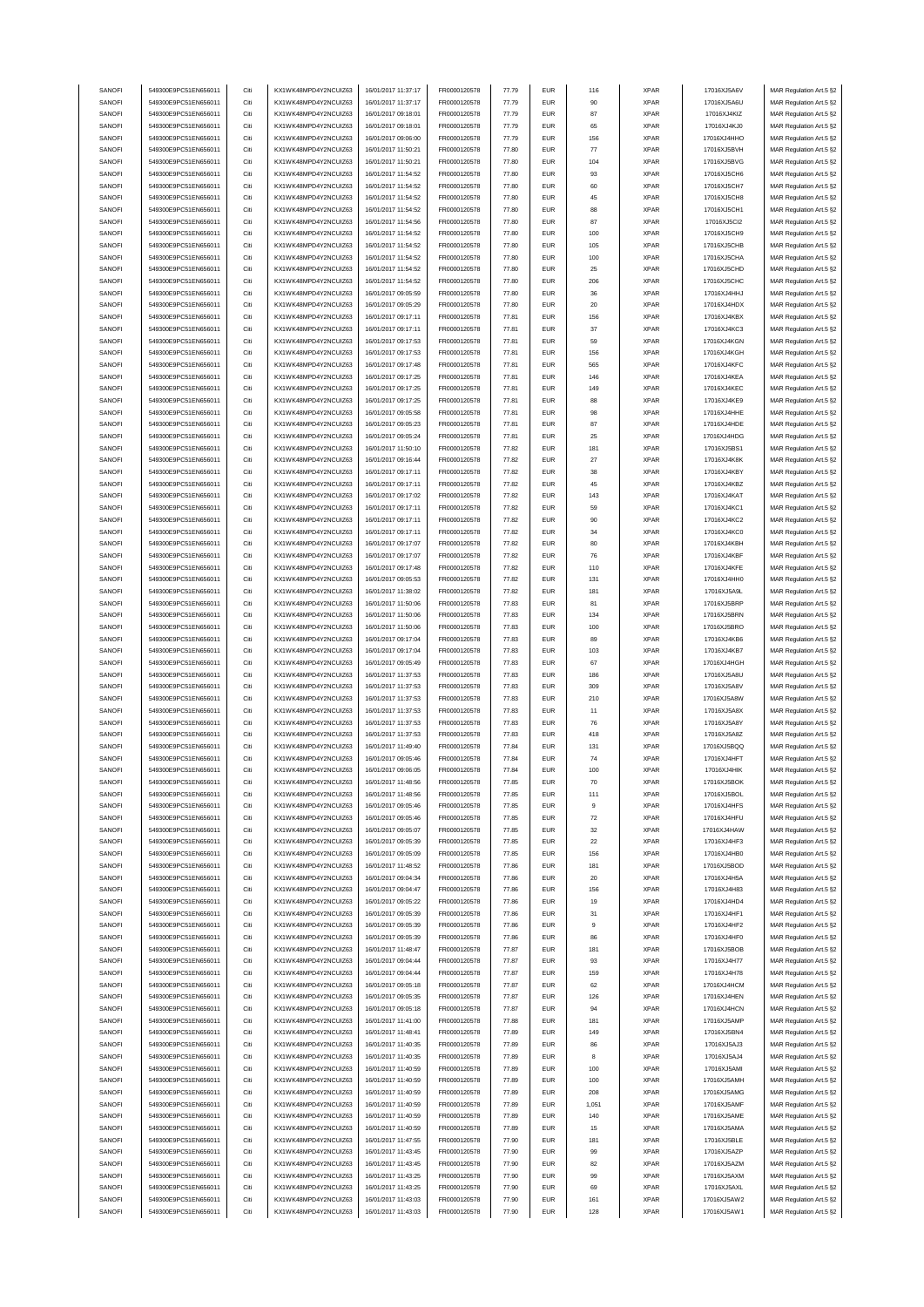| SANOFI<br>SANOFI<br>549300E9PC51EN656011<br>Citi<br>KX1WK48MPD4Y2NCUIZ63<br>16/01/2017 11:37:17<br><b>EUR</b><br>90<br><b>XPAR</b><br>FR0000120578<br>77.79<br>17016XJ5A6U<br>MAR Regulation Art.5 §2<br>SANOFI<br>549300E9PC51EN656011<br>Citi<br>KX1WK48MPD4Y2NCUIZ63<br>16/01/2017 09:18:01<br>FR0000120578<br>77.79<br><b>EUR</b><br>87<br><b>XPAR</b><br>17016XJ4KIZ<br><b>EUR</b><br><b>XPAR</b><br>SANOFI<br>549300E9PC51EN656011<br>Citi<br>KX1WK48MPD4Y2NCUIZ63<br>16/01/2017 09:18:01<br>FR0000120578<br>77.79<br>65<br>17016XJ4KJ0<br>Citi<br>77.79<br><b>EUR</b><br><b>XPAR</b><br>SANOFI<br>549300E9PC51EN656011<br>KX1WK48MPD4Y2NCLIIZ63<br>16/01/2017 09:06:00<br>FR0000120578<br>156<br>17016XJ4HHO<br>$77\,$<br>SANOFI<br>549300E9PC51EN656011<br>Citi<br>KX1WK48MPD4Y2NCUIZ63<br>16/01/2017 11:50:21<br>FR0000120578<br>77.80<br><b>EUR</b><br><b>XPAR</b><br>17016XJ5BVH<br>SANOFI<br>549300E9PC51EN656011<br>Citi<br>KX1WK48MPD4Y2NCUIZ63<br>16/01/2017 11:50:21<br>FR0000120578<br>77.80<br><b>EUR</b><br>104<br><b>XPAR</b><br>17016XJ5BVG<br>SANOFI<br>549300E9PC51EN656011<br>Citi<br>16/01/2017 11:54:52<br>FR0000120578<br><b>EUR</b><br>93<br><b>XPAR</b><br>KX1WK48MPD4Y2NCUIZ63<br>77.80<br>17016XJ5CH6<br>SANOFI<br>549300E9PC51EN656011<br>Citi<br>KX1WK48MPD4Y2NCUIZ63<br>16/01/2017 11:54:52<br>FR0000120578<br><b>EUR</b><br><b>XPAR</b><br>77.80<br>60<br>17016XJ5CH7<br>SANOFI<br>549300E9PC51EN656011<br>Citi<br>KX1WK48MPD4Y2NCUIZ63<br>16/01/2017 11:54:52<br>FR0000120578<br>77.80<br><b>EUR</b><br>45<br><b>XPAR</b><br>17016XJ5CH8<br>SANOFI<br>549300E9PC51EN656011<br>Citi<br>KX1WK48MPD4Y2NCUIZ63<br>16/01/2017 11:54:52<br>FR0000120578<br><b>EUR</b><br><b>XPAR</b><br>77.80<br>88<br>17016XJ5CH1<br>Citi<br>77.80<br><b>EUR</b><br>87<br><b>XPAR</b><br>SANOFI<br>549300E9PC51EN656011<br>KX1WK48MPD4Y2NCUIZ63<br>16/01/2017 11:54:56<br>FR0000120578<br>17016XJ5Cl2<br>SANOFI<br><b>EUR</b><br>549300E9PC51EN656011<br>Citi<br>KX1WK48MPD4Y2NCUIZ63<br>16/01/2017 11:54:52<br>FR0000120578<br>77.80<br>100<br><b>XPAR</b><br>17016XJ5CH9<br>SANOFI<br>549300E9PC51EN656011<br>Citi<br>KX1WK48MPD4Y2NCUIZ63<br>16/01/2017 11:54:52<br>FR0000120578<br>77.80<br><b>EUR</b><br>105<br><b>XPAR</b><br>17016XJ5CHB<br>Citi<br><b>EUR</b><br>SANOFI<br>549300E9PC51EN656011<br>KX1WK48MPD4Y2NCUIZ63<br>16/01/2017 11:54:52<br>FR0000120578<br>77.80<br>100<br><b>XPAR</b><br>17016XJ5CHA<br>SANOFI<br>549300E9PC51EN656011<br>Citi<br>KX1WK48MPD4Y2NCUIZ63<br>16/01/2017 11:54:52<br>FR0000120578<br><b>EUR</b><br>$25\,$<br><b>XPAR</b><br>17016XJ5CHD<br>77.80<br>SANOFI<br>549300E9PC51EN656011<br>Citi<br>KX1WK48MPD4Y2NCUIZ63<br>16/01/2017 11:54:52<br>FR0000120578<br><b>EUR</b><br><b>XPAR</b><br>17016XJ5CHC<br>77.80<br>206<br>SANOFI<br>549300E9PC51EN656011<br>Citi<br>KX1WK48MPD4Y2NCUIZ63<br>16/01/2017 09:05:59<br><b>EUR</b><br>$36\,$<br><b>XPAR</b><br>FR0000120578<br>77.80<br>17016XJ4HHJ<br>SANOFI<br>549300E9PC51EN656011<br>Citi<br>KX1WK48MPD4Y2NCUIZ63<br>16/01/2017 09:05:29<br>FR0000120578<br>77.80<br><b>EUR</b><br>20<br><b>XPAR</b><br>17016XJ4HDX<br>SANOFI<br>549300E9PC51EN656011<br>Citi<br>KX1WK48MPD4Y2NCUIZ63<br>16/01/2017 09:17:11<br>FR0000120578<br>77.81<br><b>EUR</b><br>156<br><b>XPAR</b><br>17016XJ4KBX<br>SANOFI<br>37<br><b>XPAR</b><br>549300E9PC51EN656011<br>Citi<br>KX1WK48MPD4Y2NCUIZ63<br>16/01/2017 09:17:11<br>FR0000120578<br>77.81<br><b>EUR</b><br>17016XJ4KC3<br>SANOFI<br>549300E9PC51EN656011<br>Citi<br>KX1WK48MPD4Y2NCUIZ63<br>16/01/2017 09:17:53<br>FR0000120578<br>77.81<br><b>EUR</b><br>59<br><b>XPAR</b><br>17016XJ4KGN<br>SANOFI<br>549300E9PC51EN656011<br>Citi<br>KX1WK48MPD4Y2NCUIZ63<br>16/01/2017 09:17:53<br>FR0000120578<br>77.81<br><b>EUR</b><br>156<br><b>XPAR</b><br>17016XJ4KGH<br>SANOFI<br>549300E9PC51EN656011<br>FR0000120578<br><b>XPAR</b><br>Citi<br>KX1WK48MPD4Y2NCUIZ63<br>16/01/2017 09:17:48<br>77.81<br><b>EUR</b><br>565<br>17016XJ4KFC<br>SANOFI<br>549300E9PC51EN656011<br>Citi<br>KX1WK48MPD4Y2NCUIZ63<br>FR0000120578<br><b>EUR</b><br><b>XPAR</b><br>16/01/2017 09:17:25<br>77.81<br>146<br>17016XJ4KEA<br>SANOFI<br>549300E9PC51EN656011<br>Citi<br>KX1WK48MPD4Y2NCUIZ63<br>16/01/2017 09:17:25<br>FR0000120578<br>77.81<br><b>EUR</b><br>149<br><b>XPAR</b><br>17016XJ4KEC<br>SANOFI<br>549300E9PC51EN656011<br>Citi<br>KX1WK48MPD4Y2NCUIZ63<br>16/01/2017 09:17:25<br>77.81<br><b>EUR</b><br><b>XPAR</b><br>17016XJ4KE9<br>FR0000120578<br>88<br>SANOFI<br><b>XPAR</b><br>549300E9PC51EN656011<br>Citi<br>KX1WK48MPD4Y2NCUIZ63<br>16/01/2017 09:05:58<br>FR0000120578<br>77.81<br><b>EUR</b><br>98<br>17016XJ4HHE<br><b>EUR</b><br>SANOFI<br>549300E9PC51EN656011<br>Citi<br>KX1WK48MPD4Y2NCUIZ63<br>16/01/2017 09:05:23<br>FR0000120578<br>77.81<br>87<br><b>XPAR</b><br>17016XJ4HDE<br>Citi<br>SANOFI<br>549300E9PC51EN656011<br>KX1WK48MPD4Y2NCUIZ63<br>16/01/2017 09:05:24<br>FR0000120578<br>77.81<br><b>EUR</b><br>25<br><b>XPAR</b><br>17016XJ4HDG<br>SANOFI<br>549300E9PC51EN656011<br>Citi<br>KX1WK48MPD4Y2NCUIZ63<br>16/01/2017 11:50:10<br>FR0000120578<br>77.82<br><b>EUR</b><br>181<br><b>XPAR</b><br>17016XJ5BS1<br>SANOFI<br>549300E9PC51EN656011<br>Citi<br>KX1WK48MPD4Y2NCUIZ63<br>FR0000120578<br>77.82<br><b>EUR</b><br>27<br><b>XPAR</b><br>17016XJ4K8K<br>16/01/2017 09:16:44<br>SANOFI<br>Citi<br>FR0000120578<br><b>EUR</b><br><b>XPAR</b><br>549300E9PC51EN656011<br>KX1WK48MPD4Y2NCUIZ63<br>16/01/2017 09:17:11<br>77.82<br>38<br>17016XJ4KBY<br>SANOFI<br>549300E9PC51EN656011<br>Citi<br>KX1WK48MPD4Y2NCUIZ63<br>16/01/2017 09:17:11<br>FR0000120578<br>77.82<br><b>EUR</b><br>45<br><b>XPAR</b><br>17016XJ4KBZ<br>SANOFI<br>549300E9PC51EN656011<br>Citi<br>KX1WK48MPD4Y2NCUIZ63<br>16/01/2017 09:17:02<br>FR0000120578<br>77.82<br><b>EUR</b><br>143<br><b>XPAR</b><br>17016XJ4KAT<br>SANOFI<br>Citi<br>KX1WK48MPD4Y2NCUIZ63<br><b>EUR</b><br><b>XPAR</b><br>549300E9PC51EN656011<br>16/01/2017 09:17:11<br>FR0000120578<br>77.82<br>59<br>17016XJ4KC1<br>Citi<br>77.82<br><b>EUR</b><br><b>XPAR</b><br>SANOFI<br>549300E9PC51EN656011<br>KX1WK48MPD4Y2NCUIZ63<br>16/01/2017 09:17:11<br>FR0000120578<br>90<br>17016XJ4KC2<br>SANOFI<br>549300E9PC51EN656011<br>Citi<br>KX1WK48MPD4Y2NCUIZ63<br>16/01/2017 09:17:11<br>FR0000120578<br>77.82<br><b>EUR</b><br>34<br><b>XPAR</b><br>17016XJ4KC0<br>SANOFI<br>549300E9PC51EN656011<br>Citi<br>KX1WK48MPD4Y2NCUIZ63<br>16/01/2017 09:17:07<br>FR0000120578<br>77.82<br><b>EUR</b><br>80<br><b>XPAR</b><br>17016XJ4KBH<br>SANOFI<br>549300E9PC51EN656011<br>Citi<br>KX1WK48MPD4Y2NCUIZ63<br>16/01/2017 09:17:07<br>FR0000120578<br>77.82<br><b>EUR</b><br>76<br><b>XPAR</b><br>17016XJ4KBF<br>SANOFI<br>549300E9PC51EN656011<br>Citi<br>KX1WK48MPD4Y2NCUIZ63<br>16/01/2017 09:17:48<br>FR0000120578<br>77.82<br><b>EUR</b><br>110<br><b>XPAR</b><br>17016XJ4KFE<br>SANOFI<br>549300E9PC51EN656011<br>FR0000120578<br><b>XPAR</b><br>Citi<br>KX1WK48MPD4Y2NCUIZ63<br>16/01/2017 09:05:53<br>77.82<br><b>EUR</b><br>131<br>17016XJ4HH0<br>SANOFI<br>549300E9PC51EN656011<br>Citi<br>KX1WK48MPD4Y2NCUIZ63<br>16/01/2017 11:38:02<br>FR0000120578<br>77.82<br><b>EUR</b><br>181<br><b>XPAR</b><br>17016XJ5A9L<br>SANOFI<br>549300E9PC51EN656011<br>Citi<br>KX1WK48MPD4Y2NCUIZ63<br>16/01/2017 11:50:06<br>FR0000120578<br>77.83<br><b>EUR</b><br>81<br><b>XPAR</b><br>17016XJ5BRP<br><b>EUR</b><br>SANOFI<br>549300E9PC51EN656011<br>Citi<br>KX1WK48MPD4Y2NCUIZ63<br>16/01/2017 11:50:06<br>FR0000120578<br>77.83<br>134<br><b>XPAR</b><br>17016XJ5BRN<br>SANOFI<br><b>XPAR</b><br>549300E9PC51EN656011<br>Citi<br>KX1WK48MPD4Y2NCUIZ63<br>16/01/2017 11:50:06<br>FR0000120578<br>77.83<br><b>EUR</b><br>100<br>17016XJ5BRO<br>SANOFI<br>549300E9PC51EN656011<br>Citi<br>KX1WK48MPD4Y2NCUIZ63<br>16/01/2017 09:17:04<br>FR0000120578<br>77.83<br><b>EUR</b><br>89<br><b>XPAR</b><br>17016XJ4KB6<br>Citi<br>SANOFI<br>549300E9PC51EN656011<br>KX1WK48MPD4Y2NCUIZ63<br>16/01/2017 09:17:04<br>FR0000120578<br>77.83<br><b>EUR</b><br>103<br><b>XPAR</b><br>17016XJ4KB7<br>SANOFI<br>549300E9PC51EN656011<br>KX1WK48MPD4Y2NCUIZ63<br>16/01/2017 09:05:49<br>FR0000120578<br><b>XPAR</b><br>Citi<br>77.83<br><b>EUR</b><br>67<br>17016XJ4HGH<br>SANOFI<br>Citi<br>FR0000120578<br><b>EUR</b><br><b>XPAR</b><br>549300E9PC51EN656011<br>KX1WK48MPD4Y2NCUIZ63<br>16/01/2017 11:37:53<br>77.83<br>186<br>17016XJ5A8U<br>SANOFI<br>549300E9PC51EN656011<br>Citi<br>KX1WK48MPD4Y2NCUIZ63<br>16/01/2017 11:37:53<br>FR0000120578<br>77.83<br><b>EUR</b><br>309<br><b>XPAR</b><br>17016XJ5A8V<br>SANOFI<br>549300E9PC51EN656011<br>Citi<br>KX1WK48MPD4Y2NCUIZ63<br>16/01/2017 11:37:53<br>FR0000120578<br>77.83<br><b>EUR</b><br>210<br><b>XPAR</b><br>17016XJ5A8W<br><b>XPAR</b><br>SANOFI<br>549300E9PC51EN656011<br>Citi<br>KX1WK48MPD4Y2NCUIZ63<br>16/01/2017 11:37:53<br>FR0000120578<br>77.83<br><b>EUR</b><br>11<br>17016XJ5A8X<br><b>EUR</b><br>SANOFI<br>549300E9PC51EN656011<br>Citi<br>KX1WK48MPD4Y2NCUIZ63<br>16/01/2017 11:37:53<br>FR0000120578<br>77.83<br>76<br><b>XPAR</b><br>17016XJ5A8Y<br>SANOFI<br>549300E9PC51EN656011<br>Citi<br>KX1WK48MPD4Y2NCUIZ63<br>16/01/2017 11:37:53<br>FR0000120578<br>77.83<br><b>EUR</b><br>418<br><b>XPAR</b><br>17016XJ5A8Z<br>SANOFI<br>549300E9PC51EN656011<br>Citi<br>KX1WK48MPD4Y2NCUIZ63<br>16/01/2017 11:49:40<br>FR0000120578<br>77.84<br><b>EUR</b><br>131<br><b>XPAR</b><br>17016XJ5BQQ<br>SANOFI<br>549300E9PC51EN656011<br>KX1WK48MPD4Y2NCUIZ63<br>16/01/2017 09:05:46<br>FR0000120578<br><b>EUR</b><br><b>XPAR</b><br>17016XJ4HFT<br>Citi<br>77.84<br>74<br>SANOFI<br>16/01/2017 09:06:05<br>FR0000120578<br><b>EUR</b><br><b>XPAR</b><br>549300E9PC51EN656011<br>Citi<br>KX1WK48MPD4Y2NCUIZ63<br>77.84<br>100<br>17016XJ4HIK<br>SANOFI<br>549300E9PC51EN656011<br>KX1WK48MPD4Y2NCLIIZ63<br>16/01/2017 11:48:56<br>FR0000120578<br>77.85<br>FUR<br><b>XPAR</b><br>17016X.I5BOK<br>70<br>SANOFI<br>549300E9PC51EN656011<br>KX1WK48MPD4Y2NCUIZ63<br>16/01/2017 11:48:56<br>Citi<br>FR0000120578<br>77.85<br><b>EUR</b><br>111<br><b>XPAR</b><br>17016XJ5BOL<br>SANOFI<br>549300E9PC51EN656011<br>Citi<br>KX1WK48MPD4Y2NCUIZ63<br>16/01/2017 09:05:46<br>FR0000120578<br><b>EUR</b><br>$\mathsf g$<br><b>XPAR</b><br>77.85<br>17016XJ4HFS<br>SANOFI<br>549300E9PC51EN656011<br>Citi<br>KX1WK48MPD4Y2NCUIZ63<br>16/01/2017 09:05:46<br>FR0000120578<br>77.85<br><b>EUR</b><br><b>XPAR</b><br>17016XJ4HFU<br>72<br>SANOFI<br>549300E9PC51EN656011<br>Citi<br>KX1WK48MPD4Y2NCUIZ63<br>16/01/2017 09:05:07<br>FR0000120578<br>77.85<br><b>EUR</b><br>32<br><b>XPAR</b><br>17016XJ4HAW<br>SANOFI<br>549300E9PC51EN656011<br>Citi<br>KX1WK48MPD4Y2NCUIZ63<br>16/01/2017 09:05:39<br>FR0000120578<br>77.85<br><b>EUR</b><br>$22\,$<br><b>XPAR</b><br>17016XJ4HF3<br>SANOFI<br>549300E9PC51EN656011<br>KX1WK48MPD4Y2NCUIZ63<br>16/01/2017 09:05:09<br>FR0000120578<br>Citi<br>77.85<br><b>EUR</b><br>156<br><b>XPAR</b><br>17016XJ4HB0<br>16/01/2017 11:48:52<br>SANOFI<br>549300E9PC51EN656011<br>Citi<br>KX1WK48MPD4Y2NCUIZ63<br>FR0000120578<br>77.86<br><b>EUR</b><br>181<br><b>XPAR</b><br>17016XJ5BOD<br>SANOFI<br>549300E9PC51EN656011<br>KX1WK48MPD4Y2NCUIZ63<br>16/01/2017 09:04:34<br>FR0000120578<br><b>XPAR</b><br>17016XJ4H5A<br>Citi<br>77.86<br><b>EUR</b><br>$20\,$<br>SANOFI<br>549300E9PC51EN656011<br>Citi<br>KX1WK48MPD4Y2NCUIZ63<br>16/01/2017 09:04:47<br><b>EUR</b><br><b>XPAR</b><br>FR0000120578<br>77.86<br>156<br>17016XJ4H83<br>KX1WK48MPD4Y2NCUIZ63<br>SANOFI<br>549300E9PC51EN656011<br>Citi<br>16/01/2017 09:05:22<br>FR0000120578<br>77.86<br><b>EUR</b><br><b>XPAR</b><br>17016XJ4HD4<br>19<br>SANOFI<br>549300E9PC51EN656011<br>Citi<br>KX1WK48MPD4Y2NCUIZ63<br>16/01/2017 09:05:39<br>FR0000120578<br><b>EUR</b><br>31<br><b>XPAR</b><br>17016XJ4HF1<br>77.86<br>SANOFI<br>549300E9PC51EN656011<br>Citi<br>KX1WK48MPD4Y2NCUIZ63<br>16/01/2017 09:05:39<br>FR0000120578<br>77.86<br><b>EUR</b><br>9<br><b>XPAR</b><br>17016XJ4HF2<br>SANOFI<br>549300E9PC51EN656011<br>Citi<br>KX1WK48MPD4Y2NCUIZ63<br>16/01/2017 09:05:39<br>FR0000120578<br>77.86<br><b>EUR</b><br>86<br><b>XPAR</b><br>17016XJ4HF0<br>KX1WK48MPD4Y2NCUIZ63<br>16/01/2017 11:48:47<br>SANOFI<br>549300E9PC51EN656011<br>Citi<br>FR0000120578<br>77.87<br><b>EUR</b><br>181<br><b>XPAR</b><br>17016XJ5BOB<br>SANOFI<br>549300E9PC51EN656011<br>KX1WK48MPD4Y2NCUIZ63<br>Citi<br>16/01/2017 09:04:44<br>FR0000120578<br>77.87<br><b>EUR</b><br>93<br><b>XPAR</b><br>17016XJ4H77<br>SANOFI<br>549300E9PC51EN656011<br>KX1WK48MPD4Y2NCUIZ63<br>16/01/2017 09:04:44<br><b>EUR</b><br>Citi<br>FR0000120578<br>77.87<br>159<br><b>XPAR</b><br>17016XJ4H78<br>SANOFI<br>549300E9PC51EN656011<br>Citi<br>KX1WK48MPD4Y2NCUIZ63<br>16/01/2017 09:05:18<br>FR0000120578<br><b>EUR</b><br><b>XPAR</b><br>17016XJ4HCM<br>77.87<br>62<br>SANOFI<br>549300E9PC51EN656011<br>Citi<br>KX1WK48MPD4Y2NCUIZ63<br>16/01/2017 09:05:35<br>FR0000120578<br><b>EUR</b><br>126<br><b>XPAR</b><br>17016XJ4HEN<br>77.87<br>SANOFI<br>549300E9PC51EN656011<br>KX1WK48MPD4Y2NCUIZ63<br>16/01/2017 09:05:18<br>FR0000120578<br><b>EUR</b><br><b>XPAR</b><br>17016XJ4HCN<br>Citi<br>77.87<br>94<br><b>EUR</b><br>SANOFI<br>549300E9PC51EN656011<br>Citi<br>KX1WK48MPD4Y2NCUIZ63<br>16/01/2017 11:41:00<br>FR0000120578<br>181<br><b>XPAR</b><br>17016XJ5AMP<br>77.88<br>SANOFI<br>549300E9PC51EN656011<br>Citi<br>KX1WK48MPD4Y2NCUIZ63<br>16/01/2017 11:48:41<br>FR0000120578<br>77.89<br><b>EUR</b><br>149<br><b>XPAR</b><br>17016XJ5BN4<br>SANOFI<br>549300E9PC51EN656011<br>Citi<br>KX1WK48MPD4Y2NCUIZ63<br>16/01/2017 11:40:35<br>FR0000120578<br>77.89<br><b>EUR</b><br>86<br><b>XPAR</b><br>17016XJ5AJ3<br>SANOFI<br>KX1WK48MPD4Y2NCUIZ63<br>549300E9PC51EN656011<br>Citi<br>16/01/2017 11:40:35<br>FR0000120578<br>77.89<br><b>EUR</b><br>8<br><b>XPAR</b><br>17016XJ5AJ4<br>SANOFI<br>549300E9PC51EN656011<br>Citi<br>KX1WK48MPD4Y2NCUIZ63<br>16/01/2017 11:40:59<br>FR0000120578<br>77.89<br><b>EUR</b><br>100<br><b>XPAR</b><br>17016XJ5AMI<br>SANOFI<br>549300E9PC51EN656011<br>Citi<br>KX1WK48MPD4Y2NCUIZ63<br>16/01/2017 11:40:59<br><b>EUR</b><br><b>XPAR</b><br>FR0000120578<br>77.89<br>100<br>17016XJ5AMH<br>SANOFI<br>549300E9PC51EN656011<br>KX1WK48MPD4Y2NCUIZ63<br>16/01/2017 11:40:59<br>FR0000120578<br><b>EUR</b><br><b>XPAR</b><br>17016XJ5AMG<br>Citi<br>77.89<br>208<br>SANOFI<br>549300E9PC51EN656011<br>Citi<br>KX1WK48MPD4Y2NCUIZ63<br>16/01/2017 11:40:59<br>FR0000120578<br><b>EUR</b><br>1,051<br><b>XPAR</b><br>17016XJ5AMF<br>77.89<br>SANOFI<br>549300E9PC51EN656011<br>Citi<br>KX1WK48MPD4Y2NCUIZ63<br>16/01/2017 11:40:59<br>FR0000120578<br><b>EUR</b><br><b>XPAR</b><br>17016XJ5AME<br>77.89<br>140<br>SANOFI<br>549300E9PC51EN656011<br>Citi<br>KX1WK48MPD4Y2NCUIZ63<br>16/01/2017 11:40:59<br>FR0000120578<br>77.89<br><b>EUR</b><br>15<br><b>XPAR</b><br>17016XJ5AMA<br>SANOFI<br>549300E9PC51EN656011<br>Citi<br>KX1WK48MPD4Y2NCUIZ63<br>16/01/2017 11:47:55<br>FR0000120578<br>77.90<br><b>EUR</b><br>181<br><b>XPAR</b><br>17016XJ5BLE<br>SANOFI<br>549300E9PC51EN656011<br>Citi<br>KX1WK48MPD4Y2NCUIZ63<br>16/01/2017 11:43:45<br>FR0000120578<br><b>EUR</b><br>17016XJ5AZP<br>77.90<br>99<br><b>XPAR</b><br>KX1WK48MPD4Y2NCUIZ63<br>16/01/2017 11:43:45<br>SANOFI<br>549300E9PC51EN656011<br>Citi<br>FR0000120578<br>77.90<br><b>EUR</b><br>82<br><b>XPAR</b><br>17016XJ5AZM<br>SANOFI<br>549300E9PC51EN656011<br>KX1WK48MPD4Y2NCUIZ63<br>16/01/2017 11:43:25<br>FR0000120578<br><b>EUR</b><br><b>XPAR</b><br>17016XJ5AXM<br>Citi<br>77.90<br>99<br>SANOFI<br>549300E9PC51EN656011<br>KX1WK48MPD4Y2NCUIZ63<br><b>EUR</b><br>Citi<br>16/01/2017 11:43:25<br>FR0000120578<br>77.90<br>69<br><b>XPAR</b><br>17016XJ5AXL<br>SANOFI<br>549300E9PC51EN656011<br>Citi<br>KX1WK48MPD4Y2NCUIZ63<br>16/01/2017 11:43:03<br>FR0000120578<br>77.90<br><b>EUR</b><br>161<br><b>XPAR</b><br>17016XJ5AW2<br>16/01/2017 11:43:03<br><b>EUR</b><br>SANOFI<br>549300E9PC51EN656011<br>Citi<br>KX1WK48MPD4Y2NCUIZ63<br>FR0000120578<br>77.90<br>128<br>XPAR<br>17016XJ5AW1<br>MAR Regulation Art.5 §2 | 549300E9PC51EN656011 | Citi | KX1WK48MPD4Y2NCUIZ63 | 16/01/2017 11:37:17 | FR0000120578 | 77.79 | <b>EUR</b> | 116 | <b>XPAR</b> | 17016XJ5A6V | MAR Regulation Art.5 §2 |
|--------------------------------------------------------------------------------------------------------------------------------------------------------------------------------------------------------------------------------------------------------------------------------------------------------------------------------------------------------------------------------------------------------------------------------------------------------------------------------------------------------------------------------------------------------------------------------------------------------------------------------------------------------------------------------------------------------------------------------------------------------------------------------------------------------------------------------------------------------------------------------------------------------------------------------------------------------------------------------------------------------------------------------------------------------------------------------------------------------------------------------------------------------------------------------------------------------------------------------------------------------------------------------------------------------------------------------------------------------------------------------------------------------------------------------------------------------------------------------------------------------------------------------------------------------------------------------------------------------------------------------------------------------------------------------------------------------------------------------------------------------------------------------------------------------------------------------------------------------------------------------------------------------------------------------------------------------------------------------------------------------------------------------------------------------------------------------------------------------------------------------------------------------------------------------------------------------------------------------------------------------------------------------------------------------------------------------------------------------------------------------------------------------------------------------------------------------------------------------------------------------------------------------------------------------------------------------------------------------------------------------------------------------------------------------------------------------------------------------------------------------------------------------------------------------------------------------------------------------------------------------------------------------------------------------------------------------------------------------------------------------------------------------------------------------------------------------------------------------------------------------------------------------------------------------------------------------------------------------------------------------------------------------------------------------------------------------------------------------------------------------------------------------------------------------------------------------------------------------------------------------------------------------------------------------------------------------------------------------------------------------------------------------------------------------------------------------------------------------------------------------------------------------------------------------------------------------------------------------------------------------------------------------------------------------------------------------------------------------------------------------------------------------------------------------------------------------------------------------------------------------------------------------------------------------------------------------------------------------------------------------------------------------------------------------------------------------------------------------------------------------------------------------------------------------------------------------------------------------------------------------------------------------------------------------------------------------------------------------------------------------------------------------------------------------------------------------------------------------------------------------------------------------------------------------------------------------------------------------------------------------------------------------------------------------------------------------------------------------------------------------------------------------------------------------------------------------------------------------------------------------------------------------------------------------------------------------------------------------------------------------------------------------------------------------------------------------------------------------------------------------------------------------------------------------------------------------------------------------------------------------------------------------------------------------------------------------------------------------------------------------------------------------------------------------------------------------------------------------------------------------------------------------------------------------------------------------------------------------------------------------------------------------------------------------------------------------------------------------------------------------------------------------------------------------------------------------------------------------------------------------------------------------------------------------------------------------------------------------------------------------------------------------------------------------------------------------------------------------------------------------------------------------------------------------------------------------------------------------------------------------------------------------------------------------------------------------------------------------------------------------------------------------------------------------------------------------------------------------------------------------------------------------------------------------------------------------------------------------------------------------------------------------------------------------------------------------------------------------------------------------------------------------------------------------------------------------------------------------------------------------------------------------------------------------------------------------------------------------------------------------------------------------------------------------------------------------------------------------------------------------------------------------------------------------------------------------------------------------------------------------------------------------------------------------------------------------------------------------------------------------------------------------------------------------------------------------------------------------------------------------------------------------------------------------------------------------------------------------------------------------------------------------------------------------------------------------------------------------------------------------------------------------------------------------------------------------------------------------------------------------------------------------------------------------------------------------------------------------------------------------------------------------------------------------------------------------------------------------------------------------------------------------------------------------------------------------------------------------------------------------------------------------------------------------------------------------------------------------------------------------------------------------------------------------------------------------------------------------------------------------------------------------------------------------------------------------------------------------------------------------------------------------------------------------------------------------------------------------------------------------------------------------------------------------------------------------------------------------------------------------------------------------------------------------------------------------------------------------------------------------------------------------------------------------------------------------------------------------------------------------------------------------------------------------------------------------------------------------------------------------------------------------------------------------------------------------------------------------------------------------------------------------------------------------------------------------------------------------------------------------------------------------------------------------------------------------------------------------------------------------------------------------------------------------------------------------------------------------------------------------------------------------------------------------------------------------------------------------------------------------------------------------------------------------------------------------------------------------------------------------------------------------------------------------------------------------------------------------------------------------------------------------------------------------------------------------------------------------------------------------------------------------------------------------------------------------------------------------------------------------------------------------------------------------------------------------------------------------------------------------------------------------------------------------------------------------------------------------------------------------------------------------------------------------------------------------------------------------------------------------------------------------------------------------------------------------------------------------------------------------------------------------------------------------------------------------------------------------------------------------------------------------------------------------------------------------------------------------------------------------------------------------------------------------------------------------------------------------------------------------------------------------------------------------------------------------------------------------------------------------------------------------------------------------------------------------------------------------------------------------------------------------------------------------------------------------------------------------------------------------------------------------------------------------------------------------------------------------------------------------------------------------------------------------------------------------------------------------------------------------------------------------------------------------------------------------------------------------------------------------------------------------------------------------------------------------------------------------------------------------------------------------------------------------------------------------------------------------------------------------------------------------------------------------------------------------------------------------------------------------------------------------------------------------------------------------------------------------------------------------------------------------------------------------------------------------------------------------------------------------------------------------------------------------------------------------------------------------------------------------------------------------------------------------------------------------------------------------------------------------------------------------------------------------------------------------------------------------------------------------------------------------------------------------------------------------------------------------------------------------------------------------------------------------------------------------------------------------------------------------------------------------------------------------------------------------------------------------------------------------------------------------------------------------------------------------------------------------------------------------------------------------------------------------------------------------------------------------------------------------------------------------------------------------------------------------------------------------------------------------------------------------------------------------------------------------------------------------------------------------------------------------------------------------------------------------------------------------------------------------------------------------------------------------------------------------------------------------------------------------------------------------------------------------------------------------------------------------------------------------------------------------------------------------------------------------------------------------------------------------------------------------------------------------------------------------------------------------------------------------------------------------------------------------------------------------------------------------------------------------------------------------------------------------------------------------------------------------------------------------------------------------------------------------------------------------------------------------------------------------------------------------------------------------------------------------------------------------------------------------------------------------------------------------------------------------------------------------------------------------------------------------------------------------------------------------------------------------------------------------------------------------------------------------------------------------------------------------------------------------------------------------------------------------------------------------------------------------------------------------------------------------------------------------------------------------------------------------------------------------------------------------------------------------------------------------------------------------------------------------------------------------------------------------------------------------------------------------------------------------------------------------------------------|----------------------|------|----------------------|---------------------|--------------|-------|------------|-----|-------------|-------------|-------------------------|
|                                                                                                                                                                                                                                                                                                                                                                                                                                                                                                                                                                                                                                                                                                                                                                                                                                                                                                                                                                                                                                                                                                                                                                                                                                                                                                                                                                                                                                                                                                                                                                                                                                                                                                                                                                                                                                                                                                                                                                                                                                                                                                                                                                                                                                                                                                                                                                                                                                                                                                                                                                                                                                                                                                                                                                                                                                                                                                                                                                                                                                                                                                                                                                                                                                                                                                                                                                                                                                                                                                                                                                                                                                                                                                                                                                                                                                                                                                                                                                                                                                                                                                                                                                                                                                                                                                                                                                                                                                                                                                                                                                                                                                                                                                                                                                                                                                                                                                                                                                                                                                                                                                                                                                                                                                                                                                                                                                                                                                                                                                                                                                                                                                                                                                                                                                                                                                                                                                                                                                                                                                                                                                                                                                                                                                                                                                                                                                                                                                                                                                                                                                                                                                                                                                                                                                                                                                                                                                                                                                                                                                                                                                                                                                                                                                                                                                                                                                                                                                                                                                                                                                                                                                                                                                                                                                                                                                                                                                                                                                                                                                                                                                                                                                                                                                                                                                                                                                                                                                                                                                                                                                                                                                                                                                                                                                                                                                                                                                                                                                                                                                                                                                                                                                                                                                                                                                                                                                                                                                                                                                                                                                                                                                                                                                                                                                                                                                                                                                                                                                                                                                                                                                                                                                                                                                                                                                                                                                                                                                                                                                                                                                                                                                                                                                                                                                                                                                                                                                                                                                                                                                                                                                                                                                                                                                                                                                                                                                                                                                                                                                                                                                                                                                                                                                                                                                                                                                                                                                                                                                                                                                                                                                                                                                                                                                                                                                                                                                                                                                                                                                                                                                                                                                                                                                                                                                                                                                                                                                                                                                                                                                                                                                                                                                                                                                                                                                                                                                                                                                                                                                                                                                                                                                                                                                                                                                                                                                                                                                                                                                                                                                                                                                                                                                                                                                                                                                                                                                                                                                                                                                                                                                                                                                                                                                                                                                                                                                                                                                                                                                                                                                                                                                                                                                                                                                                                                                                                                                                                                                                                                                                                                                                                                                                                                                                                                                                                                                                                                                                                                                                                                                                                                                                                                                          |                      |      |                      |                     |              |       |            |     |             |             |                         |
|                                                                                                                                                                                                                                                                                                                                                                                                                                                                                                                                                                                                                                                                                                                                                                                                                                                                                                                                                                                                                                                                                                                                                                                                                                                                                                                                                                                                                                                                                                                                                                                                                                                                                                                                                                                                                                                                                                                                                                                                                                                                                                                                                                                                                                                                                                                                                                                                                                                                                                                                                                                                                                                                                                                                                                                                                                                                                                                                                                                                                                                                                                                                                                                                                                                                                                                                                                                                                                                                                                                                                                                                                                                                                                                                                                                                                                                                                                                                                                                                                                                                                                                                                                                                                                                                                                                                                                                                                                                                                                                                                                                                                                                                                                                                                                                                                                                                                                                                                                                                                                                                                                                                                                                                                                                                                                                                                                                                                                                                                                                                                                                                                                                                                                                                                                                                                                                                                                                                                                                                                                                                                                                                                                                                                                                                                                                                                                                                                                                                                                                                                                                                                                                                                                                                                                                                                                                                                                                                                                                                                                                                                                                                                                                                                                                                                                                                                                                                                                                                                                                                                                                                                                                                                                                                                                                                                                                                                                                                                                                                                                                                                                                                                                                                                                                                                                                                                                                                                                                                                                                                                                                                                                                                                                                                                                                                                                                                                                                                                                                                                                                                                                                                                                                                                                                                                                                                                                                                                                                                                                                                                                                                                                                                                                                                                                                                                                                                                                                                                                                                                                                                                                                                                                                                                                                                                                                                                                                                                                                                                                                                                                                                                                                                                                                                                                                                                                                                                                                                                                                                                                                                                                                                                                                                                                                                                                                                                                                                                                                                                                                                                                                                                                                                                                                                                                                                                                                                                                                                                                                                                                                                                                                                                                                                                                                                                                                                                                                                                                                                                                                                                                                                                                                                                                                                                                                                                                                                                                                                                                                                                                                                                                                                                                                                                                                                                                                                                                                                                                                                                                                                                                                                                                                                                                                                                                                                                                                                                                                                                                                                                                                                                                                                                                                                                                                                                                                                                                                                                                                                                                                                                                                                                                                                                                                                                                                                                                                                                                                                                                                                                                                                                                                                                                                                                                                                                                                                                                                                                                                                                                                                                                                                                                                                                                                                                                                                                                                                                                                                                                                                                                                                                                                                                                          |                      |      |                      |                     |              |       |            |     |             |             |                         |
|                                                                                                                                                                                                                                                                                                                                                                                                                                                                                                                                                                                                                                                                                                                                                                                                                                                                                                                                                                                                                                                                                                                                                                                                                                                                                                                                                                                                                                                                                                                                                                                                                                                                                                                                                                                                                                                                                                                                                                                                                                                                                                                                                                                                                                                                                                                                                                                                                                                                                                                                                                                                                                                                                                                                                                                                                                                                                                                                                                                                                                                                                                                                                                                                                                                                                                                                                                                                                                                                                                                                                                                                                                                                                                                                                                                                                                                                                                                                                                                                                                                                                                                                                                                                                                                                                                                                                                                                                                                                                                                                                                                                                                                                                                                                                                                                                                                                                                                                                                                                                                                                                                                                                                                                                                                                                                                                                                                                                                                                                                                                                                                                                                                                                                                                                                                                                                                                                                                                                                                                                                                                                                                                                                                                                                                                                                                                                                                                                                                                                                                                                                                                                                                                                                                                                                                                                                                                                                                                                                                                                                                                                                                                                                                                                                                                                                                                                                                                                                                                                                                                                                                                                                                                                                                                                                                                                                                                                                                                                                                                                                                                                                                                                                                                                                                                                                                                                                                                                                                                                                                                                                                                                                                                                                                                                                                                                                                                                                                                                                                                                                                                                                                                                                                                                                                                                                                                                                                                                                                                                                                                                                                                                                                                                                                                                                                                                                                                                                                                                                                                                                                                                                                                                                                                                                                                                                                                                                                                                                                                                                                                                                                                                                                                                                                                                                                                                                                                                                                                                                                                                                                                                                                                                                                                                                                                                                                                                                                                                                                                                                                                                                                                                                                                                                                                                                                                                                                                                                                                                                                                                                                                                                                                                                                                                                                                                                                                                                                                                                                                                                                                                                                                                                                                                                                                                                                                                                                                                                                                                                                                                                                                                                                                                                                                                                                                                                                                                                                                                                                                                                                                                                                                                                                                                                                                                                                                                                                                                                                                                                                                                                                                                                                                                                                                                                                                                                                                                                                                                                                                                                                                                                                                                                                                                                                                                                                                                                                                                                                                                                                                                                                                                                                                                                                                                                                                                                                                                                                                                                                                                                                                                                                                                                                                                                                                                                                                                                                                                                                                                                                                                                                                                                                                                                          |                      |      |                      |                     |              |       |            |     |             |             | MAR Regulation Art.5 §2 |
|                                                                                                                                                                                                                                                                                                                                                                                                                                                                                                                                                                                                                                                                                                                                                                                                                                                                                                                                                                                                                                                                                                                                                                                                                                                                                                                                                                                                                                                                                                                                                                                                                                                                                                                                                                                                                                                                                                                                                                                                                                                                                                                                                                                                                                                                                                                                                                                                                                                                                                                                                                                                                                                                                                                                                                                                                                                                                                                                                                                                                                                                                                                                                                                                                                                                                                                                                                                                                                                                                                                                                                                                                                                                                                                                                                                                                                                                                                                                                                                                                                                                                                                                                                                                                                                                                                                                                                                                                                                                                                                                                                                                                                                                                                                                                                                                                                                                                                                                                                                                                                                                                                                                                                                                                                                                                                                                                                                                                                                                                                                                                                                                                                                                                                                                                                                                                                                                                                                                                                                                                                                                                                                                                                                                                                                                                                                                                                                                                                                                                                                                                                                                                                                                                                                                                                                                                                                                                                                                                                                                                                                                                                                                                                                                                                                                                                                                                                                                                                                                                                                                                                                                                                                                                                                                                                                                                                                                                                                                                                                                                                                                                                                                                                                                                                                                                                                                                                                                                                                                                                                                                                                                                                                                                                                                                                                                                                                                                                                                                                                                                                                                                                                                                                                                                                                                                                                                                                                                                                                                                                                                                                                                                                                                                                                                                                                                                                                                                                                                                                                                                                                                                                                                                                                                                                                                                                                                                                                                                                                                                                                                                                                                                                                                                                                                                                                                                                                                                                                                                                                                                                                                                                                                                                                                                                                                                                                                                                                                                                                                                                                                                                                                                                                                                                                                                                                                                                                                                                                                                                                                                                                                                                                                                                                                                                                                                                                                                                                                                                                                                                                                                                                                                                                                                                                                                                                                                                                                                                                                                                                                                                                                                                                                                                                                                                                                                                                                                                                                                                                                                                                                                                                                                                                                                                                                                                                                                                                                                                                                                                                                                                                                                                                                                                                                                                                                                                                                                                                                                                                                                                                                                                                                                                                                                                                                                                                                                                                                                                                                                                                                                                                                                                                                                                                                                                                                                                                                                                                                                                                                                                                                                                                                                                                                                                                                                                                                                                                                                                                                                                                                                                                                                                                                                                          |                      |      |                      |                     |              |       |            |     |             |             | MAR Regulation Art.5 §2 |
|                                                                                                                                                                                                                                                                                                                                                                                                                                                                                                                                                                                                                                                                                                                                                                                                                                                                                                                                                                                                                                                                                                                                                                                                                                                                                                                                                                                                                                                                                                                                                                                                                                                                                                                                                                                                                                                                                                                                                                                                                                                                                                                                                                                                                                                                                                                                                                                                                                                                                                                                                                                                                                                                                                                                                                                                                                                                                                                                                                                                                                                                                                                                                                                                                                                                                                                                                                                                                                                                                                                                                                                                                                                                                                                                                                                                                                                                                                                                                                                                                                                                                                                                                                                                                                                                                                                                                                                                                                                                                                                                                                                                                                                                                                                                                                                                                                                                                                                                                                                                                                                                                                                                                                                                                                                                                                                                                                                                                                                                                                                                                                                                                                                                                                                                                                                                                                                                                                                                                                                                                                                                                                                                                                                                                                                                                                                                                                                                                                                                                                                                                                                                                                                                                                                                                                                                                                                                                                                                                                                                                                                                                                                                                                                                                                                                                                                                                                                                                                                                                                                                                                                                                                                                                                                                                                                                                                                                                                                                                                                                                                                                                                                                                                                                                                                                                                                                                                                                                                                                                                                                                                                                                                                                                                                                                                                                                                                                                                                                                                                                                                                                                                                                                                                                                                                                                                                                                                                                                                                                                                                                                                                                                                                                                                                                                                                                                                                                                                                                                                                                                                                                                                                                                                                                                                                                                                                                                                                                                                                                                                                                                                                                                                                                                                                                                                                                                                                                                                                                                                                                                                                                                                                                                                                                                                                                                                                                                                                                                                                                                                                                                                                                                                                                                                                                                                                                                                                                                                                                                                                                                                                                                                                                                                                                                                                                                                                                                                                                                                                                                                                                                                                                                                                                                                                                                                                                                                                                                                                                                                                                                                                                                                                                                                                                                                                                                                                                                                                                                                                                                                                                                                                                                                                                                                                                                                                                                                                                                                                                                                                                                                                                                                                                                                                                                                                                                                                                                                                                                                                                                                                                                                                                                                                                                                                                                                                                                                                                                                                                                                                                                                                                                                                                                                                                                                                                                                                                                                                                                                                                                                                                                                                                                                                                                                                                                                                                                                                                                                                                                                                                                                                                                                                                                                          |                      |      |                      |                     |              |       |            |     |             |             | MAR Regulation Art.5 §2 |
|                                                                                                                                                                                                                                                                                                                                                                                                                                                                                                                                                                                                                                                                                                                                                                                                                                                                                                                                                                                                                                                                                                                                                                                                                                                                                                                                                                                                                                                                                                                                                                                                                                                                                                                                                                                                                                                                                                                                                                                                                                                                                                                                                                                                                                                                                                                                                                                                                                                                                                                                                                                                                                                                                                                                                                                                                                                                                                                                                                                                                                                                                                                                                                                                                                                                                                                                                                                                                                                                                                                                                                                                                                                                                                                                                                                                                                                                                                                                                                                                                                                                                                                                                                                                                                                                                                                                                                                                                                                                                                                                                                                                                                                                                                                                                                                                                                                                                                                                                                                                                                                                                                                                                                                                                                                                                                                                                                                                                                                                                                                                                                                                                                                                                                                                                                                                                                                                                                                                                                                                                                                                                                                                                                                                                                                                                                                                                                                                                                                                                                                                                                                                                                                                                                                                                                                                                                                                                                                                                                                                                                                                                                                                                                                                                                                                                                                                                                                                                                                                                                                                                                                                                                                                                                                                                                                                                                                                                                                                                                                                                                                                                                                                                                                                                                                                                                                                                                                                                                                                                                                                                                                                                                                                                                                                                                                                                                                                                                                                                                                                                                                                                                                                                                                                                                                                                                                                                                                                                                                                                                                                                                                                                                                                                                                                                                                                                                                                                                                                                                                                                                                                                                                                                                                                                                                                                                                                                                                                                                                                                                                                                                                                                                                                                                                                                                                                                                                                                                                                                                                                                                                                                                                                                                                                                                                                                                                                                                                                                                                                                                                                                                                                                                                                                                                                                                                                                                                                                                                                                                                                                                                                                                                                                                                                                                                                                                                                                                                                                                                                                                                                                                                                                                                                                                                                                                                                                                                                                                                                                                                                                                                                                                                                                                                                                                                                                                                                                                                                                                                                                                                                                                                                                                                                                                                                                                                                                                                                                                                                                                                                                                                                                                                                                                                                                                                                                                                                                                                                                                                                                                                                                                                                                                                                                                                                                                                                                                                                                                                                                                                                                                                                                                                                                                                                                                                                                                                                                                                                                                                                                                                                                                                                                                                                                                                                                                                                                                                                                                                                                                                                                                                                                                                                                                          |                      |      |                      |                     |              |       |            |     |             |             | MAR Regulation Art.5 §2 |
|                                                                                                                                                                                                                                                                                                                                                                                                                                                                                                                                                                                                                                                                                                                                                                                                                                                                                                                                                                                                                                                                                                                                                                                                                                                                                                                                                                                                                                                                                                                                                                                                                                                                                                                                                                                                                                                                                                                                                                                                                                                                                                                                                                                                                                                                                                                                                                                                                                                                                                                                                                                                                                                                                                                                                                                                                                                                                                                                                                                                                                                                                                                                                                                                                                                                                                                                                                                                                                                                                                                                                                                                                                                                                                                                                                                                                                                                                                                                                                                                                                                                                                                                                                                                                                                                                                                                                                                                                                                                                                                                                                                                                                                                                                                                                                                                                                                                                                                                                                                                                                                                                                                                                                                                                                                                                                                                                                                                                                                                                                                                                                                                                                                                                                                                                                                                                                                                                                                                                                                                                                                                                                                                                                                                                                                                                                                                                                                                                                                                                                                                                                                                                                                                                                                                                                                                                                                                                                                                                                                                                                                                                                                                                                                                                                                                                                                                                                                                                                                                                                                                                                                                                                                                                                                                                                                                                                                                                                                                                                                                                                                                                                                                                                                                                                                                                                                                                                                                                                                                                                                                                                                                                                                                                                                                                                                                                                                                                                                                                                                                                                                                                                                                                                                                                                                                                                                                                                                                                                                                                                                                                                                                                                                                                                                                                                                                                                                                                                                                                                                                                                                                                                                                                                                                                                                                                                                                                                                                                                                                                                                                                                                                                                                                                                                                                                                                                                                                                                                                                                                                                                                                                                                                                                                                                                                                                                                                                                                                                                                                                                                                                                                                                                                                                                                                                                                                                                                                                                                                                                                                                                                                                                                                                                                                                                                                                                                                                                                                                                                                                                                                                                                                                                                                                                                                                                                                                                                                                                                                                                                                                                                                                                                                                                                                                                                                                                                                                                                                                                                                                                                                                                                                                                                                                                                                                                                                                                                                                                                                                                                                                                                                                                                                                                                                                                                                                                                                                                                                                                                                                                                                                                                                                                                                                                                                                                                                                                                                                                                                                                                                                                                                                                                                                                                                                                                                                                                                                                                                                                                                                                                                                                                                                                                                                                                                                                                                                                                                                                                                                                                                                                                                                                                                                                          |                      |      |                      |                     |              |       |            |     |             |             | MAR Regulation Art.5 §2 |
|                                                                                                                                                                                                                                                                                                                                                                                                                                                                                                                                                                                                                                                                                                                                                                                                                                                                                                                                                                                                                                                                                                                                                                                                                                                                                                                                                                                                                                                                                                                                                                                                                                                                                                                                                                                                                                                                                                                                                                                                                                                                                                                                                                                                                                                                                                                                                                                                                                                                                                                                                                                                                                                                                                                                                                                                                                                                                                                                                                                                                                                                                                                                                                                                                                                                                                                                                                                                                                                                                                                                                                                                                                                                                                                                                                                                                                                                                                                                                                                                                                                                                                                                                                                                                                                                                                                                                                                                                                                                                                                                                                                                                                                                                                                                                                                                                                                                                                                                                                                                                                                                                                                                                                                                                                                                                                                                                                                                                                                                                                                                                                                                                                                                                                                                                                                                                                                                                                                                                                                                                                                                                                                                                                                                                                                                                                                                                                                                                                                                                                                                                                                                                                                                                                                                                                                                                                                                                                                                                                                                                                                                                                                                                                                                                                                                                                                                                                                                                                                                                                                                                                                                                                                                                                                                                                                                                                                                                                                                                                                                                                                                                                                                                                                                                                                                                                                                                                                                                                                                                                                                                                                                                                                                                                                                                                                                                                                                                                                                                                                                                                                                                                                                                                                                                                                                                                                                                                                                                                                                                                                                                                                                                                                                                                                                                                                                                                                                                                                                                                                                                                                                                                                                                                                                                                                                                                                                                                                                                                                                                                                                                                                                                                                                                                                                                                                                                                                                                                                                                                                                                                                                                                                                                                                                                                                                                                                                                                                                                                                                                                                                                                                                                                                                                                                                                                                                                                                                                                                                                                                                                                                                                                                                                                                                                                                                                                                                                                                                                                                                                                                                                                                                                                                                                                                                                                                                                                                                                                                                                                                                                                                                                                                                                                                                                                                                                                                                                                                                                                                                                                                                                                                                                                                                                                                                                                                                                                                                                                                                                                                                                                                                                                                                                                                                                                                                                                                                                                                                                                                                                                                                                                                                                                                                                                                                                                                                                                                                                                                                                                                                                                                                                                                                                                                                                                                                                                                                                                                                                                                                                                                                                                                                                                                                                                                                                                                                                                                                                                                                                                                                                                                                                                                                                                          |                      |      |                      |                     |              |       |            |     |             |             | MAR Regulation Art.5 §2 |
|                                                                                                                                                                                                                                                                                                                                                                                                                                                                                                                                                                                                                                                                                                                                                                                                                                                                                                                                                                                                                                                                                                                                                                                                                                                                                                                                                                                                                                                                                                                                                                                                                                                                                                                                                                                                                                                                                                                                                                                                                                                                                                                                                                                                                                                                                                                                                                                                                                                                                                                                                                                                                                                                                                                                                                                                                                                                                                                                                                                                                                                                                                                                                                                                                                                                                                                                                                                                                                                                                                                                                                                                                                                                                                                                                                                                                                                                                                                                                                                                                                                                                                                                                                                                                                                                                                                                                                                                                                                                                                                                                                                                                                                                                                                                                                                                                                                                                                                                                                                                                                                                                                                                                                                                                                                                                                                                                                                                                                                                                                                                                                                                                                                                                                                                                                                                                                                                                                                                                                                                                                                                                                                                                                                                                                                                                                                                                                                                                                                                                                                                                                                                                                                                                                                                                                                                                                                                                                                                                                                                                                                                                                                                                                                                                                                                                                                                                                                                                                                                                                                                                                                                                                                                                                                                                                                                                                                                                                                                                                                                                                                                                                                                                                                                                                                                                                                                                                                                                                                                                                                                                                                                                                                                                                                                                                                                                                                                                                                                                                                                                                                                                                                                                                                                                                                                                                                                                                                                                                                                                                                                                                                                                                                                                                                                                                                                                                                                                                                                                                                                                                                                                                                                                                                                                                                                                                                                                                                                                                                                                                                                                                                                                                                                                                                                                                                                                                                                                                                                                                                                                                                                                                                                                                                                                                                                                                                                                                                                                                                                                                                                                                                                                                                                                                                                                                                                                                                                                                                                                                                                                                                                                                                                                                                                                                                                                                                                                                                                                                                                                                                                                                                                                                                                                                                                                                                                                                                                                                                                                                                                                                                                                                                                                                                                                                                                                                                                                                                                                                                                                                                                                                                                                                                                                                                                                                                                                                                                                                                                                                                                                                                                                                                                                                                                                                                                                                                                                                                                                                                                                                                                                                                                                                                                                                                                                                                                                                                                                                                                                                                                                                                                                                                                                                                                                                                                                                                                                                                                                                                                                                                                                                                                                                                                                                                                                                                                                                                                                                                                                                                                                                                                                                                                                                          |                      |      |                      |                     |              |       |            |     |             |             |                         |
|                                                                                                                                                                                                                                                                                                                                                                                                                                                                                                                                                                                                                                                                                                                                                                                                                                                                                                                                                                                                                                                                                                                                                                                                                                                                                                                                                                                                                                                                                                                                                                                                                                                                                                                                                                                                                                                                                                                                                                                                                                                                                                                                                                                                                                                                                                                                                                                                                                                                                                                                                                                                                                                                                                                                                                                                                                                                                                                                                                                                                                                                                                                                                                                                                                                                                                                                                                                                                                                                                                                                                                                                                                                                                                                                                                                                                                                                                                                                                                                                                                                                                                                                                                                                                                                                                                                                                                                                                                                                                                                                                                                                                                                                                                                                                                                                                                                                                                                                                                                                                                                                                                                                                                                                                                                                                                                                                                                                                                                                                                                                                                                                                                                                                                                                                                                                                                                                                                                                                                                                                                                                                                                                                                                                                                                                                                                                                                                                                                                                                                                                                                                                                                                                                                                                                                                                                                                                                                                                                                                                                                                                                                                                                                                                                                                                                                                                                                                                                                                                                                                                                                                                                                                                                                                                                                                                                                                                                                                                                                                                                                                                                                                                                                                                                                                                                                                                                                                                                                                                                                                                                                                                                                                                                                                                                                                                                                                                                                                                                                                                                                                                                                                                                                                                                                                                                                                                                                                                                                                                                                                                                                                                                                                                                                                                                                                                                                                                                                                                                                                                                                                                                                                                                                                                                                                                                                                                                                                                                                                                                                                                                                                                                                                                                                                                                                                                                                                                                                                                                                                                                                                                                                                                                                                                                                                                                                                                                                                                                                                                                                                                                                                                                                                                                                                                                                                                                                                                                                                                                                                                                                                                                                                                                                                                                                                                                                                                                                                                                                                                                                                                                                                                                                                                                                                                                                                                                                                                                                                                                                                                                                                                                                                                                                                                                                                                                                                                                                                                                                                                                                                                                                                                                                                                                                                                                                                                                                                                                                                                                                                                                                                                                                                                                                                                                                                                                                                                                                                                                                                                                                                                                                                                                                                                                                                                                                                                                                                                                                                                                                                                                                                                                                                                                                                                                                                                                                                                                                                                                                                                                                                                                                                                                                                                                                                                                                                                                                                                                                                                                                                                                                                                                                                                                                          |                      |      |                      |                     |              |       |            |     |             |             | MAR Regulation Art.5 §2 |
|                                                                                                                                                                                                                                                                                                                                                                                                                                                                                                                                                                                                                                                                                                                                                                                                                                                                                                                                                                                                                                                                                                                                                                                                                                                                                                                                                                                                                                                                                                                                                                                                                                                                                                                                                                                                                                                                                                                                                                                                                                                                                                                                                                                                                                                                                                                                                                                                                                                                                                                                                                                                                                                                                                                                                                                                                                                                                                                                                                                                                                                                                                                                                                                                                                                                                                                                                                                                                                                                                                                                                                                                                                                                                                                                                                                                                                                                                                                                                                                                                                                                                                                                                                                                                                                                                                                                                                                                                                                                                                                                                                                                                                                                                                                                                                                                                                                                                                                                                                                                                                                                                                                                                                                                                                                                                                                                                                                                                                                                                                                                                                                                                                                                                                                                                                                                                                                                                                                                                                                                                                                                                                                                                                                                                                                                                                                                                                                                                                                                                                                                                                                                                                                                                                                                                                                                                                                                                                                                                                                                                                                                                                                                                                                                                                                                                                                                                                                                                                                                                                                                                                                                                                                                                                                                                                                                                                                                                                                                                                                                                                                                                                                                                                                                                                                                                                                                                                                                                                                                                                                                                                                                                                                                                                                                                                                                                                                                                                                                                                                                                                                                                                                                                                                                                                                                                                                                                                                                                                                                                                                                                                                                                                                                                                                                                                                                                                                                                                                                                                                                                                                                                                                                                                                                                                                                                                                                                                                                                                                                                                                                                                                                                                                                                                                                                                                                                                                                                                                                                                                                                                                                                                                                                                                                                                                                                                                                                                                                                                                                                                                                                                                                                                                                                                                                                                                                                                                                                                                                                                                                                                                                                                                                                                                                                                                                                                                                                                                                                                                                                                                                                                                                                                                                                                                                                                                                                                                                                                                                                                                                                                                                                                                                                                                                                                                                                                                                                                                                                                                                                                                                                                                                                                                                                                                                                                                                                                                                                                                                                                                                                                                                                                                                                                                                                                                                                                                                                                                                                                                                                                                                                                                                                                                                                                                                                                                                                                                                                                                                                                                                                                                                                                                                                                                                                                                                                                                                                                                                                                                                                                                                                                                                                                                                                                                                                                                                                                                                                                                                                                                                                                                                                                                                                                          |                      |      |                      |                     |              |       |            |     |             |             | MAR Regulation Art.5 §2 |
|                                                                                                                                                                                                                                                                                                                                                                                                                                                                                                                                                                                                                                                                                                                                                                                                                                                                                                                                                                                                                                                                                                                                                                                                                                                                                                                                                                                                                                                                                                                                                                                                                                                                                                                                                                                                                                                                                                                                                                                                                                                                                                                                                                                                                                                                                                                                                                                                                                                                                                                                                                                                                                                                                                                                                                                                                                                                                                                                                                                                                                                                                                                                                                                                                                                                                                                                                                                                                                                                                                                                                                                                                                                                                                                                                                                                                                                                                                                                                                                                                                                                                                                                                                                                                                                                                                                                                                                                                                                                                                                                                                                                                                                                                                                                                                                                                                                                                                                                                                                                                                                                                                                                                                                                                                                                                                                                                                                                                                                                                                                                                                                                                                                                                                                                                                                                                                                                                                                                                                                                                                                                                                                                                                                                                                                                                                                                                                                                                                                                                                                                                                                                                                                                                                                                                                                                                                                                                                                                                                                                                                                                                                                                                                                                                                                                                                                                                                                                                                                                                                                                                                                                                                                                                                                                                                                                                                                                                                                                                                                                                                                                                                                                                                                                                                                                                                                                                                                                                                                                                                                                                                                                                                                                                                                                                                                                                                                                                                                                                                                                                                                                                                                                                                                                                                                                                                                                                                                                                                                                                                                                                                                                                                                                                                                                                                                                                                                                                                                                                                                                                                                                                                                                                                                                                                                                                                                                                                                                                                                                                                                                                                                                                                                                                                                                                                                                                                                                                                                                                                                                                                                                                                                                                                                                                                                                                                                                                                                                                                                                                                                                                                                                                                                                                                                                                                                                                                                                                                                                                                                                                                                                                                                                                                                                                                                                                                                                                                                                                                                                                                                                                                                                                                                                                                                                                                                                                                                                                                                                                                                                                                                                                                                                                                                                                                                                                                                                                                                                                                                                                                                                                                                                                                                                                                                                                                                                                                                                                                                                                                                                                                                                                                                                                                                                                                                                                                                                                                                                                                                                                                                                                                                                                                                                                                                                                                                                                                                                                                                                                                                                                                                                                                                                                                                                                                                                                                                                                                                                                                                                                                                                                                                                                                                                                                                                                                                                                                                                                                                                                                                                                                                                                                                                                                          |                      |      |                      |                     |              |       |            |     |             |             | MAR Regulation Art.5 §2 |
|                                                                                                                                                                                                                                                                                                                                                                                                                                                                                                                                                                                                                                                                                                                                                                                                                                                                                                                                                                                                                                                                                                                                                                                                                                                                                                                                                                                                                                                                                                                                                                                                                                                                                                                                                                                                                                                                                                                                                                                                                                                                                                                                                                                                                                                                                                                                                                                                                                                                                                                                                                                                                                                                                                                                                                                                                                                                                                                                                                                                                                                                                                                                                                                                                                                                                                                                                                                                                                                                                                                                                                                                                                                                                                                                                                                                                                                                                                                                                                                                                                                                                                                                                                                                                                                                                                                                                                                                                                                                                                                                                                                                                                                                                                                                                                                                                                                                                                                                                                                                                                                                                                                                                                                                                                                                                                                                                                                                                                                                                                                                                                                                                                                                                                                                                                                                                                                                                                                                                                                                                                                                                                                                                                                                                                                                                                                                                                                                                                                                                                                                                                                                                                                                                                                                                                                                                                                                                                                                                                                                                                                                                                                                                                                                                                                                                                                                                                                                                                                                                                                                                                                                                                                                                                                                                                                                                                                                                                                                                                                                                                                                                                                                                                                                                                                                                                                                                                                                                                                                                                                                                                                                                                                                                                                                                                                                                                                                                                                                                                                                                                                                                                                                                                                                                                                                                                                                                                                                                                                                                                                                                                                                                                                                                                                                                                                                                                                                                                                                                                                                                                                                                                                                                                                                                                                                                                                                                                                                                                                                                                                                                                                                                                                                                                                                                                                                                                                                                                                                                                                                                                                                                                                                                                                                                                                                                                                                                                                                                                                                                                                                                                                                                                                                                                                                                                                                                                                                                                                                                                                                                                                                                                                                                                                                                                                                                                                                                                                                                                                                                                                                                                                                                                                                                                                                                                                                                                                                                                                                                                                                                                                                                                                                                                                                                                                                                                                                                                                                                                                                                                                                                                                                                                                                                                                                                                                                                                                                                                                                                                                                                                                                                                                                                                                                                                                                                                                                                                                                                                                                                                                                                                                                                                                                                                                                                                                                                                                                                                                                                                                                                                                                                                                                                                                                                                                                                                                                                                                                                                                                                                                                                                                                                                                                                                                                                                                                                                                                                                                                                                                                                                                                                                                                                                          |                      |      |                      |                     |              |       |            |     |             |             | MAR Regulation Art.5 §2 |
|                                                                                                                                                                                                                                                                                                                                                                                                                                                                                                                                                                                                                                                                                                                                                                                                                                                                                                                                                                                                                                                                                                                                                                                                                                                                                                                                                                                                                                                                                                                                                                                                                                                                                                                                                                                                                                                                                                                                                                                                                                                                                                                                                                                                                                                                                                                                                                                                                                                                                                                                                                                                                                                                                                                                                                                                                                                                                                                                                                                                                                                                                                                                                                                                                                                                                                                                                                                                                                                                                                                                                                                                                                                                                                                                                                                                                                                                                                                                                                                                                                                                                                                                                                                                                                                                                                                                                                                                                                                                                                                                                                                                                                                                                                                                                                                                                                                                                                                                                                                                                                                                                                                                                                                                                                                                                                                                                                                                                                                                                                                                                                                                                                                                                                                                                                                                                                                                                                                                                                                                                                                                                                                                                                                                                                                                                                                                                                                                                                                                                                                                                                                                                                                                                                                                                                                                                                                                                                                                                                                                                                                                                                                                                                                                                                                                                                                                                                                                                                                                                                                                                                                                                                                                                                                                                                                                                                                                                                                                                                                                                                                                                                                                                                                                                                                                                                                                                                                                                                                                                                                                                                                                                                                                                                                                                                                                                                                                                                                                                                                                                                                                                                                                                                                                                                                                                                                                                                                                                                                                                                                                                                                                                                                                                                                                                                                                                                                                                                                                                                                                                                                                                                                                                                                                                                                                                                                                                                                                                                                                                                                                                                                                                                                                                                                                                                                                                                                                                                                                                                                                                                                                                                                                                                                                                                                                                                                                                                                                                                                                                                                                                                                                                                                                                                                                                                                                                                                                                                                                                                                                                                                                                                                                                                                                                                                                                                                                                                                                                                                                                                                                                                                                                                                                                                                                                                                                                                                                                                                                                                                                                                                                                                                                                                                                                                                                                                                                                                                                                                                                                                                                                                                                                                                                                                                                                                                                                                                                                                                                                                                                                                                                                                                                                                                                                                                                                                                                                                                                                                                                                                                                                                                                                                                                                                                                                                                                                                                                                                                                                                                                                                                                                                                                                                                                                                                                                                                                                                                                                                                                                                                                                                                                                                                                                                                                                                                                                                                                                                                                                                                                                                                                                                                                                                          |                      |      |                      |                     |              |       |            |     |             |             |                         |
|                                                                                                                                                                                                                                                                                                                                                                                                                                                                                                                                                                                                                                                                                                                                                                                                                                                                                                                                                                                                                                                                                                                                                                                                                                                                                                                                                                                                                                                                                                                                                                                                                                                                                                                                                                                                                                                                                                                                                                                                                                                                                                                                                                                                                                                                                                                                                                                                                                                                                                                                                                                                                                                                                                                                                                                                                                                                                                                                                                                                                                                                                                                                                                                                                                                                                                                                                                                                                                                                                                                                                                                                                                                                                                                                                                                                                                                                                                                                                                                                                                                                                                                                                                                                                                                                                                                                                                                                                                                                                                                                                                                                                                                                                                                                                                                                                                                                                                                                                                                                                                                                                                                                                                                                                                                                                                                                                                                                                                                                                                                                                                                                                                                                                                                                                                                                                                                                                                                                                                                                                                                                                                                                                                                                                                                                                                                                                                                                                                                                                                                                                                                                                                                                                                                                                                                                                                                                                                                                                                                                                                                                                                                                                                                                                                                                                                                                                                                                                                                                                                                                                                                                                                                                                                                                                                                                                                                                                                                                                                                                                                                                                                                                                                                                                                                                                                                                                                                                                                                                                                                                                                                                                                                                                                                                                                                                                                                                                                                                                                                                                                                                                                                                                                                                                                                                                                                                                                                                                                                                                                                                                                                                                                                                                                                                                                                                                                                                                                                                                                                                                                                                                                                                                                                                                                                                                                                                                                                                                                                                                                                                                                                                                                                                                                                                                                                                                                                                                                                                                                                                                                                                                                                                                                                                                                                                                                                                                                                                                                                                                                                                                                                                                                                                                                                                                                                                                                                                                                                                                                                                                                                                                                                                                                                                                                                                                                                                                                                                                                                                                                                                                                                                                                                                                                                                                                                                                                                                                                                                                                                                                                                                                                                                                                                                                                                                                                                                                                                                                                                                                                                                                                                                                                                                                                                                                                                                                                                                                                                                                                                                                                                                                                                                                                                                                                                                                                                                                                                                                                                                                                                                                                                                                                                                                                                                                                                                                                                                                                                                                                                                                                                                                                                                                                                                                                                                                                                                                                                                                                                                                                                                                                                                                                                                                                                                                                                                                                                                                                                                                                                                                                                                                                                                                                          |                      |      |                      |                     |              |       |            |     |             |             | MAR Regulation Art.5 §2 |
|                                                                                                                                                                                                                                                                                                                                                                                                                                                                                                                                                                                                                                                                                                                                                                                                                                                                                                                                                                                                                                                                                                                                                                                                                                                                                                                                                                                                                                                                                                                                                                                                                                                                                                                                                                                                                                                                                                                                                                                                                                                                                                                                                                                                                                                                                                                                                                                                                                                                                                                                                                                                                                                                                                                                                                                                                                                                                                                                                                                                                                                                                                                                                                                                                                                                                                                                                                                                                                                                                                                                                                                                                                                                                                                                                                                                                                                                                                                                                                                                                                                                                                                                                                                                                                                                                                                                                                                                                                                                                                                                                                                                                                                                                                                                                                                                                                                                                                                                                                                                                                                                                                                                                                                                                                                                                                                                                                                                                                                                                                                                                                                                                                                                                                                                                                                                                                                                                                                                                                                                                                                                                                                                                                                                                                                                                                                                                                                                                                                                                                                                                                                                                                                                                                                                                                                                                                                                                                                                                                                                                                                                                                                                                                                                                                                                                                                                                                                                                                                                                                                                                                                                                                                                                                                                                                                                                                                                                                                                                                                                                                                                                                                                                                                                                                                                                                                                                                                                                                                                                                                                                                                                                                                                                                                                                                                                                                                                                                                                                                                                                                                                                                                                                                                                                                                                                                                                                                                                                                                                                                                                                                                                                                                                                                                                                                                                                                                                                                                                                                                                                                                                                                                                                                                                                                                                                                                                                                                                                                                                                                                                                                                                                                                                                                                                                                                                                                                                                                                                                                                                                                                                                                                                                                                                                                                                                                                                                                                                                                                                                                                                                                                                                                                                                                                                                                                                                                                                                                                                                                                                                                                                                                                                                                                                                                                                                                                                                                                                                                                                                                                                                                                                                                                                                                                                                                                                                                                                                                                                                                                                                                                                                                                                                                                                                                                                                                                                                                                                                                                                                                                                                                                                                                                                                                                                                                                                                                                                                                                                                                                                                                                                                                                                                                                                                                                                                                                                                                                                                                                                                                                                                                                                                                                                                                                                                                                                                                                                                                                                                                                                                                                                                                                                                                                                                                                                                                                                                                                                                                                                                                                                                                                                                                                                                                                                                                                                                                                                                                                                                                                                                                                                                                                                                                          |                      |      |                      |                     |              |       |            |     |             |             | MAR Regulation Art.5 §2 |
|                                                                                                                                                                                                                                                                                                                                                                                                                                                                                                                                                                                                                                                                                                                                                                                                                                                                                                                                                                                                                                                                                                                                                                                                                                                                                                                                                                                                                                                                                                                                                                                                                                                                                                                                                                                                                                                                                                                                                                                                                                                                                                                                                                                                                                                                                                                                                                                                                                                                                                                                                                                                                                                                                                                                                                                                                                                                                                                                                                                                                                                                                                                                                                                                                                                                                                                                                                                                                                                                                                                                                                                                                                                                                                                                                                                                                                                                                                                                                                                                                                                                                                                                                                                                                                                                                                                                                                                                                                                                                                                                                                                                                                                                                                                                                                                                                                                                                                                                                                                                                                                                                                                                                                                                                                                                                                                                                                                                                                                                                                                                                                                                                                                                                                                                                                                                                                                                                                                                                                                                                                                                                                                                                                                                                                                                                                                                                                                                                                                                                                                                                                                                                                                                                                                                                                                                                                                                                                                                                                                                                                                                                                                                                                                                                                                                                                                                                                                                                                                                                                                                                                                                                                                                                                                                                                                                                                                                                                                                                                                                                                                                                                                                                                                                                                                                                                                                                                                                                                                                                                                                                                                                                                                                                                                                                                                                                                                                                                                                                                                                                                                                                                                                                                                                                                                                                                                                                                                                                                                                                                                                                                                                                                                                                                                                                                                                                                                                                                                                                                                                                                                                                                                                                                                                                                                                                                                                                                                                                                                                                                                                                                                                                                                                                                                                                                                                                                                                                                                                                                                                                                                                                                                                                                                                                                                                                                                                                                                                                                                                                                                                                                                                                                                                                                                                                                                                                                                                                                                                                                                                                                                                                                                                                                                                                                                                                                                                                                                                                                                                                                                                                                                                                                                                                                                                                                                                                                                                                                                                                                                                                                                                                                                                                                                                                                                                                                                                                                                                                                                                                                                                                                                                                                                                                                                                                                                                                                                                                                                                                                                                                                                                                                                                                                                                                                                                                                                                                                                                                                                                                                                                                                                                                                                                                                                                                                                                                                                                                                                                                                                                                                                                                                                                                                                                                                                                                                                                                                                                                                                                                                                                                                                                                                                                                                                                                                                                                                                                                                                                                                                                                                                                                                                                                                          |                      |      |                      |                     |              |       |            |     |             |             | MAR Regulation Art.5 §2 |
|                                                                                                                                                                                                                                                                                                                                                                                                                                                                                                                                                                                                                                                                                                                                                                                                                                                                                                                                                                                                                                                                                                                                                                                                                                                                                                                                                                                                                                                                                                                                                                                                                                                                                                                                                                                                                                                                                                                                                                                                                                                                                                                                                                                                                                                                                                                                                                                                                                                                                                                                                                                                                                                                                                                                                                                                                                                                                                                                                                                                                                                                                                                                                                                                                                                                                                                                                                                                                                                                                                                                                                                                                                                                                                                                                                                                                                                                                                                                                                                                                                                                                                                                                                                                                                                                                                                                                                                                                                                                                                                                                                                                                                                                                                                                                                                                                                                                                                                                                                                                                                                                                                                                                                                                                                                                                                                                                                                                                                                                                                                                                                                                                                                                                                                                                                                                                                                                                                                                                                                                                                                                                                                                                                                                                                                                                                                                                                                                                                                                                                                                                                                                                                                                                                                                                                                                                                                                                                                                                                                                                                                                                                                                                                                                                                                                                                                                                                                                                                                                                                                                                                                                                                                                                                                                                                                                                                                                                                                                                                                                                                                                                                                                                                                                                                                                                                                                                                                                                                                                                                                                                                                                                                                                                                                                                                                                                                                                                                                                                                                                                                                                                                                                                                                                                                                                                                                                                                                                                                                                                                                                                                                                                                                                                                                                                                                                                                                                                                                                                                                                                                                                                                                                                                                                                                                                                                                                                                                                                                                                                                                                                                                                                                                                                                                                                                                                                                                                                                                                                                                                                                                                                                                                                                                                                                                                                                                                                                                                                                                                                                                                                                                                                                                                                                                                                                                                                                                                                                                                                                                                                                                                                                                                                                                                                                                                                                                                                                                                                                                                                                                                                                                                                                                                                                                                                                                                                                                                                                                                                                                                                                                                                                                                                                                                                                                                                                                                                                                                                                                                                                                                                                                                                                                                                                                                                                                                                                                                                                                                                                                                                                                                                                                                                                                                                                                                                                                                                                                                                                                                                                                                                                                                                                                                                                                                                                                                                                                                                                                                                                                                                                                                                                                                                                                                                                                                                                                                                                                                                                                                                                                                                                                                                                                                                                                                                                                                                                                                                                                                                                                                                                                                                                                                                                          |                      |      |                      |                     |              |       |            |     |             |             | MAR Regulation Art.5 §2 |
|                                                                                                                                                                                                                                                                                                                                                                                                                                                                                                                                                                                                                                                                                                                                                                                                                                                                                                                                                                                                                                                                                                                                                                                                                                                                                                                                                                                                                                                                                                                                                                                                                                                                                                                                                                                                                                                                                                                                                                                                                                                                                                                                                                                                                                                                                                                                                                                                                                                                                                                                                                                                                                                                                                                                                                                                                                                                                                                                                                                                                                                                                                                                                                                                                                                                                                                                                                                                                                                                                                                                                                                                                                                                                                                                                                                                                                                                                                                                                                                                                                                                                                                                                                                                                                                                                                                                                                                                                                                                                                                                                                                                                                                                                                                                                                                                                                                                                                                                                                                                                                                                                                                                                                                                                                                                                                                                                                                                                                                                                                                                                                                                                                                                                                                                                                                                                                                                                                                                                                                                                                                                                                                                                                                                                                                                                                                                                                                                                                                                                                                                                                                                                                                                                                                                                                                                                                                                                                                                                                                                                                                                                                                                                                                                                                                                                                                                                                                                                                                                                                                                                                                                                                                                                                                                                                                                                                                                                                                                                                                                                                                                                                                                                                                                                                                                                                                                                                                                                                                                                                                                                                                                                                                                                                                                                                                                                                                                                                                                                                                                                                                                                                                                                                                                                                                                                                                                                                                                                                                                                                                                                                                                                                                                                                                                                                                                                                                                                                                                                                                                                                                                                                                                                                                                                                                                                                                                                                                                                                                                                                                                                                                                                                                                                                                                                                                                                                                                                                                                                                                                                                                                                                                                                                                                                                                                                                                                                                                                                                                                                                                                                                                                                                                                                                                                                                                                                                                                                                                                                                                                                                                                                                                                                                                                                                                                                                                                                                                                                                                                                                                                                                                                                                                                                                                                                                                                                                                                                                                                                                                                                                                                                                                                                                                                                                                                                                                                                                                                                                                                                                                                                                                                                                                                                                                                                                                                                                                                                                                                                                                                                                                                                                                                                                                                                                                                                                                                                                                                                                                                                                                                                                                                                                                                                                                                                                                                                                                                                                                                                                                                                                                                                                                                                                                                                                                                                                                                                                                                                                                                                                                                                                                                                                                                                                                                                                                                                                                                                                                                                                                                                                                                                                                                                                          |                      |      |                      |                     |              |       |            |     |             |             | MAR Regulation Art.5 §2 |
|                                                                                                                                                                                                                                                                                                                                                                                                                                                                                                                                                                                                                                                                                                                                                                                                                                                                                                                                                                                                                                                                                                                                                                                                                                                                                                                                                                                                                                                                                                                                                                                                                                                                                                                                                                                                                                                                                                                                                                                                                                                                                                                                                                                                                                                                                                                                                                                                                                                                                                                                                                                                                                                                                                                                                                                                                                                                                                                                                                                                                                                                                                                                                                                                                                                                                                                                                                                                                                                                                                                                                                                                                                                                                                                                                                                                                                                                                                                                                                                                                                                                                                                                                                                                                                                                                                                                                                                                                                                                                                                                                                                                                                                                                                                                                                                                                                                                                                                                                                                                                                                                                                                                                                                                                                                                                                                                                                                                                                                                                                                                                                                                                                                                                                                                                                                                                                                                                                                                                                                                                                                                                                                                                                                                                                                                                                                                                                                                                                                                                                                                                                                                                                                                                                                                                                                                                                                                                                                                                                                                                                                                                                                                                                                                                                                                                                                                                                                                                                                                                                                                                                                                                                                                                                                                                                                                                                                                                                                                                                                                                                                                                                                                                                                                                                                                                                                                                                                                                                                                                                                                                                                                                                                                                                                                                                                                                                                                                                                                                                                                                                                                                                                                                                                                                                                                                                                                                                                                                                                                                                                                                                                                                                                                                                                                                                                                                                                                                                                                                                                                                                                                                                                                                                                                                                                                                                                                                                                                                                                                                                                                                                                                                                                                                                                                                                                                                                                                                                                                                                                                                                                                                                                                                                                                                                                                                                                                                                                                                                                                                                                                                                                                                                                                                                                                                                                                                                                                                                                                                                                                                                                                                                                                                                                                                                                                                                                                                                                                                                                                                                                                                                                                                                                                                                                                                                                                                                                                                                                                                                                                                                                                                                                                                                                                                                                                                                                                                                                                                                                                                                                                                                                                                                                                                                                                                                                                                                                                                                                                                                                                                                                                                                                                                                                                                                                                                                                                                                                                                                                                                                                                                                                                                                                                                                                                                                                                                                                                                                                                                                                                                                                                                                                                                                                                                                                                                                                                                                                                                                                                                                                                                                                                                                                                                                                                                                                                                                                                                                                                                                                                                                                                                                                                                                          |                      |      |                      |                     |              |       |            |     |             |             | MAR Regulation Art.5 §2 |
|                                                                                                                                                                                                                                                                                                                                                                                                                                                                                                                                                                                                                                                                                                                                                                                                                                                                                                                                                                                                                                                                                                                                                                                                                                                                                                                                                                                                                                                                                                                                                                                                                                                                                                                                                                                                                                                                                                                                                                                                                                                                                                                                                                                                                                                                                                                                                                                                                                                                                                                                                                                                                                                                                                                                                                                                                                                                                                                                                                                                                                                                                                                                                                                                                                                                                                                                                                                                                                                                                                                                                                                                                                                                                                                                                                                                                                                                                                                                                                                                                                                                                                                                                                                                                                                                                                                                                                                                                                                                                                                                                                                                                                                                                                                                                                                                                                                                                                                                                                                                                                                                                                                                                                                                                                                                                                                                                                                                                                                                                                                                                                                                                                                                                                                                                                                                                                                                                                                                                                                                                                                                                                                                                                                                                                                                                                                                                                                                                                                                                                                                                                                                                                                                                                                                                                                                                                                                                                                                                                                                                                                                                                                                                                                                                                                                                                                                                                                                                                                                                                                                                                                                                                                                                                                                                                                                                                                                                                                                                                                                                                                                                                                                                                                                                                                                                                                                                                                                                                                                                                                                                                                                                                                                                                                                                                                                                                                                                                                                                                                                                                                                                                                                                                                                                                                                                                                                                                                                                                                                                                                                                                                                                                                                                                                                                                                                                                                                                                                                                                                                                                                                                                                                                                                                                                                                                                                                                                                                                                                                                                                                                                                                                                                                                                                                                                                                                                                                                                                                                                                                                                                                                                                                                                                                                                                                                                                                                                                                                                                                                                                                                                                                                                                                                                                                                                                                                                                                                                                                                                                                                                                                                                                                                                                                                                                                                                                                                                                                                                                                                                                                                                                                                                                                                                                                                                                                                                                                                                                                                                                                                                                                                                                                                                                                                                                                                                                                                                                                                                                                                                                                                                                                                                                                                                                                                                                                                                                                                                                                                                                                                                                                                                                                                                                                                                                                                                                                                                                                                                                                                                                                                                                                                                                                                                                                                                                                                                                                                                                                                                                                                                                                                                                                                                                                                                                                                                                                                                                                                                                                                                                                                                                                                                                                                                                                                                                                                                                                                                                                                                                                                                                                                                                                                                          |                      |      |                      |                     |              |       |            |     |             |             |                         |
|                                                                                                                                                                                                                                                                                                                                                                                                                                                                                                                                                                                                                                                                                                                                                                                                                                                                                                                                                                                                                                                                                                                                                                                                                                                                                                                                                                                                                                                                                                                                                                                                                                                                                                                                                                                                                                                                                                                                                                                                                                                                                                                                                                                                                                                                                                                                                                                                                                                                                                                                                                                                                                                                                                                                                                                                                                                                                                                                                                                                                                                                                                                                                                                                                                                                                                                                                                                                                                                                                                                                                                                                                                                                                                                                                                                                                                                                                                                                                                                                                                                                                                                                                                                                                                                                                                                                                                                                                                                                                                                                                                                                                                                                                                                                                                                                                                                                                                                                                                                                                                                                                                                                                                                                                                                                                                                                                                                                                                                                                                                                                                                                                                                                                                                                                                                                                                                                                                                                                                                                                                                                                                                                                                                                                                                                                                                                                                                                                                                                                                                                                                                                                                                                                                                                                                                                                                                                                                                                                                                                                                                                                                                                                                                                                                                                                                                                                                                                                                                                                                                                                                                                                                                                                                                                                                                                                                                                                                                                                                                                                                                                                                                                                                                                                                                                                                                                                                                                                                                                                                                                                                                                                                                                                                                                                                                                                                                                                                                                                                                                                                                                                                                                                                                                                                                                                                                                                                                                                                                                                                                                                                                                                                                                                                                                                                                                                                                                                                                                                                                                                                                                                                                                                                                                                                                                                                                                                                                                                                                                                                                                                                                                                                                                                                                                                                                                                                                                                                                                                                                                                                                                                                                                                                                                                                                                                                                                                                                                                                                                                                                                                                                                                                                                                                                                                                                                                                                                                                                                                                                                                                                                                                                                                                                                                                                                                                                                                                                                                                                                                                                                                                                                                                                                                                                                                                                                                                                                                                                                                                                                                                                                                                                                                                                                                                                                                                                                                                                                                                                                                                                                                                                                                                                                                                                                                                                                                                                                                                                                                                                                                                                                                                                                                                                                                                                                                                                                                                                                                                                                                                                                                                                                                                                                                                                                                                                                                                                                                                                                                                                                                                                                                                                                                                                                                                                                                                                                                                                                                                                                                                                                                                                                                                                                                                                                                                                                                                                                                                                                                                                                                                                                                                                                                                          |                      |      |                      |                     |              |       |            |     |             |             | MAR Regulation Art.5 §2 |
|                                                                                                                                                                                                                                                                                                                                                                                                                                                                                                                                                                                                                                                                                                                                                                                                                                                                                                                                                                                                                                                                                                                                                                                                                                                                                                                                                                                                                                                                                                                                                                                                                                                                                                                                                                                                                                                                                                                                                                                                                                                                                                                                                                                                                                                                                                                                                                                                                                                                                                                                                                                                                                                                                                                                                                                                                                                                                                                                                                                                                                                                                                                                                                                                                                                                                                                                                                                                                                                                                                                                                                                                                                                                                                                                                                                                                                                                                                                                                                                                                                                                                                                                                                                                                                                                                                                                                                                                                                                                                                                                                                                                                                                                                                                                                                                                                                                                                                                                                                                                                                                                                                                                                                                                                                                                                                                                                                                                                                                                                                                                                                                                                                                                                                                                                                                                                                                                                                                                                                                                                                                                                                                                                                                                                                                                                                                                                                                                                                                                                                                                                                                                                                                                                                                                                                                                                                                                                                                                                                                                                                                                                                                                                                                                                                                                                                                                                                                                                                                                                                                                                                                                                                                                                                                                                                                                                                                                                                                                                                                                                                                                                                                                                                                                                                                                                                                                                                                                                                                                                                                                                                                                                                                                                                                                                                                                                                                                                                                                                                                                                                                                                                                                                                                                                                                                                                                                                                                                                                                                                                                                                                                                                                                                                                                                                                                                                                                                                                                                                                                                                                                                                                                                                                                                                                                                                                                                                                                                                                                                                                                                                                                                                                                                                                                                                                                                                                                                                                                                                                                                                                                                                                                                                                                                                                                                                                                                                                                                                                                                                                                                                                                                                                                                                                                                                                                                                                                                                                                                                                                                                                                                                                                                                                                                                                                                                                                                                                                                                                                                                                                                                                                                                                                                                                                                                                                                                                                                                                                                                                                                                                                                                                                                                                                                                                                                                                                                                                                                                                                                                                                                                                                                                                                                                                                                                                                                                                                                                                                                                                                                                                                                                                                                                                                                                                                                                                                                                                                                                                                                                                                                                                                                                                                                                                                                                                                                                                                                                                                                                                                                                                                                                                                                                                                                                                                                                                                                                                                                                                                                                                                                                                                                                                                                                                                                                                                                                                                                                                                                                                                                                                                                                                                                                                          |                      |      |                      |                     |              |       |            |     |             |             | MAR Regulation Art.5 §2 |
|                                                                                                                                                                                                                                                                                                                                                                                                                                                                                                                                                                                                                                                                                                                                                                                                                                                                                                                                                                                                                                                                                                                                                                                                                                                                                                                                                                                                                                                                                                                                                                                                                                                                                                                                                                                                                                                                                                                                                                                                                                                                                                                                                                                                                                                                                                                                                                                                                                                                                                                                                                                                                                                                                                                                                                                                                                                                                                                                                                                                                                                                                                                                                                                                                                                                                                                                                                                                                                                                                                                                                                                                                                                                                                                                                                                                                                                                                                                                                                                                                                                                                                                                                                                                                                                                                                                                                                                                                                                                                                                                                                                                                                                                                                                                                                                                                                                                                                                                                                                                                                                                                                                                                                                                                                                                                                                                                                                                                                                                                                                                                                                                                                                                                                                                                                                                                                                                                                                                                                                                                                                                                                                                                                                                                                                                                                                                                                                                                                                                                                                                                                                                                                                                                                                                                                                                                                                                                                                                                                                                                                                                                                                                                                                                                                                                                                                                                                                                                                                                                                                                                                                                                                                                                                                                                                                                                                                                                                                                                                                                                                                                                                                                                                                                                                                                                                                                                                                                                                                                                                                                                                                                                                                                                                                                                                                                                                                                                                                                                                                                                                                                                                                                                                                                                                                                                                                                                                                                                                                                                                                                                                                                                                                                                                                                                                                                                                                                                                                                                                                                                                                                                                                                                                                                                                                                                                                                                                                                                                                                                                                                                                                                                                                                                                                                                                                                                                                                                                                                                                                                                                                                                                                                                                                                                                                                                                                                                                                                                                                                                                                                                                                                                                                                                                                                                                                                                                                                                                                                                                                                                                                                                                                                                                                                                                                                                                                                                                                                                                                                                                                                                                                                                                                                                                                                                                                                                                                                                                                                                                                                                                                                                                                                                                                                                                                                                                                                                                                                                                                                                                                                                                                                                                                                                                                                                                                                                                                                                                                                                                                                                                                                                                                                                                                                                                                                                                                                                                                                                                                                                                                                                                                                                                                                                                                                                                                                                                                                                                                                                                                                                                                                                                                                                                                                                                                                                                                                                                                                                                                                                                                                                                                                                                                                                                                                                                                                                                                                                                                                                                                                                                                                                                                                                                          |                      |      |                      |                     |              |       |            |     |             |             | MAR Regulation Art.5 §2 |
|                                                                                                                                                                                                                                                                                                                                                                                                                                                                                                                                                                                                                                                                                                                                                                                                                                                                                                                                                                                                                                                                                                                                                                                                                                                                                                                                                                                                                                                                                                                                                                                                                                                                                                                                                                                                                                                                                                                                                                                                                                                                                                                                                                                                                                                                                                                                                                                                                                                                                                                                                                                                                                                                                                                                                                                                                                                                                                                                                                                                                                                                                                                                                                                                                                                                                                                                                                                                                                                                                                                                                                                                                                                                                                                                                                                                                                                                                                                                                                                                                                                                                                                                                                                                                                                                                                                                                                                                                                                                                                                                                                                                                                                                                                                                                                                                                                                                                                                                                                                                                                                                                                                                                                                                                                                                                                                                                                                                                                                                                                                                                                                                                                                                                                                                                                                                                                                                                                                                                                                                                                                                                                                                                                                                                                                                                                                                                                                                                                                                                                                                                                                                                                                                                                                                                                                                                                                                                                                                                                                                                                                                                                                                                                                                                                                                                                                                                                                                                                                                                                                                                                                                                                                                                                                                                                                                                                                                                                                                                                                                                                                                                                                                                                                                                                                                                                                                                                                                                                                                                                                                                                                                                                                                                                                                                                                                                                                                                                                                                                                                                                                                                                                                                                                                                                                                                                                                                                                                                                                                                                                                                                                                                                                                                                                                                                                                                                                                                                                                                                                                                                                                                                                                                                                                                                                                                                                                                                                                                                                                                                                                                                                                                                                                                                                                                                                                                                                                                                                                                                                                                                                                                                                                                                                                                                                                                                                                                                                                                                                                                                                                                                                                                                                                                                                                                                                                                                                                                                                                                                                                                                                                                                                                                                                                                                                                                                                                                                                                                                                                                                                                                                                                                                                                                                                                                                                                                                                                                                                                                                                                                                                                                                                                                                                                                                                                                                                                                                                                                                                                                                                                                                                                                                                                                                                                                                                                                                                                                                                                                                                                                                                                                                                                                                                                                                                                                                                                                                                                                                                                                                                                                                                                                                                                                                                                                                                                                                                                                                                                                                                                                                                                                                                                                                                                                                                                                                                                                                                                                                                                                                                                                                                                                                                                                                                                                                                                                                                                                                                                                                                                                                                                                                                                                                          |                      |      |                      |                     |              |       |            |     |             |             | MAR Regulation Art.5 §2 |
|                                                                                                                                                                                                                                                                                                                                                                                                                                                                                                                                                                                                                                                                                                                                                                                                                                                                                                                                                                                                                                                                                                                                                                                                                                                                                                                                                                                                                                                                                                                                                                                                                                                                                                                                                                                                                                                                                                                                                                                                                                                                                                                                                                                                                                                                                                                                                                                                                                                                                                                                                                                                                                                                                                                                                                                                                                                                                                                                                                                                                                                                                                                                                                                                                                                                                                                                                                                                                                                                                                                                                                                                                                                                                                                                                                                                                                                                                                                                                                                                                                                                                                                                                                                                                                                                                                                                                                                                                                                                                                                                                                                                                                                                                                                                                                                                                                                                                                                                                                                                                                                                                                                                                                                                                                                                                                                                                                                                                                                                                                                                                                                                                                                                                                                                                                                                                                                                                                                                                                                                                                                                                                                                                                                                                                                                                                                                                                                                                                                                                                                                                                                                                                                                                                                                                                                                                                                                                                                                                                                                                                                                                                                                                                                                                                                                                                                                                                                                                                                                                                                                                                                                                                                                                                                                                                                                                                                                                                                                                                                                                                                                                                                                                                                                                                                                                                                                                                                                                                                                                                                                                                                                                                                                                                                                                                                                                                                                                                                                                                                                                                                                                                                                                                                                                                                                                                                                                                                                                                                                                                                                                                                                                                                                                                                                                                                                                                                                                                                                                                                                                                                                                                                                                                                                                                                                                                                                                                                                                                                                                                                                                                                                                                                                                                                                                                                                                                                                                                                                                                                                                                                                                                                                                                                                                                                                                                                                                                                                                                                                                                                                                                                                                                                                                                                                                                                                                                                                                                                                                                                                                                                                                                                                                                                                                                                                                                                                                                                                                                                                                                                                                                                                                                                                                                                                                                                                                                                                                                                                                                                                                                                                                                                                                                                                                                                                                                                                                                                                                                                                                                                                                                                                                                                                                                                                                                                                                                                                                                                                                                                                                                                                                                                                                                                                                                                                                                                                                                                                                                                                                                                                                                                                                                                                                                                                                                                                                                                                                                                                                                                                                                                                                                                                                                                                                                                                                                                                                                                                                                                                                                                                                                                                                                                                                                                                                                                                                                                                                                                                                                                                                                                                                                                                                                          |                      |      |                      |                     |              |       |            |     |             |             | MAR Regulation Art.5 §2 |
|                                                                                                                                                                                                                                                                                                                                                                                                                                                                                                                                                                                                                                                                                                                                                                                                                                                                                                                                                                                                                                                                                                                                                                                                                                                                                                                                                                                                                                                                                                                                                                                                                                                                                                                                                                                                                                                                                                                                                                                                                                                                                                                                                                                                                                                                                                                                                                                                                                                                                                                                                                                                                                                                                                                                                                                                                                                                                                                                                                                                                                                                                                                                                                                                                                                                                                                                                                                                                                                                                                                                                                                                                                                                                                                                                                                                                                                                                                                                                                                                                                                                                                                                                                                                                                                                                                                                                                                                                                                                                                                                                                                                                                                                                                                                                                                                                                                                                                                                                                                                                                                                                                                                                                                                                                                                                                                                                                                                                                                                                                                                                                                                                                                                                                                                                                                                                                                                                                                                                                                                                                                                                                                                                                                                                                                                                                                                                                                                                                                                                                                                                                                                                                                                                                                                                                                                                                                                                                                                                                                                                                                                                                                                                                                                                                                                                                                                                                                                                                                                                                                                                                                                                                                                                                                                                                                                                                                                                                                                                                                                                                                                                                                                                                                                                                                                                                                                                                                                                                                                                                                                                                                                                                                                                                                                                                                                                                                                                                                                                                                                                                                                                                                                                                                                                                                                                                                                                                                                                                                                                                                                                                                                                                                                                                                                                                                                                                                                                                                                                                                                                                                                                                                                                                                                                                                                                                                                                                                                                                                                                                                                                                                                                                                                                                                                                                                                                                                                                                                                                                                                                                                                                                                                                                                                                                                                                                                                                                                                                                                                                                                                                                                                                                                                                                                                                                                                                                                                                                                                                                                                                                                                                                                                                                                                                                                                                                                                                                                                                                                                                                                                                                                                                                                                                                                                                                                                                                                                                                                                                                                                                                                                                                                                                                                                                                                                                                                                                                                                                                                                                                                                                                                                                                                                                                                                                                                                                                                                                                                                                                                                                                                                                                                                                                                                                                                                                                                                                                                                                                                                                                                                                                                                                                                                                                                                                                                                                                                                                                                                                                                                                                                                                                                                                                                                                                                                                                                                                                                                                                                                                                                                                                                                                                                                                                                                                                                                                                                                                                                                                                                                                                                                                                                                                                          |                      |      |                      |                     |              |       |            |     |             |             |                         |
|                                                                                                                                                                                                                                                                                                                                                                                                                                                                                                                                                                                                                                                                                                                                                                                                                                                                                                                                                                                                                                                                                                                                                                                                                                                                                                                                                                                                                                                                                                                                                                                                                                                                                                                                                                                                                                                                                                                                                                                                                                                                                                                                                                                                                                                                                                                                                                                                                                                                                                                                                                                                                                                                                                                                                                                                                                                                                                                                                                                                                                                                                                                                                                                                                                                                                                                                                                                                                                                                                                                                                                                                                                                                                                                                                                                                                                                                                                                                                                                                                                                                                                                                                                                                                                                                                                                                                                                                                                                                                                                                                                                                                                                                                                                                                                                                                                                                                                                                                                                                                                                                                                                                                                                                                                                                                                                                                                                                                                                                                                                                                                                                                                                                                                                                                                                                                                                                                                                                                                                                                                                                                                                                                                                                                                                                                                                                                                                                                                                                                                                                                                                                                                                                                                                                                                                                                                                                                                                                                                                                                                                                                                                                                                                                                                                                                                                                                                                                                                                                                                                                                                                                                                                                                                                                                                                                                                                                                                                                                                                                                                                                                                                                                                                                                                                                                                                                                                                                                                                                                                                                                                                                                                                                                                                                                                                                                                                                                                                                                                                                                                                                                                                                                                                                                                                                                                                                                                                                                                                                                                                                                                                                                                                                                                                                                                                                                                                                                                                                                                                                                                                                                                                                                                                                                                                                                                                                                                                                                                                                                                                                                                                                                                                                                                                                                                                                                                                                                                                                                                                                                                                                                                                                                                                                                                                                                                                                                                                                                                                                                                                                                                                                                                                                                                                                                                                                                                                                                                                                                                                                                                                                                                                                                                                                                                                                                                                                                                                                                                                                                                                                                                                                                                                                                                                                                                                                                                                                                                                                                                                                                                                                                                                                                                                                                                                                                                                                                                                                                                                                                                                                                                                                                                                                                                                                                                                                                                                                                                                                                                                                                                                                                                                                                                                                                                                                                                                                                                                                                                                                                                                                                                                                                                                                                                                                                                                                                                                                                                                                                                                                                                                                                                                                                                                                                                                                                                                                                                                                                                                                                                                                                                                                                                                                                                                                                                                                                                                                                                                                                                                                                                                                                                                                                                          |                      |      |                      |                     |              |       |            |     |             |             | MAR Regulation Art.5 §2 |
|                                                                                                                                                                                                                                                                                                                                                                                                                                                                                                                                                                                                                                                                                                                                                                                                                                                                                                                                                                                                                                                                                                                                                                                                                                                                                                                                                                                                                                                                                                                                                                                                                                                                                                                                                                                                                                                                                                                                                                                                                                                                                                                                                                                                                                                                                                                                                                                                                                                                                                                                                                                                                                                                                                                                                                                                                                                                                                                                                                                                                                                                                                                                                                                                                                                                                                                                                                                                                                                                                                                                                                                                                                                                                                                                                                                                                                                                                                                                                                                                                                                                                                                                                                                                                                                                                                                                                                                                                                                                                                                                                                                                                                                                                                                                                                                                                                                                                                                                                                                                                                                                                                                                                                                                                                                                                                                                                                                                                                                                                                                                                                                                                                                                                                                                                                                                                                                                                                                                                                                                                                                                                                                                                                                                                                                                                                                                                                                                                                                                                                                                                                                                                                                                                                                                                                                                                                                                                                                                                                                                                                                                                                                                                                                                                                                                                                                                                                                                                                                                                                                                                                                                                                                                                                                                                                                                                                                                                                                                                                                                                                                                                                                                                                                                                                                                                                                                                                                                                                                                                                                                                                                                                                                                                                                                                                                                                                                                                                                                                                                                                                                                                                                                                                                                                                                                                                                                                                                                                                                                                                                                                                                                                                                                                                                                                                                                                                                                                                                                                                                                                                                                                                                                                                                                                                                                                                                                                                                                                                                                                                                                                                                                                                                                                                                                                                                                                                                                                                                                                                                                                                                                                                                                                                                                                                                                                                                                                                                                                                                                                                                                                                                                                                                                                                                                                                                                                                                                                                                                                                                                                                                                                                                                                                                                                                                                                                                                                                                                                                                                                                                                                                                                                                                                                                                                                                                                                                                                                                                                                                                                                                                                                                                                                                                                                                                                                                                                                                                                                                                                                                                                                                                                                                                                                                                                                                                                                                                                                                                                                                                                                                                                                                                                                                                                                                                                                                                                                                                                                                                                                                                                                                                                                                                                                                                                                                                                                                                                                                                                                                                                                                                                                                                                                                                                                                                                                                                                                                                                                                                                                                                                                                                                                                                                                                                                                                                                                                                                                                                                                                                                                                                                                                                                                                          |                      |      |                      |                     |              |       |            |     |             |             | MAR Regulation Art.5 §2 |
|                                                                                                                                                                                                                                                                                                                                                                                                                                                                                                                                                                                                                                                                                                                                                                                                                                                                                                                                                                                                                                                                                                                                                                                                                                                                                                                                                                                                                                                                                                                                                                                                                                                                                                                                                                                                                                                                                                                                                                                                                                                                                                                                                                                                                                                                                                                                                                                                                                                                                                                                                                                                                                                                                                                                                                                                                                                                                                                                                                                                                                                                                                                                                                                                                                                                                                                                                                                                                                                                                                                                                                                                                                                                                                                                                                                                                                                                                                                                                                                                                                                                                                                                                                                                                                                                                                                                                                                                                                                                                                                                                                                                                                                                                                                                                                                                                                                                                                                                                                                                                                                                                                                                                                                                                                                                                                                                                                                                                                                                                                                                                                                                                                                                                                                                                                                                                                                                                                                                                                                                                                                                                                                                                                                                                                                                                                                                                                                                                                                                                                                                                                                                                                                                                                                                                                                                                                                                                                                                                                                                                                                                                                                                                                                                                                                                                                                                                                                                                                                                                                                                                                                                                                                                                                                                                                                                                                                                                                                                                                                                                                                                                                                                                                                                                                                                                                                                                                                                                                                                                                                                                                                                                                                                                                                                                                                                                                                                                                                                                                                                                                                                                                                                                                                                                                                                                                                                                                                                                                                                                                                                                                                                                                                                                                                                                                                                                                                                                                                                                                                                                                                                                                                                                                                                                                                                                                                                                                                                                                                                                                                                                                                                                                                                                                                                                                                                                                                                                                                                                                                                                                                                                                                                                                                                                                                                                                                                                                                                                                                                                                                                                                                                                                                                                                                                                                                                                                                                                                                                                                                                                                                                                                                                                                                                                                                                                                                                                                                                                                                                                                                                                                                                                                                                                                                                                                                                                                                                                                                                                                                                                                                                                                                                                                                                                                                                                                                                                                                                                                                                                                                                                                                                                                                                                                                                                                                                                                                                                                                                                                                                                                                                                                                                                                                                                                                                                                                                                                                                                                                                                                                                                                                                                                                                                                                                                                                                                                                                                                                                                                                                                                                                                                                                                                                                                                                                                                                                                                                                                                                                                                                                                                                                                                                                                                                                                                                                                                                                                                                                                                                                                                                                                                                                                                          |                      |      |                      |                     |              |       |            |     |             |             | MAR Regulation Art.5 §2 |
|                                                                                                                                                                                                                                                                                                                                                                                                                                                                                                                                                                                                                                                                                                                                                                                                                                                                                                                                                                                                                                                                                                                                                                                                                                                                                                                                                                                                                                                                                                                                                                                                                                                                                                                                                                                                                                                                                                                                                                                                                                                                                                                                                                                                                                                                                                                                                                                                                                                                                                                                                                                                                                                                                                                                                                                                                                                                                                                                                                                                                                                                                                                                                                                                                                                                                                                                                                                                                                                                                                                                                                                                                                                                                                                                                                                                                                                                                                                                                                                                                                                                                                                                                                                                                                                                                                                                                                                                                                                                                                                                                                                                                                                                                                                                                                                                                                                                                                                                                                                                                                                                                                                                                                                                                                                                                                                                                                                                                                                                                                                                                                                                                                                                                                                                                                                                                                                                                                                                                                                                                                                                                                                                                                                                                                                                                                                                                                                                                                                                                                                                                                                                                                                                                                                                                                                                                                                                                                                                                                                                                                                                                                                                                                                                                                                                                                                                                                                                                                                                                                                                                                                                                                                                                                                                                                                                                                                                                                                                                                                                                                                                                                                                                                                                                                                                                                                                                                                                                                                                                                                                                                                                                                                                                                                                                                                                                                                                                                                                                                                                                                                                                                                                                                                                                                                                                                                                                                                                                                                                                                                                                                                                                                                                                                                                                                                                                                                                                                                                                                                                                                                                                                                                                                                                                                                                                                                                                                                                                                                                                                                                                                                                                                                                                                                                                                                                                                                                                                                                                                                                                                                                                                                                                                                                                                                                                                                                                                                                                                                                                                                                                                                                                                                                                                                                                                                                                                                                                                                                                                                                                                                                                                                                                                                                                                                                                                                                                                                                                                                                                                                                                                                                                                                                                                                                                                                                                                                                                                                                                                                                                                                                                                                                                                                                                                                                                                                                                                                                                                                                                                                                                                                                                                                                                                                                                                                                                                                                                                                                                                                                                                                                                                                                                                                                                                                                                                                                                                                                                                                                                                                                                                                                                                                                                                                                                                                                                                                                                                                                                                                                                                                                                                                                                                                                                                                                                                                                                                                                                                                                                                                                                                                                                                                                                                                                                                                                                                                                                                                                                                                                                                                                                                                                                                          |                      |      |                      |                     |              |       |            |     |             |             | MAR Regulation Art.5 §2 |
|                                                                                                                                                                                                                                                                                                                                                                                                                                                                                                                                                                                                                                                                                                                                                                                                                                                                                                                                                                                                                                                                                                                                                                                                                                                                                                                                                                                                                                                                                                                                                                                                                                                                                                                                                                                                                                                                                                                                                                                                                                                                                                                                                                                                                                                                                                                                                                                                                                                                                                                                                                                                                                                                                                                                                                                                                                                                                                                                                                                                                                                                                                                                                                                                                                                                                                                                                                                                                                                                                                                                                                                                                                                                                                                                                                                                                                                                                                                                                                                                                                                                                                                                                                                                                                                                                                                                                                                                                                                                                                                                                                                                                                                                                                                                                                                                                                                                                                                                                                                                                                                                                                                                                                                                                                                                                                                                                                                                                                                                                                                                                                                                                                                                                                                                                                                                                                                                                                                                                                                                                                                                                                                                                                                                                                                                                                                                                                                                                                                                                                                                                                                                                                                                                                                                                                                                                                                                                                                                                                                                                                                                                                                                                                                                                                                                                                                                                                                                                                                                                                                                                                                                                                                                                                                                                                                                                                                                                                                                                                                                                                                                                                                                                                                                                                                                                                                                                                                                                                                                                                                                                                                                                                                                                                                                                                                                                                                                                                                                                                                                                                                                                                                                                                                                                                                                                                                                                                                                                                                                                                                                                                                                                                                                                                                                                                                                                                                                                                                                                                                                                                                                                                                                                                                                                                                                                                                                                                                                                                                                                                                                                                                                                                                                                                                                                                                                                                                                                                                                                                                                                                                                                                                                                                                                                                                                                                                                                                                                                                                                                                                                                                                                                                                                                                                                                                                                                                                                                                                                                                                                                                                                                                                                                                                                                                                                                                                                                                                                                                                                                                                                                                                                                                                                                                                                                                                                                                                                                                                                                                                                                                                                                                                                                                                                                                                                                                                                                                                                                                                                                                                                                                                                                                                                                                                                                                                                                                                                                                                                                                                                                                                                                                                                                                                                                                                                                                                                                                                                                                                                                                                                                                                                                                                                                                                                                                                                                                                                                                                                                                                                                                                                                                                                                                                                                                                                                                                                                                                                                                                                                                                                                                                                                                                                                                                                                                                                                                                                                                                                                                                                                                                                                                                                                                          |                      |      |                      |                     |              |       |            |     |             |             | MAR Regulation Art.5 §2 |
|                                                                                                                                                                                                                                                                                                                                                                                                                                                                                                                                                                                                                                                                                                                                                                                                                                                                                                                                                                                                                                                                                                                                                                                                                                                                                                                                                                                                                                                                                                                                                                                                                                                                                                                                                                                                                                                                                                                                                                                                                                                                                                                                                                                                                                                                                                                                                                                                                                                                                                                                                                                                                                                                                                                                                                                                                                                                                                                                                                                                                                                                                                                                                                                                                                                                                                                                                                                                                                                                                                                                                                                                                                                                                                                                                                                                                                                                                                                                                                                                                                                                                                                                                                                                                                                                                                                                                                                                                                                                                                                                                                                                                                                                                                                                                                                                                                                                                                                                                                                                                                                                                                                                                                                                                                                                                                                                                                                                                                                                                                                                                                                                                                                                                                                                                                                                                                                                                                                                                                                                                                                                                                                                                                                                                                                                                                                                                                                                                                                                                                                                                                                                                                                                                                                                                                                                                                                                                                                                                                                                                                                                                                                                                                                                                                                                                                                                                                                                                                                                                                                                                                                                                                                                                                                                                                                                                                                                                                                                                                                                                                                                                                                                                                                                                                                                                                                                                                                                                                                                                                                                                                                                                                                                                                                                                                                                                                                                                                                                                                                                                                                                                                                                                                                                                                                                                                                                                                                                                                                                                                                                                                                                                                                                                                                                                                                                                                                                                                                                                                                                                                                                                                                                                                                                                                                                                                                                                                                                                                                                                                                                                                                                                                                                                                                                                                                                                                                                                                                                                                                                                                                                                                                                                                                                                                                                                                                                                                                                                                                                                                                                                                                                                                                                                                                                                                                                                                                                                                                                                                                                                                                                                                                                                                                                                                                                                                                                                                                                                                                                                                                                                                                                                                                                                                                                                                                                                                                                                                                                                                                                                                                                                                                                                                                                                                                                                                                                                                                                                                                                                                                                                                                                                                                                                                                                                                                                                                                                                                                                                                                                                                                                                                                                                                                                                                                                                                                                                                                                                                                                                                                                                                                                                                                                                                                                                                                                                                                                                                                                                                                                                                                                                                                                                                                                                                                                                                                                                                                                                                                                                                                                                                                                                                                                                                                                                                                                                                                                                                                                                                                                                                                                                                                                                                          |                      |      |                      |                     |              |       |            |     |             |             |                         |
|                                                                                                                                                                                                                                                                                                                                                                                                                                                                                                                                                                                                                                                                                                                                                                                                                                                                                                                                                                                                                                                                                                                                                                                                                                                                                                                                                                                                                                                                                                                                                                                                                                                                                                                                                                                                                                                                                                                                                                                                                                                                                                                                                                                                                                                                                                                                                                                                                                                                                                                                                                                                                                                                                                                                                                                                                                                                                                                                                                                                                                                                                                                                                                                                                                                                                                                                                                                                                                                                                                                                                                                                                                                                                                                                                                                                                                                                                                                                                                                                                                                                                                                                                                                                                                                                                                                                                                                                                                                                                                                                                                                                                                                                                                                                                                                                                                                                                                                                                                                                                                                                                                                                                                                                                                                                                                                                                                                                                                                                                                                                                                                                                                                                                                                                                                                                                                                                                                                                                                                                                                                                                                                                                                                                                                                                                                                                                                                                                                                                                                                                                                                                                                                                                                                                                                                                                                                                                                                                                                                                                                                                                                                                                                                                                                                                                                                                                                                                                                                                                                                                                                                                                                                                                                                                                                                                                                                                                                                                                                                                                                                                                                                                                                                                                                                                                                                                                                                                                                                                                                                                                                                                                                                                                                                                                                                                                                                                                                                                                                                                                                                                                                                                                                                                                                                                                                                                                                                                                                                                                                                                                                                                                                                                                                                                                                                                                                                                                                                                                                                                                                                                                                                                                                                                                                                                                                                                                                                                                                                                                                                                                                                                                                                                                                                                                                                                                                                                                                                                                                                                                                                                                                                                                                                                                                                                                                                                                                                                                                                                                                                                                                                                                                                                                                                                                                                                                                                                                                                                                                                                                                                                                                                                                                                                                                                                                                                                                                                                                                                                                                                                                                                                                                                                                                                                                                                                                                                                                                                                                                                                                                                                                                                                                                                                                                                                                                                                                                                                                                                                                                                                                                                                                                                                                                                                                                                                                                                                                                                                                                                                                                                                                                                                                                                                                                                                                                                                                                                                                                                                                                                                                                                                                                                                                                                                                                                                                                                                                                                                                                                                                                                                                                                                                                                                                                                                                                                                                                                                                                                                                                                                                                                                                                                                                                                                                                                                                                                                                                                                                                                                                                                                                                                                                                          |                      |      |                      |                     |              |       |            |     |             |             | MAR Regulation Art.5 §2 |
|                                                                                                                                                                                                                                                                                                                                                                                                                                                                                                                                                                                                                                                                                                                                                                                                                                                                                                                                                                                                                                                                                                                                                                                                                                                                                                                                                                                                                                                                                                                                                                                                                                                                                                                                                                                                                                                                                                                                                                                                                                                                                                                                                                                                                                                                                                                                                                                                                                                                                                                                                                                                                                                                                                                                                                                                                                                                                                                                                                                                                                                                                                                                                                                                                                                                                                                                                                                                                                                                                                                                                                                                                                                                                                                                                                                                                                                                                                                                                                                                                                                                                                                                                                                                                                                                                                                                                                                                                                                                                                                                                                                                                                                                                                                                                                                                                                                                                                                                                                                                                                                                                                                                                                                                                                                                                                                                                                                                                                                                                                                                                                                                                                                                                                                                                                                                                                                                                                                                                                                                                                                                                                                                                                                                                                                                                                                                                                                                                                                                                                                                                                                                                                                                                                                                                                                                                                                                                                                                                                                                                                                                                                                                                                                                                                                                                                                                                                                                                                                                                                                                                                                                                                                                                                                                                                                                                                                                                                                                                                                                                                                                                                                                                                                                                                                                                                                                                                                                                                                                                                                                                                                                                                                                                                                                                                                                                                                                                                                                                                                                                                                                                                                                                                                                                                                                                                                                                                                                                                                                                                                                                                                                                                                                                                                                                                                                                                                                                                                                                                                                                                                                                                                                                                                                                                                                                                                                                                                                                                                                                                                                                                                                                                                                                                                                                                                                                                                                                                                                                                                                                                                                                                                                                                                                                                                                                                                                                                                                                                                                                                                                                                                                                                                                                                                                                                                                                                                                                                                                                                                                                                                                                                                                                                                                                                                                                                                                                                                                                                                                                                                                                                                                                                                                                                                                                                                                                                                                                                                                                                                                                                                                                                                                                                                                                                                                                                                                                                                                                                                                                                                                                                                                                                                                                                                                                                                                                                                                                                                                                                                                                                                                                                                                                                                                                                                                                                                                                                                                                                                                                                                                                                                                                                                                                                                                                                                                                                                                                                                                                                                                                                                                                                                                                                                                                                                                                                                                                                                                                                                                                                                                                                                                                                                                                                                                                                                                                                                                                                                                                                                                                                                                                                                                                                          |                      |      |                      |                     |              |       |            |     |             |             | MAR Regulation Art.5 §2 |
|                                                                                                                                                                                                                                                                                                                                                                                                                                                                                                                                                                                                                                                                                                                                                                                                                                                                                                                                                                                                                                                                                                                                                                                                                                                                                                                                                                                                                                                                                                                                                                                                                                                                                                                                                                                                                                                                                                                                                                                                                                                                                                                                                                                                                                                                                                                                                                                                                                                                                                                                                                                                                                                                                                                                                                                                                                                                                                                                                                                                                                                                                                                                                                                                                                                                                                                                                                                                                                                                                                                                                                                                                                                                                                                                                                                                                                                                                                                                                                                                                                                                                                                                                                                                                                                                                                                                                                                                                                                                                                                                                                                                                                                                                                                                                                                                                                                                                                                                                                                                                                                                                                                                                                                                                                                                                                                                                                                                                                                                                                                                                                                                                                                                                                                                                                                                                                                                                                                                                                                                                                                                                                                                                                                                                                                                                                                                                                                                                                                                                                                                                                                                                                                                                                                                                                                                                                                                                                                                                                                                                                                                                                                                                                                                                                                                                                                                                                                                                                                                                                                                                                                                                                                                                                                                                                                                                                                                                                                                                                                                                                                                                                                                                                                                                                                                                                                                                                                                                                                                                                                                                                                                                                                                                                                                                                                                                                                                                                                                                                                                                                                                                                                                                                                                                                                                                                                                                                                                                                                                                                                                                                                                                                                                                                                                                                                                                                                                                                                                                                                                                                                                                                                                                                                                                                                                                                                                                                                                                                                                                                                                                                                                                                                                                                                                                                                                                                                                                                                                                                                                                                                                                                                                                                                                                                                                                                                                                                                                                                                                                                                                                                                                                                                                                                                                                                                                                                                                                                                                                                                                                                                                                                                                                                                                                                                                                                                                                                                                                                                                                                                                                                                                                                                                                                                                                                                                                                                                                                                                                                                                                                                                                                                                                                                                                                                                                                                                                                                                                                                                                                                                                                                                                                                                                                                                                                                                                                                                                                                                                                                                                                                                                                                                                                                                                                                                                                                                                                                                                                                                                                                                                                                                                                                                                                                                                                                                                                                                                                                                                                                                                                                                                                                                                                                                                                                                                                                                                                                                                                                                                                                                                                                                                                                                                                                                                                                                                                                                                                                                                                                                                                                                                                                                                                          |                      |      |                      |                     |              |       |            |     |             |             | MAR Regulation Art.5 §2 |
|                                                                                                                                                                                                                                                                                                                                                                                                                                                                                                                                                                                                                                                                                                                                                                                                                                                                                                                                                                                                                                                                                                                                                                                                                                                                                                                                                                                                                                                                                                                                                                                                                                                                                                                                                                                                                                                                                                                                                                                                                                                                                                                                                                                                                                                                                                                                                                                                                                                                                                                                                                                                                                                                                                                                                                                                                                                                                                                                                                                                                                                                                                                                                                                                                                                                                                                                                                                                                                                                                                                                                                                                                                                                                                                                                                                                                                                                                                                                                                                                                                                                                                                                                                                                                                                                                                                                                                                                                                                                                                                                                                                                                                                                                                                                                                                                                                                                                                                                                                                                                                                                                                                                                                                                                                                                                                                                                                                                                                                                                                                                                                                                                                                                                                                                                                                                                                                                                                                                                                                                                                                                                                                                                                                                                                                                                                                                                                                                                                                                                                                                                                                                                                                                                                                                                                                                                                                                                                                                                                                                                                                                                                                                                                                                                                                                                                                                                                                                                                                                                                                                                                                                                                                                                                                                                                                                                                                                                                                                                                                                                                                                                                                                                                                                                                                                                                                                                                                                                                                                                                                                                                                                                                                                                                                                                                                                                                                                                                                                                                                                                                                                                                                                                                                                                                                                                                                                                                                                                                                                                                                                                                                                                                                                                                                                                                                                                                                                                                                                                                                                                                                                                                                                                                                                                                                                                                                                                                                                                                                                                                                                                                                                                                                                                                                                                                                                                                                                                                                                                                                                                                                                                                                                                                                                                                                                                                                                                                                                                                                                                                                                                                                                                                                                                                                                                                                                                                                                                                                                                                                                                                                                                                                                                                                                                                                                                                                                                                                                                                                                                                                                                                                                                                                                                                                                                                                                                                                                                                                                                                                                                                                                                                                                                                                                                                                                                                                                                                                                                                                                                                                                                                                                                                                                                                                                                                                                                                                                                                                                                                                                                                                                                                                                                                                                                                                                                                                                                                                                                                                                                                                                                                                                                                                                                                                                                                                                                                                                                                                                                                                                                                                                                                                                                                                                                                                                                                                                                                                                                                                                                                                                                                                                                                                                                                                                                                                                                                                                                                                                                                                                                                                                                                                                                                          |                      |      |                      |                     |              |       |            |     |             |             | MAR Regulation Art.5 §2 |
|                                                                                                                                                                                                                                                                                                                                                                                                                                                                                                                                                                                                                                                                                                                                                                                                                                                                                                                                                                                                                                                                                                                                                                                                                                                                                                                                                                                                                                                                                                                                                                                                                                                                                                                                                                                                                                                                                                                                                                                                                                                                                                                                                                                                                                                                                                                                                                                                                                                                                                                                                                                                                                                                                                                                                                                                                                                                                                                                                                                                                                                                                                                                                                                                                                                                                                                                                                                                                                                                                                                                                                                                                                                                                                                                                                                                                                                                                                                                                                                                                                                                                                                                                                                                                                                                                                                                                                                                                                                                                                                                                                                                                                                                                                                                                                                                                                                                                                                                                                                                                                                                                                                                                                                                                                                                                                                                                                                                                                                                                                                                                                                                                                                                                                                                                                                                                                                                                                                                                                                                                                                                                                                                                                                                                                                                                                                                                                                                                                                                                                                                                                                                                                                                                                                                                                                                                                                                                                                                                                                                                                                                                                                                                                                                                                                                                                                                                                                                                                                                                                                                                                                                                                                                                                                                                                                                                                                                                                                                                                                                                                                                                                                                                                                                                                                                                                                                                                                                                                                                                                                                                                                                                                                                                                                                                                                                                                                                                                                                                                                                                                                                                                                                                                                                                                                                                                                                                                                                                                                                                                                                                                                                                                                                                                                                                                                                                                                                                                                                                                                                                                                                                                                                                                                                                                                                                                                                                                                                                                                                                                                                                                                                                                                                                                                                                                                                                                                                                                                                                                                                                                                                                                                                                                                                                                                                                                                                                                                                                                                                                                                                                                                                                                                                                                                                                                                                                                                                                                                                                                                                                                                                                                                                                                                                                                                                                                                                                                                                                                                                                                                                                                                                                                                                                                                                                                                                                                                                                                                                                                                                                                                                                                                                                                                                                                                                                                                                                                                                                                                                                                                                                                                                                                                                                                                                                                                                                                                                                                                                                                                                                                                                                                                                                                                                                                                                                                                                                                                                                                                                                                                                                                                                                                                                                                                                                                                                                                                                                                                                                                                                                                                                                                                                                                                                                                                                                                                                                                                                                                                                                                                                                                                                                                                                                                                                                                                                                                                                                                                                                                                                                                                                                                                                                                          |                      |      |                      |                     |              |       |            |     |             |             | MAR Regulation Art.5 §2 |
|                                                                                                                                                                                                                                                                                                                                                                                                                                                                                                                                                                                                                                                                                                                                                                                                                                                                                                                                                                                                                                                                                                                                                                                                                                                                                                                                                                                                                                                                                                                                                                                                                                                                                                                                                                                                                                                                                                                                                                                                                                                                                                                                                                                                                                                                                                                                                                                                                                                                                                                                                                                                                                                                                                                                                                                                                                                                                                                                                                                                                                                                                                                                                                                                                                                                                                                                                                                                                                                                                                                                                                                                                                                                                                                                                                                                                                                                                                                                                                                                                                                                                                                                                                                                                                                                                                                                                                                                                                                                                                                                                                                                                                                                                                                                                                                                                                                                                                                                                                                                                                                                                                                                                                                                                                                                                                                                                                                                                                                                                                                                                                                                                                                                                                                                                                                                                                                                                                                                                                                                                                                                                                                                                                                                                                                                                                                                                                                                                                                                                                                                                                                                                                                                                                                                                                                                                                                                                                                                                                                                                                                                                                                                                                                                                                                                                                                                                                                                                                                                                                                                                                                                                                                                                                                                                                                                                                                                                                                                                                                                                                                                                                                                                                                                                                                                                                                                                                                                                                                                                                                                                                                                                                                                                                                                                                                                                                                                                                                                                                                                                                                                                                                                                                                                                                                                                                                                                                                                                                                                                                                                                                                                                                                                                                                                                                                                                                                                                                                                                                                                                                                                                                                                                                                                                                                                                                                                                                                                                                                                                                                                                                                                                                                                                                                                                                                                                                                                                                                                                                                                                                                                                                                                                                                                                                                                                                                                                                                                                                                                                                                                                                                                                                                                                                                                                                                                                                                                                                                                                                                                                                                                                                                                                                                                                                                                                                                                                                                                                                                                                                                                                                                                                                                                                                                                                                                                                                                                                                                                                                                                                                                                                                                                                                                                                                                                                                                                                                                                                                                                                                                                                                                                                                                                                                                                                                                                                                                                                                                                                                                                                                                                                                                                                                                                                                                                                                                                                                                                                                                                                                                                                                                                                                                                                                                                                                                                                                                                                                                                                                                                                                                                                                                                                                                                                                                                                                                                                                                                                                                                                                                                                                                                                                                                                                                                                                                                                                                                                                                                                                                                                                                                                                                                                                          |                      |      |                      |                     |              |       |            |     |             |             |                         |
|                                                                                                                                                                                                                                                                                                                                                                                                                                                                                                                                                                                                                                                                                                                                                                                                                                                                                                                                                                                                                                                                                                                                                                                                                                                                                                                                                                                                                                                                                                                                                                                                                                                                                                                                                                                                                                                                                                                                                                                                                                                                                                                                                                                                                                                                                                                                                                                                                                                                                                                                                                                                                                                                                                                                                                                                                                                                                                                                                                                                                                                                                                                                                                                                                                                                                                                                                                                                                                                                                                                                                                                                                                                                                                                                                                                                                                                                                                                                                                                                                                                                                                                                                                                                                                                                                                                                                                                                                                                                                                                                                                                                                                                                                                                                                                                                                                                                                                                                                                                                                                                                                                                                                                                                                                                                                                                                                                                                                                                                                                                                                                                                                                                                                                                                                                                                                                                                                                                                                                                                                                                                                                                                                                                                                                                                                                                                                                                                                                                                                                                                                                                                                                                                                                                                                                                                                                                                                                                                                                                                                                                                                                                                                                                                                                                                                                                                                                                                                                                                                                                                                                                                                                                                                                                                                                                                                                                                                                                                                                                                                                                                                                                                                                                                                                                                                                                                                                                                                                                                                                                                                                                                                                                                                                                                                                                                                                                                                                                                                                                                                                                                                                                                                                                                                                                                                                                                                                                                                                                                                                                                                                                                                                                                                                                                                                                                                                                                                                                                                                                                                                                                                                                                                                                                                                                                                                                                                                                                                                                                                                                                                                                                                                                                                                                                                                                                                                                                                                                                                                                                                                                                                                                                                                                                                                                                                                                                                                                                                                                                                                                                                                                                                                                                                                                                                                                                                                                                                                                                                                                                                                                                                                                                                                                                                                                                                                                                                                                                                                                                                                                                                                                                                                                                                                                                                                                                                                                                                                                                                                                                                                                                                                                                                                                                                                                                                                                                                                                                                                                                                                                                                                                                                                                                                                                                                                                                                                                                                                                                                                                                                                                                                                                                                                                                                                                                                                                                                                                                                                                                                                                                                                                                                                                                                                                                                                                                                                                                                                                                                                                                                                                                                                                                                                                                                                                                                                                                                                                                                                                                                                                                                                                                                                                                                                                                                                                                                                                                                                                                                                                                                                                                                                                                                                          |                      |      |                      |                     |              |       |            |     |             |             | MAR Regulation Art.5 §2 |
|                                                                                                                                                                                                                                                                                                                                                                                                                                                                                                                                                                                                                                                                                                                                                                                                                                                                                                                                                                                                                                                                                                                                                                                                                                                                                                                                                                                                                                                                                                                                                                                                                                                                                                                                                                                                                                                                                                                                                                                                                                                                                                                                                                                                                                                                                                                                                                                                                                                                                                                                                                                                                                                                                                                                                                                                                                                                                                                                                                                                                                                                                                                                                                                                                                                                                                                                                                                                                                                                                                                                                                                                                                                                                                                                                                                                                                                                                                                                                                                                                                                                                                                                                                                                                                                                                                                                                                                                                                                                                                                                                                                                                                                                                                                                                                                                                                                                                                                                                                                                                                                                                                                                                                                                                                                                                                                                                                                                                                                                                                                                                                                                                                                                                                                                                                                                                                                                                                                                                                                                                                                                                                                                                                                                                                                                                                                                                                                                                                                                                                                                                                                                                                                                                                                                                                                                                                                                                                                                                                                                                                                                                                                                                                                                                                                                                                                                                                                                                                                                                                                                                                                                                                                                                                                                                                                                                                                                                                                                                                                                                                                                                                                                                                                                                                                                                                                                                                                                                                                                                                                                                                                                                                                                                                                                                                                                                                                                                                                                                                                                                                                                                                                                                                                                                                                                                                                                                                                                                                                                                                                                                                                                                                                                                                                                                                                                                                                                                                                                                                                                                                                                                                                                                                                                                                                                                                                                                                                                                                                                                                                                                                                                                                                                                                                                                                                                                                                                                                                                                                                                                                                                                                                                                                                                                                                                                                                                                                                                                                                                                                                                                                                                                                                                                                                                                                                                                                                                                                                                                                                                                                                                                                                                                                                                                                                                                                                                                                                                                                                                                                                                                                                                                                                                                                                                                                                                                                                                                                                                                                                                                                                                                                                                                                                                                                                                                                                                                                                                                                                                                                                                                                                                                                                                                                                                                                                                                                                                                                                                                                                                                                                                                                                                                                                                                                                                                                                                                                                                                                                                                                                                                                                                                                                                                                                                                                                                                                                                                                                                                                                                                                                                                                                                                                                                                                                                                                                                                                                                                                                                                                                                                                                                                                                                                                                                                                                                                                                                                                                                                                                                                                                                                                                                                                          |                      |      |                      |                     |              |       |            |     |             |             | MAR Regulation Art.5 §2 |
|                                                                                                                                                                                                                                                                                                                                                                                                                                                                                                                                                                                                                                                                                                                                                                                                                                                                                                                                                                                                                                                                                                                                                                                                                                                                                                                                                                                                                                                                                                                                                                                                                                                                                                                                                                                                                                                                                                                                                                                                                                                                                                                                                                                                                                                                                                                                                                                                                                                                                                                                                                                                                                                                                                                                                                                                                                                                                                                                                                                                                                                                                                                                                                                                                                                                                                                                                                                                                                                                                                                                                                                                                                                                                                                                                                                                                                                                                                                                                                                                                                                                                                                                                                                                                                                                                                                                                                                                                                                                                                                                                                                                                                                                                                                                                                                                                                                                                                                                                                                                                                                                                                                                                                                                                                                                                                                                                                                                                                                                                                                                                                                                                                                                                                                                                                                                                                                                                                                                                                                                                                                                                                                                                                                                                                                                                                                                                                                                                                                                                                                                                                                                                                                                                                                                                                                                                                                                                                                                                                                                                                                                                                                                                                                                                                                                                                                                                                                                                                                                                                                                                                                                                                                                                                                                                                                                                                                                                                                                                                                                                                                                                                                                                                                                                                                                                                                                                                                                                                                                                                                                                                                                                                                                                                                                                                                                                                                                                                                                                                                                                                                                                                                                                                                                                                                                                                                                                                                                                                                                                                                                                                                                                                                                                                                                                                                                                                                                                                                                                                                                                                                                                                                                                                                                                                                                                                                                                                                                                                                                                                                                                                                                                                                                                                                                                                                                                                                                                                                                                                                                                                                                                                                                                                                                                                                                                                                                                                                                                                                                                                                                                                                                                                                                                                                                                                                                                                                                                                                                                                                                                                                                                                                                                                                                                                                                                                                                                                                                                                                                                                                                                                                                                                                                                                                                                                                                                                                                                                                                                                                                                                                                                                                                                                                                                                                                                                                                                                                                                                                                                                                                                                                                                                                                                                                                                                                                                                                                                                                                                                                                                                                                                                                                                                                                                                                                                                                                                                                                                                                                                                                                                                                                                                                                                                                                                                                                                                                                                                                                                                                                                                                                                                                                                                                                                                                                                                                                                                                                                                                                                                                                                                                                                                                                                                                                                                                                                                                                                                                                                                                                                                                                                                                                                                          |                      |      |                      |                     |              |       |            |     |             |             | MAR Regulation Art.5 §2 |
|                                                                                                                                                                                                                                                                                                                                                                                                                                                                                                                                                                                                                                                                                                                                                                                                                                                                                                                                                                                                                                                                                                                                                                                                                                                                                                                                                                                                                                                                                                                                                                                                                                                                                                                                                                                                                                                                                                                                                                                                                                                                                                                                                                                                                                                                                                                                                                                                                                                                                                                                                                                                                                                                                                                                                                                                                                                                                                                                                                                                                                                                                                                                                                                                                                                                                                                                                                                                                                                                                                                                                                                                                                                                                                                                                                                                                                                                                                                                                                                                                                                                                                                                                                                                                                                                                                                                                                                                                                                                                                                                                                                                                                                                                                                                                                                                                                                                                                                                                                                                                                                                                                                                                                                                                                                                                                                                                                                                                                                                                                                                                                                                                                                                                                                                                                                                                                                                                                                                                                                                                                                                                                                                                                                                                                                                                                                                                                                                                                                                                                                                                                                                                                                                                                                                                                                                                                                                                                                                                                                                                                                                                                                                                                                                                                                                                                                                                                                                                                                                                                                                                                                                                                                                                                                                                                                                                                                                                                                                                                                                                                                                                                                                                                                                                                                                                                                                                                                                                                                                                                                                                                                                                                                                                                                                                                                                                                                                                                                                                                                                                                                                                                                                                                                                                                                                                                                                                                                                                                                                                                                                                                                                                                                                                                                                                                                                                                                                                                                                                                                                                                                                                                                                                                                                                                                                                                                                                                                                                                                                                                                                                                                                                                                                                                                                                                                                                                                                                                                                                                                                                                                                                                                                                                                                                                                                                                                                                                                                                                                                                                                                                                                                                                                                                                                                                                                                                                                                                                                                                                                                                                                                                                                                                                                                                                                                                                                                                                                                                                                                                                                                                                                                                                                                                                                                                                                                                                                                                                                                                                                                                                                                                                                                                                                                                                                                                                                                                                                                                                                                                                                                                                                                                                                                                                                                                                                                                                                                                                                                                                                                                                                                                                                                                                                                                                                                                                                                                                                                                                                                                                                                                                                                                                                                                                                                                                                                                                                                                                                                                                                                                                                                                                                                                                                                                                                                                                                                                                                                                                                                                                                                                                                                                                                                                                                                                                                                                                                                                                                                                                                                                                                                                                                                                                          |                      |      |                      |                     |              |       |            |     |             |             | MAR Regulation Art.5 §2 |
|                                                                                                                                                                                                                                                                                                                                                                                                                                                                                                                                                                                                                                                                                                                                                                                                                                                                                                                                                                                                                                                                                                                                                                                                                                                                                                                                                                                                                                                                                                                                                                                                                                                                                                                                                                                                                                                                                                                                                                                                                                                                                                                                                                                                                                                                                                                                                                                                                                                                                                                                                                                                                                                                                                                                                                                                                                                                                                                                                                                                                                                                                                                                                                                                                                                                                                                                                                                                                                                                                                                                                                                                                                                                                                                                                                                                                                                                                                                                                                                                                                                                                                                                                                                                                                                                                                                                                                                                                                                                                                                                                                                                                                                                                                                                                                                                                                                                                                                                                                                                                                                                                                                                                                                                                                                                                                                                                                                                                                                                                                                                                                                                                                                                                                                                                                                                                                                                                                                                                                                                                                                                                                                                                                                                                                                                                                                                                                                                                                                                                                                                                                                                                                                                                                                                                                                                                                                                                                                                                                                                                                                                                                                                                                                                                                                                                                                                                                                                                                                                                                                                                                                                                                                                                                                                                                                                                                                                                                                                                                                                                                                                                                                                                                                                                                                                                                                                                                                                                                                                                                                                                                                                                                                                                                                                                                                                                                                                                                                                                                                                                                                                                                                                                                                                                                                                                                                                                                                                                                                                                                                                                                                                                                                                                                                                                                                                                                                                                                                                                                                                                                                                                                                                                                                                                                                                                                                                                                                                                                                                                                                                                                                                                                                                                                                                                                                                                                                                                                                                                                                                                                                                                                                                                                                                                                                                                                                                                                                                                                                                                                                                                                                                                                                                                                                                                                                                                                                                                                                                                                                                                                                                                                                                                                                                                                                                                                                                                                                                                                                                                                                                                                                                                                                                                                                                                                                                                                                                                                                                                                                                                                                                                                                                                                                                                                                                                                                                                                                                                                                                                                                                                                                                                                                                                                                                                                                                                                                                                                                                                                                                                                                                                                                                                                                                                                                                                                                                                                                                                                                                                                                                                                                                                                                                                                                                                                                                                                                                                                                                                                                                                                                                                                                                                                                                                                                                                                                                                                                                                                                                                                                                                                                                                                                                                                                                                                                                                                                                                                                                                                                                                                                                                                                                                                          |                      |      |                      |                     |              |       |            |     |             |             | MAR Regulation Art.5 §2 |
|                                                                                                                                                                                                                                                                                                                                                                                                                                                                                                                                                                                                                                                                                                                                                                                                                                                                                                                                                                                                                                                                                                                                                                                                                                                                                                                                                                                                                                                                                                                                                                                                                                                                                                                                                                                                                                                                                                                                                                                                                                                                                                                                                                                                                                                                                                                                                                                                                                                                                                                                                                                                                                                                                                                                                                                                                                                                                                                                                                                                                                                                                                                                                                                                                                                                                                                                                                                                                                                                                                                                                                                                                                                                                                                                                                                                                                                                                                                                                                                                                                                                                                                                                                                                                                                                                                                                                                                                                                                                                                                                                                                                                                                                                                                                                                                                                                                                                                                                                                                                                                                                                                                                                                                                                                                                                                                                                                                                                                                                                                                                                                                                                                                                                                                                                                                                                                                                                                                                                                                                                                                                                                                                                                                                                                                                                                                                                                                                                                                                                                                                                                                                                                                                                                                                                                                                                                                                                                                                                                                                                                                                                                                                                                                                                                                                                                                                                                                                                                                                                                                                                                                                                                                                                                                                                                                                                                                                                                                                                                                                                                                                                                                                                                                                                                                                                                                                                                                                                                                                                                                                                                                                                                                                                                                                                                                                                                                                                                                                                                                                                                                                                                                                                                                                                                                                                                                                                                                                                                                                                                                                                                                                                                                                                                                                                                                                                                                                                                                                                                                                                                                                                                                                                                                                                                                                                                                                                                                                                                                                                                                                                                                                                                                                                                                                                                                                                                                                                                                                                                                                                                                                                                                                                                                                                                                                                                                                                                                                                                                                                                                                                                                                                                                                                                                                                                                                                                                                                                                                                                                                                                                                                                                                                                                                                                                                                                                                                                                                                                                                                                                                                                                                                                                                                                                                                                                                                                                                                                                                                                                                                                                                                                                                                                                                                                                                                                                                                                                                                                                                                                                                                                                                                                                                                                                                                                                                                                                                                                                                                                                                                                                                                                                                                                                                                                                                                                                                                                                                                                                                                                                                                                                                                                                                                                                                                                                                                                                                                                                                                                                                                                                                                                                                                                                                                                                                                                                                                                                                                                                                                                                                                                                                                                                                                                                                                                                                                                                                                                                                                                                                                                                                                                                                                                          |                      |      |                      |                     |              |       |            |     |             |             |                         |
|                                                                                                                                                                                                                                                                                                                                                                                                                                                                                                                                                                                                                                                                                                                                                                                                                                                                                                                                                                                                                                                                                                                                                                                                                                                                                                                                                                                                                                                                                                                                                                                                                                                                                                                                                                                                                                                                                                                                                                                                                                                                                                                                                                                                                                                                                                                                                                                                                                                                                                                                                                                                                                                                                                                                                                                                                                                                                                                                                                                                                                                                                                                                                                                                                                                                                                                                                                                                                                                                                                                                                                                                                                                                                                                                                                                                                                                                                                                                                                                                                                                                                                                                                                                                                                                                                                                                                                                                                                                                                                                                                                                                                                                                                                                                                                                                                                                                                                                                                                                                                                                                                                                                                                                                                                                                                                                                                                                                                                                                                                                                                                                                                                                                                                                                                                                                                                                                                                                                                                                                                                                                                                                                                                                                                                                                                                                                                                                                                                                                                                                                                                                                                                                                                                                                                                                                                                                                                                                                                                                                                                                                                                                                                                                                                                                                                                                                                                                                                                                                                                                                                                                                                                                                                                                                                                                                                                                                                                                                                                                                                                                                                                                                                                                                                                                                                                                                                                                                                                                                                                                                                                                                                                                                                                                                                                                                                                                                                                                                                                                                                                                                                                                                                                                                                                                                                                                                                                                                                                                                                                                                                                                                                                                                                                                                                                                                                                                                                                                                                                                                                                                                                                                                                                                                                                                                                                                                                                                                                                                                                                                                                                                                                                                                                                                                                                                                                                                                                                                                                                                                                                                                                                                                                                                                                                                                                                                                                                                                                                                                                                                                                                                                                                                                                                                                                                                                                                                                                                                                                                                                                                                                                                                                                                                                                                                                                                                                                                                                                                                                                                                                                                                                                                                                                                                                                                                                                                                                                                                                                                                                                                                                                                                                                                                                                                                                                                                                                                                                                                                                                                                                                                                                                                                                                                                                                                                                                                                                                                                                                                                                                                                                                                                                                                                                                                                                                                                                                                                                                                                                                                                                                                                                                                                                                                                                                                                                                                                                                                                                                                                                                                                                                                                                                                                                                                                                                                                                                                                                                                                                                                                                                                                                                                                                                                                                                                                                                                                                                                                                                                                                                                                                                                                                                                          |                      |      |                      |                     |              |       |            |     |             |             | MAR Regulation Art.5 §2 |
|                                                                                                                                                                                                                                                                                                                                                                                                                                                                                                                                                                                                                                                                                                                                                                                                                                                                                                                                                                                                                                                                                                                                                                                                                                                                                                                                                                                                                                                                                                                                                                                                                                                                                                                                                                                                                                                                                                                                                                                                                                                                                                                                                                                                                                                                                                                                                                                                                                                                                                                                                                                                                                                                                                                                                                                                                                                                                                                                                                                                                                                                                                                                                                                                                                                                                                                                                                                                                                                                                                                                                                                                                                                                                                                                                                                                                                                                                                                                                                                                                                                                                                                                                                                                                                                                                                                                                                                                                                                                                                                                                                                                                                                                                                                                                                                                                                                                                                                                                                                                                                                                                                                                                                                                                                                                                                                                                                                                                                                                                                                                                                                                                                                                                                                                                                                                                                                                                                                                                                                                                                                                                                                                                                                                                                                                                                                                                                                                                                                                                                                                                                                                                                                                                                                                                                                                                                                                                                                                                                                                                                                                                                                                                                                                                                                                                                                                                                                                                                                                                                                                                                                                                                                                                                                                                                                                                                                                                                                                                                                                                                                                                                                                                                                                                                                                                                                                                                                                                                                                                                                                                                                                                                                                                                                                                                                                                                                                                                                                                                                                                                                                                                                                                                                                                                                                                                                                                                                                                                                                                                                                                                                                                                                                                                                                                                                                                                                                                                                                                                                                                                                                                                                                                                                                                                                                                                                                                                                                                                                                                                                                                                                                                                                                                                                                                                                                                                                                                                                                                                                                                                                                                                                                                                                                                                                                                                                                                                                                                                                                                                                                                                                                                                                                                                                                                                                                                                                                                                                                                                                                                                                                                                                                                                                                                                                                                                                                                                                                                                                                                                                                                                                                                                                                                                                                                                                                                                                                                                                                                                                                                                                                                                                                                                                                                                                                                                                                                                                                                                                                                                                                                                                                                                                                                                                                                                                                                                                                                                                                                                                                                                                                                                                                                                                                                                                                                                                                                                                                                                                                                                                                                                                                                                                                                                                                                                                                                                                                                                                                                                                                                                                                                                                                                                                                                                                                                                                                                                                                                                                                                                                                                                                                                                                                                                                                                                                                                                                                                                                                                                                                                                                                                                                                                                          |                      |      |                      |                     |              |       |            |     |             |             | MAR Regulation Art.5 §2 |
|                                                                                                                                                                                                                                                                                                                                                                                                                                                                                                                                                                                                                                                                                                                                                                                                                                                                                                                                                                                                                                                                                                                                                                                                                                                                                                                                                                                                                                                                                                                                                                                                                                                                                                                                                                                                                                                                                                                                                                                                                                                                                                                                                                                                                                                                                                                                                                                                                                                                                                                                                                                                                                                                                                                                                                                                                                                                                                                                                                                                                                                                                                                                                                                                                                                                                                                                                                                                                                                                                                                                                                                                                                                                                                                                                                                                                                                                                                                                                                                                                                                                                                                                                                                                                                                                                                                                                                                                                                                                                                                                                                                                                                                                                                                                                                                                                                                                                                                                                                                                                                                                                                                                                                                                                                                                                                                                                                                                                                                                                                                                                                                                                                                                                                                                                                                                                                                                                                                                                                                                                                                                                                                                                                                                                                                                                                                                                                                                                                                                                                                                                                                                                                                                                                                                                                                                                                                                                                                                                                                                                                                                                                                                                                                                                                                                                                                                                                                                                                                                                                                                                                                                                                                                                                                                                                                                                                                                                                                                                                                                                                                                                                                                                                                                                                                                                                                                                                                                                                                                                                                                                                                                                                                                                                                                                                                                                                                                                                                                                                                                                                                                                                                                                                                                                                                                                                                                                                                                                                                                                                                                                                                                                                                                                                                                                                                                                                                                                                                                                                                                                                                                                                                                                                                                                                                                                                                                                                                                                                                                                                                                                                                                                                                                                                                                                                                                                                                                                                                                                                                                                                                                                                                                                                                                                                                                                                                                                                                                                                                                                                                                                                                                                                                                                                                                                                                                                                                                                                                                                                                                                                                                                                                                                                                                                                                                                                                                                                                                                                                                                                                                                                                                                                                                                                                                                                                                                                                                                                                                                                                                                                                                                                                                                                                                                                                                                                                                                                                                                                                                                                                                                                                                                                                                                                                                                                                                                                                                                                                                                                                                                                                                                                                                                                                                                                                                                                                                                                                                                                                                                                                                                                                                                                                                                                                                                                                                                                                                                                                                                                                                                                                                                                                                                                                                                                                                                                                                                                                                                                                                                                                                                                                                                                                                                                                                                                                                                                                                                                                                                                                                                                                                                                                                                                          |                      |      |                      |                     |              |       |            |     |             |             | MAR Regulation Art.5 §2 |
|                                                                                                                                                                                                                                                                                                                                                                                                                                                                                                                                                                                                                                                                                                                                                                                                                                                                                                                                                                                                                                                                                                                                                                                                                                                                                                                                                                                                                                                                                                                                                                                                                                                                                                                                                                                                                                                                                                                                                                                                                                                                                                                                                                                                                                                                                                                                                                                                                                                                                                                                                                                                                                                                                                                                                                                                                                                                                                                                                                                                                                                                                                                                                                                                                                                                                                                                                                                                                                                                                                                                                                                                                                                                                                                                                                                                                                                                                                                                                                                                                                                                                                                                                                                                                                                                                                                                                                                                                                                                                                                                                                                                                                                                                                                                                                                                                                                                                                                                                                                                                                                                                                                                                                                                                                                                                                                                                                                                                                                                                                                                                                                                                                                                                                                                                                                                                                                                                                                                                                                                                                                                                                                                                                                                                                                                                                                                                                                                                                                                                                                                                                                                                                                                                                                                                                                                                                                                                                                                                                                                                                                                                                                                                                                                                                                                                                                                                                                                                                                                                                                                                                                                                                                                                                                                                                                                                                                                                                                                                                                                                                                                                                                                                                                                                                                                                                                                                                                                                                                                                                                                                                                                                                                                                                                                                                                                                                                                                                                                                                                                                                                                                                                                                                                                                                                                                                                                                                                                                                                                                                                                                                                                                                                                                                                                                                                                                                                                                                                                                                                                                                                                                                                                                                                                                                                                                                                                                                                                                                                                                                                                                                                                                                                                                                                                                                                                                                                                                                                                                                                                                                                                                                                                                                                                                                                                                                                                                                                                                                                                                                                                                                                                                                                                                                                                                                                                                                                                                                                                                                                                                                                                                                                                                                                                                                                                                                                                                                                                                                                                                                                                                                                                                                                                                                                                                                                                                                                                                                                                                                                                                                                                                                                                                                                                                                                                                                                                                                                                                                                                                                                                                                                                                                                                                                                                                                                                                                                                                                                                                                                                                                                                                                                                                                                                                                                                                                                                                                                                                                                                                                                                                                                                                                                                                                                                                                                                                                                                                                                                                                                                                                                                                                                                                                                                                                                                                                                                                                                                                                                                                                                                                                                                                                                                                                                                                                                                                                                                                                                                                                                                                                                                                                                                                                          |                      |      |                      |                     |              |       |            |     |             |             | MAR Regulation Art.5 §2 |
|                                                                                                                                                                                                                                                                                                                                                                                                                                                                                                                                                                                                                                                                                                                                                                                                                                                                                                                                                                                                                                                                                                                                                                                                                                                                                                                                                                                                                                                                                                                                                                                                                                                                                                                                                                                                                                                                                                                                                                                                                                                                                                                                                                                                                                                                                                                                                                                                                                                                                                                                                                                                                                                                                                                                                                                                                                                                                                                                                                                                                                                                                                                                                                                                                                                                                                                                                                                                                                                                                                                                                                                                                                                                                                                                                                                                                                                                                                                                                                                                                                                                                                                                                                                                                                                                                                                                                                                                                                                                                                                                                                                                                                                                                                                                                                                                                                                                                                                                                                                                                                                                                                                                                                                                                                                                                                                                                                                                                                                                                                                                                                                                                                                                                                                                                                                                                                                                                                                                                                                                                                                                                                                                                                                                                                                                                                                                                                                                                                                                                                                                                                                                                                                                                                                                                                                                                                                                                                                                                                                                                                                                                                                                                                                                                                                                                                                                                                                                                                                                                                                                                                                                                                                                                                                                                                                                                                                                                                                                                                                                                                                                                                                                                                                                                                                                                                                                                                                                                                                                                                                                                                                                                                                                                                                                                                                                                                                                                                                                                                                                                                                                                                                                                                                                                                                                                                                                                                                                                                                                                                                                                                                                                                                                                                                                                                                                                                                                                                                                                                                                                                                                                                                                                                                                                                                                                                                                                                                                                                                                                                                                                                                                                                                                                                                                                                                                                                                                                                                                                                                                                                                                                                                                                                                                                                                                                                                                                                                                                                                                                                                                                                                                                                                                                                                                                                                                                                                                                                                                                                                                                                                                                                                                                                                                                                                                                                                                                                                                                                                                                                                                                                                                                                                                                                                                                                                                                                                                                                                                                                                                                                                                                                                                                                                                                                                                                                                                                                                                                                                                                                                                                                                                                                                                                                                                                                                                                                                                                                                                                                                                                                                                                                                                                                                                                                                                                                                                                                                                                                                                                                                                                                                                                                                                                                                                                                                                                                                                                                                                                                                                                                                                                                                                                                                                                                                                                                                                                                                                                                                                                                                                                                                                                                                                                                                                                                                                                                                                                                                                                                                                                                                                                                                                                                          |                      |      |                      |                     |              |       |            |     |             |             | MAR Regulation Art.5 §2 |
|                                                                                                                                                                                                                                                                                                                                                                                                                                                                                                                                                                                                                                                                                                                                                                                                                                                                                                                                                                                                                                                                                                                                                                                                                                                                                                                                                                                                                                                                                                                                                                                                                                                                                                                                                                                                                                                                                                                                                                                                                                                                                                                                                                                                                                                                                                                                                                                                                                                                                                                                                                                                                                                                                                                                                                                                                                                                                                                                                                                                                                                                                                                                                                                                                                                                                                                                                                                                                                                                                                                                                                                                                                                                                                                                                                                                                                                                                                                                                                                                                                                                                                                                                                                                                                                                                                                                                                                                                                                                                                                                                                                                                                                                                                                                                                                                                                                                                                                                                                                                                                                                                                                                                                                                                                                                                                                                                                                                                                                                                                                                                                                                                                                                                                                                                                                                                                                                                                                                                                                                                                                                                                                                                                                                                                                                                                                                                                                                                                                                                                                                                                                                                                                                                                                                                                                                                                                                                                                                                                                                                                                                                                                                                                                                                                                                                                                                                                                                                                                                                                                                                                                                                                                                                                                                                                                                                                                                                                                                                                                                                                                                                                                                                                                                                                                                                                                                                                                                                                                                                                                                                                                                                                                                                                                                                                                                                                                                                                                                                                                                                                                                                                                                                                                                                                                                                                                                                                                                                                                                                                                                                                                                                                                                                                                                                                                                                                                                                                                                                                                                                                                                                                                                                                                                                                                                                                                                                                                                                                                                                                                                                                                                                                                                                                                                                                                                                                                                                                                                                                                                                                                                                                                                                                                                                                                                                                                                                                                                                                                                                                                                                                                                                                                                                                                                                                                                                                                                                                                                                                                                                                                                                                                                                                                                                                                                                                                                                                                                                                                                                                                                                                                                                                                                                                                                                                                                                                                                                                                                                                                                                                                                                                                                                                                                                                                                                                                                                                                                                                                                                                                                                                                                                                                                                                                                                                                                                                                                                                                                                                                                                                                                                                                                                                                                                                                                                                                                                                                                                                                                                                                                                                                                                                                                                                                                                                                                                                                                                                                                                                                                                                                                                                                                                                                                                                                                                                                                                                                                                                                                                                                                                                                                                                                                                                                                                                                                                                                                                                                                                                                                                                                                                                                                                                          |                      |      |                      |                     |              |       |            |     |             |             | MAR Regulation Art.5 §2 |
|                                                                                                                                                                                                                                                                                                                                                                                                                                                                                                                                                                                                                                                                                                                                                                                                                                                                                                                                                                                                                                                                                                                                                                                                                                                                                                                                                                                                                                                                                                                                                                                                                                                                                                                                                                                                                                                                                                                                                                                                                                                                                                                                                                                                                                                                                                                                                                                                                                                                                                                                                                                                                                                                                                                                                                                                                                                                                                                                                                                                                                                                                                                                                                                                                                                                                                                                                                                                                                                                                                                                                                                                                                                                                                                                                                                                                                                                                                                                                                                                                                                                                                                                                                                                                                                                                                                                                                                                                                                                                                                                                                                                                                                                                                                                                                                                                                                                                                                                                                                                                                                                                                                                                                                                                                                                                                                                                                                                                                                                                                                                                                                                                                                                                                                                                                                                                                                                                                                                                                                                                                                                                                                                                                                                                                                                                                                                                                                                                                                                                                                                                                                                                                                                                                                                                                                                                                                                                                                                                                                                                                                                                                                                                                                                                                                                                                                                                                                                                                                                                                                                                                                                                                                                                                                                                                                                                                                                                                                                                                                                                                                                                                                                                                                                                                                                                                                                                                                                                                                                                                                                                                                                                                                                                                                                                                                                                                                                                                                                                                                                                                                                                                                                                                                                                                                                                                                                                                                                                                                                                                                                                                                                                                                                                                                                                                                                                                                                                                                                                                                                                                                                                                                                                                                                                                                                                                                                                                                                                                                                                                                                                                                                                                                                                                                                                                                                                                                                                                                                                                                                                                                                                                                                                                                                                                                                                                                                                                                                                                                                                                                                                                                                                                                                                                                                                                                                                                                                                                                                                                                                                                                                                                                                                                                                                                                                                                                                                                                                                                                                                                                                                                                                                                                                                                                                                                                                                                                                                                                                                                                                                                                                                                                                                                                                                                                                                                                                                                                                                                                                                                                                                                                                                                                                                                                                                                                                                                                                                                                                                                                                                                                                                                                                                                                                                                                                                                                                                                                                                                                                                                                                                                                                                                                                                                                                                                                                                                                                                                                                                                                                                                                                                                                                                                                                                                                                                                                                                                                                                                                                                                                                                                                                                                                                                                                                                                                                                                                                                                                                                                                                                                                                                                                                                                          |                      |      |                      |                     |              |       |            |     |             |             |                         |
|                                                                                                                                                                                                                                                                                                                                                                                                                                                                                                                                                                                                                                                                                                                                                                                                                                                                                                                                                                                                                                                                                                                                                                                                                                                                                                                                                                                                                                                                                                                                                                                                                                                                                                                                                                                                                                                                                                                                                                                                                                                                                                                                                                                                                                                                                                                                                                                                                                                                                                                                                                                                                                                                                                                                                                                                                                                                                                                                                                                                                                                                                                                                                                                                                                                                                                                                                                                                                                                                                                                                                                                                                                                                                                                                                                                                                                                                                                                                                                                                                                                                                                                                                                                                                                                                                                                                                                                                                                                                                                                                                                                                                                                                                                                                                                                                                                                                                                                                                                                                                                                                                                                                                                                                                                                                                                                                                                                                                                                                                                                                                                                                                                                                                                                                                                                                                                                                                                                                                                                                                                                                                                                                                                                                                                                                                                                                                                                                                                                                                                                                                                                                                                                                                                                                                                                                                                                                                                                                                                                                                                                                                                                                                                                                                                                                                                                                                                                                                                                                                                                                                                                                                                                                                                                                                                                                                                                                                                                                                                                                                                                                                                                                                                                                                                                                                                                                                                                                                                                                                                                                                                                                                                                                                                                                                                                                                                                                                                                                                                                                                                                                                                                                                                                                                                                                                                                                                                                                                                                                                                                                                                                                                                                                                                                                                                                                                                                                                                                                                                                                                                                                                                                                                                                                                                                                                                                                                                                                                                                                                                                                                                                                                                                                                                                                                                                                                                                                                                                                                                                                                                                                                                                                                                                                                                                                                                                                                                                                                                                                                                                                                                                                                                                                                                                                                                                                                                                                                                                                                                                                                                                                                                                                                                                                                                                                                                                                                                                                                                                                                                                                                                                                                                                                                                                                                                                                                                                                                                                                                                                                                                                                                                                                                                                                                                                                                                                                                                                                                                                                                                                                                                                                                                                                                                                                                                                                                                                                                                                                                                                                                                                                                                                                                                                                                                                                                                                                                                                                                                                                                                                                                                                                                                                                                                                                                                                                                                                                                                                                                                                                                                                                                                                                                                                                                                                                                                                                                                                                                                                                                                                                                                                                                                                                                                                                                                                                                                                                                                                                                                                                                                                                                                                                                                          |                      |      |                      |                     |              |       |            |     |             |             | MAR Regulation Art.5 §2 |
|                                                                                                                                                                                                                                                                                                                                                                                                                                                                                                                                                                                                                                                                                                                                                                                                                                                                                                                                                                                                                                                                                                                                                                                                                                                                                                                                                                                                                                                                                                                                                                                                                                                                                                                                                                                                                                                                                                                                                                                                                                                                                                                                                                                                                                                                                                                                                                                                                                                                                                                                                                                                                                                                                                                                                                                                                                                                                                                                                                                                                                                                                                                                                                                                                                                                                                                                                                                                                                                                                                                                                                                                                                                                                                                                                                                                                                                                                                                                                                                                                                                                                                                                                                                                                                                                                                                                                                                                                                                                                                                                                                                                                                                                                                                                                                                                                                                                                                                                                                                                                                                                                                                                                                                                                                                                                                                                                                                                                                                                                                                                                                                                                                                                                                                                                                                                                                                                                                                                                                                                                                                                                                                                                                                                                                                                                                                                                                                                                                                                                                                                                                                                                                                                                                                                                                                                                                                                                                                                                                                                                                                                                                                                                                                                                                                                                                                                                                                                                                                                                                                                                                                                                                                                                                                                                                                                                                                                                                                                                                                                                                                                                                                                                                                                                                                                                                                                                                                                                                                                                                                                                                                                                                                                                                                                                                                                                                                                                                                                                                                                                                                                                                                                                                                                                                                                                                                                                                                                                                                                                                                                                                                                                                                                                                                                                                                                                                                                                                                                                                                                                                                                                                                                                                                                                                                                                                                                                                                                                                                                                                                                                                                                                                                                                                                                                                                                                                                                                                                                                                                                                                                                                                                                                                                                                                                                                                                                                                                                                                                                                                                                                                                                                                                                                                                                                                                                                                                                                                                                                                                                                                                                                                                                                                                                                                                                                                                                                                                                                                                                                                                                                                                                                                                                                                                                                                                                                                                                                                                                                                                                                                                                                                                                                                                                                                                                                                                                                                                                                                                                                                                                                                                                                                                                                                                                                                                                                                                                                                                                                                                                                                                                                                                                                                                                                                                                                                                                                                                                                                                                                                                                                                                                                                                                                                                                                                                                                                                                                                                                                                                                                                                                                                                                                                                                                                                                                                                                                                                                                                                                                                                                                                                                                                                                                                                                                                                                                                                                                                                                                                                                                                                                                                                                                                          |                      |      |                      |                     |              |       |            |     |             |             | MAR Regulation Art.5 §2 |
|                                                                                                                                                                                                                                                                                                                                                                                                                                                                                                                                                                                                                                                                                                                                                                                                                                                                                                                                                                                                                                                                                                                                                                                                                                                                                                                                                                                                                                                                                                                                                                                                                                                                                                                                                                                                                                                                                                                                                                                                                                                                                                                                                                                                                                                                                                                                                                                                                                                                                                                                                                                                                                                                                                                                                                                                                                                                                                                                                                                                                                                                                                                                                                                                                                                                                                                                                                                                                                                                                                                                                                                                                                                                                                                                                                                                                                                                                                                                                                                                                                                                                                                                                                                                                                                                                                                                                                                                                                                                                                                                                                                                                                                                                                                                                                                                                                                                                                                                                                                                                                                                                                                                                                                                                                                                                                                                                                                                                                                                                                                                                                                                                                                                                                                                                                                                                                                                                                                                                                                                                                                                                                                                                                                                                                                                                                                                                                                                                                                                                                                                                                                                                                                                                                                                                                                                                                                                                                                                                                                                                                                                                                                                                                                                                                                                                                                                                                                                                                                                                                                                                                                                                                                                                                                                                                                                                                                                                                                                                                                                                                                                                                                                                                                                                                                                                                                                                                                                                                                                                                                                                                                                                                                                                                                                                                                                                                                                                                                                                                                                                                                                                                                                                                                                                                                                                                                                                                                                                                                                                                                                                                                                                                                                                                                                                                                                                                                                                                                                                                                                                                                                                                                                                                                                                                                                                                                                                                                                                                                                                                                                                                                                                                                                                                                                                                                                                                                                                                                                                                                                                                                                                                                                                                                                                                                                                                                                                                                                                                                                                                                                                                                                                                                                                                                                                                                                                                                                                                                                                                                                                                                                                                                                                                                                                                                                                                                                                                                                                                                                                                                                                                                                                                                                                                                                                                                                                                                                                                                                                                                                                                                                                                                                                                                                                                                                                                                                                                                                                                                                                                                                                                                                                                                                                                                                                                                                                                                                                                                                                                                                                                                                                                                                                                                                                                                                                                                                                                                                                                                                                                                                                                                                                                                                                                                                                                                                                                                                                                                                                                                                                                                                                                                                                                                                                                                                                                                                                                                                                                                                                                                                                                                                                                                                                                                                                                                                                                                                                                                                                                                                                                                                                                                                                                          |                      |      |                      |                     |              |       |            |     |             |             | MAR Regulation Art.5 §2 |
|                                                                                                                                                                                                                                                                                                                                                                                                                                                                                                                                                                                                                                                                                                                                                                                                                                                                                                                                                                                                                                                                                                                                                                                                                                                                                                                                                                                                                                                                                                                                                                                                                                                                                                                                                                                                                                                                                                                                                                                                                                                                                                                                                                                                                                                                                                                                                                                                                                                                                                                                                                                                                                                                                                                                                                                                                                                                                                                                                                                                                                                                                                                                                                                                                                                                                                                                                                                                                                                                                                                                                                                                                                                                                                                                                                                                                                                                                                                                                                                                                                                                                                                                                                                                                                                                                                                                                                                                                                                                                                                                                                                                                                                                                                                                                                                                                                                                                                                                                                                                                                                                                                                                                                                                                                                                                                                                                                                                                                                                                                                                                                                                                                                                                                                                                                                                                                                                                                                                                                                                                                                                                                                                                                                                                                                                                                                                                                                                                                                                                                                                                                                                                                                                                                                                                                                                                                                                                                                                                                                                                                                                                                                                                                                                                                                                                                                                                                                                                                                                                                                                                                                                                                                                                                                                                                                                                                                                                                                                                                                                                                                                                                                                                                                                                                                                                                                                                                                                                                                                                                                                                                                                                                                                                                                                                                                                                                                                                                                                                                                                                                                                                                                                                                                                                                                                                                                                                                                                                                                                                                                                                                                                                                                                                                                                                                                                                                                                                                                                                                                                                                                                                                                                                                                                                                                                                                                                                                                                                                                                                                                                                                                                                                                                                                                                                                                                                                                                                                                                                                                                                                                                                                                                                                                                                                                                                                                                                                                                                                                                                                                                                                                                                                                                                                                                                                                                                                                                                                                                                                                                                                                                                                                                                                                                                                                                                                                                                                                                                                                                                                                                                                                                                                                                                                                                                                                                                                                                                                                                                                                                                                                                                                                                                                                                                                                                                                                                                                                                                                                                                                                                                                                                                                                                                                                                                                                                                                                                                                                                                                                                                                                                                                                                                                                                                                                                                                                                                                                                                                                                                                                                                                                                                                                                                                                                                                                                                                                                                                                                                                                                                                                                                                                                                                                                                                                                                                                                                                                                                                                                                                                                                                                                                                                                                                                                                                                                                                                                                                                                                                                                                                                                                                                                                                          |                      |      |                      |                     |              |       |            |     |             |             | MAR Regulation Art.5 §2 |
|                                                                                                                                                                                                                                                                                                                                                                                                                                                                                                                                                                                                                                                                                                                                                                                                                                                                                                                                                                                                                                                                                                                                                                                                                                                                                                                                                                                                                                                                                                                                                                                                                                                                                                                                                                                                                                                                                                                                                                                                                                                                                                                                                                                                                                                                                                                                                                                                                                                                                                                                                                                                                                                                                                                                                                                                                                                                                                                                                                                                                                                                                                                                                                                                                                                                                                                                                                                                                                                                                                                                                                                                                                                                                                                                                                                                                                                                                                                                                                                                                                                                                                                                                                                                                                                                                                                                                                                                                                                                                                                                                                                                                                                                                                                                                                                                                                                                                                                                                                                                                                                                                                                                                                                                                                                                                                                                                                                                                                                                                                                                                                                                                                                                                                                                                                                                                                                                                                                                                                                                                                                                                                                                                                                                                                                                                                                                                                                                                                                                                                                                                                                                                                                                                                                                                                                                                                                                                                                                                                                                                                                                                                                                                                                                                                                                                                                                                                                                                                                                                                                                                                                                                                                                                                                                                                                                                                                                                                                                                                                                                                                                                                                                                                                                                                                                                                                                                                                                                                                                                                                                                                                                                                                                                                                                                                                                                                                                                                                                                                                                                                                                                                                                                                                                                                                                                                                                                                                                                                                                                                                                                                                                                                                                                                                                                                                                                                                                                                                                                                                                                                                                                                                                                                                                                                                                                                                                                                                                                                                                                                                                                                                                                                                                                                                                                                                                                                                                                                                                                                                                                                                                                                                                                                                                                                                                                                                                                                                                                                                                                                                                                                                                                                                                                                                                                                                                                                                                                                                                                                                                                                                                                                                                                                                                                                                                                                                                                                                                                                                                                                                                                                                                                                                                                                                                                                                                                                                                                                                                                                                                                                                                                                                                                                                                                                                                                                                                                                                                                                                                                                                                                                                                                                                                                                                                                                                                                                                                                                                                                                                                                                                                                                                                                                                                                                                                                                                                                                                                                                                                                                                                                                                                                                                                                                                                                                                                                                                                                                                                                                                                                                                                                                                                                                                                                                                                                                                                                                                                                                                                                                                                                                                                                                                                                                                                                                                                                                                                                                                                                                                                                                                                                                                                                                          |                      |      |                      |                     |              |       |            |     |             |             | MAR Regulation Art.5 §2 |
|                                                                                                                                                                                                                                                                                                                                                                                                                                                                                                                                                                                                                                                                                                                                                                                                                                                                                                                                                                                                                                                                                                                                                                                                                                                                                                                                                                                                                                                                                                                                                                                                                                                                                                                                                                                                                                                                                                                                                                                                                                                                                                                                                                                                                                                                                                                                                                                                                                                                                                                                                                                                                                                                                                                                                                                                                                                                                                                                                                                                                                                                                                                                                                                                                                                                                                                                                                                                                                                                                                                                                                                                                                                                                                                                                                                                                                                                                                                                                                                                                                                                                                                                                                                                                                                                                                                                                                                                                                                                                                                                                                                                                                                                                                                                                                                                                                                                                                                                                                                                                                                                                                                                                                                                                                                                                                                                                                                                                                                                                                                                                                                                                                                                                                                                                                                                                                                                                                                                                                                                                                                                                                                                                                                                                                                                                                                                                                                                                                                                                                                                                                                                                                                                                                                                                                                                                                                                                                                                                                                                                                                                                                                                                                                                                                                                                                                                                                                                                                                                                                                                                                                                                                                                                                                                                                                                                                                                                                                                                                                                                                                                                                                                                                                                                                                                                                                                                                                                                                                                                                                                                                                                                                                                                                                                                                                                                                                                                                                                                                                                                                                                                                                                                                                                                                                                                                                                                                                                                                                                                                                                                                                                                                                                                                                                                                                                                                                                                                                                                                                                                                                                                                                                                                                                                                                                                                                                                                                                                                                                                                                                                                                                                                                                                                                                                                                                                                                                                                                                                                                                                                                                                                                                                                                                                                                                                                                                                                                                                                                                                                                                                                                                                                                                                                                                                                                                                                                                                                                                                                                                                                                                                                                                                                                                                                                                                                                                                                                                                                                                                                                                                                                                                                                                                                                                                                                                                                                                                                                                                                                                                                                                                                                                                                                                                                                                                                                                                                                                                                                                                                                                                                                                                                                                                                                                                                                                                                                                                                                                                                                                                                                                                                                                                                                                                                                                                                                                                                                                                                                                                                                                                                                                                                                                                                                                                                                                                                                                                                                                                                                                                                                                                                                                                                                                                                                                                                                                                                                                                                                                                                                                                                                                                                                                                                                                                                                                                                                                                                                                                                                                                                                                                                                                                                          |                      |      |                      |                     |              |       |            |     |             |             |                         |
|                                                                                                                                                                                                                                                                                                                                                                                                                                                                                                                                                                                                                                                                                                                                                                                                                                                                                                                                                                                                                                                                                                                                                                                                                                                                                                                                                                                                                                                                                                                                                                                                                                                                                                                                                                                                                                                                                                                                                                                                                                                                                                                                                                                                                                                                                                                                                                                                                                                                                                                                                                                                                                                                                                                                                                                                                                                                                                                                                                                                                                                                                                                                                                                                                                                                                                                                                                                                                                                                                                                                                                                                                                                                                                                                                                                                                                                                                                                                                                                                                                                                                                                                                                                                                                                                                                                                                                                                                                                                                                                                                                                                                                                                                                                                                                                                                                                                                                                                                                                                                                                                                                                                                                                                                                                                                                                                                                                                                                                                                                                                                                                                                                                                                                                                                                                                                                                                                                                                                                                                                                                                                                                                                                                                                                                                                                                                                                                                                                                                                                                                                                                                                                                                                                                                                                                                                                                                                                                                                                                                                                                                                                                                                                                                                                                                                                                                                                                                                                                                                                                                                                                                                                                                                                                                                                                                                                                                                                                                                                                                                                                                                                                                                                                                                                                                                                                                                                                                                                                                                                                                                                                                                                                                                                                                                                                                                                                                                                                                                                                                                                                                                                                                                                                                                                                                                                                                                                                                                                                                                                                                                                                                                                                                                                                                                                                                                                                                                                                                                                                                                                                                                                                                                                                                                                                                                                                                                                                                                                                                                                                                                                                                                                                                                                                                                                                                                                                                                                                                                                                                                                                                                                                                                                                                                                                                                                                                                                                                                                                                                                                                                                                                                                                                                                                                                                                                                                                                                                                                                                                                                                                                                                                                                                                                                                                                                                                                                                                                                                                                                                                                                                                                                                                                                                                                                                                                                                                                                                                                                                                                                                                                                                                                                                                                                                                                                                                                                                                                                                                                                                                                                                                                                                                                                                                                                                                                                                                                                                                                                                                                                                                                                                                                                                                                                                                                                                                                                                                                                                                                                                                                                                                                                                                                                                                                                                                                                                                                                                                                                                                                                                                                                                                                                                                                                                                                                                                                                                                                                                                                                                                                                                                                                                                                                                                                                                                                                                                                                                                                                                                                                                                                                                                                                                          |                      |      |                      |                     |              |       |            |     |             |             | MAR Regulation Art.5 §2 |
|                                                                                                                                                                                                                                                                                                                                                                                                                                                                                                                                                                                                                                                                                                                                                                                                                                                                                                                                                                                                                                                                                                                                                                                                                                                                                                                                                                                                                                                                                                                                                                                                                                                                                                                                                                                                                                                                                                                                                                                                                                                                                                                                                                                                                                                                                                                                                                                                                                                                                                                                                                                                                                                                                                                                                                                                                                                                                                                                                                                                                                                                                                                                                                                                                                                                                                                                                                                                                                                                                                                                                                                                                                                                                                                                                                                                                                                                                                                                                                                                                                                                                                                                                                                                                                                                                                                                                                                                                                                                                                                                                                                                                                                                                                                                                                                                                                                                                                                                                                                                                                                                                                                                                                                                                                                                                                                                                                                                                                                                                                                                                                                                                                                                                                                                                                                                                                                                                                                                                                                                                                                                                                                                                                                                                                                                                                                                                                                                                                                                                                                                                                                                                                                                                                                                                                                                                                                                                                                                                                                                                                                                                                                                                                                                                                                                                                                                                                                                                                                                                                                                                                                                                                                                                                                                                                                                                                                                                                                                                                                                                                                                                                                                                                                                                                                                                                                                                                                                                                                                                                                                                                                                                                                                                                                                                                                                                                                                                                                                                                                                                                                                                                                                                                                                                                                                                                                                                                                                                                                                                                                                                                                                                                                                                                                                                                                                                                                                                                                                                                                                                                                                                                                                                                                                                                                                                                                                                                                                                                                                                                                                                                                                                                                                                                                                                                                                                                                                                                                                                                                                                                                                                                                                                                                                                                                                                                                                                                                                                                                                                                                                                                                                                                                                                                                                                                                                                                                                                                                                                                                                                                                                                                                                                                                                                                                                                                                                                                                                                                                                                                                                                                                                                                                                                                                                                                                                                                                                                                                                                                                                                                                                                                                                                                                                                                                                                                                                                                                                                                                                                                                                                                                                                                                                                                                                                                                                                                                                                                                                                                                                                                                                                                                                                                                                                                                                                                                                                                                                                                                                                                                                                                                                                                                                                                                                                                                                                                                                                                                                                                                                                                                                                                                                                                                                                                                                                                                                                                                                                                                                                                                                                                                                                                                                                                                                                                                                                                                                                                                                                                                                                                                                                                                                                                          |                      |      |                      |                     |              |       |            |     |             |             | MAR Regulation Art.5 §2 |
|                                                                                                                                                                                                                                                                                                                                                                                                                                                                                                                                                                                                                                                                                                                                                                                                                                                                                                                                                                                                                                                                                                                                                                                                                                                                                                                                                                                                                                                                                                                                                                                                                                                                                                                                                                                                                                                                                                                                                                                                                                                                                                                                                                                                                                                                                                                                                                                                                                                                                                                                                                                                                                                                                                                                                                                                                                                                                                                                                                                                                                                                                                                                                                                                                                                                                                                                                                                                                                                                                                                                                                                                                                                                                                                                                                                                                                                                                                                                                                                                                                                                                                                                                                                                                                                                                                                                                                                                                                                                                                                                                                                                                                                                                                                                                                                                                                                                                                                                                                                                                                                                                                                                                                                                                                                                                                                                                                                                                                                                                                                                                                                                                                                                                                                                                                                                                                                                                                                                                                                                                                                                                                                                                                                                                                                                                                                                                                                                                                                                                                                                                                                                                                                                                                                                                                                                                                                                                                                                                                                                                                                                                                                                                                                                                                                                                                                                                                                                                                                                                                                                                                                                                                                                                                                                                                                                                                                                                                                                                                                                                                                                                                                                                                                                                                                                                                                                                                                                                                                                                                                                                                                                                                                                                                                                                                                                                                                                                                                                                                                                                                                                                                                                                                                                                                                                                                                                                                                                                                                                                                                                                                                                                                                                                                                                                                                                                                                                                                                                                                                                                                                                                                                                                                                                                                                                                                                                                                                                                                                                                                                                                                                                                                                                                                                                                                                                                                                                                                                                                                                                                                                                                                                                                                                                                                                                                                                                                                                                                                                                                                                                                                                                                                                                                                                                                                                                                                                                                                                                                                                                                                                                                                                                                                                                                                                                                                                                                                                                                                                                                                                                                                                                                                                                                                                                                                                                                                                                                                                                                                                                                                                                                                                                                                                                                                                                                                                                                                                                                                                                                                                                                                                                                                                                                                                                                                                                                                                                                                                                                                                                                                                                                                                                                                                                                                                                                                                                                                                                                                                                                                                                                                                                                                                                                                                                                                                                                                                                                                                                                                                                                                                                                                                                                                                                                                                                                                                                                                                                                                                                                                                                                                                                                                                                                                                                                                                                                                                                                                                                                                                                                                                                                                                                                                          |                      |      |                      |                     |              |       |            |     |             |             | MAR Regulation Art.5 §2 |
|                                                                                                                                                                                                                                                                                                                                                                                                                                                                                                                                                                                                                                                                                                                                                                                                                                                                                                                                                                                                                                                                                                                                                                                                                                                                                                                                                                                                                                                                                                                                                                                                                                                                                                                                                                                                                                                                                                                                                                                                                                                                                                                                                                                                                                                                                                                                                                                                                                                                                                                                                                                                                                                                                                                                                                                                                                                                                                                                                                                                                                                                                                                                                                                                                                                                                                                                                                                                                                                                                                                                                                                                                                                                                                                                                                                                                                                                                                                                                                                                                                                                                                                                                                                                                                                                                                                                                                                                                                                                                                                                                                                                                                                                                                                                                                                                                                                                                                                                                                                                                                                                                                                                                                                                                                                                                                                                                                                                                                                                                                                                                                                                                                                                                                                                                                                                                                                                                                                                                                                                                                                                                                                                                                                                                                                                                                                                                                                                                                                                                                                                                                                                                                                                                                                                                                                                                                                                                                                                                                                                                                                                                                                                                                                                                                                                                                                                                                                                                                                                                                                                                                                                                                                                                                                                                                                                                                                                                                                                                                                                                                                                                                                                                                                                                                                                                                                                                                                                                                                                                                                                                                                                                                                                                                                                                                                                                                                                                                                                                                                                                                                                                                                                                                                                                                                                                                                                                                                                                                                                                                                                                                                                                                                                                                                                                                                                                                                                                                                                                                                                                                                                                                                                                                                                                                                                                                                                                                                                                                                                                                                                                                                                                                                                                                                                                                                                                                                                                                                                                                                                                                                                                                                                                                                                                                                                                                                                                                                                                                                                                                                                                                                                                                                                                                                                                                                                                                                                                                                                                                                                                                                                                                                                                                                                                                                                                                                                                                                                                                                                                                                                                                                                                                                                                                                                                                                                                                                                                                                                                                                                                                                                                                                                                                                                                                                                                                                                                                                                                                                                                                                                                                                                                                                                                                                                                                                                                                                                                                                                                                                                                                                                                                                                                                                                                                                                                                                                                                                                                                                                                                                                                                                                                                                                                                                                                                                                                                                                                                                                                                                                                                                                                                                                                                                                                                                                                                                                                                                                                                                                                                                                                                                                                                                                                                                                                                                                                                                                                                                                                                                                                                                                                                                                                                          |                      |      |                      |                     |              |       |            |     |             |             | MAR Regulation Art.5 §2 |
|                                                                                                                                                                                                                                                                                                                                                                                                                                                                                                                                                                                                                                                                                                                                                                                                                                                                                                                                                                                                                                                                                                                                                                                                                                                                                                                                                                                                                                                                                                                                                                                                                                                                                                                                                                                                                                                                                                                                                                                                                                                                                                                                                                                                                                                                                                                                                                                                                                                                                                                                                                                                                                                                                                                                                                                                                                                                                                                                                                                                                                                                                                                                                                                                                                                                                                                                                                                                                                                                                                                                                                                                                                                                                                                                                                                                                                                                                                                                                                                                                                                                                                                                                                                                                                                                                                                                                                                                                                                                                                                                                                                                                                                                                                                                                                                                                                                                                                                                                                                                                                                                                                                                                                                                                                                                                                                                                                                                                                                                                                                                                                                                                                                                                                                                                                                                                                                                                                                                                                                                                                                                                                                                                                                                                                                                                                                                                                                                                                                                                                                                                                                                                                                                                                                                                                                                                                                                                                                                                                                                                                                                                                                                                                                                                                                                                                                                                                                                                                                                                                                                                                                                                                                                                                                                                                                                                                                                                                                                                                                                                                                                                                                                                                                                                                                                                                                                                                                                                                                                                                                                                                                                                                                                                                                                                                                                                                                                                                                                                                                                                                                                                                                                                                                                                                                                                                                                                                                                                                                                                                                                                                                                                                                                                                                                                                                                                                                                                                                                                                                                                                                                                                                                                                                                                                                                                                                                                                                                                                                                                                                                                                                                                                                                                                                                                                                                                                                                                                                                                                                                                                                                                                                                                                                                                                                                                                                                                                                                                                                                                                                                                                                                                                                                                                                                                                                                                                                                                                                                                                                                                                                                                                                                                                                                                                                                                                                                                                                                                                                                                                                                                                                                                                                                                                                                                                                                                                                                                                                                                                                                                                                                                                                                                                                                                                                                                                                                                                                                                                                                                                                                                                                                                                                                                                                                                                                                                                                                                                                                                                                                                                                                                                                                                                                                                                                                                                                                                                                                                                                                                                                                                                                                                                                                                                                                                                                                                                                                                                                                                                                                                                                                                                                                                                                                                                                                                                                                                                                                                                                                                                                                                                                                                                                                                                                                                                                                                                                                                                                                                                                                                                                                                                                                                                          |                      |      |                      |                     |              |       |            |     |             |             | MAR Regulation Art.5 §2 |
|                                                                                                                                                                                                                                                                                                                                                                                                                                                                                                                                                                                                                                                                                                                                                                                                                                                                                                                                                                                                                                                                                                                                                                                                                                                                                                                                                                                                                                                                                                                                                                                                                                                                                                                                                                                                                                                                                                                                                                                                                                                                                                                                                                                                                                                                                                                                                                                                                                                                                                                                                                                                                                                                                                                                                                                                                                                                                                                                                                                                                                                                                                                                                                                                                                                                                                                                                                                                                                                                                                                                                                                                                                                                                                                                                                                                                                                                                                                                                                                                                                                                                                                                                                                                                                                                                                                                                                                                                                                                                                                                                                                                                                                                                                                                                                                                                                                                                                                                                                                                                                                                                                                                                                                                                                                                                                                                                                                                                                                                                                                                                                                                                                                                                                                                                                                                                                                                                                                                                                                                                                                                                                                                                                                                                                                                                                                                                                                                                                                                                                                                                                                                                                                                                                                                                                                                                                                                                                                                                                                                                                                                                                                                                                                                                                                                                                                                                                                                                                                                                                                                                                                                                                                                                                                                                                                                                                                                                                                                                                                                                                                                                                                                                                                                                                                                                                                                                                                                                                                                                                                                                                                                                                                                                                                                                                                                                                                                                                                                                                                                                                                                                                                                                                                                                                                                                                                                                                                                                                                                                                                                                                                                                                                                                                                                                                                                                                                                                                                                                                                                                                                                                                                                                                                                                                                                                                                                                                                                                                                                                                                                                                                                                                                                                                                                                                                                                                                                                                                                                                                                                                                                                                                                                                                                                                                                                                                                                                                                                                                                                                                                                                                                                                                                                                                                                                                                                                                                                                                                                                                                                                                                                                                                                                                                                                                                                                                                                                                                                                                                                                                                                                                                                                                                                                                                                                                                                                                                                                                                                                                                                                                                                                                                                                                                                                                                                                                                                                                                                                                                                                                                                                                                                                                                                                                                                                                                                                                                                                                                                                                                                                                                                                                                                                                                                                                                                                                                                                                                                                                                                                                                                                                                                                                                                                                                                                                                                                                                                                                                                                                                                                                                                                                                                                                                                                                                                                                                                                                                                                                                                                                                                                                                                                                                                                                                                                                                                                                                                                                                                                                                                                                                                                                                                                          |                      |      |                      |                     |              |       |            |     |             |             |                         |
|                                                                                                                                                                                                                                                                                                                                                                                                                                                                                                                                                                                                                                                                                                                                                                                                                                                                                                                                                                                                                                                                                                                                                                                                                                                                                                                                                                                                                                                                                                                                                                                                                                                                                                                                                                                                                                                                                                                                                                                                                                                                                                                                                                                                                                                                                                                                                                                                                                                                                                                                                                                                                                                                                                                                                                                                                                                                                                                                                                                                                                                                                                                                                                                                                                                                                                                                                                                                                                                                                                                                                                                                                                                                                                                                                                                                                                                                                                                                                                                                                                                                                                                                                                                                                                                                                                                                                                                                                                                                                                                                                                                                                                                                                                                                                                                                                                                                                                                                                                                                                                                                                                                                                                                                                                                                                                                                                                                                                                                                                                                                                                                                                                                                                                                                                                                                                                                                                                                                                                                                                                                                                                                                                                                                                                                                                                                                                                                                                                                                                                                                                                                                                                                                                                                                                                                                                                                                                                                                                                                                                                                                                                                                                                                                                                                                                                                                                                                                                                                                                                                                                                                                                                                                                                                                                                                                                                                                                                                                                                                                                                                                                                                                                                                                                                                                                                                                                                                                                                                                                                                                                                                                                                                                                                                                                                                                                                                                                                                                                                                                                                                                                                                                                                                                                                                                                                                                                                                                                                                                                                                                                                                                                                                                                                                                                                                                                                                                                                                                                                                                                                                                                                                                                                                                                                                                                                                                                                                                                                                                                                                                                                                                                                                                                                                                                                                                                                                                                                                                                                                                                                                                                                                                                                                                                                                                                                                                                                                                                                                                                                                                                                                                                                                                                                                                                                                                                                                                                                                                                                                                                                                                                                                                                                                                                                                                                                                                                                                                                                                                                                                                                                                                                                                                                                                                                                                                                                                                                                                                                                                                                                                                                                                                                                                                                                                                                                                                                                                                                                                                                                                                                                                                                                                                                                                                                                                                                                                                                                                                                                                                                                                                                                                                                                                                                                                                                                                                                                                                                                                                                                                                                                                                                                                                                                                                                                                                                                                                                                                                                                                                                                                                                                                                                                                                                                                                                                                                                                                                                                                                                                                                                                                                                                                                                                                                                                                                                                                                                                                                                                                                                                                                                                                                                                          |                      |      |                      |                     |              |       |            |     |             |             | MAR Regulation Art.5 §2 |
|                                                                                                                                                                                                                                                                                                                                                                                                                                                                                                                                                                                                                                                                                                                                                                                                                                                                                                                                                                                                                                                                                                                                                                                                                                                                                                                                                                                                                                                                                                                                                                                                                                                                                                                                                                                                                                                                                                                                                                                                                                                                                                                                                                                                                                                                                                                                                                                                                                                                                                                                                                                                                                                                                                                                                                                                                                                                                                                                                                                                                                                                                                                                                                                                                                                                                                                                                                                                                                                                                                                                                                                                                                                                                                                                                                                                                                                                                                                                                                                                                                                                                                                                                                                                                                                                                                                                                                                                                                                                                                                                                                                                                                                                                                                                                                                                                                                                                                                                                                                                                                                                                                                                                                                                                                                                                                                                                                                                                                                                                                                                                                                                                                                                                                                                                                                                                                                                                                                                                                                                                                                                                                                                                                                                                                                                                                                                                                                                                                                                                                                                                                                                                                                                                                                                                                                                                                                                                                                                                                                                                                                                                                                                                                                                                                                                                                                                                                                                                                                                                                                                                                                                                                                                                                                                                                                                                                                                                                                                                                                                                                                                                                                                                                                                                                                                                                                                                                                                                                                                                                                                                                                                                                                                                                                                                                                                                                                                                                                                                                                                                                                                                                                                                                                                                                                                                                                                                                                                                                                                                                                                                                                                                                                                                                                                                                                                                                                                                                                                                                                                                                                                                                                                                                                                                                                                                                                                                                                                                                                                                                                                                                                                                                                                                                                                                                                                                                                                                                                                                                                                                                                                                                                                                                                                                                                                                                                                                                                                                                                                                                                                                                                                                                                                                                                                                                                                                                                                                                                                                                                                                                                                                                                                                                                                                                                                                                                                                                                                                                                                                                                                                                                                                                                                                                                                                                                                                                                                                                                                                                                                                                                                                                                                                                                                                                                                                                                                                                                                                                                                                                                                                                                                                                                                                                                                                                                                                                                                                                                                                                                                                                                                                                                                                                                                                                                                                                                                                                                                                                                                                                                                                                                                                                                                                                                                                                                                                                                                                                                                                                                                                                                                                                                                                                                                                                                                                                                                                                                                                                                                                                                                                                                                                                                                                                                                                                                                                                                                                                                                                                                                                                                                                                                                                                          |                      |      |                      |                     |              |       |            |     |             |             | MAR Regulation Art.5 §2 |
|                                                                                                                                                                                                                                                                                                                                                                                                                                                                                                                                                                                                                                                                                                                                                                                                                                                                                                                                                                                                                                                                                                                                                                                                                                                                                                                                                                                                                                                                                                                                                                                                                                                                                                                                                                                                                                                                                                                                                                                                                                                                                                                                                                                                                                                                                                                                                                                                                                                                                                                                                                                                                                                                                                                                                                                                                                                                                                                                                                                                                                                                                                                                                                                                                                                                                                                                                                                                                                                                                                                                                                                                                                                                                                                                                                                                                                                                                                                                                                                                                                                                                                                                                                                                                                                                                                                                                                                                                                                                                                                                                                                                                                                                                                                                                                                                                                                                                                                                                                                                                                                                                                                                                                                                                                                                                                                                                                                                                                                                                                                                                                                                                                                                                                                                                                                                                                                                                                                                                                                                                                                                                                                                                                                                                                                                                                                                                                                                                                                                                                                                                                                                                                                                                                                                                                                                                                                                                                                                                                                                                                                                                                                                                                                                                                                                                                                                                                                                                                                                                                                                                                                                                                                                                                                                                                                                                                                                                                                                                                                                                                                                                                                                                                                                                                                                                                                                                                                                                                                                                                                                                                                                                                                                                                                                                                                                                                                                                                                                                                                                                                                                                                                                                                                                                                                                                                                                                                                                                                                                                                                                                                                                                                                                                                                                                                                                                                                                                                                                                                                                                                                                                                                                                                                                                                                                                                                                                                                                                                                                                                                                                                                                                                                                                                                                                                                                                                                                                                                                                                                                                                                                                                                                                                                                                                                                                                                                                                                                                                                                                                                                                                                                                                                                                                                                                                                                                                                                                                                                                                                                                                                                                                                                                                                                                                                                                                                                                                                                                                                                                                                                                                                                                                                                                                                                                                                                                                                                                                                                                                                                                                                                                                                                                                                                                                                                                                                                                                                                                                                                                                                                                                                                                                                                                                                                                                                                                                                                                                                                                                                                                                                                                                                                                                                                                                                                                                                                                                                                                                                                                                                                                                                                                                                                                                                                                                                                                                                                                                                                                                                                                                                                                                                                                                                                                                                                                                                                                                                                                                                                                                                                                                                                                                                                                                                                                                                                                                                                                                                                                                                                                                                                                                                                                                          |                      |      |                      |                     |              |       |            |     |             |             | MAR Regulation Art.5 §2 |
|                                                                                                                                                                                                                                                                                                                                                                                                                                                                                                                                                                                                                                                                                                                                                                                                                                                                                                                                                                                                                                                                                                                                                                                                                                                                                                                                                                                                                                                                                                                                                                                                                                                                                                                                                                                                                                                                                                                                                                                                                                                                                                                                                                                                                                                                                                                                                                                                                                                                                                                                                                                                                                                                                                                                                                                                                                                                                                                                                                                                                                                                                                                                                                                                                                                                                                                                                                                                                                                                                                                                                                                                                                                                                                                                                                                                                                                                                                                                                                                                                                                                                                                                                                                                                                                                                                                                                                                                                                                                                                                                                                                                                                                                                                                                                                                                                                                                                                                                                                                                                                                                                                                                                                                                                                                                                                                                                                                                                                                                                                                                                                                                                                                                                                                                                                                                                                                                                                                                                                                                                                                                                                                                                                                                                                                                                                                                                                                                                                                                                                                                                                                                                                                                                                                                                                                                                                                                                                                                                                                                                                                                                                                                                                                                                                                                                                                                                                                                                                                                                                                                                                                                                                                                                                                                                                                                                                                                                                                                                                                                                                                                                                                                                                                                                                                                                                                                                                                                                                                                                                                                                                                                                                                                                                                                                                                                                                                                                                                                                                                                                                                                                                                                                                                                                                                                                                                                                                                                                                                                                                                                                                                                                                                                                                                                                                                                                                                                                                                                                                                                                                                                                                                                                                                                                                                                                                                                                                                                                                                                                                                                                                                                                                                                                                                                                                                                                                                                                                                                                                                                                                                                                                                                                                                                                                                                                                                                                                                                                                                                                                                                                                                                                                                                                                                                                                                                                                                                                                                                                                                                                                                                                                                                                                                                                                                                                                                                                                                                                                                                                                                                                                                                                                                                                                                                                                                                                                                                                                                                                                                                                                                                                                                                                                                                                                                                                                                                                                                                                                                                                                                                                                                                                                                                                                                                                                                                                                                                                                                                                                                                                                                                                                                                                                                                                                                                                                                                                                                                                                                                                                                                                                                                                                                                                                                                                                                                                                                                                                                                                                                                                                                                                                                                                                                                                                                                                                                                                                                                                                                                                                                                                                                                                                                                                                                                                                                                                                                                                                                                                                                                                                                                                                                                                                          |                      |      |                      |                     |              |       |            |     |             |             | MAR Regulation Art.5 §2 |
|                                                                                                                                                                                                                                                                                                                                                                                                                                                                                                                                                                                                                                                                                                                                                                                                                                                                                                                                                                                                                                                                                                                                                                                                                                                                                                                                                                                                                                                                                                                                                                                                                                                                                                                                                                                                                                                                                                                                                                                                                                                                                                                                                                                                                                                                                                                                                                                                                                                                                                                                                                                                                                                                                                                                                                                                                                                                                                                                                                                                                                                                                                                                                                                                                                                                                                                                                                                                                                                                                                                                                                                                                                                                                                                                                                                                                                                                                                                                                                                                                                                                                                                                                                                                                                                                                                                                                                                                                                                                                                                                                                                                                                                                                                                                                                                                                                                                                                                                                                                                                                                                                                                                                                                                                                                                                                                                                                                                                                                                                                                                                                                                                                                                                                                                                                                                                                                                                                                                                                                                                                                                                                                                                                                                                                                                                                                                                                                                                                                                                                                                                                                                                                                                                                                                                                                                                                                                                                                                                                                                                                                                                                                                                                                                                                                                                                                                                                                                                                                                                                                                                                                                                                                                                                                                                                                                                                                                                                                                                                                                                                                                                                                                                                                                                                                                                                                                                                                                                                                                                                                                                                                                                                                                                                                                                                                                                                                                                                                                                                                                                                                                                                                                                                                                                                                                                                                                                                                                                                                                                                                                                                                                                                                                                                                                                                                                                                                                                                                                                                                                                                                                                                                                                                                                                                                                                                                                                                                                                                                                                                                                                                                                                                                                                                                                                                                                                                                                                                                                                                                                                                                                                                                                                                                                                                                                                                                                                                                                                                                                                                                                                                                                                                                                                                                                                                                                                                                                                                                                                                                                                                                                                                                                                                                                                                                                                                                                                                                                                                                                                                                                                                                                                                                                                                                                                                                                                                                                                                                                                                                                                                                                                                                                                                                                                                                                                                                                                                                                                                                                                                                                                                                                                                                                                                                                                                                                                                                                                                                                                                                                                                                                                                                                                                                                                                                                                                                                                                                                                                                                                                                                                                                                                                                                                                                                                                                                                                                                                                                                                                                                                                                                                                                                                                                                                                                                                                                                                                                                                                                                                                                                                                                                                                                                                                                                                                                                                                                                                                                                                                                                                                                                                                                                                                          |                      |      |                      |                     |              |       |            |     |             |             | MAR Regulation Art 5 82 |
|                                                                                                                                                                                                                                                                                                                                                                                                                                                                                                                                                                                                                                                                                                                                                                                                                                                                                                                                                                                                                                                                                                                                                                                                                                                                                                                                                                                                                                                                                                                                                                                                                                                                                                                                                                                                                                                                                                                                                                                                                                                                                                                                                                                                                                                                                                                                                                                                                                                                                                                                                                                                                                                                                                                                                                                                                                                                                                                                                                                                                                                                                                                                                                                                                                                                                                                                                                                                                                                                                                                                                                                                                                                                                                                                                                                                                                                                                                                                                                                                                                                                                                                                                                                                                                                                                                                                                                                                                                                                                                                                                                                                                                                                                                                                                                                                                                                                                                                                                                                                                                                                                                                                                                                                                                                                                                                                                                                                                                                                                                                                                                                                                                                                                                                                                                                                                                                                                                                                                                                                                                                                                                                                                                                                                                                                                                                                                                                                                                                                                                                                                                                                                                                                                                                                                                                                                                                                                                                                                                                                                                                                                                                                                                                                                                                                                                                                                                                                                                                                                                                                                                                                                                                                                                                                                                                                                                                                                                                                                                                                                                                                                                                                                                                                                                                                                                                                                                                                                                                                                                                                                                                                                                                                                                                                                                                                                                                                                                                                                                                                                                                                                                                                                                                                                                                                                                                                                                                                                                                                                                                                                                                                                                                                                                                                                                                                                                                                                                                                                                                                                                                                                                                                                                                                                                                                                                                                                                                                                                                                                                                                                                                                                                                                                                                                                                                                                                                                                                                                                                                                                                                                                                                                                                                                                                                                                                                                                                                                                                                                                                                                                                                                                                                                                                                                                                                                                                                                                                                                                                                                                                                                                                                                                                                                                                                                                                                                                                                                                                                                                                                                                                                                                                                                                                                                                                                                                                                                                                                                                                                                                                                                                                                                                                                                                                                                                                                                                                                                                                                                                                                                                                                                                                                                                                                                                                                                                                                                                                                                                                                                                                                                                                                                                                                                                                                                                                                                                                                                                                                                                                                                                                                                                                                                                                                                                                                                                                                                                                                                                                                                                                                                                                                                                                                                                                                                                                                                                                                                                                                                                                                                                                                                                                                                                                                                                                                                                                                                                                                                                                                                                                                                                                                                                                          |                      |      |                      |                     |              |       |            |     |             |             |                         |
|                                                                                                                                                                                                                                                                                                                                                                                                                                                                                                                                                                                                                                                                                                                                                                                                                                                                                                                                                                                                                                                                                                                                                                                                                                                                                                                                                                                                                                                                                                                                                                                                                                                                                                                                                                                                                                                                                                                                                                                                                                                                                                                                                                                                                                                                                                                                                                                                                                                                                                                                                                                                                                                                                                                                                                                                                                                                                                                                                                                                                                                                                                                                                                                                                                                                                                                                                                                                                                                                                                                                                                                                                                                                                                                                                                                                                                                                                                                                                                                                                                                                                                                                                                                                                                                                                                                                                                                                                                                                                                                                                                                                                                                                                                                                                                                                                                                                                                                                                                                                                                                                                                                                                                                                                                                                                                                                                                                                                                                                                                                                                                                                                                                                                                                                                                                                                                                                                                                                                                                                                                                                                                                                                                                                                                                                                                                                                                                                                                                                                                                                                                                                                                                                                                                                                                                                                                                                                                                                                                                                                                                                                                                                                                                                                                                                                                                                                                                                                                                                                                                                                                                                                                                                                                                                                                                                                                                                                                                                                                                                                                                                                                                                                                                                                                                                                                                                                                                                                                                                                                                                                                                                                                                                                                                                                                                                                                                                                                                                                                                                                                                                                                                                                                                                                                                                                                                                                                                                                                                                                                                                                                                                                                                                                                                                                                                                                                                                                                                                                                                                                                                                                                                                                                                                                                                                                                                                                                                                                                                                                                                                                                                                                                                                                                                                                                                                                                                                                                                                                                                                                                                                                                                                                                                                                                                                                                                                                                                                                                                                                                                                                                                                                                                                                                                                                                                                                                                                                                                                                                                                                                                                                                                                                                                                                                                                                                                                                                                                                                                                                                                                                                                                                                                                                                                                                                                                                                                                                                                                                                                                                                                                                                                                                                                                                                                                                                                                                                                                                                                                                                                                                                                                                                                                                                                                                                                                                                                                                                                                                                                                                                                                                                                                                                                                                                                                                                                                                                                                                                                                                                                                                                                                                                                                                                                                                                                                                                                                                                                                                                                                                                                                                                                                                                                                                                                                                                                                                                                                                                                                                                                                                                                                                                                                                                                                                                                                                                                                                                                                                                                                                                                                                                                                                                          |                      |      |                      |                     |              |       |            |     |             |             |                         |
|                                                                                                                                                                                                                                                                                                                                                                                                                                                                                                                                                                                                                                                                                                                                                                                                                                                                                                                                                                                                                                                                                                                                                                                                                                                                                                                                                                                                                                                                                                                                                                                                                                                                                                                                                                                                                                                                                                                                                                                                                                                                                                                                                                                                                                                                                                                                                                                                                                                                                                                                                                                                                                                                                                                                                                                                                                                                                                                                                                                                                                                                                                                                                                                                                                                                                                                                                                                                                                                                                                                                                                                                                                                                                                                                                                                                                                                                                                                                                                                                                                                                                                                                                                                                                                                                                                                                                                                                                                                                                                                                                                                                                                                                                                                                                                                                                                                                                                                                                                                                                                                                                                                                                                                                                                                                                                                                                                                                                                                                                                                                                                                                                                                                                                                                                                                                                                                                                                                                                                                                                                                                                                                                                                                                                                                                                                                                                                                                                                                                                                                                                                                                                                                                                                                                                                                                                                                                                                                                                                                                                                                                                                                                                                                                                                                                                                                                                                                                                                                                                                                                                                                                                                                                                                                                                                                                                                                                                                                                                                                                                                                                                                                                                                                                                                                                                                                                                                                                                                                                                                                                                                                                                                                                                                                                                                                                                                                                                                                                                                                                                                                                                                                                                                                                                                                                                                                                                                                                                                                                                                                                                                                                                                                                                                                                                                                                                                                                                                                                                                                                                                                                                                                                                                                                                                                                                                                                                                                                                                                                                                                                                                                                                                                                                                                                                                                                                                                                                                                                                                                                                                                                                                                                                                                                                                                                                                                                                                                                                                                                                                                                                                                                                                                                                                                                                                                                                                                                                                                                                                                                                                                                                                                                                                                                                                                                                                                                                                                                                                                                                                                                                                                                                                                                                                                                                                                                                                                                                                                                                                                                                                                                                                                                                                                                                                                                                                                                                                                                                                                                                                                                                                                                                                                                                                                                                                                                                                                                                                                                                                                                                                                                                                                                                                                                                                                                                                                                                                                                                                                                                                                                                                                                                                                                                                                                                                                                                                                                                                                                                                                                                                                                                                                                                                                                                                                                                                                                                                                                                                                                                                                                                                                                                                                                                                                                                                                                                                                                                                                                                                                                                                                                                                                                                                          |                      |      |                      |                     |              |       |            |     |             |             | MAR Regulation Art.5 §2 |
|                                                                                                                                                                                                                                                                                                                                                                                                                                                                                                                                                                                                                                                                                                                                                                                                                                                                                                                                                                                                                                                                                                                                                                                                                                                                                                                                                                                                                                                                                                                                                                                                                                                                                                                                                                                                                                                                                                                                                                                                                                                                                                                                                                                                                                                                                                                                                                                                                                                                                                                                                                                                                                                                                                                                                                                                                                                                                                                                                                                                                                                                                                                                                                                                                                                                                                                                                                                                                                                                                                                                                                                                                                                                                                                                                                                                                                                                                                                                                                                                                                                                                                                                                                                                                                                                                                                                                                                                                                                                                                                                                                                                                                                                                                                                                                                                                                                                                                                                                                                                                                                                                                                                                                                                                                                                                                                                                                                                                                                                                                                                                                                                                                                                                                                                                                                                                                                                                                                                                                                                                                                                                                                                                                                                                                                                                                                                                                                                                                                                                                                                                                                                                                                                                                                                                                                                                                                                                                                                                                                                                                                                                                                                                                                                                                                                                                                                                                                                                                                                                                                                                                                                                                                                                                                                                                                                                                                                                                                                                                                                                                                                                                                                                                                                                                                                                                                                                                                                                                                                                                                                                                                                                                                                                                                                                                                                                                                                                                                                                                                                                                                                                                                                                                                                                                                                                                                                                                                                                                                                                                                                                                                                                                                                                                                                                                                                                                                                                                                                                                                                                                                                                                                                                                                                                                                                                                                                                                                                                                                                                                                                                                                                                                                                                                                                                                                                                                                                                                                                                                                                                                                                                                                                                                                                                                                                                                                                                                                                                                                                                                                                                                                                                                                                                                                                                                                                                                                                                                                                                                                                                                                                                                                                                                                                                                                                                                                                                                                                                                                                                                                                                                                                                                                                                                                                                                                                                                                                                                                                                                                                                                                                                                                                                                                                                                                                                                                                                                                                                                                                                                                                                                                                                                                                                                                                                                                                                                                                                                                                                                                                                                                                                                                                                                                                                                                                                                                                                                                                                                                                                                                                                                                                                                                                                                                                                                                                                                                                                                                                                                                                                                                                                                                                                                                                                                                                                                                                                                                                                                                                                                                                                                                                                                                                                                                                                                                                                                                                                                                                                                                                                                                                                                                                                                          |                      |      |                      |                     |              |       |            |     |             |             | MAR Regulation Art.5 §2 |
|                                                                                                                                                                                                                                                                                                                                                                                                                                                                                                                                                                                                                                                                                                                                                                                                                                                                                                                                                                                                                                                                                                                                                                                                                                                                                                                                                                                                                                                                                                                                                                                                                                                                                                                                                                                                                                                                                                                                                                                                                                                                                                                                                                                                                                                                                                                                                                                                                                                                                                                                                                                                                                                                                                                                                                                                                                                                                                                                                                                                                                                                                                                                                                                                                                                                                                                                                                                                                                                                                                                                                                                                                                                                                                                                                                                                                                                                                                                                                                                                                                                                                                                                                                                                                                                                                                                                                                                                                                                                                                                                                                                                                                                                                                                                                                                                                                                                                                                                                                                                                                                                                                                                                                                                                                                                                                                                                                                                                                                                                                                                                                                                                                                                                                                                                                                                                                                                                                                                                                                                                                                                                                                                                                                                                                                                                                                                                                                                                                                                                                                                                                                                                                                                                                                                                                                                                                                                                                                                                                                                                                                                                                                                                                                                                                                                                                                                                                                                                                                                                                                                                                                                                                                                                                                                                                                                                                                                                                                                                                                                                                                                                                                                                                                                                                                                                                                                                                                                                                                                                                                                                                                                                                                                                                                                                                                                                                                                                                                                                                                                                                                                                                                                                                                                                                                                                                                                                                                                                                                                                                                                                                                                                                                                                                                                                                                                                                                                                                                                                                                                                                                                                                                                                                                                                                                                                                                                                                                                                                                                                                                                                                                                                                                                                                                                                                                                                                                                                                                                                                                                                                                                                                                                                                                                                                                                                                                                                                                                                                                                                                                                                                                                                                                                                                                                                                                                                                                                                                                                                                                                                                                                                                                                                                                                                                                                                                                                                                                                                                                                                                                                                                                                                                                                                                                                                                                                                                                                                                                                                                                                                                                                                                                                                                                                                                                                                                                                                                                                                                                                                                                                                                                                                                                                                                                                                                                                                                                                                                                                                                                                                                                                                                                                                                                                                                                                                                                                                                                                                                                                                                                                                                                                                                                                                                                                                                                                                                                                                                                                                                                                                                                                                                                                                                                                                                                                                                                                                                                                                                                                                                                                                                                                                                                                                                                                                                                                                                                                                                                                                                                                                                                                                                                                                                          |                      |      |                      |                     |              |       |            |     |             |             | MAR Regulation Art.5 §2 |
|                                                                                                                                                                                                                                                                                                                                                                                                                                                                                                                                                                                                                                                                                                                                                                                                                                                                                                                                                                                                                                                                                                                                                                                                                                                                                                                                                                                                                                                                                                                                                                                                                                                                                                                                                                                                                                                                                                                                                                                                                                                                                                                                                                                                                                                                                                                                                                                                                                                                                                                                                                                                                                                                                                                                                                                                                                                                                                                                                                                                                                                                                                                                                                                                                                                                                                                                                                                                                                                                                                                                                                                                                                                                                                                                                                                                                                                                                                                                                                                                                                                                                                                                                                                                                                                                                                                                                                                                                                                                                                                                                                                                                                                                                                                                                                                                                                                                                                                                                                                                                                                                                                                                                                                                                                                                                                                                                                                                                                                                                                                                                                                                                                                                                                                                                                                                                                                                                                                                                                                                                                                                                                                                                                                                                                                                                                                                                                                                                                                                                                                                                                                                                                                                                                                                                                                                                                                                                                                                                                                                                                                                                                                                                                                                                                                                                                                                                                                                                                                                                                                                                                                                                                                                                                                                                                                                                                                                                                                                                                                                                                                                                                                                                                                                                                                                                                                                                                                                                                                                                                                                                                                                                                                                                                                                                                                                                                                                                                                                                                                                                                                                                                                                                                                                                                                                                                                                                                                                                                                                                                                                                                                                                                                                                                                                                                                                                                                                                                                                                                                                                                                                                                                                                                                                                                                                                                                                                                                                                                                                                                                                                                                                                                                                                                                                                                                                                                                                                                                                                                                                                                                                                                                                                                                                                                                                                                                                                                                                                                                                                                                                                                                                                                                                                                                                                                                                                                                                                                                                                                                                                                                                                                                                                                                                                                                                                                                                                                                                                                                                                                                                                                                                                                                                                                                                                                                                                                                                                                                                                                                                                                                                                                                                                                                                                                                                                                                                                                                                                                                                                                                                                                                                                                                                                                                                                                                                                                                                                                                                                                                                                                                                                                                                                                                                                                                                                                                                                                                                                                                                                                                                                                                                                                                                                                                                                                                                                                                                                                                                                                                                                                                                                                                                                                                                                                                                                                                                                                                                                                                                                                                                                                                                                                                                                                                                                                                                                                                                                                                                                                                                                                                                                                                                                                          |                      |      |                      |                     |              |       |            |     |             |             |                         |
|                                                                                                                                                                                                                                                                                                                                                                                                                                                                                                                                                                                                                                                                                                                                                                                                                                                                                                                                                                                                                                                                                                                                                                                                                                                                                                                                                                                                                                                                                                                                                                                                                                                                                                                                                                                                                                                                                                                                                                                                                                                                                                                                                                                                                                                                                                                                                                                                                                                                                                                                                                                                                                                                                                                                                                                                                                                                                                                                                                                                                                                                                                                                                                                                                                                                                                                                                                                                                                                                                                                                                                                                                                                                                                                                                                                                                                                                                                                                                                                                                                                                                                                                                                                                                                                                                                                                                                                                                                                                                                                                                                                                                                                                                                                                                                                                                                                                                                                                                                                                                                                                                                                                                                                                                                                                                                                                                                                                                                                                                                                                                                                                                                                                                                                                                                                                                                                                                                                                                                                                                                                                                                                                                                                                                                                                                                                                                                                                                                                                                                                                                                                                                                                                                                                                                                                                                                                                                                                                                                                                                                                                                                                                                                                                                                                                                                                                                                                                                                                                                                                                                                                                                                                                                                                                                                                                                                                                                                                                                                                                                                                                                                                                                                                                                                                                                                                                                                                                                                                                                                                                                                                                                                                                                                                                                                                                                                                                                                                                                                                                                                                                                                                                                                                                                                                                                                                                                                                                                                                                                                                                                                                                                                                                                                                                                                                                                                                                                                                                                                                                                                                                                                                                                                                                                                                                                                                                                                                                                                                                                                                                                                                                                                                                                                                                                                                                                                                                                                                                                                                                                                                                                                                                                                                                                                                                                                                                                                                                                                                                                                                                                                                                                                                                                                                                                                                                                                                                                                                                                                                                                                                                                                                                                                                                                                                                                                                                                                                                                                                                                                                                                                                                                                                                                                                                                                                                                                                                                                                                                                                                                                                                                                                                                                                                                                                                                                                                                                                                                                                                                                                                                                                                                                                                                                                                                                                                                                                                                                                                                                                                                                                                                                                                                                                                                                                                                                                                                                                                                                                                                                                                                                                                                                                                                                                                                                                                                                                                                                                                                                                                                                                                                                                                                                                                                                                                                                                                                                                                                                                                                                                                                                                                                                                                                                                                                                                                                                                                                                                                                                                                                                                                                                                                                                          |                      |      |                      |                     |              |       |            |     |             |             | MAR Regulation Art.5 §2 |
|                                                                                                                                                                                                                                                                                                                                                                                                                                                                                                                                                                                                                                                                                                                                                                                                                                                                                                                                                                                                                                                                                                                                                                                                                                                                                                                                                                                                                                                                                                                                                                                                                                                                                                                                                                                                                                                                                                                                                                                                                                                                                                                                                                                                                                                                                                                                                                                                                                                                                                                                                                                                                                                                                                                                                                                                                                                                                                                                                                                                                                                                                                                                                                                                                                                                                                                                                                                                                                                                                                                                                                                                                                                                                                                                                                                                                                                                                                                                                                                                                                                                                                                                                                                                                                                                                                                                                                                                                                                                                                                                                                                                                                                                                                                                                                                                                                                                                                                                                                                                                                                                                                                                                                                                                                                                                                                                                                                                                                                                                                                                                                                                                                                                                                                                                                                                                                                                                                                                                                                                                                                                                                                                                                                                                                                                                                                                                                                                                                                                                                                                                                                                                                                                                                                                                                                                                                                                                                                                                                                                                                                                                                                                                                                                                                                                                                                                                                                                                                                                                                                                                                                                                                                                                                                                                                                                                                                                                                                                                                                                                                                                                                                                                                                                                                                                                                                                                                                                                                                                                                                                                                                                                                                                                                                                                                                                                                                                                                                                                                                                                                                                                                                                                                                                                                                                                                                                                                                                                                                                                                                                                                                                                                                                                                                                                                                                                                                                                                                                                                                                                                                                                                                                                                                                                                                                                                                                                                                                                                                                                                                                                                                                                                                                                                                                                                                                                                                                                                                                                                                                                                                                                                                                                                                                                                                                                                                                                                                                                                                                                                                                                                                                                                                                                                                                                                                                                                                                                                                                                                                                                                                                                                                                                                                                                                                                                                                                                                                                                                                                                                                                                                                                                                                                                                                                                                                                                                                                                                                                                                                                                                                                                                                                                                                                                                                                                                                                                                                                                                                                                                                                                                                                                                                                                                                                                                                                                                                                                                                                                                                                                                                                                                                                                                                                                                                                                                                                                                                                                                                                                                                                                                                                                                                                                                                                                                                                                                                                                                                                                                                                                                                                                                                                                                                                                                                                                                                                                                                                                                                                                                                                                                                                                                                                                                                                                                                                                                                                                                                                                                                                                                                                                                                                                                          |                      |      |                      |                     |              |       |            |     |             |             | MAR Regulation Art.5 §2 |
|                                                                                                                                                                                                                                                                                                                                                                                                                                                                                                                                                                                                                                                                                                                                                                                                                                                                                                                                                                                                                                                                                                                                                                                                                                                                                                                                                                                                                                                                                                                                                                                                                                                                                                                                                                                                                                                                                                                                                                                                                                                                                                                                                                                                                                                                                                                                                                                                                                                                                                                                                                                                                                                                                                                                                                                                                                                                                                                                                                                                                                                                                                                                                                                                                                                                                                                                                                                                                                                                                                                                                                                                                                                                                                                                                                                                                                                                                                                                                                                                                                                                                                                                                                                                                                                                                                                                                                                                                                                                                                                                                                                                                                                                                                                                                                                                                                                                                                                                                                                                                                                                                                                                                                                                                                                                                                                                                                                                                                                                                                                                                                                                                                                                                                                                                                                                                                                                                                                                                                                                                                                                                                                                                                                                                                                                                                                                                                                                                                                                                                                                                                                                                                                                                                                                                                                                                                                                                                                                                                                                                                                                                                                                                                                                                                                                                                                                                                                                                                                                                                                                                                                                                                                                                                                                                                                                                                                                                                                                                                                                                                                                                                                                                                                                                                                                                                                                                                                                                                                                                                                                                                                                                                                                                                                                                                                                                                                                                                                                                                                                                                                                                                                                                                                                                                                                                                                                                                                                                                                                                                                                                                                                                                                                                                                                                                                                                                                                                                                                                                                                                                                                                                                                                                                                                                                                                                                                                                                                                                                                                                                                                                                                                                                                                                                                                                                                                                                                                                                                                                                                                                                                                                                                                                                                                                                                                                                                                                                                                                                                                                                                                                                                                                                                                                                                                                                                                                                                                                                                                                                                                                                                                                                                                                                                                                                                                                                                                                                                                                                                                                                                                                                                                                                                                                                                                                                                                                                                                                                                                                                                                                                                                                                                                                                                                                                                                                                                                                                                                                                                                                                                                                                                                                                                                                                                                                                                                                                                                                                                                                                                                                                                                                                                                                                                                                                                                                                                                                                                                                                                                                                                                                                                                                                                                                                                                                                                                                                                                                                                                                                                                                                                                                                                                                                                                                                                                                                                                                                                                                                                                                                                                                                                                                                                                                                                                                                                                                                                                                                                                                                                                                                                                                                                                                          |                      |      |                      |                     |              |       |            |     |             |             | MAR Regulation Art.5 §2 |
|                                                                                                                                                                                                                                                                                                                                                                                                                                                                                                                                                                                                                                                                                                                                                                                                                                                                                                                                                                                                                                                                                                                                                                                                                                                                                                                                                                                                                                                                                                                                                                                                                                                                                                                                                                                                                                                                                                                                                                                                                                                                                                                                                                                                                                                                                                                                                                                                                                                                                                                                                                                                                                                                                                                                                                                                                                                                                                                                                                                                                                                                                                                                                                                                                                                                                                                                                                                                                                                                                                                                                                                                                                                                                                                                                                                                                                                                                                                                                                                                                                                                                                                                                                                                                                                                                                                                                                                                                                                                                                                                                                                                                                                                                                                                                                                                                                                                                                                                                                                                                                                                                                                                                                                                                                                                                                                                                                                                                                                                                                                                                                                                                                                                                                                                                                                                                                                                                                                                                                                                                                                                                                                                                                                                                                                                                                                                                                                                                                                                                                                                                                                                                                                                                                                                                                                                                                                                                                                                                                                                                                                                                                                                                                                                                                                                                                                                                                                                                                                                                                                                                                                                                                                                                                                                                                                                                                                                                                                                                                                                                                                                                                                                                                                                                                                                                                                                                                                                                                                                                                                                                                                                                                                                                                                                                                                                                                                                                                                                                                                                                                                                                                                                                                                                                                                                                                                                                                                                                                                                                                                                                                                                                                                                                                                                                                                                                                                                                                                                                                                                                                                                                                                                                                                                                                                                                                                                                                                                                                                                                                                                                                                                                                                                                                                                                                                                                                                                                                                                                                                                                                                                                                                                                                                                                                                                                                                                                                                                                                                                                                                                                                                                                                                                                                                                                                                                                                                                                                                                                                                                                                                                                                                                                                                                                                                                                                                                                                                                                                                                                                                                                                                                                                                                                                                                                                                                                                                                                                                                                                                                                                                                                                                                                                                                                                                                                                                                                                                                                                                                                                                                                                                                                                                                                                                                                                                                                                                                                                                                                                                                                                                                                                                                                                                                                                                                                                                                                                                                                                                                                                                                                                                                                                                                                                                                                                                                                                                                                                                                                                                                                                                                                                                                                                                                                                                                                                                                                                                                                                                                                                                                                                                                                                                                                                                                                                                                                                                                                                                                                                                                                                                                                                                                                                          |                      |      |                      |                     |              |       |            |     |             |             | MAR Regulation Art.5 §2 |
|                                                                                                                                                                                                                                                                                                                                                                                                                                                                                                                                                                                                                                                                                                                                                                                                                                                                                                                                                                                                                                                                                                                                                                                                                                                                                                                                                                                                                                                                                                                                                                                                                                                                                                                                                                                                                                                                                                                                                                                                                                                                                                                                                                                                                                                                                                                                                                                                                                                                                                                                                                                                                                                                                                                                                                                                                                                                                                                                                                                                                                                                                                                                                                                                                                                                                                                                                                                                                                                                                                                                                                                                                                                                                                                                                                                                                                                                                                                                                                                                                                                                                                                                                                                                                                                                                                                                                                                                                                                                                                                                                                                                                                                                                                                                                                                                                                                                                                                                                                                                                                                                                                                                                                                                                                                                                                                                                                                                                                                                                                                                                                                                                                                                                                                                                                                                                                                                                                                                                                                                                                                                                                                                                                                                                                                                                                                                                                                                                                                                                                                                                                                                                                                                                                                                                                                                                                                                                                                                                                                                                                                                                                                                                                                                                                                                                                                                                                                                                                                                                                                                                                                                                                                                                                                                                                                                                                                                                                                                                                                                                                                                                                                                                                                                                                                                                                                                                                                                                                                                                                                                                                                                                                                                                                                                                                                                                                                                                                                                                                                                                                                                                                                                                                                                                                                                                                                                                                                                                                                                                                                                                                                                                                                                                                                                                                                                                                                                                                                                                                                                                                                                                                                                                                                                                                                                                                                                                                                                                                                                                                                                                                                                                                                                                                                                                                                                                                                                                                                                                                                                                                                                                                                                                                                                                                                                                                                                                                                                                                                                                                                                                                                                                                                                                                                                                                                                                                                                                                                                                                                                                                                                                                                                                                                                                                                                                                                                                                                                                                                                                                                                                                                                                                                                                                                                                                                                                                                                                                                                                                                                                                                                                                                                                                                                                                                                                                                                                                                                                                                                                                                                                                                                                                                                                                                                                                                                                                                                                                                                                                                                                                                                                                                                                                                                                                                                                                                                                                                                                                                                                                                                                                                                                                                                                                                                                                                                                                                                                                                                                                                                                                                                                                                                                                                                                                                                                                                                                                                                                                                                                                                                                                                                                                                                                                                                                                                                                                                                                                                                                                                                                                                                                                                                                                          |                      |      |                      |                     |              |       |            |     |             |             | MAR Regulation Art.5 §2 |
|                                                                                                                                                                                                                                                                                                                                                                                                                                                                                                                                                                                                                                                                                                                                                                                                                                                                                                                                                                                                                                                                                                                                                                                                                                                                                                                                                                                                                                                                                                                                                                                                                                                                                                                                                                                                                                                                                                                                                                                                                                                                                                                                                                                                                                                                                                                                                                                                                                                                                                                                                                                                                                                                                                                                                                                                                                                                                                                                                                                                                                                                                                                                                                                                                                                                                                                                                                                                                                                                                                                                                                                                                                                                                                                                                                                                                                                                                                                                                                                                                                                                                                                                                                                                                                                                                                                                                                                                                                                                                                                                                                                                                                                                                                                                                                                                                                                                                                                                                                                                                                                                                                                                                                                                                                                                                                                                                                                                                                                                                                                                                                                                                                                                                                                                                                                                                                                                                                                                                                                                                                                                                                                                                                                                                                                                                                                                                                                                                                                                                                                                                                                                                                                                                                                                                                                                                                                                                                                                                                                                                                                                                                                                                                                                                                                                                                                                                                                                                                                                                                                                                                                                                                                                                                                                                                                                                                                                                                                                                                                                                                                                                                                                                                                                                                                                                                                                                                                                                                                                                                                                                                                                                                                                                                                                                                                                                                                                                                                                                                                                                                                                                                                                                                                                                                                                                                                                                                                                                                                                                                                                                                                                                                                                                                                                                                                                                                                                                                                                                                                                                                                                                                                                                                                                                                                                                                                                                                                                                                                                                                                                                                                                                                                                                                                                                                                                                                                                                                                                                                                                                                                                                                                                                                                                                                                                                                                                                                                                                                                                                                                                                                                                                                                                                                                                                                                                                                                                                                                                                                                                                                                                                                                                                                                                                                                                                                                                                                                                                                                                                                                                                                                                                                                                                                                                                                                                                                                                                                                                                                                                                                                                                                                                                                                                                                                                                                                                                                                                                                                                                                                                                                                                                                                                                                                                                                                                                                                                                                                                                                                                                                                                                                                                                                                                                                                                                                                                                                                                                                                                                                                                                                                                                                                                                                                                                                                                                                                                                                                                                                                                                                                                                                                                                                                                                                                                                                                                                                                                                                                                                                                                                                                                                                                                                                                                                                                                                                                                                                                                                                                                                                                                                                                                                                          |                      |      |                      |                     |              |       |            |     |             |             | MAR Regulation Art.5 §2 |
|                                                                                                                                                                                                                                                                                                                                                                                                                                                                                                                                                                                                                                                                                                                                                                                                                                                                                                                                                                                                                                                                                                                                                                                                                                                                                                                                                                                                                                                                                                                                                                                                                                                                                                                                                                                                                                                                                                                                                                                                                                                                                                                                                                                                                                                                                                                                                                                                                                                                                                                                                                                                                                                                                                                                                                                                                                                                                                                                                                                                                                                                                                                                                                                                                                                                                                                                                                                                                                                                                                                                                                                                                                                                                                                                                                                                                                                                                                                                                                                                                                                                                                                                                                                                                                                                                                                                                                                                                                                                                                                                                                                                                                                                                                                                                                                                                                                                                                                                                                                                                                                                                                                                                                                                                                                                                                                                                                                                                                                                                                                                                                                                                                                                                                                                                                                                                                                                                                                                                                                                                                                                                                                                                                                                                                                                                                                                                                                                                                                                                                                                                                                                                                                                                                                                                                                                                                                                                                                                                                                                                                                                                                                                                                                                                                                                                                                                                                                                                                                                                                                                                                                                                                                                                                                                                                                                                                                                                                                                                                                                                                                                                                                                                                                                                                                                                                                                                                                                                                                                                                                                                                                                                                                                                                                                                                                                                                                                                                                                                                                                                                                                                                                                                                                                                                                                                                                                                                                                                                                                                                                                                                                                                                                                                                                                                                                                                                                                                                                                                                                                                                                                                                                                                                                                                                                                                                                                                                                                                                                                                                                                                                                                                                                                                                                                                                                                                                                                                                                                                                                                                                                                                                                                                                                                                                                                                                                                                                                                                                                                                                                                                                                                                                                                                                                                                                                                                                                                                                                                                                                                                                                                                                                                                                                                                                                                                                                                                                                                                                                                                                                                                                                                                                                                                                                                                                                                                                                                                                                                                                                                                                                                                                                                                                                                                                                                                                                                                                                                                                                                                                                                                                                                                                                                                                                                                                                                                                                                                                                                                                                                                                                                                                                                                                                                                                                                                                                                                                                                                                                                                                                                                                                                                                                                                                                                                                                                                                                                                                                                                                                                                                                                                                                                                                                                                                                                                                                                                                                                                                                                                                                                                                                                                                                                                                                                                                                                                                                                                                                                                                                                                                                                                                                                                                          |                      |      |                      |                     |              |       |            |     |             |             | MAR Regulation Art.5 §2 |
|                                                                                                                                                                                                                                                                                                                                                                                                                                                                                                                                                                                                                                                                                                                                                                                                                                                                                                                                                                                                                                                                                                                                                                                                                                                                                                                                                                                                                                                                                                                                                                                                                                                                                                                                                                                                                                                                                                                                                                                                                                                                                                                                                                                                                                                                                                                                                                                                                                                                                                                                                                                                                                                                                                                                                                                                                                                                                                                                                                                                                                                                                                                                                                                                                                                                                                                                                                                                                                                                                                                                                                                                                                                                                                                                                                                                                                                                                                                                                                                                                                                                                                                                                                                                                                                                                                                                                                                                                                                                                                                                                                                                                                                                                                                                                                                                                                                                                                                                                                                                                                                                                                                                                                                                                                                                                                                                                                                                                                                                                                                                                                                                                                                                                                                                                                                                                                                                                                                                                                                                                                                                                                                                                                                                                                                                                                                                                                                                                                                                                                                                                                                                                                                                                                                                                                                                                                                                                                                                                                                                                                                                                                                                                                                                                                                                                                                                                                                                                                                                                                                                                                                                                                                                                                                                                                                                                                                                                                                                                                                                                                                                                                                                                                                                                                                                                                                                                                                                                                                                                                                                                                                                                                                                                                                                                                                                                                                                                                                                                                                                                                                                                                                                                                                                                                                                                                                                                                                                                                                                                                                                                                                                                                                                                                                                                                                                                                                                                                                                                                                                                                                                                                                                                                                                                                                                                                                                                                                                                                                                                                                                                                                                                                                                                                                                                                                                                                                                                                                                                                                                                                                                                                                                                                                                                                                                                                                                                                                                                                                                                                                                                                                                                                                                                                                                                                                                                                                                                                                                                                                                                                                                                                                                                                                                                                                                                                                                                                                                                                                                                                                                                                                                                                                                                                                                                                                                                                                                                                                                                                                                                                                                                                                                                                                                                                                                                                                                                                                                                                                                                                                                                                                                                                                                                                                                                                                                                                                                                                                                                                                                                                                                                                                                                                                                                                                                                                                                                                                                                                                                                                                                                                                                                                                                                                                                                                                                                                                                                                                                                                                                                                                                                                                                                                                                                                                                                                                                                                                                                                                                                                                                                                                                                                                                                                                                                                                                                                                                                                                                                                                                                                                                                                                                                                          |                      |      |                      |                     |              |       |            |     |             |             |                         |
|                                                                                                                                                                                                                                                                                                                                                                                                                                                                                                                                                                                                                                                                                                                                                                                                                                                                                                                                                                                                                                                                                                                                                                                                                                                                                                                                                                                                                                                                                                                                                                                                                                                                                                                                                                                                                                                                                                                                                                                                                                                                                                                                                                                                                                                                                                                                                                                                                                                                                                                                                                                                                                                                                                                                                                                                                                                                                                                                                                                                                                                                                                                                                                                                                                                                                                                                                                                                                                                                                                                                                                                                                                                                                                                                                                                                                                                                                                                                                                                                                                                                                                                                                                                                                                                                                                                                                                                                                                                                                                                                                                                                                                                                                                                                                                                                                                                                                                                                                                                                                                                                                                                                                                                                                                                                                                                                                                                                                                                                                                                                                                                                                                                                                                                                                                                                                                                                                                                                                                                                                                                                                                                                                                                                                                                                                                                                                                                                                                                                                                                                                                                                                                                                                                                                                                                                                                                                                                                                                                                                                                                                                                                                                                                                                                                                                                                                                                                                                                                                                                                                                                                                                                                                                                                                                                                                                                                                                                                                                                                                                                                                                                                                                                                                                                                                                                                                                                                                                                                                                                                                                                                                                                                                                                                                                                                                                                                                                                                                                                                                                                                                                                                                                                                                                                                                                                                                                                                                                                                                                                                                                                                                                                                                                                                                                                                                                                                                                                                                                                                                                                                                                                                                                                                                                                                                                                                                                                                                                                                                                                                                                                                                                                                                                                                                                                                                                                                                                                                                                                                                                                                                                                                                                                                                                                                                                                                                                                                                                                                                                                                                                                                                                                                                                                                                                                                                                                                                                                                                                                                                                                                                                                                                                                                                                                                                                                                                                                                                                                                                                                                                                                                                                                                                                                                                                                                                                                                                                                                                                                                                                                                                                                                                                                                                                                                                                                                                                                                                                                                                                                                                                                                                                                                                                                                                                                                                                                                                                                                                                                                                                                                                                                                                                                                                                                                                                                                                                                                                                                                                                                                                                                                                                                                                                                                                                                                                                                                                                                                                                                                                                                                                                                                                                                                                                                                                                                                                                                                                                                                                                                                                                                                                                                                                                                                                                                                                                                                                                                                                                                                                                                                                                                                                                                          |                      |      |                      |                     |              |       |            |     |             |             | MAR Regulation Art.5 §2 |
|                                                                                                                                                                                                                                                                                                                                                                                                                                                                                                                                                                                                                                                                                                                                                                                                                                                                                                                                                                                                                                                                                                                                                                                                                                                                                                                                                                                                                                                                                                                                                                                                                                                                                                                                                                                                                                                                                                                                                                                                                                                                                                                                                                                                                                                                                                                                                                                                                                                                                                                                                                                                                                                                                                                                                                                                                                                                                                                                                                                                                                                                                                                                                                                                                                                                                                                                                                                                                                                                                                                                                                                                                                                                                                                                                                                                                                                                                                                                                                                                                                                                                                                                                                                                                                                                                                                                                                                                                                                                                                                                                                                                                                                                                                                                                                                                                                                                                                                                                                                                                                                                                                                                                                                                                                                                                                                                                                                                                                                                                                                                                                                                                                                                                                                                                                                                                                                                                                                                                                                                                                                                                                                                                                                                                                                                                                                                                                                                                                                                                                                                                                                                                                                                                                                                                                                                                                                                                                                                                                                                                                                                                                                                                                                                                                                                                                                                                                                                                                                                                                                                                                                                                                                                                                                                                                                                                                                                                                                                                                                                                                                                                                                                                                                                                                                                                                                                                                                                                                                                                                                                                                                                                                                                                                                                                                                                                                                                                                                                                                                                                                                                                                                                                                                                                                                                                                                                                                                                                                                                                                                                                                                                                                                                                                                                                                                                                                                                                                                                                                                                                                                                                                                                                                                                                                                                                                                                                                                                                                                                                                                                                                                                                                                                                                                                                                                                                                                                                                                                                                                                                                                                                                                                                                                                                                                                                                                                                                                                                                                                                                                                                                                                                                                                                                                                                                                                                                                                                                                                                                                                                                                                                                                                                                                                                                                                                                                                                                                                                                                                                                                                                                                                                                                                                                                                                                                                                                                                                                                                                                                                                                                                                                                                                                                                                                                                                                                                                                                                                                                                                                                                                                                                                                                                                                                                                                                                                                                                                                                                                                                                                                                                                                                                                                                                                                                                                                                                                                                                                                                                                                                                                                                                                                                                                                                                                                                                                                                                                                                                                                                                                                                                                                                                                                                                                                                                                                                                                                                                                                                                                                                                                                                                                                                                                                                                                                                                                                                                                                                                                                                                                                                                                                                                                                          |                      |      |                      |                     |              |       |            |     |             |             | MAR Regulation Art.5 §2 |
|                                                                                                                                                                                                                                                                                                                                                                                                                                                                                                                                                                                                                                                                                                                                                                                                                                                                                                                                                                                                                                                                                                                                                                                                                                                                                                                                                                                                                                                                                                                                                                                                                                                                                                                                                                                                                                                                                                                                                                                                                                                                                                                                                                                                                                                                                                                                                                                                                                                                                                                                                                                                                                                                                                                                                                                                                                                                                                                                                                                                                                                                                                                                                                                                                                                                                                                                                                                                                                                                                                                                                                                                                                                                                                                                                                                                                                                                                                                                                                                                                                                                                                                                                                                                                                                                                                                                                                                                                                                                                                                                                                                                                                                                                                                                                                                                                                                                                                                                                                                                                                                                                                                                                                                                                                                                                                                                                                                                                                                                                                                                                                                                                                                                                                                                                                                                                                                                                                                                                                                                                                                                                                                                                                                                                                                                                                                                                                                                                                                                                                                                                                                                                                                                                                                                                                                                                                                                                                                                                                                                                                                                                                                                                                                                                                                                                                                                                                                                                                                                                                                                                                                                                                                                                                                                                                                                                                                                                                                                                                                                                                                                                                                                                                                                                                                                                                                                                                                                                                                                                                                                                                                                                                                                                                                                                                                                                                                                                                                                                                                                                                                                                                                                                                                                                                                                                                                                                                                                                                                                                                                                                                                                                                                                                                                                                                                                                                                                                                                                                                                                                                                                                                                                                                                                                                                                                                                                                                                                                                                                                                                                                                                                                                                                                                                                                                                                                                                                                                                                                                                                                                                                                                                                                                                                                                                                                                                                                                                                                                                                                                                                                                                                                                                                                                                                                                                                                                                                                                                                                                                                                                                                                                                                                                                                                                                                                                                                                                                                                                                                                                                                                                                                                                                                                                                                                                                                                                                                                                                                                                                                                                                                                                                                                                                                                                                                                                                                                                                                                                                                                                                                                                                                                                                                                                                                                                                                                                                                                                                                                                                                                                                                                                                                                                                                                                                                                                                                                                                                                                                                                                                                                                                                                                                                                                                                                                                                                                                                                                                                                                                                                                                                                                                                                                                                                                                                                                                                                                                                                                                                                                                                                                                                                                                                                                                                                                                                                                                                                                                                                                                                                                                                                                                                                                          |                      |      |                      |                     |              |       |            |     |             |             | MAR Regulation Art.5 §2 |
|                                                                                                                                                                                                                                                                                                                                                                                                                                                                                                                                                                                                                                                                                                                                                                                                                                                                                                                                                                                                                                                                                                                                                                                                                                                                                                                                                                                                                                                                                                                                                                                                                                                                                                                                                                                                                                                                                                                                                                                                                                                                                                                                                                                                                                                                                                                                                                                                                                                                                                                                                                                                                                                                                                                                                                                                                                                                                                                                                                                                                                                                                                                                                                                                                                                                                                                                                                                                                                                                                                                                                                                                                                                                                                                                                                                                                                                                                                                                                                                                                                                                                                                                                                                                                                                                                                                                                                                                                                                                                                                                                                                                                                                                                                                                                                                                                                                                                                                                                                                                                                                                                                                                                                                                                                                                                                                                                                                                                                                                                                                                                                                                                                                                                                                                                                                                                                                                                                                                                                                                                                                                                                                                                                                                                                                                                                                                                                                                                                                                                                                                                                                                                                                                                                                                                                                                                                                                                                                                                                                                                                                                                                                                                                                                                                                                                                                                                                                                                                                                                                                                                                                                                                                                                                                                                                                                                                                                                                                                                                                                                                                                                                                                                                                                                                                                                                                                                                                                                                                                                                                                                                                                                                                                                                                                                                                                                                                                                                                                                                                                                                                                                                                                                                                                                                                                                                                                                                                                                                                                                                                                                                                                                                                                                                                                                                                                                                                                                                                                                                                                                                                                                                                                                                                                                                                                                                                                                                                                                                                                                                                                                                                                                                                                                                                                                                                                                                                                                                                                                                                                                                                                                                                                                                                                                                                                                                                                                                                                                                                                                                                                                                                                                                                                                                                                                                                                                                                                                                                                                                                                                                                                                                                                                                                                                                                                                                                                                                                                                                                                                                                                                                                                                                                                                                                                                                                                                                                                                                                                                                                                                                                                                                                                                                                                                                                                                                                                                                                                                                                                                                                                                                                                                                                                                                                                                                                                                                                                                                                                                                                                                                                                                                                                                                                                                                                                                                                                                                                                                                                                                                                                                                                                                                                                                                                                                                                                                                                                                                                                                                                                                                                                                                                                                                                                                                                                                                                                                                                                                                                                                                                                                                                                                                                                                                                                                                                                                                                                                                                                                                                                                                                                                                                                                                          |                      |      |                      |                     |              |       |            |     |             |             | MAR Regulation Art.5 §2 |
|                                                                                                                                                                                                                                                                                                                                                                                                                                                                                                                                                                                                                                                                                                                                                                                                                                                                                                                                                                                                                                                                                                                                                                                                                                                                                                                                                                                                                                                                                                                                                                                                                                                                                                                                                                                                                                                                                                                                                                                                                                                                                                                                                                                                                                                                                                                                                                                                                                                                                                                                                                                                                                                                                                                                                                                                                                                                                                                                                                                                                                                                                                                                                                                                                                                                                                                                                                                                                                                                                                                                                                                                                                                                                                                                                                                                                                                                                                                                                                                                                                                                                                                                                                                                                                                                                                                                                                                                                                                                                                                                                                                                                                                                                                                                                                                                                                                                                                                                                                                                                                                                                                                                                                                                                                                                                                                                                                                                                                                                                                                                                                                                                                                                                                                                                                                                                                                                                                                                                                                                                                                                                                                                                                                                                                                                                                                                                                                                                                                                                                                                                                                                                                                                                                                                                                                                                                                                                                                                                                                                                                                                                                                                                                                                                                                                                                                                                                                                                                                                                                                                                                                                                                                                                                                                                                                                                                                                                                                                                                                                                                                                                                                                                                                                                                                                                                                                                                                                                                                                                                                                                                                                                                                                                                                                                                                                                                                                                                                                                                                                                                                                                                                                                                                                                                                                                                                                                                                                                                                                                                                                                                                                                                                                                                                                                                                                                                                                                                                                                                                                                                                                                                                                                                                                                                                                                                                                                                                                                                                                                                                                                                                                                                                                                                                                                                                                                                                                                                                                                                                                                                                                                                                                                                                                                                                                                                                                                                                                                                                                                                                                                                                                                                                                                                                                                                                                                                                                                                                                                                                                                                                                                                                                                                                                                                                                                                                                                                                                                                                                                                                                                                                                                                                                                                                                                                                                                                                                                                                                                                                                                                                                                                                                                                                                                                                                                                                                                                                                                                                                                                                                                                                                                                                                                                                                                                                                                                                                                                                                                                                                                                                                                                                                                                                                                                                                                                                                                                                                                                                                                                                                                                                                                                                                                                                                                                                                                                                                                                                                                                                                                                                                                                                                                                                                                                                                                                                                                                                                                                                                                                                                                                                                                                                                                                                                                                                                                                                                                                                                                                                                                                                                                                                                                                          |                      |      |                      |                     |              |       |            |     |             |             | MAR Regulation Art.5 §2 |
|                                                                                                                                                                                                                                                                                                                                                                                                                                                                                                                                                                                                                                                                                                                                                                                                                                                                                                                                                                                                                                                                                                                                                                                                                                                                                                                                                                                                                                                                                                                                                                                                                                                                                                                                                                                                                                                                                                                                                                                                                                                                                                                                                                                                                                                                                                                                                                                                                                                                                                                                                                                                                                                                                                                                                                                                                                                                                                                                                                                                                                                                                                                                                                                                                                                                                                                                                                                                                                                                                                                                                                                                                                                                                                                                                                                                                                                                                                                                                                                                                                                                                                                                                                                                                                                                                                                                                                                                                                                                                                                                                                                                                                                                                                                                                                                                                                                                                                                                                                                                                                                                                                                                                                                                                                                                                                                                                                                                                                                                                                                                                                                                                                                                                                                                                                                                                                                                                                                                                                                                                                                                                                                                                                                                                                                                                                                                                                                                                                                                                                                                                                                                                                                                                                                                                                                                                                                                                                                                                                                                                                                                                                                                                                                                                                                                                                                                                                                                                                                                                                                                                                                                                                                                                                                                                                                                                                                                                                                                                                                                                                                                                                                                                                                                                                                                                                                                                                                                                                                                                                                                                                                                                                                                                                                                                                                                                                                                                                                                                                                                                                                                                                                                                                                                                                                                                                                                                                                                                                                                                                                                                                                                                                                                                                                                                                                                                                                                                                                                                                                                                                                                                                                                                                                                                                                                                                                                                                                                                                                                                                                                                                                                                                                                                                                                                                                                                                                                                                                                                                                                                                                                                                                                                                                                                                                                                                                                                                                                                                                                                                                                                                                                                                                                                                                                                                                                                                                                                                                                                                                                                                                                                                                                                                                                                                                                                                                                                                                                                                                                                                                                                                                                                                                                                                                                                                                                                                                                                                                                                                                                                                                                                                                                                                                                                                                                                                                                                                                                                                                                                                                                                                                                                                                                                                                                                                                                                                                                                                                                                                                                                                                                                                                                                                                                                                                                                                                                                                                                                                                                                                                                                                                                                                                                                                                                                                                                                                                                                                                                                                                                                                                                                                                                                                                                                                                                                                                                                                                                                                                                                                                                                                                                                                                                                                                                                                                                                                                                                                                                                                                                                                                                                                                                                                          |                      |      |                      |                     |              |       |            |     |             |             |                         |
|                                                                                                                                                                                                                                                                                                                                                                                                                                                                                                                                                                                                                                                                                                                                                                                                                                                                                                                                                                                                                                                                                                                                                                                                                                                                                                                                                                                                                                                                                                                                                                                                                                                                                                                                                                                                                                                                                                                                                                                                                                                                                                                                                                                                                                                                                                                                                                                                                                                                                                                                                                                                                                                                                                                                                                                                                                                                                                                                                                                                                                                                                                                                                                                                                                                                                                                                                                                                                                                                                                                                                                                                                                                                                                                                                                                                                                                                                                                                                                                                                                                                                                                                                                                                                                                                                                                                                                                                                                                                                                                                                                                                                                                                                                                                                                                                                                                                                                                                                                                                                                                                                                                                                                                                                                                                                                                                                                                                                                                                                                                                                                                                                                                                                                                                                                                                                                                                                                                                                                                                                                                                                                                                                                                                                                                                                                                                                                                                                                                                                                                                                                                                                                                                                                                                                                                                                                                                                                                                                                                                                                                                                                                                                                                                                                                                                                                                                                                                                                                                                                                                                                                                                                                                                                                                                                                                                                                                                                                                                                                                                                                                                                                                                                                                                                                                                                                                                                                                                                                                                                                                                                                                                                                                                                                                                                                                                                                                                                                                                                                                                                                                                                                                                                                                                                                                                                                                                                                                                                                                                                                                                                                                                                                                                                                                                                                                                                                                                                                                                                                                                                                                                                                                                                                                                                                                                                                                                                                                                                                                                                                                                                                                                                                                                                                                                                                                                                                                                                                                                                                                                                                                                                                                                                                                                                                                                                                                                                                                                                                                                                                                                                                                                                                                                                                                                                                                                                                                                                                                                                                                                                                                                                                                                                                                                                                                                                                                                                                                                                                                                                                                                                                                                                                                                                                                                                                                                                                                                                                                                                                                                                                                                                                                                                                                                                                                                                                                                                                                                                                                                                                                                                                                                                                                                                                                                                                                                                                                                                                                                                                                                                                                                                                                                                                                                                                                                                                                                                                                                                                                                                                                                                                                                                                                                                                                                                                                                                                                                                                                                                                                                                                                                                                                                                                                                                                                                                                                                                                                                                                                                                                                                                                                                                                                                                                                                                                                                                                                                                                                                                                                                                                                                                                                                                          |                      |      |                      |                     |              |       |            |     |             |             | MAR Regulation Art.5 §2 |
|                                                                                                                                                                                                                                                                                                                                                                                                                                                                                                                                                                                                                                                                                                                                                                                                                                                                                                                                                                                                                                                                                                                                                                                                                                                                                                                                                                                                                                                                                                                                                                                                                                                                                                                                                                                                                                                                                                                                                                                                                                                                                                                                                                                                                                                                                                                                                                                                                                                                                                                                                                                                                                                                                                                                                                                                                                                                                                                                                                                                                                                                                                                                                                                                                                                                                                                                                                                                                                                                                                                                                                                                                                                                                                                                                                                                                                                                                                                                                                                                                                                                                                                                                                                                                                                                                                                                                                                                                                                                                                                                                                                                                                                                                                                                                                                                                                                                                                                                                                                                                                                                                                                                                                                                                                                                                                                                                                                                                                                                                                                                                                                                                                                                                                                                                                                                                                                                                                                                                                                                                                                                                                                                                                                                                                                                                                                                                                                                                                                                                                                                                                                                                                                                                                                                                                                                                                                                                                                                                                                                                                                                                                                                                                                                                                                                                                                                                                                                                                                                                                                                                                                                                                                                                                                                                                                                                                                                                                                                                                                                                                                                                                                                                                                                                                                                                                                                                                                                                                                                                                                                                                                                                                                                                                                                                                                                                                                                                                                                                                                                                                                                                                                                                                                                                                                                                                                                                                                                                                                                                                                                                                                                                                                                                                                                                                                                                                                                                                                                                                                                                                                                                                                                                                                                                                                                                                                                                                                                                                                                                                                                                                                                                                                                                                                                                                                                                                                                                                                                                                                                                                                                                                                                                                                                                                                                                                                                                                                                                                                                                                                                                                                                                                                                                                                                                                                                                                                                                                                                                                                                                                                                                                                                                                                                                                                                                                                                                                                                                                                                                                                                                                                                                                                                                                                                                                                                                                                                                                                                                                                                                                                                                                                                                                                                                                                                                                                                                                                                                                                                                                                                                                                                                                                                                                                                                                                                                                                                                                                                                                                                                                                                                                                                                                                                                                                                                                                                                                                                                                                                                                                                                                                                                                                                                                                                                                                                                                                                                                                                                                                                                                                                                                                                                                                                                                                                                                                                                                                                                                                                                                                                                                                                                                                                                                                                                                                                                                                                                                                                                                                                                                                                                                                                                                          |                      |      |                      |                     |              |       |            |     |             |             | MAR Regulation Art.5 §2 |
|                                                                                                                                                                                                                                                                                                                                                                                                                                                                                                                                                                                                                                                                                                                                                                                                                                                                                                                                                                                                                                                                                                                                                                                                                                                                                                                                                                                                                                                                                                                                                                                                                                                                                                                                                                                                                                                                                                                                                                                                                                                                                                                                                                                                                                                                                                                                                                                                                                                                                                                                                                                                                                                                                                                                                                                                                                                                                                                                                                                                                                                                                                                                                                                                                                                                                                                                                                                                                                                                                                                                                                                                                                                                                                                                                                                                                                                                                                                                                                                                                                                                                                                                                                                                                                                                                                                                                                                                                                                                                                                                                                                                                                                                                                                                                                                                                                                                                                                                                                                                                                                                                                                                                                                                                                                                                                                                                                                                                                                                                                                                                                                                                                                                                                                                                                                                                                                                                                                                                                                                                                                                                                                                                                                                                                                                                                                                                                                                                                                                                                                                                                                                                                                                                                                                                                                                                                                                                                                                                                                                                                                                                                                                                                                                                                                                                                                                                                                                                                                                                                                                                                                                                                                                                                                                                                                                                                                                                                                                                                                                                                                                                                                                                                                                                                                                                                                                                                                                                                                                                                                                                                                                                                                                                                                                                                                                                                                                                                                                                                                                                                                                                                                                                                                                                                                                                                                                                                                                                                                                                                                                                                                                                                                                                                                                                                                                                                                                                                                                                                                                                                                                                                                                                                                                                                                                                                                                                                                                                                                                                                                                                                                                                                                                                                                                                                                                                                                                                                                                                                                                                                                                                                                                                                                                                                                                                                                                                                                                                                                                                                                                                                                                                                                                                                                                                                                                                                                                                                                                                                                                                                                                                                                                                                                                                                                                                                                                                                                                                                                                                                                                                                                                                                                                                                                                                                                                                                                                                                                                                                                                                                                                                                                                                                                                                                                                                                                                                                                                                                                                                                                                                                                                                                                                                                                                                                                                                                                                                                                                                                                                                                                                                                                                                                                                                                                                                                                                                                                                                                                                                                                                                                                                                                                                                                                                                                                                                                                                                                                                                                                                                                                                                                                                                                                                                                                                                                                                                                                                                                                                                                                                                                                                                                                                                                                                                                                                                                                                                                                                                                                                                                                                                                                                                                          |                      |      |                      |                     |              |       |            |     |             |             | MAR Regulation Art.5 §2 |
|                                                                                                                                                                                                                                                                                                                                                                                                                                                                                                                                                                                                                                                                                                                                                                                                                                                                                                                                                                                                                                                                                                                                                                                                                                                                                                                                                                                                                                                                                                                                                                                                                                                                                                                                                                                                                                                                                                                                                                                                                                                                                                                                                                                                                                                                                                                                                                                                                                                                                                                                                                                                                                                                                                                                                                                                                                                                                                                                                                                                                                                                                                                                                                                                                                                                                                                                                                                                                                                                                                                                                                                                                                                                                                                                                                                                                                                                                                                                                                                                                                                                                                                                                                                                                                                                                                                                                                                                                                                                                                                                                                                                                                                                                                                                                                                                                                                                                                                                                                                                                                                                                                                                                                                                                                                                                                                                                                                                                                                                                                                                                                                                                                                                                                                                                                                                                                                                                                                                                                                                                                                                                                                                                                                                                                                                                                                                                                                                                                                                                                                                                                                                                                                                                                                                                                                                                                                                                                                                                                                                                                                                                                                                                                                                                                                                                                                                                                                                                                                                                                                                                                                                                                                                                                                                                                                                                                                                                                                                                                                                                                                                                                                                                                                                                                                                                                                                                                                                                                                                                                                                                                                                                                                                                                                                                                                                                                                                                                                                                                                                                                                                                                                                                                                                                                                                                                                                                                                                                                                                                                                                                                                                                                                                                                                                                                                                                                                                                                                                                                                                                                                                                                                                                                                                                                                                                                                                                                                                                                                                                                                                                                                                                                                                                                                                                                                                                                                                                                                                                                                                                                                                                                                                                                                                                                                                                                                                                                                                                                                                                                                                                                                                                                                                                                                                                                                                                                                                                                                                                                                                                                                                                                                                                                                                                                                                                                                                                                                                                                                                                                                                                                                                                                                                                                                                                                                                                                                                                                                                                                                                                                                                                                                                                                                                                                                                                                                                                                                                                                                                                                                                                                                                                                                                                                                                                                                                                                                                                                                                                                                                                                                                                                                                                                                                                                                                                                                                                                                                                                                                                                                                                                                                                                                                                                                                                                                                                                                                                                                                                                                                                                                                                                                                                                                                                                                                                                                                                                                                                                                                                                                                                                                                                                                                                                                                                                                                                                                                                                                                                                                                                                                                                                                                                                          |                      |      |                      |                     |              |       |            |     |             |             | MAR Regulation Art.5 §2 |
|                                                                                                                                                                                                                                                                                                                                                                                                                                                                                                                                                                                                                                                                                                                                                                                                                                                                                                                                                                                                                                                                                                                                                                                                                                                                                                                                                                                                                                                                                                                                                                                                                                                                                                                                                                                                                                                                                                                                                                                                                                                                                                                                                                                                                                                                                                                                                                                                                                                                                                                                                                                                                                                                                                                                                                                                                                                                                                                                                                                                                                                                                                                                                                                                                                                                                                                                                                                                                                                                                                                                                                                                                                                                                                                                                                                                                                                                                                                                                                                                                                                                                                                                                                                                                                                                                                                                                                                                                                                                                                                                                                                                                                                                                                                                                                                                                                                                                                                                                                                                                                                                                                                                                                                                                                                                                                                                                                                                                                                                                                                                                                                                                                                                                                                                                                                                                                                                                                                                                                                                                                                                                                                                                                                                                                                                                                                                                                                                                                                                                                                                                                                                                                                                                                                                                                                                                                                                                                                                                                                                                                                                                                                                                                                                                                                                                                                                                                                                                                                                                                                                                                                                                                                                                                                                                                                                                                                                                                                                                                                                                                                                                                                                                                                                                                                                                                                                                                                                                                                                                                                                                                                                                                                                                                                                                                                                                                                                                                                                                                                                                                                                                                                                                                                                                                                                                                                                                                                                                                                                                                                                                                                                                                                                                                                                                                                                                                                                                                                                                                                                                                                                                                                                                                                                                                                                                                                                                                                                                                                                                                                                                                                                                                                                                                                                                                                                                                                                                                                                                                                                                                                                                                                                                                                                                                                                                                                                                                                                                                                                                                                                                                                                                                                                                                                                                                                                                                                                                                                                                                                                                                                                                                                                                                                                                                                                                                                                                                                                                                                                                                                                                                                                                                                                                                                                                                                                                                                                                                                                                                                                                                                                                                                                                                                                                                                                                                                                                                                                                                                                                                                                                                                                                                                                                                                                                                                                                                                                                                                                                                                                                                                                                                                                                                                                                                                                                                                                                                                                                                                                                                                                                                                                                                                                                                                                                                                                                                                                                                                                                                                                                                                                                                                                                                                                                                                                                                                                                                                                                                                                                                                                                                                                                                                                                                                                                                                                                                                                                                                                                                                                                                                                                                                                                                          |                      |      |                      |                     |              |       |            |     |             |             | MAR Regulation Art.5 §2 |
|                                                                                                                                                                                                                                                                                                                                                                                                                                                                                                                                                                                                                                                                                                                                                                                                                                                                                                                                                                                                                                                                                                                                                                                                                                                                                                                                                                                                                                                                                                                                                                                                                                                                                                                                                                                                                                                                                                                                                                                                                                                                                                                                                                                                                                                                                                                                                                                                                                                                                                                                                                                                                                                                                                                                                                                                                                                                                                                                                                                                                                                                                                                                                                                                                                                                                                                                                                                                                                                                                                                                                                                                                                                                                                                                                                                                                                                                                                                                                                                                                                                                                                                                                                                                                                                                                                                                                                                                                                                                                                                                                                                                                                                                                                                                                                                                                                                                                                                                                                                                                                                                                                                                                                                                                                                                                                                                                                                                                                                                                                                                                                                                                                                                                                                                                                                                                                                                                                                                                                                                                                                                                                                                                                                                                                                                                                                                                                                                                                                                                                                                                                                                                                                                                                                                                                                                                                                                                                                                                                                                                                                                                                                                                                                                                                                                                                                                                                                                                                                                                                                                                                                                                                                                                                                                                                                                                                                                                                                                                                                                                                                                                                                                                                                                                                                                                                                                                                                                                                                                                                                                                                                                                                                                                                                                                                                                                                                                                                                                                                                                                                                                                                                                                                                                                                                                                                                                                                                                                                                                                                                                                                                                                                                                                                                                                                                                                                                                                                                                                                                                                                                                                                                                                                                                                                                                                                                                                                                                                                                                                                                                                                                                                                                                                                                                                                                                                                                                                                                                                                                                                                                                                                                                                                                                                                                                                                                                                                                                                                                                                                                                                                                                                                                                                                                                                                                                                                                                                                                                                                                                                                                                                                                                                                                                                                                                                                                                                                                                                                                                                                                                                                                                                                                                                                                                                                                                                                                                                                                                                                                                                                                                                                                                                                                                                                                                                                                                                                                                                                                                                                                                                                                                                                                                                                                                                                                                                                                                                                                                                                                                                                                                                                                                                                                                                                                                                                                                                                                                                                                                                                                                                                                                                                                                                                                                                                                                                                                                                                                                                                                                                                                                                                                                                                                                                                                                                                                                                                                                                                                                                                                                                                                                                                                                                                                                                                                                                                                                                                                                                                                                                                                                                                                                                                          |                      |      |                      |                     |              |       |            |     |             |             |                         |
|                                                                                                                                                                                                                                                                                                                                                                                                                                                                                                                                                                                                                                                                                                                                                                                                                                                                                                                                                                                                                                                                                                                                                                                                                                                                                                                                                                                                                                                                                                                                                                                                                                                                                                                                                                                                                                                                                                                                                                                                                                                                                                                                                                                                                                                                                                                                                                                                                                                                                                                                                                                                                                                                                                                                                                                                                                                                                                                                                                                                                                                                                                                                                                                                                                                                                                                                                                                                                                                                                                                                                                                                                                                                                                                                                                                                                                                                                                                                                                                                                                                                                                                                                                                                                                                                                                                                                                                                                                                                                                                                                                                                                                                                                                                                                                                                                                                                                                                                                                                                                                                                                                                                                                                                                                                                                                                                                                                                                                                                                                                                                                                                                                                                                                                                                                                                                                                                                                                                                                                                                                                                                                                                                                                                                                                                                                                                                                                                                                                                                                                                                                                                                                                                                                                                                                                                                                                                                                                                                                                                                                                                                                                                                                                                                                                                                                                                                                                                                                                                                                                                                                                                                                                                                                                                                                                                                                                                                                                                                                                                                                                                                                                                                                                                                                                                                                                                                                                                                                                                                                                                                                                                                                                                                                                                                                                                                                                                                                                                                                                                                                                                                                                                                                                                                                                                                                                                                                                                                                                                                                                                                                                                                                                                                                                                                                                                                                                                                                                                                                                                                                                                                                                                                                                                                                                                                                                                                                                                                                                                                                                                                                                                                                                                                                                                                                                                                                                                                                                                                                                                                                                                                                                                                                                                                                                                                                                                                                                                                                                                                                                                                                                                                                                                                                                                                                                                                                                                                                                                                                                                                                                                                                                                                                                                                                                                                                                                                                                                                                                                                                                                                                                                                                                                                                                                                                                                                                                                                                                                                                                                                                                                                                                                                                                                                                                                                                                                                                                                                                                                                                                                                                                                                                                                                                                                                                                                                                                                                                                                                                                                                                                                                                                                                                                                                                                                                                                                                                                                                                                                                                                                                                                                                                                                                                                                                                                                                                                                                                                                                                                                                                                                                                                                                                                                                                                                                                                                                                                                                                                                                                                                                                                                                                                                                                                                                                                                                                                                                                                                                                                                                                                                                                                                                                          |                      |      |                      |                     |              |       |            |     |             |             | MAR Regulation Art.5 §2 |
|                                                                                                                                                                                                                                                                                                                                                                                                                                                                                                                                                                                                                                                                                                                                                                                                                                                                                                                                                                                                                                                                                                                                                                                                                                                                                                                                                                                                                                                                                                                                                                                                                                                                                                                                                                                                                                                                                                                                                                                                                                                                                                                                                                                                                                                                                                                                                                                                                                                                                                                                                                                                                                                                                                                                                                                                                                                                                                                                                                                                                                                                                                                                                                                                                                                                                                                                                                                                                                                                                                                                                                                                                                                                                                                                                                                                                                                                                                                                                                                                                                                                                                                                                                                                                                                                                                                                                                                                                                                                                                                                                                                                                                                                                                                                                                                                                                                                                                                                                                                                                                                                                                                                                                                                                                                                                                                                                                                                                                                                                                                                                                                                                                                                                                                                                                                                                                                                                                                                                                                                                                                                                                                                                                                                                                                                                                                                                                                                                                                                                                                                                                                                                                                                                                                                                                                                                                                                                                                                                                                                                                                                                                                                                                                                                                                                                                                                                                                                                                                                                                                                                                                                                                                                                                                                                                                                                                                                                                                                                                                                                                                                                                                                                                                                                                                                                                                                                                                                                                                                                                                                                                                                                                                                                                                                                                                                                                                                                                                                                                                                                                                                                                                                                                                                                                                                                                                                                                                                                                                                                                                                                                                                                                                                                                                                                                                                                                                                                                                                                                                                                                                                                                                                                                                                                                                                                                                                                                                                                                                                                                                                                                                                                                                                                                                                                                                                                                                                                                                                                                                                                                                                                                                                                                                                                                                                                                                                                                                                                                                                                                                                                                                                                                                                                                                                                                                                                                                                                                                                                                                                                                                                                                                                                                                                                                                                                                                                                                                                                                                                                                                                                                                                                                                                                                                                                                                                                                                                                                                                                                                                                                                                                                                                                                                                                                                                                                                                                                                                                                                                                                                                                                                                                                                                                                                                                                                                                                                                                                                                                                                                                                                                                                                                                                                                                                                                                                                                                                                                                                                                                                                                                                                                                                                                                                                                                                                                                                                                                                                                                                                                                                                                                                                                                                                                                                                                                                                                                                                                                                                                                                                                                                                                                                                                                                                                                                                                                                                                                                                                                                                                                                                                                                                                                                          |                      |      |                      |                     |              |       |            |     |             |             | MAR Regulation Art.5 §2 |
|                                                                                                                                                                                                                                                                                                                                                                                                                                                                                                                                                                                                                                                                                                                                                                                                                                                                                                                                                                                                                                                                                                                                                                                                                                                                                                                                                                                                                                                                                                                                                                                                                                                                                                                                                                                                                                                                                                                                                                                                                                                                                                                                                                                                                                                                                                                                                                                                                                                                                                                                                                                                                                                                                                                                                                                                                                                                                                                                                                                                                                                                                                                                                                                                                                                                                                                                                                                                                                                                                                                                                                                                                                                                                                                                                                                                                                                                                                                                                                                                                                                                                                                                                                                                                                                                                                                                                                                                                                                                                                                                                                                                                                                                                                                                                                                                                                                                                                                                                                                                                                                                                                                                                                                                                                                                                                                                                                                                                                                                                                                                                                                                                                                                                                                                                                                                                                                                                                                                                                                                                                                                                                                                                                                                                                                                                                                                                                                                                                                                                                                                                                                                                                                                                                                                                                                                                                                                                                                                                                                                                                                                                                                                                                                                                                                                                                                                                                                                                                                                                                                                                                                                                                                                                                                                                                                                                                                                                                                                                                                                                                                                                                                                                                                                                                                                                                                                                                                                                                                                                                                                                                                                                                                                                                                                                                                                                                                                                                                                                                                                                                                                                                                                                                                                                                                                                                                                                                                                                                                                                                                                                                                                                                                                                                                                                                                                                                                                                                                                                                                                                                                                                                                                                                                                                                                                                                                                                                                                                                                                                                                                                                                                                                                                                                                                                                                                                                                                                                                                                                                                                                                                                                                                                                                                                                                                                                                                                                                                                                                                                                                                                                                                                                                                                                                                                                                                                                                                                                                                                                                                                                                                                                                                                                                                                                                                                                                                                                                                                                                                                                                                                                                                                                                                                                                                                                                                                                                                                                                                                                                                                                                                                                                                                                                                                                                                                                                                                                                                                                                                                                                                                                                                                                                                                                                                                                                                                                                                                                                                                                                                                                                                                                                                                                                                                                                                                                                                                                                                                                                                                                                                                                                                                                                                                                                                                                                                                                                                                                                                                                                                                                                                                                                                                                                                                                                                                                                                                                                                                                                                                                                                                                                                                                                                                                                                                                                                                                                                                                                                                                                                                                                                                                                                                                          |                      |      |                      |                     |              |       |            |     |             |             | MAR Regulation Art.5 §2 |
|                                                                                                                                                                                                                                                                                                                                                                                                                                                                                                                                                                                                                                                                                                                                                                                                                                                                                                                                                                                                                                                                                                                                                                                                                                                                                                                                                                                                                                                                                                                                                                                                                                                                                                                                                                                                                                                                                                                                                                                                                                                                                                                                                                                                                                                                                                                                                                                                                                                                                                                                                                                                                                                                                                                                                                                                                                                                                                                                                                                                                                                                                                                                                                                                                                                                                                                                                                                                                                                                                                                                                                                                                                                                                                                                                                                                                                                                                                                                                                                                                                                                                                                                                                                                                                                                                                                                                                                                                                                                                                                                                                                                                                                                                                                                                                                                                                                                                                                                                                                                                                                                                                                                                                                                                                                                                                                                                                                                                                                                                                                                                                                                                                                                                                                                                                                                                                                                                                                                                                                                                                                                                                                                                                                                                                                                                                                                                                                                                                                                                                                                                                                                                                                                                                                                                                                                                                                                                                                                                                                                                                                                                                                                                                                                                                                                                                                                                                                                                                                                                                                                                                                                                                                                                                                                                                                                                                                                                                                                                                                                                                                                                                                                                                                                                                                                                                                                                                                                                                                                                                                                                                                                                                                                                                                                                                                                                                                                                                                                                                                                                                                                                                                                                                                                                                                                                                                                                                                                                                                                                                                                                                                                                                                                                                                                                                                                                                                                                                                                                                                                                                                                                                                                                                                                                                                                                                                                                                                                                                                                                                                                                                                                                                                                                                                                                                                                                                                                                                                                                                                                                                                                                                                                                                                                                                                                                                                                                                                                                                                                                                                                                                                                                                                                                                                                                                                                                                                                                                                                                                                                                                                                                                                                                                                                                                                                                                                                                                                                                                                                                                                                                                                                                                                                                                                                                                                                                                                                                                                                                                                                                                                                                                                                                                                                                                                                                                                                                                                                                                                                                                                                                                                                                                                                                                                                                                                                                                                                                                                                                                                                                                                                                                                                                                                                                                                                                                                                                                                                                                                                                                                                                                                                                                                                                                                                                                                                                                                                                                                                                                                                                                                                                                                                                                                                                                                                                                                                                                                                                                                                                                                                                                                                                                                                                                                                                                                                                                                                                                                                                                                                                                                                                                                                                                          |                      |      |                      |                     |              |       |            |     |             |             | MAR Regulation Art.5 §2 |
|                                                                                                                                                                                                                                                                                                                                                                                                                                                                                                                                                                                                                                                                                                                                                                                                                                                                                                                                                                                                                                                                                                                                                                                                                                                                                                                                                                                                                                                                                                                                                                                                                                                                                                                                                                                                                                                                                                                                                                                                                                                                                                                                                                                                                                                                                                                                                                                                                                                                                                                                                                                                                                                                                                                                                                                                                                                                                                                                                                                                                                                                                                                                                                                                                                                                                                                                                                                                                                                                                                                                                                                                                                                                                                                                                                                                                                                                                                                                                                                                                                                                                                                                                                                                                                                                                                                                                                                                                                                                                                                                                                                                                                                                                                                                                                                                                                                                                                                                                                                                                                                                                                                                                                                                                                                                                                                                                                                                                                                                                                                                                                                                                                                                                                                                                                                                                                                                                                                                                                                                                                                                                                                                                                                                                                                                                                                                                                                                                                                                                                                                                                                                                                                                                                                                                                                                                                                                                                                                                                                                                                                                                                                                                                                                                                                                                                                                                                                                                                                                                                                                                                                                                                                                                                                                                                                                                                                                                                                                                                                                                                                                                                                                                                                                                                                                                                                                                                                                                                                                                                                                                                                                                                                                                                                                                                                                                                                                                                                                                                                                                                                                                                                                                                                                                                                                                                                                                                                                                                                                                                                                                                                                                                                                                                                                                                                                                                                                                                                                                                                                                                                                                                                                                                                                                                                                                                                                                                                                                                                                                                                                                                                                                                                                                                                                                                                                                                                                                                                                                                                                                                                                                                                                                                                                                                                                                                                                                                                                                                                                                                                                                                                                                                                                                                                                                                                                                                                                                                                                                                                                                                                                                                                                                                                                                                                                                                                                                                                                                                                                                                                                                                                                                                                                                                                                                                                                                                                                                                                                                                                                                                                                                                                                                                                                                                                                                                                                                                                                                                                                                                                                                                                                                                                                                                                                                                                                                                                                                                                                                                                                                                                                                                                                                                                                                                                                                                                                                                                                                                                                                                                                                                                                                                                                                                                                                                                                                                                                                                                                                                                                                                                                                                                                                                                                                                                                                                                                                                                                                                                                                                                                                                                                                                                                                                                                                                                                                                                                                                                                                                                                                                                                                                                                                                          |                      |      |                      |                     |              |       |            |     |             |             | MAR Regulation Art.5 §2 |
|                                                                                                                                                                                                                                                                                                                                                                                                                                                                                                                                                                                                                                                                                                                                                                                                                                                                                                                                                                                                                                                                                                                                                                                                                                                                                                                                                                                                                                                                                                                                                                                                                                                                                                                                                                                                                                                                                                                                                                                                                                                                                                                                                                                                                                                                                                                                                                                                                                                                                                                                                                                                                                                                                                                                                                                                                                                                                                                                                                                                                                                                                                                                                                                                                                                                                                                                                                                                                                                                                                                                                                                                                                                                                                                                                                                                                                                                                                                                                                                                                                                                                                                                                                                                                                                                                                                                                                                                                                                                                                                                                                                                                                                                                                                                                                                                                                                                                                                                                                                                                                                                                                                                                                                                                                                                                                                                                                                                                                                                                                                                                                                                                                                                                                                                                                                                                                                                                                                                                                                                                                                                                                                                                                                                                                                                                                                                                                                                                                                                                                                                                                                                                                                                                                                                                                                                                                                                                                                                                                                                                                                                                                                                                                                                                                                                                                                                                                                                                                                                                                                                                                                                                                                                                                                                                                                                                                                                                                                                                                                                                                                                                                                                                                                                                                                                                                                                                                                                                                                                                                                                                                                                                                                                                                                                                                                                                                                                                                                                                                                                                                                                                                                                                                                                                                                                                                                                                                                                                                                                                                                                                                                                                                                                                                                                                                                                                                                                                                                                                                                                                                                                                                                                                                                                                                                                                                                                                                                                                                                                                                                                                                                                                                                                                                                                                                                                                                                                                                                                                                                                                                                                                                                                                                                                                                                                                                                                                                                                                                                                                                                                                                                                                                                                                                                                                                                                                                                                                                                                                                                                                                                                                                                                                                                                                                                                                                                                                                                                                                                                                                                                                                                                                                                                                                                                                                                                                                                                                                                                                                                                                                                                                                                                                                                                                                                                                                                                                                                                                                                                                                                                                                                                                                                                                                                                                                                                                                                                                                                                                                                                                                                                                                                                                                                                                                                                                                                                                                                                                                                                                                                                                                                                                                                                                                                                                                                                                                                                                                                                                                                                                                                                                                                                                                                                                                                                                                                                                                                                                                                                                                                                                                                                                                                                                                                                                                                                                                                                                                                                                                                                                                                                                                                                                                          |                      |      |                      |                     |              |       |            |     |             |             |                         |
|                                                                                                                                                                                                                                                                                                                                                                                                                                                                                                                                                                                                                                                                                                                                                                                                                                                                                                                                                                                                                                                                                                                                                                                                                                                                                                                                                                                                                                                                                                                                                                                                                                                                                                                                                                                                                                                                                                                                                                                                                                                                                                                                                                                                                                                                                                                                                                                                                                                                                                                                                                                                                                                                                                                                                                                                                                                                                                                                                                                                                                                                                                                                                                                                                                                                                                                                                                                                                                                                                                                                                                                                                                                                                                                                                                                                                                                                                                                                                                                                                                                                                                                                                                                                                                                                                                                                                                                                                                                                                                                                                                                                                                                                                                                                                                                                                                                                                                                                                                                                                                                                                                                                                                                                                                                                                                                                                                                                                                                                                                                                                                                                                                                                                                                                                                                                                                                                                                                                                                                                                                                                                                                                                                                                                                                                                                                                                                                                                                                                                                                                                                                                                                                                                                                                                                                                                                                                                                                                                                                                                                                                                                                                                                                                                                                                                                                                                                                                                                                                                                                                                                                                                                                                                                                                                                                                                                                                                                                                                                                                                                                                                                                                                                                                                                                                                                                                                                                                                                                                                                                                                                                                                                                                                                                                                                                                                                                                                                                                                                                                                                                                                                                                                                                                                                                                                                                                                                                                                                                                                                                                                                                                                                                                                                                                                                                                                                                                                                                                                                                                                                                                                                                                                                                                                                                                                                                                                                                                                                                                                                                                                                                                                                                                                                                                                                                                                                                                                                                                                                                                                                                                                                                                                                                                                                                                                                                                                                                                                                                                                                                                                                                                                                                                                                                                                                                                                                                                                                                                                                                                                                                                                                                                                                                                                                                                                                                                                                                                                                                                                                                                                                                                                                                                                                                                                                                                                                                                                                                                                                                                                                                                                                                                                                                                                                                                                                                                                                                                                                                                                                                                                                                                                                                                                                                                                                                                                                                                                                                                                                                                                                                                                                                                                                                                                                                                                                                                                                                                                                                                                                                                                                                                                                                                                                                                                                                                                                                                                                                                                                                                                                                                                                                                                                                                                                                                                                                                                                                                                                                                                                                                                                                                                                                                                                                                                                                                                                                                                                                                                                                                                                                                                                                                                                          |                      |      |                      |                     |              |       |            |     |             |             | MAR Regulation Art.5 §2 |
|                                                                                                                                                                                                                                                                                                                                                                                                                                                                                                                                                                                                                                                                                                                                                                                                                                                                                                                                                                                                                                                                                                                                                                                                                                                                                                                                                                                                                                                                                                                                                                                                                                                                                                                                                                                                                                                                                                                                                                                                                                                                                                                                                                                                                                                                                                                                                                                                                                                                                                                                                                                                                                                                                                                                                                                                                                                                                                                                                                                                                                                                                                                                                                                                                                                                                                                                                                                                                                                                                                                                                                                                                                                                                                                                                                                                                                                                                                                                                                                                                                                                                                                                                                                                                                                                                                                                                                                                                                                                                                                                                                                                                                                                                                                                                                                                                                                                                                                                                                                                                                                                                                                                                                                                                                                                                                                                                                                                                                                                                                                                                                                                                                                                                                                                                                                                                                                                                                                                                                                                                                                                                                                                                                                                                                                                                                                                                                                                                                                                                                                                                                                                                                                                                                                                                                                                                                                                                                                                                                                                                                                                                                                                                                                                                                                                                                                                                                                                                                                                                                                                                                                                                                                                                                                                                                                                                                                                                                                                                                                                                                                                                                                                                                                                                                                                                                                                                                                                                                                                                                                                                                                                                                                                                                                                                                                                                                                                                                                                                                                                                                                                                                                                                                                                                                                                                                                                                                                                                                                                                                                                                                                                                                                                                                                                                                                                                                                                                                                                                                                                                                                                                                                                                                                                                                                                                                                                                                                                                                                                                                                                                                                                                                                                                                                                                                                                                                                                                                                                                                                                                                                                                                                                                                                                                                                                                                                                                                                                                                                                                                                                                                                                                                                                                                                                                                                                                                                                                                                                                                                                                                                                                                                                                                                                                                                                                                                                                                                                                                                                                                                                                                                                                                                                                                                                                                                                                                                                                                                                                                                                                                                                                                                                                                                                                                                                                                                                                                                                                                                                                                                                                                                                                                                                                                                                                                                                                                                                                                                                                                                                                                                                                                                                                                                                                                                                                                                                                                                                                                                                                                                                                                                                                                                                                                                                                                                                                                                                                                                                                                                                                                                                                                                                                                                                                                                                                                                                                                                                                                                                                                                                                                                                                                                                                                                                                                                                                                                                                                                                                                                                                                                                                                                                                                          |                      |      |                      |                     |              |       |            |     |             |             | MAR Regulation Art.5 §2 |
|                                                                                                                                                                                                                                                                                                                                                                                                                                                                                                                                                                                                                                                                                                                                                                                                                                                                                                                                                                                                                                                                                                                                                                                                                                                                                                                                                                                                                                                                                                                                                                                                                                                                                                                                                                                                                                                                                                                                                                                                                                                                                                                                                                                                                                                                                                                                                                                                                                                                                                                                                                                                                                                                                                                                                                                                                                                                                                                                                                                                                                                                                                                                                                                                                                                                                                                                                                                                                                                                                                                                                                                                                                                                                                                                                                                                                                                                                                                                                                                                                                                                                                                                                                                                                                                                                                                                                                                                                                                                                                                                                                                                                                                                                                                                                                                                                                                                                                                                                                                                                                                                                                                                                                                                                                                                                                                                                                                                                                                                                                                                                                                                                                                                                                                                                                                                                                                                                                                                                                                                                                                                                                                                                                                                                                                                                                                                                                                                                                                                                                                                                                                                                                                                                                                                                                                                                                                                                                                                                                                                                                                                                                                                                                                                                                                                                                                                                                                                                                                                                                                                                                                                                                                                                                                                                                                                                                                                                                                                                                                                                                                                                                                                                                                                                                                                                                                                                                                                                                                                                                                                                                                                                                                                                                                                                                                                                                                                                                                                                                                                                                                                                                                                                                                                                                                                                                                                                                                                                                                                                                                                                                                                                                                                                                                                                                                                                                                                                                                                                                                                                                                                                                                                                                                                                                                                                                                                                                                                                                                                                                                                                                                                                                                                                                                                                                                                                                                                                                                                                                                                                                                                                                                                                                                                                                                                                                                                                                                                                                                                                                                                                                                                                                                                                                                                                                                                                                                                                                                                                                                                                                                                                                                                                                                                                                                                                                                                                                                                                                                                                                                                                                                                                                                                                                                                                                                                                                                                                                                                                                                                                                                                                                                                                                                                                                                                                                                                                                                                                                                                                                                                                                                                                                                                                                                                                                                                                                                                                                                                                                                                                                                                                                                                                                                                                                                                                                                                                                                                                                                                                                                                                                                                                                                                                                                                                                                                                                                                                                                                                                                                                                                                                                                                                                                                                                                                                                                                                                                                                                                                                                                                                                                                                                                                                                                                                                                                                                                                                                                                                                                                                                                                                                                                                                          |                      |      |                      |                     |              |       |            |     |             |             | MAR Regulation Art.5 §2 |
|                                                                                                                                                                                                                                                                                                                                                                                                                                                                                                                                                                                                                                                                                                                                                                                                                                                                                                                                                                                                                                                                                                                                                                                                                                                                                                                                                                                                                                                                                                                                                                                                                                                                                                                                                                                                                                                                                                                                                                                                                                                                                                                                                                                                                                                                                                                                                                                                                                                                                                                                                                                                                                                                                                                                                                                                                                                                                                                                                                                                                                                                                                                                                                                                                                                                                                                                                                                                                                                                                                                                                                                                                                                                                                                                                                                                                                                                                                                                                                                                                                                                                                                                                                                                                                                                                                                                                                                                                                                                                                                                                                                                                                                                                                                                                                                                                                                                                                                                                                                                                                                                                                                                                                                                                                                                                                                                                                                                                                                                                                                                                                                                                                                                                                                                                                                                                                                                                                                                                                                                                                                                                                                                                                                                                                                                                                                                                                                                                                                                                                                                                                                                                                                                                                                                                                                                                                                                                                                                                                                                                                                                                                                                                                                                                                                                                                                                                                                                                                                                                                                                                                                                                                                                                                                                                                                                                                                                                                                                                                                                                                                                                                                                                                                                                                                                                                                                                                                                                                                                                                                                                                                                                                                                                                                                                                                                                                                                                                                                                                                                                                                                                                                                                                                                                                                                                                                                                                                                                                                                                                                                                                                                                                                                                                                                                                                                                                                                                                                                                                                                                                                                                                                                                                                                                                                                                                                                                                                                                                                                                                                                                                                                                                                                                                                                                                                                                                                                                                                                                                                                                                                                                                                                                                                                                                                                                                                                                                                                                                                                                                                                                                                                                                                                                                                                                                                                                                                                                                                                                                                                                                                                                                                                                                                                                                                                                                                                                                                                                                                                                                                                                                                                                                                                                                                                                                                                                                                                                                                                                                                                                                                                                                                                                                                                                                                                                                                                                                                                                                                                                                                                                                                                                                                                                                                                                                                                                                                                                                                                                                                                                                                                                                                                                                                                                                                                                                                                                                                                                                                                                                                                                                                                                                                                                                                                                                                                                                                                                                                                                                                                                                                                                                                                                                                                                                                                                                                                                                                                                                                                                                                                                                                                                                                                                                                                                                                                                                                                                                                                                                                                                                                                                                                                                                          |                      |      |                      |                     |              |       |            |     |             |             | MAR Regulation Art.5 §2 |
|                                                                                                                                                                                                                                                                                                                                                                                                                                                                                                                                                                                                                                                                                                                                                                                                                                                                                                                                                                                                                                                                                                                                                                                                                                                                                                                                                                                                                                                                                                                                                                                                                                                                                                                                                                                                                                                                                                                                                                                                                                                                                                                                                                                                                                                                                                                                                                                                                                                                                                                                                                                                                                                                                                                                                                                                                                                                                                                                                                                                                                                                                                                                                                                                                                                                                                                                                                                                                                                                                                                                                                                                                                                                                                                                                                                                                                                                                                                                                                                                                                                                                                                                                                                                                                                                                                                                                                                                                                                                                                                                                                                                                                                                                                                                                                                                                                                                                                                                                                                                                                                                                                                                                                                                                                                                                                                                                                                                                                                                                                                                                                                                                                                                                                                                                                                                                                                                                                                                                                                                                                                                                                                                                                                                                                                                                                                                                                                                                                                                                                                                                                                                                                                                                                                                                                                                                                                                                                                                                                                                                                                                                                                                                                                                                                                                                                                                                                                                                                                                                                                                                                                                                                                                                                                                                                                                                                                                                                                                                                                                                                                                                                                                                                                                                                                                                                                                                                                                                                                                                                                                                                                                                                                                                                                                                                                                                                                                                                                                                                                                                                                                                                                                                                                                                                                                                                                                                                                                                                                                                                                                                                                                                                                                                                                                                                                                                                                                                                                                                                                                                                                                                                                                                                                                                                                                                                                                                                                                                                                                                                                                                                                                                                                                                                                                                                                                                                                                                                                                                                                                                                                                                                                                                                                                                                                                                                                                                                                                                                                                                                                                                                                                                                                                                                                                                                                                                                                                                                                                                                                                                                                                                                                                                                                                                                                                                                                                                                                                                                                                                                                                                                                                                                                                                                                                                                                                                                                                                                                                                                                                                                                                                                                                                                                                                                                                                                                                                                                                                                                                                                                                                                                                                                                                                                                                                                                                                                                                                                                                                                                                                                                                                                                                                                                                                                                                                                                                                                                                                                                                                                                                                                                                                                                                                                                                                                                                                                                                                                                                                                                                                                                                                                                                                                                                                                                                                                                                                                                                                                                                                                                                                                                                                                                                                                                                                                                                                                                                                                                                                                                                                                                                                                                                                                          |                      |      |                      |                     |              |       |            |     |             |             | MAR Regulation Art.5 §2 |
|                                                                                                                                                                                                                                                                                                                                                                                                                                                                                                                                                                                                                                                                                                                                                                                                                                                                                                                                                                                                                                                                                                                                                                                                                                                                                                                                                                                                                                                                                                                                                                                                                                                                                                                                                                                                                                                                                                                                                                                                                                                                                                                                                                                                                                                                                                                                                                                                                                                                                                                                                                                                                                                                                                                                                                                                                                                                                                                                                                                                                                                                                                                                                                                                                                                                                                                                                                                                                                                                                                                                                                                                                                                                                                                                                                                                                                                                                                                                                                                                                                                                                                                                                                                                                                                                                                                                                                                                                                                                                                                                                                                                                                                                                                                                                                                                                                                                                                                                                                                                                                                                                                                                                                                                                                                                                                                                                                                                                                                                                                                                                                                                                                                                                                                                                                                                                                                                                                                                                                                                                                                                                                                                                                                                                                                                                                                                                                                                                                                                                                                                                                                                                                                                                                                                                                                                                                                                                                                                                                                                                                                                                                                                                                                                                                                                                                                                                                                                                                                                                                                                                                                                                                                                                                                                                                                                                                                                                                                                                                                                                                                                                                                                                                                                                                                                                                                                                                                                                                                                                                                                                                                                                                                                                                                                                                                                                                                                                                                                                                                                                                                                                                                                                                                                                                                                                                                                                                                                                                                                                                                                                                                                                                                                                                                                                                                                                                                                                                                                                                                                                                                                                                                                                                                                                                                                                                                                                                                                                                                                                                                                                                                                                                                                                                                                                                                                                                                                                                                                                                                                                                                                                                                                                                                                                                                                                                                                                                                                                                                                                                                                                                                                                                                                                                                                                                                                                                                                                                                                                                                                                                                                                                                                                                                                                                                                                                                                                                                                                                                                                                                                                                                                                                                                                                                                                                                                                                                                                                                                                                                                                                                                                                                                                                                                                                                                                                                                                                                                                                                                                                                                                                                                                                                                                                                                                                                                                                                                                                                                                                                                                                                                                                                                                                                                                                                                                                                                                                                                                                                                                                                                                                                                                                                                                                                                                                                                                                                                                                                                                                                                                                                                                                                                                                                                                                                                                                                                                                                                                                                                                                                                                                                                                                                                                                                                                                                                                                                                                                                                                                                                                                                                                                                                                                          |                      |      |                      |                     |              |       |            |     |             |             | MAR Regulation Art.5 §2 |
|                                                                                                                                                                                                                                                                                                                                                                                                                                                                                                                                                                                                                                                                                                                                                                                                                                                                                                                                                                                                                                                                                                                                                                                                                                                                                                                                                                                                                                                                                                                                                                                                                                                                                                                                                                                                                                                                                                                                                                                                                                                                                                                                                                                                                                                                                                                                                                                                                                                                                                                                                                                                                                                                                                                                                                                                                                                                                                                                                                                                                                                                                                                                                                                                                                                                                                                                                                                                                                                                                                                                                                                                                                                                                                                                                                                                                                                                                                                                                                                                                                                                                                                                                                                                                                                                                                                                                                                                                                                                                                                                                                                                                                                                                                                                                                                                                                                                                                                                                                                                                                                                                                                                                                                                                                                                                                                                                                                                                                                                                                                                                                                                                                                                                                                                                                                                                                                                                                                                                                                                                                                                                                                                                                                                                                                                                                                                                                                                                                                                                                                                                                                                                                                                                                                                                                                                                                                                                                                                                                                                                                                                                                                                                                                                                                                                                                                                                                                                                                                                                                                                                                                                                                                                                                                                                                                                                                                                                                                                                                                                                                                                                                                                                                                                                                                                                                                                                                                                                                                                                                                                                                                                                                                                                                                                                                                                                                                                                                                                                                                                                                                                                                                                                                                                                                                                                                                                                                                                                                                                                                                                                                                                                                                                                                                                                                                                                                                                                                                                                                                                                                                                                                                                                                                                                                                                                                                                                                                                                                                                                                                                                                                                                                                                                                                                                                                                                                                                                                                                                                                                                                                                                                                                                                                                                                                                                                                                                                                                                                                                                                                                                                                                                                                                                                                                                                                                                                                                                                                                                                                                                                                                                                                                                                                                                                                                                                                                                                                                                                                                                                                                                                                                                                                                                                                                                                                                                                                                                                                                                                                                                                                                                                                                                                                                                                                                                                                                                                                                                                                                                                                                                                                                                                                                                                                                                                                                                                                                                                                                                                                                                                                                                                                                                                                                                                                                                                                                                                                                                                                                                                                                                                                                                                                                                                                                                                                                                                                                                                                                                                                                                                                                                                                                                                                                                                                                                                                                                                                                                                                                                                                                                                                                                                                                                                                                                                                                                                                                                                                                                                                                                                                                                                                                                                          |                      |      |                      |                     |              |       |            |     |             |             |                         |
|                                                                                                                                                                                                                                                                                                                                                                                                                                                                                                                                                                                                                                                                                                                                                                                                                                                                                                                                                                                                                                                                                                                                                                                                                                                                                                                                                                                                                                                                                                                                                                                                                                                                                                                                                                                                                                                                                                                                                                                                                                                                                                                                                                                                                                                                                                                                                                                                                                                                                                                                                                                                                                                                                                                                                                                                                                                                                                                                                                                                                                                                                                                                                                                                                                                                                                                                                                                                                                                                                                                                                                                                                                                                                                                                                                                                                                                                                                                                                                                                                                                                                                                                                                                                                                                                                                                                                                                                                                                                                                                                                                                                                                                                                                                                                                                                                                                                                                                                                                                                                                                                                                                                                                                                                                                                                                                                                                                                                                                                                                                                                                                                                                                                                                                                                                                                                                                                                                                                                                                                                                                                                                                                                                                                                                                                                                                                                                                                                                                                                                                                                                                                                                                                                                                                                                                                                                                                                                                                                                                                                                                                                                                                                                                                                                                                                                                                                                                                                                                                                                                                                                                                                                                                                                                                                                                                                                                                                                                                                                                                                                                                                                                                                                                                                                                                                                                                                                                                                                                                                                                                                                                                                                                                                                                                                                                                                                                                                                                                                                                                                                                                                                                                                                                                                                                                                                                                                                                                                                                                                                                                                                                                                                                                                                                                                                                                                                                                                                                                                                                                                                                                                                                                                                                                                                                                                                                                                                                                                                                                                                                                                                                                                                                                                                                                                                                                                                                                                                                                                                                                                                                                                                                                                                                                                                                                                                                                                                                                                                                                                                                                                                                                                                                                                                                                                                                                                                                                                                                                                                                                                                                                                                                                                                                                                                                                                                                                                                                                                                                                                                                                                                                                                                                                                                                                                                                                                                                                                                                                                                                                                                                                                                                                                                                                                                                                                                                                                                                                                                                                                                                                                                                                                                                                                                                                                                                                                                                                                                                                                                                                                                                                                                                                                                                                                                                                                                                                                                                                                                                                                                                                                                                                                                                                                                                                                                                                                                                                                                                                                                                                                                                                                                                                                                                                                                                                                                                                                                                                                                                                                                                                                                                                                                                                                                                                                                                                                                                                                                                                                                                                                                                                                                                                                                          |                      |      |                      |                     |              |       |            |     |             |             | MAR Regulation Art.5 §2 |
|                                                                                                                                                                                                                                                                                                                                                                                                                                                                                                                                                                                                                                                                                                                                                                                                                                                                                                                                                                                                                                                                                                                                                                                                                                                                                                                                                                                                                                                                                                                                                                                                                                                                                                                                                                                                                                                                                                                                                                                                                                                                                                                                                                                                                                                                                                                                                                                                                                                                                                                                                                                                                                                                                                                                                                                                                                                                                                                                                                                                                                                                                                                                                                                                                                                                                                                                                                                                                                                                                                                                                                                                                                                                                                                                                                                                                                                                                                                                                                                                                                                                                                                                                                                                                                                                                                                                                                                                                                                                                                                                                                                                                                                                                                                                                                                                                                                                                                                                                                                                                                                                                                                                                                                                                                                                                                                                                                                                                                                                                                                                                                                                                                                                                                                                                                                                                                                                                                                                                                                                                                                                                                                                                                                                                                                                                                                                                                                                                                                                                                                                                                                                                                                                                                                                                                                                                                                                                                                                                                                                                                                                                                                                                                                                                                                                                                                                                                                                                                                                                                                                                                                                                                                                                                                                                                                                                                                                                                                                                                                                                                                                                                                                                                                                                                                                                                                                                                                                                                                                                                                                                                                                                                                                                                                                                                                                                                                                                                                                                                                                                                                                                                                                                                                                                                                                                                                                                                                                                                                                                                                                                                                                                                                                                                                                                                                                                                                                                                                                                                                                                                                                                                                                                                                                                                                                                                                                                                                                                                                                                                                                                                                                                                                                                                                                                                                                                                                                                                                                                                                                                                                                                                                                                                                                                                                                                                                                                                                                                                                                                                                                                                                                                                                                                                                                                                                                                                                                                                                                                                                                                                                                                                                                                                                                                                                                                                                                                                                                                                                                                                                                                                                                                                                                                                                                                                                                                                                                                                                                                                                                                                                                                                                                                                                                                                                                                                                                                                                                                                                                                                                                                                                                                                                                                                                                                                                                                                                                                                                                                                                                                                                                                                                                                                                                                                                                                                                                                                                                                                                                                                                                                                                                                                                                                                                                                                                                                                                                                                                                                                                                                                                                                                                                                                                                                                                                                                                                                                                                                                                                                                                                                                                                                                                                                                                                                                                                                                                                                                                                                                                                                                                                                                                                                                          |                      |      |                      |                     |              |       |            |     |             |             | MAR Regulation Art.5 §2 |
|                                                                                                                                                                                                                                                                                                                                                                                                                                                                                                                                                                                                                                                                                                                                                                                                                                                                                                                                                                                                                                                                                                                                                                                                                                                                                                                                                                                                                                                                                                                                                                                                                                                                                                                                                                                                                                                                                                                                                                                                                                                                                                                                                                                                                                                                                                                                                                                                                                                                                                                                                                                                                                                                                                                                                                                                                                                                                                                                                                                                                                                                                                                                                                                                                                                                                                                                                                                                                                                                                                                                                                                                                                                                                                                                                                                                                                                                                                                                                                                                                                                                                                                                                                                                                                                                                                                                                                                                                                                                                                                                                                                                                                                                                                                                                                                                                                                                                                                                                                                                                                                                                                                                                                                                                                                                                                                                                                                                                                                                                                                                                                                                                                                                                                                                                                                                                                                                                                                                                                                                                                                                                                                                                                                                                                                                                                                                                                                                                                                                                                                                                                                                                                                                                                                                                                                                                                                                                                                                                                                                                                                                                                                                                                                                                                                                                                                                                                                                                                                                                                                                                                                                                                                                                                                                                                                                                                                                                                                                                                                                                                                                                                                                                                                                                                                                                                                                                                                                                                                                                                                                                                                                                                                                                                                                                                                                                                                                                                                                                                                                                                                                                                                                                                                                                                                                                                                                                                                                                                                                                                                                                                                                                                                                                                                                                                                                                                                                                                                                                                                                                                                                                                                                                                                                                                                                                                                                                                                                                                                                                                                                                                                                                                                                                                                                                                                                                                                                                                                                                                                                                                                                                                                                                                                                                                                                                                                                                                                                                                                                                                                                                                                                                                                                                                                                                                                                                                                                                                                                                                                                                                                                                                                                                                                                                                                                                                                                                                                                                                                                                                                                                                                                                                                                                                                                                                                                                                                                                                                                                                                                                                                                                                                                                                                                                                                                                                                                                                                                                                                                                                                                                                                                                                                                                                                                                                                                                                                                                                                                                                                                                                                                                                                                                                                                                                                                                                                                                                                                                                                                                                                                                                                                                                                                                                                                                                                                                                                                                                                                                                                                                                                                                                                                                                                                                                                                                                                                                                                                                                                                                                                                                                                                                                                                                                                                                                                                                                                                                                                                                                                                                                                                                                                                                                          |                      |      |                      |                     |              |       |            |     |             |             | MAR Regulation Art.5 §2 |
|                                                                                                                                                                                                                                                                                                                                                                                                                                                                                                                                                                                                                                                                                                                                                                                                                                                                                                                                                                                                                                                                                                                                                                                                                                                                                                                                                                                                                                                                                                                                                                                                                                                                                                                                                                                                                                                                                                                                                                                                                                                                                                                                                                                                                                                                                                                                                                                                                                                                                                                                                                                                                                                                                                                                                                                                                                                                                                                                                                                                                                                                                                                                                                                                                                                                                                                                                                                                                                                                                                                                                                                                                                                                                                                                                                                                                                                                                                                                                                                                                                                                                                                                                                                                                                                                                                                                                                                                                                                                                                                                                                                                                                                                                                                                                                                                                                                                                                                                                                                                                                                                                                                                                                                                                                                                                                                                                                                                                                                                                                                                                                                                                                                                                                                                                                                                                                                                                                                                                                                                                                                                                                                                                                                                                                                                                                                                                                                                                                                                                                                                                                                                                                                                                                                                                                                                                                                                                                                                                                                                                                                                                                                                                                                                                                                                                                                                                                                                                                                                                                                                                                                                                                                                                                                                                                                                                                                                                                                                                                                                                                                                                                                                                                                                                                                                                                                                                                                                                                                                                                                                                                                                                                                                                                                                                                                                                                                                                                                                                                                                                                                                                                                                                                                                                                                                                                                                                                                                                                                                                                                                                                                                                                                                                                                                                                                                                                                                                                                                                                                                                                                                                                                                                                                                                                                                                                                                                                                                                                                                                                                                                                                                                                                                                                                                                                                                                                                                                                                                                                                                                                                                                                                                                                                                                                                                                                                                                                                                                                                                                                                                                                                                                                                                                                                                                                                                                                                                                                                                                                                                                                                                                                                                                                                                                                                                                                                                                                                                                                                                                                                                                                                                                                                                                                                                                                                                                                                                                                                                                                                                                                                                                                                                                                                                                                                                                                                                                                                                                                                                                                                                                                                                                                                                                                                                                                                                                                                                                                                                                                                                                                                                                                                                                                                                                                                                                                                                                                                                                                                                                                                                                                                                                                                                                                                                                                                                                                                                                                                                                                                                                                                                                                                                                                                                                                                                                                                                                                                                                                                                                                                                                                                                                                                                                                                                                                                                                                                                                                                                                                                                                                                                                                                                                                          |                      |      |                      |                     |              |       |            |     |             |             | MAR Regulation Art.5 §2 |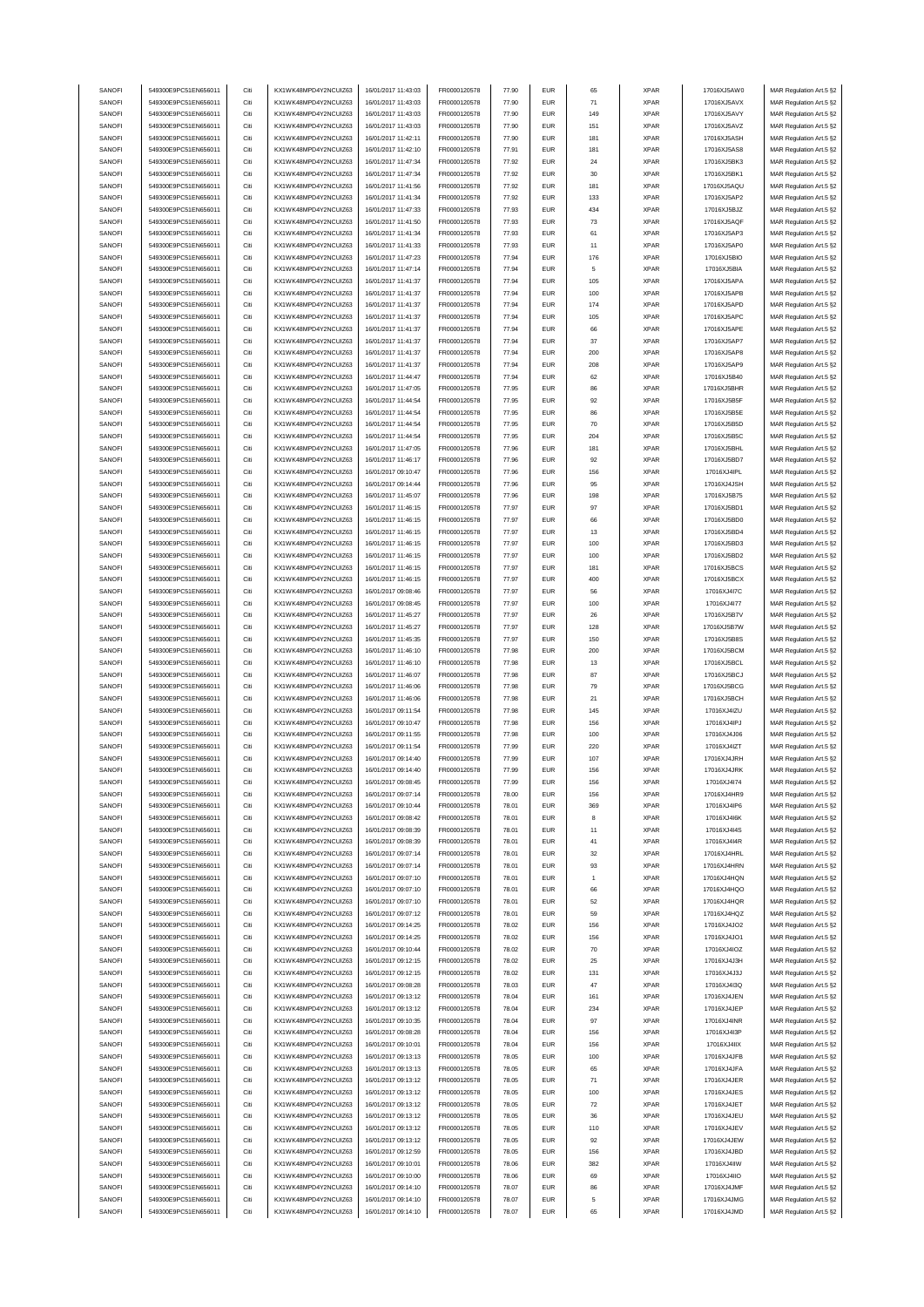| SANOFI<br>549300E9PC51EN656011<br>Citi<br>KX1WK48MPD4Y2NCUIZ63<br>16/01/2017 11:43:03<br>FR0000120578<br>77.90<br><b>EUR</b><br>65<br><b>XPAR</b><br>SANOFI<br>549300E9PC51EN656011<br>Citi<br>KX1WK48MPD4Y2NCUIZ63<br>16/01/2017 11:43:03<br>77.90<br><b>EUR</b><br>71<br><b>XPAR</b><br>FR0000120578<br>SANOFI<br>549300E9PC51EN656011<br>Citi<br>KX1WK48MPD4Y2NCUIZ63<br>16/01/2017 11:43:03<br>FR0000120578<br>77.90<br><b>EUR</b><br>149<br><b>XPAR</b><br><b>EUR</b><br><b>XPAR</b><br>SANOFI<br>549300E9PC51EN656011<br>Citi<br>KX1WK48MPD4Y2NCUIZ63<br>16/01/2017 11:43:03<br>FR0000120578<br>77.90<br>151<br>Citi<br>77.90<br><b>EUR</b><br><b>XPAR</b><br>SANOFI<br>549300E9PC51EN656011<br>KX1WK48MPD4Y2NCLIIZ63<br>16/01/2017 11:42:11<br>FR0000120578<br>181<br>SANOFI<br>549300E9PC51EN656011<br>Citi<br>KX1WK48MPD4Y2NCUIZ63<br>16/01/2017 11:42:10<br>FR0000120578<br>77.91<br><b>EUR</b><br>181<br><b>XPAR</b><br>SANOFI<br>549300E9PC51EN656011<br>Citi<br>KX1WK48MPD4Y2NCUIZ63<br>16/01/2017 11:47:34<br>FR0000120578<br>77.92<br><b>EUR</b><br>24<br><b>XPAR</b><br>SANOFI<br>549300E9PC51EN656011<br>Citi<br>16/01/2017 11:47:34<br>FR0000120578<br><b>EUR</b><br>$30\,$<br>XPAR<br>KX1WK48MPD4Y2NCUIZ63<br>77.92<br>SANOFI<br>549300E9PC51EN656011<br>Citi<br>KX1WK48MPD4Y2NCUIZ63<br>16/01/2017 11:41:56<br>FR0000120578<br><b>EUR</b><br>181<br><b>XPAR</b><br>77.92<br>SANOFI<br>549300E9PC51EN656011<br>Citi<br>KX1WK48MPD4Y2NCUIZ63<br>16/01/2017 11:41:34<br>FR0000120578<br>77.92<br><b>EUR</b><br>133<br><b>XPAR</b><br>SANOFI<br>549300E9PC51EN656011<br>Citi<br>KX1WK48MPD4Y2NCUIZ63<br>16/01/2017 11:47:33<br>FR0000120578<br><b>EUR</b><br>434<br><b>XPAR</b><br>77.93<br>Citi<br>77.93<br><b>EUR</b><br><b>XPAR</b><br>SANOFI<br>549300E9PC51EN656011<br>KX1WK48MPD4Y2NCUIZ63<br>16/01/2017 11:41:50<br>FR0000120578<br>73<br>SANOFI<br><b>EUR</b><br>549300E9PC51EN656011<br>Citi<br>KX1WK48MPD4Y2NCUIZ63<br>16/01/2017 11:41:34<br>FR0000120578<br>77.93<br>61<br><b>XPAR</b><br>SANOFI<br>549300E9PC51EN656011<br>Citi<br>KX1WK48MPD4Y2NCUIZ63<br>16/01/2017 11:41:33<br>FR0000120578<br>77.93<br><b>EUR</b><br>11<br><b>XPAR</b><br><b>EUR</b><br>SANOFI<br>549300E9PC51EN656011<br>Citi<br>KX1WK48MPD4Y2NCUIZ63<br>16/01/2017 11:47:23<br>FR0000120578<br>77.94<br>176<br><b>XPAR</b><br>SANOFI<br>549300E9PC51EN656011<br>Citi<br>KX1WK48MPD4Y2NCUIZ63<br>16/01/2017 11:47:14<br>FR0000120578<br><b>EUR</b><br>5<br><b>XPAR</b><br>77.94<br>SANOFI<br>549300E9PC51EN656011<br>Citi<br>KX1WK48MPD4Y2NCUIZ63<br>FR0000120578<br>XPAR<br>16/01/2017 11:41:37<br>77.94<br><b>EUR</b><br>105<br>SANOFI<br>549300E9PC51EN656011<br>Citi<br>KX1WK48MPD4Y2NCUIZ63<br>16/01/2017 11:41:37<br><b>EUR</b><br>100<br><b>XPAR</b><br>FR0000120578<br>77.94<br>SANOFI<br>549300E9PC51EN656011<br>Citi<br>KX1WK48MPD4Y2NCUIZ63<br>16/01/2017 11:41:37<br>FR0000120578<br>77.94<br><b>EUR</b><br>174<br><b>XPAR</b><br>SANOFI<br>549300E9PC51EN656011<br>Citi<br>KX1WK48MPD4Y2NCUIZ63<br>16/01/2017 11:41:37<br>FR0000120578<br>77.94<br><b>EUR</b><br>105<br><b>XPAR</b><br>SANOFI<br><b>XPAR</b><br>549300E9PC51EN656011<br>Citi<br>KX1WK48MPD4Y2NCUIZ63<br>16/01/2017 11:41:37<br>FR0000120578<br>77.94<br><b>EUR</b><br>66<br>SANOFI<br>549300E9PC51EN656011<br>Citi<br>KX1WK48MPD4Y2NCUIZ63<br>16/01/2017 11:41:37<br>FR0000120578<br>77.94<br><b>EUR</b><br>37<br><b>XPAR</b><br>SANOFI<br>549300E9PC51EN656011<br>Citi<br>KX1WK48MPD4Y2NCUIZ63<br>16/01/2017 11:41:37<br>FR0000120578<br>77.94<br><b>EUR</b><br>200<br><b>XPAR</b><br>SANOFI<br>549300E9PC51EN656011<br>FR0000120578<br>XPAR<br>Citi<br>KX1WK48MPD4Y2NCUIZ63<br>16/01/2017 11:41:37<br>77.94<br><b>EUR</b><br>208<br>SANOFI<br>549300E9PC51EN656011<br>Citi<br>KX1WK48MPD4Y2NCUIZ63<br>FR0000120578<br><b>EUR</b><br><b>XPAR</b><br>16/01/2017 11:44:47<br>77.94<br>62<br>SANOFI<br>549300E9PC51EN656011<br>Citi<br>KX1WK48MPD4Y2NCUIZ63<br>16/01/2017 11:47:05<br>FR0000120578<br>77.95<br><b>EUR</b><br>86<br><b>XPAR</b><br>SANOFI<br>549300E9PC51EN656011<br>Citi<br>KX1WK48MPD4Y2NCUIZ63<br>16/01/2017 11:44:54<br><b>EUR</b><br>92<br><b>XPAR</b><br>FR0000120578<br>77.95<br>SANOFI<br>XPAR<br>549300E9PC51EN656011<br>Citi<br>KX1WK48MPD4Y2NCUIZ63<br>16/01/2017 11:44:54<br>FR0000120578<br>77.95<br><b>EUR</b><br>86<br><b>EUR</b><br>SANOFI<br>549300E9PC51EN656011<br>Citi<br>KX1WK48MPD4Y2NCUIZ63<br>16/01/2017 11:44:54<br>FR0000120578<br>77.95<br>$70\,$<br><b>XPAR</b><br>Citi<br>SANOFI<br>549300E9PC51EN656011<br>KX1WK48MPD4Y2NCUIZ63<br>16/01/2017 11:44:54<br>FR0000120578<br>77.95<br><b>EUR</b><br>204<br><b>XPAR</b><br>SANOFI<br>549300E9PC51EN656011<br>Citi<br>KX1WK48MPD4Y2NCUIZ63<br>16/01/2017 11:47:05<br>FR0000120578<br>77.96<br><b>EUR</b><br>181<br><b>XPAR</b><br>SANOFI<br>549300E9PC51EN656011<br>Citi<br>KX1WK48MPD4Y2NCUIZ63<br>FR0000120578<br><b>EUR</b><br>92<br><b>XPAR</b><br>16/01/2017 11:46:17<br>77.96<br>SANOFI<br>Citi<br>FR0000120578<br><b>EUR</b><br>XPAR<br>549300E9PC51EN656011<br>KX1WK48MPD4Y2NCUIZ63<br>16/01/2017 09:10:47<br>77.96<br>156<br>SANOFI<br>549300E9PC51EN656011<br>Citi<br>KX1WK48MPD4Y2NCUIZ63<br>16/01/2017 09:14:44<br>FR0000120578<br>77.96<br><b>EUR</b><br>95<br><b>XPAR</b><br>SANOFI<br>549300E9PC51EN656011<br>Citi<br>KX1WK48MPD4Y2NCUIZ63<br>FR0000120578<br>77.96<br><b>EUR</b><br>198<br>XPAR<br>16/01/2017 11:45:07<br>SANOFI<br>Citi<br>KX1WK48MPD4Y2NCUIZ63<br><b>EUR</b><br>97<br><b>XPAR</b><br>549300E9PC51EN656011<br>16/01/2017 11:46:15<br>FR0000120578<br>77.97<br>Citi<br>77.97<br><b>EUR</b><br><b>XPAR</b><br>SANOFI<br>549300E9PC51EN656011<br>KX1WK48MPD4Y2NCUIZ63<br>16/01/2017 11:46:15<br>FR0000120578<br>66<br>SANOFI<br>549300E9PC51EN656011<br>Citi<br>KX1WK48MPD4Y2NCUIZ63<br>16/01/2017 11:46:15<br>FR0000120578<br>77.97<br><b>EUR</b><br>13<br><b>XPAR</b><br>SANOFI<br>549300E9PC51EN656011<br>Citi<br>KX1WK48MPD4Y2NCUIZ63<br>16/01/2017 11:46:15<br>FR0000120578<br>77.97<br><b>EUR</b><br>100<br><b>XPAR</b><br>SANOFI<br>549300E9PC51EN656011<br>Citi<br>KX1WK48MPD4Y2NCUIZ63<br>16/01/2017 11:46:15<br>FR0000120578<br>77.97<br><b>EUR</b><br>100<br><b>XPAR</b><br>SANOFI<br>549300E9PC51EN656011<br>Citi<br>KX1WK48MPD4Y2NCUIZ63<br>16/01/2017 11:46:15<br>FR0000120578<br><b>EUR</b><br>181<br><b>XPAR</b><br>77.97<br>SANOFI<br>549300E9PC51EN656011<br>FR0000120578<br>XPAR<br>Citi<br>KX1WK48MPD4Y2NCUIZ63<br>16/01/2017 11:46:15<br>77.97<br><b>EUR</b><br>400<br>SANOFI<br>549300E9PC51EN656011<br>Citi<br>KX1WK48MPD4Y2NCUIZ63<br>16/01/2017 09:08:46<br>FR0000120578<br><b>EUR</b><br>56<br><b>XPAR</b><br>77.97<br>SANOFI<br>549300E9PC51EN656011<br>Citi<br>KX1WK48MPD4Y2NCUIZ63<br>16/01/2017 09:08:45<br>FR0000120578<br>77.97<br><b>EUR</b><br>100<br>XPAR<br>EUR<br>SANOFI<br>549300E9PC51EN656011<br>Citi<br>KX1WK48MPD4Y2NCUIZ63<br>16/01/2017 11:45:27<br>FR0000120578<br>77.97<br>26<br><b>XPAR</b><br>SANOFI<br><b>XPAR</b><br>549300E9PC51EN656011<br>Citi<br>KX1WK48MPD4Y2NCUIZ63<br>16/01/2017 11:45:27<br>FR0000120578<br>77.97<br><b>EUR</b><br>128<br>SANOFI<br>549300E9PC51EN656011<br>Citi<br>KX1WK48MPD4Y2NCUIZ63<br>16/01/2017 11:45:35<br>FR0000120578<br>77.97<br><b>EUR</b><br>150<br><b>XPAR</b><br>EUR<br>SANOFI<br>549300E9PC51EN656011<br>Citi<br>KX1WK48MPD4Y2NCUIZ63<br>16/01/2017 11:46:10<br>FR0000120578<br>77.98<br>200<br><b>XPAR</b><br>SANOFI<br>549300E9PC51EN656011<br>KX1WK48MPD4Y2NCUIZ63<br>16/01/2017 11:46:10<br>FR0000120578<br>XPAR<br>Citi<br>77.98<br><b>EUR</b><br>13<br>SANOFI<br>Citi<br>FR0000120578<br><b>EUR</b><br>87<br><b>XPAR</b><br>549300E9PC51EN656011<br>KX1WK48MPD4Y2NCUIZ63<br>16/01/2017 11:46:07<br>77.98<br>SANOFI<br>549300E9PC51EN656011<br>Citi<br>KX1WK48MPD4Y2NCUIZ63<br>16/01/2017 11:46:06<br>FR0000120578<br>77.98<br><b>EUR</b><br>79<br>XPAR<br>SANOFI<br>549300E9PC51EN656011<br>Citi<br>KX1WK48MPD4Y2NCUIZ63<br>16/01/2017 11:46:06<br>FR0000120578<br>77.98<br><b>EUR</b><br>21<br><b>XPAR</b><br>XPAR<br>SANOFI<br>549300E9PC51EN656011<br>Citi<br>KX1WK48MPD4Y2NCUIZ63<br>16/01/2017 09:11:54<br>FR0000120578<br>77.98<br><b>EUR</b><br>145<br><b>EUR</b><br>SANOFI<br>549300E9PC51EN656011<br>Citi<br>KX1WK48MPD4Y2NCUIZ63<br>16/01/2017 09:10:47<br>FR0000120578<br>77.98<br>156<br><b>XPAR</b><br>SANOFI<br>549300E9PC51EN656011<br>Citi<br>KX1WK48MPD4Y2NCUIZ63<br>16/01/2017 09:11:55<br>FR0000120578<br>77.98<br><b>EUR</b><br>100<br><b>XPAR</b><br>SANOFI<br>549300E9PC51EN656011<br>Citi<br>KX1WK48MPD4Y2NCUIZ63<br>16/01/2017 09:11:54<br>FR0000120578<br>77.99<br><b>EUR</b><br>220<br><b>XPAR</b><br>SANOFI<br>549300E9PC51EN656011<br>KX1WK48MPD4Y2NCUIZ63<br>FR0000120578<br><b>EUR</b><br>107<br><b>XPAR</b><br>Citi<br>16/01/2017 09:14:40<br>77.99<br>SANOFI<br>FR0000120578<br>77.99<br><b>EUR</b><br>XPAR<br>549300E9PC51EN656011<br>Citi<br>KX1WK48MPD4Y2NCUIZ63<br>16/01/2017 09:14:40<br>156<br>SANOFI<br>549300E9PC51EN656011<br>KX1WK48MPD4Y2NCLIIZ63<br>16/01/2017 09:08:45<br>FR0000120578<br>77.99<br>FUR<br><b>XPAR</b><br>156<br>SANOFI<br>549300E9PC51EN656011<br>KX1WK48MPD4Y2NCUIZ63<br>Citi<br>16/01/2017 09:07:14<br>FR0000120578<br>78.00<br><b>EUR</b><br>156<br><b>XPAR</b><br>SANOFI<br>549300E9PC51EN656011<br>Citi<br>KX1WK48MPD4Y2NCUIZ63<br>16/01/2017 09:10:44<br>FR0000120578<br><b>EUR</b><br><b>XPAR</b><br>78.01<br>369<br>SANOFI<br>549300E9PC51EN656011<br>Citi<br>KX1WK48MPD4Y2NCUIZ63<br>16/01/2017 09:08:42<br>FR0000120578<br><b>EUR</b><br><b>XPAR</b><br>78.01<br>8<br>SANOFI<br>549300E9PC51EN656011<br>Citi<br>KX1WK48MPD4Y2NCUIZ63<br>16/01/2017 09:08:39<br>FR0000120578<br>78.01<br><b>EUR</b><br>11<br><b>XPAR</b><br>SANOFI<br>549300E9PC51EN656011<br>Citi<br>KX1WK48MPD4Y2NCUIZ63<br>16/01/2017 09:08:39<br>FR0000120578<br>78.01<br><b>EUR</b><br>41<br><b>XPAR</b> |
|--------------------------------------------------------------------------------------------------------------------------------------------------------------------------------------------------------------------------------------------------------------------------------------------------------------------------------------------------------------------------------------------------------------------------------------------------------------------------------------------------------------------------------------------------------------------------------------------------------------------------------------------------------------------------------------------------------------------------------------------------------------------------------------------------------------------------------------------------------------------------------------------------------------------------------------------------------------------------------------------------------------------------------------------------------------------------------------------------------------------------------------------------------------------------------------------------------------------------------------------------------------------------------------------------------------------------------------------------------------------------------------------------------------------------------------------------------------------------------------------------------------------------------------------------------------------------------------------------------------------------------------------------------------------------------------------------------------------------------------------------------------------------------------------------------------------------------------------------------------------------------------------------------------------------------------------------------------------------------------------------------------------------------------------------------------------------------------------------------------------------------------------------------------------------------------------------------------------------------------------------------------------------------------------------------------------------------------------------------------------------------------------------------------------------------------------------------------------------------------------------------------------------------------------------------------------------------------------------------------------------------------------------------------------------------------------------------------------------------------------------------------------------------------------------------------------------------------------------------------------------------------------------------------------------------------------------------------------------------------------------------------------------------------------------------------------------------------------------------------------------------------------------------------------------------------------------------------------------------------------------------------------------------------------------------------------------------------------------------------------------------------------------------------------------------------------------------------------------------------------------------------------------------------------------------------------------------------------------------------------------------------------------------------------------------------------------------------------------------------------------------------------------------------------------------------------------------------------------------------------------------------------------------------------------------------------------------------------------------------------------------------------------------------------------------------------------------------------------------------------------------------------------------------------------------------------------------------------------------------------------------------------------------------------------------------------------------------------------------------------------------------------------------------------------------------------------------------------------------------------------------------------------------------------------------------------------------------------------------------------------------------------------------------------------------------------------------------------------------------------------------------------------------------------------------------------------------------------------------------------------------------------------------------------------------------------------------------------------------------------------------------------------------------------------------------------------------------------------------------------------------------------------------------------------------------------------------------------------------------------------------------------------------------------------------------------------------------------------------------------------------------------------------------------------------------------------------------------------------------------------------------------------------------------------------------------------------------------------------------------------------------------------------------------------------------------------------------------------------------------------------------------------------------------------------------------------------------------------------------------------------------------------------------------------------------------------------------------------------------------------------------------------------------------------------------------------------------------------------------------------------------------------------------------------------------------------------------------------------------------------------------------------------------------------------------------------------------------------------------------------------------------------------------------------------------------------------------------------------------------------------------------------------------------------------------------------------------------------------------------------------------------------------------------------------------------------------------------------------------------------------------------------------------------------------------------------------------------------------------------------------------------------------------------------------------------------------------------------------------------------------------------------------------------------------------------------------------------------------------------------------------------------------------------------------------------------------------------------------------------------------------------------------------------------------------------------------------------------------------------------------------------------------------------------------------------------------------------------------------------------------------------------------------------------------------------------------------------------------------------------------------------------------------------------------------------------------------------------------------------------------------------------------------------------------------------------------------------------------------------------------------------------------------------------------------------------------------------------------------------------------------------------------------------------------------------------------------------------------------------------------------------------------------------------------------------------------------------------------------------------------------------------------------------------------------------------------------------------------------------------------------------------------------------------------------------------------------------------------------------------------------------------------------------------------------------------------------------------------------------------------------------------------------------------------------------------------------------------------------------------------------------------------------------------------------------------------------------------------------------------------------------------------------------------------------------------------------------------------------------------------------------------------------------------------------------------------------------------------------------------------------------------------------------------------------------------------------------------------------------------------------------------------------------------------------------------------------------------------------------------------------------------------------------------------------------------------------------------------------------------------------------------------------------------------------------------------------------------------------------------------------------------------------------------------------------------------------------------------------------------------------------------------------------------------------------------------------------------------|
|                                                                                                                                                                                                                                                                                                                                                                                                                                                                                                                                                                                                                                                                                                                                                                                                                                                                                                                                                                                                                                                                                                                                                                                                                                                                                                                                                                                                                                                                                                                                                                                                                                                                                                                                                                                                                                                                                                                                                                                                                                                                                                                                                                                                                                                                                                                                                                                                                                                                                                                                                                                                                                                                                                                                                                                                                                                                                                                                                                                                                                                                                                                                                                                                                                                                                                                                                                                                                                                                                                                                                                                                                                                                                                                                                                                                                                                                                                                                                                                                                                                                                                                                                                                                                                                                                                                                                                                                                                                                                                                                                                                                                                                                                                                                                                                                                                                                                                                                                                                                                                                                                                                                                                                                                                                                                                                                                                                                                                                                                                                                                                                                                                                                                                                                                                                                                                                                                                                                                                                                                                                                                                                                                                                                                                                                                                                                                                                                                                                                                                                                                                                                                                                                                                                                                                                                                                                                                                                                                                                                                                                                                                                                                                                                                                                                                                                                                                                                                                                                                                                                                                                                                                                                                                                                                                                                                                                                                                                                                                                                                                                                                                                                                                                                                                                                                                                                                                                                                                                                                                                                                                                                                                                                                                                                                                                                                                                                                                                                                                                                                                                                                                                                                                                                                                                                                                                                                                                                                                                                                                                                                                                                                                                                                                                                                                                                                                                        |
|                                                                                                                                                                                                                                                                                                                                                                                                                                                                                                                                                                                                                                                                                                                                                                                                                                                                                                                                                                                                                                                                                                                                                                                                                                                                                                                                                                                                                                                                                                                                                                                                                                                                                                                                                                                                                                                                                                                                                                                                                                                                                                                                                                                                                                                                                                                                                                                                                                                                                                                                                                                                                                                                                                                                                                                                                                                                                                                                                                                                                                                                                                                                                                                                                                                                                                                                                                                                                                                                                                                                                                                                                                                                                                                                                                                                                                                                                                                                                                                                                                                                                                                                                                                                                                                                                                                                                                                                                                                                                                                                                                                                                                                                                                                                                                                                                                                                                                                                                                                                                                                                                                                                                                                                                                                                                                                                                                                                                                                                                                                                                                                                                                                                                                                                                                                                                                                                                                                                                                                                                                                                                                                                                                                                                                                                                                                                                                                                                                                                                                                                                                                                                                                                                                                                                                                                                                                                                                                                                                                                                                                                                                                                                                                                                                                                                                                                                                                                                                                                                                                                                                                                                                                                                                                                                                                                                                                                                                                                                                                                                                                                                                                                                                                                                                                                                                                                                                                                                                                                                                                                                                                                                                                                                                                                                                                                                                                                                                                                                                                                                                                                                                                                                                                                                                                                                                                                                                                                                                                                                                                                                                                                                                                                                                                                                                                                                                                        |
|                                                                                                                                                                                                                                                                                                                                                                                                                                                                                                                                                                                                                                                                                                                                                                                                                                                                                                                                                                                                                                                                                                                                                                                                                                                                                                                                                                                                                                                                                                                                                                                                                                                                                                                                                                                                                                                                                                                                                                                                                                                                                                                                                                                                                                                                                                                                                                                                                                                                                                                                                                                                                                                                                                                                                                                                                                                                                                                                                                                                                                                                                                                                                                                                                                                                                                                                                                                                                                                                                                                                                                                                                                                                                                                                                                                                                                                                                                                                                                                                                                                                                                                                                                                                                                                                                                                                                                                                                                                                                                                                                                                                                                                                                                                                                                                                                                                                                                                                                                                                                                                                                                                                                                                                                                                                                                                                                                                                                                                                                                                                                                                                                                                                                                                                                                                                                                                                                                                                                                                                                                                                                                                                                                                                                                                                                                                                                                                                                                                                                                                                                                                                                                                                                                                                                                                                                                                                                                                                                                                                                                                                                                                                                                                                                                                                                                                                                                                                                                                                                                                                                                                                                                                                                                                                                                                                                                                                                                                                                                                                                                                                                                                                                                                                                                                                                                                                                                                                                                                                                                                                                                                                                                                                                                                                                                                                                                                                                                                                                                                                                                                                                                                                                                                                                                                                                                                                                                                                                                                                                                                                                                                                                                                                                                                                                                                                                                                        |
|                                                                                                                                                                                                                                                                                                                                                                                                                                                                                                                                                                                                                                                                                                                                                                                                                                                                                                                                                                                                                                                                                                                                                                                                                                                                                                                                                                                                                                                                                                                                                                                                                                                                                                                                                                                                                                                                                                                                                                                                                                                                                                                                                                                                                                                                                                                                                                                                                                                                                                                                                                                                                                                                                                                                                                                                                                                                                                                                                                                                                                                                                                                                                                                                                                                                                                                                                                                                                                                                                                                                                                                                                                                                                                                                                                                                                                                                                                                                                                                                                                                                                                                                                                                                                                                                                                                                                                                                                                                                                                                                                                                                                                                                                                                                                                                                                                                                                                                                                                                                                                                                                                                                                                                                                                                                                                                                                                                                                                                                                                                                                                                                                                                                                                                                                                                                                                                                                                                                                                                                                                                                                                                                                                                                                                                                                                                                                                                                                                                                                                                                                                                                                                                                                                                                                                                                                                                                                                                                                                                                                                                                                                                                                                                                                                                                                                                                                                                                                                                                                                                                                                                                                                                                                                                                                                                                                                                                                                                                                                                                                                                                                                                                                                                                                                                                                                                                                                                                                                                                                                                                                                                                                                                                                                                                                                                                                                                                                                                                                                                                                                                                                                                                                                                                                                                                                                                                                                                                                                                                                                                                                                                                                                                                                                                                                                                                                                                        |
|                                                                                                                                                                                                                                                                                                                                                                                                                                                                                                                                                                                                                                                                                                                                                                                                                                                                                                                                                                                                                                                                                                                                                                                                                                                                                                                                                                                                                                                                                                                                                                                                                                                                                                                                                                                                                                                                                                                                                                                                                                                                                                                                                                                                                                                                                                                                                                                                                                                                                                                                                                                                                                                                                                                                                                                                                                                                                                                                                                                                                                                                                                                                                                                                                                                                                                                                                                                                                                                                                                                                                                                                                                                                                                                                                                                                                                                                                                                                                                                                                                                                                                                                                                                                                                                                                                                                                                                                                                                                                                                                                                                                                                                                                                                                                                                                                                                                                                                                                                                                                                                                                                                                                                                                                                                                                                                                                                                                                                                                                                                                                                                                                                                                                                                                                                                                                                                                                                                                                                                                                                                                                                                                                                                                                                                                                                                                                                                                                                                                                                                                                                                                                                                                                                                                                                                                                                                                                                                                                                                                                                                                                                                                                                                                                                                                                                                                                                                                                                                                                                                                                                                                                                                                                                                                                                                                                                                                                                                                                                                                                                                                                                                                                                                                                                                                                                                                                                                                                                                                                                                                                                                                                                                                                                                                                                                                                                                                                                                                                                                                                                                                                                                                                                                                                                                                                                                                                                                                                                                                                                                                                                                                                                                                                                                                                                                                                                                        |
|                                                                                                                                                                                                                                                                                                                                                                                                                                                                                                                                                                                                                                                                                                                                                                                                                                                                                                                                                                                                                                                                                                                                                                                                                                                                                                                                                                                                                                                                                                                                                                                                                                                                                                                                                                                                                                                                                                                                                                                                                                                                                                                                                                                                                                                                                                                                                                                                                                                                                                                                                                                                                                                                                                                                                                                                                                                                                                                                                                                                                                                                                                                                                                                                                                                                                                                                                                                                                                                                                                                                                                                                                                                                                                                                                                                                                                                                                                                                                                                                                                                                                                                                                                                                                                                                                                                                                                                                                                                                                                                                                                                                                                                                                                                                                                                                                                                                                                                                                                                                                                                                                                                                                                                                                                                                                                                                                                                                                                                                                                                                                                                                                                                                                                                                                                                                                                                                                                                                                                                                                                                                                                                                                                                                                                                                                                                                                                                                                                                                                                                                                                                                                                                                                                                                                                                                                                                                                                                                                                                                                                                                                                                                                                                                                                                                                                                                                                                                                                                                                                                                                                                                                                                                                                                                                                                                                                                                                                                                                                                                                                                                                                                                                                                                                                                                                                                                                                                                                                                                                                                                                                                                                                                                                                                                                                                                                                                                                                                                                                                                                                                                                                                                                                                                                                                                                                                                                                                                                                                                                                                                                                                                                                                                                                                                                                                                                                                        |
|                                                                                                                                                                                                                                                                                                                                                                                                                                                                                                                                                                                                                                                                                                                                                                                                                                                                                                                                                                                                                                                                                                                                                                                                                                                                                                                                                                                                                                                                                                                                                                                                                                                                                                                                                                                                                                                                                                                                                                                                                                                                                                                                                                                                                                                                                                                                                                                                                                                                                                                                                                                                                                                                                                                                                                                                                                                                                                                                                                                                                                                                                                                                                                                                                                                                                                                                                                                                                                                                                                                                                                                                                                                                                                                                                                                                                                                                                                                                                                                                                                                                                                                                                                                                                                                                                                                                                                                                                                                                                                                                                                                                                                                                                                                                                                                                                                                                                                                                                                                                                                                                                                                                                                                                                                                                                                                                                                                                                                                                                                                                                                                                                                                                                                                                                                                                                                                                                                                                                                                                                                                                                                                                                                                                                                                                                                                                                                                                                                                                                                                                                                                                                                                                                                                                                                                                                                                                                                                                                                                                                                                                                                                                                                                                                                                                                                                                                                                                                                                                                                                                                                                                                                                                                                                                                                                                                                                                                                                                                                                                                                                                                                                                                                                                                                                                                                                                                                                                                                                                                                                                                                                                                                                                                                                                                                                                                                                                                                                                                                                                                                                                                                                                                                                                                                                                                                                                                                                                                                                                                                                                                                                                                                                                                                                                                                                                                                                        |
|                                                                                                                                                                                                                                                                                                                                                                                                                                                                                                                                                                                                                                                                                                                                                                                                                                                                                                                                                                                                                                                                                                                                                                                                                                                                                                                                                                                                                                                                                                                                                                                                                                                                                                                                                                                                                                                                                                                                                                                                                                                                                                                                                                                                                                                                                                                                                                                                                                                                                                                                                                                                                                                                                                                                                                                                                                                                                                                                                                                                                                                                                                                                                                                                                                                                                                                                                                                                                                                                                                                                                                                                                                                                                                                                                                                                                                                                                                                                                                                                                                                                                                                                                                                                                                                                                                                                                                                                                                                                                                                                                                                                                                                                                                                                                                                                                                                                                                                                                                                                                                                                                                                                                                                                                                                                                                                                                                                                                                                                                                                                                                                                                                                                                                                                                                                                                                                                                                                                                                                                                                                                                                                                                                                                                                                                                                                                                                                                                                                                                                                                                                                                                                                                                                                                                                                                                                                                                                                                                                                                                                                                                                                                                                                                                                                                                                                                                                                                                                                                                                                                                                                                                                                                                                                                                                                                                                                                                                                                                                                                                                                                                                                                                                                                                                                                                                                                                                                                                                                                                                                                                                                                                                                                                                                                                                                                                                                                                                                                                                                                                                                                                                                                                                                                                                                                                                                                                                                                                                                                                                                                                                                                                                                                                                                                                                                                                                                        |
|                                                                                                                                                                                                                                                                                                                                                                                                                                                                                                                                                                                                                                                                                                                                                                                                                                                                                                                                                                                                                                                                                                                                                                                                                                                                                                                                                                                                                                                                                                                                                                                                                                                                                                                                                                                                                                                                                                                                                                                                                                                                                                                                                                                                                                                                                                                                                                                                                                                                                                                                                                                                                                                                                                                                                                                                                                                                                                                                                                                                                                                                                                                                                                                                                                                                                                                                                                                                                                                                                                                                                                                                                                                                                                                                                                                                                                                                                                                                                                                                                                                                                                                                                                                                                                                                                                                                                                                                                                                                                                                                                                                                                                                                                                                                                                                                                                                                                                                                                                                                                                                                                                                                                                                                                                                                                                                                                                                                                                                                                                                                                                                                                                                                                                                                                                                                                                                                                                                                                                                                                                                                                                                                                                                                                                                                                                                                                                                                                                                                                                                                                                                                                                                                                                                                                                                                                                                                                                                                                                                                                                                                                                                                                                                                                                                                                                                                                                                                                                                                                                                                                                                                                                                                                                                                                                                                                                                                                                                                                                                                                                                                                                                                                                                                                                                                                                                                                                                                                                                                                                                                                                                                                                                                                                                                                                                                                                                                                                                                                                                                                                                                                                                                                                                                                                                                                                                                                                                                                                                                                                                                                                                                                                                                                                                                                                                                                                                        |
|                                                                                                                                                                                                                                                                                                                                                                                                                                                                                                                                                                                                                                                                                                                                                                                                                                                                                                                                                                                                                                                                                                                                                                                                                                                                                                                                                                                                                                                                                                                                                                                                                                                                                                                                                                                                                                                                                                                                                                                                                                                                                                                                                                                                                                                                                                                                                                                                                                                                                                                                                                                                                                                                                                                                                                                                                                                                                                                                                                                                                                                                                                                                                                                                                                                                                                                                                                                                                                                                                                                                                                                                                                                                                                                                                                                                                                                                                                                                                                                                                                                                                                                                                                                                                                                                                                                                                                                                                                                                                                                                                                                                                                                                                                                                                                                                                                                                                                                                                                                                                                                                                                                                                                                                                                                                                                                                                                                                                                                                                                                                                                                                                                                                                                                                                                                                                                                                                                                                                                                                                                                                                                                                                                                                                                                                                                                                                                                                                                                                                                                                                                                                                                                                                                                                                                                                                                                                                                                                                                                                                                                                                                                                                                                                                                                                                                                                                                                                                                                                                                                                                                                                                                                                                                                                                                                                                                                                                                                                                                                                                                                                                                                                                                                                                                                                                                                                                                                                                                                                                                                                                                                                                                                                                                                                                                                                                                                                                                                                                                                                                                                                                                                                                                                                                                                                                                                                                                                                                                                                                                                                                                                                                                                                                                                                                                                                                                                        |
|                                                                                                                                                                                                                                                                                                                                                                                                                                                                                                                                                                                                                                                                                                                                                                                                                                                                                                                                                                                                                                                                                                                                                                                                                                                                                                                                                                                                                                                                                                                                                                                                                                                                                                                                                                                                                                                                                                                                                                                                                                                                                                                                                                                                                                                                                                                                                                                                                                                                                                                                                                                                                                                                                                                                                                                                                                                                                                                                                                                                                                                                                                                                                                                                                                                                                                                                                                                                                                                                                                                                                                                                                                                                                                                                                                                                                                                                                                                                                                                                                                                                                                                                                                                                                                                                                                                                                                                                                                                                                                                                                                                                                                                                                                                                                                                                                                                                                                                                                                                                                                                                                                                                                                                                                                                                                                                                                                                                                                                                                                                                                                                                                                                                                                                                                                                                                                                                                                                                                                                                                                                                                                                                                                                                                                                                                                                                                                                                                                                                                                                                                                                                                                                                                                                                                                                                                                                                                                                                                                                                                                                                                                                                                                                                                                                                                                                                                                                                                                                                                                                                                                                                                                                                                                                                                                                                                                                                                                                                                                                                                                                                                                                                                                                                                                                                                                                                                                                                                                                                                                                                                                                                                                                                                                                                                                                                                                                                                                                                                                                                                                                                                                                                                                                                                                                                                                                                                                                                                                                                                                                                                                                                                                                                                                                                                                                                                                                        |
|                                                                                                                                                                                                                                                                                                                                                                                                                                                                                                                                                                                                                                                                                                                                                                                                                                                                                                                                                                                                                                                                                                                                                                                                                                                                                                                                                                                                                                                                                                                                                                                                                                                                                                                                                                                                                                                                                                                                                                                                                                                                                                                                                                                                                                                                                                                                                                                                                                                                                                                                                                                                                                                                                                                                                                                                                                                                                                                                                                                                                                                                                                                                                                                                                                                                                                                                                                                                                                                                                                                                                                                                                                                                                                                                                                                                                                                                                                                                                                                                                                                                                                                                                                                                                                                                                                                                                                                                                                                                                                                                                                                                                                                                                                                                                                                                                                                                                                                                                                                                                                                                                                                                                                                                                                                                                                                                                                                                                                                                                                                                                                                                                                                                                                                                                                                                                                                                                                                                                                                                                                                                                                                                                                                                                                                                                                                                                                                                                                                                                                                                                                                                                                                                                                                                                                                                                                                                                                                                                                                                                                                                                                                                                                                                                                                                                                                                                                                                                                                                                                                                                                                                                                                                                                                                                                                                                                                                                                                                                                                                                                                                                                                                                                                                                                                                                                                                                                                                                                                                                                                                                                                                                                                                                                                                                                                                                                                                                                                                                                                                                                                                                                                                                                                                                                                                                                                                                                                                                                                                                                                                                                                                                                                                                                                                                                                                                                                        |
|                                                                                                                                                                                                                                                                                                                                                                                                                                                                                                                                                                                                                                                                                                                                                                                                                                                                                                                                                                                                                                                                                                                                                                                                                                                                                                                                                                                                                                                                                                                                                                                                                                                                                                                                                                                                                                                                                                                                                                                                                                                                                                                                                                                                                                                                                                                                                                                                                                                                                                                                                                                                                                                                                                                                                                                                                                                                                                                                                                                                                                                                                                                                                                                                                                                                                                                                                                                                                                                                                                                                                                                                                                                                                                                                                                                                                                                                                                                                                                                                                                                                                                                                                                                                                                                                                                                                                                                                                                                                                                                                                                                                                                                                                                                                                                                                                                                                                                                                                                                                                                                                                                                                                                                                                                                                                                                                                                                                                                                                                                                                                                                                                                                                                                                                                                                                                                                                                                                                                                                                                                                                                                                                                                                                                                                                                                                                                                                                                                                                                                                                                                                                                                                                                                                                                                                                                                                                                                                                                                                                                                                                                                                                                                                                                                                                                                                                                                                                                                                                                                                                                                                                                                                                                                                                                                                                                                                                                                                                                                                                                                                                                                                                                                                                                                                                                                                                                                                                                                                                                                                                                                                                                                                                                                                                                                                                                                                                                                                                                                                                                                                                                                                                                                                                                                                                                                                                                                                                                                                                                                                                                                                                                                                                                                                                                                                                                                                        |
|                                                                                                                                                                                                                                                                                                                                                                                                                                                                                                                                                                                                                                                                                                                                                                                                                                                                                                                                                                                                                                                                                                                                                                                                                                                                                                                                                                                                                                                                                                                                                                                                                                                                                                                                                                                                                                                                                                                                                                                                                                                                                                                                                                                                                                                                                                                                                                                                                                                                                                                                                                                                                                                                                                                                                                                                                                                                                                                                                                                                                                                                                                                                                                                                                                                                                                                                                                                                                                                                                                                                                                                                                                                                                                                                                                                                                                                                                                                                                                                                                                                                                                                                                                                                                                                                                                                                                                                                                                                                                                                                                                                                                                                                                                                                                                                                                                                                                                                                                                                                                                                                                                                                                                                                                                                                                                                                                                                                                                                                                                                                                                                                                                                                                                                                                                                                                                                                                                                                                                                                                                                                                                                                                                                                                                                                                                                                                                                                                                                                                                                                                                                                                                                                                                                                                                                                                                                                                                                                                                                                                                                                                                                                                                                                                                                                                                                                                                                                                                                                                                                                                                                                                                                                                                                                                                                                                                                                                                                                                                                                                                                                                                                                                                                                                                                                                                                                                                                                                                                                                                                                                                                                                                                                                                                                                                                                                                                                                                                                                                                                                                                                                                                                                                                                                                                                                                                                                                                                                                                                                                                                                                                                                                                                                                                                                                                                                                                        |
|                                                                                                                                                                                                                                                                                                                                                                                                                                                                                                                                                                                                                                                                                                                                                                                                                                                                                                                                                                                                                                                                                                                                                                                                                                                                                                                                                                                                                                                                                                                                                                                                                                                                                                                                                                                                                                                                                                                                                                                                                                                                                                                                                                                                                                                                                                                                                                                                                                                                                                                                                                                                                                                                                                                                                                                                                                                                                                                                                                                                                                                                                                                                                                                                                                                                                                                                                                                                                                                                                                                                                                                                                                                                                                                                                                                                                                                                                                                                                                                                                                                                                                                                                                                                                                                                                                                                                                                                                                                                                                                                                                                                                                                                                                                                                                                                                                                                                                                                                                                                                                                                                                                                                                                                                                                                                                                                                                                                                                                                                                                                                                                                                                                                                                                                                                                                                                                                                                                                                                                                                                                                                                                                                                                                                                                                                                                                                                                                                                                                                                                                                                                                                                                                                                                                                                                                                                                                                                                                                                                                                                                                                                                                                                                                                                                                                                                                                                                                                                                                                                                                                                                                                                                                                                                                                                                                                                                                                                                                                                                                                                                                                                                                                                                                                                                                                                                                                                                                                                                                                                                                                                                                                                                                                                                                                                                                                                                                                                                                                                                                                                                                                                                                                                                                                                                                                                                                                                                                                                                                                                                                                                                                                                                                                                                                                                                                                                                        |
|                                                                                                                                                                                                                                                                                                                                                                                                                                                                                                                                                                                                                                                                                                                                                                                                                                                                                                                                                                                                                                                                                                                                                                                                                                                                                                                                                                                                                                                                                                                                                                                                                                                                                                                                                                                                                                                                                                                                                                                                                                                                                                                                                                                                                                                                                                                                                                                                                                                                                                                                                                                                                                                                                                                                                                                                                                                                                                                                                                                                                                                                                                                                                                                                                                                                                                                                                                                                                                                                                                                                                                                                                                                                                                                                                                                                                                                                                                                                                                                                                                                                                                                                                                                                                                                                                                                                                                                                                                                                                                                                                                                                                                                                                                                                                                                                                                                                                                                                                                                                                                                                                                                                                                                                                                                                                                                                                                                                                                                                                                                                                                                                                                                                                                                                                                                                                                                                                                                                                                                                                                                                                                                                                                                                                                                                                                                                                                                                                                                                                                                                                                                                                                                                                                                                                                                                                                                                                                                                                                                                                                                                                                                                                                                                                                                                                                                                                                                                                                                                                                                                                                                                                                                                                                                                                                                                                                                                                                                                                                                                                                                                                                                                                                                                                                                                                                                                                                                                                                                                                                                                                                                                                                                                                                                                                                                                                                                                                                                                                                                                                                                                                                                                                                                                                                                                                                                                                                                                                                                                                                                                                                                                                                                                                                                                                                                                                                                        |
|                                                                                                                                                                                                                                                                                                                                                                                                                                                                                                                                                                                                                                                                                                                                                                                                                                                                                                                                                                                                                                                                                                                                                                                                                                                                                                                                                                                                                                                                                                                                                                                                                                                                                                                                                                                                                                                                                                                                                                                                                                                                                                                                                                                                                                                                                                                                                                                                                                                                                                                                                                                                                                                                                                                                                                                                                                                                                                                                                                                                                                                                                                                                                                                                                                                                                                                                                                                                                                                                                                                                                                                                                                                                                                                                                                                                                                                                                                                                                                                                                                                                                                                                                                                                                                                                                                                                                                                                                                                                                                                                                                                                                                                                                                                                                                                                                                                                                                                                                                                                                                                                                                                                                                                                                                                                                                                                                                                                                                                                                                                                                                                                                                                                                                                                                                                                                                                                                                                                                                                                                                                                                                                                                                                                                                                                                                                                                                                                                                                                                                                                                                                                                                                                                                                                                                                                                                                                                                                                                                                                                                                                                                                                                                                                                                                                                                                                                                                                                                                                                                                                                                                                                                                                                                                                                                                                                                                                                                                                                                                                                                                                                                                                                                                                                                                                                                                                                                                                                                                                                                                                                                                                                                                                                                                                                                                                                                                                                                                                                                                                                                                                                                                                                                                                                                                                                                                                                                                                                                                                                                                                                                                                                                                                                                                                                                                                                                                        |
|                                                                                                                                                                                                                                                                                                                                                                                                                                                                                                                                                                                                                                                                                                                                                                                                                                                                                                                                                                                                                                                                                                                                                                                                                                                                                                                                                                                                                                                                                                                                                                                                                                                                                                                                                                                                                                                                                                                                                                                                                                                                                                                                                                                                                                                                                                                                                                                                                                                                                                                                                                                                                                                                                                                                                                                                                                                                                                                                                                                                                                                                                                                                                                                                                                                                                                                                                                                                                                                                                                                                                                                                                                                                                                                                                                                                                                                                                                                                                                                                                                                                                                                                                                                                                                                                                                                                                                                                                                                                                                                                                                                                                                                                                                                                                                                                                                                                                                                                                                                                                                                                                                                                                                                                                                                                                                                                                                                                                                                                                                                                                                                                                                                                                                                                                                                                                                                                                                                                                                                                                                                                                                                                                                                                                                                                                                                                                                                                                                                                                                                                                                                                                                                                                                                                                                                                                                                                                                                                                                                                                                                                                                                                                                                                                                                                                                                                                                                                                                                                                                                                                                                                                                                                                                                                                                                                                                                                                                                                                                                                                                                                                                                                                                                                                                                                                                                                                                                                                                                                                                                                                                                                                                                                                                                                                                                                                                                                                                                                                                                                                                                                                                                                                                                                                                                                                                                                                                                                                                                                                                                                                                                                                                                                                                                                                                                                                                                        |
|                                                                                                                                                                                                                                                                                                                                                                                                                                                                                                                                                                                                                                                                                                                                                                                                                                                                                                                                                                                                                                                                                                                                                                                                                                                                                                                                                                                                                                                                                                                                                                                                                                                                                                                                                                                                                                                                                                                                                                                                                                                                                                                                                                                                                                                                                                                                                                                                                                                                                                                                                                                                                                                                                                                                                                                                                                                                                                                                                                                                                                                                                                                                                                                                                                                                                                                                                                                                                                                                                                                                                                                                                                                                                                                                                                                                                                                                                                                                                                                                                                                                                                                                                                                                                                                                                                                                                                                                                                                                                                                                                                                                                                                                                                                                                                                                                                                                                                                                                                                                                                                                                                                                                                                                                                                                                                                                                                                                                                                                                                                                                                                                                                                                                                                                                                                                                                                                                                                                                                                                                                                                                                                                                                                                                                                                                                                                                                                                                                                                                                                                                                                                                                                                                                                                                                                                                                                                                                                                                                                                                                                                                                                                                                                                                                                                                                                                                                                                                                                                                                                                                                                                                                                                                                                                                                                                                                                                                                                                                                                                                                                                                                                                                                                                                                                                                                                                                                                                                                                                                                                                                                                                                                                                                                                                                                                                                                                                                                                                                                                                                                                                                                                                                                                                                                                                                                                                                                                                                                                                                                                                                                                                                                                                                                                                                                                                                                                        |
|                                                                                                                                                                                                                                                                                                                                                                                                                                                                                                                                                                                                                                                                                                                                                                                                                                                                                                                                                                                                                                                                                                                                                                                                                                                                                                                                                                                                                                                                                                                                                                                                                                                                                                                                                                                                                                                                                                                                                                                                                                                                                                                                                                                                                                                                                                                                                                                                                                                                                                                                                                                                                                                                                                                                                                                                                                                                                                                                                                                                                                                                                                                                                                                                                                                                                                                                                                                                                                                                                                                                                                                                                                                                                                                                                                                                                                                                                                                                                                                                                                                                                                                                                                                                                                                                                                                                                                                                                                                                                                                                                                                                                                                                                                                                                                                                                                                                                                                                                                                                                                                                                                                                                                                                                                                                                                                                                                                                                                                                                                                                                                                                                                                                                                                                                                                                                                                                                                                                                                                                                                                                                                                                                                                                                                                                                                                                                                                                                                                                                                                                                                                                                                                                                                                                                                                                                                                                                                                                                                                                                                                                                                                                                                                                                                                                                                                                                                                                                                                                                                                                                                                                                                                                                                                                                                                                                                                                                                                                                                                                                                                                                                                                                                                                                                                                                                                                                                                                                                                                                                                                                                                                                                                                                                                                                                                                                                                                                                                                                                                                                                                                                                                                                                                                                                                                                                                                                                                                                                                                                                                                                                                                                                                                                                                                                                                                                                                        |
|                                                                                                                                                                                                                                                                                                                                                                                                                                                                                                                                                                                                                                                                                                                                                                                                                                                                                                                                                                                                                                                                                                                                                                                                                                                                                                                                                                                                                                                                                                                                                                                                                                                                                                                                                                                                                                                                                                                                                                                                                                                                                                                                                                                                                                                                                                                                                                                                                                                                                                                                                                                                                                                                                                                                                                                                                                                                                                                                                                                                                                                                                                                                                                                                                                                                                                                                                                                                                                                                                                                                                                                                                                                                                                                                                                                                                                                                                                                                                                                                                                                                                                                                                                                                                                                                                                                                                                                                                                                                                                                                                                                                                                                                                                                                                                                                                                                                                                                                                                                                                                                                                                                                                                                                                                                                                                                                                                                                                                                                                                                                                                                                                                                                                                                                                                                                                                                                                                                                                                                                                                                                                                                                                                                                                                                                                                                                                                                                                                                                                                                                                                                                                                                                                                                                                                                                                                                                                                                                                                                                                                                                                                                                                                                                                                                                                                                                                                                                                                                                                                                                                                                                                                                                                                                                                                                                                                                                                                                                                                                                                                                                                                                                                                                                                                                                                                                                                                                                                                                                                                                                                                                                                                                                                                                                                                                                                                                                                                                                                                                                                                                                                                                                                                                                                                                                                                                                                                                                                                                                                                                                                                                                                                                                                                                                                                                                                                                        |
|                                                                                                                                                                                                                                                                                                                                                                                                                                                                                                                                                                                                                                                                                                                                                                                                                                                                                                                                                                                                                                                                                                                                                                                                                                                                                                                                                                                                                                                                                                                                                                                                                                                                                                                                                                                                                                                                                                                                                                                                                                                                                                                                                                                                                                                                                                                                                                                                                                                                                                                                                                                                                                                                                                                                                                                                                                                                                                                                                                                                                                                                                                                                                                                                                                                                                                                                                                                                                                                                                                                                                                                                                                                                                                                                                                                                                                                                                                                                                                                                                                                                                                                                                                                                                                                                                                                                                                                                                                                                                                                                                                                                                                                                                                                                                                                                                                                                                                                                                                                                                                                                                                                                                                                                                                                                                                                                                                                                                                                                                                                                                                                                                                                                                                                                                                                                                                                                                                                                                                                                                                                                                                                                                                                                                                                                                                                                                                                                                                                                                                                                                                                                                                                                                                                                                                                                                                                                                                                                                                                                                                                                                                                                                                                                                                                                                                                                                                                                                                                                                                                                                                                                                                                                                                                                                                                                                                                                                                                                                                                                                                                                                                                                                                                                                                                                                                                                                                                                                                                                                                                                                                                                                                                                                                                                                                                                                                                                                                                                                                                                                                                                                                                                                                                                                                                                                                                                                                                                                                                                                                                                                                                                                                                                                                                                                                                                                                                        |
|                                                                                                                                                                                                                                                                                                                                                                                                                                                                                                                                                                                                                                                                                                                                                                                                                                                                                                                                                                                                                                                                                                                                                                                                                                                                                                                                                                                                                                                                                                                                                                                                                                                                                                                                                                                                                                                                                                                                                                                                                                                                                                                                                                                                                                                                                                                                                                                                                                                                                                                                                                                                                                                                                                                                                                                                                                                                                                                                                                                                                                                                                                                                                                                                                                                                                                                                                                                                                                                                                                                                                                                                                                                                                                                                                                                                                                                                                                                                                                                                                                                                                                                                                                                                                                                                                                                                                                                                                                                                                                                                                                                                                                                                                                                                                                                                                                                                                                                                                                                                                                                                                                                                                                                                                                                                                                                                                                                                                                                                                                                                                                                                                                                                                                                                                                                                                                                                                                                                                                                                                                                                                                                                                                                                                                                                                                                                                                                                                                                                                                                                                                                                                                                                                                                                                                                                                                                                                                                                                                                                                                                                                                                                                                                                                                                                                                                                                                                                                                                                                                                                                                                                                                                                                                                                                                                                                                                                                                                                                                                                                                                                                                                                                                                                                                                                                                                                                                                                                                                                                                                                                                                                                                                                                                                                                                                                                                                                                                                                                                                                                                                                                                                                                                                                                                                                                                                                                                                                                                                                                                                                                                                                                                                                                                                                                                                                                                                        |
|                                                                                                                                                                                                                                                                                                                                                                                                                                                                                                                                                                                                                                                                                                                                                                                                                                                                                                                                                                                                                                                                                                                                                                                                                                                                                                                                                                                                                                                                                                                                                                                                                                                                                                                                                                                                                                                                                                                                                                                                                                                                                                                                                                                                                                                                                                                                                                                                                                                                                                                                                                                                                                                                                                                                                                                                                                                                                                                                                                                                                                                                                                                                                                                                                                                                                                                                                                                                                                                                                                                                                                                                                                                                                                                                                                                                                                                                                                                                                                                                                                                                                                                                                                                                                                                                                                                                                                                                                                                                                                                                                                                                                                                                                                                                                                                                                                                                                                                                                                                                                                                                                                                                                                                                                                                                                                                                                                                                                                                                                                                                                                                                                                                                                                                                                                                                                                                                                                                                                                                                                                                                                                                                                                                                                                                                                                                                                                                                                                                                                                                                                                                                                                                                                                                                                                                                                                                                                                                                                                                                                                                                                                                                                                                                                                                                                                                                                                                                                                                                                                                                                                                                                                                                                                                                                                                                                                                                                                                                                                                                                                                                                                                                                                                                                                                                                                                                                                                                                                                                                                                                                                                                                                                                                                                                                                                                                                                                                                                                                                                                                                                                                                                                                                                                                                                                                                                                                                                                                                                                                                                                                                                                                                                                                                                                                                                                                                                        |
|                                                                                                                                                                                                                                                                                                                                                                                                                                                                                                                                                                                                                                                                                                                                                                                                                                                                                                                                                                                                                                                                                                                                                                                                                                                                                                                                                                                                                                                                                                                                                                                                                                                                                                                                                                                                                                                                                                                                                                                                                                                                                                                                                                                                                                                                                                                                                                                                                                                                                                                                                                                                                                                                                                                                                                                                                                                                                                                                                                                                                                                                                                                                                                                                                                                                                                                                                                                                                                                                                                                                                                                                                                                                                                                                                                                                                                                                                                                                                                                                                                                                                                                                                                                                                                                                                                                                                                                                                                                                                                                                                                                                                                                                                                                                                                                                                                                                                                                                                                                                                                                                                                                                                                                                                                                                                                                                                                                                                                                                                                                                                                                                                                                                                                                                                                                                                                                                                                                                                                                                                                                                                                                                                                                                                                                                                                                                                                                                                                                                                                                                                                                                                                                                                                                                                                                                                                                                                                                                                                                                                                                                                                                                                                                                                                                                                                                                                                                                                                                                                                                                                                                                                                                                                                                                                                                                                                                                                                                                                                                                                                                                                                                                                                                                                                                                                                                                                                                                                                                                                                                                                                                                                                                                                                                                                                                                                                                                                                                                                                                                                                                                                                                                                                                                                                                                                                                                                                                                                                                                                                                                                                                                                                                                                                                                                                                                                                                        |
|                                                                                                                                                                                                                                                                                                                                                                                                                                                                                                                                                                                                                                                                                                                                                                                                                                                                                                                                                                                                                                                                                                                                                                                                                                                                                                                                                                                                                                                                                                                                                                                                                                                                                                                                                                                                                                                                                                                                                                                                                                                                                                                                                                                                                                                                                                                                                                                                                                                                                                                                                                                                                                                                                                                                                                                                                                                                                                                                                                                                                                                                                                                                                                                                                                                                                                                                                                                                                                                                                                                                                                                                                                                                                                                                                                                                                                                                                                                                                                                                                                                                                                                                                                                                                                                                                                                                                                                                                                                                                                                                                                                                                                                                                                                                                                                                                                                                                                                                                                                                                                                                                                                                                                                                                                                                                                                                                                                                                                                                                                                                                                                                                                                                                                                                                                                                                                                                                                                                                                                                                                                                                                                                                                                                                                                                                                                                                                                                                                                                                                                                                                                                                                                                                                                                                                                                                                                                                                                                                                                                                                                                                                                                                                                                                                                                                                                                                                                                                                                                                                                                                                                                                                                                                                                                                                                                                                                                                                                                                                                                                                                                                                                                                                                                                                                                                                                                                                                                                                                                                                                                                                                                                                                                                                                                                                                                                                                                                                                                                                                                                                                                                                                                                                                                                                                                                                                                                                                                                                                                                                                                                                                                                                                                                                                                                                                                                                                        |
|                                                                                                                                                                                                                                                                                                                                                                                                                                                                                                                                                                                                                                                                                                                                                                                                                                                                                                                                                                                                                                                                                                                                                                                                                                                                                                                                                                                                                                                                                                                                                                                                                                                                                                                                                                                                                                                                                                                                                                                                                                                                                                                                                                                                                                                                                                                                                                                                                                                                                                                                                                                                                                                                                                                                                                                                                                                                                                                                                                                                                                                                                                                                                                                                                                                                                                                                                                                                                                                                                                                                                                                                                                                                                                                                                                                                                                                                                                                                                                                                                                                                                                                                                                                                                                                                                                                                                                                                                                                                                                                                                                                                                                                                                                                                                                                                                                                                                                                                                                                                                                                                                                                                                                                                                                                                                                                                                                                                                                                                                                                                                                                                                                                                                                                                                                                                                                                                                                                                                                                                                                                                                                                                                                                                                                                                                                                                                                                                                                                                                                                                                                                                                                                                                                                                                                                                                                                                                                                                                                                                                                                                                                                                                                                                                                                                                                                                                                                                                                                                                                                                                                                                                                                                                                                                                                                                                                                                                                                                                                                                                                                                                                                                                                                                                                                                                                                                                                                                                                                                                                                                                                                                                                                                                                                                                                                                                                                                                                                                                                                                                                                                                                                                                                                                                                                                                                                                                                                                                                                                                                                                                                                                                                                                                                                                                                                                                                                        |
|                                                                                                                                                                                                                                                                                                                                                                                                                                                                                                                                                                                                                                                                                                                                                                                                                                                                                                                                                                                                                                                                                                                                                                                                                                                                                                                                                                                                                                                                                                                                                                                                                                                                                                                                                                                                                                                                                                                                                                                                                                                                                                                                                                                                                                                                                                                                                                                                                                                                                                                                                                                                                                                                                                                                                                                                                                                                                                                                                                                                                                                                                                                                                                                                                                                                                                                                                                                                                                                                                                                                                                                                                                                                                                                                                                                                                                                                                                                                                                                                                                                                                                                                                                                                                                                                                                                                                                                                                                                                                                                                                                                                                                                                                                                                                                                                                                                                                                                                                                                                                                                                                                                                                                                                                                                                                                                                                                                                                                                                                                                                                                                                                                                                                                                                                                                                                                                                                                                                                                                                                                                                                                                                                                                                                                                                                                                                                                                                                                                                                                                                                                                                                                                                                                                                                                                                                                                                                                                                                                                                                                                                                                                                                                                                                                                                                                                                                                                                                                                                                                                                                                                                                                                                                                                                                                                                                                                                                                                                                                                                                                                                                                                                                                                                                                                                                                                                                                                                                                                                                                                                                                                                                                                                                                                                                                                                                                                                                                                                                                                                                                                                                                                                                                                                                                                                                                                                                                                                                                                                                                                                                                                                                                                                                                                                                                                                                                                        |
|                                                                                                                                                                                                                                                                                                                                                                                                                                                                                                                                                                                                                                                                                                                                                                                                                                                                                                                                                                                                                                                                                                                                                                                                                                                                                                                                                                                                                                                                                                                                                                                                                                                                                                                                                                                                                                                                                                                                                                                                                                                                                                                                                                                                                                                                                                                                                                                                                                                                                                                                                                                                                                                                                                                                                                                                                                                                                                                                                                                                                                                                                                                                                                                                                                                                                                                                                                                                                                                                                                                                                                                                                                                                                                                                                                                                                                                                                                                                                                                                                                                                                                                                                                                                                                                                                                                                                                                                                                                                                                                                                                                                                                                                                                                                                                                                                                                                                                                                                                                                                                                                                                                                                                                                                                                                                                                                                                                                                                                                                                                                                                                                                                                                                                                                                                                                                                                                                                                                                                                                                                                                                                                                                                                                                                                                                                                                                                                                                                                                                                                                                                                                                                                                                                                                                                                                                                                                                                                                                                                                                                                                                                                                                                                                                                                                                                                                                                                                                                                                                                                                                                                                                                                                                                                                                                                                                                                                                                                                                                                                                                                                                                                                                                                                                                                                                                                                                                                                                                                                                                                                                                                                                                                                                                                                                                                                                                                                                                                                                                                                                                                                                                                                                                                                                                                                                                                                                                                                                                                                                                                                                                                                                                                                                                                                                                                                                                                        |
|                                                                                                                                                                                                                                                                                                                                                                                                                                                                                                                                                                                                                                                                                                                                                                                                                                                                                                                                                                                                                                                                                                                                                                                                                                                                                                                                                                                                                                                                                                                                                                                                                                                                                                                                                                                                                                                                                                                                                                                                                                                                                                                                                                                                                                                                                                                                                                                                                                                                                                                                                                                                                                                                                                                                                                                                                                                                                                                                                                                                                                                                                                                                                                                                                                                                                                                                                                                                                                                                                                                                                                                                                                                                                                                                                                                                                                                                                                                                                                                                                                                                                                                                                                                                                                                                                                                                                                                                                                                                                                                                                                                                                                                                                                                                                                                                                                                                                                                                                                                                                                                                                                                                                                                                                                                                                                                                                                                                                                                                                                                                                                                                                                                                                                                                                                                                                                                                                                                                                                                                                                                                                                                                                                                                                                                                                                                                                                                                                                                                                                                                                                                                                                                                                                                                                                                                                                                                                                                                                                                                                                                                                                                                                                                                                                                                                                                                                                                                                                                                                                                                                                                                                                                                                                                                                                                                                                                                                                                                                                                                                                                                                                                                                                                                                                                                                                                                                                                                                                                                                                                                                                                                                                                                                                                                                                                                                                                                                                                                                                                                                                                                                                                                                                                                                                                                                                                                                                                                                                                                                                                                                                                                                                                                                                                                                                                                                                                        |
|                                                                                                                                                                                                                                                                                                                                                                                                                                                                                                                                                                                                                                                                                                                                                                                                                                                                                                                                                                                                                                                                                                                                                                                                                                                                                                                                                                                                                                                                                                                                                                                                                                                                                                                                                                                                                                                                                                                                                                                                                                                                                                                                                                                                                                                                                                                                                                                                                                                                                                                                                                                                                                                                                                                                                                                                                                                                                                                                                                                                                                                                                                                                                                                                                                                                                                                                                                                                                                                                                                                                                                                                                                                                                                                                                                                                                                                                                                                                                                                                                                                                                                                                                                                                                                                                                                                                                                                                                                                                                                                                                                                                                                                                                                                                                                                                                                                                                                                                                                                                                                                                                                                                                                                                                                                                                                                                                                                                                                                                                                                                                                                                                                                                                                                                                                                                                                                                                                                                                                                                                                                                                                                                                                                                                                                                                                                                                                                                                                                                                                                                                                                                                                                                                                                                                                                                                                                                                                                                                                                                                                                                                                                                                                                                                                                                                                                                                                                                                                                                                                                                                                                                                                                                                                                                                                                                                                                                                                                                                                                                                                                                                                                                                                                                                                                                                                                                                                                                                                                                                                                                                                                                                                                                                                                                                                                                                                                                                                                                                                                                                                                                                                                                                                                                                                                                                                                                                                                                                                                                                                                                                                                                                                                                                                                                                                                                                                                        |
|                                                                                                                                                                                                                                                                                                                                                                                                                                                                                                                                                                                                                                                                                                                                                                                                                                                                                                                                                                                                                                                                                                                                                                                                                                                                                                                                                                                                                                                                                                                                                                                                                                                                                                                                                                                                                                                                                                                                                                                                                                                                                                                                                                                                                                                                                                                                                                                                                                                                                                                                                                                                                                                                                                                                                                                                                                                                                                                                                                                                                                                                                                                                                                                                                                                                                                                                                                                                                                                                                                                                                                                                                                                                                                                                                                                                                                                                                                                                                                                                                                                                                                                                                                                                                                                                                                                                                                                                                                                                                                                                                                                                                                                                                                                                                                                                                                                                                                                                                                                                                                                                                                                                                                                                                                                                                                                                                                                                                                                                                                                                                                                                                                                                                                                                                                                                                                                                                                                                                                                                                                                                                                                                                                                                                                                                                                                                                                                                                                                                                                                                                                                                                                                                                                                                                                                                                                                                                                                                                                                                                                                                                                                                                                                                                                                                                                                                                                                                                                                                                                                                                                                                                                                                                                                                                                                                                                                                                                                                                                                                                                                                                                                                                                                                                                                                                                                                                                                                                                                                                                                                                                                                                                                                                                                                                                                                                                                                                                                                                                                                                                                                                                                                                                                                                                                                                                                                                                                                                                                                                                                                                                                                                                                                                                                                                                                                                                                        |
|                                                                                                                                                                                                                                                                                                                                                                                                                                                                                                                                                                                                                                                                                                                                                                                                                                                                                                                                                                                                                                                                                                                                                                                                                                                                                                                                                                                                                                                                                                                                                                                                                                                                                                                                                                                                                                                                                                                                                                                                                                                                                                                                                                                                                                                                                                                                                                                                                                                                                                                                                                                                                                                                                                                                                                                                                                                                                                                                                                                                                                                                                                                                                                                                                                                                                                                                                                                                                                                                                                                                                                                                                                                                                                                                                                                                                                                                                                                                                                                                                                                                                                                                                                                                                                                                                                                                                                                                                                                                                                                                                                                                                                                                                                                                                                                                                                                                                                                                                                                                                                                                                                                                                                                                                                                                                                                                                                                                                                                                                                                                                                                                                                                                                                                                                                                                                                                                                                                                                                                                                                                                                                                                                                                                                                                                                                                                                                                                                                                                                                                                                                                                                                                                                                                                                                                                                                                                                                                                                                                                                                                                                                                                                                                                                                                                                                                                                                                                                                                                                                                                                                                                                                                                                                                                                                                                                                                                                                                                                                                                                                                                                                                                                                                                                                                                                                                                                                                                                                                                                                                                                                                                                                                                                                                                                                                                                                                                                                                                                                                                                                                                                                                                                                                                                                                                                                                                                                                                                                                                                                                                                                                                                                                                                                                                                                                                                                                        |
|                                                                                                                                                                                                                                                                                                                                                                                                                                                                                                                                                                                                                                                                                                                                                                                                                                                                                                                                                                                                                                                                                                                                                                                                                                                                                                                                                                                                                                                                                                                                                                                                                                                                                                                                                                                                                                                                                                                                                                                                                                                                                                                                                                                                                                                                                                                                                                                                                                                                                                                                                                                                                                                                                                                                                                                                                                                                                                                                                                                                                                                                                                                                                                                                                                                                                                                                                                                                                                                                                                                                                                                                                                                                                                                                                                                                                                                                                                                                                                                                                                                                                                                                                                                                                                                                                                                                                                                                                                                                                                                                                                                                                                                                                                                                                                                                                                                                                                                                                                                                                                                                                                                                                                                                                                                                                                                                                                                                                                                                                                                                                                                                                                                                                                                                                                                                                                                                                                                                                                                                                                                                                                                                                                                                                                                                                                                                                                                                                                                                                                                                                                                                                                                                                                                                                                                                                                                                                                                                                                                                                                                                                                                                                                                                                                                                                                                                                                                                                                                                                                                                                                                                                                                                                                                                                                                                                                                                                                                                                                                                                                                                                                                                                                                                                                                                                                                                                                                                                                                                                                                                                                                                                                                                                                                                                                                                                                                                                                                                                                                                                                                                                                                                                                                                                                                                                                                                                                                                                                                                                                                                                                                                                                                                                                                                                                                                                                                        |
|                                                                                                                                                                                                                                                                                                                                                                                                                                                                                                                                                                                                                                                                                                                                                                                                                                                                                                                                                                                                                                                                                                                                                                                                                                                                                                                                                                                                                                                                                                                                                                                                                                                                                                                                                                                                                                                                                                                                                                                                                                                                                                                                                                                                                                                                                                                                                                                                                                                                                                                                                                                                                                                                                                                                                                                                                                                                                                                                                                                                                                                                                                                                                                                                                                                                                                                                                                                                                                                                                                                                                                                                                                                                                                                                                                                                                                                                                                                                                                                                                                                                                                                                                                                                                                                                                                                                                                                                                                                                                                                                                                                                                                                                                                                                                                                                                                                                                                                                                                                                                                                                                                                                                                                                                                                                                                                                                                                                                                                                                                                                                                                                                                                                                                                                                                                                                                                                                                                                                                                                                                                                                                                                                                                                                                                                                                                                                                                                                                                                                                                                                                                                                                                                                                                                                                                                                                                                                                                                                                                                                                                                                                                                                                                                                                                                                                                                                                                                                                                                                                                                                                                                                                                                                                                                                                                                                                                                                                                                                                                                                                                                                                                                                                                                                                                                                                                                                                                                                                                                                                                                                                                                                                                                                                                                                                                                                                                                                                                                                                                                                                                                                                                                                                                                                                                                                                                                                                                                                                                                                                                                                                                                                                                                                                                                                                                                                                                        |
|                                                                                                                                                                                                                                                                                                                                                                                                                                                                                                                                                                                                                                                                                                                                                                                                                                                                                                                                                                                                                                                                                                                                                                                                                                                                                                                                                                                                                                                                                                                                                                                                                                                                                                                                                                                                                                                                                                                                                                                                                                                                                                                                                                                                                                                                                                                                                                                                                                                                                                                                                                                                                                                                                                                                                                                                                                                                                                                                                                                                                                                                                                                                                                                                                                                                                                                                                                                                                                                                                                                                                                                                                                                                                                                                                                                                                                                                                                                                                                                                                                                                                                                                                                                                                                                                                                                                                                                                                                                                                                                                                                                                                                                                                                                                                                                                                                                                                                                                                                                                                                                                                                                                                                                                                                                                                                                                                                                                                                                                                                                                                                                                                                                                                                                                                                                                                                                                                                                                                                                                                                                                                                                                                                                                                                                                                                                                                                                                                                                                                                                                                                                                                                                                                                                                                                                                                                                                                                                                                                                                                                                                                                                                                                                                                                                                                                                                                                                                                                                                                                                                                                                                                                                                                                                                                                                                                                                                                                                                                                                                                                                                                                                                                                                                                                                                                                                                                                                                                                                                                                                                                                                                                                                                                                                                                                                                                                                                                                                                                                                                                                                                                                                                                                                                                                                                                                                                                                                                                                                                                                                                                                                                                                                                                                                                                                                                                                                        |
|                                                                                                                                                                                                                                                                                                                                                                                                                                                                                                                                                                                                                                                                                                                                                                                                                                                                                                                                                                                                                                                                                                                                                                                                                                                                                                                                                                                                                                                                                                                                                                                                                                                                                                                                                                                                                                                                                                                                                                                                                                                                                                                                                                                                                                                                                                                                                                                                                                                                                                                                                                                                                                                                                                                                                                                                                                                                                                                                                                                                                                                                                                                                                                                                                                                                                                                                                                                                                                                                                                                                                                                                                                                                                                                                                                                                                                                                                                                                                                                                                                                                                                                                                                                                                                                                                                                                                                                                                                                                                                                                                                                                                                                                                                                                                                                                                                                                                                                                                                                                                                                                                                                                                                                                                                                                                                                                                                                                                                                                                                                                                                                                                                                                                                                                                                                                                                                                                                                                                                                                                                                                                                                                                                                                                                                                                                                                                                                                                                                                                                                                                                                                                                                                                                                                                                                                                                                                                                                                                                                                                                                                                                                                                                                                                                                                                                                                                                                                                                                                                                                                                                                                                                                                                                                                                                                                                                                                                                                                                                                                                                                                                                                                                                                                                                                                                                                                                                                                                                                                                                                                                                                                                                                                                                                                                                                                                                                                                                                                                                                                                                                                                                                                                                                                                                                                                                                                                                                                                                                                                                                                                                                                                                                                                                                                                                                                                                                        |
|                                                                                                                                                                                                                                                                                                                                                                                                                                                                                                                                                                                                                                                                                                                                                                                                                                                                                                                                                                                                                                                                                                                                                                                                                                                                                                                                                                                                                                                                                                                                                                                                                                                                                                                                                                                                                                                                                                                                                                                                                                                                                                                                                                                                                                                                                                                                                                                                                                                                                                                                                                                                                                                                                                                                                                                                                                                                                                                                                                                                                                                                                                                                                                                                                                                                                                                                                                                                                                                                                                                                                                                                                                                                                                                                                                                                                                                                                                                                                                                                                                                                                                                                                                                                                                                                                                                                                                                                                                                                                                                                                                                                                                                                                                                                                                                                                                                                                                                                                                                                                                                                                                                                                                                                                                                                                                                                                                                                                                                                                                                                                                                                                                                                                                                                                                                                                                                                                                                                                                                                                                                                                                                                                                                                                                                                                                                                                                                                                                                                                                                                                                                                                                                                                                                                                                                                                                                                                                                                                                                                                                                                                                                                                                                                                                                                                                                                                                                                                                                                                                                                                                                                                                                                                                                                                                                                                                                                                                                                                                                                                                                                                                                                                                                                                                                                                                                                                                                                                                                                                                                                                                                                                                                                                                                                                                                                                                                                                                                                                                                                                                                                                                                                                                                                                                                                                                                                                                                                                                                                                                                                                                                                                                                                                                                                                                                                                                                        |
|                                                                                                                                                                                                                                                                                                                                                                                                                                                                                                                                                                                                                                                                                                                                                                                                                                                                                                                                                                                                                                                                                                                                                                                                                                                                                                                                                                                                                                                                                                                                                                                                                                                                                                                                                                                                                                                                                                                                                                                                                                                                                                                                                                                                                                                                                                                                                                                                                                                                                                                                                                                                                                                                                                                                                                                                                                                                                                                                                                                                                                                                                                                                                                                                                                                                                                                                                                                                                                                                                                                                                                                                                                                                                                                                                                                                                                                                                                                                                                                                                                                                                                                                                                                                                                                                                                                                                                                                                                                                                                                                                                                                                                                                                                                                                                                                                                                                                                                                                                                                                                                                                                                                                                                                                                                                                                                                                                                                                                                                                                                                                                                                                                                                                                                                                                                                                                                                                                                                                                                                                                                                                                                                                                                                                                                                                                                                                                                                                                                                                                                                                                                                                                                                                                                                                                                                                                                                                                                                                                                                                                                                                                                                                                                                                                                                                                                                                                                                                                                                                                                                                                                                                                                                                                                                                                                                                                                                                                                                                                                                                                                                                                                                                                                                                                                                                                                                                                                                                                                                                                                                                                                                                                                                                                                                                                                                                                                                                                                                                                                                                                                                                                                                                                                                                                                                                                                                                                                                                                                                                                                                                                                                                                                                                                                                                                                                                                                        |
|                                                                                                                                                                                                                                                                                                                                                                                                                                                                                                                                                                                                                                                                                                                                                                                                                                                                                                                                                                                                                                                                                                                                                                                                                                                                                                                                                                                                                                                                                                                                                                                                                                                                                                                                                                                                                                                                                                                                                                                                                                                                                                                                                                                                                                                                                                                                                                                                                                                                                                                                                                                                                                                                                                                                                                                                                                                                                                                                                                                                                                                                                                                                                                                                                                                                                                                                                                                                                                                                                                                                                                                                                                                                                                                                                                                                                                                                                                                                                                                                                                                                                                                                                                                                                                                                                                                                                                                                                                                                                                                                                                                                                                                                                                                                                                                                                                                                                                                                                                                                                                                                                                                                                                                                                                                                                                                                                                                                                                                                                                                                                                                                                                                                                                                                                                                                                                                                                                                                                                                                                                                                                                                                                                                                                                                                                                                                                                                                                                                                                                                                                                                                                                                                                                                                                                                                                                                                                                                                                                                                                                                                                                                                                                                                                                                                                                                                                                                                                                                                                                                                                                                                                                                                                                                                                                                                                                                                                                                                                                                                                                                                                                                                                                                                                                                                                                                                                                                                                                                                                                                                                                                                                                                                                                                                                                                                                                                                                                                                                                                                                                                                                                                                                                                                                                                                                                                                                                                                                                                                                                                                                                                                                                                                                                                                                                                                                                                        |
|                                                                                                                                                                                                                                                                                                                                                                                                                                                                                                                                                                                                                                                                                                                                                                                                                                                                                                                                                                                                                                                                                                                                                                                                                                                                                                                                                                                                                                                                                                                                                                                                                                                                                                                                                                                                                                                                                                                                                                                                                                                                                                                                                                                                                                                                                                                                                                                                                                                                                                                                                                                                                                                                                                                                                                                                                                                                                                                                                                                                                                                                                                                                                                                                                                                                                                                                                                                                                                                                                                                                                                                                                                                                                                                                                                                                                                                                                                                                                                                                                                                                                                                                                                                                                                                                                                                                                                                                                                                                                                                                                                                                                                                                                                                                                                                                                                                                                                                                                                                                                                                                                                                                                                                                                                                                                                                                                                                                                                                                                                                                                                                                                                                                                                                                                                                                                                                                                                                                                                                                                                                                                                                                                                                                                                                                                                                                                                                                                                                                                                                                                                                                                                                                                                                                                                                                                                                                                                                                                                                                                                                                                                                                                                                                                                                                                                                                                                                                                                                                                                                                                                                                                                                                                                                                                                                                                                                                                                                                                                                                                                                                                                                                                                                                                                                                                                                                                                                                                                                                                                                                                                                                                                                                                                                                                                                                                                                                                                                                                                                                                                                                                                                                                                                                                                                                                                                                                                                                                                                                                                                                                                                                                                                                                                                                                                                                                                                        |
|                                                                                                                                                                                                                                                                                                                                                                                                                                                                                                                                                                                                                                                                                                                                                                                                                                                                                                                                                                                                                                                                                                                                                                                                                                                                                                                                                                                                                                                                                                                                                                                                                                                                                                                                                                                                                                                                                                                                                                                                                                                                                                                                                                                                                                                                                                                                                                                                                                                                                                                                                                                                                                                                                                                                                                                                                                                                                                                                                                                                                                                                                                                                                                                                                                                                                                                                                                                                                                                                                                                                                                                                                                                                                                                                                                                                                                                                                                                                                                                                                                                                                                                                                                                                                                                                                                                                                                                                                                                                                                                                                                                                                                                                                                                                                                                                                                                                                                                                                                                                                                                                                                                                                                                                                                                                                                                                                                                                                                                                                                                                                                                                                                                                                                                                                                                                                                                                                                                                                                                                                                                                                                                                                                                                                                                                                                                                                                                                                                                                                                                                                                                                                                                                                                                                                                                                                                                                                                                                                                                                                                                                                                                                                                                                                                                                                                                                                                                                                                                                                                                                                                                                                                                                                                                                                                                                                                                                                                                                                                                                                                                                                                                                                                                                                                                                                                                                                                                                                                                                                                                                                                                                                                                                                                                                                                                                                                                                                                                                                                                                                                                                                                                                                                                                                                                                                                                                                                                                                                                                                                                                                                                                                                                                                                                                                                                                                                                        |
|                                                                                                                                                                                                                                                                                                                                                                                                                                                                                                                                                                                                                                                                                                                                                                                                                                                                                                                                                                                                                                                                                                                                                                                                                                                                                                                                                                                                                                                                                                                                                                                                                                                                                                                                                                                                                                                                                                                                                                                                                                                                                                                                                                                                                                                                                                                                                                                                                                                                                                                                                                                                                                                                                                                                                                                                                                                                                                                                                                                                                                                                                                                                                                                                                                                                                                                                                                                                                                                                                                                                                                                                                                                                                                                                                                                                                                                                                                                                                                                                                                                                                                                                                                                                                                                                                                                                                                                                                                                                                                                                                                                                                                                                                                                                                                                                                                                                                                                                                                                                                                                                                                                                                                                                                                                                                                                                                                                                                                                                                                                                                                                                                                                                                                                                                                                                                                                                                                                                                                                                                                                                                                                                                                                                                                                                                                                                                                                                                                                                                                                                                                                                                                                                                                                                                                                                                                                                                                                                                                                                                                                                                                                                                                                                                                                                                                                                                                                                                                                                                                                                                                                                                                                                                                                                                                                                                                                                                                                                                                                                                                                                                                                                                                                                                                                                                                                                                                                                                                                                                                                                                                                                                                                                                                                                                                                                                                                                                                                                                                                                                                                                                                                                                                                                                                                                                                                                                                                                                                                                                                                                                                                                                                                                                                                                                                                                                                                        |
|                                                                                                                                                                                                                                                                                                                                                                                                                                                                                                                                                                                                                                                                                                                                                                                                                                                                                                                                                                                                                                                                                                                                                                                                                                                                                                                                                                                                                                                                                                                                                                                                                                                                                                                                                                                                                                                                                                                                                                                                                                                                                                                                                                                                                                                                                                                                                                                                                                                                                                                                                                                                                                                                                                                                                                                                                                                                                                                                                                                                                                                                                                                                                                                                                                                                                                                                                                                                                                                                                                                                                                                                                                                                                                                                                                                                                                                                                                                                                                                                                                                                                                                                                                                                                                                                                                                                                                                                                                                                                                                                                                                                                                                                                                                                                                                                                                                                                                                                                                                                                                                                                                                                                                                                                                                                                                                                                                                                                                                                                                                                                                                                                                                                                                                                                                                                                                                                                                                                                                                                                                                                                                                                                                                                                                                                                                                                                                                                                                                                                                                                                                                                                                                                                                                                                                                                                                                                                                                                                                                                                                                                                                                                                                                                                                                                                                                                                                                                                                                                                                                                                                                                                                                                                                                                                                                                                                                                                                                                                                                                                                                                                                                                                                                                                                                                                                                                                                                                                                                                                                                                                                                                                                                                                                                                                                                                                                                                                                                                                                                                                                                                                                                                                                                                                                                                                                                                                                                                                                                                                                                                                                                                                                                                                                                                                                                                                                                        |
|                                                                                                                                                                                                                                                                                                                                                                                                                                                                                                                                                                                                                                                                                                                                                                                                                                                                                                                                                                                                                                                                                                                                                                                                                                                                                                                                                                                                                                                                                                                                                                                                                                                                                                                                                                                                                                                                                                                                                                                                                                                                                                                                                                                                                                                                                                                                                                                                                                                                                                                                                                                                                                                                                                                                                                                                                                                                                                                                                                                                                                                                                                                                                                                                                                                                                                                                                                                                                                                                                                                                                                                                                                                                                                                                                                                                                                                                                                                                                                                                                                                                                                                                                                                                                                                                                                                                                                                                                                                                                                                                                                                                                                                                                                                                                                                                                                                                                                                                                                                                                                                                                                                                                                                                                                                                                                                                                                                                                                                                                                                                                                                                                                                                                                                                                                                                                                                                                                                                                                                                                                                                                                                                                                                                                                                                                                                                                                                                                                                                                                                                                                                                                                                                                                                                                                                                                                                                                                                                                                                                                                                                                                                                                                                                                                                                                                                                                                                                                                                                                                                                                                                                                                                                                                                                                                                                                                                                                                                                                                                                                                                                                                                                                                                                                                                                                                                                                                                                                                                                                                                                                                                                                                                                                                                                                                                                                                                                                                                                                                                                                                                                                                                                                                                                                                                                                                                                                                                                                                                                                                                                                                                                                                                                                                                                                                                                                                                        |
|                                                                                                                                                                                                                                                                                                                                                                                                                                                                                                                                                                                                                                                                                                                                                                                                                                                                                                                                                                                                                                                                                                                                                                                                                                                                                                                                                                                                                                                                                                                                                                                                                                                                                                                                                                                                                                                                                                                                                                                                                                                                                                                                                                                                                                                                                                                                                                                                                                                                                                                                                                                                                                                                                                                                                                                                                                                                                                                                                                                                                                                                                                                                                                                                                                                                                                                                                                                                                                                                                                                                                                                                                                                                                                                                                                                                                                                                                                                                                                                                                                                                                                                                                                                                                                                                                                                                                                                                                                                                                                                                                                                                                                                                                                                                                                                                                                                                                                                                                                                                                                                                                                                                                                                                                                                                                                                                                                                                                                                                                                                                                                                                                                                                                                                                                                                                                                                                                                                                                                                                                                                                                                                                                                                                                                                                                                                                                                                                                                                                                                                                                                                                                                                                                                                                                                                                                                                                                                                                                                                                                                                                                                                                                                                                                                                                                                                                                                                                                                                                                                                                                                                                                                                                                                                                                                                                                                                                                                                                                                                                                                                                                                                                                                                                                                                                                                                                                                                                                                                                                                                                                                                                                                                                                                                                                                                                                                                                                                                                                                                                                                                                                                                                                                                                                                                                                                                                                                                                                                                                                                                                                                                                                                                                                                                                                                                                                                                        |
|                                                                                                                                                                                                                                                                                                                                                                                                                                                                                                                                                                                                                                                                                                                                                                                                                                                                                                                                                                                                                                                                                                                                                                                                                                                                                                                                                                                                                                                                                                                                                                                                                                                                                                                                                                                                                                                                                                                                                                                                                                                                                                                                                                                                                                                                                                                                                                                                                                                                                                                                                                                                                                                                                                                                                                                                                                                                                                                                                                                                                                                                                                                                                                                                                                                                                                                                                                                                                                                                                                                                                                                                                                                                                                                                                                                                                                                                                                                                                                                                                                                                                                                                                                                                                                                                                                                                                                                                                                                                                                                                                                                                                                                                                                                                                                                                                                                                                                                                                                                                                                                                                                                                                                                                                                                                                                                                                                                                                                                                                                                                                                                                                                                                                                                                                                                                                                                                                                                                                                                                                                                                                                                                                                                                                                                                                                                                                                                                                                                                                                                                                                                                                                                                                                                                                                                                                                                                                                                                                                                                                                                                                                                                                                                                                                                                                                                                                                                                                                                                                                                                                                                                                                                                                                                                                                                                                                                                                                                                                                                                                                                                                                                                                                                                                                                                                                                                                                                                                                                                                                                                                                                                                                                                                                                                                                                                                                                                                                                                                                                                                                                                                                                                                                                                                                                                                                                                                                                                                                                                                                                                                                                                                                                                                                                                                                                                                                                        |
|                                                                                                                                                                                                                                                                                                                                                                                                                                                                                                                                                                                                                                                                                                                                                                                                                                                                                                                                                                                                                                                                                                                                                                                                                                                                                                                                                                                                                                                                                                                                                                                                                                                                                                                                                                                                                                                                                                                                                                                                                                                                                                                                                                                                                                                                                                                                                                                                                                                                                                                                                                                                                                                                                                                                                                                                                                                                                                                                                                                                                                                                                                                                                                                                                                                                                                                                                                                                                                                                                                                                                                                                                                                                                                                                                                                                                                                                                                                                                                                                                                                                                                                                                                                                                                                                                                                                                                                                                                                                                                                                                                                                                                                                                                                                                                                                                                                                                                                                                                                                                                                                                                                                                                                                                                                                                                                                                                                                                                                                                                                                                                                                                                                                                                                                                                                                                                                                                                                                                                                                                                                                                                                                                                                                                                                                                                                                                                                                                                                                                                                                                                                                                                                                                                                                                                                                                                                                                                                                                                                                                                                                                                                                                                                                                                                                                                                                                                                                                                                                                                                                                                                                                                                                                                                                                                                                                                                                                                                                                                                                                                                                                                                                                                                                                                                                                                                                                                                                                                                                                                                                                                                                                                                                                                                                                                                                                                                                                                                                                                                                                                                                                                                                                                                                                                                                                                                                                                                                                                                                                                                                                                                                                                                                                                                                                                                                                                                        |
|                                                                                                                                                                                                                                                                                                                                                                                                                                                                                                                                                                                                                                                                                                                                                                                                                                                                                                                                                                                                                                                                                                                                                                                                                                                                                                                                                                                                                                                                                                                                                                                                                                                                                                                                                                                                                                                                                                                                                                                                                                                                                                                                                                                                                                                                                                                                                                                                                                                                                                                                                                                                                                                                                                                                                                                                                                                                                                                                                                                                                                                                                                                                                                                                                                                                                                                                                                                                                                                                                                                                                                                                                                                                                                                                                                                                                                                                                                                                                                                                                                                                                                                                                                                                                                                                                                                                                                                                                                                                                                                                                                                                                                                                                                                                                                                                                                                                                                                                                                                                                                                                                                                                                                                                                                                                                                                                                                                                                                                                                                                                                                                                                                                                                                                                                                                                                                                                                                                                                                                                                                                                                                                                                                                                                                                                                                                                                                                                                                                                                                                                                                                                                                                                                                                                                                                                                                                                                                                                                                                                                                                                                                                                                                                                                                                                                                                                                                                                                                                                                                                                                                                                                                                                                                                                                                                                                                                                                                                                                                                                                                                                                                                                                                                                                                                                                                                                                                                                                                                                                                                                                                                                                                                                                                                                                                                                                                                                                                                                                                                                                                                                                                                                                                                                                                                                                                                                                                                                                                                                                                                                                                                                                                                                                                                                                                                                                                                        |
|                                                                                                                                                                                                                                                                                                                                                                                                                                                                                                                                                                                                                                                                                                                                                                                                                                                                                                                                                                                                                                                                                                                                                                                                                                                                                                                                                                                                                                                                                                                                                                                                                                                                                                                                                                                                                                                                                                                                                                                                                                                                                                                                                                                                                                                                                                                                                                                                                                                                                                                                                                                                                                                                                                                                                                                                                                                                                                                                                                                                                                                                                                                                                                                                                                                                                                                                                                                                                                                                                                                                                                                                                                                                                                                                                                                                                                                                                                                                                                                                                                                                                                                                                                                                                                                                                                                                                                                                                                                                                                                                                                                                                                                                                                                                                                                                                                                                                                                                                                                                                                                                                                                                                                                                                                                                                                                                                                                                                                                                                                                                                                                                                                                                                                                                                                                                                                                                                                                                                                                                                                                                                                                                                                                                                                                                                                                                                                                                                                                                                                                                                                                                                                                                                                                                                                                                                                                                                                                                                                                                                                                                                                                                                                                                                                                                                                                                                                                                                                                                                                                                                                                                                                                                                                                                                                                                                                                                                                                                                                                                                                                                                                                                                                                                                                                                                                                                                                                                                                                                                                                                                                                                                                                                                                                                                                                                                                                                                                                                                                                                                                                                                                                                                                                                                                                                                                                                                                                                                                                                                                                                                                                                                                                                                                                                                                                                                                                        |
|                                                                                                                                                                                                                                                                                                                                                                                                                                                                                                                                                                                                                                                                                                                                                                                                                                                                                                                                                                                                                                                                                                                                                                                                                                                                                                                                                                                                                                                                                                                                                                                                                                                                                                                                                                                                                                                                                                                                                                                                                                                                                                                                                                                                                                                                                                                                                                                                                                                                                                                                                                                                                                                                                                                                                                                                                                                                                                                                                                                                                                                                                                                                                                                                                                                                                                                                                                                                                                                                                                                                                                                                                                                                                                                                                                                                                                                                                                                                                                                                                                                                                                                                                                                                                                                                                                                                                                                                                                                                                                                                                                                                                                                                                                                                                                                                                                                                                                                                                                                                                                                                                                                                                                                                                                                                                                                                                                                                                                                                                                                                                                                                                                                                                                                                                                                                                                                                                                                                                                                                                                                                                                                                                                                                                                                                                                                                                                                                                                                                                                                                                                                                                                                                                                                                                                                                                                                                                                                                                                                                                                                                                                                                                                                                                                                                                                                                                                                                                                                                                                                                                                                                                                                                                                                                                                                                                                                                                                                                                                                                                                                                                                                                                                                                                                                                                                                                                                                                                                                                                                                                                                                                                                                                                                                                                                                                                                                                                                                                                                                                                                                                                                                                                                                                                                                                                                                                                                                                                                                                                                                                                                                                                                                                                                                                                                                                                                                        |
|                                                                                                                                                                                                                                                                                                                                                                                                                                                                                                                                                                                                                                                                                                                                                                                                                                                                                                                                                                                                                                                                                                                                                                                                                                                                                                                                                                                                                                                                                                                                                                                                                                                                                                                                                                                                                                                                                                                                                                                                                                                                                                                                                                                                                                                                                                                                                                                                                                                                                                                                                                                                                                                                                                                                                                                                                                                                                                                                                                                                                                                                                                                                                                                                                                                                                                                                                                                                                                                                                                                                                                                                                                                                                                                                                                                                                                                                                                                                                                                                                                                                                                                                                                                                                                                                                                                                                                                                                                                                                                                                                                                                                                                                                                                                                                                                                                                                                                                                                                                                                                                                                                                                                                                                                                                                                                                                                                                                                                                                                                                                                                                                                                                                                                                                                                                                                                                                                                                                                                                                                                                                                                                                                                                                                                                                                                                                                                                                                                                                                                                                                                                                                                                                                                                                                                                                                                                                                                                                                                                                                                                                                                                                                                                                                                                                                                                                                                                                                                                                                                                                                                                                                                                                                                                                                                                                                                                                                                                                                                                                                                                                                                                                                                                                                                                                                                                                                                                                                                                                                                                                                                                                                                                                                                                                                                                                                                                                                                                                                                                                                                                                                                                                                                                                                                                                                                                                                                                                                                                                                                                                                                                                                                                                                                                                                                                                                                                        |
|                                                                                                                                                                                                                                                                                                                                                                                                                                                                                                                                                                                                                                                                                                                                                                                                                                                                                                                                                                                                                                                                                                                                                                                                                                                                                                                                                                                                                                                                                                                                                                                                                                                                                                                                                                                                                                                                                                                                                                                                                                                                                                                                                                                                                                                                                                                                                                                                                                                                                                                                                                                                                                                                                                                                                                                                                                                                                                                                                                                                                                                                                                                                                                                                                                                                                                                                                                                                                                                                                                                                                                                                                                                                                                                                                                                                                                                                                                                                                                                                                                                                                                                                                                                                                                                                                                                                                                                                                                                                                                                                                                                                                                                                                                                                                                                                                                                                                                                                                                                                                                                                                                                                                                                                                                                                                                                                                                                                                                                                                                                                                                                                                                                                                                                                                                                                                                                                                                                                                                                                                                                                                                                                                                                                                                                                                                                                                                                                                                                                                                                                                                                                                                                                                                                                                                                                                                                                                                                                                                                                                                                                                                                                                                                                                                                                                                                                                                                                                                                                                                                                                                                                                                                                                                                                                                                                                                                                                                                                                                                                                                                                                                                                                                                                                                                                                                                                                                                                                                                                                                                                                                                                                                                                                                                                                                                                                                                                                                                                                                                                                                                                                                                                                                                                                                                                                                                                                                                                                                                                                                                                                                                                                                                                                                                                                                                                                                                        |
|                                                                                                                                                                                                                                                                                                                                                                                                                                                                                                                                                                                                                                                                                                                                                                                                                                                                                                                                                                                                                                                                                                                                                                                                                                                                                                                                                                                                                                                                                                                                                                                                                                                                                                                                                                                                                                                                                                                                                                                                                                                                                                                                                                                                                                                                                                                                                                                                                                                                                                                                                                                                                                                                                                                                                                                                                                                                                                                                                                                                                                                                                                                                                                                                                                                                                                                                                                                                                                                                                                                                                                                                                                                                                                                                                                                                                                                                                                                                                                                                                                                                                                                                                                                                                                                                                                                                                                                                                                                                                                                                                                                                                                                                                                                                                                                                                                                                                                                                                                                                                                                                                                                                                                                                                                                                                                                                                                                                                                                                                                                                                                                                                                                                                                                                                                                                                                                                                                                                                                                                                                                                                                                                                                                                                                                                                                                                                                                                                                                                                                                                                                                                                                                                                                                                                                                                                                                                                                                                                                                                                                                                                                                                                                                                                                                                                                                                                                                                                                                                                                                                                                                                                                                                                                                                                                                                                                                                                                                                                                                                                                                                                                                                                                                                                                                                                                                                                                                                                                                                                                                                                                                                                                                                                                                                                                                                                                                                                                                                                                                                                                                                                                                                                                                                                                                                                                                                                                                                                                                                                                                                                                                                                                                                                                                                                                                                                                                        |
|                                                                                                                                                                                                                                                                                                                                                                                                                                                                                                                                                                                                                                                                                                                                                                                                                                                                                                                                                                                                                                                                                                                                                                                                                                                                                                                                                                                                                                                                                                                                                                                                                                                                                                                                                                                                                                                                                                                                                                                                                                                                                                                                                                                                                                                                                                                                                                                                                                                                                                                                                                                                                                                                                                                                                                                                                                                                                                                                                                                                                                                                                                                                                                                                                                                                                                                                                                                                                                                                                                                                                                                                                                                                                                                                                                                                                                                                                                                                                                                                                                                                                                                                                                                                                                                                                                                                                                                                                                                                                                                                                                                                                                                                                                                                                                                                                                                                                                                                                                                                                                                                                                                                                                                                                                                                                                                                                                                                                                                                                                                                                                                                                                                                                                                                                                                                                                                                                                                                                                                                                                                                                                                                                                                                                                                                                                                                                                                                                                                                                                                                                                                                                                                                                                                                                                                                                                                                                                                                                                                                                                                                                                                                                                                                                                                                                                                                                                                                                                                                                                                                                                                                                                                                                                                                                                                                                                                                                                                                                                                                                                                                                                                                                                                                                                                                                                                                                                                                                                                                                                                                                                                                                                                                                                                                                                                                                                                                                                                                                                                                                                                                                                                                                                                                                                                                                                                                                                                                                                                                                                                                                                                                                                                                                                                                                                                                                                                        |
|                                                                                                                                                                                                                                                                                                                                                                                                                                                                                                                                                                                                                                                                                                                                                                                                                                                                                                                                                                                                                                                                                                                                                                                                                                                                                                                                                                                                                                                                                                                                                                                                                                                                                                                                                                                                                                                                                                                                                                                                                                                                                                                                                                                                                                                                                                                                                                                                                                                                                                                                                                                                                                                                                                                                                                                                                                                                                                                                                                                                                                                                                                                                                                                                                                                                                                                                                                                                                                                                                                                                                                                                                                                                                                                                                                                                                                                                                                                                                                                                                                                                                                                                                                                                                                                                                                                                                                                                                                                                                                                                                                                                                                                                                                                                                                                                                                                                                                                                                                                                                                                                                                                                                                                                                                                                                                                                                                                                                                                                                                                                                                                                                                                                                                                                                                                                                                                                                                                                                                                                                                                                                                                                                                                                                                                                                                                                                                                                                                                                                                                                                                                                                                                                                                                                                                                                                                                                                                                                                                                                                                                                                                                                                                                                                                                                                                                                                                                                                                                                                                                                                                                                                                                                                                                                                                                                                                                                                                                                                                                                                                                                                                                                                                                                                                                                                                                                                                                                                                                                                                                                                                                                                                                                                                                                                                                                                                                                                                                                                                                                                                                                                                                                                                                                                                                                                                                                                                                                                                                                                                                                                                                                                                                                                                                                                                                                                                                        |
|                                                                                                                                                                                                                                                                                                                                                                                                                                                                                                                                                                                                                                                                                                                                                                                                                                                                                                                                                                                                                                                                                                                                                                                                                                                                                                                                                                                                                                                                                                                                                                                                                                                                                                                                                                                                                                                                                                                                                                                                                                                                                                                                                                                                                                                                                                                                                                                                                                                                                                                                                                                                                                                                                                                                                                                                                                                                                                                                                                                                                                                                                                                                                                                                                                                                                                                                                                                                                                                                                                                                                                                                                                                                                                                                                                                                                                                                                                                                                                                                                                                                                                                                                                                                                                                                                                                                                                                                                                                                                                                                                                                                                                                                                                                                                                                                                                                                                                                                                                                                                                                                                                                                                                                                                                                                                                                                                                                                                                                                                                                                                                                                                                                                                                                                                                                                                                                                                                                                                                                                                                                                                                                                                                                                                                                                                                                                                                                                                                                                                                                                                                                                                                                                                                                                                                                                                                                                                                                                                                                                                                                                                                                                                                                                                                                                                                                                                                                                                                                                                                                                                                                                                                                                                                                                                                                                                                                                                                                                                                                                                                                                                                                                                                                                                                                                                                                                                                                                                                                                                                                                                                                                                                                                                                                                                                                                                                                                                                                                                                                                                                                                                                                                                                                                                                                                                                                                                                                                                                                                                                                                                                                                                                                                                                                                                                                                                                                        |
|                                                                                                                                                                                                                                                                                                                                                                                                                                                                                                                                                                                                                                                                                                                                                                                                                                                                                                                                                                                                                                                                                                                                                                                                                                                                                                                                                                                                                                                                                                                                                                                                                                                                                                                                                                                                                                                                                                                                                                                                                                                                                                                                                                                                                                                                                                                                                                                                                                                                                                                                                                                                                                                                                                                                                                                                                                                                                                                                                                                                                                                                                                                                                                                                                                                                                                                                                                                                                                                                                                                                                                                                                                                                                                                                                                                                                                                                                                                                                                                                                                                                                                                                                                                                                                                                                                                                                                                                                                                                                                                                                                                                                                                                                                                                                                                                                                                                                                                                                                                                                                                                                                                                                                                                                                                                                                                                                                                                                                                                                                                                                                                                                                                                                                                                                                                                                                                                                                                                                                                                                                                                                                                                                                                                                                                                                                                                                                                                                                                                                                                                                                                                                                                                                                                                                                                                                                                                                                                                                                                                                                                                                                                                                                                                                                                                                                                                                                                                                                                                                                                                                                                                                                                                                                                                                                                                                                                                                                                                                                                                                                                                                                                                                                                                                                                                                                                                                                                                                                                                                                                                                                                                                                                                                                                                                                                                                                                                                                                                                                                                                                                                                                                                                                                                                                                                                                                                                                                                                                                                                                                                                                                                                                                                                                                                                                                                                                                        |
|                                                                                                                                                                                                                                                                                                                                                                                                                                                                                                                                                                                                                                                                                                                                                                                                                                                                                                                                                                                                                                                                                                                                                                                                                                                                                                                                                                                                                                                                                                                                                                                                                                                                                                                                                                                                                                                                                                                                                                                                                                                                                                                                                                                                                                                                                                                                                                                                                                                                                                                                                                                                                                                                                                                                                                                                                                                                                                                                                                                                                                                                                                                                                                                                                                                                                                                                                                                                                                                                                                                                                                                                                                                                                                                                                                                                                                                                                                                                                                                                                                                                                                                                                                                                                                                                                                                                                                                                                                                                                                                                                                                                                                                                                                                                                                                                                                                                                                                                                                                                                                                                                                                                                                                                                                                                                                                                                                                                                                                                                                                                                                                                                                                                                                                                                                                                                                                                                                                                                                                                                                                                                                                                                                                                                                                                                                                                                                                                                                                                                                                                                                                                                                                                                                                                                                                                                                                                                                                                                                                                                                                                                                                                                                                                                                                                                                                                                                                                                                                                                                                                                                                                                                                                                                                                                                                                                                                                                                                                                                                                                                                                                                                                                                                                                                                                                                                                                                                                                                                                                                                                                                                                                                                                                                                                                                                                                                                                                                                                                                                                                                                                                                                                                                                                                                                                                                                                                                                                                                                                                                                                                                                                                                                                                                                                                                                                                                                        |
|                                                                                                                                                                                                                                                                                                                                                                                                                                                                                                                                                                                                                                                                                                                                                                                                                                                                                                                                                                                                                                                                                                                                                                                                                                                                                                                                                                                                                                                                                                                                                                                                                                                                                                                                                                                                                                                                                                                                                                                                                                                                                                                                                                                                                                                                                                                                                                                                                                                                                                                                                                                                                                                                                                                                                                                                                                                                                                                                                                                                                                                                                                                                                                                                                                                                                                                                                                                                                                                                                                                                                                                                                                                                                                                                                                                                                                                                                                                                                                                                                                                                                                                                                                                                                                                                                                                                                                                                                                                                                                                                                                                                                                                                                                                                                                                                                                                                                                                                                                                                                                                                                                                                                                                                                                                                                                                                                                                                                                                                                                                                                                                                                                                                                                                                                                                                                                                                                                                                                                                                                                                                                                                                                                                                                                                                                                                                                                                                                                                                                                                                                                                                                                                                                                                                                                                                                                                                                                                                                                                                                                                                                                                                                                                                                                                                                                                                                                                                                                                                                                                                                                                                                                                                                                                                                                                                                                                                                                                                                                                                                                                                                                                                                                                                                                                                                                                                                                                                                                                                                                                                                                                                                                                                                                                                                                                                                                                                                                                                                                                                                                                                                                                                                                                                                                                                                                                                                                                                                                                                                                                                                                                                                                                                                                                                                                                                                                                        |
|                                                                                                                                                                                                                                                                                                                                                                                                                                                                                                                                                                                                                                                                                                                                                                                                                                                                                                                                                                                                                                                                                                                                                                                                                                                                                                                                                                                                                                                                                                                                                                                                                                                                                                                                                                                                                                                                                                                                                                                                                                                                                                                                                                                                                                                                                                                                                                                                                                                                                                                                                                                                                                                                                                                                                                                                                                                                                                                                                                                                                                                                                                                                                                                                                                                                                                                                                                                                                                                                                                                                                                                                                                                                                                                                                                                                                                                                                                                                                                                                                                                                                                                                                                                                                                                                                                                                                                                                                                                                                                                                                                                                                                                                                                                                                                                                                                                                                                                                                                                                                                                                                                                                                                                                                                                                                                                                                                                                                                                                                                                                                                                                                                                                                                                                                                                                                                                                                                                                                                                                                                                                                                                                                                                                                                                                                                                                                                                                                                                                                                                                                                                                                                                                                                                                                                                                                                                                                                                                                                                                                                                                                                                                                                                                                                                                                                                                                                                                                                                                                                                                                                                                                                                                                                                                                                                                                                                                                                                                                                                                                                                                                                                                                                                                                                                                                                                                                                                                                                                                                                                                                                                                                                                                                                                                                                                                                                                                                                                                                                                                                                                                                                                                                                                                                                                                                                                                                                                                                                                                                                                                                                                                                                                                                                                                                                                                                                                        |
|                                                                                                                                                                                                                                                                                                                                                                                                                                                                                                                                                                                                                                                                                                                                                                                                                                                                                                                                                                                                                                                                                                                                                                                                                                                                                                                                                                                                                                                                                                                                                                                                                                                                                                                                                                                                                                                                                                                                                                                                                                                                                                                                                                                                                                                                                                                                                                                                                                                                                                                                                                                                                                                                                                                                                                                                                                                                                                                                                                                                                                                                                                                                                                                                                                                                                                                                                                                                                                                                                                                                                                                                                                                                                                                                                                                                                                                                                                                                                                                                                                                                                                                                                                                                                                                                                                                                                                                                                                                                                                                                                                                                                                                                                                                                                                                                                                                                                                                                                                                                                                                                                                                                                                                                                                                                                                                                                                                                                                                                                                                                                                                                                                                                                                                                                                                                                                                                                                                                                                                                                                                                                                                                                                                                                                                                                                                                                                                                                                                                                                                                                                                                                                                                                                                                                                                                                                                                                                                                                                                                                                                                                                                                                                                                                                                                                                                                                                                                                                                                                                                                                                                                                                                                                                                                                                                                                                                                                                                                                                                                                                                                                                                                                                                                                                                                                                                                                                                                                                                                                                                                                                                                                                                                                                                                                                                                                                                                                                                                                                                                                                                                                                                                                                                                                                                                                                                                                                                                                                                                                                                                                                                                                                                                                                                                                                                                                                                        |
|                                                                                                                                                                                                                                                                                                                                                                                                                                                                                                                                                                                                                                                                                                                                                                                                                                                                                                                                                                                                                                                                                                                                                                                                                                                                                                                                                                                                                                                                                                                                                                                                                                                                                                                                                                                                                                                                                                                                                                                                                                                                                                                                                                                                                                                                                                                                                                                                                                                                                                                                                                                                                                                                                                                                                                                                                                                                                                                                                                                                                                                                                                                                                                                                                                                                                                                                                                                                                                                                                                                                                                                                                                                                                                                                                                                                                                                                                                                                                                                                                                                                                                                                                                                                                                                                                                                                                                                                                                                                                                                                                                                                                                                                                                                                                                                                                                                                                                                                                                                                                                                                                                                                                                                                                                                                                                                                                                                                                                                                                                                                                                                                                                                                                                                                                                                                                                                                                                                                                                                                                                                                                                                                                                                                                                                                                                                                                                                                                                                                                                                                                                                                                                                                                                                                                                                                                                                                                                                                                                                                                                                                                                                                                                                                                                                                                                                                                                                                                                                                                                                                                                                                                                                                                                                                                                                                                                                                                                                                                                                                                                                                                                                                                                                                                                                                                                                                                                                                                                                                                                                                                                                                                                                                                                                                                                                                                                                                                                                                                                                                                                                                                                                                                                                                                                                                                                                                                                                                                                                                                                                                                                                                                                                                                                                                                                                                                                                        |
|                                                                                                                                                                                                                                                                                                                                                                                                                                                                                                                                                                                                                                                                                                                                                                                                                                                                                                                                                                                                                                                                                                                                                                                                                                                                                                                                                                                                                                                                                                                                                                                                                                                                                                                                                                                                                                                                                                                                                                                                                                                                                                                                                                                                                                                                                                                                                                                                                                                                                                                                                                                                                                                                                                                                                                                                                                                                                                                                                                                                                                                                                                                                                                                                                                                                                                                                                                                                                                                                                                                                                                                                                                                                                                                                                                                                                                                                                                                                                                                                                                                                                                                                                                                                                                                                                                                                                                                                                                                                                                                                                                                                                                                                                                                                                                                                                                                                                                                                                                                                                                                                                                                                                                                                                                                                                                                                                                                                                                                                                                                                                                                                                                                                                                                                                                                                                                                                                                                                                                                                                                                                                                                                                                                                                                                                                                                                                                                                                                                                                                                                                                                                                                                                                                                                                                                                                                                                                                                                                                                                                                                                                                                                                                                                                                                                                                                                                                                                                                                                                                                                                                                                                                                                                                                                                                                                                                                                                                                                                                                                                                                                                                                                                                                                                                                                                                                                                                                                                                                                                                                                                                                                                                                                                                                                                                                                                                                                                                                                                                                                                                                                                                                                                                                                                                                                                                                                                                                                                                                                                                                                                                                                                                                                                                                                                                                                                                                        |
|                                                                                                                                                                                                                                                                                                                                                                                                                                                                                                                                                                                                                                                                                                                                                                                                                                                                                                                                                                                                                                                                                                                                                                                                                                                                                                                                                                                                                                                                                                                                                                                                                                                                                                                                                                                                                                                                                                                                                                                                                                                                                                                                                                                                                                                                                                                                                                                                                                                                                                                                                                                                                                                                                                                                                                                                                                                                                                                                                                                                                                                                                                                                                                                                                                                                                                                                                                                                                                                                                                                                                                                                                                                                                                                                                                                                                                                                                                                                                                                                                                                                                                                                                                                                                                                                                                                                                                                                                                                                                                                                                                                                                                                                                                                                                                                                                                                                                                                                                                                                                                                                                                                                                                                                                                                                                                                                                                                                                                                                                                                                                                                                                                                                                                                                                                                                                                                                                                                                                                                                                                                                                                                                                                                                                                                                                                                                                                                                                                                                                                                                                                                                                                                                                                                                                                                                                                                                                                                                                                                                                                                                                                                                                                                                                                                                                                                                                                                                                                                                                                                                                                                                                                                                                                                                                                                                                                                                                                                                                                                                                                                                                                                                                                                                                                                                                                                                                                                                                                                                                                                                                                                                                                                                                                                                                                                                                                                                                                                                                                                                                                                                                                                                                                                                                                                                                                                                                                                                                                                                                                                                                                                                                                                                                                                                                                                                                                                        |
|                                                                                                                                                                                                                                                                                                                                                                                                                                                                                                                                                                                                                                                                                                                                                                                                                                                                                                                                                                                                                                                                                                                                                                                                                                                                                                                                                                                                                                                                                                                                                                                                                                                                                                                                                                                                                                                                                                                                                                                                                                                                                                                                                                                                                                                                                                                                                                                                                                                                                                                                                                                                                                                                                                                                                                                                                                                                                                                                                                                                                                                                                                                                                                                                                                                                                                                                                                                                                                                                                                                                                                                                                                                                                                                                                                                                                                                                                                                                                                                                                                                                                                                                                                                                                                                                                                                                                                                                                                                                                                                                                                                                                                                                                                                                                                                                                                                                                                                                                                                                                                                                                                                                                                                                                                                                                                                                                                                                                                                                                                                                                                                                                                                                                                                                                                                                                                                                                                                                                                                                                                                                                                                                                                                                                                                                                                                                                                                                                                                                                                                                                                                                                                                                                                                                                                                                                                                                                                                                                                                                                                                                                                                                                                                                                                                                                                                                                                                                                                                                                                                                                                                                                                                                                                                                                                                                                                                                                                                                                                                                                                                                                                                                                                                                                                                                                                                                                                                                                                                                                                                                                                                                                                                                                                                                                                                                                                                                                                                                                                                                                                                                                                                                                                                                                                                                                                                                                                                                                                                                                                                                                                                                                                                                                                                                                                                                                                                        |
|                                                                                                                                                                                                                                                                                                                                                                                                                                                                                                                                                                                                                                                                                                                                                                                                                                                                                                                                                                                                                                                                                                                                                                                                                                                                                                                                                                                                                                                                                                                                                                                                                                                                                                                                                                                                                                                                                                                                                                                                                                                                                                                                                                                                                                                                                                                                                                                                                                                                                                                                                                                                                                                                                                                                                                                                                                                                                                                                                                                                                                                                                                                                                                                                                                                                                                                                                                                                                                                                                                                                                                                                                                                                                                                                                                                                                                                                                                                                                                                                                                                                                                                                                                                                                                                                                                                                                                                                                                                                                                                                                                                                                                                                                                                                                                                                                                                                                                                                                                                                                                                                                                                                                                                                                                                                                                                                                                                                                                                                                                                                                                                                                                                                                                                                                                                                                                                                                                                                                                                                                                                                                                                                                                                                                                                                                                                                                                                                                                                                                                                                                                                                                                                                                                                                                                                                                                                                                                                                                                                                                                                                                                                                                                                                                                                                                                                                                                                                                                                                                                                                                                                                                                                                                                                                                                                                                                                                                                                                                                                                                                                                                                                                                                                                                                                                                                                                                                                                                                                                                                                                                                                                                                                                                                                                                                                                                                                                                                                                                                                                                                                                                                                                                                                                                                                                                                                                                                                                                                                                                                                                                                                                                                                                                                                                                                                                                                                        |
|                                                                                                                                                                                                                                                                                                                                                                                                                                                                                                                                                                                                                                                                                                                                                                                                                                                                                                                                                                                                                                                                                                                                                                                                                                                                                                                                                                                                                                                                                                                                                                                                                                                                                                                                                                                                                                                                                                                                                                                                                                                                                                                                                                                                                                                                                                                                                                                                                                                                                                                                                                                                                                                                                                                                                                                                                                                                                                                                                                                                                                                                                                                                                                                                                                                                                                                                                                                                                                                                                                                                                                                                                                                                                                                                                                                                                                                                                                                                                                                                                                                                                                                                                                                                                                                                                                                                                                                                                                                                                                                                                                                                                                                                                                                                                                                                                                                                                                                                                                                                                                                                                                                                                                                                                                                                                                                                                                                                                                                                                                                                                                                                                                                                                                                                                                                                                                                                                                                                                                                                                                                                                                                                                                                                                                                                                                                                                                                                                                                                                                                                                                                                                                                                                                                                                                                                                                                                                                                                                                                                                                                                                                                                                                                                                                                                                                                                                                                                                                                                                                                                                                                                                                                                                                                                                                                                                                                                                                                                                                                                                                                                                                                                                                                                                                                                                                                                                                                                                                                                                                                                                                                                                                                                                                                                                                                                                                                                                                                                                                                                                                                                                                                                                                                                                                                                                                                                                                                                                                                                                                                                                                                                                                                                                                                                                                                                                                                        |
|                                                                                                                                                                                                                                                                                                                                                                                                                                                                                                                                                                                                                                                                                                                                                                                                                                                                                                                                                                                                                                                                                                                                                                                                                                                                                                                                                                                                                                                                                                                                                                                                                                                                                                                                                                                                                                                                                                                                                                                                                                                                                                                                                                                                                                                                                                                                                                                                                                                                                                                                                                                                                                                                                                                                                                                                                                                                                                                                                                                                                                                                                                                                                                                                                                                                                                                                                                                                                                                                                                                                                                                                                                                                                                                                                                                                                                                                                                                                                                                                                                                                                                                                                                                                                                                                                                                                                                                                                                                                                                                                                                                                                                                                                                                                                                                                                                                                                                                                                                                                                                                                                                                                                                                                                                                                                                                                                                                                                                                                                                                                                                                                                                                                                                                                                                                                                                                                                                                                                                                                                                                                                                                                                                                                                                                                                                                                                                                                                                                                                                                                                                                                                                                                                                                                                                                                                                                                                                                                                                                                                                                                                                                                                                                                                                                                                                                                                                                                                                                                                                                                                                                                                                                                                                                                                                                                                                                                                                                                                                                                                                                                                                                                                                                                                                                                                                                                                                                                                                                                                                                                                                                                                                                                                                                                                                                                                                                                                                                                                                                                                                                                                                                                                                                                                                                                                                                                                                                                                                                                                                                                                                                                                                                                                                                                                                                                                                                        |
|                                                                                                                                                                                                                                                                                                                                                                                                                                                                                                                                                                                                                                                                                                                                                                                                                                                                                                                                                                                                                                                                                                                                                                                                                                                                                                                                                                                                                                                                                                                                                                                                                                                                                                                                                                                                                                                                                                                                                                                                                                                                                                                                                                                                                                                                                                                                                                                                                                                                                                                                                                                                                                                                                                                                                                                                                                                                                                                                                                                                                                                                                                                                                                                                                                                                                                                                                                                                                                                                                                                                                                                                                                                                                                                                                                                                                                                                                                                                                                                                                                                                                                                                                                                                                                                                                                                                                                                                                                                                                                                                                                                                                                                                                                                                                                                                                                                                                                                                                                                                                                                                                                                                                                                                                                                                                                                                                                                                                                                                                                                                                                                                                                                                                                                                                                                                                                                                                                                                                                                                                                                                                                                                                                                                                                                                                                                                                                                                                                                                                                                                                                                                                                                                                                                                                                                                                                                                                                                                                                                                                                                                                                                                                                                                                                                                                                                                                                                                                                                                                                                                                                                                                                                                                                                                                                                                                                                                                                                                                                                                                                                                                                                                                                                                                                                                                                                                                                                                                                                                                                                                                                                                                                                                                                                                                                                                                                                                                                                                                                                                                                                                                                                                                                                                                                                                                                                                                                                                                                                                                                                                                                                                                                                                                                                                                                                                                                                        |
|                                                                                                                                                                                                                                                                                                                                                                                                                                                                                                                                                                                                                                                                                                                                                                                                                                                                                                                                                                                                                                                                                                                                                                                                                                                                                                                                                                                                                                                                                                                                                                                                                                                                                                                                                                                                                                                                                                                                                                                                                                                                                                                                                                                                                                                                                                                                                                                                                                                                                                                                                                                                                                                                                                                                                                                                                                                                                                                                                                                                                                                                                                                                                                                                                                                                                                                                                                                                                                                                                                                                                                                                                                                                                                                                                                                                                                                                                                                                                                                                                                                                                                                                                                                                                                                                                                                                                                                                                                                                                                                                                                                                                                                                                                                                                                                                                                                                                                                                                                                                                                                                                                                                                                                                                                                                                                                                                                                                                                                                                                                                                                                                                                                                                                                                                                                                                                                                                                                                                                                                                                                                                                                                                                                                                                                                                                                                                                                                                                                                                                                                                                                                                                                                                                                                                                                                                                                                                                                                                                                                                                                                                                                                                                                                                                                                                                                                                                                                                                                                                                                                                                                                                                                                                                                                                                                                                                                                                                                                                                                                                                                                                                                                                                                                                                                                                                                                                                                                                                                                                                                                                                                                                                                                                                                                                                                                                                                                                                                                                                                                                                                                                                                                                                                                                                                                                                                                                                                                                                                                                                                                                                                                                                                                                                                                                                                                                                                        |
|                                                                                                                                                                                                                                                                                                                                                                                                                                                                                                                                                                                                                                                                                                                                                                                                                                                                                                                                                                                                                                                                                                                                                                                                                                                                                                                                                                                                                                                                                                                                                                                                                                                                                                                                                                                                                                                                                                                                                                                                                                                                                                                                                                                                                                                                                                                                                                                                                                                                                                                                                                                                                                                                                                                                                                                                                                                                                                                                                                                                                                                                                                                                                                                                                                                                                                                                                                                                                                                                                                                                                                                                                                                                                                                                                                                                                                                                                                                                                                                                                                                                                                                                                                                                                                                                                                                                                                                                                                                                                                                                                                                                                                                                                                                                                                                                                                                                                                                                                                                                                                                                                                                                                                                                                                                                                                                                                                                                                                                                                                                                                                                                                                                                                                                                                                                                                                                                                                                                                                                                                                                                                                                                                                                                                                                                                                                                                                                                                                                                                                                                                                                                                                                                                                                                                                                                                                                                                                                                                                                                                                                                                                                                                                                                                                                                                                                                                                                                                                                                                                                                                                                                                                                                                                                                                                                                                                                                                                                                                                                                                                                                                                                                                                                                                                                                                                                                                                                                                                                                                                                                                                                                                                                                                                                                                                                                                                                                                                                                                                                                                                                                                                                                                                                                                                                                                                                                                                                                                                                                                                                                                                                                                                                                                                                                                                                                                                                        |
|                                                                                                                                                                                                                                                                                                                                                                                                                                                                                                                                                                                                                                                                                                                                                                                                                                                                                                                                                                                                                                                                                                                                                                                                                                                                                                                                                                                                                                                                                                                                                                                                                                                                                                                                                                                                                                                                                                                                                                                                                                                                                                                                                                                                                                                                                                                                                                                                                                                                                                                                                                                                                                                                                                                                                                                                                                                                                                                                                                                                                                                                                                                                                                                                                                                                                                                                                                                                                                                                                                                                                                                                                                                                                                                                                                                                                                                                                                                                                                                                                                                                                                                                                                                                                                                                                                                                                                                                                                                                                                                                                                                                                                                                                                                                                                                                                                                                                                                                                                                                                                                                                                                                                                                                                                                                                                                                                                                                                                                                                                                                                                                                                                                                                                                                                                                                                                                                                                                                                                                                                                                                                                                                                                                                                                                                                                                                                                                                                                                                                                                                                                                                                                                                                                                                                                                                                                                                                                                                                                                                                                                                                                                                                                                                                                                                                                                                                                                                                                                                                                                                                                                                                                                                                                                                                                                                                                                                                                                                                                                                                                                                                                                                                                                                                                                                                                                                                                                                                                                                                                                                                                                                                                                                                                                                                                                                                                                                                                                                                                                                                                                                                                                                                                                                                                                                                                                                                                                                                                                                                                                                                                                                                                                                                                                                                                                                                                                        |
|                                                                                                                                                                                                                                                                                                                                                                                                                                                                                                                                                                                                                                                                                                                                                                                                                                                                                                                                                                                                                                                                                                                                                                                                                                                                                                                                                                                                                                                                                                                                                                                                                                                                                                                                                                                                                                                                                                                                                                                                                                                                                                                                                                                                                                                                                                                                                                                                                                                                                                                                                                                                                                                                                                                                                                                                                                                                                                                                                                                                                                                                                                                                                                                                                                                                                                                                                                                                                                                                                                                                                                                                                                                                                                                                                                                                                                                                                                                                                                                                                                                                                                                                                                                                                                                                                                                                                                                                                                                                                                                                                                                                                                                                                                                                                                                                                                                                                                                                                                                                                                                                                                                                                                                                                                                                                                                                                                                                                                                                                                                                                                                                                                                                                                                                                                                                                                                                                                                                                                                                                                                                                                                                                                                                                                                                                                                                                                                                                                                                                                                                                                                                                                                                                                                                                                                                                                                                                                                                                                                                                                                                                                                                                                                                                                                                                                                                                                                                                                                                                                                                                                                                                                                                                                                                                                                                                                                                                                                                                                                                                                                                                                                                                                                                                                                                                                                                                                                                                                                                                                                                                                                                                                                                                                                                                                                                                                                                                                                                                                                                                                                                                                                                                                                                                                                                                                                                                                                                                                                                                                                                                                                                                                                                                                                                                                                                                                                        |
|                                                                                                                                                                                                                                                                                                                                                                                                                                                                                                                                                                                                                                                                                                                                                                                                                                                                                                                                                                                                                                                                                                                                                                                                                                                                                                                                                                                                                                                                                                                                                                                                                                                                                                                                                                                                                                                                                                                                                                                                                                                                                                                                                                                                                                                                                                                                                                                                                                                                                                                                                                                                                                                                                                                                                                                                                                                                                                                                                                                                                                                                                                                                                                                                                                                                                                                                                                                                                                                                                                                                                                                                                                                                                                                                                                                                                                                                                                                                                                                                                                                                                                                                                                                                                                                                                                                                                                                                                                                                                                                                                                                                                                                                                                                                                                                                                                                                                                                                                                                                                                                                                                                                                                                                                                                                                                                                                                                                                                                                                                                                                                                                                                                                                                                                                                                                                                                                                                                                                                                                                                                                                                                                                                                                                                                                                                                                                                                                                                                                                                                                                                                                                                                                                                                                                                                                                                                                                                                                                                                                                                                                                                                                                                                                                                                                                                                                                                                                                                                                                                                                                                                                                                                                                                                                                                                                                                                                                                                                                                                                                                                                                                                                                                                                                                                                                                                                                                                                                                                                                                                                                                                                                                                                                                                                                                                                                                                                                                                                                                                                                                                                                                                                                                                                                                                                                                                                                                                                                                                                                                                                                                                                                                                                                                                                                                                                                                                        |
| SANOFI<br>549300E9PC51EN656011<br>KX1WK48MPD4Y2NCUIZ63<br>16/01/2017 09:07:14<br>FR0000120578<br><b>EUR</b><br>Citi<br>78.01<br>32<br><b>XPAR</b>                                                                                                                                                                                                                                                                                                                                                                                                                                                                                                                                                                                                                                                                                                                                                                                                                                                                                                                                                                                                                                                                                                                                                                                                                                                                                                                                                                                                                                                                                                                                                                                                                                                                                                                                                                                                                                                                                                                                                                                                                                                                                                                                                                                                                                                                                                                                                                                                                                                                                                                                                                                                                                                                                                                                                                                                                                                                                                                                                                                                                                                                                                                                                                                                                                                                                                                                                                                                                                                                                                                                                                                                                                                                                                                                                                                                                                                                                                                                                                                                                                                                                                                                                                                                                                                                                                                                                                                                                                                                                                                                                                                                                                                                                                                                                                                                                                                                                                                                                                                                                                                                                                                                                                                                                                                                                                                                                                                                                                                                                                                                                                                                                                                                                                                                                                                                                                                                                                                                                                                                                                                                                                                                                                                                                                                                                                                                                                                                                                                                                                                                                                                                                                                                                                                                                                                                                                                                                                                                                                                                                                                                                                                                                                                                                                                                                                                                                                                                                                                                                                                                                                                                                                                                                                                                                                                                                                                                                                                                                                                                                                                                                                                                                                                                                                                                                                                                                                                                                                                                                                                                                                                                                                                                                                                                                                                                                                                                                                                                                                                                                                                                                                                                                                                                                                                                                                                                                                                                                                                                                                                                                                                                                                                                                                      |
| KX1WK48MPD4Y2NCUIZ63<br>FR0000120578                                                                                                                                                                                                                                                                                                                                                                                                                                                                                                                                                                                                                                                                                                                                                                                                                                                                                                                                                                                                                                                                                                                                                                                                                                                                                                                                                                                                                                                                                                                                                                                                                                                                                                                                                                                                                                                                                                                                                                                                                                                                                                                                                                                                                                                                                                                                                                                                                                                                                                                                                                                                                                                                                                                                                                                                                                                                                                                                                                                                                                                                                                                                                                                                                                                                                                                                                                                                                                                                                                                                                                                                                                                                                                                                                                                                                                                                                                                                                                                                                                                                                                                                                                                                                                                                                                                                                                                                                                                                                                                                                                                                                                                                                                                                                                                                                                                                                                                                                                                                                                                                                                                                                                                                                                                                                                                                                                                                                                                                                                                                                                                                                                                                                                                                                                                                                                                                                                                                                                                                                                                                                                                                                                                                                                                                                                                                                                                                                                                                                                                                                                                                                                                                                                                                                                                                                                                                                                                                                                                                                                                                                                                                                                                                                                                                                                                                                                                                                                                                                                                                                                                                                                                                                                                                                                                                                                                                                                                                                                                                                                                                                                                                                                                                                                                                                                                                                                                                                                                                                                                                                                                                                                                                                                                                                                                                                                                                                                                                                                                                                                                                                                                                                                                                                                                                                                                                                                                                                                                                                                                                                                                                                                                                                                                                                                                                                   |
| SANOFI<br>549300E9PC51EN656011<br>Citi<br>16/01/2017 09:07:14<br>78.01<br><b>EUR</b><br>93<br><b>XPAR</b>                                                                                                                                                                                                                                                                                                                                                                                                                                                                                                                                                                                                                                                                                                                                                                                                                                                                                                                                                                                                                                                                                                                                                                                                                                                                                                                                                                                                                                                                                                                                                                                                                                                                                                                                                                                                                                                                                                                                                                                                                                                                                                                                                                                                                                                                                                                                                                                                                                                                                                                                                                                                                                                                                                                                                                                                                                                                                                                                                                                                                                                                                                                                                                                                                                                                                                                                                                                                                                                                                                                                                                                                                                                                                                                                                                                                                                                                                                                                                                                                                                                                                                                                                                                                                                                                                                                                                                                                                                                                                                                                                                                                                                                                                                                                                                                                                                                                                                                                                                                                                                                                                                                                                                                                                                                                                                                                                                                                                                                                                                                                                                                                                                                                                                                                                                                                                                                                                                                                                                                                                                                                                                                                                                                                                                                                                                                                                                                                                                                                                                                                                                                                                                                                                                                                                                                                                                                                                                                                                                                                                                                                                                                                                                                                                                                                                                                                                                                                                                                                                                                                                                                                                                                                                                                                                                                                                                                                                                                                                                                                                                                                                                                                                                                                                                                                                                                                                                                                                                                                                                                                                                                                                                                                                                                                                                                                                                                                                                                                                                                                                                                                                                                                                                                                                                                                                                                                                                                                                                                                                                                                                                                                                                                                                                                                              |
| SANOFI<br>549300E9PC51EN656011<br>KX1WK48MPD4Y2NCUIZ63<br>16/01/2017 09:07:10<br>FR0000120578<br><b>XPAR</b><br>Citi<br>78.01<br><b>EUR</b><br>$\overline{1}$                                                                                                                                                                                                                                                                                                                                                                                                                                                                                                                                                                                                                                                                                                                                                                                                                                                                                                                                                                                                                                                                                                                                                                                                                                                                                                                                                                                                                                                                                                                                                                                                                                                                                                                                                                                                                                                                                                                                                                                                                                                                                                                                                                                                                                                                                                                                                                                                                                                                                                                                                                                                                                                                                                                                                                                                                                                                                                                                                                                                                                                                                                                                                                                                                                                                                                                                                                                                                                                                                                                                                                                                                                                                                                                                                                                                                                                                                                                                                                                                                                                                                                                                                                                                                                                                                                                                                                                                                                                                                                                                                                                                                                                                                                                                                                                                                                                                                                                                                                                                                                                                                                                                                                                                                                                                                                                                                                                                                                                                                                                                                                                                                                                                                                                                                                                                                                                                                                                                                                                                                                                                                                                                                                                                                                                                                                                                                                                                                                                                                                                                                                                                                                                                                                                                                                                                                                                                                                                                                                                                                                                                                                                                                                                                                                                                                                                                                                                                                                                                                                                                                                                                                                                                                                                                                                                                                                                                                                                                                                                                                                                                                                                                                                                                                                                                                                                                                                                                                                                                                                                                                                                                                                                                                                                                                                                                                                                                                                                                                                                                                                                                                                                                                                                                                                                                                                                                                                                                                                                                                                                                                                                                                                                                                          |
| SANOFI<br>549300E9PC51EN656011<br>Citi<br>KX1WK48MPD4Y2NCUIZ63<br>16/01/2017 09:07:10<br><b>EUR</b><br>66<br><b>XPAR</b><br>FR0000120578<br>78.01                                                                                                                                                                                                                                                                                                                                                                                                                                                                                                                                                                                                                                                                                                                                                                                                                                                                                                                                                                                                                                                                                                                                                                                                                                                                                                                                                                                                                                                                                                                                                                                                                                                                                                                                                                                                                                                                                                                                                                                                                                                                                                                                                                                                                                                                                                                                                                                                                                                                                                                                                                                                                                                                                                                                                                                                                                                                                                                                                                                                                                                                                                                                                                                                                                                                                                                                                                                                                                                                                                                                                                                                                                                                                                                                                                                                                                                                                                                                                                                                                                                                                                                                                                                                                                                                                                                                                                                                                                                                                                                                                                                                                                                                                                                                                                                                                                                                                                                                                                                                                                                                                                                                                                                                                                                                                                                                                                                                                                                                                                                                                                                                                                                                                                                                                                                                                                                                                                                                                                                                                                                                                                                                                                                                                                                                                                                                                                                                                                                                                                                                                                                                                                                                                                                                                                                                                                                                                                                                                                                                                                                                                                                                                                                                                                                                                                                                                                                                                                                                                                                                                                                                                                                                                                                                                                                                                                                                                                                                                                                                                                                                                                                                                                                                                                                                                                                                                                                                                                                                                                                                                                                                                                                                                                                                                                                                                                                                                                                                                                                                                                                                                                                                                                                                                                                                                                                                                                                                                                                                                                                                                                                                                                                                                                      |
| KX1WK48MPD4Y2NCUIZ63<br>SANOFI<br>549300E9PC51EN656011<br>Citi<br>16/01/2017 09:07:10<br>FR0000120578<br><b>EUR</b><br>52<br><b>XPAR</b><br>78.01                                                                                                                                                                                                                                                                                                                                                                                                                                                                                                                                                                                                                                                                                                                                                                                                                                                                                                                                                                                                                                                                                                                                                                                                                                                                                                                                                                                                                                                                                                                                                                                                                                                                                                                                                                                                                                                                                                                                                                                                                                                                                                                                                                                                                                                                                                                                                                                                                                                                                                                                                                                                                                                                                                                                                                                                                                                                                                                                                                                                                                                                                                                                                                                                                                                                                                                                                                                                                                                                                                                                                                                                                                                                                                                                                                                                                                                                                                                                                                                                                                                                                                                                                                                                                                                                                                                                                                                                                                                                                                                                                                                                                                                                                                                                                                                                                                                                                                                                                                                                                                                                                                                                                                                                                                                                                                                                                                                                                                                                                                                                                                                                                                                                                                                                                                                                                                                                                                                                                                                                                                                                                                                                                                                                                                                                                                                                                                                                                                                                                                                                                                                                                                                                                                                                                                                                                                                                                                                                                                                                                                                                                                                                                                                                                                                                                                                                                                                                                                                                                                                                                                                                                                                                                                                                                                                                                                                                                                                                                                                                                                                                                                                                                                                                                                                                                                                                                                                                                                                                                                                                                                                                                                                                                                                                                                                                                                                                                                                                                                                                                                                                                                                                                                                                                                                                                                                                                                                                                                                                                                                                                                                                                                                                                                      |
| SANOFI<br>549300E9PC51EN656011<br>Citi<br>KX1WK48MPD4Y2NCUIZ63<br>16/01/2017 09:07:12<br>FR0000120578<br><b>EUR</b><br>59<br><b>XPAR</b><br>78.01                                                                                                                                                                                                                                                                                                                                                                                                                                                                                                                                                                                                                                                                                                                                                                                                                                                                                                                                                                                                                                                                                                                                                                                                                                                                                                                                                                                                                                                                                                                                                                                                                                                                                                                                                                                                                                                                                                                                                                                                                                                                                                                                                                                                                                                                                                                                                                                                                                                                                                                                                                                                                                                                                                                                                                                                                                                                                                                                                                                                                                                                                                                                                                                                                                                                                                                                                                                                                                                                                                                                                                                                                                                                                                                                                                                                                                                                                                                                                                                                                                                                                                                                                                                                                                                                                                                                                                                                                                                                                                                                                                                                                                                                                                                                                                                                                                                                                                                                                                                                                                                                                                                                                                                                                                                                                                                                                                                                                                                                                                                                                                                                                                                                                                                                                                                                                                                                                                                                                                                                                                                                                                                                                                                                                                                                                                                                                                                                                                                                                                                                                                                                                                                                                                                                                                                                                                                                                                                                                                                                                                                                                                                                                                                                                                                                                                                                                                                                                                                                                                                                                                                                                                                                                                                                                                                                                                                                                                                                                                                                                                                                                                                                                                                                                                                                                                                                                                                                                                                                                                                                                                                                                                                                                                                                                                                                                                                                                                                                                                                                                                                                                                                                                                                                                                                                                                                                                                                                                                                                                                                                                                                                                                                                                                      |
| 549300E9PC51EN656011<br>16/01/2017 09:14:25                                                                                                                                                                                                                                                                                                                                                                                                                                                                                                                                                                                                                                                                                                                                                                                                                                                                                                                                                                                                                                                                                                                                                                                                                                                                                                                                                                                                                                                                                                                                                                                                                                                                                                                                                                                                                                                                                                                                                                                                                                                                                                                                                                                                                                                                                                                                                                                                                                                                                                                                                                                                                                                                                                                                                                                                                                                                                                                                                                                                                                                                                                                                                                                                                                                                                                                                                                                                                                                                                                                                                                                                                                                                                                                                                                                                                                                                                                                                                                                                                                                                                                                                                                                                                                                                                                                                                                                                                                                                                                                                                                                                                                                                                                                                                                                                                                                                                                                                                                                                                                                                                                                                                                                                                                                                                                                                                                                                                                                                                                                                                                                                                                                                                                                                                                                                                                                                                                                                                                                                                                                                                                                                                                                                                                                                                                                                                                                                                                                                                                                                                                                                                                                                                                                                                                                                                                                                                                                                                                                                                                                                                                                                                                                                                                                                                                                                                                                                                                                                                                                                                                                                                                                                                                                                                                                                                                                                                                                                                                                                                                                                                                                                                                                                                                                                                                                                                                                                                                                                                                                                                                                                                                                                                                                                                                                                                                                                                                                                                                                                                                                                                                                                                                                                                                                                                                                                                                                                                                                                                                                                                                                                                                                                                                                                                                                                            |
| SANOFI<br>Citi<br>KX1WK48MPD4Y2NCUIZ63<br>FR0000120578<br>78.02<br><b>EUR</b><br>156<br><b>XPAR</b>                                                                                                                                                                                                                                                                                                                                                                                                                                                                                                                                                                                                                                                                                                                                                                                                                                                                                                                                                                                                                                                                                                                                                                                                                                                                                                                                                                                                                                                                                                                                                                                                                                                                                                                                                                                                                                                                                                                                                                                                                                                                                                                                                                                                                                                                                                                                                                                                                                                                                                                                                                                                                                                                                                                                                                                                                                                                                                                                                                                                                                                                                                                                                                                                                                                                                                                                                                                                                                                                                                                                                                                                                                                                                                                                                                                                                                                                                                                                                                                                                                                                                                                                                                                                                                                                                                                                                                                                                                                                                                                                                                                                                                                                                                                                                                                                                                                                                                                                                                                                                                                                                                                                                                                                                                                                                                                                                                                                                                                                                                                                                                                                                                                                                                                                                                                                                                                                                                                                                                                                                                                                                                                                                                                                                                                                                                                                                                                                                                                                                                                                                                                                                                                                                                                                                                                                                                                                                                                                                                                                                                                                                                                                                                                                                                                                                                                                                                                                                                                                                                                                                                                                                                                                                                                                                                                                                                                                                                                                                                                                                                                                                                                                                                                                                                                                                                                                                                                                                                                                                                                                                                                                                                                                                                                                                                                                                                                                                                                                                                                                                                                                                                                                                                                                                                                                                                                                                                                                                                                                                                                                                                                                                                                                                                                                                    |
| SANOFI<br>549300E9PC51EN656011<br>Citi<br>KX1WK48MPD4Y2NCUIZ63<br>16/01/2017 09:14:25<br>FR0000120578<br>78.02<br><b>EUR</b><br>156<br><b>XPAR</b>                                                                                                                                                                                                                                                                                                                                                                                                                                                                                                                                                                                                                                                                                                                                                                                                                                                                                                                                                                                                                                                                                                                                                                                                                                                                                                                                                                                                                                                                                                                                                                                                                                                                                                                                                                                                                                                                                                                                                                                                                                                                                                                                                                                                                                                                                                                                                                                                                                                                                                                                                                                                                                                                                                                                                                                                                                                                                                                                                                                                                                                                                                                                                                                                                                                                                                                                                                                                                                                                                                                                                                                                                                                                                                                                                                                                                                                                                                                                                                                                                                                                                                                                                                                                                                                                                                                                                                                                                                                                                                                                                                                                                                                                                                                                                                                                                                                                                                                                                                                                                                                                                                                                                                                                                                                                                                                                                                                                                                                                                                                                                                                                                                                                                                                                                                                                                                                                                                                                                                                                                                                                                                                                                                                                                                                                                                                                                                                                                                                                                                                                                                                                                                                                                                                                                                                                                                                                                                                                                                                                                                                                                                                                                                                                                                                                                                                                                                                                                                                                                                                                                                                                                                                                                                                                                                                                                                                                                                                                                                                                                                                                                                                                                                                                                                                                                                                                                                                                                                                                                                                                                                                                                                                                                                                                                                                                                                                                                                                                                                                                                                                                                                                                                                                                                                                                                                                                                                                                                                                                                                                                                                                                                                                                                                     |
| KX1WK48MPD4Y2NCUIZ63<br>16/01/2017 09:10:44<br>SANOFI<br>549300E9PC51EN656011<br>Citi<br>FR0000120578<br>78.02<br><b>EUR</b><br>70<br><b>XPAR</b>                                                                                                                                                                                                                                                                                                                                                                                                                                                                                                                                                                                                                                                                                                                                                                                                                                                                                                                                                                                                                                                                                                                                                                                                                                                                                                                                                                                                                                                                                                                                                                                                                                                                                                                                                                                                                                                                                                                                                                                                                                                                                                                                                                                                                                                                                                                                                                                                                                                                                                                                                                                                                                                                                                                                                                                                                                                                                                                                                                                                                                                                                                                                                                                                                                                                                                                                                                                                                                                                                                                                                                                                                                                                                                                                                                                                                                                                                                                                                                                                                                                                                                                                                                                                                                                                                                                                                                                                                                                                                                                                                                                                                                                                                                                                                                                                                                                                                                                                                                                                                                                                                                                                                                                                                                                                                                                                                                                                                                                                                                                                                                                                                                                                                                                                                                                                                                                                                                                                                                                                                                                                                                                                                                                                                                                                                                                                                                                                                                                                                                                                                                                                                                                                                                                                                                                                                                                                                                                                                                                                                                                                                                                                                                                                                                                                                                                                                                                                                                                                                                                                                                                                                                                                                                                                                                                                                                                                                                                                                                                                                                                                                                                                                                                                                                                                                                                                                                                                                                                                                                                                                                                                                                                                                                                                                                                                                                                                                                                                                                                                                                                                                                                                                                                                                                                                                                                                                                                                                                                                                                                                                                                                                                                                                                      |
| SANOFI<br>549300E9PC51EN656011<br>KX1WK48MPD4Y2NCUIZ63<br>Citi<br>16/01/2017 09:12:15<br>FR0000120578<br>78.02<br><b>EUR</b><br>25<br><b>XPAR</b>                                                                                                                                                                                                                                                                                                                                                                                                                                                                                                                                                                                                                                                                                                                                                                                                                                                                                                                                                                                                                                                                                                                                                                                                                                                                                                                                                                                                                                                                                                                                                                                                                                                                                                                                                                                                                                                                                                                                                                                                                                                                                                                                                                                                                                                                                                                                                                                                                                                                                                                                                                                                                                                                                                                                                                                                                                                                                                                                                                                                                                                                                                                                                                                                                                                                                                                                                                                                                                                                                                                                                                                                                                                                                                                                                                                                                                                                                                                                                                                                                                                                                                                                                                                                                                                                                                                                                                                                                                                                                                                                                                                                                                                                                                                                                                                                                                                                                                                                                                                                                                                                                                                                                                                                                                                                                                                                                                                                                                                                                                                                                                                                                                                                                                                                                                                                                                                                                                                                                                                                                                                                                                                                                                                                                                                                                                                                                                                                                                                                                                                                                                                                                                                                                                                                                                                                                                                                                                                                                                                                                                                                                                                                                                                                                                                                                                                                                                                                                                                                                                                                                                                                                                                                                                                                                                                                                                                                                                                                                                                                                                                                                                                                                                                                                                                                                                                                                                                                                                                                                                                                                                                                                                                                                                                                                                                                                                                                                                                                                                                                                                                                                                                                                                                                                                                                                                                                                                                                                                                                                                                                                                                                                                                                                                      |
| SANOFI<br>549300E9PC51EN656011<br>KX1WK48MPD4Y2NCUIZ63<br>16/01/2017 09:12:15<br><b>EUR</b><br><b>XPAR</b><br>Citi<br>FR0000120578<br>78.02<br>131                                                                                                                                                                                                                                                                                                                                                                                                                                                                                                                                                                                                                                                                                                                                                                                                                                                                                                                                                                                                                                                                                                                                                                                                                                                                                                                                                                                                                                                                                                                                                                                                                                                                                                                                                                                                                                                                                                                                                                                                                                                                                                                                                                                                                                                                                                                                                                                                                                                                                                                                                                                                                                                                                                                                                                                                                                                                                                                                                                                                                                                                                                                                                                                                                                                                                                                                                                                                                                                                                                                                                                                                                                                                                                                                                                                                                                                                                                                                                                                                                                                                                                                                                                                                                                                                                                                                                                                                                                                                                                                                                                                                                                                                                                                                                                                                                                                                                                                                                                                                                                                                                                                                                                                                                                                                                                                                                                                                                                                                                                                                                                                                                                                                                                                                                                                                                                                                                                                                                                                                                                                                                                                                                                                                                                                                                                                                                                                                                                                                                                                                                                                                                                                                                                                                                                                                                                                                                                                                                                                                                                                                                                                                                                                                                                                                                                                                                                                                                                                                                                                                                                                                                                                                                                                                                                                                                                                                                                                                                                                                                                                                                                                                                                                                                                                                                                                                                                                                                                                                                                                                                                                                                                                                                                                                                                                                                                                                                                                                                                                                                                                                                                                                                                                                                                                                                                                                                                                                                                                                                                                                                                                                                                                                                                     |
| SANOFI<br>549300E9PC51EN656011<br>Citi<br>KX1WK48MPD4Y2NCUIZ63<br>16/01/2017 09:08:28<br>FR0000120578<br><b>EUR</b><br>XPAR<br>78.03<br>47                                                                                                                                                                                                                                                                                                                                                                                                                                                                                                                                                                                                                                                                                                                                                                                                                                                                                                                                                                                                                                                                                                                                                                                                                                                                                                                                                                                                                                                                                                                                                                                                                                                                                                                                                                                                                                                                                                                                                                                                                                                                                                                                                                                                                                                                                                                                                                                                                                                                                                                                                                                                                                                                                                                                                                                                                                                                                                                                                                                                                                                                                                                                                                                                                                                                                                                                                                                                                                                                                                                                                                                                                                                                                                                                                                                                                                                                                                                                                                                                                                                                                                                                                                                                                                                                                                                                                                                                                                                                                                                                                                                                                                                                                                                                                                                                                                                                                                                                                                                                                                                                                                                                                                                                                                                                                                                                                                                                                                                                                                                                                                                                                                                                                                                                                                                                                                                                                                                                                                                                                                                                                                                                                                                                                                                                                                                                                                                                                                                                                                                                                                                                                                                                                                                                                                                                                                                                                                                                                                                                                                                                                                                                                                                                                                                                                                                                                                                                                                                                                                                                                                                                                                                                                                                                                                                                                                                                                                                                                                                                                                                                                                                                                                                                                                                                                                                                                                                                                                                                                                                                                                                                                                                                                                                                                                                                                                                                                                                                                                                                                                                                                                                                                                                                                                                                                                                                                                                                                                                                                                                                                                                                                                                                                                             |
|                                                                                                                                                                                                                                                                                                                                                                                                                                                                                                                                                                                                                                                                                                                                                                                                                                                                                                                                                                                                                                                                                                                                                                                                                                                                                                                                                                                                                                                                                                                                                                                                                                                                                                                                                                                                                                                                                                                                                                                                                                                                                                                                                                                                                                                                                                                                                                                                                                                                                                                                                                                                                                                                                                                                                                                                                                                                                                                                                                                                                                                                                                                                                                                                                                                                                                                                                                                                                                                                                                                                                                                                                                                                                                                                                                                                                                                                                                                                                                                                                                                                                                                                                                                                                                                                                                                                                                                                                                                                                                                                                                                                                                                                                                                                                                                                                                                                                                                                                                                                                                                                                                                                                                                                                                                                                                                                                                                                                                                                                                                                                                                                                                                                                                                                                                                                                                                                                                                                                                                                                                                                                                                                                                                                                                                                                                                                                                                                                                                                                                                                                                                                                                                                                                                                                                                                                                                                                                                                                                                                                                                                                                                                                                                                                                                                                                                                                                                                                                                                                                                                                                                                                                                                                                                                                                                                                                                                                                                                                                                                                                                                                                                                                                                                                                                                                                                                                                                                                                                                                                                                                                                                                                                                                                                                                                                                                                                                                                                                                                                                                                                                                                                                                                                                                                                                                                                                                                                                                                                                                                                                                                                                                                                                                                                                                                                                                                                        |
| SANOFI<br>549300E9PC51EN656011<br>Citi<br>KX1WK48MPD4Y2NCUIZ63<br>16/01/2017 09:13:12<br>FR0000120578<br><b>EUR</b><br>161<br><b>XPAR</b><br>78.04                                                                                                                                                                                                                                                                                                                                                                                                                                                                                                                                                                                                                                                                                                                                                                                                                                                                                                                                                                                                                                                                                                                                                                                                                                                                                                                                                                                                                                                                                                                                                                                                                                                                                                                                                                                                                                                                                                                                                                                                                                                                                                                                                                                                                                                                                                                                                                                                                                                                                                                                                                                                                                                                                                                                                                                                                                                                                                                                                                                                                                                                                                                                                                                                                                                                                                                                                                                                                                                                                                                                                                                                                                                                                                                                                                                                                                                                                                                                                                                                                                                                                                                                                                                                                                                                                                                                                                                                                                                                                                                                                                                                                                                                                                                                                                                                                                                                                                                                                                                                                                                                                                                                                                                                                                                                                                                                                                                                                                                                                                                                                                                                                                                                                                                                                                                                                                                                                                                                                                                                                                                                                                                                                                                                                                                                                                                                                                                                                                                                                                                                                                                                                                                                                                                                                                                                                                                                                                                                                                                                                                                                                                                                                                                                                                                                                                                                                                                                                                                                                                                                                                                                                                                                                                                                                                                                                                                                                                                                                                                                                                                                                                                                                                                                                                                                                                                                                                                                                                                                                                                                                                                                                                                                                                                                                                                                                                                                                                                                                                                                                                                                                                                                                                                                                                                                                                                                                                                                                                                                                                                                                                                                                                                                                                     |
| SANOFI<br>549300E9PC51EN656011<br>KX1WK48MPD4Y2NCUIZ63<br>16/01/2017 09:13:12<br>FR0000120578<br><b>EUR</b><br><b>XPAR</b><br>Citi<br>78.04<br>234                                                                                                                                                                                                                                                                                                                                                                                                                                                                                                                                                                                                                                                                                                                                                                                                                                                                                                                                                                                                                                                                                                                                                                                                                                                                                                                                                                                                                                                                                                                                                                                                                                                                                                                                                                                                                                                                                                                                                                                                                                                                                                                                                                                                                                                                                                                                                                                                                                                                                                                                                                                                                                                                                                                                                                                                                                                                                                                                                                                                                                                                                                                                                                                                                                                                                                                                                                                                                                                                                                                                                                                                                                                                                                                                                                                                                                                                                                                                                                                                                                                                                                                                                                                                                                                                                                                                                                                                                                                                                                                                                                                                                                                                                                                                                                                                                                                                                                                                                                                                                                                                                                                                                                                                                                                                                                                                                                                                                                                                                                                                                                                                                                                                                                                                                                                                                                                                                                                                                                                                                                                                                                                                                                                                                                                                                                                                                                                                                                                                                                                                                                                                                                                                                                                                                                                                                                                                                                                                                                                                                                                                                                                                                                                                                                                                                                                                                                                                                                                                                                                                                                                                                                                                                                                                                                                                                                                                                                                                                                                                                                                                                                                                                                                                                                                                                                                                                                                                                                                                                                                                                                                                                                                                                                                                                                                                                                                                                                                                                                                                                                                                                                                                                                                                                                                                                                                                                                                                                                                                                                                                                                                                                                                                                                     |
| <b>EUR</b><br>SANOFI<br>549300E9PC51EN656011<br>Citi<br>KX1WK48MPD4Y2NCUIZ63<br>16/01/2017 09:10:35<br>FR0000120578<br>97<br><b>XPAR</b><br>78.04                                                                                                                                                                                                                                                                                                                                                                                                                                                                                                                                                                                                                                                                                                                                                                                                                                                                                                                                                                                                                                                                                                                                                                                                                                                                                                                                                                                                                                                                                                                                                                                                                                                                                                                                                                                                                                                                                                                                                                                                                                                                                                                                                                                                                                                                                                                                                                                                                                                                                                                                                                                                                                                                                                                                                                                                                                                                                                                                                                                                                                                                                                                                                                                                                                                                                                                                                                                                                                                                                                                                                                                                                                                                                                                                                                                                                                                                                                                                                                                                                                                                                                                                                                                                                                                                                                                                                                                                                                                                                                                                                                                                                                                                                                                                                                                                                                                                                                                                                                                                                                                                                                                                                                                                                                                                                                                                                                                                                                                                                                                                                                                                                                                                                                                                                                                                                                                                                                                                                                                                                                                                                                                                                                                                                                                                                                                                                                                                                                                                                                                                                                                                                                                                                                                                                                                                                                                                                                                                                                                                                                                                                                                                                                                                                                                                                                                                                                                                                                                                                                                                                                                                                                                                                                                                                                                                                                                                                                                                                                                                                                                                                                                                                                                                                                                                                                                                                                                                                                                                                                                                                                                                                                                                                                                                                                                                                                                                                                                                                                                                                                                                                                                                                                                                                                                                                                                                                                                                                                                                                                                                                                                                                                                                                                      |
|                                                                                                                                                                                                                                                                                                                                                                                                                                                                                                                                                                                                                                                                                                                                                                                                                                                                                                                                                                                                                                                                                                                                                                                                                                                                                                                                                                                                                                                                                                                                                                                                                                                                                                                                                                                                                                                                                                                                                                                                                                                                                                                                                                                                                                                                                                                                                                                                                                                                                                                                                                                                                                                                                                                                                                                                                                                                                                                                                                                                                                                                                                                                                                                                                                                                                                                                                                                                                                                                                                                                                                                                                                                                                                                                                                                                                                                                                                                                                                                                                                                                                                                                                                                                                                                                                                                                                                                                                                                                                                                                                                                                                                                                                                                                                                                                                                                                                                                                                                                                                                                                                                                                                                                                                                                                                                                                                                                                                                                                                                                                                                                                                                                                                                                                                                                                                                                                                                                                                                                                                                                                                                                                                                                                                                                                                                                                                                                                                                                                                                                                                                                                                                                                                                                                                                                                                                                                                                                                                                                                                                                                                                                                                                                                                                                                                                                                                                                                                                                                                                                                                                                                                                                                                                                                                                                                                                                                                                                                                                                                                                                                                                                                                                                                                                                                                                                                                                                                                                                                                                                                                                                                                                                                                                                                                                                                                                                                                                                                                                                                                                                                                                                                                                                                                                                                                                                                                                                                                                                                                                                                                                                                                                                                                                                                                                                                                                                        |
|                                                                                                                                                                                                                                                                                                                                                                                                                                                                                                                                                                                                                                                                                                                                                                                                                                                                                                                                                                                                                                                                                                                                                                                                                                                                                                                                                                                                                                                                                                                                                                                                                                                                                                                                                                                                                                                                                                                                                                                                                                                                                                                                                                                                                                                                                                                                                                                                                                                                                                                                                                                                                                                                                                                                                                                                                                                                                                                                                                                                                                                                                                                                                                                                                                                                                                                                                                                                                                                                                                                                                                                                                                                                                                                                                                                                                                                                                                                                                                                                                                                                                                                                                                                                                                                                                                                                                                                                                                                                                                                                                                                                                                                                                                                                                                                                                                                                                                                                                                                                                                                                                                                                                                                                                                                                                                                                                                                                                                                                                                                                                                                                                                                                                                                                                                                                                                                                                                                                                                                                                                                                                                                                                                                                                                                                                                                                                                                                                                                                                                                                                                                                                                                                                                                                                                                                                                                                                                                                                                                                                                                                                                                                                                                                                                                                                                                                                                                                                                                                                                                                                                                                                                                                                                                                                                                                                                                                                                                                                                                                                                                                                                                                                                                                                                                                                                                                                                                                                                                                                                                                                                                                                                                                                                                                                                                                                                                                                                                                                                                                                                                                                                                                                                                                                                                                                                                                                                                                                                                                                                                                                                                                                                                                                                                                                                                                                                                        |
| SANOFI<br>549300E9PC51EN656011<br>Citi<br>KX1WK48MPD4Y2NCUIZ63<br>16/01/2017 09:08:28<br>FR0000120578<br>78.04<br><b>EUR</b><br>156<br><b>XPAR</b>                                                                                                                                                                                                                                                                                                                                                                                                                                                                                                                                                                                                                                                                                                                                                                                                                                                                                                                                                                                                                                                                                                                                                                                                                                                                                                                                                                                                                                                                                                                                                                                                                                                                                                                                                                                                                                                                                                                                                                                                                                                                                                                                                                                                                                                                                                                                                                                                                                                                                                                                                                                                                                                                                                                                                                                                                                                                                                                                                                                                                                                                                                                                                                                                                                                                                                                                                                                                                                                                                                                                                                                                                                                                                                                                                                                                                                                                                                                                                                                                                                                                                                                                                                                                                                                                                                                                                                                                                                                                                                                                                                                                                                                                                                                                                                                                                                                                                                                                                                                                                                                                                                                                                                                                                                                                                                                                                                                                                                                                                                                                                                                                                                                                                                                                                                                                                                                                                                                                                                                                                                                                                                                                                                                                                                                                                                                                                                                                                                                                                                                                                                                                                                                                                                                                                                                                                                                                                                                                                                                                                                                                                                                                                                                                                                                                                                                                                                                                                                                                                                                                                                                                                                                                                                                                                                                                                                                                                                                                                                                                                                                                                                                                                                                                                                                                                                                                                                                                                                                                                                                                                                                                                                                                                                                                                                                                                                                                                                                                                                                                                                                                                                                                                                                                                                                                                                                                                                                                                                                                                                                                                                                                                                                                                                     |
| SANOFI<br>549300E9PC51EN656011<br>Citi<br>KX1WK48MPD4Y2NCUIZ63<br>16/01/2017 09:10:01<br>FR0000120578<br>78.04<br><b>EUR</b><br>156<br><b>XPAR</b>                                                                                                                                                                                                                                                                                                                                                                                                                                                                                                                                                                                                                                                                                                                                                                                                                                                                                                                                                                                                                                                                                                                                                                                                                                                                                                                                                                                                                                                                                                                                                                                                                                                                                                                                                                                                                                                                                                                                                                                                                                                                                                                                                                                                                                                                                                                                                                                                                                                                                                                                                                                                                                                                                                                                                                                                                                                                                                                                                                                                                                                                                                                                                                                                                                                                                                                                                                                                                                                                                                                                                                                                                                                                                                                                                                                                                                                                                                                                                                                                                                                                                                                                                                                                                                                                                                                                                                                                                                                                                                                                                                                                                                                                                                                                                                                                                                                                                                                                                                                                                                                                                                                                                                                                                                                                                                                                                                                                                                                                                                                                                                                                                                                                                                                                                                                                                                                                                                                                                                                                                                                                                                                                                                                                                                                                                                                                                                                                                                                                                                                                                                                                                                                                                                                                                                                                                                                                                                                                                                                                                                                                                                                                                                                                                                                                                                                                                                                                                                                                                                                                                                                                                                                                                                                                                                                                                                                                                                                                                                                                                                                                                                                                                                                                                                                                                                                                                                                                                                                                                                                                                                                                                                                                                                                                                                                                                                                                                                                                                                                                                                                                                                                                                                                                                                                                                                                                                                                                                                                                                                                                                                                                                                                                                                     |
| SANOFI<br>KX1WK48MPD4Y2NCUIZ63<br>549300E9PC51EN656011<br>Citi<br>16/01/2017 09:13:13<br>FR0000120578<br>78.05<br><b>EUR</b><br>100<br><b>XPAR</b>                                                                                                                                                                                                                                                                                                                                                                                                                                                                                                                                                                                                                                                                                                                                                                                                                                                                                                                                                                                                                                                                                                                                                                                                                                                                                                                                                                                                                                                                                                                                                                                                                                                                                                                                                                                                                                                                                                                                                                                                                                                                                                                                                                                                                                                                                                                                                                                                                                                                                                                                                                                                                                                                                                                                                                                                                                                                                                                                                                                                                                                                                                                                                                                                                                                                                                                                                                                                                                                                                                                                                                                                                                                                                                                                                                                                                                                                                                                                                                                                                                                                                                                                                                                                                                                                                                                                                                                                                                                                                                                                                                                                                                                                                                                                                                                                                                                                                                                                                                                                                                                                                                                                                                                                                                                                                                                                                                                                                                                                                                                                                                                                                                                                                                                                                                                                                                                                                                                                                                                                                                                                                                                                                                                                                                                                                                                                                                                                                                                                                                                                                                                                                                                                                                                                                                                                                                                                                                                                                                                                                                                                                                                                                                                                                                                                                                                                                                                                                                                                                                                                                                                                                                                                                                                                                                                                                                                                                                                                                                                                                                                                                                                                                                                                                                                                                                                                                                                                                                                                                                                                                                                                                                                                                                                                                                                                                                                                                                                                                                                                                                                                                                                                                                                                                                                                                                                                                                                                                                                                                                                                                                                                                                                                                                     |
| SANOFI<br>549300E9PC51EN656011<br>Citi<br>KX1WK48MPD4Y2NCUIZ63<br>16/01/2017 09:13:13<br>FR0000120578<br>78.05<br><b>EUR</b><br>65<br><b>XPAR</b>                                                                                                                                                                                                                                                                                                                                                                                                                                                                                                                                                                                                                                                                                                                                                                                                                                                                                                                                                                                                                                                                                                                                                                                                                                                                                                                                                                                                                                                                                                                                                                                                                                                                                                                                                                                                                                                                                                                                                                                                                                                                                                                                                                                                                                                                                                                                                                                                                                                                                                                                                                                                                                                                                                                                                                                                                                                                                                                                                                                                                                                                                                                                                                                                                                                                                                                                                                                                                                                                                                                                                                                                                                                                                                                                                                                                                                                                                                                                                                                                                                                                                                                                                                                                                                                                                                                                                                                                                                                                                                                                                                                                                                                                                                                                                                                                                                                                                                                                                                                                                                                                                                                                                                                                                                                                                                                                                                                                                                                                                                                                                                                                                                                                                                                                                                                                                                                                                                                                                                                                                                                                                                                                                                                                                                                                                                                                                                                                                                                                                                                                                                                                                                                                                                                                                                                                                                                                                                                                                                                                                                                                                                                                                                                                                                                                                                                                                                                                                                                                                                                                                                                                                                                                                                                                                                                                                                                                                                                                                                                                                                                                                                                                                                                                                                                                                                                                                                                                                                                                                                                                                                                                                                                                                                                                                                                                                                                                                                                                                                                                                                                                                                                                                                                                                                                                                                                                                                                                                                                                                                                                                                                                                                                                                                      |
| SANOFI<br>549300E9PC51EN656011<br>Citi<br>KX1WK48MPD4Y2NCUIZ63<br>16/01/2017 09:13:12<br><b>EUR</b><br>71<br>XPAR<br>FR0000120578<br>78.05                                                                                                                                                                                                                                                                                                                                                                                                                                                                                                                                                                                                                                                                                                                                                                                                                                                                                                                                                                                                                                                                                                                                                                                                                                                                                                                                                                                                                                                                                                                                                                                                                                                                                                                                                                                                                                                                                                                                                                                                                                                                                                                                                                                                                                                                                                                                                                                                                                                                                                                                                                                                                                                                                                                                                                                                                                                                                                                                                                                                                                                                                                                                                                                                                                                                                                                                                                                                                                                                                                                                                                                                                                                                                                                                                                                                                                                                                                                                                                                                                                                                                                                                                                                                                                                                                                                                                                                                                                                                                                                                                                                                                                                                                                                                                                                                                                                                                                                                                                                                                                                                                                                                                                                                                                                                                                                                                                                                                                                                                                                                                                                                                                                                                                                                                                                                                                                                                                                                                                                                                                                                                                                                                                                                                                                                                                                                                                                                                                                                                                                                                                                                                                                                                                                                                                                                                                                                                                                                                                                                                                                                                                                                                                                                                                                                                                                                                                                                                                                                                                                                                                                                                                                                                                                                                                                                                                                                                                                                                                                                                                                                                                                                                                                                                                                                                                                                                                                                                                                                                                                                                                                                                                                                                                                                                                                                                                                                                                                                                                                                                                                                                                                                                                                                                                                                                                                                                                                                                                                                                                                                                                                                                                                                                                             |
| SANOFI<br>549300E9PC51EN656011<br><b>EUR</b><br><b>XPAR</b><br>Citi<br>78.05<br>100                                                                                                                                                                                                                                                                                                                                                                                                                                                                                                                                                                                                                                                                                                                                                                                                                                                                                                                                                                                                                                                                                                                                                                                                                                                                                                                                                                                                                                                                                                                                                                                                                                                                                                                                                                                                                                                                                                                                                                                                                                                                                                                                                                                                                                                                                                                                                                                                                                                                                                                                                                                                                                                                                                                                                                                                                                                                                                                                                                                                                                                                                                                                                                                                                                                                                                                                                                                                                                                                                                                                                                                                                                                                                                                                                                                                                                                                                                                                                                                                                                                                                                                                                                                                                                                                                                                                                                                                                                                                                                                                                                                                                                                                                                                                                                                                                                                                                                                                                                                                                                                                                                                                                                                                                                                                                                                                                                                                                                                                                                                                                                                                                                                                                                                                                                                                                                                                                                                                                                                                                                                                                                                                                                                                                                                                                                                                                                                                                                                                                                                                                                                                                                                                                                                                                                                                                                                                                                                                                                                                                                                                                                                                                                                                                                                                                                                                                                                                                                                                                                                                                                                                                                                                                                                                                                                                                                                                                                                                                                                                                                                                                                                                                                                                                                                                                                                                                                                                                                                                                                                                                                                                                                                                                                                                                                                                                                                                                                                                                                                                                                                                                                                                                                                                                                                                                                                                                                                                                                                                                                                                                                                                                                                                                                                                                                    |
| KX1WK48MPD4Y2NCUIZ63<br>16/01/2017 09:13:12<br>FR0000120578                                                                                                                                                                                                                                                                                                                                                                                                                                                                                                                                                                                                                                                                                                                                                                                                                                                                                                                                                                                                                                                                                                                                                                                                                                                                                                                                                                                                                                                                                                                                                                                                                                                                                                                                                                                                                                                                                                                                                                                                                                                                                                                                                                                                                                                                                                                                                                                                                                                                                                                                                                                                                                                                                                                                                                                                                                                                                                                                                                                                                                                                                                                                                                                                                                                                                                                                                                                                                                                                                                                                                                                                                                                                                                                                                                                                                                                                                                                                                                                                                                                                                                                                                                                                                                                                                                                                                                                                                                                                                                                                                                                                                                                                                                                                                                                                                                                                                                                                                                                                                                                                                                                                                                                                                                                                                                                                                                                                                                                                                                                                                                                                                                                                                                                                                                                                                                                                                                                                                                                                                                                                                                                                                                                                                                                                                                                                                                                                                                                                                                                                                                                                                                                                                                                                                                                                                                                                                                                                                                                                                                                                                                                                                                                                                                                                                                                                                                                                                                                                                                                                                                                                                                                                                                                                                                                                                                                                                                                                                                                                                                                                                                                                                                                                                                                                                                                                                                                                                                                                                                                                                                                                                                                                                                                                                                                                                                                                                                                                                                                                                                                                                                                                                                                                                                                                                                                                                                                                                                                                                                                                                                                                                                                                                                                                                                                            |
| SANOFI<br>549300E9PC51EN656011<br>Citi<br>KX1WK48MPD4Y2NCUIZ63<br>16/01/2017 09:13:12<br>FR0000120578<br><b>EUR</b><br>$\scriptstyle{72}$<br><b>XPAR</b><br>78.05                                                                                                                                                                                                                                                                                                                                                                                                                                                                                                                                                                                                                                                                                                                                                                                                                                                                                                                                                                                                                                                                                                                                                                                                                                                                                                                                                                                                                                                                                                                                                                                                                                                                                                                                                                                                                                                                                                                                                                                                                                                                                                                                                                                                                                                                                                                                                                                                                                                                                                                                                                                                                                                                                                                                                                                                                                                                                                                                                                                                                                                                                                                                                                                                                                                                                                                                                                                                                                                                                                                                                                                                                                                                                                                                                                                                                                                                                                                                                                                                                                                                                                                                                                                                                                                                                                                                                                                                                                                                                                                                                                                                                                                                                                                                                                                                                                                                                                                                                                                                                                                                                                                                                                                                                                                                                                                                                                                                                                                                                                                                                                                                                                                                                                                                                                                                                                                                                                                                                                                                                                                                                                                                                                                                                                                                                                                                                                                                                                                                                                                                                                                                                                                                                                                                                                                                                                                                                                                                                                                                                                                                                                                                                                                                                                                                                                                                                                                                                                                                                                                                                                                                                                                                                                                                                                                                                                                                                                                                                                                                                                                                                                                                                                                                                                                                                                                                                                                                                                                                                                                                                                                                                                                                                                                                                                                                                                                                                                                                                                                                                                                                                                                                                                                                                                                                                                                                                                                                                                                                                                                                                                                                                                                                                      |
| SANOFI<br>549300E9PC51EN656011<br>Citi<br>KX1WK48MPD4Y2NCUIZ63<br>16/01/2017 09:13:12<br>FR0000120578<br><b>EUR</b><br><b>XPAR</b><br>78.05<br>36                                                                                                                                                                                                                                                                                                                                                                                                                                                                                                                                                                                                                                                                                                                                                                                                                                                                                                                                                                                                                                                                                                                                                                                                                                                                                                                                                                                                                                                                                                                                                                                                                                                                                                                                                                                                                                                                                                                                                                                                                                                                                                                                                                                                                                                                                                                                                                                                                                                                                                                                                                                                                                                                                                                                                                                                                                                                                                                                                                                                                                                                                                                                                                                                                                                                                                                                                                                                                                                                                                                                                                                                                                                                                                                                                                                                                                                                                                                                                                                                                                                                                                                                                                                                                                                                                                                                                                                                                                                                                                                                                                                                                                                                                                                                                                                                                                                                                                                                                                                                                                                                                                                                                                                                                                                                                                                                                                                                                                                                                                                                                                                                                                                                                                                                                                                                                                                                                                                                                                                                                                                                                                                                                                                                                                                                                                                                                                                                                                                                                                                                                                                                                                                                                                                                                                                                                                                                                                                                                                                                                                                                                                                                                                                                                                                                                                                                                                                                                                                                                                                                                                                                                                                                                                                                                                                                                                                                                                                                                                                                                                                                                                                                                                                                                                                                                                                                                                                                                                                                                                                                                                                                                                                                                                                                                                                                                                                                                                                                                                                                                                                                                                                                                                                                                                                                                                                                                                                                                                                                                                                                                                                                                                                                                                      |
| SANOFI<br>549300E9PC51EN656011<br>Citi<br>KX1WK48MPD4Y2NCUIZ63<br>16/01/2017 09:13:12<br>FR0000120578<br>78.05<br><b>EUR</b><br>110<br><b>XPAR</b>                                                                                                                                                                                                                                                                                                                                                                                                                                                                                                                                                                                                                                                                                                                                                                                                                                                                                                                                                                                                                                                                                                                                                                                                                                                                                                                                                                                                                                                                                                                                                                                                                                                                                                                                                                                                                                                                                                                                                                                                                                                                                                                                                                                                                                                                                                                                                                                                                                                                                                                                                                                                                                                                                                                                                                                                                                                                                                                                                                                                                                                                                                                                                                                                                                                                                                                                                                                                                                                                                                                                                                                                                                                                                                                                                                                                                                                                                                                                                                                                                                                                                                                                                                                                                                                                                                                                                                                                                                                                                                                                                                                                                                                                                                                                                                                                                                                                                                                                                                                                                                                                                                                                                                                                                                                                                                                                                                                                                                                                                                                                                                                                                                                                                                                                                                                                                                                                                                                                                                                                                                                                                                                                                                                                                                                                                                                                                                                                                                                                                                                                                                                                                                                                                                                                                                                                                                                                                                                                                                                                                                                                                                                                                                                                                                                                                                                                                                                                                                                                                                                                                                                                                                                                                                                                                                                                                                                                                                                                                                                                                                                                                                                                                                                                                                                                                                                                                                                                                                                                                                                                                                                                                                                                                                                                                                                                                                                                                                                                                                                                                                                                                                                                                                                                                                                                                                                                                                                                                                                                                                                                                                                                                                                                                                     |
| SANOFI<br>549300E9PC51EN656011<br>Citi<br>KX1WK48MPD4Y2NCUIZ63<br>16/01/2017 09:13:12<br>FR0000120578<br>78.05<br><b>EUR</b><br>92<br><b>XPAR</b>                                                                                                                                                                                                                                                                                                                                                                                                                                                                                                                                                                                                                                                                                                                                                                                                                                                                                                                                                                                                                                                                                                                                                                                                                                                                                                                                                                                                                                                                                                                                                                                                                                                                                                                                                                                                                                                                                                                                                                                                                                                                                                                                                                                                                                                                                                                                                                                                                                                                                                                                                                                                                                                                                                                                                                                                                                                                                                                                                                                                                                                                                                                                                                                                                                                                                                                                                                                                                                                                                                                                                                                                                                                                                                                                                                                                                                                                                                                                                                                                                                                                                                                                                                                                                                                                                                                                                                                                                                                                                                                                                                                                                                                                                                                                                                                                                                                                                                                                                                                                                                                                                                                                                                                                                                                                                                                                                                                                                                                                                                                                                                                                                                                                                                                                                                                                                                                                                                                                                                                                                                                                                                                                                                                                                                                                                                                                                                                                                                                                                                                                                                                                                                                                                                                                                                                                                                                                                                                                                                                                                                                                                                                                                                                                                                                                                                                                                                                                                                                                                                                                                                                                                                                                                                                                                                                                                                                                                                                                                                                                                                                                                                                                                                                                                                                                                                                                                                                                                                                                                                                                                                                                                                                                                                                                                                                                                                                                                                                                                                                                                                                                                                                                                                                                                                                                                                                                                                                                                                                                                                                                                                                                                                                                                                      |
| SANOFI<br>549300E9PC51EN656011<br>Citi<br>KX1WK48MPD4Y2NCUIZ63<br>16/01/2017 09:12:59<br>FR0000120578<br><b>EUR</b><br>78.05<br>156<br><b>XPAR</b>                                                                                                                                                                                                                                                                                                                                                                                                                                                                                                                                                                                                                                                                                                                                                                                                                                                                                                                                                                                                                                                                                                                                                                                                                                                                                                                                                                                                                                                                                                                                                                                                                                                                                                                                                                                                                                                                                                                                                                                                                                                                                                                                                                                                                                                                                                                                                                                                                                                                                                                                                                                                                                                                                                                                                                                                                                                                                                                                                                                                                                                                                                                                                                                                                                                                                                                                                                                                                                                                                                                                                                                                                                                                                                                                                                                                                                                                                                                                                                                                                                                                                                                                                                                                                                                                                                                                                                                                                                                                                                                                                                                                                                                                                                                                                                                                                                                                                                                                                                                                                                                                                                                                                                                                                                                                                                                                                                                                                                                                                                                                                                                                                                                                                                                                                                                                                                                                                                                                                                                                                                                                                                                                                                                                                                                                                                                                                                                                                                                                                                                                                                                                                                                                                                                                                                                                                                                                                                                                                                                                                                                                                                                                                                                                                                                                                                                                                                                                                                                                                                                                                                                                                                                                                                                                                                                                                                                                                                                                                                                                                                                                                                                                                                                                                                                                                                                                                                                                                                                                                                                                                                                                                                                                                                                                                                                                                                                                                                                                                                                                                                                                                                                                                                                                                                                                                                                                                                                                                                                                                                                                                                                                                                                                                                     |
|                                                                                                                                                                                                                                                                                                                                                                                                                                                                                                                                                                                                                                                                                                                                                                                                                                                                                                                                                                                                                                                                                                                                                                                                                                                                                                                                                                                                                                                                                                                                                                                                                                                                                                                                                                                                                                                                                                                                                                                                                                                                                                                                                                                                                                                                                                                                                                                                                                                                                                                                                                                                                                                                                                                                                                                                                                                                                                                                                                                                                                                                                                                                                                                                                                                                                                                                                                                                                                                                                                                                                                                                                                                                                                                                                                                                                                                                                                                                                                                                                                                                                                                                                                                                                                                                                                                                                                                                                                                                                                                                                                                                                                                                                                                                                                                                                                                                                                                                                                                                                                                                                                                                                                                                                                                                                                                                                                                                                                                                                                                                                                                                                                                                                                                                                                                                                                                                                                                                                                                                                                                                                                                                                                                                                                                                                                                                                                                                                                                                                                                                                                                                                                                                                                                                                                                                                                                                                                                                                                                                                                                                                                                                                                                                                                                                                                                                                                                                                                                                                                                                                                                                                                                                                                                                                                                                                                                                                                                                                                                                                                                                                                                                                                                                                                                                                                                                                                                                                                                                                                                                                                                                                                                                                                                                                                                                                                                                                                                                                                                                                                                                                                                                                                                                                                                                                                                                                                                                                                                                                                                                                                                                                                                                                                                                                                                                                                                        |
| KX1WK48MPD4Y2NCUIZ63<br>16/01/2017 09:10:01<br>SANOFI<br>549300E9PC51EN656011<br>Citi<br>FR0000120578<br>78.06<br><b>EUR</b><br>382<br><b>XPAR</b>                                                                                                                                                                                                                                                                                                                                                                                                                                                                                                                                                                                                                                                                                                                                                                                                                                                                                                                                                                                                                                                                                                                                                                                                                                                                                                                                                                                                                                                                                                                                                                                                                                                                                                                                                                                                                                                                                                                                                                                                                                                                                                                                                                                                                                                                                                                                                                                                                                                                                                                                                                                                                                                                                                                                                                                                                                                                                                                                                                                                                                                                                                                                                                                                                                                                                                                                                                                                                                                                                                                                                                                                                                                                                                                                                                                                                                                                                                                                                                                                                                                                                                                                                                                                                                                                                                                                                                                                                                                                                                                                                                                                                                                                                                                                                                                                                                                                                                                                                                                                                                                                                                                                                                                                                                                                                                                                                                                                                                                                                                                                                                                                                                                                                                                                                                                                                                                                                                                                                                                                                                                                                                                                                                                                                                                                                                                                                                                                                                                                                                                                                                                                                                                                                                                                                                                                                                                                                                                                                                                                                                                                                                                                                                                                                                                                                                                                                                                                                                                                                                                                                                                                                                                                                                                                                                                                                                                                                                                                                                                                                                                                                                                                                                                                                                                                                                                                                                                                                                                                                                                                                                                                                                                                                                                                                                                                                                                                                                                                                                                                                                                                                                                                                                                                                                                                                                                                                                                                                                                                                                                                                                                                                                                                                                     |
| SANOFI<br>549300E9PC51EN656011<br>KX1WK48MPD4Y2NCUIZ63<br>16/01/2017 09:10:00<br>FR0000120578<br><b>EUR</b><br><b>XPAR</b><br>Citi<br>78.06<br>69                                                                                                                                                                                                                                                                                                                                                                                                                                                                                                                                                                                                                                                                                                                                                                                                                                                                                                                                                                                                                                                                                                                                                                                                                                                                                                                                                                                                                                                                                                                                                                                                                                                                                                                                                                                                                                                                                                                                                                                                                                                                                                                                                                                                                                                                                                                                                                                                                                                                                                                                                                                                                                                                                                                                                                                                                                                                                                                                                                                                                                                                                                                                                                                                                                                                                                                                                                                                                                                                                                                                                                                                                                                                                                                                                                                                                                                                                                                                                                                                                                                                                                                                                                                                                                                                                                                                                                                                                                                                                                                                                                                                                                                                                                                                                                                                                                                                                                                                                                                                                                                                                                                                                                                                                                                                                                                                                                                                                                                                                                                                                                                                                                                                                                                                                                                                                                                                                                                                                                                                                                                                                                                                                                                                                                                                                                                                                                                                                                                                                                                                                                                                                                                                                                                                                                                                                                                                                                                                                                                                                                                                                                                                                                                                                                                                                                                                                                                                                                                                                                                                                                                                                                                                                                                                                                                                                                                                                                                                                                                                                                                                                                                                                                                                                                                                                                                                                                                                                                                                                                                                                                                                                                                                                                                                                                                                                                                                                                                                                                                                                                                                                                                                                                                                                                                                                                                                                                                                                                                                                                                                                                                                                                                                                                      |
| SANOFI<br>549300E9PC51EN656011<br>KX1WK48MPD4Y2NCUIZ63<br><b>EUR</b><br>Citi<br>16/01/2017 09:14:10<br>FR0000120578<br>78.07<br>86<br><b>XPAR</b>                                                                                                                                                                                                                                                                                                                                                                                                                                                                                                                                                                                                                                                                                                                                                                                                                                                                                                                                                                                                                                                                                                                                                                                                                                                                                                                                                                                                                                                                                                                                                                                                                                                                                                                                                                                                                                                                                                                                                                                                                                                                                                                                                                                                                                                                                                                                                                                                                                                                                                                                                                                                                                                                                                                                                                                                                                                                                                                                                                                                                                                                                                                                                                                                                                                                                                                                                                                                                                                                                                                                                                                                                                                                                                                                                                                                                                                                                                                                                                                                                                                                                                                                                                                                                                                                                                                                                                                                                                                                                                                                                                                                                                                                                                                                                                                                                                                                                                                                                                                                                                                                                                                                                                                                                                                                                                                                                                                                                                                                                                                                                                                                                                                                                                                                                                                                                                                                                                                                                                                                                                                                                                                                                                                                                                                                                                                                                                                                                                                                                                                                                                                                                                                                                                                                                                                                                                                                                                                                                                                                                                                                                                                                                                                                                                                                                                                                                                                                                                                                                                                                                                                                                                                                                                                                                                                                                                                                                                                                                                                                                                                                                                                                                                                                                                                                                                                                                                                                                                                                                                                                                                                                                                                                                                                                                                                                                                                                                                                                                                                                                                                                                                                                                                                                                                                                                                                                                                                                                                                                                                                                                                                                                                                                                                      |
| SANOFI<br>549300E9PC51EN656011<br>Citi<br>KX1WK48MPD4Y2NCUIZ63<br>16/01/2017 09:14:10<br>FR0000120578<br><b>EUR</b><br>$\,$ 5 $\,$<br><b>XPAR</b><br>78.07<br>16/01/2017 09:14:10<br>SANOFI<br>549300E9PC51EN656011<br>Citi<br>KX1WK48MPD4Y2NCUIZ63<br>FR0000120578<br>78.07<br><b>EUR</b><br>65<br>XPAR                                                                                                                                                                                                                                                                                                                                                                                                                                                                                                                                                                                                                                                                                                                                                                                                                                                                                                                                                                                                                                                                                                                                                                                                                                                                                                                                                                                                                                                                                                                                                                                                                                                                                                                                                                                                                                                                                                                                                                                                                                                                                                                                                                                                                                                                                                                                                                                                                                                                                                                                                                                                                                                                                                                                                                                                                                                                                                                                                                                                                                                                                                                                                                                                                                                                                                                                                                                                                                                                                                                                                                                                                                                                                                                                                                                                                                                                                                                                                                                                                                                                                                                                                                                                                                                                                                                                                                                                                                                                                                                                                                                                                                                                                                                                                                                                                                                                                                                                                                                                                                                                                                                                                                                                                                                                                                                                                                                                                                                                                                                                                                                                                                                                                                                                                                                                                                                                                                                                                                                                                                                                                                                                                                                                                                                                                                                                                                                                                                                                                                                                                                                                                                                                                                                                                                                                                                                                                                                                                                                                                                                                                                                                                                                                                                                                                                                                                                                                                                                                                                                                                                                                                                                                                                                                                                                                                                                                                                                                                                                                                                                                                                                                                                                                                                                                                                                                                                                                                                                                                                                                                                                                                                                                                                                                                                                                                                                                                                                                                                                                                                                                                                                                                                                                                                                                                                                                                                                                                                                                                                                                               |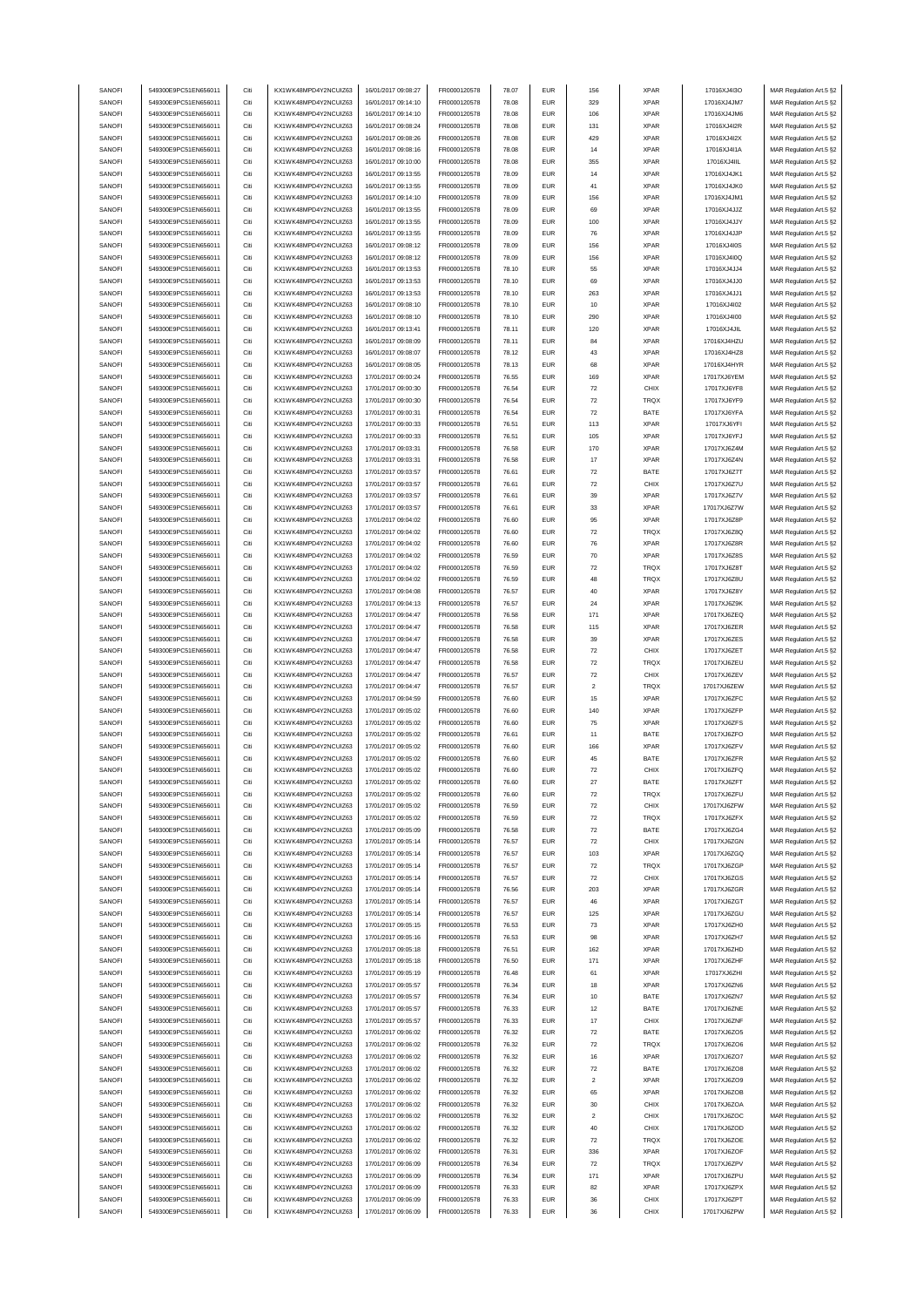|                  | 549300E9PC51EN656011 | Citi | KX1WK48MPD4Y2NCUIZ63  | 16/01/2017 09:08:27 | FR0000120578 | 78.07 | <b>EUR</b> | 156                | <b>XPAR</b> | 17016XJ4I3O  | MAR Regulation Art.5 §2 |
|------------------|----------------------|------|-----------------------|---------------------|--------------|-------|------------|--------------------|-------------|--------------|-------------------------|
| SANOFI<br>SANOFI | 549300E9PC51EN656011 | Citi | KX1WK48MPD4Y2NCUIZ63  | 16/01/2017 09:14:10 | FR0000120578 | 78.08 | <b>EUR</b> | 329                | <b>XPAR</b> | 17016XJ4JM7  | MAR Regulation Art.5 §2 |
|                  |                      |      |                       |                     |              |       |            |                    |             |              |                         |
| SANOFI           | 549300E9PC51EN656011 | Citi | KX1WK48MPD4Y2NCUIZ63  | 16/01/2017 09:14:10 | FR0000120578 | 78.08 | <b>EUR</b> | 106                | <b>XPAR</b> | 17016XJ4JM6  | MAR Regulation Art.5 §2 |
| SANOFI           | 549300E9PC51EN656011 | Citi | KX1WK48MPD4Y2NCUIZ63  | 16/01/2017 09:08:24 | FR0000120578 | 78.08 | <b>EUR</b> | 131                | XPAR        | 17016XJ4I2R  | MAR Regulation Art.5 §2 |
| SANOFI           | 549300E9PC51EN656011 | Citi | KX1WK48MPD4Y2NCLIIZ63 | 16/01/2017 09:08:26 | FR0000120578 | 78.08 | <b>EUR</b> | 429                | XPAR        | 17016XJ4I2X  | MAR Regulation Art.5 §2 |
| SANOFI           | 549300E9PC51EN656011 | Citi | KX1WK48MPD4Y2NCUIZ63  | 16/01/2017 09:08:16 | FR0000120578 | 78.08 | <b>EUR</b> | 14                 | <b>XPAR</b> | 17016XJ4I1A  | MAR Regulation Art.5 §2 |
| SANOFI           | 549300E9PC51EN656011 | Citi | KX1WK48MPD4Y2NCUIZ63  | 16/01/2017 09:10:00 | FR0000120578 | 78.08 | <b>EUR</b> | 355                | <b>XPAR</b> | 17016XJ4IIL  | MAR Regulation Art.5 §2 |
|                  |                      |      |                       |                     |              |       |            |                    |             |              |                         |
| SANOFI           | 549300E9PC51EN656011 | Citi | KX1WK48MPD4Y2NCUIZ63  | 16/01/2017 09:13:55 | FR0000120578 | 78.09 | <b>EUR</b> | 14                 | XPAR        | 17016XJ4JK1  | MAR Regulation Art.5 §2 |
| SANOFI           | 549300E9PC51EN656011 | Citi | KX1WK48MPD4Y2NCUIZ63  | 16/01/2017 09:13:55 | FR0000120578 | 78.09 | <b>EUR</b> | 41                 | <b>XPAR</b> | 17016XJ4JK0  | MAR Regulation Art.5 §2 |
| SANOFI           | 549300E9PC51EN656011 | Citi | KX1WK48MPD4Y2NCUIZ63  | 16/01/2017 09:14:10 | FR0000120578 | 78.09 | <b>EUR</b> | 156                | <b>XPAR</b> | 17016XJ4JM1  | MAR Regulation Art.5 §2 |
| SANOFI           | 549300E9PC51EN656011 | Citi | KX1WK48MPD4Y2NCUIZ63  | 16/01/2017 09:13:55 | FR0000120578 | 78.09 | <b>EUR</b> | 69                 | <b>XPAR</b> | 17016XJ4JJZ  | MAR Regulation Art.5 §2 |
| SANOFI           | 549300E9PC51EN656011 | Citi | KX1WK48MPD4Y2NCUIZ63  | 16/01/2017 09:13:55 | FR0000120578 | 78.09 | <b>EUR</b> | 100                | <b>XPAR</b> | 17016XJ4JJY  | MAR Regulation Art.5 §2 |
|                  |                      |      |                       |                     |              |       |            |                    |             |              |                         |
| SANOFI           | 549300E9PC51EN656011 | Citi | KX1WK48MPD4Y2NCUIZ63  | 16/01/2017 09:13:55 | FR0000120578 | 78.09 | <b>EUR</b> | ${\bf 76}$         | <b>XPAR</b> | 17016XJ4JJP  | MAR Regulation Art.5 §2 |
| SANOFI           | 549300E9PC51EN656011 | Citi | KX1WK48MPD4Y2NCUIZ63  | 16/01/2017 09:08:12 | FR0000120578 | 78.09 | <b>EUR</b> | 156                | <b>XPAR</b> | 17016XJ4I0S  | MAR Regulation Art.5 §2 |
| SANOFI           | 549300E9PC51EN656011 | Citi | KX1WK48MPD4Y2NCUIZ63  | 16/01/2017 09:08:12 | FR0000120578 | 78.09 | <b>EUR</b> | 156                | <b>XPAR</b> | 17016XJ4I0Q  | MAR Regulation Art.5 §2 |
|                  |                      |      |                       |                     |              |       |            |                    |             |              |                         |
| SANOFI           | 549300E9PC51EN656011 | Citi | KX1WK48MPD4Y2NCUIZ63  | 16/01/2017 09:13:53 | FR0000120578 | 78.10 | <b>EUR</b> | 55                 | <b>XPAR</b> | 17016XJ4JJ4  | MAR Regulation Art.5 §2 |
| SANOFI           | 549300E9PC51EN656011 | Citi | KX1WK48MPD4Y2NCUIZ63  | 16/01/2017 09:13:53 | FR0000120578 | 78.10 | <b>EUR</b> | 69                 | XPAR        | 17016XJ4JJ0  | MAR Regulation Art.5 §2 |
| SANOFI           | 549300E9PC51EN656011 | Citi | KX1WK48MPD4Y2NCUIZ63  | 16/01/2017 09:13:53 | FR0000120578 | 78.10 | <b>EUR</b> | 263                | <b>XPAR</b> | 17016XJ4JJ1  | MAR Regulation Art.5 §2 |
| SANOFI           | 549300E9PC51EN656011 | Citi | KX1WK48MPD4Y2NCUIZ63  | 16/01/2017 09:08:10 | FR0000120578 | 78.10 | <b>EUR</b> | 10                 | <b>XPAR</b> | 17016XJ4I02  | MAR Regulation Art.5 §2 |
|                  |                      |      |                       |                     |              |       |            |                    |             |              |                         |
| SANOFI           | 549300E9PC51EN656011 | Citi | KX1WK48MPD4Y2NCUIZ63  | 16/01/2017 09:08:10 | FR0000120578 | 78.10 | <b>EUR</b> | 290                | <b>XPAR</b> | 17016XJ4I00  | MAR Regulation Art.5 §2 |
| SANOFI           | 549300E9PC51EN656011 | Citi | KX1WK48MPD4Y2NCUIZ63  | 16/01/2017 09:13:41 | FR0000120578 | 78.11 | <b>EUR</b> | 120                | <b>XPAR</b> | 17016XJ4JIL  | MAR Regulation Art.5 §2 |
| SANOFI           | 549300E9PC51EN656011 | Citi | KX1WK48MPD4Y2NCUIZ63  | 16/01/2017 09:08:09 | FR0000120578 | 78.11 | <b>EUR</b> | 84                 | <b>XPAR</b> | 17016XJ4HZU  | MAR Regulation Art.5 §2 |
| SANOFI           | 549300E9PC51EN656011 | Citi | KX1WK48MPD4Y2NCUIZ63  | 16/01/2017 09:08:07 | FR0000120578 | 78.12 | <b>EUR</b> | 43                 | <b>XPAR</b> | 17016XJ4HZ8  | MAR Regulation Art.5 §2 |
| SANOFI           | 549300E9PC51EN656011 | Citi | KX1WK48MPD4Y2NCUIZ63  | 16/01/2017 09:08:05 | FR0000120578 | 78.13 | <b>EUR</b> | 68                 | XPAR        | 17016XJ4HYR  | MAR Regulation Art.5 §2 |
|                  |                      |      |                       |                     |              |       |            |                    |             |              |                         |
| SANOFI           | 549300E9PC51EN656011 | Citi | KX1WK48MPD4Y2NCUIZ63  | 17/01/2017 09:00:24 | FR0000120578 | 76.55 | <b>EUR</b> | 169                | <b>XPAR</b> | 17017XJ6YEM  | MAR Regulation Art.5 §2 |
| SANOFI           | 549300E9PC51EN656011 | Citi | KX1WK48MPD4Y2NCUIZ63  | 17/01/2017 09:00:30 | FR0000120578 | 76.54 | <b>EUR</b> | 72                 | CHIX        | 17017XJ6YF8  | MAR Regulation Art.5 §2 |
| SANOFI           | 549300E9PC51EN656011 | Citi | KX1WK48MPD4Y2NCUIZ63  | 17/01/2017 09:00:30 | FR0000120578 | 76.54 | <b>EUR</b> | $\scriptstyle{72}$ | TRQX        | 17017XJ6YF9  | MAR Regulation Art.5 §2 |
| SANOFI           | 549300E9PC51EN656011 | Citi | KX1WK48MPD4Y2NCUIZ63  | 17/01/2017 09:00:31 | FR0000120578 | 76.54 | <b>EUR</b> | $\scriptstyle{72}$ | BATE        | 17017XJ6YFA  | MAR Regulation Art.5 §2 |
|                  |                      |      |                       |                     |              |       | <b>EUR</b> |                    |             |              |                         |
| SANOFI           | 549300E9PC51EN656011 | Citi | KX1WK48MPD4Y2NCUIZ63  | 17/01/2017 09:00:33 | FR0000120578 | 76.51 |            | 113                | <b>XPAR</b> | 17017XJ6YFI  | MAR Regulation Art.5 §2 |
| SANOFI           | 549300E9PC51EN656011 | Citi | KX1WK48MPD4Y2NCUIZ63  | 17/01/2017 09:00:33 | FR0000120578 | 76.51 | <b>EUR</b> | 105                | <b>XPAR</b> | 17017XJ6YFJ  | MAR Regulation Art.5 §2 |
| SANOFI           | 549300E9PC51EN656011 | Citi | KX1WK48MPD4Y2NCUIZ63  | 17/01/2017 09:03:31 | FR0000120578 | 76.58 | <b>EUR</b> | 170                | <b>XPAR</b> | 17017XJ6Z4M  | MAR Regulation Art.5 §2 |
| SANOFI           | 549300E9PC51EN656011 | Citi | KX1WK48MPD4Y2NCUIZ63  | 17/01/2017 09:03:31 | FR0000120578 | 76.58 | <b>EUR</b> | $17\,$             | <b>XPAR</b> | 17017XJ6Z4N  | MAR Regulation Art.5 §2 |
| SANOFI           | 549300E9PC51EN656011 | Citi | KX1WK48MPD4Y2NCUIZ63  | 17/01/2017 09:03:57 | FR0000120578 | 76.61 | <b>EUR</b> | $\bf 72$           | BATE        | 17017XJ6Z7T  | MAR Regulation Art.5 §2 |
|                  |                      |      |                       |                     |              |       |            |                    |             |              |                         |
| SANOFI           | 549300E9PC51EN656011 | Citi | KX1WK48MPD4Y2NCUIZ63  | 17/01/2017 09:03:57 | FR0000120578 | 76.61 | <b>EUR</b> | 72                 | CHIX        | 17017XJ6Z7U  | MAR Regulation Art.5 §2 |
| SANOFI           | 549300E9PC51EN656011 | Citi | KX1WK48MPD4Y2NCUIZ63  | 17/01/2017 09:03:57 | FR0000120578 | 76.61 | <b>EUR</b> | 39                 | <b>XPAR</b> | 17017XJ6Z7V  | MAR Regulation Art.5 §2 |
| SANOFI           | 549300E9PC51EN656011 | Citi | KX1WK48MPD4Y2NCUIZ63  | 17/01/2017 09:03:57 | FR0000120578 | 76.61 | <b>EUR</b> | 33                 | <b>XPAR</b> | 17017XJ6Z7W  | MAR Regulation Art.5 §2 |
| SANOFI           | 549300E9PC51EN656011 | Citi | KX1WK48MPD4Y2NCUIZ63  | 17/01/2017 09:04:02 | FR0000120578 | 76.60 | <b>EUR</b> | 95                 | XPAR        | 17017XJ6Z8P  |                         |
|                  |                      |      |                       |                     |              |       |            |                    |             |              | MAR Regulation Art.5 §2 |
| SANOFI           | 549300E9PC51EN656011 | Citi | KX1WK48MPD4Y2NCUIZ63  | 17/01/2017 09:04:02 | FR0000120578 | 76.60 | <b>EUR</b> | $\scriptstyle{72}$ | TRQX        | 17017XJ6Z8Q  | MAR Regulation Art.5 §2 |
| SANOFI           | 549300E9PC51EN656011 | Citi | KX1WK48MPD4Y2NCUIZ63  | 17/01/2017 09:04:02 | FR0000120578 | 76.60 | <b>EUR</b> | 76                 | <b>XPAR</b> | 17017XJ6Z8R  | MAR Regulation Art.5 §2 |
| SANOFI           | 549300E9PC51EN656011 | Citi | KX1WK48MPD4Y2NCUIZ63  | 17/01/2017 09:04:02 | FR0000120578 | 76.59 | <b>EUR</b> | 70                 | <b>XPAR</b> | 17017XJ6Z8S  | MAR Regulation Art.5 §2 |
| SANOFI           | 549300E9PC51EN656011 | Citi | KX1WK48MPD4Y2NCUIZ63  | 17/01/2017 09:04:02 | FR0000120578 | 76.59 | <b>EUR</b> | $\scriptstyle{72}$ | TRQX        | 17017XJ6Z8T  | MAR Regulation Art.5 §2 |
|                  |                      |      |                       |                     |              |       |            |                    |             |              |                         |
| SANOFI           | 549300E9PC51EN656011 | Citi | KX1WK48MPD4Y2NCUIZ63  | 17/01/2017 09:04:02 | FR0000120578 | 76.59 | <b>EUR</b> | 48                 | TRQX        | 17017XJ6Z8U  | MAR Regulation Art.5 §2 |
| SANOFI           | 549300E9PC51EN656011 | Citi | KX1WK48MPD4Y2NCUIZ63  | 17/01/2017 09:04:08 | FR0000120578 | 76.57 | <b>EUR</b> | 40                 | <b>XPAR</b> | 17017XJ6Z8Y  | MAR Regulation Art.5 §2 |
| SANOFI           | 549300E9PC51EN656011 | Citi | KX1WK48MPD4Y2NCUIZ63  | 17/01/2017 09:04:13 | FR0000120578 | 76.57 | <b>EUR</b> | 24                 | XPAR        | 17017XJ6Z9K  | MAR Regulation Art.5 §2 |
| SANOFI           | 549300E9PC51EN656011 | Citi | KX1WK48MPD4Y2NCUIZ63  | 17/01/2017 09:04:47 | FR0000120578 | 76.58 | <b>EUR</b> | 171                | <b>XPAR</b> | 17017XJ6ZEQ  | MAR Regulation Art.5 §2 |
| SANOFI           | 549300E9PC51EN656011 | Citi | KX1WK48MPD4Y2NCUIZ63  | 17/01/2017 09:04:47 | FR0000120578 | 76.58 | <b>EUR</b> | 115                | XPAR        | 17017XJ6ZER  |                         |
|                  |                      |      |                       |                     |              |       |            |                    |             |              | MAR Regulation Art.5 §2 |
| SANOFI           | 549300E9PC51EN656011 | Citi | KX1WK48MPD4Y2NCUIZ63  | 17/01/2017 09:04:47 | FR0000120578 | 76.58 | <b>EUR</b> | 39                 | <b>XPAR</b> | 17017XJ6ZES  | MAR Regulation Art.5 §2 |
| SANOFI           | 549300E9PC51EN656011 | Citi | KX1WK48MPD4Y2NCUIZ63  | 17/01/2017 09:04:47 | FR0000120578 | 76.58 | <b>EUR</b> | $\scriptstyle{72}$ | CHIX        | 17017XJ6ZET  | MAR Regulation Art.5 §2 |
| SANOFI           | 549300E9PC51EN656011 | Citi | KX1WK48MPD4Y2NCUIZ63  | 17/01/2017 09:04:47 | FR0000120578 | 76.58 | <b>EUR</b> | $\scriptstyle{72}$ | TRQX        | 17017XJ6ZEU  | MAR Regulation Art.5 §2 |
| SANOFI           | 549300E9PC51EN656011 | Citi | KX1WK48MPD4Y2NCUIZ63  | 17/01/2017 09:04:47 | FR0000120578 | 76.57 | <b>EUR</b> | $\scriptstyle{72}$ | CHIX        | 17017XJ6ZEV  | MAR Regulation Art.5 §2 |
|                  |                      |      |                       |                     |              |       |            |                    |             |              |                         |
| SANOFI           | 549300E9PC51EN656011 | Citi | KX1WK48MPD4Y2NCUIZ63  | 17/01/2017 09:04:47 | FR0000120578 | 76.57 | <b>EUR</b> | $\sqrt{2}$         | TRQX        | 17017XJ6ZEW  | MAR Regulation Art.5 §2 |
| SANOFI           | 549300E9PC51EN656011 | Citi | KX1WK48MPD4Y2NCUIZ63  | 17/01/2017 09:04:59 | FR0000120578 | 76.60 | <b>EUR</b> | 15                 | <b>XPAR</b> | 17017XJ6ZFC  | MAR Regulation Art.5 §2 |
| SANOFI           |                      |      |                       |                     |              |       |            |                    |             |              |                         |
|                  | 549300E9PC51EN656011 | Citi | KX1WK48MPD4Y2NCUIZ63  | 17/01/2017 09:05:02 | FR0000120578 | 76.60 | <b>EUR</b> | 140                | XPAR        | 17017XJ6ZFP  |                         |
|                  |                      |      |                       |                     |              |       |            |                    |             |              | MAR Regulation Art.5 §2 |
| SANOFI           | 549300E9PC51EN656011 | Citi | KX1WK48MPD4Y2NCUIZ63  | 17/01/2017 09:05:02 | FR0000120578 | 76.60 | <b>EUR</b> | ${\bf 75}$         | <b>XPAR</b> | 17017XJ6ZFS  | MAR Regulation Art.5 §2 |
| SANOFI           | 549300E9PC51EN656011 | Citi | KX1WK48MPD4Y2NCUIZ63  | 17/01/2017 09:05:02 | FR0000120578 | 76.61 | <b>EUR</b> | 11                 | BATE        | 17017XJ6ZFO  | MAR Regulation Art.5 §2 |
| SANOFI           | 549300E9PC51EN656011 | Citi | KX1WK48MPD4Y2NCUIZ63  | 17/01/2017 09:05:02 | FR0000120578 | 76.60 | <b>EUR</b> | 166                | <b>XPAR</b> | 17017XJ6ZFV  | MAR Regulation Art.5 §2 |
| SANOFI           | 549300E9PC51EN656011 | Citi | KX1WK48MPD4Y2NCUIZ63  | 17/01/2017 09:05:02 | FR0000120578 | 76.60 | <b>EUR</b> | 45                 | BATE        | 17017XJ6ZFR  | MAR Regulation Art.5 §2 |
|                  |                      | Citi |                       | 17/01/2017 09:05:02 |              |       | <b>EUR</b> |                    |             |              |                         |
| SANOFI           | 549300E9PC51EN656011 |      | KX1WK48MPD4Y2NCUIZ63  |                     | FR0000120578 | 76.60 |            | $\scriptstyle{72}$ | CHIX        | 17017XJ6ZFQ  | MAR Regulation Art.5 §2 |
| SANOFI           | 549300E9PC51EN656011 |      | KX1WK48MPD4Y2NCLIIZ63 | 17/01/2017 09:05:02 | FR0000120578 | 76.60 | FUR        |                    | <b>BATF</b> | 17017X ISZET | MAR Regulation Art 5 82 |
| SANOFI           | 549300E9PC51EN656011 | Citi | KX1WK48MPD4Y2NCUIZ63  | 17/01/2017 09:05:02 | FR0000120578 | 76.60 | <b>EUR</b> | $\scriptstyle{72}$ | <b>TRQX</b> | 17017XJ6ZFU  | MAR Regulation Art.5 §2 |
| SANOFI           | 549300E9PC51EN656011 | Citi | KX1WK48MPD4Y2NCUIZ63  | 17/01/2017 09:05:02 | FR0000120578 | 76.59 | <b>EUR</b> | $\scriptstyle{72}$ | CHIX        | 17017XJ6ZFW  | MAR Regulation Art.5 §2 |
| SANOFI           | 549300E9PC51EN656011 | Citi | KX1WK48MPD4Y2NCUIZ63  | 17/01/2017 09:05:02 | FR0000120578 | 76.59 | <b>EUR</b> | 72                 | TRQX        | 17017XJ6ZFX  | MAR Regulation Art.5 §2 |
|                  |                      |      | KX1WK48MPD4Y2NCUIZ63  |                     | FR0000120578 |       |            |                    |             |              |                         |
| SANOFI           | 549300E9PC51EN656011 | Citi |                       | 17/01/2017 09:05:09 |              | 76.58 | <b>EUR</b> | $\scriptstyle{72}$ | BATE        | 17017XJ6ZG4  | MAR Regulation Art.5 §2 |
| SANOFI           | 549300E9PC51EN656011 | Citi | KX1WK48MPD4Y2NCUIZ63  | 17/01/2017 09:05:14 | FR0000120578 | 76.57 | <b>EUR</b> | $\scriptstyle{72}$ | CHIX        | 17017XJ6ZGN  | MAR Regulation Art.5 §2 |
| SANOFI           | 549300E9PC51EN656011 | Citi | KX1WK48MPD4Y2NCUIZ63  | 17/01/2017 09:05:14 | FR0000120578 | 76.57 | <b>EUR</b> | 103                | <b>XPAR</b> | 17017XJ6ZGQ  | MAR Regulation Art.5 §2 |
| SANOFI           | 549300E9PC51EN656011 | Citi | KX1WK48MPD4Y2NCUIZ63  | 17/01/2017 09:05:14 | FR0000120578 | 76.57 | <b>EUR</b> | $\bf 72$           | TRQX        | 17017XJ6ZGP  | MAR Regulation Art.5 §2 |
| SANOFI           | 549300E9PC51EN656011 | Citi | KX1WK48MPD4Y2NCUIZ63  | 17/01/2017 09:05:14 | FR0000120578 | 76.57 | <b>EUR</b> | $\scriptstyle{72}$ | CHIX        | 17017XJ6ZGS  | MAR Regulation Art.5 §2 |
| SANOFI           | 549300E9PC51EN656011 | Citi | KX1WK48MPD4Y2NCUIZ63  | 17/01/2017 09:05:14 | FR0000120578 | 76.56 | <b>EUR</b> | 203                | <b>XPAR</b> | 17017XJ6ZGR  | MAR Regulation Art.5 §2 |
|                  |                      |      |                       |                     |              |       |            |                    |             |              |                         |
| SANOFI           | 549300E9PC51EN656011 | Citi | KX1WK48MPD4Y2NCUIZ63  | 17/01/2017 09:05:14 | FR0000120578 | 76.57 | <b>EUR</b> | 46                 | <b>XPAR</b> | 17017XJ6ZGT  | MAR Regulation Art.5 §2 |
| SANOFI           | 549300E9PC51EN656011 | Citi | KX1WK48MPD4Y2NCUIZ63  | 17/01/2017 09:05:14 | FR0000120578 | 76.57 | <b>EUR</b> | 125                | <b>XPAR</b> | 17017XJ6ZGU  | MAR Regulation Art.5 §2 |
| SANOFI           | 549300E9PC51EN656011 | Citi | KX1WK48MPD4Y2NCUIZ63  | 17/01/2017 09:05:15 | FR0000120578 | 76.53 | <b>EUR</b> | $\mathbf{73}$      | <b>XPAR</b> | 17017XJ6ZH0  | MAR Regulation Art.5 §2 |
| SANOFI           | 549300E9PC51EN656011 | Citi | KX1WK48MPD4Y2NCUIZ63  | 17/01/2017 09:05:16 | FR0000120578 | 76.53 | <b>EUR</b> | 98                 | <b>XPAR</b> | 17017XJ6ZH7  | MAR Regulation Art.5 §2 |
|                  |                      |      |                       |                     |              |       |            |                    |             |              |                         |
| SANOFI           | 549300E9PC51EN656011 | Citi | KX1WK48MPD4Y2NCUIZ63  | 17/01/2017 09:05:18 | FR0000120578 | 76.51 | <b>EUR</b> | 162                | <b>XPAR</b> | 17017XJ6ZHD  | MAR Regulation Art.5 §2 |
| SANOFI           | 549300E9PC51EN656011 | Citi | KX1WK48MPD4Y2NCUIZ63  | 17/01/2017 09:05:18 | FR0000120578 | 76.50 | <b>EUR</b> | 171                | <b>XPAR</b> | 17017XJ6ZHF  | MAR Regulation Art.5 §2 |
| SANOFI           | 549300E9PC51EN656011 | Citi | KX1WK48MPD4Y2NCUIZ63  | 17/01/2017 09:05:19 | FR0000120578 | 76.48 | <b>EUR</b> | 61                 | <b>XPAR</b> | 17017XJ6ZHI  | MAR Regulation Art.5 §2 |
| SANOFI           | 549300E9PC51EN656011 | Citi | KX1WK48MPD4Y2NCUIZ63  | 17/01/2017 09:05:57 | FR0000120578 | 76.34 | <b>EUR</b> | 18                 | <b>XPAR</b> | 17017XJ6ZN6  | MAR Regulation Art.5 §2 |
| SANOFI           | 549300E9PC51EN656011 | Citi | KX1WK48MPD4Y2NCUIZ63  | 17/01/2017 09:05:57 | FR0000120578 | 76.34 | <b>EUR</b> | 10                 | BATE        | 17017XJ6ZN7  | MAR Regulation Art.5 §2 |
|                  |                      |      |                       |                     |              |       |            |                    |             |              |                         |
| SANOFI           | 549300E9PC51EN656011 | Citi | KX1WK48MPD4Y2NCUIZ63  | 17/01/2017 09:05:57 | FR0000120578 | 76.33 | <b>EUR</b> | 12                 | BATE        | 17017XJ6ZNE  | MAR Regulation Art.5 §2 |
| SANOFI           | 549300E9PC51EN656011 | Citi | KX1WK48MPD4Y2NCUIZ63  | 17/01/2017 09:05:57 | FR0000120578 | 76.33 | <b>EUR</b> | $17\,$             | CHIX        | 17017XJ6ZNF  | MAR Regulation Art.5 §2 |
| SANOFI           | 549300E9PC51EN656011 | Citi | KX1WK48MPD4Y2NCUIZ63  | 17/01/2017 09:06:02 | FR0000120578 | 76.32 | <b>EUR</b> | $\scriptstyle{72}$ | BATE        | 17017XJ6ZO5  | MAR Regulation Art.5 §2 |
| SANOFI           | 549300E9PC51EN656011 | Citi | KX1WK48MPD4Y2NCUIZ63  | 17/01/2017 09:06:02 | FR0000120578 | 76.32 | <b>EUR</b> | $\scriptstyle{72}$ | TRQX        | 17017XJ6ZO6  | MAR Regulation Art.5 §2 |
|                  |                      |      |                       |                     |              |       |            |                    |             |              |                         |
| SANOFI           | 549300E9PC51EN656011 | Citi | KX1WK48MPD4Y2NCUIZ63  | 17/01/2017 09:06:02 | FR0000120578 | 76.32 | <b>EUR</b> | 16                 | XPAR        | 17017XJ6ZO7  | MAR Regulation Art.5 §2 |
| SANOFI           | 549300E9PC51EN656011 | Citi | KX1WK48MPD4Y2NCUIZ63  | 17/01/2017 09:06:02 | FR0000120578 | 76.32 | <b>EUR</b> | $\scriptstyle{72}$ | BATE        | 17017XJ6ZO8  | MAR Regulation Art.5 §2 |
| SANOFI           | 549300E9PC51EN656011 | Citi | KX1WK48MPD4Y2NCUIZ63  | 17/01/2017 09:06:02 | FR0000120578 | 76.32 | <b>EUR</b> | $\sqrt{2}$         | <b>XPAR</b> | 17017XJ6ZO9  | MAR Regulation Art.5 §2 |
| SANOFI           | 549300E9PC51EN656011 | Citi | KX1WK48MPD4Y2NCUIZ63  | 17/01/2017 09:06:02 | FR0000120578 | 76.32 | <b>EUR</b> | 65                 | <b>XPAR</b> | 17017XJ6ZOB  | MAR Regulation Art.5 §2 |
|                  |                      |      |                       |                     |              | 76.32 |            |                    |             |              |                         |
| SANOFI           | 549300E9PC51EN656011 | Citi | KX1WK48MPD4Y2NCUIZ63  | 17/01/2017 09:06:02 | FR0000120578 |       | <b>EUR</b> | 30                 | CHIX        | 17017XJ6ZOA  | MAR Regulation Art.5 §2 |
| SANOFI           | 549300E9PC51EN656011 | Citi | KX1WK48MPD4Y2NCUIZ63  | 17/01/2017 09:06:02 | FR0000120578 | 76.32 | <b>EUR</b> | $\boldsymbol{2}$   | CHIX        | 17017XJ6ZOC  | MAR Regulation Art.5 §2 |
| SANOFI           | 549300E9PC51EN656011 | Citi | KX1WK48MPD4Y2NCUIZ63  | 17/01/2017 09:06:02 | FR0000120578 | 76.32 | <b>EUR</b> | 40                 | CHIX        | 17017XJ6ZOD  | MAR Regulation Art.5 §2 |
| SANOFI           | 549300E9PC51EN656011 | Citi | KX1WK48MPD4Y2NCUIZ63  | 17/01/2017 09:06:02 | FR0000120578 | 76.32 | <b>EUR</b> | $\scriptstyle{72}$ | TRQX        | 17017XJ6ZOE  | MAR Regulation Art.5 §2 |
| SANOFI           | 549300E9PC51EN656011 | Citi | KX1WK48MPD4Y2NCUIZ63  | 17/01/2017 09:06:02 | FR0000120578 | 76.31 | <b>EUR</b> | 336                | <b>XPAR</b> | 17017XJ6ZOF  | MAR Regulation Art.5 §2 |
| SANOFI           | 549300E9PC51EN656011 | Citi | KX1WK48MPD4Y2NCUIZ63  | 17/01/2017 09:06:09 | FR0000120578 | 76.34 | <b>EUR</b> | $\bf 72$           | TRQX        | 17017XJ6ZPV  |                         |
|                  |                      |      |                       |                     |              |       |            |                    |             |              | MAR Regulation Art.5 §2 |
| SANOFI           | 549300E9PC51EN656011 | Citi | KX1WK48MPD4Y2NCUIZ63  | 17/01/2017 09:06:09 | FR0000120578 | 76.34 | <b>EUR</b> | 171                | <b>XPAR</b> | 17017XJ6ZPU  | MAR Regulation Art.5 §2 |
| SANOFI           | 549300E9PC51EN656011 | Citi | KX1WK48MPD4Y2NCUIZ63  | 17/01/2017 09:06:09 | FR0000120578 | 76.33 | <b>EUR</b> | 82                 | <b>XPAR</b> | 17017XJ6ZPX  | MAR Regulation Art.5 §2 |
| SANOFI           | 549300E9PC51EN656011 | Citi | KX1WK48MPD4Y2NCUIZ63  | 17/01/2017 09:06:09 | FR0000120578 | 76.33 | <b>EUR</b> | 36                 | CHIX        | 17017XJ6ZPT  | MAR Regulation Art.5 §2 |
| SANOFI           | 549300E9PC51EN656011 | Citi | KX1WK48MPD4Y2NCUIZ63  | 17/01/2017 09:06:09 | FR0000120578 | 76.33 | <b>EUR</b> | 36                 | <b>CHIX</b> | 17017XJ6ZPW  | MAR Regulation Art.5 §2 |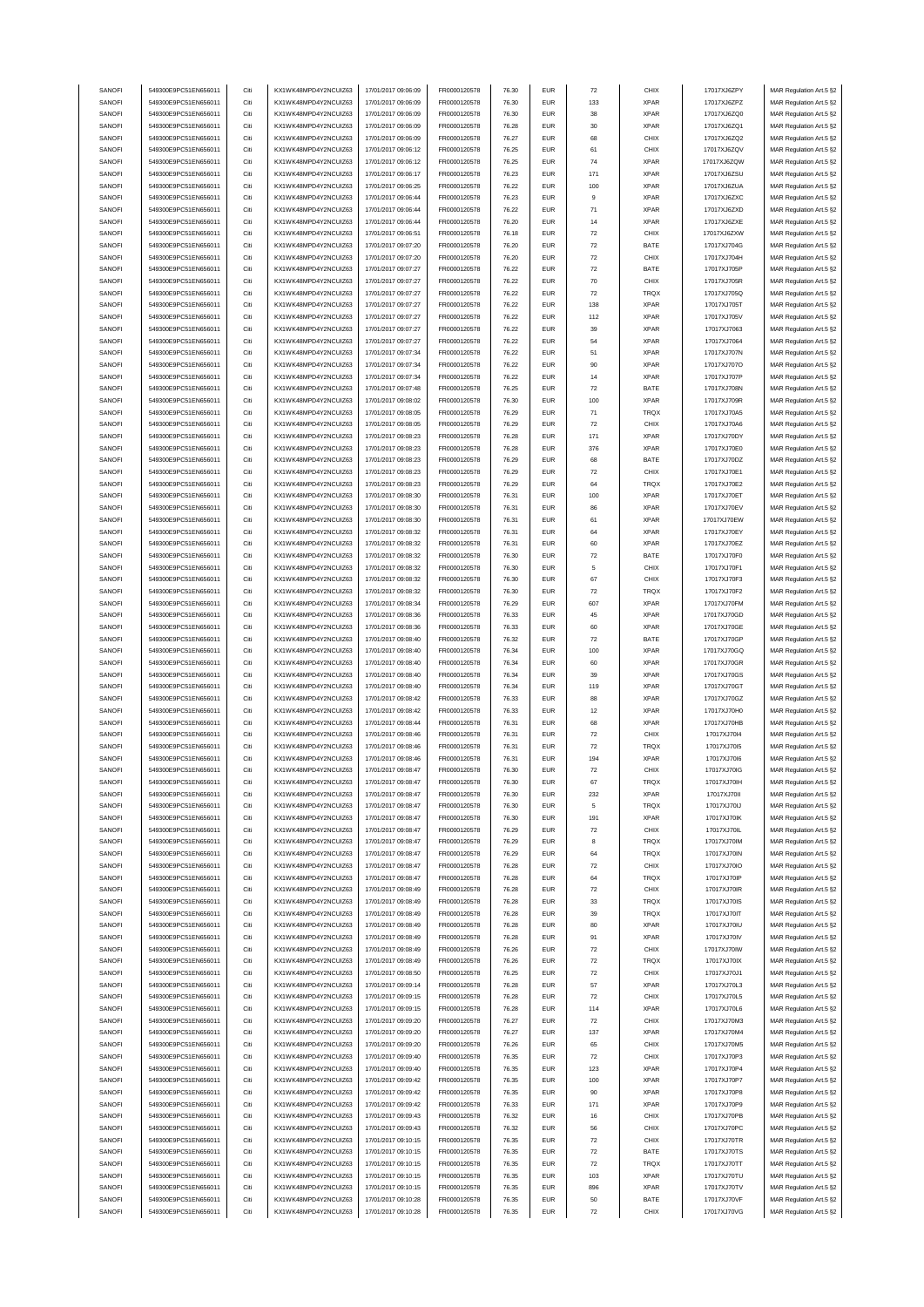| SANOFI           | 549300E9PC51EN656011                         | Citi         | KX1WK48MPD4Y2NCUIZ63                         | 17/01/2017 09:06:09                        | FR0000120578                 | 76.30          | <b>EUR</b>               | 72                 | CHIX         | 17017XJ6ZPY                | MAR Regulation Art.5 §2                            |
|------------------|----------------------------------------------|--------------|----------------------------------------------|--------------------------------------------|------------------------------|----------------|--------------------------|--------------------|--------------|----------------------------|----------------------------------------------------|
|                  | 549300E9PC51EN656011                         | Citi         | KX1WK48MPD4Y2NCUIZ63                         | 17/01/2017 09:06:09                        |                              | 76.30          | <b>EUR</b>               | 133                | <b>XPAR</b>  |                            |                                                    |
| SANOFI           | 549300E9PC51EN656011                         |              |                                              |                                            | FR0000120578                 |                |                          |                    |              | 17017XJ6ZPZ<br>17017XJ6ZQ0 | MAR Regulation Art.5 §2                            |
| SANOFI           |                                              | Citi         | KX1WK48MPD4Y2NCUIZ63                         | 17/01/2017 09:06:09                        | FR0000120578                 | 76.30          | <b>EUR</b>               | 38                 | <b>XPAR</b>  |                            | MAR Regulation Art.5 §2                            |
| SANOFI           | 549300E9PC51EN656011                         | Citi         | KX1WK48MPD4Y2NCUIZ63                         | 17/01/2017 09:06:09                        | FR0000120578                 | 76.28          | EUR                      | 30                 | <b>XPAR</b>  | 17017XJ6ZQ1                | MAR Regulation Art.5 §2                            |
| SANOFI           | 549300E9PC51EN656011                         | Citi         | KX1WK48MPD4Y2NCLIIZ63                        | 17/01/2017 09:06:09                        | FR0000120578                 | 76.27          | <b>EUR</b>               | 68                 | CHIX         | 17017XJ6ZQ2                | MAR Regulation Art.5 §2                            |
| SANOFI           | 549300E9PC51EN656011                         | Citi         | KX1WK48MPD4Y2NCUIZ63                         | 17/01/2017 09:06:12                        | FR0000120578                 | 76.25          | <b>EUR</b>               | 61                 | CHIX         | 17017XJ6ZQV                | MAR Regulation Art.5 §2                            |
| SANOFI           | 549300E9PC51EN656011                         | Citi         | KX1WK48MPD4Y2NCUIZ63                         | 17/01/2017 09:06:12                        | FR0000120578                 | 76.25          | <b>EUR</b>               | 74                 | <b>XPAR</b>  | 17017XJ6ZQW                | MAR Regulation Art.5 §2                            |
|                  |                                              |              |                                              |                                            |                              |                |                          |                    |              |                            |                                                    |
| SANOFI           | 549300E9PC51EN656011                         | Citi         | KX1WK48MPD4Y2NCUIZ63                         | 17/01/2017 09:06:17                        | FR0000120578                 | 76.23          | <b>EUR</b>               | 171                | <b>XPAR</b>  | 17017XJ6ZSU                | MAR Regulation Art.5 §2                            |
| SANOFI           | 549300E9PC51EN656011                         | Citi         | KX1WK48MPD4Y2NCUIZ63                         | 17/01/2017 09:06:25                        | FR0000120578                 | 76.22          | <b>EUR</b>               | 100                | <b>XPAR</b>  | 17017XJ6ZUA                | MAR Regulation Art.5 §2                            |
| SANOFI           | 549300E9PC51EN656011                         | Citi         | KX1WK48MPD4Y2NCUIZ63                         | 17/01/2017 09:06:44                        | FR0000120578                 | 76.23          | <b>EUR</b>               | 9                  | <b>XPAR</b>  | 17017XJ6ZXC                | MAR Regulation Art.5 §2                            |
| SANOFI           | 549300E9PC51EN656011                         | Citi         | KX1WK48MPD4Y2NCUIZ63                         | 17/01/2017 09:06:44                        | FR0000120578                 | 76.22          | <b>EUR</b>               | 71                 | <b>XPAR</b>  | 17017XJ6ZXD                | MAR Regulation Art.5 §2                            |
| SANOFI           | 549300E9PC51EN656011                         | Citi         | KX1WK48MPD4Y2NCUIZ63                         | 17/01/2017 09:06:44                        | FR0000120578                 | 76.20          | <b>EUR</b>               | 14                 | <b>XPAR</b>  | 17017XJ6ZXE                | MAR Regulation Art.5 §2                            |
|                  |                                              |              |                                              |                                            |                              |                |                          |                    |              |                            |                                                    |
| SANOFI           | 549300E9PC51EN656011                         | Citi         | KX1WK48MPD4Y2NCUIZ63                         | 17/01/2017 09:06:51                        | FR0000120578                 | 76.18          | EUR                      | $\scriptstyle{72}$ | CHIX         | 17017XJ6ZXW                | MAR Regulation Art.5 §2                            |
| SANOFI           | 549300E9PC51EN656011                         | Citi         | KX1WK48MPD4Y2NCUIZ63                         | 17/01/2017 09:07:20                        | FR0000120578                 | 76.20          | <b>EUR</b>               | $\scriptstyle{72}$ | BATE         | 17017XJ704G                | MAR Regulation Art.5 §2                            |
| SANOFI           | 549300E9PC51EN656011                         | Citi         | KX1WK48MPD4Y2NCUIZ63                         | 17/01/2017 09:07:20                        | FR0000120578                 | 76.20          | <b>EUR</b>               | $\scriptstyle{72}$ | CHIX         | 17017XJ704H                | MAR Regulation Art.5 §2                            |
| SANOFI           | 549300E9PC51EN656011                         | Citi         | KX1WK48MPD4Y2NCUIZ63                         | 17/01/2017 09:07:27                        | FR0000120578                 | 76.22          | <b>EUR</b>               | 72                 | BATE         | 17017XJ705P                | MAR Regulation Art.5 §2                            |
|                  | 549300E9PC51EN656011                         |              |                                              |                                            |                              |                |                          |                    |              |                            |                                                    |
| SANOFI           |                                              | Citi         | KX1WK48MPD4Y2NCUIZ63                         | 17/01/2017 09:07:27                        | FR0000120578                 | 76.22          | <b>EUR</b>               | 70                 | CHIX         | 17017XJ705R                | MAR Regulation Art.5 §2                            |
| SANOFI           | 549300E9PC51EN656011                         | Citi         | KX1WK48MPD4Y2NCUIZ63                         | 17/01/2017 09:07:27                        | FR0000120578                 | 76.22          | <b>EUR</b>               | 72                 | TRQX         | 17017XJ705Q                | MAR Regulation Art.5 §2                            |
| SANOFI           | 549300E9PC51EN656011                         | Citi         | KX1WK48MPD4Y2NCUIZ63                         | 17/01/2017 09:07:27                        | FR0000120578                 | 76.22          | <b>EUR</b>               | 138                | <b>XPAR</b>  | 17017XJ705T                | MAR Regulation Art.5 §2                            |
| SANOFI           | 549300E9PC51EN656011                         | Citi         | KX1WK48MPD4Y2NCUIZ63                         | 17/01/2017 09:07:27                        | FR0000120578                 | 76.22          | <b>EUR</b>               | 112                | <b>XPAR</b>  | 17017XJ705V                | MAR Regulation Art.5 §2                            |
| SANOFI           | 549300E9PC51EN656011                         | Citi         | KX1WK48MPD4Y2NCUIZ63                         | 17/01/2017 09:07:27                        | FR0000120578                 | 76.22          | <b>EUR</b>               | 39                 | <b>XPAR</b>  | 17017XJ7063                | MAR Regulation Art.5 §2                            |
|                  |                                              |              |                                              |                                            |                              |                |                          |                    |              |                            |                                                    |
| SANOFI           | 549300E9PC51EN656011                         | Citi         | KX1WK48MPD4Y2NCUIZ63                         | 17/01/2017 09:07:27                        | FR0000120578                 | 76.22          | <b>EUR</b>               | 54                 | <b>XPAR</b>  | 17017XJ7064                | MAR Regulation Art.5 §2                            |
| SANOFI           | 549300E9PC51EN656011                         | Citi         | KX1WK48MPD4Y2NCUIZ63                         | 17/01/2017 09:07:34                        | FR0000120578                 | 76.22          | <b>EUR</b>               | 51                 | <b>XPAR</b>  | 17017XJ707N                | MAR Regulation Art.5 §2                            |
| SANOFI           | 549300E9PC51EN656011                         | Citi         | KX1WK48MPD4Y2NCUIZ63                         | 17/01/2017 09:07:34                        | FR0000120578                 | 76.22          | <b>EUR</b>               | 90                 | <b>XPAR</b>  | 17017XJ707O                | MAR Regulation Art.5 §2                            |
| SANOFI           | 549300E9PC51EN656011                         | Citi         | KX1WK48MPD4Y2NCUIZ63                         | 17/01/2017 09:07:34                        | FR0000120578                 | 76.22          | <b>EUR</b>               | 14                 | <b>XPAR</b>  | 17017XJ707P                | MAR Regulation Art.5 §2                            |
| SANOFI           | 549300E9PC51EN656011                         | Citi         | KX1WK48MPD4Y2NCUIZ63                         | 17/01/2017 09:07:48                        | FR0000120578                 | 76.25          | <b>EUR</b>               | 72                 | BATE         | 17017XJ708N                | MAR Regulation Art.5 §2                            |
|                  |                                              |              |                                              |                                            |                              |                |                          |                    |              |                            |                                                    |
| SANOFI           | 549300E9PC51EN656011                         | Citi         | KX1WK48MPD4Y2NCUIZ63                         | 17/01/2017 09:08:02                        | FR0000120578                 | 76.30          | <b>EUR</b>               | 100                | <b>XPAR</b>  | 17017XJ709R                | MAR Regulation Art.5 §2                            |
| SANOFI           | 549300E9PC51EN656011                         | Citi         | KX1WK48MPD4Y2NCUIZ63                         | 17/01/2017 09:08:05                        | FR0000120578                 | 76.29          | <b>EUR</b>               | ${\bf 71}$         | TRQX         | 17017XJ70A5                | MAR Regulation Art.5 §2                            |
| SANOFI           | 549300E9PC51EN656011                         | Citi         | KX1WK48MPD4Y2NCUIZ63                         | 17/01/2017 09:08:05                        | FR0000120578                 | 76.29          | <b>EUR</b>               | 72                 | CHIX         | 17017XJ70A6                | MAR Regulation Art.5 §2                            |
| SANOFI           | 549300E9PC51EN656011                         | Citi         | KX1WK48MPD4Y2NCUIZ63                         | 17/01/2017 09:08:23                        | FR0000120578                 | 76.28          | <b>EUR</b>               | 171                | <b>XPAR</b>  | 17017XJ70DY                | MAR Regulation Art.5 §2                            |
| SANOFI           | 549300E9PC51EN656011                         | Citi         | KX1WK48MPD4Y2NCUIZ63                         | 17/01/2017 09:08:23                        | FR0000120578                 | 76.28          | <b>EUR</b>               | 376                | <b>XPAR</b>  | 17017XJ70E0                |                                                    |
|                  |                                              |              |                                              |                                            |                              |                |                          |                    |              |                            | MAR Regulation Art.5 §2                            |
| SANOFI           | 549300E9PC51EN656011                         | Citi         | KX1WK48MPD4Y2NCUIZ63                         | 17/01/2017 09:08:23                        | FR0000120578                 | 76.29          | <b>EUR</b>               | 68                 | BATE         | 17017XJ70DZ                | MAR Regulation Art.5 §2                            |
| SANOFI           | 549300E9PC51EN656011                         | Citi         | KX1WK48MPD4Y2NCUIZ63                         | 17/01/2017 09:08:23                        | FR0000120578                 | 76.29          | <b>EUR</b>               | $\scriptstyle{72}$ | CHIX         | 17017XJ70E1                | MAR Regulation Art.5 §2                            |
| SANOFI           | 549300E9PC51EN656011                         | Citi         | KX1WK48MPD4Y2NCUIZ63                         | 17/01/2017 09:08:23                        | FR0000120578                 | 76.29          | <b>EUR</b>               | 64                 | TRQX         | 17017XJ70E2                | MAR Regulation Art.5 §2                            |
| SANOFI           | 549300E9PC51EN656011                         | Citi         | KX1WK48MPD4Y2NCUIZ63                         | 17/01/2017 09:08:30                        | FR0000120578                 | 76.31          | <b>EUR</b>               | 100                | <b>XPAR</b>  | 17017XJ70ET                | MAR Regulation Art.5 §2                            |
|                  | 549300E9PC51EN656011                         |              | KX1WK48MPD4Y2NCUIZ63                         |                                            |                              |                |                          |                    |              |                            |                                                    |
| SANOFI           |                                              | Citi         |                                              | 17/01/2017 09:08:30                        | FR0000120578                 | 76.31          | <b>EUR</b>               | 86                 | <b>XPAR</b>  | 17017XJ70EV                | MAR Regulation Art.5 §2                            |
| SANOFI           | 549300E9PC51EN656011                         | Citi         | KX1WK48MPD4Y2NCUIZ63                         | 17/01/2017 09:08:30                        | FR0000120578                 | 76.31          | EUR                      | 61                 | <b>XPAR</b>  | 17017XJ70EW                | MAR Regulation Art.5 §2                            |
| SANOFI           | 549300E9PC51EN656011                         | Citi         | KX1WK48MPD4Y2NCUIZ63                         | 17/01/2017 09:08:32                        | FR0000120578                 | 76.31          | <b>EUR</b>               | 64                 | <b>XPAR</b>  | 17017XJ70EY                | MAR Regulation Art.5 §2                            |
| SANOFI           | 549300E9PC51EN656011                         | Citi         | KX1WK48MPD4Y2NCUIZ63                         | 17/01/2017 09:08:32                        | FR0000120578                 | 76.31          | <b>EUR</b>               | 60                 | <b>XPAR</b>  | 17017XJ70EZ                | MAR Regulation Art.5 §2                            |
| SANOFI           | 549300E9PC51EN656011                         | Citi         | KX1WK48MPD4Y2NCUIZ63                         | 17/01/2017 09:08:32                        | FR0000120578                 | 76.30          | <b>EUR</b>               | 72                 | BATE         | 17017XJ70F0                | MAR Regulation Art.5 §2                            |
|                  |                                              |              |                                              |                                            |                              |                |                          |                    |              |                            |                                                    |
| SANOFI           | 549300E9PC51EN656011                         | Citi         | KX1WK48MPD4Y2NCUIZ63                         | 17/01/2017 09:08:32                        | FR0000120578                 | 76.30          | <b>EUR</b>               | 5                  | CHIX         | 17017XJ70F1                | MAR Regulation Art.5 §2                            |
| SANOFI           | 549300E9PC51EN656011                         | Citi         | KX1WK48MPD4Y2NCUIZ63                         | 17/01/2017 09:08:32                        | FR0000120578                 | 76.30          | <b>EUR</b>               | 67                 | CHIX         | 17017XJ70F3                | MAR Regulation Art.5 §2                            |
| SANOFI           | 549300E9PC51EN656011                         | Citi         | KX1WK48MPD4Y2NCUIZ63                         | 17/01/2017 09:08:32                        | FR0000120578                 | 76.30          | <b>EUR</b>               | 72                 | TRQX         | 17017XJ70F2                | MAR Regulation Art.5 §2                            |
| SANOFI           | 549300E9PC51EN656011                         | Citi         | KX1WK48MPD4Y2NCUIZ63                         | 17/01/2017 09:08:34                        | FR0000120578                 | 76.29          | <b>EUR</b>               | 607                | <b>XPAR</b>  | 17017XJ70FM                | MAR Regulation Art.5 §2                            |
| SANOFI           | 549300E9PC51EN656011                         | Citi         | KX1WK48MPD4Y2NCUIZ63                         | 17/01/2017 09:08:36                        | FR0000120578                 | 76.33          | <b>EUR</b>               | 45                 | <b>XPAR</b>  | 17017XJ70GD                | MAR Regulation Art.5 §2                            |
| SANOFI           | 549300E9PC51EN656011                         | Citi         | KX1WK48MPD4Y2NCUIZ63                         | 17/01/2017 09:08:36                        | FR0000120578                 | 76.33          | <b>EUR</b>               | 60                 | <b>XPAR</b>  | 17017XJ70GE                | MAR Regulation Art.5 §2                            |
|                  |                                              |              |                                              |                                            |                              |                |                          |                    |              |                            |                                                    |
| SANOFI           | 549300E9PC51EN656011                         | Citi         | KX1WK48MPD4Y2NCUIZ63                         | 17/01/2017 09:08:40                        | FR0000120578                 | 76.32          | <b>EUR</b>               | $\scriptstyle{72}$ | BATE         | 17017XJ70GP                | MAR Regulation Art.5 §2                            |
| SANOFI           | 549300E9PC51EN656011                         | Citi         | KX1WK48MPD4Y2NCUIZ63                         | 17/01/2017 09:08:40                        | FR0000120578                 | 76.34          | <b>EUR</b>               | 100                | <b>XPAR</b>  | 17017XJ70GQ                | MAR Regulation Art.5 §2                            |
| SANOFI           | 549300E9PC51EN656011                         | Citi         | KX1WK48MPD4Y2NCUIZ63                         | 17/01/2017 09:08:40                        | FR0000120578                 | 76.34          | <b>EUR</b>               | 60                 | <b>XPAR</b>  | 17017XJ70GR                | MAR Regulation Art.5 §2                            |
| SANOFI           | 549300E9PC51EN656011                         | Citi         | KX1WK48MPD4Y2NCUIZ63                         | 17/01/2017 09:08:40                        | FR0000120578                 | 76.34          | <b>EUR</b>               | 39                 | <b>XPAR</b>  | 17017XJ70GS                | MAR Regulation Art.5 §2                            |
| SANOFI           | 549300E9PC51EN656011                         | Citi         | KX1WK48MPD4Y2NCUIZ63                         | 17/01/2017 09:08:40                        | FR0000120578                 | 76.34          | <b>EUR</b>               | 119                | <b>XPAR</b>  | 17017XJ70GT                | MAR Regulation Art.5 §2                            |
| SANOFI           | 549300E9PC51EN656011                         | Citi         | KX1WK48MPD4Y2NCUIZ63                         | 17/01/2017 09:08:42                        | FR0000120578                 | 76.33          | <b>EUR</b>               |                    | <b>XPAR</b>  |                            | MAR Regulation Art.5 §2                            |
|                  |                                              |              |                                              |                                            |                              |                |                          | 88                 |              | 17017XJ70GZ                |                                                    |
| SANOFI           | 549300E9PC51EN656011                         | Citi         | KX1WK48MPD4Y2NCLIIZ63                        | 17/01/2017 09:08:42                        | FR0000120578                 | 76.33          | <b>EUR</b>               | 12                 | <b>XPAR</b>  | 17017XJ70H0                | MAR Regulation Art.5 §2                            |
| SANOFI           | 549300E9PC51EN656011                         | Citi         | KX1WK48MPD4Y2NCUIZ63                         | 17/01/2017 09:08:44                        | FR0000120578                 | 76.31          | <b>EUR</b>               | 68                 | <b>XPAR</b>  | 17017XJ70HB                | MAR Regulation Art.5 §2                            |
|                  |                                              |              | KX1WK48MPD4Y2NCUIZ63                         | 17/01/2017 09:08:46                        | FR0000120578                 | 76.31          | <b>EUR</b>               | 72                 |              |                            |                                                    |
|                  |                                              |              |                                              |                                            |                              |                |                          |                    |              |                            |                                                    |
| SANOFI           | 549300E9PC51EN656011                         | Citi         |                                              |                                            |                              |                |                          |                    | CHIX         | 17017XJ70l4                | MAR Regulation Art.5 §2                            |
| SANOFI           | 549300E9PC51EN656011                         | Citi         | KX1WK48MPD4Y2NCUIZ63                         | 17/01/2017 09:08:46                        | FR0000120578                 | 76.31          | <b>EUR</b>               | 72                 | TRQX         | 17017XJ70I5                | MAR Regulation Art.5 §2                            |
| SANOFI           | 549300E9PC51EN656011                         | Citi         | KX1WK48MPD4Y2NCUIZ63                         | 17/01/2017 09:08:46                        | FR0000120578                 | 76.31          | <b>EUR</b>               | 194                | <b>XPAR</b>  | 17017XJ70l6                | MAR Regulation Art.5 §2                            |
| SANOFI           | 549300E9PC51EN656011                         | Citi         | KX1WK48MPD4Y2NCUIZ63                         | 17/01/2017 09:08:47                        | FR0000120578                 | 76.30          | <b>EUR</b>               | 72                 | CHIX         | 17017XJ70IG                | MAR Regulation Art.5 §2                            |
| SANOFI           | 549300E9PC51EN656011                         |              | KX1WK48MPD4Y2NCLIIZ63                        | 17/01/2017 09:08:47                        | ER0000120578                 | 76.30          | FUR                      |                    | TROX         | 17017XJ70IH                | MAR Regulation Art 5.82                            |
| SANOFI           | 549300E9PC51EN656011                         | Citi         | KX1WK48MPD4Y2NCUIZ63                         | 17/01/2017 09:08:47                        | FR0000120578                 | 76.30          | <b>EUR</b>               | 232                | <b>XPAR</b>  | 17017XJ70II                |                                                    |
|                  |                                              |              |                                              |                                            |                              |                |                          |                    |              |                            | MAR Regulation Art.5 §2                            |
| SANOFI           | 549300E9PC51EN656011                         | Citi         | KX1WK48MPD4Y2NCUIZ63                         | 17/01/2017 09:08:47                        | FR0000120578                 | 76.30          | <b>EUR</b>               | $\,$ 5 $\,$        | TRQX         | 17017XJ70IJ                | MAR Regulation Art.5 §2                            |
| SANOFI           | 549300E9PC51EN656011                         | Citi         | KX1WK48MPD4Y2NCUIZ63                         | 17/01/2017 09:08:47                        | FR0000120578                 | 76.30          | <b>EUR</b>               | 191                | <b>XPAR</b>  | 17017XJ70IK                | MAR Regulation Art.5 §2                            |
| SANOFI           | 549300E9PC51EN656011                         | Citi         | KX1WK48MPD4Y2NCUIZ63                         | 17/01/2017 09:08:47                        | FR0000120578                 | 76.29          | <b>EUR</b>               | 72                 | CHIX         | 17017XJ70IL                | MAR Regulation Art.5 §2                            |
| SANOFI           | 549300E9PC51EN656011                         | Citi         | KX1WK48MPD4Y2NCUIZ63                         | 17/01/2017 09:08:47                        | FR0000120578                 | 76.29          | <b>EUR</b>               | 8                  | TRQX         | 17017XJ70IM                | MAR Regulation Art.5 §2                            |
| SANOFI           | 549300E9PC51EN656011                         | Citi         | KX1WK48MPD4Y2NCUIZ63                         | 17/01/2017 09:08:47                        | FR0000120578                 | 76.29          | <b>EUR</b>               | 64                 | TRQX         | 17017XJ70IN                | MAR Regulation Art.5 §2                            |
|                  |                                              | Citi         | KX1WK48MPD4Y2NCUIZ63                         |                                            |                              |                | <b>EUR</b>               |                    |              |                            |                                                    |
| SANOFI           | 549300E9PC51EN656011                         |              |                                              | 17/01/2017 09:08:47                        | FR0000120578                 | 76.28          |                          | 72                 | CHIX         | 17017XJ70IO                | MAR Regulation Art.5 §2                            |
| SANOFI           | 549300E9PC51EN656011                         | Citi         | KX1WK48MPD4Y2NCUIZ63                         | 17/01/2017 09:08:47                        | FR0000120578                 | 76.28          | <b>EUR</b>               | 64                 | TRQX         | 17017XJ70IP                | MAR Regulation Art.5 §2                            |
| SANOFI           | 549300E9PC51EN656011                         | Citi         | KX1WK48MPD4Y2NCUIZ63                         | 17/01/2017 09:08:49                        | FR0000120578                 | 76.28          | <b>EUR</b>               | 72                 | CHIX         | 17017XJ70IR                | MAR Regulation Art.5 §2                            |
| SANOFI           | 549300E9PC51EN656011                         | Citi         | KX1WK48MPD4Y2NCUIZ63                         | 17/01/2017 09:08:49                        | FR0000120578                 | 76.28          | <b>EUR</b>               | 33                 | TRQX         | 17017XJ70IS                | MAR Regulation Art.5 §2                            |
| SANOFI           | 549300E9PC51EN656011                         | Citi         | KX1WK48MPD4Y2NCUIZ63                         | 17/01/2017 09:08:49                        | FR0000120578                 | 76.28          | <b>EUR</b>               | 39                 | TRQX         | 17017XJ70IT                | MAR Regulation Art.5 §2                            |
|                  |                                              |              |                                              |                                            |                              |                |                          |                    |              |                            |                                                    |
| SANOFI           | 549300E9PC51EN656011                         | Citi         | KX1WK48MPD4Y2NCUIZ63                         | 17/01/2017 09:08:49                        | FR0000120578                 | 76.28          | <b>EUR</b>               | 80                 | <b>XPAR</b>  | 17017XJ70IU                | MAR Regulation Art.5 §2                            |
| SANOFI           | 549300E9PC51EN656011                         | Citi         | KX1WK48MPD4Y2NCUIZ63                         | 17/01/2017 09:08:49                        | FR0000120578                 | 76.28          | <b>EUR</b>               | 91                 | <b>XPAR</b>  | 17017XJ70IV                | MAR Regulation Art.5 §2                            |
| SANOFI           | 549300E9PC51EN656011                         | Citi         | KX1WK48MPD4Y2NCUIZ63                         | 17/01/2017 09:08:49                        | FR0000120578                 | 76.26          | <b>EUR</b>               | 72                 | CHIX         | 17017XJ70IW                | MAR Regulation Art.5 §2                            |
| SANOFI           | 549300E9PC51EN656011                         | Citi         | KX1WK48MPD4Y2NCUIZ63                         | 17/01/2017 09:08:49                        | FR0000120578                 | 76.26          | <b>EUR</b>               | 72                 | TRQX         | 17017XJ70IX                | MAR Regulation Art.5 §2                            |
| SANOFI           | 549300E9PC51EN656011                         | Citi         | KX1WK48MPD4Y2NCUIZ63                         | 17/01/2017 09:08:50                        | FR0000120578                 | 76.25          | <b>EUR</b>               | 72                 | CHIX         | 17017XJ70J1                |                                                    |
| SANOFI           | 549300E9PC51EN656011                         | Citi         | KX1WK48MPD4Y2NCUIZ63                         | 17/01/2017 09:09:14                        | FR0000120578                 | 76.28          | <b>EUR</b>               | 57                 | <b>XPAR</b>  | 17017XJ70L3                | MAR Regulation Art.5 §2                            |
|                  |                                              |              |                                              |                                            |                              |                |                          |                    |              |                            | MAR Regulation Art.5 §2                            |
| SANOFI           | 549300E9PC51EN656011                         | Citi         | KX1WK48MPD4Y2NCUIZ63                         | 17/01/2017 09:09:15                        | FR0000120578                 | 76.28          | <b>EUR</b>               | 72                 | CHIX         | 17017XJ70L5                | MAR Regulation Art.5 §2                            |
| SANOFI           | 549300E9PC51EN656011                         | Citi         | KX1WK48MPD4Y2NCUIZ63                         | 17/01/2017 09:09:15                        | FR0000120578                 | 76.28          | <b>EUR</b>               | 114                | <b>XPAR</b>  | 17017XJ70L6                | MAR Regulation Art.5 §2                            |
| SANOFI           | 549300E9PC51EN656011                         | Citi         | KX1WK48MPD4Y2NCUIZ63                         | 17/01/2017 09:09:20                        | FR0000120578                 | 76.27          | <b>EUR</b>               | $\scriptstyle{72}$ | CHIX         | 17017XJ70M3                | MAR Regulation Art.5 §2                            |
| SANOFI           | 549300E9PC51EN656011                         | Citi         | KX1WK48MPD4Y2NCUIZ63                         | 17/01/2017 09:09:20                        | FR0000120578                 | 76.27          | <b>EUR</b>               | 137                | <b>XPAR</b>  | 17017XJ70M4                | MAR Regulation Art.5 §2                            |
| SANOFI           | 549300E9PC51EN656011                         | Citi         | KX1WK48MPD4Y2NCUIZ63                         | 17/01/2017 09:09:20                        | FR0000120578                 | 76.26          | <b>EUR</b>               | 65                 | CHIX         | 17017XJ70M5                |                                                    |
|                  |                                              |              |                                              |                                            |                              |                |                          |                    |              |                            | MAR Regulation Art.5 §2                            |
| SANOFI           | 549300E9PC51EN656011                         | Citi         | KX1WK48MPD4Y2NCUIZ63                         | 17/01/2017 09:09:40                        | FR0000120578                 | 76.35          | <b>EUR</b>               | $\scriptstyle{72}$ | CHIX         | 17017XJ70P3                | MAR Regulation Art.5 §2                            |
| SANOFI           | 549300E9PC51EN656011                         | Citi         | KX1WK48MPD4Y2NCUIZ63                         | 17/01/2017 09:09:40                        | FR0000120578                 | 76.35          | <b>EUR</b>               | 123                | <b>XPAR</b>  | 17017XJ70P4                | MAR Regulation Art.5 §2                            |
| SANOFI           | 549300E9PC51EN656011                         | Citi         | KX1WK48MPD4Y2NCUIZ63                         | 17/01/2017 09:09:42                        | FR0000120578                 | 76.35          | <b>EUR</b>               | 100                | <b>XPAR</b>  | 17017XJ70P7                | MAR Regulation Art.5 §2                            |
| SANOFI           | 549300E9PC51EN656011                         | Citi         | KX1WK48MPD4Y2NCUIZ63                         | 17/01/2017 09:09:42                        | FR0000120578                 | 76.35          | <b>EUR</b>               | 90                 | <b>XPAR</b>  | 17017XJ70P8                | MAR Regulation Art.5 §2                            |
| SANOFI           | 549300E9PC51EN656011                         | Citi         | KX1WK48MPD4Y2NCUIZ63                         | 17/01/2017 09:09:42                        | FR0000120578                 | 76.33          | <b>EUR</b>               | 171                | <b>XPAR</b>  | 17017XJ70P9                | MAR Regulation Art.5 §2                            |
| SANOFI           | 549300E9PC51EN656011                         | Citi         | KX1WK48MPD4Y2NCUIZ63                         | 17/01/2017 09:09:43                        | FR0000120578                 | 76.32          | <b>EUR</b>               |                    | CHIX         |                            |                                                    |
|                  |                                              |              |                                              |                                            |                              |                |                          | 16                 |              | 17017XJ70PB                | MAR Regulation Art.5 §2                            |
| SANOFI           | 549300E9PC51EN656011                         | Citi         | KX1WK48MPD4Y2NCUIZ63                         | 17/01/2017 09:09:43                        | FR0000120578                 | 76.32          | <b>EUR</b>               | 56                 | CHIX         | 17017XJ70PC                | MAR Regulation Art.5 §2                            |
| SANOFI           | 549300E9PC51EN656011                         | Citi         | KX1WK48MPD4Y2NCUIZ63                         | 17/01/2017 09:10:15                        | FR0000120578                 | 76.35          | <b>EUR</b>               | 72                 | CHIX         | 17017XJ70TR                | MAR Regulation Art.5 §2                            |
| SANOFI           | 549300E9PC51EN656011                         | Citi         | KX1WK48MPD4Y2NCUIZ63                         | 17/01/2017 09:10:15                        | FR0000120578                 | 76.35          | <b>EUR</b>               | 72                 | BATE         | 17017XJ70TS                | MAR Regulation Art.5 §2                            |
| SANOFI           | 549300E9PC51EN656011                         | Citi         | KX1WK48MPD4Y2NCUIZ63                         | 17/01/2017 09:10:15                        | FR0000120578                 | 76.35          | <b>EUR</b>               | 72                 | TRQX         | 17017XJ70TT                | MAR Regulation Art.5 §2                            |
| SANOFI           | 549300E9PC51EN656011                         | Citi         | KX1WK48MPD4Y2NCUIZ63                         | 17/01/2017 09:10:15                        | FR0000120578                 | 76.35          | <b>EUR</b>               | 103                | <b>XPAR</b>  | 17017XJ70TU                | MAR Regulation Art.5 §2                            |
| SANOFI           | 549300E9PC51EN656011                         | Citi         | KX1WK48MPD4Y2NCUIZ63                         | 17/01/2017 09:10:15                        | FR0000120578                 | 76.35          | <b>EUR</b>               | 896                | <b>XPAR</b>  | 17017XJ70TV                | MAR Regulation Art.5 §2                            |
|                  |                                              |              |                                              |                                            |                              |                |                          |                    |              |                            |                                                    |
| SANOFI<br>SANOFI | 549300E9PC51EN656011<br>549300E9PC51EN656011 | Citi<br>Citi | KX1WK48MPD4Y2NCUIZ63<br>KX1WK48MPD4Y2NCUIZ63 | 17/01/2017 09:10:28<br>17/01/2017 09:10:28 | FR0000120578<br>FR0000120578 | 76.35<br>76.35 | <b>EUR</b><br><b>EUR</b> | 50<br>72           | BATE<br>CHIX | 17017XJ70VF<br>17017XJ70VG | MAR Regulation Art.5 §2<br>MAR Regulation Art.5 §2 |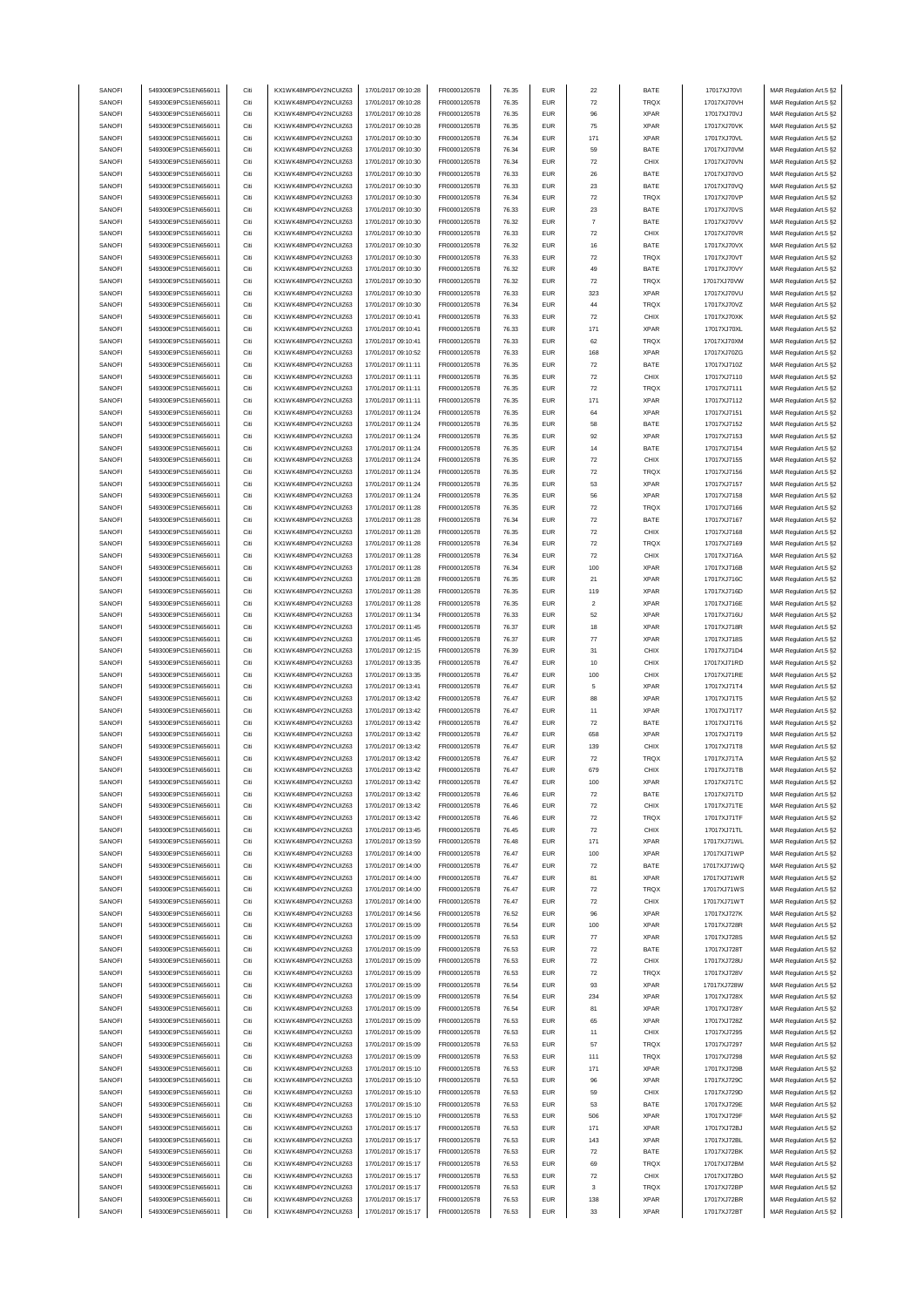| SANOFI<br>SANOFI |                                              | Citi | KX1WK48MPD4Y2NCUIZ63  | 17/01/2017 09:10:28 | FR0000120578                 | 76.35 | <b>EUR</b> | $22\,$                   | BATE        | 17017XJ70VI                | MAR Regulation Art.5 §2 |
|------------------|----------------------------------------------|------|-----------------------|---------------------|------------------------------|-------|------------|--------------------------|-------------|----------------------------|-------------------------|
|                  | 549300E9PC51EN656011<br>549300E9PC51EN656011 | Citi | KX1WK48MPD4Y2NCUIZ63  | 17/01/2017 09:10:28 |                              | 76.35 | <b>EUR</b> | 72                       | TRQX        |                            |                         |
|                  |                                              |      |                       |                     | FR0000120578                 |       |            |                          |             | 17017XJ70VH                | MAR Regulation Art.5 §2 |
| SANOFI           | 549300E9PC51EN656011                         | Citi | KX1WK48MPD4Y2NCUIZ63  | 17/01/2017 09:10:28 | FR0000120578                 | 76.35 | <b>EUR</b> | 96                       | <b>XPAR</b> | 17017XJ70VJ                | MAR Regulation Art.5 §2 |
| SANOFI           | 549300E9PC51EN656011                         | Citi | KX1WK48MPD4Y2NCUIZ63  | 17/01/2017 09:10:28 | FR0000120578                 | 76.35 | EUR        | 75                       | <b>XPAR</b> | 17017XJ70VK                | MAR Regulation Art.5 §2 |
| SANOFI           | 549300E9PC51EN656011                         | Citi | KX1WK48MPD4Y2NCLIIZ63 | 17/01/2017 09:10:30 | FR0000120578                 | 76.34 | <b>EUR</b> | 171                      | <b>XPAR</b> | 17017XJ70VL                | MAR Regulation Art.5 §2 |
| SANOFI           | 549300E9PC51EN656011                         | Citi | KX1WK48MPD4Y2NCUIZ63  | 17/01/2017 09:10:30 | FR0000120578                 | 76.34 | <b>EUR</b> | 59                       | BATE        | 17017XJ70VM                | MAR Regulation Art.5 §2 |
| SANOFI           | 549300E9PC51EN656011                         | Citi | KX1WK48MPD4Y2NCUIZ63  | 17/01/2017 09:10:30 | FR0000120578                 | 76.34 | <b>EUR</b> | $\scriptstyle{72}$       | CHIX        | 17017XJ70VN                | MAR Regulation Art.5 §2 |
|                  |                                              |      |                       |                     |                              |       |            |                          |             |                            |                         |
| SANOFI           | 549300E9PC51EN656011                         | Citi | KX1WK48MPD4Y2NCUIZ63  | 17/01/2017 09:10:30 | FR0000120578                 | 76.33 | <b>EUR</b> | 26                       | BATE        | 17017XJ70VO                | MAR Regulation Art.5 §2 |
| SANOFI           | 549300E9PC51EN656011                         | Citi | KX1WK48MPD4Y2NCUIZ63  | 17/01/2017 09:10:30 | FR0000120578                 | 76.33 | <b>EUR</b> | 23                       | BATE        | 17017XJ70VQ                | MAR Regulation Art.5 §2 |
| SANOFI           | 549300E9PC51EN656011                         | Citi | KX1WK48MPD4Y2NCUIZ63  | 17/01/2017 09:10:30 | FR0000120578                 | 76.34 | <b>EUR</b> | 72                       | TRQX        | 17017XJ70VP                | MAR Regulation Art.5 §2 |
| SANOFI           | 549300E9PC51EN656011                         | Citi | KX1WK48MPD4Y2NCUIZ63  | 17/01/2017 09:10:30 | FR0000120578                 | 76.33 | <b>EUR</b> | 23                       | BATE        | 17017XJ70VS                | MAR Regulation Art.5 §2 |
| SANOFI           | 549300E9PC51EN656011                         | Citi | KX1WK48MPD4Y2NCUIZ63  | 17/01/2017 09:10:30 | FR0000120578                 | 76.32 | <b>EUR</b> | $\overline{\mathcal{I}}$ | BATE        | 17017XJ70VV                | MAR Regulation Art.5 §2 |
|                  |                                              |      |                       |                     |                              |       |            |                          |             |                            |                         |
| SANOFI           | 549300E9PC51EN656011                         | Citi | KX1WK48MPD4Y2NCUIZ63  | 17/01/2017 09:10:30 | FR0000120578                 | 76.33 | EUR        | 72                       | CHIX        | 17017XJ70VR                | MAR Regulation Art.5 §2 |
| SANOFI           | 549300E9PC51EN656011                         | Citi | KX1WK48MPD4Y2NCUIZ63  | 17/01/2017 09:10:30 | FR0000120578                 | 76.32 | <b>EUR</b> | 16                       | BATE        | 17017XJ70VX                | MAR Regulation Art.5 §2 |
| SANOFI           | 549300E9PC51EN656011                         | Citi | KX1WK48MPD4Y2NCUIZ63  | 17/01/2017 09:10:30 | FR0000120578                 | 76.33 | <b>EUR</b> | 72                       | TRQX        | 17017XJ70VT                | MAR Regulation Art.5 §2 |
| SANOFI           | 549300E9PC51EN656011                         | Citi | KX1WK48MPD4Y2NCUIZ63  | 17/01/2017 09:10:30 | FR0000120578                 | 76.32 | <b>EUR</b> | 49                       | BATE        | 17017XJ70VY                | MAR Regulation Art.5 §2 |
| SANOFI           | 549300E9PC51EN656011                         | Citi | KX1WK48MPD4Y2NCUIZ63  | 17/01/2017 09:10:30 | FR0000120578                 | 76.32 | <b>EUR</b> | 72                       | TRQX        | 17017XJ70VW                | MAR Regulation Art.5 §2 |
|                  | 549300E9PC51EN656011                         | Citi | KX1WK48MPD4Y2NCUIZ63  | 17/01/2017 09:10:30 |                              | 76.33 | <b>EUR</b> | 323                      | <b>XPAR</b> |                            |                         |
| SANOFI           |                                              |      |                       |                     | FR0000120578                 |       |            |                          |             | 17017XJ70VU                | MAR Regulation Art.5 §2 |
| SANOFI           | 549300E9PC51EN656011                         | Citi | KX1WK48MPD4Y2NCUIZ63  | 17/01/2017 09:10:30 | FR0000120578                 | 76.34 | <b>EUR</b> | 44                       | TRQX        | 17017XJ70VZ                | MAR Regulation Art.5 §2 |
| SANOFI           | 549300E9PC51EN656011                         | Citi | KX1WK48MPD4Y2NCUIZ63  | 17/01/2017 09:10:41 | FR0000120578                 | 76.33 | <b>EUR</b> | 72                       | CHIX        | 17017XJ70XK                | MAR Regulation Art.5 §2 |
| SANOFI           | 549300E9PC51EN656011                         | Citi | KX1WK48MPD4Y2NCUIZ63  | 17/01/2017 09:10:41 | FR0000120578                 | 76.33 | <b>EUR</b> | 171                      | <b>XPAR</b> | 17017XJ70XL                | MAR Regulation Art.5 §2 |
| SANOFI           | 549300E9PC51EN656011                         | Citi | KX1WK48MPD4Y2NCUIZ63  | 17/01/2017 09:10:41 | FR0000120578                 | 76.33 | <b>EUR</b> | 62                       | TRQX        | 17017XJ70XM                | MAR Regulation Art.5 §2 |
| SANOFI           | 549300E9PC51EN656011                         | Citi | KX1WK48MPD4Y2NCUIZ63  | 17/01/2017 09:10:52 | FR0000120578                 | 76.33 | <b>EUR</b> | 168                      | <b>XPAR</b> | 17017XJ70ZG                |                         |
|                  |                                              |      |                       |                     |                              |       |            |                          |             |                            | MAR Regulation Art.5 §2 |
| SANOFI           | 549300E9PC51EN656011                         | Citi | KX1WK48MPD4Y2NCUIZ63  | 17/01/2017 09:11:11 | FR0000120578                 | 76.35 | <b>EUR</b> | 72                       | BATE        | 17017XJ710Z                | MAR Regulation Art.5 §2 |
| SANOFI           | 549300E9PC51EN656011                         | Citi | KX1WK48MPD4Y2NCUIZ63  | 17/01/2017 09:11:11 | FR0000120578                 | 76.35 | <b>EUR</b> | 72                       | CHIX        | 17017XJ7110                | MAR Regulation Art.5 §2 |
| SANOFI           | 549300E9PC51EN656011                         | Citi | KX1WK48MPD4Y2NCUIZ63  | 17/01/2017 09:11:11 | FR0000120578                 | 76.35 | <b>EUR</b> | 72                       | TRQX        | 17017XJ7111                | MAR Regulation Art.5 §2 |
| SANOFI           | 549300E9PC51EN656011                         | Citi | KX1WK48MPD4Y2NCUIZ63  | 17/01/2017 09:11:11 | FR0000120578                 | 76.35 | <b>EUR</b> | 171                      | <b>XPAR</b> | 17017XJ7112                | MAR Regulation Art.5 §2 |
|                  | 549300E9PC51EN656011                         | Citi | KX1WK48MPD4Y2NCUIZ63  | 17/01/2017 09:11:24 |                              | 76.35 | <b>EUR</b> |                          | <b>XPAR</b> |                            |                         |
| SANOFI           |                                              |      |                       |                     | FR0000120578                 |       |            | 64                       |             | 17017XJ7151                | MAR Regulation Art.5 §2 |
| SANOFI           | 549300E9PC51EN656011                         | Citi | KX1WK48MPD4Y2NCUIZ63  | 17/01/2017 09:11:24 | FR0000120578                 | 76.35 | <b>EUR</b> | 58                       | BATE        | 17017XJ7152                | MAR Regulation Art.5 §2 |
| SANOFI           | 549300E9PC51EN656011                         | Citi | KX1WK48MPD4Y2NCUIZ63  | 17/01/2017 09:11:24 | FR0000120578                 | 76.35 | <b>EUR</b> | 92                       | <b>XPAR</b> | 17017XJ7153                | MAR Regulation Art.5 §2 |
| SANOFI           | 549300E9PC51EN656011                         | Citi | KX1WK48MPD4Y2NCUIZ63  | 17/01/2017 09:11:24 | FR0000120578                 | 76.35 | <b>EUR</b> | 14                       | BATE        | 17017XJ7154                | MAR Regulation Art.5 §2 |
| SANOFI           | 549300E9PC51EN656011                         | Citi | KX1WK48MPD4Y2NCUIZ63  | 17/01/2017 09:11:24 | FR0000120578                 | 76.35 | <b>EUR</b> | 72                       | CHIX        | 17017XJ7155                | MAR Regulation Art.5 §2 |
| SANOFI           | 549300E9PC51EN656011                         | Citi | KX1WK48MPD4Y2NCUIZ63  | 17/01/2017 09:11:24 | FR0000120578                 | 76.35 | <b>EUR</b> | 72                       | TRQX        | 17017XJ7156                | MAR Regulation Art.5 §2 |
|                  |                                              |      |                       |                     |                              |       |            |                          |             |                            |                         |
| SANOFI           | 549300E9PC51EN656011                         | Citi | KX1WK48MPD4Y2NCUIZ63  | 17/01/2017 09:11:24 | FR0000120578                 | 76.35 | <b>EUR</b> | 53                       | <b>XPAR</b> | 17017XJ7157                | MAR Regulation Art.5 §2 |
| SANOFI           | 549300E9PC51EN656011                         | Citi | KX1WK48MPD4Y2NCUIZ63  | 17/01/2017 09:11:24 | FR0000120578                 | 76.35 | <b>EUR</b> | 56                       | <b>XPAR</b> | 17017XJ7158                | MAR Regulation Art.5 §2 |
| SANOFI           | 549300E9PC51EN656011                         | Citi | KX1WK48MPD4Y2NCUIZ63  | 17/01/2017 09:11:28 | FR0000120578                 | 76.35 | <b>EUR</b> | 72                       | TRQX        | 17017XJ7166                | MAR Regulation Art.5 §2 |
| SANOFI           | 549300E9PC51EN656011                         | Citi | KX1WK48MPD4Y2NCUIZ63  | 17/01/2017 09:11:28 | FR0000120578                 | 76.34 | <b>EUR</b> | 72                       | BATE        | 17017XJ7167                | MAR Regulation Art.5 §2 |
| SANOFI           | 549300E9PC51EN656011                         | Citi | KX1WK48MPD4Y2NCUIZ63  | 17/01/2017 09:11:28 | FR0000120578                 | 76.35 | <b>EUR</b> | 72                       | CHIX        | 17017XJ7168                | MAR Regulation Art.5 §2 |
|                  |                                              |      |                       |                     |                              |       |            |                          |             |                            |                         |
| SANOFI           | 549300E9PC51EN656011                         | Citi | KX1WK48MPD4Y2NCUIZ63  | 17/01/2017 09:11:28 | FR0000120578                 | 76.34 | <b>EUR</b> | $\scriptstyle{72}$       | TRQX        | 17017XJ7169                | MAR Regulation Art.5 §2 |
| SANOFI           | 549300E9PC51EN656011                         | Citi | KX1WK48MPD4Y2NCUIZ63  | 17/01/2017 09:11:28 | FR0000120578                 | 76.34 | <b>EUR</b> | $\scriptstyle{72}$       | CHIX        | 17017XJ716A                | MAR Regulation Art.5 §2 |
| SANOFI           | 549300E9PC51EN656011                         | Citi | KX1WK48MPD4Y2NCUIZ63  | 17/01/2017 09:11:28 | FR0000120578                 | 76.34 | <b>EUR</b> | 100                      | <b>XPAR</b> | 17017XJ716B                | MAR Regulation Art.5 §2 |
| SANOFI           | 549300E9PC51EN656011                         | Citi | KX1WK48MPD4Y2NCUIZ63  | 17/01/2017 09:11:28 | FR0000120578                 | 76.35 | <b>EUR</b> | 21                       | <b>XPAR</b> | 17017XJ716C                | MAR Regulation Art.5 §2 |
| SANOFI           | 549300E9PC51EN656011                         | Citi | KX1WK48MPD4Y2NCUIZ63  | 17/01/2017 09:11:28 | FR0000120578                 | 76.35 | <b>EUR</b> | 119                      | <b>XPAR</b> | 17017XJ716D                | MAR Regulation Art.5 §2 |
| SANOFI           | 549300E9PC51EN656011                         | Citi | KX1WK48MPD4Y2NCUIZ63  | 17/01/2017 09:11:28 | FR0000120578                 | 76.35 | <b>EUR</b> | $\sqrt{2}$               | <b>XPAR</b> | 17017XJ716E                |                         |
|                  |                                              |      |                       |                     |                              |       |            |                          |             |                            | MAR Regulation Art.5 §2 |
| SANOFI           | 549300E9PC51EN656011                         | Citi | KX1WK48MPD4Y2NCUIZ63  | 17/01/2017 09:11:34 | FR0000120578                 | 76.33 | <b>EUR</b> | 52                       | <b>XPAR</b> | 17017XJ716U                | MAR Regulation Art.5 §2 |
| SANOFI           | 549300E9PC51EN656011                         | Citi | KX1WK48MPD4Y2NCUIZ63  | 17/01/2017 09:11:45 | FR0000120578                 | 76.37 | <b>EUR</b> | 18                       | <b>XPAR</b> | 17017XJ718R                | MAR Regulation Art.5 §2 |
| SANOFI           | 549300E9PC51EN656011                         | Citi | KX1WK48MPD4Y2NCUIZ63  | 17/01/2017 09:11:45 | FR0000120578                 | 76.37 | <b>EUR</b> | ${\bf 77}$               | <b>XPAR</b> | 17017XJ718S                | MAR Regulation Art.5 §2 |
| SANOFI           | 549300E9PC51EN656011                         | Citi | KX1WK48MPD4Y2NCUIZ63  | 17/01/2017 09:12:15 | FR0000120578                 | 76.39 | <b>EUR</b> | 31                       | CHIX        | 17017XJ71D4                | MAR Regulation Art.5 §2 |
| SANOFI           | 549300E9PC51EN656011                         | Citi | KX1WK48MPD4Y2NCUIZ63  | 17/01/2017 09:13:35 | FR0000120578                 | 76.47 | <b>EUR</b> | 10                       | CHIX        | 17017XJ71RD                | MAR Regulation Art.5 §2 |
|                  |                                              |      |                       |                     |                              |       |            |                          |             |                            |                         |
| SANOFI           | 549300E9PC51EN656011                         | Citi | KX1WK48MPD4Y2NCUIZ63  | 17/01/2017 09:13:35 | FR0000120578                 | 76.47 | <b>EUR</b> | 100                      | CHIX        | 17017XJ71RE                | MAR Regulation Art.5 §2 |
| SANOFI           | 549300E9PC51EN656011                         | Citi | KX1WK48MPD4Y2NCUIZ63  | 17/01/2017 09:13:41 | FR0000120578                 | 76.47 | <b>EUR</b> | 5                        | <b>XPAR</b> | 17017XJ71T4                | MAR Regulation Art.5 §2 |
| SANOFI           | 549300E9PC51EN656011                         | Citi | KX1WK48MPD4Y2NCUIZ63  | 17/01/2017 09:13:42 | FR0000120578                 | 76.47 | <b>EUR</b> | 88                       | <b>XPAR</b> | 17017XJ71T5                | MAR Regulation Art.5 §2 |
| SANOFI           | 549300E9PC51EN656011                         | Citi | KX1WK48MPD4Y2NCLIIZ63 | 17/01/2017 09:13:42 | FR0000120578                 | 76.47 | <b>EUR</b> | 11                       | <b>XPAR</b> | 17017XJ71T7                | MAR Regulation Art.5 §2 |
| SANOFI           | 549300E9PC51EN656011                         | Citi | KX1WK48MPD4Y2NCUIZ63  | 17/01/2017 09:13:42 | FR0000120578                 | 76.47 | <b>EUR</b> | $\scriptstyle{72}$       | BATE        | 17017XJ71T6                | MAR Regulation Art.5 §2 |
|                  |                                              |      |                       |                     |                              | 76.47 |            |                          |             |                            |                         |
| SANOFI           | 549300E9PC51EN656011                         | Citi | KX1WK48MPD4Y2NCUIZ63  | 17/01/2017 09:13:42 | FR0000120578                 |       | <b>EUR</b> |                          |             |                            |                         |
|                  |                                              |      |                       |                     |                              |       |            | 658                      | <b>XPAR</b> | 17017XJ71T9                | MAR Regulation Art.5 §2 |
| SANOFI           | 549300E9PC51EN656011                         | Citi | KX1WK48MPD4Y2NCUIZ63  | 17/01/2017 09:13:42 | FR0000120578                 | 76.47 | <b>EUR</b> | 139                      | CHIX        | 17017XJ71T8                | MAR Regulation Art.5 §2 |
| SANOFI           | 549300E9PC51EN656011                         | Citi | KX1WK48MPD4Y2NCUIZ63  | 17/01/2017 09:13:42 | FR0000120578                 | 76.47 | <b>EUR</b> | $\scriptstyle{72}$       | TRQX        | 17017XJ71TA                | MAR Regulation Art.5 §2 |
|                  |                                              | Citi |                       |                     |                              |       | <b>EUR</b> | 679                      |             |                            | MAR Regulation Art.5 §2 |
| SANOFI           | 549300E9PC51EN656011                         |      | KX1WK48MPD4Y2NCUIZ63  | 17/01/2017 09:13:42 | FR0000120578<br>ER0000120578 | 76.47 |            |                          | CHIX        | 17017XJ71TB<br>17017X171TC | MAR Regulation Art 5.82 |
| SANOFI           | 549300E9PC51EN656011                         |      | KX1WK48MPD4Y2NCLIIZ63 | 17/01/2017 09:13:42 |                              | 76.47 | FUR        | 100                      | <b>XPAR</b> |                            |                         |
| SANOFI           | 549300E9PC51EN656011                         | Citi | KX1WK48MPD4Y2NCUIZ63  | 17/01/2017 09:13:42 | FR0000120578                 | 76.46 | <b>EUR</b> | 72                       | BATE        | 17017XJ71TD                | MAR Regulation Art.5 §2 |
| SANOFI           | 549300E9PC51EN656011                         | Citi | KX1WK48MPD4Y2NCUIZ63  | 17/01/2017 09:13:42 | FR0000120578                 | 76.46 | <b>EUR</b> | $\scriptstyle{72}$       | CHIX        | 17017XJ71TE                | MAR Regulation Art.5 §2 |
| SANOFI           | 549300E9PC51EN656011                         | Citi | KX1WK48MPD4Y2NCUIZ63  | 17/01/2017 09:13:42 | FR0000120578                 | 76.46 | <b>EUR</b> | 72                       | TRQX        | 17017XJ71TF                | MAR Regulation Art.5 §2 |
| SANOFI           | 549300E9PC51EN656011                         | Citi | KX1WK48MPD4Y2NCUIZ63  | 17/01/2017 09:13:45 | FR0000120578                 | 76.45 | <b>EUR</b> | 72                       | CHIX        | 17017XJ71TL                |                         |
|                  |                                              |      |                       |                     |                              |       |            |                          |             |                            | MAR Regulation Art.5 §2 |
| SANOFI           | 549300E9PC51EN656011                         | Citi | KX1WK48MPD4Y2NCUIZ63  | 17/01/2017 09:13:59 | FR0000120578                 | 76.48 | <b>EUR</b> | 171                      | <b>XPAR</b> | 17017XJ71WL                | MAR Regulation Art.5 §2 |
| SANOFI           | 549300E9PC51EN656011                         | Citi | KX1WK48MPD4Y2NCUIZ63  | 17/01/2017 09:14:00 | FR0000120578                 | 76.47 | <b>EUR</b> | 100                      | <b>XPAR</b> | 17017XJ71WP                | MAR Regulation Art.5 §2 |
| SANOFI           | 549300E9PC51EN656011                         | Citi | KX1WK48MPD4Y2NCUIZ63  | 17/01/2017 09:14:00 | FR0000120578                 | 76.47 | <b>EUR</b> | $\scriptstyle{72}$       | BATE        | 17017XJ71WQ                | MAR Regulation Art.5 §2 |
| SANOFI           | 549300E9PC51EN656011                         | Citi | KX1WK48MPD4Y2NCUIZ63  | 17/01/2017 09:14:00 | FR0000120578                 | 76.47 | <b>EUR</b> | 81                       | <b>XPAR</b> | 17017XJ71WR                | MAR Regulation Art.5 §2 |
| SANOFI           | 549300E9PC51EN656011                         | Citi | KX1WK48MPD4Y2NCUIZ63  | 17/01/2017 09:14:00 | FR0000120578                 | 76.47 | EUR        | 72                       | TRQX        | 17017XJ71WS                | MAR Regulation Art.5 §2 |
| SANOFI           | 549300E9PC51EN656011                         | Citi | KX1WK48MPD4Y2NCUIZ63  | 17/01/2017 09:14:00 | FR0000120578                 | 76.47 | <b>EUR</b> | 72                       | CHIX        | 17017XJ71WT                | MAR Regulation Art.5 §2 |
|                  |                                              |      |                       |                     |                              | 76.52 |            |                          |             | 17017XJ727K                |                         |
| SANOFI           | 549300E9PC51EN656011                         | Citi | KX1WK48MPD4Y2NCUIZ63  | 17/01/2017 09:14:56 | FR0000120578                 |       | <b>EUR</b> | 96                       | <b>XPAR</b> |                            | MAR Regulation Art.5 §2 |
| SANOFI           | 549300E9PC51EN656011                         | Citi | KX1WK48MPD4Y2NCUIZ63  | 17/01/2017 09:15:09 | FR0000120578                 | 76.54 | <b>EUR</b> | 100                      | <b>XPAR</b> | 17017XJ728R                | MAR Regulation Art.5 §2 |
| SANOFI           | 549300E9PC51EN656011                         | Citi | KX1WK48MPD4Y2NCUIZ63  | 17/01/2017 09:15:09 | FR0000120578                 | 76.53 | <b>EUR</b> | $77\,$                   | <b>XPAR</b> | 17017XJ728S                | MAR Regulation Art.5 §2 |
| SANOFI           | 549300E9PC51EN656011                         | Citi | KX1WK48MPD4Y2NCUIZ63  | 17/01/2017 09:15:09 | FR0000120578                 | 76.53 | <b>EUR</b> | 72                       | BATE        | 17017XJ728T                | MAR Regulation Art.5 §2 |
| SANOFI           | 549300E9PC51EN656011                         | Citi | KX1WK48MPD4Y2NCUIZ63  | 17/01/2017 09:15:09 | FR0000120578                 | 76.53 | <b>EUR</b> | 72                       | CHIX        | 17017XJ728U                | MAR Regulation Art.5 §2 |
|                  |                                              |      |                       |                     |                              |       |            |                          |             |                            |                         |
| SANOFI           | 549300E9PC51EN656011                         | Citi | KX1WK48MPD4Y2NCUIZ63  | 17/01/2017 09:15:09 | FR0000120578                 | 76.53 | <b>EUR</b> | 72                       | TRQX        | 17017XJ728V                | MAR Regulation Art.5 §2 |
| SANOFI           | 549300E9PC51EN656011                         | Citi | KX1WK48MPD4Y2NCUIZ63  | 17/01/2017 09:15:09 | FR0000120578                 | 76.54 | <b>EUR</b> | 93                       | <b>XPAR</b> | 17017XJ728W                | MAR Regulation Art.5 §2 |
| SANOFI           | 549300E9PC51EN656011                         | Citi | KX1WK48MPD4Y2NCUIZ63  | 17/01/2017 09:15:09 | FR0000120578                 | 76.54 | <b>EUR</b> | 234                      | <b>XPAR</b> | 17017XJ728X                | MAR Regulation Art.5 §2 |
| SANOFI           | 549300E9PC51EN656011                         | Citi | KX1WK48MPD4Y2NCUIZ63  | 17/01/2017 09:15:09 | FR0000120578                 | 76.54 | <b>EUR</b> | 81                       | <b>XPAR</b> | 17017XJ728Y                | MAR Regulation Art.5 §2 |
| SANOFI           | 549300E9PC51EN656011                         | Citi | KX1WK48MPD4Y2NCUIZ63  | 17/01/2017 09:15:09 | FR0000120578                 | 76.53 | <b>EUR</b> | 65                       | <b>XPAR</b> | 17017XJ728Z                | MAR Regulation Art.5 §2 |
|                  |                                              |      |                       |                     |                              |       |            |                          |             |                            |                         |
| SANOFI           | 549300E9PC51EN656011                         | Citi | KX1WK48MPD4Y2NCUIZ63  | 17/01/2017 09:15:09 | FR0000120578                 | 76.53 | <b>EUR</b> | 11                       | CHIX        | 17017XJ7295                | MAR Regulation Art.5 §2 |
| SANOFI           | 549300E9PC51EN656011                         | Citi | KX1WK48MPD4Y2NCUIZ63  | 17/01/2017 09:15:09 | FR0000120578                 | 76.53 | <b>EUR</b> | 57                       | TRQX        | 17017XJ7297                | MAR Regulation Art.5 §2 |
| SANOFI           | 549300E9PC51EN656011                         | Citi | KX1WK48MPD4Y2NCUIZ63  | 17/01/2017 09:15:09 | FR0000120578                 | 76.53 | <b>EUR</b> | 111                      | TRQX        | 17017XJ7298                | MAR Regulation Art.5 §2 |
| SANOFI           | 549300E9PC51EN656011                         | Citi | KX1WK48MPD4Y2NCUIZ63  | 17/01/2017 09:15:10 | FR0000120578                 | 76.53 | <b>EUR</b> | 171                      | <b>XPAR</b> | 17017XJ729B                | MAR Regulation Art.5 §2 |
| SANOFI           | 549300E9PC51EN656011                         | Citi | KX1WK48MPD4Y2NCUIZ63  | 17/01/2017 09:15:10 | FR0000120578                 | 76.53 | <b>EUR</b> | 96                       | <b>XPAR</b> | 17017XJ729C                | MAR Regulation Art.5 §2 |
| SANOFI           |                                              | Citi |                       |                     |                              | 76.53 | <b>EUR</b> | 59                       |             |                            |                         |
|                  | 549300E9PC51EN656011                         |      | KX1WK48MPD4Y2NCUIZ63  | 17/01/2017 09:15:10 | FR0000120578                 |       |            |                          | CHIX        | 17017XJ729D                | MAR Regulation Art.5 §2 |
| SANOFI           | 549300E9PC51EN656011                         | Citi | KX1WK48MPD4Y2NCUIZ63  | 17/01/2017 09:15:10 | FR0000120578                 | 76.53 | <b>EUR</b> | 53                       | BATE        | 17017XJ729E                | MAR Regulation Art.5 §2 |
| SANOFI           | 549300E9PC51EN656011                         | Citi | KX1WK48MPD4Y2NCUIZ63  | 17/01/2017 09:15:10 | FR0000120578                 | 76.53 | <b>EUR</b> | 506                      | <b>XPAR</b> | 17017XJ729F                | MAR Regulation Art.5 §2 |
| SANOFI           | 549300E9PC51EN656011                         | Citi | KX1WK48MPD4Y2NCUIZ63  | 17/01/2017 09:15:17 | FR0000120578                 | 76.53 | <b>EUR</b> | 171                      | <b>XPAR</b> | 17017XJ72BJ                | MAR Regulation Art.5 §2 |
| SANOFI           | 549300E9PC51EN656011                         | Citi | KX1WK48MPD4Y2NCUIZ63  | 17/01/2017 09:15:17 | FR0000120578                 | 76.53 | <b>EUR</b> | 143                      | <b>XPAR</b> | 17017XJ72BL                | MAR Regulation Art.5 §2 |
| SANOFI           | 549300E9PC51EN656011                         | Citi | KX1WK48MPD4Y2NCUIZ63  | 17/01/2017 09:15:17 | FR0000120578                 | 76.53 | <b>EUR</b> | $\scriptstyle{72}$       | BATE        | 17017XJ72BK                | MAR Regulation Art.5 §2 |
| SANOFI           | 549300E9PC51EN656011                         | Citi | KX1WK48MPD4Y2NCUIZ63  | 17/01/2017 09:15:17 | FR0000120578                 | 76.53 | <b>EUR</b> | 69                       | TRQX        | 17017XJ72BM                |                         |
|                  |                                              |      |                       |                     |                              |       |            |                          |             |                            | MAR Regulation Art.5 §2 |
| SANOFI           | 549300E9PC51EN656011                         | Citi | KX1WK48MPD4Y2NCUIZ63  | 17/01/2017 09:15:17 | FR0000120578                 | 76.53 | <b>EUR</b> | 72                       | CHIX        | 17017XJ72BO                | MAR Regulation Art.5 §2 |
| SANOFI           | 549300E9PC51EN656011                         | Citi | KX1WK48MPD4Y2NCUIZ63  | 17/01/2017 09:15:17 | FR0000120578                 | 76.53 | <b>EUR</b> | 3                        | TRQX        | 17017XJ72BP                | MAR Regulation Art.5 §2 |
| SANOFI           | 549300E9PC51EN656011                         | Citi | KX1WK48MPD4Y2NCUIZ63  | 17/01/2017 09:15:17 | FR0000120578                 | 76.53 | <b>EUR</b> | 138                      | <b>XPAR</b> | 17017XJ72BR                | MAR Regulation Art.5 §2 |
| SANOFI           | 549300E9PC51EN656011                         | Citi | KX1WK48MPD4Y2NCUIZ63  | 17/01/2017 09:15:17 | FR0000120578                 | 76.53 | <b>EUR</b> | 33                       | XPAR        | 17017XJ72BT                | MAR Regulation Art.5 §2 |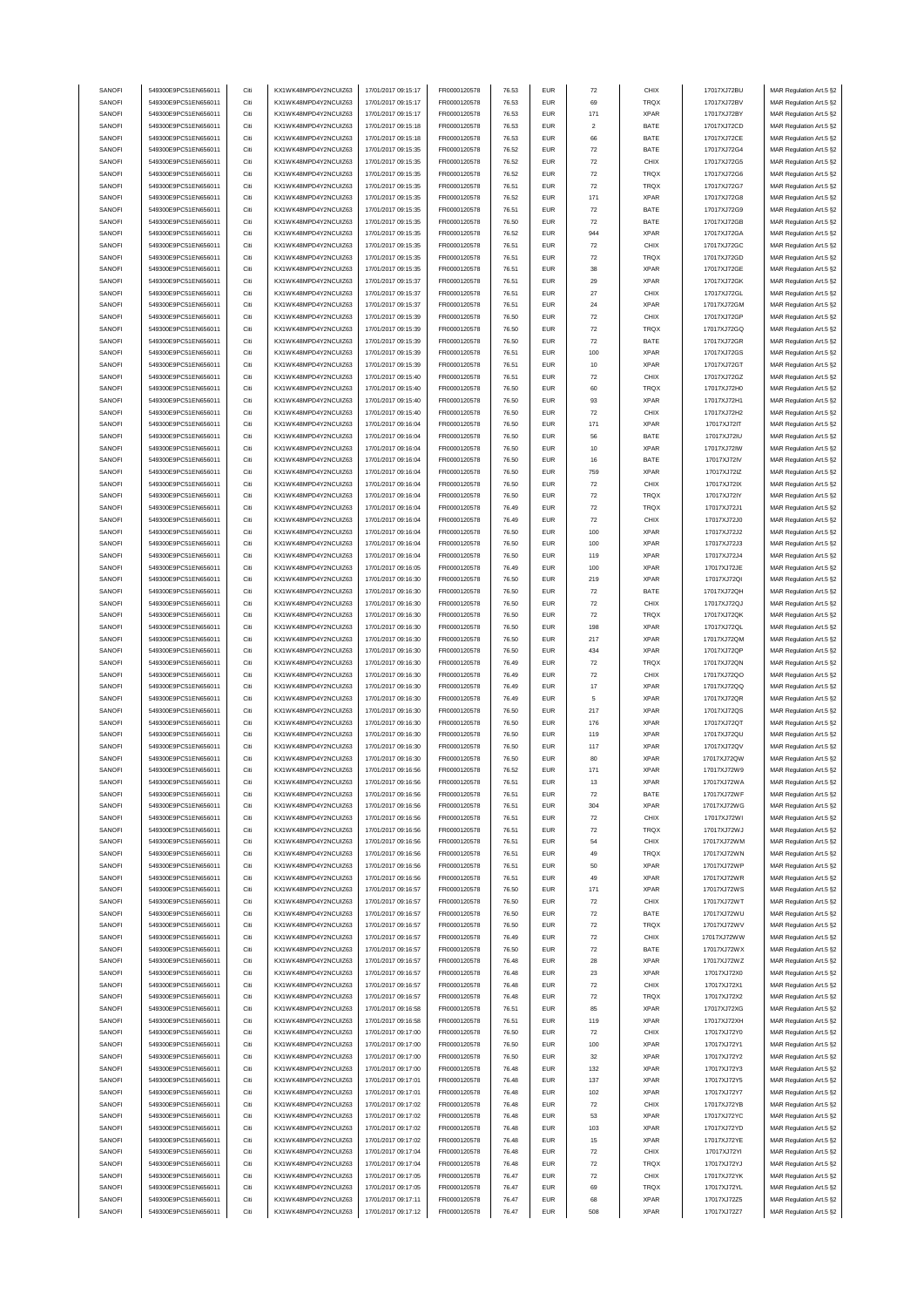| SANOFI           | 549300E9PC51EN656011                         | Citi         |                                              | 17/01/2017 09:15:17                        | FR0000120578                 |                | <b>EUR</b>               |                    | CHIX                       | 17017XJ72BU                |                                                    |
|------------------|----------------------------------------------|--------------|----------------------------------------------|--------------------------------------------|------------------------------|----------------|--------------------------|--------------------|----------------------------|----------------------------|----------------------------------------------------|
|                  | 549300E9PC51EN656011                         | Citi         | KX1WK48MPD4Y2NCUIZ63<br>KX1WK48MPD4Y2NCUIZ63 | 17/01/2017 09:15:17                        |                              | 76.53<br>76.53 | <b>EUR</b>               | 72<br>69           | TRQX                       | 17017XJ72BV                | MAR Regulation Art.5 §2                            |
| SANOFI           |                                              |              |                                              |                                            | FR0000120578                 |                |                          |                    |                            |                            | MAR Regulation Art.5 §2                            |
| SANOFI           | 549300E9PC51EN656011                         | Citi         | KX1WK48MPD4Y2NCUIZ63                         | 17/01/2017 09:15:17                        | FR0000120578                 | 76.53          | <b>EUR</b>               | 171                | <b>XPAR</b>                | 17017XJ72BY                | MAR Regulation Art.5 §2                            |
| SANOFI           | 549300E9PC51EN656011                         | Citi         | KX1WK48MPD4Y2NCUIZ63                         | 17/01/2017 09:15:18                        | FR0000120578                 | 76.53          | EUR                      | $\sqrt{2}$         | BATE                       | 17017XJ72CD                | MAR Regulation Art.5 §2                            |
| SANOFI           | 549300E9PC51EN656011                         | Citi         | KX1WK48MPD4Y2NCLIIZ63                        | 17/01/2017 09:15:18                        | FR0000120578                 | 76.53          | <b>EUR</b>               | 66                 | BATE                       | 17017XJ72CE                | MAR Regulation Art.5 §2                            |
| SANOFI           | 549300E9PC51EN656011                         | Citi         | KX1WK48MPD4Y2NCUIZ63                         | 17/01/2017 09:15:35                        | FR0000120578                 | 76.52          | <b>EUR</b>               | 72                 | BATE                       | 17017XJ72G4                | MAR Regulation Art.5 §2                            |
| SANOFI           | 549300E9PC51EN656011                         | Citi         | KX1WK48MPD4Y2NCUIZ63                         | 17/01/2017 09:15:35                        | FR0000120578                 | 76.52          | <b>EUR</b>               | 72                 | CHIX                       | 17017XJ72G5                | MAR Regulation Art.5 §2                            |
|                  |                                              |              |                                              |                                            |                              |                |                          |                    |                            |                            |                                                    |
| SANOFI           | 549300E9PC51EN656011                         | Citi         | KX1WK48MPD4Y2NCUIZ63                         | 17/01/2017 09:15:35                        | FR0000120578                 | 76.52          | <b>EUR</b>               | 72                 | TRQX                       | 17017XJ72G6                | MAR Regulation Art.5 §2                            |
| SANOFI           | 549300E9PC51EN656011                         | Citi         | KX1WK48MPD4Y2NCUIZ63                         | 17/01/2017 09:15:35                        | FR0000120578                 | 76.51          | <b>EUR</b>               | 72                 | TRQX                       | 17017XJ72G7                | MAR Regulation Art.5 §2                            |
| SANOFI           | 549300E9PC51EN656011                         | Citi         | KX1WK48MPD4Y2NCUIZ63                         | 17/01/2017 09:15:35                        | FR0000120578                 | 76.52          | <b>EUR</b>               | 171                | <b>XPAR</b>                | 17017XJ72G8                | MAR Regulation Art.5 §2                            |
| SANOFI           | 549300E9PC51EN656011                         | Citi         | KX1WK48MPD4Y2NCUIZ63                         | 17/01/2017 09:15:35                        | FR0000120578                 | 76.51          | <b>EUR</b>               | 72                 | BATE                       | 17017XJ72G9                | MAR Regulation Art.5 §2                            |
| SANOFI           | 549300E9PC51EN656011                         | Citi         | KX1WK48MPD4Y2NCUIZ63                         | 17/01/2017 09:15:35                        | FR0000120578                 | 76.50          | <b>EUR</b>               | 72                 | BATE                       | 17017XJ72GB                | MAR Regulation Art.5 §2                            |
|                  |                                              |              |                                              |                                            |                              |                |                          |                    |                            |                            |                                                    |
| SANOFI           | 549300E9PC51EN656011                         | Citi         | KX1WK48MPD4Y2NCUIZ63                         | 17/01/2017 09:15:35                        | FR0000120578                 | 76.52          | EUR                      | 944                | <b>XPAR</b>                | 17017XJ72GA                | MAR Regulation Art.5 §2                            |
| SANOFI           | 549300E9PC51EN656011                         | Citi         | KX1WK48MPD4Y2NCUIZ63                         | 17/01/2017 09:15:35                        | FR0000120578                 | 76.51          | <b>EUR</b>               | $\scriptstyle{72}$ | CHIX                       | 17017XJ72GC                | MAR Regulation Art.5 §2                            |
| SANOFI           | 549300E9PC51EN656011                         | Citi         | KX1WK48MPD4Y2NCUIZ63                         | 17/01/2017 09:15:35                        | FR0000120578                 | 76.51          | <b>EUR</b>               | $\scriptstyle{72}$ | TRQX                       | 17017XJ72GD                | MAR Regulation Art.5 §2                            |
| SANOFI           | 549300E9PC51EN656011                         | Citi         | KX1WK48MPD4Y2NCUIZ63                         | 17/01/2017 09:15:35                        | FR0000120578                 | 76.51          | <b>EUR</b>               | 38                 | <b>XPAR</b>                | 17017XJ72GE                | MAR Regulation Art.5 §2                            |
| SANOFI           | 549300E9PC51EN656011                         | Citi         | KX1WK48MPD4Y2NCUIZ63                         | 17/01/2017 09:15:37                        | FR0000120578                 | 76.51          | <b>EUR</b>               | 29                 | <b>XPAR</b>                | 17017XJ72GK                | MAR Regulation Art.5 §2                            |
|                  | 549300E9PC51EN656011                         | Citi         | KX1WK48MPD4Y2NCUIZ63                         | 17/01/2017 09:15:37                        |                              | 76.51          | <b>EUR</b>               | 27                 | CHIX                       |                            |                                                    |
| SANOFI           |                                              |              |                                              |                                            | FR0000120578                 |                |                          |                    |                            | 17017XJ72GL                | MAR Regulation Art.5 §2                            |
| SANOFI           | 549300E9PC51EN656011                         | Citi         | KX1WK48MPD4Y2NCUIZ63                         | 17/01/2017 09:15:37                        | FR0000120578                 | 76.51          | <b>EUR</b>               | 24                 | <b>XPAR</b>                | 17017XJ72GM                | MAR Regulation Art.5 §2                            |
| SANOFI           | 549300E9PC51EN656011                         | Citi         | KX1WK48MPD4Y2NCUIZ63                         | 17/01/2017 09:15:39                        | FR0000120578                 | 76.50          | <b>EUR</b>               | 72                 | CHIX                       | 17017XJ72GP                | MAR Regulation Art.5 §2                            |
| SANOFI           | 549300E9PC51EN656011                         | Citi         | KX1WK48MPD4Y2NCUIZ63                         | 17/01/2017 09:15:39                        | FR0000120578                 | 76.50          | <b>EUR</b>               | 72                 | TRQX                       | 17017XJ72GQ                | MAR Regulation Art.5 §2                            |
| SANOFI           | 549300E9PC51EN656011                         | Citi         | KX1WK48MPD4Y2NCUIZ63                         | 17/01/2017 09:15:39                        | FR0000120578                 | 76.50          | <b>EUR</b>               | 72                 | BATE                       | 17017XJ72GR                | MAR Regulation Art.5 §2                            |
|                  |                                              |              |                                              |                                            |                              |                |                          |                    |                            |                            |                                                    |
| SANOFI           | 549300E9PC51EN656011                         | Citi         | KX1WK48MPD4Y2NCUIZ63                         | 17/01/2017 09:15:39                        | FR0000120578                 | 76.51          | <b>EUR</b>               | 100                | <b>XPAR</b>                | 17017XJ72GS                | MAR Regulation Art.5 §2                            |
| SANOFI           | 549300E9PC51EN656011                         | Citi         | KX1WK48MPD4Y2NCUIZ63                         | 17/01/2017 09:15:39                        | FR0000120578                 | 76.51          | <b>EUR</b>               | 10                 | <b>XPAR</b>                | 17017XJ72GT                | MAR Regulation Art.5 §2                            |
| SANOFI           | 549300E9PC51EN656011                         | Citi         | KX1WK48MPD4Y2NCUIZ63                         | 17/01/2017 09:15:40                        | FR0000120578                 | 76.51          | <b>EUR</b>               | 72                 | CHIX                       | 17017XJ72GZ                | MAR Regulation Art.5 §2                            |
| SANOFI           | 549300E9PC51EN656011                         | Citi         | KX1WK48MPD4Y2NCUIZ63                         | 17/01/2017 09:15:40                        | FR0000120578                 | 76.50          | <b>EUR</b>               | 60                 | TRQX                       | 17017XJ72H0                | MAR Regulation Art.5 §2                            |
| SANOFI           | 549300E9PC51EN656011                         | Citi         | KX1WK48MPD4Y2NCUIZ63                         | 17/01/2017 09:15:40                        | FR0000120578                 | 76.50          | <b>EUR</b>               | 93                 | <b>XPAR</b>                | 17017XJ72H1                | MAR Regulation Art.5 §2                            |
| SANOFI           | 549300E9PC51EN656011                         | Citi         | KX1WK48MPD4Y2NCUIZ63                         |                                            |                              |                | <b>EUR</b>               | 72                 | CHIX                       |                            |                                                    |
|                  |                                              |              |                                              | 17/01/2017 09:15:40                        | FR0000120578                 | 76.50          |                          |                    |                            | 17017XJ72H2                | MAR Regulation Art.5 §2                            |
| SANOFI           | 549300E9PC51EN656011                         | Citi         | KX1WK48MPD4Y2NCUIZ63                         | 17/01/2017 09:16:04                        | FR0000120578                 | 76.50          | <b>EUR</b>               | 171                | <b>XPAR</b>                | 17017XJ72IT                | MAR Regulation Art.5 §2                            |
| SANOFI           | 549300E9PC51EN656011                         | Citi         | KX1WK48MPD4Y2NCUIZ63                         | 17/01/2017 09:16:04                        | FR0000120578                 | 76.50          | <b>EUR</b>               | 56                 | BATE                       | 17017XJ72IU                | MAR Regulation Art.5 §2                            |
| SANOFI           | 549300E9PC51EN656011                         | Citi         | KX1WK48MPD4Y2NCUIZ63                         | 17/01/2017 09:16:04                        | FR0000120578                 | 76.50          | <b>EUR</b>               | 10                 | <b>XPAR</b>                | 17017XJ72IW                | MAR Regulation Art.5 §2                            |
| SANOFI           | 549300E9PC51EN656011                         | Citi         | KX1WK48MPD4Y2NCUIZ63                         | 17/01/2017 09:16:04                        | FR0000120578                 | 76.50          | <b>EUR</b>               | 16                 | BATE                       | 17017XJ72IV                | MAR Regulation Art.5 §2                            |
| SANOFI           | 549300E9PC51EN656011                         | Citi         | KX1WK48MPD4Y2NCUIZ63                         | 17/01/2017 09:16:04                        | FR0000120578                 | 76.50          | <b>EUR</b>               | 759                | <b>XPAR</b>                | 17017XJ72IZ                | MAR Regulation Art.5 §2                            |
|                  |                                              |              |                                              |                                            |                              |                |                          |                    |                            |                            |                                                    |
| SANOFI           | 549300E9PC51EN656011                         | Citi         | KX1WK48MPD4Y2NCUIZ63                         | 17/01/2017 09:16:04                        | FR0000120578                 | 76.50          | <b>EUR</b>               | 72                 | CHIX                       | 17017XJ72IX                | MAR Regulation Art.5 §2                            |
| SANOFI           | 549300E9PC51EN656011                         | Citi         | KX1WK48MPD4Y2NCUIZ63                         | 17/01/2017 09:16:04                        | FR0000120578                 | 76.50          | <b>EUR</b>               | 72                 | TRQX                       | 17017XJ72IY                | MAR Regulation Art.5 §2                            |
| SANOFI           | 549300E9PC51EN656011                         | Citi         | KX1WK48MPD4Y2NCUIZ63                         | 17/01/2017 09:16:04                        | FR0000120578                 | 76.49          | <b>EUR</b>               | 72                 | TRQX                       | 17017XJ72J1                | MAR Regulation Art.5 §2                            |
| SANOFI           | 549300E9PC51EN656011                         | Citi         | KX1WK48MPD4Y2NCUIZ63                         | 17/01/2017 09:16:04                        | FR0000120578                 | 76.49          | EUR                      | 72                 | CHIX                       | 17017XJ72J0                | MAR Regulation Art.5 §2                            |
| SANOFI           | 549300E9PC51EN656011                         | Citi         | KX1WK48MPD4Y2NCUIZ63                         | 17/01/2017 09:16:04                        | FR0000120578                 | 76.50          | <b>EUR</b>               | 100                | <b>XPAR</b>                | 17017XJ72J2                | MAR Regulation Art.5 §2                            |
|                  |                                              |              |                                              |                                            |                              |                |                          |                    |                            |                            |                                                    |
| SANOFI           | 549300E9PC51EN656011                         | Citi         | KX1WK48MPD4Y2NCUIZ63                         | 17/01/2017 09:16:04                        | FR0000120578                 | 76.50          | <b>EUR</b>               | 100                | <b>XPAR</b>                | 17017XJ72J3                | MAR Regulation Art.5 §2                            |
| SANOFI           | 549300E9PC51EN656011                         | Citi         | KX1WK48MPD4Y2NCUIZ63                         | 17/01/2017 09:16:04                        | FR0000120578                 | 76.50          | <b>EUR</b>               | 119                | <b>XPAR</b>                | 17017XJ72J4                | MAR Regulation Art.5 §2                            |
| SANOFI           | 549300E9PC51EN656011                         | Citi         | KX1WK48MPD4Y2NCUIZ63                         | 17/01/2017 09:16:05                        | FR0000120578                 | 76.49          | <b>EUR</b>               | 100                | <b>XPAR</b>                | 17017XJ72JE                | MAR Regulation Art.5 §2                            |
| SANOFI           | 549300E9PC51EN656011                         | Citi         | KX1WK48MPD4Y2NCUIZ63                         | 17/01/2017 09:16:30                        | FR0000120578                 | 76.50          | <b>EUR</b>               | 219                | <b>XPAR</b>                | 17017XJ72QI                | MAR Regulation Art.5 §2                            |
| SANOFI           | 549300E9PC51EN656011                         | Citi         | KX1WK48MPD4Y2NCUIZ63                         | 17/01/2017 09:16:30                        | FR0000120578                 | 76.50          | <b>EUR</b>               | 72                 | BATE                       | 17017XJ72QH                | MAR Regulation Art.5 §2                            |
| SANOFI           | 549300E9PC51EN656011                         | Citi         | KX1WK48MPD4Y2NCUIZ63                         | 17/01/2017 09:16:30                        | FR0000120578                 | 76.50          | <b>EUR</b>               | 72                 | CHIX                       | 17017XJ72QJ                |                                                    |
|                  |                                              |              |                                              |                                            |                              |                |                          |                    |                            |                            | MAR Regulation Art.5 §2                            |
| SANOFI           | 549300E9PC51EN656011                         | Citi         | KX1WK48MPD4Y2NCUIZ63                         | 17/01/2017 09:16:30                        | FR0000120578                 | 76.50          | <b>EUR</b>               | 72                 | TRQX                       | 17017XJ72QK                | MAR Regulation Art.5 §2                            |
| SANOFI           | 549300E9PC51EN656011                         | Citi         | KX1WK48MPD4Y2NCUIZ63                         | 17/01/2017 09:16:30                        | FR0000120578                 | 76.50          | <b>EUR</b>               | 198                | <b>XPAR</b>                | 17017XJ72QL                | MAR Regulation Art.5 §2                            |
| SANOFI           | 549300E9PC51EN656011                         | Citi         | KX1WK48MPD4Y2NCUIZ63                         | 17/01/2017 09:16:30                        | FR0000120578                 | 76.50          | <b>EUR</b>               | 217                | <b>XPAR</b>                | 17017XJ72QM                | MAR Regulation Art.5 §2                            |
| SANOFI           | 549300E9PC51EN656011                         | Citi         | KX1WK48MPD4Y2NCUIZ63                         | 17/01/2017 09:16:30                        | FR0000120578                 | 76.50          | <b>EUR</b>               | 434                | <b>XPAR</b>                | 17017XJ72QP                | MAR Regulation Art.5 §2                            |
| SANOFI           | 549300E9PC51EN656011                         | Citi         | KX1WK48MPD4Y2NCUIZ63                         | 17/01/2017 09:16:30                        | FR0000120578                 | 76.49          | <b>EUR</b>               | 72                 | TRQX                       | 17017XJ72QN                | MAR Regulation Art.5 §2                            |
|                  |                                              |              |                                              |                                            |                              |                |                          |                    |                            |                            |                                                    |
| SANOFI           | 549300E9PC51EN656011                         | Citi         | KX1WK48MPD4Y2NCUIZ63                         | 17/01/2017 09:16:30                        | FR0000120578                 | 76.49          | <b>EUR</b>               | 72                 | CHIX                       | 17017XJ72QO                | MAR Regulation Art.5 §2                            |
| SANOFI           | 549300E9PC51EN656011                         | Citi         | KX1WK48MPD4Y2NCUIZ63                         | 17/01/2017 09:16:30                        | FR0000120578                 | 76.49          | <b>EUR</b>               | 17                 | <b>XPAR</b>                | 17017XJ72QQ                | MAR Regulation Art.5 §2                            |
| SANOFI           | 549300E9PC51EN656011                         | Citi         | KX1WK48MPD4Y2NCUIZ63                         | 17/01/2017 09:16:30                        | FR0000120578                 | 76.49          | <b>EUR</b>               | 5                  | <b>XPAR</b>                | 17017XJ72QR                | MAR Regulation Art.5 §2                            |
| SANOFI           | 549300E9PC51EN656011                         | Citi         | KX1WK48MPD4Y2NCUIZ63                         | 17/01/2017 09:16:30                        | FR0000120578                 | 76.50          | <b>EUR</b>               | 217                | <b>XPAR</b>                | 17017XJ72QS                | MAR Regulation Art.5 §2                            |
| SANOFI           | 549300E9PC51EN656011                         | Citi         | KX1WK48MPD4Y2NCUIZ63                         | 17/01/2017 09:16:30                        | FR0000120578                 | 76.50          | <b>EUR</b>               | 176                | <b>XPAR</b>                | 17017XJ72QT                | MAR Regulation Art.5 §2                            |
|                  |                                              |              |                                              |                                            |                              |                |                          |                    |                            |                            |                                                    |
| SANOFI           | 549300E9PC51EN656011                         | Citi         | KX1WK48MPD4Y2NCUIZ63                         | 17/01/2017 09:16:30                        | FR0000120578                 | 76.50          | <b>EUR</b>               | 119                | <b>XPAR</b>                | 17017XJ72QU                | MAR Regulation Art.5 §2                            |
| SANOFI           | 549300E9PC51EN656011                         | Citi         | KX1WK48MPD4Y2NCUIZ63                         | 17/01/2017 09:16:30                        | FR0000120578                 | 76.50          | <b>EUR</b>               | 117                | <b>XPAR</b>                | 17017XJ72QV                | MAR Regulation Art.5 §2                            |
| SANOFI           | 549300E9PC51EN656011                         |              | KX1WK48MPD4Y2NCUIZ63                         | 17/01/2017 09:16:30                        |                              |                |                          |                    |                            |                            |                                                    |
|                  |                                              | Citi         |                                              |                                            | FR0000120578                 | 76.50          | <b>EUR</b>               | 80                 | <b>XPAR</b>                | 17017XJ72QW                | MAR Regulation Art.5 §2                            |
|                  |                                              | Citi         |                                              |                                            |                              | 76.52          | <b>EUR</b>               |                    |                            |                            | MAR Regulation Art.5 §2                            |
| SANOFI           | 549300E9PC51EN656011<br>549300E9PC51EN656011 |              | KX1WK48MPD4Y2NCUIZ63                         | 17/01/2017 09:16:56                        | FR0000120578                 |                |                          | 171                | <b>XPAR</b>                | 17017XJ72W9                | MAR Regulation Art 5.82                            |
| SANOFI           |                                              |              | KX1WK48MPD4Y2NCLIIZ63                        | 17/01/2017 09:16:56                        | FR0000120578                 | 76.51          | FUR                      |                    | <b>XPAR</b>                | 17017XJ72WA                |                                                    |
| SANOFI           | 549300E9PC51EN656011                         | Citi         | KX1WK48MPD4Y2NCUIZ63                         | 17/01/2017 09:16:56                        | FR0000120578                 | 76.51          | <b>EUR</b>               | 72                 | BATE                       | 17017XJ72WF                | MAR Regulation Art.5 §2                            |
| SANOFI           | 549300E9PC51EN656011                         | Citi         | KX1WK48MPD4Y2NCUIZ63                         | 17/01/2017 09:16:56                        | FR0000120578                 | 76.51          | <b>EUR</b>               | 304                | <b>XPAR</b>                | 17017XJ72WG                | MAR Regulation Art.5 §2                            |
| SANOFI           | 549300E9PC51EN656011                         | Citi         | KX1WK48MPD4Y2NCUIZ63                         | 17/01/2017 09:16:56                        | FR0000120578                 | 76.51          | <b>EUR</b>               | 72                 | CHIX                       | 17017XJ72WI                | MAR Regulation Art.5 §2                            |
| SANOFI           | 549300E9PC51EN656011                         | Citi         | KX1WK48MPD4Y2NCUIZ63                         | 17/01/2017 09:16:56                        | FR0000120578                 | 76.51          | <b>EUR</b>               | 72                 | TRQX                       | 17017XJ72WJ                |                                                    |
|                  |                                              |              |                                              |                                            |                              |                |                          |                    |                            |                            | MAR Regulation Art.5 §2                            |
| SANOFI           | 549300E9PC51EN656011                         | Citi         | KX1WK48MPD4Y2NCUIZ63                         | 17/01/2017 09:16:56                        | FR0000120578                 | 76.51          | <b>EUR</b>               | 54                 | CHIX                       | 17017XJ72WM                | MAR Regulation Art.5 §2                            |
| SANOFI           | 549300E9PC51EN656011                         | Citi         | KX1WK48MPD4Y2NCUIZ63                         | 17/01/2017 09:16:56                        | FR0000120578                 | 76.51          | <b>EUR</b>               | 49                 | TRQX                       | 17017XJ72WN                | MAR Regulation Art.5 §2                            |
| SANOFI           | 549300E9PC51EN656011                         | Citi         | KX1WK48MPD4Y2NCUIZ63                         | 17/01/2017 09:16:56                        | FR0000120578                 | 76.51          | <b>EUR</b>               | 50                 | <b>XPAR</b>                | 17017XJ72WP                | MAR Regulation Art.5 §2                            |
| SANOFI           | 549300E9PC51EN656011                         | Citi         | KX1WK48MPD4Y2NCUIZ63                         | 17/01/2017 09:16:56                        | FR0000120578                 | 76.51          | <b>EUR</b>               | 49                 | <b>XPAR</b>                | 17017XJ72WR                | MAR Regulation Art.5 §2                            |
| SANOFI           | 549300E9PC51EN656011                         | Citi         | KX1WK48MPD4Y2NCUIZ63                         | 17/01/2017 09:16:57                        | FR0000120578                 | 76.50          | <b>EUR</b>               | 171                | <b>XPAR</b>                | 17017XJ72WS                | MAR Regulation Art.5 §2                            |
| SANOFI           | 549300E9PC51EN656011                         | Citi         | KX1WK48MPD4Y2NCUIZ63                         | 17/01/2017 09:16:57                        | FR0000120578                 | 76.50          | <b>EUR</b>               | 72                 | CHIX                       | 17017XJ72WT                | MAR Regulation Art.5 §2                            |
|                  |                                              |              |                                              |                                            |                              |                |                          |                    |                            |                            |                                                    |
| SANOFI           | 549300E9PC51EN656011                         | Citi         | KX1WK48MPD4Y2NCUIZ63                         | 17/01/2017 09:16:57                        | FR0000120578                 | 76.50          | <b>EUR</b>               | $\scriptstyle{72}$ | BATE                       | 17017XJ72WU                | MAR Regulation Art.5 §2                            |
| SANOFI           | 549300E9PC51EN656011                         | Citi         | KX1WK48MPD4Y2NCUIZ63                         | 17/01/2017 09:16:57                        | FR0000120578                 | 76.50          | <b>EUR</b>               | 72                 | TRQX                       | 17017XJ72WV                | MAR Regulation Art.5 §2                            |
| SANOFI           | 549300E9PC51EN656011                         | Citi         | KX1WK48MPD4Y2NCUIZ63                         | 17/01/2017 09:16:57                        | FR0000120578                 | 76.49          | <b>EUR</b>               | 72                 | CHIX                       | 17017XJ72WW                | MAR Regulation Art.5 §2                            |
| SANOFI           | 549300E9PC51EN656011                         | Citi         | KX1WK48MPD4Y2NCUIZ63                         | 17/01/2017 09:16:57                        | FR0000120578                 | 76.50          | <b>EUR</b>               | 72                 | BATE                       | 17017XJ72WX                | MAR Regulation Art.5 §2                            |
| SANOFI           | 549300E9PC51EN656011                         | Citi         | KX1WK48MPD4Y2NCUIZ63                         | 17/01/2017 09:16:57                        | FR0000120578                 | 76.48          | <b>EUR</b>               | 28                 | <b>XPAR</b>                | 17017XJ72WZ                | MAR Regulation Art.5 §2                            |
|                  |                                              | Citi         |                                              | 17/01/2017 09:16:57                        |                              |                | <b>EUR</b>               | 23                 |                            |                            |                                                    |
| SANOFI           | 549300E9PC51EN656011                         |              | KX1WK48MPD4Y2NCUIZ63                         |                                            | FR0000120578                 | 76.48          |                          |                    | <b>XPAR</b>                | 17017XJ72X0                | MAR Regulation Art.5 §2                            |
| SANOFI           | 549300E9PC51EN656011                         | Citi         | KX1WK48MPD4Y2NCUIZ63                         | 17/01/2017 09:16:57                        | FR0000120578                 | 76.48          | <b>EUR</b>               | 72                 | CHIX                       | 17017XJ72X1                | MAR Regulation Art.5 §2                            |
| SANOFI           | 549300E9PC51EN656011                         | Citi         | KX1WK48MPD4Y2NCUIZ63                         | 17/01/2017 09:16:57                        | FR0000120578                 | 76.48          | <b>EUR</b>               | $\scriptstyle{72}$ | TRQX                       | 17017XJ72X2                | MAR Regulation Art.5 §2                            |
| SANOFI           | 549300E9PC51EN656011                         | Citi         | KX1WK48MPD4Y2NCUIZ63                         | 17/01/2017 09:16:58                        | FR0000120578                 | 76.51          | <b>EUR</b>               | 85                 | <b>XPAR</b>                | 17017XJ72XG                | MAR Regulation Art.5 §2                            |
| SANOFI           | 549300E9PC51EN656011                         | Citi         | KX1WK48MPD4Y2NCUIZ63                         | 17/01/2017 09:16:58                        | FR0000120578                 | 76.51          | <b>EUR</b>               | 119                | <b>XPAR</b>                | 17017XJ72XH                | MAR Regulation Art.5 §2                            |
| SANOFI           | 549300E9PC51EN656011                         | Citi         | KX1WK48MPD4Y2NCUIZ63                         | 17/01/2017 09:17:00                        | FR0000120578                 | 76.50          | <b>EUR</b>               | $\scriptstyle{72}$ | CHIX                       | 17017XJ72Y0                | MAR Regulation Art.5 §2                            |
|                  |                                              |              |                                              |                                            |                              |                |                          |                    |                            |                            |                                                    |
| SANOFI           | 549300E9PC51EN656011                         | Citi         | KX1WK48MPD4Y2NCUIZ63                         | 17/01/2017 09:17:00                        | FR0000120578                 | 76.50          | <b>EUR</b>               | 100                | <b>XPAR</b>                | 17017XJ72Y1                | MAR Regulation Art.5 §2                            |
| SANOFI           | 549300E9PC51EN656011                         | Citi         | KX1WK48MPD4Y2NCUIZ63                         | 17/01/2017 09:17:00                        | FR0000120578                 | 76.50          | <b>EUR</b>               | 32                 | <b>XPAR</b>                | 17017XJ72Y2                | MAR Regulation Art.5 §2                            |
| SANOFI           | 549300E9PC51EN656011                         | Citi         | KX1WK48MPD4Y2NCUIZ63                         | 17/01/2017 09:17:00                        | FR0000120578                 | 76.48          | <b>EUR</b>               | 132                | <b>XPAR</b>                | 17017XJ72Y3                | MAR Regulation Art.5 §2                            |
| SANOFI           | 549300E9PC51EN656011                         | Citi         | KX1WK48MPD4Y2NCUIZ63                         | 17/01/2017 09:17:01                        | FR0000120578                 | 76.48          | <b>EUR</b>               | 137                | <b>XPAR</b>                | 17017XJ72Y5                | MAR Regulation Art.5 §2                            |
| SANOFI           | 549300E9PC51EN656011                         | Citi         | KX1WK48MPD4Y2NCUIZ63                         | 17/01/2017 09:17:01                        | FR0000120578                 | 76.48          | <b>EUR</b>               | 102                | <b>XPAR</b>                | 17017XJ72Y7                | MAR Regulation Art.5 §2                            |
|                  |                                              |              |                                              |                                            |                              |                |                          |                    |                            |                            |                                                    |
| SANOFI           | 549300E9PC51EN656011                         | Citi         | KX1WK48MPD4Y2NCUIZ63                         | 17/01/2017 09:17:02                        | FR0000120578                 | 76.48          | <b>EUR</b>               | 72                 | CHIX                       | 17017XJ72YB                | MAR Regulation Art.5 §2                            |
| SANOFI           | 549300E9PC51EN656011                         | Citi         | KX1WK48MPD4Y2NCUIZ63                         | 17/01/2017 09:17:02                        | FR0000120578                 | 76.48          | <b>EUR</b>               | 53                 | <b>XPAR</b>                | 17017XJ72YC                | MAR Regulation Art.5 §2                            |
| SANOFI           | 549300E9PC51EN656011                         | Citi         | KX1WK48MPD4Y2NCUIZ63                         | 17/01/2017 09:17:02                        | FR0000120578                 | 76.48          | <b>EUR</b>               | 103                | <b>XPAR</b>                | 17017XJ72YD                | MAR Regulation Art.5 §2                            |
| SANOFI           | 549300E9PC51EN656011                         | Citi         | KX1WK48MPD4Y2NCUIZ63                         | 17/01/2017 09:17:02                        | FR0000120578                 | 76.48          | <b>EUR</b>               | 15                 | <b>XPAR</b>                | 17017XJ72YE                | MAR Regulation Art.5 §2                            |
| SANOFI           | 549300E9PC51EN656011                         | Citi         | KX1WK48MPD4Y2NCUIZ63                         | 17/01/2017 09:17:04                        | FR0000120578                 | 76.48          | <b>EUR</b>               | 72                 | CHIX                       | 17017XJ72YI                | MAR Regulation Art.5 §2                            |
| SANOFI           | 549300E9PC51EN656011                         | Citi         | KX1WK48MPD4Y2NCUIZ63                         | 17/01/2017 09:17:04                        | FR0000120578                 | 76.48          | <b>EUR</b>               | 72                 | TRQX                       | 17017XJ72YJ                | MAR Regulation Art.5 §2                            |
|                  |                                              | Citi         |                                              |                                            |                              | 76.47          | <b>EUR</b>               | 72                 |                            |                            |                                                    |
| SANOFI           | 549300E9PC51EN656011                         |              | KX1WK48MPD4Y2NCUIZ63                         | 17/01/2017 09:17:05                        | FR0000120578                 |                |                          |                    | CHIX                       | 17017XJ72YK                | MAR Regulation Art.5 §2                            |
| SANOFI           | 549300E9PC51EN656011                         | Citi         | KX1WK48MPD4Y2NCUIZ63                         | 17/01/2017 09:17:05                        | FR0000120578                 | 76.47          | <b>EUR</b>               | 69                 | TRQX                       | 17017XJ72YL                | MAR Regulation Art.5 §2                            |
| SANOFI<br>SANOFI | 549300E9PC51EN656011<br>549300E9PC51EN656011 | Citi<br>Citi | KX1WK48MPD4Y2NCUIZ63<br>KX1WK48MPD4Y2NCUIZ63 | 17/01/2017 09:17:11<br>17/01/2017 09:17:12 | FR0000120578<br>FR0000120578 | 76.47<br>76.47 | <b>EUR</b><br><b>EUR</b> | 68<br>508          | <b>XPAR</b><br><b>XPAR</b> | 17017XJ72Z5<br>17017XJ72Z7 | MAR Regulation Art.5 §2<br>MAR Regulation Art.5 §2 |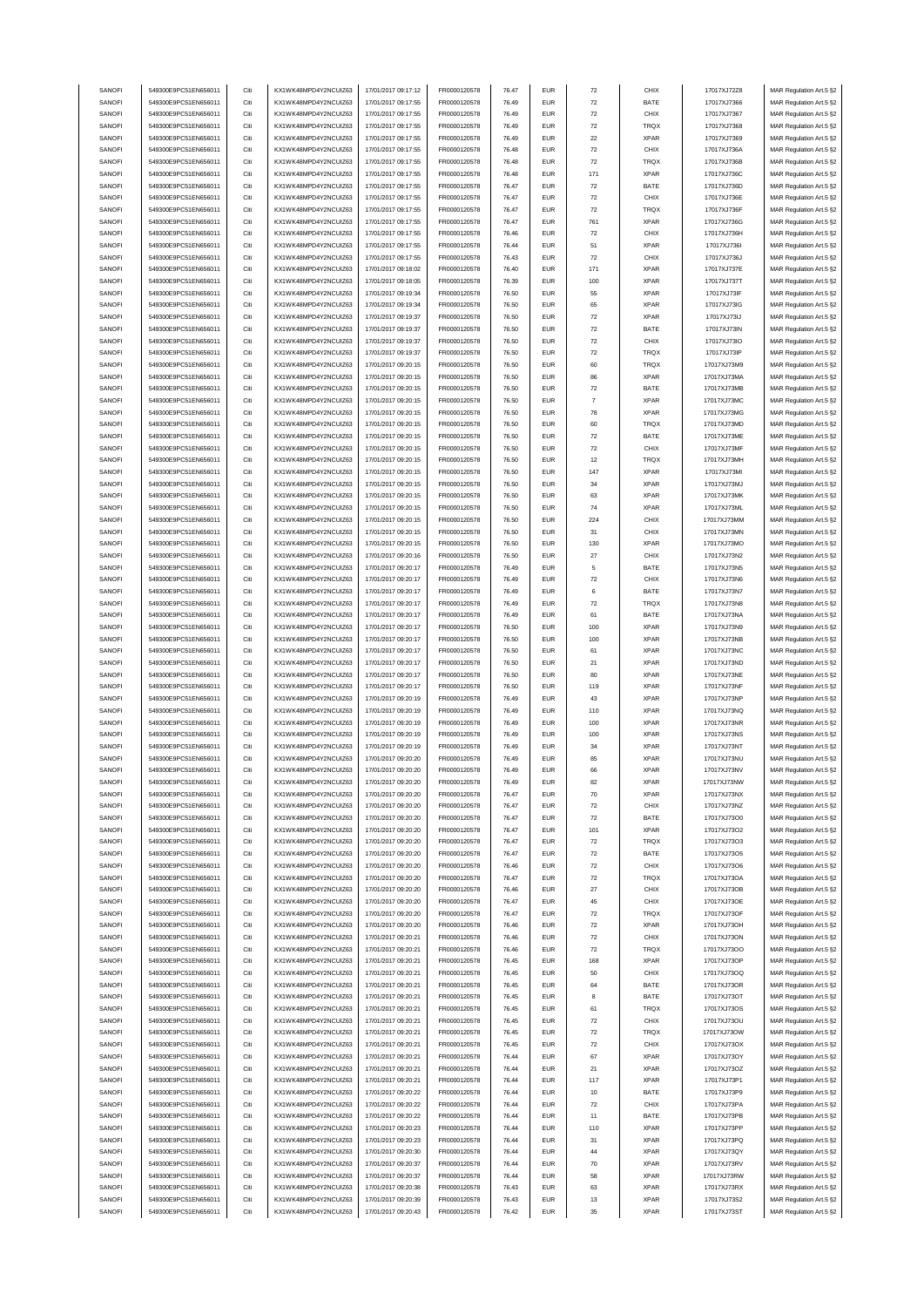| SANOFI | 549300E9PC51EN656011 | Citi | KX1WK48MPD4Y2NCUIZ63  | 17/01/2017 09:17:12 | FR0000120578 | 76.47 | <b>EUR</b> | $\scriptstyle{72}$ | CHIX        | 17017XJ72Z8 | MAR Regulation Art.5 §2 |
|--------|----------------------|------|-----------------------|---------------------|--------------|-------|------------|--------------------|-------------|-------------|-------------------------|
| SANOFI | 549300E9PC51EN656011 | Citi | KX1WK48MPD4Y2NCUIZ63  | 17/01/2017 09:17:55 |              | 76.49 | <b>EUR</b> | 72                 | BATE        |             |                         |
|        |                      |      |                       |                     | FR0000120578 |       |            |                    |             | 17017XJ7366 | MAR Regulation Art.5 §2 |
| SANOFI | 549300E9PC51EN656011 | Citi | KX1WK48MPD4Y2NCUIZ63  | 17/01/2017 09:17:55 | FR0000120578 | 76.49 | <b>EUR</b> | 72                 | CHIX        | 17017XJ7367 | MAR Regulation Art.5 §2 |
| SANOFI | 549300E9PC51EN656011 | Citi | KX1WK48MPD4Y2NCUIZ63  | 17/01/2017 09:17:55 | FR0000120578 | 76.49 | EUR        | 72                 | TRQX        | 17017XJ7368 | MAR Regulation Art.5 §2 |
| SANOFI | 549300E9PC51EN656011 | Citi | KX1WK48MPD4Y2NCLIIZ63 | 17/01/2017 09:17:55 | FR0000120578 | 76.49 | <b>EUR</b> | 22                 | <b>XPAR</b> | 17017XJ7369 | MAR Regulation Art.5 §2 |
| SANOFI | 549300E9PC51EN656011 | Citi | KX1WK48MPD4Y2NCUIZ63  | 17/01/2017 09:17:55 | FR0000120578 | 76.48 | <b>EUR</b> | 72                 | CHIX        | 17017XJ736A | MAR Regulation Art.5 §2 |
| SANOFI | 549300E9PC51EN656011 | Citi | KX1WK48MPD4Y2NCUIZ63  | 17/01/2017 09:17:55 | FR0000120578 | 76.48 | <b>EUR</b> | $\scriptstyle{72}$ | TRQX        | 17017XJ736B | MAR Regulation Art.5 §2 |
|        |                      |      |                       |                     |              |       |            |                    |             |             |                         |
| SANOFI | 549300E9PC51EN656011 | Citi | KX1WK48MPD4Y2NCUIZ63  | 17/01/2017 09:17:55 | FR0000120578 | 76.48 | <b>EUR</b> | 171                | <b>XPAR</b> | 17017XJ736C | MAR Regulation Art.5 §2 |
| SANOFI | 549300E9PC51EN656011 | Citi | KX1WK48MPD4Y2NCUIZ63  | 17/01/2017 09:17:55 | FR0000120578 | 76.47 | <b>EUR</b> | 72                 | BATE        | 17017XJ736D | MAR Regulation Art.5 §2 |
| SANOFI | 549300E9PC51EN656011 | Citi | KX1WK48MPD4Y2NCUIZ63  | 17/01/2017 09:17:55 | FR0000120578 | 76.47 | <b>EUR</b> | 72                 | CHIX        | 17017XJ736E | MAR Regulation Art.5 §2 |
| SANOFI | 549300E9PC51EN656011 | Citi | KX1WK48MPD4Y2NCUIZ63  | 17/01/2017 09:17:55 | FR0000120578 | 76.47 | <b>EUR</b> | 72                 | TRQX        | 17017XJ736F | MAR Regulation Art.5 §2 |
| SANOFI | 549300E9PC51EN656011 | Citi | KX1WK48MPD4Y2NCUIZ63  | 17/01/2017 09:17:55 | FR0000120578 | 76.47 | <b>EUR</b> | 761                | <b>XPAR</b> | 17017XJ736G | MAR Regulation Art.5 §2 |
|        |                      |      |                       |                     |              |       |            |                    |             |             |                         |
| SANOFI | 549300E9PC51EN656011 | Citi | KX1WK48MPD4Y2NCUIZ63  | 17/01/2017 09:17:55 | FR0000120578 | 76.46 | EUR        | 72                 | CHIX        | 17017XJ736H | MAR Regulation Art.5 §2 |
| SANOFI | 549300E9PC51EN656011 | Citi | KX1WK48MPD4Y2NCUIZ63  | 17/01/2017 09:17:55 | FR0000120578 | 76.44 | <b>EUR</b> | 51                 | <b>XPAR</b> | 17017XJ736I | MAR Regulation Art.5 §2 |
| SANOFI | 549300E9PC51EN656011 | Citi | KX1WK48MPD4Y2NCUIZ63  | 17/01/2017 09:17:55 | FR0000120578 | 76.43 | <b>EUR</b> | $\scriptstyle{72}$ | CHIX        | 17017XJ736J | MAR Regulation Art.5 §2 |
| SANOFI | 549300E9PC51EN656011 | Citi | KX1WK48MPD4Y2NCUIZ63  | 17/01/2017 09:18:02 | FR0000120578 | 76.40 | <b>EUR</b> | 171                | <b>XPAR</b> | 17017XJ737E | MAR Regulation Art.5 §2 |
| SANOFI | 549300E9PC51EN656011 | Citi | KX1WK48MPD4Y2NCUIZ63  | 17/01/2017 09:18:05 | FR0000120578 | 76.39 | <b>EUR</b> | 100                | <b>XPAR</b> | 17017XJ737T | MAR Regulation Art.5 §2 |
|        | 549300E9PC51EN656011 | Citi | KX1WK48MPD4Y2NCUIZ63  | 17/01/2017 09:19:34 |              | 76.50 | <b>EUR</b> | 55                 | <b>XPAR</b> |             |                         |
| SANOFI |                      |      |                       |                     | FR0000120578 |       |            |                    |             | 17017XJ73IF | MAR Regulation Art.5 §2 |
| SANOFI | 549300E9PC51EN656011 | Citi | KX1WK48MPD4Y2NCUIZ63  | 17/01/2017 09:19:34 | FR0000120578 | 76.50 | <b>EUR</b> | 65                 | <b>XPAR</b> | 17017XJ73IG | MAR Regulation Art.5 §2 |
| SANOFI | 549300E9PC51EN656011 | Citi | KX1WK48MPD4Y2NCUIZ63  | 17/01/2017 09:19:37 | FR0000120578 | 76.50 | <b>EUR</b> | 72                 | <b>XPAR</b> | 17017XJ73IJ | MAR Regulation Art.5 §2 |
| SANOFI | 549300E9PC51EN656011 | Citi | KX1WK48MPD4Y2NCUIZ63  | 17/01/2017 09:19:37 | FR0000120578 | 76.50 | <b>EUR</b> | 72                 | BATE        | 17017XJ73IN | MAR Regulation Art.5 §2 |
| SANOFI | 549300E9PC51EN656011 | Citi | KX1WK48MPD4Y2NCUIZ63  | 17/01/2017 09:19:37 | FR0000120578 | 76.50 | <b>EUR</b> | $\scriptstyle{72}$ | CHIX        | 17017XJ73IO | MAR Regulation Art.5 §2 |
| SANOFI | 549300E9PC51EN656011 | Citi | KX1WK48MPD4Y2NCUIZ63  | 17/01/2017 09:19:37 | FR0000120578 | 76.50 | <b>EUR</b> | $\scriptstyle{72}$ | TRQX        | 17017XJ73IP |                         |
|        |                      |      |                       |                     |              |       |            |                    |             |             | MAR Regulation Art.5 §2 |
| SANOFI | 549300E9PC51EN656011 | Citi | KX1WK48MPD4Y2NCUIZ63  | 17/01/2017 09:20:15 | FR0000120578 | 76.50 | <b>EUR</b> | 60                 | TRQX        | 17017XJ73M9 | MAR Regulation Art.5 §2 |
| SANOFI | 549300E9PC51EN656011 | Citi | KX1WK48MPD4Y2NCUIZ63  | 17/01/2017 09:20:15 | FR0000120578 | 76.50 | <b>EUR</b> | 86                 | <b>XPAR</b> | 17017XJ73MA | MAR Regulation Art.5 §2 |
| SANOFI | 549300E9PC51EN656011 | Citi | KX1WK48MPD4Y2NCUIZ63  | 17/01/2017 09:20:15 | FR0000120578 | 76.50 | <b>EUR</b> | 72                 | BATE        | 17017XJ73MB | MAR Regulation Art.5 §2 |
| SANOFI | 549300E9PC51EN656011 | Citi | KX1WK48MPD4Y2NCUIZ63  | 17/01/2017 09:20:15 | FR0000120578 | 76.50 | <b>EUR</b> | $\overline{7}$     | <b>XPAR</b> | 17017XJ73MC | MAR Regulation Art.5 §2 |
| SANOFI | 549300E9PC51EN656011 | Citi | KX1WK48MPD4Y2NCUIZ63  |                     |              |       | <b>EUR</b> |                    | <b>XPAR</b> |             |                         |
|        |                      |      |                       | 17/01/2017 09:20:15 | FR0000120578 | 76.50 |            | 78                 |             | 17017XJ73MG | MAR Regulation Art.5 §2 |
| SANOFI | 549300E9PC51EN656011 | Citi | KX1WK48MPD4Y2NCUIZ63  | 17/01/2017 09:20:15 | FR0000120578 | 76.50 | <b>EUR</b> | 60                 | TRQX        | 17017XJ73MD | MAR Regulation Art.5 §2 |
| SANOFI | 549300E9PC51EN656011 | Citi | KX1WK48MPD4Y2NCUIZ63  | 17/01/2017 09:20:15 | FR0000120578 | 76.50 | <b>EUR</b> | $\scriptstyle{72}$ | BATE        | 17017XJ73ME | MAR Regulation Art.5 §2 |
| SANOFI | 549300E9PC51EN656011 | Citi | KX1WK48MPD4Y2NCUIZ63  | 17/01/2017 09:20:15 | FR0000120578 | 76.50 | <b>EUR</b> | 72                 | CHIX        | 17017XJ73MF | MAR Regulation Art.5 §2 |
| SANOFI | 549300E9PC51EN656011 | Citi | KX1WK48MPD4Y2NCUIZ63  | 17/01/2017 09:20:15 | FR0000120578 | 76.50 | <b>EUR</b> | 12                 | TRQX        | 17017XJ73MH | MAR Regulation Art.5 §2 |
| SANOFI | 549300E9PC51EN656011 | Citi | KX1WK48MPD4Y2NCUIZ63  | 17/01/2017 09:20:15 | FR0000120578 | 76.50 | <b>EUR</b> | 147                | <b>XPAR</b> | 17017XJ73MI | MAR Regulation Art.5 §2 |
|        |                      |      |                       |                     |              |       |            |                    |             |             |                         |
| SANOFI | 549300E9PC51EN656011 | Citi | KX1WK48MPD4Y2NCUIZ63  | 17/01/2017 09:20:15 | FR0000120578 | 76.50 | <b>EUR</b> | 34                 | <b>XPAR</b> | 17017XJ73MJ | MAR Regulation Art.5 §2 |
| SANOFI | 549300E9PC51EN656011 | Citi | KX1WK48MPD4Y2NCUIZ63  | 17/01/2017 09:20:15 | FR0000120578 | 76.50 | <b>EUR</b> | 63                 | <b>XPAR</b> | 17017XJ73MK | MAR Regulation Art.5 §2 |
| SANOFI | 549300E9PC51EN656011 | Citi | KX1WK48MPD4Y2NCUIZ63  | 17/01/2017 09:20:15 | FR0000120578 | 76.50 | <b>EUR</b> | 74                 | <b>XPAR</b> | 17017XJ73ML | MAR Regulation Art.5 §2 |
| SANOFI | 549300E9PC51EN656011 | Citi | KX1WK48MPD4Y2NCUIZ63  | 17/01/2017 09:20:15 | FR0000120578 | 76.50 | <b>EUR</b> | 224                | CHIX        | 17017XJ73MM | MAR Regulation Art.5 §2 |
| SANOFI | 549300E9PC51EN656011 | Citi | KX1WK48MPD4Y2NCUIZ63  | 17/01/2017 09:20:15 | FR0000120578 | 76.50 | <b>EUR</b> | 31                 | CHIX        | 17017XJ73MN | MAR Regulation Art.5 §2 |
|        |                      |      |                       |                     |              |       |            |                    |             |             |                         |
| SANOFI | 549300E9PC51EN656011 | Citi | KX1WK48MPD4Y2NCUIZ63  | 17/01/2017 09:20:15 | FR0000120578 | 76.50 | <b>EUR</b> | 130                | <b>XPAR</b> | 17017XJ73MO | MAR Regulation Art.5 §2 |
| SANOFI | 549300E9PC51EN656011 | Citi | KX1WK48MPD4Y2NCUIZ63  | 17/01/2017 09:20:16 | FR0000120578 | 76.50 | <b>EUR</b> | $27\,$             | CHIX        | 17017XJ73N2 | MAR Regulation Art.5 §2 |
| SANOFI | 549300E9PC51EN656011 | Citi | KX1WK48MPD4Y2NCUIZ63  | 17/01/2017 09:20:17 | FR0000120578 | 76.49 | <b>EUR</b> | 5                  | BATE        | 17017XJ73N5 | MAR Regulation Art.5 §2 |
| SANOFI | 549300E9PC51EN656011 | Citi | KX1WK48MPD4Y2NCUIZ63  | 17/01/2017 09:20:17 | FR0000120578 | 76.49 | <b>EUR</b> | $\scriptstyle{72}$ | CHIX        | 17017XJ73N6 | MAR Regulation Art.5 §2 |
| SANOFI | 549300E9PC51EN656011 | Citi | KX1WK48MPD4Y2NCUIZ63  | 17/01/2017 09:20:17 | FR0000120578 | 76.49 | <b>EUR</b> | 6                  | BATE        | 17017XJ73N7 | MAR Regulation Art.5 §2 |
| SANOFI | 549300E9PC51EN656011 | Citi | KX1WK48MPD4Y2NCUIZ63  | 17/01/2017 09:20:17 | FR0000120578 | 76.49 | <b>EUR</b> | 72                 | TRQX        | 17017XJ73N8 |                         |
|        |                      |      |                       |                     |              |       |            |                    |             |             | MAR Regulation Art.5 §2 |
| SANOFI | 549300E9PC51EN656011 | Citi | KX1WK48MPD4Y2NCUIZ63  | 17/01/2017 09:20:17 | FR0000120578 | 76.49 | <b>EUR</b> | 61                 | BATE        | 17017XJ73NA | MAR Regulation Art.5 §2 |
| SANOFI | 549300E9PC51EN656011 | Citi | KX1WK48MPD4Y2NCUIZ63  | 17/01/2017 09:20:17 | FR0000120578 | 76.50 | <b>EUR</b> | 100                | <b>XPAR</b> | 17017XJ73N9 | MAR Regulation Art.5 §2 |
| SANOFI | 549300E9PC51EN656011 | Citi | KX1WK48MPD4Y2NCUIZ63  | 17/01/2017 09:20:17 | FR0000120578 | 76.50 | <b>EUR</b> | 100                | <b>XPAR</b> | 17017XJ73NB | MAR Regulation Art.5 §2 |
| SANOFI | 549300E9PC51EN656011 | Citi | KX1WK48MPD4Y2NCUIZ63  | 17/01/2017 09:20:17 | FR0000120578 | 76.50 | <b>EUR</b> | 61                 | <b>XPAR</b> | 17017XJ73NC | MAR Regulation Art.5 §2 |
| SANOFI | 549300E9PC51EN656011 | Citi | KX1WK48MPD4Y2NCUIZ63  | 17/01/2017 09:20:17 | FR0000120578 | 76.50 | <b>EUR</b> | 21                 | <b>XPAR</b> | 17017XJ73ND | MAR Regulation Art.5 §2 |
|        |                      |      |                       |                     |              |       |            |                    |             |             |                         |
| SANOFI | 549300E9PC51EN656011 | Citi | KX1WK48MPD4Y2NCUIZ63  | 17/01/2017 09:20:17 | FR0000120578 | 76.50 | <b>EUR</b> | 80                 | <b>XPAR</b> | 17017XJ73NE | MAR Regulation Art.5 §2 |
| SANOFI | 549300E9PC51EN656011 | Citi | KX1WK48MPD4Y2NCUIZ63  | 17/01/2017 09:20:17 | FR0000120578 | 76.50 | <b>EUR</b> | 119                | <b>XPAR</b> | 17017XJ73NF | MAR Regulation Art.5 §2 |
| SANOFI | 549300E9PC51EN656011 | Citi | KX1WK48MPD4Y2NCUIZ63  | 17/01/2017 09:20:19 | FR0000120578 | 76.49 | <b>EUR</b> | 43                 | <b>XPAR</b> | 17017XJ73NP | MAR Regulation Art.5 §2 |
| SANOFI | 549300E9PC51EN656011 | Citi | KX1WK48MPD4Y2NCUIZ63  | 17/01/2017 09:20:19 | FR0000120578 | 76.49 | <b>EUR</b> | 110                | <b>XPAR</b> | 17017XJ73NQ | MAR Regulation Art.5 §2 |
| SANOFI | 549300E9PC51EN656011 | Citi | KX1WK48MPD4Y2NCUIZ63  | 17/01/2017 09:20:19 | FR0000120578 | 76.49 | <b>EUR</b> | 100                | <b>XPAR</b> | 17017XJ73NR | MAR Regulation Art.5 §2 |
|        |                      |      |                       |                     |              |       |            |                    |             |             |                         |
| SANOFI | 549300E9PC51EN656011 | Citi | KX1WK48MPD4Y2NCUIZ63  | 17/01/2017 09:20:19 | FR0000120578 | 76.49 | <b>EUR</b> | 100                | <b>XPAR</b> | 17017XJ73NS | MAR Regulation Art.5 §2 |
| SANOFI | 549300E9PC51EN656011 | Citi | KX1WK48MPD4Y2NCUIZ63  | 17/01/2017 09:20:19 | FR0000120578 | 76.49 | <b>EUR</b> | 34                 | <b>XPAR</b> | 17017XJ73NT | MAR Regulation Art.5 §2 |
| SANOFI | 549300E9PC51EN656011 | Citi | KX1WK48MPD4Y2NCUIZ63  | 17/01/2017 09:20:20 | FR0000120578 | 76.49 | <b>EUR</b> | 85                 | <b>XPAR</b> | 17017XJ73NU | MAR Regulation Art.5 §2 |
| SANOFI | 549300E9PC51EN656011 | Citi | KX1WK48MPD4Y2NCUIZ63  | 17/01/2017 09:20:20 | FR0000120578 | 76.49 | <b>EUR</b> | 66                 | <b>XPAR</b> | 17017XJ73NV | MAR Regulation Art.5 §2 |
| SANOFI | 549300E9PC51EN656011 |      | KX1WK48MPD4Y2NCLIIZ63 | 17/01/2017 09:20:20 | FR0000120578 | 76.49 | FUR        |                    | <b>XPAR</b> | 17017XJ73NW | MAR Regulation Art 5.82 |
| SANOFI |                      |      |                       |                     |              |       |            |                    |             |             |                         |
|        | 549300E9PC51EN656011 | Citi | KX1WK48MPD4Y2NCUIZ63  | 17/01/2017 09:20:20 | FR0000120578 | 76.47 | <b>EUR</b> | 70                 | <b>XPAR</b> | 17017XJ73NX | MAR Regulation Art.5 §2 |
| SANOFI | 549300E9PC51EN656011 | Citi | KX1WK48MPD4Y2NCUIZ63  | 17/01/2017 09:20:20 | FR0000120578 | 76.47 | <b>EUR</b> | $\scriptstyle{72}$ | CHIX        | 17017XJ73NZ | MAR Regulation Art.5 §2 |
| SANOFI | 549300E9PC51EN656011 | Citi | KX1WK48MPD4Y2NCUIZ63  | 17/01/2017 09:20:20 | FR0000120578 | 76.47 | <b>EUR</b> | 72                 | BATE        | 17017XJ73O0 | MAR Regulation Art.5 §2 |
| SANOFI | 549300E9PC51EN656011 | Citi | KX1WK48MPD4Y2NCUIZ63  | 17/01/2017 09:20:20 | FR0000120578 | 76.47 | <b>EUR</b> | 101                | <b>XPAR</b> | 17017XJ73O2 | MAR Regulation Art.5 §2 |
| SANOFI | 549300E9PC51EN656011 | Citi | KX1WK48MPD4Y2NCUIZ63  | 17/01/2017 09:20:20 | FR0000120578 | 76.47 | <b>EUR</b> | $\scriptstyle{72}$ | TRQX        | 17017XJ73O3 | MAR Regulation Art.5 §2 |
| SANOFI | 549300E9PC51EN656011 | Citi | KX1WK48MPD4Y2NCUIZ63  | 17/01/2017 09:20:20 | FR0000120578 | 76.47 | <b>EUR</b> | $\scriptstyle{72}$ | BATE        | 17017XJ73O5 | MAR Regulation Art.5 §2 |
|        |                      |      |                       |                     |              |       |            |                    |             |             |                         |
| SANOFI | 549300E9PC51EN656011 | Citi | KX1WK48MPD4Y2NCUIZ63  | 17/01/2017 09:20:20 | FR0000120578 | 76.46 | <b>EUR</b> | $\scriptstyle{72}$ | CHIX        | 17017XJ73O6 | MAR Regulation Art.5 §2 |
| SANOFI | 549300E9PC51EN656011 | Citi | KX1WK48MPD4Y2NCUIZ63  | 17/01/2017 09:20:20 | FR0000120578 | 76.47 | <b>EUR</b> | 72                 | TRQX        | 17017XJ73OA | MAR Regulation Art.5 §2 |
| SANOFI | 549300E9PC51EN656011 | Citi | KX1WK48MPD4Y2NCUIZ63  | 17/01/2017 09:20:20 | FR0000120578 | 76.46 | <b>EUR</b> | 27                 | CHIX        | 17017XJ73OB | MAR Regulation Art.5 §2 |
| SANOFI | 549300E9PC51EN656011 | Citi | KX1WK48MPD4Y2NCUIZ63  | 17/01/2017 09:20:20 | FR0000120578 | 76.47 | <b>EUR</b> | 45                 | CHIX        | 17017XJ73OE | MAR Regulation Art.5 §2 |
| SANOFI | 549300E9PC51EN656011 | Citi | KX1WK48MPD4Y2NCUIZ63  | 17/01/2017 09:20:20 | FR0000120578 | 76.47 | <b>EUR</b> | $\scriptstyle{72}$ | TRQX        | 17017XJ73OF | MAR Regulation Art.5 §2 |
|        |                      |      |                       |                     |              |       |            |                    |             |             |                         |
| SANOFI |                      |      |                       |                     |              |       |            |                    |             |             |                         |
| SANOFI | 549300E9PC51EN656011 | Citi | KX1WK48MPD4Y2NCUIZ63  | 17/01/2017 09:20:20 | FR0000120578 | 76.46 | <b>EUR</b> | $\scriptstyle{72}$ | <b>XPAR</b> | 17017XJ73OH | MAR Regulation Art.5 §2 |
|        | 549300E9PC51EN656011 | Citi | KX1WK48MPD4Y2NCUIZ63  | 17/01/2017 09:20:21 | FR0000120578 | 76.46 | <b>EUR</b> | $\scriptstyle{72}$ | CHIX        | 17017XJ73ON | MAR Regulation Art.5 §2 |
| SANOFI | 549300E9PC51EN656011 | Citi | KX1WK48MPD4Y2NCUIZ63  | 17/01/2017 09:20:21 | FR0000120578 | 76.46 | <b>EUR</b> | $\scriptstyle{72}$ | TRQX        | 17017XJ73OO | MAR Regulation Art.5 §2 |
| SANOFI | 549300E9PC51EN656011 | Citi | KX1WK48MPD4Y2NCUIZ63  | 17/01/2017 09:20:21 | FR0000120578 | 76.45 | <b>EUR</b> | 168                | <b>XPAR</b> | 17017XJ73OP | MAR Regulation Art.5 §2 |
|        |                      |      |                       |                     |              |       |            |                    |             |             |                         |
| SANOFI | 549300E9PC51EN656011 | Citi | KX1WK48MPD4Y2NCUIZ63  | 17/01/2017 09:20:21 | FR0000120578 | 76.45 | <b>EUR</b> | 50                 | CHIX        | 17017XJ73OQ | MAR Regulation Art.5 §2 |
| SANOFI | 549300E9PC51EN656011 | Citi | KX1WK48MPD4Y2NCUIZ63  | 17/01/2017 09:20:21 | FR0000120578 | 76.45 | <b>EUR</b> | 64                 | BATE        | 17017XJ73OR | MAR Regulation Art.5 §2 |
| SANOFI | 549300E9PC51EN656011 | Citi | KX1WK48MPD4Y2NCUIZ63  | 17/01/2017 09:20:21 | FR0000120578 | 76.45 | <b>EUR</b> | 8                  | BATE        | 17017XJ73OT | MAR Regulation Art.5 §2 |
| SANOFI | 549300E9PC51EN656011 | Citi | KX1WK48MPD4Y2NCUIZ63  | 17/01/2017 09:20:21 | FR0000120578 | 76.45 | <b>EUR</b> | 61                 | TRQX        | 17017XJ73OS | MAR Regulation Art.5 §2 |
| SANOFI | 549300E9PC51EN656011 | Citi | KX1WK48MPD4Y2NCUIZ63  | 17/01/2017 09:20:21 | FR0000120578 | 76.45 | <b>EUR</b> | $\scriptstyle{72}$ | CHIX        | 17017XJ73OU | MAR Regulation Art.5 §2 |
| SANOFI | 549300E9PC51EN656011 | Citi | KX1WK48MPD4Y2NCUIZ63  | 17/01/2017 09:20:21 | FR0000120578 | 76.45 | <b>EUR</b> | $\scriptstyle{72}$ | TRQX        | 17017XJ73OW | MAR Regulation Art.5 §2 |
|        |                      |      |                       |                     |              |       |            |                    |             |             |                         |
| SANOFI | 549300E9PC51EN656011 | Citi | KX1WK48MPD4Y2NCUIZ63  | 17/01/2017 09:20:21 | FR0000120578 | 76.45 | <b>EUR</b> | $\scriptstyle{72}$ | CHIX        | 17017XJ73OX | MAR Regulation Art.5 §2 |
| SANOFI | 549300E9PC51EN656011 | Citi | KX1WK48MPD4Y2NCUIZ63  | 17/01/2017 09:20:21 | FR0000120578 | 76.44 | <b>EUR</b> | 67                 | <b>XPAR</b> | 17017XJ73OY | MAR Regulation Art.5 §2 |
| SANOFI | 549300E9PC51EN656011 | Citi | KX1WK48MPD4Y2NCUIZ63  | 17/01/2017 09:20:21 | FR0000120578 | 76.44 | <b>EUR</b> | 21                 | <b>XPAR</b> | 17017XJ73OZ | MAR Regulation Art.5 §2 |
| SANOFI | 549300E9PC51EN656011 | Citi | KX1WK48MPD4Y2NCUIZ63  | 17/01/2017 09:20:21 | FR0000120578 | 76.44 | <b>EUR</b> | 117                | <b>XPAR</b> | 17017XJ73P1 | MAR Regulation Art.5 §2 |
| SANOFI | 549300E9PC51EN656011 | Citi | KX1WK48MPD4Y2NCUIZ63  | 17/01/2017 09:20:22 | FR0000120578 | 76.44 | <b>EUR</b> | 10                 | BATE        | 17017XJ73P9 |                         |
|        |                      |      |                       |                     |              |       |            |                    |             |             | MAR Regulation Art.5 §2 |
| SANOFI | 549300E9PC51EN656011 | Citi | KX1WK48MPD4Y2NCUIZ63  | 17/01/2017 09:20:22 | FR0000120578 | 76.44 | <b>EUR</b> | 72                 | CHIX        | 17017XJ73PA | MAR Regulation Art.5 §2 |
| SANOFI | 549300E9PC51EN656011 | Citi | KX1WK48MPD4Y2NCUIZ63  | 17/01/2017 09:20:22 | FR0000120578 | 76.44 | <b>EUR</b> | 11                 | BATE        | 17017XJ73PB | MAR Regulation Art.5 §2 |
| SANOFI | 549300E9PC51EN656011 | Citi | KX1WK48MPD4Y2NCUIZ63  | 17/01/2017 09:20:23 | FR0000120578 | 76.44 | <b>EUR</b> | 110                | <b>XPAR</b> | 17017XJ73PP | MAR Regulation Art.5 §2 |
| SANOFI | 549300E9PC51EN656011 | Citi | KX1WK48MPD4Y2NCUIZ63  | 17/01/2017 09:20:23 | FR0000120578 | 76.44 | <b>EUR</b> | 31                 | <b>XPAR</b> | 17017XJ73PQ | MAR Regulation Art.5 §2 |
| SANOFI | 549300E9PC51EN656011 | Citi | KX1WK48MPD4Y2NCUIZ63  | 17/01/2017 09:20:30 | FR0000120578 | 76.44 | <b>EUR</b> | 44                 | <b>XPAR</b> | 17017XJ73QY | MAR Regulation Art.5 §2 |
| SANOFI | 549300E9PC51EN656011 | Citi | KX1WK48MPD4Y2NCUIZ63  | 17/01/2017 09:20:37 | FR0000120578 | 76.44 | <b>EUR</b> | 70                 | <b>XPAR</b> | 17017XJ73RV |                         |
|        |                      |      |                       |                     |              |       |            |                    |             |             | MAR Regulation Art.5 §2 |
| SANOFI | 549300E9PC51EN656011 | Citi | KX1WK48MPD4Y2NCUIZ63  | 17/01/2017 09:20:37 | FR0000120578 | 76.44 | <b>EUR</b> | 58                 | <b>XPAR</b> | 17017XJ73RW | MAR Regulation Art.5 §2 |
| SANOFI | 549300E9PC51EN656011 | Citi | KX1WK48MPD4Y2NCUIZ63  | 17/01/2017 09:20:38 | FR0000120578 | 76.43 | <b>EUR</b> | 63                 | <b>XPAR</b> | 17017XJ73RX | MAR Regulation Art.5 §2 |
| SANOFI | 549300E9PC51EN656011 | Citi | KX1WK48MPD4Y2NCUIZ63  | 17/01/2017 09:20:39 | FR0000120578 | 76.43 | <b>EUR</b> | 13                 | <b>XPAR</b> | 17017XJ73S2 | MAR Regulation Art.5 §2 |
| SANOFI | 549300E9PC51EN656011 | Citi | KX1WK48MPD4Y2NCUIZ63  | 17/01/2017 09:20:43 | FR0000120578 | 76.42 | <b>EUR</b> | 35                 | XPAR        | 17017XJ73ST | MAR Regulation Art.5 §2 |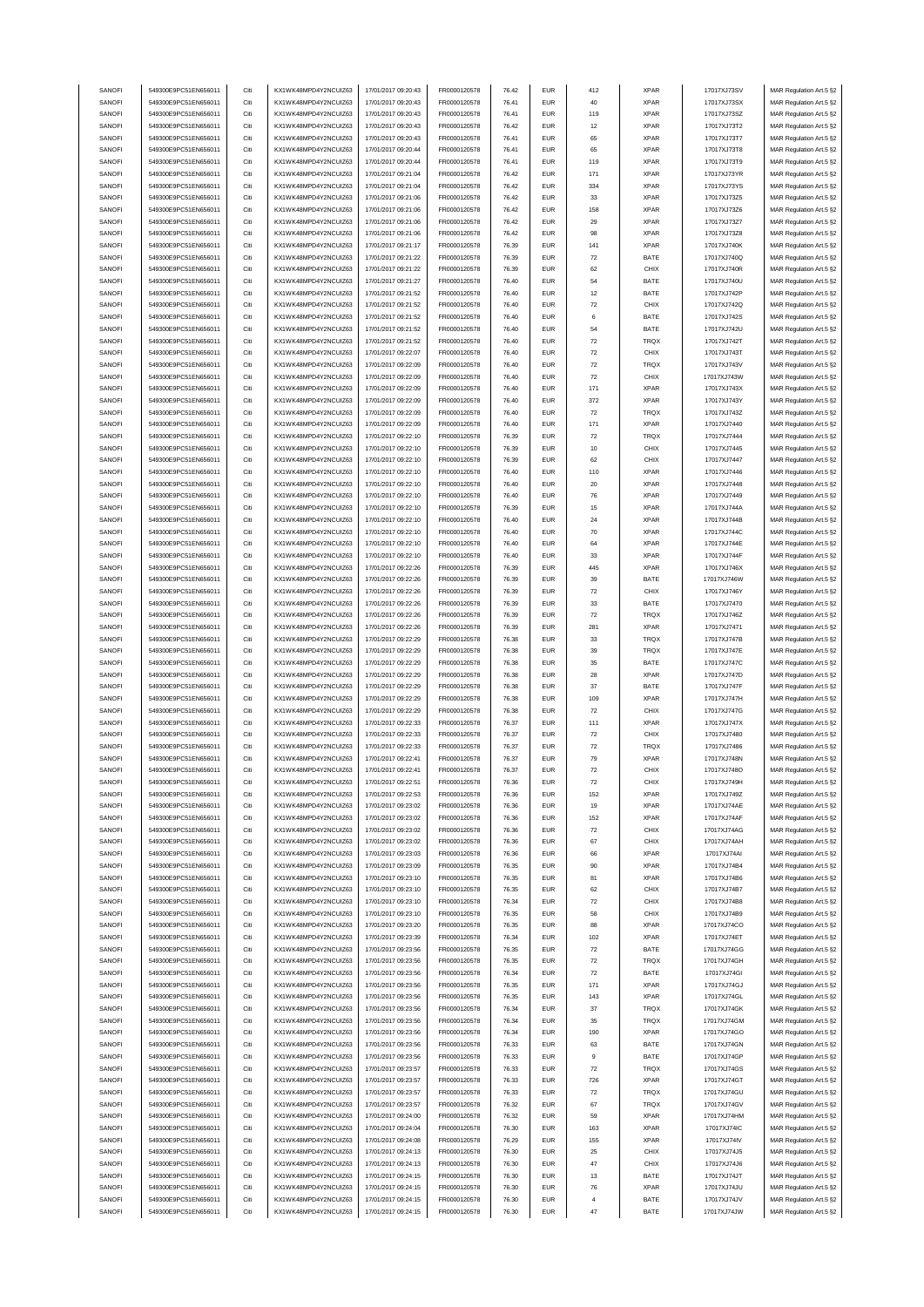| SANOFI | 549300E9PC51EN656011 | Citi | KX1WK48MPD4Y2NCUIZ63  | 17/01/2017 09:20:43 | FR0000120578 | 76.42 | <b>EUR</b> | 412                | <b>XPAR</b> | 17017XJ73SV | MAR Regulation Art.5 §2                            |
|--------|----------------------|------|-----------------------|---------------------|--------------|-------|------------|--------------------|-------------|-------------|----------------------------------------------------|
| SANOFI | 549300E9PC51EN656011 | Citi | KX1WK48MPD4Y2NCUIZ63  | 17/01/2017 09:20:43 |              | 76.41 | <b>EUR</b> | 40                 | <b>XPAR</b> | 17017XJ73SX |                                                    |
|        |                      |      |                       |                     | FR0000120578 |       |            |                    |             |             | MAR Regulation Art.5 §2                            |
| SANOFI | 549300E9PC51EN656011 | Citi | KX1WK48MPD4Y2NCUIZ63  | 17/01/2017 09:20:43 | FR0000120578 | 76.41 | <b>EUR</b> | 119                | <b>XPAR</b> | 17017XJ73SZ | MAR Regulation Art.5 §2                            |
| SANOFI | 549300E9PC51EN656011 | Citi | KX1WK48MPD4Y2NCUIZ63  | 17/01/2017 09:20:43 | FR0000120578 | 76.42 | EUR        | 12                 | <b>XPAR</b> | 17017XJ73T2 | MAR Regulation Art.5 §2                            |
| SANOFI | 549300E9PC51EN656011 | Citi | KX1WK48MPD4Y2NCLIIZ63 | 17/01/2017 09:20:43 | FR0000120578 | 76.41 | <b>EUR</b> | 65                 | <b>XPAR</b> | 17017XJ73T7 | MAR Regulation Art.5 §2                            |
| SANOFI | 549300E9PC51EN656011 | Citi | KX1WK48MPD4Y2NCUIZ63  | 17/01/2017 09:20:44 | FR0000120578 | 76.41 | <b>EUR</b> | 65                 | <b>XPAR</b> | 17017XJ73T8 | MAR Regulation Art.5 §2                            |
| SANOFI | 549300E9PC51EN656011 | Citi | KX1WK48MPD4Y2NCUIZ63  | 17/01/2017 09:20:44 | FR0000120578 | 76.41 | <b>EUR</b> | 119                | <b>XPAR</b> | 17017XJ73T9 | MAR Regulation Art.5 §2                            |
|        |                      |      |                       |                     |              |       |            |                    |             |             |                                                    |
| SANOFI | 549300E9PC51EN656011 | Citi | KX1WK48MPD4Y2NCUIZ63  | 17/01/2017 09:21:04 | FR0000120578 | 76.42 | <b>EUR</b> | 171                | <b>XPAR</b> | 17017XJ73YR | MAR Regulation Art.5 §2                            |
| SANOFI | 549300E9PC51EN656011 | Citi | KX1WK48MPD4Y2NCUIZ63  | 17/01/2017 09:21:04 | FR0000120578 | 76.42 | <b>EUR</b> | 334                | <b>XPAR</b> | 17017XJ73YS | MAR Regulation Art.5 §2                            |
| SANOFI | 549300E9PC51EN656011 | Citi | KX1WK48MPD4Y2NCUIZ63  | 17/01/2017 09:21:06 | FR0000120578 | 76.42 | <b>EUR</b> | 33                 | <b>XPAR</b> | 17017XJ73Z5 | MAR Regulation Art.5 §2                            |
| SANOFI | 549300E9PC51EN656011 | Citi | KX1WK48MPD4Y2NCUIZ63  | 17/01/2017 09:21:06 | FR0000120578 | 76.42 | <b>EUR</b> | 158                | <b>XPAR</b> | 17017XJ73Z6 | MAR Regulation Art.5 §2                            |
| SANOFI | 549300E9PC51EN656011 | Citi | KX1WK48MPD4Y2NCUIZ63  | 17/01/2017 09:21:06 | FR0000120578 | 76.42 | <b>EUR</b> | 29                 | <b>XPAR</b> | 17017XJ73Z7 | MAR Regulation Art.5 §2                            |
|        |                      |      |                       |                     |              |       |            |                    |             |             |                                                    |
| SANOFI | 549300E9PC51EN656011 | Citi | KX1WK48MPD4Y2NCUIZ63  | 17/01/2017 09:21:06 | FR0000120578 | 76.42 | EUR        | 98                 | <b>XPAR</b> | 17017XJ73Z8 | MAR Regulation Art.5 §2                            |
| SANOFI | 549300E9PC51EN656011 | Citi | KX1WK48MPD4Y2NCUIZ63  | 17/01/2017 09:21:17 | FR0000120578 | 76.39 | <b>EUR</b> | 141                | <b>XPAR</b> | 17017XJ740K | MAR Regulation Art.5 §2                            |
| SANOFI | 549300E9PC51EN656011 | Citi | KX1WK48MPD4Y2NCUIZ63  | 17/01/2017 09:21:22 | FR0000120578 | 76.39 | <b>EUR</b> | $\scriptstyle{72}$ | BATE        | 17017XJ740Q | MAR Regulation Art.5 §2                            |
| SANOFI | 549300E9PC51EN656011 | Citi | KX1WK48MPD4Y2NCUIZ63  | 17/01/2017 09:21:22 | FR0000120578 | 76.39 | <b>EUR</b> | 62                 | CHIX        | 17017XJ740R | MAR Regulation Art.5 §2                            |
| SANOFI | 549300E9PC51EN656011 | Citi | KX1WK48MPD4Y2NCUIZ63  | 17/01/2017 09:21:27 | FR0000120578 | 76.40 | <b>EUR</b> | 54                 | BATE        | 17017XJ740U | MAR Regulation Art.5 §2                            |
|        | 549300E9PC51EN656011 | Citi | KX1WK48MPD4Y2NCUIZ63  | 17/01/2017 09:21:52 |              | 76.40 | <b>EUR</b> |                    | BATE        |             | MAR Regulation Art.5 §2                            |
| SANOFI |                      |      |                       |                     | FR0000120578 |       |            | 12                 |             | 17017XJ742P |                                                    |
| SANOFI | 549300E9PC51EN656011 | Citi | KX1WK48MPD4Y2NCUIZ63  | 17/01/2017 09:21:52 | FR0000120578 | 76.40 | <b>EUR</b> | 72                 | CHIX        | 17017XJ742Q | MAR Regulation Art.5 §2                            |
| SANOFI | 549300E9PC51EN656011 | Citi | KX1WK48MPD4Y2NCUIZ63  | 17/01/2017 09:21:52 | FR0000120578 | 76.40 | <b>EUR</b> | 6                  | BATE        | 17017XJ742S | MAR Regulation Art.5 §2                            |
| SANOFI | 549300E9PC51EN656011 | Citi | KX1WK48MPD4Y2NCUIZ63  | 17/01/2017 09:21:52 | FR0000120578 | 76.40 | <b>EUR</b> | 54                 | BATE        | 17017XJ742U | MAR Regulation Art.5 §2                            |
| SANOFI | 549300E9PC51EN656011 | Citi | KX1WK48MPD4Y2NCUIZ63  | 17/01/2017 09:21:52 | FR0000120578 | 76.40 | <b>EUR</b> | 72                 | TRQX        | 17017XJ742T | MAR Regulation Art.5 §2                            |
|        |                      |      |                       |                     |              |       |            |                    | CHIX        |             |                                                    |
| SANOFI | 549300E9PC51EN656011 | Citi | KX1WK48MPD4Y2NCUIZ63  | 17/01/2017 09:22:07 | FR0000120578 | 76.40 | <b>EUR</b> | $\scriptstyle{72}$ |             | 17017XJ743T | MAR Regulation Art.5 §2                            |
| SANOFI | 549300E9PC51EN656011 | Citi | KX1WK48MPD4Y2NCUIZ63  | 17/01/2017 09:22:09 | FR0000120578 | 76.40 | <b>EUR</b> | 72                 | TRQX        | 17017XJ743V | MAR Regulation Art.5 §2                            |
| SANOFI | 549300E9PC51EN656011 | Citi | KX1WK48MPD4Y2NCUIZ63  | 17/01/2017 09:22:09 | FR0000120578 | 76.40 | <b>EUR</b> | 72                 | CHIX        | 17017XJ743W | MAR Regulation Art.5 §2                            |
| SANOFI | 549300E9PC51EN656011 | Citi | KX1WK48MPD4Y2NCUIZ63  | 17/01/2017 09:22:09 | FR0000120578 | 76.40 | <b>EUR</b> | 171                | <b>XPAR</b> | 17017XJ743X | MAR Regulation Art.5 §2                            |
| SANOFI | 549300E9PC51EN656011 | Citi | KX1WK48MPD4Y2NCUIZ63  | 17/01/2017 09:22:09 | FR0000120578 | 76.40 | <b>EUR</b> | 372                | <b>XPAR</b> | 17017XJ743Y | MAR Regulation Art.5 §2                            |
| SANOFI | 549300E9PC51EN656011 | Citi | KX1WK48MPD4Y2NCUIZ63  | 17/01/2017 09:22:09 |              | 76.40 | <b>EUR</b> | 72                 | TRQX        |             |                                                    |
|        |                      |      |                       |                     | FR0000120578 |       |            |                    |             | 17017XJ743Z | MAR Regulation Art.5 §2                            |
| SANOFI | 549300E9PC51EN656011 | Citi | KX1WK48MPD4Y2NCUIZ63  | 17/01/2017 09:22:09 | FR0000120578 | 76.40 | <b>EUR</b> | 171                | <b>XPAR</b> | 17017XJ7440 | MAR Regulation Art.5 §2                            |
| SANOFI | 549300E9PC51EN656011 | Citi | KX1WK48MPD4Y2NCUIZ63  | 17/01/2017 09:22:10 | FR0000120578 | 76.39 | <b>EUR</b> | $\scriptstyle{72}$ | TRQX        | 17017XJ7444 | MAR Regulation Art.5 §2                            |
| SANOFI | 549300E9PC51EN656011 | Citi | KX1WK48MPD4Y2NCUIZ63  | 17/01/2017 09:22:10 | FR0000120578 | 76.39 | <b>EUR</b> | 10                 | CHIX        | 17017XJ7445 | MAR Regulation Art.5 §2                            |
| SANOFI | 549300E9PC51EN656011 | Citi | KX1WK48MPD4Y2NCUIZ63  | 17/01/2017 09:22:10 | FR0000120578 | 76.39 | <b>EUR</b> | 62                 | CHIX        | 17017XJ7447 | MAR Regulation Art.5 §2                            |
| SANOFI | 549300E9PC51EN656011 | Citi | KX1WK48MPD4Y2NCUIZ63  | 17/01/2017 09:22:10 | FR0000120578 | 76.40 | <b>EUR</b> | 110                | <b>XPAR</b> | 17017XJ7446 | MAR Regulation Art.5 §2                            |
|        |                      |      |                       |                     |              |       |            |                    |             |             |                                                    |
| SANOFI | 549300E9PC51EN656011 | Citi | KX1WK48MPD4Y2NCUIZ63  | 17/01/2017 09:22:10 | FR0000120578 | 76.40 | <b>EUR</b> | 20                 | <b>XPAR</b> | 17017XJ7448 | MAR Regulation Art.5 §2                            |
| SANOFI | 549300E9PC51EN656011 | Citi | KX1WK48MPD4Y2NCUIZ63  | 17/01/2017 09:22:10 | FR0000120578 | 76.40 | <b>EUR</b> | 76                 | <b>XPAR</b> | 17017XJ7449 | MAR Regulation Art.5 §2                            |
| SANOFI | 549300E9PC51EN656011 | Citi | KX1WK48MPD4Y2NCUIZ63  | 17/01/2017 09:22:10 | FR0000120578 | 76.39 | <b>EUR</b> | 15                 | <b>XPAR</b> | 17017XJ744A | MAR Regulation Art.5 §2                            |
| SANOFI | 549300E9PC51EN656011 | Citi | KX1WK48MPD4Y2NCUIZ63  | 17/01/2017 09:22:10 | FR0000120578 | 76.40 | EUR        | 24                 | <b>XPAR</b> | 17017XJ744B | MAR Regulation Art.5 §2                            |
| SANOFI | 549300E9PC51EN656011 | Citi | KX1WK48MPD4Y2NCUIZ63  | 17/01/2017 09:22:10 | FR0000120578 | 76.40 | <b>EUR</b> | 70                 | <b>XPAR</b> | 17017XJ744C | MAR Regulation Art.5 §2                            |
|        |                      |      |                       |                     |              |       |            |                    |             |             |                                                    |
| SANOFI | 549300E9PC51EN656011 | Citi | KX1WK48MPD4Y2NCUIZ63  | 17/01/2017 09:22:10 | FR0000120578 | 76.40 | <b>EUR</b> | 64                 | <b>XPAR</b> | 17017XJ744E | MAR Regulation Art.5 §2                            |
| SANOFI | 549300E9PC51EN656011 | Citi | KX1WK48MPD4Y2NCUIZ63  | 17/01/2017 09:22:10 | FR0000120578 | 76.40 | <b>EUR</b> | 33                 | <b>XPAR</b> | 17017XJ744F | MAR Regulation Art.5 §2                            |
| SANOFI | 549300E9PC51EN656011 | Citi | KX1WK48MPD4Y2NCUIZ63  | 17/01/2017 09:22:26 | FR0000120578 | 76.39 | <b>EUR</b> | 445                | <b>XPAR</b> | 17017XJ746X | MAR Regulation Art.5 §2                            |
| SANOFI | 549300E9PC51EN656011 | Citi | KX1WK48MPD4Y2NCUIZ63  | 17/01/2017 09:22:26 | FR0000120578 | 76.39 | <b>EUR</b> | 39                 | BATE        | 17017XJ746W | MAR Regulation Art.5 §2                            |
| SANOFI | 549300E9PC51EN656011 | Citi | KX1WK48MPD4Y2NCUIZ63  | 17/01/2017 09:22:26 | FR0000120578 | 76.39 | <b>EUR</b> | 72                 | CHIX        | 17017XJ746Y | MAR Regulation Art.5 §2                            |
| SANOFI | 549300E9PC51EN656011 | Citi | KX1WK48MPD4Y2NCUIZ63  | 17/01/2017 09:22:26 | FR0000120578 | 76.39 | <b>EUR</b> | 33                 | BATE        | 17017XJ7470 |                                                    |
|        |                      |      |                       |                     |              |       |            |                    |             |             | MAR Regulation Art.5 §2                            |
| SANOFI | 549300E9PC51EN656011 | Citi | KX1WK48MPD4Y2NCUIZ63  | 17/01/2017 09:22:26 | FR0000120578 | 76.39 | <b>EUR</b> | 72                 | TRQX        | 17017XJ746Z | MAR Regulation Art.5 §2                            |
| SANOFI | 549300E9PC51EN656011 | Citi | KX1WK48MPD4Y2NCUIZ63  | 17/01/2017 09:22:26 | FR0000120578 | 76.39 | <b>EUR</b> | 281                | <b>XPAR</b> | 17017XJ7471 | MAR Regulation Art.5 §2                            |
| SANOFI | 549300E9PC51EN656011 | Citi | KX1WK48MPD4Y2NCUIZ63  | 17/01/2017 09:22:29 | FR0000120578 | 76.38 | <b>EUR</b> | 33                 | TRQX        | 17017XJ747B | MAR Regulation Art.5 §2                            |
| SANOFI | 549300E9PC51EN656011 | Citi | KX1WK48MPD4Y2NCUIZ63  | 17/01/2017 09:22:29 | FR0000120578 | 76.38 | <b>EUR</b> | 39                 | TRQX        | 17017XJ747E | MAR Regulation Art.5 §2                            |
| SANOFI | 549300E9PC51EN656011 | Citi | KX1WK48MPD4Y2NCUIZ63  | 17/01/2017 09:22:29 | FR0000120578 | 76.38 | <b>EUR</b> | 35                 | BATE        | 17017XJ747C | MAR Regulation Art.5 §2                            |
|        |                      |      |                       |                     |              |       |            |                    |             |             |                                                    |
| SANOFI | 549300E9PC51EN656011 | Citi | KX1WK48MPD4Y2NCUIZ63  | 17/01/2017 09:22:29 | FR0000120578 | 76.38 | <b>EUR</b> | 28                 | <b>XPAR</b> | 17017XJ747D | MAR Regulation Art.5 §2                            |
| SANOFI | 549300E9PC51EN656011 | Citi | KX1WK48MPD4Y2NCUIZ63  | 17/01/2017 09:22:29 | FR0000120578 | 76.38 | <b>EUR</b> | 37                 | BATE        | 17017XJ747F | MAR Regulation Art.5 §2                            |
| SANOFI | 549300E9PC51EN656011 | Citi | KX1WK48MPD4Y2NCUIZ63  | 17/01/2017 09:22:29 | FR0000120578 | 76.38 | <b>EUR</b> | 109                | <b>XPAR</b> | 17017XJ747H | MAR Regulation Art.5 §2                            |
| SANOFI | 549300E9PC51EN656011 | Citi | KX1WK48MPD4Y2NCLIIZ63 | 17/01/2017 09:22:29 | FR0000120578 | 76.38 | <b>EUR</b> | $\scriptstyle{72}$ | CHIX        | 17017XJ747G | MAR Regulation Art.5 §2                            |
| SANOFI | 549300E9PC51EN656011 | Citi | KX1WK48MPD4Y2NCUIZ63  | 17/01/2017 09:22:33 | FR0000120578 | 76.37 | <b>EUR</b> | 111                | <b>XPAR</b> | 17017XJ747X | MAR Regulation Art.5 §2                            |
|        |                      |      |                       |                     |              |       |            |                    |             |             |                                                    |
| SANOFI | 549300E9PC51EN656011 | Citi | KX1WK48MPD4Y2NCUIZ63  | 17/01/2017 09:22:33 | FR0000120578 | 76.37 | <b>EUR</b> | $\scriptstyle{72}$ | CHIX        | 17017XJ7480 | MAR Regulation Art.5 §2                            |
| SANOFI | 549300E9PC51EN656011 | Citi | KX1WK48MPD4Y2NCUIZ63  | 17/01/2017 09:22:33 | FR0000120578 | 76.37 | <b>EUR</b> | 72                 | TRQX        | 17017XJ7486 | MAR Regulation Art.5 §2                            |
| SANOFI | 549300E9PC51EN656011 | Citi | KX1WK48MPD4Y2NCUIZ63  | 17/01/2017 09:22:41 | FR0000120578 | 76.37 | <b>EUR</b> | 79                 | <b>XPAR</b> | 17017XJ748N | MAR Regulation Art.5 §2                            |
| SANOFI | 549300E9PC51EN656011 | Citi | KX1WK48MPD4Y2NCUIZ63  | 17/01/2017 09:22:41 | FR0000120578 | 76.37 | <b>EUR</b> |                    |             |             |                                                    |
| SANOFI | 549300E9PC51EN656011 |      | KX1WK48MPD4Y2NCUIZ63  | 17/01/2017 09:22:51 |              |       |            |                    |             |             |                                                    |
| SANOFI |                      |      |                       |                     |              |       |            | 72                 | CHIX        | 17017XJ748O | MAR Regulation Art.5 §2<br>MAR Regulation Art 5.82 |
|        | 549300E9PC51EN656011 |      |                       |                     | FR0000120578 | 76.36 | FUR        | 72                 | CHIX        | 17017XJ749H |                                                    |
| SANOFI |                      | Citi | KX1WK48MPD4Y2NCUIZ63  | 17/01/2017 09:22:53 | FR0000120578 | 76.36 | <b>EUR</b> | 152                | <b>XPAR</b> | 17017XJ749Z | MAR Regulation Art.5 §2                            |
|        | 549300E9PC51EN656011 | Citi | KX1WK48MPD4Y2NCUIZ63  | 17/01/2017 09:23:02 | FR0000120578 | 76.36 | <b>EUR</b> | 19                 | <b>XPAR</b> | 17017XJ74AE | MAR Regulation Art.5 §2                            |
| SANOFI | 549300E9PC51EN656011 | Citi | KX1WK48MPD4Y2NCUIZ63  | 17/01/2017 09:23:02 | FR0000120578 | 76.36 | <b>EUR</b> | 152                | <b>XPAR</b> | 17017XJ74AF | MAR Regulation Art.5 §2                            |
| SANOFI | 549300E9PC51EN656011 | Citi | KX1WK48MPD4Y2NCUIZ63  | 17/01/2017 09:23:02 | FR0000120578 | 76.36 | <b>EUR</b> | 72                 | CHIX        | 17017XJ74AG |                                                    |
|        |                      |      |                       |                     |              |       |            |                    |             |             | MAR Regulation Art.5 §2                            |
| SANOFI | 549300E9PC51EN656011 | Citi | KX1WK48MPD4Y2NCUIZ63  | 17/01/2017 09:23:02 | FR0000120578 | 76.36 | <b>EUR</b> | 67                 | CHIX        | 17017XJ74AH | MAR Regulation Art.5 §2                            |
| SANOFI | 549300E9PC51EN656011 | Citi | KX1WK48MPD4Y2NCUIZ63  | 17/01/2017 09:23:03 | FR0000120578 | 76.36 | <b>EUR</b> | 66                 | <b>XPAR</b> | 17017XJ74AI | MAR Regulation Art.5 §2                            |
| SANOFI | 549300E9PC51EN656011 | Citi | KX1WK48MPD4Y2NCUIZ63  | 17/01/2017 09:23:09 | FR0000120578 | 76.35 | <b>EUR</b> | 90                 | <b>XPAR</b> | 17017XJ74B4 | MAR Regulation Art.5 §2                            |
| SANOFI | 549300E9PC51EN656011 | Citi | KX1WK48MPD4Y2NCUIZ63  | 17/01/2017 09:23:10 | FR0000120578 | 76.35 | <b>EUR</b> | 81                 | <b>XPAR</b> | 17017XJ74B6 | MAR Regulation Art.5 §2                            |
| SANOFI | 549300E9PC51EN656011 | Citi | KX1WK48MPD4Y2NCUIZ63  | 17/01/2017 09:23:10 | FR0000120578 | 76.35 | <b>EUR</b> | 62                 | CHIX        | 17017XJ74B7 | MAR Regulation Art.5 §2                            |
| SANOFI | 549300E9PC51EN656011 | Citi | KX1WK48MPD4Y2NCUIZ63  | 17/01/2017 09:23:10 | FR0000120578 | 76.34 | <b>EUR</b> | 72                 | CHIX        | 17017XJ74B8 | MAR Regulation Art.5 §2                            |
|        |                      |      |                       |                     |              | 76.35 |            |                    |             |             |                                                    |
| SANOFI | 549300E9PC51EN656011 | Citi | KX1WK48MPD4Y2NCUIZ63  | 17/01/2017 09:23:10 | FR0000120578 |       | <b>EUR</b> | 58                 | CHIX        | 17017XJ74B9 | MAR Regulation Art.5 §2                            |
| SANOFI | 549300E9PC51EN656011 | Citi | KX1WK48MPD4Y2NCUIZ63  | 17/01/2017 09:23:20 | FR0000120578 | 76.35 | <b>EUR</b> | 88                 | <b>XPAR</b> | 17017XJ74CO | MAR Regulation Art.5 §2                            |
| SANOFI | 549300E9PC51EN656011 | Citi | KX1WK48MPD4Y2NCUIZ63  | 17/01/2017 09:23:39 | FR0000120578 | 76.34 | <b>EUR</b> | 102                | <b>XPAR</b> | 17017XJ74ET | MAR Regulation Art.5 §2                            |
| SANOFI | 549300E9PC51EN656011 | Citi | KX1WK48MPD4Y2NCUIZ63  | 17/01/2017 09:23:56 | FR0000120578 | 76.35 | <b>EUR</b> | $\scriptstyle{72}$ | BATE        | 17017XJ74GG | MAR Regulation Art.5 §2                            |
| SANOFI | 549300E9PC51EN656011 | Citi | KX1WK48MPD4Y2NCUIZ63  | 17/01/2017 09:23:56 | FR0000120578 | 76.35 | <b>EUR</b> | $\scriptstyle{72}$ | TRQX        | 17017XJ74GH | MAR Regulation Art.5 §2                            |
|        |                      |      |                       |                     |              |       |            |                    |             |             |                                                    |
| SANOFI | 549300E9PC51EN656011 | Citi | KX1WK48MPD4Y2NCUIZ63  | 17/01/2017 09:23:56 | FR0000120578 | 76.34 | <b>EUR</b> | 72                 | BATE        | 17017XJ74GI | MAR Regulation Art.5 §2                            |
| SANOFI | 549300E9PC51EN656011 | Citi | KX1WK48MPD4Y2NCUIZ63  | 17/01/2017 09:23:56 | FR0000120578 | 76.35 | <b>EUR</b> | 171                | <b>XPAR</b> | 17017XJ74GJ | MAR Regulation Art.5 §2                            |
| SANOFI | 549300E9PC51EN656011 | Citi | KX1WK48MPD4Y2NCUIZ63  | 17/01/2017 09:23:56 | FR0000120578 | 76.35 | <b>EUR</b> | 143                | <b>XPAR</b> | 17017XJ74GL | MAR Regulation Art.5 §2                            |
| SANOFI | 549300E9PC51EN656011 | Citi | KX1WK48MPD4Y2NCUIZ63  | 17/01/2017 09:23:56 | FR0000120578 | 76.34 | <b>EUR</b> | 37                 | TRQX        | 17017XJ74GK | MAR Regulation Art.5 §2                            |
| SANOFI | 549300E9PC51EN656011 | Citi | KX1WK48MPD4Y2NCUIZ63  | 17/01/2017 09:23:56 |              | 76.34 | <b>EUR</b> | 35                 | TRQX        | 17017XJ74GM |                                                    |
|        |                      |      |                       |                     | FR0000120578 |       |            |                    |             |             | MAR Regulation Art.5 §2                            |
| SANOFI | 549300E9PC51EN656011 | Citi | KX1WK48MPD4Y2NCUIZ63  | 17/01/2017 09:23:56 | FR0000120578 | 76.34 | <b>EUR</b> | 190                | <b>XPAR</b> | 17017XJ74GO | MAR Regulation Art.5 §2                            |
| SANOFI | 549300E9PC51EN656011 | Citi | KX1WK48MPD4Y2NCUIZ63  | 17/01/2017 09:23:56 | FR0000120578 | 76.33 | <b>EUR</b> | 63                 | BATE        | 17017XJ74GN | MAR Regulation Art.5 §2                            |
| SANOFI | 549300E9PC51EN656011 | Citi | KX1WK48MPD4Y2NCUIZ63  | 17/01/2017 09:23:56 | FR0000120578 | 76.33 | <b>EUR</b> | 9                  | BATE        | 17017XJ74GP | MAR Regulation Art.5 §2                            |
| SANOFI | 549300E9PC51EN656011 | Citi | KX1WK48MPD4Y2NCUIZ63  | 17/01/2017 09:23:57 | FR0000120578 | 76.33 | <b>EUR</b> | $\scriptstyle{72}$ | TRQX        | 17017XJ74GS | MAR Regulation Art.5 §2                            |
| SANOFI | 549300E9PC51EN656011 | Citi | KX1WK48MPD4Y2NCUIZ63  | 17/01/2017 09:23:57 | FR0000120578 | 76.33 | <b>EUR</b> | 726                | <b>XPAR</b> | 17017XJ74GT | MAR Regulation Art.5 §2                            |
| SANOFI |                      | Citi |                       |                     |              |       | <b>EUR</b> | 72                 | TRQX        |             |                                                    |
|        | 549300E9PC51EN656011 |      | KX1WK48MPD4Y2NCUIZ63  | 17/01/2017 09:23:57 | FR0000120578 | 76.33 |            |                    |             | 17017XJ74GU | MAR Regulation Art.5 §2                            |
| SANOFI | 549300E9PC51EN656011 | Citi | KX1WK48MPD4Y2NCUIZ63  | 17/01/2017 09:23:57 | FR0000120578 | 76.32 | <b>EUR</b> | 67                 | TRQX        | 17017XJ74GV | MAR Regulation Art.5 §2                            |
| SANOFI | 549300E9PC51EN656011 | Citi | KX1WK48MPD4Y2NCUIZ63  | 17/01/2017 09:24:00 | FR0000120578 | 76.32 | <b>EUR</b> | 59                 | <b>XPAR</b> | 17017XJ74HM | MAR Regulation Art.5 §2                            |
| SANOFI | 549300E9PC51EN656011 | Citi | KX1WK48MPD4Y2NCUIZ63  | 17/01/2017 09:24:04 | FR0000120578 | 76.30 | <b>EUR</b> | 163                | <b>XPAR</b> | 17017XJ74IC | MAR Regulation Art.5 §2                            |
| SANOFI | 549300E9PC51EN656011 | Citi | KX1WK48MPD4Y2NCUIZ63  | 17/01/2017 09:24:08 | FR0000120578 | 76.29 | <b>EUR</b> | 155                | <b>XPAR</b> | 17017XJ74IV | MAR Regulation Art.5 §2                            |
| SANOFI | 549300E9PC51EN656011 | Citi | KX1WK48MPD4Y2NCUIZ63  | 17/01/2017 09:24:13 | FR0000120578 | 76.30 | <b>EUR</b> | 25                 | CHIX        | 17017XJ74J5 | MAR Regulation Art.5 §2                            |
| SANOFI | 549300E9PC51EN656011 | Citi | KX1WK48MPD4Y2NCUIZ63  | 17/01/2017 09:24:13 | FR0000120578 | 76.30 | <b>EUR</b> | 47                 | CHIX        | 17017XJ74J6 |                                                    |
|        |                      |      |                       |                     |              |       |            |                    |             |             | MAR Regulation Art.5 §2                            |
| SANOFI | 549300E9PC51EN656011 | Citi | KX1WK48MPD4Y2NCUIZ63  | 17/01/2017 09:24:15 | FR0000120578 | 76.30 | <b>EUR</b> | 13                 | BATE        | 17017XJ74JT | MAR Regulation Art.5 §2                            |
| SANOFI | 549300E9PC51EN656011 | Citi | KX1WK48MPD4Y2NCUIZ63  | 17/01/2017 09:24:15 | FR0000120578 | 76.30 | <b>EUR</b> | 76                 | <b>XPAR</b> | 17017XJ74JU | MAR Regulation Art.5 §2                            |
| SANOFI | 549300E9PC51EN656011 | Citi | KX1WK48MPD4Y2NCUIZ63  | 17/01/2017 09:24:15 | FR0000120578 | 76.30 | <b>EUR</b> | $\overline{4}$     | BATE        | 17017XJ74JV | MAR Regulation Art.5 §2                            |
| SANOFI | 549300E9PC51EN656011 | Citi | KX1WK48MPD4Y2NCUIZ63  | 17/01/2017 09:24:15 | FR0000120578 | 76.30 | <b>EUR</b> | 47                 | BATE        | 17017XJ74JW | MAR Regulation Art.5 §2                            |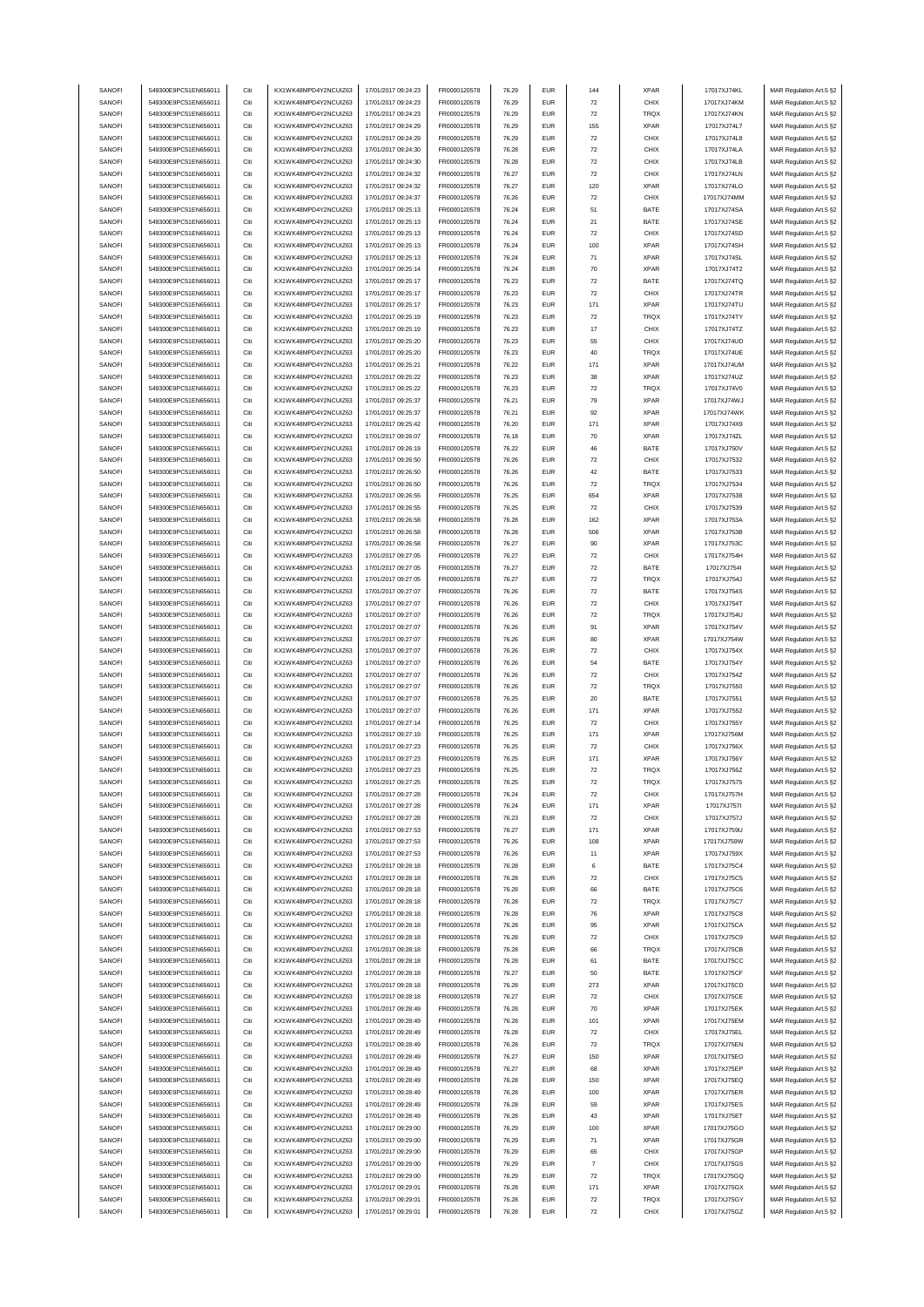| SANOFI<br>SANOFI |                                              | Citi         | KX1WK48MPD4Y2NCUIZ63                         | 17/01/2017 09:24:23                        | FR0000120578                 | 76.29          | <b>EUR</b>               | 144                      | <b>XPAR</b>  | 17017XJ74KL                | MAR Regulation Art.5 §2                            |
|------------------|----------------------------------------------|--------------|----------------------------------------------|--------------------------------------------|------------------------------|----------------|--------------------------|--------------------------|--------------|----------------------------|----------------------------------------------------|
|                  | 549300E9PC51EN656011<br>549300E9PC51EN656011 | Citi         | KX1WK48MPD4Y2NCUIZ63                         | 17/01/2017 09:24:23                        |                              | 76.29          | <b>EUR</b>               | 72                       | CHIX         |                            |                                                    |
|                  |                                              |              |                                              |                                            | FR0000120578                 |                |                          |                          |              | 17017XJ74KM                | MAR Regulation Art.5 §2                            |
| SANOFI           | 549300E9PC51EN656011                         | Citi         | KX1WK48MPD4Y2NCUIZ63                         | 17/01/2017 09:24:23                        | FR0000120578                 | 76.29          | <b>EUR</b>               | 72                       | TRQX         | 17017XJ74KN                | MAR Regulation Art.5 §2                            |
| SANOFI           | 549300E9PC51EN656011                         | Citi         | KX1WK48MPD4Y2NCUIZ63                         | 17/01/2017 09:24:29                        | FR0000120578                 | 76.29          | EUR                      | 155                      | <b>XPAR</b>  | 17017XJ74L7                | MAR Regulation Art.5 §2                            |
| SANOFI           | 549300E9PC51EN656011                         | Citi         | KX1WK48MPD4Y2NCLIIZ63                        | 17/01/2017 09:24:29                        | FR0000120578                 | 76.29          | <b>EUR</b>               | $\scriptstyle{72}$       | CHIX         | 17017XJ74L8                | MAR Regulation Art.5 §2                            |
| SANOFI           | 549300E9PC51EN656011                         | Citi         | KX1WK48MPD4Y2NCUIZ63                         | 17/01/2017 09:24:30                        | FR0000120578                 | 76.28          | <b>EUR</b>               | 72                       | CHIX         | 17017XJ74LA                | MAR Regulation Art.5 §2                            |
| SANOFI           | 549300E9PC51EN656011                         | Citi         | KX1WK48MPD4Y2NCUIZ63                         | 17/01/2017 09:24:30                        | FR0000120578                 | 76.28          | <b>EUR</b>               | $\scriptstyle{72}$       | CHIX         | 17017XJ74LB                | MAR Regulation Art.5 §2                            |
|                  |                                              |              | KX1WK48MPD4Y2NCUIZ63                         |                                            |                              |                |                          |                          |              |                            |                                                    |
| SANOFI           | 549300E9PC51EN656011                         | Citi         |                                              | 17/01/2017 09:24:32                        | FR0000120578                 | 76.27          | <b>EUR</b>               | 72                       | CHIX         | 17017XJ74LN                | MAR Regulation Art.5 §2                            |
| SANOFI           | 549300E9PC51EN656011                         | Citi         | KX1WK48MPD4Y2NCUIZ63                         | 17/01/2017 09:24:32                        | FR0000120578                 | 76.27          | <b>EUR</b>               | 120                      | <b>XPAR</b>  | 17017XJ74LO                | MAR Regulation Art.5 §2                            |
| SANOFI           | 549300E9PC51EN656011                         | Citi         | KX1WK48MPD4Y2NCUIZ63                         | 17/01/2017 09:24:37                        | FR0000120578                 | 76.26          | <b>EUR</b>               | 72                       | CHIX         | 17017XJ74MM                | MAR Regulation Art.5 §2                            |
| SANOFI           | 549300E9PC51EN656011                         | Citi         | KX1WK48MPD4Y2NCUIZ63                         | 17/01/2017 09:25:13                        | FR0000120578                 | 76.24          | <b>EUR</b>               | 51                       | BATE         | 17017XJ74SA                | MAR Regulation Art.5 §2                            |
| SANOFI           | 549300E9PC51EN656011                         | Citi         | KX1WK48MPD4Y2NCUIZ63                         | 17/01/2017 09:25:13                        | FR0000120578                 | 76.24          | <b>EUR</b>               | 21                       | BATE         | 17017XJ74SE                | MAR Regulation Art.5 §2                            |
|                  |                                              |              |                                              |                                            |                              |                |                          |                          |              |                            |                                                    |
| SANOFI           | 549300E9PC51EN656011                         | Citi         | KX1WK48MPD4Y2NCUIZ63                         | 17/01/2017 09:25:13                        | FR0000120578                 | 76.24          | EUR                      | ${\bf 72}$               | CHIX         | 17017XJ74SD                | MAR Regulation Art.5 §2                            |
| SANOFI           | 549300E9PC51EN656011                         | Citi         | KX1WK48MPD4Y2NCUIZ63                         | 17/01/2017 09:25:13                        | FR0000120578                 | 76.24          | <b>EUR</b>               | 100                      | <b>XPAR</b>  | 17017XJ74SH                | MAR Regulation Art.5 §2                            |
| SANOFI           | 549300E9PC51EN656011                         | Citi         | KX1WK48MPD4Y2NCUIZ63                         | 17/01/2017 09:25:13                        | FR0000120578                 | 76.24          | <b>EUR</b>               | $71\,$                   | <b>XPAR</b>  | 17017XJ74SL                | MAR Regulation Art.5 §2                            |
| SANOFI           | 549300E9PC51EN656011                         | Citi         | KX1WK48MPD4Y2NCUIZ63                         | 17/01/2017 09:25:14                        | FR0000120578                 | 76.24          | <b>EUR</b>               | 70                       | <b>XPAR</b>  | 17017XJ74T2                | MAR Regulation Art.5 §2                            |
| SANOFI           | 549300E9PC51EN656011                         | Citi         | KX1WK48MPD4Y2NCUIZ63                         | 17/01/2017 09:25:17                        | FR0000120578                 | 76.23          | <b>EUR</b>               | 72                       | BATE         | 17017XJ74TQ                | MAR Regulation Art.5 §2                            |
|                  | 549300E9PC51EN656011                         | Citi         | KX1WK48MPD4Y2NCUIZ63                         | 17/01/2017 09:25:17                        |                              | 76.23          | <b>EUR</b>               | 72                       | CHIX         |                            |                                                    |
| SANOFI           |                                              |              |                                              |                                            | FR0000120578                 |                |                          |                          |              | 17017XJ74TR                | MAR Regulation Art.5 §2                            |
| SANOFI           | 549300E9PC51EN656011                         | Citi         | KX1WK48MPD4Y2NCUIZ63                         | 17/01/2017 09:25:17                        | FR0000120578                 | 76.23          | <b>EUR</b>               | 171                      | <b>XPAR</b>  | 17017XJ74TU                | MAR Regulation Art.5 §2                            |
| SANOFI           | 549300E9PC51EN656011                         | Citi         | KX1WK48MPD4Y2NCUIZ63                         | 17/01/2017 09:25:19                        | FR0000120578                 | 76.23          | <b>EUR</b>               | ${\bf 72}$               | TRQX         | 17017XJ74TY                | MAR Regulation Art.5 §2                            |
| SANOFI           | 549300E9PC51EN656011                         | Citi         | KX1WK48MPD4Y2NCUIZ63                         | 17/01/2017 09:25:19                        | FR0000120578                 | 76.23          | <b>EUR</b>               | 17                       | CHIX         | 17017XJ74TZ                | MAR Regulation Art.5 §2                            |
| SANOFI           | 549300E9PC51EN656011                         | Citi         | KX1WK48MPD4Y2NCUIZ63                         | 17/01/2017 09:25:20                        | FR0000120578                 | 76.23          | <b>EUR</b>               | 55                       | CHIX         | 17017XJ74UD                | MAR Regulation Art.5 §2                            |
|                  |                                              |              |                                              |                                            |                              |                |                          |                          |              |                            |                                                    |
| SANOFI           | 549300E9PC51EN656011                         | Citi         | KX1WK48MPD4Y2NCUIZ63                         | 17/01/2017 09:25:20                        | FR0000120578                 | 76.23          | <b>EUR</b>               | 40                       | TRQX         | 17017XJ74UE                | MAR Regulation Art.5 §2                            |
| SANOFI           | 549300E9PC51EN656011                         | Citi         | KX1WK48MPD4Y2NCUIZ63                         | 17/01/2017 09:25:21                        | FR0000120578                 | 76.22          | <b>EUR</b>               | 171                      | <b>XPAR</b>  | 17017XJ74UM                | MAR Regulation Art.5 §2                            |
| SANOFI           | 549300E9PC51EN656011                         | Citi         | KX1WK48MPD4Y2NCUIZ63                         | 17/01/2017 09:25:22                        | FR0000120578                 | 76.23          | <b>EUR</b>               | 38                       | <b>XPAR</b>  | 17017XJ74UZ                | MAR Regulation Art.5 §2                            |
| SANOFI           | 549300E9PC51EN656011                         | Citi         | KX1WK48MPD4Y2NCUIZ63                         | 17/01/2017 09:25:22                        | FR0000120578                 | 76.23          | <b>EUR</b>               | 72                       | TRQX         | 17017XJ74V0                | MAR Regulation Art.5 §2                            |
| SANOFI           | 549300E9PC51EN656011                         | Citi         | KX1WK48MPD4Y2NCUIZ63                         | 17/01/2017 09:25:37                        | FR0000120578                 | 76.21          | <b>EUR</b>               | 79                       | <b>XPAR</b>  | 17017XJ74WJ                | MAR Regulation Art.5 §2                            |
| SANOFI           | 549300E9PC51EN656011                         | Citi         | KX1WK48MPD4Y2NCUIZ63                         | 17/01/2017 09:25:37                        |                              | 76.21          | <b>EUR</b>               |                          | <b>XPAR</b>  |                            |                                                    |
|                  |                                              |              |                                              |                                            | FR0000120578                 |                |                          | 92                       |              | 17017XJ74WK                | MAR Regulation Art.5 §2                            |
| SANOFI           | 549300E9PC51EN656011                         | Citi         | KX1WK48MPD4Y2NCUIZ63                         | 17/01/2017 09:25:42                        | FR0000120578                 | 76.20          | <b>EUR</b>               | 171                      | <b>XPAR</b>  | 17017XJ74X9                | MAR Regulation Art.5 §2                            |
| SANOFI           | 549300E9PC51EN656011                         | Citi         | KX1WK48MPD4Y2NCUIZ63                         | 17/01/2017 09:26:07                        | FR0000120578                 | 76.18          | <b>EUR</b>               | 70                       | <b>XPAR</b>  | 17017XJ74ZL                | MAR Regulation Art.5 §2                            |
| SANOFI           | 549300E9PC51EN656011                         | Citi         | KX1WK48MPD4Y2NCUIZ63                         | 17/01/2017 09:26:19                        | FR0000120578                 | 76.22          | <b>EUR</b>               | 46                       | BATE         | 17017XJ750V                | MAR Regulation Art.5 §2                            |
| SANOFI           | 549300E9PC51EN656011                         | Citi         | KX1WK48MPD4Y2NCUIZ63                         | 17/01/2017 09:26:50                        | FR0000120578                 | 76.26          | <b>EUR</b>               | 72                       | CHIX         | 17017XJ7532                | MAR Regulation Art.5 §2                            |
| SANOFI           | 549300E9PC51EN656011                         | Citi         | KX1WK48MPD4Y2NCUIZ63                         | 17/01/2017 09:26:50                        | FR0000120578                 | 76.26          | <b>EUR</b>               | 42                       | BATE         | 17017XJ7533                | MAR Regulation Art.5 §2                            |
|                  |                                              |              |                                              |                                            |                              |                |                          |                          |              |                            |                                                    |
| SANOFI           | 549300E9PC51EN656011                         | Citi         | KX1WK48MPD4Y2NCUIZ63                         | 17/01/2017 09:26:50                        | FR0000120578                 | 76.26          | <b>EUR</b>               | 72                       | TRQX         | 17017XJ7534                | MAR Regulation Art.5 §2                            |
| SANOFI           | 549300E9PC51EN656011                         | Citi         | KX1WK48MPD4Y2NCUIZ63                         | 17/01/2017 09:26:55                        | FR0000120578                 | 76.25          | <b>EUR</b>               | 654                      | <b>XPAR</b>  | 17017XJ7538                | MAR Regulation Art.5 §2                            |
| SANOFI           | 549300E9PC51EN656011                         | Citi         | KX1WK48MPD4Y2NCUIZ63                         | 17/01/2017 09:26:55                        | FR0000120578                 | 76.25          | <b>EUR</b>               | 72                       | CHIX         | 17017XJ7539                | MAR Regulation Art.5 §2                            |
| SANOFI           | 549300E9PC51EN656011                         | Citi         | KX1WK48MPD4Y2NCUIZ63                         | 17/01/2017 09:26:58                        | FR0000120578                 | 76.28          | <b>EUR</b>               | 162                      | <b>XPAR</b>  | 17017XJ753A                | MAR Regulation Art.5 §2                            |
| SANOFI           | 549300E9PC51EN656011                         | Citi         | KX1WK48MPD4Y2NCUIZ63                         | 17/01/2017 09:26:58                        | FR0000120578                 | 76.28          | <b>EUR</b>               | 506                      | <b>XPAR</b>  | 17017XJ753B                | MAR Regulation Art.5 §2                            |
|                  |                                              |              |                                              |                                            |                              |                |                          |                          |              |                            |                                                    |
| SANOFI           | 549300E9PC51EN656011                         | Citi         | KX1WK48MPD4Y2NCUIZ63                         | 17/01/2017 09:26:58                        | FR0000120578                 | 76.27          | <b>EUR</b>               | 90                       | <b>XPAR</b>  | 17017XJ753C                | MAR Regulation Art.5 §2                            |
| SANOFI           | 549300E9PC51EN656011                         | Citi         | KX1WK48MPD4Y2NCUIZ63                         | 17/01/2017 09:27:05                        | FR0000120578                 | 76.27          | <b>EUR</b>               | 72                       | CHIX         | 17017XJ754H                | MAR Regulation Art.5 §2                            |
| SANOFI           | 549300E9PC51EN656011                         | Citi         | KX1WK48MPD4Y2NCUIZ63                         | 17/01/2017 09:27:05                        | FR0000120578                 | 76.27          | <b>EUR</b>               | 72                       | BATE         | 17017XJ754I                | MAR Regulation Art.5 §2                            |
| SANOFI           | 549300E9PC51EN656011                         | Citi         | KX1WK48MPD4Y2NCUIZ63                         | 17/01/2017 09:27:05                        | FR0000120578                 | 76.27          | <b>EUR</b>               | 72                       | TRQX         | 17017XJ754J                | MAR Regulation Art.5 §2                            |
| SANOFI           | 549300E9PC51EN656011                         | Citi         | KX1WK48MPD4Y2NCUIZ63                         | 17/01/2017 09:27:07                        | FR0000120578                 | 76.26          | <b>EUR</b>               | 72                       | BATE         | 17017XJ754S                | MAR Regulation Art.5 §2                            |
| SANOFI           | 549300E9PC51EN656011                         | Citi         | KX1WK48MPD4Y2NCUIZ63                         | 17/01/2017 09:27:07                        | FR0000120578                 | 76.26          | <b>EUR</b>               | 72                       | CHIX         | 17017XJ754T                |                                                    |
|                  |                                              |              |                                              |                                            |                              |                |                          |                          |              |                            | MAR Regulation Art.5 §2                            |
| SANOFI           | 549300E9PC51EN656011                         | Citi         | KX1WK48MPD4Y2NCUIZ63                         | 17/01/2017 09:27:07                        | FR0000120578                 | 76.26          | <b>EUR</b>               | 72                       | TRQX         | 17017XJ754U                | MAR Regulation Art.5 §2                            |
| SANOFI           | 549300E9PC51EN656011                         | Citi         | KX1WK48MPD4Y2NCUIZ63                         | 17/01/2017 09:27:07                        | FR0000120578                 | 76.26          | <b>EUR</b>               | 91                       | <b>XPAR</b>  | 17017XJ754V                | MAR Regulation Art.5 §2                            |
| SANOFI           | 549300E9PC51EN656011                         | Citi         | KX1WK48MPD4Y2NCUIZ63                         | 17/01/2017 09:27:07                        | FR0000120578                 | 76.26          | <b>EUR</b>               | 80                       | <b>XPAR</b>  | 17017XJ754W                | MAR Regulation Art.5 §2                            |
| SANOFI           | 549300E9PC51EN656011                         | Citi         | KX1WK48MPD4Y2NCUIZ63                         | 17/01/2017 09:27:07                        | FR0000120578                 | 76.26          | <b>EUR</b>               | $\scriptstyle{72}$       | CHIX         | 17017XJ754X                | MAR Regulation Art.5 §2                            |
| SANOFI           | 549300E9PC51EN656011                         | Citi         | KX1WK48MPD4Y2NCUIZ63                         | 17/01/2017 09:27:07                        | FR0000120578                 | 76.26          | <b>EUR</b>               | 54                       | BATE         | 17017XJ754Y                | MAR Regulation Art.5 §2                            |
|                  |                                              |              |                                              |                                            |                              |                |                          |                          |              |                            |                                                    |
| SANOFI           | 549300E9PC51EN656011                         | Citi         | KX1WK48MPD4Y2NCUIZ63                         | 17/01/2017 09:27:07                        | FR0000120578                 | 76.26          | <b>EUR</b>               | 72                       | CHIX         | 17017XJ754Z                | MAR Regulation Art.5 §2                            |
| SANOFI           | 549300E9PC51EN656011                         | Citi         | KX1WK48MPD4Y2NCUIZ63                         | 17/01/2017 09:27:07                        | FR0000120578                 | 76.26          | <b>EUR</b>               | 72                       | TRQX         | 17017XJ7550                | MAR Regulation Art.5 §2                            |
| SANOFI           | 549300E9PC51EN656011                         | Citi         | KX1WK48MPD4Y2NCUIZ63                         | 17/01/2017 09:27:07                        | FR0000120578                 | 76.25          | <b>EUR</b>               | 20                       | BATE         | 17017XJ7551                | MAR Regulation Art.5 §2                            |
| SANOFI           | 549300E9PC51EN656011                         | Citi         | KX1WK48MPD4Y2NCUIZ63                         | 17/01/2017 09:27:07                        | FR0000120578                 | 76.26          | <b>EUR</b>               | 171                      | <b>XPAR</b>  | 17017XJ7552                | MAR Regulation Art.5 §2                            |
| SANOFI           | 549300E9PC51EN656011                         | Citi         | KX1WK48MPD4Y2NCUIZ63                         | 17/01/2017 09:27:14                        | FR0000120578                 | 76.25          | <b>EUR</b>               | $\scriptstyle{72}$       | CHIX         | 17017XJ755Y                | MAR Regulation Art.5 §2                            |
|                  |                                              |              |                                              |                                            |                              |                |                          |                          |              |                            |                                                    |
| SANOFI           | 549300E9PC51EN656011                         | Citi         | KX1WK48MPD4Y2NCUIZ63                         | 17/01/2017 09:27:19                        | FR0000120578                 | 76.25          | <b>EUR</b>               | 171                      | <b>XPAR</b>  |                            | MAR Regulation Art.5 §2                            |
| SANOFI           | 549300E9PC51EN656011                         |              |                                              |                                            |                              |                |                          |                          |              | 17017XJ756M                |                                                    |
|                  |                                              | Citi         | KX1WK48MPD4Y2NCUIZ63                         | 17/01/2017 09:27:23                        | FR0000120578                 | 76.25          | <b>EUR</b>               | $\scriptstyle{72}$       | CHIX         | 17017XJ756X                | MAR Regulation Art.5 §2                            |
| SANOFI           | 549300E9PC51EN656011                         | Citi         | KX1WK48MPD4Y2NCUIZ63                         | 17/01/2017 09:27:23                        | FR0000120578                 | 76.25          | <b>EUR</b>               | 171                      | <b>XPAR</b>  | 17017XJ756Y                | MAR Regulation Art.5 §2                            |
|                  |                                              | Citi         |                                              |                                            | FR0000120578                 | 76.25          | <b>EUR</b>               |                          |              | 17017XJ756Z                |                                                    |
| SANOFI           | 549300E9PC51EN656011<br>549300E9PC51EN656011 |              | KX1WK48MPD4Y2NCUIZ63                         | 17/01/2017 09:27:23                        |                              |                |                          | $\scriptstyle{72}$       | TRQX         | 17017X 17575               | MAR Regulation Art.5 §2<br>MAR Regulation Art 5.82 |
| SANOFI           |                                              |              | KX1WK48MPD4Y2NCLIIZ63                        | 17/01/2017 09:27:25                        | FR0000120578                 | 76.25          | FUR                      | 72                       | TROX         |                            |                                                    |
| SANOFI           | 549300E9PC51EN656011                         | Citi         | KX1WK48MPD4Y2NCUIZ63                         | 17/01/2017 09:27:28                        | FR0000120578                 | 76.24          | <b>EUR</b>               | 72                       | CHIX         | 17017XJ757H                | MAR Regulation Art.5 §2                            |
| SANOFI           | 549300E9PC51EN656011                         | Citi         | KX1WK48MPD4Y2NCUIZ63                         | 17/01/2017 09:27:28                        | FR0000120578                 | 76.24          | <b>EUR</b>               | 171                      | <b>XPAR</b>  | 17017XJ757I                | MAR Regulation Art.5 §2                            |
| SANOFI           | 549300E9PC51EN656011                         | Citi         | KX1WK48MPD4Y2NCUIZ63                         | 17/01/2017 09:27:28                        | FR0000120578                 | 76.23          | <b>EUR</b>               | 72                       | CHIX         | 17017XJ757J                | MAR Regulation Art.5 §2                            |
| SANOFI           | 549300E9PC51EN656011                         | Citi         | KX1WK48MPD4Y2NCUIZ63                         | 17/01/2017 09:27:53                        | FR0000120578                 | 76.27          | <b>EUR</b>               | 171                      | <b>XPAR</b>  | 17017XJ759U                |                                                    |
|                  |                                              |              |                                              |                                            |                              |                |                          |                          |              |                            | MAR Regulation Art.5 §2                            |
| SANOFI           | 549300E9PC51EN656011                         | Citi         | KX1WK48MPD4Y2NCUIZ63                         | 17/01/2017 09:27:53                        | FR0000120578                 | 76.26          | <b>EUR</b>               | 108                      | <b>XPAR</b>  | 17017XJ759W                | MAR Regulation Art.5 §2                            |
| SANOFI           | 549300E9PC51EN656011                         | Citi         | KX1WK48MPD4Y2NCUIZ63                         | 17/01/2017 09:27:53                        | FR0000120578                 | 76.26          | <b>EUR</b>               | 11                       | <b>XPAR</b>  | 17017XJ759X                | MAR Regulation Art.5 §2                            |
| SANOFI           | 549300E9PC51EN656011                         | Citi         | KX1WK48MPD4Y2NCUIZ63                         | 17/01/2017 09:28:18                        | FR0000120578                 | 76.28          | <b>EUR</b>               | 6                        | BATE         | 17017XJ75C4                | MAR Regulation Art.5 §2                            |
| SANOFI           | 549300E9PC51EN656011                         | Citi         | KX1WK48MPD4Y2NCUIZ63                         | 17/01/2017 09:28:18                        | FR0000120578                 | 76.28          | <b>EUR</b>               | 72                       | CHIX         | 17017XJ75C5                | MAR Regulation Art.5 §2                            |
| SANOFI           | 549300E9PC51EN656011                         | Citi         | KX1WK48MPD4Y2NCUIZ63                         | 17/01/2017 09:28:18                        | FR0000120578                 | 76.28          | <b>EUR</b>               | 66                       | BATE         | 17017XJ75C6                | MAR Regulation Art.5 §2                            |
| SANOFI           | 549300E9PC51EN656011                         | Citi         | KX1WK48MPD4Y2NCUIZ63                         | 17/01/2017 09:28:18                        | FR0000120578                 | 76.28          | <b>EUR</b>               | 72                       | TRQX         | 17017XJ75C7                | MAR Regulation Art.5 §2                            |
|                  |                                              |              |                                              |                                            |                              |                |                          |                          |              |                            |                                                    |
| SANOFI           | 549300E9PC51EN656011                         | Citi         | KX1WK48MPD4Y2NCUIZ63                         | 17/01/2017 09:28:18                        | FR0000120578                 | 76.28          | <b>EUR</b>               | 76                       | <b>XPAR</b>  | 17017XJ75C8                | MAR Regulation Art.5 §2                            |
| SANOFI           | 549300E9PC51EN656011                         | Citi         | KX1WK48MPD4Y2NCUIZ63                         | 17/01/2017 09:28:18                        | FR0000120578                 | 76.28          | <b>EUR</b>               | 95                       | <b>XPAR</b>  | 17017XJ75CA                | MAR Regulation Art.5 §2                            |
| SANOFI           | 549300E9PC51EN656011                         | Citi         | KX1WK48MPD4Y2NCUIZ63                         | 17/01/2017 09:28:18                        | FR0000120578                 | 76.28          | <b>EUR</b>               | 72                       | CHIX         | 17017XJ75C9                | MAR Regulation Art.5 §2                            |
| SANOFI           | 549300E9PC51EN656011                         | Citi         | KX1WK48MPD4Y2NCUIZ63                         | 17/01/2017 09:28:18                        | FR0000120578                 | 76.28          | <b>EUR</b>               | 66                       | TRQX         | 17017XJ75CB                | MAR Regulation Art.5 §2                            |
| SANOFI           | 549300E9PC51EN656011                         | Citi         | KX1WK48MPD4Y2NCUIZ63                         | 17/01/2017 09:28:18                        | FR0000120578                 | 76.28          | <b>EUR</b>               | 61                       | BATE         | 17017XJ75CC                | MAR Regulation Art.5 §2                            |
|                  |                                              | Citi         |                                              |                                            |                              |                | <b>EUR</b>               | 50                       |              |                            |                                                    |
| SANOFI           | 549300E9PC51EN656011                         |              | KX1WK48MPD4Y2NCUIZ63                         | 17/01/2017 09:28:18                        | FR0000120578                 | 76.27          |                          |                          | BATE         | 17017XJ75CF                | MAR Regulation Art.5 §2                            |
| SANOFI           | 549300E9PC51EN656011                         | Citi         | KX1WK48MPD4Y2NCUIZ63                         | 17/01/2017 09:28:18                        | FR0000120578                 | 76.28          | <b>EUR</b>               | 273                      | <b>XPAR</b>  | 17017XJ75CD                | MAR Regulation Art.5 §2                            |
| SANOFI           | 549300E9PC51EN656011                         | Citi         | KX1WK48MPD4Y2NCUIZ63                         | 17/01/2017 09:28:18                        | FR0000120578                 | 76.27          | <b>EUR</b>               | 72                       | CHIX         | 17017XJ75CE                | MAR Regulation Art.5 §2                            |
| SANOFI           | 549300E9PC51EN656011                         | Citi         | KX1WK48MPD4Y2NCUIZ63                         | 17/01/2017 09:28:49                        | FR0000120578                 | 76.28          | <b>EUR</b>               | 70                       | <b>XPAR</b>  | 17017XJ75EK                | MAR Regulation Art.5 §2                            |
| SANOFI           | 549300E9PC51EN656011                         | Citi         | KX1WK48MPD4Y2NCUIZ63                         | 17/01/2017 09:28:49                        | FR0000120578                 | 76.28          | <b>EUR</b>               | 101                      | <b>XPAR</b>  | 17017XJ75EM                | MAR Regulation Art.5 §2                            |
| SANOFI           | 549300E9PC51EN656011                         | Citi         | KX1WK48MPD4Y2NCUIZ63                         | 17/01/2017 09:28:49                        | FR0000120578                 | 76.28          | <b>EUR</b>               | 72                       | CHIX         | 17017XJ75EL                | MAR Regulation Art.5 §2                            |
|                  |                                              |              |                                              |                                            |                              |                |                          |                          |              |                            |                                                    |
| SANOFI           | 549300E9PC51EN656011                         | Citi         | KX1WK48MPD4Y2NCUIZ63                         | 17/01/2017 09:28:49                        | FR0000120578                 | 76.28          | <b>EUR</b>               | 72                       | TRQX         | 17017XJ75EN                | MAR Regulation Art.5 §2                            |
| SANOFI           | 549300E9PC51EN656011                         | Citi         | KX1WK48MPD4Y2NCUIZ63                         | 17/01/2017 09:28:49                        | FR0000120578                 | 76.27          | <b>EUR</b>               | 150                      | <b>XPAR</b>  | 17017XJ75EO                | MAR Regulation Art.5 §2                            |
| SANOFI           | 549300E9PC51EN656011                         | Citi         | KX1WK48MPD4Y2NCUIZ63                         | 17/01/2017 09:28:49                        | FR0000120578                 | 76.27          | <b>EUR</b>               | 68                       | <b>XPAR</b>  | 17017XJ75EP                | MAR Regulation Art.5 §2                            |
| SANOFI           | 549300E9PC51EN656011                         | Citi         | KX1WK48MPD4Y2NCUIZ63                         | 17/01/2017 09:28:49                        | FR0000120578                 | 76.28          | <b>EUR</b>               | 150                      | <b>XPAR</b>  | 17017XJ75EQ                | MAR Regulation Art.5 §2                            |
| SANOFI           | 549300E9PC51EN656011                         | Citi         | KX1WK48MPD4Y2NCUIZ63                         | 17/01/2017 09:28:49                        | FR0000120578                 | 76.28          | <b>EUR</b>               | 100                      | <b>XPAR</b>  | 17017XJ75ER                | MAR Regulation Art.5 §2                            |
|                  |                                              |              |                                              |                                            |                              |                |                          |                          |              |                            |                                                    |
| SANOFI           | 549300E9PC51EN656011                         | Citi         | KX1WK48MPD4Y2NCUIZ63                         | 17/01/2017 09:28:49                        | FR0000120578                 | 76.28          | <b>EUR</b>               | 59                       | <b>XPAR</b>  | 17017XJ75ES                | MAR Regulation Art.5 §2                            |
| SANOFI           | 549300E9PC51EN656011                         | Citi         | KX1WK48MPD4Y2NCUIZ63                         | 17/01/2017 09:28:49                        | FR0000120578                 | 76.28          | <b>EUR</b>               | 43                       | <b>XPAR</b>  | 17017XJ75ET                | MAR Regulation Art.5 §2                            |
| SANOFI           | 549300E9PC51EN656011                         | Citi         | KX1WK48MPD4Y2NCUIZ63                         | 17/01/2017 09:29:00                        | FR0000120578                 | 76.29          | <b>EUR</b>               | 100                      | <b>XPAR</b>  | 17017XJ75GO                | MAR Regulation Art.5 §2                            |
| SANOFI           | 549300E9PC51EN656011                         | Citi         | KX1WK48MPD4Y2NCUIZ63                         | 17/01/2017 09:29:00                        | FR0000120578                 | 76.29          | <b>EUR</b>               | $71\,$                   | <b>XPAR</b>  | 17017XJ75GR                | MAR Regulation Art.5 §2                            |
| SANOFI           | 549300E9PC51EN656011                         | Citi         | KX1WK48MPD4Y2NCUIZ63                         | 17/01/2017 09:29:00                        | FR0000120578                 | 76.29          | <b>EUR</b>               | 65                       | CHIX         | 17017XJ75GP                | MAR Regulation Art.5 §2                            |
| SANOFI           | 549300E9PC51EN656011                         | Citi         | KX1WK48MPD4Y2NCUIZ63                         | 17/01/2017 09:29:00                        | FR0000120578                 | 76.29          | <b>EUR</b>               | $\overline{7}$           | CHIX         | 17017XJ75GS                | MAR Regulation Art.5 §2                            |
|                  |                                              | Citi         |                                              |                                            |                              | 76.29          | <b>EUR</b>               | 72                       |              |                            |                                                    |
| SANOFI           | 549300E9PC51EN656011                         |              | KX1WK48MPD4Y2NCUIZ63                         | 17/01/2017 09:29:00                        | FR0000120578                 |                |                          |                          | TRQX         | 17017XJ75GQ                | MAR Regulation Art.5 §2                            |
| SANOFI           | 549300E9PC51EN656011                         | Citi         | KX1WK48MPD4Y2NCUIZ63                         | 17/01/2017 09:29:01                        | FR0000120578                 | 76.28          | <b>EUR</b>               | 171                      | <b>XPAR</b>  | 17017XJ75GX                | MAR Regulation Art.5 §2                            |
| SANOFI<br>SANOFI | 549300E9PC51EN656011<br>549300E9PC51EN656011 | Citi<br>Citi | KX1WK48MPD4Y2NCUIZ63<br>KX1WK48MPD4Y2NCUIZ63 | 17/01/2017 09:29:01<br>17/01/2017 09:29:01 | FR0000120578<br>FR0000120578 | 76.28<br>76.28 | <b>EUR</b><br><b>EUR</b> | $\scriptstyle{72}$<br>72 | TRQX<br>CHIX | 17017XJ75GY<br>17017XJ75GZ | MAR Regulation Art.5 §2<br>MAR Regulation Art.5 §2 |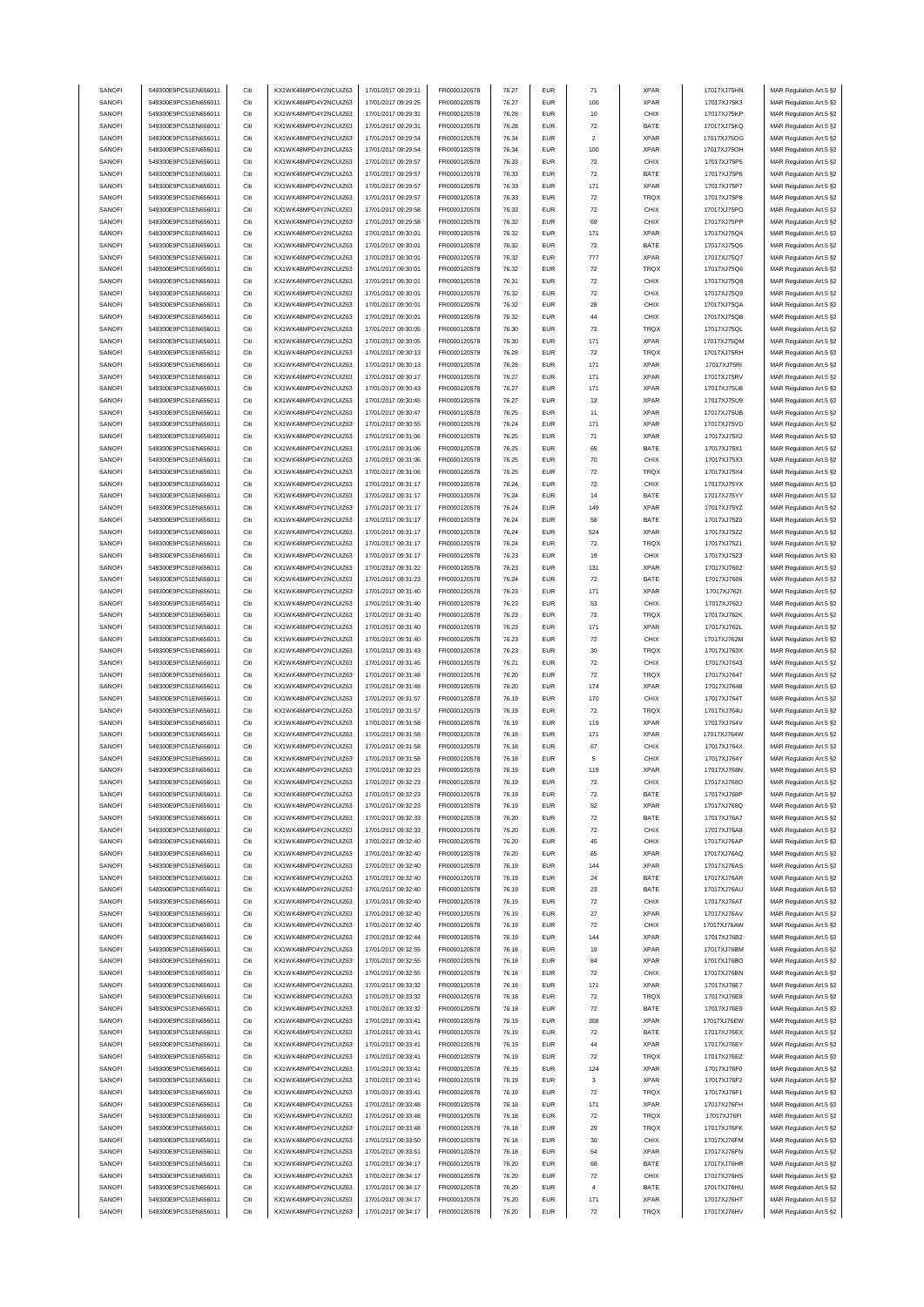| SANOFI | 549300E9PC51EN656011 | Citi | KX1WK48MPD4Y2NCUIZ63 | 17/01/2017 09:29:11 | FR0000120578 | 76.27 | <b>EUR</b> | 71                 | <b>XPAR</b> | 17017XJ75HN | MAR Regulation Art.5 §2                            |
|--------|----------------------|------|----------------------|---------------------|--------------|-------|------------|--------------------|-------------|-------------|----------------------------------------------------|
|        | 549300E9PC51EN656011 | Citi |                      | 17/01/2017 09:29:25 |              | 76.27 | <b>EUR</b> | 100                | <b>XPAR</b> |             |                                                    |
| SANOFI |                      |      | KX1WK48MPD4Y2NCUIZ63 |                     | FR0000120578 |       |            |                    |             | 17017XJ75K3 | MAR Regulation Art.5 §2                            |
| SANOFI | 549300E9PC51EN656011 | Citi | KX1WK48MPD4Y2NCUIZ63 | 17/01/2017 09:29:31 | FR0000120578 | 76.28 | <b>EUR</b> | 10                 | CHIX        | 17017XJ75KP | MAR Regulation Art.5 §2                            |
| SANOFI | 549300E9PC51EN656011 | Citi | KX1WK48MPD4Y2NCUIZ63 | 17/01/2017 09:29:31 | FR0000120578 | 76.28 | <b>EUR</b> | $\scriptstyle{72}$ | BATE        | 17017XJ75KQ | MAR Regulation Art.5 §2                            |
| SANOFI | 549300E9PC51EN656011 | Citi | KX1WK48MPD4Y2NCUIZ63 | 17/01/2017 09:29:54 | FR0000120578 | 76.34 | <b>EUR</b> | $\sqrt{2}$         | <b>XPAR</b> | 17017XJ75OG | MAR Regulation Art.5 §2                            |
| SANOFI | 549300E9PC51EN656011 | Citi | KX1WK48MPD4Y2NCUIZ63 | 17/01/2017 09:29:54 | FR0000120578 | 76.34 | <b>EUR</b> | 100                | <b>XPAR</b> | 17017XJ75OH | MAR Regulation Art.5 §2                            |
| SANOFI | 549300E9PC51EN656011 | Citi | KX1WK48MPD4Y2NCUIZ63 | 17/01/2017 09:29:57 | FR0000120578 | 76.33 | <b>EUR</b> | $\scriptstyle{72}$ | CHIX        | 17017XJ75P5 | MAR Regulation Art.5 §2                            |
|        |                      |      |                      |                     |              |       |            |                    |             |             |                                                    |
| SANOFI | 549300E9PC51EN656011 | Citi | KX1WK48MPD4Y2NCUIZ63 | 17/01/2017 09:29:57 | FR0000120578 | 76.33 | <b>EUR</b> | $\scriptstyle{72}$ | BATE        | 17017XJ75P6 | MAR Regulation Art.5 §2                            |
| SANOFI | 549300E9PC51EN656011 | Citi | KX1WK48MPD4Y2NCUIZ63 | 17/01/2017 09:29:57 | FR0000120578 | 76.33 | <b>EUR</b> | 171                | <b>XPAR</b> | 17017XJ75P7 | MAR Regulation Art.5 §2                            |
| SANOFI | 549300E9PC51EN656011 | Citi | KX1WK48MPD4Y2NCUIZ63 | 17/01/2017 09:29:57 | FR0000120578 | 76.33 | <b>EUR</b> | 72                 | <b>TRQX</b> | 17017XJ75P8 | MAR Regulation Art.5 §2                            |
| SANOFI | 549300E9PC51EN656011 | Citi | KX1WK48MPD4Y2NCUIZ63 | 17/01/2017 09:29:58 | FR0000120578 | 76.33 | <b>EUR</b> | $\scriptstyle{72}$ | CHIX        | 17017XJ75PO | MAR Regulation Art.5 §2                            |
| SANOFI | 549300E9PC51EN656011 | Citi | KX1WK48MPD4Y2NCUIZ63 | 17/01/2017 09:29:58 | FR0000120578 | 76.32 | <b>EUR</b> | 69                 | CHIX        | 17017XJ75PP | MAR Regulation Art.5 §2                            |
|        | 549300E9PC51EN656011 |      |                      |                     |              |       |            |                    |             |             |                                                    |
| SANOFI |                      | Citi | KX1WK48MPD4Y2NCUIZ63 | 17/01/2017 09:30:01 | FR0000120578 | 76.32 | <b>EUR</b> | 171                | <b>XPAR</b> | 17017XJ75Q4 | MAR Regulation Art.5 §2                            |
| SANOFI | 549300E9PC51EN656011 | Citi | KX1WK48MPD4Y2NCUIZ63 | 17/01/2017 09:30:01 | FR0000120578 | 76.32 | <b>EUR</b> | $\scriptstyle{72}$ | BATE        | 17017XJ75Q5 | MAR Regulation Art.5 §2                            |
| SANOFI | 549300E9PC51EN656011 | Citi | KX1WK48MPD4Y2NCUIZ63 | 17/01/2017 09:30:01 | FR0000120578 | 76.32 | <b>EUR</b> | 777                | <b>XPAR</b> | 17017XJ75Q7 | MAR Regulation Art.5 §2                            |
| SANOFI | 549300E9PC51EN656011 | Citi | KX1WK48MPD4Y2NCUIZ63 | 17/01/2017 09:30:01 | FR0000120578 | 76.32 | <b>EUR</b> | $\scriptstyle{72}$ | TRQX        | 17017XJ75Q6 | MAR Regulation Art.5 §2                            |
| SANOFI | 549300E9PC51EN656011 | Citi | KX1WK48MPD4Y2NCUIZ63 | 17/01/2017 09:30:01 | FR0000120578 | 76.31 | <b>EUR</b> | $\scriptstyle{72}$ | CHIX        | 17017XJ75Q8 | MAR Regulation Art.5 §2                            |
|        | 549300E9PC51EN656011 | Citi |                      | 17/01/2017 09:30:01 | FR0000120578 | 76.32 | <b>EUR</b> | 72                 | CHIX        |             |                                                    |
| SANOFI |                      |      | KX1WK48MPD4Y2NCUIZ63 |                     |              |       |            |                    |             | 17017XJ75Q9 | MAR Regulation Art.5 §2                            |
| SANOFI | 549300E9PC51EN656011 | Citi | KX1WK48MPD4Y2NCUIZ63 | 17/01/2017 09:30:01 | FR0000120578 | 76.32 | <b>EUR</b> | 28                 | CHIX        | 17017XJ75QA | MAR Regulation Art.5 §2                            |
| SANOFI | 549300E9PC51EN656011 | Citi | KX1WK48MPD4Y2NCUIZ63 | 17/01/2017 09:30:01 | FR0000120578 | 76.32 | EUR        | 44                 | CHIX        | 17017XJ75QB | MAR Regulation Art.5 §2                            |
| SANOFI | 549300E9PC51EN656011 | Citi | KX1WK48MPD4Y2NCUIZ63 | 17/01/2017 09:30:05 | FR0000120578 | 76.30 | <b>EUR</b> | $\scriptstyle{72}$ | TRQX        | 17017XJ75QL | MAR Regulation Art.5 §2                            |
| SANOFI | 549300E9PC51EN656011 | Citi | KX1WK48MPD4Y2NCUIZ63 | 17/01/2017 09:30:05 | FR0000120578 | 76.30 | <b>EUR</b> | 171                | <b>XPAR</b> | 17017XJ75QM | MAR Regulation Art.5 §2                            |
| SANOFI | 549300E9PC51EN656011 | Citi | KX1WK48MPD4Y2NCUIZ63 | 17/01/2017 09:30:13 | FR0000120578 | 76.28 | <b>EUR</b> | $\scriptstyle{72}$ | TRQX        | 17017XJ75RH |                                                    |
|        |                      |      |                      |                     |              |       |            |                    |             |             | MAR Regulation Art.5 §2                            |
| SANOFI | 549300E9PC51EN656011 | Citi | KX1WK48MPD4Y2NCUIZ63 | 17/01/2017 09:30:13 | FR0000120578 | 76.28 | <b>EUR</b> | 171                | <b>XPAR</b> | 17017XJ75RI | MAR Regulation Art.5 §2                            |
| SANOFI | 549300E9PC51EN656011 | Citi | KX1WK48MPD4Y2NCUIZ63 | 17/01/2017 09:30:17 | FR0000120578 | 76.27 | <b>EUR</b> | 171                | <b>XPAR</b> | 17017XJ75RV | MAR Regulation Art.5 §2                            |
| SANOFI | 549300E9PC51EN656011 | Citi | KX1WK48MPD4Y2NCUIZ63 | 17/01/2017 09:30:43 | FR0000120578 | 76.27 | <b>EUR</b> | 171                | <b>XPAR</b> | 17017XJ75U8 | MAR Regulation Art.5 §2                            |
| SANOFI | 549300E9PC51EN656011 | Citi | KX1WK48MPD4Y2NCUIZ63 | 17/01/2017 09:30:45 | FR0000120578 | 76.27 | <b>EUR</b> | 12                 | <b>XPAR</b> | 17017XJ75U9 | MAR Regulation Art.5 §2                            |
|        | 549300E9PC51EN656011 | Citi |                      |                     |              |       | <b>EUR</b> |                    | <b>XPAR</b> |             |                                                    |
| SANOFI |                      |      | KX1WK48MPD4Y2NCUIZ63 | 17/01/2017 09:30:47 | FR0000120578 | 76.25 |            | 11                 |             | 17017XJ75UB | MAR Regulation Art.5 §2                            |
| SANOFI | 549300E9PC51EN656011 | Citi | KX1WK48MPD4Y2NCUIZ63 | 17/01/2017 09:30:55 | FR0000120578 | 76.24 | <b>EUR</b> | 171                | <b>XPAR</b> | 17017XJ75VD | MAR Regulation Art.5 §2                            |
| SANOFI | 549300E9PC51EN656011 | Citi | KX1WK48MPD4Y2NCUIZ63 | 17/01/2017 09:31:06 | FR0000120578 | 76.25 | <b>EUR</b> | 71                 | <b>XPAR</b> | 17017XJ75X2 | MAR Regulation Art.5 §2                            |
| SANOFI | 549300E9PC51EN656011 | Citi | KX1WK48MPD4Y2NCUIZ63 | 17/01/2017 09:31:06 | FR0000120578 | 76.25 | <b>EUR</b> | 65                 | BATE        | 17017XJ75X1 | MAR Regulation Art.5 §2                            |
| SANOFI | 549300E9PC51EN656011 | Citi | KX1WK48MPD4Y2NCUIZ63 | 17/01/2017 09:31:06 | FR0000120578 | 76.25 | <b>EUR</b> | 70                 | CHIX        | 17017XJ75X3 | MAR Regulation Art.5 §2                            |
| SANOFI | 549300E9PC51EN656011 | Citi | KX1WK48MPD4Y2NCUIZ63 | 17/01/2017 09:31:06 | FR0000120578 | 76.25 | <b>EUR</b> | $\scriptstyle{72}$ | TRQX        | 17017XJ75X4 | MAR Regulation Art.5 §2                            |
|        |                      |      |                      |                     |              |       |            |                    |             |             |                                                    |
| SANOFI | 549300E9PC51EN656011 | Citi | KX1WK48MPD4Y2NCUIZ63 | 17/01/2017 09:31:17 | FR0000120578 | 76.24 | <b>EUR</b> | $\scriptstyle{72}$ | CHIX        | 17017XJ75YX | MAR Regulation Art.5 §2                            |
| SANOFI | 549300E9PC51EN656011 | Citi | KX1WK48MPD4Y2NCUIZ63 | 17/01/2017 09:31:17 | FR0000120578 | 76.24 | <b>EUR</b> | 14                 | BATE        | 17017XJ75YY | MAR Regulation Art.5 §2                            |
| SANOFI | 549300E9PC51EN656011 | Citi | KX1WK48MPD4Y2NCUIZ63 | 17/01/2017 09:31:17 | FR0000120578 | 76.24 | <b>EUR</b> | 149                | <b>XPAR</b> | 17017XJ75YZ | MAR Regulation Art.5 §2                            |
| SANOFI | 549300E9PC51EN656011 | Citi | KX1WK48MPD4Y2NCUIZ63 | 17/01/2017 09:31:17 | FR0000120578 | 76.24 | <b>EUR</b> | 58                 | BATE        | 17017XJ75Z0 | MAR Regulation Art.5 §2                            |
| SANOFI | 549300E9PC51EN656011 | Citi | KX1WK48MPD4Y2NCUIZ63 | 17/01/2017 09:31:17 | FR0000120578 | 76.24 | <b>EUR</b> | 524                | <b>XPAR</b> | 17017XJ75Z2 | MAR Regulation Art.5 §2                            |
|        |                      |      |                      |                     |              |       |            |                    |             |             |                                                    |
| SANOFI | 549300E9PC51EN656011 | Citi | KX1WK48MPD4Y2NCUIZ63 | 17/01/2017 09:31:17 | FR0000120578 | 76.24 | <b>EUR</b> | $\scriptstyle{72}$ | TRQX        | 17017XJ75Z1 | MAR Regulation Art.5 §2                            |
| SANOFI | 549300E9PC51EN656011 | Citi | KX1WK48MPD4Y2NCUIZ63 | 17/01/2017 09:31:17 | FR0000120578 | 76.23 | <b>EUR</b> | 19                 | CHIX        | 17017XJ75Z3 | MAR Regulation Art.5 §2                            |
| SANOFI | 549300E9PC51EN656011 | Citi | KX1WK48MPD4Y2NCUIZ63 | 17/01/2017 09:31:22 | FR0000120578 | 76.23 | <b>EUR</b> | 131                | <b>XPAR</b> | 17017XJ7602 | MAR Regulation Art.5 §2                            |
| SANOFI | 549300E9PC51EN656011 | Citi | KX1WK48MPD4Y2NCUIZ63 | 17/01/2017 09:31:23 | FR0000120578 | 76.24 | <b>EUR</b> | $\scriptstyle{72}$ | BATE        | 17017XJ7606 | MAR Regulation Art.5 §2                            |
| SANOFI | 549300E9PC51EN656011 | Citi | KX1WK48MPD4Y2NCUIZ63 | 17/01/2017 09:31:40 | FR0000120578 | 76.23 | <b>EUR</b> | 171                | <b>XPAR</b> | 17017XJ762I | MAR Regulation Art.5 §2                            |
| SANOFI | 549300E9PC51EN656011 | Citi | KX1WK48MPD4Y2NCUIZ63 | 17/01/2017 09:31:40 | FR0000120578 | 76.23 | <b>EUR</b> | 53                 | CHIX        | 17017XJ762J | MAR Regulation Art.5 §2                            |
|        |                      |      |                      |                     |              |       |            |                    |             |             |                                                    |
| SANOFI | 549300E9PC51EN656011 | Citi | KX1WK48MPD4Y2NCUIZ63 | 17/01/2017 09:31:40 | FR0000120578 | 76.23 | <b>EUR</b> | $\scriptstyle{72}$ | TRQX        | 17017XJ762K | MAR Regulation Art.5 §2                            |
| SANOFI | 549300E9PC51EN656011 | Citi | KX1WK48MPD4Y2NCUIZ63 | 17/01/2017 09:31:40 | FR0000120578 | 76.23 | <b>EUR</b> | 171                | <b>XPAR</b> | 17017XJ762L | MAR Regulation Art.5 §2                            |
| SANOFI | 549300E9PC51EN656011 | Citi | KX1WK48MPD4Y2NCUIZ63 | 17/01/2017 09:31:40 | FR0000120578 | 76.23 | <b>EUR</b> | 72                 | CHIX        | 17017XJ762M | MAR Regulation Art.5 §2                            |
| SANOFI | 549300E9PC51EN656011 | Citi | KX1WK48MPD4Y2NCUIZ63 |                     |              |       | <b>EUR</b> |                    |             |             |                                                    |
|        |                      |      |                      |                     |              |       |            |                    |             |             |                                                    |
|        |                      |      |                      | 17/01/2017 09:31:43 | FR0000120578 | 76.23 |            | 30                 | TRQX        | 17017XJ763X | MAR Regulation Art.5 §2                            |
| SANOFI | 549300E9PC51EN656011 | Citi | KX1WK48MPD4Y2NCUIZ63 | 17/01/2017 09:31:45 | FR0000120578 | 76.21 | <b>EUR</b> | $\scriptstyle{72}$ | CHIX        | 17017XJ7643 | MAR Regulation Art.5 §2                            |
| SANOFI | 549300E9PC51EN656011 | Citi | KX1WK48MPD4Y2NCUIZ63 | 17/01/2017 09:31:48 | FR0000120578 | 76.20 | <b>EUR</b> | $\scriptstyle{72}$ | TRQX        | 17017XJ7647 | MAR Regulation Art.5 §2                            |
| SANOFI | 549300E9PC51EN656011 | Citi | KX1WK48MPD4Y2NCUIZ63 | 17/01/2017 09:31:48 | FR0000120578 | 76.20 | <b>EUR</b> | 174                | <b>XPAR</b> | 17017XJ7648 | MAR Regulation Art.5 §2                            |
| SANOFI | 549300E9PC51EN656011 | Citi | KX1WK48MPD4Y2NCUIZ63 | 17/01/2017 09:31:57 | FR0000120578 | 76.19 | <b>EUR</b> | 170                | CHIX        | 17017XJ764T | MAR Regulation Art.5 §2                            |
|        | 549300E9PC51EN656011 | Citi |                      | 17/01/2017 09:31:57 |              |       | <b>EUR</b> |                    |             |             |                                                    |
| SANOFI |                      |      | KX1WK48MPD4Y2NCUIZ63 |                     | FR0000120578 | 76.19 |            | $\scriptstyle{72}$ | TRQX        | 17017XJ764U | MAR Regulation Art.5 §2                            |
| SANOFI | 549300E9PC51EN656011 | Citi | KX1WK48MPD4Y2NCUIZ63 | 17/01/2017 09:31:58 | FR0000120578 | 76.19 | <b>EUR</b> | 119                | <b>XPAR</b> | 17017XJ764V | MAR Regulation Art.5 §2                            |
| SANOFI | 549300E9PC51EN656011 | Citi | KX1WK48MPD4Y2NCUIZ63 | 17/01/2017 09:31:58 | FR0000120578 | 76.18 | <b>EUR</b> | 171                | <b>XPAR</b> | 17017XJ764W | MAR Regulation Art.5 §2                            |
| SANOFI | 549300E9PC51EN656011 | Citi | KX1WK48MPD4Y2NCUIZ63 | 17/01/2017 09:31:58 | FR0000120578 | 76.18 | <b>EUR</b> | 67                 | CHIX        | 17017XJ764X | MAR Regulation Art.5 §2                            |
| SANOFI | 549300E9PC51EN656011 | Citi | KX1WK48MPD4Y2NCUIZ63 | 17/01/2017 09:31:58 | FR0000120578 | 76.18 | <b>EUR</b> | 5                  | CHIX        | 17017XJ764Y | MAR Regulation Art.5 §2                            |
| SANOFI | 549300E9PC51EN656011 | Citi | KX1WK48MPD4Y2NCUIZ63 | 17/01/2017 09:32:23 | FR0000120578 | 76.19 | <b>EUR</b> | 119                | <b>XPAR</b> | 17017XJ768N |                                                    |
|        |                      |      |                      |                     |              |       |            |                    |             |             | MAR Regulation Art.5 §2<br>MAR Regulation Art 5.82 |
| SANOFI | 549300E9PC51EN656011 |      | KX1WK48MPD4Y2NCUIZ63 | 17/01/2017 09:32:23 | FR0000120578 | 76.19 | FUR        |                    | CHIX        | 17017XJ768O |                                                    |
| SANOFI | 549300E9PC51EN656011 | Citi | KX1WK48MPD4Y2NCUIZ63 | 17/01/2017 09:32:23 | FR0000120578 | 76.19 | <b>EUR</b> | $\scriptstyle{72}$ | BATE        | 17017XJ768P | MAR Regulation Art.5 §2                            |
| SANOFI | 549300E9PC51EN656011 | Citi | KX1WK48MPD4Y2NCUIZ63 | 17/01/2017 09:32:23 | FR0000120578 | 76.19 | <b>EUR</b> | 52                 | XPAR        | 17017XJ768Q | MAR Regulation Art.5 §2                            |
| SANOFI | 549300E9PC51EN656011 | Citi | KX1WK48MPD4Y2NCUIZ63 | 17/01/2017 09:32:33 | FR0000120578 | 76.20 | <b>EUR</b> | 72                 | BATE        | 17017XJ76A7 | MAR Regulation Art.5 §2                            |
| SANOFI | 549300E9PC51EN656011 | Citi | KX1WK48MPD4Y2NCUIZ63 | 17/01/2017 09:32:33 | FR0000120578 | 76.20 | <b>EUR</b> | $\scriptstyle{72}$ | CHIX        | 17017XJ76A8 | MAR Regulation Art.5 §2                            |
|        | 549300E9PC51EN656011 |      |                      |                     |              |       |            |                    |             |             |                                                    |
| SANOFI |                      | Citi | KX1WK48MPD4Y2NCUIZ63 | 17/01/2017 09:32:40 | FR0000120578 | 76.20 | <b>EUR</b> | 45                 | CHIX        | 17017XJ76AP | MAR Regulation Art.5 §2                            |
| SANOFI | 549300E9PC51EN656011 | Citi | KX1WK48MPD4Y2NCUIZ63 | 17/01/2017 09:32:40 | FR0000120578 | 76.20 | <b>EUR</b> | 65                 | XPAR        | 17017XJ76AQ | MAR Regulation Art.5 §2                            |
| SANOFI | 549300E9PC51EN656011 | Citi | KX1WK48MPD4Y2NCUIZ63 | 17/01/2017 09:32:40 | FR0000120578 | 76.19 | <b>EUR</b> | 144                | <b>XPAR</b> | 17017XJ76AS | MAR Regulation Art.5 §2                            |
| SANOFI | 549300E9PC51EN656011 | Citi | KX1WK48MPD4Y2NCUIZ63 | 17/01/2017 09:32:40 | FR0000120578 | 76.19 | <b>EUR</b> | 24                 | BATE        | 17017XJ76AR | MAR Regulation Art.5 §2                            |
| SANOFI | 549300E9PC51EN656011 | Citi | KX1WK48MPD4Y2NCUIZ63 | 17/01/2017 09:32:40 | FR0000120578 | 76.19 | <b>EUR</b> | 23                 | BATE        | 17017XJ76AU | MAR Regulation Art.5 §2                            |
| SANOFI | 549300E9PC51EN656011 | Citi | KX1WK48MPD4Y2NCUIZ63 | 17/01/2017 09:32:40 | FR0000120578 | 76.19 | <b>EUR</b> | $\scriptstyle{72}$ | CHIX        | 17017XJ76AT | MAR Regulation Art.5 §2                            |
|        |                      |      |                      |                     |              |       |            |                    |             |             |                                                    |
| SANOFI | 549300E9PC51EN656011 | Citi | KX1WK48MPD4Y2NCUIZ63 | 17/01/2017 09:32:40 | FR0000120578 | 76.19 | <b>EUR</b> | 27                 | <b>XPAR</b> | 17017XJ76AV | MAR Regulation Art.5 §2                            |
| SANOFI | 549300E9PC51EN656011 | Citi | KX1WK48MPD4Y2NCUIZ63 | 17/01/2017 09:32:40 | FR0000120578 | 76.19 | <b>EUR</b> | $\scriptstyle{72}$ | CHIX        | 17017XJ76AW | MAR Regulation Art.5 §2                            |
| SANOFI | 549300E9PC51EN656011 | Citi | KX1WK48MPD4Y2NCUIZ63 | 17/01/2017 09:32:44 | FR0000120578 | 76.19 | <b>EUR</b> | 144                | <b>XPAR</b> | 17017XJ76B2 | MAR Regulation Art.5 §2                            |
| SANOFI | 549300E9PC51EN656011 | Citi | KX1WK48MPD4Y2NCUIZ63 | 17/01/2017 09:32:55 | FR0000120578 | 76.18 | <b>EUR</b> | 19                 | <b>XPAR</b> | 17017XJ76BM | MAR Regulation Art.5 §2                            |
| SANOFI | 549300E9PC51EN656011 | Citi | KX1WK48MPD4Y2NCUIZ63 | 17/01/2017 09:32:55 | FR0000120578 | 76.18 | <b>EUR</b> | 84                 | XPAR        | 17017XJ76BO | MAR Regulation Art.5 §2                            |
|        |                      |      |                      |                     |              |       |            | 72                 |             |             |                                                    |
| SANOFI | 549300E9PC51EN656011 | Citi | KX1WK48MPD4Y2NCUIZ63 | 17/01/2017 09:32:55 | FR0000120578 | 76.18 | <b>EUR</b> |                    | CHIX        | 17017XJ76BN | MAR Regulation Art.5 §2                            |
| SANOFI | 549300E9PC51EN656011 | Citi | KX1WK48MPD4Y2NCUIZ63 | 17/01/2017 09:33:32 | FR0000120578 | 76.18 | <b>EUR</b> | 171                | <b>XPAR</b> | 17017XJ76E7 | MAR Regulation Art.5 §2                            |
| SANOFI | 549300E9PC51EN656011 | Citi | KX1WK48MPD4Y2NCUIZ63 | 17/01/2017 09:33:32 | FR0000120578 | 76.18 | <b>EUR</b> | 72                 | TRQX        | 17017XJ76E8 | MAR Regulation Art.5 §2                            |
| SANOFI | 549300E9PC51EN656011 | Citi | KX1WK48MPD4Y2NCUIZ63 | 17/01/2017 09:33:32 | FR0000120578 | 76.18 | <b>EUR</b> | $\scriptstyle{72}$ | BATE        | 17017XJ76E9 | MAR Regulation Art.5 §2                            |
| SANOFI | 549300E9PC51EN656011 | Citi | KX1WK48MPD4Y2NCUIZ63 | 17/01/2017 09:33:41 | FR0000120578 | 76.19 | <b>EUR</b> | 308                | <b>XPAR</b> | 17017XJ76EW | MAR Regulation Art.5 §2                            |
| SANOFI | 549300E9PC51EN656011 | Citi | KX1WK48MPD4Y2NCUIZ63 | 17/01/2017 09:33:41 | FR0000120578 | 76.19 | <b>EUR</b> | $\scriptstyle{72}$ | BATE        | 17017XJ76EX |                                                    |
|        |                      |      |                      |                     |              |       |            |                    |             |             | MAR Regulation Art.5 §2                            |
| SANOFI | 549300E9PC51EN656011 | Citi | KX1WK48MPD4Y2NCUIZ63 | 17/01/2017 09:33:41 | FR0000120578 | 76.19 | <b>EUR</b> | 44                 | <b>XPAR</b> | 17017XJ76EY | MAR Regulation Art.5 §2                            |
| SANOFI | 549300E9PC51EN656011 | Citi | KX1WK48MPD4Y2NCUIZ63 | 17/01/2017 09:33:41 | FR0000120578 | 76.19 | <b>EUR</b> | $\scriptstyle{72}$ | TRQX        | 17017XJ76EZ | MAR Regulation Art.5 §2                            |
| SANOFI | 549300E9PC51EN656011 | Citi | KX1WK48MPD4Y2NCUIZ63 | 17/01/2017 09:33:41 | FR0000120578 | 76.19 | <b>EUR</b> | 124                | XPAR        | 17017XJ76F0 | MAR Regulation Art.5 §2                            |
| SANOFI | 549300E9PC51EN656011 | Citi | KX1WK48MPD4Y2NCUIZ63 | 17/01/2017 09:33:41 | FR0000120578 | 76.19 | <b>EUR</b> | 3                  | <b>XPAR</b> | 17017XJ76F2 | MAR Regulation Art.5 §2                            |
| SANOFI | 549300E9PC51EN656011 | Citi | KX1WK48MPD4Y2NCUIZ63 | 17/01/2017 09:33:41 | FR0000120578 | 76.19 | <b>EUR</b> | $\scriptstyle{72}$ | TRQX        | 17017XJ76F1 |                                                    |
|        |                      |      |                      |                     |              |       |            |                    |             |             | MAR Regulation Art.5 §2                            |
| SANOFI | 549300E9PC51EN656011 | Citi | KX1WK48MPD4Y2NCUIZ63 | 17/01/2017 09:33:48 | FR0000120578 | 76.18 | <b>EUR</b> | 171                | <b>XPAR</b> | 17017XJ76FH | MAR Regulation Art.5 §2                            |
| SANOFI | 549300E9PC51EN656011 | Citi | KX1WK48MPD4Y2NCUIZ63 | 17/01/2017 09:33:48 | FR0000120578 | 76.18 | <b>EUR</b> | $\scriptstyle{72}$ | TRQX        | 17017XJ76FI | MAR Regulation Art.5 §2                            |
| SANOFI | 549300E9PC51EN656011 | Citi | KX1WK48MPD4Y2NCUIZ63 | 17/01/2017 09:33:48 | FR0000120578 | 76.18 | <b>EUR</b> | 29                 | TRQX        | 17017XJ76FK | MAR Regulation Art.5 §2                            |
| SANOFI | 549300E9PC51EN656011 | Citi | KX1WK48MPD4Y2NCUIZ63 | 17/01/2017 09:33:50 | FR0000120578 | 76.18 | <b>EUR</b> | 30                 | CHIX        | 17017XJ76FM | MAR Regulation Art.5 §2                            |
| SANOFI | 549300E9PC51EN656011 | Citi | KX1WK48MPD4Y2NCUIZ63 | 17/01/2017 09:33:51 | FR0000120578 | 76.18 | <b>EUR</b> | 54                 | XPAR        | 17017XJ76FN | MAR Regulation Art.5 §2                            |
| SANOFI | 549300E9PC51EN656011 | Citi | KX1WK48MPD4Y2NCUIZ63 | 17/01/2017 09:34:17 | FR0000120578 | 76.20 | <b>EUR</b> | 68                 | BATE        | 17017XJ76HR | MAR Regulation Art.5 §2                            |
|        |                      | Citi |                      |                     |              | 76.20 | <b>EUR</b> |                    |             |             |                                                    |
| SANOFI | 549300E9PC51EN656011 |      | KX1WK48MPD4Y2NCUIZ63 | 17/01/2017 09:34:17 | FR0000120578 |       |            | $\scriptstyle{72}$ | CHIX        | 17017XJ76HS | MAR Regulation Art.5 §2                            |
| SANOFI | 549300E9PC51EN656011 | Citi | KX1WK48MPD4Y2NCUIZ63 | 17/01/2017 09:34:17 | FR0000120578 | 76.20 | <b>EUR</b> | $\overline{4}$     | BATE        | 17017XJ76HU | MAR Regulation Art.5 §2                            |
| SANOFI | 549300E9PC51EN656011 | Citi | KX1WK48MPD4Y2NCUIZ63 | 17/01/2017 09:34:17 | FR0000120578 | 76.20 | <b>EUR</b> | 171                | XPAR        | 17017XJ76HT | MAR Regulation Art.5 §2                            |
| SANOFI | 549300E9PC51EN656011 | Citi | KX1WK48MPD4Y2NCUIZ63 | 17/01/2017 09:34:17 | FR0000120578 | 76.20 | <b>EUR</b> | 72                 | TRQX        | 17017XJ76HV | MAR Regulation Art.5 §2                            |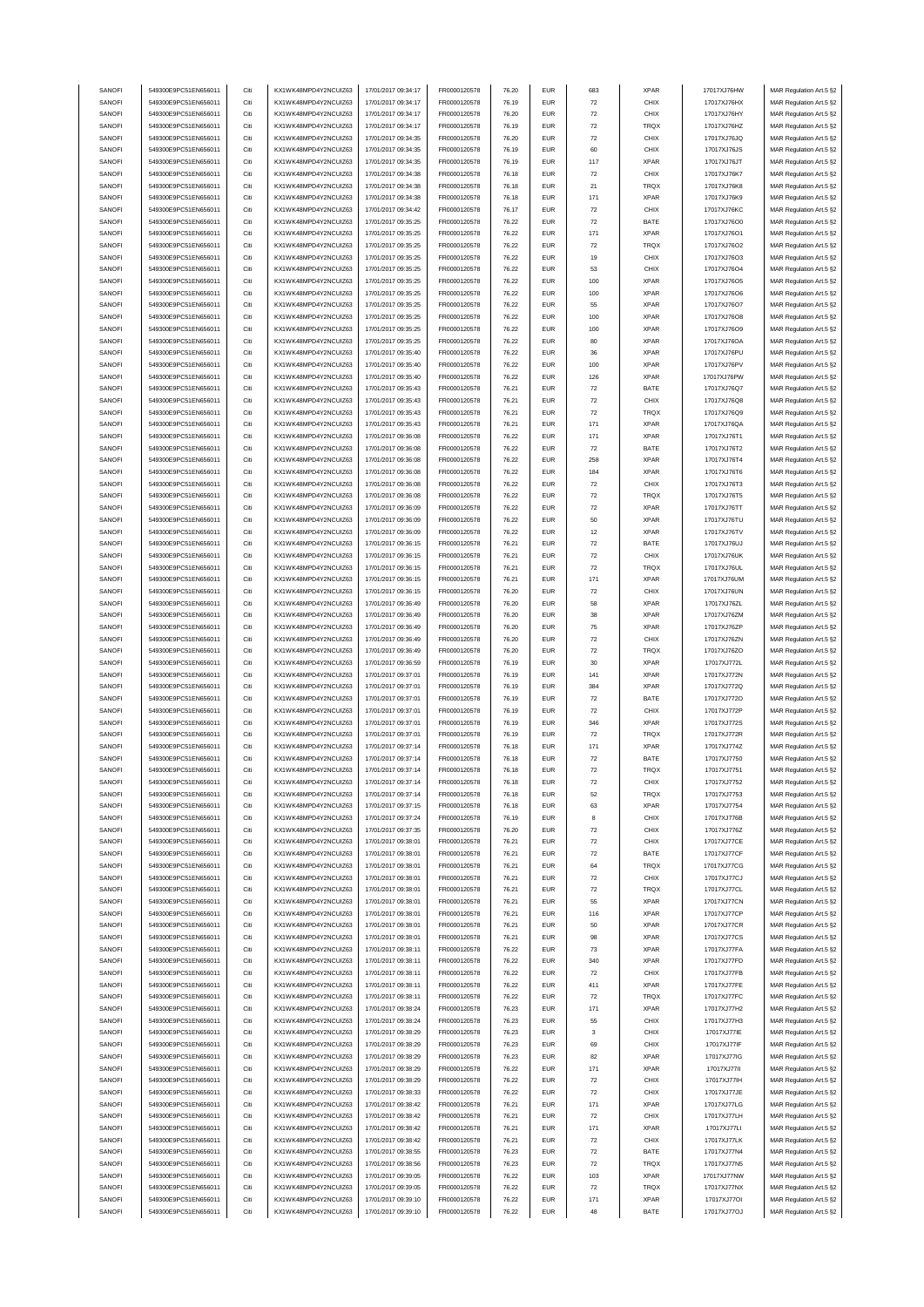| SANOFI | 549300E9PC51EN656011 | Citi | KX1WK48MPD4Y2NCUIZ63  | 17/01/2017 09:34:17 | FR0000120578 | 76.20 | <b>EUR</b> | 683                | <b>XPAR</b> | 17017XJ76HW  | MAR Regulation Art.5 §2 |
|--------|----------------------|------|-----------------------|---------------------|--------------|-------|------------|--------------------|-------------|--------------|-------------------------|
| SANOFI | 549300E9PC51EN656011 | Citi | KX1WK48MPD4Y2NCUIZ63  | 17/01/2017 09:34:17 |              | 76.19 | <b>EUR</b> | 72                 | CHIX        |              |                         |
|        |                      |      |                       |                     | FR0000120578 |       |            |                    |             | 17017XJ76HX  | MAR Regulation Art.5 §2 |
| SANOFI | 549300E9PC51EN656011 | Citi | KX1WK48MPD4Y2NCUIZ63  | 17/01/2017 09:34:17 | FR0000120578 | 76.20 | <b>EUR</b> | 72                 | CHIX        | 17017XJ76HY  | MAR Regulation Art.5 §2 |
| SANOFI | 549300E9PC51EN656011 | Citi | KX1WK48MPD4Y2NCUIZ63  | 17/01/2017 09:34:17 | FR0000120578 | 76.19 | EUR        | 72                 | TRQX        | 17017XJ76HZ  | MAR Regulation Art.5 §2 |
| SANOFI | 549300E9PC51EN656011 | Citi | KX1WK48MPD4Y2NCUIZ63  | 17/01/2017 09:34:35 | FR0000120578 | 76.20 | <b>EUR</b> | $\scriptstyle{72}$ | CHIX        | 17017XJ76JQ  | MAR Regulation Art.5 §2 |
| SANOFI | 549300E9PC51EN656011 | Citi | KX1WK48MPD4Y2NCUIZ63  | 17/01/2017 09:34:35 | FR0000120578 | 76.19 | <b>EUR</b> | 60                 | CHIX        | 17017XJ76JS  | MAR Regulation Art.5 §2 |
| SANOFI | 549300E9PC51EN656011 | Citi | KX1WK48MPD4Y2NCUIZ63  | 17/01/2017 09:34:35 | FR0000120578 | 76.19 | <b>EUR</b> | 117                | <b>XPAR</b> | 17017XJ76JT  | MAR Regulation Art.5 §2 |
|        |                      |      |                       |                     |              |       |            |                    |             |              |                         |
| SANOFI | 549300E9PC51EN656011 | Citi | KX1WK48MPD4Y2NCUIZ63  | 17/01/2017 09:34:38 | FR0000120578 | 76.18 | <b>EUR</b> | 72                 | CHIX        | 17017XJ76K7  | MAR Regulation Art.5 §2 |
| SANOFI | 549300E9PC51EN656011 | Citi | KX1WK48MPD4Y2NCUIZ63  | 17/01/2017 09:34:38 | FR0000120578 | 76.18 | <b>EUR</b> | 21                 | TRQX        | 17017XJ76K8  | MAR Regulation Art.5 §2 |
| SANOFI | 549300E9PC51EN656011 | Citi | KX1WK48MPD4Y2NCUIZ63  | 17/01/2017 09:34:38 | FR0000120578 | 76.18 | <b>EUR</b> | 171                | <b>XPAR</b> | 17017XJ76K9  | MAR Regulation Art.5 §2 |
| SANOFI | 549300E9PC51EN656011 | Citi | KX1WK48MPD4Y2NCUIZ63  | 17/01/2017 09:34:42 | FR0000120578 | 76.17 | <b>EUR</b> | 72                 | CHIX        | 17017XJ76KC  | MAR Regulation Art.5 §2 |
| SANOFI | 549300E9PC51EN656011 | Citi | KX1WK48MPD4Y2NCUIZ63  | 17/01/2017 09:35:25 | FR0000120578 | 76.22 | <b>EUR</b> | 72                 | BATE        | 17017XJ76O0  | MAR Regulation Art.5 §2 |
|        |                      |      |                       |                     |              |       |            |                    |             |              |                         |
| SANOFI | 549300E9PC51EN656011 | Citi | KX1WK48MPD4Y2NCUIZ63  | 17/01/2017 09:35:25 | FR0000120578 | 76.22 | EUR        | 171                | <b>XPAR</b> | 17017XJ76O1  | MAR Regulation Art.5 §2 |
| SANOFI | 549300E9PC51EN656011 | Citi | KX1WK48MPD4Y2NCUIZ63  | 17/01/2017 09:35:25 | FR0000120578 | 76.22 | <b>EUR</b> | $\scriptstyle{72}$ | TRQX        | 17017XJ76O2  | MAR Regulation Art.5 §2 |
| SANOFI | 549300E9PC51EN656011 | Citi | KX1WK48MPD4Y2NCUIZ63  | 17/01/2017 09:35:25 | FR0000120578 | 76.22 | <b>EUR</b> | 19                 | CHIX        | 17017XJ76O3  | MAR Regulation Art.5 §2 |
| SANOFI | 549300E9PC51EN656011 | Citi | KX1WK48MPD4Y2NCUIZ63  | 17/01/2017 09:35:25 | FR0000120578 | 76.22 | <b>EUR</b> | 53                 | CHIX        | 17017XJ76O4  | MAR Regulation Art.5 §2 |
| SANOFI | 549300E9PC51EN656011 | Citi | KX1WK48MPD4Y2NCUIZ63  | 17/01/2017 09:35:25 | FR0000120578 | 76.22 | <b>EUR</b> | 100                | <b>XPAR</b> | 17017XJ76O5  | MAR Regulation Art.5 §2 |
|        | 549300E9PC51EN656011 | Citi | KX1WK48MPD4Y2NCUIZ63  | 17/01/2017 09:35:25 |              | 76.22 | <b>EUR</b> |                    | <b>XPAR</b> |              |                         |
| SANOFI |                      |      |                       |                     | FR0000120578 |       |            | 100                |             | 17017XJ76O6  | MAR Regulation Art.5 §2 |
| SANOFI | 549300E9PC51EN656011 | Citi | KX1WK48MPD4Y2NCUIZ63  | 17/01/2017 09:35:25 | FR0000120578 | 76.22 | <b>EUR</b> | 55                 | <b>XPAR</b> | 17017XJ76O7  | MAR Regulation Art.5 §2 |
| SANOFI | 549300E9PC51EN656011 | Citi | KX1WK48MPD4Y2NCUIZ63  | 17/01/2017 09:35:25 | FR0000120578 | 76.22 | <b>EUR</b> | 100                | <b>XPAR</b> | 17017XJ76O8  | MAR Regulation Art.5 §2 |
| SANOFI | 549300E9PC51EN656011 | Citi | KX1WK48MPD4Y2NCUIZ63  | 17/01/2017 09:35:25 | FR0000120578 | 76.22 | <b>EUR</b> | 100                | <b>XPAR</b> | 17017XJ76O9  | MAR Regulation Art.5 §2 |
| SANOFI | 549300E9PC51EN656011 | Citi | KX1WK48MPD4Y2NCUIZ63  | 17/01/2017 09:35:25 | FR0000120578 | 76.22 | <b>EUR</b> | 80                 | <b>XPAR</b> | 17017XJ76OA  | MAR Regulation Art.5 §2 |
| SANOFI | 549300E9PC51EN656011 | Citi | KX1WK48MPD4Y2NCUIZ63  | 17/01/2017 09:35:40 | FR0000120578 | 76.22 | <b>EUR</b> | 36                 | <b>XPAR</b> | 17017XJ76PU  |                         |
|        |                      |      |                       |                     |              |       |            |                    |             |              | MAR Regulation Art.5 §2 |
| SANOFI | 549300E9PC51EN656011 | Citi | KX1WK48MPD4Y2NCUIZ63  | 17/01/2017 09:35:40 | FR0000120578 | 76.22 | <b>EUR</b> | 100                | <b>XPAR</b> | 17017XJ76PV  | MAR Regulation Art.5 §2 |
| SANOFI | 549300E9PC51EN656011 | Citi | KX1WK48MPD4Y2NCUIZ63  | 17/01/2017 09:35:40 | FR0000120578 | 76.22 | <b>EUR</b> | 126                | <b>XPAR</b> | 17017XJ76PW  | MAR Regulation Art.5 §2 |
| SANOFI | 549300E9PC51EN656011 | Citi | KX1WK48MPD4Y2NCUIZ63  | 17/01/2017 09:35:43 | FR0000120578 | 76.21 | <b>EUR</b> | 72                 | BATE        | 17017XJ76Q7  | MAR Regulation Art.5 §2 |
| SANOFI | 549300E9PC51EN656011 | Citi | KX1WK48MPD4Y2NCUIZ63  | 17/01/2017 09:35:43 | FR0000120578 | 76.21 | <b>EUR</b> | 72                 | CHIX        | 17017XJ76Q8  | MAR Regulation Art.5 §2 |
| SANOFI | 549300E9PC51EN656011 | Citi | KX1WK48MPD4Y2NCUIZ63  | 17/01/2017 09:35:43 |              | 76.21 | <b>EUR</b> |                    |             |              |                         |
|        |                      |      |                       |                     | FR0000120578 |       |            | 72                 | TRQX        | 17017XJ76Q9  | MAR Regulation Art.5 §2 |
| SANOFI | 549300E9PC51EN656011 | Citi | KX1WK48MPD4Y2NCUIZ63  | 17/01/2017 09:35:43 | FR0000120578 | 76.21 | <b>EUR</b> | 171                | <b>XPAR</b> | 17017XJ76QA  | MAR Regulation Art.5 §2 |
| SANOFI | 549300E9PC51EN656011 | Citi | KX1WK48MPD4Y2NCUIZ63  | 17/01/2017 09:36:08 | FR0000120578 | 76.22 | <b>EUR</b> | 171                | <b>XPAR</b> | 17017XJ76T1  | MAR Regulation Art.5 §2 |
| SANOFI | 549300E9PC51EN656011 | Citi | KX1WK48MPD4Y2NCUIZ63  | 17/01/2017 09:36:08 | FR0000120578 | 76.22 | <b>EUR</b> | $\scriptstyle{72}$ | BATE        | 17017XJ76T2  | MAR Regulation Art.5 §2 |
| SANOFI | 549300E9PC51EN656011 | Citi | KX1WK48MPD4Y2NCUIZ63  | 17/01/2017 09:36:08 | FR0000120578 | 76.22 | <b>EUR</b> | 258                | <b>XPAR</b> | 17017XJ76T4  | MAR Regulation Art.5 §2 |
| SANOFI | 549300E9PC51EN656011 | Citi | KX1WK48MPD4Y2NCUIZ63  | 17/01/2017 09:36:08 | FR0000120578 | 76.22 | <b>EUR</b> | 184                | <b>XPAR</b> | 17017XJ76T6  | MAR Regulation Art.5 §2 |
|        |                      |      |                       |                     |              |       |            |                    |             |              |                         |
| SANOFI | 549300E9PC51EN656011 | Citi | KX1WK48MPD4Y2NCUIZ63  | 17/01/2017 09:36:08 | FR0000120578 | 76.22 | <b>EUR</b> | 72                 | CHIX        | 17017XJ76T3  | MAR Regulation Art.5 §2 |
| SANOFI | 549300E9PC51EN656011 | Citi | KX1WK48MPD4Y2NCUIZ63  | 17/01/2017 09:36:08 | FR0000120578 | 76.22 | <b>EUR</b> | 72                 | TRQX        | 17017XJ76T5  | MAR Regulation Art.5 §2 |
| SANOFI | 549300E9PC51EN656011 | Citi | KX1WK48MPD4Y2NCUIZ63  | 17/01/2017 09:36:09 | FR0000120578 | 76.22 | <b>EUR</b> | 72                 | <b>XPAR</b> | 17017XJ76TT  | MAR Regulation Art.5 §2 |
| SANOFI | 549300E9PC51EN656011 | Citi | KX1WK48MPD4Y2NCUIZ63  | 17/01/2017 09:36:09 | FR0000120578 | 76.22 | <b>EUR</b> | 50                 | <b>XPAR</b> | 17017XJ76TU  | MAR Regulation Art.5 §2 |
| SANOFI | 549300E9PC51EN656011 | Citi | KX1WK48MPD4Y2NCUIZ63  | 17/01/2017 09:36:09 | FR0000120578 | 76.22 | <b>EUR</b> | 12                 | <b>XPAR</b> | 17017XJ76TV  | MAR Regulation Art.5 §2 |
|        |                      |      |                       |                     |              |       |            |                    |             |              |                         |
| SANOFI | 549300E9PC51EN656011 | Citi | KX1WK48MPD4Y2NCUIZ63  | 17/01/2017 09:36:15 | FR0000120578 | 76.21 | <b>EUR</b> | 72                 | BATE        | 17017XJ76UJ  | MAR Regulation Art.5 §2 |
| SANOFI | 549300E9PC51EN656011 | Citi | KX1WK48MPD4Y2NCUIZ63  | 17/01/2017 09:36:15 | FR0000120578 | 76.21 | <b>EUR</b> | 72                 | CHIX        | 17017XJ76UK  | MAR Regulation Art.5 §2 |
| SANOFI | 549300E9PC51EN656011 | Citi | KX1WK48MPD4Y2NCUIZ63  | 17/01/2017 09:36:15 | FR0000120578 | 76.21 | <b>EUR</b> | 72                 | TRQX        | 17017XJ76UL  | MAR Regulation Art.5 §2 |
| SANOFI | 549300E9PC51EN656011 | Citi | KX1WK48MPD4Y2NCUIZ63  | 17/01/2017 09:36:15 | FR0000120578 | 76.21 | <b>EUR</b> | 171                | <b>XPAR</b> | 17017XJ76UM  | MAR Regulation Art.5 §2 |
| SANOFI | 549300E9PC51EN656011 | Citi | KX1WK48MPD4Y2NCUIZ63  | 17/01/2017 09:36:15 | FR0000120578 | 76.20 | <b>EUR</b> | 72                 | CHIX        | 17017XJ76UN  | MAR Regulation Art.5 §2 |
| SANOFI | 549300E9PC51EN656011 | Citi | KX1WK48MPD4Y2NCUIZ63  | 17/01/2017 09:36:49 | FR0000120578 | 76.20 | <b>EUR</b> | 58                 | <b>XPAR</b> | 17017XJ76ZL  |                         |
|        |                      |      |                       |                     |              |       |            |                    |             |              | MAR Regulation Art.5 §2 |
| SANOFI | 549300E9PC51EN656011 | Citi | KX1WK48MPD4Y2NCUIZ63  | 17/01/2017 09:36:49 | FR0000120578 | 76.20 | <b>EUR</b> | 38                 | <b>XPAR</b> | 17017XJ76ZM  | MAR Regulation Art.5 §2 |
| SANOFI | 549300E9PC51EN656011 | Citi | KX1WK48MPD4Y2NCUIZ63  | 17/01/2017 09:36:49 | FR0000120578 | 76.20 | <b>EUR</b> | 75                 | <b>XPAR</b> | 17017XJ76ZP  | MAR Regulation Art.5 §2 |
| SANOFI | 549300E9PC51EN656011 | Citi | KX1WK48MPD4Y2NCUIZ63  | 17/01/2017 09:36:49 | FR0000120578 | 76.20 | <b>EUR</b> | 72                 | CHIX        | 17017XJ76ZN  | MAR Regulation Art.5 §2 |
| SANOFI | 549300E9PC51EN656011 | Citi | KX1WK48MPD4Y2NCUIZ63  | 17/01/2017 09:36:49 | FR0000120578 | 76.20 | <b>EUR</b> | $\scriptstyle{72}$ | TRQX        | 17017XJ76ZO  | MAR Regulation Art.5 §2 |
| SANOFI | 549300E9PC51EN656011 | Citi | KX1WK48MPD4Y2NCUIZ63  | 17/01/2017 09:36:59 | FR0000120578 | 76.19 | <b>EUR</b> | 30                 | <b>XPAR</b> | 17017XJ772L  | MAR Regulation Art.5 §2 |
|        |                      |      |                       |                     |              |       |            |                    |             |              |                         |
| SANOFI | 549300E9PC51EN656011 | Citi | KX1WK48MPD4Y2NCUIZ63  | 17/01/2017 09:37:01 | FR0000120578 | 76.19 | <b>EUR</b> | 141                | <b>XPAR</b> | 17017XJ772N  | MAR Regulation Art.5 §2 |
| SANOFI | 549300E9PC51EN656011 | Citi | KX1WK48MPD4Y2NCUIZ63  | 17/01/2017 09:37:01 | FR0000120578 | 76.19 | <b>EUR</b> | 384                | <b>XPAR</b> | 17017XJ772Q  | MAR Regulation Art.5 §2 |
| SANOFI | 549300E9PC51EN656011 | Citi | KX1WK48MPD4Y2NCUIZ63  | 17/01/2017 09:37:01 | FR0000120578 | 76.19 | <b>EUR</b> | 72                 | BATE        | 17017XJ772O  | MAR Regulation Art.5 §2 |
| SANOFI | 549300E9PC51EN656011 | Citi | KX1WK48MPD4Y2NCUIZ63  | 17/01/2017 09:37:01 | FR0000120578 | 76.19 | <b>EUR</b> | $\scriptstyle{72}$ | CHIX        | 17017XJ772P  | MAR Regulation Art.5 §2 |
| SANOFI | 549300E9PC51EN656011 | Citi | KX1WK48MPD4Y2NCUIZ63  | 17/01/2017 09:37:01 | FR0000120578 | 76.19 | <b>EUR</b> | 346                | <b>XPAR</b> | 17017XJ772S  | MAR Regulation Art.5 §2 |
|        |                      |      |                       |                     |              |       |            |                    |             |              |                         |
| SANOFI | 549300E9PC51EN656011 | Citi | KX1WK48MPD4Y2NCUIZ63  | 17/01/2017 09:37:01 | FR0000120578 | 76.19 | <b>EUR</b> | $\scriptstyle{72}$ | TRQX        | 17017XJ772R  | MAR Regulation Art.5 §2 |
| SANOFI | 549300E9PC51EN656011 | Citi | KX1WK48MPD4Y2NCUIZ63  | 17/01/2017 09:37:14 | FR0000120578 | 76.18 | <b>EUR</b> | 171                | <b>XPAR</b> | 17017XJ774Z  | MAR Regulation Art.5 §2 |
| SANOFI | 549300E9PC51EN656011 | Citi | KX1WK48MPD4Y2NCUIZ63  | 17/01/2017 09:37:14 | FR0000120578 | 76.18 | <b>EUR</b> | 72                 | BATE        | 17017XJ7750  | MAR Regulation Art.5 §2 |
| SANOFI | 549300E9PC51EN656011 | Citi | KX1WK48MPD4Y2NCUIZ63  | 17/01/2017 09:37:14 | FR0000120578 | 76.18 | <b>EUR</b> | 72                 | TRQX        | 17017XJ7751  | MAR Regulation Art.5 §2 |
| SANOFI | 549300E9PC51EN656011 |      | KX1WK48MPD4Y2NCLIIZ63 | 17/01/2017 09:37:14 | ER0000120578 | 76.18 | FUR        | 72                 | CHIX        | 17017X 17752 | MAR Regulation Art 5.82 |
| SANOFI |                      |      |                       |                     |              |       |            |                    | TRQX        |              |                         |
|        | 549300E9PC51EN656011 | Citi | KX1WK48MPD4Y2NCUIZ63  | 17/01/2017 09:37:14 | FR0000120578 | 76.18 | <b>EUR</b> | 52                 |             | 17017XJ7753  | MAR Regulation Art.5 §2 |
| SANOFI | 549300E9PC51EN656011 | Citi | KX1WK48MPD4Y2NCUIZ63  | 17/01/2017 09:37:15 | FR0000120578 | 76.18 | <b>EUR</b> | 63                 | <b>XPAR</b> | 17017XJ7754  | MAR Regulation Art.5 §2 |
| SANOFI | 549300E9PC51EN656011 | Citi | KX1WK48MPD4Y2NCUIZ63  | 17/01/2017 09:37:24 | FR0000120578 | 76.19 | <b>EUR</b> | 8                  | CHIX        | 17017XJ776B  | MAR Regulation Art.5 §2 |
| SANOFI | 549300E9PC51EN656011 | Citi | KX1WK48MPD4Y2NCUIZ63  | 17/01/2017 09:37:35 | FR0000120578 | 76.20 |            |                    |             |              |                         |
| SANOFI | 549300E9PC51EN656011 | Citi | KX1WK48MPD4Y2NCUIZ63  | 17/01/2017 09:38:01 |              |       | <b>EUR</b> | 72                 | CHIX        | 17017XJ776Z  |                         |
| SANOFI | 549300E9PC51EN656011 | Citi | KX1WK48MPD4Y2NCUIZ63  |                     |              |       |            |                    |             |              | MAR Regulation Art.5 §2 |
| SANOFI | 549300E9PC51EN656011 |      |                       |                     | FR0000120578 | 76.21 | <b>EUR</b> | 72                 | CHIX        | 17017XJ77CE  | MAR Regulation Art.5 §2 |
|        |                      |      |                       | 17/01/2017 09:38:01 | FR0000120578 | 76.21 | <b>EUR</b> | 72                 | BATE        | 17017XJ77CF  | MAR Regulation Art.5 §2 |
| SANOFI |                      | Citi | KX1WK48MPD4Y2NCUIZ63  | 17/01/2017 09:38:01 | FR0000120578 | 76.21 | <b>EUR</b> | 64                 | TRQX        | 17017XJ77CG  | MAR Regulation Art.5 §2 |
|        | 549300E9PC51EN656011 | Citi | KX1WK48MPD4Y2NCUIZ63  | 17/01/2017 09:38:01 | FR0000120578 | 76.21 | <b>EUR</b> | 72                 | CHIX        | 17017XJ77CJ  | MAR Regulation Art.5 §2 |
| SANOFI | 549300E9PC51EN656011 | Citi | KX1WK48MPD4Y2NCUIZ63  | 17/01/2017 09:38:01 | FR0000120578 | 76.21 | <b>EUR</b> | 72                 | TRQX        | 17017XJ77CL  | MAR Regulation Art.5 §2 |
| SANOFI | 549300E9PC51EN656011 | Citi | KX1WK48MPD4Y2NCUIZ63  | 17/01/2017 09:38:01 | FR0000120578 | 76.21 | <b>EUR</b> | 55                 | <b>XPAR</b> | 17017XJ77CN  | MAR Regulation Art.5 §2 |
|        |                      |      |                       |                     |              |       |            |                    |             |              |                         |
| SANOFI | 549300E9PC51EN656011 | Citi | KX1WK48MPD4Y2NCUIZ63  | 17/01/2017 09:38:01 | FR0000120578 | 76.21 | <b>EUR</b> | 116                | <b>XPAR</b> | 17017XJ77CP  | MAR Regulation Art.5 §2 |
| SANOFI | 549300E9PC51EN656011 | Citi | KX1WK48MPD4Y2NCUIZ63  | 17/01/2017 09:38:01 | FR0000120578 | 76.21 | <b>EUR</b> | 50                 | <b>XPAR</b> | 17017XJ77CR  | MAR Regulation Art.5 §2 |
| SANOFI | 549300E9PC51EN656011 | Citi | KX1WK48MPD4Y2NCUIZ63  | 17/01/2017 09:38:01 | FR0000120578 | 76.21 | <b>EUR</b> | 98                 | <b>XPAR</b> | 17017XJ77CS  | MAR Regulation Art.5 §2 |
| SANOFI | 549300E9PC51EN656011 | Citi | KX1WK48MPD4Y2NCUIZ63  | 17/01/2017 09:38:11 | FR0000120578 | 76.22 | <b>EUR</b> | 73                 | <b>XPAR</b> | 17017XJ77FA  | MAR Regulation Art.5 §2 |
| SANOFI | 549300E9PC51EN656011 | Citi | KX1WK48MPD4Y2NCUIZ63  | 17/01/2017 09:38:11 | FR0000120578 | 76.22 | <b>EUR</b> | 340                | <b>XPAR</b> | 17017XJ77FD  | MAR Regulation Art.5 §2 |
|        |                      |      |                       |                     |              |       |            |                    |             |              |                         |
| SANOFI | 549300E9PC51EN656011 | Citi | KX1WK48MPD4Y2NCUIZ63  | 17/01/2017 09:38:11 | FR0000120578 | 76.22 | <b>EUR</b> | $\scriptstyle{72}$ | CHIX        | 17017XJ77FB  | MAR Regulation Art.5 §2 |
| SANOFI | 549300E9PC51EN656011 | Citi | KX1WK48MPD4Y2NCUIZ63  | 17/01/2017 09:38:11 | FR0000120578 | 76.22 | <b>EUR</b> | 411                | <b>XPAR</b> | 17017XJ77FE  | MAR Regulation Art.5 §2 |
| SANOFI | 549300E9PC51EN656011 | Citi | KX1WK48MPD4Y2NCUIZ63  | 17/01/2017 09:38:11 | FR0000120578 | 76.22 | <b>EUR</b> | 72                 | TRQX        | 17017XJ77FC  | MAR Regulation Art.5 §2 |
| SANOFI | 549300E9PC51EN656011 | Citi | KX1WK48MPD4Y2NCUIZ63  | 17/01/2017 09:38:24 | FR0000120578 | 76.23 | <b>EUR</b> | 171                | <b>XPAR</b> | 17017XJ77H2  | MAR Regulation Art.5 §2 |
| SANOFI | 549300E9PC51EN656011 | Citi | KX1WK48MPD4Y2NCUIZ63  | 17/01/2017 09:38:24 | FR0000120578 | 76.23 | <b>EUR</b> | 55                 | CHIX        | 17017XJ77H3  | MAR Regulation Art.5 §2 |
|        |                      |      |                       |                     |              |       |            |                    |             |              |                         |
| SANOFI | 549300E9PC51EN656011 | Citi | KX1WK48MPD4Y2NCUIZ63  | 17/01/2017 09:38:29 | FR0000120578 | 76.23 | <b>EUR</b> | 3                  | CHIX        | 17017XJ77IE  | MAR Regulation Art.5 §2 |
| SANOFI | 549300E9PC51EN656011 | Citi | KX1WK48MPD4Y2NCUIZ63  | 17/01/2017 09:38:29 | FR0000120578 | 76.23 | <b>EUR</b> | 69                 | CHIX        | 17017XJ77IF  | MAR Regulation Art.5 §2 |
| SANOFI | 549300E9PC51EN656011 | Citi | KX1WK48MPD4Y2NCUIZ63  | 17/01/2017 09:38:29 | FR0000120578 | 76.23 | <b>EUR</b> | 82                 | <b>XPAR</b> | 17017XJ77IG  | MAR Regulation Art.5 §2 |
| SANOFI | 549300E9PC51EN656011 | Citi | KX1WK48MPD4Y2NCUIZ63  | 17/01/2017 09:38:29 | FR0000120578 | 76.22 | <b>EUR</b> | 171                | <b>XPAR</b> | 17017XJ77II  | MAR Regulation Art.5 §2 |
| SANOFI | 549300E9PC51EN656011 | Citi | KX1WK48MPD4Y2NCUIZ63  | 17/01/2017 09:38:29 | FR0000120578 | 76.22 | <b>EUR</b> | 72                 | CHIX        | 17017XJ77IH  | MAR Regulation Art.5 §2 |
| SANOFI |                      | Citi |                       |                     |              | 76.22 | <b>EUR</b> | 72                 |             |              |                         |
|        | 549300E9PC51EN656011 |      | KX1WK48MPD4Y2NCUIZ63  | 17/01/2017 09:38:33 | FR0000120578 |       |            |                    | CHIX        | 17017XJ77JE  | MAR Regulation Art.5 §2 |
| SANOFI | 549300E9PC51EN656011 | Citi | KX1WK48MPD4Y2NCUIZ63  | 17/01/2017 09:38:42 | FR0000120578 | 76.21 | <b>EUR</b> | 171                | <b>XPAR</b> | 17017XJ77LG  | MAR Regulation Art.5 §2 |
| SANOFI | 549300E9PC51EN656011 | Citi | KX1WK48MPD4Y2NCUIZ63  | 17/01/2017 09:38:42 | FR0000120578 | 76.21 | <b>EUR</b> | 72                 | CHIX        | 17017XJ77LH  | MAR Regulation Art.5 §2 |
| SANOFI | 549300E9PC51EN656011 | Citi | KX1WK48MPD4Y2NCUIZ63  | 17/01/2017 09:38:42 | FR0000120578 | 76.21 | <b>EUR</b> | 171                | <b>XPAR</b> | 17017XJ77LI  | MAR Regulation Art.5 §2 |
| SANOFI | 549300E9PC51EN656011 | Citi | KX1WK48MPD4Y2NCUIZ63  | 17/01/2017 09:38:42 | FR0000120578 | 76.21 | <b>EUR</b> | 72                 | CHIX        | 17017XJ77LK  | MAR Regulation Art.5 §2 |
| SANOFI | 549300E9PC51EN656011 | Citi | KX1WK48MPD4Y2NCUIZ63  | 17/01/2017 09:38:55 | FR0000120578 | 76.23 | <b>EUR</b> | 72                 | BATE        | 17017XJ77N4  | MAR Regulation Art.5 §2 |
| SANOFI | 549300E9PC51EN656011 | Citi | KX1WK48MPD4Y2NCUIZ63  | 17/01/2017 09:38:56 | FR0000120578 | 76.23 | <b>EUR</b> | 72                 | TRQX        | 17017XJ77N5  |                         |
|        |                      |      |                       |                     |              |       |            |                    |             |              | MAR Regulation Art.5 §2 |
| SANOFI | 549300E9PC51EN656011 | Citi | KX1WK48MPD4Y2NCUIZ63  | 17/01/2017 09:39:05 | FR0000120578 | 76.22 | <b>EUR</b> | 103                | <b>XPAR</b> | 17017XJ77NW  | MAR Regulation Art.5 §2 |
| SANOFI | 549300E9PC51EN656011 | Citi | KX1WK48MPD4Y2NCUIZ63  | 17/01/2017 09:39:05 | FR0000120578 | 76.22 | <b>EUR</b> | $\scriptstyle{72}$ | TRQX        | 17017XJ77NX  | MAR Regulation Art.5 §2 |
| SANOFI | 549300E9PC51EN656011 | Citi | KX1WK48MPD4Y2NCUIZ63  | 17/01/2017 09:39:10 | FR0000120578 | 76.22 | <b>EUR</b> | 171                | <b>XPAR</b> | 17017XJ77OI  | MAR Regulation Art.5 §2 |
| SANOFI | 549300E9PC51EN656011 | Citi | KX1WK48MPD4Y2NCUIZ63  | 17/01/2017 09:39:10 | FR0000120578 | 76.22 | <b>EUR</b> | 48                 | BATE        | 17017XJ77OJ  | MAR Regulation Art.5 §2 |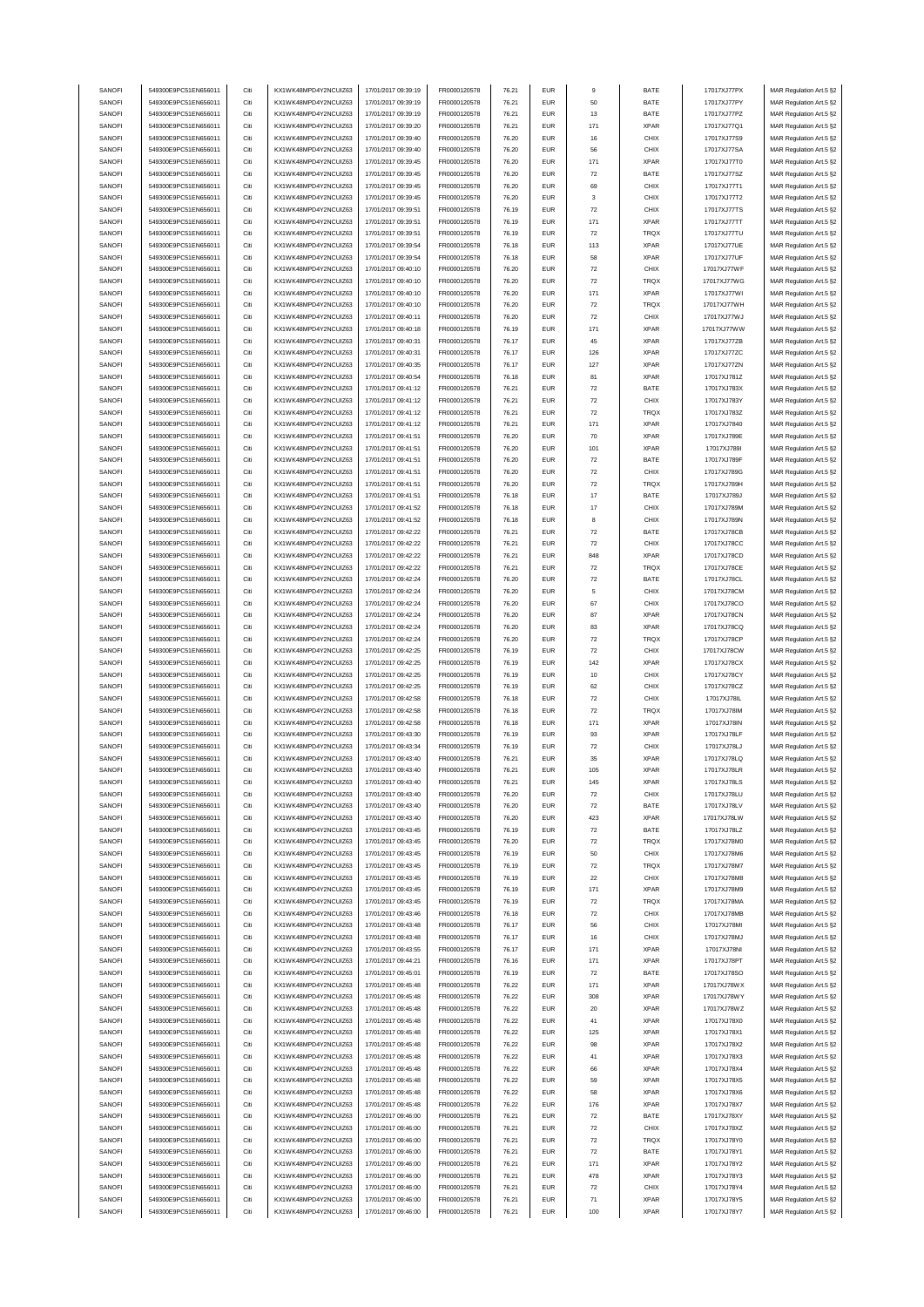| SANOFI | 549300E9PC51EN656011 | Citi | KX1WK48MPD4Y2NCUIZ63  | 17/01/2017 09:39:19 | FR0000120578 | 76.21 | <b>EUR</b> | 9                  | BATE        | 17017XJ77PX | MAR Regulation Art.5 §2 |
|--------|----------------------|------|-----------------------|---------------------|--------------|-------|------------|--------------------|-------------|-------------|-------------------------|
| SANOFI | 549300E9PC51EN656011 | Citi | KX1WK48MPD4Y2NCLIIZ63 | 17/01/2017 09:39:19 | FR0000120578 | 76.21 | <b>EUR</b> | 50                 | BATE        | 17017XJ77PY | MAR Regulation Art.5 §2 |
|        |                      |      |                       |                     |              |       |            |                    |             |             |                         |
| SANOFI | 549300E9PC51EN656011 | Citi | KX1WK48MPD4Y2NCUIZ63  | 17/01/2017 09:39:19 | FR0000120578 | 76.21 | EUR        | 13                 | BATE        | 17017XJ77PZ | MAR Regulation Art.5 §2 |
| SANOFI | 549300E9PC51EN656011 | Citi | KX1WK48MPD4Y2NCUIZ63  | 17/01/2017 09:39:20 | FR0000120578 | 76.21 | <b>EUR</b> | 171                | <b>XPAR</b> | 17017XJ77Q1 | MAR Regulation Art.5 §2 |
| SANOFI | 549300E9PC51EN656011 | Citi | KX1WK48MPD4Y2NCUIZ63  | 17/01/2017 09:39:40 | FR0000120578 | 76.20 | <b>EUR</b> | 16                 | CHIX        | 17017XJ77S9 | MAR Regulation Art.5 §2 |
| SANOFI | 549300E9PC51EN656011 | Citi | KX1WK48MPD4Y2NCUIZ63  | 17/01/2017 09:39:40 | FR0000120578 | 76.20 | <b>EUR</b> | 56                 | CHIX        | 17017XJ77SA | MAR Regulation Art.5 §2 |
| SANOFI | 549300E9PC51EN656011 | Citi | KX1WK48MPD4Y2NCUIZ63  | 17/01/2017 09:39:45 | FR0000120578 | 76.20 | <b>EUR</b> | 171                | <b>XPAR</b> | 17017XJ77T0 | MAR Regulation Art.5 §2 |
| SANOFI | 549300E9PC51EN656011 | Citi | KX1WK48MPD4Y2NCUIZ63  | 17/01/2017 09:39:45 | FR0000120578 | 76.20 | <b>EUR</b> | 72                 | BATE        | 17017XJ77SZ | MAR Regulation Art.5 §2 |
|        |                      |      |                       |                     |              |       |            |                    |             |             |                         |
| SANOFI | 549300E9PC51EN656011 | Citi | KX1WK48MPD4Y2NCUIZ63  | 17/01/2017 09:39:45 | FR0000120578 | 76.20 | <b>EUR</b> | 69                 | CHIX        | 17017XJ77T1 | MAR Regulation Art.5 §2 |
| SANOFI | 549300E9PC51EN656011 | Citi | KX1WK48MPD4Y2NCUIZ63  | 17/01/2017 09:39:45 | FR0000120578 | 76.20 | <b>EUR</b> | 3                  | CHIX        | 17017XJ77T2 | MAR Regulation Art.5 §2 |
| SANOFI | 549300E9PC51EN656011 | Citi | KX1WK48MPD4Y2NCUIZ63  | 17/01/2017 09:39:51 | FR0000120578 | 76.19 | <b>EUR</b> | 72                 | CHIX        | 17017XJ77TS | MAR Regulation Art.5 §2 |
| SANOFI | 549300E9PC51EN656011 | Citi | KX1WK48MPD4Y2NCUIZ63  | 17/01/2017 09:39:51 | FR0000120578 | 76.19 | <b>EUR</b> | 171                | <b>XPAR</b> | 17017XJ77TT | MAR Regulation Art.5 §2 |
| SANOFI | 549300E9PC51EN656011 | Citi | KX1WK48MPD4Y2NCUIZ63  | 17/01/2017 09:39:51 | FR0000120578 | 76.19 | <b>EUR</b> | $\scriptstyle{72}$ | TRQX        | 17017XJ77TU | MAR Regulation Art.5 §2 |
|        |                      |      |                       |                     |              |       |            |                    |             |             |                         |
| SANOFI | 549300E9PC51EN656011 | Citi | KX1WK48MPD4Y2NCUIZ63  | 17/01/2017 09:39:54 | FR0000120578 | 76.18 | <b>EUR</b> | 113                | <b>XPAR</b> | 17017XJ77UE | MAR Regulation Art.5 §2 |
| SANOFI | 549300E9PC51EN656011 | Citi | KX1WK48MPD4Y2NCUIZ63  | 17/01/2017 09:39:54 | FR0000120578 | 76.18 | <b>EUR</b> | 58                 | <b>XPAR</b> | 17017XJ77UF | MAR Regulation Art.5 §2 |
| SANOFI | 549300E9PC51EN656011 | Citi | KX1WK48MPD4Y2NCUIZ63  | 17/01/2017 09:40:10 | FR0000120578 | 76.20 | <b>EUR</b> | 72                 | CHIX        | 17017XJ77WF | MAR Regulation Art.5 §2 |
| SANOFI | 549300E9PC51EN656011 | Citi | KX1WK48MPD4Y2NCUIZ63  | 17/01/2017 09:40:10 | FR0000120578 | 76.20 | <b>EUR</b> | 72                 | TRQX        | 17017XJ77WG | MAR Regulation Art.5 §2 |
| SANOFI | 549300E9PC51EN656011 | Citi | KX1WK48MPD4Y2NCLIIZ63 | 17/01/2017 09:40:10 | FR0000120578 | 76.20 | <b>EUR</b> | 171                | <b>XPAR</b> | 17017XJ77WI | MAR Regulation Art.5 §2 |
| SANOFI | 549300E9PC51EN656011 | Citi | KX1WK48MPD4Y2NCUIZ63  | 17/01/2017 09:40:10 | FR0000120578 | 76.20 | EUR        | 72                 | TRQX        | 17017XJ77WH | MAR Regulation Art.5 §2 |
|        |                      |      |                       |                     |              |       |            |                    |             |             |                         |
| SANOFI | 549300E9PC51EN656011 | Citi | KX1WK48MPD4Y2NCUIZ63  | 17/01/2017 09:40:11 | FR0000120578 | 76.20 | <b>EUR</b> | $\scriptstyle{72}$ | CHIX        | 17017XJ77WJ | MAR Regulation Art.5 §2 |
| SANOFI | 549300E9PC51EN656011 | Citi | KX1WK48MPD4Y2NCUIZ63  | 17/01/2017 09:40:18 | FR0000120578 | 76.19 | <b>EUR</b> | 171                | <b>XPAR</b> | 17017XJ77WW | MAR Regulation Art.5 §2 |
| SANOFI | 549300E9PC51EN656011 | Citi | KX1WK48MPD4Y2NCUIZ63  | 17/01/2017 09:40:31 | FR0000120578 | 76.17 | <b>EUR</b> | 45                 | <b>XPAR</b> | 17017XJ77ZB | MAR Regulation Art.5 §2 |
| SANOFI | 549300E9PC51EN656011 | Citi | KX1WK48MPD4Y2NCUIZ63  | 17/01/2017 09:40:31 | FR0000120578 | 76.17 | <b>EUR</b> | 126                | <b>XPAR</b> | 17017XJ77ZC | MAR Regulation Art.5 §2 |
| SANOFI | 549300E9PC51EN656011 | Citi | KX1WK48MPD4Y2NCUIZ63  | 17/01/2017 09:40:35 | FR0000120578 | 76.17 | <b>EUR</b> | 127                | <b>XPAR</b> | 17017XJ77ZN | MAR Regulation Art.5 §2 |
| SANOFI | 549300E9PC51EN656011 | Citi | KX1WK48MPD4Y2NCUIZ63  | 17/01/2017 09:40:54 | FR0000120578 | 76.18 | <b>EUR</b> | 81                 | <b>XPAR</b> | 17017XJ781Z | MAR Regulation Art.5 §2 |
|        |                      |      |                       |                     |              |       |            |                    |             |             |                         |
| SANOFI | 549300E9PC51EN656011 | Citi | KX1WK48MPD4Y2NCUIZ63  | 17/01/2017 09:41:12 | FR0000120578 | 76.21 | <b>EUR</b> | $\scriptstyle{72}$ | BATE        | 17017XJ783X | MAR Regulation Art.5 §2 |
| SANOFI | 549300E9PC51EN656011 | Citi | KX1WK48MPD4Y2NCUIZ63  | 17/01/2017 09:41:12 | FR0000120578 | 76.21 | <b>EUR</b> | 72                 | CHIX        | 17017XJ783Y | MAR Regulation Art.5 §2 |
| SANOFI | 549300E9PC51EN656011 | Citi | KX1WK48MPD4Y2NCUIZ63  | 17/01/2017 09:41:12 | FR0000120578 | 76.21 | <b>EUR</b> | $\scriptstyle{72}$ | TRQX        | 17017XJ783Z | MAR Regulation Art.5 §2 |
| SANOFI | 549300E9PC51EN656011 | Citi | KX1WK48MPD4Y2NCUIZ63  | 17/01/2017 09:41:12 | FR0000120578 | 76.21 | <b>EUR</b> | 171                | <b>XPAR</b> | 17017XJ7840 | MAR Regulation Art.5 §2 |
| SANOFI | 549300E9PC51EN656011 | Citi | KX1WK48MPD4Y2NCUIZ63  | 17/01/2017 09:41:51 | FR0000120578 | 76.20 | <b>EUR</b> | 70                 | <b>XPAR</b> | 17017XJ789E | MAR Regulation Art.5 §2 |
|        |                      |      |                       |                     |              |       |            |                    |             |             |                         |
| SANOFI | 549300E9PC51EN656011 | Citi | KX1WK48MPD4Y2NCUIZ63  | 17/01/2017 09:41:51 | FR0000120578 | 76.20 | <b>EUR</b> | 101                | <b>XPAR</b> | 17017XJ789I | MAR Regulation Art.5 §2 |
| SANOFI | 549300E9PC51EN656011 | Citi | KX1WK48MPD4Y2NCUIZ63  | 17/01/2017 09:41:51 | FR0000120578 | 76.20 | <b>EUR</b> | 72                 | BATE        | 17017XJ789F | MAR Regulation Art.5 §2 |
| SANOFI | 549300E9PC51EN656011 | Citi | KX1WK48MPD4Y2NCUIZ63  | 17/01/2017 09:41:51 | FR0000120578 | 76.20 | <b>EUR</b> | 72                 | CHIX        | 17017XJ789G | MAR Regulation Art.5 §2 |
| SANOFI | 549300E9PC51EN656011 | Citi | KX1WK48MPD4Y2NCUIZ63  | 17/01/2017 09:41:51 | FR0000120578 | 76.20 | <b>EUR</b> | 72                 | TRQX        | 17017XJ789H | MAR Regulation Art.5 §2 |
| SANOFI | 549300E9PC51EN656011 | Citi | KX1WK48MPD4Y2NCUIZ63  | 17/01/2017 09:41:51 | FR0000120578 | 76.18 | <b>EUR</b> | 17                 | BATE        | 17017XJ789J | MAR Regulation Art.5 §2 |
| SANOFI | 549300E9PC51EN656011 | Citi | KX1WK48MPD4Y2NCUIZ63  | 17/01/2017 09:41:52 | FR0000120578 | 76.18 | <b>EUR</b> | 17                 | CHIX        | 17017XJ789M |                         |
|        |                      |      |                       |                     |              |       |            |                    |             |             | MAR Regulation Art.5 §2 |
| SANOFI | 549300E9PC51EN656011 | Citi | KX1WK48MPD4Y2NCUIZ63  | 17/01/2017 09:41:52 | FR0000120578 | 76.18 | <b>EUR</b> | 8                  | CHIX        | 17017XJ789N | MAR Regulation Art.5 §2 |
| SANOFI | 549300E9PC51EN656011 | Citi | KX1WK48MPD4Y2NCUIZ63  | 17/01/2017 09:42:22 | FR0000120578 | 76.21 | <b>EUR</b> | 72                 | BATE        | 17017XJ78CB | MAR Regulation Art.5 §2 |
| SANOFI | 549300E9PC51EN656011 | Citi | KX1WK48MPD4Y2NCUIZ63  | 17/01/2017 09:42:22 | FR0000120578 | 76.21 | <b>EUR</b> | 72                 | CHIX        | 17017XJ78CC | MAR Regulation Art.5 §2 |
| SANOFI | 549300E9PC51EN656011 | Citi | KX1WK48MPD4Y2NCUIZ63  | 17/01/2017 09:42:22 | FR0000120578 | 76.21 | <b>EUR</b> | 848                | <b>XPAR</b> | 17017XJ78CD | MAR Regulation Art.5 §2 |
| SANOFI | 549300E9PC51EN656011 | Citi | KX1WK48MPD4Y2NCUIZ63  | 17/01/2017 09:42:22 | FR0000120578 | 76.21 | <b>EUR</b> | 72                 | TRQX        | 17017XJ78CE | MAR Regulation Art.5 §2 |
| SANOFI | 549300E9PC51EN656011 | Citi | KX1WK48MPD4Y2NCUIZ63  | 17/01/2017 09:42:24 | FR0000120578 | 76.20 | <b>EUR</b> | 72                 | BATE        |             |                         |
|        |                      |      |                       |                     |              |       |            |                    |             | 17017XJ78CL | MAR Regulation Art.5 §2 |
| SANOFI | 549300E9PC51EN656011 | Citi | KX1WK48MPD4Y2NCUIZ63  | 17/01/2017 09:42:24 | FR0000120578 | 76.20 | <b>EUR</b> | 5                  | CHIX        | 17017XJ78CM | MAR Regulation Art.5 §2 |
| SANOFI | 549300E9PC51EN656011 | Citi | KX1WK48MPD4Y2NCUIZ63  | 17/01/2017 09:42:24 | FR0000120578 | 76.20 | EUR        | 67                 | CHIX        | 17017XJ78CO | MAR Regulation Art.5 §2 |
| SANOFI | 549300E9PC51EN656011 | Citi | KX1WK48MPD4Y2NCUIZ63  | 17/01/2017 09:42:24 | FR0000120578 | 76.20 | <b>EUR</b> | 87                 | <b>XPAR</b> | 17017XJ78CN | MAR Regulation Art.5 §2 |
| SANOFI | 549300E9PC51EN656011 | Citi | KX1WK48MPD4Y2NCUIZ63  | 17/01/2017 09:42:24 | FR0000120578 | 76.20 | <b>EUR</b> | 83                 | <b>XPAR</b> | 17017XJ78CQ | MAR Regulation Art.5 §2 |
| SANOFI | 549300E9PC51EN656011 | Citi | KX1WK48MPD4Y2NCUIZ63  | 17/01/2017 09:42:24 | FR0000120578 | 76.20 | <b>EUR</b> | 72                 | TRQX        | 17017XJ78CP | MAR Regulation Art.5 §2 |
|        |                      |      |                       |                     |              |       |            |                    |             |             |                         |
| SANOFI | 549300E9PC51EN656011 | Citi | KX1WK48MPD4Y2NCUIZ63  | 17/01/2017 09:42:25 | FR0000120578 | 76.19 | <b>EUR</b> | 72                 | CHIX        | 17017XJ78CW | MAR Regulation Art.5 §2 |
| SANOFI | 549300E9PC51EN656011 | Citi | KX1WK48MPD4Y2NCUIZ63  | 17/01/2017 09:42:25 | FR0000120578 | 76.19 | <b>EUR</b> | 142                | <b>XPAR</b> | 17017XJ78CX | MAR Regulation Art.5 §2 |
| SANOFI | 549300E9PC51EN656011 | Citi | KX1WK48MPD4Y2NCUIZ63  | 17/01/2017 09:42:25 | FR0000120578 | 76.19 | <b>EUR</b> | 10                 | CHIX        | 17017XJ78CY | MAR Regulation Art.5 §2 |
| SANOFI | 549300E9PC51EN656011 | Citi | KX1WK48MPD4Y2NCUIZ63  | 17/01/2017 09:42:25 | FR0000120578 | 76.19 | <b>EUR</b> | 62                 | CHIX        | 17017XJ78CZ | MAR Regulation Art.5 §2 |
| SANOFI | 549300E9PC51EN656011 | Citi | KX1WK48MPD4Y2NCLIIZ63 | 17/01/2017 09:42:58 | FR0000120578 | 76.18 | <b>EUR</b> | 72                 | CHIX        | 17017XJ78IL | MAR Regulation Art.5 §2 |
|        |                      |      |                       |                     | FR0000120578 |       |            | 72                 |             |             | MAR Regulation Art.5 §2 |
| SANOFI | 549300E9PC51EN656011 | Citi | KX1WK48MPD4Y2NCUIZ63  | 17/01/2017 09:42:58 |              | 76.18 | <b>EUR</b> |                    | TRQX        | 17017XJ78IM |                         |
| SANOFI | 549300E9PC51EN656011 | Citi | KX1WK48MPD4Y2NCUIZ63  | 17/01/2017 09:42:58 | FR0000120578 | 76.18 | <b>EUR</b> | 171                | <b>XPAR</b> | 17017XJ78IN | MAR Regulation Art.5 §2 |
| SANOFI | 549300E9PC51EN656011 | Citi | KX1WK48MPD4Y2NCLIIZ63 | 17/01/2017 09:43:30 | FR0000120578 | 76.19 | <b>EUR</b> | 93                 | <b>XPAR</b> | 17017XJ78LF | MAR Regulation Art.5 §2 |
| SANOFI | 549300E9PC51EN656011 | Citi | KX1WK48MPD4Y2NCUIZ63  | 17/01/2017 09:43:34 | FR0000120578 | 76.19 | <b>EUR</b> | $\scriptstyle{72}$ | CHIX        | 17017XJ78LJ | MAR Regulation Art.5 §2 |
| SANOFI | 549300E9PC51EN656011 | Citi | KX1WK48MPD4Y2NCUIZ63  | 17/01/2017 09:43:40 | FR0000120578 | 76.21 | <b>EUR</b> | 35                 | <b>XPAR</b> | 17017XJ78LQ | MAR Regulation Art.5 §2 |
| SANOFI | 549300E9PC51EN656011 |      | KX1WK48MPD4Y2NCLIIZ63 | 17/01/2017 09:43:40 | FR0000120578 | 76.21 | FUR        |                    | <b>XPAR</b> | 17017XJ78LR | MAR Regulation Art 5.82 |
|        |                      |      |                       |                     |              |       |            |                    |             |             |                         |
| SANOFI | 549300E9PC51EN656011 | Citi | KX1WK48MPD4Y2NCUIZ63  | 17/01/2017 09:43:40 | FR0000120578 | 76.21 | <b>EUR</b> | 145                | <b>XPAR</b> | 17017XJ78LS | MAR Regulation Art.5 §2 |
| SANOFI | 549300E9PC51EN656011 | Citi | KX1WK48MPD4Y2NCUIZ63  | 17/01/2017 09:43:40 | FR0000120578 | 76.20 | <b>EUR</b> | $\scriptstyle{72}$ | CHIX        | 17017XJ78LU | MAR Regulation Art.5 §2 |
| SANOFI | 549300E9PC51EN656011 | Citi | KX1WK48MPD4Y2NCUIZ63  | 17/01/2017 09:43:40 | FR0000120578 | 76.20 | <b>EUR</b> | $\scriptstyle{72}$ | BATE        | 17017XJ78LV | MAR Regulation Art.5 §2 |
| SANOFI | 549300E9PC51EN656011 | Citi | KX1WK48MPD4Y2NCUIZ63  | 17/01/2017 09:43:40 | FR0000120578 | 76.20 | <b>EUR</b> | 423                | <b>XPAR</b> | 17017XJ78LW | MAR Regulation Art.5 §2 |
| SANOFI | 549300E9PC51EN656011 | Citi | KX1WK48MPD4Y2NCUIZ63  | 17/01/2017 09:43:45 | FR0000120578 | 76.19 | <b>EUR</b> | $\scriptstyle{72}$ | BATE        | 17017XJ78LZ | MAR Regulation Art.5 §2 |
| SANOFI | 549300E9PC51EN656011 | Citi | KX1WK48MPD4Y2NCUIZ63  | 17/01/2017 09:43:45 | FR0000120578 | 76.20 | <b>EUR</b> | $\scriptstyle{72}$ | TRQX        | 17017XJ78M0 | MAR Regulation Art.5 §2 |
|        | 549300E9PC51EN656011 |      | KX1WK48MPD4Y2NCUIZ63  |                     |              |       |            |                    |             |             |                         |
| SANOFI |                      | Citi |                       | 17/01/2017 09:43:45 | FR0000120578 | 76.19 | <b>EUR</b> | 50                 | CHIX        | 17017XJ78M6 | MAR Regulation Art.5 §2 |
| SANOFI | 549300E9PC51EN656011 | Citi | KX1WK48MPD4Y2NCUIZ63  | 17/01/2017 09:43:45 | FR0000120578 | 76.19 | <b>EUR</b> | 72                 | TRQX        | 17017XJ78M7 | MAR Regulation Art.5 §2 |
| SANOFI | 549300E9PC51EN656011 | Citi | KX1WK48MPD4Y2NCUIZ63  | 17/01/2017 09:43:45 | FR0000120578 | 76.19 | <b>EUR</b> | $22\,$             | CHIX        | 17017XJ78M8 | MAR Regulation Art.5 §2 |
| SANOFI | 549300E9PC51EN656011 | Citi | KX1WK48MPD4Y2NCUIZ63  | 17/01/2017 09:43:45 | FR0000120578 | 76.19 | <b>EUR</b> | 171                | <b>XPAR</b> | 17017XJ78M9 | MAR Regulation Art.5 §2 |
| SANOFI | 549300E9PC51EN656011 | Citi | KX1WK48MPD4Y2NCUIZ63  | 17/01/2017 09:43:45 | FR0000120578 | 76.19 | <b>EUR</b> | $\scriptstyle{72}$ | TRQX        | 17017XJ78MA | MAR Regulation Art.5 §2 |
| SANOFI | 549300E9PC51EN656011 | Citi | KX1WK48MPD4Y2NCUIZ63  | 17/01/2017 09:43:46 | FR0000120578 | 76.18 | <b>EUR</b> | $\scriptstyle{72}$ | CHIX        | 17017XJ78MB | MAR Regulation Art.5 §2 |
|        |                      |      |                       |                     |              |       |            |                    |             |             |                         |
| SANOFI | 549300E9PC51EN656011 | Citi | KX1WK48MPD4Y2NCUIZ63  | 17/01/2017 09:43:48 | FR0000120578 | 76.17 | <b>EUR</b> | 56                 | CHIX        | 17017XJ78MI | MAR Regulation Art.5 §2 |
| SANOFI | 549300E9PC51EN656011 | Citi | KX1WK48MPD4Y2NCUIZ63  | 17/01/2017 09:43:48 | FR0000120578 | 76.17 | <b>EUR</b> | 16                 | CHIX        | 17017XJ78MJ | MAR Regulation Art.5 §2 |
| SANOFI | 549300E9PC51EN656011 | Citi | KX1WK48MPD4Y2NCUIZ63  | 17/01/2017 09:43:55 | FR0000120578 | 76.17 | <b>EUR</b> | 171                | <b>XPAR</b> | 17017XJ78NI | MAR Regulation Art.5 §2 |
| SANOFI | 549300E9PC51EN656011 | Citi | KX1WK48MPD4Y2NCUIZ63  | 17/01/2017 09:44:21 | FR0000120578 | 76.16 | <b>EUR</b> | 171                | <b>XPAR</b> | 17017XJ78PT | MAR Regulation Art.5 §2 |
| SANOFI | 549300E9PC51EN656011 | Citi | KX1WK48MPD4Y2NCUIZ63  | 17/01/2017 09:45:01 | FR0000120578 | 76.19 | <b>EUR</b> | 72                 | BATE        | 17017XJ78SO | MAR Regulation Art.5 §2 |
|        |                      |      |                       |                     |              |       |            |                    |             |             |                         |
| SANOFI | 549300E9PC51EN656011 | Citi | KX1WK48MPD4Y2NCUIZ63  | 17/01/2017 09:45:48 | FR0000120578 | 76.22 | <b>EUR</b> | 171                | <b>XPAR</b> | 17017XJ78WX | MAR Regulation Art.5 §2 |
| SANOFI | 549300E9PC51EN656011 | Citi | KX1WK48MPD4Y2NCUIZ63  | 17/01/2017 09:45:48 | FR0000120578 | 76.22 | <b>EUR</b> | 308                | <b>XPAR</b> | 17017XJ78WY | MAR Regulation Art.5 §2 |
| SANOFI | 549300E9PC51EN656011 | Citi | KX1WK48MPD4Y2NCUIZ63  | 17/01/2017 09:45:48 | FR0000120578 | 76.22 | <b>EUR</b> | 20                 | <b>XPAR</b> | 17017XJ78WZ | MAR Regulation Art.5 §2 |
| SANOFI | 549300E9PC51EN656011 | Citi | KX1WK48MPD4Y2NCUIZ63  | 17/01/2017 09:45:48 | FR0000120578 | 76.22 | <b>EUR</b> | 41                 | <b>XPAR</b> | 17017XJ78X0 | MAR Regulation Art.5 §2 |
| SANOFI | 549300E9PC51EN656011 | Citi | KX1WK48MPD4Y2NCUIZ63  | 17/01/2017 09:45:48 | FR0000120578 | 76.22 | <b>EUR</b> | 125                | <b>XPAR</b> | 17017XJ78X1 | MAR Regulation Art.5 §2 |
| SANOFI | 549300E9PC51EN656011 | Citi | KX1WK48MPD4Y2NCUIZ63  | 17/01/2017 09:45:48 | FR0000120578 | 76.22 | <b>EUR</b> | 98                 | <b>XPAR</b> | 17017XJ78X2 | MAR Regulation Art.5 §2 |
|        |                      |      |                       |                     |              |       |            |                    |             |             |                         |
| SANOFI | 549300E9PC51EN656011 | Citi | KX1WK48MPD4Y2NCUIZ63  | 17/01/2017 09:45:48 | FR0000120578 | 76.22 | <b>EUR</b> | 41                 | <b>XPAR</b> | 17017XJ78X3 | MAR Regulation Art.5 §2 |
| SANOFI | 549300E9PC51EN656011 | Citi | KX1WK48MPD4Y2NCUIZ63  | 17/01/2017 09:45:48 | FR0000120578 | 76.22 | <b>EUR</b> | 66                 | <b>XPAR</b> | 17017XJ78X4 | MAR Regulation Art.5 §2 |
| SANOFI | 549300E9PC51EN656011 | Citi | KX1WK48MPD4Y2NCUIZ63  | 17/01/2017 09:45:48 | FR0000120578 | 76.22 | <b>EUR</b> | 59                 | <b>XPAR</b> | 17017XJ78X5 | MAR Regulation Art.5 §2 |
| SANOFI | 549300E9PC51EN656011 | Citi | KX1WK48MPD4Y2NCUIZ63  | 17/01/2017 09:45:48 | FR0000120578 | 76.22 | <b>EUR</b> | 58                 | <b>XPAR</b> | 17017XJ78X6 | MAR Regulation Art.5 §2 |
| SANOFI | 549300E9PC51EN656011 | Citi | KX1WK48MPD4Y2NCUIZ63  | 17/01/2017 09:45:48 | FR0000120578 | 76.22 | <b>EUR</b> | 176                | <b>XPAR</b> | 17017XJ78X7 | MAR Regulation Art.5 §2 |
| SANOFI | 549300E9PC51EN656011 | Citi | KX1WK48MPD4Y2NCUIZ63  | 17/01/2017 09:46:00 | FR0000120578 | 76.21 | <b>EUR</b> | $\scriptstyle{72}$ | BATE        | 17017XJ78XY |                         |
|        |                      |      |                       |                     |              |       |            |                    |             |             | MAR Regulation Art.5 §2 |
| SANOFI | 549300E9PC51EN656011 | Citi | KX1WK48MPD4Y2NCUIZ63  | 17/01/2017 09:46:00 | FR0000120578 | 76.21 | <b>EUR</b> | $\scriptstyle{72}$ | CHIX        | 17017XJ78XZ | MAR Regulation Art.5 §2 |
| SANOFI | 549300E9PC51EN656011 | Citi | KX1WK48MPD4Y2NCUIZ63  | 17/01/2017 09:46:00 | FR0000120578 | 76.21 | <b>EUR</b> | $\scriptstyle{72}$ | TRQX        | 17017XJ78Y0 | MAR Regulation Art.5 §2 |
| SANOFI | 549300E9PC51EN656011 | Citi | KX1WK48MPD4Y2NCUIZ63  | 17/01/2017 09:46:00 | FR0000120578 | 76.21 | <b>EUR</b> | 72                 | BATE        | 17017XJ78Y1 | MAR Regulation Art.5 §2 |
| SANOFI | 549300E9PC51EN656011 | Citi | KX1WK48MPD4Y2NCUIZ63  | 17/01/2017 09:46:00 | FR0000120578 | 76.21 | <b>EUR</b> | 171                | <b>XPAR</b> | 17017XJ78Y2 | MAR Regulation Art.5 §2 |
| SANOFI | 549300E9PC51EN656011 | Citi | KX1WK48MPD4Y2NCUIZ63  | 17/01/2017 09:46:00 | FR0000120578 | 76.21 | <b>EUR</b> | 478                | <b>XPAR</b> | 17017XJ78Y3 | MAR Regulation Art.5 §2 |
| SANOFI | 549300E9PC51EN656011 | Citi | KX1WK48MPD4Y2NCUIZ63  | 17/01/2017 09:46:00 | FR0000120578 | 76.21 | <b>EUR</b> | 72                 | CHIX        | 17017XJ78Y4 | MAR Regulation Art.5 §2 |
|        |                      |      |                       |                     |              |       |            |                    |             |             |                         |
| SANOFI | 549300E9PC51EN656011 | Citi | KX1WK48MPD4Y2NCUIZ63  | 17/01/2017 09:46:00 | FR0000120578 | 76.21 | <b>EUR</b> | $71\,$             | <b>XPAR</b> | 17017XJ78Y5 | MAR Regulation Art.5 §2 |
| SANOFI | 549300E9PC51EN656011 | Citi | KX1WK48MPD4Y2NCUIZ63  | 17/01/2017 09:46:00 | FR0000120578 | 76.21 | <b>EUR</b> | 100                | <b>XPAR</b> | 17017XJ78Y7 | MAR Regulation Art.5 §2 |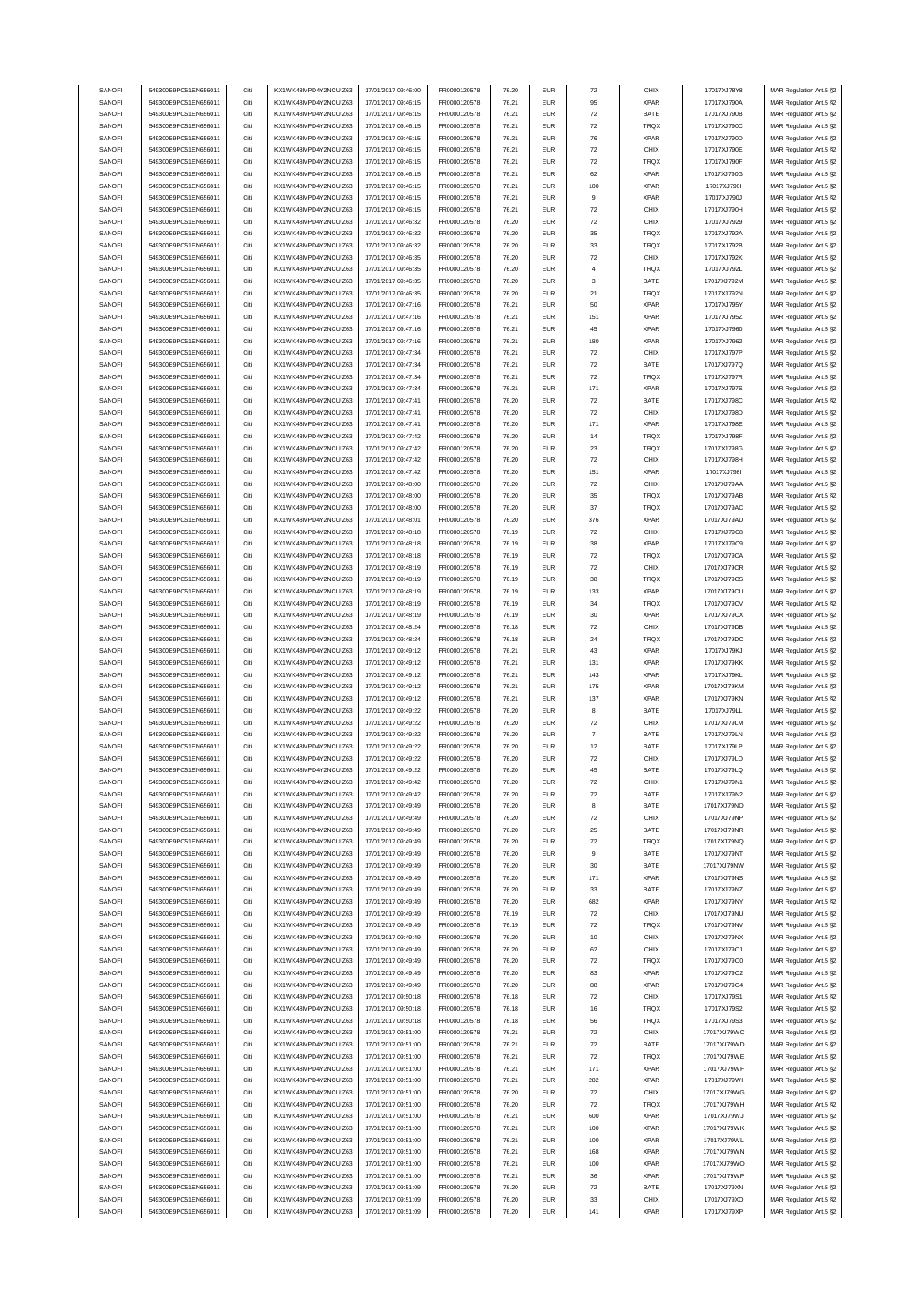| SANOFI | 549300E9PC51EN656011 | Citi | KX1WK48MPD4Y2NCUIZ63  | 17/01/2017 09:46:00 | FR0000120578 | 76.20 | <b>EUR</b> | $\scriptstyle{72}$ | CHIX        | 17017XJ78Y8 | MAR Regulation Art.5 §2 |
|--------|----------------------|------|-----------------------|---------------------|--------------|-------|------------|--------------------|-------------|-------------|-------------------------|
| SANOFI | 549300E9PC51EN656011 | Citi | KX1WK48MPD4Y2NCUIZ63  | 17/01/2017 09:46:15 |              | 76.21 | <b>EUR</b> | 95                 | <b>XPAR</b> |             |                         |
|        |                      |      |                       |                     | FR0000120578 |       |            |                    |             | 17017XJ790A | MAR Regulation Art.5 §2 |
| SANOFI | 549300E9PC51EN656011 | Citi | KX1WK48MPD4Y2NCUIZ63  | 17/01/2017 09:46:15 | FR0000120578 | 76.21 | <b>EUR</b> | 72                 | BATE        | 17017XJ790B | MAR Regulation Art.5 §2 |
| SANOFI | 549300E9PC51EN656011 | Citi | KX1WK48MPD4Y2NCUIZ63  | 17/01/2017 09:46:15 | FR0000120578 | 76.21 | EUR        | 72                 | TRQX        | 17017XJ790C | MAR Regulation Art.5 §2 |
| SANOFI | 549300E9PC51EN656011 | Citi | KX1WK48MPD4Y2NCLIIZ63 | 17/01/2017 09:46:15 | FR0000120578 | 76.21 | <b>EUR</b> | 76                 | <b>XPAR</b> | 17017XJ790D | MAR Regulation Art.5 §2 |
| SANOFI | 549300E9PC51EN656011 | Citi | KX1WK48MPD4Y2NCUIZ63  | 17/01/2017 09:46:15 | FR0000120578 | 76.21 | <b>EUR</b> | 72                 | CHIX        | 17017XJ790E | MAR Regulation Art.5 §2 |
| SANOFI | 549300E9PC51EN656011 | Citi | KX1WK48MPD4Y2NCUIZ63  | 17/01/2017 09:46:15 | FR0000120578 | 76.21 | <b>EUR</b> | $\scriptstyle{72}$ | TRQX        | 17017XJ790F | MAR Regulation Art.5 §2 |
|        |                      |      |                       |                     |              |       |            |                    |             |             |                         |
| SANOFI | 549300E9PC51EN656011 | Citi | KX1WK48MPD4Y2NCUIZ63  | 17/01/2017 09:46:15 | FR0000120578 | 76.21 | <b>EUR</b> | 62                 | <b>XPAR</b> | 17017XJ790G | MAR Regulation Art.5 §2 |
| SANOFI | 549300E9PC51EN656011 | Citi | KX1WK48MPD4Y2NCUIZ63  | 17/01/2017 09:46:15 | FR0000120578 | 76.21 | <b>EUR</b> | 100                | <b>XPAR</b> | 17017XJ790I | MAR Regulation Art.5 §2 |
| SANOFI | 549300E9PC51EN656011 | Citi | KX1WK48MPD4Y2NCUIZ63  | 17/01/2017 09:46:15 | FR0000120578 | 76.21 | <b>EUR</b> | 9                  | <b>XPAR</b> | 17017XJ790J | MAR Regulation Art.5 §2 |
| SANOFI | 549300E9PC51EN656011 | Citi | KX1WK48MPD4Y2NCUIZ63  | 17/01/2017 09:46:15 | FR0000120578 | 76.21 | <b>EUR</b> | 72                 | CHIX        | 17017XJ790H | MAR Regulation Art.5 §2 |
| SANOFI | 549300E9PC51EN656011 | Citi | KX1WK48MPD4Y2NCUIZ63  | 17/01/2017 09:46:32 | FR0000120578 | 76.20 | <b>EUR</b> | 72                 | CHIX        | 17017XJ7929 | MAR Regulation Art.5 §2 |
|        |                      |      |                       |                     |              |       |            |                    |             |             |                         |
| SANOFI | 549300E9PC51EN656011 | Citi | KX1WK48MPD4Y2NCUIZ63  | 17/01/2017 09:46:32 | FR0000120578 | 76.20 | EUR        | 35                 | TRQX        | 17017XJ792A | MAR Regulation Art.5 §2 |
| SANOFI | 549300E9PC51EN656011 | Citi | KX1WK48MPD4Y2NCUIZ63  | 17/01/2017 09:46:32 | FR0000120578 | 76.20 | <b>EUR</b> | 33                 | TRQX        | 17017XJ792B | MAR Regulation Art.5 §2 |
| SANOFI | 549300E9PC51EN656011 | Citi | KX1WK48MPD4Y2NCUIZ63  | 17/01/2017 09:46:35 | FR0000120578 | 76.20 | <b>EUR</b> | $\scriptstyle{72}$ | CHIX        | 17017XJ792K | MAR Regulation Art.5 §2 |
| SANOFI | 549300E9PC51EN656011 | Citi | KX1WK48MPD4Y2NCUIZ63  | 17/01/2017 09:46:35 | FR0000120578 | 76.20 | <b>EUR</b> | $\overline{4}$     | TRQX        | 17017XJ792L | MAR Regulation Art.5 §2 |
| SANOFI | 549300E9PC51EN656011 | Citi | KX1WK48MPD4Y2NCUIZ63  | 17/01/2017 09:46:35 | FR0000120578 | 76.20 | <b>EUR</b> | 3                  | BATE        | 17017XJ792M | MAR Regulation Art.5 §2 |
|        | 549300E9PC51EN656011 | Citi | KX1WK48MPD4Y2NCUIZ63  | 17/01/2017 09:46:35 |              | 76.20 | <b>EUR</b> | 21                 | TRQX        |             |                         |
| SANOFI |                      |      |                       |                     | FR0000120578 |       |            |                    |             | 17017XJ792N | MAR Regulation Art.5 §2 |
| SANOFI | 549300E9PC51EN656011 | Citi | KX1WK48MPD4Y2NCUIZ63  | 17/01/2017 09:47:16 | FR0000120578 | 76.21 | <b>EUR</b> | 50                 | <b>XPAR</b> | 17017XJ795Y | MAR Regulation Art.5 §2 |
| SANOFI | 549300E9PC51EN656011 | Citi | KX1WK48MPD4Y2NCUIZ63  | 17/01/2017 09:47:16 | FR0000120578 | 76.21 | <b>EUR</b> | 151                | <b>XPAR</b> | 17017XJ795Z | MAR Regulation Art.5 §2 |
| SANOFI | 549300E9PC51EN656011 | Citi | KX1WK48MPD4Y2NCUIZ63  | 17/01/2017 09:47:16 | FR0000120578 | 76.21 | <b>EUR</b> | 45                 | <b>XPAR</b> | 17017XJ7960 | MAR Regulation Art.5 §2 |
| SANOFI | 549300E9PC51EN656011 | Citi | KX1WK48MPD4Y2NCUIZ63  | 17/01/2017 09:47:16 | FR0000120578 | 76.21 | <b>EUR</b> | 180                | <b>XPAR</b> | 17017XJ7962 | MAR Regulation Art.5 §2 |
|        |                      |      |                       |                     |              |       |            |                    |             |             |                         |
| SANOFI | 549300E9PC51EN656011 | Citi | KX1WK48MPD4Y2NCUIZ63  | 17/01/2017 09:47:34 | FR0000120578 | 76.21 | <b>EUR</b> | $\scriptstyle{72}$ | CHIX        | 17017XJ797P | MAR Regulation Art.5 §2 |
| SANOFI | 549300E9PC51EN656011 | Citi | KX1WK48MPD4Y2NCUIZ63  | 17/01/2017 09:47:34 | FR0000120578 | 76.21 | <b>EUR</b> | 72                 | BATE        | 17017XJ797Q | MAR Regulation Art.5 §2 |
| SANOFI | 549300E9PC51EN656011 | Citi | KX1WK48MPD4Y2NCUIZ63  | 17/01/2017 09:47:34 | FR0000120578 | 76.21 | <b>EUR</b> | 72                 | TRQX        | 17017XJ797R | MAR Regulation Art.5 §2 |
| SANOFI | 549300E9PC51EN656011 | Citi | KX1WK48MPD4Y2NCUIZ63  | 17/01/2017 09:47:34 | FR0000120578 | 76.21 | <b>EUR</b> | 171                | <b>XPAR</b> | 17017XJ797S | MAR Regulation Art.5 §2 |
| SANOFI | 549300E9PC51EN656011 | Citi | KX1WK48MPD4Y2NCUIZ63  | 17/01/2017 09:47:41 | FR0000120578 | 76.20 | <b>EUR</b> | 72                 | BATE        | 17017XJ798C | MAR Regulation Art.5 §2 |
| SANOFI | 549300E9PC51EN656011 | Citi | KX1WK48MPD4Y2NCUIZ63  |                     |              | 76.20 | <b>EUR</b> |                    |             |             |                         |
|        |                      |      |                       | 17/01/2017 09:47:41 | FR0000120578 |       |            | 72                 | CHIX        | 17017XJ798D | MAR Regulation Art.5 §2 |
| SANOFI | 549300E9PC51EN656011 | Citi | KX1WK48MPD4Y2NCUIZ63  | 17/01/2017 09:47:41 | FR0000120578 | 76.20 | <b>EUR</b> | 171                | <b>XPAR</b> | 17017XJ798E | MAR Regulation Art.5 §2 |
| SANOFI | 549300E9PC51EN656011 | Citi | KX1WK48MPD4Y2NCUIZ63  | 17/01/2017 09:47:42 | FR0000120578 | 76.20 | <b>EUR</b> | 14                 | TRQX        | 17017XJ798F | MAR Regulation Art.5 §2 |
| SANOFI | 549300E9PC51EN656011 | Citi | KX1WK48MPD4Y2NCUIZ63  | 17/01/2017 09:47:42 | FR0000120578 | 76.20 | <b>EUR</b> | 23                 | TRQX        | 17017XJ798G | MAR Regulation Art.5 §2 |
| SANOFI | 549300E9PC51EN656011 | Citi | KX1WK48MPD4Y2NCUIZ63  | 17/01/2017 09:47:42 | FR0000120578 | 76.20 | <b>EUR</b> | 72                 | CHIX        | 17017XJ798H | MAR Regulation Art.5 §2 |
| SANOFI | 549300E9PC51EN656011 | Citi | KX1WK48MPD4Y2NCUIZ63  | 17/01/2017 09:47:42 | FR0000120578 | 76.20 | <b>EUR</b> | 151                | <b>XPAR</b> | 17017XJ798I | MAR Regulation Art.5 §2 |
|        |                      |      |                       |                     |              |       |            |                    |             |             |                         |
| SANOFI | 549300E9PC51EN656011 | Citi | KX1WK48MPD4Y2NCUIZ63  | 17/01/2017 09:48:00 | FR0000120578 | 76.20 | <b>EUR</b> | 72                 | CHIX        | 17017XJ79AA | MAR Regulation Art.5 §2 |
| SANOFI | 549300E9PC51EN656011 | Citi | KX1WK48MPD4Y2NCUIZ63  | 17/01/2017 09:48:00 | FR0000120578 | 76.20 | <b>EUR</b> | 35                 | TRQX        | 17017XJ79AB | MAR Regulation Art.5 §2 |
| SANOFI | 549300E9PC51EN656011 | Citi | KX1WK48MPD4Y2NCUIZ63  | 17/01/2017 09:48:00 | FR0000120578 | 76.20 | <b>EUR</b> | 37                 | TRQX        | 17017XJ79AC | MAR Regulation Art.5 §2 |
| SANOFI | 549300E9PC51EN656011 | Citi | KX1WK48MPD4Y2NCUIZ63  | 17/01/2017 09:48:01 | FR0000120578 | 76.20 | <b>EUR</b> | 376                | <b>XPAR</b> | 17017XJ79AD | MAR Regulation Art.5 §2 |
| SANOFI | 549300E9PC51EN656011 | Citi | KX1WK48MPD4Y2NCUIZ63  | 17/01/2017 09:48:18 | FR0000120578 | 76.19 | <b>EUR</b> | $\scriptstyle{72}$ | CHIX        | 17017XJ79C8 | MAR Regulation Art.5 §2 |
|        |                      |      |                       |                     |              |       |            |                    |             |             |                         |
| SANOFI | 549300E9PC51EN656011 | Citi | KX1WK48MPD4Y2NCUIZ63  | 17/01/2017 09:48:18 | FR0000120578 | 76.19 | <b>EUR</b> | 38                 | <b>XPAR</b> | 17017XJ79C9 | MAR Regulation Art.5 §2 |
| SANOFI | 549300E9PC51EN656011 | Citi | KX1WK48MPD4Y2NCUIZ63  | 17/01/2017 09:48:18 | FR0000120578 | 76.19 | <b>EUR</b> | 72                 | TRQX        | 17017XJ79CA | MAR Regulation Art.5 §2 |
| SANOFI | 549300E9PC51EN656011 | Citi | KX1WK48MPD4Y2NCUIZ63  | 17/01/2017 09:48:19 | FR0000120578 | 76.19 | <b>EUR</b> | 72                 | CHIX        | 17017XJ79CR | MAR Regulation Art.5 §2 |
| SANOFI | 549300E9PC51EN656011 | Citi | KX1WK48MPD4Y2NCUIZ63  | 17/01/2017 09:48:19 | FR0000120578 | 76.19 | <b>EUR</b> | 38                 | TRQX        | 17017XJ79CS | MAR Regulation Art.5 §2 |
| SANOFI | 549300E9PC51EN656011 | Citi | KX1WK48MPD4Y2NCUIZ63  | 17/01/2017 09:48:19 | FR0000120578 | 76.19 | <b>EUR</b> | 133                | <b>XPAR</b> | 17017XJ79CU | MAR Regulation Art.5 §2 |
| SANOFI | 549300E9PC51EN656011 | Citi | KX1WK48MPD4Y2NCUIZ63  | 17/01/2017 09:48:19 | FR0000120578 | 76.19 | <b>EUR</b> | 34                 | TRQX        | 17017XJ79CV |                         |
|        |                      |      |                       |                     |              |       |            |                    |             |             | MAR Regulation Art.5 §2 |
| SANOFI | 549300E9PC51EN656011 | Citi | KX1WK48MPD4Y2NCUIZ63  | 17/01/2017 09:48:19 | FR0000120578 | 76.19 | <b>EUR</b> | 30                 | <b>XPAR</b> | 17017XJ79CX | MAR Regulation Art.5 §2 |
| SANOFI | 549300E9PC51EN656011 | Citi | KX1WK48MPD4Y2NCUIZ63  | 17/01/2017 09:48:24 | FR0000120578 | 76.18 | <b>EUR</b> | $\scriptstyle{72}$ | CHIX        | 17017XJ79DB | MAR Regulation Art.5 §2 |
| SANOFI | 549300E9PC51EN656011 | Citi | KX1WK48MPD4Y2NCUIZ63  | 17/01/2017 09:48:24 | FR0000120578 | 76.18 | <b>EUR</b> | 24                 | TRQX        | 17017XJ79DC | MAR Regulation Art.5 §2 |
| SANOFI | 549300E9PC51EN656011 | Citi | KX1WK48MPD4Y2NCUIZ63  | 17/01/2017 09:49:12 | FR0000120578 | 76.21 | <b>EUR</b> | 43                 | <b>XPAR</b> | 17017XJ79KJ | MAR Regulation Art.5 §2 |
| SANOFI | 549300E9PC51EN656011 | Citi | KX1WK48MPD4Y2NCUIZ63  | 17/01/2017 09:49:12 | FR0000120578 | 76.21 | <b>EUR</b> | 131                | <b>XPAR</b> | 17017XJ79KK | MAR Regulation Art.5 §2 |
|        |                      |      |                       |                     |              |       |            |                    |             |             |                         |
| SANOFI | 549300E9PC51EN656011 | Citi | KX1WK48MPD4Y2NCUIZ63  | 17/01/2017 09:49:12 | FR0000120578 | 76.21 | <b>EUR</b> | 143                | <b>XPAR</b> | 17017XJ79KL | MAR Regulation Art.5 §2 |
| SANOFI | 549300E9PC51EN656011 | Citi | KX1WK48MPD4Y2NCUIZ63  | 17/01/2017 09:49:12 | FR0000120578 | 76.21 | <b>EUR</b> | 175                | <b>XPAR</b> | 17017XJ79KM | MAR Regulation Art.5 §2 |
| SANOFI | 549300E9PC51EN656011 | Citi | KX1WK48MPD4Y2NCUIZ63  | 17/01/2017 09:49:12 | FR0000120578 | 76.21 | <b>EUR</b> | 137                | <b>XPAR</b> | 17017XJ79KN | MAR Regulation Art.5 §2 |
| SANOFI | 549300E9PC51EN656011 | Citi | KX1WK48MPD4Y2NCLIIZ63 | 17/01/2017 09:49:22 | FR0000120578 | 76.20 | <b>EUR</b> | 8                  | BATE        | 17017XJ79LL | MAR Regulation Art.5 §2 |
| SANOFI | 549300E9PC51EN656011 | Citi | KX1WK48MPD4Y2NCUIZ63  | 17/01/2017 09:49:22 | FR0000120578 | 76.20 | <b>EUR</b> | 72                 | CHIX        | 17017XJ79LM | MAR Regulation Art.5 §2 |
|        |                      |      |                       |                     |              |       |            |                    |             |             |                         |
| SANOFI | 549300E9PC51EN656011 | Citi | KX1WK48MPD4Y2NCUIZ63  | 17/01/2017 09:49:22 | FR0000120578 | 76.20 | <b>EUR</b> | $\scriptstyle{7}$  | BATE        | 17017XJ79LN | MAR Regulation Art.5 §2 |
| SANOFI | 549300E9PC51EN656011 | Citi | KX1WK48MPD4Y2NCUIZ63  | 17/01/2017 09:49:22 | FR0000120578 | 76.20 | <b>EUR</b> | 12                 | BATE        | 17017XJ79LP | MAR Regulation Art.5 §2 |
| SANOFI | 549300E9PC51EN656011 | Citi | KX1WK48MPD4Y2NCUIZ63  | 17/01/2017 09:49:22 | FR0000120578 | 76.20 | <b>EUR</b> | 72                 | CHIX        | 17017XJ79LO | MAR Regulation Art.5 §2 |
| SANOFI | 549300E9PC51EN656011 | Citi | KX1WK48MPD4Y2NCUIZ63  | 17/01/2017 09:49:22 | FR0000120578 | 76.20 | <b>EUR</b> | 45                 | BATE        | 17017XJ79LQ | MAR Regulation Art.5 §2 |
| SANOFI | 549300E9PC51EN656011 |      | KX1WK48MPD4Y2NCLIIZ63 | 17/01/2017 09:49:42 | ER0000120578 | 76.20 | FUR        | 72                 | CHIX        | 17017XJ79N1 | MAR Regulation Art 5.82 |
| SANOFI |                      |      |                       |                     |              |       |            |                    |             | 17017XJ79N2 |                         |
|        | 549300E9PC51EN656011 | Citi | KX1WK48MPD4Y2NCUIZ63  | 17/01/2017 09:49:42 | FR0000120578 | 76.20 | <b>EUR</b> | 72                 | BATE        |             | MAR Regulation Art.5 §2 |
| SANOFI | 549300E9PC51EN656011 | Citi | KX1WK48MPD4Y2NCUIZ63  | 17/01/2017 09:49:49 | FR0000120578 | 76.20 | <b>EUR</b> | 8                  | BATE        | 17017XJ79NO | MAR Regulation Art.5 §2 |
| SANOFI | 549300E9PC51EN656011 | Citi | KX1WK48MPD4Y2NCUIZ63  | 17/01/2017 09:49:49 | FR0000120578 | 76.20 | <b>EUR</b> | 72                 | CHIX        | 17017XJ79NP | MAR Regulation Art.5 §2 |
| SANOFI | 549300E9PC51EN656011 | Citi | KX1WK48MPD4Y2NCUIZ63  | 17/01/2017 09:49:49 | FR0000120578 | 76.20 | <b>EUR</b> | 25                 | BATE        | 17017XJ79NR | MAR Regulation Art.5 §2 |
| SANOFI | 549300E9PC51EN656011 | Citi | KX1WK48MPD4Y2NCUIZ63  | 17/01/2017 09:49:49 | FR0000120578 | 76.20 | <b>EUR</b> | 72                 | TRQX        | 17017XJ79NQ | MAR Regulation Art.5 §2 |
| SANOFI | 549300E9PC51EN656011 | Citi | KX1WK48MPD4Y2NCUIZ63  | 17/01/2017 09:49:49 | FR0000120578 | 76.20 | <b>EUR</b> |                    |             | 17017XJ79NT |                         |
|        |                      |      |                       |                     |              |       |            |                    |             |             |                         |
| SANOFI | 549300E9PC51EN656011 | Citi | KX1WK48MPD4Y2NCUIZ63  | 17/01/2017 09:49:49 |              |       |            | 9                  | BATE        |             | MAR Regulation Art.5 §2 |
| SANOFI | 549300E9PC51EN656011 | Citi |                       |                     | FR0000120578 | 76.20 | <b>EUR</b> | 30                 | BATE        | 17017XJ79NW | MAR Regulation Art.5 §2 |
| SANOFI |                      |      | KX1WK48MPD4Y2NCUIZ63  | 17/01/2017 09:49:49 | FR0000120578 | 76.20 | <b>EUR</b> | 171                | <b>XPAR</b> | 17017XJ79NS | MAR Regulation Art.5 §2 |
|        | 549300E9PC51EN656011 | Citi | KX1WK48MPD4Y2NCUIZ63  | 17/01/2017 09:49:49 | FR0000120578 | 76.20 | <b>EUR</b> | 33                 | BATE        | 17017XJ79NZ | MAR Regulation Art.5 §2 |
| SANOFI | 549300E9PC51EN656011 | Citi | KX1WK48MPD4Y2NCUIZ63  | 17/01/2017 09:49:49 | FR0000120578 | 76.20 | <b>EUR</b> | 682                | <b>XPAR</b> | 17017XJ79NY | MAR Regulation Art.5 §2 |
|        |                      |      |                       |                     |              | 76.19 |            |                    |             |             |                         |
| SANOFI | 549300E9PC51EN656011 | Citi | KX1WK48MPD4Y2NCUIZ63  | 17/01/2017 09:49:49 | FR0000120578 |       | <b>EUR</b> | $\scriptstyle{72}$ | CHIX        | 17017XJ79NU | MAR Regulation Art.5 §2 |
| SANOFI | 549300E9PC51EN656011 | Citi | KX1WK48MPD4Y2NCUIZ63  | 17/01/2017 09:49:49 | FR0000120578 | 76.19 | <b>EUR</b> | 72                 | TRQX        | 17017XJ79NV | MAR Regulation Art.5 §2 |
| SANOFI | 549300E9PC51EN656011 | Citi | KX1WK48MPD4Y2NCUIZ63  | 17/01/2017 09:49:49 | FR0000120578 | 76.20 | <b>EUR</b> | 10                 | CHIX        | 17017XJ79NX | MAR Regulation Art.5 §2 |
| SANOFI | 549300E9PC51EN656011 | Citi | KX1WK48MPD4Y2NCUIZ63  | 17/01/2017 09:49:49 | FR0000120578 | 76.20 | <b>EUR</b> | 62                 | CHIX        | 17017XJ79O1 | MAR Regulation Art.5 §2 |
| SANOFI | 549300E9PC51EN656011 | Citi | KX1WK48MPD4Y2NCUIZ63  | 17/01/2017 09:49:49 | FR0000120578 | 76.20 | <b>EUR</b> | 72                 | TRQX        | 17017XJ79O0 | MAR Regulation Art.5 §2 |
|        |                      |      |                       |                     |              |       |            |                    |             |             |                         |
| SANOFI | 549300E9PC51EN656011 | Citi | KX1WK48MPD4Y2NCUIZ63  | 17/01/2017 09:49:49 | FR0000120578 | 76.20 | <b>EUR</b> | 83                 | <b>XPAR</b> | 17017XJ79O2 | MAR Regulation Art.5 §2 |
| SANOFI | 549300E9PC51EN656011 | Citi | KX1WK48MPD4Y2NCUIZ63  | 17/01/2017 09:49:49 | FR0000120578 | 76.20 | <b>EUR</b> | 88                 | <b>XPAR</b> | 17017XJ79O4 | MAR Regulation Art.5 §2 |
| SANOFI | 549300E9PC51EN656011 | Citi | KX1WK48MPD4Y2NCUIZ63  | 17/01/2017 09:50:18 | FR0000120578 | 76.18 | <b>EUR</b> | 72                 | CHIX        | 17017XJ79S1 | MAR Regulation Art.5 §2 |
| SANOFI | 549300E9PC51EN656011 | Citi | KX1WK48MPD4Y2NCUIZ63  | 17/01/2017 09:50:18 | FR0000120578 | 76.18 | <b>EUR</b> | 16                 | TRQX        | 17017XJ79S2 | MAR Regulation Art.5 §2 |
| SANOFI | 549300E9PC51EN656011 | Citi | KX1WK48MPD4Y2NCUIZ63  | 17/01/2017 09:50:18 | FR0000120578 | 76.18 | <b>EUR</b> | 56                 | TRQX        | 17017XJ79S3 | MAR Regulation Art.5 §2 |
|        |                      |      |                       |                     |              |       |            |                    |             |             |                         |
| SANOFI | 549300E9PC51EN656011 | Citi | KX1WK48MPD4Y2NCUIZ63  | 17/01/2017 09:51:00 | FR0000120578 | 76.21 | <b>EUR</b> | 72                 | CHIX        | 17017XJ79WC | MAR Regulation Art.5 §2 |
| SANOFI | 549300E9PC51EN656011 | Citi | KX1WK48MPD4Y2NCUIZ63  | 17/01/2017 09:51:00 | FR0000120578 | 76.21 | <b>EUR</b> | 72                 | BATE        | 17017XJ79WD | MAR Regulation Art.5 §2 |
| SANOFI | 549300E9PC51EN656011 | Citi | KX1WK48MPD4Y2NCUIZ63  | 17/01/2017 09:51:00 | FR0000120578 | 76.21 | <b>EUR</b> | $\scriptstyle{72}$ | TRQX        | 17017XJ79WE | MAR Regulation Art.5 §2 |
| SANOFI | 549300E9PC51EN656011 | Citi | KX1WK48MPD4Y2NCUIZ63  | 17/01/2017 09:51:00 | FR0000120578 | 76.21 | <b>EUR</b> | 171                | <b>XPAR</b> | 17017XJ79WF | MAR Regulation Art.5 §2 |
| SANOFI | 549300E9PC51EN656011 | Citi | KX1WK48MPD4Y2NCUIZ63  | 17/01/2017 09:51:00 | FR0000120578 | 76.21 | <b>EUR</b> | 282                | <b>XPAR</b> | 17017XJ79WI | MAR Regulation Art.5 §2 |
| SANOFI |                      | Citi |                       |                     |              | 76.20 | <b>EUR</b> | 72                 |             |             |                         |
|        | 549300E9PC51EN656011 |      | KX1WK48MPD4Y2NCUIZ63  | 17/01/2017 09:51:00 | FR0000120578 |       |            |                    | CHIX        | 17017XJ79WG | MAR Regulation Art.5 §2 |
| SANOFI | 549300E9PC51EN656011 | Citi | KX1WK48MPD4Y2NCUIZ63  | 17/01/2017 09:51:00 | FR0000120578 | 76.20 | <b>EUR</b> | $\scriptstyle{72}$ | TRQX        | 17017XJ79WH | MAR Regulation Art.5 §2 |
| SANOFI | 549300E9PC51EN656011 | Citi | KX1WK48MPD4Y2NCUIZ63  | 17/01/2017 09:51:00 | FR0000120578 | 76.21 | <b>EUR</b> | 600                | <b>XPAR</b> | 17017XJ79WJ | MAR Regulation Art.5 §2 |
| SANOFI | 549300E9PC51EN656011 | Citi | KX1WK48MPD4Y2NCUIZ63  | 17/01/2017 09:51:00 | FR0000120578 | 76.21 | <b>EUR</b> | 100                | <b>XPAR</b> | 17017XJ79WK | MAR Regulation Art.5 §2 |
| SANOFI | 549300E9PC51EN656011 | Citi | KX1WK48MPD4Y2NCUIZ63  | 17/01/2017 09:51:00 | FR0000120578 | 76.21 | <b>EUR</b> | 100                | <b>XPAR</b> | 17017XJ79WL | MAR Regulation Art.5 §2 |
| SANOFI | 549300E9PC51EN656011 | Citi | KX1WK48MPD4Y2NCUIZ63  | 17/01/2017 09:51:00 | FR0000120578 | 76.21 | <b>EUR</b> | 168                | <b>XPAR</b> | 17017XJ79WN | MAR Regulation Art.5 §2 |
| SANOFI | 549300E9PC51EN656011 | Citi | KX1WK48MPD4Y2NCUIZ63  | 17/01/2017 09:51:00 | FR0000120578 | 76.21 | <b>EUR</b> | 100                | <b>XPAR</b> | 17017XJ79WO |                         |
|        |                      |      |                       |                     |              |       |            |                    |             |             | MAR Regulation Art.5 §2 |
| SANOFI | 549300E9PC51EN656011 | Citi | KX1WK48MPD4Y2NCUIZ63  | 17/01/2017 09:51:00 | FR0000120578 | 76.21 | <b>EUR</b> | 36                 | <b>XPAR</b> | 17017XJ79WP | MAR Regulation Art.5 §2 |
| SANOFI | 549300E9PC51EN656011 | Citi | KX1WK48MPD4Y2NCUIZ63  | 17/01/2017 09:51:09 | FR0000120578 | 76.20 | <b>EUR</b> | 72                 | BATE        | 17017XJ79XN | MAR Regulation Art.5 §2 |
| SANOFI | 549300E9PC51EN656011 | Citi | KX1WK48MPD4Y2NCUIZ63  | 17/01/2017 09:51:09 | FR0000120578 | 76.20 | <b>EUR</b> | 33                 | CHIX        | 17017XJ79XO | MAR Regulation Art.5 §2 |
| SANOFI | 549300E9PC51EN656011 | Citi | KX1WK48MPD4Y2NCUIZ63  | 17/01/2017 09:51:09 | FR0000120578 | 76.20 | <b>EUR</b> | 141                | <b>XPAR</b> | 17017XJ79XP | MAR Regulation Art.5 §2 |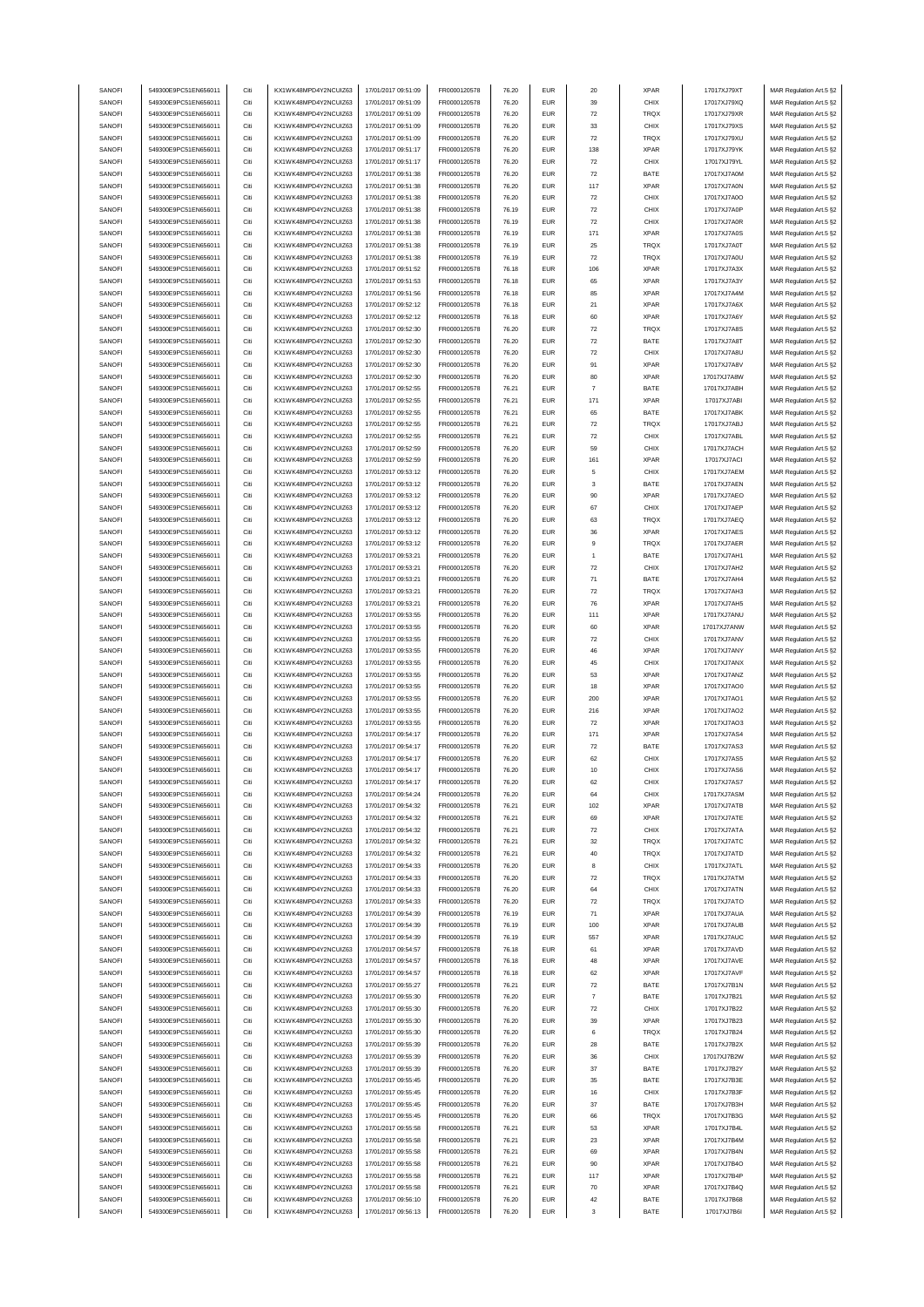| SANOFI | 549300E9PC51EN656011 | Citi | KX1WK48MPD4Y2NCUIZ63  | 17/01/2017 09:51:09 |              | 76.20 | <b>EUR</b> |                    | <b>XPAR</b> |             |                                                    |
|--------|----------------------|------|-----------------------|---------------------|--------------|-------|------------|--------------------|-------------|-------------|----------------------------------------------------|
|        | 549300E9PC51EN656011 | Citi | KX1WK48MPD4Y2NCUIZ63  | 17/01/2017 09:51:09 | FR0000120578 | 76.20 | <b>EUR</b> | 20<br>39           | CHIX        | 17017XJ79XT | MAR Regulation Art.5 §2                            |
| SANOFI |                      |      |                       |                     | FR0000120578 |       |            |                    |             | 17017XJ79XQ | MAR Regulation Art.5 §2                            |
| SANOFI | 549300E9PC51EN656011 | Citi | KX1WK48MPD4Y2NCUIZ63  | 17/01/2017 09:51:09 | FR0000120578 | 76.20 | <b>EUR</b> | 72                 | TRQX        | 17017XJ79XR | MAR Regulation Art.5 §2                            |
| SANOFI | 549300E9PC51EN656011 | Citi | KX1WK48MPD4Y2NCUIZ63  | 17/01/2017 09:51:09 | FR0000120578 | 76.20 | EUR        | 33                 | CHIX        | 17017XJ79XS | MAR Regulation Art.5 §2                            |
| SANOFI | 549300E9PC51EN656011 | Citi | KX1WK48MPD4Y2NCUIZ63  | 17/01/2017 09:51:09 | FR0000120578 | 76.20 | <b>EUR</b> | $\scriptstyle{72}$ | TRQX        | 17017XJ79XU | MAR Regulation Art.5 §2                            |
| SANOFI | 549300E9PC51EN656011 | Citi | KX1WK48MPD4Y2NCUIZ63  | 17/01/2017 09:51:17 | FR0000120578 | 76.20 | <b>EUR</b> | 138                | <b>XPAR</b> | 17017XJ79YK | MAR Regulation Art.5 §2                            |
| SANOFI | 549300E9PC51EN656011 | Citi | KX1WK48MPD4Y2NCUIZ63  | 17/01/2017 09:51:17 | FR0000120578 | 76.20 | <b>EUR</b> | $\scriptstyle{72}$ | CHIX        | 17017XJ79YL | MAR Regulation Art.5 §2                            |
|        | 549300E9PC51EN656011 |      | KX1WK48MPD4Y2NCUIZ63  |                     |              |       |            |                    |             |             |                                                    |
| SANOFI |                      | Citi |                       | 17/01/2017 09:51:38 | FR0000120578 | 76.20 | <b>EUR</b> | 72                 | BATE        | 17017XJ7A0M | MAR Regulation Art.5 §2                            |
| SANOFI | 549300E9PC51EN656011 | Citi | KX1WK48MPD4Y2NCUIZ63  | 17/01/2017 09:51:38 | FR0000120578 | 76.20 | <b>EUR</b> | 117                | <b>XPAR</b> | 17017XJ7A0N | MAR Regulation Art.5 §2                            |
| SANOFI | 549300E9PC51EN656011 | Citi | KX1WK48MPD4Y2NCUIZ63  | 17/01/2017 09:51:38 | FR0000120578 | 76.20 | <b>EUR</b> | 72                 | CHIX        | 17017XJ7A0O | MAR Regulation Art.5 §2                            |
| SANOFI | 549300E9PC51EN656011 | Citi | KX1WK48MPD4Y2NCUIZ63  | 17/01/2017 09:51:38 | FR0000120578 | 76.19 | <b>EUR</b> | 72                 | CHIX        | 17017XJ7A0P | MAR Regulation Art.5 §2                            |
| SANOFI | 549300E9PC51EN656011 | Citi | KX1WK48MPD4Y2NCUIZ63  | 17/01/2017 09:51:38 | FR0000120578 | 76.19 | <b>EUR</b> | 72                 | CHIX        | 17017XJ7A0R | MAR Regulation Art.5 §2                            |
|        |                      |      |                       |                     |              |       |            |                    |             |             |                                                    |
| SANOFI | 549300E9PC51EN656011 | Citi | KX1WK48MPD4Y2NCUIZ63  | 17/01/2017 09:51:38 | FR0000120578 | 76.19 | EUR        | 171                | <b>XPAR</b> | 17017XJ7A0S | MAR Regulation Art.5 §2                            |
| SANOFI | 549300E9PC51EN656011 | Citi | KX1WK48MPD4Y2NCUIZ63  | 17/01/2017 09:51:38 | FR0000120578 | 76.19 | <b>EUR</b> | 25                 | TRQX        | 17017XJ7A0T | MAR Regulation Art.5 §2                            |
| SANOFI | 549300E9PC51EN656011 | Citi | KX1WK48MPD4Y2NCUIZ63  | 17/01/2017 09:51:38 | FR0000120578 | 76.19 | <b>EUR</b> | 72                 | TRQX        | 17017XJ7A0U | MAR Regulation Art.5 §2                            |
| SANOFI | 549300E9PC51EN656011 | Citi | KX1WK48MPD4Y2NCUIZ63  | 17/01/2017 09:51:52 | FR0000120578 | 76.18 | <b>EUR</b> | 106                | <b>XPAR</b> | 17017XJ7A3X | MAR Regulation Art.5 §2                            |
| SANOFI | 549300E9PC51EN656011 | Citi | KX1WK48MPD4Y2NCUIZ63  | 17/01/2017 09:51:53 | FR0000120578 | 76.18 | <b>EUR</b> | 65                 | <b>XPAR</b> | 17017XJ7A3Y | MAR Regulation Art.5 §2                            |
|        | 549300E9PC51EN656011 | Citi | KX1WK48MPD4Y2NCUIZ63  | 17/01/2017 09:51:56 |              | 76.18 | <b>EUR</b> | 85                 | <b>XPAR</b> |             |                                                    |
| SANOFI |                      |      |                       |                     | FR0000120578 |       |            |                    |             | 17017XJ7A4M | MAR Regulation Art.5 §2                            |
| SANOFI | 549300E9PC51EN656011 | Citi | KX1WK48MPD4Y2NCUIZ63  | 17/01/2017 09:52:12 | FR0000120578 | 76.18 | <b>EUR</b> | 21                 | <b>XPAR</b> | 17017XJ7A6X | MAR Regulation Art.5 §2                            |
| SANOFI | 549300E9PC51EN656011 | Citi | KX1WK48MPD4Y2NCUIZ63  | 17/01/2017 09:52:12 | FR0000120578 | 76.18 | <b>EUR</b> | 60                 | <b>XPAR</b> | 17017XJ7A6Y | MAR Regulation Art.5 §2                            |
| SANOFI | 549300E9PC51EN656011 | Citi | KX1WK48MPD4Y2NCUIZ63  | 17/01/2017 09:52:30 | FR0000120578 | 76.20 | <b>EUR</b> | 72                 | TRQX        | 17017XJ7A8S | MAR Regulation Art.5 §2                            |
| SANOFI | 549300E9PC51EN656011 | Citi | KX1WK48MPD4Y2NCUIZ63  | 17/01/2017 09:52:30 | FR0000120578 | 76.20 | <b>EUR</b> | ${\bf 72}$         | BATE        | 17017XJ7A8T | MAR Regulation Art.5 §2                            |
|        |                      |      |                       |                     |              |       |            |                    |             |             |                                                    |
| SANOFI | 549300E9PC51EN656011 | Citi | KX1WK48MPD4Y2NCUIZ63  | 17/01/2017 09:52:30 | FR0000120578 | 76.20 | <b>EUR</b> | 72                 | CHIX        | 17017XJ7A8U | MAR Regulation Art.5 §2                            |
| SANOFI | 549300E9PC51EN656011 | Citi | KX1WK48MPD4Y2NCUIZ63  | 17/01/2017 09:52:30 | FR0000120578 | 76.20 | <b>EUR</b> | 91                 | <b>XPAR</b> | 17017XJ7A8V | MAR Regulation Art.5 §2                            |
| SANOFI | 549300E9PC51EN656011 | Citi | KX1WK48MPD4Y2NCUIZ63  | 17/01/2017 09:52:30 | FR0000120578 | 76.20 | <b>EUR</b> | 80                 | <b>XPAR</b> | 17017XJ7A8W | MAR Regulation Art.5 §2                            |
| SANOFI | 549300E9PC51EN656011 | Citi | KX1WK48MPD4Y2NCUIZ63  | 17/01/2017 09:52:55 | FR0000120578 | 76.21 | <b>EUR</b> | $\overline{7}$     | BATE        | 17017XJ7ABH | MAR Regulation Art.5 §2                            |
| SANOFI | 549300E9PC51EN656011 | Citi | KX1WK48MPD4Y2NCUIZ63  | 17/01/2017 09:52:55 | FR0000120578 | 76.21 | <b>EUR</b> | 171                | <b>XPAR</b> | 17017XJ7ABI | MAR Regulation Art.5 §2                            |
| SANOFI | 549300E9PC51EN656011 | Citi | KX1WK48MPD4Y2NCUIZ63  | 17/01/2017 09:52:55 |              | 76.21 | <b>EUR</b> |                    |             |             |                                                    |
|        |                      |      |                       |                     | FR0000120578 |       |            | 65                 | BATE        | 17017XJ7ABK | MAR Regulation Art.5 §2                            |
| SANOFI | 549300E9PC51EN656011 | Citi | KX1WK48MPD4Y2NCUIZ63  | 17/01/2017 09:52:55 | FR0000120578 | 76.21 | <b>EUR</b> | 72                 | TRQX        | 17017XJ7ABJ | MAR Regulation Art.5 §2                            |
| SANOFI | 549300E9PC51EN656011 | Citi | KX1WK48MPD4Y2NCUIZ63  | 17/01/2017 09:52:55 | FR0000120578 | 76.21 | <b>EUR</b> | $\scriptstyle{72}$ | CHIX        | 17017XJ7ABL | MAR Regulation Art.5 §2                            |
| SANOFI | 549300E9PC51EN656011 | Citi | KX1WK48MPD4Y2NCUIZ63  | 17/01/2017 09:52:59 | FR0000120578 | 76.20 | <b>EUR</b> | 59                 | CHIX        | 17017XJ7ACH | MAR Regulation Art.5 §2                            |
| SANOFI | 549300E9PC51EN656011 | Citi | KX1WK48MPD4Y2NCUIZ63  | 17/01/2017 09:52:59 | FR0000120578 | 76.20 | <b>EUR</b> | 161                | <b>XPAR</b> | 17017XJ7ACI | MAR Regulation Art.5 §2                            |
| SANOFI | 549300E9PC51EN656011 | Citi | KX1WK48MPD4Y2NCUIZ63  | 17/01/2017 09:53:12 | FR0000120578 | 76.20 | <b>EUR</b> | 5                  | CHIX        | 17017XJ7AEM | MAR Regulation Art.5 §2                            |
|        |                      |      |                       |                     |              |       |            |                    |             |             |                                                    |
| SANOFI | 549300E9PC51EN656011 | Citi | KX1WK48MPD4Y2NCUIZ63  | 17/01/2017 09:53:12 | FR0000120578 | 76.20 | <b>EUR</b> | 3                  | BATE        | 17017XJ7AEN | MAR Regulation Art.5 §2                            |
| SANOFI | 549300E9PC51EN656011 | Citi | KX1WK48MPD4Y2NCUIZ63  | 17/01/2017 09:53:12 | FR0000120578 | 76.20 | <b>EUR</b> | 90                 | <b>XPAR</b> | 17017XJ7AEO | MAR Regulation Art.5 §2                            |
| SANOFI | 549300E9PC51EN656011 | Citi | KX1WK48MPD4Y2NCUIZ63  | 17/01/2017 09:53:12 | FR0000120578 | 76.20 | <b>EUR</b> | 67                 | CHIX        | 17017XJ7AEP | MAR Regulation Art.5 §2                            |
| SANOFI | 549300E9PC51EN656011 | Citi | KX1WK48MPD4Y2NCUIZ63  | 17/01/2017 09:53:12 | FR0000120578 | 76.20 | <b>EUR</b> | 63                 | TRQX        | 17017XJ7AEQ | MAR Regulation Art.5 §2                            |
| SANOFI | 549300E9PC51EN656011 | Citi | KX1WK48MPD4Y2NCUIZ63  | 17/01/2017 09:53:12 | FR0000120578 | 76.20 | <b>EUR</b> | 36                 | <b>XPAR</b> | 17017XJ7AES | MAR Regulation Art.5 §2                            |
|        |                      |      |                       |                     |              |       |            |                    |             |             |                                                    |
| SANOFI | 549300E9PC51EN656011 | Citi | KX1WK48MPD4Y2NCUIZ63  | 17/01/2017 09:53:12 | FR0000120578 | 76.20 | <b>EUR</b> | 9                  | TRQX        | 17017XJ7AER | MAR Regulation Art.5 §2                            |
| SANOFI | 549300E9PC51EN656011 | Citi | KX1WK48MPD4Y2NCUIZ63  | 17/01/2017 09:53:21 | FR0000120578 | 76.20 | <b>EUR</b> | $\overline{1}$     | BATE        | 17017XJ7AH1 | MAR Regulation Art.5 §2                            |
| SANOFI | 549300E9PC51EN656011 | Citi | KX1WK48MPD4Y2NCUIZ63  | 17/01/2017 09:53:21 | FR0000120578 | 76.20 | <b>EUR</b> | 72                 | CHIX        | 17017XJ7AH2 | MAR Regulation Art.5 §2                            |
| SANOFI | 549300E9PC51EN656011 | Citi | KX1WK48MPD4Y2NCUIZ63  | 17/01/2017 09:53:21 | FR0000120578 | 76.20 | <b>EUR</b> | ${\bf 71}$         | BATE        | 17017XJ7AH4 | MAR Regulation Art.5 §2                            |
| SANOFI | 549300E9PC51EN656011 | Citi | KX1WK48MPD4Y2NCUIZ63  | 17/01/2017 09:53:21 | FR0000120578 | 76.20 | <b>EUR</b> | 72                 | TRQX        | 17017XJ7AH3 | MAR Regulation Art.5 §2                            |
| SANOFI | 549300E9PC51EN656011 | Citi | KX1WK48MPD4Y2NCUIZ63  | 17/01/2017 09:53:21 | FR0000120578 | 76.20 | <b>EUR</b> | 76                 | <b>XPAR</b> | 17017XJ7AH5 |                                                    |
|        |                      |      |                       |                     |              |       |            |                    |             |             | MAR Regulation Art.5 §2                            |
| SANOFI | 549300E9PC51EN656011 | Citi | KX1WK48MPD4Y2NCUIZ63  | 17/01/2017 09:53:55 | FR0000120578 | 76.20 | <b>EUR</b> | 111                | <b>XPAR</b> | 17017XJ7ANU | MAR Regulation Art.5 §2                            |
| SANOFI | 549300E9PC51EN656011 | Citi | KX1WK48MPD4Y2NCUIZ63  | 17/01/2017 09:53:55 | FR0000120578 | 76.20 | <b>EUR</b> | 60                 | <b>XPAR</b> | 17017XJ7ANW | MAR Regulation Art.5 §2                            |
| SANOFI | 549300E9PC51EN656011 | Citi | KX1WK48MPD4Y2NCUIZ63  | 17/01/2017 09:53:55 | FR0000120578 | 76.20 | <b>EUR</b> | 72                 | CHIX        | 17017XJ7ANV | MAR Regulation Art.5 §2                            |
| SANOFI | 549300E9PC51EN656011 | Citi | KX1WK48MPD4Y2NCUIZ63  | 17/01/2017 09:53:55 | FR0000120578 | 76.20 | <b>EUR</b> | 46                 | <b>XPAR</b> | 17017XJ7ANY | MAR Regulation Art.5 §2                            |
| SANOFI | 549300E9PC51EN656011 | Citi | KX1WK48MPD4Y2NCUIZ63  | 17/01/2017 09:53:55 | FR0000120578 | 76.20 | <b>EUR</b> | 45                 | CHIX        | 17017XJ7ANX | MAR Regulation Art.5 §2                            |
|        |                      |      |                       |                     |              |       |            |                    |             |             |                                                    |
| SANOFI | 549300E9PC51EN656011 | Citi | KX1WK48MPD4Y2NCUIZ63  | 17/01/2017 09:53:55 | FR0000120578 | 76.20 | <b>EUR</b> | 53                 | <b>XPAR</b> | 17017XJ7ANZ | MAR Regulation Art.5 §2                            |
| SANOFI | 549300E9PC51EN656011 | Citi | KX1WK48MPD4Y2NCUIZ63  | 17/01/2017 09:53:55 | FR0000120578 | 76.20 | <b>EUR</b> | 18                 | <b>XPAR</b> | 17017XJ7AO0 | MAR Regulation Art.5 §2                            |
| SANOFI | 549300E9PC51EN656011 | Citi | KX1WK48MPD4Y2NCUIZ63  | 17/01/2017 09:53:55 | FR0000120578 | 76.20 | <b>EUR</b> | 200                | <b>XPAR</b> | 17017XJ7AO1 | MAR Regulation Art.5 §2                            |
| SANOFI | 549300E9PC51EN656011 | Citi | KX1WK48MPD4Y2NCLIIZ63 | 17/01/2017 09:53:55 | FR0000120578 | 76.20 | <b>EUR</b> | 216                | <b>XPAR</b> | 17017XJ7AO2 | MAR Regulation Art.5 §2                            |
| SANOFI | 549300E9PC51EN656011 | Citi | KX1WK48MPD4Y2NCUIZ63  | 17/01/2017 09:53:55 | FR0000120578 | 76.20 | <b>EUR</b> | 72                 | <b>XPAR</b> | 17017XJ7AO3 | MAR Regulation Art.5 §2                            |
|        |                      |      |                       |                     |              |       |            |                    |             |             |                                                    |
| SANOFI | 549300E9PC51EN656011 | Citi | KX1WK48MPD4Y2NCUIZ63  | 17/01/2017 09:54:17 | FR0000120578 | 76.20 | <b>EUR</b> | 171                | <b>XPAR</b> | 17017XJ7AS4 | MAR Regulation Art.5 §2                            |
| SANOFI | 549300E9PC51EN656011 | Citi | KX1WK48MPD4Y2NCUIZ63  | 17/01/2017 09:54:17 | FR0000120578 | 76.20 | <b>EUR</b> | $\scriptstyle{72}$ | BATE        | 17017XJ7AS3 | MAR Regulation Art.5 §2                            |
| SANOFI | 549300E9PC51EN656011 | Citi | KX1WK48MPD4Y2NCUIZ63  | 17/01/2017 09:54:17 | FR0000120578 | 76.20 | <b>EUR</b> | 62                 | CHIX        | 17017XJ7AS5 | MAR Regulation Art.5 §2                            |
| SANOFI | 549300E9PC51EN656011 | Citi | KX1WK48MPD4Y2NCUIZ63  | 17/01/2017 09:54:17 | FR0000120578 |       |            |                    |             |             |                                                    |
| SANOFI | 549300E9PC51EN656011 |      |                       |                     |              | 76.20 | <b>EUR</b> |                    |             |             |                                                    |
|        |                      |      |                       |                     |              |       |            | 10                 | CHIX        | 17017XJ7AS6 | MAR Regulation Art.5 §2<br>MAR Regulation Art 5.82 |
|        |                      |      | KX1WK48MPD4Y2NCLIIZ63 | 17/01/2017 09:54:17 | FR0000120578 | 76.20 | FUR        |                    | CHIX        | 17017XJ7AS7 |                                                    |
| SANOFI | 549300E9PC51EN656011 | Citi | KX1WK48MPD4Y2NCUIZ63  | 17/01/2017 09:54:24 | FR0000120578 | 76.20 | <b>EUR</b> | 64                 | CHIX        | 17017XJ7ASM | MAR Regulation Art.5 §2                            |
| SANOFI | 549300E9PC51EN656011 | Citi | KX1WK48MPD4Y2NCUIZ63  | 17/01/2017 09:54:32 | FR0000120578 | 76.21 | <b>EUR</b> | 102                | <b>XPAR</b> | 17017XJ7ATB | MAR Regulation Art.5 §2                            |
| SANOFI | 549300E9PC51EN656011 | Citi | KX1WK48MPD4Y2NCUIZ63  | 17/01/2017 09:54:32 | FR0000120578 | 76.21 | <b>EUR</b> | 69                 | <b>XPAR</b> | 17017XJ7ATE | MAR Regulation Art.5 §2                            |
| SANOFI | 549300E9PC51EN656011 | Citi | KX1WK48MPD4Y2NCUIZ63  | 17/01/2017 09:54:32 | FR0000120578 | 76.21 | <b>EUR</b> | 72                 | CHIX        | 17017XJ7ATA |                                                    |
|        |                      |      |                       |                     |              |       |            |                    |             |             | MAR Regulation Art.5 §2                            |
| SANOFI | 549300E9PC51EN656011 | Citi | KX1WK48MPD4Y2NCUIZ63  | 17/01/2017 09:54:32 | FR0000120578 | 76.21 | <b>EUR</b> | 32                 | TRQX        | 17017XJ7ATC | MAR Regulation Art.5 §2                            |
| SANOFI | 549300E9PC51EN656011 | Citi | KX1WK48MPD4Y2NCUIZ63  | 17/01/2017 09:54:32 | FR0000120578 | 76.21 | <b>EUR</b> | 40                 | TRQX        | 17017XJ7ATD | MAR Regulation Art.5 §2                            |
| SANOFI | 549300E9PC51EN656011 | Citi | KX1WK48MPD4Y2NCUIZ63  | 17/01/2017 09:54:33 | FR0000120578 | 76.20 | <b>EUR</b> | 8                  | CHIX        | 17017XJ7ATL | MAR Regulation Art.5 §2                            |
| SANOFI | 549300E9PC51EN656011 | Citi | KX1WK48MPD4Y2NCUIZ63  | 17/01/2017 09:54:33 | FR0000120578 | 76.20 | <b>EUR</b> | 72                 | TRQX        | 17017XJ7ATM | MAR Regulation Art.5 §2                            |
| SANOFI | 549300E9PC51EN656011 | Citi | KX1WK48MPD4Y2NCUIZ63  | 17/01/2017 09:54:33 | FR0000120578 | 76.20 | <b>EUR</b> | 64                 | CHIX        | 17017XJ7ATN | MAR Regulation Art.5 §2                            |
| SANOFI | 549300E9PC51EN656011 | Citi | KX1WK48MPD4Y2NCUIZ63  | 17/01/2017 09:54:33 | FR0000120578 | 76.20 | <b>EUR</b> | 72                 | TRQX        | 17017XJ7ATO | MAR Regulation Art.5 §2                            |
|        |                      |      |                       |                     |              |       |            |                    |             |             |                                                    |
| SANOFI | 549300E9PC51EN656011 | Citi | KX1WK48MPD4Y2NCUIZ63  | 17/01/2017 09:54:39 | FR0000120578 | 76.19 | <b>EUR</b> | $71\,$             | <b>XPAR</b> | 17017XJ7AUA | MAR Regulation Art.5 §2                            |
| SANOFI | 549300E9PC51EN656011 | Citi | KX1WK48MPD4Y2NCUIZ63  | 17/01/2017 09:54:39 | FR0000120578 | 76.19 | <b>EUR</b> | 100                | <b>XPAR</b> | 17017XJ7AUB | MAR Regulation Art.5 §2                            |
| SANOFI | 549300E9PC51EN656011 | Citi | KX1WK48MPD4Y2NCUIZ63  | 17/01/2017 09:54:39 | FR0000120578 | 76.19 | <b>EUR</b> | 557                | <b>XPAR</b> | 17017XJ7AUC | MAR Regulation Art.5 §2                            |
| SANOFI | 549300E9PC51EN656011 | Citi | KX1WK48MPD4Y2NCUIZ63  | 17/01/2017 09:54:57 | FR0000120578 | 76.18 | <b>EUR</b> | 61                 | <b>XPAR</b> | 17017XJ7AVD | MAR Regulation Art.5 §2                            |
| SANOFI | 549300E9PC51EN656011 | Citi | KX1WK48MPD4Y2NCUIZ63  | 17/01/2017 09:54:57 | FR0000120578 | 76.18 | <b>EUR</b> | 48                 | <b>XPAR</b> | 17017XJ7AVE | MAR Regulation Art.5 §2                            |
|        |                      |      |                       |                     |              |       |            |                    |             |             |                                                    |
| SANOFI | 549300E9PC51EN656011 | Citi | KX1WK48MPD4Y2NCUIZ63  | 17/01/2017 09:54:57 | FR0000120578 | 76.18 | <b>EUR</b> | 62                 | <b>XPAR</b> | 17017XJ7AVF | MAR Regulation Art.5 §2                            |
| SANOFI | 549300E9PC51EN656011 | Citi | KX1WK48MPD4Y2NCUIZ63  | 17/01/2017 09:55:27 | FR0000120578 | 76.21 | <b>EUR</b> | 72                 | BATE        | 17017XJ7B1N | MAR Regulation Art.5 §2                            |
| SANOFI | 549300E9PC51EN656011 | Citi | KX1WK48MPD4Y2NCUIZ63  | 17/01/2017 09:55:30 | FR0000120578 | 76.20 | <b>EUR</b> | $\overline{7}$     | BATE        | 17017XJ7B21 | MAR Regulation Art.5 §2                            |
| SANOFI | 549300E9PC51EN656011 | Citi | KX1WK48MPD4Y2NCUIZ63  | 17/01/2017 09:55:30 | FR0000120578 | 76.20 | <b>EUR</b> | 72                 | CHIX        | 17017XJ7B22 | MAR Regulation Art.5 §2                            |
| SANOFI | 549300E9PC51EN656011 | Citi | KX1WK48MPD4Y2NCUIZ63  | 17/01/2017 09:55:30 | FR0000120578 | 76.20 | <b>EUR</b> | 39                 | <b>XPAR</b> | 17017XJ7B23 | MAR Regulation Art.5 §2                            |
|        |                      |      |                       |                     |              |       |            | 6                  |             |             |                                                    |
| SANOFI | 549300E9PC51EN656011 | Citi | KX1WK48MPD4Y2NCUIZ63  | 17/01/2017 09:55:30 | FR0000120578 | 76.20 | <b>EUR</b> |                    | TRQX        | 17017XJ7B24 | MAR Regulation Art.5 §2                            |
| SANOFI | 549300E9PC51EN656011 | Citi | KX1WK48MPD4Y2NCUIZ63  | 17/01/2017 09:55:39 | FR0000120578 | 76.20 | <b>EUR</b> | 28                 | BATE        | 17017XJ7B2X | MAR Regulation Art.5 §2                            |
| SANOFI | 549300E9PC51EN656011 | Citi | KX1WK48MPD4Y2NCUIZ63  | 17/01/2017 09:55:39 | FR0000120578 | 76.20 | <b>EUR</b> | 36                 | CHIX        | 17017XJ7B2W | MAR Regulation Art.5 §2                            |
| SANOFI | 549300E9PC51EN656011 | Citi | KX1WK48MPD4Y2NCUIZ63  | 17/01/2017 09:55:39 | FR0000120578 | 76.20 | <b>EUR</b> | 37                 | BATE        | 17017XJ7B2Y | MAR Regulation Art.5 §2                            |
| SANOFI | 549300E9PC51EN656011 | Citi | KX1WK48MPD4Y2NCUIZ63  | 17/01/2017 09:55:45 | FR0000120578 | 76.20 | <b>EUR</b> | 35                 | BATE        | 17017XJ7B3E | MAR Regulation Art.5 §2                            |
| SANOFI |                      | Citi |                       |                     |              | 76.20 | <b>EUR</b> |                    |             |             |                                                    |
|        | 549300E9PC51EN656011 |      | KX1WK48MPD4Y2NCUIZ63  | 17/01/2017 09:55:45 | FR0000120578 |       |            | 16                 | CHIX        | 17017XJ7B3F | MAR Regulation Art.5 §2                            |
| SANOFI | 549300E9PC51EN656011 | Citi | KX1WK48MPD4Y2NCUIZ63  | 17/01/2017 09:55:45 | FR0000120578 | 76.20 | <b>EUR</b> | 37                 | BATE        | 17017XJ7B3H | MAR Regulation Art.5 §2                            |
| SANOFI | 549300E9PC51EN656011 | Citi | KX1WK48MPD4Y2NCUIZ63  | 17/01/2017 09:55:45 | FR0000120578 | 76.20 | <b>EUR</b> | 66                 | TRQX        | 17017XJ7B3G | MAR Regulation Art.5 §2                            |
| SANOFI | 549300E9PC51EN656011 | Citi | KX1WK48MPD4Y2NCUIZ63  | 17/01/2017 09:55:58 | FR0000120578 | 76.21 | <b>EUR</b> | 53                 | <b>XPAR</b> | 17017XJ7B4L | MAR Regulation Art.5 §2                            |
| SANOFI | 549300E9PC51EN656011 | Citi | KX1WK48MPD4Y2NCUIZ63  | 17/01/2017 09:55:58 | FR0000120578 | 76.21 | <b>EUR</b> | 23                 | <b>XPAR</b> | 17017XJ7B4M | MAR Regulation Art.5 §2                            |
| SANOFI | 549300E9PC51EN656011 | Citi | KX1WK48MPD4Y2NCUIZ63  | 17/01/2017 09:55:58 | FR0000120578 | 76.21 | <b>EUR</b> | 69                 | <b>XPAR</b> | 17017XJ7B4N | MAR Regulation Art.5 §2                            |
| SANOFI | 549300E9PC51EN656011 | Citi | KX1WK48MPD4Y2NCUIZ63  | 17/01/2017 09:55:58 | FR0000120578 | 76.21 | <b>EUR</b> | 90                 | <b>XPAR</b> | 17017XJ7B4O |                                                    |
|        |                      |      |                       |                     |              |       |            |                    |             |             | MAR Regulation Art.5 §2                            |
| SANOFI | 549300E9PC51EN656011 | Citi | KX1WK48MPD4Y2NCUIZ63  | 17/01/2017 09:55:58 | FR0000120578 | 76.21 | <b>EUR</b> | 117                | <b>XPAR</b> | 17017XJ7B4P | MAR Regulation Art.5 §2                            |
| SANOFI | 549300E9PC51EN656011 | Citi | KX1WK48MPD4Y2NCUIZ63  | 17/01/2017 09:55:58 | FR0000120578 | 76.21 | <b>EUR</b> | 70                 | <b>XPAR</b> | 17017XJ7B4Q | MAR Regulation Art.5 §2                            |
| SANOFI | 549300E9PC51EN656011 | Citi | KX1WK48MPD4Y2NCUIZ63  | 17/01/2017 09:56:10 | FR0000120578 | 76.20 | <b>EUR</b> | 42                 | BATE        | 17017XJ7B68 | MAR Regulation Art.5 §2                            |
| SANOFI | 549300E9PC51EN656011 | Citi | KX1WK48MPD4Y2NCUIZ63  | 17/01/2017 09:56:13 | FR0000120578 | 76.20 | <b>EUR</b> | $_{\rm 3}$         | BATE        | 17017XJ7B6I | MAR Regulation Art.5 §2                            |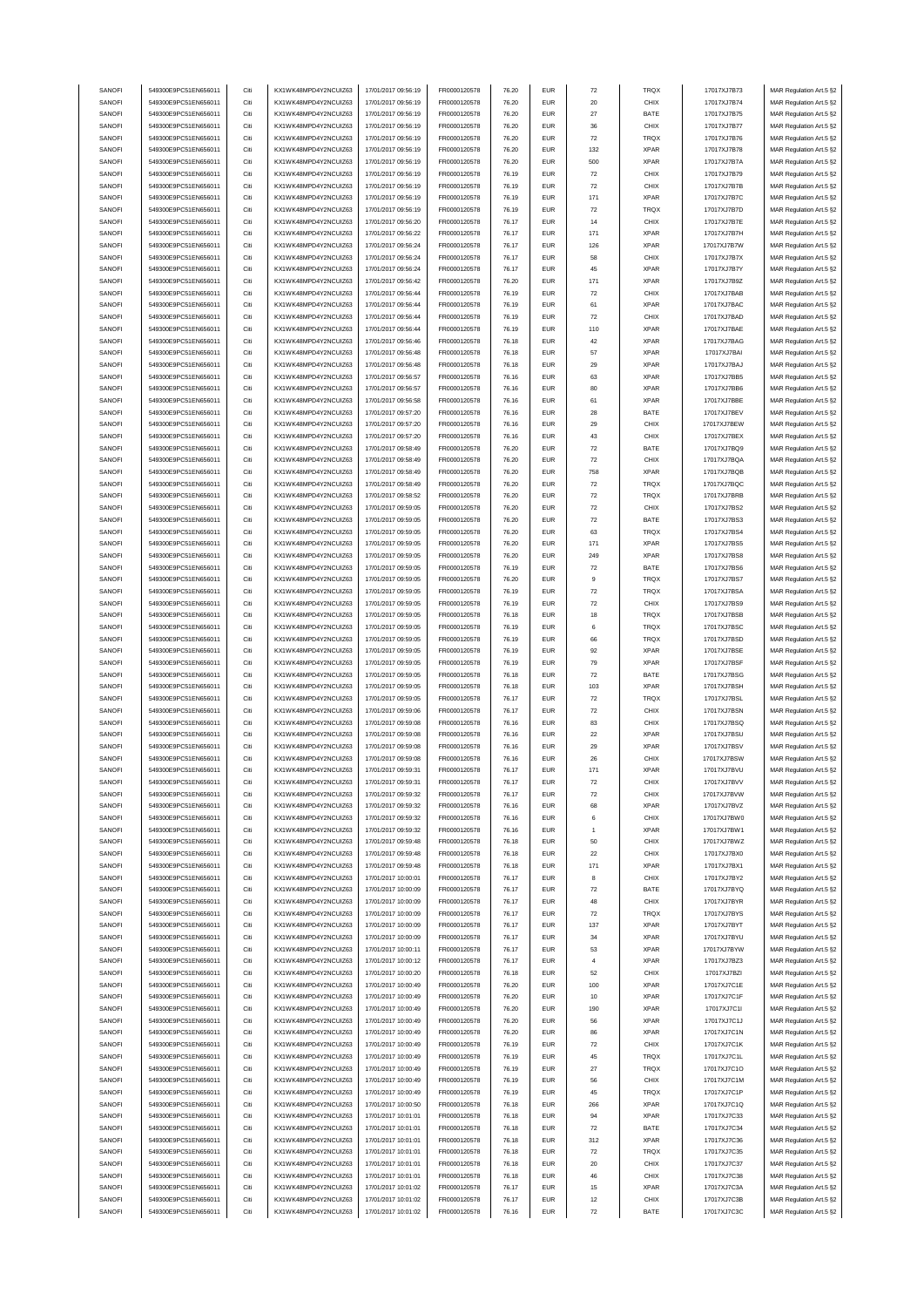| SANOFI           | 549300E9PC51EN656011                         | Citi         | KX1WK48MPD4Y2NCUIZ63                         | 17/01/2017 09:56:19                        | FR0000120578                 | 76.20          | <b>EUR</b>               | $\scriptstyle{72}$       | TRQX         | 17017XJ7B73                | MAR Regulation Art.5 §2                            |
|------------------|----------------------------------------------|--------------|----------------------------------------------|--------------------------------------------|------------------------------|----------------|--------------------------|--------------------------|--------------|----------------------------|----------------------------------------------------|
| SANOFI           | 549300E9PC51EN656011                         | Citi         | KX1WK48MPD4Y2NCUIZ63                         | 17/01/2017 09:56:19                        | FR0000120578                 | 76.20          | <b>EUR</b>               | 20                       | CHIX         | 17017XJ7B74                | MAR Regulation Art.5 §2                            |
|                  |                                              |              | KX1WK48MPD4Y2NCUIZ63                         |                                            |                              |                |                          |                          |              |                            |                                                    |
| SANOFI           | 549300E9PC51EN656011                         | Citi         |                                              | 17/01/2017 09:56:19                        | FR0000120578                 | 76.20          | <b>EUR</b>               | 27                       | BATE         | 17017XJ7B75                | MAR Regulation Art.5 §2                            |
| SANOFI           | 549300E9PC51EN656011                         | Citi         | KX1WK48MPD4Y2NCUIZ63                         | 17/01/2017 09:56:19                        | FR0000120578                 | 76.20          | <b>EUR</b>               | 36                       | CHIX         | 17017XJ7B77                | MAR Regulation Art.5 §2                            |
| SANOFI           | 549300E9PC51EN656011                         | Citi         | KX1WK48MPD4Y2NCUIZ63                         | 17/01/2017 09:56:19                        | FR0000120578                 | 76.20          | <b>EUR</b>               | $\scriptstyle{72}$       | TRQX         | 17017XJ7B76                | MAR Regulation Art.5 §2                            |
| SANOFI           | 549300E9PC51EN656011                         | Citi         | KX1WK48MPD4Y2NCUIZ63                         | 17/01/2017 09:56:19                        | FR0000120578                 | 76.20          | <b>EUR</b>               | 132                      | <b>XPAR</b>  | 17017XJ7B78                | MAR Regulation Art.5 §2                            |
| SANOFI           | 549300E9PC51EN656011                         | Citi         | KX1WK48MPD4Y2NCUIZ63                         | 17/01/2017 09:56:19                        | FR0000120578                 | 76.20          | <b>EUR</b>               | 500                      | <b>XPAR</b>  | 17017XJ7B7A                | MAR Regulation Art.5 §2                            |
|                  |                                              |              |                                              |                                            |                              |                |                          |                          |              |                            |                                                    |
| SANOFI           | 549300E9PC51EN656011                         | Citi         | KX1WK48MPD4Y2NCUIZ63                         | 17/01/2017 09:56:19                        | FR0000120578                 | 76.19          | <b>EUR</b>               | $\scriptstyle{72}$       | CHIX         | 17017XJ7B79                | MAR Regulation Art.5 §2                            |
| SANOFI           | 549300E9PC51EN656011                         | Citi         | KX1WK48MPD4Y2NCUIZ63                         | 17/01/2017 09:56:19                        | FR0000120578                 | 76.19          | <b>EUR</b>               | $\scriptstyle{72}$       | CHIX         | 17017XJ7B7B                | MAR Regulation Art.5 §2                            |
| SANOFI           | 549300E9PC51EN656011                         | Citi         | KX1WK48MPD4Y2NCUIZ63                         | 17/01/2017 09:56:19                        | FR0000120578                 | 76.19          | <b>EUR</b>               | 171                      | <b>XPAR</b>  | 17017XJ7B7C                | MAR Regulation Art.5 §2                            |
| SANOFI           | 549300E9PC51EN656011                         | Citi         | KX1WK48MPD4Y2NCUIZ63                         | 17/01/2017 09:56:19                        | FR0000120578                 | 76.19          | <b>EUR</b>               | $\scriptstyle{72}$       | TRQX         | 17017XJ7B7D                | MAR Regulation Art.5 §2                            |
| SANOFI           | 549300E9PC51EN656011                         | Citi         | KX1WK48MPD4Y2NCUIZ63                         | 17/01/2017 09:56:20                        | FR0000120578                 | 76.17          | <b>EUR</b>               | 14                       | CHIX         | 17017XJ7B7E                | MAR Regulation Art.5 §2                            |
|                  |                                              |              |                                              |                                            |                              |                |                          |                          |              |                            |                                                    |
| SANOFI           | 549300E9PC51EN656011                         | Citi         | KX1WK48MPD4Y2NCUIZ63                         | 17/01/2017 09:56:22                        | FR0000120578                 | 76.17          | <b>EUR</b>               | 171                      | <b>XPAR</b>  | 17017XJ7B7H                | MAR Regulation Art.5 §2                            |
| SANOFI           | 549300E9PC51EN656011                         | Citi         | KX1WK48MPD4Y2NCUIZ63                         | 17/01/2017 09:56:24                        | FR0000120578                 | 76.17          | <b>EUR</b>               | 126                      | <b>XPAR</b>  | 17017XJ7B7W                | MAR Regulation Art.5 §2                            |
| SANOFI           | 549300E9PC51EN656011                         | Citi         | KX1WK48MPD4Y2NCUIZ63                         | 17/01/2017 09:56:24                        | FR0000120578                 | 76.17          | <b>EUR</b>               | 58                       | CHIX         | 17017XJ7B7X                | MAR Regulation Art.5 §2                            |
|                  |                                              |              |                                              |                                            |                              |                |                          |                          |              |                            |                                                    |
| SANOFI           | 549300E9PC51EN656011                         | Citi         | KX1WK48MPD4Y2NCUIZ63                         | 17/01/2017 09:56:24                        | FR0000120578                 | 76.17          | <b>EUR</b>               | 45                       | <b>XPAR</b>  | 17017XJ7B7Y                | MAR Regulation Art.5 §2                            |
| SANOFI           | 549300E9PC51EN656011                         | Citi         | KX1WK48MPD4Y2NCUIZ63                         | 17/01/2017 09:56:42                        | FR0000120578                 | 76.20          | <b>EUR</b>               | 171                      | XPAR         | 17017XJ7B9Z                | MAR Regulation Art.5 §2                            |
| SANOFI           | 549300E9PC51EN656011                         | Citi         | KX1WK48MPD4Y2NCUIZ63                         | 17/01/2017 09:56:44                        | FR0000120578                 | 76.19          | <b>EUR</b>               | $\scriptstyle{72}$       | CHIX         | 17017XJ7BAB                | MAR Regulation Art.5 §2                            |
| SANOFI           | 549300E9PC51EN656011                         | Citi         | KX1WK48MPD4Y2NCUIZ63                         | 17/01/2017 09:56:44                        | FR0000120578                 | 76.19          | <b>EUR</b>               | 61                       | <b>XPAR</b>  | 17017XJ7BAC                | MAR Regulation Art.5 §2                            |
| SANOFI           | 549300E9PC51EN656011                         | Citi         | KX1WK48MPD4Y2NCUIZ63                         | 17/01/2017 09:56:44                        | FR0000120578                 | 76.19          | <b>EUR</b>               | $\scriptstyle{72}$       | CHIX         | 17017XJ7BAD                |                                                    |
|                  |                                              |              |                                              |                                            |                              |                |                          |                          |              |                            | MAR Regulation Art.5 §2                            |
| SANOFI           | 549300E9PC51EN656011                         | Citi         | KX1WK48MPD4Y2NCUIZ63                         | 17/01/2017 09:56:44                        | FR0000120578                 | 76.19          | <b>EUR</b>               | 110                      | <b>XPAR</b>  | 17017XJ7BAE                | MAR Regulation Art.5 §2                            |
| SANOFI           | 549300E9PC51EN656011                         | Citi         | KX1WK48MPD4Y2NCUIZ63                         | 17/01/2017 09:56:46                        | FR0000120578                 | 76.18          | <b>EUR</b>               | 42                       | <b>XPAR</b>  | 17017XJ7BAG                | MAR Regulation Art.5 §2                            |
| SANOFI           | 549300E9PC51EN656011                         | Citi         | KX1WK48MPD4Y2NCUIZ63                         | 17/01/2017 09:56:48                        | FR0000120578                 | 76.18          | <b>EUR</b>               | 57                       | <b>XPAR</b>  | 17017XJ7BAI                | MAR Regulation Art.5 §2                            |
| SANOFI           | 549300E9PC51EN656011                         | Citi         | KX1WK48MPD4Y2NCUIZ63                         | 17/01/2017 09:56:48                        | FR0000120578                 | 76.18          | <b>EUR</b>               | 29                       | XPAR         | 17017XJ7BAJ                | MAR Regulation Art.5 §2                            |
| SANOFI           | 549300E9PC51EN656011                         | Citi         | KX1WK48MPD4Y2NCUIZ63                         | 17/01/2017 09:56:57                        | FR0000120578                 | 76.16          | <b>EUR</b>               | 63                       | <b>XPAR</b>  | 17017XJ7BB5                | MAR Regulation Art.5 §2                            |
|                  |                                              |              |                                              |                                            |                              |                |                          |                          |              |                            |                                                    |
| SANOFI           | 549300E9PC51EN656011                         | Citi         | KX1WK48MPD4Y2NCUIZ63                         | 17/01/2017 09:56:57                        | FR0000120578                 | 76.16          | <b>EUR</b>               | 80                       | <b>XPAR</b>  | 17017XJ7BB6                | MAR Regulation Art.5 §2                            |
| SANOFI           | 549300E9PC51EN656011                         | Citi         | KX1WK48MPD4Y2NCUIZ63                         | 17/01/2017 09:56:58                        | FR0000120578                 | 76.16          | <b>EUR</b>               | 61                       | <b>XPAR</b>  | 17017XJ7BBE                | MAR Regulation Art.5 §2                            |
| SANOFI           | 549300E9PC51EN656011                         | Citi         | KX1WK48MPD4Y2NCUIZ63                         | 17/01/2017 09:57:20                        | FR0000120578                 | 76.16          | <b>EUR</b>               | 28                       | BATE         | 17017XJ7BEV                | MAR Regulation Art.5 §2                            |
| SANOFI           | 549300E9PC51EN656011                         | Citi         | KX1WK48MPD4Y2NCUIZ63                         | 17/01/2017 09:57:20                        | FR0000120578                 | 76.16          | <b>EUR</b>               | 29                       | CHIX         | 17017XJ7BEW                | MAR Regulation Art.5 §2                            |
|                  |                                              |              |                                              |                                            |                              |                |                          |                          |              |                            |                                                    |
| SANOFI           | 549300E9PC51EN656011                         | Citi         | KX1WK48MPD4Y2NCUIZ63                         | 17/01/2017 09:57:20                        | FR0000120578                 | 76.16          | <b>EUR</b>               | 43                       | CHIX         | 17017XJ7BEX                | MAR Regulation Art.5 §2                            |
| SANOFI           | 549300E9PC51EN656011                         | Citi         | KX1WK48MPD4Y2NCUIZ63                         | 17/01/2017 09:58:49                        | FR0000120578                 | 76.20          | <b>EUR</b>               | $\scriptstyle{72}$       | BATE         | 17017XJ7BQ9                | MAR Regulation Art.5 §2                            |
| SANOFI           | 549300E9PC51EN656011                         | Citi         | KX1WK48MPD4Y2NCUIZ63                         | 17/01/2017 09:58:49                        | FR0000120578                 | 76.20          | <b>EUR</b>               | $\scriptstyle{72}$       | CHIX         | 17017XJ7BQA                | MAR Regulation Art.5 §2                            |
| SANOFI           | 549300E9PC51EN656011                         | Citi         | KX1WK48MPD4Y2NCUIZ63                         | 17/01/2017 09:58:49                        | FR0000120578                 | 76.20          | <b>EUR</b>               | 758                      | XPAR         | 17017XJ7BQB                | MAR Regulation Art.5 §2                            |
|                  |                                              |              |                                              |                                            |                              |                |                          |                          |              |                            |                                                    |
| SANOFI           | 549300E9PC51EN656011                         | Citi         | KX1WK48MPD4Y2NCUIZ63                         | 17/01/2017 09:58:49                        | FR0000120578                 | 76.20          | <b>EUR</b>               | 72                       | <b>TRQX</b>  | 17017XJ7BQC                | MAR Regulation Art.5 §2                            |
| SANOFI           | 549300E9PC51EN656011                         | Citi         | KX1WK48MPD4Y2NCUIZ63                         | 17/01/2017 09:58:52                        | FR0000120578                 | 76.20          | <b>EUR</b>               | 72                       | <b>TRQX</b>  | 17017XJ7BRB                | MAR Regulation Art.5 §2                            |
| SANOFI           | 549300E9PC51EN656011                         | Citi         | KX1WK48MPD4Y2NCUIZ63                         | 17/01/2017 09:59:05                        | FR0000120578                 | 76.20          | <b>EUR</b>               | $\scriptstyle{72}$       | CHIX         | 17017XJ7BS2                | MAR Regulation Art.5 §2                            |
| SANOFI           | 549300E9PC51EN656011                         | Citi         | KX1WK48MPD4Y2NCUIZ63                         | 17/01/2017 09:59:05                        | FR0000120578                 | 76.20          | <b>EUR</b>               | $\scriptstyle{72}$       | BATE         | 17017XJ7BS3                | MAR Regulation Art.5 §2                            |
|                  |                                              |              |                                              |                                            |                              |                |                          |                          |              |                            |                                                    |
| SANOFI           | 549300E9PC51EN656011                         | Citi         | KX1WK48MPD4Y2NCUIZ63                         | 17/01/2017 09:59:05                        | FR0000120578                 | 76.20          | <b>EUR</b>               | 63                       | TRQX         | 17017XJ7BS4                | MAR Regulation Art.5 §2                            |
| SANOFI           | 549300E9PC51EN656011                         | Citi         | KX1WK48MPD4Y2NCUIZ63                         | 17/01/2017 09:59:05                        | FR0000120578                 | 76.20          | <b>EUR</b>               | 171                      | <b>XPAR</b>  | 17017XJ7BS5                | MAR Regulation Art.5 §2                            |
| SANOFI           | 549300E9PC51EN656011                         | Citi         | KX1WK48MPD4Y2NCUIZ63                         | 17/01/2017 09:59:05                        | FR0000120578                 | 76.20          | <b>EUR</b>               | 249                      | <b>XPAR</b>  | 17017XJ7BS8                | MAR Regulation Art.5 §2                            |
| SANOFI           | 549300E9PC51EN656011                         | Citi         | KX1WK48MPD4Y2NCUIZ63                         | 17/01/2017 09:59:05                        | FR0000120578                 | 76.19          | <b>EUR</b>               | $\scriptstyle{72}$       | BATE         | 17017XJ7BS6                | MAR Regulation Art.5 §2                            |
| SANOFI           | 549300E9PC51EN656011                         | Citi         | KX1WK48MPD4Y2NCUIZ63                         | 17/01/2017 09:59:05                        | FR0000120578                 | 76.20          | <b>EUR</b>               | $\mathsf g$              | TRQX         | 17017XJ7BS7                | MAR Regulation Art.5 §2                            |
|                  |                                              |              |                                              |                                            |                              |                |                          |                          |              |                            |                                                    |
| SANOFI           | 549300E9PC51EN656011                         | Citi         | KX1WK48MPD4Y2NCUIZ63                         | 17/01/2017 09:59:05                        | FR0000120578                 | 76.19          | <b>EUR</b>               | 72                       | TRQX         | 17017XJ7BSA                | MAR Regulation Art.5 §2                            |
| SANOFI           | 549300E9PC51EN656011                         | Citi         | KX1WK48MPD4Y2NCUIZ63                         | 17/01/2017 09:59:05                        | FR0000120578                 | 76.19          | <b>EUR</b>               | $\scriptstyle{72}$       | CHIX         | 17017XJ7BS9                | MAR Regulation Art.5 §2                            |
| SANOFI           | 549300E9PC51EN656011                         | Citi         | KX1WK48MPD4Y2NCUIZ63                         | 17/01/2017 09:59:05                        | FR0000120578                 | 76.18          | <b>EUR</b>               | 18                       | TRQX         | 17017XJ7BSB                | MAR Regulation Art.5 §2                            |
| SANOFI           | 549300E9PC51EN656011                         | Citi         | KX1WK48MPD4Y2NCUIZ63                         | 17/01/2017 09:59:05                        | FR0000120578                 | 76.19          | <b>EUR</b>               | 6                        | TRQX         | 17017XJ7BSC                | MAR Regulation Art.5 §2                            |
|                  |                                              |              |                                              | 17/01/2017 09:59:05                        | FR0000120578                 | 76.19          | <b>EUR</b>               | 66                       | TRQX         | 17017XJ7BSD                | MAR Regulation Art.5 §2                            |
| SANOFI           | 549300E9PC51EN656011                         | Citi         | KX1WK48MPD4Y2NCUIZ63                         |                                            |                              |                |                          |                          |              |                            |                                                    |
|                  |                                              |              |                                              |                                            |                              |                |                          |                          |              |                            |                                                    |
| SANOFI           | 549300E9PC51EN656011                         | Citi         | KX1WK48MPD4Y2NCUIZ63                         | 17/01/2017 09:59:05                        | FR0000120578                 | 76.19          | <b>EUR</b>               | 92                       | <b>XPAR</b>  | 17017XJ7BSE                | MAR Regulation Art.5 §2                            |
| SANOFI           | 549300E9PC51EN656011                         | Citi         | KX1WK48MPD4Y2NCUIZ63                         | 17/01/2017 09:59:05                        | FR0000120578                 | 76.19          | <b>EUR</b>               | 79                       | XPAR         | 17017XJ7BSF                | MAR Regulation Art.5 §2                            |
|                  |                                              |              |                                              |                                            |                              |                |                          |                          |              |                            |                                                    |
| SANOFI           | 549300E9PC51EN656011                         | Citi         | KX1WK48MPD4Y2NCUIZ63                         | 17/01/2017 09:59:05                        | FR0000120578                 | 76.18          | <b>EUR</b>               | $\scriptstyle{72}$       | BATE         | 17017XJ7BSG                | MAR Regulation Art.5 §2                            |
| SANOFI           | 549300E9PC51EN656011                         | Citi         | KX1WK48MPD4Y2NCUIZ63                         | 17/01/2017 09:59:05                        | FR0000120578                 | 76.18          | <b>EUR</b>               | 103                      | <b>XPAR</b>  | 17017XJ7BSH                | MAR Regulation Art.5 §2                            |
| SANOFI           | 549300E9PC51EN656011                         | Citi         | KX1WK48MPD4Y2NCUIZ63                         | 17/01/2017 09:59:05                        | FR0000120578                 | 76.17          | <b>EUR</b>               | 72                       | TRQX         | 17017XJ7BSL                | MAR Regulation Art.5 §2                            |
| SANOFI           | 549300E9PC51EN656011                         | Citi         | KX1WK48MPD4Y2NCUIZ63                         | 17/01/2017 09:59:06                        | FR0000120578                 | 76.17          | <b>EUR</b>               | 72                       | CHIX         | 17017XJ7BSN                | MAR Regulation Art.5 §2                            |
| SANOFI           | 549300E9PC51EN656011                         | Citi         | KX1WK48MPD4Y2NCUIZ63                         | 17/01/2017 09:59:08                        | FR0000120578                 | 76.16          | <b>EUR</b>               | 83                       | CHIX         | 17017XJ7BSQ                |                                                    |
|                  |                                              |              |                                              |                                            |                              |                |                          |                          |              |                            | MAR Regulation Art.5 §2                            |
| SANOFI           | 549300E9PC51EN656011                         | Citi         | KX1WK48MPD4Y2NCUIZ63                         | 17/01/2017 09:59:08                        | FR0000120578                 | 76.16          | <b>EUR</b>               | $22\,$                   | <b>XPAR</b>  | 17017XJ7BSU                | MAR Regulation Art.5 §2                            |
| SANOFI           | 549300E9PC51EN656011                         | Citi         | KX1WK48MPD4Y2NCUIZ63                         | 17/01/2017 09:59:08                        | FR0000120578                 | 76.16          | <b>EUR</b>               | 29                       | <b>XPAR</b>  | 17017XJ7BSV                | MAR Regulation Art.5 §2                            |
| SANOFI           | 549300E9PC51EN656011                         | Citi         | KX1WK48MPD4Y2NCUIZ63                         | 17/01/2017 09:59:08                        | FR0000120578                 | 76.16          | <b>EUR</b>               | 26                       | CHIX         | 17017XJ7BSW                | MAR Regulation Art.5 §2                            |
| SANOFI           | 549300E9PC51EN656011                         | Citi         | KX1WK48MPD4Y2NCUIZ63                         | 17/01/2017 09:59:31                        | FR0000120578                 | 76.17          | <b>EUR</b>               | 171                      | XPAR         | 17017XJ7BVU                | MAR Regulation Art.5 §2                            |
| SANOFI           | 549300E9PC51EN656011                         |              | KX1WK48MPD4Y2NCLIIZ63                        | 17/01/2017 09:59:31                        | FR0000120578                 | 76.17          | FUR                      |                          | CHIX         | 17017XJ7BVV                | MAR Regulation Art 5 82                            |
|                  |                                              |              |                                              |                                            |                              |                |                          |                          |              |                            |                                                    |
| SANOFI           | 549300E9PC51EN656011                         | Citi         | KX1WK48MPD4Y2NCUIZ63                         | 17/01/2017 09:59:32                        | FR0000120578                 | 76.17          | <b>EUR</b>               | $\scriptstyle{72}$       | CHIX         | 17017XJ7BVW                | MAR Regulation Art.5 §2                            |
| SANOFI           | 549300E9PC51EN656011                         | Citi         | KX1WK48MPD4Y2NCUIZ63                         | 17/01/2017 09:59:32                        | FR0000120578                 | 76.16          | <b>EUR</b>               | 68                       | <b>XPAR</b>  | 17017XJ7BVZ                | MAR Regulation Art.5 §2                            |
| SANOFI           | 549300E9PC51EN656011                         | Citi         | KX1WK48MPD4Y2NCUIZ63                         | 17/01/2017 09:59:32                        | FR0000120578                 | 76.16          | <b>EUR</b>               | 6                        | CHIX         | 17017XJ7BW0                | MAR Regulation Art.5 §2                            |
| SANOFI           | 549300E9PC51EN656011                         | Citi         | KX1WK48MPD4Y2NCUIZ63                         | 17/01/2017 09:59:32                        | FR0000120578                 | 76.16          | <b>EUR</b>               | $\mathbf{1}$             | <b>XPAR</b>  | 17017XJ7BW1                |                                                    |
|                  |                                              |              |                                              |                                            |                              |                |                          |                          |              |                            | MAR Regulation Art.5 §2                            |
| SANOFI           | 549300E9PC51EN656011                         | Citi         | KX1WK48MPD4Y2NCUIZ63                         | 17/01/2017 09:59:48                        | FR0000120578                 | 76.18          | <b>EUR</b>               | 50                       | CHIX         | 17017XJ7BWZ                | MAR Regulation Art.5 §2                            |
| SANOFI           | 549300E9PC51EN656011                         | Citi         | KX1WK48MPD4Y2NCUIZ63                         | 17/01/2017 09:59:48                        | FR0000120578                 | 76.18          | <b>EUR</b>               | $22\,$                   | CHIX         | 17017XJ7BX0                | MAR Regulation Art.5 §2                            |
| SANOFI           | 549300E9PC51EN656011                         | Citi         | KX1WK48MPD4Y2NCUIZ63                         | 17/01/2017 09:59:48                        | FR0000120578                 | 76.18          | <b>EUR</b>               | 171                      | XPAR         | 17017XJ7BX1                | MAR Regulation Art.5 §2                            |
| SANOFI           | 549300E9PC51EN656011                         | Citi         | KX1WK48MPD4Y2NCUIZ63                         | 17/01/2017 10:00:01                        | FR0000120578                 | 76.17          | <b>EUR</b>               | 8                        | CHIX         | 17017XJ7BY2                | MAR Regulation Art.5 §2                            |
| SANOFI           | 549300E9PC51EN656011                         | Citi         | KX1WK48MPD4Y2NCUIZ63                         | 17/01/2017 10:00:09                        | FR0000120578                 | 76.17          | <b>EUR</b>               | 72                       | BATE         | 17017XJ7BYQ                | MAR Regulation Art.5 §2                            |
|                  |                                              |              | KX1WK48MPD4Y2NCUIZ63                         |                                            |                              | 76.17          |                          |                          |              |                            |                                                    |
| SANOFI           | 549300E9PC51EN656011                         | Citi         |                                              | 17/01/2017 10:00:09                        | FR0000120578                 |                | <b>EUR</b>               | 48                       | CHIX         | 17017XJ7BYR                | MAR Regulation Art.5 §2                            |
| SANOFI           | 549300E9PC51EN656011                         | Citi         | KX1WK48MPD4Y2NCUIZ63                         | 17/01/2017 10:00:09                        | FR0000120578                 | 76.17          | <b>EUR</b>               | 72                       | TRQX         | 17017XJ7BYS                | MAR Regulation Art.5 §2                            |
| SANOFI           | 549300E9PC51EN656011                         | Citi         | KX1WK48MPD4Y2NCUIZ63                         | 17/01/2017 10:00:09                        | FR0000120578                 | 76.17          | <b>EUR</b>               | 137                      | <b>XPAR</b>  | 17017XJ7BYT                | MAR Regulation Art.5 §2                            |
| SANOFI           | 549300E9PC51EN656011                         | Citi         | KX1WK48MPD4Y2NCUIZ63                         | 17/01/2017 10:00:09                        | FR0000120578                 | 76.17          | <b>EUR</b>               | 34                       | <b>XPAR</b>  | 17017XJ7BYU                | MAR Regulation Art.5 §2                            |
|                  |                                              |              | KX1WK48MPD4Y2NCUIZ63                         |                                            | FR0000120578                 |                |                          |                          |              |                            |                                                    |
| SANOFI           | 549300E9PC51EN656011                         | Citi         |                                              | 17/01/2017 10:00:11                        |                              | 76.17          | <b>EUR</b>               | 53                       | <b>XPAR</b>  | 17017XJ7BYW                | MAR Regulation Art.5 §2                            |
| SANOFI           | 549300E9PC51EN656011                         | Citi         | KX1WK48MPD4Y2NCUIZ63                         | 17/01/2017 10:00:12                        | FR0000120578                 | 76.17          | <b>EUR</b>               | $\sqrt{4}$               | <b>XPAR</b>  | 17017XJ7BZ3                | MAR Regulation Art.5 §2                            |
| SANOFI           | 549300E9PC51EN656011                         | Citi         | KX1WK48MPD4Y2NCUIZ63                         | 17/01/2017 10:00:20                        | FR0000120578                 | 76.18          | <b>EUR</b>               | 52                       | CHIX         | 17017XJ7BZI                | MAR Regulation Art.5 §2                            |
| SANOFI           | 549300E9PC51EN656011                         | Citi         | KX1WK48MPD4Y2NCUIZ63                         | 17/01/2017 10:00:49                        | FR0000120578                 | 76.20          | <b>EUR</b>               | 100                      | <b>XPAR</b>  | 17017XJ7C1E                | MAR Regulation Art.5 §2                            |
| SANOFI           | 549300E9PC51EN656011                         | Citi         | KX1WK48MPD4Y2NCUIZ63                         | 17/01/2017 10:00:49                        | FR0000120578                 | 76.20          | <b>EUR</b>               | 10                       | <b>XPAR</b>  | 17017XJ7C1F                | MAR Regulation Art.5 §2                            |
| SANOFI           | 549300E9PC51EN656011                         | Citi         | KX1WK48MPD4Y2NCUIZ63                         | 17/01/2017 10:00:49                        | FR0000120578                 | 76.20          | <b>EUR</b>               | 190                      | <b>XPAR</b>  | 17017XJ7C1I                |                                                    |
|                  |                                              |              |                                              |                                            |                              |                |                          |                          |              |                            | MAR Regulation Art.5 §2                            |
| SANOFI           | 549300E9PC51EN656011                         | Citi         | KX1WK48MPD4Y2NCUIZ63                         | 17/01/2017 10:00:49                        | FR0000120578                 | 76.20          | <b>EUR</b>               | 56                       | <b>XPAR</b>  | 17017XJ7C1J                | MAR Regulation Art.5 §2                            |
| SANOFI           | 549300E9PC51EN656011                         | Citi         | KX1WK48MPD4Y2NCUIZ63                         | 17/01/2017 10:00:49                        | FR0000120578                 | 76.20          | <b>EUR</b>               | 86                       | <b>XPAR</b>  | 17017XJ7C1N                | MAR Regulation Art.5 §2                            |
| SANOFI           | 549300E9PC51EN656011                         | Citi         | KX1WK48MPD4Y2NCUIZ63                         | 17/01/2017 10:00:49                        | FR0000120578                 | 76.19          | <b>EUR</b>               | $\scriptstyle{72}$       | CHIX         | 17017XJ7C1K                | MAR Regulation Art.5 §2                            |
| SANOFI           | 549300E9PC51EN656011                         | Citi         | KX1WK48MPD4Y2NCUIZ63                         | 17/01/2017 10:00:49                        | FR0000120578                 | 76.19          | <b>EUR</b>               | 45                       | TRQX         | 17017XJ7C1L                | MAR Regulation Art.5 §2                            |
|                  |                                              | Citi         |                                              |                                            |                              |                |                          |                          |              |                            |                                                    |
| SANOFI           | 549300E9PC51EN656011                         |              | KX1WK48MPD4Y2NCUIZ63                         | 17/01/2017 10:00:49                        | FR0000120578                 | 76.19          | <b>EUR</b>               | 27                       | TRQX         | 17017XJ7C1O                | MAR Regulation Art.5 §2                            |
| SANOFI           | 549300E9PC51EN656011                         | Citi         | KX1WK48MPD4Y2NCUIZ63                         | 17/01/2017 10:00:49                        | FR0000120578                 | 76.19          | <b>EUR</b>               | 56                       | CHIX         | 17017XJ7C1M                | MAR Regulation Art.5 §2                            |
| SANOFI           | 549300E9PC51EN656011                         | Citi         | KX1WK48MPD4Y2NCUIZ63                         | 17/01/2017 10:00:49                        | FR0000120578                 | 76.19          | <b>EUR</b>               | 45                       | <b>TRQX</b>  | 17017XJ7C1P                | MAR Regulation Art.5 §2                            |
| SANOFI           | 549300E9PC51EN656011                         | Citi         | KX1WK48MPD4Y2NCUIZ63                         | 17/01/2017 10:00:50                        | FR0000120578                 | 76.18          | <b>EUR</b>               | 266                      | <b>XPAR</b>  | 17017XJ7C1Q                | MAR Regulation Art.5 §2                            |
| SANOFI           | 549300E9PC51EN656011                         | Citi         | KX1WK48MPD4Y2NCUIZ63                         | 17/01/2017 10:01:01                        | FR0000120578                 | 76.18          | <b>EUR</b>               | 94                       | <b>XPAR</b>  | 17017XJ7C33                |                                                    |
|                  |                                              |              |                                              |                                            |                              |                |                          |                          |              |                            | MAR Regulation Art.5 §2                            |
| SANOFI           | 549300E9PC51EN656011                         | Citi         | KX1WK48MPD4Y2NCUIZ63                         | 17/01/2017 10:01:01                        | FR0000120578                 | 76.18          | <b>EUR</b>               | $\scriptstyle{72}$       | BATE         | 17017XJ7C34                | MAR Regulation Art.5 §2                            |
| SANOFI           | 549300E9PC51EN656011                         | Citi         | KX1WK48MPD4Y2NCUIZ63                         | 17/01/2017 10:01:01                        | FR0000120578                 | 76.18          | <b>EUR</b>               | 312                      | <b>XPAR</b>  | 17017XJ7C36                | MAR Regulation Art.5 §2                            |
| SANOFI           | 549300E9PC51EN656011                         | Citi         | KX1WK48MPD4Y2NCUIZ63                         | 17/01/2017 10:01:01                        | FR0000120578                 | 76.18          | <b>EUR</b>               | $\bf 72$                 | TRQX         | 17017XJ7C35                | MAR Regulation Art.5 §2                            |
| SANOFI           | 549300E9PC51EN656011                         | Citi         | KX1WK48MPD4Y2NCUIZ63                         | 17/01/2017 10:01:01                        | FR0000120578                 | 76.18          | <b>EUR</b>               | $20\,$                   | CHIX         | 17017XJ7C37                | MAR Regulation Art.5 §2                            |
| SANOFI           | 549300E9PC51EN656011                         | Citi         | KX1WK48MPD4Y2NCUIZ63                         | 17/01/2017 10:01:01                        | FR0000120578                 | 76.18          | <b>EUR</b>               | 46                       | CHIX         |                            |                                                    |
|                  |                                              |              |                                              |                                            |                              |                |                          |                          |              | 17017XJ7C38                | MAR Regulation Art.5 §2                            |
| SANOFI           | 549300E9PC51EN656011                         | Citi         | KX1WK48MPD4Y2NCUIZ63                         | 17/01/2017 10:01:02                        | FR0000120578                 | 76.17          | <b>EUR</b>               | 15                       | <b>XPAR</b>  | 17017XJ7C3A                | MAR Regulation Art.5 §2                            |
| SANOFI<br>SANOFI | 549300E9PC51EN656011<br>549300E9PC51EN656011 | Citi<br>Citi | KX1WK48MPD4Y2NCUIZ63<br>KX1WK48MPD4Y2NCUIZ63 | 17/01/2017 10:01:02<br>17/01/2017 10:01:02 | FR0000120578<br>FR0000120578 | 76.17<br>76.16 | <b>EUR</b><br><b>EUR</b> | 12<br>$\scriptstyle{72}$ | CHIX<br>BATE | 17017XJ7C3B<br>17017XJ7C3C | MAR Regulation Art.5 §2<br>MAR Regulation Art.5 §2 |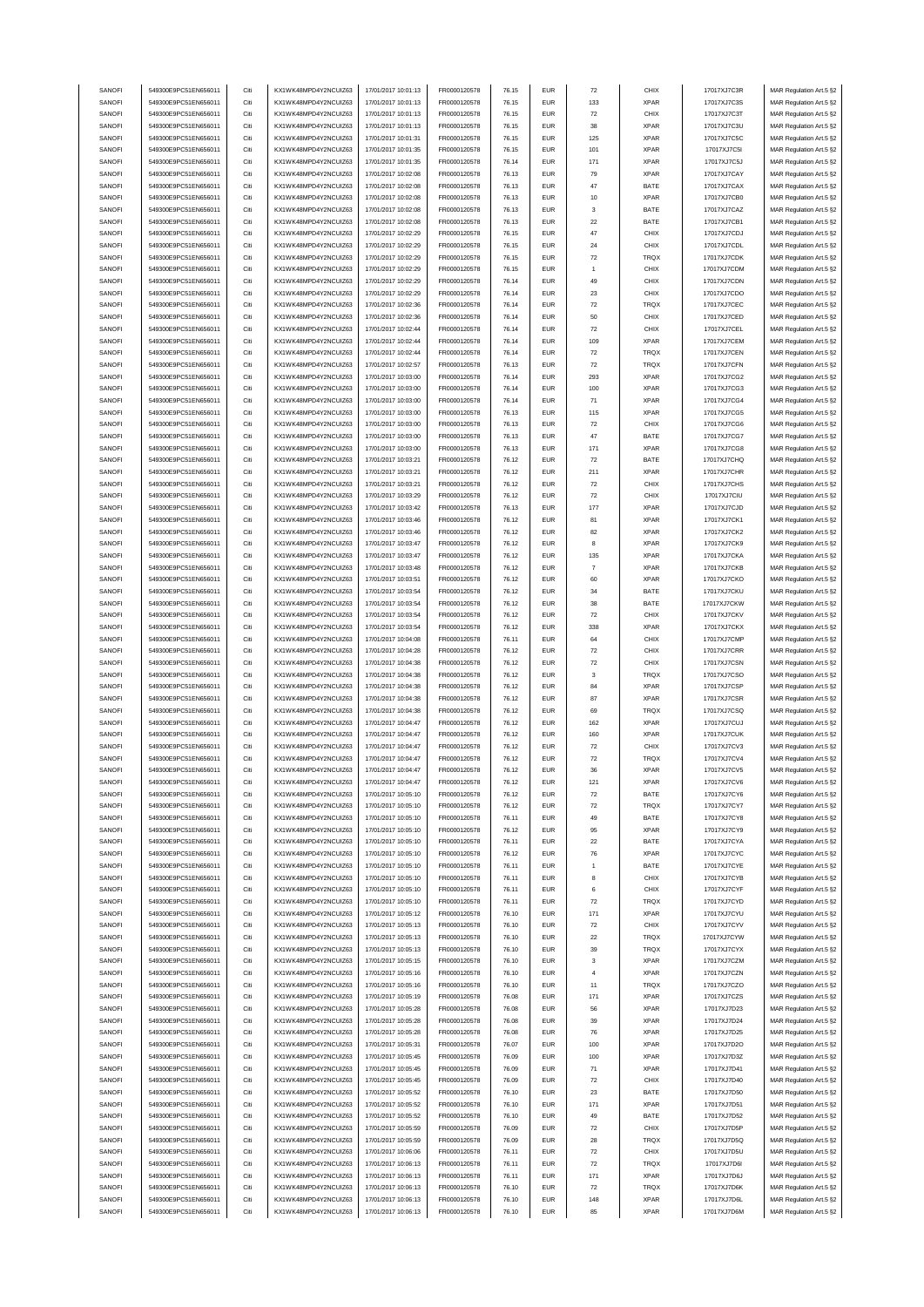| SANOFI | 549300E9PC51EN656011 | Citi | KX1WK48MPD4Y2NCUIZ63 | 17/01/2017 10:01:13 | FR0000120578 | 76.15 | <b>EUR</b> | $\scriptstyle{72}$ | CHIX        | 17017XJ7C3R | MAR Regulation Art.5 §2 |
|--------|----------------------|------|----------------------|---------------------|--------------|-------|------------|--------------------|-------------|-------------|-------------------------|
|        |                      |      | KX1WK48MPD4Y2NCUIZ63 |                     |              |       |            |                    |             |             |                         |
| SANOFI | 549300E9PC51EN656011 | Citi |                      | 17/01/2017 10:01:13 | FR0000120578 | 76.15 | <b>EUR</b> | 133                | <b>XPAR</b> | 17017XJ7C3S | MAR Regulation Art.5 §2 |
| SANOFI | 549300E9PC51EN656011 | Citi | KX1WK48MPD4Y2NCUIZ63 | 17/01/2017 10:01:13 | FR0000120578 | 76.15 | <b>EUR</b> | 72                 | CHIX        | 17017XJ7C3T | MAR Regulation Art.5 §2 |
| SANOFI | 549300E9PC51EN656011 | Citi | KX1WK48MPD4Y2NCUIZ63 | 17/01/2017 10:01:13 | FR0000120578 | 76.15 | <b>EUR</b> | 38                 | <b>XPAR</b> | 17017XJ7C3U | MAR Regulation Art.5 §2 |
| SANOFI | 549300E9PC51EN656011 | Citi | KX1WK48MPD4Y2NCUIZ63 | 17/01/2017 10:01:31 | FR0000120578 | 76.15 | <b>EUR</b> | 125                | <b>XPAR</b> | 17017XJ7C5C | MAR Regulation Art.5 §2 |
|        |                      |      |                      |                     |              |       |            |                    |             |             |                         |
| SANOFI | 549300E9PC51EN656011 | Citi | KX1WK48MPD4Y2NCUIZ63 | 17/01/2017 10:01:35 | FR0000120578 | 76.15 | <b>EUR</b> | 101                | <b>XPAR</b> | 17017XJ7C5I | MAR Regulation Art.5 §2 |
| SANOFI | 549300E9PC51EN656011 | Citi | KX1WK48MPD4Y2NCUIZ63 | 17/01/2017 10:01:35 | FR0000120578 | 76.14 | <b>EUR</b> | 171                | <b>XPAR</b> | 17017XJ7C5J | MAR Regulation Art.5 §2 |
| SANOFI | 549300E9PC51EN656011 | Citi | KX1WK48MPD4Y2NCUIZ63 | 17/01/2017 10:02:08 | FR0000120578 | 76.13 | <b>EUR</b> | 79                 | <b>XPAR</b> | 17017XJ7CAY | MAR Regulation Art.5 §2 |
| SANOFI | 549300E9PC51EN656011 | Citi | KX1WK48MPD4Y2NCUIZ63 | 17/01/2017 10:02:08 | FR0000120578 | 76.13 | <b>EUR</b> | 47                 | BATE        | 17017XJ7CAX | MAR Regulation Art.5 §2 |
|        |                      |      |                      |                     |              |       |            |                    |             |             |                         |
| SANOFI | 549300E9PC51EN656011 | Citi | KX1WK48MPD4Y2NCUIZ63 | 17/01/2017 10:02:08 | FR0000120578 | 76.13 | <b>EUR</b> | 10                 | <b>XPAR</b> | 17017XJ7CB0 | MAR Regulation Art.5 §2 |
| SANOFI | 549300E9PC51EN656011 | Citi | KX1WK48MPD4Y2NCUIZ63 | 17/01/2017 10:02:08 | FR0000120578 | 76.13 | <b>EUR</b> | 3                  | BATE        | 17017XJ7CAZ | MAR Regulation Art.5 §2 |
|        | 549300E9PC51EN656011 | Citi |                      |                     |              |       | <b>EUR</b> | $22\,$             | BATE        |             |                         |
| SANOFI |                      |      | KX1WK48MPD4Y2NCUIZ63 | 17/01/2017 10:02:08 | FR0000120578 | 76.13 |            |                    |             | 17017XJ7CB1 | MAR Regulation Art.5 §2 |
| SANOFI | 549300E9PC51EN656011 | Citi | KX1WK48MPD4Y2NCUIZ63 | 17/01/2017 10:02:29 | FR0000120578 | 76.15 | <b>EUR</b> | 47                 | CHIX        | 17017XJ7CDJ | MAR Regulation Art.5 §2 |
| SANOFI | 549300E9PC51EN656011 | Citi | KX1WK48MPD4Y2NCUIZ63 | 17/01/2017 10:02:29 | FR0000120578 | 76.15 | <b>EUR</b> | 24                 | CHIX        | 17017XJ7CDL | MAR Regulation Art.5 §2 |
|        |                      | Citi | KX1WK48MPD4Y2NCUIZ63 |                     |              |       |            |                    |             |             |                         |
| SANOFI | 549300E9PC51EN656011 |      |                      | 17/01/2017 10:02:29 | FR0000120578 | 76.15 | <b>EUR</b> | 72                 | TRQX        | 17017XJ7CDK | MAR Regulation Art.5 §2 |
| SANOFI | 549300E9PC51EN656011 | Citi | KX1WK48MPD4Y2NCUIZ63 | 17/01/2017 10:02:29 | FR0000120578 | 76.15 | <b>EUR</b> | $\overline{1}$     | CHIX        | 17017XJ7CDM | MAR Regulation Art.5 §2 |
| SANOFI | 549300E9PC51EN656011 | Citi | KX1WK48MPD4Y2NCUIZ63 | 17/01/2017 10:02:29 | FR0000120578 | 76.14 | <b>EUR</b> | 49                 | CHIX        | 17017XJ7CDN | MAR Regulation Art.5 §2 |
| SANOFI | 549300E9PC51EN656011 | Citi | KX1WK48MPD4Y2NCUIZ63 | 17/01/2017 10:02:29 | FR0000120578 | 76.14 | <b>EUR</b> | 23                 | CHIX        | 17017XJ7CDO | MAR Regulation Art.5 §2 |
|        |                      |      |                      |                     |              |       |            |                    |             |             |                         |
| SANOFI | 549300E9PC51EN656011 | Citi | KX1WK48MPD4Y2NCUIZ63 | 17/01/2017 10:02:36 | FR0000120578 | 76.14 | <b>EUR</b> | $\scriptstyle{72}$ | TRQX        | 17017XJ7CEC | MAR Regulation Art.5 §2 |
| SANOFI | 549300E9PC51EN656011 | Citi | KX1WK48MPD4Y2NCUIZ63 | 17/01/2017 10:02:36 | FR0000120578 | 76.14 | EUR        | 50                 | CHIX        | 17017XJ7CED | MAR Regulation Art.5 §2 |
| SANOFI | 549300E9PC51EN656011 | Citi | KX1WK48MPD4Y2NCUIZ63 | 17/01/2017 10:02:44 | FR0000120578 | 76.14 | <b>EUR</b> | $\scriptstyle{72}$ | CHIX        | 17017XJ7CEL | MAR Regulation Art.5 §2 |
|        |                      |      |                      |                     |              |       |            |                    |             |             |                         |
| SANOFI | 549300E9PC51EN656011 | Citi | KX1WK48MPD4Y2NCUIZ63 | 17/01/2017 10:02:44 | FR0000120578 | 76.14 | <b>EUR</b> | 109                | <b>XPAR</b> | 17017XJ7CEM | MAR Regulation Art.5 §2 |
| SANOFI | 549300E9PC51EN656011 | Citi | KX1WK48MPD4Y2NCUIZ63 | 17/01/2017 10:02:44 | FR0000120578 | 76.14 | <b>EUR</b> | $\scriptstyle{72}$ | TRQX        | 17017XJ7CEN | MAR Regulation Art.5 §2 |
| SANOFI | 549300E9PC51EN656011 | Citi | KX1WK48MPD4Y2NCUIZ63 | 17/01/2017 10:02:57 | FR0000120578 | 76.13 | <b>EUR</b> | $\scriptstyle{72}$ | TRQX        | 17017XJ7CFN | MAR Regulation Art.5 §2 |
| SANOFI | 549300E9PC51EN656011 | Citi | KX1WK48MPD4Y2NCUIZ63 | 17/01/2017 10:03:00 | FR0000120578 | 76.14 | <b>EUR</b> | 293                | <b>XPAR</b> | 17017XJ7CG2 | MAR Regulation Art.5 §2 |
|        |                      |      |                      |                     |              |       |            |                    |             |             |                         |
| SANOFI | 549300E9PC51EN656011 | Citi | KX1WK48MPD4Y2NCUIZ63 | 17/01/2017 10:03:00 | FR0000120578 | 76.14 | <b>EUR</b> | 100                | <b>XPAR</b> | 17017XJ7CG3 | MAR Regulation Art.5 §2 |
| SANOFI | 549300E9PC51EN656011 | Citi | KX1WK48MPD4Y2NCUIZ63 | 17/01/2017 10:03:00 | FR0000120578 | 76.14 | <b>EUR</b> | 71                 | <b>XPAR</b> | 17017XJ7CG4 | MAR Regulation Art.5 §2 |
| SANOFI | 549300E9PC51EN656011 | Citi | KX1WK48MPD4Y2NCUIZ63 | 17/01/2017 10:03:00 | FR0000120578 | 76.13 | <b>EUR</b> | 115                | <b>XPAR</b> | 17017XJ7CG5 | MAR Regulation Art.5 §2 |
|        |                      |      |                      |                     |              |       |            |                    |             |             |                         |
| SANOFI | 549300E9PC51EN656011 | Citi | KX1WK48MPD4Y2NCUIZ63 | 17/01/2017 10:03:00 | FR0000120578 | 76.13 | <b>EUR</b> | $\scriptstyle{72}$ | CHIX        | 17017XJ7CG6 | MAR Regulation Art.5 §2 |
| SANOFI | 549300E9PC51EN656011 | Citi | KX1WK48MPD4Y2NCUIZ63 | 17/01/2017 10:03:00 | FR0000120578 | 76.13 | <b>EUR</b> | 47                 | BATE        | 17017XJ7CG7 | MAR Regulation Art.5 §2 |
| SANOFI | 549300E9PC51EN656011 | Citi | KX1WK48MPD4Y2NCUIZ63 | 17/01/2017 10:03:00 | FR0000120578 | 76.13 | <b>EUR</b> | 171                | <b>XPAR</b> | 17017XJ7CG8 | MAR Regulation Art.5 §2 |
|        |                      |      |                      |                     |              |       |            |                    |             |             |                         |
| SANOFI | 549300E9PC51EN656011 | Citi | KX1WK48MPD4Y2NCUIZ63 | 17/01/2017 10:03:21 | FR0000120578 | 76.12 | <b>EUR</b> | $\scriptstyle{72}$ | BATE        | 17017XJ7CHQ | MAR Regulation Art.5 §2 |
| SANOFI | 549300E9PC51EN656011 | Citi | KX1WK48MPD4Y2NCUIZ63 | 17/01/2017 10:03:21 | FR0000120578 | 76.12 | <b>EUR</b> | 211                | <b>XPAR</b> | 17017XJ7CHR | MAR Regulation Art.5 §2 |
| SANOFI | 549300E9PC51EN656011 | Citi | KX1WK48MPD4Y2NCUIZ63 | 17/01/2017 10:03:21 | FR0000120578 | 76.12 | <b>EUR</b> | $\scriptstyle{72}$ | CHIX        | 17017XJ7CHS | MAR Regulation Art.5 §2 |
|        | 549300E9PC51EN656011 | Citi | KX1WK48MPD4Y2NCUIZ63 | 17/01/2017 10:03:29 | FR0000120578 | 76.12 | <b>EUR</b> | 72                 | CHIX        |             | MAR Regulation Art.5 §2 |
| SANOFI |                      |      |                      |                     |              |       |            |                    |             | 17017XJ7CIU |                         |
| SANOFI | 549300E9PC51EN656011 | Citi | KX1WK48MPD4Y2NCUIZ63 | 17/01/2017 10:03:42 | FR0000120578 | 76.13 | <b>EUR</b> | 177                | <b>XPAR</b> | 17017XJ7CJD | MAR Regulation Art.5 §2 |
| SANOFI | 549300E9PC51EN656011 | Citi | KX1WK48MPD4Y2NCUIZ63 | 17/01/2017 10:03:46 | FR0000120578 | 76.12 | <b>EUR</b> | 81                 | <b>XPAR</b> | 17017XJ7CK1 | MAR Regulation Art.5 §2 |
| SANOFI | 549300E9PC51EN656011 | Citi | KX1WK48MPD4Y2NCUIZ63 | 17/01/2017 10:03:46 | FR0000120578 | 76.12 | <b>EUR</b> | 82                 | <b>XPAR</b> | 17017XJ7CK2 | MAR Regulation Art.5 §2 |
|        |                      |      |                      |                     |              |       |            |                    |             |             |                         |
| SANOFI | 549300E9PC51EN656011 | Citi | KX1WK48MPD4Y2NCUIZ63 | 17/01/2017 10:03:47 | FR0000120578 | 76.12 | <b>EUR</b> | 8                  | <b>XPAR</b> | 17017XJ7CK9 | MAR Regulation Art.5 §2 |
| SANOFI | 549300E9PC51EN656011 | Citi | KX1WK48MPD4Y2NCUIZ63 | 17/01/2017 10:03:47 | FR0000120578 | 76.12 | <b>EUR</b> | 135                | <b>XPAR</b> | 17017XJ7CKA | MAR Regulation Art.5 §2 |
| SANOFI | 549300E9PC51EN656011 | Citi | KX1WK48MPD4Y2NCUIZ63 | 17/01/2017 10:03:48 | FR0000120578 | 76.12 | <b>EUR</b> | $\overline{7}$     | <b>XPAR</b> | 17017XJ7CKB | MAR Regulation Art.5 §2 |
|        |                      |      |                      |                     |              |       |            |                    |             |             |                         |
| SANOFI | 549300E9PC51EN656011 | Citi | KX1WK48MPD4Y2NCUIZ63 | 17/01/2017 10:03:51 | FR0000120578 | 76.12 | <b>EUR</b> | 60                 | <b>XPAR</b> | 17017XJ7CKO | MAR Regulation Art.5 §2 |
| SANOFI | 549300E9PC51EN656011 | Citi | KX1WK48MPD4Y2NCUIZ63 | 17/01/2017 10:03:54 | FR0000120578 | 76.12 | <b>EUR</b> | 34                 | BATE        | 17017XJ7CKU | MAR Regulation Art.5 §2 |
| SANOFI | 549300E9PC51EN656011 | Citi | KX1WK48MPD4Y2NCUIZ63 | 17/01/2017 10:03:54 | FR0000120578 | 76.12 | <b>EUR</b> | 38                 | BATE        | 17017XJ7CKW | MAR Regulation Art.5 §2 |
|        |                      |      |                      |                     |              |       |            | $\scriptstyle{72}$ | CHIX        |             |                         |
| SANOFI | 549300E9PC51EN656011 | Citi | KX1WK48MPD4Y2NCUIZ63 | 17/01/2017 10:03:54 | FR0000120578 | 76.12 | <b>EUR</b> |                    |             | 17017XJ7CKV | MAR Regulation Art.5 §2 |
| SANOFI | 549300E9PC51EN656011 | Citi | KX1WK48MPD4Y2NCUIZ63 | 17/01/2017 10:03:54 | FR0000120578 | 76.12 | <b>EUR</b> | 338                | <b>XPAR</b> | 17017XJ7CKX | MAR Regulation Art.5 §2 |
| SANOFI | 549300E9PC51EN656011 | Citi | KX1WK48MPD4Y2NCUIZ63 | 17/01/2017 10:04:08 | FR0000120578 | 76.11 | <b>EUR</b> | 64                 | CHIX        | 17017XJ7CMP | MAR Regulation Art.5 §2 |
| SANOFI | 549300E9PC51EN656011 | Citi | KX1WK48MPD4Y2NCUIZ63 | 17/01/2017 10:04:28 | FR0000120578 | 76.12 | <b>EUR</b> | $\scriptstyle{72}$ | CHIX        | 17017XJ7CRR | MAR Regulation Art.5 §2 |
|        |                      |      |                      |                     |              |       |            |                    |             |             |                         |
| SANOFI | 549300E9PC51EN656011 | Citi | KX1WK48MPD4Y2NCUIZ63 | 17/01/2017 10:04:38 | FR0000120578 | 76.12 | <b>EUR</b> | $\scriptstyle{72}$ | CHIX        | 17017XJ7CSN | MAR Regulation Art.5 §2 |
| SANOFI | 549300E9PC51EN656011 | Citi | KX1WK48MPD4Y2NCUIZ63 | 17/01/2017 10:04:38 | FR0000120578 | 76.12 | <b>EUR</b> | 3                  | TRQX        | 17017XJ7CSO | MAR Regulation Art.5 §2 |
| SANOFI | 549300E9PC51EN656011 | Citi | KX1WK48MPD4Y2NCUIZ63 | 17/01/2017 10:04:38 | FR0000120578 | 76.12 | <b>EUR</b> | 84                 | <b>XPAR</b> | 17017XJ7CSP | MAR Regulation Art.5 §2 |
| SANOFI | 549300E9PC51EN656011 | Citi | KX1WK48MPD4Y2NCUIZ63 | 17/01/2017 10:04:38 | FR0000120578 | 76.12 | <b>EUR</b> | 87                 | <b>XPAR</b> | 17017XJ7CSR | MAR Regulation Art.5 §2 |
|        |                      |      |                      |                     |              |       |            |                    |             |             |                         |
| SANOFI | 549300E9PC51EN656011 | Citi | KX1WK48MPD4Y2NCUIZ63 | 17/01/2017 10:04:38 | FR0000120578 | 76.12 | <b>EUR</b> | 69                 | TRQX        | 17017XJ7CSQ | MAR Regulation Art.5 §2 |
| SANOFI | 549300E9PC51EN656011 | Citi | KX1WK48MPD4Y2NCUIZ63 | 17/01/2017 10:04:47 | FR0000120578 | 76.12 | <b>EUR</b> | 162                | <b>XPAR</b> | 17017XJ7CUJ | MAR Regulation Art.5 §2 |
| SANOFI | 549300E9PC51EN656011 | Citi | KX1WK48MPD4Y2NCUIZ63 | 17/01/2017 10:04:47 | FR0000120578 | 76.12 | <b>EUR</b> | 160                | <b>XPAR</b> | 17017XJ7CUK | MAR Regulation Art.5 §2 |
|        |                      |      |                      |                     |              |       |            |                    |             |             |                         |
| SANOFI | 549300E9PC51EN656011 | Citi | KX1WK48MPD4Y2NCUIZ63 | 17/01/2017 10:04:47 | FR0000120578 | 76.12 | <b>EUR</b> | $\scriptstyle{72}$ | CHIX        | 17017XJ7CV3 | MAR Regulation Art.5 §2 |
| SANOFI | 549300E9PC51EN656011 | Citi | KX1WK48MPD4Y2NCUIZ63 | 17/01/2017 10:04:47 | FR0000120578 | 76.12 | <b>EUR</b> | $\scriptstyle{72}$ | TRQX        | 17017XJ7CV4 | MAR Regulation Art.5 §2 |
| SANOFI | 549300E9PC51EN656011 | Citi | KX1WK48MPD4Y2NCUIZ63 | 17/01/2017 10:04:47 | FR0000120578 | 76.12 | <b>EUR</b> | 36                 | XPAR        | 17017XJ7CV5 | MAR Regulation Art.5 §2 |
| SANOFI | 549300E9PC51EN656011 |      | KX1WK48MPD4Y2NCUIZ63 | 17/01/2017 10:04:47 | FR0000120578 | 76.12 | FUR        |                    | <b>XPAR</b> | 17017XJ7CV6 | MAR Regulation Art 5 82 |
|        |                      |      |                      |                     |              |       |            |                    |             |             |                         |
| SANOFI | 549300E9PC51EN656011 | Citi | KX1WK48MPD4Y2NCUIZ63 | 17/01/2017 10:05:10 | FR0000120578 | 76.12 | <b>EUR</b> | $\scriptstyle{72}$ | BATE        | 17017XJ7CY6 | MAR Regulation Art.5 §2 |
| SANOFI | 549300E9PC51EN656011 | Citi | KX1WK48MPD4Y2NCUIZ63 | 17/01/2017 10:05:10 | FR0000120578 | 76.12 | <b>EUR</b> | $\scriptstyle{72}$ | TRQX        | 17017XJ7CY7 | MAR Regulation Art.5 §2 |
| SANOFI | 549300E9PC51EN656011 | Citi | KX1WK48MPD4Y2NCUIZ63 | 17/01/2017 10:05:10 | FR0000120578 | 76.11 | <b>EUR</b> | 49                 | BATE        | 17017XJ7CY8 | MAR Regulation Art.5 §2 |
|        |                      |      |                      |                     |              |       |            |                    |             |             |                         |
| SANOFI | 549300E9PC51EN656011 | Citi | KX1WK48MPD4Y2NCUIZ63 | 17/01/2017 10:05:10 | FR0000120578 | 76.12 | <b>EUR</b> | 95                 | <b>XPAR</b> | 17017XJ7CY9 | MAR Regulation Art.5 §2 |
| SANOFI | 549300E9PC51EN656011 | Citi | KX1WK48MPD4Y2NCUIZ63 | 17/01/2017 10:05:10 | FR0000120578 | 76.11 | <b>EUR</b> | 22                 | BATE        | 17017XJ7CYA | MAR Regulation Art.5 §2 |
| SANOFI | 549300E9PC51EN656011 | Citi | KX1WK48MPD4Y2NCUIZ63 | 17/01/2017 10:05:10 | FR0000120578 | 76.12 | <b>EUR</b> | 76                 | <b>XPAR</b> | 17017XJ7CYC | MAR Regulation Art.5 §2 |
| SANOFI | 549300E9PC51EN656011 | Citi | KX1WK48MPD4Y2NCUIZ63 | 17/01/2017 10:05:10 | FR0000120578 | 76.11 | <b>EUR</b> | 1                  | BATE        | 17017XJ7CYE | MAR Regulation Art.5 §2 |
|        |                      |      |                      |                     |              |       |            |                    |             |             |                         |
| SANOFI | 549300E9PC51EN656011 | Citi | KX1WK48MPD4Y2NCUIZ63 | 17/01/2017 10:05:10 | FR0000120578 | 76.11 | <b>EUR</b> | 8                  | CHIX        | 17017XJ7CYB | MAR Regulation Art.5 §2 |
| SANOFI | 549300E9PC51EN656011 | Citi | KX1WK48MPD4Y2NCUIZ63 | 17/01/2017 10:05:10 | FR0000120578 | 76.11 | <b>EUR</b> | 6                  | CHIX        | 17017XJ7CYF | MAR Regulation Art.5 §2 |
| SANOFI | 549300E9PC51EN656011 | Citi | KX1WK48MPD4Y2NCUIZ63 | 17/01/2017 10:05:10 | FR0000120578 | 76.11 | <b>EUR</b> | $\scriptstyle{72}$ | TRQX        | 17017XJ7CYD | MAR Regulation Art.5 §2 |
|        |                      |      |                      |                     |              |       |            |                    |             |             |                         |
| SANOFI | 549300E9PC51EN656011 | Citi | KX1WK48MPD4Y2NCUIZ63 | 17/01/2017 10:05:12 | FR0000120578 | 76.10 | <b>EUR</b> | 171                | <b>XPAR</b> | 17017XJ7CYU | MAR Regulation Art.5 §2 |
| SANOFI | 549300E9PC51EN656011 | Citi | KX1WK48MPD4Y2NCUIZ63 | 17/01/2017 10:05:13 | FR0000120578 | 76.10 | <b>EUR</b> | $\scriptstyle{72}$ | CHIX        | 17017XJ7CYV | MAR Regulation Art.5 §2 |
| SANOFI | 549300E9PC51EN656011 | Citi | KX1WK48MPD4Y2NCUIZ63 | 17/01/2017 10:05:13 | FR0000120578 | 76.10 | <b>EUR</b> | $22\,$             | TRQX        | 17017XJ7CYW | MAR Regulation Art.5 §2 |
|        |                      |      |                      |                     |              |       | <b>EUR</b> |                    |             | 17017XJ7CYX |                         |
| SANOFI | 549300E9PC51EN656011 | Citi | KX1WK48MPD4Y2NCUIZ63 | 17/01/2017 10:05:13 | FR0000120578 | 76.10 |            | 39                 | TRQX        |             | MAR Regulation Art.5 §2 |
| SANOFI | 549300E9PC51EN656011 | Citi | KX1WK48MPD4Y2NCUIZ63 | 17/01/2017 10:05:15 | FR0000120578 | 76.10 | <b>EUR</b> | 3                  | XPAR        | 17017XJ7CZM | MAR Regulation Art.5 §2 |
| SANOFI | 549300E9PC51EN656011 | Citi | KX1WK48MPD4Y2NCUIZ63 | 17/01/2017 10:05:16 | FR0000120578 | 76.10 | <b>EUR</b> | $\overline{4}$     | <b>XPAR</b> | 17017XJ7CZN | MAR Regulation Art.5 §2 |
| SANOFI | 549300E9PC51EN656011 | Citi | KX1WK48MPD4Y2NCUIZ63 | 17/01/2017 10:05:16 | FR0000120578 | 76.10 | <b>EUR</b> | 11                 | TRQX        | 17017XJ7CZO | MAR Regulation Art.5 §2 |
|        |                      |      |                      |                     |              |       |            |                    |             |             |                         |
| SANOFI | 549300E9PC51EN656011 | Citi | KX1WK48MPD4Y2NCUIZ63 | 17/01/2017 10:05:19 | FR0000120578 | 76.08 | <b>EUR</b> | 171                | <b>XPAR</b> | 17017XJ7CZS | MAR Regulation Art.5 §2 |
| SANOFI | 549300E9PC51EN656011 | Citi | KX1WK48MPD4Y2NCUIZ63 | 17/01/2017 10:05:28 | FR0000120578 | 76.08 | <b>EUR</b> | 56                 | <b>XPAR</b> | 17017XJ7D23 | MAR Regulation Art.5 §2 |
| SANOFI | 549300E9PC51EN656011 | Citi | KX1WK48MPD4Y2NCUIZ63 | 17/01/2017 10:05:28 | FR0000120578 | 76.08 | <b>EUR</b> | 39                 | <b>XPAR</b> | 17017XJ7D24 | MAR Regulation Art.5 §2 |
|        |                      |      | KX1WK48MPD4Y2NCUIZ63 | 17/01/2017 10:05:28 | FR0000120578 |       | <b>EUR</b> |                    |             |             | MAR Regulation Art.5 §2 |
| SANOFI |                      |      |                      |                     |              | 76.08 |            |                    |             |             |                         |
| SANOFI | 549300E9PC51EN656011 | Citi |                      |                     |              |       |            | 76                 | <b>XPAR</b> | 17017XJ7D25 |                         |
|        | 549300E9PC51EN656011 | Citi | KX1WK48MPD4Y2NCUIZ63 | 17/01/2017 10:05:31 | FR0000120578 | 76.07 | <b>EUR</b> | 100                | <b>XPAR</b> | 17017XJ7D2O | MAR Regulation Art.5 §2 |
|        |                      |      |                      |                     |              |       | <b>EUR</b> |                    |             |             |                         |
| SANOFI | 549300E9PC51EN656011 | Citi | KX1WK48MPD4Y2NCUIZ63 | 17/01/2017 10:05:45 | FR0000120578 | 76.09 |            | 100                | <b>XPAR</b> | 17017XJ7D3Z | MAR Regulation Art.5 §2 |
| SANOFI | 549300E9PC51EN656011 | Citi | KX1WK48MPD4Y2NCUIZ63 | 17/01/2017 10:05:45 | FR0000120578 | 76.09 | <b>EUR</b> | 71                 | XPAR        | 17017XJ7D41 | MAR Regulation Art.5 §2 |
| SANOFI | 549300E9PC51EN656011 | Citi | KX1WK48MPD4Y2NCUIZ63 | 17/01/2017 10:05:45 | FR0000120578 | 76.09 | <b>EUR</b> | 72                 | CHIX        | 17017XJ7D40 | MAR Regulation Art.5 §2 |
| SANOFI | 549300E9PC51EN656011 | Citi | KX1WK48MPD4Y2NCUIZ63 | 17/01/2017 10:05:52 | FR0000120578 | 76.10 | <b>EUR</b> | 23                 | BATE        | 17017XJ7D50 | MAR Regulation Art.5 §2 |
|        |                      |      |                      |                     |              |       |            |                    |             |             |                         |
| SANOFI | 549300E9PC51EN656011 | Citi | KX1WK48MPD4Y2NCUIZ63 | 17/01/2017 10:05:52 | FR0000120578 | 76.10 | <b>EUR</b> | 171                | <b>XPAR</b> | 17017XJ7D51 | MAR Regulation Art.5 §2 |
| SANOFI | 549300E9PC51EN656011 | Citi | KX1WK48MPD4Y2NCUIZ63 | 17/01/2017 10:05:52 | FR0000120578 | 76.10 | <b>EUR</b> | 49                 | BATE        | 17017XJ7D52 | MAR Regulation Art.5 §2 |
| SANOFI | 549300E9PC51EN656011 | Citi | KX1WK48MPD4Y2NCUIZ63 | 17/01/2017 10:05:59 | FR0000120578 | 76.09 | <b>EUR</b> | $\scriptstyle{72}$ | CHIX        | 17017XJ7D5P | MAR Regulation Art.5 §2 |
|        |                      |      |                      |                     |              |       |            |                    |             |             |                         |
| SANOFI | 549300E9PC51EN656011 | Citi | KX1WK48MPD4Y2NCUIZ63 | 17/01/2017 10:05:59 | FR0000120578 | 76.09 | <b>EUR</b> | 28                 | TRQX        | 17017XJ7D5Q | MAR Regulation Art.5 §2 |
| SANOFI | 549300E9PC51EN656011 | Citi | KX1WK48MPD4Y2NCUIZ63 | 17/01/2017 10:06:06 | FR0000120578 | 76.11 | <b>EUR</b> | $\scriptstyle{72}$ | CHIX        | 17017XJ7D5U | MAR Regulation Art.5 §2 |
| SANOFI | 549300E9PC51EN656011 | Citi | KX1WK48MPD4Y2NCUIZ63 | 17/01/2017 10:06:13 | FR0000120578 | 76.11 | <b>EUR</b> | $\scriptstyle{72}$ | TRQX        | 17017XJ7D6I | MAR Regulation Art.5 §2 |
| SANOFI | 549300E9PC51EN656011 | Citi | KX1WK48MPD4Y2NCUIZ63 | 17/01/2017 10:06:13 | FR0000120578 | 76.11 | <b>EUR</b> | 171                | <b>XPAR</b> | 17017XJ7D6J |                         |
|        |                      |      |                      |                     |              |       |            |                    |             |             | MAR Regulation Art.5 §2 |
| SANOFI | 549300E9PC51EN656011 | Citi | KX1WK48MPD4Y2NCUIZ63 | 17/01/2017 10:06:13 | FR0000120578 | 76.10 | <b>EUR</b> | 72                 | TRQX        | 17017XJ7D6K | MAR Regulation Art.5 §2 |
| SANOFI | 549300E9PC51EN656011 | Citi | KX1WK48MPD4Y2NCUIZ63 | 17/01/2017 10:06:13 | FR0000120578 | 76.10 | <b>EUR</b> | 148                | XPAR        | 17017XJ7D6L | MAR Regulation Art.5 §2 |
| SANOFI | 549300E9PC51EN656011 | Citi | KX1WK48MPD4Y2NCUIZ63 | 17/01/2017 10:06:13 | FR0000120578 | 76.10 | <b>EUR</b> | 85                 | <b>XPAR</b> | 17017XJ7D6M | MAR Regulation Art.5 §2 |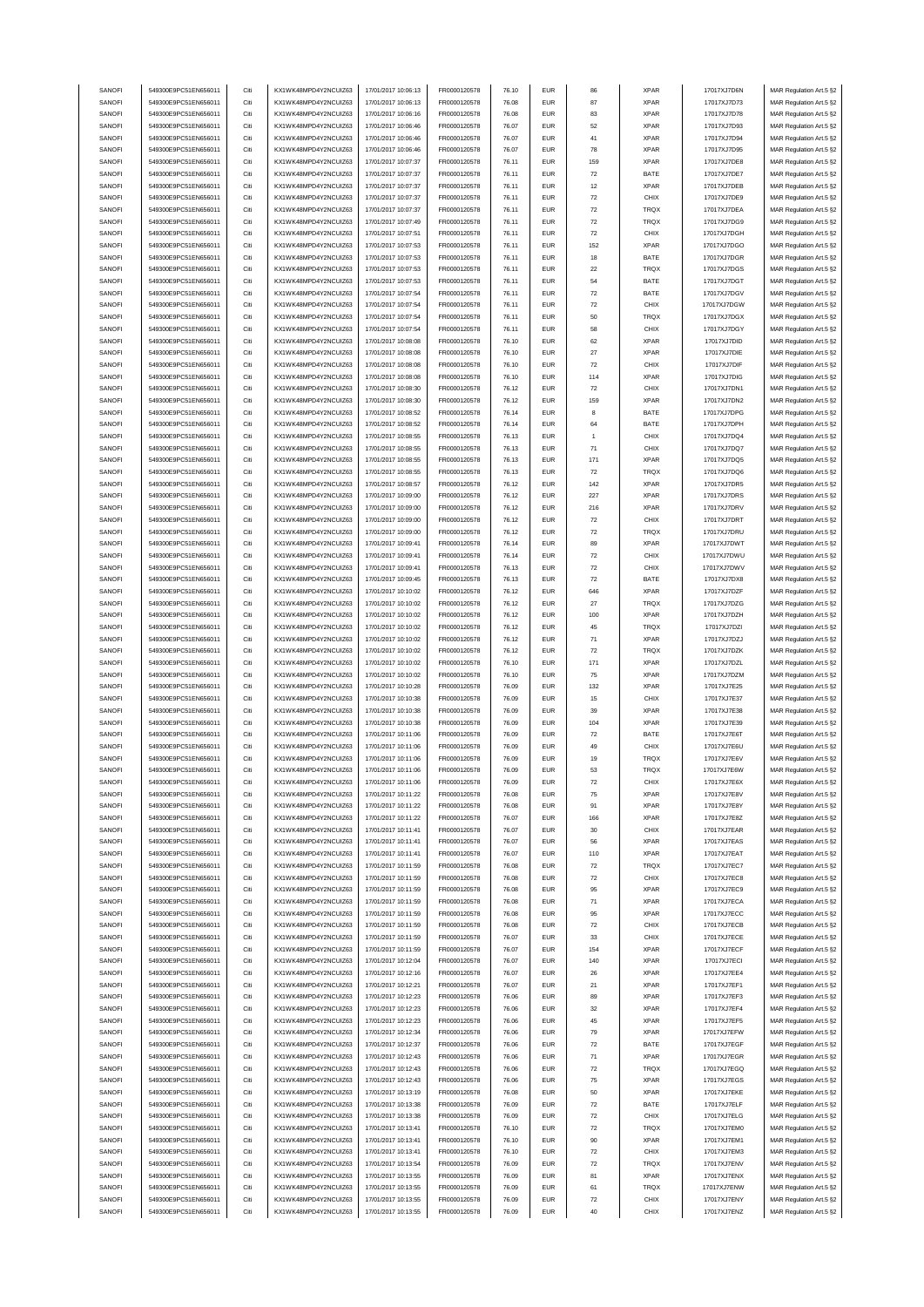| SANOFI | 549300E9PC51EN656011 | Citi | KX1WK48MPD4Y2NCUIZ63 | 17/01/2017 10:06:13 | FR0000120578 | 76.10 | <b>EUR</b> | 86                 | <b>XPAR</b> | 17017XJ7D6N  | MAR Regulation Art.5 §2 |
|--------|----------------------|------|----------------------|---------------------|--------------|-------|------------|--------------------|-------------|--------------|-------------------------|
| SANOFI | 549300E9PC51EN656011 | Citi | KX1WK48MPD4Y2NCUIZ63 | 17/01/2017 10:06:13 | FR0000120578 | 76.08 | <b>EUR</b> | 87                 | <b>XPAR</b> | 17017XJ7D73  | MAR Regulation Art.5 §2 |
| SANOFI | 549300E9PC51EN656011 | Citi | KX1WK48MPD4Y2NCUIZ63 | 17/01/2017 10:06:16 | FR0000120578 | 76.08 | <b>EUR</b> | 83                 | <b>XPAR</b> | 17017XJ7D78  | MAR Regulation Art.5 §2 |
|        |                      |      |                      |                     |              |       |            |                    |             |              |                         |
| SANOFI | 549300E9PC51EN656011 | Citi | KX1WK48MPD4Y2NCUIZ63 | 17/01/2017 10:06:46 | FR0000120578 | 76.07 | <b>EUR</b> | 52                 | <b>XPAR</b> | 17017XJ7D93  | MAR Regulation Art.5 §2 |
| SANOFI | 549300E9PC51EN656011 | Citi | KX1WK48MPD4Y2NCUIZ63 | 17/01/2017 10:06:46 | FR0000120578 | 76.07 | <b>EUR</b> | 41                 | <b>XPAR</b> | 17017XJ7D94  | MAR Regulation Art.5 §2 |
| SANOFI | 549300E9PC51EN656011 | Citi | KX1WK48MPD4Y2NCUIZ63 | 17/01/2017 10:06:46 | FR0000120578 | 76.07 | <b>EUR</b> | 78                 | <b>XPAR</b> | 17017XJ7D95  | MAR Regulation Art.5 §2 |
| SANOFI | 549300E9PC51EN656011 | Citi | KX1WK48MPD4Y2NCUIZ63 | 17/01/2017 10:07:37 | FR0000120578 | 76.11 | <b>EUR</b> | 159                | <b>XPAR</b> | 17017XJ7DE8  | MAR Regulation Art.5 §2 |
| SANOFI | 549300E9PC51EN656011 | Citi | KX1WK48MPD4Y2NCUIZ63 | 17/01/2017 10:07:37 | FR0000120578 | 76.11 | <b>EUR</b> | 72                 | BATE        | 17017XJ7DE7  | MAR Regulation Art.5 §2 |
| SANOFI | 549300E9PC51EN656011 | Citi | KX1WK48MPD4Y2NCUIZ63 | 17/01/2017 10:07:37 | FR0000120578 | 76.11 | <b>EUR</b> | 12                 | <b>XPAR</b> | 17017XJ7DEB  | MAR Regulation Art.5 §2 |
|        |                      |      |                      |                     |              |       |            |                    |             |              |                         |
| SANOFI | 549300E9PC51EN656011 | Citi | KX1WK48MPD4Y2NCUIZ63 | 17/01/2017 10:07:37 | FR0000120578 | 76.11 | <b>EUR</b> | $\scriptstyle{72}$ | CHIX        | 17017XJ7DE9  | MAR Regulation Art.5 §2 |
| SANOFI | 549300E9PC51EN656011 | Citi | KX1WK48MPD4Y2NCUIZ63 | 17/01/2017 10:07:37 | FR0000120578 | 76.11 | <b>EUR</b> | $\scriptstyle{72}$ | TRQX        | 17017XJ7DEA  | MAR Regulation Art.5 §2 |
| SANOFI | 549300E9PC51EN656011 | Citi | KX1WK48MPD4Y2NCUIZ63 | 17/01/2017 10:07:49 | FR0000120578 | 76.11 | <b>EUR</b> | $\scriptstyle{72}$ | TRQX        | 17017XJ7DG9  | MAR Regulation Art.5 §2 |
| SANOFI | 549300E9PC51EN656011 | Citi | KX1WK48MPD4Y2NCUIZ63 | 17/01/2017 10:07:51 | FR0000120578 | 76.11 | <b>EUR</b> | $\scriptstyle{72}$ | CHIX        | 17017XJ7DGH  | MAR Regulation Art.5 §2 |
| SANOFI | 549300E9PC51EN656011 | Citi | KX1WK48MPD4Y2NCUIZ63 | 17/01/2017 10:07:53 | FR0000120578 | 76.11 | <b>EUR</b> | 152                | <b>XPAR</b> | 17017XJ7DGO  | MAR Regulation Art.5 §2 |
| SANOFI | 549300E9PC51EN656011 | Citi | KX1WK48MPD4Y2NCUIZ63 | 17/01/2017 10:07:53 | FR0000120578 | 76.11 | <b>EUR</b> | 18                 | BATE        | 17017XJ7DGR  | MAR Regulation Art.5 §2 |
|        |                      |      |                      |                     |              |       |            |                    |             |              |                         |
| SANOFI | 549300E9PC51EN656011 | Citi | KX1WK48MPD4Y2NCUIZ63 | 17/01/2017 10:07:53 | FR0000120578 | 76.11 | <b>EUR</b> | 22                 | <b>TRQX</b> | 17017XJ7DGS  | MAR Regulation Art.5 §2 |
| SANOFI | 549300E9PC51EN656011 | Citi | KX1WK48MPD4Y2NCUIZ63 | 17/01/2017 10:07:53 | FR0000120578 | 76.11 | <b>EUR</b> | 54                 | BATE        | 17017XJ7DGT  | MAR Regulation Art.5 §2 |
| SANOFI | 549300E9PC51EN656011 | Citi | KX1WK48MPD4Y2NCUIZ63 | 17/01/2017 10:07:54 | FR0000120578 | 76.11 | <b>EUR</b> | $\scriptstyle{72}$ | BATE        | 17017XJ7DGV  | MAR Regulation Art.5 §2 |
| SANOFI | 549300E9PC51EN656011 | Citi | KX1WK48MPD4Y2NCUIZ63 | 17/01/2017 10:07:54 | FR0000120578 | 76.11 | <b>EUR</b> | $\scriptstyle{72}$ | CHIX        | 17017XJ7DGW  | MAR Regulation Art.5 §2 |
| SANOFI | 549300E9PC51EN656011 | Citi | KX1WK48MPD4Y2NCUIZ63 | 17/01/2017 10:07:54 | FR0000120578 | 76.11 | <b>EUR</b> | 50                 | TRQX        | 17017XJ7DGX  | MAR Regulation Art.5 §2 |
| SANOFI | 549300E9PC51EN656011 | Citi | KX1WK48MPD4Y2NCUIZ63 | 17/01/2017 10:07:54 | FR0000120578 | 76.11 | <b>EUR</b> | 58                 | CHIX        | 17017XJ7DGY  | MAR Regulation Art.5 §2 |
|        |                      |      |                      |                     |              |       |            |                    |             |              |                         |
| SANOFI | 549300E9PC51EN656011 | Citi | KX1WK48MPD4Y2NCUIZ63 | 17/01/2017 10:08:08 | FR0000120578 | 76.10 | <b>EUR</b> | 62                 | <b>XPAR</b> | 17017XJ7DID  | MAR Regulation Art.5 §2 |
| SANOFI | 549300E9PC51EN656011 | Citi | KX1WK48MPD4Y2NCUIZ63 | 17/01/2017 10:08:08 | FR0000120578 | 76.10 | <b>EUR</b> | 27                 | <b>XPAR</b> | 17017XJ7DIE  | MAR Regulation Art.5 §2 |
| SANOFI | 549300E9PC51EN656011 | Citi | KX1WK48MPD4Y2NCUIZ63 | 17/01/2017 10:08:08 | FR0000120578 | 76.10 | <b>EUR</b> | 72                 | CHIX        | 17017XJ7DIF  | MAR Regulation Art.5 §2 |
| SANOFI | 549300E9PC51EN656011 | Citi | KX1WK48MPD4Y2NCUIZ63 | 17/01/2017 10:08:08 | FR0000120578 | 76.10 | <b>EUR</b> | 114                | <b>XPAR</b> | 17017XJ7DIG  | MAR Regulation Art.5 §2 |
| SANOFI | 549300E9PC51EN656011 | Citi | KX1WK48MPD4Y2NCUIZ63 | 17/01/2017 10:08:30 | FR0000120578 | 76.12 | <b>EUR</b> | $\scriptstyle{72}$ | CHIX        | 17017XJ7DN1  | MAR Regulation Art.5 §2 |
| SANOFI | 549300E9PC51EN656011 | Citi | KX1WK48MPD4Y2NCUIZ63 | 17/01/2017 10:08:30 | FR0000120578 | 76.12 | <b>EUR</b> | 159                | <b>XPAR</b> | 17017XJ7DN2  | MAR Regulation Art.5 §2 |
|        |                      |      |                      |                     |              |       |            |                    |             |              |                         |
| SANOFI | 549300E9PC51EN656011 | Citi | KX1WK48MPD4Y2NCUIZ63 | 17/01/2017 10:08:52 | FR0000120578 | 76.14 | <b>EUR</b> | 8                  | BATE        | 17017XJ7DPG  | MAR Regulation Art.5 §2 |
| SANOFI | 549300E9PC51EN656011 | Citi | KX1WK48MPD4Y2NCUIZ63 | 17/01/2017 10:08:52 | FR0000120578 | 76.14 | <b>EUR</b> | 64                 | BATE        | 17017XJ7DPH  | MAR Regulation Art.5 §2 |
| SANOFI | 549300E9PC51EN656011 | Citi | KX1WK48MPD4Y2NCUIZ63 | 17/01/2017 10:08:55 | FR0000120578 | 76.13 | <b>EUR</b> | $\overline{1}$     | CHIX        | 17017XJ7DQ4  | MAR Regulation Art.5 §2 |
| SANOFI | 549300E9PC51EN656011 | Citi | KX1WK48MPD4Y2NCUIZ63 | 17/01/2017 10:08:55 | FR0000120578 | 76.13 | <b>EUR</b> | 71                 | CHIX        | 17017XJ7DQ7  | MAR Regulation Art.5 §2 |
| SANOFI | 549300E9PC51EN656011 | Citi | KX1WK48MPD4Y2NCUIZ63 | 17/01/2017 10:08:55 | FR0000120578 | 76.13 | <b>EUR</b> | 171                | <b>XPAR</b> | 17017XJ7DQ5  | MAR Regulation Art.5 §2 |
| SANOFI | 549300E9PC51EN656011 | Citi | KX1WK48MPD4Y2NCUIZ63 | 17/01/2017 10:08:55 |              | 76.13 | <b>EUR</b> | 72                 | TRQX        |              |                         |
|        |                      |      |                      |                     | FR0000120578 |       |            |                    |             | 17017XJ7DQ6  | MAR Regulation Art.5 §2 |
| SANOFI | 549300E9PC51EN656011 | Citi | KX1WK48MPD4Y2NCUIZ63 | 17/01/2017 10:08:57 | FR0000120578 | 76.12 | <b>EUR</b> | 142                | <b>XPAR</b> | 17017XJ7DR5  | MAR Regulation Art.5 §2 |
| SANOFI | 549300E9PC51EN656011 | Citi | KX1WK48MPD4Y2NCUIZ63 | 17/01/2017 10:09:00 | FR0000120578 | 76.12 | <b>EUR</b> | 227                | <b>XPAR</b> | 17017XJ7DRS  | MAR Regulation Art.5 §2 |
| SANOFI | 549300E9PC51EN656011 | Citi | KX1WK48MPD4Y2NCUIZ63 | 17/01/2017 10:09:00 | FR0000120578 | 76.12 | <b>EUR</b> | 216                | <b>XPAR</b> | 17017XJ7DRV  | MAR Regulation Art.5 §2 |
| SANOFI | 549300E9PC51EN656011 | Citi | KX1WK48MPD4Y2NCUIZ63 | 17/01/2017 10:09:00 | FR0000120578 | 76.12 | <b>EUR</b> | $\scriptstyle{72}$ | CHIX        | 17017XJ7DRT  | MAR Regulation Art.5 §2 |
| SANOFI | 549300E9PC51EN656011 | Citi | KX1WK48MPD4Y2NCUIZ63 | 17/01/2017 10:09:00 | FR0000120578 | 76.12 | <b>EUR</b> | $\scriptstyle{72}$ | TRQX        | 17017XJ7DRU  | MAR Regulation Art.5 §2 |
|        |                      |      |                      |                     |              |       |            |                    |             |              |                         |
| SANOFI | 549300E9PC51EN656011 | Citi | KX1WK48MPD4Y2NCUIZ63 | 17/01/2017 10:09:41 | FR0000120578 | 76.14 | <b>EUR</b> | 89                 | <b>XPAR</b> | 17017XJ7DWT  | MAR Regulation Art.5 §2 |
| SANOFI | 549300E9PC51EN656011 | Citi | KX1WK48MPD4Y2NCUIZ63 | 17/01/2017 10:09:41 | FR0000120578 | 76.14 | <b>EUR</b> | $\scriptstyle{72}$ | CHIX        | 17017XJ7DWU  | MAR Regulation Art.5 §2 |
| SANOFI | 549300E9PC51EN656011 | Citi | KX1WK48MPD4Y2NCUIZ63 | 17/01/2017 10:09:41 | FR0000120578 | 76.13 | <b>EUR</b> | 72                 | CHIX        | 17017XJ7DWV  | MAR Regulation Art.5 §2 |
| SANOFI | 549300E9PC51EN656011 | Citi | KX1WK48MPD4Y2NCUIZ63 | 17/01/2017 10:09:45 | FR0000120578 | 76.13 | <b>EUR</b> | 72                 | BATE        | 17017XJ7DX8  | MAR Regulation Art.5 §2 |
| SANOFI | 549300E9PC51EN656011 | Citi | KX1WK48MPD4Y2NCUIZ63 | 17/01/2017 10:10:02 | FR0000120578 | 76.12 | <b>EUR</b> | 646                | <b>XPAR</b> | 17017XJ7DZF  | MAR Regulation Art.5 §2 |
| SANOFI | 549300E9PC51EN656011 | Citi | KX1WK48MPD4Y2NCUIZ63 | 17/01/2017 10:10:02 | FR0000120578 | 76.12 | <b>EUR</b> | 27                 | TRQX        | 17017XJ7DZG  | MAR Regulation Art.5 §2 |
|        |                      |      |                      |                     |              |       |            |                    |             |              |                         |
| SANOFI | 549300E9PC51EN656011 | Citi | KX1WK48MPD4Y2NCUIZ63 | 17/01/2017 10:10:02 | FR0000120578 | 76.12 | <b>EUR</b> | 100                | <b>XPAR</b> | 17017XJ7DZH  | MAR Regulation Art.5 §2 |
| SANOFI | 549300E9PC51EN656011 | Citi | KX1WK48MPD4Y2NCUIZ63 | 17/01/2017 10:10:02 | FR0000120578 | 76.12 | <b>EUR</b> | 45                 | TRQX        | 17017XJ7DZI  | MAR Regulation Art.5 §2 |
| SANOFI | 549300E9PC51EN656011 | Citi | KX1WK48MPD4Y2NCUIZ63 | 17/01/2017 10:10:02 | FR0000120578 | 76.12 | <b>EUR</b> | 71                 | <b>XPAR</b> | 17017XJ7DZJ  | MAR Regulation Art.5 §2 |
| SANOFI | 549300E9PC51EN656011 | Citi | KX1WK48MPD4Y2NCUIZ63 | 17/01/2017 10:10:02 | FR0000120578 | 76.12 | <b>EUR</b> | $\scriptstyle{72}$ | TRQX        | 17017XJ7DZK  | MAR Regulation Art.5 §2 |
| SANOFI | 549300E9PC51EN656011 | Citi | KX1WK48MPD4Y2NCUIZ63 | 17/01/2017 10:10:02 | FR0000120578 | 76.10 | <b>EUR</b> | 171                | <b>XPAR</b> | 17017XJ7DZL  | MAR Regulation Art.5 §2 |
| SANOFI | 549300E9PC51EN656011 | Citi | KX1WK48MPD4Y2NCUIZ63 | 17/01/2017 10:10:02 | FR0000120578 | 76.10 | <b>EUR</b> | 75                 | <b>XPAR</b> | 17017XJ7DZM  | MAR Regulation Art.5 §2 |
| SANOFI | 549300E9PC51EN656011 | Citi | KX1WK48MPD4Y2NCUIZ63 | 17/01/2017 10:10:28 | FR0000120578 | 76.09 | <b>EUR</b> | 132                | <b>XPAR</b> | 17017XJ7E25  | MAR Regulation Art.5 §2 |
|        |                      |      |                      |                     |              |       |            |                    |             |              |                         |
| SANOFI | 549300E9PC51EN656011 | Citi | KX1WK48MPD4Y2NCUIZ63 | 17/01/2017 10:10:38 | FR0000120578 | 76.09 | <b>EUR</b> | 15                 | CHIX        | 17017XJ7E37  | MAR Regulation Art.5 §2 |
| SANOFI | 549300E9PC51EN656011 | Citi | KX1WK48MPD4Y2NCUIZ63 | 17/01/2017 10:10:38 | FR0000120578 | 76.09 | <b>EUR</b> | 39                 | <b>XPAR</b> | 17017XJ7E38  | MAR Regulation Art.5 §2 |
| SANOFI | 549300E9PC51EN656011 | Citi | KX1WK48MPD4Y2NCUIZ63 | 17/01/2017 10:10:38 | FR0000120578 | 76.09 | <b>EUR</b> | 104                | <b>XPAR</b> | 17017XJ7E39  | MAR Regulation Art.5 §2 |
| SANOFI | 549300E9PC51EN656011 | Citi | KX1WK48MPD4Y2NCUIZ63 | 17/01/2017 10:11:06 | FR0000120578 | 76.09 | <b>EUR</b> | $\scriptstyle{72}$ | BATE        | 17017XJ7E6T  | MAR Regulation Art.5 §2 |
| SANOFI | 549300E9PC51EN656011 | Citi | KX1WK48MPD4Y2NCUIZ63 | 17/01/2017 10:11:06 | FR0000120578 | 76.09 | <b>EUR</b> | 49                 | CHIX        | 17017XJ7E6U  | MAR Regulation Art.5 §2 |
| SANOFI | 549300E9PC51EN656011 | Citi | KX1WK48MPD4Y2NCUIZ63 | 17/01/2017 10:11:06 | FR0000120578 | 76.09 | <b>EUR</b> | 19                 | <b>TRQX</b> | 17017XJ7E6V  | MAR Regulation Art.5 §2 |
| SANOFI | 549300E9PC51EN656011 |      | KX1WK48MPD4Y2NCUIZ63 | 17/01/2017 10:11:06 |              |       | FUR        |                    | TROX        |              |                         |
|        |                      |      |                      |                     | FR0000120578 | 76.09 |            |                    |             | 17017X.I7F6W | MAR Regulation Art 5 82 |
| SANOFI | 549300E9PC51EN656011 | Citi | KX1WK48MPD4Y2NCUIZ63 | 17/01/2017 10:11:06 | FR0000120578 | 76.09 | <b>EUR</b> | 72                 | CHIX        | 17017XJ7E6X  | MAR Regulation Art.5 §2 |
| SANOFI | 549300E9PC51EN656011 | Citi | KX1WK48MPD4Y2NCUIZ63 | 17/01/2017 10:11:22 | FR0000120578 | 76.08 | <b>EUR</b> | 75                 | <b>XPAR</b> | 17017XJ7E8V  | MAR Regulation Art.5 §2 |
| SANOFI | 549300E9PC51EN656011 | Citi | KX1WK48MPD4Y2NCUIZ63 | 17/01/2017 10:11:22 | FR0000120578 | 76.08 | <b>EUR</b> | 91                 | <b>XPAR</b> | 17017XJ7E8Y  | MAR Regulation Art.5 §2 |
| SANOFI | 549300E9PC51EN656011 | Citi | KX1WK48MPD4Y2NCUIZ63 | 17/01/2017 10:11:22 | FR0000120578 | 76.07 | <b>EUR</b> | 166                | <b>XPAR</b> | 17017XJ7E8Z  | MAR Regulation Art.5 §2 |
| SANOFI | 549300E9PC51EN656011 | Citi | KX1WK48MPD4Y2NCUIZ63 | 17/01/2017 10:11:41 | FR0000120578 | 76.07 | <b>EUR</b> | 30                 | CHIX        | 17017XJ7EAR  | MAR Regulation Art.5 §2 |
|        |                      |      |                      |                     |              |       |            |                    |             | 17017XJ7EAS  |                         |
| SANOFI | 549300E9PC51EN656011 | Citi | KX1WK48MPD4Y2NCUIZ63 | 17/01/2017 10:11:41 | FR0000120578 | 76.07 | <b>EUR</b> | 56                 | XPAR        |              | MAR Regulation Art.5 §2 |
| SANOFI | 549300E9PC51EN656011 | Citi | KX1WK48MPD4Y2NCUIZ63 | 17/01/2017 10:11:41 | FR0000120578 | 76.07 | <b>EUR</b> | 110                | <b>XPAR</b> | 17017XJ7EAT  | MAR Regulation Art.5 §2 |
| SANOFI | 549300E9PC51EN656011 | Citi | KX1WK48MPD4Y2NCUIZ63 | 17/01/2017 10:11:59 | FR0000120578 | 76.08 | <b>EUR</b> | 72                 | <b>TRQX</b> | 17017XJ7EC7  | MAR Regulation Art.5 §2 |
| SANOFI | 549300E9PC51EN656011 | Citi | KX1WK48MPD4Y2NCUIZ63 | 17/01/2017 10:11:59 | FR0000120578 | 76.08 | <b>EUR</b> | 72                 | CHIX        | 17017XJ7EC8  | MAR Regulation Art.5 §2 |
| SANOFI | 549300E9PC51EN656011 | Citi | KX1WK48MPD4Y2NCUIZ63 | 17/01/2017 10:11:59 | FR0000120578 | 76.08 | <b>EUR</b> | 95                 | <b>XPAR</b> | 17017XJ7EC9  | MAR Regulation Art.5 §2 |
| SANOFI | 549300E9PC51EN656011 | Citi | KX1WK48MPD4Y2NCUIZ63 | 17/01/2017 10:11:59 | FR0000120578 | 76.08 | <b>EUR</b> | 71                 | <b>XPAR</b> | 17017XJ7ECA  | MAR Regulation Art.5 §2 |
| SANOFI | 549300E9PC51EN656011 | Citi | KX1WK48MPD4Y2NCUIZ63 | 17/01/2017 10:11:59 | FR0000120578 | 76.08 | <b>EUR</b> | 95                 | <b>XPAR</b> | 17017XJ7ECC  | MAR Regulation Art.5 §2 |
|        |                      |      |                      |                     |              |       |            |                    |             |              |                         |
| SANOFI | 549300E9PC51EN656011 | Citi | KX1WK48MPD4Y2NCUIZ63 | 17/01/2017 10:11:59 | FR0000120578 | 76.08 | <b>EUR</b> | $\scriptstyle{72}$ | CHIX        | 17017XJ7ECB  | MAR Regulation Art.5 §2 |
| SANOFI | 549300E9PC51EN656011 | Citi | KX1WK48MPD4Y2NCUIZ63 | 17/01/2017 10:11:59 | FR0000120578 | 76.07 | <b>EUR</b> | 33                 | CHIX        | 17017XJ7ECE  | MAR Regulation Art.5 §2 |
| SANOFI | 549300E9PC51EN656011 | Citi | KX1WK48MPD4Y2NCUIZ63 | 17/01/2017 10:11:59 | FR0000120578 | 76.07 | <b>EUR</b> | 154                | <b>XPAR</b> | 17017XJ7ECF  | MAR Regulation Art.5 §2 |
| SANOFI | 549300E9PC51EN656011 | Citi | KX1WK48MPD4Y2NCUIZ63 | 17/01/2017 10:12:04 | FR0000120578 | 76.07 | <b>EUR</b> | 140                | <b>XPAR</b> | 17017XJ7ECI  | MAR Regulation Art.5 §2 |
| SANOFI | 549300E9PC51EN656011 | Citi | KX1WK48MPD4Y2NCUIZ63 | 17/01/2017 10:12:16 | FR0000120578 | 76.07 | <b>EUR</b> | 26                 | <b>XPAR</b> | 17017XJ7EE4  | MAR Regulation Art.5 §2 |
| SANOFI | 549300E9PC51EN656011 | Citi | KX1WK48MPD4Y2NCUIZ63 | 17/01/2017 10:12:21 | FR0000120578 | 76.07 | <b>EUR</b> | 21                 | <b>XPAR</b> | 17017XJ7EF1  |                         |
|        |                      |      |                      |                     |              |       |            |                    |             |              | MAR Regulation Art.5 §2 |
| SANOFI | 549300E9PC51EN656011 | Citi | KX1WK48MPD4Y2NCUIZ63 | 17/01/2017 10:12:23 | FR0000120578 | 76.06 | <b>EUR</b> | 89                 | <b>XPAR</b> | 17017XJ7EF3  | MAR Regulation Art.5 §2 |
| SANOFI | 549300E9PC51EN656011 | Citi | KX1WK48MPD4Y2NCUIZ63 | 17/01/2017 10:12:23 | FR0000120578 | 76.06 | <b>EUR</b> | 32                 | <b>XPAR</b> | 17017XJ7EF4  | MAR Regulation Art.5 §2 |
| SANOFI | 549300E9PC51EN656011 | Citi | KX1WK48MPD4Y2NCUIZ63 | 17/01/2017 10:12:23 | FR0000120578 | 76.06 | <b>EUR</b> | 45                 | <b>XPAR</b> | 17017XJ7EF5  | MAR Regulation Art.5 §2 |
| SANOFI | 549300E9PC51EN656011 | Citi | KX1WK48MPD4Y2NCUIZ63 | 17/01/2017 10:12:34 | FR0000120578 | 76.06 | <b>EUR</b> | 79                 | <b>XPAR</b> | 17017XJ7EFW  | MAR Regulation Art.5 §2 |
| SANOFI | 549300E9PC51EN656011 | Citi | KX1WK48MPD4Y2NCUIZ63 | 17/01/2017 10:12:37 | FR0000120578 | 76.06 | <b>EUR</b> | $\scriptstyle{72}$ | BATE        | 17017XJ7EGF  | MAR Regulation Art.5 §2 |
| SANOFI | 549300E9PC51EN656011 | Citi | KX1WK48MPD4Y2NCUIZ63 | 17/01/2017 10:12:43 | FR0000120578 | 76.06 | <b>EUR</b> | 71                 | <b>XPAR</b> | 17017XJ7EGR  | MAR Regulation Art.5 §2 |
|        |                      |      |                      |                     |              |       |            |                    |             |              |                         |
| SANOFI | 549300E9PC51EN656011 | Citi | KX1WK48MPD4Y2NCUIZ63 | 17/01/2017 10:12:43 | FR0000120578 | 76.06 | <b>EUR</b> | 72                 | <b>TRQX</b> | 17017XJ7EGQ  | MAR Regulation Art.5 §2 |
| SANOFI | 549300E9PC51EN656011 | Citi | KX1WK48MPD4Y2NCUIZ63 | 17/01/2017 10:12:43 | FR0000120578 | 76.06 | <b>EUR</b> | 75                 | <b>XPAR</b> | 17017XJ7EGS  | MAR Regulation Art.5 §2 |
| SANOFI | 549300E9PC51EN656011 | Citi | KX1WK48MPD4Y2NCUIZ63 | 17/01/2017 10:13:19 | FR0000120578 | 76.08 | <b>EUR</b> | 50                 | <b>XPAR</b> | 17017XJ7EKE  | MAR Regulation Art.5 §2 |
| SANOFI | 549300E9PC51EN656011 | Citi | KX1WK48MPD4Y2NCUIZ63 | 17/01/2017 10:13:38 | FR0000120578 | 76.09 | <b>EUR</b> | $\scriptstyle{72}$ | BATE        | 17017XJ7ELF  | MAR Regulation Art.5 §2 |
| SANOFI | 549300E9PC51EN656011 | Citi | KX1WK48MPD4Y2NCUIZ63 | 17/01/2017 10:13:38 | FR0000120578 | 76.09 | <b>EUR</b> | $\scriptstyle{72}$ | CHIX        | 17017XJ7ELG  | MAR Regulation Art.5 §2 |
| SANOFI | 549300E9PC51EN656011 | Citi | KX1WK48MPD4Y2NCUIZ63 | 17/01/2017 10:13:41 | FR0000120578 | 76.10 | <b>EUR</b> | $\scriptstyle{72}$ | TRQX        | 17017XJ7EM0  | MAR Regulation Art.5 §2 |
|        |                      |      |                      |                     |              |       |            |                    |             |              |                         |
| SANOFI | 549300E9PC51EN656011 | Citi | KX1WK48MPD4Y2NCUIZ63 | 17/01/2017 10:13:41 | FR0000120578 | 76.10 | <b>EUR</b> | 90                 | XPAR        | 17017XJ7EM1  | MAR Regulation Art.5 §2 |
| SANOFI | 549300E9PC51EN656011 | Citi | KX1WK48MPD4Y2NCUIZ63 | 17/01/2017 10:13:41 | FR0000120578 | 76.10 | <b>EUR</b> | 72                 | CHIX        | 17017XJ7EM3  | MAR Regulation Art.5 §2 |
| SANOFI | 549300E9PC51EN656011 | Citi | KX1WK48MPD4Y2NCUIZ63 | 17/01/2017 10:13:54 | FR0000120578 | 76.09 | <b>EUR</b> | $\scriptstyle{72}$ | <b>TRQX</b> | 17017XJ7ENV  | MAR Regulation Art.5 §2 |
| SANOFI | 549300E9PC51EN656011 | Citi | KX1WK48MPD4Y2NCUIZ63 | 17/01/2017 10:13:55 | FR0000120578 | 76.09 | <b>EUR</b> | 81                 | <b>XPAR</b> | 17017XJ7ENX  | MAR Regulation Art.5 §2 |
| SANOFI | 549300E9PC51EN656011 | Citi | KX1WK48MPD4Y2NCUIZ63 | 17/01/2017 10:13:55 | FR0000120578 | 76.09 | <b>EUR</b> | 61                 | TRQX        | 17017XJ7ENW  | MAR Regulation Art.5 §2 |
| SANOFI | 549300E9PC51EN656011 | Citi | KX1WK48MPD4Y2NCUIZ63 | 17/01/2017 10:13:55 | FR0000120578 | 76.09 | <b>EUR</b> | $\scriptstyle{72}$ | CHIX        | 17017XJ7ENY  | MAR Regulation Art.5 §2 |
|        | 549300E9PC51EN656011 | Citi | KX1WK48MPD4Y2NCUIZ63 | 17/01/2017 10:13:55 | FR0000120578 | 76.09 | <b>EUR</b> | 40                 | CHIX        | 17017XJ7ENZ  | MAR Regulation Art.5 §2 |
| SANOFI |                      |      |                      |                     |              |       |            |                    |             |              |                         |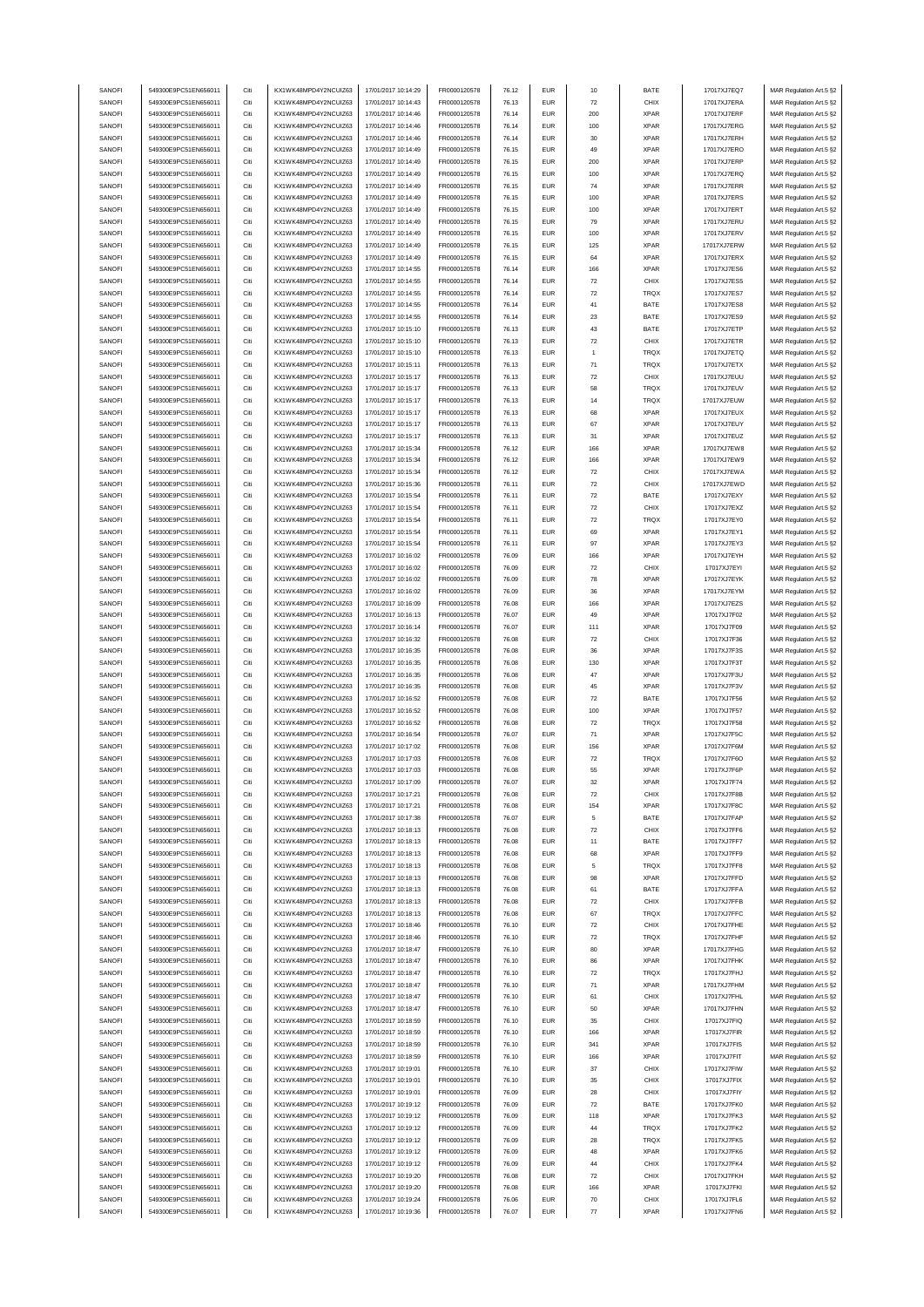| SANOFI           | 549300E9PC51EN656011                         | Citi         | KX1WK48MPD4Y2NCUIZ63                         | 17/01/2017 10:14:29                        | FR0000120578                 | 76.12          | <b>EUR</b>               | $10$               | BATE                | 17017XJ7EQ7                | MAR Regulation Art.5 §2                            |
|------------------|----------------------------------------------|--------------|----------------------------------------------|--------------------------------------------|------------------------------|----------------|--------------------------|--------------------|---------------------|----------------------------|----------------------------------------------------|
| SANOFI           | 549300E9PC51EN656011                         | Citi         | KX1WK48MPD4Y2NCUIZ63                         | 17/01/2017 10:14:43                        | FR0000120578                 | 76.13          | <b>EUR</b>               | 72                 | CHIX                | 17017XJ7ERA                | MAR Regulation Art.5 §2                            |
|                  |                                              |              |                                              |                                            |                              |                |                          |                    |                     |                            |                                                    |
| SANOFI           | 549300E9PC51EN656011                         | Citi         | KX1WK48MPD4Y2NCUIZ63                         | 17/01/2017 10:14:46                        | FR0000120578                 | 76.14          | <b>EUR</b>               | 200                | <b>XPAR</b>         | 17017XJ7ERF                | MAR Regulation Art.5 §2                            |
| SANOFI           | 549300E9PC51EN656011                         | Citi         | KX1WK48MPD4Y2NCUIZ63                         | 17/01/2017 10:14:46                        | FR0000120578                 | 76.14          | <b>EUR</b>               | 100                | <b>XPAR</b>         | 17017XJ7ERG                | MAR Regulation Art.5 §2                            |
| SANOFI           | 549300E9PC51EN656011                         | Citi         | KX1WK48MPD4Y2NCUIZ63                         | 17/01/2017 10:14:46                        | FR0000120578                 | 76.14          | <b>EUR</b>               | 30                 | <b>XPAR</b>         | 17017XJ7ERH                | MAR Regulation Art.5 §2                            |
| SANOFI           | 549300E9PC51EN656011                         | Citi         | KX1WK48MPD4Y2NCUIZ63                         | 17/01/2017 10:14:49                        | FR0000120578                 | 76.15          | <b>EUR</b>               | 49                 | <b>XPAR</b>         | 17017XJ7ERO                | MAR Regulation Art.5 §2                            |
| SANOFI           | 549300E9PC51EN656011                         | Citi         | KX1WK48MPD4Y2NCUIZ63                         | 17/01/2017 10:14:49                        | FR0000120578                 | 76.15          | <b>EUR</b>               | 200                | <b>XPAR</b>         | 17017XJ7ERP                | MAR Regulation Art.5 §2                            |
| SANOFI           | 549300E9PC51EN656011                         | Citi         | KX1WK48MPD4Y2NCUIZ63                         | 17/01/2017 10:14:49                        | FR0000120578                 | 76.15          | <b>EUR</b>               | 100                | <b>XPAR</b>         | 17017XJ7ERQ                | MAR Regulation Art.5 §2                            |
|                  |                                              |              |                                              |                                            |                              |                |                          |                    |                     |                            |                                                    |
| SANOFI           | 549300E9PC51EN656011                         | Citi         | KX1WK48MPD4Y2NCUIZ63                         | 17/01/2017 10:14:49                        | FR0000120578                 | 76.15          | <b>EUR</b>               | 74                 | <b>XPAR</b>         | 17017XJ7ERR                | MAR Regulation Art.5 §2                            |
| SANOFI           | 549300E9PC51EN656011                         | Citi         | KX1WK48MPD4Y2NCUIZ63                         | 17/01/2017 10:14:49                        | FR0000120578                 | 76.15          | <b>EUR</b>               | 100                | <b>XPAR</b>         | 17017XJ7ERS                | MAR Regulation Art.5 §2                            |
| SANOFI           | 549300E9PC51EN656011                         | Citi         | KX1WK48MPD4Y2NCUIZ63                         | 17/01/2017 10:14:49                        | FR0000120578                 | 76.15          | <b>EUR</b>               | 100                | <b>XPAR</b>         | 17017XJ7ERT                | MAR Regulation Art.5 §2                            |
| SANOFI           | 549300E9PC51EN656011                         | Citi         | KX1WK48MPD4Y2NCUIZ63                         | 17/01/2017 10:14:49                        | FR0000120578                 | 76.15          | <b>EUR</b>               | 79                 | <b>XPAR</b>         | 17017XJ7ERU                | MAR Regulation Art.5 §2                            |
| SANOFI           | 549300E9PC51EN656011                         | Citi         | KX1WK48MPD4Y2NCUIZ63                         | 17/01/2017 10:14:49                        | FR0000120578                 | 76.15          | <b>EUR</b>               | 100                | <b>XPAR</b>         | 17017XJ7ERV                | MAR Regulation Art.5 §2                            |
|                  |                                              |              |                                              |                                            |                              |                |                          |                    |                     |                            |                                                    |
| SANOFI           | 549300E9PC51EN656011                         | Citi         | KX1WK48MPD4Y2NCUIZ63                         | 17/01/2017 10:14:49                        | FR0000120578                 | 76.15          | <b>EUR</b>               | 125                | <b>XPAR</b>         | 17017XJ7ERW                | MAR Regulation Art.5 §2                            |
| SANOFI           | 549300E9PC51EN656011                         | Citi         | KX1WK48MPD4Y2NCUIZ63                         | 17/01/2017 10:14:49                        | FR0000120578                 | 76.15          | <b>EUR</b>               | 64                 | <b>XPAR</b>         | 17017XJ7ERX                | MAR Regulation Art.5 §2                            |
| SANOFI           | 549300E9PC51EN656011                         | Citi         | KX1WK48MPD4Y2NCUIZ63                         | 17/01/2017 10:14:55                        | FR0000120578                 | 76.14          | <b>EUR</b>               | 166                | <b>XPAR</b>         | 17017XJ7ES6                | MAR Regulation Art.5 §2                            |
| SANOFI           | 549300E9PC51EN656011                         | Citi         | KX1WK48MPD4Y2NCUIZ63                         | 17/01/2017 10:14:55                        | FR0000120578                 | 76.14          | <b>EUR</b>               | 72                 | CHIX                | 17017XJ7ES5                | MAR Regulation Art.5 §2                            |
| SANOFI           | 549300E9PC51EN656011                         | Citi         | KX1WK48MPD4Y2NCUIZ63                         | 17/01/2017 10:14:55                        | FR0000120578                 | 76.14          | <b>EUR</b>               | $\scriptstyle{72}$ | TRQX                | 17017XJ7ES7                | MAR Regulation Art.5 §2                            |
| SANOFI           | 549300E9PC51EN656011                         | Citi         | KX1WK48MPD4Y2NCUIZ63                         | 17/01/2017 10:14:55                        | FR0000120578                 | 76.14          | <b>EUR</b>               | 41                 | BATE                | 17017XJ7ES8                | MAR Regulation Art.5 §2                            |
|                  |                                              |              |                                              |                                            |                              |                |                          |                    |                     |                            |                                                    |
| SANOFI           | 549300E9PC51EN656011                         | Citi         | KX1WK48MPD4Y2NCUIZ63                         | 17/01/2017 10:14:55                        | FR0000120578                 | 76.14          | <b>EUR</b>               | 23                 | BATE                | 17017XJ7ES9                | MAR Regulation Art.5 §2                            |
| SANOFI           | 549300E9PC51EN656011                         | Citi         | KX1WK48MPD4Y2NCUIZ63                         | 17/01/2017 10:15:10                        | FR0000120578                 | 76.13          | <b>EUR</b>               | 43                 | BATE                | 17017XJ7ETP                | MAR Regulation Art.5 §2                            |
| SANOFI           | 549300E9PC51EN656011                         | Citi         | KX1WK48MPD4Y2NCUIZ63                         | 17/01/2017 10:15:10                        | FR0000120578                 | 76.13          | <b>EUR</b>               | $\scriptstyle{72}$ | CHIX                | 17017XJ7ETR                | MAR Regulation Art.5 §2                            |
| SANOFI           | 549300E9PC51EN656011                         | Citi         | KX1WK48MPD4Y2NCUIZ63                         | 17/01/2017 10:15:10                        | FR0000120578                 | 76.13          | <b>EUR</b>               | $\overline{1}$     | TRQX                | 17017XJ7ETQ                | MAR Regulation Art.5 §2                            |
| SANOFI           | 549300E9PC51EN656011                         | Citi         | KX1WK48MPD4Y2NCUIZ63                         | 17/01/2017 10:15:11                        | FR0000120578                 | 76.13          | <b>EUR</b>               | 71                 | TRQX                | 17017XJ7ETX                | MAR Regulation Art.5 §2                            |
| SANOFI           | 549300E9PC51EN656011                         | Citi         | KX1WK48MPD4Y2NCUIZ63                         | 17/01/2017 10:15:17                        | FR0000120578                 | 76.13          | <b>EUR</b>               | 72                 | CHIX                | 17017XJ7EUU                | MAR Regulation Art.5 §2                            |
|                  |                                              |              |                                              |                                            |                              |                |                          |                    |                     |                            |                                                    |
| SANOFI           | 549300E9PC51EN656011                         | Citi         | KX1WK48MPD4Y2NCUIZ63                         | 17/01/2017 10:15:17                        | FR0000120578                 | 76.13          | <b>EUR</b>               | 58                 | TRQX                | 17017XJ7EUV                | MAR Regulation Art.5 §2                            |
| SANOFI           | 549300E9PC51EN656011                         | Citi         | KX1WK48MPD4Y2NCUIZ63                         | 17/01/2017 10:15:17                        | FR0000120578                 | 76.13          | <b>EUR</b>               | 14                 | TRQX                | 17017XJ7EUW                | MAR Regulation Art.5 §2                            |
| SANOFI           | 549300E9PC51EN656011                         | Citi         | KX1WK48MPD4Y2NCUIZ63                         | 17/01/2017 10:15:17                        | FR0000120578                 | 76.13          | <b>EUR</b>               | 68                 | <b>XPAR</b>         | 17017XJ7EUX                | MAR Regulation Art.5 §2                            |
| SANOFI           | 549300E9PC51EN656011                         | Citi         | KX1WK48MPD4Y2NCUIZ63                         | 17/01/2017 10:15:17                        | FR0000120578                 | 76.13          | <b>EUR</b>               | 67                 | <b>XPAR</b>         | 17017XJ7EUY                | MAR Regulation Art.5 §2                            |
| SANOFI           | 549300E9PC51EN656011                         | Citi         | KX1WK48MPD4Y2NCUIZ63                         | 17/01/2017 10:15:17                        | FR0000120578                 | 76.13          | <b>EUR</b>               | 31                 | <b>XPAR</b>         | 17017XJ7EUZ                | MAR Regulation Art.5 §2                            |
|                  |                                              |              |                                              |                                            |                              |                |                          |                    |                     |                            |                                                    |
| SANOFI           | 549300E9PC51EN656011                         | Citi         | KX1WK48MPD4Y2NCUIZ63                         | 17/01/2017 10:15:34                        | FR0000120578                 | 76.12          | <b>EUR</b>               | 166                | <b>XPAR</b>         | 17017XJ7EW8                | MAR Regulation Art.5 §2                            |
| SANOFI           | 549300E9PC51EN656011                         | Citi         | KX1WK48MPD4Y2NCUIZ63                         | 17/01/2017 10:15:34                        | FR0000120578                 | 76.12          | <b>EUR</b>               | 166                | <b>XPAR</b>         | 17017XJ7EW9                | MAR Regulation Art.5 §2                            |
| SANOFI           | 549300E9PC51EN656011                         | Citi         | KX1WK48MPD4Y2NCUIZ63                         | 17/01/2017 10:15:34                        | FR0000120578                 | 76.12          | <b>EUR</b>               | 72                 | CHIX                | 17017XJ7EWA                | MAR Regulation Art.5 §2                            |
| SANOFI           | 549300E9PC51EN656011                         | Citi         | KX1WK48MPD4Y2NCUIZ63                         | 17/01/2017 10:15:36                        | FR0000120578                 | 76.11          | <b>EUR</b>               | 72                 | CHIX                | 17017XJ7EWD                | MAR Regulation Art.5 §2                            |
| SANOFI           | 549300E9PC51EN656011                         | Citi         | KX1WK48MPD4Y2NCUIZ63                         | 17/01/2017 10:15:54                        | FR0000120578                 | 76.11          | <b>EUR</b>               | $\scriptstyle{72}$ | BATE                | 17017XJ7EXY                | MAR Regulation Art.5 §2                            |
| SANOFI           | 549300E9PC51EN656011                         | Citi         | KX1WK48MPD4Y2NCUIZ63                         | 17/01/2017 10:15:54                        | FR0000120578                 | 76.11          | <b>EUR</b>               | $\scriptstyle{72}$ | CHIX                | 17017XJ7EXZ                |                                                    |
|                  |                                              |              |                                              |                                            |                              |                |                          |                    |                     |                            | MAR Regulation Art.5 §2                            |
| SANOFI           | 549300E9PC51EN656011                         | Citi         | KX1WK48MPD4Y2NCUIZ63                         | 17/01/2017 10:15:54                        | FR0000120578                 | 76.11          | <b>EUR</b>               | $\scriptstyle{72}$ | TRQX                | 17017XJ7EY0                | MAR Regulation Art.5 §2                            |
| SANOFI           | 549300E9PC51EN656011                         | Citi         | KX1WK48MPD4Y2NCUIZ63                         | 17/01/2017 10:15:54                        | FR0000120578                 | 76.11          | <b>EUR</b>               | 69                 | <b>XPAR</b>         | 17017XJ7EY1                | MAR Regulation Art.5 §2                            |
| SANOFI           | 549300E9PC51EN656011                         | Citi         | KX1WK48MPD4Y2NCUIZ63                         | 17/01/2017 10:15:54                        | FR0000120578                 | 76.11          | <b>EUR</b>               | 97                 | <b>XPAR</b>         | 17017XJ7EY3                | MAR Regulation Art.5 §2                            |
| SANOFI           | 549300E9PC51EN656011                         | Citi         | KX1WK48MPD4Y2NCUIZ63                         | 17/01/2017 10:16:02                        | FR0000120578                 | 76.09          | <b>EUR</b>               | 166                | <b>XPAR</b>         | 17017XJ7EYH                | MAR Regulation Art.5 §2                            |
| SANOFI           | 549300E9PC51EN656011                         | Citi         | KX1WK48MPD4Y2NCUIZ63                         | 17/01/2017 10:16:02                        | FR0000120578                 | 76.09          | <b>EUR</b>               | 72                 | CHIX                | 17017XJ7EYI                | MAR Regulation Art.5 §2                            |
| SANOFI           | 549300E9PC51EN656011                         | Citi         | KX1WK48MPD4Y2NCUIZ63                         | 17/01/2017 10:16:02                        | FR0000120578                 | 76.09          | <b>EUR</b>               | 78                 | <b>XPAR</b>         | 17017XJ7EYK                | MAR Regulation Art.5 §2                            |
|                  |                                              |              |                                              |                                            |                              |                |                          |                    |                     |                            |                                                    |
| SANOFI           | 549300E9PC51EN656011                         | Citi         | KX1WK48MPD4Y2NCUIZ63                         | 17/01/2017 10:16:02                        | FR0000120578                 | 76.09          | <b>EUR</b>               | 36                 | <b>XPAR</b>         | 17017XJ7EYM                | MAR Regulation Art.5 §2                            |
| SANOFI           | 549300E9PC51EN656011                         | Citi         | KX1WK48MPD4Y2NCUIZ63                         | 17/01/2017 10:16:09                        | FR0000120578                 | 76.08          | <b>EUR</b>               | 166                | <b>XPAR</b>         | 17017XJ7EZS                | MAR Regulation Art.5 §2                            |
| SANOFI           | 549300E9PC51EN656011                         | Citi         | KX1WK48MPD4Y2NCUIZ63                         | 17/01/2017 10:16:13                        | FR0000120578                 | 76.07          | <b>EUR</b>               | 49                 | <b>XPAR</b>         | 17017XJ7F02                | MAR Regulation Art.5 §2                            |
| SANOFI           | 549300E9PC51EN656011                         | Citi         | KX1WK48MPD4Y2NCUIZ63                         | 17/01/2017 10:16:14                        | FR0000120578                 | 76.07          | <b>EUR</b>               | 111                | <b>XPAR</b>         | 17017XJ7F09                | MAR Regulation Art.5 §2                            |
| SANOFI           | 549300E9PC51EN656011                         | Citi         | KX1WK48MPD4Y2NCUIZ63                         | 17/01/2017 10:16:32                        | FR0000120578                 | 76.08          | <b>EUR</b>               | 72                 | CHIX                | 17017XJ7F36                | MAR Regulation Art.5 §2                            |
|                  |                                              |              |                                              |                                            |                              |                | <b>EUR</b>               |                    |                     |                            |                                                    |
| SANOFI           | 549300E9PC51EN656011                         | Citi         | KX1WK48MPD4Y2NCUIZ63                         | 17/01/2017 10:16:35                        | FR0000120578                 | 76.08          |                          | 36                 | <b>XPAR</b>         | 17017XJ7F3S                | MAR Regulation Art.5 §2                            |
| SANOFI           | 549300E9PC51EN656011                         | Citi         | KX1WK48MPD4Y2NCUIZ63                         | 17/01/2017 10:16:35                        | FR0000120578                 | 76.08          | <b>EUR</b>               | 130                | <b>XPAR</b>         | 17017XJ7F3T                | MAR Regulation Art.5 §2                            |
| SANOFI           | 549300E9PC51EN656011                         | Citi         | KX1WK48MPD4Y2NCUIZ63                         | 17/01/2017 10:16:35                        | FR0000120578                 | 76.08          | <b>EUR</b>               | 47                 | <b>XPAR</b>         | 17017XJ7F3U                | MAR Regulation Art.5 §2                            |
| SANOFI           | 549300E9PC51EN656011                         | Citi         | KX1WK48MPD4Y2NCUIZ63                         | 17/01/2017 10:16:35                        | FR0000120578                 | 76.08          | <b>EUR</b>               | 45                 | <b>XPAR</b>         | 17017XJ7F3V                | MAR Regulation Art.5 §2                            |
| SANOFI           | 549300E9PC51EN656011                         | Citi         | KX1WK48MPD4Y2NCUIZ63                         | 17/01/2017 10:16:52                        | FR0000120578                 | 76.08          | <b>EUR</b>               | $\scriptstyle{72}$ | BATE                | 17017XJ7F56                | MAR Regulation Art.5 §2                            |
| SANOFI           | 549300E9PC51EN656011                         | Citi         | KX1WK48MPD4Y2NCUIZ63                         | 17/01/2017 10:16:52                        | FR0000120578                 | 76.08          | <b>EUR</b>               | 100                | <b>XPAR</b>         | 17017XJ7F57                | MAR Regulation Art.5 §2                            |
|                  |                                              |              |                                              |                                            |                              |                |                          |                    |                     |                            |                                                    |
| SANOFI           | 549300E9PC51EN656011                         | Citi         | KX1WK48MPD4Y2NCUIZ63                         | 17/01/2017 10:16:52                        | FR0000120578                 | 76.08          | <b>EUR</b>               | $\scriptstyle{72}$ | TRQX                | 17017XJ7F58                | MAR Regulation Art.5 §2                            |
| SANOFI           | 549300E9PC51EN656011                         | Citi         | KX1WK48MPD4Y2NCUIZ63                         | 17/01/2017 10:16:54                        | FR0000120578                 | 76.07          | <b>EUR</b>               | 71                 | <b>XPAR</b>         | 17017XJ7F5C                | MAR Regulation Art.5 §2                            |
| SANOFI           | 549300E9PC51EN656011                         | Citi         | KX1WK48MPD4Y2NCUIZ63                         | 17/01/2017 10:17:02                        | FR0000120578                 | 76.08          | <b>EUR</b>               | 156                | <b>XPAR</b>         | 17017XJ7F6M                | MAR Regulation Art.5 §2                            |
| SANOFI           | 549300E9PC51EN656011                         | Citi         | KX1WK48MPD4Y2NCUIZ63                         | 17/01/2017 10:17:03                        | FR0000120578                 | 76.08          | <b>EUR</b>               | 72                 | <b>TRQX</b>         | 17017XJ7F6O                | MAR Regulation Art.5 §2                            |
| SANOFI           | 549300E9PC51EN656011                         |              | KX1WK48MPD4Y2NCUIZ63                         | 17/01/2017 10:17:03                        | FR0000120578                 | 76.08          | FUR                      |                    | <b>XPAR</b>         | 17017XJ7F6P                | MAR Regulation Art 5 82                            |
|                  |                                              |              |                                              |                                            |                              |                |                          |                    |                     |                            |                                                    |
| SANOFI           | 549300E9PC51EN656011                         | Citi         | KX1WK48MPD4Y2NCUIZ63                         | 17/01/2017 10:17:09                        | FR0000120578                 | 76.07          | <b>EUR</b>               | 32                 | <b>XPAR</b>         | 17017XJ7F74                | MAR Regulation Art.5 §2                            |
| SANOFI           | 549300E9PC51EN656011                         | Citi         | KX1WK48MPD4Y2NCUIZ63                         | 17/01/2017 10:17:21                        | FR0000120578                 | 76.08          | <b>EUR</b>               | $\scriptstyle{72}$ | CHIX                | 17017XJ7F8B                | MAR Regulation Art.5 §2                            |
| SANOFI           | 549300E9PC51EN656011                         | Citi         | KX1WK48MPD4Y2NCUIZ63                         | 17/01/2017 10:17:21                        | FR0000120578                 | 76.08          | <b>EUR</b>               | 154                | <b>XPAR</b>         | 17017XJ7F8C                | MAR Regulation Art.5 §2                            |
| SANOFI           | 549300E9PC51EN656011                         | Citi         | KX1WK48MPD4Y2NCUIZ63                         | 17/01/2017 10:17:38                        | FR0000120578                 | 76.07          | <b>EUR</b>               | $\,$ 5 $\,$        | BATE                | 17017XJ7FAP                | MAR Regulation Art.5 §2                            |
| SANOFI           | 549300E9PC51EN656011                         | Citi         | KX1WK48MPD4Y2NCUIZ63                         | 17/01/2017 10:18:13                        | FR0000120578                 | 76.08          | <b>EUR</b>               | $\scriptstyle{72}$ | CHIX                | 17017XJ7FF6                | MAR Regulation Art.5 §2                            |
| SANOFI           | 549300E9PC51EN656011                         | Citi         | KX1WK48MPD4Y2NCUIZ63                         | 17/01/2017 10:18:13                        | FR0000120578                 | 76.08          | <b>EUR</b>               | 11                 | BATE                | 17017XJ7FF7                | MAR Regulation Art.5 §2                            |
|                  | 549300E9PC51EN656011                         |              | KX1WK48MPD4Y2NCUIZ63                         |                                            |                              |                |                          |                    |                     |                            |                                                    |
| SANOFI           |                                              | Citi         |                                              | 17/01/2017 10:18:13                        | FR0000120578                 | 76.08          | <b>EUR</b>               | 68                 | <b>XPAR</b>         | 17017XJ7FF9                | MAR Regulation Art.5 §2                            |
| SANOFI           | 549300E9PC51EN656011                         | Citi         | KX1WK48MPD4Y2NCUIZ63                         | 17/01/2017 10:18:13                        | FR0000120578                 | 76.08          | <b>EUR</b>               | 5                  | <b>TRQX</b>         | 17017XJ7FF8                | MAR Regulation Art.5 §2                            |
| SANOFI           | 549300E9PC51EN656011                         | Citi         | KX1WK48MPD4Y2NCUIZ63                         | 17/01/2017 10:18:13                        | FR0000120578                 | 76.08          | <b>EUR</b>               | 98                 | <b>XPAR</b>         | 17017XJ7FFD                | MAR Regulation Art.5 §2                            |
| SANOFI           | 549300E9PC51EN656011                         | Citi         | KX1WK48MPD4Y2NCUIZ63                         | 17/01/2017 10:18:13                        | FR0000120578                 | 76.08          | <b>EUR</b>               | 61                 | BATE                | 17017XJ7FFA                | MAR Regulation Art.5 §2                            |
| SANOFI           | 549300E9PC51EN656011                         | Citi         | KX1WK48MPD4Y2NCUIZ63                         | 17/01/2017 10:18:13                        | FR0000120578                 | 76.08          | <b>EUR</b>               | $\scriptstyle{72}$ | CHIX                | 17017XJ7FFB                | MAR Regulation Art.5 §2                            |
| SANOFI           | 549300E9PC51EN656011                         | Citi         | KX1WK48MPD4Y2NCUIZ63                         | 17/01/2017 10:18:13                        | FR0000120578                 | 76.08          | <b>EUR</b>               | 67                 | TRQX                | 17017XJ7FFC                | MAR Regulation Art.5 §2                            |
|                  |                                              |              | KX1WK48MPD4Y2NCUIZ63                         |                                            | FR0000120578                 |                |                          |                    |                     |                            |                                                    |
| SANOFI           | 549300E9PC51EN656011                         | Citi         |                                              | 17/01/2017 10:18:46                        |                              | 76.10          | <b>EUR</b>               | $\scriptstyle{72}$ | CHIX                | 17017XJ7FHE                | MAR Regulation Art.5 §2                            |
| SANOFI           | 549300E9PC51EN656011                         | Citi         | KX1WK48MPD4Y2NCUIZ63                         | 17/01/2017 10:18:46                        | FR0000120578                 | 76.10          | <b>EUR</b>               | $\scriptstyle{72}$ | TRQX                | 17017XJ7FHF                | MAR Regulation Art.5 §2                            |
| SANOFI           | 549300E9PC51EN656011                         | Citi         | KX1WK48MPD4Y2NCUIZ63                         | 17/01/2017 10:18:47                        | FR0000120578                 | 76.10          | <b>EUR</b>               | 80                 | <b>XPAR</b>         | 17017XJ7FHG                | MAR Regulation Art.5 §2                            |
| SANOFI           | 549300E9PC51EN656011                         | Citi         | KX1WK48MPD4Y2NCUIZ63                         | 17/01/2017 10:18:47                        | FR0000120578                 | 76.10          | <b>EUR</b>               | 86                 | <b>XPAR</b>         | 17017XJ7FHK                | MAR Regulation Art.5 §2                            |
| SANOFI           | 549300E9PC51EN656011                         | Citi         | KX1WK48MPD4Y2NCUIZ63                         | 17/01/2017 10:18:47                        | FR0000120578                 | 76.10          | <b>EUR</b>               | $\scriptstyle{72}$ | TRQX                | 17017XJ7FHJ                | MAR Regulation Art.5 §2                            |
| SANOFI           | 549300E9PC51EN656011                         | Citi         | KX1WK48MPD4Y2NCUIZ63                         | 17/01/2017 10:18:47                        | FR0000120578                 | 76.10          | <b>EUR</b>               | 71                 | <b>XPAR</b>         | 17017XJ7FHM                |                                                    |
|                  |                                              |              |                                              |                                            |                              |                |                          |                    |                     |                            | MAR Regulation Art.5 §2                            |
| SANOFI           | 549300E9PC51EN656011                         | Citi         | KX1WK48MPD4Y2NCUIZ63                         | 17/01/2017 10:18:47                        | FR0000120578                 | 76.10          | <b>EUR</b>               | 61                 | CHIX                | 17017XJ7FHL                | MAR Regulation Art.5 §2                            |
| SANOFI           | 549300E9PC51EN656011                         | Citi         | KX1WK48MPD4Y2NCUIZ63                         | 17/01/2017 10:18:47                        | FR0000120578                 | 76.10          | <b>EUR</b>               | 50                 | <b>XPAR</b>         | 17017XJ7FHN                | MAR Regulation Art.5 §2                            |
| SANOFI           | 549300E9PC51EN656011                         | Citi         | KX1WK48MPD4Y2NCUIZ63                         | 17/01/2017 10:18:59                        | FR0000120578                 | 76.10          | <b>EUR</b>               | 35                 | CHIX                | 17017XJ7FIQ                | MAR Regulation Art.5 §2                            |
| SANOFI           | 549300E9PC51EN656011                         | Citi         | KX1WK48MPD4Y2NCUIZ63                         | 17/01/2017 10:18:59                        | FR0000120578                 | 76.10          | <b>EUR</b>               | 166                | <b>XPAR</b>         | 17017XJ7FIR                | MAR Regulation Art.5 §2                            |
| SANOFI           | 549300E9PC51EN656011                         | Citi         | KX1WK48MPD4Y2NCUIZ63                         | 17/01/2017 10:18:59                        | FR0000120578                 | 76.10          | <b>EUR</b>               | 341                | <b>XPAR</b>         | 17017XJ7FIS                | MAR Regulation Art.5 §2                            |
| SANOFI           | 549300E9PC51EN656011                         | Citi         | KX1WK48MPD4Y2NCUIZ63                         | 17/01/2017 10:18:59                        |                              | 76.10          | <b>EUR</b>               |                    | <b>XPAR</b>         |                            |                                                    |
|                  |                                              |              |                                              |                                            | FR0000120578                 |                |                          | 166                |                     | 17017XJ7FIT                | MAR Regulation Art.5 §2                            |
| SANOFI           | 549300E9PC51EN656011                         | Citi         | KX1WK48MPD4Y2NCUIZ63                         | 17/01/2017 10:19:01                        | FR0000120578                 | 76.10          | <b>EUR</b>               | 37                 | CHIX                | 17017XJ7FIW                | MAR Regulation Art.5 §2                            |
| SANOFI           | 549300E9PC51EN656011                         | Citi         | KX1WK48MPD4Y2NCUIZ63                         | 17/01/2017 10:19:01                        | FR0000120578                 | 76.10          | <b>EUR</b>               | 35                 | CHIX                | 17017XJ7FIX                | MAR Regulation Art.5 §2                            |
| SANOFI           | 549300E9PC51EN656011                         | Citi         | KX1WK48MPD4Y2NCUIZ63                         | 17/01/2017 10:19:01                        | FR0000120578                 | 76.09          | <b>EUR</b>               | 28                 | CHIX                | 17017XJ7FIY                | MAR Regulation Art.5 §2                            |
| SANOFI           | 549300E9PC51EN656011                         | Citi         | KX1WK48MPD4Y2NCUIZ63                         | 17/01/2017 10:19:12                        | FR0000120578                 | 76.09          | <b>EUR</b>               | $\scriptstyle{72}$ | BATE                | 17017XJ7FK0                | MAR Regulation Art.5 §2                            |
| SANOFI           | 549300E9PC51EN656011                         | Citi         | KX1WK48MPD4Y2NCUIZ63                         | 17/01/2017 10:19:12                        | FR0000120578                 | 76.09          | <b>EUR</b>               | 118                | <b>XPAR</b>         | 17017XJ7FK3                | MAR Regulation Art.5 §2                            |
|                  |                                              |              |                                              |                                            |                              |                |                          |                    |                     |                            |                                                    |
| SANOFI           | 549300E9PC51EN656011                         | Citi         | KX1WK48MPD4Y2NCUIZ63                         | 17/01/2017 10:19:12                        | FR0000120578                 | 76.09          | <b>EUR</b>               | 44                 | TRQX                | 17017XJ7FK2                | MAR Regulation Art.5 §2                            |
| SANOFI           | 549300E9PC51EN656011                         | Citi         | KX1WK48MPD4Y2NCUIZ63                         | 17/01/2017 10:19:12                        | FR0000120578                 | 76.09          | <b>EUR</b>               | 28                 | TRQX                | 17017XJ7FK5                | MAR Regulation Art.5 §2                            |
| SANOFI           | 549300E9PC51EN656011                         | Citi         | KX1WK48MPD4Y2NCUIZ63                         | 17/01/2017 10:19:12                        | FR0000120578                 | 76.09          | <b>EUR</b>               | 48                 | <b>XPAR</b>         | 17017XJ7FK6                | MAR Regulation Art.5 §2                            |
|                  | 549300E9PC51EN656011                         | Citi         | KX1WK48MPD4Y2NCUIZ63                         | 17/01/2017 10:19:12                        | FR0000120578                 | 76.09          | <b>EUR</b>               | 44                 | CHIX                | 17017XJ7FK4                | MAR Regulation Art.5 §2                            |
| SANOFI           |                                              |              |                                              |                                            |                              |                |                          |                    |                     |                            |                                                    |
| SANOFI           | 549300E9PC51EN656011                         | Citi         | KX1WK48MPD4Y2NCUIZ63                         | 17/01/2017 10:19:20                        | FR0000120578                 | 76.08          | <b>EUR</b>               | $\scriptstyle{72}$ | CHIX                | 17017XJ7FKH                |                                                    |
|                  |                                              |              |                                              |                                            |                              |                |                          |                    |                     |                            | MAR Regulation Art.5 §2                            |
| SANOFI           | 549300E9PC51EN656011                         | Citi         | KX1WK48MPD4Y2NCUIZ63                         | 17/01/2017 10:19:20                        | FR0000120578                 | 76.08          | <b>EUR</b>               | 166                | <b>XPAR</b>         | 17017XJ7FKI                | MAR Regulation Art.5 §2                            |
| SANOFI<br>SANOFI | 549300E9PC51EN656011<br>549300E9PC51EN656011 | Citi<br>Citi | KX1WK48MPD4Y2NCUIZ63<br>KX1WK48MPD4Y2NCUIZ63 | 17/01/2017 10:19:24<br>17/01/2017 10:19:36 | FR0000120578<br>FR0000120578 | 76.06<br>76.07 | <b>EUR</b><br><b>EUR</b> | 70<br>$77\,$       | CHIX<br><b>XPAR</b> | 17017XJ7FL6<br>17017XJ7FN6 | MAR Regulation Art.5 §2<br>MAR Regulation Art.5 §2 |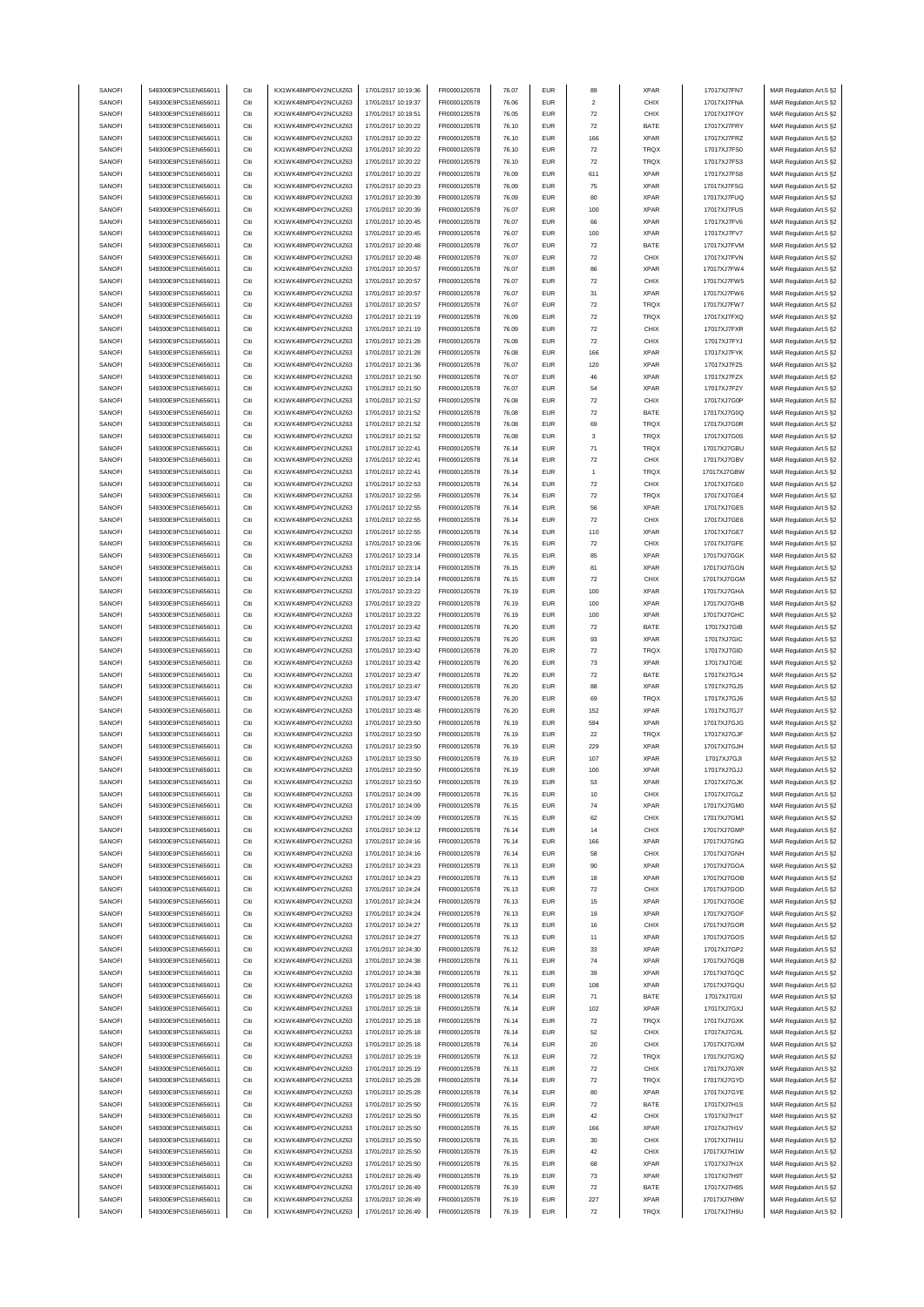| SANOFI           | 549300E9PC51EN656011                         | Citi         | KX1WK48MPD4Y2NCUIZ63                         | 17/01/2017 10:19:36                        | FR0000120578                 | 76.07          | <b>EUR</b>               | 89                 | <b>XPAR</b>         | 17017XJ7FN7                | MAR Regulation Art.5 §2                            |
|------------------|----------------------------------------------|--------------|----------------------------------------------|--------------------------------------------|------------------------------|----------------|--------------------------|--------------------|---------------------|----------------------------|----------------------------------------------------|
| SANOFI           | 549300E9PC51EN656011                         | Citi         | KX1WK48MPD4Y2NCUIZ63                         | 17/01/2017 10:19:37                        |                              | 76.06          | <b>EUR</b>               | $\mathbf{2}$       | CHIX                |                            |                                                    |
|                  |                                              |              |                                              |                                            | FR0000120578                 |                |                          |                    |                     | 17017XJ7FNA                | MAR Regulation Art.5 §2                            |
| SANOFI           | 549300E9PC51EN656011                         | Citi         | KX1WK48MPD4Y2NCUIZ63                         | 17/01/2017 10:19:51                        | FR0000120578                 | 76.05          | <b>EUR</b>               | 72                 | CHIX                | 17017XJ7FOY                | MAR Regulation Art.5 §2                            |
| SANOFI           | 549300E9PC51EN656011                         | Citi         | KX1WK48MPD4Y2NCUIZ63                         | 17/01/2017 10:20:22                        | FR0000120578                 | 76.10          | <b>EUR</b>               | 72                 | BATE                | 17017XJ7FRY                | MAR Regulation Art.5 §2                            |
| SANOFI           | 549300E9PC51EN656011                         | Citi         | KX1WK48MPD4Y2NCLIIZ63                        | 17/01/2017 10:20:22                        | FR0000120578                 | 76.10          | <b>EUR</b>               | 166                | <b>XPAR</b>         | 17017XJ7FRZ                | MAR Regulation Art.5 §2                            |
| SANOFI           | 549300E9PC51EN656011                         | Citi         | KX1WK48MPD4Y2NCUIZ63                         | 17/01/2017 10:20:22                        | FR0000120578                 | 76.10          | <b>EUR</b>               | 72                 | TRQX                | 17017XJ7FS0                | MAR Regulation Art.5 §2                            |
| SANOFI           | 549300E9PC51EN656011                         | Citi         | KX1WK48MPD4Y2NCUIZ63                         | 17/01/2017 10:20:22                        | FR0000120578                 | 76.10          | <b>EUR</b>               | $\scriptstyle{72}$ | TRQX                | 17017XJ7FS3                | MAR Regulation Art.5 §2                            |
|                  |                                              |              | KX1WK48MPD4Y2NCUIZ63                         |                                            |                              |                |                          |                    |                     |                            |                                                    |
| SANOFI           | 549300E9PC51EN656011                         | Citi         |                                              | 17/01/2017 10:20:22                        | FR0000120578                 | 76.09          | <b>EUR</b>               | 611                | <b>XPAR</b>         | 17017XJ7FS8                | MAR Regulation Art.5 §2                            |
| SANOFI           | 549300E9PC51EN656011                         | Citi         | KX1WK48MPD4Y2NCUIZ63                         | 17/01/2017 10:20:23                        | FR0000120578                 | 76.09          | <b>EUR</b>               | 75                 | <b>XPAR</b>         | 17017XJ7FSG                | MAR Regulation Art.5 §2                            |
| SANOFI           | 549300E9PC51EN656011                         | Citi         | KX1WK48MPD4Y2NCUIZ63                         | 17/01/2017 10:20:39                        | FR0000120578                 | 76.09          | <b>EUR</b>               | 80                 | <b>XPAR</b>         | 17017XJ7FUQ                | MAR Regulation Art.5 §2                            |
| SANOFI           | 549300E9PC51EN656011                         | Citi         | KX1WK48MPD4Y2NCUIZ63                         | 17/01/2017 10:20:39                        | FR0000120578                 | 76.07          | <b>EUR</b>               | 100                | <b>XPAR</b>         | 17017XJ7FUS                | MAR Regulation Art.5 §2                            |
| SANOFI           | 549300E9PC51EN656011                         | Citi         | KX1WK48MPD4Y2NCUIZ63                         | 17/01/2017 10:20:45                        | FR0000120578                 | 76.07          | <b>EUR</b>               | 66                 | <b>XPAR</b>         | 17017XJ7FV6                | MAR Regulation Art.5 §2                            |
|                  |                                              |              |                                              |                                            |                              |                |                          |                    |                     |                            |                                                    |
| SANOFI           | 549300E9PC51EN656011                         | Citi         | KX1WK48MPD4Y2NCUIZ63                         | 17/01/2017 10:20:45                        | FR0000120578                 | 76.07          | EUR                      | 100                | <b>XPAR</b>         | 17017XJ7FV7                | MAR Regulation Art.5 §2                            |
| SANOFI           | 549300E9PC51EN656011                         | Citi         | KX1WK48MPD4Y2NCUIZ63                         | 17/01/2017 10:20:48                        | FR0000120578                 | 76.07          | <b>EUR</b>               | $\scriptstyle{72}$ | BATE                | 17017XJ7FVM                | MAR Regulation Art.5 §2                            |
| SANOFI           | 549300E9PC51EN656011                         | Citi         | KX1WK48MPD4Y2NCUIZ63                         | 17/01/2017 10:20:48                        | FR0000120578                 | 76.07          | <b>EUR</b>               | $\scriptstyle{72}$ | CHIX                | 17017XJ7FVN                | MAR Regulation Art.5 §2                            |
| SANOFI           | 549300E9PC51EN656011                         | Citi         | KX1WK48MPD4Y2NCUIZ63                         | 17/01/2017 10:20:57                        | FR0000120578                 | 76.07          | <b>EUR</b>               | 86                 | <b>XPAR</b>         | 17017XJ7FW4                | MAR Regulation Art.5 §2                            |
| SANOFI           | 549300E9PC51EN656011                         | Citi         | KX1WK48MPD4Y2NCUIZ63                         | 17/01/2017 10:20:57                        | FR0000120578                 | 76.07          | <b>EUR</b>               | 72                 | CHIX                | 17017XJ7FW5                | MAR Regulation Art.5 §2                            |
|                  | 549300E9PC51EN656011                         | Citi         | KX1WK48MPD4Y2NCUIZ63                         | 17/01/2017 10:20:57                        |                              | 76.07          | <b>EUR</b>               | 31                 | <b>XPAR</b>         | 17017XJ7FW6                |                                                    |
| SANOFI           |                                              |              |                                              |                                            | FR0000120578                 |                |                          |                    |                     |                            | MAR Regulation Art.5 §2                            |
| SANOFI           | 549300E9PC51EN656011                         | Citi         | KX1WK48MPD4Y2NCUIZ63                         | 17/01/2017 10:20:57                        | FR0000120578                 | 76.07          | <b>EUR</b>               | 72                 | TRQX                | 17017XJ7FW7                | MAR Regulation Art.5 §2                            |
| SANOFI           | 549300E9PC51EN656011                         | Citi         | KX1WK48MPD4Y2NCUIZ63                         | 17/01/2017 10:21:19                        | FR0000120578                 | 76.09          | <b>EUR</b>               | $\scriptstyle{72}$ | TRQX                | 17017XJ7FXQ                | MAR Regulation Art.5 §2                            |
| SANOFI           | 549300E9PC51EN656011                         | Citi         | KX1WK48MPD4Y2NCUIZ63                         | 17/01/2017 10:21:19                        | FR0000120578                 | 76.09          | <b>EUR</b>               | 72                 | CHIX                | 17017XJ7FXR                | MAR Regulation Art.5 §2                            |
| SANOFI           | 549300E9PC51EN656011                         | Citi         | KX1WK48MPD4Y2NCUIZ63                         | 17/01/2017 10:21:28                        | FR0000120578                 | 76.08          | <b>EUR</b>               | 72                 | CHIX                | 17017XJ7FYJ                | MAR Regulation Art.5 §2                            |
|                  |                                              |              |                                              |                                            |                              |                |                          |                    |                     |                            |                                                    |
| SANOFI           | 549300E9PC51EN656011                         | Citi         | KX1WK48MPD4Y2NCUIZ63                         | 17/01/2017 10:21:28                        | FR0000120578                 | 76.08          | <b>EUR</b>               | 166                | <b>XPAR</b>         | 17017XJ7FYK                | MAR Regulation Art.5 §2                            |
| SANOFI           | 549300E9PC51EN656011                         | Citi         | KX1WK48MPD4Y2NCUIZ63                         | 17/01/2017 10:21:36                        | FR0000120578                 | 76.07          | <b>EUR</b>               | 120                | <b>XPAR</b>         | 17017XJ7FZ5                | MAR Regulation Art.5 §2                            |
| SANOFI           | 549300E9PC51EN656011                         | Citi         | KX1WK48MPD4Y2NCUIZ63                         | 17/01/2017 10:21:50                        | FR0000120578                 | 76.07          | <b>EUR</b>               | 46                 | <b>XPAR</b>         | 17017XJ7FZX                | MAR Regulation Art.5 §2                            |
| SANOFI           | 549300E9PC51EN656011                         | Citi         | KX1WK48MPD4Y2NCUIZ63                         | 17/01/2017 10:21:50                        | FR0000120578                 | 76.07          | <b>EUR</b>               | 54                 | <b>XPAR</b>         | 17017XJ7FZY                | MAR Regulation Art.5 §2                            |
| SANOFI           | 549300E9PC51EN656011                         | Citi         | KX1WK48MPD4Y2NCUIZ63                         | 17/01/2017 10:21:52                        | FR0000120578                 | 76.08          | <b>EUR</b>               | 72                 | CHIX                | 17017XJ7G0P                | MAR Regulation Art.5 §2                            |
| SANOFI           | 549300E9PC51EN656011                         | Citi         | KX1WK48MPD4Y2NCUIZ63                         |                                            |                              |                | <b>EUR</b>               | 72                 | BATE                |                            |                                                    |
|                  |                                              |              |                                              | 17/01/2017 10:21:52                        | FR0000120578                 | 76.08          |                          |                    |                     | 17017XJ7G0Q                | MAR Regulation Art.5 §2                            |
| SANOFI           | 549300E9PC51EN656011                         | Citi         | KX1WK48MPD4Y2NCUIZ63                         | 17/01/2017 10:21:52                        | FR0000120578                 | 76.08          | <b>EUR</b>               | 69                 | TRQX                | 17017XJ7G0R                | MAR Regulation Art.5 §2                            |
| SANOFI           | 549300E9PC51EN656011                         | Citi         | KX1WK48MPD4Y2NCUIZ63                         | 17/01/2017 10:21:52                        | FR0000120578                 | 76.08          | <b>EUR</b>               | 3                  | TRQX                | 17017XJ7G0S                | MAR Regulation Art.5 §2                            |
| SANOFI           | 549300E9PC51EN656011                         | Citi         | KX1WK48MPD4Y2NCUIZ63                         | 17/01/2017 10:22:41                        | FR0000120578                 | 76.14          | <b>EUR</b>               | 71                 | TRQX                | 17017XJ7GBU                | MAR Regulation Art.5 §2                            |
| SANOFI           | 549300E9PC51EN656011                         | Citi         | KX1WK48MPD4Y2NCUIZ63                         | 17/01/2017 10:22:41                        | FR0000120578                 | 76.14          | <b>EUR</b>               | 72                 | CHIX                | 17017XJ7GBV                | MAR Regulation Art.5 §2                            |
| SANOFI           | 549300E9PC51EN656011                         |              | KX1WK48MPD4Y2NCUIZ63                         |                                            | FR0000120578                 |                |                          |                    | TRQX                |                            |                                                    |
|                  |                                              | Citi         |                                              | 17/01/2017 10:22:41                        |                              | 76.14          | <b>EUR</b>               | $\overline{1}$     |                     | 17017XJ7GBW                | MAR Regulation Art.5 §2                            |
| SANOFI           | 549300E9PC51EN656011                         | Citi         | KX1WK48MPD4Y2NCUIZ63                         | 17/01/2017 10:22:53                        | FR0000120578                 | 76.14          | <b>EUR</b>               | 72                 | CHIX                | 17017XJ7GE0                | MAR Regulation Art.5 §2                            |
| SANOFI           | 549300E9PC51EN656011                         | Citi         | KX1WK48MPD4Y2NCUIZ63                         | 17/01/2017 10:22:55                        | FR0000120578                 | 76.14          | <b>EUR</b>               | 72                 | TRQX                | 17017XJ7GE4                | MAR Regulation Art.5 §2                            |
| SANOFI           | 549300E9PC51EN656011                         | Citi         | KX1WK48MPD4Y2NCUIZ63                         | 17/01/2017 10:22:55                        | FR0000120578                 | 76.14          | <b>EUR</b>               | 56                 | <b>XPAR</b>         | 17017XJ7GE5                | MAR Regulation Art.5 §2                            |
| SANOFI           | 549300E9PC51EN656011                         | Citi         | KX1WK48MPD4Y2NCUIZ63                         | 17/01/2017 10:22:55                        | FR0000120578                 | 76.14          | <b>EUR</b>               | 72                 | CHIX                | 17017XJ7GE6                | MAR Regulation Art.5 §2                            |
| SANOFI           | 549300E9PC51EN656011                         | Citi         | KX1WK48MPD4Y2NCUIZ63                         | 17/01/2017 10:22:55                        | FR0000120578                 | 76.14          | <b>EUR</b>               | 110                | <b>XPAR</b>         | 17017XJ7GE7                | MAR Regulation Art.5 §2                            |
|                  |                                              |              |                                              |                                            |                              |                |                          |                    |                     |                            |                                                    |
| SANOFI           | 549300E9PC51EN656011                         | Citi         | KX1WK48MPD4Y2NCUIZ63                         | 17/01/2017 10:23:06                        | FR0000120578                 | 76.15          | <b>EUR</b>               | $\scriptstyle{72}$ | CHIX                | 17017XJ7GFE                | MAR Regulation Art.5 §2                            |
| SANOFI           | 549300E9PC51EN656011                         | Citi         | KX1WK48MPD4Y2NCUIZ63                         | 17/01/2017 10:23:14                        | FR0000120578                 | 76.15          | <b>EUR</b>               | 85                 | <b>XPAR</b>         | 17017XJ7GGK                | MAR Regulation Art.5 §2                            |
| SANOFI           | 549300E9PC51EN656011                         | Citi         | KX1WK48MPD4Y2NCUIZ63                         | 17/01/2017 10:23:14                        | FR0000120578                 | 76.15          | <b>EUR</b>               | 81                 | <b>XPAR</b>         | 17017XJ7GGN                | MAR Regulation Art.5 §2                            |
| SANOFI           | 549300E9PC51EN656011                         | Citi         | KX1WK48MPD4Y2NCUIZ63                         | 17/01/2017 10:23:14                        | FR0000120578                 | 76.15          | <b>EUR</b>               | 72                 | CHIX                | 17017XJ7GGM                | MAR Regulation Art.5 §2                            |
| SANOFI           | 549300E9PC51EN656011                         | Citi         | KX1WK48MPD4Y2NCUIZ63                         | 17/01/2017 10:23:22                        | FR0000120578                 | 76.19          | <b>EUR</b>               | 100                | <b>XPAR</b>         | 17017XJ7GHA                | MAR Regulation Art.5 §2                            |
| SANOFI           | 549300E9PC51EN656011                         | Citi         | KX1WK48MPD4Y2NCUIZ63                         | 17/01/2017 10:23:22                        | FR0000120578                 | 76.19          | <b>EUR</b>               | 100                | <b>XPAR</b>         | 17017XJ7GHB                |                                                    |
|                  |                                              |              |                                              |                                            |                              |                |                          |                    |                     |                            | MAR Regulation Art.5 §2                            |
| SANOFI           | 549300E9PC51EN656011                         | Citi         | KX1WK48MPD4Y2NCUIZ63                         | 17/01/2017 10:23:22                        | FR0000120578                 | 76.19          | <b>EUR</b>               | 100                | <b>XPAR</b>         | 17017XJ7GHC                | MAR Regulation Art.5 §2                            |
| SANOFI           | 549300E9PC51EN656011                         | Citi         | KX1WK48MPD4Y2NCUIZ63                         | 17/01/2017 10:23:42                        | FR0000120578                 | 76.20          | <b>EUR</b>               | $\scriptstyle{72}$ | BATE                | 17017XJ7GIB                | MAR Regulation Art.5 §2                            |
| SANOFI           | 549300E9PC51EN656011                         | Citi         | KX1WK48MPD4Y2NCUIZ63                         | 17/01/2017 10:23:42                        | FR0000120578                 | 76.20          | <b>EUR</b>               | 93                 | <b>XPAR</b>         | 17017XJ7GIC                | MAR Regulation Art.5 §2                            |
| SANOFI           | 549300E9PC51EN656011                         | Citi         | KX1WK48MPD4Y2NCUIZ63                         | 17/01/2017 10:23:42                        | FR0000120578                 | 76.20          | <b>EUR</b>               | $\scriptstyle{72}$ | TRQX                | 17017XJ7GID                | MAR Regulation Art.5 §2                            |
| SANOFI           | 549300E9PC51EN656011                         | Citi         | KX1WK48MPD4Y2NCUIZ63                         | 17/01/2017 10:23:42                        | FR0000120578                 | 76.20          | <b>EUR</b>               | 73                 | <b>XPAR</b>         | 17017XJ7GIE                | MAR Regulation Art.5 §2                            |
|                  |                                              |              |                                              |                                            |                              |                |                          |                    |                     |                            |                                                    |
| SANOFI           | 549300E9PC51EN656011                         | Citi         | KX1WK48MPD4Y2NCUIZ63                         | 17/01/2017 10:23:47                        | FR0000120578                 | 76.20          | <b>EUR</b>               | 72                 | BATE                | 17017XJ7GJ4                | MAR Regulation Art.5 §2                            |
| SANOFI           | 549300E9PC51EN656011                         | Citi         | KX1WK48MPD4Y2NCUIZ63                         | 17/01/2017 10:23:47                        | FR0000120578                 | 76.20          | <b>EUR</b>               | 88                 | <b>XPAR</b>         | 17017XJ7GJ5                | MAR Regulation Art.5 §2                            |
| SANOFI           | 549300E9PC51EN656011                         | Citi         | KX1WK48MPD4Y2NCUIZ63                         | 17/01/2017 10:23:47                        | FR0000120578                 | 76.20          | <b>EUR</b>               | 69                 | TRQX                | 17017XJ7GJ6                | MAR Regulation Art.5 §2                            |
| SANOFI           | 549300E9PC51EN656011                         | Citi         | KX1WK48MPD4Y2NCUIZ63                         | 17/01/2017 10:23:48                        | FR0000120578                 | 76.20          | <b>EUR</b>               | 152                | <b>XPAR</b>         | 17017XJ7GJ7                | MAR Regulation Art.5 §2                            |
| SANOFI           | 549300E9PC51EN656011                         | Citi         | KX1WK48MPD4Y2NCUIZ63                         | 17/01/2017 10:23:50                        | FR0000120578                 | 76.19          | <b>EUR</b>               | 594                | <b>XPAR</b>         | 17017XJ7GJG                | MAR Regulation Art.5 §2                            |
|                  |                                              |              |                                              |                                            |                              |                |                          |                    |                     |                            |                                                    |
| SANOFI           | 549300E9PC51EN656011                         | Citi         | KX1WK48MPD4Y2NCUIZ63                         | 17/01/2017 10:23:50                        | FR0000120578                 | 76.19          | <b>EUR</b>               | $22\,$             | TRQX                | 17017XJ7GJF                | MAR Regulation Art.5 §2                            |
| SANOFI           | 549300E9PC51EN656011                         | Citi         | KX1WK48MPD4Y2NCUIZ63                         | 17/01/2017 10:23:50                        | FR0000120578                 | 76.19          | <b>EUR</b>               | 229                | <b>XPAR</b>         | 17017XJ7GJH                | MAR Regulation Art.5 §2                            |
| SANOFI           | 549300E9PC51EN656011                         | Citi         | KX1WK48MPD4Y2NCUIZ63                         | 17/01/2017 10:23:50                        | FR0000120578                 | 76.19          | <b>EUR</b>               | 107                | <b>XPAR</b>         | 17017XJ7GJI                | MAR Regulation Art.5 §2                            |
| SANOFI           | 549300E9PC51EN656011                         | Citi         | KX1WK48MPD4Y2NCUIZ63                         | 17/01/2017 10:23:50                        | FR0000120578                 | 76.19          | <b>EUR</b>               | 100                | <b>XPAR</b>         | 17017XJ7GJJ                | MAR Regulation Art.5 §2                            |
| SANOFI           | 549300E9PC51EN656011                         |              | KX1WK48MPD4Y2NCLIIZ63                        | 17/01/2017 10:23:50                        | FR0000120578                 |                |                          |                    |                     |                            |                                                    |
| SANOFI           |                                              |              | KX1WK48MPD4Y2NCUIZ63                         |                                            |                              |                |                          |                    |                     |                            | MAR Regulation Art 5.82                            |
|                  | 549300E9PC51EN656011                         | Citi         |                                              |                                            |                              | 76.19          | FUR                      |                    | <b>XPAR</b>         | 17017XJ7GJK                |                                                    |
| SANOFI           | 549300E9PC51EN656011                         |              |                                              | 17/01/2017 10:24:09                        | FR0000120578                 | 76.15          | <b>EUR</b>               | 10                 | CHIX                | 17017XJ7GLZ                | MAR Regulation Art.5 §2                            |
|                  |                                              | Citi         | KX1WK48MPD4Y2NCUIZ63                         | 17/01/2017 10:24:09                        | FR0000120578                 | 76.15          | <b>EUR</b>               | 74                 | <b>XPAR</b>         | 17017XJ7GM0                | MAR Regulation Art.5 §2                            |
| SANOFI           | 549300E9PC51EN656011                         | Citi         | KX1WK48MPD4Y2NCUIZ63                         | 17/01/2017 10:24:09                        | FR0000120578                 | 76.15          | <b>EUR</b>               | 62                 | CHIX                | 17017XJ7GM1                | MAR Regulation Art.5 §2                            |
| SANOFI           | 549300E9PC51EN656011                         | Citi         | KX1WK48MPD4Y2NCUIZ63                         | 17/01/2017 10:24:12                        | FR0000120578                 | 76.14          | <b>EUR</b>               | 14                 | CHIX                | 17017XJ7GMP                |                                                    |
|                  |                                              |              |                                              |                                            |                              |                |                          |                    |                     |                            | MAR Regulation Art.5 §2                            |
| SANOFI           | 549300E9PC51EN656011                         | Citi         | KX1WK48MPD4Y2NCUIZ63                         | 17/01/2017 10:24:16                        | FR0000120578                 | 76.14          | <b>EUR</b>               | 166                | <b>XPAR</b>         | 17017XJ7GNG                | MAR Regulation Art.5 §2                            |
| SANOFI           | 549300E9PC51EN656011                         | Citi         | KX1WK48MPD4Y2NCUIZ63                         | 17/01/2017 10:24:16                        | FR0000120578                 | 76.14          | <b>EUR</b>               | 58                 | CHIX                | 17017XJ7GNH                | MAR Regulation Art.5 §2                            |
| SANOFI           | 549300E9PC51EN656011                         | Citi         | KX1WK48MPD4Y2NCUIZ63                         | 17/01/2017 10:24:23                        | FR0000120578                 | 76.13          | <b>EUR</b>               | 90                 | <b>XPAR</b>         | 17017XJ7GOA                | MAR Regulation Art.5 §2                            |
| SANOFI           | 549300E9PC51EN656011                         | Citi         | KX1WK48MPD4Y2NCUIZ63                         | 17/01/2017 10:24:23                        | FR0000120578                 | 76.13          | <b>EUR</b>               | 18                 | <b>XPAR</b>         | 17017XJ7GOB                | MAR Regulation Art.5 §2                            |
| SANOFI           | 549300E9PC51EN656011                         | Citi         | KX1WK48MPD4Y2NCUIZ63                         | 17/01/2017 10:24:24                        | FR0000120578                 | 76.13          | <b>EUR</b>               | 72                 | CHIX                | 17017XJ7GOD                | MAR Regulation Art.5 §2                            |
| SANOFI           | 549300E9PC51EN656011                         | Citi         | KX1WK48MPD4Y2NCUIZ63                         | 17/01/2017 10:24:24                        | FR0000120578                 | 76.13          | <b>EUR</b>               | 15                 | <b>XPAR</b>         | 17017XJ7GOE                | MAR Regulation Art.5 §2                            |
|                  |                                              |              |                                              |                                            |                              |                |                          |                    |                     |                            |                                                    |
| SANOFI           | 549300E9PC51EN656011                         | Citi         | KX1WK48MPD4Y2NCUIZ63                         | 17/01/2017 10:24:24                        | FR0000120578                 | 76.13          | <b>EUR</b>               | 19                 | <b>XPAR</b>         | 17017XJ7GOF                | MAR Regulation Art.5 §2                            |
| SANOFI           | 549300E9PC51EN656011                         | Citi         | KX1WK48MPD4Y2NCUIZ63                         | 17/01/2017 10:24:27                        | FR0000120578                 | 76.13          | <b>EUR</b>               | 16                 | CHIX                | 17017XJ7GOR                | MAR Regulation Art.5 §2                            |
| SANOFI           | 549300E9PC51EN656011                         | Citi         | KX1WK48MPD4Y2NCUIZ63                         | 17/01/2017 10:24:27                        | FR0000120578                 | 76.13          | <b>EUR</b>               | 11                 | <b>XPAR</b>         | 17017XJ7GOS                | MAR Regulation Art.5 §2                            |
| SANOFI           | 549300E9PC51EN656011                         | Citi         | KX1WK48MPD4Y2NCUIZ63                         | 17/01/2017 10:24:30                        | FR0000120578                 | 76.12          | <b>EUR</b>               | 33                 | <b>XPAR</b>         | 17017XJ7GP2                | MAR Regulation Art.5 §2                            |
| SANOFI           | 549300E9PC51EN656011                         | Citi         | KX1WK48MPD4Y2NCUIZ63                         | 17/01/2017 10:24:38                        | FR0000120578                 | 76.11          | <b>EUR</b>               | 74                 | <b>XPAR</b>         | 17017XJ7GQB                | MAR Regulation Art.5 §2                            |
|                  |                                              | Citi         |                                              |                                            |                              |                | <b>EUR</b>               | 39                 |                     |                            |                                                    |
| SANOFI           | 549300E9PC51EN656011                         |              | KX1WK48MPD4Y2NCUIZ63                         | 17/01/2017 10:24:38                        | FR0000120578                 | 76.11          |                          |                    | <b>XPAR</b>         | 17017XJ7GQC                | MAR Regulation Art.5 §2                            |
| SANOFI           | 549300E9PC51EN656011                         | Citi         | KX1WK48MPD4Y2NCUIZ63                         | 17/01/2017 10:24:43                        | FR0000120578                 | 76.11          | <b>EUR</b>               | 108                | <b>XPAR</b>         | 17017XJ7GQU                | MAR Regulation Art.5 §2                            |
| SANOFI           | 549300E9PC51EN656011                         | Citi         | KX1WK48MPD4Y2NCUIZ63                         | 17/01/2017 10:25:18                        | FR0000120578                 | 76.14          | <b>EUR</b>               | $71\,$             | BATE                | 17017XJ7GXI                | MAR Regulation Art.5 §2                            |
| SANOFI           | 549300E9PC51EN656011                         | Citi         | KX1WK48MPD4Y2NCUIZ63                         | 17/01/2017 10:25:18                        | FR0000120578                 | 76.14          | <b>EUR</b>               | 102                | <b>XPAR</b>         | 17017XJ7GXJ                | MAR Regulation Art.5 §2                            |
| SANOFI           | 549300E9PC51EN656011                         | Citi         | KX1WK48MPD4Y2NCUIZ63                         | 17/01/2017 10:25:18                        | FR0000120578                 | 76.14          | <b>EUR</b>               | $\scriptstyle{72}$ | TRQX                | 17017XJ7GXK                | MAR Regulation Art.5 §2                            |
| SANOFI           | 549300E9PC51EN656011                         | Citi         | KX1WK48MPD4Y2NCUIZ63                         | 17/01/2017 10:25:18                        | FR0000120578                 | 76.14          | <b>EUR</b>               | 52                 | CHIX                | 17017XJ7GXL                | MAR Regulation Art.5 §2                            |
|                  |                                              |              |                                              |                                            |                              |                |                          |                    |                     |                            |                                                    |
| SANOFI           | 549300E9PC51EN656011                         | Citi         | KX1WK48MPD4Y2NCUIZ63                         | 17/01/2017 10:25:18                        | FR0000120578                 | 76.14          | <b>EUR</b>               | 20                 | CHIX                | 17017XJ7GXM                | MAR Regulation Art.5 §2                            |
| SANOFI           | 549300E9PC51EN656011                         | Citi         | KX1WK48MPD4Y2NCUIZ63                         | 17/01/2017 10:25:19                        | FR0000120578                 | 76.13          | <b>EUR</b>               | $\scriptstyle{72}$ | TRQX                | 17017XJ7GXQ                | MAR Regulation Art.5 §2                            |
| SANOFI           | 549300E9PC51EN656011                         | Citi         | KX1WK48MPD4Y2NCUIZ63                         | 17/01/2017 10:25:19                        | FR0000120578                 | 76.13          | <b>EUR</b>               | $\scriptstyle{72}$ | CHIX                | 17017XJ7GXR                | MAR Regulation Art.5 §2                            |
| SANOFI           | 549300E9PC51EN656011                         | Citi         | KX1WK48MPD4Y2NCUIZ63                         | 17/01/2017 10:25:28                        | FR0000120578                 | 76.14          | <b>EUR</b>               | 72                 | TRQX                | 17017XJ7GYD                | MAR Regulation Art.5 §2                            |
| SANOFI           | 549300E9PC51EN656011                         | Citi         | KX1WK48MPD4Y2NCUIZ63                         | 17/01/2017 10:25:28                        | FR0000120578                 | 76.14          | <b>EUR</b>               | 80                 | <b>XPAR</b>         | 17017XJ7GYE                | MAR Regulation Art.5 §2                            |
|                  |                                              |              |                                              |                                            |                              |                |                          |                    |                     |                            |                                                    |
| SANOFI           | 549300E9PC51EN656011                         | Citi         | KX1WK48MPD4Y2NCUIZ63                         | 17/01/2017 10:25:50                        | FR0000120578                 | 76.15          | <b>EUR</b>               | $\scriptstyle{72}$ | BATE                | 17017XJ7H1S                | MAR Regulation Art.5 §2                            |
| SANOFI           | 549300E9PC51EN656011                         | Citi         | KX1WK48MPD4Y2NCUIZ63                         | 17/01/2017 10:25:50                        | FR0000120578                 | 76.15          | <b>EUR</b>               | 42                 | CHIX                | 17017XJ7H1T                | MAR Regulation Art.5 §2                            |
| SANOFI           | 549300E9PC51EN656011                         | Citi         | KX1WK48MPD4Y2NCUIZ63                         | 17/01/2017 10:25:50                        | FR0000120578                 | 76.15          | <b>EUR</b>               | 166                | <b>XPAR</b>         | 17017XJ7H1V                | MAR Regulation Art.5 §2                            |
| SANOFI           | 549300E9PC51EN656011                         | Citi         | KX1WK48MPD4Y2NCUIZ63                         | 17/01/2017 10:25:50                        | FR0000120578                 | 76.15          | <b>EUR</b>               | 30                 | CHIX                | 17017XJ7H1U                | MAR Regulation Art.5 §2                            |
| SANOFI           | 549300E9PC51EN656011                         | Citi         | KX1WK48MPD4Y2NCUIZ63                         | 17/01/2017 10:25:50                        | FR0000120578                 | 76.15          | <b>EUR</b>               | 42                 | CHIX                | 17017XJ7H1W                | MAR Regulation Art.5 §2                            |
| SANOFI           | 549300E9PC51EN656011                         | Citi         | KX1WK48MPD4Y2NCUIZ63                         | 17/01/2017 10:25:50                        | FR0000120578                 | 76.15          | <b>EUR</b>               | 68                 | <b>XPAR</b>         | 17017XJ7H1X                | MAR Regulation Art.5 §2                            |
| SANOFI           | 549300E9PC51EN656011                         | Citi         | KX1WK48MPD4Y2NCUIZ63                         | 17/01/2017 10:26:49                        |                              | 76.19          | <b>EUR</b>               | 73                 | <b>XPAR</b>         |                            |                                                    |
|                  |                                              |              |                                              |                                            | FR0000120578                 |                |                          |                    |                     | 17017XJ7H9T                | MAR Regulation Art.5 §2                            |
| SANOFI           | 549300E9PC51EN656011                         | Citi         | KX1WK48MPD4Y2NCUIZ63                         | 17/01/2017 10:26:49                        | FR0000120578                 | 76.19          | <b>EUR</b>               | $\scriptstyle{72}$ | BATE                | 17017XJ7H9S                | MAR Regulation Art.5 §2                            |
| SANOFI<br>SANOFI | 549300E9PC51EN656011<br>549300E9PC51EN656011 | Citi<br>Citi | KX1WK48MPD4Y2NCUIZ63<br>KX1WK48MPD4Y2NCUIZ63 | 17/01/2017 10:26:49<br>17/01/2017 10:26:49 | FR0000120578<br>FR0000120578 | 76.19<br>76.19 | <b>EUR</b><br><b>EUR</b> | 227<br>72          | <b>XPAR</b><br>TRQX | 17017XJ7H9W<br>17017XJ7H9U | MAR Regulation Art.5 §2<br>MAR Regulation Art.5 §2 |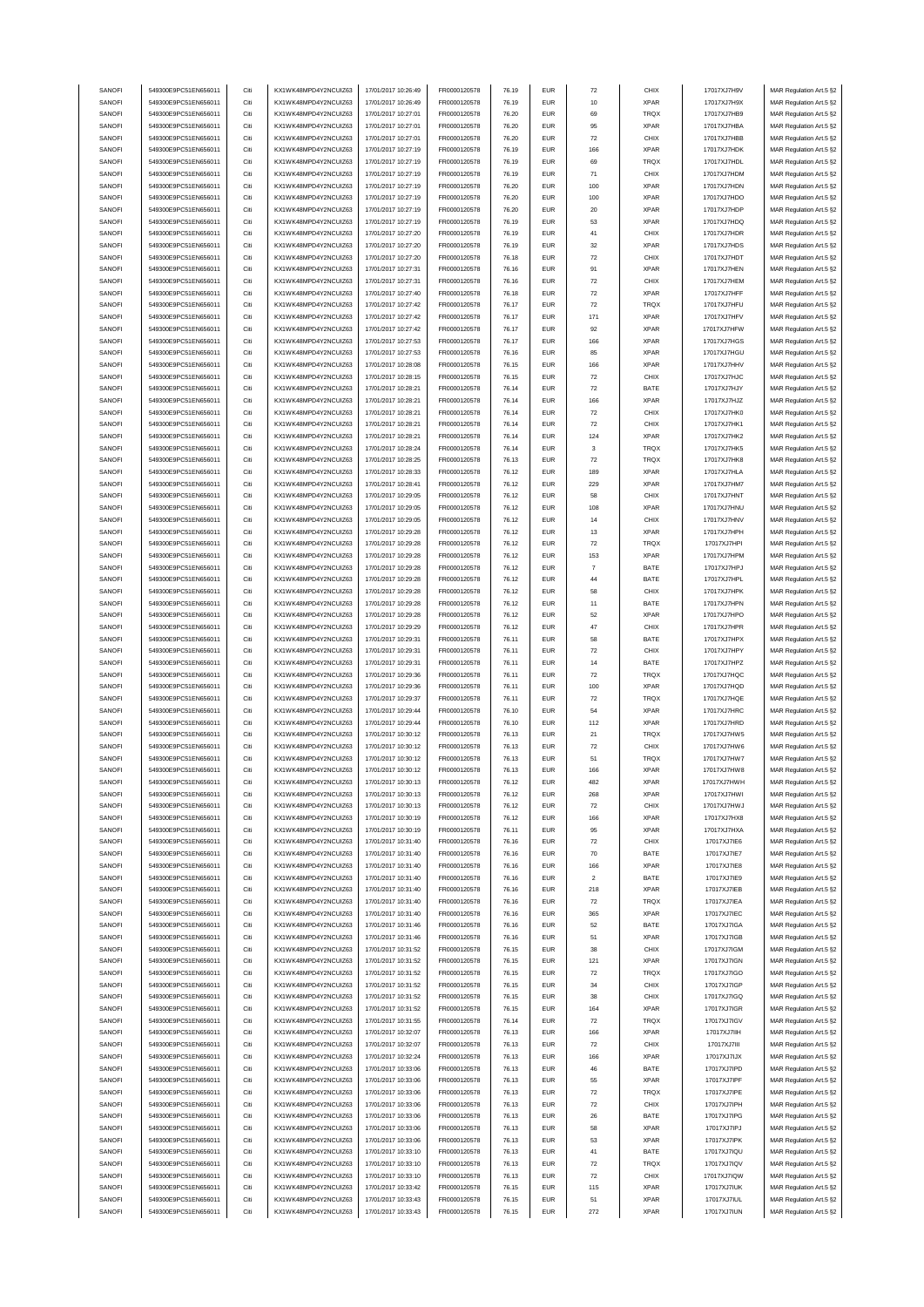| SANOFI | 549300E9PC51EN656011 | Citi | KX1WK48MPD4Y2NCUIZ63  | 17/01/2017 10:26:49 | FR0000120578 | 76.19 | <b>EUR</b> | $\scriptstyle{72}$ | CHIX        | 17017XJ7H9V | MAR Regulation Art.5 §2 |
|--------|----------------------|------|-----------------------|---------------------|--------------|-------|------------|--------------------|-------------|-------------|-------------------------|
| SANOFI | 549300E9PC51EN656011 | Citi | KX1WK48MPD4Y2NCLIIZ63 | 17/01/2017 10:26:49 | FR0000120578 | 76.19 | <b>EUR</b> | 10                 | <b>XPAR</b> | 17017XJ7H9X | MAR Regulation Art.5 §2 |
|        |                      |      |                       |                     |              |       |            |                    |             |             |                         |
| SANOFI | 549300E9PC51EN656011 | Citi | KX1WK48MPD4Y2NCUIZ63  | 17/01/2017 10:27:01 | FR0000120578 | 76.20 | <b>EUR</b> | 69                 | TRQX        | 17017XJ7HB9 | MAR Regulation Art.5 §2 |
| SANOFI | 549300E9PC51EN656011 | Citi | KX1WK48MPD4Y2NCUIZ63  | 17/01/2017 10:27:01 | FR0000120578 | 76.20 | <b>EUR</b> | 95                 | <b>XPAR</b> | 17017XJ7HBA | MAR Regulation Art.5 §2 |
| SANOFI | 549300E9PC51EN656011 | Citi | KX1WK48MPD4Y2NCUIZ63  | 17/01/2017 10:27:01 | FR0000120578 | 76.20 | <b>EUR</b> | $\scriptstyle{72}$ | CHIX        | 17017XJ7HBB | MAR Regulation Art.5 §2 |
| SANOFI | 549300E9PC51EN656011 | Citi | KX1WK48MPD4Y2NCUIZ63  | 17/01/2017 10:27:19 | FR0000120578 | 76.19 | <b>EUR</b> | 166                | XPAR        | 17017XJ7HDK | MAR Regulation Art.5 §2 |
| SANOFI | 549300E9PC51EN656011 | Citi | KX1WK48MPD4Y2NCUIZ63  | 17/01/2017 10:27:19 | FR0000120578 | 76.19 | <b>EUR</b> | 69                 | TRQX        | 17017XJ7HDL | MAR Regulation Art.5 §2 |
| SANOFI | 549300E9PC51EN656011 | Citi | KX1WK48MPD4Y2NCUIZ63  | 17/01/2017 10:27:19 | FR0000120578 | 76.19 | <b>EUR</b> | 71                 | CHIX        | 17017XJ7HDM | MAR Regulation Art.5 §2 |
|        |                      |      |                       |                     |              |       |            |                    |             |             |                         |
| SANOFI | 549300E9PC51EN656011 | Citi | KX1WK48MPD4Y2NCUIZ63  | 17/01/2017 10:27:19 | FR0000120578 | 76.20 | <b>EUR</b> | 100                | <b>XPAR</b> | 17017XJ7HDN | MAR Regulation Art.5 §2 |
| SANOFI | 549300E9PC51EN656011 | Citi | KX1WK48MPD4Y2NCUIZ63  | 17/01/2017 10:27:19 | FR0000120578 | 76.20 | <b>EUR</b> | 100                | <b>XPAR</b> | 17017XJ7HDO | MAR Regulation Art.5 §2 |
| SANOFI | 549300E9PC51EN656011 | Citi | KX1WK48MPD4Y2NCUIZ63  | 17/01/2017 10:27:19 | FR0000120578 | 76.20 | <b>EUR</b> | $20\,$             | <b>XPAR</b> | 17017XJ7HDP | MAR Regulation Art.5 §2 |
| SANOFI | 549300E9PC51EN656011 | Citi | KX1WK48MPD4Y2NCUIZ63  | 17/01/2017 10:27:19 | FR0000120578 | 76.19 | <b>EUR</b> | 53                 | <b>XPAR</b> | 17017XJ7HDQ | MAR Regulation Art.5 §2 |
| SANOFI | 549300E9PC51EN656011 | Citi | KX1WK48MPD4Y2NCUIZ63  | 17/01/2017 10:27:20 | FR0000120578 | 76.19 | <b>EUR</b> | 41                 | CHIX        | 17017XJ7HDR | MAR Regulation Art.5 §2 |
|        |                      |      |                       |                     |              |       |            |                    |             |             |                         |
| SANOFI | 549300E9PC51EN656011 | Citi | KX1WK48MPD4Y2NCUIZ63  | 17/01/2017 10:27:20 | FR0000120578 | 76.19 | <b>EUR</b> | 32                 | <b>XPAR</b> | 17017XJ7HDS | MAR Regulation Art.5 §2 |
| SANOFI | 549300E9PC51EN656011 | Citi | KX1WK48MPD4Y2NCUIZ63  | 17/01/2017 10:27:20 | FR0000120578 | 76.18 | <b>EUR</b> | $\scriptstyle{72}$ | CHIX        | 17017XJ7HDT | MAR Regulation Art.5 §2 |
| SANOFI | 549300E9PC51EN656011 | Citi | KX1WK48MPD4Y2NCUIZ63  | 17/01/2017 10:27:31 | FR0000120578 | 76.16 | <b>EUR</b> | 91                 | <b>XPAR</b> | 17017XJ7HEN | MAR Regulation Art.5 §2 |
| SANOFI | 549300E9PC51EN656011 | Citi | KX1WK48MPD4Y2NCUIZ63  | 17/01/2017 10:27:31 | FR0000120578 | 76.16 | <b>EUR</b> | 72                 | CHIX        | 17017XJ7HEM | MAR Regulation Art.5 §2 |
| SANOFI | 549300E9PC51EN656011 | Citi | KX1WK48MPD4Y2NCUIZ63  | 17/01/2017 10:27:40 | FR0000120578 | 76.18 | <b>EUR</b> | $\scriptstyle{72}$ | <b>XPAR</b> | 17017XJ7HFF | MAR Regulation Art.5 §2 |
| SANOFI | 549300E9PC51EN656011 | Citi | KX1WK48MPD4Y2NCUIZ63  | 17/01/2017 10:27:42 | FR0000120578 | 76.17 | <b>EUR</b> | $\scriptstyle{72}$ | TRQX        | 17017XJ7HFU |                         |
|        |                      |      |                       |                     |              |       |            |                    |             |             | MAR Regulation Art.5 §2 |
| SANOFI | 549300E9PC51EN656011 | Citi | KX1WK48MPD4Y2NCUIZ63  | 17/01/2017 10:27:42 | FR0000120578 | 76.17 | <b>EUR</b> | 171                | <b>XPAR</b> | 17017XJ7HFV | MAR Regulation Art.5 §2 |
| SANOFI | 549300E9PC51EN656011 | Citi | KX1WK48MPD4Y2NCUIZ63  | 17/01/2017 10:27:42 | FR0000120578 | 76.17 | <b>EUR</b> | 92                 | <b>XPAR</b> | 17017XJ7HFW | MAR Regulation Art.5 §2 |
| SANOFI | 549300E9PC51EN656011 | Citi | KX1WK48MPD4Y2NCUIZ63  | 17/01/2017 10:27:53 | FR0000120578 | 76.17 | <b>EUR</b> | 166                | <b>XPAR</b> | 17017XJ7HGS | MAR Regulation Art.5 §2 |
| SANOFI | 549300E9PC51EN656011 | Citi | KX1WK48MPD4Y2NCUIZ63  | 17/01/2017 10:27:53 | FR0000120578 | 76.16 | <b>EUR</b> | 85                 | <b>XPAR</b> | 17017XJ7HGU | MAR Regulation Art.5 §2 |
| SANOFI | 549300E9PC51EN656011 | Citi | KX1WK48MPD4Y2NCUIZ63  | 17/01/2017 10:28:08 | FR0000120578 | 76.15 | <b>EUR</b> | 166                | <b>XPAR</b> | 17017XJ7HHV | MAR Regulation Art.5 §2 |
| SANOFI | 549300E9PC51EN656011 | Citi | KX1WK48MPD4Y2NCLIIZ63 | 17/01/2017 10:28:15 | FR0000120578 | 76.15 | <b>EUR</b> | 72                 | CHIX        | 17017XJ7HJC | MAR Regulation Art.5 §2 |
|        |                      |      |                       |                     |              |       |            |                    |             |             |                         |
| SANOFI | 549300E9PC51EN656011 | Citi | KX1WK48MPD4Y2NCUIZ63  | 17/01/2017 10:28:21 | FR0000120578 | 76.14 | <b>EUR</b> | $\scriptstyle{72}$ | BATE        | 17017XJ7HJY | MAR Regulation Art.5 §2 |
| SANOFI | 549300E9PC51EN656011 | Citi | KX1WK48MPD4Y2NCUIZ63  | 17/01/2017 10:28:21 | FR0000120578 | 76.14 | <b>EUR</b> | 166                | XPAR        | 17017XJ7HJZ | MAR Regulation Art.5 §2 |
| SANOFI | 549300E9PC51EN656011 | Citi | KX1WK48MPD4Y2NCUIZ63  | 17/01/2017 10:28:21 | FR0000120578 | 76.14 | <b>EUR</b> | $\bf 72$           | CHIX        | 17017XJ7HK0 | MAR Regulation Art.5 §2 |
| SANOFI | 549300E9PC51EN656011 | Citi | KX1WK48MPD4Y2NCUIZ63  | 17/01/2017 10:28:21 | FR0000120578 | 76.14 | <b>EUR</b> | $\bf 72$           | CHIX        | 17017XJ7HK1 | MAR Regulation Art.5 §2 |
| SANOFI | 549300E9PC51EN656011 | Citi | KX1WK48MPD4Y2NCUIZ63  | 17/01/2017 10:28:21 | FR0000120578 | 76.14 | <b>EUR</b> | 124                | <b>XPAR</b> | 17017XJ7HK2 | MAR Regulation Art.5 §2 |
|        |                      |      |                       |                     |              |       |            |                    |             |             |                         |
| SANOFI | 549300E9PC51EN656011 | Citi | KX1WK48MPD4Y2NCUIZ63  | 17/01/2017 10:28:24 | FR0000120578 | 76.14 | <b>EUR</b> | 3                  | TRQX        | 17017XJ7HK5 | MAR Regulation Art.5 §2 |
| SANOFI | 549300E9PC51EN656011 | Citi | KX1WK48MPD4Y2NCUIZ63  | 17/01/2017 10:28:25 | FR0000120578 | 76.13 | <b>EUR</b> | $\scriptstyle{72}$ | <b>TRQX</b> | 17017XJ7HK8 | MAR Regulation Art.5 §2 |
| SANOFI | 549300E9PC51EN656011 | Citi | KX1WK48MPD4Y2NCUIZ63  | 17/01/2017 10:28:33 | FR0000120578 | 76.12 | <b>EUR</b> | 189                | <b>XPAR</b> | 17017XJ7HLA | MAR Regulation Art.5 §2 |
| SANOFI | 549300E9PC51EN656011 | Citi | KX1WK48MPD4Y2NCLIIZ63 | 17/01/2017 10:28:41 | FR0000120578 | 76.12 | <b>EUR</b> | 229                | <b>XPAR</b> | 17017XJ7HM7 | MAR Regulation Art.5 §2 |
| SANOFI | 549300E9PC51EN656011 | Citi | KX1WK48MPD4Y2NCUIZ63  | 17/01/2017 10:29:05 | FR0000120578 | 76.12 | EUR        | 58                 | CHIX        | 17017XJ7HNT | MAR Regulation Art.5 §2 |
| SANOFI | 549300E9PC51EN656011 | Citi | KX1WK48MPD4Y2NCUIZ63  | 17/01/2017 10:29:05 | FR0000120578 | 76.12 | <b>EUR</b> | 108                | XPAR        | 17017XJ7HNU | MAR Regulation Art.5 §2 |
|        |                      |      |                       |                     |              |       |            |                    |             |             |                         |
| SANOFI | 549300E9PC51EN656011 | Citi | KX1WK48MPD4Y2NCUIZ63  | 17/01/2017 10:29:05 | FR0000120578 | 76.12 | <b>EUR</b> | 14                 | CHIX        | 17017XJ7HNV | MAR Regulation Art.5 §2 |
| SANOFI | 549300E9PC51EN656011 | Citi | KX1WK48MPD4Y2NCUIZ63  | 17/01/2017 10:29:28 | FR0000120578 | 76.12 | <b>EUR</b> | 13                 | <b>XPAR</b> | 17017XJ7HPH | MAR Regulation Art.5 §2 |
| SANOFI | 549300E9PC51EN656011 | Citi | KX1WK48MPD4Y2NCUIZ63  | 17/01/2017 10:29:28 | FR0000120578 | 76.12 | <b>EUR</b> | $\bf 72$           | TRQX        | 17017XJ7HPI | MAR Regulation Art.5 §2 |
| SANOFI | 549300E9PC51EN656011 | Citi | KX1WK48MPD4Y2NCUIZ63  | 17/01/2017 10:29:28 | FR0000120578 | 76.12 | <b>EUR</b> | 153                | XPAR        | 17017XJ7HPM | MAR Regulation Art.5 §2 |
| SANOFI | 549300E9PC51EN656011 | Citi | KX1WK48MPD4Y2NCUIZ63  | 17/01/2017 10:29:28 | FR0000120578 | 76.12 | <b>EUR</b> | $\overline{7}$     | BATE        | 17017XJ7HPJ | MAR Regulation Art.5 §2 |
| SANOFI | 549300E9PC51EN656011 | Citi | KX1WK48MPD4Y2NCUIZ63  | 17/01/2017 10:29:28 | FR0000120578 | 76.12 | <b>EUR</b> | 44                 | BATE        |             |                         |
|        |                      |      |                       |                     |              |       |            |                    |             | 17017XJ7HPL | MAR Regulation Art.5 §2 |
| SANOFI | 549300E9PC51EN656011 | Citi | KX1WK48MPD4Y2NCUIZ63  | 17/01/2017 10:29:28 | FR0000120578 | 76.12 | <b>EUR</b> | 58                 | CHIX        | 17017XJ7HPK | MAR Regulation Art.5 §2 |
| SANOFI | 549300E9PC51EN656011 | Citi | KX1WK48MPD4Y2NCUIZ63  | 17/01/2017 10:29:28 | FR0000120578 | 76.12 | <b>EUR</b> | 11                 | BATE        | 17017XJ7HPN | MAR Regulation Art.5 §2 |
| SANOFI | 549300E9PC51EN656011 | Citi | KX1WK48MPD4Y2NCUIZ63  | 17/01/2017 10:29:28 | FR0000120578 | 76.12 | <b>EUR</b> | 52                 | <b>XPAR</b> | 17017XJ7HPO | MAR Regulation Art.5 §2 |
| SANOFI | 549300E9PC51EN656011 | Citi | KX1WK48MPD4Y2NCUIZ63  | 17/01/2017 10:29:29 | FR0000120578 | 76.12 | <b>EUR</b> | 47                 | CHIX        | 17017XJ7HPR | MAR Regulation Art.5 §2 |
| SANOFI | 549300E9PC51EN656011 | Citi | KX1WK48MPD4Y2NCUIZ63  | 17/01/2017 10:29:31 | FR0000120578 | 76.11 | <b>EUR</b> | 58                 | BATE        | 17017XJ7HPX | MAR Regulation Art.5 §2 |
|        |                      |      |                       |                     |              |       |            |                    |             |             |                         |
| SANOFI | 549300E9PC51EN656011 | Citi | KX1WK48MPD4Y2NCUIZ63  | 17/01/2017 10:29:31 | FR0000120578 | 76.11 | <b>EUR</b> | $\scriptstyle{72}$ | CHIX        | 17017XJ7HPY | MAR Regulation Art.5 §2 |
| SANOFI | 549300E9PC51EN656011 | Citi | KX1WK48MPD4Y2NCUIZ63  | 17/01/2017 10:29:31 | FR0000120578 | 76.11 | <b>EUR</b> | 14                 | BATE        | 17017XJ7HPZ | MAR Regulation Art.5 §2 |
| SANOFI | 549300E9PC51EN656011 | Citi | KX1WK48MPD4Y2NCUIZ63  | 17/01/2017 10:29:36 | FR0000120578 | 76.11 | <b>EUR</b> | $\scriptstyle{72}$ | <b>TRQX</b> | 17017XJ7HQC | MAR Regulation Art.5 §2 |
| SANOFI | 549300E9PC51EN656011 | Citi | KX1WK48MPD4Y2NCUIZ63  | 17/01/2017 10:29:36 | FR0000120578 | 76.11 | EUR        | 100                | XPAR        | 17017XJ7HQD | MAR Regulation Art.5 §2 |
| SANOFI | 549300E9PC51EN656011 | Citi | KX1WK48MPD4Y2NCUIZ63  | 17/01/2017 10:29:37 | FR0000120578 | 76.11 | <b>EUR</b> | $\scriptstyle{72}$ | TRQX        | 17017XJ7HQE | MAR Regulation Art.5 §2 |
|        |                      |      |                       |                     |              |       |            |                    |             | 17017XJ7HRC |                         |
| SANOFI | 549300E9PC51EN656011 | Citi | KX1WK48MPD4Y2NCUIZ63  | 17/01/2017 10:29:44 | FR0000120578 | 76.10 | <b>EUR</b> | 54                 | <b>XPAR</b> |             | MAR Regulation Art.5 §2 |
| SANOFI | 549300E9PC51EN656011 | Citi | KX1WK48MPD4Y2NCUIZ63  | 17/01/2017 10:29:44 | FR0000120578 | 76.10 | <b>EUR</b> | 112                | <b>XPAR</b> | 17017XJ7HRD | MAR Regulation Art.5 §2 |
| SANOFI | 549300E9PC51EN656011 | Citi | KX1WK48MPD4Y2NCUIZ63  | 17/01/2017 10:30:12 | FR0000120578 | 76.13 | <b>EUR</b> | 21                 | TRQX        | 17017XJ7HW5 | MAR Regulation Art.5 §2 |
| SANOFI | 549300E9PC51EN656011 | Citi | KX1WK48MPD4Y2NCUIZ63  | 17/01/2017 10:30:12 | FR0000120578 | 76.13 | <b>EUR</b> | $\scriptstyle{72}$ | CHIX        | 17017XJ7HW6 | MAR Regulation Art.5 §2 |
| SANOFI | 549300E9PC51EN656011 | Citi | KX1WK48MPD4Y2NCUIZ63  | 17/01/2017 10:30:12 | FR0000120578 | 76.13 | <b>EUR</b> | 51                 | <b>TRQX</b> | 17017XJ7HW7 | MAR Regulation Art.5 §2 |
| SANOFI | 549300E9PC51EN656011 | Citi | KX1WK48MPD4Y2NCLIIZ63 | 17/01/2017 10:30:12 | FR0000120578 | 76.13 |            | 166                | <b>XPAR</b> | 17017XJ7HW8 | MAR Regulation Art 5 82 |
|        |                      |      |                       |                     |              |       |            |                    |             |             |                         |
| SANOFI | 549300E9PC51EN656011 | Citi | KX1WK48MPD4Y2NCUIZ63  | 17/01/2017 10:30:13 | FR0000120578 | 76.12 | <b>EUR</b> | 482                | <b>XPAR</b> | 17017XJ7HWH | MAR Regulation Art.5 §2 |
| SANOFI | 549300E9PC51EN656011 | Citi | KX1WK48MPD4Y2NCUIZ63  | 17/01/2017 10:30:13 | FR0000120578 | 76.12 | <b>EUR</b> | 268                | <b>XPAR</b> | 17017XJ7HWI | MAR Regulation Art.5 §2 |
| SANOFI | 549300E9PC51EN656011 | Citi | KX1WK48MPD4Y2NCUIZ63  | 17/01/2017 10:30:13 | FR0000120578 | 76.12 | <b>EUR</b> | $\bf 72$           | CHIX        | 17017XJ7HWJ | MAR Regulation Art.5 §2 |
| SANOFI | 549300E9PC51EN656011 | Citi | KX1WK48MPD4Y2NCUIZ63  | 17/01/2017 10:30:19 | FR0000120578 | 76.12 | <b>EUR</b> | 166                | <b>XPAR</b> | 17017XJ7HX8 | MAR Regulation Art.5 §2 |
| SANOFI | 549300E9PC51EN656011 | Citi | KX1WK48MPD4Y2NCUIZ63  | 17/01/2017 10:30:19 | FR0000120578 | 76.11 | <b>EUR</b> | 95                 | XPAR        | 17017XJ7HXA | MAR Regulation Art.5 §2 |
| SANOFI | 549300E9PC51EN656011 | Citi | KX1WK48MPD4Y2NCUIZ63  | 17/01/2017 10:31:40 | FR0000120578 | 76.16 | <b>EUR</b> | $\bf 72$           | CHIX        | 17017XJ7IE6 | MAR Regulation Art.5 §2 |
|        |                      |      |                       |                     |              |       |            |                    |             |             |                         |
| SANOFI | 549300E9PC51EN656011 | Citi | KX1WK48MPD4Y2NCUIZ63  | 17/01/2017 10:31:40 | FR0000120578 | 76.16 | <b>EUR</b> | 70                 | BATE        | 17017XJ7IE7 | MAR Regulation Art.5 §2 |
| SANOFI | 549300E9PC51EN656011 | Citi | KX1WK48MPD4Y2NCUIZ63  | 17/01/2017 10:31:40 | FR0000120578 | 76.16 | <b>EUR</b> | 166                | <b>XPAR</b> | 17017XJ7IE8 | MAR Regulation Art.5 §2 |
| SANOFI | 549300E9PC51EN656011 | Citi | KX1WK48MPD4Y2NCUIZ63  | 17/01/2017 10:31:40 | FR0000120578 | 76.16 | <b>EUR</b> | $\sqrt{2}$         | BATE        | 17017XJ7IE9 | MAR Regulation Art.5 §2 |
| SANOFI | 549300E9PC51EN656011 | Citi | KX1WK48MPD4Y2NCUIZ63  | 17/01/2017 10:31:40 | FR0000120578 | 76.16 | <b>EUR</b> | 218                | <b>XPAR</b> | 17017XJ7IEB | MAR Regulation Art.5 §2 |
| SANOFI | 549300E9PC51EN656011 | Citi | KX1WK48MPD4Y2NCUIZ63  | 17/01/2017 10:31:40 | FR0000120578 | 76.16 | <b>EUR</b> | $\bf 72$           | TRQX        | 17017XJ7IEA | MAR Regulation Art.5 §2 |
| SANOFI | 549300E9PC51EN656011 | Citi | KX1WK48MPD4Y2NCUIZ63  | 17/01/2017 10:31:40 | FR0000120578 | 76.16 | <b>EUR</b> | 365                | <b>XPAR</b> | 17017XJ7IEC | MAR Regulation Art.5 §2 |
|        |                      |      |                       |                     |              |       |            |                    |             |             |                         |
| SANOFI | 549300E9PC51EN656011 | Citi | KX1WK48MPD4Y2NCUIZ63  | 17/01/2017 10:31:46 | FR0000120578 | 76.16 | <b>EUR</b> | 52                 | BATE        | 17017XJ7IGA | MAR Regulation Art.5 §2 |
| SANOFI | 549300E9PC51EN656011 | Citi | KX1WK48MPD4Y2NCUIZ63  | 17/01/2017 10:31:46 | FR0000120578 | 76.16 | <b>EUR</b> | 51                 | <b>XPAR</b> | 17017XJ7IGB | MAR Regulation Art.5 §2 |
| SANOFI | 549300E9PC51EN656011 | Citi | KX1WK48MPD4Y2NCUIZ63  | 17/01/2017 10:31:52 | FR0000120578 | 76.15 | <b>EUR</b> | 38                 | CHIX        | 17017XJ7IGM | MAR Regulation Art.5 §2 |
| SANOFI | 549300E9PC51EN656011 | Citi | KX1WK48MPD4Y2NCUIZ63  | 17/01/2017 10:31:52 | FR0000120578 | 76.15 | <b>EUR</b> | 121                | <b>XPAR</b> | 17017XJ7IGN | MAR Regulation Art.5 §2 |
| SANOFI | 549300E9PC51EN656011 | Citi | KX1WK48MPD4Y2NCUIZ63  | 17/01/2017 10:31:52 | FR0000120578 | 76.15 | <b>EUR</b> | $\bf 72$           | TRQX        | 17017XJ7IGO | MAR Regulation Art.5 §2 |
|        |                      |      |                       |                     |              |       |            |                    |             | 17017XJ7IGP |                         |
| SANOFI | 549300E9PC51EN656011 | Citi | KX1WK48MPD4Y2NCUIZ63  | 17/01/2017 10:31:52 | FR0000120578 | 76.15 | <b>EUR</b> | 34                 | CHIX        |             | MAR Regulation Art.5 §2 |
| SANOFI | 549300E9PC51EN656011 | Citi | KX1WK48MPD4Y2NCUIZ63  | 17/01/2017 10:31:52 | FR0000120578 | 76.15 | <b>EUR</b> | 38                 | CHIX        | 17017XJ7IGQ | MAR Regulation Art.5 §2 |
| SANOFI | 549300E9PC51EN656011 | Citi | KX1WK48MPD4Y2NCUIZ63  | 17/01/2017 10:31:52 | FR0000120578 | 76.15 | <b>EUR</b> | 164                | <b>XPAR</b> | 17017XJ7IGR | MAR Regulation Art.5 §2 |
| SANOFI | 549300E9PC51EN656011 | Citi | KX1WK48MPD4Y2NCUIZ63  | 17/01/2017 10:31:55 | FR0000120578 | 76.14 | <b>EUR</b> | $\bf 72$           | TRQX        | 17017XJ7IGV | MAR Regulation Art.5 §2 |
| SANOFI | 549300E9PC51EN656011 | Citi | KX1WK48MPD4Y2NCUIZ63  | 17/01/2017 10:32:07 | FR0000120578 | 76.13 | <b>EUR</b> | 166                | <b>XPAR</b> | 17017XJ7IIH | MAR Regulation Art.5 §2 |
| SANOFI | 549300E9PC51EN656011 | Citi | KX1WK48MPD4Y2NCUIZ63  | 17/01/2017 10:32:07 | FR0000120578 | 76.13 | <b>EUR</b> | 72                 | CHIX        | 17017XJ7III | MAR Regulation Art.5 §2 |
|        |                      |      |                       |                     |              |       |            |                    |             |             |                         |
| SANOFI | 549300E9PC51EN656011 | Citi | KX1WK48MPD4Y2NCUIZ63  | 17/01/2017 10:32:24 | FR0000120578 | 76.13 | <b>EUR</b> | 166                | <b>XPAR</b> | 17017XJ7IJX | MAR Regulation Art.5 §2 |
| SANOFI | 549300E9PC51EN656011 | Citi | KX1WK48MPD4Y2NCUIZ63  | 17/01/2017 10:33:06 | FR0000120578 | 76.13 | <b>EUR</b> | 46                 | BATE        | 17017XJ7IPD | MAR Regulation Art.5 §2 |
| SANOFI | 549300E9PC51EN656011 | Citi | KX1WK48MPD4Y2NCUIZ63  | 17/01/2017 10:33:06 | FR0000120578 | 76.13 | <b>EUR</b> | 55                 | <b>XPAR</b> | 17017XJ7IPF | MAR Regulation Art.5 §2 |
| SANOFI | 549300E9PC51EN656011 | Citi | KX1WK48MPD4Y2NCUIZ63  | 17/01/2017 10:33:06 | FR0000120578 | 76.13 | <b>EUR</b> | 72                 | TRQX        | 17017XJ7IPE | MAR Regulation Art.5 §2 |
| SANOFI | 549300E9PC51EN656011 | Citi | KX1WK48MPD4Y2NCUIZ63  | 17/01/2017 10:33:06 | FR0000120578 | 76.13 | <b>EUR</b> | $\scriptstyle{72}$ | CHIX        | 17017XJ7IPH | MAR Regulation Art.5 §2 |
| SANOFI | 549300E9PC51EN656011 | Citi | KX1WK48MPD4Y2NCUIZ63  | 17/01/2017 10:33:06 | FR0000120578 | 76.13 | <b>EUR</b> | 26                 | BATE        | 17017XJ7IPG | MAR Regulation Art.5 §2 |
|        |                      |      |                       |                     |              |       |            |                    |             |             |                         |
| SANOFI | 549300E9PC51EN656011 | Citi | KX1WK48MPD4Y2NCUIZ63  | 17/01/2017 10:33:06 | FR0000120578 | 76.13 | <b>EUR</b> | 58                 | XPAR        | 17017XJ7IPJ | MAR Regulation Art.5 §2 |
| SANOFI | 549300E9PC51EN656011 | Citi | KX1WK48MPD4Y2NCUIZ63  | 17/01/2017 10:33:06 | FR0000120578 | 76.13 | <b>EUR</b> | 53                 | <b>XPAR</b> | 17017XJ7IPK | MAR Regulation Art.5 §2 |
| SANOFI | 549300E9PC51EN656011 | Citi | KX1WK48MPD4Y2NCUIZ63  | 17/01/2017 10:33:10 | FR0000120578 | 76.13 | <b>EUR</b> | 41                 | BATE        | 17017XJ7IQU | MAR Regulation Art.5 §2 |
| SANOFI | 549300E9PC51EN656011 | Citi | KX1WK48MPD4Y2NCUIZ63  | 17/01/2017 10:33:10 | FR0000120578 | 76.13 | <b>EUR</b> | 72                 | <b>TRQX</b> | 17017XJ7IQV | MAR Regulation Art.5 §2 |
| SANOFI | 549300E9PC51EN656011 | Citi | KX1WK48MPD4Y2NCUIZ63  | 17/01/2017 10:33:10 | FR0000120578 | 76.13 | <b>EUR</b> | $\scriptstyle{72}$ | CHIX        | 17017XJ7IQW | MAR Regulation Art.5 §2 |
| SANOFI | 549300E9PC51EN656011 | Citi | KX1WK48MPD4Y2NCUIZ63  | 17/01/2017 10:33:42 | FR0000120578 | 76.15 | <b>EUR</b> | 115                | <b>XPAR</b> | 17017XJ7IUK | MAR Regulation Art.5 §2 |
|        |                      |      |                       |                     |              |       |            |                    |             |             |                         |
| SANOFI | 549300E9PC51EN656011 | Citi | KX1WK48MPD4Y2NCUIZ63  | 17/01/2017 10:33:43 | FR0000120578 | 76.15 | <b>EUR</b> | 51                 | <b>XPAR</b> | 17017XJ7IUL | MAR Regulation Art.5 §2 |
| SANOFI | 549300E9PC51EN656011 | Citi | KX1WK48MPD4Y2NCUIZ63  | 17/01/2017 10:33:43 | FR0000120578 | 76.15 | <b>EUR</b> | 272                | <b>XPAR</b> | 17017XJ7IUN | MAR Regulation Art.5 §2 |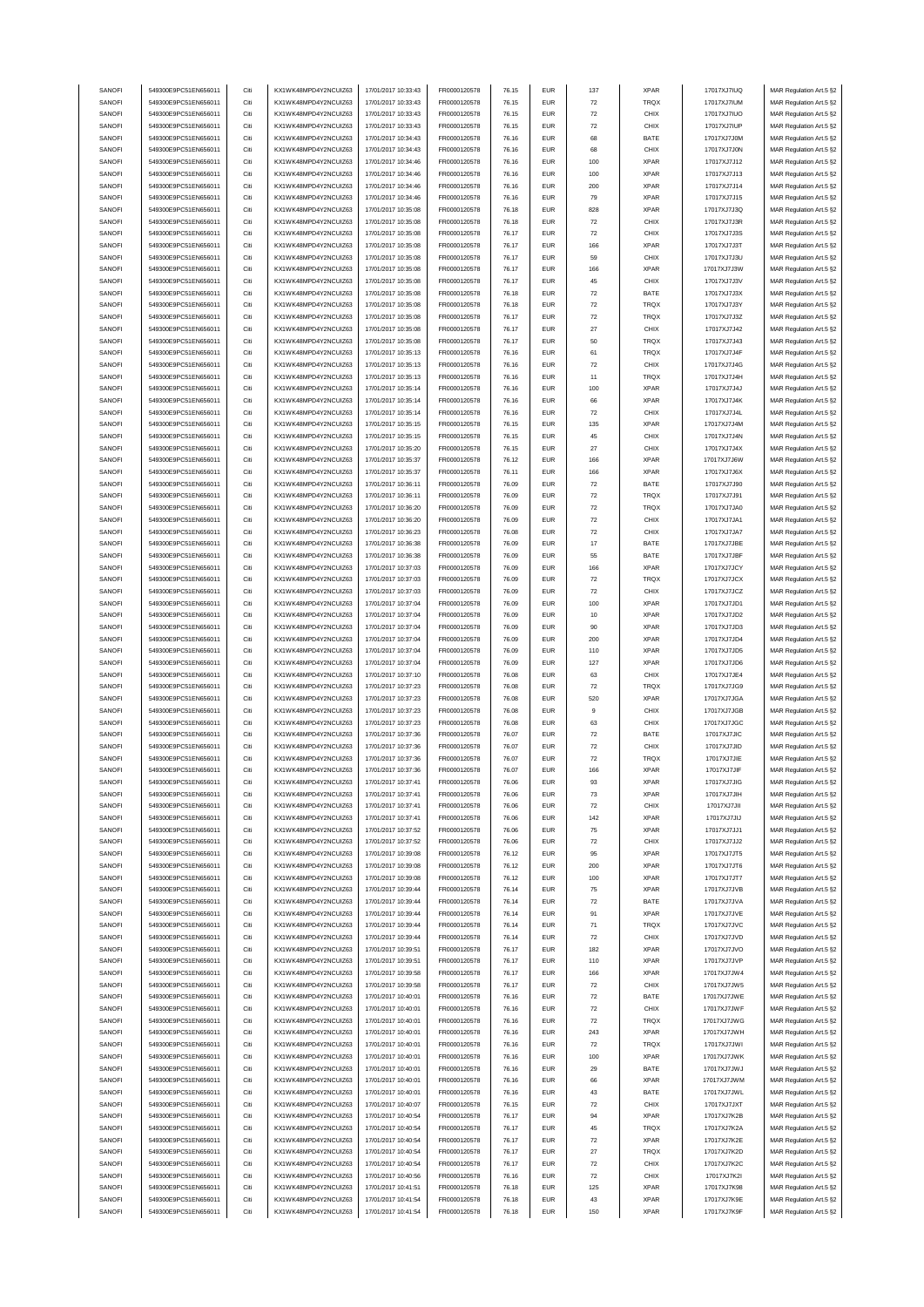| SANOFI | 549300E9PC51EN656011 | Citi |                                              | 17/01/2017 10:33:43 | FR0000120578 |                | <b>EUR</b> |                    |                     | 17017XJ7IUQ |                         |
|--------|----------------------|------|----------------------------------------------|---------------------|--------------|----------------|------------|--------------------|---------------------|-------------|-------------------------|
| SANOFI | 549300E9PC51EN656011 | Citi | KX1WK48MPD4Y2NCUIZ63<br>KX1WK48MPD4Y2NCUIZ63 | 17/01/2017 10:33:43 |              | 76.15<br>76.15 | <b>EUR</b> | 137<br>72          | <b>XPAR</b><br>TRQX | 17017XJ7IUM | MAR Regulation Art.5 §2 |
|        |                      |      |                                              |                     | FR0000120578 |                |            |                    |                     |             | MAR Regulation Art.5 §2 |
| SANOFI | 549300E9PC51EN656011 | Citi | KX1WK48MPD4Y2NCUIZ63                         | 17/01/2017 10:33:43 | FR0000120578 | 76.15          | <b>EUR</b> | 72                 | CHIX                | 17017XJ7IUO | MAR Regulation Art.5 §2 |
| SANOFI | 549300E9PC51EN656011 | Citi | KX1WK48MPD4Y2NCUIZ63                         | 17/01/2017 10:33:43 | FR0000120578 | 76.15          | EUR        | 72                 | CHIX                | 17017XJ7IUP | MAR Regulation Art.5 §2 |
| SANOFI | 549300E9PC51EN656011 | Citi | KX1WK48MPD4Y2NCLIIZ63                        | 17/01/2017 10:34:43 | FR0000120578 | 76.16          | <b>EUR</b> | 68                 | BATE                | 17017XJ7J0M | MAR Regulation Art.5 §2 |
| SANOFI | 549300E9PC51EN656011 | Citi | KX1WK48MPD4Y2NCUIZ63                         | 17/01/2017 10:34:43 | FR0000120578 | 76.16          | <b>EUR</b> | 68                 | CHIX                | 17017XJ7J0N | MAR Regulation Art.5 §2 |
| SANOFI | 549300E9PC51EN656011 | Citi | KX1WK48MPD4Y2NCUIZ63                         | 17/01/2017 10:34:46 | FR0000120578 | 76.16          | <b>EUR</b> | 100                | <b>XPAR</b>         | 17017XJ7J12 | MAR Regulation Art.5 §2 |
|        |                      |      |                                              |                     |              |                |            |                    |                     |             |                         |
| SANOFI | 549300E9PC51EN656011 | Citi | KX1WK48MPD4Y2NCUIZ63                         | 17/01/2017 10:34:46 | FR0000120578 | 76.16          | <b>EUR</b> | 100                | <b>XPAR</b>         | 17017XJ7J13 | MAR Regulation Art.5 §2 |
| SANOFI | 549300E9PC51EN656011 | Citi | KX1WK48MPD4Y2NCUIZ63                         | 17/01/2017 10:34:46 | FR0000120578 | 76.16          | <b>EUR</b> | 200                | <b>XPAR</b>         | 17017XJ7J14 | MAR Regulation Art.5 §2 |
| SANOFI | 549300E9PC51EN656011 | Citi | KX1WK48MPD4Y2NCUIZ63                         | 17/01/2017 10:34:46 | FR0000120578 | 76.16          | <b>EUR</b> | 79                 | <b>XPAR</b>         | 17017XJ7J15 | MAR Regulation Art.5 §2 |
| SANOFI | 549300E9PC51EN656011 | Citi | KX1WK48MPD4Y2NCUIZ63                         | 17/01/2017 10:35:08 | FR0000120578 | 76.18          | <b>EUR</b> | 828                | <b>XPAR</b>         | 17017XJ7J3Q | MAR Regulation Art.5 §2 |
| SANOFI | 549300E9PC51EN656011 | Citi | KX1WK48MPD4Y2NCUIZ63                         | 17/01/2017 10:35:08 | FR0000120578 | 76.18          | <b>EUR</b> | $\scriptstyle{72}$ | CHIX                | 17017XJ7J3R | MAR Regulation Art.5 §2 |
|        |                      |      |                                              |                     |              |                |            |                    |                     |             |                         |
| SANOFI | 549300E9PC51EN656011 | Citi | KX1WK48MPD4Y2NCUIZ63                         | 17/01/2017 10:35:08 | FR0000120578 | 76.17          | EUR        | ${\bf 72}$         | CHIX                | 17017XJ7J3S | MAR Regulation Art.5 §2 |
| SANOFI | 549300E9PC51EN656011 | Citi | KX1WK48MPD4Y2NCUIZ63                         | 17/01/2017 10:35:08 | FR0000120578 | 76.17          | <b>EUR</b> | 166                | <b>XPAR</b>         | 17017XJ7J3T | MAR Regulation Art.5 §2 |
| SANOFI | 549300E9PC51EN656011 | Citi | KX1WK48MPD4Y2NCUIZ63                         | 17/01/2017 10:35:08 | FR0000120578 | 76.17          | <b>EUR</b> | 59                 | CHIX                | 17017XJ7J3U | MAR Regulation Art.5 §2 |
| SANOFI | 549300E9PC51EN656011 | Citi | KX1WK48MPD4Y2NCUIZ63                         | 17/01/2017 10:35:08 | FR0000120578 | 76.17          | <b>EUR</b> | 166                | <b>XPAR</b>         | 17017XJ7J3W | MAR Regulation Art.5 §2 |
| SANOFI | 549300E9PC51EN656011 | Citi | KX1WK48MPD4Y2NCUIZ63                         | 17/01/2017 10:35:08 | FR0000120578 | 76.17          | <b>EUR</b> | 45                 | CHIX                | 17017XJ7J3V | MAR Regulation Art.5 §2 |
|        | 549300E9PC51EN656011 | Citi | KX1WK48MPD4Y2NCUIZ63                         | 17/01/2017 10:35:08 |              | 76.18          | <b>EUR</b> | 72                 | BATE                |             |                         |
| SANOFI |                      |      |                                              |                     | FR0000120578 |                |            |                    |                     | 17017XJ7J3X | MAR Regulation Art.5 §2 |
| SANOFI | 549300E9PC51EN656011 | Citi | KX1WK48MPD4Y2NCUIZ63                         | 17/01/2017 10:35:08 | FR0000120578 | 76.18          | <b>EUR</b> | 72                 | TRQX                | 17017XJ7J3Y | MAR Regulation Art.5 §2 |
| SANOFI | 549300E9PC51EN656011 | Citi | KX1WK48MPD4Y2NCUIZ63                         | 17/01/2017 10:35:08 | FR0000120578 | 76.17          | <b>EUR</b> | ${\bf 72}$         | TRQX                | 17017XJ7J3Z | MAR Regulation Art.5 §2 |
| SANOFI | 549300E9PC51EN656011 | Citi | KX1WK48MPD4Y2NCUIZ63                         | 17/01/2017 10:35:08 | FR0000120578 | 76.17          | <b>EUR</b> | $27\,$             | CHIX                | 17017XJ7J42 | MAR Regulation Art.5 §2 |
| SANOFI | 549300E9PC51EN656011 | Citi | KX1WK48MPD4Y2NCUIZ63                         | 17/01/2017 10:35:08 | FR0000120578 | 76.17          | <b>EUR</b> | 50                 | TRQX                | 17017XJ7J43 | MAR Regulation Art.5 §2 |
| SANOFI | 549300E9PC51EN656011 | Citi | KX1WK48MPD4Y2NCUIZ63                         | 17/01/2017 10:35:13 | FR0000120578 | 76.16          | <b>EUR</b> | 61                 | TRQX                | 17017XJ7J4F |                         |
|        |                      |      |                                              |                     |              |                |            |                    |                     |             | MAR Regulation Art.5 §2 |
| SANOFI | 549300E9PC51EN656011 | Citi | KX1WK48MPD4Y2NCUIZ63                         | 17/01/2017 10:35:13 | FR0000120578 | 76.16          | <b>EUR</b> | 72                 | CHIX                | 17017XJ7J4G | MAR Regulation Art.5 §2 |
| SANOFI | 549300E9PC51EN656011 | Citi | KX1WK48MPD4Y2NCUIZ63                         | 17/01/2017 10:35:13 | FR0000120578 | 76.16          | <b>EUR</b> | 11                 | TRQX                | 17017XJ7J4H | MAR Regulation Art.5 §2 |
| SANOFI | 549300E9PC51EN656011 | Citi | KX1WK48MPD4Y2NCUIZ63                         | 17/01/2017 10:35:14 | FR0000120578 | 76.16          | <b>EUR</b> | 100                | <b>XPAR</b>         | 17017XJ7J4J | MAR Regulation Art.5 §2 |
| SANOFI | 549300E9PC51EN656011 | Citi | KX1WK48MPD4Y2NCUIZ63                         | 17/01/2017 10:35:14 | FR0000120578 | 76.16          | <b>EUR</b> | 66                 | <b>XPAR</b>         | 17017XJ7J4K | MAR Regulation Art.5 §2 |
| SANOFI | 549300E9PC51EN656011 | Citi | KX1WK48MPD4Y2NCUIZ63                         | 17/01/2017 10:35:14 | FR0000120578 |                | <b>EUR</b> | 72                 | CHIX                |             |                         |
|        |                      |      |                                              |                     |              | 76.16          |            |                    |                     | 17017XJ7J4L | MAR Regulation Art.5 §2 |
| SANOFI | 549300E9PC51EN656011 | Citi | KX1WK48MPD4Y2NCUIZ63                         | 17/01/2017 10:35:15 | FR0000120578 | 76.15          | <b>EUR</b> | 135                | <b>XPAR</b>         | 17017XJ7J4M | MAR Regulation Art.5 §2 |
| SANOFI | 549300E9PC51EN656011 | Citi | KX1WK48MPD4Y2NCUIZ63                         | 17/01/2017 10:35:15 | FR0000120578 | 76.15          | <b>EUR</b> | 45                 | CHIX                | 17017XJ7J4N | MAR Regulation Art.5 §2 |
| SANOFI | 549300E9PC51EN656011 | Citi | KX1WK48MPD4Y2NCUIZ63                         | 17/01/2017 10:35:20 | FR0000120578 | 76.15          | <b>EUR</b> | 27                 | CHIX                | 17017XJ7J4X | MAR Regulation Art.5 §2 |
| SANOFI | 549300E9PC51EN656011 | Citi | KX1WK48MPD4Y2NCUIZ63                         | 17/01/2017 10:35:37 | FR0000120578 | 76.12          | <b>EUR</b> | 166                | <b>XPAR</b>         | 17017XJ7J6W | MAR Regulation Art.5 §2 |
| SANOFI | 549300E9PC51EN656011 | Citi | KX1WK48MPD4Y2NCUIZ63                         | 17/01/2017 10:35:37 | FR0000120578 | 76.11          | <b>EUR</b> | 166                | <b>XPAR</b>         | 17017XJ7J6X | MAR Regulation Art.5 §2 |
|        |                      |      |                                              |                     |              |                |            |                    |                     |             |                         |
| SANOFI | 549300E9PC51EN656011 | Citi | KX1WK48MPD4Y2NCUIZ63                         | 17/01/2017 10:36:11 | FR0000120578 | 76.09          | <b>EUR</b> | 72                 | BATE                | 17017XJ7J90 | MAR Regulation Art.5 §2 |
| SANOFI | 549300E9PC51EN656011 | Citi | KX1WK48MPD4Y2NCUIZ63                         | 17/01/2017 10:36:11 | FR0000120578 | 76.09          | <b>EUR</b> | 72                 | TRQX                | 17017XJ7J91 | MAR Regulation Art.5 §2 |
| SANOFI | 549300E9PC51EN656011 | Citi | KX1WK48MPD4Y2NCUIZ63                         | 17/01/2017 10:36:20 | FR0000120578 | 76.09          | <b>EUR</b> | 72                 | TRQX                | 17017XJ7JA0 | MAR Regulation Art.5 §2 |
| SANOFI | 549300E9PC51EN656011 | Citi | KX1WK48MPD4Y2NCUIZ63                         | 17/01/2017 10:36:20 | FR0000120578 | 76.09          | <b>EUR</b> | 72                 | CHIX                | 17017XJ7JA1 | MAR Regulation Art.5 §2 |
| SANOFI | 549300E9PC51EN656011 | Citi | KX1WK48MPD4Y2NCUIZ63                         | 17/01/2017 10:36:23 | FR0000120578 | 76.08          | <b>EUR</b> | 72                 | CHIX                | 17017XJ7JA7 | MAR Regulation Art.5 §2 |
|        |                      |      |                                              |                     |              |                |            |                    |                     |             |                         |
| SANOFI | 549300E9PC51EN656011 | Citi | KX1WK48MPD4Y2NCUIZ63                         | 17/01/2017 10:36:38 | FR0000120578 | 76.09          | <b>EUR</b> | 17                 | BATE                | 17017XJ7JBE | MAR Regulation Art.5 §2 |
| SANOFI | 549300E9PC51EN656011 | Citi | KX1WK48MPD4Y2NCUIZ63                         | 17/01/2017 10:36:38 | FR0000120578 | 76.09          | <b>EUR</b> | 55                 | BATE                | 17017XJ7JBF | MAR Regulation Art.5 §2 |
| SANOFI | 549300E9PC51EN656011 | Citi | KX1WK48MPD4Y2NCUIZ63                         | 17/01/2017 10:37:03 | FR0000120578 | 76.09          | <b>EUR</b> | 166                | <b>XPAR</b>         | 17017XJ7JCY | MAR Regulation Art.5 §2 |
| SANOFI | 549300E9PC51EN656011 | Citi | KX1WK48MPD4Y2NCUIZ63                         | 17/01/2017 10:37:03 | FR0000120578 | 76.09          | <b>EUR</b> | $\scriptstyle{72}$ | TRQX                | 17017XJ7JCX | MAR Regulation Art.5 §2 |
| SANOFI | 549300E9PC51EN656011 | Citi | KX1WK48MPD4Y2NCUIZ63                         | 17/01/2017 10:37:03 | FR0000120578 | 76.09          | <b>EUR</b> | 72                 | CHIX                | 17017XJ7JCZ | MAR Regulation Art.5 §2 |
| SANOFI | 549300E9PC51EN656011 | Citi | KX1WK48MPD4Y2NCUIZ63                         | 17/01/2017 10:37:04 | FR0000120578 | 76.09          | <b>EUR</b> | 100                | <b>XPAR</b>         | 17017XJ7JD1 |                         |
|        |                      |      |                                              |                     |              |                |            |                    |                     |             | MAR Regulation Art.5 §2 |
| SANOFI | 549300E9PC51EN656011 | Citi | KX1WK48MPD4Y2NCUIZ63                         | 17/01/2017 10:37:04 | FR0000120578 | 76.09          | <b>EUR</b> | 10                 | <b>XPAR</b>         | 17017XJ7JD2 | MAR Regulation Art.5 §2 |
| SANOFI | 549300E9PC51EN656011 | Citi | KX1WK48MPD4Y2NCUIZ63                         | 17/01/2017 10:37:04 | FR0000120578 | 76.09          | <b>EUR</b> | 90                 | <b>XPAR</b>         | 17017XJ7JD3 | MAR Regulation Art.5 §2 |
| SANOFI | 549300E9PC51EN656011 | Citi | KX1WK48MPD4Y2NCUIZ63                         | 17/01/2017 10:37:04 | FR0000120578 | 76.09          | <b>EUR</b> | 200                | <b>XPAR</b>         | 17017XJ7JD4 | MAR Regulation Art.5 §2 |
| SANOFI | 549300E9PC51EN656011 | Citi | KX1WK48MPD4Y2NCUIZ63                         | 17/01/2017 10:37:04 | FR0000120578 | 76.09          | <b>EUR</b> | 110                | <b>XPAR</b>         | 17017XJ7JD5 | MAR Regulation Art.5 §2 |
| SANOFI | 549300E9PC51EN656011 | Citi | KX1WK48MPD4Y2NCUIZ63                         | 17/01/2017 10:37:04 | FR0000120578 | 76.09          | <b>EUR</b> | 127                | <b>XPAR</b>         | 17017XJ7JD6 | MAR Regulation Art.5 §2 |
|        |                      |      |                                              |                     |              |                |            |                    |                     |             |                         |
| SANOFI | 549300E9PC51EN656011 | Citi | KX1WK48MPD4Y2NCUIZ63                         | 17/01/2017 10:37:10 | FR0000120578 | 76.08          | <b>EUR</b> | 63                 | CHIX                | 17017XJ7JE4 | MAR Regulation Art.5 §2 |
| SANOFI | 549300E9PC51EN656011 | Citi | KX1WK48MPD4Y2NCUIZ63                         | 17/01/2017 10:37:23 | FR0000120578 | 76.08          | <b>EUR</b> | 72                 | TRQX                | 17017XJ7JG9 | MAR Regulation Art.5 §2 |
| SANOFI | 549300E9PC51EN656011 | Citi | KX1WK48MPD4Y2NCUIZ63                         | 17/01/2017 10:37:23 | FR0000120578 | 76.08          | <b>EUR</b> | 520                | <b>XPAR</b>         | 17017XJ7JGA | MAR Regulation Art.5 §2 |
| SANOFI | 549300E9PC51EN656011 | Citi | KX1WK48MPD4Y2NCLIIZ63                        | 17/01/2017 10:37:23 | FR0000120578 | 76.08          | <b>EUR</b> | 9                  | CHIX                | 17017XJ7JGB | MAR Regulation Art.5 §2 |
| SANOFI | 549300E9PC51EN656011 | Citi | KX1WK48MPD4Y2NCUIZ63                         | 17/01/2017 10:37:23 | FR0000120578 | 76.08          | <b>EUR</b> | 63                 | CHIX                | 17017XJ7JGC | MAR Regulation Art.5 §2 |
|        |                      |      |                                              |                     |              |                |            |                    |                     |             |                         |
| SANOFI | 549300E9PC51EN656011 | Citi | KX1WK48MPD4Y2NCUIZ63                         | 17/01/2017 10:37:36 | FR0000120578 | 76.07          | <b>EUR</b> | 72                 | BATE                | 17017XJ7JIC | MAR Regulation Art.5 §2 |
| SANOFI | 549300E9PC51EN656011 | Citi | KX1WK48MPD4Y2NCUIZ63                         | 17/01/2017 10:37:36 | FR0000120578 | 76.07          | <b>EUR</b> | 72                 | CHIX                | 17017XJ7JID | MAR Regulation Art.5 §2 |
| SANOFI | 549300E9PC51EN656011 | Citi | KX1WK48MPD4Y2NCUIZ63                         | 17/01/2017 10:37:36 | FR0000120578 | 76.07          | <b>EUR</b> | 72                 | TRQX                | 17017XJ7JIE | MAR Regulation Art.5 §2 |
| SANOFI | 549300E9PC51EN656011 | Citi | KX1WK48MPD4Y2NCUIZ63                         | 17/01/2017 10:37:36 | FR0000120578 |                |            |                    |                     |             |                         |
| SANOFI | 549300E9PC51EN656011 |      |                                              |                     |              |                | <b>EUR</b> |                    |                     |             | MAR Regulation Art.5 §2 |
|        |                      |      |                                              |                     |              | 76.07          |            | 166                | <b>XPAR</b>         | 17017XJ7JIF | MAR Regulation Art 5.82 |
|        |                      |      | KX1WK48MPD4Y2NCLIIZ63                        | 17/01/2017 10:37:41 | FR0000120578 | 76.06          | FUR        | 93                 | <b>XPAR</b>         | 17017XJ7JIG |                         |
| SANOFI | 549300E9PC51EN656011 | Citi | KX1WK48MPD4Y2NCUIZ63                         | 17/01/2017 10:37:41 | FR0000120578 | 76.06          | <b>EUR</b> | 73                 | <b>XPAR</b>         | 17017XJ7JIH | MAR Regulation Art.5 §2 |
| SANOFI | 549300E9PC51EN656011 | Citi | KX1WK48MPD4Y2NCUIZ63                         | 17/01/2017 10:37:41 | FR0000120578 | 76.06          | <b>EUR</b> | $\scriptstyle{72}$ | CHIX                | 17017XJ7JII | MAR Regulation Art.5 §2 |
| SANOFI | 549300E9PC51EN656011 | Citi | KX1WK48MPD4Y2NCUIZ63                         | 17/01/2017 10:37:41 | FR0000120578 | 76.06          | <b>EUR</b> | 142                | <b>XPAR</b>         | 17017XJ7JIJ | MAR Regulation Art.5 §2 |
| SANOFI | 549300E9PC51EN656011 | Citi | KX1WK48MPD4Y2NCUIZ63                         | 17/01/2017 10:37:52 | FR0000120578 | 76.06          | <b>EUR</b> | 75                 | <b>XPAR</b>         | 17017XJ7JJ1 |                         |
|        |                      |      |                                              |                     |              |                |            |                    |                     |             | MAR Regulation Art.5 §2 |
| SANOFI | 549300E9PC51EN656011 | Citi | KX1WK48MPD4Y2NCUIZ63                         | 17/01/2017 10:37:52 | FR0000120578 | 76.06          | <b>EUR</b> | 72                 | CHIX                | 17017XJ7JJ2 | MAR Regulation Art.5 §2 |
| SANOFI | 549300E9PC51EN656011 | Citi | KX1WK48MPD4Y2NCUIZ63                         | 17/01/2017 10:39:08 | FR0000120578 | 76.12          | <b>EUR</b> | 95                 | <b>XPAR</b>         | 17017XJ7JT5 | MAR Regulation Art.5 §2 |
| SANOFI | 549300E9PC51EN656011 | Citi | KX1WK48MPD4Y2NCUIZ63                         | 17/01/2017 10:39:08 | FR0000120578 | 76.12          | <b>EUR</b> | 200                | <b>XPAR</b>         | 17017XJ7JT6 | MAR Regulation Art.5 §2 |
| SANOFI | 549300E9PC51EN656011 | Citi | KX1WK48MPD4Y2NCUIZ63                         | 17/01/2017 10:39:08 | FR0000120578 | 76.12          | <b>EUR</b> | 100                | <b>XPAR</b>         | 17017XJ7JT7 | MAR Regulation Art.5 §2 |
| SANOFI | 549300E9PC51EN656011 | Citi | KX1WK48MPD4Y2NCUIZ63                         | 17/01/2017 10:39:44 | FR0000120578 | 76.14          | EUR        | 75                 | <b>XPAR</b>         | 17017XJ7JVB | MAR Regulation Art.5 §2 |
| SANOFI | 549300E9PC51EN656011 | Citi | KX1WK48MPD4Y2NCUIZ63                         | 17/01/2017 10:39:44 | FR0000120578 | 76.14          | <b>EUR</b> | 72                 | BATE                | 17017XJ7JVA | MAR Regulation Art.5 §2 |
|        |                      |      |                                              |                     |              |                |            |                    |                     |             |                         |
| SANOFI | 549300E9PC51EN656011 | Citi | KX1WK48MPD4Y2NCUIZ63                         | 17/01/2017 10:39:44 | FR0000120578 | 76.14          | <b>EUR</b> | 91                 | <b>XPAR</b>         | 17017XJ7JVE | MAR Regulation Art.5 §2 |
| SANOFI | 549300E9PC51EN656011 | Citi | KX1WK48MPD4Y2NCUIZ63                         | 17/01/2017 10:39:44 | FR0000120578 | 76.14          | <b>EUR</b> | $71\,$             | TRQX                | 17017XJ7JVC | MAR Regulation Art.5 §2 |
| SANOFI | 549300E9PC51EN656011 | Citi | KX1WK48MPD4Y2NCUIZ63                         | 17/01/2017 10:39:44 | FR0000120578 | 76.14          | <b>EUR</b> | 72                 | CHIX                | 17017XJ7JVD | MAR Regulation Art.5 §2 |
| SANOFI | 549300E9PC51EN656011 | Citi | KX1WK48MPD4Y2NCUIZ63                         | 17/01/2017 10:39:51 | FR0000120578 | 76.17          | <b>EUR</b> | 182                | <b>XPAR</b>         | 17017XJ7JVO | MAR Regulation Art.5 §2 |
| SANOFI | 549300E9PC51EN656011 | Citi | KX1WK48MPD4Y2NCUIZ63                         | 17/01/2017 10:39:51 | FR0000120578 | 76.17          | <b>EUR</b> | 110                | <b>XPAR</b>         | 17017XJ7JVP | MAR Regulation Art.5 §2 |
|        |                      |      |                                              |                     |              |                |            |                    |                     |             |                         |
| SANOFI | 549300E9PC51EN656011 | Citi | KX1WK48MPD4Y2NCUIZ63                         | 17/01/2017 10:39:58 | FR0000120578 | 76.17          | <b>EUR</b> | 166                | <b>XPAR</b>         | 17017XJ7JW4 | MAR Regulation Art.5 §2 |
| SANOFI | 549300E9PC51EN656011 | Citi | KX1WK48MPD4Y2NCUIZ63                         | 17/01/2017 10:39:58 | FR0000120578 | 76.17          | <b>EUR</b> | $\scriptstyle{72}$ | CHIX                | 17017XJ7JW5 | MAR Regulation Art.5 §2 |
| SANOFI | 549300E9PC51EN656011 | Citi | KX1WK48MPD4Y2NCUIZ63                         | 17/01/2017 10:40:01 | FR0000120578 | 76.16          | <b>EUR</b> | 72                 | BATE                | 17017XJ7JWE | MAR Regulation Art.5 §2 |
| SANOFI | 549300E9PC51EN656011 | Citi | KX1WK48MPD4Y2NCUIZ63                         | 17/01/2017 10:40:01 | FR0000120578 | 76.16          | <b>EUR</b> | 72                 | CHIX                | 17017XJ7JWF | MAR Regulation Art.5 §2 |
| SANOFI | 549300E9PC51EN656011 | Citi | KX1WK48MPD4Y2NCUIZ63                         | 17/01/2017 10:40:01 | FR0000120578 | 76.16          | <b>EUR</b> | $\scriptstyle{72}$ | TRQX                | 17017XJ7JWG | MAR Regulation Art.5 §2 |
| SANOFI | 549300E9PC51EN656011 | Citi | KX1WK48MPD4Y2NCUIZ63                         | 17/01/2017 10:40:01 | FR0000120578 | 76.16          | <b>EUR</b> | 243                | <b>XPAR</b>         | 17017XJ7JWH |                         |
|        |                      |      |                                              |                     |              |                |            |                    |                     |             | MAR Regulation Art.5 §2 |
| SANOFI | 549300E9PC51EN656011 | Citi | KX1WK48MPD4Y2NCUIZ63                         | 17/01/2017 10:40:01 | FR0000120578 | 76.16          | <b>EUR</b> | $\scriptstyle{72}$ | TRQX                | 17017XJ7JWI | MAR Regulation Art.5 §2 |
| SANOFI | 549300E9PC51EN656011 | Citi | KX1WK48MPD4Y2NCUIZ63                         | 17/01/2017 10:40:01 | FR0000120578 | 76.16          | <b>EUR</b> | 100                | <b>XPAR</b>         | 17017XJ7JWK | MAR Regulation Art.5 §2 |
| SANOFI | 549300E9PC51EN656011 | Citi | KX1WK48MPD4Y2NCUIZ63                         | 17/01/2017 10:40:01 | FR0000120578 | 76.16          | <b>EUR</b> | 29                 | BATE                | 17017XJ7JWJ | MAR Regulation Art.5 §2 |
| SANOFI | 549300E9PC51EN656011 | Citi | KX1WK48MPD4Y2NCUIZ63                         | 17/01/2017 10:40:01 | FR0000120578 | 76.16          | <b>EUR</b> | 66                 | <b>XPAR</b>         | 17017XJ7JWM | MAR Regulation Art.5 §2 |
| SANOFI |                      | Citi |                                              |                     |              |                | <b>EUR</b> |                    |                     |             |                         |
|        | 549300E9PC51EN656011 |      | KX1WK48MPD4Y2NCUIZ63                         | 17/01/2017 10:40:01 | FR0000120578 | 76.16          |            | 43                 | BATE                | 17017XJ7JWL | MAR Regulation Art.5 §2 |
| SANOFI | 549300E9PC51EN656011 | Citi | KX1WK48MPD4Y2NCUIZ63                         | 17/01/2017 10:40:07 | FR0000120578 | 76.15          | <b>EUR</b> | 72                 | CHIX                | 17017XJ7JXT | MAR Regulation Art.5 §2 |
| SANOFI | 549300E9PC51EN656011 | Citi | KX1WK48MPD4Y2NCUIZ63                         | 17/01/2017 10:40:54 | FR0000120578 | 76.17          | <b>EUR</b> | 94                 | <b>XPAR</b>         | 17017XJ7K2B | MAR Regulation Art.5 §2 |
| SANOFI | 549300E9PC51EN656011 | Citi | KX1WK48MPD4Y2NCUIZ63                         | 17/01/2017 10:40:54 | FR0000120578 | 76.17          | <b>EUR</b> | 45                 | TRQX                | 17017XJ7K2A | MAR Regulation Art.5 §2 |
| SANOFI | 549300E9PC51EN656011 | Citi | KX1WK48MPD4Y2NCUIZ63                         | 17/01/2017 10:40:54 | FR0000120578 | 76.17          | <b>EUR</b> | 72                 | <b>XPAR</b>         | 17017XJ7K2E | MAR Regulation Art.5 §2 |
| SANOFI | 549300E9PC51EN656011 | Citi | KX1WK48MPD4Y2NCUIZ63                         | 17/01/2017 10:40:54 | FR0000120578 | 76.17          | <b>EUR</b> | $27\,$             | TRQX                | 17017XJ7K2D | MAR Regulation Art.5 §2 |
| SANOFI | 549300E9PC51EN656011 | Citi | KX1WK48MPD4Y2NCUIZ63                         | 17/01/2017 10:40:54 | FR0000120578 | 76.17          | <b>EUR</b> | 72                 | CHIX                | 17017XJ7K2C |                         |
|        |                      |      |                                              |                     |              |                |            |                    |                     |             | MAR Regulation Art.5 §2 |
| SANOFI | 549300E9PC51EN656011 | Citi | KX1WK48MPD4Y2NCUIZ63                         | 17/01/2017 10:40:56 | FR0000120578 | 76.16          | <b>EUR</b> | 72                 | CHIX                | 17017XJ7K2I | MAR Regulation Art.5 §2 |
| SANOFI | 549300E9PC51EN656011 | Citi | KX1WK48MPD4Y2NCUIZ63                         | 17/01/2017 10:41:51 | FR0000120578 | 76.18          | <b>EUR</b> | 125                | <b>XPAR</b>         | 17017XJ7K98 | MAR Regulation Art.5 §2 |
| SANOFI | 549300E9PC51EN656011 | Citi | KX1WK48MPD4Y2NCUIZ63                         | 17/01/2017 10:41:54 | FR0000120578 | 76.18          | <b>EUR</b> | 43                 | <b>XPAR</b>         | 17017XJ7K9E | MAR Regulation Art.5 §2 |
| SANOFI | 549300E9PC51EN656011 | Citi | KX1WK48MPD4Y2NCUIZ63                         | 17/01/2017 10:41:54 | FR0000120578 | 76.18          | <b>EUR</b> | 150                | XPAR                | 17017XJ7K9F | MAR Regulation Art.5 §2 |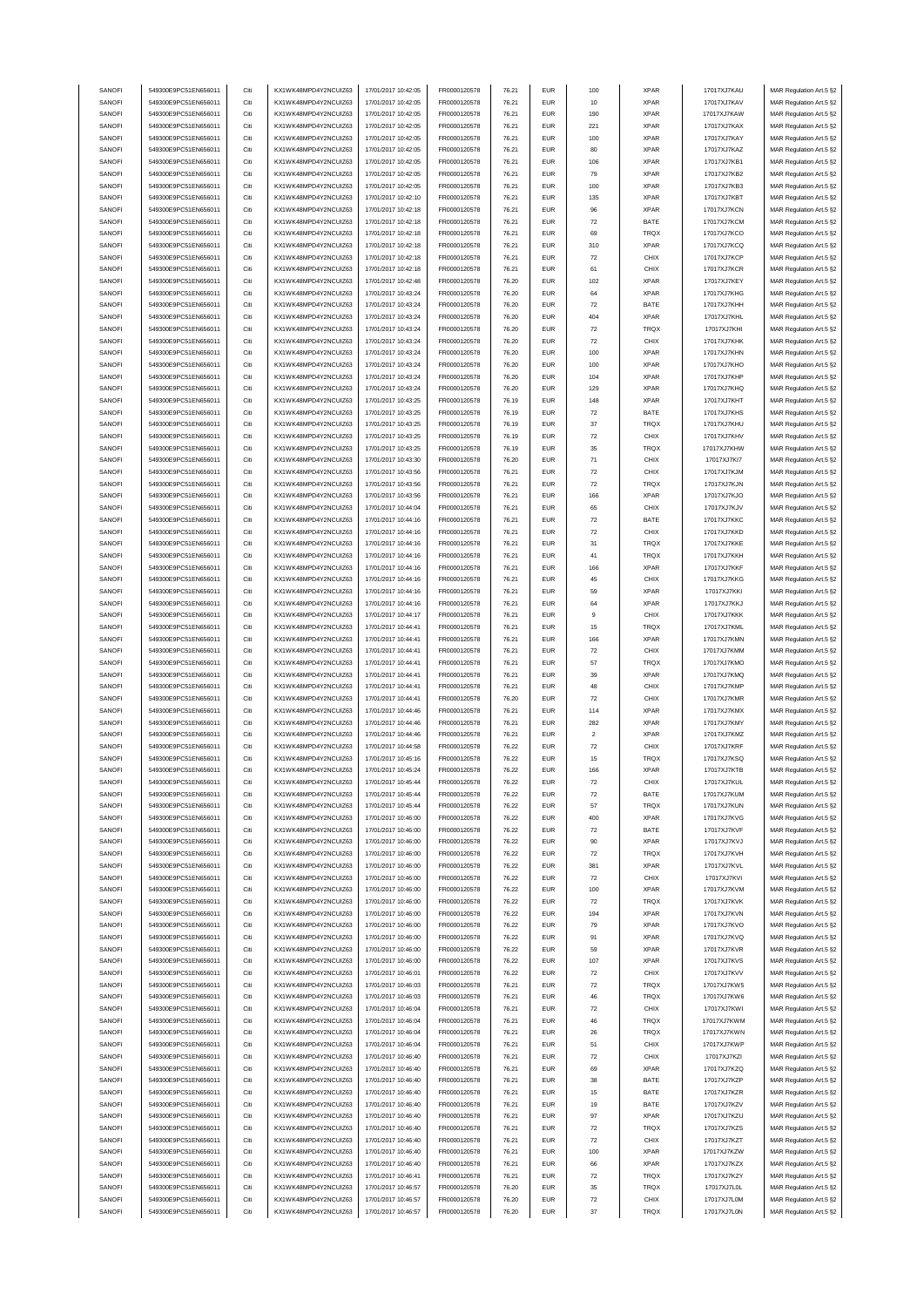| SANOFI | 549300E9PC51EN656011 | Citi | KX1WK48MPD4Y2NCUIZ63  | 17/01/2017 10:42:05 | FR0000120578 | 76.21 | <b>EUR</b> | 100                     | <b>XPAR</b> | 17017XJ7KAU                  | MAR Regulation Art.5 §2                            |
|--------|----------------------|------|-----------------------|---------------------|--------------|-------|------------|-------------------------|-------------|------------------------------|----------------------------------------------------|
| SANOFI | 549300E9PC51EN656011 | Citi | KX1WK48MPD4Y2NCUIZ63  | 17/01/2017 10:42:05 |              | 76.21 | <b>EUR</b> | 10                      | <b>XPAR</b> |                              |                                                    |
|        |                      |      |                       |                     | FR0000120578 |       |            |                         |             | 17017XJ7KAV                  | MAR Regulation Art.5 §2                            |
| SANOFI | 549300E9PC51EN656011 | Citi | KX1WK48MPD4Y2NCUIZ63  | 17/01/2017 10:42:05 | FR0000120578 | 76.21 | <b>EUR</b> | 190                     | <b>XPAR</b> | 17017XJ7KAW                  | MAR Regulation Art.5 §2                            |
| SANOFI | 549300E9PC51EN656011 | Citi | KX1WK48MPD4Y2NCUIZ63  | 17/01/2017 10:42:05 | FR0000120578 | 76.21 | EUR        | 221                     | <b>XPAR</b> | 17017XJ7KAX                  | MAR Regulation Art.5 §2                            |
| SANOFI | 549300E9PC51EN656011 | Citi | KX1WK48MPD4Y2NCUIZ63  | 17/01/2017 10:42:05 | FR0000120578 | 76.21 | <b>EUR</b> | 100                     | <b>XPAR</b> | 17017XJ7KAY                  | MAR Regulation Art.5 §2                            |
| SANOFI | 549300E9PC51EN656011 | Citi | KX1WK48MPD4Y2NCUIZ63  | 17/01/2017 10:42:05 | FR0000120578 | 76.21 | <b>EUR</b> | 80                      | <b>XPAR</b> | 17017XJ7KAZ                  | MAR Regulation Art.5 §2                            |
| SANOFI | 549300E9PC51EN656011 | Citi | KX1WK48MPD4Y2NCUIZ63  | 17/01/2017 10:42:05 | FR0000120578 | 76.21 | <b>EUR</b> | 106                     | <b>XPAR</b> | 17017XJ7KB1                  | MAR Regulation Art.5 §2                            |
|        |                      |      |                       |                     |              |       |            |                         |             |                              |                                                    |
| SANOFI | 549300E9PC51EN656011 | Citi | KX1WK48MPD4Y2NCUIZ63  | 17/01/2017 10:42:05 | FR0000120578 | 76.21 | <b>EUR</b> | 79                      | <b>XPAR</b> | 17017XJ7KB2                  | MAR Regulation Art.5 §2                            |
| SANOFI | 549300E9PC51EN656011 | Citi | KX1WK48MPD4Y2NCUIZ63  | 17/01/2017 10:42:05 | FR0000120578 | 76.21 | <b>EUR</b> | 100                     | <b>XPAR</b> | 17017XJ7KB3                  | MAR Regulation Art.5 §2                            |
| SANOFI | 549300E9PC51EN656011 | Citi | KX1WK48MPD4Y2NCUIZ63  | 17/01/2017 10:42:10 | FR0000120578 | 76.21 | <b>EUR</b> | 135                     | <b>XPAR</b> | 17017XJ7KBT                  | MAR Regulation Art.5 §2                            |
| SANOFI | 549300E9PC51EN656011 | Citi | KX1WK48MPD4Y2NCUIZ63  | 17/01/2017 10:42:18 | FR0000120578 | 76.21 | <b>EUR</b> | 96                      | <b>XPAR</b> | 17017XJ7KCN                  | MAR Regulation Art.5 §2                            |
| SANOFI | 549300E9PC51EN656011 | Citi | KX1WK48MPD4Y2NCUIZ63  | 17/01/2017 10:42:18 | FR0000120578 | 76.21 | EUR        | $\scriptstyle{72}$      | BATE        | 17017XJ7KCM                  | MAR Regulation Art.5 §2                            |
|        |                      |      |                       |                     |              |       |            |                         |             |                              |                                                    |
| SANOFI | 549300E9PC51EN656011 | Citi | KX1WK48MPD4Y2NCUIZ63  | 17/01/2017 10:42:18 | FR0000120578 | 76.21 | EUR        | 69                      | TRQX        | 17017XJ7KCO                  | MAR Regulation Art.5 §2                            |
| SANOFI | 549300E9PC51EN656011 | Citi | KX1WK48MPD4Y2NCUIZ63  | 17/01/2017 10:42:18 | FR0000120578 | 76.21 | <b>EUR</b> | 310                     | <b>XPAR</b> | 17017XJ7KCQ                  | MAR Regulation Art.5 §2                            |
| SANOFI | 549300E9PC51EN656011 | Citi | KX1WK48MPD4Y2NCUIZ63  | 17/01/2017 10:42:18 | FR0000120578 | 76.21 | <b>EUR</b> | $\scriptstyle{72}$      | CHIX        | 17017XJ7KCP                  | MAR Regulation Art.5 §2                            |
| SANOFI | 549300E9PC51EN656011 | Citi | KX1WK48MPD4Y2NCUIZ63  | 17/01/2017 10:42:18 | FR0000120578 | 76.21 | <b>EUR</b> | 61                      | CHIX        | 17017XJ7KCR                  | MAR Regulation Art.5 §2                            |
| SANOFI | 549300E9PC51EN656011 | Citi | KX1WK48MPD4Y2NCUIZ63  | 17/01/2017 10:42:48 | FR0000120578 | 76.20 | <b>EUR</b> | 102                     | <b>XPAR</b> | 17017XJ7KEY                  | MAR Regulation Art.5 §2                            |
|        | 549300E9PC51EN656011 | Citi | KX1WK48MPD4Y2NCUIZ63  | 17/01/2017 10:43:24 |              | 76.20 | <b>EUR</b> | 64                      | <b>XPAR</b> |                              |                                                    |
| SANOFI |                      |      |                       |                     | FR0000120578 |       |            |                         |             | 17017XJ7KHG                  | MAR Regulation Art.5 §2                            |
| SANOFI | 549300E9PC51EN656011 | Citi | KX1WK48MPD4Y2NCUIZ63  | 17/01/2017 10:43:24 | FR0000120578 | 76.20 | <b>EUR</b> | 72                      | BATE        | 17017XJ7KHH                  | MAR Regulation Art.5 §2                            |
| SANOFI | 549300E9PC51EN656011 | Citi | KX1WK48MPD4Y2NCUIZ63  | 17/01/2017 10:43:24 | FR0000120578 | 76.20 | <b>EUR</b> | 404                     | <b>XPAR</b> | 17017XJ7KHL                  | MAR Regulation Art.5 §2                            |
| SANOFI | 549300E9PC51EN656011 | Citi | KX1WK48MPD4Y2NCUIZ63  | 17/01/2017 10:43:24 | FR0000120578 | 76.20 | <b>EUR</b> | 72                      | TRQX        | 17017XJ7KHI                  | MAR Regulation Art.5 §2                            |
| SANOFI | 549300E9PC51EN656011 | Citi | KX1WK48MPD4Y2NCUIZ63  | 17/01/2017 10:43:24 | FR0000120578 | 76.20 | <b>EUR</b> | 72                      | CHIX        | 17017XJ7KHK                  | MAR Regulation Art.5 §2                            |
|        |                      |      |                       |                     |              |       |            |                         |             |                              |                                                    |
| SANOFI | 549300E9PC51EN656011 | Citi | KX1WK48MPD4Y2NCUIZ63  | 17/01/2017 10:43:24 | FR0000120578 | 76.20 | <b>EUR</b> | 100                     | <b>XPAR</b> | 17017XJ7KHN                  | MAR Regulation Art.5 §2                            |
| SANOFI | 549300E9PC51EN656011 | Citi | KX1WK48MPD4Y2NCUIZ63  | 17/01/2017 10:43:24 | FR0000120578 | 76.20 | <b>EUR</b> | 100                     | <b>XPAR</b> | 17017XJ7KHO                  | MAR Regulation Art.5 §2                            |
| SANOFI | 549300E9PC51EN656011 | Citi | KX1WK48MPD4Y2NCUIZ63  | 17/01/2017 10:43:24 | FR0000120578 | 76.20 | <b>EUR</b> | 104                     | <b>XPAR</b> | 17017XJ7KHP                  | MAR Regulation Art.5 §2                            |
| SANOFI | 549300E9PC51EN656011 | Citi | KX1WK48MPD4Y2NCUIZ63  | 17/01/2017 10:43:24 | FR0000120578 | 76.20 | <b>EUR</b> | 129                     | <b>XPAR</b> | 17017XJ7KHQ                  | MAR Regulation Art.5 §2                            |
| SANOFI | 549300E9PC51EN656011 | Citi | KX1WK48MPD4Y2NCUIZ63  | 17/01/2017 10:43:25 | FR0000120578 | 76.19 | <b>EUR</b> | 148                     | <b>XPAR</b> | 17017XJ7KHT                  | MAR Regulation Art.5 §2                            |
| SANOFI | 549300E9PC51EN656011 | Citi | KX1WK48MPD4Y2NCUIZ63  |                     |              |       | <b>EUR</b> |                         | BATE        |                              |                                                    |
|        |                      |      |                       | 17/01/2017 10:43:25 | FR0000120578 | 76.19 |            | $\scriptstyle{72}$      |             | 17017XJ7KHS                  | MAR Regulation Art.5 §2                            |
| SANOFI | 549300E9PC51EN656011 | Citi | KX1WK48MPD4Y2NCUIZ63  | 17/01/2017 10:43:25 | FR0000120578 | 76.19 | <b>EUR</b> | $37\,$                  | TRQX        | 17017XJ7KHU                  | MAR Regulation Art.5 §2                            |
| SANOFI | 549300E9PC51EN656011 | Citi | KX1WK48MPD4Y2NCUIZ63  | 17/01/2017 10:43:25 | FR0000120578 | 76.19 | <b>EUR</b> | $\scriptstyle{72}$      | CHIX        | 17017XJ7KHV                  | MAR Regulation Art.5 §2                            |
| SANOFI | 549300E9PC51EN656011 | Citi | KX1WK48MPD4Y2NCUIZ63  | 17/01/2017 10:43:25 | FR0000120578 | 76.19 | <b>EUR</b> | 35                      | TRQX        | 17017XJ7KHW                  | MAR Regulation Art.5 §2                            |
| SANOFI | 549300E9PC51EN656011 | Citi | KX1WK48MPD4Y2NCUIZ63  | 17/01/2017 10:43:30 | FR0000120578 | 76.20 | <b>EUR</b> | 71                      | CHIX        | 17017XJ7KI7                  | MAR Regulation Art.5 §2                            |
| SANOFI | 549300E9PC51EN656011 | Citi | KX1WK48MPD4Y2NCUIZ63  | 17/01/2017 10:43:56 | FR0000120578 | 76.21 | <b>EUR</b> | 72                      | CHIX        | 17017XJ7KJM                  | MAR Regulation Art.5 §2                            |
|        |                      |      |                       |                     |              |       |            |                         |             |                              |                                                    |
| SANOFI | 549300E9PC51EN656011 | Citi | KX1WK48MPD4Y2NCUIZ63  | 17/01/2017 10:43:56 | FR0000120578 | 76.21 | <b>EUR</b> | 72                      | TRQX        | 17017XJ7KJN                  | MAR Regulation Art.5 §2                            |
| SANOFI | 549300E9PC51EN656011 | Citi | KX1WK48MPD4Y2NCUIZ63  | 17/01/2017 10:43:56 | FR0000120578 | 76.21 | <b>EUR</b> | 166                     | <b>XPAR</b> | 17017XJ7KJO                  | MAR Regulation Art.5 §2                            |
| SANOFI | 549300E9PC51EN656011 | Citi | KX1WK48MPD4Y2NCUIZ63  | 17/01/2017 10:44:04 | FR0000120578 | 76.21 | <b>EUR</b> | 65                      | CHIX        | 17017XJ7KJV                  | MAR Regulation Art.5 §2                            |
| SANOFI | 549300E9PC51EN656011 | Citi | KX1WK48MPD4Y2NCUIZ63  | 17/01/2017 10:44:16 | FR0000120578 | 76.21 | <b>EUR</b> | 72                      | BATE        | 17017XJ7KKC                  | MAR Regulation Art.5 §2                            |
| SANOFI | 549300E9PC51EN656011 | Citi | KX1WK48MPD4Y2NCUIZ63  | 17/01/2017 10:44:16 | FR0000120578 | 76.21 | <b>EUR</b> | 72                      | CHIX        | 17017XJ7KKD                  | MAR Regulation Art.5 §2                            |
|        |                      |      |                       |                     |              |       |            |                         |             |                              |                                                    |
| SANOFI | 549300E9PC51EN656011 | Citi | KX1WK48MPD4Y2NCUIZ63  | 17/01/2017 10:44:16 | FR0000120578 | 76.21 | <b>EUR</b> | 31                      | TRQX        | 17017XJ7KKE                  | MAR Regulation Art.5 §2                            |
| SANOFI | 549300E9PC51EN656011 | Citi | KX1WK48MPD4Y2NCUIZ63  | 17/01/2017 10:44:16 | FR0000120578 | 76.21 | <b>EUR</b> | 41                      | TRQX        | 17017XJ7KKH                  | MAR Regulation Art.5 §2                            |
| SANOFI | 549300E9PC51EN656011 | Citi | KX1WK48MPD4Y2NCUIZ63  | 17/01/2017 10:44:16 | FR0000120578 | 76.21 | <b>EUR</b> | 166                     | <b>XPAR</b> | 17017XJ7KKF                  | MAR Regulation Art.5 §2                            |
| SANOFI | 549300E9PC51EN656011 | Citi | KX1WK48MPD4Y2NCUIZ63  | 17/01/2017 10:44:16 | FR0000120578 | 76.21 | <b>EUR</b> | 45                      | CHIX        | 17017XJ7KKG                  | MAR Regulation Art.5 §2                            |
| SANOFI | 549300E9PC51EN656011 | Citi | KX1WK48MPD4Y2NCUIZ63  | 17/01/2017 10:44:16 | FR0000120578 | 76.21 | <b>EUR</b> | 59                      | <b>XPAR</b> | 17017XJ7KKI                  | MAR Regulation Art.5 §2                            |
| SANOFI | 549300E9PC51EN656011 | Citi | KX1WK48MPD4Y2NCUIZ63  | 17/01/2017 10:44:16 | FR0000120578 | 76.21 | <b>EUR</b> | 64                      | <b>XPAR</b> | 17017XJ7KKJ                  |                                                    |
|        |                      |      |                       |                     |              |       |            |                         |             |                              | MAR Regulation Art.5 §2                            |
| SANOFI | 549300E9PC51EN656011 | Citi | KX1WK48MPD4Y2NCUIZ63  | 17/01/2017 10:44:17 | FR0000120578 | 76.21 | <b>EUR</b> | 9                       | CHIX        | 17017XJ7KKK                  | MAR Regulation Art.5 §2                            |
| SANOFI | 549300E9PC51EN656011 | Citi | KX1WK48MPD4Y2NCUIZ63  | 17/01/2017 10:44:41 | FR0000120578 | 76.21 | <b>EUR</b> | 15                      | TRQX        | 17017XJ7KML                  | MAR Regulation Art.5 §2                            |
| SANOFI | 549300E9PC51EN656011 | Citi | KX1WK48MPD4Y2NCUIZ63  | 17/01/2017 10:44:41 | FR0000120578 | 76.21 | <b>EUR</b> | 166                     | <b>XPAR</b> | 17017XJ7KMN                  | MAR Regulation Art.5 §2                            |
| SANOFI | 549300E9PC51EN656011 | Citi | KX1WK48MPD4Y2NCUIZ63  | 17/01/2017 10:44:41 | FR0000120578 | 76.21 | <b>EUR</b> | $\scriptstyle{72}$      | CHIX        | 17017XJ7KMM                  | MAR Regulation Art.5 §2                            |
| SANOFI | 549300E9PC51EN656011 | Citi | KX1WK48MPD4Y2NCUIZ63  | 17/01/2017 10:44:41 | FR0000120578 | 76.21 | <b>EUR</b> | 57                      | TRQX        | 17017XJ7KMO                  | MAR Regulation Art.5 §2                            |
|        |                      |      |                       |                     |              |       |            |                         |             |                              |                                                    |
| SANOFI | 549300E9PC51EN656011 | Citi | KX1WK48MPD4Y2NCUIZ63  | 17/01/2017 10:44:41 | FR0000120578 | 76.21 | <b>EUR</b> | 39                      | <b>XPAR</b> | 17017XJ7KMQ                  | MAR Regulation Art.5 §2                            |
| SANOFI | 549300E9PC51EN656011 | Citi | KX1WK48MPD4Y2NCUIZ63  | 17/01/2017 10:44:41 | FR0000120578 | 76.21 | <b>EUR</b> | 48                      | CHIX        | 17017XJ7KMP                  | MAR Regulation Art.5 §2                            |
| SANOFI | 549300E9PC51EN656011 | Citi | KX1WK48MPD4Y2NCUIZ63  | 17/01/2017 10:44:41 | FR0000120578 | 76.20 | <b>EUR</b> | 72                      | CHIX        | 17017XJ7KMR                  | MAR Regulation Art.5 §2                            |
| SANOFI | 549300E9PC51EN656011 | Citi | KX1WK48MPD4Y2NCUIZ63  | 17/01/2017 10:44:46 | FR0000120578 | 76.21 | <b>EUR</b> | 114                     | <b>XPAR</b> | 17017XJ7KMX                  | MAR Regulation Art.5 §2                            |
| SANOFI | 549300E9PC51EN656011 | Citi | KX1WK48MPD4Y2NCUIZ63  | 17/01/2017 10:44:46 | FR0000120578 | 76.21 | <b>EUR</b> | 282                     | <b>XPAR</b> | 17017XJ7KMY                  | MAR Regulation Art.5 §2                            |
|        |                      |      |                       |                     |              |       |            |                         |             |                              |                                                    |
| SANOFI | 549300E9PC51EN656011 | Citi | KX1WK48MPD4Y2NCUIZ63  | 17/01/2017 10:44:46 | FR0000120578 | 76.21 | <b>EUR</b> | $\overline{\mathbf{c}}$ | <b>XPAR</b> | 17017XJ7KMZ                  | MAR Regulation Art.5 §2                            |
| SANOFI | 549300E9PC51EN656011 | Citi | KX1WK48MPD4Y2NCUIZ63  | 17/01/2017 10:44:58 | FR0000120578 | 76.22 | <b>EUR</b> | 72                      | CHIX        | 17017XJ7KRF                  | MAR Regulation Art.5 §2                            |
| SANOFI | 549300E9PC51EN656011 | Citi | KX1WK48MPD4Y2NCUIZ63  | 17/01/2017 10:45:16 | FR0000120578 | 76.22 | <b>EUR</b> | 15                      | TRQX        | 17017XJ7KSQ                  | MAR Regulation Art.5 §2                            |
| SANOFI | 549300E9PC51EN656011 | Citi | KX1WK48MPD4Y2NCUIZ63  | 17/01/2017 10:45:24 | FR0000120578 | 76.22 | <b>EUR</b> | 166                     |             |                              |                                                    |
| SANOFI | 549300E9PC51EN656011 |      | KX1WK48MPD4Y2NCLIIZ63 | 17/01/2017 10:45:44 | FR0000120578 |       |            |                         |             |                              |                                                    |
| SANOFI |                      | Citi |                       |                     |              |       |            |                         | <b>XPAR</b> | 17017XJ7KTB<br>17017X I7KLII | MAR Regulation Art.5 §2<br>MAR Regulation Art 5.82 |
|        | 549300E9PC51EN656011 |      |                       |                     |              | 76.22 | FUR        |                         | CHIX        |                              |                                                    |
| SANOFI | 549300E9PC51EN656011 |      | KX1WK48MPD4Y2NCUIZ63  | 17/01/2017 10:45:44 | FR0000120578 | 76.22 | <b>EUR</b> | 72                      | BATE        | 17017XJ7KUM                  | MAR Regulation Art.5 §2                            |
| SANOFI |                      | Citi | KX1WK48MPD4Y2NCUIZ63  | 17/01/2017 10:45:44 | FR0000120578 | 76.22 | <b>EUR</b> | 57                      | TRQX        | 17017XJ7KUN                  | MAR Regulation Art.5 §2                            |
|        | 549300E9PC51EN656011 | Citi | KX1WK48MPD4Y2NCUIZ63  | 17/01/2017 10:46:00 | FR0000120578 | 76.22 | <b>EUR</b> | 400                     | <b>XPAR</b> | 17017XJ7KVG                  | MAR Regulation Art.5 §2                            |
| SANOFI | 549300E9PC51EN656011 | Citi | KX1WK48MPD4Y2NCUIZ63  | 17/01/2017 10:46:00 | FR0000120578 | 76.22 | <b>EUR</b> | $\scriptstyle{72}$      | BATE        | 17017XJ7KVF                  |                                                    |
|        |                      |      |                       |                     |              |       |            |                         |             |                              | MAR Regulation Art.5 §2                            |
| SANOFI | 549300E9PC51EN656011 | Citi | KX1WK48MPD4Y2NCUIZ63  | 17/01/2017 10:46:00 | FR0000120578 | 76.22 | <b>EUR</b> | 90                      | <b>XPAR</b> | 17017XJ7KVJ                  | MAR Regulation Art.5 §2                            |
| SANOFI | 549300E9PC51EN656011 | Citi | KX1WK48MPD4Y2NCUIZ63  | 17/01/2017 10:46:00 | FR0000120578 | 76.22 | <b>EUR</b> | $\scriptstyle{72}$      | TRQX        | 17017XJ7KVH                  | MAR Regulation Art.5 §2                            |
| SANOFI | 549300E9PC51EN656011 | Citi | KX1WK48MPD4Y2NCUIZ63  | 17/01/2017 10:46:00 | FR0000120578 | 76.22 | <b>EUR</b> | 381                     | <b>XPAR</b> | 17017XJ7KVL                  | MAR Regulation Art.5 §2                            |
| SANOFI | 549300E9PC51EN656011 | Citi | KX1WK48MPD4Y2NCUIZ63  | 17/01/2017 10:46:00 | FR0000120578 | 76.22 | <b>EUR</b> | 72                      | CHIX        | 17017XJ7KVI                  | MAR Regulation Art.5 §2                            |
| SANOFI | 549300E9PC51EN656011 | Citi | KX1WK48MPD4Y2NCUIZ63  | 17/01/2017 10:46:00 | FR0000120578 | 76.22 | EUR        | 100                     | <b>XPAR</b> | 17017XJ7KVM                  | MAR Regulation Art.5 §2                            |
| SANOFI | 549300E9PC51EN656011 | Citi | KX1WK48MPD4Y2NCUIZ63  | 17/01/2017 10:46:00 | FR0000120578 | 76.22 | <b>EUR</b> | 72                      | TRQX        | 17017XJ7KVK                  | MAR Regulation Art.5 §2                            |
|        |                      |      |                       |                     |              |       |            |                         |             |                              |                                                    |
| SANOFI | 549300E9PC51EN656011 | Citi | KX1WK48MPD4Y2NCUIZ63  | 17/01/2017 10:46:00 | FR0000120578 | 76.22 | <b>EUR</b> | 194                     | <b>XPAR</b> | 17017XJ7KVN                  | MAR Regulation Art.5 §2                            |
| SANOFI | 549300E9PC51EN656011 | Citi | KX1WK48MPD4Y2NCUIZ63  | 17/01/2017 10:46:00 | FR0000120578 | 76.22 | <b>EUR</b> | 79                      | <b>XPAR</b> | 17017XJ7KVO                  | MAR Regulation Art.5 §2                            |
| SANOFI | 549300E9PC51EN656011 | Citi | KX1WK48MPD4Y2NCUIZ63  | 17/01/2017 10:46:00 | FR0000120578 | 76.22 | <b>EUR</b> | 91                      | <b>XPAR</b> | 17017XJ7KVQ                  | MAR Regulation Art.5 §2                            |
| SANOFI | 549300E9PC51EN656011 | Citi | KX1WK48MPD4Y2NCUIZ63  | 17/01/2017 10:46:00 | FR0000120578 | 76.22 | <b>EUR</b> | 59                      | <b>XPAR</b> | 17017XJ7KVR                  | MAR Regulation Art.5 §2                            |
| SANOFI | 549300E9PC51EN656011 | Citi | KX1WK48MPD4Y2NCUIZ63  | 17/01/2017 10:46:00 | FR0000120578 | 76.22 | <b>EUR</b> | 107                     | <b>XPAR</b> | 17017XJ7KVS                  | MAR Regulation Art.5 §2                            |
|        |                      |      |                       |                     |              |       |            |                         |             |                              |                                                    |
| SANOFI | 549300E9PC51EN656011 | Citi | KX1WK48MPD4Y2NCUIZ63  | 17/01/2017 10:46:01 | FR0000120578 | 76.22 | <b>EUR</b> | $\scriptstyle{72}$      | CHIX        | 17017XJ7KVV                  | MAR Regulation Art.5 §2                            |
| SANOFI | 549300E9PC51EN656011 | Citi | KX1WK48MPD4Y2NCUIZ63  | 17/01/2017 10:46:03 | FR0000120578 | 76.21 | <b>EUR</b> | 72                      | TRQX        | 17017XJ7KW5                  | MAR Regulation Art.5 §2                            |
| SANOFI | 549300E9PC51EN656011 | Citi | KX1WK48MPD4Y2NCUIZ63  | 17/01/2017 10:46:03 | FR0000120578 | 76.21 | <b>EUR</b> | 46                      | TRQX        | 17017XJ7KW6                  | MAR Regulation Art.5 §2                            |
| SANOFI | 549300E9PC51EN656011 | Citi | KX1WK48MPD4Y2NCUIZ63  | 17/01/2017 10:46:04 | FR0000120578 | 76.21 | <b>EUR</b> | 72                      | CHIX        | 17017XJ7KWI                  | MAR Regulation Art.5 §2                            |
| SANOFI | 549300E9PC51EN656011 | Citi | KX1WK48MPD4Y2NCUIZ63  | 17/01/2017 10:46:04 | FR0000120578 | 76.21 | <b>EUR</b> | 46                      | TRQX        | 17017XJ7KWM                  | MAR Regulation Art.5 §2                            |
|        |                      |      |                       |                     |              |       |            |                         |             |                              |                                                    |
| SANOFI | 549300E9PC51EN656011 | Citi | KX1WK48MPD4Y2NCUIZ63  | 17/01/2017 10:46:04 | FR0000120578 | 76.21 | <b>EUR</b> | 26                      | TRQX        | 17017XJ7KWN                  | MAR Regulation Art.5 §2                            |
| SANOFI | 549300E9PC51EN656011 | Citi | KX1WK48MPD4Y2NCUIZ63  | 17/01/2017 10:46:04 | FR0000120578 | 76.21 | <b>EUR</b> | 51                      | CHIX        | 17017XJ7KWP                  | MAR Regulation Art.5 §2                            |
| SANOFI | 549300E9PC51EN656011 | Citi | KX1WK48MPD4Y2NCUIZ63  | 17/01/2017 10:46:40 | FR0000120578 | 76.21 | <b>EUR</b> | 72                      | CHIX        | 17017XJ7KZI                  | MAR Regulation Art.5 §2                            |
| SANOFI | 549300E9PC51EN656011 | Citi | KX1WK48MPD4Y2NCUIZ63  | 17/01/2017 10:46:40 | FR0000120578 | 76.21 | <b>EUR</b> | 69                      | <b>XPAR</b> | 17017XJ7KZQ                  | MAR Regulation Art.5 §2                            |
| SANOFI | 549300E9PC51EN656011 | Citi | KX1WK48MPD4Y2NCUIZ63  | 17/01/2017 10:46:40 | FR0000120578 | 76.21 | <b>EUR</b> | 38                      | BATE        | 17017XJ7KZP                  | MAR Regulation Art.5 §2                            |
| SANOFI |                      | Citi |                       |                     |              | 76.21 | <b>EUR</b> |                         |             |                              |                                                    |
|        | 549300E9PC51EN656011 |      | KX1WK48MPD4Y2NCUIZ63  | 17/01/2017 10:46:40 | FR0000120578 |       |            | 15                      | BATE        | 17017XJ7KZR                  | MAR Regulation Art.5 §2                            |
| SANOFI | 549300E9PC51EN656011 | Citi | KX1WK48MPD4Y2NCUIZ63  | 17/01/2017 10:46:40 | FR0000120578 | 76.21 | <b>EUR</b> | 19                      | BATE        | 17017XJ7KZV                  | MAR Regulation Art.5 §2                            |
| SANOFI | 549300E9PC51EN656011 | Citi | KX1WK48MPD4Y2NCUIZ63  | 17/01/2017 10:46:40 | FR0000120578 | 76.21 | <b>EUR</b> | 97                      | <b>XPAR</b> | 17017XJ7KZU                  | MAR Regulation Art.5 §2                            |
| SANOFI | 549300E9PC51EN656011 | Citi | KX1WK48MPD4Y2NCUIZ63  | 17/01/2017 10:46:40 | FR0000120578 | 76.21 | <b>EUR</b> | 72                      | TRQX        | 17017XJ7KZS                  | MAR Regulation Art.5 §2                            |
| SANOFI | 549300E9PC51EN656011 | Citi | KX1WK48MPD4Y2NCUIZ63  | 17/01/2017 10:46:40 | FR0000120578 | 76.21 | <b>EUR</b> | 72                      | CHIX        | 17017XJ7KZT                  | MAR Regulation Art.5 §2                            |
| SANOFI | 549300E9PC51EN656011 | Citi | KX1WK48MPD4Y2NCUIZ63  | 17/01/2017 10:46:40 | FR0000120578 | 76.21 | <b>EUR</b> | 100                     | <b>XPAR</b> | 17017XJ7KZW                  | MAR Regulation Art.5 §2                            |
| SANOFI | 549300E9PC51EN656011 | Citi | KX1WK48MPD4Y2NCUIZ63  | 17/01/2017 10:46:40 | FR0000120578 | 76.21 | <b>EUR</b> | 66                      | <b>XPAR</b> | 17017XJ7KZX                  |                                                    |
|        |                      |      |                       |                     |              |       |            |                         |             |                              | MAR Regulation Art.5 §2                            |
| SANOFI | 549300E9PC51EN656011 | Citi | KX1WK48MPD4Y2NCUIZ63  | 17/01/2017 10:46:41 | FR0000120578 | 76.21 | <b>EUR</b> | 72                      | TRQX        | 17017XJ7KZY                  | MAR Regulation Art.5 §2                            |
| SANOFI | 549300E9PC51EN656011 | Citi | KX1WK48MPD4Y2NCUIZ63  | 17/01/2017 10:46:57 | FR0000120578 | 76.20 | <b>EUR</b> | 35                      | TRQX        | 17017XJ7L0L                  | MAR Regulation Art.5 §2                            |
| SANOFI | 549300E9PC51EN656011 | Citi | KX1WK48MPD4Y2NCUIZ63  | 17/01/2017 10:46:57 | FR0000120578 | 76.20 | <b>EUR</b> | 72                      | CHIX        | 17017XJ7L0M                  | MAR Regulation Art.5 §2                            |
| SANOFI | 549300E9PC51EN656011 | Citi | KX1WK48MPD4Y2NCUIZ63  | 17/01/2017 10:46:57 | FR0000120578 | 76.20 | <b>EUR</b> | $37\,$                  | TRQX        | 17017XJ7L0N                  | MAR Regulation Art.5 §2                            |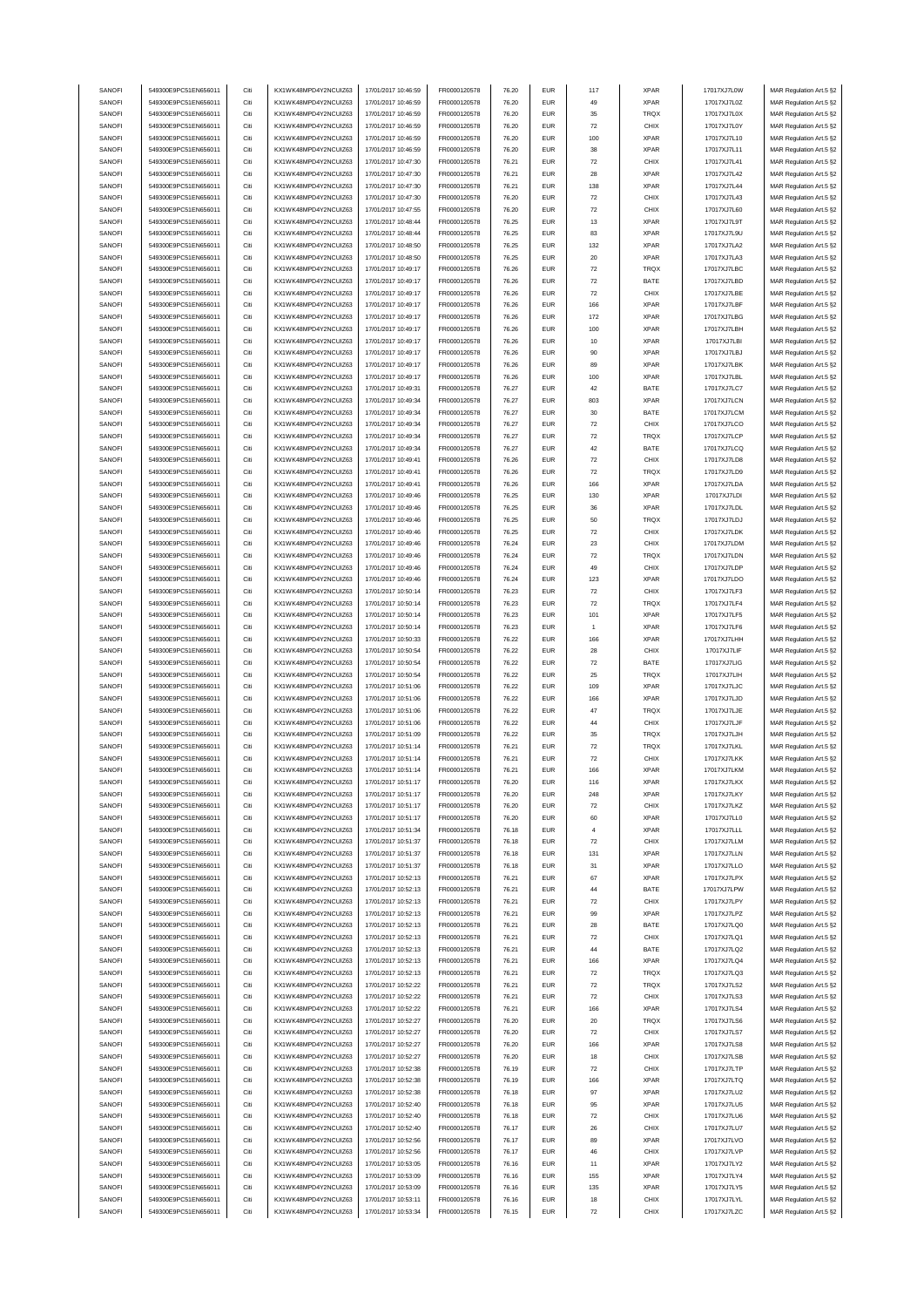| SANOFI<br>SANOFI |                                              | Citi | KX1WK48MPD4Y2NCUIZ63  | 17/01/2017 10:46:59 | FR0000120578                 | 76.20 | <b>EUR</b> | 117                | <b>XPAR</b> | 17017XJ7L0W | MAR Regulation Art.5 §2                            |
|------------------|----------------------------------------------|------|-----------------------|---------------------|------------------------------|-------|------------|--------------------|-------------|-------------|----------------------------------------------------|
|                  | 549300E9PC51EN656011<br>549300E9PC51EN656011 | Citi | KX1WK48MPD4Y2NCUIZ63  | 17/01/2017 10:46:59 |                              | 76.20 | <b>EUR</b> | 49                 | <b>XPAR</b> |             |                                                    |
|                  |                                              |      |                       |                     | FR0000120578<br>FR0000120578 |       |            |                    |             | 17017XJ7L0Z | MAR Regulation Art.5 §2                            |
| SANOFI           | 549300E9PC51EN656011                         | Citi | KX1WK48MPD4Y2NCUIZ63  | 17/01/2017 10:46:59 |                              | 76.20 | <b>EUR</b> | 35                 | TRQX        | 17017XJ7L0X | MAR Regulation Art.5 §2                            |
| SANOFI           | 549300E9PC51EN656011                         | Citi | KX1WK48MPD4Y2NCUIZ63  | 17/01/2017 10:46:59 | FR0000120578                 | 76.20 | EUR        | $\scriptstyle{72}$ | CHIX        | 17017XJ7L0Y | MAR Regulation Art.5 §2                            |
| SANOFI           | 549300E9PC51EN656011                         | Citi | KX1WK48MPD4Y2NCLIIZ63 | 17/01/2017 10:46:59 | FR0000120578                 | 76.20 | <b>EUR</b> | 100                | <b>XPAR</b> | 17017XJ7L10 | MAR Regulation Art.5 §2                            |
| SANOFI           | 549300E9PC51EN656011                         | Citi | KX1WK48MPD4Y2NCUIZ63  | 17/01/2017 10:46:59 | FR0000120578                 | 76.20 | <b>EUR</b> | 38                 | <b>XPAR</b> | 17017XJ7L11 | MAR Regulation Art.5 §2                            |
| SANOFI           | 549300E9PC51EN656011                         | Citi | KX1WK48MPD4Y2NCUIZ63  | 17/01/2017 10:47:30 | FR0000120578                 | 76.21 | <b>EUR</b> | $\scriptstyle{72}$ | CHIX        | 17017XJ7L41 | MAR Regulation Art.5 §2                            |
|                  |                                              |      |                       |                     |                              |       |            |                    |             |             |                                                    |
| SANOFI           | 549300E9PC51EN656011                         | Citi | KX1WK48MPD4Y2NCUIZ63  | 17/01/2017 10:47:30 | FR0000120578                 | 76.21 | <b>EUR</b> | 28                 | <b>XPAR</b> | 17017XJ7L42 | MAR Regulation Art.5 §2                            |
| SANOFI           | 549300E9PC51EN656011                         | Citi | KX1WK48MPD4Y2NCUIZ63  | 17/01/2017 10:47:30 | FR0000120578                 | 76.21 | <b>EUR</b> | 138                | <b>XPAR</b> | 17017XJ7L44 | MAR Regulation Art.5 §2                            |
| SANOFI           | 549300E9PC51EN656011                         | Citi | KX1WK48MPD4Y2NCUIZ63  | 17/01/2017 10:47:30 | FR0000120578                 | 76.20 | <b>EUR</b> | 72                 | CHIX        | 17017XJ7L43 | MAR Regulation Art.5 §2                            |
| SANOFI           | 549300E9PC51EN656011                         | Citi | KX1WK48MPD4Y2NCUIZ63  | 17/01/2017 10:47:55 | FR0000120578                 | 76.20 | <b>EUR</b> | 72                 | CHIX        | 17017XJ7L60 | MAR Regulation Art.5 §2                            |
| SANOFI           | 549300E9PC51EN656011                         | Citi | KX1WK48MPD4Y2NCUIZ63  | 17/01/2017 10:48:44 | FR0000120578                 | 76.25 | <b>EUR</b> | 13                 | <b>XPAR</b> | 17017XJ7L9T | MAR Regulation Art.5 §2                            |
|                  |                                              |      |                       |                     |                              |       |            |                    |             |             |                                                    |
| SANOFI           | 549300E9PC51EN656011                         | Citi | KX1WK48MPD4Y2NCUIZ63  | 17/01/2017 10:48:44 | FR0000120578                 | 76.25 | EUR        | 83                 | <b>XPAR</b> | 17017XJ7L9U | MAR Regulation Art.5 §2                            |
| SANOFI           | 549300E9PC51EN656011                         | Citi | KX1WK48MPD4Y2NCUIZ63  | 17/01/2017 10:48:50 | FR0000120578                 | 76.25 | <b>EUR</b> | 132                | <b>XPAR</b> | 17017XJ7LA2 | MAR Regulation Art.5 §2                            |
| SANOFI           | 549300E9PC51EN656011                         | Citi | KX1WK48MPD4Y2NCUIZ63  | 17/01/2017 10:48:50 | FR0000120578                 | 76.25 | <b>EUR</b> | 20                 | <b>XPAR</b> | 17017XJ7LA3 | MAR Regulation Art.5 §2                            |
| SANOFI           | 549300E9PC51EN656011                         | Citi | KX1WK48MPD4Y2NCUIZ63  | 17/01/2017 10:49:17 | FR0000120578                 | 76.26 | <b>EUR</b> | 72                 | TRQX        | 17017XJ7LBC | MAR Regulation Art.5 §2                            |
| SANOFI           | 549300E9PC51EN656011                         | Citi | KX1WK48MPD4Y2NCUIZ63  | 17/01/2017 10:49:17 | FR0000120578                 | 76.26 | <b>EUR</b> | 72                 | BATE        | 17017XJ7LBD | MAR Regulation Art.5 §2                            |
|                  | 549300E9PC51EN656011                         | Citi | KX1WK48MPD4Y2NCUIZ63  | 17/01/2017 10:49:17 |                              | 76.26 | <b>EUR</b> | 72                 | CHIX        |             |                                                    |
| SANOFI           |                                              |      |                       |                     | FR0000120578                 |       |            |                    |             | 17017XJ7LBE | MAR Regulation Art.5 §2                            |
| SANOFI           | 549300E9PC51EN656011                         | Citi | KX1WK48MPD4Y2NCUIZ63  | 17/01/2017 10:49:17 | FR0000120578                 | 76.26 | <b>EUR</b> | 166                | <b>XPAR</b> | 17017XJ7LBF | MAR Regulation Art.5 §2                            |
| SANOFI           | 549300E9PC51EN656011                         | Citi | KX1WK48MPD4Y2NCUIZ63  | 17/01/2017 10:49:17 | FR0000120578                 | 76.26 | <b>EUR</b> | 172                | <b>XPAR</b> | 17017XJ7LBG | MAR Regulation Art.5 §2                            |
| SANOFI           | 549300E9PC51EN656011                         | Citi | KX1WK48MPD4Y2NCUIZ63  | 17/01/2017 10:49:17 | FR0000120578                 | 76.26 | <b>EUR</b> | 100                | <b>XPAR</b> | 17017XJ7LBH | MAR Regulation Art.5 §2                            |
| SANOFI           | 549300E9PC51EN656011                         | Citi | KX1WK48MPD4Y2NCUIZ63  | 17/01/2017 10:49:17 | FR0000120578                 | 76.26 | <b>EUR</b> | 10                 | <b>XPAR</b> | 17017XJ7LBI | MAR Regulation Art.5 §2                            |
| SANOFI           | 549300E9PC51EN656011                         | Citi | KX1WK48MPD4Y2NCUIZ63  | 17/01/2017 10:49:17 | FR0000120578                 | 76.26 | <b>EUR</b> | 90                 | <b>XPAR</b> | 17017XJ7LBJ |                                                    |
|                  |                                              |      |                       |                     |                              |       |            |                    |             |             | MAR Regulation Art.5 §2                            |
| SANOFI           | 549300E9PC51EN656011                         | Citi | KX1WK48MPD4Y2NCUIZ63  | 17/01/2017 10:49:17 | FR0000120578                 | 76.26 | <b>EUR</b> | 89                 | <b>XPAR</b> | 17017XJ7LBK | MAR Regulation Art.5 §2                            |
| SANOFI           | 549300E9PC51EN656011                         | Citi | KX1WK48MPD4Y2NCUIZ63  | 17/01/2017 10:49:17 | FR0000120578                 | 76.26 | <b>EUR</b> | 100                | <b>XPAR</b> | 17017XJ7LBL | MAR Regulation Art.5 §2                            |
| SANOFI           | 549300E9PC51EN656011                         | Citi | KX1WK48MPD4Y2NCUIZ63  | 17/01/2017 10:49:31 | FR0000120578                 | 76.27 | <b>EUR</b> | 42                 | BATE        | 17017XJ7LC7 | MAR Regulation Art.5 §2                            |
| SANOFI           | 549300E9PC51EN656011                         | Citi | KX1WK48MPD4Y2NCUIZ63  | 17/01/2017 10:49:34 | FR0000120578                 | 76.27 | <b>EUR</b> | 803                | <b>XPAR</b> | 17017XJ7LCN | MAR Regulation Art.5 §2                            |
| SANOFI           | 549300E9PC51EN656011                         | Citi | KX1WK48MPD4Y2NCUIZ63  | 17/01/2017 10:49:34 |                              | 76.27 | <b>EUR</b> |                    | BATE        |             |                                                    |
|                  |                                              |      |                       |                     | FR0000120578                 |       |            | 30                 |             | 17017XJ7LCM | MAR Regulation Art.5 §2                            |
| SANOFI           | 549300E9PC51EN656011                         | Citi | KX1WK48MPD4Y2NCUIZ63  | 17/01/2017 10:49:34 | FR0000120578                 | 76.27 | <b>EUR</b> | 72                 | CHIX        | 17017XJ7LCO | MAR Regulation Art.5 §2                            |
| SANOFI           | 549300E9PC51EN656011                         | Citi | KX1WK48MPD4Y2NCUIZ63  | 17/01/2017 10:49:34 | FR0000120578                 | 76.27 | <b>EUR</b> | $\scriptstyle{72}$ | TRQX        | 17017XJ7LCP | MAR Regulation Art.5 §2                            |
| SANOFI           | 549300E9PC51EN656011                         | Citi | KX1WK48MPD4Y2NCUIZ63  | 17/01/2017 10:49:34 | FR0000120578                 | 76.27 | <b>EUR</b> | 42                 | BATE        | 17017XJ7LCQ | MAR Regulation Art.5 §2                            |
| SANOFI           | 549300E9PC51EN656011                         | Citi | KX1WK48MPD4Y2NCUIZ63  | 17/01/2017 10:49:41 | FR0000120578                 | 76.26 | <b>EUR</b> | 72                 | CHIX        | 17017XJ7LD8 | MAR Regulation Art.5 §2                            |
| SANOFI           | 549300E9PC51EN656011                         | Citi | KX1WK48MPD4Y2NCUIZ63  | 17/01/2017 10:49:41 | FR0000120578                 | 76.26 | <b>EUR</b> | $\scriptstyle{72}$ | TRQX        | 17017XJ7LD9 | MAR Regulation Art.5 §2                            |
|                  |                                              |      |                       |                     |                              |       |            |                    |             |             |                                                    |
| SANOFI           | 549300E9PC51EN656011                         | Citi | KX1WK48MPD4Y2NCUIZ63  | 17/01/2017 10:49:41 | FR0000120578                 | 76.26 | <b>EUR</b> | 166                | <b>XPAR</b> | 17017XJ7LDA | MAR Regulation Art.5 §2                            |
| SANOFI           | 549300E9PC51EN656011                         | Citi | KX1WK48MPD4Y2NCUIZ63  | 17/01/2017 10:49:46 | FR0000120578                 | 76.25 | <b>EUR</b> | 130                | <b>XPAR</b> | 17017XJ7LDI | MAR Regulation Art.5 §2                            |
| SANOFI           | 549300E9PC51EN656011                         | Citi | KX1WK48MPD4Y2NCUIZ63  | 17/01/2017 10:49:46 | FR0000120578                 | 76.25 | <b>EUR</b> | 36                 | <b>XPAR</b> | 17017XJ7LDL | MAR Regulation Art.5 §2                            |
| SANOFI           | 549300E9PC51EN656011                         | Citi | KX1WK48MPD4Y2NCLIIZ63 | 17/01/2017 10:49:46 | FR0000120578                 | 76.25 | <b>EUR</b> | 50                 | TRQX        | 17017XJ7LDJ | MAR Regulation Art.5 §2                            |
| SANOFI           | 549300E9PC51EN656011                         | Citi | KX1WK48MPD4Y2NCUIZ63  | 17/01/2017 10:49:46 | FR0000120578                 | 76.25 | <b>EUR</b> | 72                 | CHIX        | 17017XJ7LDK | MAR Regulation Art.5 §2                            |
|                  |                                              |      |                       |                     |                              |       |            |                    |             |             |                                                    |
| SANOFI           | 549300E9PC51EN656011                         | Citi | KX1WK48MPD4Y2NCUIZ63  | 17/01/2017 10:49:46 | FR0000120578                 | 76.24 | <b>EUR</b> | 23                 | CHIX        | 17017XJ7LDM | MAR Regulation Art.5 §2                            |
| SANOFI           | 549300E9PC51EN656011                         | Citi | KX1WK48MPD4Y2NCUIZ63  | 17/01/2017 10:49:46 | FR0000120578                 | 76.24 | <b>EUR</b> | $\scriptstyle{72}$ | TRQX        | 17017XJ7LDN | MAR Regulation Art.5 §2                            |
| SANOFI           | 549300E9PC51EN656011                         | Citi | KX1WK48MPD4Y2NCUIZ63  | 17/01/2017 10:49:46 | FR0000120578                 | 76.24 | <b>EUR</b> | 49                 | CHIX        | 17017XJ7LDP | MAR Regulation Art.5 §2                            |
| SANOFI           | 549300E9PC51EN656011                         | Citi | KX1WK48MPD4Y2NCUIZ63  | 17/01/2017 10:49:46 | FR0000120578                 | 76.24 | <b>EUR</b> | 123                | <b>XPAR</b> | 17017XJ7LDO | MAR Regulation Art.5 §2                            |
| SANOFI           | 549300E9PC51EN656011                         | Citi | KX1WK48MPD4Y2NCUIZ63  | 17/01/2017 10:50:14 | FR0000120578                 | 76.23 | <b>EUR</b> | 72                 | CHIX        | 17017XJ7LF3 | MAR Regulation Art.5 §2                            |
| SANOFI           | 549300E9PC51EN656011                         | Citi | KX1WK48MPD4Y2NCUIZ63  | 17/01/2017 10:50:14 | FR0000120578                 | 76.23 | <b>EUR</b> | 72                 | TRQX        | 17017XJ7LF4 |                                                    |
|                  |                                              |      |                       |                     |                              |       |            |                    |             |             | MAR Regulation Art.5 §2                            |
| SANOFI           | 549300E9PC51EN656011                         | Citi | KX1WK48MPD4Y2NCUIZ63  | 17/01/2017 10:50:14 | FR0000120578                 | 76.23 | <b>EUR</b> | 101                | <b>XPAR</b> | 17017XJ7LF5 | MAR Regulation Art.5 §2                            |
| SANOFI           | 549300E9PC51EN656011                         | Citi | KX1WK48MPD4Y2NCUIZ63  | 17/01/2017 10:50:14 | FR0000120578                 | 76.23 | <b>EUR</b> | $\overline{1}$     | <b>XPAR</b> | 17017XJ7LF6 | MAR Regulation Art.5 §2                            |
| SANOFI           | 549300E9PC51EN656011                         | Citi | KX1WK48MPD4Y2NCUIZ63  | 17/01/2017 10:50:33 | FR0000120578                 | 76.22 | <b>EUR</b> | 166                | <b>XPAR</b> | 17017XJ7LHH | MAR Regulation Art.5 §2                            |
| SANOFI           | 549300E9PC51EN656011                         | Citi | KX1WK48MPD4Y2NCUIZ63  | 17/01/2017 10:50:54 | FR0000120578                 | 76.22 | <b>EUR</b> | 28                 | CHIX        | 17017XJ7LIF | MAR Regulation Art.5 §2                            |
| SANOFI           | 549300E9PC51EN656011                         | Citi | KX1WK48MPD4Y2NCUIZ63  | 17/01/2017 10:50:54 | FR0000120578                 | 76.22 | <b>EUR</b> | $\scriptstyle{72}$ | BATE        | 17017XJ7LIG | MAR Regulation Art.5 §2                            |
|                  |                                              |      |                       |                     |                              |       |            |                    |             |             |                                                    |
| SANOFI           | 549300E9PC51EN656011                         | Citi | KX1WK48MPD4Y2NCUIZ63  | 17/01/2017 10:50:54 | FR0000120578                 | 76.22 | <b>EUR</b> | 25                 | TRQX        | 17017XJ7LIH | MAR Regulation Art.5 §2                            |
| SANOFI           | 549300E9PC51EN656011                         | Citi | KX1WK48MPD4Y2NCUIZ63  | 17/01/2017 10:51:06 | FR0000120578                 | 76.22 | <b>EUR</b> | 109                | <b>XPAR</b> | 17017XJ7LJC | MAR Regulation Art.5 §2                            |
| SANOFI           | 549300E9PC51EN656011                         |      | KX1WK48MPD4Y2NCUIZ63  | 17/01/2017 10:51:06 | FR0000120578                 | 76.22 | <b>EUR</b> | 166                | <b>XPAR</b> | 17017XJ7LJD | MAR Regulation Art.5 §2                            |
|                  |                                              | Citi |                       |                     |                              |       |            |                    |             |             |                                                    |
|                  | 549300E9PC51EN656011                         | Citi | KX1WK48MPD4Y2NCLIIZ63 | 17/01/2017 10:51:06 |                              |       |            |                    |             | 17017XJ7LJE |                                                    |
| SANOFI           |                                              |      |                       |                     | FR0000120578                 | 76.22 | <b>EUR</b> | 47                 | TRQX        |             | MAR Regulation Art.5 §2                            |
| SANOFI           | 549300E9PC51EN656011                         | Citi | KX1WK48MPD4Y2NCUIZ63  | 17/01/2017 10:51:06 | FR0000120578                 | 76.22 | <b>EUR</b> | 44                 | CHIX        | 17017XJ7LJF | MAR Regulation Art.5 §2                            |
| SANOFI           | 549300E9PC51EN656011                         | Citi | KX1WK48MPD4Y2NCUIZ63  | 17/01/2017 10:51:09 | FR0000120578                 | 76.22 | <b>EUR</b> | 35                 | TRQX        | 17017XJ7LJH | MAR Regulation Art.5 §2                            |
| SANOFI           | 549300E9PC51EN656011                         | Citi | KX1WK48MPD4Y2NCUIZ63  | 17/01/2017 10:51:14 | FR0000120578                 | 76.21 | <b>EUR</b> | $\scriptstyle{72}$ | TRQX        | 17017XJ7LKL | MAR Regulation Art.5 §2                            |
| SANOFI           | 549300E9PC51EN656011                         | Citi | KX1WK48MPD4Y2NCUIZ63  | 17/01/2017 10:51:14 | FR0000120578                 | 76.21 | <b>EUR</b> | 72                 | CHIX        | 17017XJ7LKK | MAR Regulation Art.5 §2                            |
|                  |                                              | Citi |                       |                     |                              |       | <b>EUR</b> |                    |             |             |                                                    |
| SANOFI           | 549300E9PC51EN656011<br>549300E9PC51EN656011 |      | KX1WK48MPD4Y2NCUIZ63  | 17/01/2017 10:51:14 | FR0000120578<br>ER0000120578 | 76.21 |            | 166                | <b>XPAR</b> | 17017XJ7LKM | MAR Regulation Art.5 §2<br>MAR Regulation Art 5.82 |
| SANOFI           |                                              |      | KX1WK48MPD4Y2NCLIIZ63 | 17/01/2017 10:51:17 |                              | 76.20 | FUR        | 116                | <b>XPAR</b> | 17017XJ7IKX |                                                    |
| SANOFI           | 549300E9PC51EN656011                         | Citi | KX1WK48MPD4Y2NCUIZ63  | 17/01/2017 10:51:17 | FR0000120578                 | 76.20 | <b>EUR</b> | 248                | <b>XPAR</b> | 17017XJ7LKY | MAR Regulation Art.5 §2                            |
| SANOFI           | 549300E9PC51EN656011                         | Citi | KX1WK48MPD4Y2NCUIZ63  | 17/01/2017 10:51:17 | FR0000120578                 | 76.20 | <b>EUR</b> | $\scriptstyle{72}$ | CHIX        | 17017XJ7LKZ | MAR Regulation Art.5 §2                            |
| SANOFI           | 549300E9PC51EN656011                         | Citi | KX1WK48MPD4Y2NCUIZ63  | 17/01/2017 10:51:17 | FR0000120578                 | 76.20 | <b>EUR</b> | 60                 | <b>XPAR</b> | 17017XJ7LL0 | MAR Regulation Art.5 §2                            |
| SANOFI           | 549300E9PC51EN656011                         | Citi | KX1WK48MPD4Y2NCUIZ63  | 17/01/2017 10:51:34 | FR0000120578                 | 76.18 | <b>EUR</b> | 4                  | <b>XPAR</b> | 17017XJ7LLL |                                                    |
|                  |                                              |      |                       |                     |                              |       |            |                    |             |             | MAR Regulation Art.5 §2                            |
| SANOFI           | 549300E9PC51EN656011                         | Citi | KX1WK48MPD4Y2NCUIZ63  | 17/01/2017 10:51:37 | FR0000120578                 | 76.18 | <b>EUR</b> | $\scriptstyle{72}$ | CHIX        | 17017XJ7LLM | MAR Regulation Art.5 §2                            |
| SANOFI           | 549300E9PC51EN656011                         | Citi | KX1WK48MPD4Y2NCUIZ63  | 17/01/2017 10:51:37 | FR0000120578                 | 76.18 | <b>EUR</b> | 131                | <b>XPAR</b> | 17017XJ7LLN | MAR Regulation Art.5 §2                            |
| SANOFI           | 549300E9PC51EN656011                         | Citi | KX1WK48MPD4Y2NCUIZ63  | 17/01/2017 10:51:37 | FR0000120578                 | 76.18 | <b>EUR</b> | 31                 | <b>XPAR</b> | 17017XJ7LLO | MAR Regulation Art.5 §2                            |
| SANOFI           | 549300E9PC51EN656011                         | Citi | KX1WK48MPD4Y2NCUIZ63  | 17/01/2017 10:52:13 | FR0000120578                 | 76.21 | <b>EUR</b> | 67                 | <b>XPAR</b> | 17017XJ7LPX | MAR Regulation Art.5 §2                            |
| SANOFI           | 549300E9PC51EN656011                         | Citi | KX1WK48MPD4Y2NCUIZ63  | 17/01/2017 10:52:13 | FR0000120578                 | 76.21 | <b>EUR</b> | 44                 | BATE        | 17017XJ7LPW | MAR Regulation Art.5 §2                            |
| SANOFI           | 549300E9PC51EN656011                         | Citi | KX1WK48MPD4Y2NCUIZ63  | 17/01/2017 10:52:13 | FR0000120578                 | 76.21 | <b>EUR</b> | 72                 | CHIX        | 17017XJ7LPY | MAR Regulation Art.5 §2                            |
|                  |                                              |      |                       |                     |                              | 76.21 |            |                    |             |             |                                                    |
| SANOFI           | 549300E9PC51EN656011                         | Citi | KX1WK48MPD4Y2NCUIZ63  | 17/01/2017 10:52:13 | FR0000120578                 |       | <b>EUR</b> | 99                 | <b>XPAR</b> | 17017XJ7LPZ | MAR Regulation Art.5 §2                            |
| SANOFI           | 549300E9PC51EN656011                         | Citi | KX1WK48MPD4Y2NCUIZ63  | 17/01/2017 10:52:13 | FR0000120578                 | 76.21 | <b>EUR</b> | 28                 | BATE        | 17017XJ7LQ0 | MAR Regulation Art.5 §2                            |
| SANOFI           | 549300E9PC51EN656011                         | Citi | KX1WK48MPD4Y2NCUIZ63  | 17/01/2017 10:52:13 | FR0000120578                 | 76.21 | <b>EUR</b> | $\scriptstyle{72}$ | CHIX        | 17017XJ7LQ1 | MAR Regulation Art.5 §2                            |
| SANOFI           | 549300E9PC51EN656011                         | Citi | KX1WK48MPD4Y2NCUIZ63  | 17/01/2017 10:52:13 | FR0000120578                 | 76.21 | <b>EUR</b> | 44                 | BATE        | 17017XJ7LQ2 | MAR Regulation Art.5 §2                            |
| SANOFI           | 549300E9PC51EN656011                         | Citi | KX1WK48MPD4Y2NCUIZ63  | 17/01/2017 10:52:13 | FR0000120578                 | 76.21 | <b>EUR</b> | 166                | <b>XPAR</b> | 17017XJ7LQ4 | MAR Regulation Art.5 §2                            |
|                  |                                              |      |                       |                     |                              |       |            |                    |             |             |                                                    |
| SANOFI           | 549300E9PC51EN656011                         | Citi | KX1WK48MPD4Y2NCUIZ63  | 17/01/2017 10:52:13 | FR0000120578                 | 76.21 | <b>EUR</b> | $\scriptstyle{72}$ | TRQX        | 17017XJ7LQ3 | MAR Regulation Art.5 §2                            |
| SANOFI           | 549300E9PC51EN656011                         | Citi | KX1WK48MPD4Y2NCUIZ63  | 17/01/2017 10:52:22 | FR0000120578                 | 76.21 | <b>EUR</b> | $\scriptstyle{72}$ | TRQX        | 17017XJ7LS2 | MAR Regulation Art.5 §2                            |
| SANOFI           | 549300E9PC51EN656011                         | Citi | KX1WK48MPD4Y2NCUIZ63  | 17/01/2017 10:52:22 | FR0000120578                 | 76.21 | <b>EUR</b> | $\scriptstyle{72}$ | CHIX        | 17017XJ7LS3 | MAR Regulation Art.5 §2                            |
| SANOFI           | 549300E9PC51EN656011                         | Citi | KX1WK48MPD4Y2NCUIZ63  | 17/01/2017 10:52:22 | FR0000120578                 | 76.21 | <b>EUR</b> | 166                | <b>XPAR</b> | 17017XJ7LS4 | MAR Regulation Art.5 §2                            |
| SANOFI           | 549300E9PC51EN656011                         | Citi | KX1WK48MPD4Y2NCUIZ63  | 17/01/2017 10:52:27 | FR0000120578                 | 76.20 | <b>EUR</b> | 20                 | TRQX        | 17017XJ7LS6 | MAR Regulation Art.5 §2                            |
|                  |                                              |      |                       |                     |                              |       |            |                    |             |             |                                                    |
| SANOFI           | 549300E9PC51EN656011                         | Citi | KX1WK48MPD4Y2NCUIZ63  | 17/01/2017 10:52:27 | FR0000120578                 | 76.20 | <b>EUR</b> | $\scriptstyle{72}$ | CHIX        | 17017XJ7LS7 | MAR Regulation Art.5 §2                            |
| SANOFI           | 549300E9PC51EN656011                         | Citi | KX1WK48MPD4Y2NCUIZ63  | 17/01/2017 10:52:27 | FR0000120578                 | 76.20 | <b>EUR</b> | 166                | <b>XPAR</b> | 17017XJ7LS8 | MAR Regulation Art.5 §2                            |
| SANOFI           | 549300E9PC51EN656011                         | Citi | KX1WK48MPD4Y2NCUIZ63  | 17/01/2017 10:52:27 | FR0000120578                 | 76.20 | <b>EUR</b> | 18                 | CHIX        | 17017XJ7LSB | MAR Regulation Art.5 §2                            |
| SANOFI           | 549300E9PC51EN656011                         | Citi | KX1WK48MPD4Y2NCUIZ63  | 17/01/2017 10:52:38 | FR0000120578                 | 76.19 | <b>EUR</b> | $\scriptstyle{72}$ | CHIX        | 17017XJ7LTP | MAR Regulation Art.5 §2                            |
| SANOFI           | 549300E9PC51EN656011                         | Citi | KX1WK48MPD4Y2NCUIZ63  | 17/01/2017 10:52:38 | FR0000120578                 | 76.19 | <b>EUR</b> | 166                | <b>XPAR</b> | 17017XJ7LTQ | MAR Regulation Art.5 §2                            |
| SANOFI           |                                              | Citi |                       |                     |                              |       | <b>EUR</b> | 97                 | <b>XPAR</b> |             |                                                    |
|                  | 549300E9PC51EN656011                         |      | KX1WK48MPD4Y2NCUIZ63  | 17/01/2017 10:52:38 | FR0000120578                 | 76.18 |            |                    |             | 17017XJ7LU2 | MAR Regulation Art.5 §2                            |
| SANOFI           | 549300E9PC51EN656011                         | Citi | KX1WK48MPD4Y2NCUIZ63  | 17/01/2017 10:52:40 | FR0000120578                 | 76.18 | <b>EUR</b> | 95                 | <b>XPAR</b> | 17017XJ7LU5 | MAR Regulation Art.5 §2                            |
| SANOFI           | 549300E9PC51EN656011                         | Citi | KX1WK48MPD4Y2NCUIZ63  | 17/01/2017 10:52:40 | FR0000120578                 | 76.18 | <b>EUR</b> | 72                 | CHIX        | 17017XJ7LU6 | MAR Regulation Art.5 §2                            |
| SANOFI           | 549300E9PC51EN656011                         | Citi | KX1WK48MPD4Y2NCUIZ63  | 17/01/2017 10:52:40 | FR0000120578                 | 76.17 | <b>EUR</b> | 26                 | CHIX        | 17017XJ7LU7 | MAR Regulation Art.5 §2                            |
| SANOFI           | 549300E9PC51EN656011                         | Citi | KX1WK48MPD4Y2NCUIZ63  | 17/01/2017 10:52:56 | FR0000120578                 | 76.17 | <b>EUR</b> | 89                 | <b>XPAR</b> | 17017XJ7LVO | MAR Regulation Art.5 §2                            |
| SANOFI           | 549300E9PC51EN656011                         | Citi | KX1WK48MPD4Y2NCUIZ63  | 17/01/2017 10:52:56 | FR0000120578                 | 76.17 | <b>EUR</b> | 46                 | CHIX        | 17017XJ7LVP | MAR Regulation Art.5 §2                            |
| SANOFI           | 549300E9PC51EN656011                         | Citi | KX1WK48MPD4Y2NCUIZ63  | 17/01/2017 10:53:05 | FR0000120578                 | 76.16 | <b>EUR</b> | 11                 | <b>XPAR</b> | 17017XJ7LY2 |                                                    |
|                  |                                              |      |                       |                     |                              |       |            |                    |             |             | MAR Regulation Art.5 §2                            |
| SANOFI           | 549300E9PC51EN656011                         | Citi | KX1WK48MPD4Y2NCUIZ63  | 17/01/2017 10:53:09 | FR0000120578                 | 76.16 | <b>EUR</b> | 155                | <b>XPAR</b> | 17017XJ7LY4 | MAR Regulation Art.5 §2                            |
| SANOFI           | 549300E9PC51EN656011                         | Citi | KX1WK48MPD4Y2NCUIZ63  | 17/01/2017 10:53:09 | FR0000120578                 | 76.16 | <b>EUR</b> | 135                | <b>XPAR</b> | 17017XJ7LY5 | MAR Regulation Art.5 §2                            |
| SANOFI           | 549300E9PC51EN656011                         | Citi | KX1WK48MPD4Y2NCUIZ63  | 17/01/2017 10:53:11 | FR0000120578                 | 76.16 | <b>EUR</b> | 18                 | CHIX        | 17017XJ7LYL | MAR Regulation Art.5 §2                            |
| SANOFI           | 549300E9PC51EN656011                         | Citi | KX1WK48MPD4Y2NCUIZ63  | 17/01/2017 10:53:34 | FR0000120578                 | 76.15 | <b>EUR</b> | 72                 | CHIX        | 17017XJ7LZC | MAR Regulation Art.5 §2                            |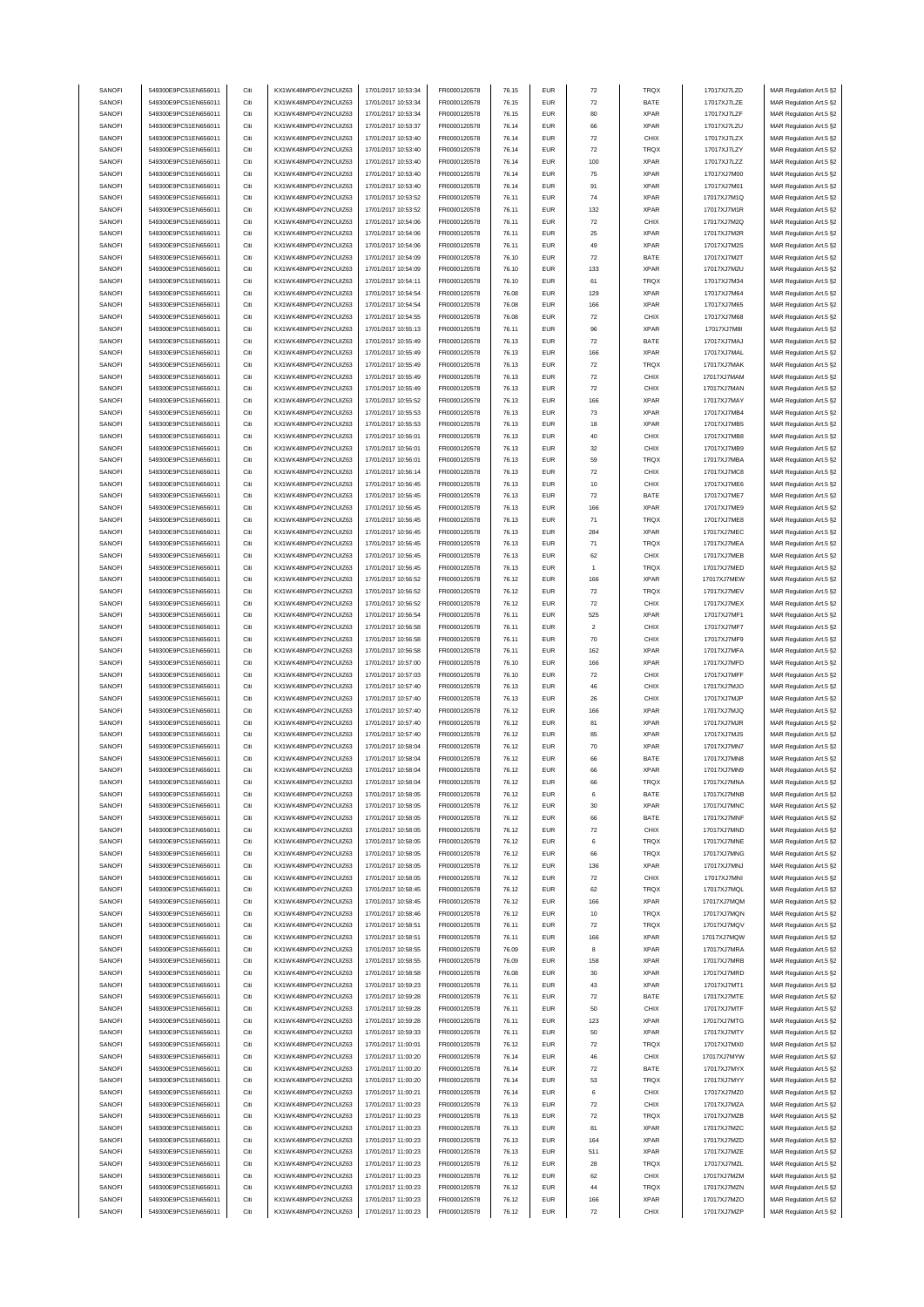| SANOFI<br>549300E9PC51EN656011<br>Citi<br>KX1WK48MPD4Y2NCUIZ63<br>17/01/2017 10:53:34<br><b>EUR</b><br>72<br>BATE<br>FR0000120578<br>76.15<br>17017XJ7LZE<br>MAR Regulation Art.5 §2<br>SANOFI<br>549300E9PC51EN656011<br>Citi<br>KX1WK48MPD4Y2NCUIZ63<br>17/01/2017 10:53:34<br>FR0000120578<br>76.15<br><b>EUR</b><br><b>XPAR</b><br>17017XJ7LZF<br>80<br>MAR Regulation Art.5 §2<br><b>EUR</b><br><b>XPAR</b><br>SANOFI<br>549300E9PC51EN656011<br>Citi<br>KX1WK48MPD4Y2NCUIZ63<br>17/01/2017 10:53:37<br>FR0000120578<br>76.14<br>66<br>17017XJ7LZU<br><b>EUR</b><br>CHIX<br>SANOFI<br>549300E9PC51EN656011<br>Citi<br>KX1WK48MPD4Y2NCUIZ63<br>17/01/2017 10:53:40<br>FR0000120578<br>76.14<br>$\scriptstyle{72}$<br>17017XJ7LZX<br>$\scriptstyle{72}$<br>SANOFI<br>549300E9PC51EN656011<br>Citi<br>KX1WK48MPD4Y2NCUIZ63<br>17/01/2017 10:53:40<br>FR0000120578<br>76.14<br><b>EUR</b><br>TRQX<br>17017XJ7LZY<br>SANOFI<br>549300E9PC51EN656011<br>Citi<br>KX1WK48MPD4Y2NCUIZ63<br>17/01/2017 10:53:40<br>FR0000120578<br>76.14<br><b>EUR</b><br>100<br><b>XPAR</b><br>17017XJ7LZZ<br>MAR Regulation Art.5 §2<br>SANOFI<br>549300E9PC51EN656011<br>Citi<br>17/01/2017 10:53:40<br>FR0000120578<br><b>EUR</b><br>75<br><b>XPAR</b><br>17017XJ7M00<br>KX1WK48MPD4Y2NCUIZ63<br>76.14<br>MAR Regulation Art.5 §2<br>SANOFI<br>549300E9PC51EN656011<br>Citi<br>KX1WK48MPD4Y2NCUIZ63<br>17/01/2017 10:53:40<br>FR0000120578<br><b>XPAR</b><br>76.14<br><b>EUR</b><br>91<br>17017XJ7M01<br>SANOFI<br>549300E9PC51EN656011<br>Citi<br>KX1WK48MPD4Y2NCUIZ63<br>17/01/2017 10:53:52<br>FR0000120578<br><b>EUR</b><br>74<br><b>XPAR</b><br>17017XJ7M1Q<br>76.11<br>SANOFI<br>549300E9PC51EN656011<br>Citi<br>KX1WK48MPD4Y2NCUIZ63<br>17/01/2017 10:53:52<br><b>EUR</b><br>132<br><b>XPAR</b><br>17017XJ7M1R<br>FR0000120578<br>76.11<br>Citi<br><b>EUR</b><br>$\scriptstyle{72}$<br>CHIX<br>SANOFI<br>549300E9PC51EN656011<br>KX1WK48MPD4Y2NCUIZ63<br>17/01/2017 10:54:06<br>FR0000120578<br>76.11<br>17017XJ7M2Q<br>MAR Regulation Art.5 §2<br>SANOFI<br><b>EUR</b><br>549300E9PC51EN656011<br>Citi<br>KX1WK48MPD4Y2NCUIZ63<br>17/01/2017 10:54:06<br>FR0000120578<br>76.11<br>25<br><b>XPAR</b><br>17017XJ7M2R<br>SANOFI<br>549300E9PC51EN656011<br>Citi<br>KX1WK48MPD4Y2NCUIZ63<br>17/01/2017 10:54:06<br>FR0000120578<br>76.11<br><b>EUR</b><br>49<br><b>XPAR</b><br>17017XJ7M2S<br><b>EUR</b><br>$\scriptstyle{72}$<br>SANOFI<br>549300E9PC51EN656011<br>Citi<br>KX1WK48MPD4Y2NCUIZ63<br>17/01/2017 10:54:09<br>FR0000120578<br>76.10<br>BATE<br>17017XJ7M2T<br>SANOFI<br>549300E9PC51EN656011<br>Citi<br>KX1WK48MPD4Y2NCUIZ63<br>17/01/2017 10:54:09<br>FR0000120578<br>133<br><b>XPAR</b><br>17017XJ7M2U<br>76.10<br><b>EUR</b><br>MAR Regulation Art.5 §2<br>SANOFI<br>549300E9PC51EN656011<br>Citi<br>KX1WK48MPD4Y2NCUIZ63<br>FR0000120578<br>61<br>TRQX<br>17/01/2017 10:54:11<br>76.10<br><b>EUR</b><br>17017XJ7M34<br>MAR Regulation Art.5 §2<br>SANOFI<br>549300E9PC51EN656011<br>Citi<br>KX1WK48MPD4Y2NCUIZ63<br><b>EUR</b><br>129<br><b>XPAR</b><br>17/01/2017 10:54:54<br>FR0000120578<br>76.08<br>17017XJ7M64<br>SANOFI<br>549300E9PC51EN656011<br>Citi<br>KX1WK48MPD4Y2NCUIZ63<br>17/01/2017 10:54:54<br>FR0000120578<br>76.08<br><b>EUR</b><br>166<br><b>XPAR</b><br>17017XJ7M65<br>$\scriptstyle{72}$<br>CHIX<br>SANOFI<br>549300E9PC51EN656011<br>Citi<br>KX1WK48MPD4Y2NCUIZ63<br>17/01/2017 10:54:55<br>FR0000120578<br>76.08<br><b>EUR</b><br>17017XJ7M68<br>MAR Regulation Art.5 §2<br>SANOFI<br><b>XPAR</b><br>549300E9PC51EN656011<br>Citi<br>KX1WK48MPD4Y2NCUIZ63<br>17/01/2017 10:55:13<br>FR0000120578<br>76.11<br><b>EUR</b><br>96<br>17017XJ7M8I<br>MAR Regulation Art.5 §2<br>SANOFI<br>549300E9PC51EN656011<br>Citi<br>KX1WK48MPD4Y2NCUIZ63<br>17/01/2017 10:55:49<br>FR0000120578<br>76.13<br><b>EUR</b><br>$\scriptstyle{72}$<br>BATE<br>17017XJ7MAJ<br>SANOFI<br>549300E9PC51EN656011<br>Citi<br>KX1WK48MPD4Y2NCUIZ63<br>17/01/2017 10:55:49<br>FR0000120578<br>76.13<br><b>EUR</b><br>166<br><b>XPAR</b><br>17017XJ7MAL<br>SANOFI<br>549300E9PC51EN656011<br>FR0000120578<br>$\scriptstyle{72}$<br>TRQX<br>Citi<br>KX1WK48MPD4Y2NCUIZ63<br>17/01/2017 10:55:49<br>76.13<br><b>EUR</b><br>17017XJ7MAK<br>SANOFI<br>549300E9PC51EN656011<br>Citi<br>KX1WK48MPD4Y2NCUIZ63<br>FR0000120578<br><b>EUR</b><br>$\scriptstyle{72}$<br>CHIX<br>17017XJ7MAM<br>17/01/2017 10:55:49<br>76.13<br>SANOFI<br>549300E9PC51EN656011<br>Citi<br>KX1WK48MPD4Y2NCUIZ63<br>17/01/2017 10:55:49<br>FR0000120578<br>76.13<br><b>EUR</b><br>72<br>CHIX<br>17017XJ7MAN<br>MAR Regulation Art.5 §2<br>SANOFI<br>549300E9PC51EN656011<br>Citi<br>KX1WK48MPD4Y2NCUIZ63<br>17/01/2017 10:55:52<br><b>EUR</b><br>166<br><b>XPAR</b><br>17017XJ7MAY<br>FR0000120578<br>76.13<br><b>XPAR</b><br>SANOFI<br>549300E9PC51EN656011<br>Citi<br>KX1WK48MPD4Y2NCUIZ63<br>17/01/2017 10:55:53<br>FR0000120578<br>76.13<br><b>EUR</b><br>$\mathbf{73}$<br>17017XJ7MB4<br><b>EUR</b><br>SANOFI<br>549300E9PC51EN656011<br>Citi<br>KX1WK48MPD4Y2NCUIZ63<br>17/01/2017 10:55:53<br>FR0000120578<br>76.13<br>18<br><b>XPAR</b><br>17017XJ7MB5<br>SANOFI<br>549300E9PC51EN656011<br>Citi<br>KX1WK48MPD4Y2NCUIZ63<br>17/01/2017 10:56:01<br>FR0000120578<br>76.13<br><b>EUR</b><br>40<br>CHIX<br>17017XJ7MB8<br>SANOFI<br>549300E9PC51EN656011<br>Citi<br>KX1WK48MPD4Y2NCUIZ63<br>17/01/2017 10:56:01<br>FR0000120578<br>76.13<br><b>EUR</b><br>32<br>CHIX<br>17017XJ7MB9<br>MAR Regulation Art.5 §2<br>SANOFI<br>549300E9PC51EN656011<br>Citi<br>KX1WK48MPD4Y2NCUIZ63<br>FR0000120578<br><b>EUR</b><br>59<br>TRQX<br>17017XJ7MBA<br>17/01/2017 10:56:01<br>76.13<br>SANOFI<br>Citi<br>FR0000120578<br><b>EUR</b><br>CHIX<br>549300E9PC51EN656011<br>KX1WK48MPD4Y2NCUIZ63<br>17/01/2017 10:56:14<br>76.13<br>$\scriptstyle{72}$<br>17017XJ7MC8<br>SANOFI<br>549300E9PC51EN656011<br>Citi<br>KX1WK48MPD4Y2NCUIZ63<br>17/01/2017 10:56:45<br>FR0000120578<br><b>EUR</b><br>10<br>CHIX<br>17017XJ7ME6<br>76.13<br>SANOFI<br>549300E9PC51EN656011<br>Citi<br>KX1WK48MPD4Y2NCUIZ63<br>17/01/2017 10:56:45<br>FR0000120578<br><b>EUR</b><br>72<br>BATE<br>17017XJ7ME7<br>76.13<br>MAR Regulation Art.5 §2<br>SANOFI<br>Citi<br>KX1WK48MPD4Y2NCUIZ63<br><b>EUR</b><br>166<br><b>XPAR</b><br>549300E9PC51EN656011<br>17/01/2017 10:56:45<br>FR0000120578<br>76.13<br>17017XJ7ME9<br>Citi<br><b>EUR</b><br>${\bf 71}$<br>TRQX<br>SANOFI<br>549300E9PC51EN656011<br>KX1WK48MPD4Y2NCUIZ63<br>17/01/2017 10:56:45<br>FR0000120578<br>76.13<br>17017XJ7ME8<br>SANOFI<br>549300E9PC51EN656011<br>Citi<br>KX1WK48MPD4Y2NCUIZ63<br>17/01/2017 10:56:45<br>FR0000120578<br>76.13<br><b>EUR</b><br>284<br><b>XPAR</b><br>17017XJ7MEC<br>SANOFI<br>549300E9PC51EN656011<br>Citi<br>KX1WK48MPD4Y2NCUIZ63<br>17/01/2017 10:56:45<br>FR0000120578<br>76.13<br><b>EUR</b><br>71<br>TRQX<br>17017XJ7MEA<br>SANOFI<br>549300E9PC51EN656011<br>Citi<br>KX1WK48MPD4Y2NCUIZ63<br>17/01/2017 10:56:45<br>FR0000120578<br>76.13<br><b>EUR</b><br>62<br>CHIX<br>17017XJ7MEB<br>MAR Regulation Art.5 §2<br>SANOFI<br>549300E9PC51EN656011<br>Citi<br>KX1WK48MPD4Y2NCUIZ63<br>17/01/2017 10:56:45<br>FR0000120578<br><b>EUR</b><br>TRQX<br>17017XJ7MED<br>76.13<br>$\overline{1}$<br>SANOFI<br>549300E9PC51EN656011<br>FR0000120578<br><b>XPAR</b><br>Citi<br>KX1WK48MPD4Y2NCUIZ63<br>17/01/2017 10:56:52<br>76.12<br><b>EUR</b><br>166<br>17017XJ7MEW<br>SANOFI<br>549300E9PC51EN656011<br>Citi<br>KX1WK48MPD4Y2NCUIZ63<br>17/01/2017 10:56:52<br>FR0000120578<br>76.12<br><b>EUR</b><br>72<br>TRQX<br>17017XJ7MEV<br>SANOFI<br>549300E9PC51EN656011<br>Citi<br>KX1WK48MPD4Y2NCUIZ63<br>17/01/2017 10:56:52<br>FR0000120578<br>76.12<br><b>EUR</b><br>$\scriptstyle{72}$<br>CHIX<br>17017XJ7MEX<br>EUR<br>525<br>SANOFI<br>549300E9PC51EN656011<br>Citi<br>KX1WK48MPD4Y2NCUIZ63<br>17/01/2017 10:56:54<br>FR0000120578<br>76.11<br><b>XPAR</b><br>17017XJ7MF1<br>MAR Regulation Art.5 §2<br>SANOFI<br>$\sqrt{2}$<br>CHIX<br>549300E9PC51EN656011<br>Citi<br>KX1WK48MPD4Y2NCUIZ63<br>17/01/2017 10:56:58<br>FR0000120578<br>76.11<br><b>EUR</b><br>17017XJ7MF7<br>MAR Regulation Art.5 §2<br>SANOFI<br>549300E9PC51EN656011<br>Citi<br>KX1WK48MPD4Y2NCUIZ63<br>17/01/2017 10:56:58<br>FR0000120578<br>76.11<br><b>EUR</b><br>70<br>CHIX<br>17017XJ7MF9<br>SANOFI<br>549300E9PC51EN656011<br>Citi<br>KX1WK48MPD4Y2NCUIZ63<br>17/01/2017 10:56:58<br>FR0000120578<br>76.11<br><b>EUR</b><br>162<br><b>XPAR</b><br>17017XJ7MFA<br>SANOFI<br>549300E9PC51EN656011<br>KX1WK48MPD4Y2NCUIZ63<br>FR0000120578<br><b>XPAR</b><br>17017XJ7MFD<br>Citi<br>17/01/2017 10:57:00<br>76.10<br><b>EUR</b><br>166<br>SANOFI<br>Citi<br>FR0000120578<br><b>EUR</b><br>$\scriptstyle{72}$<br>CHIX<br>17017XJ7MFF<br>549300E9PC51EN656011<br>KX1WK48MPD4Y2NCUIZ63<br>17/01/2017 10:57:03<br>76.10<br>MAR Regulation Art.5 §2<br>SANOFI<br>549300E9PC51EN656011<br>Citi<br>KX1WK48MPD4Y2NCUIZ63<br>17/01/2017 10:57:40<br>FR0000120578<br><b>EUR</b><br>46<br>CHIX<br>17017XJ7MJO<br>76.13<br>SANOFI<br>549300E9PC51EN656011<br>Citi<br>KX1WK48MPD4Y2NCUIZ63<br>17/01/2017 10:57:40<br>FR0000120578<br>76.13<br><b>EUR</b><br>26<br>CHIX<br>17017XJ7MJP<br><b>XPAR</b><br>SANOFI<br>549300E9PC51EN656011<br>Citi<br>KX1WK48MPD4Y2NCUIZ63<br>17/01/2017 10:57:40<br>FR0000120578<br>76.12<br><b>EUR</b><br>166<br>17017XJ7MJQ<br><b>EUR</b><br>SANOFI<br>549300E9PC51EN656011<br>Citi<br>KX1WK48MPD4Y2NCUIZ63<br>17/01/2017 10:57:40<br>FR0000120578<br>76.12<br>81<br><b>XPAR</b><br>17017XJ7MJR<br>MAR Regulation Art.5 §2<br>SANOFI<br>549300E9PC51EN656011<br>Citi<br>KX1WK48MPD4Y2NCUIZ63<br>17/01/2017 10:57:40<br>FR0000120578<br>76.12<br><b>EUR</b><br>85<br><b>XPAR</b><br>17017XJ7MJS<br>MAR Regulation Art.5 §2<br>SANOFI<br>549300E9PC51EN656011<br>Citi<br>KX1WK48MPD4Y2NCUIZ63<br>17/01/2017 10:58:04<br>FR0000120578<br>76.12<br><b>EUR</b><br>70<br><b>XPAR</b><br>17017XJ7MN7<br>SANOFI<br>549300E9PC51EN656011<br>KX1WK48MPD4Y2NCUIZ63<br>FR0000120578<br>76.12<br><b>EUR</b><br>BATE<br>17017XJ7MN8<br>Citi<br>17/01/2017 10:58:04<br>66<br>SANOFI<br>17/01/2017 10:58:04<br>FR0000120578<br><b>EUR</b><br>549300E9PC51EN656011<br>Citi<br>KX1WK48MPD4Y2NCUIZ63<br>76.12<br>66<br><b>XPAR</b><br>17017XJ7MN9<br>SANOFI<br>549300E9PC51EN656011<br>KX1WK48MPD4Y2NCLIIZ63<br>FR0000120578<br>76.12<br>FUR<br>TROX<br>17/01/2017 10:58:04<br>17017X.I7MNA<br>SANOFI<br>549300E9PC51EN656011<br>KX1WK48MPD4Y2NCUIZ63<br>BATE<br>Citi<br>17/01/2017 10:58:05<br>FR0000120578<br>76.12<br><b>EUR</b><br>6<br>17017XJ7MNB<br>MAR Regulation Art.5 §2<br>SANOFI<br>549300E9PC51EN656011<br>Citi<br>KX1WK48MPD4Y2NCUIZ63<br>17/01/2017 10:58:05<br>FR0000120578<br>76.12<br><b>EUR</b><br>30<br><b>XPAR</b><br>17017XJ7MNC<br>BATE<br>SANOFI<br>549300E9PC51EN656011<br>Citi<br>KX1WK48MPD4Y2NCUIZ63<br>17/01/2017 10:58:05<br>FR0000120578<br><b>EUR</b><br>17017XJ7MNF<br>76.12<br>66<br>SANOFI<br>549300E9PC51EN656011<br>Citi<br>KX1WK48MPD4Y2NCUIZ63<br>17/01/2017 10:58:05<br>FR0000120578<br>76.12<br><b>EUR</b><br>$\scriptstyle{72}$<br>CHIX<br>17017XJ7MND<br>SANOFI<br>549300E9PC51EN656011<br>Citi<br>KX1WK48MPD4Y2NCUIZ63<br>17/01/2017 10:58:05<br>FR0000120578<br>76.12<br><b>EUR</b><br>6<br>TRQX<br>17017XJ7MNE<br>SANOFI<br>549300E9PC51EN656011<br>KX1WK48MPD4Y2NCUIZ63<br>17/01/2017 10:58:05<br>FR0000120578<br>TRQX<br>17017XJ7MNG<br>Citi<br>76.12<br><b>EUR</b><br>66<br>MAR Regulation Art.5 §2<br>17/01/2017 10:58:05<br>SANOFI<br>549300E9PC51EN656011<br>Citi<br>KX1WK48MPD4Y2NCUIZ63<br>FR0000120578<br>76.12<br><b>EUR</b><br>136<br><b>XPAR</b><br>17017XJ7MNJ<br>SANOFI<br>549300E9PC51EN656011<br>KX1WK48MPD4Y2NCUIZ63<br>17/01/2017 10:58:05<br>FR0000120578<br>CHIX<br>17017XJ7MNI<br>Citi<br>76.12<br><b>EUR</b><br>$\scriptstyle{72}$<br>SANOFI<br>549300E9PC51EN656011<br>Citi<br>KX1WK48MPD4Y2NCUIZ63<br>17/01/2017 10:58:45<br><b>EUR</b><br>62<br>TRQX<br>17017XJ7MQL<br>FR0000120578<br>76.12<br>KX1WK48MPD4Y2NCUIZ63<br>SANOFI<br>549300E9PC51EN656011<br>Citi<br>17/01/2017 10:58:45<br>FR0000120578<br><b>EUR</b><br><b>XPAR</b><br>17017XJ7MQM<br>76.12<br>166<br>SANOFI<br>549300E9PC51EN656011<br>Citi<br>KX1WK48MPD4Y2NCUIZ63<br>17/01/2017 10:58:46<br>FR0000120578<br><b>EUR</b><br>$10$<br>TRQX<br>17017XJ7MQN<br>76.12<br>SANOFI<br>549300E9PC51EN656011<br>Citi<br>KX1WK48MPD4Y2NCUIZ63<br>17/01/2017 10:58:51<br>FR0000120578<br>76.11<br><b>EUR</b><br>$\scriptstyle{72}$<br>TRQX<br>17017XJ7MQV<br>SANOFI<br>549300E9PC51EN656011<br>Citi<br>KX1WK48MPD4Y2NCUIZ63<br>17/01/2017 10:58:51<br>FR0000120578<br>76.11<br><b>EUR</b><br>166<br><b>XPAR</b><br>17017XJ7MQW<br>KX1WK48MPD4Y2NCUIZ63<br>17/01/2017 10:58:55<br>SANOFI<br>549300E9PC51EN656011<br>Citi<br>FR0000120578<br>76.09<br><b>EUR</b><br>8<br><b>XPAR</b><br>17017XJ7MRA<br>SANOFI<br>549300E9PC51EN656011<br>KX1WK48MPD4Y2NCUIZ63<br>17017XJ7MRB<br>Citi<br>17/01/2017 10:58:55<br>FR0000120578<br>76.09<br><b>EUR</b><br>158<br><b>XPAR</b><br>SANOFI<br>549300E9PC51EN656011<br>KX1WK48MPD4Y2NCUIZ63<br>17/01/2017 10:58:58<br><b>EUR</b><br>17017XJ7MRD<br>Citi<br>FR0000120578<br>76.08<br>30<br><b>XPAR</b><br>MAR Regulation Art.5 §2<br>SANOFI<br>549300E9PC51EN656011<br>Citi<br>KX1WK48MPD4Y2NCUIZ63<br>17/01/2017 10:59:23<br>FR0000120578<br><b>EUR</b><br>XPAR<br>17017XJ7MT1<br>76.11<br>43<br>$\scriptstyle{72}$<br>BATE<br>17017XJ7MTE<br>SANOFI<br>549300E9PC51EN656011<br>Citi<br>KX1WK48MPD4Y2NCUIZ63<br>17/01/2017 10:59:28<br><b>EUR</b><br>FR0000120578<br>76.11<br>17017XJ7MTF<br>SANOFI<br>549300E9PC51EN656011<br>KX1WK48MPD4Y2NCUIZ63<br>17/01/2017 10:59:28<br>FR0000120578<br><b>EUR</b><br>CHIX<br>Citi<br>76.11<br>50<br><b>EUR</b><br>SANOFI<br>549300E9PC51EN656011<br>Citi<br>KX1WK48MPD4Y2NCUIZ63<br>17/01/2017 10:59:28<br>FR0000120578<br>76.11<br>123<br><b>XPAR</b><br>17017XJ7MTG<br>MAR Regulation Art.5 §2<br>SANOFI<br>549300E9PC51EN656011<br>Citi<br>KX1WK48MPD4Y2NCUIZ63<br>17/01/2017 10:59:33<br>FR0000120578<br>76.11<br><b>EUR</b><br>50<br><b>XPAR</b><br>17017XJ7MTY<br>SANOFI<br>549300E9PC51EN656011<br>Citi<br>KX1WK48MPD4Y2NCUIZ63<br>17/01/2017 11:00:01<br>FR0000120578<br>76.12<br><b>EUR</b><br>$\scriptstyle{72}$<br>TRQX<br>17017XJ7MX0<br>SANOFI<br>KX1WK48MPD4Y2NCUIZ63<br>17017XJ7MYW<br>549300E9PC51EN656011<br>Citi<br>17/01/2017 11:00:20<br>FR0000120578<br>76.14<br><b>EUR</b><br>46<br>CHIX<br>SANOFI<br>549300E9PC51EN656011<br>Citi<br>KX1WK48MPD4Y2NCUIZ63<br>17/01/2017 11:00:20<br>FR0000120578<br>76.14<br><b>EUR</b><br>$\scriptstyle{72}$<br>BATE<br>17017XJ7MYX<br>SANOFI<br>549300E9PC51EN656011<br>Citi<br>KX1WK48MPD4Y2NCUIZ63<br>17/01/2017 11:00:20<br><b>EUR</b><br>53<br>TRQX<br>17017XJ7MYY<br>FR0000120578<br>76.14<br>SANOFI<br>549300E9PC51EN656011<br>KX1WK48MPD4Y2NCUIZ63<br>17/01/2017 11:00:21<br>FR0000120578<br><b>EUR</b><br>CHIX<br>17017XJ7MZ0<br>Citi<br>76.14<br>6<br>SANOFI<br>549300E9PC51EN656011<br>Citi<br>KX1WK48MPD4Y2NCUIZ63<br>17/01/2017 11:00:23<br>FR0000120578<br><b>EUR</b><br>72<br>CHIX<br>17017XJ7MZA<br>76.13<br>SANOFI<br>549300E9PC51EN656011<br>Citi<br>KX1WK48MPD4Y2NCUIZ63<br>17/01/2017 11:00:23<br>FR0000120578<br><b>EUR</b><br>72<br>TRQX<br>17017XJ7MZB<br>76.13<br>SANOFI<br>549300E9PC51EN656011<br>Citi<br>KX1WK48MPD4Y2NCUIZ63<br>17/01/2017 11:00:23<br>FR0000120578<br>76.13<br><b>EUR</b><br>81<br><b>XPAR</b><br>17017XJ7MZC<br>SANOFI<br>549300E9PC51EN656011<br>Citi<br>KX1WK48MPD4Y2NCUIZ63<br>17/01/2017 11:00:23<br>FR0000120578<br>76.13<br><b>EUR</b><br>164<br><b>XPAR</b><br>17017XJ7MZD<br>SANOFI<br>549300E9PC51EN656011<br>Citi<br>KX1WK48MPD4Y2NCUIZ63<br>17/01/2017 11:00:23<br>FR0000120578<br><b>EUR</b><br>17017XJ7MZE<br>76.13<br>511<br><b>XPAR</b><br>17/01/2017 11:00:23<br>17017XJ7MZL<br>SANOFI<br>549300E9PC51EN656011<br>Citi<br>KX1WK48MPD4Y2NCUIZ63<br>FR0000120578<br>76.12<br><b>EUR</b><br>28<br>TRQX<br>SANOFI<br>549300E9PC51EN656011<br>KX1WK48MPD4Y2NCUIZ63<br>17/01/2017 11:00:23<br>FR0000120578<br><b>EUR</b><br>CHIX<br>17017XJ7MZM<br>Citi<br>76.12<br>62<br>SANOFI<br>549300E9PC51EN656011<br>KX1WK48MPD4Y2NCUIZ63<br>17/01/2017 11:00:23<br><b>EUR</b><br>TRQX<br>Citi<br>FR0000120578<br>76.12<br>44<br>17017XJ7MZN<br>SANOFI<br>549300E9PC51EN656011<br>Citi<br>KX1WK48MPD4Y2NCUIZ63<br>17/01/2017 11:00:23<br>FR0000120578<br>76.12<br><b>EUR</b><br>166<br><b>XPAR</b><br>17017XJ7MZO<br>17/01/2017 11:00:23<br><b>EUR</b><br>SANOFI<br>549300E9PC51EN656011<br>Citi<br>KX1WK48MPD4Y2NCUIZ63<br>FR0000120578<br>76.12<br>72<br>CHIX<br>17017XJ7MZP<br>MAR Regulation Art.5 §2 | SANOFI | 549300E9PC51EN656011 | Citi | KX1WK48MPD4Y2NCUIZ63 | 17/01/2017 10:53:34 | FR0000120578 | 76.15 | <b>EUR</b> | $\scriptstyle{72}$ | TRQX | 17017XJ7LZD | MAR Regulation Art.5 §2 |
|---------------------------------------------------------------------------------------------------------------------------------------------------------------------------------------------------------------------------------------------------------------------------------------------------------------------------------------------------------------------------------------------------------------------------------------------------------------------------------------------------------------------------------------------------------------------------------------------------------------------------------------------------------------------------------------------------------------------------------------------------------------------------------------------------------------------------------------------------------------------------------------------------------------------------------------------------------------------------------------------------------------------------------------------------------------------------------------------------------------------------------------------------------------------------------------------------------------------------------------------------------------------------------------------------------------------------------------------------------------------------------------------------------------------------------------------------------------------------------------------------------------------------------------------------------------------------------------------------------------------------------------------------------------------------------------------------------------------------------------------------------------------------------------------------------------------------------------------------------------------------------------------------------------------------------------------------------------------------------------------------------------------------------------------------------------------------------------------------------------------------------------------------------------------------------------------------------------------------------------------------------------------------------------------------------------------------------------------------------------------------------------------------------------------------------------------------------------------------------------------------------------------------------------------------------------------------------------------------------------------------------------------------------------------------------------------------------------------------------------------------------------------------------------------------------------------------------------------------------------------------------------------------------------------------------------------------------------------------------------------------------------------------------------------------------------------------------------------------------------------------------------------------------------------------------------------------------------------------------------------------------------------------------------------------------------------------------------------------------------------------------------------------------------------------------------------------------------------------------------------------------------------------------------------------------------------------------------------------------------------------------------------------------------------------------------------------------------------------------------------------------------------------------------------------------------------------------------------------------------------------------------------------------------------------------------------------------------------------------------------------------------------------------------------------------------------------------------------------------------------------------------------------------------------------------------------------------------------------------------------------------------------------------------------------------------------------------------------------------------------------------------------------------------------------------------------------------------------------------------------------------------------------------------------------------------------------------------------------------------------------------------------------------------------------------------------------------------------------------------------------------------------------------------------------------------------------------------------------------------------------------------------------------------------------------------------------------------------------------------------------------------------------------------------------------------------------------------------------------------------------------------------------------------------------------------------------------------------------------------------------------------------------------------------------------------------------------------------------------------------------------------------------------------------------------------------------------------------------------------------------------------------------------------------------------------------------------------------------------------------------------------------------------------------------------------------------------------------------------------------------------------------------------------------------------------------------------------------------------------------------------------------------------------------------------------------------------------------------------------------------------------------------------------------------------------------------------------------------------------------------------------------------------------------------------------------------------------------------------------------------------------------------------------------------------------------------------------------------------------------------------------------------------------------------------------------------------------------------------------------------------------------------------------------------------------------------------------------------------------------------------------------------------------------------------------------------------------------------------------------------------------------------------------------------------------------------------------------------------------------------------------------------------------------------------------------------------------------------------------------------------------------------------------------------------------------------------------------------------------------------------------------------------------------------------------------------------------------------------------------------------------------------------------------------------------------------------------------------------------------------------------------------------------------------------------------------------------------------------------------------------------------------------------------------------------------------------------------------------------------------------------------------------------------------------------------------------------------------------------------------------------------------------------------------------------------------------------------------------------------------------------------------------------------------------------------------------------------------------------------------------------------------------------------------------------------------------------------------------------------------------------------------------------------------------------------------------------------------------------------------------------------------------------------------------------------------------------------------------------------------------------------------------------------------------------------------------------------------------------------------------------------------------------------------------------------------------------------------------------------------------------------------------------------------------------------------------------------------------------------------------------------------------------------------------------------------------------------------------------------------------------------------------------------------------------------------------------------------------------------------------------------------------------------------------------------------------------------------------------------------------------------------------------------------------------------------------------------------------------------------------------------------------------------------------------------------------------------------------------------------------------------------------------------------------------------------------------------------------------------------------------------------------------------------------------------------------------------------------------------------------------------------------------------------------------------------------------------------------------------------------------------------------------------------------------------------------------------------------------------------------------------------------------------------------------------------------------------------------------------------------------------------------------------------------------------------------------------------------------------------------------------------------------------------------------------------------------------------------------------------------------------------------------------------------------------------------------------------------------------------------------------------------------------------------------------------------------------------------------------------------------------------------------------------------------------------------------------------------------------------------------------------------------------------------------------------------------------------------------------------------------------------------------------------------------------------------------------------------------------------------------------------------------------------------------------------------------------------------------------------------------------------------------------------------------------------------------------------------------------------------------------------------------------------------------------------------------------------------------------------------------------------------------------------------------------------------------------------------------------------------------------------------------------------------------------------------------------------------------------------------------------------------------------------------------------------------------------------------------------------------------------------------------------------------------------------------------------------------------------------------------------------------------------------------------------------------------------------------------------------------------------------------------------------------------------------------------------------------------------------------------------------------------------------------------------------------------------------------------------------------------------------------------------------------------------------------------------------------------------------------------------------------------------------------------------------------------------------------------------------------------------------------------------------------------------------------------------------------------------------------------------------------------------------------------------------------------------------------------------------------------------------------------------------------------------------------------------------------------------------------------------------------------------------------------------------------------------------------------------------------------------------------------------------------------------------------------------------------------------------------------------------------------------------------------------------------------------------------------------------------------------------------------------------------------------------------------------------------------------------------------------------------------------------------------------------------------------------------------------------------------------------------------------------------------------------------------------------------------------------------------------------------------------------------------------------------------------------------------------------------------------------------------------------------------------------------------------------------------------------------------------------------------------------------------------------------------------------------------------------------------------------------------------------------------------------------------------------------------------------------------------------------------------------------------------------------------------------------------------------------------------------------------------------------------------------------------------------------------------------------------------------------------------------------------------------------------------------------------------------------------------------------------------------------------------------------------------------------------------------------------------------------------------------------------------------------------------------------------------------------------------------------------------------------------------------------------------------------------------------------------------------------------------------------------------------------------------------------------------------------------------------------------------------------------------------------------------------------------------------------------------------------------------------------------------------------------------------------------------------------------------------------------------------------------------------------------------------------------------------------------------------------------------------------------------------------------------------------------------------------------------------------------------------------------------------------------------------------------------------------------------------------------------------------------------------------------------------------------------------------------------------------------------------------------------------------------------------------------------------------------------------------------------------------------------------------------------------------------------------------------------------------------------------------------------------------------------------------------------------------------------------------------------------------------------------------------------------------------------------------------------------------------------------------------------------------------------------------------------------------------------------------------------------------------------------------------------------------------------------------------------------------------------------------------------------------------------------------------------------------------------------------------------------------------------------------------------------------------------------------|--------|----------------------|------|----------------------|---------------------|--------------|-------|------------|--------------------|------|-------------|-------------------------|
|                                                                                                                                                                                                                                                                                                                                                                                                                                                                                                                                                                                                                                                                                                                                                                                                                                                                                                                                                                                                                                                                                                                                                                                                                                                                                                                                                                                                                                                                                                                                                                                                                                                                                                                                                                                                                                                                                                                                                                                                                                                                                                                                                                                                                                                                                                                                                                                                                                                                                                                                                                                                                                                                                                                                                                                                                                                                                                                                                                                                                                                                                                                                                                                                                                                                                                                                                                                                                                                                                                                                                                                                                                                                                                                                                                                                                                                                                                                                                                                                                                                                                                                                                                                                                                                                                                                                                                                                                                                                                                                                                                                                                                                                                                                                                                                                                                                                                                                                                                                                                                                                                                                                                                                                                                                                                                                                                                                                                                                                                                                                                                                                                                                                                                                                                                                                                                                                                                                                                                                                                                                                                                                                                                                                                                                                                                                                                                                                                                                                                                                                                                                                                                                                                                                                                                                                                                                                                                                                                                                                                                                                                                                                                                                                                                                                                                                                                                                                                                                                                                                                                                                                                                                                                                                                                                                                                                                                                                                                                                                                                                                                                                                                                                                                                                                                                                                                                                                                                                                                                                                                                                                                                                                                                                                                                                                                                                                                                                                                                                                                                                                                                                                                                                                                                                                                                                                                                                                                                                                                                                                                                                                                                                                                                                                                                                                                                                                                                                                                                                                                                                                                                                                                                                                                                                                                                                                                                                                                                                                                                                                                                                                                                                                                                                                                                                                                                                                                                                                                                                                                                                                                                                                                                                                                                                                                                                                                                                                                                                                                                                                                                                                                                                                                                                                                                                                                                                                                                                                                                                                                                                                                                                                                                                                                                                                                                                                                                                                                                                                                                                                                                                                                                                                                                                                                                                                                                                                                                                                                                                                                                                                                                                                                                                                                                                                                                                                                                                                                                                                                                                                                                                                                                                                                                                                                                                                                                                                                                                                                                                                                                                                                                                                                                                                                                                                                                                                                                                                                                                                                                                                                                                                                                                                                                                                                                                                                                                                                                                                                                                                                                                                                                                                                                                                                                                                                                                                                                                                                                                                                                                                                                                                                                                                                                                                                                                                                                                                                                                                                                                                                                                                                                                                                                                                                                                                                                                                                                                                                                                                                                                                                                                                                                                 |        |                      |      |                      |                     |              |       |            |                    |      |             |                         |
|                                                                                                                                                                                                                                                                                                                                                                                                                                                                                                                                                                                                                                                                                                                                                                                                                                                                                                                                                                                                                                                                                                                                                                                                                                                                                                                                                                                                                                                                                                                                                                                                                                                                                                                                                                                                                                                                                                                                                                                                                                                                                                                                                                                                                                                                                                                                                                                                                                                                                                                                                                                                                                                                                                                                                                                                                                                                                                                                                                                                                                                                                                                                                                                                                                                                                                                                                                                                                                                                                                                                                                                                                                                                                                                                                                                                                                                                                                                                                                                                                                                                                                                                                                                                                                                                                                                                                                                                                                                                                                                                                                                                                                                                                                                                                                                                                                                                                                                                                                                                                                                                                                                                                                                                                                                                                                                                                                                                                                                                                                                                                                                                                                                                                                                                                                                                                                                                                                                                                                                                                                                                                                                                                                                                                                                                                                                                                                                                                                                                                                                                                                                                                                                                                                                                                                                                                                                                                                                                                                                                                                                                                                                                                                                                                                                                                                                                                                                                                                                                                                                                                                                                                                                                                                                                                                                                                                                                                                                                                                                                                                                                                                                                                                                                                                                                                                                                                                                                                                                                                                                                                                                                                                                                                                                                                                                                                                                                                                                                                                                                                                                                                                                                                                                                                                                                                                                                                                                                                                                                                                                                                                                                                                                                                                                                                                                                                                                                                                                                                                                                                                                                                                                                                                                                                                                                                                                                                                                                                                                                                                                                                                                                                                                                                                                                                                                                                                                                                                                                                                                                                                                                                                                                                                                                                                                                                                                                                                                                                                                                                                                                                                                                                                                                                                                                                                                                                                                                                                                                                                                                                                                                                                                                                                                                                                                                                                                                                                                                                                                                                                                                                                                                                                                                                                                                                                                                                                                                                                                                                                                                                                                                                                                                                                                                                                                                                                                                                                                                                                                                                                                                                                                                                                                                                                                                                                                                                                                                                                                                                                                                                                                                                                                                                                                                                                                                                                                                                                                                                                                                                                                                                                                                                                                                                                                                                                                                                                                                                                                                                                                                                                                                                                                                                                                                                                                                                                                                                                                                                                                                                                                                                                                                                                                                                                                                                                                                                                                                                                                                                                                                                                                                                                                                                                                                                                                                                                                                                                                                                                                                                                                                                                                                                                 |        |                      |      |                      |                     |              |       |            |                    |      |             |                         |
|                                                                                                                                                                                                                                                                                                                                                                                                                                                                                                                                                                                                                                                                                                                                                                                                                                                                                                                                                                                                                                                                                                                                                                                                                                                                                                                                                                                                                                                                                                                                                                                                                                                                                                                                                                                                                                                                                                                                                                                                                                                                                                                                                                                                                                                                                                                                                                                                                                                                                                                                                                                                                                                                                                                                                                                                                                                                                                                                                                                                                                                                                                                                                                                                                                                                                                                                                                                                                                                                                                                                                                                                                                                                                                                                                                                                                                                                                                                                                                                                                                                                                                                                                                                                                                                                                                                                                                                                                                                                                                                                                                                                                                                                                                                                                                                                                                                                                                                                                                                                                                                                                                                                                                                                                                                                                                                                                                                                                                                                                                                                                                                                                                                                                                                                                                                                                                                                                                                                                                                                                                                                                                                                                                                                                                                                                                                                                                                                                                                                                                                                                                                                                                                                                                                                                                                                                                                                                                                                                                                                                                                                                                                                                                                                                                                                                                                                                                                                                                                                                                                                                                                                                                                                                                                                                                                                                                                                                                                                                                                                                                                                                                                                                                                                                                                                                                                                                                                                                                                                                                                                                                                                                                                                                                                                                                                                                                                                                                                                                                                                                                                                                                                                                                                                                                                                                                                                                                                                                                                                                                                                                                                                                                                                                                                                                                                                                                                                                                                                                                                                                                                                                                                                                                                                                                                                                                                                                                                                                                                                                                                                                                                                                                                                                                                                                                                                                                                                                                                                                                                                                                                                                                                                                                                                                                                                                                                                                                                                                                                                                                                                                                                                                                                                                                                                                                                                                                                                                                                                                                                                                                                                                                                                                                                                                                                                                                                                                                                                                                                                                                                                                                                                                                                                                                                                                                                                                                                                                                                                                                                                                                                                                                                                                                                                                                                                                                                                                                                                                                                                                                                                                                                                                                                                                                                                                                                                                                                                                                                                                                                                                                                                                                                                                                                                                                                                                                                                                                                                                                                                                                                                                                                                                                                                                                                                                                                                                                                                                                                                                                                                                                                                                                                                                                                                                                                                                                                                                                                                                                                                                                                                                                                                                                                                                                                                                                                                                                                                                                                                                                                                                                                                                                                                                                                                                                                                                                                                                                                                                                                                                                                                                                                                                                 |        |                      |      |                      |                     |              |       |            |                    |      |             |                         |
|                                                                                                                                                                                                                                                                                                                                                                                                                                                                                                                                                                                                                                                                                                                                                                                                                                                                                                                                                                                                                                                                                                                                                                                                                                                                                                                                                                                                                                                                                                                                                                                                                                                                                                                                                                                                                                                                                                                                                                                                                                                                                                                                                                                                                                                                                                                                                                                                                                                                                                                                                                                                                                                                                                                                                                                                                                                                                                                                                                                                                                                                                                                                                                                                                                                                                                                                                                                                                                                                                                                                                                                                                                                                                                                                                                                                                                                                                                                                                                                                                                                                                                                                                                                                                                                                                                                                                                                                                                                                                                                                                                                                                                                                                                                                                                                                                                                                                                                                                                                                                                                                                                                                                                                                                                                                                                                                                                                                                                                                                                                                                                                                                                                                                                                                                                                                                                                                                                                                                                                                                                                                                                                                                                                                                                                                                                                                                                                                                                                                                                                                                                                                                                                                                                                                                                                                                                                                                                                                                                                                                                                                                                                                                                                                                                                                                                                                                                                                                                                                                                                                                                                                                                                                                                                                                                                                                                                                                                                                                                                                                                                                                                                                                                                                                                                                                                                                                                                                                                                                                                                                                                                                                                                                                                                                                                                                                                                                                                                                                                                                                                                                                                                                                                                                                                                                                                                                                                                                                                                                                                                                                                                                                                                                                                                                                                                                                                                                                                                                                                                                                                                                                                                                                                                                                                                                                                                                                                                                                                                                                                                                                                                                                                                                                                                                                                                                                                                                                                                                                                                                                                                                                                                                                                                                                                                                                                                                                                                                                                                                                                                                                                                                                                                                                                                                                                                                                                                                                                                                                                                                                                                                                                                                                                                                                                                                                                                                                                                                                                                                                                                                                                                                                                                                                                                                                                                                                                                                                                                                                                                                                                                                                                                                                                                                                                                                                                                                                                                                                                                                                                                                                                                                                                                                                                                                                                                                                                                                                                                                                                                                                                                                                                                                                                                                                                                                                                                                                                                                                                                                                                                                                                                                                                                                                                                                                                                                                                                                                                                                                                                                                                                                                                                                                                                                                                                                                                                                                                                                                                                                                                                                                                                                                                                                                                                                                                                                                                                                                                                                                                                                                                                                                                                                                                                                                                                                                                                                                                                                                                                                                                                                                                                                                                 |        |                      |      |                      |                     |              |       |            |                    |      |             | MAR Regulation Art.5 §2 |
|                                                                                                                                                                                                                                                                                                                                                                                                                                                                                                                                                                                                                                                                                                                                                                                                                                                                                                                                                                                                                                                                                                                                                                                                                                                                                                                                                                                                                                                                                                                                                                                                                                                                                                                                                                                                                                                                                                                                                                                                                                                                                                                                                                                                                                                                                                                                                                                                                                                                                                                                                                                                                                                                                                                                                                                                                                                                                                                                                                                                                                                                                                                                                                                                                                                                                                                                                                                                                                                                                                                                                                                                                                                                                                                                                                                                                                                                                                                                                                                                                                                                                                                                                                                                                                                                                                                                                                                                                                                                                                                                                                                                                                                                                                                                                                                                                                                                                                                                                                                                                                                                                                                                                                                                                                                                                                                                                                                                                                                                                                                                                                                                                                                                                                                                                                                                                                                                                                                                                                                                                                                                                                                                                                                                                                                                                                                                                                                                                                                                                                                                                                                                                                                                                                                                                                                                                                                                                                                                                                                                                                                                                                                                                                                                                                                                                                                                                                                                                                                                                                                                                                                                                                                                                                                                                                                                                                                                                                                                                                                                                                                                                                                                                                                                                                                                                                                                                                                                                                                                                                                                                                                                                                                                                                                                                                                                                                                                                                                                                                                                                                                                                                                                                                                                                                                                                                                                                                                                                                                                                                                                                                                                                                                                                                                                                                                                                                                                                                                                                                                                                                                                                                                                                                                                                                                                                                                                                                                                                                                                                                                                                                                                                                                                                                                                                                                                                                                                                                                                                                                                                                                                                                                                                                                                                                                                                                                                                                                                                                                                                                                                                                                                                                                                                                                                                                                                                                                                                                                                                                                                                                                                                                                                                                                                                                                                                                                                                                                                                                                                                                                                                                                                                                                                                                                                                                                                                                                                                                                                                                                                                                                                                                                                                                                                                                                                                                                                                                                                                                                                                                                                                                                                                                                                                                                                                                                                                                                                                                                                                                                                                                                                                                                                                                                                                                                                                                                                                                                                                                                                                                                                                                                                                                                                                                                                                                                                                                                                                                                                                                                                                                                                                                                                                                                                                                                                                                                                                                                                                                                                                                                                                                                                                                                                                                                                                                                                                                                                                                                                                                                                                                                                                                                                                                                                                                                                                                                                                                                                                                                                                                                                                                                                                                 |        |                      |      |                      |                     |              |       |            |                    |      |             | MAR Regulation Art.5 §2 |
|                                                                                                                                                                                                                                                                                                                                                                                                                                                                                                                                                                                                                                                                                                                                                                                                                                                                                                                                                                                                                                                                                                                                                                                                                                                                                                                                                                                                                                                                                                                                                                                                                                                                                                                                                                                                                                                                                                                                                                                                                                                                                                                                                                                                                                                                                                                                                                                                                                                                                                                                                                                                                                                                                                                                                                                                                                                                                                                                                                                                                                                                                                                                                                                                                                                                                                                                                                                                                                                                                                                                                                                                                                                                                                                                                                                                                                                                                                                                                                                                                                                                                                                                                                                                                                                                                                                                                                                                                                                                                                                                                                                                                                                                                                                                                                                                                                                                                                                                                                                                                                                                                                                                                                                                                                                                                                                                                                                                                                                                                                                                                                                                                                                                                                                                                                                                                                                                                                                                                                                                                                                                                                                                                                                                                                                                                                                                                                                                                                                                                                                                                                                                                                                                                                                                                                                                                                                                                                                                                                                                                                                                                                                                                                                                                                                                                                                                                                                                                                                                                                                                                                                                                                                                                                                                                                                                                                                                                                                                                                                                                                                                                                                                                                                                                                                                                                                                                                                                                                                                                                                                                                                                                                                                                                                                                                                                                                                                                                                                                                                                                                                                                                                                                                                                                                                                                                                                                                                                                                                                                                                                                                                                                                                                                                                                                                                                                                                                                                                                                                                                                                                                                                                                                                                                                                                                                                                                                                                                                                                                                                                                                                                                                                                                                                                                                                                                                                                                                                                                                                                                                                                                                                                                                                                                                                                                                                                                                                                                                                                                                                                                                                                                                                                                                                                                                                                                                                                                                                                                                                                                                                                                                                                                                                                                                                                                                                                                                                                                                                                                                                                                                                                                                                                                                                                                                                                                                                                                                                                                                                                                                                                                                                                                                                                                                                                                                                                                                                                                                                                                                                                                                                                                                                                                                                                                                                                                                                                                                                                                                                                                                                                                                                                                                                                                                                                                                                                                                                                                                                                                                                                                                                                                                                                                                                                                                                                                                                                                                                                                                                                                                                                                                                                                                                                                                                                                                                                                                                                                                                                                                                                                                                                                                                                                                                                                                                                                                                                                                                                                                                                                                                                                                                                                                                                                                                                                                                                                                                                                                                                                                                                                                                                                                                 |        |                      |      |                      |                     |              |       |            |                    |      |             | MAR Regulation Art.5 §2 |
|                                                                                                                                                                                                                                                                                                                                                                                                                                                                                                                                                                                                                                                                                                                                                                                                                                                                                                                                                                                                                                                                                                                                                                                                                                                                                                                                                                                                                                                                                                                                                                                                                                                                                                                                                                                                                                                                                                                                                                                                                                                                                                                                                                                                                                                                                                                                                                                                                                                                                                                                                                                                                                                                                                                                                                                                                                                                                                                                                                                                                                                                                                                                                                                                                                                                                                                                                                                                                                                                                                                                                                                                                                                                                                                                                                                                                                                                                                                                                                                                                                                                                                                                                                                                                                                                                                                                                                                                                                                                                                                                                                                                                                                                                                                                                                                                                                                                                                                                                                                                                                                                                                                                                                                                                                                                                                                                                                                                                                                                                                                                                                                                                                                                                                                                                                                                                                                                                                                                                                                                                                                                                                                                                                                                                                                                                                                                                                                                                                                                                                                                                                                                                                                                                                                                                                                                                                                                                                                                                                                                                                                                                                                                                                                                                                                                                                                                                                                                                                                                                                                                                                                                                                                                                                                                                                                                                                                                                                                                                                                                                                                                                                                                                                                                                                                                                                                                                                                                                                                                                                                                                                                                                                                                                                                                                                                                                                                                                                                                                                                                                                                                                                                                                                                                                                                                                                                                                                                                                                                                                                                                                                                                                                                                                                                                                                                                                                                                                                                                                                                                                                                                                                                                                                                                                                                                                                                                                                                                                                                                                                                                                                                                                                                                                                                                                                                                                                                                                                                                                                                                                                                                                                                                                                                                                                                                                                                                                                                                                                                                                                                                                                                                                                                                                                                                                                                                                                                                                                                                                                                                                                                                                                                                                                                                                                                                                                                                                                                                                                                                                                                                                                                                                                                                                                                                                                                                                                                                                                                                                                                                                                                                                                                                                                                                                                                                                                                                                                                                                                                                                                                                                                                                                                                                                                                                                                                                                                                                                                                                                                                                                                                                                                                                                                                                                                                                                                                                                                                                                                                                                                                                                                                                                                                                                                                                                                                                                                                                                                                                                                                                                                                                                                                                                                                                                                                                                                                                                                                                                                                                                                                                                                                                                                                                                                                                                                                                                                                                                                                                                                                                                                                                                                                                                                                                                                                                                                                                                                                                                                                                                                                                                                                                                                 |        |                      |      |                      |                     |              |       |            |                    |      |             |                         |
|                                                                                                                                                                                                                                                                                                                                                                                                                                                                                                                                                                                                                                                                                                                                                                                                                                                                                                                                                                                                                                                                                                                                                                                                                                                                                                                                                                                                                                                                                                                                                                                                                                                                                                                                                                                                                                                                                                                                                                                                                                                                                                                                                                                                                                                                                                                                                                                                                                                                                                                                                                                                                                                                                                                                                                                                                                                                                                                                                                                                                                                                                                                                                                                                                                                                                                                                                                                                                                                                                                                                                                                                                                                                                                                                                                                                                                                                                                                                                                                                                                                                                                                                                                                                                                                                                                                                                                                                                                                                                                                                                                                                                                                                                                                                                                                                                                                                                                                                                                                                                                                                                                                                                                                                                                                                                                                                                                                                                                                                                                                                                                                                                                                                                                                                                                                                                                                                                                                                                                                                                                                                                                                                                                                                                                                                                                                                                                                                                                                                                                                                                                                                                                                                                                                                                                                                                                                                                                                                                                                                                                                                                                                                                                                                                                                                                                                                                                                                                                                                                                                                                                                                                                                                                                                                                                                                                                                                                                                                                                                                                                                                                                                                                                                                                                                                                                                                                                                                                                                                                                                                                                                                                                                                                                                                                                                                                                                                                                                                                                                                                                                                                                                                                                                                                                                                                                                                                                                                                                                                                                                                                                                                                                                                                                                                                                                                                                                                                                                                                                                                                                                                                                                                                                                                                                                                                                                                                                                                                                                                                                                                                                                                                                                                                                                                                                                                                                                                                                                                                                                                                                                                                                                                                                                                                                                                                                                                                                                                                                                                                                                                                                                                                                                                                                                                                                                                                                                                                                                                                                                                                                                                                                                                                                                                                                                                                                                                                                                                                                                                                                                                                                                                                                                                                                                                                                                                                                                                                                                                                                                                                                                                                                                                                                                                                                                                                                                                                                                                                                                                                                                                                                                                                                                                                                                                                                                                                                                                                                                                                                                                                                                                                                                                                                                                                                                                                                                                                                                                                                                                                                                                                                                                                                                                                                                                                                                                                                                                                                                                                                                                                                                                                                                                                                                                                                                                                                                                                                                                                                                                                                                                                                                                                                                                                                                                                                                                                                                                                                                                                                                                                                                                                                                                                                                                                                                                                                                                                                                                                                                                                                                                                                                                                                 |        |                      |      |                      |                     |              |       |            |                    |      |             |                         |
|                                                                                                                                                                                                                                                                                                                                                                                                                                                                                                                                                                                                                                                                                                                                                                                                                                                                                                                                                                                                                                                                                                                                                                                                                                                                                                                                                                                                                                                                                                                                                                                                                                                                                                                                                                                                                                                                                                                                                                                                                                                                                                                                                                                                                                                                                                                                                                                                                                                                                                                                                                                                                                                                                                                                                                                                                                                                                                                                                                                                                                                                                                                                                                                                                                                                                                                                                                                                                                                                                                                                                                                                                                                                                                                                                                                                                                                                                                                                                                                                                                                                                                                                                                                                                                                                                                                                                                                                                                                                                                                                                                                                                                                                                                                                                                                                                                                                                                                                                                                                                                                                                                                                                                                                                                                                                                                                                                                                                                                                                                                                                                                                                                                                                                                                                                                                                                                                                                                                                                                                                                                                                                                                                                                                                                                                                                                                                                                                                                                                                                                                                                                                                                                                                                                                                                                                                                                                                                                                                                                                                                                                                                                                                                                                                                                                                                                                                                                                                                                                                                                                                                                                                                                                                                                                                                                                                                                                                                                                                                                                                                                                                                                                                                                                                                                                                                                                                                                                                                                                                                                                                                                                                                                                                                                                                                                                                                                                                                                                                                                                                                                                                                                                                                                                                                                                                                                                                                                                                                                                                                                                                                                                                                                                                                                                                                                                                                                                                                                                                                                                                                                                                                                                                                                                                                                                                                                                                                                                                                                                                                                                                                                                                                                                                                                                                                                                                                                                                                                                                                                                                                                                                                                                                                                                                                                                                                                                                                                                                                                                                                                                                                                                                                                                                                                                                                                                                                                                                                                                                                                                                                                                                                                                                                                                                                                                                                                                                                                                                                                                                                                                                                                                                                                                                                                                                                                                                                                                                                                                                                                                                                                                                                                                                                                                                                                                                                                                                                                                                                                                                                                                                                                                                                                                                                                                                                                                                                                                                                                                                                                                                                                                                                                                                                                                                                                                                                                                                                                                                                                                                                                                                                                                                                                                                                                                                                                                                                                                                                                                                                                                                                                                                                                                                                                                                                                                                                                                                                                                                                                                                                                                                                                                                                                                                                                                                                                                                                                                                                                                                                                                                                                                                                                                                                                                                                                                                                                                                                                                                                                                                                                                                                                                                                 |        |                      |      |                      |                     |              |       |            |                    |      |             |                         |
|                                                                                                                                                                                                                                                                                                                                                                                                                                                                                                                                                                                                                                                                                                                                                                                                                                                                                                                                                                                                                                                                                                                                                                                                                                                                                                                                                                                                                                                                                                                                                                                                                                                                                                                                                                                                                                                                                                                                                                                                                                                                                                                                                                                                                                                                                                                                                                                                                                                                                                                                                                                                                                                                                                                                                                                                                                                                                                                                                                                                                                                                                                                                                                                                                                                                                                                                                                                                                                                                                                                                                                                                                                                                                                                                                                                                                                                                                                                                                                                                                                                                                                                                                                                                                                                                                                                                                                                                                                                                                                                                                                                                                                                                                                                                                                                                                                                                                                                                                                                                                                                                                                                                                                                                                                                                                                                                                                                                                                                                                                                                                                                                                                                                                                                                                                                                                                                                                                                                                                                                                                                                                                                                                                                                                                                                                                                                                                                                                                                                                                                                                                                                                                                                                                                                                                                                                                                                                                                                                                                                                                                                                                                                                                                                                                                                                                                                                                                                                                                                                                                                                                                                                                                                                                                                                                                                                                                                                                                                                                                                                                                                                                                                                                                                                                                                                                                                                                                                                                                                                                                                                                                                                                                                                                                                                                                                                                                                                                                                                                                                                                                                                                                                                                                                                                                                                                                                                                                                                                                                                                                                                                                                                                                                                                                                                                                                                                                                                                                                                                                                                                                                                                                                                                                                                                                                                                                                                                                                                                                                                                                                                                                                                                                                                                                                                                                                                                                                                                                                                                                                                                                                                                                                                                                                                                                                                                                                                                                                                                                                                                                                                                                                                                                                                                                                                                                                                                                                                                                                                                                                                                                                                                                                                                                                                                                                                                                                                                                                                                                                                                                                                                                                                                                                                                                                                                                                                                                                                                                                                                                                                                                                                                                                                                                                                                                                                                                                                                                                                                                                                                                                                                                                                                                                                                                                                                                                                                                                                                                                                                                                                                                                                                                                                                                                                                                                                                                                                                                                                                                                                                                                                                                                                                                                                                                                                                                                                                                                                                                                                                                                                                                                                                                                                                                                                                                                                                                                                                                                                                                                                                                                                                                                                                                                                                                                                                                                                                                                                                                                                                                                                                                                                                                                                                                                                                                                                                                                                                                                                                                                                                                                                                                                                                 |        |                      |      |                      |                     |              |       |            |                    |      |             | MAR Regulation Art.5 §2 |
|                                                                                                                                                                                                                                                                                                                                                                                                                                                                                                                                                                                                                                                                                                                                                                                                                                                                                                                                                                                                                                                                                                                                                                                                                                                                                                                                                                                                                                                                                                                                                                                                                                                                                                                                                                                                                                                                                                                                                                                                                                                                                                                                                                                                                                                                                                                                                                                                                                                                                                                                                                                                                                                                                                                                                                                                                                                                                                                                                                                                                                                                                                                                                                                                                                                                                                                                                                                                                                                                                                                                                                                                                                                                                                                                                                                                                                                                                                                                                                                                                                                                                                                                                                                                                                                                                                                                                                                                                                                                                                                                                                                                                                                                                                                                                                                                                                                                                                                                                                                                                                                                                                                                                                                                                                                                                                                                                                                                                                                                                                                                                                                                                                                                                                                                                                                                                                                                                                                                                                                                                                                                                                                                                                                                                                                                                                                                                                                                                                                                                                                                                                                                                                                                                                                                                                                                                                                                                                                                                                                                                                                                                                                                                                                                                                                                                                                                                                                                                                                                                                                                                                                                                                                                                                                                                                                                                                                                                                                                                                                                                                                                                                                                                                                                                                                                                                                                                                                                                                                                                                                                                                                                                                                                                                                                                                                                                                                                                                                                                                                                                                                                                                                                                                                                                                                                                                                                                                                                                                                                                                                                                                                                                                                                                                                                                                                                                                                                                                                                                                                                                                                                                                                                                                                                                                                                                                                                                                                                                                                                                                                                                                                                                                                                                                                                                                                                                                                                                                                                                                                                                                                                                                                                                                                                                                                                                                                                                                                                                                                                                                                                                                                                                                                                                                                                                                                                                                                                                                                                                                                                                                                                                                                                                                                                                                                                                                                                                                                                                                                                                                                                                                                                                                                                                                                                                                                                                                                                                                                                                                                                                                                                                                                                                                                                                                                                                                                                                                                                                                                                                                                                                                                                                                                                                                                                                                                                                                                                                                                                                                                                                                                                                                                                                                                                                                                                                                                                                                                                                                                                                                                                                                                                                                                                                                                                                                                                                                                                                                                                                                                                                                                                                                                                                                                                                                                                                                                                                                                                                                                                                                                                                                                                                                                                                                                                                                                                                                                                                                                                                                                                                                                                                                                                                                                                                                                                                                                                                                                                                                                                                                                                                                                                                                 |        |                      |      |                      |                     |              |       |            |                    |      |             | MAR Regulation Art.5 §2 |
|                                                                                                                                                                                                                                                                                                                                                                                                                                                                                                                                                                                                                                                                                                                                                                                                                                                                                                                                                                                                                                                                                                                                                                                                                                                                                                                                                                                                                                                                                                                                                                                                                                                                                                                                                                                                                                                                                                                                                                                                                                                                                                                                                                                                                                                                                                                                                                                                                                                                                                                                                                                                                                                                                                                                                                                                                                                                                                                                                                                                                                                                                                                                                                                                                                                                                                                                                                                                                                                                                                                                                                                                                                                                                                                                                                                                                                                                                                                                                                                                                                                                                                                                                                                                                                                                                                                                                                                                                                                                                                                                                                                                                                                                                                                                                                                                                                                                                                                                                                                                                                                                                                                                                                                                                                                                                                                                                                                                                                                                                                                                                                                                                                                                                                                                                                                                                                                                                                                                                                                                                                                                                                                                                                                                                                                                                                                                                                                                                                                                                                                                                                                                                                                                                                                                                                                                                                                                                                                                                                                                                                                                                                                                                                                                                                                                                                                                                                                                                                                                                                                                                                                                                                                                                                                                                                                                                                                                                                                                                                                                                                                                                                                                                                                                                                                                                                                                                                                                                                                                                                                                                                                                                                                                                                                                                                                                                                                                                                                                                                                                                                                                                                                                                                                                                                                                                                                                                                                                                                                                                                                                                                                                                                                                                                                                                                                                                                                                                                                                                                                                                                                                                                                                                                                                                                                                                                                                                                                                                                                                                                                                                                                                                                                                                                                                                                                                                                                                                                                                                                                                                                                                                                                                                                                                                                                                                                                                                                                                                                                                                                                                                                                                                                                                                                                                                                                                                                                                                                                                                                                                                                                                                                                                                                                                                                                                                                                                                                                                                                                                                                                                                                                                                                                                                                                                                                                                                                                                                                                                                                                                                                                                                                                                                                                                                                                                                                                                                                                                                                                                                                                                                                                                                                                                                                                                                                                                                                                                                                                                                                                                                                                                                                                                                                                                                                                                                                                                                                                                                                                                                                                                                                                                                                                                                                                                                                                                                                                                                                                                                                                                                                                                                                                                                                                                                                                                                                                                                                                                                                                                                                                                                                                                                                                                                                                                                                                                                                                                                                                                                                                                                                                                                                                                                                                                                                                                                                                                                                                                                                                                                                                                                                                                                                 |        |                      |      |                      |                     |              |       |            |                    |      |             | MAR Regulation Art.5 §2 |
|                                                                                                                                                                                                                                                                                                                                                                                                                                                                                                                                                                                                                                                                                                                                                                                                                                                                                                                                                                                                                                                                                                                                                                                                                                                                                                                                                                                                                                                                                                                                                                                                                                                                                                                                                                                                                                                                                                                                                                                                                                                                                                                                                                                                                                                                                                                                                                                                                                                                                                                                                                                                                                                                                                                                                                                                                                                                                                                                                                                                                                                                                                                                                                                                                                                                                                                                                                                                                                                                                                                                                                                                                                                                                                                                                                                                                                                                                                                                                                                                                                                                                                                                                                                                                                                                                                                                                                                                                                                                                                                                                                                                                                                                                                                                                                                                                                                                                                                                                                                                                                                                                                                                                                                                                                                                                                                                                                                                                                                                                                                                                                                                                                                                                                                                                                                                                                                                                                                                                                                                                                                                                                                                                                                                                                                                                                                                                                                                                                                                                                                                                                                                                                                                                                                                                                                                                                                                                                                                                                                                                                                                                                                                                                                                                                                                                                                                                                                                                                                                                                                                                                                                                                                                                                                                                                                                                                                                                                                                                                                                                                                                                                                                                                                                                                                                                                                                                                                                                                                                                                                                                                                                                                                                                                                                                                                                                                                                                                                                                                                                                                                                                                                                                                                                                                                                                                                                                                                                                                                                                                                                                                                                                                                                                                                                                                                                                                                                                                                                                                                                                                                                                                                                                                                                                                                                                                                                                                                                                                                                                                                                                                                                                                                                                                                                                                                                                                                                                                                                                                                                                                                                                                                                                                                                                                                                                                                                                                                                                                                                                                                                                                                                                                                                                                                                                                                                                                                                                                                                                                                                                                                                                                                                                                                                                                                                                                                                                                                                                                                                                                                                                                                                                                                                                                                                                                                                                                                                                                                                                                                                                                                                                                                                                                                                                                                                                                                                                                                                                                                                                                                                                                                                                                                                                                                                                                                                                                                                                                                                                                                                                                                                                                                                                                                                                                                                                                                                                                                                                                                                                                                                                                                                                                                                                                                                                                                                                                                                                                                                                                                                                                                                                                                                                                                                                                                                                                                                                                                                                                                                                                                                                                                                                                                                                                                                                                                                                                                                                                                                                                                                                                                                                                                                                                                                                                                                                                                                                                                                                                                                                                                                                                                                                                 |        |                      |      |                      |                     |              |       |            |                    |      |             |                         |
|                                                                                                                                                                                                                                                                                                                                                                                                                                                                                                                                                                                                                                                                                                                                                                                                                                                                                                                                                                                                                                                                                                                                                                                                                                                                                                                                                                                                                                                                                                                                                                                                                                                                                                                                                                                                                                                                                                                                                                                                                                                                                                                                                                                                                                                                                                                                                                                                                                                                                                                                                                                                                                                                                                                                                                                                                                                                                                                                                                                                                                                                                                                                                                                                                                                                                                                                                                                                                                                                                                                                                                                                                                                                                                                                                                                                                                                                                                                                                                                                                                                                                                                                                                                                                                                                                                                                                                                                                                                                                                                                                                                                                                                                                                                                                                                                                                                                                                                                                                                                                                                                                                                                                                                                                                                                                                                                                                                                                                                                                                                                                                                                                                                                                                                                                                                                                                                                                                                                                                                                                                                                                                                                                                                                                                                                                                                                                                                                                                                                                                                                                                                                                                                                                                                                                                                                                                                                                                                                                                                                                                                                                                                                                                                                                                                                                                                                                                                                                                                                                                                                                                                                                                                                                                                                                                                                                                                                                                                                                                                                                                                                                                                                                                                                                                                                                                                                                                                                                                                                                                                                                                                                                                                                                                                                                                                                                                                                                                                                                                                                                                                                                                                                                                                                                                                                                                                                                                                                                                                                                                                                                                                                                                                                                                                                                                                                                                                                                                                                                                                                                                                                                                                                                                                                                                                                                                                                                                                                                                                                                                                                                                                                                                                                                                                                                                                                                                                                                                                                                                                                                                                                                                                                                                                                                                                                                                                                                                                                                                                                                                                                                                                                                                                                                                                                                                                                                                                                                                                                                                                                                                                                                                                                                                                                                                                                                                                                                                                                                                                                                                                                                                                                                                                                                                                                                                                                                                                                                                                                                                                                                                                                                                                                                                                                                                                                                                                                                                                                                                                                                                                                                                                                                                                                                                                                                                                                                                                                                                                                                                                                                                                                                                                                                                                                                                                                                                                                                                                                                                                                                                                                                                                                                                                                                                                                                                                                                                                                                                                                                                                                                                                                                                                                                                                                                                                                                                                                                                                                                                                                                                                                                                                                                                                                                                                                                                                                                                                                                                                                                                                                                                                                                                                                                                                                                                                                                                                                                                                                                                                                                                                                                                                                                                 |        |                      |      |                      |                     |              |       |            |                    |      |             |                         |
|                                                                                                                                                                                                                                                                                                                                                                                                                                                                                                                                                                                                                                                                                                                                                                                                                                                                                                                                                                                                                                                                                                                                                                                                                                                                                                                                                                                                                                                                                                                                                                                                                                                                                                                                                                                                                                                                                                                                                                                                                                                                                                                                                                                                                                                                                                                                                                                                                                                                                                                                                                                                                                                                                                                                                                                                                                                                                                                                                                                                                                                                                                                                                                                                                                                                                                                                                                                                                                                                                                                                                                                                                                                                                                                                                                                                                                                                                                                                                                                                                                                                                                                                                                                                                                                                                                                                                                                                                                                                                                                                                                                                                                                                                                                                                                                                                                                                                                                                                                                                                                                                                                                                                                                                                                                                                                                                                                                                                                                                                                                                                                                                                                                                                                                                                                                                                                                                                                                                                                                                                                                                                                                                                                                                                                                                                                                                                                                                                                                                                                                                                                                                                                                                                                                                                                                                                                                                                                                                                                                                                                                                                                                                                                                                                                                                                                                                                                                                                                                                                                                                                                                                                                                                                                                                                                                                                                                                                                                                                                                                                                                                                                                                                                                                                                                                                                                                                                                                                                                                                                                                                                                                                                                                                                                                                                                                                                                                                                                                                                                                                                                                                                                                                                                                                                                                                                                                                                                                                                                                                                                                                                                                                                                                                                                                                                                                                                                                                                                                                                                                                                                                                                                                                                                                                                                                                                                                                                                                                                                                                                                                                                                                                                                                                                                                                                                                                                                                                                                                                                                                                                                                                                                                                                                                                                                                                                                                                                                                                                                                                                                                                                                                                                                                                                                                                                                                                                                                                                                                                                                                                                                                                                                                                                                                                                                                                                                                                                                                                                                                                                                                                                                                                                                                                                                                                                                                                                                                                                                                                                                                                                                                                                                                                                                                                                                                                                                                                                                                                                                                                                                                                                                                                                                                                                                                                                                                                                                                                                                                                                                                                                                                                                                                                                                                                                                                                                                                                                                                                                                                                                                                                                                                                                                                                                                                                                                                                                                                                                                                                                                                                                                                                                                                                                                                                                                                                                                                                                                                                                                                                                                                                                                                                                                                                                                                                                                                                                                                                                                                                                                                                                                                                                                                                                                                                                                                                                                                                                                                                                                                                                                                                                                                                                 |        |                      |      |                      |                     |              |       |            |                    |      |             | MAR Regulation Art.5 §2 |
|                                                                                                                                                                                                                                                                                                                                                                                                                                                                                                                                                                                                                                                                                                                                                                                                                                                                                                                                                                                                                                                                                                                                                                                                                                                                                                                                                                                                                                                                                                                                                                                                                                                                                                                                                                                                                                                                                                                                                                                                                                                                                                                                                                                                                                                                                                                                                                                                                                                                                                                                                                                                                                                                                                                                                                                                                                                                                                                                                                                                                                                                                                                                                                                                                                                                                                                                                                                                                                                                                                                                                                                                                                                                                                                                                                                                                                                                                                                                                                                                                                                                                                                                                                                                                                                                                                                                                                                                                                                                                                                                                                                                                                                                                                                                                                                                                                                                                                                                                                                                                                                                                                                                                                                                                                                                                                                                                                                                                                                                                                                                                                                                                                                                                                                                                                                                                                                                                                                                                                                                                                                                                                                                                                                                                                                                                                                                                                                                                                                                                                                                                                                                                                                                                                                                                                                                                                                                                                                                                                                                                                                                                                                                                                                                                                                                                                                                                                                                                                                                                                                                                                                                                                                                                                                                                                                                                                                                                                                                                                                                                                                                                                                                                                                                                                                                                                                                                                                                                                                                                                                                                                                                                                                                                                                                                                                                                                                                                                                                                                                                                                                                                                                                                                                                                                                                                                                                                                                                                                                                                                                                                                                                                                                                                                                                                                                                                                                                                                                                                                                                                                                                                                                                                                                                                                                                                                                                                                                                                                                                                                                                                                                                                                                                                                                                                                                                                                                                                                                                                                                                                                                                                                                                                                                                                                                                                                                                                                                                                                                                                                                                                                                                                                                                                                                                                                                                                                                                                                                                                                                                                                                                                                                                                                                                                                                                                                                                                                                                                                                                                                                                                                                                                                                                                                                                                                                                                                                                                                                                                                                                                                                                                                                                                                                                                                                                                                                                                                                                                                                                                                                                                                                                                                                                                                                                                                                                                                                                                                                                                                                                                                                                                                                                                                                                                                                                                                                                                                                                                                                                                                                                                                                                                                                                                                                                                                                                                                                                                                                                                                                                                                                                                                                                                                                                                                                                                                                                                                                                                                                                                                                                                                                                                                                                                                                                                                                                                                                                                                                                                                                                                                                                                                                                                                                                                                                                                                                                                                                                                                                                                                                                                                                                                                 |        |                      |      |                      |                     |              |       |            |                    |      |             | MAR Regulation Art.5 §2 |
|                                                                                                                                                                                                                                                                                                                                                                                                                                                                                                                                                                                                                                                                                                                                                                                                                                                                                                                                                                                                                                                                                                                                                                                                                                                                                                                                                                                                                                                                                                                                                                                                                                                                                                                                                                                                                                                                                                                                                                                                                                                                                                                                                                                                                                                                                                                                                                                                                                                                                                                                                                                                                                                                                                                                                                                                                                                                                                                                                                                                                                                                                                                                                                                                                                                                                                                                                                                                                                                                                                                                                                                                                                                                                                                                                                                                                                                                                                                                                                                                                                                                                                                                                                                                                                                                                                                                                                                                                                                                                                                                                                                                                                                                                                                                                                                                                                                                                                                                                                                                                                                                                                                                                                                                                                                                                                                                                                                                                                                                                                                                                                                                                                                                                                                                                                                                                                                                                                                                                                                                                                                                                                                                                                                                                                                                                                                                                                                                                                                                                                                                                                                                                                                                                                                                                                                                                                                                                                                                                                                                                                                                                                                                                                                                                                                                                                                                                                                                                                                                                                                                                                                                                                                                                                                                                                                                                                                                                                                                                                                                                                                                                                                                                                                                                                                                                                                                                                                                                                                                                                                                                                                                                                                                                                                                                                                                                                                                                                                                                                                                                                                                                                                                                                                                                                                                                                                                                                                                                                                                                                                                                                                                                                                                                                                                                                                                                                                                                                                                                                                                                                                                                                                                                                                                                                                                                                                                                                                                                                                                                                                                                                                                                                                                                                                                                                                                                                                                                                                                                                                                                                                                                                                                                                                                                                                                                                                                                                                                                                                                                                                                                                                                                                                                                                                                                                                                                                                                                                                                                                                                                                                                                                                                                                                                                                                                                                                                                                                                                                                                                                                                                                                                                                                                                                                                                                                                                                                                                                                                                                                                                                                                                                                                                                                                                                                                                                                                                                                                                                                                                                                                                                                                                                                                                                                                                                                                                                                                                                                                                                                                                                                                                                                                                                                                                                                                                                                                                                                                                                                                                                                                                                                                                                                                                                                                                                                                                                                                                                                                                                                                                                                                                                                                                                                                                                                                                                                                                                                                                                                                                                                                                                                                                                                                                                                                                                                                                                                                                                                                                                                                                                                                                                                                                                                                                                                                                                                                                                                                                                                                                                                                                                                                                                 |        |                      |      |                      |                     |              |       |            |                    |      |             | MAR Regulation Art.5 §2 |
|                                                                                                                                                                                                                                                                                                                                                                                                                                                                                                                                                                                                                                                                                                                                                                                                                                                                                                                                                                                                                                                                                                                                                                                                                                                                                                                                                                                                                                                                                                                                                                                                                                                                                                                                                                                                                                                                                                                                                                                                                                                                                                                                                                                                                                                                                                                                                                                                                                                                                                                                                                                                                                                                                                                                                                                                                                                                                                                                                                                                                                                                                                                                                                                                                                                                                                                                                                                                                                                                                                                                                                                                                                                                                                                                                                                                                                                                                                                                                                                                                                                                                                                                                                                                                                                                                                                                                                                                                                                                                                                                                                                                                                                                                                                                                                                                                                                                                                                                                                                                                                                                                                                                                                                                                                                                                                                                                                                                                                                                                                                                                                                                                                                                                                                                                                                                                                                                                                                                                                                                                                                                                                                                                                                                                                                                                                                                                                                                                                                                                                                                                                                                                                                                                                                                                                                                                                                                                                                                                                                                                                                                                                                                                                                                                                                                                                                                                                                                                                                                                                                                                                                                                                                                                                                                                                                                                                                                                                                                                                                                                                                                                                                                                                                                                                                                                                                                                                                                                                                                                                                                                                                                                                                                                                                                                                                                                                                                                                                                                                                                                                                                                                                                                                                                                                                                                                                                                                                                                                                                                                                                                                                                                                                                                                                                                                                                                                                                                                                                                                                                                                                                                                                                                                                                                                                                                                                                                                                                                                                                                                                                                                                                                                                                                                                                                                                                                                                                                                                                                                                                                                                                                                                                                                                                                                                                                                                                                                                                                                                                                                                                                                                                                                                                                                                                                                                                                                                                                                                                                                                                                                                                                                                                                                                                                                                                                                                                                                                                                                                                                                                                                                                                                                                                                                                                                                                                                                                                                                                                                                                                                                                                                                                                                                                                                                                                                                                                                                                                                                                                                                                                                                                                                                                                                                                                                                                                                                                                                                                                                                                                                                                                                                                                                                                                                                                                                                                                                                                                                                                                                                                                                                                                                                                                                                                                                                                                                                                                                                                                                                                                                                                                                                                                                                                                                                                                                                                                                                                                                                                                                                                                                                                                                                                                                                                                                                                                                                                                                                                                                                                                                                                                                                                                                                                                                                                                                                                                                                                                                                                                                                                                                                                                                                 |        |                      |      |                      |                     |              |       |            |                    |      |             |                         |
|                                                                                                                                                                                                                                                                                                                                                                                                                                                                                                                                                                                                                                                                                                                                                                                                                                                                                                                                                                                                                                                                                                                                                                                                                                                                                                                                                                                                                                                                                                                                                                                                                                                                                                                                                                                                                                                                                                                                                                                                                                                                                                                                                                                                                                                                                                                                                                                                                                                                                                                                                                                                                                                                                                                                                                                                                                                                                                                                                                                                                                                                                                                                                                                                                                                                                                                                                                                                                                                                                                                                                                                                                                                                                                                                                                                                                                                                                                                                                                                                                                                                                                                                                                                                                                                                                                                                                                                                                                                                                                                                                                                                                                                                                                                                                                                                                                                                                                                                                                                                                                                                                                                                                                                                                                                                                                                                                                                                                                                                                                                                                                                                                                                                                                                                                                                                                                                                                                                                                                                                                                                                                                                                                                                                                                                                                                                                                                                                                                                                                                                                                                                                                                                                                                                                                                                                                                                                                                                                                                                                                                                                                                                                                                                                                                                                                                                                                                                                                                                                                                                                                                                                                                                                                                                                                                                                                                                                                                                                                                                                                                                                                                                                                                                                                                                                                                                                                                                                                                                                                                                                                                                                                                                                                                                                                                                                                                                                                                                                                                                                                                                                                                                                                                                                                                                                                                                                                                                                                                                                                                                                                                                                                                                                                                                                                                                                                                                                                                                                                                                                                                                                                                                                                                                                                                                                                                                                                                                                                                                                                                                                                                                                                                                                                                                                                                                                                                                                                                                                                                                                                                                                                                                                                                                                                                                                                                                                                                                                                                                                                                                                                                                                                                                                                                                                                                                                                                                                                                                                                                                                                                                                                                                                                                                                                                                                                                                                                                                                                                                                                                                                                                                                                                                                                                                                                                                                                                                                                                                                                                                                                                                                                                                                                                                                                                                                                                                                                                                                                                                                                                                                                                                                                                                                                                                                                                                                                                                                                                                                                                                                                                                                                                                                                                                                                                                                                                                                                                                                                                                                                                                                                                                                                                                                                                                                                                                                                                                                                                                                                                                                                                                                                                                                                                                                                                                                                                                                                                                                                                                                                                                                                                                                                                                                                                                                                                                                                                                                                                                                                                                                                                                                                                                                                                                                                                                                                                                                                                                                                                                                                                                                                                                                                                 |        |                      |      |                      |                     |              |       |            |                    |      |             |                         |
|                                                                                                                                                                                                                                                                                                                                                                                                                                                                                                                                                                                                                                                                                                                                                                                                                                                                                                                                                                                                                                                                                                                                                                                                                                                                                                                                                                                                                                                                                                                                                                                                                                                                                                                                                                                                                                                                                                                                                                                                                                                                                                                                                                                                                                                                                                                                                                                                                                                                                                                                                                                                                                                                                                                                                                                                                                                                                                                                                                                                                                                                                                                                                                                                                                                                                                                                                                                                                                                                                                                                                                                                                                                                                                                                                                                                                                                                                                                                                                                                                                                                                                                                                                                                                                                                                                                                                                                                                                                                                                                                                                                                                                                                                                                                                                                                                                                                                                                                                                                                                                                                                                                                                                                                                                                                                                                                                                                                                                                                                                                                                                                                                                                                                                                                                                                                                                                                                                                                                                                                                                                                                                                                                                                                                                                                                                                                                                                                                                                                                                                                                                                                                                                                                                                                                                                                                                                                                                                                                                                                                                                                                                                                                                                                                                                                                                                                                                                                                                                                                                                                                                                                                                                                                                                                                                                                                                                                                                                                                                                                                                                                                                                                                                                                                                                                                                                                                                                                                                                                                                                                                                                                                                                                                                                                                                                                                                                                                                                                                                                                                                                                                                                                                                                                                                                                                                                                                                                                                                                                                                                                                                                                                                                                                                                                                                                                                                                                                                                                                                                                                                                                                                                                                                                                                                                                                                                                                                                                                                                                                                                                                                                                                                                                                                                                                                                                                                                                                                                                                                                                                                                                                                                                                                                                                                                                                                                                                                                                                                                                                                                                                                                                                                                                                                                                                                                                                                                                                                                                                                                                                                                                                                                                                                                                                                                                                                                                                                                                                                                                                                                                                                                                                                                                                                                                                                                                                                                                                                                                                                                                                                                                                                                                                                                                                                                                                                                                                                                                                                                                                                                                                                                                                                                                                                                                                                                                                                                                                                                                                                                                                                                                                                                                                                                                                                                                                                                                                                                                                                                                                                                                                                                                                                                                                                                                                                                                                                                                                                                                                                                                                                                                                                                                                                                                                                                                                                                                                                                                                                                                                                                                                                                                                                                                                                                                                                                                                                                                                                                                                                                                                                                                                                                                                                                                                                                                                                                                                                                                                                                                                                                                                                                                                                 |        |                      |      |                      |                     |              |       |            |                    |      |             |                         |
|                                                                                                                                                                                                                                                                                                                                                                                                                                                                                                                                                                                                                                                                                                                                                                                                                                                                                                                                                                                                                                                                                                                                                                                                                                                                                                                                                                                                                                                                                                                                                                                                                                                                                                                                                                                                                                                                                                                                                                                                                                                                                                                                                                                                                                                                                                                                                                                                                                                                                                                                                                                                                                                                                                                                                                                                                                                                                                                                                                                                                                                                                                                                                                                                                                                                                                                                                                                                                                                                                                                                                                                                                                                                                                                                                                                                                                                                                                                                                                                                                                                                                                                                                                                                                                                                                                                                                                                                                                                                                                                                                                                                                                                                                                                                                                                                                                                                                                                                                                                                                                                                                                                                                                                                                                                                                                                                                                                                                                                                                                                                                                                                                                                                                                                                                                                                                                                                                                                                                                                                                                                                                                                                                                                                                                                                                                                                                                                                                                                                                                                                                                                                                                                                                                                                                                                                                                                                                                                                                                                                                                                                                                                                                                                                                                                                                                                                                                                                                                                                                                                                                                                                                                                                                                                                                                                                                                                                                                                                                                                                                                                                                                                                                                                                                                                                                                                                                                                                                                                                                                                                                                                                                                                                                                                                                                                                                                                                                                                                                                                                                                                                                                                                                                                                                                                                                                                                                                                                                                                                                                                                                                                                                                                                                                                                                                                                                                                                                                                                                                                                                                                                                                                                                                                                                                                                                                                                                                                                                                                                                                                                                                                                                                                                                                                                                                                                                                                                                                                                                                                                                                                                                                                                                                                                                                                                                                                                                                                                                                                                                                                                                                                                                                                                                                                                                                                                                                                                                                                                                                                                                                                                                                                                                                                                                                                                                                                                                                                                                                                                                                                                                                                                                                                                                                                                                                                                                                                                                                                                                                                                                                                                                                                                                                                                                                                                                                                                                                                                                                                                                                                                                                                                                                                                                                                                                                                                                                                                                                                                                                                                                                                                                                                                                                                                                                                                                                                                                                                                                                                                                                                                                                                                                                                                                                                                                                                                                                                                                                                                                                                                                                                                                                                                                                                                                                                                                                                                                                                                                                                                                                                                                                                                                                                                                                                                                                                                                                                                                                                                                                                                                                                                                                                                                                                                                                                                                                                                                                                                                                                                                                                                                                                                                                 |        |                      |      |                      |                     |              |       |            |                    |      |             | MAR Regulation Art.5 §2 |
|                                                                                                                                                                                                                                                                                                                                                                                                                                                                                                                                                                                                                                                                                                                                                                                                                                                                                                                                                                                                                                                                                                                                                                                                                                                                                                                                                                                                                                                                                                                                                                                                                                                                                                                                                                                                                                                                                                                                                                                                                                                                                                                                                                                                                                                                                                                                                                                                                                                                                                                                                                                                                                                                                                                                                                                                                                                                                                                                                                                                                                                                                                                                                                                                                                                                                                                                                                                                                                                                                                                                                                                                                                                                                                                                                                                                                                                                                                                                                                                                                                                                                                                                                                                                                                                                                                                                                                                                                                                                                                                                                                                                                                                                                                                                                                                                                                                                                                                                                                                                                                                                                                                                                                                                                                                                                                                                                                                                                                                                                                                                                                                                                                                                                                                                                                                                                                                                                                                                                                                                                                                                                                                                                                                                                                                                                                                                                                                                                                                                                                                                                                                                                                                                                                                                                                                                                                                                                                                                                                                                                                                                                                                                                                                                                                                                                                                                                                                                                                                                                                                                                                                                                                                                                                                                                                                                                                                                                                                                                                                                                                                                                                                                                                                                                                                                                                                                                                                                                                                                                                                                                                                                                                                                                                                                                                                                                                                                                                                                                                                                                                                                                                                                                                                                                                                                                                                                                                                                                                                                                                                                                                                                                                                                                                                                                                                                                                                                                                                                                                                                                                                                                                                                                                                                                                                                                                                                                                                                                                                                                                                                                                                                                                                                                                                                                                                                                                                                                                                                                                                                                                                                                                                                                                                                                                                                                                                                                                                                                                                                                                                                                                                                                                                                                                                                                                                                                                                                                                                                                                                                                                                                                                                                                                                                                                                                                                                                                                                                                                                                                                                                                                                                                                                                                                                                                                                                                                                                                                                                                                                                                                                                                                                                                                                                                                                                                                                                                                                                                                                                                                                                                                                                                                                                                                                                                                                                                                                                                                                                                                                                                                                                                                                                                                                                                                                                                                                                                                                                                                                                                                                                                                                                                                                                                                                                                                                                                                                                                                                                                                                                                                                                                                                                                                                                                                                                                                                                                                                                                                                                                                                                                                                                                                                                                                                                                                                                                                                                                                                                                                                                                                                                                                                                                                                                                                                                                                                                                                                                                                                                                                                                                                                                                                 |        |                      |      |                      |                     |              |       |            |                    |      |             | MAR Regulation Art.5 §2 |
|                                                                                                                                                                                                                                                                                                                                                                                                                                                                                                                                                                                                                                                                                                                                                                                                                                                                                                                                                                                                                                                                                                                                                                                                                                                                                                                                                                                                                                                                                                                                                                                                                                                                                                                                                                                                                                                                                                                                                                                                                                                                                                                                                                                                                                                                                                                                                                                                                                                                                                                                                                                                                                                                                                                                                                                                                                                                                                                                                                                                                                                                                                                                                                                                                                                                                                                                                                                                                                                                                                                                                                                                                                                                                                                                                                                                                                                                                                                                                                                                                                                                                                                                                                                                                                                                                                                                                                                                                                                                                                                                                                                                                                                                                                                                                                                                                                                                                                                                                                                                                                                                                                                                                                                                                                                                                                                                                                                                                                                                                                                                                                                                                                                                                                                                                                                                                                                                                                                                                                                                                                                                                                                                                                                                                                                                                                                                                                                                                                                                                                                                                                                                                                                                                                                                                                                                                                                                                                                                                                                                                                                                                                                                                                                                                                                                                                                                                                                                                                                                                                                                                                                                                                                                                                                                                                                                                                                                                                                                                                                                                                                                                                                                                                                                                                                                                                                                                                                                                                                                                                                                                                                                                                                                                                                                                                                                                                                                                                                                                                                                                                                                                                                                                                                                                                                                                                                                                                                                                                                                                                                                                                                                                                                                                                                                                                                                                                                                                                                                                                                                                                                                                                                                                                                                                                                                                                                                                                                                                                                                                                                                                                                                                                                                                                                                                                                                                                                                                                                                                                                                                                                                                                                                                                                                                                                                                                                                                                                                                                                                                                                                                                                                                                                                                                                                                                                                                                                                                                                                                                                                                                                                                                                                                                                                                                                                                                                                                                                                                                                                                                                                                                                                                                                                                                                                                                                                                                                                                                                                                                                                                                                                                                                                                                                                                                                                                                                                                                                                                                                                                                                                                                                                                                                                                                                                                                                                                                                                                                                                                                                                                                                                                                                                                                                                                                                                                                                                                                                                                                                                                                                                                                                                                                                                                                                                                                                                                                                                                                                                                                                                                                                                                                                                                                                                                                                                                                                                                                                                                                                                                                                                                                                                                                                                                                                                                                                                                                                                                                                                                                                                                                                                                                                                                                                                                                                                                                                                                                                                                                                                                                                                                                                                                                 |        |                      |      |                      |                     |              |       |            |                    |      |             |                         |
|                                                                                                                                                                                                                                                                                                                                                                                                                                                                                                                                                                                                                                                                                                                                                                                                                                                                                                                                                                                                                                                                                                                                                                                                                                                                                                                                                                                                                                                                                                                                                                                                                                                                                                                                                                                                                                                                                                                                                                                                                                                                                                                                                                                                                                                                                                                                                                                                                                                                                                                                                                                                                                                                                                                                                                                                                                                                                                                                                                                                                                                                                                                                                                                                                                                                                                                                                                                                                                                                                                                                                                                                                                                                                                                                                                                                                                                                                                                                                                                                                                                                                                                                                                                                                                                                                                                                                                                                                                                                                                                                                                                                                                                                                                                                                                                                                                                                                                                                                                                                                                                                                                                                                                                                                                                                                                                                                                                                                                                                                                                                                                                                                                                                                                                                                                                                                                                                                                                                                                                                                                                                                                                                                                                                                                                                                                                                                                                                                                                                                                                                                                                                                                                                                                                                                                                                                                                                                                                                                                                                                                                                                                                                                                                                                                                                                                                                                                                                                                                                                                                                                                                                                                                                                                                                                                                                                                                                                                                                                                                                                                                                                                                                                                                                                                                                                                                                                                                                                                                                                                                                                                                                                                                                                                                                                                                                                                                                                                                                                                                                                                                                                                                                                                                                                                                                                                                                                                                                                                                                                                                                                                                                                                                                                                                                                                                                                                                                                                                                                                                                                                                                                                                                                                                                                                                                                                                                                                                                                                                                                                                                                                                                                                                                                                                                                                                                                                                                                                                                                                                                                                                                                                                                                                                                                                                                                                                                                                                                                                                                                                                                                                                                                                                                                                                                                                                                                                                                                                                                                                                                                                                                                                                                                                                                                                                                                                                                                                                                                                                                                                                                                                                                                                                                                                                                                                                                                                                                                                                                                                                                                                                                                                                                                                                                                                                                                                                                                                                                                                                                                                                                                                                                                                                                                                                                                                                                                                                                                                                                                                                                                                                                                                                                                                                                                                                                                                                                                                                                                                                                                                                                                                                                                                                                                                                                                                                                                                                                                                                                                                                                                                                                                                                                                                                                                                                                                                                                                                                                                                                                                                                                                                                                                                                                                                                                                                                                                                                                                                                                                                                                                                                                                                                                                                                                                                                                                                                                                                                                                                                                                                                                                                                                                                 |        |                      |      |                      |                     |              |       |            |                    |      |             |                         |
|                                                                                                                                                                                                                                                                                                                                                                                                                                                                                                                                                                                                                                                                                                                                                                                                                                                                                                                                                                                                                                                                                                                                                                                                                                                                                                                                                                                                                                                                                                                                                                                                                                                                                                                                                                                                                                                                                                                                                                                                                                                                                                                                                                                                                                                                                                                                                                                                                                                                                                                                                                                                                                                                                                                                                                                                                                                                                                                                                                                                                                                                                                                                                                                                                                                                                                                                                                                                                                                                                                                                                                                                                                                                                                                                                                                                                                                                                                                                                                                                                                                                                                                                                                                                                                                                                                                                                                                                                                                                                                                                                                                                                                                                                                                                                                                                                                                                                                                                                                                                                                                                                                                                                                                                                                                                                                                                                                                                                                                                                                                                                                                                                                                                                                                                                                                                                                                                                                                                                                                                                                                                                                                                                                                                                                                                                                                                                                                                                                                                                                                                                                                                                                                                                                                                                                                                                                                                                                                                                                                                                                                                                                                                                                                                                                                                                                                                                                                                                                                                                                                                                                                                                                                                                                                                                                                                                                                                                                                                                                                                                                                                                                                                                                                                                                                                                                                                                                                                                                                                                                                                                                                                                                                                                                                                                                                                                                                                                                                                                                                                                                                                                                                                                                                                                                                                                                                                                                                                                                                                                                                                                                                                                                                                                                                                                                                                                                                                                                                                                                                                                                                                                                                                                                                                                                                                                                                                                                                                                                                                                                                                                                                                                                                                                                                                                                                                                                                                                                                                                                                                                                                                                                                                                                                                                                                                                                                                                                                                                                                                                                                                                                                                                                                                                                                                                                                                                                                                                                                                                                                                                                                                                                                                                                                                                                                                                                                                                                                                                                                                                                                                                                                                                                                                                                                                                                                                                                                                                                                                                                                                                                                                                                                                                                                                                                                                                                                                                                                                                                                                                                                                                                                                                                                                                                                                                                                                                                                                                                                                                                                                                                                                                                                                                                                                                                                                                                                                                                                                                                                                                                                                                                                                                                                                                                                                                                                                                                                                                                                                                                                                                                                                                                                                                                                                                                                                                                                                                                                                                                                                                                                                                                                                                                                                                                                                                                                                                                                                                                                                                                                                                                                                                                                                                                                                                                                                                                                                                                                                                                                                                                                                                                                                                                 |        |                      |      |                      |                     |              |       |            |                    |      |             |                         |
|                                                                                                                                                                                                                                                                                                                                                                                                                                                                                                                                                                                                                                                                                                                                                                                                                                                                                                                                                                                                                                                                                                                                                                                                                                                                                                                                                                                                                                                                                                                                                                                                                                                                                                                                                                                                                                                                                                                                                                                                                                                                                                                                                                                                                                                                                                                                                                                                                                                                                                                                                                                                                                                                                                                                                                                                                                                                                                                                                                                                                                                                                                                                                                                                                                                                                                                                                                                                                                                                                                                                                                                                                                                                                                                                                                                                                                                                                                                                                                                                                                                                                                                                                                                                                                                                                                                                                                                                                                                                                                                                                                                                                                                                                                                                                                                                                                                                                                                                                                                                                                                                                                                                                                                                                                                                                                                                                                                                                                                                                                                                                                                                                                                                                                                                                                                                                                                                                                                                                                                                                                                                                                                                                                                                                                                                                                                                                                                                                                                                                                                                                                                                                                                                                                                                                                                                                                                                                                                                                                                                                                                                                                                                                                                                                                                                                                                                                                                                                                                                                                                                                                                                                                                                                                                                                                                                                                                                                                                                                                                                                                                                                                                                                                                                                                                                                                                                                                                                                                                                                                                                                                                                                                                                                                                                                                                                                                                                                                                                                                                                                                                                                                                                                                                                                                                                                                                                                                                                                                                                                                                                                                                                                                                                                                                                                                                                                                                                                                                                                                                                                                                                                                                                                                                                                                                                                                                                                                                                                                                                                                                                                                                                                                                                                                                                                                                                                                                                                                                                                                                                                                                                                                                                                                                                                                                                                                                                                                                                                                                                                                                                                                                                                                                                                                                                                                                                                                                                                                                                                                                                                                                                                                                                                                                                                                                                                                                                                                                                                                                                                                                                                                                                                                                                                                                                                                                                                                                                                                                                                                                                                                                                                                                                                                                                                                                                                                                                                                                                                                                                                                                                                                                                                                                                                                                                                                                                                                                                                                                                                                                                                                                                                                                                                                                                                                                                                                                                                                                                                                                                                                                                                                                                                                                                                                                                                                                                                                                                                                                                                                                                                                                                                                                                                                                                                                                                                                                                                                                                                                                                                                                                                                                                                                                                                                                                                                                                                                                                                                                                                                                                                                                                                                                                                                                                                                                                                                                                                                                                                                                                                                                                                                                                                                 |        |                      |      |                      |                     |              |       |            |                    |      |             | MAR Regulation Art.5 §2 |
|                                                                                                                                                                                                                                                                                                                                                                                                                                                                                                                                                                                                                                                                                                                                                                                                                                                                                                                                                                                                                                                                                                                                                                                                                                                                                                                                                                                                                                                                                                                                                                                                                                                                                                                                                                                                                                                                                                                                                                                                                                                                                                                                                                                                                                                                                                                                                                                                                                                                                                                                                                                                                                                                                                                                                                                                                                                                                                                                                                                                                                                                                                                                                                                                                                                                                                                                                                                                                                                                                                                                                                                                                                                                                                                                                                                                                                                                                                                                                                                                                                                                                                                                                                                                                                                                                                                                                                                                                                                                                                                                                                                                                                                                                                                                                                                                                                                                                                                                                                                                                                                                                                                                                                                                                                                                                                                                                                                                                                                                                                                                                                                                                                                                                                                                                                                                                                                                                                                                                                                                                                                                                                                                                                                                                                                                                                                                                                                                                                                                                                                                                                                                                                                                                                                                                                                                                                                                                                                                                                                                                                                                                                                                                                                                                                                                                                                                                                                                                                                                                                                                                                                                                                                                                                                                                                                                                                                                                                                                                                                                                                                                                                                                                                                                                                                                                                                                                                                                                                                                                                                                                                                                                                                                                                                                                                                                                                                                                                                                                                                                                                                                                                                                                                                                                                                                                                                                                                                                                                                                                                                                                                                                                                                                                                                                                                                                                                                                                                                                                                                                                                                                                                                                                                                                                                                                                                                                                                                                                                                                                                                                                                                                                                                                                                                                                                                                                                                                                                                                                                                                                                                                                                                                                                                                                                                                                                                                                                                                                                                                                                                                                                                                                                                                                                                                                                                                                                                                                                                                                                                                                                                                                                                                                                                                                                                                                                                                                                                                                                                                                                                                                                                                                                                                                                                                                                                                                                                                                                                                                                                                                                                                                                                                                                                                                                                                                                                                                                                                                                                                                                                                                                                                                                                                                                                                                                                                                                                                                                                                                                                                                                                                                                                                                                                                                                                                                                                                                                                                                                                                                                                                                                                                                                                                                                                                                                                                                                                                                                                                                                                                                                                                                                                                                                                                                                                                                                                                                                                                                                                                                                                                                                                                                                                                                                                                                                                                                                                                                                                                                                                                                                                                                                                                                                                                                                                                                                                                                                                                                                                                                                                                                                                                                                 |        |                      |      |                      |                     |              |       |            |                    |      |             | MAR Regulation Art.5 §2 |
|                                                                                                                                                                                                                                                                                                                                                                                                                                                                                                                                                                                                                                                                                                                                                                                                                                                                                                                                                                                                                                                                                                                                                                                                                                                                                                                                                                                                                                                                                                                                                                                                                                                                                                                                                                                                                                                                                                                                                                                                                                                                                                                                                                                                                                                                                                                                                                                                                                                                                                                                                                                                                                                                                                                                                                                                                                                                                                                                                                                                                                                                                                                                                                                                                                                                                                                                                                                                                                                                                                                                                                                                                                                                                                                                                                                                                                                                                                                                                                                                                                                                                                                                                                                                                                                                                                                                                                                                                                                                                                                                                                                                                                                                                                                                                                                                                                                                                                                                                                                                                                                                                                                                                                                                                                                                                                                                                                                                                                                                                                                                                                                                                                                                                                                                                                                                                                                                                                                                                                                                                                                                                                                                                                                                                                                                                                                                                                                                                                                                                                                                                                                                                                                                                                                                                                                                                                                                                                                                                                                                                                                                                                                                                                                                                                                                                                                                                                                                                                                                                                                                                                                                                                                                                                                                                                                                                                                                                                                                                                                                                                                                                                                                                                                                                                                                                                                                                                                                                                                                                                                                                                                                                                                                                                                                                                                                                                                                                                                                                                                                                                                                                                                                                                                                                                                                                                                                                                                                                                                                                                                                                                                                                                                                                                                                                                                                                                                                                                                                                                                                                                                                                                                                                                                                                                                                                                                                                                                                                                                                                                                                                                                                                                                                                                                                                                                                                                                                                                                                                                                                                                                                                                                                                                                                                                                                                                                                                                                                                                                                                                                                                                                                                                                                                                                                                                                                                                                                                                                                                                                                                                                                                                                                                                                                                                                                                                                                                                                                                                                                                                                                                                                                                                                                                                                                                                                                                                                                                                                                                                                                                                                                                                                                                                                                                                                                                                                                                                                                                                                                                                                                                                                                                                                                                                                                                                                                                                                                                                                                                                                                                                                                                                                                                                                                                                                                                                                                                                                                                                                                                                                                                                                                                                                                                                                                                                                                                                                                                                                                                                                                                                                                                                                                                                                                                                                                                                                                                                                                                                                                                                                                                                                                                                                                                                                                                                                                                                                                                                                                                                                                                                                                                                                                                                                                                                                                                                                                                                                                                                                                                                                                                                                                                                 |        |                      |      |                      |                     |              |       |            |                    |      |             | MAR Regulation Art.5 §2 |
|                                                                                                                                                                                                                                                                                                                                                                                                                                                                                                                                                                                                                                                                                                                                                                                                                                                                                                                                                                                                                                                                                                                                                                                                                                                                                                                                                                                                                                                                                                                                                                                                                                                                                                                                                                                                                                                                                                                                                                                                                                                                                                                                                                                                                                                                                                                                                                                                                                                                                                                                                                                                                                                                                                                                                                                                                                                                                                                                                                                                                                                                                                                                                                                                                                                                                                                                                                                                                                                                                                                                                                                                                                                                                                                                                                                                                                                                                                                                                                                                                                                                                                                                                                                                                                                                                                                                                                                                                                                                                                                                                                                                                                                                                                                                                                                                                                                                                                                                                                                                                                                                                                                                                                                                                                                                                                                                                                                                                                                                                                                                                                                                                                                                                                                                                                                                                                                                                                                                                                                                                                                                                                                                                                                                                                                                                                                                                                                                                                                                                                                                                                                                                                                                                                                                                                                                                                                                                                                                                                                                                                                                                                                                                                                                                                                                                                                                                                                                                                                                                                                                                                                                                                                                                                                                                                                                                                                                                                                                                                                                                                                                                                                                                                                                                                                                                                                                                                                                                                                                                                                                                                                                                                                                                                                                                                                                                                                                                                                                                                                                                                                                                                                                                                                                                                                                                                                                                                                                                                                                                                                                                                                                                                                                                                                                                                                                                                                                                                                                                                                                                                                                                                                                                                                                                                                                                                                                                                                                                                                                                                                                                                                                                                                                                                                                                                                                                                                                                                                                                                                                                                                                                                                                                                                                                                                                                                                                                                                                                                                                                                                                                                                                                                                                                                                                                                                                                                                                                                                                                                                                                                                                                                                                                                                                                                                                                                                                                                                                                                                                                                                                                                                                                                                                                                                                                                                                                                                                                                                                                                                                                                                                                                                                                                                                                                                                                                                                                                                                                                                                                                                                                                                                                                                                                                                                                                                                                                                                                                                                                                                                                                                                                                                                                                                                                                                                                                                                                                                                                                                                                                                                                                                                                                                                                                                                                                                                                                                                                                                                                                                                                                                                                                                                                                                                                                                                                                                                                                                                                                                                                                                                                                                                                                                                                                                                                                                                                                                                                                                                                                                                                                                                                                                                                                                                                                                                                                                                                                                                                                                                                                                                                                                                                                 |        |                      |      |                      |                     |              |       |            |                    |      |             | MAR Regulation Art.5 §2 |
|                                                                                                                                                                                                                                                                                                                                                                                                                                                                                                                                                                                                                                                                                                                                                                                                                                                                                                                                                                                                                                                                                                                                                                                                                                                                                                                                                                                                                                                                                                                                                                                                                                                                                                                                                                                                                                                                                                                                                                                                                                                                                                                                                                                                                                                                                                                                                                                                                                                                                                                                                                                                                                                                                                                                                                                                                                                                                                                                                                                                                                                                                                                                                                                                                                                                                                                                                                                                                                                                                                                                                                                                                                                                                                                                                                                                                                                                                                                                                                                                                                                                                                                                                                                                                                                                                                                                                                                                                                                                                                                                                                                                                                                                                                                                                                                                                                                                                                                                                                                                                                                                                                                                                                                                                                                                                                                                                                                                                                                                                                                                                                                                                                                                                                                                                                                                                                                                                                                                                                                                                                                                                                                                                                                                                                                                                                                                                                                                                                                                                                                                                                                                                                                                                                                                                                                                                                                                                                                                                                                                                                                                                                                                                                                                                                                                                                                                                                                                                                                                                                                                                                                                                                                                                                                                                                                                                                                                                                                                                                                                                                                                                                                                                                                                                                                                                                                                                                                                                                                                                                                                                                                                                                                                                                                                                                                                                                                                                                                                                                                                                                                                                                                                                                                                                                                                                                                                                                                                                                                                                                                                                                                                                                                                                                                                                                                                                                                                                                                                                                                                                                                                                                                                                                                                                                                                                                                                                                                                                                                                                                                                                                                                                                                                                                                                                                                                                                                                                                                                                                                                                                                                                                                                                                                                                                                                                                                                                                                                                                                                                                                                                                                                                                                                                                                                                                                                                                                                                                                                                                                                                                                                                                                                                                                                                                                                                                                                                                                                                                                                                                                                                                                                                                                                                                                                                                                                                                                                                                                                                                                                                                                                                                                                                                                                                                                                                                                                                                                                                                                                                                                                                                                                                                                                                                                                                                                                                                                                                                                                                                                                                                                                                                                                                                                                                                                                                                                                                                                                                                                                                                                                                                                                                                                                                                                                                                                                                                                                                                                                                                                                                                                                                                                                                                                                                                                                                                                                                                                                                                                                                                                                                                                                                                                                                                                                                                                                                                                                                                                                                                                                                                                                                                                                                                                                                                                                                                                                                                                                                                                                                                                                                                                                                                 |        |                      |      |                      |                     |              |       |            |                    |      |             |                         |
|                                                                                                                                                                                                                                                                                                                                                                                                                                                                                                                                                                                                                                                                                                                                                                                                                                                                                                                                                                                                                                                                                                                                                                                                                                                                                                                                                                                                                                                                                                                                                                                                                                                                                                                                                                                                                                                                                                                                                                                                                                                                                                                                                                                                                                                                                                                                                                                                                                                                                                                                                                                                                                                                                                                                                                                                                                                                                                                                                                                                                                                                                                                                                                                                                                                                                                                                                                                                                                                                                                                                                                                                                                                                                                                                                                                                                                                                                                                                                                                                                                                                                                                                                                                                                                                                                                                                                                                                                                                                                                                                                                                                                                                                                                                                                                                                                                                                                                                                                                                                                                                                                                                                                                                                                                                                                                                                                                                                                                                                                                                                                                                                                                                                                                                                                                                                                                                                                                                                                                                                                                                                                                                                                                                                                                                                                                                                                                                                                                                                                                                                                                                                                                                                                                                                                                                                                                                                                                                                                                                                                                                                                                                                                                                                                                                                                                                                                                                                                                                                                                                                                                                                                                                                                                                                                                                                                                                                                                                                                                                                                                                                                                                                                                                                                                                                                                                                                                                                                                                                                                                                                                                                                                                                                                                                                                                                                                                                                                                                                                                                                                                                                                                                                                                                                                                                                                                                                                                                                                                                                                                                                                                                                                                                                                                                                                                                                                                                                                                                                                                                                                                                                                                                                                                                                                                                                                                                                                                                                                                                                                                                                                                                                                                                                                                                                                                                                                                                                                                                                                                                                                                                                                                                                                                                                                                                                                                                                                                                                                                                                                                                                                                                                                                                                                                                                                                                                                                                                                                                                                                                                                                                                                                                                                                                                                                                                                                                                                                                                                                                                                                                                                                                                                                                                                                                                                                                                                                                                                                                                                                                                                                                                                                                                                                                                                                                                                                                                                                                                                                                                                                                                                                                                                                                                                                                                                                                                                                                                                                                                                                                                                                                                                                                                                                                                                                                                                                                                                                                                                                                                                                                                                                                                                                                                                                                                                                                                                                                                                                                                                                                                                                                                                                                                                                                                                                                                                                                                                                                                                                                                                                                                                                                                                                                                                                                                                                                                                                                                                                                                                                                                                                                                                                                                                                                                                                                                                                                                                                                                                                                                                                                                                                                                                 |        |                      |      |                      |                     |              |       |            |                    |      |             |                         |
|                                                                                                                                                                                                                                                                                                                                                                                                                                                                                                                                                                                                                                                                                                                                                                                                                                                                                                                                                                                                                                                                                                                                                                                                                                                                                                                                                                                                                                                                                                                                                                                                                                                                                                                                                                                                                                                                                                                                                                                                                                                                                                                                                                                                                                                                                                                                                                                                                                                                                                                                                                                                                                                                                                                                                                                                                                                                                                                                                                                                                                                                                                                                                                                                                                                                                                                                                                                                                                                                                                                                                                                                                                                                                                                                                                                                                                                                                                                                                                                                                                                                                                                                                                                                                                                                                                                                                                                                                                                                                                                                                                                                                                                                                                                                                                                                                                                                                                                                                                                                                                                                                                                                                                                                                                                                                                                                                                                                                                                                                                                                                                                                                                                                                                                                                                                                                                                                                                                                                                                                                                                                                                                                                                                                                                                                                                                                                                                                                                                                                                                                                                                                                                                                                                                                                                                                                                                                                                                                                                                                                                                                                                                                                                                                                                                                                                                                                                                                                                                                                                                                                                                                                                                                                                                                                                                                                                                                                                                                                                                                                                                                                                                                                                                                                                                                                                                                                                                                                                                                                                                                                                                                                                                                                                                                                                                                                                                                                                                                                                                                                                                                                                                                                                                                                                                                                                                                                                                                                                                                                                                                                                                                                                                                                                                                                                                                                                                                                                                                                                                                                                                                                                                                                                                                                                                                                                                                                                                                                                                                                                                                                                                                                                                                                                                                                                                                                                                                                                                                                                                                                                                                                                                                                                                                                                                                                                                                                                                                                                                                                                                                                                                                                                                                                                                                                                                                                                                                                                                                                                                                                                                                                                                                                                                                                                                                                                                                                                                                                                                                                                                                                                                                                                                                                                                                                                                                                                                                                                                                                                                                                                                                                                                                                                                                                                                                                                                                                                                                                                                                                                                                                                                                                                                                                                                                                                                                                                                                                                                                                                                                                                                                                                                                                                                                                                                                                                                                                                                                                                                                                                                                                                                                                                                                                                                                                                                                                                                                                                                                                                                                                                                                                                                                                                                                                                                                                                                                                                                                                                                                                                                                                                                                                                                                                                                                                                                                                                                                                                                                                                                                                                                                                                                                                                                                                                                                                                                                                                                                                                                                                                                                                                                                                                 |        |                      |      |                      |                     |              |       |            |                    |      |             | MAR Regulation Art.5 §2 |
|                                                                                                                                                                                                                                                                                                                                                                                                                                                                                                                                                                                                                                                                                                                                                                                                                                                                                                                                                                                                                                                                                                                                                                                                                                                                                                                                                                                                                                                                                                                                                                                                                                                                                                                                                                                                                                                                                                                                                                                                                                                                                                                                                                                                                                                                                                                                                                                                                                                                                                                                                                                                                                                                                                                                                                                                                                                                                                                                                                                                                                                                                                                                                                                                                                                                                                                                                                                                                                                                                                                                                                                                                                                                                                                                                                                                                                                                                                                                                                                                                                                                                                                                                                                                                                                                                                                                                                                                                                                                                                                                                                                                                                                                                                                                                                                                                                                                                                                                                                                                                                                                                                                                                                                                                                                                                                                                                                                                                                                                                                                                                                                                                                                                                                                                                                                                                                                                                                                                                                                                                                                                                                                                                                                                                                                                                                                                                                                                                                                                                                                                                                                                                                                                                                                                                                                                                                                                                                                                                                                                                                                                                                                                                                                                                                                                                                                                                                                                                                                                                                                                                                                                                                                                                                                                                                                                                                                                                                                                                                                                                                                                                                                                                                                                                                                                                                                                                                                                                                                                                                                                                                                                                                                                                                                                                                                                                                                                                                                                                                                                                                                                                                                                                                                                                                                                                                                                                                                                                                                                                                                                                                                                                                                                                                                                                                                                                                                                                                                                                                                                                                                                                                                                                                                                                                                                                                                                                                                                                                                                                                                                                                                                                                                                                                                                                                                                                                                                                                                                                                                                                                                                                                                                                                                                                                                                                                                                                                                                                                                                                                                                                                                                                                                                                                                                                                                                                                                                                                                                                                                                                                                                                                                                                                                                                                                                                                                                                                                                                                                                                                                                                                                                                                                                                                                                                                                                                                                                                                                                                                                                                                                                                                                                                                                                                                                                                                                                                                                                                                                                                                                                                                                                                                                                                                                                                                                                                                                                                                                                                                                                                                                                                                                                                                                                                                                                                                                                                                                                                                                                                                                                                                                                                                                                                                                                                                                                                                                                                                                                                                                                                                                                                                                                                                                                                                                                                                                                                                                                                                                                                                                                                                                                                                                                                                                                                                                                                                                                                                                                                                                                                                                                                                                                                                                                                                                                                                                                                                                                                                                                                                                                                                                                                                 |        |                      |      |                      |                     |              |       |            |                    |      |             | MAR Regulation Art.5 §2 |
|                                                                                                                                                                                                                                                                                                                                                                                                                                                                                                                                                                                                                                                                                                                                                                                                                                                                                                                                                                                                                                                                                                                                                                                                                                                                                                                                                                                                                                                                                                                                                                                                                                                                                                                                                                                                                                                                                                                                                                                                                                                                                                                                                                                                                                                                                                                                                                                                                                                                                                                                                                                                                                                                                                                                                                                                                                                                                                                                                                                                                                                                                                                                                                                                                                                                                                                                                                                                                                                                                                                                                                                                                                                                                                                                                                                                                                                                                                                                                                                                                                                                                                                                                                                                                                                                                                                                                                                                                                                                                                                                                                                                                                                                                                                                                                                                                                                                                                                                                                                                                                                                                                                                                                                                                                                                                                                                                                                                                                                                                                                                                                                                                                                                                                                                                                                                                                                                                                                                                                                                                                                                                                                                                                                                                                                                                                                                                                                                                                                                                                                                                                                                                                                                                                                                                                                                                                                                                                                                                                                                                                                                                                                                                                                                                                                                                                                                                                                                                                                                                                                                                                                                                                                                                                                                                                                                                                                                                                                                                                                                                                                                                                                                                                                                                                                                                                                                                                                                                                                                                                                                                                                                                                                                                                                                                                                                                                                                                                                                                                                                                                                                                                                                                                                                                                                                                                                                                                                                                                                                                                                                                                                                                                                                                                                                                                                                                                                                                                                                                                                                                                                                                                                                                                                                                                                                                                                                                                                                                                                                                                                                                                                                                                                                                                                                                                                                                                                                                                                                                                                                                                                                                                                                                                                                                                                                                                                                                                                                                                                                                                                                                                                                                                                                                                                                                                                                                                                                                                                                                                                                                                                                                                                                                                                                                                                                                                                                                                                                                                                                                                                                                                                                                                                                                                                                                                                                                                                                                                                                                                                                                                                                                                                                                                                                                                                                                                                                                                                                                                                                                                                                                                                                                                                                                                                                                                                                                                                                                                                                                                                                                                                                                                                                                                                                                                                                                                                                                                                                                                                                                                                                                                                                                                                                                                                                                                                                                                                                                                                                                                                                                                                                                                                                                                                                                                                                                                                                                                                                                                                                                                                                                                                                                                                                                                                                                                                                                                                                                                                                                                                                                                                                                                                                                                                                                                                                                                                                                                                                                                                                                                                                                                                                                                 |        |                      |      |                      |                     |              |       |            |                    |      |             | MAR Regulation Art.5 §2 |
|                                                                                                                                                                                                                                                                                                                                                                                                                                                                                                                                                                                                                                                                                                                                                                                                                                                                                                                                                                                                                                                                                                                                                                                                                                                                                                                                                                                                                                                                                                                                                                                                                                                                                                                                                                                                                                                                                                                                                                                                                                                                                                                                                                                                                                                                                                                                                                                                                                                                                                                                                                                                                                                                                                                                                                                                                                                                                                                                                                                                                                                                                                                                                                                                                                                                                                                                                                                                                                                                                                                                                                                                                                                                                                                                                                                                                                                                                                                                                                                                                                                                                                                                                                                                                                                                                                                                                                                                                                                                                                                                                                                                                                                                                                                                                                                                                                                                                                                                                                                                                                                                                                                                                                                                                                                                                                                                                                                                                                                                                                                                                                                                                                                                                                                                                                                                                                                                                                                                                                                                                                                                                                                                                                                                                                                                                                                                                                                                                                                                                                                                                                                                                                                                                                                                                                                                                                                                                                                                                                                                                                                                                                                                                                                                                                                                                                                                                                                                                                                                                                                                                                                                                                                                                                                                                                                                                                                                                                                                                                                                                                                                                                                                                                                                                                                                                                                                                                                                                                                                                                                                                                                                                                                                                                                                                                                                                                                                                                                                                                                                                                                                                                                                                                                                                                                                                                                                                                                                                                                                                                                                                                                                                                                                                                                                                                                                                                                                                                                                                                                                                                                                                                                                                                                                                                                                                                                                                                                                                                                                                                                                                                                                                                                                                                                                                                                                                                                                                                                                                                                                                                                                                                                                                                                                                                                                                                                                                                                                                                                                                                                                                                                                                                                                                                                                                                                                                                                                                                                                                                                                                                                                                                                                                                                                                                                                                                                                                                                                                                                                                                                                                                                                                                                                                                                                                                                                                                                                                                                                                                                                                                                                                                                                                                                                                                                                                                                                                                                                                                                                                                                                                                                                                                                                                                                                                                                                                                                                                                                                                                                                                                                                                                                                                                                                                                                                                                                                                                                                                                                                                                                                                                                                                                                                                                                                                                                                                                                                                                                                                                                                                                                                                                                                                                                                                                                                                                                                                                                                                                                                                                                                                                                                                                                                                                                                                                                                                                                                                                                                                                                                                                                                                                                                                                                                                                                                                                                                                                                                                                                                                                                                                                                                                                 |        |                      |      |                      |                     |              |       |            |                    |      |             | MAR Regulation Art.5 §2 |
|                                                                                                                                                                                                                                                                                                                                                                                                                                                                                                                                                                                                                                                                                                                                                                                                                                                                                                                                                                                                                                                                                                                                                                                                                                                                                                                                                                                                                                                                                                                                                                                                                                                                                                                                                                                                                                                                                                                                                                                                                                                                                                                                                                                                                                                                                                                                                                                                                                                                                                                                                                                                                                                                                                                                                                                                                                                                                                                                                                                                                                                                                                                                                                                                                                                                                                                                                                                                                                                                                                                                                                                                                                                                                                                                                                                                                                                                                                                                                                                                                                                                                                                                                                                                                                                                                                                                                                                                                                                                                                                                                                                                                                                                                                                                                                                                                                                                                                                                                                                                                                                                                                                                                                                                                                                                                                                                                                                                                                                                                                                                                                                                                                                                                                                                                                                                                                                                                                                                                                                                                                                                                                                                                                                                                                                                                                                                                                                                                                                                                                                                                                                                                                                                                                                                                                                                                                                                                                                                                                                                                                                                                                                                                                                                                                                                                                                                                                                                                                                                                                                                                                                                                                                                                                                                                                                                                                                                                                                                                                                                                                                                                                                                                                                                                                                                                                                                                                                                                                                                                                                                                                                                                                                                                                                                                                                                                                                                                                                                                                                                                                                                                                                                                                                                                                                                                                                                                                                                                                                                                                                                                                                                                                                                                                                                                                                                                                                                                                                                                                                                                                                                                                                                                                                                                                                                                                                                                                                                                                                                                                                                                                                                                                                                                                                                                                                                                                                                                                                                                                                                                                                                                                                                                                                                                                                                                                                                                                                                                                                                                                                                                                                                                                                                                                                                                                                                                                                                                                                                                                                                                                                                                                                                                                                                                                                                                                                                                                                                                                                                                                                                                                                                                                                                                                                                                                                                                                                                                                                                                                                                                                                                                                                                                                                                                                                                                                                                                                                                                                                                                                                                                                                                                                                                                                                                                                                                                                                                                                                                                                                                                                                                                                                                                                                                                                                                                                                                                                                                                                                                                                                                                                                                                                                                                                                                                                                                                                                                                                                                                                                                                                                                                                                                                                                                                                                                                                                                                                                                                                                                                                                                                                                                                                                                                                                                                                                                                                                                                                                                                                                                                                                                                                                                                                                                                                                                                                                                                                                                                                                                                                                                                                                                                                 |        |                      |      |                      |                     |              |       |            |                    |      |             |                         |
|                                                                                                                                                                                                                                                                                                                                                                                                                                                                                                                                                                                                                                                                                                                                                                                                                                                                                                                                                                                                                                                                                                                                                                                                                                                                                                                                                                                                                                                                                                                                                                                                                                                                                                                                                                                                                                                                                                                                                                                                                                                                                                                                                                                                                                                                                                                                                                                                                                                                                                                                                                                                                                                                                                                                                                                                                                                                                                                                                                                                                                                                                                                                                                                                                                                                                                                                                                                                                                                                                                                                                                                                                                                                                                                                                                                                                                                                                                                                                                                                                                                                                                                                                                                                                                                                                                                                                                                                                                                                                                                                                                                                                                                                                                                                                                                                                                                                                                                                                                                                                                                                                                                                                                                                                                                                                                                                                                                                                                                                                                                                                                                                                                                                                                                                                                                                                                                                                                                                                                                                                                                                                                                                                                                                                                                                                                                                                                                                                                                                                                                                                                                                                                                                                                                                                                                                                                                                                                                                                                                                                                                                                                                                                                                                                                                                                                                                                                                                                                                                                                                                                                                                                                                                                                                                                                                                                                                                                                                                                                                                                                                                                                                                                                                                                                                                                                                                                                                                                                                                                                                                                                                                                                                                                                                                                                                                                                                                                                                                                                                                                                                                                                                                                                                                                                                                                                                                                                                                                                                                                                                                                                                                                                                                                                                                                                                                                                                                                                                                                                                                                                                                                                                                                                                                                                                                                                                                                                                                                                                                                                                                                                                                                                                                                                                                                                                                                                                                                                                                                                                                                                                                                                                                                                                                                                                                                                                                                                                                                                                                                                                                                                                                                                                                                                                                                                                                                                                                                                                                                                                                                                                                                                                                                                                                                                                                                                                                                                                                                                                                                                                                                                                                                                                                                                                                                                                                                                                                                                                                                                                                                                                                                                                                                                                                                                                                                                                                                                                                                                                                                                                                                                                                                                                                                                                                                                                                                                                                                                                                                                                                                                                                                                                                                                                                                                                                                                                                                                                                                                                                                                                                                                                                                                                                                                                                                                                                                                                                                                                                                                                                                                                                                                                                                                                                                                                                                                                                                                                                                                                                                                                                                                                                                                                                                                                                                                                                                                                                                                                                                                                                                                                                                                                                                                                                                                                                                                                                                                                                                                                                                                                                                                                                                                 |        |                      |      |                      |                     |              |       |            |                    |      |             |                         |
|                                                                                                                                                                                                                                                                                                                                                                                                                                                                                                                                                                                                                                                                                                                                                                                                                                                                                                                                                                                                                                                                                                                                                                                                                                                                                                                                                                                                                                                                                                                                                                                                                                                                                                                                                                                                                                                                                                                                                                                                                                                                                                                                                                                                                                                                                                                                                                                                                                                                                                                                                                                                                                                                                                                                                                                                                                                                                                                                                                                                                                                                                                                                                                                                                                                                                                                                                                                                                                                                                                                                                                                                                                                                                                                                                                                                                                                                                                                                                                                                                                                                                                                                                                                                                                                                                                                                                                                                                                                                                                                                                                                                                                                                                                                                                                                                                                                                                                                                                                                                                                                                                                                                                                                                                                                                                                                                                                                                                                                                                                                                                                                                                                                                                                                                                                                                                                                                                                                                                                                                                                                                                                                                                                                                                                                                                                                                                                                                                                                                                                                                                                                                                                                                                                                                                                                                                                                                                                                                                                                                                                                                                                                                                                                                                                                                                                                                                                                                                                                                                                                                                                                                                                                                                                                                                                                                                                                                                                                                                                                                                                                                                                                                                                                                                                                                                                                                                                                                                                                                                                                                                                                                                                                                                                                                                                                                                                                                                                                                                                                                                                                                                                                                                                                                                                                                                                                                                                                                                                                                                                                                                                                                                                                                                                                                                                                                                                                                                                                                                                                                                                                                                                                                                                                                                                                                                                                                                                                                                                                                                                                                                                                                                                                                                                                                                                                                                                                                                                                                                                                                                                                                                                                                                                                                                                                                                                                                                                                                                                                                                                                                                                                                                                                                                                                                                                                                                                                                                                                                                                                                                                                                                                                                                                                                                                                                                                                                                                                                                                                                                                                                                                                                                                                                                                                                                                                                                                                                                                                                                                                                                                                                                                                                                                                                                                                                                                                                                                                                                                                                                                                                                                                                                                                                                                                                                                                                                                                                                                                                                                                                                                                                                                                                                                                                                                                                                                                                                                                                                                                                                                                                                                                                                                                                                                                                                                                                                                                                                                                                                                                                                                                                                                                                                                                                                                                                                                                                                                                                                                                                                                                                                                                                                                                                                                                                                                                                                                                                                                                                                                                                                                                                                                                                                                                                                                                                                                                                                                                                                                                                                                                                                                                                                                 |        |                      |      |                      |                     |              |       |            |                    |      |             | MAR Regulation Art.5 §2 |
|                                                                                                                                                                                                                                                                                                                                                                                                                                                                                                                                                                                                                                                                                                                                                                                                                                                                                                                                                                                                                                                                                                                                                                                                                                                                                                                                                                                                                                                                                                                                                                                                                                                                                                                                                                                                                                                                                                                                                                                                                                                                                                                                                                                                                                                                                                                                                                                                                                                                                                                                                                                                                                                                                                                                                                                                                                                                                                                                                                                                                                                                                                                                                                                                                                                                                                                                                                                                                                                                                                                                                                                                                                                                                                                                                                                                                                                                                                                                                                                                                                                                                                                                                                                                                                                                                                                                                                                                                                                                                                                                                                                                                                                                                                                                                                                                                                                                                                                                                                                                                                                                                                                                                                                                                                                                                                                                                                                                                                                                                                                                                                                                                                                                                                                                                                                                                                                                                                                                                                                                                                                                                                                                                                                                                                                                                                                                                                                                                                                                                                                                                                                                                                                                                                                                                                                                                                                                                                                                                                                                                                                                                                                                                                                                                                                                                                                                                                                                                                                                                                                                                                                                                                                                                                                                                                                                                                                                                                                                                                                                                                                                                                                                                                                                                                                                                                                                                                                                                                                                                                                                                                                                                                                                                                                                                                                                                                                                                                                                                                                                                                                                                                                                                                                                                                                                                                                                                                                                                                                                                                                                                                                                                                                                                                                                                                                                                                                                                                                                                                                                                                                                                                                                                                                                                                                                                                                                                                                                                                                                                                                                                                                                                                                                                                                                                                                                                                                                                                                                                                                                                                                                                                                                                                                                                                                                                                                                                                                                                                                                                                                                                                                                                                                                                                                                                                                                                                                                                                                                                                                                                                                                                                                                                                                                                                                                                                                                                                                                                                                                                                                                                                                                                                                                                                                                                                                                                                                                                                                                                                                                                                                                                                                                                                                                                                                                                                                                                                                                                                                                                                                                                                                                                                                                                                                                                                                                                                                                                                                                                                                                                                                                                                                                                                                                                                                                                                                                                                                                                                                                                                                                                                                                                                                                                                                                                                                                                                                                                                                                                                                                                                                                                                                                                                                                                                                                                                                                                                                                                                                                                                                                                                                                                                                                                                                                                                                                                                                                                                                                                                                                                                                                                                                                                                                                                                                                                                                                                                                                                                                                                                                                                                                                                                 |        |                      |      |                      |                     |              |       |            |                    |      |             | MAR Regulation Art.5 §2 |
|                                                                                                                                                                                                                                                                                                                                                                                                                                                                                                                                                                                                                                                                                                                                                                                                                                                                                                                                                                                                                                                                                                                                                                                                                                                                                                                                                                                                                                                                                                                                                                                                                                                                                                                                                                                                                                                                                                                                                                                                                                                                                                                                                                                                                                                                                                                                                                                                                                                                                                                                                                                                                                                                                                                                                                                                                                                                                                                                                                                                                                                                                                                                                                                                                                                                                                                                                                                                                                                                                                                                                                                                                                                                                                                                                                                                                                                                                                                                                                                                                                                                                                                                                                                                                                                                                                                                                                                                                                                                                                                                                                                                                                                                                                                                                                                                                                                                                                                                                                                                                                                                                                                                                                                                                                                                                                                                                                                                                                                                                                                                                                                                                                                                                                                                                                                                                                                                                                                                                                                                                                                                                                                                                                                                                                                                                                                                                                                                                                                                                                                                                                                                                                                                                                                                                                                                                                                                                                                                                                                                                                                                                                                                                                                                                                                                                                                                                                                                                                                                                                                                                                                                                                                                                                                                                                                                                                                                                                                                                                                                                                                                                                                                                                                                                                                                                                                                                                                                                                                                                                                                                                                                                                                                                                                                                                                                                                                                                                                                                                                                                                                                                                                                                                                                                                                                                                                                                                                                                                                                                                                                                                                                                                                                                                                                                                                                                                                                                                                                                                                                                                                                                                                                                                                                                                                                                                                                                                                                                                                                                                                                                                                                                                                                                                                                                                                                                                                                                                                                                                                                                                                                                                                                                                                                                                                                                                                                                                                                                                                                                                                                                                                                                                                                                                                                                                                                                                                                                                                                                                                                                                                                                                                                                                                                                                                                                                                                                                                                                                                                                                                                                                                                                                                                                                                                                                                                                                                                                                                                                                                                                                                                                                                                                                                                                                                                                                                                                                                                                                                                                                                                                                                                                                                                                                                                                                                                                                                                                                                                                                                                                                                                                                                                                                                                                                                                                                                                                                                                                                                                                                                                                                                                                                                                                                                                                                                                                                                                                                                                                                                                                                                                                                                                                                                                                                                                                                                                                                                                                                                                                                                                                                                                                                                                                                                                                                                                                                                                                                                                                                                                                                                                                                                                                                                                                                                                                                                                                                                                                                                                                                                                                                                                                                 |        |                      |      |                      |                     |              |       |            |                    |      |             | MAR Regulation Art.5 §2 |
|                                                                                                                                                                                                                                                                                                                                                                                                                                                                                                                                                                                                                                                                                                                                                                                                                                                                                                                                                                                                                                                                                                                                                                                                                                                                                                                                                                                                                                                                                                                                                                                                                                                                                                                                                                                                                                                                                                                                                                                                                                                                                                                                                                                                                                                                                                                                                                                                                                                                                                                                                                                                                                                                                                                                                                                                                                                                                                                                                                                                                                                                                                                                                                                                                                                                                                                                                                                                                                                                                                                                                                                                                                                                                                                                                                                                                                                                                                                                                                                                                                                                                                                                                                                                                                                                                                                                                                                                                                                                                                                                                                                                                                                                                                                                                                                                                                                                                                                                                                                                                                                                                                                                                                                                                                                                                                                                                                                                                                                                                                                                                                                                                                                                                                                                                                                                                                                                                                                                                                                                                                                                                                                                                                                                                                                                                                                                                                                                                                                                                                                                                                                                                                                                                                                                                                                                                                                                                                                                                                                                                                                                                                                                                                                                                                                                                                                                                                                                                                                                                                                                                                                                                                                                                                                                                                                                                                                                                                                                                                                                                                                                                                                                                                                                                                                                                                                                                                                                                                                                                                                                                                                                                                                                                                                                                                                                                                                                                                                                                                                                                                                                                                                                                                                                                                                                                                                                                                                                                                                                                                                                                                                                                                                                                                                                                                                                                                                                                                                                                                                                                                                                                                                                                                                                                                                                                                                                                                                                                                                                                                                                                                                                                                                                                                                                                                                                                                                                                                                                                                                                                                                                                                                                                                                                                                                                                                                                                                                                                                                                                                                                                                                                                                                                                                                                                                                                                                                                                                                                                                                                                                                                                                                                                                                                                                                                                                                                                                                                                                                                                                                                                                                                                                                                                                                                                                                                                                                                                                                                                                                                                                                                                                                                                                                                                                                                                                                                                                                                                                                                                                                                                                                                                                                                                                                                                                                                                                                                                                                                                                                                                                                                                                                                                                                                                                                                                                                                                                                                                                                                                                                                                                                                                                                                                                                                                                                                                                                                                                                                                                                                                                                                                                                                                                                                                                                                                                                                                                                                                                                                                                                                                                                                                                                                                                                                                                                                                                                                                                                                                                                                                                                                                                                                                                                                                                                                                                                                                                                                                                                                                                                                                                                                                                 |        |                      |      |                      |                     |              |       |            |                    |      |             |                         |
|                                                                                                                                                                                                                                                                                                                                                                                                                                                                                                                                                                                                                                                                                                                                                                                                                                                                                                                                                                                                                                                                                                                                                                                                                                                                                                                                                                                                                                                                                                                                                                                                                                                                                                                                                                                                                                                                                                                                                                                                                                                                                                                                                                                                                                                                                                                                                                                                                                                                                                                                                                                                                                                                                                                                                                                                                                                                                                                                                                                                                                                                                                                                                                                                                                                                                                                                                                                                                                                                                                                                                                                                                                                                                                                                                                                                                                                                                                                                                                                                                                                                                                                                                                                                                                                                                                                                                                                                                                                                                                                                                                                                                                                                                                                                                                                                                                                                                                                                                                                                                                                                                                                                                                                                                                                                                                                                                                                                                                                                                                                                                                                                                                                                                                                                                                                                                                                                                                                                                                                                                                                                                                                                                                                                                                                                                                                                                                                                                                                                                                                                                                                                                                                                                                                                                                                                                                                                                                                                                                                                                                                                                                                                                                                                                                                                                                                                                                                                                                                                                                                                                                                                                                                                                                                                                                                                                                                                                                                                                                                                                                                                                                                                                                                                                                                                                                                                                                                                                                                                                                                                                                                                                                                                                                                                                                                                                                                                                                                                                                                                                                                                                                                                                                                                                                                                                                                                                                                                                                                                                                                                                                                                                                                                                                                                                                                                                                                                                                                                                                                                                                                                                                                                                                                                                                                                                                                                                                                                                                                                                                                                                                                                                                                                                                                                                                                                                                                                                                                                                                                                                                                                                                                                                                                                                                                                                                                                                                                                                                                                                                                                                                                                                                                                                                                                                                                                                                                                                                                                                                                                                                                                                                                                                                                                                                                                                                                                                                                                                                                                                                                                                                                                                                                                                                                                                                                                                                                                                                                                                                                                                                                                                                                                                                                                                                                                                                                                                                                                                                                                                                                                                                                                                                                                                                                                                                                                                                                                                                                                                                                                                                                                                                                                                                                                                                                                                                                                                                                                                                                                                                                                                                                                                                                                                                                                                                                                                                                                                                                                                                                                                                                                                                                                                                                                                                                                                                                                                                                                                                                                                                                                                                                                                                                                                                                                                                                                                                                                                                                                                                                                                                                                                                                                                                                                                                                                                                                                                                                                                                                                                                                                                                                                                                 |        |                      |      |                      |                     |              |       |            |                    |      |             |                         |
|                                                                                                                                                                                                                                                                                                                                                                                                                                                                                                                                                                                                                                                                                                                                                                                                                                                                                                                                                                                                                                                                                                                                                                                                                                                                                                                                                                                                                                                                                                                                                                                                                                                                                                                                                                                                                                                                                                                                                                                                                                                                                                                                                                                                                                                                                                                                                                                                                                                                                                                                                                                                                                                                                                                                                                                                                                                                                                                                                                                                                                                                                                                                                                                                                                                                                                                                                                                                                                                                                                                                                                                                                                                                                                                                                                                                                                                                                                                                                                                                                                                                                                                                                                                                                                                                                                                                                                                                                                                                                                                                                                                                                                                                                                                                                                                                                                                                                                                                                                                                                                                                                                                                                                                                                                                                                                                                                                                                                                                                                                                                                                                                                                                                                                                                                                                                                                                                                                                                                                                                                                                                                                                                                                                                                                                                                                                                                                                                                                                                                                                                                                                                                                                                                                                                                                                                                                                                                                                                                                                                                                                                                                                                                                                                                                                                                                                                                                                                                                                                                                                                                                                                                                                                                                                                                                                                                                                                                                                                                                                                                                                                                                                                                                                                                                                                                                                                                                                                                                                                                                                                                                                                                                                                                                                                                                                                                                                                                                                                                                                                                                                                                                                                                                                                                                                                                                                                                                                                                                                                                                                                                                                                                                                                                                                                                                                                                                                                                                                                                                                                                                                                                                                                                                                                                                                                                                                                                                                                                                                                                                                                                                                                                                                                                                                                                                                                                                                                                                                                                                                                                                                                                                                                                                                                                                                                                                                                                                                                                                                                                                                                                                                                                                                                                                                                                                                                                                                                                                                                                                                                                                                                                                                                                                                                                                                                                                                                                                                                                                                                                                                                                                                                                                                                                                                                                                                                                                                                                                                                                                                                                                                                                                                                                                                                                                                                                                                                                                                                                                                                                                                                                                                                                                                                                                                                                                                                                                                                                                                                                                                                                                                                                                                                                                                                                                                                                                                                                                                                                                                                                                                                                                                                                                                                                                                                                                                                                                                                                                                                                                                                                                                                                                                                                                                                                                                                                                                                                                                                                                                                                                                                                                                                                                                                                                                                                                                                                                                                                                                                                                                                                                                                                                                                                                                                                                                                                                                                                                                                                                                                                                                                                                                                                                 |        |                      |      |                      |                     |              |       |            |                    |      |             | MAR Regulation Art.5 §2 |
|                                                                                                                                                                                                                                                                                                                                                                                                                                                                                                                                                                                                                                                                                                                                                                                                                                                                                                                                                                                                                                                                                                                                                                                                                                                                                                                                                                                                                                                                                                                                                                                                                                                                                                                                                                                                                                                                                                                                                                                                                                                                                                                                                                                                                                                                                                                                                                                                                                                                                                                                                                                                                                                                                                                                                                                                                                                                                                                                                                                                                                                                                                                                                                                                                                                                                                                                                                                                                                                                                                                                                                                                                                                                                                                                                                                                                                                                                                                                                                                                                                                                                                                                                                                                                                                                                                                                                                                                                                                                                                                                                                                                                                                                                                                                                                                                                                                                                                                                                                                                                                                                                                                                                                                                                                                                                                                                                                                                                                                                                                                                                                                                                                                                                                                                                                                                                                                                                                                                                                                                                                                                                                                                                                                                                                                                                                                                                                                                                                                                                                                                                                                                                                                                                                                                                                                                                                                                                                                                                                                                                                                                                                                                                                                                                                                                                                                                                                                                                                                                                                                                                                                                                                                                                                                                                                                                                                                                                                                                                                                                                                                                                                                                                                                                                                                                                                                                                                                                                                                                                                                                                                                                                                                                                                                                                                                                                                                                                                                                                                                                                                                                                                                                                                                                                                                                                                                                                                                                                                                                                                                                                                                                                                                                                                                                                                                                                                                                                                                                                                                                                                                                                                                                                                                                                                                                                                                                                                                                                                                                                                                                                                                                                                                                                                                                                                                                                                                                                                                                                                                                                                                                                                                                                                                                                                                                                                                                                                                                                                                                                                                                                                                                                                                                                                                                                                                                                                                                                                                                                                                                                                                                                                                                                                                                                                                                                                                                                                                                                                                                                                                                                                                                                                                                                                                                                                                                                                                                                                                                                                                                                                                                                                                                                                                                                                                                                                                                                                                                                                                                                                                                                                                                                                                                                                                                                                                                                                                                                                                                                                                                                                                                                                                                                                                                                                                                                                                                                                                                                                                                                                                                                                                                                                                                                                                                                                                                                                                                                                                                                                                                                                                                                                                                                                                                                                                                                                                                                                                                                                                                                                                                                                                                                                                                                                                                                                                                                                                                                                                                                                                                                                                                                                                                                                                                                                                                                                                                                                                                                                                                                                                                                                                                                                 |        |                      |      |                      |                     |              |       |            |                    |      |             | MAR Regulation Art.5 §2 |
|                                                                                                                                                                                                                                                                                                                                                                                                                                                                                                                                                                                                                                                                                                                                                                                                                                                                                                                                                                                                                                                                                                                                                                                                                                                                                                                                                                                                                                                                                                                                                                                                                                                                                                                                                                                                                                                                                                                                                                                                                                                                                                                                                                                                                                                                                                                                                                                                                                                                                                                                                                                                                                                                                                                                                                                                                                                                                                                                                                                                                                                                                                                                                                                                                                                                                                                                                                                                                                                                                                                                                                                                                                                                                                                                                                                                                                                                                                                                                                                                                                                                                                                                                                                                                                                                                                                                                                                                                                                                                                                                                                                                                                                                                                                                                                                                                                                                                                                                                                                                                                                                                                                                                                                                                                                                                                                                                                                                                                                                                                                                                                                                                                                                                                                                                                                                                                                                                                                                                                                                                                                                                                                                                                                                                                                                                                                                                                                                                                                                                                                                                                                                                                                                                                                                                                                                                                                                                                                                                                                                                                                                                                                                                                                                                                                                                                                                                                                                                                                                                                                                                                                                                                                                                                                                                                                                                                                                                                                                                                                                                                                                                                                                                                                                                                                                                                                                                                                                                                                                                                                                                                                                                                                                                                                                                                                                                                                                                                                                                                                                                                                                                                                                                                                                                                                                                                                                                                                                                                                                                                                                                                                                                                                                                                                                                                                                                                                                                                                                                                                                                                                                                                                                                                                                                                                                                                                                                                                                                                                                                                                                                                                                                                                                                                                                                                                                                                                                                                                                                                                                                                                                                                                                                                                                                                                                                                                                                                                                                                                                                                                                                                                                                                                                                                                                                                                                                                                                                                                                                                                                                                                                                                                                                                                                                                                                                                                                                                                                                                                                                                                                                                                                                                                                                                                                                                                                                                                                                                                                                                                                                                                                                                                                                                                                                                                                                                                                                                                                                                                                                                                                                                                                                                                                                                                                                                                                                                                                                                                                                                                                                                                                                                                                                                                                                                                                                                                                                                                                                                                                                                                                                                                                                                                                                                                                                                                                                                                                                                                                                                                                                                                                                                                                                                                                                                                                                                                                                                                                                                                                                                                                                                                                                                                                                                                                                                                                                                                                                                                                                                                                                                                                                                                                                                                                                                                                                                                                                                                                                                                                                                                                                                                                                                 |        |                      |      |                      |                     |              |       |            |                    |      |             | MAR Regulation Art.5 §2 |
|                                                                                                                                                                                                                                                                                                                                                                                                                                                                                                                                                                                                                                                                                                                                                                                                                                                                                                                                                                                                                                                                                                                                                                                                                                                                                                                                                                                                                                                                                                                                                                                                                                                                                                                                                                                                                                                                                                                                                                                                                                                                                                                                                                                                                                                                                                                                                                                                                                                                                                                                                                                                                                                                                                                                                                                                                                                                                                                                                                                                                                                                                                                                                                                                                                                                                                                                                                                                                                                                                                                                                                                                                                                                                                                                                                                                                                                                                                                                                                                                                                                                                                                                                                                                                                                                                                                                                                                                                                                                                                                                                                                                                                                                                                                                                                                                                                                                                                                                                                                                                                                                                                                                                                                                                                                                                                                                                                                                                                                                                                                                                                                                                                                                                                                                                                                                                                                                                                                                                                                                                                                                                                                                                                                                                                                                                                                                                                                                                                                                                                                                                                                                                                                                                                                                                                                                                                                                                                                                                                                                                                                                                                                                                                                                                                                                                                                                                                                                                                                                                                                                                                                                                                                                                                                                                                                                                                                                                                                                                                                                                                                                                                                                                                                                                                                                                                                                                                                                                                                                                                                                                                                                                                                                                                                                                                                                                                                                                                                                                                                                                                                                                                                                                                                                                                                                                                                                                                                                                                                                                                                                                                                                                                                                                                                                                                                                                                                                                                                                                                                                                                                                                                                                                                                                                                                                                                                                                                                                                                                                                                                                                                                                                                                                                                                                                                                                                                                                                                                                                                                                                                                                                                                                                                                                                                                                                                                                                                                                                                                                                                                                                                                                                                                                                                                                                                                                                                                                                                                                                                                                                                                                                                                                                                                                                                                                                                                                                                                                                                                                                                                                                                                                                                                                                                                                                                                                                                                                                                                                                                                                                                                                                                                                                                                                                                                                                                                                                                                                                                                                                                                                                                                                                                                                                                                                                                                                                                                                                                                                                                                                                                                                                                                                                                                                                                                                                                                                                                                                                                                                                                                                                                                                                                                                                                                                                                                                                                                                                                                                                                                                                                                                                                                                                                                                                                                                                                                                                                                                                                                                                                                                                                                                                                                                                                                                                                                                                                                                                                                                                                                                                                                                                                                                                                                                                                                                                                                                                                                                                                                                                                                                                                                                                                 |        |                      |      |                      |                     |              |       |            |                    |      |             | MAR Regulation Art.5 §2 |
|                                                                                                                                                                                                                                                                                                                                                                                                                                                                                                                                                                                                                                                                                                                                                                                                                                                                                                                                                                                                                                                                                                                                                                                                                                                                                                                                                                                                                                                                                                                                                                                                                                                                                                                                                                                                                                                                                                                                                                                                                                                                                                                                                                                                                                                                                                                                                                                                                                                                                                                                                                                                                                                                                                                                                                                                                                                                                                                                                                                                                                                                                                                                                                                                                                                                                                                                                                                                                                                                                                                                                                                                                                                                                                                                                                                                                                                                                                                                                                                                                                                                                                                                                                                                                                                                                                                                                                                                                                                                                                                                                                                                                                                                                                                                                                                                                                                                                                                                                                                                                                                                                                                                                                                                                                                                                                                                                                                                                                                                                                                                                                                                                                                                                                                                                                                                                                                                                                                                                                                                                                                                                                                                                                                                                                                                                                                                                                                                                                                                                                                                                                                                                                                                                                                                                                                                                                                                                                                                                                                                                                                                                                                                                                                                                                                                                                                                                                                                                                                                                                                                                                                                                                                                                                                                                                                                                                                                                                                                                                                                                                                                                                                                                                                                                                                                                                                                                                                                                                                                                                                                                                                                                                                                                                                                                                                                                                                                                                                                                                                                                                                                                                                                                                                                                                                                                                                                                                                                                                                                                                                                                                                                                                                                                                                                                                                                                                                                                                                                                                                                                                                                                                                                                                                                                                                                                                                                                                                                                                                                                                                                                                                                                                                                                                                                                                                                                                                                                                                                                                                                                                                                                                                                                                                                                                                                                                                                                                                                                                                                                                                                                                                                                                                                                                                                                                                                                                                                                                                                                                                                                                                                                                                                                                                                                                                                                                                                                                                                                                                                                                                                                                                                                                                                                                                                                                                                                                                                                                                                                                                                                                                                                                                                                                                                                                                                                                                                                                                                                                                                                                                                                                                                                                                                                                                                                                                                                                                                                                                                                                                                                                                                                                                                                                                                                                                                                                                                                                                                                                                                                                                                                                                                                                                                                                                                                                                                                                                                                                                                                                                                                                                                                                                                                                                                                                                                                                                                                                                                                                                                                                                                                                                                                                                                                                                                                                                                                                                                                                                                                                                                                                                                                                                                                                                                                                                                                                                                                                                                                                                                                                                                                                                                                                 |        |                      |      |                      |                     |              |       |            |                    |      |             |                         |
|                                                                                                                                                                                                                                                                                                                                                                                                                                                                                                                                                                                                                                                                                                                                                                                                                                                                                                                                                                                                                                                                                                                                                                                                                                                                                                                                                                                                                                                                                                                                                                                                                                                                                                                                                                                                                                                                                                                                                                                                                                                                                                                                                                                                                                                                                                                                                                                                                                                                                                                                                                                                                                                                                                                                                                                                                                                                                                                                                                                                                                                                                                                                                                                                                                                                                                                                                                                                                                                                                                                                                                                                                                                                                                                                                                                                                                                                                                                                                                                                                                                                                                                                                                                                                                                                                                                                                                                                                                                                                                                                                                                                                                                                                                                                                                                                                                                                                                                                                                                                                                                                                                                                                                                                                                                                                                                                                                                                                                                                                                                                                                                                                                                                                                                                                                                                                                                                                                                                                                                                                                                                                                                                                                                                                                                                                                                                                                                                                                                                                                                                                                                                                                                                                                                                                                                                                                                                                                                                                                                                                                                                                                                                                                                                                                                                                                                                                                                                                                                                                                                                                                                                                                                                                                                                                                                                                                                                                                                                                                                                                                                                                                                                                                                                                                                                                                                                                                                                                                                                                                                                                                                                                                                                                                                                                                                                                                                                                                                                                                                                                                                                                                                                                                                                                                                                                                                                                                                                                                                                                                                                                                                                                                                                                                                                                                                                                                                                                                                                                                                                                                                                                                                                                                                                                                                                                                                                                                                                                                                                                                                                                                                                                                                                                                                                                                                                                                                                                                                                                                                                                                                                                                                                                                                                                                                                                                                                                                                                                                                                                                                                                                                                                                                                                                                                                                                                                                                                                                                                                                                                                                                                                                                                                                                                                                                                                                                                                                                                                                                                                                                                                                                                                                                                                                                                                                                                                                                                                                                                                                                                                                                                                                                                                                                                                                                                                                                                                                                                                                                                                                                                                                                                                                                                                                                                                                                                                                                                                                                                                                                                                                                                                                                                                                                                                                                                                                                                                                                                                                                                                                                                                                                                                                                                                                                                                                                                                                                                                                                                                                                                                                                                                                                                                                                                                                                                                                                                                                                                                                                                                                                                                                                                                                                                                                                                                                                                                                                                                                                                                                                                                                                                                                                                                                                                                                                                                                                                                                                                                                                                                                                                                                                                                                 |        |                      |      |                      |                     |              |       |            |                    |      |             |                         |
|                                                                                                                                                                                                                                                                                                                                                                                                                                                                                                                                                                                                                                                                                                                                                                                                                                                                                                                                                                                                                                                                                                                                                                                                                                                                                                                                                                                                                                                                                                                                                                                                                                                                                                                                                                                                                                                                                                                                                                                                                                                                                                                                                                                                                                                                                                                                                                                                                                                                                                                                                                                                                                                                                                                                                                                                                                                                                                                                                                                                                                                                                                                                                                                                                                                                                                                                                                                                                                                                                                                                                                                                                                                                                                                                                                                                                                                                                                                                                                                                                                                                                                                                                                                                                                                                                                                                                                                                                                                                                                                                                                                                                                                                                                                                                                                                                                                                                                                                                                                                                                                                                                                                                                                                                                                                                                                                                                                                                                                                                                                                                                                                                                                                                                                                                                                                                                                                                                                                                                                                                                                                                                                                                                                                                                                                                                                                                                                                                                                                                                                                                                                                                                                                                                                                                                                                                                                                                                                                                                                                                                                                                                                                                                                                                                                                                                                                                                                                                                                                                                                                                                                                                                                                                                                                                                                                                                                                                                                                                                                                                                                                                                                                                                                                                                                                                                                                                                                                                                                                                                                                                                                                                                                                                                                                                                                                                                                                                                                                                                                                                                                                                                                                                                                                                                                                                                                                                                                                                                                                                                                                                                                                                                                                                                                                                                                                                                                                                                                                                                                                                                                                                                                                                                                                                                                                                                                                                                                                                                                                                                                                                                                                                                                                                                                                                                                                                                                                                                                                                                                                                                                                                                                                                                                                                                                                                                                                                                                                                                                                                                                                                                                                                                                                                                                                                                                                                                                                                                                                                                                                                                                                                                                                                                                                                                                                                                                                                                                                                                                                                                                                                                                                                                                                                                                                                                                                                                                                                                                                                                                                                                                                                                                                                                                                                                                                                                                                                                                                                                                                                                                                                                                                                                                                                                                                                                                                                                                                                                                                                                                                                                                                                                                                                                                                                                                                                                                                                                                                                                                                                                                                                                                                                                                                                                                                                                                                                                                                                                                                                                                                                                                                                                                                                                                                                                                                                                                                                                                                                                                                                                                                                                                                                                                                                                                                                                                                                                                                                                                                                                                                                                                                                                                                                                                                                                                                                                                                                                                                                                                                                                                                                                                                                                 |        |                      |      |                      |                     |              |       |            |                    |      |             | MAR Regulation Art.5 §2 |
|                                                                                                                                                                                                                                                                                                                                                                                                                                                                                                                                                                                                                                                                                                                                                                                                                                                                                                                                                                                                                                                                                                                                                                                                                                                                                                                                                                                                                                                                                                                                                                                                                                                                                                                                                                                                                                                                                                                                                                                                                                                                                                                                                                                                                                                                                                                                                                                                                                                                                                                                                                                                                                                                                                                                                                                                                                                                                                                                                                                                                                                                                                                                                                                                                                                                                                                                                                                                                                                                                                                                                                                                                                                                                                                                                                                                                                                                                                                                                                                                                                                                                                                                                                                                                                                                                                                                                                                                                                                                                                                                                                                                                                                                                                                                                                                                                                                                                                                                                                                                                                                                                                                                                                                                                                                                                                                                                                                                                                                                                                                                                                                                                                                                                                                                                                                                                                                                                                                                                                                                                                                                                                                                                                                                                                                                                                                                                                                                                                                                                                                                                                                                                                                                                                                                                                                                                                                                                                                                                                                                                                                                                                                                                                                                                                                                                                                                                                                                                                                                                                                                                                                                                                                                                                                                                                                                                                                                                                                                                                                                                                                                                                                                                                                                                                                                                                                                                                                                                                                                                                                                                                                                                                                                                                                                                                                                                                                                                                                                                                                                                                                                                                                                                                                                                                                                                                                                                                                                                                                                                                                                                                                                                                                                                                                                                                                                                                                                                                                                                                                                                                                                                                                                                                                                                                                                                                                                                                                                                                                                                                                                                                                                                                                                                                                                                                                                                                                                                                                                                                                                                                                                                                                                                                                                                                                                                                                                                                                                                                                                                                                                                                                                                                                                                                                                                                                                                                                                                                                                                                                                                                                                                                                                                                                                                                                                                                                                                                                                                                                                                                                                                                                                                                                                                                                                                                                                                                                                                                                                                                                                                                                                                                                                                                                                                                                                                                                                                                                                                                                                                                                                                                                                                                                                                                                                                                                                                                                                                                                                                                                                                                                                                                                                                                                                                                                                                                                                                                                                                                                                                                                                                                                                                                                                                                                                                                                                                                                                                                                                                                                                                                                                                                                                                                                                                                                                                                                                                                                                                                                                                                                                                                                                                                                                                                                                                                                                                                                                                                                                                                                                                                                                                                                                                                                                                                                                                                                                                                                                                                                                                                                                                                                                                                 |        |                      |      |                      |                     |              |       |            |                    |      |             | MAR Regulation Art.5 §2 |
|                                                                                                                                                                                                                                                                                                                                                                                                                                                                                                                                                                                                                                                                                                                                                                                                                                                                                                                                                                                                                                                                                                                                                                                                                                                                                                                                                                                                                                                                                                                                                                                                                                                                                                                                                                                                                                                                                                                                                                                                                                                                                                                                                                                                                                                                                                                                                                                                                                                                                                                                                                                                                                                                                                                                                                                                                                                                                                                                                                                                                                                                                                                                                                                                                                                                                                                                                                                                                                                                                                                                                                                                                                                                                                                                                                                                                                                                                                                                                                                                                                                                                                                                                                                                                                                                                                                                                                                                                                                                                                                                                                                                                                                                                                                                                                                                                                                                                                                                                                                                                                                                                                                                                                                                                                                                                                                                                                                                                                                                                                                                                                                                                                                                                                                                                                                                                                                                                                                                                                                                                                                                                                                                                                                                                                                                                                                                                                                                                                                                                                                                                                                                                                                                                                                                                                                                                                                                                                                                                                                                                                                                                                                                                                                                                                                                                                                                                                                                                                                                                                                                                                                                                                                                                                                                                                                                                                                                                                                                                                                                                                                                                                                                                                                                                                                                                                                                                                                                                                                                                                                                                                                                                                                                                                                                                                                                                                                                                                                                                                                                                                                                                                                                                                                                                                                                                                                                                                                                                                                                                                                                                                                                                                                                                                                                                                                                                                                                                                                                                                                                                                                                                                                                                                                                                                                                                                                                                                                                                                                                                                                                                                                                                                                                                                                                                                                                                                                                                                                                                                                                                                                                                                                                                                                                                                                                                                                                                                                                                                                                                                                                                                                                                                                                                                                                                                                                                                                                                                                                                                                                                                                                                                                                                                                                                                                                                                                                                                                                                                                                                                                                                                                                                                                                                                                                                                                                                                                                                                                                                                                                                                                                                                                                                                                                                                                                                                                                                                                                                                                                                                                                                                                                                                                                                                                                                                                                                                                                                                                                                                                                                                                                                                                                                                                                                                                                                                                                                                                                                                                                                                                                                                                                                                                                                                                                                                                                                                                                                                                                                                                                                                                                                                                                                                                                                                                                                                                                                                                                                                                                                                                                                                                                                                                                                                                                                                                                                                                                                                                                                                                                                                                                                                                                                                                                                                                                                                                                                                                                                                                                                                                                                                                                                                 |        |                      |      |                      |                     |              |       |            |                    |      |             | MAR Regulation Art.5 §2 |
|                                                                                                                                                                                                                                                                                                                                                                                                                                                                                                                                                                                                                                                                                                                                                                                                                                                                                                                                                                                                                                                                                                                                                                                                                                                                                                                                                                                                                                                                                                                                                                                                                                                                                                                                                                                                                                                                                                                                                                                                                                                                                                                                                                                                                                                                                                                                                                                                                                                                                                                                                                                                                                                                                                                                                                                                                                                                                                                                                                                                                                                                                                                                                                                                                                                                                                                                                                                                                                                                                                                                                                                                                                                                                                                                                                                                                                                                                                                                                                                                                                                                                                                                                                                                                                                                                                                                                                                                                                                                                                                                                                                                                                                                                                                                                                                                                                                                                                                                                                                                                                                                                                                                                                                                                                                                                                                                                                                                                                                                                                                                                                                                                                                                                                                                                                                                                                                                                                                                                                                                                                                                                                                                                                                                                                                                                                                                                                                                                                                                                                                                                                                                                                                                                                                                                                                                                                                                                                                                                                                                                                                                                                                                                                                                                                                                                                                                                                                                                                                                                                                                                                                                                                                                                                                                                                                                                                                                                                                                                                                                                                                                                                                                                                                                                                                                                                                                                                                                                                                                                                                                                                                                                                                                                                                                                                                                                                                                                                                                                                                                                                                                                                                                                                                                                                                                                                                                                                                                                                                                                                                                                                                                                                                                                                                                                                                                                                                                                                                                                                                                                                                                                                                                                                                                                                                                                                                                                                                                                                                                                                                                                                                                                                                                                                                                                                                                                                                                                                                                                                                                                                                                                                                                                                                                                                                                                                                                                                                                                                                                                                                                                                                                                                                                                                                                                                                                                                                                                                                                                                                                                                                                                                                                                                                                                                                                                                                                                                                                                                                                                                                                                                                                                                                                                                                                                                                                                                                                                                                                                                                                                                                                                                                                                                                                                                                                                                                                                                                                                                                                                                                                                                                                                                                                                                                                                                                                                                                                                                                                                                                                                                                                                                                                                                                                                                                                                                                                                                                                                                                                                                                                                                                                                                                                                                                                                                                                                                                                                                                                                                                                                                                                                                                                                                                                                                                                                                                                                                                                                                                                                                                                                                                                                                                                                                                                                                                                                                                                                                                                                                                                                                                                                                                                                                                                                                                                                                                                                                                                                                                                                                                                                                                                                                 |        |                      |      |                      |                     |              |       |            |                    |      |             | MAR Regulation Art.5 §2 |
|                                                                                                                                                                                                                                                                                                                                                                                                                                                                                                                                                                                                                                                                                                                                                                                                                                                                                                                                                                                                                                                                                                                                                                                                                                                                                                                                                                                                                                                                                                                                                                                                                                                                                                                                                                                                                                                                                                                                                                                                                                                                                                                                                                                                                                                                                                                                                                                                                                                                                                                                                                                                                                                                                                                                                                                                                                                                                                                                                                                                                                                                                                                                                                                                                                                                                                                                                                                                                                                                                                                                                                                                                                                                                                                                                                                                                                                                                                                                                                                                                                                                                                                                                                                                                                                                                                                                                                                                                                                                                                                                                                                                                                                                                                                                                                                                                                                                                                                                                                                                                                                                                                                                                                                                                                                                                                                                                                                                                                                                                                                                                                                                                                                                                                                                                                                                                                                                                                                                                                                                                                                                                                                                                                                                                                                                                                                                                                                                                                                                                                                                                                                                                                                                                                                                                                                                                                                                                                                                                                                                                                                                                                                                                                                                                                                                                                                                                                                                                                                                                                                                                                                                                                                                                                                                                                                                                                                                                                                                                                                                                                                                                                                                                                                                                                                                                                                                                                                                                                                                                                                                                                                                                                                                                                                                                                                                                                                                                                                                                                                                                                                                                                                                                                                                                                                                                                                                                                                                                                                                                                                                                                                                                                                                                                                                                                                                                                                                                                                                                                                                                                                                                                                                                                                                                                                                                                                                                                                                                                                                                                                                                                                                                                                                                                                                                                                                                                                                                                                                                                                                                                                                                                                                                                                                                                                                                                                                                                                                                                                                                                                                                                                                                                                                                                                                                                                                                                                                                                                                                                                                                                                                                                                                                                                                                                                                                                                                                                                                                                                                                                                                                                                                                                                                                                                                                                                                                                                                                                                                                                                                                                                                                                                                                                                                                                                                                                                                                                                                                                                                                                                                                                                                                                                                                                                                                                                                                                                                                                                                                                                                                                                                                                                                                                                                                                                                                                                                                                                                                                                                                                                                                                                                                                                                                                                                                                                                                                                                                                                                                                                                                                                                                                                                                                                                                                                                                                                                                                                                                                                                                                                                                                                                                                                                                                                                                                                                                                                                                                                                                                                                                                                                                                                                                                                                                                                                                                                                                                                                                                                                                                                                                                                                                                 |        |                      |      |                      |                     |              |       |            |                    |      |             |                         |
|                                                                                                                                                                                                                                                                                                                                                                                                                                                                                                                                                                                                                                                                                                                                                                                                                                                                                                                                                                                                                                                                                                                                                                                                                                                                                                                                                                                                                                                                                                                                                                                                                                                                                                                                                                                                                                                                                                                                                                                                                                                                                                                                                                                                                                                                                                                                                                                                                                                                                                                                                                                                                                                                                                                                                                                                                                                                                                                                                                                                                                                                                                                                                                                                                                                                                                                                                                                                                                                                                                                                                                                                                                                                                                                                                                                                                                                                                                                                                                                                                                                                                                                                                                                                                                                                                                                                                                                                                                                                                                                                                                                                                                                                                                                                                                                                                                                                                                                                                                                                                                                                                                                                                                                                                                                                                                                                                                                                                                                                                                                                                                                                                                                                                                                                                                                                                                                                                                                                                                                                                                                                                                                                                                                                                                                                                                                                                                                                                                                                                                                                                                                                                                                                                                                                                                                                                                                                                                                                                                                                                                                                                                                                                                                                                                                                                                                                                                                                                                                                                                                                                                                                                                                                                                                                                                                                                                                                                                                                                                                                                                                                                                                                                                                                                                                                                                                                                                                                                                                                                                                                                                                                                                                                                                                                                                                                                                                                                                                                                                                                                                                                                                                                                                                                                                                                                                                                                                                                                                                                                                                                                                                                                                                                                                                                                                                                                                                                                                                                                                                                                                                                                                                                                                                                                                                                                                                                                                                                                                                                                                                                                                                                                                                                                                                                                                                                                                                                                                                                                                                                                                                                                                                                                                                                                                                                                                                                                                                                                                                                                                                                                                                                                                                                                                                                                                                                                                                                                                                                                                                                                                                                                                                                                                                                                                                                                                                                                                                                                                                                                                                                                                                                                                                                                                                                                                                                                                                                                                                                                                                                                                                                                                                                                                                                                                                                                                                                                                                                                                                                                                                                                                                                                                                                                                                                                                                                                                                                                                                                                                                                                                                                                                                                                                                                                                                                                                                                                                                                                                                                                                                                                                                                                                                                                                                                                                                                                                                                                                                                                                                                                                                                                                                                                                                                                                                                                                                                                                                                                                                                                                                                                                                                                                                                                                                                                                                                                                                                                                                                                                                                                                                                                                                                                                                                                                                                                                                                                                                                                                                                                                                                                                                                                                 |        |                      |      |                      |                     |              |       |            |                    |      |             |                         |
|                                                                                                                                                                                                                                                                                                                                                                                                                                                                                                                                                                                                                                                                                                                                                                                                                                                                                                                                                                                                                                                                                                                                                                                                                                                                                                                                                                                                                                                                                                                                                                                                                                                                                                                                                                                                                                                                                                                                                                                                                                                                                                                                                                                                                                                                                                                                                                                                                                                                                                                                                                                                                                                                                                                                                                                                                                                                                                                                                                                                                                                                                                                                                                                                                                                                                                                                                                                                                                                                                                                                                                                                                                                                                                                                                                                                                                                                                                                                                                                                                                                                                                                                                                                                                                                                                                                                                                                                                                                                                                                                                                                                                                                                                                                                                                                                                                                                                                                                                                                                                                                                                                                                                                                                                                                                                                                                                                                                                                                                                                                                                                                                                                                                                                                                                                                                                                                                                                                                                                                                                                                                                                                                                                                                                                                                                                                                                                                                                                                                                                                                                                                                                                                                                                                                                                                                                                                                                                                                                                                                                                                                                                                                                                                                                                                                                                                                                                                                                                                                                                                                                                                                                                                                                                                                                                                                                                                                                                                                                                                                                                                                                                                                                                                                                                                                                                                                                                                                                                                                                                                                                                                                                                                                                                                                                                                                                                                                                                                                                                                                                                                                                                                                                                                                                                                                                                                                                                                                                                                                                                                                                                                                                                                                                                                                                                                                                                                                                                                                                                                                                                                                                                                                                                                                                                                                                                                                                                                                                                                                                                                                                                                                                                                                                                                                                                                                                                                                                                                                                                                                                                                                                                                                                                                                                                                                                                                                                                                                                                                                                                                                                                                                                                                                                                                                                                                                                                                                                                                                                                                                                                                                                                                                                                                                                                                                                                                                                                                                                                                                                                                                                                                                                                                                                                                                                                                                                                                                                                                                                                                                                                                                                                                                                                                                                                                                                                                                                                                                                                                                                                                                                                                                                                                                                                                                                                                                                                                                                                                                                                                                                                                                                                                                                                                                                                                                                                                                                                                                                                                                                                                                                                                                                                                                                                                                                                                                                                                                                                                                                                                                                                                                                                                                                                                                                                                                                                                                                                                                                                                                                                                                                                                                                                                                                                                                                                                                                                                                                                                                                                                                                                                                                                                                                                                                                                                                                                                                                                                                                                                                                                                                                                                                                                 |        |                      |      |                      |                     |              |       |            |                    |      |             |                         |
|                                                                                                                                                                                                                                                                                                                                                                                                                                                                                                                                                                                                                                                                                                                                                                                                                                                                                                                                                                                                                                                                                                                                                                                                                                                                                                                                                                                                                                                                                                                                                                                                                                                                                                                                                                                                                                                                                                                                                                                                                                                                                                                                                                                                                                                                                                                                                                                                                                                                                                                                                                                                                                                                                                                                                                                                                                                                                                                                                                                                                                                                                                                                                                                                                                                                                                                                                                                                                                                                                                                                                                                                                                                                                                                                                                                                                                                                                                                                                                                                                                                                                                                                                                                                                                                                                                                                                                                                                                                                                                                                                                                                                                                                                                                                                                                                                                                                                                                                                                                                                                                                                                                                                                                                                                                                                                                                                                                                                                                                                                                                                                                                                                                                                                                                                                                                                                                                                                                                                                                                                                                                                                                                                                                                                                                                                                                                                                                                                                                                                                                                                                                                                                                                                                                                                                                                                                                                                                                                                                                                                                                                                                                                                                                                                                                                                                                                                                                                                                                                                                                                                                                                                                                                                                                                                                                                                                                                                                                                                                                                                                                                                                                                                                                                                                                                                                                                                                                                                                                                                                                                                                                                                                                                                                                                                                                                                                                                                                                                                                                                                                                                                                                                                                                                                                                                                                                                                                                                                                                                                                                                                                                                                                                                                                                                                                                                                                                                                                                                                                                                                                                                                                                                                                                                                                                                                                                                                                                                                                                                                                                                                                                                                                                                                                                                                                                                                                                                                                                                                                                                                                                                                                                                                                                                                                                                                                                                                                                                                                                                                                                                                                                                                                                                                                                                                                                                                                                                                                                                                                                                                                                                                                                                                                                                                                                                                                                                                                                                                                                                                                                                                                                                                                                                                                                                                                                                                                                                                                                                                                                                                                                                                                                                                                                                                                                                                                                                                                                                                                                                                                                                                                                                                                                                                                                                                                                                                                                                                                                                                                                                                                                                                                                                                                                                                                                                                                                                                                                                                                                                                                                                                                                                                                                                                                                                                                                                                                                                                                                                                                                                                                                                                                                                                                                                                                                                                                                                                                                                                                                                                                                                                                                                                                                                                                                                                                                                                                                                                                                                                                                                                                                                                                                                                                                                                                                                                                                                                                                                                                                                                                                                                                                                                                 |        |                      |      |                      |                     |              |       |            |                    |      |             | MAR Regulation Art.5 §2 |
|                                                                                                                                                                                                                                                                                                                                                                                                                                                                                                                                                                                                                                                                                                                                                                                                                                                                                                                                                                                                                                                                                                                                                                                                                                                                                                                                                                                                                                                                                                                                                                                                                                                                                                                                                                                                                                                                                                                                                                                                                                                                                                                                                                                                                                                                                                                                                                                                                                                                                                                                                                                                                                                                                                                                                                                                                                                                                                                                                                                                                                                                                                                                                                                                                                                                                                                                                                                                                                                                                                                                                                                                                                                                                                                                                                                                                                                                                                                                                                                                                                                                                                                                                                                                                                                                                                                                                                                                                                                                                                                                                                                                                                                                                                                                                                                                                                                                                                                                                                                                                                                                                                                                                                                                                                                                                                                                                                                                                                                                                                                                                                                                                                                                                                                                                                                                                                                                                                                                                                                                                                                                                                                                                                                                                                                                                                                                                                                                                                                                                                                                                                                                                                                                                                                                                                                                                                                                                                                                                                                                                                                                                                                                                                                                                                                                                                                                                                                                                                                                                                                                                                                                                                                                                                                                                                                                                                                                                                                                                                                                                                                                                                                                                                                                                                                                                                                                                                                                                                                                                                                                                                                                                                                                                                                                                                                                                                                                                                                                                                                                                                                                                                                                                                                                                                                                                                                                                                                                                                                                                                                                                                                                                                                                                                                                                                                                                                                                                                                                                                                                                                                                                                                                                                                                                                                                                                                                                                                                                                                                                                                                                                                                                                                                                                                                                                                                                                                                                                                                                                                                                                                                                                                                                                                                                                                                                                                                                                                                                                                                                                                                                                                                                                                                                                                                                                                                                                                                                                                                                                                                                                                                                                                                                                                                                                                                                                                                                                                                                                                                                                                                                                                                                                                                                                                                                                                                                                                                                                                                                                                                                                                                                                                                                                                                                                                                                                                                                                                                                                                                                                                                                                                                                                                                                                                                                                                                                                                                                                                                                                                                                                                                                                                                                                                                                                                                                                                                                                                                                                                                                                                                                                                                                                                                                                                                                                                                                                                                                                                                                                                                                                                                                                                                                                                                                                                                                                                                                                                                                                                                                                                                                                                                                                                                                                                                                                                                                                                                                                                                                                                                                                                                                                                                                                                                                                                                                                                                                                                                                                                                                                                                                                                                                                 |        |                      |      |                      |                     |              |       |            |                    |      |             | MAR Regulation Art.5 §2 |
|                                                                                                                                                                                                                                                                                                                                                                                                                                                                                                                                                                                                                                                                                                                                                                                                                                                                                                                                                                                                                                                                                                                                                                                                                                                                                                                                                                                                                                                                                                                                                                                                                                                                                                                                                                                                                                                                                                                                                                                                                                                                                                                                                                                                                                                                                                                                                                                                                                                                                                                                                                                                                                                                                                                                                                                                                                                                                                                                                                                                                                                                                                                                                                                                                                                                                                                                                                                                                                                                                                                                                                                                                                                                                                                                                                                                                                                                                                                                                                                                                                                                                                                                                                                                                                                                                                                                                                                                                                                                                                                                                                                                                                                                                                                                                                                                                                                                                                                                                                                                                                                                                                                                                                                                                                                                                                                                                                                                                                                                                                                                                                                                                                                                                                                                                                                                                                                                                                                                                                                                                                                                                                                                                                                                                                                                                                                                                                                                                                                                                                                                                                                                                                                                                                                                                                                                                                                                                                                                                                                                                                                                                                                                                                                                                                                                                                                                                                                                                                                                                                                                                                                                                                                                                                                                                                                                                                                                                                                                                                                                                                                                                                                                                                                                                                                                                                                                                                                                                                                                                                                                                                                                                                                                                                                                                                                                                                                                                                                                                                                                                                                                                                                                                                                                                                                                                                                                                                                                                                                                                                                                                                                                                                                                                                                                                                                                                                                                                                                                                                                                                                                                                                                                                                                                                                                                                                                                                                                                                                                                                                                                                                                                                                                                                                                                                                                                                                                                                                                                                                                                                                                                                                                                                                                                                                                                                                                                                                                                                                                                                                                                                                                                                                                                                                                                                                                                                                                                                                                                                                                                                                                                                                                                                                                                                                                                                                                                                                                                                                                                                                                                                                                                                                                                                                                                                                                                                                                                                                                                                                                                                                                                                                                                                                                                                                                                                                                                                                                                                                                                                                                                                                                                                                                                                                                                                                                                                                                                                                                                                                                                                                                                                                                                                                                                                                                                                                                                                                                                                                                                                                                                                                                                                                                                                                                                                                                                                                                                                                                                                                                                                                                                                                                                                                                                                                                                                                                                                                                                                                                                                                                                                                                                                                                                                                                                                                                                                                                                                                                                                                                                                                                                                                                                                                                                                                                                                                                                                                                                                                                                                                                                                                                                                                 |        |                      |      |                      |                     |              |       |            |                    |      |             | MAR Regulation Art.5 §2 |
|                                                                                                                                                                                                                                                                                                                                                                                                                                                                                                                                                                                                                                                                                                                                                                                                                                                                                                                                                                                                                                                                                                                                                                                                                                                                                                                                                                                                                                                                                                                                                                                                                                                                                                                                                                                                                                                                                                                                                                                                                                                                                                                                                                                                                                                                                                                                                                                                                                                                                                                                                                                                                                                                                                                                                                                                                                                                                                                                                                                                                                                                                                                                                                                                                                                                                                                                                                                                                                                                                                                                                                                                                                                                                                                                                                                                                                                                                                                                                                                                                                                                                                                                                                                                                                                                                                                                                                                                                                                                                                                                                                                                                                                                                                                                                                                                                                                                                                                                                                                                                                                                                                                                                                                                                                                                                                                                                                                                                                                                                                                                                                                                                                                                                                                                                                                                                                                                                                                                                                                                                                                                                                                                                                                                                                                                                                                                                                                                                                                                                                                                                                                                                                                                                                                                                                                                                                                                                                                                                                                                                                                                                                                                                                                                                                                                                                                                                                                                                                                                                                                                                                                                                                                                                                                                                                                                                                                                                                                                                                                                                                                                                                                                                                                                                                                                                                                                                                                                                                                                                                                                                                                                                                                                                                                                                                                                                                                                                                                                                                                                                                                                                                                                                                                                                                                                                                                                                                                                                                                                                                                                                                                                                                                                                                                                                                                                                                                                                                                                                                                                                                                                                                                                                                                                                                                                                                                                                                                                                                                                                                                                                                                                                                                                                                                                                                                                                                                                                                                                                                                                                                                                                                                                                                                                                                                                                                                                                                                                                                                                                                                                                                                                                                                                                                                                                                                                                                                                                                                                                                                                                                                                                                                                                                                                                                                                                                                                                                                                                                                                                                                                                                                                                                                                                                                                                                                                                                                                                                                                                                                                                                                                                                                                                                                                                                                                                                                                                                                                                                                                                                                                                                                                                                                                                                                                                                                                                                                                                                                                                                                                                                                                                                                                                                                                                                                                                                                                                                                                                                                                                                                                                                                                                                                                                                                                                                                                                                                                                                                                                                                                                                                                                                                                                                                                                                                                                                                                                                                                                                                                                                                                                                                                                                                                                                                                                                                                                                                                                                                                                                                                                                                                                                                                                                                                                                                                                                                                                                                                                                                                                                                                                                                                                                 |        |                      |      |                      |                     |              |       |            |                    |      |             |                         |
|                                                                                                                                                                                                                                                                                                                                                                                                                                                                                                                                                                                                                                                                                                                                                                                                                                                                                                                                                                                                                                                                                                                                                                                                                                                                                                                                                                                                                                                                                                                                                                                                                                                                                                                                                                                                                                                                                                                                                                                                                                                                                                                                                                                                                                                                                                                                                                                                                                                                                                                                                                                                                                                                                                                                                                                                                                                                                                                                                                                                                                                                                                                                                                                                                                                                                                                                                                                                                                                                                                                                                                                                                                                                                                                                                                                                                                                                                                                                                                                                                                                                                                                                                                                                                                                                                                                                                                                                                                                                                                                                                                                                                                                                                                                                                                                                                                                                                                                                                                                                                                                                                                                                                                                                                                                                                                                                                                                                                                                                                                                                                                                                                                                                                                                                                                                                                                                                                                                                                                                                                                                                                                                                                                                                                                                                                                                                                                                                                                                                                                                                                                                                                                                                                                                                                                                                                                                                                                                                                                                                                                                                                                                                                                                                                                                                                                                                                                                                                                                                                                                                                                                                                                                                                                                                                                                                                                                                                                                                                                                                                                                                                                                                                                                                                                                                                                                                                                                                                                                                                                                                                                                                                                                                                                                                                                                                                                                                                                                                                                                                                                                                                                                                                                                                                                                                                                                                                                                                                                                                                                                                                                                                                                                                                                                                                                                                                                                                                                                                                                                                                                                                                                                                                                                                                                                                                                                                                                                                                                                                                                                                                                                                                                                                                                                                                                                                                                                                                                                                                                                                                                                                                                                                                                                                                                                                                                                                                                                                                                                                                                                                                                                                                                                                                                                                                                                                                                                                                                                                                                                                                                                                                                                                                                                                                                                                                                                                                                                                                                                                                                                                                                                                                                                                                                                                                                                                                                                                                                                                                                                                                                                                                                                                                                                                                                                                                                                                                                                                                                                                                                                                                                                                                                                                                                                                                                                                                                                                                                                                                                                                                                                                                                                                                                                                                                                                                                                                                                                                                                                                                                                                                                                                                                                                                                                                                                                                                                                                                                                                                                                                                                                                                                                                                                                                                                                                                                                                                                                                                                                                                                                                                                                                                                                                                                                                                                                                                                                                                                                                                                                                                                                                                                                                                                                                                                                                                                                                                                                                                                                                                                                                                                                                                                 |        |                      |      |                      |                     |              |       |            |                    |      |             |                         |
|                                                                                                                                                                                                                                                                                                                                                                                                                                                                                                                                                                                                                                                                                                                                                                                                                                                                                                                                                                                                                                                                                                                                                                                                                                                                                                                                                                                                                                                                                                                                                                                                                                                                                                                                                                                                                                                                                                                                                                                                                                                                                                                                                                                                                                                                                                                                                                                                                                                                                                                                                                                                                                                                                                                                                                                                                                                                                                                                                                                                                                                                                                                                                                                                                                                                                                                                                                                                                                                                                                                                                                                                                                                                                                                                                                                                                                                                                                                                                                                                                                                                                                                                                                                                                                                                                                                                                                                                                                                                                                                                                                                                                                                                                                                                                                                                                                                                                                                                                                                                                                                                                                                                                                                                                                                                                                                                                                                                                                                                                                                                                                                                                                                                                                                                                                                                                                                                                                                                                                                                                                                                                                                                                                                                                                                                                                                                                                                                                                                                                                                                                                                                                                                                                                                                                                                                                                                                                                                                                                                                                                                                                                                                                                                                                                                                                                                                                                                                                                                                                                                                                                                                                                                                                                                                                                                                                                                                                                                                                                                                                                                                                                                                                                                                                                                                                                                                                                                                                                                                                                                                                                                                                                                                                                                                                                                                                                                                                                                                                                                                                                                                                                                                                                                                                                                                                                                                                                                                                                                                                                                                                                                                                                                                                                                                                                                                                                                                                                                                                                                                                                                                                                                                                                                                                                                                                                                                                                                                                                                                                                                                                                                                                                                                                                                                                                                                                                                                                                                                                                                                                                                                                                                                                                                                                                                                                                                                                                                                                                                                                                                                                                                                                                                                                                                                                                                                                                                                                                                                                                                                                                                                                                                                                                                                                                                                                                                                                                                                                                                                                                                                                                                                                                                                                                                                                                                                                                                                                                                                                                                                                                                                                                                                                                                                                                                                                                                                                                                                                                                                                                                                                                                                                                                                                                                                                                                                                                                                                                                                                                                                                                                                                                                                                                                                                                                                                                                                                                                                                                                                                                                                                                                                                                                                                                                                                                                                                                                                                                                                                                                                                                                                                                                                                                                                                                                                                                                                                                                                                                                                                                                                                                                                                                                                                                                                                                                                                                                                                                                                                                                                                                                                                                                                                                                                                                                                                                                                                                                                                                                                                                                                                                                                                                 |        |                      |      |                      |                     |              |       |            |                    |      |             | MAR Regulation Art.5 §2 |
|                                                                                                                                                                                                                                                                                                                                                                                                                                                                                                                                                                                                                                                                                                                                                                                                                                                                                                                                                                                                                                                                                                                                                                                                                                                                                                                                                                                                                                                                                                                                                                                                                                                                                                                                                                                                                                                                                                                                                                                                                                                                                                                                                                                                                                                                                                                                                                                                                                                                                                                                                                                                                                                                                                                                                                                                                                                                                                                                                                                                                                                                                                                                                                                                                                                                                                                                                                                                                                                                                                                                                                                                                                                                                                                                                                                                                                                                                                                                                                                                                                                                                                                                                                                                                                                                                                                                                                                                                                                                                                                                                                                                                                                                                                                                                                                                                                                                                                                                                                                                                                                                                                                                                                                                                                                                                                                                                                                                                                                                                                                                                                                                                                                                                                                                                                                                                                                                                                                                                                                                                                                                                                                                                                                                                                                                                                                                                                                                                                                                                                                                                                                                                                                                                                                                                                                                                                                                                                                                                                                                                                                                                                                                                                                                                                                                                                                                                                                                                                                                                                                                                                                                                                                                                                                                                                                                                                                                                                                                                                                                                                                                                                                                                                                                                                                                                                                                                                                                                                                                                                                                                                                                                                                                                                                                                                                                                                                                                                                                                                                                                                                                                                                                                                                                                                                                                                                                                                                                                                                                                                                                                                                                                                                                                                                                                                                                                                                                                                                                                                                                                                                                                                                                                                                                                                                                                                                                                                                                                                                                                                                                                                                                                                                                                                                                                                                                                                                                                                                                                                                                                                                                                                                                                                                                                                                                                                                                                                                                                                                                                                                                                                                                                                                                                                                                                                                                                                                                                                                                                                                                                                                                                                                                                                                                                                                                                                                                                                                                                                                                                                                                                                                                                                                                                                                                                                                                                                                                                                                                                                                                                                                                                                                                                                                                                                                                                                                                                                                                                                                                                                                                                                                                                                                                                                                                                                                                                                                                                                                                                                                                                                                                                                                                                                                                                                                                                                                                                                                                                                                                                                                                                                                                                                                                                                                                                                                                                                                                                                                                                                                                                                                                                                                                                                                                                                                                                                                                                                                                                                                                                                                                                                                                                                                                                                                                                                                                                                                                                                                                                                                                                                                                                                                                                                                                                                                                                                                                                                                                                                                                                                                                                                                                                                 |        |                      |      |                      |                     |              |       |            |                    |      |             | MAR Regulation Art.5 §2 |
|                                                                                                                                                                                                                                                                                                                                                                                                                                                                                                                                                                                                                                                                                                                                                                                                                                                                                                                                                                                                                                                                                                                                                                                                                                                                                                                                                                                                                                                                                                                                                                                                                                                                                                                                                                                                                                                                                                                                                                                                                                                                                                                                                                                                                                                                                                                                                                                                                                                                                                                                                                                                                                                                                                                                                                                                                                                                                                                                                                                                                                                                                                                                                                                                                                                                                                                                                                                                                                                                                                                                                                                                                                                                                                                                                                                                                                                                                                                                                                                                                                                                                                                                                                                                                                                                                                                                                                                                                                                                                                                                                                                                                                                                                                                                                                                                                                                                                                                                                                                                                                                                                                                                                                                                                                                                                                                                                                                                                                                                                                                                                                                                                                                                                                                                                                                                                                                                                                                                                                                                                                                                                                                                                                                                                                                                                                                                                                                                                                                                                                                                                                                                                                                                                                                                                                                                                                                                                                                                                                                                                                                                                                                                                                                                                                                                                                                                                                                                                                                                                                                                                                                                                                                                                                                                                                                                                                                                                                                                                                                                                                                                                                                                                                                                                                                                                                                                                                                                                                                                                                                                                                                                                                                                                                                                                                                                                                                                                                                                                                                                                                                                                                                                                                                                                                                                                                                                                                                                                                                                                                                                                                                                                                                                                                                                                                                                                                                                                                                                                                                                                                                                                                                                                                                                                                                                                                                                                                                                                                                                                                                                                                                                                                                                                                                                                                                                                                                                                                                                                                                                                                                                                                                                                                                                                                                                                                                                                                                                                                                                                                                                                                                                                                                                                                                                                                                                                                                                                                                                                                                                                                                                                                                                                                                                                                                                                                                                                                                                                                                                                                                                                                                                                                                                                                                                                                                                                                                                                                                                                                                                                                                                                                                                                                                                                                                                                                                                                                                                                                                                                                                                                                                                                                                                                                                                                                                                                                                                                                                                                                                                                                                                                                                                                                                                                                                                                                                                                                                                                                                                                                                                                                                                                                                                                                                                                                                                                                                                                                                                                                                                                                                                                                                                                                                                                                                                                                                                                                                                                                                                                                                                                                                                                                                                                                                                                                                                                                                                                                                                                                                                                                                                                                                                                                                                                                                                                                                                                                                                                                                                                                                                                                                                                                 |        |                      |      |                      |                     |              |       |            |                    |      |             | MAR Regulation Art.5 §2 |
|                                                                                                                                                                                                                                                                                                                                                                                                                                                                                                                                                                                                                                                                                                                                                                                                                                                                                                                                                                                                                                                                                                                                                                                                                                                                                                                                                                                                                                                                                                                                                                                                                                                                                                                                                                                                                                                                                                                                                                                                                                                                                                                                                                                                                                                                                                                                                                                                                                                                                                                                                                                                                                                                                                                                                                                                                                                                                                                                                                                                                                                                                                                                                                                                                                                                                                                                                                                                                                                                                                                                                                                                                                                                                                                                                                                                                                                                                                                                                                                                                                                                                                                                                                                                                                                                                                                                                                                                                                                                                                                                                                                                                                                                                                                                                                                                                                                                                                                                                                                                                                                                                                                                                                                                                                                                                                                                                                                                                                                                                                                                                                                                                                                                                                                                                                                                                                                                                                                                                                                                                                                                                                                                                                                                                                                                                                                                                                                                                                                                                                                                                                                                                                                                                                                                                                                                                                                                                                                                                                                                                                                                                                                                                                                                                                                                                                                                                                                                                                                                                                                                                                                                                                                                                                                                                                                                                                                                                                                                                                                                                                                                                                                                                                                                                                                                                                                                                                                                                                                                                                                                                                                                                                                                                                                                                                                                                                                                                                                                                                                                                                                                                                                                                                                                                                                                                                                                                                                                                                                                                                                                                                                                                                                                                                                                                                                                                                                                                                                                                                                                                                                                                                                                                                                                                                                                                                                                                                                                                                                                                                                                                                                                                                                                                                                                                                                                                                                                                                                                                                                                                                                                                                                                                                                                                                                                                                                                                                                                                                                                                                                                                                                                                                                                                                                                                                                                                                                                                                                                                                                                                                                                                                                                                                                                                                                                                                                                                                                                                                                                                                                                                                                                                                                                                                                                                                                                                                                                                                                                                                                                                                                                                                                                                                                                                                                                                                                                                                                                                                                                                                                                                                                                                                                                                                                                                                                                                                                                                                                                                                                                                                                                                                                                                                                                                                                                                                                                                                                                                                                                                                                                                                                                                                                                                                                                                                                                                                                                                                                                                                                                                                                                                                                                                                                                                                                                                                                                                                                                                                                                                                                                                                                                                                                                                                                                                                                                                                                                                                                                                                                                                                                                                                                                                                                                                                                                                                                                                                                                                                                                                                                                                                                                                                 |        |                      |      |                      |                     |              |       |            |                    |      |             |                         |
|                                                                                                                                                                                                                                                                                                                                                                                                                                                                                                                                                                                                                                                                                                                                                                                                                                                                                                                                                                                                                                                                                                                                                                                                                                                                                                                                                                                                                                                                                                                                                                                                                                                                                                                                                                                                                                                                                                                                                                                                                                                                                                                                                                                                                                                                                                                                                                                                                                                                                                                                                                                                                                                                                                                                                                                                                                                                                                                                                                                                                                                                                                                                                                                                                                                                                                                                                                                                                                                                                                                                                                                                                                                                                                                                                                                                                                                                                                                                                                                                                                                                                                                                                                                                                                                                                                                                                                                                                                                                                                                                                                                                                                                                                                                                                                                                                                                                                                                                                                                                                                                                                                                                                                                                                                                                                                                                                                                                                                                                                                                                                                                                                                                                                                                                                                                                                                                                                                                                                                                                                                                                                                                                                                                                                                                                                                                                                                                                                                                                                                                                                                                                                                                                                                                                                                                                                                                                                                                                                                                                                                                                                                                                                                                                                                                                                                                                                                                                                                                                                                                                                                                                                                                                                                                                                                                                                                                                                                                                                                                                                                                                                                                                                                                                                                                                                                                                                                                                                                                                                                                                                                                                                                                                                                                                                                                                                                                                                                                                                                                                                                                                                                                                                                                                                                                                                                                                                                                                                                                                                                                                                                                                                                                                                                                                                                                                                                                                                                                                                                                                                                                                                                                                                                                                                                                                                                                                                                                                                                                                                                                                                                                                                                                                                                                                                                                                                                                                                                                                                                                                                                                                                                                                                                                                                                                                                                                                                                                                                                                                                                                                                                                                                                                                                                                                                                                                                                                                                                                                                                                                                                                                                                                                                                                                                                                                                                                                                                                                                                                                                                                                                                                                                                                                                                                                                                                                                                                                                                                                                                                                                                                                                                                                                                                                                                                                                                                                                                                                                                                                                                                                                                                                                                                                                                                                                                                                                                                                                                                                                                                                                                                                                                                                                                                                                                                                                                                                                                                                                                                                                                                                                                                                                                                                                                                                                                                                                                                                                                                                                                                                                                                                                                                                                                                                                                                                                                                                                                                                                                                                                                                                                                                                                                                                                                                                                                                                                                                                                                                                                                                                                                                                                                                                                                                                                                                                                                                                                                                                                                                                                                                                                                                                                                 |        |                      |      |                      |                     |              |       |            |                    |      |             |                         |
|                                                                                                                                                                                                                                                                                                                                                                                                                                                                                                                                                                                                                                                                                                                                                                                                                                                                                                                                                                                                                                                                                                                                                                                                                                                                                                                                                                                                                                                                                                                                                                                                                                                                                                                                                                                                                                                                                                                                                                                                                                                                                                                                                                                                                                                                                                                                                                                                                                                                                                                                                                                                                                                                                                                                                                                                                                                                                                                                                                                                                                                                                                                                                                                                                                                                                                                                                                                                                                                                                                                                                                                                                                                                                                                                                                                                                                                                                                                                                                                                                                                                                                                                                                                                                                                                                                                                                                                                                                                                                                                                                                                                                                                                                                                                                                                                                                                                                                                                                                                                                                                                                                                                                                                                                                                                                                                                                                                                                                                                                                                                                                                                                                                                                                                                                                                                                                                                                                                                                                                                                                                                                                                                                                                                                                                                                                                                                                                                                                                                                                                                                                                                                                                                                                                                                                                                                                                                                                                                                                                                                                                                                                                                                                                                                                                                                                                                                                                                                                                                                                                                                                                                                                                                                                                                                                                                                                                                                                                                                                                                                                                                                                                                                                                                                                                                                                                                                                                                                                                                                                                                                                                                                                                                                                                                                                                                                                                                                                                                                                                                                                                                                                                                                                                                                                                                                                                                                                                                                                                                                                                                                                                                                                                                                                                                                                                                                                                                                                                                                                                                                                                                                                                                                                                                                                                                                                                                                                                                                                                                                                                                                                                                                                                                                                                                                                                                                                                                                                                                                                                                                                                                                                                                                                                                                                                                                                                                                                                                                                                                                                                                                                                                                                                                                                                                                                                                                                                                                                                                                                                                                                                                                                                                                                                                                                                                                                                                                                                                                                                                                                                                                                                                                                                                                                                                                                                                                                                                                                                                                                                                                                                                                                                                                                                                                                                                                                                                                                                                                                                                                                                                                                                                                                                                                                                                                                                                                                                                                                                                                                                                                                                                                                                                                                                                                                                                                                                                                                                                                                                                                                                                                                                                                                                                                                                                                                                                                                                                                                                                                                                                                                                                                                                                                                                                                                                                                                                                                                                                                                                                                                                                                                                                                                                                                                                                                                                                                                                                                                                                                                                                                                                                                                                                                                                                                                                                                                                                                                                                                                                                                                                                                                                                                                 |        |                      |      |                      |                     |              |       |            |                    |      |             |                         |
|                                                                                                                                                                                                                                                                                                                                                                                                                                                                                                                                                                                                                                                                                                                                                                                                                                                                                                                                                                                                                                                                                                                                                                                                                                                                                                                                                                                                                                                                                                                                                                                                                                                                                                                                                                                                                                                                                                                                                                                                                                                                                                                                                                                                                                                                                                                                                                                                                                                                                                                                                                                                                                                                                                                                                                                                                                                                                                                                                                                                                                                                                                                                                                                                                                                                                                                                                                                                                                                                                                                                                                                                                                                                                                                                                                                                                                                                                                                                                                                                                                                                                                                                                                                                                                                                                                                                                                                                                                                                                                                                                                                                                                                                                                                                                                                                                                                                                                                                                                                                                                                                                                                                                                                                                                                                                                                                                                                                                                                                                                                                                                                                                                                                                                                                                                                                                                                                                                                                                                                                                                                                                                                                                                                                                                                                                                                                                                                                                                                                                                                                                                                                                                                                                                                                                                                                                                                                                                                                                                                                                                                                                                                                                                                                                                                                                                                                                                                                                                                                                                                                                                                                                                                                                                                                                                                                                                                                                                                                                                                                                                                                                                                                                                                                                                                                                                                                                                                                                                                                                                                                                                                                                                                                                                                                                                                                                                                                                                                                                                                                                                                                                                                                                                                                                                                                                                                                                                                                                                                                                                                                                                                                                                                                                                                                                                                                                                                                                                                                                                                                                                                                                                                                                                                                                                                                                                                                                                                                                                                                                                                                                                                                                                                                                                                                                                                                                                                                                                                                                                                                                                                                                                                                                                                                                                                                                                                                                                                                                                                                                                                                                                                                                                                                                                                                                                                                                                                                                                                                                                                                                                                                                                                                                                                                                                                                                                                                                                                                                                                                                                                                                                                                                                                                                                                                                                                                                                                                                                                                                                                                                                                                                                                                                                                                                                                                                                                                                                                                                                                                                                                                                                                                                                                                                                                                                                                                                                                                                                                                                                                                                                                                                                                                                                                                                                                                                                                                                                                                                                                                                                                                                                                                                                                                                                                                                                                                                                                                                                                                                                                                                                                                                                                                                                                                                                                                                                                                                                                                                                                                                                                                                                                                                                                                                                                                                                                                                                                                                                                                                                                                                                                                                                                                                                                                                                                                                                                                                                                                                                                                                                                                                                                                                                 |        |                      |      |                      |                     |              |       |            |                    |      |             | MAR Regulation Art.5 §2 |
|                                                                                                                                                                                                                                                                                                                                                                                                                                                                                                                                                                                                                                                                                                                                                                                                                                                                                                                                                                                                                                                                                                                                                                                                                                                                                                                                                                                                                                                                                                                                                                                                                                                                                                                                                                                                                                                                                                                                                                                                                                                                                                                                                                                                                                                                                                                                                                                                                                                                                                                                                                                                                                                                                                                                                                                                                                                                                                                                                                                                                                                                                                                                                                                                                                                                                                                                                                                                                                                                                                                                                                                                                                                                                                                                                                                                                                                                                                                                                                                                                                                                                                                                                                                                                                                                                                                                                                                                                                                                                                                                                                                                                                                                                                                                                                                                                                                                                                                                                                                                                                                                                                                                                                                                                                                                                                                                                                                                                                                                                                                                                                                                                                                                                                                                                                                                                                                                                                                                                                                                                                                                                                                                                                                                                                                                                                                                                                                                                                                                                                                                                                                                                                                                                                                                                                                                                                                                                                                                                                                                                                                                                                                                                                                                                                                                                                                                                                                                                                                                                                                                                                                                                                                                                                                                                                                                                                                                                                                                                                                                                                                                                                                                                                                                                                                                                                                                                                                                                                                                                                                                                                                                                                                                                                                                                                                                                                                                                                                                                                                                                                                                                                                                                                                                                                                                                                                                                                                                                                                                                                                                                                                                                                                                                                                                                                                                                                                                                                                                                                                                                                                                                                                                                                                                                                                                                                                                                                                                                                                                                                                                                                                                                                                                                                                                                                                                                                                                                                                                                                                                                                                                                                                                                                                                                                                                                                                                                                                                                                                                                                                                                                                                                                                                                                                                                                                                                                                                                                                                                                                                                                                                                                                                                                                                                                                                                                                                                                                                                                                                                                                                                                                                                                                                                                                                                                                                                                                                                                                                                                                                                                                                                                                                                                                                                                                                                                                                                                                                                                                                                                                                                                                                                                                                                                                                                                                                                                                                                                                                                                                                                                                                                                                                                                                                                                                                                                                                                                                                                                                                                                                                                                                                                                                                                                                                                                                                                                                                                                                                                                                                                                                                                                                                                                                                                                                                                                                                                                                                                                                                                                                                                                                                                                                                                                                                                                                                                                                                                                                                                                                                                                                                                                                                                                                                                                                                                                                                                                                                                                                                                                                                                                                                                                 |        |                      |      |                      |                     |              |       |            |                    |      |             | MAR Regulation Art.5 §2 |
|                                                                                                                                                                                                                                                                                                                                                                                                                                                                                                                                                                                                                                                                                                                                                                                                                                                                                                                                                                                                                                                                                                                                                                                                                                                                                                                                                                                                                                                                                                                                                                                                                                                                                                                                                                                                                                                                                                                                                                                                                                                                                                                                                                                                                                                                                                                                                                                                                                                                                                                                                                                                                                                                                                                                                                                                                                                                                                                                                                                                                                                                                                                                                                                                                                                                                                                                                                                                                                                                                                                                                                                                                                                                                                                                                                                                                                                                                                                                                                                                                                                                                                                                                                                                                                                                                                                                                                                                                                                                                                                                                                                                                                                                                                                                                                                                                                                                                                                                                                                                                                                                                                                                                                                                                                                                                                                                                                                                                                                                                                                                                                                                                                                                                                                                                                                                                                                                                                                                                                                                                                                                                                                                                                                                                                                                                                                                                                                                                                                                                                                                                                                                                                                                                                                                                                                                                                                                                                                                                                                                                                                                                                                                                                                                                                                                                                                                                                                                                                                                                                                                                                                                                                                                                                                                                                                                                                                                                                                                                                                                                                                                                                                                                                                                                                                                                                                                                                                                                                                                                                                                                                                                                                                                                                                                                                                                                                                                                                                                                                                                                                                                                                                                                                                                                                                                                                                                                                                                                                                                                                                                                                                                                                                                                                                                                                                                                                                                                                                                                                                                                                                                                                                                                                                                                                                                                                                                                                                                                                                                                                                                                                                                                                                                                                                                                                                                                                                                                                                                                                                                                                                                                                                                                                                                                                                                                                                                                                                                                                                                                                                                                                                                                                                                                                                                                                                                                                                                                                                                                                                                                                                                                                                                                                                                                                                                                                                                                                                                                                                                                                                                                                                                                                                                                                                                                                                                                                                                                                                                                                                                                                                                                                                                                                                                                                                                                                                                                                                                                                                                                                                                                                                                                                                                                                                                                                                                                                                                                                                                                                                                                                                                                                                                                                                                                                                                                                                                                                                                                                                                                                                                                                                                                                                                                                                                                                                                                                                                                                                                                                                                                                                                                                                                                                                                                                                                                                                                                                                                                                                                                                                                                                                                                                                                                                                                                                                                                                                                                                                                                                                                                                                                                                                                                                                                                                                                                                                                                                                                                                                                                                                                                                                                                                 |        |                      |      |                      |                     |              |       |            |                    |      |             | MAR Regulation Art.5 §2 |
|                                                                                                                                                                                                                                                                                                                                                                                                                                                                                                                                                                                                                                                                                                                                                                                                                                                                                                                                                                                                                                                                                                                                                                                                                                                                                                                                                                                                                                                                                                                                                                                                                                                                                                                                                                                                                                                                                                                                                                                                                                                                                                                                                                                                                                                                                                                                                                                                                                                                                                                                                                                                                                                                                                                                                                                                                                                                                                                                                                                                                                                                                                                                                                                                                                                                                                                                                                                                                                                                                                                                                                                                                                                                                                                                                                                                                                                                                                                                                                                                                                                                                                                                                                                                                                                                                                                                                                                                                                                                                                                                                                                                                                                                                                                                                                                                                                                                                                                                                                                                                                                                                                                                                                                                                                                                                                                                                                                                                                                                                                                                                                                                                                                                                                                                                                                                                                                                                                                                                                                                                                                                                                                                                                                                                                                                                                                                                                                                                                                                                                                                                                                                                                                                                                                                                                                                                                                                                                                                                                                                                                                                                                                                                                                                                                                                                                                                                                                                                                                                                                                                                                                                                                                                                                                                                                                                                                                                                                                                                                                                                                                                                                                                                                                                                                                                                                                                                                                                                                                                                                                                                                                                                                                                                                                                                                                                                                                                                                                                                                                                                                                                                                                                                                                                                                                                                                                                                                                                                                                                                                                                                                                                                                                                                                                                                                                                                                                                                                                                                                                                                                                                                                                                                                                                                                                                                                                                                                                                                                                                                                                                                                                                                                                                                                                                                                                                                                                                                                                                                                                                                                                                                                                                                                                                                                                                                                                                                                                                                                                                                                                                                                                                                                                                                                                                                                                                                                                                                                                                                                                                                                                                                                                                                                                                                                                                                                                                                                                                                                                                                                                                                                                                                                                                                                                                                                                                                                                                                                                                                                                                                                                                                                                                                                                                                                                                                                                                                                                                                                                                                                                                                                                                                                                                                                                                                                                                                                                                                                                                                                                                                                                                                                                                                                                                                                                                                                                                                                                                                                                                                                                                                                                                                                                                                                                                                                                                                                                                                                                                                                                                                                                                                                                                                                                                                                                                                                                                                                                                                                                                                                                                                                                                                                                                                                                                                                                                                                                                                                                                                                                                                                                                                                                                                                                                                                                                                                                                                                                                                                                                                                                                                                                                                                 |        |                      |      |                      |                     |              |       |            |                    |      |             | MAR Regulation Art 5 82 |
|                                                                                                                                                                                                                                                                                                                                                                                                                                                                                                                                                                                                                                                                                                                                                                                                                                                                                                                                                                                                                                                                                                                                                                                                                                                                                                                                                                                                                                                                                                                                                                                                                                                                                                                                                                                                                                                                                                                                                                                                                                                                                                                                                                                                                                                                                                                                                                                                                                                                                                                                                                                                                                                                                                                                                                                                                                                                                                                                                                                                                                                                                                                                                                                                                                                                                                                                                                                                                                                                                                                                                                                                                                                                                                                                                                                                                                                                                                                                                                                                                                                                                                                                                                                                                                                                                                                                                                                                                                                                                                                                                                                                                                                                                                                                                                                                                                                                                                                                                                                                                                                                                                                                                                                                                                                                                                                                                                                                                                                                                                                                                                                                                                                                                                                                                                                                                                                                                                                                                                                                                                                                                                                                                                                                                                                                                                                                                                                                                                                                                                                                                                                                                                                                                                                                                                                                                                                                                                                                                                                                                                                                                                                                                                                                                                                                                                                                                                                                                                                                                                                                                                                                                                                                                                                                                                                                                                                                                                                                                                                                                                                                                                                                                                                                                                                                                                                                                                                                                                                                                                                                                                                                                                                                                                                                                                                                                                                                                                                                                                                                                                                                                                                                                                                                                                                                                                                                                                                                                                                                                                                                                                                                                                                                                                                                                                                                                                                                                                                                                                                                                                                                                                                                                                                                                                                                                                                                                                                                                                                                                                                                                                                                                                                                                                                                                                                                                                                                                                                                                                                                                                                                                                                                                                                                                                                                                                                                                                                                                                                                                                                                                                                                                                                                                                                                                                                                                                                                                                                                                                                                                                                                                                                                                                                                                                                                                                                                                                                                                                                                                                                                                                                                                                                                                                                                                                                                                                                                                                                                                                                                                                                                                                                                                                                                                                                                                                                                                                                                                                                                                                                                                                                                                                                                                                                                                                                                                                                                                                                                                                                                                                                                                                                                                                                                                                                                                                                                                                                                                                                                                                                                                                                                                                                                                                                                                                                                                                                                                                                                                                                                                                                                                                                                                                                                                                                                                                                                                                                                                                                                                                                                                                                                                                                                                                                                                                                                                                                                                                                                                                                                                                                                                                                                                                                                                                                                                                                                                                                                                                                                                                                                                                                                                                 |        |                      |      |                      |                     |              |       |            |                    |      |             |                         |
|                                                                                                                                                                                                                                                                                                                                                                                                                                                                                                                                                                                                                                                                                                                                                                                                                                                                                                                                                                                                                                                                                                                                                                                                                                                                                                                                                                                                                                                                                                                                                                                                                                                                                                                                                                                                                                                                                                                                                                                                                                                                                                                                                                                                                                                                                                                                                                                                                                                                                                                                                                                                                                                                                                                                                                                                                                                                                                                                                                                                                                                                                                                                                                                                                                                                                                                                                                                                                                                                                                                                                                                                                                                                                                                                                                                                                                                                                                                                                                                                                                                                                                                                                                                                                                                                                                                                                                                                                                                                                                                                                                                                                                                                                                                                                                                                                                                                                                                                                                                                                                                                                                                                                                                                                                                                                                                                                                                                                                                                                                                                                                                                                                                                                                                                                                                                                                                                                                                                                                                                                                                                                                                                                                                                                                                                                                                                                                                                                                                                                                                                                                                                                                                                                                                                                                                                                                                                                                                                                                                                                                                                                                                                                                                                                                                                                                                                                                                                                                                                                                                                                                                                                                                                                                                                                                                                                                                                                                                                                                                                                                                                                                                                                                                                                                                                                                                                                                                                                                                                                                                                                                                                                                                                                                                                                                                                                                                                                                                                                                                                                                                                                                                                                                                                                                                                                                                                                                                                                                                                                                                                                                                                                                                                                                                                                                                                                                                                                                                                                                                                                                                                                                                                                                                                                                                                                                                                                                                                                                                                                                                                                                                                                                                                                                                                                                                                                                                                                                                                                                                                                                                                                                                                                                                                                                                                                                                                                                                                                                                                                                                                                                                                                                                                                                                                                                                                                                                                                                                                                                                                                                                                                                                                                                                                                                                                                                                                                                                                                                                                                                                                                                                                                                                                                                                                                                                                                                                                                                                                                                                                                                                                                                                                                                                                                                                                                                                                                                                                                                                                                                                                                                                                                                                                                                                                                                                                                                                                                                                                                                                                                                                                                                                                                                                                                                                                                                                                                                                                                                                                                                                                                                                                                                                                                                                                                                                                                                                                                                                                                                                                                                                                                                                                                                                                                                                                                                                                                                                                                                                                                                                                                                                                                                                                                                                                                                                                                                                                                                                                                                                                                                                                                                                                                                                                                                                                                                                                                                                                                                                                                                                                                                                                                                 |        |                      |      |                      |                     |              |       |            |                    |      |             |                         |
|                                                                                                                                                                                                                                                                                                                                                                                                                                                                                                                                                                                                                                                                                                                                                                                                                                                                                                                                                                                                                                                                                                                                                                                                                                                                                                                                                                                                                                                                                                                                                                                                                                                                                                                                                                                                                                                                                                                                                                                                                                                                                                                                                                                                                                                                                                                                                                                                                                                                                                                                                                                                                                                                                                                                                                                                                                                                                                                                                                                                                                                                                                                                                                                                                                                                                                                                                                                                                                                                                                                                                                                                                                                                                                                                                                                                                                                                                                                                                                                                                                                                                                                                                                                                                                                                                                                                                                                                                                                                                                                                                                                                                                                                                                                                                                                                                                                                                                                                                                                                                                                                                                                                                                                                                                                                                                                                                                                                                                                                                                                                                                                                                                                                                                                                                                                                                                                                                                                                                                                                                                                                                                                                                                                                                                                                                                                                                                                                                                                                                                                                                                                                                                                                                                                                                                                                                                                                                                                                                                                                                                                                                                                                                                                                                                                                                                                                                                                                                                                                                                                                                                                                                                                                                                                                                                                                                                                                                                                                                                                                                                                                                                                                                                                                                                                                                                                                                                                                                                                                                                                                                                                                                                                                                                                                                                                                                                                                                                                                                                                                                                                                                                                                                                                                                                                                                                                                                                                                                                                                                                                                                                                                                                                                                                                                                                                                                                                                                                                                                                                                                                                                                                                                                                                                                                                                                                                                                                                                                                                                                                                                                                                                                                                                                                                                                                                                                                                                                                                                                                                                                                                                                                                                                                                                                                                                                                                                                                                                                                                                                                                                                                                                                                                                                                                                                                                                                                                                                                                                                                                                                                                                                                                                                                                                                                                                                                                                                                                                                                                                                                                                                                                                                                                                                                                                                                                                                                                                                                                                                                                                                                                                                                                                                                                                                                                                                                                                                                                                                                                                                                                                                                                                                                                                                                                                                                                                                                                                                                                                                                                                                                                                                                                                                                                                                                                                                                                                                                                                                                                                                                                                                                                                                                                                                                                                                                                                                                                                                                                                                                                                                                                                                                                                                                                                                                                                                                                                                                                                                                                                                                                                                                                                                                                                                                                                                                                                                                                                                                                                                                                                                                                                                                                                                                                                                                                                                                                                                                                                                                                                                                                                                                                                                                 |        |                      |      |                      |                     |              |       |            |                    |      |             | MAR Regulation Art.5 §2 |
|                                                                                                                                                                                                                                                                                                                                                                                                                                                                                                                                                                                                                                                                                                                                                                                                                                                                                                                                                                                                                                                                                                                                                                                                                                                                                                                                                                                                                                                                                                                                                                                                                                                                                                                                                                                                                                                                                                                                                                                                                                                                                                                                                                                                                                                                                                                                                                                                                                                                                                                                                                                                                                                                                                                                                                                                                                                                                                                                                                                                                                                                                                                                                                                                                                                                                                                                                                                                                                                                                                                                                                                                                                                                                                                                                                                                                                                                                                                                                                                                                                                                                                                                                                                                                                                                                                                                                                                                                                                                                                                                                                                                                                                                                                                                                                                                                                                                                                                                                                                                                                                                                                                                                                                                                                                                                                                                                                                                                                                                                                                                                                                                                                                                                                                                                                                                                                                                                                                                                                                                                                                                                                                                                                                                                                                                                                                                                                                                                                                                                                                                                                                                                                                                                                                                                                                                                                                                                                                                                                                                                                                                                                                                                                                                                                                                                                                                                                                                                                                                                                                                                                                                                                                                                                                                                                                                                                                                                                                                                                                                                                                                                                                                                                                                                                                                                                                                                                                                                                                                                                                                                                                                                                                                                                                                                                                                                                                                                                                                                                                                                                                                                                                                                                                                                                                                                                                                                                                                                                                                                                                                                                                                                                                                                                                                                                                                                                                                                                                                                                                                                                                                                                                                                                                                                                                                                                                                                                                                                                                                                                                                                                                                                                                                                                                                                                                                                                                                                                                                                                                                                                                                                                                                                                                                                                                                                                                                                                                                                                                                                                                                                                                                                                                                                                                                                                                                                                                                                                                                                                                                                                                                                                                                                                                                                                                                                                                                                                                                                                                                                                                                                                                                                                                                                                                                                                                                                                                                                                                                                                                                                                                                                                                                                                                                                                                                                                                                                                                                                                                                                                                                                                                                                                                                                                                                                                                                                                                                                                                                                                                                                                                                                                                                                                                                                                                                                                                                                                                                                                                                                                                                                                                                                                                                                                                                                                                                                                                                                                                                                                                                                                                                                                                                                                                                                                                                                                                                                                                                                                                                                                                                                                                                                                                                                                                                                                                                                                                                                                                                                                                                                                                                                                                                                                                                                                                                                                                                                                                                                                                                                                                                                                                                                                 |        |                      |      |                      |                     |              |       |            |                    |      |             | MAR Regulation Art.5 §2 |
|                                                                                                                                                                                                                                                                                                                                                                                                                                                                                                                                                                                                                                                                                                                                                                                                                                                                                                                                                                                                                                                                                                                                                                                                                                                                                                                                                                                                                                                                                                                                                                                                                                                                                                                                                                                                                                                                                                                                                                                                                                                                                                                                                                                                                                                                                                                                                                                                                                                                                                                                                                                                                                                                                                                                                                                                                                                                                                                                                                                                                                                                                                                                                                                                                                                                                                                                                                                                                                                                                                                                                                                                                                                                                                                                                                                                                                                                                                                                                                                                                                                                                                                                                                                                                                                                                                                                                                                                                                                                                                                                                                                                                                                                                                                                                                                                                                                                                                                                                                                                                                                                                                                                                                                                                                                                                                                                                                                                                                                                                                                                                                                                                                                                                                                                                                                                                                                                                                                                                                                                                                                                                                                                                                                                                                                                                                                                                                                                                                                                                                                                                                                                                                                                                                                                                                                                                                                                                                                                                                                                                                                                                                                                                                                                                                                                                                                                                                                                                                                                                                                                                                                                                                                                                                                                                                                                                                                                                                                                                                                                                                                                                                                                                                                                                                                                                                                                                                                                                                                                                                                                                                                                                                                                                                                                                                                                                                                                                                                                                                                                                                                                                                                                                                                                                                                                                                                                                                                                                                                                                                                                                                                                                                                                                                                                                                                                                                                                                                                                                                                                                                                                                                                                                                                                                                                                                                                                                                                                                                                                                                                                                                                                                                                                                                                                                                                                                                                                                                                                                                                                                                                                                                                                                                                                                                                                                                                                                                                                                                                                                                                                                                                                                                                                                                                                                                                                                                                                                                                                                                                                                                                                                                                                                                                                                                                                                                                                                                                                                                                                                                                                                                                                                                                                                                                                                                                                                                                                                                                                                                                                                                                                                                                                                                                                                                                                                                                                                                                                                                                                                                                                                                                                                                                                                                                                                                                                                                                                                                                                                                                                                                                                                                                                                                                                                                                                                                                                                                                                                                                                                                                                                                                                                                                                                                                                                                                                                                                                                                                                                                                                                                                                                                                                                                                                                                                                                                                                                                                                                                                                                                                                                                                                                                                                                                                                                                                                                                                                                                                                                                                                                                                                                                                                                                                                                                                                                                                                                                                                                                                                                                                                                                                                                                 |        |                      |      |                      |                     |              |       |            |                    |      |             | MAR Regulation Art.5 §2 |
|                                                                                                                                                                                                                                                                                                                                                                                                                                                                                                                                                                                                                                                                                                                                                                                                                                                                                                                                                                                                                                                                                                                                                                                                                                                                                                                                                                                                                                                                                                                                                                                                                                                                                                                                                                                                                                                                                                                                                                                                                                                                                                                                                                                                                                                                                                                                                                                                                                                                                                                                                                                                                                                                                                                                                                                                                                                                                                                                                                                                                                                                                                                                                                                                                                                                                                                                                                                                                                                                                                                                                                                                                                                                                                                                                                                                                                                                                                                                                                                                                                                                                                                                                                                                                                                                                                                                                                                                                                                                                                                                                                                                                                                                                                                                                                                                                                                                                                                                                                                                                                                                                                                                                                                                                                                                                                                                                                                                                                                                                                                                                                                                                                                                                                                                                                                                                                                                                                                                                                                                                                                                                                                                                                                                                                                                                                                                                                                                                                                                                                                                                                                                                                                                                                                                                                                                                                                                                                                                                                                                                                                                                                                                                                                                                                                                                                                                                                                                                                                                                                                                                                                                                                                                                                                                                                                                                                                                                                                                                                                                                                                                                                                                                                                                                                                                                                                                                                                                                                                                                                                                                                                                                                                                                                                                                                                                                                                                                                                                                                                                                                                                                                                                                                                                                                                                                                                                                                                                                                                                                                                                                                                                                                                                                                                                                                                                                                                                                                                                                                                                                                                                                                                                                                                                                                                                                                                                                                                                                                                                                                                                                                                                                                                                                                                                                                                                                                                                                                                                                                                                                                                                                                                                                                                                                                                                                                                                                                                                                                                                                                                                                                                                                                                                                                                                                                                                                                                                                                                                                                                                                                                                                                                                                                                                                                                                                                                                                                                                                                                                                                                                                                                                                                                                                                                                                                                                                                                                                                                                                                                                                                                                                                                                                                                                                                                                                                                                                                                                                                                                                                                                                                                                                                                                                                                                                                                                                                                                                                                                                                                                                                                                                                                                                                                                                                                                                                                                                                                                                                                                                                                                                                                                                                                                                                                                                                                                                                                                                                                                                                                                                                                                                                                                                                                                                                                                                                                                                                                                                                                                                                                                                                                                                                                                                                                                                                                                                                                                                                                                                                                                                                                                                                                                                                                                                                                                                                                                                                                                                                                                                                                                                                                                                                 |        |                      |      |                      |                     |              |       |            |                    |      |             | MAR Regulation Art.5 §2 |
|                                                                                                                                                                                                                                                                                                                                                                                                                                                                                                                                                                                                                                                                                                                                                                                                                                                                                                                                                                                                                                                                                                                                                                                                                                                                                                                                                                                                                                                                                                                                                                                                                                                                                                                                                                                                                                                                                                                                                                                                                                                                                                                                                                                                                                                                                                                                                                                                                                                                                                                                                                                                                                                                                                                                                                                                                                                                                                                                                                                                                                                                                                                                                                                                                                                                                                                                                                                                                                                                                                                                                                                                                                                                                                                                                                                                                                                                                                                                                                                                                                                                                                                                                                                                                                                                                                                                                                                                                                                                                                                                                                                                                                                                                                                                                                                                                                                                                                                                                                                                                                                                                                                                                                                                                                                                                                                                                                                                                                                                                                                                                                                                                                                                                                                                                                                                                                                                                                                                                                                                                                                                                                                                                                                                                                                                                                                                                                                                                                                                                                                                                                                                                                                                                                                                                                                                                                                                                                                                                                                                                                                                                                                                                                                                                                                                                                                                                                                                                                                                                                                                                                                                                                                                                                                                                                                                                                                                                                                                                                                                                                                                                                                                                                                                                                                                                                                                                                                                                                                                                                                                                                                                                                                                                                                                                                                                                                                                                                                                                                                                                                                                                                                                                                                                                                                                                                                                                                                                                                                                                                                                                                                                                                                                                                                                                                                                                                                                                                                                                                                                                                                                                                                                                                                                                                                                                                                                                                                                                                                                                                                                                                                                                                                                                                                                                                                                                                                                                                                                                                                                                                                                                                                                                                                                                                                                                                                                                                                                                                                                                                                                                                                                                                                                                                                                                                                                                                                                                                                                                                                                                                                                                                                                                                                                                                                                                                                                                                                                                                                                                                                                                                                                                                                                                                                                                                                                                                                                                                                                                                                                                                                                                                                                                                                                                                                                                                                                                                                                                                                                                                                                                                                                                                                                                                                                                                                                                                                                                                                                                                                                                                                                                                                                                                                                                                                                                                                                                                                                                                                                                                                                                                                                                                                                                                                                                                                                                                                                                                                                                                                                                                                                                                                                                                                                                                                                                                                                                                                                                                                                                                                                                                                                                                                                                                                                                                                                                                                                                                                                                                                                                                                                                                                                                                                                                                                                                                                                                                                                                                                                                                                                                                                                                                 |        |                      |      |                      |                     |              |       |            |                    |      |             |                         |
|                                                                                                                                                                                                                                                                                                                                                                                                                                                                                                                                                                                                                                                                                                                                                                                                                                                                                                                                                                                                                                                                                                                                                                                                                                                                                                                                                                                                                                                                                                                                                                                                                                                                                                                                                                                                                                                                                                                                                                                                                                                                                                                                                                                                                                                                                                                                                                                                                                                                                                                                                                                                                                                                                                                                                                                                                                                                                                                                                                                                                                                                                                                                                                                                                                                                                                                                                                                                                                                                                                                                                                                                                                                                                                                                                                                                                                                                                                                                                                                                                                                                                                                                                                                                                                                                                                                                                                                                                                                                                                                                                                                                                                                                                                                                                                                                                                                                                                                                                                                                                                                                                                                                                                                                                                                                                                                                                                                                                                                                                                                                                                                                                                                                                                                                                                                                                                                                                                                                                                                                                                                                                                                                                                                                                                                                                                                                                                                                                                                                                                                                                                                                                                                                                                                                                                                                                                                                                                                                                                                                                                                                                                                                                                                                                                                                                                                                                                                                                                                                                                                                                                                                                                                                                                                                                                                                                                                                                                                                                                                                                                                                                                                                                                                                                                                                                                                                                                                                                                                                                                                                                                                                                                                                                                                                                                                                                                                                                                                                                                                                                                                                                                                                                                                                                                                                                                                                                                                                                                                                                                                                                                                                                                                                                                                                                                                                                                                                                                                                                                                                                                                                                                                                                                                                                                                                                                                                                                                                                                                                                                                                                                                                                                                                                                                                                                                                                                                                                                                                                                                                                                                                                                                                                                                                                                                                                                                                                                                                                                                                                                                                                                                                                                                                                                                                                                                                                                                                                                                                                                                                                                                                                                                                                                                                                                                                                                                                                                                                                                                                                                                                                                                                                                                                                                                                                                                                                                                                                                                                                                                                                                                                                                                                                                                                                                                                                                                                                                                                                                                                                                                                                                                                                                                                                                                                                                                                                                                                                                                                                                                                                                                                                                                                                                                                                                                                                                                                                                                                                                                                                                                                                                                                                                                                                                                                                                                                                                                                                                                                                                                                                                                                                                                                                                                                                                                                                                                                                                                                                                                                                                                                                                                                                                                                                                                                                                                                                                                                                                                                                                                                                                                                                                                                                                                                                                                                                                                                                                                                                                                                                                                                                                                                                                 |        |                      |      |                      |                     |              |       |            |                    |      |             |                         |
|                                                                                                                                                                                                                                                                                                                                                                                                                                                                                                                                                                                                                                                                                                                                                                                                                                                                                                                                                                                                                                                                                                                                                                                                                                                                                                                                                                                                                                                                                                                                                                                                                                                                                                                                                                                                                                                                                                                                                                                                                                                                                                                                                                                                                                                                                                                                                                                                                                                                                                                                                                                                                                                                                                                                                                                                                                                                                                                                                                                                                                                                                                                                                                                                                                                                                                                                                                                                                                                                                                                                                                                                                                                                                                                                                                                                                                                                                                                                                                                                                                                                                                                                                                                                                                                                                                                                                                                                                                                                                                                                                                                                                                                                                                                                                                                                                                                                                                                                                                                                                                                                                                                                                                                                                                                                                                                                                                                                                                                                                                                                                                                                                                                                                                                                                                                                                                                                                                                                                                                                                                                                                                                                                                                                                                                                                                                                                                                                                                                                                                                                                                                                                                                                                                                                                                                                                                                                                                                                                                                                                                                                                                                                                                                                                                                                                                                                                                                                                                                                                                                                                                                                                                                                                                                                                                                                                                                                                                                                                                                                                                                                                                                                                                                                                                                                                                                                                                                                                                                                                                                                                                                                                                                                                                                                                                                                                                                                                                                                                                                                                                                                                                                                                                                                                                                                                                                                                                                                                                                                                                                                                                                                                                                                                                                                                                                                                                                                                                                                                                                                                                                                                                                                                                                                                                                                                                                                                                                                                                                                                                                                                                                                                                                                                                                                                                                                                                                                                                                                                                                                                                                                                                                                                                                                                                                                                                                                                                                                                                                                                                                                                                                                                                                                                                                                                                                                                                                                                                                                                                                                                                                                                                                                                                                                                                                                                                                                                                                                                                                                                                                                                                                                                                                                                                                                                                                                                                                                                                                                                                                                                                                                                                                                                                                                                                                                                                                                                                                                                                                                                                                                                                                                                                                                                                                                                                                                                                                                                                                                                                                                                                                                                                                                                                                                                                                                                                                                                                                                                                                                                                                                                                                                                                                                                                                                                                                                                                                                                                                                                                                                                                                                                                                                                                                                                                                                                                                                                                                                                                                                                                                                                                                                                                                                                                                                                                                                                                                                                                                                                                                                                                                                                                                                                                                                                                                                                                                                                                                                                                                                                                                                                                                                                                 |        |                      |      |                      |                     |              |       |            |                    |      |             | MAR Regulation Art.5 §2 |
|                                                                                                                                                                                                                                                                                                                                                                                                                                                                                                                                                                                                                                                                                                                                                                                                                                                                                                                                                                                                                                                                                                                                                                                                                                                                                                                                                                                                                                                                                                                                                                                                                                                                                                                                                                                                                                                                                                                                                                                                                                                                                                                                                                                                                                                                                                                                                                                                                                                                                                                                                                                                                                                                                                                                                                                                                                                                                                                                                                                                                                                                                                                                                                                                                                                                                                                                                                                                                                                                                                                                                                                                                                                                                                                                                                                                                                                                                                                                                                                                                                                                                                                                                                                                                                                                                                                                                                                                                                                                                                                                                                                                                                                                                                                                                                                                                                                                                                                                                                                                                                                                                                                                                                                                                                                                                                                                                                                                                                                                                                                                                                                                                                                                                                                                                                                                                                                                                                                                                                                                                                                                                                                                                                                                                                                                                                                                                                                                                                                                                                                                                                                                                                                                                                                                                                                                                                                                                                                                                                                                                                                                                                                                                                                                                                                                                                                                                                                                                                                                                                                                                                                                                                                                                                                                                                                                                                                                                                                                                                                                                                                                                                                                                                                                                                                                                                                                                                                                                                                                                                                                                                                                                                                                                                                                                                                                                                                                                                                                                                                                                                                                                                                                                                                                                                                                                                                                                                                                                                                                                                                                                                                                                                                                                                                                                                                                                                                                                                                                                                                                                                                                                                                                                                                                                                                                                                                                                                                                                                                                                                                                                                                                                                                                                                                                                                                                                                                                                                                                                                                                                                                                                                                                                                                                                                                                                                                                                                                                                                                                                                                                                                                                                                                                                                                                                                                                                                                                                                                                                                                                                                                                                                                                                                                                                                                                                                                                                                                                                                                                                                                                                                                                                                                                                                                                                                                                                                                                                                                                                                                                                                                                                                                                                                                                                                                                                                                                                                                                                                                                                                                                                                                                                                                                                                                                                                                                                                                                                                                                                                                                                                                                                                                                                                                                                                                                                                                                                                                                                                                                                                                                                                                                                                                                                                                                                                                                                                                                                                                                                                                                                                                                                                                                                                                                                                                                                                                                                                                                                                                                                                                                                                                                                                                                                                                                                                                                                                                                                                                                                                                                                                                                                                                                                                                                                                                                                                                                                                                                                                                                                                                                                                                                                                 |        |                      |      |                      |                     |              |       |            |                    |      |             | MAR Regulation Art.5 §2 |
|                                                                                                                                                                                                                                                                                                                                                                                                                                                                                                                                                                                                                                                                                                                                                                                                                                                                                                                                                                                                                                                                                                                                                                                                                                                                                                                                                                                                                                                                                                                                                                                                                                                                                                                                                                                                                                                                                                                                                                                                                                                                                                                                                                                                                                                                                                                                                                                                                                                                                                                                                                                                                                                                                                                                                                                                                                                                                                                                                                                                                                                                                                                                                                                                                                                                                                                                                                                                                                                                                                                                                                                                                                                                                                                                                                                                                                                                                                                                                                                                                                                                                                                                                                                                                                                                                                                                                                                                                                                                                                                                                                                                                                                                                                                                                                                                                                                                                                                                                                                                                                                                                                                                                                                                                                                                                                                                                                                                                                                                                                                                                                                                                                                                                                                                                                                                                                                                                                                                                                                                                                                                                                                                                                                                                                                                                                                                                                                                                                                                                                                                                                                                                                                                                                                                                                                                                                                                                                                                                                                                                                                                                                                                                                                                                                                                                                                                                                                                                                                                                                                                                                                                                                                                                                                                                                                                                                                                                                                                                                                                                                                                                                                                                                                                                                                                                                                                                                                                                                                                                                                                                                                                                                                                                                                                                                                                                                                                                                                                                                                                                                                                                                                                                                                                                                                                                                                                                                                                                                                                                                                                                                                                                                                                                                                                                                                                                                                                                                                                                                                                                                                                                                                                                                                                                                                                                                                                                                                                                                                                                                                                                                                                                                                                                                                                                                                                                                                                                                                                                                                                                                                                                                                                                                                                                                                                                                                                                                                                                                                                                                                                                                                                                                                                                                                                                                                                                                                                                                                                                                                                                                                                                                                                                                                                                                                                                                                                                                                                                                                                                                                                                                                                                                                                                                                                                                                                                                                                                                                                                                                                                                                                                                                                                                                                                                                                                                                                                                                                                                                                                                                                                                                                                                                                                                                                                                                                                                                                                                                                                                                                                                                                                                                                                                                                                                                                                                                                                                                                                                                                                                                                                                                                                                                                                                                                                                                                                                                                                                                                                                                                                                                                                                                                                                                                                                                                                                                                                                                                                                                                                                                                                                                                                                                                                                                                                                                                                                                                                                                                                                                                                                                                                                                                                                                                                                                                                                                                                                                                                                                                                                                                                                                                                                 |        |                      |      |                      |                     |              |       |            |                    |      |             | MAR Regulation Art.5 §2 |
|                                                                                                                                                                                                                                                                                                                                                                                                                                                                                                                                                                                                                                                                                                                                                                                                                                                                                                                                                                                                                                                                                                                                                                                                                                                                                                                                                                                                                                                                                                                                                                                                                                                                                                                                                                                                                                                                                                                                                                                                                                                                                                                                                                                                                                                                                                                                                                                                                                                                                                                                                                                                                                                                                                                                                                                                                                                                                                                                                                                                                                                                                                                                                                                                                                                                                                                                                                                                                                                                                                                                                                                                                                                                                                                                                                                                                                                                                                                                                                                                                                                                                                                                                                                                                                                                                                                                                                                                                                                                                                                                                                                                                                                                                                                                                                                                                                                                                                                                                                                                                                                                                                                                                                                                                                                                                                                                                                                                                                                                                                                                                                                                                                                                                                                                                                                                                                                                                                                                                                                                                                                                                                                                                                                                                                                                                                                                                                                                                                                                                                                                                                                                                                                                                                                                                                                                                                                                                                                                                                                                                                                                                                                                                                                                                                                                                                                                                                                                                                                                                                                                                                                                                                                                                                                                                                                                                                                                                                                                                                                                                                                                                                                                                                                                                                                                                                                                                                                                                                                                                                                                                                                                                                                                                                                                                                                                                                                                                                                                                                                                                                                                                                                                                                                                                                                                                                                                                                                                                                                                                                                                                                                                                                                                                                                                                                                                                                                                                                                                                                                                                                                                                                                                                                                                                                                                                                                                                                                                                                                                                                                                                                                                                                                                                                                                                                                                                                                                                                                                                                                                                                                                                                                                                                                                                                                                                                                                                                                                                                                                                                                                                                                                                                                                                                                                                                                                                                                                                                                                                                                                                                                                                                                                                                                                                                                                                                                                                                                                                                                                                                                                                                                                                                                                                                                                                                                                                                                                                                                                                                                                                                                                                                                                                                                                                                                                                                                                                                                                                                                                                                                                                                                                                                                                                                                                                                                                                                                                                                                                                                                                                                                                                                                                                                                                                                                                                                                                                                                                                                                                                                                                                                                                                                                                                                                                                                                                                                                                                                                                                                                                                                                                                                                                                                                                                                                                                                                                                                                                                                                                                                                                                                                                                                                                                                                                                                                                                                                                                                                                                                                                                                                                                                                                                                                                                                                                                                                                                                                                                                                                                                                                                                                                                                 |        |                      |      |                      |                     |              |       |            |                    |      |             | MAR Regulation Art.5 §2 |
|                                                                                                                                                                                                                                                                                                                                                                                                                                                                                                                                                                                                                                                                                                                                                                                                                                                                                                                                                                                                                                                                                                                                                                                                                                                                                                                                                                                                                                                                                                                                                                                                                                                                                                                                                                                                                                                                                                                                                                                                                                                                                                                                                                                                                                                                                                                                                                                                                                                                                                                                                                                                                                                                                                                                                                                                                                                                                                                                                                                                                                                                                                                                                                                                                                                                                                                                                                                                                                                                                                                                                                                                                                                                                                                                                                                                                                                                                                                                                                                                                                                                                                                                                                                                                                                                                                                                                                                                                                                                                                                                                                                                                                                                                                                                                                                                                                                                                                                                                                                                                                                                                                                                                                                                                                                                                                                                                                                                                                                                                                                                                                                                                                                                                                                                                                                                                                                                                                                                                                                                                                                                                                                                                                                                                                                                                                                                                                                                                                                                                                                                                                                                                                                                                                                                                                                                                                                                                                                                                                                                                                                                                                                                                                                                                                                                                                                                                                                                                                                                                                                                                                                                                                                                                                                                                                                                                                                                                                                                                                                                                                                                                                                                                                                                                                                                                                                                                                                                                                                                                                                                                                                                                                                                                                                                                                                                                                                                                                                                                                                                                                                                                                                                                                                                                                                                                                                                                                                                                                                                                                                                                                                                                                                                                                                                                                                                                                                                                                                                                                                                                                                                                                                                                                                                                                                                                                                                                                                                                                                                                                                                                                                                                                                                                                                                                                                                                                                                                                                                                                                                                                                                                                                                                                                                                                                                                                                                                                                                                                                                                                                                                                                                                                                                                                                                                                                                                                                                                                                                                                                                                                                                                                                                                                                                                                                                                                                                                                                                                                                                                                                                                                                                                                                                                                                                                                                                                                                                                                                                                                                                                                                                                                                                                                                                                                                                                                                                                                                                                                                                                                                                                                                                                                                                                                                                                                                                                                                                                                                                                                                                                                                                                                                                                                                                                                                                                                                                                                                                                                                                                                                                                                                                                                                                                                                                                                                                                                                                                                                                                                                                                                                                                                                                                                                                                                                                                                                                                                                                                                                                                                                                                                                                                                                                                                                                                                                                                                                                                                                                                                                                                                                                                                                                                                                                                                                                                                                                                                                                                                                                                                                                                                                                                                 |        |                      |      |                      |                     |              |       |            |                    |      |             | MAR Regulation Art.5 §2 |
|                                                                                                                                                                                                                                                                                                                                                                                                                                                                                                                                                                                                                                                                                                                                                                                                                                                                                                                                                                                                                                                                                                                                                                                                                                                                                                                                                                                                                                                                                                                                                                                                                                                                                                                                                                                                                                                                                                                                                                                                                                                                                                                                                                                                                                                                                                                                                                                                                                                                                                                                                                                                                                                                                                                                                                                                                                                                                                                                                                                                                                                                                                                                                                                                                                                                                                                                                                                                                                                                                                                                                                                                                                                                                                                                                                                                                                                                                                                                                                                                                                                                                                                                                                                                                                                                                                                                                                                                                                                                                                                                                                                                                                                                                                                                                                                                                                                                                                                                                                                                                                                                                                                                                                                                                                                                                                                                                                                                                                                                                                                                                                                                                                                                                                                                                                                                                                                                                                                                                                                                                                                                                                                                                                                                                                                                                                                                                                                                                                                                                                                                                                                                                                                                                                                                                                                                                                                                                                                                                                                                                                                                                                                                                                                                                                                                                                                                                                                                                                                                                                                                                                                                                                                                                                                                                                                                                                                                                                                                                                                                                                                                                                                                                                                                                                                                                                                                                                                                                                                                                                                                                                                                                                                                                                                                                                                                                                                                                                                                                                                                                                                                                                                                                                                                                                                                                                                                                                                                                                                                                                                                                                                                                                                                                                                                                                                                                                                                                                                                                                                                                                                                                                                                                                                                                                                                                                                                                                                                                                                                                                                                                                                                                                                                                                                                                                                                                                                                                                                                                                                                                                                                                                                                                                                                                                                                                                                                                                                                                                                                                                                                                                                                                                                                                                                                                                                                                                                                                                                                                                                                                                                                                                                                                                                                                                                                                                                                                                                                                                                                                                                                                                                                                                                                                                                                                                                                                                                                                                                                                                                                                                                                                                                                                                                                                                                                                                                                                                                                                                                                                                                                                                                                                                                                                                                                                                                                                                                                                                                                                                                                                                                                                                                                                                                                                                                                                                                                                                                                                                                                                                                                                                                                                                                                                                                                                                                                                                                                                                                                                                                                                                                                                                                                                                                                                                                                                                                                                                                                                                                                                                                                                                                                                                                                                                                                                                                                                                                                                                                                                                                                                                                                                                                                                                                                                                                                                                                                                                                                                                                                                                                                                                                                                                 |        |                      |      |                      |                     |              |       |            |                    |      |             |                         |
|                                                                                                                                                                                                                                                                                                                                                                                                                                                                                                                                                                                                                                                                                                                                                                                                                                                                                                                                                                                                                                                                                                                                                                                                                                                                                                                                                                                                                                                                                                                                                                                                                                                                                                                                                                                                                                                                                                                                                                                                                                                                                                                                                                                                                                                                                                                                                                                                                                                                                                                                                                                                                                                                                                                                                                                                                                                                                                                                                                                                                                                                                                                                                                                                                                                                                                                                                                                                                                                                                                                                                                                                                                                                                                                                                                                                                                                                                                                                                                                                                                                                                                                                                                                                                                                                                                                                                                                                                                                                                                                                                                                                                                                                                                                                                                                                                                                                                                                                                                                                                                                                                                                                                                                                                                                                                                                                                                                                                                                                                                                                                                                                                                                                                                                                                                                                                                                                                                                                                                                                                                                                                                                                                                                                                                                                                                                                                                                                                                                                                                                                                                                                                                                                                                                                                                                                                                                                                                                                                                                                                                                                                                                                                                                                                                                                                                                                                                                                                                                                                                                                                                                                                                                                                                                                                                                                                                                                                                                                                                                                                                                                                                                                                                                                                                                                                                                                                                                                                                                                                                                                                                                                                                                                                                                                                                                                                                                                                                                                                                                                                                                                                                                                                                                                                                                                                                                                                                                                                                                                                                                                                                                                                                                                                                                                                                                                                                                                                                                                                                                                                                                                                                                                                                                                                                                                                                                                                                                                                                                                                                                                                                                                                                                                                                                                                                                                                                                                                                                                                                                                                                                                                                                                                                                                                                                                                                                                                                                                                                                                                                                                                                                                                                                                                                                                                                                                                                                                                                                                                                                                                                                                                                                                                                                                                                                                                                                                                                                                                                                                                                                                                                                                                                                                                                                                                                                                                                                                                                                                                                                                                                                                                                                                                                                                                                                                                                                                                                                                                                                                                                                                                                                                                                                                                                                                                                                                                                                                                                                                                                                                                                                                                                                                                                                                                                                                                                                                                                                                                                                                                                                                                                                                                                                                                                                                                                                                                                                                                                                                                                                                                                                                                                                                                                                                                                                                                                                                                                                                                                                                                                                                                                                                                                                                                                                                                                                                                                                                                                                                                                                                                                                                                                                                                                                                                                                                                                                                                                                                                                                                                                                                                                                                                                 |        |                      |      |                      |                     |              |       |            |                    |      |             | MAR Regulation Art.5 §2 |
|                                                                                                                                                                                                                                                                                                                                                                                                                                                                                                                                                                                                                                                                                                                                                                                                                                                                                                                                                                                                                                                                                                                                                                                                                                                                                                                                                                                                                                                                                                                                                                                                                                                                                                                                                                                                                                                                                                                                                                                                                                                                                                                                                                                                                                                                                                                                                                                                                                                                                                                                                                                                                                                                                                                                                                                                                                                                                                                                                                                                                                                                                                                                                                                                                                                                                                                                                                                                                                                                                                                                                                                                                                                                                                                                                                                                                                                                                                                                                                                                                                                                                                                                                                                                                                                                                                                                                                                                                                                                                                                                                                                                                                                                                                                                                                                                                                                                                                                                                                                                                                                                                                                                                                                                                                                                                                                                                                                                                                                                                                                                                                                                                                                                                                                                                                                                                                                                                                                                                                                                                                                                                                                                                                                                                                                                                                                                                                                                                                                                                                                                                                                                                                                                                                                                                                                                                                                                                                                                                                                                                                                                                                                                                                                                                                                                                                                                                                                                                                                                                                                                                                                                                                                                                                                                                                                                                                                                                                                                                                                                                                                                                                                                                                                                                                                                                                                                                                                                                                                                                                                                                                                                                                                                                                                                                                                                                                                                                                                                                                                                                                                                                                                                                                                                                                                                                                                                                                                                                                                                                                                                                                                                                                                                                                                                                                                                                                                                                                                                                                                                                                                                                                                                                                                                                                                                                                                                                                                                                                                                                                                                                                                                                                                                                                                                                                                                                                                                                                                                                                                                                                                                                                                                                                                                                                                                                                                                                                                                                                                                                                                                                                                                                                                                                                                                                                                                                                                                                                                                                                                                                                                                                                                                                                                                                                                                                                                                                                                                                                                                                                                                                                                                                                                                                                                                                                                                                                                                                                                                                                                                                                                                                                                                                                                                                                                                                                                                                                                                                                                                                                                                                                                                                                                                                                                                                                                                                                                                                                                                                                                                                                                                                                                                                                                                                                                                                                                                                                                                                                                                                                                                                                                                                                                                                                                                                                                                                                                                                                                                                                                                                                                                                                                                                                                                                                                                                                                                                                                                                                                                                                                                                                                                                                                                                                                                                                                                                                                                                                                                                                                                                                                                                                                                                                                                                                                                                                                                                                                                                                                                                                                                                                                                                                 |        |                      |      |                      |                     |              |       |            |                    |      |             | MAR Regulation Art.5 §2 |
|                                                                                                                                                                                                                                                                                                                                                                                                                                                                                                                                                                                                                                                                                                                                                                                                                                                                                                                                                                                                                                                                                                                                                                                                                                                                                                                                                                                                                                                                                                                                                                                                                                                                                                                                                                                                                                                                                                                                                                                                                                                                                                                                                                                                                                                                                                                                                                                                                                                                                                                                                                                                                                                                                                                                                                                                                                                                                                                                                                                                                                                                                                                                                                                                                                                                                                                                                                                                                                                                                                                                                                                                                                                                                                                                                                                                                                                                                                                                                                                                                                                                                                                                                                                                                                                                                                                                                                                                                                                                                                                                                                                                                                                                                                                                                                                                                                                                                                                                                                                                                                                                                                                                                                                                                                                                                                                                                                                                                                                                                                                                                                                                                                                                                                                                                                                                                                                                                                                                                                                                                                                                                                                                                                                                                                                                                                                                                                                                                                                                                                                                                                                                                                                                                                                                                                                                                                                                                                                                                                                                                                                                                                                                                                                                                                                                                                                                                                                                                                                                                                                                                                                                                                                                                                                                                                                                                                                                                                                                                                                                                                                                                                                                                                                                                                                                                                                                                                                                                                                                                                                                                                                                                                                                                                                                                                                                                                                                                                                                                                                                                                                                                                                                                                                                                                                                                                                                                                                                                                                                                                                                                                                                                                                                                                                                                                                                                                                                                                                                                                                                                                                                                                                                                                                                                                                                                                                                                                                                                                                                                                                                                                                                                                                                                                                                                                                                                                                                                                                                                                                                                                                                                                                                                                                                                                                                                                                                                                                                                                                                                                                                                                                                                                                                                                                                                                                                                                                                                                                                                                                                                                                                                                                                                                                                                                                                                                                                                                                                                                                                                                                                                                                                                                                                                                                                                                                                                                                                                                                                                                                                                                                                                                                                                                                                                                                                                                                                                                                                                                                                                                                                                                                                                                                                                                                                                                                                                                                                                                                                                                                                                                                                                                                                                                                                                                                                                                                                                                                                                                                                                                                                                                                                                                                                                                                                                                                                                                                                                                                                                                                                                                                                                                                                                                                                                                                                                                                                                                                                                                                                                                                                                                                                                                                                                                                                                                                                                                                                                                                                                                                                                                                                                                                                                                                                                                                                                                                                                                                                                                                                                                                                                                                                                                 |        |                      |      |                      |                     |              |       |            |                    |      |             | MAR Regulation Art.5 §2 |
|                                                                                                                                                                                                                                                                                                                                                                                                                                                                                                                                                                                                                                                                                                                                                                                                                                                                                                                                                                                                                                                                                                                                                                                                                                                                                                                                                                                                                                                                                                                                                                                                                                                                                                                                                                                                                                                                                                                                                                                                                                                                                                                                                                                                                                                                                                                                                                                                                                                                                                                                                                                                                                                                                                                                                                                                                                                                                                                                                                                                                                                                                                                                                                                                                                                                                                                                                                                                                                                                                                                                                                                                                                                                                                                                                                                                                                                                                                                                                                                                                                                                                                                                                                                                                                                                                                                                                                                                                                                                                                                                                                                                                                                                                                                                                                                                                                                                                                                                                                                                                                                                                                                                                                                                                                                                                                                                                                                                                                                                                                                                                                                                                                                                                                                                                                                                                                                                                                                                                                                                                                                                                                                                                                                                                                                                                                                                                                                                                                                                                                                                                                                                                                                                                                                                                                                                                                                                                                                                                                                                                                                                                                                                                                                                                                                                                                                                                                                                                                                                                                                                                                                                                                                                                                                                                                                                                                                                                                                                                                                                                                                                                                                                                                                                                                                                                                                                                                                                                                                                                                                                                                                                                                                                                                                                                                                                                                                                                                                                                                                                                                                                                                                                                                                                                                                                                                                                                                                                                                                                                                                                                                                                                                                                                                                                                                                                                                                                                                                                                                                                                                                                                                                                                                                                                                                                                                                                                                                                                                                                                                                                                                                                                                                                                                                                                                                                                                                                                                                                                                                                                                                                                                                                                                                                                                                                                                                                                                                                                                                                                                                                                                                                                                                                                                                                                                                                                                                                                                                                                                                                                                                                                                                                                                                                                                                                                                                                                                                                                                                                                                                                                                                                                                                                                                                                                                                                                                                                                                                                                                                                                                                                                                                                                                                                                                                                                                                                                                                                                                                                                                                                                                                                                                                                                                                                                                                                                                                                                                                                                                                                                                                                                                                                                                                                                                                                                                                                                                                                                                                                                                                                                                                                                                                                                                                                                                                                                                                                                                                                                                                                                                                                                                                                                                                                                                                                                                                                                                                                                                                                                                                                                                                                                                                                                                                                                                                                                                                                                                                                                                                                                                                                                                                                                                                                                                                                                                                                                                                                                                                                                                                                                                                                                                 |        |                      |      |                      |                     |              |       |            |                    |      |             | MAR Regulation Art.5 §2 |
|                                                                                                                                                                                                                                                                                                                                                                                                                                                                                                                                                                                                                                                                                                                                                                                                                                                                                                                                                                                                                                                                                                                                                                                                                                                                                                                                                                                                                                                                                                                                                                                                                                                                                                                                                                                                                                                                                                                                                                                                                                                                                                                                                                                                                                                                                                                                                                                                                                                                                                                                                                                                                                                                                                                                                                                                                                                                                                                                                                                                                                                                                                                                                                                                                                                                                                                                                                                                                                                                                                                                                                                                                                                                                                                                                                                                                                                                                                                                                                                                                                                                                                                                                                                                                                                                                                                                                                                                                                                                                                                                                                                                                                                                                                                                                                                                                                                                                                                                                                                                                                                                                                                                                                                                                                                                                                                                                                                                                                                                                                                                                                                                                                                                                                                                                                                                                                                                                                                                                                                                                                                                                                                                                                                                                                                                                                                                                                                                                                                                                                                                                                                                                                                                                                                                                                                                                                                                                                                                                                                                                                                                                                                                                                                                                                                                                                                                                                                                                                                                                                                                                                                                                                                                                                                                                                                                                                                                                                                                                                                                                                                                                                                                                                                                                                                                                                                                                                                                                                                                                                                                                                                                                                                                                                                                                                                                                                                                                                                                                                                                                                                                                                                                                                                                                                                                                                                                                                                                                                                                                                                                                                                                                                                                                                                                                                                                                                                                                                                                                                                                                                                                                                                                                                                                                                                                                                                                                                                                                                                                                                                                                                                                                                                                                                                                                                                                                                                                                                                                                                                                                                                                                                                                                                                                                                                                                                                                                                                                                                                                                                                                                                                                                                                                                                                                                                                                                                                                                                                                                                                                                                                                                                                                                                                                                                                                                                                                                                                                                                                                                                                                                                                                                                                                                                                                                                                                                                                                                                                                                                                                                                                                                                                                                                                                                                                                                                                                                                                                                                                                                                                                                                                                                                                                                                                                                                                                                                                                                                                                                                                                                                                                                                                                                                                                                                                                                                                                                                                                                                                                                                                                                                                                                                                                                                                                                                                                                                                                                                                                                                                                                                                                                                                                                                                                                                                                                                                                                                                                                                                                                                                                                                                                                                                                                                                                                                                                                                                                                                                                                                                                                                                                                                                                                                                                                                                                                                                                                                                                                                                                                                                                                                                                                                 |        |                      |      |                      |                     |              |       |            |                    |      |             |                         |
|                                                                                                                                                                                                                                                                                                                                                                                                                                                                                                                                                                                                                                                                                                                                                                                                                                                                                                                                                                                                                                                                                                                                                                                                                                                                                                                                                                                                                                                                                                                                                                                                                                                                                                                                                                                                                                                                                                                                                                                                                                                                                                                                                                                                                                                                                                                                                                                                                                                                                                                                                                                                                                                                                                                                                                                                                                                                                                                                                                                                                                                                                                                                                                                                                                                                                                                                                                                                                                                                                                                                                                                                                                                                                                                                                                                                                                                                                                                                                                                                                                                                                                                                                                                                                                                                                                                                                                                                                                                                                                                                                                                                                                                                                                                                                                                                                                                                                                                                                                                                                                                                                                                                                                                                                                                                                                                                                                                                                                                                                                                                                                                                                                                                                                                                                                                                                                                                                                                                                                                                                                                                                                                                                                                                                                                                                                                                                                                                                                                                                                                                                                                                                                                                                                                                                                                                                                                                                                                                                                                                                                                                                                                                                                                                                                                                                                                                                                                                                                                                                                                                                                                                                                                                                                                                                                                                                                                                                                                                                                                                                                                                                                                                                                                                                                                                                                                                                                                                                                                                                                                                                                                                                                                                                                                                                                                                                                                                                                                                                                                                                                                                                                                                                                                                                                                                                                                                                                                                                                                                                                                                                                                                                                                                                                                                                                                                                                                                                                                                                                                                                                                                                                                                                                                                                                                                                                                                                                                                                                                                                                                                                                                                                                                                                                                                                                                                                                                                                                                                                                                                                                                                                                                                                                                                                                                                                                                                                                                                                                                                                                                                                                                                                                                                                                                                                                                                                                                                                                                                                                                                                                                                                                                                                                                                                                                                                                                                                                                                                                                                                                                                                                                                                                                                                                                                                                                                                                                                                                                                                                                                                                                                                                                                                                                                                                                                                                                                                                                                                                                                                                                                                                                                                                                                                                                                                                                                                                                                                                                                                                                                                                                                                                                                                                                                                                                                                                                                                                                                                                                                                                                                                                                                                                                                                                                                                                                                                                                                                                                                                                                                                                                                                                                                                                                                                                                                                                                                                                                                                                                                                                                                                                                                                                                                                                                                                                                                                                                                                                                                                                                                                                                                                                                                                                                                                                                                                                                                                                                                                                                                                                                                                                                                                                 |        |                      |      |                      |                     |              |       |            |                    |      |             |                         |
|                                                                                                                                                                                                                                                                                                                                                                                                                                                                                                                                                                                                                                                                                                                                                                                                                                                                                                                                                                                                                                                                                                                                                                                                                                                                                                                                                                                                                                                                                                                                                                                                                                                                                                                                                                                                                                                                                                                                                                                                                                                                                                                                                                                                                                                                                                                                                                                                                                                                                                                                                                                                                                                                                                                                                                                                                                                                                                                                                                                                                                                                                                                                                                                                                                                                                                                                                                                                                                                                                                                                                                                                                                                                                                                                                                                                                                                                                                                                                                                                                                                                                                                                                                                                                                                                                                                                                                                                                                                                                                                                                                                                                                                                                                                                                                                                                                                                                                                                                                                                                                                                                                                                                                                                                                                                                                                                                                                                                                                                                                                                                                                                                                                                                                                                                                                                                                                                                                                                                                                                                                                                                                                                                                                                                                                                                                                                                                                                                                                                                                                                                                                                                                                                                                                                                                                                                                                                                                                                                                                                                                                                                                                                                                                                                                                                                                                                                                                                                                                                                                                                                                                                                                                                                                                                                                                                                                                                                                                                                                                                                                                                                                                                                                                                                                                                                                                                                                                                                                                                                                                                                                                                                                                                                                                                                                                                                                                                                                                                                                                                                                                                                                                                                                                                                                                                                                                                                                                                                                                                                                                                                                                                                                                                                                                                                                                                                                                                                                                                                                                                                                                                                                                                                                                                                                                                                                                                                                                                                                                                                                                                                                                                                                                                                                                                                                                                                                                                                                                                                                                                                                                                                                                                                                                                                                                                                                                                                                                                                                                                                                                                                                                                                                                                                                                                                                                                                                                                                                                                                                                                                                                                                                                                                                                                                                                                                                                                                                                                                                                                                                                                                                                                                                                                                                                                                                                                                                                                                                                                                                                                                                                                                                                                                                                                                                                                                                                                                                                                                                                                                                                                                                                                                                                                                                                                                                                                                                                                                                                                                                                                                                                                                                                                                                                                                                                                                                                                                                                                                                                                                                                                                                                                                                                                                                                                                                                                                                                                                                                                                                                                                                                                                                                                                                                                                                                                                                                                                                                                                                                                                                                                                                                                                                                                                                                                                                                                                                                                                                                                                                                                                                                                                                                                                                                                                                                                                                                                                                                                                                                                                                                                                                                                                                 |        |                      |      |                      |                     |              |       |            |                    |      |             | MAR Regulation Art.5 §2 |
|                                                                                                                                                                                                                                                                                                                                                                                                                                                                                                                                                                                                                                                                                                                                                                                                                                                                                                                                                                                                                                                                                                                                                                                                                                                                                                                                                                                                                                                                                                                                                                                                                                                                                                                                                                                                                                                                                                                                                                                                                                                                                                                                                                                                                                                                                                                                                                                                                                                                                                                                                                                                                                                                                                                                                                                                                                                                                                                                                                                                                                                                                                                                                                                                                                                                                                                                                                                                                                                                                                                                                                                                                                                                                                                                                                                                                                                                                                                                                                                                                                                                                                                                                                                                                                                                                                                                                                                                                                                                                                                                                                                                                                                                                                                                                                                                                                                                                                                                                                                                                                                                                                                                                                                                                                                                                                                                                                                                                                                                                                                                                                                                                                                                                                                                                                                                                                                                                                                                                                                                                                                                                                                                                                                                                                                                                                                                                                                                                                                                                                                                                                                                                                                                                                                                                                                                                                                                                                                                                                                                                                                                                                                                                                                                                                                                                                                                                                                                                                                                                                                                                                                                                                                                                                                                                                                                                                                                                                                                                                                                                                                                                                                                                                                                                                                                                                                                                                                                                                                                                                                                                                                                                                                                                                                                                                                                                                                                                                                                                                                                                                                                                                                                                                                                                                                                                                                                                                                                                                                                                                                                                                                                                                                                                                                                                                                                                                                                                                                                                                                                                                                                                                                                                                                                                                                                                                                                                                                                                                                                                                                                                                                                                                                                                                                                                                                                                                                                                                                                                                                                                                                                                                                                                                                                                                                                                                                                                                                                                                                                                                                                                                                                                                                                                                                                                                                                                                                                                                                                                                                                                                                                                                                                                                                                                                                                                                                                                                                                                                                                                                                                                                                                                                                                                                                                                                                                                                                                                                                                                                                                                                                                                                                                                                                                                                                                                                                                                                                                                                                                                                                                                                                                                                                                                                                                                                                                                                                                                                                                                                                                                                                                                                                                                                                                                                                                                                                                                                                                                                                                                                                                                                                                                                                                                                                                                                                                                                                                                                                                                                                                                                                                                                                                                                                                                                                                                                                                                                                                                                                                                                                                                                                                                                                                                                                                                                                                                                                                                                                                                                                                                                                                                                                                                                                                                                                                                                                                                                                                                                                                                                                                                                                                                                 |        |                      |      |                      |                     |              |       |            |                    |      |             | MAR Regulation Art.5 §2 |
|                                                                                                                                                                                                                                                                                                                                                                                                                                                                                                                                                                                                                                                                                                                                                                                                                                                                                                                                                                                                                                                                                                                                                                                                                                                                                                                                                                                                                                                                                                                                                                                                                                                                                                                                                                                                                                                                                                                                                                                                                                                                                                                                                                                                                                                                                                                                                                                                                                                                                                                                                                                                                                                                                                                                                                                                                                                                                                                                                                                                                                                                                                                                                                                                                                                                                                                                                                                                                                                                                                                                                                                                                                                                                                                                                                                                                                                                                                                                                                                                                                                                                                                                                                                                                                                                                                                                                                                                                                                                                                                                                                                                                                                                                                                                                                                                                                                                                                                                                                                                                                                                                                                                                                                                                                                                                                                                                                                                                                                                                                                                                                                                                                                                                                                                                                                                                                                                                                                                                                                                                                                                                                                                                                                                                                                                                                                                                                                                                                                                                                                                                                                                                                                                                                                                                                                                                                                                                                                                                                                                                                                                                                                                                                                                                                                                                                                                                                                                                                                                                                                                                                                                                                                                                                                                                                                                                                                                                                                                                                                                                                                                                                                                                                                                                                                                                                                                                                                                                                                                                                                                                                                                                                                                                                                                                                                                                                                                                                                                                                                                                                                                                                                                                                                                                                                                                                                                                                                                                                                                                                                                                                                                                                                                                                                                                                                                                                                                                                                                                                                                                                                                                                                                                                                                                                                                                                                                                                                                                                                                                                                                                                                                                                                                                                                                                                                                                                                                                                                                                                                                                                                                                                                                                                                                                                                                                                                                                                                                                                                                                                                                                                                                                                                                                                                                                                                                                                                                                                                                                                                                                                                                                                                                                                                                                                                                                                                                                                                                                                                                                                                                                                                                                                                                                                                                                                                                                                                                                                                                                                                                                                                                                                                                                                                                                                                                                                                                                                                                                                                                                                                                                                                                                                                                                                                                                                                                                                                                                                                                                                                                                                                                                                                                                                                                                                                                                                                                                                                                                                                                                                                                                                                                                                                                                                                                                                                                                                                                                                                                                                                                                                                                                                                                                                                                                                                                                                                                                                                                                                                                                                                                                                                                                                                                                                                                                                                                                                                                                                                                                                                                                                                                                                                                                                                                                                                                                                                                                                                                                                                                                                                                                                                                                                 |        |                      |      |                      |                     |              |       |            |                    |      |             | MAR Regulation Art.5 §2 |
|                                                                                                                                                                                                                                                                                                                                                                                                                                                                                                                                                                                                                                                                                                                                                                                                                                                                                                                                                                                                                                                                                                                                                                                                                                                                                                                                                                                                                                                                                                                                                                                                                                                                                                                                                                                                                                                                                                                                                                                                                                                                                                                                                                                                                                                                                                                                                                                                                                                                                                                                                                                                                                                                                                                                                                                                                                                                                                                                                                                                                                                                                                                                                                                                                                                                                                                                                                                                                                                                                                                                                                                                                                                                                                                                                                                                                                                                                                                                                                                                                                                                                                                                                                                                                                                                                                                                                                                                                                                                                                                                                                                                                                                                                                                                                                                                                                                                                                                                                                                                                                                                                                                                                                                                                                                                                                                                                                                                                                                                                                                                                                                                                                                                                                                                                                                                                                                                                                                                                                                                                                                                                                                                                                                                                                                                                                                                                                                                                                                                                                                                                                                                                                                                                                                                                                                                                                                                                                                                                                                                                                                                                                                                                                                                                                                                                                                                                                                                                                                                                                                                                                                                                                                                                                                                                                                                                                                                                                                                                                                                                                                                                                                                                                                                                                                                                                                                                                                                                                                                                                                                                                                                                                                                                                                                                                                                                                                                                                                                                                                                                                                                                                                                                                                                                                                                                                                                                                                                                                                                                                                                                                                                                                                                                                                                                                                                                                                                                                                                                                                                                                                                                                                                                                                                                                                                                                                                                                                                                                                                                                                                                                                                                                                                                                                                                                                                                                                                                                                                                                                                                                                                                                                                                                                                                                                                                                                                                                                                                                                                                                                                                                                                                                                                                                                                                                                                                                                                                                                                                                                                                                                                                                                                                                                                                                                                                                                                                                                                                                                                                                                                                                                                                                                                                                                                                                                                                                                                                                                                                                                                                                                                                                                                                                                                                                                                                                                                                                                                                                                                                                                                                                                                                                                                                                                                                                                                                                                                                                                                                                                                                                                                                                                                                                                                                                                                                                                                                                                                                                                                                                                                                                                                                                                                                                                                                                                                                                                                                                                                                                                                                                                                                                                                                                                                                                                                                                                                                                                                                                                                                                                                                                                                                                                                                                                                                                                                                                                                                                                                                                                                                                                                                                                                                                                                                                                                                                                                                                                                                                                                                                                                                                                                                                 |        |                      |      |                      |                     |              |       |            |                    |      |             |                         |
|                                                                                                                                                                                                                                                                                                                                                                                                                                                                                                                                                                                                                                                                                                                                                                                                                                                                                                                                                                                                                                                                                                                                                                                                                                                                                                                                                                                                                                                                                                                                                                                                                                                                                                                                                                                                                                                                                                                                                                                                                                                                                                                                                                                                                                                                                                                                                                                                                                                                                                                                                                                                                                                                                                                                                                                                                                                                                                                                                                                                                                                                                                                                                                                                                                                                                                                                                                                                                                                                                                                                                                                                                                                                                                                                                                                                                                                                                                                                                                                                                                                                                                                                                                                                                                                                                                                                                                                                                                                                                                                                                                                                                                                                                                                                                                                                                                                                                                                                                                                                                                                                                                                                                                                                                                                                                                                                                                                                                                                                                                                                                                                                                                                                                                                                                                                                                                                                                                                                                                                                                                                                                                                                                                                                                                                                                                                                                                                                                                                                                                                                                                                                                                                                                                                                                                                                                                                                                                                                                                                                                                                                                                                                                                                                                                                                                                                                                                                                                                                                                                                                                                                                                                                                                                                                                                                                                                                                                                                                                                                                                                                                                                                                                                                                                                                                                                                                                                                                                                                                                                                                                                                                                                                                                                                                                                                                                                                                                                                                                                                                                                                                                                                                                                                                                                                                                                                                                                                                                                                                                                                                                                                                                                                                                                                                                                                                                                                                                                                                                                                                                                                                                                                                                                                                                                                                                                                                                                                                                                                                                                                                                                                                                                                                                                                                                                                                                                                                                                                                                                                                                                                                                                                                                                                                                                                                                                                                                                                                                                                                                                                                                                                                                                                                                                                                                                                                                                                                                                                                                                                                                                                                                                                                                                                                                                                                                                                                                                                                                                                                                                                                                                                                                                                                                                                                                                                                                                                                                                                                                                                                                                                                                                                                                                                                                                                                                                                                                                                                                                                                                                                                                                                                                                                                                                                                                                                                                                                                                                                                                                                                                                                                                                                                                                                                                                                                                                                                                                                                                                                                                                                                                                                                                                                                                                                                                                                                                                                                                                                                                                                                                                                                                                                                                                                                                                                                                                                                                                                                                                                                                                                                                                                                                                                                                                                                                                                                                                                                                                                                                                                                                                                                                                                                                                                                                                                                                                                                                                                                                                                                                                                                                                                                                                 |        |                      |      |                      |                     |              |       |            |                    |      |             |                         |
|                                                                                                                                                                                                                                                                                                                                                                                                                                                                                                                                                                                                                                                                                                                                                                                                                                                                                                                                                                                                                                                                                                                                                                                                                                                                                                                                                                                                                                                                                                                                                                                                                                                                                                                                                                                                                                                                                                                                                                                                                                                                                                                                                                                                                                                                                                                                                                                                                                                                                                                                                                                                                                                                                                                                                                                                                                                                                                                                                                                                                                                                                                                                                                                                                                                                                                                                                                                                                                                                                                                                                                                                                                                                                                                                                                                                                                                                                                                                                                                                                                                                                                                                                                                                                                                                                                                                                                                                                                                                                                                                                                                                                                                                                                                                                                                                                                                                                                                                                                                                                                                                                                                                                                                                                                                                                                                                                                                                                                                                                                                                                                                                                                                                                                                                                                                                                                                                                                                                                                                                                                                                                                                                                                                                                                                                                                                                                                                                                                                                                                                                                                                                                                                                                                                                                                                                                                                                                                                                                                                                                                                                                                                                                                                                                                                                                                                                                                                                                                                                                                                                                                                                                                                                                                                                                                                                                                                                                                                                                                                                                                                                                                                                                                                                                                                                                                                                                                                                                                                                                                                                                                                                                                                                                                                                                                                                                                                                                                                                                                                                                                                                                                                                                                                                                                                                                                                                                                                                                                                                                                                                                                                                                                                                                                                                                                                                                                                                                                                                                                                                                                                                                                                                                                                                                                                                                                                                                                                                                                                                                                                                                                                                                                                                                                                                                                                                                                                                                                                                                                                                                                                                                                                                                                                                                                                                                                                                                                                                                                                                                                                                                                                                                                                                                                                                                                                                                                                                                                                                                                                                                                                                                                                                                                                                                                                                                                                                                                                                                                                                                                                                                                                                                                                                                                                                                                                                                                                                                                                                                                                                                                                                                                                                                                                                                                                                                                                                                                                                                                                                                                                                                                                                                                                                                                                                                                                                                                                                                                                                                                                                                                                                                                                                                                                                                                                                                                                                                                                                                                                                                                                                                                                                                                                                                                                                                                                                                                                                                                                                                                                                                                                                                                                                                                                                                                                                                                                                                                                                                                                                                                                                                                                                                                                                                                                                                                                                                                                                                                                                                                                                                                                                                                                                                                                                                                                                                                                                                                                                                                                                                                                                                                                                                                 |        |                      |      |                      |                     |              |       |            |                    |      |             |                         |
|                                                                                                                                                                                                                                                                                                                                                                                                                                                                                                                                                                                                                                                                                                                                                                                                                                                                                                                                                                                                                                                                                                                                                                                                                                                                                                                                                                                                                                                                                                                                                                                                                                                                                                                                                                                                                                                                                                                                                                                                                                                                                                                                                                                                                                                                                                                                                                                                                                                                                                                                                                                                                                                                                                                                                                                                                                                                                                                                                                                                                                                                                                                                                                                                                                                                                                                                                                                                                                                                                                                                                                                                                                                                                                                                                                                                                                                                                                                                                                                                                                                                                                                                                                                                                                                                                                                                                                                                                                                                                                                                                                                                                                                                                                                                                                                                                                                                                                                                                                                                                                                                                                                                                                                                                                                                                                                                                                                                                                                                                                                                                                                                                                                                                                                                                                                                                                                                                                                                                                                                                                                                                                                                                                                                                                                                                                                                                                                                                                                                                                                                                                                                                                                                                                                                                                                                                                                                                                                                                                                                                                                                                                                                                                                                                                                                                                                                                                                                                                                                                                                                                                                                                                                                                                                                                                                                                                                                                                                                                                                                                                                                                                                                                                                                                                                                                                                                                                                                                                                                                                                                                                                                                                                                                                                                                                                                                                                                                                                                                                                                                                                                                                                                                                                                                                                                                                                                                                                                                                                                                                                                                                                                                                                                                                                                                                                                                                                                                                                                                                                                                                                                                                                                                                                                                                                                                                                                                                                                                                                                                                                                                                                                                                                                                                                                                                                                                                                                                                                                                                                                                                                                                                                                                                                                                                                                                                                                                                                                                                                                                                                                                                                                                                                                                                                                                                                                                                                                                                                                                                                                                                                                                                                                                                                                                                                                                                                                                                                                                                                                                                                                                                                                                                                                                                                                                                                                                                                                                                                                                                                                                                                                                                                                                                                                                                                                                                                                                                                                                                                                                                                                                                                                                                                                                                                                                                                                                                                                                                                                                                                                                                                                                                                                                                                                                                                                                                                                                                                                                                                                                                                                                                                                                                                                                                                                                                                                                                                                                                                                                                                                                                                                                                                                                                                                                                                                                                                                                                                                                                                                                                                                                                                                                                                                                                                                                                                                                                                                                                                                                                                                                                                                                                                                                                                                                                                                                                                                                                                                                                                                                                                                                                                                                                 |        |                      |      |                      |                     |              |       |            |                    |      |             | MAR Regulation Art.5 §2 |
|                                                                                                                                                                                                                                                                                                                                                                                                                                                                                                                                                                                                                                                                                                                                                                                                                                                                                                                                                                                                                                                                                                                                                                                                                                                                                                                                                                                                                                                                                                                                                                                                                                                                                                                                                                                                                                                                                                                                                                                                                                                                                                                                                                                                                                                                                                                                                                                                                                                                                                                                                                                                                                                                                                                                                                                                                                                                                                                                                                                                                                                                                                                                                                                                                                                                                                                                                                                                                                                                                                                                                                                                                                                                                                                                                                                                                                                                                                                                                                                                                                                                                                                                                                                                                                                                                                                                                                                                                                                                                                                                                                                                                                                                                                                                                                                                                                                                                                                                                                                                                                                                                                                                                                                                                                                                                                                                                                                                                                                                                                                                                                                                                                                                                                                                                                                                                                                                                                                                                                                                                                                                                                                                                                                                                                                                                                                                                                                                                                                                                                                                                                                                                                                                                                                                                                                                                                                                                                                                                                                                                                                                                                                                                                                                                                                                                                                                                                                                                                                                                                                                                                                                                                                                                                                                                                                                                                                                                                                                                                                                                                                                                                                                                                                                                                                                                                                                                                                                                                                                                                                                                                                                                                                                                                                                                                                                                                                                                                                                                                                                                                                                                                                                                                                                                                                                                                                                                                                                                                                                                                                                                                                                                                                                                                                                                                                                                                                                                                                                                                                                                                                                                                                                                                                                                                                                                                                                                                                                                                                                                                                                                                                                                                                                                                                                                                                                                                                                                                                                                                                                                                                                                                                                                                                                                                                                                                                                                                                                                                                                                                                                                                                                                                                                                                                                                                                                                                                                                                                                                                                                                                                                                                                                                                                                                                                                                                                                                                                                                                                                                                                                                                                                                                                                                                                                                                                                                                                                                                                                                                                                                                                                                                                                                                                                                                                                                                                                                                                                                                                                                                                                                                                                                                                                                                                                                                                                                                                                                                                                                                                                                                                                                                                                                                                                                                                                                                                                                                                                                                                                                                                                                                                                                                                                                                                                                                                                                                                                                                                                                                                                                                                                                                                                                                                                                                                                                                                                                                                                                                                                                                                                                                                                                                                                                                                                                                                                                                                                                                                                                                                                                                                                                                                                                                                                                                                                                                                                                                                                                                                                                                                                                                                                                                 |        |                      |      |                      |                     |              |       |            |                    |      |             | MAR Regulation Art.5 §2 |
|                                                                                                                                                                                                                                                                                                                                                                                                                                                                                                                                                                                                                                                                                                                                                                                                                                                                                                                                                                                                                                                                                                                                                                                                                                                                                                                                                                                                                                                                                                                                                                                                                                                                                                                                                                                                                                                                                                                                                                                                                                                                                                                                                                                                                                                                                                                                                                                                                                                                                                                                                                                                                                                                                                                                                                                                                                                                                                                                                                                                                                                                                                                                                                                                                                                                                                                                                                                                                                                                                                                                                                                                                                                                                                                                                                                                                                                                                                                                                                                                                                                                                                                                                                                                                                                                                                                                                                                                                                                                                                                                                                                                                                                                                                                                                                                                                                                                                                                                                                                                                                                                                                                                                                                                                                                                                                                                                                                                                                                                                                                                                                                                                                                                                                                                                                                                                                                                                                                                                                                                                                                                                                                                                                                                                                                                                                                                                                                                                                                                                                                                                                                                                                                                                                                                                                                                                                                                                                                                                                                                                                                                                                                                                                                                                                                                                                                                                                                                                                                                                                                                                                                                                                                                                                                                                                                                                                                                                                                                                                                                                                                                                                                                                                                                                                                                                                                                                                                                                                                                                                                                                                                                                                                                                                                                                                                                                                                                                                                                                                                                                                                                                                                                                                                                                                                                                                                                                                                                                                                                                                                                                                                                                                                                                                                                                                                                                                                                                                                                                                                                                                                                                                                                                                                                                                                                                                                                                                                                                                                                                                                                                                                                                                                                                                                                                                                                                                                                                                                                                                                                                                                                                                                                                                                                                                                                                                                                                                                                                                                                                                                                                                                                                                                                                                                                                                                                                                                                                                                                                                                                                                                                                                                                                                                                                                                                                                                                                                                                                                                                                                                                                                                                                                                                                                                                                                                                                                                                                                                                                                                                                                                                                                                                                                                                                                                                                                                                                                                                                                                                                                                                                                                                                                                                                                                                                                                                                                                                                                                                                                                                                                                                                                                                                                                                                                                                                                                                                                                                                                                                                                                                                                                                                                                                                                                                                                                                                                                                                                                                                                                                                                                                                                                                                                                                                                                                                                                                                                                                                                                                                                                                                                                                                                                                                                                                                                                                                                                                                                                                                                                                                                                                                                                                                                                                                                                                                                                                                                                                                                                                                                                                                                                                                                 |        |                      |      |                      |                     |              |       |            |                    |      |             | MAR Regulation Art.5 §2 |
|                                                                                                                                                                                                                                                                                                                                                                                                                                                                                                                                                                                                                                                                                                                                                                                                                                                                                                                                                                                                                                                                                                                                                                                                                                                                                                                                                                                                                                                                                                                                                                                                                                                                                                                                                                                                                                                                                                                                                                                                                                                                                                                                                                                                                                                                                                                                                                                                                                                                                                                                                                                                                                                                                                                                                                                                                                                                                                                                                                                                                                                                                                                                                                                                                                                                                                                                                                                                                                                                                                                                                                                                                                                                                                                                                                                                                                                                                                                                                                                                                                                                                                                                                                                                                                                                                                                                                                                                                                                                                                                                                                                                                                                                                                                                                                                                                                                                                                                                                                                                                                                                                                                                                                                                                                                                                                                                                                                                                                                                                                                                                                                                                                                                                                                                                                                                                                                                                                                                                                                                                                                                                                                                                                                                                                                                                                                                                                                                                                                                                                                                                                                                                                                                                                                                                                                                                                                                                                                                                                                                                                                                                                                                                                                                                                                                                                                                                                                                                                                                                                                                                                                                                                                                                                                                                                                                                                                                                                                                                                                                                                                                                                                                                                                                                                                                                                                                                                                                                                                                                                                                                                                                                                                                                                                                                                                                                                                                                                                                                                                                                                                                                                                                                                                                                                                                                                                                                                                                                                                                                                                                                                                                                                                                                                                                                                                                                                                                                                                                                                                                                                                                                                                                                                                                                                                                                                                                                                                                                                                                                                                                                                                                                                                                                                                                                                                                                                                                                                                                                                                                                                                                                                                                                                                                                                                                                                                                                                                                                                                                                                                                                                                                                                                                                                                                                                                                                                                                                                                                                                                                                                                                                                                                                                                                                                                                                                                                                                                                                                                                                                                                                                                                                                                                                                                                                                                                                                                                                                                                                                                                                                                                                                                                                                                                                                                                                                                                                                                                                                                                                                                                                                                                                                                                                                                                                                                                                                                                                                                                                                                                                                                                                                                                                                                                                                                                                                                                                                                                                                                                                                                                                                                                                                                                                                                                                                                                                                                                                                                                                                                                                                                                                                                                                                                                                                                                                                                                                                                                                                                                                                                                                                                                                                                                                                                                                                                                                                                                                                                                                                                                                                                                                                                                                                                                                                                                                                                                                                                                                                                                                                                                                                                                                                 |        |                      |      |                      |                     |              |       |            |                    |      |             | MAR Regulation Art.5 §2 |
|                                                                                                                                                                                                                                                                                                                                                                                                                                                                                                                                                                                                                                                                                                                                                                                                                                                                                                                                                                                                                                                                                                                                                                                                                                                                                                                                                                                                                                                                                                                                                                                                                                                                                                                                                                                                                                                                                                                                                                                                                                                                                                                                                                                                                                                                                                                                                                                                                                                                                                                                                                                                                                                                                                                                                                                                                                                                                                                                                                                                                                                                                                                                                                                                                                                                                                                                                                                                                                                                                                                                                                                                                                                                                                                                                                                                                                                                                                                                                                                                                                                                                                                                                                                                                                                                                                                                                                                                                                                                                                                                                                                                                                                                                                                                                                                                                                                                                                                                                                                                                                                                                                                                                                                                                                                                                                                                                                                                                                                                                                                                                                                                                                                                                                                                                                                                                                                                                                                                                                                                                                                                                                                                                                                                                                                                                                                                                                                                                                                                                                                                                                                                                                                                                                                                                                                                                                                                                                                                                                                                                                                                                                                                                                                                                                                                                                                                                                                                                                                                                                                                                                                                                                                                                                                                                                                                                                                                                                                                                                                                                                                                                                                                                                                                                                                                                                                                                                                                                                                                                                                                                                                                                                                                                                                                                                                                                                                                                                                                                                                                                                                                                                                                                                                                                                                                                                                                                                                                                                                                                                                                                                                                                                                                                                                                                                                                                                                                                                                                                                                                                                                                                                                                                                                                                                                                                                                                                                                                                                                                                                                                                                                                                                                                                                                                                                                                                                                                                                                                                                                                                                                                                                                                                                                                                                                                                                                                                                                                                                                                                                                                                                                                                                                                                                                                                                                                                                                                                                                                                                                                                                                                                                                                                                                                                                                                                                                                                                                                                                                                                                                                                                                                                                                                                                                                                                                                                                                                                                                                                                                                                                                                                                                                                                                                                                                                                                                                                                                                                                                                                                                                                                                                                                                                                                                                                                                                                                                                                                                                                                                                                                                                                                                                                                                                                                                                                                                                                                                                                                                                                                                                                                                                                                                                                                                                                                                                                                                                                                                                                                                                                                                                                                                                                                                                                                                                                                                                                                                                                                                                                                                                                                                                                                                                                                                                                                                                                                                                                                                                                                                                                                                                                                                                                                                                                                                                                                                                                                                                                                                                                                                                                                                                                                 |        |                      |      |                      |                     |              |       |            |                    |      |             | MAR Regulation Art.5 §2 |
|                                                                                                                                                                                                                                                                                                                                                                                                                                                                                                                                                                                                                                                                                                                                                                                                                                                                                                                                                                                                                                                                                                                                                                                                                                                                                                                                                                                                                                                                                                                                                                                                                                                                                                                                                                                                                                                                                                                                                                                                                                                                                                                                                                                                                                                                                                                                                                                                                                                                                                                                                                                                                                                                                                                                                                                                                                                                                                                                                                                                                                                                                                                                                                                                                                                                                                                                                                                                                                                                                                                                                                                                                                                                                                                                                                                                                                                                                                                                                                                                                                                                                                                                                                                                                                                                                                                                                                                                                                                                                                                                                                                                                                                                                                                                                                                                                                                                                                                                                                                                                                                                                                                                                                                                                                                                                                                                                                                                                                                                                                                                                                                                                                                                                                                                                                                                                                                                                                                                                                                                                                                                                                                                                                                                                                                                                                                                                                                                                                                                                                                                                                                                                                                                                                                                                                                                                                                                                                                                                                                                                                                                                                                                                                                                                                                                                                                                                                                                                                                                                                                                                                                                                                                                                                                                                                                                                                                                                                                                                                                                                                                                                                                                                                                                                                                                                                                                                                                                                                                                                                                                                                                                                                                                                                                                                                                                                                                                                                                                                                                                                                                                                                                                                                                                                                                                                                                                                                                                                                                                                                                                                                                                                                                                                                                                                                                                                                                                                                                                                                                                                                                                                                                                                                                                                                                                                                                                                                                                                                                                                                                                                                                                                                                                                                                                                                                                                                                                                                                                                                                                                                                                                                                                                                                                                                                                                                                                                                                                                                                                                                                                                                                                                                                                                                                                                                                                                                                                                                                                                                                                                                                                                                                                                                                                                                                                                                                                                                                                                                                                                                                                                                                                                                                                                                                                                                                                                                                                                                                                                                                                                                                                                                                                                                                                                                                                                                                                                                                                                                                                                                                                                                                                                                                                                                                                                                                                                                                                                                                                                                                                                                                                                                                                                                                                                                                                                                                                                                                                                                                                                                                                                                                                                                                                                                                                                                                                                                                                                                                                                                                                                                                                                                                                                                                                                                                                                                                                                                                                                                                                                                                                                                                                                                                                                                                                                                                                                                                                                                                                                                                                                                                                                                                                                                                                                                                                                                                                                                                                                                                                                                                                                                                                                                 |        |                      |      |                      |                     |              |       |            |                    |      |             |                         |
|                                                                                                                                                                                                                                                                                                                                                                                                                                                                                                                                                                                                                                                                                                                                                                                                                                                                                                                                                                                                                                                                                                                                                                                                                                                                                                                                                                                                                                                                                                                                                                                                                                                                                                                                                                                                                                                                                                                                                                                                                                                                                                                                                                                                                                                                                                                                                                                                                                                                                                                                                                                                                                                                                                                                                                                                                                                                                                                                                                                                                                                                                                                                                                                                                                                                                                                                                                                                                                                                                                                                                                                                                                                                                                                                                                                                                                                                                                                                                                                                                                                                                                                                                                                                                                                                                                                                                                                                                                                                                                                                                                                                                                                                                                                                                                                                                                                                                                                                                                                                                                                                                                                                                                                                                                                                                                                                                                                                                                                                                                                                                                                                                                                                                                                                                                                                                                                                                                                                                                                                                                                                                                                                                                                                                                                                                                                                                                                                                                                                                                                                                                                                                                                                                                                                                                                                                                                                                                                                                                                                                                                                                                                                                                                                                                                                                                                                                                                                                                                                                                                                                                                                                                                                                                                                                                                                                                                                                                                                                                                                                                                                                                                                                                                                                                                                                                                                                                                                                                                                                                                                                                                                                                                                                                                                                                                                                                                                                                                                                                                                                                                                                                                                                                                                                                                                                                                                                                                                                                                                                                                                                                                                                                                                                                                                                                                                                                                                                                                                                                                                                                                                                                                                                                                                                                                                                                                                                                                                                                                                                                                                                                                                                                                                                                                                                                                                                                                                                                                                                                                                                                                                                                                                                                                                                                                                                                                                                                                                                                                                                                                                                                                                                                                                                                                                                                                                                                                                                                                                                                                                                                                                                                                                                                                                                                                                                                                                                                                                                                                                                                                                                                                                                                                                                                                                                                                                                                                                                                                                                                                                                                                                                                                                                                                                                                                                                                                                                                                                                                                                                                                                                                                                                                                                                                                                                                                                                                                                                                                                                                                                                                                                                                                                                                                                                                                                                                                                                                                                                                                                                                                                                                                                                                                                                                                                                                                                                                                                                                                                                                                                                                                                                                                                                                                                                                                                                                                                                                                                                                                                                                                                                                                                                                                                                                                                                                                                                                                                                                                                                                                                                                                                                                                                                                                                                                                                                                                                                                                                                                                                                                                                                                                                                                 |        |                      |      |                      |                     |              |       |            |                    |      |             | MAR Regulation Art.5 §2 |
|                                                                                                                                                                                                                                                                                                                                                                                                                                                                                                                                                                                                                                                                                                                                                                                                                                                                                                                                                                                                                                                                                                                                                                                                                                                                                                                                                                                                                                                                                                                                                                                                                                                                                                                                                                                                                                                                                                                                                                                                                                                                                                                                                                                                                                                                                                                                                                                                                                                                                                                                                                                                                                                                                                                                                                                                                                                                                                                                                                                                                                                                                                                                                                                                                                                                                                                                                                                                                                                                                                                                                                                                                                                                                                                                                                                                                                                                                                                                                                                                                                                                                                                                                                                                                                                                                                                                                                                                                                                                                                                                                                                                                                                                                                                                                                                                                                                                                                                                                                                                                                                                                                                                                                                                                                                                                                                                                                                                                                                                                                                                                                                                                                                                                                                                                                                                                                                                                                                                                                                                                                                                                                                                                                                                                                                                                                                                                                                                                                                                                                                                                                                                                                                                                                                                                                                                                                                                                                                                                                                                                                                                                                                                                                                                                                                                                                                                                                                                                                                                                                                                                                                                                                                                                                                                                                                                                                                                                                                                                                                                                                                                                                                                                                                                                                                                                                                                                                                                                                                                                                                                                                                                                                                                                                                                                                                                                                                                                                                                                                                                                                                                                                                                                                                                                                                                                                                                                                                                                                                                                                                                                                                                                                                                                                                                                                                                                                                                                                                                                                                                                                                                                                                                                                                                                                                                                                                                                                                                                                                                                                                                                                                                                                                                                                                                                                                                                                                                                                                                                                                                                                                                                                                                                                                                                                                                                                                                                                                                                                                                                                                                                                                                                                                                                                                                                                                                                                                                                                                                                                                                                                                                                                                                                                                                                                                                                                                                                                                                                                                                                                                                                                                                                                                                                                                                                                                                                                                                                                                                                                                                                                                                                                                                                                                                                                                                                                                                                                                                                                                                                                                                                                                                                                                                                                                                                                                                                                                                                                                                                                                                                                                                                                                                                                                                                                                                                                                                                                                                                                                                                                                                                                                                                                                                                                                                                                                                                                                                                                                                                                                                                                                                                                                                                                                                                                                                                                                                                                                                                                                                                                                                                                                                                                                                                                                                                                                                                                                                                                                                                                                                                                                                                                                                                                                                                                                                                                                                                                                                                                                                                                                                                                                                                                 |        |                      |      |                      |                     |              |       |            |                    |      |             | MAR Regulation Art.5 §2 |
|                                                                                                                                                                                                                                                                                                                                                                                                                                                                                                                                                                                                                                                                                                                                                                                                                                                                                                                                                                                                                                                                                                                                                                                                                                                                                                                                                                                                                                                                                                                                                                                                                                                                                                                                                                                                                                                                                                                                                                                                                                                                                                                                                                                                                                                                                                                                                                                                                                                                                                                                                                                                                                                                                                                                                                                                                                                                                                                                                                                                                                                                                                                                                                                                                                                                                                                                                                                                                                                                                                                                                                                                                                                                                                                                                                                                                                                                                                                                                                                                                                                                                                                                                                                                                                                                                                                                                                                                                                                                                                                                                                                                                                                                                                                                                                                                                                                                                                                                                                                                                                                                                                                                                                                                                                                                                                                                                                                                                                                                                                                                                                                                                                                                                                                                                                                                                                                                                                                                                                                                                                                                                                                                                                                                                                                                                                                                                                                                                                                                                                                                                                                                                                                                                                                                                                                                                                                                                                                                                                                                                                                                                                                                                                                                                                                                                                                                                                                                                                                                                                                                                                                                                                                                                                                                                                                                                                                                                                                                                                                                                                                                                                                                                                                                                                                                                                                                                                                                                                                                                                                                                                                                                                                                                                                                                                                                                                                                                                                                                                                                                                                                                                                                                                                                                                                                                                                                                                                                                                                                                                                                                                                                                                                                                                                                                                                                                                                                                                                                                                                                                                                                                                                                                                                                                                                                                                                                                                                                                                                                                                                                                                                                                                                                                                                                                                                                                                                                                                                                                                                                                                                                                                                                                                                                                                                                                                                                                                                                                                                                                                                                                                                                                                                                                                                                                                                                                                                                                                                                                                                                                                                                                                                                                                                                                                                                                                                                                                                                                                                                                                                                                                                                                                                                                                                                                                                                                                                                                                                                                                                                                                                                                                                                                                                                                                                                                                                                                                                                                                                                                                                                                                                                                                                                                                                                                                                                                                                                                                                                                                                                                                                                                                                                                                                                                                                                                                                                                                                                                                                                                                                                                                                                                                                                                                                                                                                                                                                                                                                                                                                                                                                                                                                                                                                                                                                                                                                                                                                                                                                                                                                                                                                                                                                                                                                                                                                                                                                                                                                                                                                                                                                                                                                                                                                                                                                                                                                                                                                                                                                                                                                                                                                                                                 |        |                      |      |                      |                     |              |       |            |                    |      |             | MAR Regulation Art.5 §2 |
|                                                                                                                                                                                                                                                                                                                                                                                                                                                                                                                                                                                                                                                                                                                                                                                                                                                                                                                                                                                                                                                                                                                                                                                                                                                                                                                                                                                                                                                                                                                                                                                                                                                                                                                                                                                                                                                                                                                                                                                                                                                                                                                                                                                                                                                                                                                                                                                                                                                                                                                                                                                                                                                                                                                                                                                                                                                                                                                                                                                                                                                                                                                                                                                                                                                                                                                                                                                                                                                                                                                                                                                                                                                                                                                                                                                                                                                                                                                                                                                                                                                                                                                                                                                                                                                                                                                                                                                                                                                                                                                                                                                                                                                                                                                                                                                                                                                                                                                                                                                                                                                                                                                                                                                                                                                                                                                                                                                                                                                                                                                                                                                                                                                                                                                                                                                                                                                                                                                                                                                                                                                                                                                                                                                                                                                                                                                                                                                                                                                                                                                                                                                                                                                                                                                                                                                                                                                                                                                                                                                                                                                                                                                                                                                                                                                                                                                                                                                                                                                                                                                                                                                                                                                                                                                                                                                                                                                                                                                                                                                                                                                                                                                                                                                                                                                                                                                                                                                                                                                                                                                                                                                                                                                                                                                                                                                                                                                                                                                                                                                                                                                                                                                                                                                                                                                                                                                                                                                                                                                                                                                                                                                                                                                                                                                                                                                                                                                                                                                                                                                                                                                                                                                                                                                                                                                                                                                                                                                                                                                                                                                                                                                                                                                                                                                                                                                                                                                                                                                                                                                                                                                                                                                                                                                                                                                                                                                                                                                                                                                                                                                                                                                                                                                                                                                                                                                                                                                                                                                                                                                                                                                                                                                                                                                                                                                                                                                                                                                                                                                                                                                                                                                                                                                                                                                                                                                                                                                                                                                                                                                                                                                                                                                                                                                                                                                                                                                                                                                                                                                                                                                                                                                                                                                                                                                                                                                                                                                                                                                                                                                                                                                                                                                                                                                                                                                                                                                                                                                                                                                                                                                                                                                                                                                                                                                                                                                                                                                                                                                                                                                                                                                                                                                                                                                                                                                                                                                                                                                                                                                                                                                                                                                                                                                                                                                                                                                                                                                                                                                                                                                                                                                                                                                                                                                                                                                                                                                                                                                                                                                                                                                                                                                                                                 |        |                      |      |                      |                     |              |       |            |                    |      |             | MAR Regulation Art.5 §2 |
|                                                                                                                                                                                                                                                                                                                                                                                                                                                                                                                                                                                                                                                                                                                                                                                                                                                                                                                                                                                                                                                                                                                                                                                                                                                                                                                                                                                                                                                                                                                                                                                                                                                                                                                                                                                                                                                                                                                                                                                                                                                                                                                                                                                                                                                                                                                                                                                                                                                                                                                                                                                                                                                                                                                                                                                                                                                                                                                                                                                                                                                                                                                                                                                                                                                                                                                                                                                                                                                                                                                                                                                                                                                                                                                                                                                                                                                                                                                                                                                                                                                                                                                                                                                                                                                                                                                                                                                                                                                                                                                                                                                                                                                                                                                                                                                                                                                                                                                                                                                                                                                                                                                                                                                                                                                                                                                                                                                                                                                                                                                                                                                                                                                                                                                                                                                                                                                                                                                                                                                                                                                                                                                                                                                                                                                                                                                                                                                                                                                                                                                                                                                                                                                                                                                                                                                                                                                                                                                                                                                                                                                                                                                                                                                                                                                                                                                                                                                                                                                                                                                                                                                                                                                                                                                                                                                                                                                                                                                                                                                                                                                                                                                                                                                                                                                                                                                                                                                                                                                                                                                                                                                                                                                                                                                                                                                                                                                                                                                                                                                                                                                                                                                                                                                                                                                                                                                                                                                                                                                                                                                                                                                                                                                                                                                                                                                                                                                                                                                                                                                                                                                                                                                                                                                                                                                                                                                                                                                                                                                                                                                                                                                                                                                                                                                                                                                                                                                                                                                                                                                                                                                                                                                                                                                                                                                                                                                                                                                                                                                                                                                                                                                                                                                                                                                                                                                                                                                                                                                                                                                                                                                                                                                                                                                                                                                                                                                                                                                                                                                                                                                                                                                                                                                                                                                                                                                                                                                                                                                                                                                                                                                                                                                                                                                                                                                                                                                                                                                                                                                                                                                                                                                                                                                                                                                                                                                                                                                                                                                                                                                                                                                                                                                                                                                                                                                                                                                                                                                                                                                                                                                                                                                                                                                                                                                                                                                                                                                                                                                                                                                                                                                                                                                                                                                                                                                                                                                                                                                                                                                                                                                                                                                                                                                                                                                                                                                                                                                                                                                                                                                                                                                                                                                                                                                                                                                                                                                                                                                                                                                                                                                                                                                                                                 |        |                      |      |                      |                     |              |       |            |                    |      |             | MAR Regulation Art.5 §2 |
|                                                                                                                                                                                                                                                                                                                                                                                                                                                                                                                                                                                                                                                                                                                                                                                                                                                                                                                                                                                                                                                                                                                                                                                                                                                                                                                                                                                                                                                                                                                                                                                                                                                                                                                                                                                                                                                                                                                                                                                                                                                                                                                                                                                                                                                                                                                                                                                                                                                                                                                                                                                                                                                                                                                                                                                                                                                                                                                                                                                                                                                                                                                                                                                                                                                                                                                                                                                                                                                                                                                                                                                                                                                                                                                                                                                                                                                                                                                                                                                                                                                                                                                                                                                                                                                                                                                                                                                                                                                                                                                                                                                                                                                                                                                                                                                                                                                                                                                                                                                                                                                                                                                                                                                                                                                                                                                                                                                                                                                                                                                                                                                                                                                                                                                                                                                                                                                                                                                                                                                                                                                                                                                                                                                                                                                                                                                                                                                                                                                                                                                                                                                                                                                                                                                                                                                                                                                                                                                                                                                                                                                                                                                                                                                                                                                                                                                                                                                                                                                                                                                                                                                                                                                                                                                                                                                                                                                                                                                                                                                                                                                                                                                                                                                                                                                                                                                                                                                                                                                                                                                                                                                                                                                                                                                                                                                                                                                                                                                                                                                                                                                                                                                                                                                                                                                                                                                                                                                                                                                                                                                                                                                                                                                                                                                                                                                                                                                                                                                                                                                                                                                                                                                                                                                                                                                                                                                                                                                                                                                                                                                                                                                                                                                                                                                                                                                                                                                                                                                                                                                                                                                                                                                                                                                                                                                                                                                                                                                                                                                                                                                                                                                                                                                                                                                                                                                                                                                                                                                                                                                                                                                                                                                                                                                                                                                                                                                                                                                                                                                                                                                                                                                                                                                                                                                                                                                                                                                                                                                                                                                                                                                                                                                                                                                                                                                                                                                                                                                                                                                                                                                                                                                                                                                                                                                                                                                                                                                                                                                                                                                                                                                                                                                                                                                                                                                                                                                                                                                                                                                                                                                                                                                                                                                                                                                                                                                                                                                                                                                                                                                                                                                                                                                                                                                                                                                                                                                                                                                                                                                                                                                                                                                                                                                                                                                                                                                                                                                                                                                                                                                                                                                                                                                                                                                                                                                                                                                                                                                                                                                                                                                                                                                                                                 |        |                      |      |                      |                     |              |       |            |                    |      |             | MAR Regulation Art.5 §2 |
|                                                                                                                                                                                                                                                                                                                                                                                                                                                                                                                                                                                                                                                                                                                                                                                                                                                                                                                                                                                                                                                                                                                                                                                                                                                                                                                                                                                                                                                                                                                                                                                                                                                                                                                                                                                                                                                                                                                                                                                                                                                                                                                                                                                                                                                                                                                                                                                                                                                                                                                                                                                                                                                                                                                                                                                                                                                                                                                                                                                                                                                                                                                                                                                                                                                                                                                                                                                                                                                                                                                                                                                                                                                                                                                                                                                                                                                                                                                                                                                                                                                                                                                                                                                                                                                                                                                                                                                                                                                                                                                                                                                                                                                                                                                                                                                                                                                                                                                                                                                                                                                                                                                                                                                                                                                                                                                                                                                                                                                                                                                                                                                                                                                                                                                                                                                                                                                                                                                                                                                                                                                                                                                                                                                                                                                                                                                                                                                                                                                                                                                                                                                                                                                                                                                                                                                                                                                                                                                                                                                                                                                                                                                                                                                                                                                                                                                                                                                                                                                                                                                                                                                                                                                                                                                                                                                                                                                                                                                                                                                                                                                                                                                                                                                                                                                                                                                                                                                                                                                                                                                                                                                                                                                                                                                                                                                                                                                                                                                                                                                                                                                                                                                                                                                                                                                                                                                                                                                                                                                                                                                                                                                                                                                                                                                                                                                                                                                                                                                                                                                                                                                                                                                                                                                                                                                                                                                                                                                                                                                                                                                                                                                                                                                                                                                                                                                                                                                                                                                                                                                                                                                                                                                                                                                                                                                                                                                                                                                                                                                                                                                                                                                                                                                                                                                                                                                                                                                                                                                                                                                                                                                                                                                                                                                                                                                                                                                                                                                                                                                                                                                                                                                                                                                                                                                                                                                                                                                                                                                                                                                                                                                                                                                                                                                                                                                                                                                                                                                                                                                                                                                                                                                                                                                                                                                                                                                                                                                                                                                                                                                                                                                                                                                                                                                                                                                                                                                                                                                                                                                                                                                                                                                                                                                                                                                                                                                                                                                                                                                                                                                                                                                                                                                                                                                                                                                                                                                                                                                                                                                                                                                                                                                                                                                                                                                                                                                                                                                                                                                                                                                                                                                                                                                                                                                                                                                                                                                                                                                                                                                                                                                                                                                                                                 |        |                      |      |                      |                     |              |       |            |                    |      |             |                         |
|                                                                                                                                                                                                                                                                                                                                                                                                                                                                                                                                                                                                                                                                                                                                                                                                                                                                                                                                                                                                                                                                                                                                                                                                                                                                                                                                                                                                                                                                                                                                                                                                                                                                                                                                                                                                                                                                                                                                                                                                                                                                                                                                                                                                                                                                                                                                                                                                                                                                                                                                                                                                                                                                                                                                                                                                                                                                                                                                                                                                                                                                                                                                                                                                                                                                                                                                                                                                                                                                                                                                                                                                                                                                                                                                                                                                                                                                                                                                                                                                                                                                                                                                                                                                                                                                                                                                                                                                                                                                                                                                                                                                                                                                                                                                                                                                                                                                                                                                                                                                                                                                                                                                                                                                                                                                                                                                                                                                                                                                                                                                                                                                                                                                                                                                                                                                                                                                                                                                                                                                                                                                                                                                                                                                                                                                                                                                                                                                                                                                                                                                                                                                                                                                                                                                                                                                                                                                                                                                                                                                                                                                                                                                                                                                                                                                                                                                                                                                                                                                                                                                                                                                                                                                                                                                                                                                                                                                                                                                                                                                                                                                                                                                                                                                                                                                                                                                                                                                                                                                                                                                                                                                                                                                                                                                                                                                                                                                                                                                                                                                                                                                                                                                                                                                                                                                                                                                                                                                                                                                                                                                                                                                                                                                                                                                                                                                                                                                                                                                                                                                                                                                                                                                                                                                                                                                                                                                                                                                                                                                                                                                                                                                                                                                                                                                                                                                                                                                                                                                                                                                                                                                                                                                                                                                                                                                                                                                                                                                                                                                                                                                                                                                                                                                                                                                                                                                                                                                                                                                                                                                                                                                                                                                                                                                                                                                                                                                                                                                                                                                                                                                                                                                                                                                                                                                                                                                                                                                                                                                                                                                                                                                                                                                                                                                                                                                                                                                                                                                                                                                                                                                                                                                                                                                                                                                                                                                                                                                                                                                                                                                                                                                                                                                                                                                                                                                                                                                                                                                                                                                                                                                                                                                                                                                                                                                                                                                                                                                                                                                                                                                                                                                                                                                                                                                                                                                                                                                                                                                                                                                                                                                                                                                                                                                                                                                                                                                                                                                                                                                                                                                                                                                                                                                                                                                                                                                                                                                                                                                                                                                                                                                                                                                                                 |        |                      |      |                      |                     |              |       |            |                    |      |             | MAR Regulation Art.5 §2 |
|                                                                                                                                                                                                                                                                                                                                                                                                                                                                                                                                                                                                                                                                                                                                                                                                                                                                                                                                                                                                                                                                                                                                                                                                                                                                                                                                                                                                                                                                                                                                                                                                                                                                                                                                                                                                                                                                                                                                                                                                                                                                                                                                                                                                                                                                                                                                                                                                                                                                                                                                                                                                                                                                                                                                                                                                                                                                                                                                                                                                                                                                                                                                                                                                                                                                                                                                                                                                                                                                                                                                                                                                                                                                                                                                                                                                                                                                                                                                                                                                                                                                                                                                                                                                                                                                                                                                                                                                                                                                                                                                                                                                                                                                                                                                                                                                                                                                                                                                                                                                                                                                                                                                                                                                                                                                                                                                                                                                                                                                                                                                                                                                                                                                                                                                                                                                                                                                                                                                                                                                                                                                                                                                                                                                                                                                                                                                                                                                                                                                                                                                                                                                                                                                                                                                                                                                                                                                                                                                                                                                                                                                                                                                                                                                                                                                                                                                                                                                                                                                                                                                                                                                                                                                                                                                                                                                                                                                                                                                                                                                                                                                                                                                                                                                                                                                                                                                                                                                                                                                                                                                                                                                                                                                                                                                                                                                                                                                                                                                                                                                                                                                                                                                                                                                                                                                                                                                                                                                                                                                                                                                                                                                                                                                                                                                                                                                                                                                                                                                                                                                                                                                                                                                                                                                                                                                                                                                                                                                                                                                                                                                                                                                                                                                                                                                                                                                                                                                                                                                                                                                                                                                                                                                                                                                                                                                                                                                                                                                                                                                                                                                                                                                                                                                                                                                                                                                                                                                                                                                                                                                                                                                                                                                                                                                                                                                                                                                                                                                                                                                                                                                                                                                                                                                                                                                                                                                                                                                                                                                                                                                                                                                                                                                                                                                                                                                                                                                                                                                                                                                                                                                                                                                                                                                                                                                                                                                                                                                                                                                                                                                                                                                                                                                                                                                                                                                                                                                                                                                                                                                                                                                                                                                                                                                                                                                                                                                                                                                                                                                                                                                                                                                                                                                                                                                                                                                                                                                                                                                                                                                                                                                                                                                                                                                                                                                                                                                                                                                                                                                                                                                                                                                                                                                                                                                                                                                                                                                                                                                                                                                                                                                                                                                                                 |        |                      |      |                      |                     |              |       |            |                    |      |             | MAR Regulation Art.5 §2 |
|                                                                                                                                                                                                                                                                                                                                                                                                                                                                                                                                                                                                                                                                                                                                                                                                                                                                                                                                                                                                                                                                                                                                                                                                                                                                                                                                                                                                                                                                                                                                                                                                                                                                                                                                                                                                                                                                                                                                                                                                                                                                                                                                                                                                                                                                                                                                                                                                                                                                                                                                                                                                                                                                                                                                                                                                                                                                                                                                                                                                                                                                                                                                                                                                                                                                                                                                                                                                                                                                                                                                                                                                                                                                                                                                                                                                                                                                                                                                                                                                                                                                                                                                                                                                                                                                                                                                                                                                                                                                                                                                                                                                                                                                                                                                                                                                                                                                                                                                                                                                                                                                                                                                                                                                                                                                                                                                                                                                                                                                                                                                                                                                                                                                                                                                                                                                                                                                                                                                                                                                                                                                                                                                                                                                                                                                                                                                                                                                                                                                                                                                                                                                                                                                                                                                                                                                                                                                                                                                                                                                                                                                                                                                                                                                                                                                                                                                                                                                                                                                                                                                                                                                                                                                                                                                                                                                                                                                                                                                                                                                                                                                                                                                                                                                                                                                                                                                                                                                                                                                                                                                                                                                                                                                                                                                                                                                                                                                                                                                                                                                                                                                                                                                                                                                                                                                                                                                                                                                                                                                                                                                                                                                                                                                                                                                                                                                                                                                                                                                                                                                                                                                                                                                                                                                                                                                                                                                                                                                                                                                                                                                                                                                                                                                                                                                                                                                                                                                                                                                                                                                                                                                                                                                                                                                                                                                                                                                                                                                                                                                                                                                                                                                                                                                                                                                                                                                                                                                                                                                                                                                                                                                                                                                                                                                                                                                                                                                                                                                                                                                                                                                                                                                                                                                                                                                                                                                                                                                                                                                                                                                                                                                                                                                                                                                                                                                                                                                                                                                                                                                                                                                                                                                                                                                                                                                                                                                                                                                                                                                                                                                                                                                                                                                                                                                                                                                                                                                                                                                                                                                                                                                                                                                                                                                                                                                                                                                                                                                                                                                                                                                                                                                                                                                                                                                                                                                                                                                                                                                                                                                                                                                                                                                                                                                                                                                                                                                                                                                                                                                                                                                                                                                                                                                                                                                                                                                                                                                                                                                                                                                                                                                                                                                                                 |        |                      |      |                      |                     |              |       |            |                    |      |             | MAR Regulation Art.5 §2 |
|                                                                                                                                                                                                                                                                                                                                                                                                                                                                                                                                                                                                                                                                                                                                                                                                                                                                                                                                                                                                                                                                                                                                                                                                                                                                                                                                                                                                                                                                                                                                                                                                                                                                                                                                                                                                                                                                                                                                                                                                                                                                                                                                                                                                                                                                                                                                                                                                                                                                                                                                                                                                                                                                                                                                                                                                                                                                                                                                                                                                                                                                                                                                                                                                                                                                                                                                                                                                                                                                                                                                                                                                                                                                                                                                                                                                                                                                                                                                                                                                                                                                                                                                                                                                                                                                                                                                                                                                                                                                                                                                                                                                                                                                                                                                                                                                                                                                                                                                                                                                                                                                                                                                                                                                                                                                                                                                                                                                                                                                                                                                                                                                                                                                                                                                                                                                                                                                                                                                                                                                                                                                                                                                                                                                                                                                                                                                                                                                                                                                                                                                                                                                                                                                                                                                                                                                                                                                                                                                                                                                                                                                                                                                                                                                                                                                                                                                                                                                                                                                                                                                                                                                                                                                                                                                                                                                                                                                                                                                                                                                                                                                                                                                                                                                                                                                                                                                                                                                                                                                                                                                                                                                                                                                                                                                                                                                                                                                                                                                                                                                                                                                                                                                                                                                                                                                                                                                                                                                                                                                                                                                                                                                                                                                                                                                                                                                                                                                                                                                                                                                                                                                                                                                                                                                                                                                                                                                                                                                                                                                                                                                                                                                                                                                                                                                                                                                                                                                                                                                                                                                                                                                                                                                                                                                                                                                                                                                                                                                                                                                                                                                                                                                                                                                                                                                                                                                                                                                                                                                                                                                                                                                                                                                                                                                                                                                                                                                                                                                                                                                                                                                                                                                                                                                                                                                                                                                                                                                                                                                                                                                                                                                                                                                                                                                                                                                                                                                                                                                                                                                                                                                                                                                                                                                                                                                                                                                                                                                                                                                                                                                                                                                                                                                                                                                                                                                                                                                                                                                                                                                                                                                                                                                                                                                                                                                                                                                                                                                                                                                                                                                                                                                                                                                                                                                                                                                                                                                                                                                                                                                                                                                                                                                                                                                                                                                                                                                                                                                                                                                                                                                                                                                                                                                                                                                                                                                                                                                                                                                                                                                                                                                                                                                                                 |        |                      |      |                      |                     |              |       |            |                    |      |             | MAR Regulation Art.5 §2 |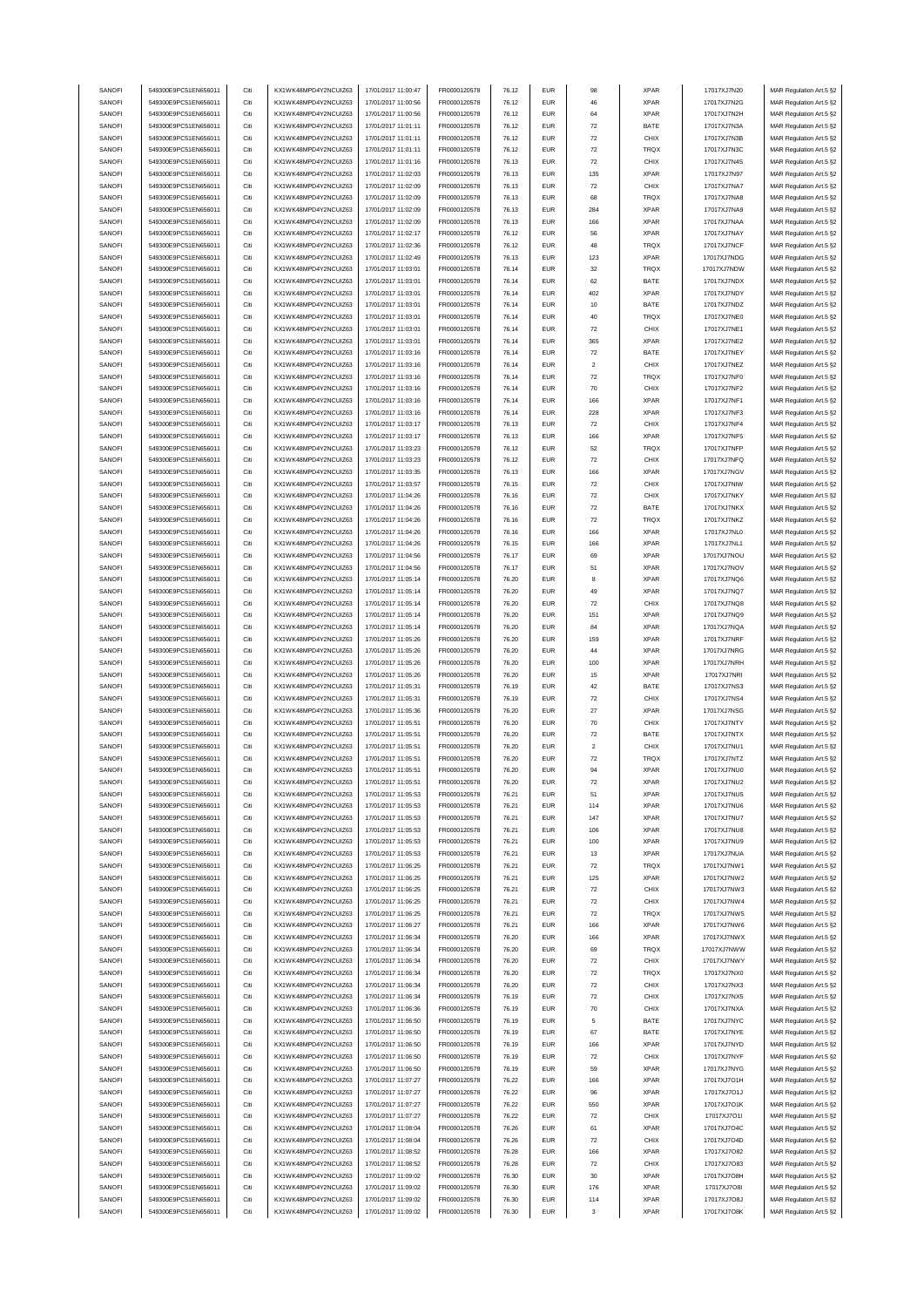| SANOFI | 549300E9PC51EN656011 | Citi | KX1WK48MPD4Y2NCUIZ63  | 17/01/2017 11:00:47 | FR0000120578 | 76.12 | <b>EUR</b> | 98                 | <b>XPAR</b> | 17017XJ7N20 | MAR Regulation Art.5 §2 |
|--------|----------------------|------|-----------------------|---------------------|--------------|-------|------------|--------------------|-------------|-------------|-------------------------|
| SANOFI | 549300E9PC51EN656011 | Citi | KX1WK48MPD4Y2NCUIZ63  | 17/01/2017 11:00:56 | FR0000120578 | 76.12 | <b>EUR</b> | 46                 | <b>XPAR</b> | 17017XJ7N2G | MAR Regulation Art.5 §2 |
|        |                      |      |                       |                     |              |       |            |                    |             |             |                         |
| SANOFI | 549300E9PC51EN656011 | Citi | KX1WK48MPD4Y2NCUIZ63  | 17/01/2017 11:00:56 | FR0000120578 | 76.12 | EUR        | 64                 | <b>XPAR</b> | 17017XJ7N2H | MAR Regulation Art.5 §2 |
| SANOFI | 549300E9PC51EN656011 | Citi | KX1WK48MPD4Y2NCUIZ63  | 17/01/2017 11:01:11 | FR0000120578 | 76.12 | <b>EUR</b> | $\scriptstyle{72}$ | BATE        | 17017XJ7N3A | MAR Regulation Art.5 §2 |
| SANOFI | 549300E9PC51EN656011 | Citi | KX1WK48MPD4Y2NCUIZ63  | 17/01/2017 11:01:11 | FR0000120578 | 76.12 | <b>EUR</b> | $\scriptstyle{72}$ | CHIX        | 17017XJ7N3B | MAR Regulation Art.5 §2 |
| SANOFI | 549300E9PC51EN656011 | Citi | KX1WK48MPD4Y2NCUIZ63  | 17/01/2017 11:01:11 | FR0000120578 | 76.12 | <b>EUR</b> | 72                 | TRQX        | 17017XJ7N3C | MAR Regulation Art.5 §2 |
| SANOFI | 549300E9PC51EN656011 | Citi | KX1WK48MPD4Y2NCUIZ63  | 17/01/2017 11:01:16 | FR0000120578 | 76.13 | <b>EUR</b> | 72                 | CHIX        | 17017XJ7N4S | MAR Regulation Art.5 §2 |
| SANOFI | 549300E9PC51EN656011 | Citi | KX1WK48MPD4Y2NCUIZ63  | 17/01/2017 11:02:03 | FR0000120578 | 76.13 | <b>EUR</b> | 135                | <b>XPAR</b> | 17017XJ7N97 | MAR Regulation Art.5 §2 |
|        |                      |      |                       |                     |              |       |            |                    |             |             |                         |
| SANOFI | 549300E9PC51EN656011 | Citi | KX1WK48MPD4Y2NCUIZ63  | 17/01/2017 11:02:09 | FR0000120578 | 76.13 | <b>EUR</b> | 72                 | CHIX        | 17017XJ7NA7 | MAR Regulation Art.5 §2 |
| SANOFI | 549300E9PC51EN656011 | Citi | KX1WK48MPD4Y2NCUIZ63  | 17/01/2017 11:02:09 | FR0000120578 | 76.13 | <b>EUR</b> | 68                 | TRQX        | 17017XJ7NA8 | MAR Regulation Art.5 §2 |
| SANOFI | 549300E9PC51EN656011 | Citi | KX1WK48MPD4Y2NCUIZ63  | 17/01/2017 11:02:09 | FR0000120578 | 76.13 | <b>EUR</b> | 284                | <b>XPAR</b> | 17017XJ7NA9 | MAR Regulation Art.5 §2 |
| SANOFI | 549300E9PC51EN656011 | Citi | KX1WK48MPD4Y2NCUIZ63  | 17/01/2017 11:02:09 | FR0000120578 | 76.13 | <b>EUR</b> | 166                | <b>XPAR</b> | 17017XJ7NAA | MAR Regulation Art.5 §2 |
| SANOFI | 549300E9PC51EN656011 | Citi | KX1WK48MPD4Y2NCUIZ63  | 17/01/2017 11:02:17 | FR0000120578 | 76.12 | <b>EUR</b> | 56                 | <b>XPAR</b> | 17017XJ7NAY | MAR Regulation Art.5 §2 |
|        |                      |      |                       |                     |              |       |            |                    |             |             |                         |
| SANOFI | 549300E9PC51EN656011 | Citi | KX1WK48MPD4Y2NCUIZ63  | 17/01/2017 11:02:36 | FR0000120578 | 76.12 | <b>EUR</b> | 48                 | TRQX        | 17017XJ7NCF | MAR Regulation Art.5 §2 |
| SANOFI | 549300E9PC51EN656011 | Citi | KX1WK48MPD4Y2NCUIZ63  | 17/01/2017 11:02:49 | FR0000120578 | 76.13 | <b>EUR</b> | 123                | <b>XPAR</b> | 17017XJ7NDG | MAR Regulation Art.5 §2 |
| SANOFI | 549300E9PC51EN656011 | Citi | KX1WK48MPD4Y2NCUIZ63  | 17/01/2017 11:03:01 | FR0000120578 | 76.14 | <b>EUR</b> | 32                 | TRQX        | 17017XJ7NDW | MAR Regulation Art.5 §2 |
| SANOFI | 549300E9PC51EN656011 | Citi | KX1WK48MPD4Y2NCUIZ63  | 17/01/2017 11:03:01 | FR0000120578 | 76.14 | <b>EUR</b> | 62                 | BATE        | 17017XJ7NDX | MAR Regulation Art.5 §2 |
| SANOFI | 549300E9PC51EN656011 | Citi | KX1WK48MPD4Y2NCUIZ63  | 17/01/2017 11:03:01 | FR0000120578 | 76.14 | <b>EUR</b> | 402                | <b>XPAR</b> | 17017XJ7NDY | MAR Regulation Art.5 §2 |
| SANOFI | 549300E9PC51EN656011 | Citi | KX1WK48MPD4Y2NCUIZ63  | 17/01/2017 11:03:01 | FR0000120578 | 76.14 | EUR        | 10                 | BATE        | 17017XJ7NDZ |                         |
|        |                      |      |                       |                     |              |       |            |                    |             |             | MAR Regulation Art.5 §2 |
| SANOFI | 549300E9PC51EN656011 | Citi | KX1WK48MPD4Y2NCUIZ63  | 17/01/2017 11:03:01 | FR0000120578 | 76.14 | <b>EUR</b> | 40                 | TRQX        | 17017XJ7NE0 | MAR Regulation Art.5 §2 |
| SANOFI | 549300E9PC51EN656011 | Citi | KX1WK48MPD4Y2NCUIZ63  | 17/01/2017 11:03:01 | FR0000120578 | 76.14 | <b>EUR</b> | 72                 | CHIX        | 17017XJ7NE1 | MAR Regulation Art.5 §2 |
| SANOFI | 549300E9PC51EN656011 | Citi | KX1WK48MPD4Y2NCUIZ63  | 17/01/2017 11:03:01 | FR0000120578 | 76.14 | <b>EUR</b> | 365                | <b>XPAR</b> | 17017XJ7NE2 | MAR Regulation Art.5 §2 |
| SANOFI | 549300E9PC51EN656011 | Citi | KX1WK48MPD4Y2NCUIZ63  | 17/01/2017 11:03:16 | FR0000120578 | 76.14 | <b>EUR</b> | $\scriptstyle{72}$ | BATE        | 17017XJ7NEY | MAR Regulation Art.5 §2 |
| SANOFI | 549300E9PC51EN656011 | Citi | KX1WK48MPD4Y2NCUIZ63  | 17/01/2017 11:03:16 | FR0000120578 | 76.14 | <b>EUR</b> | $\mathbf{2}$       | CHIX        | 17017XJ7NEZ | MAR Regulation Art.5 §2 |
| SANOFI | 549300E9PC51EN656011 | Citi | KX1WK48MPD4Y2NCUIZ63  | 17/01/2017 11:03:16 | FR0000120578 | 76.14 | <b>EUR</b> | 72                 | TRQX        | 17017XJ7NF0 | MAR Regulation Art.5 §2 |
|        |                      |      |                       |                     |              |       |            |                    |             |             |                         |
| SANOFI | 549300E9PC51EN656011 | Citi | KX1WK48MPD4Y2NCUIZ63  | 17/01/2017 11:03:16 | FR0000120578 | 76.14 | <b>EUR</b> | 70                 | CHIX        | 17017XJ7NF2 | MAR Regulation Art.5 §2 |
| SANOFI | 549300E9PC51EN656011 | Citi | KX1WK48MPD4Y2NCUIZ63  | 17/01/2017 11:03:16 | FR0000120578 | 76.14 | <b>EUR</b> | 166                | <b>XPAR</b> | 17017XJ7NF1 | MAR Regulation Art.5 §2 |
| SANOFI | 549300E9PC51EN656011 | Citi | KX1WK48MPD4Y2NCUIZ63  | 17/01/2017 11:03:16 | FR0000120578 | 76.14 | <b>EUR</b> | 228                | <b>XPAR</b> | 17017XJ7NF3 | MAR Regulation Art.5 §2 |
| SANOFI | 549300E9PC51EN656011 | Citi | KX1WK48MPD4Y2NCUIZ63  | 17/01/2017 11:03:17 | FR0000120578 | 76.13 | <b>EUR</b> | $\scriptstyle{72}$ | CHIX        | 17017XJ7NF4 | MAR Regulation Art.5 §2 |
| SANOFI | 549300E9PC51EN656011 | Citi | KX1WK48MPD4Y2NCUIZ63  | 17/01/2017 11:03:17 | FR0000120578 | 76.13 | <b>EUR</b> | 166                | <b>XPAR</b> | 17017XJ7NF5 | MAR Regulation Art.5 §2 |
|        |                      |      |                       |                     |              |       |            |                    |             |             |                         |
| SANOFI | 549300E9PC51EN656011 | Citi | KX1WK48MPD4Y2NCUIZ63  | 17/01/2017 11:03:23 | FR0000120578 | 76.12 | <b>EUR</b> | 52                 | TRQX        | 17017XJ7NFP | MAR Regulation Art.5 §2 |
| SANOFI | 549300E9PC51EN656011 | Citi | KX1WK48MPD4Y2NCUIZ63  | 17/01/2017 11:03:23 | FR0000120578 | 76.12 | <b>EUR</b> | 72                 | CHIX        | 17017XJ7NFQ | MAR Regulation Art.5 §2 |
| SANOFI | 549300E9PC51EN656011 | Citi | KX1WK48MPD4Y2NCUIZ63  | 17/01/2017 11:03:35 | FR0000120578 | 76.13 | <b>EUR</b> | 166                | <b>XPAR</b> | 17017XJ7NGV | MAR Regulation Art.5 §2 |
| SANOFI | 549300E9PC51EN656011 | Citi | KX1WK48MPD4Y2NCUIZ63  | 17/01/2017 11:03:57 | FR0000120578 | 76.15 | <b>EUR</b> | $\scriptstyle{72}$ | CHIX        | 17017XJ7NIW | MAR Regulation Art.5 §2 |
| SANOFI | 549300E9PC51EN656011 | Citi | KX1WK48MPD4Y2NCUIZ63  | 17/01/2017 11:04:26 | FR0000120578 | 76.16 | EUR        | $\scriptstyle{72}$ | CHIX        | 17017XJ7NKY | MAR Regulation Art.5 §2 |
| SANOFI | 549300E9PC51EN656011 | Citi | KX1WK48MPD4Y2NCLIIZ63 | 17/01/2017 11:04:26 | FR0000120578 | 76.16 | <b>EUR</b> | 72                 | BATE        | 17017XJ7NKX |                         |
|        |                      |      |                       |                     |              |       |            |                    |             |             | MAR Regulation Art.5 §2 |
| SANOFI | 549300E9PC51EN656011 | Citi | KX1WK48MPD4Y2NCUIZ63  | 17/01/2017 11:04:26 | FR0000120578 | 76.16 | <b>EUR</b> | 72                 | TRQX        | 17017XJ7NKZ | MAR Regulation Art.5 §2 |
| SANOFI | 549300E9PC51EN656011 | Citi | KX1WK48MPD4Y2NCUIZ63  | 17/01/2017 11:04:26 | FR0000120578 | 76.16 | <b>EUR</b> | 166                | <b>XPAR</b> | 17017XJ7NL0 | MAR Regulation Art.5 §2 |
| SANOFI | 549300E9PC51EN656011 | Citi | KX1WK48MPD4Y2NCUIZ63  | 17/01/2017 11:04:26 | FR0000120578 | 76.15 | <b>EUR</b> | 166                | <b>XPAR</b> | 17017XJ7NL1 | MAR Regulation Art.5 §2 |
| SANOFI | 549300E9PC51EN656011 | Citi | KX1WK48MPD4Y2NCUIZ63  | 17/01/2017 11:04:56 | FR0000120578 | 76.17 | <b>EUR</b> | 69                 | <b>XPAR</b> | 17017XJ7NOU | MAR Regulation Art.5 §2 |
| SANOFI | 549300E9PC51EN656011 | Citi | KX1WK48MPD4Y2NCUIZ63  | 17/01/2017 11:04:56 | FR0000120578 | 76.17 | <b>EUR</b> | 51                 | <b>XPAR</b> | 17017XJ7NOV | MAR Regulation Art.5 §2 |
| SANOFI | 549300E9PC51EN656011 | Citi | KX1WK48MPD4Y2NCUIZ63  | 17/01/2017 11:05:14 | FR0000120578 | 76.20 | <b>EUR</b> | 8                  | <b>XPAR</b> |             |                         |
|        |                      |      |                       |                     |              |       |            |                    |             | 17017XJ7NQ6 | MAR Regulation Art.5 §2 |
| SANOFI | 549300E9PC51EN656011 | Citi | KX1WK48MPD4Y2NCUIZ63  | 17/01/2017 11:05:14 | FR0000120578 | 76.20 | <b>EUR</b> | 49                 | <b>XPAR</b> | 17017XJ7NQ7 | MAR Regulation Art.5 §2 |
| SANOFI | 549300E9PC51EN656011 | Citi | KX1WK48MPD4Y2NCUIZ63  | 17/01/2017 11:05:14 | FR0000120578 | 76.20 | EUR        | 72                 | CHIX        | 17017XJ7NQ8 | MAR Regulation Art.5 §2 |
| SANOFI | 549300E9PC51EN656011 | Citi | KX1WK48MPD4Y2NCUIZ63  | 17/01/2017 11:05:14 | FR0000120578 | 76.20 | <b>EUR</b> | 151                | <b>XPAR</b> | 17017XJ7NQ9 | MAR Regulation Art.5 §2 |
| SANOFI | 549300E9PC51EN656011 | Citi | KX1WK48MPD4Y2NCUIZ63  | 17/01/2017 11:05:14 | FR0000120578 | 76.20 | <b>EUR</b> | 84                 | <b>XPAR</b> | 17017XJ7NQA | MAR Regulation Art.5 §2 |
| SANOFI | 549300E9PC51EN656011 | Citi | KX1WK48MPD4Y2NCUIZ63  | 17/01/2017 11:05:26 | FR0000120578 | 76.20 | <b>EUR</b> | 159                | <b>XPAR</b> | 17017XJ7NRF | MAR Regulation Art.5 §2 |
|        |                      |      |                       |                     |              |       |            |                    |             |             |                         |
| SANOFI | 549300E9PC51EN656011 | Citi | KX1WK48MPD4Y2NCUIZ63  | 17/01/2017 11:05:26 | FR0000120578 | 76.20 | <b>EUR</b> | 44                 | <b>XPAR</b> | 17017XJ7NRG | MAR Regulation Art.5 §2 |
| SANOFI | 549300E9PC51EN656011 | Citi | KX1WK48MPD4Y2NCUIZ63  | 17/01/2017 11:05:26 | FR0000120578 | 76.20 | <b>EUR</b> | 100                | <b>XPAR</b> | 17017XJ7NRH | MAR Regulation Art.5 §2 |
| SANOFI | 549300E9PC51EN656011 | Citi | KX1WK48MPD4Y2NCUIZ63  | 17/01/2017 11:05:26 | FR0000120578 | 76.20 | <b>EUR</b> | 15                 | <b>XPAR</b> | 17017XJ7NRI | MAR Regulation Art.5 §2 |
| SANOFI | 549300E9PC51EN656011 | Citi | KX1WK48MPD4Y2NCUIZ63  | 17/01/2017 11:05:31 | FR0000120578 | 76.19 | <b>EUR</b> | 42                 | BATE        | 17017XJ7NS3 | MAR Regulation Art.5 §2 |
| SANOFI | 549300E9PC51EN656011 | Citi | KX1WK48MPD4Y2NCUIZ63  | 17/01/2017 11:05:31 | FR0000120578 | 76.19 | <b>EUR</b> | 72                 | CHIX        | 17017XJ7NS4 | MAR Regulation Art.5 §2 |
|        |                      |      |                       |                     |              |       |            |                    |             | 17017XJ7NSG |                         |
| SANOFI | 549300E9PC51EN656011 | Citi | KX1WK48MPD4Y2NCUIZ63  | 17/01/2017 11:05:36 | FR0000120578 | 76.20 | <b>EUR</b> | $27\,$             | <b>XPAR</b> |             | MAR Regulation Art.5 §2 |
| SANOFI | 549300E9PC51EN656011 | Citi | KX1WK48MPD4Y2NCUIZ63  | 17/01/2017 11:05:51 | FR0000120578 | 76.20 | <b>EUR</b> | 70                 | CHIX        | 17017XJ7NTY | MAR Regulation Art.5 §2 |
| SANOFI | 549300E9PC51EN656011 | Citi | KX1WK48MPD4Y2NCLIIZ63 | 17/01/2017 11:05:51 | FR0000120578 | 76.20 | <b>EUR</b> | 72                 | BATE        | 17017XJ7NTX | MAR Regulation Art.5 §2 |
| SANOFI | 549300E9PC51EN656011 | Citi | KX1WK48MPD4Y2NCUIZ63  | 17/01/2017 11:05:51 | FR0000120578 | 76.20 | <b>EUR</b> | $\overline{2}$     | CHIX        | 17017XJ7NU1 | MAR Regulation Art.5 §2 |
| SANOFI | 549300E9PC51EN656011 | Citi | KX1WK48MPD4Y2NCUIZ63  | 17/01/2017 11:05:51 | FR0000120578 | 76.20 | <b>EUR</b> | 72                 | TRQX        | 17017XJ7NTZ | MAR Regulation Art.5 §2 |
| SANOFI | 549300E9PC51EN656011 |      | KX1WK48MPD4Y2NCLIIZ63 | 17/01/2017 11:05:51 | FR0000120578 | 76.20 | FUR        |                    | <b>XPAR</b> | 17017XJ7NU0 | MAR Regulation Art 5.82 |
|        |                      |      |                       |                     |              |       |            |                    |             |             |                         |
| SANOFI | 549300E9PC51EN656011 | Citi | KX1WK48MPD4Y2NCUIZ63  | 17/01/2017 11:05:51 | FR0000120578 | 76.20 | <b>EUR</b> | 72                 | <b>XPAR</b> | 17017XJ7NU2 | MAR Regulation Art.5 §2 |
| SANOFI | 549300E9PC51EN656011 | Citi | KX1WK48MPD4Y2NCUIZ63  | 17/01/2017 11:05:53 | FR0000120578 | 76.21 | <b>EUR</b> | 51                 | <b>XPAR</b> | 17017XJ7NU5 | MAR Regulation Art.5 §2 |
| SANOFI | 549300E9PC51EN656011 | Citi | KX1WK48MPD4Y2NCUIZ63  | 17/01/2017 11:05:53 | FR0000120578 | 76.21 | <b>EUR</b> | 114                | <b>XPAR</b> | 17017XJ7NU6 | MAR Regulation Art.5 §2 |
| SANOFI | 549300E9PC51EN656011 | Citi | KX1WK48MPD4Y2NCUIZ63  | 17/01/2017 11:05:53 | FR0000120578 | 76.21 | <b>EUR</b> | 147                | <b>XPAR</b> | 17017XJ7NU7 | MAR Regulation Art.5 §2 |
| SANOFI | 549300E9PC51EN656011 | Citi | KX1WK48MPD4Y2NCUIZ63  | 17/01/2017 11:05:53 | FR0000120578 | 76.21 | <b>EUR</b> | 106                | <b>XPAR</b> | 17017XJ7NU8 | MAR Regulation Art.5 §2 |
| SANOFI | 549300E9PC51EN656011 | Citi | KX1WK48MPD4Y2NCUIZ63  | 17/01/2017 11:05:53 | FR0000120578 | 76.21 | <b>EUR</b> | 100                | <b>XPAR</b> | 17017XJ7NU9 | MAR Regulation Art.5 §2 |
|        |                      |      |                       |                     |              |       |            |                    |             |             |                         |
| SANOFI | 549300E9PC51EN656011 | Citi | KX1WK48MPD4Y2NCUIZ63  | 17/01/2017 11:05:53 | FR0000120578 | 76.21 | <b>EUR</b> | 13                 | <b>XPAR</b> | 17017XJ7NUA | MAR Regulation Art.5 §2 |
| SANOFI | 549300E9PC51EN656011 | Citi | KX1WK48MPD4Y2NCUIZ63  | 17/01/2017 11:06:25 | FR0000120578 | 76.21 | <b>EUR</b> | 72                 | TRQX        | 17017XJ7NW1 | MAR Regulation Art.5 §2 |
| SANOFI | 549300E9PC51EN656011 | Citi | KX1WK48MPD4Y2NCUIZ63  | 17/01/2017 11:06:25 | FR0000120578 | 76.21 | <b>EUR</b> | 125                | <b>XPAR</b> | 17017XJ7NW2 | MAR Regulation Art.5 §2 |
| SANOFI | 549300E9PC51EN656011 | Citi | KX1WK48MPD4Y2NCUIZ63  | 17/01/2017 11:06:25 | FR0000120578 | 76.21 | <b>EUR</b> | $\scriptstyle{72}$ | CHIX        | 17017XJ7NW3 | MAR Regulation Art.5 §2 |
| SANOFI | 549300E9PC51EN656011 | Citi | KX1WK48MPD4Y2NCUIZ63  | 17/01/2017 11:06:25 | FR0000120578 | 76.21 | <b>EUR</b> | $\scriptstyle{72}$ | CHIX        | 17017XJ7NW4 | MAR Regulation Art.5 §2 |
| SANOFI | 549300E9PC51EN656011 | Citi | KX1WK48MPD4Y2NCUIZ63  | 17/01/2017 11:06:25 | FR0000120578 | 76.21 | <b>EUR</b> | 72                 | TRQX        | 17017XJ7NW5 | MAR Regulation Art.5 §2 |
| SANOFI | 549300E9PC51EN656011 | Citi | KX1WK48MPD4Y2NCUIZ63  | 17/01/2017 11:06:27 | FR0000120578 | 76.21 | <b>EUR</b> | 166                | <b>XPAR</b> | 17017XJ7NW6 | MAR Regulation Art.5 §2 |
|        |                      |      |                       |                     |              |       |            |                    |             |             |                         |
| SANOFI | 549300E9PC51EN656011 | Citi | KX1WK48MPD4Y2NCUIZ63  | 17/01/2017 11:06:34 | FR0000120578 | 76.20 | <b>EUR</b> | 166                | <b>XPAR</b> | 17017XJ7NWX | MAR Regulation Art.5 §2 |
| SANOFI | 549300E9PC51EN656011 | Citi | KX1WK48MPD4Y2NCUIZ63  | 17/01/2017 11:06:34 | FR0000120578 | 76.20 | <b>EUR</b> | 69                 | TRQX        | 17017XJ7NWW | MAR Regulation Art.5 §2 |
| SANOFI | 549300E9PC51EN656011 | Citi | KX1WK48MPD4Y2NCUIZ63  | 17/01/2017 11:06:34 | FR0000120578 | 76.20 | <b>EUR</b> | $\scriptstyle{72}$ | CHIX        | 17017XJ7NWY | MAR Regulation Art.5 §2 |
| SANOFI | 549300E9PC51EN656011 | Citi | KX1WK48MPD4Y2NCUIZ63  | 17/01/2017 11:06:34 | FR0000120578 | 76.20 | <b>EUR</b> | $\scriptstyle{72}$ | TRQX        | 17017XJ7NX0 | MAR Regulation Art.5 §2 |
| SANOFI | 549300E9PC51EN656011 | Citi | KX1WK48MPD4Y2NCUIZ63  | 17/01/2017 11:06:34 | FR0000120578 | 76.20 | <b>EUR</b> | $\scriptstyle{72}$ | CHIX        | 17017XJ7NX3 | MAR Regulation Art.5 §2 |
|        |                      |      |                       |                     |              |       |            |                    |             |             |                         |
| SANOFI | 549300E9PC51EN656011 | Citi | KX1WK48MPD4Y2NCUIZ63  | 17/01/2017 11:06:34 | FR0000120578 | 76.19 | <b>EUR</b> | 72                 | CHIX        | 17017XJ7NX5 | MAR Regulation Art.5 §2 |
| SANOFI | 549300E9PC51EN656011 | Citi | KX1WK48MPD4Y2NCUIZ63  | 17/01/2017 11:06:36 | FR0000120578 | 76.19 | <b>EUR</b> | 70                 | CHIX        | 17017XJ7NXA | MAR Regulation Art.5 §2 |
| SANOFI | 549300E9PC51EN656011 | Citi | KX1WK48MPD4Y2NCUIZ63  | 17/01/2017 11:06:50 | FR0000120578 | 76.19 | <b>EUR</b> | 5                  | BATE        | 17017XJ7NYC | MAR Regulation Art.5 §2 |
| SANOFI | 549300E9PC51EN656011 | Citi | KX1WK48MPD4Y2NCUIZ63  | 17/01/2017 11:06:50 | FR0000120578 | 76.19 | <b>EUR</b> | 67                 | BATE        | 17017XJ7NYE | MAR Regulation Art.5 §2 |
| SANOFI | 549300E9PC51EN656011 | Citi | KX1WK48MPD4Y2NCUIZ63  | 17/01/2017 11:06:50 | FR0000120578 | 76.19 | <b>EUR</b> | 166                | <b>XPAR</b> | 17017XJ7NYD | MAR Regulation Art.5 §2 |
| SANOFI | 549300E9PC51EN656011 | Citi | KX1WK48MPD4Y2NCUIZ63  | 17/01/2017 11:06:50 | FR0000120578 | 76.19 | <b>EUR</b> | 72                 | CHIX        | 17017XJ7NYF | MAR Regulation Art.5 §2 |
|        |                      |      |                       |                     |              |       |            |                    |             |             |                         |
| SANOFI | 549300E9PC51EN656011 | Citi | KX1WK48MPD4Y2NCUIZ63  | 17/01/2017 11:06:50 | FR0000120578 | 76.19 | <b>EUR</b> | 59                 | <b>XPAR</b> | 17017XJ7NYG | MAR Regulation Art.5 §2 |
| SANOFI | 549300E9PC51EN656011 | Citi | KX1WK48MPD4Y2NCUIZ63  | 17/01/2017 11:07:27 | FR0000120578 | 76.22 | <b>EUR</b> | 166                | <b>XPAR</b> | 17017XJ7O1H | MAR Regulation Art.5 §2 |
| SANOFI | 549300E9PC51EN656011 | Citi | KX1WK48MPD4Y2NCUIZ63  | 17/01/2017 11:07:27 | FR0000120578 | 76.22 | <b>EUR</b> | 96                 | <b>XPAR</b> | 17017XJ7O1J | MAR Regulation Art.5 §2 |
| SANOFI | 549300E9PC51EN656011 | Citi | KX1WK48MPD4Y2NCUIZ63  | 17/01/2017 11:07:27 | FR0000120578 | 76.22 | <b>EUR</b> | 550                | <b>XPAR</b> | 17017XJ7O1K | MAR Regulation Art.5 §2 |
| SANOFI | 549300E9PC51EN656011 | Citi | KX1WK48MPD4Y2NCUIZ63  | 17/01/2017 11:07:27 | FR0000120578 | 76.22 | <b>EUR</b> | $\scriptstyle{72}$ | CHIX        | 17017XJ7O1I | MAR Regulation Art.5 §2 |
| SANOFI |                      |      | KX1WK48MPD4Y2NCUIZ63  |                     |              |       |            |                    |             |             |                         |
|        | 549300E9PC51EN656011 | Citi |                       | 17/01/2017 11:08:04 | FR0000120578 | 76.26 | <b>EUR</b> | 61                 | <b>XPAR</b> | 17017XJ7O4C | MAR Regulation Art.5 §2 |
| SANOFI | 549300E9PC51EN656011 | Citi | KX1WK48MPD4Y2NCUIZ63  | 17/01/2017 11:08:04 | FR0000120578 | 76.26 | <b>EUR</b> | $\scriptstyle{72}$ | CHIX        | 17017XJ7O4D | MAR Regulation Art.5 §2 |
| SANOFI | 549300E9PC51EN656011 | Citi | KX1WK48MPD4Y2NCUIZ63  | 17/01/2017 11:08:52 | FR0000120578 | 76.28 | <b>EUR</b> | 166                | <b>XPAR</b> | 17017XJ7O82 | MAR Regulation Art.5 §2 |
| SANOFI | 549300E9PC51EN656011 | Citi | KX1WK48MPD4Y2NCUIZ63  | 17/01/2017 11:08:52 | FR0000120578 | 76.28 | <b>EUR</b> | 72                 | CHIX        | 17017XJ7O83 | MAR Regulation Art.5 §2 |
| SANOFI | 549300E9PC51EN656011 | Citi | KX1WK48MPD4Y2NCUIZ63  | 17/01/2017 11:09:02 | FR0000120578 | 76.30 | <b>EUR</b> | 30                 | <b>XPAR</b> | 17017XJ7O8H | MAR Regulation Art.5 §2 |
| SANOFI | 549300E9PC51EN656011 | Citi | KX1WK48MPD4Y2NCUIZ63  | 17/01/2017 11:09:02 | FR0000120578 | 76.30 | <b>EUR</b> | 176                | <b>XPAR</b> | 17017XJ7O8I | MAR Regulation Art.5 §2 |
|        |                      |      |                       |                     |              |       |            |                    |             |             |                         |
| SANOFI | 549300E9PC51EN656011 | Citi | KX1WK48MPD4Y2NCUIZ63  | 17/01/2017 11:09:02 | FR0000120578 | 76.30 | <b>EUR</b> | 114                | <b>XPAR</b> | 17017XJ7O8J | MAR Regulation Art.5 §2 |
| SANOFI | 549300E9PC51EN656011 | Citi | KX1WK48MPD4Y2NCUIZ63  | 17/01/2017 11:09:02 | FR0000120578 | 76.30 | <b>EUR</b> | 3                  | <b>XPAR</b> | 17017XJ7O8K | MAR Regulation Art.5 §2 |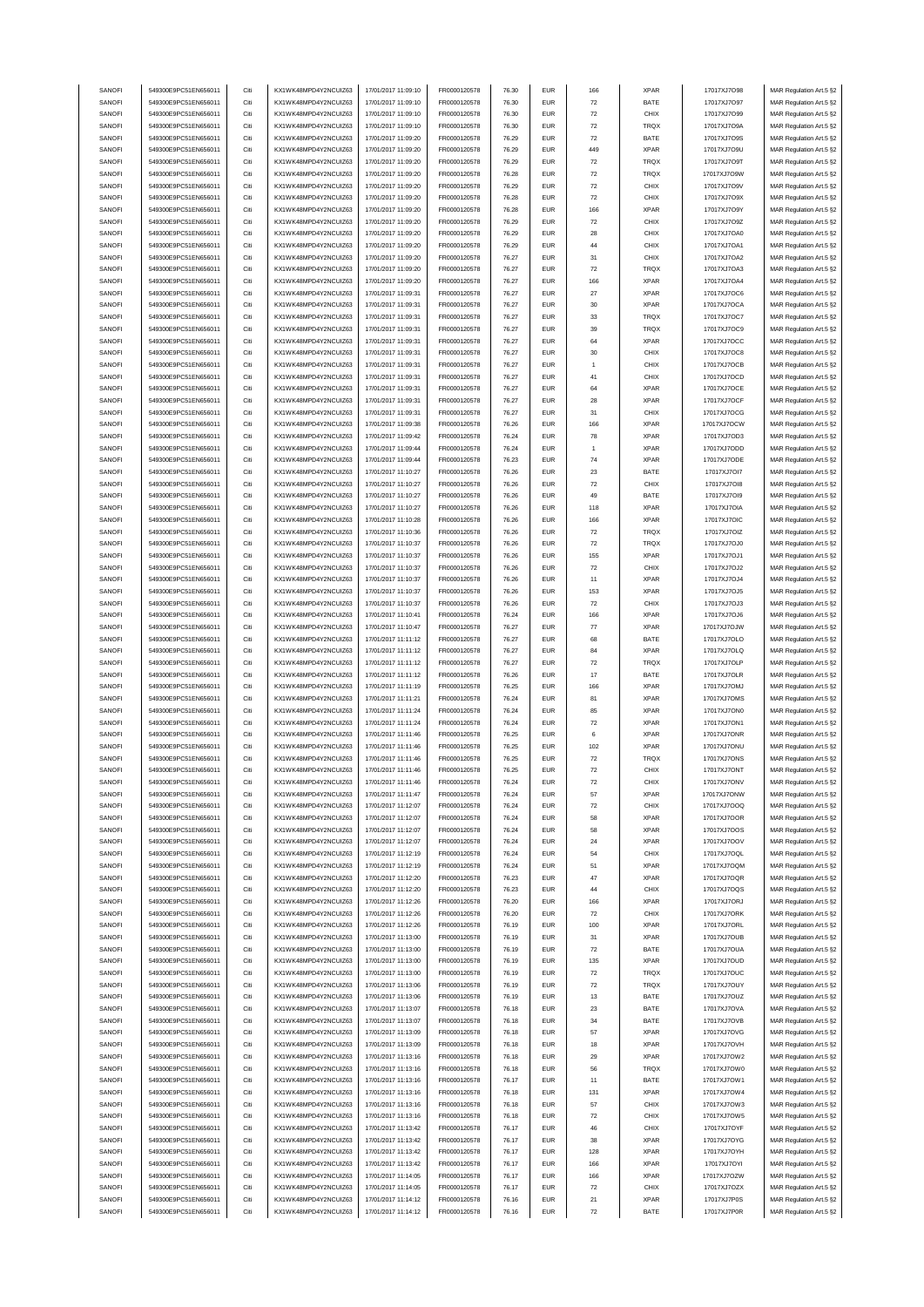| SANOFI           | 549300E9PC51EN656011                         | Citi         | KX1WK48MPD4Y2NCUIZ63                         | 17/01/2017 11:09:10                        | FR0000120578                 | 76.30          | <b>EUR</b>               | 166                      | <b>XPAR</b>         | 17017XJ7O98                | MAR Regulation Art.5 §2                            |
|------------------|----------------------------------------------|--------------|----------------------------------------------|--------------------------------------------|------------------------------|----------------|--------------------------|--------------------------|---------------------|----------------------------|----------------------------------------------------|
| SANOFI           | 549300E9PC51EN656011                         | Citi         | KX1WK48MPD4Y2NCUIZ63                         | 17/01/2017 11:09:10                        | FR0000120578                 | 76.30          | <b>EUR</b>               | $\scriptstyle{72}$       | BATE                | 17017XJ7O97                | MAR Regulation Art.5 §2                            |
|                  |                                              |              |                                              |                                            |                              |                |                          |                          |                     |                            |                                                    |
| SANOFI           | 549300E9PC51EN656011                         | Citi         | KX1WK48MPD4Y2NCUIZ63                         | 17/01/2017 11:09:10                        | FR0000120578                 | 76.30          | <b>EUR</b>               | 72                       | CHIX                | 17017XJ7O99                | MAR Regulation Art.5 §2                            |
| SANOFI           | 549300E9PC51EN656011                         | Citi         | KX1WK48MPD4Y2NCUIZ63                         | 17/01/2017 11:09:10                        | FR0000120578                 | 76.30          | <b>EUR</b>               | $\scriptstyle{72}$       | TRQX                | 17017XJ7O9A                | MAR Regulation Art.5 §2                            |
| SANOFI           | 549300E9PC51EN656011                         | Citi         | KX1WK48MPD4Y2NCUIZ63                         | 17/01/2017 11:09:20                        | FR0000120578                 | 76.29          | <b>EUR</b>               | $\scriptstyle{72}$       | BATE                | 17017XJ7O9S                | MAR Regulation Art.5 §2                            |
| SANOFI           | 549300E9PC51EN656011                         | Citi         | KX1WK48MPD4Y2NCUIZ63                         | 17/01/2017 11:09:20                        | FR0000120578                 | 76.29          | <b>EUR</b>               | 449                      | <b>XPAR</b>         | 17017XJ7O9U                | MAR Regulation Art.5 §2                            |
| SANOFI           | 549300E9PC51EN656011                         | Citi         | KX1WK48MPD4Y2NCUIZ63                         | 17/01/2017 11:09:20                        | FR0000120578                 | 76.29          | <b>EUR</b>               | $\scriptstyle{72}$       | TRQX                | 17017XJ7O9T                | MAR Regulation Art.5 §2                            |
| SANOFI           | 549300E9PC51EN656011                         | Citi         | KX1WK48MPD4Y2NCUIZ63                         | 17/01/2017 11:09:20                        | FR0000120578                 | 76.28          | <b>EUR</b>               | 72                       | <b>TRQX</b>         | 17017XJ7O9W                | MAR Regulation Art.5 §2                            |
|                  |                                              |              |                                              |                                            |                              |                |                          |                          |                     |                            |                                                    |
| SANOFI           | 549300E9PC51EN656011                         | Citi         | KX1WK48MPD4Y2NCUIZ63                         | 17/01/2017 11:09:20                        | FR0000120578                 | 76.29          | <b>EUR</b>               | 72                       | CHIX                | 17017XJ7O9V                | MAR Regulation Art.5 §2                            |
| SANOFI           | 549300E9PC51EN656011                         | Citi         | KX1WK48MPD4Y2NCUIZ63                         | 17/01/2017 11:09:20                        | FR0000120578                 | 76.28          | <b>EUR</b>               | $\scriptstyle{72}$       | CHIX                | 17017XJ7O9X                | MAR Regulation Art.5 §2                            |
| SANOFI           | 549300E9PC51EN656011                         | Citi         | KX1WK48MPD4Y2NCUIZ63                         | 17/01/2017 11:09:20                        | FR0000120578                 | 76.28          | <b>EUR</b>               | 166                      | <b>XPAR</b>         | 17017XJ7O9Y                | MAR Regulation Art.5 §2                            |
| SANOFI           | 549300E9PC51EN656011                         | Citi         | KX1WK48MPD4Y2NCUIZ63                         | 17/01/2017 11:09:20                        | FR0000120578                 | 76.29          | <b>EUR</b>               | $\scriptstyle{72}$       | CHIX                | 17017XJ7O9Z                | MAR Regulation Art.5 §2                            |
| SANOFI           | 549300E9PC51EN656011                         | Citi         | KX1WK48MPD4Y2NCUIZ63                         | 17/01/2017 11:09:20                        | FR0000120578                 | 76.29          | <b>EUR</b>               | 28                       | CHIX                | 17017XJ7OA0                | MAR Regulation Art.5 §2                            |
|                  |                                              |              |                                              |                                            |                              |                |                          |                          |                     |                            |                                                    |
| SANOFI           | 549300E9PC51EN656011                         | Citi         | KX1WK48MPD4Y2NCUIZ63                         | 17/01/2017 11:09:20                        | FR0000120578                 | 76.29          | <b>EUR</b>               | 44                       | CHIX                | 17017XJ7OA1                | MAR Regulation Art.5 §2                            |
| SANOFI           | 549300E9PC51EN656011                         | Citi         | KX1WK48MPD4Y2NCUIZ63                         | 17/01/2017 11:09:20                        | FR0000120578                 | 76.27          | <b>EUR</b>               | 31                       | CHIX                | 17017XJ7OA2                | MAR Regulation Art.5 §2                            |
| SANOFI           | 549300E9PC51EN656011                         | Citi         | KX1WK48MPD4Y2NCUIZ63                         | 17/01/2017 11:09:20                        | FR0000120578                 | 76.27          | <b>EUR</b>               | 72                       | <b>TRQX</b>         | 17017XJ7OA3                | MAR Regulation Art.5 §2                            |
| SANOFI           | 549300E9PC51EN656011                         | Citi         | KX1WK48MPD4Y2NCUIZ63                         | 17/01/2017 11:09:20                        | FR0000120578                 | 76.27          | <b>EUR</b>               | 166                      | <b>XPAR</b>         | 17017XJ7OA4                | MAR Regulation Art.5 §2                            |
| SANOFI           | 549300E9PC51EN656011                         | Citi         | KX1WK48MPD4Y2NCUIZ63                         | 17/01/2017 11:09:31                        | FR0000120578                 | 76.27          | <b>EUR</b>               | 27                       | <b>XPAR</b>         | 17017XJ7OC6                | MAR Regulation Art.5 §2                            |
| SANOFI           | 549300E9PC51EN656011                         | Citi         | KX1WK48MPD4Y2NCUIZ63                         | 17/01/2017 11:09:31                        | FR0000120578                 | 76.27          | <b>EUR</b>               | 30                       | <b>XPAR</b>         | 17017XJ7OCA                | MAR Regulation Art.5 §2                            |
|                  |                                              |              |                                              |                                            |                              |                |                          |                          |                     |                            |                                                    |
| SANOFI           | 549300E9PC51EN656011                         | Citi         | KX1WK48MPD4Y2NCUIZ63                         | 17/01/2017 11:09:31                        | FR0000120578                 | 76.27          | <b>EUR</b>               | 33                       | TRQX                | 17017XJ7OC7                | MAR Regulation Art.5 §2                            |
| SANOFI           | 549300E9PC51EN656011                         | Citi         | KX1WK48MPD4Y2NCUIZ63                         | 17/01/2017 11:09:31                        | FR0000120578                 | 76.27          | <b>EUR</b>               | 39                       | TRQX                | 17017XJ7OC9                | MAR Regulation Art.5 §2                            |
| SANOFI           | 549300E9PC51EN656011                         | Citi         | KX1WK48MPD4Y2NCUIZ63                         | 17/01/2017 11:09:31                        | FR0000120578                 | 76.27          | <b>EUR</b>               | 64                       | <b>XPAR</b>         | 17017XJ7OCC                | MAR Regulation Art.5 §2                            |
| SANOFI           | 549300E9PC51EN656011                         | Citi         | KX1WK48MPD4Y2NCUIZ63                         | 17/01/2017 11:09:31                        | FR0000120578                 | 76.27          | <b>EUR</b>               | 30                       | CHIX                | 17017XJ7OC8                | MAR Regulation Art.5 §2                            |
| SANOFI           | 549300E9PC51EN656011                         | Citi         | KX1WK48MPD4Y2NCUIZ63                         | 17/01/2017 11:09:31                        | FR0000120578                 | 76.27          | <b>EUR</b>               | $\overline{1}$           | CHIX                | 17017XJ7OCB                | MAR Regulation Art.5 §2                            |
| SANOFI           | 549300E9PC51EN656011                         | Citi         | KX1WK48MPD4Y2NCUIZ63                         | 17/01/2017 11:09:31                        | FR0000120578                 | 76.27          | <b>EUR</b>               | 41                       | CHIX                | 17017XJ7OCD                | MAR Regulation Art.5 §2                            |
|                  |                                              |              |                                              |                                            |                              |                |                          |                          |                     |                            |                                                    |
| SANOFI           | 549300E9PC51EN656011                         | Citi         | KX1WK48MPD4Y2NCUIZ63                         | 17/01/2017 11:09:31                        | FR0000120578                 | 76.27          | <b>EUR</b>               | 64                       | <b>XPAR</b>         | 17017XJ7OCE                | MAR Regulation Art.5 §2                            |
| SANOFI           | 549300E9PC51EN656011                         | Citi         | KX1WK48MPD4Y2NCUIZ63                         | 17/01/2017 11:09:31                        | FR0000120578                 | 76.27          | <b>EUR</b>               | 28                       | <b>XPAR</b>         | 17017XJ7OCF                | MAR Regulation Art.5 §2                            |
| SANOFI           | 549300E9PC51EN656011                         | Citi         | KX1WK48MPD4Y2NCUIZ63                         | 17/01/2017 11:09:31                        | FR0000120578                 | 76.27          | <b>EUR</b>               | 31                       | CHIX                | 17017XJ7OCG                | MAR Regulation Art.5 §2                            |
| SANOFI           | 549300E9PC51EN656011                         | Citi         | KX1WK48MPD4Y2NCUIZ63                         | 17/01/2017 11:09:38                        | FR0000120578                 | 76.26          | <b>EUR</b>               | 166                      | <b>XPAR</b>         | 17017XJ7OCW                | MAR Regulation Art.5 §2                            |
| SANOFI           | 549300E9PC51EN656011                         | Citi         | KX1WK48MPD4Y2NCUIZ63                         | 17/01/2017 11:09:42                        | FR0000120578                 | 76.24          | <b>EUR</b>               | 78                       | <b>XPAR</b>         | 17017XJ7OD3                | MAR Regulation Art.5 §2                            |
|                  |                                              |              |                                              |                                            |                              |                |                          |                          |                     |                            |                                                    |
| SANOFI           | 549300E9PC51EN656011                         | Citi         | KX1WK48MPD4Y2NCUIZ63                         | 17/01/2017 11:09:44                        | FR0000120578                 | 76.24          | <b>EUR</b>               | $\overline{1}$           | <b>XPAR</b>         | 17017XJ7ODD                | MAR Regulation Art.5 §2                            |
| SANOFI           | 549300E9PC51EN656011                         | Citi         | KX1WK48MPD4Y2NCUIZ63                         | 17/01/2017 11:09:44                        | FR0000120578                 | 76.23          | <b>EUR</b>               | 74                       | <b>XPAR</b>         | 17017XJ7ODE                | MAR Regulation Art.5 §2                            |
| SANOFI           | 549300E9PC51EN656011                         | Citi         | KX1WK48MPD4Y2NCUIZ63                         | 17/01/2017 11:10:27                        | FR0000120578                 | 76.26          | <b>EUR</b>               | 23                       | BATE                | 17017XJ7Ol7                | MAR Regulation Art.5 §2                            |
| SANOFI           | 549300E9PC51EN656011                         | Citi         | KX1WK48MPD4Y2NCUIZ63                         | 17/01/2017 11:10:27                        | FR0000120578                 | 76.26          | <b>EUR</b>               | 72                       | CHIX                | 17017XJ7OI8                | MAR Regulation Art.5 §2                            |
| SANOFI           | 549300E9PC51EN656011                         | Citi         | KX1WK48MPD4Y2NCUIZ63                         | 17/01/2017 11:10:27                        | FR0000120578                 | 76.26          | <b>EUR</b>               | 49                       | BATE                | 17017XJ7OI9                | MAR Regulation Art.5 §2                            |
| SANOFI           | 549300E9PC51EN656011                         | Citi         | KX1WK48MPD4Y2NCUIZ63                         | 17/01/2017 11:10:27                        | FR0000120578                 | 76.26          | <b>EUR</b>               | 118                      | <b>XPAR</b>         | 17017XJ7OIA                |                                                    |
|                  |                                              |              |                                              |                                            |                              |                |                          |                          |                     |                            | MAR Regulation Art.5 §2                            |
| SANOFI           | 549300E9PC51EN656011                         | Citi         | KX1WK48MPD4Y2NCUIZ63                         | 17/01/2017 11:10:28                        | FR0000120578                 | 76.26          | <b>EUR</b>               | 166                      | <b>XPAR</b>         | 17017XJ7OIC                | MAR Regulation Art.5 §2                            |
| SANOFI           | 549300E9PC51EN656011                         | Citi         | KX1WK48MPD4Y2NCUIZ63                         | 17/01/2017 11:10:36                        | FR0000120578                 | 76.26          | <b>EUR</b>               | $\scriptstyle{72}$       | TRQX                | 17017XJ7OIZ                | MAR Regulation Art.5 §2                            |
| SANOFI           | 549300E9PC51EN656011                         | Citi         | KX1WK48MPD4Y2NCUIZ63                         | 17/01/2017 11:10:37                        | FR0000120578                 | 76.26          | <b>EUR</b>               | $\scriptstyle{72}$       | TRQX                | 17017XJ7OJ0                | MAR Regulation Art.5 §2                            |
| SANOFI           | 549300E9PC51EN656011                         | Citi         | KX1WK48MPD4Y2NCUIZ63                         | 17/01/2017 11:10:37                        | FR0000120578                 | 76.26          | <b>EUR</b>               | 155                      | <b>XPAR</b>         | 17017XJ7OJ1                | MAR Regulation Art.5 §2                            |
| SANOFI           | 549300E9PC51EN656011                         | Citi         | KX1WK48MPD4Y2NCUIZ63                         | 17/01/2017 11:10:37                        | FR0000120578                 | 76.26          | <b>EUR</b>               | 72                       | CHIX                | 17017XJ7OJ2                | MAR Regulation Art.5 §2                            |
| SANOFI           | 549300E9PC51EN656011                         | Citi         | KX1WK48MPD4Y2NCUIZ63                         | 17/01/2017 11:10:37                        | FR0000120578                 | 76.26          | <b>EUR</b>               | 11                       | <b>XPAR</b>         | 17017XJ7OJ4                | MAR Regulation Art.5 §2                            |
|                  |                                              |              |                                              |                                            |                              |                |                          |                          |                     |                            |                                                    |
| SANOFI           | 549300E9PC51EN656011                         | Citi         | KX1WK48MPD4Y2NCUIZ63                         | 17/01/2017 11:10:37                        | FR0000120578                 | 76.26          | <b>EUR</b>               | 153                      | <b>XPAR</b>         | 17017XJ7OJ5                | MAR Regulation Art.5 §2                            |
| SANOFI           | 549300E9PC51EN656011                         | Citi         | KX1WK48MPD4Y2NCUIZ63                         | 17/01/2017 11:10:37                        | FR0000120578                 | 76.26          | <b>EUR</b>               | 72                       | CHIX                | 17017XJ7OJ3                | MAR Regulation Art.5 §2                            |
| SANOFI           | 549300E9PC51EN656011                         | Citi         | KX1WK48MPD4Y2NCUIZ63                         | 17/01/2017 11:10:41                        | FR0000120578                 | 76.24          | <b>EUR</b>               | 166                      | <b>XPAR</b>         | 17017XJ7OJ6                | MAR Regulation Art.5 §2                            |
| SANOFI           | 549300E9PC51EN656011                         | Citi         | KX1WK48MPD4Y2NCUIZ63                         | 17/01/2017 11:10:47                        | FR0000120578                 | 76.27          | <b>EUR</b>               | $77\,$                   | <b>XPAR</b>         | 17017XJ7OJW                | MAR Regulation Art.5 §2                            |
| SANOFI           | 549300E9PC51EN656011                         | Citi         | KX1WK48MPD4Y2NCUIZ63                         | 17/01/2017 11:11:12                        | FR0000120578                 | 76.27          | <b>EUR</b>               | 68                       | BATE                | 17017XJ7OLO                | MAR Regulation Art.5 §2                            |
|                  |                                              |              |                                              |                                            |                              |                | <b>EUR</b>               |                          |                     |                            |                                                    |
| SANOFI           | 549300E9PC51EN656011                         | Citi         | KX1WK48MPD4Y2NCUIZ63                         | 17/01/2017 11:11:12                        | FR0000120578                 | 76.27          |                          | 84                       | <b>XPAR</b>         | 17017XJ7OLQ                | MAR Regulation Art.5 §2                            |
| SANOFI           | 549300E9PC51EN656011                         | Citi         | KX1WK48MPD4Y2NCUIZ63                         | 17/01/2017 11:11:12                        | FR0000120578                 | 76.27          | <b>EUR</b>               | 72                       | <b>TRQX</b>         | 17017XJ7OLP                | MAR Regulation Art.5 §2                            |
| SANOFI           | 549300E9PC51EN656011                         | Citi         | KX1WK48MPD4Y2NCUIZ63                         | 17/01/2017 11:11:12                        | FR0000120578                 | 76.26          | <b>EUR</b>               | $17\,$                   | BATE                | 17017XJ7OLR                | MAR Regulation Art.5 §2                            |
| SANOFI           | 549300E9PC51EN656011                         | Citi         | KX1WK48MPD4Y2NCUIZ63                         | 17/01/2017 11:11:19                        | FR0000120578                 | 76.25          | <b>EUR</b>               | 166                      | <b>XPAR</b>         | 17017XJ7OMJ                | MAR Regulation Art.5 §2                            |
| SANOFI           | 549300E9PC51EN656011                         | Citi         | KX1WK48MPD4Y2NCUIZ63                         | 17/01/2017 11:11:21                        | FR0000120578                 | 76.24          | <b>EUR</b>               | 81                       | <b>XPAR</b>         | 17017XJ7OMS                | MAR Regulation Art.5 §2                            |
| SANOFI           | 549300E9PC51EN656011                         | Citi         | KX1WK48MPD4Y2NCUIZ63                         | 17/01/2017 11:11:24                        | FR0000120578                 | 76.24          | <b>EUR</b>               | 85                       | <b>XPAR</b>         | 17017XJ7ON0                | MAR Regulation Art.5 §2                            |
|                  |                                              |              |                                              |                                            |                              |                |                          |                          |                     |                            |                                                    |
| SANOFI           | 549300E9PC51EN656011                         | Citi         | KX1WK48MPD4Y2NCUIZ63                         | 17/01/2017 11:11:24                        | FR0000120578                 | 76.24          | <b>EUR</b>               | $\scriptstyle{72}$       | <b>XPAR</b>         | 17017XJ7ON1                | MAR Regulation Art.5 §2                            |
| SANOFI           | 549300E9PC51EN656011                         | Citi         | KX1WK48MPD4Y2NCUIZ63                         | 17/01/2017 11:11:46                        | FR0000120578                 | 76.25          | <b>EUR</b>               | 6                        | <b>XPAR</b>         | 17017XJ7ONR                | MAR Regulation Art.5 §2                            |
| SANOFI           | 549300E9PC51EN656011                         | Citi         | KX1WK48MPD4Y2NCUIZ63                         | 17/01/2017 11:11:46                        | FR0000120578                 | 76.25          | <b>EUR</b>               | 102                      | <b>XPAR</b>         | 17017XJ7ONU                | MAR Regulation Art.5 §2                            |
| SANOFI           | 549300E9PC51EN656011                         | Citi         | KX1WK48MPD4Y2NCUIZ63                         | 17/01/2017 11:11:46                        | FR0000120578                 | 76.25          | <b>EUR</b>               | 72                       | <b>TRQX</b>         | 17017XJ7ONS                | MAR Regulation Art.5 §2                            |
| SANOFI           | 549300E9PC51EN656011                         |              | KX1WK48MPD4Y2NCUIZ63                         | 17/01/2017 11:11:46                        | FR0000120578                 | 76.25          | FUR                      |                          | CHIX                | 17017X.I7ONT               | MAR Regulation Art 5 82                            |
|                  |                                              |              |                                              |                                            |                              |                |                          |                          |                     |                            |                                                    |
| SANOFI           | 549300E9PC51EN656011                         | Citi         | KX1WK48MPD4Y2NCUIZ63                         | 17/01/2017 11:11:46                        | FR0000120578                 | 76.24          | <b>EUR</b>               | $\scriptstyle{72}$       | CHIX                | 17017XJ7ONV                | MAR Regulation Art.5 §2                            |
| SANOFI           | 549300E9PC51EN656011                         | Citi         | KX1WK48MPD4Y2NCUIZ63                         | 17/01/2017 11:11:47                        | FR0000120578                 | 76.24          | <b>EUR</b>               | 57                       | <b>XPAR</b>         | 17017XJ7ONW                | MAR Regulation Art.5 §2                            |
| SANOFI           | 549300E9PC51EN656011                         | Citi         | KX1WK48MPD4Y2NCUIZ63                         | 17/01/2017 11:12:07                        | FR0000120578                 | 76.24          | <b>EUR</b>               | $\scriptstyle{72}$       | CHIX                | 17017XJ7OOQ                | MAR Regulation Art.5 §2                            |
| SANOFI           | 549300E9PC51EN656011                         | Citi         | KX1WK48MPD4Y2NCUIZ63                         | 17/01/2017 11:12:07                        | FR0000120578                 | 76.24          | <b>EUR</b>               | 58                       | <b>XPAR</b>         | 17017XJ7OOR                | MAR Regulation Art.5 §2                            |
| SANOFI           | 549300E9PC51EN656011                         | Citi         | KX1WK48MPD4Y2NCUIZ63                         | 17/01/2017 11:12:07                        | FR0000120578                 | 76.24          | <b>EUR</b>               | 58                       | <b>XPAR</b>         | 17017XJ7OOS                | MAR Regulation Art.5 §2                            |
| SANOFI           | 549300E9PC51EN656011                         | Citi         | KX1WK48MPD4Y2NCUIZ63                         | 17/01/2017 11:12:07                        | FR0000120578                 | 76.24          | <b>EUR</b>               | 24                       | XPAR                | 17017XJ7OOV                | MAR Regulation Art.5 §2                            |
| SANOFI           | 549300E9PC51EN656011                         |              | KX1WK48MPD4Y2NCUIZ63                         | 17/01/2017 11:12:19                        | FR0000120578                 | 76.24          | <b>EUR</b>               |                          |                     |                            |                                                    |
|                  |                                              | Citi         |                                              |                                            |                              |                |                          | 54                       | CHIX                | 17017XJ7OQL                | MAR Regulation Art.5 §2                            |
| SANOFI           | 549300E9PC51EN656011                         | Citi         | KX1WK48MPD4Y2NCUIZ63                         | 17/01/2017 11:12:19                        | FR0000120578                 | 76.24          | <b>EUR</b>               | 51                       | <b>XPAR</b>         | 17017XJ7OQM                | MAR Regulation Art.5 §2                            |
| SANOFI           | 549300E9PC51EN656011                         | Citi         | KX1WK48MPD4Y2NCUIZ63                         | 17/01/2017 11:12:20                        | FR0000120578                 | 76.23          | <b>EUR</b>               | 47                       | <b>XPAR</b>         | 17017XJ7OQR                | MAR Regulation Art.5 §2                            |
| SANOFI           | 549300E9PC51EN656011                         | Citi         | KX1WK48MPD4Y2NCUIZ63                         | 17/01/2017 11:12:20                        | FR0000120578                 | 76.23          | <b>EUR</b>               | 44                       | CHIX                | 17017XJ7OQS                | MAR Regulation Art.5 §2                            |
| SANOFI           | 549300E9PC51EN656011                         | Citi         | KX1WK48MPD4Y2NCUIZ63                         | 17/01/2017 11:12:26                        | FR0000120578                 | 76.20          | <b>EUR</b>               | 166                      | <b>XPAR</b>         | 17017XJ7ORJ                | MAR Regulation Art.5 §2                            |
| SANOFI           | 549300E9PC51EN656011                         | Citi         | KX1WK48MPD4Y2NCUIZ63                         | 17/01/2017 11:12:26                        | FR0000120578                 | 76.20          | <b>EUR</b>               | $\scriptstyle{72}$       | CHIX                | 17017XJ7ORK                | MAR Regulation Art.5 §2                            |
|                  |                                              |              |                                              |                                            |                              |                |                          |                          |                     |                            |                                                    |
| SANOFI           | 549300E9PC51EN656011                         | Citi         | KX1WK48MPD4Y2NCUIZ63                         | 17/01/2017 11:12:26                        | FR0000120578                 | 76.19          | <b>EUR</b>               | 100                      | XPAR                | 17017XJ7ORL                | MAR Regulation Art.5 §2                            |
| SANOFI           | 549300E9PC51EN656011                         | Citi         | KX1WK48MPD4Y2NCUIZ63                         | 17/01/2017 11:13:00                        | FR0000120578                 | 76.19          | <b>EUR</b>               | 31                       | <b>XPAR</b>         | 17017XJ7OUB                | MAR Regulation Art.5 §2                            |
| SANOFI           | 549300E9PC51EN656011                         | Citi         | KX1WK48MPD4Y2NCUIZ63                         | 17/01/2017 11:13:00                        | FR0000120578                 | 76.19          | <b>EUR</b>               | 72                       | BATE                | 17017XJ7OUA                | MAR Regulation Art.5 §2                            |
| SANOFI           | 549300E9PC51EN656011                         | Citi         | KX1WK48MPD4Y2NCUIZ63                         | 17/01/2017 11:13:00                        | FR0000120578                 | 76.19          | <b>EUR</b>               | 135                      | <b>XPAR</b>         | 17017XJ7OUD                | MAR Regulation Art.5 §2                            |
| SANOFI           | 549300E9PC51EN656011                         | Citi         | KX1WK48MPD4Y2NCUIZ63                         | 17/01/2017 11:13:00                        | FR0000120578                 | 76.19          | <b>EUR</b>               | $\scriptstyle{72}$       | TRQX                | 17017XJ7OUC                | MAR Regulation Art.5 §2                            |
| SANOFI           | 549300E9PC51EN656011                         | Citi         | KX1WK48MPD4Y2NCUIZ63                         | 17/01/2017 11:13:06                        | FR0000120578                 | 76.19          | <b>EUR</b>               | 72                       | TRQX                | 17017XJ7OUY                |                                                    |
|                  |                                              |              |                                              |                                            |                              |                |                          |                          |                     |                            | MAR Regulation Art.5 §2                            |
| SANOFI           | 549300E9PC51EN656011                         | Citi         | KX1WK48MPD4Y2NCUIZ63                         | 17/01/2017 11:13:06                        | FR0000120578                 | 76.19          | <b>EUR</b>               | 13                       | BATE                | 17017XJ7OUZ                | MAR Regulation Art.5 §2                            |
| SANOFI           | 549300E9PC51EN656011                         | Citi         | KX1WK48MPD4Y2NCUIZ63                         | 17/01/2017 11:13:07                        | FR0000120578                 | 76.18          | <b>EUR</b>               | 23                       | BATE                | 17017XJ7OVA                | MAR Regulation Art.5 §2                            |
| SANOFI           | 549300E9PC51EN656011                         | Citi         | KX1WK48MPD4Y2NCUIZ63                         | 17/01/2017 11:13:07                        | FR0000120578                 | 76.18          | <b>EUR</b>               | 34                       | BATE                | 17017XJ7OVB                | MAR Regulation Art.5 §2                            |
| SANOFI           | 549300E9PC51EN656011                         | Citi         | KX1WK48MPD4Y2NCUIZ63                         | 17/01/2017 11:13:09                        | FR0000120578                 | 76.18          | <b>EUR</b>               | 57                       | <b>XPAR</b>         | 17017XJ7OVG                | MAR Regulation Art.5 §2                            |
| SANOFI           | 549300E9PC51EN656011                         | Citi         | KX1WK48MPD4Y2NCUIZ63                         | 17/01/2017 11:13:09                        | FR0000120578                 | 76.18          | <b>EUR</b>               | 18                       | <b>XPAR</b>         | 17017XJ7OVH                | MAR Regulation Art.5 §2                            |
| SANOFI           | 549300E9PC51EN656011                         | Citi         | KX1WK48MPD4Y2NCUIZ63                         | 17/01/2017 11:13:16                        |                              | 76.18          | <b>EUR</b>               |                          | <b>XPAR</b>         |                            |                                                    |
|                  |                                              |              |                                              |                                            | FR0000120578                 |                |                          | 29                       |                     | 17017XJ7OW2                | MAR Regulation Art.5 §2                            |
| SANOFI           | 549300E9PC51EN656011                         | Citi         | KX1WK48MPD4Y2NCUIZ63                         | 17/01/2017 11:13:16                        | FR0000120578                 | 76.18          | <b>EUR</b>               | 56                       | <b>TRQX</b>         | 17017XJ7OW0                | MAR Regulation Art.5 §2                            |
| SANOFI           | 549300E9PC51EN656011                         | Citi         | KX1WK48MPD4Y2NCUIZ63                         | 17/01/2017 11:13:16                        | FR0000120578                 | 76.17          | <b>EUR</b>               | 11                       | BATE                | 17017XJ7OW1                | MAR Regulation Art.5 §2                            |
| SANOFI           | 549300E9PC51EN656011                         | Citi         | KX1WK48MPD4Y2NCUIZ63                         | 17/01/2017 11:13:16                        | FR0000120578                 | 76.18          | <b>EUR</b>               | 131                      | <b>XPAR</b>         | 17017XJ7OW4                | MAR Regulation Art.5 §2                            |
| SANOFI           | 549300E9PC51EN656011                         | Citi         | KX1WK48MPD4Y2NCUIZ63                         | 17/01/2017 11:13:16                        | FR0000120578                 | 76.18          | <b>EUR</b>               | 57                       | CHIX                | 17017XJ7OW3                | MAR Regulation Art.5 §2                            |
| SANOFI           | 549300E9PC51EN656011                         | Citi         | KX1WK48MPD4Y2NCUIZ63                         | 17/01/2017 11:13:16                        | FR0000120578                 | 76.18          | <b>EUR</b>               | $\scriptstyle{72}$       | CHIX                | 17017XJ7OW5                | MAR Regulation Art.5 §2                            |
|                  |                                              |              |                                              |                                            |                              |                |                          |                          |                     |                            |                                                    |
| SANOFI           | 549300E9PC51EN656011                         | Citi         | KX1WK48MPD4Y2NCUIZ63                         | 17/01/2017 11:13:42                        | FR0000120578                 | 76.17          | <b>EUR</b>               | 46                       | CHIX                | 17017XJ7OYF                | MAR Regulation Art.5 §2                            |
| SANOFI           | 549300E9PC51EN656011                         | Citi         | KX1WK48MPD4Y2NCUIZ63                         | 17/01/2017 11:13:42                        | FR0000120578                 | 76.17          | <b>EUR</b>               | 38                       | XPAR                | 17017XJ7OYG                | MAR Regulation Art.5 §2                            |
| SANOFI           | 549300E9PC51EN656011                         | Citi         | KX1WK48MPD4Y2NCUIZ63                         | 17/01/2017 11:13:42                        | FR0000120578                 | 76.17          | <b>EUR</b>               | 128                      | <b>XPAR</b>         | 17017XJ7OYH                | MAR Regulation Art.5 §2                            |
| SANOFI           | 549300E9PC51EN656011                         | Citi         | KX1WK48MPD4Y2NCUIZ63                         | 17/01/2017 11:13:42                        | FR0000120578                 | 76.17          | <b>EUR</b>               | 166                      | <b>XPAR</b>         | 17017XJ7OYI                | MAR Regulation Art.5 §2                            |
|                  |                                              |              |                                              |                                            |                              |                |                          |                          |                     |                            |                                                    |
| SANOFI           | 549300E9PC51EN656011                         | Citi         | KX1WK48MPD4Y2NCUIZ63                         | 17/01/2017 11:14:05                        | FR0000120578                 | 76.17          | <b>EUR</b>               | 166                      | <b>XPAR</b>         | 17017XJ7OZW                | MAR Regulation Art.5 §2                            |
|                  |                                              |              |                                              |                                            |                              |                |                          |                          |                     |                            |                                                    |
| SANOFI           | 549300E9PC51EN656011                         | Citi         | KX1WK48MPD4Y2NCUIZ63                         | 17/01/2017 11:14:05                        | FR0000120578                 | 76.17          | <b>EUR</b>               | 72                       | CHIX                | 17017XJ7OZX                | MAR Regulation Art.5 §2                            |
| SANOFI<br>SANOFI | 549300E9PC51EN656011<br>549300E9PC51EN656011 | Citi<br>Citi | KX1WK48MPD4Y2NCUIZ63<br>KX1WK48MPD4Y2NCUIZ63 | 17/01/2017 11:14:12<br>17/01/2017 11:14:12 | FR0000120578<br>FR0000120578 | 76.16<br>76.16 | <b>EUR</b><br><b>EUR</b> | 21<br>$\scriptstyle{72}$ | <b>XPAR</b><br>BATE | 17017XJ7P0S<br>17017XJ7P0R | MAR Regulation Art.5 §2<br>MAR Regulation Art.5 §2 |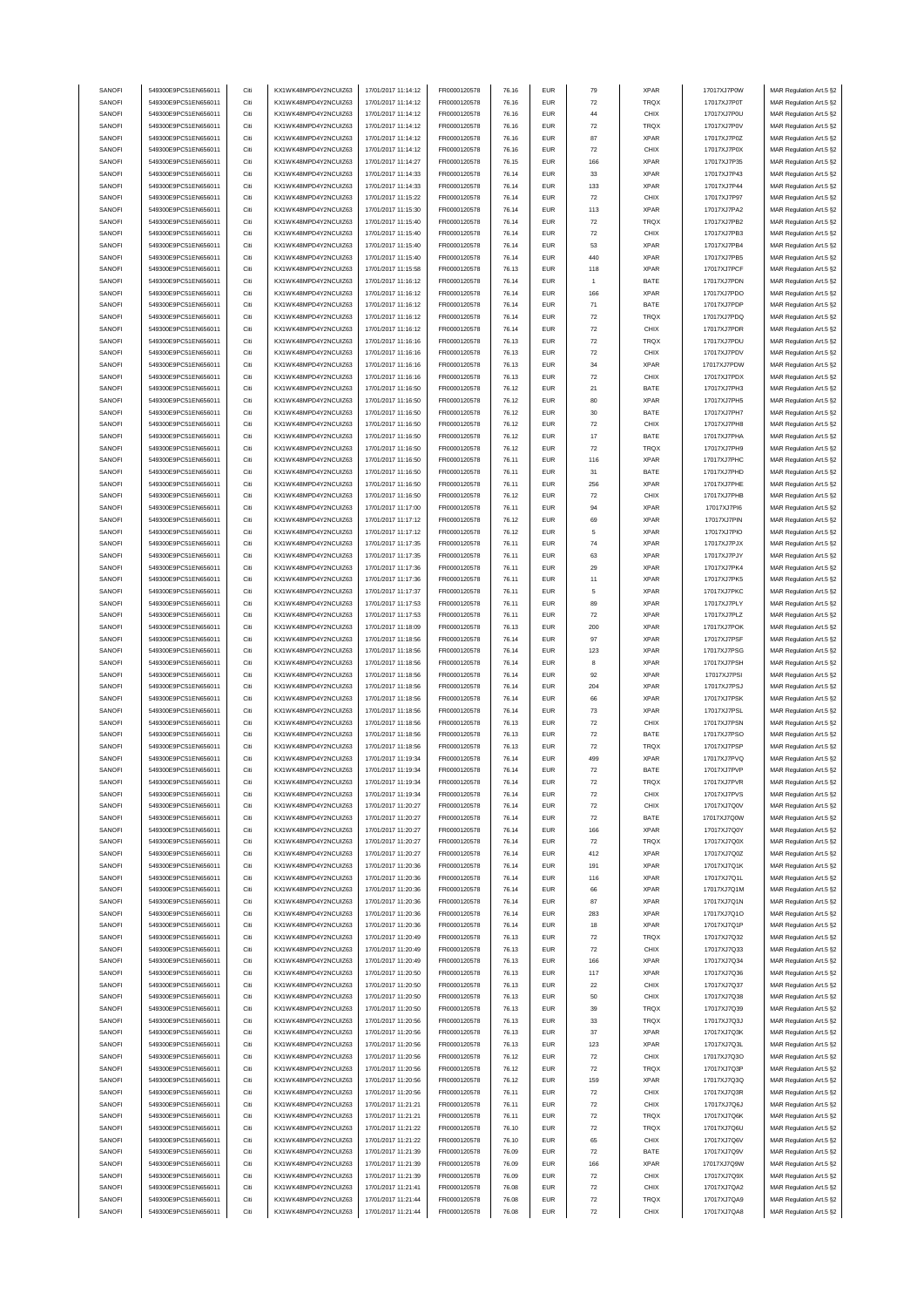| SANOFI | 549300E9PC51EN656011 | Citi | KX1WK48MPD4Y2NCUIZ63  | 17/01/2017 11:14:12 | FR0000120578 | 76.16 | <b>EUR</b> | 79                 | <b>XPAR</b> | 17017XJ7P0W  | MAR Regulation Art.5 §2 |
|--------|----------------------|------|-----------------------|---------------------|--------------|-------|------------|--------------------|-------------|--------------|-------------------------|
| SANOFI | 549300E9PC51EN656011 | Citi | KX1WK48MPD4Y2NCUIZ63  |                     |              | 76.16 | <b>EUR</b> | 72                 | TRQX        |              |                         |
|        |                      |      |                       | 17/01/2017 11:14:12 | FR0000120578 |       |            |                    |             | 17017XJ7P0T  | MAR Regulation Art.5 §2 |
| SANOFI | 549300E9PC51EN656011 | Citi | KX1WK48MPD4Y2NCUIZ63  | 17/01/2017 11:14:12 | FR0000120578 | 76.16 | <b>EUR</b> | 44                 | CHIX        | 17017XJ7P0U  | MAR Regulation Art.5 §2 |
| SANOFI | 549300E9PC51EN656011 | Citi | KX1WK48MPD4Y2NCUIZ63  | 17/01/2017 11:14:12 | FR0000120578 | 76.16 | EUR        | $\scriptstyle{72}$ | TRQX        | 17017XJ7P0V  | MAR Regulation Art.5 §2 |
| SANOFI | 549300E9PC51EN656011 | Citi | KX1WK48MPD4Y2NCLIIZ63 | 17/01/2017 11:14:12 | FR0000120578 | 76.16 | <b>EUR</b> | 87                 | <b>XPAR</b> | 17017XJ7P0Z  | MAR Regulation Art.5 §2 |
| SANOFI | 549300E9PC51EN656011 | Citi | KX1WK48MPD4Y2NCUIZ63  | 17/01/2017 11:14:12 | FR0000120578 | 76.16 | <b>EUR</b> | 72                 | CHIX        | 17017XJ7P0X  | MAR Regulation Art.5 §2 |
| SANOFI | 549300E9PC51EN656011 | Citi | KX1WK48MPD4Y2NCUIZ63  | 17/01/2017 11:14:27 | FR0000120578 | 76.15 | <b>EUR</b> | 166                | <b>XPAR</b> | 17017XJ7P35  | MAR Regulation Art.5 §2 |
|        |                      |      |                       |                     |              |       |            |                    |             |              |                         |
| SANOFI | 549300E9PC51EN656011 | Citi | KX1WK48MPD4Y2NCUIZ63  | 17/01/2017 11:14:33 | FR0000120578 | 76.14 | <b>EUR</b> | 33                 | <b>XPAR</b> | 17017XJ7P43  | MAR Regulation Art.5 §2 |
| SANOFI | 549300E9PC51EN656011 | Citi | KX1WK48MPD4Y2NCUIZ63  | 17/01/2017 11:14:33 | FR0000120578 | 76.14 | <b>EUR</b> | 133                | <b>XPAR</b> | 17017XJ7P44  | MAR Regulation Art.5 §2 |
| SANOFI | 549300E9PC51EN656011 | Citi | KX1WK48MPD4Y2NCUIZ63  | 17/01/2017 11:15:22 | FR0000120578 | 76.14 | <b>EUR</b> | 72                 | CHIX        | 17017XJ7P97  | MAR Regulation Art.5 §2 |
| SANOFI | 549300E9PC51EN656011 | Citi | KX1WK48MPD4Y2NCUIZ63  | 17/01/2017 11:15:30 | FR0000120578 | 76.14 | <b>EUR</b> | 113                | <b>XPAR</b> | 17017XJ7PA2  | MAR Regulation Art.5 §2 |
| SANOFI | 549300E9PC51EN656011 | Citi | KX1WK48MPD4Y2NCUIZ63  | 17/01/2017 11:15:40 | FR0000120578 | 76.14 | <b>EUR</b> | 72                 | TRQX        | 17017XJ7PB2  | MAR Regulation Art.5 §2 |
|        |                      |      |                       |                     |              |       |            |                    |             |              |                         |
| SANOFI | 549300E9PC51EN656011 | Citi | KX1WK48MPD4Y2NCUIZ63  | 17/01/2017 11:15:40 | FR0000120578 | 76.14 | EUR        | ${\bf 72}$         | CHIX        | 17017XJ7PB3  | MAR Regulation Art.5 §2 |
| SANOFI | 549300E9PC51EN656011 | Citi | KX1WK48MPD4Y2NCUIZ63  | 17/01/2017 11:15:40 | FR0000120578 | 76.14 | <b>EUR</b> | 53                 | <b>XPAR</b> | 17017XJ7PB4  | MAR Regulation Art.5 §2 |
| SANOFI | 549300E9PC51EN656011 | Citi | KX1WK48MPD4Y2NCUIZ63  | 17/01/2017 11:15:40 | FR0000120578 | 76.14 | <b>EUR</b> | 440                | <b>XPAR</b> | 17017XJ7PB5  | MAR Regulation Art.5 §2 |
| SANOFI | 549300E9PC51EN656011 | Citi | KX1WK48MPD4Y2NCUIZ63  | 17/01/2017 11:15:58 | FR0000120578 | 76.13 | <b>EUR</b> | 118                | <b>XPAR</b> | 17017XJ7PCF  | MAR Regulation Art.5 §2 |
| SANOFI | 549300E9PC51EN656011 | Citi | KX1WK48MPD4Y2NCUIZ63  | 17/01/2017 11:16:12 | FR0000120578 | 76.14 | <b>EUR</b> | $\overline{1}$     | BATE        | 17017XJ7PDN  | MAR Regulation Art.5 §2 |
|        | 549300E9PC51EN656011 | Citi | KX1WK48MPD4Y2NCUIZ63  | 17/01/2017 11:16:12 |              | 76.14 | <b>EUR</b> | 166                | <b>XPAR</b> |              |                         |
| SANOFI |                      |      |                       |                     | FR0000120578 |       |            |                    |             | 17017XJ7PDO  | MAR Regulation Art.5 §2 |
| SANOFI | 549300E9PC51EN656011 | Citi | KX1WK48MPD4Y2NCUIZ63  | 17/01/2017 11:16:12 | FR0000120578 | 76.14 | <b>EUR</b> | 71                 | BATE        | 17017XJ7PDP  | MAR Regulation Art.5 §2 |
| SANOFI | 549300E9PC51EN656011 | Citi | KX1WK48MPD4Y2NCUIZ63  | 17/01/2017 11:16:12 | FR0000120578 | 76.14 | <b>EUR</b> | 72                 | TRQX        | 17017XJ7PDQ  | MAR Regulation Art.5 §2 |
| SANOFI | 549300E9PC51EN656011 | Citi | KX1WK48MPD4Y2NCUIZ63  | 17/01/2017 11:16:12 | FR0000120578 | 76.14 | <b>EUR</b> | 72                 | CHIX        | 17017XJ7PDR  | MAR Regulation Art.5 §2 |
| SANOFI | 549300E9PC51EN656011 | Citi | KX1WK48MPD4Y2NCUIZ63  | 17/01/2017 11:16:16 | FR0000120578 | 76.13 | <b>EUR</b> | ${\bf 72}$         | TRQX        | 17017XJ7PDU  | MAR Regulation Art.5 §2 |
| SANOFI | 549300E9PC51EN656011 | Citi | KX1WK48MPD4Y2NCUIZ63  | 17/01/2017 11:16:16 | FR0000120578 | 76.13 | <b>EUR</b> | $\scriptstyle{72}$ | CHIX        | 17017XJ7PDV  |                         |
|        |                      |      |                       |                     |              |       |            |                    |             |              | MAR Regulation Art.5 §2 |
| SANOFI | 549300E9PC51EN656011 | Citi | KX1WK48MPD4Y2NCUIZ63  | 17/01/2017 11:16:16 | FR0000120578 | 76.13 | <b>EUR</b> | 34                 | <b>XPAR</b> | 17017XJ7PDW  | MAR Regulation Art.5 §2 |
| SANOFI | 549300E9PC51EN656011 | Citi | KX1WK48MPD4Y2NCUIZ63  | 17/01/2017 11:16:16 | FR0000120578 | 76.13 | <b>EUR</b> | 72                 | CHIX        | 17017XJ7PDX  | MAR Regulation Art.5 §2 |
| SANOFI | 549300E9PC51EN656011 | Citi | KX1WK48MPD4Y2NCUIZ63  | 17/01/2017 11:16:50 | FR0000120578 | 76.12 | <b>EUR</b> | 21                 | BATE        | 17017XJ7PH3  | MAR Regulation Art.5 §2 |
| SANOFI | 549300E9PC51EN656011 | Citi | KX1WK48MPD4Y2NCUIZ63  | 17/01/2017 11:16:50 | FR0000120578 | 76.12 | <b>EUR</b> | 80                 | <b>XPAR</b> | 17017XJ7PH5  | MAR Regulation Art.5 §2 |
| SANOFI | 549300E9PC51EN656011 | Citi | KX1WK48MPD4Y2NCUIZ63  | 17/01/2017 11:16:50 |              |       | <b>EUR</b> |                    |             | 17017XJ7PH7  |                         |
|        |                      |      |                       |                     | FR0000120578 | 76.12 |            | 30                 | BATE        |              | MAR Regulation Art.5 §2 |
| SANOFI | 549300E9PC51EN656011 | Citi | KX1WK48MPD4Y2NCUIZ63  | 17/01/2017 11:16:50 | FR0000120578 | 76.12 | <b>EUR</b> | 72                 | CHIX        | 17017XJ7PH8  | MAR Regulation Art.5 §2 |
| SANOFI | 549300E9PC51EN656011 | Citi | KX1WK48MPD4Y2NCUIZ63  | 17/01/2017 11:16:50 | FR0000120578 | 76.12 | <b>EUR</b> | 17                 | BATE        | 17017XJ7PHA  | MAR Regulation Art.5 §2 |
| SANOFI | 549300E9PC51EN656011 | Citi | KX1WK48MPD4Y2NCUIZ63  | 17/01/2017 11:16:50 | FR0000120578 | 76.12 | <b>EUR</b> | 72                 | TRQX        | 17017XJ7PH9  | MAR Regulation Art.5 §2 |
| SANOFI | 549300E9PC51EN656011 | Citi | KX1WK48MPD4Y2NCUIZ63  | 17/01/2017 11:16:50 | FR0000120578 | 76.11 | <b>EUR</b> | 116                | <b>XPAR</b> | 17017XJ7PHC  | MAR Regulation Art.5 §2 |
| SANOFI | 549300E9PC51EN656011 | Citi | KX1WK48MPD4Y2NCUIZ63  | 17/01/2017 11:16:50 | FR0000120578 | 76.11 | <b>EUR</b> | 31                 | BATE        | 17017XJ7PHD  | MAR Regulation Art.5 §2 |
|        |                      |      |                       |                     |              |       |            |                    |             |              |                         |
| SANOFI | 549300E9PC51EN656011 | Citi | KX1WK48MPD4Y2NCUIZ63  | 17/01/2017 11:16:50 | FR0000120578 | 76.11 | <b>EUR</b> | 256                | <b>XPAR</b> | 17017XJ7PHE  | MAR Regulation Art.5 §2 |
| SANOFI | 549300E9PC51EN656011 | Citi | KX1WK48MPD4Y2NCUIZ63  | 17/01/2017 11:16:50 | FR0000120578 | 76.12 | <b>EUR</b> | 72                 | CHIX        | 17017XJ7PHB  | MAR Regulation Art.5 §2 |
| SANOFI | 549300E9PC51EN656011 | Citi | KX1WK48MPD4Y2NCUIZ63  | 17/01/2017 11:17:00 | FR0000120578 | 76.11 | <b>EUR</b> | 94                 | <b>XPAR</b> | 17017XJ7PI6  | MAR Regulation Art.5 §2 |
| SANOFI | 549300E9PC51EN656011 | Citi | KX1WK48MPD4Y2NCUIZ63  | 17/01/2017 11:17:12 | FR0000120578 | 76.12 | <b>EUR</b> | 69                 | <b>XPAR</b> | 17017XJ7PIN  | MAR Regulation Art.5 §2 |
| SANOFI | 549300E9PC51EN656011 | Citi | KX1WK48MPD4Y2NCUIZ63  | 17/01/2017 11:17:12 | FR0000120578 | 76.12 | <b>EUR</b> | 5                  | <b>XPAR</b> | 17017XJ7PIO  | MAR Regulation Art.5 §2 |
|        |                      |      |                       |                     |              |       |            |                    |             |              |                         |
| SANOFI | 549300E9PC51EN656011 | Citi | KX1WK48MPD4Y2NCUIZ63  | 17/01/2017 11:17:35 | FR0000120578 | 76.11 | <b>EUR</b> | 74                 | <b>XPAR</b> | 17017XJ7PJX  | MAR Regulation Art.5 §2 |
| SANOFI | 549300E9PC51EN656011 | Citi | KX1WK48MPD4Y2NCUIZ63  | 17/01/2017 11:17:35 | FR0000120578 | 76.11 | <b>EUR</b> | 63                 | <b>XPAR</b> | 17017XJ7PJY  | MAR Regulation Art.5 §2 |
| SANOFI | 549300E9PC51EN656011 | Citi | KX1WK48MPD4Y2NCUIZ63  | 17/01/2017 11:17:36 | FR0000120578 | 76.11 | <b>EUR</b> | 29                 | <b>XPAR</b> | 17017XJ7PK4  | MAR Regulation Art.5 §2 |
| SANOFI | 549300E9PC51EN656011 | Citi | KX1WK48MPD4Y2NCUIZ63  | 17/01/2017 11:17:36 | FR0000120578 | 76.11 | <b>EUR</b> | 11                 | <b>XPAR</b> | 17017XJ7PK5  | MAR Regulation Art.5 §2 |
| SANOFI | 549300E9PC51EN656011 | Citi | KX1WK48MPD4Y2NCUIZ63  | 17/01/2017 11:17:37 | FR0000120578 | 76.11 | <b>EUR</b> | 5                  | <b>XPAR</b> | 17017XJ7PKC  | MAR Regulation Art.5 §2 |
| SANOFI | 549300E9PC51EN656011 | Citi | KX1WK48MPD4Y2NCUIZ63  | 17/01/2017 11:17:53 | FR0000120578 | 76.11 | <b>EUR</b> | 89                 | <b>XPAR</b> | 17017XJ7PLY  |                         |
|        |                      |      |                       |                     |              |       |            |                    |             |              | MAR Regulation Art.5 §2 |
| SANOFI | 549300E9PC51EN656011 | Citi | KX1WK48MPD4Y2NCUIZ63  | 17/01/2017 11:17:53 | FR0000120578 | 76.11 | <b>EUR</b> | 72                 | <b>XPAR</b> | 17017XJ7PLZ  | MAR Regulation Art.5 §2 |
| SANOFI | 549300E9PC51EN656011 | Citi | KX1WK48MPD4Y2NCUIZ63  | 17/01/2017 11:18:09 | FR0000120578 | 76.13 | <b>EUR</b> | 200                | <b>XPAR</b> | 17017XJ7POK  | MAR Regulation Art.5 §2 |
| SANOFI | 549300E9PC51EN656011 | Citi | KX1WK48MPD4Y2NCUIZ63  | 17/01/2017 11:18:56 | FR0000120578 | 76.14 | <b>EUR</b> | 97                 | <b>XPAR</b> | 17017XJ7PSF  | MAR Regulation Art.5 §2 |
| SANOFI | 549300E9PC51EN656011 | Citi | KX1WK48MPD4Y2NCUIZ63  | 17/01/2017 11:18:56 | FR0000120578 | 76.14 | <b>EUR</b> | 123                | <b>XPAR</b> | 17017XJ7PSG  | MAR Regulation Art.5 §2 |
| SANOFI | 549300E9PC51EN656011 | Citi | KX1WK48MPD4Y2NCUIZ63  | 17/01/2017 11:18:56 | FR0000120578 | 76.14 | <b>EUR</b> | 8                  | <b>XPAR</b> | 17017XJ7PSH  | MAR Regulation Art.5 §2 |
|        |                      |      |                       |                     |              |       |            |                    |             |              |                         |
| SANOFI | 549300E9PC51EN656011 | Citi | KX1WK48MPD4Y2NCUIZ63  | 17/01/2017 11:18:56 | FR0000120578 | 76.14 | <b>EUR</b> | 92                 | <b>XPAR</b> | 17017XJ7PSI  | MAR Regulation Art.5 §2 |
| SANOFI | 549300E9PC51EN656011 | Citi | KX1WK48MPD4Y2NCUIZ63  | 17/01/2017 11:18:56 | FR0000120578 | 76.14 | <b>EUR</b> | 204                | <b>XPAR</b> | 17017XJ7PSJ  | MAR Regulation Art.5 §2 |
| SANOFI | 549300E9PC51EN656011 | Citi | KX1WK48MPD4Y2NCUIZ63  | 17/01/2017 11:18:56 | FR0000120578 | 76.14 | <b>EUR</b> | 66                 | <b>XPAR</b> | 17017XJ7PSK  | MAR Regulation Art.5 §2 |
| SANOFI | 549300E9PC51EN656011 | Citi | KX1WK48MPD4Y2NCLIIZ63 | 17/01/2017 11:18:56 | FR0000120578 | 76.14 | <b>EUR</b> | 73                 | <b>XPAR</b> | 17017XJ7PSL  | MAR Regulation Art.5 §2 |
| SANOFI | 549300E9PC51EN656011 | Citi | KX1WK48MPD4Y2NCUIZ63  | 17/01/2017 11:18:56 | FR0000120578 | 76.13 | <b>EUR</b> | $\scriptstyle{72}$ | CHIX        | 17017XJ7PSN  | MAR Regulation Art.5 §2 |
|        |                      |      |                       |                     |              |       |            |                    |             |              |                         |
| SANOFI | 549300E9PC51EN656011 | Citi | KX1WK48MPD4Y2NCUIZ63  | 17/01/2017 11:18:56 | FR0000120578 | 76.13 | <b>EUR</b> | 72                 | BATE        | 17017XJ7PSO  | MAR Regulation Art.5 §2 |
| SANOFI | 549300E9PC51EN656011 | Citi | KX1WK48MPD4Y2NCUIZ63  | 17/01/2017 11:18:56 | FR0000120578 | 76.13 | <b>EUR</b> | 72                 | TRQX        | 17017XJ7PSP  | MAR Regulation Art.5 §2 |
| SANOFI | 549300E9PC51EN656011 | Citi | KX1WK48MPD4Y2NCUIZ63  | 17/01/2017 11:19:34 | FR0000120578 | 76.14 | <b>EUR</b> | 499                | <b>XPAR</b> | 17017XJ7PVQ  | MAR Regulation Art.5 §2 |
| SANOFI | 549300E9PC51EN656011 | Citi | KX1WK48MPD4Y2NCUIZ63  | 17/01/2017 11:19:34 | FR0000120578 | 76.14 | <b>EUR</b> | $\scriptstyle{72}$ | BATE        | 17017XJ7PVP  | MAR Regulation Art.5 §2 |
| SANOFI | 549300E9PC51EN656011 |      | KX1WK48MPD4Y2NCLIIZ63 | 17/01/2017 11:19:34 | FR0000120578 | 76.14 | FUR        | 72                 | TROX        | 17017X.I7PVR | MAR Regulation Art 5.82 |
| SANOFI |                      |      |                       |                     |              |       |            |                    |             |              |                         |
|        | 549300E9PC51EN656011 | Citi | KX1WK48MPD4Y2NCUIZ63  | 17/01/2017 11:19:34 | FR0000120578 | 76.14 | <b>EUR</b> | 72                 | CHIX        | 17017XJ7PVS  | MAR Regulation Art.5 §2 |
| SANOFI | 549300E9PC51EN656011 | Citi | KX1WK48MPD4Y2NCUIZ63  | 17/01/2017 11:20:27 | FR0000120578 | 76.14 | <b>EUR</b> | $\scriptstyle{72}$ | CHIX        | 17017XJ7Q0V  | MAR Regulation Art.5 §2 |
| SANOFI | 549300E9PC51EN656011 | Citi | KX1WK48MPD4Y2NCUIZ63  | 17/01/2017 11:20:27 | FR0000120578 | 76.14 | <b>EUR</b> | 72                 | BATE        | 17017XJ7Q0W  | MAR Regulation Art.5 §2 |
| SANOFI | 549300E9PC51EN656011 | Citi | KX1WK48MPD4Y2NCUIZ63  | 17/01/2017 11:20:27 | FR0000120578 | 76.14 | <b>EUR</b> |                    |             |              |                         |
| SANOFI | 549300E9PC51EN656011 | Citi | KX1WK48MPD4Y2NCUIZ63  | 17/01/2017 11:20:27 | FR0000120578 |       |            | 166                | <b>XPAR</b> | 17017XJ7Q0Y  |                         |
| SANOFI | 549300E9PC51EN656011 | Citi | KX1WK48MPD4Y2NCUIZ63  |                     |              |       |            |                    |             |              | MAR Regulation Art.5 §2 |
|        |                      |      |                       |                     |              | 76.14 | <b>EUR</b> | $\scriptstyle{72}$ | TRQX        | 17017XJ7Q0X  | MAR Regulation Art.5 §2 |
| SANOFI | 549300E9PC51EN656011 |      |                       | 17/01/2017 11:20:27 | FR0000120578 | 76.14 | <b>EUR</b> | 412                | <b>XPAR</b> | 17017XJ7Q0Z  | MAR Regulation Art.5 §2 |
| SANOFI |                      | Citi | KX1WK48MPD4Y2NCUIZ63  | 17/01/2017 11:20:36 | FR0000120578 | 76.14 | <b>EUR</b> | 191                | <b>XPAR</b> | 17017XJ7Q1K  | MAR Regulation Art.5 §2 |
|        | 549300E9PC51EN656011 | Citi | KX1WK48MPD4Y2NCUIZ63  | 17/01/2017 11:20:36 | FR0000120578 | 76.14 | <b>EUR</b> | 116                | <b>XPAR</b> | 17017XJ7Q1L  | MAR Regulation Art.5 §2 |
| SANOFI | 549300E9PC51EN656011 | Citi | KX1WK48MPD4Y2NCUIZ63  | 17/01/2017 11:20:36 | FR0000120578 | 76.14 | <b>EUR</b> | 66                 | <b>XPAR</b> | 17017XJ7Q1M  | MAR Regulation Art.5 §2 |
| SANOFI | 549300E9PC51EN656011 | Citi | KX1WK48MPD4Y2NCUIZ63  | 17/01/2017 11:20:36 | FR0000120578 | 76.14 | <b>EUR</b> | 87                 | <b>XPAR</b> | 17017XJ7Q1N  | MAR Regulation Art.5 §2 |
|        |                      |      |                       |                     |              |       |            |                    |             |              |                         |
| SANOFI | 549300E9PC51EN656011 | Citi | KX1WK48MPD4Y2NCUIZ63  | 17/01/2017 11:20:36 | FR0000120578 | 76.14 | <b>EUR</b> | 283                | <b>XPAR</b> | 17017XJ7Q1O  | MAR Regulation Art.5 §2 |
| SANOFI | 549300E9PC51EN656011 | Citi | KX1WK48MPD4Y2NCUIZ63  | 17/01/2017 11:20:36 | FR0000120578 | 76.14 | <b>EUR</b> | 18                 | <b>XPAR</b> | 17017XJ7Q1P  | MAR Regulation Art.5 §2 |
| SANOFI | 549300E9PC51EN656011 | Citi | KX1WK48MPD4Y2NCUIZ63  | 17/01/2017 11:20:49 | FR0000120578 | 76.13 | <b>EUR</b> | 72                 | TRQX        | 17017XJ7Q32  | MAR Regulation Art.5 §2 |
| SANOFI | 549300E9PC51EN656011 | Citi | KX1WK48MPD4Y2NCUIZ63  | 17/01/2017 11:20:49 | FR0000120578 | 76.13 | <b>EUR</b> | $\scriptstyle{72}$ | CHIX        | 17017XJ7Q33  | MAR Regulation Art.5 §2 |
| SANOFI | 549300E9PC51EN656011 | Citi | KX1WK48MPD4Y2NCUIZ63  | 17/01/2017 11:20:49 | FR0000120578 | 76.13 | <b>EUR</b> | 166                | <b>XPAR</b> | 17017XJ7Q34  | MAR Regulation Art.5 §2 |
|        |                      |      |                       |                     |              |       |            |                    |             |              |                         |
| SANOFI | 549300E9PC51EN656011 | Citi | KX1WK48MPD4Y2NCUIZ63  | 17/01/2017 11:20:50 | FR0000120578 | 76.13 | <b>EUR</b> | 117                | <b>XPAR</b> | 17017XJ7Q36  | MAR Regulation Art.5 §2 |
| SANOFI | 549300E9PC51EN656011 | Citi | KX1WK48MPD4Y2NCUIZ63  | 17/01/2017 11:20:50 | FR0000120578 | 76.13 | <b>EUR</b> | $22\,$             | CHIX        | 17017XJ7Q37  | MAR Regulation Art.5 §2 |
| SANOFI | 549300E9PC51EN656011 | Citi | KX1WK48MPD4Y2NCUIZ63  | 17/01/2017 11:20:50 | FR0000120578 | 76.13 | <b>EUR</b> | 50                 | CHIX        | 17017XJ7Q38  | MAR Regulation Art.5 §2 |
| SANOFI | 549300E9PC51EN656011 | Citi | KX1WK48MPD4Y2NCUIZ63  | 17/01/2017 11:20:50 | FR0000120578 | 76.13 | <b>EUR</b> | 39                 | TRQX        | 17017XJ7Q39  | MAR Regulation Art.5 §2 |
| SANOFI | 549300E9PC51EN656011 | Citi | KX1WK48MPD4Y2NCUIZ63  | 17/01/2017 11:20:56 | FR0000120578 | 76.13 | <b>EUR</b> | 33                 | TRQX        | 17017XJ7Q3J  | MAR Regulation Art.5 §2 |
| SANOFI | 549300E9PC51EN656011 | Citi | KX1WK48MPD4Y2NCUIZ63  | 17/01/2017 11:20:56 | FR0000120578 | 76.13 | <b>EUR</b> | 37                 | <b>XPAR</b> | 17017XJ7Q3K  | MAR Regulation Art.5 §2 |
|        |                      |      |                       |                     |              |       |            |                    |             |              |                         |
| SANOFI | 549300E9PC51EN656011 | Citi | KX1WK48MPD4Y2NCUIZ63  | 17/01/2017 11:20:56 | FR0000120578 | 76.13 | <b>EUR</b> | 123                | <b>XPAR</b> | 17017XJ7Q3L  | MAR Regulation Art.5 §2 |
| SANOFI | 549300E9PC51EN656011 | Citi | KX1WK48MPD4Y2NCUIZ63  | 17/01/2017 11:20:56 | FR0000120578 | 76.12 | <b>EUR</b> | $\scriptstyle{72}$ | CHIX        | 17017XJ7Q3O  | MAR Regulation Art.5 §2 |
| SANOFI | 549300E9PC51EN656011 | Citi | KX1WK48MPD4Y2NCUIZ63  | 17/01/2017 11:20:56 | FR0000120578 | 76.12 | <b>EUR</b> | $\scriptstyle{72}$ | TRQX        | 17017XJ7Q3P  | MAR Regulation Art.5 §2 |
| SANOFI | 549300E9PC51EN656011 | Citi | KX1WK48MPD4Y2NCUIZ63  | 17/01/2017 11:20:56 | FR0000120578 | 76.12 | <b>EUR</b> | 159                | <b>XPAR</b> | 17017XJ7Q3Q  | MAR Regulation Art.5 §2 |
| SANOFI |                      | Citi |                       |                     |              | 76.11 | <b>EUR</b> | 72                 |             |              |                         |
|        | 549300E9PC51EN656011 |      | KX1WK48MPD4Y2NCUIZ63  | 17/01/2017 11:20:56 | FR0000120578 |       |            |                    | CHIX        | 17017XJ7Q3R  | MAR Regulation Art.5 §2 |
| SANOFI | 549300E9PC51EN656011 | Citi | KX1WK48MPD4Y2NCUIZ63  | 17/01/2017 11:21:21 | FR0000120578 | 76.11 | <b>EUR</b> | 72                 | CHIX        | 17017XJ7Q6J  | MAR Regulation Art.5 §2 |
| SANOFI | 549300E9PC51EN656011 | Citi | KX1WK48MPD4Y2NCUIZ63  | 17/01/2017 11:21:21 | FR0000120578 | 76.11 | <b>EUR</b> | 72                 | TRQX        | 17017XJ7Q6K  | MAR Regulation Art.5 §2 |
| SANOFI | 549300E9PC51EN656011 | Citi | KX1WK48MPD4Y2NCUIZ63  | 17/01/2017 11:21:22 | FR0000120578 | 76.10 | <b>EUR</b> | 72                 | TRQX        | 17017XJ7Q6U  | MAR Regulation Art.5 §2 |
| SANOFI | 549300E9PC51EN656011 | Citi | KX1WK48MPD4Y2NCUIZ63  | 17/01/2017 11:21:22 | FR0000120578 | 76.10 | <b>EUR</b> | 65                 | CHIX        | 17017XJ7Q6V  | MAR Regulation Art.5 §2 |
| SANOFI | 549300E9PC51EN656011 | Citi | KX1WK48MPD4Y2NCUIZ63  | 17/01/2017 11:21:39 | FR0000120578 | 76.09 | <b>EUR</b> | $\scriptstyle{72}$ | BATE        | 17017XJ7Q9V  | MAR Regulation Art.5 §2 |
| SANOFI | 549300E9PC51EN656011 | Citi | KX1WK48MPD4Y2NCUIZ63  | 17/01/2017 11:21:39 | FR0000120578 | 76.09 | <b>EUR</b> | 166                | <b>XPAR</b> | 17017XJ7Q9W  |                         |
|        |                      |      |                       |                     |              |       |            |                    |             |              | MAR Regulation Art.5 §2 |
| SANOFI | 549300E9PC51EN656011 | Citi | KX1WK48MPD4Y2NCUIZ63  | 17/01/2017 11:21:39 | FR0000120578 | 76.09 | <b>EUR</b> | 72                 | CHIX        | 17017XJ7Q9X  | MAR Regulation Art.5 §2 |
| SANOFI | 549300E9PC51EN656011 | Citi | KX1WK48MPD4Y2NCUIZ63  | 17/01/2017 11:21:41 | FR0000120578 | 76.08 | <b>EUR</b> | 72                 | CHIX        | 17017XJ7QA2  | MAR Regulation Art.5 §2 |
| SANOFI | 549300E9PC51EN656011 | Citi | KX1WK48MPD4Y2NCUIZ63  | 17/01/2017 11:21:44 | FR0000120578 | 76.08 | <b>EUR</b> | $\scriptstyle{72}$ | TRQX        | 17017XJ7QA9  | MAR Regulation Art.5 §2 |
| SANOFI | 549300E9PC51EN656011 | Citi | KX1WK48MPD4Y2NCUIZ63  | 17/01/2017 11:21:44 | FR0000120578 | 76.08 | <b>EUR</b> | $\scriptstyle{72}$ | CHIX        | 17017XJ7QA8  | MAR Regulation Art.5 §2 |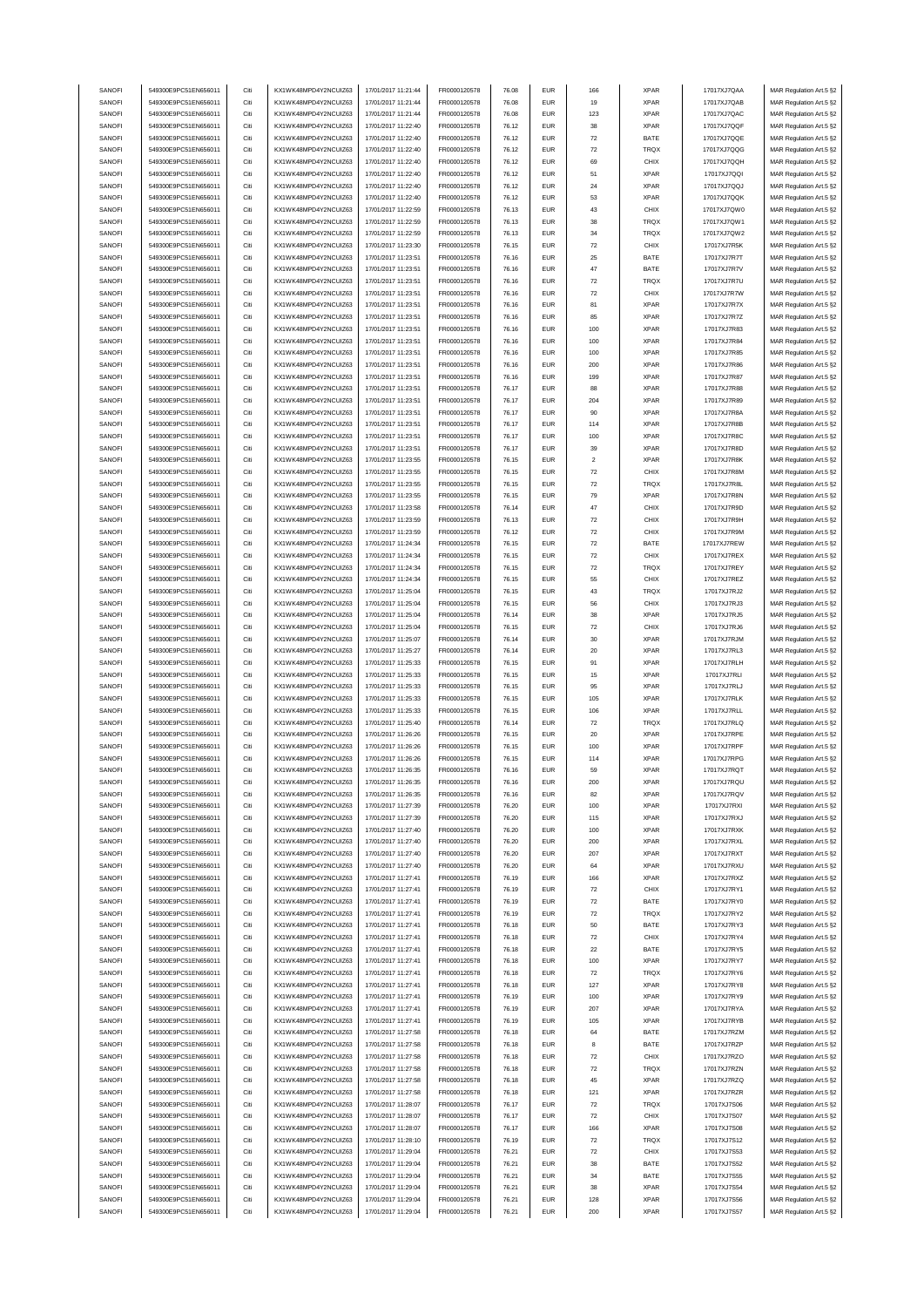| SANOFI           | 549300E9PC51EN656011                         | Citi | KX1WK48MPD4Y2NCUIZ63                         | 17/01/2017 11:21:44                        | FR0000120578                 | 76.08 | <b>EUR</b>               |                    | <b>XPAR</b>         | 17017XJ7QAA                |                                                    |
|------------------|----------------------------------------------|------|----------------------------------------------|--------------------------------------------|------------------------------|-------|--------------------------|--------------------|---------------------|----------------------------|----------------------------------------------------|
| SANOFI           | 549300E9PC51EN656011                         | Citi | KX1WK48MPD4Y2NCUIZ63                         | 17/01/2017 11:21:44                        |                              | 76.08 | <b>EUR</b>               | 166<br>19          | <b>XPAR</b>         |                            | MAR Regulation Art.5 §2                            |
|                  | 549300E9PC51EN656011                         |      | KX1WK48MPD4Y2NCUIZ63                         |                                            | FR0000120578                 |       |                          |                    |                     | 17017XJ7QAB                | MAR Regulation Art.5 §2                            |
| SANOFI           |                                              | Citi |                                              | 17/01/2017 11:21:44                        | FR0000120578                 | 76.08 | <b>EUR</b>               | 123                | <b>XPAR</b>         | 17017XJ7QAC                | MAR Regulation Art.5 §2                            |
| SANOFI           | 549300E9PC51EN656011                         | Citi | KX1WK48MPD4Y2NCUIZ63                         | 17/01/2017 11:22:40                        | FR0000120578                 | 76.12 | EUR                      | 38                 | <b>XPAR</b>         | 17017XJ7QQF                | MAR Regulation Art.5 §2                            |
| SANOFI           | 549300E9PC51EN656011                         | Citi | KX1WK48MPD4Y2NCLIIZ63                        | 17/01/2017 11:22:40                        | FR0000120578                 | 76.12 | <b>EUR</b>               | $\scriptstyle{72}$ | BATE                | 17017XJ7QQE                | MAR Regulation Art.5 §2                            |
| SANOFI           | 549300E9PC51EN656011                         | Citi | KX1WK48MPD4Y2NCUIZ63                         | 17/01/2017 11:22:40                        | FR0000120578                 | 76.12 | <b>EUR</b>               | 72                 | TRQX                | 17017XJ7QQG                | MAR Regulation Art.5 §2                            |
| SANOFI           | 549300E9PC51EN656011                         | Citi | KX1WK48MPD4Y2NCUIZ63                         | 17/01/2017 11:22:40                        | FR0000120578                 | 76.12 | <b>EUR</b>               | 69                 | CHIX                | 17017XJ7QQH                | MAR Regulation Art.5 §2                            |
|                  |                                              |      |                                              |                                            |                              |       |                          |                    |                     |                            |                                                    |
| SANOFI           | 549300E9PC51EN656011                         | Citi | KX1WK48MPD4Y2NCUIZ63                         | 17/01/2017 11:22:40                        | FR0000120578                 | 76.12 | <b>EUR</b>               | 51                 | <b>XPAR</b>         | 17017XJ7QQI                | MAR Regulation Art.5 §2                            |
| SANOFI           | 549300E9PC51EN656011                         | Citi | KX1WK48MPD4Y2NCUIZ63                         | 17/01/2017 11:22:40                        | FR0000120578                 | 76.12 | <b>EUR</b>               | 24                 | <b>XPAR</b>         | 17017XJ7QQJ                | MAR Regulation Art.5 §2                            |
| SANOFI           | 549300E9PC51EN656011                         | Citi | KX1WK48MPD4Y2NCUIZ63                         | 17/01/2017 11:22:40                        | FR0000120578                 | 76.12 | <b>EUR</b>               | 53                 | <b>XPAR</b>         | 17017XJ7QQK                | MAR Regulation Art.5 §2                            |
| SANOFI           | 549300E9PC51EN656011                         | Citi | KX1WK48MPD4Y2NCUIZ63                         | 17/01/2017 11:22:59                        | FR0000120578                 | 76.13 | <b>EUR</b>               | 43                 | CHIX                | 17017XJ7QW0                | MAR Regulation Art.5 §2                            |
| SANOFI           | 549300E9PC51EN656011                         | Citi | KX1WK48MPD4Y2NCUIZ63                         | 17/01/2017 11:22:59                        | FR0000120578                 | 76.13 | <b>EUR</b>               | 38                 | TRQX                | 17017XJ7QW1                | MAR Regulation Art.5 §2                            |
|                  |                                              |      |                                              |                                            |                              |       |                          |                    |                     |                            |                                                    |
| SANOFI           | 549300E9PC51EN656011                         | Citi | KX1WK48MPD4Y2NCUIZ63                         | 17/01/2017 11:22:59                        | FR0000120578                 | 76.13 | EUR                      | 34                 | TRQX                | 17017XJ7QW2                | MAR Regulation Art.5 §2                            |
| SANOFI           | 549300E9PC51EN656011                         | Citi | KX1WK48MPD4Y2NCUIZ63                         | 17/01/2017 11:23:30                        | FR0000120578                 | 76.15 | <b>EUR</b>               | 72                 | CHIX                | 17017XJ7R5K                | MAR Regulation Art.5 §2                            |
| SANOFI           | 549300E9PC51EN656011                         | Citi | KX1WK48MPD4Y2NCUIZ63                         | 17/01/2017 11:23:51                        | FR0000120578                 | 76.16 | <b>EUR</b>               | 25                 | BATE                | 17017XJ7R7T                | MAR Regulation Art.5 §2                            |
|                  |                                              |      |                                              |                                            |                              |       |                          |                    |                     |                            |                                                    |
| SANOFI           | 549300E9PC51EN656011                         | Citi | KX1WK48MPD4Y2NCUIZ63                         | 17/01/2017 11:23:51                        | FR0000120578                 | 76.16 | <b>EUR</b>               | 47                 | BATE                | 17017XJ7R7V                | MAR Regulation Art.5 §2                            |
| SANOFI           | 549300E9PC51EN656011                         | Citi | KX1WK48MPD4Y2NCUIZ63                         | 17/01/2017 11:23:51                        | FR0000120578                 | 76.16 | <b>EUR</b>               | 72                 | TRQX                | 17017XJ7R7U                | MAR Regulation Art.5 §2                            |
| SANOFI           | 549300E9PC51EN656011                         | Citi | KX1WK48MPD4Y2NCUIZ63                         | 17/01/2017 11:23:51                        | FR0000120578                 | 76.16 | <b>EUR</b>               | 72                 | CHIX                | 17017XJ7R7W                | MAR Regulation Art.5 §2                            |
| SANOFI           | 549300E9PC51EN656011                         | Citi | KX1WK48MPD4Y2NCUIZ63                         | 17/01/2017 11:23:51                        | FR0000120578                 | 76.16 | <b>EUR</b>               | 81                 | <b>XPAR</b>         | 17017XJ7R7X                | MAR Regulation Art.5 §2                            |
|                  | 549300E9PC51EN656011                         |      |                                              |                                            |                              |       |                          |                    |                     |                            |                                                    |
| SANOFI           |                                              | Citi | KX1WK48MPD4Y2NCUIZ63                         | 17/01/2017 11:23:51                        | FR0000120578                 | 76.16 | <b>EUR</b>               | 85                 | <b>XPAR</b>         | 17017XJ7R7Z                | MAR Regulation Art.5 §2                            |
| SANOFI           | 549300E9PC51EN656011                         | Citi | KX1WK48MPD4Y2NCUIZ63                         | 17/01/2017 11:23:51                        | FR0000120578                 | 76.16 | <b>EUR</b>               | 100                | <b>XPAR</b>         | 17017XJ7R83                | MAR Regulation Art.5 §2                            |
| SANOFI           | 549300E9PC51EN656011                         | Citi | KX1WK48MPD4Y2NCUIZ63                         | 17/01/2017 11:23:51                        | FR0000120578                 | 76.16 | <b>EUR</b>               | 100                | <b>XPAR</b>         | 17017XJ7R84                | MAR Regulation Art.5 §2                            |
| SANOFI           | 549300E9PC51EN656011                         | Citi | KX1WK48MPD4Y2NCUIZ63                         | 17/01/2017 11:23:51                        | FR0000120578                 | 76.16 | <b>EUR</b>               | 100                | <b>XPAR</b>         | 17017XJ7R85                | MAR Regulation Art.5 §2                            |
| SANOFI           | 549300E9PC51EN656011                         | Citi | KX1WK48MPD4Y2NCUIZ63                         | 17/01/2017 11:23:51                        | FR0000120578                 | 76.16 | <b>EUR</b>               | 200                | <b>XPAR</b>         | 17017XJ7R86                | MAR Regulation Art.5 §2                            |
|                  |                                              |      |                                              |                                            |                              |       |                          |                    |                     |                            |                                                    |
| SANOFI           | 549300E9PC51EN656011                         | Citi | KX1WK48MPD4Y2NCUIZ63                         | 17/01/2017 11:23:51                        | FR0000120578                 | 76.16 | <b>EUR</b>               | 199                | <b>XPAR</b>         | 17017XJ7R87                | MAR Regulation Art.5 §2                            |
| SANOFI           | 549300E9PC51EN656011                         | Citi | KX1WK48MPD4Y2NCUIZ63                         | 17/01/2017 11:23:51                        | FR0000120578                 | 76.17 | <b>EUR</b>               | 88                 | <b>XPAR</b>         | 17017XJ7R88                | MAR Regulation Art.5 §2                            |
| SANOFI           | 549300E9PC51EN656011                         | Citi | KX1WK48MPD4Y2NCUIZ63                         | 17/01/2017 11:23:51                        | FR0000120578                 | 76.17 | <b>EUR</b>               | 204                | <b>XPAR</b>         | 17017XJ7R89                | MAR Regulation Art.5 §2                            |
| SANOFI           | 549300E9PC51EN656011                         | Citi | KX1WK48MPD4Y2NCUIZ63                         | 17/01/2017 11:23:51                        | FR0000120578                 | 76.17 | <b>EUR</b>               | 90                 | <b>XPAR</b>         | 17017XJ7R8A                | MAR Regulation Art.5 §2                            |
|                  |                                              |      |                                              |                                            |                              |       |                          |                    |                     |                            |                                                    |
| SANOFI           | 549300E9PC51EN656011                         | Citi | KX1WK48MPD4Y2NCUIZ63                         | 17/01/2017 11:23:51                        | FR0000120578                 | 76.17 | <b>EUR</b>               | 114                | <b>XPAR</b>         | 17017XJ7R8B                | MAR Regulation Art.5 §2                            |
| SANOFI           | 549300E9PC51EN656011                         | Citi | KX1WK48MPD4Y2NCUIZ63                         | 17/01/2017 11:23:51                        | FR0000120578                 | 76.17 | <b>EUR</b>               | 100                | <b>XPAR</b>         | 17017XJ7R8C                | MAR Regulation Art.5 §2                            |
| SANOFI           | 549300E9PC51EN656011                         | Citi | KX1WK48MPD4Y2NCUIZ63                         | 17/01/2017 11:23:51                        | FR0000120578                 | 76.17 | <b>EUR</b>               | 39                 | <b>XPAR</b>         | 17017XJ7R8D                | MAR Regulation Art.5 §2                            |
| SANOFI           | 549300E9PC51EN656011                         | Citi | KX1WK48MPD4Y2NCUIZ63                         | 17/01/2017 11:23:55                        | FR0000120578                 | 76.15 | <b>EUR</b>               | $\sqrt{2}$         | <b>XPAR</b>         | 17017XJ7R8K                | MAR Regulation Art.5 §2                            |
| SANOFI           | 549300E9PC51EN656011                         | Citi | KX1WK48MPD4Y2NCUIZ63                         | 17/01/2017 11:23:55                        | FR0000120578                 | 76.15 | <b>EUR</b>               | 72                 | CHIX                | 17017XJ7R8M                | MAR Regulation Art.5 §2                            |
|                  |                                              |      |                                              |                                            |                              |       |                          |                    |                     |                            |                                                    |
| SANOFI           | 549300E9PC51EN656011                         | Citi | KX1WK48MPD4Y2NCUIZ63                         | 17/01/2017 11:23:55                        | FR0000120578                 | 76.15 | <b>EUR</b>               | 72                 | TRQX                | 17017XJ7R8L                | MAR Regulation Art.5 §2                            |
| SANOFI           | 549300E9PC51EN656011                         | Citi | KX1WK48MPD4Y2NCUIZ63                         | 17/01/2017 11:23:55                        | FR0000120578                 | 76.15 | <b>EUR</b>               | 79                 | <b>XPAR</b>         | 17017XJ7R8N                | MAR Regulation Art.5 §2                            |
| SANOFI           | 549300E9PC51EN656011                         | Citi | KX1WK48MPD4Y2NCUIZ63                         | 17/01/2017 11:23:58                        | FR0000120578                 | 76.14 | <b>EUR</b>               | 47                 | CHIX                | 17017XJ7R9D                | MAR Regulation Art.5 §2                            |
| SANOFI           | 549300E9PC51EN656011                         | Citi | KX1WK48MPD4Y2NCUIZ63                         | 17/01/2017 11:23:59                        | FR0000120578                 | 76.13 | EUR                      | $\scriptstyle{72}$ | CHIX                | 17017XJ7R9H                | MAR Regulation Art.5 §2                            |
|                  |                                              |      |                                              |                                            |                              |       |                          |                    |                     |                            |                                                    |
| SANOFI           | 549300E9PC51EN656011                         | Citi | KX1WK48MPD4Y2NCUIZ63                         | 17/01/2017 11:23:59                        | FR0000120578                 | 76.12 | <b>EUR</b>               | 72                 | CHIX                | 17017XJ7R9M                | MAR Regulation Art.5 §2                            |
| SANOFI           | 549300E9PC51EN656011                         | Citi | KX1WK48MPD4Y2NCUIZ63                         | 17/01/2017 11:24:34                        | FR0000120578                 | 76.15 | <b>EUR</b>               | $\scriptstyle{72}$ | BATE                | 17017XJ7REW                | MAR Regulation Art.5 §2                            |
| SANOFI           | 549300E9PC51EN656011                         | Citi | KX1WK48MPD4Y2NCUIZ63                         | 17/01/2017 11:24:34                        | FR0000120578                 | 76.15 | <b>EUR</b>               | 72                 | CHIX                | 17017XJ7REX                | MAR Regulation Art.5 §2                            |
| SANOFI           | 549300E9PC51EN656011                         | Citi | KX1WK48MPD4Y2NCUIZ63                         | 17/01/2017 11:24:34                        | FR0000120578                 | 76.15 | <b>EUR</b>               | 72                 | TRQX                | 17017XJ7REY                | MAR Regulation Art.5 §2                            |
| SANOFI           | 549300E9PC51EN656011                         | Citi | KX1WK48MPD4Y2NCUIZ63                         | 17/01/2017 11:24:34                        | FR0000120578                 | 76.15 | <b>EUR</b>               | 55                 | CHIX                | 17017XJ7REZ                | MAR Regulation Art.5 §2                            |
|                  |                                              |      |                                              |                                            |                              |       |                          |                    |                     |                            |                                                    |
| SANOFI           | 549300E9PC51EN656011                         | Citi | KX1WK48MPD4Y2NCUIZ63                         | 17/01/2017 11:25:04                        | FR0000120578                 | 76.15 | <b>EUR</b>               | 43                 | TRQX                | 17017XJ7RJ2                | MAR Regulation Art.5 §2                            |
| SANOFI           | 549300E9PC51EN656011                         | Citi | KX1WK48MPD4Y2NCUIZ63                         | 17/01/2017 11:25:04                        | FR0000120578                 | 76.15 | <b>EUR</b>               | 56                 | CHIX                | 17017XJ7RJ3                | MAR Regulation Art.5 §2                            |
| SANOFI           | 549300E9PC51EN656011                         | Citi | KX1WK48MPD4Y2NCUIZ63                         | 17/01/2017 11:25:04                        | FR0000120578                 | 76.14 | <b>EUR</b>               | 38                 | <b>XPAR</b>         | 17017XJ7RJ5                | MAR Regulation Art.5 §2                            |
| SANOFI           | 549300E9PC51EN656011                         | Citi | KX1WK48MPD4Y2NCUIZ63                         | 17/01/2017 11:25:04                        | FR0000120578                 | 76.15 | <b>EUR</b>               | $\scriptstyle{72}$ | CHIX                | 17017XJ7RJ6                | MAR Regulation Art.5 §2                            |
|                  |                                              |      |                                              |                                            |                              |       |                          |                    |                     |                            |                                                    |
| SANOFI           | 549300E9PC51EN656011                         | Citi | KX1WK48MPD4Y2NCUIZ63                         | 17/01/2017 11:25:07                        | FR0000120578                 | 76.14 | <b>EUR</b>               | 30                 | <b>XPAR</b>         | 17017XJ7RJM                | MAR Regulation Art.5 §2                            |
| SANOFI           | 549300E9PC51EN656011                         | Citi | KX1WK48MPD4Y2NCUIZ63                         | 17/01/2017 11:25:27                        | FR0000120578                 | 76.14 | <b>EUR</b>               | 20                 | <b>XPAR</b>         | 17017XJ7RL3                | MAR Regulation Art.5 §2                            |
| SANOFI           | 549300E9PC51EN656011                         | Citi | KX1WK48MPD4Y2NCUIZ63                         | 17/01/2017 11:25:33                        | FR0000120578                 | 76.15 | <b>EUR</b>               | 91                 | <b>XPAR</b>         | 17017XJ7RLH                | MAR Regulation Art.5 §2                            |
| SANOFI           | 549300E9PC51EN656011                         | Citi | KX1WK48MPD4Y2NCUIZ63                         | 17/01/2017 11:25:33                        | FR0000120578                 | 76.15 | <b>EUR</b>               | 15                 | <b>XPAR</b>         | 17017XJ7RLI                | MAR Regulation Art.5 §2                            |
| SANOFI           | 549300E9PC51EN656011                         | Citi | KX1WK48MPD4Y2NCUIZ63                         | 17/01/2017 11:25:33                        | FR0000120578                 | 76.15 | <b>EUR</b>               | 95                 | <b>XPAR</b>         | 17017XJ7RLJ                | MAR Regulation Art.5 §2                            |
| SANOFI           | 549300E9PC51EN656011                         | Citi | KX1WK48MPD4Y2NCUIZ63                         | 17/01/2017 11:25:33                        | FR0000120578                 | 76.15 | <b>EUR</b>               | 105                | <b>XPAR</b>         | 17017XJ7RLK                | MAR Regulation Art.5 §2                            |
|                  |                                              |      |                                              |                                            |                              |       |                          |                    |                     |                            |                                                    |
| SANOFI           | 549300E9PC51EN656011                         | Citi | KX1WK48MPD4Y2NCLIIZ63                        | 17/01/2017 11:25:33                        | FR0000120578                 | 76.15 | <b>EUR</b>               | 106                | <b>XPAR</b>         | 17017XJ7RLL                | MAR Regulation Art.5 §2                            |
| SANOFI           | 549300E9PC51EN656011                         | Citi | KX1WK48MPD4Y2NCUIZ63                         | 17/01/2017 11:25:40                        | FR0000120578                 | 76.14 | <b>EUR</b>               | 72                 | TRQX                | 17017XJ7RLQ                | MAR Regulation Art.5 §2                            |
| SANOFI           | 549300E9PC51EN656011                         | Citi | KX1WK48MPD4Y2NCUIZ63                         | 17/01/2017 11:26:26                        | FR0000120578                 | 76.15 | <b>EUR</b>               | 20                 | <b>XPAR</b>         | 17017XJ7RPE                | MAR Regulation Art.5 §2                            |
| SANOFI           | 549300E9PC51EN656011                         | Citi | KX1WK48MPD4Y2NCUIZ63                         | 17/01/2017 11:26:26                        | FR0000120578                 | 76.15 | <b>EUR</b>               | 100                | <b>XPAR</b>         | 17017XJ7RPF                | MAR Regulation Art.5 §2                            |
|                  |                                              |      |                                              |                                            |                              |       |                          |                    |                     |                            |                                                    |
| SANOFI           | 549300E9PC51EN656011                         | Citi | KX1WK48MPD4Y2NCUIZ63                         | 17/01/2017 11:26:26                        | FR0000120578                 | 76.15 | <b>EUR</b>               | 114                | <b>XPAR</b>         | 17017XJ7RPG                | MAR Regulation Art.5 §2                            |
| SANOFI           | 549300E9PC51EN656011                         | Citi | KX1WK48MPD4Y2NCUIZ63                         | 17/01/2017 11:26:35                        | FR0000120578                 | 76.16 | <b>EUR</b>               | 59                 | <b>XPAR</b>         | 17017XJ7RQT                | MAR Regulation Art.5 §2                            |
| SANOFI           | 549300E9PC51EN656011                         |      | KX1WK48MPD4Y2NCLIIZ63                        | 17/01/2017 11:26:35                        | FR0000120578                 |       |                          |                    |                     |                            |                                                    |
| SANOFI           | 549300E9PC51EN656011                         | Citi |                                              |                                            |                              | 76.16 | FUR                      | 200                | <b>XPAR</b>         | 17017X.I7ROU               | MAR Regulation Art 5.82                            |
| SANOFI           | 549300E9PC51EN656011                         |      |                                              |                                            |                              |       |                          |                    | <b>XPAR</b>         |                            |                                                    |
|                  |                                              |      | KX1WK48MPD4Y2NCUIZ63                         | 17/01/2017 11:26:35                        | FR0000120578                 | 76.16 | <b>EUR</b>               | 82                 |                     | 17017XJ7RQV                | MAR Regulation Art.5 §2                            |
| SANOFI           |                                              | Citi | KX1WK48MPD4Y2NCUIZ63                         | 17/01/2017 11:27:39                        | FR0000120578                 | 76.20 | <b>EUR</b>               | 100                | <b>XPAR</b>         | 17017XJ7RXI                | MAR Regulation Art.5 §2                            |
|                  | 549300E9PC51EN656011                         | Citi | KX1WK48MPD4Y2NCUIZ63                         | 17/01/2017 11:27:39                        | FR0000120578                 | 76.20 | <b>EUR</b>               | 115                | <b>XPAR</b>         | 17017XJ7RXJ                | MAR Regulation Art.5 §2                            |
| SANOFI           | 549300E9PC51EN656011                         | Citi | KX1WK48MPD4Y2NCUIZ63                         | 17/01/2017 11:27:40                        | FR0000120578                 | 76.20 | <b>EUR</b>               | 100                | <b>XPAR</b>         | 17017XJ7RXK                | MAR Regulation Art.5 §2                            |
| SANOFI           | 549300E9PC51EN656011                         | Citi | KX1WK48MPD4Y2NCUIZ63                         | 17/01/2017 11:27:40                        | FR0000120578                 | 76.20 | <b>EUR</b>               | 200                | <b>XPAR</b>         | 17017XJ7RXL                | MAR Regulation Art.5 §2                            |
|                  |                                              | Citi |                                              |                                            |                              |       |                          |                    |                     |                            | MAR Regulation Art.5 §2                            |
| SANOFI           | 549300E9PC51EN656011                         |      | KX1WK48MPD4Y2NCUIZ63                         | 17/01/2017 11:27:40                        | FR0000120578                 | 76.20 | <b>EUR</b>               | 207                | <b>XPAR</b>         | 17017XJ7RXT                |                                                    |
| SANOFI           | 549300E9PC51EN656011                         | Citi | KX1WK48MPD4Y2NCUIZ63                         | 17/01/2017 11:27:40                        | FR0000120578                 | 76.20 | <b>EUR</b>               | 64                 | <b>XPAR</b>         | 17017XJ7RXU                | MAR Regulation Art.5 §2                            |
| SANOFI           | 549300E9PC51EN656011                         | Citi | KX1WK48MPD4Y2NCUIZ63                         | 17/01/2017 11:27:41                        | FR0000120578                 | 76.19 | <b>EUR</b>               | 166                | <b>XPAR</b>         | 17017XJ7RXZ                | MAR Regulation Art.5 §2                            |
| SANOFI           | 549300E9PC51EN656011                         | Citi | KX1WK48MPD4Y2NCUIZ63                         | 17/01/2017 11:27:41                        | FR0000120578                 | 76.19 | <b>EUR</b>               | 72                 | CHIX                | 17017XJ7RY1                | MAR Regulation Art.5 §2                            |
| SANOFI           | 549300E9PC51EN656011                         | Citi | KX1WK48MPD4Y2NCUIZ63                         | 17/01/2017 11:27:41                        | FR0000120578                 | 76.19 | <b>EUR</b>               | 72                 | BATE                | 17017XJ7RY0                | MAR Regulation Art.5 §2                            |
|                  |                                              |      |                                              |                                            |                              |       |                          |                    |                     |                            |                                                    |
| SANOFI           | 549300E9PC51EN656011                         | Citi | KX1WK48MPD4Y2NCUIZ63                         | 17/01/2017 11:27:41                        | FR0000120578                 | 76.19 | <b>EUR</b>               | 72                 | TRQX                | 17017XJ7RY2                | MAR Regulation Art.5 §2                            |
| SANOFI           | 549300E9PC51EN656011                         | Citi | KX1WK48MPD4Y2NCUIZ63                         | 17/01/2017 11:27:41                        | FR0000120578                 | 76.18 | <b>EUR</b>               | 50                 | BATE                | 17017XJ7RY3                | MAR Regulation Art.5 §2                            |
| SANOFI           | 549300E9PC51EN656011                         | Citi | KX1WK48MPD4Y2NCUIZ63                         | 17/01/2017 11:27:41                        | FR0000120578                 | 76.18 | <b>EUR</b>               | 72                 | CHIX                | 17017XJ7RY4                | MAR Regulation Art.5 §2                            |
| SANOFI           | 549300E9PC51EN656011                         | Citi | KX1WK48MPD4Y2NCUIZ63                         | 17/01/2017 11:27:41                        | FR0000120578                 | 76.18 | <b>EUR</b>               | $22\,$             | BATE                | 17017XJ7RY5                | MAR Regulation Art.5 §2                            |
| SANOFI           | 549300E9PC51EN656011                         | Citi | KX1WK48MPD4Y2NCUIZ63                         | 17/01/2017 11:27:41                        | FR0000120578                 | 76.18 | <b>EUR</b>               | 100                | <b>XPAR</b>         | 17017XJ7RY7                | MAR Regulation Art.5 §2                            |
|                  |                                              |      |                                              |                                            |                              |       |                          |                    |                     |                            |                                                    |
| SANOFI           | 549300E9PC51EN656011                         | Citi | KX1WK48MPD4Y2NCUIZ63                         | 17/01/2017 11:27:41                        | FR0000120578                 | 76.18 | <b>EUR</b>               | 72                 | TRQX                | 17017XJ7RY6                | MAR Regulation Art.5 §2                            |
| SANOFI           | 549300E9PC51EN656011                         | Citi | KX1WK48MPD4Y2NCUIZ63                         | 17/01/2017 11:27:41                        | FR0000120578                 | 76.18 | <b>EUR</b>               | 127                | <b>XPAR</b>         | 17017XJ7RY8                | MAR Regulation Art.5 §2                            |
| SANOFI           | 549300E9PC51EN656011                         | Citi | KX1WK48MPD4Y2NCUIZ63                         | 17/01/2017 11:27:41                        | FR0000120578                 | 76.19 | <b>EUR</b>               | 100                | <b>XPAR</b>         | 17017XJ7RY9                | MAR Regulation Art.5 §2                            |
| SANOFI           | 549300E9PC51EN656011                         | Citi | KX1WK48MPD4Y2NCUIZ63                         | 17/01/2017 11:27:41                        | FR0000120578                 | 76.19 | <b>EUR</b>               | 207                | <b>XPAR</b>         | 17017XJ7RYA                | MAR Regulation Art.5 §2                            |
| SANOFI           | 549300E9PC51EN656011                         | Citi | KX1WK48MPD4Y2NCUIZ63                         | 17/01/2017 11:27:41                        | FR0000120578                 | 76.19 | <b>EUR</b>               | 105                | <b>XPAR</b>         | 17017XJ7RYB                | MAR Regulation Art.5 §2                            |
|                  |                                              |      |                                              |                                            |                              |       |                          |                    |                     |                            |                                                    |
| SANOFI           | 549300E9PC51EN656011                         | Citi | KX1WK48MPD4Y2NCUIZ63                         | 17/01/2017 11:27:58                        | FR0000120578                 | 76.18 | <b>EUR</b>               | 64                 | BATE                | 17017XJ7RZM                | MAR Regulation Art.5 §2                            |
| SANOFI           | 549300E9PC51EN656011                         | Citi | KX1WK48MPD4Y2NCUIZ63                         | 17/01/2017 11:27:58                        | FR0000120578                 | 76.18 | <b>EUR</b>               | 8                  | BATE                | 17017XJ7RZP                | MAR Regulation Art.5 §2                            |
| SANOFI           | 549300E9PC51EN656011                         | Citi | KX1WK48MPD4Y2NCUIZ63                         | 17/01/2017 11:27:58                        | FR0000120578                 | 76.18 | <b>EUR</b>               | 72                 | CHIX                | 17017XJ7RZO                | MAR Regulation Art.5 §2                            |
| SANOFI           | 549300E9PC51EN656011                         | Citi | KX1WK48MPD4Y2NCUIZ63                         | 17/01/2017 11:27:58                        | FR0000120578                 | 76.18 | <b>EUR</b>               | 72                 | TRQX                | 17017XJ7RZN                | MAR Regulation Art.5 §2                            |
|                  |                                              | Citi |                                              |                                            |                              |       | <b>EUR</b>               | 45                 |                     |                            |                                                    |
| SANOFI           | 549300E9PC51EN656011                         |      | KX1WK48MPD4Y2NCUIZ63                         | 17/01/2017 11:27:58                        | FR0000120578                 | 76.18 |                          |                    | <b>XPAR</b>         | 17017XJ7RZQ                | MAR Regulation Art.5 §2                            |
| SANOFI           | 549300E9PC51EN656011                         | Citi | KX1WK48MPD4Y2NCUIZ63                         | 17/01/2017 11:27:58                        | FR0000120578                 | 76.18 | <b>EUR</b>               | 121                | <b>XPAR</b>         | 17017XJ7RZR                | MAR Regulation Art.5 §2                            |
| SANOFI           | 549300E9PC51EN656011                         | Citi | KX1WK48MPD4Y2NCUIZ63                         | 17/01/2017 11:28:07                        | FR0000120578                 | 76.17 | <b>EUR</b>               | 72                 | TRQX                | 17017XJ7S06                | MAR Regulation Art.5 §2                            |
| SANOFI           | 549300E9PC51EN656011                         | Citi | KX1WK48MPD4Y2NCUIZ63                         | 17/01/2017 11:28:07                        | FR0000120578                 | 76.17 | <b>EUR</b>               | 72                 | CHIX                | 17017XJ7S07                | MAR Regulation Art.5 §2                            |
| SANOFI           | 549300E9PC51EN656011                         | Citi | KX1WK48MPD4Y2NCUIZ63                         | 17/01/2017 11:28:07                        | FR0000120578                 | 76.17 | <b>EUR</b>               | 166                | <b>XPAR</b>         | 17017XJ7S08                | MAR Regulation Art.5 §2                            |
|                  |                                              |      |                                              |                                            |                              |       |                          |                    |                     |                            |                                                    |
| SANOFI           | 549300E9PC51EN656011                         | Citi | KX1WK48MPD4Y2NCUIZ63                         | 17/01/2017 11:28:10                        | FR0000120578                 | 76.19 | <b>EUR</b>               | 72                 | TRQX                | 17017XJ7S12                | MAR Regulation Art.5 §2                            |
| SANOFI           | 549300E9PC51EN656011                         | Citi | KX1WK48MPD4Y2NCUIZ63                         | 17/01/2017 11:29:04                        | FR0000120578                 | 76.21 | <b>EUR</b>               | 72                 | CHIX                | 17017XJ7S53                | MAR Regulation Art.5 §2                            |
| SANOFI           | 549300E9PC51EN656011                         | Citi | KX1WK48MPD4Y2NCUIZ63                         | 17/01/2017 11:29:04                        | FR0000120578                 | 76.21 | <b>EUR</b>               | 38                 | BATE                | 17017XJ7S52                | MAR Regulation Art.5 §2                            |
| SANOFI           | 549300E9PC51EN656011                         | Citi | KX1WK48MPD4Y2NCUIZ63                         | 17/01/2017 11:29:04                        | FR0000120578                 | 76.21 | <b>EUR</b>               | 34                 | BATE                | 17017XJ7S55                | MAR Regulation Art.5 §2                            |
| SANOFI           | 549300E9PC51EN656011                         | Citi | KX1WK48MPD4Y2NCUIZ63                         | 17/01/2017 11:29:04                        | FR0000120578                 | 76.21 | <b>EUR</b>               | 38                 | <b>XPAR</b>         | 17017XJ7S54                | MAR Regulation Art.5 §2                            |
|                  |                                              | Citi |                                              |                                            |                              | 76.21 |                          | 128                |                     |                            |                                                    |
| SANOFI<br>SANOFI | 549300E9PC51EN656011<br>549300E9PC51EN656011 | Citi | KX1WK48MPD4Y2NCUIZ63<br>KX1WK48MPD4Y2NCUIZ63 | 17/01/2017 11:29:04<br>17/01/2017 11:29:04 | FR0000120578<br>FR0000120578 | 76.21 | <b>EUR</b><br><b>EUR</b> | 200                | <b>XPAR</b><br>XPAR | 17017XJ7S56<br>17017XJ7S57 | MAR Regulation Art.5 §2<br>MAR Regulation Art.5 §2 |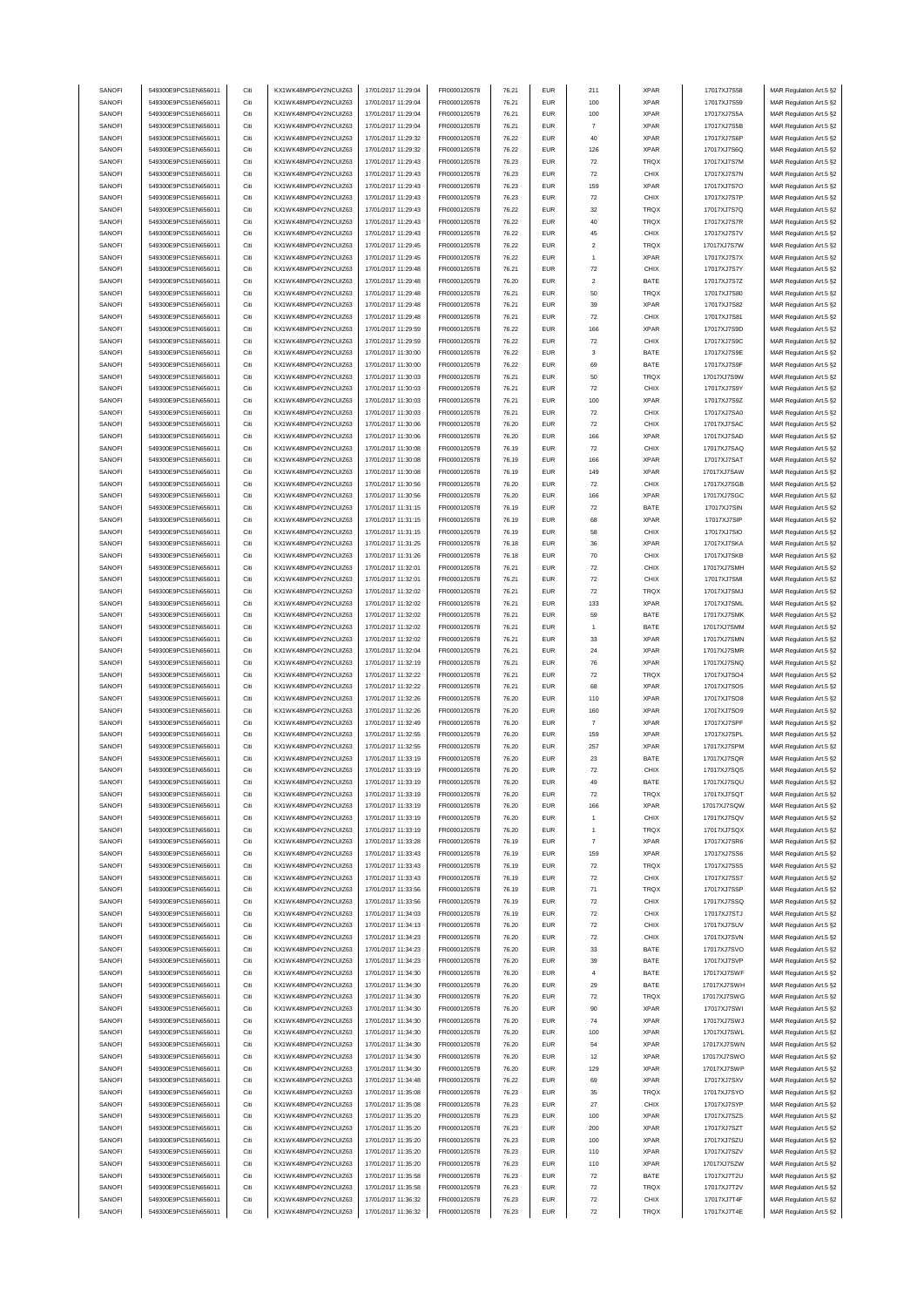| SANOFI           | 549300E9PC51EN656011                         | Citi |                                              | 17/01/2017 11:29:04                        |                              | 76.21 |                          | 211                      |                            |                            | MAR Regulation Art.5 §2                            |
|------------------|----------------------------------------------|------|----------------------------------------------|--------------------------------------------|------------------------------|-------|--------------------------|--------------------------|----------------------------|----------------------------|----------------------------------------------------|
|                  | 549300E9PC51EN656011                         | Citi | KX1WK48MPD4Y2NCUIZ63                         | 17/01/2017 11:29:04                        | FR0000120578                 | 76.21 | <b>EUR</b><br><b>EUR</b> | 100                      | <b>XPAR</b><br><b>XPAR</b> | 17017XJ7S58                |                                                    |
| SANOFI           |                                              |      | KX1WK48MPD4Y2NCUIZ63                         |                                            | FR0000120578                 |       |                          |                          |                            | 17017XJ7S59                | MAR Regulation Art.5 §2                            |
| SANOFI           | 549300E9PC51EN656011                         | Citi | KX1WK48MPD4Y2NCUIZ63                         | 17/01/2017 11:29:04                        | FR0000120578                 | 76.21 | <b>EUR</b>               | 100                      | <b>XPAR</b>                | 17017XJ7S5A                | MAR Regulation Art.5 §2                            |
| SANOFI           | 549300E9PC51EN656011                         | Citi | KX1WK48MPD4Y2NCUIZ63                         | 17/01/2017 11:29:04                        | FR0000120578                 | 76.21 | <b>EUR</b>               | $\overline{7}$           | <b>XPAR</b>                | 17017XJ7S5B                | MAR Regulation Art.5 §2                            |
| SANOFI           | 549300E9PC51EN656011                         | Citi | KX1WK48MPD4Y2NCUIZ63                         | 17/01/2017 11:29:32                        | FR0000120578                 | 76.22 | <b>EUR</b>               | 40                       | <b>XPAR</b>                | 17017XJ7S6P                | MAR Regulation Art.5 §2                            |
|                  |                                              |      |                                              |                                            |                              |       |                          |                          |                            |                            |                                                    |
| SANOFI           | 549300E9PC51EN656011                         | Citi | KX1WK48MPD4Y2NCUIZ63                         | 17/01/2017 11:29:32                        | FR0000120578                 | 76.22 | <b>EUR</b>               | 126                      | <b>XPAR</b>                | 17017XJ7S6Q                | MAR Regulation Art.5 §2                            |
| SANOFI           | 549300E9PC51EN656011                         | Citi | KX1WK48MPD4Y2NCUIZ63                         | 17/01/2017 11:29:43                        | FR0000120578                 | 76.23 | <b>EUR</b>               | $\scriptstyle{72}$       | TRQX                       | 17017XJ7S7M                | MAR Regulation Art.5 §2                            |
| SANOFI           | 549300E9PC51EN656011                         | Citi | KX1WK48MPD4Y2NCUIZ63                         | 17/01/2017 11:29:43                        | FR0000120578                 | 76.23 | <b>EUR</b>               | $\scriptstyle{72}$       | CHIX                       | 17017XJ7S7N                | MAR Regulation Art.5 §2                            |
| SANOFI           | 549300E9PC51EN656011                         | Citi | KX1WK48MPD4Y2NCUIZ63                         |                                            | FR0000120578                 |       | <b>EUR</b>               | 159                      | <b>XPAR</b>                |                            |                                                    |
|                  |                                              |      |                                              | 17/01/2017 11:29:43                        |                              | 76.23 |                          |                          |                            | 17017XJ7S7O                | MAR Regulation Art.5 §2                            |
| SANOFI           | 549300E9PC51EN656011                         | Citi | KX1WK48MPD4Y2NCUIZ63                         | 17/01/2017 11:29:43                        | FR0000120578                 | 76.23 | <b>EUR</b>               | 72                       | CHIX                       | 17017XJ7S7P                | MAR Regulation Art.5 §2                            |
| SANOFI           | 549300E9PC51EN656011                         | Citi | KX1WK48MPD4Y2NCUIZ63                         | 17/01/2017 11:29:43                        | FR0000120578                 | 76.22 | <b>EUR</b>               | 32                       | TRQX                       | 17017XJ7S7Q                | MAR Regulation Art.5 §2                            |
|                  | 549300E9PC51EN656011                         | Citi |                                              |                                            |                              | 76.22 | <b>EUR</b>               |                          | TRQX                       |                            |                                                    |
| SANOFI           |                                              |      | KX1WK48MPD4Y2NCUIZ63                         | 17/01/2017 11:29:43                        | FR0000120578                 |       |                          | 40                       |                            | 17017XJ7S7R                | MAR Regulation Art.5 §2                            |
| SANOFI           | 549300E9PC51EN656011                         | Citi | KX1WK48MPD4Y2NCUIZ63                         | 17/01/2017 11:29:43                        | FR0000120578                 | 76.22 | <b>EUR</b>               | 45                       | CHIX                       | 17017XJ7S7V                | MAR Regulation Art.5 §2                            |
| SANOFI           | 549300E9PC51EN656011                         | Citi | KX1WK48MPD4Y2NCUIZ63                         | 17/01/2017 11:29:45                        | FR0000120578                 | 76.22 | <b>EUR</b>               | $\sqrt{2}$               | TRQX                       | 17017XJ7S7W                | MAR Regulation Art.5 §2                            |
|                  |                                              | Citi | KX1WK48MPD4Y2NCUIZ63                         |                                            |                              |       |                          |                          |                            |                            |                                                    |
| SANOFI           | 549300E9PC51EN656011                         |      |                                              | 17/01/2017 11:29:45                        | FR0000120578                 | 76.22 | <b>EUR</b>               | 1                        | <b>XPAR</b>                | 17017XJ7S7X                | MAR Regulation Art.5 §2                            |
| SANOFI           | 549300E9PC51EN656011                         | Citi | KX1WK48MPD4Y2NCUIZ63                         | 17/01/2017 11:29:48                        | FR0000120578                 | 76.21 | <b>EUR</b>               | $\scriptstyle{72}$       | CHIX                       | 17017XJ7S7Y                | MAR Regulation Art.5 §2                            |
| SANOFI           | 549300E9PC51EN656011                         | Citi | KX1WK48MPD4Y2NCUIZ63                         | 17/01/2017 11:29:48                        | FR0000120578                 | 76.20 | <b>EUR</b>               | $\sqrt{2}$               | BATE                       | 17017XJ7S7Z                | MAR Regulation Art.5 §2                            |
| SANOFI           | 549300E9PC51EN656011                         | Citi | KX1WK48MPD4Y2NCUIZ63                         | 17/01/2017 11:29:48                        | FR0000120578                 | 76.21 | <b>EUR</b>               | 50                       | <b>TRQX</b>                | 17017XJ7S80                | MAR Regulation Art.5 §2                            |
|                  |                                              |      |                                              |                                            |                              |       |                          |                          |                            |                            |                                                    |
| SANOFI           | 549300E9PC51EN656011                         | Citi | KX1WK48MPD4Y2NCUIZ63                         | 17/01/2017 11:29:48                        | FR0000120578                 | 76.21 | <b>EUR</b>               | 39                       | <b>XPAR</b>                | 17017XJ7S82                | MAR Regulation Art.5 §2                            |
| SANOFI           | 549300E9PC51EN656011                         | Citi | KX1WK48MPD4Y2NCUIZ63                         | 17/01/2017 11:29:48                        | FR0000120578                 | 76.21 | EUR                      | $\scriptstyle{72}$       | CHIX                       | 17017XJ7S81                | MAR Regulation Art.5 §2                            |
| SANOFI           | 549300E9PC51EN656011                         | Citi | KX1WK48MPD4Y2NCUIZ63                         | 17/01/2017 11:29:59                        | FR0000120578                 | 76.22 | <b>EUR</b>               | 166                      | <b>XPAR</b>                | 17017XJ7S9D                | MAR Regulation Art.5 §2                            |
|                  |                                              |      |                                              |                                            |                              |       |                          |                          |                            |                            |                                                    |
| SANOFI           | 549300E9PC51EN656011                         | Citi | KX1WK48MPD4Y2NCUIZ63                         | 17/01/2017 11:29:59                        | FR0000120578                 | 76.22 | <b>EUR</b>               | $\scriptstyle{72}$       | CHIX                       | 17017XJ7S9C                | MAR Regulation Art.5 §2                            |
| SANOFI           | 549300E9PC51EN656011                         | Citi | KX1WK48MPD4Y2NCUIZ63                         | 17/01/2017 11:30:00                        | FR0000120578                 | 76.22 | <b>EUR</b>               | 3                        | BATE                       | 17017XJ7S9E                | MAR Regulation Art.5 §2                            |
| SANOFI           | 549300E9PC51EN656011                         | Citi | KX1WK48MPD4Y2NCUIZ63                         | 17/01/2017 11:30:00                        | FR0000120578                 | 76.22 | <b>EUR</b>               | 69                       | BATE                       | 17017XJ7S9F                | MAR Regulation Art.5 §2                            |
| SANOFI           | 549300E9PC51EN656011                         | Citi | KX1WK48MPD4Y2NCUIZ63                         | 17/01/2017 11:30:03                        | FR0000120578                 | 76.21 | <b>EUR</b>               | 50                       | TRQX                       | 17017XJ7S9W                | MAR Regulation Art.5 §2                            |
|                  |                                              |      |                                              |                                            |                              |       |                          |                          |                            |                            |                                                    |
| SANOFI           | 549300E9PC51EN656011                         | Citi | KX1WK48MPD4Y2NCUIZ63                         | 17/01/2017 11:30:03                        | FR0000120578                 | 76.21 | <b>EUR</b>               | $\scriptstyle{72}$       | CHIX                       | 17017XJ7S9Y                | MAR Regulation Art.5 §2                            |
| SANOFI           | 549300E9PC51EN656011                         | Citi | KX1WK48MPD4Y2NCUIZ63                         | 17/01/2017 11:30:03                        | FR0000120578                 | 76.21 | <b>EUR</b>               | 100                      | <b>XPAR</b>                | 17017XJ7S9Z                | MAR Regulation Art.5 §2                            |
| SANOFI           | 549300E9PC51EN656011                         | Citi | KX1WK48MPD4Y2NCUIZ63                         | 17/01/2017 11:30:03                        | FR0000120578                 | 76.21 | <b>EUR</b>               | $\scriptstyle{72}$       | CHIX                       | 17017XJ7SA0                | MAR Regulation Art.5 §2                            |
|                  |                                              |      |                                              |                                            |                              |       |                          |                          |                            |                            |                                                    |
| SANOFI           | 549300E9PC51EN656011                         | Citi | KX1WK48MPD4Y2NCUIZ63                         | 17/01/2017 11:30:06                        | FR0000120578                 | 76.20 | <b>EUR</b>               | $\scriptstyle{72}$       | CHIX                       | 17017XJ7SAC                | MAR Regulation Art.5 §2                            |
| SANOFI           | 549300E9PC51EN656011                         | Citi | KX1WK48MPD4Y2NCUIZ63                         | 17/01/2017 11:30:06                        | FR0000120578                 | 76.20 | <b>EUR</b>               | 166                      | <b>XPAR</b>                | 17017XJ7SAD                | MAR Regulation Art.5 §2                            |
| SANOFI           | 549300E9PC51EN656011                         | Citi | KX1WK48MPD4Y2NCUIZ63                         | 17/01/2017 11:30:08                        | FR0000120578                 | 76.19 | <b>EUR</b>               | $\scriptstyle{72}$       | CHIX                       | 17017XJ7SAQ                | MAR Regulation Art.5 §2                            |
|                  |                                              |      |                                              |                                            |                              |       |                          |                          |                            |                            |                                                    |
| SANOFI           | 549300E9PC51EN656011                         | Citi | KX1WK48MPD4Y2NCUIZ63                         | 17/01/2017 11:30:08                        | FR0000120578                 | 76.19 | <b>EUR</b>               | 166                      | <b>XPAR</b>                | 17017XJ7SAT                | MAR Regulation Art.5 §2                            |
| SANOFI           | 549300E9PC51EN656011                         | Citi | KX1WK48MPD4Y2NCUIZ63                         | 17/01/2017 11:30:08                        | FR0000120578                 | 76.19 | <b>EUR</b>               | 149                      | <b>XPAR</b>                | 17017XJ7SAW                | MAR Regulation Art.5 §2                            |
| SANOFI           | 549300E9PC51EN656011                         | Citi | KX1WK48MPD4Y2NCUIZ63                         | 17/01/2017 11:30:56                        | FR0000120578                 | 76.20 | <b>EUR</b>               | 72                       | CHIX                       | 17017XJ7SGB                | MAR Regulation Art.5 §2                            |
|                  |                                              |      |                                              |                                            |                              |       |                          |                          |                            |                            |                                                    |
| SANOFI           | 549300E9PC51EN656011                         | Citi | KX1WK48MPD4Y2NCUIZ63                         | 17/01/2017 11:30:56                        | FR0000120578                 | 76.20 | <b>EUR</b>               | 166                      | <b>XPAR</b>                | 17017XJ7SGC                | MAR Regulation Art.5 §2                            |
| SANOFI           | 549300E9PC51EN656011                         | Citi | KX1WK48MPD4Y2NCUIZ63                         | 17/01/2017 11:31:15                        | FR0000120578                 | 76.19 | <b>EUR</b>               | $\scriptstyle{72}$       | BATE                       | 17017XJ7SIN                | MAR Regulation Art.5 §2                            |
| SANOFI           | 549300E9PC51EN656011                         | Citi | KX1WK48MPD4Y2NCUIZ63                         | 17/01/2017 11:31:15                        | FR0000120578                 | 76.19 | <b>EUR</b>               | 68                       | <b>XPAR</b>                | 17017XJ7SIP                | MAR Regulation Art.5 §2                            |
|                  | 549300E9PC51EN656011                         | Citi |                                              |                                            |                              |       |                          |                          |                            | 17017XJ7SIO                |                                                    |
| SANOFI           |                                              |      | KX1WK48MPD4Y2NCUIZ63                         | 17/01/2017 11:31:15                        | FR0000120578                 | 76.19 | <b>EUR</b>               | 58                       | CHIX                       |                            | MAR Regulation Art.5 §2                            |
| SANOFI           | 549300E9PC51EN656011                         | Citi | KX1WK48MPD4Y2NCUIZ63                         | 17/01/2017 11:31:25                        | FR0000120578                 | 76.18 | <b>EUR</b>               | 36                       | <b>XPAR</b>                | 17017XJ7SKA                | MAR Regulation Art.5 §2                            |
| SANOFI           | 549300E9PC51EN656011                         | Citi | KX1WK48MPD4Y2NCUIZ63                         | 17/01/2017 11:31:26                        | FR0000120578                 | 76.18 | <b>EUR</b>               | 70                       | CHIX                       | 17017XJ7SKB                | MAR Regulation Art.5 §2                            |
| SANOFI           | 549300E9PC51EN656011                         | Citi | KX1WK48MPD4Y2NCUIZ63                         | 17/01/2017 11:32:01                        | FR0000120578                 | 76.21 | <b>EUR</b>               | $\scriptstyle{72}$       | CHIX                       | 17017XJ7SMH                | MAR Regulation Art.5 §2                            |
|                  |                                              |      |                                              |                                            |                              |       |                          |                          |                            |                            |                                                    |
| SANOFI           | 549300E9PC51EN656011                         | Citi | KX1WK48MPD4Y2NCUIZ63                         | 17/01/2017 11:32:01                        | FR0000120578                 | 76.21 | <b>EUR</b>               | $\scriptstyle{72}$       | CHIX                       | 17017XJ7SMI                | MAR Regulation Art.5 §2                            |
| SANOFI           | 549300E9PC51EN656011                         | Citi | KX1WK48MPD4Y2NCUIZ63                         | 17/01/2017 11:32:02                        | FR0000120578                 | 76.21 | <b>EUR</b>               | 72                       | TRQX                       | 17017XJ7SMJ                | MAR Regulation Art.5 §2                            |
| SANOFI           | 549300E9PC51EN656011                         | Citi | KX1WK48MPD4Y2NCUIZ63                         | 17/01/2017 11:32:02                        | FR0000120578                 | 76.21 | <b>EUR</b>               | 133                      | <b>XPAR</b>                | 17017XJ7SML                | MAR Regulation Art.5 §2                            |
|                  |                                              |      |                                              |                                            |                              |       |                          |                          |                            |                            |                                                    |
| SANOFI           | 549300E9PC51EN656011                         | Citi | KX1WK48MPD4Y2NCUIZ63                         | 17/01/2017 11:32:02                        | FR0000120578                 | 76.21 | <b>EUR</b>               | 59                       | BATE                       | 17017XJ7SMK                | MAR Regulation Art.5 §2                            |
| SANOFI           | 549300E9PC51EN656011                         | Citi | KX1WK48MPD4Y2NCUIZ63                         | 17/01/2017 11:32:02                        | FR0000120578                 | 76.21 | <b>EUR</b>               | $\overline{1}$           | BATE                       | 17017XJ7SMM                | MAR Regulation Art.5 §2                            |
| SANOFI           | 549300E9PC51EN656011                         | Citi | KX1WK48MPD4Y2NCUIZ63                         | 17/01/2017 11:32:02                        | FR0000120578                 | 76.21 | <b>EUR</b>               | 33                       | <b>XPAR</b>                | 17017XJ7SMN                | MAR Regulation Art.5 §2                            |
| SANOFI           | 549300E9PC51EN656011                         | Citi | KX1WK48MPD4Y2NCUIZ63                         | 17/01/2017 11:32:04                        | FR0000120578                 | 76.21 | <b>EUR</b>               | 24                       | <b>XPAR</b>                | 17017XJ7SMR                | MAR Regulation Art.5 §2                            |
|                  |                                              |      |                                              |                                            |                              |       |                          |                          |                            |                            |                                                    |
| SANOFI           | 549300E9PC51EN656011                         | Citi | KX1WK48MPD4Y2NCUIZ63                         | 17/01/2017 11:32:19                        | FR0000120578                 | 76.21 | <b>EUR</b>               | 76                       | <b>XPAR</b>                | 17017XJ7SNQ                | MAR Regulation Art.5 §2                            |
| SANOFI           | 549300E9PC51EN656011                         | Citi | KX1WK48MPD4Y2NCUIZ63                         | 17/01/2017 11:32:22                        | FR0000120578                 | 76.21 | <b>EUR</b>               | 72                       | TRQX                       | 17017XJ7SO4                | MAR Regulation Art.5 §2                            |
| SANOFI           | 549300E9PC51EN656011                         | Citi | KX1WK48MPD4Y2NCUIZ63                         | 17/01/2017 11:32:22                        | FR0000120578                 | 76.21 | <b>EUR</b>               | 68                       | <b>XPAR</b>                | 17017XJ7SO5                | MAR Regulation Art.5 §2                            |
|                  |                                              |      |                                              |                                            |                              |       |                          |                          |                            |                            |                                                    |
| SANOFI           | 549300E9PC51EN656011                         | Citi | KX1WK48MPD4Y2NCUIZ63                         | 17/01/2017 11:32:26                        | FR0000120578                 | 76.20 | <b>EUR</b>               | 110                      | <b>XPAR</b>                | 17017XJ7SO8                | MAR Regulation Art.5 §2                            |
| SANOFI           | 549300E9PC51EN656011                         | Citi | KX1WK48MPD4Y2NCUIZ63                         | 17/01/2017 11:32:26                        | FR0000120578                 | 76.20 | <b>EUR</b>               | 160                      | <b>XPAR</b>                | 17017XJ7SO9                | MAR Regulation Art.5 §2                            |
| SANOFI           | 549300E9PC51EN656011                         | Citi | KX1WK48MPD4Y2NCUIZ63                         | 17/01/2017 11:32:49                        | FR0000120578                 | 76.20 | <b>EUR</b>               | $\overline{\mathcal{I}}$ | <b>XPAR</b>                | 17017XJ7SPF                | MAR Regulation Art.5 §2                            |
|                  |                                              |      | KX1WK48MPD4Y2NCUIZ63                         | 17/01/2017 11:32:55                        | FR0000120578                 |       |                          |                          |                            | 17017XJ7SPL                |                                                    |
| SANOFI           | 549300E9PC51EN656011                         | Citi |                                              |                                            |                              | 76.20 | <b>EUR</b>               | 159                      | <b>XPAR</b>                |                            | MAR Regulation Art.5 §2                            |
| SANOFI           | 549300E9PC51EN656011                         | Citi | KX1WK48MPD4Y2NCUIZ63                         | 17/01/2017 11:32:55                        | FR0000120578                 | 76.20 | <b>EUR</b>               |                          |                            |                            | MAR Regulation Art.5 §2                            |
| SANOFI           |                                              |      |                                              | 17/01/2017 11:33:19                        |                              |       |                          | 257                      | <b>XPAR</b>                | 17017XJ7SPM                |                                                    |
|                  | 549300E9PC51EN656011                         | Citi | KX1WK48MPD4Y2NCUIZ63                         |                                            | FR0000120578                 | 76.20 | <b>EUR</b>               | 23                       | BATE                       | 17017XJ7SQR                | MAR Regulation Art.5 §2                            |
|                  |                                              |      |                                              |                                            |                              |       |                          |                          |                            |                            |                                                    |
| SANOFI           | 549300E9PC51EN656011                         | Citi | KX1WK48MPD4Y2NCUIZ63                         | 17/01/2017 11:33:19                        | FR0000120578                 | 76.20 | <b>EUR</b>               | $\scriptstyle{72}$       | CHIX                       | 17017XJ7SQS                | MAR Regulation Art.5 §2                            |
| SANOFI           | 549300E9PC51EN656011                         |      | KX1WK48MPD4Y2NCUIZ63                         | 17/01/2017 11:33:19                        | FR0000120578                 | 76.20 | FUR                      |                          | <b>BATE</b>                | 17017XJ7SOU                | MAR Regulation Art 5.82                            |
| SANOFI           | 549300E9PC51EN656011                         | Citi | KX1WK48MPD4Y2NCUIZ63                         | 17/01/2017 11:33:19                        | FR0000120578                 | 76.20 | <b>EUR</b>               | $\scriptstyle{72}$       | <b>TRQX</b>                | 17017XJ7SQT                | MAR Regulation Art.5 §2                            |
|                  |                                              |      |                                              |                                            |                              |       |                          |                          |                            |                            |                                                    |
| SANOFI           | 549300E9PC51EN656011                         | Citi | KX1WK48MPD4Y2NCUIZ63                         | 17/01/2017 11:33:19                        | FR0000120578                 | 76.20 | <b>EUR</b>               | 166                      | XPAR                       | 17017XJ7SQW                | MAR Regulation Art.5 §2                            |
| SANOFI           | 549300E9PC51EN656011                         | Citi | KX1WK48MPD4Y2NCUIZ63                         | 17/01/2017 11:33:19                        | FR0000120578                 | 76.20 | <b>EUR</b>               | $\mathbf{1}$             | CHIX                       | 17017XJ7SQV                | MAR Regulation Art.5 §2                            |
| SANOFI           | 549300E9PC51EN656011                         | Citi | KX1WK48MPD4Y2NCUIZ63                         | 17/01/2017 11:33:19                        | FR0000120578                 | 76.20 | <b>EUR</b>               | $\mathbf{1}$             | TRQX                       | 17017XJ7SQX                | MAR Regulation Art.5 §2                            |
| SANOFI           | 549300E9PC51EN656011                         | Citi | KX1WK48MPD4Y2NCUIZ63                         | 17/01/2017 11:33:28                        | FR0000120578                 | 76.19 | <b>EUR</b>               | $\scriptstyle{7}$        | <b>XPAR</b>                | 17017XJ7SR6                |                                                    |
|                  |                                              |      |                                              |                                            |                              |       |                          |                          |                            |                            | MAR Regulation Art.5 §2                            |
| SANOFI           | 549300E9PC51EN656011                         | Citi | KX1WK48MPD4Y2NCUIZ63                         | 17/01/2017 11:33:43                        | FR0000120578                 | 76.19 | <b>EUR</b>               | 159                      | <b>XPAR</b>                | 17017XJ7SS6                | MAR Regulation Art.5 §2                            |
| SANOFI           | 549300E9PC51EN656011                         | Citi | KX1WK48MPD4Y2NCUIZ63                         | 17/01/2017 11:33:43                        | FR0000120578                 | 76.19 | <b>EUR</b>               | $\scriptstyle{72}$       | TRQX                       | 17017XJ7SS5                | MAR Regulation Art.5 §2                            |
| SANOFI           | 549300E9PC51EN656011                         | Citi | KX1WK48MPD4Y2NCUIZ63                         | 17/01/2017 11:33:43                        | FR0000120578                 | 76.19 | <b>EUR</b>               | 72                       | CHIX                       | 17017XJ7SS7                | MAR Regulation Art.5 §2                            |
| SANOFI           | 549300E9PC51EN656011                         | Citi | KX1WK48MPD4Y2NCUIZ63                         | 17/01/2017 11:33:56                        | FR0000120578                 | 76.19 | <b>EUR</b>               | 71                       | TRQX                       | 17017XJ7SSP                | MAR Regulation Art.5 §2                            |
|                  |                                              |      |                                              |                                            |                              |       |                          |                          |                            |                            |                                                    |
| SANOFI           | 549300E9PC51EN656011                         | Citi | KX1WK48MPD4Y2NCUIZ63                         | 17/01/2017 11:33:56                        | FR0000120578                 | 76.19 | <b>EUR</b>               | $\scriptstyle{72}$       | CHIX                       | 17017XJ7SSQ                | MAR Regulation Art.5 §2                            |
| SANOFI           | 549300E9PC51EN656011                         | Citi | KX1WK48MPD4Y2NCUIZ63                         | 17/01/2017 11:34:03                        | FR0000120578                 | 76.19 | <b>EUR</b>               | 72                       | CHIX                       | 17017XJ7STJ                | MAR Regulation Art.5 §2                            |
| SANOFI           | 549300E9PC51EN656011                         | Citi | KX1WK48MPD4Y2NCUIZ63                         | 17/01/2017 11:34:13                        | FR0000120578                 | 76.20 | <b>EUR</b>               | $\scriptstyle{72}$       | CHIX                       | 17017XJ7SUV                | MAR Regulation Art.5 §2                            |
|                  |                                              |      |                                              |                                            |                              |       |                          |                          |                            |                            |                                                    |
| SANOFI           | 549300E9PC51EN656011                         | Citi | KX1WK48MPD4Y2NCUIZ63                         | 17/01/2017 11:34:23                        | FR0000120578                 | 76.20 | <b>EUR</b>               | $\scriptstyle{72}$       | CHIX                       | 17017XJ7SVN                | MAR Regulation Art.5 §2                            |
| SANOFI           | 549300E9PC51EN656011                         | Citi | KX1WK48MPD4Y2NCUIZ63                         | 17/01/2017 11:34:23                        | FR0000120578                 | 76.20 | <b>EUR</b>               | 33                       | BATE                       | 17017XJ7SVO                | MAR Regulation Art.5 §2                            |
| SANOFI           | 549300E9PC51EN656011                         | Citi | KX1WK48MPD4Y2NCUIZ63                         | 17/01/2017 11:34:23                        | FR0000120578                 | 76.20 | <b>EUR</b>               | 39                       | BATE                       | 17017XJ7SVP                | MAR Regulation Art.5 §2                            |
|                  |                                              |      |                                              |                                            |                              |       |                          |                          |                            |                            |                                                    |
| SANOFI           | 549300E9PC51EN656011                         | Citi | KX1WK48MPD4Y2NCUIZ63                         | 17/01/2017 11:34:30                        | FR0000120578                 | 76.20 | <b>EUR</b>               | $\overline{4}$           | BATE                       | 17017XJ7SWF                | MAR Regulation Art.5 §2                            |
| SANOFI           | 549300E9PC51EN656011                         | Citi | KX1WK48MPD4Y2NCUIZ63                         | 17/01/2017 11:34:30                        | FR0000120578                 | 76.20 | <b>EUR</b>               | 29                       | BATE                       | 17017XJ7SWH                | MAR Regulation Art.5 §2                            |
| SANOFI           | 549300E9PC51EN656011                         | Citi | KX1WK48MPD4Y2NCUIZ63                         | 17/01/2017 11:34:30                        | FR0000120578                 | 76.20 | <b>EUR</b>               | 72                       | TRQX                       | 17017XJ7SWG                | MAR Regulation Art.5 §2                            |
|                  |                                              |      |                                              |                                            |                              |       | <b>EUR</b>               |                          |                            |                            |                                                    |
| SANOFI           | 549300E9PC51EN656011                         | Citi | KX1WK48MPD4Y2NCUIZ63                         | 17/01/2017 11:34:30                        | FR0000120578                 | 76.20 |                          | 90                       | XPAR                       | 17017XJ7SWI                | MAR Regulation Art.5 §2                            |
| SANOFI           | 549300E9PC51EN656011                         | Citi | KX1WK48MPD4Y2NCUIZ63                         | 17/01/2017 11:34:30                        | FR0000120578                 | 76.20 | <b>EUR</b>               | 74                       | <b>XPAR</b>                | 17017XJ7SWJ                | MAR Regulation Art.5 §2                            |
| SANOFI           | 549300E9PC51EN656011                         | Citi | KX1WK48MPD4Y2NCUIZ63                         | 17/01/2017 11:34:30                        | FR0000120578                 | 76.20 | <b>EUR</b>               | 100                      | <b>XPAR</b>                | 17017XJ7SWL                | MAR Regulation Art.5 §2                            |
|                  |                                              |      |                                              |                                            |                              |       |                          |                          |                            |                            |                                                    |
| SANOFI           | 549300E9PC51EN656011                         | Citi | KX1WK48MPD4Y2NCUIZ63                         | 17/01/2017 11:34:30                        | FR0000120578                 | 76.20 | <b>EUR</b>               | 54                       | <b>XPAR</b>                | 17017XJ7SWN                | MAR Regulation Art.5 §2                            |
| SANOFI           | 549300E9PC51EN656011                         | Citi | KX1WK48MPD4Y2NCUIZ63                         | 17/01/2017 11:34:30                        | FR0000120578                 | 76.20 | <b>EUR</b>               | 12                       | <b>XPAR</b>                | 17017XJ7SWO                | MAR Regulation Art.5 §2                            |
| SANOFI           | 549300E9PC51EN656011                         | Citi | KX1WK48MPD4Y2NCUIZ63                         | 17/01/2017 11:34:30                        | FR0000120578                 | 76.20 | <b>EUR</b>               | 129                      | XPAR                       | 17017XJ7SWP                | MAR Regulation Art.5 §2                            |
|                  |                                              | Citi |                                              |                                            |                              | 76.22 | <b>EUR</b>               | 69                       | <b>XPAR</b>                |                            |                                                    |
| SANOFI           | 549300E9PC51EN656011                         |      | KX1WK48MPD4Y2NCUIZ63                         | 17/01/2017 11:34:48                        | FR0000120578                 |       |                          |                          |                            | 17017XJ7SXV                | MAR Regulation Art.5 §2                            |
| SANOFI           | 549300E9PC51EN656011                         | Citi | KX1WK48MPD4Y2NCUIZ63                         | 17/01/2017 11:35:08                        | FR0000120578                 | 76.23 | <b>EUR</b>               | 35                       | TRQX                       | 17017XJ7SYO                | MAR Regulation Art.5 §2                            |
| SANOFI           | 549300E9PC51EN656011                         | Citi | KX1WK48MPD4Y2NCUIZ63                         | 17/01/2017 11:35:08                        | FR0000120578                 | 76.23 | <b>EUR</b>               | 27                       | CHIX                       | 17017XJ7SYP                | MAR Regulation Art.5 §2                            |
| SANOFI           | 549300E9PC51EN656011                         | Citi | KX1WK48MPD4Y2NCUIZ63                         | 17/01/2017 11:35:20                        | FR0000120578                 | 76.23 | <b>EUR</b>               | 100                      | XPAR                       | 17017XJ7SZS                | MAR Regulation Art.5 §2                            |
|                  |                                              |      |                                              |                                            |                              |       |                          |                          |                            |                            |                                                    |
| SANOFI           | 549300E9PC51EN656011                         | Citi | KX1WK48MPD4Y2NCUIZ63                         | 17/01/2017 11:35:20                        | FR0000120578                 | 76.23 | <b>EUR</b>               | 200                      | <b>XPAR</b>                | 17017XJ7SZT                | MAR Regulation Art.5 §2                            |
| SANOFI           | 549300E9PC51EN656011                         | Citi | KX1WK48MPD4Y2NCUIZ63                         | 17/01/2017 11:35:20                        | FR0000120578                 | 76.23 | <b>EUR</b>               | 100                      | <b>XPAR</b>                | 17017XJ7SZU                | MAR Regulation Art.5 §2                            |
| SANOFI           | 549300E9PC51EN656011                         | Citi | KX1WK48MPD4Y2NCUIZ63                         | 17/01/2017 11:35:20                        | FR0000120578                 | 76.23 | <b>EUR</b>               | 110                      | XPAR                       | 17017XJ7SZV                | MAR Regulation Art.5 §2                            |
|                  |                                              |      |                                              |                                            |                              |       | <b>EUR</b>               |                          |                            |                            |                                                    |
| SANOFI           | 549300E9PC51EN656011                         | Citi | KX1WK48MPD4Y2NCUIZ63                         | 17/01/2017 11:35:20                        | FR0000120578                 | 76.23 |                          | 110                      | <b>XPAR</b>                | 17017XJ7SZW                | MAR Regulation Art.5 §2                            |
| SANOFI           | 549300E9PC51EN656011                         | Citi | KX1WK48MPD4Y2NCUIZ63                         | 17/01/2017 11:35:58                        | FR0000120578                 | 76.23 | <b>EUR</b>               | $\scriptstyle{72}$       | BATE                       | 17017XJ7T2U                | MAR Regulation Art.5 §2                            |
| SANOFI           | 549300E9PC51EN656011                         | Citi | KX1WK48MPD4Y2NCUIZ63                         | 17/01/2017 11:35:58                        | FR0000120578                 | 76.23 | <b>EUR</b>               | 72                       | TRQX                       | 17017XJ7T2V                | MAR Regulation Art.5 §2                            |
|                  |                                              | Citi |                                              |                                            |                              | 76.23 |                          |                          |                            |                            |                                                    |
| SANOFI<br>SANOFI | 549300E9PC51EN656011<br>549300E9PC51EN656011 | Citi | KX1WK48MPD4Y2NCUIZ63<br>KX1WK48MPD4Y2NCUIZ63 | 17/01/2017 11:36:32<br>17/01/2017 11:36:32 | FR0000120578<br>FR0000120578 | 76.23 | <b>EUR</b><br><b>EUR</b> | 72<br>$\scriptstyle{72}$ | CHIX<br>TRQX               | 17017XJ7T4F<br>17017XJ7T4E | MAR Regulation Art.5 §2<br>MAR Regulation Art.5 §2 |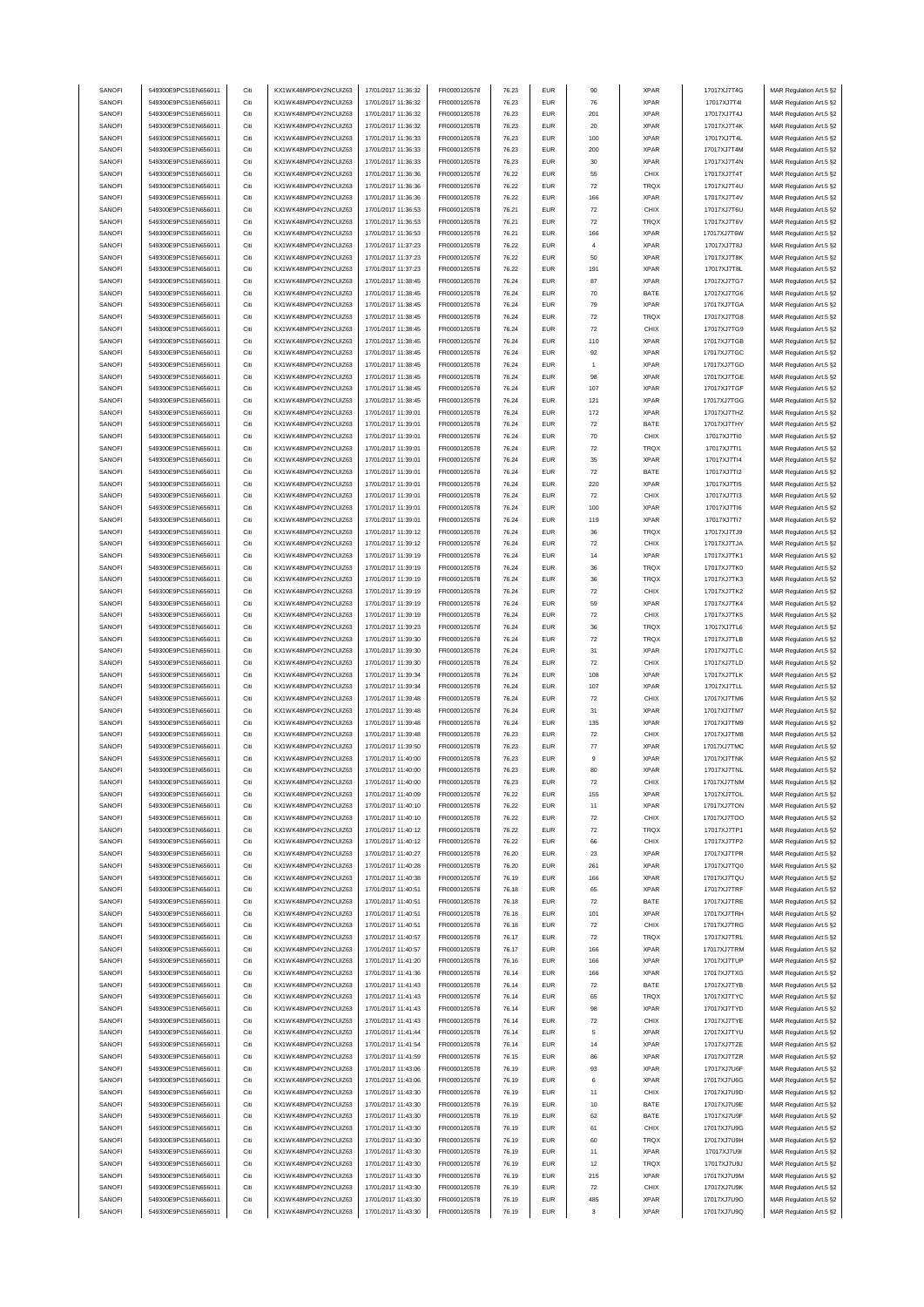| SANOFI           | 549300E9PC51EN656011                         | Citi         | KX1WK48MPD4Y2NCUIZ63                         | 17/01/2017 11:36:32                        | FR0000120578                 | 76.23          | <b>EUR</b>               | 90                 | <b>XPAR</b>                | 17017XJ7T4G                | MAR Regulation Art.5 §2                            |
|------------------|----------------------------------------------|--------------|----------------------------------------------|--------------------------------------------|------------------------------|----------------|--------------------------|--------------------|----------------------------|----------------------------|----------------------------------------------------|
|                  | 549300E9PC51EN656011                         |              |                                              |                                            |                              |                |                          |                    |                            |                            |                                                    |
| SANOFI           |                                              | Citi         | KX1WK48MPD4Y2NCUIZ63                         | 17/01/2017 11:36:32                        | FR0000120578                 | 76.23          | <b>EUR</b>               | 76                 | <b>XPAR</b>                | 17017XJ7T4I                | MAR Regulation Art.5 §2                            |
| SANOFI           | 549300E9PC51EN656011                         | Citi         | KX1WK48MPD4Y2NCUIZ63                         | 17/01/2017 11:36:32                        | FR0000120578                 | 76.23          | <b>EUR</b>               | 201                | <b>XPAR</b>                | 17017XJ7T4J                | MAR Regulation Art.5 §2                            |
| SANOFI           | 549300E9PC51EN656011                         | Citi         | KX1WK48MPD4Y2NCUIZ63                         | 17/01/2017 11:36:32                        | FR0000120578                 | 76.23          | <b>EUR</b>               | 20                 | <b>XPAR</b>                | 17017XJ7T4K                | MAR Regulation Art.5 §2                            |
| SANOFI           | 549300E9PC51EN656011                         | Citi         | KX1WK48MPD4Y2NCUIZ63                         | 17/01/2017 11:36:33                        | FR0000120578                 | 76.23          | <b>EUR</b>               | 100                | <b>XPAR</b>                | 17017XJ7T4L                | MAR Regulation Art.5 §2                            |
| SANOFI           | 549300E9PC51EN656011                         | Citi         | KX1WK48MPD4Y2NCUIZ63                         | 17/01/2017 11:36:33                        | FR0000120578                 | 76.23          | <b>EUR</b>               | 200                | <b>XPAR</b>                | 17017XJ7T4M                | MAR Regulation Art.5 §2                            |
| SANOFI           | 549300E9PC51EN656011                         | Citi         |                                              |                                            |                              |                | <b>EUR</b>               |                    | <b>XPAR</b>                | 17017XJ7T4N                |                                                    |
|                  |                                              |              | KX1WK48MPD4Y2NCUIZ63                         | 17/01/2017 11:36:33                        | FR0000120578                 | 76.23          |                          | 30                 |                            |                            | MAR Regulation Art.5 §2                            |
| SANOFI           | 549300E9PC51EN656011                         | Citi         | KX1WK48MPD4Y2NCUIZ63                         | 17/01/2017 11:36:36                        | FR0000120578                 | 76.22          | <b>EUR</b>               | 55                 | CHIX                       | 17017XJ7T4T                | MAR Regulation Art.5 §2                            |
| SANOFI           | 549300E9PC51EN656011                         | Citi         | KX1WK48MPD4Y2NCUIZ63                         | 17/01/2017 11:36:36                        | FR0000120578                 | 76.22          | <b>EUR</b>               | 72                 | <b>TRQX</b>                | 17017XJ7T4U                | MAR Regulation Art.5 §2                            |
| SANOFI           | 549300E9PC51EN656011                         | Citi         | KX1WK48MPD4Y2NCUIZ63                         | 17/01/2017 11:36:36                        | FR0000120578                 | 76.22          | <b>EUR</b>               | 166                | <b>XPAR</b>                | 17017XJ7T4V                | MAR Regulation Art.5 §2                            |
| SANOFI           | 549300E9PC51EN656011                         | Citi         | KX1WK48MPD4Y2NCUIZ63                         | 17/01/2017 11:36:53                        | FR0000120578                 | 76.21          | <b>EUR</b>               | $\scriptstyle{72}$ | CHIX                       | 17017XJ7T6U                | MAR Regulation Art.5 §2                            |
|                  |                                              |              |                                              |                                            |                              |                |                          |                    |                            |                            |                                                    |
| SANOFI           | 549300E9PC51EN656011                         | Citi         | KX1WK48MPD4Y2NCUIZ63                         | 17/01/2017 11:36:53                        | FR0000120578                 | 76.21          | <b>EUR</b>               | $\scriptstyle{72}$ | TRQX                       | 17017XJ7T6V                | MAR Regulation Art.5 §2                            |
| SANOFI           | 549300E9PC51EN656011                         | Citi         | KX1WK48MPD4Y2NCUIZ63                         | 17/01/2017 11:36:53                        | FR0000120578                 | 76.21          | <b>EUR</b>               | 166                | <b>XPAR</b>                | 17017XJ7T6W                | MAR Regulation Art.5 §2                            |
| SANOFI           | 549300E9PC51EN656011                         | Citi         | KX1WK48MPD4Y2NCUIZ63                         | 17/01/2017 11:37:23                        | FR0000120578                 | 76.22          | <b>EUR</b>               | $\sqrt{4}$         | <b>XPAR</b>                | 17017XJ7T8J                | MAR Regulation Art.5 §2                            |
| SANOFI           | 549300E9PC51EN656011                         | Citi         | KX1WK48MPD4Y2NCUIZ63                         | 17/01/2017 11:37:23                        | FR0000120578                 | 76.22          | <b>EUR</b>               | 50                 | <b>XPAR</b>                | 17017XJ7T8K                | MAR Regulation Art.5 §2                            |
|                  |                                              |              |                                              |                                            |                              |                |                          |                    |                            |                            |                                                    |
| SANOFI           | 549300E9PC51EN656011                         | Citi         | KX1WK48MPD4Y2NCUIZ63                         | 17/01/2017 11:37:23                        | FR0000120578                 | 76.22          | <b>EUR</b>               | 191                | <b>XPAR</b>                | 17017XJ7T8L                | MAR Regulation Art.5 §2                            |
| SANOFI           | 549300E9PC51EN656011                         | Citi         | KX1WK48MPD4Y2NCUIZ63                         | 17/01/2017 11:38:45                        | FR0000120578                 | 76.24          | <b>EUR</b>               | 87                 | <b>XPAR</b>                | 17017XJ7TG7                | MAR Regulation Art.5 §2                            |
| SANOFI           | 549300E9PC51EN656011                         | Citi         | KX1WK48MPD4Y2NCUIZ63                         | 17/01/2017 11:38:45                        | FR0000120578                 | 76.24          | <b>EUR</b>               | 70                 | BATE                       | 17017XJ7TG6                | MAR Regulation Art.5 §2                            |
| SANOFI           | 549300E9PC51EN656011                         | Citi         | KX1WK48MPD4Y2NCUIZ63                         | 17/01/2017 11:38:45                        | FR0000120578                 | 76.24          | <b>EUR</b>               | 79                 | <b>XPAR</b>                | 17017XJ7TGA                | MAR Regulation Art.5 §2                            |
|                  |                                              |              |                                              |                                            |                              |                |                          |                    |                            |                            |                                                    |
| SANOFI           | 549300E9PC51EN656011                         | Citi         | KX1WK48MPD4Y2NCUIZ63                         | 17/01/2017 11:38:45                        | FR0000120578                 | 76.24          | <b>EUR</b>               | $\scriptstyle{72}$ | TRQX                       | 17017XJ7TG8                | MAR Regulation Art.5 §2                            |
| SANOFI           | 549300E9PC51EN656011                         | Citi         | KX1WK48MPD4Y2NCUIZ63                         | 17/01/2017 11:38:45                        | FR0000120578                 | 76.24          | <b>EUR</b>               | $\scriptstyle{72}$ | CHIX                       | 17017XJ7TG9                | MAR Regulation Art.5 §2                            |
| SANOFI           | 549300E9PC51EN656011                         | Citi         | KX1WK48MPD4Y2NCUIZ63                         | 17/01/2017 11:38:45                        | FR0000120578                 | 76.24          | <b>EUR</b>               | 110                | <b>XPAR</b>                | 17017XJ7TGB                | MAR Regulation Art.5 §2                            |
| SANOFI           | 549300E9PC51EN656011                         | Citi         | KX1WK48MPD4Y2NCUIZ63                         | 17/01/2017 11:38:45                        | FR0000120578                 | 76.24          | <b>EUR</b>               | 92                 | <b>XPAR</b>                | 17017XJ7TGC                | MAR Regulation Art.5 §2                            |
| SANOFI           | 549300E9PC51EN656011                         | Citi         | KX1WK48MPD4Y2NCUIZ63                         | 17/01/2017 11:38:45                        | FR0000120578                 | 76.24          | <b>EUR</b>               | $\overline{1}$     | <b>XPAR</b>                | 17017XJ7TGD                | MAR Regulation Art.5 §2                            |
|                  | 549300E9PC51EN656011                         | Citi         | KX1WK48MPD4Y2NCUIZ63                         | 17/01/2017 11:38:45                        | FR0000120578                 | 76.24          | <b>EUR</b>               | 98                 | <b>XPAR</b>                |                            |                                                    |
| SANOFI           |                                              |              |                                              |                                            |                              |                |                          |                    |                            | 17017XJ7TGE                | MAR Regulation Art.5 §2                            |
| SANOFI           | 549300E9PC51EN656011                         | Citi         | KX1WK48MPD4Y2NCUIZ63                         | 17/01/2017 11:38:45                        | FR0000120578                 | 76.24          | <b>EUR</b>               | 107                | <b>XPAR</b>                | 17017XJ7TGF                | MAR Regulation Art.5 §2                            |
| SANOFI           | 549300E9PC51EN656011                         | Citi         | KX1WK48MPD4Y2NCUIZ63                         | 17/01/2017 11:38:45                        | FR0000120578                 | 76.24          | <b>EUR</b>               | 121                | <b>XPAR</b>                | 17017XJ7TGG                | MAR Regulation Art.5 §2                            |
| SANOFI           | 549300E9PC51EN656011                         | Citi         | KX1WK48MPD4Y2NCUIZ63                         | 17/01/2017 11:39:01                        | FR0000120578                 | 76.24          | <b>EUR</b>               | 172                | <b>XPAR</b>                | 17017XJ7THZ                | MAR Regulation Art.5 §2                            |
| SANOFI           | 549300E9PC51EN656011                         | Citi         | KX1WK48MPD4Y2NCUIZ63                         | 17/01/2017 11:39:01                        | FR0000120578                 | 76.24          | <b>EUR</b>               | $\scriptstyle{72}$ | BATE                       | 17017XJ7THY                | MAR Regulation Art.5 §2                            |
|                  |                                              |              |                                              |                                            |                              |                |                          |                    |                            |                            |                                                    |
| SANOFI           | 549300E9PC51EN656011                         | Citi         | KX1WK48MPD4Y2NCUIZ63                         | 17/01/2017 11:39:01                        | FR0000120578                 | 76.24          | <b>EUR</b>               | 70                 | CHIX                       | 17017XJ7TI0                | MAR Regulation Art.5 §2                            |
| SANOFI           | 549300E9PC51EN656011                         | Citi         | KX1WK48MPD4Y2NCUIZ63                         | 17/01/2017 11:39:01                        | FR0000120578                 | 76.24          | <b>EUR</b>               | $\scriptstyle{72}$ | TRQX                       | 17017XJ7TI1                | MAR Regulation Art.5 §2                            |
| SANOFI           | 549300E9PC51EN656011                         | Citi         | KX1WK48MPD4Y2NCUIZ63                         | 17/01/2017 11:39:01                        | FR0000120578                 | 76.24          | <b>EUR</b>               | 35                 | <b>XPAR</b>                | 17017XJ7TI4                | MAR Regulation Art.5 §2                            |
| SANOFI           | 549300E9PC51EN656011                         | Citi         | KX1WK48MPD4Y2NCUIZ63                         | 17/01/2017 11:39:01                        | FR0000120578                 | 76.24          | <b>EUR</b>               | 72                 | BATE                       | 17017XJ7TI2                | MAR Regulation Art.5 §2                            |
|                  |                                              |              |                                              |                                            |                              |                |                          |                    |                            |                            |                                                    |
| SANOFI           | 549300E9PC51EN656011                         | Citi         | KX1WK48MPD4Y2NCUIZ63                         | 17/01/2017 11:39:01                        | FR0000120578                 | 76.24          | <b>EUR</b>               | 220                | <b>XPAR</b>                | 17017XJ7TI5                | MAR Regulation Art.5 §2                            |
| SANOFI           | 549300E9PC51EN656011                         | Citi         | KX1WK48MPD4Y2NCUIZ63                         | 17/01/2017 11:39:01                        | FR0000120578                 | 76.24          | <b>EUR</b>               | $\scriptstyle{72}$ | CHIX                       | 17017XJ7TI3                | MAR Regulation Art.5 §2                            |
| SANOFI           | 549300E9PC51EN656011                         | Citi         | KX1WK48MPD4Y2NCUIZ63                         | 17/01/2017 11:39:01                        | FR0000120578                 | 76.24          | <b>EUR</b>               | 100                | <b>XPAR</b>                | 17017XJ7Tl6                | MAR Regulation Art.5 §2                            |
| SANOFI           | 549300E9PC51EN656011                         | Citi         | KX1WK48MPD4Y2NCUIZ63                         | 17/01/2017 11:39:01                        | FR0000120578                 | 76.24          | <b>EUR</b>               | 119                | <b>XPAR</b>                | 17017XJ7TI7                | MAR Regulation Art.5 §2                            |
|                  |                                              |              |                                              |                                            |                              |                |                          |                    |                            |                            |                                                    |
| SANOFI           | 549300E9PC51EN656011                         | Citi         | KX1WK48MPD4Y2NCUIZ63                         | 17/01/2017 11:39:12                        | FR0000120578                 | 76.24          | <b>EUR</b>               | 36                 | TRQX                       | 17017XJ7TJ9                | MAR Regulation Art.5 §2                            |
| SANOFI           | 549300E9PC51EN656011                         | Citi         | KX1WK48MPD4Y2NCUIZ63                         | 17/01/2017 11:39:12                        | FR0000120578                 | 76.24          | <b>EUR</b>               | $\scriptstyle{72}$ | CHIX                       | 17017XJ7TJA                | MAR Regulation Art.5 §2                            |
| SANOFI           | 549300E9PC51EN656011                         | Citi         | KX1WK48MPD4Y2NCUIZ63                         | 17/01/2017 11:39:19                        | FR0000120578                 | 76.24          | <b>EUR</b>               | 14                 | <b>XPAR</b>                | 17017XJ7TK1                | MAR Regulation Art.5 §2                            |
| SANOFI           | 549300E9PC51EN656011                         | Citi         | KX1WK48MPD4Y2NCUIZ63                         | 17/01/2017 11:39:19                        | FR0000120578                 | 76.24          | <b>EUR</b>               | 36                 | <b>TRQX</b>                | 17017XJ7TK0                | MAR Regulation Art.5 §2                            |
| SANOFI           | 549300E9PC51EN656011                         | Citi         | KX1WK48MPD4Y2NCUIZ63                         | 17/01/2017 11:39:19                        | FR0000120578                 | 76.24          | <b>EUR</b>               | 36                 | TRQX                       | 17017XJ7TK3                | MAR Regulation Art.5 §2                            |
|                  |                                              |              |                                              |                                            |                              |                |                          |                    |                            |                            |                                                    |
| SANOFI           | 549300E9PC51EN656011                         | Citi         | KX1WK48MPD4Y2NCUIZ63                         | 17/01/2017 11:39:19                        | FR0000120578                 | 76.24          | <b>EUR</b>               | $\scriptstyle{72}$ | CHIX                       | 17017XJ7TK2                | MAR Regulation Art.5 §2                            |
| SANOFI           | 549300E9PC51EN656011                         | Citi         | KX1WK48MPD4Y2NCUIZ63                         | 17/01/2017 11:39:19                        | FR0000120578                 | 76.24          | <b>EUR</b>               | 59                 | <b>XPAR</b>                | 17017XJ7TK4                | MAR Regulation Art.5 §2                            |
| SANOFI           | 549300E9PC51EN656011                         | Citi         | KX1WK48MPD4Y2NCUIZ63                         | 17/01/2017 11:39:19                        | FR0000120578                 | 76.24          | <b>EUR</b>               | $\scriptstyle{72}$ | CHIX                       | 17017XJ7TK5                | MAR Regulation Art.5 §2                            |
| SANOFI           | 549300E9PC51EN656011                         | Citi         | KX1WK48MPD4Y2NCUIZ63                         | 17/01/2017 11:39:23                        | FR0000120578                 | 76.24          | <b>EUR</b>               | 36                 | TRQX                       | 17017XJ7TL6                | MAR Regulation Art.5 §2                            |
| SANOFI           | 549300E9PC51EN656011                         | Citi         | KX1WK48MPD4Y2NCUIZ63                         |                                            | FR0000120578                 | 76.24          | <b>EUR</b>               | $\scriptstyle{72}$ | TRQX                       | 17017XJ7TLB                |                                                    |
|                  |                                              |              |                                              | 17/01/2017 11:39:30                        |                              |                |                          |                    |                            |                            | MAR Regulation Art.5 §2                            |
| SANOFI           | 549300E9PC51EN656011                         | Citi         | KX1WK48MPD4Y2NCUIZ63                         | 17/01/2017 11:39:30                        | FR0000120578                 | 76.24          | <b>EUR</b>               | 31                 | <b>XPAR</b>                | 17017XJ7TLC                | MAR Regulation Art.5 §2                            |
| SANOFI           | 549300E9PC51EN656011                         | Citi         | KX1WK48MPD4Y2NCUIZ63                         | 17/01/2017 11:39:30                        | FR0000120578                 | 76.24          | <b>EUR</b>               | 72                 | CHIX                       | 17017XJ7TLD                | MAR Regulation Art.5 §2                            |
| SANOFI           | 549300E9PC51EN656011                         | Citi         | KX1WK48MPD4Y2NCUIZ63                         | 17/01/2017 11:39:34                        | FR0000120578                 | 76.24          | <b>EUR</b>               | 108                | <b>XPAR</b>                | 17017XJ7TLK                | MAR Regulation Art.5 §2                            |
| SANOFI           | 549300E9PC51EN656011                         | Citi         |                                              |                                            |                              | 76.24          | <b>EUR</b>               | 107                |                            |                            |                                                    |
|                  |                                              |              | KX1WK48MPD4Y2NCUIZ63                         | 17/01/2017 11:39:34                        | FR0000120578                 |                |                          |                    | <b>XPAR</b>                | 17017XJ7TLL                | MAR Regulation Art.5 §2                            |
| SANOFI           | 549300E9PC51EN656011                         | Citi         | KX1WK48MPD4Y2NCUIZ63                         | 17/01/2017 11:39:48                        | FR0000120578                 | 76.24          | <b>EUR</b>               | $\scriptstyle{72}$ | CHIX                       | 17017XJ7TM6                | MAR Regulation Art.5 §2                            |
| SANOFI           | 549300E9PC51EN656011                         | Citi         | KX1WK48MPD4Y2NCUIZ63                         | 17/01/2017 11:39:48                        | FR0000120578                 | 76.24          | <b>EUR</b>               | 31                 | <b>XPAR</b>                | 17017XJ7TM7                | MAR Regulation Art.5 §2                            |
| SANOFI           | 549300E9PC51EN656011                         | Citi         | KX1WK48MPD4Y2NCUIZ63                         | 17/01/2017 11:39:48                        | FR0000120578                 | 76.24          | <b>EUR</b>               | 135                | <b>XPAR</b>                | 17017XJ7TM9                | MAR Regulation Art.5 §2                            |
| SANOFI           | 549300E9PC51EN656011                         | Citi         | KX1WK48MPD4Y2NCUIZ63                         | 17/01/2017 11:39:48                        | FR0000120578                 | 76.23          | <b>EUR</b>               | $\scriptstyle{72}$ | CHIX                       | 17017XJ7TM8                | MAR Regulation Art.5 §2                            |
|                  |                                              | Citi         |                                              | 17/01/2017 11:39:50                        |                              | 76.23          | <b>EUR</b>               |                    |                            | 17017XJ7TMC                |                                                    |
| SANOFI           | 549300E9PC51EN656011                         |              | KX1WK48MPD4Y2NCUIZ63                         |                                            | FR0000120578                 |                |                          | 77                 | <b>XPAR</b>                |                            | MAR Regulation Art.5 §2                            |
| SANOFI           | 549300E9PC51EN656011                         | Citi         | KX1WK48MPD4Y2NCUIZ63                         | 17/01/2017 11:40:00                        | FR0000120578                 | 76.23          | <b>EUR</b>               | 9                  | <b>XPAR</b>                | 17017XJ7TNK                | MAR Regulation Art.5 §2                            |
| SANOFI           | 549300E9PC51EN656011                         |              | KX1WK48MPD4Y2NCUIZ63                         | 17/01/2017 11:40:00                        | FR0000120578                 | 76.23          | FUR                      |                    | <b>XPAR</b>                | 17017XJ7TN                 | MAR Regulation Art 5 82                            |
| SANOFI           | 549300E9PC51EN656011                         | Citi         | KX1WK48MPD4Y2NCUIZ63                         | 17/01/2017 11:40:00                        | FR0000120578                 | 76.23          | <b>EUR</b>               | 72                 | CHIX                       | 17017XJ7TNM                | MAR Regulation Art.5 §2                            |
| SANOFI           | 549300E9PC51EN656011                         | Citi         | KX1WK48MPD4Y2NCUIZ63                         | 17/01/2017 11:40:09                        | FR0000120578                 | 76.22          | <b>EUR</b>               | 155                | <b>XPAR</b>                | 17017XJ7TOL                | MAR Regulation Art.5 §2                            |
|                  |                                              |              |                                              |                                            |                              |                |                          |                    |                            |                            |                                                    |
| SANOFI           | 549300E9PC51EN656011                         | Citi         | KX1WK48MPD4Y2NCUIZ63                         | 17/01/2017 11:40:10                        | FR0000120578                 | 76.22          | <b>EUR</b>               | 11                 | <b>XPAR</b>                | 17017XJ7TON                | MAR Regulation Art.5 §2                            |
| SANOFI           | 549300E9PC51EN656011                         | Citi         | KX1WK48MPD4Y2NCUIZ63                         | 17/01/2017 11:40:10                        | FR0000120578                 | 76.22          | <b>EUR</b>               | $\scriptstyle{72}$ | CHIX                       | 17017XJ7TOO                | MAR Regulation Art.5 §2                            |
| SANOFI           | 549300E9PC51EN656011                         | Citi         | KX1WK48MPD4Y2NCUIZ63                         | 17/01/2017 11:40:12                        | FR0000120578                 | 76.22          | <b>EUR</b>               | $\scriptstyle{72}$ | TRQX                       | 17017XJ7TP1                | MAR Regulation Art.5 §2                            |
| SANOFI           | 549300E9PC51EN656011                         | Citi         | KX1WK48MPD4Y2NCUIZ63                         | 17/01/2017 11:40:12                        | FR0000120578                 | 76.22          | <b>EUR</b>               | 66                 | CHIX                       | 17017XJ7TP2                | MAR Regulation Art.5 §2                            |
| SANOFI           | 549300E9PC51EN656011                         | Citi         | KX1WK48MPD4Y2NCUIZ63                         | 17/01/2017 11:40:27                        | FR0000120578                 | 76.20          | <b>EUR</b>               | 23                 | <b>XPAR</b>                | 17017XJ7TPR                | MAR Regulation Art.5 §2                            |
| SANOFI           | 549300E9PC51EN656011                         | Citi         | KX1WK48MPD4Y2NCUIZ63                         | 17/01/2017 11:40:28                        | FR0000120578                 | 76.20          | <b>EUR</b>               | 261                | <b>XPAR</b>                | 17017XJ7TQ0                |                                                    |
|                  |                                              |              |                                              |                                            |                              |                |                          |                    |                            |                            | MAR Regulation Art.5 §2                            |
| SANOFI           | 549300E9PC51EN656011                         | Citi         | KX1WK48MPD4Y2NCUIZ63                         | 17/01/2017 11:40:38                        | FR0000120578                 | 76.19          | <b>EUR</b>               | 166                | <b>XPAR</b>                | 17017XJ7TQU                | MAR Regulation Art.5 §2                            |
| SANOFI           | 549300E9PC51EN656011                         | Citi         | KX1WK48MPD4Y2NCUIZ63                         | 17/01/2017 11:40:51                        | FR0000120578                 | 76.18          | <b>EUR</b>               | 65                 | <b>XPAR</b>                | 17017XJ7TRF                | MAR Regulation Art.5 §2                            |
| SANOFI           | 549300E9PC51EN656011                         | Citi         | KX1WK48MPD4Y2NCUIZ63                         | 17/01/2017 11:40:51                        | FR0000120578                 | 76.18          | <b>EUR</b>               | $\scriptstyle{72}$ | BATE                       | 17017XJ7TRE                | MAR Regulation Art.5 §2                            |
| SANOFI           | 549300E9PC51EN656011                         | Citi         | KX1WK48MPD4Y2NCUIZ63                         | 17/01/2017 11:40:51                        | FR0000120578                 | 76.18          | <b>EUR</b>               | 101                | <b>XPAR</b>                | 17017XJ7TRH                | MAR Regulation Art.5 §2                            |
|                  |                                              |              | KX1WK48MPD4Y2NCUIZ63                         |                                            |                              |                |                          |                    |                            |                            |                                                    |
| SANOFI           | 549300E9PC51EN656011                         | Citi         |                                              | 17/01/2017 11:40:51                        | FR0000120578                 | 76.18          | <b>EUR</b>               | $\scriptstyle{72}$ | CHIX                       | 17017XJ7TRG                | MAR Regulation Art.5 §2                            |
| SANOFI           | 549300E9PC51EN656011                         | Citi         | KX1WK48MPD4Y2NCUIZ63                         | 17/01/2017 11:40:57                        | FR0000120578                 | 76.17          | <b>EUR</b>               | $\scriptstyle{72}$ | TRQX                       | 17017XJ7TRL                | MAR Regulation Art.5 §2                            |
| SANOFI           | 549300E9PC51EN656011                         | Citi         | KX1WK48MPD4Y2NCUIZ63                         | 17/01/2017 11:40:57                        | FR0000120578                 | 76.17          | <b>EUR</b>               | 166                | <b>XPAR</b>                | 17017XJ7TRM                | MAR Regulation Art.5 §2                            |
| SANOFI           | 549300E9PC51EN656011                         | Citi         | KX1WK48MPD4Y2NCUIZ63                         | 17/01/2017 11:41:20                        | FR0000120578                 | 76.16          | <b>EUR</b>               | 166                | <b>XPAR</b>                | 17017XJ7TUP                | MAR Regulation Art.5 §2                            |
| SANOFI           | 549300E9PC51EN656011                         | Citi         | KX1WK48MPD4Y2NCUIZ63                         | 17/01/2017 11:41:36                        | FR0000120578                 | 76.14          | <b>EUR</b>               | 166                | <b>XPAR</b>                | 17017XJ7TXG                |                                                    |
|                  |                                              |              |                                              |                                            |                              |                |                          |                    |                            |                            | MAR Regulation Art.5 §2                            |
| SANOFI           | 549300E9PC51EN656011                         | Citi         | KX1WK48MPD4Y2NCUIZ63                         | 17/01/2017 11:41:43                        | FR0000120578                 | 76.14          | <b>EUR</b>               | 72                 | BATE                       | 17017XJ7TYB                | MAR Regulation Art.5 §2                            |
| SANOFI           | 549300E9PC51EN656011                         | Citi         | KX1WK48MPD4Y2NCUIZ63                         | 17/01/2017 11:41:43                        | FR0000120578                 | 76.14          | <b>EUR</b>               | 65                 | TRQX                       | 17017XJ7TYC                | MAR Regulation Art.5 §2                            |
| SANOFI           | 549300E9PC51EN656011                         | Citi         | KX1WK48MPD4Y2NCUIZ63                         | 17/01/2017 11:41:43                        | FR0000120578                 | 76.14          | <b>EUR</b>               | 98                 | <b>XPAR</b>                | 17017XJ7TYD                | MAR Regulation Art.5 §2                            |
| SANOFI           | 549300E9PC51EN656011                         | Citi         | KX1WK48MPD4Y2NCUIZ63                         | 17/01/2017 11:41:43                        | FR0000120578                 | 76.14          | <b>EUR</b>               | $\scriptstyle{72}$ | CHIX                       | 17017XJ7TYE                | MAR Regulation Art.5 §2                            |
|                  |                                              |              |                                              |                                            |                              |                |                          |                    |                            |                            |                                                    |
| SANOFI           | 549300E9PC51EN656011                         | Citi         | KX1WK48MPD4Y2NCUIZ63                         | 17/01/2017 11:41:44                        | FR0000120578                 | 76.14          | <b>EUR</b>               | $\,$ 5 $\,$        | <b>XPAR</b>                | 17017XJ7TYU                | MAR Regulation Art.5 §2                            |
| SANOFI           | 549300E9PC51EN656011                         | Citi         | KX1WK48MPD4Y2NCUIZ63                         | 17/01/2017 11:41:54                        | FR0000120578                 | 76.14          | <b>EUR</b>               | 14                 | <b>XPAR</b>                | 17017XJ7TZE                | MAR Regulation Art.5 §2                            |
| SANOFI           | 549300E9PC51EN656011                         | Citi         | KX1WK48MPD4Y2NCUIZ63                         | 17/01/2017 11:41:59                        | FR0000120578                 | 76.15          | <b>EUR</b>               | 86                 | <b>XPAR</b>                | 17017XJ7TZR                | MAR Regulation Art.5 §2                            |
| SANOFI           | 549300E9PC51EN656011                         | Citi         | KX1WK48MPD4Y2NCUIZ63                         | 17/01/2017 11:43:06                        | FR0000120578                 | 76.19          | <b>EUR</b>               | 93                 | <b>XPAR</b>                | 17017XJ7U6F                | MAR Regulation Art.5 §2                            |
| SANOFI           | 549300E9PC51EN656011                         | Citi         | KX1WK48MPD4Y2NCUIZ63                         | 17/01/2017 11:43:06                        | FR0000120578                 | 76.19          | <b>EUR</b>               | 6                  | <b>XPAR</b>                | 17017XJ7U6G                |                                                    |
|                  |                                              |              |                                              |                                            |                              |                |                          |                    |                            |                            | MAR Regulation Art.5 §2                            |
| SANOFI           | 549300E9PC51EN656011                         | Citi         | KX1WK48MPD4Y2NCUIZ63                         | 17/01/2017 11:43:30                        | FR0000120578                 | 76.19          | <b>EUR</b>               | 11                 | CHIX                       | 17017XJ7U9D                | MAR Regulation Art.5 §2                            |
| SANOFI           | 549300E9PC51EN656011                         | Citi         | KX1WK48MPD4Y2NCUIZ63                         | 17/01/2017 11:43:30                        | FR0000120578                 | 76.19          | <b>EUR</b>               | 10                 | BATE                       | 17017XJ7U9E                | MAR Regulation Art.5 §2                            |
| SANOFI           | 549300E9PC51EN656011                         | Citi         | KX1WK48MPD4Y2NCUIZ63                         | 17/01/2017 11:43:30                        | FR0000120578                 | 76.19          | <b>EUR</b>               | 62                 | BATE                       | 17017XJ7U9F                | MAR Regulation Art.5 §2                            |
| SANOFI           | 549300E9PC51EN656011                         | Citi         | KX1WK48MPD4Y2NCUIZ63                         | 17/01/2017 11:43:30                        | FR0000120578                 | 76.19          | <b>EUR</b>               | 61                 | CHIX                       | 17017XJ7U9G                | MAR Regulation Art.5 §2                            |
|                  |                                              |              |                                              |                                            |                              |                |                          |                    |                            |                            |                                                    |
| SANOFI           | 549300E9PC51EN656011                         | Citi         | KX1WK48MPD4Y2NCUIZ63                         | 17/01/2017 11:43:30                        | FR0000120578                 | 76.19          | <b>EUR</b>               | 60                 | TRQX                       | 17017XJ7U9H                | MAR Regulation Art.5 §2                            |
| SANOFI           | 549300E9PC51EN656011                         | Citi         | KX1WK48MPD4Y2NCUIZ63                         | 17/01/2017 11:43:30                        | FR0000120578                 | 76.19          | <b>EUR</b>               | 11                 | <b>XPAR</b>                | 17017XJ7U9I                | MAR Regulation Art.5 §2                            |
| SANOFI           | 549300E9PC51EN656011                         | Citi         | KX1WK48MPD4Y2NCUIZ63                         | 17/01/2017 11:43:30                        | FR0000120578                 | 76.19          | <b>EUR</b>               | 12                 | <b>TRQX</b>                | 17017XJ7U9J                | MAR Regulation Art.5 §2                            |
| SANOFI           | 549300E9PC51EN656011                         | Citi         | KX1WK48MPD4Y2NCUIZ63                         | 17/01/2017 11:43:30                        | FR0000120578                 | 76.19          | <b>EUR</b>               | 215                | <b>XPAR</b>                | 17017XJ7U9M                | MAR Regulation Art.5 §2                            |
| SANOFI           |                                              |              |                                              |                                            |                              |                |                          |                    |                            |                            |                                                    |
|                  |                                              |              |                                              |                                            |                              |                |                          |                    |                            |                            |                                                    |
|                  | 549300E9PC51EN656011                         | Citi         | KX1WK48MPD4Y2NCUIZ63                         | 17/01/2017 11:43:30                        | FR0000120578                 | 76.19          | <b>EUR</b>               | 72                 | CHIX                       | 17017XJ7U9K                | MAR Regulation Art.5 §2                            |
| SANOFI<br>SANOFI | 549300E9PC51EN656011<br>549300E9PC51EN656011 | Citi<br>Citi | KX1WK48MPD4Y2NCUIZ63<br>KX1WK48MPD4Y2NCUIZ63 | 17/01/2017 11:43:30<br>17/01/2017 11:43:30 | FR0000120578<br>FR0000120578 | 76.19<br>76.19 | <b>EUR</b><br><b>EUR</b> | 485<br>3           | <b>XPAR</b><br><b>XPAR</b> | 17017XJ7U9O<br>17017XJ7U9Q | MAR Regulation Art.5 §2<br>MAR Regulation Art.5 §2 |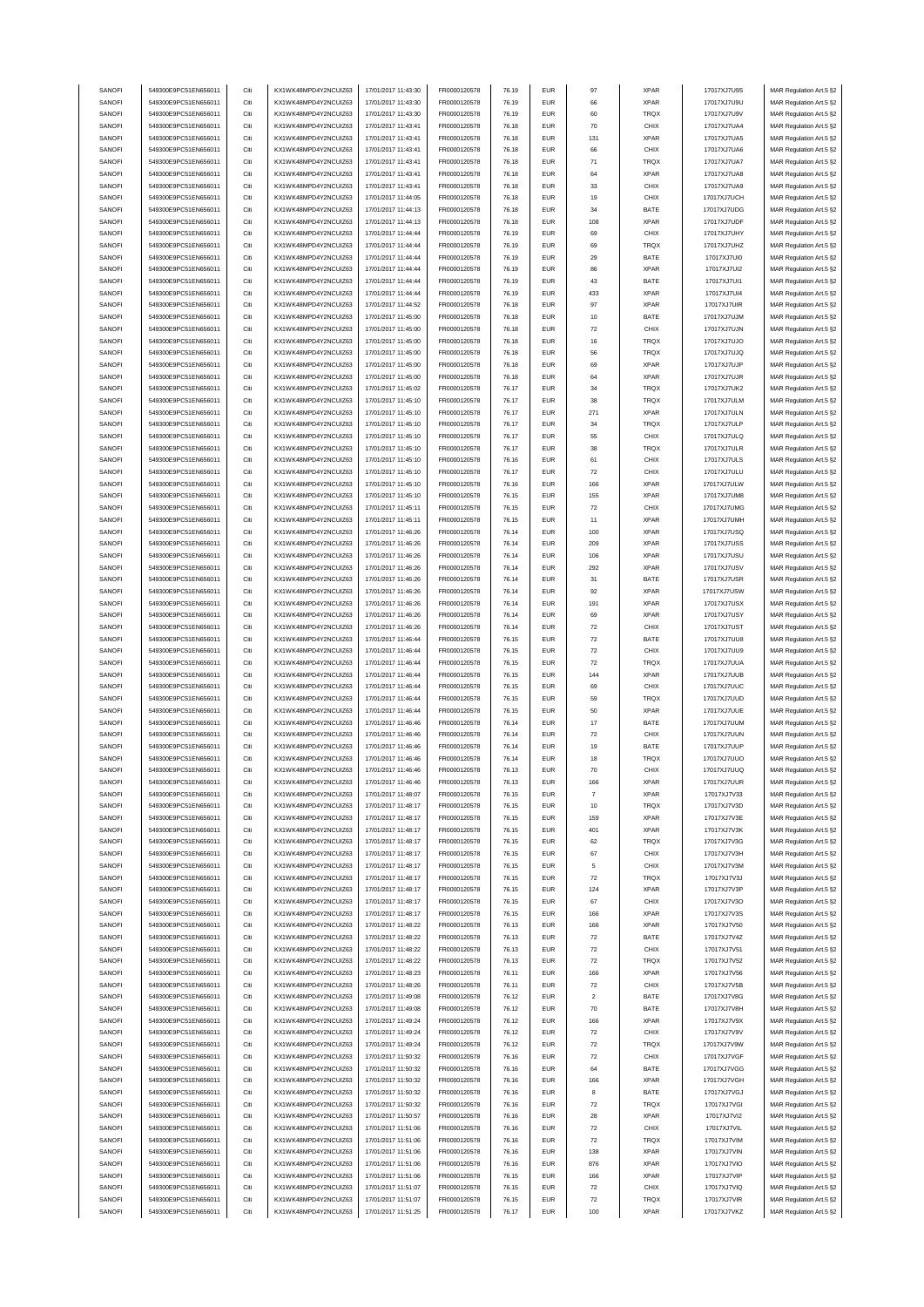| SANOFI        | 549300E9PC51EN656011 | Citi | KX1WK48MPD4Y2NCUIZ63  | 17/01/2017 11:43:30 | FR0000120578 | 76.19 | <b>EUR</b> | 97                      | <b>XPAR</b> | 17017XJ7U9S  | MAR Regulation Art.5 §2 |
|---------------|----------------------|------|-----------------------|---------------------|--------------|-------|------------|-------------------------|-------------|--------------|-------------------------|
| SANOFI        | 549300E9PC51EN656011 | Citi | KX1WK48MPD4Y2NCUIZ63  | 17/01/2017 11:43:30 | FR0000120578 | 76.19 | <b>EUR</b> | 66                      | <b>XPAR</b> | 17017XJ7U9U  | MAR Regulation Art.5 §2 |
|               |                      |      |                       |                     |              |       |            |                         |             |              |                         |
| SANOFI        | 549300E9PC51EN656011 | Citi | KX1WK48MPD4Y2NCUIZ63  | 17/01/2017 11:43:30 | FR0000120578 | 76.19 | <b>EUR</b> | 60                      | TRQX        | 17017XJ7U9V  | MAR Regulation Art.5 §2 |
| SANOFI        | 549300E9PC51EN656011 | Citi | KX1WK48MPD4Y2NCUIZ63  | 17/01/2017 11:43:41 | FR0000120578 | 76.18 | <b>EUR</b> | 70                      | CHIX        | 17017XJ7UA4  | MAR Regulation Art.5 §2 |
| SANOFI        | 549300E9PC51EN656011 | Citi | KX1WK48MPD4Y2NCUIZ63  | 17/01/2017 11:43:41 | FR0000120578 | 76.18 | <b>EUR</b> | 131                     | <b>XPAR</b> | 17017XJ7UA5  | MAR Regulation Art.5 §2 |
| SANOFI        | 549300E9PC51EN656011 | Citi | KX1WK48MPD4Y2NCUIZ63  | 17/01/2017 11:43:41 | FR0000120578 | 76.18 | <b>EUR</b> | 66                      | CHIX        | 17017XJ7UA6  | MAR Regulation Art.5 §2 |
| SANOFI        | 549300E9PC51EN656011 | Citi | KX1WK48MPD4Y2NCUIZ63  | 17/01/2017 11:43:41 | FR0000120578 | 76.18 | <b>EUR</b> | $71\,$                  | TRQX        | 17017XJ7UA7  | MAR Regulation Art.5 §2 |
| SANOFI        | 549300E9PC51EN656011 | Citi | KX1WK48MPD4Y2NCUIZ63  | 17/01/2017 11:43:41 | FR0000120578 | 76.18 | <b>EUR</b> | 64                      | <b>XPAR</b> | 17017XJ7UA8  | MAR Regulation Art.5 §2 |
| SANOFI        | 549300E9PC51EN656011 | Citi | KX1WK48MPD4Y2NCUIZ63  | 17/01/2017 11:43:41 | FR0000120578 | 76.18 | <b>EUR</b> | 33                      | CHIX        | 17017XJ7UA9  | MAR Regulation Art.5 §2 |
|               |                      |      |                       |                     |              |       |            |                         |             |              |                         |
| SANOFI        | 549300E9PC51EN656011 | Citi | KX1WK48MPD4Y2NCUIZ63  | 17/01/2017 11:44:05 | FR0000120578 | 76.18 | <b>EUR</b> | 19                      | CHIX        | 17017XJ7UCH  | MAR Regulation Art.5 §2 |
| SANOFI        | 549300E9PC51EN656011 | Citi | KX1WK48MPD4Y2NCUIZ63  | 17/01/2017 11:44:13 | FR0000120578 | 76.18 | <b>EUR</b> | 34                      | BATE        | 17017XJ7UDG  | MAR Regulation Art.5 §2 |
| SANOFI        | 549300E9PC51EN656011 | Citi | KX1WK48MPD4Y2NCUIZ63  | 17/01/2017 11:44:13 | FR0000120578 | 76.18 | <b>EUR</b> | 108                     | <b>XPAR</b> | 17017XJ7UDF  | MAR Regulation Art.5 §2 |
| SANOFI        | 549300E9PC51EN656011 | Citi | KX1WK48MPD4Y2NCUIZ63  | 17/01/2017 11:44:44 | FR0000120578 | 76.19 | <b>EUR</b> | 69                      | CHIX        | 17017XJ7UHY  | MAR Regulation Art.5 §2 |
| SANOFI        | 549300E9PC51EN656011 | Citi | KX1WK48MPD4Y2NCUIZ63  | 17/01/2017 11:44:44 | FR0000120578 | 76.19 | <b>EUR</b> | 69                      | TRQX        | 17017XJ7UHZ  | MAR Regulation Art.5 §2 |
| SANOFI        | 549300E9PC51EN656011 | Citi | KX1WK48MPD4Y2NCUIZ63  | 17/01/2017 11:44:44 | FR0000120578 | 76.19 | <b>EUR</b> | 29                      | BATE        | 17017XJ7UI0  | MAR Regulation Art.5 §2 |
|               |                      |      |                       |                     |              |       |            |                         |             |              |                         |
| SANOFI        | 549300E9PC51EN656011 | Citi | KX1WK48MPD4Y2NCUIZ63  | 17/01/2017 11:44:44 | FR0000120578 | 76.19 | <b>EUR</b> | 86                      | <b>XPAR</b> | 17017XJ7UI2  | MAR Regulation Art.5 §2 |
| SANOFI        | 549300E9PC51EN656011 | Citi | KX1WK48MPD4Y2NCLIIZ63 | 17/01/2017 11:44:44 | FR0000120578 | 76.19 | <b>EUR</b> | 43                      | BATE        | 17017XJ7UI1  | MAR Regulation Art.5 §2 |
| SANOFI        | 549300E9PC51EN656011 | Citi | KX1WK48MPD4Y2NCLIIZ63 | 17/01/2017 11:44:44 | FR0000120578 | 76.19 | <b>EUR</b> | 433                     | <b>XPAR</b> | 17017XJ7UI4  | MAR Regulation Art.5 §2 |
| SANOFI        | 549300E9PC51EN656011 | Citi | KX1WK48MPD4Y2NCUIZ63  | 17/01/2017 11:44:52 | FR0000120578 | 76.18 | EUR        | 97                      | <b>XPAR</b> | 17017XJ7UIR  | MAR Regulation Art.5 §2 |
| SANOFI        | 549300E9PC51EN656011 | Citi | KX1WK48MPD4Y2NCUIZ63  | 17/01/2017 11:45:00 | FR0000120578 | 76.18 | <b>EUR</b> | 10                      | BATE        | 17017XJ7UJM  | MAR Regulation Art.5 §2 |
| SANOFI        | 549300E9PC51EN656011 | Citi | KX1WK48MPD4Y2NCUIZ63  | 17/01/2017 11:45:00 | FR0000120578 | 76.18 | <b>EUR</b> | $\scriptstyle{72}$      | CHIX        | 17017XJ7UJN  | MAR Regulation Art.5 §2 |
| SANOFI        | 549300E9PC51EN656011 | Citi | KX1WK48MPD4Y2NCUIZ63  | 17/01/2017 11:45:00 | FR0000120578 | 76.18 | <b>EUR</b> | 16                      | TRQX        | 17017XJ7UJO  | MAR Regulation Art.5 §2 |
|               |                      |      |                       |                     |              |       |            |                         |             |              |                         |
| SANOFI        | 549300E9PC51EN656011 | Citi | KX1WK48MPD4Y2NCUIZ63  | 17/01/2017 11:45:00 | FR0000120578 | 76.18 | <b>EUR</b> | 56                      | TRQX        | 17017XJ7UJQ  | MAR Regulation Art.5 §2 |
| SANOFI        | 549300E9PC51EN656011 | Citi | KX1WK48MPD4Y2NCUIZ63  | 17/01/2017 11:45:00 | FR0000120578 | 76.18 | <b>EUR</b> | 69                      | <b>XPAR</b> | 17017XJ7UJP  | MAR Regulation Art.5 §2 |
| SANOFI        | 549300E9PC51EN656011 | Citi | KX1WK48MPD4Y2NCUIZ63  | 17/01/2017 11:45:00 | FR0000120578 | 76.18 | <b>EUR</b> | 64                      | <b>XPAR</b> | 17017XJ7UJR  | MAR Regulation Art.5 §2 |
| SANOFI        | 549300E9PC51EN656011 | Citi | KX1WK48MPD4Y2NCUIZ63  | 17/01/2017 11:45:02 | FR0000120578 | 76.17 | <b>EUR</b> | 34                      | TRQX        | 17017XJ7UK2  | MAR Regulation Art.5 §2 |
| SANOFI        | 549300E9PC51EN656011 | Citi | KX1WK48MPD4Y2NCUIZ63  | 17/01/2017 11:45:10 | FR0000120578 | 76.17 | <b>EUR</b> | 38                      | TRQX        | 17017XJ7ULM  | MAR Regulation Art.5 §2 |
| SANOFI        | 549300E9PC51EN656011 | Citi | KX1WK48MPD4Y2NCUIZ63  | 17/01/2017 11:45:10 | FR0000120578 | 76.17 | <b>EUR</b> | 271                     | <b>XPAR</b> | 17017XJ7ULN  | MAR Regulation Art.5 §2 |
|               |                      |      |                       |                     |              |       |            |                         |             |              |                         |
| SANOFI        | 549300E9PC51EN656011 | Citi | KX1WK48MPD4Y2NCUIZ63  | 17/01/2017 11:45:10 | FR0000120578 | 76.17 | <b>EUR</b> | 34                      | TRQX        | 17017XJ7ULP  | MAR Regulation Art.5 §2 |
| SANOFI        | 549300E9PC51EN656011 | Citi | KX1WK48MPD4Y2NCUIZ63  | 17/01/2017 11:45:10 | FR0000120578 | 76.17 | <b>EUR</b> | 55                      | CHIX        | 17017XJ7ULQ  | MAR Regulation Art.5 §2 |
| SANOFI        | 549300E9PC51EN656011 | Citi | KX1WK48MPD4Y2NCUIZ63  | 17/01/2017 11:45:10 | FR0000120578 | 76.17 | <b>EUR</b> | 38                      | TRQX        | 17017XJ7ULR  | MAR Regulation Art.5 §2 |
| SANOFI        | 549300E9PC51EN656011 | Citi | KX1WK48MPD4Y2NCUIZ63  | 17/01/2017 11:45:10 | FR0000120578 | 76.16 | <b>EUR</b> | 61                      | CHIX        | 17017XJ7ULS  | MAR Regulation Art.5 §2 |
| SANOFI        | 549300E9PC51EN656011 | Citi | KX1WK48MPD4Y2NCUIZ63  | 17/01/2017 11:45:10 | FR0000120578 | 76.17 | <b>EUR</b> | 72                      | CHIX        | 17017XJ7ULU  | MAR Regulation Art.5 §2 |
|               | 549300E9PC51EN656011 |      |                       |                     |              |       |            |                         |             |              |                         |
| SANOFI        |                      | Citi | KX1WK48MPD4Y2NCUIZ63  | 17/01/2017 11:45:10 | FR0000120578 | 76.16 | <b>EUR</b> | 166                     | <b>XPAR</b> | 17017XJ7ULW  | MAR Regulation Art.5 §2 |
| SANOFI        | 549300E9PC51EN656011 | Citi | KX1WK48MPD4Y2NCUIZ63  | 17/01/2017 11:45:10 | FR0000120578 | 76.15 | <b>EUR</b> | 155                     | <b>XPAR</b> | 17017XJ7UM8  | MAR Regulation Art.5 §2 |
| SANOFI        | 549300E9PC51EN656011 | Citi | KX1WK48MPD4Y2NCLIIZ63 | 17/01/2017 11:45:11 | FR0000120578 | 76.15 | EUR        | $\scriptstyle{72}$      | CHIX        | 17017XJ7UMG  | MAR Regulation Art.5 §2 |
| SANOFI        | 549300E9PC51EN656011 | Citi | KX1WK48MPD4Y2NCUIZ63  | 17/01/2017 11:45:11 | FR0000120578 | 76.15 | <b>EUR</b> | 11                      | <b>XPAR</b> | 17017XJ7UMH  | MAR Regulation Art.5 §2 |
| SANOFI        | 549300E9PC51EN656011 | Citi | KX1WK48MPD4Y2NCUIZ63  | 17/01/2017 11:46:26 | FR0000120578 | 76.14 | <b>EUR</b> | 100                     | <b>XPAR</b> | 17017XJ7USQ  | MAR Regulation Art.5 §2 |
| SANOFI        | 549300E9PC51EN656011 | Citi | KX1WK48MPD4Y2NCUIZ63  | 17/01/2017 11:46:26 | FR0000120578 | 76.14 | <b>EUR</b> | 209                     | <b>XPAR</b> | 17017XJ7USS  | MAR Regulation Art.5 §2 |
|               |                      |      |                       |                     |              |       |            |                         |             |              |                         |
| SANOFI        | 549300E9PC51EN656011 | Citi | KX1WK48MPD4Y2NCUIZ63  | 17/01/2017 11:46:26 | FR0000120578 | 76.14 | <b>EUR</b> | 106                     | <b>XPAR</b> | 17017XJ7USU  | MAR Regulation Art.5 §2 |
| SANOFI        | 549300E9PC51EN656011 | Citi | KX1WK48MPD4Y2NCUIZ63  | 17/01/2017 11:46:26 | FR0000120578 | 76.14 | <b>EUR</b> | 292                     | <b>XPAR</b> | 17017XJ7USV  | MAR Regulation Art.5 §2 |
| SANOFI        | 549300E9PC51EN656011 | Citi | KX1WK48MPD4Y2NCUIZ63  | 17/01/2017 11:46:26 | FR0000120578 | 76.14 | <b>EUR</b> | 31                      | BATE        | 17017XJ7USR  | MAR Regulation Art.5 §2 |
| SANOFI        | 549300E9PC51EN656011 | Citi | KX1WK48MPD4Y2NCUIZ63  | 17/01/2017 11:46:26 | FR0000120578 | 76.14 | <b>EUR</b> | 92                      | <b>XPAR</b> | 17017XJ7USW  | MAR Regulation Art.5 §2 |
| SANOFI        | 549300E9PC51EN656011 | Citi | KX1WK48MPD4Y2NCUIZ63  | 17/01/2017 11:46:26 | FR0000120578 | 76.14 | EUR        | 191                     | <b>XPAR</b> | 17017XJ7USX  | MAR Regulation Art.5 §2 |
| SANOFI        | 549300E9PC51EN656011 | Citi | KX1WK48MPD4Y2NCUIZ63  | 17/01/2017 11:46:26 | FR0000120578 | 76.14 | <b>EUR</b> | 69                      | <b>XPAR</b> | 17017XJ7USY  | MAR Regulation Art.5 §2 |
|               |                      |      |                       |                     |              |       |            |                         |             |              |                         |
| SANOFI        | 549300E9PC51EN656011 | Citi | KX1WK48MPD4Y2NCUIZ63  | 17/01/2017 11:46:26 | FR0000120578 | 76.14 | <b>EUR</b> | $\scriptstyle{72}$      | CHIX        | 17017XJ7UST  | MAR Regulation Art.5 §2 |
| SANOFI        | 549300E9PC51EN656011 | Citi | KX1WK48MPD4Y2NCUIZ63  | 17/01/2017 11:46:44 | FR0000120578 | 76.15 | <b>EUR</b> | 72                      | BATE        | 17017XJ7UU8  | MAR Regulation Art.5 §2 |
| SANOFI        | 549300E9PC51EN656011 | Citi | KX1WK48MPD4Y2NCUIZ63  | 17/01/2017 11:46:44 | FR0000120578 | 76.15 | <b>EUR</b> | $\scriptstyle{72}$      | CHIX        | 17017XJ7UU9  | MAR Regulation Art.5 §2 |
| SANOFI        | 549300E9PC51EN656011 | Citi | KX1WK48MPD4Y2NCUIZ63  | 17/01/2017 11:46:44 | FR0000120578 | 76.15 | <b>EUR</b> | 72                      | TRQX        | 17017XJ7UUA  | MAR Regulation Art.5 §2 |
| SANOFI        | 549300E9PC51EN656011 | Citi | KX1WK48MPD4Y2NCUIZ63  | 17/01/2017 11:46:44 | FR0000120578 | 76.15 | <b>EUR</b> | 144                     | <b>XPAR</b> | 17017XJ7UUB  | MAR Regulation Art.5 §2 |
| SANOFI        | 549300E9PC51EN656011 | Citi | KX1WK48MPD4Y2NCUIZ63  | 17/01/2017 11:46:44 | FR0000120578 | 76.15 | <b>EUR</b> | 69                      | CHIX        | 17017XJ7UUC  | MAR Regulation Art.5 §2 |
| SANOFI        | 549300E9PC51EN656011 | Citi | KX1WK48MPD4Y2NCUIZ63  | 17/01/2017 11:46:44 | FR0000120578 | 76.15 | <b>EUR</b> | 59                      | TRQX        | 17017XJ7UUD  |                         |
|               |                      |      |                       |                     |              |       |            |                         |             |              | MAR Regulation Art.5 §2 |
| SANOFI        | 549300E9PC51EN656011 | Citi | KX1WK48MPD4Y2NCUIZ63  | 17/01/2017 11:46:44 | FR0000120578 | 76.15 | <b>EUR</b> | 50                      | <b>XPAR</b> | 17017XJ7UUE  | MAR Regulation Art.5 §2 |
| SANOFI        | 549300E9PC51EN656011 | Citi | KX1WK48MPD4Y2NCUIZ63  | 17/01/2017 11:46:46 | FR0000120578 | 76.14 | <b>EUR</b> | 17                      | BATE        | 17017XJ7UUM  | MAR Regulation Art.5 §2 |
| SANOFI        | 549300E9PC51EN656011 | Citi | KX1WK48MPD4Y2NCLIIZ63 | 17/01/2017 11:46:46 | FR0000120578 | 76.14 | <b>EUR</b> | 72                      | CHIX        | 17017XJ7UUN  | MAR Regulation Art.5 §2 |
| SANOFI        | 549300E9PC51EN656011 | Citi | KX1WK48MPD4Y2NCUIZ63  | 17/01/2017 11:46:46 | FR0000120578 | 76.14 | <b>EUR</b> | 19                      | BATE        | 17017XJ7UUP  | MAR Regulation Art.5 §2 |
| SANOFI        | 549300E9PC51EN656011 | Citi | KX1WK48MPD4Y2NCUIZ63  | 17/01/2017 11:46:46 | FR0000120578 | 76.14 | <b>EUR</b> | 18                      | TRQX        | 17017XJ7UUO  | MAR Regulation Art.5 §2 |
| SANOFI        | 549300E9PC51EN656011 |      | KX1WK48MPD4Y2NCLIIZ63 | 17/01/2017 11:46:46 | FR0000120578 | 76.13 | FUR        | 70                      | CHIX        | 17017X.I7UUQ | MAR Regulation Art 5.82 |
|               |                      |      |                       |                     |              |       |            |                         |             |              |                         |
| <b>SANOFI</b> | 549300E9PC51EN656011 | Citi | KX1WK48MPD4Y2NCUIZ63  | 17/01/2017 11:46:46 | FR0000120578 | 76.13 | <b>EUR</b> | 166                     | <b>XPAR</b> | 17017XJ7UUR  | MAR Regulation Art.5 §2 |
| SANOFI        | 549300E9PC51EN656011 | Citi | KX1WK48MPD4Y2NCUIZ63  | 17/01/2017 11:48:07 | FR0000120578 | 76.15 | <b>EUR</b> | $\overline{7}$          | <b>XPAR</b> | 17017XJ7V33  | MAR Regulation Art.5 §2 |
| SANOFI        | 549300E9PC51EN656011 | Citi | KX1WK48MPD4Y2NCUIZ63  | 17/01/2017 11:48:17 | FR0000120578 | 76.15 | <b>EUR</b> | 10                      | TRQX        | 17017XJ7V3D  | MAR Regulation Art.5 §2 |
| SANOFI        | 549300E9PC51EN656011 | Citi | KX1WK48MPD4Y2NCUIZ63  | 17/01/2017 11:48:17 | FR0000120578 | 76.15 | <b>EUR</b> | 159                     | <b>XPAR</b> | 17017XJ7V3E  | MAR Regulation Art.5 §2 |
| SANOFI        | 549300E9PC51EN656011 | Citi | KX1WK48MPD4Y2NCUIZ63  | 17/01/2017 11:48:17 | FR0000120578 | 76.15 | <b>EUR</b> | 401                     | <b>XPAR</b> | 17017XJ7V3K  | MAR Regulation Art.5 §2 |
| SANOFI        | 549300E9PC51EN656011 | Citi | KX1WK48MPD4Y2NCUIZ63  | 17/01/2017 11:48:17 | FR0000120578 | 76.15 | <b>EUR</b> | 62                      | TRQX        | 17017XJ7V3G  | MAR Regulation Art.5 §2 |
|               | 549300E9PC51EN656011 | Citi | KX1WK48MPD4Y2NCUIZ63  |                     |              |       | <b>EUR</b> |                         | CHIX        |              |                         |
| SANOFI        |                      |      |                       | 17/01/2017 11:48:17 | FR0000120578 | 76.15 |            | 67                      |             | 17017XJ7V3H  | MAR Regulation Art.5 §2 |
| SANOFI        | 549300E9PC51EN656011 | Citi | KX1WK48MPD4Y2NCUIZ63  | 17/01/2017 11:48:17 | FR0000120578 | 76.15 | <b>EUR</b> | 5                       | CHIX        | 17017XJ7V3M  | MAR Regulation Art.5 §2 |
| SANOFI        | 549300E9PC51EN656011 | Citi | KX1WK48MPD4Y2NCUIZ63  | 17/01/2017 11:48:17 | FR0000120578 | 76.15 | <b>EUR</b> | $\scriptstyle{72}$      | TRQX        | 17017XJ7V3J  | MAR Regulation Art.5 §2 |
| SANOFI        | 549300E9PC51EN656011 | Citi | KX1WK48MPD4Y2NCUIZ63  | 17/01/2017 11:48:17 | FR0000120578 | 76.15 | <b>EUR</b> | 124                     | <b>XPAR</b> | 17017XJ7V3P  | MAR Regulation Art.5 §2 |
| SANOFI        | 549300E9PC51EN656011 | Citi | KX1WK48MPD4Y2NCUIZ63  | 17/01/2017 11:48:17 | FR0000120578 | 76.15 | <b>EUR</b> | 67                      | CHIX        | 17017XJ7V3O  | MAR Regulation Art.5 §2 |
| SANOFI        | 549300E9PC51EN656011 | Citi | KX1WK48MPD4Y2NCUIZ63  | 17/01/2017 11:48:17 | FR0000120578 | 76.15 | <b>EUR</b> | 166                     | <b>XPAR</b> | 17017XJ7V3S  | MAR Regulation Art.5 §2 |
| SANOFI        | 549300E9PC51EN656011 | Citi | KX1WK48MPD4Y2NCUIZ63  | 17/01/2017 11:48:22 | FR0000120578 | 76.13 | <b>EUR</b> | 166                     | <b>XPAR</b> | 17017XJ7V50  | MAR Regulation Art.5 §2 |
|               | 549300E9PC51EN656011 |      | KX1WK48MPD4Y2NCUIZ63  |                     | FR0000120578 |       |            |                         |             |              |                         |
| SANOFI        |                      | Citi |                       | 17/01/2017 11:48:22 |              | 76.13 | <b>EUR</b> | $\scriptstyle{72}$      | BATE        | 17017XJ7V4Z  | MAR Regulation Art.5 §2 |
| SANOFI        | 549300E9PC51EN656011 | Citi | KX1WK48MPD4Y2NCUIZ63  | 17/01/2017 11:48:22 | FR0000120578 | 76.13 | <b>EUR</b> | 72                      | CHIX        | 17017XJ7V51  | MAR Regulation Art.5 §2 |
| SANOFI        | 549300E9PC51EN656011 | Citi | KX1WK48MPD4Y2NCUIZ63  | 17/01/2017 11:48:22 | FR0000120578 | 76.13 | <b>EUR</b> | 72                      | TRQX        | 17017XJ7V52  | MAR Regulation Art.5 §2 |
| SANOFI        | 549300E9PC51EN656011 | Citi | KX1WK48MPD4Y2NCUIZ63  | 17/01/2017 11:48:23 | FR0000120578 | 76.11 | <b>EUR</b> | 166                     | <b>XPAR</b> | 17017XJ7V56  | MAR Regulation Art.5 §2 |
| SANOFI        | 549300E9PC51EN656011 | Citi | KX1WK48MPD4Y2NCUIZ63  | 17/01/2017 11:48:26 | FR0000120578 | 76.11 | <b>EUR</b> | 72                      | CHIX        | 17017XJ7V5B  | MAR Regulation Art.5 §2 |
| SANOFI        | 549300E9PC51EN656011 | Citi | KX1WK48MPD4Y2NCUIZ63  | 17/01/2017 11:49:08 | FR0000120578 | 76.12 | <b>EUR</b> | $\overline{\mathbf{c}}$ | BATE        | 17017XJ7V8G  | MAR Regulation Art.5 §2 |
|               |                      |      |                       |                     |              |       |            |                         |             |              |                         |
| SANOFI        | 549300E9PC51EN656011 | Citi | KX1WK48MPD4Y2NCUIZ63  | 17/01/2017 11:49:08 | FR0000120578 | 76.12 | <b>EUR</b> | 70                      | BATE        | 17017XJ7V8H  | MAR Regulation Art.5 §2 |
| SANOFI        | 549300E9PC51EN656011 | Citi | KX1WK48MPD4Y2NCUIZ63  | 17/01/2017 11:49:24 | FR0000120578 | 76.12 | <b>EUR</b> | 166                     | <b>XPAR</b> | 17017XJ7V9X  | MAR Regulation Art.5 §2 |
| SANOFI        | 549300E9PC51EN656011 | Citi | KX1WK48MPD4Y2NCUIZ63  | 17/01/2017 11:49:24 | FR0000120578 | 76.12 | <b>EUR</b> | $\scriptstyle{72}$      | CHIX        | 17017XJ7V9V  | MAR Regulation Art.5 §2 |
| SANOFI        | 549300E9PC51EN656011 | Citi | KX1WK48MPD4Y2NCUIZ63  | 17/01/2017 11:49:24 | FR0000120578 | 76.12 | <b>EUR</b> | $\scriptstyle{72}$      | TRQX        | 17017XJ7V9W  | MAR Regulation Art.5 §2 |
| SANOFI        | 549300E9PC51EN656011 | Citi | KX1WK48MPD4Y2NCUIZ63  | 17/01/2017 11:50:32 | FR0000120578 | 76.16 | <b>EUR</b> | 72                      | CHIX        | 17017XJ7VGF  | MAR Regulation Art.5 §2 |
| SANOFI        | 549300E9PC51EN656011 | Citi | KX1WK48MPD4Y2NCUIZ63  | 17/01/2017 11:50:32 | FR0000120578 | 76.16 | <b>EUR</b> | 64                      | BATE        | 17017XJ7VGG  |                         |
|               |                      |      |                       |                     |              |       |            |                         |             |              | MAR Regulation Art.5 §2 |
| SANOFI        | 549300E9PC51EN656011 | Citi | KX1WK48MPD4Y2NCUIZ63  | 17/01/2017 11:50:32 | FR0000120578 | 76.16 | <b>EUR</b> | 166                     | <b>XPAR</b> | 17017XJ7VGH  | MAR Regulation Art.5 §2 |
| SANOFI        | 549300E9PC51EN656011 | Citi | KX1WK48MPD4Y2NCUIZ63  | 17/01/2017 11:50:32 | FR0000120578 | 76.16 | <b>EUR</b> | 8                       | BATE        | 17017XJ7VGJ  | MAR Regulation Art.5 §2 |
| SANOFI        | 549300E9PC51EN656011 | Citi | KX1WK48MPD4Y2NCUIZ63  | 17/01/2017 11:50:32 | FR0000120578 | 76.16 | <b>EUR</b> | $\scriptstyle{72}$      | TRQX        | 17017XJ7VGI  | MAR Regulation Art.5 §2 |
| SANOFI        | 549300E9PC51EN656011 | Citi | KX1WK48MPD4Y2NCUIZ63  | 17/01/2017 11:50:57 | FR0000120578 | 76.16 | <b>EUR</b> | 28                      | <b>XPAR</b> | 17017XJ7VI2  | MAR Regulation Art.5 §2 |
| SANOFI        | 549300E9PC51EN656011 | Citi | KX1WK48MPD4Y2NCUIZ63  | 17/01/2017 11:51:06 | FR0000120578 | 76.16 | <b>EUR</b> | $\scriptstyle{72}$      | CHIX        | 17017XJ7VIL  | MAR Regulation Art.5 §2 |
| SANOFI        | 549300E9PC51EN656011 | Citi | KX1WK48MPD4Y2NCUIZ63  | 17/01/2017 11:51:06 | FR0000120578 | 76.16 | <b>EUR</b> | $\scriptstyle{72}$      | TRQX        | 17017XJ7VIM  | MAR Regulation Art.5 §2 |
|               |                      |      |                       |                     |              |       |            |                         |             |              |                         |
| SANOFI        | 549300E9PC51EN656011 | Citi | KX1WK48MPD4Y2NCUIZ63  | 17/01/2017 11:51:06 | FR0000120578 | 76.16 | <b>EUR</b> | 138                     | <b>XPAR</b> | 17017XJ7VIN  | MAR Regulation Art.5 §2 |
| SANOFI        | 549300E9PC51EN656011 | Citi | KX1WK48MPD4Y2NCUIZ63  | 17/01/2017 11:51:06 | FR0000120578 | 76.16 | <b>EUR</b> | 876                     | <b>XPAR</b> | 17017XJ7VIO  | MAR Regulation Art.5 §2 |
| SANOFI        | 549300E9PC51EN656011 | Citi | KX1WK48MPD4Y2NCUIZ63  | 17/01/2017 11:51:06 | FR0000120578 | 76.15 | <b>EUR</b> | 166                     | <b>XPAR</b> | 17017XJ7VIP  | MAR Regulation Art.5 §2 |
| SANOFI        | 549300E9PC51EN656011 | Citi | KX1WK48MPD4Y2NCUIZ63  | 17/01/2017 11:51:07 | FR0000120578 | 76.15 | <b>EUR</b> | 72                      | CHIX        | 17017XJ7VIQ  | MAR Regulation Art.5 §2 |
| SANOFI        | 549300E9PC51EN656011 | Citi | KX1WK48MPD4Y2NCUIZ63  | 17/01/2017 11:51:07 | FR0000120578 | 76.15 | <b>EUR</b> | $\scriptstyle{72}$      | TRQX        | 17017XJ7VIR  | MAR Regulation Art.5 §2 |
| SANOFI        | 549300E9PC51EN656011 | Citi | KX1WK48MPD4Y2NCUIZ63  | 17/01/2017 11:51:25 | FR0000120578 | 76.17 | <b>EUR</b> | 100                     | <b>XPAR</b> | 17017XJ7VKZ  | MAR Regulation Art.5 §2 |
|               |                      |      |                       |                     |              |       |            |                         |             |              |                         |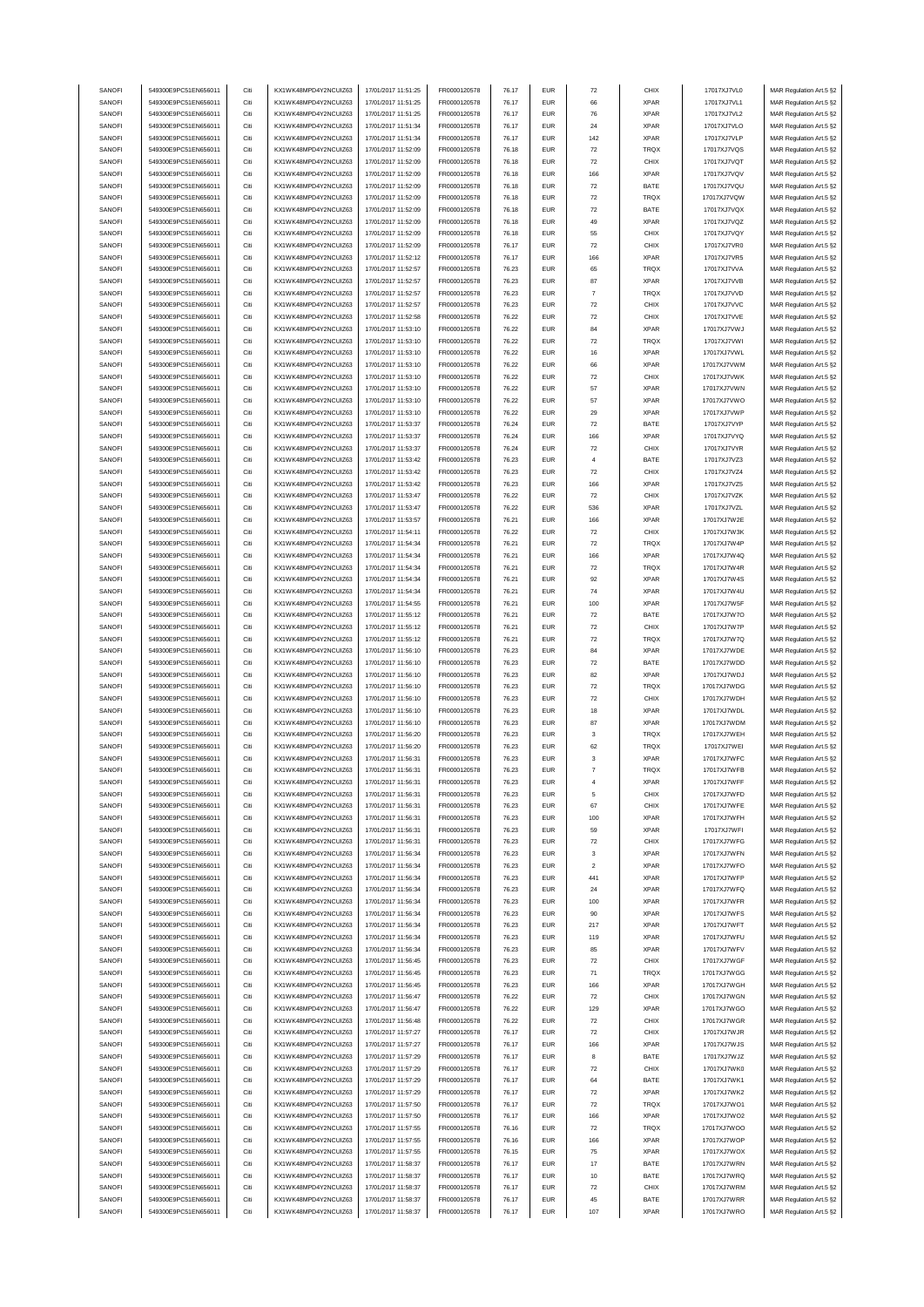| SANOFI | 549300E9PC51EN656011 | Citi | KX1WK48MPD4Y2NCUIZ63  | 17/01/2017 11:51:25 | FR0000120578 | 76.17 | <b>EUR</b> | $\scriptstyle{72}$ | CHIX        | 17017XJ7VL0  | MAR Regulation Art.5 §2 |
|--------|----------------------|------|-----------------------|---------------------|--------------|-------|------------|--------------------|-------------|--------------|-------------------------|
|        | 549300E9PC51EN656011 | Citi | KX1WK48MPD4Y2NCUIZ63  |                     |              | 76.17 | <b>EUR</b> | 66                 | <b>XPAR</b> |              |                         |
| SANOFI |                      |      |                       | 17/01/2017 11:51:25 | FR0000120578 |       |            |                    |             | 17017XJ7VL1  | MAR Regulation Art.5 §2 |
| SANOFI | 549300E9PC51EN656011 | Citi | KX1WK48MPD4Y2NCUIZ63  | 17/01/2017 11:51:25 | FR0000120578 | 76.17 | <b>EUR</b> | 76                 | <b>XPAR</b> | 17017XJ7VL2  | MAR Regulation Art.5 §2 |
| SANOFI | 549300E9PC51EN656011 | Citi | KX1WK48MPD4Y2NCUIZ63  | 17/01/2017 11:51:34 | FR0000120578 | 76.17 | <b>EUR</b> | 24                 | <b>XPAR</b> | 17017XJ7VLO  | MAR Regulation Art.5 §2 |
| SANOFI | 549300E9PC51EN656011 | Citi | KX1WK48MPD4Y2NCUIZ63  | 17/01/2017 11:51:34 | FR0000120578 | 76.17 | <b>EUR</b> | 142                | <b>XPAR</b> | 17017XJ7VLP  | MAR Regulation Art.5 §2 |
|        |                      |      |                       |                     |              |       |            |                    |             |              |                         |
| SANOFI | 549300E9PC51EN656011 | Citi | KX1WK48MPD4Y2NCUIZ63  | 17/01/2017 11:52:09 | FR0000120578 | 76.18 | <b>EUR</b> | $\scriptstyle{72}$ | TRQX        | 17017XJ7VQS  | MAR Regulation Art.5 §2 |
| SANOFI | 549300E9PC51EN656011 | Citi | KX1WK48MPD4Y2NCUIZ63  | 17/01/2017 11:52:09 | FR0000120578 | 76.18 | <b>EUR</b> | $\scriptstyle{72}$ | CHIX        | 17017XJ7VQT  | MAR Regulation Art.5 §2 |
| SANOFI | 549300E9PC51EN656011 | Citi | KX1WK48MPD4Y2NCUIZ63  | 17/01/2017 11:52:09 | FR0000120578 | 76.18 | <b>EUR</b> | 166                | <b>XPAR</b> | 17017XJ7VQV  |                         |
|        |                      |      |                       |                     |              |       |            |                    |             |              | MAR Regulation Art.5 §2 |
| SANOFI | 549300E9PC51EN656011 | Citi | KX1WK48MPD4Y2NCUIZ63  | 17/01/2017 11:52:09 | FR0000120578 | 76.18 | <b>EUR</b> | $\scriptstyle{72}$ | BATE        | 17017XJ7VQU  | MAR Regulation Art.5 §2 |
| SANOFI | 549300E9PC51EN656011 | Citi | KX1WK48MPD4Y2NCUIZ63  | 17/01/2017 11:52:09 | FR0000120578 | 76.18 | <b>EUR</b> | 72                 | <b>TRQX</b> | 17017XJ7VQW  | MAR Regulation Art.5 §2 |
|        |                      |      |                       |                     |              |       |            |                    |             |              |                         |
| SANOFI | 549300E9PC51EN656011 | Citi | KX1WK48MPD4Y2NCUIZ63  | 17/01/2017 11:52:09 | FR0000120578 | 76.18 | <b>EUR</b> | $\scriptstyle{72}$ | BATE        | 17017XJ7VQX  | MAR Regulation Art.5 §2 |
| SANOFI | 549300E9PC51EN656011 | Citi | KX1WK48MPD4Y2NCUIZ63  | 17/01/2017 11:52:09 | FR0000120578 | 76.18 | <b>EUR</b> | 49                 | <b>XPAR</b> | 17017XJ7VQZ  | MAR Regulation Art.5 §2 |
| SANOFI | 549300E9PC51EN656011 | Citi | KX1WK48MPD4Y2NCUIZ63  | 17/01/2017 11:52:09 | FR0000120578 | 76.18 | <b>EUR</b> | 55                 | CHIX        | 17017XJ7VQY  | MAR Regulation Art.5 §2 |
|        |                      |      |                       |                     |              |       |            |                    |             |              |                         |
| SANOFI | 549300E9PC51EN656011 | Citi | KX1WK48MPD4Y2NCUIZ63  | 17/01/2017 11:52:09 | FR0000120578 | 76.17 | <b>EUR</b> | $\scriptstyle{72}$ | CHIX        | 17017XJ7VR0  | MAR Regulation Art.5 §2 |
| SANOFI | 549300E9PC51EN656011 | Citi | KX1WK48MPD4Y2NCUIZ63  | 17/01/2017 11:52:12 | FR0000120578 | 76.17 | <b>EUR</b> | 166                | <b>XPAR</b> | 17017XJ7VR5  | MAR Regulation Art.5 §2 |
| SANOFI | 549300E9PC51EN656011 | Citi | KX1WK48MPD4Y2NCUIZ63  | 17/01/2017 11:52:57 | FR0000120578 | 76.23 | <b>EUR</b> | 65                 | TRQX        | 17017XJ7VVA  | MAR Regulation Art.5 §2 |
|        |                      |      |                       |                     |              |       |            |                    |             |              |                         |
| SANOFI | 549300E9PC51EN656011 | Citi | KX1WK48MPD4Y2NCUIZ63  | 17/01/2017 11:52:57 | FR0000120578 | 76.23 | <b>EUR</b> | 87                 | <b>XPAR</b> | 17017XJ7VVB  | MAR Regulation Art.5 §2 |
| SANOFI | 549300E9PC51EN656011 | Citi | KX1WK48MPD4Y2NCUIZ63  | 17/01/2017 11:52:57 | FR0000120578 | 76.23 | <b>EUR</b> | $\overline{7}$     | TRQX        | 17017XJ7VVD  | MAR Regulation Art.5 §2 |
| SANOFI | 549300E9PC51EN656011 | Citi | KX1WK48MPD4Y2NCUIZ63  | 17/01/2017 11:52:57 | FR0000120578 | 76.23 | <b>EUR</b> | 72                 | CHIX        | 17017XJ7VVC  | MAR Regulation Art.5 §2 |
|        |                      |      |                       |                     |              |       |            |                    | CHIX        |              |                         |
| SANOFI | 549300E9PC51EN656011 | Citi | KX1WK48MPD4Y2NCUIZ63  | 17/01/2017 11:52:58 | FR0000120578 | 76.22 | <b>EUR</b> | $\scriptstyle{72}$ |             | 17017XJ7VVE  | MAR Regulation Art.5 §2 |
| SANOFI | 549300E9PC51EN656011 | Citi | KX1WK48MPD4Y2NCUIZ63  | 17/01/2017 11:53:10 | FR0000120578 | 76.22 | <b>EUR</b> | 84                 | <b>XPAR</b> | 17017XJ7VWJ  | MAR Regulation Art.5 §2 |
| SANOFI | 549300E9PC51EN656011 | Citi | KX1WK48MPD4Y2NCUIZ63  | 17/01/2017 11:53:10 | FR0000120578 | 76.22 | <b>EUR</b> | $\scriptstyle{72}$ | TRQX        | 17017XJ7VWI  | MAR Regulation Art.5 §2 |
| SANOFI | 549300E9PC51EN656011 | Citi | KX1WK48MPD4Y2NCUIZ63  | 17/01/2017 11:53:10 | FR0000120578 | 76.22 | <b>EUR</b> | 16                 | <b>XPAR</b> | 17017XJ7VWL  | MAR Regulation Art.5 §2 |
|        |                      |      |                       |                     |              |       |            |                    |             |              |                         |
| SANOFI | 549300E9PC51EN656011 | Citi | KX1WK48MPD4Y2NCUIZ63  | 17/01/2017 11:53:10 | FR0000120578 | 76.22 | <b>EUR</b> | 66                 | <b>XPAR</b> | 17017XJ7VWM  | MAR Regulation Art.5 §2 |
| SANOFI | 549300E9PC51EN656011 | Citi | KX1WK48MPD4Y2NCUIZ63  | 17/01/2017 11:53:10 | FR0000120578 | 76.22 | <b>EUR</b> | $\scriptstyle{72}$ | CHIX        | 17017XJ7VWK  | MAR Regulation Art.5 §2 |
| SANOFI | 549300E9PC51EN656011 | Citi | KX1WK48MPD4Y2NCUIZ63  | 17/01/2017 11:53:10 | FR0000120578 | 76.22 | <b>EUR</b> | 57                 | <b>XPAR</b> | 17017XJ7VWN  | MAR Regulation Art.5 §2 |
|        |                      |      |                       |                     |              |       |            |                    |             |              |                         |
| SANOFI | 549300E9PC51EN656011 | Citi | KX1WK48MPD4Y2NCUIZ63  | 17/01/2017 11:53:10 | FR0000120578 | 76.22 | <b>EUR</b> | 57                 | <b>XPAR</b> | 17017XJ7VWO  | MAR Regulation Art.5 §2 |
| SANOFI | 549300E9PC51EN656011 | Citi | KX1WK48MPD4Y2NCUIZ63  | 17/01/2017 11:53:10 | FR0000120578 | 76.22 | <b>EUR</b> | 29                 | <b>XPAR</b> | 17017XJ7VWP  | MAR Regulation Art.5 §2 |
| SANOFI | 549300E9PC51EN656011 | Citi | KX1WK48MPD4Y2NCUIZ63  | 17/01/2017 11:53:37 | FR0000120578 | 76.24 | <b>EUR</b> | $\scriptstyle{72}$ | BATE        | 17017XJ7VYP  | MAR Regulation Art.5 §2 |
|        |                      |      |                       |                     |              |       |            |                    |             |              |                         |
| SANOFI | 549300E9PC51EN656011 | Citi | KX1WK48MPD4Y2NCUIZ63  | 17/01/2017 11:53:37 | FR0000120578 | 76.24 | <b>EUR</b> | 166                | <b>XPAR</b> | 17017XJ7VYQ  | MAR Regulation Art.5 §2 |
| SANOFI | 549300E9PC51EN656011 | Citi | KX1WK48MPD4Y2NCUIZ63  | 17/01/2017 11:53:37 | FR0000120578 | 76.24 | <b>EUR</b> | $\scriptstyle{72}$ | CHIX        | 17017XJ7VYR  | MAR Regulation Art.5 §2 |
| SANOFI | 549300E9PC51EN656011 | Citi | KX1WK48MPD4Y2NCUIZ63  | 17/01/2017 11:53:42 | FR0000120578 | 76.23 | <b>EUR</b> | $\overline{4}$     | BATE        | 17017XJ7VZ3  | MAR Regulation Art.5 §2 |
|        |                      |      |                       |                     |              |       |            |                    |             |              |                         |
| SANOFI | 549300E9PC51EN656011 | Citi | KX1WK48MPD4Y2NCUIZ63  | 17/01/2017 11:53:42 | FR0000120578 | 76.23 | <b>EUR</b> | $\scriptstyle{72}$ | CHIX        | 17017XJ7VZ4  | MAR Regulation Art.5 §2 |
| SANOFI | 549300E9PC51EN656011 | Citi | KX1WK48MPD4Y2NCUIZ63  | 17/01/2017 11:53:42 | FR0000120578 | 76.23 | <b>EUR</b> | 166                | <b>XPAR</b> | 17017XJ7VZ5  | MAR Regulation Art.5 §2 |
| SANOFI | 549300E9PC51EN656011 | Citi | KX1WK48MPD4Y2NCUIZ63  | 17/01/2017 11:53:47 | FR0000120578 | 76.22 | <b>EUR</b> | $\scriptstyle{72}$ | CHIX        | 17017XJ7VZK  | MAR Regulation Art.5 §2 |
|        |                      |      |                       |                     |              |       |            |                    |             |              |                         |
| SANOFI | 549300E9PC51EN656011 | Citi | KX1WK48MPD4Y2NCUIZ63  | 17/01/2017 11:53:47 | FR0000120578 | 76.22 | <b>EUR</b> | 536                | <b>XPAR</b> | 17017XJ7VZL  | MAR Regulation Art.5 §2 |
| SANOFI | 549300E9PC51EN656011 | Citi | KX1WK48MPD4Y2NCUIZ63  | 17/01/2017 11:53:57 | FR0000120578 | 76.21 | <b>EUR</b> | 166                | <b>XPAR</b> | 17017XJ7W2E  | MAR Regulation Art.5 §2 |
| SANOFI | 549300E9PC51EN656011 | Citi | KX1WK48MPD4Y2NCUIZ63  | 17/01/2017 11:54:11 | FR0000120578 | 76.22 | <b>EUR</b> | $\scriptstyle{72}$ | CHIX        | 17017XJ7W3K  | MAR Regulation Art.5 §2 |
|        |                      |      |                       |                     |              |       |            |                    |             |              |                         |
| SANOFI | 549300E9PC51EN656011 | Citi | KX1WK48MPD4Y2NCUIZ63  | 17/01/2017 11:54:34 | FR0000120578 | 76.21 | <b>EUR</b> | $\scriptstyle{72}$ | TRQX        | 17017XJ7W4P  | MAR Regulation Art.5 §2 |
| SANOFI | 549300E9PC51EN656011 | Citi | KX1WK48MPD4Y2NCUIZ63  | 17/01/2017 11:54:34 | FR0000120578 | 76.21 | <b>EUR</b> | 166                | <b>XPAR</b> | 17017XJ7W4Q  | MAR Regulation Art.5 §2 |
| SANOFI | 549300E9PC51EN656011 | Citi | KX1WK48MPD4Y2NCUIZ63  | 17/01/2017 11:54:34 | FR0000120578 | 76.21 | <b>EUR</b> | $\scriptstyle{72}$ | TRQX        | 17017XJ7W4R  | MAR Regulation Art.5 §2 |
|        |                      |      |                       |                     |              |       |            |                    |             |              |                         |
| SANOFI | 549300E9PC51EN656011 | Citi | KX1WK48MPD4Y2NCUIZ63  | 17/01/2017 11:54:34 | FR0000120578 | 76.21 | <b>EUR</b> | 92                 | XPAR        | 17017XJ7W4S  | MAR Regulation Art.5 §2 |
| SANOFI | 549300E9PC51EN656011 | Citi | KX1WK48MPD4Y2NCUIZ63  | 17/01/2017 11:54:34 | FR0000120578 | 76.21 | <b>EUR</b> | 74                 | <b>XPAR</b> | 17017XJ7W4U  | MAR Regulation Art.5 §2 |
| SANOFI | 549300E9PC51EN656011 | Citi | KX1WK48MPD4Y2NCUIZ63  | 17/01/2017 11:54:55 | FR0000120578 | 76.21 | <b>EUR</b> | 100                | XPAR        | 17017XJ7W5F  | MAR Regulation Art.5 §2 |
|        |                      |      |                       |                     |              |       |            |                    |             |              |                         |
| SANOFI | 549300E9PC51EN656011 | Citi | KX1WK48MPD4Y2NCUIZ63  | 17/01/2017 11:55:12 | FR0000120578 | 76.21 | <b>EUR</b> | $\scriptstyle{72}$ | BATE        | 17017XJ7W7O  | MAR Regulation Art.5 §2 |
| SANOFI | 549300E9PC51EN656011 | Citi | KX1WK48MPD4Y2NCUIZ63  | 17/01/2017 11:55:12 | FR0000120578 | 76.21 | <b>EUR</b> | $\scriptstyle{72}$ | CHIX        | 17017XJ7W7P  | MAR Regulation Art.5 §2 |
| SANOFI | 549300E9PC51EN656011 | Citi | KX1WK48MPD4Y2NCUIZ63  | 17/01/2017 11:55:12 | FR0000120578 | 76.21 | <b>EUR</b> | $\scriptstyle{72}$ | TRQX        | 17017XJ7W7Q  | MAR Regulation Art.5 §2 |
|        |                      |      |                       |                     |              |       |            |                    |             |              |                         |
| SANOFI | 549300E9PC51EN656011 | Citi | KX1WK48MPD4Y2NCUIZ63  | 17/01/2017 11:56:10 | FR0000120578 | 76.23 | <b>EUR</b> | 84                 | <b>XPAR</b> | 17017XJ7WDE  | MAR Regulation Art.5 §2 |
| SANOFI | 549300E9PC51EN656011 | Citi | KX1WK48MPD4Y2NCUIZ63  | 17/01/2017 11:56:10 | FR0000120578 | 76.23 | <b>EUR</b> | $\scriptstyle{72}$ | BATE        | 17017XJ7WDD  | MAR Regulation Art.5 §2 |
| SANOFI | 549300E9PC51EN656011 | Citi | KX1WK48MPD4Y2NCUIZ63  | 17/01/2017 11:56:10 | FR0000120578 | 76.23 | <b>EUR</b> | 82                 | <b>XPAR</b> | 17017XJ7WDJ  | MAR Regulation Art.5 §2 |
| SANOFI | 549300E9PC51EN656011 | Citi | KX1WK48MPD4Y2NCUIZ63  | 17/01/2017 11:56:10 | FR0000120578 | 76.23 | <b>EUR</b> | $\scriptstyle{72}$ | TRQX        | 17017XJ7WDG  |                         |
|        |                      |      |                       |                     |              |       |            |                    |             |              | MAR Regulation Art.5 §2 |
| SANOFI | 549300E9PC51EN656011 | Citi | KX1WK48MPD4Y2NCUIZ63  | 17/01/2017 11:56:10 | FR0000120578 | 76.23 | <b>EUR</b> | 72                 | CHIX        | 17017XJ7WDH  | MAR Regulation Art.5 §2 |
| SANOFI | 549300E9PC51EN656011 | Citi | KX1WK48MPD4Y2NCUIZ63  | 17/01/2017 11:56:10 | FR0000120578 | 76.23 | <b>EUR</b> | 18                 | <b>XPAR</b> | 17017XJ7WDL  | MAR Regulation Art.5 §2 |
|        |                      |      |                       | 17/01/2017 11:56:10 |              |       |            |                    |             |              |                         |
| SANOFI | 549300E9PC51EN656011 | Citi | KX1WK48MPD4Y2NCUIZ63  |                     | FR0000120578 | 76.23 | <b>EUR</b> | 87                 | <b>XPAR</b> | 17017XJ7WDM  | MAR Regulation Art.5 §2 |
| SANOFI | 549300E9PC51EN656011 | Citi | KX1WK48MPD4Y2NCUIZ63  | 17/01/2017 11:56:20 | FR0000120578 | 76.23 | <b>EUR</b> | 3                  | TRQX        | 17017XJ7WEH  | MAR Regulation Art.5 §2 |
| SANOFI | 549300E9PC51EN656011 | Citi | KX1WK48MPD4Y2NCUIZ63  | 17/01/2017 11:56:20 | FR0000120578 | 76.23 | <b>EUR</b> | 62                 | TRQX        | 17017XJ7WEI  | MAR Regulation Art.5 §2 |
| SANOFI | 549300E9PC51EN656011 | Citi | KX1WK48MPD4Y2NCUIZ63  | 17/01/2017 11:56:31 | FR0000120578 | 76.23 | <b>EUR</b> | 3                  | <b>XPAR</b> | 17017XJ7WFC  | MAR Regulation Art.5 §2 |
|        |                      |      |                       |                     |              |       |            |                    |             |              |                         |
| SANOFI | 549300E9PC51EN656011 | Citi | KX1WK48MPD4Y2NCUIZ63  | 17/01/2017 11:56:31 | FR0000120578 | 76.23 | <b>EUR</b> | $\overline{7}$     | TRQX        | 17017XJ7WFB  | MAR Regulation Art.5 §2 |
| SANOFI | 549300E9PC51EN656011 |      | KX1WK48MPD4Y2NCLIIZ63 | 17/01/2017 11:56:31 | FR0000120578 | 76.23 | FUR        |                    | <b>XPAR</b> | 17017X.I7WFF | MAR Regulation Art 5 82 |
| SANOFI | 549300E9PC51EN656011 | Citi | KX1WK48MPD4Y2NCUIZ63  | 17/01/2017 11:56:31 | FR0000120578 | 76.23 | <b>EUR</b> | 5                  | CHIX        | 17017XJ7WFD  | MAR Regulation Art.5 §2 |
|        |                      |      |                       |                     |              |       |            |                    |             |              |                         |
| SANOFI | 549300E9PC51EN656011 | Citi | KX1WK48MPD4Y2NCUIZ63  | 17/01/2017 11:56:31 | FR0000120578 | 76.23 | <b>EUR</b> | 67                 | CHIX        | 17017XJ7WFE  | MAR Regulation Art.5 §2 |
| SANOFI | 549300E9PC51EN656011 | Citi | KX1WK48MPD4Y2NCUIZ63  | 17/01/2017 11:56:31 | FR0000120578 | 76.23 | <b>EUR</b> | 100                | <b>XPAR</b> | 17017XJ7WFH  | MAR Regulation Art.5 §2 |
| SANOFI | 549300E9PC51EN656011 | Citi | KX1WK48MPD4Y2NCUIZ63  | 17/01/2017 11:56:31 | FR0000120578 | 76.23 | <b>EUR</b> | 59                 | <b>XPAR</b> | 17017XJ7WFI  | MAR Regulation Art.5 §2 |
|        |                      |      |                       |                     |              |       |            |                    |             |              |                         |
| SANOFI | 549300E9PC51EN656011 | Citi | KX1WK48MPD4Y2NCUIZ63  | 17/01/2017 11:56:31 | FR0000120578 | 76.23 | <b>EUR</b> | $\scriptstyle{72}$ | CHIX        | 17017XJ7WFG  | MAR Regulation Art.5 §2 |
| SANOFI | 549300E9PC51EN656011 | Citi | KX1WK48MPD4Y2NCUIZ63  | 17/01/2017 11:56:34 | FR0000120578 | 76.23 | <b>EUR</b> | 3                  | <b>XPAR</b> | 17017XJ7WFN  | MAR Regulation Art.5 §2 |
| SANOFI | 549300E9PC51EN656011 | Citi | KX1WK48MPD4Y2NCUIZ63  | 17/01/2017 11:56:34 | FR0000120578 | 76.23 | <b>EUR</b> | $\sqrt{2}$         | <b>XPAR</b> | 17017XJ7WFO  | MAR Regulation Art.5 §2 |
|        |                      |      |                       |                     |              |       |            |                    |             |              |                         |
| SANOFI | 549300E9PC51EN656011 | Citi | KX1WK48MPD4Y2NCUIZ63  | 17/01/2017 11:56:34 | FR0000120578 | 76.23 | <b>EUR</b> | 441                | <b>XPAR</b> | 17017XJ7WFP  | MAR Regulation Art.5 §2 |
| SANOFI | 549300E9PC51EN656011 | Citi | KX1WK48MPD4Y2NCUIZ63  | 17/01/2017 11:56:34 | FR0000120578 | 76.23 | <b>EUR</b> | 24                 | XPAR        | 17017XJ7WFQ  | MAR Regulation Art.5 §2 |
| SANOFI | 549300E9PC51EN656011 | Citi | KX1WK48MPD4Y2NCUIZ63  | 17/01/2017 11:56:34 | FR0000120578 | 76.23 | <b>EUR</b> | 100                | <b>XPAR</b> | 17017XJ7WFR  | MAR Regulation Art.5 §2 |
|        |                      |      |                       |                     |              |       |            |                    |             |              |                         |
| SANOFI | 549300E9PC51EN656011 | Citi | KX1WK48MPD4Y2NCUIZ63  | 17/01/2017 11:56:34 | FR0000120578 | 76.23 | <b>EUR</b> | 90                 | <b>XPAR</b> | 17017XJ7WFS  | MAR Regulation Art.5 §2 |
| SANOFI | 549300E9PC51EN656011 | Citi | KX1WK48MPD4Y2NCUIZ63  | 17/01/2017 11:56:34 | FR0000120578 | 76.23 | <b>EUR</b> | 217                | <b>XPAR</b> | 17017XJ7WFT  | MAR Regulation Art.5 §2 |
| SANOFI | 549300E9PC51EN656011 | Citi | KX1WK48MPD4Y2NCUIZ63  | 17/01/2017 11:56:34 | FR0000120578 | 76.23 | <b>EUR</b> | 119                | <b>XPAR</b> | 17017XJ7WFU  | MAR Regulation Art.5 §2 |
|        |                      |      | KX1WK48MPD4Y2NCUIZ63  |                     |              |       |            |                    |             |              |                         |
| SANOFI | 549300E9PC51EN656011 | Citi |                       | 17/01/2017 11:56:34 | FR0000120578 | 76.23 | <b>EUR</b> | 85                 | <b>XPAR</b> | 17017XJ7WFV  | MAR Regulation Art.5 §2 |
| SANOFI | 549300E9PC51EN656011 | Citi | KX1WK48MPD4Y2NCUIZ63  | 17/01/2017 11:56:45 | FR0000120578 | 76.23 | <b>EUR</b> | $\scriptstyle{72}$ | CHIX        | 17017XJ7WGF  | MAR Regulation Art.5 §2 |
| SANOFI | 549300E9PC51EN656011 | Citi | KX1WK48MPD4Y2NCUIZ63  | 17/01/2017 11:56:45 | FR0000120578 | 76.23 | <b>EUR</b> | 71                 | TRQX        | 17017XJ7WGG  | MAR Regulation Art.5 §2 |
|        |                      |      |                       |                     |              |       |            |                    |             |              |                         |
| SANOFI | 549300E9PC51EN656011 | Citi | KX1WK48MPD4Y2NCUIZ63  | 17/01/2017 11:56:45 | FR0000120578 | 76.23 | <b>EUR</b> | 166                | <b>XPAR</b> | 17017XJ7WGH  | MAR Regulation Art.5 §2 |
| SANOFI | 549300E9PC51EN656011 | Citi | KX1WK48MPD4Y2NCUIZ63  | 17/01/2017 11:56:47 | FR0000120578 | 76.22 | <b>EUR</b> | $\scriptstyle{72}$ | CHIX        | 17017XJ7WGN  | MAR Regulation Art.5 §2 |
| SANOFI | 549300E9PC51EN656011 | Citi | KX1WK48MPD4Y2NCUIZ63  | 17/01/2017 11:56:47 |              |       |            |                    |             |              |                         |
|        |                      |      |                       |                     |              |       |            |                    |             |              |                         |
| SANOFI |                      |      |                       |                     | FR0000120578 | 76.22 | <b>EUR</b> | 129                | <b>XPAR</b> | 17017XJ7WGO  | MAR Regulation Art.5 §2 |
| SANOFI | 549300E9PC51EN656011 | Citi | KX1WK48MPD4Y2NCUIZ63  | 17/01/2017 11:56:48 | FR0000120578 | 76.22 | <b>EUR</b> | $\scriptstyle{72}$ | CHIX        | 17017XJ7WGR  | MAR Regulation Art.5 §2 |
|        | 549300E9PC51EN656011 | Citi | KX1WK48MPD4Y2NCUIZ63  | 17/01/2017 11:57:27 | FR0000120578 | 76.17 | <b>EUR</b> | $\scriptstyle{72}$ | CHIX        | 17017XJ7WJR  | MAR Regulation Art.5 §2 |
|        |                      |      |                       |                     |              |       |            |                    |             |              |                         |
| SANOFI | 549300E9PC51EN656011 | Citi | KX1WK48MPD4Y2NCUIZ63  | 17/01/2017 11:57:27 | FR0000120578 | 76.17 | <b>EUR</b> | 166                | <b>XPAR</b> | 17017XJ7WJS  | MAR Regulation Art.5 §2 |
| SANOFI | 549300E9PC51EN656011 | Citi | KX1WK48MPD4Y2NCUIZ63  | 17/01/2017 11:57:29 | FR0000120578 | 76.17 | <b>EUR</b> | 8                  | BATE        | 17017XJ7WJZ  | MAR Regulation Art.5 §2 |
| SANOFI | 549300E9PC51EN656011 | Citi | KX1WK48MPD4Y2NCUIZ63  | 17/01/2017 11:57:29 | FR0000120578 | 76.17 | <b>EUR</b> | $\scriptstyle{72}$ | CHIX        | 17017XJ7WK0  | MAR Regulation Art.5 §2 |
|        |                      |      |                       |                     |              |       |            |                    |             |              |                         |
| SANOFI | 549300E9PC51EN656011 | Citi | KX1WK48MPD4Y2NCUIZ63  | 17/01/2017 11:57:29 | FR0000120578 | 76.17 | <b>EUR</b> | 64                 | BATE        | 17017XJ7WK1  | MAR Regulation Art.5 §2 |
| SANOFI | 549300E9PC51EN656011 | Citi | KX1WK48MPD4Y2NCUIZ63  | 17/01/2017 11:57:29 | FR0000120578 | 76.17 | <b>EUR</b> | 72                 | <b>XPAR</b> | 17017XJ7WK2  | MAR Regulation Art.5 §2 |
| SANOFI | 549300E9PC51EN656011 | Citi | KX1WK48MPD4Y2NCUIZ63  | 17/01/2017 11:57:50 | FR0000120578 | 76.17 | <b>EUR</b> | $\scriptstyle{72}$ | TRQX        | 17017XJ7WO1  | MAR Regulation Art.5 §2 |
|        |                      |      |                       |                     |              |       |            |                    |             |              |                         |
| SANOFI | 549300E9PC51EN656011 | Citi | KX1WK48MPD4Y2NCUIZ63  | 17/01/2017 11:57:50 | FR0000120578 | 76.17 | <b>EUR</b> | 166                | <b>XPAR</b> | 17017XJ7WO2  | MAR Regulation Art.5 §2 |
| SANOFI | 549300E9PC51EN656011 | Citi | KX1WK48MPD4Y2NCUIZ63  | 17/01/2017 11:57:55 | FR0000120578 | 76.16 | <b>EUR</b> | $\scriptstyle{72}$ | TRQX        | 17017XJ7WOO  | MAR Regulation Art.5 §2 |
| SANOFI | 549300E9PC51EN656011 | Citi | KX1WK48MPD4Y2NCUIZ63  | 17/01/2017 11:57:55 | FR0000120578 | 76.16 | <b>EUR</b> | 166                | <b>XPAR</b> | 17017XJ7WOP  | MAR Regulation Art.5 §2 |
|        |                      |      |                       |                     |              |       |            |                    |             |              |                         |
| SANOFI | 549300E9PC51EN656011 | Citi | KX1WK48MPD4Y2NCUIZ63  | 17/01/2017 11:57:55 | FR0000120578 | 76.15 | <b>EUR</b> | 75                 | <b>XPAR</b> | 17017XJ7WOX  | MAR Regulation Art.5 §2 |
| SANOFI | 549300E9PC51EN656011 | Citi | KX1WK48MPD4Y2NCUIZ63  | 17/01/2017 11:58:37 | FR0000120578 | 76.17 | <b>EUR</b> | $17\,$             | BATE        | 17017XJ7WRN  | MAR Regulation Art.5 §2 |
| SANOFI | 549300E9PC51EN656011 | Citi | KX1WK48MPD4Y2NCUIZ63  | 17/01/2017 11:58:37 | FR0000120578 | 76.17 | <b>EUR</b> | 10                 | BATE        | 17017XJ7WRQ  | MAR Regulation Art.5 §2 |
|        |                      |      |                       |                     |              |       |            |                    |             |              |                         |
| SANOFI | 549300E9PC51EN656011 | Citi | KX1WK48MPD4Y2NCUIZ63  | 17/01/2017 11:58:37 | FR0000120578 | 76.17 | <b>EUR</b> | $\scriptstyle{72}$ | CHIX        | 17017XJ7WRM  | MAR Regulation Art.5 §2 |
| SANOFI | 549300E9PC51EN656011 | Citi | KX1WK48MPD4Y2NCUIZ63  | 17/01/2017 11:58:37 | FR0000120578 | 76.17 | <b>EUR</b> | 45                 | BATE        | 17017XJ7WRR  | MAR Regulation Art.5 §2 |
| SANOFI | 549300E9PC51EN656011 | Citi | KX1WK48MPD4Y2NCUIZ63  | 17/01/2017 11:58:37 | FR0000120578 | 76.17 | <b>EUR</b> | 107                | XPAR        | 17017XJ7WRO  | MAR Regulation Art.5 §2 |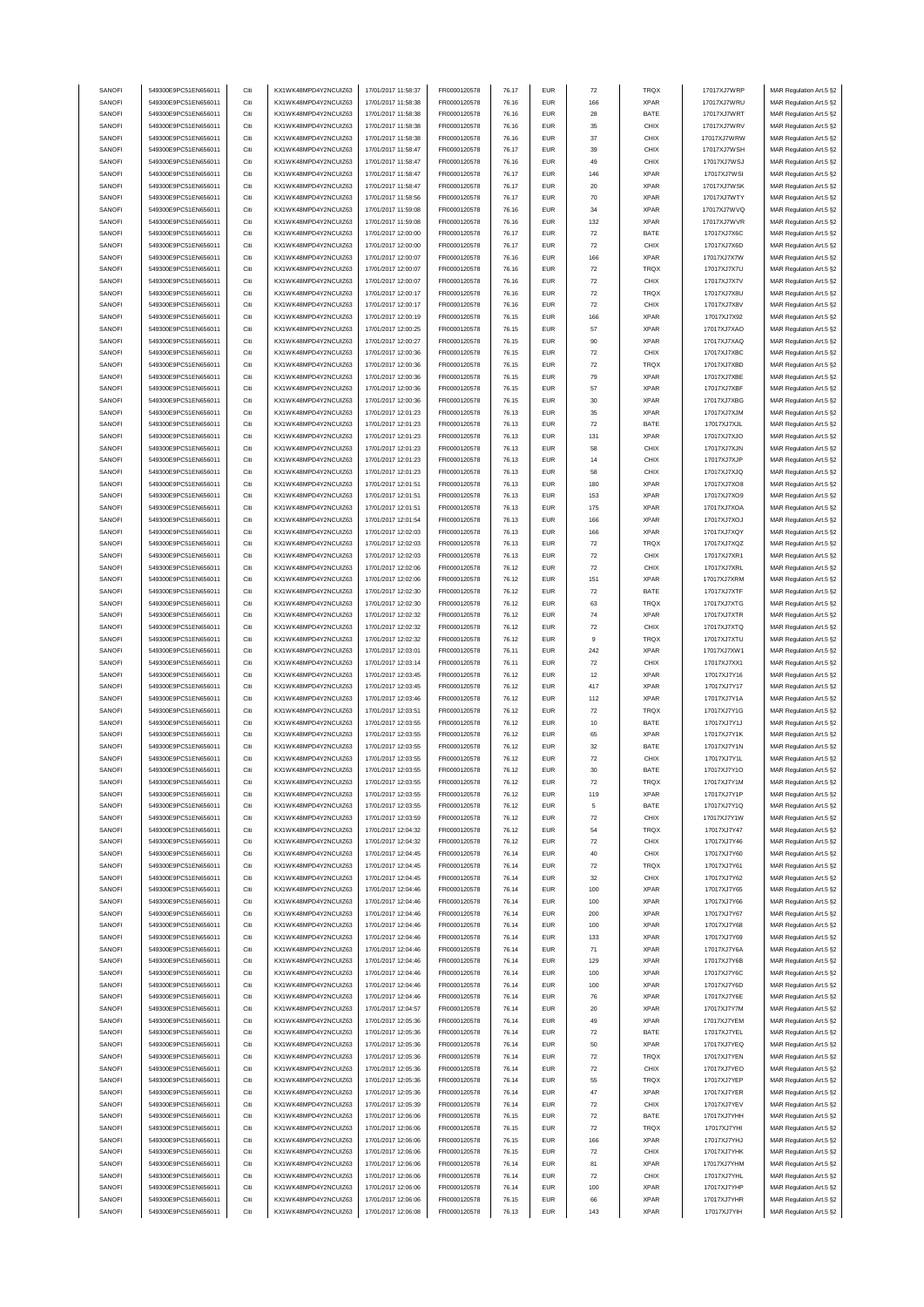| SANOFI | 549300E9PC51EN656011 | Citi | KX1WK48MPD4Y2NCUIZ63  | 17/01/2017 11:58:37 | FR0000120578 | 76.17 | <b>EUR</b> | $\scriptstyle{72}$ | TRQX        | 17017XJ7WRP | MAR Regulation Art.5 §2 |
|--------|----------------------|------|-----------------------|---------------------|--------------|-------|------------|--------------------|-------------|-------------|-------------------------|
| SANOFI | 549300E9PC51EN656011 | Citi | KX1WK48MPD4Y2NCUIZ63  | 17/01/2017 11:58:38 |              | 76.16 | <b>EUR</b> | 166                | <b>XPAR</b> |             |                         |
|        |                      |      |                       |                     | FR0000120578 |       |            |                    |             | 17017XJ7WRU | MAR Regulation Art.5 §2 |
| SANOFI | 549300E9PC51EN656011 | Citi | KX1WK48MPD4Y2NCUIZ63  | 17/01/2017 11:58:38 | FR0000120578 | 76.16 | <b>EUR</b> | 28                 | BATE        | 17017XJ7WRT | MAR Regulation Art.5 §2 |
| SANOFI | 549300E9PC51EN656011 | Citi | KX1WK48MPD4Y2NCUIZ63  | 17/01/2017 11:58:38 | FR0000120578 | 76.16 | EUR        | 35                 | CHIX        | 17017XJ7WRV | MAR Regulation Art.5 §2 |
| SANOFI | 549300E9PC51EN656011 | Citi | KX1WK48MPD4Y2NCUIZ63  | 17/01/2017 11:58:38 | FR0000120578 | 76.16 | <b>EUR</b> | 37                 | CHIX        | 17017XJ7WRW | MAR Regulation Art.5 §2 |
| SANOFI | 549300E9PC51EN656011 | Citi | KX1WK48MPD4Y2NCUIZ63  | 17/01/2017 11:58:47 | FR0000120578 | 76.17 | <b>EUR</b> | 39                 | CHIX        | 17017XJ7WSH | MAR Regulation Art.5 §2 |
| SANOFI | 549300E9PC51EN656011 | Citi | KX1WK48MPD4Y2NCUIZ63  | 17/01/2017 11:58:47 | FR0000120578 | 76.16 | <b>EUR</b> | 49                 | CHIX        | 17017XJ7WSJ | MAR Regulation Art.5 §2 |
|        |                      |      |                       |                     |              |       |            |                    |             |             |                         |
| SANOFI | 549300E9PC51EN656011 | Citi | KX1WK48MPD4Y2NCUIZ63  | 17/01/2017 11:58:47 | FR0000120578 | 76.17 | <b>EUR</b> | 146                | <b>XPAR</b> | 17017XJ7WSI | MAR Regulation Art.5 §2 |
| SANOFI | 549300E9PC51EN656011 | Citi | KX1WK48MPD4Y2NCUIZ63  | 17/01/2017 11:58:47 | FR0000120578 | 76.17 | <b>EUR</b> | 20                 | <b>XPAR</b> | 17017XJ7WSK | MAR Regulation Art.5 §2 |
| SANOFI | 549300E9PC51EN656011 | Citi | KX1WK48MPD4Y2NCUIZ63  | 17/01/2017 11:58:56 | FR0000120578 | 76.17 | <b>EUR</b> | 70                 | <b>XPAR</b> | 17017XJ7WTY | MAR Regulation Art.5 §2 |
| SANOFI | 549300E9PC51EN656011 | Citi | KX1WK48MPD4Y2NCUIZ63  | 17/01/2017 11:59:08 | FR0000120578 | 76.16 | <b>EUR</b> | 34                 | <b>XPAR</b> | 17017XJ7WVQ | MAR Regulation Art.5 §2 |
| SANOFI | 549300E9PC51EN656011 | Citi | KX1WK48MPD4Y2NCUIZ63  | 17/01/2017 11:59:08 | FR0000120578 | 76.16 | <b>EUR</b> | 132                | <b>XPAR</b> | 17017XJ7WVR | MAR Regulation Art.5 §2 |
|        |                      |      |                       |                     |              |       |            |                    |             |             |                         |
| SANOFI | 549300E9PC51EN656011 | Citi | KX1WK48MPD4Y2NCUIZ63  | 17/01/2017 12:00:00 | FR0000120578 | 76.17 | EUR        | $\scriptstyle{72}$ | BATE        | 17017XJ7X6C | MAR Regulation Art.5 §2 |
| SANOFI | 549300E9PC51EN656011 | Citi | KX1WK48MPD4Y2NCUIZ63  | 17/01/2017 12:00:00 | FR0000120578 | 76.17 | <b>EUR</b> | $\scriptstyle{72}$ | CHIX        | 17017XJ7X6D | MAR Regulation Art.5 §2 |
| SANOFI | 549300E9PC51EN656011 | Citi | KX1WK48MPD4Y2NCUIZ63  | 17/01/2017 12:00:07 | FR0000120578 | 76.16 | <b>EUR</b> | 166                | <b>XPAR</b> | 17017XJ7X7W | MAR Regulation Art.5 §2 |
| SANOFI | 549300E9PC51EN656011 | Citi | KX1WK48MPD4Y2NCUIZ63  | 17/01/2017 12:00:07 | FR0000120578 | 76.16 | <b>EUR</b> | 72                 | TRQX        | 17017XJ7X7U | MAR Regulation Art.5 §2 |
| SANOFI | 549300E9PC51EN656011 | Citi | KX1WK48MPD4Y2NCUIZ63  | 17/01/2017 12:00:07 | FR0000120578 | 76.16 | <b>EUR</b> | 72                 | CHIX        | 17017XJ7X7V | MAR Regulation Art.5 §2 |
|        | 549300E9PC51EN656011 | Citi | KX1WK48MPD4Y2NCUIZ63  | 17/01/2017 12:00:17 |              | 76.16 | <b>EUR</b> | 72                 | TRQX        |             |                         |
| SANOFI |                      |      |                       |                     | FR0000120578 |       |            |                    |             | 17017XJ7X8U | MAR Regulation Art.5 §2 |
| SANOFI | 549300E9PC51EN656011 | Citi | KX1WK48MPD4Y2NCUIZ63  | 17/01/2017 12:00:17 | FR0000120578 | 76.16 | <b>EUR</b> | 72                 | CHIX        | 17017XJ7X8V | MAR Regulation Art.5 §2 |
| SANOFI | 549300E9PC51EN656011 | Citi | KX1WK48MPD4Y2NCUIZ63  | 17/01/2017 12:00:19 | FR0000120578 | 76.15 | <b>EUR</b> | 166                | <b>XPAR</b> | 17017XJ7X92 | MAR Regulation Art.5 §2 |
| SANOFI | 549300E9PC51EN656011 | Citi | KX1WK48MPD4Y2NCUIZ63  | 17/01/2017 12:00:25 | FR0000120578 | 76.15 | <b>EUR</b> | 57                 | <b>XPAR</b> | 17017XJ7XAO | MAR Regulation Art.5 §2 |
| SANOFI | 549300E9PC51EN656011 | Citi | KX1WK48MPD4Y2NCUIZ63  | 17/01/2017 12:00:27 | FR0000120578 | 76.15 | <b>EUR</b> | 90                 | <b>XPAR</b> | 17017XJ7XAQ | MAR Regulation Art.5 §2 |
|        |                      |      |                       |                     |              |       |            |                    |             |             |                         |
| SANOFI | 549300E9PC51EN656011 | Citi | KX1WK48MPD4Y2NCUIZ63  | 17/01/2017 12:00:36 | FR0000120578 | 76.15 | <b>EUR</b> | $\scriptstyle{72}$ | CHIX        | 17017XJ7XBC | MAR Regulation Art.5 §2 |
| SANOFI | 549300E9PC51EN656011 | Citi | KX1WK48MPD4Y2NCUIZ63  | 17/01/2017 12:00:36 | FR0000120578 | 76.15 | <b>EUR</b> | 72                 | TRQX        | 17017XJ7XBD | MAR Regulation Art.5 §2 |
| SANOFI | 549300E9PC51EN656011 | Citi | KX1WK48MPD4Y2NCUIZ63  | 17/01/2017 12:00:36 | FR0000120578 | 76.15 | <b>EUR</b> | 79                 | <b>XPAR</b> | 17017XJ7XBE | MAR Regulation Art.5 §2 |
| SANOFI | 549300E9PC51EN656011 | Citi | KX1WK48MPD4Y2NCUIZ63  | 17/01/2017 12:00:36 | FR0000120578 | 76.15 | <b>EUR</b> | 57                 | <b>XPAR</b> | 17017XJ7XBF | MAR Regulation Art.5 §2 |
| SANOFI | 549300E9PC51EN656011 | Citi | KX1WK48MPD4Y2NCUIZ63  | 17/01/2017 12:00:36 | FR0000120578 | 76.15 | <b>EUR</b> | 30                 | <b>XPAR</b> | 17017XJ7XBG | MAR Regulation Art.5 §2 |
|        | 549300E9PC51EN656011 | Citi | KX1WK48MPD4Y2NCUIZ63  |                     |              |       | <b>EUR</b> |                    | <b>XPAR</b> |             |                         |
| SANOFI |                      |      |                       | 17/01/2017 12:01:23 | FR0000120578 | 76.13 |            | 35                 |             | 17017XJ7XJM | MAR Regulation Art.5 §2 |
| SANOFI | 549300E9PC51EN656011 | Citi | KX1WK48MPD4Y2NCUIZ63  | 17/01/2017 12:01:23 | FR0000120578 | 76.13 | <b>EUR</b> | 72                 | BATE        | 17017XJ7XJL | MAR Regulation Art.5 §2 |
| SANOFI | 549300E9PC51EN656011 | Citi | KX1WK48MPD4Y2NCUIZ63  | 17/01/2017 12:01:23 | FR0000120578 | 76.13 | <b>EUR</b> | 131                | <b>XPAR</b> | 17017XJ7XJO | MAR Regulation Art.5 §2 |
| SANOFI | 549300E9PC51EN656011 | Citi | KX1WK48MPD4Y2NCUIZ63  | 17/01/2017 12:01:23 | FR0000120578 | 76.13 | <b>EUR</b> | 58                 | CHIX        | 17017XJ7XJN | MAR Regulation Art.5 §2 |
| SANOFI | 549300E9PC51EN656011 | Citi | KX1WK48MPD4Y2NCUIZ63  | 17/01/2017 12:01:23 | FR0000120578 | 76.13 | <b>EUR</b> | 14                 | CHIX        | 17017XJ7XJP | MAR Regulation Art.5 §2 |
| SANOFI | 549300E9PC51EN656011 | Citi | KX1WK48MPD4Y2NCUIZ63  | 17/01/2017 12:01:23 | FR0000120578 | 76.13 | <b>EUR</b> | 58                 | CHIX        | 17017XJ7XJQ | MAR Regulation Art.5 §2 |
|        |                      |      |                       |                     |              |       |            |                    |             |             |                         |
| SANOFI | 549300E9PC51EN656011 | Citi | KX1WK48MPD4Y2NCUIZ63  | 17/01/2017 12:01:51 | FR0000120578 | 76.13 | <b>EUR</b> | 180                | <b>XPAR</b> | 17017XJ7XO8 | MAR Regulation Art.5 §2 |
| SANOFI | 549300E9PC51EN656011 | Citi | KX1WK48MPD4Y2NCUIZ63  | 17/01/2017 12:01:51 | FR0000120578 | 76.13 | <b>EUR</b> | 153                | <b>XPAR</b> | 17017XJ7XO9 | MAR Regulation Art.5 §2 |
| SANOFI | 549300E9PC51EN656011 | Citi | KX1WK48MPD4Y2NCUIZ63  | 17/01/2017 12:01:51 | FR0000120578 | 76.13 | <b>EUR</b> | 175                | <b>XPAR</b> | 17017XJ7XOA | MAR Regulation Art.5 §2 |
| SANOFI | 549300E9PC51EN656011 | Citi | KX1WK48MPD4Y2NCUIZ63  | 17/01/2017 12:01:54 | FR0000120578 | 76.13 | <b>EUR</b> | 166                | <b>XPAR</b> | 17017XJ7XOJ | MAR Regulation Art.5 §2 |
| SANOFI | 549300E9PC51EN656011 | Citi | KX1WK48MPD4Y2NCUIZ63  | 17/01/2017 12:02:03 | FR0000120578 | 76.13 | <b>EUR</b> | 166                | <b>XPAR</b> | 17017XJ7XQY | MAR Regulation Art.5 §2 |
|        |                      |      |                       |                     |              |       |            |                    |             |             |                         |
| SANOFI | 549300E9PC51EN656011 | Citi | KX1WK48MPD4Y2NCUIZ63  | 17/01/2017 12:02:03 | FR0000120578 | 76.13 | <b>EUR</b> | $\scriptstyle{72}$ | TRQX        | 17017XJ7XQZ | MAR Regulation Art.5 §2 |
| SANOFI | 549300E9PC51EN656011 | Citi | KX1WK48MPD4Y2NCUIZ63  | 17/01/2017 12:02:03 | FR0000120578 | 76.13 | <b>EUR</b> | 72                 | CHIX        | 17017XJ7XR1 | MAR Regulation Art.5 §2 |
| SANOFI | 549300E9PC51EN656011 | Citi | KX1WK48MPD4Y2NCUIZ63  | 17/01/2017 12:02:06 | FR0000120578 | 76.12 | <b>EUR</b> | 72                 | CHIX        | 17017XJ7XRL | MAR Regulation Art.5 §2 |
| SANOFI | 549300E9PC51EN656011 | Citi | KX1WK48MPD4Y2NCUIZ63  | 17/01/2017 12:02:06 | FR0000120578 | 76.12 | <b>EUR</b> | 151                | <b>XPAR</b> | 17017XJ7XRM | MAR Regulation Art.5 §2 |
| SANOFI | 549300E9PC51EN656011 | Citi | KX1WK48MPD4Y2NCUIZ63  | 17/01/2017 12:02:30 | FR0000120578 | 76.12 | <b>EUR</b> | 72                 | BATE        | 17017XJ7XTF | MAR Regulation Art.5 §2 |
| SANOFI | 549300E9PC51EN656011 | Citi | KX1WK48MPD4Y2NCUIZ63  | 17/01/2017 12:02:30 | FR0000120578 | 76.12 | <b>EUR</b> | 63                 | TRQX        | 17017XJ7XTG |                         |
|        |                      |      |                       |                     |              |       |            |                    |             |             | MAR Regulation Art.5 §2 |
| SANOFI | 549300E9PC51EN656011 | Citi | KX1WK48MPD4Y2NCUIZ63  | 17/01/2017 12:02:32 | FR0000120578 | 76.12 | <b>EUR</b> | 74                 | <b>XPAR</b> | 17017XJ7XTR | MAR Regulation Art.5 §2 |
| SANOFI | 549300E9PC51EN656011 | Citi | KX1WK48MPD4Y2NCUIZ63  | 17/01/2017 12:02:32 | FR0000120578 | 76.12 | <b>EUR</b> | $\scriptstyle{72}$ | CHIX        | 17017XJ7XTQ | MAR Regulation Art.5 §2 |
| SANOFI | 549300E9PC51EN656011 | Citi | KX1WK48MPD4Y2NCUIZ63  | 17/01/2017 12:02:32 | FR0000120578 | 76.12 | <b>EUR</b> | 9                  | TRQX        | 17017XJ7XTU | MAR Regulation Art.5 §2 |
| SANOFI | 549300E9PC51EN656011 | Citi | KX1WK48MPD4Y2NCUIZ63  | 17/01/2017 12:03:01 | FR0000120578 | 76.11 | <b>EUR</b> | 242                | <b>XPAR</b> | 17017XJ7XW1 | MAR Regulation Art.5 §2 |
| SANOFI | 549300E9PC51EN656011 | Citi | KX1WK48MPD4Y2NCUIZ63  | 17/01/2017 12:03:14 | FR0000120578 | 76.11 | <b>EUR</b> | 72                 | CHIX        | 17017XJ7XX1 | MAR Regulation Art.5 §2 |
|        |                      |      |                       |                     |              |       |            |                    |             |             |                         |
| SANOFI | 549300E9PC51EN656011 | Citi | KX1WK48MPD4Y2NCUIZ63  | 17/01/2017 12:03:45 | FR0000120578 | 76.12 | <b>EUR</b> | 12                 | <b>XPAR</b> | 17017XJ7Y16 | MAR Regulation Art.5 §2 |
| SANOFI | 549300E9PC51EN656011 | Citi | KX1WK48MPD4Y2NCUIZ63  | 17/01/2017 12:03:45 | FR0000120578 | 76.12 | <b>EUR</b> | 417                | <b>XPAR</b> | 17017XJ7Y17 | MAR Regulation Art.5 §2 |
| SANOFI | 549300E9PC51EN656011 | Citi | KX1WK48MPD4Y2NCUIZ63  | 17/01/2017 12:03:46 | FR0000120578 | 76.12 | <b>EUR</b> | 112                | <b>XPAR</b> | 17017XJ7Y1A | MAR Regulation Art.5 §2 |
| SANOFI | 549300E9PC51EN656011 | Citi | KX1WK48MPD4Y2NCUIZ63  | 17/01/2017 12:03:51 | FR0000120578 | 76.12 | <b>EUR</b> | $\scriptstyle{72}$ | TRQX        | 17017XJ7Y1G | MAR Regulation Art.5 §2 |
| SANOFI | 549300E9PC51EN656011 | Citi | KX1WK48MPD4Y2NCUIZ63  | 17/01/2017 12:03:55 | FR0000120578 | 76.12 | <b>EUR</b> | 10                 | BATE        | 17017XJ7Y1J | MAR Regulation Art.5 §2 |
|        |                      |      |                       |                     |              |       |            |                    |             |             |                         |
| SANOFI | 549300E9PC51EN656011 | Citi | KX1WK48MPD4Y2NCUIZ63  | 17/01/2017 12:03:55 | FR0000120578 | 76.12 | <b>EUR</b> | 65                 | <b>XPAR</b> | 17017XJ7Y1K | MAR Regulation Art.5 §2 |
| SANOFI | 549300E9PC51EN656011 | Citi | KX1WK48MPD4Y2NCUIZ63  | 17/01/2017 12:03:55 | FR0000120578 | 76.12 | <b>EUR</b> | 32                 | BATE        | 17017XJ7Y1N | MAR Regulation Art.5 §2 |
| SANOFI | 549300E9PC51EN656011 | Citi | KX1WK48MPD4Y2NCUIZ63  | 17/01/2017 12:03:55 | FR0000120578 | 76.12 | <b>EUR</b> | 72                 | CHIX        | 17017XJ7Y1L | MAR Regulation Art.5 §2 |
| SANOFI | 549300E9PC51EN656011 | Citi | KX1WK48MPD4Y2NCUIZ63  | 17/01/2017 12:03:55 | FR0000120578 | 76.12 | <b>EUR</b> | 30                 | BATE        | 17017XJ7Y1O | MAR Regulation Art.5 §2 |
| SANOFI | 549300E9PC51EN656011 |      | KX1WK48MPD4Y2NCLIIZ63 | 17/01/2017 12:03:55 | FR0000120578 | 76.12 | FUR        | 72                 | TROX        | 17017XJ7Y1M | MAR Regulation Art 5.82 |
| SANOFI |                      |      |                       |                     |              |       |            |                    |             |             |                         |
|        | 549300E9PC51EN656011 | Citi | KX1WK48MPD4Y2NCUIZ63  | 17/01/2017 12:03:55 | FR0000120578 | 76.12 | <b>EUR</b> | 119                | <b>XPAR</b> | 17017XJ7Y1P | MAR Regulation Art.5 §2 |
| SANOFI | 549300E9PC51EN656011 | Citi | KX1WK48MPD4Y2NCUIZ63  | 17/01/2017 12:03:55 | FR0000120578 | 76.12 | <b>EUR</b> | 5                  | BATE        | 17017XJ7Y1Q | MAR Regulation Art.5 §2 |
| SANOFI | 549300E9PC51EN656011 | Citi | KX1WK48MPD4Y2NCUIZ63  | 17/01/2017 12:03:59 | FR0000120578 | 76.12 | <b>EUR</b> | 72                 | CHIX        | 17017XJ7Y1W | MAR Regulation Art.5 §2 |
| SANOFI | 549300E9PC51EN656011 | Citi | KX1WK48MPD4Y2NCUIZ63  | 17/01/2017 12:04:32 | FR0000120578 | 76.12 | <b>EUR</b> | 54                 | TRQX        | 17017XJ7Y47 | MAR Regulation Art.5 §2 |
| SANOFI | 549300E9PC51EN656011 | Citi | KX1WK48MPD4Y2NCUIZ63  | 17/01/2017 12:04:32 | FR0000120578 | 76.12 | <b>EUR</b> | $\scriptstyle{72}$ | CHIX        | 17017XJ7Y46 | MAR Regulation Art.5 §2 |
| SANOFI | 549300E9PC51EN656011 | Citi | KX1WK48MPD4Y2NCUIZ63  | 17/01/2017 12:04:45 |              |       | <b>EUR</b> |                    |             | 17017XJ7Y60 | MAR Regulation Art.5 §2 |
|        |                      |      |                       |                     | FR0000120578 | 76.14 |            | 40                 | CHIX        |             |                         |
| SANOFI | 549300E9PC51EN656011 | Citi | KX1WK48MPD4Y2NCUIZ63  | 17/01/2017 12:04:45 | FR0000120578 | 76.14 | <b>EUR</b> | $\scriptstyle{72}$ | TRQX        | 17017XJ7Y61 | MAR Regulation Art.5 §2 |
| SANOFI | 549300E9PC51EN656011 | Citi | KX1WK48MPD4Y2NCUIZ63  | 17/01/2017 12:04:45 | FR0000120578 | 76.14 | <b>EUR</b> | 32                 | CHIX        | 17017XJ7Y62 | MAR Regulation Art.5 §2 |
| SANOFI | 549300E9PC51EN656011 | Citi | KX1WK48MPD4Y2NCUIZ63  | 17/01/2017 12:04:46 | FR0000120578 | 76.14 | EUR        | 100                | <b>XPAR</b> | 17017XJ7Y65 | MAR Regulation Art.5 §2 |
| SANOFI | 549300E9PC51EN656011 | Citi | KX1WK48MPD4Y2NCUIZ63  | 17/01/2017 12:04:46 | FR0000120578 | 76.14 | <b>EUR</b> | 100                | <b>XPAR</b> | 17017XJ7Y66 | MAR Regulation Art.5 §2 |
| SANOFI | 549300E9PC51EN656011 | Citi | KX1WK48MPD4Y2NCUIZ63  | 17/01/2017 12:04:46 | FR0000120578 | 76.14 | <b>EUR</b> | 200                | <b>XPAR</b> | 17017XJ7Y67 | MAR Regulation Art.5 §2 |
|        |                      |      |                       |                     | FR0000120578 |       |            |                    |             |             |                         |
| SANOFI | 549300E9PC51EN656011 | Citi | KX1WK48MPD4Y2NCUIZ63  | 17/01/2017 12:04:46 |              | 76.14 | <b>EUR</b> | 100                | <b>XPAR</b> | 17017XJ7Y68 | MAR Regulation Art.5 §2 |
| SANOFI | 549300E9PC51EN656011 | Citi | KX1WK48MPD4Y2NCUIZ63  | 17/01/2017 12:04:46 | FR0000120578 | 76.14 | <b>EUR</b> | 133                | <b>XPAR</b> | 17017XJ7Y69 | MAR Regulation Art.5 §2 |
| SANOFI | 549300E9PC51EN656011 | Citi | KX1WK48MPD4Y2NCUIZ63  | 17/01/2017 12:04:46 | FR0000120578 | 76.14 | <b>EUR</b> | 71                 | <b>XPAR</b> | 17017XJ7Y6A | MAR Regulation Art.5 §2 |
| SANOFI | 549300E9PC51EN656011 | Citi | KX1WK48MPD4Y2NCUIZ63  | 17/01/2017 12:04:46 | FR0000120578 | 76.14 | <b>EUR</b> | 129                | <b>XPAR</b> | 17017XJ7Y6B | MAR Regulation Art.5 §2 |
| SANOFI | 549300E9PC51EN656011 | Citi | KX1WK48MPD4Y2NCUIZ63  | 17/01/2017 12:04:46 | FR0000120578 | 76.14 | <b>EUR</b> | 100                | <b>XPAR</b> | 17017XJ7Y6C | MAR Regulation Art.5 §2 |
| SANOFI |                      |      |                       |                     |              |       |            |                    |             |             |                         |
|        |                      |      |                       |                     |              |       |            |                    |             |             |                         |
|        | 549300E9PC51EN656011 | Citi | KX1WK48MPD4Y2NCUIZ63  | 17/01/2017 12:04:46 | FR0000120578 | 76.14 | <b>EUR</b> | 100                | <b>XPAR</b> | 17017XJ7Y6D | MAR Regulation Art.5 §2 |
| SANOFI | 549300E9PC51EN656011 | Citi | KX1WK48MPD4Y2NCUIZ63  | 17/01/2017 12:04:46 | FR0000120578 | 76.14 | <b>EUR</b> | 76                 | <b>XPAR</b> | 17017XJ7Y6E | MAR Regulation Art.5 §2 |
| SANOFI | 549300E9PC51EN656011 | Citi | KX1WK48MPD4Y2NCUIZ63  | 17/01/2017 12:04:57 | FR0000120578 | 76.14 | <b>EUR</b> | 20                 | <b>XPAR</b> | 17017XJ7Y7M | MAR Regulation Art.5 §2 |
| SANOFI | 549300E9PC51EN656011 | Citi | KX1WK48MPD4Y2NCUIZ63  | 17/01/2017 12:05:36 | FR0000120578 | 76.14 | <b>EUR</b> | 49                 | <b>XPAR</b> | 17017XJ7YEM | MAR Regulation Art.5 §2 |
|        |                      |      |                       |                     |              |       |            |                    |             |             |                         |
| SANOFI | 549300E9PC51EN656011 | Citi | KX1WK48MPD4Y2NCUIZ63  | 17/01/2017 12:05:36 | FR0000120578 | 76.14 | <b>EUR</b> | $\scriptstyle{72}$ | BATE        | 17017XJ7YEL | MAR Regulation Art.5 §2 |
| SANOFI | 549300E9PC51EN656011 | Citi | KX1WK48MPD4Y2NCUIZ63  | 17/01/2017 12:05:36 | FR0000120578 | 76.14 | <b>EUR</b> | 50                 | <b>XPAR</b> | 17017XJ7YEQ | MAR Regulation Art.5 §2 |
| SANOFI | 549300E9PC51EN656011 | Citi | KX1WK48MPD4Y2NCUIZ63  | 17/01/2017 12:05:36 | FR0000120578 | 76.14 | <b>EUR</b> | $\scriptstyle{72}$ | TRQX        | 17017XJ7YEN | MAR Regulation Art.5 §2 |
| SANOFI | 549300E9PC51EN656011 | Citi | KX1WK48MPD4Y2NCUIZ63  | 17/01/2017 12:05:36 | FR0000120578 | 76.14 | <b>EUR</b> | $\scriptstyle{72}$ | CHIX        | 17017XJ7YEO | MAR Regulation Art.5 §2 |
| SANOFI | 549300E9PC51EN656011 | Citi | KX1WK48MPD4Y2NCUIZ63  | 17/01/2017 12:05:36 | FR0000120578 | 76.14 | <b>EUR</b> | 55                 | TRQX        | 17017XJ7YEP | MAR Regulation Art.5 §2 |
| SANOFI |                      | Citi |                       |                     |              | 76.14 | <b>EUR</b> | 47                 | <b>XPAR</b> |             |                         |
|        | 549300E9PC51EN656011 |      | KX1WK48MPD4Y2NCUIZ63  | 17/01/2017 12:05:36 | FR0000120578 |       |            |                    |             | 17017XJ7YER | MAR Regulation Art.5 §2 |
| SANOFI | 549300E9PC51EN656011 | Citi | KX1WK48MPD4Y2NCUIZ63  | 17/01/2017 12:05:39 | FR0000120578 | 76.14 | <b>EUR</b> | 72                 | CHIX        | 17017XJ7YEV | MAR Regulation Art.5 §2 |
| SANOFI | 549300E9PC51EN656011 | Citi | KX1WK48MPD4Y2NCUIZ63  | 17/01/2017 12:06:06 | FR0000120578 | 76.15 | <b>EUR</b> | $\scriptstyle{72}$ | BATE        | 17017XJ7YHH | MAR Regulation Art.5 §2 |
| SANOFI | 549300E9PC51EN656011 | Citi | KX1WK48MPD4Y2NCUIZ63  | 17/01/2017 12:06:06 | FR0000120578 | 76.15 | <b>EUR</b> | $\scriptstyle{72}$ | TRQX        | 17017XJ7YHI | MAR Regulation Art.5 §2 |
| SANOFI | 549300E9PC51EN656011 | Citi | KX1WK48MPD4Y2NCUIZ63  | 17/01/2017 12:06:06 | FR0000120578 | 76.15 | <b>EUR</b> | 166                | <b>XPAR</b> | 17017XJ7YHJ | MAR Regulation Art.5 §2 |
| SANOFI | 549300E9PC51EN656011 | Citi | KX1WK48MPD4Y2NCUIZ63  | 17/01/2017 12:06:06 | FR0000120578 | 76.15 | <b>EUR</b> | $\scriptstyle{72}$ | CHIX        | 17017XJ7YHK | MAR Regulation Art.5 §2 |
| SANOFI | 549300E9PC51EN656011 | Citi | KX1WK48MPD4Y2NCUIZ63  | 17/01/2017 12:06:06 | FR0000120578 | 76.14 | <b>EUR</b> | 81                 | <b>XPAR</b> | 17017XJ7YHM |                         |
|        |                      |      |                       |                     |              |       |            |                    |             |             | MAR Regulation Art.5 §2 |
| SANOFI | 549300E9PC51EN656011 | Citi | KX1WK48MPD4Y2NCUIZ63  | 17/01/2017 12:06:06 | FR0000120578 | 76.14 | <b>EUR</b> | 72                 | CHIX        | 17017XJ7YHL | MAR Regulation Art.5 §2 |
| SANOFI | 549300E9PC51EN656011 | Citi | KX1WK48MPD4Y2NCUIZ63  | 17/01/2017 12:06:06 | FR0000120578 | 76.14 | <b>EUR</b> | 100                | <b>XPAR</b> | 17017XJ7YHP | MAR Regulation Art.5 §2 |
| SANOFI | 549300E9PC51EN656011 | Citi | KX1WK48MPD4Y2NCUIZ63  | 17/01/2017 12:06:06 | FR0000120578 | 76.15 | <b>EUR</b> | 66                 | <b>XPAR</b> | 17017XJ7YHR | MAR Regulation Art.5 §2 |
| SANOFI | 549300E9PC51EN656011 | Citi | KX1WK48MPD4Y2NCUIZ63  | 17/01/2017 12:06:08 | FR0000120578 | 76.13 | <b>EUR</b> | 143                | XPAR        | 17017XJ7YIH | MAR Regulation Art.5 §2 |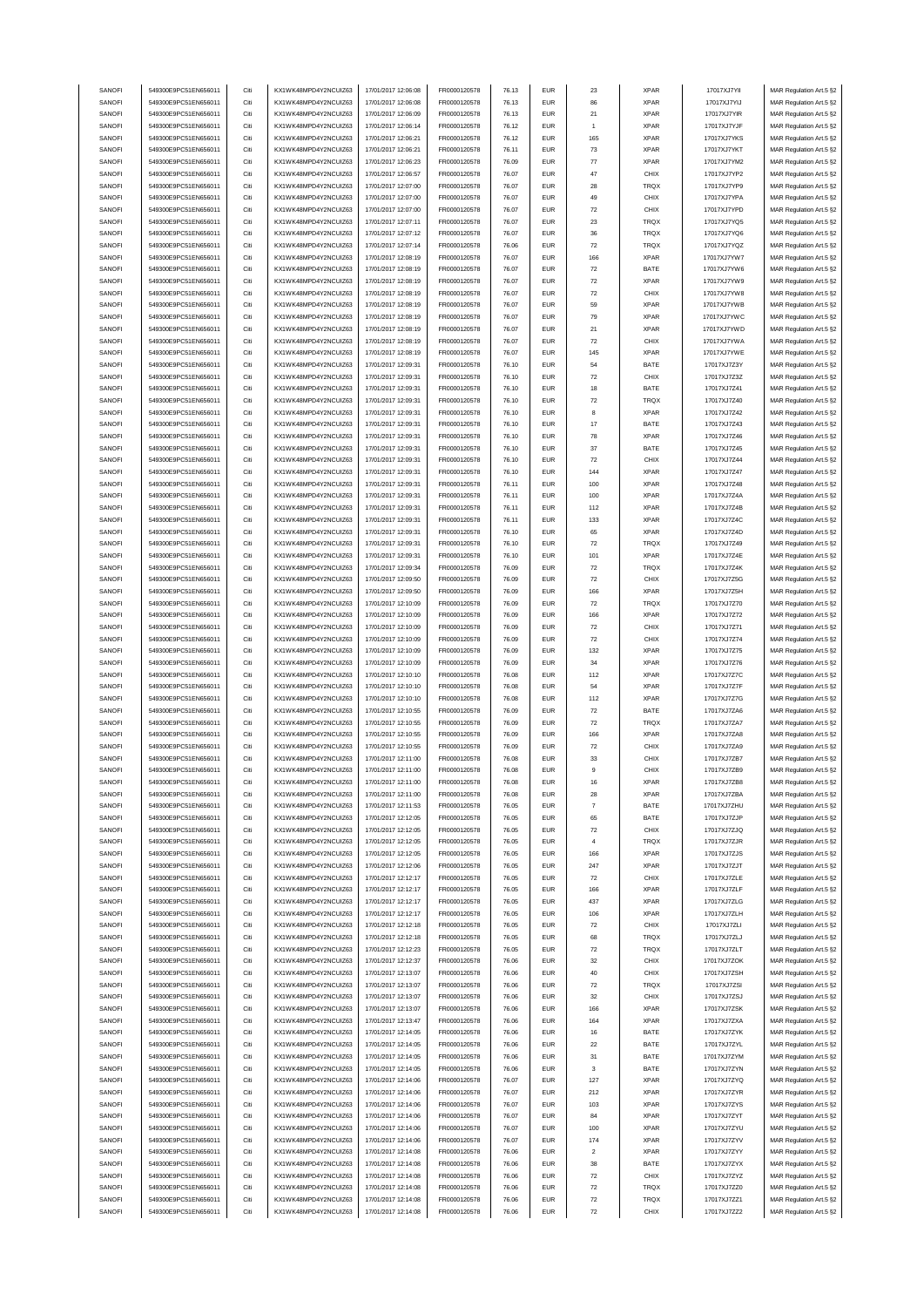| SANOFI | 549300E9PC51EN656011 | Citi | KX1WK48MPD4Y2NCUIZ63  | 17/01/2017 12:06:08 | FR0000120578 | 76.13 | <b>EUR</b> | 23                 | <b>XPAR</b> | 17017XJ7YII | MAR Regulation Art.5 §2 |
|--------|----------------------|------|-----------------------|---------------------|--------------|-------|------------|--------------------|-------------|-------------|-------------------------|
| SANOFI | 549300E9PC51EN656011 | Citi | KX1WK48MPD4Y2NCUIZ63  | 17/01/2017 12:06:08 | FR0000120578 | 76.13 | <b>EUR</b> | 86                 | <b>XPAR</b> | 17017XJ7YIJ | MAR Regulation Art.5 §2 |
|        |                      |      |                       |                     |              |       |            |                    |             |             |                         |
| SANOFI | 549300E9PC51EN656011 | Citi | KX1WK48MPD4Y2NCUIZ63  | 17/01/2017 12:06:09 | FR0000120578 | 76.13 | <b>EUR</b> | 21                 | <b>XPAR</b> | 17017XJ7YIR | MAR Regulation Art.5 §2 |
| SANOFI | 549300E9PC51EN656011 | Citi | KX1WK48MPD4Y2NCUIZ63  | 17/01/2017 12:06:14 | FR0000120578 | 76.12 | <b>EUR</b> | $\overline{1}$     | <b>XPAR</b> | 17017XJ7YJF | MAR Regulation Art.5 §2 |
| SANOFI | 549300E9PC51EN656011 | Citi | KX1WK48MPD4Y2NCUIZ63  | 17/01/2017 12:06:21 | FR0000120578 | 76.12 | <b>EUR</b> | 165                | <b>XPAR</b> | 17017XJ7YKS | MAR Regulation Art.5 §2 |
| SANOFI | 549300E9PC51EN656011 | Citi | KX1WK48MPD4Y2NCUIZ63  | 17/01/2017 12:06:21 | FR0000120578 | 76.11 | <b>EUR</b> | 73                 | <b>XPAR</b> | 17017XJ7YKT | MAR Regulation Art.5 §2 |
| SANOFI | 549300E9PC51EN656011 | Citi | KX1WK48MPD4Y2NCUIZ63  | 17/01/2017 12:06:23 | FR0000120578 | 76.09 | <b>EUR</b> | ${\bf 77}$         | <b>XPAR</b> | 17017XJ7YM2 | MAR Regulation Art.5 §2 |
| SANOFI | 549300E9PC51EN656011 | Citi | KX1WK48MPD4Y2NCUIZ63  | 17/01/2017 12:06:57 | FR0000120578 | 76.07 | <b>EUR</b> | 47                 | CHIX        | 17017XJ7YP2 | MAR Regulation Art.5 §2 |
|        |                      |      |                       |                     |              |       |            |                    |             |             |                         |
| SANOFI | 549300E9PC51EN656011 | Citi | KX1WK48MPD4Y2NCUIZ63  | 17/01/2017 12:07:00 | FR0000120578 | 76.07 | <b>EUR</b> | 28                 | TRQX        | 17017XJ7YP9 | MAR Regulation Art.5 §2 |
| SANOFI | 549300E9PC51EN656011 | Citi | KX1WK48MPD4Y2NCUIZ63  | 17/01/2017 12:07:00 | FR0000120578 | 76.07 | <b>EUR</b> | 49                 | CHIX        | 17017XJ7YPA | MAR Regulation Art.5 §2 |
| SANOFI | 549300E9PC51EN656011 | Citi | KX1WK48MPD4Y2NCUIZ63  | 17/01/2017 12:07:00 | FR0000120578 | 76.07 | <b>EUR</b> | $\scriptstyle{72}$ | CHIX        | 17017XJ7YPD | MAR Regulation Art.5 §2 |
| SANOFI | 549300E9PC51EN656011 | Citi | KX1WK48MPD4Y2NCUIZ63  | 17/01/2017 12:07:11 | FR0000120578 | 76.07 | <b>EUR</b> | 23                 | TRQX        | 17017XJ7YQ5 | MAR Regulation Art.5 §2 |
| SANOFI | 549300E9PC51EN656011 | Citi | KX1WK48MPD4Y2NCUIZ63  | 17/01/2017 12:07:12 | FR0000120578 | 76.07 | <b>EUR</b> | 36                 | TRQX        | 17017XJ7YQ6 | MAR Regulation Art.5 §2 |
|        |                      |      |                       |                     |              |       |            |                    |             |             |                         |
| SANOFI | 549300E9PC51EN656011 | Citi | KX1WK48MPD4Y2NCUIZ63  | 17/01/2017 12:07:14 | FR0000120578 | 76.06 | <b>EUR</b> | 72                 | TRQX        | 17017XJ7YQZ | MAR Regulation Art.5 §2 |
| SANOFI | 549300E9PC51EN656011 | Citi | KX1WK48MPD4Y2NCUIZ63  | 17/01/2017 12:08:19 | FR0000120578 | 76.07 | <b>EUR</b> | 166                | <b>XPAR</b> | 17017XJ7YW7 | MAR Regulation Art.5 §2 |
| SANOFI | 549300E9PC51EN656011 | Citi | KX1WK48MPD4Y2NCUIZ63  | 17/01/2017 12:08:19 | FR0000120578 | 76.07 | <b>EUR</b> | 72                 | BATE        | 17017XJ7YW6 | MAR Regulation Art.5 §2 |
| SANOFI | 549300E9PC51EN656011 | Citi | KX1WK48MPD4Y2NCUIZ63  | 17/01/2017 12:08:19 | FR0000120578 | 76.07 | <b>EUR</b> | 72                 | <b>XPAR</b> | 17017XJ7YW9 | MAR Regulation Art.5 §2 |
| SANOFI | 549300E9PC51EN656011 | Citi | KX1WK48MPD4Y2NCLIIZ63 | 17/01/2017 12:08:19 | FR0000120578 | 76.07 | <b>EUR</b> | 72                 | CHIX        | 17017XJ7YW8 | MAR Regulation Art.5 §2 |
| SANOFI | 549300E9PC51EN656011 | Citi | KX1WK48MPD4Y2NCUIZ63  | 17/01/2017 12:08:19 | FR0000120578 | 76.07 | EUR        | 59                 | <b>XPAR</b> | 17017XJ7YWB | MAR Regulation Art.5 §2 |
|        |                      |      |                       |                     |              |       |            |                    |             |             |                         |
| SANOFI | 549300E9PC51EN656011 | Citi | KX1WK48MPD4Y2NCUIZ63  | 17/01/2017 12:08:19 | FR0000120578 | 76.07 | <b>EUR</b> | 79                 | <b>XPAR</b> | 17017XJ7YWC | MAR Regulation Art.5 §2 |
| SANOFI | 549300E9PC51EN656011 | Citi | KX1WK48MPD4Y2NCUIZ63  | 17/01/2017 12:08:19 | FR0000120578 | 76.07 | <b>EUR</b> | 21                 | <b>XPAR</b> | 17017XJ7YWD | MAR Regulation Art.5 §2 |
| SANOFI | 549300E9PC51EN656011 | Citi | KX1WK48MPD4Y2NCUIZ63  | 17/01/2017 12:08:19 | FR0000120578 | 76.07 | <b>EUR</b> | 72                 | CHIX        | 17017XJ7YWA | MAR Regulation Art.5 §2 |
| SANOFI | 549300E9PC51EN656011 | Citi | KX1WK48MPD4Y2NCUIZ63  | 17/01/2017 12:08:19 | FR0000120578 | 76.07 | <b>EUR</b> | 145                | <b>XPAR</b> | 17017XJ7YWE | MAR Regulation Art.5 §2 |
| SANOFI | 549300E9PC51EN656011 | Citi | KX1WK48MPD4Y2NCUIZ63  | 17/01/2017 12:09:31 | FR0000120578 | 76.10 | <b>EUR</b> | 54                 | BATE        | 17017XJ7Z3Y | MAR Regulation Art.5 §2 |
| SANOFI | 549300E9PC51EN656011 | Citi | KX1WK48MPD4Y2NCUIZ63  | 17/01/2017 12:09:31 | FR0000120578 | 76.10 | <b>EUR</b> | 72                 | CHIX        | 17017XJ7Z3Z | MAR Regulation Art.5 §2 |
|        |                      |      |                       |                     |              |       |            |                    |             |             |                         |
| SANOFI | 549300E9PC51EN656011 | Citi | KX1WK48MPD4Y2NCUIZ63  | 17/01/2017 12:09:31 | FR0000120578 | 76.10 | <b>EUR</b> | 18                 | BATE        | 17017XJ7Z41 | MAR Regulation Art.5 §2 |
| SANOFI | 549300E9PC51EN656011 | Citi | KX1WK48MPD4Y2NCUIZ63  | 17/01/2017 12:09:31 | FR0000120578 | 76.10 | <b>EUR</b> | $\scriptstyle{72}$ | TRQX        | 17017XJ7Z40 | MAR Regulation Art.5 §2 |
| SANOFI | 549300E9PC51EN656011 | Citi | KX1WK48MPD4Y2NCUIZ63  | 17/01/2017 12:09:31 | FR0000120578 | 76.10 | <b>EUR</b> | 8                  | <b>XPAR</b> | 17017XJ7Z42 | MAR Regulation Art.5 §2 |
| SANOFI | 549300E9PC51EN656011 | Citi | KX1WK48MPD4Y2NCUIZ63  | 17/01/2017 12:09:31 | FR0000120578 | 76.10 | <b>EUR</b> | 17                 | BATE        | 17017XJ7Z43 | MAR Regulation Art.5 §2 |
| SANOFI | 549300E9PC51EN656011 | Citi | KX1WK48MPD4Y2NCUIZ63  | 17/01/2017 12:09:31 | FR0000120578 | 76.10 | <b>EUR</b> | 78                 | <b>XPAR</b> | 17017XJ7Z46 | MAR Regulation Art.5 §2 |
|        |                      |      |                       |                     |              |       |            |                    |             |             |                         |
| SANOFI | 549300E9PC51EN656011 | Citi | KX1WK48MPD4Y2NCUIZ63  | 17/01/2017 12:09:31 | FR0000120578 | 76.10 | <b>EUR</b> | 37                 | BATE        | 17017XJ7Z45 | MAR Regulation Art.5 §2 |
| SANOFI | 549300E9PC51EN656011 | Citi | KX1WK48MPD4Y2NCUIZ63  | 17/01/2017 12:09:31 | FR0000120578 | 76.10 | <b>EUR</b> | 72                 | CHIX        | 17017XJ7Z44 | MAR Regulation Art.5 §2 |
| SANOFI | 549300E9PC51EN656011 | Citi | KX1WK48MPD4Y2NCUIZ63  | 17/01/2017 12:09:31 | FR0000120578 | 76.10 | <b>EUR</b> | 144                | <b>XPAR</b> | 17017XJ7Z47 | MAR Regulation Art.5 §2 |
| SANOFI | 549300E9PC51EN656011 | Citi | KX1WK48MPD4Y2NCUIZ63  | 17/01/2017 12:09:31 | FR0000120578 | 76.11 | <b>EUR</b> | 100                | <b>XPAR</b> | 17017XJ7Z48 | MAR Regulation Art.5 §2 |
| SANOFI | 549300E9PC51EN656011 | Citi | KX1WK48MPD4Y2NCUIZ63  | 17/01/2017 12:09:31 | FR0000120578 | 76.11 | EUR        | 100                | <b>XPAR</b> | 17017XJ7Z4A | MAR Regulation Art.5 §2 |
| SANOFI | 549300E9PC51EN656011 | Citi | KX1WK48MPD4Y2NCLIIZ63 | 17/01/2017 12:09:31 | FR0000120578 | 76.11 | <b>EUR</b> | 112                | <b>XPAR</b> | 17017XJ7Z4B |                         |
|        |                      |      |                       |                     |              |       |            |                    |             |             | MAR Regulation Art.5 §2 |
| SANOFI | 549300E9PC51EN656011 | Citi | KX1WK48MPD4Y2NCUIZ63  | 17/01/2017 12:09:31 | FR0000120578 | 76.11 | <b>EUR</b> | 133                | <b>XPAR</b> | 17017XJ7Z4C | MAR Regulation Art.5 §2 |
| SANOFI | 549300E9PC51EN656011 | Citi | KX1WK48MPD4Y2NCUIZ63  | 17/01/2017 12:09:31 | FR0000120578 | 76.10 | <b>EUR</b> | 65                 | <b>XPAR</b> | 17017XJ7Z4D | MAR Regulation Art.5 §2 |
| SANOFI | 549300E9PC51EN656011 | Citi | KX1WK48MPD4Y2NCUIZ63  | 17/01/2017 12:09:31 | FR0000120578 | 76.10 | <b>EUR</b> | $\scriptstyle{72}$ | TRQX        | 17017XJ7Z49 | MAR Regulation Art.5 §2 |
| SANOFI | 549300E9PC51EN656011 | Citi | KX1WK48MPD4Y2NCUIZ63  | 17/01/2017 12:09:31 | FR0000120578 | 76.10 | <b>EUR</b> | 101                | <b>XPAR</b> | 17017XJ7Z4E | MAR Regulation Art.5 §2 |
| SANOFI | 549300E9PC51EN656011 | Citi | KX1WK48MPD4Y2NCUIZ63  | 17/01/2017 12:09:34 | FR0000120578 | 76.09 | <b>EUR</b> | 72                 | TRQX        | 17017XJ7Z4K | MAR Regulation Art.5 §2 |
| SANOFI | 549300E9PC51EN656011 | Citi | KX1WK48MPD4Y2NCUIZ63  | 17/01/2017 12:09:50 | FR0000120578 | 76.09 | <b>EUR</b> | 72                 | CHIX        | 17017XJ7Z5G | MAR Regulation Art.5 §2 |
|        |                      |      |                       |                     |              |       |            |                    |             |             |                         |
| SANOFI | 549300E9PC51EN656011 | Citi | KX1WK48MPD4Y2NCUIZ63  | 17/01/2017 12:09:50 | FR0000120578 | 76.09 | <b>EUR</b> | 166                | <b>XPAR</b> | 17017XJ7Z5H | MAR Regulation Art.5 §2 |
| SANOFI | 549300E9PC51EN656011 | Citi | KX1WK48MPD4Y2NCUIZ63  | 17/01/2017 12:10:09 | FR0000120578 | 76.09 | EUR        | $\scriptstyle{72}$ | TRQX        | 17017XJ7Z70 | MAR Regulation Art.5 §2 |
| SANOFI | 549300E9PC51EN656011 | Citi | KX1WK48MPD4Y2NCUIZ63  | 17/01/2017 12:10:09 | FR0000120578 | 76.09 | <b>EUR</b> | 166                | <b>XPAR</b> | 17017XJ7Z72 | MAR Regulation Art.5 §2 |
| SANOFI | 549300E9PC51EN656011 | Citi | KX1WK48MPD4Y2NCUIZ63  | 17/01/2017 12:10:09 | FR0000120578 | 76.09 | <b>EUR</b> | $\scriptstyle{72}$ | CHIX        | 17017XJ7Z71 | MAR Regulation Art.5 §2 |
| SANOFI | 549300E9PC51EN656011 | Citi | KX1WK48MPD4Y2NCUIZ63  | 17/01/2017 12:10:09 | FR0000120578 | 76.09 | <b>EUR</b> | 72                 | CHIX        | 17017XJ7Z74 | MAR Regulation Art.5 §2 |
| SANOFI | 549300E9PC51EN656011 | Citi | KX1WK48MPD4Y2NCUIZ63  | 17/01/2017 12:10:09 | FR0000120578 | 76.09 | <b>EUR</b> | 132                | <b>XPAR</b> | 17017XJ7Z75 | MAR Regulation Art.5 §2 |
|        |                      |      |                       |                     |              |       |            |                    |             |             |                         |
| SANOFI | 549300E9PC51EN656011 | Citi | KX1WK48MPD4Y2NCUIZ63  | 17/01/2017 12:10:09 | FR0000120578 | 76.09 | <b>EUR</b> | 34                 | <b>XPAR</b> | 17017XJ7Z76 | MAR Regulation Art.5 §2 |
| SANOFI | 549300E9PC51EN656011 | Citi | KX1WK48MPD4Y2NCUIZ63  | 17/01/2017 12:10:10 | FR0000120578 | 76.08 | <b>EUR</b> | 112                | <b>XPAR</b> | 17017XJ7Z7C | MAR Regulation Art.5 §2 |
| SANOFI | 549300E9PC51EN656011 | Citi | KX1WK48MPD4Y2NCUIZ63  | 17/01/2017 12:10:10 | FR0000120578 | 76.08 | <b>EUR</b> | 54                 | <b>XPAR</b> | 17017XJ7Z7F | MAR Regulation Art.5 §2 |
| SANOFI | 549300E9PC51EN656011 | Citi | KX1WK48MPD4Y2NCLIIZ63 | 17/01/2017 12:10:10 | FR0000120578 | 76.08 | <b>EUR</b> | 112                | <b>XPAR</b> | 17017XJ7Z7G | MAR Regulation Art.5 §2 |
| SANOFI | 549300E9PC51EN656011 | Citi | KX1WK48MPD4Y2NCUIZ63  | 17/01/2017 12:10:55 | FR0000120578 | 76.09 | <b>EUR</b> | $\scriptstyle{72}$ | BATE        | 17017XJ7ZA6 | MAR Regulation Art.5 §2 |
|        |                      |      |                       |                     |              |       |            |                    |             |             |                         |
| SANOFI | 549300E9PC51EN656011 | Citi | KX1WK48MPD4Y2NCUIZ63  | 17/01/2017 12:10:55 | FR0000120578 | 76.09 | <b>EUR</b> | $\scriptstyle{72}$ | TRQX        | 17017XJ7ZA7 | MAR Regulation Art.5 §2 |
| SANOFI | 549300E9PC51EN656011 | Citi | KX1WK48MPD4Y2NCUIZ63  | 17/01/2017 12:10:55 | FR0000120578 | 76.09 | <b>EUR</b> | 166                | <b>XPAR</b> | 17017XJ7ZA8 | MAR Regulation Art.5 §2 |
| SANOFI | 549300E9PC51EN656011 | Citi | KX1WK48MPD4Y2NCUIZ63  | 17/01/2017 12:10:55 | FR0000120578 | 76.09 | <b>EUR</b> | $\scriptstyle{72}$ | CHIX        | 17017XJ7ZA9 | MAR Regulation Art.5 §2 |
| SANOFI | 549300E9PC51EN656011 | Citi | KX1WK48MPD4Y2NCUIZ63  | 17/01/2017 12:11:00 | FR0000120578 | 76.08 | <b>EUR</b> | 33                 | CHIX        | 17017XJ7ZB7 | MAR Regulation Art.5 §2 |
| SANOFI | 549300E9PC51EN656011 |      | KX1WK48MPD4Y2NCLIIZ63 | 17/01/2017 12:11:00 | FR0000120578 | 76.08 | FUR        |                    | CHIX        | 17017XJ77B9 | MAR Regulation Art 5.82 |
| SANOFI | 549300E9PC51EN656011 | Citi | KX1WK48MPD4Y2NCUIZ63  | 17/01/2017 12:11:00 | FR0000120578 | 76.08 | <b>EUR</b> | 16                 | <b>XPAR</b> | 17017XJ7ZB8 | MAR Regulation Art.5 §2 |
|        |                      |      | KX1WK48MPD4Y2NCUIZ63  | 17/01/2017 12:11:00 | FR0000120578 |       |            |                    |             | 17017XJ7ZBA |                         |
| SANOFI | 549300E9PC51EN656011 | Citi |                       |                     |              | 76.08 | <b>EUR</b> | 28                 | <b>XPAR</b> |             | MAR Regulation Art.5 §2 |
| SANOFI | 549300E9PC51EN656011 | Citi | KX1WK48MPD4Y2NCUIZ63  | 17/01/2017 12:11:53 | FR0000120578 | 76.05 | <b>EUR</b> | $\scriptstyle{7}$  | BATE        | 17017XJ7ZHU | MAR Regulation Art.5 §2 |
| SANOFI | 549300E9PC51EN656011 | Citi | KX1WK48MPD4Y2NCUIZ63  | 17/01/2017 12:12:05 | FR0000120578 | 76.05 | <b>EUR</b> | 65                 | BATE        | 17017XJ7ZJP | MAR Regulation Art.5 §2 |
| SANOFI | 549300E9PC51EN656011 | Citi | KX1WK48MPD4Y2NCUIZ63  | 17/01/2017 12:12:05 | FR0000120578 | 76.05 | <b>EUR</b> | $\scriptstyle{72}$ | CHIX        | 17017XJ7ZJQ | MAR Regulation Art.5 §2 |
| SANOFI | 549300E9PC51EN656011 | Citi | KX1WK48MPD4Y2NCUIZ63  | 17/01/2017 12:12:05 | FR0000120578 | 76.05 | <b>EUR</b> | $\overline{4}$     | TRQX        | 17017XJ7ZJR | MAR Regulation Art.5 §2 |
| SANOFI | 549300E9PC51EN656011 | Citi | KX1WK48MPD4Y2NCUIZ63  | 17/01/2017 12:12:05 | FR0000120578 | 76.05 | <b>EUR</b> | 166                | <b>XPAR</b> | 17017XJ7ZJS | MAR Regulation Art.5 §2 |
| SANOFI | 549300E9PC51EN656011 | Citi | KX1WK48MPD4Y2NCUIZ63  | 17/01/2017 12:12:06 | FR0000120578 | 76.05 | <b>EUR</b> | 247                | <b>XPAR</b> | 17017XJ7ZJT | MAR Regulation Art.5 §2 |
|        |                      |      |                       |                     |              |       |            |                    |             |             |                         |
| SANOFI | 549300E9PC51EN656011 | Citi | KX1WK48MPD4Y2NCUIZ63  | 17/01/2017 12:12:17 | FR0000120578 | 76.05 | <b>EUR</b> | 72                 | CHIX        | 17017XJ7ZLE | MAR Regulation Art.5 §2 |
| SANOFI | 549300E9PC51EN656011 | Citi | KX1WK48MPD4Y2NCUIZ63  | 17/01/2017 12:12:17 | FR0000120578 | 76.05 | <b>EUR</b> | 166                | <b>XPAR</b> | 17017XJ7ZLF | MAR Regulation Art.5 §2 |
| SANOFI | 549300E9PC51EN656011 | Citi | KX1WK48MPD4Y2NCUIZ63  | 17/01/2017 12:12:17 | FR0000120578 | 76.05 | <b>EUR</b> | 437                | <b>XPAR</b> | 17017XJ7ZLG | MAR Regulation Art.5 §2 |
| SANOFI | 549300E9PC51EN656011 | Citi | KX1WK48MPD4Y2NCUIZ63  | 17/01/2017 12:12:17 | FR0000120578 | 76.05 | <b>EUR</b> | 106                | <b>XPAR</b> | 17017XJ7ZLH | MAR Regulation Art.5 §2 |
| SANOFI | 549300E9PC51EN656011 | Citi | KX1WK48MPD4Y2NCUIZ63  | 17/01/2017 12:12:18 | FR0000120578 | 76.05 | <b>EUR</b> | $\scriptstyle{72}$ | CHIX        | 17017XJ7ZLI | MAR Regulation Art.5 §2 |
| SANOFI | 549300E9PC51EN656011 | Citi | KX1WK48MPD4Y2NCUIZ63  | 17/01/2017 12:12:18 | FR0000120578 | 76.05 | <b>EUR</b> | 68                 | TRQX        | 17017XJ7ZLJ | MAR Regulation Art.5 §2 |
|        |                      |      |                       |                     |              |       |            |                    |             |             |                         |
| SANOFI | 549300E9PC51EN656011 | Citi | KX1WK48MPD4Y2NCUIZ63  | 17/01/2017 12:12:23 | FR0000120578 | 76.05 | <b>EUR</b> | 72                 | TRQX        | 17017XJ7ZLT | MAR Regulation Art.5 §2 |
| SANOFI | 549300E9PC51EN656011 | Citi | KX1WK48MPD4Y2NCUIZ63  | 17/01/2017 12:12:37 | FR0000120578 | 76.06 | <b>EUR</b> | 32                 | CHIX        | 17017XJ7ZOK | MAR Regulation Art.5 §2 |
| SANOFI | 549300E9PC51EN656011 | Citi | KX1WK48MPD4Y2NCUIZ63  | 17/01/2017 12:13:07 | FR0000120578 | 76.06 | <b>EUR</b> | 40                 | CHIX        | 17017XJ7ZSH | MAR Regulation Art.5 §2 |
| SANOFI | 549300E9PC51EN656011 | Citi | KX1WK48MPD4Y2NCUIZ63  | 17/01/2017 12:13:07 | FR0000120578 | 76.06 | <b>EUR</b> | 72                 | TRQX        | 17017XJ7ZSI | MAR Regulation Art.5 §2 |
| SANOFI | 549300E9PC51EN656011 | Citi | KX1WK48MPD4Y2NCUIZ63  | 17/01/2017 12:13:07 | FR0000120578 | 76.06 | <b>EUR</b> | 32                 | CHIX        | 17017XJ7ZSJ | MAR Regulation Art.5 §2 |
| SANOFI | 549300E9PC51EN656011 | Citi | KX1WK48MPD4Y2NCUIZ63  | 17/01/2017 12:13:07 | FR0000120578 | 76.06 | <b>EUR</b> | 166                | <b>XPAR</b> | 17017XJ7ZSK |                         |
|        |                      |      |                       |                     |              |       |            |                    |             |             | MAR Regulation Art.5 §2 |
| SANOFI | 549300E9PC51EN656011 | Citi | KX1WK48MPD4Y2NCUIZ63  | 17/01/2017 12:13:47 | FR0000120578 | 76.06 | <b>EUR</b> | 164                | <b>XPAR</b> | 17017XJ7ZXA | MAR Regulation Art.5 §2 |
| SANOFI | 549300E9PC51EN656011 | Citi | KX1WK48MPD4Y2NCUIZ63  | 17/01/2017 12:14:05 | FR0000120578 | 76.06 | <b>EUR</b> | 16                 | BATE        | 17017XJ7ZYK | MAR Regulation Art.5 §2 |
| SANOFI | 549300E9PC51EN656011 | Citi | KX1WK48MPD4Y2NCUIZ63  | 17/01/2017 12:14:05 | FR0000120578 | 76.06 | <b>EUR</b> | $22\,$             | BATE        | 17017XJ7ZYL | MAR Regulation Art.5 §2 |
| SANOFI | 549300E9PC51EN656011 | Citi | KX1WK48MPD4Y2NCUIZ63  | 17/01/2017 12:14:05 | FR0000120578 | 76.06 | <b>EUR</b> | 31                 | BATE        | 17017XJ7ZYM | MAR Regulation Art.5 §2 |
| SANOFI | 549300E9PC51EN656011 | Citi | KX1WK48MPD4Y2NCUIZ63  | 17/01/2017 12:14:05 | FR0000120578 | 76.06 | <b>EUR</b> | 3                  | BATE        | 17017XJ7ZYN | MAR Regulation Art.5 §2 |
|        |                      |      |                       |                     |              |       |            |                    |             |             |                         |
| SANOFI | 549300E9PC51EN656011 | Citi | KX1WK48MPD4Y2NCUIZ63  | 17/01/2017 12:14:06 | FR0000120578 | 76.07 | <b>EUR</b> | 127                | <b>XPAR</b> | 17017XJ7ZYQ | MAR Regulation Art.5 §2 |
| SANOFI | 549300E9PC51EN656011 | Citi | KX1WK48MPD4Y2NCUIZ63  | 17/01/2017 12:14:06 | FR0000120578 | 76.07 | <b>EUR</b> | 212                | <b>XPAR</b> | 17017XJ7ZYR | MAR Regulation Art.5 §2 |
| SANOFI | 549300E9PC51EN656011 | Citi | KX1WK48MPD4Y2NCUIZ63  | 17/01/2017 12:14:06 | FR0000120578 | 76.07 | <b>EUR</b> | 103                | <b>XPAR</b> | 17017XJ7ZYS | MAR Regulation Art.5 §2 |
| SANOFI | 549300E9PC51EN656011 | Citi | KX1WK48MPD4Y2NCUIZ63  | 17/01/2017 12:14:06 | FR0000120578 | 76.07 | <b>EUR</b> | 84                 | <b>XPAR</b> | 17017XJ7ZYT | MAR Regulation Art.5 §2 |
| SANOFI | 549300E9PC51EN656011 | Citi | KX1WK48MPD4Y2NCUIZ63  | 17/01/2017 12:14:06 | FR0000120578 | 76.07 | <b>EUR</b> | 100                | <b>XPAR</b> | 17017XJ7ZYU | MAR Regulation Art.5 §2 |
| SANOFI | 549300E9PC51EN656011 | Citi | KX1WK48MPD4Y2NCUIZ63  | 17/01/2017 12:14:06 | FR0000120578 | 76.07 | <b>EUR</b> | 174                | <b>XPAR</b> | 17017XJ7ZYV | MAR Regulation Art.5 §2 |
|        |                      |      |                       |                     |              |       |            |                    |             |             |                         |
| SANOFI | 549300E9PC51EN656011 | Citi | KX1WK48MPD4Y2NCUIZ63  | 17/01/2017 12:14:08 | FR0000120578 | 76.06 | <b>EUR</b> | $\overline{2}$     | <b>XPAR</b> | 17017XJ7ZYY | MAR Regulation Art.5 §2 |
| SANOFI | 549300E9PC51EN656011 | Citi | KX1WK48MPD4Y2NCUIZ63  | 17/01/2017 12:14:08 | FR0000120578 | 76.06 | <b>EUR</b> | 38                 | BATE        | 17017XJ7ZYX | MAR Regulation Art.5 §2 |
| SANOFI | 549300E9PC51EN656011 | Citi | KX1WK48MPD4Y2NCUIZ63  | 17/01/2017 12:14:08 | FR0000120578 | 76.06 | <b>EUR</b> | 72                 | CHIX        | 17017XJ7ZYZ | MAR Regulation Art.5 §2 |
| SANOFI | 549300E9PC51EN656011 | Citi | KX1WK48MPD4Y2NCUIZ63  | 17/01/2017 12:14:08 | FR0000120578 | 76.06 | <b>EUR</b> | $\scriptstyle{72}$ | TRQX        | 17017XJ7ZZ0 | MAR Regulation Art.5 §2 |
| SANOFI | 549300E9PC51EN656011 | Citi | KX1WK48MPD4Y2NCUIZ63  | 17/01/2017 12:14:08 | FR0000120578 | 76.06 | <b>EUR</b> | $\scriptstyle{72}$ | TRQX        | 17017XJ7ZZ1 | MAR Regulation Art.5 §2 |
| SANOFI | 549300E9PC51EN656011 | Citi | KX1WK48MPD4Y2NCUIZ63  | 17/01/2017 12:14:08 | FR0000120578 | 76.06 | <b>EUR</b> | $\scriptstyle{72}$ | CHIX        | 17017XJ7ZZ2 | MAR Regulation Art.5 §2 |
|        |                      |      |                       |                     |              |       |            |                    |             |             |                         |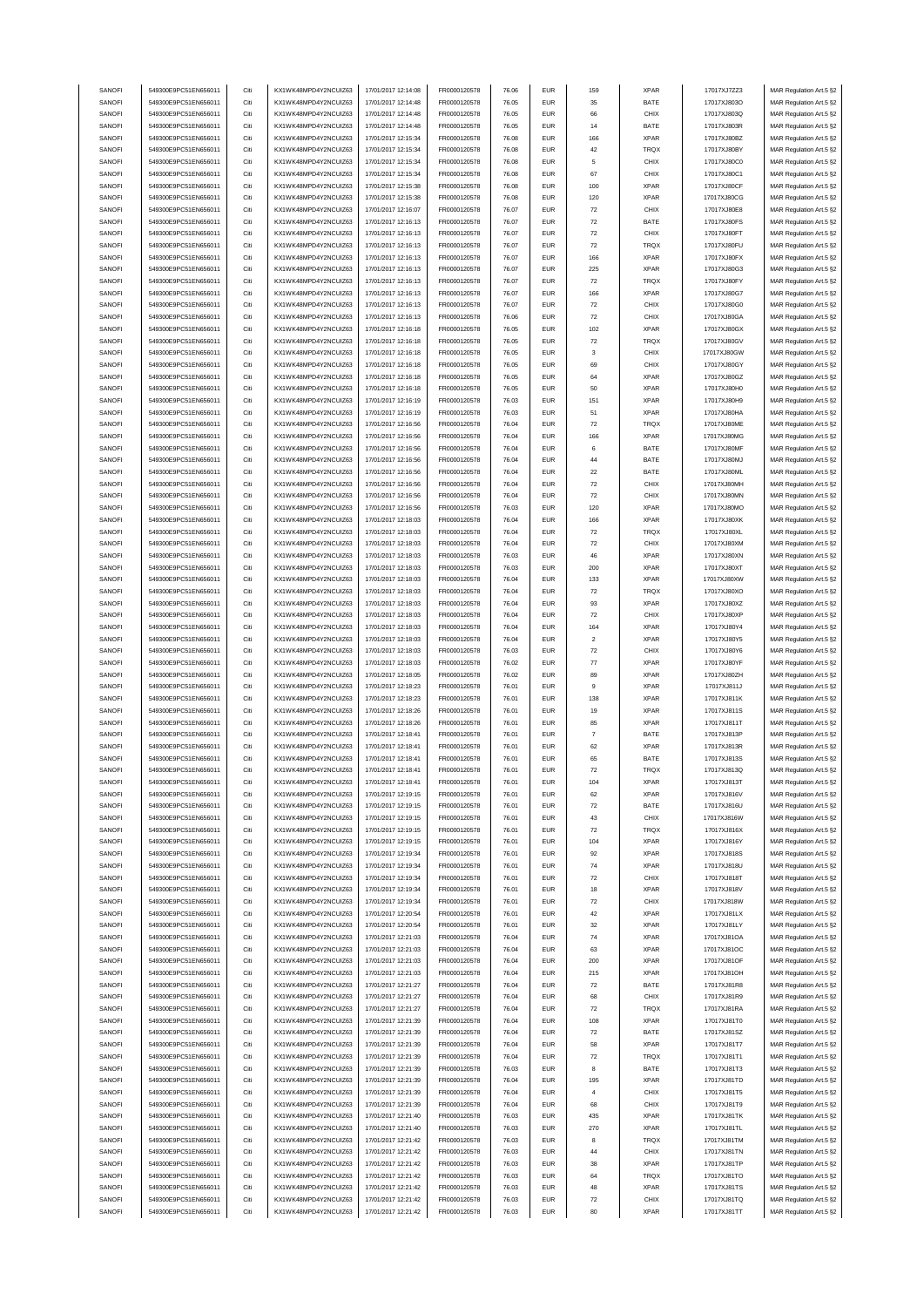| SANOFI<br>SANOFI | 549300E9PC51EN656011                         | Citi         | KX1WK48MPD4Y2NCUIZ63                         | 17/01/2017 12:14:08                        | FR0000120578                 | 76.06          | <b>EUR</b>               | 159                      | XPAR         | 17017XJ7ZZ3                | MAR Regulation Art.5 §2                            |
|------------------|----------------------------------------------|--------------|----------------------------------------------|--------------------------------------------|------------------------------|----------------|--------------------------|--------------------------|--------------|----------------------------|----------------------------------------------------|
|                  | 549300E9PC51EN656011                         | Citi         | KX1WK48MPD4Y2NCUIZ63                         | 17/01/2017 12:14:48                        |                              | 76.05          |                          | 35                       | BATE         |                            |                                                    |
|                  |                                              |              |                                              |                                            | FR0000120578                 |                | <b>EUR</b>               |                          |              | 17017XJ803O                | MAR Regulation Art.5 §2                            |
| SANOFI           | 549300E9PC51EN656011                         | Citi         | KX1WK48MPD4Y2NCUIZ63                         | 17/01/2017 12:14:48                        | FR0000120578                 | 76.05          | <b>EUR</b>               | 66                       | CHIX         | 17017XJ803Q                | MAR Regulation Art.5 §2                            |
| SANOFI           | 549300E9PC51EN656011                         | Citi         | KX1WK48MPD4Y2NCUIZ63                         | 17/01/2017 12:14:48                        | FR0000120578                 | 76.05          | <b>EUR</b>               | 14                       | BATE         | 17017XJ803R                | MAR Regulation Art.5 §2                            |
| SANOFI           | 549300E9PC51EN656011                         | Citi         | KX1WK48MPD4Y2NCLIIZ63                        | 17/01/2017 12:15:34                        | FR0000120578                 | 76.08          | <b>EUR</b>               | 166                      | XPAR         | 17017XJ80BZ                | MAR Regulation Art.5 §2                            |
|                  |                                              |              |                                              |                                            |                              |                |                          |                          |              |                            |                                                    |
| SANOFI           | 549300E9PC51EN656011                         | Citi         | KX1WK48MPD4Y2NCUIZ63                         | 17/01/2017 12:15:34                        | FR0000120578                 | 76.08          | <b>EUR</b>               | 42                       | TRQX         | 17017XJ80BY                | MAR Regulation Art.5 §2                            |
| SANOFI           | 549300E9PC51EN656011                         | Citi         | KX1WK48MPD4Y2NCUIZ63                         | 17/01/2017 12:15:34                        | FR0000120578                 | 76.08          | <b>EUR</b>               | $\,$ 5 $\,$              | CHIX         | 17017XJ80C0                | MAR Regulation Art.5 §2                            |
| SANOFI           | 549300E9PC51EN656011                         | Citi         | KX1WK48MPD4Y2NCUIZ63                         | 17/01/2017 12:15:34                        | FR0000120578                 | 76.08          | <b>EUR</b>               | 67                       | CHIX         | 17017XJ80C1                |                                                    |
|                  |                                              |              |                                              |                                            |                              |                |                          |                          |              |                            | MAR Regulation Art.5 §2                            |
| SANOFI           | 549300E9PC51EN656011                         | Citi         | KX1WK48MPD4Y2NCUIZ63                         | 17/01/2017 12:15:38                        | FR0000120578                 | 76.08          | <b>EUR</b>               | 100                      | <b>XPAR</b>  | 17017XJ80CF                | MAR Regulation Art.5 §2                            |
| SANOFI           | 549300E9PC51EN656011                         | Citi         | KX1WK48MPD4Y2NCUIZ63                         | 17/01/2017 12:15:38                        | FR0000120578                 | 76.08          | <b>EUR</b>               | 120                      | <b>XPAR</b>  | 17017XJ80CG                | MAR Regulation Art.5 §2                            |
|                  |                                              |              |                                              |                                            |                              |                |                          |                          |              |                            |                                                    |
| SANOFI           | 549300E9PC51EN656011                         | Citi         | KX1WK48MPD4Y2NCUIZ63                         | 17/01/2017 12:16:07                        | FR0000120578                 | 76.07          | <b>EUR</b>               | $\scriptstyle{72}$       | CHIX         | 17017XJ80E8                | MAR Regulation Art.5 §2                            |
| SANOFI           | 549300E9PC51EN656011                         | Citi         | KX1WK48MPD4Y2NCUIZ63                         | 17/01/2017 12:16:13                        | FR0000120578                 | 76.07          | <b>EUR</b>               | $\scriptstyle{72}$       | BATE         | 17017XJ80FS                | MAR Regulation Art.5 §2                            |
| SANOFI           | 549300E9PC51EN656011                         | Citi         | KX1WK48MPD4Y2NCUIZ63                         | 17/01/2017 12:16:13                        | FR0000120578                 | 76.07          | <b>EUR</b>               | $\scriptstyle{72}$       | CHIX         | 17017XJ80FT                | MAR Regulation Art.5 §2                            |
|                  |                                              |              |                                              |                                            |                              |                |                          |                          |              |                            |                                                    |
| SANOFI           | 549300E9PC51EN656011                         | Citi         | KX1WK48MPD4Y2NCUIZ63                         | 17/01/2017 12:16:13                        | FR0000120578                 | 76.07          | <b>EUR</b>               | $\scriptstyle{72}$       | TRQX         | 17017XJ80FU                | MAR Regulation Art.5 §2                            |
| SANOFI           | 549300E9PC51EN656011                         | Citi         | KX1WK48MPD4Y2NCUIZ63                         | 17/01/2017 12:16:13                        | FR0000120578                 | 76.07          | <b>EUR</b>               | 166                      | XPAR         | 17017XJ80FX                | MAR Regulation Art.5 §2                            |
| SANOFI           | 549300E9PC51EN656011                         | Citi         | KX1WK48MPD4Y2NCUIZ63                         | 17/01/2017 12:16:13                        | FR0000120578                 | 76.07          | <b>EUR</b>               | 225                      | <b>XPAR</b>  | 17017XJ80G3                | MAR Regulation Art.5 §2                            |
|                  |                                              |              |                                              |                                            |                              |                |                          |                          |              |                            |                                                    |
| SANOFI           | 549300E9PC51EN656011                         | Citi         | KX1WK48MPD4Y2NCUIZ63                         | 17/01/2017 12:16:13                        | FR0000120578                 | 76.07          | <b>EUR</b>               | $\scriptstyle{72}$       | TRQX         | 17017XJ80FY                | MAR Regulation Art.5 §2                            |
| SANOFI           | 549300E9PC51EN656011                         | Citi         | KX1WK48MPD4Y2NCUIZ63                         | 17/01/2017 12:16:13                        | FR0000120578                 | 76.07          | <b>EUR</b>               | 166                      | <b>XPAR</b>  | 17017XJ80G7                | MAR Regulation Art.5 §2                            |
| SANOFI           | 549300E9PC51EN656011                         | Citi         | KX1WK48MPD4Y2NCUIZ63                         | 17/01/2017 12:16:13                        | FR0000120578                 | 76.07          | <b>EUR</b>               | 72                       | CHIX         | 17017XJ80G0                | MAR Regulation Art.5 §2                            |
|                  |                                              |              |                                              |                                            |                              |                |                          |                          | CHIX         |                            |                                                    |
| SANOFI           | 549300E9PC51EN656011                         | Citi         | KX1WK48MPD4Y2NCUIZ63                         | 17/01/2017 12:16:13                        | FR0000120578                 | 76.06          | <b>EUR</b>               | $\scriptstyle{72}$       |              | 17017XJ80GA                | MAR Regulation Art.5 §2                            |
| SANOFI           | 549300E9PC51EN656011                         | Citi         | KX1WK48MPD4Y2NCUIZ63                         | 17/01/2017 12:16:18                        | FR0000120578                 | 76.05          | <b>EUR</b>               | 102                      | XPAR         | 17017XJ80GX                | MAR Regulation Art.5 §2                            |
| SANOFI           | 549300E9PC51EN656011                         | Citi         | KX1WK48MPD4Y2NCUIZ63                         | 17/01/2017 12:16:18                        | FR0000120578                 | 76.05          | <b>EUR</b>               | 72                       | TRQX         | 17017XJ80GV                | MAR Regulation Art.5 §2                            |
| SANOFI           | 549300E9PC51EN656011                         | Citi         | KX1WK48MPD4Y2NCUIZ63                         | 17/01/2017 12:16:18                        | FR0000120578                 | 76.05          | <b>EUR</b>               | 3                        | CHIX         | 17017XJ80GW                | MAR Regulation Art.5 §2                            |
|                  |                                              |              |                                              |                                            |                              |                |                          |                          |              |                            |                                                    |
| SANOFI           | 549300E9PC51EN656011                         | Citi         | KX1WK48MPD4Y2NCUIZ63                         | 17/01/2017 12:16:18                        | FR0000120578                 | 76.05          | <b>EUR</b>               | 69                       | CHIX         | 17017XJ80GY                | MAR Regulation Art.5 §2                            |
| SANOFI           | 549300E9PC51EN656011                         | Citi         | KX1WK48MPD4Y2NCUIZ63                         | 17/01/2017 12:16:18                        | FR0000120578                 | 76.05          | <b>EUR</b>               | 64                       | <b>XPAR</b>  | 17017XJ80GZ                | MAR Regulation Art.5 §2                            |
| SANOFI           | 549300E9PC51EN656011                         | Citi         | KX1WK48MPD4Y2NCUIZ63                         | 17/01/2017 12:16:18                        | FR0000120578                 | 76.05          | <b>EUR</b>               | 50                       | XPAR         | 17017XJ80H0                | MAR Regulation Art.5 §2                            |
|                  |                                              |              |                                              |                                            |                              |                |                          |                          |              |                            |                                                    |
| SANOFI           | 549300E9PC51EN656011                         | Citi         | KX1WK48MPD4Y2NCUIZ63                         | 17/01/2017 12:16:19                        | FR0000120578                 | 76.03          | <b>EUR</b>               | 151                      | <b>XPAR</b>  | 17017XJ80H9                | MAR Regulation Art.5 §2                            |
| SANOFI           | 549300E9PC51EN656011                         | Citi         | KX1WK48MPD4Y2NCUIZ63                         | 17/01/2017 12:16:19                        | FR0000120578                 | 76.03          | <b>EUR</b>               | 51                       | XPAR         | 17017XJ80HA                | MAR Regulation Art.5 §2                            |
| SANOFI           | 549300E9PC51EN656011                         | Citi         | KX1WK48MPD4Y2NCUIZ63                         | 17/01/2017 12:16:56                        | FR0000120578                 | 76.04          | <b>EUR</b>               | $\scriptstyle{72}$       | TRQX         | 17017XJ80ME                | MAR Regulation Art.5 §2                            |
|                  |                                              |              |                                              |                                            |                              |                |                          |                          |              |                            |                                                    |
| SANOFI           | 549300E9PC51EN656011                         | Citi         | KX1WK48MPD4Y2NCUIZ63                         | 17/01/2017 12:16:56                        | FR0000120578                 | 76.04          | <b>EUR</b>               | 166                      | <b>XPAR</b>  | 17017XJ80MG                | MAR Regulation Art.5 §2                            |
| SANOFI           | 549300E9PC51EN656011                         | Citi         | KX1WK48MPD4Y2NCUIZ63                         | 17/01/2017 12:16:56                        | FR0000120578                 | 76.04          | <b>EUR</b>               | 6                        | BATE         | 17017XJ80MF                | MAR Regulation Art.5 §2                            |
| SANOFI           | 549300E9PC51EN656011                         | Citi         | KX1WK48MPD4Y2NCUIZ63                         | 17/01/2017 12:16:56                        | FR0000120578                 | 76.04          | <b>EUR</b>               | 44                       | BATE         | 17017XJ80MJ                | MAR Regulation Art.5 §2                            |
|                  |                                              |              |                                              |                                            |                              |                |                          |                          |              |                            |                                                    |
| SANOFI           | 549300E9PC51EN656011                         | Citi         | KX1WK48MPD4Y2NCUIZ63                         | 17/01/2017 12:16:56                        | FR0000120578                 | 76.04          | <b>EUR</b>               | $22\,$                   | BATE         | 17017XJ80ML                | MAR Regulation Art.5 §2                            |
| SANOFI           | 549300E9PC51EN656011                         | Citi         | KX1WK48MPD4Y2NCUIZ63                         | 17/01/2017 12:16:56                        | FR0000120578                 | 76.04          | <b>EUR</b>               | 72                       | CHIX         | 17017XJ80MH                | MAR Regulation Art.5 §2                            |
| SANOFI           | 549300E9PC51EN656011                         | Citi         | KX1WK48MPD4Y2NCUIZ63                         | 17/01/2017 12:16:56                        | FR0000120578                 | 76.04          | <b>EUR</b>               | 72                       | CHIX         | 17017XJ80MN                | MAR Regulation Art.5 §2                            |
|                  |                                              |              |                                              |                                            |                              |                |                          |                          |              |                            |                                                    |
| SANOFI           | 549300E9PC51EN656011                         | Citi         | KX1WK48MPD4Y2NCUIZ63                         | 17/01/2017 12:16:56                        | FR0000120578                 | 76.03          | <b>EUR</b>               | 120                      | <b>XPAR</b>  | 17017XJ80MO                | MAR Regulation Art.5 §2                            |
| SANOFI           | 549300E9PC51EN656011                         | Citi         | KX1WK48MPD4Y2NCUIZ63                         | 17/01/2017 12:18:03                        | FR0000120578                 | 76.04          | <b>EUR</b>               | 166                      | <b>XPAR</b>  | 17017XJ80XK                | MAR Regulation Art.5 §2                            |
| SANOFI           | 549300E9PC51EN656011                         | Citi         | KX1WK48MPD4Y2NCUIZ63                         | 17/01/2017 12:18:03                        | FR0000120578                 | 76.04          | <b>EUR</b>               | $\scriptstyle{72}$       | TRQX         | 17017XJ80XL                | MAR Regulation Art.5 §2                            |
|                  |                                              |              |                                              |                                            |                              |                |                          |                          |              |                            |                                                    |
| SANOFI           | 549300E9PC51EN656011                         | Citi         | KX1WK48MPD4Y2NCUIZ63                         | 17/01/2017 12:18:03                        | FR0000120578                 | 76.04          | <b>EUR</b>               | $\scriptstyle{72}$       | CHIX         | 17017XJ80XM                | MAR Regulation Art.5 §2                            |
| SANOFI           | 549300E9PC51EN656011                         | Citi         | KX1WK48MPD4Y2NCUIZ63                         | 17/01/2017 12:18:03                        | FR0000120578                 | 76.03          | <b>EUR</b>               | 46                       | <b>XPAR</b>  | 17017XJ80XN                | MAR Regulation Art.5 §2                            |
| SANOFI           | 549300E9PC51EN656011                         | Citi         | KX1WK48MPD4Y2NCUIZ63                         | 17/01/2017 12:18:03                        | FR0000120578                 | 76.03          | <b>EUR</b>               | 200                      | <b>XPAR</b>  | 17017XJ80XT                | MAR Regulation Art.5 §2                            |
|                  |                                              |              |                                              |                                            |                              |                |                          |                          |              |                            |                                                    |
| SANOFI           | 549300E9PC51EN656011                         | Citi         | KX1WK48MPD4Y2NCUIZ63                         | 17/01/2017 12:18:03                        | FR0000120578                 | 76.04          | <b>EUR</b>               | 133                      | <b>XPAR</b>  | 17017XJ80XW                | MAR Regulation Art.5 §2                            |
| SANOFI           | 549300E9PC51EN656011                         | Citi         | KX1WK48MPD4Y2NCUIZ63                         | 17/01/2017 12:18:03                        | FR0000120578                 | 76.04          | <b>EUR</b>               | 72                       | TRQX         | 17017XJ80XO                | MAR Regulation Art.5 §2                            |
| SANOFI           | 549300E9PC51EN656011                         | Citi         | KX1WK48MPD4Y2NCUIZ63                         | 17/01/2017 12:18:03                        | FR0000120578                 | 76.04          | <b>EUR</b>               | 93                       | <b>XPAR</b>  | 17017XJ80XZ                | MAR Regulation Art.5 §2                            |
|                  |                                              |              |                                              |                                            |                              |                |                          |                          |              |                            |                                                    |
| SANOFI           | 549300E9PC51EN656011                         | Citi         | KX1WK48MPD4Y2NCUIZ63                         | 17/01/2017 12:18:03                        | FR0000120578                 | 76.04          | <b>EUR</b>               | $\scriptstyle{72}$       | CHIX         | 17017XJ80XP                | MAR Regulation Art.5 §2                            |
| SANOFI           | 549300E9PC51EN656011                         | Citi         | KX1WK48MPD4Y2NCUIZ63                         | 17/01/2017 12:18:03                        | FR0000120578                 | 76.04          | <b>EUR</b>               | 164                      | <b>XPAR</b>  | 17017XJ80Y4                | MAR Regulation Art.5 §2                            |
| SANOFI           | 549300E9PC51EN656011                         | Citi         | KX1WK48MPD4Y2NCUIZ63                         | 17/01/2017 12:18:03                        | FR0000120578                 | 76.04          | <b>EUR</b>               | $\sqrt{2}$               | <b>XPAR</b>  | 17017XJ80Y5                | MAR Regulation Art.5 §2                            |
|                  |                                              |              |                                              |                                            |                              |                |                          |                          |              |                            |                                                    |
| SANOFI           | 549300E9PC51EN656011                         | Citi         | KX1WK48MPD4Y2NCUIZ63                         | 17/01/2017 12:18:03                        | FR0000120578                 | 76.03          | <b>EUR</b>               | $\scriptstyle{72}$       | CHIX         | 17017XJ80Y6                | MAR Regulation Art.5 §2                            |
| SANOFI           | 549300E9PC51EN656011                         | Citi         | KX1WK48MPD4Y2NCUIZ63                         | 17/01/2017 12:18:03                        | FR0000120578                 | 76.02          | <b>EUR</b>               | ${\bf 77}$               | <b>XPAR</b>  | 17017XJ80YF                | MAR Regulation Art.5 §2                            |
| SANOFI           | 549300E9PC51EN656011                         | Citi         | KX1WK48MPD4Y2NCUIZ63                         |                                            |                              |                |                          |                          |              |                            |                                                    |
|                  |                                              |              |                                              |                                            |                              | 76.02          |                          |                          |              |                            |                                                    |
|                  |                                              |              |                                              | 17/01/2017 12:18:05                        | FR0000120578                 |                | <b>EUR</b>               | 89                       | <b>XPAR</b>  | 17017XJ80ZH                | MAR Regulation Art.5 §2                            |
| SANOFI           | 549300E9PC51EN656011                         | Citi         | KX1WK48MPD4Y2NCUIZ63                         | 17/01/2017 12:18:23                        | FR0000120578                 | 76.01          | <b>EUR</b>               | $\mathsf g$              | <b>XPAR</b>  | 17017XJ811J                | MAR Regulation Art.5 §2                            |
| SANOFI           | 549300E9PC51EN656011                         | Citi         | KX1WK48MPD4Y2NCUIZ63                         | 17/01/2017 12:18:23                        | FR0000120578                 | 76.01          | <b>EUR</b>               | 138                      | <b>XPAR</b>  | 17017XJ811K                | MAR Regulation Art.5 §2                            |
|                  | 549300E9PC51EN656011                         | Citi         |                                              |                                            |                              |                | <b>EUR</b>               |                          |              |                            |                                                    |
| SANOFI           |                                              |              | KX1WK48MPD4Y2NCUIZ63                         | 17/01/2017 12:18:26                        | FR0000120578                 | 76.01          |                          | 19                       | <b>XPAR</b>  | 17017XJ811S                | MAR Regulation Art.5 §2                            |
| SANOFI           | 549300E9PC51EN656011                         | Citi         | KX1WK48MPD4Y2NCUIZ63                         | 17/01/2017 12:18:26                        | FR0000120578                 | 76.01          | <b>EUR</b>               | 85                       | <b>XPAR</b>  | 17017XJ811T                | MAR Regulation Art.5 §2                            |
| SANOFI           | 549300E9PC51EN656011                         | Citi         | KX1WK48MPD4Y2NCUIZ63                         | 17/01/2017 12:18:41                        | FR0000120578                 | 76.01          | <b>EUR</b>               | $\overline{7}$           | BATE         | 17017XJ813P                | MAR Regulation Art.5 §2                            |
|                  | 549300E9PC51EN656011                         |              |                                              |                                            | FR0000120578                 |                |                          |                          |              |                            |                                                    |
| SANOFI           |                                              | Citi         | KX1WK48MPD4Y2NCUIZ63                         | 17/01/2017 12:18:41                        |                              | 76.01          | <b>EUR</b>               | 62                       | <b>XPAR</b>  | 17017XJ813R                | MAR Regulation Art.5 §2                            |
| SANOFI           | 549300E9PC51EN656011                         | Citi         | KX1WK48MPD4Y2NCUIZ63                         | 17/01/2017 12:18:41                        | FR0000120578                 | 76.01          | <b>EUR</b>               | 65                       | BATE         | 17017XJ813S                | MAR Regulation Art.5 §2                            |
| SANOFI           | 549300E9PC51EN656011                         | Citi         | KX1WK48MPD4Y2NCUIZ63                         | 17/01/2017 12:18:41                        | FR0000120578                 | 76.01          | <b>EUR</b>               | $\scriptstyle{72}$       | TRQX         | 17017XJ813Q                | MAR Regulation Art.5 §2                            |
| SANOFI           | 549300E9PC51EN656011                         |              | KX1WK48MPD4Y2NCLIIZ63                        | 17/01/2017 12:18:41                        | FR0000120578                 | 76.01          | FUR                      | 104                      | <b>XPAR</b>  | 17017XJ813T                | MAR Regulation Art 5 82                            |
|                  |                                              |              |                                              |                                            |                              |                |                          |                          |              |                            |                                                    |
| SANOFI           | 549300E9PC51EN656011                         | Citi         | KX1WK48MPD4Y2NCUIZ63                         | 17/01/2017 12:19:15                        | FR0000120578                 | 76.01          | <b>EUR</b>               | 62                       | <b>XPAR</b>  | 17017XJ816V                | MAR Regulation Art.5 §2                            |
| SANOFI           | 549300E9PC51EN656011                         | Citi         | KX1WK48MPD4Y2NCUIZ63                         | 17/01/2017 12:19:15                        | FR0000120578                 | 76.01          | <b>EUR</b>               | $\scriptstyle{72}$       | BATE         | 17017XJ816U                | MAR Regulation Art.5 §2                            |
| SANOFI           | 549300E9PC51EN656011                         | Citi         | KX1WK48MPD4Y2NCUIZ63                         | 17/01/2017 12:19:15                        | FR0000120578                 |                | <b>EUR</b>               |                          | CHIX         |                            |                                                    |
|                  |                                              |              |                                              |                                            |                              | 76.01          |                          | 43                       |              | 17017XJ816W                | MAR Regulation Art.5 §2                            |
| SANOFI           | 549300E9PC51EN656011                         | Citi         | KX1WK48MPD4Y2NCUIZ63                         | 17/01/2017 12:19:15                        | FR0000120578                 | 76.01          | <b>EUR</b>               | $\scriptstyle{72}$       | TRQX         | 17017XJ816X                | MAR Regulation Art.5 §2                            |
| SANOFI           | 549300E9PC51EN656011                         | Citi         | KX1WK48MPD4Y2NCUIZ63                         | 17/01/2017 12:19:15                        | FR0000120578                 | 76.01          | <b>EUR</b>               | 104                      | <b>XPAR</b>  | 17017XJ816Y                | MAR Regulation Art.5 §2                            |
| SANOFI           | 549300E9PC51EN656011                         | Citi         | KX1WK48MPD4Y2NCUIZ63                         | 17/01/2017 12:19:34                        | FR0000120578                 | 76.01          | <b>EUR</b>               | 92                       | <b>XPAR</b>  | 17017XJ818S                | MAR Regulation Art.5 §2                            |
|                  |                                              |              |                                              |                                            |                              |                |                          |                          |              |                            |                                                    |
| SANOFI           | 549300E9PC51EN656011                         | Citi         | KX1WK48MPD4Y2NCUIZ63                         | 17/01/2017 12:19:34                        | FR0000120578                 | 76.01          | <b>EUR</b>               | 74                       | <b>XPAR</b>  | 17017XJ818U                | MAR Regulation Art.5 §2                            |
| SANOFI           | 549300E9PC51EN656011                         | Citi         | KX1WK48MPD4Y2NCUIZ63                         | 17/01/2017 12:19:34                        | FR0000120578                 | 76.01          | <b>EUR</b>               | $\scriptstyle{72}$       | CHIX         | 17017XJ818T                | MAR Regulation Art.5 §2                            |
| SANOFI           | 549300E9PC51EN656011                         | Citi         | KX1WK48MPD4Y2NCUIZ63                         | 17/01/2017 12:19:34                        | FR0000120578                 | 76.01          | <b>EUR</b>               | 18                       | <b>XPAR</b>  | 17017XJ818V                | MAR Regulation Art.5 §2                            |
| SANOFI           | 549300E9PC51EN656011                         | Citi         | KX1WK48MPD4Y2NCUIZ63                         | 17/01/2017 12:19:34                        | FR0000120578                 |                | <b>EUR</b>               |                          | CHIX         |                            |                                                    |
|                  |                                              |              |                                              |                                            |                              | 76.01          |                          | 72                       |              | 17017XJ818W                | MAR Regulation Art.5 §2                            |
| SANOFI           | 549300E9PC51EN656011                         | Citi         | KX1WK48MPD4Y2NCUIZ63                         | 17/01/2017 12:20:54                        | FR0000120578                 | 76.01          | <b>EUR</b>               | 42                       | <b>XPAR</b>  | 17017XJ81LX                | MAR Regulation Art.5 §2                            |
| SANOFI           | 549300E9PC51EN656011                         | Citi         | KX1WK48MPD4Y2NCUIZ63                         | 17/01/2017 12:20:54                        | FR0000120578                 | 76.01          | <b>EUR</b>               | 32                       | <b>XPAR</b>  | 17017XJ81LY                | MAR Regulation Art.5 §2                            |
|                  |                                              |              | KX1WK48MPD4Y2NCUIZ63                         |                                            | FR0000120578                 |                |                          |                          |              | 17017XJ81OA                |                                                    |
| SANOFI           | 549300E9PC51EN656011                         | Citi         |                                              | 17/01/2017 12:21:03                        |                              | 76.04          | <b>EUR</b>               | 74                       | <b>XPAR</b>  |                            | MAR Regulation Art.5 §2                            |
| SANOFI           | 549300E9PC51EN656011                         | Citi         | KX1WK48MPD4Y2NCUIZ63                         | 17/01/2017 12:21:03                        | FR0000120578                 | 76.04          | <b>EUR</b>               | 63                       | <b>XPAR</b>  | 17017XJ81OC                | MAR Regulation Art.5 §2                            |
| SANOFI           | 549300E9PC51EN656011                         | Citi         | KX1WK48MPD4Y2NCUIZ63                         | 17/01/2017 12:21:03                        | FR0000120578                 | 76.04          | <b>EUR</b>               | 200                      | <b>XPAR</b>  | 17017XJ81OF                | MAR Regulation Art.5 §2                            |
|                  |                                              | Citi         | KX1WK48MPD4Y2NCUIZ63                         |                                            |                              |                |                          |                          |              |                            |                                                    |
| SANOFI           | 549300E9PC51EN656011                         |              |                                              | 17/01/2017 12:21:03                        | FR0000120578                 | 76.04          | <b>EUR</b>               | 215                      | <b>XPAR</b>  | 17017XJ81OH                | MAR Regulation Art.5 §2                            |
| SANOFI           | 549300E9PC51EN656011                         | Citi         | KX1WK48MPD4Y2NCUIZ63                         | 17/01/2017 12:21:27                        | FR0000120578                 | 76.04          | <b>EUR</b>               | $\bf 72$                 | BATE         | 17017XJ81R8                | MAR Regulation Art.5 §2                            |
| SANOFI           | 549300E9PC51EN656011                         | Citi         | KX1WK48MPD4Y2NCUIZ63                         | 17/01/2017 12:21:27                        | FR0000120578                 | 76.04          | <b>EUR</b>               | 68                       | CHIX         | 17017XJ81R9                | MAR Regulation Art.5 §2                            |
| SANOFI           | 549300E9PC51EN656011                         | Citi         | KX1WK48MPD4Y2NCUIZ63                         | 17/01/2017 12:21:27                        | FR0000120578                 | 76.04          | <b>EUR</b>               |                          | TRQX         | 17017XJ81RA                |                                                    |
|                  |                                              |              |                                              |                                            |                              |                |                          | 72                       |              |                            | MAR Regulation Art.5 §2                            |
| SANOFI           | 549300E9PC51EN656011                         | Citi         | KX1WK48MPD4Y2NCUIZ63                         | 17/01/2017 12:21:39                        | FR0000120578                 | 76.04          | <b>EUR</b>               | 108                      | <b>XPAR</b>  | 17017XJ81T0                | MAR Regulation Art.5 §2                            |
| SANOFI           | 549300E9PC51EN656011                         | Citi         | KX1WK48MPD4Y2NCUIZ63                         | 17/01/2017 12:21:39                        | FR0000120578                 | 76.04          | <b>EUR</b>               | $\scriptstyle{72}$       | BATE         | 17017XJ81SZ                | MAR Regulation Art.5 §2                            |
| SANOFI           | 549300E9PC51EN656011                         | Citi         | KX1WK48MPD4Y2NCUIZ63                         | 17/01/2017 12:21:39                        | FR0000120578                 | 76.04          | <b>EUR</b>               | 58                       | <b>XPAR</b>  | 17017XJ81T7                | MAR Regulation Art.5 §2                            |
|                  |                                              |              |                                              |                                            |                              |                |                          |                          |              |                            |                                                    |
| SANOFI           | 549300E9PC51EN656011                         | Citi         | KX1WK48MPD4Y2NCUIZ63                         | 17/01/2017 12:21:39                        | FR0000120578                 | 76.04          | <b>EUR</b>               | $\scriptstyle{72}$       | TRQX         | 17017XJ81T1                | MAR Regulation Art.5 §2                            |
| SANOFI           | 549300E9PC51EN656011                         | Citi         | KX1WK48MPD4Y2NCUIZ63                         | 17/01/2017 12:21:39                        | FR0000120578                 | 76.03          | <b>EUR</b>               | 8                        | BATE         | 17017XJ81T3                | MAR Regulation Art.5 §2                            |
|                  |                                              | Citi         |                                              |                                            |                              |                |                          |                          |              |                            |                                                    |
| SANOFI           | 549300E9PC51EN656011                         |              | KX1WK48MPD4Y2NCUIZ63                         | 17/01/2017 12:21:39                        | FR0000120578                 | 76.04          | <b>EUR</b>               | 195                      | <b>XPAR</b>  | 17017XJ81TD                | MAR Regulation Art.5 §2                            |
| SANOFI           | 549300E9PC51EN656011                         | Citi         | KX1WK48MPD4Y2NCUIZ63                         | 17/01/2017 12:21:39                        | FR0000120578                 | 76.04          | <b>EUR</b>               | $\sqrt{4}$               | CHIX         | 17017XJ81T5                | MAR Regulation Art.5 §2                            |
| SANOFI           | 549300E9PC51EN656011                         | Citi         | KX1WK48MPD4Y2NCUIZ63                         | 17/01/2017 12:21:39                        | FR0000120578                 | 76.04          | <b>EUR</b>               | 68                       | CHIX         | 17017XJ81T9                | MAR Regulation Art.5 §2                            |
| SANOFI           | 549300E9PC51EN656011                         | Citi         | KX1WK48MPD4Y2NCUIZ63                         | 17/01/2017 12:21:40                        | FR0000120578                 | 76.03          | <b>EUR</b>               | 435                      | <b>XPAR</b>  | 17017XJ81TK                | MAR Regulation Art.5 §2                            |
|                  |                                              |              |                                              |                                            |                              |                |                          |                          |              |                            |                                                    |
| SANOFI           | 549300E9PC51EN656011                         | Citi         | KX1WK48MPD4Y2NCUIZ63                         | 17/01/2017 12:21:40                        | FR0000120578                 | 76.03          | <b>EUR</b>               | 270                      | <b>XPAR</b>  | 17017XJ81TL                | MAR Regulation Art.5 §2                            |
| SANOFI           | 549300E9PC51EN656011                         | Citi         | KX1WK48MPD4Y2NCUIZ63                         | 17/01/2017 12:21:42                        | FR0000120578                 | 76.03          | <b>EUR</b>               | 8                        | TRQX         | 17017XJ81TM                | MAR Regulation Art.5 §2                            |
| SANOFI           | 549300E9PC51EN656011                         | Citi         | KX1WK48MPD4Y2NCUIZ63                         | 17/01/2017 12:21:42                        | FR0000120578                 | 76.03          | <b>EUR</b>               | 44                       | CHIX         | 17017XJ81TN                | MAR Regulation Art.5 §2                            |
|                  |                                              |              |                                              |                                            |                              |                |                          |                          |              |                            |                                                    |
| SANOFI           | 549300E9PC51EN656011                         | Citi         | KX1WK48MPD4Y2NCUIZ63                         | 17/01/2017 12:21:42                        | FR0000120578                 | 76.03          | <b>EUR</b>               | 38                       | <b>XPAR</b>  | 17017XJ81TP                | MAR Regulation Art.5 §2                            |
| SANOFI           | 549300E9PC51EN656011                         | Citi         | KX1WK48MPD4Y2NCUIZ63                         | 17/01/2017 12:21:42                        | FR0000120578                 | 76.03          | <b>EUR</b>               | 64                       | <b>TRQX</b>  | 17017XJ81TO                | MAR Regulation Art.5 §2                            |
| SANOFI           | 549300E9PC51EN656011                         | Citi         | KX1WK48MPD4Y2NCUIZ63                         | 17/01/2017 12:21:42                        | FR0000120578                 | 76.03          | <b>EUR</b>               | 48                       | <b>XPAR</b>  | 17017XJ81TS                | MAR Regulation Art.5 §2                            |
|                  |                                              |              |                                              |                                            |                              |                |                          |                          |              |                            |                                                    |
| SANOFI<br>SANOFI | 549300E9PC51EN656011<br>549300E9PC51EN656011 | Citi<br>Citi | KX1WK48MPD4Y2NCUIZ63<br>KX1WK48MPD4Y2NCUIZ63 | 17/01/2017 12:21:42<br>17/01/2017 12:21:42 | FR0000120578<br>FR0000120578 | 76.03<br>76.03 | <b>EUR</b><br><b>EUR</b> | $\scriptstyle{72}$<br>80 | CHIX<br>XPAR | 17017XJ81TQ<br>17017XJ81TT | MAR Regulation Art.5 §2<br>MAR Regulation Art.5 §2 |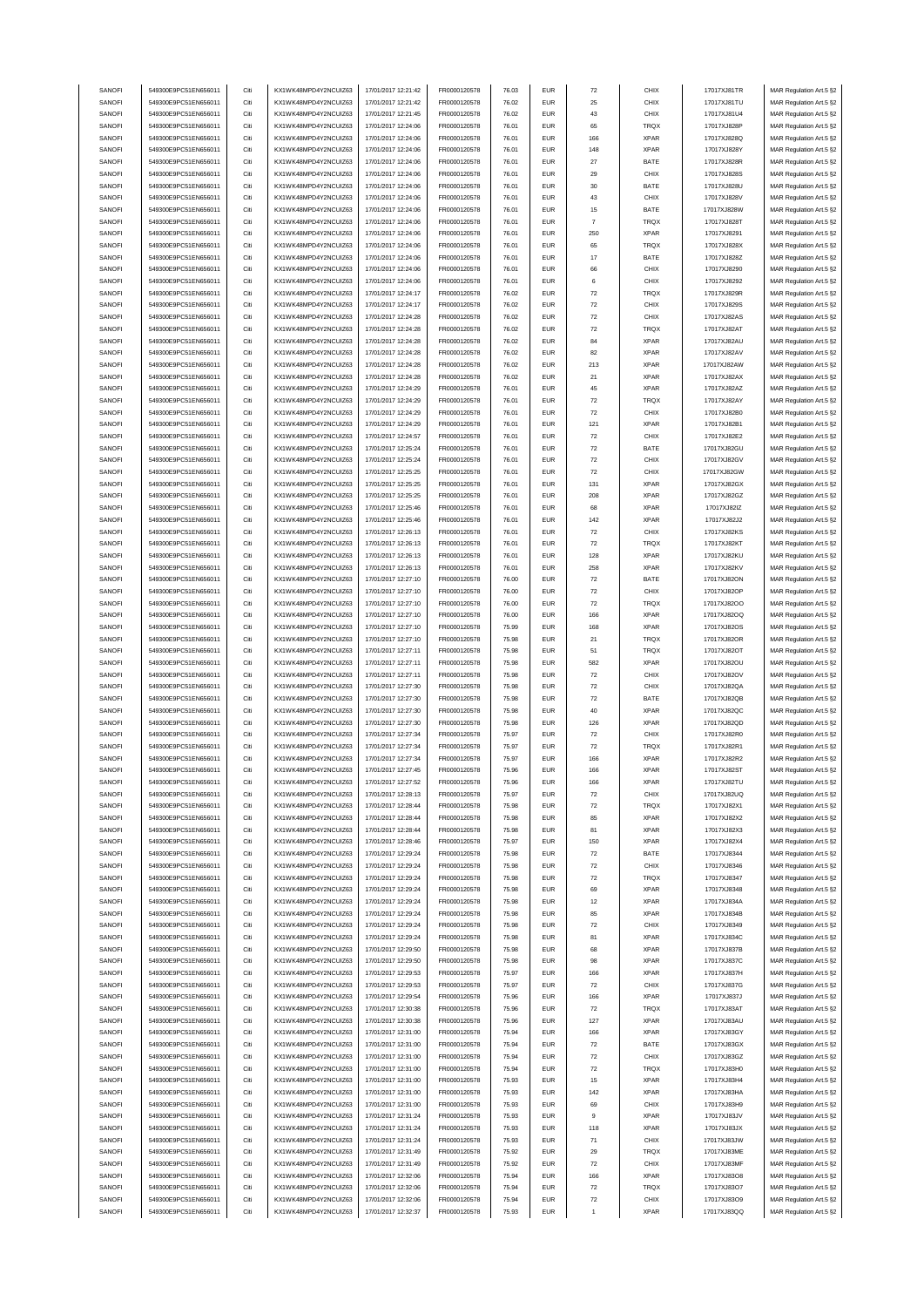| SANOFI | 549300E9PC51EN656011 | Citi | KX1WK48MPD4Y2NCUIZ63  | 17/01/2017 12:21:42 | FR0000120578 | 76.03 | <b>EUR</b> | $\scriptstyle{72}$       | CHIX        | 17017XJ81TR | MAR Regulation Art.5 §2 |
|--------|----------------------|------|-----------------------|---------------------|--------------|-------|------------|--------------------------|-------------|-------------|-------------------------|
| SANOFI | 549300E9PC51EN656011 | Citi | KX1WK48MPD4Y2NCUIZ63  | 17/01/2017 12:21:42 | FR0000120578 | 76.02 | <b>EUR</b> | 25                       | CHIX        | 17017XJ81TU | MAR Regulation Art.5 §2 |
|        |                      |      |                       |                     |              |       |            |                          |             |             |                         |
| SANOFI | 549300E9PC51EN656011 | Citi | KX1WK48MPD4Y2NCUIZ63  | 17/01/2017 12:21:45 | FR0000120578 | 76.02 | <b>EUR</b> | 43                       | CHIX        | 17017XJ81U4 | MAR Regulation Art.5 §2 |
| SANOFI | 549300E9PC51EN656011 | Citi | KX1WK48MPD4Y2NCUIZ63  | 17/01/2017 12:24:06 | FR0000120578 | 76.01 | <b>EUR</b> | 65                       | TRQX        | 17017XJ828P | MAR Regulation Art.5 §2 |
| SANOFI | 549300E9PC51EN656011 | Citi | KX1WK48MPD4Y2NCLIIZ63 | 17/01/2017 12:24:06 | FR0000120578 | 76.01 | <b>EUR</b> | 166                      | <b>XPAR</b> | 17017XJ828Q | MAR Regulation Art.5 §2 |
| SANOFI | 549300E9PC51EN656011 | Citi | KX1WK48MPD4Y2NCUIZ63  | 17/01/2017 12:24:06 | FR0000120578 | 76.01 | <b>EUR</b> | 148                      | <b>XPAR</b> | 17017XJ828Y | MAR Regulation Art.5 §2 |
| SANOFI | 549300E9PC51EN656011 | Citi | KX1WK48MPD4Y2NCUIZ63  | 17/01/2017 12:24:06 | FR0000120578 | 76.01 | <b>EUR</b> | $27\,$                   | BATE        | 17017XJ828R | MAR Regulation Art.5 §2 |
|        |                      | Citi | KX1WK48MPD4Y2NCUIZ63  |                     |              |       | <b>EUR</b> |                          |             |             |                         |
| SANOFI | 549300E9PC51EN656011 |      |                       | 17/01/2017 12:24:06 | FR0000120578 | 76.01 |            | 29                       | CHIX        | 17017XJ828S | MAR Regulation Art.5 §2 |
| SANOFI | 549300E9PC51EN656011 | Citi | KX1WK48MPD4Y2NCUIZ63  | 17/01/2017 12:24:06 | FR0000120578 | 76.01 | <b>EUR</b> | 30                       | BATE        | 17017XJ828U | MAR Regulation Art.5 §2 |
| SANOFI | 549300E9PC51EN656011 | Citi | KX1WK48MPD4Y2NCUIZ63  | 17/01/2017 12:24:06 | FR0000120578 | 76.01 | <b>EUR</b> | 43                       | CHIX        | 17017XJ828V | MAR Regulation Art.5 §2 |
| SANOFI | 549300E9PC51EN656011 | Citi | KX1WK48MPD4Y2NCUIZ63  | 17/01/2017 12:24:06 | FR0000120578 | 76.01 | <b>EUR</b> | 15                       | BATE        | 17017XJ828W | MAR Regulation Art.5 §2 |
| SANOFI | 549300E9PC51EN656011 | Citi | KX1WK48MPD4Y2NCUIZ63  | 17/01/2017 12:24:06 | FR0000120578 | 76.01 | <b>EUR</b> | $\overline{\mathcal{I}}$ | TRQX        | 17017XJ828T | MAR Regulation Art.5 §2 |
|        |                      |      |                       |                     |              |       |            |                          |             |             |                         |
| SANOFI | 549300E9PC51EN656011 | Citi | KX1WK48MPD4Y2NCUIZ63  | 17/01/2017 12:24:06 | FR0000120578 | 76.01 | <b>EUR</b> | 250                      | <b>XPAR</b> | 17017XJ8291 | MAR Regulation Art.5 §2 |
| SANOFI | 549300E9PC51EN656011 | Citi | KX1WK48MPD4Y2NCUIZ63  | 17/01/2017 12:24:06 | FR0000120578 | 76.01 | <b>EUR</b> | 65                       | TRQX        | 17017XJ828X | MAR Regulation Art.5 §2 |
| SANOFI | 549300E9PC51EN656011 | Citi | KX1WK48MPD4Y2NCUIZ63  | 17/01/2017 12:24:06 | FR0000120578 | 76.01 | <b>EUR</b> | $17\,$                   | BATE        | 17017XJ828Z | MAR Regulation Art.5 §2 |
| SANOFI | 549300E9PC51EN656011 | Citi | KX1WK48MPD4Y2NCUIZ63  | 17/01/2017 12:24:06 | FR0000120578 | 76.01 | <b>EUR</b> | 66                       | CHIX        | 17017XJ8290 | MAR Regulation Art.5 §2 |
|        |                      |      |                       |                     |              |       |            |                          |             |             |                         |
| SANOFI | 549300E9PC51EN656011 | Citi | KX1WK48MPD4Y2NCUIZ63  | 17/01/2017 12:24:06 | FR0000120578 | 76.01 | <b>EUR</b> | 6                        | CHIX        | 17017XJ8292 | MAR Regulation Art.5 §2 |
| SANOFI | 549300E9PC51EN656011 | Citi | KX1WK48MPD4Y2NCUIZ63  | 17/01/2017 12:24:17 | FR0000120578 | 76.02 | <b>EUR</b> | 72                       | TRQX        | 17017XJ829R | MAR Regulation Art.5 §2 |
| SANOFI | 549300E9PC51EN656011 | Citi | KX1WK48MPD4Y2NCUIZ63  | 17/01/2017 12:24:17 | FR0000120578 | 76.02 | <b>EUR</b> | 72                       | CHIX        | 17017XJ829S | MAR Regulation Art.5 §2 |
| SANOFI | 549300E9PC51EN656011 | Citi | KX1WK48MPD4Y2NCUIZ63  | 17/01/2017 12:24:28 | FR0000120578 | 76.02 | <b>EUR</b> | $\scriptstyle{72}$       | CHIX        | 17017XJ82AS | MAR Regulation Art.5 §2 |
| SANOFI | 549300E9PC51EN656011 | Citi | KX1WK48MPD4Y2NCUIZ63  | 17/01/2017 12:24:28 | FR0000120578 | 76.02 | <b>EUR</b> | $\scriptstyle{72}$       | TRQX        | 17017XJ82AT | MAR Regulation Art.5 §2 |
|        |                      |      |                       |                     |              |       |            |                          |             |             |                         |
| SANOFI | 549300E9PC51EN656011 | Citi | KX1WK48MPD4Y2NCUIZ63  | 17/01/2017 12:24:28 | FR0000120578 | 76.02 | <b>EUR</b> | 84                       | <b>XPAR</b> | 17017XJ82AU | MAR Regulation Art.5 §2 |
| SANOFI | 549300E9PC51EN656011 | Citi | KX1WK48MPD4Y2NCUIZ63  | 17/01/2017 12:24:28 | FR0000120578 | 76.02 | <b>EUR</b> | 82                       | <b>XPAR</b> | 17017XJ82AV | MAR Regulation Art.5 §2 |
| SANOFI | 549300E9PC51EN656011 | Citi | KX1WK48MPD4Y2NCUIZ63  | 17/01/2017 12:24:28 | FR0000120578 | 76.02 | <b>EUR</b> | 213                      | <b>XPAR</b> | 17017XJ82AW | MAR Regulation Art.5 §2 |
| SANOFI | 549300E9PC51EN656011 | Citi | KX1WK48MPD4Y2NCUIZ63  | 17/01/2017 12:24:28 | FR0000120578 | 76.02 | <b>EUR</b> | 21                       | <b>XPAR</b> | 17017XJ82AX | MAR Regulation Art.5 §2 |
| SANOFI | 549300E9PC51EN656011 | Citi | KX1WK48MPD4Y2NCUIZ63  | 17/01/2017 12:24:29 | FR0000120578 | 76.01 | <b>EUR</b> | 45                       | <b>XPAR</b> | 17017XJ82AZ | MAR Regulation Art.5 §2 |
|        | 549300E9PC51EN656011 | Citi | KX1WK48MPD4Y2NCUIZ63  |                     | FR0000120578 | 76.01 | <b>EUR</b> |                          |             |             | MAR Regulation Art.5 §2 |
| SANOFI |                      |      |                       | 17/01/2017 12:24:29 |              |       |            | $\scriptstyle{72}$       | TRQX        | 17017XJ82AY |                         |
| SANOFI | 549300E9PC51EN656011 | Citi | KX1WK48MPD4Y2NCUIZ63  | 17/01/2017 12:24:29 | FR0000120578 | 76.01 | <b>EUR</b> | $\scriptstyle{72}$       | CHIX        | 17017XJ82B0 | MAR Regulation Art.5 §2 |
| SANOFI | 549300E9PC51EN656011 | Citi | KX1WK48MPD4Y2NCUIZ63  | 17/01/2017 12:24:29 | FR0000120578 | 76.01 | <b>EUR</b> | 121                      | <b>XPAR</b> | 17017XJ82B1 | MAR Regulation Art.5 §2 |
| SANOFI | 549300E9PC51EN656011 | Citi | KX1WK48MPD4Y2NCUIZ63  | 17/01/2017 12:24:57 | FR0000120578 | 76.01 | <b>EUR</b> | $\scriptstyle{72}$       | CHIX        | 17017XJ82E2 | MAR Regulation Art.5 §2 |
| SANOFI | 549300E9PC51EN656011 | Citi | KX1WK48MPD4Y2NCUIZ63  | 17/01/2017 12:25:24 | FR0000120578 | 76.01 | <b>EUR</b> | $\scriptstyle{72}$       | BATE        | 17017XJ82GU | MAR Regulation Art.5 §2 |
|        |                      |      |                       |                     |              |       |            |                          |             |             |                         |
| SANOFI | 549300E9PC51EN656011 | Citi | KX1WK48MPD4Y2NCUIZ63  | 17/01/2017 12:25:24 | FR0000120578 | 76.01 | <b>EUR</b> | $\scriptstyle{72}$       | CHIX        | 17017XJ82GV | MAR Regulation Art.5 §2 |
| SANOFI | 549300E9PC51EN656011 | Citi | KX1WK48MPD4Y2NCUIZ63  | 17/01/2017 12:25:25 | FR0000120578 | 76.01 | <b>EUR</b> | $\scriptstyle{72}$       | CHIX        | 17017XJ82GW | MAR Regulation Art.5 §2 |
| SANOFI | 549300E9PC51EN656011 | Citi | KX1WK48MPD4Y2NCUIZ63  | 17/01/2017 12:25:25 | FR0000120578 | 76.01 | <b>EUR</b> | 131                      | <b>XPAR</b> | 17017XJ82GX | MAR Regulation Art.5 §2 |
| SANOFI | 549300E9PC51EN656011 | Citi | KX1WK48MPD4Y2NCUIZ63  | 17/01/2017 12:25:25 | FR0000120578 | 76.01 | <b>EUR</b> | 208                      | <b>XPAR</b> | 17017XJ82GZ | MAR Regulation Art.5 §2 |
| SANOFI | 549300E9PC51EN656011 | Citi | KX1WK48MPD4Y2NCUIZ63  | 17/01/2017 12:25:46 | FR0000120578 | 76.01 | <b>EUR</b> | 68                       | <b>XPAR</b> | 17017XJ82IZ | MAR Regulation Art.5 §2 |
|        |                      |      |                       |                     |              |       |            |                          |             |             |                         |
| SANOFI | 549300E9PC51EN656011 | Citi | KX1WK48MPD4Y2NCUIZ63  | 17/01/2017 12:25:46 | FR0000120578 | 76.01 | <b>EUR</b> | 142                      | XPAR        | 17017XJ82J2 | MAR Regulation Art.5 §2 |
| SANOFI | 549300E9PC51EN656011 | Citi | KX1WK48MPD4Y2NCUIZ63  | 17/01/2017 12:26:13 | FR0000120578 | 76.01 | <b>EUR</b> | $\scriptstyle{72}$       | CHIX        | 17017XJ82KS | MAR Regulation Art.5 §2 |
| SANOFI | 549300E9PC51EN656011 | Citi | KX1WK48MPD4Y2NCUIZ63  | 17/01/2017 12:26:13 | FR0000120578 | 76.01 | <b>EUR</b> | $\scriptstyle{72}$       | TRQX        | 17017XJ82KT | MAR Regulation Art.5 §2 |
| SANOFI | 549300E9PC51EN656011 | Citi | KX1WK48MPD4Y2NCUIZ63  | 17/01/2017 12:26:13 | FR0000120578 | 76.01 | <b>EUR</b> | 128                      | <b>XPAR</b> | 17017XJ82KU | MAR Regulation Art.5 §2 |
| SANOFI | 549300E9PC51EN656011 | Citi | KX1WK48MPD4Y2NCUIZ63  | 17/01/2017 12:26:13 | FR0000120578 | 76.01 | <b>EUR</b> | 258                      | <b>XPAR</b> | 17017XJ82KV | MAR Regulation Art.5 §2 |
| SANOFI | 549300E9PC51EN656011 | Citi | KX1WK48MPD4Y2NCUIZ63  | 17/01/2017 12:27:10 | FR0000120578 | 76.00 | <b>EUR</b> | $\bf 72$                 | BATE        | 17017XJ82ON | MAR Regulation Art.5 §2 |
|        |                      |      |                       |                     |              |       |            |                          |             |             |                         |
| SANOFI | 549300E9PC51EN656011 | Citi | KX1WK48MPD4Y2NCUIZ63  | 17/01/2017 12:27:10 | FR0000120578 | 76.00 | <b>EUR</b> | 72                       | CHIX        | 17017XJ82OP | MAR Regulation Art.5 §2 |
| SANOFI | 549300E9PC51EN656011 | Citi | KX1WK48MPD4Y2NCUIZ63  | 17/01/2017 12:27:10 | FR0000120578 | 76.00 | <b>EUR</b> | $\scriptstyle{72}$       | TRQX        | 17017XJ82OO | MAR Regulation Art.5 §2 |
| SANOFI | 549300E9PC51EN656011 | Citi | KX1WK48MPD4Y2NCUIZ63  | 17/01/2017 12:27:10 | FR0000120578 | 76.00 | <b>EUR</b> | 166                      | <b>XPAR</b> | 17017XJ82OQ | MAR Regulation Art.5 §2 |
| SANOFI | 549300E9PC51EN656011 | Citi | KX1WK48MPD4Y2NCUIZ63  | 17/01/2017 12:27:10 | FR0000120578 | 75.99 | <b>EUR</b> | 168                      | XPAR        | 17017XJ82OS | MAR Regulation Art.5 §2 |
| SANOFI | 549300E9PC51EN656011 | Citi | KX1WK48MPD4Y2NCUIZ63  | 17/01/2017 12:27:10 | FR0000120578 | 75.98 | <b>EUR</b> | 21                       | TRQX        | 17017XJ82OR | MAR Regulation Art.5 §2 |
|        |                      |      |                       |                     |              |       |            |                          |             |             |                         |
| SANOFI | 549300E9PC51EN656011 | Citi | KX1WK48MPD4Y2NCUIZ63  | 17/01/2017 12:27:11 | FR0000120578 | 75.98 | <b>EUR</b> | 51                       | TRQX        | 17017XJ82OT | MAR Regulation Art.5 §2 |
| SANOFI | 549300E9PC51EN656011 | Citi | KX1WK48MPD4Y2NCUIZ63  | 17/01/2017 12:27:11 | FR0000120578 | 75.98 | <b>EUR</b> | 582                      | XPAR        | 17017XJ82OU | MAR Regulation Art.5 §2 |
| SANOFI | 549300E9PC51EN656011 | Citi | KX1WK48MPD4Y2NCUIZ63  | 17/01/2017 12:27:11 | FR0000120578 | 75.98 | <b>EUR</b> | $\scriptstyle{72}$       | CHIX        | 17017XJ82OV | MAR Regulation Art.5 §2 |
| SANOFI | 549300E9PC51EN656011 | Citi | KX1WK48MPD4Y2NCUIZ63  | 17/01/2017 12:27:30 | FR0000120578 | 75.98 | <b>EUR</b> | $\scriptstyle{72}$       | CHIX        | 17017XJ82QA | MAR Regulation Art.5 §2 |
| SANOFI | 549300E9PC51EN656011 | Citi | KX1WK48MPD4Y2NCUIZ63  | 17/01/2017 12:27:30 | FR0000120578 | 75.98 | <b>EUR</b> | 72                       | BATE        | 17017XJ82QB | MAR Regulation Art.5 §2 |
|        |                      | Citi |                       |                     |              |       | <b>EUR</b> |                          |             |             |                         |
| SANOFI | 549300E9PC51EN656011 |      | KX1WK48MPD4Y2NCUIZ63  | 17/01/2017 12:27:30 | FR0000120578 | 75.98 |            | 40                       | <b>XPAR</b> | 17017XJ82QC | MAR Regulation Art.5 §2 |
| SANOFI | 549300E9PC51EN656011 | Citi | KX1WK48MPD4Y2NCUIZ63  | 17/01/2017 12:27:30 | FR0000120578 | 75.98 | <b>EUR</b> | 126                      | <b>XPAR</b> | 17017XJ82QD | MAR Regulation Art.5 §2 |
| SANOFI | 549300E9PC51EN656011 | Citi | KX1WK48MPD4Y2NCUIZ63  | 17/01/2017 12:27:34 | FR0000120578 | 75.97 | <b>EUR</b> | $\scriptstyle{72}$       | CHIX        | 17017XJ82R0 | MAR Regulation Art.5 §2 |
| SANOFI | 549300E9PC51EN656011 | Citi | KX1WK48MPD4Y2NCUIZ63  | 17/01/2017 12:27:34 | FR0000120578 | 75.97 | <b>EUR</b> | $\scriptstyle{72}$       | TRQX        | 17017XJ82R1 | MAR Regulation Art.5 §2 |
| SANOFI | 549300E9PC51EN656011 | Citi | KX1WK48MPD4Y2NCUIZ63  | 17/01/2017 12:27:34 | FR0000120578 | 75.97 | <b>EUR</b> | 166                      | <b>XPAR</b> | 17017XJ82R2 | MAR Regulation Art.5 §2 |
|        |                      | Citi |                       |                     |              |       | <b>EUR</b> |                          |             |             |                         |
| SANOFI | 549300E9PC51EN656011 |      | KX1WK48MPD4Y2NCUIZ63  | 17/01/2017 12:27:45 | FR0000120578 | 75.96 |            | 166                      | XPAR        | 17017XJ82ST | MAR Regulation Art.5 §2 |
| SANOFI | 549300E9PC51EN656011 |      | KX1WK48MPD4Y2NCLIIZ63 | 17/01/2017 12:27:52 | FR0000120578 | 75.96 | FUR        | 166                      | <b>XPAR</b> | 17017XJ82TU | MAR Regulation Art 5 82 |
| SANOFI | 549300E9PC51EN656011 | Citi | KX1WK48MPD4Y2NCUIZ63  | 17/01/2017 12:28:13 | FR0000120578 | 75.97 | <b>EUR</b> | $\scriptstyle{72}$       | CHIX        | 17017XJ82UQ | MAR Regulation Art.5 §2 |
| SANOFI | 549300E9PC51EN656011 | Citi | KX1WK48MPD4Y2NCUIZ63  | 17/01/2017 12:28:44 | FR0000120578 | 75.98 | <b>EUR</b> | $\scriptstyle{72}$       | TRQX        | 17017XJ82X1 | MAR Regulation Art.5 §2 |
| SANOFI | 549300E9PC51EN656011 | Citi | KX1WK48MPD4Y2NCUIZ63  | 17/01/2017 12:28:44 | FR0000120578 | 75.98 | <b>EUR</b> | 85                       | <b>XPAR</b> | 17017XJ82X2 | MAR Regulation Art.5 §2 |
|        |                      |      | KX1WK48MPD4Y2NCUIZ63  |                     |              |       |            |                          |             |             |                         |
| SANOFI | 549300E9PC51EN656011 | Citi |                       | 17/01/2017 12:28:44 | FR0000120578 | 75.98 | <b>EUR</b> | 81                       | <b>XPAR</b> | 17017XJ82X3 | MAR Regulation Art.5 §2 |
| SANOFI | 549300E9PC51EN656011 | Citi | KX1WK48MPD4Y2NCUIZ63  | 17/01/2017 12:28:46 | FR0000120578 | 75.97 | <b>EUR</b> | 150                      | <b>XPAR</b> | 17017XJ82X4 | MAR Regulation Art.5 §2 |
| SANOFI | 549300E9PC51EN656011 | Citi | KX1WK48MPD4Y2NCUIZ63  | 17/01/2017 12:29:24 | FR0000120578 | 75.98 | <b>EUR</b> | $\bf 72$                 | BATE        | 17017XJ8344 | MAR Regulation Art.5 §2 |
| SANOFI | 549300E9PC51EN656011 | Citi | KX1WK48MPD4Y2NCUIZ63  | 17/01/2017 12:29:24 | FR0000120578 | 75.98 | <b>EUR</b> | $\scriptstyle{72}$       | CHIX        | 17017XJ8346 | MAR Regulation Art.5 §2 |
| SANOFI | 549300E9PC51EN656011 | Citi | KX1WK48MPD4Y2NCUIZ63  | 17/01/2017 12:29:24 | FR0000120578 | 75.98 | <b>EUR</b> | $\scriptstyle{72}$       | <b>TRQX</b> | 17017XJ8347 | MAR Regulation Art.5 §2 |
| SANOFI | 549300E9PC51EN656011 | Citi | KX1WK48MPD4Y2NCUIZ63  | 17/01/2017 12:29:24 | FR0000120578 | 75.98 | <b>EUR</b> | 69                       | XPAR        | 17017XJ8348 | MAR Regulation Art.5 §2 |
|        |                      |      |                       |                     |              |       |            |                          |             |             |                         |
| SANOFI | 549300E9PC51EN656011 | Citi | KX1WK48MPD4Y2NCUIZ63  | 17/01/2017 12:29:24 | FR0000120578 | 75.98 | <b>EUR</b> | 12                       | <b>XPAR</b> | 17017XJ834A | MAR Regulation Art.5 §2 |
| SANOFI | 549300E9PC51EN656011 | Citi | KX1WK48MPD4Y2NCUIZ63  | 17/01/2017 12:29:24 | FR0000120578 | 75.98 | <b>EUR</b> | 85                       | <b>XPAR</b> | 17017XJ834B | MAR Regulation Art.5 §2 |
| SANOFI | 549300E9PC51EN656011 |      |                       |                     |              |       |            |                          |             |             |                         |
| SANOFI |                      | Citi | KX1WK48MPD4Y2NCUIZ63  | 17/01/2017 12:29:24 | FR0000120578 | 75.98 | <b>EUR</b> | $\scriptstyle{72}$       | CHIX        | 17017XJ8349 | MAR Regulation Art.5 §2 |
|        |                      |      |                       |                     |              |       |            |                          |             |             |                         |
|        | 549300E9PC51EN656011 | Citi | KX1WK48MPD4Y2NCUIZ63  | 17/01/2017 12:29:24 | FR0000120578 | 75.98 | <b>EUR</b> | 81                       | <b>XPAR</b> | 17017XJ834C | MAR Regulation Art.5 §2 |
| SANOFI | 549300E9PC51EN656011 | Citi | KX1WK48MPD4Y2NCUIZ63  | 17/01/2017 12:29:50 | FR0000120578 | 75.98 | <b>EUR</b> | 68                       | <b>XPAR</b> | 17017XJ837B | MAR Regulation Art.5 §2 |
| SANOFI | 549300E9PC51EN656011 | Citi | KX1WK48MPD4Y2NCUIZ63  | 17/01/2017 12:29:50 | FR0000120578 | 75.98 | <b>EUR</b> | 98                       | <b>XPAR</b> | 17017XJ837C | MAR Regulation Art.5 §2 |
| SANOFI | 549300E9PC51EN656011 | Citi | KX1WK48MPD4Y2NCUIZ63  | 17/01/2017 12:29:53 | FR0000120578 | 75.97 | <b>EUR</b> | 166                      | XPAR        | 17017XJ837H | MAR Regulation Art.5 §2 |
| SANOFI | 549300E9PC51EN656011 | Citi | KX1WK48MPD4Y2NCUIZ63  | 17/01/2017 12:29:53 | FR0000120578 | 75.97 | <b>EUR</b> | $\bf 72$                 | CHIX        | 17017XJ837G | MAR Regulation Art.5 §2 |
| SANOFI | 549300E9PC51EN656011 | Citi | KX1WK48MPD4Y2NCUIZ63  | 17/01/2017 12:29:54 | FR0000120578 | 75.96 | <b>EUR</b> |                          | <b>XPAR</b> | 17017XJ837J |                         |
|        |                      | Citi |                       |                     |              | 75.96 |            | 166                      |             |             | MAR Regulation Art.5 §2 |
| SANOFI | 549300E9PC51EN656011 |      | KX1WK48MPD4Y2NCUIZ63  | 17/01/2017 12:30:38 | FR0000120578 |       | <b>EUR</b> | $\scriptstyle{72}$       | TRQX        | 17017XJ83AT | MAR Regulation Art.5 §2 |
| SANOFI | 549300E9PC51EN656011 | Citi | KX1WK48MPD4Y2NCUIZ63  | 17/01/2017 12:30:38 | FR0000120578 | 75.96 | <b>EUR</b> | 127                      | <b>XPAR</b> | 17017XJ83AU | MAR Regulation Art.5 §2 |
| SANOFI | 549300E9PC51EN656011 | Citi | KX1WK48MPD4Y2NCUIZ63  | 17/01/2017 12:31:00 | FR0000120578 | 75.94 | <b>EUR</b> | 166                      | <b>XPAR</b> | 17017XJ83GY | MAR Regulation Art.5 §2 |
| SANOFI | 549300E9PC51EN656011 | Citi | KX1WK48MPD4Y2NCUIZ63  | 17/01/2017 12:31:00 | FR0000120578 | 75.94 | <b>EUR</b> | $\scriptstyle{72}$       | BATE        | 17017XJ83GX | MAR Regulation Art.5 §2 |
| SANOFI | 549300E9PC51EN656011 | Citi | KX1WK48MPD4Y2NCUIZ63  | 17/01/2017 12:31:00 | FR0000120578 | 75.94 | <b>EUR</b> | $\scriptstyle{72}$       | CHIX        | 17017XJ83GZ | MAR Regulation Art.5 §2 |
| SANOFI | 549300E9PC51EN656011 | Citi | KX1WK48MPD4Y2NCUIZ63  | 17/01/2017 12:31:00 | FR0000120578 | 75.94 | <b>EUR</b> | $\scriptstyle{72}$       | TRQX        | 17017XJ83H0 | MAR Regulation Art.5 §2 |
|        |                      | Citi |                       |                     |              |       |            | 15                       |             |             |                         |
| SANOFI | 549300E9PC51EN656011 |      | KX1WK48MPD4Y2NCUIZ63  | 17/01/2017 12:31:00 | FR0000120578 | 75.93 | <b>EUR</b> |                          | XPAR        | 17017XJ83H4 | MAR Regulation Art.5 §2 |
| SANOFI | 549300E9PC51EN656011 | Citi | KX1WK48MPD4Y2NCUIZ63  | 17/01/2017 12:31:00 | FR0000120578 | 75.93 | <b>EUR</b> | 142                      | <b>XPAR</b> | 17017XJ83HA | MAR Regulation Art.5 §2 |
| SANOFI | 549300E9PC51EN656011 | Citi | KX1WK48MPD4Y2NCUIZ63  | 17/01/2017 12:31:00 | FR0000120578 | 75.93 | <b>EUR</b> | 69                       | CHIX        | 17017XJ83H9 | MAR Regulation Art.5 §2 |
| SANOFI | 549300E9PC51EN656011 | Citi | KX1WK48MPD4Y2NCUIZ63  | 17/01/2017 12:31:24 | FR0000120578 | 75.93 | <b>EUR</b> | $\mathsf g$              | <b>XPAR</b> | 17017XJ83JV | MAR Regulation Art.5 §2 |
| SANOFI | 549300E9PC51EN656011 | Citi | KX1WK48MPD4Y2NCUIZ63  | 17/01/2017 12:31:24 | FR0000120578 | 75.93 | <b>EUR</b> | 118                      | <b>XPAR</b> | 17017XJ83JX | MAR Regulation Art.5 §2 |
| SANOFI | 549300E9PC51EN656011 | Citi | KX1WK48MPD4Y2NCUIZ63  | 17/01/2017 12:31:24 | FR0000120578 | 75.93 | <b>EUR</b> | 71                       | CHIX        | 17017XJ83JW | MAR Regulation Art.5 §2 |
| SANOFI | 549300E9PC51EN656011 | Citi | KX1WK48MPD4Y2NCUIZ63  | 17/01/2017 12:31:49 | FR0000120578 | 75.92 | <b>EUR</b> | 29                       | TRQX        | 17017XJ83ME |                         |
|        |                      |      |                       |                     |              |       |            |                          |             |             | MAR Regulation Art.5 §2 |
| SANOFI | 549300E9PC51EN656011 | Citi | KX1WK48MPD4Y2NCUIZ63  | 17/01/2017 12:31:49 | FR0000120578 | 75.92 | <b>EUR</b> | $\bf 72$                 | CHIX        | 17017XJ83MF | MAR Regulation Art.5 §2 |
| SANOFI | 549300E9PC51EN656011 | Citi | KX1WK48MPD4Y2NCUIZ63  | 17/01/2017 12:32:06 | FR0000120578 | 75.94 | <b>EUR</b> | 166                      | <b>XPAR</b> | 17017XJ83O8 | MAR Regulation Art.5 §2 |
| SANOFI | 549300E9PC51EN656011 | Citi | KX1WK48MPD4Y2NCUIZ63  | 17/01/2017 12:32:06 | FR0000120578 | 75.94 | <b>EUR</b> | $\bf 72$                 | TRQX        | 17017XJ83O7 | MAR Regulation Art.5 §2 |
| SANOFI | 549300E9PC51EN656011 | Citi | KX1WK48MPD4Y2NCUIZ63  | 17/01/2017 12:32:06 | FR0000120578 | 75.94 | <b>EUR</b> | $\scriptstyle{72}$       | CHIX        | 17017XJ83O9 | MAR Regulation Art.5 §2 |
| SANOFI | 549300E9PC51EN656011 | Citi | KX1WK48MPD4Y2NCUIZ63  | 17/01/2017 12:32:37 | FR0000120578 | 75.93 | <b>EUR</b> | $\mathbf{1}$             | XPAR        | 17017XJ83QQ | MAR Regulation Art.5 §2 |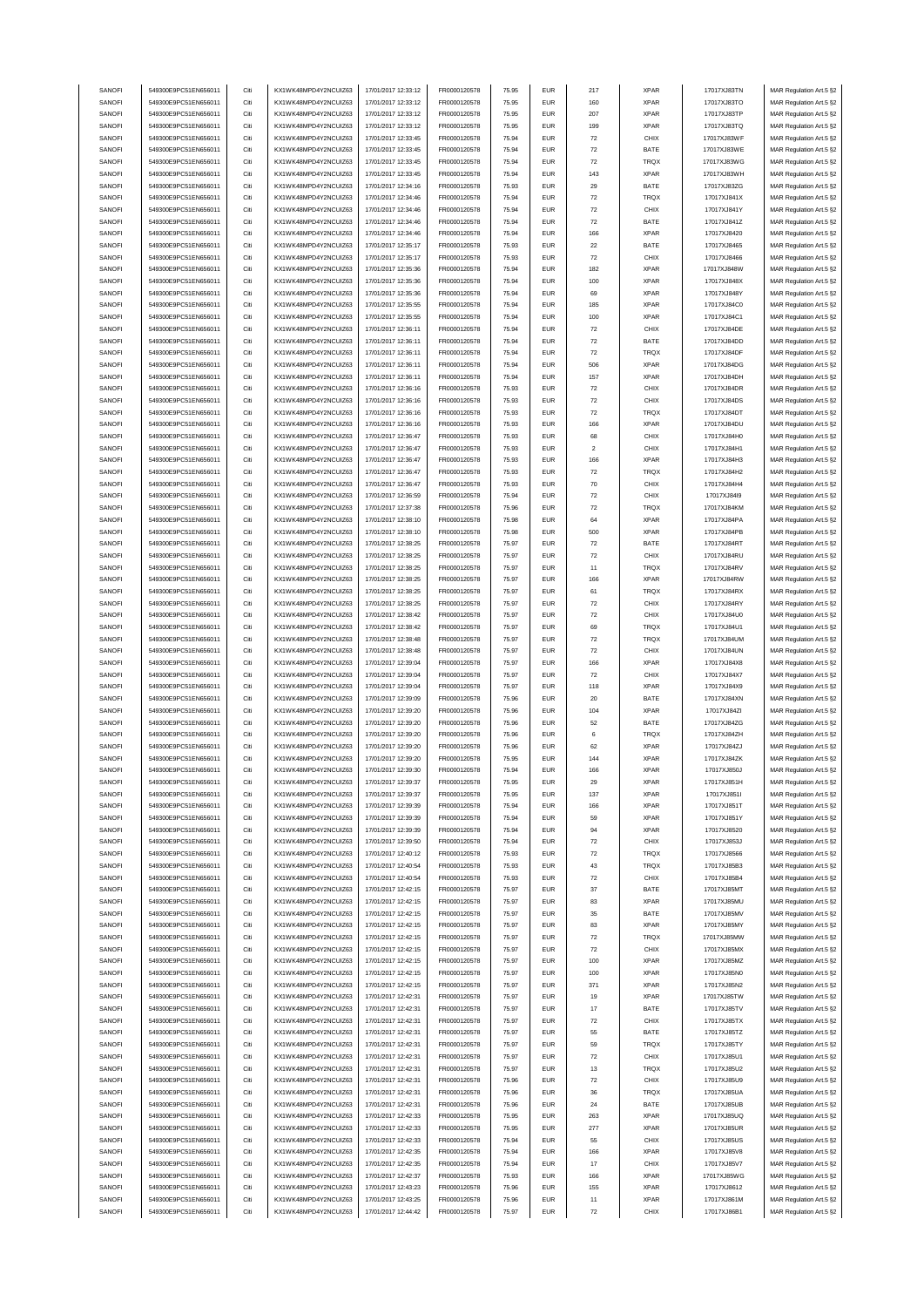| SANOFI | 549300E9PC51EN656011 | Citi | KX1WK48MPD4Y2NCUIZ63 | 17/01/2017 12:33:12 | FR0000120578 | 75.95 | <b>EUR</b> | 217                | <b>XPAR</b> | 17017XJ83TN | MAR Regulation Art.5 §2 |
|--------|----------------------|------|----------------------|---------------------|--------------|-------|------------|--------------------|-------------|-------------|-------------------------|
|        | 549300E9PC51EN656011 | Citi |                      | 17/01/2017 12:33:12 |              | 75.95 | <b>EUR</b> | 160                | <b>XPAR</b> |             |                         |
| SANOFI |                      |      | KX1WK48MPD4Y2NCUIZ63 |                     | FR0000120578 |       |            |                    |             | 17017XJ83TO | MAR Regulation Art.5 §2 |
| SANOFI | 549300E9PC51EN656011 | Citi | KX1WK48MPD4Y2NCUIZ63 | 17/01/2017 12:33:12 | FR0000120578 | 75.95 | <b>EUR</b> | 207                | <b>XPAR</b> | 17017XJ83TP | MAR Regulation Art.5 §2 |
| SANOFI | 549300E9PC51EN656011 | Citi | KX1WK48MPD4Y2NCUIZ63 | 17/01/2017 12:33:12 | FR0000120578 | 75.95 | EUR        | 199                | <b>XPAR</b> | 17017XJ83TQ | MAR Regulation Art.5 §2 |
| SANOFI | 549300E9PC51EN656011 | Citi | KX1WK48MPD4Y2NCUIZ63 | 17/01/2017 12:33:45 | FR0000120578 | 75.94 | <b>EUR</b> | $\scriptstyle{72}$ | CHIX        | 17017XJ83WF | MAR Regulation Art.5 §2 |
|        |                      |      |                      |                     |              |       |            |                    |             |             |                         |
| SANOFI | 549300E9PC51EN656011 | Citi | KX1WK48MPD4Y2NCUIZ63 | 17/01/2017 12:33:45 | FR0000120578 | 75.94 | <b>EUR</b> | $\scriptstyle{72}$ | BATE        | 17017XJ83WE | MAR Regulation Art.5 §2 |
| SANOFI | 549300E9PC51EN656011 | Citi | KX1WK48MPD4Y2NCUIZ63 | 17/01/2017 12:33:45 | FR0000120578 | 75.94 | <b>EUR</b> | $\scriptstyle{72}$ | TRQX        | 17017XJ83WG | MAR Regulation Art.5 §2 |
| SANOFI | 549300E9PC51EN656011 | Citi | KX1WK48MPD4Y2NCUIZ63 | 17/01/2017 12:33:45 | FR0000120578 | 75.94 | <b>EUR</b> | 143                | <b>XPAR</b> | 17017XJ83WH | MAR Regulation Art.5 §2 |
| SANOFI | 549300E9PC51EN656011 | Citi | KX1WK48MPD4Y2NCUIZ63 | 17/01/2017 12:34:16 | FR0000120578 |       | <b>EUR</b> | 29                 | BATE        |             |                         |
|        |                      |      |                      |                     |              | 75.93 |            |                    |             | 17017XJ83ZG | MAR Regulation Art.5 §2 |
| SANOFI | 549300E9PC51EN656011 | Citi | KX1WK48MPD4Y2NCUIZ63 | 17/01/2017 12:34:46 | FR0000120578 | 75.94 | <b>EUR</b> | 72                 | <b>TRQX</b> | 17017XJ841X | MAR Regulation Art.5 §2 |
| SANOFI | 549300E9PC51EN656011 | Citi | KX1WK48MPD4Y2NCUIZ63 | 17/01/2017 12:34:46 | FR0000120578 | 75.94 | <b>EUR</b> | $\scriptstyle{72}$ | CHIX        | 17017XJ841Y | MAR Regulation Art.5 §2 |
|        | 549300E9PC51EN656011 | Citi |                      |                     |              | 75.94 | <b>EUR</b> | $\scriptstyle{72}$ | BATE        |             |                         |
| SANOFI |                      |      | KX1WK48MPD4Y2NCUIZ63 | 17/01/2017 12:34:46 | FR0000120578 |       |            |                    |             | 17017XJ841Z | MAR Regulation Art.5 §2 |
| SANOFI | 549300E9PC51EN656011 | Citi | KX1WK48MPD4Y2NCUIZ63 | 17/01/2017 12:34:46 | FR0000120578 | 75.94 | <b>EUR</b> | 166                | <b>XPAR</b> | 17017XJ8420 | MAR Regulation Art.5 §2 |
| SANOFI | 549300E9PC51EN656011 | Citi | KX1WK48MPD4Y2NCUIZ63 | 17/01/2017 12:35:17 | FR0000120578 | 75.93 | <b>EUR</b> | $22\,$             | BATE        | 17017XJ8465 | MAR Regulation Art.5 §2 |
|        |                      | Citi | KX1WK48MPD4Y2NCUIZ63 |                     | FR0000120578 |       |            |                    |             |             |                         |
| SANOFI | 549300E9PC51EN656011 |      |                      | 17/01/2017 12:35:17 |              | 75.93 | <b>EUR</b> | $\scriptstyle{72}$ | CHIX        | 17017XJ8466 | MAR Regulation Art.5 §2 |
| SANOFI | 549300E9PC51EN656011 | Citi | KX1WK48MPD4Y2NCUIZ63 | 17/01/2017 12:35:36 | FR0000120578 | 75.94 | <b>EUR</b> | 182                | <b>XPAR</b> | 17017XJ848W | MAR Regulation Art.5 §2 |
| SANOFI | 549300E9PC51EN656011 | Citi | KX1WK48MPD4Y2NCUIZ63 | 17/01/2017 12:35:36 | FR0000120578 | 75.94 | <b>EUR</b> | 100                | <b>XPAR</b> | 17017XJ848X | MAR Regulation Art.5 §2 |
| SANOFI | 549300E9PC51EN656011 | Citi | KX1WK48MPD4Y2NCUIZ63 | 17/01/2017 12:35:36 | FR0000120578 | 75.94 | <b>EUR</b> | 69                 | <b>XPAR</b> | 17017XJ848Y | MAR Regulation Art.5 §2 |
|        |                      |      |                      |                     |              |       |            |                    |             |             |                         |
| SANOFI | 549300E9PC51EN656011 | Citi | KX1WK48MPD4Y2NCUIZ63 | 17/01/2017 12:35:55 | FR0000120578 | 75.94 | <b>EUR</b> | 185                | <b>XPAR</b> | 17017XJ84C0 | MAR Regulation Art.5 §2 |
| SANOFI | 549300E9PC51EN656011 | Citi | KX1WK48MPD4Y2NCUIZ63 | 17/01/2017 12:35:55 | FR0000120578 | 75.94 | EUR        | 100                | <b>XPAR</b> | 17017XJ84C1 | MAR Regulation Art.5 §2 |
| SANOFI | 549300E9PC51EN656011 | Citi | KX1WK48MPD4Y2NCUIZ63 | 17/01/2017 12:36:11 | FR0000120578 | 75.94 | <b>EUR</b> | $\scriptstyle{72}$ | CHIX        | 17017XJ84DE | MAR Regulation Art.5 §2 |
|        |                      |      |                      |                     |              |       |            |                    |             |             |                         |
| SANOFI | 549300E9PC51EN656011 | Citi | KX1WK48MPD4Y2NCUIZ63 | 17/01/2017 12:36:11 | FR0000120578 | 75.94 | <b>EUR</b> | $\scriptstyle{72}$ | BATE        | 17017XJ84DD | MAR Regulation Art.5 §2 |
| SANOFI | 549300E9PC51EN656011 | Citi | KX1WK48MPD4Y2NCUIZ63 | 17/01/2017 12:36:11 | FR0000120578 | 75.94 | <b>EUR</b> | $\scriptstyle{72}$ | TRQX        | 17017XJ84DF | MAR Regulation Art.5 §2 |
| SANOFI | 549300E9PC51EN656011 | Citi | KX1WK48MPD4Y2NCUIZ63 | 17/01/2017 12:36:11 | FR0000120578 | 75.94 | <b>EUR</b> | 506                | <b>XPAR</b> | 17017XJ84DG | MAR Regulation Art.5 §2 |
| SANOFI | 549300E9PC51EN656011 | Citi | KX1WK48MPD4Y2NCUIZ63 | 17/01/2017 12:36:11 | FR0000120578 | 75.94 | <b>EUR</b> | 157                | <b>XPAR</b> | 17017XJ84DH | MAR Regulation Art.5 §2 |
|        |                      |      |                      |                     |              |       |            |                    |             |             |                         |
| SANOFI | 549300E9PC51EN656011 | Citi | KX1WK48MPD4Y2NCUIZ63 | 17/01/2017 12:36:16 | FR0000120578 | 75.93 | <b>EUR</b> | $\scriptstyle{72}$ | CHIX        | 17017XJ84DR | MAR Regulation Art.5 §2 |
| SANOFI | 549300E9PC51EN656011 | Citi | KX1WK48MPD4Y2NCUIZ63 | 17/01/2017 12:36:16 | FR0000120578 | 75.93 | <b>EUR</b> | 72                 | CHIX        | 17017XJ84DS | MAR Regulation Art.5 §2 |
| SANOFI | 549300E9PC51EN656011 | Citi | KX1WK48MPD4Y2NCUIZ63 | 17/01/2017 12:36:16 | FR0000120578 | 75.93 | <b>EUR</b> | $\scriptstyle{72}$ | TRQX        | 17017XJ84DT | MAR Regulation Art.5 §2 |
|        |                      |      |                      |                     |              |       |            |                    |             |             |                         |
| SANOFI | 549300E9PC51EN656011 | Citi | KX1WK48MPD4Y2NCUIZ63 | 17/01/2017 12:36:16 | FR0000120578 | 75.93 | <b>EUR</b> | 166                | <b>XPAR</b> | 17017XJ84DU | MAR Regulation Art.5 §2 |
| SANOFI | 549300E9PC51EN656011 | Citi | KX1WK48MPD4Y2NCUIZ63 | 17/01/2017 12:36:47 | FR0000120578 | 75.93 | <b>EUR</b> | 68                 | CHIX        | 17017XJ84H0 | MAR Regulation Art.5 §2 |
| SANOFI | 549300E9PC51EN656011 | Citi | KX1WK48MPD4Y2NCUIZ63 | 17/01/2017 12:36:47 | FR0000120578 | 75.93 | <b>EUR</b> | $\sqrt{2}$         | CHIX        | 17017XJ84H1 | MAR Regulation Art.5 §2 |
|        |                      |      |                      |                     |              |       |            |                    |             |             |                         |
| SANOFI | 549300E9PC51EN656011 | Citi | KX1WK48MPD4Y2NCUIZ63 | 17/01/2017 12:36:47 | FR0000120578 | 75.93 | <b>EUR</b> | 166                | <b>XPAR</b> | 17017XJ84H3 | MAR Regulation Art.5 §2 |
| SANOFI | 549300E9PC51EN656011 | Citi | KX1WK48MPD4Y2NCUIZ63 | 17/01/2017 12:36:47 | FR0000120578 | 75.93 | <b>EUR</b> | $\scriptstyle{72}$ | TRQX        | 17017XJ84H2 | MAR Regulation Art.5 §2 |
| SANOFI | 549300E9PC51EN656011 | Citi | KX1WK48MPD4Y2NCUIZ63 | 17/01/2017 12:36:47 | FR0000120578 | 75.93 | <b>EUR</b> | 70                 | CHIX        | 17017XJ84H4 | MAR Regulation Art.5 §2 |
|        | 549300E9PC51EN656011 | Citi | KX1WK48MPD4Y2NCUIZ63 | 17/01/2017 12:36:59 | FR0000120578 | 75.94 | <b>EUR</b> | 72                 | CHIX        | 17017XJ84l9 | MAR Regulation Art.5 §2 |
| SANOFI |                      |      |                      |                     |              |       |            |                    |             |             |                         |
| SANOFI | 549300E9PC51EN656011 | Citi | KX1WK48MPD4Y2NCUIZ63 | 17/01/2017 12:37:38 | FR0000120578 | 75.96 | <b>EUR</b> | $\scriptstyle{72}$ | TRQX        | 17017XJ84KM | MAR Regulation Art.5 §2 |
| SANOFI | 549300E9PC51EN656011 | Citi | KX1WK48MPD4Y2NCUIZ63 | 17/01/2017 12:38:10 | FR0000120578 | 75.98 | <b>EUR</b> | 64                 | <b>XPAR</b> | 17017XJ84PA | MAR Regulation Art.5 §2 |
| SANOFI | 549300E9PC51EN656011 | Citi | KX1WK48MPD4Y2NCUIZ63 | 17/01/2017 12:38:10 | FR0000120578 | 75.98 | <b>EUR</b> | 500                | <b>XPAR</b> | 17017XJ84PB | MAR Regulation Art.5 §2 |
|        |                      |      |                      |                     |              |       |            |                    |             |             |                         |
| SANOFI | 549300E9PC51EN656011 | Citi | KX1WK48MPD4Y2NCUIZ63 | 17/01/2017 12:38:25 | FR0000120578 | 75.97 | <b>EUR</b> | $\scriptstyle{72}$ | BATE        | 17017XJ84RT | MAR Regulation Art.5 §2 |
| SANOFI | 549300E9PC51EN656011 | Citi | KX1WK48MPD4Y2NCUIZ63 | 17/01/2017 12:38:25 | FR0000120578 | 75.97 | <b>EUR</b> | $\scriptstyle{72}$ | CHIX        | 17017XJ84RU | MAR Regulation Art.5 §2 |
| SANOFI | 549300E9PC51EN656011 | Citi | KX1WK48MPD4Y2NCUIZ63 | 17/01/2017 12:38:25 | FR0000120578 | 75.97 | <b>EUR</b> | 11                 | TRQX        | 17017XJ84RV | MAR Regulation Art.5 §2 |
|        |                      |      |                      |                     |              |       |            |                    |             |             |                         |
| SANOFI | 549300E9PC51EN656011 | Citi | KX1WK48MPD4Y2NCUIZ63 | 17/01/2017 12:38:25 | FR0000120578 | 75.97 | <b>EUR</b> | 166                | <b>XPAR</b> | 17017XJ84RW | MAR Regulation Art.5 §2 |
| SANOFI | 549300E9PC51EN656011 | Citi | KX1WK48MPD4Y2NCUIZ63 | 17/01/2017 12:38:25 | FR0000120578 | 75.97 | <b>EUR</b> | 61                 | TRQX        | 17017XJ84RX | MAR Regulation Art.5 §2 |
| SANOFI | 549300E9PC51EN656011 | Citi | KX1WK48MPD4Y2NCUIZ63 | 17/01/2017 12:38:25 | FR0000120578 | 75.97 | <b>EUR</b> | 72                 | CHIX        | 17017XJ84RY | MAR Regulation Art.5 §2 |
|        |                      |      |                      |                     |              |       |            | $\scriptstyle{72}$ | CHIX        |             |                         |
| SANOFI | 549300E9PC51EN656011 | Citi | KX1WK48MPD4Y2NCUIZ63 | 17/01/2017 12:38:42 | FR0000120578 | 75.97 | <b>EUR</b> |                    |             | 17017XJ84U0 | MAR Regulation Art.5 §2 |
| SANOFI | 549300E9PC51EN656011 | Citi | KX1WK48MPD4Y2NCUIZ63 | 17/01/2017 12:38:42 | FR0000120578 | 75.97 | <b>EUR</b> | 69                 | TRQX        | 17017XJ84U1 | MAR Regulation Art.5 §2 |
| SANOFI | 549300E9PC51EN656011 | Citi | KX1WK48MPD4Y2NCUIZ63 | 17/01/2017 12:38:48 | FR0000120578 | 75.97 | <b>EUR</b> | $\scriptstyle{72}$ | TRQX        | 17017XJ84UM | MAR Regulation Art.5 §2 |
| SANOFI | 549300E9PC51EN656011 | Citi | KX1WK48MPD4Y2NCUIZ63 | 17/01/2017 12:38:48 | FR0000120578 | 75.97 | <b>EUR</b> | $\scriptstyle{72}$ | CHIX        | 17017XJ84UN | MAR Regulation Art.5 §2 |
|        |                      |      |                      |                     |              |       |            |                    |             |             |                         |
| SANOFI | 549300E9PC51EN656011 | Citi | KX1WK48MPD4Y2NCUIZ63 | 17/01/2017 12:39:04 | FR0000120578 | 75.97 | <b>EUR</b> | 166                | <b>XPAR</b> | 17017XJ84X8 | MAR Regulation Art.5 §2 |
| SANOFI | 549300E9PC51EN656011 | Citi | KX1WK48MPD4Y2NCUIZ63 | 17/01/2017 12:39:04 | FR0000120578 | 75.97 | <b>EUR</b> | $\scriptstyle{72}$ | CHIX        | 17017XJ84X7 | MAR Regulation Art.5 §2 |
| SANOFI | 549300E9PC51EN656011 | Citi | KX1WK48MPD4Y2NCUIZ63 | 17/01/2017 12:39:04 | FR0000120578 | 75.97 | <b>EUR</b> | 118                | <b>XPAR</b> | 17017XJ84X9 | MAR Regulation Art.5 §2 |
| SANOFI | 549300E9PC51EN656011 | Citi | KX1WK48MPD4Y2NCUIZ63 | 17/01/2017 12:39:09 | FR0000120578 | 75.96 | <b>EUR</b> | 20                 | BATE        | 17017XJ84XN | MAR Regulation Art.5 §2 |
|        |                      |      |                      |                     |              |       |            |                    |             |             |                         |
| SANOFI | 549300E9PC51EN656011 | Citi | KX1WK48MPD4Y2NCUIZ63 | 17/01/2017 12:39:20 | FR0000120578 | 75.96 | <b>EUR</b> | 104                | <b>XPAR</b> | 17017XJ84ZI | MAR Regulation Art.5 §2 |
| SANOFI | 549300E9PC51EN656011 | Citi | KX1WK48MPD4Y2NCUIZ63 | 17/01/2017 12:39:20 | FR0000120578 | 75.96 | <b>EUR</b> | 52                 | BATE        | 17017XJ84ZG | MAR Regulation Art.5 §2 |
| SANOFI | 549300E9PC51EN656011 | Citi | KX1WK48MPD4Y2NCUIZ63 | 17/01/2017 12:39:20 | FR0000120578 | 75.96 | <b>EUR</b> | 6                  | TRQX        | 17017XJ84ZH | MAR Regulation Art.5 §2 |
|        |                      |      |                      |                     |              |       |            |                    |             |             |                         |
| SANOFI | 549300E9PC51EN656011 | Citi | KX1WK48MPD4Y2NCUIZ63 | 17/01/2017 12:39:20 | FR0000120578 | 75.96 | <b>EUR</b> | 62                 | <b>XPAR</b> | 17017XJ84ZJ | MAR Regulation Art.5 §2 |
| SANOFI | 549300E9PC51EN656011 | Citi | KX1WK48MPD4Y2NCUIZ63 | 17/01/2017 12:39:20 | FR0000120578 | 75.95 | <b>EUR</b> | 144                | <b>XPAR</b> | 17017XJ84ZK | MAR Regulation Art.5 §2 |
| SANOFI | 549300E9PC51EN656011 | Citi | KX1WK48MPD4Y2NCUIZ63 | 17/01/2017 12:39:30 | FR0000120578 | 75.94 | <b>EUR</b> | 166                | <b>XPAR</b> | 17017XJ850J | MAR Regulation Art.5 §2 |
| SANOFI | 549300E9PC51EN656011 |      | KX1WK48MPD4Y2NCUIZ63 | 17/01/2017 12:39:37 | FR0000120578 | 75.95 | FUR        |                    | <b>XPAR</b> |             | MAR Regulation Art 5.82 |
|        |                      |      |                      |                     |              |       |            |                    |             |             |                         |
| SANOFI | 549300E9PC51EN656011 | Citi | KX1WK48MPD4Y2NCUIZ63 | 17/01/2017 12:39:37 | FR0000120578 | 75.95 |            |                    |             | 17017XJ851H |                         |
| SANOFI | 549300E9PC51EN656011 | Citi | KX1WK48MPD4Y2NCUIZ63 | 17/01/2017 12:39:39 |              |       | <b>EUR</b> | 137                | XPAR        | 17017XJ851I | MAR Regulation Art.5 §2 |
| SANOFI | 549300E9PC51EN656011 | Citi | KX1WK48MPD4Y2NCUIZ63 |                     | FR0000120578 | 75.94 | <b>EUR</b> | 166                | <b>XPAR</b> | 17017XJ851T |                         |
|        |                      |      |                      |                     |              |       |            |                    |             |             | MAR Regulation Art.5 §2 |
| SANOFI | 549300E9PC51EN656011 |      |                      | 17/01/2017 12:39:39 | FR0000120578 | 75.94 | <b>EUR</b> | 59                 | <b>XPAR</b> | 17017XJ851Y | MAR Regulation Art.5 §2 |
| SANOFI | 549300E9PC51EN656011 | Citi | KX1WK48MPD4Y2NCUIZ63 | 17/01/2017 12:39:39 | FR0000120578 | 75.94 | <b>EUR</b> | 94                 | <b>XPAR</b> | 17017XJ8520 | MAR Regulation Art.5 §2 |
|        |                      | Citi | KX1WK48MPD4Y2NCUIZ63 | 17/01/2017 12:39:50 | FR0000120578 | 75.94 | <b>EUR</b> | 72                 | CHIX        | 17017XJ853J | MAR Regulation Art.5 §2 |
| SANOFI | 549300E9PC51EN656011 | Citi | KX1WK48MPD4Y2NCUIZ63 | 17/01/2017 12:40:12 | FR0000120578 | 75.93 | <b>EUR</b> | $\scriptstyle{72}$ | TRQX        | 17017XJ8566 |                         |
|        |                      |      |                      |                     |              |       |            |                    |             |             | MAR Regulation Art.5 §2 |
| SANOFI | 549300E9PC51EN656011 | Citi | KX1WK48MPD4Y2NCUIZ63 | 17/01/2017 12:40:54 | FR0000120578 | 75.93 | <b>EUR</b> | 43                 | TRQX        | 17017XJ85B3 | MAR Regulation Art.5 §2 |
| SANOFI | 549300E9PC51EN656011 | Citi | KX1WK48MPD4Y2NCUIZ63 | 17/01/2017 12:40:54 | FR0000120578 | 75.93 | <b>EUR</b> | 72                 | CHIX        | 17017XJ85B4 | MAR Regulation Art.5 §2 |
| SANOFI | 549300E9PC51EN656011 | Citi | KX1WK48MPD4Y2NCUIZ63 | 17/01/2017 12:42:15 | FR0000120578 | 75.97 | <b>EUR</b> | 37                 | BATE        | 17017XJ85MT | MAR Regulation Art.5 §2 |
|        |                      |      |                      |                     |              |       |            |                    |             |             |                         |
| SANOFI | 549300E9PC51EN656011 | Citi | KX1WK48MPD4Y2NCUIZ63 | 17/01/2017 12:42:15 | FR0000120578 | 75.97 | <b>EUR</b> | 83                 | XPAR        | 17017XJ85MU | MAR Regulation Art.5 §2 |
| SANOFI | 549300E9PC51EN656011 | Citi | KX1WK48MPD4Y2NCUIZ63 | 17/01/2017 12:42:15 | FR0000120578 | 75.97 | <b>EUR</b> | 35                 | BATE        | 17017XJ85MV | MAR Regulation Art.5 §2 |
| SANOFI | 549300E9PC51EN656011 | Citi | KX1WK48MPD4Y2NCUIZ63 | 17/01/2017 12:42:15 | FR0000120578 | 75.97 | <b>EUR</b> | 83                 | <b>XPAR</b> | 17017XJ85MY | MAR Regulation Art.5 §2 |
| SANOFI | 549300E9PC51EN656011 | Citi | KX1WK48MPD4Y2NCUIZ63 | 17/01/2017 12:42:15 | FR0000120578 | 75.97 | <b>EUR</b> | $\scriptstyle{72}$ | TRQX        | 17017XJ85MW |                         |
|        |                      |      |                      |                     |              |       |            |                    |             |             | MAR Regulation Art.5 §2 |
| SANOFI | 549300E9PC51EN656011 | Citi | KX1WK48MPD4Y2NCUIZ63 | 17/01/2017 12:42:15 | FR0000120578 | 75.97 | <b>EUR</b> | $\scriptstyle{72}$ | CHIX        | 17017XJ85MX | MAR Regulation Art.5 §2 |
| SANOFI | 549300E9PC51EN656011 | Citi | KX1WK48MPD4Y2NCUIZ63 | 17/01/2017 12:42:15 | FR0000120578 | 75.97 | <b>EUR</b> | 100                | XPAR        | 17017XJ85MZ | MAR Regulation Art.5 §2 |
|        |                      |      |                      |                     |              |       |            |                    |             |             |                         |
| SANOFI | 549300E9PC51EN656011 | Citi | KX1WK48MPD4Y2NCUIZ63 | 17/01/2017 12:42:15 | FR0000120578 | 75.97 | <b>EUR</b> | 100                | <b>XPAR</b> | 17017XJ85N0 | MAR Regulation Art.5 §2 |
| SANOFI | 549300E9PC51EN656011 | Citi | KX1WK48MPD4Y2NCUIZ63 | 17/01/2017 12:42:15 | FR0000120578 | 75.97 | <b>EUR</b> | 371                | <b>XPAR</b> | 17017XJ85N2 | MAR Regulation Art.5 §2 |
| SANOFI | 549300E9PC51EN656011 | Citi | KX1WK48MPD4Y2NCUIZ63 | 17/01/2017 12:42:31 | FR0000120578 | 75.97 | <b>EUR</b> | 19                 | <b>XPAR</b> | 17017XJ85TW | MAR Regulation Art.5 §2 |
| SANOFI | 549300E9PC51EN656011 | Citi | KX1WK48MPD4Y2NCUIZ63 | 17/01/2017 12:42:31 | FR0000120578 | 75.97 | <b>EUR</b> | 17                 | BATE        | 17017XJ85TV | MAR Regulation Art.5 §2 |
|        |                      |      |                      |                     |              |       |            |                    |             |             |                         |
| SANOFI | 549300E9PC51EN656011 | Citi | KX1WK48MPD4Y2NCUIZ63 | 17/01/2017 12:42:31 | FR0000120578 | 75.97 | <b>EUR</b> | 72                 | CHIX        | 17017XJ85TX | MAR Regulation Art.5 §2 |
| SANOFI | 549300E9PC51EN656011 | Citi | KX1WK48MPD4Y2NCUIZ63 | 17/01/2017 12:42:31 | FR0000120578 | 75.97 | <b>EUR</b> | 55                 | BATE        | 17017XJ85TZ | MAR Regulation Art.5 §2 |
| SANOFI | 549300E9PC51EN656011 | Citi | KX1WK48MPD4Y2NCUIZ63 | 17/01/2017 12:42:31 | FR0000120578 | 75.97 | <b>EUR</b> | 59                 | TRQX        | 17017XJ85TY | MAR Regulation Art.5 §2 |
|        |                      |      |                      |                     |              |       | <b>EUR</b> |                    |             |             |                         |
| SANOFI | 549300E9PC51EN656011 | Citi | KX1WK48MPD4Y2NCUIZ63 | 17/01/2017 12:42:31 | FR0000120578 | 75.97 |            | $\scriptstyle{72}$ | CHIX        | 17017XJ85U1 | MAR Regulation Art.5 §2 |
| SANOFI | 549300E9PC51EN656011 | Citi | KX1WK48MPD4Y2NCUIZ63 | 17/01/2017 12:42:31 | FR0000120578 | 75.97 | <b>EUR</b> | 13                 | TRQX        | 17017XJ85U2 | MAR Regulation Art.5 §2 |
| SANOFI | 549300E9PC51EN656011 | Citi | KX1WK48MPD4Y2NCUIZ63 | 17/01/2017 12:42:31 | FR0000120578 | 75.96 | <b>EUR</b> | 72                 | CHIX        | 17017XJ85U9 | MAR Regulation Art.5 §2 |
| SANOFI | 549300E9PC51EN656011 | Citi | KX1WK48MPD4Y2NCUIZ63 | 17/01/2017 12:42:31 | FR0000120578 | 75.96 | <b>EUR</b> | 36                 | TRQX        | 17017XJ85UA | MAR Regulation Art.5 §2 |
|        |                      |      |                      |                     |              |       |            |                    |             |             |                         |
| SANOFI | 549300E9PC51EN656011 | Citi | KX1WK48MPD4Y2NCUIZ63 | 17/01/2017 12:42:31 | FR0000120578 | 75.96 | <b>EUR</b> | 24                 | BATE        | 17017XJ85UB | MAR Regulation Art.5 §2 |
| SANOFI | 549300E9PC51EN656011 | Citi | KX1WK48MPD4Y2NCUIZ63 | 17/01/2017 12:42:33 | FR0000120578 | 75.95 | <b>EUR</b> | 263                | <b>XPAR</b> | 17017XJ85UQ | MAR Regulation Art.5 §2 |
| SANOFI | 549300E9PC51EN656011 | Citi | KX1WK48MPD4Y2NCUIZ63 | 17/01/2017 12:42:33 | FR0000120578 | 75.95 | <b>EUR</b> | 277                | <b>XPAR</b> | 17017XJ85UR | MAR Regulation Art.5 §2 |
|        |                      |      |                      |                     |              |       |            |                    |             |             |                         |
| SANOFI | 549300E9PC51EN656011 | Citi | KX1WK48MPD4Y2NCUIZ63 | 17/01/2017 12:42:33 | FR0000120578 | 75.94 | <b>EUR</b> | 55                 | CHIX        | 17017XJ85US | MAR Regulation Art.5 §2 |
| SANOFI | 549300E9PC51EN656011 | Citi | KX1WK48MPD4Y2NCUIZ63 | 17/01/2017 12:42:35 | FR0000120578 | 75.94 | <b>EUR</b> | 166                | XPAR        | 17017XJ85V8 | MAR Regulation Art.5 §2 |
| SANOFI | 549300E9PC51EN656011 | Citi | KX1WK48MPD4Y2NCUIZ63 | 17/01/2017 12:42:35 | FR0000120578 | 75.94 | <b>EUR</b> | $17\,$             | CHIX        | 17017XJ85V7 | MAR Regulation Art.5 §2 |
| SANOFI | 549300E9PC51EN656011 | Citi | KX1WK48MPD4Y2NCUIZ63 | 17/01/2017 12:42:37 | FR0000120578 | 75.93 | <b>EUR</b> | 166                | <b>XPAR</b> | 17017XJ85WG |                         |
|        |                      |      |                      |                     |              |       |            |                    |             |             | MAR Regulation Art.5 §2 |
| SANOFI | 549300E9PC51EN656011 | Citi | KX1WK48MPD4Y2NCUIZ63 | 17/01/2017 12:43:23 | FR0000120578 | 75.96 | <b>EUR</b> | 155                | <b>XPAR</b> | 17017XJ8612 | MAR Regulation Art.5 §2 |
| SANOFI | 549300E9PC51EN656011 | Citi | KX1WK48MPD4Y2NCUIZ63 | 17/01/2017 12:43:25 | FR0000120578 | 75.96 | <b>EUR</b> | 11                 | XPAR        | 17017XJ861M | MAR Regulation Art.5 §2 |
| SANOFI | 549300E9PC51EN656011 | Citi | KX1WK48MPD4Y2NCUIZ63 | 17/01/2017 12:44:42 | FR0000120578 | 75.97 | <b>EUR</b> | $\scriptstyle{72}$ | CHIX        | 17017XJ86B1 | MAR Regulation Art.5 §2 |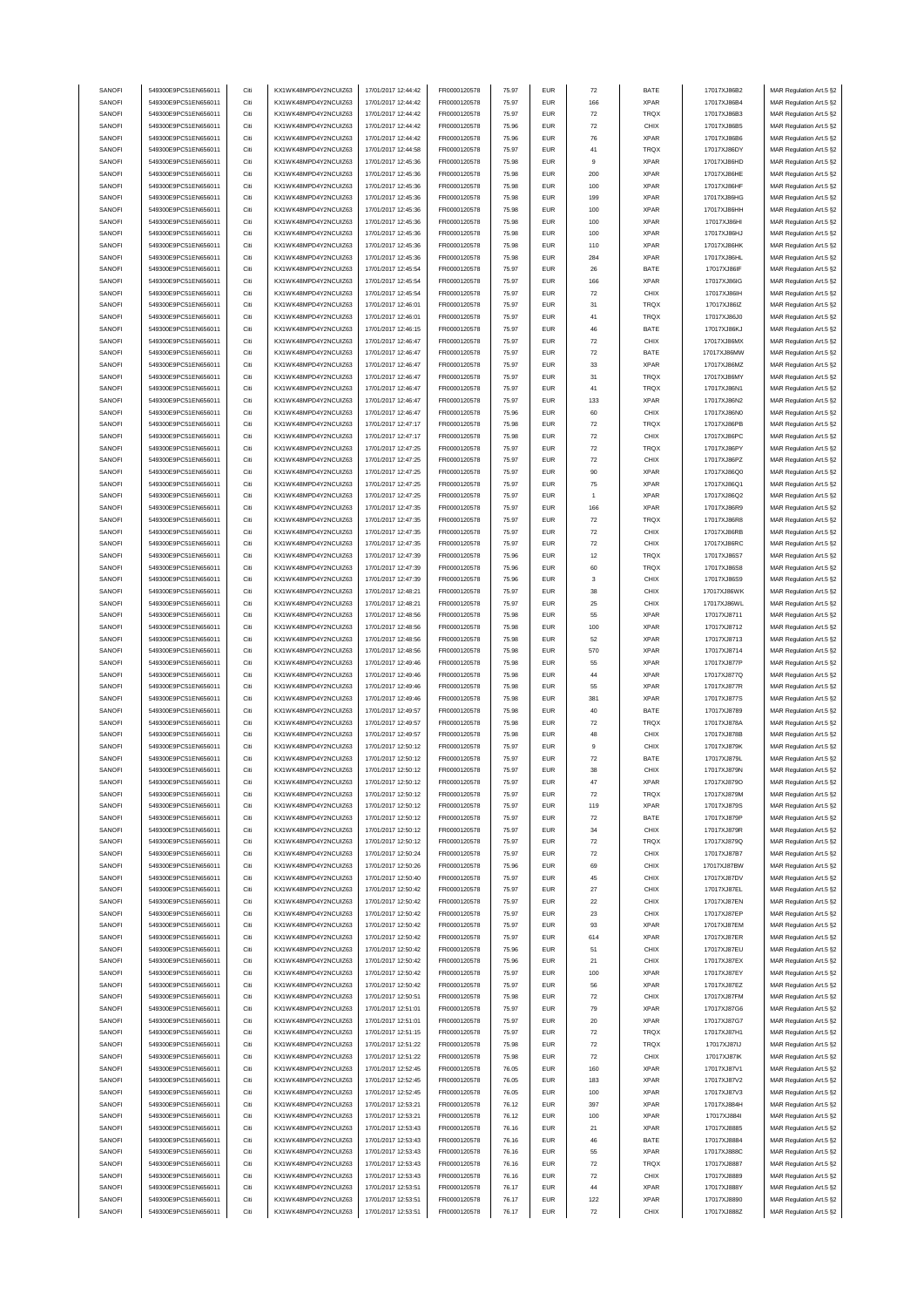| SANOFI        | 549300E9PC51EN656011 | Citi | KX1WK48MPD4Y2NCUIZ63  | 17/01/2017 12:44:42 | FR0000120578 | 75.97 | <b>EUR</b> | $\scriptstyle{72}$ | BATE        | 17017XJ86B2 | MAR Regulation Art.5 §2 |
|---------------|----------------------|------|-----------------------|---------------------|--------------|-------|------------|--------------------|-------------|-------------|-------------------------|
| SANOFI        | 549300E9PC51EN656011 | Citi | KX1WK48MPD4Y2NCUIZ63  | 17/01/2017 12:44:42 | FR0000120578 | 75.97 | <b>EUR</b> | 166                | <b>XPAR</b> | 17017XJ86B4 | MAR Regulation Art.5 §2 |
|               | 549300E9PC51EN656011 | Citi |                       |                     |              |       | <b>EUR</b> |                    | TRQX        |             | MAR Regulation Art.5 §2 |
| SANOFI        |                      |      | KX1WK48MPD4Y2NCUIZ63  | 17/01/2017 12:44:42 | FR0000120578 | 75.97 |            | $\scriptstyle{72}$ |             | 17017XJ86B3 |                         |
| SANOFI        | 549300E9PC51EN656011 | Citi | KX1WK48MPD4Y2NCUIZ63  | 17/01/2017 12:44:42 | FR0000120578 | 75.96 | <b>EUR</b> | $\scriptstyle{72}$ | CHIX        | 17017XJ86B5 | MAR Regulation Art.5 §2 |
| SANOFI        | 549300E9PC51EN656011 | Citi | KX1WK48MPD4Y2NCUIZ63  | 17/01/2017 12:44:42 | FR0000120578 | 75.96 | <b>EUR</b> | 76                 | <b>XPAR</b> | 17017XJ86B6 | MAR Regulation Art.5 §2 |
| SANOFI        | 549300E9PC51EN656011 | Citi | KX1WK48MPD4Y2NCUIZ63  | 17/01/2017 12:44:58 | FR0000120578 | 75.97 | <b>EUR</b> | 41                 | TRQX        | 17017XJ86DY | MAR Regulation Art.5 §2 |
| SANOFI        | 549300E9PC51EN656011 | Citi | KX1WK48MPD4Y2NCUIZ63  | 17/01/2017 12:45:36 | FR0000120578 | 75.98 | <b>EUR</b> | 9                  | <b>XPAR</b> | 17017XJ86HD | MAR Regulation Art.5 §2 |
| SANOFI        | 549300E9PC51EN656011 | Citi | KX1WK48MPD4Y2NCUIZ63  | 17/01/2017 12:45:36 | FR0000120578 | 75.98 | <b>EUR</b> | 200                | <b>XPAR</b> | 17017XJ86HE | MAR Regulation Art.5 §2 |
| SANOFI        | 549300E9PC51EN656011 | Citi | KX1WK48MPD4Y2NCUIZ63  | 17/01/2017 12:45:36 | FR0000120578 | 75.98 | <b>EUR</b> | 100                | <b>XPAR</b> | 17017XJ86HF |                         |
|               |                      |      |                       |                     |              |       |            |                    |             |             | MAR Regulation Art.5 §2 |
| SANOFI        | 549300E9PC51EN656011 | Citi | KX1WK48MPD4Y2NCUIZ63  | 17/01/2017 12:45:36 | FR0000120578 | 75.98 | <b>EUR</b> | 199                | <b>XPAR</b> | 17017XJ86HG | MAR Regulation Art.5 §2 |
| SANOFI        | 549300E9PC51EN656011 | Citi | KX1WK48MPD4Y2NCUIZ63  | 17/01/2017 12:45:36 | FR0000120578 | 75.98 | <b>EUR</b> | 100                | <b>XPAR</b> | 17017XJ86HH | MAR Regulation Art.5 §2 |
| SANOFI        | 549300E9PC51EN656011 | Citi | KX1WK48MPD4Y2NCUIZ63  | 17/01/2017 12:45:36 | FR0000120578 | 75.98 | <b>EUR</b> | 100                | <b>XPAR</b> | 17017XJ86HI | MAR Regulation Art.5 §2 |
| SANOFI        | 549300E9PC51EN656011 | Citi | KX1WK48MPD4Y2NCUIZ63  | 17/01/2017 12:45:36 | FR0000120578 | 75.98 | <b>EUR</b> | 100                | <b>XPAR</b> | 17017XJ86HJ | MAR Regulation Art.5 §2 |
| SANOFI        | 549300E9PC51EN656011 | Citi | KX1WK48MPD4Y2NCUIZ63  | 17/01/2017 12:45:36 | FR0000120578 | 75.98 | <b>EUR</b> | 110                | <b>XPAR</b> | 17017XJ86HK | MAR Regulation Art.5 §2 |
|               |                      |      |                       |                     |              |       |            |                    |             |             |                         |
| SANOFI        | 549300E9PC51EN656011 | Citi | KX1WK48MPD4Y2NCUIZ63  | 17/01/2017 12:45:36 | FR0000120578 | 75.98 | <b>EUR</b> | 284                | <b>XPAR</b> | 17017XJ86HL | MAR Regulation Art.5 §2 |
| SANOFI        | 549300E9PC51EN656011 | Citi | KX1WK48MPD4Y2NCUIZ63  | 17/01/2017 12:45:54 | FR0000120578 | 75.97 | <b>EUR</b> | 26                 | BATE        | 17017XJ86IF | MAR Regulation Art.5 §2 |
| SANOFI        | 549300E9PC51EN656011 | Citi | KX1WK48MPD4Y2NCUIZ63  | 17/01/2017 12:45:54 | FR0000120578 | 75.97 | <b>EUR</b> | 166                | <b>XPAR</b> | 17017XJ86IG | MAR Regulation Art.5 §2 |
| SANOFI        | 549300E9PC51EN656011 | Citi | KX1WK48MPD4Y2NCUIZ63  | 17/01/2017 12:45:54 | FR0000120578 | 75.97 | <b>EUR</b> | $\bf 72$           | CHIX        | 17017XJ86IH | MAR Regulation Art.5 §2 |
| SANOFI        | 549300E9PC51EN656011 | Citi | KX1WK48MPD4Y2NCUIZ63  | 17/01/2017 12:46:01 | FR0000120578 | 75.97 | <b>EUR</b> | 31                 | TRQX        | 17017XJ86IZ | MAR Regulation Art.5 §2 |
|               |                      |      |                       |                     |              |       |            |                    |             |             |                         |
| SANOFI        | 549300E9PC51EN656011 | Citi | KX1WK48MPD4Y2NCUIZ63  | 17/01/2017 12:46:01 | FR0000120578 | 75.97 | <b>EUR</b> | 41                 | TRQX        | 17017XJ86J0 | MAR Regulation Art.5 §2 |
| SANOFI        | 549300E9PC51EN656011 | Citi | KX1WK48MPD4Y2NCUIZ63  | 17/01/2017 12:46:15 | FR0000120578 | 75.97 | <b>EUR</b> | 46                 | BATE        | 17017XJ86KJ | MAR Regulation Art.5 §2 |
| SANOFI        | 549300E9PC51EN656011 | Citi | KX1WK48MPD4Y2NCUIZ63  | 17/01/2017 12:46:47 | FR0000120578 | 75.97 | <b>EUR</b> | $\scriptstyle{72}$ | CHIX        | 17017XJ86MX | MAR Regulation Art.5 §2 |
| SANOFI        | 549300E9PC51EN656011 | Citi | KX1WK48MPD4Y2NCUIZ63  | 17/01/2017 12:46:47 | FR0000120578 | 75.97 | <b>EUR</b> | $\scriptstyle{72}$ | BATE        | 17017XJ86MW | MAR Regulation Art.5 §2 |
| SANOFI        | 549300E9PC51EN656011 | Citi | KX1WK48MPD4Y2NCUIZ63  | 17/01/2017 12:46:47 | FR0000120578 | 75.97 | <b>EUR</b> | 33                 | <b>XPAR</b> | 17017XJ86MZ | MAR Regulation Art.5 §2 |
| SANOFI        | 549300E9PC51EN656011 | Citi | KX1WK48MPD4Y2NCLIIZ63 | 17/01/2017 12:46:47 | FR0000120578 | 75.97 | <b>EUR</b> | 31                 | <b>TRQX</b> | 17017XJ86MY | MAR Regulation Art.5 §2 |
|               |                      | Citi | KX1WK48MPD4Y2NCUIZ63  |                     |              |       |            |                    |             |             |                         |
| SANOFI        | 549300E9PC51EN656011 |      |                       | 17/01/2017 12:46:47 | FR0000120578 | 75.97 | <b>EUR</b> | 41                 | TRQX        | 17017XJ86N1 | MAR Regulation Art.5 §2 |
| SANOFI        | 549300E9PC51EN656011 | Citi | KX1WK48MPD4Y2NCUIZ63  | 17/01/2017 12:46:47 | FR0000120578 | 75.97 | <b>EUR</b> | 133                | <b>XPAR</b> | 17017XJ86N2 | MAR Regulation Art.5 §2 |
| SANOFI        | 549300E9PC51EN656011 | Citi | KX1WK48MPD4Y2NCUIZ63  | 17/01/2017 12:46:47 | FR0000120578 | 75.96 | <b>EUR</b> | 60                 | CHIX        | 17017XJ86N0 | MAR Regulation Art.5 §2 |
| SANOFI        | 549300E9PC51EN656011 | Citi | KX1WK48MPD4Y2NCUIZ63  | 17/01/2017 12:47:17 | FR0000120578 | 75.98 | <b>EUR</b> | $\scriptstyle{72}$ | TRQX        | 17017XJ86PB | MAR Regulation Art.5 §2 |
| SANOFI        | 549300E9PC51EN656011 | Citi | KX1WK48MPD4Y2NCUIZ63  | 17/01/2017 12:47:17 | FR0000120578 | 75.98 | <b>EUR</b> | $\scriptstyle{72}$ | CHIX        | 17017XJ86PC | MAR Regulation Art.5 §2 |
| SANOFI        | 549300E9PC51EN656011 | Citi | KX1WK48MPD4Y2NCUIZ63  | 17/01/2017 12:47:25 | FR0000120578 | 75.97 | <b>EUR</b> | $\scriptstyle{72}$ | TRQX        | 17017XJ86PY | MAR Regulation Art.5 §2 |
|               |                      |      |                       |                     |              |       |            |                    |             |             |                         |
| SANOFI        | 549300E9PC51EN656011 | Citi | KX1WK48MPD4Y2NCUIZ63  | 17/01/2017 12:47:25 | FR0000120578 | 75.97 | <b>EUR</b> | $\scriptstyle{72}$ | CHIX        | 17017XJ86PZ | MAR Regulation Art.5 §2 |
| SANOFI        | 549300E9PC51EN656011 | Citi | KX1WK48MPD4Y2NCUIZ63  | 17/01/2017 12:47:25 | FR0000120578 | 75.97 | <b>EUR</b> | 90                 | <b>XPAR</b> | 17017XJ86Q0 | MAR Regulation Art.5 §2 |
| SANOFI        | 549300E9PC51EN656011 | Citi | KX1WK48MPD4Y2NCLIIZ63 | 17/01/2017 12:47:25 | FR0000120578 | 75.97 | <b>EUR</b> | 75                 | <b>XPAR</b> | 17017XJ86Q1 | MAR Regulation Art.5 §2 |
| SANOFI        | 549300E9PC51EN656011 | Citi | KX1WK48MPD4Y2NCUIZ63  | 17/01/2017 12:47:25 | FR0000120578 | 75.97 | <b>EUR</b> | $\overline{1}$     | <b>XPAR</b> | 17017XJ86Q2 | MAR Regulation Art.5 §2 |
| SANOFI        | 549300E9PC51EN656011 | Citi | KX1WK48MPD4Y2NCUIZ63  | 17/01/2017 12:47:35 | FR0000120578 | 75.97 | <b>EUR</b> | 166                | <b>XPAR</b> | 17017XJ86R9 | MAR Regulation Art.5 §2 |
|               |                      |      |                       |                     |              |       |            |                    |             |             |                         |
| SANOFI        | 549300E9PC51EN656011 | Citi | KX1WK48MPD4Y2NCUIZ63  | 17/01/2017 12:47:35 | FR0000120578 | 75.97 | <b>EUR</b> | $\scriptstyle{72}$ | TRQX        | 17017XJ86R8 | MAR Regulation Art.5 §2 |
| SANOFI        | 549300E9PC51EN656011 | Citi | KX1WK48MPD4Y2NCUIZ63  | 17/01/2017 12:47:35 | FR0000120578 | 75.97 | <b>EUR</b> | $\scriptstyle{72}$ | CHIX        | 17017XJ86RB | MAR Regulation Art.5 §2 |
| SANOFI        | 549300E9PC51EN656011 | Citi | KX1WK48MPD4Y2NCUIZ63  | 17/01/2017 12:47:35 | FR0000120578 | 75.97 | <b>EUR</b> | $\bf 72$           | CHIX        | 17017XJ86RC | MAR Regulation Art.5 §2 |
| SANOFI        | 549300E9PC51EN656011 | Citi | KX1WK48MPD4Y2NCUIZ63  | 17/01/2017 12:47:39 | FR0000120578 | 75.96 | <b>EUR</b> | 12                 | TRQX        | 17017XJ86S7 | MAR Regulation Art.5 §2 |
| SANOFI        | 549300E9PC51EN656011 | Citi | KX1WK48MPD4Y2NCUIZ63  | 17/01/2017 12:47:39 | FR0000120578 | 75.96 | <b>EUR</b> | 60                 | <b>TRQX</b> | 17017XJ86S8 | MAR Regulation Art.5 §2 |
| SANOFI        | 549300E9PC51EN656011 | Citi | KX1WK48MPD4Y2NCUIZ63  | 17/01/2017 12:47:39 | FR0000120578 | 75.96 | <b>EUR</b> | 3                  | CHIX        | 17017XJ86S9 | MAR Regulation Art.5 §2 |
|               |                      |      |                       |                     |              |       |            |                    |             |             |                         |
| SANOFI        | 549300E9PC51EN656011 | Citi | KX1WK48MPD4Y2NCUIZ63  | 17/01/2017 12:48:21 | FR0000120578 | 75.97 | <b>EUR</b> | 38                 | CHIX        | 17017XJ86WK | MAR Regulation Art.5 §2 |
| SANOFI        | 549300E9PC51EN656011 | Citi | KX1WK48MPD4Y2NCUIZ63  | 17/01/2017 12:48:21 | FR0000120578 | 75.97 | <b>EUR</b> | 25                 | CHIX        | 17017XJ86WL | MAR Regulation Art.5 §2 |
| SANOFI        | 549300E9PC51EN656011 | Citi | KX1WK48MPD4Y2NCUIZ63  | 17/01/2017 12:48:56 | FR0000120578 | 75.98 | <b>EUR</b> | 55                 | <b>XPAR</b> | 17017XJ8711 | MAR Regulation Art.5 §2 |
| SANOFI        | 549300E9PC51EN656011 | Citi | KX1WK48MPD4Y2NCUIZ63  | 17/01/2017 12:48:56 | FR0000120578 | 75.98 | <b>EUR</b> | 100                | <b>XPAR</b> | 17017XJ8712 | MAR Regulation Art.5 §2 |
| SANOFI        | 549300E9PC51EN656011 | Citi | KX1WK48MPD4Y2NCUIZ63  | 17/01/2017 12:48:56 | FR0000120578 | 75.98 | <b>EUR</b> | 52                 | <b>XPAR</b> | 17017XJ8713 | MAR Regulation Art.5 §2 |
| SANOFI        | 549300E9PC51EN656011 | Citi | KX1WK48MPD4Y2NCUIZ63  | 17/01/2017 12:48:56 | FR0000120578 | 75.98 | <b>EUR</b> | 570                | <b>XPAR</b> | 17017XJ8714 | MAR Regulation Art.5 §2 |
|               |                      |      |                       |                     |              |       |            |                    |             |             |                         |
| SANOFI        | 549300E9PC51EN656011 | Citi | KX1WK48MPD4Y2NCUIZ63  | 17/01/2017 12:49:46 | FR0000120578 | 75.98 | <b>EUR</b> | 55                 | <b>XPAR</b> | 17017XJ877P | MAR Regulation Art.5 §2 |
| SANOFI        | 549300E9PC51EN656011 | Citi | KX1WK48MPD4Y2NCUIZ63  | 17/01/2017 12:49:46 | FR0000120578 | 75.98 | <b>EUR</b> | 44                 | <b>XPAR</b> | 17017XJ877Q | MAR Regulation Art.5 §2 |
| SANOFI        | 549300E9PC51EN656011 | Citi | KX1WK48MPD4Y2NCUIZ63  | 17/01/2017 12:49:46 | FR0000120578 | 75.98 | <b>EUR</b> | 55                 | <b>XPAR</b> | 17017XJ877R | MAR Regulation Art.5 §2 |
| SANOFI        | 549300E9PC51EN656011 | Citi | KX1WK48MPD4Y2NCUIZ63  | 17/01/2017 12:49:46 | FR0000120578 | 75.98 | <b>EUR</b> | 381                | <b>XPAR</b> | 17017XJ877S | MAR Regulation Art.5 §2 |
| SANOFI        | 549300E9PC51EN656011 | Citi | KX1WK48MPD4Y2NCUIZ63  | 17/01/2017 12:49:57 | FR0000120578 | 75.98 | <b>EUR</b> | 40                 | BATE        | 17017XJ8789 | MAR Regulation Art.5 §2 |
|               | 549300E9PC51EN656011 |      | KX1WK48MPD4Y2NCUIZ63  | 17/01/2017 12:49:57 |              |       |            |                    |             |             |                         |
| SANOFI        |                      | Citi |                       |                     | FR0000120578 | 75.98 | <b>EUR</b> | $\scriptstyle{72}$ | TRQX        | 17017XJ878A | MAR Regulation Art.5 §2 |
| SANOFI        | 549300E9PC51EN656011 | Citi | KX1WK48MPD4Y2NCUIZ63  | 17/01/2017 12:49:57 | FR0000120578 | 75.98 | <b>EUR</b> | 48                 | CHIX        | 17017XJ878B | MAR Regulation Art.5 §2 |
| SANOFI        | 549300E9PC51EN656011 | Citi | KX1WK48MPD4Y2NCUIZ63  | 17/01/2017 12:50:12 | FR0000120578 | 75.97 | <b>EUR</b> | 9                  | CHIX        | 17017XJ879K | MAR Regulation Art.5 §2 |
| SANOFI        | 549300E9PC51EN656011 | Citi | KX1WK48MPD4Y2NCUIZ63  | 17/01/2017 12:50:12 | FR0000120578 | 75.97 | <b>EUR</b> | 72                 | BATE        | 17017XJ879L | MAR Regulation Art.5 §2 |
| SANOFI        | 549300E9PC51EN656011 |      | KX1WK48MPD4Y2NCLIIZ63 | 17/01/2017 12:50:12 | FR0000120578 | 75.97 |            |                    | CHIX        | 17017XJ879N | MAR Regulation Art 5 82 |
| SANOFI        | 549300E9PC51EN656011 | Citi | KX1WK48MPD4Y2NCUIZ63  | 17/01/2017 12:50:12 | FR0000120578 | 75.97 | <b>EUR</b> | 47                 | <b>XPAR</b> | 17017XJ879O | MAR Regulation Art.5 §2 |
|               |                      |      | KX1WK48MPD4Y2NCUIZ63  |                     |              |       |            |                    |             |             |                         |
| SANOFI        | 549300E9PC51EN656011 | Citi |                       | 17/01/2017 12:50:12 | FR0000120578 | 75.97 | <b>EUR</b> | $\bf 72$           | TRQX        | 17017XJ879M | MAR Regulation Art.5 §2 |
| SANOFI        | 549300E9PC51EN656011 | Citi | KX1WK48MPD4Y2NCUIZ63  | 17/01/2017 12:50:12 | FR0000120578 | 75.97 | <b>EUR</b> | 119                | <b>XPAR</b> | 17017XJ879S | MAR Regulation Art.5 §2 |
| SANOFI        | 549300E9PC51EN656011 | Citi | KX1WK48MPD4Y2NCUIZ63  | 17/01/2017 12:50:12 | FR0000120578 | 75.97 | <b>EUR</b> | $\bf 72$           | BATE        | 17017XJ879P | MAR Regulation Art.5 §2 |
| SANOFI        | 549300E9PC51EN656011 | Citi | KX1WK48MPD4Y2NCUIZ63  | 17/01/2017 12:50:12 | FR0000120578 | 75.97 | <b>EUR</b> | 34                 | CHIX        | 17017XJ879R | MAR Regulation Art.5 §2 |
| SANOFI        | 549300E9PC51EN656011 | Citi | KX1WK48MPD4Y2NCUIZ63  | 17/01/2017 12:50:12 | FR0000120578 | 75.97 | <b>EUR</b> | $\bf 72$           | TRQX        | 17017XJ879Q | MAR Regulation Art.5 §2 |
| SANOFI        | 549300E9PC51EN656011 | Citi | KX1WK48MPD4Y2NCUIZ63  | 17/01/2017 12:50:24 | FR0000120578 | 75.97 | <b>EUR</b> | $\scriptstyle{72}$ | CHIX        | 17017XJ87B7 | MAR Regulation Art.5 §2 |
| SANOFI        | 549300E9PC51EN656011 | Citi | KX1WK48MPD4Y2NCUIZ63  | 17/01/2017 12:50:26 | FR0000120578 | 75.96 | <b>EUR</b> | 69                 | CHIX        | 17017XJ87BW | MAR Regulation Art.5 §2 |
|               |                      |      |                       |                     |              |       |            |                    |             |             |                         |
| SANOFI        | 549300E9PC51EN656011 | Citi | KX1WK48MPD4Y2NCUIZ63  | 17/01/2017 12:50:40 | FR0000120578 | 75.97 | <b>EUR</b> | 45                 | CHIX        | 17017XJ87DV | MAR Regulation Art.5 §2 |
| SANOFI        | 549300E9PC51EN656011 | Citi | KX1WK48MPD4Y2NCUIZ63  | 17/01/2017 12:50:42 | FR0000120578 | 75.97 | <b>EUR</b> | $27\,$             | CHIX        | 17017XJ87EL | MAR Regulation Art.5 §2 |
| SANOFI        | 549300E9PC51EN656011 | Citi | KX1WK48MPD4Y2NCUIZ63  | 17/01/2017 12:50:42 | FR0000120578 | 75.97 | <b>EUR</b> | $22\,$             | CHIX        | 17017XJ87EN | MAR Regulation Art.5 §2 |
| SANOFI        | 549300E9PC51EN656011 | Citi | KX1WK48MPD4Y2NCUIZ63  | 17/01/2017 12:50:42 | FR0000120578 | 75.97 | <b>EUR</b> | 23                 | CHIX        | 17017XJ87EP | MAR Regulation Art.5 §2 |
| SANOFI        | 549300E9PC51EN656011 | Citi | KX1WK48MPD4Y2NCUIZ63  | 17/01/2017 12:50:42 | FR0000120578 | 75.97 | <b>EUR</b> | 93                 | <b>XPAR</b> | 17017XJ87EM | MAR Regulation Art.5 §2 |
|               | 549300E9PC51EN656011 |      | KX1WK48MPD4Y2NCUIZ63  | 17/01/2017 12:50:42 | FR0000120578 |       |            |                    |             | 17017XJ87ER |                         |
| SANOFI        |                      | Citi |                       |                     |              | 75.97 | <b>EUR</b> | 614                | <b>XPAR</b> |             | MAR Regulation Art.5 §2 |
| SANOFI        | 549300E9PC51EN656011 | Citi | KX1WK48MPD4Y2NCUIZ63  | 17/01/2017 12:50:42 | FR0000120578 | 75.96 | <b>EUR</b> | 51                 | CHIX        | 17017XJ87EU | MAR Regulation Art.5 §2 |
| SANOFI        | 549300E9PC51EN656011 | Citi | KX1WK48MPD4Y2NCUIZ63  | 17/01/2017 12:50:42 | FR0000120578 | 75.96 | <b>EUR</b> | 21                 | CHIX        | 17017XJ87EX | MAR Regulation Art.5 §2 |
| SANOFI        | 549300E9PC51EN656011 | Citi | KX1WK48MPD4Y2NCUIZ63  | 17/01/2017 12:50:42 | FR0000120578 | 75.97 | <b>EUR</b> | 100                | <b>XPAR</b> | 17017XJ87EY | MAR Regulation Art.5 §2 |
| SANOFI        | 549300E9PC51EN656011 | Citi | KX1WK48MPD4Y2NCUIZ63  | 17/01/2017 12:50:42 | FR0000120578 | 75.97 | <b>EUR</b> | 56                 | <b>XPAR</b> | 17017XJ87EZ | MAR Regulation Art.5 §2 |
| SANOFI        | 549300E9PC51EN656011 | Citi | KX1WK48MPD4Y2NCUIZ63  | 17/01/2017 12:50:51 | FR0000120578 | 75.98 | <b>EUR</b> | $\scriptstyle{72}$ | CHIX        | 17017XJ87FM | MAR Regulation Art.5 §2 |
|               |                      |      |                       |                     |              |       |            |                    |             |             |                         |
| SANOFI        | 549300E9PC51EN656011 | Citi | KX1WK48MPD4Y2NCUIZ63  | 17/01/2017 12:51:01 | FR0000120578 | 75.97 | <b>EUR</b> | 79                 | <b>XPAR</b> | 17017XJ87G6 | MAR Regulation Art.5 §2 |
| SANOFI        | 549300E9PC51EN656011 | Citi | KX1WK48MPD4Y2NCUIZ63  | 17/01/2017 12:51:01 | FR0000120578 | 75.97 | <b>EUR</b> | $20\,$             | <b>XPAR</b> | 17017XJ87G7 | MAR Regulation Art.5 §2 |
| SANOFI        | 549300E9PC51EN656011 | Citi | KX1WK48MPD4Y2NCUIZ63  | 17/01/2017 12:51:15 | FR0000120578 | 75.97 | <b>EUR</b> | $\scriptstyle{72}$ | TRQX        | 17017XJ87H1 | MAR Regulation Art.5 §2 |
| SANOFI        | 549300E9PC51EN656011 | Citi | KX1WK48MPD4Y2NCUIZ63  | 17/01/2017 12:51:22 | FR0000120578 | 75.98 | <b>EUR</b> | $\bf 72$           | TRQX        | 17017XJ87IJ | MAR Regulation Art.5 §2 |
| SANOFI        | 549300E9PC51EN656011 | Citi | KX1WK48MPD4Y2NCUIZ63  | 17/01/2017 12:51:22 | FR0000120578 | 75.98 | <b>EUR</b> | 72                 | CHIX        | 17017XJ87IK | MAR Regulation Art.5 §2 |
| SANOFI        | 549300E9PC51EN656011 | Citi | KX1WK48MPD4Y2NCUIZ63  | 17/01/2017 12:52:45 | FR0000120578 | 76.05 | <b>EUR</b> | 160                | <b>XPAR</b> | 17017XJ87V1 | MAR Regulation Art.5 §2 |
|               |                      |      |                       |                     |              |       |            |                    |             |             |                         |
| <b>SANOFI</b> | 549300E9PC51EN656011 | Citi | KX1WK48MPD4Y2NCUIZ63  | 17/01/2017 12:52:45 | FR0000120578 | 76.05 | <b>EUR</b> | 183                | <b>XPAR</b> | 17017XJ87V2 | MAR Regulation Art.5 §2 |
| SANOFI        | 549300E9PC51EN656011 | Citi | KX1WK48MPD4Y2NCUIZ63  | 17/01/2017 12:52:45 | FR0000120578 | 76.05 | <b>EUR</b> | 100                | <b>XPAR</b> | 17017XJ87V3 | MAR Regulation Art.5 §2 |
| SANOFI        | 549300E9PC51EN656011 | Citi | KX1WK48MPD4Y2NCUIZ63  | 17/01/2017 12:53:21 | FR0000120578 | 76.12 | <b>EUR</b> | 397                | <b>XPAR</b> | 17017XJ884H | MAR Regulation Art.5 §2 |
| SANOFI        | 549300E9PC51EN656011 | Citi | KX1WK48MPD4Y2NCUIZ63  | 17/01/2017 12:53:21 | FR0000120578 | 76.12 | <b>EUR</b> | 100                | <b>XPAR</b> | 17017XJ884I | MAR Regulation Art.5 §2 |
| SANOFI        | 549300E9PC51EN656011 | Citi | KX1WK48MPD4Y2NCUIZ63  | 17/01/2017 12:53:43 | FR0000120578 | 76.16 | <b>EUR</b> | 21                 | XPAR        | 17017XJ8885 | MAR Regulation Art.5 §2 |
| SANOFI        | 549300E9PC51EN656011 | Citi | KX1WK48MPD4Y2NCUIZ63  | 17/01/2017 12:53:43 | FR0000120578 | 76.16 | <b>EUR</b> | 46                 | BATE        | 17017XJ8884 | MAR Regulation Art.5 §2 |
|               |                      |      |                       |                     |              |       |            |                    |             |             |                         |
| SANOFI        | 549300E9PC51EN656011 | Citi | KX1WK48MPD4Y2NCUIZ63  | 17/01/2017 12:53:43 | FR0000120578 | 76.16 | <b>EUR</b> | 55                 | <b>XPAR</b> | 17017XJ888C | MAR Regulation Art.5 §2 |
| SANOFI        | 549300E9PC51EN656011 | Citi | KX1WK48MPD4Y2NCUIZ63  | 17/01/2017 12:53:43 | FR0000120578 | 76.16 | <b>EUR</b> | 72                 | <b>TRQX</b> | 17017XJ8887 | MAR Regulation Art.5 §2 |
| SANOFI        | 549300E9PC51EN656011 | Citi | KX1WK48MPD4Y2NCUIZ63  | 17/01/2017 12:53:43 | FR0000120578 | 76.16 | <b>EUR</b> | 72                 | CHIX        | 17017XJ8889 | MAR Regulation Art.5 §2 |
| SANOFI        | 549300E9PC51EN656011 | Citi | KX1WK48MPD4Y2NCUIZ63  | 17/01/2017 12:53:51 | FR0000120578 | 76.17 | <b>EUR</b> | 44                 | <b>XPAR</b> | 17017XJ888Y | MAR Regulation Art.5 §2 |
| SANOFI        | 549300E9PC51EN656011 | Citi | KX1WK48MPD4Y2NCUIZ63  | 17/01/2017 12:53:51 | FR0000120578 | 76.17 | <b>EUR</b> | 122                | <b>XPAR</b> | 17017XJ8890 | MAR Regulation Art.5 §2 |
| SANOFI        | 549300E9PC51EN656011 | Citi | KX1WK48MPD4Y2NCUIZ63  | 17/01/2017 12:53:51 | FR0000120578 | 76.17 | <b>EUR</b> | $\scriptstyle{72}$ | CHIX        | 17017XJ888Z | MAR Regulation Art.5 §2 |
|               |                      |      |                       |                     |              |       |            |                    |             |             |                         |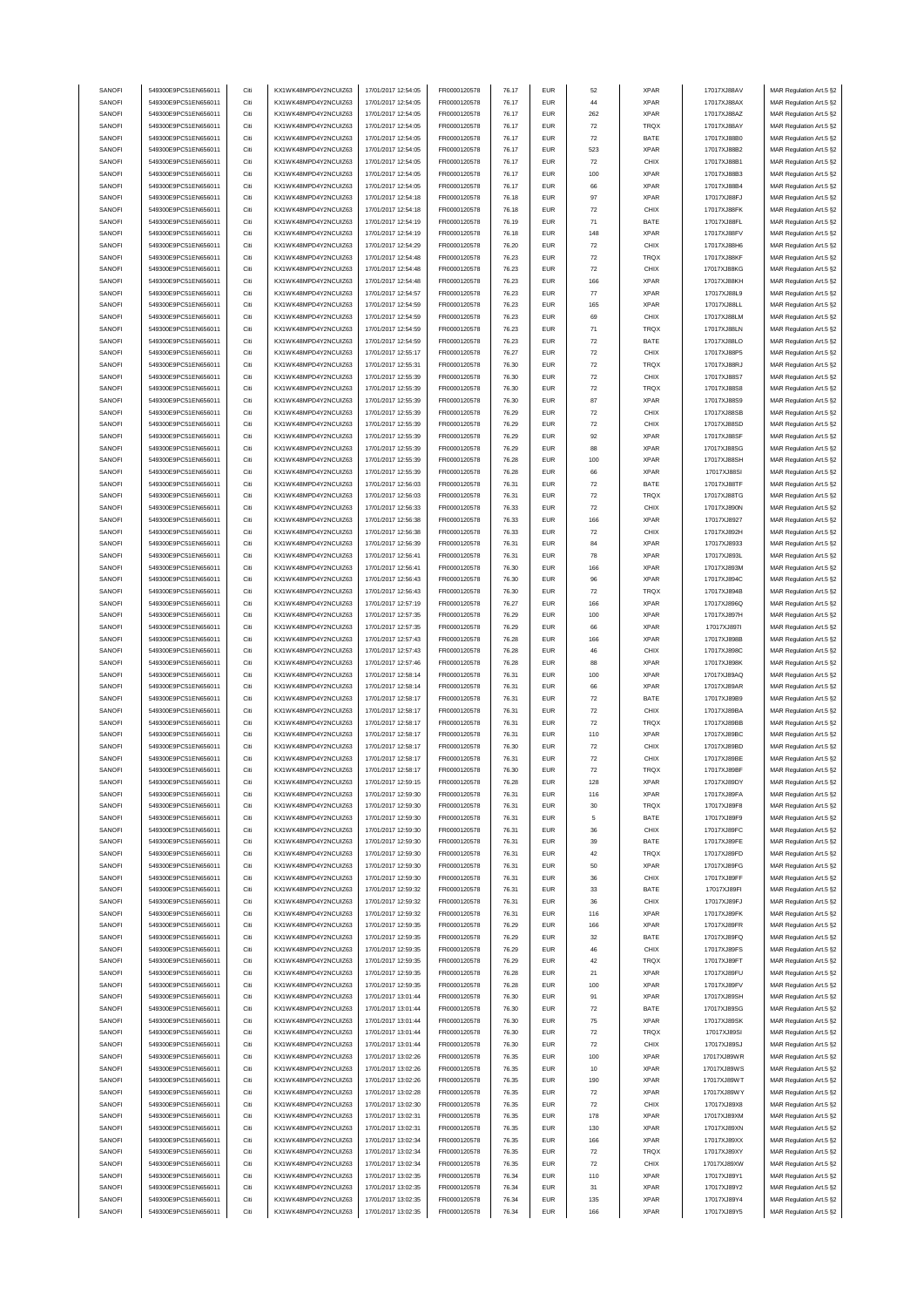| SANOFI<br>549300E9PC51EN656011<br>Citi<br>KX1WK48MPD4Y2NCUIZ63<br>17/01/2017 12:54:05<br>FR0000120578<br>76.17<br><b>EUR</b><br>52<br><b>XPAR</b><br>SANOFI<br>549300E9PC51EN656011<br>Citi<br>KX1WK48MPD4Y2NCUIZ63<br>17/01/2017 12:54:05<br><b>EUR</b><br>44<br><b>XPAR</b><br>FR0000120578<br>76.17<br>17017XJ88AX<br>SANOFI<br>549300E9PC51EN656011<br>Citi<br>KX1WK48MPD4Y2NCUIZ63<br>17/01/2017 12:54:05<br>FR0000120578<br><b>EUR</b><br>262<br><b>XPAR</b><br>17017XJ88AZ<br>76.17<br><b>EUR</b><br>$\scriptstyle{72}$<br>TRQX<br>SANOFI<br>549300E9PC51EN656011<br>Citi<br>KX1WK48MPD4Y2NCUIZ63<br>17/01/2017 12:54:05<br>FR0000120578<br>76.17<br>17017XJ88AY<br>76.17<br><b>EUR</b><br>$\scriptstyle{72}$<br>BATE<br>SANOFI<br>549300E9PC51EN656011<br>Citi<br>KX1WK48MPD4Y2NCUIZ63<br>17/01/2017 12:54:05<br>FR0000120578<br>17017XJ88B0<br>SANOFI<br>549300E9PC51EN656011<br>Citi<br>KX1WK48MPD4Y2NCUIZ63<br>17/01/2017 12:54:05<br>FR0000120578<br>76.17<br><b>EUR</b><br>523<br><b>XPAR</b><br>17017XJ88B2<br>SANOFI<br>549300E9PC51EN656011<br>Citi<br>KX1WK48MPD4Y2NCUIZ63<br>17/01/2017 12:54:05<br>FR0000120578<br>76.17<br><b>EUR</b><br>$\bf 72$<br>CHIX<br>17017XJ88B1<br>SANOFI<br>549300E9PC51EN656011<br>Citi<br>17/01/2017 12:54:05<br>FR0000120578<br><b>EUR</b><br>100<br><b>XPAR</b><br>17017XJ88B3<br>KX1WK48MPD4Y2NCUIZ63<br>76.17<br>SANOFI<br>549300E9PC51EN656011<br>Citi<br>KX1WK48MPD4Y2NCUIZ63<br>17/01/2017 12:54:05<br>FR0000120578<br><b>XPAR</b><br>76.17<br><b>EUR</b><br>66<br>17017XJ88B4<br>SANOFI<br>549300E9PC51EN656011<br>Citi<br>KX1WK48MPD4Y2NCUIZ63<br>17/01/2017 12:54:18<br>FR0000120578<br><b>EUR</b><br>97<br><b>XPAR</b><br>17017XJ88FJ<br>76.18<br>SANOFI<br>549300E9PC51EN656011<br>Citi<br>KX1WK48MPD4Y2NCUIZ63<br>FR0000120578<br><b>EUR</b><br>$\scriptstyle{72}$<br>CHIX<br>17/01/2017 12:54:18<br>76.18<br>17017XJ88FK<br>Citi<br><b>EUR</b><br>${\bf 71}$<br>BATE<br>SANOFI<br>549300E9PC51EN656011<br>KX1WK48MPD4Y2NCUIZ63<br>17/01/2017 12:54:19<br>FR0000120578<br>76.19<br>17017XJ88FL<br>17/01/2017 12:54:19<br><b>EUR</b><br><b>XPAR</b><br>SANOFI<br>549300E9PC51EN656011<br>Citi<br>KX1WK48MPD4Y2NCUIZ63<br>FR0000120578<br>76.18<br>148<br>17017XJ88FV<br>SANOFI<br>549300E9PC51EN656011<br>Citi<br>KX1WK48MPD4Y2NCUIZ63<br>17/01/2017 12:54:29<br>FR0000120578<br>76.20<br><b>EUR</b><br>$\scriptstyle{72}$<br>CHIX<br>17017XJ88H6<br>SANOFI<br>549300E9PC51EN656011<br>Citi<br>KX1WK48MPD4Y2NCUIZ63<br>17/01/2017 12:54:48<br>FR0000120578<br>76.23<br><b>EUR</b><br>$\scriptstyle{72}$<br>TRQX<br>17017XJ88KF<br>SANOFI<br>549300E9PC51EN656011<br>Citi<br>KX1WK48MPD4Y2NCUIZ63<br>17/01/2017 12:54:48<br>FR0000120578<br>$\scriptstyle{72}$<br>CHIX<br>17017XJ88KG<br>76.23<br><b>EUR</b><br>SANOFI<br>549300E9PC51EN656011<br>Citi<br>KX1WK48MPD4Y2NCUIZ63<br>17/01/2017 12:54:48<br>FR0000120578<br><b>XPAR</b><br>17017XJ88KH<br>76.23<br><b>EUR</b><br>166<br>SANOFI<br>549300E9PC51EN656011<br>Citi<br>KX1WK48MPD4Y2NCUIZ63<br>17/01/2017 12:54:57<br><b>EUR</b><br>${\bf 77}$<br><b>XPAR</b><br>17017XJ88L9<br>FR0000120578<br>76.23<br>SANOFI<br>549300E9PC51EN656011<br>Citi<br>KX1WK48MPD4Y2NCUIZ63<br>17/01/2017 12:54:59<br>FR0000120578<br>76.23<br><b>EUR</b><br>165<br><b>XPAR</b><br>17017XJ88LL<br>CHIX<br>SANOFI<br>549300E9PC51EN656011<br>Citi<br>KX1WK48MPD4Y2NCUIZ63<br>17/01/2017 12:54:59<br>FR0000120578<br>76.23<br><b>EUR</b><br>69<br>17017XJ88LM<br>SANOFI<br>TRQX<br>549300E9PC51EN656011<br>Citi<br>KX1WK48MPD4Y2NCUIZ63<br>17/01/2017 12:54:59<br>FR0000120578<br>76.23<br><b>EUR</b><br>71<br>17017XJ88LN<br>SANOFI<br>549300E9PC51EN656011<br>Citi<br>KX1WK48MPD4Y2NCUIZ63<br>17/01/2017 12:54:59<br>FR0000120578<br>76.23<br><b>EUR</b><br>$\scriptstyle{72}$<br>BATE<br>17017XJ88LO<br>SANOFI<br>549300E9PC51EN656011<br>Citi<br>KX1WK48MPD4Y2NCUIZ63<br>17/01/2017 12:55:17<br>FR0000120578<br>76.27<br><b>EUR</b><br>$\scriptstyle{72}$<br>CHIX<br>17017XJ88P5<br>SANOFI<br>549300E9PC51EN656011<br>FR0000120578<br>$\scriptstyle{72}$<br>TRQX<br>Citi<br>KX1WK48MPD4Y2NCUIZ63<br>17/01/2017 12:55:31<br>76.30<br><b>EUR</b><br>17017XJ88RJ<br>SANOFI<br>549300E9PC51EN656011<br>KX1WK48MPD4Y2NCUIZ63<br>FR0000120578<br><b>EUR</b><br>$\scriptstyle{72}$<br>CHIX<br>Citi<br>17/01/2017 12:55:39<br>76.30<br>17017XJ88S7<br>SANOFI<br>549300E9PC51EN656011<br>Citi<br>KX1WK48MPD4Y2NCUIZ63<br>17/01/2017 12:55:39<br>FR0000120578<br>76.30<br><b>EUR</b><br>$\scriptstyle{72}$<br>TRQX<br>17017XJ88S8<br>SANOFI<br>549300E9PC51EN656011<br>Citi<br>KX1WK48MPD4Y2NCUIZ63<br>17/01/2017 12:55:39<br><b>EUR</b><br>87<br><b>XPAR</b><br>FR0000120578<br>76.30<br>17017XJ88S9<br>$\scriptstyle{72}$<br>CHIX<br>SANOFI<br>549300E9PC51EN656011<br>Citi<br>KX1WK48MPD4Y2NCUIZ63<br>17/01/2017 12:55:39<br>FR0000120578<br>76.29<br><b>EUR</b><br>17017XJ88SB<br><b>EUR</b><br>$\scriptstyle{72}$<br>CHIX<br>SANOFI<br>549300E9PC51EN656011<br>Citi<br>KX1WK48MPD4Y2NCUIZ63<br>17/01/2017 12:55:39<br>FR0000120578<br>17017XJ88SD<br>76.29<br>SANOFI<br>549300E9PC51EN656011<br>Citi<br>KX1WK48MPD4Y2NCUIZ63<br>17/01/2017 12:55:39<br>FR0000120578<br>76.29<br><b>EUR</b><br>92<br><b>XPAR</b><br>17017XJ88SF<br>SANOFI<br>549300E9PC51EN656011<br>Citi<br>KX1WK48MPD4Y2NCUIZ63<br>17/01/2017 12:55:39<br>FR0000120578<br>76.29<br><b>EUR</b><br>88<br><b>XPAR</b><br>17017XJ88SG<br>SANOFI<br>549300E9PC51EN656011<br>Citi<br>KX1WK48MPD4Y2NCUIZ63<br>17/01/2017 12:55:39<br>FR0000120578<br><b>EUR</b><br>100<br><b>XPAR</b><br>17017XJ88SH<br>76.28<br>SANOFI<br>Citi<br>FR0000120578<br><b>XPAR</b><br>549300E9PC51EN656011<br>KX1WK48MPD4Y2NCUIZ63<br>17/01/2017 12:55:39<br>76.28<br><b>EUR</b><br>66<br>17017XJ88SI<br>SANOFI<br>549300E9PC51EN656011<br>Citi<br>KX1WK48MPD4Y2NCUIZ63<br>17/01/2017 12:56:03<br>FR0000120578<br>76.31<br><b>EUR</b><br>72<br>BATE<br>17017XJ88TF<br>SANOFI<br>549300E9PC51EN656011<br>Citi<br>KX1WK48MPD4Y2NCUIZ63<br>17/01/2017 12:56:03<br>FR0000120578<br><b>EUR</b><br>$\scriptstyle{72}$<br><b>TRQX</b><br>17017XJ88TG<br>76.31<br>SANOFI<br>Citi<br>KX1WK48MPD4Y2NCUIZ63<br>76.33<br><b>EUR</b><br>$\scriptstyle{72}$<br>CHIX<br>549300E9PC51EN656011<br>17/01/2017 12:56:33<br>FR0000120578<br>17017XJ890N<br>Citi<br><b>EUR</b><br>166<br><b>XPAR</b><br>SANOFI<br>549300E9PC51EN656011<br>KX1WK48MPD4Y2NCUIZ63<br>17/01/2017 12:56:38<br>FR0000120578<br>76.33<br>17017XJ8927<br>SANOFI<br>549300E9PC51EN656011<br>Citi<br>KX1WK48MPD4Y2NCUIZ63<br>17/01/2017 12:56:38<br>FR0000120578<br>76.33<br><b>EUR</b><br>$\scriptstyle{72}$<br>CHIX<br>17017XJ892H<br>SANOFI<br>549300E9PC51EN656011<br>Citi<br>KX1WK48MPD4Y2NCUIZ63<br>17/01/2017 12:56:39<br>FR0000120578<br>76.31<br><b>EUR</b><br>84<br><b>XPAR</b><br>17017XJ8933<br>SANOFI<br>549300E9PC51EN656011<br>Citi<br>KX1WK48MPD4Y2NCUIZ63<br>17/01/2017 12:56:41<br>FR0000120578<br>76.31<br><b>EUR</b><br>78<br><b>XPAR</b><br>17017XJ893L<br>SANOFI<br>549300E9PC51EN656011<br>Citi<br>KX1WK48MPD4Y2NCUIZ63<br>17/01/2017 12:56:41<br>FR0000120578<br><b>EUR</b><br>166<br><b>XPAR</b><br>17017XJ893M<br>76.30<br>SANOFI<br>549300E9PC51EN656011<br>FR0000120578<br><b>XPAR</b><br>17017XJ894C<br>Citi<br>KX1WK48MPD4Y2NCUIZ63<br>17/01/2017 12:56:43<br>76.30<br><b>EUR</b><br>96<br>SANOFI<br>549300E9PC51EN656011<br>Citi<br>KX1WK48MPD4Y2NCUIZ63<br>17/01/2017 12:56:43<br>FR0000120578<br>76.30<br><b>EUR</b><br>72<br>TRQX<br>17017XJ894B<br>SANOFI<br>549300E9PC51EN656011<br>Citi<br>KX1WK48MPD4Y2NCUIZ63<br>17/01/2017 12:57:19<br>FR0000120578<br>76.27<br><b>EUR</b><br>166<br><b>XPAR</b><br>17017XJ896Q<br><b>EUR</b><br>SANOFI<br>549300E9PC51EN656011<br>Citi<br>KX1WK48MPD4Y2NCUIZ63<br>17/01/2017 12:57:35<br>FR0000120578<br>76.29<br>100<br><b>XPAR</b><br>17017XJ897H<br>SANOFI<br><b>XPAR</b><br>549300E9PC51EN656011<br>Citi<br>KX1WK48MPD4Y2NCUIZ63<br>17/01/2017 12:57:35<br>FR0000120578<br>76.29<br><b>EUR</b><br>66<br>17017XJ897I<br>SANOFI<br>549300E9PC51EN656011<br>Citi<br>KX1WK48MPD4Y2NCUIZ63<br>17/01/2017 12:57:43<br>FR0000120578<br>76.28<br><b>EUR</b><br>166<br><b>XPAR</b><br>17017XJ898B<br>SANOFI<br>549300E9PC51EN656011<br>Citi<br>KX1WK48MPD4Y2NCUIZ63<br>17/01/2017 12:57:43<br>FR0000120578<br>76.28<br><b>EUR</b><br>46<br>CHIX<br>17017XJ898C<br>SANOFI<br>549300E9PC51EN656011<br>KX1WK48MPD4Y2NCUIZ63<br>17/01/2017 12:57:46<br>FR0000120578<br><b>XPAR</b><br>17017XJ898K<br>Citi<br>76.28<br><b>EUR</b><br>88<br>SANOFI<br>Citi<br>FR0000120578<br><b>EUR</b><br><b>XPAR</b><br>17017XJ89AQ<br>549300E9PC51EN656011<br>KX1WK48MPD4Y2NCUIZ63<br>17/01/2017 12:58:14<br>76.31<br>100<br>SANOFI<br>549300E9PC51EN656011<br>Citi<br>KX1WK48MPD4Y2NCUIZ63<br>17/01/2017 12:58:14<br>FR0000120578<br>76.31<br><b>EUR</b><br>66<br><b>XPAR</b><br>17017XJ89AR<br>SANOFI<br>549300E9PC51EN656011<br>Citi<br>KX1WK48MPD4Y2NCUIZ63<br>17/01/2017 12:58:17<br>FR0000120578<br>76.31<br><b>EUR</b><br>72<br>BATE<br>17017XJ89B9<br>$\scriptstyle{72}$<br>CHIX<br>SANOFI<br>549300E9PC51EN656011<br>Citi<br>KX1WK48MPD4Y2NCUIZ63<br>17/01/2017 12:58:17<br>FR0000120578<br><b>EUR</b><br>17017XJ89BA<br>76.31<br><b>EUR</b><br>$\scriptstyle{72}$<br>TRQX<br>SANOFI<br>549300E9PC51EN656011<br>Citi<br>KX1WK48MPD4Y2NCUIZ63<br>17/01/2017 12:58:17<br>FR0000120578<br>76.31<br>17017XJ89BB<br>SANOFI<br>549300E9PC51EN656011<br>Citi<br>KX1WK48MPD4Y2NCUIZ63<br>17/01/2017 12:58:17<br>FR0000120578<br>76.31<br><b>EUR</b><br>110<br><b>XPAR</b><br>17017XJ89BC<br>SANOFI<br>549300E9PC51EN656011<br>Citi<br>KX1WK48MPD4Y2NCUIZ63<br>17/01/2017 12:58:17<br>FR0000120578<br>76.30<br><b>EUR</b><br>$\scriptstyle{72}$<br>CHIX<br>17017XJ89BD<br>SANOFI<br>549300E9PC51EN656011<br>KX1WK48MPD4Y2NCUIZ63<br>FR0000120578<br><b>EUR</b><br>$\scriptstyle{72}$<br>CHIX<br>17017XJ89BE<br>Citi<br>17/01/2017 12:58:17<br>76.31<br>SANOFI<br>17/01/2017 12:58:17<br>FR0000120578<br><b>EUR</b><br>TRQX<br>549300E9PC51EN656011<br>Citi<br>KX1WK48MPD4Y2NCUIZ63<br>76.30<br>$\scriptstyle{72}$<br>17017XJ89BF<br>SANOFI<br>549300E9PC51EN656011<br>KX1WK48MPD4Y2NCLIIZ63<br>FR0000120578<br>FUR<br><b>XPAR</b><br>17/01/2017 12:59:15<br>76.28<br>128<br>17017XJ89DY<br>SANOFI<br>549300E9PC51EN656011<br>KX1WK48MPD4Y2NCUIZ63<br>17/01/2017 12:59:30<br>Citi<br>FR0000120578<br>76.31<br><b>EUR</b><br>116<br><b>XPAR</b><br>17017XJ89FA<br>SANOFI<br>549300E9PC51EN656011<br>Citi<br>KX1WK48MPD4Y2NCUIZ63<br>17/01/2017 12:59:30<br>FR0000120578<br><b>EUR</b><br>TRQX<br>17017XJ89F8<br>76.31<br>30<br>BATE<br>SANOFI<br>549300E9PC51EN656011<br>Citi<br>KX1WK48MPD4Y2NCUIZ63<br>17/01/2017 12:59:30<br>FR0000120578<br><b>EUR</b><br>17017XJ89F9<br>76.31<br>5<br>SANOFI<br>549300E9PC51EN656011<br>Citi<br>KX1WK48MPD4Y2NCUIZ63<br>17/01/2017 12:59:30<br>FR0000120578<br>76.31<br><b>EUR</b><br>36<br>CHIX<br>17017XJ89FC<br>SANOFI<br>549300E9PC51EN656011<br>Citi<br>KX1WK48MPD4Y2NCUIZ63<br>17/01/2017 12:59:30<br>FR0000120578<br>76.31<br><b>EUR</b><br>39<br>BATE<br>17017XJ89FE<br>SANOFI<br>549300E9PC51EN656011<br>KX1WK48MPD4Y2NCUIZ63<br>17/01/2017 12:59:30<br>FR0000120578<br><b>EUR</b><br>TRQX<br>17017XJ89FD<br>Citi<br>76.31<br>42<br>17/01/2017 12:59:30<br>SANOFI<br>549300E9PC51EN656011<br>Citi<br>KX1WK48MPD4Y2NCUIZ63<br>FR0000120578<br>76.31<br><b>EUR</b><br>50<br><b>XPAR</b><br>17017XJ89FG<br>SANOFI<br>549300E9PC51EN656011<br>KX1WK48MPD4Y2NCUIZ63<br>17/01/2017 12:59:30<br>FR0000120578<br>CHIX<br>17017XJ89FF<br>Citi<br>76.31<br><b>EUR</b><br>36<br>SANOFI<br>549300E9PC51EN656011<br>Citi<br>KX1WK48MPD4Y2NCUIZ63<br>17/01/2017 12:59:32<br><b>EUR</b><br>33<br>BATE<br>FR0000120578<br>76.31<br>17017XJ89FI<br>KX1WK48MPD4Y2NCUIZ63<br>SANOFI<br>549300E9PC51EN656011<br>Citi<br>17/01/2017 12:59:32<br>FR0000120578<br><b>EUR</b><br>36<br>CHIX<br>17017XJ89FJ<br>76.31<br>SANOFI<br>549300E9PC51EN656011<br>Citi<br>KX1WK48MPD4Y2NCUIZ63<br>17/01/2017 12:59:32<br>FR0000120578<br><b>EUR</b><br>116<br><b>XPAR</b><br>17017XJ89FK<br>76.31<br>SANOFI<br>549300E9PC51EN656011<br>Citi<br>KX1WK48MPD4Y2NCUIZ63<br>17/01/2017 12:59:35<br>FR0000120578<br>76.29<br><b>EUR</b><br>166<br><b>XPAR</b><br>17017XJ89FR<br>SANOFI<br>549300E9PC51EN656011<br>Citi<br>KX1WK48MPD4Y2NCUIZ63<br>17/01/2017 12:59:35<br>FR0000120578<br>76.29<br><b>EUR</b><br>32<br>BATE<br>17017XJ89FQ<br>KX1WK48MPD4Y2NCUIZ63<br>17/01/2017 12:59:35<br>SANOFI<br>549300E9PC51EN656011<br>Citi<br>FR0000120578<br>76.29<br><b>EUR</b><br>46<br>CHIX<br>17017XJ89FS<br>SANOFI<br>549300E9PC51EN656011<br>KX1WK48MPD4Y2NCUIZ63<br>17/01/2017 12:59:35<br>Citi<br>FR0000120578<br>76.29<br><b>EUR</b><br>42<br>TRQX<br>17017XJ89FT<br>SANOFI<br>549300E9PC51EN656011<br>KX1WK48MPD4Y2NCUIZ63<br>17/01/2017 12:59:35<br><b>EUR</b><br><b>XPAR</b><br>Citi<br>FR0000120578<br>76.28<br>21<br>17017XJ89FU<br>SANOFI<br>549300E9PC51EN656011<br>Citi<br>KX1WK48MPD4Y2NCUIZ63<br>17/01/2017 12:59:35<br>FR0000120578<br><b>EUR</b><br><b>XPAR</b><br>17017XJ89FV<br>76.28<br>100<br>SANOFI<br>549300E9PC51EN656011<br>Citi<br>KX1WK48MPD4Y2NCUIZ63<br>17/01/2017 13:01:44<br>FR0000120578<br><b>EUR</b><br>91<br><b>XPAR</b><br>17017XJ89SH<br>76.30<br>SANOFI<br>549300E9PC51EN656011<br>KX1WK48MPD4Y2NCUIZ63<br>17/01/2017 13:01:44<br>FR0000120578<br><b>EUR</b><br>BATE<br>17017XJ89SG<br>Citi<br>76.30<br>72<br><b>EUR</b><br>SANOFI<br>549300E9PC51EN656011<br>Citi<br>KX1WK48MPD4Y2NCUIZ63<br>17/01/2017 13:01:44<br>FR0000120578<br>${\bf 75}$<br><b>XPAR</b><br>17017XJ89SK<br>76.30<br>SANOFI<br>549300E9PC51EN656011<br>Citi<br>KX1WK48MPD4Y2NCUIZ63<br>17/01/2017 13:01:44<br>FR0000120578<br>76.30<br><b>EUR</b><br>$\scriptstyle{72}$<br>TRQX<br>17017XJ89SI<br>SANOFI<br>549300E9PC51EN656011<br>Citi<br>KX1WK48MPD4Y2NCUIZ63<br>17/01/2017 13:01:44<br>FR0000120578<br>76.30<br><b>EUR</b><br>$\scriptstyle{72}$<br>CHIX<br>17017XJ89SJ<br>SANOFI<br>KX1WK48MPD4Y2NCUIZ63<br>549300E9PC51EN656011<br>Citi<br>17/01/2017 13:02:26<br>FR0000120578<br>76.35<br><b>EUR</b><br>100<br>XPAR<br>17017XJ89WR<br>SANOFI<br>549300E9PC51EN656011<br>Citi<br>KX1WK48MPD4Y2NCUIZ63<br>17/01/2017 13:02:26<br>FR0000120578<br>76.35<br><b>EUR</b><br>10<br><b>XPAR</b><br>17017XJ89WS<br>SANOFI<br>549300E9PC51EN656011<br>Citi<br>KX1WK48MPD4Y2NCUIZ63<br>17/01/2017 13:02:26<br><b>EUR</b><br><b>XPAR</b><br>17017XJ89WT<br>FR0000120578<br>76.35<br>190<br>SANOFI<br>549300E9PC51EN656011<br>KX1WK48MPD4Y2NCUIZ63<br>17/01/2017 13:02:28<br>FR0000120578<br><b>EUR</b><br><b>XPAR</b><br>17017XJ89WY<br>Citi<br>76.35<br>$\bf 72$<br>SANOFI<br>549300E9PC51EN656011<br>Citi<br>KX1WK48MPD4Y2NCUIZ63<br>17/01/2017 13:02:30<br>FR0000120578<br><b>EUR</b><br>$\scriptstyle{72}$<br>CHIX<br>17017XJ89X8<br>76.35<br>SANOFI<br>549300E9PC51EN656011<br>Citi<br>KX1WK48MPD4Y2NCUIZ63<br>17/01/2017 13:02:31<br>FR0000120578<br><b>EUR</b><br>178<br><b>XPAR</b><br>17017XJ89XM<br>76.35<br>SANOFI<br>549300E9PC51EN656011<br>Citi<br>KX1WK48MPD4Y2NCUIZ63<br>17/01/2017 13:02:31<br>FR0000120578<br>76.35<br><b>EUR</b><br>130<br><b>XPAR</b><br>17017XJ89XN<br>SANOFI<br>549300E9PC51EN656011<br>Citi<br>KX1WK48MPD4Y2NCUIZ63<br>17/01/2017 13:02:34<br>FR0000120578<br>76.35<br><b>EUR</b><br>166<br><b>XPAR</b><br>17017XJ89XX<br>SANOFI<br>549300E9PC51EN656011<br>Citi<br>KX1WK48MPD4Y2NCUIZ63<br>17/01/2017 13:02:34<br>FR0000120578<br><b>EUR</b><br>TRQX<br>76.35<br>$\bf 72$<br>17017XJ89XY<br>17/01/2017 13:02:34<br>SANOFI<br>549300E9PC51EN656011<br>Citi<br>KX1WK48MPD4Y2NCUIZ63<br>FR0000120578<br>76.35<br><b>EUR</b><br>$\bf 72$<br>CHIX<br>17017XJ89XW<br>SANOFI<br>549300E9PC51EN656011<br>KX1WK48MPD4Y2NCUIZ63<br>17/01/2017 13:02:35<br>FR0000120578<br><b>EUR</b><br><b>XPAR</b><br>17017XJ89Y1<br>Citi<br>76.34<br>110<br>SANOFI<br>549300E9PC51EN656011<br>KX1WK48MPD4Y2NCUIZ63<br>17/01/2017 13:02:35<br><b>EUR</b><br>Citi<br>FR0000120578<br>76.34<br>31<br><b>XPAR</b><br>17017XJ89Y2<br>SANOFI<br>549300E9PC51EN656011<br>Citi<br>KX1WK48MPD4Y2NCUIZ63<br>17/01/2017 13:02:35<br>FR0000120578<br><b>EUR</b><br>135<br><b>XPAR</b><br>17017XJ89Y4<br>76.34 | 17017XJ88AV<br>MAR Regulation Art.5 §2             |
|----------------------------------------------------------------------------------------------------------------------------------------------------------------------------------------------------------------------------------------------------------------------------------------------------------------------------------------------------------------------------------------------------------------------------------------------------------------------------------------------------------------------------------------------------------------------------------------------------------------------------------------------------------------------------------------------------------------------------------------------------------------------------------------------------------------------------------------------------------------------------------------------------------------------------------------------------------------------------------------------------------------------------------------------------------------------------------------------------------------------------------------------------------------------------------------------------------------------------------------------------------------------------------------------------------------------------------------------------------------------------------------------------------------------------------------------------------------------------------------------------------------------------------------------------------------------------------------------------------------------------------------------------------------------------------------------------------------------------------------------------------------------------------------------------------------------------------------------------------------------------------------------------------------------------------------------------------------------------------------------------------------------------------------------------------------------------------------------------------------------------------------------------------------------------------------------------------------------------------------------------------------------------------------------------------------------------------------------------------------------------------------------------------------------------------------------------------------------------------------------------------------------------------------------------------------------------------------------------------------------------------------------------------------------------------------------------------------------------------------------------------------------------------------------------------------------------------------------------------------------------------------------------------------------------------------------------------------------------------------------------------------------------------------------------------------------------------------------------------------------------------------------------------------------------------------------------------------------------------------------------------------------------------------------------------------------------------------------------------------------------------------------------------------------------------------------------------------------------------------------------------------------------------------------------------------------------------------------------------------------------------------------------------------------------------------------------------------------------------------------------------------------------------------------------------------------------------------------------------------------------------------------------------------------------------------------------------------------------------------------------------------------------------------------------------------------------------------------------------------------------------------------------------------------------------------------------------------------------------------------------------------------------------------------------------------------------------------------------------------------------------------------------------------------------------------------------------------------------------------------------------------------------------------------------------------------------------------------------------------------------------------------------------------------------------------------------------------------------------------------------------------------------------------------------------------------------------------------------------------------------------------------------------------------------------------------------------------------------------------------------------------------------------------------------------------------------------------------------------------------------------------------------------------------------------------------------------------------------------------------------------------------------------------------------------------------------------------------------------------------------------------------------------------------------------------------------------------------------------------------------------------------------------------------------------------------------------------------------------------------------------------------------------------------------------------------------------------------------------------------------------------------------------------------------------------------------------------------------------------------------------------------------------------------------------------------------------------------------------------------------------------------------------------------------------------------------------------------------------------------------------------------------------------------------------------------------------------------------------------------------------------------------------------------------------------------------------------------------------------------------------------------------------------------------------------------------------------------------------------------------------------------------------------------------------------------------------------------------------------------------------------------------------------------------------------------------------------------------------------------------------------------------------------------------------------------------------------------------------------------------------------------------------------------------------------------------------------------------------------------------------------------------------------------------------------------------------------------------------------------------------------------------------------------------------------------------------------------------------------------------------------------------------------------------------------------------------------------------------------------------------------------------------------------------------------------------------------------------------------------------------------------------------------------------------------------------------------------------------------------------------------------------------------------------------------------------------------------------------------------------------------------------------------------------------------------------------------------------------------------------------------------------------------------------------------------------------------------------------------------------------------------------------------------------------------------------------------------------------------------------------------------------------------------------------------------------------------------------------------------------------------------------------------------------------------------------------------------------------------------------------------------------------------------------------------------------------------------------------------------------------------------------------------------------------------------------------------------------------------------------------------------------------------------------------------------------------------------------------------------------------------------------------------------------------------------------------------------------------------------------------------------------------------------------------------------------------------------------------------------------------------------------------------------------------------------------------------------------------------------------------------------------------------------------------------------------------------------------------------------------------------------------------------------------------------------------------------------------------------------------------------------------------------------------------------------------------------------------------------------------------------------------------------------------------------------------------------------------------------------------------------------------------------------------------------------------------------------------------------------------------------------------------------------------------------------------------------------------------------------------------------------------------------------------------------------------------------------------------------------------------------------------------------------------------------------------------------------------------------------------------------------------------------------------------------------------------------------------------------------------------------------------------------------------------------------------------------------------------------------------------------------------------------------------------------------------------------------------------------------------------------------------------------------------------------------------------------------------------------------------------------------------------------------------------------------------------------------------------------------------------------------------------------------------------------------------------------------------------------------------------------------------------------------------------------------------------------------------------------------------------------------------------------------------------------------------------------------------------------------------------------------------------------------------------------------------------------------------------------------------------------------------------------------------------------------------------------------------------------------------------------------------------------------------------------------------------------------------------------------------------------------------------------------------------------------------------------------------------------------------------------------------------------------------------------------------------------------------------------------------------------------------------------------------------------------------------------------------------------------------------------------------------------------------------------------------------------------------------------------------------------------------------------------------------------------------------------------------------------------------------------------------------------------------------------------------------------------------------------------------------------------------------------------------------------------------------------------------------------------------------------------------------------------------------------------------------------------------------------------------------------------------------------------------------------------------------------------------------------------------------------------------------------------------------------------------------------------------------------------------------------------------------------------------------------------------------------------------------------------------------------------------------------------------------------------------------------------------------------------------------------------------------------------------------------------------------------------------------------------------------------------------------------------------------------------------------------------------------------------------------------------------------------------------------------------------------------------------------------------------------------------------------------------------------------------------------------------------------------------------------------------------------------------------------------------------------------------------------------------------------------------------------------------------------------------------------------------------------------------------------------------------------------------------------------------------------------------------------------------------------------------------------------------------------------------------------------------------------------------------------------------------------------------------------------------------------------------------------------------------------------------------------------------------------------------------------------------------------------------------------------------------------------------------------------------------------------------------------------------------------------------------------------------------------------------------------------------------------------------------------------------------------------------------------------------------------------------------------------------------------------------------------------------------------------------------------------------------------------------------------------------------------------------------------------------------------------------------------------------------------------------------------------------------------------------------------------------------------------------------------------------------------------------------------------------------------------------------------------------------------------------------------------------------------------------------------------------------------------------------------------------------------------------------------------------------------------------------------------------------------------------------------------------------------------------------------------------------------------------------------------------------------------------------------------------------------------------------------------------------------------------------------------------------------------------------------------------------------------------------------------------------------------------------------------------------------------------------------------------------------------------------------------------------------------------------------------------------------------------------------------------------------------------------------------------------------------------------------------------------------------------------------------|----------------------------------------------------|
|                                                                                                                                                                                                                                                                                                                                                                                                                                                                                                                                                                                                                                                                                                                                                                                                                                                                                                                                                                                                                                                                                                                                                                                                                                                                                                                                                                                                                                                                                                                                                                                                                                                                                                                                                                                                                                                                                                                                                                                                                                                                                                                                                                                                                                                                                                                                                                                                                                                                                                                                                                                                                                                                                                                                                                                                                                                                                                                                                                                                                                                                                                                                                                                                                                                                                                                                                                                                                                                                                                                                                                                                                                                                                                                                                                                                                                                                                                                                                                                                                                                                                                                                                                                                                                                                                                                                                                                                                                                                                                                                                                                                                                                                                                                                                                                                                                                                                                                                                                                                                                                                                                                                                                                                                                                                                                                                                                                                                                                                                                                                                                                                                                                                                                                                                                                                                                                                                                                                                                                                                                                                                                                                                                                                                                                                                                                                                                                                                                                                                                                                                                                                                                                                                                                                                                                                                                                                                                                                                                                                                                                                                                                                                                                                                                                                                                                                                                                                                                                                                                                                                                                                                                                                                                                                                                                                                                                                                                                                                                                                                                                                                                                                                                                                                                                                                                                                                                                                                                                                                                                                                                                                                                                                                                                                                                                                                                                                                                                                                                                                                                                                                                                                                                                                                                                                                                                                                                                                                                                                                                                                                                                                                                                                                                                                                                                                                                                                                                                                                                                                                                                                                                                                                                                                                                                                                                                                                                                                                                                                                                                                                                                                                                                                                                                                                                                                                                                                                                                                                                                                                                                                                                                                                                                                                                                                                                                                                                                                                                                                                                                                                                                                                                                                                                                                                                                                                                                                                                                                                                                                                                                                                                                                                                                                                                                                                                                                                                                                                                                                                                                                                                                                                                                                                                                                                                                                                                                                                                                                                                                                                                                                                                                                                                                                                                                                                                                                                                                                                                                                                                                                                                                                                                                                                                                                                                                                                                                                                                                                                                                                                                                                                                                                                                                                                                                                                                                                                                                                                                                                                                                                                                                                                                                                                                                                                                                                                                                                                                                                                                                                                                                                                                                                                                                                                                                                                                                                                                                                                                                                                                                                                                                                                                                                                                                                                                                                                                                                                                                                                                                                                                                                                                                                                                |                                                    |
|                                                                                                                                                                                                                                                                                                                                                                                                                                                                                                                                                                                                                                                                                                                                                                                                                                                                                                                                                                                                                                                                                                                                                                                                                                                                                                                                                                                                                                                                                                                                                                                                                                                                                                                                                                                                                                                                                                                                                                                                                                                                                                                                                                                                                                                                                                                                                                                                                                                                                                                                                                                                                                                                                                                                                                                                                                                                                                                                                                                                                                                                                                                                                                                                                                                                                                                                                                                                                                                                                                                                                                                                                                                                                                                                                                                                                                                                                                                                                                                                                                                                                                                                                                                                                                                                                                                                                                                                                                                                                                                                                                                                                                                                                                                                                                                                                                                                                                                                                                                                                                                                                                                                                                                                                                                                                                                                                                                                                                                                                                                                                                                                                                                                                                                                                                                                                                                                                                                                                                                                                                                                                                                                                                                                                                                                                                                                                                                                                                                                                                                                                                                                                                                                                                                                                                                                                                                                                                                                                                                                                                                                                                                                                                                                                                                                                                                                                                                                                                                                                                                                                                                                                                                                                                                                                                                                                                                                                                                                                                                                                                                                                                                                                                                                                                                                                                                                                                                                                                                                                                                                                                                                                                                                                                                                                                                                                                                                                                                                                                                                                                                                                                                                                                                                                                                                                                                                                                                                                                                                                                                                                                                                                                                                                                                                                                                                                                                                                                                                                                                                                                                                                                                                                                                                                                                                                                                                                                                                                                                                                                                                                                                                                                                                                                                                                                                                                                                                                                                                                                                                                                                                                                                                                                                                                                                                                                                                                                                                                                                                                                                                                                                                                                                                                                                                                                                                                                                                                                                                                                                                                                                                                                                                                                                                                                                                                                                                                                                                                                                                                                                                                                                                                                                                                                                                                                                                                                                                                                                                                                                                                                                                                                                                                                                                                                                                                                                                                                                                                                                                                                                                                                                                                                                                                                                                                                                                                                                                                                                                                                                                                                                                                                                                                                                                                                                                                                                                                                                                                                                                                                                                                                                                                                                                                                                                                                                                                                                                                                                                                                                                                                                                                                                                                                                                                                                                                                                                                                                                                                                                                                                                                                                                                                                                                                                                                                                                                                                                                                                                                                                                                                                                                                                                                                | MAR Regulation Art.5 §2                            |
|                                                                                                                                                                                                                                                                                                                                                                                                                                                                                                                                                                                                                                                                                                                                                                                                                                                                                                                                                                                                                                                                                                                                                                                                                                                                                                                                                                                                                                                                                                                                                                                                                                                                                                                                                                                                                                                                                                                                                                                                                                                                                                                                                                                                                                                                                                                                                                                                                                                                                                                                                                                                                                                                                                                                                                                                                                                                                                                                                                                                                                                                                                                                                                                                                                                                                                                                                                                                                                                                                                                                                                                                                                                                                                                                                                                                                                                                                                                                                                                                                                                                                                                                                                                                                                                                                                                                                                                                                                                                                                                                                                                                                                                                                                                                                                                                                                                                                                                                                                                                                                                                                                                                                                                                                                                                                                                                                                                                                                                                                                                                                                                                                                                                                                                                                                                                                                                                                                                                                                                                                                                                                                                                                                                                                                                                                                                                                                                                                                                                                                                                                                                                                                                                                                                                                                                                                                                                                                                                                                                                                                                                                                                                                                                                                                                                                                                                                                                                                                                                                                                                                                                                                                                                                                                                                                                                                                                                                                                                                                                                                                                                                                                                                                                                                                                                                                                                                                                                                                                                                                                                                                                                                                                                                                                                                                                                                                                                                                                                                                                                                                                                                                                                                                                                                                                                                                                                                                                                                                                                                                                                                                                                                                                                                                                                                                                                                                                                                                                                                                                                                                                                                                                                                                                                                                                                                                                                                                                                                                                                                                                                                                                                                                                                                                                                                                                                                                                                                                                                                                                                                                                                                                                                                                                                                                                                                                                                                                                                                                                                                                                                                                                                                                                                                                                                                                                                                                                                                                                                                                                                                                                                                                                                                                                                                                                                                                                                                                                                                                                                                                                                                                                                                                                                                                                                                                                                                                                                                                                                                                                                                                                                                                                                                                                                                                                                                                                                                                                                                                                                                                                                                                                                                                                                                                                                                                                                                                                                                                                                                                                                                                                                                                                                                                                                                                                                                                                                                                                                                                                                                                                                                                                                                                                                                                                                                                                                                                                                                                                                                                                                                                                                                                                                                                                                                                                                                                                                                                                                                                                                                                                                                                                                                                                                                                                                                                                                                                                                                                                                                                                                                                                                                                                                                                | MAR Regulation Art.5 §2                            |
|                                                                                                                                                                                                                                                                                                                                                                                                                                                                                                                                                                                                                                                                                                                                                                                                                                                                                                                                                                                                                                                                                                                                                                                                                                                                                                                                                                                                                                                                                                                                                                                                                                                                                                                                                                                                                                                                                                                                                                                                                                                                                                                                                                                                                                                                                                                                                                                                                                                                                                                                                                                                                                                                                                                                                                                                                                                                                                                                                                                                                                                                                                                                                                                                                                                                                                                                                                                                                                                                                                                                                                                                                                                                                                                                                                                                                                                                                                                                                                                                                                                                                                                                                                                                                                                                                                                                                                                                                                                                                                                                                                                                                                                                                                                                                                                                                                                                                                                                                                                                                                                                                                                                                                                                                                                                                                                                                                                                                                                                                                                                                                                                                                                                                                                                                                                                                                                                                                                                                                                                                                                                                                                                                                                                                                                                                                                                                                                                                                                                                                                                                                                                                                                                                                                                                                                                                                                                                                                                                                                                                                                                                                                                                                                                                                                                                                                                                                                                                                                                                                                                                                                                                                                                                                                                                                                                                                                                                                                                                                                                                                                                                                                                                                                                                                                                                                                                                                                                                                                                                                                                                                                                                                                                                                                                                                                                                                                                                                                                                                                                                                                                                                                                                                                                                                                                                                                                                                                                                                                                                                                                                                                                                                                                                                                                                                                                                                                                                                                                                                                                                                                                                                                                                                                                                                                                                                                                                                                                                                                                                                                                                                                                                                                                                                                                                                                                                                                                                                                                                                                                                                                                                                                                                                                                                                                                                                                                                                                                                                                                                                                                                                                                                                                                                                                                                                                                                                                                                                                                                                                                                                                                                                                                                                                                                                                                                                                                                                                                                                                                                                                                                                                                                                                                                                                                                                                                                                                                                                                                                                                                                                                                                                                                                                                                                                                                                                                                                                                                                                                                                                                                                                                                                                                                                                                                                                                                                                                                                                                                                                                                                                                                                                                                                                                                                                                                                                                                                                                                                                                                                                                                                                                                                                                                                                                                                                                                                                                                                                                                                                                                                                                                                                                                                                                                                                                                                                                                                                                                                                                                                                                                                                                                                                                                                                                                                                                                                                                                                                                                                                                                                                                                                                                                                                | MAR Regulation Art.5 §2                            |
|                                                                                                                                                                                                                                                                                                                                                                                                                                                                                                                                                                                                                                                                                                                                                                                                                                                                                                                                                                                                                                                                                                                                                                                                                                                                                                                                                                                                                                                                                                                                                                                                                                                                                                                                                                                                                                                                                                                                                                                                                                                                                                                                                                                                                                                                                                                                                                                                                                                                                                                                                                                                                                                                                                                                                                                                                                                                                                                                                                                                                                                                                                                                                                                                                                                                                                                                                                                                                                                                                                                                                                                                                                                                                                                                                                                                                                                                                                                                                                                                                                                                                                                                                                                                                                                                                                                                                                                                                                                                                                                                                                                                                                                                                                                                                                                                                                                                                                                                                                                                                                                                                                                                                                                                                                                                                                                                                                                                                                                                                                                                                                                                                                                                                                                                                                                                                                                                                                                                                                                                                                                                                                                                                                                                                                                                                                                                                                                                                                                                                                                                                                                                                                                                                                                                                                                                                                                                                                                                                                                                                                                                                                                                                                                                                                                                                                                                                                                                                                                                                                                                                                                                                                                                                                                                                                                                                                                                                                                                                                                                                                                                                                                                                                                                                                                                                                                                                                                                                                                                                                                                                                                                                                                                                                                                                                                                                                                                                                                                                                                                                                                                                                                                                                                                                                                                                                                                                                                                                                                                                                                                                                                                                                                                                                                                                                                                                                                                                                                                                                                                                                                                                                                                                                                                                                                                                                                                                                                                                                                                                                                                                                                                                                                                                                                                                                                                                                                                                                                                                                                                                                                                                                                                                                                                                                                                                                                                                                                                                                                                                                                                                                                                                                                                                                                                                                                                                                                                                                                                                                                                                                                                                                                                                                                                                                                                                                                                                                                                                                                                                                                                                                                                                                                                                                                                                                                                                                                                                                                                                                                                                                                                                                                                                                                                                                                                                                                                                                                                                                                                                                                                                                                                                                                                                                                                                                                                                                                                                                                                                                                                                                                                                                                                                                                                                                                                                                                                                                                                                                                                                                                                                                                                                                                                                                                                                                                                                                                                                                                                                                                                                                                                                                                                                                                                                                                                                                                                                                                                                                                                                                                                                                                                                                                                                                                                                                                                                                                                                                                                                                                                                                                                                                                                                                | MAR Regulation Art.5 §2                            |
|                                                                                                                                                                                                                                                                                                                                                                                                                                                                                                                                                                                                                                                                                                                                                                                                                                                                                                                                                                                                                                                                                                                                                                                                                                                                                                                                                                                                                                                                                                                                                                                                                                                                                                                                                                                                                                                                                                                                                                                                                                                                                                                                                                                                                                                                                                                                                                                                                                                                                                                                                                                                                                                                                                                                                                                                                                                                                                                                                                                                                                                                                                                                                                                                                                                                                                                                                                                                                                                                                                                                                                                                                                                                                                                                                                                                                                                                                                                                                                                                                                                                                                                                                                                                                                                                                                                                                                                                                                                                                                                                                                                                                                                                                                                                                                                                                                                                                                                                                                                                                                                                                                                                                                                                                                                                                                                                                                                                                                                                                                                                                                                                                                                                                                                                                                                                                                                                                                                                                                                                                                                                                                                                                                                                                                                                                                                                                                                                                                                                                                                                                                                                                                                                                                                                                                                                                                                                                                                                                                                                                                                                                                                                                                                                                                                                                                                                                                                                                                                                                                                                                                                                                                                                                                                                                                                                                                                                                                                                                                                                                                                                                                                                                                                                                                                                                                                                                                                                                                                                                                                                                                                                                                                                                                                                                                                                                                                                                                                                                                                                                                                                                                                                                                                                                                                                                                                                                                                                                                                                                                                                                                                                                                                                                                                                                                                                                                                                                                                                                                                                                                                                                                                                                                                                                                                                                                                                                                                                                                                                                                                                                                                                                                                                                                                                                                                                                                                                                                                                                                                                                                                                                                                                                                                                                                                                                                                                                                                                                                                                                                                                                                                                                                                                                                                                                                                                                                                                                                                                                                                                                                                                                                                                                                                                                                                                                                                                                                                                                                                                                                                                                                                                                                                                                                                                                                                                                                                                                                                                                                                                                                                                                                                                                                                                                                                                                                                                                                                                                                                                                                                                                                                                                                                                                                                                                                                                                                                                                                                                                                                                                                                                                                                                                                                                                                                                                                                                                                                                                                                                                                                                                                                                                                                                                                                                                                                                                                                                                                                                                                                                                                                                                                                                                                                                                                                                                                                                                                                                                                                                                                                                                                                                                                                                                                                                                                                                                                                                                                                                                                                                                                                                                                                                                                | MAR Regulation Art.5 §2                            |
|                                                                                                                                                                                                                                                                                                                                                                                                                                                                                                                                                                                                                                                                                                                                                                                                                                                                                                                                                                                                                                                                                                                                                                                                                                                                                                                                                                                                                                                                                                                                                                                                                                                                                                                                                                                                                                                                                                                                                                                                                                                                                                                                                                                                                                                                                                                                                                                                                                                                                                                                                                                                                                                                                                                                                                                                                                                                                                                                                                                                                                                                                                                                                                                                                                                                                                                                                                                                                                                                                                                                                                                                                                                                                                                                                                                                                                                                                                                                                                                                                                                                                                                                                                                                                                                                                                                                                                                                                                                                                                                                                                                                                                                                                                                                                                                                                                                                                                                                                                                                                                                                                                                                                                                                                                                                                                                                                                                                                                                                                                                                                                                                                                                                                                                                                                                                                                                                                                                                                                                                                                                                                                                                                                                                                                                                                                                                                                                                                                                                                                                                                                                                                                                                                                                                                                                                                                                                                                                                                                                                                                                                                                                                                                                                                                                                                                                                                                                                                                                                                                                                                                                                                                                                                                                                                                                                                                                                                                                                                                                                                                                                                                                                                                                                                                                                                                                                                                                                                                                                                                                                                                                                                                                                                                                                                                                                                                                                                                                                                                                                                                                                                                                                                                                                                                                                                                                                                                                                                                                                                                                                                                                                                                                                                                                                                                                                                                                                                                                                                                                                                                                                                                                                                                                                                                                                                                                                                                                                                                                                                                                                                                                                                                                                                                                                                                                                                                                                                                                                                                                                                                                                                                                                                                                                                                                                                                                                                                                                                                                                                                                                                                                                                                                                                                                                                                                                                                                                                                                                                                                                                                                                                                                                                                                                                                                                                                                                                                                                                                                                                                                                                                                                                                                                                                                                                                                                                                                                                                                                                                                                                                                                                                                                                                                                                                                                                                                                                                                                                                                                                                                                                                                                                                                                                                                                                                                                                                                                                                                                                                                                                                                                                                                                                                                                                                                                                                                                                                                                                                                                                                                                                                                                                                                                                                                                                                                                                                                                                                                                                                                                                                                                                                                                                                                                                                                                                                                                                                                                                                                                                                                                                                                                                                                                                                                                                                                                                                                                                                                                                                                                                                                                                                                                                                | MAR Regulation Art.5 §2                            |
|                                                                                                                                                                                                                                                                                                                                                                                                                                                                                                                                                                                                                                                                                                                                                                                                                                                                                                                                                                                                                                                                                                                                                                                                                                                                                                                                                                                                                                                                                                                                                                                                                                                                                                                                                                                                                                                                                                                                                                                                                                                                                                                                                                                                                                                                                                                                                                                                                                                                                                                                                                                                                                                                                                                                                                                                                                                                                                                                                                                                                                                                                                                                                                                                                                                                                                                                                                                                                                                                                                                                                                                                                                                                                                                                                                                                                                                                                                                                                                                                                                                                                                                                                                                                                                                                                                                                                                                                                                                                                                                                                                                                                                                                                                                                                                                                                                                                                                                                                                                                                                                                                                                                                                                                                                                                                                                                                                                                                                                                                                                                                                                                                                                                                                                                                                                                                                                                                                                                                                                                                                                                                                                                                                                                                                                                                                                                                                                                                                                                                                                                                                                                                                                                                                                                                                                                                                                                                                                                                                                                                                                                                                                                                                                                                                                                                                                                                                                                                                                                                                                                                                                                                                                                                                                                                                                                                                                                                                                                                                                                                                                                                                                                                                                                                                                                                                                                                                                                                                                                                                                                                                                                                                                                                                                                                                                                                                                                                                                                                                                                                                                                                                                                                                                                                                                                                                                                                                                                                                                                                                                                                                                                                                                                                                                                                                                                                                                                                                                                                                                                                                                                                                                                                                                                                                                                                                                                                                                                                                                                                                                                                                                                                                                                                                                                                                                                                                                                                                                                                                                                                                                                                                                                                                                                                                                                                                                                                                                                                                                                                                                                                                                                                                                                                                                                                                                                                                                                                                                                                                                                                                                                                                                                                                                                                                                                                                                                                                                                                                                                                                                                                                                                                                                                                                                                                                                                                                                                                                                                                                                                                                                                                                                                                                                                                                                                                                                                                                                                                                                                                                                                                                                                                                                                                                                                                                                                                                                                                                                                                                                                                                                                                                                                                                                                                                                                                                                                                                                                                                                                                                                                                                                                                                                                                                                                                                                                                                                                                                                                                                                                                                                                                                                                                                                                                                                                                                                                                                                                                                                                                                                                                                                                                                                                                                                                                                                                                                                                                                                                                                                                                                                                                                                                                                |                                                    |
|                                                                                                                                                                                                                                                                                                                                                                                                                                                                                                                                                                                                                                                                                                                                                                                                                                                                                                                                                                                                                                                                                                                                                                                                                                                                                                                                                                                                                                                                                                                                                                                                                                                                                                                                                                                                                                                                                                                                                                                                                                                                                                                                                                                                                                                                                                                                                                                                                                                                                                                                                                                                                                                                                                                                                                                                                                                                                                                                                                                                                                                                                                                                                                                                                                                                                                                                                                                                                                                                                                                                                                                                                                                                                                                                                                                                                                                                                                                                                                                                                                                                                                                                                                                                                                                                                                                                                                                                                                                                                                                                                                                                                                                                                                                                                                                                                                                                                                                                                                                                                                                                                                                                                                                                                                                                                                                                                                                                                                                                                                                                                                                                                                                                                                                                                                                                                                                                                                                                                                                                                                                                                                                                                                                                                                                                                                                                                                                                                                                                                                                                                                                                                                                                                                                                                                                                                                                                                                                                                                                                                                                                                                                                                                                                                                                                                                                                                                                                                                                                                                                                                                                                                                                                                                                                                                                                                                                                                                                                                                                                                                                                                                                                                                                                                                                                                                                                                                                                                                                                                                                                                                                                                                                                                                                                                                                                                                                                                                                                                                                                                                                                                                                                                                                                                                                                                                                                                                                                                                                                                                                                                                                                                                                                                                                                                                                                                                                                                                                                                                                                                                                                                                                                                                                                                                                                                                                                                                                                                                                                                                                                                                                                                                                                                                                                                                                                                                                                                                                                                                                                                                                                                                                                                                                                                                                                                                                                                                                                                                                                                                                                                                                                                                                                                                                                                                                                                                                                                                                                                                                                                                                                                                                                                                                                                                                                                                                                                                                                                                                                                                                                                                                                                                                                                                                                                                                                                                                                                                                                                                                                                                                                                                                                                                                                                                                                                                                                                                                                                                                                                                                                                                                                                                                                                                                                                                                                                                                                                                                                                                                                                                                                                                                                                                                                                                                                                                                                                                                                                                                                                                                                                                                                                                                                                                                                                                                                                                                                                                                                                                                                                                                                                                                                                                                                                                                                                                                                                                                                                                                                                                                                                                                                                                                                                                                                                                                                                                                                                                                                                                                                                                                                                                                                                                | MAR Regulation Art.5 §2                            |
|                                                                                                                                                                                                                                                                                                                                                                                                                                                                                                                                                                                                                                                                                                                                                                                                                                                                                                                                                                                                                                                                                                                                                                                                                                                                                                                                                                                                                                                                                                                                                                                                                                                                                                                                                                                                                                                                                                                                                                                                                                                                                                                                                                                                                                                                                                                                                                                                                                                                                                                                                                                                                                                                                                                                                                                                                                                                                                                                                                                                                                                                                                                                                                                                                                                                                                                                                                                                                                                                                                                                                                                                                                                                                                                                                                                                                                                                                                                                                                                                                                                                                                                                                                                                                                                                                                                                                                                                                                                                                                                                                                                                                                                                                                                                                                                                                                                                                                                                                                                                                                                                                                                                                                                                                                                                                                                                                                                                                                                                                                                                                                                                                                                                                                                                                                                                                                                                                                                                                                                                                                                                                                                                                                                                                                                                                                                                                                                                                                                                                                                                                                                                                                                                                                                                                                                                                                                                                                                                                                                                                                                                                                                                                                                                                                                                                                                                                                                                                                                                                                                                                                                                                                                                                                                                                                                                                                                                                                                                                                                                                                                                                                                                                                                                                                                                                                                                                                                                                                                                                                                                                                                                                                                                                                                                                                                                                                                                                                                                                                                                                                                                                                                                                                                                                                                                                                                                                                                                                                                                                                                                                                                                                                                                                                                                                                                                                                                                                                                                                                                                                                                                                                                                                                                                                                                                                                                                                                                                                                                                                                                                                                                                                                                                                                                                                                                                                                                                                                                                                                                                                                                                                                                                                                                                                                                                                                                                                                                                                                                                                                                                                                                                                                                                                                                                                                                                                                                                                                                                                                                                                                                                                                                                                                                                                                                                                                                                                                                                                                                                                                                                                                                                                                                                                                                                                                                                                                                                                                                                                                                                                                                                                                                                                                                                                                                                                                                                                                                                                                                                                                                                                                                                                                                                                                                                                                                                                                                                                                                                                                                                                                                                                                                                                                                                                                                                                                                                                                                                                                                                                                                                                                                                                                                                                                                                                                                                                                                                                                                                                                                                                                                                                                                                                                                                                                                                                                                                                                                                                                                                                                                                                                                                                                                                                                                                                                                                                                                                                                                                                                                                                                                                                                                                                                | MAR Regulation Art.5 §2                            |
|                                                                                                                                                                                                                                                                                                                                                                                                                                                                                                                                                                                                                                                                                                                                                                                                                                                                                                                                                                                                                                                                                                                                                                                                                                                                                                                                                                                                                                                                                                                                                                                                                                                                                                                                                                                                                                                                                                                                                                                                                                                                                                                                                                                                                                                                                                                                                                                                                                                                                                                                                                                                                                                                                                                                                                                                                                                                                                                                                                                                                                                                                                                                                                                                                                                                                                                                                                                                                                                                                                                                                                                                                                                                                                                                                                                                                                                                                                                                                                                                                                                                                                                                                                                                                                                                                                                                                                                                                                                                                                                                                                                                                                                                                                                                                                                                                                                                                                                                                                                                                                                                                                                                                                                                                                                                                                                                                                                                                                                                                                                                                                                                                                                                                                                                                                                                                                                                                                                                                                                                                                                                                                                                                                                                                                                                                                                                                                                                                                                                                                                                                                                                                                                                                                                                                                                                                                                                                                                                                                                                                                                                                                                                                                                                                                                                                                                                                                                                                                                                                                                                                                                                                                                                                                                                                                                                                                                                                                                                                                                                                                                                                                                                                                                                                                                                                                                                                                                                                                                                                                                                                                                                                                                                                                                                                                                                                                                                                                                                                                                                                                                                                                                                                                                                                                                                                                                                                                                                                                                                                                                                                                                                                                                                                                                                                                                                                                                                                                                                                                                                                                                                                                                                                                                                                                                                                                                                                                                                                                                                                                                                                                                                                                                                                                                                                                                                                                                                                                                                                                                                                                                                                                                                                                                                                                                                                                                                                                                                                                                                                                                                                                                                                                                                                                                                                                                                                                                                                                                                                                                                                                                                                                                                                                                                                                                                                                                                                                                                                                                                                                                                                                                                                                                                                                                                                                                                                                                                                                                                                                                                                                                                                                                                                                                                                                                                                                                                                                                                                                                                                                                                                                                                                                                                                                                                                                                                                                                                                                                                                                                                                                                                                                                                                                                                                                                                                                                                                                                                                                                                                                                                                                                                                                                                                                                                                                                                                                                                                                                                                                                                                                                                                                                                                                                                                                                                                                                                                                                                                                                                                                                                                                                                                                                                                                                                                                                                                                                                                                                                                                                                                                                                                                                                                                | MAR Regulation Art.5 §2                            |
|                                                                                                                                                                                                                                                                                                                                                                                                                                                                                                                                                                                                                                                                                                                                                                                                                                                                                                                                                                                                                                                                                                                                                                                                                                                                                                                                                                                                                                                                                                                                                                                                                                                                                                                                                                                                                                                                                                                                                                                                                                                                                                                                                                                                                                                                                                                                                                                                                                                                                                                                                                                                                                                                                                                                                                                                                                                                                                                                                                                                                                                                                                                                                                                                                                                                                                                                                                                                                                                                                                                                                                                                                                                                                                                                                                                                                                                                                                                                                                                                                                                                                                                                                                                                                                                                                                                                                                                                                                                                                                                                                                                                                                                                                                                                                                                                                                                                                                                                                                                                                                                                                                                                                                                                                                                                                                                                                                                                                                                                                                                                                                                                                                                                                                                                                                                                                                                                                                                                                                                                                                                                                                                                                                                                                                                                                                                                                                                                                                                                                                                                                                                                                                                                                                                                                                                                                                                                                                                                                                                                                                                                                                                                                                                                                                                                                                                                                                                                                                                                                                                                                                                                                                                                                                                                                                                                                                                                                                                                                                                                                                                                                                                                                                                                                                                                                                                                                                                                                                                                                                                                                                                                                                                                                                                                                                                                                                                                                                                                                                                                                                                                                                                                                                                                                                                                                                                                                                                                                                                                                                                                                                                                                                                                                                                                                                                                                                                                                                                                                                                                                                                                                                                                                                                                                                                                                                                                                                                                                                                                                                                                                                                                                                                                                                                                                                                                                                                                                                                                                                                                                                                                                                                                                                                                                                                                                                                                                                                                                                                                                                                                                                                                                                                                                                                                                                                                                                                                                                                                                                                                                                                                                                                                                                                                                                                                                                                                                                                                                                                                                                                                                                                                                                                                                                                                                                                                                                                                                                                                                                                                                                                                                                                                                                                                                                                                                                                                                                                                                                                                                                                                                                                                                                                                                                                                                                                                                                                                                                                                                                                                                                                                                                                                                                                                                                                                                                                                                                                                                                                                                                                                                                                                                                                                                                                                                                                                                                                                                                                                                                                                                                                                                                                                                                                                                                                                                                                                                                                                                                                                                                                                                                                                                                                                                                                                                                                                                                                                                                                                                                                                                                                                                                                                                                | MAR Regulation Art.5 §2                            |
|                                                                                                                                                                                                                                                                                                                                                                                                                                                                                                                                                                                                                                                                                                                                                                                                                                                                                                                                                                                                                                                                                                                                                                                                                                                                                                                                                                                                                                                                                                                                                                                                                                                                                                                                                                                                                                                                                                                                                                                                                                                                                                                                                                                                                                                                                                                                                                                                                                                                                                                                                                                                                                                                                                                                                                                                                                                                                                                                                                                                                                                                                                                                                                                                                                                                                                                                                                                                                                                                                                                                                                                                                                                                                                                                                                                                                                                                                                                                                                                                                                                                                                                                                                                                                                                                                                                                                                                                                                                                                                                                                                                                                                                                                                                                                                                                                                                                                                                                                                                                                                                                                                                                                                                                                                                                                                                                                                                                                                                                                                                                                                                                                                                                                                                                                                                                                                                                                                                                                                                                                                                                                                                                                                                                                                                                                                                                                                                                                                                                                                                                                                                                                                                                                                                                                                                                                                                                                                                                                                                                                                                                                                                                                                                                                                                                                                                                                                                                                                                                                                                                                                                                                                                                                                                                                                                                                                                                                                                                                                                                                                                                                                                                                                                                                                                                                                                                                                                                                                                                                                                                                                                                                                                                                                                                                                                                                                                                                                                                                                                                                                                                                                                                                                                                                                                                                                                                                                                                                                                                                                                                                                                                                                                                                                                                                                                                                                                                                                                                                                                                                                                                                                                                                                                                                                                                                                                                                                                                                                                                                                                                                                                                                                                                                                                                                                                                                                                                                                                                                                                                                                                                                                                                                                                                                                                                                                                                                                                                                                                                                                                                                                                                                                                                                                                                                                                                                                                                                                                                                                                                                                                                                                                                                                                                                                                                                                                                                                                                                                                                                                                                                                                                                                                                                                                                                                                                                                                                                                                                                                                                                                                                                                                                                                                                                                                                                                                                                                                                                                                                                                                                                                                                                                                                                                                                                                                                                                                                                                                                                                                                                                                                                                                                                                                                                                                                                                                                                                                                                                                                                                                                                                                                                                                                                                                                                                                                                                                                                                                                                                                                                                                                                                                                                                                                                                                                                                                                                                                                                                                                                                                                                                                                                                                                                                                                                                                                                                                                                                                                                                                                                                                                                                                                                                | MAR Regulation Art.5 §2                            |
|                                                                                                                                                                                                                                                                                                                                                                                                                                                                                                                                                                                                                                                                                                                                                                                                                                                                                                                                                                                                                                                                                                                                                                                                                                                                                                                                                                                                                                                                                                                                                                                                                                                                                                                                                                                                                                                                                                                                                                                                                                                                                                                                                                                                                                                                                                                                                                                                                                                                                                                                                                                                                                                                                                                                                                                                                                                                                                                                                                                                                                                                                                                                                                                                                                                                                                                                                                                                                                                                                                                                                                                                                                                                                                                                                                                                                                                                                                                                                                                                                                                                                                                                                                                                                                                                                                                                                                                                                                                                                                                                                                                                                                                                                                                                                                                                                                                                                                                                                                                                                                                                                                                                                                                                                                                                                                                                                                                                                                                                                                                                                                                                                                                                                                                                                                                                                                                                                                                                                                                                                                                                                                                                                                                                                                                                                                                                                                                                                                                                                                                                                                                                                                                                                                                                                                                                                                                                                                                                                                                                                                                                                                                                                                                                                                                                                                                                                                                                                                                                                                                                                                                                                                                                                                                                                                                                                                                                                                                                                                                                                                                                                                                                                                                                                                                                                                                                                                                                                                                                                                                                                                                                                                                                                                                                                                                                                                                                                                                                                                                                                                                                                                                                                                                                                                                                                                                                                                                                                                                                                                                                                                                                                                                                                                                                                                                                                                                                                                                                                                                                                                                                                                                                                                                                                                                                                                                                                                                                                                                                                                                                                                                                                                                                                                                                                                                                                                                                                                                                                                                                                                                                                                                                                                                                                                                                                                                                                                                                                                                                                                                                                                                                                                                                                                                                                                                                                                                                                                                                                                                                                                                                                                                                                                                                                                                                                                                                                                                                                                                                                                                                                                                                                                                                                                                                                                                                                                                                                                                                                                                                                                                                                                                                                                                                                                                                                                                                                                                                                                                                                                                                                                                                                                                                                                                                                                                                                                                                                                                                                                                                                                                                                                                                                                                                                                                                                                                                                                                                                                                                                                                                                                                                                                                                                                                                                                                                                                                                                                                                                                                                                                                                                                                                                                                                                                                                                                                                                                                                                                                                                                                                                                                                                                                                                                                                                                                                                                                                                                                                                                                                                                                                                                                                                                |                                                    |
|                                                                                                                                                                                                                                                                                                                                                                                                                                                                                                                                                                                                                                                                                                                                                                                                                                                                                                                                                                                                                                                                                                                                                                                                                                                                                                                                                                                                                                                                                                                                                                                                                                                                                                                                                                                                                                                                                                                                                                                                                                                                                                                                                                                                                                                                                                                                                                                                                                                                                                                                                                                                                                                                                                                                                                                                                                                                                                                                                                                                                                                                                                                                                                                                                                                                                                                                                                                                                                                                                                                                                                                                                                                                                                                                                                                                                                                                                                                                                                                                                                                                                                                                                                                                                                                                                                                                                                                                                                                                                                                                                                                                                                                                                                                                                                                                                                                                                                                                                                                                                                                                                                                                                                                                                                                                                                                                                                                                                                                                                                                                                                                                                                                                                                                                                                                                                                                                                                                                                                                                                                                                                                                                                                                                                                                                                                                                                                                                                                                                                                                                                                                                                                                                                                                                                                                                                                                                                                                                                                                                                                                                                                                                                                                                                                                                                                                                                                                                                                                                                                                                                                                                                                                                                                                                                                                                                                                                                                                                                                                                                                                                                                                                                                                                                                                                                                                                                                                                                                                                                                                                                                                                                                                                                                                                                                                                                                                                                                                                                                                                                                                                                                                                                                                                                                                                                                                                                                                                                                                                                                                                                                                                                                                                                                                                                                                                                                                                                                                                                                                                                                                                                                                                                                                                                                                                                                                                                                                                                                                                                                                                                                                                                                                                                                                                                                                                                                                                                                                                                                                                                                                                                                                                                                                                                                                                                                                                                                                                                                                                                                                                                                                                                                                                                                                                                                                                                                                                                                                                                                                                                                                                                                                                                                                                                                                                                                                                                                                                                                                                                                                                                                                                                                                                                                                                                                                                                                                                                                                                                                                                                                                                                                                                                                                                                                                                                                                                                                                                                                                                                                                                                                                                                                                                                                                                                                                                                                                                                                                                                                                                                                                                                                                                                                                                                                                                                                                                                                                                                                                                                                                                                                                                                                                                                                                                                                                                                                                                                                                                                                                                                                                                                                                                                                                                                                                                                                                                                                                                                                                                                                                                                                                                                                                                                                                                                                                                                                                                                                                                                                                                                                                                                                                                                                | MAR Regulation Art.5 §2                            |
|                                                                                                                                                                                                                                                                                                                                                                                                                                                                                                                                                                                                                                                                                                                                                                                                                                                                                                                                                                                                                                                                                                                                                                                                                                                                                                                                                                                                                                                                                                                                                                                                                                                                                                                                                                                                                                                                                                                                                                                                                                                                                                                                                                                                                                                                                                                                                                                                                                                                                                                                                                                                                                                                                                                                                                                                                                                                                                                                                                                                                                                                                                                                                                                                                                                                                                                                                                                                                                                                                                                                                                                                                                                                                                                                                                                                                                                                                                                                                                                                                                                                                                                                                                                                                                                                                                                                                                                                                                                                                                                                                                                                                                                                                                                                                                                                                                                                                                                                                                                                                                                                                                                                                                                                                                                                                                                                                                                                                                                                                                                                                                                                                                                                                                                                                                                                                                                                                                                                                                                                                                                                                                                                                                                                                                                                                                                                                                                                                                                                                                                                                                                                                                                                                                                                                                                                                                                                                                                                                                                                                                                                                                                                                                                                                                                                                                                                                                                                                                                                                                                                                                                                                                                                                                                                                                                                                                                                                                                                                                                                                                                                                                                                                                                                                                                                                                                                                                                                                                                                                                                                                                                                                                                                                                                                                                                                                                                                                                                                                                                                                                                                                                                                                                                                                                                                                                                                                                                                                                                                                                                                                                                                                                                                                                                                                                                                                                                                                                                                                                                                                                                                                                                                                                                                                                                                                                                                                                                                                                                                                                                                                                                                                                                                                                                                                                                                                                                                                                                                                                                                                                                                                                                                                                                                                                                                                                                                                                                                                                                                                                                                                                                                                                                                                                                                                                                                                                                                                                                                                                                                                                                                                                                                                                                                                                                                                                                                                                                                                                                                                                                                                                                                                                                                                                                                                                                                                                                                                                                                                                                                                                                                                                                                                                                                                                                                                                                                                                                                                                                                                                                                                                                                                                                                                                                                                                                                                                                                                                                                                                                                                                                                                                                                                                                                                                                                                                                                                                                                                                                                                                                                                                                                                                                                                                                                                                                                                                                                                                                                                                                                                                                                                                                                                                                                                                                                                                                                                                                                                                                                                                                                                                                                                                                                                                                                                                                                                                                                                                                                                                                                                                                                                                                                                                | MAR Regulation Art.5 §2                            |
|                                                                                                                                                                                                                                                                                                                                                                                                                                                                                                                                                                                                                                                                                                                                                                                                                                                                                                                                                                                                                                                                                                                                                                                                                                                                                                                                                                                                                                                                                                                                                                                                                                                                                                                                                                                                                                                                                                                                                                                                                                                                                                                                                                                                                                                                                                                                                                                                                                                                                                                                                                                                                                                                                                                                                                                                                                                                                                                                                                                                                                                                                                                                                                                                                                                                                                                                                                                                                                                                                                                                                                                                                                                                                                                                                                                                                                                                                                                                                                                                                                                                                                                                                                                                                                                                                                                                                                                                                                                                                                                                                                                                                                                                                                                                                                                                                                                                                                                                                                                                                                                                                                                                                                                                                                                                                                                                                                                                                                                                                                                                                                                                                                                                                                                                                                                                                                                                                                                                                                                                                                                                                                                                                                                                                                                                                                                                                                                                                                                                                                                                                                                                                                                                                                                                                                                                                                                                                                                                                                                                                                                                                                                                                                                                                                                                                                                                                                                                                                                                                                                                                                                                                                                                                                                                                                                                                                                                                                                                                                                                                                                                                                                                                                                                                                                                                                                                                                                                                                                                                                                                                                                                                                                                                                                                                                                                                                                                                                                                                                                                                                                                                                                                                                                                                                                                                                                                                                                                                                                                                                                                                                                                                                                                                                                                                                                                                                                                                                                                                                                                                                                                                                                                                                                                                                                                                                                                                                                                                                                                                                                                                                                                                                                                                                                                                                                                                                                                                                                                                                                                                                                                                                                                                                                                                                                                                                                                                                                                                                                                                                                                                                                                                                                                                                                                                                                                                                                                                                                                                                                                                                                                                                                                                                                                                                                                                                                                                                                                                                                                                                                                                                                                                                                                                                                                                                                                                                                                                                                                                                                                                                                                                                                                                                                                                                                                                                                                                                                                                                                                                                                                                                                                                                                                                                                                                                                                                                                                                                                                                                                                                                                                                                                                                                                                                                                                                                                                                                                                                                                                                                                                                                                                                                                                                                                                                                                                                                                                                                                                                                                                                                                                                                                                                                                                                                                                                                                                                                                                                                                                                                                                                                                                                                                                                                                                                                                                                                                                                                                                                                                                                                                                                                                                                                | MAR Regulation Art.5 §2                            |
|                                                                                                                                                                                                                                                                                                                                                                                                                                                                                                                                                                                                                                                                                                                                                                                                                                                                                                                                                                                                                                                                                                                                                                                                                                                                                                                                                                                                                                                                                                                                                                                                                                                                                                                                                                                                                                                                                                                                                                                                                                                                                                                                                                                                                                                                                                                                                                                                                                                                                                                                                                                                                                                                                                                                                                                                                                                                                                                                                                                                                                                                                                                                                                                                                                                                                                                                                                                                                                                                                                                                                                                                                                                                                                                                                                                                                                                                                                                                                                                                                                                                                                                                                                                                                                                                                                                                                                                                                                                                                                                                                                                                                                                                                                                                                                                                                                                                                                                                                                                                                                                                                                                                                                                                                                                                                                                                                                                                                                                                                                                                                                                                                                                                                                                                                                                                                                                                                                                                                                                                                                                                                                                                                                                                                                                                                                                                                                                                                                                                                                                                                                                                                                                                                                                                                                                                                                                                                                                                                                                                                                                                                                                                                                                                                                                                                                                                                                                                                                                                                                                                                                                                                                                                                                                                                                                                                                                                                                                                                                                                                                                                                                                                                                                                                                                                                                                                                                                                                                                                                                                                                                                                                                                                                                                                                                                                                                                                                                                                                                                                                                                                                                                                                                                                                                                                                                                                                                                                                                                                                                                                                                                                                                                                                                                                                                                                                                                                                                                                                                                                                                                                                                                                                                                                                                                                                                                                                                                                                                                                                                                                                                                                                                                                                                                                                                                                                                                                                                                                                                                                                                                                                                                                                                                                                                                                                                                                                                                                                                                                                                                                                                                                                                                                                                                                                                                                                                                                                                                                                                                                                                                                                                                                                                                                                                                                                                                                                                                                                                                                                                                                                                                                                                                                                                                                                                                                                                                                                                                                                                                                                                                                                                                                                                                                                                                                                                                                                                                                                                                                                                                                                                                                                                                                                                                                                                                                                                                                                                                                                                                                                                                                                                                                                                                                                                                                                                                                                                                                                                                                                                                                                                                                                                                                                                                                                                                                                                                                                                                                                                                                                                                                                                                                                                                                                                                                                                                                                                                                                                                                                                                                                                                                                                                                                                                                                                                                                                                                                                                                                                                                                                                                                                                                                                | MAR Regulation Art.5 §2                            |
|                                                                                                                                                                                                                                                                                                                                                                                                                                                                                                                                                                                                                                                                                                                                                                                                                                                                                                                                                                                                                                                                                                                                                                                                                                                                                                                                                                                                                                                                                                                                                                                                                                                                                                                                                                                                                                                                                                                                                                                                                                                                                                                                                                                                                                                                                                                                                                                                                                                                                                                                                                                                                                                                                                                                                                                                                                                                                                                                                                                                                                                                                                                                                                                                                                                                                                                                                                                                                                                                                                                                                                                                                                                                                                                                                                                                                                                                                                                                                                                                                                                                                                                                                                                                                                                                                                                                                                                                                                                                                                                                                                                                                                                                                                                                                                                                                                                                                                                                                                                                                                                                                                                                                                                                                                                                                                                                                                                                                                                                                                                                                                                                                                                                                                                                                                                                                                                                                                                                                                                                                                                                                                                                                                                                                                                                                                                                                                                                                                                                                                                                                                                                                                                                                                                                                                                                                                                                                                                                                                                                                                                                                                                                                                                                                                                                                                                                                                                                                                                                                                                                                                                                                                                                                                                                                                                                                                                                                                                                                                                                                                                                                                                                                                                                                                                                                                                                                                                                                                                                                                                                                                                                                                                                                                                                                                                                                                                                                                                                                                                                                                                                                                                                                                                                                                                                                                                                                                                                                                                                                                                                                                                                                                                                                                                                                                                                                                                                                                                                                                                                                                                                                                                                                                                                                                                                                                                                                                                                                                                                                                                                                                                                                                                                                                                                                                                                                                                                                                                                                                                                                                                                                                                                                                                                                                                                                                                                                                                                                                                                                                                                                                                                                                                                                                                                                                                                                                                                                                                                                                                                                                                                                                                                                                                                                                                                                                                                                                                                                                                                                                                                                                                                                                                                                                                                                                                                                                                                                                                                                                                                                                                                                                                                                                                                                                                                                                                                                                                                                                                                                                                                                                                                                                                                                                                                                                                                                                                                                                                                                                                                                                                                                                                                                                                                                                                                                                                                                                                                                                                                                                                                                                                                                                                                                                                                                                                                                                                                                                                                                                                                                                                                                                                                                                                                                                                                                                                                                                                                                                                                                                                                                                                                                                                                                                                                                                                                                                                                                                                                                                                                                                                                                                                                                                | MAR Regulation Art.5 §2                            |
|                                                                                                                                                                                                                                                                                                                                                                                                                                                                                                                                                                                                                                                                                                                                                                                                                                                                                                                                                                                                                                                                                                                                                                                                                                                                                                                                                                                                                                                                                                                                                                                                                                                                                                                                                                                                                                                                                                                                                                                                                                                                                                                                                                                                                                                                                                                                                                                                                                                                                                                                                                                                                                                                                                                                                                                                                                                                                                                                                                                                                                                                                                                                                                                                                                                                                                                                                                                                                                                                                                                                                                                                                                                                                                                                                                                                                                                                                                                                                                                                                                                                                                                                                                                                                                                                                                                                                                                                                                                                                                                                                                                                                                                                                                                                                                                                                                                                                                                                                                                                                                                                                                                                                                                                                                                                                                                                                                                                                                                                                                                                                                                                                                                                                                                                                                                                                                                                                                                                                                                                                                                                                                                                                                                                                                                                                                                                                                                                                                                                                                                                                                                                                                                                                                                                                                                                                                                                                                                                                                                                                                                                                                                                                                                                                                                                                                                                                                                                                                                                                                                                                                                                                                                                                                                                                                                                                                                                                                                                                                                                                                                                                                                                                                                                                                                                                                                                                                                                                                                                                                                                                                                                                                                                                                                                                                                                                                                                                                                                                                                                                                                                                                                                                                                                                                                                                                                                                                                                                                                                                                                                                                                                                                                                                                                                                                                                                                                                                                                                                                                                                                                                                                                                                                                                                                                                                                                                                                                                                                                                                                                                                                                                                                                                                                                                                                                                                                                                                                                                                                                                                                                                                                                                                                                                                                                                                                                                                                                                                                                                                                                                                                                                                                                                                                                                                                                                                                                                                                                                                                                                                                                                                                                                                                                                                                                                                                                                                                                                                                                                                                                                                                                                                                                                                                                                                                                                                                                                                                                                                                                                                                                                                                                                                                                                                                                                                                                                                                                                                                                                                                                                                                                                                                                                                                                                                                                                                                                                                                                                                                                                                                                                                                                                                                                                                                                                                                                                                                                                                                                                                                                                                                                                                                                                                                                                                                                                                                                                                                                                                                                                                                                                                                                                                                                                                                                                                                                                                                                                                                                                                                                                                                                                                                                                                                                                                                                                                                                                                                                                                                                                                                                                                                                                                                |                                                    |
|                                                                                                                                                                                                                                                                                                                                                                                                                                                                                                                                                                                                                                                                                                                                                                                                                                                                                                                                                                                                                                                                                                                                                                                                                                                                                                                                                                                                                                                                                                                                                                                                                                                                                                                                                                                                                                                                                                                                                                                                                                                                                                                                                                                                                                                                                                                                                                                                                                                                                                                                                                                                                                                                                                                                                                                                                                                                                                                                                                                                                                                                                                                                                                                                                                                                                                                                                                                                                                                                                                                                                                                                                                                                                                                                                                                                                                                                                                                                                                                                                                                                                                                                                                                                                                                                                                                                                                                                                                                                                                                                                                                                                                                                                                                                                                                                                                                                                                                                                                                                                                                                                                                                                                                                                                                                                                                                                                                                                                                                                                                                                                                                                                                                                                                                                                                                                                                                                                                                                                                                                                                                                                                                                                                                                                                                                                                                                                                                                                                                                                                                                                                                                                                                                                                                                                                                                                                                                                                                                                                                                                                                                                                                                                                                                                                                                                                                                                                                                                                                                                                                                                                                                                                                                                                                                                                                                                                                                                                                                                                                                                                                                                                                                                                                                                                                                                                                                                                                                                                                                                                                                                                                                                                                                                                                                                                                                                                                                                                                                                                                                                                                                                                                                                                                                                                                                                                                                                                                                                                                                                                                                                                                                                                                                                                                                                                                                                                                                                                                                                                                                                                                                                                                                                                                                                                                                                                                                                                                                                                                                                                                                                                                                                                                                                                                                                                                                                                                                                                                                                                                                                                                                                                                                                                                                                                                                                                                                                                                                                                                                                                                                                                                                                                                                                                                                                                                                                                                                                                                                                                                                                                                                                                                                                                                                                                                                                                                                                                                                                                                                                                                                                                                                                                                                                                                                                                                                                                                                                                                                                                                                                                                                                                                                                                                                                                                                                                                                                                                                                                                                                                                                                                                                                                                                                                                                                                                                                                                                                                                                                                                                                                                                                                                                                                                                                                                                                                                                                                                                                                                                                                                                                                                                                                                                                                                                                                                                                                                                                                                                                                                                                                                                                                                                                                                                                                                                                                                                                                                                                                                                                                                                                                                                                                                                                                                                                                                                                                                                                                                                                                                                                                                                                                                                                | MAR Regulation Art.5 §2                            |
|                                                                                                                                                                                                                                                                                                                                                                                                                                                                                                                                                                                                                                                                                                                                                                                                                                                                                                                                                                                                                                                                                                                                                                                                                                                                                                                                                                                                                                                                                                                                                                                                                                                                                                                                                                                                                                                                                                                                                                                                                                                                                                                                                                                                                                                                                                                                                                                                                                                                                                                                                                                                                                                                                                                                                                                                                                                                                                                                                                                                                                                                                                                                                                                                                                                                                                                                                                                                                                                                                                                                                                                                                                                                                                                                                                                                                                                                                                                                                                                                                                                                                                                                                                                                                                                                                                                                                                                                                                                                                                                                                                                                                                                                                                                                                                                                                                                                                                                                                                                                                                                                                                                                                                                                                                                                                                                                                                                                                                                                                                                                                                                                                                                                                                                                                                                                                                                                                                                                                                                                                                                                                                                                                                                                                                                                                                                                                                                                                                                                                                                                                                                                                                                                                                                                                                                                                                                                                                                                                                                                                                                                                                                                                                                                                                                                                                                                                                                                                                                                                                                                                                                                                                                                                                                                                                                                                                                                                                                                                                                                                                                                                                                                                                                                                                                                                                                                                                                                                                                                                                                                                                                                                                                                                                                                                                                                                                                                                                                                                                                                                                                                                                                                                                                                                                                                                                                                                                                                                                                                                                                                                                                                                                                                                                                                                                                                                                                                                                                                                                                                                                                                                                                                                                                                                                                                                                                                                                                                                                                                                                                                                                                                                                                                                                                                                                                                                                                                                                                                                                                                                                                                                                                                                                                                                                                                                                                                                                                                                                                                                                                                                                                                                                                                                                                                                                                                                                                                                                                                                                                                                                                                                                                                                                                                                                                                                                                                                                                                                                                                                                                                                                                                                                                                                                                                                                                                                                                                                                                                                                                                                                                                                                                                                                                                                                                                                                                                                                                                                                                                                                                                                                                                                                                                                                                                                                                                                                                                                                                                                                                                                                                                                                                                                                                                                                                                                                                                                                                                                                                                                                                                                                                                                                                                                                                                                                                                                                                                                                                                                                                                                                                                                                                                                                                                                                                                                                                                                                                                                                                                                                                                                                                                                                                                                                                                                                                                                                                                                                                                                                                                                                                                                                                                                                | MAR Regulation Art.5 §2                            |
|                                                                                                                                                                                                                                                                                                                                                                                                                                                                                                                                                                                                                                                                                                                                                                                                                                                                                                                                                                                                                                                                                                                                                                                                                                                                                                                                                                                                                                                                                                                                                                                                                                                                                                                                                                                                                                                                                                                                                                                                                                                                                                                                                                                                                                                                                                                                                                                                                                                                                                                                                                                                                                                                                                                                                                                                                                                                                                                                                                                                                                                                                                                                                                                                                                                                                                                                                                                                                                                                                                                                                                                                                                                                                                                                                                                                                                                                                                                                                                                                                                                                                                                                                                                                                                                                                                                                                                                                                                                                                                                                                                                                                                                                                                                                                                                                                                                                                                                                                                                                                                                                                                                                                                                                                                                                                                                                                                                                                                                                                                                                                                                                                                                                                                                                                                                                                                                                                                                                                                                                                                                                                                                                                                                                                                                                                                                                                                                                                                                                                                                                                                                                                                                                                                                                                                                                                                                                                                                                                                                                                                                                                                                                                                                                                                                                                                                                                                                                                                                                                                                                                                                                                                                                                                                                                                                                                                                                                                                                                                                                                                                                                                                                                                                                                                                                                                                                                                                                                                                                                                                                                                                                                                                                                                                                                                                                                                                                                                                                                                                                                                                                                                                                                                                                                                                                                                                                                                                                                                                                                                                                                                                                                                                                                                                                                                                                                                                                                                                                                                                                                                                                                                                                                                                                                                                                                                                                                                                                                                                                                                                                                                                                                                                                                                                                                                                                                                                                                                                                                                                                                                                                                                                                                                                                                                                                                                                                                                                                                                                                                                                                                                                                                                                                                                                                                                                                                                                                                                                                                                                                                                                                                                                                                                                                                                                                                                                                                                                                                                                                                                                                                                                                                                                                                                                                                                                                                                                                                                                                                                                                                                                                                                                                                                                                                                                                                                                                                                                                                                                                                                                                                                                                                                                                                                                                                                                                                                                                                                                                                                                                                                                                                                                                                                                                                                                                                                                                                                                                                                                                                                                                                                                                                                                                                                                                                                                                                                                                                                                                                                                                                                                                                                                                                                                                                                                                                                                                                                                                                                                                                                                                                                                                                                                                                                                                                                                                                                                                                                                                                                                                                                                                                                                                                                | MAR Regulation Art.5 §2                            |
|                                                                                                                                                                                                                                                                                                                                                                                                                                                                                                                                                                                                                                                                                                                                                                                                                                                                                                                                                                                                                                                                                                                                                                                                                                                                                                                                                                                                                                                                                                                                                                                                                                                                                                                                                                                                                                                                                                                                                                                                                                                                                                                                                                                                                                                                                                                                                                                                                                                                                                                                                                                                                                                                                                                                                                                                                                                                                                                                                                                                                                                                                                                                                                                                                                                                                                                                                                                                                                                                                                                                                                                                                                                                                                                                                                                                                                                                                                                                                                                                                                                                                                                                                                                                                                                                                                                                                                                                                                                                                                                                                                                                                                                                                                                                                                                                                                                                                                                                                                                                                                                                                                                                                                                                                                                                                                                                                                                                                                                                                                                                                                                                                                                                                                                                                                                                                                                                                                                                                                                                                                                                                                                                                                                                                                                                                                                                                                                                                                                                                                                                                                                                                                                                                                                                                                                                                                                                                                                                                                                                                                                                                                                                                                                                                                                                                                                                                                                                                                                                                                                                                                                                                                                                                                                                                                                                                                                                                                                                                                                                                                                                                                                                                                                                                                                                                                                                                                                                                                                                                                                                                                                                                                                                                                                                                                                                                                                                                                                                                                                                                                                                                                                                                                                                                                                                                                                                                                                                                                                                                                                                                                                                                                                                                                                                                                                                                                                                                                                                                                                                                                                                                                                                                                                                                                                                                                                                                                                                                                                                                                                                                                                                                                                                                                                                                                                                                                                                                                                                                                                                                                                                                                                                                                                                                                                                                                                                                                                                                                                                                                                                                                                                                                                                                                                                                                                                                                                                                                                                                                                                                                                                                                                                                                                                                                                                                                                                                                                                                                                                                                                                                                                                                                                                                                                                                                                                                                                                                                                                                                                                                                                                                                                                                                                                                                                                                                                                                                                                                                                                                                                                                                                                                                                                                                                                                                                                                                                                                                                                                                                                                                                                                                                                                                                                                                                                                                                                                                                                                                                                                                                                                                                                                                                                                                                                                                                                                                                                                                                                                                                                                                                                                                                                                                                                                                                                                                                                                                                                                                                                                                                                                                                                                                                                                                                                                                                                                                                                                                                                                                                                                                                                                                                                                                | MAR Regulation Art.5 §2                            |
|                                                                                                                                                                                                                                                                                                                                                                                                                                                                                                                                                                                                                                                                                                                                                                                                                                                                                                                                                                                                                                                                                                                                                                                                                                                                                                                                                                                                                                                                                                                                                                                                                                                                                                                                                                                                                                                                                                                                                                                                                                                                                                                                                                                                                                                                                                                                                                                                                                                                                                                                                                                                                                                                                                                                                                                                                                                                                                                                                                                                                                                                                                                                                                                                                                                                                                                                                                                                                                                                                                                                                                                                                                                                                                                                                                                                                                                                                                                                                                                                                                                                                                                                                                                                                                                                                                                                                                                                                                                                                                                                                                                                                                                                                                                                                                                                                                                                                                                                                                                                                                                                                                                                                                                                                                                                                                                                                                                                                                                                                                                                                                                                                                                                                                                                                                                                                                                                                                                                                                                                                                                                                                                                                                                                                                                                                                                                                                                                                                                                                                                                                                                                                                                                                                                                                                                                                                                                                                                                                                                                                                                                                                                                                                                                                                                                                                                                                                                                                                                                                                                                                                                                                                                                                                                                                                                                                                                                                                                                                                                                                                                                                                                                                                                                                                                                                                                                                                                                                                                                                                                                                                                                                                                                                                                                                                                                                                                                                                                                                                                                                                                                                                                                                                                                                                                                                                                                                                                                                                                                                                                                                                                                                                                                                                                                                                                                                                                                                                                                                                                                                                                                                                                                                                                                                                                                                                                                                                                                                                                                                                                                                                                                                                                                                                                                                                                                                                                                                                                                                                                                                                                                                                                                                                                                                                                                                                                                                                                                                                                                                                                                                                                                                                                                                                                                                                                                                                                                                                                                                                                                                                                                                                                                                                                                                                                                                                                                                                                                                                                                                                                                                                                                                                                                                                                                                                                                                                                                                                                                                                                                                                                                                                                                                                                                                                                                                                                                                                                                                                                                                                                                                                                                                                                                                                                                                                                                                                                                                                                                                                                                                                                                                                                                                                                                                                                                                                                                                                                                                                                                                                                                                                                                                                                                                                                                                                                                                                                                                                                                                                                                                                                                                                                                                                                                                                                                                                                                                                                                                                                                                                                                                                                                                                                                                                                                                                                                                                                                                                                                                                                                                                                                                                                                                                | MAR Regulation Art.5 §2                            |
|                                                                                                                                                                                                                                                                                                                                                                                                                                                                                                                                                                                                                                                                                                                                                                                                                                                                                                                                                                                                                                                                                                                                                                                                                                                                                                                                                                                                                                                                                                                                                                                                                                                                                                                                                                                                                                                                                                                                                                                                                                                                                                                                                                                                                                                                                                                                                                                                                                                                                                                                                                                                                                                                                                                                                                                                                                                                                                                                                                                                                                                                                                                                                                                                                                                                                                                                                                                                                                                                                                                                                                                                                                                                                                                                                                                                                                                                                                                                                                                                                                                                                                                                                                                                                                                                                                                                                                                                                                                                                                                                                                                                                                                                                                                                                                                                                                                                                                                                                                                                                                                                                                                                                                                                                                                                                                                                                                                                                                                                                                                                                                                                                                                                                                                                                                                                                                                                                                                                                                                                                                                                                                                                                                                                                                                                                                                                                                                                                                                                                                                                                                                                                                                                                                                                                                                                                                                                                                                                                                                                                                                                                                                                                                                                                                                                                                                                                                                                                                                                                                                                                                                                                                                                                                                                                                                                                                                                                                                                                                                                                                                                                                                                                                                                                                                                                                                                                                                                                                                                                                                                                                                                                                                                                                                                                                                                                                                                                                                                                                                                                                                                                                                                                                                                                                                                                                                                                                                                                                                                                                                                                                                                                                                                                                                                                                                                                                                                                                                                                                                                                                                                                                                                                                                                                                                                                                                                                                                                                                                                                                                                                                                                                                                                                                                                                                                                                                                                                                                                                                                                                                                                                                                                                                                                                                                                                                                                                                                                                                                                                                                                                                                                                                                                                                                                                                                                                                                                                                                                                                                                                                                                                                                                                                                                                                                                                                                                                                                                                                                                                                                                                                                                                                                                                                                                                                                                                                                                                                                                                                                                                                                                                                                                                                                                                                                                                                                                                                                                                                                                                                                                                                                                                                                                                                                                                                                                                                                                                                                                                                                                                                                                                                                                                                                                                                                                                                                                                                                                                                                                                                                                                                                                                                                                                                                                                                                                                                                                                                                                                                                                                                                                                                                                                                                                                                                                                                                                                                                                                                                                                                                                                                                                                                                                                                                                                                                                                                                                                                                                                                                                                                                                                                                                                                |                                                    |
|                                                                                                                                                                                                                                                                                                                                                                                                                                                                                                                                                                                                                                                                                                                                                                                                                                                                                                                                                                                                                                                                                                                                                                                                                                                                                                                                                                                                                                                                                                                                                                                                                                                                                                                                                                                                                                                                                                                                                                                                                                                                                                                                                                                                                                                                                                                                                                                                                                                                                                                                                                                                                                                                                                                                                                                                                                                                                                                                                                                                                                                                                                                                                                                                                                                                                                                                                                                                                                                                                                                                                                                                                                                                                                                                                                                                                                                                                                                                                                                                                                                                                                                                                                                                                                                                                                                                                                                                                                                                                                                                                                                                                                                                                                                                                                                                                                                                                                                                                                                                                                                                                                                                                                                                                                                                                                                                                                                                                                                                                                                                                                                                                                                                                                                                                                                                                                                                                                                                                                                                                                                                                                                                                                                                                                                                                                                                                                                                                                                                                                                                                                                                                                                                                                                                                                                                                                                                                                                                                                                                                                                                                                                                                                                                                                                                                                                                                                                                                                                                                                                                                                                                                                                                                                                                                                                                                                                                                                                                                                                                                                                                                                                                                                                                                                                                                                                                                                                                                                                                                                                                                                                                                                                                                                                                                                                                                                                                                                                                                                                                                                                                                                                                                                                                                                                                                                                                                                                                                                                                                                                                                                                                                                                                                                                                                                                                                                                                                                                                                                                                                                                                                                                                                                                                                                                                                                                                                                                                                                                                                                                                                                                                                                                                                                                                                                                                                                                                                                                                                                                                                                                                                                                                                                                                                                                                                                                                                                                                                                                                                                                                                                                                                                                                                                                                                                                                                                                                                                                                                                                                                                                                                                                                                                                                                                                                                                                                                                                                                                                                                                                                                                                                                                                                                                                                                                                                                                                                                                                                                                                                                                                                                                                                                                                                                                                                                                                                                                                                                                                                                                                                                                                                                                                                                                                                                                                                                                                                                                                                                                                                                                                                                                                                                                                                                                                                                                                                                                                                                                                                                                                                                                                                                                                                                                                                                                                                                                                                                                                                                                                                                                                                                                                                                                                                                                                                                                                                                                                                                                                                                                                                                                                                                                                                                                                                                                                                                                                                                                                                                                                                                                                                                                                                                                | MAR Regulation Art.5 §2                            |
|                                                                                                                                                                                                                                                                                                                                                                                                                                                                                                                                                                                                                                                                                                                                                                                                                                                                                                                                                                                                                                                                                                                                                                                                                                                                                                                                                                                                                                                                                                                                                                                                                                                                                                                                                                                                                                                                                                                                                                                                                                                                                                                                                                                                                                                                                                                                                                                                                                                                                                                                                                                                                                                                                                                                                                                                                                                                                                                                                                                                                                                                                                                                                                                                                                                                                                                                                                                                                                                                                                                                                                                                                                                                                                                                                                                                                                                                                                                                                                                                                                                                                                                                                                                                                                                                                                                                                                                                                                                                                                                                                                                                                                                                                                                                                                                                                                                                                                                                                                                                                                                                                                                                                                                                                                                                                                                                                                                                                                                                                                                                                                                                                                                                                                                                                                                                                                                                                                                                                                                                                                                                                                                                                                                                                                                                                                                                                                                                                                                                                                                                                                                                                                                                                                                                                                                                                                                                                                                                                                                                                                                                                                                                                                                                                                                                                                                                                                                                                                                                                                                                                                                                                                                                                                                                                                                                                                                                                                                                                                                                                                                                                                                                                                                                                                                                                                                                                                                                                                                                                                                                                                                                                                                                                                                                                                                                                                                                                                                                                                                                                                                                                                                                                                                                                                                                                                                                                                                                                                                                                                                                                                                                                                                                                                                                                                                                                                                                                                                                                                                                                                                                                                                                                                                                                                                                                                                                                                                                                                                                                                                                                                                                                                                                                                                                                                                                                                                                                                                                                                                                                                                                                                                                                                                                                                                                                                                                                                                                                                                                                                                                                                                                                                                                                                                                                                                                                                                                                                                                                                                                                                                                                                                                                                                                                                                                                                                                                                                                                                                                                                                                                                                                                                                                                                                                                                                                                                                                                                                                                                                                                                                                                                                                                                                                                                                                                                                                                                                                                                                                                                                                                                                                                                                                                                                                                                                                                                                                                                                                                                                                                                                                                                                                                                                                                                                                                                                                                                                                                                                                                                                                                                                                                                                                                                                                                                                                                                                                                                                                                                                                                                                                                                                                                                                                                                                                                                                                                                                                                                                                                                                                                                                                                                                                                                                                                                                                                                                                                                                                                                                                                                                                                                                                                                | MAR Regulation Art.5 §2                            |
|                                                                                                                                                                                                                                                                                                                                                                                                                                                                                                                                                                                                                                                                                                                                                                                                                                                                                                                                                                                                                                                                                                                                                                                                                                                                                                                                                                                                                                                                                                                                                                                                                                                                                                                                                                                                                                                                                                                                                                                                                                                                                                                                                                                                                                                                                                                                                                                                                                                                                                                                                                                                                                                                                                                                                                                                                                                                                                                                                                                                                                                                                                                                                                                                                                                                                                                                                                                                                                                                                                                                                                                                                                                                                                                                                                                                                                                                                                                                                                                                                                                                                                                                                                                                                                                                                                                                                                                                                                                                                                                                                                                                                                                                                                                                                                                                                                                                                                                                                                                                                                                                                                                                                                                                                                                                                                                                                                                                                                                                                                                                                                                                                                                                                                                                                                                                                                                                                                                                                                                                                                                                                                                                                                                                                                                                                                                                                                                                                                                                                                                                                                                                                                                                                                                                                                                                                                                                                                                                                                                                                                                                                                                                                                                                                                                                                                                                                                                                                                                                                                                                                                                                                                                                                                                                                                                                                                                                                                                                                                                                                                                                                                                                                                                                                                                                                                                                                                                                                                                                                                                                                                                                                                                                                                                                                                                                                                                                                                                                                                                                                                                                                                                                                                                                                                                                                                                                                                                                                                                                                                                                                                                                                                                                                                                                                                                                                                                                                                                                                                                                                                                                                                                                                                                                                                                                                                                                                                                                                                                                                                                                                                                                                                                                                                                                                                                                                                                                                                                                                                                                                                                                                                                                                                                                                                                                                                                                                                                                                                                                                                                                                                                                                                                                                                                                                                                                                                                                                                                                                                                                                                                                                                                                                                                                                                                                                                                                                                                                                                                                                                                                                                                                                                                                                                                                                                                                                                                                                                                                                                                                                                                                                                                                                                                                                                                                                                                                                                                                                                                                                                                                                                                                                                                                                                                                                                                                                                                                                                                                                                                                                                                                                                                                                                                                                                                                                                                                                                                                                                                                                                                                                                                                                                                                                                                                                                                                                                                                                                                                                                                                                                                                                                                                                                                                                                                                                                                                                                                                                                                                                                                                                                                                                                                                                                                                                                                                                                                                                                                                                                                                                                                                                                                                                                | MAR Regulation Art.5 §2                            |
|                                                                                                                                                                                                                                                                                                                                                                                                                                                                                                                                                                                                                                                                                                                                                                                                                                                                                                                                                                                                                                                                                                                                                                                                                                                                                                                                                                                                                                                                                                                                                                                                                                                                                                                                                                                                                                                                                                                                                                                                                                                                                                                                                                                                                                                                                                                                                                                                                                                                                                                                                                                                                                                                                                                                                                                                                                                                                                                                                                                                                                                                                                                                                                                                                                                                                                                                                                                                                                                                                                                                                                                                                                                                                                                                                                                                                                                                                                                                                                                                                                                                                                                                                                                                                                                                                                                                                                                                                                                                                                                                                                                                                                                                                                                                                                                                                                                                                                                                                                                                                                                                                                                                                                                                                                                                                                                                                                                                                                                                                                                                                                                                                                                                                                                                                                                                                                                                                                                                                                                                                                                                                                                                                                                                                                                                                                                                                                                                                                                                                                                                                                                                                                                                                                                                                                                                                                                                                                                                                                                                                                                                                                                                                                                                                                                                                                                                                                                                                                                                                                                                                                                                                                                                                                                                                                                                                                                                                                                                                                                                                                                                                                                                                                                                                                                                                                                                                                                                                                                                                                                                                                                                                                                                                                                                                                                                                                                                                                                                                                                                                                                                                                                                                                                                                                                                                                                                                                                                                                                                                                                                                                                                                                                                                                                                                                                                                                                                                                                                                                                                                                                                                                                                                                                                                                                                                                                                                                                                                                                                                                                                                                                                                                                                                                                                                                                                                                                                                                                                                                                                                                                                                                                                                                                                                                                                                                                                                                                                                                                                                                                                                                                                                                                                                                                                                                                                                                                                                                                                                                                                                                                                                                                                                                                                                                                                                                                                                                                                                                                                                                                                                                                                                                                                                                                                                                                                                                                                                                                                                                                                                                                                                                                                                                                                                                                                                                                                                                                                                                                                                                                                                                                                                                                                                                                                                                                                                                                                                                                                                                                                                                                                                                                                                                                                                                                                                                                                                                                                                                                                                                                                                                                                                                                                                                                                                                                                                                                                                                                                                                                                                                                                                                                                                                                                                                                                                                                                                                                                                                                                                                                                                                                                                                                                                                                                                                                                                                                                                                                                                                                                                                                                                                                                                                | MAR Regulation Art.5 §2                            |
|                                                                                                                                                                                                                                                                                                                                                                                                                                                                                                                                                                                                                                                                                                                                                                                                                                                                                                                                                                                                                                                                                                                                                                                                                                                                                                                                                                                                                                                                                                                                                                                                                                                                                                                                                                                                                                                                                                                                                                                                                                                                                                                                                                                                                                                                                                                                                                                                                                                                                                                                                                                                                                                                                                                                                                                                                                                                                                                                                                                                                                                                                                                                                                                                                                                                                                                                                                                                                                                                                                                                                                                                                                                                                                                                                                                                                                                                                                                                                                                                                                                                                                                                                                                                                                                                                                                                                                                                                                                                                                                                                                                                                                                                                                                                                                                                                                                                                                                                                                                                                                                                                                                                                                                                                                                                                                                                                                                                                                                                                                                                                                                                                                                                                                                                                                                                                                                                                                                                                                                                                                                                                                                                                                                                                                                                                                                                                                                                                                                                                                                                                                                                                                                                                                                                                                                                                                                                                                                                                                                                                                                                                                                                                                                                                                                                                                                                                                                                                                                                                                                                                                                                                                                                                                                                                                                                                                                                                                                                                                                                                                                                                                                                                                                                                                                                                                                                                                                                                                                                                                                                                                                                                                                                                                                                                                                                                                                                                                                                                                                                                                                                                                                                                                                                                                                                                                                                                                                                                                                                                                                                                                                                                                                                                                                                                                                                                                                                                                                                                                                                                                                                                                                                                                                                                                                                                                                                                                                                                                                                                                                                                                                                                                                                                                                                                                                                                                                                                                                                                                                                                                                                                                                                                                                                                                                                                                                                                                                                                                                                                                                                                                                                                                                                                                                                                                                                                                                                                                                                                                                                                                                                                                                                                                                                                                                                                                                                                                                                                                                                                                                                                                                                                                                                                                                                                                                                                                                                                                                                                                                                                                                                                                                                                                                                                                                                                                                                                                                                                                                                                                                                                                                                                                                                                                                                                                                                                                                                                                                                                                                                                                                                                                                                                                                                                                                                                                                                                                                                                                                                                                                                                                                                                                                                                                                                                                                                                                                                                                                                                                                                                                                                                                                                                                                                                                                                                                                                                                                                                                                                                                                                                                                                                                                                                                                                                                                                                                                                                                                                                                                                                                                                                                                                                                | MAR Regulation Art.5 §2                            |
|                                                                                                                                                                                                                                                                                                                                                                                                                                                                                                                                                                                                                                                                                                                                                                                                                                                                                                                                                                                                                                                                                                                                                                                                                                                                                                                                                                                                                                                                                                                                                                                                                                                                                                                                                                                                                                                                                                                                                                                                                                                                                                                                                                                                                                                                                                                                                                                                                                                                                                                                                                                                                                                                                                                                                                                                                                                                                                                                                                                                                                                                                                                                                                                                                                                                                                                                                                                                                                                                                                                                                                                                                                                                                                                                                                                                                                                                                                                                                                                                                                                                                                                                                                                                                                                                                                                                                                                                                                                                                                                                                                                                                                                                                                                                                                                                                                                                                                                                                                                                                                                                                                                                                                                                                                                                                                                                                                                                                                                                                                                                                                                                                                                                                                                                                                                                                                                                                                                                                                                                                                                                                                                                                                                                                                                                                                                                                                                                                                                                                                                                                                                                                                                                                                                                                                                                                                                                                                                                                                                                                                                                                                                                                                                                                                                                                                                                                                                                                                                                                                                                                                                                                                                                                                                                                                                                                                                                                                                                                                                                                                                                                                                                                                                                                                                                                                                                                                                                                                                                                                                                                                                                                                                                                                                                                                                                                                                                                                                                                                                                                                                                                                                                                                                                                                                                                                                                                                                                                                                                                                                                                                                                                                                                                                                                                                                                                                                                                                                                                                                                                                                                                                                                                                                                                                                                                                                                                                                                                                                                                                                                                                                                                                                                                                                                                                                                                                                                                                                                                                                                                                                                                                                                                                                                                                                                                                                                                                                                                                                                                                                                                                                                                                                                                                                                                                                                                                                                                                                                                                                                                                                                                                                                                                                                                                                                                                                                                                                                                                                                                                                                                                                                                                                                                                                                                                                                                                                                                                                                                                                                                                                                                                                                                                                                                                                                                                                                                                                                                                                                                                                                                                                                                                                                                                                                                                                                                                                                                                                                                                                                                                                                                                                                                                                                                                                                                                                                                                                                                                                                                                                                                                                                                                                                                                                                                                                                                                                                                                                                                                                                                                                                                                                                                                                                                                                                                                                                                                                                                                                                                                                                                                                                                                                                                                                                                                                                                                                                                                                                                                                                                                                                                                                                                                |                                                    |
|                                                                                                                                                                                                                                                                                                                                                                                                                                                                                                                                                                                                                                                                                                                                                                                                                                                                                                                                                                                                                                                                                                                                                                                                                                                                                                                                                                                                                                                                                                                                                                                                                                                                                                                                                                                                                                                                                                                                                                                                                                                                                                                                                                                                                                                                                                                                                                                                                                                                                                                                                                                                                                                                                                                                                                                                                                                                                                                                                                                                                                                                                                                                                                                                                                                                                                                                                                                                                                                                                                                                                                                                                                                                                                                                                                                                                                                                                                                                                                                                                                                                                                                                                                                                                                                                                                                                                                                                                                                                                                                                                                                                                                                                                                                                                                                                                                                                                                                                                                                                                                                                                                                                                                                                                                                                                                                                                                                                                                                                                                                                                                                                                                                                                                                                                                                                                                                                                                                                                                                                                                                                                                                                                                                                                                                                                                                                                                                                                                                                                                                                                                                                                                                                                                                                                                                                                                                                                                                                                                                                                                                                                                                                                                                                                                                                                                                                                                                                                                                                                                                                                                                                                                                                                                                                                                                                                                                                                                                                                                                                                                                                                                                                                                                                                                                                                                                                                                                                                                                                                                                                                                                                                                                                                                                                                                                                                                                                                                                                                                                                                                                                                                                                                                                                                                                                                                                                                                                                                                                                                                                                                                                                                                                                                                                                                                                                                                                                                                                                                                                                                                                                                                                                                                                                                                                                                                                                                                                                                                                                                                                                                                                                                                                                                                                                                                                                                                                                                                                                                                                                                                                                                                                                                                                                                                                                                                                                                                                                                                                                                                                                                                                                                                                                                                                                                                                                                                                                                                                                                                                                                                                                                                                                                                                                                                                                                                                                                                                                                                                                                                                                                                                                                                                                                                                                                                                                                                                                                                                                                                                                                                                                                                                                                                                                                                                                                                                                                                                                                                                                                                                                                                                                                                                                                                                                                                                                                                                                                                                                                                                                                                                                                                                                                                                                                                                                                                                                                                                                                                                                                                                                                                                                                                                                                                                                                                                                                                                                                                                                                                                                                                                                                                                                                                                                                                                                                                                                                                                                                                                                                                                                                                                                                                                                                                                                                                                                                                                                                                                                                                                                                                                                                                                                                                | MAR Regulation Art.5 §2                            |
|                                                                                                                                                                                                                                                                                                                                                                                                                                                                                                                                                                                                                                                                                                                                                                                                                                                                                                                                                                                                                                                                                                                                                                                                                                                                                                                                                                                                                                                                                                                                                                                                                                                                                                                                                                                                                                                                                                                                                                                                                                                                                                                                                                                                                                                                                                                                                                                                                                                                                                                                                                                                                                                                                                                                                                                                                                                                                                                                                                                                                                                                                                                                                                                                                                                                                                                                                                                                                                                                                                                                                                                                                                                                                                                                                                                                                                                                                                                                                                                                                                                                                                                                                                                                                                                                                                                                                                                                                                                                                                                                                                                                                                                                                                                                                                                                                                                                                                                                                                                                                                                                                                                                                                                                                                                                                                                                                                                                                                                                                                                                                                                                                                                                                                                                                                                                                                                                                                                                                                                                                                                                                                                                                                                                                                                                                                                                                                                                                                                                                                                                                                                                                                                                                                                                                                                                                                                                                                                                                                                                                                                                                                                                                                                                                                                                                                                                                                                                                                                                                                                                                                                                                                                                                                                                                                                                                                                                                                                                                                                                                                                                                                                                                                                                                                                                                                                                                                                                                                                                                                                                                                                                                                                                                                                                                                                                                                                                                                                                                                                                                                                                                                                                                                                                                                                                                                                                                                                                                                                                                                                                                                                                                                                                                                                                                                                                                                                                                                                                                                                                                                                                                                                                                                                                                                                                                                                                                                                                                                                                                                                                                                                                                                                                                                                                                                                                                                                                                                                                                                                                                                                                                                                                                                                                                                                                                                                                                                                                                                                                                                                                                                                                                                                                                                                                                                                                                                                                                                                                                                                                                                                                                                                                                                                                                                                                                                                                                                                                                                                                                                                                                                                                                                                                                                                                                                                                                                                                                                                                                                                                                                                                                                                                                                                                                                                                                                                                                                                                                                                                                                                                                                                                                                                                                                                                                                                                                                                                                                                                                                                                                                                                                                                                                                                                                                                                                                                                                                                                                                                                                                                                                                                                                                                                                                                                                                                                                                                                                                                                                                                                                                                                                                                                                                                                                                                                                                                                                                                                                                                                                                                                                                                                                                                                                                                                                                                                                                                                                                                                                                                                                                                                                                                                                                | MAR Regulation Art.5 §2                            |
|                                                                                                                                                                                                                                                                                                                                                                                                                                                                                                                                                                                                                                                                                                                                                                                                                                                                                                                                                                                                                                                                                                                                                                                                                                                                                                                                                                                                                                                                                                                                                                                                                                                                                                                                                                                                                                                                                                                                                                                                                                                                                                                                                                                                                                                                                                                                                                                                                                                                                                                                                                                                                                                                                                                                                                                                                                                                                                                                                                                                                                                                                                                                                                                                                                                                                                                                                                                                                                                                                                                                                                                                                                                                                                                                                                                                                                                                                                                                                                                                                                                                                                                                                                                                                                                                                                                                                                                                                                                                                                                                                                                                                                                                                                                                                                                                                                                                                                                                                                                                                                                                                                                                                                                                                                                                                                                                                                                                                                                                                                                                                                                                                                                                                                                                                                                                                                                                                                                                                                                                                                                                                                                                                                                                                                                                                                                                                                                                                                                                                                                                                                                                                                                                                                                                                                                                                                                                                                                                                                                                                                                                                                                                                                                                                                                                                                                                                                                                                                                                                                                                                                                                                                                                                                                                                                                                                                                                                                                                                                                                                                                                                                                                                                                                                                                                                                                                                                                                                                                                                                                                                                                                                                                                                                                                                                                                                                                                                                                                                                                                                                                                                                                                                                                                                                                                                                                                                                                                                                                                                                                                                                                                                                                                                                                                                                                                                                                                                                                                                                                                                                                                                                                                                                                                                                                                                                                                                                                                                                                                                                                                                                                                                                                                                                                                                                                                                                                                                                                                                                                                                                                                                                                                                                                                                                                                                                                                                                                                                                                                                                                                                                                                                                                                                                                                                                                                                                                                                                                                                                                                                                                                                                                                                                                                                                                                                                                                                                                                                                                                                                                                                                                                                                                                                                                                                                                                                                                                                                                                                                                                                                                                                                                                                                                                                                                                                                                                                                                                                                                                                                                                                                                                                                                                                                                                                                                                                                                                                                                                                                                                                                                                                                                                                                                                                                                                                                                                                                                                                                                                                                                                                                                                                                                                                                                                                                                                                                                                                                                                                                                                                                                                                                                                                                                                                                                                                                                                                                                                                                                                                                                                                                                                                                                                                                                                                                                                                                                                                                                                                                                                                                                                                                                                                                | MAR Regulation Art.5 §2                            |
|                                                                                                                                                                                                                                                                                                                                                                                                                                                                                                                                                                                                                                                                                                                                                                                                                                                                                                                                                                                                                                                                                                                                                                                                                                                                                                                                                                                                                                                                                                                                                                                                                                                                                                                                                                                                                                                                                                                                                                                                                                                                                                                                                                                                                                                                                                                                                                                                                                                                                                                                                                                                                                                                                                                                                                                                                                                                                                                                                                                                                                                                                                                                                                                                                                                                                                                                                                                                                                                                                                                                                                                                                                                                                                                                                                                                                                                                                                                                                                                                                                                                                                                                                                                                                                                                                                                                                                                                                                                                                                                                                                                                                                                                                                                                                                                                                                                                                                                                                                                                                                                                                                                                                                                                                                                                                                                                                                                                                                                                                                                                                                                                                                                                                                                                                                                                                                                                                                                                                                                                                                                                                                                                                                                                                                                                                                                                                                                                                                                                                                                                                                                                                                                                                                                                                                                                                                                                                                                                                                                                                                                                                                                                                                                                                                                                                                                                                                                                                                                                                                                                                                                                                                                                                                                                                                                                                                                                                                                                                                                                                                                                                                                                                                                                                                                                                                                                                                                                                                                                                                                                                                                                                                                                                                                                                                                                                                                                                                                                                                                                                                                                                                                                                                                                                                                                                                                                                                                                                                                                                                                                                                                                                                                                                                                                                                                                                                                                                                                                                                                                                                                                                                                                                                                                                                                                                                                                                                                                                                                                                                                                                                                                                                                                                                                                                                                                                                                                                                                                                                                                                                                                                                                                                                                                                                                                                                                                                                                                                                                                                                                                                                                                                                                                                                                                                                                                                                                                                                                                                                                                                                                                                                                                                                                                                                                                                                                                                                                                                                                                                                                                                                                                                                                                                                                                                                                                                                                                                                                                                                                                                                                                                                                                                                                                                                                                                                                                                                                                                                                                                                                                                                                                                                                                                                                                                                                                                                                                                                                                                                                                                                                                                                                                                                                                                                                                                                                                                                                                                                                                                                                                                                                                                                                                                                                                                                                                                                                                                                                                                                                                                                                                                                                                                                                                                                                                                                                                                                                                                                                                                                                                                                                                                                                                                                                                                                                                                                                                                                                                                                                                                                                                                                                                                                | MAR Regulation Art.5 §2                            |
|                                                                                                                                                                                                                                                                                                                                                                                                                                                                                                                                                                                                                                                                                                                                                                                                                                                                                                                                                                                                                                                                                                                                                                                                                                                                                                                                                                                                                                                                                                                                                                                                                                                                                                                                                                                                                                                                                                                                                                                                                                                                                                                                                                                                                                                                                                                                                                                                                                                                                                                                                                                                                                                                                                                                                                                                                                                                                                                                                                                                                                                                                                                                                                                                                                                                                                                                                                                                                                                                                                                                                                                                                                                                                                                                                                                                                                                                                                                                                                                                                                                                                                                                                                                                                                                                                                                                                                                                                                                                                                                                                                                                                                                                                                                                                                                                                                                                                                                                                                                                                                                                                                                                                                                                                                                                                                                                                                                                                                                                                                                                                                                                                                                                                                                                                                                                                                                                                                                                                                                                                                                                                                                                                                                                                                                                                                                                                                                                                                                                                                                                                                                                                                                                                                                                                                                                                                                                                                                                                                                                                                                                                                                                                                                                                                                                                                                                                                                                                                                                                                                                                                                                                                                                                                                                                                                                                                                                                                                                                                                                                                                                                                                                                                                                                                                                                                                                                                                                                                                                                                                                                                                                                                                                                                                                                                                                                                                                                                                                                                                                                                                                                                                                                                                                                                                                                                                                                                                                                                                                                                                                                                                                                                                                                                                                                                                                                                                                                                                                                                                                                                                                                                                                                                                                                                                                                                                                                                                                                                                                                                                                                                                                                                                                                                                                                                                                                                                                                                                                                                                                                                                                                                                                                                                                                                                                                                                                                                                                                                                                                                                                                                                                                                                                                                                                                                                                                                                                                                                                                                                                                                                                                                                                                                                                                                                                                                                                                                                                                                                                                                                                                                                                                                                                                                                                                                                                                                                                                                                                                                                                                                                                                                                                                                                                                                                                                                                                                                                                                                                                                                                                                                                                                                                                                                                                                                                                                                                                                                                                                                                                                                                                                                                                                                                                                                                                                                                                                                                                                                                                                                                                                                                                                                                                                                                                                                                                                                                                                                                                                                                                                                                                                                                                                                                                                                                                                                                                                                                                                                                                                                                                                                                                                                                                                                                                                                                                                                                                                                                                                                                                                                                                                                                                                                | MAR Regulation Art.5 §2                            |
|                                                                                                                                                                                                                                                                                                                                                                                                                                                                                                                                                                                                                                                                                                                                                                                                                                                                                                                                                                                                                                                                                                                                                                                                                                                                                                                                                                                                                                                                                                                                                                                                                                                                                                                                                                                                                                                                                                                                                                                                                                                                                                                                                                                                                                                                                                                                                                                                                                                                                                                                                                                                                                                                                                                                                                                                                                                                                                                                                                                                                                                                                                                                                                                                                                                                                                                                                                                                                                                                                                                                                                                                                                                                                                                                                                                                                                                                                                                                                                                                                                                                                                                                                                                                                                                                                                                                                                                                                                                                                                                                                                                                                                                                                                                                                                                                                                                                                                                                                                                                                                                                                                                                                                                                                                                                                                                                                                                                                                                                                                                                                                                                                                                                                                                                                                                                                                                                                                                                                                                                                                                                                                                                                                                                                                                                                                                                                                                                                                                                                                                                                                                                                                                                                                                                                                                                                                                                                                                                                                                                                                                                                                                                                                                                                                                                                                                                                                                                                                                                                                                                                                                                                                                                                                                                                                                                                                                                                                                                                                                                                                                                                                                                                                                                                                                                                                                                                                                                                                                                                                                                                                                                                                                                                                                                                                                                                                                                                                                                                                                                                                                                                                                                                                                                                                                                                                                                                                                                                                                                                                                                                                                                                                                                                                                                                                                                                                                                                                                                                                                                                                                                                                                                                                                                                                                                                                                                                                                                                                                                                                                                                                                                                                                                                                                                                                                                                                                                                                                                                                                                                                                                                                                                                                                                                                                                                                                                                                                                                                                                                                                                                                                                                                                                                                                                                                                                                                                                                                                                                                                                                                                                                                                                                                                                                                                                                                                                                                                                                                                                                                                                                                                                                                                                                                                                                                                                                                                                                                                                                                                                                                                                                                                                                                                                                                                                                                                                                                                                                                                                                                                                                                                                                                                                                                                                                                                                                                                                                                                                                                                                                                                                                                                                                                                                                                                                                                                                                                                                                                                                                                                                                                                                                                                                                                                                                                                                                                                                                                                                                                                                                                                                                                                                                                                                                                                                                                                                                                                                                                                                                                                                                                                                                                                                                                                                                                                                                                                                                                                                                                                                                                                                                                                                                                | MAR Regulation Art.5 §2                            |
|                                                                                                                                                                                                                                                                                                                                                                                                                                                                                                                                                                                                                                                                                                                                                                                                                                                                                                                                                                                                                                                                                                                                                                                                                                                                                                                                                                                                                                                                                                                                                                                                                                                                                                                                                                                                                                                                                                                                                                                                                                                                                                                                                                                                                                                                                                                                                                                                                                                                                                                                                                                                                                                                                                                                                                                                                                                                                                                                                                                                                                                                                                                                                                                                                                                                                                                                                                                                                                                                                                                                                                                                                                                                                                                                                                                                                                                                                                                                                                                                                                                                                                                                                                                                                                                                                                                                                                                                                                                                                                                                                                                                                                                                                                                                                                                                                                                                                                                                                                                                                                                                                                                                                                                                                                                                                                                                                                                                                                                                                                                                                                                                                                                                                                                                                                                                                                                                                                                                                                                                                                                                                                                                                                                                                                                                                                                                                                                                                                                                                                                                                                                                                                                                                                                                                                                                                                                                                                                                                                                                                                                                                                                                                                                                                                                                                                                                                                                                                                                                                                                                                                                                                                                                                                                                                                                                                                                                                                                                                                                                                                                                                                                                                                                                                                                                                                                                                                                                                                                                                                                                                                                                                                                                                                                                                                                                                                                                                                                                                                                                                                                                                                                                                                                                                                                                                                                                                                                                                                                                                                                                                                                                                                                                                                                                                                                                                                                                                                                                                                                                                                                                                                                                                                                                                                                                                                                                                                                                                                                                                                                                                                                                                                                                                                                                                                                                                                                                                                                                                                                                                                                                                                                                                                                                                                                                                                                                                                                                                                                                                                                                                                                                                                                                                                                                                                                                                                                                                                                                                                                                                                                                                                                                                                                                                                                                                                                                                                                                                                                                                                                                                                                                                                                                                                                                                                                                                                                                                                                                                                                                                                                                                                                                                                                                                                                                                                                                                                                                                                                                                                                                                                                                                                                                                                                                                                                                                                                                                                                                                                                                                                                                                                                                                                                                                                                                                                                                                                                                                                                                                                                                                                                                                                                                                                                                                                                                                                                                                                                                                                                                                                                                                                                                                                                                                                                                                                                                                                                                                                                                                                                                                                                                                                                                                                                                                                                                                                                                                                                                                                                                                                                                                                                                                                |                                                    |
|                                                                                                                                                                                                                                                                                                                                                                                                                                                                                                                                                                                                                                                                                                                                                                                                                                                                                                                                                                                                                                                                                                                                                                                                                                                                                                                                                                                                                                                                                                                                                                                                                                                                                                                                                                                                                                                                                                                                                                                                                                                                                                                                                                                                                                                                                                                                                                                                                                                                                                                                                                                                                                                                                                                                                                                                                                                                                                                                                                                                                                                                                                                                                                                                                                                                                                                                                                                                                                                                                                                                                                                                                                                                                                                                                                                                                                                                                                                                                                                                                                                                                                                                                                                                                                                                                                                                                                                                                                                                                                                                                                                                                                                                                                                                                                                                                                                                                                                                                                                                                                                                                                                                                                                                                                                                                                                                                                                                                                                                                                                                                                                                                                                                                                                                                                                                                                                                                                                                                                                                                                                                                                                                                                                                                                                                                                                                                                                                                                                                                                                                                                                                                                                                                                                                                                                                                                                                                                                                                                                                                                                                                                                                                                                                                                                                                                                                                                                                                                                                                                                                                                                                                                                                                                                                                                                                                                                                                                                                                                                                                                                                                                                                                                                                                                                                                                                                                                                                                                                                                                                                                                                                                                                                                                                                                                                                                                                                                                                                                                                                                                                                                                                                                                                                                                                                                                                                                                                                                                                                                                                                                                                                                                                                                                                                                                                                                                                                                                                                                                                                                                                                                                                                                                                                                                                                                                                                                                                                                                                                                                                                                                                                                                                                                                                                                                                                                                                                                                                                                                                                                                                                                                                                                                                                                                                                                                                                                                                                                                                                                                                                                                                                                                                                                                                                                                                                                                                                                                                                                                                                                                                                                                                                                                                                                                                                                                                                                                                                                                                                                                                                                                                                                                                                                                                                                                                                                                                                                                                                                                                                                                                                                                                                                                                                                                                                                                                                                                                                                                                                                                                                                                                                                                                                                                                                                                                                                                                                                                                                                                                                                                                                                                                                                                                                                                                                                                                                                                                                                                                                                                                                                                                                                                                                                                                                                                                                                                                                                                                                                                                                                                                                                                                                                                                                                                                                                                                                                                                                                                                                                                                                                                                                                                                                                                                                                                                                                                                                                                                                                                                                                                                                                                                                                                | MAR Regulation Art.5 §2                            |
|                                                                                                                                                                                                                                                                                                                                                                                                                                                                                                                                                                                                                                                                                                                                                                                                                                                                                                                                                                                                                                                                                                                                                                                                                                                                                                                                                                                                                                                                                                                                                                                                                                                                                                                                                                                                                                                                                                                                                                                                                                                                                                                                                                                                                                                                                                                                                                                                                                                                                                                                                                                                                                                                                                                                                                                                                                                                                                                                                                                                                                                                                                                                                                                                                                                                                                                                                                                                                                                                                                                                                                                                                                                                                                                                                                                                                                                                                                                                                                                                                                                                                                                                                                                                                                                                                                                                                                                                                                                                                                                                                                                                                                                                                                                                                                                                                                                                                                                                                                                                                                                                                                                                                                                                                                                                                                                                                                                                                                                                                                                                                                                                                                                                                                                                                                                                                                                                                                                                                                                                                                                                                                                                                                                                                                                                                                                                                                                                                                                                                                                                                                                                                                                                                                                                                                                                                                                                                                                                                                                                                                                                                                                                                                                                                                                                                                                                                                                                                                                                                                                                                                                                                                                                                                                                                                                                                                                                                                                                                                                                                                                                                                                                                                                                                                                                                                                                                                                                                                                                                                                                                                                                                                                                                                                                                                                                                                                                                                                                                                                                                                                                                                                                                                                                                                                                                                                                                                                                                                                                                                                                                                                                                                                                                                                                                                                                                                                                                                                                                                                                                                                                                                                                                                                                                                                                                                                                                                                                                                                                                                                                                                                                                                                                                                                                                                                                                                                                                                                                                                                                                                                                                                                                                                                                                                                                                                                                                                                                                                                                                                                                                                                                                                                                                                                                                                                                                                                                                                                                                                                                                                                                                                                                                                                                                                                                                                                                                                                                                                                                                                                                                                                                                                                                                                                                                                                                                                                                                                                                                                                                                                                                                                                                                                                                                                                                                                                                                                                                                                                                                                                                                                                                                                                                                                                                                                                                                                                                                                                                                                                                                                                                                                                                                                                                                                                                                                                                                                                                                                                                                                                                                                                                                                                                                                                                                                                                                                                                                                                                                                                                                                                                                                                                                                                                                                                                                                                                                                                                                                                                                                                                                                                                                                                                                                                                                                                                                                                                                                                                                                                                                                                                                                                                                                | MAR Regulation Art.5 §2                            |
|                                                                                                                                                                                                                                                                                                                                                                                                                                                                                                                                                                                                                                                                                                                                                                                                                                                                                                                                                                                                                                                                                                                                                                                                                                                                                                                                                                                                                                                                                                                                                                                                                                                                                                                                                                                                                                                                                                                                                                                                                                                                                                                                                                                                                                                                                                                                                                                                                                                                                                                                                                                                                                                                                                                                                                                                                                                                                                                                                                                                                                                                                                                                                                                                                                                                                                                                                                                                                                                                                                                                                                                                                                                                                                                                                                                                                                                                                                                                                                                                                                                                                                                                                                                                                                                                                                                                                                                                                                                                                                                                                                                                                                                                                                                                                                                                                                                                                                                                                                                                                                                                                                                                                                                                                                                                                                                                                                                                                                                                                                                                                                                                                                                                                                                                                                                                                                                                                                                                                                                                                                                                                                                                                                                                                                                                                                                                                                                                                                                                                                                                                                                                                                                                                                                                                                                                                                                                                                                                                                                                                                                                                                                                                                                                                                                                                                                                                                                                                                                                                                                                                                                                                                                                                                                                                                                                                                                                                                                                                                                                                                                                                                                                                                                                                                                                                                                                                                                                                                                                                                                                                                                                                                                                                                                                                                                                                                                                                                                                                                                                                                                                                                                                                                                                                                                                                                                                                                                                                                                                                                                                                                                                                                                                                                                                                                                                                                                                                                                                                                                                                                                                                                                                                                                                                                                                                                                                                                                                                                                                                                                                                                                                                                                                                                                                                                                                                                                                                                                                                                                                                                                                                                                                                                                                                                                                                                                                                                                                                                                                                                                                                                                                                                                                                                                                                                                                                                                                                                                                                                                                                                                                                                                                                                                                                                                                                                                                                                                                                                                                                                                                                                                                                                                                                                                                                                                                                                                                                                                                                                                                                                                                                                                                                                                                                                                                                                                                                                                                                                                                                                                                                                                                                                                                                                                                                                                                                                                                                                                                                                                                                                                                                                                                                                                                                                                                                                                                                                                                                                                                                                                                                                                                                                                                                                                                                                                                                                                                                                                                                                                                                                                                                                                                                                                                                                                                                                                                                                                                                                                                                                                                                                                                                                                                                                                                                                                                                                                                                                                                                                                                                                                                                                                                                                | MAR Regulation Art.5 §2                            |
|                                                                                                                                                                                                                                                                                                                                                                                                                                                                                                                                                                                                                                                                                                                                                                                                                                                                                                                                                                                                                                                                                                                                                                                                                                                                                                                                                                                                                                                                                                                                                                                                                                                                                                                                                                                                                                                                                                                                                                                                                                                                                                                                                                                                                                                                                                                                                                                                                                                                                                                                                                                                                                                                                                                                                                                                                                                                                                                                                                                                                                                                                                                                                                                                                                                                                                                                                                                                                                                                                                                                                                                                                                                                                                                                                                                                                                                                                                                                                                                                                                                                                                                                                                                                                                                                                                                                                                                                                                                                                                                                                                                                                                                                                                                                                                                                                                                                                                                                                                                                                                                                                                                                                                                                                                                                                                                                                                                                                                                                                                                                                                                                                                                                                                                                                                                                                                                                                                                                                                                                                                                                                                                                                                                                                                                                                                                                                                                                                                                                                                                                                                                                                                                                                                                                                                                                                                                                                                                                                                                                                                                                                                                                                                                                                                                                                                                                                                                                                                                                                                                                                                                                                                                                                                                                                                                                                                                                                                                                                                                                                                                                                                                                                                                                                                                                                                                                                                                                                                                                                                                                                                                                                                                                                                                                                                                                                                                                                                                                                                                                                                                                                                                                                                                                                                                                                                                                                                                                                                                                                                                                                                                                                                                                                                                                                                                                                                                                                                                                                                                                                                                                                                                                                                                                                                                                                                                                                                                                                                                                                                                                                                                                                                                                                                                                                                                                                                                                                                                                                                                                                                                                                                                                                                                                                                                                                                                                                                                                                                                                                                                                                                                                                                                                                                                                                                                                                                                                                                                                                                                                                                                                                                                                                                                                                                                                                                                                                                                                                                                                                                                                                                                                                                                                                                                                                                                                                                                                                                                                                                                                                                                                                                                                                                                                                                                                                                                                                                                                                                                                                                                                                                                                                                                                                                                                                                                                                                                                                                                                                                                                                                                                                                                                                                                                                                                                                                                                                                                                                                                                                                                                                                                                                                                                                                                                                                                                                                                                                                                                                                                                                                                                                                                                                                                                                                                                                                                                                                                                                                                                                                                                                                                                                                                                                                                                                                                                                                                                                                                                                                                                                                                                                                                                                                | MAR Regulation Art.5 §2                            |
|                                                                                                                                                                                                                                                                                                                                                                                                                                                                                                                                                                                                                                                                                                                                                                                                                                                                                                                                                                                                                                                                                                                                                                                                                                                                                                                                                                                                                                                                                                                                                                                                                                                                                                                                                                                                                                                                                                                                                                                                                                                                                                                                                                                                                                                                                                                                                                                                                                                                                                                                                                                                                                                                                                                                                                                                                                                                                                                                                                                                                                                                                                                                                                                                                                                                                                                                                                                                                                                                                                                                                                                                                                                                                                                                                                                                                                                                                                                                                                                                                                                                                                                                                                                                                                                                                                                                                                                                                                                                                                                                                                                                                                                                                                                                                                                                                                                                                                                                                                                                                                                                                                                                                                                                                                                                                                                                                                                                                                                                                                                                                                                                                                                                                                                                                                                                                                                                                                                                                                                                                                                                                                                                                                                                                                                                                                                                                                                                                                                                                                                                                                                                                                                                                                                                                                                                                                                                                                                                                                                                                                                                                                                                                                                                                                                                                                                                                                                                                                                                                                                                                                                                                                                                                                                                                                                                                                                                                                                                                                                                                                                                                                                                                                                                                                                                                                                                                                                                                                                                                                                                                                                                                                                                                                                                                                                                                                                                                                                                                                                                                                                                                                                                                                                                                                                                                                                                                                                                                                                                                                                                                                                                                                                                                                                                                                                                                                                                                                                                                                                                                                                                                                                                                                                                                                                                                                                                                                                                                                                                                                                                                                                                                                                                                                                                                                                                                                                                                                                                                                                                                                                                                                                                                                                                                                                                                                                                                                                                                                                                                                                                                                                                                                                                                                                                                                                                                                                                                                                                                                                                                                                                                                                                                                                                                                                                                                                                                                                                                                                                                                                                                                                                                                                                                                                                                                                                                                                                                                                                                                                                                                                                                                                                                                                                                                                                                                                                                                                                                                                                                                                                                                                                                                                                                                                                                                                                                                                                                                                                                                                                                                                                                                                                                                                                                                                                                                                                                                                                                                                                                                                                                                                                                                                                                                                                                                                                                                                                                                                                                                                                                                                                                                                                                                                                                                                                                                                                                                                                                                                                                                                                                                                                                                                                                                                                                                                                                                                                                                                                                                                                                                                                                                                                                                | MAR Regulation Art.5 §2                            |
|                                                                                                                                                                                                                                                                                                                                                                                                                                                                                                                                                                                                                                                                                                                                                                                                                                                                                                                                                                                                                                                                                                                                                                                                                                                                                                                                                                                                                                                                                                                                                                                                                                                                                                                                                                                                                                                                                                                                                                                                                                                                                                                                                                                                                                                                                                                                                                                                                                                                                                                                                                                                                                                                                                                                                                                                                                                                                                                                                                                                                                                                                                                                                                                                                                                                                                                                                                                                                                                                                                                                                                                                                                                                                                                                                                                                                                                                                                                                                                                                                                                                                                                                                                                                                                                                                                                                                                                                                                                                                                                                                                                                                                                                                                                                                                                                                                                                                                                                                                                                                                                                                                                                                                                                                                                                                                                                                                                                                                                                                                                                                                                                                                                                                                                                                                                                                                                                                                                                                                                                                                                                                                                                                                                                                                                                                                                                                                                                                                                                                                                                                                                                                                                                                                                                                                                                                                                                                                                                                                                                                                                                                                                                                                                                                                                                                                                                                                                                                                                                                                                                                                                                                                                                                                                                                                                                                                                                                                                                                                                                                                                                                                                                                                                                                                                                                                                                                                                                                                                                                                                                                                                                                                                                                                                                                                                                                                                                                                                                                                                                                                                                                                                                                                                                                                                                                                                                                                                                                                                                                                                                                                                                                                                                                                                                                                                                                                                                                                                                                                                                                                                                                                                                                                                                                                                                                                                                                                                                                                                                                                                                                                                                                                                                                                                                                                                                                                                                                                                                                                                                                                                                                                                                                                                                                                                                                                                                                                                                                                                                                                                                                                                                                                                                                                                                                                                                                                                                                                                                                                                                                                                                                                                                                                                                                                                                                                                                                                                                                                                                                                                                                                                                                                                                                                                                                                                                                                                                                                                                                                                                                                                                                                                                                                                                                                                                                                                                                                                                                                                                                                                                                                                                                                                                                                                                                                                                                                                                                                                                                                                                                                                                                                                                                                                                                                                                                                                                                                                                                                                                                                                                                                                                                                                                                                                                                                                                                                                                                                                                                                                                                                                                                                                                                                                                                                                                                                                                                                                                                                                                                                                                                                                                                                                                                                                                                                                                                                                                                                                                                                                                                                                                                                                                                                |                                                    |
|                                                                                                                                                                                                                                                                                                                                                                                                                                                                                                                                                                                                                                                                                                                                                                                                                                                                                                                                                                                                                                                                                                                                                                                                                                                                                                                                                                                                                                                                                                                                                                                                                                                                                                                                                                                                                                                                                                                                                                                                                                                                                                                                                                                                                                                                                                                                                                                                                                                                                                                                                                                                                                                                                                                                                                                                                                                                                                                                                                                                                                                                                                                                                                                                                                                                                                                                                                                                                                                                                                                                                                                                                                                                                                                                                                                                                                                                                                                                                                                                                                                                                                                                                                                                                                                                                                                                                                                                                                                                                                                                                                                                                                                                                                                                                                                                                                                                                                                                                                                                                                                                                                                                                                                                                                                                                                                                                                                                                                                                                                                                                                                                                                                                                                                                                                                                                                                                                                                                                                                                                                                                                                                                                                                                                                                                                                                                                                                                                                                                                                                                                                                                                                                                                                                                                                                                                                                                                                                                                                                                                                                                                                                                                                                                                                                                                                                                                                                                                                                                                                                                                                                                                                                                                                                                                                                                                                                                                                                                                                                                                                                                                                                                                                                                                                                                                                                                                                                                                                                                                                                                                                                                                                                                                                                                                                                                                                                                                                                                                                                                                                                                                                                                                                                                                                                                                                                                                                                                                                                                                                                                                                                                                                                                                                                                                                                                                                                                                                                                                                                                                                                                                                                                                                                                                                                                                                                                                                                                                                                                                                                                                                                                                                                                                                                                                                                                                                                                                                                                                                                                                                                                                                                                                                                                                                                                                                                                                                                                                                                                                                                                                                                                                                                                                                                                                                                                                                                                                                                                                                                                                                                                                                                                                                                                                                                                                                                                                                                                                                                                                                                                                                                                                                                                                                                                                                                                                                                                                                                                                                                                                                                                                                                                                                                                                                                                                                                                                                                                                                                                                                                                                                                                                                                                                                                                                                                                                                                                                                                                                                                                                                                                                                                                                                                                                                                                                                                                                                                                                                                                                                                                                                                                                                                                                                                                                                                                                                                                                                                                                                                                                                                                                                                                                                                                                                                                                                                                                                                                                                                                                                                                                                                                                                                                                                                                                                                                                                                                                                                                                                                                                                                                                                                                                                | MAR Regulation Art.5 §2                            |
|                                                                                                                                                                                                                                                                                                                                                                                                                                                                                                                                                                                                                                                                                                                                                                                                                                                                                                                                                                                                                                                                                                                                                                                                                                                                                                                                                                                                                                                                                                                                                                                                                                                                                                                                                                                                                                                                                                                                                                                                                                                                                                                                                                                                                                                                                                                                                                                                                                                                                                                                                                                                                                                                                                                                                                                                                                                                                                                                                                                                                                                                                                                                                                                                                                                                                                                                                                                                                                                                                                                                                                                                                                                                                                                                                                                                                                                                                                                                                                                                                                                                                                                                                                                                                                                                                                                                                                                                                                                                                                                                                                                                                                                                                                                                                                                                                                                                                                                                                                                                                                                                                                                                                                                                                                                                                                                                                                                                                                                                                                                                                                                                                                                                                                                                                                                                                                                                                                                                                                                                                                                                                                                                                                                                                                                                                                                                                                                                                                                                                                                                                                                                                                                                                                                                                                                                                                                                                                                                                                                                                                                                                                                                                                                                                                                                                                                                                                                                                                                                                                                                                                                                                                                                                                                                                                                                                                                                                                                                                                                                                                                                                                                                                                                                                                                                                                                                                                                                                                                                                                                                                                                                                                                                                                                                                                                                                                                                                                                                                                                                                                                                                                                                                                                                                                                                                                                                                                                                                                                                                                                                                                                                                                                                                                                                                                                                                                                                                                                                                                                                                                                                                                                                                                                                                                                                                                                                                                                                                                                                                                                                                                                                                                                                                                                                                                                                                                                                                                                                                                                                                                                                                                                                                                                                                                                                                                                                                                                                                                                                                                                                                                                                                                                                                                                                                                                                                                                                                                                                                                                                                                                                                                                                                                                                                                                                                                                                                                                                                                                                                                                                                                                                                                                                                                                                                                                                                                                                                                                                                                                                                                                                                                                                                                                                                                                                                                                                                                                                                                                                                                                                                                                                                                                                                                                                                                                                                                                                                                                                                                                                                                                                                                                                                                                                                                                                                                                                                                                                                                                                                                                                                                                                                                                                                                                                                                                                                                                                                                                                                                                                                                                                                                                                                                                                                                                                                                                                                                                                                                                                                                                                                                                                                                                                                                                                                                                                                                                                                                                                                                                                                                                                                                                                                                | MAR Regulation Art.5 §2                            |
|                                                                                                                                                                                                                                                                                                                                                                                                                                                                                                                                                                                                                                                                                                                                                                                                                                                                                                                                                                                                                                                                                                                                                                                                                                                                                                                                                                                                                                                                                                                                                                                                                                                                                                                                                                                                                                                                                                                                                                                                                                                                                                                                                                                                                                                                                                                                                                                                                                                                                                                                                                                                                                                                                                                                                                                                                                                                                                                                                                                                                                                                                                                                                                                                                                                                                                                                                                                                                                                                                                                                                                                                                                                                                                                                                                                                                                                                                                                                                                                                                                                                                                                                                                                                                                                                                                                                                                                                                                                                                                                                                                                                                                                                                                                                                                                                                                                                                                                                                                                                                                                                                                                                                                                                                                                                                                                                                                                                                                                                                                                                                                                                                                                                                                                                                                                                                                                                                                                                                                                                                                                                                                                                                                                                                                                                                                                                                                                                                                                                                                                                                                                                                                                                                                                                                                                                                                                                                                                                                                                                                                                                                                                                                                                                                                                                                                                                                                                                                                                                                                                                                                                                                                                                                                                                                                                                                                                                                                                                                                                                                                                                                                                                                                                                                                                                                                                                                                                                                                                                                                                                                                                                                                                                                                                                                                                                                                                                                                                                                                                                                                                                                                                                                                                                                                                                                                                                                                                                                                                                                                                                                                                                                                                                                                                                                                                                                                                                                                                                                                                                                                                                                                                                                                                                                                                                                                                                                                                                                                                                                                                                                                                                                                                                                                                                                                                                                                                                                                                                                                                                                                                                                                                                                                                                                                                                                                                                                                                                                                                                                                                                                                                                                                                                                                                                                                                                                                                                                                                                                                                                                                                                                                                                                                                                                                                                                                                                                                                                                                                                                                                                                                                                                                                                                                                                                                                                                                                                                                                                                                                                                                                                                                                                                                                                                                                                                                                                                                                                                                                                                                                                                                                                                                                                                                                                                                                                                                                                                                                                                                                                                                                                                                                                                                                                                                                                                                                                                                                                                                                                                                                                                                                                                                                                                                                                                                                                                                                                                                                                                                                                                                                                                                                                                                                                                                                                                                                                                                                                                                                                                                                                                                                                                                                                                                                                                                                                                                                                                                                                                                                                                                                                                                                                                                | MAR Regulation Art.5 §2                            |
|                                                                                                                                                                                                                                                                                                                                                                                                                                                                                                                                                                                                                                                                                                                                                                                                                                                                                                                                                                                                                                                                                                                                                                                                                                                                                                                                                                                                                                                                                                                                                                                                                                                                                                                                                                                                                                                                                                                                                                                                                                                                                                                                                                                                                                                                                                                                                                                                                                                                                                                                                                                                                                                                                                                                                                                                                                                                                                                                                                                                                                                                                                                                                                                                                                                                                                                                                                                                                                                                                                                                                                                                                                                                                                                                                                                                                                                                                                                                                                                                                                                                                                                                                                                                                                                                                                                                                                                                                                                                                                                                                                                                                                                                                                                                                                                                                                                                                                                                                                                                                                                                                                                                                                                                                                                                                                                                                                                                                                                                                                                                                                                                                                                                                                                                                                                                                                                                                                                                                                                                                                                                                                                                                                                                                                                                                                                                                                                                                                                                                                                                                                                                                                                                                                                                                                                                                                                                                                                                                                                                                                                                                                                                                                                                                                                                                                                                                                                                                                                                                                                                                                                                                                                                                                                                                                                                                                                                                                                                                                                                                                                                                                                                                                                                                                                                                                                                                                                                                                                                                                                                                                                                                                                                                                                                                                                                                                                                                                                                                                                                                                                                                                                                                                                                                                                                                                                                                                                                                                                                                                                                                                                                                                                                                                                                                                                                                                                                                                                                                                                                                                                                                                                                                                                                                                                                                                                                                                                                                                                                                                                                                                                                                                                                                                                                                                                                                                                                                                                                                                                                                                                                                                                                                                                                                                                                                                                                                                                                                                                                                                                                                                                                                                                                                                                                                                                                                                                                                                                                                                                                                                                                                                                                                                                                                                                                                                                                                                                                                                                                                                                                                                                                                                                                                                                                                                                                                                                                                                                                                                                                                                                                                                                                                                                                                                                                                                                                                                                                                                                                                                                                                                                                                                                                                                                                                                                                                                                                                                                                                                                                                                                                                                                                                                                                                                                                                                                                                                                                                                                                                                                                                                                                                                                                                                                                                                                                                                                                                                                                                                                                                                                                                                                                                                                                                                                                                                                                                                                                                                                                                                                                                                                                                                                                                                                                                                                                                                                                                                                                                                                                                                                                                                                                                                | MAR Regulation Art.5 §2                            |
|                                                                                                                                                                                                                                                                                                                                                                                                                                                                                                                                                                                                                                                                                                                                                                                                                                                                                                                                                                                                                                                                                                                                                                                                                                                                                                                                                                                                                                                                                                                                                                                                                                                                                                                                                                                                                                                                                                                                                                                                                                                                                                                                                                                                                                                                                                                                                                                                                                                                                                                                                                                                                                                                                                                                                                                                                                                                                                                                                                                                                                                                                                                                                                                                                                                                                                                                                                                                                                                                                                                                                                                                                                                                                                                                                                                                                                                                                                                                                                                                                                                                                                                                                                                                                                                                                                                                                                                                                                                                                                                                                                                                                                                                                                                                                                                                                                                                                                                                                                                                                                                                                                                                                                                                                                                                                                                                                                                                                                                                                                                                                                                                                                                                                                                                                                                                                                                                                                                                                                                                                                                                                                                                                                                                                                                                                                                                                                                                                                                                                                                                                                                                                                                                                                                                                                                                                                                                                                                                                                                                                                                                                                                                                                                                                                                                                                                                                                                                                                                                                                                                                                                                                                                                                                                                                                                                                                                                                                                                                                                                                                                                                                                                                                                                                                                                                                                                                                                                                                                                                                                                                                                                                                                                                                                                                                                                                                                                                                                                                                                                                                                                                                                                                                                                                                                                                                                                                                                                                                                                                                                                                                                                                                                                                                                                                                                                                                                                                                                                                                                                                                                                                                                                                                                                                                                                                                                                                                                                                                                                                                                                                                                                                                                                                                                                                                                                                                                                                                                                                                                                                                                                                                                                                                                                                                                                                                                                                                                                                                                                                                                                                                                                                                                                                                                                                                                                                                                                                                                                                                                                                                                                                                                                                                                                                                                                                                                                                                                                                                                                                                                                                                                                                                                                                                                                                                                                                                                                                                                                                                                                                                                                                                                                                                                                                                                                                                                                                                                                                                                                                                                                                                                                                                                                                                                                                                                                                                                                                                                                                                                                                                                                                                                                                                                                                                                                                                                                                                                                                                                                                                                                                                                                                                                                                                                                                                                                                                                                                                                                                                                                                                                                                                                                                                                                                                                                                                                                                                                                                                                                                                                                                                                                                                                                                                                                                                                                                                                                                                                                                                                                                                                                                                                                                                | MAR Regulation Art.5 §2                            |
|                                                                                                                                                                                                                                                                                                                                                                                                                                                                                                                                                                                                                                                                                                                                                                                                                                                                                                                                                                                                                                                                                                                                                                                                                                                                                                                                                                                                                                                                                                                                                                                                                                                                                                                                                                                                                                                                                                                                                                                                                                                                                                                                                                                                                                                                                                                                                                                                                                                                                                                                                                                                                                                                                                                                                                                                                                                                                                                                                                                                                                                                                                                                                                                                                                                                                                                                                                                                                                                                                                                                                                                                                                                                                                                                                                                                                                                                                                                                                                                                                                                                                                                                                                                                                                                                                                                                                                                                                                                                                                                                                                                                                                                                                                                                                                                                                                                                                                                                                                                                                                                                                                                                                                                                                                                                                                                                                                                                                                                                                                                                                                                                                                                                                                                                                                                                                                                                                                                                                                                                                                                                                                                                                                                                                                                                                                                                                                                                                                                                                                                                                                                                                                                                                                                                                                                                                                                                                                                                                                                                                                                                                                                                                                                                                                                                                                                                                                                                                                                                                                                                                                                                                                                                                                                                                                                                                                                                                                                                                                                                                                                                                                                                                                                                                                                                                                                                                                                                                                                                                                                                                                                                                                                                                                                                                                                                                                                                                                                                                                                                                                                                                                                                                                                                                                                                                                                                                                                                                                                                                                                                                                                                                                                                                                                                                                                                                                                                                                                                                                                                                                                                                                                                                                                                                                                                                                                                                                                                                                                                                                                                                                                                                                                                                                                                                                                                                                                                                                                                                                                                                                                                                                                                                                                                                                                                                                                                                                                                                                                                                                                                                                                                                                                                                                                                                                                                                                                                                                                                                                                                                                                                                                                                                                                                                                                                                                                                                                                                                                                                                                                                                                                                                                                                                                                                                                                                                                                                                                                                                                                                                                                                                                                                                                                                                                                                                                                                                                                                                                                                                                                                                                                                                                                                                                                                                                                                                                                                                                                                                                                                                                                                                                                                                                                                                                                                                                                                                                                                                                                                                                                                                                                                                                                                                                                                                                                                                                                                                                                                                                                                                                                                                                                                                                                                                                                                                                                                                                                                                                                                                                                                                                                                                                                                                                                                                                                                                                                                                                                                                                                                                                                                                                                                                                |                                                    |
|                                                                                                                                                                                                                                                                                                                                                                                                                                                                                                                                                                                                                                                                                                                                                                                                                                                                                                                                                                                                                                                                                                                                                                                                                                                                                                                                                                                                                                                                                                                                                                                                                                                                                                                                                                                                                                                                                                                                                                                                                                                                                                                                                                                                                                                                                                                                                                                                                                                                                                                                                                                                                                                                                                                                                                                                                                                                                                                                                                                                                                                                                                                                                                                                                                                                                                                                                                                                                                                                                                                                                                                                                                                                                                                                                                                                                                                                                                                                                                                                                                                                                                                                                                                                                                                                                                                                                                                                                                                                                                                                                                                                                                                                                                                                                                                                                                                                                                                                                                                                                                                                                                                                                                                                                                                                                                                                                                                                                                                                                                                                                                                                                                                                                                                                                                                                                                                                                                                                                                                                                                                                                                                                                                                                                                                                                                                                                                                                                                                                                                                                                                                                                                                                                                                                                                                                                                                                                                                                                                                                                                                                                                                                                                                                                                                                                                                                                                                                                                                                                                                                                                                                                                                                                                                                                                                                                                                                                                                                                                                                                                                                                                                                                                                                                                                                                                                                                                                                                                                                                                                                                                                                                                                                                                                                                                                                                                                                                                                                                                                                                                                                                                                                                                                                                                                                                                                                                                                                                                                                                                                                                                                                                                                                                                                                                                                                                                                                                                                                                                                                                                                                                                                                                                                                                                                                                                                                                                                                                                                                                                                                                                                                                                                                                                                                                                                                                                                                                                                                                                                                                                                                                                                                                                                                                                                                                                                                                                                                                                                                                                                                                                                                                                                                                                                                                                                                                                                                                                                                                                                                                                                                                                                                                                                                                                                                                                                                                                                                                                                                                                                                                                                                                                                                                                                                                                                                                                                                                                                                                                                                                                                                                                                                                                                                                                                                                                                                                                                                                                                                                                                                                                                                                                                                                                                                                                                                                                                                                                                                                                                                                                                                                                                                                                                                                                                                                                                                                                                                                                                                                                                                                                                                                                                                                                                                                                                                                                                                                                                                                                                                                                                                                                                                                                                                                                                                                                                                                                                                                                                                                                                                                                                                                                                                                                                                                                                                                                                                                                                                                                                                                                                                                                                                                                | MAR Regulation Art.5 §2                            |
|                                                                                                                                                                                                                                                                                                                                                                                                                                                                                                                                                                                                                                                                                                                                                                                                                                                                                                                                                                                                                                                                                                                                                                                                                                                                                                                                                                                                                                                                                                                                                                                                                                                                                                                                                                                                                                                                                                                                                                                                                                                                                                                                                                                                                                                                                                                                                                                                                                                                                                                                                                                                                                                                                                                                                                                                                                                                                                                                                                                                                                                                                                                                                                                                                                                                                                                                                                                                                                                                                                                                                                                                                                                                                                                                                                                                                                                                                                                                                                                                                                                                                                                                                                                                                                                                                                                                                                                                                                                                                                                                                                                                                                                                                                                                                                                                                                                                                                                                                                                                                                                                                                                                                                                                                                                                                                                                                                                                                                                                                                                                                                                                                                                                                                                                                                                                                                                                                                                                                                                                                                                                                                                                                                                                                                                                                                                                                                                                                                                                                                                                                                                                                                                                                                                                                                                                                                                                                                                                                                                                                                                                                                                                                                                                                                                                                                                                                                                                                                                                                                                                                                                                                                                                                                                                                                                                                                                                                                                                                                                                                                                                                                                                                                                                                                                                                                                                                                                                                                                                                                                                                                                                                                                                                                                                                                                                                                                                                                                                                                                                                                                                                                                                                                                                                                                                                                                                                                                                                                                                                                                                                                                                                                                                                                                                                                                                                                                                                                                                                                                                                                                                                                                                                                                                                                                                                                                                                                                                                                                                                                                                                                                                                                                                                                                                                                                                                                                                                                                                                                                                                                                                                                                                                                                                                                                                                                                                                                                                                                                                                                                                                                                                                                                                                                                                                                                                                                                                                                                                                                                                                                                                                                                                                                                                                                                                                                                                                                                                                                                                                                                                                                                                                                                                                                                                                                                                                                                                                                                                                                                                                                                                                                                                                                                                                                                                                                                                                                                                                                                                                                                                                                                                                                                                                                                                                                                                                                                                                                                                                                                                                                                                                                                                                                                                                                                                                                                                                                                                                                                                                                                                                                                                                                                                                                                                                                                                                                                                                                                                                                                                                                                                                                                                                                                                                                                                                                                                                                                                                                                                                                                                                                                                                                                                                                                                                                                                                                                                                                                                                                                                                                                                                                                                                                | MAR Regulation Art.5 §2                            |
|                                                                                                                                                                                                                                                                                                                                                                                                                                                                                                                                                                                                                                                                                                                                                                                                                                                                                                                                                                                                                                                                                                                                                                                                                                                                                                                                                                                                                                                                                                                                                                                                                                                                                                                                                                                                                                                                                                                                                                                                                                                                                                                                                                                                                                                                                                                                                                                                                                                                                                                                                                                                                                                                                                                                                                                                                                                                                                                                                                                                                                                                                                                                                                                                                                                                                                                                                                                                                                                                                                                                                                                                                                                                                                                                                                                                                                                                                                                                                                                                                                                                                                                                                                                                                                                                                                                                                                                                                                                                                                                                                                                                                                                                                                                                                                                                                                                                                                                                                                                                                                                                                                                                                                                                                                                                                                                                                                                                                                                                                                                                                                                                                                                                                                                                                                                                                                                                                                                                                                                                                                                                                                                                                                                                                                                                                                                                                                                                                                                                                                                                                                                                                                                                                                                                                                                                                                                                                                                                                                                                                                                                                                                                                                                                                                                                                                                                                                                                                                                                                                                                                                                                                                                                                                                                                                                                                                                                                                                                                                                                                                                                                                                                                                                                                                                                                                                                                                                                                                                                                                                                                                                                                                                                                                                                                                                                                                                                                                                                                                                                                                                                                                                                                                                                                                                                                                                                                                                                                                                                                                                                                                                                                                                                                                                                                                                                                                                                                                                                                                                                                                                                                                                                                                                                                                                                                                                                                                                                                                                                                                                                                                                                                                                                                                                                                                                                                                                                                                                                                                                                                                                                                                                                                                                                                                                                                                                                                                                                                                                                                                                                                                                                                                                                                                                                                                                                                                                                                                                                                                                                                                                                                                                                                                                                                                                                                                                                                                                                                                                                                                                                                                                                                                                                                                                                                                                                                                                                                                                                                                                                                                                                                                                                                                                                                                                                                                                                                                                                                                                                                                                                                                                                                                                                                                                                                                                                                                                                                                                                                                                                                                                                                                                                                                                                                                                                                                                                                                                                                                                                                                                                                                                                                                                                                                                                                                                                                                                                                                                                                                                                                                                                                                                                                                                                                                                                                                                                                                                                                                                                                                                                                                                                                                                                                                                                                                                                                                                                                                                                                                                                                                                                                                                                                                | MAR Regulation Art.5 §2                            |
|                                                                                                                                                                                                                                                                                                                                                                                                                                                                                                                                                                                                                                                                                                                                                                                                                                                                                                                                                                                                                                                                                                                                                                                                                                                                                                                                                                                                                                                                                                                                                                                                                                                                                                                                                                                                                                                                                                                                                                                                                                                                                                                                                                                                                                                                                                                                                                                                                                                                                                                                                                                                                                                                                                                                                                                                                                                                                                                                                                                                                                                                                                                                                                                                                                                                                                                                                                                                                                                                                                                                                                                                                                                                                                                                                                                                                                                                                                                                                                                                                                                                                                                                                                                                                                                                                                                                                                                                                                                                                                                                                                                                                                                                                                                                                                                                                                                                                                                                                                                                                                                                                                                                                                                                                                                                                                                                                                                                                                                                                                                                                                                                                                                                                                                                                                                                                                                                                                                                                                                                                                                                                                                                                                                                                                                                                                                                                                                                                                                                                                                                                                                                                                                                                                                                                                                                                                                                                                                                                                                                                                                                                                                                                                                                                                                                                                                                                                                                                                                                                                                                                                                                                                                                                                                                                                                                                                                                                                                                                                                                                                                                                                                                                                                                                                                                                                                                                                                                                                                                                                                                                                                                                                                                                                                                                                                                                                                                                                                                                                                                                                                                                                                                                                                                                                                                                                                                                                                                                                                                                                                                                                                                                                                                                                                                                                                                                                                                                                                                                                                                                                                                                                                                                                                                                                                                                                                                                                                                                                                                                                                                                                                                                                                                                                                                                                                                                                                                                                                                                                                                                                                                                                                                                                                                                                                                                                                                                                                                                                                                                                                                                                                                                                                                                                                                                                                                                                                                                                                                                                                                                                                                                                                                                                                                                                                                                                                                                                                                                                                                                                                                                                                                                                                                                                                                                                                                                                                                                                                                                                                                                                                                                                                                                                                                                                                                                                                                                                                                                                                                                                                                                                                                                                                                                                                                                                                                                                                                                                                                                                                                                                                                                                                                                                                                                                                                                                                                                                                                                                                                                                                                                                                                                                                                                                                                                                                                                                                                                                                                                                                                                                                                                                                                                                                                                                                                                                                                                                                                                                                                                                                                                                                                                                                                                                                                                                                                                                                                                                                                                                                                                                                                                                                                                                | MAR Regulation Art.5 §2                            |
|                                                                                                                                                                                                                                                                                                                                                                                                                                                                                                                                                                                                                                                                                                                                                                                                                                                                                                                                                                                                                                                                                                                                                                                                                                                                                                                                                                                                                                                                                                                                                                                                                                                                                                                                                                                                                                                                                                                                                                                                                                                                                                                                                                                                                                                                                                                                                                                                                                                                                                                                                                                                                                                                                                                                                                                                                                                                                                                                                                                                                                                                                                                                                                                                                                                                                                                                                                                                                                                                                                                                                                                                                                                                                                                                                                                                                                                                                                                                                                                                                                                                                                                                                                                                                                                                                                                                                                                                                                                                                                                                                                                                                                                                                                                                                                                                                                                                                                                                                                                                                                                                                                                                                                                                                                                                                                                                                                                                                                                                                                                                                                                                                                                                                                                                                                                                                                                                                                                                                                                                                                                                                                                                                                                                                                                                                                                                                                                                                                                                                                                                                                                                                                                                                                                                                                                                                                                                                                                                                                                                                                                                                                                                                                                                                                                                                                                                                                                                                                                                                                                                                                                                                                                                                                                                                                                                                                                                                                                                                                                                                                                                                                                                                                                                                                                                                                                                                                                                                                                                                                                                                                                                                                                                                                                                                                                                                                                                                                                                                                                                                                                                                                                                                                                                                                                                                                                                                                                                                                                                                                                                                                                                                                                                                                                                                                                                                                                                                                                                                                                                                                                                                                                                                                                                                                                                                                                                                                                                                                                                                                                                                                                                                                                                                                                                                                                                                                                                                                                                                                                                                                                                                                                                                                                                                                                                                                                                                                                                                                                                                                                                                                                                                                                                                                                                                                                                                                                                                                                                                                                                                                                                                                                                                                                                                                                                                                                                                                                                                                                                                                                                                                                                                                                                                                                                                                                                                                                                                                                                                                                                                                                                                                                                                                                                                                                                                                                                                                                                                                                                                                                                                                                                                                                                                                                                                                                                                                                                                                                                                                                                                                                                                                                                                                                                                                                                                                                                                                                                                                                                                                                                                                                                                                                                                                                                                                                                                                                                                                                                                                                                                                                                                                                                                                                                                                                                                                                                                                                                                                                                                                                                                                                                                                                                                                                                                                                                                                                                                                                                                                                                                                                                                                                                                                | MAR Regulation Art.5 §2                            |
|                                                                                                                                                                                                                                                                                                                                                                                                                                                                                                                                                                                                                                                                                                                                                                                                                                                                                                                                                                                                                                                                                                                                                                                                                                                                                                                                                                                                                                                                                                                                                                                                                                                                                                                                                                                                                                                                                                                                                                                                                                                                                                                                                                                                                                                                                                                                                                                                                                                                                                                                                                                                                                                                                                                                                                                                                                                                                                                                                                                                                                                                                                                                                                                                                                                                                                                                                                                                                                                                                                                                                                                                                                                                                                                                                                                                                                                                                                                                                                                                                                                                                                                                                                                                                                                                                                                                                                                                                                                                                                                                                                                                                                                                                                                                                                                                                                                                                                                                                                                                                                                                                                                                                                                                                                                                                                                                                                                                                                                                                                                                                                                                                                                                                                                                                                                                                                                                                                                                                                                                                                                                                                                                                                                                                                                                                                                                                                                                                                                                                                                                                                                                                                                                                                                                                                                                                                                                                                                                                                                                                                                                                                                                                                                                                                                                                                                                                                                                                                                                                                                                                                                                                                                                                                                                                                                                                                                                                                                                                                                                                                                                                                                                                                                                                                                                                                                                                                                                                                                                                                                                                                                                                                                                                                                                                                                                                                                                                                                                                                                                                                                                                                                                                                                                                                                                                                                                                                                                                                                                                                                                                                                                                                                                                                                                                                                                                                                                                                                                                                                                                                                                                                                                                                                                                                                                                                                                                                                                                                                                                                                                                                                                                                                                                                                                                                                                                                                                                                                                                                                                                                                                                                                                                                                                                                                                                                                                                                                                                                                                                                                                                                                                                                                                                                                                                                                                                                                                                                                                                                                                                                                                                                                                                                                                                                                                                                                                                                                                                                                                                                                                                                                                                                                                                                                                                                                                                                                                                                                                                                                                                                                                                                                                                                                                                                                                                                                                                                                                                                                                                                                                                                                                                                                                                                                                                                                                                                                                                                                                                                                                                                                                                                                                                                                                                                                                                                                                                                                                                                                                                                                                                                                                                                                                                                                                                                                                                                                                                                                                                                                                                                                                                                                                                                                                                                                                                                                                                                                                                                                                                                                                                                                                                                                                                                                                                                                                                                                                                                                                                                                                                                                                                                                                                                | MAR Regulation Art.5 §2                            |
|                                                                                                                                                                                                                                                                                                                                                                                                                                                                                                                                                                                                                                                                                                                                                                                                                                                                                                                                                                                                                                                                                                                                                                                                                                                                                                                                                                                                                                                                                                                                                                                                                                                                                                                                                                                                                                                                                                                                                                                                                                                                                                                                                                                                                                                                                                                                                                                                                                                                                                                                                                                                                                                                                                                                                                                                                                                                                                                                                                                                                                                                                                                                                                                                                                                                                                                                                                                                                                                                                                                                                                                                                                                                                                                                                                                                                                                                                                                                                                                                                                                                                                                                                                                                                                                                                                                                                                                                                                                                                                                                                                                                                                                                                                                                                                                                                                                                                                                                                                                                                                                                                                                                                                                                                                                                                                                                                                                                                                                                                                                                                                                                                                                                                                                                                                                                                                                                                                                                                                                                                                                                                                                                                                                                                                                                                                                                                                                                                                                                                                                                                                                                                                                                                                                                                                                                                                                                                                                                                                                                                                                                                                                                                                                                                                                                                                                                                                                                                                                                                                                                                                                                                                                                                                                                                                                                                                                                                                                                                                                                                                                                                                                                                                                                                                                                                                                                                                                                                                                                                                                                                                                                                                                                                                                                                                                                                                                                                                                                                                                                                                                                                                                                                                                                                                                                                                                                                                                                                                                                                                                                                                                                                                                                                                                                                                                                                                                                                                                                                                                                                                                                                                                                                                                                                                                                                                                                                                                                                                                                                                                                                                                                                                                                                                                                                                                                                                                                                                                                                                                                                                                                                                                                                                                                                                                                                                                                                                                                                                                                                                                                                                                                                                                                                                                                                                                                                                                                                                                                                                                                                                                                                                                                                                                                                                                                                                                                                                                                                                                                                                                                                                                                                                                                                                                                                                                                                                                                                                                                                                                                                                                                                                                                                                                                                                                                                                                                                                                                                                                                                                                                                                                                                                                                                                                                                                                                                                                                                                                                                                                                                                                                                                                                                                                                                                                                                                                                                                                                                                                                                                                                                                                                                                                                                                                                                                                                                                                                                                                                                                                                                                                                                                                                                                                                                                                                                                                                                                                                                                                                                                                                                                                                                                                                                                                                                                                                                                                                                                                                                                                                                                                                                                                                                                |                                                    |
|                                                                                                                                                                                                                                                                                                                                                                                                                                                                                                                                                                                                                                                                                                                                                                                                                                                                                                                                                                                                                                                                                                                                                                                                                                                                                                                                                                                                                                                                                                                                                                                                                                                                                                                                                                                                                                                                                                                                                                                                                                                                                                                                                                                                                                                                                                                                                                                                                                                                                                                                                                                                                                                                                                                                                                                                                                                                                                                                                                                                                                                                                                                                                                                                                                                                                                                                                                                                                                                                                                                                                                                                                                                                                                                                                                                                                                                                                                                                                                                                                                                                                                                                                                                                                                                                                                                                                                                                                                                                                                                                                                                                                                                                                                                                                                                                                                                                                                                                                                                                                                                                                                                                                                                                                                                                                                                                                                                                                                                                                                                                                                                                                                                                                                                                                                                                                                                                                                                                                                                                                                                                                                                                                                                                                                                                                                                                                                                                                                                                                                                                                                                                                                                                                                                                                                                                                                                                                                                                                                                                                                                                                                                                                                                                                                                                                                                                                                                                                                                                                                                                                                                                                                                                                                                                                                                                                                                                                                                                                                                                                                                                                                                                                                                                                                                                                                                                                                                                                                                                                                                                                                                                                                                                                                                                                                                                                                                                                                                                                                                                                                                                                                                                                                                                                                                                                                                                                                                                                                                                                                                                                                                                                                                                                                                                                                                                                                                                                                                                                                                                                                                                                                                                                                                                                                                                                                                                                                                                                                                                                                                                                                                                                                                                                                                                                                                                                                                                                                                                                                                                                                                                                                                                                                                                                                                                                                                                                                                                                                                                                                                                                                                                                                                                                                                                                                                                                                                                                                                                                                                                                                                                                                                                                                                                                                                                                                                                                                                                                                                                                                                                                                                                                                                                                                                                                                                                                                                                                                                                                                                                                                                                                                                                                                                                                                                                                                                                                                                                                                                                                                                                                                                                                                                                                                                                                                                                                                                                                                                                                                                                                                                                                                                                                                                                                                                                                                                                                                                                                                                                                                                                                                                                                                                                                                                                                                                                                                                                                                                                                                                                                                                                                                                                                                                                                                                                                                                                                                                                                                                                                                                                                                                                                                                                                                                                                                                                                                                                                                                                                                                                                                                                                                                                                                | MAR Regulation Art.5 §2                            |
|                                                                                                                                                                                                                                                                                                                                                                                                                                                                                                                                                                                                                                                                                                                                                                                                                                                                                                                                                                                                                                                                                                                                                                                                                                                                                                                                                                                                                                                                                                                                                                                                                                                                                                                                                                                                                                                                                                                                                                                                                                                                                                                                                                                                                                                                                                                                                                                                                                                                                                                                                                                                                                                                                                                                                                                                                                                                                                                                                                                                                                                                                                                                                                                                                                                                                                                                                                                                                                                                                                                                                                                                                                                                                                                                                                                                                                                                                                                                                                                                                                                                                                                                                                                                                                                                                                                                                                                                                                                                                                                                                                                                                                                                                                                                                                                                                                                                                                                                                                                                                                                                                                                                                                                                                                                                                                                                                                                                                                                                                                                                                                                                                                                                                                                                                                                                                                                                                                                                                                                                                                                                                                                                                                                                                                                                                                                                                                                                                                                                                                                                                                                                                                                                                                                                                                                                                                                                                                                                                                                                                                                                                                                                                                                                                                                                                                                                                                                                                                                                                                                                                                                                                                                                                                                                                                                                                                                                                                                                                                                                                                                                                                                                                                                                                                                                                                                                                                                                                                                                                                                                                                                                                                                                                                                                                                                                                                                                                                                                                                                                                                                                                                                                                                                                                                                                                                                                                                                                                                                                                                                                                                                                                                                                                                                                                                                                                                                                                                                                                                                                                                                                                                                                                                                                                                                                                                                                                                                                                                                                                                                                                                                                                                                                                                                                                                                                                                                                                                                                                                                                                                                                                                                                                                                                                                                                                                                                                                                                                                                                                                                                                                                                                                                                                                                                                                                                                                                                                                                                                                                                                                                                                                                                                                                                                                                                                                                                                                                                                                                                                                                                                                                                                                                                                                                                                                                                                                                                                                                                                                                                                                                                                                                                                                                                                                                                                                                                                                                                                                                                                                                                                                                                                                                                                                                                                                                                                                                                                                                                                                                                                                                                                                                                                                                                                                                                                                                                                                                                                                                                                                                                                                                                                                                                                                                                                                                                                                                                                                                                                                                                                                                                                                                                                                                                                                                                                                                                                                                                                                                                                                                                                                                                                                                                                                                                                                                                                                                                                                                                                                                                                                                                                                                                                                | MAR Regulation Art.5 §2                            |
|                                                                                                                                                                                                                                                                                                                                                                                                                                                                                                                                                                                                                                                                                                                                                                                                                                                                                                                                                                                                                                                                                                                                                                                                                                                                                                                                                                                                                                                                                                                                                                                                                                                                                                                                                                                                                                                                                                                                                                                                                                                                                                                                                                                                                                                                                                                                                                                                                                                                                                                                                                                                                                                                                                                                                                                                                                                                                                                                                                                                                                                                                                                                                                                                                                                                                                                                                                                                                                                                                                                                                                                                                                                                                                                                                                                                                                                                                                                                                                                                                                                                                                                                                                                                                                                                                                                                                                                                                                                                                                                                                                                                                                                                                                                                                                                                                                                                                                                                                                                                                                                                                                                                                                                                                                                                                                                                                                                                                                                                                                                                                                                                                                                                                                                                                                                                                                                                                                                                                                                                                                                                                                                                                                                                                                                                                                                                                                                                                                                                                                                                                                                                                                                                                                                                                                                                                                                                                                                                                                                                                                                                                                                                                                                                                                                                                                                                                                                                                                                                                                                                                                                                                                                                                                                                                                                                                                                                                                                                                                                                                                                                                                                                                                                                                                                                                                                                                                                                                                                                                                                                                                                                                                                                                                                                                                                                                                                                                                                                                                                                                                                                                                                                                                                                                                                                                                                                                                                                                                                                                                                                                                                                                                                                                                                                                                                                                                                                                                                                                                                                                                                                                                                                                                                                                                                                                                                                                                                                                                                                                                                                                                                                                                                                                                                                                                                                                                                                                                                                                                                                                                                                                                                                                                                                                                                                                                                                                                                                                                                                                                                                                                                                                                                                                                                                                                                                                                                                                                                                                                                                                                                                                                                                                                                                                                                                                                                                                                                                                                                                                                                                                                                                                                                                                                                                                                                                                                                                                                                                                                                                                                                                                                                                                                                                                                                                                                                                                                                                                                                                                                                                                                                                                                                                                                                                                                                                                                                                                                                                                                                                                                                                                                                                                                                                                                                                                                                                                                                                                                                                                                                                                                                                                                                                                                                                                                                                                                                                                                                                                                                                                                                                                                                                                                                                                                                                                                                                                                                                                                                                                                                                                                                                                                                                                                                                                                                                                                                                                                                                                                                                                                                                                                                                                                | MAR Regulation Art.5 §2                            |
|                                                                                                                                                                                                                                                                                                                                                                                                                                                                                                                                                                                                                                                                                                                                                                                                                                                                                                                                                                                                                                                                                                                                                                                                                                                                                                                                                                                                                                                                                                                                                                                                                                                                                                                                                                                                                                                                                                                                                                                                                                                                                                                                                                                                                                                                                                                                                                                                                                                                                                                                                                                                                                                                                                                                                                                                                                                                                                                                                                                                                                                                                                                                                                                                                                                                                                                                                                                                                                                                                                                                                                                                                                                                                                                                                                                                                                                                                                                                                                                                                                                                                                                                                                                                                                                                                                                                                                                                                                                                                                                                                                                                                                                                                                                                                                                                                                                                                                                                                                                                                                                                                                                                                                                                                                                                                                                                                                                                                                                                                                                                                                                                                                                                                                                                                                                                                                                                                                                                                                                                                                                                                                                                                                                                                                                                                                                                                                                                                                                                                                                                                                                                                                                                                                                                                                                                                                                                                                                                                                                                                                                                                                                                                                                                                                                                                                                                                                                                                                                                                                                                                                                                                                                                                                                                                                                                                                                                                                                                                                                                                                                                                                                                                                                                                                                                                                                                                                                                                                                                                                                                                                                                                                                                                                                                                                                                                                                                                                                                                                                                                                                                                                                                                                                                                                                                                                                                                                                                                                                                                                                                                                                                                                                                                                                                                                                                                                                                                                                                                                                                                                                                                                                                                                                                                                                                                                                                                                                                                                                                                                                                                                                                                                                                                                                                                                                                                                                                                                                                                                                                                                                                                                                                                                                                                                                                                                                                                                                                                                                                                                                                                                                                                                                                                                                                                                                                                                                                                                                                                                                                                                                                                                                                                                                                                                                                                                                                                                                                                                                                                                                                                                                                                                                                                                                                                                                                                                                                                                                                                                                                                                                                                                                                                                                                                                                                                                                                                                                                                                                                                                                                                                                                                                                                                                                                                                                                                                                                                                                                                                                                                                                                                                                                                                                                                                                                                                                                                                                                                                                                                                                                                                                                                                                                                                                                                                                                                                                                                                                                                                                                                                                                                                                                                                                                                                                                                                                                                                                                                                                                                                                                                                                                                                                                                                                                                                                                                                                                                                                                                                                                                                                                                                                                                                | MAR Regulation Art.5 §2                            |
|                                                                                                                                                                                                                                                                                                                                                                                                                                                                                                                                                                                                                                                                                                                                                                                                                                                                                                                                                                                                                                                                                                                                                                                                                                                                                                                                                                                                                                                                                                                                                                                                                                                                                                                                                                                                                                                                                                                                                                                                                                                                                                                                                                                                                                                                                                                                                                                                                                                                                                                                                                                                                                                                                                                                                                                                                                                                                                                                                                                                                                                                                                                                                                                                                                                                                                                                                                                                                                                                                                                                                                                                                                                                                                                                                                                                                                                                                                                                                                                                                                                                                                                                                                                                                                                                                                                                                                                                                                                                                                                                                                                                                                                                                                                                                                                                                                                                                                                                                                                                                                                                                                                                                                                                                                                                                                                                                                                                                                                                                                                                                                                                                                                                                                                                                                                                                                                                                                                                                                                                                                                                                                                                                                                                                                                                                                                                                                                                                                                                                                                                                                                                                                                                                                                                                                                                                                                                                                                                                                                                                                                                                                                                                                                                                                                                                                                                                                                                                                                                                                                                                                                                                                                                                                                                                                                                                                                                                                                                                                                                                                                                                                                                                                                                                                                                                                                                                                                                                                                                                                                                                                                                                                                                                                                                                                                                                                                                                                                                                                                                                                                                                                                                                                                                                                                                                                                                                                                                                                                                                                                                                                                                                                                                                                                                                                                                                                                                                                                                                                                                                                                                                                                                                                                                                                                                                                                                                                                                                                                                                                                                                                                                                                                                                                                                                                                                                                                                                                                                                                                                                                                                                                                                                                                                                                                                                                                                                                                                                                                                                                                                                                                                                                                                                                                                                                                                                                                                                                                                                                                                                                                                                                                                                                                                                                                                                                                                                                                                                                                                                                                                                                                                                                                                                                                                                                                                                                                                                                                                                                                                                                                                                                                                                                                                                                                                                                                                                                                                                                                                                                                                                                                                                                                                                                                                                                                                                                                                                                                                                                                                                                                                                                                                                                                                                                                                                                                                                                                                                                                                                                                                                                                                                                                                                                                                                                                                                                                                                                                                                                                                                                                                                                                                                                                                                                                                                                                                                                                                                                                                                                                                                                                                                                                                                                                                                                                                                                                                                                                                                                                                                                                                                                                                                                | MAR Regulation Art.5 §2                            |
|                                                                                                                                                                                                                                                                                                                                                                                                                                                                                                                                                                                                                                                                                                                                                                                                                                                                                                                                                                                                                                                                                                                                                                                                                                                                                                                                                                                                                                                                                                                                                                                                                                                                                                                                                                                                                                                                                                                                                                                                                                                                                                                                                                                                                                                                                                                                                                                                                                                                                                                                                                                                                                                                                                                                                                                                                                                                                                                                                                                                                                                                                                                                                                                                                                                                                                                                                                                                                                                                                                                                                                                                                                                                                                                                                                                                                                                                                                                                                                                                                                                                                                                                                                                                                                                                                                                                                                                                                                                                                                                                                                                                                                                                                                                                                                                                                                                                                                                                                                                                                                                                                                                                                                                                                                                                                                                                                                                                                                                                                                                                                                                                                                                                                                                                                                                                                                                                                                                                                                                                                                                                                                                                                                                                                                                                                                                                                                                                                                                                                                                                                                                                                                                                                                                                                                                                                                                                                                                                                                                                                                                                                                                                                                                                                                                                                                                                                                                                                                                                                                                                                                                                                                                                                                                                                                                                                                                                                                                                                                                                                                                                                                                                                                                                                                                                                                                                                                                                                                                                                                                                                                                                                                                                                                                                                                                                                                                                                                                                                                                                                                                                                                                                                                                                                                                                                                                                                                                                                                                                                                                                                                                                                                                                                                                                                                                                                                                                                                                                                                                                                                                                                                                                                                                                                                                                                                                                                                                                                                                                                                                                                                                                                                                                                                                                                                                                                                                                                                                                                                                                                                                                                                                                                                                                                                                                                                                                                                                                                                                                                                                                                                                                                                                                                                                                                                                                                                                                                                                                                                                                                                                                                                                                                                                                                                                                                                                                                                                                                                                                                                                                                                                                                                                                                                                                                                                                                                                                                                                                                                                                                                                                                                                                                                                                                                                                                                                                                                                                                                                                                                                                                                                                                                                                                                                                                                                                                                                                                                                                                                                                                                                                                                                                                                                                                                                                                                                                                                                                                                                                                                                                                                                                                                                                                                                                                                                                                                                                                                                                                                                                                                                                                                                                                                                                                                                                                                                                                                                                                                                                                                                                                                                                                                                                                                                                                                                                                                                                                                                                                                                                                                                                                                                                                                |                                                    |
|                                                                                                                                                                                                                                                                                                                                                                                                                                                                                                                                                                                                                                                                                                                                                                                                                                                                                                                                                                                                                                                                                                                                                                                                                                                                                                                                                                                                                                                                                                                                                                                                                                                                                                                                                                                                                                                                                                                                                                                                                                                                                                                                                                                                                                                                                                                                                                                                                                                                                                                                                                                                                                                                                                                                                                                                                                                                                                                                                                                                                                                                                                                                                                                                                                                                                                                                                                                                                                                                                                                                                                                                                                                                                                                                                                                                                                                                                                                                                                                                                                                                                                                                                                                                                                                                                                                                                                                                                                                                                                                                                                                                                                                                                                                                                                                                                                                                                                                                                                                                                                                                                                                                                                                                                                                                                                                                                                                                                                                                                                                                                                                                                                                                                                                                                                                                                                                                                                                                                                                                                                                                                                                                                                                                                                                                                                                                                                                                                                                                                                                                                                                                                                                                                                                                                                                                                                                                                                                                                                                                                                                                                                                                                                                                                                                                                                                                                                                                                                                                                                                                                                                                                                                                                                                                                                                                                                                                                                                                                                                                                                                                                                                                                                                                                                                                                                                                                                                                                                                                                                                                                                                                                                                                                                                                                                                                                                                                                                                                                                                                                                                                                                                                                                                                                                                                                                                                                                                                                                                                                                                                                                                                                                                                                                                                                                                                                                                                                                                                                                                                                                                                                                                                                                                                                                                                                                                                                                                                                                                                                                                                                                                                                                                                                                                                                                                                                                                                                                                                                                                                                                                                                                                                                                                                                                                                                                                                                                                                                                                                                                                                                                                                                                                                                                                                                                                                                                                                                                                                                                                                                                                                                                                                                                                                                                                                                                                                                                                                                                                                                                                                                                                                                                                                                                                                                                                                                                                                                                                                                                                                                                                                                                                                                                                                                                                                                                                                                                                                                                                                                                                                                                                                                                                                                                                                                                                                                                                                                                                                                                                                                                                                                                                                                                                                                                                                                                                                                                                                                                                                                                                                                                                                                                                                                                                                                                                                                                                                                                                                                                                                                                                                                                                                                                                                                                                                                                                                                                                                                                                                                                                                                                                                                                                                                                                                                                                                                                                                                                                                                                                                                                                                                                                                                                | MAR Regulation Art.5 §2                            |
|                                                                                                                                                                                                                                                                                                                                                                                                                                                                                                                                                                                                                                                                                                                                                                                                                                                                                                                                                                                                                                                                                                                                                                                                                                                                                                                                                                                                                                                                                                                                                                                                                                                                                                                                                                                                                                                                                                                                                                                                                                                                                                                                                                                                                                                                                                                                                                                                                                                                                                                                                                                                                                                                                                                                                                                                                                                                                                                                                                                                                                                                                                                                                                                                                                                                                                                                                                                                                                                                                                                                                                                                                                                                                                                                                                                                                                                                                                                                                                                                                                                                                                                                                                                                                                                                                                                                                                                                                                                                                                                                                                                                                                                                                                                                                                                                                                                                                                                                                                                                                                                                                                                                                                                                                                                                                                                                                                                                                                                                                                                                                                                                                                                                                                                                                                                                                                                                                                                                                                                                                                                                                                                                                                                                                                                                                                                                                                                                                                                                                                                                                                                                                                                                                                                                                                                                                                                                                                                                                                                                                                                                                                                                                                                                                                                                                                                                                                                                                                                                                                                                                                                                                                                                                                                                                                                                                                                                                                                                                                                                                                                                                                                                                                                                                                                                                                                                                                                                                                                                                                                                                                                                                                                                                                                                                                                                                                                                                                                                                                                                                                                                                                                                                                                                                                                                                                                                                                                                                                                                                                                                                                                                                                                                                                                                                                                                                                                                                                                                                                                                                                                                                                                                                                                                                                                                                                                                                                                                                                                                                                                                                                                                                                                                                                                                                                                                                                                                                                                                                                                                                                                                                                                                                                                                                                                                                                                                                                                                                                                                                                                                                                                                                                                                                                                                                                                                                                                                                                                                                                                                                                                                                                                                                                                                                                                                                                                                                                                                                                                                                                                                                                                                                                                                                                                                                                                                                                                                                                                                                                                                                                                                                                                                                                                                                                                                                                                                                                                                                                                                                                                                                                                                                                                                                                                                                                                                                                                                                                                                                                                                                                                                                                                                                                                                                                                                                                                                                                                                                                                                                                                                                                                                                                                                                                                                                                                                                                                                                                                                                                                                                                                                                                                                                                                                                                                                                                                                                                                                                                                                                                                                                                                                                                                                                                                                                                                                                                                                                                                                                                                                                                                                                                                                                                | MAR Regulation Art.5 §2                            |
|                                                                                                                                                                                                                                                                                                                                                                                                                                                                                                                                                                                                                                                                                                                                                                                                                                                                                                                                                                                                                                                                                                                                                                                                                                                                                                                                                                                                                                                                                                                                                                                                                                                                                                                                                                                                                                                                                                                                                                                                                                                                                                                                                                                                                                                                                                                                                                                                                                                                                                                                                                                                                                                                                                                                                                                                                                                                                                                                                                                                                                                                                                                                                                                                                                                                                                                                                                                                                                                                                                                                                                                                                                                                                                                                                                                                                                                                                                                                                                                                                                                                                                                                                                                                                                                                                                                                                                                                                                                                                                                                                                                                                                                                                                                                                                                                                                                                                                                                                                                                                                                                                                                                                                                                                                                                                                                                                                                                                                                                                                                                                                                                                                                                                                                                                                                                                                                                                                                                                                                                                                                                                                                                                                                                                                                                                                                                                                                                                                                                                                                                                                                                                                                                                                                                                                                                                                                                                                                                                                                                                                                                                                                                                                                                                                                                                                                                                                                                                                                                                                                                                                                                                                                                                                                                                                                                                                                                                                                                                                                                                                                                                                                                                                                                                                                                                                                                                                                                                                                                                                                                                                                                                                                                                                                                                                                                                                                                                                                                                                                                                                                                                                                                                                                                                                                                                                                                                                                                                                                                                                                                                                                                                                                                                                                                                                                                                                                                                                                                                                                                                                                                                                                                                                                                                                                                                                                                                                                                                                                                                                                                                                                                                                                                                                                                                                                                                                                                                                                                                                                                                                                                                                                                                                                                                                                                                                                                                                                                                                                                                                                                                                                                                                                                                                                                                                                                                                                                                                                                                                                                                                                                                                                                                                                                                                                                                                                                                                                                                                                                                                                                                                                                                                                                                                                                                                                                                                                                                                                                                                                                                                                                                                                                                                                                                                                                                                                                                                                                                                                                                                                                                                                                                                                                                                                                                                                                                                                                                                                                                                                                                                                                                                                                                                                                                                                                                                                                                                                                                                                                                                                                                                                                                                                                                                                                                                                                                                                                                                                                                                                                                                                                                                                                                                                                                                                                                                                                                                                                                                                                                                                                                                                                                                                                                                                                                                                                                                                                                                                                                                                                                                                                                                                                                                | MAR Regulation Art.5 §2                            |
|                                                                                                                                                                                                                                                                                                                                                                                                                                                                                                                                                                                                                                                                                                                                                                                                                                                                                                                                                                                                                                                                                                                                                                                                                                                                                                                                                                                                                                                                                                                                                                                                                                                                                                                                                                                                                                                                                                                                                                                                                                                                                                                                                                                                                                                                                                                                                                                                                                                                                                                                                                                                                                                                                                                                                                                                                                                                                                                                                                                                                                                                                                                                                                                                                                                                                                                                                                                                                                                                                                                                                                                                                                                                                                                                                                                                                                                                                                                                                                                                                                                                                                                                                                                                                                                                                                                                                                                                                                                                                                                                                                                                                                                                                                                                                                                                                                                                                                                                                                                                                                                                                                                                                                                                                                                                                                                                                                                                                                                                                                                                                                                                                                                                                                                                                                                                                                                                                                                                                                                                                                                                                                                                                                                                                                                                                                                                                                                                                                                                                                                                                                                                                                                                                                                                                                                                                                                                                                                                                                                                                                                                                                                                                                                                                                                                                                                                                                                                                                                                                                                                                                                                                                                                                                                                                                                                                                                                                                                                                                                                                                                                                                                                                                                                                                                                                                                                                                                                                                                                                                                                                                                                                                                                                                                                                                                                                                                                                                                                                                                                                                                                                                                                                                                                                                                                                                                                                                                                                                                                                                                                                                                                                                                                                                                                                                                                                                                                                                                                                                                                                                                                                                                                                                                                                                                                                                                                                                                                                                                                                                                                                                                                                                                                                                                                                                                                                                                                                                                                                                                                                                                                                                                                                                                                                                                                                                                                                                                                                                                                                                                                                                                                                                                                                                                                                                                                                                                                                                                                                                                                                                                                                                                                                                                                                                                                                                                                                                                                                                                                                                                                                                                                                                                                                                                                                                                                                                                                                                                                                                                                                                                                                                                                                                                                                                                                                                                                                                                                                                                                                                                                                                                                                                                                                                                                                                                                                                                                                                                                                                                                                                                                                                                                                                                                                                                                                                                                                                                                                                                                                                                                                                                                                                                                                                                                                                                                                                                                                                                                                                                                                                                                                                                                                                                                                                                                                                                                                                                                                                                                                                                                                                                                                                                                                                                                                                                                                                                                                                                                                                                                                                                                                                                                                                | MAR Regulation Art.5 §2                            |
|                                                                                                                                                                                                                                                                                                                                                                                                                                                                                                                                                                                                                                                                                                                                                                                                                                                                                                                                                                                                                                                                                                                                                                                                                                                                                                                                                                                                                                                                                                                                                                                                                                                                                                                                                                                                                                                                                                                                                                                                                                                                                                                                                                                                                                                                                                                                                                                                                                                                                                                                                                                                                                                                                                                                                                                                                                                                                                                                                                                                                                                                                                                                                                                                                                                                                                                                                                                                                                                                                                                                                                                                                                                                                                                                                                                                                                                                                                                                                                                                                                                                                                                                                                                                                                                                                                                                                                                                                                                                                                                                                                                                                                                                                                                                                                                                                                                                                                                                                                                                                                                                                                                                                                                                                                                                                                                                                                                                                                                                                                                                                                                                                                                                                                                                                                                                                                                                                                                                                                                                                                                                                                                                                                                                                                                                                                                                                                                                                                                                                                                                                                                                                                                                                                                                                                                                                                                                                                                                                                                                                                                                                                                                                                                                                                                                                                                                                                                                                                                                                                                                                                                                                                                                                                                                                                                                                                                                                                                                                                                                                                                                                                                                                                                                                                                                                                                                                                                                                                                                                                                                                                                                                                                                                                                                                                                                                                                                                                                                                                                                                                                                                                                                                                                                                                                                                                                                                                                                                                                                                                                                                                                                                                                                                                                                                                                                                                                                                                                                                                                                                                                                                                                                                                                                                                                                                                                                                                                                                                                                                                                                                                                                                                                                                                                                                                                                                                                                                                                                                                                                                                                                                                                                                                                                                                                                                                                                                                                                                                                                                                                                                                                                                                                                                                                                                                                                                                                                                                                                                                                                                                                                                                                                                                                                                                                                                                                                                                                                                                                                                                                                                                                                                                                                                                                                                                                                                                                                                                                                                                                                                                                                                                                                                                                                                                                                                                                                                                                                                                                                                                                                                                                                                                                                                                                                                                                                                                                                                                                                                                                                                                                                                                                                                                                                                                                                                                                                                                                                                                                                                                                                                                                                                                                                                                                                                                                                                                                                                                                                                                                                                                                                                                                                                                                                                                                                                                                                                                                                                                                                                                                                                                                                                                                                                                                                                                                                                                                                                                                                                                                                                                                                                                                                                                | MAR Regulation Art 5.82                            |
|                                                                                                                                                                                                                                                                                                                                                                                                                                                                                                                                                                                                                                                                                                                                                                                                                                                                                                                                                                                                                                                                                                                                                                                                                                                                                                                                                                                                                                                                                                                                                                                                                                                                                                                                                                                                                                                                                                                                                                                                                                                                                                                                                                                                                                                                                                                                                                                                                                                                                                                                                                                                                                                                                                                                                                                                                                                                                                                                                                                                                                                                                                                                                                                                                                                                                                                                                                                                                                                                                                                                                                                                                                                                                                                                                                                                                                                                                                                                                                                                                                                                                                                                                                                                                                                                                                                                                                                                                                                                                                                                                                                                                                                                                                                                                                                                                                                                                                                                                                                                                                                                                                                                                                                                                                                                                                                                                                                                                                                                                                                                                                                                                                                                                                                                                                                                                                                                                                                                                                                                                                                                                                                                                                                                                                                                                                                                                                                                                                                                                                                                                                                                                                                                                                                                                                                                                                                                                                                                                                                                                                                                                                                                                                                                                                                                                                                                                                                                                                                                                                                                                                                                                                                                                                                                                                                                                                                                                                                                                                                                                                                                                                                                                                                                                                                                                                                                                                                                                                                                                                                                                                                                                                                                                                                                                                                                                                                                                                                                                                                                                                                                                                                                                                                                                                                                                                                                                                                                                                                                                                                                                                                                                                                                                                                                                                                                                                                                                                                                                                                                                                                                                                                                                                                                                                                                                                                                                                                                                                                                                                                                                                                                                                                                                                                                                                                                                                                                                                                                                                                                                                                                                                                                                                                                                                                                                                                                                                                                                                                                                                                                                                                                                                                                                                                                                                                                                                                                                                                                                                                                                                                                                                                                                                                                                                                                                                                                                                                                                                                                                                                                                                                                                                                                                                                                                                                                                                                                                                                                                                                                                                                                                                                                                                                                                                                                                                                                                                                                                                                                                                                                                                                                                                                                                                                                                                                                                                                                                                                                                                                                                                                                                                                                                                                                                                                                                                                                                                                                                                                                                                                                                                                                                                                                                                                                                                                                                                                                                                                                                                                                                                                                                                                                                                                                                                                                                                                                                                                                                                                                                                                                                                                                                                                                                                                                                                                                                                                                                                                                                                                                                                                                                                                                                                |                                                    |
|                                                                                                                                                                                                                                                                                                                                                                                                                                                                                                                                                                                                                                                                                                                                                                                                                                                                                                                                                                                                                                                                                                                                                                                                                                                                                                                                                                                                                                                                                                                                                                                                                                                                                                                                                                                                                                                                                                                                                                                                                                                                                                                                                                                                                                                                                                                                                                                                                                                                                                                                                                                                                                                                                                                                                                                                                                                                                                                                                                                                                                                                                                                                                                                                                                                                                                                                                                                                                                                                                                                                                                                                                                                                                                                                                                                                                                                                                                                                                                                                                                                                                                                                                                                                                                                                                                                                                                                                                                                                                                                                                                                                                                                                                                                                                                                                                                                                                                                                                                                                                                                                                                                                                                                                                                                                                                                                                                                                                                                                                                                                                                                                                                                                                                                                                                                                                                                                                                                                                                                                                                                                                                                                                                                                                                                                                                                                                                                                                                                                                                                                                                                                                                                                                                                                                                                                                                                                                                                                                                                                                                                                                                                                                                                                                                                                                                                                                                                                                                                                                                                                                                                                                                                                                                                                                                                                                                                                                                                                                                                                                                                                                                                                                                                                                                                                                                                                                                                                                                                                                                                                                                                                                                                                                                                                                                                                                                                                                                                                                                                                                                                                                                                                                                                                                                                                                                                                                                                                                                                                                                                                                                                                                                                                                                                                                                                                                                                                                                                                                                                                                                                                                                                                                                                                                                                                                                                                                                                                                                                                                                                                                                                                                                                                                                                                                                                                                                                                                                                                                                                                                                                                                                                                                                                                                                                                                                                                                                                                                                                                                                                                                                                                                                                                                                                                                                                                                                                                                                                                                                                                                                                                                                                                                                                                                                                                                                                                                                                                                                                                                                                                                                                                                                                                                                                                                                                                                                                                                                                                                                                                                                                                                                                                                                                                                                                                                                                                                                                                                                                                                                                                                                                                                                                                                                                                                                                                                                                                                                                                                                                                                                                                                                                                                                                                                                                                                                                                                                                                                                                                                                                                                                                                                                                                                                                                                                                                                                                                                                                                                                                                                                                                                                                                                                                                                                                                                                                                                                                                                                                                                                                                                                                                                                                                                                                                                                                                                                                                                                                                                                                                                                                                                                                                                                | MAR Regulation Art.5 §2                            |
|                                                                                                                                                                                                                                                                                                                                                                                                                                                                                                                                                                                                                                                                                                                                                                                                                                                                                                                                                                                                                                                                                                                                                                                                                                                                                                                                                                                                                                                                                                                                                                                                                                                                                                                                                                                                                                                                                                                                                                                                                                                                                                                                                                                                                                                                                                                                                                                                                                                                                                                                                                                                                                                                                                                                                                                                                                                                                                                                                                                                                                                                                                                                                                                                                                                                                                                                                                                                                                                                                                                                                                                                                                                                                                                                                                                                                                                                                                                                                                                                                                                                                                                                                                                                                                                                                                                                                                                                                                                                                                                                                                                                                                                                                                                                                                                                                                                                                                                                                                                                                                                                                                                                                                                                                                                                                                                                                                                                                                                                                                                                                                                                                                                                                                                                                                                                                                                                                                                                                                                                                                                                                                                                                                                                                                                                                                                                                                                                                                                                                                                                                                                                                                                                                                                                                                                                                                                                                                                                                                                                                                                                                                                                                                                                                                                                                                                                                                                                                                                                                                                                                                                                                                                                                                                                                                                                                                                                                                                                                                                                                                                                                                                                                                                                                                                                                                                                                                                                                                                                                                                                                                                                                                                                                                                                                                                                                                                                                                                                                                                                                                                                                                                                                                                                                                                                                                                                                                                                                                                                                                                                                                                                                                                                                                                                                                                                                                                                                                                                                                                                                                                                                                                                                                                                                                                                                                                                                                                                                                                                                                                                                                                                                                                                                                                                                                                                                                                                                                                                                                                                                                                                                                                                                                                                                                                                                                                                                                                                                                                                                                                                                                                                                                                                                                                                                                                                                                                                                                                                                                                                                                                                                                                                                                                                                                                                                                                                                                                                                                                                                                                                                                                                                                                                                                                                                                                                                                                                                                                                                                                                                                                                                                                                                                                                                                                                                                                                                                                                                                                                                                                                                                                                                                                                                                                                                                                                                                                                                                                                                                                                                                                                                                                                                                                                                                                                                                                                                                                                                                                                                                                                                                                                                                                                                                                                                                                                                                                                                                                                                                                                                                                                                                                                                                                                                                                                                                                                                                                                                                                                                                                                                                                                                                                                                                                                                                                                                                                                                                                                                                                                                                                                                                                                                                | MAR Regulation Art.5 §2                            |
|                                                                                                                                                                                                                                                                                                                                                                                                                                                                                                                                                                                                                                                                                                                                                                                                                                                                                                                                                                                                                                                                                                                                                                                                                                                                                                                                                                                                                                                                                                                                                                                                                                                                                                                                                                                                                                                                                                                                                                                                                                                                                                                                                                                                                                                                                                                                                                                                                                                                                                                                                                                                                                                                                                                                                                                                                                                                                                                                                                                                                                                                                                                                                                                                                                                                                                                                                                                                                                                                                                                                                                                                                                                                                                                                                                                                                                                                                                                                                                                                                                                                                                                                                                                                                                                                                                                                                                                                                                                                                                                                                                                                                                                                                                                                                                                                                                                                                                                                                                                                                                                                                                                                                                                                                                                                                                                                                                                                                                                                                                                                                                                                                                                                                                                                                                                                                                                                                                                                                                                                                                                                                                                                                                                                                                                                                                                                                                                                                                                                                                                                                                                                                                                                                                                                                                                                                                                                                                                                                                                                                                                                                                                                                                                                                                                                                                                                                                                                                                                                                                                                                                                                                                                                                                                                                                                                                                                                                                                                                                                                                                                                                                                                                                                                                                                                                                                                                                                                                                                                                                                                                                                                                                                                                                                                                                                                                                                                                                                                                                                                                                                                                                                                                                                                                                                                                                                                                                                                                                                                                                                                                                                                                                                                                                                                                                                                                                                                                                                                                                                                                                                                                                                                                                                                                                                                                                                                                                                                                                                                                                                                                                                                                                                                                                                                                                                                                                                                                                                                                                                                                                                                                                                                                                                                                                                                                                                                                                                                                                                                                                                                                                                                                                                                                                                                                                                                                                                                                                                                                                                                                                                                                                                                                                                                                                                                                                                                                                                                                                                                                                                                                                                                                                                                                                                                                                                                                                                                                                                                                                                                                                                                                                                                                                                                                                                                                                                                                                                                                                                                                                                                                                                                                                                                                                                                                                                                                                                                                                                                                                                                                                                                                                                                                                                                                                                                                                                                                                                                                                                                                                                                                                                                                                                                                                                                                                                                                                                                                                                                                                                                                                                                                                                                                                                                                                                                                                                                                                                                                                                                                                                                                                                                                                                                                                                                                                                                                                                                                                                                                                                                                                                                                                                                                                | MAR Regulation Art.5 §2                            |
|                                                                                                                                                                                                                                                                                                                                                                                                                                                                                                                                                                                                                                                                                                                                                                                                                                                                                                                                                                                                                                                                                                                                                                                                                                                                                                                                                                                                                                                                                                                                                                                                                                                                                                                                                                                                                                                                                                                                                                                                                                                                                                                                                                                                                                                                                                                                                                                                                                                                                                                                                                                                                                                                                                                                                                                                                                                                                                                                                                                                                                                                                                                                                                                                                                                                                                                                                                                                                                                                                                                                                                                                                                                                                                                                                                                                                                                                                                                                                                                                                                                                                                                                                                                                                                                                                                                                                                                                                                                                                                                                                                                                                                                                                                                                                                                                                                                                                                                                                                                                                                                                                                                                                                                                                                                                                                                                                                                                                                                                                                                                                                                                                                                                                                                                                                                                                                                                                                                                                                                                                                                                                                                                                                                                                                                                                                                                                                                                                                                                                                                                                                                                                                                                                                                                                                                                                                                                                                                                                                                                                                                                                                                                                                                                                                                                                                                                                                                                                                                                                                                                                                                                                                                                                                                                                                                                                                                                                                                                                                                                                                                                                                                                                                                                                                                                                                                                                                                                                                                                                                                                                                                                                                                                                                                                                                                                                                                                                                                                                                                                                                                                                                                                                                                                                                                                                                                                                                                                                                                                                                                                                                                                                                                                                                                                                                                                                                                                                                                                                                                                                                                                                                                                                                                                                                                                                                                                                                                                                                                                                                                                                                                                                                                                                                                                                                                                                                                                                                                                                                                                                                                                                                                                                                                                                                                                                                                                                                                                                                                                                                                                                                                                                                                                                                                                                                                                                                                                                                                                                                                                                                                                                                                                                                                                                                                                                                                                                                                                                                                                                                                                                                                                                                                                                                                                                                                                                                                                                                                                                                                                                                                                                                                                                                                                                                                                                                                                                                                                                                                                                                                                                                                                                                                                                                                                                                                                                                                                                                                                                                                                                                                                                                                                                                                                                                                                                                                                                                                                                                                                                                                                                                                                                                                                                                                                                                                                                                                                                                                                                                                                                                                                                                                                                                                                                                                                                                                                                                                                                                                                                                                                                                                                                                                                                                                                                                                                                                                                                                                                                                                                                                                                                                                                                                | MAR Regulation Art.5 §2                            |
|                                                                                                                                                                                                                                                                                                                                                                                                                                                                                                                                                                                                                                                                                                                                                                                                                                                                                                                                                                                                                                                                                                                                                                                                                                                                                                                                                                                                                                                                                                                                                                                                                                                                                                                                                                                                                                                                                                                                                                                                                                                                                                                                                                                                                                                                                                                                                                                                                                                                                                                                                                                                                                                                                                                                                                                                                                                                                                                                                                                                                                                                                                                                                                                                                                                                                                                                                                                                                                                                                                                                                                                                                                                                                                                                                                                                                                                                                                                                                                                                                                                                                                                                                                                                                                                                                                                                                                                                                                                                                                                                                                                                                                                                                                                                                                                                                                                                                                                                                                                                                                                                                                                                                                                                                                                                                                                                                                                                                                                                                                                                                                                                                                                                                                                                                                                                                                                                                                                                                                                                                                                                                                                                                                                                                                                                                                                                                                                                                                                                                                                                                                                                                                                                                                                                                                                                                                                                                                                                                                                                                                                                                                                                                                                                                                                                                                                                                                                                                                                                                                                                                                                                                                                                                                                                                                                                                                                                                                                                                                                                                                                                                                                                                                                                                                                                                                                                                                                                                                                                                                                                                                                                                                                                                                                                                                                                                                                                                                                                                                                                                                                                                                                                                                                                                                                                                                                                                                                                                                                                                                                                                                                                                                                                                                                                                                                                                                                                                                                                                                                                                                                                                                                                                                                                                                                                                                                                                                                                                                                                                                                                                                                                                                                                                                                                                                                                                                                                                                                                                                                                                                                                                                                                                                                                                                                                                                                                                                                                                                                                                                                                                                                                                                                                                                                                                                                                                                                                                                                                                                                                                                                                                                                                                                                                                                                                                                                                                                                                                                                                                                                                                                                                                                                                                                                                                                                                                                                                                                                                                                                                                                                                                                                                                                                                                                                                                                                                                                                                                                                                                                                                                                                                                                                                                                                                                                                                                                                                                                                                                                                                                                                                                                                                                                                                                                                                                                                                                                                                                                                                                                                                                                                                                                                                                                                                                                                                                                                                                                                                                                                                                                                                                                                                                                                                                                                                                                                                                                                                                                                                                                                                                                                                                                                                                                                                                                                                                                                                                                                                                                                                                                                                                                                                                                | MAR Regulation Art.5 §2                            |
|                                                                                                                                                                                                                                                                                                                                                                                                                                                                                                                                                                                                                                                                                                                                                                                                                                                                                                                                                                                                                                                                                                                                                                                                                                                                                                                                                                                                                                                                                                                                                                                                                                                                                                                                                                                                                                                                                                                                                                                                                                                                                                                                                                                                                                                                                                                                                                                                                                                                                                                                                                                                                                                                                                                                                                                                                                                                                                                                                                                                                                                                                                                                                                                                                                                                                                                                                                                                                                                                                                                                                                                                                                                                                                                                                                                                                                                                                                                                                                                                                                                                                                                                                                                                                                                                                                                                                                                                                                                                                                                                                                                                                                                                                                                                                                                                                                                                                                                                                                                                                                                                                                                                                                                                                                                                                                                                                                                                                                                                                                                                                                                                                                                                                                                                                                                                                                                                                                                                                                                                                                                                                                                                                                                                                                                                                                                                                                                                                                                                                                                                                                                                                                                                                                                                                                                                                                                                                                                                                                                                                                                                                                                                                                                                                                                                                                                                                                                                                                                                                                                                                                                                                                                                                                                                                                                                                                                                                                                                                                                                                                                                                                                                                                                                                                                                                                                                                                                                                                                                                                                                                                                                                                                                                                                                                                                                                                                                                                                                                                                                                                                                                                                                                                                                                                                                                                                                                                                                                                                                                                                                                                                                                                                                                                                                                                                                                                                                                                                                                                                                                                                                                                                                                                                                                                                                                                                                                                                                                                                                                                                                                                                                                                                                                                                                                                                                                                                                                                                                                                                                                                                                                                                                                                                                                                                                                                                                                                                                                                                                                                                                                                                                                                                                                                                                                                                                                                                                                                                                                                                                                                                                                                                                                                                                                                                                                                                                                                                                                                                                                                                                                                                                                                                                                                                                                                                                                                                                                                                                                                                                                                                                                                                                                                                                                                                                                                                                                                                                                                                                                                                                                                                                                                                                                                                                                                                                                                                                                                                                                                                                                                                                                                                                                                                                                                                                                                                                                                                                                                                                                                                                                                                                                                                                                                                                                                                                                                                                                                                                                                                                                                                                                                                                                                                                                                                                                                                                                                                                                                                                                                                                                                                                                                                                                                                                                                                                                                                                                                                                                                                                                                                                                                                                                                | MAR Regulation Art.5 §2                            |
|                                                                                                                                                                                                                                                                                                                                                                                                                                                                                                                                                                                                                                                                                                                                                                                                                                                                                                                                                                                                                                                                                                                                                                                                                                                                                                                                                                                                                                                                                                                                                                                                                                                                                                                                                                                                                                                                                                                                                                                                                                                                                                                                                                                                                                                                                                                                                                                                                                                                                                                                                                                                                                                                                                                                                                                                                                                                                                                                                                                                                                                                                                                                                                                                                                                                                                                                                                                                                                                                                                                                                                                                                                                                                                                                                                                                                                                                                                                                                                                                                                                                                                                                                                                                                                                                                                                                                                                                                                                                                                                                                                                                                                                                                                                                                                                                                                                                                                                                                                                                                                                                                                                                                                                                                                                                                                                                                                                                                                                                                                                                                                                                                                                                                                                                                                                                                                                                                                                                                                                                                                                                                                                                                                                                                                                                                                                                                                                                                                                                                                                                                                                                                                                                                                                                                                                                                                                                                                                                                                                                                                                                                                                                                                                                                                                                                                                                                                                                                                                                                                                                                                                                                                                                                                                                                                                                                                                                                                                                                                                                                                                                                                                                                                                                                                                                                                                                                                                                                                                                                                                                                                                                                                                                                                                                                                                                                                                                                                                                                                                                                                                                                                                                                                                                                                                                                                                                                                                                                                                                                                                                                                                                                                                                                                                                                                                                                                                                                                                                                                                                                                                                                                                                                                                                                                                                                                                                                                                                                                                                                                                                                                                                                                                                                                                                                                                                                                                                                                                                                                                                                                                                                                                                                                                                                                                                                                                                                                                                                                                                                                                                                                                                                                                                                                                                                                                                                                                                                                                                                                                                                                                                                                                                                                                                                                                                                                                                                                                                                                                                                                                                                                                                                                                                                                                                                                                                                                                                                                                                                                                                                                                                                                                                                                                                                                                                                                                                                                                                                                                                                                                                                                                                                                                                                                                                                                                                                                                                                                                                                                                                                                                                                                                                                                                                                                                                                                                                                                                                                                                                                                                                                                                                                                                                                                                                                                                                                                                                                                                                                                                                                                                                                                                                                                                                                                                                                                                                                                                                                                                                                                                                                                                                                                                                                                                                                                                                                                                                                                                                                                                                                                                                                                                                                                |                                                    |
|                                                                                                                                                                                                                                                                                                                                                                                                                                                                                                                                                                                                                                                                                                                                                                                                                                                                                                                                                                                                                                                                                                                                                                                                                                                                                                                                                                                                                                                                                                                                                                                                                                                                                                                                                                                                                                                                                                                                                                                                                                                                                                                                                                                                                                                                                                                                                                                                                                                                                                                                                                                                                                                                                                                                                                                                                                                                                                                                                                                                                                                                                                                                                                                                                                                                                                                                                                                                                                                                                                                                                                                                                                                                                                                                                                                                                                                                                                                                                                                                                                                                                                                                                                                                                                                                                                                                                                                                                                                                                                                                                                                                                                                                                                                                                                                                                                                                                                                                                                                                                                                                                                                                                                                                                                                                                                                                                                                                                                                                                                                                                                                                                                                                                                                                                                                                                                                                                                                                                                                                                                                                                                                                                                                                                                                                                                                                                                                                                                                                                                                                                                                                                                                                                                                                                                                                                                                                                                                                                                                                                                                                                                                                                                                                                                                                                                                                                                                                                                                                                                                                                                                                                                                                                                                                                                                                                                                                                                                                                                                                                                                                                                                                                                                                                                                                                                                                                                                                                                                                                                                                                                                                                                                                                                                                                                                                                                                                                                                                                                                                                                                                                                                                                                                                                                                                                                                                                                                                                                                                                                                                                                                                                                                                                                                                                                                                                                                                                                                                                                                                                                                                                                                                                                                                                                                                                                                                                                                                                                                                                                                                                                                                                                                                                                                                                                                                                                                                                                                                                                                                                                                                                                                                                                                                                                                                                                                                                                                                                                                                                                                                                                                                                                                                                                                                                                                                                                                                                                                                                                                                                                                                                                                                                                                                                                                                                                                                                                                                                                                                                                                                                                                                                                                                                                                                                                                                                                                                                                                                                                                                                                                                                                                                                                                                                                                                                                                                                                                                                                                                                                                                                                                                                                                                                                                                                                                                                                                                                                                                                                                                                                                                                                                                                                                                                                                                                                                                                                                                                                                                                                                                                                                                                                                                                                                                                                                                                                                                                                                                                                                                                                                                                                                                                                                                                                                                                                                                                                                                                                                                                                                                                                                                                                                                                                                                                                                                                                                                                                                                                                                                                                                                                                                                                                | MAR Regulation Art.5 §2                            |
|                                                                                                                                                                                                                                                                                                                                                                                                                                                                                                                                                                                                                                                                                                                                                                                                                                                                                                                                                                                                                                                                                                                                                                                                                                                                                                                                                                                                                                                                                                                                                                                                                                                                                                                                                                                                                                                                                                                                                                                                                                                                                                                                                                                                                                                                                                                                                                                                                                                                                                                                                                                                                                                                                                                                                                                                                                                                                                                                                                                                                                                                                                                                                                                                                                                                                                                                                                                                                                                                                                                                                                                                                                                                                                                                                                                                                                                                                                                                                                                                                                                                                                                                                                                                                                                                                                                                                                                                                                                                                                                                                                                                                                                                                                                                                                                                                                                                                                                                                                                                                                                                                                                                                                                                                                                                                                                                                                                                                                                                                                                                                                                                                                                                                                                                                                                                                                                                                                                                                                                                                                                                                                                                                                                                                                                                                                                                                                                                                                                                                                                                                                                                                                                                                                                                                                                                                                                                                                                                                                                                                                                                                                                                                                                                                                                                                                                                                                                                                                                                                                                                                                                                                                                                                                                                                                                                                                                                                                                                                                                                                                                                                                                                                                                                                                                                                                                                                                                                                                                                                                                                                                                                                                                                                                                                                                                                                                                                                                                                                                                                                                                                                                                                                                                                                                                                                                                                                                                                                                                                                                                                                                                                                                                                                                                                                                                                                                                                                                                                                                                                                                                                                                                                                                                                                                                                                                                                                                                                                                                                                                                                                                                                                                                                                                                                                                                                                                                                                                                                                                                                                                                                                                                                                                                                                                                                                                                                                                                                                                                                                                                                                                                                                                                                                                                                                                                                                                                                                                                                                                                                                                                                                                                                                                                                                                                                                                                                                                                                                                                                                                                                                                                                                                                                                                                                                                                                                                                                                                                                                                                                                                                                                                                                                                                                                                                                                                                                                                                                                                                                                                                                                                                                                                                                                                                                                                                                                                                                                                                                                                                                                                                                                                                                                                                                                                                                                                                                                                                                                                                                                                                                                                                                                                                                                                                                                                                                                                                                                                                                                                                                                                                                                                                                                                                                                                                                                                                                                                                                                                                                                                                                                                                                                                                                                                                                                                                                                                                                                                                                                                                                                                                                                                                                                                | MAR Regulation Art.5 §2                            |
|                                                                                                                                                                                                                                                                                                                                                                                                                                                                                                                                                                                                                                                                                                                                                                                                                                                                                                                                                                                                                                                                                                                                                                                                                                                                                                                                                                                                                                                                                                                                                                                                                                                                                                                                                                                                                                                                                                                                                                                                                                                                                                                                                                                                                                                                                                                                                                                                                                                                                                                                                                                                                                                                                                                                                                                                                                                                                                                                                                                                                                                                                                                                                                                                                                                                                                                                                                                                                                                                                                                                                                                                                                                                                                                                                                                                                                                                                                                                                                                                                                                                                                                                                                                                                                                                                                                                                                                                                                                                                                                                                                                                                                                                                                                                                                                                                                                                                                                                                                                                                                                                                                                                                                                                                                                                                                                                                                                                                                                                                                                                                                                                                                                                                                                                                                                                                                                                                                                                                                                                                                                                                                                                                                                                                                                                                                                                                                                                                                                                                                                                                                                                                                                                                                                                                                                                                                                                                                                                                                                                                                                                                                                                                                                                                                                                                                                                                                                                                                                                                                                                                                                                                                                                                                                                                                                                                                                                                                                                                                                                                                                                                                                                                                                                                                                                                                                                                                                                                                                                                                                                                                                                                                                                                                                                                                                                                                                                                                                                                                                                                                                                                                                                                                                                                                                                                                                                                                                                                                                                                                                                                                                                                                                                                                                                                                                                                                                                                                                                                                                                                                                                                                                                                                                                                                                                                                                                                                                                                                                                                                                                                                                                                                                                                                                                                                                                                                                                                                                                                                                                                                                                                                                                                                                                                                                                                                                                                                                                                                                                                                                                                                                                                                                                                                                                                                                                                                                                                                                                                                                                                                                                                                                                                                                                                                                                                                                                                                                                                                                                                                                                                                                                                                                                                                                                                                                                                                                                                                                                                                                                                                                                                                                                                                                                                                                                                                                                                                                                                                                                                                                                                                                                                                                                                                                                                                                                                                                                                                                                                                                                                                                                                                                                                                                                                                                                                                                                                                                                                                                                                                                                                                                                                                                                                                                                                                                                                                                                                                                                                                                                                                                                                                                                                                                                                                                                                                                                                                                                                                                                                                                                                                                                                                                                                                                                                                                                                                                                                                                                                                                                                                                                                                                                                                | MAR Regulation Art.5 §2                            |
|                                                                                                                                                                                                                                                                                                                                                                                                                                                                                                                                                                                                                                                                                                                                                                                                                                                                                                                                                                                                                                                                                                                                                                                                                                                                                                                                                                                                                                                                                                                                                                                                                                                                                                                                                                                                                                                                                                                                                                                                                                                                                                                                                                                                                                                                                                                                                                                                                                                                                                                                                                                                                                                                                                                                                                                                                                                                                                                                                                                                                                                                                                                                                                                                                                                                                                                                                                                                                                                                                                                                                                                                                                                                                                                                                                                                                                                                                                                                                                                                                                                                                                                                                                                                                                                                                                                                                                                                                                                                                                                                                                                                                                                                                                                                                                                                                                                                                                                                                                                                                                                                                                                                                                                                                                                                                                                                                                                                                                                                                                                                                                                                                                                                                                                                                                                                                                                                                                                                                                                                                                                                                                                                                                                                                                                                                                                                                                                                                                                                                                                                                                                                                                                                                                                                                                                                                                                                                                                                                                                                                                                                                                                                                                                                                                                                                                                                                                                                                                                                                                                                                                                                                                                                                                                                                                                                                                                                                                                                                                                                                                                                                                                                                                                                                                                                                                                                                                                                                                                                                                                                                                                                                                                                                                                                                                                                                                                                                                                                                                                                                                                                                                                                                                                                                                                                                                                                                                                                                                                                                                                                                                                                                                                                                                                                                                                                                                                                                                                                                                                                                                                                                                                                                                                                                                                                                                                                                                                                                                                                                                                                                                                                                                                                                                                                                                                                                                                                                                                                                                                                                                                                                                                                                                                                                                                                                                                                                                                                                                                                                                                                                                                                                                                                                                                                                                                                                                                                                                                                                                                                                                                                                                                                                                                                                                                                                                                                                                                                                                                                                                                                                                                                                                                                                                                                                                                                                                                                                                                                                                                                                                                                                                                                                                                                                                                                                                                                                                                                                                                                                                                                                                                                                                                                                                                                                                                                                                                                                                                                                                                                                                                                                                                                                                                                                                                                                                                                                                                                                                                                                                                                                                                                                                                                                                                                                                                                                                                                                                                                                                                                                                                                                                                                                                                                                                                                                                                                                                                                                                                                                                                                                                                                                                                                                                                                                                                                                                                                                                                                                                                                                                                                                                                                                                | MAR Regulation Art.5 §2                            |
|                                                                                                                                                                                                                                                                                                                                                                                                                                                                                                                                                                                                                                                                                                                                                                                                                                                                                                                                                                                                                                                                                                                                                                                                                                                                                                                                                                                                                                                                                                                                                                                                                                                                                                                                                                                                                                                                                                                                                                                                                                                                                                                                                                                                                                                                                                                                                                                                                                                                                                                                                                                                                                                                                                                                                                                                                                                                                                                                                                                                                                                                                                                                                                                                                                                                                                                                                                                                                                                                                                                                                                                                                                                                                                                                                                                                                                                                                                                                                                                                                                                                                                                                                                                                                                                                                                                                                                                                                                                                                                                                                                                                                                                                                                                                                                                                                                                                                                                                                                                                                                                                                                                                                                                                                                                                                                                                                                                                                                                                                                                                                                                                                                                                                                                                                                                                                                                                                                                                                                                                                                                                                                                                                                                                                                                                                                                                                                                                                                                                                                                                                                                                                                                                                                                                                                                                                                                                                                                                                                                                                                                                                                                                                                                                                                                                                                                                                                                                                                                                                                                                                                                                                                                                                                                                                                                                                                                                                                                                                                                                                                                                                                                                                                                                                                                                                                                                                                                                                                                                                                                                                                                                                                                                                                                                                                                                                                                                                                                                                                                                                                                                                                                                                                                                                                                                                                                                                                                                                                                                                                                                                                                                                                                                                                                                                                                                                                                                                                                                                                                                                                                                                                                                                                                                                                                                                                                                                                                                                                                                                                                                                                                                                                                                                                                                                                                                                                                                                                                                                                                                                                                                                                                                                                                                                                                                                                                                                                                                                                                                                                                                                                                                                                                                                                                                                                                                                                                                                                                                                                                                                                                                                                                                                                                                                                                                                                                                                                                                                                                                                                                                                                                                                                                                                                                                                                                                                                                                                                                                                                                                                                                                                                                                                                                                                                                                                                                                                                                                                                                                                                                                                                                                                                                                                                                                                                                                                                                                                                                                                                                                                                                                                                                                                                                                                                                                                                                                                                                                                                                                                                                                                                                                                                                                                                                                                                                                                                                                                                                                                                                                                                                                                                                                                                                                                                                                                                                                                                                                                                                                                                                                                                                                                                                                                                                                                                                                                                                                                                                                                                                                                                                                                                                                                                | MAR Regulation Art.5 §2                            |
|                                                                                                                                                                                                                                                                                                                                                                                                                                                                                                                                                                                                                                                                                                                                                                                                                                                                                                                                                                                                                                                                                                                                                                                                                                                                                                                                                                                                                                                                                                                                                                                                                                                                                                                                                                                                                                                                                                                                                                                                                                                                                                                                                                                                                                                                                                                                                                                                                                                                                                                                                                                                                                                                                                                                                                                                                                                                                                                                                                                                                                                                                                                                                                                                                                                                                                                                                                                                                                                                                                                                                                                                                                                                                                                                                                                                                                                                                                                                                                                                                                                                                                                                                                                                                                                                                                                                                                                                                                                                                                                                                                                                                                                                                                                                                                                                                                                                                                                                                                                                                                                                                                                                                                                                                                                                                                                                                                                                                                                                                                                                                                                                                                                                                                                                                                                                                                                                                                                                                                                                                                                                                                                                                                                                                                                                                                                                                                                                                                                                                                                                                                                                                                                                                                                                                                                                                                                                                                                                                                                                                                                                                                                                                                                                                                                                                                                                                                                                                                                                                                                                                                                                                                                                                                                                                                                                                                                                                                                                                                                                                                                                                                                                                                                                                                                                                                                                                                                                                                                                                                                                                                                                                                                                                                                                                                                                                                                                                                                                                                                                                                                                                                                                                                                                                                                                                                                                                                                                                                                                                                                                                                                                                                                                                                                                                                                                                                                                                                                                                                                                                                                                                                                                                                                                                                                                                                                                                                                                                                                                                                                                                                                                                                                                                                                                                                                                                                                                                                                                                                                                                                                                                                                                                                                                                                                                                                                                                                                                                                                                                                                                                                                                                                                                                                                                                                                                                                                                                                                                                                                                                                                                                                                                                                                                                                                                                                                                                                                                                                                                                                                                                                                                                                                                                                                                                                                                                                                                                                                                                                                                                                                                                                                                                                                                                                                                                                                                                                                                                                                                                                                                                                                                                                                                                                                                                                                                                                                                                                                                                                                                                                                                                                                                                                                                                                                                                                                                                                                                                                                                                                                                                                                                                                                                                                                                                                                                                                                                                                                                                                                                                                                                                                                                                                                                                                                                                                                                                                                                                                                                                                                                                                                                                                                                                                                                                                                                                                                                                                                                                                                                                                                                                                                                                                |                                                    |
|                                                                                                                                                                                                                                                                                                                                                                                                                                                                                                                                                                                                                                                                                                                                                                                                                                                                                                                                                                                                                                                                                                                                                                                                                                                                                                                                                                                                                                                                                                                                                                                                                                                                                                                                                                                                                                                                                                                                                                                                                                                                                                                                                                                                                                                                                                                                                                                                                                                                                                                                                                                                                                                                                                                                                                                                                                                                                                                                                                                                                                                                                                                                                                                                                                                                                                                                                                                                                                                                                                                                                                                                                                                                                                                                                                                                                                                                                                                                                                                                                                                                                                                                                                                                                                                                                                                                                                                                                                                                                                                                                                                                                                                                                                                                                                                                                                                                                                                                                                                                                                                                                                                                                                                                                                                                                                                                                                                                                                                                                                                                                                                                                                                                                                                                                                                                                                                                                                                                                                                                                                                                                                                                                                                                                                                                                                                                                                                                                                                                                                                                                                                                                                                                                                                                                                                                                                                                                                                                                                                                                                                                                                                                                                                                                                                                                                                                                                                                                                                                                                                                                                                                                                                                                                                                                                                                                                                                                                                                                                                                                                                                                                                                                                                                                                                                                                                                                                                                                                                                                                                                                                                                                                                                                                                                                                                                                                                                                                                                                                                                                                                                                                                                                                                                                                                                                                                                                                                                                                                                                                                                                                                                                                                                                                                                                                                                                                                                                                                                                                                                                                                                                                                                                                                                                                                                                                                                                                                                                                                                                                                                                                                                                                                                                                                                                                                                                                                                                                                                                                                                                                                                                                                                                                                                                                                                                                                                                                                                                                                                                                                                                                                                                                                                                                                                                                                                                                                                                                                                                                                                                                                                                                                                                                                                                                                                                                                                                                                                                                                                                                                                                                                                                                                                                                                                                                                                                                                                                                                                                                                                                                                                                                                                                                                                                                                                                                                                                                                                                                                                                                                                                                                                                                                                                                                                                                                                                                                                                                                                                                                                                                                                                                                                                                                                                                                                                                                                                                                                                                                                                                                                                                                                                                                                                                                                                                                                                                                                                                                                                                                                                                                                                                                                                                                                                                                                                                                                                                                                                                                                                                                                                                                                                                                                                                                                                                                                                                                                                                                                                                                                                                                                                                                                                                | MAR Regulation Art.5 §2                            |
|                                                                                                                                                                                                                                                                                                                                                                                                                                                                                                                                                                                                                                                                                                                                                                                                                                                                                                                                                                                                                                                                                                                                                                                                                                                                                                                                                                                                                                                                                                                                                                                                                                                                                                                                                                                                                                                                                                                                                                                                                                                                                                                                                                                                                                                                                                                                                                                                                                                                                                                                                                                                                                                                                                                                                                                                                                                                                                                                                                                                                                                                                                                                                                                                                                                                                                                                                                                                                                                                                                                                                                                                                                                                                                                                                                                                                                                                                                                                                                                                                                                                                                                                                                                                                                                                                                                                                                                                                                                                                                                                                                                                                                                                                                                                                                                                                                                                                                                                                                                                                                                                                                                                                                                                                                                                                                                                                                                                                                                                                                                                                                                                                                                                                                                                                                                                                                                                                                                                                                                                                                                                                                                                                                                                                                                                                                                                                                                                                                                                                                                                                                                                                                                                                                                                                                                                                                                                                                                                                                                                                                                                                                                                                                                                                                                                                                                                                                                                                                                                                                                                                                                                                                                                                                                                                                                                                                                                                                                                                                                                                                                                                                                                                                                                                                                                                                                                                                                                                                                                                                                                                                                                                                                                                                                                                                                                                                                                                                                                                                                                                                                                                                                                                                                                                                                                                                                                                                                                                                                                                                                                                                                                                                                                                                                                                                                                                                                                                                                                                                                                                                                                                                                                                                                                                                                                                                                                                                                                                                                                                                                                                                                                                                                                                                                                                                                                                                                                                                                                                                                                                                                                                                                                                                                                                                                                                                                                                                                                                                                                                                                                                                                                                                                                                                                                                                                                                                                                                                                                                                                                                                                                                                                                                                                                                                                                                                                                                                                                                                                                                                                                                                                                                                                                                                                                                                                                                                                                                                                                                                                                                                                                                                                                                                                                                                                                                                                                                                                                                                                                                                                                                                                                                                                                                                                                                                                                                                                                                                                                                                                                                                                                                                                                                                                                                                                                                                                                                                                                                                                                                                                                                                                                                                                                                                                                                                                                                                                                                                                                                                                                                                                                                                                                                                                                                                                                                                                                                                                                                                                                                                                                                                                                                                                                                                                                                                                                                                                                                                                                                                                                                                                                                                                                                                | MAR Regulation Art.5 §2                            |
|                                                                                                                                                                                                                                                                                                                                                                                                                                                                                                                                                                                                                                                                                                                                                                                                                                                                                                                                                                                                                                                                                                                                                                                                                                                                                                                                                                                                                                                                                                                                                                                                                                                                                                                                                                                                                                                                                                                                                                                                                                                                                                                                                                                                                                                                                                                                                                                                                                                                                                                                                                                                                                                                                                                                                                                                                                                                                                                                                                                                                                                                                                                                                                                                                                                                                                                                                                                                                                                                                                                                                                                                                                                                                                                                                                                                                                                                                                                                                                                                                                                                                                                                                                                                                                                                                                                                                                                                                                                                                                                                                                                                                                                                                                                                                                                                                                                                                                                                                                                                                                                                                                                                                                                                                                                                                                                                                                                                                                                                                                                                                                                                                                                                                                                                                                                                                                                                                                                                                                                                                                                                                                                                                                                                                                                                                                                                                                                                                                                                                                                                                                                                                                                                                                                                                                                                                                                                                                                                                                                                                                                                                                                                                                                                                                                                                                                                                                                                                                                                                                                                                                                                                                                                                                                                                                                                                                                                                                                                                                                                                                                                                                                                                                                                                                                                                                                                                                                                                                                                                                                                                                                                                                                                                                                                                                                                                                                                                                                                                                                                                                                                                                                                                                                                                                                                                                                                                                                                                                                                                                                                                                                                                                                                                                                                                                                                                                                                                                                                                                                                                                                                                                                                                                                                                                                                                                                                                                                                                                                                                                                                                                                                                                                                                                                                                                                                                                                                                                                                                                                                                                                                                                                                                                                                                                                                                                                                                                                                                                                                                                                                                                                                                                                                                                                                                                                                                                                                                                                                                                                                                                                                                                                                                                                                                                                                                                                                                                                                                                                                                                                                                                                                                                                                                                                                                                                                                                                                                                                                                                                                                                                                                                                                                                                                                                                                                                                                                                                                                                                                                                                                                                                                                                                                                                                                                                                                                                                                                                                                                                                                                                                                                                                                                                                                                                                                                                                                                                                                                                                                                                                                                                                                                                                                                                                                                                                                                                                                                                                                                                                                                                                                                                                                                                                                                                                                                                                                                                                                                                                                                                                                                                                                                                                                                                                                                                                                                                                                                                                                                                                                                                                                                                                                                                | MAR Regulation Art.5 §2                            |
|                                                                                                                                                                                                                                                                                                                                                                                                                                                                                                                                                                                                                                                                                                                                                                                                                                                                                                                                                                                                                                                                                                                                                                                                                                                                                                                                                                                                                                                                                                                                                                                                                                                                                                                                                                                                                                                                                                                                                                                                                                                                                                                                                                                                                                                                                                                                                                                                                                                                                                                                                                                                                                                                                                                                                                                                                                                                                                                                                                                                                                                                                                                                                                                                                                                                                                                                                                                                                                                                                                                                                                                                                                                                                                                                                                                                                                                                                                                                                                                                                                                                                                                                                                                                                                                                                                                                                                                                                                                                                                                                                                                                                                                                                                                                                                                                                                                                                                                                                                                                                                                                                                                                                                                                                                                                                                                                                                                                                                                                                                                                                                                                                                                                                                                                                                                                                                                                                                                                                                                                                                                                                                                                                                                                                                                                                                                                                                                                                                                                                                                                                                                                                                                                                                                                                                                                                                                                                                                                                                                                                                                                                                                                                                                                                                                                                                                                                                                                                                                                                                                                                                                                                                                                                                                                                                                                                                                                                                                                                                                                                                                                                                                                                                                                                                                                                                                                                                                                                                                                                                                                                                                                                                                                                                                                                                                                                                                                                                                                                                                                                                                                                                                                                                                                                                                                                                                                                                                                                                                                                                                                                                                                                                                                                                                                                                                                                                                                                                                                                                                                                                                                                                                                                                                                                                                                                                                                                                                                                                                                                                                                                                                                                                                                                                                                                                                                                                                                                                                                                                                                                                                                                                                                                                                                                                                                                                                                                                                                                                                                                                                                                                                                                                                                                                                                                                                                                                                                                                                                                                                                                                                                                                                                                                                                                                                                                                                                                                                                                                                                                                                                                                                                                                                                                                                                                                                                                                                                                                                                                                                                                                                                                                                                                                                                                                                                                                                                                                                                                                                                                                                                                                                                                                                                                                                                                                                                                                                                                                                                                                                                                                                                                                                                                                                                                                                                                                                                                                                                                                                                                                                                                                                                                                                                                                                                                                                                                                                                                                                                                                                                                                                                                                                                                                                                                                                                                                                                                                                                                                                                                                                                                                                                                                                                                                                                                                                                                                                                                                                                                                                                                                                                                                                                                                | MAR Regulation Art.5 §2                            |
|                                                                                                                                                                                                                                                                                                                                                                                                                                                                                                                                                                                                                                                                                                                                                                                                                                                                                                                                                                                                                                                                                                                                                                                                                                                                                                                                                                                                                                                                                                                                                                                                                                                                                                                                                                                                                                                                                                                                                                                                                                                                                                                                                                                                                                                                                                                                                                                                                                                                                                                                                                                                                                                                                                                                                                                                                                                                                                                                                                                                                                                                                                                                                                                                                                                                                                                                                                                                                                                                                                                                                                                                                                                                                                                                                                                                                                                                                                                                                                                                                                                                                                                                                                                                                                                                                                                                                                                                                                                                                                                                                                                                                                                                                                                                                                                                                                                                                                                                                                                                                                                                                                                                                                                                                                                                                                                                                                                                                                                                                                                                                                                                                                                                                                                                                                                                                                                                                                                                                                                                                                                                                                                                                                                                                                                                                                                                                                                                                                                                                                                                                                                                                                                                                                                                                                                                                                                                                                                                                                                                                                                                                                                                                                                                                                                                                                                                                                                                                                                                                                                                                                                                                                                                                                                                                                                                                                                                                                                                                                                                                                                                                                                                                                                                                                                                                                                                                                                                                                                                                                                                                                                                                                                                                                                                                                                                                                                                                                                                                                                                                                                                                                                                                                                                                                                                                                                                                                                                                                                                                                                                                                                                                                                                                                                                                                                                                                                                                                                                                                                                                                                                                                                                                                                                                                                                                                                                                                                                                                                                                                                                                                                                                                                                                                                                                                                                                                                                                                                                                                                                                                                                                                                                                                                                                                                                                                                                                                                                                                                                                                                                                                                                                                                                                                                                                                                                                                                                                                                                                                                                                                                                                                                                                                                                                                                                                                                                                                                                                                                                                                                                                                                                                                                                                                                                                                                                                                                                                                                                                                                                                                                                                                                                                                                                                                                                                                                                                                                                                                                                                                                                                                                                                                                                                                                                                                                                                                                                                                                                                                                                                                                                                                                                                                                                                                                                                                                                                                                                                                                                                                                                                                                                                                                                                                                                                                                                                                                                                                                                                                                                                                                                                                                                                                                                                                                                                                                                                                                                                                                                                                                                                                                                                                                                                                                                                                                                                                                                                                                                                                                                                                                                                                                                                                | MAR Regulation Art.5 §2                            |
|                                                                                                                                                                                                                                                                                                                                                                                                                                                                                                                                                                                                                                                                                                                                                                                                                                                                                                                                                                                                                                                                                                                                                                                                                                                                                                                                                                                                                                                                                                                                                                                                                                                                                                                                                                                                                                                                                                                                                                                                                                                                                                                                                                                                                                                                                                                                                                                                                                                                                                                                                                                                                                                                                                                                                                                                                                                                                                                                                                                                                                                                                                                                                                                                                                                                                                                                                                                                                                                                                                                                                                                                                                                                                                                                                                                                                                                                                                                                                                                                                                                                                                                                                                                                                                                                                                                                                                                                                                                                                                                                                                                                                                                                                                                                                                                                                                                                                                                                                                                                                                                                                                                                                                                                                                                                                                                                                                                                                                                                                                                                                                                                                                                                                                                                                                                                                                                                                                                                                                                                                                                                                                                                                                                                                                                                                                                                                                                                                                                                                                                                                                                                                                                                                                                                                                                                                                                                                                                                                                                                                                                                                                                                                                                                                                                                                                                                                                                                                                                                                                                                                                                                                                                                                                                                                                                                                                                                                                                                                                                                                                                                                                                                                                                                                                                                                                                                                                                                                                                                                                                                                                                                                                                                                                                                                                                                                                                                                                                                                                                                                                                                                                                                                                                                                                                                                                                                                                                                                                                                                                                                                                                                                                                                                                                                                                                                                                                                                                                                                                                                                                                                                                                                                                                                                                                                                                                                                                                                                                                                                                                                                                                                                                                                                                                                                                                                                                                                                                                                                                                                                                                                                                                                                                                                                                                                                                                                                                                                                                                                                                                                                                                                                                                                                                                                                                                                                                                                                                                                                                                                                                                                                                                                                                                                                                                                                                                                                                                                                                                                                                                                                                                                                                                                                                                                                                                                                                                                                                                                                                                                                                                                                                                                                                                                                                                                                                                                                                                                                                                                                                                                                                                                                                                                                                                                                                                                                                                                                                                                                                                                                                                                                                                                                                                                                                                                                                                                                                                                                                                                                                                                                                                                                                                                                                                                                                                                                                                                                                                                                                                                                                                                                                                                                                                                                                                                                                                                                                                                                                                                                                                                                                                                                                                                                                                                                                                                                                                                                                                                                                                                                                                                                                                                                                | MAR Regulation Art.5 §2                            |
|                                                                                                                                                                                                                                                                                                                                                                                                                                                                                                                                                                                                                                                                                                                                                                                                                                                                                                                                                                                                                                                                                                                                                                                                                                                                                                                                                                                                                                                                                                                                                                                                                                                                                                                                                                                                                                                                                                                                                                                                                                                                                                                                                                                                                                                                                                                                                                                                                                                                                                                                                                                                                                                                                                                                                                                                                                                                                                                                                                                                                                                                                                                                                                                                                                                                                                                                                                                                                                                                                                                                                                                                                                                                                                                                                                                                                                                                                                                                                                                                                                                                                                                                                                                                                                                                                                                                                                                                                                                                                                                                                                                                                                                                                                                                                                                                                                                                                                                                                                                                                                                                                                                                                                                                                                                                                                                                                                                                                                                                                                                                                                                                                                                                                                                                                                                                                                                                                                                                                                                                                                                                                                                                                                                                                                                                                                                                                                                                                                                                                                                                                                                                                                                                                                                                                                                                                                                                                                                                                                                                                                                                                                                                                                                                                                                                                                                                                                                                                                                                                                                                                                                                                                                                                                                                                                                                                                                                                                                                                                                                                                                                                                                                                                                                                                                                                                                                                                                                                                                                                                                                                                                                                                                                                                                                                                                                                                                                                                                                                                                                                                                                                                                                                                                                                                                                                                                                                                                                                                                                                                                                                                                                                                                                                                                                                                                                                                                                                                                                                                                                                                                                                                                                                                                                                                                                                                                                                                                                                                                                                                                                                                                                                                                                                                                                                                                                                                                                                                                                                                                                                                                                                                                                                                                                                                                                                                                                                                                                                                                                                                                                                                                                                                                                                                                                                                                                                                                                                                                                                                                                                                                                                                                                                                                                                                                                                                                                                                                                                                                                                                                                                                                                                                                                                                                                                                                                                                                                                                                                                                                                                                                                                                                                                                                                                                                                                                                                                                                                                                                                                                                                                                                                                                                                                                                                                                                                                                                                                                                                                                                                                                                                                                                                                                                                                                                                                                                                                                                                                                                                                                                                                                                                                                                                                                                                                                                                                                                                                                                                                                                                                                                                                                                                                                                                                                                                                                                                                                                                                                                                                                                                                                                                                                                                                                                                                                                                                                                                                                                                                                                                                                                                                                                                                                |                                                    |
|                                                                                                                                                                                                                                                                                                                                                                                                                                                                                                                                                                                                                                                                                                                                                                                                                                                                                                                                                                                                                                                                                                                                                                                                                                                                                                                                                                                                                                                                                                                                                                                                                                                                                                                                                                                                                                                                                                                                                                                                                                                                                                                                                                                                                                                                                                                                                                                                                                                                                                                                                                                                                                                                                                                                                                                                                                                                                                                                                                                                                                                                                                                                                                                                                                                                                                                                                                                                                                                                                                                                                                                                                                                                                                                                                                                                                                                                                                                                                                                                                                                                                                                                                                                                                                                                                                                                                                                                                                                                                                                                                                                                                                                                                                                                                                                                                                                                                                                                                                                                                                                                                                                                                                                                                                                                                                                                                                                                                                                                                                                                                                                                                                                                                                                                                                                                                                                                                                                                                                                                                                                                                                                                                                                                                                                                                                                                                                                                                                                                                                                                                                                                                                                                                                                                                                                                                                                                                                                                                                                                                                                                                                                                                                                                                                                                                                                                                                                                                                                                                                                                                                                                                                                                                                                                                                                                                                                                                                                                                                                                                                                                                                                                                                                                                                                                                                                                                                                                                                                                                                                                                                                                                                                                                                                                                                                                                                                                                                                                                                                                                                                                                                                                                                                                                                                                                                                                                                                                                                                                                                                                                                                                                                                                                                                                                                                                                                                                                                                                                                                                                                                                                                                                                                                                                                                                                                                                                                                                                                                                                                                                                                                                                                                                                                                                                                                                                                                                                                                                                                                                                                                                                                                                                                                                                                                                                                                                                                                                                                                                                                                                                                                                                                                                                                                                                                                                                                                                                                                                                                                                                                                                                                                                                                                                                                                                                                                                                                                                                                                                                                                                                                                                                                                                                                                                                                                                                                                                                                                                                                                                                                                                                                                                                                                                                                                                                                                                                                                                                                                                                                                                                                                                                                                                                                                                                                                                                                                                                                                                                                                                                                                                                                                                                                                                                                                                                                                                                                                                                                                                                                                                                                                                                                                                                                                                                                                                                                                                                                                                                                                                                                                                                                                                                                                                                                                                                                                                                                                                                                                                                                                                                                                                                                                                                                                                                                                                                                                                                                                                                                                                                                                                                                                                                                | MAR Regulation Art.5 §2                            |
|                                                                                                                                                                                                                                                                                                                                                                                                                                                                                                                                                                                                                                                                                                                                                                                                                                                                                                                                                                                                                                                                                                                                                                                                                                                                                                                                                                                                                                                                                                                                                                                                                                                                                                                                                                                                                                                                                                                                                                                                                                                                                                                                                                                                                                                                                                                                                                                                                                                                                                                                                                                                                                                                                                                                                                                                                                                                                                                                                                                                                                                                                                                                                                                                                                                                                                                                                                                                                                                                                                                                                                                                                                                                                                                                                                                                                                                                                                                                                                                                                                                                                                                                                                                                                                                                                                                                                                                                                                                                                                                                                                                                                                                                                                                                                                                                                                                                                                                                                                                                                                                                                                                                                                                                                                                                                                                                                                                                                                                                                                                                                                                                                                                                                                                                                                                                                                                                                                                                                                                                                                                                                                                                                                                                                                                                                                                                                                                                                                                                                                                                                                                                                                                                                                                                                                                                                                                                                                                                                                                                                                                                                                                                                                                                                                                                                                                                                                                                                                                                                                                                                                                                                                                                                                                                                                                                                                                                                                                                                                                                                                                                                                                                                                                                                                                                                                                                                                                                                                                                                                                                                                                                                                                                                                                                                                                                                                                                                                                                                                                                                                                                                                                                                                                                                                                                                                                                                                                                                                                                                                                                                                                                                                                                                                                                                                                                                                                                                                                                                                                                                                                                                                                                                                                                                                                                                                                                                                                                                                                                                                                                                                                                                                                                                                                                                                                                                                                                                                                                                                                                                                                                                                                                                                                                                                                                                                                                                                                                                                                                                                                                                                                                                                                                                                                                                                                                                                                                                                                                                                                                                                                                                                                                                                                                                                                                                                                                                                                                                                                                                                                                                                                                                                                                                                                                                                                                                                                                                                                                                                                                                                                                                                                                                                                                                                                                                                                                                                                                                                                                                                                                                                                                                                                                                                                                                                                                                                                                                                                                                                                                                                                                                                                                                                                                                                                                                                                                                                                                                                                                                                                                                                                                                                                                                                                                                                                                                                                                                                                                                                                                                                                                                                                                                                                                                                                                                                                                                                                                                                                                                                                                                                                                                                                                                                                                                                                                                                                                                                                                                                                                                                                                                                                                                                | MAR Regulation Art.5 §2                            |
|                                                                                                                                                                                                                                                                                                                                                                                                                                                                                                                                                                                                                                                                                                                                                                                                                                                                                                                                                                                                                                                                                                                                                                                                                                                                                                                                                                                                                                                                                                                                                                                                                                                                                                                                                                                                                                                                                                                                                                                                                                                                                                                                                                                                                                                                                                                                                                                                                                                                                                                                                                                                                                                                                                                                                                                                                                                                                                                                                                                                                                                                                                                                                                                                                                                                                                                                                                                                                                                                                                                                                                                                                                                                                                                                                                                                                                                                                                                                                                                                                                                                                                                                                                                                                                                                                                                                                                                                                                                                                                                                                                                                                                                                                                                                                                                                                                                                                                                                                                                                                                                                                                                                                                                                                                                                                                                                                                                                                                                                                                                                                                                                                                                                                                                                                                                                                                                                                                                                                                                                                                                                                                                                                                                                                                                                                                                                                                                                                                                                                                                                                                                                                                                                                                                                                                                                                                                                                                                                                                                                                                                                                                                                                                                                                                                                                                                                                                                                                                                                                                                                                                                                                                                                                                                                                                                                                                                                                                                                                                                                                                                                                                                                                                                                                                                                                                                                                                                                                                                                                                                                                                                                                                                                                                                                                                                                                                                                                                                                                                                                                                                                                                                                                                                                                                                                                                                                                                                                                                                                                                                                                                                                                                                                                                                                                                                                                                                                                                                                                                                                                                                                                                                                                                                                                                                                                                                                                                                                                                                                                                                                                                                                                                                                                                                                                                                                                                                                                                                                                                                                                                                                                                                                                                                                                                                                                                                                                                                                                                                                                                                                                                                                                                                                                                                                                                                                                                                                                                                                                                                                                                                                                                                                                                                                                                                                                                                                                                                                                                                                                                                                                                                                                                                                                                                                                                                                                                                                                                                                                                                                                                                                                                                                                                                                                                                                                                                                                                                                                                                                                                                                                                                                                                                                                                                                                                                                                                                                                                                                                                                                                                                                                                                                                                                                                                                                                                                                                                                                                                                                                                                                                                                                                                                                                                                                                                                                                                                                                                                                                                                                                                                                                                                                                                                                                                                                                                                                                                                                                                                                                                                                                                                                                                                                                                                                                                                                                                                                                                                                                                                                                                                                                                                                                                | MAR Regulation Art.5 §2                            |
|                                                                                                                                                                                                                                                                                                                                                                                                                                                                                                                                                                                                                                                                                                                                                                                                                                                                                                                                                                                                                                                                                                                                                                                                                                                                                                                                                                                                                                                                                                                                                                                                                                                                                                                                                                                                                                                                                                                                                                                                                                                                                                                                                                                                                                                                                                                                                                                                                                                                                                                                                                                                                                                                                                                                                                                                                                                                                                                                                                                                                                                                                                                                                                                                                                                                                                                                                                                                                                                                                                                                                                                                                                                                                                                                                                                                                                                                                                                                                                                                                                                                                                                                                                                                                                                                                                                                                                                                                                                                                                                                                                                                                                                                                                                                                                                                                                                                                                                                                                                                                                                                                                                                                                                                                                                                                                                                                                                                                                                                                                                                                                                                                                                                                                                                                                                                                                                                                                                                                                                                                                                                                                                                                                                                                                                                                                                                                                                                                                                                                                                                                                                                                                                                                                                                                                                                                                                                                                                                                                                                                                                                                                                                                                                                                                                                                                                                                                                                                                                                                                                                                                                                                                                                                                                                                                                                                                                                                                                                                                                                                                                                                                                                                                                                                                                                                                                                                                                                                                                                                                                                                                                                                                                                                                                                                                                                                                                                                                                                                                                                                                                                                                                                                                                                                                                                                                                                                                                                                                                                                                                                                                                                                                                                                                                                                                                                                                                                                                                                                                                                                                                                                                                                                                                                                                                                                                                                                                                                                                                                                                                                                                                                                                                                                                                                                                                                                                                                                                                                                                                                                                                                                                                                                                                                                                                                                                                                                                                                                                                                                                                                                                                                                                                                                                                                                                                                                                                                                                                                                                                                                                                                                                                                                                                                                                                                                                                                                                                                                                                                                                                                                                                                                                                                                                                                                                                                                                                                                                                                                                                                                                                                                                                                                                                                                                                                                                                                                                                                                                                                                                                                                                                                                                                                                                                                                                                                                                                                                                                                                                                                                                                                                                                                                                                                                                                                                                                                                                                                                                                                                                                                                                                                                                                                                                                                                                                                                                                                                                                                                                                                                                                                                                                                                                                                                                                                                                                                                                                                                                                                                                                                                                                                                                                                                                                                                                                                                                                                                                                                                                                                                                                                                                                                                                | MAR Regulation Art.5 §2                            |
|                                                                                                                                                                                                                                                                                                                                                                                                                                                                                                                                                                                                                                                                                                                                                                                                                                                                                                                                                                                                                                                                                                                                                                                                                                                                                                                                                                                                                                                                                                                                                                                                                                                                                                                                                                                                                                                                                                                                                                                                                                                                                                                                                                                                                                                                                                                                                                                                                                                                                                                                                                                                                                                                                                                                                                                                                                                                                                                                                                                                                                                                                                                                                                                                                                                                                                                                                                                                                                                                                                                                                                                                                                                                                                                                                                                                                                                                                                                                                                                                                                                                                                                                                                                                                                                                                                                                                                                                                                                                                                                                                                                                                                                                                                                                                                                                                                                                                                                                                                                                                                                                                                                                                                                                                                                                                                                                                                                                                                                                                                                                                                                                                                                                                                                                                                                                                                                                                                                                                                                                                                                                                                                                                                                                                                                                                                                                                                                                                                                                                                                                                                                                                                                                                                                                                                                                                                                                                                                                                                                                                                                                                                                                                                                                                                                                                                                                                                                                                                                                                                                                                                                                                                                                                                                                                                                                                                                                                                                                                                                                                                                                                                                                                                                                                                                                                                                                                                                                                                                                                                                                                                                                                                                                                                                                                                                                                                                                                                                                                                                                                                                                                                                                                                                                                                                                                                                                                                                                                                                                                                                                                                                                                                                                                                                                                                                                                                                                                                                                                                                                                                                                                                                                                                                                                                                                                                                                                                                                                                                                                                                                                                                                                                                                                                                                                                                                                                                                                                                                                                                                                                                                                                                                                                                                                                                                                                                                                                                                                                                                                                                                                                                                                                                                                                                                                                                                                                                                                                                                                                                                                                                                                                                                                                                                                                                                                                                                                                                                                                                                                                                                                                                                                                                                                                                                                                                                                                                                                                                                                                                                                                                                                                                                                                                                                                                                                                                                                                                                                                                                                                                                                                                                                                                                                                                                                                                                                                                                                                                                                                                                                                                                                                                                                                                                                                                                                                                                                                                                                                                                                                                                                                                                                                                                                                                                                                                                                                                                                                                                                                                                                                                                                                                                                                                                                                                                                                                                                                                                                                                                                                                                                                                                                                                                                                                                                                                                                                                                                                                                                                                                                                                                                                                                                                | MAR Regulation Art.5 §2                            |
|                                                                                                                                                                                                                                                                                                                                                                                                                                                                                                                                                                                                                                                                                                                                                                                                                                                                                                                                                                                                                                                                                                                                                                                                                                                                                                                                                                                                                                                                                                                                                                                                                                                                                                                                                                                                                                                                                                                                                                                                                                                                                                                                                                                                                                                                                                                                                                                                                                                                                                                                                                                                                                                                                                                                                                                                                                                                                                                                                                                                                                                                                                                                                                                                                                                                                                                                                                                                                                                                                                                                                                                                                                                                                                                                                                                                                                                                                                                                                                                                                                                                                                                                                                                                                                                                                                                                                                                                                                                                                                                                                                                                                                                                                                                                                                                                                                                                                                                                                                                                                                                                                                                                                                                                                                                                                                                                                                                                                                                                                                                                                                                                                                                                                                                                                                                                                                                                                                                                                                                                                                                                                                                                                                                                                                                                                                                                                                                                                                                                                                                                                                                                                                                                                                                                                                                                                                                                                                                                                                                                                                                                                                                                                                                                                                                                                                                                                                                                                                                                                                                                                                                                                                                                                                                                                                                                                                                                                                                                                                                                                                                                                                                                                                                                                                                                                                                                                                                                                                                                                                                                                                                                                                                                                                                                                                                                                                                                                                                                                                                                                                                                                                                                                                                                                                                                                                                                                                                                                                                                                                                                                                                                                                                                                                                                                                                                                                                                                                                                                                                                                                                                                                                                                                                                                                                                                                                                                                                                                                                                                                                                                                                                                                                                                                                                                                                                                                                                                                                                                                                                                                                                                                                                                                                                                                                                                                                                                                                                                                                                                                                                                                                                                                                                                                                                                                                                                                                                                                                                                                                                                                                                                                                                                                                                                                                                                                                                                                                                                                                                                                                                                                                                                                                                                                                                                                                                                                                                                                                                                                                                                                                                                                                                                                                                                                                                                                                                                                                                                                                                                                                                                                                                                                                                                                                                                                                                                                                                                                                                                                                                                                                                                                                                                                                                                                                                                                                                                                                                                                                                                                                                                                                                                                                                                                                                                                                                                                                                                                                                                                                                                                                                                                                                                                                                                                                                                                                                                                                                                                                                                                                                                                                                                                                                                                                                                                                                                                                                                                                                                                                                                                                                                                                                                                |                                                    |
|                                                                                                                                                                                                                                                                                                                                                                                                                                                                                                                                                                                                                                                                                                                                                                                                                                                                                                                                                                                                                                                                                                                                                                                                                                                                                                                                                                                                                                                                                                                                                                                                                                                                                                                                                                                                                                                                                                                                                                                                                                                                                                                                                                                                                                                                                                                                                                                                                                                                                                                                                                                                                                                                                                                                                                                                                                                                                                                                                                                                                                                                                                                                                                                                                                                                                                                                                                                                                                                                                                                                                                                                                                                                                                                                                                                                                                                                                                                                                                                                                                                                                                                                                                                                                                                                                                                                                                                                                                                                                                                                                                                                                                                                                                                                                                                                                                                                                                                                                                                                                                                                                                                                                                                                                                                                                                                                                                                                                                                                                                                                                                                                                                                                                                                                                                                                                                                                                                                                                                                                                                                                                                                                                                                                                                                                                                                                                                                                                                                                                                                                                                                                                                                                                                                                                                                                                                                                                                                                                                                                                                                                                                                                                                                                                                                                                                                                                                                                                                                                                                                                                                                                                                                                                                                                                                                                                                                                                                                                                                                                                                                                                                                                                                                                                                                                                                                                                                                                                                                                                                                                                                                                                                                                                                                                                                                                                                                                                                                                                                                                                                                                                                                                                                                                                                                                                                                                                                                                                                                                                                                                                                                                                                                                                                                                                                                                                                                                                                                                                                                                                                                                                                                                                                                                                                                                                                                                                                                                                                                                                                                                                                                                                                                                                                                                                                                                                                                                                                                                                                                                                                                                                                                                                                                                                                                                                                                                                                                                                                                                                                                                                                                                                                                                                                                                                                                                                                                                                                                                                                                                                                                                                                                                                                                                                                                                                                                                                                                                                                                                                                                                                                                                                                                                                                                                                                                                                                                                                                                                                                                                                                                                                                                                                                                                                                                                                                                                                                                                                                                                                                                                                                                                                                                                                                                                                                                                                                                                                                                                                                                                                                                                                                                                                                                                                                                                                                                                                                                                                                                                                                                                                                                                                                                                                                                                                                                                                                                                                                                                                                                                                                                                                                                                                                                                                                                                                                                                                                                                                                                                                                                                                                                                                                                                                                                                                                                                                                                                                                                                                                                                                                                                                                                                                                | MAR Regulation Art.5 §2                            |
|                                                                                                                                                                                                                                                                                                                                                                                                                                                                                                                                                                                                                                                                                                                                                                                                                                                                                                                                                                                                                                                                                                                                                                                                                                                                                                                                                                                                                                                                                                                                                                                                                                                                                                                                                                                                                                                                                                                                                                                                                                                                                                                                                                                                                                                                                                                                                                                                                                                                                                                                                                                                                                                                                                                                                                                                                                                                                                                                                                                                                                                                                                                                                                                                                                                                                                                                                                                                                                                                                                                                                                                                                                                                                                                                                                                                                                                                                                                                                                                                                                                                                                                                                                                                                                                                                                                                                                                                                                                                                                                                                                                                                                                                                                                                                                                                                                                                                                                                                                                                                                                                                                                                                                                                                                                                                                                                                                                                                                                                                                                                                                                                                                                                                                                                                                                                                                                                                                                                                                                                                                                                                                                                                                                                                                                                                                                                                                                                                                                                                                                                                                                                                                                                                                                                                                                                                                                                                                                                                                                                                                                                                                                                                                                                                                                                                                                                                                                                                                                                                                                                                                                                                                                                                                                                                                                                                                                                                                                                                                                                                                                                                                                                                                                                                                                                                                                                                                                                                                                                                                                                                                                                                                                                                                                                                                                                                                                                                                                                                                                                                                                                                                                                                                                                                                                                                                                                                                                                                                                                                                                                                                                                                                                                                                                                                                                                                                                                                                                                                                                                                                                                                                                                                                                                                                                                                                                                                                                                                                                                                                                                                                                                                                                                                                                                                                                                                                                                                                                                                                                                                                                                                                                                                                                                                                                                                                                                                                                                                                                                                                                                                                                                                                                                                                                                                                                                                                                                                                                                                                                                                                                                                                                                                                                                                                                                                                                                                                                                                                                                                                                                                                                                                                                                                                                                                                                                                                                                                                                                                                                                                                                                                                                                                                                                                                                                                                                                                                                                                                                                                                                                                                                                                                                                                                                                                                                                                                                                                                                                                                                                                                                                                                                                                                                                                                                                                                                                                                                                                                                                                                                                                                                                                                                                                                                                                                                                                                                                                                                                                                                                                                                                                                                                                                                                                                                                                                                                                                                                                                                                                                                                                                                                                                                                                                                                                                                                                                                                                                                                                                                                                                                                                                                                                                | MAR Regulation Art.5 §2                            |
|                                                                                                                                                                                                                                                                                                                                                                                                                                                                                                                                                                                                                                                                                                                                                                                                                                                                                                                                                                                                                                                                                                                                                                                                                                                                                                                                                                                                                                                                                                                                                                                                                                                                                                                                                                                                                                                                                                                                                                                                                                                                                                                                                                                                                                                                                                                                                                                                                                                                                                                                                                                                                                                                                                                                                                                                                                                                                                                                                                                                                                                                                                                                                                                                                                                                                                                                                                                                                                                                                                                                                                                                                                                                                                                                                                                                                                                                                                                                                                                                                                                                                                                                                                                                                                                                                                                                                                                                                                                                                                                                                                                                                                                                                                                                                                                                                                                                                                                                                                                                                                                                                                                                                                                                                                                                                                                                                                                                                                                                                                                                                                                                                                                                                                                                                                                                                                                                                                                                                                                                                                                                                                                                                                                                                                                                                                                                                                                                                                                                                                                                                                                                                                                                                                                                                                                                                                                                                                                                                                                                                                                                                                                                                                                                                                                                                                                                                                                                                                                                                                                                                                                                                                                                                                                                                                                                                                                                                                                                                                                                                                                                                                                                                                                                                                                                                                                                                                                                                                                                                                                                                                                                                                                                                                                                                                                                                                                                                                                                                                                                                                                                                                                                                                                                                                                                                                                                                                                                                                                                                                                                                                                                                                                                                                                                                                                                                                                                                                                                                                                                                                                                                                                                                                                                                                                                                                                                                                                                                                                                                                                                                                                                                                                                                                                                                                                                                                                                                                                                                                                                                                                                                                                                                                                                                                                                                                                                                                                                                                                                                                                                                                                                                                                                                                                                                                                                                                                                                                                                                                                                                                                                                                                                                                                                                                                                                                                                                                                                                                                                                                                                                                                                                                                                                                                                                                                                                                                                                                                                                                                                                                                                                                                                                                                                                                                                                                                                                                                                                                                                                                                                                                                                                                                                                                                                                                                                                                                                                                                                                                                                                                                                                                                                                                                                                                                                                                                                                                                                                                                                                                                                                                                                                                                                                                                                                                                                                                                                                                                                                                                                                                                                                                                                                                                                                                                                                                                                                                                                                                                                                                                                                                                                                                                                                                                                                                                                                                                                                                                                                                                                                                                                                                                                                                | MAR Regulation Art.5 §2                            |
|                                                                                                                                                                                                                                                                                                                                                                                                                                                                                                                                                                                                                                                                                                                                                                                                                                                                                                                                                                                                                                                                                                                                                                                                                                                                                                                                                                                                                                                                                                                                                                                                                                                                                                                                                                                                                                                                                                                                                                                                                                                                                                                                                                                                                                                                                                                                                                                                                                                                                                                                                                                                                                                                                                                                                                                                                                                                                                                                                                                                                                                                                                                                                                                                                                                                                                                                                                                                                                                                                                                                                                                                                                                                                                                                                                                                                                                                                                                                                                                                                                                                                                                                                                                                                                                                                                                                                                                                                                                                                                                                                                                                                                                                                                                                                                                                                                                                                                                                                                                                                                                                                                                                                                                                                                                                                                                                                                                                                                                                                                                                                                                                                                                                                                                                                                                                                                                                                                                                                                                                                                                                                                                                                                                                                                                                                                                                                                                                                                                                                                                                                                                                                                                                                                                                                                                                                                                                                                                                                                                                                                                                                                                                                                                                                                                                                                                                                                                                                                                                                                                                                                                                                                                                                                                                                                                                                                                                                                                                                                                                                                                                                                                                                                                                                                                                                                                                                                                                                                                                                                                                                                                                                                                                                                                                                                                                                                                                                                                                                                                                                                                                                                                                                                                                                                                                                                                                                                                                                                                                                                                                                                                                                                                                                                                                                                                                                                                                                                                                                                                                                                                                                                                                                                                                                                                                                                                                                                                                                                                                                                                                                                                                                                                                                                                                                                                                                                                                                                                                                                                                                                                                                                                                                                                                                                                                                                                                                                                                                                                                                                                                                                                                                                                                                                                                                                                                                                                                                                                                                                                                                                                                                                                                                                                                                                                                                                                                                                                                                                                                                                                                                                                                                                                                                                                                                                                                                                                                                                                                                                                                                                                                                                                                                                                                                                                                                                                                                                                                                                                                                                                                                                                                                                                                                                                                                                                                                                                                                                                                                                                                                                                                                                                                                                                                                                                                                                                                                                                                                                                                                                                                                                                                                                                                                                                                                                                                                                                                                                                                                                                                                                                                                                                                                                                                                                                                                                                                                                                                                                                                                                                                                                                                                                                                                                                                                                                                                                                                                                                                                                                                                                                                                                                                                                | MAR Regulation Art.5 §2                            |
|                                                                                                                                                                                                                                                                                                                                                                                                                                                                                                                                                                                                                                                                                                                                                                                                                                                                                                                                                                                                                                                                                                                                                                                                                                                                                                                                                                                                                                                                                                                                                                                                                                                                                                                                                                                                                                                                                                                                                                                                                                                                                                                                                                                                                                                                                                                                                                                                                                                                                                                                                                                                                                                                                                                                                                                                                                                                                                                                                                                                                                                                                                                                                                                                                                                                                                                                                                                                                                                                                                                                                                                                                                                                                                                                                                                                                                                                                                                                                                                                                                                                                                                                                                                                                                                                                                                                                                                                                                                                                                                                                                                                                                                                                                                                                                                                                                                                                                                                                                                                                                                                                                                                                                                                                                                                                                                                                                                                                                                                                                                                                                                                                                                                                                                                                                                                                                                                                                                                                                                                                                                                                                                                                                                                                                                                                                                                                                                                                                                                                                                                                                                                                                                                                                                                                                                                                                                                                                                                                                                                                                                                                                                                                                                                                                                                                                                                                                                                                                                                                                                                                                                                                                                                                                                                                                                                                                                                                                                                                                                                                                                                                                                                                                                                                                                                                                                                                                                                                                                                                                                                                                                                                                                                                                                                                                                                                                                                                                                                                                                                                                                                                                                                                                                                                                                                                                                                                                                                                                                                                                                                                                                                                                                                                                                                                                                                                                                                                                                                                                                                                                                                                                                                                                                                                                                                                                                                                                                                                                                                                                                                                                                                                                                                                                                                                                                                                                                                                                                                                                                                                                                                                                                                                                                                                                                                                                                                                                                                                                                                                                                                                                                                                                                                                                                                                                                                                                                                                                                                                                                                                                                                                                                                                                                                                                                                                                                                                                                                                                                                                                                                                                                                                                                                                                                                                                                                                                                                                                                                                                                                                                                                                                                                                                                                                                                                                                                                                                                                                                                                                                                                                                                                                                                                                                                                                                                                                                                                                                                                                                                                                                                                                                                                                                                                                                                                                                                                                                                                                                                                                                                                                                                                                                                                                                                                                                                                                                                                                                                                                                                                                                                                                                                                                                                                                                                                                                                                                                                                                                                                                                                                                                                                                                                                                                                                                                                                                                                                                                                                                                                                                                                                                                                                                                |                                                    |
|                                                                                                                                                                                                                                                                                                                                                                                                                                                                                                                                                                                                                                                                                                                                                                                                                                                                                                                                                                                                                                                                                                                                                                                                                                                                                                                                                                                                                                                                                                                                                                                                                                                                                                                                                                                                                                                                                                                                                                                                                                                                                                                                                                                                                                                                                                                                                                                                                                                                                                                                                                                                                                                                                                                                                                                                                                                                                                                                                                                                                                                                                                                                                                                                                                                                                                                                                                                                                                                                                                                                                                                                                                                                                                                                                                                                                                                                                                                                                                                                                                                                                                                                                                                                                                                                                                                                                                                                                                                                                                                                                                                                                                                                                                                                                                                                                                                                                                                                                                                                                                                                                                                                                                                                                                                                                                                                                                                                                                                                                                                                                                                                                                                                                                                                                                                                                                                                                                                                                                                                                                                                                                                                                                                                                                                                                                                                                                                                                                                                                                                                                                                                                                                                                                                                                                                                                                                                                                                                                                                                                                                                                                                                                                                                                                                                                                                                                                                                                                                                                                                                                                                                                                                                                                                                                                                                                                                                                                                                                                                                                                                                                                                                                                                                                                                                                                                                                                                                                                                                                                                                                                                                                                                                                                                                                                                                                                                                                                                                                                                                                                                                                                                                                                                                                                                                                                                                                                                                                                                                                                                                                                                                                                                                                                                                                                                                                                                                                                                                                                                                                                                                                                                                                                                                                                                                                                                                                                                                                                                                                                                                                                                                                                                                                                                                                                                                                                                                                                                                                                                                                                                                                                                                                                                                                                                                                                                                                                                                                                                                                                                                                                                                                                                                                                                                                                                                                                                                                                                                                                                                                                                                                                                                                                                                                                                                                                                                                                                                                                                                                                                                                                                                                                                                                                                                                                                                                                                                                                                                                                                                                                                                                                                                                                                                                                                                                                                                                                                                                                                                                                                                                                                                                                                                                                                                                                                                                                                                                                                                                                                                                                                                                                                                                                                                                                                                                                                                                                                                                                                                                                                                                                                                                                                                                                                                                                                                                                                                                                                                                                                                                                                                                                                                                                                                                                                                                                                                                                                                                                                                                                                                                                                                                                                                                                                                                                                                                                                                                                                                                                                                                                                                                                                                                                | MAR Regulation Art.5 §2                            |
|                                                                                                                                                                                                                                                                                                                                                                                                                                                                                                                                                                                                                                                                                                                                                                                                                                                                                                                                                                                                                                                                                                                                                                                                                                                                                                                                                                                                                                                                                                                                                                                                                                                                                                                                                                                                                                                                                                                                                                                                                                                                                                                                                                                                                                                                                                                                                                                                                                                                                                                                                                                                                                                                                                                                                                                                                                                                                                                                                                                                                                                                                                                                                                                                                                                                                                                                                                                                                                                                                                                                                                                                                                                                                                                                                                                                                                                                                                                                                                                                                                                                                                                                                                                                                                                                                                                                                                                                                                                                                                                                                                                                                                                                                                                                                                                                                                                                                                                                                                                                                                                                                                                                                                                                                                                                                                                                                                                                                                                                                                                                                                                                                                                                                                                                                                                                                                                                                                                                                                                                                                                                                                                                                                                                                                                                                                                                                                                                                                                                                                                                                                                                                                                                                                                                                                                                                                                                                                                                                                                                                                                                                                                                                                                                                                                                                                                                                                                                                                                                                                                                                                                                                                                                                                                                                                                                                                                                                                                                                                                                                                                                                                                                                                                                                                                                                                                                                                                                                                                                                                                                                                                                                                                                                                                                                                                                                                                                                                                                                                                                                                                                                                                                                                                                                                                                                                                                                                                                                                                                                                                                                                                                                                                                                                                                                                                                                                                                                                                                                                                                                                                                                                                                                                                                                                                                                                                                                                                                                                                                                                                                                                                                                                                                                                                                                                                                                                                                                                                                                                                                                                                                                                                                                                                                                                                                                                                                                                                                                                                                                                                                                                                                                                                                                                                                                                                                                                                                                                                                                                                                                                                                                                                                                                                                                                                                                                                                                                                                                                                                                                                                                                                                                                                                                                                                                                                                                                                                                                                                                                                                                                                                                                                                                                                                                                                                                                                                                                                                                                                                                                                                                                                                                                                                                                                                                                                                                                                                                                                                                                                                                                                                                                                                                                                                                                                                                                                                                                                                                                                                                                                                                                                                                                                                                                                                                                                                                                                                                                                                                                                                                                                                                                                                                                                                                                                                                                                                                                                                                                                                                                                                                                                                                                                                                                                                                                                                                                                                                                                                                                                                                                                                                                                                                                | MAR Regulation Art.5 §2                            |
|                                                                                                                                                                                                                                                                                                                                                                                                                                                                                                                                                                                                                                                                                                                                                                                                                                                                                                                                                                                                                                                                                                                                                                                                                                                                                                                                                                                                                                                                                                                                                                                                                                                                                                                                                                                                                                                                                                                                                                                                                                                                                                                                                                                                                                                                                                                                                                                                                                                                                                                                                                                                                                                                                                                                                                                                                                                                                                                                                                                                                                                                                                                                                                                                                                                                                                                                                                                                                                                                                                                                                                                                                                                                                                                                                                                                                                                                                                                                                                                                                                                                                                                                                                                                                                                                                                                                                                                                                                                                                                                                                                                                                                                                                                                                                                                                                                                                                                                                                                                                                                                                                                                                                                                                                                                                                                                                                                                                                                                                                                                                                                                                                                                                                                                                                                                                                                                                                                                                                                                                                                                                                                                                                                                                                                                                                                                                                                                                                                                                                                                                                                                                                                                                                                                                                                                                                                                                                                                                                                                                                                                                                                                                                                                                                                                                                                                                                                                                                                                                                                                                                                                                                                                                                                                                                                                                                                                                                                                                                                                                                                                                                                                                                                                                                                                                                                                                                                                                                                                                                                                                                                                                                                                                                                                                                                                                                                                                                                                                                                                                                                                                                                                                                                                                                                                                                                                                                                                                                                                                                                                                                                                                                                                                                                                                                                                                                                                                                                                                                                                                                                                                                                                                                                                                                                                                                                                                                                                                                                                                                                                                                                                                                                                                                                                                                                                                                                                                                                                                                                                                                                                                                                                                                                                                                                                                                                                                                                                                                                                                                                                                                                                                                                                                                                                                                                                                                                                                                                                                                                                                                                                                                                                                                                                                                                                                                                                                                                                                                                                                                                                                                                                                                                                                                                                                                                                                                                                                                                                                                                                                                                                                                                                                                                                                                                                                                                                                                                                                                                                                                                                                                                                                                                                                                                                                                                                                                                                                                                                                                                                                                                                                                                                                                                                                                                                                                                                                                                                                                                                                                                                                                                                                                                                                                                                                                                                                                                                                                                                                                                                                                                                                                                                                                                                                                                                                                                                                                                                                                                                                                                                                                                                                                                                                                                                                                                                                                                                                                                                                                                                                                                                                                                                                                                | MAR Regulation Art.5 §2                            |
|                                                                                                                                                                                                                                                                                                                                                                                                                                                                                                                                                                                                                                                                                                                                                                                                                                                                                                                                                                                                                                                                                                                                                                                                                                                                                                                                                                                                                                                                                                                                                                                                                                                                                                                                                                                                                                                                                                                                                                                                                                                                                                                                                                                                                                                                                                                                                                                                                                                                                                                                                                                                                                                                                                                                                                                                                                                                                                                                                                                                                                                                                                                                                                                                                                                                                                                                                                                                                                                                                                                                                                                                                                                                                                                                                                                                                                                                                                                                                                                                                                                                                                                                                                                                                                                                                                                                                                                                                                                                                                                                                                                                                                                                                                                                                                                                                                                                                                                                                                                                                                                                                                                                                                                                                                                                                                                                                                                                                                                                                                                                                                                                                                                                                                                                                                                                                                                                                                                                                                                                                                                                                                                                                                                                                                                                                                                                                                                                                                                                                                                                                                                                                                                                                                                                                                                                                                                                                                                                                                                                                                                                                                                                                                                                                                                                                                                                                                                                                                                                                                                                                                                                                                                                                                                                                                                                                                                                                                                                                                                                                                                                                                                                                                                                                                                                                                                                                                                                                                                                                                                                                                                                                                                                                                                                                                                                                                                                                                                                                                                                                                                                                                                                                                                                                                                                                                                                                                                                                                                                                                                                                                                                                                                                                                                                                                                                                                                                                                                                                                                                                                                                                                                                                                                                                                                                                                                                                                                                                                                                                                                                                                                                                                                                                                                                                                                                                                                                                                                                                                                                                                                                                                                                                                                                                                                                                                                                                                                                                                                                                                                                                                                                                                                                                                                                                                                                                                                                                                                                                                                                                                                                                                                                                                                                                                                                                                                                                                                                                                                                                                                                                                                                                                                                                                                                                                                                                                                                                                                                                                                                                                                                                                                                                                                                                                                                                                                                                                                                                                                                                                                                                                                                                                                                                                                                                                                                                                                                                                                                                                                                                                                                                                                                                                                                                                                                                                                                                                                                                                                                                                                                                                                                                                                                                                                                                                                                                                                                                                                                                                                                                                                                                                                                                                                                                                                                                                                                                                                                                                                                                                                                                                                                                                                                                                                                                                                                                                                                                                                                                                                                                                                                                                                                                                | MAR Regulation Art.5 §2                            |
|                                                                                                                                                                                                                                                                                                                                                                                                                                                                                                                                                                                                                                                                                                                                                                                                                                                                                                                                                                                                                                                                                                                                                                                                                                                                                                                                                                                                                                                                                                                                                                                                                                                                                                                                                                                                                                                                                                                                                                                                                                                                                                                                                                                                                                                                                                                                                                                                                                                                                                                                                                                                                                                                                                                                                                                                                                                                                                                                                                                                                                                                                                                                                                                                                                                                                                                                                                                                                                                                                                                                                                                                                                                                                                                                                                                                                                                                                                                                                                                                                                                                                                                                                                                                                                                                                                                                                                                                                                                                                                                                                                                                                                                                                                                                                                                                                                                                                                                                                                                                                                                                                                                                                                                                                                                                                                                                                                                                                                                                                                                                                                                                                                                                                                                                                                                                                                                                                                                                                                                                                                                                                                                                                                                                                                                                                                                                                                                                                                                                                                                                                                                                                                                                                                                                                                                                                                                                                                                                                                                                                                                                                                                                                                                                                                                                                                                                                                                                                                                                                                                                                                                                                                                                                                                                                                                                                                                                                                                                                                                                                                                                                                                                                                                                                                                                                                                                                                                                                                                                                                                                                                                                                                                                                                                                                                                                                                                                                                                                                                                                                                                                                                                                                                                                                                                                                                                                                                                                                                                                                                                                                                                                                                                                                                                                                                                                                                                                                                                                                                                                                                                                                                                                                                                                                                                                                                                                                                                                                                                                                                                                                                                                                                                                                                                                                                                                                                                                                                                                                                                                                                                                                                                                                                                                                                                                                                                                                                                                                                                                                                                                                                                                                                                                                                                                                                                                                                                                                                                                                                                                                                                                                                                                                                                                                                                                                                                                                                                                                                                                                                                                                                                                                                                                                                                                                                                                                                                                                                                                                                                                                                                                                                                                                                                                                                                                                                                                                                                                                                                                                                                                                                                                                                                                                                                                                                                                                                                                                                                                                                                                                                                                                                                                                                                                                                                                                                                                                                                                                                                                                                                                                                                                                                                                                                                                                                                                                                                                                                                                                                                                                                                                                                                                                                                                                                                                                                                                                                                                                                                                                                                                                                                                                                                                                                                                                                                                                                                                                                                                                                                                                                                                                                                                                                | MAR Regulation Art.5 §2                            |
|                                                                                                                                                                                                                                                                                                                                                                                                                                                                                                                                                                                                                                                                                                                                                                                                                                                                                                                                                                                                                                                                                                                                                                                                                                                                                                                                                                                                                                                                                                                                                                                                                                                                                                                                                                                                                                                                                                                                                                                                                                                                                                                                                                                                                                                                                                                                                                                                                                                                                                                                                                                                                                                                                                                                                                                                                                                                                                                                                                                                                                                                                                                                                                                                                                                                                                                                                                                                                                                                                                                                                                                                                                                                                                                                                                                                                                                                                                                                                                                                                                                                                                                                                                                                                                                                                                                                                                                                                                                                                                                                                                                                                                                                                                                                                                                                                                                                                                                                                                                                                                                                                                                                                                                                                                                                                                                                                                                                                                                                                                                                                                                                                                                                                                                                                                                                                                                                                                                                                                                                                                                                                                                                                                                                                                                                                                                                                                                                                                                                                                                                                                                                                                                                                                                                                                                                                                                                                                                                                                                                                                                                                                                                                                                                                                                                                                                                                                                                                                                                                                                                                                                                                                                                                                                                                                                                                                                                                                                                                                                                                                                                                                                                                                                                                                                                                                                                                                                                                                                                                                                                                                                                                                                                                                                                                                                                                                                                                                                                                                                                                                                                                                                                                                                                                                                                                                                                                                                                                                                                                                                                                                                                                                                                                                                                                                                                                                                                                                                                                                                                                                                                                                                                                                                                                                                                                                                                                                                                                                                                                                                                                                                                                                                                                                                                                                                                                                                                                                                                                                                                                                                                                                                                                                                                                                                                                                                                                                                                                                                                                                                                                                                                                                                                                                                                                                                                                                                                                                                                                                                                                                                                                                                                                                                                                                                                                                                                                                                                                                                                                                                                                                                                                                                                                                                                                                                                                                                                                                                                                                                                                                                                                                                                                                                                                                                                                                                                                                                                                                                                                                                                                                                                                                                                                                                                                                                                                                                                                                                                                                                                                                                                                                                                                                                                                                                                                                                                                                                                                                                                                                                                                                                                                                                                                                                                                                                                                                                                                                                                                                                                                                                                                                                                                                                                                                                                                                                                                                                                                                                                                                                                                                                                                                                                                                                                                                                                                                                                                                                                                                                                                                                                                                                                                                | MAR Regulation Art.5 §2                            |
|                                                                                                                                                                                                                                                                                                                                                                                                                                                                                                                                                                                                                                                                                                                                                                                                                                                                                                                                                                                                                                                                                                                                                                                                                                                                                                                                                                                                                                                                                                                                                                                                                                                                                                                                                                                                                                                                                                                                                                                                                                                                                                                                                                                                                                                                                                                                                                                                                                                                                                                                                                                                                                                                                                                                                                                                                                                                                                                                                                                                                                                                                                                                                                                                                                                                                                                                                                                                                                                                                                                                                                                                                                                                                                                                                                                                                                                                                                                                                                                                                                                                                                                                                                                                                                                                                                                                                                                                                                                                                                                                                                                                                                                                                                                                                                                                                                                                                                                                                                                                                                                                                                                                                                                                                                                                                                                                                                                                                                                                                                                                                                                                                                                                                                                                                                                                                                                                                                                                                                                                                                                                                                                                                                                                                                                                                                                                                                                                                                                                                                                                                                                                                                                                                                                                                                                                                                                                                                                                                                                                                                                                                                                                                                                                                                                                                                                                                                                                                                                                                                                                                                                                                                                                                                                                                                                                                                                                                                                                                                                                                                                                                                                                                                                                                                                                                                                                                                                                                                                                                                                                                                                                                                                                                                                                                                                                                                                                                                                                                                                                                                                                                                                                                                                                                                                                                                                                                                                                                                                                                                                                                                                                                                                                                                                                                                                                                                                                                                                                                                                                                                                                                                                                                                                                                                                                                                                                                                                                                                                                                                                                                                                                                                                                                                                                                                                                                                                                                                                                                                                                                                                                                                                                                                                                                                                                                                                                                                                                                                                                                                                                                                                                                                                                                                                                                                                                                                                                                                                                                                                                                                                                                                                                                                                                                                                                                                                                                                                                                                                                                                                                                                                                                                                                                                                                                                                                                                                                                                                                                                                                                                                                                                                                                                                                                                                                                                                                                                                                                                                                                                                                                                                                                                                                                                                                                                                                                                                                                                                                                                                                                                                                                                                                                                                                                                                                                                                                                                                                                                                                                                                                                                                                                                                                                                                                                                                                                                                                                                                                                                                                                                                                                                                                                                                                                                                                                                                                                                                                                                                                                                                                                                                                                                                                                                                                                                                                                                                                                                                                                                                                                                                                                                                                                                | MAR Regulation Art.5 §2                            |
|                                                                                                                                                                                                                                                                                                                                                                                                                                                                                                                                                                                                                                                                                                                                                                                                                                                                                                                                                                                                                                                                                                                                                                                                                                                                                                                                                                                                                                                                                                                                                                                                                                                                                                                                                                                                                                                                                                                                                                                                                                                                                                                                                                                                                                                                                                                                                                                                                                                                                                                                                                                                                                                                                                                                                                                                                                                                                                                                                                                                                                                                                                                                                                                                                                                                                                                                                                                                                                                                                                                                                                                                                                                                                                                                                                                                                                                                                                                                                                                                                                                                                                                                                                                                                                                                                                                                                                                                                                                                                                                                                                                                                                                                                                                                                                                                                                                                                                                                                                                                                                                                                                                                                                                                                                                                                                                                                                                                                                                                                                                                                                                                                                                                                                                                                                                                                                                                                                                                                                                                                                                                                                                                                                                                                                                                                                                                                                                                                                                                                                                                                                                                                                                                                                                                                                                                                                                                                                                                                                                                                                                                                                                                                                                                                                                                                                                                                                                                                                                                                                                                                                                                                                                                                                                                                                                                                                                                                                                                                                                                                                                                                                                                                                                                                                                                                                                                                                                                                                                                                                                                                                                                                                                                                                                                                                                                                                                                                                                                                                                                                                                                                                                                                                                                                                                                                                                                                                                                                                                                                                                                                                                                                                                                                                                                                                                                                                                                                                                                                                                                                                                                                                                                                                                                                                                                                                                                                                                                                                                                                                                                                                                                                                                                                                                                                                                                                                                                                                                                                                                                                                                                                                                                                                                                                                                                                                                                                                                                                                                                                                                                                                                                                                                                                                                                                                                                                                                                                                                                                                                                                                                                                                                                                                                                                                                                                                                                                                                                                                                                                                                                                                                                                                                                                                                                                                                                                                                                                                                                                                                                                                                                                                                                                                                                                                                                                                                                                                                                                                                                                                                                                                                                                                                                                                                                                                                                                                                                                                                                                                                                                                                                                                                                                                                                                                                                                                                                                                                                                                                                                                                                                                                                                                                                                                                                                                                                                                                                                                                                                                                                                                                                                                                                                                                                                                                                                                                                                                                                                                                                                                                                                                                                                                                                                                                                                                                                                                                                                                                                                                                                                                                                                                                                                                |                                                    |
|                                                                                                                                                                                                                                                                                                                                                                                                                                                                                                                                                                                                                                                                                                                                                                                                                                                                                                                                                                                                                                                                                                                                                                                                                                                                                                                                                                                                                                                                                                                                                                                                                                                                                                                                                                                                                                                                                                                                                                                                                                                                                                                                                                                                                                                                                                                                                                                                                                                                                                                                                                                                                                                                                                                                                                                                                                                                                                                                                                                                                                                                                                                                                                                                                                                                                                                                                                                                                                                                                                                                                                                                                                                                                                                                                                                                                                                                                                                                                                                                                                                                                                                                                                                                                                                                                                                                                                                                                                                                                                                                                                                                                                                                                                                                                                                                                                                                                                                                                                                                                                                                                                                                                                                                                                                                                                                                                                                                                                                                                                                                                                                                                                                                                                                                                                                                                                                                                                                                                                                                                                                                                                                                                                                                                                                                                                                                                                                                                                                                                                                                                                                                                                                                                                                                                                                                                                                                                                                                                                                                                                                                                                                                                                                                                                                                                                                                                                                                                                                                                                                                                                                                                                                                                                                                                                                                                                                                                                                                                                                                                                                                                                                                                                                                                                                                                                                                                                                                                                                                                                                                                                                                                                                                                                                                                                                                                                                                                                                                                                                                                                                                                                                                                                                                                                                                                                                                                                                                                                                                                                                                                                                                                                                                                                                                                                                                                                                                                                                                                                                                                                                                                                                                                                                                                                                                                                                                                                                                                                                                                                                                                                                                                                                                                                                                                                                                                                                                                                                                                                                                                                                                                                                                                                                                                                                                                                                                                                                                                                                                                                                                                                                                                                                                                                                                                                                                                                                                                                                                                                                                                                                                                                                                                                                                                                                                                                                                                                                                                                                                                                                                                                                                                                                                                                                                                                                                                                                                                                                                                                                                                                                                                                                                                                                                                                                                                                                                                                                                                                                                                                                                                                                                                                                                                                                                                                                                                                                                                                                                                                                                                                                                                                                                                                                                                                                                                                                                                                                                                                                                                                                                                                                                                                                                                                                                                                                                                                                                                                                                                                                                                                                                                                                                                                                                                                                                                                                                                                                                                                                                                                                                                                                                                                                                                                                                                                                                                                                                                                                                                                                                                                                                                                                                                                | MAR Regulation Art.5 §2                            |
|                                                                                                                                                                                                                                                                                                                                                                                                                                                                                                                                                                                                                                                                                                                                                                                                                                                                                                                                                                                                                                                                                                                                                                                                                                                                                                                                                                                                                                                                                                                                                                                                                                                                                                                                                                                                                                                                                                                                                                                                                                                                                                                                                                                                                                                                                                                                                                                                                                                                                                                                                                                                                                                                                                                                                                                                                                                                                                                                                                                                                                                                                                                                                                                                                                                                                                                                                                                                                                                                                                                                                                                                                                                                                                                                                                                                                                                                                                                                                                                                                                                                                                                                                                                                                                                                                                                                                                                                                                                                                                                                                                                                                                                                                                                                                                                                                                                                                                                                                                                                                                                                                                                                                                                                                                                                                                                                                                                                                                                                                                                                                                                                                                                                                                                                                                                                                                                                                                                                                                                                                                                                                                                                                                                                                                                                                                                                                                                                                                                                                                                                                                                                                                                                                                                                                                                                                                                                                                                                                                                                                                                                                                                                                                                                                                                                                                                                                                                                                                                                                                                                                                                                                                                                                                                                                                                                                                                                                                                                                                                                                                                                                                                                                                                                                                                                                                                                                                                                                                                                                                                                                                                                                                                                                                                                                                                                                                                                                                                                                                                                                                                                                                                                                                                                                                                                                                                                                                                                                                                                                                                                                                                                                                                                                                                                                                                                                                                                                                                                                                                                                                                                                                                                                                                                                                                                                                                                                                                                                                                                                                                                                                                                                                                                                                                                                                                                                                                                                                                                                                                                                                                                                                                                                                                                                                                                                                                                                                                                                                                                                                                                                                                                                                                                                                                                                                                                                                                                                                                                                                                                                                                                                                                                                                                                                                                                                                                                                                                                                                                                                                                                                                                                                                                                                                                                                                                                                                                                                                                                                                                                                                                                                                                                                                                                                                                                                                                                                                                                                                                                                                                                                                                                                                                                                                                                                                                                                                                                                                                                                                                                                                                                                                                                                                                                                                                                                                                                                                                                                                                                                                                                                                                                                                                                                                                                                                                                                                                                                                                                                                                                                                                                                                                                                                                                                                                                                                                                                                                                                                                                                                                                                                                                                                                                                                                                                                                                                                                                                                                                                                                                                                                                                                                                                                |                                                    |
| 17/01/2017 13:02:35<br><b>EUR</b><br>SANOFI<br>549300E9PC51EN656011<br>Citi<br>KX1WK48MPD4Y2NCUIZ63<br>FR0000120578<br>76.34<br>166<br>XPAR<br>17017XJ89Y5                                                                                                                                                                                                                                                                                                                                                                                                                                                                                                                                                                                                                                                                                                                                                                                                                                                                                                                                                                                                                                                                                                                                                                                                                                                                                                                                                                                                                                                                                                                                                                                                                                                                                                                                                                                                                                                                                                                                                                                                                                                                                                                                                                                                                                                                                                                                                                                                                                                                                                                                                                                                                                                                                                                                                                                                                                                                                                                                                                                                                                                                                                                                                                                                                                                                                                                                                                                                                                                                                                                                                                                                                                                                                                                                                                                                                                                                                                                                                                                                                                                                                                                                                                                                                                                                                                                                                                                                                                                                                                                                                                                                                                                                                                                                                                                                                                                                                                                                                                                                                                                                                                                                                                                                                                                                                                                                                                                                                                                                                                                                                                                                                                                                                                                                                                                                                                                                                                                                                                                                                                                                                                                                                                                                                                                                                                                                                                                                                                                                                                                                                                                                                                                                                                                                                                                                                                                                                                                                                                                                                                                                                                                                                                                                                                                                                                                                                                                                                                                                                                                                                                                                                                                                                                                                                                                                                                                                                                                                                                                                                                                                                                                                                                                                                                                                                                                                                                                                                                                                                                                                                                                                                                                                                                                                                                                                                                                                                                                                                                                                                                                                                                                                                                                                                                                                                                                                                                                                                                                                                                                                                                                                                                                                                                                                                                                                                                                                                                                                                                                                                                                                                                                                                                                                                                                                                                                                                                                                                                                                                                                                                                                                                                                                                                                                                                                                                                                                                                                                                                                                                                                                                                                                                                                                                                                                                                                                                                                                                                                                                                                                                                                                                                                                                                                                                                                                                                                                                                                                                                                                                                                                                                                                                                                                                                                                                                                                                                                                                                                                                                                                                                                                                                                                                                                                                                                                                                                                                                                                                                                                                                                                                                                                                                                                                                                                                                                                                                                                                                                                                                                                                                                                                                                                                                                                                                                                                                                                                                                                                                                                                                                                                                                                                                                                                                                                                                                                                                                                                                                                                                                                                                                                                                                                                                                                                                                                                                                                                                                                                                                                                                                                                                                                                                                                                                                                                                                                                                                                                                                                                                                                                                                                                                                                                                                                                                                                                                                                                                                                                                                                     | MAR Regulation Art.5 §2<br>MAR Regulation Art.5 §2 |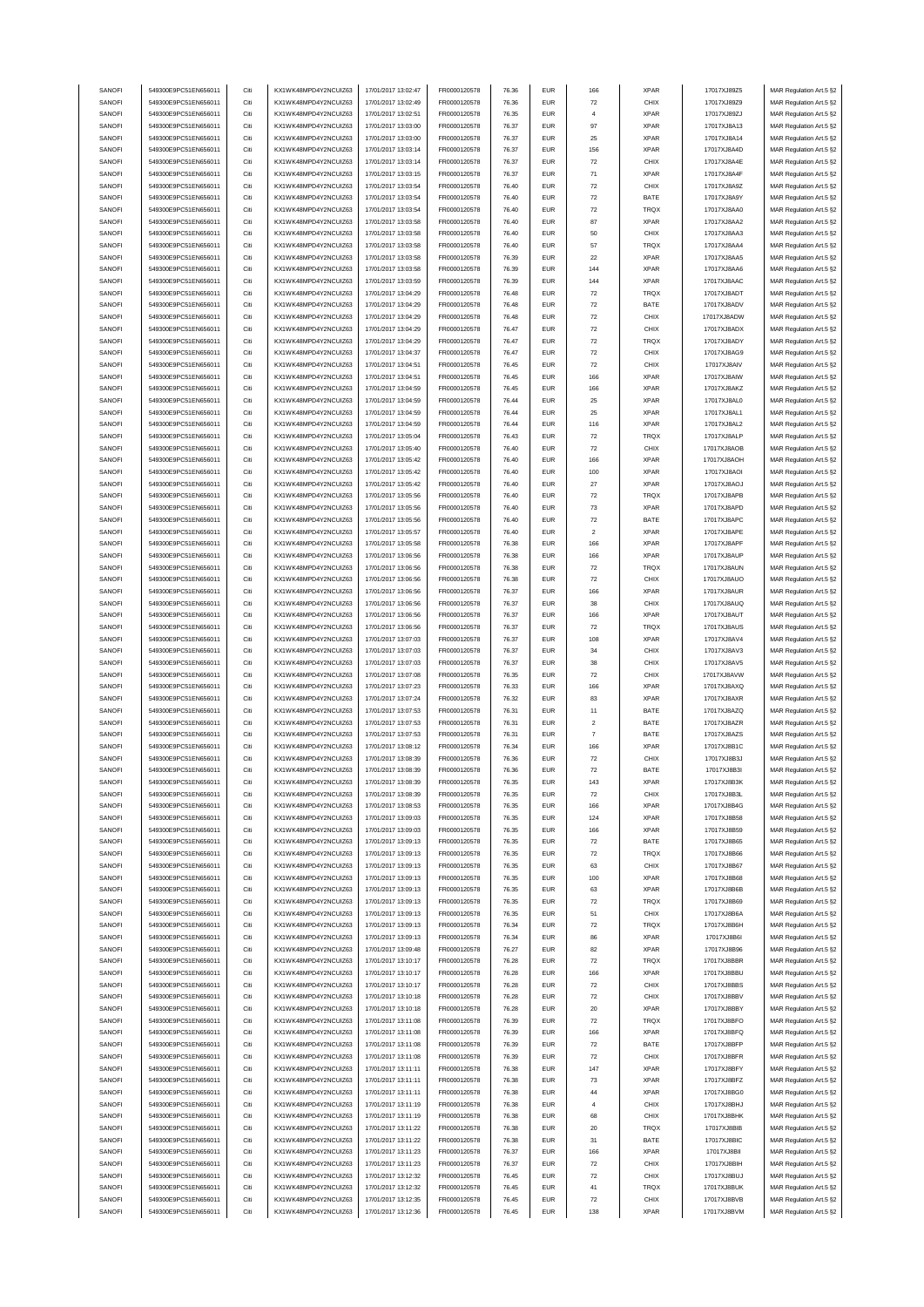| SANOFI<br>SANOFI | 549300E9PC51EN656011 | Citi | KX1WK48MPD4Y2NCUIZ63 | 17/01/2017 13:02:47 | FR0000120578 | 76.36 | <b>EUR</b> | 166                | <b>XPAR</b> | 17017XJ89Z5  | MAR Regulation Art.5 §2 |
|------------------|----------------------|------|----------------------|---------------------|--------------|-------|------------|--------------------|-------------|--------------|-------------------------|
|                  | 549300E9PC51EN656011 | Citi | KX1WK48MPD4Y2NCUIZ63 | 17/01/2017 13:02:49 |              | 76.36 | <b>EUR</b> | 72                 | CHIX        |              |                         |
|                  |                      |      |                      |                     | FR0000120578 |       |            |                    |             | 17017XJ89Z9  | MAR Regulation Art.5 §2 |
| SANOFI           | 549300E9PC51EN656011 | Citi | KX1WK48MPD4Y2NCUIZ63 | 17/01/2017 13:02:51 | FR0000120578 | 76.35 | <b>EUR</b> | $\overline{4}$     | <b>XPAR</b> | 17017XJ89ZJ  | MAR Regulation Art.5 §2 |
| SANOFI           | 549300E9PC51EN656011 | Citi | KX1WK48MPD4Y2NCUIZ63 | 17/01/2017 13:03:00 | FR0000120578 | 76.37 | <b>EUR</b> | 97                 | <b>XPAR</b> | 17017XJ8A13  | MAR Regulation Art.5 §2 |
| SANOFI           | 549300E9PC51EN656011 | Citi | KX1WK48MPD4Y2NCUIZ63 | 17/01/2017 13:03:00 | FR0000120578 | 76.37 | <b>EUR</b> | 25                 | <b>XPAR</b> | 17017XJ8A14  | MAR Regulation Art.5 §2 |
|                  |                      |      |                      |                     |              |       |            |                    |             |              |                         |
| SANOFI           | 549300E9PC51EN656011 | Citi | KX1WK48MPD4Y2NCUIZ63 | 17/01/2017 13:03:14 | FR0000120578 | 76.37 | <b>EUR</b> | 156                | <b>XPAR</b> | 17017XJ8A4D  | MAR Regulation Art.5 §2 |
| SANOFI           | 549300E9PC51EN656011 | Citi | KX1WK48MPD4Y2NCUIZ63 | 17/01/2017 13:03:14 | FR0000120578 | 76.37 | <b>EUR</b> | $\scriptstyle{72}$ | CHIX        | 17017XJ8A4E  | MAR Regulation Art.5 §2 |
| SANOFI           | 549300E9PC51EN656011 | Citi | KX1WK48MPD4Y2NCUIZ63 | 17/01/2017 13:03:15 | FR0000120578 | 76.37 | <b>EUR</b> | 71                 | <b>XPAR</b> | 17017XJ8A4F  | MAR Regulation Art.5 §2 |
|                  |                      |      |                      |                     |              |       | <b>EUR</b> |                    |             |              |                         |
| SANOFI           | 549300E9PC51EN656011 | Citi | KX1WK48MPD4Y2NCUIZ63 | 17/01/2017 13:03:54 | FR0000120578 | 76.40 |            | $\scriptstyle{72}$ | CHIX        | 17017XJ8A9Z  | MAR Regulation Art.5 §2 |
| SANOFI           | 549300E9PC51EN656011 | Citi | KX1WK48MPD4Y2NCUIZ63 | 17/01/2017 13:03:54 | FR0000120578 | 76.40 | <b>EUR</b> | 72                 | BATE        | 17017XJ8A9Y  | MAR Regulation Art.5 §2 |
| SANOFI           | 549300E9PC51EN656011 | Citi | KX1WK48MPD4Y2NCUIZ63 | 17/01/2017 13:03:54 | FR0000120578 | 76.40 | <b>EUR</b> | $\scriptstyle{72}$ | TRQX        | 17017XJ8AA0  | MAR Regulation Art.5 §2 |
|                  |                      |      |                      |                     |              |       |            |                    |             |              |                         |
| SANOFI           | 549300E9PC51EN656011 | Citi | KX1WK48MPD4Y2NCUIZ63 | 17/01/2017 13:03:58 | FR0000120578 | 76.40 | <b>EUR</b> | 87                 | <b>XPAR</b> | 17017XJ8AA2  | MAR Regulation Art.5 §2 |
| SANOFI           | 549300E9PC51EN656011 | Citi | KX1WK48MPD4Y2NCUIZ63 | 17/01/2017 13:03:58 | FR0000120578 | 76.40 | <b>EUR</b> | 50                 | CHIX        | 17017XJ8AA3  | MAR Regulation Art.5 §2 |
| SANOFI           | 549300E9PC51EN656011 | Citi | KX1WK48MPD4Y2NCUIZ63 | 17/01/2017 13:03:58 | FR0000120578 | 76.40 | <b>EUR</b> | 57                 | TRQX        | 17017XJ8AA4  | MAR Regulation Art.5 §2 |
|                  |                      | Citi | KX1WK48MPD4Y2NCUIZ63 |                     |              |       |            |                    |             |              |                         |
| SANOFI           | 549300E9PC51EN656011 |      |                      | 17/01/2017 13:03:58 | FR0000120578 | 76.39 | <b>EUR</b> | $22\,$             | <b>XPAR</b> | 17017XJ8AA5  | MAR Regulation Art.5 §2 |
| SANOFI           | 549300E9PC51EN656011 | Citi | KX1WK48MPD4Y2NCUIZ63 | 17/01/2017 13:03:58 | FR0000120578 | 76.39 | <b>EUR</b> | 144                | <b>XPAR</b> | 17017XJ8AA6  | MAR Regulation Art.5 §2 |
| SANOFI           | 549300E9PC51EN656011 | Citi | KX1WK48MPD4Y2NCUIZ63 | 17/01/2017 13:03:59 | FR0000120578 | 76.39 | <b>EUR</b> | 144                | <b>XPAR</b> | 17017XJ8AAC  | MAR Regulation Art.5 §2 |
| SANOFI           | 549300E9PC51EN656011 | Citi | KX1WK48MPD4Y2NCUIZ63 | 17/01/2017 13:04:29 | FR0000120578 | 76.48 | <b>EUR</b> | 72                 | <b>TRQX</b> | 17017XJ8ADT  | MAR Regulation Art.5 §2 |
|                  |                      |      |                      |                     |              |       |            |                    |             |              |                         |
| SANOFI           | 549300E9PC51EN656011 | Citi | KX1WK48MPD4Y2NCUIZ63 | 17/01/2017 13:04:29 | FR0000120578 | 76.48 | <b>EUR</b> | $\scriptstyle{72}$ | BATE        | 17017XJ8ADV  | MAR Regulation Art.5 §2 |
| SANOFI           | 549300E9PC51EN656011 | Citi | KX1WK48MPD4Y2NCUIZ63 | 17/01/2017 13:04:29 | FR0000120578 | 76.48 | <b>EUR</b> | $\scriptstyle{72}$ | CHIX        | 17017XJ8ADW  | MAR Regulation Art.5 §2 |
| SANOFI           | 549300E9PC51EN656011 | Citi | KX1WK48MPD4Y2NCUIZ63 | 17/01/2017 13:04:29 | FR0000120578 | 76.47 | <b>EUR</b> | $\scriptstyle{72}$ | CHIX        | 17017XJ8ADX  | MAR Regulation Art.5 §2 |
|                  |                      |      |                      |                     |              |       |            |                    |             |              |                         |
| SANOFI           | 549300E9PC51EN656011 | Citi | KX1WK48MPD4Y2NCUIZ63 | 17/01/2017 13:04:29 | FR0000120578 | 76.47 | <b>EUR</b> | $\scriptstyle{72}$ | TRQX        | 17017XJ8ADY  | MAR Regulation Art.5 §2 |
| SANOFI           | 549300E9PC51EN656011 | Citi | KX1WK48MPD4Y2NCUIZ63 | 17/01/2017 13:04:37 | FR0000120578 | 76.47 | <b>EUR</b> | $\scriptstyle{72}$ | CHIX        | 17017XJ8AG9  | MAR Regulation Art.5 §2 |
| SANOFI           | 549300E9PC51EN656011 | Citi | KX1WK48MPD4Y2NCUIZ63 | 17/01/2017 13:04:51 | FR0000120578 | 76.45 | <b>EUR</b> | $\scriptstyle{72}$ | CHIX        | 17017XJ8AIV  | MAR Regulation Art.5 §2 |
| SANOFI           | 549300E9PC51EN656011 | Citi | KX1WK48MPD4Y2NCUIZ63 | 17/01/2017 13:04:51 | FR0000120578 | 76.45 | <b>EUR</b> | 166                | <b>XPAR</b> | 17017XJ8AIW  | MAR Regulation Art.5 §2 |
|                  |                      |      |                      |                     |              |       |            |                    |             |              |                         |
| SANOFI           | 549300E9PC51EN656011 | Citi | KX1WK48MPD4Y2NCUIZ63 | 17/01/2017 13:04:59 | FR0000120578 | 76.45 | <b>EUR</b> | 166                | <b>XPAR</b> | 17017XJ8AKZ  | MAR Regulation Art.5 §2 |
| SANOFI           | 549300E9PC51EN656011 | Citi | KX1WK48MPD4Y2NCUIZ63 | 17/01/2017 13:04:59 | FR0000120578 | 76.44 | <b>EUR</b> | 25                 | <b>XPAR</b> | 17017XJ8AL0  | MAR Regulation Art.5 §2 |
| SANOFI           | 549300E9PC51EN656011 | Citi | KX1WK48MPD4Y2NCUIZ63 | 17/01/2017 13:04:59 | FR0000120578 | 76.44 | <b>EUR</b> | 25                 | <b>XPAR</b> | 17017XJ8AL1  | MAR Regulation Art.5 §2 |
|                  |                      |      |                      |                     |              |       |            |                    |             |              |                         |
| SANOFI           | 549300E9PC51EN656011 | Citi | KX1WK48MPD4Y2NCUIZ63 | 17/01/2017 13:04:59 | FR0000120578 | 76.44 | <b>EUR</b> | 116                | <b>XPAR</b> | 17017XJ8AL2  | MAR Regulation Art.5 §2 |
| SANOFI           | 549300E9PC51EN656011 | Citi | KX1WK48MPD4Y2NCUIZ63 | 17/01/2017 13:05:04 | FR0000120578 | 76.43 | <b>EUR</b> | $\scriptstyle{72}$ | TRQX        | 17017XJ8ALP  | MAR Regulation Art.5 §2 |
| SANOFI           | 549300E9PC51EN656011 | Citi | KX1WK48MPD4Y2NCUIZ63 | 17/01/2017 13:05:40 | FR0000120578 | 76.40 | <b>EUR</b> | $\scriptstyle{72}$ | CHIX        | 17017XJ8AOB  | MAR Regulation Art.5 §2 |
|                  |                      |      |                      |                     |              |       |            |                    |             |              |                         |
| SANOFI           | 549300E9PC51EN656011 | Citi | KX1WK48MPD4Y2NCUIZ63 | 17/01/2017 13:05:42 | FR0000120578 | 76.40 | <b>EUR</b> | 166                | <b>XPAR</b> | 17017XJ8AOH  | MAR Regulation Art.5 §2 |
| SANOFI           | 549300E9PC51EN656011 | Citi | KX1WK48MPD4Y2NCUIZ63 | 17/01/2017 13:05:42 | FR0000120578 | 76.40 | <b>EUR</b> | 100                | <b>XPAR</b> | 17017XJ8AOI  | MAR Regulation Art.5 §2 |
| SANOFI           | 549300E9PC51EN656011 | Citi | KX1WK48MPD4Y2NCUIZ63 | 17/01/2017 13:05:42 | FR0000120578 | 76.40 | <b>EUR</b> | 27                 | <b>XPAR</b> | 17017XJ8AOJ  | MAR Regulation Art.5 §2 |
|                  |                      |      | KX1WK48MPD4Y2NCUIZ63 |                     |              |       |            |                    |             | 17017XJ8APB  |                         |
| SANOFI           | 549300E9PC51EN656011 | Citi |                      | 17/01/2017 13:05:56 | FR0000120578 | 76.40 | <b>EUR</b> | 72                 | <b>TRQX</b> |              | MAR Regulation Art.5 §2 |
| SANOFI           | 549300E9PC51EN656011 | Citi | KX1WK48MPD4Y2NCUIZ63 | 17/01/2017 13:05:56 | FR0000120578 | 76.40 | <b>EUR</b> | 73                 | <b>XPAR</b> | 17017XJ8APD  | MAR Regulation Art.5 §2 |
| SANOFI           | 549300E9PC51EN656011 | Citi | KX1WK48MPD4Y2NCUIZ63 | 17/01/2017 13:05:56 | FR0000120578 | 76.40 | <b>EUR</b> | $\scriptstyle{72}$ | BATE        | 17017XJ8APC  | MAR Regulation Art.5 §2 |
| SANOFI           | 549300E9PC51EN656011 | Citi | KX1WK48MPD4Y2NCUIZ63 | 17/01/2017 13:05:57 | FR0000120578 | 76.40 | <b>EUR</b> | $\sqrt{2}$         | <b>XPAR</b> | 17017XJ8APE  | MAR Regulation Art.5 §2 |
|                  |                      |      |                      |                     |              |       |            |                    |             |              |                         |
| SANOFI           | 549300E9PC51EN656011 | Citi | KX1WK48MPD4Y2NCUIZ63 | 17/01/2017 13:05:58 | FR0000120578 | 76.38 | <b>EUR</b> | 166                | <b>XPAR</b> | 17017XJ8APF  | MAR Regulation Art.5 §2 |
| SANOFI           | 549300E9PC51EN656011 | Citi | KX1WK48MPD4Y2NCUIZ63 | 17/01/2017 13:06:56 | FR0000120578 | 76.38 | <b>EUR</b> | 166                | <b>XPAR</b> | 17017XJ8AUP  | MAR Regulation Art.5 §2 |
| SANOFI           | 549300E9PC51EN656011 | Citi | KX1WK48MPD4Y2NCUIZ63 | 17/01/2017 13:06:56 | FR0000120578 | 76.38 | <b>EUR</b> | $\scriptstyle{72}$ | TRQX        | 17017XJ8AUN  | MAR Regulation Art.5 §2 |
|                  |                      | Citi |                      |                     |              | 76.38 | <b>EUR</b> |                    |             |              |                         |
| SANOFI           | 549300E9PC51EN656011 |      | KX1WK48MPD4Y2NCUIZ63 | 17/01/2017 13:06:56 | FR0000120578 |       |            | $\scriptstyle{72}$ | CHIX        | 17017XJ8AUO  | MAR Regulation Art.5 §2 |
| SANOFI           | 549300E9PC51EN656011 | Citi | KX1WK48MPD4Y2NCUIZ63 | 17/01/2017 13:06:56 | FR0000120578 | 76.37 | <b>EUR</b> | 166                | <b>XPAR</b> | 17017XJ8AUR  | MAR Regulation Art.5 §2 |
| SANOFI           | 549300E9PC51EN656011 | Citi | KX1WK48MPD4Y2NCUIZ63 | 17/01/2017 13:06:56 | FR0000120578 | 76.37 | <b>EUR</b> | 38                 | CHIX        | 17017XJ8AUQ  | MAR Regulation Art.5 §2 |
| SANOFI           | 549300E9PC51EN656011 | Citi | KX1WK48MPD4Y2NCUIZ63 | 17/01/2017 13:06:56 | FR0000120578 | 76.37 | <b>EUR</b> | 166                | <b>XPAR</b> | 17017XJ8AUT  |                         |
|                  |                      |      |                      |                     |              |       |            |                    |             |              | MAR Regulation Art.5 §2 |
| SANOFI           | 549300E9PC51EN656011 | Citi | KX1WK48MPD4Y2NCUIZ63 | 17/01/2017 13:06:56 | FR0000120578 | 76.37 | <b>EUR</b> | $\scriptstyle{72}$ | TRQX        | 17017XJ8AUS  | MAR Regulation Art.5 §2 |
| SANOFI           | 549300E9PC51EN656011 | Citi | KX1WK48MPD4Y2NCUIZ63 | 17/01/2017 13:07:03 | FR0000120578 | 76.37 | <b>EUR</b> | 108                | <b>XPAR</b> | 17017XJ8AV4  | MAR Regulation Art.5 §2 |
| SANOFI           | 549300E9PC51EN656011 | Citi | KX1WK48MPD4Y2NCUIZ63 | 17/01/2017 13:07:03 | FR0000120578 | 76.37 | <b>EUR</b> | 34                 | CHIX        | 17017XJ8AV3  | MAR Regulation Art.5 §2 |
|                  |                      |      |                      |                     |              |       |            |                    |             |              |                         |
| SANOFI           | 549300E9PC51EN656011 | Citi | KX1WK48MPD4Y2NCUIZ63 | 17/01/2017 13:07:03 | FR0000120578 | 76.37 | <b>EUR</b> | 38                 | CHIX        | 17017XJ8AV5  | MAR Regulation Art.5 §2 |
| SANOFI           | 549300E9PC51EN656011 | Citi | KX1WK48MPD4Y2NCUIZ63 | 17/01/2017 13:07:08 | FR0000120578 | 76.35 | <b>EUR</b> | $\scriptstyle{72}$ | CHIX        | 17017XJ8AVW  | MAR Regulation Art.5 §2 |
| SANOFI           | 549300E9PC51EN656011 | Citi | KX1WK48MPD4Y2NCUIZ63 | 17/01/2017 13:07:23 | FR0000120578 | 76.33 | <b>EUR</b> | 166                | <b>XPAR</b> | 17017XJ8AXQ  | MAR Regulation Art.5 §2 |
| SANOFI           | 549300E9PC51EN656011 | Citi | KX1WK48MPD4Y2NCUIZ63 | 17/01/2017 13:07:24 | FR0000120578 | 76.32 | <b>EUR</b> | 83                 | <b>XPAR</b> | 17017XJ8AXR  | MAR Regulation Art.5 §2 |
|                  |                      |      |                      |                     |              |       |            |                    |             |              |                         |
| SANOFI           | 549300E9PC51EN656011 | Citi | KX1WK48MPD4Y2NCUIZ63 | 17/01/2017 13:07:53 |              |       | <b>EUR</b> | 11                 |             | 17017XJ8AZQ  |                         |
| SANOFI           | 549300E9PC51EN656011 |      |                      |                     | FR0000120578 | 76.31 |            |                    | BATE        |              | MAR Regulation Art.5 §2 |
|                  |                      | Citi | KX1WK48MPD4Y2NCUIZ63 | 17/01/2017 13:07:53 | FR0000120578 | 76.31 | <b>EUR</b> | $\sqrt{2}$         | BATE        | 17017XJ8AZR  | MAR Regulation Art.5 §2 |
|                  |                      |      |                      |                     |              |       |            |                    |             |              |                         |
| SANOFI           | 549300E9PC51EN656011 | Citi | KX1WK48MPD4Y2NCUIZ63 | 17/01/2017 13:07:53 | FR0000120578 | 76.31 | <b>EUR</b> | $\scriptstyle{7}$  | BATE        | 17017XJ8AZS  | MAR Regulation Art.5 §2 |
| SANOFI           | 549300E9PC51EN656011 | Citi | KX1WK48MPD4Y2NCUIZ63 | 17/01/2017 13:08:12 | FR0000120578 | 76.34 | <b>EUR</b> | 166                | <b>XPAR</b> | 17017XJ8B1C  | MAR Regulation Art.5 §2 |
| SANOFI           | 549300E9PC51EN656011 | Citi | KX1WK48MPD4Y2NCUIZ63 | 17/01/2017 13:08:39 | FR0000120578 | 76.36 | <b>EUR</b> | $\scriptstyle{72}$ | CHIX        | 17017XJ8B3J  | MAR Regulation Art.5 §2 |
| SANOFI           | 549300E9PC51EN656011 | Citi | KX1WK48MPD4Y2NCUIZ63 | 17/01/2017 13:08:39 | FR0000120578 | 76.36 | <b>EUR</b> | $\scriptstyle{72}$ | BATE        | 17017XJ8B3I  |                         |
|                  |                      |      |                      |                     |              |       |            |                    |             |              | MAR Regulation Art.5 §2 |
| SANOFI           | 549300E9PC51EN656011 |      | KX1WK48MPD4Y2NCUIZ63 | 17/01/2017 13:08:39 | FR0000120578 | 76.35 | FUR        |                    | <b>XPAR</b> | 17017X IRR3K | MAR Regulation Art 5.82 |
| SANOFI           | 549300E9PC51EN656011 | Citi | KX1WK48MPD4Y2NCUIZ63 | 17/01/2017 13:08:39 | FR0000120578 | 76.35 | <b>EUR</b> | $\scriptstyle{72}$ | CHIX        | 17017XJ8B3L  | MAR Regulation Art.5 §2 |
| SANOFI           | 549300E9PC51EN656011 | Citi | KX1WK48MPD4Y2NCUIZ63 | 17/01/2017 13:08:53 | FR0000120578 | 76.35 | <b>EUR</b> | 166                | <b>XPAR</b> | 17017XJ8B4G  | MAR Regulation Art.5 §2 |
|                  |                      |      |                      |                     |              |       |            |                    |             |              |                         |
| SANOFI           | 549300E9PC51EN656011 | Citi | KX1WK48MPD4Y2NCUIZ63 | 17/01/2017 13:09:03 | FR0000120578 | 76.35 | <b>EUR</b> | 124                | <b>XPAR</b> | 17017XJ8B58  | MAR Regulation Art.5 §2 |
| SANOFI           | 549300E9PC51EN656011 | Citi | KX1WK48MPD4Y2NCUIZ63 | 17/01/2017 13:09:03 | FR0000120578 | 76.35 | <b>EUR</b> | 166                | <b>XPAR</b> | 17017XJ8B59  | MAR Regulation Art.5 §2 |
| SANOFI           | 549300E9PC51EN656011 | Citi | KX1WK48MPD4Y2NCUIZ63 | 17/01/2017 13:09:13 | FR0000120578 | 76.35 | <b>EUR</b> | $\scriptstyle{72}$ | BATE        | 17017XJ8B65  | MAR Regulation Art.5 §2 |
| SANOFI           | 549300E9PC51EN656011 | Citi | KX1WK48MPD4Y2NCUIZ63 | 17/01/2017 13:09:13 | FR0000120578 | 76.35 | <b>EUR</b> | $\scriptstyle{72}$ | TRQX        | 17017XJ8B66  | MAR Regulation Art.5 §2 |
|                  |                      |      |                      |                     |              |       |            |                    |             |              |                         |
| SANOFI           | 549300E9PC51EN656011 | Citi | KX1WK48MPD4Y2NCUIZ63 | 17/01/2017 13:09:13 | FR0000120578 | 76.35 | <b>EUR</b> | 63                 | CHIX        | 17017XJ8B67  | MAR Regulation Art.5 §2 |
| SANOFI           | 549300E9PC51EN656011 | Citi | KX1WK48MPD4Y2NCUIZ63 | 17/01/2017 13:09:13 | FR0000120578 | 76.35 | <b>EUR</b> | 100                | <b>XPAR</b> | 17017XJ8B68  | MAR Regulation Art.5 §2 |
| SANOFI           | 549300E9PC51EN656011 | Citi | KX1WK48MPD4Y2NCUIZ63 | 17/01/2017 13:09:13 | FR0000120578 | 76.35 | <b>EUR</b> | 63                 | <b>XPAR</b> | 17017XJ8B6B  | MAR Regulation Art.5 §2 |
| SANOFI           | 549300E9PC51EN656011 | Citi | KX1WK48MPD4Y2NCUIZ63 | 17/01/2017 13:09:13 | FR0000120578 | 76.35 | <b>EUR</b> | $\scriptstyle{72}$ | TRQX        | 17017XJ8B69  | MAR Regulation Art.5 §2 |
|                  |                      |      |                      |                     |              |       |            |                    |             |              |                         |
| SANOFI           | 549300E9PC51EN656011 | Citi | KX1WK48MPD4Y2NCUIZ63 | 17/01/2017 13:09:13 | FR0000120578 | 76.35 | <b>EUR</b> | 51                 | CHIX        | 17017XJ8B6A  | MAR Regulation Art.5 §2 |
| SANOFI           | 549300E9PC51EN656011 | Citi | KX1WK48MPD4Y2NCUIZ63 | 17/01/2017 13:09:13 | FR0000120578 | 76.34 | <b>EUR</b> | $\scriptstyle{72}$ | TRQX        | 17017XJ8B6H  | MAR Regulation Art.5 §2 |
| SANOFI           | 549300E9PC51EN656011 | Citi | KX1WK48MPD4Y2NCUIZ63 | 17/01/2017 13:09:13 | FR0000120578 | 76.34 | <b>EUR</b> | 86                 | <b>XPAR</b> | 17017XJ8B6I  | MAR Regulation Art.5 §2 |
|                  |                      |      |                      |                     |              |       |            |                    |             |              |                         |
| SANOFI           | 549300E9PC51EN656011 | Citi | KX1WK48MPD4Y2NCUIZ63 | 17/01/2017 13:09:48 | FR0000120578 | 76.27 | <b>EUR</b> | 82                 | <b>XPAR</b> | 17017XJ8B96  | MAR Regulation Art.5 §2 |
| SANOFI           | 549300E9PC51EN656011 | Citi | KX1WK48MPD4Y2NCUIZ63 | 17/01/2017 13:10:17 | FR0000120578 | 76.28 | <b>EUR</b> | 72                 | TRQX        | 17017XJ8BBR  | MAR Regulation Art.5 §2 |
| SANOFI           | 549300E9PC51EN656011 | Citi | KX1WK48MPD4Y2NCUIZ63 | 17/01/2017 13:10:17 | FR0000120578 | 76.28 | <b>EUR</b> | 166                | <b>XPAR</b> | 17017XJ8BBU  | MAR Regulation Art.5 §2 |
|                  |                      |      |                      |                     |              |       |            |                    |             |              |                         |
| SANOFI           | 549300E9PC51EN656011 | Citi | KX1WK48MPD4Y2NCUIZ63 | 17/01/2017 13:10:17 | FR0000120578 | 76.28 | <b>EUR</b> | 72                 | CHIX        | 17017XJ8BBS  | MAR Regulation Art.5 §2 |
| SANOFI           | 549300E9PC51EN656011 | Citi | KX1WK48MPD4Y2NCUIZ63 | 17/01/2017 13:10:18 | FR0000120578 | 76.28 | <b>EUR</b> | 72                 | CHIX        | 17017XJ8BBV  | MAR Regulation Art.5 §2 |
| SANOFI           | 549300E9PC51EN656011 | Citi | KX1WK48MPD4Y2NCUIZ63 | 17/01/2017 13:10:18 | FR0000120578 | 76.28 | <b>EUR</b> | $20\,$             | <b>XPAR</b> | 17017XJ8BBY  | MAR Regulation Art.5 §2 |
| SANOFI           | 549300E9PC51EN656011 | Citi | KX1WK48MPD4Y2NCUIZ63 | 17/01/2017 13:11:08 | FR0000120578 | 76.39 | <b>EUR</b> | 72                 | TRQX        | 17017XJ8BFO  | MAR Regulation Art.5 §2 |
|                  |                      |      |                      |                     |              |       |            |                    |             |              |                         |
| SANOFI           | 549300E9PC51EN656011 | Citi | KX1WK48MPD4Y2NCUIZ63 | 17/01/2017 13:11:08 | FR0000120578 | 76.39 | <b>EUR</b> | 166                | <b>XPAR</b> | 17017XJ8BFQ  | MAR Regulation Art.5 §2 |
| SANOFI           | 549300E9PC51EN656011 | Citi | KX1WK48MPD4Y2NCUIZ63 | 17/01/2017 13:11:08 | FR0000120578 | 76.39 | <b>EUR</b> | 72                 | BATE        | 17017XJ8BFP  | MAR Regulation Art.5 §2 |
| SANOFI           | 549300E9PC51EN656011 | Citi | KX1WK48MPD4Y2NCUIZ63 | 17/01/2017 13:11:08 | FR0000120578 | 76.39 | <b>EUR</b> | $\scriptstyle{72}$ | CHIX        | 17017XJ8BFR  | MAR Regulation Art.5 §2 |
|                  |                      |      |                      |                     |              |       |            |                    |             |              |                         |
| SANOFI           | 549300E9PC51EN656011 | Citi | KX1WK48MPD4Y2NCUIZ63 | 17/01/2017 13:11:11 | FR0000120578 | 76.38 | <b>EUR</b> | 147                | XPAR        | 17017XJ8BFY  | MAR Regulation Art.5 §2 |
| SANOFI           | 549300E9PC51EN656011 | Citi | KX1WK48MPD4Y2NCUIZ63 | 17/01/2017 13:11:11 | FR0000120578 | 76.38 | <b>EUR</b> | 73                 | <b>XPAR</b> | 17017XJ8BFZ  | MAR Regulation Art.5 §2 |
| SANOFI           | 549300E9PC51EN656011 | Citi | KX1WK48MPD4Y2NCUIZ63 | 17/01/2017 13:11:11 | FR0000120578 | 76.38 | <b>EUR</b> | 44                 | <b>XPAR</b> | 17017XJ8BG0  | MAR Regulation Art.5 §2 |
|                  |                      |      |                      |                     |              |       |            |                    |             |              |                         |
| SANOFI           | 549300E9PC51EN656011 | Citi | KX1WK48MPD4Y2NCUIZ63 | 17/01/2017 13:11:19 | FR0000120578 | 76.38 | <b>EUR</b> | $\overline{4}$     | CHIX        | 17017XJ8BHJ  | MAR Regulation Art.5 §2 |
| SANOFI           | 549300E9PC51EN656011 | Citi | KX1WK48MPD4Y2NCUIZ63 | 17/01/2017 13:11:19 | FR0000120578 | 76.38 | <b>EUR</b> | 68                 | CHIX        | 17017XJ8BHK  | MAR Regulation Art.5 §2 |
| SANOFI           | 549300E9PC51EN656011 | Citi | KX1WK48MPD4Y2NCUIZ63 | 17/01/2017 13:11:22 | FR0000120578 | 76.38 | <b>EUR</b> | 20                 | TRQX        | 17017XJ8BIB  | MAR Regulation Art.5 §2 |
| SANOFI           | 549300E9PC51EN656011 | Citi | KX1WK48MPD4Y2NCUIZ63 | 17/01/2017 13:11:22 | FR0000120578 | 76.38 | <b>EUR</b> | 31                 | BATE        | 17017XJ8BIC  | MAR Regulation Art.5 §2 |
|                  |                      |      |                      |                     |              |       |            |                    |             |              |                         |
| SANOFI           | 549300E9PC51EN656011 | Citi | KX1WK48MPD4Y2NCUIZ63 | 17/01/2017 13:11:23 | FR0000120578 | 76.37 | <b>EUR</b> | 166                | <b>XPAR</b> | 17017XJ8BII  | MAR Regulation Art.5 §2 |
| SANOFI           | 549300E9PC51EN656011 | Citi | KX1WK48MPD4Y2NCUIZ63 | 17/01/2017 13:11:23 | FR0000120578 | 76.37 | <b>EUR</b> | $\scriptstyle{72}$ | CHIX        | 17017XJ8BIH  | MAR Regulation Art.5 §2 |
| SANOFI           | 549300E9PC51EN656011 | Citi | KX1WK48MPD4Y2NCUIZ63 | 17/01/2017 13:12:32 | FR0000120578 | 76.45 | <b>EUR</b> | $\scriptstyle{72}$ | CHIX        | 17017XJ8BUJ  | MAR Regulation Art.5 §2 |
|                  |                      | Citi |                      |                     |              | 76.45 | <b>EUR</b> | 41                 | <b>TRQX</b> |              |                         |
| SANOFI           | 549300E9PC51EN656011 |      | KX1WK48MPD4Y2NCUIZ63 | 17/01/2017 13:12:32 | FR0000120578 |       |            |                    |             | 17017XJ8BUK  | MAR Regulation Art.5 §2 |
| SANOFI           | 549300E9PC51EN656011 | Citi | KX1WK48MPD4Y2NCUIZ63 | 17/01/2017 13:12:35 | FR0000120578 | 76.45 | <b>EUR</b> | 72                 | CHIX        | 17017XJ8BVB  | MAR Regulation Art.5 §2 |
| SANOFI           | 549300E9PC51EN656011 | Citi | KX1WK48MPD4Y2NCUIZ63 | 17/01/2017 13:12:36 | FR0000120578 | 76.45 | <b>EUR</b> | 138                | <b>XPAR</b> | 17017XJ8BVM  | MAR Regulation Art.5 §2 |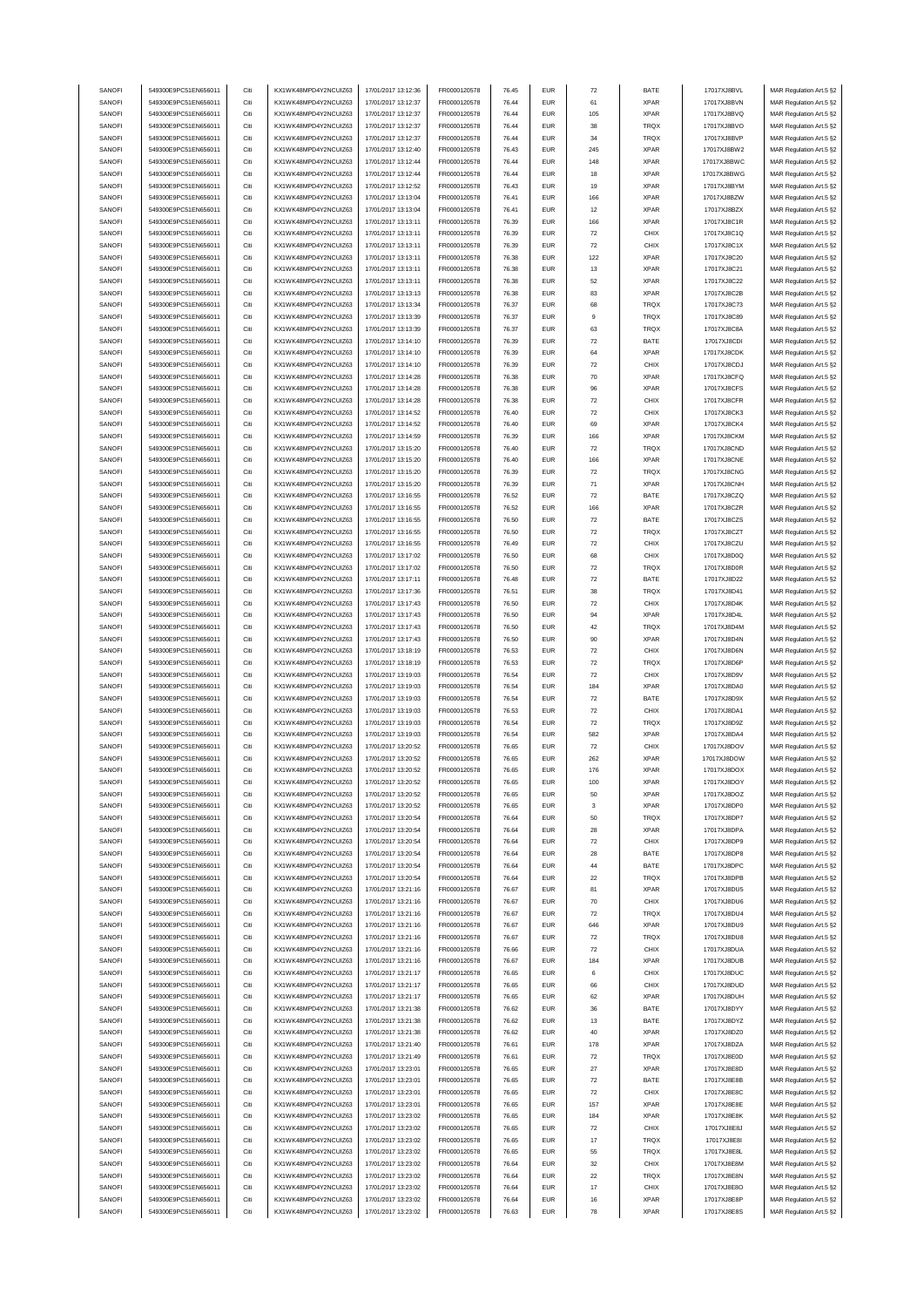| SANOFI | 549300E9PC51EN656011 | Citi | KX1WK48MPD4Y2NCUIZ63  | 17/01/2017 13:12:36 | FR0000120578        | 76.45 | <b>EUR</b>                  | 72         | BATE        | 17017XJ8BVL  | MAR Regulation Art.5 §2 |
|--------|----------------------|------|-----------------------|---------------------|---------------------|-------|-----------------------------|------------|-------------|--------------|-------------------------|
| SANOFI | 549300E9PC51EN656011 | Citi | KX1WK48MPD4Y2NCLIIZ63 | 17/01/2017 13:12:37 | FR0000120578        | 76.44 | <b>EUR</b>                  | 61         | <b>XPAR</b> | 17017XJ8BVN  | MAR Regulation Art.5 §2 |
|        |                      |      |                       |                     |                     |       |                             |            |             |              |                         |
| SANOFI | 549300E9PC51EN656011 | Citi | KX1WK48MPD4Y2NCUIZ63  | 17/01/2017 13:12:37 | FR0000120578        | 76.44 | <b>EUR</b>                  | 105        | <b>XPAR</b> | 17017XJ8BVQ  | MAR Regulation Art.5 §2 |
| SANOFI | 549300E9PC51EN656011 | Citi | KX1WK48MPD4Y2NCUIZ63  | 17/01/2017 13:12:37 | FR0000120578        | 76.44 | <b>EUR</b>                  | 38         | <b>TRQX</b> | 17017XJ8BVO  | MAR Regulation Art.5 §2 |
| SANOFI | 549300E9PC51EN656011 | Citi | KX1WK48MPD4Y2NCUIZ63  | 17/01/2017 13:12:37 | FR0000120578        | 76.44 | <b>EUR</b>                  | 34         | <b>TRQX</b> | 17017XJ8BVP  | MAR Regulation Art.5 §2 |
| SANOFI | 549300E9PC51EN656011 | Citi | KX1WK48MPD4Y2NCUIZ63  | 17/01/2017 13:12:40 | FR0000120578        | 76.43 | <b>EUR</b>                  | 245        | <b>XPAR</b> | 17017XJ8BW2  | MAR Regulation Art.5 §2 |
| SANOFI | 549300E9PC51EN656011 | Citi | KX1WK48MPD4Y2NCUIZ63  | 17/01/2017 13:12:44 | FR0000120578        | 76.44 | <b>EUR</b>                  | 148        | <b>XPAR</b> | 17017XJ8BWC  | MAR Regulation Art.5 §2 |
| SANOFI | 549300E9PC51EN656011 | Citi | KX1WK48MPD4Y2NCUIZ63  | 17/01/2017 13:12:44 | FR0000120578        | 76.44 | <b>EUR</b>                  | 18         | <b>XPAR</b> | 17017XJ8BWG  | MAR Regulation Art.5 §2 |
|        |                      |      |                       |                     |                     |       |                             |            |             |              |                         |
| SANOFI | 549300E9PC51EN656011 | Citi | KX1WK48MPD4Y2NCUIZ63  | 17/01/2017 13:12:52 | FR0000120578        | 76.43 | <b>EUR</b>                  | 19         | <b>XPAR</b> | 17017XJ8BYM  | MAR Regulation Art.5 §2 |
| SANOFI | 549300E9PC51EN656011 | Citi | KX1WK48MPD4Y2NCUIZ63  | 17/01/2017 13:13:04 | FR0000120578        | 76.41 | <b>EUR</b>                  | 166        | <b>XPAR</b> | 17017XJ8BZW  | MAR Regulation Art.5 §2 |
| SANOFI | 549300E9PC51EN656011 | Citi | KX1WK48MPD4Y2NCUIZ63  | 17/01/2017 13:13:04 | FR0000120578        | 76.41 | <b>EUR</b>                  | 12         | <b>XPAR</b> | 17017XJ8BZX  | MAR Regulation Art.5 §2 |
| SANOFI | 549300E9PC51EN656011 | Citi | KX1WK48MPD4Y2NCUIZ63  | 17/01/2017 13:13:11 | FR0000120578        | 76.39 | <b>EUR</b>                  | 166        | <b>XPAR</b> | 17017XJ8C1R  | MAR Regulation Art.5 §2 |
| SANOFI | 549300E9PC51EN656011 | Citi | KX1WK48MPD4Y2NCUIZ63  | 17/01/2017 13:13:11 | FR0000120578        | 76.39 | <b>EUR</b>                  | 72         | CHIX        | 17017XJ8C1Q  | MAR Regulation Art.5 §2 |
|        |                      |      |                       |                     |                     |       |                             |            |             |              |                         |
| SANOFI | 549300E9PC51EN656011 | Citi | KX1WK48MPD4Y2NCUIZ63  | 17/01/2017 13:13:11 | FR0000120578        | 76.39 | <b>EUR</b>                  | 72         | CHIX        | 17017XJ8C1X  | MAR Regulation Art.5 §2 |
| SANOFI | 549300E9PC51EN656011 | Citi | KX1WK48MPD4Y2NCUIZ63  | 17/01/2017 13:13:11 | FR0000120578        | 76.38 | <b>EUR</b>                  | 122        | <b>XPAR</b> | 17017XJ8C20  | MAR Regulation Art.5 §2 |
| SANOFI | 549300E9PC51EN656011 | Citi | KX1WK48MPD4Y2NCUIZ63  | 17/01/2017 13:13:11 | FR0000120578        | 76.38 | <b>EUR</b>                  | 13         | <b>XPAR</b> | 17017XJ8C21  | MAR Regulation Art.5 §2 |
| SANOFI | 549300E9PC51EN656011 | Citi | KX1WK48MPD4Y2NCUIZ63  | 17/01/2017 13:13:11 | FR0000120578        | 76.38 | <b>EUR</b>                  | 52         | <b>XPAR</b> | 17017XJ8C22  | MAR Regulation Art.5 §2 |
| SANOFI | 549300E9PC51EN656011 | Citi | KX1WK48MPD4Y2NCUIZ63  | 17/01/2017 13:13:13 | FR0000120578        | 76.38 | <b>EUR</b>                  | 83         | <b>XPAR</b> | 17017XJ8C2B  | MAR Regulation Art.5 §2 |
| SANOFI | 549300E9PC51EN656011 | Citi | KX1WK48MPD4Y2NCUIZ63  | 17/01/2017 13:13:34 | FR0000120578        | 76.37 | EUR                         | 68         | <b>TRQX</b> | 17017XJ8C73  | MAR Regulation Art.5 §2 |
|        |                      |      |                       |                     |                     |       |                             |            |             |              |                         |
| SANOFI | 549300E9PC51EN656011 | Citi | KX1WK48MPD4Y2NCUIZ63  | 17/01/2017 13:13:39 | FR0000120578        | 76.37 | <b>EUR</b>                  | 9          | <b>TRQX</b> | 17017XJ8C89  | MAR Regulation Art.5 §2 |
| SANOFI | 549300E9PC51EN656011 | Citi | KX1WK48MPD4Y2NCUIZ63  | 17/01/2017 13:13:39 | FR0000120578        | 76.37 | <b>EUR</b>                  | 63         | <b>TRQX</b> | 17017XJ8C8A  | MAR Regulation Art.5 §2 |
| SANOFI | 549300E9PC51EN656011 | Citi | KX1WK48MPD4Y2NCUIZ63  | 17/01/2017 13:14:10 | FR0000120578        | 76.39 | <b>EUR</b>                  | 72         | BATE        | 17017XJ8CDI  | MAR Regulation Art.5 §2 |
| SANOFI | 549300E9PC51EN656011 | Citi | KX1WK48MPD4Y2NCUIZ63  | 17/01/2017 13:14:10 | FR0000120578        | 76.39 | <b>EUR</b>                  | 64         | <b>XPAR</b> | 17017XJ8CDK  | MAR Regulation Art.5 §2 |
| SANOFI | 549300E9PC51EN656011 | Citi | KX1WK48MPD4Y2NCUIZ63  | 17/01/2017 13:14:10 | FR0000120578        | 76.39 | <b>EUR</b>                  | 72         | CHIX        | 17017XJ8CDJ  | MAR Regulation Art.5 §2 |
| SANOFI | 549300E9PC51EN656011 | Citi | KX1WK48MPD4Y2NCLIIZ63 | 17/01/2017 13:14:28 | FR0000120578        | 76.38 | <b>EUR</b>                  | 70         | <b>XPAR</b> | 17017XJ8CFQ  | MAR Regulation Art.5 §2 |
|        |                      |      |                       |                     |                     |       |                             |            |             |              |                         |
| SANOFI | 549300E9PC51EN656011 | Citi | KX1WK48MPD4Y2NCUIZ63  | 17/01/2017 13:14:28 | FR0000120578        | 76.38 | <b>EUR</b>                  | 96         | <b>XPAR</b> | 17017XJ8CFS  | MAR Regulation Art.5 §2 |
| SANOFI | 549300E9PC51EN656011 | Citi | KX1WK48MPD4Y2NCUIZ63  | 17/01/2017 13:14:28 | FR0000120578        | 76.38 | EUR                         | 72         | CHIX        | 17017XJ8CFR  | MAR Regulation Art.5 §2 |
| SANOFI | 549300E9PC51EN656011 | Citi | KX1WK48MPD4Y2NCUIZ63  | 17/01/2017 13:14:52 | FR0000120578        | 76.40 | <b>EUR</b>                  | 72         | CHIX        | 17017XJ8CK3  | MAR Regulation Art.5 §2 |
| SANOFI | 549300E9PC51EN656011 | Citi | KX1WK48MPD4Y2NCUIZ63  | 17/01/2017 13:14:52 | FR0000120578        | 76.40 | <b>EUR</b>                  | 69         | <b>XPAR</b> | 17017XJ8CK4  | MAR Regulation Art.5 §2 |
| SANOFI | 549300E9PC51EN656011 | Citi | KX1WK48MPD4Y2NCUIZ63  | 17/01/2017 13:14:59 | FR0000120578        | 76.39 | <b>EUR</b>                  | 166        | <b>XPAR</b> | 17017XJ8CKM  | MAR Regulation Art.5 §2 |
|        |                      |      |                       |                     |                     |       |                             |            |             |              |                         |
| SANOFI | 549300E9PC51EN656011 | Citi | KX1WK48MPD4Y2NCUIZ63  | 17/01/2017 13:15:20 | FR0000120578        | 76.40 | EUR                         | 72         | TRQX        | 17017XJ8CND  | MAR Regulation Art.5 §2 |
| SANOFI | 549300E9PC51EN656011 | Citi | KX1WK48MPD4Y2NCUIZ63  | 17/01/2017 13:15:20 | FR0000120578        | 76.40 | <b>EUR</b>                  | 166        | <b>XPAR</b> | 17017XJ8CNE  | MAR Regulation Art.5 §2 |
| SANOFI | 549300E9PC51EN656011 | Citi | KX1WK48MPD4Y2NCUIZ63  | 17/01/2017 13:15:20 | FR0000120578        | 76.39 | <b>EUR</b>                  | 72         | TRQX        | 17017XJ8CNG  | MAR Regulation Art.5 §2 |
| SANOFI | 549300E9PC51EN656011 | Citi | KX1WK48MPD4Y2NCUIZ63  | 17/01/2017 13:15:20 | FR0000120578        | 76.39 | <b>EUR</b>                  | 71         | <b>XPAR</b> | 17017XJ8CNH  | MAR Regulation Art.5 §2 |
| SANOFI | 549300E9PC51EN656011 | Citi | KX1WK48MPD4Y2NCUIZ63  | 17/01/2017 13:16:55 | FR0000120578        | 76.52 | <b>EUR</b>                  | ${\bf 72}$ | BATE        | 17017XJ8CZQ  | MAR Regulation Art.5 §2 |
| SANOFI | 549300E9PC51EN656011 | Citi | KX1WK48MPD4Y2NCUIZ63  | 17/01/2017 13:16:55 | FR0000120578        | 76.52 | <b>EUR</b>                  | 166        | <b>XPAR</b> | 17017XJ8CZR  |                         |
|        |                      |      |                       |                     |                     |       |                             |            |             |              | MAR Regulation Art.5 §2 |
| SANOFI | 549300E9PC51EN656011 | Citi | KX1WK48MPD4Y2NCUIZ63  | 17/01/2017 13:16:55 | FR0000120578        | 76.50 | <b>EUR</b>                  | 72         | BATE        | 17017XJ8CZS  | MAR Regulation Art.5 §2 |
| SANOFI | 549300E9PC51EN656011 | Citi | KX1WK48MPD4Y2NCUIZ63  | 17/01/2017 13:16:55 | FR0000120578        | 76.50 | <b>EUR</b>                  | 72         | TRQX        | 17017XJ8CZT  | MAR Regulation Art.5 §2 |
| SANOFI | 549300E9PC51EN656011 | Citi | KX1WK48MPD4Y2NCUIZ63  | 17/01/2017 13:16:55 | FR0000120578        | 76.49 | <b>EUR</b>                  | 72         | CHIX        | 17017XJ8CZU  | MAR Regulation Art.5 §2 |
| SANOFI | 549300E9PC51EN656011 | Citi | KX1WK48MPD4Y2NCUIZ63  | 17/01/2017 13:17:02 | FR0000120578        | 76.50 | EUR                         | 68         | CHIX        | 17017XJ8D0Q  | MAR Regulation Art.5 §2 |
| SANOFI | 549300E9PC51EN656011 | Citi | KX1WK48MPD4Y2NCUIZ63  | 17/01/2017 13:17:02 | FR0000120578        | 76.50 | <b>EUR</b>                  | 72         | TRQX        | 17017XJ8D0R  | MAR Regulation Art.5 §2 |
| SANOFI | 549300E9PC51EN656011 | Citi | KX1WK48MPD4Y2NCUIZ63  | 17/01/2017 13:17:11 | FR0000120578        | 76.48 | <b>EUR</b>                  | 72         | BATE        | 17017XJ8D22  | MAR Regulation Art.5 §2 |
|        |                      |      |                       |                     |                     |       |                             |            |             |              |                         |
| SANOFI | 549300E9PC51EN656011 | Citi | KX1WK48MPD4Y2NCUIZ63  | 17/01/2017 13:17:36 | FR0000120578        | 76.51 | <b>EUR</b>                  | 38         | TRQX        | 17017XJ8D41  | MAR Regulation Art.5 §2 |
| SANOFI | 549300E9PC51EN656011 | Citi | KX1WK48MPD4Y2NCUIZ63  | 17/01/2017 13:17:43 | FR0000120578        | 76.50 | EUR                         | ${\bf 72}$ | CHIX        | 17017XJ8D4K  | MAR Regulation Art.5 §2 |
| SANOFI | 549300E9PC51EN656011 | Citi | KX1WK48MPD4Y2NCUIZ63  | 17/01/2017 13:17:43 | FR0000120578        | 76.50 | <b>EUR</b>                  | 94         | <b>XPAR</b> | 17017XJ8D4L  | MAR Regulation Art.5 §2 |
| SANOFI | 549300E9PC51EN656011 | Citi | KX1WK48MPD4Y2NCUIZ63  | 17/01/2017 13:17:43 | FR0000120578        | 76.50 | <b>EUR</b>                  | 42         | TRQX        | 17017XJ8D4M  | MAR Regulation Art.5 §2 |
| SANOFI | 549300E9PC51EN656011 | Citi | KX1WK48MPD4Y2NCUIZ63  | 17/01/2017 13:17:43 | FR0000120578        | 76.50 | <b>EUR</b>                  | 90         | <b>XPAR</b> | 17017XJ8D4N  | MAR Regulation Art.5 §2 |
|        |                      | Citi |                       |                     |                     |       |                             |            |             |              |                         |
| SANOFI | 549300E9PC51EN656011 |      | KX1WK48MPD4Y2NCUIZ63  | 17/01/2017 13:18:19 | FR0000120578        | 76.53 | <b>EUR</b>                  | 72         | CHIX        | 17017XJ8D6N  | MAR Regulation Art.5 §2 |
| SANOFI | 549300E9PC51EN656011 | Citi | KX1WK48MPD4Y2NCUIZ63  | 17/01/2017 13:18:19 | FR0000120578        | 76.53 | <b>EUR</b>                  | 72         | TRQX        | 17017XJ8D6P  | MAR Regulation Art.5 §2 |
| SANOFI | 549300E9PC51EN656011 | Citi | KX1WK48MPD4Y2NCUIZ63  | 17/01/2017 13:19:03 | FR0000120578        | 76.54 | <b>EUR</b>                  | 72         | CHIX        | 17017XJ8D9V  | MAR Regulation Art.5 §2 |
| SANOFI | 549300E9PC51EN656011 | Citi | KX1WK48MPD4Y2NCUIZ63  | 17/01/2017 13:19:03 | FR0000120578        | 76.54 | <b>EUR</b>                  | 184        | <b>XPAR</b> | 17017XJ8DA0  | MAR Regulation Art.5 §2 |
| SANOFI | 549300E9PC51EN656011 | Citi | KX1WK48MPD4Y2NCUIZ63  | 17/01/2017 13:19:03 | FR0000120578        | 76.54 | <b>EUR</b>                  | 72         | BATE        | 17017XJ8D9X  | MAR Regulation Art.5 §2 |
| SANOFI | 549300E9PC51EN656011 | Citi | KX1WK48MPD4Y2NCUIZ63  | 17/01/2017 13:19:03 | FR0000120578        | 76.53 | <b>EUR</b>                  | 72         | CHIX        | 17017XJ8DA1  | MAR Regulation Art.5 §2 |
|        |                      |      |                       |                     |                     |       |                             |            |             |              |                         |
| SANOFI | 549300E9PC51EN656011 | Citi | KX1WK48MPD4Y2NCUIZ63  | 17/01/2017 13:19:03 | FR0000120578        | 76.54 | EUR                         | 72         | <b>TRQX</b> | 17017XJ8D9Z  | MAR Regulation Art.5 §2 |
| SANOFI | 549300E9PC51EN656011 | Citi | KX1WK48MPD4Y2NCUIZ63  | 17/01/2017 13:19:03 | FR0000120578        | 76.54 | <b>EUR</b>                  | 582        | <b>XPAR</b> | 17017XJ8DA4  | MAR Regulation Art.5 §2 |
| SANOFI | 549300E9PC51EN656011 | Citi | KX1WK48MPD4Y2NCUIZ63  | 17/01/2017 13:20:52 | FR0000120578        | 76.65 | <b>EUR</b>                  | 72         | CHIX        | 17017XJ8DOV  | MAR Regulation Art.5 §2 |
| SANOFI | 549300E9PC51EN656011 | Citi | KX1WK48MPD4Y2NCUIZ63  | 17/01/2017 13:20:52 | FR0000120578        | 76.65 | <b>EUR</b>                  | 262        | <b>XPAR</b> | 17017XJ8DOW  | MAR Regulation Art.5 §2 |
| SANOFI | 549300E9PC51EN656011 | Citi | KX1WK48MPD4Y2NCLIIZ63 | 17/01/2017 13:20:52 | <b>ER0000120578</b> | 76.65 | FUR                         | 176        | <b>XPAR</b> | 17017X.I8DOX | MAR Regulation Art 5.82 |
|        |                      |      |                       |                     |                     |       |                             |            |             |              |                         |
| SANOFI | 549300E9PC51EN656011 | Citi | KX1WK48MPD4Y2NCUIZ63  | 17/01/2017 13:20:52 | FR0000120578        | 76.65 | <b>EUR</b>                  | 100        | <b>XPAR</b> | 17017XJ8DOY  | MAR Regulation Art.5 §2 |
| SANOFI | 549300E9PC51EN656011 | Citi | KX1WK48MPD4Y2NCUIZ63  | 17/01/2017 13:20:52 | FR0000120578        | 76.65 | EUR                         | 50         | <b>XPAR</b> | 17017XJ8DOZ  | MAR Regulation Art.5 §2 |
| SANOFI | 549300E9PC51EN656011 | Citi | KX1WK48MPD4Y2NCUIZ63  | 17/01/2017 13:20:52 | FR0000120578        | 76.65 | EUR                         | 3          | <b>XPAR</b> | 17017XJ8DP0  | MAR Regulation Art.5 §2 |
| SANOFI | 549300E9PC51EN656011 | Citi | KX1WK48MPD4Y2NCUIZ63  | 17/01/2017 13:20:54 | FR0000120578        | 76.64 | <b>EUR</b>                  | 50         | <b>TRQX</b> | 17017XJ8DP7  | MAR Regulation Art.5 §2 |
| SANOFI | 549300E9PC51EN656011 | Citi | KX1WK48MPD4Y2NCUIZ63  | 17/01/2017 13:20:54 | FR0000120578        | 76.64 | EUR                         | 28         | <b>XPAR</b> | 17017XJ8DPA  | MAR Regulation Art.5 §2 |
| SANOFI | 549300E9PC51EN656011 | Citi | KX1WK48MPD4Y2NCUIZ63  | 17/01/2017 13:20:54 | FR0000120578        | 76.64 | <b>EUR</b>                  | 72         | CHIX        | 17017XJ8DP9  | MAR Regulation Art.5 §2 |
|        | 549300E9PC51EN656011 |      | KX1WK48MPD4Y2NCUIZ63  |                     |                     |       |                             |            |             |              |                         |
| SANOFI |                      | Citi |                       | 17/01/2017 13:20:54 | FR0000120578        | 76.64 | <b>EUR</b>                  | 28         | BATE        | 17017XJ8DP8  | MAR Regulation Art.5 §2 |
| SANOFI | 549300E9PC51EN656011 | Citi | KX1WK48MPD4Y2NCUIZ63  | 17/01/2017 13:20:54 | FR0000120578        | 76.64 | <b>EUR</b>                  | 44         | BATE        | 17017XJ8DPC  | MAR Regulation Art.5 §2 |
| SANOFI | 549300E9PC51EN656011 | Citi | KX1WK48MPD4Y2NCUIZ63  | 17/01/2017 13:20:54 | FR0000120578        | 76.64 | ${\sf EUR}$                 | 22         | <b>TRQX</b> | 17017XJ8DPB  | MAR Regulation Art.5 §2 |
| SANOFI | 549300E9PC51EN656011 | Citi | KX1WK48MPD4Y2NCLIIZ63 | 17/01/2017 13:21:16 | FR0000120578        | 76.67 | EUR                         | 81         | <b>XPAR</b> | 17017XJ8DU5  | MAR Regulation Art.5 §2 |
| SANOFI | 549300E9PC51EN656011 | Citi | KX1WK48MPD4Y2NCUIZ63  | 17/01/2017 13:21:16 | FR0000120578        | 76.67 | <b>EUR</b>                  | 70         | CHIX        | 17017XJ8DU6  | MAR Regulation Art.5 §2 |
| SANOFI | 549300E9PC51EN656011 | Citi | KX1WK48MPD4Y2NCUIZ63  | 17/01/2017 13:21:16 | FR0000120578        | 76.67 | <b>EUR</b>                  | 72         | <b>TRQX</b> | 17017XJ8DU4  | MAR Regulation Art.5 §2 |
| SANOFI | 549300E9PC51EN656011 | Citi | KX1WK48MPD4Y2NCUIZ63  | 17/01/2017 13:21:16 | FR0000120578        | 76.67 | <b>EUR</b>                  | 646        | <b>XPAR</b> | 17017XJ8DU9  | MAR Regulation Art.5 §2 |
|        |                      |      |                       |                     |                     |       |                             |            |             |              |                         |
| SANOFI | 549300E9PC51EN656011 | Citi | KX1WK48MPD4Y2NCUIZ63  | 17/01/2017 13:21:16 | FR0000120578        | 76.67 | EUR                         | 72         | <b>TRQX</b> | 17017XJ8DU8  | MAR Regulation Art.5 §2 |
| SANOFI | 549300E9PC51EN656011 | Citi | KX1WK48MPD4Y2NCUIZ63  | 17/01/2017 13:21:16 | FR0000120578        | 76.66 | <b>EUR</b>                  | 72         | CHIX        | 17017XJ8DUA  | MAR Regulation Art.5 §2 |
| SANOFI | 549300E9PC51EN656011 | Citi | KX1WK48MPD4Y2NCUIZ63  | 17/01/2017 13:21:16 | FR0000120578        | 76.67 | <b>EUR</b>                  | 184        | <b>XPAR</b> | 17017XJ8DUB  | MAR Regulation Art.5 §2 |
| SANOFI | 549300E9PC51EN656011 | Citi | KX1WK48MPD4Y2NCUIZ63  | 17/01/2017 13:21:17 | FR0000120578        | 76.65 | <b>EUR</b>                  | 6          | CHIX        | 17017XJ8DUC  | MAR Regulation Art.5 §2 |
| SANOFI | 549300E9PC51EN656011 | Citi | KX1WK48MPD4Y2NCUIZ63  | 17/01/2017 13:21:17 | FR0000120578        | 76.65 | EUR                         | 66         | CHIX        | 17017XJ8DUD  | MAR Regulation Art.5 §2 |
|        |                      |      |                       |                     |                     |       |                             |            |             |              |                         |
| SANOFI | 549300E9PC51EN656011 | Citi | KX1WK48MPD4Y2NCUIZ63  | 17/01/2017 13:21:17 | FR0000120578        | 76.65 | <b>EUR</b>                  | 62         | <b>XPAR</b> | 17017XJ8DUH  | MAR Regulation Art.5 §2 |
| SANOFI | 549300E9PC51EN656011 | Citi | KX1WK48MPD4Y2NCUIZ63  | 17/01/2017 13:21:38 | FR0000120578        | 76.62 | <b>EUR</b>                  | 36         | BATE        | 17017XJ8DYY  | MAR Regulation Art.5 §2 |
| SANOFI | 549300E9PC51EN656011 | Citi | KX1WK48MPD4Y2NCUIZ63  | 17/01/2017 13:21:38 | FR0000120578        | 76.62 | EUR                         | 13         | BATE        | 17017XJ8DYZ  | MAR Regulation Art.5 §2 |
| SANOFI | 549300E9PC51EN656011 | Citi | KX1WK48MPD4Y2NCUIZ63  | 17/01/2017 13:21:38 | FR0000120578        | 76.62 | <b>EUR</b>                  | 40         | <b>XPAR</b> | 17017XJ8DZ0  | MAR Regulation Art.5 §2 |
| SANOFI | 549300E9PC51EN656011 | Citi | KX1WK48MPD4Y2NCUIZ63  | 17/01/2017 13:21:40 | FR0000120578        | 76.61 | EUR                         | 178        | <b>XPAR</b> | 17017XJ8DZA  | MAR Regulation Art.5 §2 |
| SANOFI | 549300E9PC51EN656011 | Citi | KX1WK48MPD4Y2NCUIZ63  | 17/01/2017 13:21:49 | FR0000120578        | 76.61 | <b>EUR</b>                  | 72         | TRQX        | 17017XJ8E0D  | MAR Regulation Art.5 §2 |
|        |                      |      |                       |                     |                     |       |                             |            |             |              |                         |
| SANOFI | 549300E9PC51EN656011 | Citi | KX1WK48MPD4Y2NCUIZ63  | 17/01/2017 13:23:01 | FR0000120578        | 76.65 | <b>EUR</b>                  | 27         | <b>XPAR</b> | 17017XJ8E8D  | MAR Regulation Art.5 §2 |
| SANOFI | 549300E9PC51EN656011 | Citi | KX1WK48MPD4Y2NCUIZ63  | 17/01/2017 13:23:01 | FR0000120578        | 76.65 | EUR                         | 72         | BATE        | 17017XJ8E8B  | MAR Regulation Art.5 §2 |
| SANOFI | 549300E9PC51EN656011 | Citi | KX1WK48MPD4Y2NCUIZ63  | 17/01/2017 13:23:01 | FR0000120578        | 76.65 | EUR                         | ${\bf 72}$ | CHIX        | 17017XJ8E8C  | MAR Regulation Art.5 §2 |
| SANOFI | 549300E9PC51EN656011 | Citi | KX1WK48MPD4Y2NCUIZ63  | 17/01/2017 13:23:01 | FR0000120578        | 76.65 | EUR                         | 157        | <b>XPAR</b> | 17017XJ8E8E  | MAR Regulation Art.5 §2 |
| SANOFI | 549300E9PC51EN656011 | Citi | KX1WK48MPD4Y2NCUIZ63  | 17/01/2017 13:23:02 | FR0000120578        | 76.65 | <b>EUR</b>                  | 184        | <b>XPAR</b> | 17017XJ8E8K  | MAR Regulation Art.5 §2 |
| SANOFI | 549300E9PC51EN656011 | Citi | KX1WK48MPD4Y2NCUIZ63  | 17/01/2017 13:23:02 | FR0000120578        | 76.65 | <b>EUR</b>                  | 72         | CHIX        | 17017XJ8E8J  | MAR Regulation Art.5 §2 |
|        |                      |      |                       |                     |                     |       |                             |            |             |              |                         |
| SANOFI | 549300E9PC51EN656011 | Citi | KX1WK48MPD4Y2NCUIZ63  | 17/01/2017 13:23:02 | FR0000120578        | 76.65 | EUR                         | 17         | TRQX        | 17017XJ8E8I  | MAR Regulation Art.5 §2 |
| SANOFI | 549300E9PC51EN656011 | Citi | KX1WK48MPD4Y2NCUIZ63  | 17/01/2017 13:23:02 | FR0000120578        | 76.65 | <b>EUR</b>                  | 55         | TRQX        | 17017XJ8E8L  | MAR Regulation Art.5 §2 |
| SANOFI | 549300E9PC51EN656011 | Citi | KX1WK48MPD4Y2NCUIZ63  | 17/01/2017 13:23:02 | FR0000120578        | 76.64 | <b>EUR</b>                  | 32         | CHIX        | 17017XJ8E8M  | MAR Regulation Art.5 §2 |
| SANOFI | 549300E9PC51EN656011 | Citi | KX1WK48MPD4Y2NCUIZ63  | 17/01/2017 13:23:02 | FR0000120578        | 76.64 | $\ensuremath{\mathsf{EUR}}$ | $22\,$     | <b>TRQX</b> | 17017XJ8E8N  | MAR Regulation Art.5 §2 |
| SANOFI | 549300E9PC51EN656011 | Citi | KX1WK48MPD4Y2NCUIZ63  | 17/01/2017 13:23:02 | FR0000120578        | 76.64 | EUR                         | 17         | CHIX        | 17017XJ8E8O  | MAR Regulation Art.5 §2 |
|        |                      |      |                       |                     |                     |       |                             |            |             |              |                         |
| SANOFI | 549300E9PC51EN656011 | Citi | KX1WK48MPD4Y2NCUIZ63  | 17/01/2017 13:23:02 | FR0000120578        | 76.64 | <b>EUR</b>                  | 16         | <b>XPAR</b> | 17017XJ8E8P  | MAR Regulation Art.5 §2 |
| SANOFI | 549300E9PC51EN656011 | Citi | KX1WK48MPD4Y2NCUIZ63  | 17/01/2017 13:23:02 | FR0000120578        | 76.63 | <b>EUR</b>                  | 78         | <b>XPAR</b> | 17017XJ8E8S  | MAR Regulation Art.5 §2 |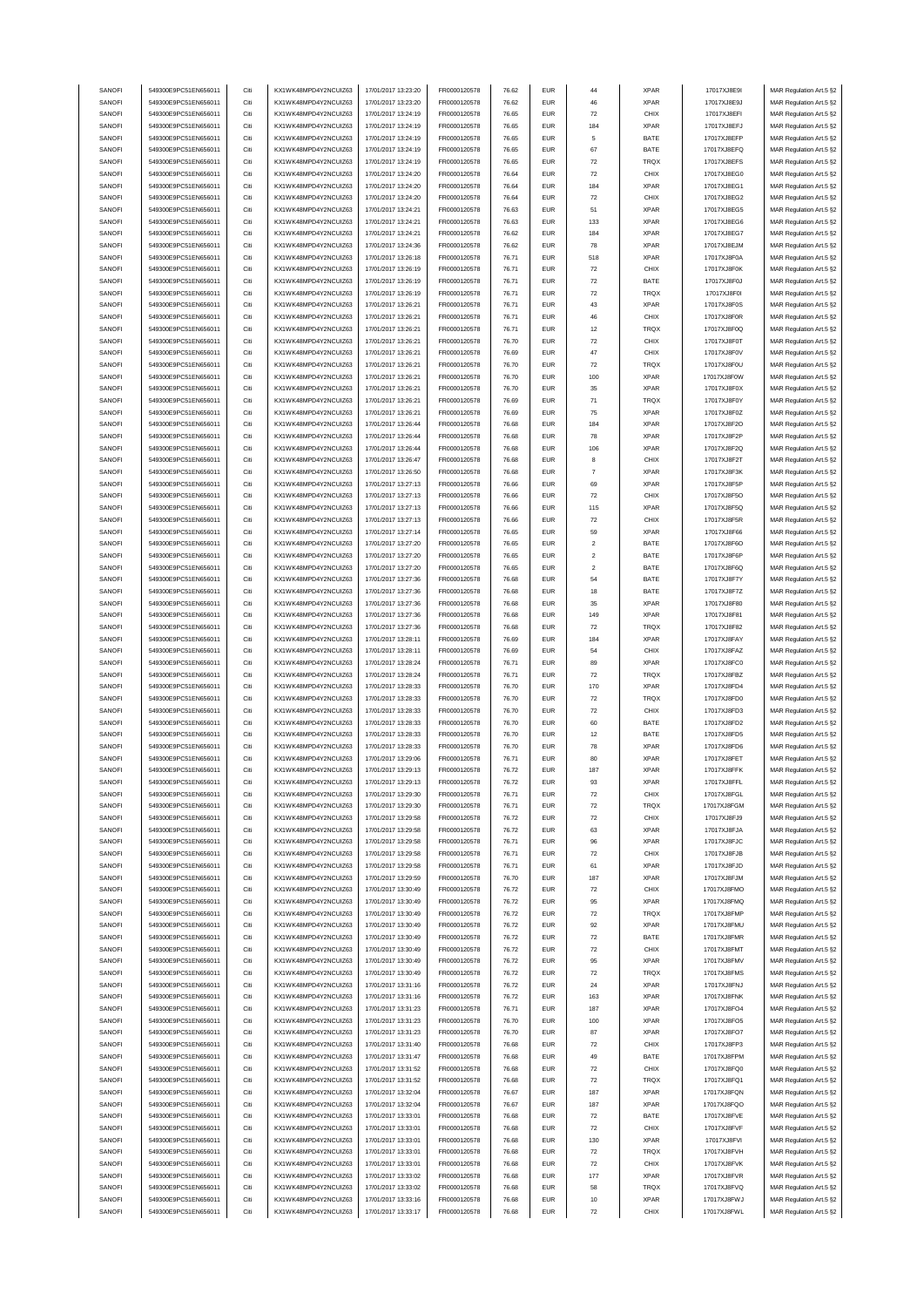| SANOFI | 549300E9PC51EN656011 | Citi | KX1WK48MPD4Y2NCUIZ63  | 17/01/2017 13:23:20 | FR0000120578 | 76.62 | <b>EUR</b> | 44                 | <b>XPAR</b> | 17017XJ8E9I         | MAR Regulation Art.5 §2 |
|--------|----------------------|------|-----------------------|---------------------|--------------|-------|------------|--------------------|-------------|---------------------|-------------------------|
| SANOFI | 549300E9PC51EN656011 | Citi | KX1WK48MPD4Y2NCUIZ63  | 17/01/2017 13:23:20 | FR0000120578 | 76.62 | <b>EUR</b> | 46                 | <b>XPAR</b> | 17017XJ8E9J         | MAR Regulation Art.5 §2 |
|        | 549300E9PC51EN656011 | Citi |                       |                     |              |       | <b>EUR</b> |                    |             |                     | MAR Regulation Art.5 §2 |
| SANOFI |                      |      | KX1WK48MPD4Y2NCUIZ63  | 17/01/2017 13:24:19 | FR0000120578 | 76.65 |            | $\scriptstyle{72}$ | CHIX        | 17017XJ8EFI         |                         |
| SANOFI | 549300E9PC51EN656011 | Citi | KX1WK48MPD4Y2NCUIZ63  | 17/01/2017 13:24:19 | FR0000120578 | 76.65 | <b>EUR</b> | 184                | <b>XPAR</b> | 17017XJ8EFJ         | MAR Regulation Art.5 §2 |
| SANOFI | 549300E9PC51EN656011 | Citi | KX1WK48MPD4Y2NCUIZ63  | 17/01/2017 13:24:19 | FR0000120578 | 76.65 | <b>EUR</b> | $\,$ 5 $\,$        | BATE        | 17017XJ8EFP         | MAR Regulation Art.5 §2 |
| SANOFI | 549300E9PC51EN656011 | Citi | KX1WK48MPD4Y2NCUIZ63  | 17/01/2017 13:24:19 | FR0000120578 | 76.65 | <b>EUR</b> | 67                 | BATE        | 17017XJ8EFQ         | MAR Regulation Art.5 §2 |
| SANOFI | 549300E9PC51EN656011 | Citi | KX1WK48MPD4Y2NCUIZ63  | 17/01/2017 13:24:19 | FR0000120578 | 76.65 | <b>EUR</b> | $\scriptstyle{72}$ | TRQX        | 17017XJ8EFS         | MAR Regulation Art.5 §2 |
| SANOFI | 549300E9PC51EN656011 | Citi | KX1WK48MPD4Y2NCUIZ63  | 17/01/2017 13:24:20 | FR0000120578 | 76.64 | <b>EUR</b> | 72                 | CHIX        | 17017XJ8EG0         | MAR Regulation Art.5 §2 |
| SANOFI | 549300E9PC51EN656011 | Citi | KX1WK48MPD4Y2NCUIZ63  | 17/01/2017 13:24:20 | FR0000120578 | 76.64 | <b>EUR</b> | 184                | <b>XPAR</b> | 17017XJ8EG1         |                         |
|        |                      |      |                       |                     |              |       |            |                    |             |                     | MAR Regulation Art.5 §2 |
| SANOFI | 549300E9PC51EN656011 | Citi | KX1WK48MPD4Y2NCUIZ63  | 17/01/2017 13:24:20 | FR0000120578 | 76.64 | <b>EUR</b> | $\scriptstyle{72}$ | CHIX        | 17017XJ8EG2         | MAR Regulation Art.5 §2 |
| SANOFI | 549300E9PC51EN656011 | Citi | KX1WK48MPD4Y2NCUIZ63  | 17/01/2017 13:24:21 | FR0000120578 | 76.63 | <b>EUR</b> | 51                 | <b>XPAR</b> | 17017XJ8EG5         | MAR Regulation Art.5 §2 |
| SANOFI | 549300E9PC51EN656011 | Citi | KX1WK48MPD4Y2NCUIZ63  | 17/01/2017 13:24:21 | FR0000120578 | 76.63 | <b>EUR</b> | 133                | <b>XPAR</b> | 17017XJ8EG6         | MAR Regulation Art.5 §2 |
| SANOFI | 549300E9PC51EN656011 | Citi | KX1WK48MPD4Y2NCUIZ63  | 17/01/2017 13:24:21 | FR0000120578 | 76.62 | <b>EUR</b> | 184                | <b>XPAR</b> | 17017XJ8EG7         | MAR Regulation Art.5 §2 |
| SANOFI | 549300E9PC51EN656011 | Citi | KX1WK48MPD4Y2NCUIZ63  | 17/01/2017 13:24:36 | FR0000120578 | 76.62 | <b>EUR</b> | 78                 | <b>XPAR</b> | 17017XJ8EJM         | MAR Regulation Art.5 §2 |
|        |                      |      |                       |                     |              |       |            |                    |             |                     |                         |
| SANOFI | 549300E9PC51EN656011 | Citi | KX1WK48MPD4Y2NCUIZ63  | 17/01/2017 13:26:18 | FR0000120578 | 76.71 | <b>EUR</b> | 518                | <b>XPAR</b> | 17017XJ8F0A         | MAR Regulation Art.5 §2 |
| SANOFI | 549300E9PC51EN656011 | Citi | KX1WK48MPD4Y2NCUIZ63  | 17/01/2017 13:26:19 | FR0000120578 | 76.71 | <b>EUR</b> | 72                 | CHIX        | 17017XJ8F0K         | MAR Regulation Art.5 §2 |
| SANOFI | 549300E9PC51EN656011 | Citi | KX1WK48MPD4Y2NCUIZ63  | 17/01/2017 13:26:19 | FR0000120578 | 76.71 | <b>EUR</b> | $\scriptstyle{72}$ | BATE        | 17017XJ8F0J         | MAR Regulation Art.5 §2 |
| SANOFI | 549300E9PC51EN656011 | Citi | KX1WK48MPD4Y2NCUIZ63  | 17/01/2017 13:26:19 | FR0000120578 | 76.71 | <b>EUR</b> | $\scriptstyle{72}$ | TRQX        | 17017XJ8F0I         | MAR Regulation Art.5 §2 |
| SANOFI | 549300E9PC51EN656011 | Citi | KX1WK48MPD4Y2NCUIZ63  | 17/01/2017 13:26:21 | FR0000120578 | 76.71 | <b>EUR</b> | 43                 | <b>XPAR</b> | 17017XJ8F0S         | MAR Regulation Art.5 §2 |
| SANOFI | 549300E9PC51EN656011 | Citi | KX1WK48MPD4Y2NCUIZ63  | 17/01/2017 13:26:21 | FR0000120578 | 76.71 | <b>EUR</b> | 46                 | CHIX        | 17017XJ8F0R         | MAR Regulation Art.5 §2 |
|        |                      |      |                       |                     |              |       |            |                    |             |                     |                         |
| SANOFI | 549300E9PC51EN656011 | Citi | KX1WK48MPD4Y2NCUIZ63  | 17/01/2017 13:26:21 | FR0000120578 | 76.71 | <b>EUR</b> | 12                 | TRQX        | 17017XJ8F0Q         | MAR Regulation Art.5 §2 |
| SANOFI | 549300E9PC51EN656011 | Citi | KX1WK48MPD4Y2NCUIZ63  | 17/01/2017 13:26:21 | FR0000120578 | 76.70 | <b>EUR</b> | $\scriptstyle{72}$ | CHIX        | 17017XJ8F0T         | MAR Regulation Art.5 §2 |
| SANOFI | 549300E9PC51EN656011 | Citi | KX1WK48MPD4Y2NCUIZ63  | 17/01/2017 13:26:21 | FR0000120578 | 76.69 | <b>EUR</b> | 47                 | CHIX        | 17017XJ8F0V         | MAR Regulation Art.5 §2 |
| SANOFI | 549300E9PC51EN656011 | Citi | KX1WK48MPD4Y2NCUIZ63  | 17/01/2017 13:26:21 | FR0000120578 | 76.70 | <b>EUR</b> | 72                 | <b>TRQX</b> | 17017XJ8F0U         | MAR Regulation Art.5 §2 |
| SANOFI | 549300E9PC51EN656011 | Citi | KX1WK48MPD4Y2NCLIIZ63 | 17/01/2017 13:26:21 | FR0000120578 | 76.70 | <b>EUR</b> | 100                | <b>XPAR</b> | 17017XJ8F0W         | MAR Regulation Art.5 §2 |
|        |                      | Citi | KX1WK48MPD4Y2NCUIZ63  | 17/01/2017 13:26:21 |              |       |            |                    |             |                     |                         |
| SANOFI | 549300E9PC51EN656011 |      |                       |                     | FR0000120578 | 76.70 | <b>EUR</b> | 35                 | <b>XPAR</b> | 17017XJ8F0X         | MAR Regulation Art.5 §2 |
| SANOFI | 549300E9PC51EN656011 | Citi | KX1WK48MPD4Y2NCLIIZ63 | 17/01/2017 13:26:21 | FR0000120578 | 76.69 | <b>EUR</b> | 71                 | TRQX        | 17017XJ8F0Y         | MAR Regulation Art.5 §2 |
| SANOFI | 549300E9PC51EN656011 | Citi | KX1WK48MPD4Y2NCUIZ63  | 17/01/2017 13:26:21 | FR0000120578 | 76.69 | <b>EUR</b> | 75                 | <b>XPAR</b> | 17017XJ8F0Z         | MAR Regulation Art.5 §2 |
| SANOFI | 549300E9PC51EN656011 | Citi | KX1WK48MPD4Y2NCUIZ63  | 17/01/2017 13:26:44 | FR0000120578 | 76.68 | <b>EUR</b> | 184                | <b>XPAR</b> | 17017XJ8F2O         | MAR Regulation Art.5 §2 |
| SANOFI | 549300E9PC51EN656011 | Citi | KX1WK48MPD4Y2NCUIZ63  | 17/01/2017 13:26:44 | FR0000120578 | 76.68 | <b>EUR</b> | 78                 | <b>XPAR</b> | 17017XJ8F2P         | MAR Regulation Art.5 §2 |
| SANOFI | 549300E9PC51EN656011 | Citi | KX1WK48MPD4Y2NCUIZ63  | 17/01/2017 13:26:44 | FR0000120578 | 76.68 | <b>EUR</b> | 106                | <b>XPAR</b> | 17017XJ8F2Q         | MAR Regulation Art.5 §2 |
|        |                      |      |                       |                     |              |       |            |                    |             |                     |                         |
| SANOFI | 549300E9PC51EN656011 | Citi | KX1WK48MPD4Y2NCUIZ63  | 17/01/2017 13:26:47 | FR0000120578 | 76.68 | <b>EUR</b> | 8                  | CHIX        | 17017XJ8F2T         | MAR Regulation Art.5 §2 |
| SANOFI | 549300E9PC51EN656011 | Citi | KX1WK48MPD4Y2NCUIZ63  | 17/01/2017 13:26:50 | FR0000120578 | 76.68 | <b>EUR</b> | $\overline{7}$     | <b>XPAR</b> | 17017XJ8F3K         | MAR Regulation Art.5 §2 |
| SANOFI | 549300E9PC51EN656011 | Citi | KX1WK48MPD4Y2NCLIIZ63 | 17/01/2017 13:27:13 | FR0000120578 | 76.66 | <b>EUR</b> | 69                 | <b>XPAR</b> | 17017XJ8F5P         | MAR Regulation Art.5 §2 |
| SANOFI | 549300E9PC51EN656011 | Citi | KX1WK48MPD4Y2NCUIZ63  | 17/01/2017 13:27:13 | FR0000120578 | 76.66 | <b>EUR</b> | $\bf 72$           | CHIX        | 17017XJ8F5O         | MAR Regulation Art.5 §2 |
| SANOFI | 549300E9PC51EN656011 | Citi | KX1WK48MPD4Y2NCUIZ63  | 17/01/2017 13:27:13 | FR0000120578 | 76.66 | <b>EUR</b> | 115                | <b>XPAR</b> | 17017XJ8F5Q         | MAR Regulation Art.5 §2 |
|        |                      |      | KX1WK48MPD4Y2NCUIZ63  |                     |              |       |            |                    |             | 17017XJ8F5R         |                         |
| SANOFI | 549300E9PC51EN656011 | Citi |                       | 17/01/2017 13:27:13 | FR0000120578 | 76.66 | <b>EUR</b> | $\bf 72$           | CHIX        |                     | MAR Regulation Art.5 §2 |
| SANOFI | 549300E9PC51EN656011 | Citi | KX1WK48MPD4Y2NCUIZ63  | 17/01/2017 13:27:14 | FR0000120578 | 76.65 | <b>EUR</b> | 59                 | <b>XPAR</b> | 17017XJ8F66         | MAR Regulation Art.5 §2 |
| SANOFI | 549300E9PC51EN656011 | Citi | KX1WK48MPD4Y2NCUIZ63  | 17/01/2017 13:27:20 | FR0000120578 | 76.65 | <b>EUR</b> | $\sqrt{2}$         | BATE        | 17017XJ8F6O         | MAR Regulation Art.5 §2 |
| SANOFI | 549300E9PC51EN656011 | Citi | KX1WK48MPD4Y2NCUIZ63  | 17/01/2017 13:27:20 | FR0000120578 | 76.65 | <b>EUR</b> | $\sqrt{2}$         | BATE        | 17017XJ8F6P         | MAR Regulation Art.5 §2 |
| SANOFI | 549300E9PC51EN656011 | Citi | KX1WK48MPD4Y2NCUIZ63  | 17/01/2017 13:27:20 | FR0000120578 | 76.65 | <b>EUR</b> | $\sqrt{2}$         | BATE        | 17017XJ8F6Q         | MAR Regulation Art.5 §2 |
| SANOFI | 549300E9PC51EN656011 | Citi | KX1WK48MPD4Y2NCUIZ63  | 17/01/2017 13:27:36 | FR0000120578 | 76.68 | <b>EUR</b> | 54                 | BATE        | 17017XJ8F7Y         | MAR Regulation Art.5 §2 |
|        |                      |      |                       |                     |              |       |            |                    |             |                     |                         |
| SANOFI | 549300E9PC51EN656011 | Citi | KX1WK48MPD4Y2NCUIZ63  | 17/01/2017 13:27:36 | FR0000120578 | 76.68 | <b>EUR</b> | 18                 | BATE        | 17017XJ8F7Z         | MAR Regulation Art.5 §2 |
| SANOFI | 549300E9PC51EN656011 | Citi | KX1WK48MPD4Y2NCUIZ63  | 17/01/2017 13:27:36 | FR0000120578 | 76.68 | <b>EUR</b> | 35                 | <b>XPAR</b> | 17017XJ8F80         | MAR Regulation Art.5 §2 |
| SANOFI | 549300E9PC51EN656011 | Citi | KX1WK48MPD4Y2NCUIZ63  | 17/01/2017 13:27:36 | FR0000120578 | 76.68 | <b>EUR</b> | 149                | <b>XPAR</b> | 17017XJ8F81         | MAR Regulation Art.5 §2 |
| SANOFI | 549300E9PC51EN656011 | Citi | KX1WK48MPD4Y2NCUIZ63  | 17/01/2017 13:27:36 | FR0000120578 | 76.68 | <b>EUR</b> | $\bf 72$           | TRQX        | 17017XJ8F82         | MAR Regulation Art.5 §2 |
| SANOFI | 549300E9PC51EN656011 | Citi | KX1WK48MPD4Y2NCUIZ63  | 17/01/2017 13:28:11 | FR0000120578 | 76.69 | <b>EUR</b> | 184                | <b>XPAR</b> | 17017XJ8FAY         | MAR Regulation Art.5 §2 |
|        |                      | Citi |                       |                     |              |       |            |                    |             |                     |                         |
| SANOFI | 549300E9PC51EN656011 |      | KX1WK48MPD4Y2NCUIZ63  | 17/01/2017 13:28:11 | FR0000120578 | 76.69 | <b>EUR</b> | 54                 | CHIX        | 17017XJ8FAZ         | MAR Regulation Art.5 §2 |
| SANOFI | 549300E9PC51EN656011 | Citi | KX1WK48MPD4Y2NCUIZ63  | 17/01/2017 13:28:24 | FR0000120578 | 76.71 | <b>EUR</b> | 89                 | <b>XPAR</b> | 17017XJ8FC0         | MAR Regulation Art.5 §2 |
| SANOFI | 549300E9PC51EN656011 | Citi | KX1WK48MPD4Y2NCUIZ63  | 17/01/2017 13:28:24 | FR0000120578 | 76.71 | <b>EUR</b> | 72                 | TRQX        | 17017XJ8FBZ         | MAR Regulation Art.5 §2 |
| SANOFI | 549300E9PC51EN656011 | Citi | KX1WK48MPD4Y2NCUIZ63  | 17/01/2017 13:28:33 | FR0000120578 | 76.70 | EUR        | 170                | <b>XPAR</b> | 17017XJ8FD4         | MAR Regulation Art.5 §2 |
| SANOFI | 549300E9PC51EN656011 | Citi | KX1WK48MPD4Y2NCUIZ63  | 17/01/2017 13:28:33 | FR0000120578 | 76.70 | <b>EUR</b> | $\scriptstyle{72}$ | TRQX        | 17017XJ8FD0         | MAR Regulation Art.5 §2 |
| SANOFI | 549300E9PC51EN656011 | Citi | KX1WK48MPD4Y2NCUIZ63  | 17/01/2017 13:28:33 | FR0000120578 | 76.70 | <b>EUR</b> | $\scriptstyle{72}$ | CHIX        | 17017XJ8FD3         | MAR Regulation Art.5 §2 |
|        |                      |      |                       |                     |              |       |            |                    |             |                     |                         |
| SANOFI | 549300E9PC51EN656011 | Citi | KX1WK48MPD4Y2NCUIZ63  | 17/01/2017 13:28:33 | FR0000120578 | 76.70 | <b>EUR</b> | 60                 | BATE        | 17017XJ8FD2         | MAR Regulation Art.5 §2 |
| SANOFI | 549300E9PC51EN656011 | Citi | KX1WK48MPD4Y2NCUIZ63  | 17/01/2017 13:28:33 | FR0000120578 | 76.70 | <b>EUR</b> | 12                 | BATE        | 17017XJ8FD5         | MAR Regulation Art.5 §2 |
| SANOFI | 549300E9PC51EN656011 | Citi | KX1WK48MPD4Y2NCUIZ63  | 17/01/2017 13:28:33 | FR0000120578 | 76.70 | <b>EUR</b> | 78                 | <b>XPAR</b> | 17017XJ8FD6         | MAR Regulation Art.5 §2 |
| SANOFI | 549300E9PC51EN656011 | Citi | KX1WK48MPD4Y2NCUIZ63  | 17/01/2017 13:29:06 | FR0000120578 | 76.71 | <b>EUR</b> | 80                 | <b>XPAR</b> | 17017XJ8FET         | MAR Regulation Art.5 §2 |
| SANOFI | 549300E9PC51EN656011 |      | KX1WK48MPD4Y2NCLIIZ63 | 17/01/2017 13:29:13 | FR0000120578 | 76.72 |            | 187                | <b>XPAR</b> | <b>17017X IRFFK</b> | MAR Regulation Art 5 82 |
|        |                      |      |                       |                     |              |       |            |                    |             |                     |                         |
| SANOFI | 549300E9PC51EN656011 | Citi | KX1WK48MPD4Y2NCUIZ63  | 17/01/2017 13:29:13 | FR0000120578 | 76.72 | <b>EUR</b> | 93                 | <b>XPAR</b> | 17017XJ8FFL         | MAR Regulation Art.5 §2 |
| SANOFI | 549300E9PC51EN656011 | Citi | KX1WK48MPD4Y2NCUIZ63  | 17/01/2017 13:29:30 | FR0000120578 | 76.71 | <b>EUR</b> | $\scriptstyle{72}$ | CHIX        | 17017XJ8FGL         | MAR Regulation Art.5 §2 |
| SANOFI | 549300E9PC51EN656011 | Citi | KX1WK48MPD4Y2NCUIZ63  | 17/01/2017 13:29:30 | FR0000120578 | 76.71 | <b>EUR</b> | $\scriptstyle{72}$ | TRQX        | 17017XJ8FGM         | MAR Regulation Art.5 §2 |
| SANOFI | 549300E9PC51EN656011 | Citi | KX1WK48MPD4Y2NCUIZ63  | 17/01/2017 13:29:58 | FR0000120578 | 76.72 | <b>EUR</b> | $\scriptstyle{72}$ | CHIX        | 17017XJ8FJ9         | MAR Regulation Art.5 §2 |
| SANOFI | 549300E9PC51EN656011 | Citi | KX1WK48MPD4Y2NCUIZ63  | 17/01/2017 13:29:58 | FR0000120578 | 76.72 | <b>EUR</b> | 63                 | XPAR        | 17017XJ8FJA         | MAR Regulation Art.5 §2 |
| SANOFI | 549300E9PC51EN656011 | Citi | KX1WK48MPD4Y2NCUIZ63  | 17/01/2017 13:29:58 | FR0000120578 | 76.71 | <b>EUR</b> | 96                 | <b>XPAR</b> | 17017XJ8FJC         | MAR Regulation Art.5 §2 |
|        |                      |      |                       |                     |              |       |            |                    |             |                     |                         |
| SANOFI | 549300E9PC51EN656011 | Citi | KX1WK48MPD4Y2NCUIZ63  | 17/01/2017 13:29:58 | FR0000120578 | 76.71 | <b>EUR</b> | $\scriptstyle{72}$ | CHIX        | 17017XJ8FJB         | MAR Regulation Art.5 §2 |
| SANOFI | 549300E9PC51EN656011 | Citi | KX1WK48MPD4Y2NCUIZ63  | 17/01/2017 13:29:58 | FR0000120578 | 76.71 | <b>EUR</b> | 61                 | <b>XPAR</b> | 17017XJ8FJD         | MAR Regulation Art.5 §2 |
| SANOFI | 549300E9PC51EN656011 | Citi | KX1WK48MPD4Y2NCUIZ63  | 17/01/2017 13:29:59 | FR0000120578 | 76.70 | <b>EUR</b> | 187                | <b>XPAR</b> | 17017XJ8FJM         | MAR Regulation Art.5 §2 |
| SANOFI | 549300E9PC51EN656011 | Citi | KX1WK48MPD4Y2NCUIZ63  | 17/01/2017 13:30:49 | FR0000120578 | 76.72 | <b>EUR</b> | $\scriptstyle{72}$ | CHIX        | 17017XJ8FMO         | MAR Regulation Art.5 §2 |
| SANOFI | 549300E9PC51EN656011 | Citi | KX1WK48MPD4Y2NCUIZ63  | 17/01/2017 13:30:49 | FR0000120578 | 76.72 | <b>EUR</b> | 95                 | <b>XPAR</b> | 17017XJ8FMQ         | MAR Regulation Art.5 §2 |
| SANOFI | 549300E9PC51EN656011 | Citi | KX1WK48MPD4Y2NCUIZ63  | 17/01/2017 13:30:49 | FR0000120578 | 76.72 | <b>EUR</b> | $\scriptstyle{72}$ | TRQX        | 17017XJ8FMP         | MAR Regulation Art.5 §2 |
|        |                      |      |                       |                     |              |       |            |                    |             |                     |                         |
| SANOFI | 549300E9PC51EN656011 | Citi | KX1WK48MPD4Y2NCUIZ63  | 17/01/2017 13:30:49 | FR0000120578 | 76.72 | <b>EUR</b> | 92                 | XPAR        | 17017XJ8FMU         | MAR Regulation Art.5 §2 |
| SANOFI | 549300E9PC51EN656011 | Citi | KX1WK48MPD4Y2NCUIZ63  | 17/01/2017 13:30:49 | FR0000120578 | 76.72 | <b>EUR</b> | $\scriptstyle{72}$ | BATE        | 17017XJ8FMR         | MAR Regulation Art.5 §2 |
| SANOFI | 549300E9PC51EN656011 | Citi | KX1WK48MPD4Y2NCUIZ63  | 17/01/2017 13:30:49 | FR0000120578 | 76.72 | <b>EUR</b> | 72                 | CHIX        | 17017XJ8FMT         | MAR Regulation Art.5 §2 |
| SANOFI | 549300E9PC51EN656011 | Citi | KX1WK48MPD4Y2NCUIZ63  | 17/01/2017 13:30:49 | FR0000120578 | 76.72 | <b>EUR</b> | 95                 | XPAR        | 17017XJ8FMV         | MAR Regulation Art.5 §2 |
| SANOFI | 549300E9PC51EN656011 | Citi | KX1WK48MPD4Y2NCUIZ63  | 17/01/2017 13:30:49 | FR0000120578 | 76.72 | <b>EUR</b> | $\scriptstyle{72}$ | TRQX        | 17017XJ8FMS         | MAR Regulation Art.5 §2 |
| SANOFI | 549300E9PC51EN656011 | Citi | KX1WK48MPD4Y2NCUIZ63  | 17/01/2017 13:31:16 | FR0000120578 | 76.72 | <b>EUR</b> | 24                 | <b>XPAR</b> | 17017XJ8FNJ         |                         |
|        |                      |      |                       |                     |              |       |            |                    |             |                     | MAR Regulation Art.5 §2 |
| SANOFI | 549300E9PC51EN656011 | Citi | KX1WK48MPD4Y2NCUIZ63  | 17/01/2017 13:31:16 | FR0000120578 | 76.72 | <b>EUR</b> | 163                | <b>XPAR</b> | 17017XJ8FNK         | MAR Regulation Art.5 §2 |
| SANOFI | 549300E9PC51EN656011 | Citi | KX1WK48MPD4Y2NCUIZ63  | 17/01/2017 13:31:23 | FR0000120578 | 76.71 | <b>EUR</b> | 187                | <b>XPAR</b> | 17017XJ8FO4         | MAR Regulation Art.5 §2 |
| SANOFI | 549300E9PC51EN656011 | Citi | KX1WK48MPD4Y2NCUIZ63  | 17/01/2017 13:31:23 | FR0000120578 | 76.70 | <b>EUR</b> | 100                | <b>XPAR</b> | 17017XJ8FO5         | MAR Regulation Art.5 §2 |
| SANOFI | 549300E9PC51EN656011 | Citi | KX1WK48MPD4Y2NCUIZ63  | 17/01/2017 13:31:23 | FR0000120578 | 76.70 | <b>EUR</b> | 87                 | <b>XPAR</b> | 17017XJ8FO7         | MAR Regulation Art.5 §2 |
| SANOFI | 549300E9PC51EN656011 | Citi | KX1WK48MPD4Y2NCUIZ63  | 17/01/2017 13:31:40 | FR0000120578 | 76.68 | <b>EUR</b> | $\bf 72$           | CHIX        | 17017XJ8FP3         | MAR Regulation Art.5 §2 |
| SANOFI | 549300E9PC51EN656011 | Citi | KX1WK48MPD4Y2NCUIZ63  | 17/01/2017 13:31:47 | FR0000120578 | 76.68 | <b>EUR</b> | 49                 | BATE        | 17017XJ8FPM         |                         |
|        |                      |      |                       |                     |              |       |            |                    |             |                     | MAR Regulation Art.5 §2 |
| SANOFI | 549300E9PC51EN656011 | Citi | KX1WK48MPD4Y2NCUIZ63  | 17/01/2017 13:31:52 | FR0000120578 | 76.68 | <b>EUR</b> | $\scriptstyle{72}$ | CHIX        | 17017XJ8FQ0         | MAR Regulation Art.5 §2 |
| SANOFI | 549300E9PC51EN656011 | Citi | KX1WK48MPD4Y2NCUIZ63  | 17/01/2017 13:31:52 | FR0000120578 | 76.68 | <b>EUR</b> | $\scriptstyle{72}$ | TRQX        | 17017XJ8FQ1         | MAR Regulation Art.5 §2 |
| SANOFI | 549300E9PC51EN656011 | Citi | KX1WK48MPD4Y2NCUIZ63  | 17/01/2017 13:32:04 | FR0000120578 | 76.67 | <b>EUR</b> | 187                | <b>XPAR</b> | 17017XJ8FQN         | MAR Regulation Art.5 §2 |
| SANOFI | 549300E9PC51EN656011 | Citi | KX1WK48MPD4Y2NCUIZ63  | 17/01/2017 13:32:04 | FR0000120578 | 76.67 | <b>EUR</b> | 187                | <b>XPAR</b> | 17017XJ8FQO         | MAR Regulation Art.5 §2 |
| SANOFI | 549300E9PC51EN656011 | Citi | KX1WK48MPD4Y2NCUIZ63  | 17/01/2017 13:33:01 | FR0000120578 | 76.68 | <b>EUR</b> | $\bf 72$           | BATE        | 17017XJ8FVE         | MAR Regulation Art.5 §2 |
|        |                      |      |                       |                     |              |       |            |                    |             |                     |                         |
| SANOFI | 549300E9PC51EN656011 | Citi | KX1WK48MPD4Y2NCUIZ63  | 17/01/2017 13:33:01 | FR0000120578 | 76.68 | <b>EUR</b> | $\bf 72$           | CHIX        | 17017XJ8FVF         | MAR Regulation Art.5 §2 |
| SANOFI | 549300E9PC51EN656011 | Citi | KX1WK48MPD4Y2NCUIZ63  | 17/01/2017 13:33:01 | FR0000120578 | 76.68 | <b>EUR</b> | 130                | <b>XPAR</b> | 17017XJ8FVI         | MAR Regulation Art.5 §2 |
| SANOFI | 549300E9PC51EN656011 | Citi | KX1WK48MPD4Y2NCUIZ63  | 17/01/2017 13:33:01 | FR0000120578 | 76.68 | <b>EUR</b> | $\scriptstyle{72}$ | TRQX        | 17017XJ8FVH         | MAR Regulation Art.5 §2 |
| SANOFI | 549300E9PC51EN656011 | Citi | KX1WK48MPD4Y2NCUIZ63  | 17/01/2017 13:33:01 | FR0000120578 | 76.68 | <b>EUR</b> | 72                 | CHIX        | 17017XJ8FVK         | MAR Regulation Art.5 §2 |
| SANOFI | 549300E9PC51EN656011 | Citi | KX1WK48MPD4Y2NCUIZ63  | 17/01/2017 13:33:02 | FR0000120578 | 76.68 | <b>EUR</b> | 177                | <b>XPAR</b> | 17017XJ8FVR         | MAR Regulation Art.5 §2 |
| SANOFI | 549300E9PC51EN656011 | Citi | KX1WK48MPD4Y2NCUIZ63  | 17/01/2017 13:33:02 | FR0000120578 | 76.68 | <b>EUR</b> | 58                 | TRQX        | 17017XJ8FVQ         | MAR Regulation Art.5 §2 |
| SANOFI |                      |      |                       |                     |              |       |            |                    |             |                     |                         |
|        | 549300E9PC51EN656011 | Citi | KX1WK48MPD4Y2NCUIZ63  | 17/01/2017 13:33:16 | FR0000120578 | 76.68 | <b>EUR</b> | 10                 | <b>XPAR</b> | 17017XJ8FWJ         | MAR Regulation Art.5 §2 |
| SANOFI | 549300E9PC51EN656011 | Citi | KX1WK48MPD4Y2NCUIZ63  | 17/01/2017 13:33:17 | FR0000120578 | 76.68 | <b>EUR</b> | $\scriptstyle{72}$ | CHIX        | 17017XJ8FWL         | MAR Regulation Art.5 §2 |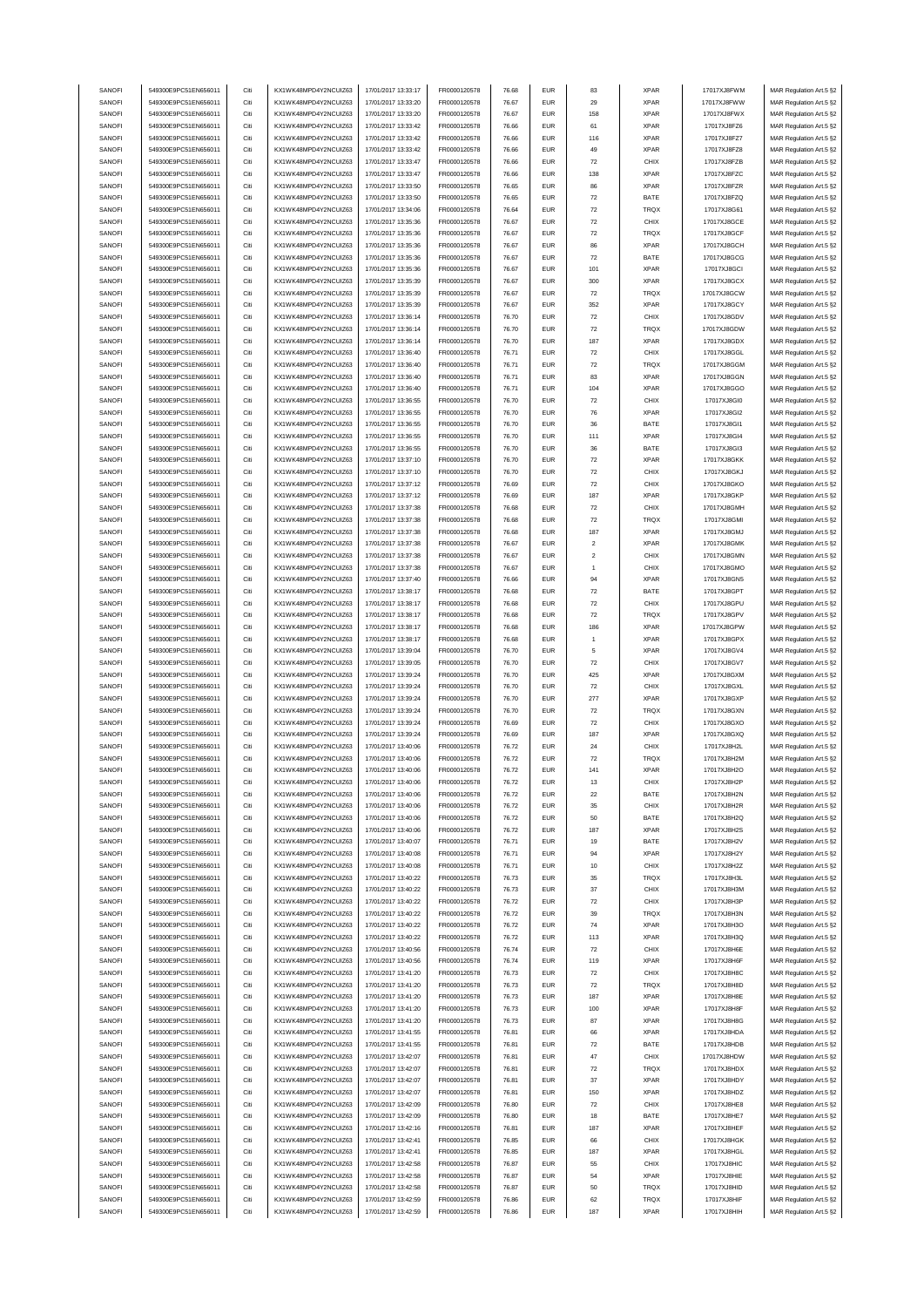| SANOFI           | 549300E9PC51EN656011                         | Citi         | KX1WK48MPD4Y2NCUIZ63                         | 17/01/2017 13:33:17                        | FR0000120578                 | 76.68          | <b>EUR</b>        | 83                 | <b>XPAR</b>         | 17017XJ8FWM                | MAR Regulation Art.5 §2                            |
|------------------|----------------------------------------------|--------------|----------------------------------------------|--------------------------------------------|------------------------------|----------------|-------------------|--------------------|---------------------|----------------------------|----------------------------------------------------|
| SANOFI           | 549300E9PC51EN656011                         | Citi         | KX1WK48MPD4Y2NCUIZ63                         | 17/01/2017 13:33:20                        | FR0000120578                 | 76.67          | <b>EUR</b>        | 29                 | <b>XPAR</b>         | 17017XJ8FWW                | MAR Regulation Art.5 §2                            |
| SANOFI           | 549300E9PC51EN656011                         | Citi         | KX1WK48MPD4Y2NCUIZ63                         | 17/01/2017 13:33:20                        | FR0000120578                 | 76.67          | <b>EUR</b>        | 158                | <b>XPAR</b>         | 17017XJ8FWX                |                                                    |
|                  |                                              |              |                                              |                                            |                              |                |                   |                    |                     |                            | MAR Regulation Art.5 §2                            |
| SANOFI           | 549300E9PC51EN656011                         | Citi         | KX1WK48MPD4Y2NCUIZ63                         | 17/01/2017 13:33:42                        | FR0000120578                 | 76.66          | <b>EUR</b>        | 61                 | <b>XPAR</b>         | 17017XJ8FZ6                | MAR Regulation Art.5 §2                            |
| SANOFI           | 549300E9PC51EN656011                         | Citi         | KX1WK48MPD4Y2NCLIIZ63                        | 17/01/2017 13:33:42                        | FR0000120578                 | 76.66          | <b>EUR</b>        | 116                | <b>XPAR</b>         | 17017XJ8FZ7                | MAR Regulation Art.5 §2                            |
| SANOFI           | 549300E9PC51EN656011                         | Citi         | KX1WK48MPD4Y2NCUIZ63                         | 17/01/2017 13:33:42                        | FR0000120578                 | 76.66          | <b>EUR</b>        | 49                 | <b>XPAR</b>         | 17017XJ8FZ8                | MAR Regulation Art.5 §2                            |
| SANOFI           | 549300E9PC51EN656011                         | Citi         | KX1WK48MPD4Y2NCUIZ63                         | 17/01/2017 13:33:47                        | FR0000120578                 | 76.66          | <b>EUR</b>        | 72                 | CHIX                | 17017XJ8FZB                | MAR Regulation Art.5 §2                            |
|                  |                                              | Citi         |                                              |                                            |                              |                | <b>EUR</b>        |                    |                     |                            |                                                    |
| SANOFI           | 549300E9PC51EN656011                         |              | KX1WK48MPD4Y2NCUIZ63                         | 17/01/2017 13:33:47                        | FR0000120578                 | 76.66          |                   | 138                | <b>XPAR</b>         | 17017XJ8FZC                | MAR Regulation Art.5 §2                            |
| SANOFI           | 549300E9PC51EN656011                         | Citi         | KX1WK48MPD4Y2NCUIZ63                         | 17/01/2017 13:33:50                        | FR0000120578                 | 76.65          | <b>EUR</b>        | 86                 | <b>XPAR</b>         | 17017XJ8FZR                | MAR Regulation Art.5 §2                            |
| SANOFI           | 549300E9PC51EN656011                         | Citi         | KX1WK48MPD4Y2NCUIZ63                         | 17/01/2017 13:33:50                        | FR0000120578                 | 76.65          | <b>EUR</b>        | 72                 | BATE                | 17017XJ8FZQ                | MAR Regulation Art.5 §2                            |
| SANOFI           | 549300E9PC51EN656011                         | Citi         | KX1WK48MPD4Y2NCUIZ63                         | 17/01/2017 13:34:06                        | FR0000120578                 | 76.64          | <b>EUR</b>        | ${\bf 72}$         | TRQX                | 17017XJ8G61                | MAR Regulation Art.5 §2                            |
| SANOFI           | 549300E9PC51EN656011                         | Citi         | KX1WK48MPD4Y2NCUIZ63                         | 17/01/2017 13:35:36                        | FR0000120578                 | 76.67          | <b>EUR</b>        | ${\bf 72}$         | CHIX                | 17017XJ8GCE                | MAR Regulation Art.5 §2                            |
|                  |                                              |              |                                              |                                            |                              |                |                   |                    |                     |                            |                                                    |
| SANOFI           | 549300E9PC51EN656011                         | Citi         | KX1WK48MPD4Y2NCUIZ63                         | 17/01/2017 13:35:36                        | FR0000120578                 | 76.67          | EUR               | ${\bf 72}$         | <b>TRQX</b>         | 17017XJ8GCF                | MAR Regulation Art.5 §2                            |
| SANOFI           | 549300E9PC51EN656011                         | Citi         | KX1WK48MPD4Y2NCUIZ63                         | 17/01/2017 13:35:36                        | FR0000120578                 | 76.67          | <b>EUR</b>        | 86                 | <b>XPAR</b>         | 17017XJ8GCH                | MAR Regulation Art.5 §2                            |
| SANOFI           | 549300E9PC51EN656011                         | Citi         | KX1WK48MPD4Y2NCUIZ63                         | 17/01/2017 13:35:36                        | FR0000120578                 | 76.67          | <b>EUR</b>        | 72                 | BATE                | 17017XJ8GCG                | MAR Regulation Art.5 §2                            |
| SANOFI           | 549300E9PC51EN656011                         | Citi         | KX1WK48MPD4Y2NCUIZ63                         | 17/01/2017 13:35:36                        | FR0000120578                 | 76.67          | <b>EUR</b>        | 101                | <b>XPAR</b>         | 17017XJ8GCI                | MAR Regulation Art.5 §2                            |
|                  |                                              |              |                                              |                                            |                              |                |                   |                    |                     |                            |                                                    |
| SANOFI           | 549300E9PC51EN656011                         | Citi         | KX1WK48MPD4Y2NCUIZ63                         | 17/01/2017 13:35:39                        | FR0000120578                 | 76.67          | <b>EUR</b>        | 300                | <b>XPAR</b>         | 17017XJ8GCX                | MAR Regulation Art.5 §2                            |
| SANOFI           | 549300E9PC51EN656011                         | Citi         | KX1WK48MPD4Y2NCUIZ63                         | 17/01/2017 13:35:39                        | FR0000120578                 | 76.67          | <b>EUR</b>        | 72                 | <b>TRQX</b>         | 17017XJ8GCW                | MAR Regulation Art.5 §2                            |
| SANOFI           | 549300E9PC51EN656011                         | Citi         | KX1WK48MPD4Y2NCUIZ63                         | 17/01/2017 13:35:39                        | FR0000120578                 | 76.67          | <b>EUR</b>        | 352                | <b>XPAR</b>         | 17017XJ8GCY                | MAR Regulation Art.5 §2                            |
| SANOFI           | 549300E9PC51EN656011                         | Citi         | KX1WK48MPD4Y2NCUIZ63                         | 17/01/2017 13:36:14                        | FR0000120578                 | 76.70          | <b>EUR</b>        | 72                 | CHIX                | 17017XJ8GDV                | MAR Regulation Art.5 §2                            |
| SANOFI           | 549300E9PC51EN656011                         | Citi         | KX1WK48MPD4Y2NCUIZ63                         | 17/01/2017 13:36:14                        | FR0000120578                 | 76.70          | <b>EUR</b>        | 72                 | TRQX                | 17017XJ8GDW                |                                                    |
|                  |                                              |              |                                              |                                            |                              |                |                   |                    |                     |                            | MAR Regulation Art.5 §2                            |
| SANOFI           | 549300E9PC51EN656011                         | Citi         | KX1WK48MPD4Y2NCUIZ63                         | 17/01/2017 13:36:14                        | FR0000120578                 | 76.70          | <b>EUR</b>        | 187                | <b>XPAR</b>         | 17017XJ8GDX                | MAR Regulation Art.5 §2                            |
| SANOFI           | 549300E9PC51EN656011                         | Citi         | KX1WK48MPD4Y2NCUIZ63                         | 17/01/2017 13:36:40                        | FR0000120578                 | 76.71          | <b>EUR</b>        | 72                 | CHIX                | 17017XJ8GGL                | MAR Regulation Art.5 §2                            |
| SANOFI           | 549300E9PC51EN656011                         | Citi         | KX1WK48MPD4Y2NCUIZ63                         | 17/01/2017 13:36:40                        | FR0000120578                 | 76.71          | <b>EUR</b>        | 72                 | TRQX                | 17017XJ8GGM                | MAR Regulation Art.5 §2                            |
| SANOFI           | 549300E9PC51EN656011                         | Citi         | KX1WK48MPD4Y2NCUIZ63                         | 17/01/2017 13:36:40                        | FR0000120578                 | 76.71          | <b>EUR</b>        | 83                 | <b>XPAR</b>         | 17017XJ8GGN                | MAR Regulation Art.5 §2                            |
| SANOFI           | 549300E9PC51EN656011                         | Citi         | KX1WK48MPD4Y2NCUIZ63                         | 17/01/2017 13:36:40                        |                              |                | <b>EUR</b>        | 104                | <b>XPAR</b>         | 17017XJ8GGO                | MAR Regulation Art.5 §2                            |
|                  |                                              |              |                                              |                                            | FR0000120578                 | 76.71          |                   |                    |                     |                            |                                                    |
| SANOFI           | 549300E9PC51EN656011                         | Citi         | KX1WK48MPD4Y2NCUIZ63                         | 17/01/2017 13:36:55                        | FR0000120578                 | 76.70          | <b>EUR</b>        | 72                 | CHIX                | 17017XJ8GI0                | MAR Regulation Art.5 §2                            |
| SANOFI           | 549300E9PC51EN656011                         | Citi         | KX1WK48MPD4Y2NCUIZ63                         | 17/01/2017 13:36:55                        | FR0000120578                 | 76.70          | <b>EUR</b>        | 76                 | <b>XPAR</b>         | 17017XJ8GI2                | MAR Regulation Art.5 §2                            |
| SANOFI           | 549300E9PC51EN656011                         | Citi         | KX1WK48MPD4Y2NCUIZ63                         | 17/01/2017 13:36:55                        | FR0000120578                 | 76.70          | <b>EUR</b>        | 36                 | BATE                | 17017XJ8GI1                | MAR Regulation Art.5 §2                            |
| SANOFI           | 549300E9PC51EN656011                         | Citi         | KX1WK48MPD4Y2NCUIZ63                         | 17/01/2017 13:36:55                        | FR0000120578                 | 76.70          | <b>EUR</b>        | 111                | <b>XPAR</b>         | 17017XJ8GI4                | MAR Regulation Art.5 §2                            |
|                  |                                              |              | KX1WK48MPD4Y2NCUIZ63                         |                                            | FR0000120578                 |                |                   |                    |                     | 17017XJ8GI3                |                                                    |
| SANOFI           | 549300E9PC51EN656011                         | Citi         |                                              | 17/01/2017 13:36:55                        |                              | 76.70          | <b>EUR</b>        | 36                 | BATE                |                            | MAR Regulation Art.5 §2                            |
| SANOFI           | 549300E9PC51EN656011                         | Citi         | KX1WK48MPD4Y2NCUIZ63                         | 17/01/2017 13:37:10                        | FR0000120578                 | 76.70          | <b>EUR</b>        | 72                 | <b>XPAR</b>         | 17017XJ8GKK                | MAR Regulation Art.5 §2                            |
| SANOFI           | 549300E9PC51EN656011                         | Citi         | KX1WK48MPD4Y2NCUIZ63                         | 17/01/2017 13:37:10                        | FR0000120578                 | 76.70          | <b>EUR</b>        | 72                 | CHIX                | 17017XJ8GKJ                | MAR Regulation Art.5 §2                            |
| SANOFI           | 549300E9PC51EN656011                         | Citi         | KX1WK48MPD4Y2NCUIZ63                         | 17/01/2017 13:37:12                        | FR0000120578                 | 76.69          | <b>EUR</b>        | 72                 | CHIX                | 17017XJ8GKO                | MAR Regulation Art.5 §2                            |
| SANOFI           | 549300E9PC51EN656011                         | Citi         | KX1WK48MPD4Y2NCUIZ63                         | 17/01/2017 13:37:12                        | FR0000120578                 | 76.69          | <b>EUR</b>        | 187                | <b>XPAR</b>         | 17017XJ8GKP                | MAR Regulation Art.5 §2                            |
|                  |                                              |              |                                              |                                            |                              |                |                   |                    |                     |                            |                                                    |
| SANOFI           | 549300E9PC51EN656011                         | Citi         | KX1WK48MPD4Y2NCUIZ63                         | 17/01/2017 13:37:38                        | FR0000120578                 | 76.68          | <b>EUR</b>        | 72                 | CHIX                | 17017XJ8GMH                | MAR Regulation Art.5 §2                            |
| SANOFI           | 549300E9PC51EN656011                         | Citi         | KX1WK48MPD4Y2NCUIZ63                         | 17/01/2017 13:37:38                        | FR0000120578                 | 76.68          | <b>EUR</b>        | 72                 | TRQX                | 17017XJ8GMI                | MAR Regulation Art.5 §2                            |
| SANOFI           | 549300E9PC51EN656011                         | Citi         | KX1WK48MPD4Y2NCUIZ63                         | 17/01/2017 13:37:38                        | FR0000120578                 | 76.68          | <b>EUR</b>        | 187                | <b>XPAR</b>         | 17017XJ8GMJ                | MAR Regulation Art.5 §2                            |
| SANOFI           | 549300E9PC51EN656011                         | Citi         | KX1WK48MPD4Y2NCUIZ63                         | 17/01/2017 13:37:38                        | FR0000120578                 | 76.67          | <b>EUR</b>        | $\overline{a}$     | <b>XPAR</b>         | 17017XJ8GMK                | MAR Regulation Art.5 §2                            |
|                  |                                              | Citi         |                                              |                                            |                              |                |                   | $\overline{a}$     |                     |                            |                                                    |
| SANOFI           | 549300E9PC51EN656011                         |              | KX1WK48MPD4Y2NCUIZ63                         | 17/01/2017 13:37:38                        | FR0000120578                 | 76.67          | <b>EUR</b>        |                    | CHIX                | 17017XJ8GMN                | MAR Regulation Art.5 §2                            |
| SANOFI           | 549300E9PC51EN656011                         | Citi         | KX1WK48MPD4Y2NCUIZ63                         | 17/01/2017 13:37:38                        | FR0000120578                 | 76.67          | <b>EUR</b>        | 1                  | CHIX                | 17017XJ8GMO                | MAR Regulation Art.5 §2                            |
| SANOFI           | 549300E9PC51EN656011                         | Citi         | KX1WK48MPD4Y2NCUIZ63                         | 17/01/2017 13:37:40                        | FR0000120578                 | 76.66          | <b>EUR</b>        | 94                 | <b>XPAR</b>         | 17017XJ8GN5                | MAR Regulation Art.5 §2                            |
| SANOFI           | 549300E9PC51EN656011                         | Citi         | KX1WK48MPD4Y2NCUIZ63                         | 17/01/2017 13:38:17                        | FR0000120578                 | 76.68          | <b>EUR</b>        | 72                 | BATE                | 17017XJ8GPT                | MAR Regulation Art.5 §2                            |
| SANOFI           | 549300E9PC51EN656011                         | Citi         | KX1WK48MPD4Y2NCUIZ63                         | 17/01/2017 13:38:17                        | FR0000120578                 | 76.68          | <b>EUR</b>        | 72                 | CHIX                | 17017XJ8GPU                | MAR Regulation Art.5 §2                            |
| SANOFI           | 549300E9PC51EN656011                         | Citi         | KX1WK48MPD4Y2NCUIZ63                         | 17/01/2017 13:38:17                        | FR0000120578                 | 76.68          | <b>EUR</b>        | $\scriptstyle{72}$ | TRQX                | 17017XJ8GPV                |                                                    |
|                  |                                              |              |                                              |                                            |                              |                |                   |                    |                     |                            | MAR Regulation Art.5 §2                            |
| SANOFI           | 549300E9PC51EN656011                         | Citi         | KX1WK48MPD4Y2NCUIZ63                         | 17/01/2017 13:38:17                        | FR0000120578                 | 76.68          | <b>EUR</b>        | 186                | <b>XPAR</b>         | 17017XJ8GPW                | MAR Regulation Art.5 §2                            |
| SANOFI           | 549300E9PC51EN656011                         | Citi         | KX1WK48MPD4Y2NCUIZ63                         | 17/01/2017 13:38:17                        | FR0000120578                 | 76.68          | <b>EUR</b>        | 1                  | <b>XPAR</b>         | 17017XJ8GPX                | MAR Regulation Art.5 §2                            |
| SANOFI           | 549300E9PC51EN656011                         | Citi         | KX1WK48MPD4Y2NCUIZ63                         | 17/01/2017 13:39:04                        | FR0000120578                 | 76.70          | <b>EUR</b>        | 5                  | <b>XPAR</b>         | 17017XJ8GV4                | MAR Regulation Art.5 §2                            |
| SANOFI           | 549300E9PC51EN656011                         | Citi         | KX1WK48MPD4Y2NCUIZ63                         | 17/01/2017 13:39:05                        | FR0000120578                 | 76.70          | <b>EUR</b>        | 72                 | CHIX                | 17017XJ8GV7                | MAR Regulation Art.5 §2                            |
|                  |                                              |              |                                              |                                            |                              |                |                   |                    |                     |                            |                                                    |
| SANOFI           | 549300E9PC51EN656011                         | Citi         | KX1WK48MPD4Y2NCUIZ63                         | 17/01/2017 13:39:24                        | FR0000120578                 | 76.70          | <b>EUR</b>        | 425                | <b>XPAR</b>         | 17017XJ8GXM                | MAR Regulation Art.5 §2                            |
| SANOFI           | 549300E9PC51EN656011                         | Citi         | KX1WK48MPD4Y2NCUIZ63                         | 17/01/2017 13:39:24                        | FR0000120578                 | 76.70          | <b>EUR</b>        | 72                 | CHIX                | 17017XJ8GXL                | MAR Regulation Art.5 §2                            |
| SANOFI           |                                              |              |                                              |                                            |                              |                |                   |                    |                     |                            |                                                    |
|                  | 549300E9PC51EN656011                         | Citi         | KX1WK48MPD4Y2NCUIZ63                         | 17/01/2017 13:39:24                        | FR0000120578                 | 76.70          | <b>EUR</b>        | 277                | <b>XPAR</b>         | 17017XJ8GXP                | MAR Regulation Art.5 §2                            |
|                  |                                              |              |                                              |                                            |                              |                |                   |                    |                     |                            |                                                    |
| SANOFI           | 549300E9PC51EN656011                         | Citi         | KX1WK48MPD4Y2NCUIZ63                         | 17/01/2017 13:39:24                        | FR0000120578                 | 76.70          | <b>EUR</b>        | 72                 | TRQX                | 17017XJ8GXN                | MAR Regulation Art.5 §2                            |
| SANOFI           | 549300E9PC51EN656011                         | Citi         | KX1WK48MPD4Y2NCUIZ63                         | 17/01/2017 13:39:24                        | FR0000120578                 | 76.69          | EUR               | ${\bf 72}$         | CHIX                | 17017XJ8GXO                | MAR Regulation Art.5 §2                            |
| SANOFI           | 549300E9PC51EN656011                         | Citi         | KX1WK48MPD4Y2NCUIZ63                         | 17/01/2017 13:39:24                        | FR0000120578                 | 76.69          | <b>EUR</b>        | 187                | <b>XPAR</b>         | 17017XJ8GXQ                | MAR Regulation Art.5 §2                            |
| SANOFI           | 549300E9PC51EN656011                         | Citi         | KX1WK48MPD4Y2NCUIZ63                         | 17/01/2017 13:40:06                        | FR0000120578                 | 76.72          | <b>EUR</b>        | 24                 | CHIX                | 17017XJ8H2L                | MAR Regulation Art.5 §2                            |
| SANOFI           | 549300E9PC51EN656011                         | Citi         | KX1WK48MPD4Y2NCUIZ63                         | 17/01/2017 13:40:06                        | FR0000120578                 | 76.72          | <b>EUR</b>        | 72                 | TRQX                | 17017XJ8H2M                | MAR Regulation Art.5 §2                            |
|                  |                                              |              |                                              |                                            |                              |                |                   |                    |                     |                            |                                                    |
| SANOFI           | 549300E9PC51EN656011                         | Citi         | KX1WK48MPD4Y2NCUIZ63                         | 17/01/2017 13:40:06                        | FR0000120578                 | 76.72          | <b>EUR</b>        | 141                | <b>XPAR</b>         | 17017XJ8H2O                | MAR Regulation Art.5 §2                            |
| SANOFI           | 549300E9PC51EN656011                         | Citi         | KX1WK48MPD4Y2NCLIIZ63                        | 17/01/2017 13:40:06                        | FR0000120578                 | 76.72          | <b>FUR</b>        |                    | CHIX                | 17017X.I8H2P               | MAR Regulation Art 5.82                            |
| SANOFI           | 549300E9PC51EN656011                         | Citi         | KX1WK48MPD4Y2NCUIZ63                         | 17/01/2017 13:40:06                        | FR0000120578                 | 76.72          | <b>EUR</b>        | 22                 | BATE                | 17017XJ8H2N                | MAR Regulation Art.5 §2                            |
| SANOFI           | 549300E9PC51EN656011                         | Citi         | KX1WK48MPD4Y2NCUIZ63                         | 17/01/2017 13:40:06                        | FR0000120578                 | 76.72          | EUR               | 35                 | CHIX                | 17017XJ8H2R                | MAR Regulation Art.5 §2                            |
| SANOFI           | 549300E9PC51EN656011                         | Citi         | KX1WK48MPD4Y2NCUIZ63                         | 17/01/2017 13:40:06                        | FR0000120578                 | 76.72          | EUR               | 50                 | BATE                | 17017XJ8H2Q                |                                                    |
|                  |                                              |              |                                              |                                            |                              |                |                   |                    |                     |                            | MAR Regulation Art.5 §2                            |
| SANOFI           | 549300E9PC51EN656011                         | Citi         | KX1WK48MPD4Y2NCUIZ63                         | 17/01/2017 13:40:06                        | FR0000120578                 | 76.72          | <b>EUR</b>        | 187                | <b>XPAR</b>         | 17017XJ8H2S                | MAR Regulation Art.5 §2                            |
| SANOFI           | 549300E9PC51EN656011                         | Citi         | KX1WK48MPD4Y2NCUIZ63                         | 17/01/2017 13:40:07                        | FR0000120578                 | 76.71          | <b>EUR</b>        | 19                 | BATE                | 17017XJ8H2V                | MAR Regulation Art.5 §2                            |
| SANOFI           | 549300E9PC51EN656011                         | Citi         | KX1WK48MPD4Y2NCUIZ63                         | 17/01/2017 13:40:08                        | FR0000120578                 | 76.71          | <b>EUR</b>        | 94                 | <b>XPAR</b>         | 17017XJ8H2Y                | MAR Regulation Art.5 §2                            |
| SANOFI           | 549300E9PC51EN656011                         | Citi         | KX1WK48MPD4Y2NCUIZ63                         | 17/01/2017 13:40:08                        | FR0000120578                 | 76.71          | EUR               | 10                 | CHIX                | 17017XJ8H2Z                | MAR Regulation Art.5 §2                            |
| SANOFI           | 549300E9PC51EN656011                         | Citi         | KX1WK48MPD4Y2NCUIZ63                         | 17/01/2017 13:40:22                        | FR0000120578                 | 76.73          | <b>EUR</b>        | 35                 | <b>TRQX</b>         | 17017XJ8H3L                | MAR Regulation Art.5 §2                            |
|                  | 549300E9PC51EN656011                         | Citi         | KX1WK48MPD4Y2NCUIZ63                         |                                            |                              |                |                   | 37                 |                     |                            |                                                    |
| SANOFI           |                                              |              |                                              | 17/01/2017 13:40:22                        | FR0000120578                 | 76.73          | <b>EUR</b>        |                    | CHIX                | 17017XJ8H3M                | MAR Regulation Art.5 §2                            |
| SANOFI           | 549300E9PC51EN656011                         | Citi         | KX1WK48MPD4Y2NCUIZ63                         | 17/01/2017 13:40:22                        | FR0000120578                 | 76.72          | EUR               | 72                 | CHIX                | 17017XJ8H3P                | MAR Regulation Art.5 §2                            |
| SANOFI           | 549300E9PC51EN656011                         | Citi         | KX1WK48MPD4Y2NCUIZ63                         | 17/01/2017 13:40:22                        | FR0000120578                 | 76.72          | EUR               | 39                 | <b>TRQX</b>         | 17017XJ8H3N                | MAR Regulation Art.5 §2                            |
| SANOFI           | 549300E9PC51EN656011                         | Citi         | KX1WK48MPD4Y2NCUIZ63                         | 17/01/2017 13:40:22                        | FR0000120578                 | 76.72          | <b>EUR</b>        | 74                 | <b>XPAR</b>         | 17017XJ8H3O                | MAR Regulation Art.5 §2                            |
| SANOFI           | 549300E9PC51EN656011                         | Citi         | KX1WK48MPD4Y2NCUIZ63                         | 17/01/2017 13:40:22                        | FR0000120578                 | 76.72          | EUR               | 113                | <b>XPAR</b>         | 17017XJ8H3Q                | MAR Regulation Art.5 §2                            |
|                  |                                              | Citi         |                                              |                                            |                              |                | <b>EUR</b>        |                    |                     |                            |                                                    |
| SANOFI           | 549300E9PC51EN656011                         |              | KX1WK48MPD4Y2NCUIZ63                         | 17/01/2017 13:40:56                        | FR0000120578                 | 76.74          |                   | 72                 | CHIX                | 17017XJ8H6E                | MAR Regulation Art.5 §2                            |
| SANOFI           | 549300E9PC51EN656011                         | Citi         | KX1WK48MPD4Y2NCUIZ63                         | 17/01/2017 13:40:56                        | FR0000120578                 | 76.74          | <b>EUR</b>        | 119                | <b>XPAR</b>         | 17017XJ8H6F                | MAR Regulation Art.5 §2                            |
| SANOFI           | 549300E9PC51EN656011                         | Citi         | KX1WK48MPD4Y2NCUIZ63                         | 17/01/2017 13:41:20                        | FR0000120578                 | 76.73          | <b>EUR</b>        | 72                 | CHIX                | 17017XJ8H8C                | MAR Regulation Art.5 §2                            |
| SANOFI           | 549300E9PC51EN656011                         | Citi         | KX1WK48MPD4Y2NCUIZ63                         | 17/01/2017 13:41:20                        | FR0000120578                 | 76.73          | <b>EUR</b>        | 72                 | <b>TRQX</b>         | 17017XJ8H8D                | MAR Regulation Art.5 §2                            |
| SANOFI           | 549300E9PC51EN656011                         | Citi         | KX1WK48MPD4Y2NCUIZ63                         | 17/01/2017 13:41:20                        | FR0000120578                 | 76.73          | EUR               | 187                | <b>XPAR</b>         | 17017XJ8H8E                | MAR Regulation Art.5 §2                            |
| <b>SANOFI</b>    | 549300E9PC51EN656011                         | Citi         | KX1WK48MPD4Y2NCUIZ63                         |                                            |                              |                | <b>EUR</b>        |                    | <b>XPAR</b>         |                            |                                                    |
|                  |                                              |              |                                              | 17/01/2017 13:41:20                        | FR0000120578                 | 76.73          |                   | 100                |                     | 17017XJ8H8F                | MAR Regulation Art.5 §2                            |
| SANOFI           | 549300E9PC51EN656011                         | Citi         | KX1WK48MPD4Y2NCUIZ63                         | 17/01/2017 13:41:20                        | FR0000120578                 | 76.73          | EUR               | 87                 | <b>XPAR</b>         | 17017XJ8H8G                | MAR Regulation Art.5 §2                            |
| SANOFI           | 549300E9PC51EN656011                         | Citi         | KX1WK48MPD4Y2NCUIZ63                         | 17/01/2017 13:41:55                        | FR0000120578                 | 76.81          | EUR               | 66                 | <b>XPAR</b>         | 17017XJ8HDA                | MAR Regulation Art.5 §2                            |
| SANOFI           | 549300E9PC51EN656011                         | Citi         | KX1WK48MPD4Y2NCUIZ63                         | 17/01/2017 13:41:55                        | FR0000120578                 | 76.81          | <b>EUR</b>        | $\scriptstyle{72}$ | BATE                | 17017XJ8HDB                | MAR Regulation Art.5 §2                            |
| SANOFI           | 549300E9PC51EN656011                         | Citi         | KX1WK48MPD4Y2NCUIZ63                         | 17/01/2017 13:42:07                        | FR0000120578                 | 76.81          | <b>EUR</b>        | 47                 | CHIX                | 17017XJ8HDW                | MAR Regulation Art.5 §2                            |
|                  |                                              |              |                                              |                                            |                              |                |                   |                    |                     |                            |                                                    |
| SANOFI           | 549300E9PC51EN656011                         | Citi         | KX1WK48MPD4Y2NCUIZ63                         | 17/01/2017 13:42:07                        | FR0000120578                 | 76.81          | <b>EUR</b>        | 72                 | TRQX                | 17017XJ8HDX                | MAR Regulation Art.5 §2                            |
| SANOFI           | 549300E9PC51EN656011                         | Citi         | KX1WK48MPD4Y2NCUIZ63                         | 17/01/2017 13:42:07                        | FR0000120578                 | 76.81          | <b>EUR</b>        | 37                 | <b>XPAR</b>         | 17017XJ8HDY                | MAR Regulation Art.5 §2                            |
| SANOFI           | 549300E9PC51EN656011                         | Citi         | KX1WK48MPD4Y2NCUIZ63                         | 17/01/2017 13:42:07                        | FR0000120578                 | 76.81          | <b>EUR</b>        | 150                | <b>XPAR</b>         | 17017XJ8HDZ                | MAR Regulation Art.5 §2                            |
| SANOFI           | 549300E9PC51EN656011                         | Citi         | KX1WK48MPD4Y2NCUIZ63                         | 17/01/2017 13:42:09                        | FR0000120578                 | 76.80          | EUR               | ${\bf 72}$         | CHIX                | 17017XJ8HE8                | MAR Regulation Art.5 §2                            |
| SANOFI           | 549300E9PC51EN656011                         | Citi         | KX1WK48MPD4Y2NCUIZ63                         | 17/01/2017 13:42:09                        | FR0000120578                 | 76.80          | EUR               | 18                 | BATE                | 17017XJ8HE7                | MAR Regulation Art.5 §2                            |
|                  |                                              |              |                                              |                                            |                              |                |                   |                    |                     |                            |                                                    |
| SANOFI           | 549300E9PC51EN656011                         | Citi         | KX1WK48MPD4Y2NCUIZ63                         | 17/01/2017 13:42:16                        | FR0000120578                 | 76.81          | <b>EUR</b>        | 187                | <b>XPAR</b>         | 17017XJ8HEF                | MAR Regulation Art.5 §2                            |
| SANOFI           | 549300E9PC51EN656011                         | Citi         | KX1WK48MPD4Y2NCUIZ63                         | 17/01/2017 13:42:41                        | FR0000120578                 | 76.85          | EUR               | 66                 | CHIX                | 17017XJ8HGK                | MAR Regulation Art.5 §2                            |
| SANOFI           | 549300E9PC51EN656011                         | Citi         | KX1WK48MPD4Y2NCUIZ63                         | 17/01/2017 13:42:41                        | FR0000120578                 | 76.85          | EUR               | 187                | <b>XPAR</b>         | 17017XJ8HGL                | MAR Regulation Art.5 §2                            |
| SANOFI           | 549300E9PC51EN656011                         | Citi         | KX1WK48MPD4Y2NCUIZ63                         | 17/01/2017 13:42:58                        | FR0000120578                 | 76.87          | <b>EUR</b>        | 55                 | CHIX                | 17017XJ8HIC                | MAR Regulation Art.5 §2                            |
| SANOFI           | 549300E9PC51EN656011                         | Citi         | KX1WK48MPD4Y2NCUIZ63                         | 17/01/2017 13:42:58                        | FR0000120578                 | 76.87          | <b>EUR</b>        | 54                 | <b>XPAR</b>         | 17017XJ8HIE                | MAR Regulation Art.5 §2                            |
| SANOFI           | 549300E9PC51EN656011                         | Citi         | KX1WK48MPD4Y2NCUIZ63                         | 17/01/2017 13:42:58                        | FR0000120578                 | 76.87          | <b>EUR</b>        | 50                 | TRQX                | 17017XJ8HID                | MAR Regulation Art.5 §2                            |
|                  |                                              |              |                                              |                                            |                              |                |                   |                    |                     |                            |                                                    |
| SANOFI<br>SANOFI | 549300E9PC51EN656011<br>549300E9PC51EN656011 | Citi<br>Citi | KX1WK48MPD4Y2NCUIZ63<br>KX1WK48MPD4Y2NCUIZ63 | 17/01/2017 13:42:59<br>17/01/2017 13:42:59 | FR0000120578<br>FR0000120578 | 76.86<br>76.86 | EUR<br><b>EUR</b> | 62<br>187          | TRQX<br><b>XPAR</b> | 17017XJ8HIF<br>17017XJ8HIH | MAR Regulation Art.5 §2<br>MAR Regulation Art.5 §2 |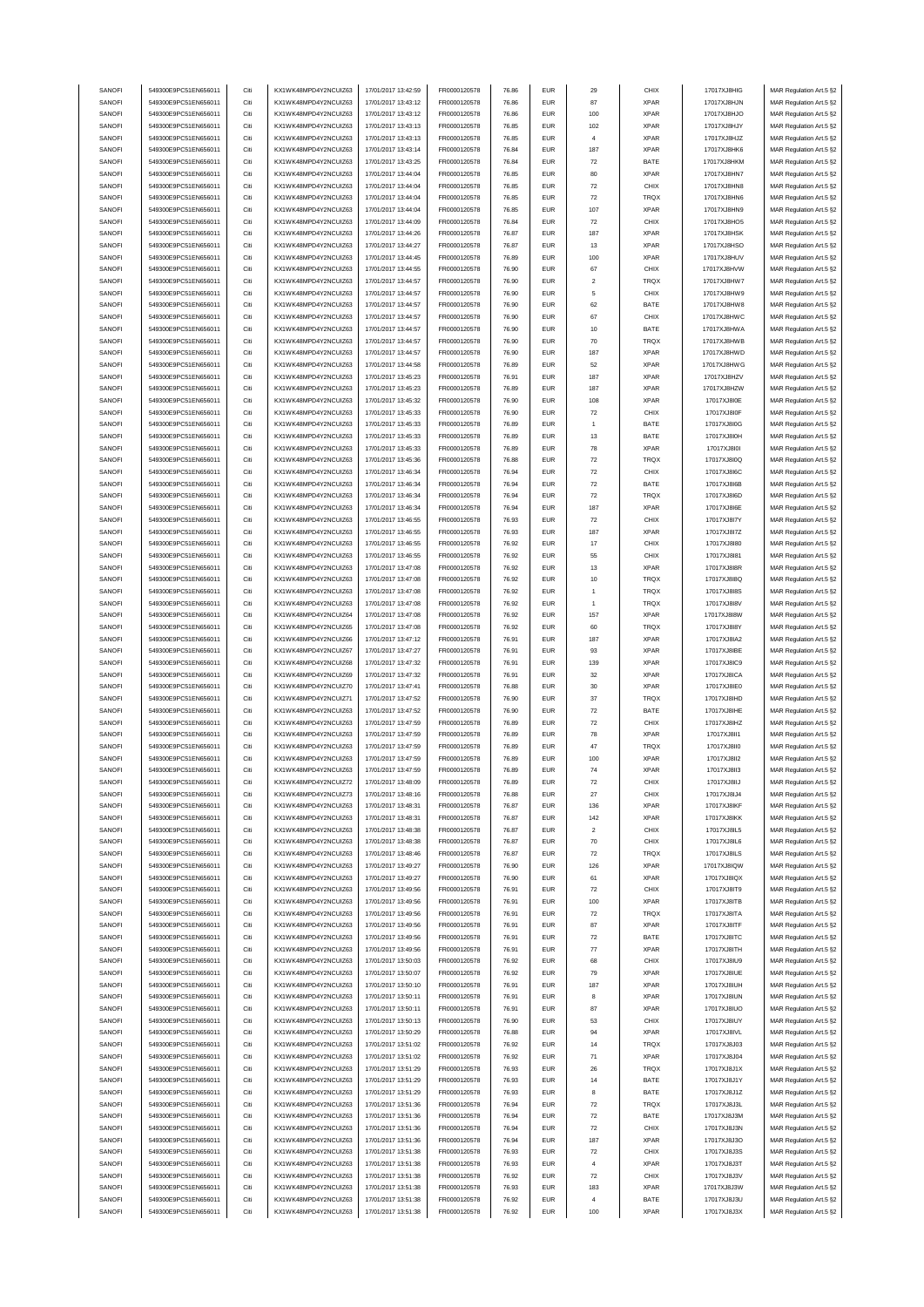| SANOFI | 549300E9PC51EN656011 | Citi | KX1WK48MPD4Y2NCUIZ63  | 17/01/2017 13:42:59 | FR0000120578        | 76.86 | <b>EUR</b> | 29                 | CHIX        | 17017XJ8HIG | MAR Regulation Art.5 §2 |
|--------|----------------------|------|-----------------------|---------------------|---------------------|-------|------------|--------------------|-------------|-------------|-------------------------|
| SANOFI | 549300E9PC51EN656011 | Citi | KX1WK48MPD4Y2NCUIZ63  | 17/01/2017 13:43:12 | FR0000120578        | 76.86 | <b>EUR</b> | 87                 | <b>XPAR</b> | 17017XJ8HJN | MAR Regulation Art.5 §2 |
|        | 549300E9PC51EN656011 | Citi |                       |                     |                     |       | <b>EUR</b> |                    |             |             | MAR Regulation Art.5 §2 |
| SANOFI |                      |      | KX1WK48MPD4Y2NCUIZ63  | 17/01/2017 13:43:12 | FR0000120578        | 76.86 |            | 100                | <b>XPAR</b> | 17017XJ8HJO |                         |
| SANOFI | 549300E9PC51EN656011 | Citi | KX1WK48MPD4Y2NCUIZ63  | 17/01/2017 13:43:13 | FR0000120578        | 76.85 | <b>EUR</b> | 102                | <b>XPAR</b> | 17017XJ8HJY | MAR Regulation Art.5 §2 |
| SANOFI | 549300E9PC51EN656011 | Citi | KX1WK48MPD4Y2NCUIZ63  | 17/01/2017 13:43:13 | FR0000120578        | 76.85 | <b>EUR</b> | $\sqrt{4}$         | <b>XPAR</b> | 17017XJ8HJZ | MAR Regulation Art.5 §2 |
| SANOFI | 549300E9PC51EN656011 | Citi | KX1WK48MPD4Y2NCUIZ63  | 17/01/2017 13:43:14 | FR0000120578        | 76.84 | <b>EUR</b> | 187                | <b>XPAR</b> | 17017XJ8HK6 | MAR Regulation Art.5 §2 |
| SANOFI | 549300E9PC51EN656011 | Citi | KX1WK48MPD4Y2NCUIZ63  | 17/01/2017 13:43:25 | FR0000120578        | 76.84 | <b>EUR</b> | $\bf 72$           | BATE        | 17017XJ8HKM | MAR Regulation Art.5 §2 |
| SANOFI | 549300E9PC51EN656011 | Citi | KX1WK48MPD4Y2NCUIZ63  | 17/01/2017 13:44:04 | FR0000120578        | 76.85 | <b>EUR</b> | 80                 | <b>XPAR</b> | 17017XJ8HN7 | MAR Regulation Art.5 §2 |
| SANOFI | 549300E9PC51EN656011 | Citi | KX1WK48MPD4Y2NCUIZ63  | 17/01/2017 13:44:04 | FR0000120578        | 76.85 | <b>EUR</b> | 72                 | CHIX        | 17017XJ8HN8 |                         |
|        |                      |      |                       |                     |                     |       |            |                    |             |             | MAR Regulation Art.5 §2 |
| SANOFI | 549300E9PC51EN656011 | Citi | KX1WK48MPD4Y2NCUIZ63  | 17/01/2017 13:44:04 | FR0000120578        | 76.85 | <b>EUR</b> | $\scriptstyle{72}$ | TRQX        | 17017XJ8HN6 | MAR Regulation Art.5 §2 |
| SANOFI | 549300E9PC51EN656011 | Citi | KX1WK48MPD4Y2NCUIZ63  | 17/01/2017 13:44:04 | FR0000120578        | 76.85 | <b>EUR</b> | 107                | XPAR        | 17017XJ8HN9 | MAR Regulation Art.5 §2 |
| SANOFI | 549300E9PC51EN656011 | Citi | KX1WK48MPD4Y2NCUIZ63  | 17/01/2017 13:44:09 | FR0000120578        | 76.84 | <b>EUR</b> | $\scriptstyle{72}$ | CHIX        | 17017XJ8HO5 | MAR Regulation Art.5 §2 |
| SANOFI | 549300E9PC51EN656011 | Citi | KX1WK48MPD4Y2NCUIZ63  | 17/01/2017 13:44:26 | FR0000120578        | 76.87 | <b>EUR</b> | 187                | <b>XPAR</b> | 17017XJ8HSK | MAR Regulation Art.5 §2 |
| SANOFI | 549300E9PC51EN656011 | Citi | KX1WK48MPD4Y2NCUIZ63  | 17/01/2017 13:44:27 | FR0000120578        | 76.87 | <b>EUR</b> | 13                 | XPAR        | 17017XJ8HSO | MAR Regulation Art.5 §2 |
|        |                      |      |                       |                     |                     |       |            |                    |             |             |                         |
| SANOFI | 549300E9PC51EN656011 | Citi | KX1WK48MPD4Y2NCUIZ63  | 17/01/2017 13:44:45 | FR0000120578        | 76.89 | <b>EUR</b> | 100                | <b>XPAR</b> | 17017XJ8HUV | MAR Regulation Art.5 §2 |
| SANOFI | 549300E9PC51EN656011 | Citi | KX1WK48MPD4Y2NCUIZ63  | 17/01/2017 13:44:55 | FR0000120578        | 76.90 | <b>EUR</b> | 67                 | CHIX        | 17017XJ8HVW | MAR Regulation Art.5 §2 |
| SANOFI | 549300E9PC51EN656011 | Citi | KX1WK48MPD4Y2NCUIZ63  | 17/01/2017 13:44:57 | FR0000120578        | 76.90 | <b>EUR</b> | $\overline{2}$     | TRQX        | 17017XJ8HW7 | MAR Regulation Art.5 §2 |
| SANOFI | 549300E9PC51EN656011 | Citi | KX1WK48MPD4Y2NCUIZ63  | 17/01/2017 13:44:57 | FR0000120578        | 76.90 | <b>EUR</b> | $\,$ 5 $\,$        | CHIX        | 17017XJ8HW9 | MAR Regulation Art.5 §2 |
| SANOFI | 549300E9PC51EN656011 | Citi | KX1WK48MPD4Y2NCUIZ63  | 17/01/2017 13:44:57 | FR0000120578        | 76.90 | <b>EUR</b> | 62                 | BATE        | 17017XJ8HW8 | MAR Regulation Art.5 §2 |
| SANOFI | 549300E9PC51EN656011 | Citi | KX1WK48MPD4Y2NCUIZ63  | 17/01/2017 13:44:57 | FR0000120578        | 76.90 | <b>EUR</b> | 67                 | CHIX        | 17017XJ8HWC | MAR Regulation Art.5 §2 |
|        |                      |      |                       |                     |                     |       |            |                    |             |             |                         |
| SANOFI | 549300E9PC51EN656011 | Citi | KX1WK48MPD4Y2NCUIZ63  | 17/01/2017 13:44:57 | FR0000120578        | 76.90 | <b>EUR</b> | 10                 | BATE        | 17017XJ8HWA | MAR Regulation Art.5 §2 |
| SANOFI | 549300E9PC51EN656011 | Citi | KX1WK48MPD4Y2NCUIZ63  | 17/01/2017 13:44:57 | FR0000120578        | 76.90 | <b>EUR</b> | 70                 | TRQX        | 17017XJ8HWB | MAR Regulation Art.5 §2 |
| SANOFI | 549300E9PC51EN656011 | Citi | KX1WK48MPD4Y2NCUIZ63  | 17/01/2017 13:44:57 | FR0000120578        | 76.90 | <b>EUR</b> | 187                | XPAR        | 17017XJ8HWD | MAR Regulation Art.5 §2 |
| SANOFI | 549300E9PC51EN656011 | Citi | KX1WK48MPD4Y2NCUIZ63  | 17/01/2017 13:44:58 | FR0000120578        | 76.89 | <b>EUR</b> | 52                 | <b>XPAR</b> | 17017XJ8HWG | MAR Regulation Art.5 §2 |
| SANOFI | 549300E9PC51EN656011 | Citi | KX1WK48MPD4Y2NCLIIZ63 | 17/01/2017 13:45:23 | FR0000120578        | 76.91 | <b>EUR</b> | 187                | <b>XPAR</b> | 17017XJ8HZV | MAR Regulation Art.5 §2 |
|        |                      | Citi |                       |                     |                     |       |            |                    |             |             | MAR Regulation Art.5 §2 |
| SANOFI | 549300E9PC51EN656011 |      | KX1WK48MPD4Y2NCUIZ63  | 17/01/2017 13:45:23 | FR0000120578        | 76.89 | <b>EUR</b> | 187                | <b>XPAR</b> | 17017XJ8HZW |                         |
| SANOFI | 549300E9PC51EN656011 | Citi | KX1WK48MPD4Y2NCUIZ63  | 17/01/2017 13:45:32 | FR0000120578        | 76.90 | <b>EUR</b> | 108                | XPAR        | 17017XJ8I0E | MAR Regulation Art.5 §2 |
| SANOFI | 549300E9PC51EN656011 | Citi | KX1WK48MPD4Y2NCUIZ63  | 17/01/2017 13:45:33 | FR0000120578        | 76.90 | <b>EUR</b> | $\scriptstyle{72}$ | CHIX        | 17017XJ8I0F | MAR Regulation Art.5 §2 |
| SANOFI | 549300E9PC51EN656011 | Citi | KX1WK48MPD4Y2NCUIZ63  | 17/01/2017 13:45:33 | FR0000120578        | 76.89 | <b>EUR</b> | $\overline{1}$     | BATE        | 17017XJ8I0G | MAR Regulation Art.5 §2 |
| SANOFI | 549300E9PC51EN656011 | Citi | KX1WK48MPD4Y2NCUIZ63  | 17/01/2017 13:45:33 | FR0000120578        | 76.89 | <b>EUR</b> | 13                 | BATE        | 17017XJ8I0H | MAR Regulation Art.5 §2 |
| SANOFI | 549300E9PC51EN656011 | Citi | KX1WK48MPD4Y2NCUIZ63  | 17/01/2017 13:45:33 | FR0000120578        | 76.89 | <b>EUR</b> | 78                 | <b>XPAR</b> | 17017XJ8I0I | MAR Regulation Art.5 §2 |
|        |                      |      |                       |                     |                     |       |            |                    |             |             |                         |
| SANOFI | 549300E9PC51EN656011 | Citi | KX1WK48MPD4Y2NCUIZ63  | 17/01/2017 13:45:36 | FR0000120578        | 76.88 | <b>EUR</b> | $\scriptstyle{72}$ | TRQX        | 17017XJ8I0Q | MAR Regulation Art.5 §2 |
| SANOFI | 549300E9PC51EN656011 | Citi | KX1WK48MPD4Y2NCUIZ63  | 17/01/2017 13:46:34 | FR0000120578        | 76.94 | <b>EUR</b> | 72                 | CHIX        | 17017XJ8I6C | MAR Regulation Art.5 §2 |
| SANOFI | 549300E9PC51EN656011 | Citi | KX1WK48MPD4Y2NCLIIZ63 | 17/01/2017 13:46:34 | FR0000120578        | 76.94 | <b>EUR</b> | $\scriptstyle{72}$ | BATE        | 17017XJ8I6B | MAR Regulation Art.5 §2 |
| SANOFI | 549300E9PC51EN656011 | Citi | KX1WK48MPD4Y2NCUIZ63  | 17/01/2017 13:46:34 | FR0000120578        | 76.94 | <b>EUR</b> | $\scriptstyle{72}$ | TRQX        | 17017XJ8I6D | MAR Regulation Art.5 §2 |
| SANOFI | 549300E9PC51EN656011 | Citi | KX1WK48MPD4Y2NCUIZ63  | 17/01/2017 13:46:34 | FR0000120578        | 76.94 | <b>EUR</b> | 187                | XPAR        | 17017XJ8I6E | MAR Regulation Art.5 §2 |
|        |                      |      |                       |                     |                     |       |            |                    |             |             |                         |
| SANOFI | 549300E9PC51EN656011 | Citi | KX1WK48MPD4Y2NCUIZ63  | 17/01/2017 13:46:55 | FR0000120578        | 76.93 | <b>EUR</b> | $\bf 72$           | CHIX        | 17017XJ8I7Y | MAR Regulation Art.5 §2 |
| SANOFI | 549300E9PC51EN656011 | Citi | KX1WK48MPD4Y2NCUIZ63  | 17/01/2017 13:46:55 | FR0000120578        | 76.93 | <b>EUR</b> | 187                | <b>XPAR</b> | 17017XJ8I7Z | MAR Regulation Art.5 §2 |
| SANOFI | 549300E9PC51EN656011 | Citi | KX1WK48MPD4Y2NCUIZ63  | 17/01/2017 13:46:55 | FR0000120578        | 76.92 | <b>EUR</b> | $17\,$             | CHIX        | 17017XJ8I80 | MAR Regulation Art.5 §2 |
| SANOFI | 549300E9PC51EN656011 | Citi | KX1WK48MPD4Y2NCUIZ63  | 17/01/2017 13:46:55 | FR0000120578        | 76.92 | <b>EUR</b> | 55                 | CHIX        | 17017XJ8l81 | MAR Regulation Art.5 §2 |
| SANOFI | 549300E9PC51EN656011 | Citi | KX1WK48MPD4Y2NCUIZ63  | 17/01/2017 13:47:08 | FR0000120578        | 76.92 | <b>EUR</b> | 13                 | <b>XPAR</b> | 17017XJ8I8R | MAR Regulation Art.5 §2 |
| SANOFI | 549300E9PC51EN656011 | Citi | KX1WK48MPD4Y2NCUIZ63  | 17/01/2017 13:47:08 | FR0000120578        | 76.92 | <b>EUR</b> | 10                 | TRQX        | 17017XJ8I8Q | MAR Regulation Art.5 §2 |
|        |                      |      |                       |                     |                     |       |            |                    |             |             |                         |
| SANOFI | 549300E9PC51EN656011 | Citi | KX1WK48MPD4Y2NCUIZ63  | 17/01/2017 13:47:08 | FR0000120578        | 76.92 | <b>EUR</b> | $\overline{1}$     | TRQX        | 17017XJ8I8S | MAR Regulation Art.5 §2 |
| SANOFI | 549300E9PC51EN656011 | Citi | KX1WK48MPD4Y2NCUIZ63  | 17/01/2017 13:47:08 | FR0000120578        | 76.92 | <b>EUR</b> | $\overline{1}$     | TRQX        | 17017XJ8I8V | MAR Regulation Art.5 §2 |
| SANOFI | 549300E9PC51EN656011 | Citi | KX1WK48MPD4Y2NCUIZ64  | 17/01/2017 13:47:08 | FR0000120578        | 76.92 | <b>EUR</b> | 157                | <b>XPAR</b> | 17017XJ8I8W | MAR Regulation Art.5 §2 |
| SANOFI | 549300E9PC51EN656011 | Citi | KX1WK48MPD4Y2NCUIZ65  | 17/01/2017 13:47:08 | FR0000120578        | 76.92 | <b>EUR</b> | 60                 | TRQX        | 17017XJ8I8Y | MAR Regulation Art.5 §2 |
| SANOFI | 549300E9PC51EN656011 | Citi | KX1WK48MPD4Y2NCUIZ66  | 17/01/2017 13:47:12 | FR0000120578        | 76.91 | <b>EUR</b> | 187                | <b>XPAR</b> | 17017XJ8IA2 | MAR Regulation Art.5 §2 |
|        |                      | Citi |                       |                     |                     |       |            |                    |             |             |                         |
| SANOFI | 549300E9PC51EN656011 |      | KX1WK48MPD4Y2NCUIZ67  | 17/01/2017 13:47:27 | FR0000120578        | 76.91 | <b>EUR</b> | 93                 | <b>XPAR</b> | 17017XJ8IBE | MAR Regulation Art.5 §2 |
| SANOFI | 549300E9PC51EN656011 | Citi | KX1WK48MPD4Y2NCUIZ68  | 17/01/2017 13:47:32 | FR0000120578        | 76.91 | <b>EUR</b> | 139                | <b>XPAR</b> | 17017XJ8IC9 | MAR Regulation Art.5 §2 |
| SANOFI | 549300E9PC51EN656011 | Citi | KX1WK48MPD4Y2NCUIZ69  | 17/01/2017 13:47:32 | FR0000120578        | 76.91 | <b>EUR</b> | 32                 | <b>XPAR</b> | 17017XJ8ICA | MAR Regulation Art.5 §2 |
| SANOFI | 549300E9PC51EN656011 | Citi | KX1WK48MPD4Y2NCUIZ70  | 17/01/2017 13:47:41 | FR0000120578        | 76.88 | <b>EUR</b> | 30                 | <b>XPAR</b> | 17017XJ8IE0 | MAR Regulation Art.5 §2 |
| SANOFI | 549300E9PC51EN656011 | Citi | KX1WK48MPD4Y2NCUIZ71  | 17/01/2017 13:47:52 | FR0000120578        | 76.90 | <b>EUR</b> | 37                 | TRQX        | 17017XJ8IHD | MAR Regulation Art.5 §2 |
| SANOFI | 549300E9PC51EN656011 | Citi | KX1WK48MPD4Y2NCUIZ63  | 17/01/2017 13:47:52 | FR0000120578        | 76.90 | <b>EUR</b> | $\scriptstyle{72}$ | BATE        | 17017XJ8IHE | MAR Regulation Art.5 §2 |
|        |                      |      |                       |                     |                     |       |            |                    |             |             |                         |
| SANOFI | 549300E9PC51EN656011 | Citi | KX1WK48MPD4Y2NCUIZ63  | 17/01/2017 13:47:59 | FR0000120578        | 76.89 | <b>EUR</b> | $\scriptstyle{72}$ | CHIX        | 17017XJ8IHZ | MAR Regulation Art.5 §2 |
| SANOFI | 549300E9PC51EN656011 | Citi | KX1WK48MPD4Y2NCUIZ63  | 17/01/2017 13:47:59 | FR0000120578        | 76.89 | <b>EUR</b> | 78                 | <b>XPAR</b> | 17017XJ8II1 | MAR Regulation Art.5 §2 |
| SANOFI | 549300E9PC51EN656011 | Citi | KX1WK48MPD4Y2NCUIZ63  | 17/01/2017 13:47:59 | FR0000120578        | 76.89 | <b>EUR</b> | 47                 | TRQX        | 17017XJ8II0 | MAR Regulation Art.5 §2 |
| SANOFI | 549300E9PC51EN656011 | Citi | KX1WK48MPD4Y2NCUIZ63  | 17/01/2017 13:47:59 | FR0000120578        | 76.89 | <b>EUR</b> | 100                | <b>XPAR</b> | 17017XJ8II2 | MAR Regulation Art.5 §2 |
| SANOFI | 549300E9PC51EN656011 |      | KX1WK48MPD4Y2NCLIIZ63 | 17/01/2017 13:47:59 | <b>ER0000120578</b> | 76.89 |            |                    | <b>XPAR</b> | 17017X ISU3 | MAR Regulation Art 5 82 |
|        |                      |      |                       |                     |                     |       |            |                    |             |             |                         |
| SANOFI | 549300E9PC51EN656011 | Citi | KX1WK48MPD4Y2NCUIZ72  | 17/01/2017 13:48:09 | FR0000120578        | 76.89 | <b>EUR</b> | 72                 | CHIX        | 17017XJ8IIJ | MAR Regulation Art.5 §2 |
| SANOFI | 549300E9PC51EN656011 | Citi | KX1WK48MPD4Y2NCUIZ73  | 17/01/2017 13:48:16 | FR0000120578        | 76.88 | <b>EUR</b> | $27\,$             | CHIX        | 17017XJ8IJ4 | MAR Regulation Art.5 §2 |
| SANOFI | 549300E9PC51EN656011 | Citi | KX1WK48MPD4Y2NCUIZ63  | 17/01/2017 13:48:31 | FR0000120578        | 76.87 | <b>EUR</b> | 136                | <b>XPAR</b> | 17017XJ8IKF | MAR Regulation Art.5 §2 |
| SANOFI | 549300E9PC51EN656011 | Citi | KX1WK48MPD4Y2NCUIZ63  | 17/01/2017 13:48:31 | FR0000120578        | 76.87 | <b>EUR</b> | 142                | <b>XPAR</b> | 17017XJ8IKK | MAR Regulation Art.5 §2 |
| SANOFI | 549300E9PC51EN656011 | Citi | KX1WK48MPD4Y2NCUIZ63  | 17/01/2017 13:48:38 | FR0000120578        | 76.87 | <b>EUR</b> | $\sqrt{2}$         | CHIX        | 17017XJ8IL5 | MAR Regulation Art.5 §2 |
| SANOFI | 549300E9PC51EN656011 | Citi | KX1WK48MPD4Y2NCUIZ63  | 17/01/2017 13:48:38 | FR0000120578        | 76.87 | <b>EUR</b> | 70                 | CHIX        | 17017XJ8IL6 | MAR Regulation Art.5 §2 |
|        | 549300E9PC51EN656011 | Citi | KX1WK48MPD4Y2NCUIZ63  |                     | FR0000120578        |       |            |                    |             |             |                         |
| SANOFI |                      |      |                       | 17/01/2017 13:48:46 |                     | 76.87 | <b>EUR</b> | $\scriptstyle{72}$ | TRQX        | 17017XJ8ILS | MAR Regulation Art.5 §2 |
| SANOFI | 549300E9PC51EN656011 | Citi | KX1WK48MPD4Y2NCUIZ63  | 17/01/2017 13:49:27 | FR0000120578        | 76.90 | <b>EUR</b> | 126                | <b>XPAR</b> | 17017XJ8IQW | MAR Regulation Art.5 §2 |
| SANOFI | 549300E9PC51EN656011 | Citi | KX1WK48MPD4Y2NCUIZ63  | 17/01/2017 13:49:27 | FR0000120578        | 76.90 | <b>EUR</b> | 61                 | <b>XPAR</b> | 17017XJ8IQX | MAR Regulation Art.5 §2 |
| SANOFI | 549300E9PC51EN656011 | Citi | KX1WK48MPD4Y2NCUIZ63  | 17/01/2017 13:49:56 | FR0000120578        | 76.91 | <b>EUR</b> | $\scriptstyle{72}$ | CHIX        | 17017XJ8IT9 | MAR Regulation Art.5 §2 |
| SANOFI | 549300E9PC51EN656011 | Citi | KX1WK48MPD4Y2NCUIZ63  | 17/01/2017 13:49:56 | FR0000120578        | 76.91 | <b>EUR</b> | 100                | <b>XPAR</b> | 17017XJ8ITB | MAR Regulation Art.5 §2 |
| SANOFI | 549300E9PC51EN656011 | Citi | KX1WK48MPD4Y2NCUIZ63  | 17/01/2017 13:49:56 | FR0000120578        | 76.91 | <b>EUR</b> | $\bf 72$           | TRQX        | 17017XJ8ITA | MAR Regulation Art.5 §2 |
| SANOFI | 549300E9PC51EN656011 | Citi | KX1WK48MPD4Y2NCUIZ63  | 17/01/2017 13:49:56 | FR0000120578        | 76.91 | <b>EUR</b> | 87                 | <b>XPAR</b> | 17017XJ8ITF | MAR Regulation Art.5 §2 |
|        |                      |      |                       |                     |                     |       |            |                    |             |             |                         |
| SANOFI | 549300E9PC51EN656011 | Citi | KX1WK48MPD4Y2NCUIZ63  | 17/01/2017 13:49:56 | FR0000120578        | 76.91 | <b>EUR</b> | $\bf 72$           | BATE        | 17017XJ8ITC | MAR Regulation Art.5 §2 |
| SANOFI | 549300E9PC51EN656011 | Citi | KX1WK48MPD4Y2NCUIZ63  | 17/01/2017 13:49:56 | FR0000120578        | 76.91 | <b>EUR</b> | $77\,$             | <b>XPAR</b> | 17017XJ8ITH | MAR Regulation Art.5 §2 |
| SANOFI | 549300E9PC51EN656011 | Citi | KX1WK48MPD4Y2NCUIZ63  | 17/01/2017 13:50:03 | FR0000120578        | 76.92 | <b>EUR</b> | 68                 | CHIX        | 17017XJ8IU9 | MAR Regulation Art.5 §2 |
| SANOFI | 549300E9PC51EN656011 | Citi | KX1WK48MPD4Y2NCUIZ63  | 17/01/2017 13:50:07 | FR0000120578        | 76.92 | <b>EUR</b> | 79                 | <b>XPAR</b> | 17017XJ8IUE | MAR Regulation Art.5 §2 |
| SANOFI | 549300E9PC51EN656011 | Citi | KX1WK48MPD4Y2NCUIZ63  | 17/01/2017 13:50:10 | FR0000120578        | 76.91 | <b>EUR</b> | 187                | <b>XPAR</b> | 17017XJ8IUH | MAR Regulation Art.5 §2 |
|        |                      |      |                       |                     |                     |       |            |                    |             |             |                         |
| SANOFI | 549300E9PC51EN656011 | Citi | KX1WK48MPD4Y2NCUIZ63  | 17/01/2017 13:50:11 | FR0000120578        | 76.91 | <b>EUR</b> | 8                  | <b>XPAR</b> | 17017XJ8IUN | MAR Regulation Art.5 §2 |
| SANOFI | 549300E9PC51EN656011 | Citi | KX1WK48MPD4Y2NCUIZ63  | 17/01/2017 13:50:11 | FR0000120578        | 76.91 | <b>EUR</b> | 87                 | <b>XPAR</b> | 17017XJ8IUO | MAR Regulation Art.5 §2 |
| SANOFI | 549300E9PC51EN656011 | Citi | KX1WK48MPD4Y2NCUIZ63  | 17/01/2017 13:50:13 | FR0000120578        | 76.90 | <b>EUR</b> | 53                 | CHIX        | 17017XJ8IUY | MAR Regulation Art.5 §2 |
| SANOFI | 549300E9PC51EN656011 | Citi | KX1WK48MPD4Y2NCUIZ63  | 17/01/2017 13:50:29 | FR0000120578        | 76.88 | <b>EUR</b> | 94                 | <b>XPAR</b> | 17017XJ8IVL | MAR Regulation Art.5 §2 |
| SANOFI | 549300E9PC51EN656011 | Citi | KX1WK48MPD4Y2NCUIZ63  | 17/01/2017 13:51:02 | FR0000120578        | 76.92 | <b>EUR</b> | 14                 | TRQX        | 17017XJ8J03 | MAR Regulation Art.5 §2 |
| SANOFI | 549300E9PC51EN656011 | Citi | KX1WK48MPD4Y2NCUIZ63  | 17/01/2017 13:51:02 | FR0000120578        | 76.92 | <b>EUR</b> | 71                 | <b>XPAR</b> | 17017XJ8J04 | MAR Regulation Art.5 §2 |
|        |                      |      |                       |                     |                     |       |            |                    |             |             |                         |
| SANOFI | 549300E9PC51EN656011 | Citi | KX1WK48MPD4Y2NCUIZ63  | 17/01/2017 13:51:29 | FR0000120578        | 76.93 | <b>EUR</b> | 26                 | TRQX        | 17017XJ8J1X | MAR Regulation Art.5 §2 |
| SANOFI | 549300E9PC51EN656011 | Citi | KX1WK48MPD4Y2NCUIZ63  | 17/01/2017 13:51:29 | FR0000120578        | 76.93 | <b>EUR</b> | 14                 | BATE        | 17017XJ8J1Y | MAR Regulation Art.5 §2 |
| SANOFI | 549300E9PC51EN656011 | Citi | KX1WK48MPD4Y2NCUIZ63  | 17/01/2017 13:51:29 | FR0000120578        | 76.93 | <b>EUR</b> | 8                  | BATE        | 17017XJ8J1Z | MAR Regulation Art.5 §2 |
| SANOFI | 549300E9PC51EN656011 | Citi | KX1WK48MPD4Y2NCUIZ63  | 17/01/2017 13:51:36 | FR0000120578        | 76.94 | <b>EUR</b> | $\scriptstyle{72}$ | TRQX        | 17017XJ8J3L | MAR Regulation Art.5 §2 |
| SANOFI | 549300E9PC51EN656011 | Citi | KX1WK48MPD4Y2NCUIZ63  | 17/01/2017 13:51:36 | FR0000120578        | 76.94 | <b>EUR</b> | $\scriptstyle{72}$ | BATE        | 17017XJ8J3M | MAR Regulation Art.5 §2 |
| SANOFI | 549300E9PC51EN656011 | Citi | KX1WK48MPD4Y2NCUIZ63  | 17/01/2017 13:51:36 | FR0000120578        | 76.94 | <b>EUR</b> | $\bf 72$           | CHIX        | 17017XJ8J3N | MAR Regulation Art.5 §2 |
|        |                      |      |                       |                     |                     |       |            |                    |             |             |                         |
| SANOFI | 549300E9PC51EN656011 | Citi | KX1WK48MPD4Y2NCUIZ63  | 17/01/2017 13:51:36 | FR0000120578        | 76.94 | <b>EUR</b> | 187                | <b>XPAR</b> | 17017XJ8J3O | MAR Regulation Art.5 §2 |
| SANOFI | 549300E9PC51EN656011 | Citi | KX1WK48MPD4Y2NCUIZ63  | 17/01/2017 13:51:38 | FR0000120578        | 76.93 | <b>EUR</b> | $\scriptstyle{72}$ | CHIX        | 17017XJ8J3S | MAR Regulation Art.5 §2 |
| SANOFI | 549300E9PC51EN656011 | Citi | KX1WK48MPD4Y2NCUIZ63  | 17/01/2017 13:51:38 | FR0000120578        | 76.93 | <b>EUR</b> | $\overline{4}$     | <b>XPAR</b> | 17017XJ8J3T | MAR Regulation Art.5 §2 |
| SANOFI | 549300E9PC51EN656011 | Citi | KX1WK48MPD4Y2NCUIZ63  | 17/01/2017 13:51:38 | FR0000120578        | 76.92 | <b>EUR</b> | 72                 | CHIX        | 17017XJ8J3V | MAR Regulation Art.5 §2 |
| SANOFI | 549300E9PC51EN656011 | Citi | KX1WK48MPD4Y2NCUIZ63  | 17/01/2017 13:51:38 | FR0000120578        | 76.93 | <b>EUR</b> | 183                | <b>XPAR</b> | 17017XJ8J3W | MAR Regulation Art.5 §2 |
|        |                      |      |                       |                     |                     |       |            |                    |             |             |                         |
| SANOFI | 549300E9PC51EN656011 | Citi | KX1WK48MPD4Y2NCUIZ63  | 17/01/2017 13:51:38 | FR0000120578        | 76.92 | <b>EUR</b> | $\sqrt{4}$         | BATE        | 17017XJ8J3U | MAR Regulation Art.5 §2 |
| SANOFI | 549300E9PC51EN656011 | Citi | KX1WK48MPD4Y2NCUIZ63  | 17/01/2017 13:51:38 | FR0000120578        | 76.92 | <b>EUR</b> | 100                | <b>XPAR</b> | 17017XJ8J3X | MAR Regulation Art.5 §2 |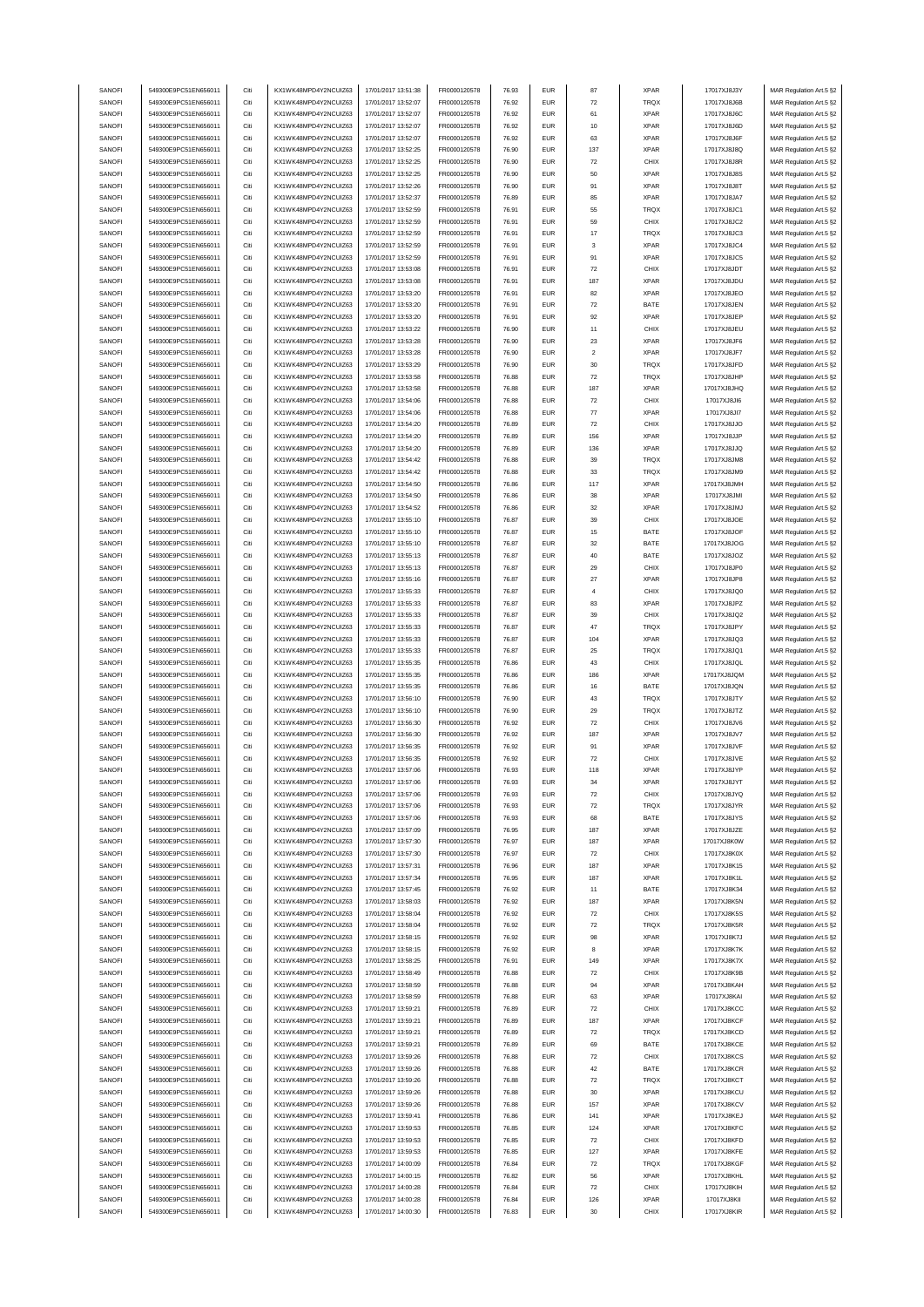| SANOFI           | 549300E9PC51EN656011                         | Citi         | KX1WK48MPD4Y2NCUIZ63                         | 17/01/2017 13:51:38                        | FR0000120578                 | 76.93          | <b>EUR</b>               | 87                 | <b>XPAR</b>         | 17017XJ8J3Y                | MAR Regulation Art.5 §2                            |
|------------------|----------------------------------------------|--------------|----------------------------------------------|--------------------------------------------|------------------------------|----------------|--------------------------|--------------------|---------------------|----------------------------|----------------------------------------------------|
|                  | 549300E9PC51EN656011                         |              |                                              |                                            |                              |                |                          |                    |                     |                            |                                                    |
| SANOFI           |                                              | Citi         | KX1WK48MPD4Y2NCUIZ63                         | 17/01/2017 13:52:07                        | FR0000120578                 | 76.92          | <b>EUR</b>               | 72                 | <b>TRQX</b>         | 17017XJ8J6B                | MAR Regulation Art.5 §2                            |
| SANOFI           | 549300E9PC51EN656011                         | Citi         | KX1WK48MPD4Y2NCUIZ63                         | 17/01/2017 13:52:07                        | FR0000120578                 | 76.92          | <b>EUR</b>               | 61                 | <b>XPAR</b>         | 17017XJ8J6C                | MAR Regulation Art.5 §2                            |
| SANOFI           | 549300E9PC51EN656011                         | Citi         | KX1WK48MPD4Y2NCUIZ63                         | 17/01/2017 13:52:07                        | FR0000120578                 | 76.92          | <b>EUR</b>               | 10                 | <b>XPAR</b>         | 17017XJ8J6D                | MAR Regulation Art.5 §2                            |
| SANOFI           | 549300E9PC51EN656011                         | Citi         | KX1WK48MPD4Y2NCUIZ63                         | 17/01/2017 13:52:07                        | FR0000120578                 | 76.92          | <b>EUR</b>               | 63                 | <b>XPAR</b>         | 17017XJ8J6F                | MAR Regulation Art.5 §2                            |
| SANOFI           | 549300E9PC51EN656011                         | Citi         | KX1WK48MPD4Y2NCUIZ63                         | 17/01/2017 13:52:25                        | FR0000120578                 | 76.90          | <b>EUR</b>               | 137                | <b>XPAR</b>         | 17017XJ8J8Q                | MAR Regulation Art.5 §2                            |
| SANOFI           | 549300E9PC51EN656011                         | Citi         |                                              |                                            | FR0000120578                 |                | <b>EUR</b>               |                    |                     |                            |                                                    |
|                  |                                              |              | KX1WK48MPD4Y2NCUIZ63                         | 17/01/2017 13:52:25                        |                              | 76.90          |                          | $\scriptstyle{72}$ | CHIX                | 17017XJ8J8R                | MAR Regulation Art.5 §2                            |
| SANOFI           | 549300E9PC51EN656011                         | Citi         | KX1WK48MPD4Y2NCUIZ63                         | 17/01/2017 13:52:25                        | FR0000120578                 | 76.90          | <b>EUR</b>               | 50                 | <b>XPAR</b>         | 17017XJ8J8S                | MAR Regulation Art.5 §2                            |
| SANOFI           | 549300E9PC51EN656011                         | Citi         | KX1WK48MPD4Y2NCUIZ63                         | 17/01/2017 13:52:26                        | FR0000120578                 | 76.90          | <b>EUR</b>               | 91                 | <b>XPAR</b>         | 17017XJ8J8T                | MAR Regulation Art.5 §2                            |
| SANOFI           | 549300E9PC51EN656011                         | Citi         | KX1WK48MPD4Y2NCUIZ63                         | 17/01/2017 13:52:37                        | FR0000120578                 | 76.89          | <b>EUR</b>               | 85                 | <b>XPAR</b>         | 17017XJ8JA7                | MAR Regulation Art.5 §2                            |
| SANOFI           | 549300E9PC51EN656011                         | Citi         | KX1WK48MPD4Y2NCUIZ63                         | 17/01/2017 13:52:59                        | FR0000120578                 | 76.91          | <b>EUR</b>               | 55                 | TRQX                | 17017XJ8JC1                |                                                    |
|                  |                                              |              |                                              |                                            |                              |                |                          |                    |                     |                            | MAR Regulation Art.5 §2                            |
| SANOFI           | 549300E9PC51EN656011                         | Citi         | KX1WK48MPD4Y2NCUIZ63                         | 17/01/2017 13:52:59                        | FR0000120578                 | 76.91          | <b>EUR</b>               | 59                 | CHIX                | 17017XJ8JC2                | MAR Regulation Art.5 §2                            |
| SANOFI           | 549300E9PC51EN656011                         | Citi         | KX1WK48MPD4Y2NCUIZ63                         | 17/01/2017 13:52:59                        | FR0000120578                 | 76.91          | <b>EUR</b>               | 17                 | TRQX                | 17017XJ8JC3                | MAR Regulation Art.5 §2                            |
| SANOFI           | 549300E9PC51EN656011                         | Citi         | KX1WK48MPD4Y2NCUIZ63                         | 17/01/2017 13:52:59                        | FR0000120578                 | 76.91          | <b>EUR</b>               | 3                  | <b>XPAR</b>         | 17017XJ8JC4                | MAR Regulation Art.5 §2                            |
| SANOFI           | 549300E9PC51EN656011                         | Citi         | KX1WK48MPD4Y2NCUIZ63                         | 17/01/2017 13:52:59                        | FR0000120578                 | 76.91          | <b>EUR</b>               | 91                 | <b>XPAR</b>         | 17017XJ8JC5                | MAR Regulation Art.5 §2                            |
|                  |                                              |              |                                              |                                            |                              |                |                          |                    |                     |                            |                                                    |
| SANOFI           | 549300E9PC51EN656011                         | Citi         | KX1WK48MPD4Y2NCUIZ63                         | 17/01/2017 13:53:08                        | FR0000120578                 | 76.91          | <b>EUR</b>               | 72                 | CHIX                | 17017XJ8JDT                | MAR Regulation Art.5 §2                            |
| SANOFI           | 549300E9PC51EN656011                         | Citi         | KX1WK48MPD4Y2NCUIZ63                         | 17/01/2017 13:53:08                        | FR0000120578                 | 76.91          | <b>EUR</b>               | 187                | <b>XPAR</b>         | 17017XJ8JDU                | MAR Regulation Art.5 §2                            |
| SANOFI           | 549300E9PC51EN656011                         | Citi         | KX1WK48MPD4Y2NCUIZ63                         | 17/01/2017 13:53:20                        | FR0000120578                 | 76.91          | <b>EUR</b>               | 82                 | <b>XPAR</b>         | 17017XJ8JEO                | MAR Regulation Art.5 §2                            |
| SANOFI           | 549300E9PC51EN656011                         | Citi         | KX1WK48MPD4Y2NCUIZ63                         | 17/01/2017 13:53:20                        | FR0000120578                 | 76.91          | <b>EUR</b>               | $\scriptstyle{72}$ | BATE                | 17017XJ8JEN                | MAR Regulation Art.5 §2                            |
|                  |                                              |              |                                              |                                            |                              |                |                          |                    |                     |                            |                                                    |
| SANOFI           | 549300E9PC51EN656011                         | Citi         | KX1WK48MPD4Y2NCUIZ63                         | 17/01/2017 13:53:20                        | FR0000120578                 | 76.91          | <b>EUR</b>               | 92                 | <b>XPAR</b>         | 17017XJ8JEP                | MAR Regulation Art.5 §2                            |
| SANOFI           | 549300E9PC51EN656011                         | Citi         | KX1WK48MPD4Y2NCUIZ63                         | 17/01/2017 13:53:22                        | FR0000120578                 | 76.90          | <b>EUR</b>               | 11                 | CHIX                | 17017XJ8JEU                | MAR Regulation Art.5 §2                            |
| SANOFI           | 549300E9PC51EN656011                         | Citi         | KX1WK48MPD4Y2NCUIZ63                         | 17/01/2017 13:53:28                        | FR0000120578                 | 76.90          | <b>EUR</b>               | 23                 | <b>XPAR</b>         | 17017XJ8JF6                | MAR Regulation Art.5 §2                            |
| SANOFI           | 549300E9PC51EN656011                         | Citi         | KX1WK48MPD4Y2NCUIZ63                         | 17/01/2017 13:53:28                        | FR0000120578                 | 76.90          | <b>EUR</b>               | $\sqrt{2}$         | <b>XPAR</b>         | 17017XJ8JF7                | MAR Regulation Art.5 §2                            |
| SANOFI           | 549300E9PC51EN656011                         | Citi         | KX1WK48MPD4Y2NCUIZ63                         | 17/01/2017 13:53:29                        | FR0000120578                 | 76.90          | <b>EUR</b>               | 30                 | TRQX                | 17017XJ8JFD                | MAR Regulation Art.5 §2                            |
|                  |                                              |              |                                              |                                            |                              |                |                          |                    |                     |                            |                                                    |
| SANOFI           | 549300E9PC51EN656011                         | Citi         | KX1WK48MPD4Y2NCUIZ63                         | 17/01/2017 13:53:58                        | FR0000120578                 | 76.88          | <b>EUR</b>               | 72                 | <b>TRQX</b>         | 17017XJ8JHP                | MAR Regulation Art.5 §2                            |
| SANOFI           | 549300E9PC51EN656011                         | Citi         | KX1WK48MPD4Y2NCUIZ63                         | 17/01/2017 13:53:58                        | FR0000120578                 | 76.88          | <b>EUR</b>               | 187                | <b>XPAR</b>         | 17017XJ8JHQ                | MAR Regulation Art.5 §2                            |
| SANOFI           | 549300E9PC51EN656011                         | Citi         | KX1WK48MPD4Y2NCUIZ63                         | 17/01/2017 13:54:06                        | FR0000120578                 | 76.88          | <b>EUR</b>               | $\scriptstyle{72}$ | CHIX                | 17017XJ8JI6                | MAR Regulation Art.5 §2                            |
| SANOFI           | 549300E9PC51EN656011                         | Citi         | KX1WK48MPD4Y2NCUIZ63                         | 17/01/2017 13:54:06                        | FR0000120578                 | 76.88          | <b>EUR</b>               | $77\,$             | <b>XPAR</b>         | 17017XJ8JI7                | MAR Regulation Art.5 §2                            |
| SANOFI           | 549300E9PC51EN656011                         | Citi         | KX1WK48MPD4Y2NCUIZ63                         | 17/01/2017 13:54:20                        | FR0000120578                 | 76.89          | <b>EUR</b>               | $\scriptstyle{72}$ | CHIX                | 17017XJ8JJO                | MAR Regulation Art.5 §2                            |
|                  |                                              |              |                                              |                                            |                              |                |                          |                    |                     |                            |                                                    |
| SANOFI           | 549300E9PC51EN656011                         | Citi         | KX1WK48MPD4Y2NCUIZ63                         | 17/01/2017 13:54:20                        | FR0000120578                 | 76.89          | <b>EUR</b>               | 156                | <b>XPAR</b>         | 17017XJ8JJP                | MAR Regulation Art.5 §2                            |
| SANOFI           | 549300E9PC51EN656011                         | Citi         | KX1WK48MPD4Y2NCUIZ63                         | 17/01/2017 13:54:20                        | FR0000120578                 | 76.89          | <b>EUR</b>               | 136                | <b>XPAR</b>         | 17017XJ8JJQ                | MAR Regulation Art.5 §2                            |
| SANOFI           | 549300E9PC51EN656011                         | Citi         | KX1WK48MPD4Y2NCUIZ63                         | 17/01/2017 13:54:42                        | FR0000120578                 | 76.88          | <b>EUR</b>               | 39                 | <b>TRQX</b>         | 17017XJ8JM8                | MAR Regulation Art.5 §2                            |
| SANOFI           | 549300E9PC51EN656011                         | Citi         | KX1WK48MPD4Y2NCUIZ63                         | 17/01/2017 13:54:42                        | FR0000120578                 | 76.88          | <b>EUR</b>               | 33                 | TRQX                | 17017XJ8JM9                | MAR Regulation Art.5 §2                            |
|                  |                                              |              |                                              |                                            |                              |                |                          |                    |                     |                            |                                                    |
| SANOFI           | 549300E9PC51EN656011                         | Citi         | KX1WK48MPD4Y2NCUIZ63                         | 17/01/2017 13:54:50                        | FR0000120578                 | 76.86          | <b>EUR</b>               | 117                | <b>XPAR</b>         | 17017XJ8JMH                | MAR Regulation Art.5 §2                            |
| SANOFI           | 549300E9PC51EN656011                         | Citi         | KX1WK48MPD4Y2NCUIZ63                         | 17/01/2017 13:54:50                        | FR0000120578                 | 76.86          | <b>EUR</b>               | 38                 | <b>XPAR</b>         | 17017XJ8JMI                | MAR Regulation Art.5 §2                            |
| SANOFI           | 549300E9PC51EN656011                         | Citi         | KX1WK48MPD4Y2NCUIZ63                         | 17/01/2017 13:54:52                        | FR0000120578                 | 76.86          | <b>EUR</b>               | 32                 | <b>XPAR</b>         | 17017XJ8JMJ                | MAR Regulation Art.5 §2                            |
| SANOFI           | 549300E9PC51EN656011                         | Citi         | KX1WK48MPD4Y2NCUIZ63                         | 17/01/2017 13:55:10                        | FR0000120578                 | 76.87          | <b>EUR</b>               | 39                 | CHIX                | 17017XJ8JOE                | MAR Regulation Art.5 §2                            |
| SANOFI           |                                              | Citi         |                                              |                                            | FR0000120578                 | 76.87          | <b>EUR</b>               |                    | BATE                |                            |                                                    |
|                  | 549300E9PC51EN656011                         |              | KX1WK48MPD4Y2NCUIZ63                         | 17/01/2017 13:55:10                        |                              |                |                          | 15                 |                     | 17017XJ8JOF                | MAR Regulation Art.5 §2                            |
| SANOFI           | 549300E9PC51EN656011                         | Citi         | KX1WK48MPD4Y2NCUIZ63                         | 17/01/2017 13:55:10                        | FR0000120578                 | 76.87          | <b>EUR</b>               | 32                 | BATE                | 17017XJ8JOG                | MAR Regulation Art.5 §2                            |
| SANOFI           | 549300E9PC51EN656011                         | Citi         | KX1WK48MPD4Y2NCUIZ63                         | 17/01/2017 13:55:13                        | FR0000120578                 | 76.87          | <b>EUR</b>               | 40                 | BATE                | 17017XJ8JOZ                | MAR Regulation Art.5 §2                            |
| SANOFI           | 549300E9PC51EN656011                         | Citi         | KX1WK48MPD4Y2NCUIZ63                         | 17/01/2017 13:55:13                        | FR0000120578                 | 76.87          | <b>EUR</b>               | 29                 | CHIX                | 17017XJ8JP0                | MAR Regulation Art.5 §2                            |
| SANOFI           | 549300E9PC51EN656011                         | Citi         | KX1WK48MPD4Y2NCUIZ63                         | 17/01/2017 13:55:16                        | FR0000120578                 | 76.87          | <b>EUR</b>               | 27                 | <b>XPAR</b>         | 17017XJ8JP8                | MAR Regulation Art.5 §2                            |
|                  |                                              |              |                                              |                                            |                              |                |                          |                    |                     |                            |                                                    |
| SANOFI           | 549300E9PC51EN656011                         | Citi         | KX1WK48MPD4Y2NCUIZ63                         | 17/01/2017 13:55:33                        | FR0000120578                 | 76.87          | <b>EUR</b>               | $\overline{4}$     | CHIX                | 17017XJ8JQ0                | MAR Regulation Art.5 §2                            |
| SANOFI           | 549300E9PC51EN656011                         | Citi         | KX1WK48MPD4Y2NCUIZ63                         | 17/01/2017 13:55:33                        | FR0000120578                 | 76.87          | <b>EUR</b>               | 83                 | <b>XPAR</b>         | 17017XJ8JPZ                | MAR Regulation Art.5 §2                            |
| SANOFI           | 549300E9PC51EN656011                         | Citi         | KX1WK48MPD4Y2NCUIZ63                         | 17/01/2017 13:55:33                        | FR0000120578                 | 76.87          | <b>EUR</b>               | 39                 | CHIX                | 17017XJ8JQ2                | MAR Regulation Art.5 §2                            |
| SANOFI           | 549300E9PC51EN656011                         | Citi         | KX1WK48MPD4Y2NCUIZ63                         | 17/01/2017 13:55:33                        | FR0000120578                 | 76.87          | <b>EUR</b>               | 47                 | TRQX                | 17017XJ8JPY                | MAR Regulation Art.5 §2                            |
| SANOFI           | 549300E9PC51EN656011                         | Citi         | KX1WK48MPD4Y2NCUIZ63                         | 17/01/2017 13:55:33                        | FR0000120578                 | 76.87          | <b>EUR</b>               | 104                | <b>XPAR</b>         | 17017XJ8JQ3                | MAR Regulation Art.5 §2                            |
|                  |                                              |              |                                              |                                            |                              |                |                          |                    |                     |                            |                                                    |
| SANOFI           | 549300E9PC51EN656011                         | Citi         | KX1WK48MPD4Y2NCUIZ63                         | 17/01/2017 13:55:33                        | FR0000120578                 | 76.87          | <b>EUR</b>               | 25                 | TRQX                | 17017XJ8JQ1                | MAR Regulation Art.5 §2                            |
| SANOFI           | 549300E9PC51EN656011                         | Citi         | KX1WK48MPD4Y2NCUIZ63                         | 17/01/2017 13:55:35                        | FR0000120578                 | 76.86          | <b>EUR</b>               | 43                 | CHIX                | 17017XJ8JQL                | MAR Regulation Art.5 §2                            |
| SANOFI           | 549300E9PC51EN656011                         | Citi         | KX1WK48MPD4Y2NCUIZ63                         | 17/01/2017 13:55:35                        | FR0000120578                 | 76.86          | <b>EUR</b>               | 186                | <b>XPAR</b>         | 17017XJ8JQM                | MAR Regulation Art.5 §2                            |
| SANOFI           | 549300E9PC51EN656011                         | Citi         | KX1WK48MPD4Y2NCUIZ63                         | 17/01/2017 13:55:35                        | FR0000120578                 | 76.86          | <b>EUR</b>               | 16                 | BATE                | 17017XJ8JQN                | MAR Regulation Art.5 §2                            |
|                  | 549300E9PC51EN656011                         |              |                                              |                                            |                              |                | <b>EUR</b>               |                    |                     |                            |                                                    |
| SANOFI           |                                              | Citi         | KX1WK48MPD4Y2NCUIZ63                         | 17/01/2017 13:56:10                        | FR0000120578                 | 76.90          |                          | 43                 | TRQX                | 17017XJ8JTY                | MAR Regulation Art.5 §2                            |
| SANOFI           | 549300E9PC51EN656011                         | Citi         | KX1WK48MPD4Y2NCUIZ63                         | 17/01/2017 13:56:10                        | FR0000120578                 | 76.90          | <b>EUR</b>               | 29                 | TRQX                | 17017XJ8JTZ                | MAR Regulation Art.5 §2                            |
| SANOFI           | 549300E9PC51EN656011                         | Citi         | KX1WK48MPD4Y2NCUIZ63                         | 17/01/2017 13:56:30                        | FR0000120578                 | 76.92          | <b>EUR</b>               | $\scriptstyle{72}$ | CHIX                | 17017XJ8JV6                | MAR Regulation Art.5 §2                            |
| SANOFI           | 549300E9PC51EN656011                         | Citi         | KX1WK48MPD4Y2NCUIZ63                         | 17/01/2017 13:56:30                        | FR0000120578                 | 76.92          | <b>EUR</b>               | 187                | <b>XPAR</b>         | 17017XJ8JV7                | MAR Regulation Art.5 §2                            |
| SANOFI           | 549300E9PC51EN656011                         | Citi         | KX1WK48MPD4Y2NCUIZ63                         | 17/01/2017 13:56:35                        | FR0000120578                 | 76.92          | <b>EUR</b>               | 91                 | <b>XPAR</b>         | 17017XJ8JVF                | MAR Regulation Art.5 §2                            |
|                  |                                              |              |                                              |                                            |                              |                |                          |                    |                     |                            |                                                    |
| SANOFI           | 549300E9PC51EN656011                         | Citi         | KX1WK48MPD4Y2NCUIZ63                         | 17/01/2017 13:56:35                        | FR0000120578                 | 76.92          | <b>EUR</b>               | 72                 | CHIX                | 17017XJ8JVE                | MAR Regulation Art.5 §2                            |
| SANOFI           | 549300E9PC51EN656011                         |              | KX1WK48MPD4Y2NCUIZ63                         | 17/01/2017 13:57:06                        | FR0000120578                 | 76.93          | FUR                      |                    | <b>XPAR</b>         | 17017XJ8JYP                | MAR Regulation Art 5 82                            |
| SANOFI           | 549300E9PC51EN656011                         | Citi         | KX1WK48MPD4Y2NCUIZ63                         | 17/01/2017 13:57:06                        | FR0000120578                 | 76.93          | <b>EUR</b>               | 34                 | <b>XPAR</b>         | 17017XJ8JYT                | MAR Regulation Art.5 §2                            |
| SANOFI           | 549300E9PC51EN656011                         | Citi         | KX1WK48MPD4Y2NCUIZ63                         | 17/01/2017 13:57:06                        | FR0000120578                 | 76.93          | <b>EUR</b>               | $\scriptstyle{72}$ | CHIX                | 17017XJ8JYQ                | MAR Regulation Art.5 §2                            |
|                  |                                              |              |                                              |                                            |                              |                |                          |                    |                     |                            |                                                    |
| SANOFI           | 549300E9PC51EN656011                         | Citi         | KX1WK48MPD4Y2NCUIZ63                         | 17/01/2017 13:57:06                        | FR0000120578                 | 76.93          | <b>EUR</b>               | $\scriptstyle{72}$ | TRQX                | 17017XJ8JYR                | MAR Regulation Art.5 §2                            |
| SANOFI           | 549300E9PC51EN656011                         | Citi         | KX1WK48MPD4Y2NCUIZ63                         | 17/01/2017 13:57:06                        | FR0000120578                 | 76.93          | <b>EUR</b>               | 68                 | BATE                | 17017XJ8JYS                | MAR Regulation Art.5 §2                            |
| SANOFI           | 549300E9PC51EN656011                         | Citi         | KX1WK48MPD4Y2NCUIZ63                         | 17/01/2017 13:57:09                        | FR0000120578                 | 76.95          | <b>EUR</b>               | 187                | <b>XPAR</b>         | 17017XJ8JZE                | MAR Regulation Art.5 §2                            |
| SANOFI           | 549300E9PC51EN656011                         | Citi         | KX1WK48MPD4Y2NCUIZ63                         | 17/01/2017 13:57:30                        | FR0000120578                 | 76.97          | <b>EUR</b>               | 187                | XPAR                | 17017XJ8K0W                | MAR Regulation Art.5 §2                            |
| SANOFI           | 549300E9PC51EN656011                         | Citi         | KX1WK48MPD4Y2NCUIZ63                         | 17/01/2017 13:57:30                        | FR0000120578                 | 76.97          | <b>EUR</b>               | $\scriptstyle{72}$ | CHIX                | 17017XJ8K0X                | MAR Regulation Art.5 §2                            |
|                  |                                              |              |                                              |                                            |                              |                |                          |                    |                     |                            |                                                    |
| SANOFI           | 549300E9PC51EN656011                         | Citi         | KX1WK48MPD4Y2NCUIZ63                         | 17/01/2017 13:57:31                        | FR0000120578                 | 76.96          | <b>EUR</b>               | 187                | <b>XPAR</b>         | 17017XJ8K15                | MAR Regulation Art.5 §2                            |
| SANOFI           | 549300E9PC51EN656011                         | Citi         | KX1WK48MPD4Y2NCUIZ63                         | 17/01/2017 13:57:34                        | FR0000120578                 | 76.95          | <b>EUR</b>               | 187                | <b>XPAR</b>         | 17017XJ8K1L                | MAR Regulation Art.5 §2                            |
| SANOFI           | 549300E9PC51EN656011                         | Citi         | KX1WK48MPD4Y2NCUIZ63                         | 17/01/2017 13:57:45                        | FR0000120578                 | 76.92          | <b>EUR</b>               | 11                 | BATE                | 17017XJ8K34                | MAR Regulation Art.5 §2                            |
| SANOFI           | 549300E9PC51EN656011                         | Citi         | KX1WK48MPD4Y2NCUIZ63                         | 17/01/2017 13:58:03                        | FR0000120578                 | 76.92          | <b>EUR</b>               | 187                | <b>XPAR</b>         | 17017XJ8K5N                | MAR Regulation Art.5 §2                            |
| SANOFI           | 549300E9PC51EN656011                         | Citi         | KX1WK48MPD4Y2NCUIZ63                         | 17/01/2017 13:58:04                        | FR0000120578                 | 76.92          | <b>EUR</b>               | $\scriptstyle{72}$ | CHIX                | 17017XJ8K5S                | MAR Regulation Art.5 §2                            |
|                  |                                              |              |                                              |                                            |                              |                |                          |                    |                     |                            |                                                    |
| SANOFI           | 549300E9PC51EN656011                         | Citi         | KX1WK48MPD4Y2NCUIZ63                         | 17/01/2017 13:58:04                        | FR0000120578                 | 76.92          | <b>EUR</b>               | $\scriptstyle{72}$ | TRQX                | 17017XJ8K5R                | MAR Regulation Art.5 §2                            |
| SANOFI           | 549300E9PC51EN656011                         | Citi         | KX1WK48MPD4Y2NCUIZ63                         | 17/01/2017 13:58:15                        | FR0000120578                 | 76.92          | <b>EUR</b>               | 98                 | <b>XPAR</b>         | 17017XJ8K7J                | MAR Regulation Art.5 §2                            |
| SANOFI           | 549300E9PC51EN656011                         | Citi         | KX1WK48MPD4Y2NCUIZ63                         | 17/01/2017 13:58:15                        | FR0000120578                 | 76.92          | <b>EUR</b>               | 8                  | <b>XPAR</b>         | 17017XJ8K7K                | MAR Regulation Art.5 §2                            |
| SANOFI           | 549300E9PC51EN656011                         | Citi         | KX1WK48MPD4Y2NCUIZ63                         | 17/01/2017 13:58:25                        | FR0000120578                 | 76.91          | <b>EUR</b>               | 149                | <b>XPAR</b>         | 17017XJ8K7X                | MAR Regulation Art.5 §2                            |
|                  | 549300E9PC51EN656011                         | Citi         | KX1WK48MPD4Y2NCUIZ63                         |                                            |                              |                | <b>EUR</b>               |                    |                     |                            |                                                    |
| SANOFI           |                                              |              |                                              | 17/01/2017 13:58:49                        | FR0000120578                 | 76.88          |                          | $\scriptstyle{72}$ | CHIX                | 17017XJ8K9B                | MAR Regulation Art.5 §2                            |
| SANOFI           | 549300E9PC51EN656011                         | Citi         | KX1WK48MPD4Y2NCUIZ63                         | 17/01/2017 13:58:59                        | FR0000120578                 | 76.88          | <b>EUR</b>               | 94                 | <b>XPAR</b>         | 17017XJ8KAH                | MAR Regulation Art.5 §2                            |
| SANOFI           | 549300E9PC51EN656011                         | Citi         | KX1WK48MPD4Y2NCUIZ63                         | 17/01/2017 13:58:59                        | FR0000120578                 | 76.88          | <b>EUR</b>               | 63                 | <b>XPAR</b>         | 17017XJ8KAI                | MAR Regulation Art.5 §2                            |
| SANOFI           | 549300E9PC51EN656011                         | Citi         | KX1WK48MPD4Y2NCUIZ63                         | 17/01/2017 13:59:21                        | FR0000120578                 | 76.89          | <b>EUR</b>               | $\scriptstyle{72}$ | CHIX                | 17017XJ8KCC                | MAR Regulation Art.5 §2                            |
| SANOFI           | 549300E9PC51EN656011                         | Citi         | KX1WK48MPD4Y2NCUIZ63                         | 17/01/2017 13:59:21                        | FR0000120578                 | 76.89          | <b>EUR</b>               | 187                | <b>XPAR</b>         | 17017XJ8KCF                | MAR Regulation Art.5 §2                            |
|                  |                                              |              |                                              |                                            |                              |                |                          |                    |                     |                            |                                                    |
| SANOFI           | 549300E9PC51EN656011                         | Citi         | KX1WK48MPD4Y2NCUIZ63                         | 17/01/2017 13:59:21                        | FR0000120578                 | 76.89          | <b>EUR</b>               | $\scriptstyle{72}$ | TRQX                | 17017XJ8KCD                | MAR Regulation Art.5 §2                            |
| SANOFI           | 549300E9PC51EN656011                         | Citi         | KX1WK48MPD4Y2NCUIZ63                         | 17/01/2017 13:59:21                        | FR0000120578                 | 76.89          | <b>EUR</b>               | 69                 | BATE                | 17017XJ8KCE                | MAR Regulation Art.5 §2                            |
| SANOFI           | 549300E9PC51EN656011                         | Citi         | KX1WK48MPD4Y2NCUIZ63                         | 17/01/2017 13:59:26                        | FR0000120578                 | 76.88          | <b>EUR</b>               | $\scriptstyle{72}$ | CHIX                | 17017XJ8KCS                | MAR Regulation Art.5 §2                            |
| SANOFI           | 549300E9PC51EN656011                         | Citi         | KX1WK48MPD4Y2NCUIZ63                         | 17/01/2017 13:59:26                        | FR0000120578                 | 76.88          | <b>EUR</b>               | 42                 | BATE                | 17017XJ8KCR                | MAR Regulation Art.5 §2                            |
| SANOFI           | 549300E9PC51EN656011                         | Citi         | KX1WK48MPD4Y2NCUIZ63                         | 17/01/2017 13:59:26                        | FR0000120578                 | 76.88          | <b>EUR</b>               | $\scriptstyle{72}$ | TRQX                | 17017XJ8KCT                |                                                    |
|                  |                                              |              |                                              |                                            |                              |                |                          |                    |                     |                            | MAR Regulation Art.5 §2                            |
| SANOFI           | 549300E9PC51EN656011                         | Citi         | KX1WK48MPD4Y2NCUIZ63                         | 17/01/2017 13:59:26                        | FR0000120578                 | 76.88          | <b>EUR</b>               | 30                 | <b>XPAR</b>         | 17017XJ8KCU                | MAR Regulation Art.5 §2                            |
| SANOFI           | 549300E9PC51EN656011                         | Citi         | KX1WK48MPD4Y2NCUIZ63                         | 17/01/2017 13:59:26                        | FR0000120578                 | 76.88          | <b>EUR</b>               | 157                | <b>XPAR</b>         | 17017XJ8KCV                | MAR Regulation Art.5 §2                            |
| SANOFI           | 549300E9PC51EN656011                         | Citi         | KX1WK48MPD4Y2NCUIZ63                         | 17/01/2017 13:59:41                        | FR0000120578                 | 76.86          | <b>EUR</b>               | 141                | <b>XPAR</b>         | 17017XJ8KEJ                | MAR Regulation Art.5 §2                            |
| SANOFI           | 549300E9PC51EN656011                         | Citi         | KX1WK48MPD4Y2NCUIZ63                         | 17/01/2017 13:59:53                        | FR0000120578                 | 76.85          | <b>EUR</b>               | 124                | <b>XPAR</b>         | 17017XJ8KFC                | MAR Regulation Art.5 §2                            |
|                  |                                              |              |                                              |                                            |                              |                |                          |                    |                     |                            |                                                    |
| SANOFI           | 549300E9PC51EN656011                         | Citi         | KX1WK48MPD4Y2NCUIZ63                         | 17/01/2017 13:59:53                        | FR0000120578                 | 76.85          | <b>EUR</b>               | $\scriptstyle{72}$ | CHIX                | 17017XJ8KFD                | MAR Regulation Art.5 §2                            |
| SANOFI           | 549300E9PC51EN656011                         | Citi         | KX1WK48MPD4Y2NCUIZ63                         | 17/01/2017 13:59:53                        | FR0000120578                 | 76.85          | <b>EUR</b>               | 127                | <b>XPAR</b>         | 17017XJ8KFE                | MAR Regulation Art.5 §2                            |
| SANOFI           | 549300E9PC51EN656011                         | Citi         | KX1WK48MPD4Y2NCUIZ63                         | 17/01/2017 14:00:09                        | FR0000120578                 | 76.84          | <b>EUR</b>               | $\scriptstyle{72}$ | <b>TRQX</b>         | 17017XJ8KGF                | MAR Regulation Art.5 §2                            |
| SANOFI           |                                              |              |                                              |                                            |                              |                |                          |                    |                     |                            |                                                    |
|                  | 549300E9PC51EN656011                         | Citi         | KX1WK48MPD4Y2NCUIZ63                         | 17/01/2017 14:00:15                        | FR0000120578                 | 76.82          | <b>EUR</b>               | 56                 | <b>XPAR</b>         | 17017XJ8KHL                | MAR Regulation Art.5 §2                            |
|                  |                                              |              |                                              |                                            |                              |                |                          |                    |                     |                            |                                                    |
| SANOFI           | 549300E9PC51EN656011                         | Citi         | KX1WK48MPD4Y2NCUIZ63                         | 17/01/2017 14:00:28                        | FR0000120578                 | 76.84          | <b>EUR</b>               | 72                 | CHIX                | 17017XJ8KIH                | MAR Regulation Art.5 §2                            |
| SANOFI<br>SANOFI | 549300E9PC51EN656011<br>549300E9PC51EN656011 | Citi<br>Citi | KX1WK48MPD4Y2NCUIZ63<br>KX1WK48MPD4Y2NCUIZ63 | 17/01/2017 14:00:28<br>17/01/2017 14:00:30 | FR0000120578<br>FR0000120578 | 76.84<br>76.83 | <b>EUR</b><br><b>EUR</b> | 126<br>30          | <b>XPAR</b><br>CHIX | 17017XJ8KII<br>17017XJ8KIR | MAR Regulation Art.5 §2<br>MAR Regulation Art.5 §2 |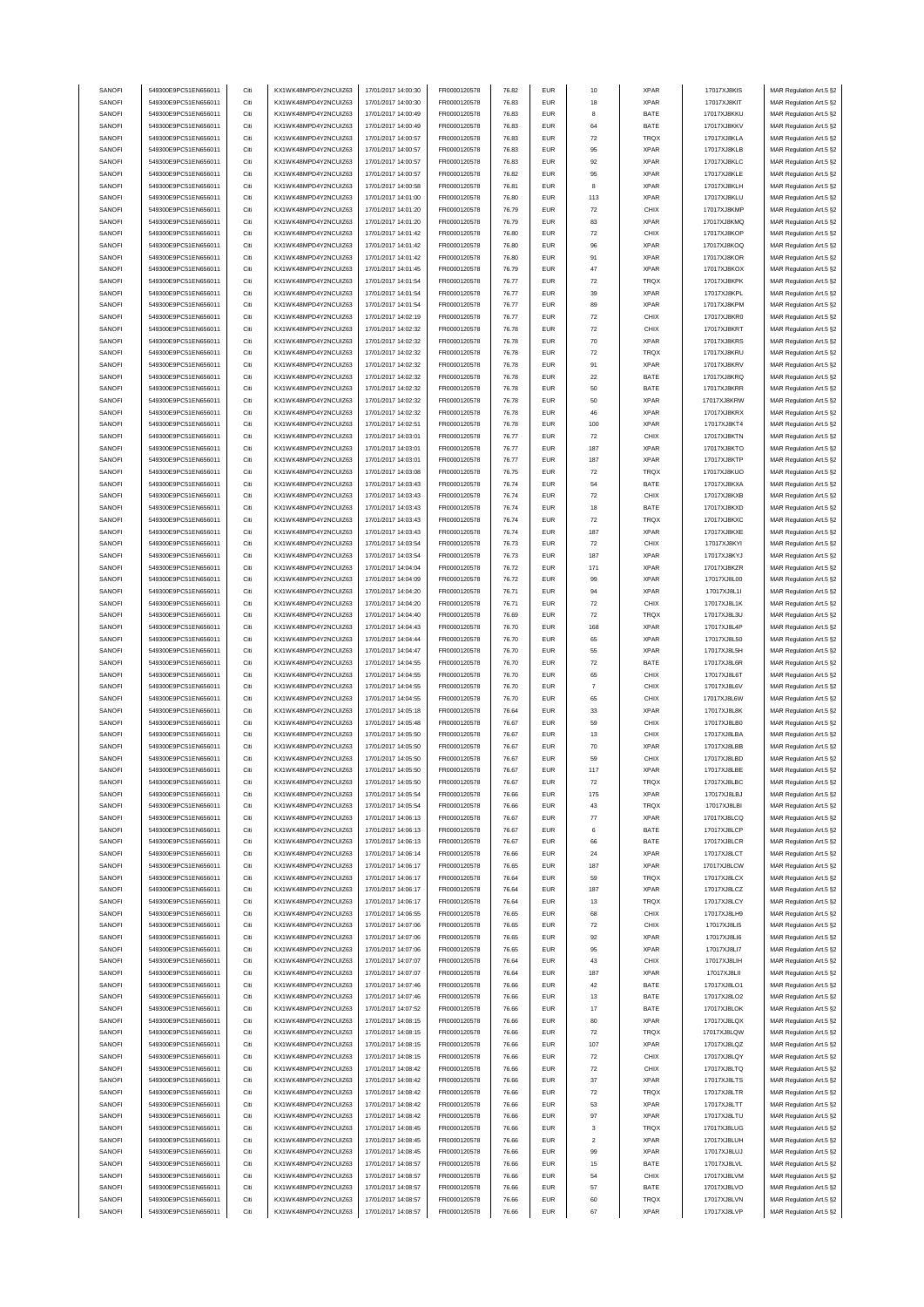| SANOFI | 549300E9PC51EN656011 | Citi | KX1WK48MPD4Y2NCUIZ63  | 17/01/2017 14:00:30 | FR0000120578 | 76.82 | <b>EUR</b>  | 10                 | <b>XPAR</b> | 17017XJ8KIS | MAR Regulation Art.5 §2 |
|--------|----------------------|------|-----------------------|---------------------|--------------|-------|-------------|--------------------|-------------|-------------|-------------------------|
|        |                      |      |                       |                     |              |       |             |                    |             |             |                         |
| SANOFI | 549300E9PC51EN656011 | Citi | KX1WK48MPD4Y2NCLIIZ63 | 17/01/2017 14:00:30 | FR0000120578 | 76.83 | <b>EUR</b>  | 18                 | <b>XPAR</b> | 17017XJ8KIT | MAR Regulation Art.5 §2 |
| SANOFI | 549300E9PC51EN656011 | Citi | KX1WK48MPD4Y2NCUIZ63  | 17/01/2017 14:00:49 | FR0000120578 | 76.83 | <b>EUR</b>  | 8                  | BATE        | 17017XJ8KKU | MAR Regulation Art.5 §2 |
| SANOFI | 549300E9PC51EN656011 | Citi | KX1WK48MPD4Y2NCUIZ63  | 17/01/2017 14:00:49 | FR0000120578 | 76.83 | <b>EUR</b>  | 64                 | BATE        | 17017XJ8KKV | MAR Regulation Art.5 §2 |
|        |                      |      |                       |                     |              |       |             |                    |             |             |                         |
| SANOFI | 549300E9PC51EN656011 | Citi | KX1WK48MPD4Y2NCUIZ63  | 17/01/2017 14:00:57 | FR0000120578 | 76.83 | <b>EUR</b>  | $\scriptstyle{72}$ | TRQX        | 17017XJ8KLA | MAR Regulation Art.5 §2 |
| SANOFI | 549300E9PC51EN656011 | Citi | KX1WK48MPD4Y2NCUIZ63  | 17/01/2017 14:00:57 | FR0000120578 | 76.83 | <b>EUR</b>  | 95                 | <b>XPAR</b> | 17017XJ8KLB | MAR Regulation Art.5 §2 |
| SANOFI | 549300E9PC51EN656011 | Citi | KX1WK48MPD4Y2NCUIZ63  | 17/01/2017 14:00:57 | FR0000120578 | 76.83 | <b>EUR</b>  | 92                 | <b>XPAR</b> | 17017XJ8KLC | MAR Regulation Art.5 §2 |
|        |                      |      |                       |                     |              |       |             |                    |             |             |                         |
| SANOFI | 549300E9PC51EN656011 | Citi | KX1WK48MPD4Y2NCUIZ63  | 17/01/2017 14:00:57 | FR0000120578 | 76.82 | <b>EUR</b>  | 95                 | <b>XPAR</b> | 17017XJ8KLE | MAR Regulation Art.5 §2 |
| SANOFI | 549300E9PC51EN656011 | Citi | KX1WK48MPD4Y2NCUIZ63  | 17/01/2017 14:00:58 | FR0000120578 | 76.81 | <b>EUR</b>  | 8                  | <b>XPAR</b> | 17017XJ8KLH | MAR Regulation Art.5 §2 |
| SANOFI | 549300E9PC51EN656011 | Citi | KX1WK48MPD4Y2NCUIZ63  | 17/01/2017 14:01:00 | FR0000120578 | 76.80 | EUR         | 113                | <b>XPAR</b> | 17017XJ8KLU | MAR Regulation Art.5 §2 |
|        |                      |      |                       |                     |              |       |             |                    |             |             |                         |
| SANOFI | 549300E9PC51EN656011 | Citi | KX1WK48MPD4Y2NCUIZ63  | 17/01/2017 14:01:20 | FR0000120578 | 76.79 | <b>EUR</b>  | 72                 | CHIX        | 17017XJ8KMP | MAR Regulation Art.5 §2 |
| SANOFI | 549300E9PC51EN656011 | Citi | KX1WK48MPD4Y2NCUIZ63  | 17/01/2017 14:01:20 | FR0000120578 | 76.79 | <b>EUR</b>  | 83                 | <b>XPAR</b> | 17017XJ8KMQ | MAR Regulation Art.5 §2 |
| SANOFI | 549300E9PC51EN656011 | Citi | KX1WK48MPD4Y2NCUIZ63  | 17/01/2017 14:01:42 | FR0000120578 | 76.80 | <b>EUR</b>  | 72                 | CHIX        | 17017XJ8KOP | MAR Regulation Art.5 §2 |
|        |                      |      |                       |                     |              |       |             |                    |             |             |                         |
| SANOFI | 549300E9PC51EN656011 | Citi | KX1WK48MPD4Y2NCUIZ63  | 17/01/2017 14:01:42 | FR0000120578 | 76.80 | <b>EUR</b>  | 96                 | <b>XPAR</b> | 17017XJ8KOQ | MAR Regulation Art.5 §2 |
| SANOFI | 549300E9PC51EN656011 | Citi | KX1WK48MPD4Y2NCUIZ63  | 17/01/2017 14:01:42 | FR0000120578 | 76.80 | <b>EUR</b>  | 91                 | <b>XPAR</b> | 17017XJ8KOR | MAR Regulation Art.5 §2 |
| SANOFI | 549300E9PC51EN656011 | Citi | KX1WK48MPD4Y2NCUIZ63  | 17/01/2017 14:01:45 | FR0000120578 | 76.79 | <b>EUR</b>  | 47                 | <b>XPAR</b> | 17017XJ8KOX | MAR Regulation Art.5 §2 |
|        |                      |      |                       |                     |              |       |             |                    |             |             |                         |
| SANOFI | 549300E9PC51EN656011 | Citi | KX1WK48MPD4Y2NCUIZ63  | 17/01/2017 14:01:54 | FR0000120578 | 76.77 | <b>EUR</b>  | 72                 | TRQX        | 17017XJ8KPK | MAR Regulation Art.5 §2 |
| SANOFI | 549300E9PC51EN656011 | Citi | KX1WK48MPD4Y2NCUIZ63  | 17/01/2017 14:01:54 | FR0000120578 | 76.77 | <b>EUR</b>  | 39                 | <b>XPAR</b> | 17017XJ8KPL | MAR Regulation Art.5 §2 |
| SANOFI | 549300E9PC51EN656011 | Citi | KX1WK48MPD4Y2NCUIZ63  | 17/01/2017 14:01:54 | FR0000120578 | 76.77 | EUR         | 89                 | <b>XPAR</b> | 17017XJ8KPM | MAR Regulation Art.5 §2 |
|        |                      |      |                       |                     |              |       |             |                    |             |             |                         |
| SANOFI | 549300E9PC51EN656011 | Citi | KX1WK48MPD4Y2NCUIZ63  | 17/01/2017 14:02:19 | FR0000120578 | 76.77 | <b>EUR</b>  | 72                 | CHIX        | 17017XJ8KR0 | MAR Regulation Art.5 §2 |
| SANOFI | 549300E9PC51EN656011 | Citi | KX1WK48MPD4Y2NCUIZ63  | 17/01/2017 14:02:32 | FR0000120578 | 76.78 | <b>EUR</b>  | 72                 | CHIX        | 17017XJ8KRT | MAR Regulation Art.5 §2 |
| SANOFI | 549300E9PC51EN656011 | Citi | KX1WK48MPD4Y2NCUIZ63  | 17/01/2017 14:02:32 | FR0000120578 | 76.78 | <b>EUR</b>  | 70                 | <b>XPAR</b> | 17017XJ8KRS | MAR Regulation Art.5 §2 |
| SANOFI |                      | Citi |                       |                     |              |       | <b>EUR</b>  |                    | TRQX        |             |                         |
|        | 549300E9PC51EN656011 |      | KX1WK48MPD4Y2NCUIZ63  | 17/01/2017 14:02:32 | FR0000120578 | 76.78 |             | 72                 |             | 17017XJ8KRU | MAR Regulation Art.5 §2 |
| SANOFI | 549300E9PC51EN656011 | Citi | KX1WK48MPD4Y2NCUIZ63  | 17/01/2017 14:02:32 | FR0000120578 | 76.78 | <b>EUR</b>  | 91                 | <b>XPAR</b> | 17017XJ8KRV | MAR Regulation Art.5 §2 |
| SANOFI | 549300E9PC51EN656011 | Citi | KX1WK48MPD4Y2NCLIIZ63 | 17/01/2017 14:02:32 | FR0000120578 | 76.78 | <b>EUR</b>  | 22                 | BATE        | 17017XJ8KRQ | MAR Regulation Art.5 §2 |
|        | 549300E9PC51EN656011 | Citi |                       |                     |              |       | <b>EUR</b>  |                    | BATE        |             |                         |
| SANOFI |                      |      | KX1WK48MPD4Y2NCUIZ63  | 17/01/2017 14:02:32 | FR0000120578 | 76.78 |             | 50                 |             | 17017XJ8KRR | MAR Regulation Art.5 §2 |
| SANOFI | 549300E9PC51EN656011 | Citi | KX1WK48MPD4Y2NCUIZ63  | 17/01/2017 14:02:32 | FR0000120578 | 76.78 | EUR         | 50                 | <b>XPAR</b> | 17017XJ8KRW | MAR Regulation Art.5 §2 |
| SANOFI | 549300E9PC51EN656011 | Citi | KX1WK48MPD4Y2NCUIZ63  | 17/01/2017 14:02:32 | FR0000120578 | 76.78 | <b>EUR</b>  | 46                 | <b>XPAR</b> | 17017XJ8KRX | MAR Regulation Art.5 §2 |
| SANOFI | 549300E9PC51EN656011 | Citi | KX1WK48MPD4Y2NCUIZ63  | 17/01/2017 14:02:51 | FR0000120578 | 76.78 | EUR         | 100                | <b>XPAR</b> | 17017XJ8KT4 | MAR Regulation Art.5 §2 |
|        |                      |      |                       |                     |              |       |             |                    |             |             |                         |
| SANOFI | 549300E9PC51EN656011 | Citi | KX1WK48MPD4Y2NCUIZ63  | 17/01/2017 14:03:01 | FR0000120578 | 76.77 | <b>EUR</b>  | ${\bf 72}$         | CHIX        | 17017XJ8KTN | MAR Regulation Art.5 §2 |
| SANOFI | 549300E9PC51EN656011 | Citi | KX1WK48MPD4Y2NCUIZ63  | 17/01/2017 14:03:01 | FR0000120578 | 76.77 | EUR         | 187                | <b>XPAR</b> | 17017XJ8KTO | MAR Regulation Art.5 §2 |
|        |                      |      |                       |                     |              |       |             |                    |             |             |                         |
| SANOFI | 549300E9PC51EN656011 | Citi | KX1WK48MPD4Y2NCUIZ63  | 17/01/2017 14:03:01 | FR0000120578 | 76.77 | <b>EUR</b>  | 187                | <b>XPAR</b> | 17017XJ8KTP | MAR Regulation Art.5 §2 |
| SANOFI | 549300E9PC51EN656011 | Citi | KX1WK48MPD4Y2NCUIZ63  | 17/01/2017 14:03:08 | FR0000120578 | 76.75 | <b>EUR</b>  | 72                 | TRQX        | 17017XJ8KUO | MAR Regulation Art.5 §2 |
| SANOFI | 549300E9PC51EN656011 | Citi | KX1WK48MPD4Y2NCUIZ63  | 17/01/2017 14:03:43 | FR0000120578 | 76.74 | <b>EUR</b>  | 54                 | BATE        | 17017XJ8KXA | MAR Regulation Art.5 §2 |
|        |                      | Citi | KX1WK48MPD4Y2NCUIZ63  |                     |              |       | <b>EUR</b>  |                    |             |             |                         |
| SANOFI | 549300E9PC51EN656011 |      |                       | 17/01/2017 14:03:43 | FR0000120578 | 76.74 |             | ${\bf 72}$         | CHIX        | 17017XJ8KXB | MAR Regulation Art.5 §2 |
| SANOFI | 549300E9PC51EN656011 | Citi | KX1WK48MPD4Y2NCUIZ63  | 17/01/2017 14:03:43 | FR0000120578 | 76.74 | <b>EUR</b>  | 18                 | BATE        | 17017XJ8KXD | MAR Regulation Art.5 §2 |
| SANOFI | 549300E9PC51EN656011 | Citi | KX1WK48MPD4Y2NCUIZ63  | 17/01/2017 14:03:43 | FR0000120578 | 76.74 | <b>EUR</b>  | 72                 | TRQX        | 17017XJ8KXC | MAR Regulation Art.5 §2 |
|        |                      | Citi |                       |                     |              |       | <b>EUR</b>  |                    |             |             |                         |
| SANOFI | 549300E9PC51EN656011 |      | KX1WK48MPD4Y2NCUIZ63  | 17/01/2017 14:03:43 | FR0000120578 | 76.74 |             | 187                | <b>XPAR</b> | 17017XJ8KXE | MAR Regulation Art.5 §2 |
| SANOFI | 549300E9PC51EN656011 | Citi | KX1WK48MPD4Y2NCUIZ63  | 17/01/2017 14:03:54 | FR0000120578 | 76.73 | <b>EUR</b>  | 72                 | CHIX        | 17017XJ8KYI | MAR Regulation Art.5 §2 |
| SANOFI | 549300E9PC51EN656011 | Citi | KX1WK48MPD4Y2NCUIZ63  | 17/01/2017 14:03:54 | FR0000120578 | 76.73 | <b>EUR</b>  | 187                | <b>XPAR</b> | 17017XJ8KYJ | MAR Regulation Art.5 §2 |
| SANOFI | 549300E9PC51EN656011 | Citi | KX1WK48MPD4Y2NCUIZ63  | 17/01/2017 14:04:04 | FR0000120578 | 76.72 | <b>EUR</b>  | 171                | <b>XPAR</b> | 17017XJ8KZR | MAR Regulation Art.5 §2 |
|        |                      |      |                       |                     |              |       |             |                    |             |             |                         |
| SANOFI | 549300E9PC51EN656011 | Citi | KX1WK48MPD4Y2NCUIZ63  | 17/01/2017 14:04:09 | FR0000120578 | 76.72 | <b>EUR</b>  | 99                 | <b>XPAR</b> | 17017XJ8L00 | MAR Regulation Art.5 §2 |
| SANOFI | 549300E9PC51EN656011 | Citi | KX1WK48MPD4Y2NCUIZ63  | 17/01/2017 14:04:20 | FR0000120578 | 76.71 | <b>EUR</b>  | 94                 | <b>XPAR</b> | 17017XJ8L1I | MAR Regulation Art.5 §2 |
| SANOFI | 549300E9PC51EN656011 | Citi | KX1WK48MPD4Y2NCUIZ63  | 17/01/2017 14:04:20 | FR0000120578 | 76.71 | EUR         | ${\bf 72}$         | CHIX        | 17017XJ8L1K | MAR Regulation Art.5 §2 |
|        |                      |      |                       |                     |              |       |             |                    |             |             |                         |
| SANOFI | 549300E9PC51EN656011 | Citi | KX1WK48MPD4Y2NCUIZ63  | 17/01/2017 14:04:40 | FR0000120578 | 76.69 | <b>EUR</b>  | 72                 | <b>TRQX</b> | 17017XJ8L3U | MAR Regulation Art.5 §2 |
| SANOFI | 549300E9PC51EN656011 | Citi | KX1WK48MPD4Y2NCUIZ63  | 17/01/2017 14:04:43 | FR0000120578 | 76.70 | <b>EUR</b>  | 168                | <b>XPAR</b> | 17017XJ8L4P | MAR Regulation Art.5 §2 |
| SANOFI | 549300E9PC51EN656011 | Citi | KX1WK48MPD4Y2NCUIZ63  | 17/01/2017 14:04:44 | FR0000120578 | 76.70 | <b>EUR</b>  | 65                 | <b>XPAR</b> | 17017XJ8L50 | MAR Regulation Art.5 §2 |
|        |                      |      |                       |                     |              |       |             |                    |             |             |                         |
| SANOFI | 549300E9PC51EN656011 | Citi | KX1WK48MPD4Y2NCUIZ63  | 17/01/2017 14:04:47 | FR0000120578 | 76.70 | <b>EUR</b>  | 55                 | <b>XPAR</b> | 17017XJ8L5H | MAR Regulation Art.5 §2 |
| SANOFI | 549300E9PC51EN656011 | Citi | KX1WK48MPD4Y2NCUIZ63  | 17/01/2017 14:04:55 | FR0000120578 | 76.70 | <b>EUR</b>  | 72                 | BATE        | 17017XJ8L6R | MAR Regulation Art.5 §2 |
| SANOFI | 549300E9PC51EN656011 | Citi | KX1WK48MPD4Y2NCUIZ63  | 17/01/2017 14:04:55 | FR0000120578 | 76.70 | <b>EUR</b>  | 65                 | CHIX        | 17017XJ8L6T | MAR Regulation Art.5 §2 |
|        |                      |      |                       |                     |              |       |             |                    |             |             |                         |
| SANOFI | 549300E9PC51EN656011 | Citi | KX1WK48MPD4Y2NCUIZ63  | 17/01/2017 14:04:55 | FR0000120578 | 76.70 | <b>EUR</b>  | $\overline{7}$     | CHIX        | 17017XJ8I6V | MAR Regulation Art.5 §2 |
| SANOFI | 549300E9PC51EN656011 | Citi | KX1WK48MPD4Y2NCUIZ63  | 17/01/2017 14:04:55 | FR0000120578 | 76.70 | EUR         | 65                 | CHIX        | 17017XJ8L6W | MAR Regulation Art.5 §2 |
| SANOFI | 549300E9PC51EN656011 | Citi | KX1WK48MPD4Y2NCUIZ63  | 17/01/2017 14:05:18 | FR0000120578 | 76.64 | <b>EUR</b>  | 33                 | <b>XPAR</b> | 17017XJ8L8K | MAR Regulation Art.5 §2 |
|        |                      |      |                       |                     |              |       |             |                    |             |             |                         |
| SANOFI | 549300E9PC51EN656011 | Citi | KX1WK48MPD4Y2NCUIZ63  | 17/01/2017 14:05:48 | FR0000120578 | 76.67 | EUR         | 59                 | CHIX        | 17017XJ8LB0 | MAR Regulation Art.5 §2 |
| SANOFI | 549300E9PC51EN656011 | Citi | KX1WK48MPD4Y2NCUIZ63  | 17/01/2017 14:05:50 | FR0000120578 | 76.67 | <b>EUR</b>  | 13                 | CHIX        | 17017XJ8LBA | MAR Regulation Art.5 §2 |
| SANOFI | 549300E9PC51EN656011 | Citi | KX1WK48MPD4Y2NCUIZ63  | 17/01/2017 14:05:50 | FR0000120578 | 76.67 | <b>EUR</b>  | 70                 | <b>XPAR</b> | 17017XJ8LBB | MAR Regulation Art.5 §2 |
|        |                      |      |                       |                     |              |       |             |                    |             |             |                         |
| SANOFI | 549300E9PC51EN656011 | Citi | KX1WK48MPD4Y2NCUIZ63  | 17/01/2017 14:05:50 | FR0000120578 | 76.67 | <b>EUR</b>  | 59                 | CHIX        | 17017XJ8LBD | MAR Regulation Art.5 §2 |
| SANOFI | 549300E9PC51EN656011 | Citi | KX1WK48MPD4Y2NCLIIZ63 | 17/01/2017 14:05:50 | FR0000120578 | 76.67 | FUR         |                    | <b>XPAR</b> | 17017XJ8IBF | MAR Regulation Art 5.82 |
| SANOFI | 549300E9PC51EN656011 | Citi | KX1WK48MPD4Y2NCUIZ63  | 17/01/2017 14:05:50 | FR0000120578 | 76.67 | <b>EUR</b>  | 72                 | <b>TRQX</b> | 17017XJ8LBC | MAR Regulation Art.5 §2 |
|        |                      |      |                       |                     |              |       |             |                    |             |             |                         |
| SANOFI | 549300E9PC51EN656011 | Citi | KX1WK48MPD4Y2NCUIZ63  | 17/01/2017 14:05:54 | FR0000120578 | 76.66 | EUR         | 175                | <b>XPAR</b> | 17017XJ8LBJ | MAR Regulation Art.5 §2 |
| SANOFI | 549300E9PC51EN656011 | Citi | KX1WK48MPD4Y2NCUIZ63  | 17/01/2017 14:05:54 | FR0000120578 | 76.66 | EUR         | 43                 | TRQX        | 17017XJ8LBI | MAR Regulation Art.5 §2 |
| SANOFI | 549300E9PC51EN656011 | Citi | KX1WK48MPD4Y2NCUIZ63  | 17/01/2017 14:06:13 | FR0000120578 | 76.67 | <b>EUR</b>  | $77\,$             | <b>XPAR</b> | 17017XJ8LCQ | MAR Regulation Art.5 §2 |
|        |                      |      |                       |                     |              |       |             |                    |             |             |                         |
| SANOFI | 549300E9PC51EN656011 | Citi | KX1WK48MPD4Y2NCUIZ63  | 17/01/2017 14:06:13 | FR0000120578 | 76.67 | EUR         | 6                  | BATE        | 17017XJ8LCP | MAR Regulation Art.5 §2 |
| SANOFI | 549300E9PC51EN656011 | Citi | KX1WK48MPD4Y2NCUIZ63  | 17/01/2017 14:06:13 | FR0000120578 | 76.67 | <b>EUR</b>  | 66                 | BATE        | 17017XJ8LCR | MAR Regulation Art.5 §2 |
| SANOFI | 549300E9PC51EN656011 | Citi | KX1WK48MPD4Y2NCUIZ63  | 17/01/2017 14:06:14 | FR0000120578 | 76.66 | <b>EUR</b>  | 24                 | <b>XPAR</b> | 17017XJ8LCT | MAR Regulation Art.5 §2 |
| SANOFI | 549300E9PC51EN656011 | Citi | KX1WK48MPD4Y2NCUIZ63  | 17/01/2017 14:06:17 | FR0000120578 | 76.65 | <b>EUR</b>  | 187                | <b>XPAR</b> | 17017XJ8LCW | MAR Regulation Art.5 §2 |
|        |                      |      |                       |                     |              |       |             |                    |             |             |                         |
| SANOFI | 549300E9PC51EN656011 | Citi | KX1WK48MPD4Y2NCUIZ63  | 17/01/2017 14:06:17 | FR0000120578 | 76.64 | ${\sf EUR}$ | 59                 | <b>TRQX</b> | 17017XJ8LCX | MAR Regulation Art.5 §2 |
| SANOFI | 549300E9PC51EN656011 | Citi | KX1WK48MPD4Y2NCUIZ63  | 17/01/2017 14:06:17 | FR0000120578 | 76.64 | EUR         | 187                | <b>XPAR</b> | 17017XJ8LCZ | MAR Regulation Art.5 §2 |
|        |                      |      |                       |                     |              |       |             |                    |             |             |                         |
| SANOFI | 549300E9PC51EN656011 | Citi | KX1WK48MPD4Y2NCUIZ63  | 17/01/2017 14:06:17 | FR0000120578 | 76.64 | <b>EUR</b>  | 13                 | TRQX        | 17017XJ8LCY | MAR Regulation Art.5 §2 |
| SANOFI | 549300E9PC51EN656011 | Citi | KX1WK48MPD4Y2NCUIZ63  | 17/01/2017 14:06:55 | FR0000120578 | 76.65 | <b>EUR</b>  | 68                 | CHIX        | 17017XJ8LH9 | MAR Regulation Art.5 §2 |
| SANOFI | 549300E9PC51EN656011 | Citi | KX1WK48MPD4Y2NCUIZ63  | 17/01/2017 14:07:06 | FR0000120578 | 76.65 | <b>EUR</b>  | 72                 | CHIX        | 17017XJ8LI5 | MAR Regulation Art.5 §2 |
| SANOFI | 549300E9PC51EN656011 | Citi | KX1WK48MPD4Y2NCUIZ63  | 17/01/2017 14:07:06 | FR0000120578 | 76.65 | EUR         | 92                 | <b>XPAR</b> | 17017XJ8LI6 | MAR Regulation Art.5 §2 |
|        |                      |      |                       |                     |              |       |             |                    |             |             |                         |
| SANOFI | 549300E9PC51EN656011 | Citi | KX1WK48MPD4Y2NCUIZ63  | 17/01/2017 14:07:06 | FR0000120578 | 76.65 | <b>EUR</b>  | 95                 | <b>XPAR</b> | 17017XJ8LI7 | MAR Regulation Art.5 §2 |
| SANOFI | 549300E9PC51EN656011 | Citi | KX1WK48MPD4Y2NCUIZ63  | 17/01/2017 14:07:07 | FR0000120578 | 76.64 | <b>EUR</b>  | 43                 | CHIX        | 17017XJ8LIH | MAR Regulation Art.5 §2 |
|        | 549300E9PC51EN656011 | Citi | KX1WK48MPD4Y2NCUIZ63  |                     |              |       | <b>EUR</b>  |                    | <b>XPAR</b> |             |                         |
| SANOFI |                      |      |                       | 17/01/2017 14:07:07 | FR0000120578 | 76.64 |             | 187                |             | 17017XJ8LII | MAR Regulation Art.5 §2 |
| SANOFI | 549300E9PC51EN656011 | Citi | KX1WK48MPD4Y2NCUIZ63  | 17/01/2017 14:07:46 | FR0000120578 | 76.66 | EUR         | 42                 | BATE        | 17017XJ8LO1 | MAR Regulation Art.5 §2 |
| SANOFI | 549300E9PC51EN656011 | Citi | KX1WK48MPD4Y2NCUIZ63  | 17/01/2017 14:07:46 | FR0000120578 | 76.66 | <b>EUR</b>  | 13                 | BATE        | 17017XJ8LO2 | MAR Regulation Art.5 §2 |
|        |                      |      |                       |                     |              |       |             |                    |             |             |                         |
| SANOFI | 549300E9PC51EN656011 | Citi | KX1WK48MPD4Y2NCUIZ63  | 17/01/2017 14:07:52 | FR0000120578 | 76.66 | <b>EUR</b>  | 17                 | BATE        | 17017XJ8LOK | MAR Regulation Art.5 §2 |
| SANOFI | 549300E9PC51EN656011 | Citi | KX1WK48MPD4Y2NCUIZ63  | 17/01/2017 14:08:15 | FR0000120578 | 76.66 | EUR         | 80                 | <b>XPAR</b> | 17017XJ8LQX | MAR Regulation Art.5 §2 |
| SANOFI | 549300E9PC51EN656011 | Citi | KX1WK48MPD4Y2NCUIZ63  | 17/01/2017 14:08:15 | FR0000120578 | 76.66 | <b>EUR</b>  | 72                 | <b>TRQX</b> | 17017XJ8LQW | MAR Regulation Art.5 §2 |
| SANOFI |                      |      | KX1WK48MPD4Y2NCUIZ63  |                     |              |       |             |                    |             | 17017XJ8LQZ |                         |
|        | 549300E9PC51EN656011 | Citi |                       | 17/01/2017 14:08:15 | FR0000120578 | 76.66 | EUR         | 107                | <b>XPAR</b> |             | MAR Regulation Art.5 §2 |
| SANOFI | 549300E9PC51EN656011 | Citi | KX1WK48MPD4Y2NCUIZ63  | 17/01/2017 14:08:15 | FR0000120578 | 76.66 | EUR         | 72                 | CHIX        | 17017XJ8LQY | MAR Regulation Art.5 §2 |
| SANOFI | 549300E9PC51EN656011 | Citi | KX1WK48MPD4Y2NCUIZ63  | 17/01/2017 14:08:42 | FR0000120578 | 76.66 | <b>EUR</b>  | 72                 | CHIX        | 17017XJ8LTQ | MAR Regulation Art.5 §2 |
| SANOFI | 549300E9PC51EN656011 | Citi | KX1WK48MPD4Y2NCUIZ63  | 17/01/2017 14:08:42 | FR0000120578 | 76.66 | <b>EUR</b>  | 37                 | <b>XPAR</b> | 17017XJ8LTS |                         |
|        |                      |      |                       |                     |              |       |             |                    |             |             | MAR Regulation Art.5 §2 |
| SANOFI | 549300E9PC51EN656011 | Citi | KX1WK48MPD4Y2NCUIZ63  | 17/01/2017 14:08:42 | FR0000120578 | 76.66 | EUR         | 72                 | <b>TRQX</b> | 17017XJ8LTR | MAR Regulation Art.5 §2 |
| SANOFI | 549300E9PC51EN656011 | Citi | KX1WK48MPD4Y2NCUIZ63  | 17/01/2017 14:08:42 | FR0000120578 | 76.66 | <b>EUR</b>  | 53                 | <b>XPAR</b> | 17017XJ8LTT | MAR Regulation Art.5 §2 |
| SANOFI | 549300E9PC51EN656011 | Citi | KX1WK48MPD4Y2NCUIZ63  | 17/01/2017 14:08:42 | FR0000120578 | 76.66 | <b>EUR</b>  | 97                 | <b>XPAR</b> | 17017XJ8LTU | MAR Regulation Art.5 §2 |
|        |                      |      |                       |                     |              |       |             |                    |             |             |                         |
| SANOFI | 549300E9PC51EN656011 | Citi | KX1WK48MPD4Y2NCUIZ63  | 17/01/2017 14:08:45 | FR0000120578 | 76.66 | <b>EUR</b>  | 3                  | TRQX        | 17017XJ8LUG | MAR Regulation Art.5 §2 |
| SANOFI | 549300E9PC51EN656011 | Citi | KX1WK48MPD4Y2NCUIZ63  | 17/01/2017 14:08:45 | FR0000120578 | 76.66 | EUR         | $\overline{a}$     | <b>XPAR</b> | 17017XJ8LUH | MAR Regulation Art.5 §2 |
| SANOFI | 549300E9PC51EN656011 | Citi | KX1WK48MPD4Y2NCUIZ63  | 17/01/2017 14:08:45 | FR0000120578 | 76.66 | <b>EUR</b>  | 99                 | <b>XPAR</b> | 17017XJ8LUJ | MAR Regulation Art.5 §2 |
|        |                      |      |                       |                     |              |       |             |                    |             |             |                         |
| SANOFI | 549300E9PC51EN656011 | Citi | KX1WK48MPD4Y2NCUIZ63  | 17/01/2017 14:08:57 | FR0000120578 | 76.66 | <b>EUR</b>  | 15                 | BATE        | 17017XJ8LVL | MAR Regulation Art.5 §2 |
| SANOFI | 549300E9PC51EN656011 | Citi | KX1WK48MPD4Y2NCUIZ63  | 17/01/2017 14:08:57 | FR0000120578 | 76.66 | ${\sf EUR}$ | 54                 | CHIX        | 17017XJ8LVM | MAR Regulation Art.5 §2 |
| SANOFI | 549300E9PC51EN656011 | Citi | KX1WK48MPD4Y2NCUIZ63  | 17/01/2017 14:08:57 | FR0000120578 | 76.66 | EUR         | 57                 | BATE        | 17017XJ8LVO | MAR Regulation Art.5 §2 |
|        |                      |      |                       |                     |              |       |             |                    |             |             |                         |
| SANOFI | 549300E9PC51EN656011 | Citi | KX1WK48MPD4Y2NCUIZ63  | 17/01/2017 14:08:57 | FR0000120578 | 76.66 | <b>EUR</b>  | 60                 | <b>TRQX</b> | 17017XJ8LVN | MAR Regulation Art.5 §2 |
|        |                      |      |                       |                     |              |       |             |                    |             |             |                         |
| SANOFI | 549300E9PC51EN656011 | Citi | KX1WK48MPD4Y2NCUIZ63  | 17/01/2017 14:08:57 | FR0000120578 | 76.66 | <b>EUR</b>  | 67                 | <b>XPAR</b> | 17017XJ8LVP | MAR Regulation Art.5 §2 |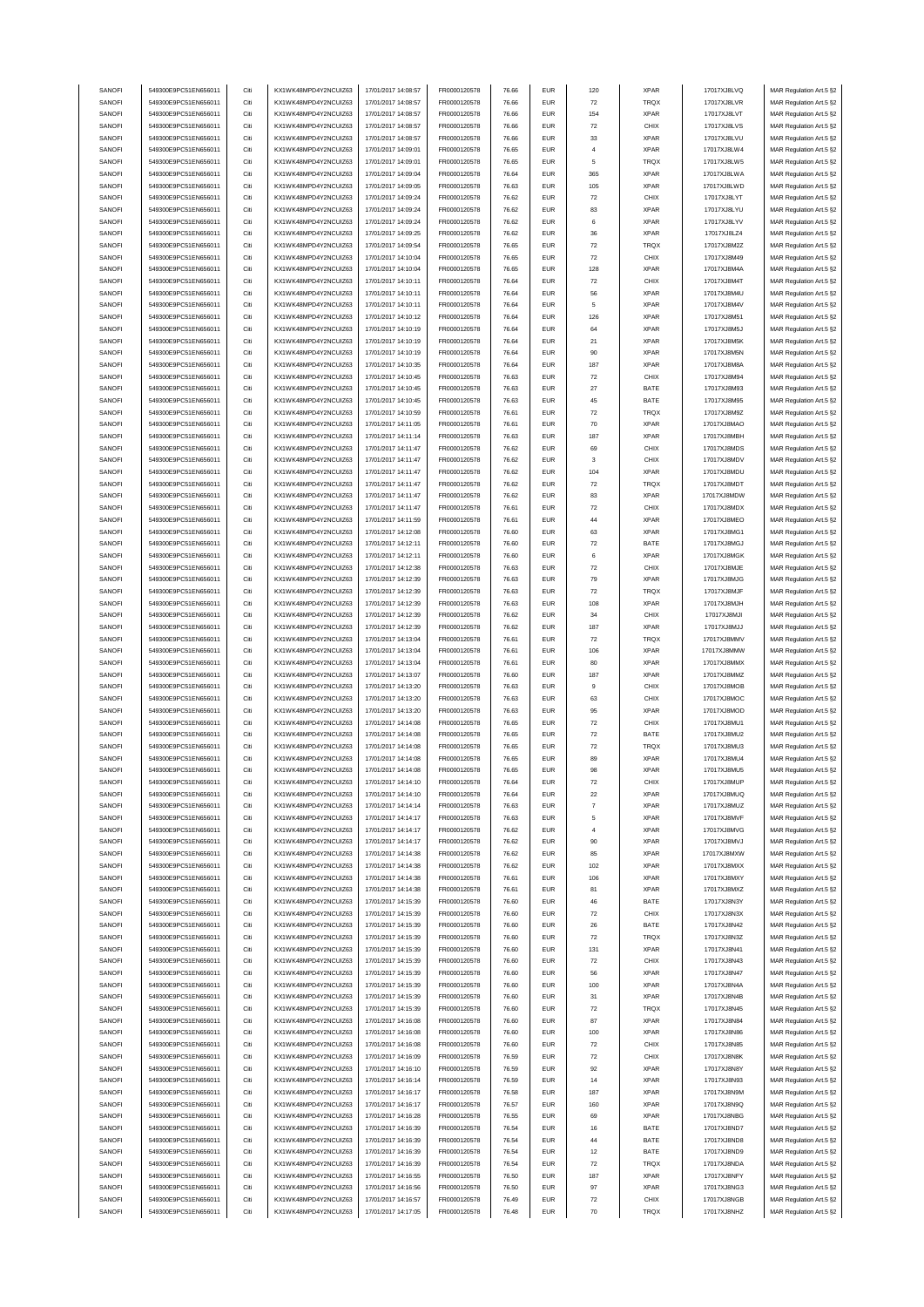|                  | 549300E9PC51EN656011                         | Citi         | KX1WK48MPD4Y2NCUIZ63                         | 17/01/2017 14:08:57                        | FR0000120578                 | 76.66          | <b>EUR</b>        | 120                | <b>XPAR</b>         | 17017XJ8LVQ                | MAR Regulation Art.5 §2                            |
|------------------|----------------------------------------------|--------------|----------------------------------------------|--------------------------------------------|------------------------------|----------------|-------------------|--------------------|---------------------|----------------------------|----------------------------------------------------|
| SANOFI<br>SANOFI | 549300E9PC51EN656011                         | Citi         | KX1WK48MPD4Y2NCUIZ63                         | 17/01/2017 14:08:57                        | FR0000120578                 | 76.66          | <b>EUR</b>        | ${\bf 72}$         | TRQX                | 17017XJ8LVR                | MAR Regulation Art.5 §2                            |
|                  |                                              |              |                                              |                                            |                              |                |                   |                    |                     |                            |                                                    |
| SANOFI           | 549300E9PC51EN656011                         | Citi         | KX1WK48MPD4Y2NCUIZ63                         | 17/01/2017 14:08:57                        | FR0000120578                 | 76.66          | <b>EUR</b>        | 154                | <b>XPAR</b>         | 17017XJ8LVT                | MAR Regulation Art.5 §2                            |
| SANOFI           | 549300E9PC51EN656011                         | Citi         | KX1WK48MPD4Y2NCUIZ63                         | 17/01/2017 14:08:57                        | FR0000120578                 | 76.66          | <b>EUR</b>        | ${\bf 72}$         | CHIX                | 17017XJ8LVS                | MAR Regulation Art.5 §2                            |
| SANOFI           | 549300E9PC51EN656011                         | Citi         | KX1WK48MPD4Y2NCUIZ63                         | 17/01/2017 14:08:57                        | FR0000120578                 | 76.66          | <b>EUR</b>        | 33                 | <b>XPAR</b>         | 17017XJ8LVU                | MAR Regulation Art.5 §2                            |
| SANOFI           | 549300E9PC51EN656011                         | Citi         | KX1WK48MPD4Y2NCUIZ63                         | 17/01/2017 14:09:01                        | FR0000120578                 | 76.65          | <b>EUR</b>        | $\overline{4}$     | <b>XPAR</b>         | 17017XJ8LW4                | MAR Regulation Art.5 §2                            |
| SANOFI           | 549300E9PC51EN656011                         | Citi         | KX1WK48MPD4Y2NCUIZ63                         | 17/01/2017 14:09:01                        | FR0000120578                 | 76.65          | <b>EUR</b>        | 5                  | TRQX                | 17017XJ8LW5                | MAR Regulation Art.5 §2                            |
|                  |                                              |              |                                              |                                            |                              |                |                   |                    |                     |                            |                                                    |
| SANOFI           | 549300E9PC51EN656011                         | Citi         | KX1WK48MPD4Y2NCUIZ63                         | 17/01/2017 14:09:04                        | FR0000120578                 | 76.64          | <b>EUR</b>        | 365                | <b>XPAR</b>         | 17017XJ8LWA                | MAR Regulation Art.5 §2                            |
| SANOFI           | 549300E9PC51EN656011                         | Citi         | KX1WK48MPD4Y2NCUIZ63                         | 17/01/2017 14:09:05                        | FR0000120578                 | 76.63          | <b>EUR</b>        | 105                | <b>XPAR</b>         | 17017XJ8LWD                | MAR Regulation Art.5 §2                            |
| SANOFI           | 549300E9PC51EN656011                         | Citi         | KX1WK48MPD4Y2NCUIZ63                         | 17/01/2017 14:09:24                        | FR0000120578                 | 76.62          | <b>EUR</b>        | 72                 | CHIX                | 17017XJ8LYT                | MAR Regulation Art.5 §2                            |
| SANOFI           | 549300E9PC51EN656011                         | Citi         | KX1WK48MPD4Y2NCUIZ63                         | 17/01/2017 14:09:24                        | FR0000120578                 | 76.62          | <b>EUR</b>        | 83                 | <b>XPAR</b>         | 17017XJ8LYU                | MAR Regulation Art.5 §2                            |
|                  | 549300E9PC51EN656011                         | Citi         |                                              |                                            |                              |                | <b>EUR</b>        | 6                  | <b>XPAR</b>         |                            |                                                    |
| SANOFI           |                                              |              | KX1WK48MPD4Y2NCUIZ63                         | 17/01/2017 14:09:24                        | FR0000120578                 | 76.62          |                   |                    |                     | 17017XJ8LYV                | MAR Regulation Art.5 §2                            |
| SANOFI           | 549300E9PC51EN656011                         | Citi         | KX1WK48MPD4Y2NCUIZ63                         | 17/01/2017 14:09:25                        | FR0000120578                 | 76.62          | EUR               | 36                 | <b>XPAR</b>         | 17017XJ8LZ4                | MAR Regulation Art.5 §2                            |
| SANOFI           | 549300E9PC51EN656011                         | Citi         | KX1WK48MPD4Y2NCUIZ63                         | 17/01/2017 14:09:54                        | FR0000120578                 | 76.65          | <b>EUR</b>        | 72                 | TRQX                | 17017XJ8M2Z                | MAR Regulation Art.5 §2                            |
| SANOFI           | 549300E9PC51EN656011                         | Citi         | KX1WK48MPD4Y2NCUIZ63                         | 17/01/2017 14:10:04                        | FR0000120578                 | 76.65          | <b>EUR</b>        | 72                 | CHIX                | 17017XJ8M49                | MAR Regulation Art.5 §2                            |
|                  |                                              |              |                                              |                                            |                              |                |                   |                    |                     |                            |                                                    |
| SANOFI           | 549300E9PC51EN656011                         | Citi         | KX1WK48MPD4Y2NCUIZ63                         | 17/01/2017 14:10:04                        | FR0000120578                 | 76.65          | <b>EUR</b>        | 128                | <b>XPAR</b>         | 17017XJ8M4A                | MAR Regulation Art.5 §2                            |
| SANOFI           | 549300E9PC51EN656011                         | Citi         | KX1WK48MPD4Y2NCUIZ63                         | 17/01/2017 14:10:11                        | FR0000120578                 | 76.64          | <b>EUR</b>        | 72                 | CHIX                | 17017XJ8M4T                | MAR Regulation Art.5 §2                            |
| SANOFI           | 549300E9PC51EN656011                         | Citi         | KX1WK48MPD4Y2NCUIZ63                         | 17/01/2017 14:10:11                        | FR0000120578                 | 76.64          | <b>EUR</b>        | 56                 | <b>XPAR</b>         | 17017XJ8M4U                | MAR Regulation Art.5 §2                            |
| SANOFI           | 549300E9PC51EN656011                         | Citi         | KX1WK48MPD4Y2NCUIZ63                         | 17/01/2017 14:10:11                        | FR0000120578                 | 76.64          | <b>EUR</b>        | 5                  | <b>XPAR</b>         | 17017XJ8M4V                | MAR Regulation Art.5 §2                            |
|                  | 549300E9PC51EN656011                         | Citi         |                                              |                                            |                              |                | <b>EUR</b>        |                    |                     |                            |                                                    |
| SANOFI           |                                              |              | KX1WK48MPD4Y2NCUIZ63                         | 17/01/2017 14:10:12                        | FR0000120578                 | 76.64          |                   | 126                | <b>XPAR</b>         | 17017XJ8M51                | MAR Regulation Art.5 §2                            |
| SANOFI           | 549300E9PC51EN656011                         | Citi         | KX1WK48MPD4Y2NCUIZ63                         | 17/01/2017 14:10:19                        | FR0000120578                 | 76.64          | <b>EUR</b>        | 64                 | <b>XPAR</b>         | 17017XJ8M5J                | MAR Regulation Art.5 §2                            |
| SANOFI           | 549300E9PC51EN656011                         | Citi         | KX1WK48MPD4Y2NCUIZ63                         | 17/01/2017 14:10:19                        | FR0000120578                 | 76.64          | <b>EUR</b>        | 21                 | <b>XPAR</b>         | 17017XJ8M5K                | MAR Regulation Art.5 §2                            |
| SANOFI           | 549300E9PC51EN656011                         | Citi         | KX1WK48MPD4Y2NCUIZ63                         | 17/01/2017 14:10:19                        | FR0000120578                 | 76.64          | <b>EUR</b>        | 90                 | <b>XPAR</b>         | 17017XJ8M5N                | MAR Regulation Art.5 §2                            |
| SANOFI           | 549300E9PC51EN656011                         | Citi         | KX1WK48MPD4Y2NCUIZ63                         | 17/01/2017 14:10:35                        | FR0000120578                 | 76.64          | <b>EUR</b>        | 187                | <b>XPAR</b>         | 17017XJ8M8A                | MAR Regulation Art.5 §2                            |
|                  |                                              |              |                                              |                                            |                              |                |                   |                    |                     |                            |                                                    |
| SANOFI           | 549300E9PC51EN656011                         | Citi         | KX1WK48MPD4Y2NCUIZ63                         | 17/01/2017 14:10:45                        | FR0000120578                 | 76.63          | <b>EUR</b>        | 72                 | CHIX                | 17017XJ8M94                | MAR Regulation Art.5 §2                            |
| SANOFI           | 549300E9PC51EN656011                         | Citi         | KX1WK48MPD4Y2NCUIZ63                         | 17/01/2017 14:10:45                        | FR0000120578                 | 76.63          | <b>EUR</b>        | 27                 | BATE                | 17017XJ8M93                | MAR Regulation Art.5 §2                            |
| SANOFI           | 549300E9PC51EN656011                         | Citi         | KX1WK48MPD4Y2NCUIZ63                         | 17/01/2017 14:10:45                        | FR0000120578                 | 76.63          | <b>EUR</b>        | 45                 | BATE                | 17017XJ8M95                | MAR Regulation Art.5 §2                            |
| SANOFI           | 549300E9PC51EN656011                         | Citi         | KX1WK48MPD4Y2NCUIZ63                         | 17/01/2017 14:10:59                        | FR0000120578                 | 76.61          | <b>EUR</b>        | 72                 | <b>TRQX</b>         | 17017XJ8M9Z                | MAR Regulation Art.5 §2                            |
| SANOFI           | 549300E9PC51EN656011                         | Citi         | KX1WK48MPD4Y2NCUIZ63                         | 17/01/2017 14:11:05                        | FR0000120578                 | 76.61          | <b>EUR</b>        | 70                 | <b>XPAR</b>         | 17017XJ8MAO                |                                                    |
|                  |                                              |              |                                              |                                            |                              |                |                   |                    |                     |                            | MAR Regulation Art.5 §2                            |
| SANOFI           | 549300E9PC51EN656011                         | Citi         | KX1WK48MPD4Y2NCUIZ63                         | 17/01/2017 14:11:14                        | FR0000120578                 | 76.63          | <b>EUR</b>        | 187                | <b>XPAR</b>         | 17017XJ8MBH                | MAR Regulation Art.5 §2                            |
| SANOFI           | 549300E9PC51EN656011                         | Citi         | KX1WK48MPD4Y2NCUIZ63                         | 17/01/2017 14:11:47                        | FR0000120578                 | 76.62          | <b>EUR</b>        | 69                 | CHIX                | 17017XJ8MDS                | MAR Regulation Art.5 §2                            |
| SANOFI           | 549300E9PC51EN656011                         | Citi         | KX1WK48MPD4Y2NCUIZ63                         | 17/01/2017 14:11:47                        | FR0000120578                 | 76.62          | <b>EUR</b>        | 3                  | CHIX                | 17017XJ8MDV                | MAR Regulation Art.5 §2                            |
| SANOFI           | 549300E9PC51EN656011                         | Citi         | KX1WK48MPD4Y2NCUIZ63                         | 17/01/2017 14:11:47                        | FR0000120578                 | 76.62          | <b>EUR</b>        | 104                | <b>XPAR</b>         | 17017XJ8MDU                | MAR Regulation Art.5 §2                            |
|                  |                                              |              |                                              |                                            |                              |                |                   |                    |                     |                            |                                                    |
| SANOFI           | 549300E9PC51EN656011                         | Citi         | KX1WK48MPD4Y2NCUIZ63                         | 17/01/2017 14:11:47                        | FR0000120578                 | 76.62          | <b>EUR</b>        | ${\bf 72}$         | TRQX                | 17017XJ8MDT                | MAR Regulation Art.5 §2                            |
| SANOFI           | 549300E9PC51EN656011                         | Citi         | KX1WK48MPD4Y2NCUIZ63                         | 17/01/2017 14:11:47                        | FR0000120578                 | 76.62          | <b>EUR</b>        | 83                 | <b>XPAR</b>         | 17017XJ8MDW                | MAR Regulation Art.5 §2                            |
| SANOFI           | 549300E9PC51EN656011                         | Citi         | KX1WK48MPD4Y2NCUIZ63                         | 17/01/2017 14:11:47                        | FR0000120578                 | 76.61          | <b>EUR</b>        | ${\bf 72}$         | CHIX                | 17017XJ8MDX                | MAR Regulation Art.5 §2                            |
| SANOFI           | 549300E9PC51EN656011                         | Citi         | KX1WK48MPD4Y2NCUIZ63                         | 17/01/2017 14:11:59                        | FR0000120578                 | 76.61          | <b>EUR</b>        | 44                 | <b>XPAR</b>         | 17017XJ8MEO                | MAR Regulation Art.5 §2                            |
|                  |                                              |              |                                              |                                            |                              |                |                   |                    |                     |                            |                                                    |
| SANOFI           | 549300E9PC51EN656011                         | Citi         | KX1WK48MPD4Y2NCUIZ63                         | 17/01/2017 14:12:08                        | FR0000120578                 | 76.60          | <b>EUR</b>        | 63                 | <b>XPAR</b>         | 17017XJ8MG1                | MAR Regulation Art.5 §2                            |
| SANOFI           | 549300E9PC51EN656011                         | Citi         | KX1WK48MPD4Y2NCUIZ63                         | 17/01/2017 14:12:11                        | FR0000120578                 | 76.60          | <b>EUR</b>        | $\scriptstyle{72}$ | BATE                | 17017XJ8MGJ                | MAR Regulation Art.5 §2                            |
| SANOFI           | 549300E9PC51EN656011                         | Citi         | KX1WK48MPD4Y2NCUIZ63                         | 17/01/2017 14:12:11                        | FR0000120578                 | 76.60          | <b>EUR</b>        | 6                  | <b>XPAR</b>         | 17017XJ8MGK                | MAR Regulation Art.5 §2                            |
| SANOFI           | 549300E9PC51EN656011                         | Citi         | KX1WK48MPD4Y2NCUIZ63                         | 17/01/2017 14:12:38                        | FR0000120578                 | 76.63          | <b>EUR</b>        | 72                 | CHIX                | 17017XJ8MJE                | MAR Regulation Art.5 §2                            |
| SANOFI           | 549300E9PC51EN656011                         | Citi         | KX1WK48MPD4Y2NCUIZ63                         | 17/01/2017 14:12:39                        | FR0000120578                 | 76.63          | <b>EUR</b>        | 79                 | <b>XPAR</b>         | 17017XJ8MJG                | MAR Regulation Art.5 §2                            |
|                  |                                              |              |                                              |                                            |                              |                |                   |                    |                     |                            |                                                    |
| SANOFI           | 549300E9PC51EN656011                         | Citi         | KX1WK48MPD4Y2NCUIZ63                         | 17/01/2017 14:12:39                        | FR0000120578                 | 76.63          | <b>EUR</b>        | 72                 | TRQX                | 17017XJ8MJF                | MAR Regulation Art.5 §2                            |
| SANOFI           | 549300E9PC51EN656011                         | Citi         | KX1WK48MPD4Y2NCUIZ63                         | 17/01/2017 14:12:39                        | FR0000120578                 | 76.63          | <b>EUR</b>        | 108                | <b>XPAR</b>         | 17017XJ8MJH                | MAR Regulation Art.5 §2                            |
| SANOFI           | 549300E9PC51EN656011                         | Citi         | KX1WK48MPD4Y2NCUIZ63                         | 17/01/2017 14:12:39                        | FR0000120578                 | 76.62          | <b>EUR</b>        | 34                 | CHIX                | 17017XJ8MJI                | MAR Regulation Art.5 §2                            |
| SANOFI           | 549300E9PC51EN656011                         | Citi         | KX1WK48MPD4Y2NCUIZ63                         | 17/01/2017 14:12:39                        | FR0000120578                 | 76.62          | <b>EUR</b>        | 187                | <b>XPAR</b>         | 17017XJ8MJJ                | MAR Regulation Art.5 §2                            |
|                  |                                              |              |                                              |                                            |                              |                |                   |                    |                     |                            |                                                    |
| SANOFI           | 549300E9PC51EN656011                         | Citi         | KX1WK48MPD4Y2NCUIZ63                         | 17/01/2017 14:13:04                        | FR0000120578                 | 76.61          | <b>EUR</b>        | 72                 | TRQX                | 17017XJ8MMV                | MAR Regulation Art.5 §2                            |
| SANOFI           | 549300E9PC51EN656011                         | Citi         | KX1WK48MPD4Y2NCUIZ63                         | 17/01/2017 14:13:04                        | FR0000120578                 | 76.61          | <b>EUR</b>        | 106                | <b>XPAR</b>         | 17017XJ8MMW                | MAR Regulation Art.5 §2                            |
| SANOFI           | 549300E9PC51EN656011                         | Citi         |                                              |                                            |                              |                |                   |                    |                     |                            |                                                    |
|                  |                                              |              | KX1WK48MPD4Y2NCUIZ63                         | 17/01/2017 14:13:04                        | FR0000120578                 | 76.61          | <b>EUR</b>        | 80                 | <b>XPAR</b>         | 17017XJ8MMX                | MAR Regulation Art.5 §2                            |
|                  |                                              |              |                                              |                                            |                              |                |                   |                    |                     |                            |                                                    |
| SANOFI           | 549300E9PC51EN656011                         | Citi         | KX1WK48MPD4Y2NCUIZ63                         | 17/01/2017 14:13:07                        | FR0000120578                 | 76.60          | <b>EUR</b>        | 187                | <b>XPAR</b>         | 17017XJ8MMZ                | MAR Regulation Art.5 §2                            |
| SANOFI           | 549300E9PC51EN656011                         | Citi         | KX1WK48MPD4Y2NCUIZ63                         | 17/01/2017 14:13:20                        | FR0000120578                 | 76.63          | <b>EUR</b>        | 9                  | CHIX                | 17017XJ8MOB                | MAR Regulation Art.5 §2                            |
| SANOFI           | 549300E9PC51EN656011                         | Citi         | KX1WK48MPD4Y2NCUIZ63                         | 17/01/2017 14:13:20                        | FR0000120578                 | 76.63          | <b>EUR</b>        | 63                 | CHIX                | 17017XJ8MOC                | MAR Regulation Art.5 §2                            |
| SANOFI           | 549300E9PC51EN656011                         | Citi         | KX1WK48MPD4Y2NCUIZ63                         | 17/01/2017 14:13:20                        | FR0000120578                 | 76.63          | <b>EUR</b>        | 95                 | <b>XPAR</b>         | 17017XJ8MOD                | MAR Regulation Art.5 §2                            |
|                  |                                              |              |                                              | 17/01/2017 14:14:08                        |                              |                |                   |                    |                     |                            |                                                    |
| SANOFI           | 549300E9PC51EN656011                         | Citi         | KX1WK48MPD4Y2NCUIZ63                         |                                            | FR0000120578                 | 76.65          | EUR               | ${\bf 72}$         | CHIX                | 17017XJ8MU1                | MAR Regulation Art.5 §2                            |
| SANOFI           | 549300E9PC51EN656011                         | Citi         | KX1WK48MPD4Y2NCUIZ63                         | 17/01/2017 14:14:08                        | FR0000120578                 | 76.65          | <b>EUR</b>        | 72                 | BATE                | 17017XJ8MU2                | MAR Regulation Art.5 §2                            |
| SANOFI           | 549300E9PC51EN656011                         | Citi         | KX1WK48MPD4Y2NCUIZ63                         | 17/01/2017 14:14:08                        | FR0000120578                 | 76.65          | <b>EUR</b>        | $\scriptstyle{72}$ | TRQX                | 17017XJ8MU3                | MAR Regulation Art.5 §2                            |
| SANOFI           | 549300E9PC51EN656011                         | Citi         | KX1WK48MPD4Y2NCUIZ63                         | 17/01/2017 14:14:08                        | FR0000120578                 | 76.65          | <b>EUR</b>        | 89                 | <b>XPAR</b>         | 17017XJ8MU4                | MAR Regulation Art.5 §2                            |
| SANOFI           | 549300E9PC51EN656011                         | Citi         | KX1WK48MPD4Y2NCUIZ63                         | 17/01/2017 14:14:08                        | FR0000120578                 | 76.65          | <b>EUR</b>        | 98                 | <b>XPAR</b>         | 17017XJ8MU5                | MAR Regulation Art.5 §2                            |
| SANOFI           | 549300E9PC51EN656011                         | Citi         | KX1WK48MPD4Y2NCUIZ63                         | 17/01/2017 14:14:10                        | FR0000120578                 | 76.64          | <b>FUR</b>        |                    | CHIX                | 17017X.I8MUP               | MAR Regulation Art 5.82                            |
|                  |                                              |              |                                              |                                            |                              |                |                   |                    |                     |                            |                                                    |
| SANOFI           | 549300E9PC51EN656011                         | Citi         | KX1WK48MPD4Y2NCUIZ63                         | 17/01/2017 14:14:10                        | FR0000120578                 | 76.64          | <b>EUR</b>        | 22                 | <b>XPAR</b>         | 17017XJ8MUQ                | MAR Regulation Art.5 §2                            |
| SANOFI           | 549300E9PC51EN656011                         | Citi         | KX1WK48MPD4Y2NCUIZ63                         | 17/01/2017 14:14:14                        | FR0000120578                 | 76.63          | <b>EUR</b>        | $\overline{7}$     | <b>XPAR</b>         | 17017XJ8MUZ                | MAR Regulation Art.5 §2                            |
| SANOFI           | 549300E9PC51EN656011                         | Citi         | KX1WK48MPD4Y2NCUIZ63                         | 17/01/2017 14:14:17                        | FR0000120578                 | 76.63          | EUR               | 5                  | <b>XPAR</b>         | 17017XJ8MVF                | MAR Regulation Art.5 §2                            |
| SANOFI           | 549300E9PC51EN656011                         | Citi         | KX1WK48MPD4Y2NCUIZ63                         | 17/01/2017 14:14:17                        | FR0000120578                 | 76.62          | <b>EUR</b>        | $\overline{4}$     | <b>XPAR</b>         | 17017XJ8MVG                | MAR Regulation Art.5 §2                            |
|                  |                                              |              |                                              |                                            |                              |                |                   |                    |                     |                            |                                                    |
| SANOFI           | 549300E9PC51EN656011                         | Citi         | KX1WK48MPD4Y2NCUIZ63                         | 17/01/2017 14:14:17                        | FR0000120578                 | 76.62          | <b>EUR</b>        | 90                 | <b>XPAR</b>         | 17017XJ8MVJ                | MAR Regulation Art.5 §2                            |
| SANOFI           | 549300E9PC51EN656011                         | Citi         | KX1WK48MPD4Y2NCUIZ63                         | 17/01/2017 14:14:38                        | FR0000120578                 | 76.62          | <b>EUR</b>        | 85                 | <b>XPAR</b>         | 17017XJ8MXW                | MAR Regulation Art.5 §2                            |
| SANOFI           | 549300E9PC51EN656011                         | Citi         | KX1WK48MPD4Y2NCUIZ63                         | 17/01/2017 14:14:38                        | FR0000120578                 | 76.62          | EUR               | 102                | <b>XPAR</b>         | 17017XJ8MXX                | MAR Regulation Art.5 §2                            |
| SANOFI           | 549300E9PC51EN656011                         | Citi         | KX1WK48MPD4Y2NCUIZ63                         | 17/01/2017 14:14:38                        | FR0000120578                 | 76.61          | <b>EUR</b>        | 106                | <b>XPAR</b>         | 17017XJ8MXY                | MAR Regulation Art.5 §2                            |
| SANOFI           | 549300E9PC51EN656011                         | Citi         | KX1WK48MPD4Y2NCUIZ63                         | 17/01/2017 14:14:38                        | FR0000120578                 | 76.61          | <b>EUR</b>        | 81                 | <b>XPAR</b>         | 17017XJ8MXZ                | MAR Regulation Art.5 §2                            |
|                  |                                              | Citi         |                                              |                                            |                              |                |                   | 46                 |                     |                            |                                                    |
| SANOFI           | 549300E9PC51EN656011                         |              | KX1WK48MPD4Y2NCUIZ63                         | 17/01/2017 14:15:39                        | FR0000120578                 | 76.60          | EUR               |                    | BATE                | 17017XJ8N3Y                | MAR Regulation Art.5 §2                            |
| SANOFI           | 549300E9PC51EN656011                         | Citi         | KX1WK48MPD4Y2NCUIZ63                         | 17/01/2017 14:15:39                        | FR0000120578                 | 76.60          | EUR               | ${\bf 72}$         | CHIX                | 17017XJ8N3X                | MAR Regulation Art.5 §2                            |
| SANOFI           | 549300E9PC51EN656011                         | Citi         | KX1WK48MPD4Y2NCUIZ63                         | 17/01/2017 14:15:39                        | FR0000120578                 | 76.60          | <b>EUR</b>        | 26                 | BATE                | 17017XJ8N42                | MAR Regulation Art.5 §2                            |
| SANOFI           | 549300E9PC51EN656011                         | Citi         | KX1WK48MPD4Y2NCUIZ63                         | 17/01/2017 14:15:39                        | FR0000120578                 | 76.60          | EUR               | 72                 | TRQX                | 17017XJ8N3Z                | MAR Regulation Art.5 §2                            |
| SANOFI           | 549300E9PC51EN656011                         | Citi         | KX1WK48MPD4Y2NCUIZ63                         | 17/01/2017 14:15:39                        | FR0000120578                 | 76.60          | <b>EUR</b>        | 131                | <b>XPAR</b>         | 17017XJ8N41                | MAR Regulation Art.5 §2                            |
|                  |                                              |              |                                              |                                            |                              |                |                   |                    |                     |                            |                                                    |
| SANOFI           | 549300E9PC51EN656011                         | Citi         | KX1WK48MPD4Y2NCUIZ63                         | 17/01/2017 14:15:39                        | FR0000120578                 | 76.60          | <b>EUR</b>        | 72                 | CHIX                | 17017XJ8N43                | MAR Regulation Art.5 §2                            |
| SANOFI           | 549300E9PC51EN656011                         | Citi         | KX1WK48MPD4Y2NCUIZ63                         | 17/01/2017 14:15:39                        | FR0000120578                 | 76.60          | <b>EUR</b>        | 56                 | <b>XPAR</b>         | 17017XJ8N47                | MAR Regulation Art.5 §2                            |
| SANOFI           | 549300E9PC51EN656011                         | Citi         | KX1WK48MPD4Y2NCUIZ63                         | 17/01/2017 14:15:39                        | FR0000120578                 | 76.60          | <b>EUR</b>        | 100                | <b>XPAR</b>         | 17017XJ8N4A                | MAR Regulation Art.5 §2                            |
| SANOFI           | 549300E9PC51EN656011                         | Citi         | KX1WK48MPD4Y2NCUIZ63                         | 17/01/2017 14:15:39                        | FR0000120578                 | 76.60          | EUR               | 31                 | <b>XPAR</b>         | 17017XJ8N4B                | MAR Regulation Art.5 §2                            |
| <b>SANOFI</b>    | 549300E9PC51EN656011                         | Citi         | KX1WK48MPD4Y2NCUIZ63                         | 17/01/2017 14:15:39                        | FR0000120578                 | 76.60          | <b>EUR</b>        | 72                 | <b>TRQX</b>         | 17017XJ8N45                |                                                    |
|                  |                                              |              |                                              |                                            |                              |                |                   |                    |                     |                            | MAR Regulation Art.5 §2                            |
| SANOFI           | 549300E9PC51EN656011                         | Citi         | KX1WK48MPD4Y2NCUIZ63                         | 17/01/2017 14:16:08                        | FR0000120578                 | 76.60          | EUR               | 87                 | <b>XPAR</b>         | 17017XJ8N84                | MAR Regulation Art.5 §2                            |
| SANOFI           | 549300E9PC51EN656011                         | Citi         | KX1WK48MPD4Y2NCUIZ63                         | 17/01/2017 14:16:08                        | FR0000120578                 | 76.60          | EUR               | 100                | <b>XPAR</b>         | 17017XJ8N86                | MAR Regulation Art.5 §2                            |
| SANOFI           | 549300E9PC51EN656011                         | Citi         | KX1WK48MPD4Y2NCUIZ63                         | 17/01/2017 14:16:08                        | FR0000120578                 | 76.60          | <b>EUR</b>        | $\bf 72$           | CHIX                | 17017XJ8N85                | MAR Regulation Art.5 §2                            |
| SANOFI           | 549300E9PC51EN656011                         | Citi         | KX1WK48MPD4Y2NCUIZ63                         | 17/01/2017 14:16:09                        | FR0000120578                 | 76.59          | <b>EUR</b>        | 72                 | CHIX                | 17017XJ8N8K                | MAR Regulation Art.5 §2                            |
|                  |                                              |              |                                              |                                            |                              |                |                   |                    |                     |                            |                                                    |
| SANOFI           | 549300E9PC51EN656011                         | Citi         | KX1WK48MPD4Y2NCUIZ63                         | 17/01/2017 14:16:10                        | FR0000120578                 | 76.59          | <b>EUR</b>        | 92                 | <b>XPAR</b>         | 17017XJ8N8Y                | MAR Regulation Art.5 §2                            |
| SANOFI           | 549300E9PC51EN656011                         | Citi         | KX1WK48MPD4Y2NCUIZ63                         | 17/01/2017 14:16:14                        | FR0000120578                 | 76.59          | <b>EUR</b>        | 14                 | <b>XPAR</b>         | 17017XJ8N93                | MAR Regulation Art.5 §2                            |
| SANOFI           | 549300E9PC51EN656011                         | Citi         | KX1WK48MPD4Y2NCUIZ63                         | 17/01/2017 14:16:17                        | FR0000120578                 | 76.58          | <b>EUR</b>        | 187                | <b>XPAR</b>         | 17017XJ8N9M                | MAR Regulation Art.5 §2                            |
| SANOFI           | 549300E9PC51EN656011                         | Citi         | KX1WK48MPD4Y2NCUIZ63                         | 17/01/2017 14:16:17                        | FR0000120578                 | 76.57          | EUR               | 160                | <b>XPAR</b>         | 17017XJ8N9Q                | MAR Regulation Art.5 §2                            |
| SANOFI           | 549300E9PC51EN656011                         | Citi         | KX1WK48MPD4Y2NCUIZ63                         | 17/01/2017 14:16:28                        | FR0000120578                 | 76.55          | <b>EUR</b>        | 69                 | <b>XPAR</b>         | 17017XJ8NBG                | MAR Regulation Art.5 §2                            |
|                  |                                              |              |                                              |                                            |                              |                |                   |                    |                     |                            |                                                    |
| SANOFI           | 549300E9PC51EN656011                         | Citi         | KX1WK48MPD4Y2NCUIZ63                         | 17/01/2017 14:16:39                        | FR0000120578                 | 76.54          | <b>EUR</b>        | 16                 | BATE                | 17017XJ8ND7                | MAR Regulation Art.5 §2                            |
| SANOFI           | 549300E9PC51EN656011                         | Citi         | KX1WK48MPD4Y2NCUIZ63                         | 17/01/2017 14:16:39                        | FR0000120578                 | 76.54          | <b>EUR</b>        | 44                 | BATE                | 17017XJ8ND8                | MAR Regulation Art.5 §2                            |
| SANOFI           | 549300E9PC51EN656011                         | Citi         | KX1WK48MPD4Y2NCUIZ63                         | 17/01/2017 14:16:39                        | FR0000120578                 | 76.54          | EUR               | 12                 | BATE                | 17017XJ8ND9                | MAR Regulation Art.5 §2                            |
| SANOFI           | 549300E9PC51EN656011                         | Citi         | KX1WK48MPD4Y2NCUIZ63                         | 17/01/2017 14:16:39                        | FR0000120578                 | 76.54          | <b>EUR</b>        | 72                 | TRQX                | 17017XJ8NDA                | MAR Regulation Art.5 §2                            |
| SANOFI           | 549300E9PC51EN656011                         | Citi         | KX1WK48MPD4Y2NCUIZ63                         | 17/01/2017 14:16:55                        | FR0000120578                 | 76.50          | <b>EUR</b>        | 187                | <b>XPAR</b>         | 17017XJ8NFY                | MAR Regulation Art.5 §2                            |
|                  |                                              |              |                                              |                                            |                              |                |                   |                    |                     |                            |                                                    |
| SANOFI           | 549300E9PC51EN656011                         | Citi         | KX1WK48MPD4Y2NCUIZ63                         | 17/01/2017 14:16:56                        | FR0000120578                 | 76.50          | <b>EUR</b>        | 97                 | <b>XPAR</b>         | 17017XJ8NG3                | MAR Regulation Art.5 §2                            |
| SANOFI<br>SANOFI | 549300E9PC51EN656011<br>549300E9PC51EN656011 | Citi<br>Citi | KX1WK48MPD4Y2NCUIZ63<br>KX1WK48MPD4Y2NCUIZ63 | 17/01/2017 14:16:57<br>17/01/2017 14:17:05 | FR0000120578<br>FR0000120578 | 76.49<br>76.48 | EUR<br><b>EUR</b> | 72<br>$70\,$       | CHIX<br><b>TRQX</b> | 17017XJ8NGB<br>17017XJ8NHZ | MAR Regulation Art.5 §2<br>MAR Regulation Art.5 §2 |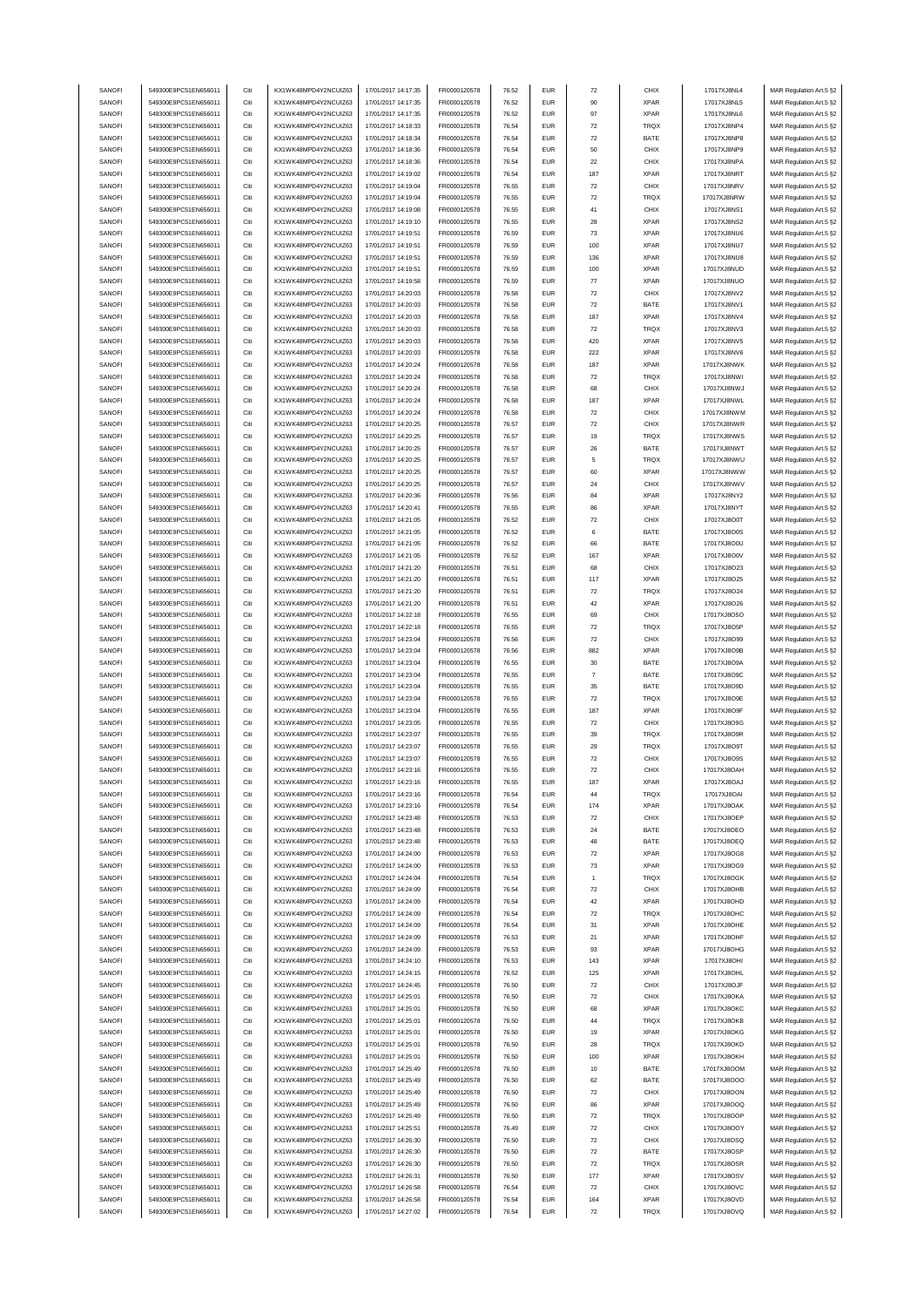| SANOFI        | 549300E9PC51EN656011 | Citi | KX1WK48MPD4Y2NCUIZ63  | 17/01/2017 14:17:35 | FR0000120578        | 76.52 | <b>EUR</b> | $\scriptstyle{72}$ | CHIX        | 17017XJ8NL4  | MAR Regulation Art.5 §2 |
|---------------|----------------------|------|-----------------------|---------------------|---------------------|-------|------------|--------------------|-------------|--------------|-------------------------|
|               |                      |      |                       |                     |                     |       |            |                    |             | 17017XJ8NL5  |                         |
| SANOFI        | 549300E9PC51EN656011 | Citi | KX1WK48MPD4Y2NCUIZ63  | 17/01/2017 14:17:35 | FR0000120578        | 76.52 | <b>EUR</b> | 90                 | <b>XPAR</b> |              | MAR Regulation Art.5 §2 |
| SANOFI        | 549300E9PC51EN656011 | Citi | KX1WK48MPD4Y2NCUIZ63  | 17/01/2017 14:17:35 | FR0000120578        | 76.52 | <b>EUR</b> | 97                 | <b>XPAR</b> | 17017XJ8NL6  | MAR Regulation Art.5 §2 |
| SANOFI        | 549300E9PC51EN656011 | Citi | KX1WK48MPD4Y2NCUIZ63  | 17/01/2017 14:18:33 | FR0000120578        | 76.54 | <b>EUR</b> | $\scriptstyle{72}$ | TRQX        | 17017XJ8NP4  | MAR Regulation Art.5 §2 |
| SANOFI        | 549300E9PC51EN656011 | Citi | KX1WK48MPD4Y2NCUIZ63  | 17/01/2017 14:18:34 | FR0000120578        | 76.54 | <b>EUR</b> | $\scriptstyle{72}$ | BATE        | 17017XJ8NP8  | MAR Regulation Art.5 §2 |
| SANOFI        | 549300E9PC51EN656011 | Citi | KX1WK48MPD4Y2NCUIZ63  | 17/01/2017 14:18:36 | FR0000120578        | 76.54 | <b>EUR</b> | 50                 | CHIX        | 17017XJ8NP9  | MAR Regulation Art.5 §2 |
| SANOFI        |                      | Citi | KX1WK48MPD4Y2NCUIZ63  |                     | FR0000120578        | 76.54 | <b>EUR</b> | $22\,$             | CHIX        | 17017XJ8NPA  |                         |
|               | 549300E9PC51EN656011 |      |                       | 17/01/2017 14:18:36 |                     |       |            |                    |             |              | MAR Regulation Art.5 §2 |
| SANOFI        | 549300E9PC51EN656011 | Citi | KX1WK48MPD4Y2NCUIZ63  | 17/01/2017 14:19:02 | FR0000120578        | 76.54 | <b>EUR</b> | 187                | <b>XPAR</b> | 17017XJ8NRT  | MAR Regulation Art.5 §2 |
| SANOFI        | 549300E9PC51EN656011 | Citi | KX1WK48MPD4Y2NCUIZ63  | 17/01/2017 14:19:04 | FR0000120578        | 76.55 | <b>EUR</b> | 72                 | CHIX        | 17017XJ8NRV  | MAR Regulation Art.5 §2 |
| SANOFI        | 549300E9PC51EN656011 | Citi | KX1WK48MPD4Y2NCUIZ63  | 17/01/2017 14:19:04 | FR0000120578        | 76.55 | <b>EUR</b> | $\scriptstyle{72}$ | TRQX        | 17017XJ8NRW  | MAR Regulation Art.5 §2 |
| SANOFI        | 549300E9PC51EN656011 | Citi | KX1WK48MPD4Y2NCUIZ63  | 17/01/2017 14:19:08 | FR0000120578        | 76.55 | <b>EUR</b> | 41                 | CHIX        | 17017XJ8NS1  |                         |
|               |                      |      |                       |                     |                     |       |            |                    |             |              | MAR Regulation Art.5 §2 |
| SANOFI        | 549300E9PC51EN656011 | Citi | KX1WK48MPD4Y2NCUIZ63  | 17/01/2017 14:19:10 | FR0000120578        | 76.55 | <b>EUR</b> | 28                 | <b>XPAR</b> | 17017XJ8NS2  | MAR Regulation Art.5 §2 |
| SANOFI        | 549300E9PC51EN656011 | Citi | KX1WK48MPD4Y2NCUIZ63  | 17/01/2017 14:19:51 | FR0000120578        | 76.59 | <b>EUR</b> | $\mathbf{73}$      | <b>XPAR</b> | 17017XJ8NU6  | MAR Regulation Art.5 §2 |
| SANOFI        | 549300E9PC51EN656011 | Citi | KX1WK48MPD4Y2NCUIZ63  | 17/01/2017 14:19:51 | FR0000120578        | 76.59 | <b>EUR</b> | 100                | XPAR        | 17017XJ8NU7  | MAR Regulation Art.5 §2 |
| SANOFI        | 549300E9PC51EN656011 | Citi | KX1WK48MPD4Y2NCUIZ63  | 17/01/2017 14:19:51 | FR0000120578        | 76.59 | <b>EUR</b> | 136                | <b>XPAR</b> | 17017XJ8NU8  | MAR Regulation Art.5 §2 |
|               |                      |      |                       |                     |                     |       |            |                    |             |              |                         |
| SANOFI        | 549300E9PC51EN656011 | Citi | KX1WK48MPD4Y2NCUIZ63  | 17/01/2017 14:19:51 | FR0000120578        | 76.59 | <b>EUR</b> | 100                | <b>XPAR</b> | 17017XJ8NUD  | MAR Regulation Art.5 §2 |
| SANOFI        | 549300E9PC51EN656011 | Citi | KX1WK48MPD4Y2NCUIZ63  | 17/01/2017 14:19:58 | FR0000120578        | 76.59 | <b>EUR</b> | ${\bf 77}$         | <b>XPAR</b> | 17017XJ8NUO  | MAR Regulation Art.5 §2 |
| SANOFI        | 549300E9PC51EN656011 | Citi | KX1WK48MPD4Y2NCUIZ63  | 17/01/2017 14:20:03 | FR0000120578        | 76.58 | <b>EUR</b> | $\bf 72$           | CHIX        | 17017XJ8NV2  | MAR Regulation Art.5 §2 |
| SANOFI        | 549300E9PC51EN656011 | Citi | KX1WK48MPD4Y2NCUIZ63  | 17/01/2017 14:20:03 | FR0000120578        | 76.58 | <b>EUR</b> | $\scriptstyle{72}$ | BATE        | 17017XJ8NV1  | MAR Regulation Art.5 §2 |
|               |                      |      |                       |                     |                     |       |            |                    |             |              |                         |
| SANOFI        | 549300E9PC51EN656011 | Citi | KX1WK48MPD4Y2NCUIZ63  | 17/01/2017 14:20:03 | FR0000120578        | 76.58 | <b>EUR</b> | 187                | <b>XPAR</b> | 17017XJ8NV4  | MAR Regulation Art.5 §2 |
| SANOFI        | 549300E9PC51EN656011 | Citi | KX1WK48MPD4Y2NCUIZ63  | 17/01/2017 14:20:03 | FR0000120578        | 76.58 | <b>EUR</b> | $\bf 72$           | TRQX        | 17017XJ8NV3  | MAR Regulation Art.5 §2 |
| SANOFI        | 549300E9PC51EN656011 | Citi | KX1WK48MPD4Y2NCUIZ63  | 17/01/2017 14:20:03 | FR0000120578        | 76.58 | <b>EUR</b> | 420                | <b>XPAR</b> | 17017XJ8NV5  | MAR Regulation Art.5 §2 |
| SANOFI        | 549300E9PC51EN656011 | Citi | KX1WK48MPD4Y2NCUIZ63  | 17/01/2017 14:20:03 | FR0000120578        | 76.58 | <b>EUR</b> | 222                | XPAR        | 17017XJ8NV6  | MAR Regulation Art.5 §2 |
| SANOFI        | 549300E9PC51EN656011 | Citi | KX1WK48MPD4Y2NCUIZ63  | 17/01/2017 14:20:24 | FR0000120578        | 76.58 | <b>EUR</b> | 187                | <b>XPAR</b> | 17017XJ8NWK  | MAR Regulation Art.5 §2 |
| SANOFI        | 549300E9PC51EN656011 | Citi | KX1WK48MPD4Y2NCLIIZ63 | 17/01/2017 14:20:24 | FR0000120578        | 76.58 | <b>EUR</b> | 72                 | <b>TRQX</b> |              |                         |
|               |                      |      |                       |                     |                     |       |            |                    |             | 17017XJ8NWI  | MAR Regulation Art.5 §2 |
| SANOFI        | 549300E9PC51EN656011 | Citi | KX1WK48MPD4Y2NCUIZ63  | 17/01/2017 14:20:24 | FR0000120578        | 76.58 | <b>EUR</b> | 68                 | CHIX        | 17017XJ8NWJ  | MAR Regulation Art.5 §2 |
| SANOFI        | 549300E9PC51EN656011 | Citi | KX1WK48MPD4Y2NCUIZ63  | 17/01/2017 14:20:24 | FR0000120578        | 76.58 | <b>EUR</b> | 187                | XPAR        | 17017XJ8NWL  | MAR Regulation Art.5 §2 |
| SANOFI        | 549300E9PC51EN656011 | Citi | KX1WK48MPD4Y2NCUIZ63  | 17/01/2017 14:20:24 | FR0000120578        | 76.58 | <b>EUR</b> | $\bf 72$           | CHIX        | 17017XJ8NWM  | MAR Regulation Art.5 §2 |
| SANOFI        | 549300E9PC51EN656011 | Citi | KX1WK48MPD4Y2NCUIZ63  | 17/01/2017 14:20:25 | FR0000120578        | 76.57 | <b>EUR</b> | $\scriptstyle{72}$ | CHIX        | 17017XJ8NWR  | MAR Regulation Art.5 §2 |
|               |                      |      |                       |                     |                     |       |            |                    |             |              |                         |
| SANOFI        | 549300E9PC51EN656011 | Citi | KX1WK48MPD4Y2NCUIZ63  | 17/01/2017 14:20:25 | FR0000120578        | 76.57 | <b>EUR</b> | 19                 | TRQX        | 17017XJ8NWS  | MAR Regulation Art.5 §2 |
| SANOFI        | 549300E9PC51EN656011 | Citi | KX1WK48MPD4Y2NCUIZ63  | 17/01/2017 14:20:25 | FR0000120578        | 76.57 | <b>EUR</b> | 26                 | BATE        | 17017XJ8NWT  | MAR Regulation Art.5 §2 |
| SANOFI        | 549300E9PC51EN656011 | Citi | KX1WK48MPD4Y2NCUIZ63  | 17/01/2017 14:20:25 | FR0000120578        | 76.57 | <b>EUR</b> | 5                  | <b>TRQX</b> | 17017XJ8NWU  | MAR Regulation Art.5 §2 |
| SANOFI        | 549300E9PC51EN656011 | Citi | KX1WK48MPD4Y2NCUIZ63  | 17/01/2017 14:20:25 | FR0000120578        | 76.57 | <b>EUR</b> | 60                 | <b>XPAR</b> | 17017XJ8NWW  | MAR Regulation Art.5 §2 |
|               |                      |      |                       |                     |                     |       |            |                    |             |              |                         |
| SANOFI        | 549300E9PC51EN656011 | Citi | KX1WK48MPD4Y2NCLIIZ63 | 17/01/2017 14:20:25 | FR0000120578        | 76.57 | <b>EUR</b> | 24                 | CHIX        | 17017XJ8NWV  | MAR Regulation Art.5 §2 |
| SANOFI        | 549300E9PC51EN656011 | Citi | KX1WK48MPD4Y2NCUIZ63  | 17/01/2017 14:20:36 | FR0000120578        | 76.56 | <b>EUR</b> | 84                 | <b>XPAR</b> | 17017XJ8NY2  | MAR Regulation Art.5 §2 |
| SANOFI        | 549300E9PC51EN656011 | Citi | KX1WK48MPD4Y2NCUIZ63  | 17/01/2017 14:20:41 | FR0000120578        | 76.55 | <b>EUR</b> | 86                 | <b>XPAR</b> | 17017XJ8NYT  | MAR Regulation Art.5 §2 |
| SANOFI        | 549300E9PC51EN656011 | Citi | KX1WK48MPD4Y2NCUIZ63  | 17/01/2017 14:21:05 | FR0000120578        | 76.52 | <b>EUR</b> | $\scriptstyle{72}$ | CHIX        | 17017XJ8O0T  | MAR Regulation Art.5 §2 |
| SANOFI        |                      | Citi |                       |                     |                     | 76.52 | <b>EUR</b> | 6                  | BATE        |              |                         |
|               | 549300E9PC51EN656011 |      | KX1WK48MPD4Y2NCUIZ63  | 17/01/2017 14:21:05 | FR0000120578        |       |            |                    |             | 17017XJ8O0S  | MAR Regulation Art.5 §2 |
| SANOFI        | 549300E9PC51EN656011 | Citi | KX1WK48MPD4Y2NCUIZ63  | 17/01/2017 14:21:05 | FR0000120578        | 76.52 | <b>EUR</b> | 66                 | BATE        | 17017XJ8O0U  | MAR Regulation Art.5 §2 |
| SANOFI        | 549300E9PC51EN656011 | Citi | KX1WK48MPD4Y2NCUIZ63  | 17/01/2017 14:21:05 | FR0000120578        | 76.52 | <b>EUR</b> | 167                | <b>XPAR</b> | 17017XJ8O0V  | MAR Regulation Art.5 §2 |
| SANOFI        | 549300E9PC51EN656011 | Citi | KX1WK48MPD4Y2NCUIZ63  | 17/01/2017 14:21:20 | FR0000120578        | 76.51 | <b>EUR</b> | 68                 | CHIX        | 17017XJ8O23  | MAR Regulation Art.5 §2 |
| SANOFI        | 549300E9PC51EN656011 | Citi | KX1WK48MPD4Y2NCUIZ63  | 17/01/2017 14:21:20 | FR0000120578        | 76.51 | <b>EUR</b> | 117                | <b>XPAR</b> | 17017XJ8O25  | MAR Regulation Art.5 §2 |
|               |                      |      |                       |                     |                     |       |            |                    |             |              |                         |
| SANOFI        | 549300E9PC51EN656011 | Citi | KX1WK48MPD4Y2NCUIZ63  | 17/01/2017 14:21:20 | FR0000120578        | 76.51 | <b>EUR</b> | $\scriptstyle{72}$ | TRQX        | 17017XJ8O24  | MAR Regulation Art.5 §2 |
| SANOFI        | 549300E9PC51EN656011 | Citi | KX1WK48MPD4Y2NCUIZ63  | 17/01/2017 14:21:20 | FR0000120578        | 76.51 | <b>EUR</b> | 42                 | <b>XPAR</b> | 17017XJ8O26  | MAR Regulation Art.5 §2 |
| SANOFI        | 549300E9PC51EN656011 | Citi | KX1WK48MPD4Y2NCUIZ63  | 17/01/2017 14:22:18 | FR0000120578        | 76.55 | <b>EUR</b> | 69                 | CHIX        | 17017XJ8O5O  | MAR Regulation Art.5 §2 |
| SANOFI        | 549300E9PC51EN656011 | Citi | KX1WK48MPD4Y2NCUIZ63  | 17/01/2017 14:22:18 | FR0000120578        | 76.55 | <b>EUR</b> | $\scriptstyle{72}$ | TRQX        | 17017XJ8O5P  | MAR Regulation Art.5 §2 |
| SANOFI        | 549300E9PC51EN656011 | Citi | KX1WK48MPD4Y2NCUIZ63  | 17/01/2017 14:23:04 | FR0000120578        | 76.56 | <b>EUR</b> | $\scriptstyle{72}$ | CHIX        | 17017XJ8O99  | MAR Regulation Art.5 §2 |
|               |                      |      |                       |                     |                     |       |            |                    |             |              |                         |
| SANOFI        | 549300E9PC51EN656011 | Citi | KX1WK48MPD4Y2NCUIZ63  | 17/01/2017 14:23:04 | FR0000120578        | 76.56 | <b>EUR</b> | 882                | <b>XPAR</b> | 17017XJ8O9B  | MAR Regulation Art.5 §2 |
| SANOFI        | 549300E9PC51EN656011 | Citi | KX1WK48MPD4Y2NCUIZ63  | 17/01/2017 14:23:04 | FR0000120578        | 76.55 | <b>EUR</b> | 30                 | BATE        | 17017XJ8O9A  | MAR Regulation Art.5 §2 |
| SANOFI        | 549300E9PC51EN656011 | Citi | KX1WK48MPD4Y2NCUIZ63  | 17/01/2017 14:23:04 | FR0000120578        | 76.55 | <b>EUR</b> | $\overline{7}$     | BATE        | 17017XJ8O9C  | MAR Regulation Art.5 §2 |
| SANOFI        | 549300E9PC51EN656011 | Citi | KX1WK48MPD4Y2NCUIZ63  | 17/01/2017 14:23:04 | FR0000120578        | 76.55 | <b>EUR</b> | 35                 | BATE        | 17017XJ8O9D  | MAR Regulation Art.5 §2 |
|               | 549300E9PC51EN656011 | Citi | KX1WK48MPD4Y2NCUIZ63  |                     |                     |       | <b>EUR</b> |                    |             |              |                         |
| SANOFI        |                      |      |                       | 17/01/2017 14:23:04 | FR0000120578        | 76.55 |            | 72                 | TRQX        | 17017XJ8O9E  | MAR Regulation Art.5 §2 |
| SANOFI        | 549300E9PC51EN656011 | Citi | KX1WK48MPD4Y2NCUIZ63  | 17/01/2017 14:23:04 | FR0000120578        | 76.55 | <b>EUR</b> | 187                | <b>XPAR</b> | 17017XJ8O9F  | MAR Regulation Art.5 §2 |
| SANOFI        | 549300E9PC51EN656011 | Citi | KX1WK48MPD4Y2NCUIZ63  | 17/01/2017 14:23:05 | FR0000120578        | 76.55 | <b>EUR</b> | $\scriptstyle{72}$ | CHIX        | 17017XJ8O9G  | MAR Regulation Art.5 §2 |
| SANOFI        | 549300E9PC51EN656011 | Citi | KX1WK48MPD4Y2NCUIZ63  | 17/01/2017 14:23:07 | FR0000120578        | 76.55 | <b>EUR</b> | 39                 | TRQX        | 17017XJ8O9R  | MAR Regulation Art.5 §2 |
| SANOFI        | 549300E9PC51EN656011 | Citi | KX1WK48MPD4Y2NCUIZ63  | 17/01/2017 14:23:07 | FR0000120578        | 76.55 | <b>EUR</b> | 29                 | TRQX        | 17017XJ8O9T  | MAR Regulation Art.5 §2 |
|               |                      |      |                       |                     |                     |       |            |                    |             |              |                         |
| SANOFI        | 549300E9PC51EN656011 | Citi | KX1WK48MPD4Y2NCUIZ63  | 17/01/2017 14:23:07 | FR0000120578        | 76.55 | <b>EUR</b> | 72                 | CHIX        | 17017XJ8O9S  | MAR Regulation Art.5 §2 |
| SANOFI        | 549300E9PC51EN656011 |      | KX1WK48MPD4Y2NCLIIZ63 | 17/01/2017 14:23:16 | <b>ER0000120578</b> | 76.55 |            | 72                 | CHIX        | 17017X IROAH | MAR Regulation Art 5 82 |
| SANOFI        | 549300E9PC51EN656011 | Citi | KX1WK48MPD4Y2NCUIZ63  | 17/01/2017 14:23:16 | FR0000120578        | 76.55 | <b>EUR</b> | 187                | <b>XPAR</b> | 17017XJ8OAJ  | MAR Regulation Art.5 §2 |
| SANOFI        | 549300E9PC51EN656011 | Citi | KX1WK48MPD4Y2NCUIZ63  | 17/01/2017 14:23:16 | FR0000120578        | 76.54 | <b>EUR</b> | 44                 | TRQX        | 17017XJ8OAI  | MAR Regulation Art.5 §2 |
| SANOFI        | 549300E9PC51EN656011 | Citi | KX1WK48MPD4Y2NCUIZ63  | 17/01/2017 14:23:16 | FR0000120578        | 76.54 | <b>EUR</b> | 174                | <b>XPAR</b> | 17017XJ8OAK  |                         |
|               |                      |      |                       |                     |                     |       |            |                    |             |              | MAR Regulation Art.5 §2 |
| SANOFI        | 549300E9PC51EN656011 | Citi | KX1WK48MPD4Y2NCUIZ63  | 17/01/2017 14:23:48 | FR0000120578        | 76.53 | <b>EUR</b> | $\scriptstyle{72}$ | CHIX        | 17017XJ8OEP  | MAR Regulation Art.5 §2 |
| SANOFI        | 549300E9PC51EN656011 | Citi | KX1WK48MPD4Y2NCUIZ63  | 17/01/2017 14:23:48 | FR0000120578        | 76.53 | <b>EUR</b> | 24                 | BATE        | 17017XJ8OEO  | MAR Regulation Art.5 §2 |
| SANOFI        | 549300E9PC51EN656011 | Citi | KX1WK48MPD4Y2NCUIZ63  | 17/01/2017 14:23:48 | FR0000120578        | 76.53 | <b>EUR</b> | 48                 | BATE        | 17017XJ8OEQ  | MAR Regulation Art.5 §2 |
| SANOFI        | 549300E9PC51EN656011 | Citi | KX1WK48MPD4Y2NCUIZ63  | 17/01/2017 14:24:00 | FR0000120578        | 76.53 | <b>EUR</b> | $\scriptstyle{72}$ | <b>XPAR</b> | 17017XJ8OG8  | MAR Regulation Art.5 §2 |
| SANOFI        | 549300E9PC51EN656011 | Citi | KX1WK48MPD4Y2NCUIZ63  | 17/01/2017 14:24:00 | FR0000120578        | 76.53 | <b>EUR</b> | 73                 | <b>XPAR</b> | 17017XJ8OG9  | MAR Regulation Art.5 §2 |
|               |                      |      |                       |                     |                     |       |            |                    |             |              |                         |
| SANOFI        | 549300E9PC51EN656011 | Citi | KX1WK48MPD4Y2NCUIZ63  | 17/01/2017 14:24:04 | FR0000120578        | 76.54 | <b>EUR</b> | $\overline{1}$     | TRQX        | 17017XJ8OGK  | MAR Regulation Art.5 §2 |
| SANOFI        | 549300E9PC51EN656011 | Citi | KX1WK48MPD4Y2NCLIIZ63 | 17/01/2017 14:24:09 | FR0000120578        | 76.54 | <b>EUR</b> | 72                 | CHIX        | 17017XJ8OHB  | MAR Regulation Art.5 §2 |
| SANOFI        | 549300E9PC51EN656011 | Citi | KX1WK48MPD4Y2NCUIZ63  | 17/01/2017 14:24:09 | FR0000120578        | 76.54 | <b>EUR</b> | 42                 | <b>XPAR</b> | 17017XJ8OHD  | MAR Regulation Art.5 §2 |
| SANOFI        | 549300E9PC51EN656011 | Citi | KX1WK48MPD4Y2NCUIZ63  | 17/01/2017 14:24:09 | FR0000120578        | 76.54 | <b>EUR</b> | $\scriptstyle{72}$ | TRQX        | 17017XJ8OHC  | MAR Regulation Art.5 §2 |
| SANOFI        | 549300E9PC51EN656011 | Citi | KX1WK48MPD4Y2NCUIZ63  | 17/01/2017 14:24:09 | FR0000120578        | 76.54 | <b>EUR</b> | 31                 | <b>XPAR</b> | 17017XJ8OHE  | MAR Regulation Art.5 §2 |
|               |                      |      |                       |                     |                     |       |            |                    |             |              |                         |
| SANOFI        | 549300E9PC51EN656011 | Citi | KX1WK48MPD4Y2NCUIZ63  | 17/01/2017 14:24:09 | FR0000120578        | 76.53 | <b>EUR</b> | 21                 | <b>XPAR</b> | 17017XJ8OHF  | MAR Regulation Art.5 §2 |
| SANOFI        | 549300E9PC51EN656011 | Citi | KX1WK48MPD4Y2NCUIZ63  | 17/01/2017 14:24:09 | FR0000120578        | 76.53 | <b>EUR</b> | 93                 | <b>XPAR</b> | 17017XJ8OHG  | MAR Regulation Art.5 §2 |
| SANOFI        | 549300E9PC51EN656011 | Citi | KX1WK48MPD4Y2NCUIZ63  | 17/01/2017 14:24:10 | FR0000120578        | 76.53 | <b>EUR</b> | 143                | XPAR        | 17017XJ8OHI  | MAR Regulation Art.5 §2 |
| SANOFI        | 549300E9PC51EN656011 | Citi | KX1WK48MPD4Y2NCUIZ63  | 17/01/2017 14:24:15 | FR0000120578        | 76.52 | <b>EUR</b> | 125                | <b>XPAR</b> | 17017XJ8OHL  | MAR Regulation Art.5 §2 |
|               |                      |      |                       |                     |                     |       |            |                    |             |              |                         |
| SANOFI        | 549300E9PC51EN656011 | Citi | KX1WK48MPD4Y2NCUIZ63  | 17/01/2017 14:24:45 | FR0000120578        | 76.50 | <b>EUR</b> | $\scriptstyle{72}$ | CHIX        | 17017XJ8OJF  | MAR Regulation Art.5 §2 |
| SANOFI        | 549300E9PC51EN656011 | Citi | KX1WK48MPD4Y2NCUIZ63  | 17/01/2017 14:25:01 | FR0000120578        | 76.50 | <b>EUR</b> | $\scriptstyle{72}$ | CHIX        | 17017XJ8OKA  | MAR Regulation Art.5 §2 |
| SANOFI        | 549300E9PC51EN656011 | Citi | KX1WK48MPD4Y2NCUIZ63  | 17/01/2017 14:25:01 | FR0000120578        | 76.50 | <b>EUR</b> | 68                 | <b>XPAR</b> | 17017XJ8OKC  | MAR Regulation Art.5 §2 |
| SANOFI        | 549300E9PC51EN656011 | Citi | KX1WK48MPD4Y2NCUIZ63  | 17/01/2017 14:25:01 | FR0000120578        | 76.50 | <b>EUR</b> | 44                 | TRQX        | 17017XJ8OKB  | MAR Regulation Art.5 §2 |
| SANOFI        | 549300E9PC51EN656011 | Citi | KX1WK48MPD4Y2NCUIZ63  | 17/01/2017 14:25:01 | FR0000120578        | 76.50 | <b>EUR</b> | 19                 | <b>XPAR</b> | 17017XJ8OKG  | MAR Regulation Art.5 §2 |
|               |                      |      |                       |                     |                     |       |            |                    |             |              |                         |
| SANOFI        | 549300E9PC51EN656011 | Citi | KX1WK48MPD4Y2NCUIZ63  | 17/01/2017 14:25:01 | FR0000120578        | 76.50 | <b>EUR</b> | 28                 | TRQX        | 17017XJ8OKD  | MAR Regulation Art.5 §2 |
| SANOFI        | 549300E9PC51EN656011 | Citi | KX1WK48MPD4Y2NCUIZ63  | 17/01/2017 14:25:01 | FR0000120578        | 76.50 | <b>EUR</b> | 100                | <b>XPAR</b> | 17017XJ8OKH  | MAR Regulation Art.5 §2 |
| SANOFI        | 549300E9PC51EN656011 | Citi | KX1WK48MPD4Y2NCUIZ63  | 17/01/2017 14:25:49 | FR0000120578        | 76.50 | <b>EUR</b> | $10$               | BATE        | 17017XJ8OOM  | MAR Regulation Art.5 §2 |
| <b>SANOFI</b> | 549300E9PC51EN656011 | Citi | KX1WK48MPD4Y2NCUIZ63  | 17/01/2017 14:25:49 | FR0000120578        | 76.50 | <b>EUR</b> | 62                 | BATE        | 17017XJ8OOO  | MAR Regulation Art.5 §2 |
| SANOFI        | 549300E9PC51EN656011 | Citi | KX1WK48MPD4Y2NCUIZ63  | 17/01/2017 14:25:49 | FR0000120578        | 76.50 | <b>EUR</b> |                    | CHIX        | 17017XJ8OON  | MAR Regulation Art.5 §2 |
|               |                      |      |                       |                     |                     |       |            | 72                 |             |              |                         |
| SANOFI        | 549300E9PC51EN656011 | Citi | KX1WK48MPD4Y2NCUIZ63  | 17/01/2017 14:25:49 | FR0000120578        | 76.50 | <b>EUR</b> | 86                 | <b>XPAR</b> | 17017XJ8OOQ  | MAR Regulation Art.5 §2 |
| SANOFI        | 549300E9PC51EN656011 | Citi | KX1WK48MPD4Y2NCUIZ63  | 17/01/2017 14:25:49 | FR0000120578        | 76.50 | <b>EUR</b> | $\scriptstyle{72}$ | TRQX        | 17017XJ8OOP  | MAR Regulation Art.5 §2 |
| SANOFI        | 549300E9PC51EN656011 | Citi | KX1WK48MPD4Y2NCUIZ63  | 17/01/2017 14:25:51 | FR0000120578        | 76.49 | <b>EUR</b> | $\bf 72$           | CHIX        | 17017XJ8OOY  | MAR Regulation Art.5 §2 |
| SANOFI        | 549300E9PC51EN656011 | Citi | KX1WK48MPD4Y2NCUIZ63  | 17/01/2017 14:26:30 | FR0000120578        | 76.50 | <b>EUR</b> | $\scriptstyle{72}$ | CHIX        | 17017XJ8OSQ  | MAR Regulation Art.5 §2 |
| SANOFI        | 549300E9PC51EN656011 | Citi | KX1WK48MPD4Y2NCUIZ63  | 17/01/2017 14:26:30 | FR0000120578        | 76.50 | <b>EUR</b> | $\scriptstyle{72}$ | BATE        | 17017XJ8OSP  |                         |
|               |                      |      |                       |                     |                     |       |            |                    |             |              | MAR Regulation Art.5 §2 |
| SANOFI        | 549300E9PC51EN656011 | Citi | KX1WK48MPD4Y2NCUIZ63  | 17/01/2017 14:26:30 | FR0000120578        | 76.50 | <b>EUR</b> | 72                 | <b>TRQX</b> | 17017XJ8OSR  | MAR Regulation Art.5 §2 |
| SANOFI        | 549300E9PC51EN656011 | Citi | KX1WK48MPD4Y2NCUIZ63  | 17/01/2017 14:26:31 | FR0000120578        | 76.50 | <b>EUR</b> | 177                | <b>XPAR</b> | 17017XJ8OSV  | MAR Regulation Art.5 §2 |
| SANOFI        | 549300E9PC51EN656011 | Citi | KX1WK48MPD4Y2NCUIZ63  | 17/01/2017 14:26:58 | FR0000120578        | 76.54 | <b>EUR</b> | $\bf 72$           | CHIX        | 17017XJ8OVC  | MAR Regulation Art.5 §2 |
| SANOFI        | 549300E9PC51EN656011 | Citi | KX1WK48MPD4Y2NCUIZ63  | 17/01/2017 14:26:58 | FR0000120578        | 76.54 | <b>EUR</b> | 164                | <b>XPAR</b> | 17017XJ8OVD  | MAR Regulation Art.5 §2 |
| SANOFI        | 549300E9PC51EN656011 | Citi | KX1WK48MPD4Y2NCUIZ63  | 17/01/2017 14:27:02 | FR0000120578        | 76.54 | <b>EUR</b> | $\scriptstyle{72}$ | TRQX        | 17017XJ8OVQ  | MAR Regulation Art.5 §2 |
|               |                      |      |                       |                     |                     |       |            |                    |             |              |                         |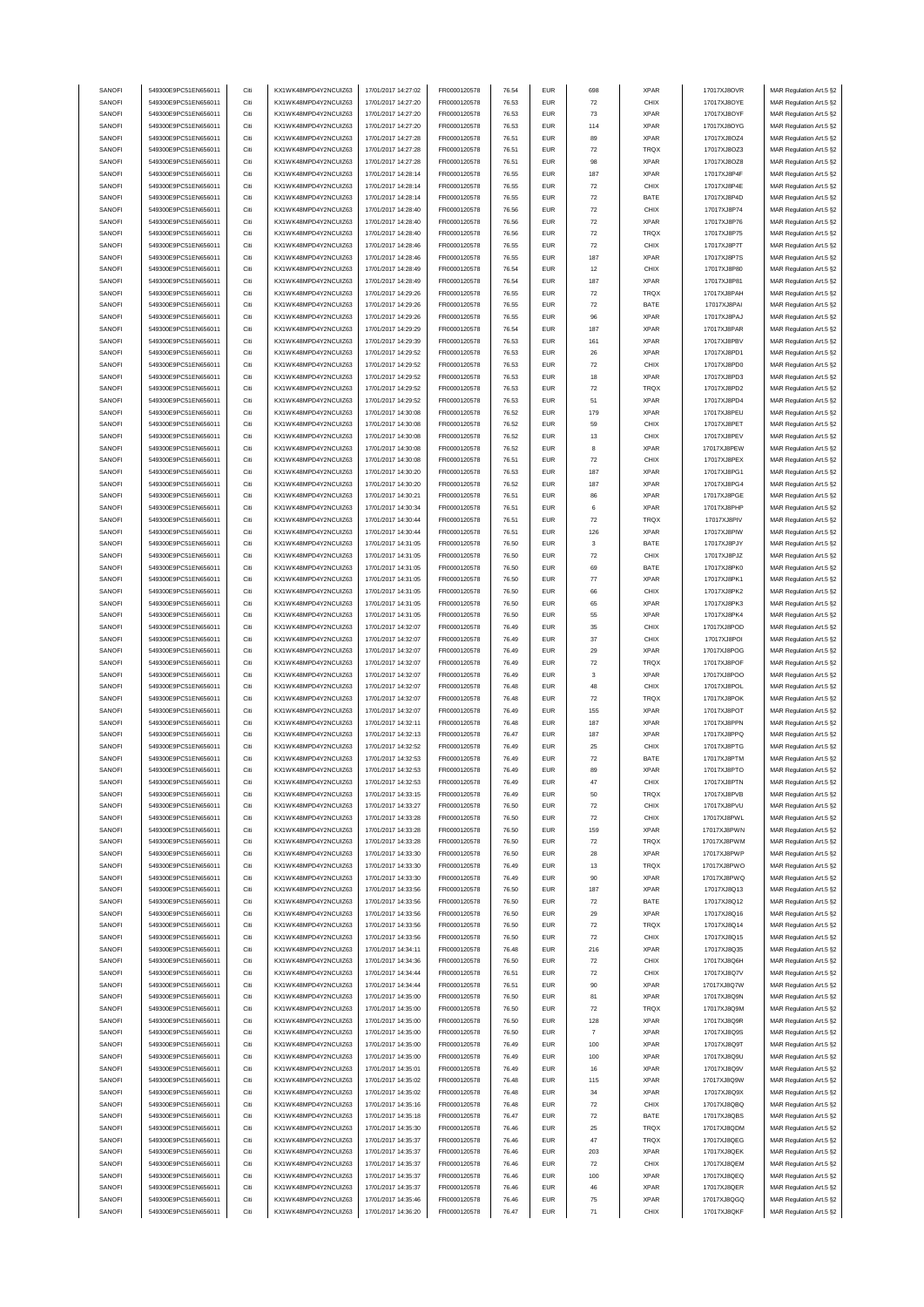| SANOFI | 549300E9PC51EN656011 | Citi | KX1WK48MPD4Y2NCUIZ63 | 17/01/2017 14:27:02 | FR0000120578 | 76.54 | <b>EUR</b> | 698                | <b>XPAR</b> | 17017XJ8OVR  | MAR Regulation Art.5 §2 |
|--------|----------------------|------|----------------------|---------------------|--------------|-------|------------|--------------------|-------------|--------------|-------------------------|
|        | 549300E9PC51EN656011 |      |                      | 17/01/2017 14:27:20 |              |       |            |                    |             |              |                         |
| SANOFI |                      | Citi | KX1WK48MPD4Y2NCUIZ63 |                     | FR0000120578 | 76.53 | <b>EUR</b> | 72                 | CHIX        | 17017XJ8OYE  | MAR Regulation Art.5 §2 |
| SANOFI | 549300E9PC51EN656011 | Citi | KX1WK48MPD4Y2NCUIZ63 | 17/01/2017 14:27:20 | FR0000120578 | 76.53 | <b>EUR</b> | $\bf 73$           | <b>XPAR</b> | 17017XJ8OYF  | MAR Regulation Art.5 §2 |
| SANOFI | 549300E9PC51EN656011 | Citi | KX1WK48MPD4Y2NCUIZ63 | 17/01/2017 14:27:20 | FR0000120578 | 76.53 | <b>EUR</b> | 114                | <b>XPAR</b> | 17017XJ8OYG  | MAR Regulation Art.5 §2 |
| SANOFI | 549300E9PC51EN656011 | Citi | KX1WK48MPD4Y2NCUIZ63 | 17/01/2017 14:27:28 | FR0000120578 | 76.51 | <b>EUR</b> | 89                 | <b>XPAR</b> | 17017XJ8OZ4  | MAR Regulation Art.5 §2 |
| SANOFI | 549300E9PC51EN656011 | Citi | KX1WK48MPD4Y2NCUIZ63 | 17/01/2017 14:27:28 | FR0000120578 | 76.51 | <b>EUR</b> | $\scriptstyle{72}$ | TRQX        | 17017XJ8OZ3  | MAR Regulation Art.5 §2 |
| SANOFI |                      | Citi |                      | 17/01/2017 14:27:28 | FR0000120578 |       | <b>EUR</b> |                    | <b>XPAR</b> |              |                         |
|        | 549300E9PC51EN656011 |      | KX1WK48MPD4Y2NCUIZ63 |                     |              | 76.51 |            | 98                 |             | 17017XJ8OZ8  | MAR Regulation Art.5 §2 |
| SANOFI | 549300E9PC51EN656011 | Citi | KX1WK48MPD4Y2NCUIZ63 | 17/01/2017 14:28:14 | FR0000120578 | 76.55 | <b>EUR</b> | 187                | <b>XPAR</b> | 17017XJ8P4F  | MAR Regulation Art.5 §2 |
| SANOFI | 549300E9PC51EN656011 | Citi | KX1WK48MPD4Y2NCUIZ63 | 17/01/2017 14:28:14 | FR0000120578 | 76.55 | <b>EUR</b> | 72                 | CHIX        | 17017XJ8P4E  | MAR Regulation Art.5 §2 |
| SANOFI | 549300E9PC51EN656011 | Citi | KX1WK48MPD4Y2NCUIZ63 | 17/01/2017 14:28:14 | FR0000120578 | 76.55 | <b>EUR</b> | $\scriptstyle{72}$ | BATE        | 17017XJ8P4D  | MAR Regulation Art.5 §2 |
| SANOFI | 549300E9PC51EN656011 | Citi | KX1WK48MPD4Y2NCUIZ63 | 17/01/2017 14:28:40 | FR0000120578 | 76.56 | <b>EUR</b> | $\scriptstyle{72}$ | CHIX        | 17017XJ8P74  | MAR Regulation Art.5 §2 |
|        |                      |      |                      |                     |              |       |            |                    |             |              |                         |
| SANOFI | 549300E9PC51EN656011 | Citi | KX1WK48MPD4Y2NCUIZ63 | 17/01/2017 14:28:40 | FR0000120578 | 76.56 | <b>EUR</b> | $\scriptstyle{72}$ | <b>XPAR</b> | 17017XJ8P76  | MAR Regulation Art.5 §2 |
| SANOFI | 549300E9PC51EN656011 | Citi | KX1WK48MPD4Y2NCUIZ63 | 17/01/2017 14:28:40 | FR0000120578 | 76.56 | <b>EUR</b> | $\scriptstyle{72}$ | TRQX        | 17017XJ8P75  | MAR Regulation Art.5 §2 |
| SANOFI | 549300E9PC51EN656011 | Citi | KX1WK48MPD4Y2NCUIZ63 | 17/01/2017 14:28:46 | FR0000120578 | 76.55 | <b>EUR</b> | $\scriptstyle{72}$ | CHIX        | 17017XJ8P7T  | MAR Regulation Art.5 §2 |
| SANOFI | 549300E9PC51EN656011 | Citi | KX1WK48MPD4Y2NCUIZ63 | 17/01/2017 14:28:46 | FR0000120578 | 76.55 | <b>EUR</b> | 187                | <b>XPAR</b> | 17017XJ8P7S  | MAR Regulation Art.5 §2 |
|        |                      |      |                      |                     |              |       |            |                    |             |              |                         |
| SANOFI | 549300E9PC51EN656011 | Citi | KX1WK48MPD4Y2NCUIZ63 | 17/01/2017 14:28:49 | FR0000120578 | 76.54 | <b>EUR</b> | 12                 | CHIX        | 17017XJ8P80  | MAR Regulation Art.5 §2 |
| SANOFI | 549300E9PC51EN656011 | Citi | KX1WK48MPD4Y2NCUIZ63 | 17/01/2017 14:28:49 | FR0000120578 | 76.54 | <b>EUR</b> | 187                | <b>XPAR</b> | 17017XJ8P81  | MAR Regulation Art.5 §2 |
| SANOFI | 549300E9PC51EN656011 | Citi | KX1WK48MPD4Y2NCUIZ63 | 17/01/2017 14:29:26 | FR0000120578 | 76.55 | <b>EUR</b> | 72                 | TRQX        | 17017XJ8PAH  | MAR Regulation Art.5 §2 |
| SANOFI | 549300E9PC51EN656011 | Citi | KX1WK48MPD4Y2NCUIZ63 | 17/01/2017 14:29:26 | FR0000120578 | 76.55 | <b>EUR</b> | $\scriptstyle{72}$ | BATE        | 17017XJ8PAI  | MAR Regulation Art.5 §2 |
|        |                      |      |                      |                     |              |       |            |                    |             |              |                         |
| SANOFI | 549300E9PC51EN656011 | Citi | KX1WK48MPD4Y2NCUIZ63 | 17/01/2017 14:29:26 | FR0000120578 | 76.55 | <b>EUR</b> | 96                 | <b>XPAR</b> | 17017XJ8PAJ  | MAR Regulation Art.5 §2 |
| SANOFI | 549300E9PC51EN656011 | Citi | KX1WK48MPD4Y2NCUIZ63 | 17/01/2017 14:29:29 | FR0000120578 | 76.54 | <b>EUR</b> | 187                | <b>XPAR</b> | 17017XJ8PAR  | MAR Regulation Art.5 §2 |
| SANOFI | 549300E9PC51EN656011 | Citi | KX1WK48MPD4Y2NCUIZ63 | 17/01/2017 14:29:39 | FR0000120578 | 76.53 | <b>EUR</b> | 161                | <b>XPAR</b> | 17017XJ8PBV  | MAR Regulation Art.5 §2 |
| SANOFI | 549300E9PC51EN656011 | Citi | KX1WK48MPD4Y2NCUIZ63 | 17/01/2017 14:29:52 | FR0000120578 | 76.53 | <b>EUR</b> | 26                 | <b>XPAR</b> | 17017XJ8PD1  | MAR Regulation Art.5 §2 |
| SANOFI | 549300E9PC51EN656011 | Citi | KX1WK48MPD4Y2NCUIZ63 | 17/01/2017 14:29:52 | FR0000120578 | 76.53 | <b>EUR</b> | 72                 | CHIX        | 17017XJ8PD0  | MAR Regulation Art.5 §2 |
|        | 549300E9PC51EN656011 | Citi | KX1WK48MPD4Y2NCUIZ63 | 17/01/2017 14:29:52 | FR0000120578 | 76.53 | <b>EUR</b> | 18                 | <b>XPAR</b> |              |                         |
| SANOFI |                      |      |                      |                     |              |       |            |                    |             | 17017XJ8PD3  | MAR Regulation Art.5 §2 |
| SANOFI | 549300E9PC51EN656011 | Citi | KX1WK48MPD4Y2NCUIZ63 | 17/01/2017 14:29:52 | FR0000120578 | 76.53 | <b>EUR</b> | $\scriptstyle{72}$ | TRQX        | 17017XJ8PD2  | MAR Regulation Art.5 §2 |
| SANOFI | 549300E9PC51EN656011 | Citi | KX1WK48MPD4Y2NCUIZ63 | 17/01/2017 14:29:52 | FR0000120578 | 76.53 | <b>EUR</b> | 51                 | <b>XPAR</b> | 17017XJ8PD4  | MAR Regulation Art.5 §2 |
| SANOFI | 549300E9PC51EN656011 | Citi | KX1WK48MPD4Y2NCUIZ63 | 17/01/2017 14:30:08 | FR0000120578 | 76.52 | <b>EUR</b> | 179                | <b>XPAR</b> | 17017XJ8PEU  | MAR Regulation Art.5 §2 |
| SANOFI | 549300E9PC51EN656011 | Citi | KX1WK48MPD4Y2NCUIZ63 | 17/01/2017 14:30:08 | FR0000120578 | 76.52 | <b>EUR</b> | 59                 | CHIX        | 17017XJ8PET  | MAR Regulation Art.5 §2 |
|        |                      |      |                      |                     |              |       |            |                    |             |              |                         |
| SANOFI | 549300E9PC51EN656011 | Citi | KX1WK48MPD4Y2NCUIZ63 | 17/01/2017 14:30:08 | FR0000120578 | 76.52 | <b>EUR</b> | 13                 | CHIX        | 17017XJ8PEV  | MAR Regulation Art.5 §2 |
| SANOFI | 549300E9PC51EN656011 | Citi | KX1WK48MPD4Y2NCUIZ63 | 17/01/2017 14:30:08 | FR0000120578 | 76.52 | <b>EUR</b> | 8                  | <b>XPAR</b> | 17017XJ8PEW  | MAR Regulation Art.5 §2 |
| SANOFI | 549300E9PC51EN656011 | Citi | KX1WK48MPD4Y2NCUIZ63 | 17/01/2017 14:30:08 | FR0000120578 | 76.51 | <b>EUR</b> | 72                 | CHIX        | 17017XJ8PEX  | MAR Regulation Art.5 §2 |
| SANOFI | 549300E9PC51EN656011 | Citi | KX1WK48MPD4Y2NCUIZ63 | 17/01/2017 14:30:20 | FR0000120578 | 76.53 | <b>EUR</b> | 187                | <b>XPAR</b> | 17017XJ8PG1  | MAR Regulation Art.5 §2 |
|        |                      |      |                      |                     |              |       |            |                    |             |              |                         |
| SANOFI | 549300E9PC51EN656011 | Citi | KX1WK48MPD4Y2NCUIZ63 | 17/01/2017 14:30:20 | FR0000120578 | 76.52 | <b>EUR</b> | 187                | <b>XPAR</b> | 17017XJ8PG4  | MAR Regulation Art.5 §2 |
| SANOFI | 549300E9PC51EN656011 | Citi | KX1WK48MPD4Y2NCUIZ63 | 17/01/2017 14:30:21 | FR0000120578 | 76.51 | <b>EUR</b> | 86                 | <b>XPAR</b> | 17017XJ8PGE  | MAR Regulation Art.5 §2 |
| SANOFI | 549300E9PC51EN656011 | Citi | KX1WK48MPD4Y2NCUIZ63 | 17/01/2017 14:30:34 | FR0000120578 | 76.51 | <b>EUR</b> | 6                  | <b>XPAR</b> | 17017XJ8PHP  | MAR Regulation Art.5 §2 |
| SANOFI | 549300E9PC51EN656011 | Citi | KX1WK48MPD4Y2NCUIZ63 | 17/01/2017 14:30:44 | FR0000120578 | 76.51 | <b>EUR</b> | $\scriptstyle{72}$ | TRQX        | 17017XJ8PIV  | MAR Regulation Art.5 §2 |
|        |                      |      |                      |                     |              |       |            |                    |             |              |                         |
| SANOFI | 549300E9PC51EN656011 | Citi | KX1WK48MPD4Y2NCUIZ63 | 17/01/2017 14:30:44 | FR0000120578 | 76.51 | <b>EUR</b> | 126                | <b>XPAR</b> | 17017XJ8PIW  | MAR Regulation Art.5 §2 |
| SANOFI | 549300E9PC51EN656011 | Citi | KX1WK48MPD4Y2NCUIZ63 | 17/01/2017 14:31:05 | FR0000120578 | 76.50 | <b>EUR</b> | 3                  | BATE        | 17017XJ8PJY  | MAR Regulation Art.5 §2 |
| SANOFI | 549300E9PC51EN656011 | Citi | KX1WK48MPD4Y2NCUIZ63 | 17/01/2017 14:31:05 | FR0000120578 | 76.50 | <b>EUR</b> | $\scriptstyle{72}$ | CHIX        | 17017XJ8PJZ  | MAR Regulation Art.5 §2 |
| SANOFI | 549300E9PC51EN656011 | Citi | KX1WK48MPD4Y2NCUIZ63 | 17/01/2017 14:31:05 | FR0000120578 | 76.50 | <b>EUR</b> | 69                 | BATE        | 17017XJ8PK0  | MAR Regulation Art.5 §2 |
| SANOFI | 549300E9PC51EN656011 | Citi | KX1WK48MPD4Y2NCUIZ63 | 17/01/2017 14:31:05 | FR0000120578 | 76.50 | <b>EUR</b> | $77\,$             | <b>XPAR</b> | 17017XJ8PK1  | MAR Regulation Art.5 §2 |
|        |                      |      |                      |                     |              |       |            |                    |             |              |                         |
| SANOFI | 549300E9PC51EN656011 | Citi | KX1WK48MPD4Y2NCUIZ63 | 17/01/2017 14:31:05 | FR0000120578 | 76.50 | <b>EUR</b> | 66                 | CHIX        | 17017XJ8PK2  | MAR Regulation Art.5 §2 |
| SANOFI | 549300E9PC51EN656011 | Citi | KX1WK48MPD4Y2NCUIZ63 | 17/01/2017 14:31:05 | FR0000120578 | 76.50 | <b>EUR</b> | 65                 | <b>XPAR</b> | 17017XJ8PK3  | MAR Regulation Art.5 §2 |
| SANOFI | 549300E9PC51EN656011 | Citi | KX1WK48MPD4Y2NCUIZ63 | 17/01/2017 14:31:05 | FR0000120578 | 76.50 | <b>EUR</b> | 55                 | <b>XPAR</b> | 17017XJ8PK4  | MAR Regulation Art.5 §2 |
| SANOFI | 549300E9PC51EN656011 | Citi | KX1WK48MPD4Y2NCUIZ63 | 17/01/2017 14:32:07 | FR0000120578 | 76.49 | <b>EUR</b> | 35                 | CHIX        | 17017XJ8POD  | MAR Regulation Art.5 §2 |
| SANOFI | 549300E9PC51EN656011 | Citi | KX1WK48MPD4Y2NCUIZ63 | 17/01/2017 14:32:07 | FR0000120578 | 76.49 | <b>EUR</b> | 37                 | CHIX        | 17017XJ8POI  | MAR Regulation Art.5 §2 |
|        |                      |      |                      |                     |              |       |            |                    |             |              |                         |
| SANOFI | 549300E9PC51EN656011 | Citi | KX1WK48MPD4Y2NCUIZ63 | 17/01/2017 14:32:07 | FR0000120578 | 76.49 | <b>EUR</b> | 29                 | <b>XPAR</b> | 17017XJ8POG  | MAR Regulation Art.5 §2 |
| SANOFI | 549300E9PC51EN656011 | Citi | KX1WK48MPD4Y2NCUIZ63 | 17/01/2017 14:32:07 | FR0000120578 | 76.49 | <b>EUR</b> | 72                 | <b>TRQX</b> | 17017XJ8POF  | MAR Regulation Art.5 §2 |
| SANOFI | 549300E9PC51EN656011 | Citi | KX1WK48MPD4Y2NCUIZ63 | 17/01/2017 14:32:07 | FR0000120578 | 76.49 | <b>EUR</b> | 3                  | <b>XPAR</b> | 17017XJ8POO  | MAR Regulation Art.5 §2 |
| SANOFI | 549300E9PC51EN656011 | Citi | KX1WK48MPD4Y2NCUIZ63 | 17/01/2017 14:32:07 | FR0000120578 | 76.48 | <b>EUR</b> | 48                 | CHIX        | 17017XJ8POL  | MAR Regulation Art.5 §2 |
|        | 549300E9PC51EN656011 |      |                      |                     |              |       |            |                    |             |              |                         |
| SANOFI |                      | Citi | KX1WK48MPD4Y2NCUIZ63 | 17/01/2017 14:32:07 | FR0000120578 | 76.48 | <b>EUR</b> | $\scriptstyle{72}$ | TRQX        | 17017XJ8POK  | MAR Regulation Art.5 §2 |
| SANOFI | 549300E9PC51EN656011 | Citi | KX1WK48MPD4Y2NCUIZ63 | 17/01/2017 14:32:07 | FR0000120578 | 76.49 | <b>EUR</b> | 155                | <b>XPAR</b> | 17017XJ8POT  | MAR Regulation Art.5 §2 |
| SANOFI | 549300E9PC51EN656011 | Citi | KX1WK48MPD4Y2NCUIZ63 | 17/01/2017 14:32:11 | FR0000120578 | 76.48 | <b>EUR</b> | 187                | <b>XPAR</b> | 17017XJ8PPN  | MAR Regulation Art.5 §2 |
| SANOFI | 549300E9PC51EN656011 | Citi | KX1WK48MPD4Y2NCUIZ63 | 17/01/2017 14:32:13 | FR0000120578 | 76.47 | <b>EUR</b> | 187                | <b>XPAR</b> | 17017XJ8PPQ  | MAR Regulation Art.5 §2 |
| SANOFI | 549300E9PC51EN656011 | Citi | KX1WK48MPD4Y2NCUIZ63 | 17/01/2017 14:32:52 | FR0000120578 | 76.49 | <b>EUR</b> | 25                 | CHIX        | 17017XJ8PTG  | MAR Regulation Art.5 §2 |
|        |                      |      |                      |                     |              |       |            |                    |             |              |                         |
| SANOFI | 549300E9PC51EN656011 | Citi | KX1WK48MPD4Y2NCUIZ63 | 17/01/2017 14:32:53 | FR0000120578 | 76.49 | <b>EUR</b> | 72                 | BATE        | 17017XJ8PTM  | MAR Regulation Art.5 §2 |
| SANOFI | 549300E9PC51EN656011 |      | KX1WK48MPD4Y2NCUIZ63 | 17/01/2017 14:32:53 | FR0000120578 | 76.49 | FUR        |                    | <b>XPAR</b> | 17017X.I8PTO | MAR Regulation Art 5 82 |
| SANOFI | 549300E9PC51EN656011 | Citi | KX1WK48MPD4Y2NCUIZ63 | 17/01/2017 14:32:53 | FR0000120578 | 76.49 | <b>EUR</b> | 47                 | CHIX        | 17017XJ8PTN  | MAR Regulation Art.5 §2 |
| SANOFI | 549300E9PC51EN656011 | Citi | KX1WK48MPD4Y2NCUIZ63 | 17/01/2017 14:33:15 | FR0000120578 | 76.49 | <b>EUR</b> | 50                 | TRQX        | 17017XJ8PVB  | MAR Regulation Art.5 §2 |
|        |                      |      |                      |                     |              |       |            |                    |             |              |                         |
| SANOFI | 549300E9PC51EN656011 | Citi | KX1WK48MPD4Y2NCUIZ63 | 17/01/2017 14:33:27 | FR0000120578 | 76.50 | <b>EUR</b> | $\scriptstyle{72}$ | CHIX        | 17017XJ8PVU  | MAR Regulation Art.5 §2 |
| SANOFI | 549300E9PC51EN656011 | Citi | KX1WK48MPD4Y2NCUIZ63 | 17/01/2017 14:33:28 | FR0000120578 | 76.50 | <b>EUR</b> | $\scriptstyle{72}$ | CHIX        | 17017XJ8PWL  | MAR Regulation Art.5 §2 |
| SANOFI | 549300E9PC51EN656011 | Citi | KX1WK48MPD4Y2NCUIZ63 | 17/01/2017 14:33:28 | FR0000120578 | 76.50 | <b>EUR</b> | 159                | <b>XPAR</b> | 17017XJ8PWN  | MAR Regulation Art.5 §2 |
| SANOFI | 549300E9PC51EN656011 | Citi | KX1WK48MPD4Y2NCUIZ63 | 17/01/2017 14:33:28 | FR0000120578 | 76.50 | <b>EUR</b> | $\scriptstyle{72}$ | TRQX        | 17017XJ8PWM  | MAR Regulation Art.5 §2 |
| SANOFI | 549300E9PC51EN656011 | Citi | KX1WK48MPD4Y2NCUIZ63 | 17/01/2017 14:33:30 | FR0000120578 | 76.50 | <b>EUR</b> | 28                 | <b>XPAR</b> | 17017XJ8PWP  | MAR Regulation Art.5 §2 |
| SANOFI | 549300E9PC51EN656011 | Citi | KX1WK48MPD4Y2NCUIZ63 | 17/01/2017 14:33:30 | FR0000120578 | 76.49 | <b>EUR</b> | 13                 | <b>TRQX</b> | 17017XJ8PWO  | MAR Regulation Art.5 §2 |
|        |                      |      |                      |                     |              |       |            |                    |             |              |                         |
| SANOFI | 549300E9PC51EN656011 | Citi | KX1WK48MPD4Y2NCUIZ63 | 17/01/2017 14:33:30 | FR0000120578 | 76.49 | <b>EUR</b> | 90                 | <b>XPAR</b> | 17017XJ8PWQ  | MAR Regulation Art.5 §2 |
| SANOFI | 549300E9PC51EN656011 | Citi | KX1WK48MPD4Y2NCUIZ63 | 17/01/2017 14:33:56 | FR0000120578 | 76.50 | <b>EUR</b> | 187                | <b>XPAR</b> | 17017XJ8Q13  | MAR Regulation Art.5 §2 |
| SANOFI | 549300E9PC51EN656011 | Citi | KX1WK48MPD4Y2NCUIZ63 | 17/01/2017 14:33:56 | FR0000120578 | 76.50 | <b>EUR</b> | $\scriptstyle{72}$ | BATE        | 17017XJ8Q12  | MAR Regulation Art.5 §2 |
| SANOFI | 549300E9PC51EN656011 | Citi | KX1WK48MPD4Y2NCUIZ63 | 17/01/2017 14:33:56 | FR0000120578 | 76.50 | <b>EUR</b> | 29                 | <b>XPAR</b> | 17017XJ8Q16  | MAR Regulation Art.5 §2 |
| SANOFI |                      |      | KX1WK48MPD4Y2NCUIZ63 |                     |              |       |            |                    | TRQX        | 17017XJ8Q14  |                         |
|        | 549300E9PC51EN656011 | Citi |                      | 17/01/2017 14:33:56 | FR0000120578 | 76.50 | <b>EUR</b> | $\scriptstyle{72}$ |             |              | MAR Regulation Art.5 §2 |
| SANOFI | 549300E9PC51EN656011 | Citi | KX1WK48MPD4Y2NCUIZ63 | 17/01/2017 14:33:56 | FR0000120578 | 76.50 | <b>EUR</b> | $\scriptstyle{72}$ | CHIX        | 17017XJ8Q15  | MAR Regulation Art.5 §2 |
| SANOFI | 549300E9PC51EN656011 | Citi | KX1WK48MPD4Y2NCUIZ63 | 17/01/2017 14:34:11 | FR0000120578 | 76.48 | <b>EUR</b> | 216                | <b>XPAR</b> | 17017XJ8Q35  | MAR Regulation Art.5 §2 |
| SANOFI | 549300E9PC51EN656011 | Citi | KX1WK48MPD4Y2NCUIZ63 | 17/01/2017 14:34:36 | FR0000120578 | 76.50 | <b>EUR</b> | $\scriptstyle{72}$ | CHIX        | 17017XJ8Q6H  | MAR Regulation Art.5 §2 |
| SANOFI | 549300E9PC51EN656011 | Citi | KX1WK48MPD4Y2NCUIZ63 | 17/01/2017 14:34:44 | FR0000120578 | 76.51 | <b>EUR</b> | $\scriptstyle{72}$ | CHIX        | 17017XJ8Q7V  | MAR Regulation Art.5 §2 |
|        | 549300E9PC51EN656011 |      |                      |                     |              |       |            |                    |             |              |                         |
| SANOFI |                      | Citi | KX1WK48MPD4Y2NCUIZ63 | 17/01/2017 14:34:44 | FR0000120578 | 76.51 | <b>EUR</b> | 90                 | <b>XPAR</b> | 17017XJ8Q7W  | MAR Regulation Art.5 §2 |
| SANOFI | 549300E9PC51EN656011 | Citi | KX1WK48MPD4Y2NCUIZ63 | 17/01/2017 14:35:00 | FR0000120578 | 76.50 | <b>EUR</b> | 81                 | <b>XPAR</b> | 17017XJ8Q9N  | MAR Regulation Art.5 §2 |
| SANOFI | 549300E9PC51EN656011 | Citi | KX1WK48MPD4Y2NCUIZ63 | 17/01/2017 14:35:00 | FR0000120578 | 76.50 | <b>EUR</b> | $\scriptstyle{72}$ | TRQX        | 17017XJ8Q9M  | MAR Regulation Art.5 §2 |
| SANOFI | 549300E9PC51EN656011 | Citi | KX1WK48MPD4Y2NCUIZ63 | 17/01/2017 14:35:00 | FR0000120578 | 76.50 | <b>EUR</b> | 128                | <b>XPAR</b> | 17017XJ8Q9R  | MAR Regulation Art.5 §2 |
| SANOFI | 549300E9PC51EN656011 | Citi | KX1WK48MPD4Y2NCUIZ63 | 17/01/2017 14:35:00 | FR0000120578 | 76.50 | <b>EUR</b> | $\overline{7}$     | <b>XPAR</b> | 17017XJ8Q9S  | MAR Regulation Art.5 §2 |
|        |                      |      |                      |                     |              |       | <b>EUR</b> |                    |             |              |                         |
| SANOFI | 549300E9PC51EN656011 | Citi | KX1WK48MPD4Y2NCUIZ63 | 17/01/2017 14:35:00 | FR0000120578 | 76.49 |            | 100                | <b>XPAR</b> | 17017XJ8Q9T  | MAR Regulation Art.5 §2 |
| SANOFI | 549300E9PC51EN656011 | Citi | KX1WK48MPD4Y2NCUIZ63 | 17/01/2017 14:35:00 | FR0000120578 | 76.49 | <b>EUR</b> | 100                | <b>XPAR</b> | 17017XJ8Q9U  | MAR Regulation Art.5 §2 |
| SANOFI | 549300E9PC51EN656011 | Citi | KX1WK48MPD4Y2NCUIZ63 | 17/01/2017 14:35:01 | FR0000120578 | 76.49 | <b>EUR</b> | 16                 | <b>XPAR</b> | 17017XJ8Q9V  | MAR Regulation Art.5 §2 |
| SANOFI | 549300E9PC51EN656011 | Citi | KX1WK48MPD4Y2NCUIZ63 | 17/01/2017 14:35:02 | FR0000120578 | 76.48 | <b>EUR</b> | 115                | <b>XPAR</b> | 17017XJ8Q9W  | MAR Regulation Art.5 §2 |
| SANOFI | 549300E9PC51EN656011 | Citi | KX1WK48MPD4Y2NCUIZ63 | 17/01/2017 14:35:02 | FR0000120578 | 76.48 | <b>EUR</b> | 34                 | <b>XPAR</b> | 17017XJ8Q9X  | MAR Regulation Art.5 §2 |
|        |                      |      |                      |                     |              |       |            |                    |             |              |                         |
| SANOFI | 549300E9PC51EN656011 | Citi | KX1WK48MPD4Y2NCUIZ63 | 17/01/2017 14:35:16 | FR0000120578 | 76.48 | <b>EUR</b> | $\scriptstyle{72}$ | CHIX        | 17017XJ8QBQ  | MAR Regulation Art.5 §2 |
| SANOFI | 549300E9PC51EN656011 | Citi | KX1WK48MPD4Y2NCUIZ63 | 17/01/2017 14:35:18 | FR0000120578 | 76.47 | <b>EUR</b> | $\scriptstyle{72}$ | BATE        | 17017XJ8QBS  | MAR Regulation Art.5 §2 |
| SANOFI | 549300E9PC51EN656011 | Citi | KX1WK48MPD4Y2NCUIZ63 | 17/01/2017 14:35:30 | FR0000120578 | 76.46 | <b>EUR</b> | 25                 | TRQX        | 17017XJ8QDM  | MAR Regulation Art.5 §2 |
| SANOFI | 549300E9PC51EN656011 | Citi | KX1WK48MPD4Y2NCUIZ63 | 17/01/2017 14:35:37 | FR0000120578 | 76.46 | <b>EUR</b> | 47                 | TRQX        | 17017XJ8QEG  | MAR Regulation Art.5 §2 |
| SANOFI | 549300E9PC51EN656011 | Citi | KX1WK48MPD4Y2NCUIZ63 | 17/01/2017 14:35:37 | FR0000120578 | 76.46 | <b>EUR</b> | 203                | <b>XPAR</b> | 17017XJ8QEK  | MAR Regulation Art.5 §2 |
|        |                      |      |                      |                     |              |       |            |                    |             |              |                         |
| SANOFI | 549300E9PC51EN656011 | Citi | KX1WK48MPD4Y2NCUIZ63 | 17/01/2017 14:35:37 | FR0000120578 | 76.46 | <b>EUR</b> | $\scriptstyle{72}$ | CHIX        | 17017XJ8QEM  | MAR Regulation Art.5 §2 |
| SANOFI | 549300E9PC51EN656011 | Citi | KX1WK48MPD4Y2NCUIZ63 | 17/01/2017 14:35:37 | FR0000120578 | 76.46 | <b>EUR</b> | 100                | <b>XPAR</b> | 17017XJ8QEQ  | MAR Regulation Art.5 §2 |
| SANOFI | 549300E9PC51EN656011 | Citi | KX1WK48MPD4Y2NCUIZ63 | 17/01/2017 14:35:37 | FR0000120578 | 76.46 | <b>EUR</b> | 46                 | <b>XPAR</b> | 17017XJ8QER  | MAR Regulation Art.5 §2 |
| SANOFI | 549300E9PC51EN656011 | Citi | KX1WK48MPD4Y2NCUIZ63 | 17/01/2017 14:35:46 | FR0000120578 | 76.46 | <b>EUR</b> | 75                 | <b>XPAR</b> | 17017XJ8QGQ  | MAR Regulation Art.5 §2 |
|        | 549300E9PC51EN656011 | Citi | KX1WK48MPD4Y2NCUIZ63 | 17/01/2017 14:36:20 | FR0000120578 | 76.47 | <b>EUR</b> | 71                 | CHIX        | 17017XJ8QKF  | MAR Regulation Art.5 §2 |
| SANOFI |                      |      |                      |                     |              |       |            |                    |             |              |                         |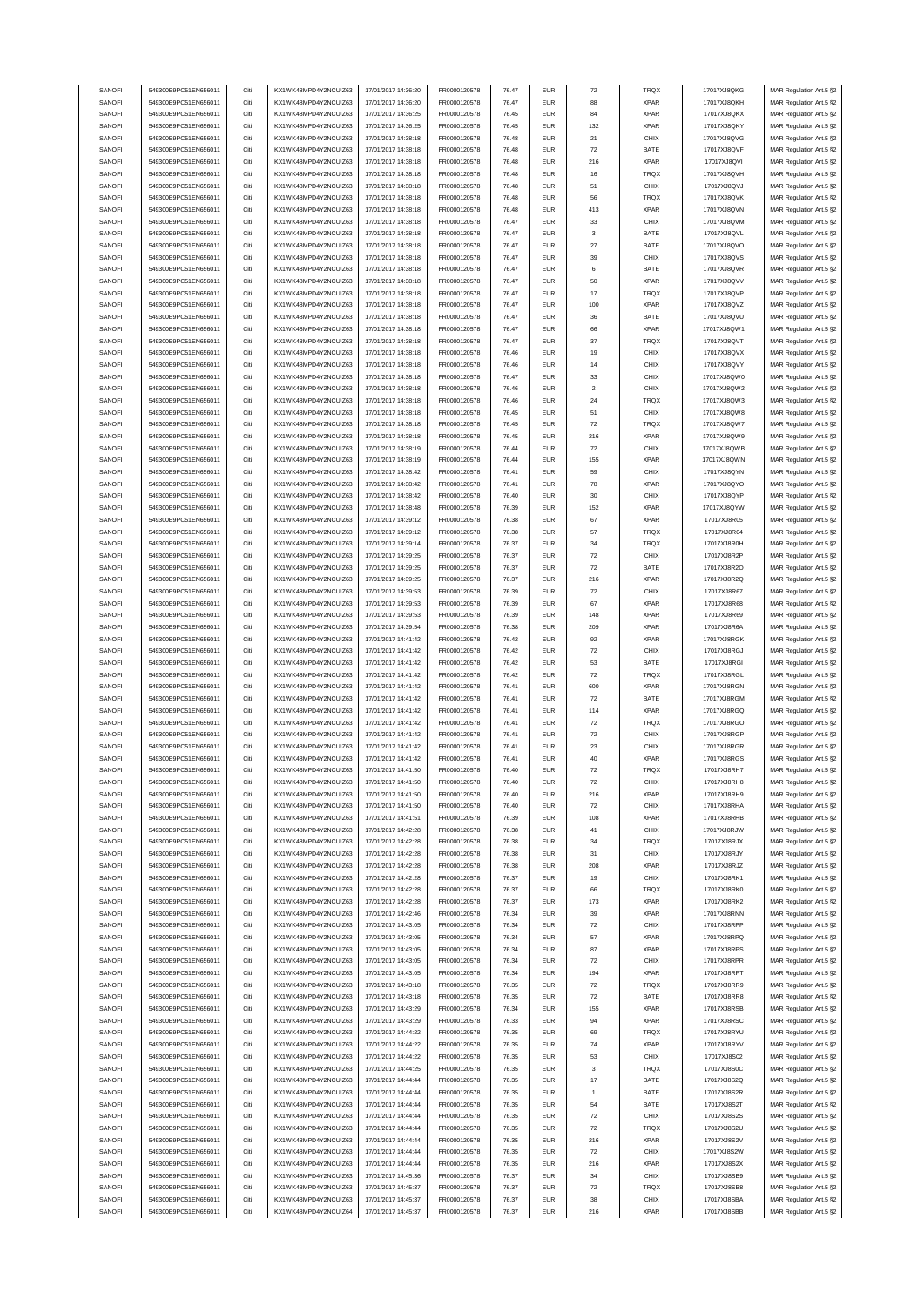| SANOFI           | 549300E9PC51EN656011                         | Citi         | KX1WK48MPD4Y2NCUIZ63                         | 17/01/2017 14:36:20                        | FR0000120578                 | 76.47          | <b>EUR</b>               | $\scriptstyle{72}$ | <b>TRQX</b>         | 17017XJ8QKG                | MAR Regulation Art.5 §2                            |
|------------------|----------------------------------------------|--------------|----------------------------------------------|--------------------------------------------|------------------------------|----------------|--------------------------|--------------------|---------------------|----------------------------|----------------------------------------------------|
|                  | 549300E9PC51EN656011                         |              |                                              |                                            |                              |                |                          |                    |                     |                            |                                                    |
| SANOFI           |                                              | Citi         | KX1WK48MPD4Y2NCUIZ63                         | 17/01/2017 14:36:20                        | FR0000120578                 | 76.47          | <b>EUR</b>               | 88                 | <b>XPAR</b>         | 17017XJ8QKH                | MAR Regulation Art.5 §2                            |
| SANOFI           | 549300E9PC51EN656011                         | Citi         | KX1WK48MPD4Y2NCUIZ63                         | 17/01/2017 14:36:25                        | FR0000120578                 | 76.45          | <b>EUR</b>               | 84                 | <b>XPAR</b>         | 17017XJ8QKX                | MAR Regulation Art.5 §2                            |
| SANOFI           | 549300E9PC51EN656011                         | Citi         | KX1WK48MPD4Y2NCUIZ63                         | 17/01/2017 14:36:25                        | FR0000120578                 | 76.45          | <b>EUR</b>               | 132                | <b>XPAR</b>         | 17017XJ8QKY                | MAR Regulation Art.5 §2                            |
| SANOFI           | 549300E9PC51EN656011                         | Citi         | KX1WK48MPD4Y2NCUIZ63                         | 17/01/2017 14:38:18                        | FR0000120578                 | 76.48          | <b>EUR</b>               | 21                 | CHIX                | 17017XJ8QVG                | MAR Regulation Art.5 §2                            |
| SANOFI           | 549300E9PC51EN656011                         | Citi         | KX1WK48MPD4Y2NCUIZ63                         | 17/01/2017 14:38:18                        | FR0000120578                 | 76.48          | <b>EUR</b>               | $\scriptstyle{72}$ | BATE                | 17017XJ8QVF                | MAR Regulation Art.5 §2                            |
| SANOFI           |                                              | Citi         |                                              |                                            | FR0000120578                 |                | <b>EUR</b>               |                    | <b>XPAR</b>         | 17017XJ8QVI                |                                                    |
|                  | 549300E9PC51EN656011                         |              | KX1WK48MPD4Y2NCUIZ63                         | 17/01/2017 14:38:18                        |                              | 76.48          |                          | 216                |                     |                            | MAR Regulation Art.5 §2                            |
| SANOFI           | 549300E9PC51EN656011                         | Citi         | KX1WK48MPD4Y2NCUIZ63                         | 17/01/2017 14:38:18                        | FR0000120578                 | 76.48          | <b>EUR</b>               | 16                 | <b>TRQX</b>         | 17017XJ8QVH                | MAR Regulation Art.5 §2                            |
| SANOFI           | 549300E9PC51EN656011                         | Citi         | KX1WK48MPD4Y2NCUIZ63                         | 17/01/2017 14:38:18                        | FR0000120578                 | 76.48          | <b>EUR</b>               | 51                 | CHIX                | 17017XJ8QVJ                | MAR Regulation Art.5 §2                            |
| SANOFI           | 549300E9PC51EN656011                         | Citi         | KX1WK48MPD4Y2NCUIZ63                         | 17/01/2017 14:38:18                        | FR0000120578                 | 76.48          | <b>EUR</b>               | 56                 | TRQX                | 17017XJ8QVK                | MAR Regulation Art.5 §2                            |
| SANOFI           | 549300E9PC51EN656011                         | Citi         | KX1WK48MPD4Y2NCUIZ63                         | 17/01/2017 14:38:18                        | FR0000120578                 | 76.48          | <b>EUR</b>               | 413                | <b>XPAR</b>         | 17017XJ8QVN                |                                                    |
|                  |                                              |              |                                              |                                            |                              |                |                          |                    |                     |                            | MAR Regulation Art.5 §2                            |
| SANOFI           | 549300E9PC51EN656011                         | Citi         | KX1WK48MPD4Y2NCUIZ63                         | 17/01/2017 14:38:18                        | FR0000120578                 | 76.47          | <b>EUR</b>               | 33                 | CHIX                | 17017XJ8QVM                | MAR Regulation Art.5 §2                            |
| SANOFI           | 549300E9PC51EN656011                         | Citi         | KX1WK48MPD4Y2NCUIZ63                         | 17/01/2017 14:38:18                        | FR0000120578                 | 76.47          | <b>EUR</b>               | 3                  | BATE                | 17017XJ8QVL                | MAR Regulation Art.5 §2                            |
| SANOFI           | 549300E9PC51EN656011                         | Citi         | KX1WK48MPD4Y2NCUIZ63                         | 17/01/2017 14:38:18                        | FR0000120578                 | 76.47          | <b>EUR</b>               | 27                 | BATE                | 17017XJ8QVO                | MAR Regulation Art.5 §2                            |
| SANOFI           | 549300E9PC51EN656011                         | Citi         | KX1WK48MPD4Y2NCUIZ63                         | 17/01/2017 14:38:18                        | FR0000120578                 | 76.47          | <b>EUR</b>               | 39                 | CHIX                | 17017XJ8QVS                | MAR Regulation Art.5 §2                            |
|                  |                                              |              |                                              |                                            |                              |                |                          |                    |                     |                            |                                                    |
| SANOFI           | 549300E9PC51EN656011                         | Citi         | KX1WK48MPD4Y2NCUIZ63                         | 17/01/2017 14:38:18                        | FR0000120578                 | 76.47          | <b>EUR</b>               | 6                  | BATE                | 17017X.I8OVR               | MAR Regulation Art.5 §2                            |
| SANOFI           | 549300E9PC51EN656011                         | Citi         | KX1WK48MPD4Y2NCUIZ63                         | 17/01/2017 14:38:18                        | FR0000120578                 | 76.47          | <b>EUR</b>               | 50                 | <b>XPAR</b>         | 17017XJ8QVV                | MAR Regulation Art.5 §2                            |
| SANOFI           | 549300E9PC51EN656011                         | Citi         | KX1WK48MPD4Y2NCUIZ63                         | 17/01/2017 14:38:18                        | FR0000120578                 | 76.47          | <b>EUR</b>               | $17\,$             | TRQX                | 17017XJ8QVP                | MAR Regulation Art.5 §2                            |
| SANOFI           | 549300E9PC51EN656011                         | Citi         | KX1WK48MPD4Y2NCUIZ63                         | 17/01/2017 14:38:18                        | FR0000120578                 | 76.47          | <b>EUR</b>               | 100                | <b>XPAR</b>         | 17017XJ8QVZ                | MAR Regulation Art.5 §2                            |
| SANOFI           | 549300E9PC51EN656011                         | Citi         | KX1WK48MPD4Y2NCUIZ63                         | 17/01/2017 14:38:18                        | FR0000120578                 | 76.47          | <b>EUR</b>               | 36                 | BATE                | 17017XJ8QVU                | MAR Regulation Art.5 §2                            |
|                  |                                              |              |                                              |                                            |                              |                |                          |                    |                     |                            |                                                    |
| SANOFI           | 549300E9PC51EN656011                         | Citi         | KX1WK48MPD4Y2NCUIZ63                         | 17/01/2017 14:38:18                        | FR0000120578                 | 76.47          | <b>EUR</b>               | 66                 | <b>XPAR</b>         | 17017XJ8QW1                | MAR Regulation Art.5 §2                            |
| SANOFI           | 549300E9PC51EN656011                         | Citi         | KX1WK48MPD4Y2NCUIZ63                         | 17/01/2017 14:38:18                        | FR0000120578                 | 76.47          | <b>EUR</b>               | 37                 | TRQX                | 17017XJ8QVT                | MAR Regulation Art.5 §2                            |
| SANOFI           | 549300E9PC51EN656011                         | Citi         | KX1WK48MPD4Y2NCUIZ63                         | 17/01/2017 14:38:18                        | FR0000120578                 | 76.46          | <b>EUR</b>               | 19                 | CHIX                | 17017XJ8QVX                | MAR Regulation Art.5 §2                            |
| SANOFI           | 549300E9PC51EN656011                         | Citi         | KX1WK48MPD4Y2NCUIZ63                         | 17/01/2017 14:38:18                        | FR0000120578                 | 76.46          | <b>EUR</b>               | 14                 | CHIX                | 17017XJ8QVY                | MAR Regulation Art.5 §2                            |
|                  | 549300E9PC51EN656011                         | Citi         | KX1WK48MPD4Y2NCUIZ63                         | 17/01/2017 14:38:18                        | FR0000120578                 | 76.47          | <b>EUR</b>               | 33                 | CHIX                |                            |                                                    |
| SANOFI           |                                              |              |                                              |                                            |                              |                |                          |                    |                     | 17017XJ8QW0                | MAR Regulation Art.5 §2                            |
| SANOFI           | 549300E9PC51EN656011                         | Citi         | KX1WK48MPD4Y2NCUIZ63                         | 17/01/2017 14:38:18                        | FR0000120578                 | 76.46          | <b>EUR</b>               | $\sqrt{2}$         | CHIX                | 17017XJ8QW2                | MAR Regulation Art.5 §2                            |
| SANOFI           | 549300E9PC51EN656011                         | Citi         | KX1WK48MPD4Y2NCUIZ63                         | 17/01/2017 14:38:18                        | FR0000120578                 | 76.46          | <b>EUR</b>               | 24                 | TRQX                | 17017XJ8QW3                | MAR Regulation Art.5 §2                            |
| SANOFI           | 549300E9PC51EN656011                         | Citi         | KX1WK48MPD4Y2NCUIZ63                         | 17/01/2017 14:38:18                        | FR0000120578                 | 76.45          | <b>EUR</b>               | 51                 | CHIX                | 17017XJ8QW8                | MAR Regulation Art.5 §2                            |
| SANOFI           | 549300E9PC51EN656011                         | Citi         | KX1WK48MPD4Y2NCUIZ63                         | 17/01/2017 14:38:18                        | FR0000120578                 | 76.45          | <b>EUR</b>               | $\scriptstyle{72}$ | TRQX                | 17017XJ8QW7                | MAR Regulation Art.5 §2                            |
|                  |                                              |              |                                              |                                            |                              |                |                          |                    |                     |                            |                                                    |
| SANOFI           | 549300E9PC51EN656011                         | Citi         | KX1WK48MPD4Y2NCUIZ63                         | 17/01/2017 14:38:18                        | FR0000120578                 | 76.45          | <b>EUR</b>               | 216                | <b>XPAR</b>         | 17017XJ8QW9                | MAR Regulation Art.5 §2                            |
| SANOFI           | 549300E9PC51EN656011                         | Citi         | KX1WK48MPD4Y2NCUIZ63                         | 17/01/2017 14:38:19                        | FR0000120578                 | 76.44          | <b>EUR</b>               | $\scriptstyle{72}$ | CHIX                | 17017XJ8QWB                | MAR Regulation Art.5 §2                            |
| SANOFI           | 549300E9PC51EN656011                         | Citi         | KX1WK48MPD4Y2NCUIZ63                         | 17/01/2017 14:38:19                        | FR0000120578                 | 76.44          | <b>EUR</b>               | 155                | <b>XPAR</b>         | 17017XJ8QWN                | MAR Regulation Art.5 §2                            |
| SANOFI           | 549300E9PC51EN656011                         | Citi         | KX1WK48MPD4Y2NCUIZ63                         | 17/01/2017 14:38:42                        | FR0000120578                 | 76.41          | <b>EUR</b>               | 59                 | CHIX                | 17017XJ8QYN                | MAR Regulation Art.5 §2                            |
|                  |                                              |              |                                              |                                            |                              |                |                          |                    |                     |                            |                                                    |
| SANOFI           | 549300E9PC51EN656011                         | Citi         | KX1WK48MPD4Y2NCUIZ63                         | 17/01/2017 14:38:42                        | FR0000120578                 | 76.41          | <b>EUR</b>               | 78                 | <b>XPAR</b>         | 17017XJ8QYO                | MAR Regulation Art.5 §2                            |
| SANOFI           | 549300E9PC51EN656011                         | Citi         | KX1WK48MPD4Y2NCUIZ63                         | 17/01/2017 14:38:42                        | FR0000120578                 | 76.40          | <b>EUR</b>               | 30                 | CHIX                | 17017XJ8QYP                | MAR Regulation Art.5 §2                            |
| SANOFI           | 549300E9PC51EN656011                         | Citi         | KX1WK48MPD4Y2NCUIZ63                         | 17/01/2017 14:38:48                        | FR0000120578                 | 76.39          | <b>EUR</b>               | 152                | <b>XPAR</b>         | 17017XJ8QYW                | MAR Regulation Art.5 §2                            |
| SANOFI           | 549300E9PC51EN656011                         | Citi         | KX1WK48MPD4Y2NCUIZ63                         | 17/01/2017 14:39:12                        | FR0000120578                 | 76.38          | <b>EUR</b>               | 67                 | <b>XPAR</b>         | 17017XJ8R05                | MAR Regulation Art.5 §2                            |
|                  |                                              |              |                                              |                                            |                              |                |                          |                    |                     |                            |                                                    |
| SANOFI           | 549300E9PC51EN656011                         | Citi         | KX1WK48MPD4Y2NCUIZ63                         | 17/01/2017 14:39:12                        | FR0000120578                 | 76.38          | <b>EUR</b>               | 57                 | TRQX                | 17017XJ8R04                | MAR Regulation Art.5 §2                            |
| SANOFI           | 549300E9PC51EN656011                         | Citi         | KX1WK48MPD4Y2NCUIZ63                         | 17/01/2017 14:39:14                        | FR0000120578                 | 76.37          | <b>EUR</b>               | 34                 | TRQX                | 17017XJ8R0H                | MAR Regulation Art.5 §2                            |
| SANOFI           | 549300E9PC51EN656011                         | Citi         | KX1WK48MPD4Y2NCUIZ63                         | 17/01/2017 14:39:25                        | FR0000120578                 | 76.37          | <b>EUR</b>               | $\scriptstyle{72}$ | CHIX                | 17017XJ8R2P                | MAR Regulation Art.5 §2                            |
| SANOFI           | 549300E9PC51EN656011                         | Citi         | KX1WK48MPD4Y2NCUIZ63                         | 17/01/2017 14:39:25                        | FR0000120578                 | 76.37          | <b>EUR</b>               | 72                 | BATE                | 17017XJ8R2O                | MAR Regulation Art.5 §2                            |
| SANOFI           | 549300E9PC51EN656011                         | Citi         | KX1WK48MPD4Y2NCUIZ63                         | 17/01/2017 14:39:25                        | FR0000120578                 | 76.37          | <b>EUR</b>               | 216                | <b>XPAR</b>         | 17017XJ8R2Q                | MAR Regulation Art.5 §2                            |
|                  |                                              |              |                                              |                                            |                              |                |                          |                    |                     |                            |                                                    |
| SANOFI           | 549300E9PC51EN656011                         | Citi         | KX1WK48MPD4Y2NCUIZ63                         | 17/01/2017 14:39:53                        | FR0000120578                 | 76.39          | <b>EUR</b>               | $\scriptstyle{72}$ | CHIX                | 17017XJ8R67                | MAR Regulation Art.5 §2                            |
| SANOFI           | 549300E9PC51EN656011                         | Citi         | KX1WK48MPD4Y2NCUIZ63                         | 17/01/2017 14:39:53                        | FR0000120578                 | 76.39          | <b>EUR</b>               | 67                 | <b>XPAR</b>         | 17017XJ8R68                | MAR Regulation Art.5 §2                            |
| SANOFI           | 549300E9PC51EN656011                         | Citi         | KX1WK48MPD4Y2NCUIZ63                         | 17/01/2017 14:39:53                        | FR0000120578                 | 76.39          | <b>EUR</b>               | 148                | <b>XPAR</b>         | 17017XJ8R69                | MAR Regulation Art.5 §2                            |
| SANOFI           | 549300E9PC51EN656011                         | Citi         | KX1WK48MPD4Y2NCUIZ63                         | 17/01/2017 14:39:54                        | FR0000120578                 | 76.38          | <b>EUR</b>               | 209                | <b>XPAR</b>         | 17017XJ8R6A                | MAR Regulation Art.5 §2                            |
| SANOFI           | 549300E9PC51EN656011                         | Citi         |                                              |                                            | FR0000120578                 | 76.42          | <b>EUR</b>               | 92                 |                     |                            |                                                    |
|                  |                                              |              | KX1WK48MPD4Y2NCUIZ63                         | 17/01/2017 14:41:42                        |                              |                |                          |                    | <b>XPAR</b>         | 17017XJ8RGK                | MAR Regulation Art.5 §2                            |
| SANOFI           | 549300E9PC51EN656011                         | Citi         | KX1WK48MPD4Y2NCUIZ63                         | 17/01/2017 14:41:42                        | FR0000120578                 | 76.42          | <b>EUR</b>               | $\scriptstyle{72}$ | CHIX                | 17017XJ8RGJ                | MAR Regulation Art.5 §2                            |
| SANOFI           | 549300E9PC51EN656011                         | Citi         | KX1WK48MPD4Y2NCUIZ63                         | 17/01/2017 14:41:42                        | FR0000120578                 | 76.42          | <b>EUR</b>               | 53                 | BATE                | 17017XJ8RGI                | MAR Regulation Art.5 §2                            |
| SANOFI           | 549300E9PC51EN656011                         | Citi         | KX1WK48MPD4Y2NCUIZ63                         | 17/01/2017 14:41:42                        | FR0000120578                 | 76.42          | <b>EUR</b>               | 72                 | <b>TRQX</b>         | 17017XJ8RGL                | MAR Regulation Art.5 §2                            |
| SANOFI           | 549300E9PC51EN656011                         | Citi         |                                              |                                            |                              | 76.41          | <b>EUR</b>               |                    | <b>XPAR</b>         |                            |                                                    |
|                  |                                              |              | KX1WK48MPD4Y2NCUIZ63                         | 17/01/2017 14:41:42                        | FR0000120578                 |                |                          | 600                |                     | 17017XJ8RGN                | MAR Regulation Art.5 §2                            |
| SANOFI           | 549300E9PC51EN656011                         | Citi         | KX1WK48MPD4Y2NCUIZ63                         | 17/01/2017 14:41:42                        | FR0000120578                 | 76.41          | <b>EUR</b>               | $\scriptstyle{72}$ | BATE                | 17017XJ8RGM                | MAR Regulation Art.5 §2                            |
| SANOFI           | 549300E9PC51EN656011                         | Citi         | KX1WK48MPD4Y2NCUIZ63                         | 17/01/2017 14:41:42                        | FR0000120578                 | 76.41          | <b>EUR</b>               | 114                | <b>XPAR</b>         | 17017XJ8RGQ                | MAR Regulation Art.5 §2                            |
| SANOFI           | 549300E9PC51EN656011                         | Citi         | KX1WK48MPD4Y2NCUIZ63                         | 17/01/2017 14:41:42                        | FR0000120578                 | 76.41          | <b>EUR</b>               | $\scriptstyle{72}$ | TRQX                | 17017XJ8RGO                | MAR Regulation Art.5 §2                            |
| SANOFI           | 549300E9PC51EN656011                         | Citi         | KX1WK48MPD4Y2NCUIZ63                         | 17/01/2017 14:41:42                        | FR0000120578                 | 76.41          | <b>EUR</b>               | $\scriptstyle{72}$ | CHIX                | 17017XJ8RGP                | MAR Regulation Art.5 §2                            |
|                  |                                              | Citi         | KX1WK48MPD4Y2NCUIZ63                         | 17/01/2017 14:41:42                        |                              | 76.41          | <b>EUR</b>               |                    |                     |                            |                                                    |
| SANOFI           | 549300E9PC51EN656011                         |              |                                              |                                            | FR0000120578                 |                |                          | 23                 | CHIX                | 17017XJ8RGR                | MAR Regulation Art.5 §2                            |
| SANOFI           | 549300E9PC51EN656011                         | Citi         | KX1WK48MPD4Y2NCUIZ63                         | 17/01/2017 14:41:42                        | FR0000120578                 | 76.41          | <b>EUR</b>               | 40                 | <b>XPAR</b>         | 17017XJ8RGS                | MAR Regulation Art.5 §2                            |
| SANOFI           | 549300E9PC51EN656011                         |              | KX1WK48MPD4Y2NCUIZ63                         | 17/01/2017 14:41:50                        | FR0000120578                 | 76.40          | FUR                      |                    | TROX                | 17017XJ8RH7                | MAR Regulation Art 5 82                            |
| SANOFI           | 549300E9PC51EN656011                         | Citi         | KX1WK48MPD4Y2NCUIZ63                         | 17/01/2017 14:41:50                        | FR0000120578                 | 76.40          | <b>EUR</b>               | $\scriptstyle{72}$ | CHIX                | 17017XJ8RH8                | MAR Regulation Art.5 §2                            |
| SANOFI           | 549300E9PC51EN656011                         | Citi         | KX1WK48MPD4Y2NCUIZ63                         | 17/01/2017 14:41:50                        | FR0000120578                 | 76.40          | <b>EUR</b>               | 216                | <b>XPAR</b>         | 17017XJ8RH9                | MAR Regulation Art.5 §2                            |
|                  |                                              |              |                                              |                                            |                              |                |                          |                    |                     |                            |                                                    |
| SANOFI           | 549300E9PC51EN656011                         | Citi         | KX1WK48MPD4Y2NCUIZ63                         | 17/01/2017 14:41:50                        | FR0000120578                 | 76.40          | <b>EUR</b>               | $\scriptstyle{72}$ | CHIX                | 17017XJ8RHA                | MAR Regulation Art.5 §2                            |
| SANOFI           | 549300E9PC51EN656011                         | Citi         | KX1WK48MPD4Y2NCUIZ63                         | 17/01/2017 14:41:51                        | FR0000120578                 | 76.39          | <b>EUR</b>               | 108                | <b>XPAR</b>         | 17017XJ8RHB                | MAR Regulation Art.5 §2                            |
| SANOFI           | 549300E9PC51EN656011                         | Citi         | KX1WK48MPD4Y2NCUIZ63                         | 17/01/2017 14:42:28                        | FR0000120578                 | 76.38          | <b>EUR</b>               | 41                 | CHIX                | 17017XJ8RJW                | MAR Regulation Art.5 §2                            |
| SANOFI           | 549300E9PC51EN656011                         | Citi         | KX1WK48MPD4Y2NCUIZ63                         | 17/01/2017 14:42:28                        | FR0000120578                 | 76.38          | <b>EUR</b>               | 34                 | TRQX                | 17017XJ8RJX                | MAR Regulation Art.5 §2                            |
| SANOFI           | 549300E9PC51EN656011                         | Citi         | KX1WK48MPD4Y2NCUIZ63                         | 17/01/2017 14:42:28                        | FR0000120578                 | 76.38          | <b>EUR</b>               | 31                 | CHIX                | 17017XJ8RJY                | MAR Regulation Art.5 §2                            |
|                  |                                              |              |                                              |                                            |                              |                |                          |                    |                     |                            |                                                    |
| SANOFI           | 549300E9PC51EN656011                         | Citi         | KX1WK48MPD4Y2NCUIZ63                         | 17/01/2017 14:42:28                        | FR0000120578                 | 76.38          | <b>EUR</b>               | 208                | <b>XPAR</b>         | 17017XJ8RJZ                | MAR Regulation Art.5 §2                            |
| SANOFI           | 549300E9PC51EN656011                         | Citi         | KX1WK48MPD4Y2NCUIZ63                         | 17/01/2017 14:42:28                        | FR0000120578                 | 76.37          | <b>EUR</b>               | 19                 | CHIX                | 17017XJ8RK1                | MAR Regulation Art.5 §2                            |
| SANOFI           | 549300E9PC51EN656011                         | Citi         | KX1WK48MPD4Y2NCUIZ63                         | 17/01/2017 14:42:28                        | FR0000120578                 | 76.37          | <b>EUR</b>               | 66                 | TRQX                | 17017XJ8RK0                | MAR Regulation Art.5 §2                            |
| SANOFI           | 549300E9PC51EN656011                         | Citi         | KX1WK48MPD4Y2NCUIZ63                         | 17/01/2017 14:42:28                        | FR0000120578                 | 76.37          | <b>EUR</b>               | 173                | <b>XPAR</b>         | 17017XJ8RK2                | MAR Regulation Art.5 §2                            |
| SANOFI           | 549300E9PC51EN656011                         | Citi         | KX1WK48MPD4Y2NCUIZ63                         | 17/01/2017 14:42:46                        | FR0000120578                 | 76.34          | <b>EUR</b>               | 39                 | <b>XPAR</b>         | 17017XJ8RNN                | MAR Regulation Art.5 §2                            |
|                  |                                              |              | KX1WK48MPD4Y2NCUIZ63                         | 17/01/2017 14:43:05                        |                              |                |                          |                    |                     |                            |                                                    |
| SANOFI           | 549300E9PC51EN656011                         | Citi         |                                              |                                            | FR0000120578                 | 76.34          | <b>EUR</b>               | $\scriptstyle{72}$ | CHIX                | 17017XJ8RPP                | MAR Regulation Art.5 §2                            |
| SANOFI           | 549300E9PC51EN656011                         | Citi         | KX1WK48MPD4Y2NCUIZ63                         | 17/01/2017 14:43:05                        | FR0000120578                 | 76.34          | <b>EUR</b>               | 57                 | <b>XPAR</b>         | 17017XJ8RPQ                | MAR Regulation Art.5 §2                            |
| SANOFI           | 549300E9PC51EN656011                         | Citi         | KX1WK48MPD4Y2NCUIZ63                         | 17/01/2017 14:43:05                        | FR0000120578                 | 76.34          | <b>EUR</b>               | 87                 | <b>XPAR</b>         | 17017XJ8RPS                | MAR Regulation Art.5 §2                            |
| SANOFI           | 549300E9PC51EN656011                         | Citi         | KX1WK48MPD4Y2NCUIZ63                         | 17/01/2017 14:43:05                        | FR0000120578                 | 76.34          | <b>EUR</b>               | 72                 | CHIX                | 17017XJ8RPR                | MAR Regulation Art.5 §2                            |
| SANOFI           | 549300E9PC51EN656011                         | Citi         | KX1WK48MPD4Y2NCUIZ63                         | 17/01/2017 14:43:05                        | FR0000120578                 | 76.34          | <b>EUR</b>               | 194                | <b>XPAR</b>         | 17017XJ8RPT                |                                                    |
|                  |                                              |              |                                              |                                            |                              |                |                          |                    |                     |                            | MAR Regulation Art.5 §2                            |
| SANOFI           | 549300E9PC51EN656011                         | Citi         | KX1WK48MPD4Y2NCUIZ63                         | 17/01/2017 14:43:18                        | FR0000120578                 | 76.35          | <b>EUR</b>               | 72                 | TRQX                | 17017XJ8RR9                | MAR Regulation Art.5 §2                            |
| SANOFI           | 549300E9PC51EN656011                         | Citi         | KX1WK48MPD4Y2NCUIZ63                         | 17/01/2017 14:43:18                        | FR0000120578                 | 76.35          | <b>EUR</b>               | $\scriptstyle{72}$ | BATE                | 17017XJ8RR8                | MAR Regulation Art.5 §2                            |
| SANOFI           | 549300E9PC51EN656011                         | Citi         | KX1WK48MPD4Y2NCUIZ63                         | 17/01/2017 14:43:29                        | FR0000120578                 | 76.34          | <b>EUR</b>               | 155                | <b>XPAR</b>         | 17017XJ8RSB                | MAR Regulation Art.5 §2                            |
| SANOFI           | 549300E9PC51EN656011                         | Citi         | KX1WK48MPD4Y2NCUIZ63                         | 17/01/2017 14:43:29                        | FR0000120578                 | 76.33          | <b>EUR</b>               | 94                 | <b>XPAR</b>         | 17017XJ8RSC                | MAR Regulation Art.5 §2                            |
|                  |                                              |              |                                              |                                            |                              |                |                          |                    |                     |                            |                                                    |
| SANOFI           | 549300E9PC51EN656011                         | Citi         | KX1WK48MPD4Y2NCUIZ63                         | 17/01/2017 14:44:22                        | FR0000120578                 | 76.35          | <b>EUR</b>               | 69                 | TRQX                | 17017XJ8RYU                | MAR Regulation Art.5 §2                            |
| SANOFI           | 549300E9PC51EN656011                         | Citi         | KX1WK48MPD4Y2NCUIZ63                         | 17/01/2017 14:44:22                        | FR0000120578                 | 76.35          | <b>EUR</b>               | 74                 | <b>XPAR</b>         | 17017XJ8RYV                | MAR Regulation Art.5 §2                            |
| SANOFI           | 549300E9PC51EN656011                         | Citi         | KX1WK48MPD4Y2NCUIZ63                         | 17/01/2017 14:44:22                        | FR0000120578                 | 76.35          | <b>EUR</b>               | 53                 | CHIX                | 17017XJ8S02                | MAR Regulation Art.5 §2                            |
| SANOFI           | 549300E9PC51EN656011                         | Citi         | KX1WK48MPD4Y2NCUIZ63                         | 17/01/2017 14:44:25                        | FR0000120578                 | 76.35          | <b>EUR</b>               | 3                  | <b>TRQX</b>         | 17017XJ8S0C                | MAR Regulation Art.5 §2                            |
| SANOFI           | 549300E9PC51EN656011                         | Citi         | KX1WK48MPD4Y2NCUIZ63                         | 17/01/2017 14:44:44                        | FR0000120578                 | 76.35          | <b>EUR</b>               | 17                 | BATE                | 17017XJ8S2Q                |                                                    |
|                  |                                              |              |                                              |                                            |                              |                |                          |                    |                     |                            | MAR Regulation Art.5 §2                            |
| SANOFI           | 549300E9PC51EN656011                         | Citi         | KX1WK48MPD4Y2NCUIZ63                         | 17/01/2017 14:44:44                        | FR0000120578                 | 76.35          | <b>EUR</b>               | 1                  | BATE                | 17017XJ8S2R                | MAR Regulation Art.5 §2                            |
| SANOFI           | 549300E9PC51EN656011                         | Citi         | KX1WK48MPD4Y2NCUIZ63                         | 17/01/2017 14:44:44                        | FR0000120578                 | 76.35          | <b>EUR</b>               | 54                 | BATE                | 17017XJ8S2T                | MAR Regulation Art.5 §2                            |
| SANOFI           | 549300E9PC51EN656011                         | Citi         | KX1WK48MPD4Y2NCUIZ63                         | 17/01/2017 14:44:44                        | FR0000120578                 | 76.35          | <b>EUR</b>               | $\scriptstyle{72}$ | CHIX                | 17017XJ8S2S                | MAR Regulation Art.5 §2                            |
| SANOFI           | 549300E9PC51EN656011                         | Citi         | KX1WK48MPD4Y2NCUIZ63                         | 17/01/2017 14:44:44                        | FR0000120578                 | 76.35          | <b>EUR</b>               | $\scriptstyle{72}$ | TRQX                | 17017XJ8S2U                | MAR Regulation Art.5 §2                            |
|                  |                                              |              |                                              |                                            |                              |                |                          |                    |                     |                            |                                                    |
| SANOFI           | 549300E9PC51EN656011                         | Citi         | KX1WK48MPD4Y2NCUIZ63                         | 17/01/2017 14:44:44                        | FR0000120578                 | 76.35          | <b>EUR</b>               | 216                | XPAR                | 17017XJ8S2V                | MAR Regulation Art.5 §2                            |
| SANOFI           | 549300E9PC51EN656011                         | Citi         | KX1WK48MPD4Y2NCUIZ63                         | 17/01/2017 14:44:44                        | FR0000120578                 | 76.35          | <b>EUR</b>               | 72                 | CHIX                | 17017XJ8S2W                | MAR Regulation Art.5 §2                            |
| SANOFI           | 549300E9PC51EN656011                         | Citi         | KX1WK48MPD4Y2NCUIZ63                         | 17/01/2017 14:44:44                        | FR0000120578                 | 76.35          | <b>EUR</b>               | 216                | <b>XPAR</b>         | 17017XJ8S2X                | MAR Regulation Art.5 §2                            |
| SANOFI           | 549300E9PC51EN656011                         | Citi         | KX1WK48MPD4Y2NCUIZ63                         | 17/01/2017 14:45:36                        | FR0000120578                 | 76.37          | <b>EUR</b>               | 34                 | CHIX                | 17017XJ8SB9                | MAR Regulation Art.5 §2                            |
|                  |                                              |              |                                              |                                            |                              |                |                          |                    |                     |                            |                                                    |
|                  |                                              |              |                                              |                                            |                              |                |                          |                    |                     |                            |                                                    |
| SANOFI           | 549300E9PC51EN656011                         | Citi         | KX1WK48MPD4Y2NCUIZ63                         | 17/01/2017 14:45:37                        | FR0000120578                 | 76.37          | <b>EUR</b>               | 72                 | TRQX                | 17017XJ8SB8                | MAR Regulation Art.5 §2                            |
| SANOFI<br>SANOFI | 549300E9PC51EN656011<br>549300E9PC51EN656011 | Citi<br>Citi | KX1WK48MPD4Y2NCUIZ63<br>KX1WK48MPD4Y2NCUIZ64 | 17/01/2017 14:45:37<br>17/01/2017 14:45:37 | FR0000120578<br>FR0000120578 | 76.37<br>76.37 | <b>EUR</b><br><b>EUR</b> | 38<br>216          | CHIX<br><b>XPAR</b> | 17017XJ8SBA<br>17017XJ8SBB | MAR Regulation Art.5 §2<br>MAR Regulation Art.5 §2 |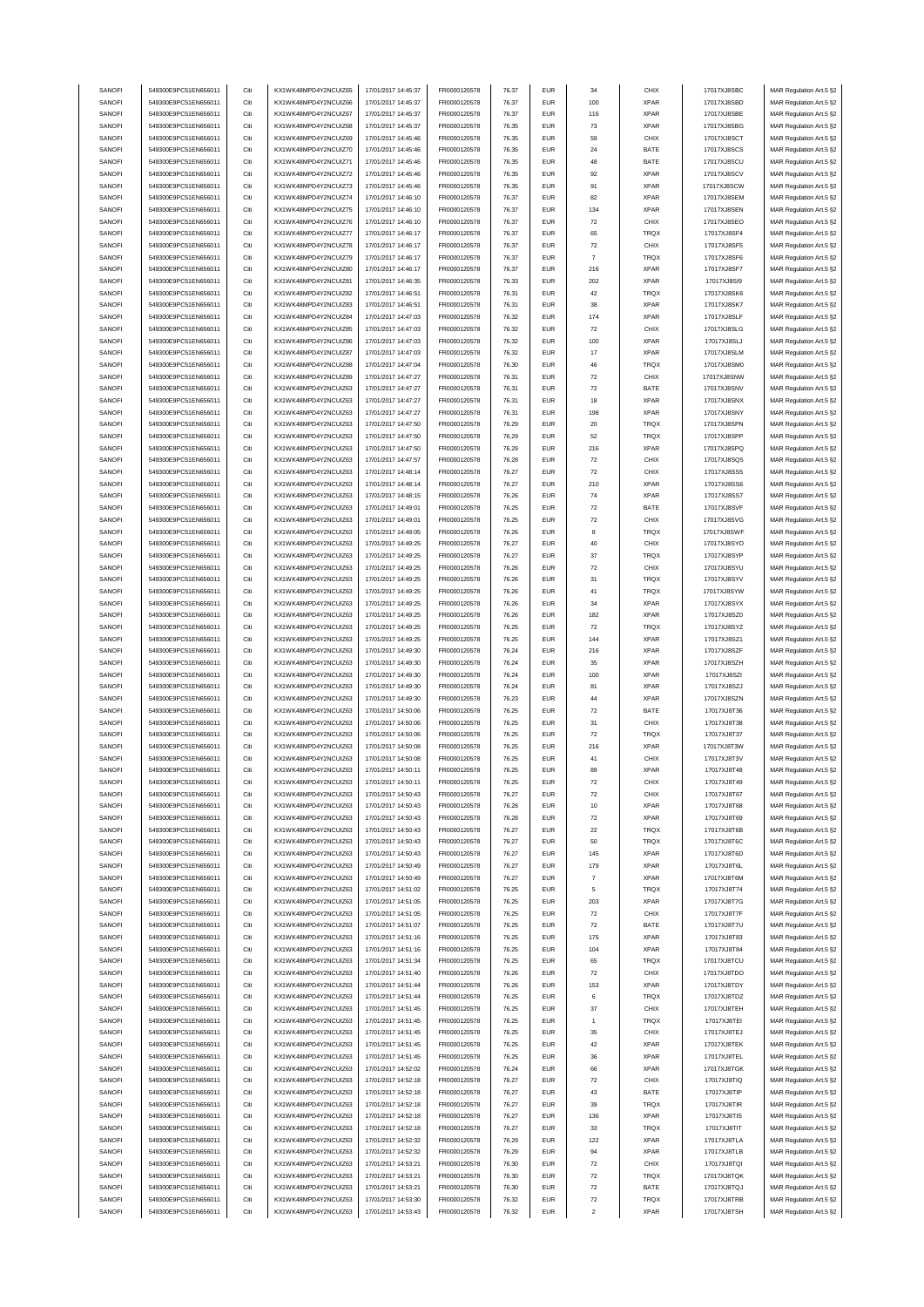| SANOFI           | 549300E9PC51EN656011                         | Citi         | KX1WK48MPD4Y2NCUIZ65                         | 17/01/2017 14:45:37                        | FR0000120578                 | 76.37          | <b>EUR</b>               | 34                 | CHIX                | 17017XJ8SBC                | MAR Regulation Art.5 §2                            |
|------------------|----------------------------------------------|--------------|----------------------------------------------|--------------------------------------------|------------------------------|----------------|--------------------------|--------------------|---------------------|----------------------------|----------------------------------------------------|
|                  |                                              |              |                                              |                                            |                              |                |                          |                    |                     |                            |                                                    |
| SANOFI           | 549300E9PC51EN656011                         | Citi         | KX1WK48MPD4Y2NCUIZ66                         | 17/01/2017 14:45:37                        | FR0000120578                 | 76.37          | <b>EUR</b>               | 100                | <b>XPAR</b>         | 17017XJ8SBD                | MAR Regulation Art.5 §2                            |
| SANOFI           | 549300E9PC51EN656011                         | Citi         | KX1WK48MPD4Y2NCUIZ67                         | 17/01/2017 14:45:37                        | FR0000120578                 | 76.37          | <b>EUR</b>               | 116                | <b>XPAR</b>         | 17017XJ8SBE                | MAR Regulation Art.5 §2                            |
| SANOFI           | 549300E9PC51EN656011                         | Citi         | KX1WK48MPD4Y2NCUIZ68                         | 17/01/2017 14:45:37                        | FR0000120578                 | 76.35          | <b>EUR</b>               | $\bf 73$           | <b>XPAR</b>         | 17017XJ8SBG                | MAR Regulation Art.5 §2                            |
| SANOFI           | 549300E9PC51EN656011                         | Citi         | KX1WK48MPD4Y2NCUIZ69                         | 17/01/2017 14:45:46                        | FR0000120578                 | 76.35          | <b>EUR</b>               | 59                 | CHIX                | 17017XJ8SCT                | MAR Regulation Art.5 §2                            |
|                  |                                              |              |                                              |                                            |                              |                |                          |                    |                     |                            |                                                    |
| SANOFI           | 549300E9PC51EN656011                         | Citi         | KX1WK48MPD4Y2NCUIZ70                         | 17/01/2017 14:45:46                        | FR0000120578                 | 76.35          | <b>EUR</b>               | 24                 | BATE                | 17017XJ8SCS                | MAR Regulation Art.5 §2                            |
| SANOFI           | 549300E9PC51EN656011                         | Citi         | KX1WK48MPD4Y2NCUIZ71                         | 17/01/2017 14:45:46                        | FR0000120578                 | 76.35          | <b>EUR</b>               | 48                 | BATE                | 17017XJ8SCU                | MAR Regulation Art.5 §2                            |
| SANOFI           | 549300E9PC51EN656011                         | Citi         | KX1WK48MPD4Y2NCUIZ72                         | 17/01/2017 14:45:46                        | FR0000120578                 | 76.35          | <b>EUR</b>               | 92                 | <b>XPAR</b>         | 17017XJ8SCV                | MAR Regulation Art.5 §2                            |
| SANOFI           | 549300E9PC51EN656011                         | Citi         | KX1WK48MPD4Y2NCUIZ73                         | 17/01/2017 14:45:46                        | FR0000120578                 | 76.35          | <b>EUR</b>               | 91                 | <b>XPAR</b>         | 17017XJ8SCW                | MAR Regulation Art.5 §2                            |
|                  |                                              |              |                                              |                                            |                              |                |                          |                    |                     |                            |                                                    |
| SANOFI           | 549300E9PC51EN656011                         | Citi         | KX1WK48MPD4Y2NCUIZ74                         | 17/01/2017 14:46:10                        | FR0000120578                 | 76.37          | <b>EUR</b>               | 82                 | <b>XPAR</b>         | 17017XJ8SEM                | MAR Regulation Art.5 §2                            |
| SANOFI           | 549300E9PC51EN656011                         | Citi         | KX1WK48MPD4Y2NCUIZ75                         | 17/01/2017 14:46:10                        | FR0000120578                 | 76.37          | <b>EUR</b>               | 134                | <b>XPAR</b>         | 17017XJ8SEN                | MAR Regulation Art.5 §2                            |
|                  | 549300E9PC51EN656011                         | Citi         |                                              |                                            |                              |                | <b>EUR</b>               | $\scriptstyle{72}$ | CHIX                |                            |                                                    |
| SANOFI           |                                              |              | KX1WK48MPD4Y2NCUIZ76                         | 17/01/2017 14:46:10                        | FR0000120578                 | 76.37          |                          |                    |                     | 17017XJ8SEO                | MAR Regulation Art.5 §2                            |
| SANOFI           | 549300E9PC51EN656011                         | Citi         | KX1WK48MPD4Y2NCUIZ77                         | 17/01/2017 14:46:17                        | FR0000120578                 | 76.37          | <b>EUR</b>               | 65                 | TRQX                | 17017XJ8SF4                | MAR Regulation Art.5 §2                            |
| SANOFI           | 549300E9PC51EN656011                         | Citi         | KX1WK48MPD4Y2NCUIZ78                         | 17/01/2017 14:46:17                        | FR0000120578                 | 76.37          | <b>EUR</b>               | $\scriptstyle{72}$ | CHIX                | 17017XJ8SF5                | MAR Regulation Art.5 §2                            |
| SANOFI           | 549300E9PC51EN656011                         | Citi         | KX1WK48MPD4Y2NCUIZ79                         | 17/01/2017 14:46:17                        | FR0000120578                 | 76.37          | <b>EUR</b>               | $\overline{7}$     | TRQX                | 17017XJ8SF6                | MAR Regulation Art.5 §2                            |
|                  |                                              |              |                                              |                                            |                              |                |                          |                    |                     |                            |                                                    |
| SANOFI           | 549300E9PC51EN656011                         | Citi         | KX1WK48MPD4Y2NCUIZ80                         | 17/01/2017 14:46:17                        | FR0000120578                 | 76.37          | <b>EUR</b>               | 216                | <b>XPAR</b>         | 17017XJ8SF7                | MAR Regulation Art.5 §2                            |
| SANOFI           | 549300E9PC51EN656011                         | Citi         | KX1WK48MPD4Y2NCUIZ81                         | 17/01/2017 14:46:35                        | FR0000120578                 | 76.33          | <b>EUR</b>               | 202                | <b>XPAR</b>         | 17017XJ8SI9                | MAR Regulation Art.5 §2                            |
| SANOFI           | 549300E9PC51EN656011                         | Citi         | KX1WK48MPD4Y2NCUIZ82                         | 17/01/2017 14:46:51                        | FR0000120578                 | 76.31          | <b>EUR</b>               | 42                 | TRQX                | 17017XJ8SK6                | MAR Regulation Art.5 §2                            |
|                  |                                              |              |                                              |                                            |                              |                |                          |                    |                     |                            |                                                    |
| SANOFI           | 549300E9PC51EN656011                         | Citi         | KX1WK48MPD4Y2NCUIZ83                         | 17/01/2017 14:46:51                        | FR0000120578                 | 76.31          | <b>EUR</b>               | 38                 | <b>XPAR</b>         | 17017XJ8SK7                | MAR Regulation Art.5 §2                            |
| SANOFI           | 549300E9PC51EN656011                         | Citi         | KX1WK48MPD4Y2NCUIZ84                         | 17/01/2017 14:47:03                        | FR0000120578                 | 76.32          | EUR                      | 174                | <b>XPAR</b>         | 17017XJ8SLF                | MAR Regulation Art.5 §2                            |
| SANOFI           | 549300E9PC51EN656011                         | Citi         | KX1WK48MPD4Y2NCUIZ85                         | 17/01/2017 14:47:03                        | FR0000120578                 | 76.32          | <b>EUR</b>               | $\scriptstyle{72}$ | CHIX                | 17017XJ8SLG                | MAR Regulation Art.5 §2                            |
|                  |                                              |              |                                              |                                            |                              |                |                          |                    |                     |                            |                                                    |
| SANOFI           | 549300E9PC51EN656011                         | Citi         | KX1WK48MPD4Y2NCUIZ86                         | 17/01/2017 14:47:03                        | FR0000120578                 | 76.32          | <b>EUR</b>               | 100                | <b>XPAR</b>         | 17017XJ8SLJ                | MAR Regulation Art.5 §2                            |
| SANOFI           | 549300E9PC51EN656011                         | Citi         | KX1WK48MPD4Y2NCUIZ87                         | 17/01/2017 14:47:03                        | FR0000120578                 | 76.32          | <b>EUR</b>               | $17\,$             | <b>XPAR</b>         | 17017XJ8SLM                | MAR Regulation Art.5 §2                            |
| SANOFI           | 549300E9PC51EN656011                         | Citi         | KX1WK48MPD4Y2NCUIZ88                         | 17/01/2017 14:47:04                        | FR0000120578                 | 76.30          | <b>EUR</b>               | 46                 | TRQX                | 17017XJ8SM0                | MAR Regulation Art.5 §2                            |
| SANOFI           | 549300E9PC51EN656011                         | Citi         | KX1WK48MPD4Y2NCUIZ89                         | 17/01/2017 14:47:27                        | FR0000120578                 | 76.31          | <b>EUR</b>               | 72                 | CHIX                | 17017XJ8SNW                | MAR Regulation Art.5 §2                            |
|                  |                                              |              |                                              |                                            |                              |                |                          |                    |                     |                            |                                                    |
| SANOFI           | 549300E9PC51EN656011                         | Citi         | KX1WK48MPD4Y2NCUIZ63                         | 17/01/2017 14:47:27                        | FR0000120578                 | 76.31          | <b>EUR</b>               | $\scriptstyle{72}$ | BATE                | 17017XJ8SNV                | MAR Regulation Art.5 §2                            |
| SANOFI           | 549300E9PC51EN656011                         | Citi         | KX1WK48MPD4Y2NCUIZ63                         | 17/01/2017 14:47:27                        | FR0000120578                 | 76.31          | <b>EUR</b>               | 18                 | <b>XPAR</b>         | 17017XJ8SNX                | MAR Regulation Art.5 §2                            |
| SANOFI           | 549300E9PC51EN656011                         | Citi         | KX1WK48MPD4Y2NCUIZ63                         | 17/01/2017 14:47:27                        | FR0000120578                 | 76.31          | <b>EUR</b>               | 198                | <b>XPAR</b>         | 17017XJ8SNY                | MAR Regulation Art.5 §2                            |
|                  |                                              |              |                                              |                                            |                              |                | EUR                      |                    |                     |                            |                                                    |
| SANOFI           | 549300E9PC51EN656011                         | Citi         | KX1WK48MPD4Y2NCUIZ63                         | 17/01/2017 14:47:50                        | FR0000120578                 | 76.29          |                          | $20\,$             | TRQX                | 17017XJ8SPN                | MAR Regulation Art.5 §2                            |
| SANOFI           | 549300E9PC51EN656011                         | Citi         | KX1WK48MPD4Y2NCUIZ63                         | 17/01/2017 14:47:50                        | FR0000120578                 | 76.29          | <b>EUR</b>               | 52                 | TRQX                | 17017XJ8SPP                | MAR Regulation Art.5 §2                            |
| SANOFI           | 549300E9PC51EN656011                         | Citi         | KX1WK48MPD4Y2NCUIZ63                         | 17/01/2017 14:47:50                        | FR0000120578                 | 76.29          | <b>EUR</b>               | 216                | <b>XPAR</b>         | 17017XJ8SPQ                | MAR Regulation Art.5 §2                            |
| SANOFI           | 549300E9PC51EN656011                         | Citi         | KX1WK48MPD4Y2NCUIZ63                         | 17/01/2017 14:47:57                        | FR0000120578                 | 76.28          | <b>EUR</b>               | $\scriptstyle{72}$ | CHIX                | 17017XJ8SQ5                | MAR Regulation Art.5 §2                            |
|                  |                                              |              |                                              |                                            |                              |                |                          |                    |                     |                            |                                                    |
| SANOFI           | 549300E9PC51EN656011                         | Citi         | KX1WK48MPD4Y2NCUIZ63                         | 17/01/2017 14:48:14                        | FR0000120578                 | 76.27          | <b>EUR</b>               | $\scriptstyle{72}$ | CHIX                | 17017XJ8SS5                | MAR Regulation Art.5 §2                            |
| SANOFI           | 549300E9PC51EN656011                         | Citi         | KX1WK48MPD4Y2NCUIZ63                         | 17/01/2017 14:48:14                        | FR0000120578                 | 76.27          | <b>EUR</b>               | 210                | <b>XPAR</b>         | 17017XJ8SS6                | MAR Regulation Art.5 §2                            |
| SANOFI           | 549300E9PC51EN656011                         | Citi         | KX1WK48MPD4Y2NCUIZ63                         | 17/01/2017 14:48:15                        | FR0000120578                 | 76.26          | <b>EUR</b>               | 74                 | <b>XPAR</b>         | 17017XJ8SS7                | MAR Regulation Art.5 §2                            |
|                  |                                              |              |                                              |                                            |                              |                |                          |                    |                     |                            |                                                    |
| SANOFI           | 549300E9PC51EN656011                         | Citi         | KX1WK48MPD4Y2NCUIZ63                         | 17/01/2017 14:49:01                        | FR0000120578                 | 76.25          | <b>EUR</b>               | $\scriptstyle{72}$ | BATE                | 17017XJ8SVF                | MAR Regulation Art.5 §2                            |
| SANOFI           | 549300E9PC51EN656011                         | Citi         | KX1WK48MPD4Y2NCUIZ63                         | 17/01/2017 14:49:01                        | FR0000120578                 | 76.25          | <b>EUR</b>               | $\scriptstyle{72}$ | CHIX                | 17017XJ8SVG                | MAR Regulation Art.5 §2                            |
| SANOFI           | 549300E9PC51EN656011                         | Citi         | KX1WK48MPD4Y2NCUIZ63                         | 17/01/2017 14:49:05                        | FR0000120578                 | 76.26          | <b>EUR</b>               | 8                  | TRQX                | 17017XJ8SWF                | MAR Regulation Art.5 §2                            |
|                  |                                              |              |                                              |                                            |                              |                |                          |                    |                     |                            |                                                    |
| SANOFI           | 549300E9PC51EN656011                         | Citi         | KX1WK48MPD4Y2NCUIZ63                         | 17/01/2017 14:49:25                        | FR0000120578                 | 76.27          | <b>EUR</b>               | 40                 | CHIX                | 17017XJ8SYO                | MAR Regulation Art.5 §2                            |
| SANOFI           | 549300E9PC51EN656011                         | Citi         | KX1WK48MPD4Y2NCUIZ63                         | 17/01/2017 14:49:25                        | FR0000120578                 | 76.27          | <b>EUR</b>               | 37                 | TRQX                | 17017XJ8SYP                | MAR Regulation Art.5 §2                            |
| SANOFI           | 549300E9PC51EN656011                         | Citi         | KX1WK48MPD4Y2NCUIZ63                         | 17/01/2017 14:49:25                        | FR0000120578                 | 76.26          | <b>EUR</b>               | $\scriptstyle{72}$ | CHIX                | 17017XJ8SYU                | MAR Regulation Art.5 §2                            |
| SANOFI           | 549300E9PC51EN656011                         | Citi         | KX1WK48MPD4Y2NCUIZ63                         | 17/01/2017 14:49:25                        | FR0000120578                 | 76.26          | <b>EUR</b>               | 31                 | TRQX                | 17017XJ8SYV                | MAR Regulation Art.5 §2                            |
|                  |                                              |              |                                              |                                            |                              |                |                          |                    |                     |                            |                                                    |
| SANOFI           | 549300E9PC51EN656011                         | Citi         | KX1WK48MPD4Y2NCUIZ63                         | 17/01/2017 14:49:25                        | FR0000120578                 | 76.26          | <b>EUR</b>               | 41                 | TRQX                | 17017XJ8SYW                | MAR Regulation Art.5 §2                            |
| SANOFI           | 549300E9PC51EN656011                         | Citi         | KX1WK48MPD4Y2NCUIZ63                         | 17/01/2017 14:49:25                        | FR0000120578                 | 76.26          | <b>EUR</b>               | 34                 | <b>XPAR</b>         | 17017XJ8SYX                | MAR Regulation Art.5 §2                            |
| SANOFI           | 549300E9PC51EN656011                         | Citi         | KX1WK48MPD4Y2NCUIZ63                         | 17/01/2017 14:49:25                        | FR0000120578                 | 76.26          | <b>EUR</b>               | 182                | <b>XPAR</b>         | 17017XJ8SZ0                | MAR Regulation Art.5 §2                            |
|                  | 549300E9PC51EN656011                         | Citi         | KX1WK48MPD4Y2NCUIZ63                         | 17/01/2017 14:49:25                        | FR0000120578                 | 76.25          | <b>EUR</b>               | 72                 | TRQX                |                            |                                                    |
| SANOFI           |                                              |              |                                              |                                            |                              |                |                          |                    |                     | 17017XJ8SYZ                | MAR Regulation Art.5 §2                            |
| SANOFI           | 549300E9PC51EN656011                         | Citi         | KX1WK48MPD4Y2NCUIZ63                         | 17/01/2017 14:49:25                        | FR0000120578                 | 76.25          | <b>EUR</b>               | 144                | <b>XPAR</b>         | 17017XJ8SZ1                | MAR Regulation Art.5 §2                            |
| SANOFI           | 549300E9PC51EN656011                         | Citi         | KX1WK48MPD4Y2NCUIZ63                         | 17/01/2017 14:49:30                        | FR0000120578                 | 76.24          | <b>EUR</b>               | 216                | <b>XPAR</b>         | 17017XJ8SZF                | MAR Regulation Art.5 §2                            |
| SANOFI           | 549300E9PC51EN656011                         | Citi         | KX1WK48MPD4Y2NCUIZ63                         | 17/01/2017 14:49:30                        | FR0000120578                 | 76.24          | <b>EUR</b>               | 35                 | <b>XPAR</b>         | 17017XJ8SZH                | MAR Regulation Art.5 §2                            |
|                  |                                              |              |                                              |                                            |                              |                |                          |                    |                     |                            |                                                    |
| SANOFI           | 549300E9PC51EN656011                         | Citi         | KX1WK48MPD4Y2NCUIZ63                         | 17/01/2017 14:49:30                        | FR0000120578                 | 76.24          | <b>EUR</b>               | 100                | <b>XPAR</b>         | 17017XJ8SZI                | MAR Regulation Art.5 §2                            |
| SANOFI           | 549300E9PC51EN656011                         | Citi         | KX1WK48MPD4Y2NCUIZ63                         | 17/01/2017 14:49:30                        | FR0000120578                 | 76.24          | <b>EUR</b>               | 81                 | <b>XPAR</b>         | 17017XJ8SZJ                | MAR Regulation Art.5 §2                            |
| SANOFI           | 549300E9PC51EN656011                         | Citi         | KX1WK48MPD4Y2NCUIZ63                         | 17/01/2017 14:49:30                        | FR0000120578                 | 76.23          | <b>EUR</b>               | 44                 | <b>XPAR</b>         | 17017XJ8SZN                | MAR Regulation Art.5 §2                            |
|                  |                                              |              |                                              |                                            |                              |                |                          |                    |                     |                            |                                                    |
| SANOFI           | 549300E9PC51EN656011                         | Citi         | KX1WK48MPD4Y2NCUIZ63                         | 17/01/2017 14:50:06                        | FR0000120578                 | 76.25          | <b>EUR</b>               | $\scriptstyle{72}$ | BATE                | 17017XJ8T36                | MAR Regulation Art.5 §2                            |
| SANOFI           | 549300E9PC51EN656011                         | Citi         | KX1WK48MPD4Y2NCUIZ63                         | 17/01/2017 14:50:06                        | FR0000120578                 | 76.25          | <b>EUR</b>               | 31                 | CHIX                | 17017XJ8T38                | MAR Regulation Art.5 §2                            |
| SANOFI           | 549300E9PC51EN656011                         | Citi         | KX1WK48MPD4Y2NCUIZ63                         | 17/01/2017 14:50:06                        | FR0000120578                 | 76.25          | <b>EUR</b>               | $\scriptstyle{72}$ | TRQX                | 17017XJ8T37                | MAR Regulation Art.5 §2                            |
| SANOFI           | 549300E9PC51EN656011                         | Citi         | KX1WK48MPD4Y2NCUIZ63                         | 17/01/2017 14:50:08                        | FR0000120578                 | 76.25          | <b>EUR</b>               | 216                | <b>XPAR</b>         | 17017XJ8T3W                | MAR Regulation Art.5 §2                            |
|                  |                                              |              |                                              |                                            |                              |                |                          |                    |                     |                            |                                                    |
| SANOFI           | 549300E9PC51EN656011                         | Citi         | KX1WK48MPD4Y2NCUIZ63                         | 17/01/2017 14:50:08                        | FR0000120578                 | 76.25          | <b>EUR</b>               | 41                 | CHIX                |                            | MAR Regulation Art.5 §2                            |
| SANOFI           | 549300E9PC51EN656011                         | Citi         | KX1WK48MPD4Y2NCUIZ63                         | 17/01/2017 14:50:11                        | FR0000120578                 | 76.25          | <b>EUR</b>               |                    |                     | 17017XJ8T3V                |                                                    |
| SANOFI           | 549300E9PC51EN656011                         |              | KX1WK48MPD4Y2NCUIZ63                         | 17/01/2017 14:50:11                        | FR0000120578                 |                |                          | 89                 | <b>XPAR</b>         | 17017XJ8T48                | MAR Regulation Art.5 §2                            |
|                  |                                              |              |                                              |                                            |                              |                |                          |                    |                     |                            | MAR Regulation Art 5.82                            |
| SANOFI           | 549300E9PC51EN656011                         | Citi         | KX1WK48MPD4Y2NCUIZ63                         |                                            |                              | 76.25          | FUR                      |                    | CHIX                | 17017XJ8T49                |                                                    |
| SANOFI           | 549300E9PC51EN656011                         |              |                                              | 17/01/2017 14:50:43                        | FR0000120578                 | 76.27          | <b>EUR</b>               | $\scriptstyle{72}$ | CHIX                | 17017XJ8T67                | MAR Regulation Art.5 §2                            |
| SANOFI           |                                              | Citi         | KX1WK48MPD4Y2NCUIZ63                         | 17/01/2017 14:50:43                        | FR0000120578                 | 76.28          | <b>EUR</b>               | 10                 | <b>XPAR</b>         | 17017XJ8T68                | MAR Regulation Art.5 §2                            |
|                  | 549300E9PC51EN656011                         | Citi         | KX1WK48MPD4Y2NCUIZ63                         | 17/01/2017 14:50:43                        | FR0000120578                 |                | <b>EUR</b>               |                    | XPAR                |                            |                                                    |
|                  |                                              |              |                                              |                                            |                              | 76.28          |                          | 72                 |                     | 17017XJ8T69                | MAR Regulation Art.5 §2                            |
| SANOFI           | 549300E9PC51EN656011                         | Citi         | KX1WK48MPD4Y2NCUIZ63                         | 17/01/2017 14:50:43                        | FR0000120578                 | 76.27          | <b>EUR</b>               | $22\,$             | TRQX                | 17017XJ8T6B                | MAR Regulation Art.5 §2                            |
| SANOFI           | 549300E9PC51EN656011                         | Citi         | KX1WK48MPD4Y2NCUIZ63                         | 17/01/2017 14:50:43                        | FR0000120578                 | 76.27          | <b>EUR</b>               | 50                 | TRQX                | 17017XJ8T6C                | MAR Regulation Art.5 §2                            |
| SANOFI           | 549300E9PC51EN656011                         | Citi         | KX1WK48MPD4Y2NCUIZ63                         | 17/01/2017 14:50:43                        | FR0000120578                 | 76.27          | <b>EUR</b>               | 145                | <b>XPAR</b>         | 17017XJ8T6D                | MAR Regulation Art.5 §2                            |
|                  |                                              |              |                                              |                                            |                              |                |                          |                    |                     |                            |                                                    |
| SANOFI           | 549300E9PC51EN656011                         | Citi         | KX1WK48MPD4Y2NCUIZ63                         | 17/01/2017 14:50:49                        | FR0000120578                 | 76.27          | <b>EUR</b>               | 179                | <b>XPAR</b>         | 17017XJ8T6L                | MAR Regulation Art.5 §2                            |
| SANOFI           | 549300E9PC51EN656011                         | Citi         | KX1WK48MPD4Y2NCUIZ63                         | 17/01/2017 14:50:49                        | FR0000120578                 | 76.27          | <b>EUR</b>               | $\overline{7}$     | <b>XPAR</b>         | 17017XJ8T6M                | MAR Regulation Art.5 §2                            |
| SANOFI           | 549300E9PC51EN656011                         | Citi         | KX1WK48MPD4Y2NCUIZ63                         | 17/01/2017 14:51:02                        | FR0000120578                 | 76.25          | <b>EUR</b>               | 5                  | TRQX                | 17017XJ8T74                | MAR Regulation Art.5 §2                            |
| SANOFI           | 549300E9PC51EN656011                         | Citi         | KX1WK48MPD4Y2NCUIZ63                         | 17/01/2017 14:51:05                        | FR0000120578                 | 76.25          | <b>EUR</b>               | 203                | XPAR                | 17017XJ8T7G                | MAR Regulation Art.5 §2                            |
|                  |                                              |              |                                              |                                            |                              |                |                          |                    |                     |                            |                                                    |
| SANOFI           | 549300E9PC51EN656011                         | Citi         | KX1WK48MPD4Y2NCUIZ63                         | 17/01/2017 14:51:05                        | FR0000120578                 | 76.25          | <b>EUR</b>               | 72                 | CHIX                | 17017XJ8T7F                | MAR Regulation Art.5 §2                            |
| SANOFI           | 549300E9PC51EN656011                         | Citi         | KX1WK48MPD4Y2NCUIZ63                         | 17/01/2017 14:51:07                        | FR0000120578                 | 76.25          | <b>EUR</b>               | $\scriptstyle{72}$ | BATE                | 17017XJ8T7U                | MAR Regulation Art.5 §2                            |
| SANOFI           | 549300E9PC51EN656011                         | Citi         | KX1WK48MPD4Y2NCUIZ63                         | 17/01/2017 14:51:16                        | FR0000120578                 | 76.25          | <b>EUR</b>               | 175                | <b>XPAR</b>         | 17017XJ8T83                | MAR Regulation Art.5 §2                            |
|                  |                                              |              |                                              |                                            |                              |                | <b>EUR</b>               |                    |                     |                            |                                                    |
| SANOFI           | 549300E9PC51EN656011                         | Citi         | KX1WK48MPD4Y2NCUIZ63                         | 17/01/2017 14:51:16                        | FR0000120578                 | 76.25          |                          | 104                | <b>XPAR</b>         | 17017XJ8T84                | MAR Regulation Art.5 §2                            |
| SANOFI           | 549300E9PC51EN656011                         | Citi         | KX1WK48MPD4Y2NCUIZ63                         | 17/01/2017 14:51:34                        | FR0000120578                 | 76.25          | <b>EUR</b>               | 65                 | TRQX                | 17017XJ8TCU                | MAR Regulation Art.5 §2                            |
| SANOFI           | 549300E9PC51EN656011                         | Citi         | KX1WK48MPD4Y2NCUIZ63                         | 17/01/2017 14:51:40                        | FR0000120578                 | 76.26          | <b>EUR</b>               | $\scriptstyle{72}$ | CHIX                | 17017XJ8TDO                | MAR Regulation Art.5 §2                            |
| SANOFI           | 549300E9PC51EN656011                         | Citi         | KX1WK48MPD4Y2NCUIZ63                         | 17/01/2017 14:51:44                        | FR0000120578                 | 76.26          | <b>EUR</b>               | 153                | <b>XPAR</b>         | 17017XJ8TDY                |                                                    |
|                  |                                              |              |                                              |                                            |                              |                |                          |                    |                     |                            | MAR Regulation Art.5 §2                            |
| SANOFI           | 549300E9PC51EN656011                         | Citi         | KX1WK48MPD4Y2NCUIZ63                         | 17/01/2017 14:51:44                        | FR0000120578                 | 76.25          | <b>EUR</b>               | 6                  | TRQX                | 17017XJ8TDZ                | MAR Regulation Art.5 §2                            |
| SANOFI           | 549300E9PC51EN656011                         | Citi         | KX1WK48MPD4Y2NCUIZ63                         | 17/01/2017 14:51:45                        | FR0000120578                 | 76.25          | <b>EUR</b>               | 37                 | CHIX                | 17017XJ8TEH                | MAR Regulation Art.5 §2                            |
| SANOFI           | 549300E9PC51EN656011                         | Citi         | KX1WK48MPD4Y2NCUIZ63                         | 17/01/2017 14:51:45                        | FR0000120578                 | 76.25          | <b>EUR</b>               | 1                  | TRQX                | 17017XJ8TEI                | MAR Regulation Art.5 §2                            |
|                  |                                              |              |                                              |                                            |                              |                |                          |                    |                     |                            |                                                    |
| SANOFI           | 549300E9PC51EN656011                         | Citi         | KX1WK48MPD4Y2NCUIZ63                         | 17/01/2017 14:51:45                        | FR0000120578                 | 76.25          | <b>EUR</b>               | 35                 | CHIX                | 17017XJ8TEJ                | MAR Regulation Art.5 §2                            |
| SANOFI           | 549300E9PC51EN656011                         | Citi         | KX1WK48MPD4Y2NCUIZ63                         | 17/01/2017 14:51:45                        | FR0000120578                 | 76.25          | <b>EUR</b>               | 42                 | <b>XPAR</b>         | 17017XJ8TEK                | MAR Regulation Art.5 §2                            |
| SANOFI           | 549300E9PC51EN656011                         | Citi         | KX1WK48MPD4Y2NCUIZ63                         | 17/01/2017 14:51:45                        | FR0000120578                 | 76.25          | <b>EUR</b>               | 36                 | <b>XPAR</b>         | 17017XJ8TEL                | MAR Regulation Art.5 §2                            |
| SANOFI           | 549300E9PC51EN656011                         | Citi         | KX1WK48MPD4Y2NCUIZ63                         | 17/01/2017 14:52:02                        | FR0000120578                 | 76.24          | <b>EUR</b>               | 66                 | XPAR                | 17017XJ8TGK                |                                                    |
|                  |                                              |              |                                              |                                            |                              |                |                          |                    |                     |                            | MAR Regulation Art.5 §2                            |
| SANOFI           | 549300E9PC51EN656011                         | Citi         | KX1WK48MPD4Y2NCUIZ63                         | 17/01/2017 14:52:18                        | FR0000120578                 | 76.27          | <b>EUR</b>               | 72                 | CHIX                | 17017XJ8TIQ                | MAR Regulation Art.5 §2                            |
| SANOFI           | 549300E9PC51EN656011                         | Citi         | KX1WK48MPD4Y2NCUIZ63                         | 17/01/2017 14:52:18                        | FR0000120578                 | 76.27          | <b>EUR</b>               | 43                 | BATE                | 17017XJ8TIP                | MAR Regulation Art.5 §2                            |
| SANOFI           | 549300E9PC51EN656011                         | Citi         | KX1WK48MPD4Y2NCUIZ63                         | 17/01/2017 14:52:18                        | FR0000120578                 | 76.27          | <b>EUR</b>               | 39                 | TRQX                | 17017XJ8TIR                | MAR Regulation Art.5 §2                            |
|                  |                                              |              |                                              |                                            |                              |                |                          |                    |                     |                            |                                                    |
| SANOFI           | 549300E9PC51EN656011                         | Citi         | KX1WK48MPD4Y2NCUIZ63                         | 17/01/2017 14:52:18                        | FR0000120578                 | 76.27          | <b>EUR</b>               | 136                | XPAR                | 17017XJ8TIS                | MAR Regulation Art.5 §2                            |
| SANOFI           | 549300E9PC51EN656011                         | Citi         | KX1WK48MPD4Y2NCUIZ63                         | 17/01/2017 14:52:18                        | FR0000120578                 | 76.27          | <b>EUR</b>               | 33                 | TRQX                | 17017XJ8TIT                | MAR Regulation Art.5 §2                            |
| SANOFI           | 549300E9PC51EN656011                         | Citi         | KX1WK48MPD4Y2NCUIZ63                         | 17/01/2017 14:52:32                        | FR0000120578                 | 76.29          | <b>EUR</b>               | 122                | <b>XPAR</b>         | 17017XJ8TLA                | MAR Regulation Art.5 §2                            |
|                  |                                              |              |                                              |                                            |                              |                |                          |                    |                     |                            |                                                    |
| SANOFI           | 549300E9PC51EN656011                         | Citi         | KX1WK48MPD4Y2NCUIZ63                         | 17/01/2017 14:52:32                        | FR0000120578                 | 76.29          | <b>EUR</b>               | 94                 | XPAR                | 17017XJ8TLB                | MAR Regulation Art.5 §2                            |
| SANOFI           | 549300E9PC51EN656011                         | Citi         | KX1WK48MPD4Y2NCUIZ63                         | 17/01/2017 14:53:21                        | FR0000120578                 | 76.30          | <b>EUR</b>               | $\scriptstyle{72}$ | CHIX                | 17017XJ8TQI                | MAR Regulation Art.5 §2                            |
| SANOFI           | 549300E9PC51EN656011                         | Citi         | KX1WK48MPD4Y2NCUIZ63                         | 17/01/2017 14:53:21                        | FR0000120578                 | 76.30          | <b>EUR</b>               | $\scriptstyle{72}$ | <b>TRQX</b>         | 17017XJ8TQK                | MAR Regulation Art.5 §2                            |
| SANOFI           | 549300E9PC51EN656011                         | Citi         | KX1WK48MPD4Y2NCUIZ63                         | 17/01/2017 14:53:21                        | FR0000120578                 | 76.30          | <b>EUR</b>               | 72                 | BATE                | 17017XJ8TQJ                | MAR Regulation Art.5 §2                            |
|                  |                                              |              |                                              |                                            |                              |                |                          |                    |                     |                            |                                                    |
| SANOFI<br>SANOFI | 549300E9PC51EN656011<br>549300E9PC51EN656011 | Citi<br>Citi | KX1WK48MPD4Y2NCUIZ63<br>KX1WK48MPD4Y2NCUIZ63 | 17/01/2017 14:53:30<br>17/01/2017 14:53:43 | FR0000120578<br>FR0000120578 | 76.32<br>76.32 | <b>EUR</b><br><b>EUR</b> | 72<br>$\sqrt{2}$   | TRQX<br><b>XPAR</b> | 17017XJ8TRB<br>17017XJ8TSH | MAR Regulation Art.5 §2<br>MAR Regulation Art.5 §2 |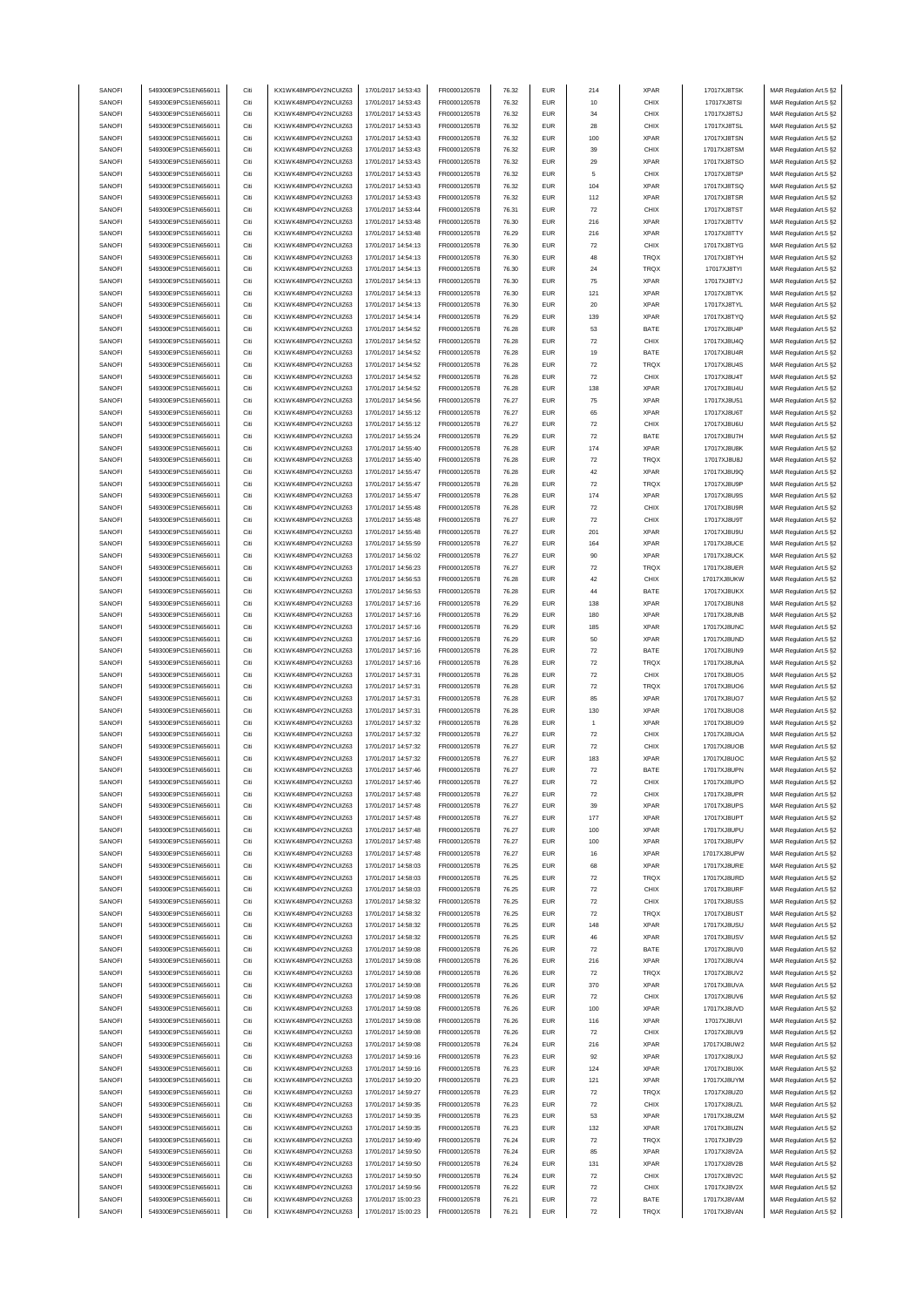| SANOFI | 549300E9PC51EN656011 | Citi | KX1WK48MPD4Y2NCUIZ63  | 17/01/2017 14:53:43 | FR0000120578 | 76.32 | <b>EUR</b> | 214                | <b>XPAR</b> | 17017XJ8TSK  | MAR Regulation Art.5 §2 |
|--------|----------------------|------|-----------------------|---------------------|--------------|-------|------------|--------------------|-------------|--------------|-------------------------|
| SANOFI | 549300E9PC51EN656011 | Citi | KX1WK48MPD4Y2NCUIZ63  | 17/01/2017 14:53:43 | FR0000120578 | 76.32 | <b>EUR</b> | 10                 | CHIX        | 17017XJ8TSI  | MAR Regulation Art.5 §2 |
|        |                      |      |                       |                     |              |       |            |                    |             |              |                         |
| SANOFI | 549300E9PC51EN656011 | Citi | KX1WK48MPD4Y2NCUIZ63  | 17/01/2017 14:53:43 | FR0000120578 | 76.32 | <b>EUR</b> | 34                 | CHIX        | 17017XJ8TSJ  | MAR Regulation Art.5 §2 |
| SANOFI | 549300E9PC51EN656011 | Citi | KX1WK48MPD4Y2NCUIZ63  | 17/01/2017 14:53:43 | FR0000120578 | 76.32 | <b>EUR</b> | 28                 | CHIX        | 17017XJ8TSL  | MAR Regulation Art.5 §2 |
| SANOFI | 549300E9PC51EN656011 | Citi | KX1WK48MPD4Y2NCUIZ63  | 17/01/2017 14:53:43 | FR0000120578 | 76.32 | <b>EUR</b> | 100                | XPAR        | 17017XJ8TSN  | MAR Regulation Art.5 §2 |
| SANOFI | 549300E9PC51EN656011 | Citi | KX1WK48MPD4Y2NCUIZ63  | 17/01/2017 14:53:43 | FR0000120578 | 76.32 | <b>EUR</b> | 39                 | CHIX        | 17017XJ8TSM  | MAR Regulation Art.5 §2 |
| SANOFI | 549300E9PC51EN656011 | Citi | KX1WK48MPD4Y2NCUIZ63  | 17/01/2017 14:53:43 | FR0000120578 | 76.32 | <b>EUR</b> | 29                 | <b>XPAR</b> | 17017XJ8TSO  | MAR Regulation Art.5 §2 |
|        | 549300E9PC51EN656011 |      |                       |                     |              |       |            |                    |             |              |                         |
| SANOFI |                      | Citi | KX1WK48MPD4Y2NCUIZ63  | 17/01/2017 14:53:43 | FR0000120578 | 76.32 | <b>EUR</b> | 5                  | CHIX        | 17017XJ8TSP  | MAR Regulation Art.5 §2 |
| SANOFI | 549300E9PC51EN656011 | Citi | KX1WK48MPD4Y2NCUIZ63  | 17/01/2017 14:53:43 | FR0000120578 | 76.32 | <b>EUR</b> | 104                | <b>XPAR</b> | 17017XJ8TSQ  | MAR Regulation Art.5 §2 |
| SANOFI | 549300E9PC51EN656011 | Citi | KX1WK48MPD4Y2NCUIZ63  | 17/01/2017 14:53:43 | FR0000120578 | 76.32 | <b>EUR</b> | 112                | <b>XPAR</b> | 17017XJ8TSR  | MAR Regulation Art.5 §2 |
| SANOFI | 549300E9PC51EN656011 | Citi | KX1WK48MPD4Y2NCUIZ63  | 17/01/2017 14:53:44 | FR0000120578 | 76.31 | <b>EUR</b> | ${\bf 72}$         | CHIX        | 17017XJ8TST  | MAR Regulation Art.5 §2 |
| SANOFI | 549300E9PC51EN656011 | Citi | KX1WK48MPD4Y2NCUIZ63  | 17/01/2017 14:53:48 | FR0000120578 | 76.30 | <b>EUR</b> | 216                | <b>XPAR</b> | 17017XJ8TTV  | MAR Regulation Art.5 §2 |
|        |                      |      |                       |                     |              |       |            |                    |             |              |                         |
| SANOFI | 549300E9PC51EN656011 | Citi | KX1WK48MPD4Y2NCUIZ63  | 17/01/2017 14:53:48 | FR0000120578 | 76.29 | <b>EUR</b> | 216                | <b>XPAR</b> | 17017XJ8TTY  | MAR Regulation Art.5 §2 |
| SANOFI | 549300E9PC51EN656011 | Citi | KX1WK48MPD4Y2NCUIZ63  | 17/01/2017 14:54:13 | FR0000120578 | 76.30 | <b>EUR</b> | $\bf 72$           | CHIX        | 17017XJ8TYG  | MAR Regulation Art.5 §2 |
| SANOFI | 549300E9PC51EN656011 | Citi | KX1WK48MPD4Y2NCUIZ63  | 17/01/2017 14:54:13 | FR0000120578 | 76.30 | <b>EUR</b> | 48                 | TRQX        | 17017XJ8TYH  | MAR Regulation Art.5 §2 |
| SANOFI | 549300E9PC51EN656011 | Citi | KX1WK48MPD4Y2NCUIZ63  | 17/01/2017 14:54:13 | FR0000120578 | 76.30 | <b>EUR</b> | 24                 | TRQX        | 17017XJ8TYI  | MAR Regulation Art.5 §2 |
|        |                      |      |                       |                     |              |       |            |                    |             |              |                         |
| SANOFI | 549300E9PC51EN656011 | Citi | KX1WK48MPD4Y2NCUIZ63  | 17/01/2017 14:54:13 | FR0000120578 | 76.30 | <b>EUR</b> | 75                 | XPAR        | 17017XJ8TYJ  | MAR Regulation Art.5 §2 |
| SANOFI | 549300E9PC51EN656011 | Citi | KX1WK48MPD4Y2NCUIZ63  | 17/01/2017 14:54:13 | FR0000120578 | 76.30 | <b>EUR</b> | 121                | <b>XPAR</b> | 17017XJ8TYK  | MAR Regulation Art.5 §2 |
| SANOFI | 549300E9PC51EN656011 | Citi | KX1WK48MPD4Y2NCUIZ63  | 17/01/2017 14:54:13 | FR0000120578 | 76.30 | <b>EUR</b> | 20                 | <b>XPAR</b> | 17017XJ8TYL  | MAR Regulation Art.5 §2 |
| SANOFI | 549300E9PC51EN656011 | Citi | KX1WK48MPD4Y2NCUIZ63  | 17/01/2017 14:54:14 | FR0000120578 | 76.29 | <b>EUR</b> | 139                | <b>XPAR</b> | 17017XJ8TYQ  | MAR Regulation Art.5 §2 |
| SANOFI | 549300E9PC51EN656011 | Citi | KX1WK48MPD4Y2NCUIZ63  | 17/01/2017 14:54:52 | FR0000120578 | 76.28 | <b>EUR</b> | 53                 | BATE        | 17017XJ8U4P  | MAR Regulation Art.5 §2 |
|        |                      |      |                       |                     |              |       |            |                    |             |              |                         |
| SANOFI | 549300E9PC51EN656011 | Citi | KX1WK48MPD4Y2NCUIZ63  | 17/01/2017 14:54:52 | FR0000120578 | 76.28 | <b>EUR</b> | 72                 | CHIX        | 17017XJ8U4Q  | MAR Regulation Art.5 §2 |
| SANOFI | 549300E9PC51EN656011 | Citi | KX1WK48MPD4Y2NCUIZ63  | 17/01/2017 14:54:52 | FR0000120578 | 76.28 | <b>EUR</b> | 19                 | BATE        | 17017XJ8U4R  | MAR Regulation Art.5 §2 |
| SANOFI | 549300E9PC51EN656011 | Citi | KX1WK48MPD4Y2NCUIZ63  | 17/01/2017 14:54:52 | FR0000120578 | 76.28 | <b>EUR</b> | $\scriptstyle{72}$ | TRQX        | 17017XJ8U4S  | MAR Regulation Art.5 §2 |
| SANOFI | 549300E9PC51EN656011 | Citi | KX1WK48MPD4Y2NCUIZ63  | 17/01/2017 14:54:52 | FR0000120578 | 76.28 | <b>EUR</b> | $\scriptstyle{72}$ | CHIX        | 17017XJ8U4T  | MAR Regulation Art.5 §2 |
| SANOFI | 549300E9PC51EN656011 | Citi | KX1WK48MPD4Y2NCUIZ63  | 17/01/2017 14:54:52 | FR0000120578 | 76.28 | <b>EUR</b> | 138                | <b>XPAR</b> | 17017XJ8U4U  | MAR Regulation Art.5 §2 |
|        |                      |      |                       |                     |              |       |            |                    |             |              |                         |
| SANOFI | 549300E9PC51EN656011 | Citi | KX1WK48MPD4Y2NCUIZ63  | 17/01/2017 14:54:56 | FR0000120578 | 76.27 | <b>EUR</b> | 75                 | <b>XPAR</b> | 17017XJ8U51  | MAR Regulation Art.5 §2 |
| SANOFI | 549300E9PC51EN656011 | Citi | KX1WK48MPD4Y2NCUIZ63  | 17/01/2017 14:55:12 | FR0000120578 | 76.27 | <b>EUR</b> | 65                 | XPAR        | 17017XJ8U6T  | MAR Regulation Art.5 §2 |
| SANOFI | 549300E9PC51EN656011 | Citi | KX1WK48MPD4Y2NCUIZ63  | 17/01/2017 14:55:12 | FR0000120578 | 76.27 | <b>EUR</b> | 72                 | CHIX        | 17017XJ8U6U  | MAR Regulation Art.5 §2 |
| SANOFI | 549300E9PC51EN656011 | Citi | KX1WK48MPD4Y2NCUIZ63  | 17/01/2017 14:55:24 | FR0000120578 | 76.29 | <b>EUR</b> | $\scriptstyle{72}$ | BATE        | 17017XJ8U7H  | MAR Regulation Art.5 §2 |
|        |                      |      | KX1WK48MPD4Y2NCUIZ63  | 17/01/2017 14:55:40 |              |       |            |                    |             |              |                         |
| SANOFI | 549300E9PC51EN656011 | Citi |                       |                     | FR0000120578 | 76.28 | <b>EUR</b> | 174                | <b>XPAR</b> | 17017XJ8U8K  | MAR Regulation Art.5 §2 |
| SANOFI | 549300E9PC51EN656011 | Citi | KX1WK48MPD4Y2NCUIZ63  | 17/01/2017 14:55:40 | FR0000120578 | 76.28 | <b>EUR</b> | $\scriptstyle{72}$ | TRQX        | 17017XJ8U8J  | MAR Regulation Art.5 §2 |
| SANOFI | 549300E9PC51EN656011 | Citi | KX1WK48MPD4Y2NCUIZ63  | 17/01/2017 14:55:47 | FR0000120578 | 76.28 | <b>EUR</b> | 42                 | XPAR        | 17017XJ8U9Q  | MAR Regulation Art.5 §2 |
| SANOFI | 549300E9PC51EN656011 | Citi | KX1WK48MPD4Y2NCUIZ63  | 17/01/2017 14:55:47 | FR0000120578 | 76.28 | <b>EUR</b> | 72                 | TRQX        | 17017XJ8U9P  | MAR Regulation Art.5 §2 |
| SANOFI | 549300E9PC51EN656011 | Citi | KX1WK48MPD4Y2NCUIZ63  | 17/01/2017 14:55:47 | FR0000120578 | 76.28 | <b>EUR</b> | 174                | <b>XPAR</b> | 17017XJ8U9S  | MAR Regulation Art.5 §2 |
|        |                      |      |                       |                     |              |       |            |                    |             |              |                         |
| SANOFI | 549300E9PC51EN656011 | Citi | KX1WK48MPD4Y2NCUIZ63  | 17/01/2017 14:55:48 | FR0000120578 | 76.28 | <b>EUR</b> | $\scriptstyle{72}$ | CHIX        | 17017XJ8U9R  | MAR Regulation Art.5 §2 |
| SANOFI | 549300E9PC51EN656011 | Citi | KX1WK48MPD4Y2NCUIZ63  | 17/01/2017 14:55:48 | FR0000120578 | 76.27 | <b>EUR</b> | $\scriptstyle{72}$ | CHIX        | 17017XJ8U9T  | MAR Regulation Art.5 §2 |
| SANOFI | 549300E9PC51EN656011 | Citi | KX1WK48MPD4Y2NCUIZ63  | 17/01/2017 14:55:48 | FR0000120578 | 76.27 | <b>EUR</b> | 201                | <b>XPAR</b> | 17017XJ8U9U  | MAR Regulation Art.5 §2 |
| SANOFI | 549300E9PC51EN656011 | Citi | KX1WK48MPD4Y2NCUIZ63  | 17/01/2017 14:55:59 | FR0000120578 | 76.27 | <b>EUR</b> | 164                | <b>XPAR</b> | 17017XJ8UCE  | MAR Regulation Art.5 §2 |
|        |                      |      |                       |                     |              |       |            |                    |             |              |                         |
| SANOFI | 549300E9PC51EN656011 | Citi | KX1WK48MPD4Y2NCUIZ63  | 17/01/2017 14:56:02 | FR0000120578 | 76.27 | <b>EUR</b> | 90                 | <b>XPAR</b> | 17017XJ8UCK  | MAR Regulation Art.5 §2 |
| SANOFI | 549300E9PC51EN656011 | Citi | KX1WK48MPD4Y2NCUIZ63  | 17/01/2017 14:56:23 | FR0000120578 | 76.27 | <b>EUR</b> | $\scriptstyle{72}$ | TRQX        | 17017XJ8UER  | MAR Regulation Art.5 §2 |
| SANOFI | 549300E9PC51EN656011 | Citi | KX1WK48MPD4Y2NCUIZ63  | 17/01/2017 14:56:53 | FR0000120578 | 76.28 | <b>EUR</b> | 42                 | CHIX        | 17017XJ8UKW  | MAR Regulation Art.5 §2 |
| SANOFI | 549300E9PC51EN656011 | Citi | KX1WK48MPD4Y2NCUIZ63  | 17/01/2017 14:56:53 | FR0000120578 | 76.28 | <b>EUR</b> | 44                 | BATE        | 17017XJ8UKX  | MAR Regulation Art.5 §2 |
| SANOFI | 549300E9PC51EN656011 | Citi | KX1WK48MPD4Y2NCUIZ63  | 17/01/2017 14:57:16 | FR0000120578 | 76.29 | <b>EUR</b> | 138                | <b>XPAR</b> | 17017XJ8UN8  | MAR Regulation Art.5 §2 |
| SANOFI | 549300E9PC51EN656011 | Citi | KX1WK48MPD4Y2NCUIZ63  | 17/01/2017 14:57:16 | FR0000120578 | 76.29 | EUR        | 180                | <b>XPAR</b> | 17017XJ8UNB  | MAR Regulation Art.5 §2 |
|        |                      |      |                       |                     |              |       |            |                    |             |              |                         |
| SANOFI | 549300E9PC51EN656011 | Citi | KX1WK48MPD4Y2NCUIZ63  | 17/01/2017 14:57:16 | FR0000120578 | 76.29 | <b>EUR</b> | 185                | <b>XPAR</b> | 17017XJ8UNC  | MAR Regulation Art.5 §2 |
| SANOFI | 549300E9PC51EN656011 | Citi | KX1WK48MPD4Y2NCUIZ63  | 17/01/2017 14:57:16 | FR0000120578 | 76.29 | <b>EUR</b> | 50                 | <b>XPAR</b> | 17017XJ8UND  | MAR Regulation Art.5 §2 |
| SANOFI | 549300E9PC51EN656011 | Citi | KX1WK48MPD4Y2NCUIZ63  | 17/01/2017 14:57:16 | FR0000120578 | 76.28 | <b>EUR</b> | $\scriptstyle{72}$ | BATE        | 17017XJ8UN9  | MAR Regulation Art.5 §2 |
| SANOFI | 549300E9PC51EN656011 | Citi | KX1WK48MPD4Y2NCUIZ63  | 17/01/2017 14:57:16 | FR0000120578 | 76.28 | <b>EUR</b> | $\scriptstyle{72}$ | TRQX        | 17017XJ8UNA  | MAR Regulation Art.5 §2 |
| SANOFI |                      | Citi |                       |                     | FR0000120578 |       | <b>EUR</b> | $\scriptstyle{72}$ | CHIX        |              |                         |
|        | 549300E9PC51EN656011 |      | KX1WK48MPD4Y2NCUIZ63  | 17/01/2017 14:57:31 |              | 76.28 |            |                    |             | 17017XJ8UO5  | MAR Regulation Art.5 §2 |
| SANOFI | 549300E9PC51EN656011 | Citi | KX1WK48MPD4Y2NCUIZ63  | 17/01/2017 14:57:31 | FR0000120578 | 76.28 | <b>EUR</b> | $\scriptstyle{72}$ | TRQX        | 17017XJ8UO6  | MAR Regulation Art.5 §2 |
| SANOFI | 549300E9PC51EN656011 | Citi | KX1WK48MPD4Y2NCUIZ63  | 17/01/2017 14:57:31 | FR0000120578 | 76.28 | <b>EUR</b> | 85                 | <b>XPAR</b> | 17017XJ8UO7  | MAR Regulation Art.5 §2 |
| SANOFI | 549300E9PC51EN656011 | Citi | KX1WK48MPD4Y2NCUIZ63  | 17/01/2017 14:57:31 | FR0000120578 | 76.28 | <b>EUR</b> | 130                | <b>XPAR</b> | 17017XJ8UO8  | MAR Regulation Art.5 §2 |
| SANOFI | 549300E9PC51EN656011 | Citi | KX1WK48MPD4Y2NCUIZ63  | 17/01/2017 14:57:32 | FR0000120578 | 76.28 | <b>EUR</b> | $\overline{1}$     | <b>XPAR</b> | 17017XJ8UO9  | MAR Regulation Art.5 §2 |
|        |                      |      |                       |                     | FR0000120578 |       |            |                    |             |              |                         |
| SANOFI | 549300E9PC51EN656011 | Citi | KX1WK48MPD4Y2NCUIZ63  | 17/01/2017 14:57:32 |              | 76.27 | <b>EUR</b> | $\scriptstyle{72}$ | CHIX        | 17017XJ8UOA  | MAR Regulation Art.5 §2 |
| SANOFI | 549300E9PC51EN656011 | Citi | KX1WK48MPD4Y2NCUIZ63  | 17/01/2017 14:57:32 | FR0000120578 | 76.27 | <b>EUR</b> | $\scriptstyle{72}$ | CHIX        | 17017XJ8UOB  | MAR Regulation Art.5 §2 |
| SANOFI | 549300E9PC51EN656011 | Citi | KX1WK48MPD4Y2NCUIZ63  | 17/01/2017 14:57:32 | FR0000120578 | 76.27 | <b>EUR</b> | 183                | <b>XPAR</b> | 17017XJ8UOC  | MAR Regulation Art.5 §2 |
| SANOFI | 549300E9PC51EN656011 | Citi | KX1WK48MPD4Y2NCUIZ63  | 17/01/2017 14:57:46 | FR0000120578 | 76.27 | <b>EUR</b> | $\scriptstyle{72}$ | BATE        | 17017XJ8UPN  | MAR Regulation Art.5 §2 |
| SANOFI | 549300E9PC51EN656011 |      | KX1WK48MPD4Y2NCLIIZ63 | 17/01/2017 14:57:46 | FR0000120578 | 76.27 | FUR        |                    |             |              | MAR Regulation Art 5 82 |
| SANOFI | 549300E9PC51EN656011 | Citi | KX1WK48MPD4Y2NCUIZ63  | 17/01/2017 14:57:48 |              |       |            | 72                 | CHIX        | 17017X.I8UPO |                         |
|        |                      |      |                       |                     |              |       |            |                    |             |              |                         |
| SANOFI | 549300E9PC51EN656011 | Citi | KX1WK48MPD4Y2NCUIZ63  |                     | FR0000120578 | 76.27 | <b>EUR</b> | $\scriptstyle{72}$ | CHIX        | 17017XJ8UPR  | MAR Regulation Art.5 §2 |
| SANOFI | 549300E9PC51EN656011 | Citi |                       | 17/01/2017 14:57:48 | FR0000120578 | 76.27 | <b>EUR</b> | 39                 | <b>XPAR</b> | 17017XJ8UPS  | MAR Regulation Art.5 §2 |
| SANOFI | 549300E9PC51EN656011 |      | KX1WK48MPD4Y2NCUIZ63  | 17/01/2017 14:57:48 | FR0000120578 | 76.27 | <b>EUR</b> | 177                | <b>XPAR</b> | 17017XJ8UPT  | MAR Regulation Art.5 §2 |
|        |                      | Citi | KX1WK48MPD4Y2NCUIZ63  | 17/01/2017 14:57:48 | FR0000120578 | 76.27 | <b>EUR</b> | 100                | <b>XPAR</b> | 17017XJ8UPU  |                         |
|        |                      |      |                       |                     |              |       |            |                    |             |              | MAR Regulation Art.5 §2 |
| SANOFI | 549300E9PC51EN656011 | Citi | KX1WK48MPD4Y2NCUIZ63  | 17/01/2017 14:57:48 | FR0000120578 | 76.27 | <b>EUR</b> | 100                | <b>XPAR</b> | 17017XJ8UPV  | MAR Regulation Art.5 §2 |
| SANOFI | 549300E9PC51EN656011 | Citi | KX1WK48MPD4Y2NCUIZ63  | 17/01/2017 14:57:48 | FR0000120578 | 76.27 | <b>EUR</b> | 16                 | <b>XPAR</b> | 17017XJ8UPW  | MAR Regulation Art.5 §2 |
| SANOFI | 549300E9PC51EN656011 | Citi | KX1WK48MPD4Y2NCUIZ63  | 17/01/2017 14:58:03 | FR0000120578 | 76.25 | <b>EUR</b> | 68                 | <b>XPAR</b> | 17017XJ8URE  | MAR Regulation Art.5 §2 |
| SANOFI | 549300E9PC51EN656011 | Citi | KX1WK48MPD4Y2NCUIZ63  | 17/01/2017 14:58:03 | FR0000120578 | 76.25 | <b>EUR</b> | $\scriptstyle{72}$ | <b>TRQX</b> | 17017XJ8URD  | MAR Regulation Art.5 §2 |
| SANOFI | 549300E9PC51EN656011 | Citi | KX1WK48MPD4Y2NCUIZ63  | 17/01/2017 14:58:03 | FR0000120578 | 76.25 | <b>EUR</b> | 72                 | CHIX        | 17017XJ8URF  | MAR Regulation Art.5 §2 |
| SANOFI | 549300E9PC51EN656011 | Citi | KX1WK48MPD4Y2NCUIZ63  | 17/01/2017 14:58:32 | FR0000120578 | 76.25 | <b>EUR</b> |                    | CHIX        |              |                         |
|        |                      |      |                       |                     |              |       |            | 72                 |             | 17017XJ8USS  | MAR Regulation Art.5 §2 |
| SANOFI | 549300E9PC51EN656011 | Citi | KX1WK48MPD4Y2NCUIZ63  | 17/01/2017 14:58:32 | FR0000120578 | 76.25 | <b>EUR</b> | $\scriptstyle{72}$ | TRQX        | 17017XJ8UST  | MAR Regulation Art.5 §2 |
| SANOFI | 549300E9PC51EN656011 | Citi | KX1WK48MPD4Y2NCUIZ63  | 17/01/2017 14:58:32 | FR0000120578 | 76.25 | <b>EUR</b> | 148                | <b>XPAR</b> | 17017XJ8USU  | MAR Regulation Art.5 §2 |
| SANOFI | 549300E9PC51EN656011 | Citi | KX1WK48MPD4Y2NCUIZ63  | 17/01/2017 14:58:32 | FR0000120578 | 76.25 | <b>EUR</b> | 46                 | <b>XPAR</b> | 17017XJ8USV  | MAR Regulation Art.5 §2 |
| SANOFI | 549300E9PC51EN656011 | Citi | KX1WK48MPD4Y2NCUIZ63  | 17/01/2017 14:59:08 | FR0000120578 | 76.26 | <b>EUR</b> | $\bf 72$           | BATE        | 17017XJ8UV0  | MAR Regulation Art.5 §2 |
|        |                      | Citi |                       |                     |              |       |            |                    |             |              |                         |
| SANOFI | 549300E9PC51EN656011 |      | KX1WK48MPD4Y2NCUIZ63  | 17/01/2017 14:59:08 | FR0000120578 | 76.26 | <b>EUR</b> | 216                | <b>XPAR</b> | 17017XJ8UV4  | MAR Regulation Art.5 §2 |
| SANOFI | 549300E9PC51EN656011 | Citi | KX1WK48MPD4Y2NCUIZ63  | 17/01/2017 14:59:08 | FR0000120578 | 76.26 | <b>EUR</b> | ${\bf 72}$         | TRQX        | 17017XJ8UV2  | MAR Regulation Art.5 §2 |
| SANOFI | 549300E9PC51EN656011 | Citi | KX1WK48MPD4Y2NCUIZ63  | 17/01/2017 14:59:08 | FR0000120578 | 76.26 | <b>EUR</b> | 370                | <b>XPAR</b> | 17017XJ8UVA  | MAR Regulation Art.5 §2 |
| SANOFI | 549300E9PC51EN656011 | Citi | KX1WK48MPD4Y2NCUIZ63  | 17/01/2017 14:59:08 | FR0000120578 | 76.26 | <b>EUR</b> | $\scriptstyle{72}$ | CHIX        | 17017XJ8UV6  | MAR Regulation Art.5 §2 |
| SANOFI | 549300E9PC51EN656011 | Citi | KX1WK48MPD4Y2NCUIZ63  | 17/01/2017 14:59:08 | FR0000120578 | 76.26 | <b>EUR</b> | 100                | <b>XPAR</b> | 17017XJ8UVD  | MAR Regulation Art.5 §2 |
| SANOFI | 549300E9PC51EN656011 | Citi | KX1WK48MPD4Y2NCUIZ63  |                     | FR0000120578 | 76.26 | <b>EUR</b> |                    | <b>XPAR</b> | 17017XJ8UVI  |                         |
|        |                      |      |                       | 17/01/2017 14:59:08 |              |       |            | 116                |             |              | MAR Regulation Art.5 §2 |
| SANOFI | 549300E9PC51EN656011 | Citi | KX1WK48MPD4Y2NCUIZ63  | 17/01/2017 14:59:08 | FR0000120578 | 76.26 | <b>EUR</b> | $\bf 72$           | CHIX        | 17017XJ8UV9  | MAR Regulation Art.5 §2 |
| SANOFI | 549300E9PC51EN656011 | Citi | KX1WK48MPD4Y2NCUIZ63  | 17/01/2017 14:59:08 | FR0000120578 | 76.24 | <b>EUR</b> | 216                | <b>XPAR</b> | 17017XJ8UW2  | MAR Regulation Art.5 §2 |
| SANOFI | 549300E9PC51EN656011 | Citi | KX1WK48MPD4Y2NCUIZ63  | 17/01/2017 14:59:16 | FR0000120578 | 76.23 | <b>EUR</b> | 92                 | <b>XPAR</b> | 17017XJ8UXJ  | MAR Regulation Art.5 §2 |
| SANOFI | 549300E9PC51EN656011 | Citi | KX1WK48MPD4Y2NCUIZ63  | 17/01/2017 14:59:16 | FR0000120578 | 76.23 | <b>EUR</b> | 124                | <b>XPAR</b> | 17017XJ8UXK  | MAR Regulation Art.5 §2 |
|        |                      |      |                       |                     |              |       |            |                    |             |              |                         |
| SANOFI | 549300E9PC51EN656011 | Citi | KX1WK48MPD4Y2NCUIZ63  | 17/01/2017 14:59:20 | FR0000120578 | 76.23 | <b>EUR</b> | 121                | <b>XPAR</b> | 17017XJ8UYM  | MAR Regulation Art.5 §2 |
| SANOFI | 549300E9PC51EN656011 | Citi | KX1WK48MPD4Y2NCUIZ63  | 17/01/2017 14:59:27 | FR0000120578 | 76.23 | <b>EUR</b> | $\scriptstyle{72}$ | <b>TRQX</b> | 17017XJ8UZ0  | MAR Regulation Art.5 §2 |
| SANOFI | 549300E9PC51EN656011 | Citi | KX1WK48MPD4Y2NCUIZ63  | 17/01/2017 14:59:35 | FR0000120578 | 76.23 | <b>EUR</b> | 72                 | CHIX        | 17017XJ8UZL  | MAR Regulation Art.5 §2 |
| SANOFI | 549300E9PC51EN656011 | Citi | KX1WK48MPD4Y2NCUIZ63  | 17/01/2017 14:59:35 | FR0000120578 | 76.23 | <b>EUR</b> | 53                 | <b>XPAR</b> | 17017XJ8UZM  | MAR Regulation Art.5 §2 |
| SANOFI | 549300E9PC51EN656011 | Citi | KX1WK48MPD4Y2NCUIZ63  | 17/01/2017 14:59:35 | FR0000120578 | 76.23 | <b>EUR</b> | 132                | <b>XPAR</b> | 17017XJ8UZN  | MAR Regulation Art.5 §2 |
| SANOFI | 549300E9PC51EN656011 | Citi | KX1WK48MPD4Y2NCUIZ63  | 17/01/2017 14:59:49 | FR0000120578 | 76.24 | <b>EUR</b> | $\scriptstyle{72}$ | TRQX        | 17017XJ8V29  | MAR Regulation Art.5 §2 |
|        |                      |      |                       |                     |              |       |            |                    |             |              |                         |
| SANOFI | 549300E9PC51EN656011 | Citi | KX1WK48MPD4Y2NCUIZ63  | 17/01/2017 14:59:50 | FR0000120578 | 76.24 | <b>EUR</b> | 85                 | <b>XPAR</b> | 17017XJ8V2A  | MAR Regulation Art.5 §2 |
| SANOFI | 549300E9PC51EN656011 | Citi | KX1WK48MPD4Y2NCUIZ63  | 17/01/2017 14:59:50 | FR0000120578 | 76.24 | <b>EUR</b> | 131                | <b>XPAR</b> | 17017XJ8V2B  | MAR Regulation Art.5 §2 |
| SANOFI | 549300E9PC51EN656011 | Citi | KX1WK48MPD4Y2NCUIZ63  | 17/01/2017 14:59:50 | FR0000120578 | 76.24 | <b>EUR</b> | 72                 | CHIX        | 17017XJ8V2C  | MAR Regulation Art.5 §2 |
| SANOFI | 549300E9PC51EN656011 | Citi | KX1WK48MPD4Y2NCUIZ63  | 17/01/2017 14:59:56 | FR0000120578 | 76.22 | <b>EUR</b> | $\scriptstyle{72}$ | CHIX        | 17017XJ8V2X  | MAR Regulation Art.5 §2 |
| SANOFI | 549300E9PC51EN656011 | Citi | KX1WK48MPD4Y2NCUIZ63  | 17/01/2017 15:00:23 | FR0000120578 | 76.21 | <b>EUR</b> | $\scriptstyle{72}$ | BATE        | 17017XJ8VAM  | MAR Regulation Art.5 §2 |
| SANOFI | 549300E9PC51EN656011 | Citi | KX1WK48MPD4Y2NCUIZ63  | 17/01/2017 15:00:23 | FR0000120578 | 76.21 | <b>EUR</b> | $\scriptstyle{72}$ | TRQX        | 17017XJ8VAN  | MAR Regulation Art.5 §2 |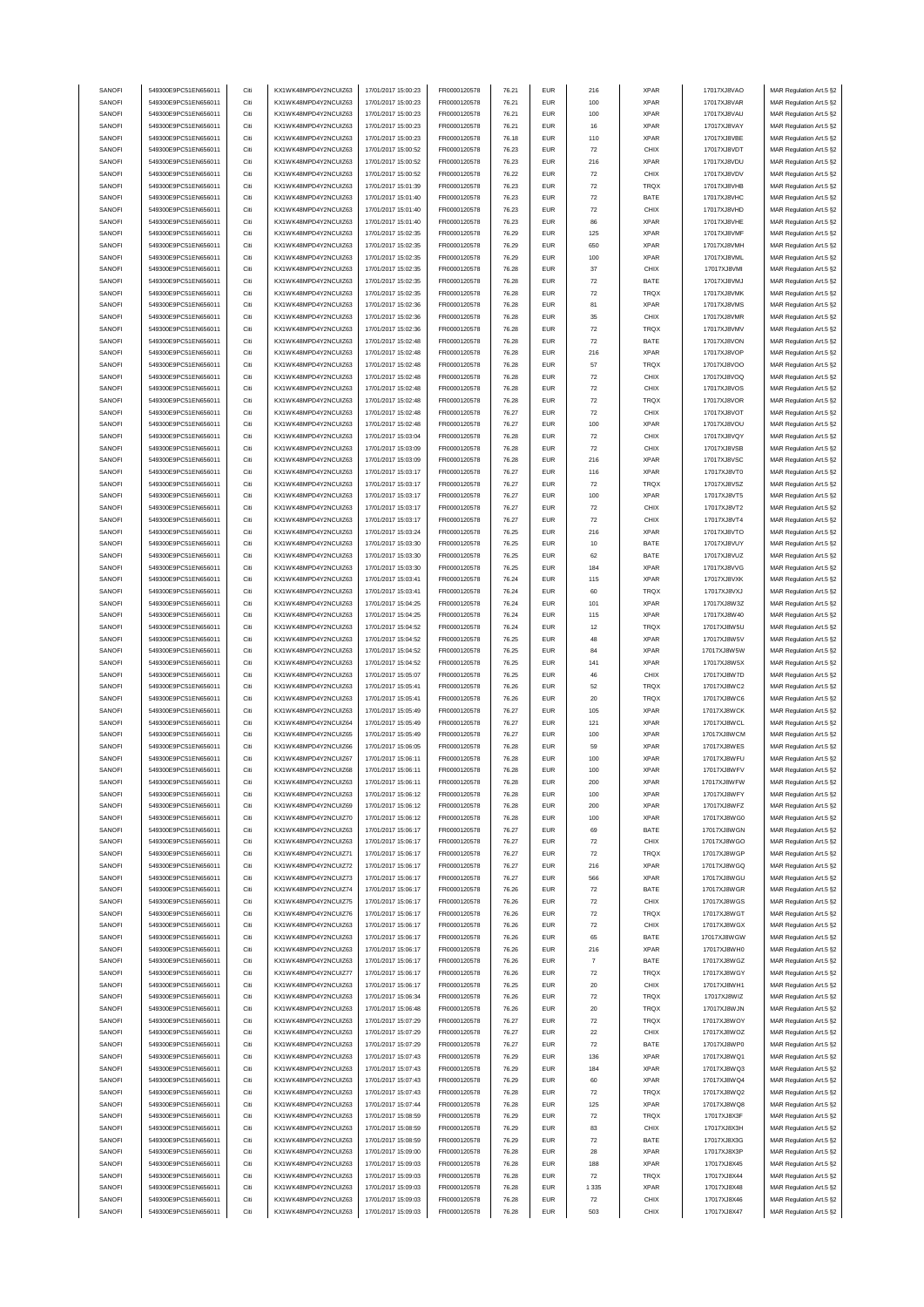|                  | 549300E9PC51EN656011                         | Citi         | KX1WK48MPD4Y2NCUIZ63                         | 17/01/2017 15:00:23                        | FR0000120578                 | 76.21          | <b>EUR</b>               |                    |              |                            |                                                    |
|------------------|----------------------------------------------|--------------|----------------------------------------------|--------------------------------------------|------------------------------|----------------|--------------------------|--------------------|--------------|----------------------------|----------------------------------------------------|
| SANOFI           |                                              |              |                                              |                                            |                              |                |                          | 216                | <b>XPAR</b>  | 17017XJ8VAO                | MAR Regulation Art.5 §2                            |
| SANOFI           | 549300E9PC51EN656011                         | Citi         | KX1WK48MPD4Y2NCUIZ63                         | 17/01/2017 15:00:23                        | FR0000120578                 | 76.21          | <b>EUR</b>               | 100                | <b>XPAR</b>  | 17017XJ8VAR                | MAR Regulation Art.5 §2                            |
| SANOFI           | 549300E9PC51EN656011                         | Citi         | KX1WK48MPD4Y2NCUIZ63                         | 17/01/2017 15:00:23                        | FR0000120578                 | 76.21          | <b>EUR</b>               | 100                | <b>XPAR</b>  | 17017XJ8VAU                | MAR Regulation Art.5 §2                            |
| SANOFI           | 549300E9PC51EN656011                         | Citi         | KX1WK48MPD4Y2NCUIZ63                         | 17/01/2017 15:00:23                        | FR0000120578                 | 76.21          | <b>EUR</b>               | 16                 | <b>XPAR</b>  | 17017XJ8VAY                | MAR Regulation Art.5 §2                            |
| SANOFI           | 549300E9PC51EN656011                         | Citi         | KX1WK48MPD4Y2NCUIZ63                         | 17/01/2017 15:00:23                        | FR0000120578                 | 76.18          | <b>EUR</b>               | 110                | <b>XPAR</b>  | 17017XJ8VBE                | MAR Regulation Art.5 §2                            |
|                  |                                              |              |                                              |                                            |                              |                |                          |                    |              |                            |                                                    |
| SANOFI           | 549300E9PC51EN656011                         | Citi         | KX1WK48MPD4Y2NCUIZ63                         | 17/01/2017 15:00:52                        | FR0000120578                 | 76.23          | <b>EUR</b>               | $\scriptstyle{72}$ | CHIX         | 17017XJ8VDT                | MAR Regulation Art.5 §2                            |
| SANOFI           | 549300E9PC51EN656011                         | Citi         | KX1WK48MPD4Y2NCUIZ63                         | 17/01/2017 15:00:52                        | FR0000120578                 | 76.23          | <b>EUR</b>               | 216                | <b>XPAR</b>  | 17017XJ8VDU                | MAR Regulation Art.5 §2                            |
| SANOFI           | 549300E9PC51EN656011                         | Citi         | KX1WK48MPD4Y2NCUIZ63                         | 17/01/2017 15:00:52                        | FR0000120578                 | 76.22          | <b>EUR</b>               | $\scriptstyle{72}$ | CHIX         | 17017XJ8VDV                | MAR Regulation Art.5 §2                            |
| SANOFI           | 549300E9PC51EN656011                         | Citi         | KX1WK48MPD4Y2NCUIZ63                         | 17/01/2017 15:01:39                        | FR0000120578                 | 76.23          | <b>EUR</b>               | $\scriptstyle{72}$ | TRQX         | 17017XJ8VHB                | MAR Regulation Art.5 §2                            |
|                  |                                              |              |                                              |                                            |                              |                |                          |                    |              |                            |                                                    |
| SANOFI           | 549300E9PC51EN656011                         | Citi         | KX1WK48MPD4Y2NCUIZ63                         | 17/01/2017 15:01:40                        | FR0000120578                 | 76.23          | <b>EUR</b>               | 72                 | BATE         | 17017XJ8VHC                | MAR Regulation Art.5 §2                            |
| SANOFI           | 549300E9PC51EN656011                         | Citi         | KX1WK48MPD4Y2NCUIZ63                         | 17/01/2017 15:01:40                        | FR0000120578                 | 76.23          | <b>EUR</b>               | $\scriptstyle{72}$ | CHIX         | 17017XJ8VHD                | MAR Regulation Art.5 §2                            |
|                  | 549300E9PC51EN656011                         | Citi         |                                              |                                            |                              |                | <b>EUR</b>               | 86                 | <b>XPAR</b>  |                            |                                                    |
| SANOFI           |                                              |              | KX1WK48MPD4Y2NCUIZ63                         | 17/01/2017 15:01:40                        | FR0000120578                 | 76.23          |                          |                    |              | 17017XJ8VHE                | MAR Regulation Art.5 §2                            |
| SANOFI           | 549300E9PC51EN656011                         | Citi         | KX1WK48MPD4Y2NCUIZ63                         | 17/01/2017 15:02:35                        | FR0000120578                 | 76.29          | EUR                      | 125                | <b>XPAR</b>  | 17017XJ8VMF                | MAR Regulation Art.5 §2                            |
| SANOFI           | 549300E9PC51EN656011                         | Citi         | KX1WK48MPD4Y2NCUIZ63                         | 17/01/2017 15:02:35                        | FR0000120578                 | 76.29          | <b>EUR</b>               | 650                | <b>XPAR</b>  | 17017XJ8VMH                | MAR Regulation Art.5 §2                            |
|                  |                                              | Citi         | KX1WK48MPD4Y2NCUIZ63                         |                                            |                              |                |                          |                    |              |                            |                                                    |
| SANOFI           | 549300E9PC51EN656011                         |              |                                              | 17/01/2017 15:02:35                        | FR0000120578                 | 76.29          | <b>EUR</b>               | 100                | <b>XPAR</b>  | 17017XJ8VML                | MAR Regulation Art.5 §2                            |
| SANOFI           | 549300E9PC51EN656011                         | Citi         | KX1WK48MPD4Y2NCUIZ63                         | 17/01/2017 15:02:35                        | FR0000120578                 | 76.28          | <b>EUR</b>               | 37                 | CHIX         | 17017XJ8VMI                | MAR Regulation Art.5 §2                            |
| SANOFI           | 549300E9PC51EN656011                         | Citi         | KX1WK48MPD4Y2NCUIZ63                         | 17/01/2017 15:02:35                        | FR0000120578                 | 76.28          | <b>EUR</b>               | $\scriptstyle{72}$ | BATE         | 17017XJ8VMJ                | MAR Regulation Art.5 §2                            |
| SANOFI           | 549300E9PC51EN656011                         | Citi         | KX1WK48MPD4Y2NCUIZ63                         | 17/01/2017 15:02:35                        | FR0000120578                 | 76.28          | <b>EUR</b>               | 72                 | <b>TRQX</b>  | 17017XJ8VMK                | MAR Regulation Art.5 §2                            |
|                  |                                              |              |                                              |                                            |                              |                |                          |                    |              |                            |                                                    |
| SANOFI           | 549300E9PC51EN656011                         | Citi         | KX1WK48MPD4Y2NCUIZ63                         | 17/01/2017 15:02:36                        | FR0000120578                 | 76.28          | <b>EUR</b>               | 81                 | <b>XPAR</b>  | 17017XJ8VMS                | MAR Regulation Art.5 §2                            |
| SANOFI           | 549300E9PC51EN656011                         | Citi         | KX1WK48MPD4Y2NCUIZ63                         | 17/01/2017 15:02:36                        | FR0000120578                 | 76.28          | EUR                      | 35                 | CHIX         | 17017XJ8VMR                | MAR Regulation Art.5 §2                            |
| SANOFI           | 549300E9PC51EN656011                         | Citi         | KX1WK48MPD4Y2NCUIZ63                         | 17/01/2017 15:02:36                        | FR0000120578                 | 76.28          | <b>EUR</b>               | $\scriptstyle{72}$ | TRQX         | 17017XJ8VMV                | MAR Regulation Art.5 §2                            |
|                  |                                              |              |                                              |                                            |                              |                |                          |                    |              |                            |                                                    |
| SANOFI           | 549300E9PC51EN656011                         | Citi         | KX1WK48MPD4Y2NCUIZ63                         | 17/01/2017 15:02:48                        | FR0000120578                 | 76.28          | <b>EUR</b>               | $\scriptstyle{72}$ | BATE         | 17017XJ8VON                | MAR Regulation Art.5 §2                            |
| SANOFI           | 549300E9PC51EN656011                         | Citi         | KX1WK48MPD4Y2NCUIZ63                         | 17/01/2017 15:02:48                        | FR0000120578                 | 76.28          | <b>EUR</b>               | 216                | <b>XPAR</b>  | 17017XJ8VOP                | MAR Regulation Art.5 §2                            |
| SANOFI           | 549300E9PC51EN656011                         | Citi         | KX1WK48MPD4Y2NCUIZ63                         | 17/01/2017 15:02:48                        | FR0000120578                 | 76.28          | <b>EUR</b>               | 57                 | TRQX         | 17017XJ8VOO                | MAR Regulation Art.5 §2                            |
| SANOFI           | 549300E9PC51EN656011                         | Citi         | KX1WK48MPD4Y2NCUIZ63                         | 17/01/2017 15:02:48                        | FR0000120578                 | 76.28          | <b>EUR</b>               | $\scriptstyle{72}$ | CHIX         | 17017XJ8VOQ                | MAR Regulation Art.5 §2                            |
|                  |                                              |              |                                              |                                            |                              |                |                          |                    |              |                            |                                                    |
| SANOFI           | 549300E9PC51EN656011                         | Citi         | KX1WK48MPD4Y2NCUIZ63                         | 17/01/2017 15:02:48                        | FR0000120578                 | 76.28          | <b>EUR</b>               | $\scriptstyle{72}$ | CHIX         | 17017XJ8VOS                | MAR Regulation Art.5 §2                            |
| SANOFI           | 549300E9PC51EN656011                         | Citi         | KX1WK48MPD4Y2NCUIZ63                         | 17/01/2017 15:02:48                        | FR0000120578                 | 76.28          | <b>EUR</b>               | 72                 | <b>TRQX</b>  | 17017XJ8VOR                | MAR Regulation Art.5 §2                            |
| SANOFI           | 549300E9PC51EN656011                         | Citi         | KX1WK48MPD4Y2NCUIZ63                         | 17/01/2017 15:02:48                        | FR0000120578                 | 76.27          | <b>EUR</b>               | $\scriptstyle{72}$ | CHIX         | 17017XJ8VOT                | MAR Regulation Art.5 §2                            |
|                  |                                              |              |                                              |                                            |                              |                |                          |                    |              |                            |                                                    |
| SANOFI           | 549300E9PC51EN656011                         | Citi         | KX1WK48MPD4Y2NCUIZ63                         | 17/01/2017 15:02:48                        | FR0000120578                 | 76.27          | <b>EUR</b>               | 100                | <b>XPAR</b>  | 17017XJ8VOU                | MAR Regulation Art.5 §2                            |
| SANOFI           | 549300E9PC51EN656011                         | Citi         | KX1WK48MPD4Y2NCUIZ63                         | 17/01/2017 15:03:04                        | FR0000120578                 | 76.28          | <b>EUR</b>               | $\scriptstyle{72}$ | CHIX         | 17017XJ8VQY                | MAR Regulation Art.5 §2                            |
| SANOFI           | 549300E9PC51EN656011                         | Citi         | KX1WK48MPD4Y2NCUIZ63                         | 17/01/2017 15:03:09                        | FR0000120578                 | 76.28          | <b>EUR</b>               | $\scriptstyle{72}$ | CHIX         | 17017XJ8VSB                | MAR Regulation Art.5 §2                            |
|                  |                                              |              |                                              |                                            |                              |                |                          |                    |              |                            |                                                    |
| SANOFI           | 549300E9PC51EN656011                         | Citi         | KX1WK48MPD4Y2NCUIZ63                         | 17/01/2017 15:03:09                        | FR0000120578                 | 76.28          | <b>EUR</b>               | 216                | <b>XPAR</b>  | 17017XJ8VSC                | MAR Regulation Art.5 §2                            |
| SANOFI           | 549300E9PC51EN656011                         | Citi         | KX1WK48MPD4Y2NCUIZ63                         | 17/01/2017 15:03:17                        | FR0000120578                 | 76.27          | <b>EUR</b>               | 116                | <b>XPAR</b>  | 17017XJ8VT0                | MAR Regulation Art.5 §2                            |
| SANOFI           | 549300E9PC51EN656011                         | Citi         | KX1WK48MPD4Y2NCUIZ63                         | 17/01/2017 15:03:17                        | FR0000120578                 | 76.27          | <b>EUR</b>               | 72                 | TRQX         | 17017XJ8VSZ                | MAR Regulation Art.5 §2                            |
|                  |                                              |              | KX1WK48MPD4Y2NCUIZ63                         |                                            |                              |                |                          |                    |              |                            |                                                    |
| SANOFI           | 549300E9PC51EN656011                         | Citi         |                                              | 17/01/2017 15:03:17                        | FR0000120578                 | 76.27          | <b>EUR</b>               | 100                | <b>XPAR</b>  | 17017XJ8VT5                | MAR Regulation Art.5 §2                            |
| SANOFI           | 549300E9PC51EN656011                         | Citi         | KX1WK48MPD4Y2NCUIZ63                         | 17/01/2017 15:03:17                        | FR0000120578                 | 76.27          | <b>EUR</b>               | $\scriptstyle{72}$ | CHIX         | 17017XJ8VT2                | MAR Regulation Art.5 §2                            |
| SANOFI           | 549300E9PC51EN656011                         | Citi         | KX1WK48MPD4Y2NCUIZ63                         | 17/01/2017 15:03:17                        | FR0000120578                 | 76.27          | <b>EUR</b>               | $\scriptstyle{72}$ | CHIX         | 17017XJ8VT4                | MAR Regulation Art.5 §2                            |
| SANOFI           | 549300E9PC51EN656011                         | Citi         | KX1WK48MPD4Y2NCUIZ63                         | 17/01/2017 15:03:24                        | FR0000120578                 | 76.25          | <b>EUR</b>               | 216                | <b>XPAR</b>  | 17017XJ8VTO                | MAR Regulation Art.5 §2                            |
|                  |                                              |              |                                              |                                            |                              |                |                          |                    |              |                            |                                                    |
| SANOFI           | 549300E9PC51EN656011                         | Citi         | KX1WK48MPD4Y2NCUIZ63                         | 17/01/2017 15:03:30                        | FR0000120578                 | 76.25          | <b>EUR</b>               | 10                 | BATE         | 17017XJ8VUY                | MAR Regulation Art.5 §2                            |
| SANOFI           | 549300E9PC51EN656011                         | Citi         | KX1WK48MPD4Y2NCUIZ63                         | 17/01/2017 15:03:30                        | FR0000120578                 | 76.25          | <b>EUR</b>               | 62                 | BATE         | 17017XJ8VUZ                | MAR Regulation Art.5 §2                            |
| SANOFI           | 549300E9PC51EN656011                         | Citi         | KX1WK48MPD4Y2NCUIZ63                         | 17/01/2017 15:03:30                        | FR0000120578                 | 76.25          | <b>EUR</b>               | 184                | <b>XPAR</b>  | 17017XJ8VVG                | MAR Regulation Art.5 §2                            |
|                  |                                              | Citi         |                                              |                                            |                              | 76.24          | <b>EUR</b>               |                    |              |                            |                                                    |
| SANOFI           | 549300E9PC51EN656011                         |              | KX1WK48MPD4Y2NCUIZ63                         | 17/01/2017 15:03:41                        | FR0000120578                 |                |                          | 115                | <b>XPAR</b>  | 17017XJ8VXK                | MAR Regulation Art.5 §2                            |
| SANOFI           | 549300E9PC51EN656011                         | Citi         | KX1WK48MPD4Y2NCUIZ63                         | 17/01/2017 15:03:41                        | FR0000120578                 | 76.24          | <b>EUR</b>               | 60                 | TRQX         | 17017XJ8VXJ                | MAR Regulation Art.5 §2                            |
| SANOFI           | 549300E9PC51EN656011                         | Citi         | KX1WK48MPD4Y2NCUIZ63                         | 17/01/2017 15:04:25                        | FR0000120578                 | 76.24          | <b>EUR</b>               | 101                | <b>XPAR</b>  | 17017XJ8W3Z                | MAR Regulation Art.5 §2                            |
| SANOFI           | 549300E9PC51EN656011                         | Citi         | KX1WK48MPD4Y2NCUIZ63                         | 17/01/2017 15:04:25                        | FR0000120578                 | 76.24          | <b>EUR</b>               | 115                | <b>XPAR</b>  | 17017XJ8W40                |                                                    |
|                  |                                              |              |                                              |                                            |                              |                |                          |                    |              |                            | MAR Regulation Art.5 §2                            |
| SANOFI           | 549300E9PC51EN656011                         | Citi         | KX1WK48MPD4Y2NCUIZ63                         | 17/01/2017 15:04:52                        | FR0000120578                 | 76.24          | <b>EUR</b>               | 12                 | TRQX         | 17017XJ8W5U                | MAR Regulation Art.5 §2                            |
| SANOFI           | 549300E9PC51EN656011                         | Citi         | KX1WK48MPD4Y2NCUIZ63                         | 17/01/2017 15:04:52                        | FR0000120578                 | 76.25          | <b>EUR</b>               | 48                 | <b>XPAR</b>  | 17017XJ8W5V                | MAR Regulation Art.5 §2                            |
| SANOFI           | 549300E9PC51EN656011                         | Citi         | KX1WK48MPD4Y2NCUIZ63                         | 17/01/2017 15:04:52                        | FR0000120578                 | 76.25          | <b>EUR</b>               | 84                 | <b>XPAR</b>  | 17017XJ8W5W                | MAR Regulation Art.5 §2                            |
|                  |                                              |              |                                              |                                            |                              |                |                          |                    |              |                            |                                                    |
| SANOFI           | 549300E9PC51EN656011                         | Citi         | KX1WK48MPD4Y2NCUIZ63                         | 17/01/2017 15:04:52                        | FR0000120578                 | 76.25          | <b>EUR</b>               | 141                | <b>XPAR</b>  | 17017XJ8W5X                | MAR Regulation Art.5 §2                            |
| SANOFI           | 549300E9PC51EN656011                         | Citi         | KX1WK48MPD4Y2NCUIZ63                         | 17/01/2017 15:05:07                        | FR0000120578                 | 76.25          | <b>EUR</b>               | 46                 | CHIX         | 17017XJ8W7D                | MAR Regulation Art.5 §2                            |
| SANOFI           | 549300E9PC51EN656011                         | Citi         | KX1WK48MPD4Y2NCUIZ63                         | 17/01/2017 15:05:41                        | FR0000120578                 | 76.26          | <b>EUR</b>               | 52                 | TRQX         | 17017XJ8WC2                | MAR Regulation Art.5 §2                            |
| SANOFI           | 549300E9PC51EN656011                         | Citi         | KX1WK48MPD4Y2NCUIZ63                         | 17/01/2017 15:05:41                        | FR0000120578                 | 76.26          | <b>EUR</b>               | 20                 | TRQX         | 17017XJ8WC6                | MAR Regulation Art.5 §2                            |
|                  |                                              |              |                                              |                                            |                              |                |                          |                    |              |                            |                                                    |
| SANOFI           | 549300E9PC51EN656011                         | Citi         | KX1WK48MPD4Y2NCUIZ63                         | 17/01/2017 15:05:49                        | FR0000120578                 | 76.27          | <b>EUR</b>               | 105                | <b>XPAR</b>  | 17017XJ8WCK                | MAR Regulation Art.5 §2                            |
| SANOFI           | 549300E9PC51EN656011                         | Citi         | KX1WK48MPD4Y2NCUIZ64                         | 17/01/2017 15:05:49                        | FR0000120578                 | 76.27          | <b>EUR</b>               | 121                | <b>XPAR</b>  | 17017XJ8WCL                | MAR Regulation Art.5 §2                            |
| SANOFI           | 549300E9PC51EN656011                         | Citi         | KX1WK48MPD4Y2NCUIZ65                         | 17/01/2017 15:05:49                        | FR0000120578                 | 76.27          | <b>EUR</b>               | 100                | <b>XPAR</b>  | 17017XJ8WCM                | MAR Regulation Art.5 §2                            |
|                  |                                              |              |                                              |                                            |                              |                |                          | 59                 | <b>XPAR</b>  |                            |                                                    |
| SANOFI           | 549300E9PC51EN656011                         | Citi         | KX1WK48MPD4Y2NCUIZ66                         | 17/01/2017 15:06:05                        | FR0000120578                 | 76.28          | <b>EUR</b>               |                    |              |                            | MAR Regulation Art.5 §2                            |
| SANOFI           | 549300E9PC51EN656011                         | Citi         | KX1WK48MPD4Y2NCUIZ67                         | 17/01/2017 15:06:11                        | FR0000120578                 |                |                          |                    |              | 17017XJ8WES                |                                                    |
| SANOFI           | 549300E9PC51EN656011                         |              |                                              |                                            |                              | 76.28          | <b>EUR</b>               | 100                | <b>XPAR</b>  | 17017XJ8WFU                | MAR Regulation Art.5 §2                            |
|                  |                                              | Citi         | KX1WK48MPD4Y2NCUIZ68                         | 17/01/2017 15:06:11                        | FR0000120578                 | 76.28          | <b>EUR</b>               | 100                | <b>XPAR</b>  | 17017XJ8WFV                |                                                    |
|                  |                                              |              |                                              |                                            |                              |                |                          |                    |              |                            | MAR Regulation Art.5 §2                            |
| SANOFI           | 549300E9PC51EN656011                         |              | KX1WK48MPD4Y2NCUIZ63                         | 17/01/2017 15:06:11                        | FR0000120578                 | 76.28          | FUR                      | 200                | <b>XPAR</b>  | 17017XJ8WFW                | MAR Regulation Art 5 82                            |
| SANOFI           | 549300E9PC51EN656011                         | Citi         | KX1WK48MPD4Y2NCUIZ63                         | 17/01/2017 15:06:12                        | FR0000120578                 | 76.28          | <b>EUR</b>               | 100                | XPAR         | 17017XJ8WFY                | MAR Regulation Art.5 §2                            |
| SANOFI           | 549300E9PC51EN656011                         | Citi         | KX1WK48MPD4Y2NCUIZ69                         | 17/01/2017 15:06:12                        | FR0000120578                 | 76.28          | <b>EUR</b>               | 200                | XPAR         | 17017XJ8WFZ                | MAR Regulation Art.5 §2                            |
|                  |                                              |              |                                              |                                            |                              |                |                          |                    |              |                            |                                                    |
| SANOFI           | 549300E9PC51EN656011                         | Citi         | KX1WK48MPD4Y2NCUIZ70                         | 17/01/2017 15:06:12                        | FR0000120578                 | 76.28          | <b>EUR</b>               | 100                | <b>XPAR</b>  | 17017XJ8WG0                | MAR Regulation Art.5 §2                            |
| SANOFI           | 549300E9PC51EN656011                         | Citi         | KX1WK48MPD4Y2NCUIZ63                         | 17/01/2017 15:06:17                        | FR0000120578                 | 76.27          | <b>EUR</b>               | 69                 | BATE         | 17017XJ8WGN                | MAR Regulation Art.5 §2                            |
| SANOFI           | 549300E9PC51EN656011                         | Citi         | KX1WK48MPD4Y2NCUIZ63                         | 17/01/2017 15:06:17                        | FR0000120578                 | 76.27          | <b>EUR</b>               | $\scriptstyle{72}$ | CHIX         | 17017XJ8WGO                | MAR Regulation Art.5 §2                            |
| SANOFI           | 549300E9PC51EN656011                         | Citi         | KX1WK48MPD4Y2NCUIZ71                         | 17/01/2017 15:06:17                        | FR0000120578                 | 76.27          | <b>EUR</b>               | $\scriptstyle{72}$ | TRQX         | 17017XJ8WGP                | MAR Regulation Art.5 §2                            |
|                  |                                              |              |                                              |                                            |                              |                |                          |                    |              |                            |                                                    |
| SANOFI           | 549300E9PC51EN656011                         | Citi         | KX1WK48MPD4Y2NCUIZ72                         | 17/01/2017 15:06:17                        | FR0000120578                 | 76.27          | <b>EUR</b>               | 216                | <b>XPAR</b>  | 17017XJ8WGQ                | MAR Regulation Art.5 §2                            |
| SANOFI           | 549300E9PC51EN656011                         | Citi         | KX1WK48MPD4Y2NCUIZ73                         | 17/01/2017 15:06:17                        | FR0000120578                 | 76.27          | <b>EUR</b>               | 566                | <b>XPAR</b>  | 17017XJ8WGU                | MAR Regulation Art.5 §2                            |
| SANOFI           | 549300E9PC51EN656011                         | Citi         | KX1WK48MPD4Y2NCUIZ74                         | 17/01/2017 15:06:17                        | FR0000120578                 | 76.26          | <b>EUR</b>               | $\scriptstyle{72}$ | BATE         | 17017XJ8WGR                | MAR Regulation Art.5 §2                            |
| SANOFI           | 549300E9PC51EN656011                         | Citi         | KX1WK48MPD4Y2NCUIZ75                         | 17/01/2017 15:06:17                        | FR0000120578                 | 76.26          | <b>EUR</b>               | $\scriptstyle{72}$ | CHIX         | 17017XJ8WGS                | MAR Regulation Art.5 §2                            |
|                  |                                              |              |                                              |                                            |                              |                |                          |                    |              |                            |                                                    |
| SANOFI           | 549300E9PC51EN656011                         | Citi         | KX1WK48MPD4Y2NCUIZ76                         | 17/01/2017 15:06:17                        | FR0000120578                 | 76.26          | <b>EUR</b>               | 72                 | TRQX         | 17017XJ8WGT                | MAR Regulation Art.5 §2                            |
| SANOFI           | 549300E9PC51EN656011                         | Citi         | KX1WK48MPD4Y2NCUIZ63                         | 17/01/2017 15:06:17                        | FR0000120578                 | 76.26          | <b>EUR</b>               | $\scriptstyle{72}$ | CHIX         | 17017XJ8WGX                | MAR Regulation Art.5 §2                            |
| SANOFI           | 549300E9PC51EN656011                         | Citi         | KX1WK48MPD4Y2NCUIZ63                         | 17/01/2017 15:06:17                        | FR0000120578                 | 76.26          | <b>EUR</b>               | 65                 | BATE         | 17017XJ8WGW                | MAR Regulation Art.5 §2                            |
| SANOFI           | 549300E9PC51EN656011                         | Citi         | KX1WK48MPD4Y2NCUIZ63                         | 17/01/2017 15:06:17                        | FR0000120578                 | 76.26          | <b>EUR</b>               | 216                | <b>XPAR</b>  | 17017XJ8WH0                |                                                    |
|                  |                                              |              |                                              |                                            |                              |                |                          |                    |              |                            | MAR Regulation Art.5 §2                            |
| SANOFI           | 549300E9PC51EN656011                         | Citi         | KX1WK48MPD4Y2NCUIZ63                         | 17/01/2017 15:06:17                        | FR0000120578                 | 76.26          | <b>EUR</b>               | $\scriptstyle{7}$  | BATE         | 17017XJ8WGZ                | MAR Regulation Art.5 §2                            |
| SANOFI           | 549300E9PC51EN656011                         | Citi         | KX1WK48MPD4Y2NCUIZ77                         | 17/01/2017 15:06:17                        | FR0000120578                 | 76.26          | <b>EUR</b>               | 72                 | TRQX         | 17017XJ8WGY                | MAR Regulation Art.5 §2                            |
| SANOFI           | 549300E9PC51EN656011                         | Citi         | KX1WK48MPD4Y2NCUIZ63                         | 17/01/2017 15:06:17                        | FR0000120578                 | 76.25          | <b>EUR</b>               | 20                 | CHIX         | 17017XJ8WH1                |                                                    |
|                  |                                              |              |                                              |                                            |                              |                |                          |                    |              |                            | MAR Regulation Art.5 §2                            |
| SANOFI           | 549300E9PC51EN656011                         | Citi         | KX1WK48MPD4Y2NCUIZ63                         | 17/01/2017 15:06:34                        | FR0000120578                 | 76.26          | <b>EUR</b>               | 72                 | TRQX         | 17017XJ8WIZ                | MAR Regulation Art.5 §2                            |
| SANOFI           | 549300E9PC51EN656011                         | Citi         | KX1WK48MPD4Y2NCUIZ63                         | 17/01/2017 15:06:48                        | FR0000120578                 | 76.26          | <b>EUR</b>               | $20\,$             | TRQX         | 17017XJ8WJN                | MAR Regulation Art.5 §2                            |
| SANOFI           | 549300E9PC51EN656011                         | Citi         | KX1WK48MPD4Y2NCUIZ63                         | 17/01/2017 15:07:29                        | FR0000120578                 | 76.27          | <b>EUR</b>               | 72                 | TRQX         | 17017XJ8WOY                | MAR Regulation Art.5 §2                            |
| SANOFI           | 549300E9PC51EN656011                         | Citi         | KX1WK48MPD4Y2NCUIZ63                         | 17/01/2017 15:07:29                        | FR0000120578                 | 76.27          | <b>EUR</b>               | $22\,$             | CHIX         | 17017XJ8WOZ                |                                                    |
|                  |                                              |              |                                              |                                            |                              |                |                          |                    |              |                            | MAR Regulation Art.5 §2                            |
| SANOFI           | 549300E9PC51EN656011                         | Citi         | KX1WK48MPD4Y2NCUIZ63                         | 17/01/2017 15:07:29                        | FR0000120578                 | 76.27          | <b>EUR</b>               | $\scriptstyle{72}$ | BATE         | 17017XJ8WP0                | MAR Regulation Art.5 §2                            |
| SANOFI           | 549300E9PC51EN656011                         | Citi         | KX1WK48MPD4Y2NCUIZ63                         | 17/01/2017 15:07:43                        | FR0000120578                 | 76.29          | <b>EUR</b>               | 136                | <b>XPAR</b>  | 17017XJ8WQ1                | MAR Regulation Art.5 §2                            |
| SANOFI           | 549300E9PC51EN656011                         | Citi         | KX1WK48MPD4Y2NCUIZ63                         | 17/01/2017 15:07:43                        | FR0000120578                 | 76.29          | <b>EUR</b>               | 184                | XPAR         | 17017XJ8WQ3                |                                                    |
|                  |                                              |              |                                              |                                            |                              |                |                          |                    |              |                            | MAR Regulation Art.5 §2                            |
| SANOFI           | 549300E9PC51EN656011                         | Citi         | KX1WK48MPD4Y2NCUIZ63                         | 17/01/2017 15:07:43                        | FR0000120578                 | 76.29          | <b>EUR</b>               | 60                 | <b>XPAR</b>  | 17017XJ8WQ4                | MAR Regulation Art.5 §2                            |
| SANOFI           | 549300E9PC51EN656011                         | Citi         | KX1WK48MPD4Y2NCUIZ63                         | 17/01/2017 15:07:43                        | FR0000120578                 | 76.28          | <b>EUR</b>               | $\scriptstyle{72}$ | <b>TRQX</b>  | 17017XJ8WQ2                | MAR Regulation Art.5 §2                            |
| SANOFI           | 549300E9PC51EN656011                         | Citi         | KX1WK48MPD4Y2NCUIZ63                         | 17/01/2017 15:07:44                        | FR0000120578                 | 76.28          | <b>EUR</b>               | 125                | <b>XPAR</b>  | 17017XJ8WQ8                | MAR Regulation Art.5 §2                            |
|                  |                                              |              |                                              |                                            |                              |                |                          |                    |              |                            |                                                    |
| SANOFI           | 549300E9PC51EN656011                         | Citi         | KX1WK48MPD4Y2NCUIZ63                         | 17/01/2017 15:08:59                        | FR0000120578                 | 76.29          | <b>EUR</b>               | $\scriptstyle{72}$ | TRQX         | 17017XJ8X3F                | MAR Regulation Art.5 §2                            |
| SANOFI           | 549300E9PC51EN656011                         | Citi         | KX1WK48MPD4Y2NCUIZ63                         | 17/01/2017 15:08:59                        | FR0000120578                 | 76.29          | <b>EUR</b>               | 83                 | CHIX         | 17017XJ8X3H                | MAR Regulation Art.5 §2                            |
| SANOFI           | 549300E9PC51EN656011                         | Citi         | KX1WK48MPD4Y2NCUIZ63                         | 17/01/2017 15:08:59                        | FR0000120578                 | 76.29          | <b>EUR</b>               | $\scriptstyle{72}$ | BATE         | 17017XJ8X3G                | MAR Regulation Art.5 §2                            |
| SANOFI           | 549300E9PC51EN656011                         | Citi         | KX1WK48MPD4Y2NCUIZ63                         | 17/01/2017 15:09:00                        | FR0000120578                 | 76.28          | <b>EUR</b>               | 28                 | XPAR         | 17017XJ8X3P                |                                                    |
|                  |                                              |              |                                              |                                            |                              |                |                          |                    |              |                            | MAR Regulation Art.5 §2                            |
| SANOFI           | 549300E9PC51EN656011                         | Citi         | KX1WK48MPD4Y2NCUIZ63                         | 17/01/2017 15:09:03                        | FR0000120578                 | 76.28          | <b>EUR</b>               | 188                | <b>XPAR</b>  | 17017XJ8X45                | MAR Regulation Art.5 §2                            |
| SANOFI           | 549300E9PC51EN656011                         | Citi         | KX1WK48MPD4Y2NCUIZ63                         | 17/01/2017 15:09:03                        | FR0000120578                 | 76.28          | <b>EUR</b>               | $\scriptstyle{72}$ | <b>TRQX</b>  | 17017XJ8X44                | MAR Regulation Art.5 §2                            |
| SANOFI           | 549300E9PC51EN656011                         | Citi         | KX1WK48MPD4Y2NCUIZ63                         | 17/01/2017 15:09:03                        | FR0000120578                 | 76.28          | <b>EUR</b>               | 1 3 3 5            | <b>XPAR</b>  | 17017XJ8X48                | MAR Regulation Art.5 §2                            |
|                  |                                              |              |                                              |                                            |                              |                |                          |                    |              |                            |                                                    |
| SANOFI<br>SANOFI | 549300E9PC51EN656011<br>549300E9PC51EN656011 | Citi<br>Citi | KX1WK48MPD4Y2NCUIZ63<br>KX1WK48MPD4Y2NCUIZ63 | 17/01/2017 15:09:03<br>17/01/2017 15:09:03 | FR0000120578<br>FR0000120578 | 76.28<br>76.28 | <b>EUR</b><br><b>EUR</b> | 72<br>503          | CHIX<br>CHIX | 17017XJ8X46<br>17017XJ8X47 | MAR Regulation Art.5 §2<br>MAR Regulation Art.5 §2 |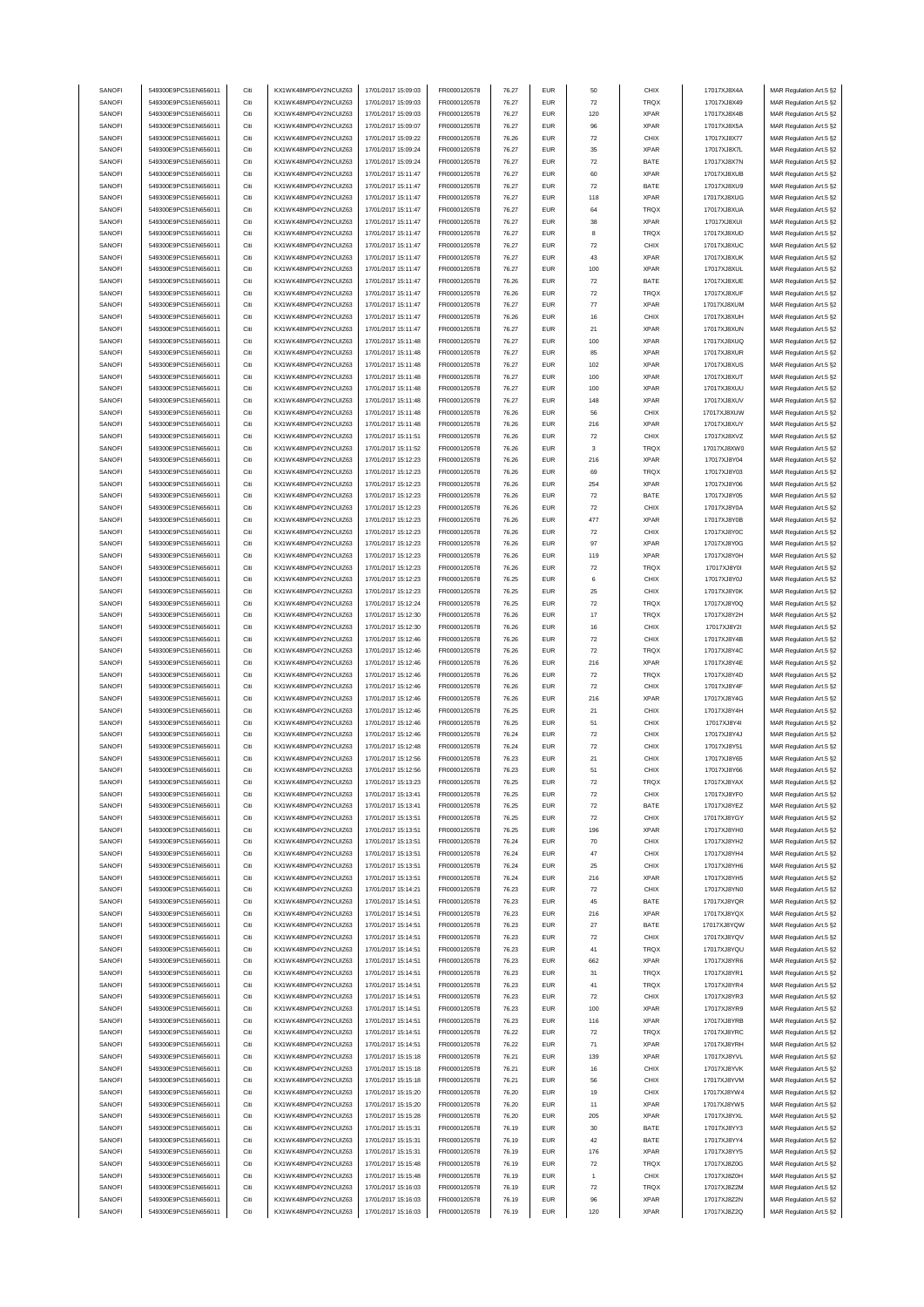| SANOFI           | 549300E9PC51EN656011                         | Citi         | KX1WK48MPD4Y2NCUIZ63                         | 17/01/2017 15:09:03                        | FR0000120578                 | 76.27          | <b>EUR</b>               | 50                 | CHIX                       | 17017XJ8X4A                | MAR Regulation Art.5 §2                            |
|------------------|----------------------------------------------|--------------|----------------------------------------------|--------------------------------------------|------------------------------|----------------|--------------------------|--------------------|----------------------------|----------------------------|----------------------------------------------------|
| SANOFI           | 549300E9PC51EN656011                         | Citi         | KX1WK48MPD4Y2NCLIIZ63                        | 17/01/2017 15:09:03                        | FR0000120578                 | 76.27          | <b>EUR</b>               | $\scriptstyle{72}$ | TRQX                       | 17017XJ8X49                | MAR Regulation Art.5 §2                            |
|                  | 549300E9PC51EN656011                         | Citi         |                                              |                                            |                              |                | <b>EUR</b>               |                    | <b>XPAR</b>                |                            | MAR Regulation Art.5 §2                            |
| SANOFI           |                                              |              | KX1WK48MPD4Y2NCUIZ63                         | 17/01/2017 15:09:03                        | FR0000120578                 | 76.27          |                          | 120                |                            | 17017XJ8X4B                |                                                    |
| SANOFI           | 549300E9PC51EN656011                         | Citi         | KX1WK48MPD4Y2NCUIZ63                         | 17/01/2017 15:09:07                        | FR0000120578                 | 76.27          | <b>EUR</b>               | 96                 | <b>XPAR</b>                | 17017XJ8X5A                | MAR Regulation Art.5 §2                            |
| SANOFI           | 549300E9PC51EN656011                         | Citi         | KX1WK48MPD4Y2NCUIZ63                         | 17/01/2017 15:09:22                        | FR0000120578                 | 76.26          | <b>EUR</b>               | $\scriptstyle{72}$ | CHIX                       | 17017XJ8X77                | MAR Regulation Art.5 §2                            |
| SANOFI           | 549300E9PC51EN656011                         | Citi         | KX1WK48MPD4Y2NCUIZ63                         | 17/01/2017 15:09:24                        | FR0000120578                 | 76.27          | <b>EUR</b>               | 35                 | <b>XPAR</b>                | 17017XJ8X7L                | MAR Regulation Art.5 §2                            |
| SANOFI           | 549300E9PC51EN656011                         | Citi         | KX1WK48MPD4Y2NCUIZ63                         | 17/01/2017 15:09:24                        | FR0000120578                 | 76.27          | <b>EUR</b>               | $\scriptstyle{72}$ | BATE                       | 17017XJ8X7N                | MAR Regulation Art.5 §2                            |
| SANOFI           | 549300E9PC51EN656011                         | Citi         | KX1WK48MPD4Y2NCUIZ63                         | 17/01/2017 15:11:47                        | FR0000120578                 | 76.27          | <b>EUR</b>               | 60                 | <b>XPAR</b>                | 17017XJ8XUB                | MAR Regulation Art.5 §2                            |
| SANOFI           | 549300E9PC51EN656011                         | Citi         | KX1WK48MPD4Y2NCUIZ63                         | 17/01/2017 15:11:47                        | FR0000120578                 | 76.27          | <b>EUR</b>               | 72                 | BATE                       | 17017XJ8XU9                | MAR Regulation Art.5 §2                            |
|                  |                                              |              |                                              |                                            |                              |                |                          |                    |                            |                            |                                                    |
| SANOFI           | 549300E9PC51EN656011                         | Citi         | KX1WK48MPD4Y2NCUIZ63                         | 17/01/2017 15:11:47                        | FR0000120578                 | 76.27          | <b>EUR</b>               | 118                | <b>XPAR</b>                | 17017XJ8XUG                | MAR Regulation Art.5 §2                            |
| SANOFI           | 549300E9PC51EN656011                         | Citi         | KX1WK48MPD4Y2NCUIZ63                         | 17/01/2017 15:11:47                        | FR0000120578                 | 76.27          | <b>EUR</b>               | 64                 | TRQX                       | 17017XJ8XUA                | MAR Regulation Art.5 §2                            |
| SANOFI           | 549300E9PC51EN656011                         | Citi         | KX1WK48MPD4Y2NCUIZ63                         | 17/01/2017 15:11:47                        | FR0000120578                 | 76.27          | <b>EUR</b>               | 38                 | <b>XPAR</b>                | 17017XJ8XUI                | MAR Regulation Art.5 §2                            |
| SANOFI           | 549300E9PC51EN656011                         | Citi         | KX1WK48MPD4Y2NCUIZ63                         | 17/01/2017 15:11:47                        | FR0000120578                 | 76.27          | <b>EUR</b>               | 8                  | TRQX                       | 17017XJ8XUD                | MAR Regulation Art.5 §2                            |
| SANOFI           | 549300E9PC51EN656011                         | Citi         | KX1WK48MPD4Y2NCUIZ63                         | 17/01/2017 15:11:47                        | FR0000120578                 | 76.27          | <b>EUR</b>               | $\scriptstyle{72}$ | CHIX                       | 17017XJ8XUC                | MAR Regulation Art.5 §2                            |
|                  |                                              |              |                                              |                                            |                              |                |                          |                    |                            |                            |                                                    |
| SANOFI           | 549300E9PC51EN656011                         | Citi         | KX1WK48MPD4Y2NCUIZ63                         | 17/01/2017 15:11:47                        | FR0000120578                 | 76.27          | <b>EUR</b>               | 43                 | <b>XPAR</b>                | 17017XJ8XUK                | MAR Regulation Art.5 §2                            |
| SANOFI           | 549300E9PC51EN656011                         | Citi         | KX1WK48MPD4Y2NCUIZ63                         | 17/01/2017 15:11:47                        | FR0000120578                 | 76.27          | <b>EUR</b>               | 100                | <b>XPAR</b>                | 17017XJ8XUL                | MAR Regulation Art.5 §2                            |
| SANOFI           | 549300E9PC51EN656011                         | Citi         | KX1WK48MPD4Y2NCUIZ63                         | 17/01/2017 15:11:47                        | FR0000120578                 | 76.26          | <b>EUR</b>               | $\scriptstyle{72}$ | BATE                       | 17017XJ8XUE                | MAR Regulation Art.5 §2                            |
| SANOFI           | 549300E9PC51EN656011                         | Citi         | KX1WK48MPD4Y2NCUIZ63                         | 17/01/2017 15:11:47                        | FR0000120578                 | 76.26          | <b>EUR</b>               | $\scriptstyle{72}$ | TRQX                       | 17017XJ8XUF                | MAR Regulation Art.5 §2                            |
| SANOFI           | 549300E9PC51EN656011                         | Citi         | KX1WK48MPD4Y2NCUIZ63                         | 17/01/2017 15:11:47                        | FR0000120578                 | 76.27          | <b>EUR</b>               | ${\bf 77}$         | <b>XPAR</b>                | 17017XJ8XUM                | MAR Regulation Art.5 §2                            |
| SANOFI           | 549300E9PC51EN656011                         | Citi         | KX1WK48MPD4Y2NCUIZ63                         | 17/01/2017 15:11:47                        | FR0000120578                 | 76.26          | <b>EUR</b>               | 16                 | CHIX                       | 17017XJ8XUH                | MAR Regulation Art.5 §2                            |
|                  |                                              |              |                                              |                                            |                              |                |                          |                    |                            |                            |                                                    |
| SANOFI           | 549300E9PC51EN656011                         | Citi         | KX1WK48MPD4Y2NCUIZ63                         | 17/01/2017 15:11:47                        | FR0000120578                 | 76.27          | <b>EUR</b>               | 21                 | <b>XPAR</b>                | 17017XJ8XUN                | MAR Regulation Art.5 §2                            |
| SANOFI           | 549300E9PC51EN656011                         | Citi         | KX1WK48MPD4Y2NCUIZ63                         | 17/01/2017 15:11:48                        | FR0000120578                 | 76.27          | <b>EUR</b>               | 100                | <b>XPAR</b>                | 17017XJ8XUQ                | MAR Regulation Art.5 §2                            |
| SANOFI           | 549300E9PC51EN656011                         | Citi         | KX1WK48MPD4Y2NCUIZ63                         | 17/01/2017 15:11:48                        | FR0000120578                 | 76.27          | <b>EUR</b>               | 85                 | <b>XPAR</b>                | 17017XJ8XUR                | MAR Regulation Art.5 §2                            |
| SANOFI           | 549300E9PC51EN656011                         | Citi         | KX1WK48MPD4Y2NCUIZ63                         | 17/01/2017 15:11:48                        | FR0000120578                 | 76.27          | <b>EUR</b>               | 102                | <b>XPAR</b>                | 17017XJ8XUS                | MAR Regulation Art.5 §2                            |
| SANOFI           | 549300E9PC51EN656011                         | Citi         | KX1WK48MPD4Y2NCLIIZ63                        | 17/01/2017 15:11:48                        | FR0000120578                 | 76.27          | <b>EUR</b>               | 100                | <b>XPAR</b>                | 17017XJ8XUT                | MAR Regulation Art.5 §2                            |
|                  |                                              | Citi         | KX1WK48MPD4Y2NCUIZ63                         | 17/01/2017 15:11:48                        |                              |                | <b>EUR</b>               |                    |                            |                            |                                                    |
| SANOFI           | 549300E9PC51EN656011                         |              |                                              |                                            | FR0000120578                 | 76.27          |                          | 100                | <b>XPAR</b>                | 17017XJ8XUU                | MAR Regulation Art.5 §2                            |
| SANOFI           | 549300E9PC51EN656011                         | Citi         | KX1WK48MPD4Y2NCUIZ63                         | 17/01/2017 15:11:48                        | FR0000120578                 | 76.27          | <b>EUR</b>               | 148                | <b>XPAR</b>                | 17017XJ8XUV                | MAR Regulation Art.5 §2                            |
| SANOFI           | 549300E9PC51EN656011                         | Citi         | KX1WK48MPD4Y2NCUIZ63                         | 17/01/2017 15:11:48                        | FR0000120578                 | 76.26          | <b>EUR</b>               | 56                 | CHIX                       | 17017XJ8XUW                | MAR Regulation Art.5 §2                            |
| SANOFI           | 549300E9PC51EN656011                         | Citi         | KX1WK48MPD4Y2NCUIZ63                         | 17/01/2017 15:11:48                        | FR0000120578                 | 76.26          | <b>EUR</b>               | 216                | <b>XPAR</b>                | 17017XJ8XUY                | MAR Regulation Art.5 §2                            |
| SANOFI           | 549300E9PC51EN656011                         | Citi         | KX1WK48MPD4Y2NCUIZ63                         | 17/01/2017 15:11:51                        | FR0000120578                 | 76.26          | <b>EUR</b>               | $\bf 72$           | CHIX                       | 17017XJ8XVZ                | MAR Regulation Art.5 §2                            |
| SANOFI           | 549300E9PC51EN656011                         | Citi         | KX1WK48MPD4Y2NCUIZ63                         | 17/01/2017 15:11:52                        | FR0000120578                 | 76.26          | <b>EUR</b>               | 3                  | TRQX                       | 17017XJ8XW0                | MAR Regulation Art.5 §2                            |
|                  |                                              |              |                                              |                                            |                              |                |                          |                    |                            |                            |                                                    |
| SANOFI           | 549300E9PC51EN656011                         | Citi         | KX1WK48MPD4Y2NCUIZ63                         | 17/01/2017 15:12:23                        | FR0000120578                 | 76.26          | <b>EUR</b>               | 216                | <b>XPAR</b>                | 17017XJ8Y04                | MAR Regulation Art.5 §2                            |
| SANOFI           | 549300E9PC51EN656011                         | Citi         | KX1WK48MPD4Y2NCUIZ63                         | 17/01/2017 15:12:23                        | FR0000120578                 | 76.26          | <b>EUR</b>               | 69                 | TRQX                       | 17017XJ8Y03                | MAR Regulation Art.5 §2                            |
| SANOFI           | 549300E9PC51EN656011                         | Citi         | KX1WK48MPD4Y2NCLIIZ63                        | 17/01/2017 15:12:23                        | FR0000120578                 | 76.26          | <b>EUR</b>               | 254                | <b>XPAR</b>                | 17017XJ8Y06                | MAR Regulation Art.5 §2                            |
| SANOFI           | 549300E9PC51EN656011                         | Citi         | KX1WK48MPD4Y2NCUIZ63                         | 17/01/2017 15:12:23                        | FR0000120578                 | 76.26          | <b>EUR</b>               | 72                 | BATE                       | 17017XJ8Y05                | MAR Regulation Art.5 §2                            |
| SANOFI           | 549300E9PC51EN656011                         | Citi         | KX1WK48MPD4Y2NCUIZ63                         | 17/01/2017 15:12:23                        | FR0000120578                 | 76.26          | <b>EUR</b>               | $\scriptstyle{72}$ | CHIX                       | 17017XJ8Y0A                | MAR Regulation Art.5 §2                            |
|                  |                                              |              |                                              |                                            |                              |                |                          |                    |                            |                            |                                                    |
| SANOFI           | 549300E9PC51EN656011                         | Citi         | KX1WK48MPD4Y2NCUIZ63                         | 17/01/2017 15:12:23                        | FR0000120578                 | 76.26          | <b>EUR</b>               | 477                | <b>XPAR</b>                | 17017XJ8Y0B                | MAR Regulation Art.5 §2                            |
| SANOFI           | 549300E9PC51EN656011                         | Citi         | KX1WK48MPD4Y2NCUIZ63                         | 17/01/2017 15:12:23                        | FR0000120578                 | 76.26          | <b>EUR</b>               | $\scriptstyle{72}$ | CHIX                       | 17017XJ8Y0C                | MAR Regulation Art.5 §2                            |
| SANOFI           | 549300E9PC51EN656011                         | Citi         | KX1WK48MPD4Y2NCUIZ63                         | 17/01/2017 15:12:23                        | FR0000120578                 | 76.26          | <b>EUR</b>               | 97                 | XPAR                       | 17017XJ8Y0G                | MAR Regulation Art.5 §2                            |
| SANOFI           | 549300E9PC51EN656011                         | Citi         | KX1WK48MPD4Y2NCUIZ63                         | 17/01/2017 15:12:23                        | FR0000120578                 | 76.26          | <b>EUR</b>               | 119                | <b>XPAR</b>                | 17017XJ8Y0H                | MAR Regulation Art.5 §2                            |
| SANOFI           | 549300E9PC51EN656011                         | Citi         | KX1WK48MPD4Y2NCUIZ63                         | 17/01/2017 15:12:23                        | FR0000120578                 | 76.26          | <b>EUR</b>               | 72                 | <b>TRQX</b>                | 17017XJ8Y0I                | MAR Regulation Art.5 §2                            |
| SANOFI           | 549300E9PC51EN656011                         | Citi         | KX1WK48MPD4Y2NCUIZ63                         | 17/01/2017 15:12:23                        | FR0000120578                 | 76.25          | <b>EUR</b>               | 6                  | CHIX                       | 17017XJ8Y0J                | MAR Regulation Art.5 §2                            |
|                  |                                              |              |                                              |                                            |                              |                |                          |                    |                            |                            |                                                    |
| SANOFI           | 549300E9PC51EN656011                         | Citi         | KX1WK48MPD4Y2NCUIZ63                         | 17/01/2017 15:12:23                        | FR0000120578                 | 76.25          | <b>EUR</b>               | 25                 | CHIX                       | 17017XJ8Y0K                | MAR Regulation Art.5 §2                            |
| SANOFI           | 549300E9PC51EN656011                         | Citi         | KX1WK48MPD4Y2NCUIZ63                         | 17/01/2017 15:12:24                        | FR0000120578                 | 76.25          | <b>EUR</b>               | $\scriptstyle{72}$ | TRQX                       | 17017XJ8Y0Q                | MAR Regulation Art.5 §2                            |
| SANOFI           | 549300E9PC51EN656011                         | Citi         | KX1WK48MPD4Y2NCUIZ63                         | 17/01/2017 15:12:30                        | FR0000120578                 | 76.26          | <b>EUR</b>               | $17\,$             | TRQX                       | 17017XJ8Y2H                | MAR Regulation Art.5 §2                            |
| SANOFI           | 549300E9PC51EN656011                         | Citi         | KX1WK48MPD4Y2NCUIZ63                         | 17/01/2017 15:12:30                        | FR0000120578                 | 76.26          | <b>EUR</b>               | 16                 | CHIX                       | 17017XJ8Y2I                | MAR Regulation Art.5 §2                            |
| SANOFI           | 549300E9PC51EN656011                         | Citi         | KX1WK48MPD4Y2NCUIZ63                         | 17/01/2017 15:12:46                        | FR0000120578                 | 76.26          | <b>EUR</b>               | $\scriptstyle{72}$ | CHIX                       | 17017XJ8Y4B                | MAR Regulation Art.5 §2                            |
|                  |                                              | Citi         |                                              |                                            |                              |                |                          |                    |                            |                            |                                                    |
| SANOFI           | 549300E9PC51EN656011                         |              | KX1WK48MPD4Y2NCUIZ63                         | 17/01/2017 15:12:46                        | FR0000120578                 | 76.26          | <b>EUR</b>               | $\bf 72$           | TRQX                       | 17017XJ8Y4C                | MAR Regulation Art.5 §2                            |
| SANOFI           | 549300E9PC51EN656011                         | Citi         | KX1WK48MPD4Y2NCUIZ63                         | 17/01/2017 15:12:46                        | FR0000120578                 | 76.26          | <b>EUR</b>               | 216                | <b>XPAR</b>                | 17017XJ8Y4E                | MAR Regulation Art.5 §2                            |
| SANOFI           | 549300E9PC51EN656011                         | Citi         | KX1WK48MPD4Y2NCLIIZ63                        | 17/01/2017 15:12:46                        | FR0000120578                 | 76.26          | <b>EUR</b>               | $\scriptstyle{72}$ | TRQX                       | 17017XJ8Y4D                | MAR Regulation Art.5 §2                            |
| SANOFI           | 549300E9PC51EN656011                         | Citi         | KX1WK48MPD4Y2NCUIZ63                         | 17/01/2017 15:12:46                        | FR0000120578                 | 76.26          | <b>EUR</b>               | $\scriptstyle{72}$ | CHIX                       | 17017X.I8Y4F               | MAR Regulation Art.5 §2                            |
| SANOFI           | 549300E9PC51EN656011                         | Citi         | KX1WK48MPD4Y2NCUIZ63                         | 17/01/2017 15:12:46                        | FR0000120578                 | 76.26          | <b>EUR</b>               | 216                | XPAR                       | 17017XJ8Y4G                | MAR Regulation Art.5 §2                            |
| SANOFI           | 549300E9PC51EN656011                         | Citi         | KX1WK48MPD4Y2NCUIZ63                         | 17/01/2017 15:12:46                        | FR0000120578                 | 76.25          | <b>EUR</b>               | 21                 | CHIX                       | 17017XJ8Y4H                | MAR Regulation Art.5 §2                            |
|                  |                                              |              |                                              |                                            |                              |                |                          |                    |                            |                            |                                                    |
| SANOFI           | 549300E9PC51EN656011                         | Citi         | KX1WK48MPD4Y2NCUIZ63                         | 17/01/2017 15:12:46                        | FR0000120578                 | 76.25          | <b>EUR</b>               | 51                 | CHIX                       | 17017XJ8Y4I                | MAR Regulation Art.5 §2                            |
| SANOFI           | 549300E9PC51EN656011                         | Citi         | KX1WK48MPD4Y2NCUIZ63                         | 17/01/2017 15:12:46                        | FR0000120578                 | 76.24          | <b>EUR</b>               | $\scriptstyle{72}$ | CHIX                       | 17017XJ8Y4J                | MAR Regulation Art.5 §2                            |
| SANOFI           | 549300E9PC51EN656011                         | Citi         | KX1WK48MPD4Y2NCUIZ63                         | 17/01/2017 15:12:48                        | FR0000120578                 | 76.24          | <b>EUR</b>               | $\scriptstyle{72}$ | CHIX                       | 17017XJ8Y51                | MAR Regulation Art.5 §2                            |
| SANOFI           | 549300E9PC51EN656011                         | Citi         | KX1WK48MPD4Y2NCUIZ63                         | 17/01/2017 15:12:56                        | FR0000120578                 | 76.23          | <b>EUR</b>               | 21                 | CHIX                       | 17017XJ8Y65                | MAR Regulation Art.5 §2                            |
| SANOFI           | 549300E9PC51EN656011                         |              | KX1WK48MPD4Y2NCLIIZ63                        | 17/01/2017 15:12:56                        | <b>ER0000120578</b>          | 76.23          |                          |                    | CHIX                       | <b>17017X IRV66</b>        | MAR Regulation Art 5 82                            |
|                  |                                              |              |                                              |                                            |                              |                |                          |                    |                            |                            |                                                    |
| SANOFI           | 549300E9PC51EN656011                         | Citi         | KX1WK48MPD4Y2NCUIZ63                         | 17/01/2017 15:13:23                        | FR0000120578                 | 76.25          | <b>EUR</b>               | 72                 | TRQX                       | 17017XJ8YAX                | MAR Regulation Art.5 §2                            |
| SANOFI           | 549300E9PC51EN656011                         | Citi         | KX1WK48MPD4Y2NCUIZ63                         | 17/01/2017 15:13:41                        | FR0000120578                 | 76.25          | <b>EUR</b>               | $\bf 72$           | CHIX                       | 17017XJ8YF0                | MAR Regulation Art.5 §2                            |
| SANOFI           | 549300E9PC51EN656011                         | Citi         | KX1WK48MPD4Y2NCUIZ63                         | 17/01/2017 15:13:41                        | FR0000120578                 | 76.25          | <b>EUR</b>               | $\scriptstyle{72}$ | BATE                       | 17017XJ8YEZ                | MAR Regulation Art.5 §2                            |
| SANOFI           | 549300E9PC51EN656011                         | Citi         | KX1WK48MPD4Y2NCUIZ63                         | 17/01/2017 15:13:51                        | FR0000120578                 | 76.25          | <b>EUR</b>               | $\scriptstyle{72}$ | CHIX                       | 17017XJ8YGY                | MAR Regulation Art.5 §2                            |
| SANOFI           | 549300E9PC51EN656011                         | Citi         | KX1WK48MPD4Y2NCUIZ63                         | 17/01/2017 15:13:51                        | FR0000120578                 | 76.25          | <b>EUR</b>               | 196                | XPAR                       | 17017XJ8YH0                | MAR Regulation Art.5 §2                            |
| SANOFI           | 549300E9PC51EN656011                         | Citi         | KX1WK48MPD4Y2NCUIZ63                         | 17/01/2017 15:13:51                        | FR0000120578                 | 76.24          | <b>EUR</b>               | 70                 | CHIX                       | 17017XJ8YH2                | MAR Regulation Art.5 §2                            |
|                  |                                              |              |                                              |                                            |                              |                |                          |                    |                            |                            |                                                    |
| SANOFI           | 549300E9PC51EN656011                         | Citi         | KX1WK48MPD4Y2NCUIZ63                         | 17/01/2017 15:13:51                        | FR0000120578                 | 76.24          | <b>EUR</b>               | 47                 | CHIX                       | 17017XJ8YH4                | MAR Regulation Art.5 §2                            |
| SANOFI           | 549300E9PC51EN656011                         | Citi         | KX1WK48MPD4Y2NCUIZ63                         | 17/01/2017 15:13:51                        | FR0000120578                 | 76.24          | <b>EUR</b>               | 25                 | CHIX                       | 17017XJ8YH6                | MAR Regulation Art.5 §2                            |
| SANOFI           | 549300E9PC51EN656011                         | Citi         | KX1WK48MPD4Y2NCUIZ63                         | 17/01/2017 15:13:51                        | FR0000120578                 | 76.24          | <b>EUR</b>               | 216                | <b>XPAR</b>                | 17017XJ8YH5                | MAR Regulation Art.5 §2                            |
| SANOFI           | 549300E9PC51EN656011                         | Citi         | KX1WK48MPD4Y2NCUIZ63                         | 17/01/2017 15:14:21                        | FR0000120578                 | 76.23          | <b>EUR</b>               | $\scriptstyle{72}$ | CHIX                       | 17017XJ8YN0                | MAR Regulation Art.5 §2                            |
| SANOFI           | 549300E9PC51EN656011                         | Citi         | KX1WK48MPD4Y2NCUIZ63                         | 17/01/2017 15:14:51                        | FR0000120578                 | 76.23          | <b>EUR</b>               | 45                 | BATE                       | 17017XJ8YQR                | MAR Regulation Art.5 §2                            |
| SANOFI           | 549300E9PC51EN656011                         | Citi         | KX1WK48MPD4Y2NCUIZ63                         | 17/01/2017 15:14:51                        | FR0000120578                 | 76.23          | <b>EUR</b>               | 216                | <b>XPAR</b>                | 17017XJ8YQX                | MAR Regulation Art.5 §2                            |
|                  |                                              |              |                                              |                                            |                              |                |                          |                    |                            |                            |                                                    |
| SANOFI           | 549300E9PC51EN656011                         | Citi         | KX1WK48MPD4Y2NCUIZ63                         | 17/01/2017 15:14:51                        | FR0000120578                 | 76.23          | <b>EUR</b>               | $27\,$             | BATE                       | 17017XJ8YQW                | MAR Regulation Art.5 §2                            |
| SANOFI           | 549300E9PC51EN656011                         | Citi         | KX1WK48MPD4Y2NCUIZ63                         | 17/01/2017 15:14:51                        | FR0000120578                 | 76.23          | <b>EUR</b>               | $\bf 72$           | CHIX                       | 17017XJ8YQV                | MAR Regulation Art.5 §2                            |
| SANOFI           | 549300E9PC51EN656011                         | Citi         | KX1WK48MPD4Y2NCUIZ63                         | 17/01/2017 15:14:51                        | FR0000120578                 | 76.23          | <b>EUR</b>               | 41                 | <b>TRQX</b>                | 17017XJ8YQU                | MAR Regulation Art.5 §2                            |
| SANOFI           | 549300E9PC51EN656011                         | Citi         | KX1WK48MPD4Y2NCUIZ63                         | 17/01/2017 15:14:51                        | FR0000120578                 | 76.23          | <b>EUR</b>               | 662                | XPAR                       | 17017XJ8YR6                | MAR Regulation Art.5 §2                            |
| SANOFI           | 549300E9PC51EN656011                         | Citi         | KX1WK48MPD4Y2NCUIZ63                         | 17/01/2017 15:14:51                        | FR0000120578                 | 76.23          | <b>EUR</b>               | 31                 | TRQX                       | 17017XJ8YR1                |                                                    |
|                  | 549300E9PC51EN656011                         |              |                                              |                                            |                              |                |                          |                    |                            |                            | MAR Regulation Art.5 §2                            |
| SANOFI           |                                              | Citi         | KX1WK48MPD4Y2NCUIZ63                         | 17/01/2017 15:14:51                        | FR0000120578                 | 76.23          | <b>EUR</b>               | 41                 | TRQX                       | 17017XJ8YR4                | MAR Regulation Art.5 §2                            |
| SANOFI           | 549300E9PC51EN656011                         | Citi         | KX1WK48MPD4Y2NCUIZ63                         | 17/01/2017 15:14:51                        | FR0000120578                 | 76.23          | <b>EUR</b>               | $\scriptstyle{72}$ | CHIX                       | 17017XJ8YR3                | MAR Regulation Art.5 §2                            |
| SANOFI           | 549300E9PC51EN656011                         | Citi         | KX1WK48MPD4Y2NCUIZ63                         | 17/01/2017 15:14:51                        | FR0000120578                 | 76.23          | <b>EUR</b>               | 100                | <b>XPAR</b>                | 17017XJ8YR9                | MAR Regulation Art.5 §2                            |
| SANOFI           | 549300E9PC51EN656011                         | Citi         | KX1WK48MPD4Y2NCUIZ63                         | 17/01/2017 15:14:51                        | FR0000120578                 | 76.23          | <b>EUR</b>               | 116                | <b>XPAR</b>                | 17017XJ8YRB                | MAR Regulation Art.5 §2                            |
| SANOFI           | 549300E9PC51EN656011                         | Citi         | KX1WK48MPD4Y2NCUIZ63                         | 17/01/2017 15:14:51                        | FR0000120578                 | 76.22          | <b>EUR</b>               | $\scriptstyle{72}$ | TRQX                       | 17017XJ8YRC                | MAR Regulation Art.5 §2                            |
| SANOFI           | 549300E9PC51EN656011                         | Citi         | KX1WK48MPD4Y2NCUIZ63                         | 17/01/2017 15:14:51                        | FR0000120578                 | 76.22          | <b>EUR</b>               | 71                 | <b>XPAR</b>                | 17017XJ8YRH                | MAR Regulation Art.5 §2                            |
|                  |                                              |              |                                              |                                            |                              |                |                          |                    |                            |                            |                                                    |
| SANOFI           | 549300E9PC51EN656011                         | Citi         | KX1WK48MPD4Y2NCUIZ63                         | 17/01/2017 15:15:18                        | FR0000120578                 | 76.21          | <b>EUR</b>               | 139                | <b>XPAR</b>                | 17017XJ8YVL                | MAR Regulation Art.5 §2                            |
| SANOFI           | 549300E9PC51EN656011                         | Citi         | KX1WK48MPD4Y2NCUIZ63                         | 17/01/2017 15:15:18                        | FR0000120578                 | 76.21          | <b>EUR</b>               | 16                 | CHIX                       | 17017XJ8YVK                | MAR Regulation Art.5 §2                            |
| SANOFI           | 549300E9PC51EN656011                         | Citi         | KX1WK48MPD4Y2NCUIZ63                         | 17/01/2017 15:15:18                        | FR0000120578                 | 76.21          | <b>EUR</b>               | 56                 | CHIX                       | 17017XJ8YVM                | MAR Regulation Art.5 §2                            |
| SANOFI           | 549300E9PC51EN656011                         | Citi         | KX1WK48MPD4Y2NCUIZ63                         | 17/01/2017 15:15:20                        | FR0000120578                 | 76.20          | <b>EUR</b>               | 19                 | <b>CHIX</b>                | 17017XJ8YW4                | MAR Regulation Art.5 §2                            |
| SANOFI           | 549300E9PC51EN656011                         | Citi         | KX1WK48MPD4Y2NCUIZ63                         | 17/01/2017 15:15:20                        | FR0000120578                 | 76.20          | <b>EUR</b>               | 11                 | <b>XPAR</b>                | 17017XJ8YW5                | MAR Regulation Art.5 §2                            |
|                  |                                              |              |                                              |                                            |                              |                |                          |                    |                            |                            |                                                    |
| SANOFI           | 549300E9PC51EN656011                         | Citi         | KX1WK48MPD4Y2NCUIZ63                         | 17/01/2017 15:15:28                        | FR0000120578                 | 76.20          | <b>EUR</b>               | 205                | <b>XPAR</b>                | 17017XJ8YXL                | MAR Regulation Art.5 §2                            |
| SANOFI           | 549300E9PC51EN656011                         | Citi         | KX1WK48MPD4Y2NCUIZ63                         | 17/01/2017 15:15:31                        | FR0000120578                 | 76.19          | <b>EUR</b>               | 30                 | BATE                       | 17017XJ8YY3                | MAR Regulation Art.5 §2                            |
| SANOFI           | 549300E9PC51EN656011                         | Citi         | KX1WK48MPD4Y2NCUIZ63                         | 17/01/2017 15:15:31                        | FR0000120578                 | 76.19          | <b>EUR</b>               | 42                 | BATE                       | 17017XJ8YY4                | MAR Regulation Art.5 §2                            |
| SANOFI           | 549300E9PC51EN656011                         | Citi         | KX1WK48MPD4Y2NCUIZ63                         | 17/01/2017 15:15:31                        | FR0000120578                 | 76.19          | <b>EUR</b>               | 176                | <b>XPAR</b>                | 17017XJ8YY5                | MAR Regulation Art.5 §2                            |
| SANOFI           | 549300E9PC51EN656011                         | Citi         | KX1WK48MPD4Y2NCUIZ63                         | 17/01/2017 15:15:48                        | FR0000120578                 | 76.19          | <b>EUR</b>               | 72                 | <b>TRQX</b>                | 17017XJ8Z0G                | MAR Regulation Art.5 §2                            |
| SANOFI           | 549300E9PC51EN656011                         | Citi         | KX1WK48MPD4Y2NCUIZ63                         | 17/01/2017 15:15:48                        | FR0000120578                 | 76.19          | <b>EUR</b>               | $\mathbf{1}$       | CHIX                       | 17017XJ8Z0H                | MAR Regulation Art.5 §2                            |
|                  |                                              |              |                                              |                                            |                              |                |                          |                    |                            |                            |                                                    |
|                  |                                              |              |                                              |                                            |                              |                |                          |                    |                            |                            |                                                    |
| SANOFI           | 549300E9PC51EN656011                         | Citi         | KX1WK48MPD4Y2NCUIZ63                         | 17/01/2017 15:16:03                        | FR0000120578                 | 76.19          | <b>EUR</b>               | $\scriptstyle{72}$ | TRQX                       | 17017XJ8Z2M                | MAR Regulation Art.5 §2                            |
| SANOFI<br>SANOFI | 549300E9PC51EN656011<br>549300E9PC51EN656011 | Citi<br>Citi | KX1WK48MPD4Y2NCUIZ63<br>KX1WK48MPD4Y2NCUIZ63 | 17/01/2017 15:16:03<br>17/01/2017 15:16:03 | FR0000120578<br>FR0000120578 | 76.19<br>76.19 | <b>EUR</b><br><b>EUR</b> | 96<br>120          | <b>XPAR</b><br><b>XPAR</b> | 17017XJ8Z2N<br>17017XJ8Z2Q | MAR Regulation Art.5 §2<br>MAR Regulation Art.5 §2 |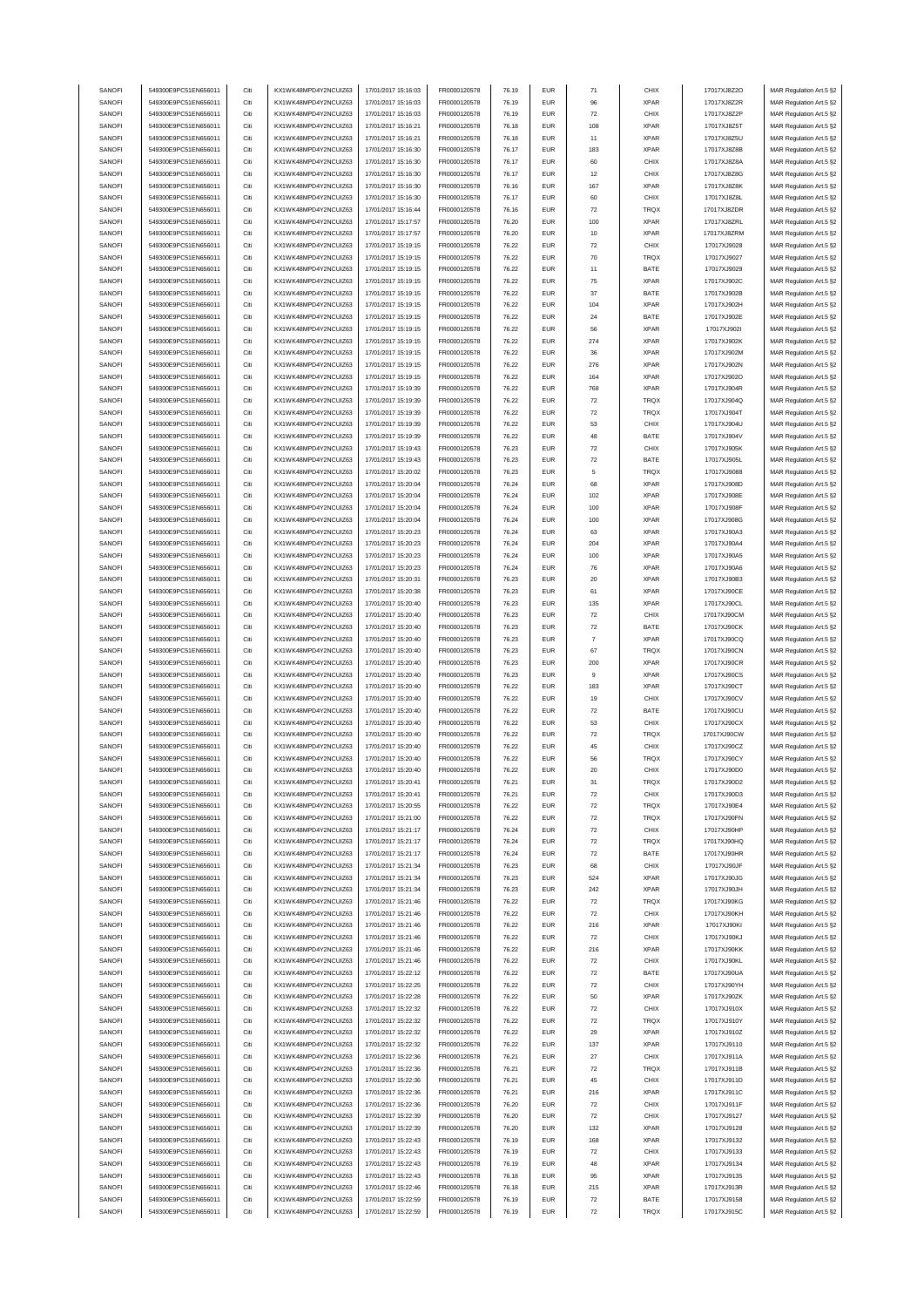| SANOFI           | 549300E9PC51EN656011                         | Citi         | KX1WK48MPD4Y2NCUIZ63                         | 17/01/2017 15:16:03                        | FR0000120578                 | 76.19          | <b>EUR</b>               | 71                             | CHIX         | 17017XJ8Z2O                | MAR Regulation Art.5 §2                            |
|------------------|----------------------------------------------|--------------|----------------------------------------------|--------------------------------------------|------------------------------|----------------|--------------------------|--------------------------------|--------------|----------------------------|----------------------------------------------------|
|                  | 549300E9PC51EN656011                         | Citi         | KX1WK48MPD4Y2NCUIZ63                         |                                            |                              | 76.19          |                          | 96                             | <b>XPAR</b>  | 17017XJ8Z2R                |                                                    |
| SANOFI           |                                              |              |                                              | 17/01/2017 15:16:03                        | FR0000120578                 |                | <b>EUR</b>               |                                |              |                            | MAR Regulation Art.5 §2                            |
| SANOFI           | 549300E9PC51EN656011                         | Citi         | KX1WK48MPD4Y2NCUIZ63                         | 17/01/2017 15:16:03                        | FR0000120578                 | 76.19          | <b>EUR</b>               | 72                             | CHIX         | 17017XJ8Z2P                | MAR Regulation Art.5 §2                            |
| SANOFI           | 549300E9PC51EN656011                         | Citi         | KX1WK48MPD4Y2NCUIZ63                         | 17/01/2017 15:16:21                        | FR0000120578                 | 76.18          | <b>EUR</b>               | 108                            | XPAR         | 17017XJ8Z5T                | MAR Regulation Art.5 §2                            |
| SANOFI           | 549300E9PC51EN656011                         | Citi         | KX1WK48MPD4Y2NCLIIZ63                        | 17/01/2017 15:16:21                        | FR0000120578                 | 76.18          | <b>EUR</b>               | 11                             | XPAR         | 17017XJ8Z5U                | MAR Regulation Art.5 §2                            |
|                  |                                              |              |                                              |                                            |                              |                |                          |                                |              |                            |                                                    |
| SANOFI           | 549300E9PC51EN656011                         | Citi         | KX1WK48MPD4Y2NCUIZ63                         | 17/01/2017 15:16:30                        | FR0000120578                 | 76.17          | <b>EUR</b>               | 183                            | <b>XPAR</b>  | 17017XJ8Z8B                | MAR Regulation Art.5 §2                            |
| SANOFI           | 549300E9PC51EN656011                         | Citi         | KX1WK48MPD4Y2NCUIZ63                         | 17/01/2017 15:16:30                        | FR0000120578                 | 76.17          | <b>EUR</b>               | 60                             | CHIX         | 17017XJ8Z8A                | MAR Regulation Art.5 §2                            |
| SANOFI           | 549300E9PC51EN656011                         | Citi         | KX1WK48MPD4Y2NCUIZ63                         |                                            | FR0000120578                 | 76.17          | <b>EUR</b>               | 12                             | CHIX         | 17017XJ8Z8G                |                                                    |
|                  |                                              |              |                                              | 17/01/2017 15:16:30                        |                              |                |                          |                                |              |                            | MAR Regulation Art.5 §2                            |
| SANOFI           | 549300E9PC51EN656011                         | Citi         | KX1WK48MPD4Y2NCUIZ63                         | 17/01/2017 15:16:30                        | FR0000120578                 | 76.16          | <b>EUR</b>               | 167                            | <b>XPAR</b>  | 17017XJ8Z8K                | MAR Regulation Art.5 §2                            |
| SANOFI           | 549300E9PC51EN656011                         | Citi         | KX1WK48MPD4Y2NCUIZ63                         | 17/01/2017 15:16:30                        | FR0000120578                 | 76.17          | <b>EUR</b>               | 60                             | CHIX         | 17017XJ8Z8L                | MAR Regulation Art.5 §2                            |
|                  |                                              |              |                                              |                                            |                              |                |                          |                                |              |                            |                                                    |
| SANOFI           | 549300E9PC51EN656011                         | Citi         | KX1WK48MPD4Y2NCUIZ63                         | 17/01/2017 15:16:44                        | FR0000120578                 | 76.16          | <b>EUR</b>               | $\scriptstyle{72}$             | TRQX         | 17017XJ8ZDR                | MAR Regulation Art.5 §2                            |
| SANOFI           | 549300E9PC51EN656011                         | Citi         | KX1WK48MPD4Y2NCUIZ63                         | 17/01/2017 15:17:57                        | FR0000120578                 | 76.20          | <b>EUR</b>               | 100                            | XPAR         | 17017XJ8ZRL                | MAR Regulation Art.5 §2                            |
| SANOFI           | 549300E9PC51EN656011                         | Citi         | KX1WK48MPD4Y2NCUIZ63                         | 17/01/2017 15:17:57                        | FR0000120578                 | 76.20          | <b>EUR</b>               | $10$                           | <b>XPAR</b>  | 17017XJ8ZRM                | MAR Regulation Art.5 §2                            |
|                  |                                              |              |                                              |                                            |                              |                |                          |                                |              |                            |                                                    |
| SANOFI           | 549300E9PC51EN656011                         | Citi         | KX1WK48MPD4Y2NCUIZ63                         | 17/01/2017 15:19:15                        | FR0000120578                 | 76.22          | <b>EUR</b>               | $\scriptstyle{72}$             | CHIX         | 17017XJ9028                | MAR Regulation Art.5 §2                            |
| SANOFI           | 549300E9PC51EN656011                         | Citi         | KX1WK48MPD4Y2NCUIZ63                         | 17/01/2017 15:19:15                        | FR0000120578                 | 76.22          | <b>EUR</b>               | 70                             | TRQX         | 17017XJ9027                | MAR Regulation Art.5 §2                            |
| SANOFI           | 549300E9PC51EN656011                         | Citi         | KX1WK48MPD4Y2NCUIZ63                         | 17/01/2017 15:19:15                        | FR0000120578                 | 76.22          | <b>EUR</b>               | 11                             | BATE         | 17017XJ9029                | MAR Regulation Art.5 §2                            |
|                  |                                              |              |                                              |                                            |                              |                |                          |                                |              |                            |                                                    |
| SANOFI           | 549300E9PC51EN656011                         | Citi         | KX1WK48MPD4Y2NCUIZ63                         | 17/01/2017 15:19:15                        | FR0000120578                 | 76.22          | <b>EUR</b>               | 75                             | XPAR         | 17017XJ902C                | MAR Regulation Art.5 §2                            |
| SANOFI           | 549300E9PC51EN656011                         | Citi         | KX1WK48MPD4Y2NCUIZ63                         | 17/01/2017 15:19:15                        | FR0000120578                 | 76.22          | <b>EUR</b>               | 37                             | BATE         | 17017XJ902B                | MAR Regulation Art.5 §2                            |
| SANOFI           | 549300E9PC51EN656011                         | Citi         | KX1WK48MPD4Y2NCUIZ63                         | 17/01/2017 15:19:15                        | FR0000120578                 | 76.22          | <b>EUR</b>               | 104                            | <b>XPAR</b>  | 17017XJ902H                | MAR Regulation Art.5 §2                            |
|                  |                                              |              |                                              |                                            |                              |                |                          |                                | BATE         |                            |                                                    |
| SANOFI           | 549300E9PC51EN656011                         | Citi         | KX1WK48MPD4Y2NCUIZ63                         | 17/01/2017 15:19:15                        | FR0000120578                 | 76.22          | <b>EUR</b>               | 24                             |              | 17017XJ902E                | MAR Regulation Art.5 §2                            |
| SANOFI           | 549300E9PC51EN656011                         | Citi         | KX1WK48MPD4Y2NCUIZ63                         | 17/01/2017 15:19:15                        | FR0000120578                 | 76.22          | <b>EUR</b>               | 56                             | <b>XPAR</b>  | 17017XJ902l                | MAR Regulation Art.5 §2                            |
| SANOFI           | 549300E9PC51EN656011                         | Citi         | KX1WK48MPD4Y2NCUIZ63                         | 17/01/2017 15:19:15                        | FR0000120578                 | 76.22          | <b>EUR</b>               | 274                            | <b>XPAR</b>  | 17017XJ902K                | MAR Regulation Art.5 §2                            |
| SANOFI           | 549300E9PC51EN656011                         | Citi         | KX1WK48MPD4Y2NCUIZ63                         | 17/01/2017 15:19:15                        | FR0000120578                 | 76.22          | <b>EUR</b>               | 36                             | <b>XPAR</b>  | 17017XJ902M                | MAR Regulation Art.5 §2                            |
|                  |                                              |              |                                              |                                            |                              |                |                          |                                |              |                            |                                                    |
| SANOFI           | 549300E9PC51EN656011                         | Citi         | KX1WK48MPD4Y2NCUIZ63                         | 17/01/2017 15:19:15                        | FR0000120578                 | 76.22          | <b>EUR</b>               | 276                            | XPAR         | 17017XJ902N                | MAR Regulation Art.5 §2                            |
| SANOFI           | 549300E9PC51EN656011                         | Citi         | KX1WK48MPD4Y2NCUIZ63                         | 17/01/2017 15:19:15                        | FR0000120578                 | 76.22          | <b>EUR</b>               | 164                            | <b>XPAR</b>  | 17017XJ902O                | MAR Regulation Art.5 §2                            |
| SANOFI           | 549300E9PC51EN656011                         | Citi         | KX1WK48MPD4Y2NCUIZ63                         | 17/01/2017 15:19:39                        | FR0000120578                 | 76.22          | <b>EUR</b>               | 768                            | <b>XPAR</b>  | 17017XJ904R                | MAR Regulation Art.5 §2                            |
|                  |                                              |              |                                              |                                            |                              |                |                          |                                |              |                            |                                                    |
| SANOFI           | 549300E9PC51EN656011                         | Citi         | KX1WK48MPD4Y2NCUIZ63                         | 17/01/2017 15:19:39                        | FR0000120578                 | 76.22          | <b>EUR</b>               | $\scriptstyle{72}$             | TRQX         | 17017XJ904Q                | MAR Regulation Art.5 §2                            |
| SANOFI           | 549300E9PC51EN656011                         | Citi         | KX1WK48MPD4Y2NCUIZ63                         | 17/01/2017 15:19:39                        | FR0000120578                 | 76.22          | <b>EUR</b>               | $\scriptstyle{72}$             | TRQX         | 17017XJ904T                | MAR Regulation Art.5 §2                            |
| SANOFI           | 549300E9PC51EN656011                         | Citi         | KX1WK48MPD4Y2NCUIZ63                         | 17/01/2017 15:19:39                        | FR0000120578                 | 76.22          | <b>EUR</b>               | 53                             | CHIX         | 17017XJ904U                | MAR Regulation Art.5 §2                            |
|                  |                                              |              |                                              |                                            |                              |                |                          |                                |              |                            |                                                    |
| SANOFI           | 549300E9PC51EN656011                         | Citi         | KX1WK48MPD4Y2NCUIZ63                         | 17/01/2017 15:19:39                        | FR0000120578                 | 76.22          | <b>EUR</b>               | 48                             | BATE         | 17017XJ904V                | MAR Regulation Art.5 §2                            |
| SANOFI           | 549300E9PC51EN656011                         | Citi         | KX1WK48MPD4Y2NCUIZ63                         | 17/01/2017 15:19:43                        | FR0000120578                 | 76.23          | <b>EUR</b>               | $\scriptstyle{72}$             | CHIX         | 17017XJ905K                | MAR Regulation Art.5 §2                            |
| SANOFI           | 549300E9PC51EN656011                         | Citi         | KX1WK48MPD4Y2NCUIZ63                         | 17/01/2017 15:19:43                        | FR0000120578                 | 76.23          | <b>EUR</b>               | $\scriptstyle{72}$             | BATE         | 17017XJ905L                | MAR Regulation Art.5 §2                            |
|                  |                                              |              |                                              |                                            |                              |                |                          |                                |              |                            |                                                    |
| SANOFI           | 549300E9PC51EN656011                         | Citi         | KX1WK48MPD4Y2NCUIZ63                         | 17/01/2017 15:20:02                        | FR0000120578                 | 76.23          | <b>EUR</b>               | 5                              | TRQX         | 17017XJ9088                | MAR Regulation Art.5 §2                            |
| SANOFI           | 549300E9PC51EN656011                         | Citi         | KX1WK48MPD4Y2NCUIZ63                         | 17/01/2017 15:20:04                        | FR0000120578                 | 76.24          | <b>EUR</b>               | 68                             | <b>XPAR</b>  | 17017XJ908D                | MAR Regulation Art.5 §2                            |
| SANOFI           | 549300E9PC51EN656011                         | Citi         | KX1WK48MPD4Y2NCUIZ63                         | 17/01/2017 15:20:04                        | FR0000120578                 | 76.24          | <b>EUR</b>               | 102                            | XPAR         | 17017XJ908E                | MAR Regulation Art.5 §2                            |
|                  |                                              |              |                                              |                                            |                              |                |                          |                                |              |                            |                                                    |
| SANOFI           | 549300E9PC51EN656011                         | Citi         | KX1WK48MPD4Y2NCUIZ63                         | 17/01/2017 15:20:04                        | FR0000120578                 | 76.24          | <b>EUR</b>               | 100                            | <b>XPAR</b>  | 17017XJ908F                | MAR Regulation Art.5 §2                            |
| SANOFI           | 549300E9PC51EN656011                         | Citi         | KX1WK48MPD4Y2NCUIZ63                         | 17/01/2017 15:20:04                        | FR0000120578                 | 76.24          | <b>EUR</b>               | 100                            | <b>XPAR</b>  | 17017XJ908G                | MAR Regulation Art.5 §2                            |
| SANOFI           | 549300E9PC51EN656011                         | Citi         | KX1WK48MPD4Y2NCUIZ63                         | 17/01/2017 15:20:23                        | FR0000120578                 | 76.24          | <b>EUR</b>               | 63                             | <b>XPAR</b>  | 17017XJ90A3                | MAR Regulation Art.5 §2                            |
|                  |                                              |              |                                              |                                            |                              |                |                          |                                |              |                            |                                                    |
| SANOFI           | 549300E9PC51EN656011                         | Citi         | KX1WK48MPD4Y2NCUIZ63                         | 17/01/2017 15:20:23                        | FR0000120578                 | 76.24          | <b>EUR</b>               | 204                            | <b>XPAR</b>  | 17017XJ90A4                | MAR Regulation Art.5 §2                            |
| SANOFI           | 549300E9PC51EN656011                         | Citi         | KX1WK48MPD4Y2NCUIZ63                         | 17/01/2017 15:20:23                        | FR0000120578                 | 76.24          | <b>EUR</b>               | 100                            | <b>XPAR</b>  | 17017XJ90A5                | MAR Regulation Art.5 §2                            |
| SANOFI           | 549300E9PC51EN656011                         | Citi         | KX1WK48MPD4Y2NCUIZ63                         | 17/01/2017 15:20:23                        | FR0000120578                 | 76.24          | <b>EUR</b>               | 76                             | <b>XPAR</b>  | 17017XJ90A6                | MAR Regulation Art.5 §2                            |
|                  |                                              |              |                                              |                                            |                              |                |                          |                                |              |                            |                                                    |
| SANOFI           | 549300E9PC51EN656011                         | Citi         | KX1WK48MPD4Y2NCUIZ63                         | 17/01/2017 15:20:31                        | FR0000120578                 | 76.23          | <b>EUR</b>               | $20\,$                         | XPAR         | 17017XJ90B3                | MAR Regulation Art.5 §2                            |
| SANOFI           | 549300E9PC51EN656011                         | Citi         | KX1WK48MPD4Y2NCUIZ63                         | 17/01/2017 15:20:38                        | FR0000120578                 | 76.23          | <b>EUR</b>               | 61                             | <b>XPAR</b>  | 17017XJ90CE                | MAR Regulation Art.5 §2                            |
| SANOFI           | 549300E9PC51EN656011                         | Citi         | KX1WK48MPD4Y2NCUIZ63                         | 17/01/2017 15:20:40                        | FR0000120578                 | 76.23          | <b>EUR</b>               | 135                            | XPAR         | 17017XJ90CL                | MAR Regulation Art.5 §2                            |
|                  |                                              |              |                                              |                                            |                              |                |                          |                                |              |                            |                                                    |
| SANOFI           | 549300E9PC51EN656011                         | Citi         | KX1WK48MPD4Y2NCUIZ63                         | 17/01/2017 15:20:40                        | FR0000120578                 | 76.23          | <b>EUR</b>               | $\scriptstyle{72}$             | CHIX         | 17017XJ90CM                | MAR Regulation Art.5 §2                            |
| SANOFI           | 549300E9PC51EN656011                         | Citi         | KX1WK48MPD4Y2NCUIZ63                         | 17/01/2017 15:20:40                        | FR0000120578                 | 76.23          | <b>EUR</b>               | $\scriptstyle{72}$             | BATE         | 17017XJ90CK                | MAR Regulation Art.5 §2                            |
| SANOFI           | 549300E9PC51EN656011                         | Citi         | KX1WK48MPD4Y2NCUIZ63                         | 17/01/2017 15:20:40                        | FR0000120578                 | 76.23          | <b>EUR</b>               | $\overline{7}$                 | <b>XPAR</b>  | 17017XJ90CQ                | MAR Regulation Art.5 §2                            |
|                  |                                              |              |                                              |                                            |                              |                |                          |                                |              |                            |                                                    |
| SANOFI           | 549300E9PC51EN656011                         | Citi         | KX1WK48MPD4Y2NCUIZ63                         | 17/01/2017 15:20:40                        | FR0000120578                 | 76.23          | <b>EUR</b>               | 67                             | TRQX         | 17017XJ90CN                | MAR Regulation Art.5 §2                            |
| SANOFI           | 549300E9PC51EN656011                         | Citi         | KX1WK48MPD4Y2NCUIZ63                         | 17/01/2017 15:20:40                        | FR0000120578                 | 76.23          | <b>EUR</b>               | 200                            | XPAR         | 17017XJ90CR                | MAR Regulation Art.5 §2                            |
| SANOFI           | 549300E9PC51EN656011                         | Citi         | KX1WK48MPD4Y2NCUIZ63                         | 17/01/2017 15:20:40                        | FR0000120578                 | 76.23          | <b>EUR</b>               | 9                              | <b>XPAR</b>  | 17017XJ90CS                | MAR Regulation Art.5 §2                            |
| SANOFI           | 549300E9PC51EN656011                         | Citi         | KX1WK48MPD4Y2NCUIZ63                         | 17/01/2017 15:20:40                        | FR0000120578                 | 76.22          | <b>EUR</b>               | 183                            | XPAR         | 17017XJ90CT                |                                                    |
|                  |                                              |              |                                              |                                            |                              |                |                          |                                |              |                            | MAR Regulation Art.5 §2                            |
| SANOFI           | 549300E9PC51EN656011                         | Citi         | KX1WK48MPD4Y2NCUIZ63                         | 17/01/2017 15:20:40                        | FR0000120578                 | 76.22          | <b>EUR</b>               | 19                             | CHIX         | 17017XJ90CV                | MAR Regulation Art.5 §2                            |
| SANOFI           |                                              |              |                                              |                                            |                              |                |                          |                                |              |                            |                                                    |
|                  | 549300E9PC51EN656011                         | Citi         |                                              |                                            |                              |                | <b>EUR</b>               |                                |              |                            |                                                    |
|                  |                                              |              | KX1WK48MPD4Y2NCUIZ63                         | 17/01/2017 15:20:40                        | FR0000120578                 | 76.22          |                          | 72                             | BATE         | 17017XJ90CU                | MAR Regulation Art.5 §2                            |
| SANOFI           | 549300E9PC51EN656011                         | Citi         | KX1WK48MPD4Y2NCUIZ63                         | 17/01/2017 15:20:40                        | FR0000120578                 | 76.22          | <b>EUR</b>               | 53                             | CHIX         | 17017XJ90CX                | MAR Regulation Art.5 §2                            |
| SANOFI           | 549300E9PC51EN656011                         | Citi         | KX1WK48MPD4Y2NCUIZ63                         | 17/01/2017 15:20:40                        | FR0000120578                 | 76.22          | <b>EUR</b>               | $\scriptstyle{72}$             | TRQX         | 17017XJ90CW                | MAR Regulation Art.5 §2                            |
| SANOFI           | 549300E9PC51EN656011                         | Citi         | KX1WK48MPD4Y2NCUIZ63                         | 17/01/2017 15:20:40                        | FR0000120578                 | 76.22          | <b>EUR</b>               | 45                             | CHIX         | 17017XJ90CZ                |                                                    |
|                  |                                              |              |                                              |                                            |                              |                |                          |                                |              |                            | MAR Regulation Art.5 §2                            |
| SANOFI           | 549300E9PC51EN656011                         | Citi         | KX1WK48MPD4Y2NCUIZ63                         | 17/01/2017 15:20:40                        | FR0000120578                 | 76.22          | <b>EUR</b>               | 56                             | TRQX         | 17017XJ90CY                | MAR Regulation Art.5 §2                            |
| SANOFI           | 549300E9PC51EN656011                         | Citi         | KX1WK48MPD4Y2NCUIZ63                         | 17/01/2017 15:20:40                        | FR0000120578                 | 76.22          | <b>EUR</b>               | $20\,$                         | CHIX         | 17017XJ90D0                | MAR Regulation Art.5 §2                            |
| SANOFI           | 549300E9PC51EN656011                         |              | KX1WK48MPD4Y2NCLIIZ63                        | 17/01/2017 15:20:41                        | FR0000120578                 | 76.21          | FUR                      |                                | TROX         | 17017XJ90D2                | MAR Regulation Art 5 82                            |
|                  |                                              |              |                                              |                                            |                              |                |                          |                                |              |                            |                                                    |
| SANOFI           | 549300E9PC51EN656011                         | Citi         | KX1WK48MPD4Y2NCUIZ63                         | 17/01/2017 15:20:41                        | FR0000120578                 | 76.21          | <b>EUR</b>               | $\scriptstyle{72}$             | CHIX         | 17017XJ90D3                | MAR Regulation Art.5 §2                            |
| SANOFI           | 549300E9PC51EN656011                         | Citi         | KX1WK48MPD4Y2NCUIZ63                         | 17/01/2017 15:20:55                        | FR0000120578                 | 76.22          | <b>EUR</b>               | $\scriptstyle{72}$             | TRQX         | 17017XJ90E4                | MAR Regulation Art.5 §2                            |
| SANOFI           | 549300E9PC51EN656011                         | Citi         | KX1WK48MPD4Y2NCUIZ63                         | 17/01/2017 15:21:00                        | FR0000120578                 | 76.22          | <b>EUR</b>               | 72                             | TRQX         | 17017XJ90FN                | MAR Regulation Art.5 §2                            |
|                  |                                              |              |                                              |                                            |                              |                |                          |                                |              |                            |                                                    |
| SANOFI           | 549300E9PC51EN656011                         | Citi         | KX1WK48MPD4Y2NCUIZ63                         | 17/01/2017 15:21:17                        | FR0000120578                 | 76.24          | <b>EUR</b>               | $\scriptstyle{72}$             | CHIX         | 17017XJ90HP                | MAR Regulation Art.5 §2                            |
| SANOFI           | 549300E9PC51EN656011                         | Citi         | KX1WK48MPD4Y2NCUIZ63                         | 17/01/2017 15:21:17                        | FR0000120578                 | 76.24          | <b>EUR</b>               | $\scriptstyle{72}$             | TRQX         | 17017XJ90HQ                | MAR Regulation Art.5 §2                            |
| SANOFI           | 549300E9PC51EN656011                         | Citi         | KX1WK48MPD4Y2NCUIZ63                         | 17/01/2017 15:21:17                        | FR0000120578                 | 76.24          | <b>EUR</b>               | $\scriptstyle{72}$             | BATE         | 17017XJ90HR                | MAR Regulation Art.5 §2                            |
|                  |                                              |              |                                              |                                            |                              |                |                          |                                |              |                            |                                                    |
| SANOFI           | 549300E9PC51EN656011                         | Citi         | KX1WK48MPD4Y2NCUIZ63                         | 17/01/2017 15:21:34                        | FR0000120578                 | 76.23          | <b>EUR</b>               | 68                             | CHIX         | 17017XJ90JF                | MAR Regulation Art.5 §2                            |
| SANOFI           | 549300E9PC51EN656011                         | Citi         | KX1WK48MPD4Y2NCUIZ63                         | 17/01/2017 15:21:34                        | FR0000120578                 | 76.23          | <b>EUR</b>               | 524                            | <b>XPAR</b>  | 17017XJ90JG                | MAR Regulation Art.5 §2                            |
| SANOFI           | 549300E9PC51EN656011                         | Citi         | KX1WK48MPD4Y2NCUIZ63                         | 17/01/2017 15:21:34                        | FR0000120578                 | 76.23          | <b>EUR</b>               | 242                            | XPAR         | 17017XJ90JH                | MAR Regulation Art.5 §2                            |
|                  |                                              |              |                                              | 17/01/2017 15:21:46                        |                              |                |                          |                                |              |                            |                                                    |
| SANOFI           | 549300E9PC51EN656011                         | Citi         | KX1WK48MPD4Y2NCUIZ63                         |                                            | FR0000120578                 | 76.22          | <b>EUR</b>               | $\scriptstyle{72}$             | TRQX         | 17017XJ90KG                | MAR Regulation Art.5 §2                            |
| SANOFI           | 549300E9PC51EN656011                         | Citi         | KX1WK48MPD4Y2NCUIZ63                         | 17/01/2017 15:21:46                        | FR0000120578                 | 76.22          | <b>EUR</b>               | $\scriptstyle{72}$             | CHIX         | 17017XJ90KH                | MAR Regulation Art.5 §2                            |
| SANOFI           | 549300E9PC51EN656011                         | Citi         | KX1WK48MPD4Y2NCUIZ63                         | 17/01/2017 15:21:46                        | FR0000120578                 | 76.22          | <b>EUR</b>               | 216                            | <b>XPAR</b>  | 17017XJ90KI                | MAR Regulation Art.5 §2                            |
|                  |                                              |              | KX1WK48MPD4Y2NCUIZ63                         |                                            |                              |                |                          |                                |              |                            |                                                    |
| SANOFI           | 549300E9PC51EN656011                         | Citi         |                                              | 17/01/2017 15:21:46                        | FR0000120578                 | 76.22          | <b>EUR</b>               | $\bf 72$                       | CHIX         | 17017XJ90KJ                | MAR Regulation Art.5 §2                            |
| SANOFI           | 549300E9PC51EN656011                         | Citi         | KX1WK48MPD4Y2NCUIZ63                         | 17/01/2017 15:21:46                        | FR0000120578                 | 76.22          | <b>EUR</b>               | 216                            | XPAR         | 17017XJ90KK                | MAR Regulation Art.5 §2                            |
| SANOFI           | 549300E9PC51EN656011                         | Citi         | KX1WK48MPD4Y2NCUIZ63                         | 17/01/2017 15:21:46                        | FR0000120578                 | 76.22          | <b>EUR</b>               | $\bf 72$                       | CHIX         | 17017XJ90KL                | MAR Regulation Art.5 §2                            |
|                  |                                              | Citi         | KX1WK48MPD4Y2NCUIZ63                         |                                            |                              |                |                          |                                |              |                            |                                                    |
| SANOFI           | 549300E9PC51EN656011                         |              |                                              | 17/01/2017 15:22:12                        | FR0000120578                 | 76.22          | <b>EUR</b>               | $\scriptstyle{72}$             | BATE         | 17017XJ90UA                | MAR Regulation Art.5 §2                            |
| SANOFI           | 549300E9PC51EN656011                         | Citi         | KX1WK48MPD4Y2NCUIZ63                         | 17/01/2017 15:22:25                        | FR0000120578                 | 76.22          | <b>EUR</b>               | $\scriptstyle{72}$             | CHIX         | 17017XJ90YH                | MAR Regulation Art.5 §2                            |
| SANOFI           | 549300E9PC51EN656011                         | Citi         | KX1WK48MPD4Y2NCUIZ63                         | 17/01/2017 15:22:28                        | FR0000120578                 | 76.22          | <b>EUR</b>               | 50                             | <b>XPAR</b>  | 17017XJ90ZK                | MAR Regulation Art.5 §2                            |
| SANOFI           | 549300E9PC51EN656011                         | Citi         | KX1WK48MPD4Y2NCUIZ63                         | 17/01/2017 15:22:32                        | FR0000120578                 | 76.22          | <b>EUR</b>               |                                | CHIX         | 17017XJ910X                |                                                    |
|                  |                                              |              |                                              |                                            |                              |                |                          | 72                             |              |                            | MAR Regulation Art.5 §2                            |
| SANOFI           | 549300E9PC51EN656011                         | Citi         | KX1WK48MPD4Y2NCUIZ63                         | 17/01/2017 15:22:32                        | FR0000120578                 | 76.22          | <b>EUR</b>               | 72                             | TRQX         | 17017XJ910Y                | MAR Regulation Art.5 §2                            |
| SANOFI           | 549300E9PC51EN656011                         | Citi         | KX1WK48MPD4Y2NCUIZ63                         | 17/01/2017 15:22:32                        | FR0000120578                 | 76.22          | <b>EUR</b>               | 29                             | <b>XPAR</b>  | 17017XJ910Z                | MAR Regulation Art.5 §2                            |
|                  |                                              |              |                                              |                                            |                              |                |                          |                                |              |                            |                                                    |
| SANOFI           | 549300E9PC51EN656011                         | Citi         | KX1WK48MPD4Y2NCUIZ63                         | 17/01/2017 15:22:32                        | FR0000120578                 | 76.22          | <b>EUR</b>               | 137                            | <b>XPAR</b>  | 17017XJ9110                | MAR Regulation Art.5 §2                            |
| SANOFI           | 549300E9PC51EN656011                         | Citi         | KX1WK48MPD4Y2NCUIZ63                         | 17/01/2017 15:22:36                        | FR0000120578                 | 76.21          | <b>EUR</b>               | $27\,$                         | CHIX         | 17017XJ911A                | MAR Regulation Art.5 §2                            |
| SANOFI           | 549300E9PC51EN656011                         | Citi         | KX1WK48MPD4Y2NCUIZ63                         | 17/01/2017 15:22:36                        | FR0000120578                 | 76.21          | <b>EUR</b>               | $\scriptstyle{72}$             | TRQX         | 17017XJ911B                | MAR Regulation Art.5 §2                            |
|                  |                                              |              |                                              |                                            |                              |                |                          |                                |              |                            |                                                    |
| SANOFI           | 549300E9PC51EN656011                         | Citi         | KX1WK48MPD4Y2NCUIZ63                         | 17/01/2017 15:22:36                        | FR0000120578                 | 76.21          | <b>EUR</b>               | 45                             | CHIX         | 17017XJ911D                | MAR Regulation Art.5 §2                            |
| SANOFI           | 549300E9PC51EN656011                         | Citi         | KX1WK48MPD4Y2NCUIZ63                         | 17/01/2017 15:22:36                        | FR0000120578                 | 76.21          | <b>EUR</b>               | 216                            | <b>XPAR</b>  | 17017XJ911C                | MAR Regulation Art.5 §2                            |
| SANOFI           | 549300E9PC51EN656011                         | Citi         | KX1WK48MPD4Y2NCUIZ63                         | 17/01/2017 15:22:36                        | FR0000120578                 | 76.20          | <b>EUR</b>               | $\scriptstyle{72}$             | CHIX         | 17017XJ911F                | MAR Regulation Art.5 §2                            |
|                  |                                              |              |                                              |                                            |                              | 76.20          |                          |                                |              |                            |                                                    |
| SANOFI           | 549300E9PC51EN656011                         | Citi         | KX1WK48MPD4Y2NCUIZ63                         | 17/01/2017 15:22:39                        | FR0000120578                 |                | <b>EUR</b>               | $\scriptstyle{72}$             | CHIX         | 17017XJ9127                | MAR Regulation Art.5 §2                            |
| SANOFI           | 549300E9PC51EN656011                         | Citi         | KX1WK48MPD4Y2NCUIZ63                         | 17/01/2017 15:22:39                        | FR0000120578                 | 76.20          | <b>EUR</b>               | 132                            | <b>XPAR</b>  | 17017XJ9128                | MAR Regulation Art.5 §2                            |
| SANOFI           | 549300E9PC51EN656011                         | Citi         | KX1WK48MPD4Y2NCUIZ63                         | 17/01/2017 15:22:43                        | FR0000120578                 | 76.19          | <b>EUR</b>               | 168                            | <b>XPAR</b>  | 17017XJ9132                | MAR Regulation Art.5 §2                            |
|                  |                                              | Citi         |                                              |                                            |                              |                |                          |                                |              |                            |                                                    |
| SANOFI           | 549300E9PC51EN656011                         |              | KX1WK48MPD4Y2NCUIZ63                         | 17/01/2017 15:22:43                        | FR0000120578                 | 76.19          | <b>EUR</b>               | $\bf 72$                       | CHIX         | 17017XJ9133                | MAR Regulation Art.5 §2                            |
| SANOFI           | 549300E9PC51EN656011                         | Citi         | KX1WK48MPD4Y2NCUIZ63                         | 17/01/2017 15:22:43                        | FR0000120578                 | 76.19          | <b>EUR</b>               | 48                             | <b>XPAR</b>  | 17017XJ9134                | MAR Regulation Art.5 §2                            |
| SANOFI           | 549300E9PC51EN656011                         | Citi         | KX1WK48MPD4Y2NCUIZ63                         | 17/01/2017 15:22:43                        | FR0000120578                 | 76.18          | <b>EUR</b>               | 95                             | <b>XPAR</b>  | 17017XJ9135                | MAR Regulation Art.5 §2                            |
| SANOFI           | 549300E9PC51EN656011                         | Citi         | KX1WK48MPD4Y2NCUIZ63                         | 17/01/2017 15:22:46                        | FR0000120578                 | 76.18          | <b>EUR</b>               | 215                            | <b>XPAR</b>  |                            |                                                    |
|                  |                                              |              |                                              |                                            |                              |                |                          |                                |              | 17017XJ913R                | MAR Regulation Art.5 §2                            |
| SANOFI<br>SANOFI | 549300E9PC51EN656011<br>549300E9PC51EN656011 | Citi<br>Citi | KX1WK48MPD4Y2NCUIZ63<br>KX1WK48MPD4Y2NCUIZ63 | 17/01/2017 15:22:59<br>17/01/2017 15:22:59 | FR0000120578<br>FR0000120578 | 76.19<br>76.19 | <b>EUR</b><br><b>EUR</b> | $\bf 72$<br>$\scriptstyle{72}$ | BATE<br>TRQX | 17017XJ9158<br>17017XJ915C | MAR Regulation Art.5 §2<br>MAR Regulation Art.5 §2 |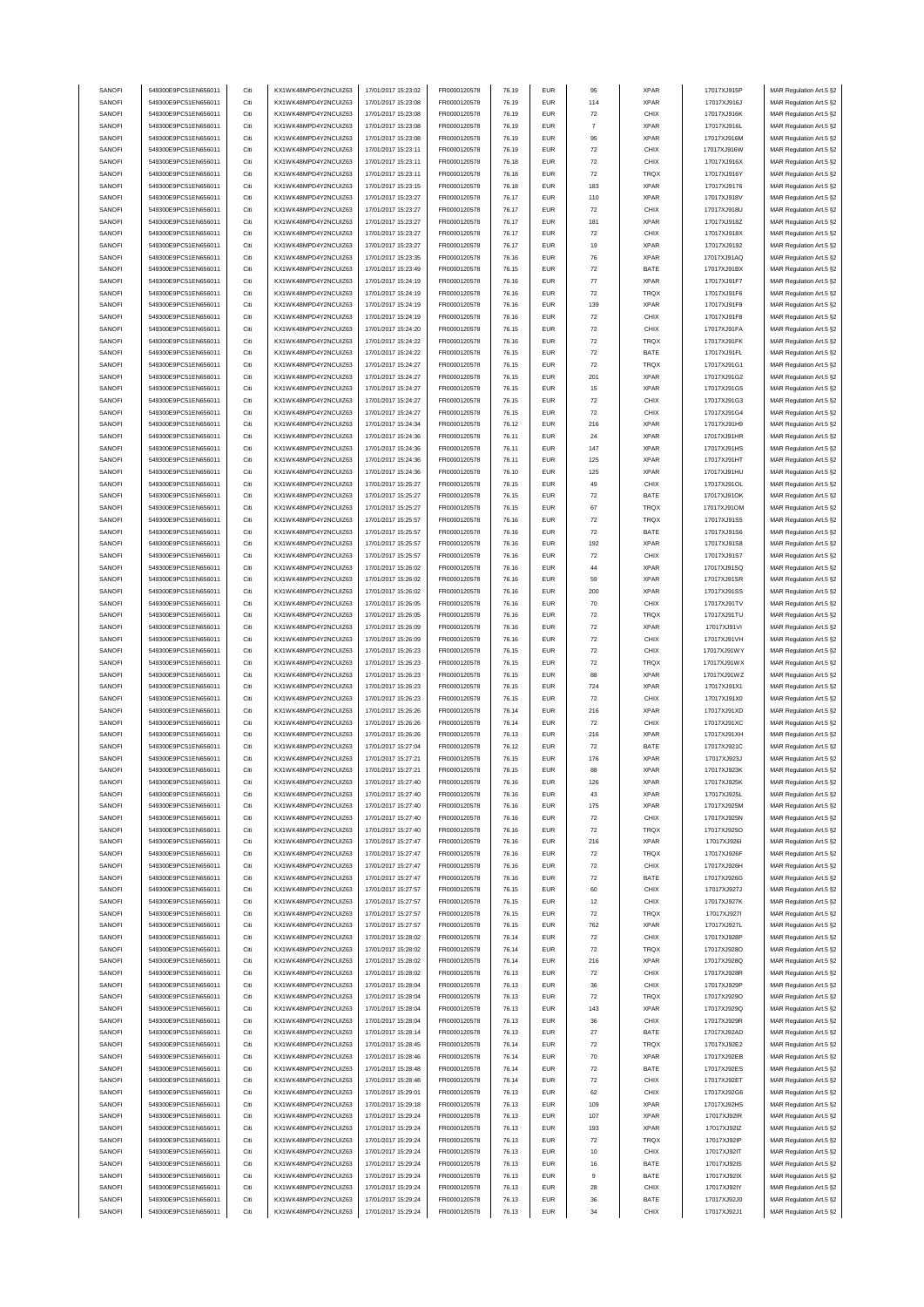| SANOFI | 549300E9PC51EN656011 | Citi | KX1WK48MPD4Y2NCUIZ63 | 17/01/2017 15:23:02 | FR0000120578 | 76.19 | <b>EUR</b> | 95                 | <b>XPAR</b> | 17017XJ915P | MAR Regulation Art.5 §2 |
|--------|----------------------|------|----------------------|---------------------|--------------|-------|------------|--------------------|-------------|-------------|-------------------------|
|        | 549300E9PC51EN656011 | Citi | KX1WK48MPD4Y2NCUIZ63 | 17/01/2017 15:23:08 |              | 76.19 | <b>EUR</b> | 114                | <b>XPAR</b> |             |                         |
| SANOFI |                      |      |                      |                     | FR0000120578 |       |            |                    |             | 17017XJ916J | MAR Regulation Art.5 §2 |
| SANOFI | 549300E9PC51EN656011 | Citi | KX1WK48MPD4Y2NCUIZ63 | 17/01/2017 15:23:08 | FR0000120578 | 76.19 | <b>EUR</b> | 72                 | CHIX        | 17017XJ916K | MAR Regulation Art.5 §2 |
| SANOFI | 549300E9PC51EN656011 | Citi | KX1WK48MPD4Y2NCUIZ63 | 17/01/2017 15:23:08 | FR0000120578 | 76.19 | <b>EUR</b> | $\overline{7}$     | <b>XPAR</b> | 17017XJ916L | MAR Regulation Art.5 §2 |
| SANOFI | 549300E9PC51EN656011 | Citi | KX1WK48MPD4Y2NCUIZ63 | 17/01/2017 15:23:08 | FR0000120578 | 76.19 | <b>EUR</b> | 95                 | <b>XPAR</b> | 17017XJ916M | MAR Regulation Art.5 §2 |
|        |                      |      |                      |                     |              |       |            |                    |             |             |                         |
| SANOFI | 549300E9PC51EN656011 | Citi | KX1WK48MPD4Y2NCUIZ63 | 17/01/2017 15:23:11 | FR0000120578 | 76.19 | <b>EUR</b> | $\scriptstyle{72}$ | CHIX        | 17017XJ916W | MAR Regulation Art.5 §2 |
| SANOFI | 549300E9PC51EN656011 | Citi | KX1WK48MPD4Y2NCUIZ63 | 17/01/2017 15:23:11 | FR0000120578 | 76.18 | <b>EUR</b> | $\scriptstyle{72}$ | CHIX        | 17017XJ916X | MAR Regulation Art.5 §2 |
| SANOFI | 549300E9PC51EN656011 | Citi | KX1WK48MPD4Y2NCUIZ63 | 17/01/2017 15:23:11 | FR0000120578 | 76.18 | <b>EUR</b> | $\scriptstyle{72}$ | TRQX        | 17017XJ916Y | MAR Regulation Art.5 §2 |
| SANOFI | 549300E9PC51EN656011 | Citi | KX1WK48MPD4Y2NCUIZ63 | 17/01/2017 15:23:15 | FR0000120578 | 76.18 | <b>EUR</b> | 183                | <b>XPAR</b> | 17017XJ9176 | MAR Regulation Art.5 §2 |
|        |                      |      |                      |                     |              |       |            |                    |             |             |                         |
| SANOFI | 549300E9PC51EN656011 | Citi | KX1WK48MPD4Y2NCUIZ63 | 17/01/2017 15:23:27 | FR0000120578 | 76.17 | <b>EUR</b> | 110                | <b>XPAR</b> | 17017XJ918V | MAR Regulation Art.5 §2 |
| SANOFI | 549300E9PC51EN656011 | Citi | KX1WK48MPD4Y2NCUIZ63 | 17/01/2017 15:23:27 | FR0000120578 | 76.17 | <b>EUR</b> | $\scriptstyle{72}$ | CHIX        | 17017XJ918U | MAR Regulation Art.5 §2 |
|        | 549300E9PC51EN656011 | Citi |                      |                     |              |       | <b>EUR</b> | 181                | <b>XPAR</b> |             |                         |
| SANOFI |                      |      | KX1WK48MPD4Y2NCUIZ63 | 17/01/2017 15:23:27 | FR0000120578 | 76.17 |            |                    |             | 17017XJ918Z | MAR Regulation Art.5 §2 |
| SANOFI | 549300E9PC51EN656011 | Citi | KX1WK48MPD4Y2NCUIZ63 | 17/01/2017 15:23:27 | FR0000120578 | 76.17 | <b>EUR</b> | 72                 | CHIX        | 17017XJ918X | MAR Regulation Art.5 §2 |
| SANOFI | 549300E9PC51EN656011 | Citi | KX1WK48MPD4Y2NCUIZ63 | 17/01/2017 15:23:27 | FR0000120578 | 76.17 | <b>EUR</b> | 19                 | <b>XPAR</b> | 17017XJ9192 | MAR Regulation Art.5 §2 |
|        |                      | Citi | KX1WK48MPD4Y2NCUIZ63 |                     |              |       |            |                    |             | 17017XJ91AQ |                         |
| SANOFI | 549300E9PC51EN656011 |      |                      | 17/01/2017 15:23:35 | FR0000120578 | 76.16 | <b>EUR</b> | 76                 | <b>XPAR</b> |             | MAR Regulation Art.5 §2 |
| SANOFI | 549300E9PC51EN656011 | Citi | KX1WK48MPD4Y2NCUIZ63 | 17/01/2017 15:23:49 | FR0000120578 | 76.15 | <b>EUR</b> | $\scriptstyle{72}$ | BATE        | 17017XJ91BX | MAR Regulation Art.5 §2 |
| SANOFI | 549300E9PC51EN656011 | Citi | KX1WK48MPD4Y2NCUIZ63 | 17/01/2017 15:24:19 | FR0000120578 | 76.16 | <b>EUR</b> | ${\bf 77}$         | <b>XPAR</b> | 17017XJ91F7 | MAR Regulation Art.5 §2 |
| SANOFI | 549300E9PC51EN656011 | Citi | KX1WK48MPD4Y2NCUIZ63 | 17/01/2017 15:24:19 | FR0000120578 | 76.16 | <b>EUR</b> | 72                 | TRQX        | 17017XJ91F6 | MAR Regulation Art.5 §2 |
|        |                      |      |                      |                     |              |       |            |                    |             |             |                         |
| SANOFI | 549300E9PC51EN656011 | Citi | KX1WK48MPD4Y2NCUIZ63 | 17/01/2017 15:24:19 | FR0000120578 | 76.16 | <b>EUR</b> | 139                | <b>XPAR</b> | 17017XJ91F9 | MAR Regulation Art.5 §2 |
| SANOFI | 549300E9PC51EN656011 | Citi | KX1WK48MPD4Y2NCUIZ63 | 17/01/2017 15:24:19 | FR0000120578 | 76.16 | <b>EUR</b> | $\scriptstyle{72}$ | CHIX        | 17017XJ91F8 | MAR Regulation Art.5 §2 |
| SANOFI | 549300E9PC51EN656011 | Citi | KX1WK48MPD4Y2NCUIZ63 | 17/01/2017 15:24:20 | FR0000120578 | 76.15 | <b>EUR</b> | $\scriptstyle{72}$ | CHIX        | 17017XJ91FA | MAR Regulation Art.5 §2 |
|        |                      |      |                      |                     |              |       |            |                    |             |             |                         |
| SANOFI | 549300E9PC51EN656011 | Citi | KX1WK48MPD4Y2NCUIZ63 | 17/01/2017 15:24:22 | FR0000120578 | 76.16 | <b>EUR</b> | $\scriptstyle{72}$ | TRQX        | 17017XJ91FK | MAR Regulation Art.5 §2 |
| SANOFI | 549300E9PC51EN656011 | Citi | KX1WK48MPD4Y2NCUIZ63 | 17/01/2017 15:24:22 | FR0000120578 | 76.15 | <b>EUR</b> | $\scriptstyle{72}$ | BATE        | 17017XJ91FL | MAR Regulation Art.5 §2 |
| SANOFI | 549300E9PC51EN656011 | Citi | KX1WK48MPD4Y2NCUIZ63 | 17/01/2017 15:24:27 | FR0000120578 | 76.15 | <b>EUR</b> | $\scriptstyle{72}$ | TRQX        | 17017XJ91G1 | MAR Regulation Art.5 §2 |
| SANOFI | 549300E9PC51EN656011 | Citi | KX1WK48MPD4Y2NCUIZ63 | 17/01/2017 15:24:27 | FR0000120578 | 76.15 | <b>EUR</b> | 201                | <b>XPAR</b> | 17017XJ91G2 | MAR Regulation Art.5 §2 |
|        |                      |      |                      |                     |              |       |            |                    |             |             |                         |
| SANOFI | 549300E9PC51EN656011 | Citi | KX1WK48MPD4Y2NCUIZ63 | 17/01/2017 15:24:27 | FR0000120578 | 76.15 | <b>EUR</b> | 15                 | <b>XPAR</b> | 17017XJ91G5 | MAR Regulation Art.5 §2 |
| SANOFI | 549300E9PC51EN656011 | Citi | KX1WK48MPD4Y2NCUIZ63 | 17/01/2017 15:24:27 | FR0000120578 | 76.15 | <b>EUR</b> | 72                 | CHIX        | 17017XJ91G3 | MAR Regulation Art.5 §2 |
| SANOFI | 549300E9PC51EN656011 | Citi | KX1WK48MPD4Y2NCUIZ63 | 17/01/2017 15:24:27 | FR0000120578 | 76.15 | <b>EUR</b> | $\scriptstyle{72}$ | CHIX        | 17017XJ91G4 | MAR Regulation Art.5 §2 |
|        |                      |      |                      |                     |              |       |            |                    |             |             |                         |
| SANOFI | 549300E9PC51EN656011 | Citi | KX1WK48MPD4Y2NCUIZ63 | 17/01/2017 15:24:34 | FR0000120578 | 76.12 | <b>EUR</b> | 216                | <b>XPAR</b> | 17017XJ91H9 | MAR Regulation Art.5 §2 |
| SANOFI | 549300E9PC51EN656011 | Citi | KX1WK48MPD4Y2NCUIZ63 | 17/01/2017 15:24:36 | FR0000120578 | 76.11 | <b>EUR</b> | 24                 | <b>XPAR</b> | 17017XJ91HR | MAR Regulation Art.5 §2 |
| SANOFI | 549300E9PC51EN656011 | Citi | KX1WK48MPD4Y2NCUIZ63 | 17/01/2017 15:24:36 | FR0000120578 | 76.11 | <b>EUR</b> | 147                | <b>XPAR</b> | 17017XJ91HS | MAR Regulation Art.5 §2 |
|        |                      |      |                      |                     |              |       |            |                    |             |             |                         |
| SANOFI | 549300E9PC51EN656011 | Citi | KX1WK48MPD4Y2NCUIZ63 | 17/01/2017 15:24:36 | FR0000120578 | 76.11 | <b>EUR</b> | 125                | <b>XPAR</b> | 17017XJ91HT | MAR Regulation Art.5 §2 |
| SANOFI | 549300E9PC51EN656011 | Citi | KX1WK48MPD4Y2NCUIZ63 | 17/01/2017 15:24:36 | FR0000120578 | 76.10 | <b>EUR</b> | 125                | <b>XPAR</b> | 17017XJ91HU | MAR Regulation Art.5 §2 |
| SANOFI | 549300E9PC51EN656011 | Citi | KX1WK48MPD4Y2NCUIZ63 | 17/01/2017 15:25:27 | FR0000120578 | 76.15 | <b>EUR</b> | 49                 | CHIX        | 17017XJ91OL | MAR Regulation Art.5 §2 |
|        |                      |      | KX1WK48MPD4Y2NCUIZ63 |                     |              |       |            |                    |             |             |                         |
| SANOFI | 549300E9PC51EN656011 | Citi |                      | 17/01/2017 15:25:27 | FR0000120578 | 76.15 | <b>EUR</b> | 72                 | BATE        | 17017XJ91OK | MAR Regulation Art.5 §2 |
| SANOFI | 549300E9PC51EN656011 | Citi | KX1WK48MPD4Y2NCUIZ63 | 17/01/2017 15:25:27 | FR0000120578 | 76.15 | <b>EUR</b> | 67                 | TRQX        | 17017XJ91OM | MAR Regulation Art.5 §2 |
| SANOFI | 549300E9PC51EN656011 | Citi | KX1WK48MPD4Y2NCUIZ63 | 17/01/2017 15:25:57 | FR0000120578 | 76.16 | <b>EUR</b> | $\scriptstyle{72}$ | TRQX        | 17017XJ91S5 | MAR Regulation Art.5 §2 |
| SANOFI | 549300E9PC51EN656011 | Citi | KX1WK48MPD4Y2NCUIZ63 | 17/01/2017 15:25:57 | FR0000120578 | 76.16 | <b>EUR</b> | $\scriptstyle{72}$ | BATE        | 17017XJ91S6 | MAR Regulation Art.5 §2 |
|        |                      |      |                      |                     |              |       |            |                    |             |             |                         |
| SANOFI | 549300E9PC51EN656011 | Citi | KX1WK48MPD4Y2NCUIZ63 | 17/01/2017 15:25:57 | FR0000120578 | 76.16 | <b>EUR</b> | 192                | <b>XPAR</b> | 17017XJ91S8 | MAR Regulation Art.5 §2 |
| SANOFI | 549300E9PC51EN656011 | Citi | KX1WK48MPD4Y2NCUIZ63 | 17/01/2017 15:25:57 | FR0000120578 | 76.16 | <b>EUR</b> | $\scriptstyle{72}$ | CHIX        | 17017XJ91S7 | MAR Regulation Art.5 §2 |
| SANOFI | 549300E9PC51EN656011 | Citi | KX1WK48MPD4Y2NCUIZ63 | 17/01/2017 15:26:02 | FR0000120578 | 76.16 | <b>EUR</b> | 44                 | <b>XPAR</b> | 17017XJ91SQ | MAR Regulation Art.5 §2 |
|        |                      |      |                      |                     |              |       |            |                    |             |             |                         |
| SANOFI | 549300E9PC51EN656011 | Citi | KX1WK48MPD4Y2NCUIZ63 | 17/01/2017 15:26:02 | FR0000120578 | 76.16 | <b>EUR</b> | 59                 | <b>XPAR</b> | 17017XJ91SR | MAR Regulation Art.5 §2 |
| SANOFI | 549300E9PC51EN656011 | Citi | KX1WK48MPD4Y2NCUIZ63 | 17/01/2017 15:26:02 | FR0000120578 | 76.16 | <b>EUR</b> | 200                | <b>XPAR</b> | 17017XJ91SS | MAR Regulation Art.5 §2 |
| SANOFI | 549300E9PC51EN656011 | Citi | KX1WK48MPD4Y2NCUIZ63 | 17/01/2017 15:26:05 | FR0000120578 | 76.16 | <b>EUR</b> | 70                 | CHIX        | 17017XJ91TV | MAR Regulation Art.5 §2 |
|        |                      |      |                      |                     |              |       |            |                    | TRQX        |             |                         |
| SANOFI | 549300E9PC51EN656011 | Citi | KX1WK48MPD4Y2NCUIZ63 | 17/01/2017 15:26:05 | FR0000120578 | 76.16 | <b>EUR</b> | $\scriptstyle{72}$ |             | 17017XJ91TU | MAR Regulation Art.5 §2 |
| SANOFI | 549300E9PC51EN656011 | Citi | KX1WK48MPD4Y2NCUIZ63 | 17/01/2017 15:26:09 | FR0000120578 | 76.16 | <b>EUR</b> | $\scriptstyle{72}$ | <b>XPAR</b> | 17017XJ91VI | MAR Regulation Art.5 §2 |
| SANOFI | 549300E9PC51EN656011 | Citi | KX1WK48MPD4Y2NCUIZ63 | 17/01/2017 15:26:09 | FR0000120578 | 76.16 | <b>EUR</b> | $\scriptstyle{72}$ | CHIX        | 17017XJ91VH | MAR Regulation Art.5 §2 |
| SANOFI | 549300E9PC51EN656011 | Citi | KX1WK48MPD4Y2NCUIZ63 | 17/01/2017 15:26:23 | FR0000120578 | 76.15 | <b>EUR</b> | $\scriptstyle{72}$ | CHIX        | 17017XJ91WY | MAR Regulation Art.5 §2 |
|        |                      |      |                      |                     |              |       |            |                    |             |             |                         |
| SANOFI | 549300E9PC51EN656011 | Citi | KX1WK48MPD4Y2NCUIZ63 | 17/01/2017 15:26:23 | FR0000120578 | 76.15 | <b>EUR</b> | $\scriptstyle{72}$ | TRQX        | 17017XJ91WX | MAR Regulation Art.5 §2 |
| SANOFI | 549300E9PC51EN656011 | Citi | KX1WK48MPD4Y2NCUIZ63 | 17/01/2017 15:26:23 | FR0000120578 | 76.15 | <b>EUR</b> | 88                 | <b>XPAR</b> | 17017XJ91WZ | MAR Regulation Art.5 §2 |
| SANOFI | 549300E9PC51EN656011 | Citi | KX1WK48MPD4Y2NCUIZ63 | 17/01/2017 15:26:23 | FR0000120578 | 76.15 | <b>EUR</b> | 724                | <b>XPAR</b> | 17017XJ91X1 | MAR Regulation Art.5 §2 |
| SANOFI | 549300E9PC51EN656011 | Citi | KX1WK48MPD4Y2NCUIZ63 | 17/01/2017 15:26:23 | FR0000120578 | 76.15 | <b>EUR</b> | 72                 | CHIX        | 17017XJ91X0 | MAR Regulation Art.5 §2 |
|        |                      |      |                      |                     |              |       |            |                    |             |             |                         |
| SANOFI | 549300E9PC51EN656011 | Citi | KX1WK48MPD4Y2NCUIZ63 | 17/01/2017 15:26:26 | FR0000120578 | 76.14 | <b>EUR</b> | 216                | <b>XPAR</b> | 17017XJ91XD | MAR Regulation Art.5 §2 |
| SANOFI | 549300E9PC51EN656011 | Citi | KX1WK48MPD4Y2NCUIZ63 | 17/01/2017 15:26:26 | FR0000120578 | 76.14 | <b>EUR</b> | $\scriptstyle{72}$ | CHIX        | 17017XJ91XC | MAR Regulation Art.5 §2 |
| SANOFI | 549300E9PC51EN656011 | Citi | KX1WK48MPD4Y2NCUIZ63 | 17/01/2017 15:26:26 | FR0000120578 | 76.13 | <b>EUR</b> | 216                | <b>XPAR</b> | 17017XJ91XH | MAR Regulation Art.5 §2 |
|        |                      |      |                      |                     |              |       |            |                    |             |             |                         |
| SANOFI | 549300E9PC51EN656011 | Citi | KX1WK48MPD4Y2NCUIZ63 | 17/01/2017 15:27:04 | FR0000120578 | 76.12 | <b>EUR</b> | $\scriptstyle{72}$ | BATE        | 17017XJ921C | MAR Regulation Art.5 §2 |
| SANOFI | 549300E9PC51EN656011 | Citi | KX1WK48MPD4Y2NCUIZ63 | 17/01/2017 15:27:21 | FR0000120578 | 76.15 | <b>EUR</b> | 176                | <b>XPAR</b> | 17017XJ923J | MAR Regulation Art.5 §2 |
| SANOFI | 549300E9PC51EN656011 | Citi | KX1WK48MPD4Y2NCUIZ63 | 17/01/2017 15:27:21 | FR0000120578 | 76.15 | <b>EUR</b> | 88                 | <b>XPAR</b> | 17017XJ923K | MAR Regulation Art.5 §2 |
| SANOFI | 549300E9PC51EN656011 |      | KX1WK48MPD4Y2NCUIZ63 | 17/01/2017 15:27:40 | FR0000120578 | 76.16 | FUR        |                    | <b>XPAR</b> | 17017XJ925k | MAR Regulation Art 5 82 |
|        |                      |      |                      |                     |              |       |            |                    |             |             |                         |
| SANOFI | 549300E9PC51EN656011 | Citi | KX1WK48MPD4Y2NCUIZ63 | 17/01/2017 15:27:40 | FR0000120578 | 76.16 | <b>EUR</b> | 43                 | XPAR        | 17017XJ925L | MAR Regulation Art.5 §2 |
| SANOFI | 549300E9PC51EN656011 | Citi | KX1WK48MPD4Y2NCUIZ63 | 17/01/2017 15:27:40 | FR0000120578 | 76.16 | <b>EUR</b> | 175                | <b>XPAR</b> | 17017XJ925M | MAR Regulation Art.5 §2 |
| SANOFI | 549300E9PC51EN656011 | Citi | KX1WK48MPD4Y2NCUIZ63 | 17/01/2017 15:27:40 | FR0000120578 | 76.16 | <b>EUR</b> | 72                 | CHIX        | 17017XJ925N | MAR Regulation Art.5 §2 |
|        |                      |      |                      |                     |              |       |            |                    |             |             |                         |
| SANOFI | 549300E9PC51EN656011 | Citi | KX1WK48MPD4Y2NCUIZ63 | 17/01/2017 15:27:40 | FR0000120578 | 76.16 | <b>EUR</b> | $\scriptstyle{72}$ | TRQX        | 17017XJ925O | MAR Regulation Art.5 §2 |
| SANOFI | 549300E9PC51EN656011 | Citi | KX1WK48MPD4Y2NCUIZ63 | 17/01/2017 15:27:47 | FR0000120578 | 76.16 | <b>EUR</b> | 216                | <b>XPAR</b> | 17017XJ926I | MAR Regulation Art.5 §2 |
| SANOFI | 549300E9PC51EN656011 | Citi | KX1WK48MPD4Y2NCUIZ63 | 17/01/2017 15:27:47 | FR0000120578 | 76.16 | <b>EUR</b> | $\scriptstyle{72}$ | TRQX        | 17017XJ926F | MAR Regulation Art.5 §2 |
| SANOFI | 549300E9PC51EN656011 | Citi | KX1WK48MPD4Y2NCUIZ63 | 17/01/2017 15:27:47 | FR0000120578 | 76.16 | <b>EUR</b> | $\scriptstyle{72}$ | CHIX        | 17017XJ926H |                         |
|        |                      |      |                      |                     |              |       |            |                    |             |             | MAR Regulation Art.5 §2 |
| SANOFI | 549300E9PC51EN656011 | Citi | KX1WK48MPD4Y2NCUIZ63 | 17/01/2017 15:27:47 | FR0000120578 | 76.16 | <b>EUR</b> | 72                 | BATE        | 17017XJ926G | MAR Regulation Art.5 §2 |
| SANOFI | 549300E9PC51EN656011 | Citi | KX1WK48MPD4Y2NCUIZ63 | 17/01/2017 15:27:57 | FR0000120578 | 76.15 | <b>EUR</b> | 60                 | CHIX        | 17017XJ927J | MAR Regulation Art.5 §2 |
| SANOFI | 549300E9PC51EN656011 | Citi | KX1WK48MPD4Y2NCUIZ63 | 17/01/2017 15:27:57 | FR0000120578 | 76.15 | <b>EUR</b> | 12                 | CHIX        | 17017XJ927K | MAR Regulation Art.5 §2 |
|        |                      |      |                      |                     |              |       |            |                    |             |             |                         |
| SANOFI | 549300E9PC51EN656011 | Citi | KX1WK48MPD4Y2NCUIZ63 | 17/01/2017 15:27:57 | FR0000120578 | 76.15 | <b>EUR</b> | 72                 | TRQX        | 17017XJ927I | MAR Regulation Art.5 §2 |
| SANOFI | 549300E9PC51EN656011 | Citi | KX1WK48MPD4Y2NCUIZ63 | 17/01/2017 15:27:57 | FR0000120578 | 76.15 | <b>EUR</b> | 762                | <b>XPAR</b> | 17017XJ927L | MAR Regulation Art.5 §2 |
| SANOFI | 549300E9PC51EN656011 | Citi | KX1WK48MPD4Y2NCUIZ63 | 17/01/2017 15:28:02 | FR0000120578 | 76.14 | <b>EUR</b> | $\scriptstyle{72}$ | CHIX        | 17017XJ928P | MAR Regulation Art.5 §2 |
|        | 549300E9PC51EN656011 |      | KX1WK48MPD4Y2NCUIZ63 | 17/01/2017 15:28:02 | FR0000120578 |       | <b>EUR</b> |                    |             |             |                         |
| SANOFI |                      | Citi |                      |                     |              | 76.14 |            | $\scriptstyle{72}$ | TRQX        | 17017XJ928O | MAR Regulation Art.5 §2 |
| SANOFI | 549300E9PC51EN656011 | Citi | KX1WK48MPD4Y2NCUIZ63 | 17/01/2017 15:28:02 | FR0000120578 | 76.14 | <b>EUR</b> | 216                | XPAR        | 17017XJ928Q | MAR Regulation Art.5 §2 |
| SANOFI | 549300E9PC51EN656011 | Citi | KX1WK48MPD4Y2NCUIZ63 | 17/01/2017 15:28:02 | FR0000120578 | 76.13 | <b>EUR</b> | $\scriptstyle{72}$ | CHIX        | 17017XJ928R | MAR Regulation Art.5 §2 |
| SANOFI | 549300E9PC51EN656011 | Citi | KX1WK48MPD4Y2NCUIZ63 | 17/01/2017 15:28:04 | FR0000120578 | 76.13 | <b>EUR</b> | 36                 | CHIX        | 17017XJ929P | MAR Regulation Art.5 §2 |
|        |                      |      |                      |                     |              |       |            |                    |             |             |                         |
| SANOFI | 549300E9PC51EN656011 |      | KX1WK48MPD4Y2NCUIZ63 |                     |              |       |            |                    |             |             |                         |
| SANOFI |                      | Citi |                      | 17/01/2017 15:28:04 | FR0000120578 | 76.13 | <b>EUR</b> | 72                 | TRQX        | 17017XJ929O | MAR Regulation Art.5 §2 |
| SANOFI | 549300E9PC51EN656011 | Citi | KX1WK48MPD4Y2NCUIZ63 | 17/01/2017 15:28:04 | FR0000120578 | 76.13 | <b>EUR</b> | 143                | XPAR        | 17017XJ929Q | MAR Regulation Art.5 §2 |
| SANOFI | 549300E9PC51EN656011 | Citi | KX1WK48MPD4Y2NCUIZ63 | 17/01/2017 15:28:04 |              |       | <b>EUR</b> | 36                 |             |             |                         |
|        |                      |      |                      |                     | FR0000120578 | 76.13 |            |                    | CHIX        | 17017XJ929R | MAR Regulation Art.5 §2 |
|        | 549300E9PC51EN656011 | Citi | KX1WK48MPD4Y2NCUIZ63 | 17/01/2017 15:28:14 | FR0000120578 | 76.13 | <b>EUR</b> | 27                 | BATE        | 17017XJ92AD | MAR Regulation Art.5 §2 |
| SANOFI | 549300E9PC51EN656011 | Citi | KX1WK48MPD4Y2NCUIZ63 | 17/01/2017 15:28:45 | FR0000120578 | 76.14 | <b>EUR</b> | 72                 | TRQX        | 17017XJ92E2 | MAR Regulation Art.5 §2 |
|        |                      |      |                      |                     |              |       | <b>EUR</b> |                    |             |             |                         |
| SANOFI | 549300E9PC51EN656011 | Citi | KX1WK48MPD4Y2NCUIZ63 | 17/01/2017 15:28:46 | FR0000120578 | 76.14 |            | 70                 | <b>XPAR</b> | 17017XJ92EB | MAR Regulation Art.5 §2 |
| SANOFI | 549300E9PC51EN656011 | Citi | KX1WK48MPD4Y2NCUIZ63 | 17/01/2017 15:28:48 | FR0000120578 | 76.14 | <b>EUR</b> | $\scriptstyle{72}$ | BATE        | 17017XJ92ES | MAR Regulation Art.5 §2 |
| SANOFI | 549300E9PC51EN656011 | Citi | KX1WK48MPD4Y2NCUIZ63 | 17/01/2017 15:28:48 | FR0000120578 | 76.14 | <b>EUR</b> | 72                 | CHIX        | 17017XJ92ET | MAR Regulation Art.5 §2 |
| SANOFI | 549300E9PC51EN656011 | Citi | KX1WK48MPD4Y2NCUIZ63 | 17/01/2017 15:29:01 | FR0000120578 | 76.13 | <b>EUR</b> | 62                 | CHIX        | 17017XJ92G6 | MAR Regulation Art.5 §2 |
|        |                      |      |                      |                     |              |       |            |                    |             |             |                         |
| SANOFI | 549300E9PC51EN656011 | Citi | KX1WK48MPD4Y2NCUIZ63 | 17/01/2017 15:29:18 | FR0000120578 | 76.13 | <b>EUR</b> | 109                | <b>XPAR</b> | 17017XJ92HS | MAR Regulation Art.5 §2 |
| SANOFI | 549300E9PC51EN656011 | Citi | KX1WK48MPD4Y2NCUIZ63 | 17/01/2017 15:29:24 | FR0000120578 | 76.13 | <b>EUR</b> | 107                | <b>XPAR</b> | 17017XJ92IR | MAR Regulation Art.5 §2 |
| SANOFI | 549300E9PC51EN656011 | Citi | KX1WK48MPD4Y2NCUIZ63 | 17/01/2017 15:29:24 | FR0000120578 | 76.13 | <b>EUR</b> | 193                | <b>XPAR</b> | 17017XJ92IZ | MAR Regulation Art.5 §2 |
|        |                      |      |                      |                     |              |       |            |                    |             |             |                         |
| SANOFI | 549300E9PC51EN656011 | Citi | KX1WK48MPD4Y2NCUIZ63 | 17/01/2017 15:29:24 | FR0000120578 | 76.13 | <b>EUR</b> | $\scriptstyle{72}$ | TRQX        | 17017XJ92IP | MAR Regulation Art.5 §2 |
| SANOFI | 549300E9PC51EN656011 | Citi | KX1WK48MPD4Y2NCUIZ63 | 17/01/2017 15:29:24 | FR0000120578 | 76.13 | <b>EUR</b> | 10                 | CHIX        | 17017XJ92IT | MAR Regulation Art.5 §2 |
| SANOFI | 549300E9PC51EN656011 | Citi | KX1WK48MPD4Y2NCUIZ63 | 17/01/2017 15:29:24 | FR0000120578 | 76.13 | <b>EUR</b> | 16                 | BATE        | 17017XJ92IS | MAR Regulation Art.5 §2 |
| SANOFI | 549300E9PC51EN656011 | Citi | KX1WK48MPD4Y2NCUIZ63 | 17/01/2017 15:29:24 | FR0000120578 | 76.13 | <b>EUR</b> | 9                  | BATE        | 17017XJ92IX |                         |
|        |                      |      |                      |                     |              |       |            |                    |             |             | MAR Regulation Art.5 §2 |
| SANOFI | 549300E9PC51EN656011 | Citi | KX1WK48MPD4Y2NCUIZ63 | 17/01/2017 15:29:24 | FR0000120578 | 76.13 | <b>EUR</b> | 28                 | CHIX        | 17017XJ92IY | MAR Regulation Art.5 §2 |
| SANOFI | 549300E9PC51EN656011 | Citi | KX1WK48MPD4Y2NCUIZ63 | 17/01/2017 15:29:24 | FR0000120578 | 76.13 | <b>EUR</b> | 36                 | BATE        | 17017XJ92J0 | MAR Regulation Art.5 §2 |
| SANOFI | 549300E9PC51EN656011 | Citi | KX1WK48MPD4Y2NCUIZ63 | 17/01/2017 15:29:24 | FR0000120578 | 76.13 | <b>EUR</b> | 34                 | CHIX        | 17017XJ92J1 | MAR Regulation Art.5 §2 |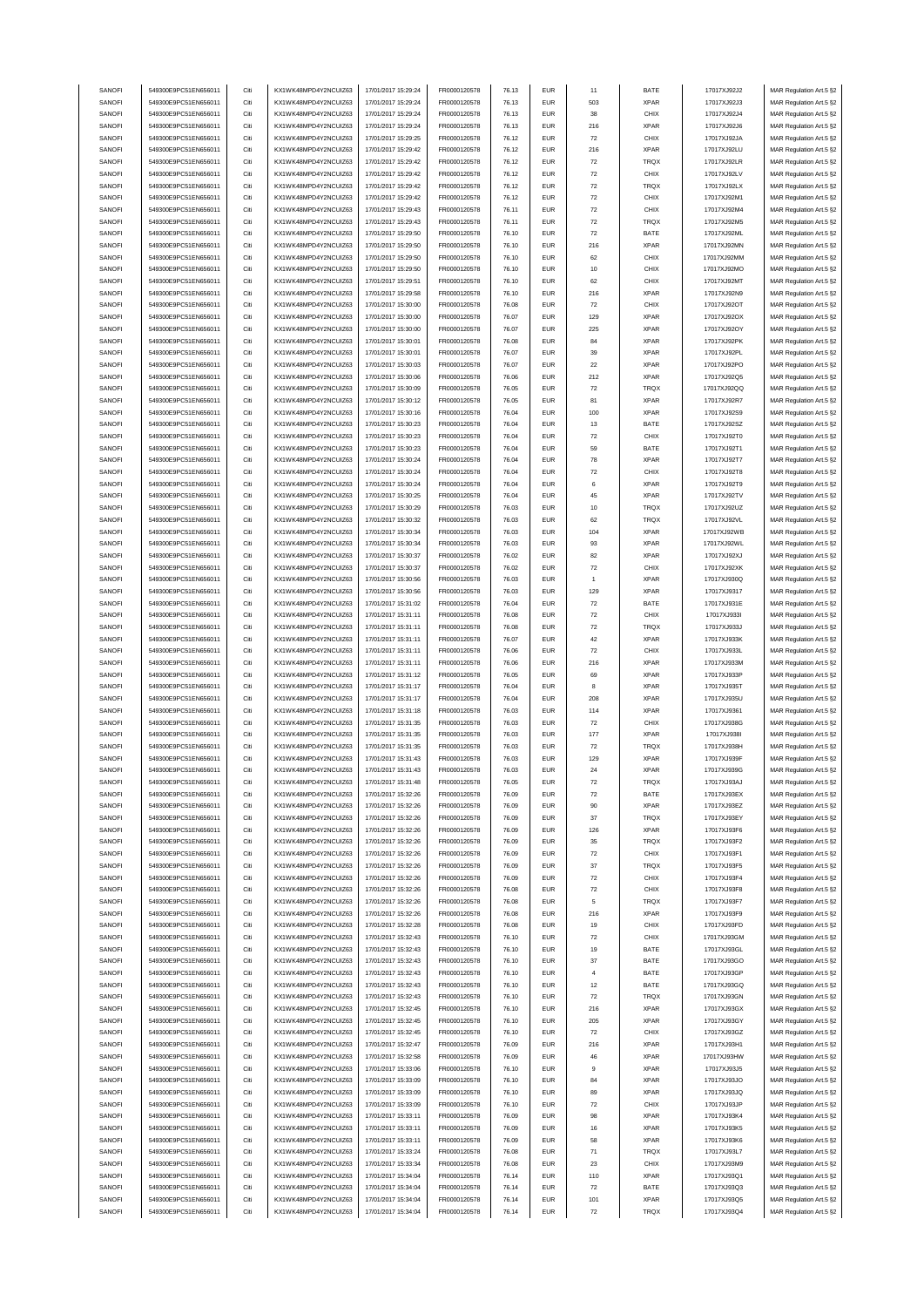| SANOFI           | 549300E9PC51EN656011                         | Citi | KX1WK48MPD4Y2NCUIZ63                         | 17/01/2017 15:29:24                        | FR0000120578                 | 76.13 | <b>EUR</b> | 11                        | BATE                | 17017XJ92J2                | MAR Regulation Art.5 §2                            |
|------------------|----------------------------------------------|------|----------------------------------------------|--------------------------------------------|------------------------------|-------|------------|---------------------------|---------------------|----------------------------|----------------------------------------------------|
|                  | 549300E9PC51EN656011                         | Citi | KX1WK48MPD4Y2NCUIZ63                         | 17/01/2017 15:29:24                        | FR0000120578                 | 76.13 | <b>EUR</b> | 503                       | <b>XPAR</b>         | 17017XJ92J3                | MAR Regulation Art.5 §2                            |
| SANOFI           |                                              |      |                                              |                                            |                              |       |            |                           |                     |                            |                                                    |
| SANOFI           | 549300E9PC51EN656011                         | Citi | KX1WK48MPD4Y2NCUIZ63                         | 17/01/2017 15:29:24                        | FR0000120578                 | 76.13 | <b>EUR</b> | 38                        | CHIX                | 17017XJ92J4                | MAR Regulation Art.5 §2                            |
| SANOFI           | 549300E9PC51EN656011                         | Citi | KX1WK48MPD4Y2NCUIZ63                         | 17/01/2017 15:29:24                        | FR0000120578                 | 76.13 | <b>EUR</b> | 216                       | <b>XPAR</b>         | 17017XJ92J6                | MAR Regulation Art.5 §2                            |
| SANOFI           | 549300E9PC51EN656011                         | Citi | KX1WK48MPD4Y2NCUIZ63                         | 17/01/2017 15:29:25                        | FR0000120578                 | 76.12 | <b>EUR</b> | ${\bf 72}$                | CHIX                | 17017XJ92JA                | MAR Regulation Art.5 §2                            |
| SANOFI           | 549300E9PC51EN656011                         | Citi | KX1WK48MPD4Y2NCUIZ63                         | 17/01/2017 15:29:42                        | FR0000120578                 | 76.12 | <b>EUR</b> | 216                       | <b>XPAR</b>         | 17017XJ92LU                | MAR Regulation Art.5 §2                            |
| SANOFI           | 549300E9PC51EN656011                         | Citi | KX1WK48MPD4Y2NCUIZ63                         | 17/01/2017 15:29:42                        | FR0000120578                 | 76.12 | <b>EUR</b> | $\bf 72$                  | TRQX                | 17017XJ92LR                | MAR Regulation Art.5 §2                            |
|                  |                                              | Citi | KX1WK48MPD4Y2NCUIZ63                         |                                            |                              |       | <b>EUR</b> |                           |                     |                            |                                                    |
| SANOFI           | 549300E9PC51EN656011                         |      |                                              | 17/01/2017 15:29:42                        | FR0000120578                 | 76.12 |            | $\scriptstyle{72}$        | CHIX                | 17017XJ92LV                | MAR Regulation Art.5 §2                            |
| SANOFI           | 549300E9PC51EN656011                         | Citi | KX1WK48MPD4Y2NCUIZ63                         | 17/01/2017 15:29:42                        | FR0000120578                 | 76.12 | <b>EUR</b> | $\scriptstyle{72}$        | TRQX                | 17017XJ92LX                | MAR Regulation Art.5 §2                            |
| SANOFI           | 549300E9PC51EN656011                         | Citi | KX1WK48MPD4Y2NCUIZ63                         | 17/01/2017 15:29:42                        | FR0000120578                 | 76.12 | <b>EUR</b> | 72                        | CHIX                | 17017XJ92M1                | MAR Regulation Art.5 §2                            |
| SANOFI           | 549300E9PC51EN656011                         | Citi | KX1WK48MPD4Y2NCUIZ63                         | 17/01/2017 15:29:43                        | FR0000120578                 | 76.11 | <b>EUR</b> | $\scriptstyle{72}$        | CHIX                | 17017XJ92M4                | MAR Regulation Art.5 §2                            |
| SANOFI           | 549300E9PC51EN656011                         | Citi | KX1WK48MPD4Y2NCUIZ63                         | 17/01/2017 15:29:43                        | FR0000120578                 | 76.11 | <b>EUR</b> | $\scriptstyle{72}$        | TRQX                | 17017XJ92M5                | MAR Regulation Art.5 §2                            |
|                  |                                              |      |                                              |                                            |                              |       |            |                           |                     |                            |                                                    |
| SANOFI           | 549300E9PC51EN656011                         | Citi | KX1WK48MPD4Y2NCUIZ63                         | 17/01/2017 15:29:50                        | FR0000120578                 | 76.10 | <b>EUR</b> | $\scriptstyle{72}$        | BATE                | 17017XJ92ML                | MAR Regulation Art.5 §2                            |
| SANOFI           | 549300E9PC51EN656011                         | Citi | KX1WK48MPD4Y2NCUIZ63                         | 17/01/2017 15:29:50                        | FR0000120578                 | 76.10 | <b>EUR</b> | 216                       | <b>XPAR</b>         | 17017XJ92MN                | MAR Regulation Art.5 §2                            |
| SANOFI           | 549300E9PC51EN656011                         | Citi | KX1WK48MPD4Y2NCUIZ63                         | 17/01/2017 15:29:50                        | FR0000120578                 | 76.10 | <b>EUR</b> | 62                        | CHIX                | 17017XJ92MM                | MAR Regulation Art.5 §2                            |
|                  |                                              |      |                                              |                                            |                              |       |            |                           |                     |                            |                                                    |
| SANOFI           | 549300E9PC51EN656011                         | Citi | KX1WK48MPD4Y2NCUIZ63                         | 17/01/2017 15:29:50                        | FR0000120578                 | 76.10 | <b>EUR</b> | $10$                      | CHIX                | 17017XJ92MO                | MAR Regulation Art.5 §2                            |
| SANOFI           | 549300E9PC51EN656011                         | Citi | KX1WK48MPD4Y2NCUIZ63                         | 17/01/2017 15:29:51                        | FR0000120578                 | 76.10 | <b>EUR</b> | 62                        | CHIX                | 17017XJ92MT                | MAR Regulation Art.5 §2                            |
| SANOFI           | 549300E9PC51EN656011                         | Citi | KX1WK48MPD4Y2NCUIZ63                         | 17/01/2017 15:29:58                        | FR0000120578                 | 76.10 | <b>EUR</b> | 216                       | <b>XPAR</b>         | 17017XJ92N9                | MAR Regulation Art.5 §2                            |
| SANOFI           | 549300E9PC51EN656011                         | Citi | KX1WK48MPD4Y2NCUIZ63                         | 17/01/2017 15:30:00                        | FR0000120578                 | 76.08 | <b>EUR</b> | 72                        | CHIX                | 17017XJ92OT                | MAR Regulation Art.5 §2                            |
|                  |                                              |      |                                              |                                            |                              |       |            |                           | <b>XPAR</b>         |                            |                                                    |
| SANOFI           | 549300E9PC51EN656011                         | Citi | KX1WK48MPD4Y2NCUIZ63                         | 17/01/2017 15:30:00                        | FR0000120578                 | 76.07 | <b>EUR</b> | 129                       |                     | 17017XJ92OX                | MAR Regulation Art.5 §2                            |
| SANOFI           | 549300E9PC51EN656011                         | Citi | KX1WK48MPD4Y2NCUIZ63                         | 17/01/2017 15:30:00                        | FR0000120578                 | 76.07 | <b>EUR</b> | 225                       | XPAR                | 17017XJ92OY                | MAR Regulation Art.5 §2                            |
| SANOFI           | 549300E9PC51EN656011                         | Citi | KX1WK48MPD4Y2NCUIZ63                         | 17/01/2017 15:30:01                        | FR0000120578                 | 76.08 | <b>EUR</b> | 84                        | <b>XPAR</b>         | 17017XJ92PK                | MAR Regulation Art.5 §2                            |
| SANOFI           | 549300E9PC51EN656011                         | Citi | KX1WK48MPD4Y2NCUIZ63                         | 17/01/2017 15:30:01                        | FR0000120578                 | 76.07 | <b>EUR</b> | 39                        | <b>XPAR</b>         | 17017XJ92PL                | MAR Regulation Art.5 §2                            |
| SANOFI           | 549300E9PC51EN656011                         | Citi | KX1WK48MPD4Y2NCUIZ63                         | 17/01/2017 15:30:03                        | FR0000120578                 | 76.07 | <b>EUR</b> | $22\,$                    | XPAR                | 17017XJ92PO                | MAR Regulation Art.5 §2                            |
|                  |                                              |      |                                              |                                            |                              |       |            |                           |                     |                            |                                                    |
| SANOFI           | 549300E9PC51EN656011                         | Citi | KX1WK48MPD4Y2NCUIZ63                         | 17/01/2017 15:30:06                        | FR0000120578                 | 76.06 | <b>EUR</b> | 212                       | <b>XPAR</b>         | 17017XJ92Q5                | MAR Regulation Art.5 §2                            |
| SANOFI           | 549300E9PC51EN656011                         | Citi | KX1WK48MPD4Y2NCUIZ63                         | 17/01/2017 15:30:09                        | FR0000120578                 | 76.05 | <b>EUR</b> | $\scriptstyle{72}$        | TRQX                | 17017XJ92QQ                | MAR Regulation Art.5 §2                            |
| SANOFI           | 549300E9PC51EN656011                         | Citi | KX1WK48MPD4Y2NCUIZ63                         | 17/01/2017 15:30:12                        | FR0000120578                 | 76.05 | <b>EUR</b> | 81                        | <b>XPAR</b>         | 17017XJ92R7                | MAR Regulation Art.5 §2                            |
| SANOFI           | 549300E9PC51EN656011                         | Citi | KX1WK48MPD4Y2NCUIZ63                         | 17/01/2017 15:30:16                        | FR0000120578                 | 76.04 | <b>EUR</b> | 100                       | XPAR                | 17017XJ92S9                | MAR Regulation Art.5 §2                            |
| SANOFI           | 549300E9PC51EN656011                         | Citi | KX1WK48MPD4Y2NCUIZ63                         | 17/01/2017 15:30:23                        | FR0000120578                 | 76.04 | <b>EUR</b> | $13\,$                    | BATE                | 17017XJ92SZ                |                                                    |
|                  |                                              |      |                                              |                                            |                              |       |            |                           |                     |                            | MAR Regulation Art.5 §2                            |
| SANOFI           | 549300E9PC51EN656011                         | Citi | KX1WK48MPD4Y2NCUIZ63                         | 17/01/2017 15:30:23                        | FR0000120578                 | 76.04 | <b>EUR</b> | $\scriptstyle{72}$        | CHIX                | 17017XJ92T0                | MAR Regulation Art.5 §2                            |
| SANOFI           | 549300E9PC51EN656011                         | Citi | KX1WK48MPD4Y2NCUIZ63                         | 17/01/2017 15:30:23                        | FR0000120578                 | 76.04 | <b>EUR</b> | 59                        | BATE                | 17017XJ92T1                | MAR Regulation Art.5 §2                            |
| SANOFI           | 549300E9PC51EN656011                         | Citi | KX1WK48MPD4Y2NCUIZ63                         | 17/01/2017 15:30:24                        | FR0000120578                 | 76.04 | <b>EUR</b> | 78                        | <b>XPAR</b>         | 17017XJ92T7                | MAR Regulation Art.5 §2                            |
| SANOFI           | 549300E9PC51EN656011                         | Citi | KX1WK48MPD4Y2NCUIZ63                         | 17/01/2017 15:30:24                        | FR0000120578                 | 76.04 | <b>EUR</b> | $\scriptstyle{72}$        | CHIX                | 17017XJ92T8                | MAR Regulation Art.5 §2                            |
|                  |                                              |      |                                              |                                            |                              |       |            |                           |                     |                            |                                                    |
| SANOFI           | 549300E9PC51EN656011                         | Citi | KX1WK48MPD4Y2NCUIZ63                         | 17/01/2017 15:30:24                        | FR0000120578                 | 76.04 | <b>EUR</b> | 6                         | <b>XPAR</b>         | 17017XJ92T9                | MAR Regulation Art.5 §2                            |
| SANOFI           | 549300E9PC51EN656011                         | Citi | KX1WK48MPD4Y2NCUIZ63                         | 17/01/2017 15:30:25                        | FR0000120578                 | 76.04 | <b>EUR</b> | 45                        | <b>XPAR</b>         | 17017XJ92TV                | MAR Regulation Art.5 §2                            |
| SANOFI           | 549300E9PC51EN656011                         | Citi | KX1WK48MPD4Y2NCUIZ63                         | 17/01/2017 15:30:29                        | FR0000120578                 | 76.03 | <b>EUR</b> | $10$                      | TRQX                | 17017XJ92UZ                | MAR Regulation Art.5 §2                            |
| SANOFI           | 549300E9PC51EN656011                         | Citi | KX1WK48MPD4Y2NCUIZ63                         | 17/01/2017 15:30:32                        | FR0000120578                 | 76.03 | <b>EUR</b> | 62                        | TRQX                | 17017XJ92VL                | MAR Regulation Art.5 §2                            |
|                  |                                              |      |                                              |                                            |                              |       |            |                           |                     |                            |                                                    |
| SANOFI           | 549300E9PC51EN656011                         | Citi | KX1WK48MPD4Y2NCUIZ63                         | 17/01/2017 15:30:34                        | FR0000120578                 | 76.03 | <b>EUR</b> | 104                       | <b>XPAR</b>         | 17017XJ92WB                | MAR Regulation Art.5 §2                            |
| SANOFI           | 549300E9PC51EN656011                         | Citi | KX1WK48MPD4Y2NCUIZ63                         | 17/01/2017 15:30:34                        | FR0000120578                 | 76.03 | <b>EUR</b> | 93                        | <b>XPAR</b>         | 17017XJ92WL                | MAR Regulation Art.5 §2                            |
| SANOFI           | 549300E9PC51EN656011                         | Citi | KX1WK48MPD4Y2NCUIZ63                         | 17/01/2017 15:30:37                        | FR0000120578                 | 76.02 | <b>EUR</b> | 82                        | <b>XPAR</b>         | 17017XJ92XJ                | MAR Regulation Art.5 §2                            |
| SANOFI           | 549300E9PC51EN656011                         | Citi | KX1WK48MPD4Y2NCUIZ63                         | 17/01/2017 15:30:37                        | FR0000120578                 | 76.02 | <b>EUR</b> | $\scriptstyle{72}$        | CHIX                | 17017XJ92XK                | MAR Regulation Art.5 §2                            |
| SANOFI           | 549300E9PC51EN656011                         | Citi | KX1WK48MPD4Y2NCUIZ63                         | 17/01/2017 15:30:56                        | FR0000120578                 | 76.03 | <b>EUR</b> | $\mathbf{1}$              | <b>XPAR</b>         | 17017XJ930Q                | MAR Regulation Art.5 §2                            |
|                  |                                              |      |                                              |                                            |                              |       |            |                           |                     |                            |                                                    |
| SANOFI           | 549300E9PC51EN656011                         | Citi | KX1WK48MPD4Y2NCUIZ63                         | 17/01/2017 15:30:56                        | FR0000120578                 | 76.03 | <b>EUR</b> | 129                       | <b>XPAR</b>         | 17017XJ9317                | MAR Regulation Art.5 §2                            |
| SANOFI           | 549300E9PC51EN656011                         | Citi | KX1WK48MPD4Y2NCUIZ63                         | 17/01/2017 15:31:02                        | FR0000120578                 | 76.04 | <b>EUR</b> | $\scriptstyle{72}$        | BATE                | 17017XJ931E                | MAR Regulation Art.5 §2                            |
| SANOFI           | 549300E9PC51EN656011                         | Citi | KX1WK48MPD4Y2NCUIZ63                         | 17/01/2017 15:31:11                        | FR0000120578                 | 76.08 | <b>EUR</b> | $\scriptstyle{72}$        | CHIX                | 17017XJ933I                | MAR Regulation Art.5 §2                            |
| SANOFI           | 549300E9PC51EN656011                         | Citi | KX1WK48MPD4Y2NCUIZ63                         | 17/01/2017 15:31:11                        | FR0000120578                 | 76.08 | <b>EUR</b> | $\scriptstyle{72}$        | TRQX                | 17017XJ933J                | MAR Regulation Art.5 §2                            |
| SANOFI           | 549300E9PC51EN656011                         | Citi | KX1WK48MPD4Y2NCUIZ63                         | 17/01/2017 15:31:11                        | FR0000120578                 | 76.07 | <b>EUR</b> | 42                        | <b>XPAR</b>         | 17017XJ933K                | MAR Regulation Art.5 §2                            |
|                  |                                              |      |                                              |                                            |                              |       |            |                           |                     |                            |                                                    |
| SANOFI           | 549300E9PC51EN656011                         | Citi | KX1WK48MPD4Y2NCUIZ63                         | 17/01/2017 15:31:11                        | FR0000120578                 | 76.06 | <b>EUR</b> | $\scriptstyle{72}$        | CHIX                | 17017XJ933L                | MAR Regulation Art.5 §2                            |
| SANOFI           | 549300E9PC51EN656011                         | Citi | KX1WK48MPD4Y2NCUIZ63                         | 17/01/2017 15:31:11                        | FR0000120578                 | 76.06 | <b>EUR</b> | 216                       | XPAR                | 17017XJ933M                | MAR Regulation Art.5 §2                            |
| SANOFI           | 549300E9PC51EN656011                         | Citi | KX1WK48MPD4Y2NCUIZ63                         | 17/01/2017 15:31:12                        | FR0000120578                 | 76.05 | <b>EUR</b> | 69                        | <b>XPAR</b>         | 17017XJ933P                | MAR Regulation Art.5 §2                            |
| SANOFI           | 549300E9PC51EN656011                         | Citi | KX1WK48MPD4Y2NCUIZ63                         | 17/01/2017 15:31:17                        | FR0000120578                 | 76.04 | <b>EUR</b> | 8                         | XPAR                | 17017XJ935T                | MAR Regulation Art.5 §2                            |
| SANOFI           | 549300E9PC51EN656011                         |      |                                              |                                            |                              |       |            | 208                       |                     |                            |                                                    |
|                  |                                              |      |                                              |                                            |                              |       |            |                           |                     |                            |                                                    |
|                  |                                              | Citi | KX1WK48MPD4Y2NCUIZ63                         | 17/01/2017 15:31:17                        | FR0000120578                 | 76.04 | <b>EUR</b> |                           | <b>XPAR</b>         | 17017XJ935U                | MAR Regulation Art.5 §2                            |
| SANOFI           | 549300E9PC51EN656011                         | Citi | KX1WK48MPD4Y2NCUIZ63                         | 17/01/2017 15:31:18                        | FR0000120578                 | 76.03 | <b>EUR</b> | 114                       | XPAR                | 17017XJ9361                | MAR Regulation Art.5 §2                            |
| SANOFI           | 549300E9PC51EN656011                         | Citi | KX1WK48MPD4Y2NCUIZ63                         | 17/01/2017 15:31:35                        | FR0000120578                 | 76.03 | <b>EUR</b> | $\scriptstyle{72}$        | CHIX                | 17017XJ938G                | MAR Regulation Art.5 §2                            |
| SANOFI           | 549300E9PC51EN656011                         | Citi | KX1WK48MPD4Y2NCUIZ63                         | 17/01/2017 15:31:35                        | FR0000120578                 | 76.03 | <b>EUR</b> | 177                       | <b>XPAR</b>         | 17017XJ938I                | MAR Regulation Art.5 §2                            |
|                  |                                              |      |                                              |                                            |                              |       |            |                           |                     |                            |                                                    |
| SANOFI           | 549300E9PC51EN656011                         | Citi | KX1WK48MPD4Y2NCUIZ63                         | 17/01/2017 15:31:35                        | FR0000120578                 | 76.03 | <b>EUR</b> | $\scriptstyle{72}$        | TRQX                | 17017XJ938H                | MAR Regulation Art.5 §2                            |
| SANOFI           | 549300E9PC51EN656011                         | Citi | KX1WK48MPD4Y2NCUIZ63                         | 17/01/2017 15:31:43                        | FR0000120578                 | 76.03 | <b>EUR</b> | 129                       | <b>XPAR</b>         | 17017XJ939F                | MAR Regulation Art.5 §2                            |
| SANOFI           | 549300E9PC51EN656011                         | Citi | KX1WK48MPD4Y2NCUIZ63                         | 17/01/2017 15:31:43                        | FR0000120578                 | 76.03 | <b>EUR</b> | 24                        | XPAR                | 17017XJ939G                | MAR Regulation Art.5 §2                            |
| SANOFI           | 549300E9PC51EN656011                         |      | KX1WK48MPD4Y2NCLIIZ63                        | 17/01/2017 15:31:48                        | FR0000120578                 | 76.05 | FUR        |                           | TROX                | 17017X 1934 1              | MAR Regulation Art 5.82                            |
| SANOFI           | 549300E9PC51EN656011                         | Citi | KX1WK48MPD4Y2NCUIZ63                         | 17/01/2017 15:32:26                        | FR0000120578                 | 76.09 | <b>EUR</b> | $\scriptstyle{72}$        | BATE                | 17017XJ93EX                |                                                    |
|                  |                                              |      |                                              |                                            |                              |       |            |                           |                     |                            | MAR Regulation Art.5 §2                            |
| SANOFI           | 549300E9PC51EN656011                         | Citi | KX1WK48MPD4Y2NCUIZ63                         | 17/01/2017 15:32:26                        | FR0000120578                 | 76.09 | <b>EUR</b> | 90                        | <b>XPAR</b>         | 17017XJ93EZ                | MAR Regulation Art.5 §2                            |
| SANOFI           | 549300E9PC51EN656011                         | Citi | KX1WK48MPD4Y2NCUIZ63                         | 17/01/2017 15:32:26                        | FR0000120578                 | 76.09 | <b>EUR</b> | 37                        | TRQX                | 17017XJ93EY                | MAR Regulation Art.5 §2                            |
| SANOFI           | 549300E9PC51EN656011                         | Citi | KX1WK48MPD4Y2NCUIZ63                         | 17/01/2017 15:32:26                        | FR0000120578                 | 76.09 | <b>EUR</b> | 126                       | <b>XPAR</b>         | 17017XJ93F6                | MAR Regulation Art.5 §2                            |
| SANOFI           | 549300E9PC51EN656011                         | Citi | KX1WK48MPD4Y2NCUIZ63                         | 17/01/2017 15:32:26                        | FR0000120578                 | 76.09 | <b>EUR</b> | 35                        | TRQX                | 17017XJ93F2                | MAR Regulation Art.5 §2                            |
| SANOFI           | 549300E9PC51EN656011                         | Citi | KX1WK48MPD4Y2NCUIZ63                         | 17/01/2017 15:32:26                        | FR0000120578                 | 76.09 | <b>EUR</b> | $\bf 72$                  | CHIX                | 17017XJ93F1                | MAR Regulation Art.5 §2                            |
|                  |                                              |      | KX1WK48MPD4Y2NCUIZ63                         |                                            | FR0000120578                 |       |            |                           |                     |                            |                                                    |
| SANOFI           | 549300E9PC51EN656011                         | Citi |                                              | 17/01/2017 15:32:26                        |                              | 76.09 | <b>EUR</b> | 37                        | TRQX                | 17017XJ93F5                | MAR Regulation Art.5 §2                            |
| SANOFI           | 549300E9PC51EN656011                         | Citi | KX1WK48MPD4Y2NCUIZ63                         | 17/01/2017 15:32:26                        | FR0000120578                 | 76.09 | <b>EUR</b> | $\scriptstyle{72}$        | CHIX                | 17017XJ93F4                | MAR Regulation Art.5 §2                            |
| SANOFI           | 549300E9PC51EN656011                         | Citi | KX1WK48MPD4Y2NCUIZ63                         | 17/01/2017 15:32:26                        | FR0000120578                 | 76.08 | <b>EUR</b> | 72                        | CHIX                | 17017XJ93F8                | MAR Regulation Art.5 §2                            |
| SANOFI           | 549300E9PC51EN656011                         | Citi | KX1WK48MPD4Y2NCUIZ63                         | 17/01/2017 15:32:26                        | FR0000120578                 | 76.08 | <b>EUR</b> | $\,$ 5 $\,$               | TRQX                | 17017XJ93F7                | MAR Regulation Art.5 §2                            |
| SANOFI           | 549300E9PC51EN656011                         | Citi | KX1WK48MPD4Y2NCUIZ63                         | 17/01/2017 15:32:26                        | FR0000120578                 | 76.08 | <b>EUR</b> | 216                       | <b>XPAR</b>         | 17017XJ93F9                | MAR Regulation Art.5 §2                            |
|                  |                                              |      |                                              |                                            |                              |       |            |                           |                     |                            |                                                    |
| SANOFI           | 549300E9PC51EN656011                         | Citi | KX1WK48MPD4Y2NCUIZ63                         | 17/01/2017 15:32:28                        | FR0000120578                 | 76.08 | <b>EUR</b> | 19                        | CHIX                | 17017XJ93FD                | MAR Regulation Art.5 §2                            |
| SANOFI           | 549300E9PC51EN656011                         | Citi | KX1WK48MPD4Y2NCUIZ63                         | 17/01/2017 15:32:43                        | FR0000120578                 | 76.10 | <b>EUR</b> | $\scriptstyle{72}$        | CHIX                | 17017XJ93GM                | MAR Regulation Art.5 §2                            |
| SANOFI           | 549300E9PC51EN656011                         | Citi | KX1WK48MPD4Y2NCUIZ63                         | 17/01/2017 15:32:43                        | FR0000120578                 | 76.10 | <b>EUR</b> | 19                        | BATE                | 17017XJ93GL                | MAR Regulation Art.5 §2                            |
| SANOFI           | 549300E9PC51EN656011                         | Citi | KX1WK48MPD4Y2NCUIZ63                         | 17/01/2017 15:32:43                        | FR0000120578                 | 76.10 | <b>EUR</b> | 37                        | BATE                | 17017XJ93GO                | MAR Regulation Art.5 §2                            |
|                  |                                              | Citi | KX1WK48MPD4Y2NCUIZ63                         |                                            |                              |       |            | $\overline{4}$            |                     |                            |                                                    |
| SANOFI           | 549300E9PC51EN656011                         |      |                                              | 17/01/2017 15:32:43                        | FR0000120578                 | 76.10 | <b>EUR</b> |                           | BATE                | 17017XJ93GP                | MAR Regulation Art.5 §2                            |
| SANOFI           | 549300E9PC51EN656011                         | Citi | KX1WK48MPD4Y2NCUIZ63                         | 17/01/2017 15:32:43                        | FR0000120578                 | 76.10 | <b>EUR</b> | 12                        | BATE                | 17017XJ93GQ                | MAR Regulation Art.5 §2                            |
| SANOFI           | 549300E9PC51EN656011                         | Citi | KX1WK48MPD4Y2NCUIZ63                         | 17/01/2017 15:32:43                        | FR0000120578                 | 76.10 | <b>EUR</b> | $\scriptstyle{72}$        | TRQX                | 17017XJ93GN                | MAR Regulation Art.5 §2                            |
| SANOFI           | 549300E9PC51EN656011                         | Citi | KX1WK48MPD4Y2NCUIZ63                         | 17/01/2017 15:32:45                        | FR0000120578                 | 76.10 | <b>EUR</b> | 216                       | <b>XPAR</b>         | 17017XJ93GX                | MAR Regulation Art.5 §2                            |
| SANOFI           | 549300E9PC51EN656011                         | Citi | KX1WK48MPD4Y2NCUIZ63                         | 17/01/2017 15:32:45                        | FR0000120578                 | 76.10 | <b>EUR</b> | 205                       | <b>XPAR</b>         | 17017XJ93GY                | MAR Regulation Art.5 §2                            |
|                  |                                              |      |                                              |                                            |                              |       |            |                           |                     |                            |                                                    |
| SANOFI           | 549300E9PC51EN656011                         | Citi | KX1WK48MPD4Y2NCUIZ63                         | 17/01/2017 15:32:45                        | FR0000120578                 | 76.10 | <b>EUR</b> | $\bf 72$                  | CHIX                | 17017XJ93GZ                | MAR Regulation Art.5 §2                            |
| SANOFI           | 549300E9PC51EN656011                         | Citi | KX1WK48MPD4Y2NCUIZ63                         | 17/01/2017 15:32:47                        | FR0000120578                 | 76.09 | <b>EUR</b> | 216                       | <b>XPAR</b>         | 17017XJ93H1                | MAR Regulation Art.5 §2                            |
| SANOFI           | 549300E9PC51EN656011                         | Citi | KX1WK48MPD4Y2NCUIZ63                         | 17/01/2017 15:32:58                        | FR0000120578                 | 76.09 | <b>EUR</b> | 46                        | XPAR                | 17017XJ93HW                | MAR Regulation Art.5 §2                            |
| SANOFI           | 549300E9PC51EN656011                         | Citi | KX1WK48MPD4Y2NCUIZ63                         | 17/01/2017 15:33:06                        | FR0000120578                 | 76.10 | <b>EUR</b> | 9                         | <b>XPAR</b>         | 17017XJ93J5                | MAR Regulation Art.5 §2                            |
| SANOFI           | 549300E9PC51EN656011                         | Citi | KX1WK48MPD4Y2NCUIZ63                         | 17/01/2017 15:33:09                        | FR0000120578                 | 76.10 | <b>EUR</b> | 84                        | XPAR                | 17017XJ93JO                |                                                    |
|                  |                                              |      |                                              |                                            |                              |       |            |                           |                     |                            | MAR Regulation Art.5 §2                            |
| SANOFI           | 549300E9PC51EN656011                         | Citi | KX1WK48MPD4Y2NCUIZ63                         | 17/01/2017 15:33:09                        | FR0000120578                 | 76.10 | <b>EUR</b> | 89                        | <b>XPAR</b>         | 17017XJ93JQ                | MAR Regulation Art.5 §2                            |
| SANOFI           | 549300E9PC51EN656011                         | Citi | KX1WK48MPD4Y2NCUIZ63                         | 17/01/2017 15:33:09                        | FR0000120578                 | 76.10 | <b>EUR</b> | 72                        | CHIX                | 17017XJ93JP                | MAR Regulation Art.5 §2                            |
| SANOFI           | 549300E9PC51EN656011                         | Citi | KX1WK48MPD4Y2NCUIZ63                         | 17/01/2017 15:33:11                        | FR0000120578                 | 76.09 | <b>EUR</b> | 98                        | <b>XPAR</b>         | 17017XJ93K4                | MAR Regulation Art.5 §2                            |
| SANOFI           | 549300E9PC51EN656011                         | Citi | KX1WK48MPD4Y2NCUIZ63                         | 17/01/2017 15:33:11                        | FR0000120578                 | 76.09 | <b>EUR</b> | 16                        | <b>XPAR</b>         | 17017XJ93K5                | MAR Regulation Art.5 §2                            |
|                  |                                              |      |                                              |                                            |                              |       |            |                           |                     |                            |                                                    |
| SANOFI           | 549300E9PC51EN656011                         | Citi | KX1WK48MPD4Y2NCUIZ63                         | 17/01/2017 15:33:11                        | FR0000120578                 | 76.09 | <b>EUR</b> | 58                        | <b>XPAR</b>         | 17017XJ93K6                | MAR Regulation Art.5 §2                            |
| SANOFI           | 549300E9PC51EN656011                         | Citi | KX1WK48MPD4Y2NCUIZ63                         | 17/01/2017 15:33:24                        | FR0000120578                 | 76.08 | <b>EUR</b> | 71                        | TRQX                | 17017XJ93L7                | MAR Regulation Art.5 §2                            |
| SANOFI           | 549300E9PC51EN656011                         | Citi | KX1WK48MPD4Y2NCUIZ63                         | 17/01/2017 15:33:34                        | FR0000120578                 | 76.08 | <b>EUR</b> | 23                        | CHIX                | 17017XJ93M9                | MAR Regulation Art.5 §2                            |
| SANOFI           | 549300E9PC51EN656011                         | Citi | KX1WK48MPD4Y2NCUIZ63                         | 17/01/2017 15:34:04                        | FR0000120578                 | 76.14 | <b>EUR</b> | 110                       | <b>XPAR</b>         | 17017XJ93Q1                | MAR Regulation Art.5 §2                            |
| SANOFI           | 549300E9PC51EN656011                         | Citi | KX1WK48MPD4Y2NCUIZ63                         | 17/01/2017 15:34:04                        | FR0000120578                 | 76.14 | <b>EUR</b> | $\bf 72$                  | BATE                | 17017XJ93Q3                | MAR Regulation Art.5 §2                            |
|                  |                                              | Citi |                                              |                                            |                              | 76.14 | <b>EUR</b> |                           |                     |                            |                                                    |
| SANOFI<br>SANOFI | 549300E9PC51EN656011<br>549300E9PC51EN656011 | Citi | KX1WK48MPD4Y2NCUIZ63<br>KX1WK48MPD4Y2NCUIZ63 | 17/01/2017 15:34:04<br>17/01/2017 15:34:04 | FR0000120578<br>FR0000120578 | 76.14 | <b>EUR</b> | 101<br>$\scriptstyle{72}$ | <b>XPAR</b><br>TRQX | 17017XJ93Q5<br>17017XJ93Q4 | MAR Regulation Art.5 §2<br>MAR Regulation Art.5 §2 |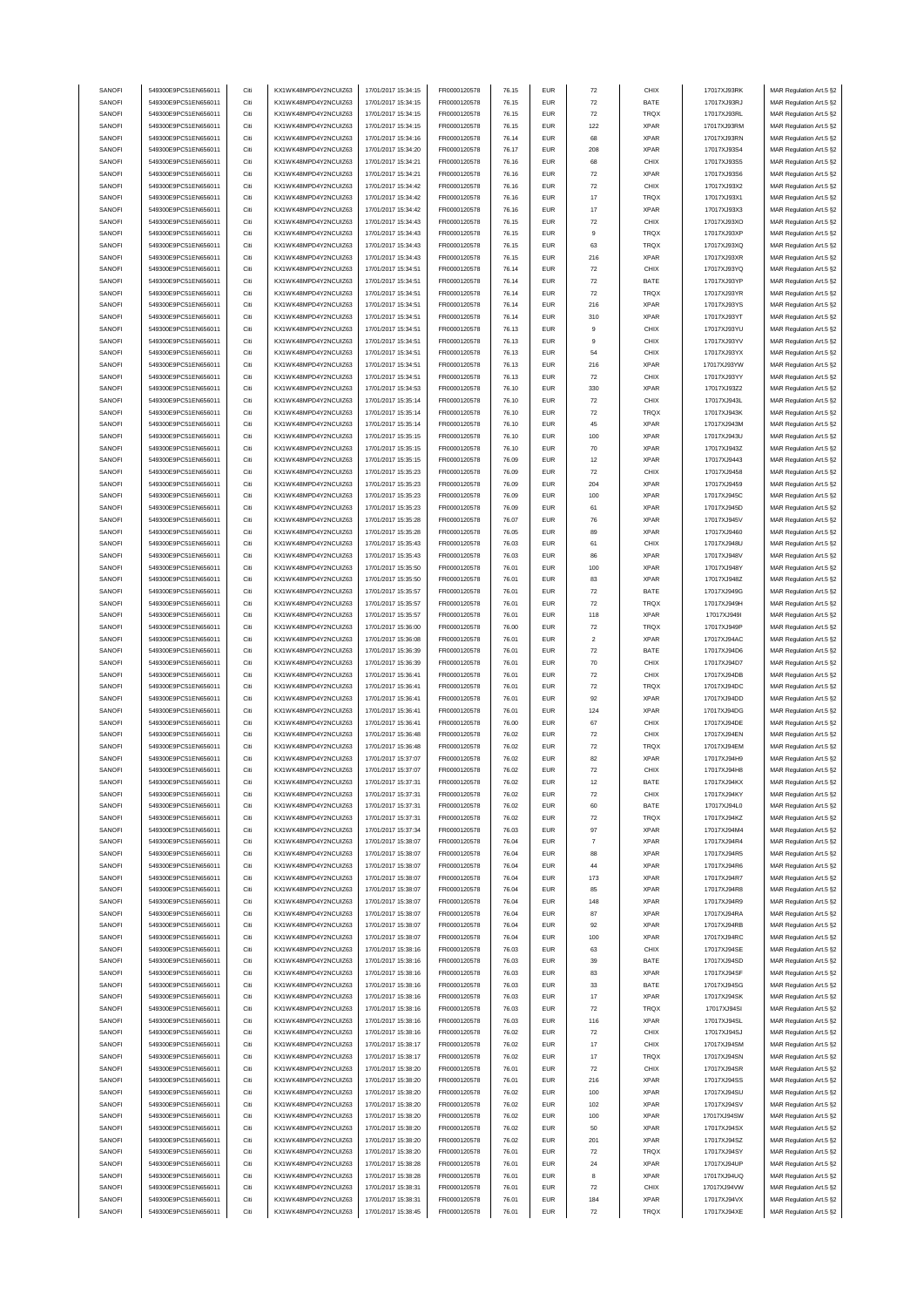| SANOFI | 549300E9PC51EN656011 | Citi | KX1WK48MPD4Y2NCUIZ63  | 17/01/2017 15:34:15 | FR0000120578 | 76.15 | <b>EUR</b> | $\scriptstyle{72}$      | CHIX        | 17017XJ93RK | MAR Regulation Art.5 §2 |
|--------|----------------------|------|-----------------------|---------------------|--------------|-------|------------|-------------------------|-------------|-------------|-------------------------|
| SANOFI | 549300E9PC51EN656011 | Citi | KX1WK48MPD4Y2NCUIZ63  | 17/01/2017 15:34:15 |              | 76.15 | <b>EUR</b> | 72                      | BATE        | 17017XJ93RJ |                         |
|        |                      |      |                       |                     | FR0000120578 |       |            |                         |             |             | MAR Regulation Art.5 §2 |
| SANOFI | 549300E9PC51EN656011 | Citi | KX1WK48MPD4Y2NCUIZ63  | 17/01/2017 15:34:15 | FR0000120578 | 76.15 | <b>EUR</b> | 72                      | TRQX        | 17017XJ93RL | MAR Regulation Art.5 §2 |
| SANOFI | 549300E9PC51EN656011 | Citi | KX1WK48MPD4Y2NCUIZ63  | 17/01/2017 15:34:15 | FR0000120578 | 76.15 | EUR        | 122                     | <b>XPAR</b> | 17017XJ93RM | MAR Regulation Art.5 §2 |
| SANOFI | 549300E9PC51EN656011 | Citi | KX1WK48MPD4Y2NCLIIZ63 | 17/01/2017 15:34:16 | FR0000120578 | 76.14 | <b>EUR</b> | 68                      | <b>XPAR</b> | 17017XJ93RN | MAR Regulation Art.5 §2 |
| SANOFI | 549300E9PC51EN656011 | Citi | KX1WK48MPD4Y2NCUIZ63  | 17/01/2017 15:34:20 | FR0000120578 | 76.17 | <b>EUR</b> | 208                     | <b>XPAR</b> | 17017XJ93S4 | MAR Regulation Art.5 §2 |
| SANOFI | 549300E9PC51EN656011 | Citi | KX1WK48MPD4Y2NCUIZ63  | 17/01/2017 15:34:21 | FR0000120578 | 76.16 | <b>EUR</b> | 68                      | CHIX        | 17017XJ93S5 | MAR Regulation Art.5 §2 |
|        | 549300E9PC51EN656011 |      |                       |                     |              |       |            |                         |             |             |                         |
| SANOFI |                      | Citi | KX1WK48MPD4Y2NCUIZ63  | 17/01/2017 15:34:21 | FR0000120578 | 76.16 | <b>EUR</b> | 72                      | <b>XPAR</b> | 17017XJ93S6 | MAR Regulation Art.5 §2 |
| SANOFI | 549300E9PC51EN656011 | Citi | KX1WK48MPD4Y2NCUIZ63  | 17/01/2017 15:34:42 | FR0000120578 | 76.16 | <b>EUR</b> | 72                      | CHIX        | 17017XJ93X2 | MAR Regulation Art.5 §2 |
| SANOFI | 549300E9PC51EN656011 | Citi | KX1WK48MPD4Y2NCUIZ63  | 17/01/2017 15:34:42 | FR0000120578 | 76.16 | <b>EUR</b> | 17                      | TRQX        | 17017XJ93X1 | MAR Regulation Art.5 §2 |
| SANOFI | 549300E9PC51EN656011 | Citi | KX1WK48MPD4Y2NCUIZ63  | 17/01/2017 15:34:42 | FR0000120578 | 76.16 | <b>EUR</b> | 17                      | <b>XPAR</b> | 17017XJ93X3 | MAR Regulation Art.5 §2 |
| SANOFI | 549300E9PC51EN656011 | Citi | KX1WK48MPD4Y2NCUIZ63  | 17/01/2017 15:34:43 | FR0000120578 | 76.15 | <b>EUR</b> | $\scriptstyle{72}$      | CHIX        | 17017XJ93XO | MAR Regulation Art.5 §2 |
|        |                      |      |                       |                     |              |       |            |                         |             |             |                         |
| SANOFI | 549300E9PC51EN656011 | Citi | KX1WK48MPD4Y2NCUIZ63  | 17/01/2017 15:34:43 | FR0000120578 | 76.15 | EUR        | 9                       | TRQX        | 17017XJ93XP | MAR Regulation Art.5 §2 |
| SANOFI | 549300E9PC51EN656011 | Citi | KX1WK48MPD4Y2NCUIZ63  | 17/01/2017 15:34:43 | FR0000120578 | 76.15 | <b>EUR</b> | 63                      | TRQX        | 17017XJ93XQ | MAR Regulation Art.5 §2 |
| SANOFI | 549300E9PC51EN656011 | Citi | KX1WK48MPD4Y2NCUIZ63  | 17/01/2017 15:34:43 | FR0000120578 | 76.15 | <b>EUR</b> | 216                     | <b>XPAR</b> | 17017XJ93XR | MAR Regulation Art.5 §2 |
| SANOFI | 549300E9PC51EN656011 | Citi | KX1WK48MPD4Y2NCUIZ63  | 17/01/2017 15:34:51 | FR0000120578 | 76.14 | <b>EUR</b> | 72                      | CHIX        | 17017XJ93YQ | MAR Regulation Art.5 §2 |
| SANOFI | 549300E9PC51EN656011 | Citi | KX1WK48MPD4Y2NCUIZ63  | 17/01/2017 15:34:51 | FR0000120578 | 76.14 | <b>EUR</b> | 72                      | BATE        | 17017XJ93YP | MAR Regulation Art.5 §2 |
|        | 549300E9PC51EN656011 | Citi | KX1WK48MPD4Y2NCUIZ63  | 17/01/2017 15:34:51 |              | 76.14 | <b>EUR</b> | 72                      | TRQX        |             |                         |
| SANOFI |                      |      |                       |                     | FR0000120578 |       |            |                         |             | 17017XJ93YR | MAR Regulation Art.5 §2 |
| SANOFI | 549300E9PC51EN656011 | Citi | KX1WK48MPD4Y2NCUIZ63  | 17/01/2017 15:34:51 | FR0000120578 | 76.14 | <b>EUR</b> | 216                     | <b>XPAR</b> | 17017XJ93YS | MAR Regulation Art.5 §2 |
| SANOFI | 549300E9PC51EN656011 | Citi | KX1WK48MPD4Y2NCUIZ63  | 17/01/2017 15:34:51 | FR0000120578 | 76.14 | <b>EUR</b> | 310                     | <b>XPAR</b> | 17017XJ93YT | MAR Regulation Art.5 §2 |
| SANOFI | 549300E9PC51EN656011 | Citi | KX1WK48MPD4Y2NCUIZ63  | 17/01/2017 15:34:51 | FR0000120578 | 76.13 | <b>EUR</b> | 9                       | CHIX        | 17017XJ93YU | MAR Regulation Art.5 §2 |
| SANOFI | 549300E9PC51EN656011 | Citi | KX1WK48MPD4Y2NCUIZ63  | 17/01/2017 15:34:51 | FR0000120578 | 76.13 | <b>EUR</b> | 9                       | CHIX        | 17017XJ93YV | MAR Regulation Art.5 §2 |
| SANOFI | 549300E9PC51EN656011 | Citi | KX1WK48MPD4Y2NCUIZ63  | 17/01/2017 15:34:51 | FR0000120578 | 76.13 | <b>EUR</b> | 54                      | CHIX        | 17017XJ93YX |                         |
|        |                      |      |                       |                     |              |       |            |                         |             |             | MAR Regulation Art.5 §2 |
| SANOFI | 549300E9PC51EN656011 | Citi | KX1WK48MPD4Y2NCUIZ63  | 17/01/2017 15:34:51 | FR0000120578 | 76.13 | <b>EUR</b> | 216                     | <b>XPAR</b> | 17017XJ93YW | MAR Regulation Art.5 §2 |
| SANOFI | 549300E9PC51EN656011 | Citi | KX1WK48MPD4Y2NCUIZ63  | 17/01/2017 15:34:51 | FR0000120578 | 76.13 | <b>EUR</b> | $\scriptstyle{72}$      | CHIX        | 17017XJ93YY | MAR Regulation Art.5 §2 |
| SANOFI | 549300E9PC51EN656011 | Citi | KX1WK48MPD4Y2NCUIZ63  | 17/01/2017 15:34:53 | FR0000120578 | 76.10 | <b>EUR</b> | 330                     | <b>XPAR</b> | 17017XJ93Z2 | MAR Regulation Art.5 §2 |
| SANOFI | 549300E9PC51EN656011 | Citi | KX1WK48MPD4Y2NCUIZ63  | 17/01/2017 15:35:14 | FR0000120578 | 76.10 | <b>EUR</b> | 72                      | CHIX        | 17017XJ943L | MAR Regulation Art.5 §2 |
| SANOFI | 549300E9PC51EN656011 | Citi | KX1WK48MPD4Y2NCUIZ63  | 17/01/2017 15:35:14 |              |       | <b>EUR</b> |                         |             |             |                         |
|        |                      |      |                       |                     | FR0000120578 | 76.10 |            | 72                      | TRQX        | 17017XJ943K | MAR Regulation Art.5 §2 |
| SANOFI | 549300E9PC51EN656011 | Citi | KX1WK48MPD4Y2NCUIZ63  | 17/01/2017 15:35:14 | FR0000120578 | 76.10 | <b>EUR</b> | 45                      | <b>XPAR</b> | 17017XJ943M | MAR Regulation Art.5 §2 |
| SANOFI | 549300E9PC51EN656011 | Citi | KX1WK48MPD4Y2NCUIZ63  | 17/01/2017 15:35:15 | FR0000120578 | 76.10 | <b>EUR</b> | 100                     | <b>XPAR</b> | 17017XJ943U | MAR Regulation Art.5 §2 |
| SANOFI | 549300E9PC51EN656011 | Citi | KX1WK48MPD4Y2NCUIZ63  | 17/01/2017 15:35:15 | FR0000120578 | 76.10 | <b>EUR</b> | 70                      | <b>XPAR</b> | 17017XJ943Z | MAR Regulation Art.5 §2 |
| SANOFI | 549300E9PC51EN656011 | Citi | KX1WK48MPD4Y2NCUIZ63  | 17/01/2017 15:35:15 | FR0000120578 | 76.09 | <b>EUR</b> | 12                      | <b>XPAR</b> | 17017XJ9443 | MAR Regulation Art.5 §2 |
| SANOFI | 549300E9PC51EN656011 | Citi | KX1WK48MPD4Y2NCUIZ63  | 17/01/2017 15:35:23 | FR0000120578 | 76.09 | <b>EUR</b> | 72                      | CHIX        | 17017XJ9458 | MAR Regulation Art.5 §2 |
|        |                      |      |                       |                     |              |       |            |                         |             |             |                         |
| SANOFI | 549300E9PC51EN656011 | Citi | KX1WK48MPD4Y2NCUIZ63  | 17/01/2017 15:35:23 | FR0000120578 | 76.09 | <b>EUR</b> | 204                     | <b>XPAR</b> | 17017XJ9459 | MAR Regulation Art.5 §2 |
| SANOFI | 549300E9PC51EN656011 | Citi | KX1WK48MPD4Y2NCUIZ63  | 17/01/2017 15:35:23 | FR0000120578 | 76.09 | <b>EUR</b> | 100                     | <b>XPAR</b> | 17017XJ945C | MAR Regulation Art.5 §2 |
| SANOFI | 549300E9PC51EN656011 | Citi | KX1WK48MPD4Y2NCUIZ63  | 17/01/2017 15:35:23 | FR0000120578 | 76.09 | <b>EUR</b> | 61                      | <b>XPAR</b> | 17017XJ945D | MAR Regulation Art.5 §2 |
| SANOFI | 549300E9PC51EN656011 | Citi | KX1WK48MPD4Y2NCUIZ63  | 17/01/2017 15:35:28 | FR0000120578 | 76.07 | <b>EUR</b> | 76                      | <b>XPAR</b> | 17017XJ945V | MAR Regulation Art.5 §2 |
| SANOFI | 549300E9PC51EN656011 | Citi | KX1WK48MPD4Y2NCUIZ63  | 17/01/2017 15:35:28 | FR0000120578 | 76.05 | <b>EUR</b> | 89                      | <b>XPAR</b> | 17017XJ9460 | MAR Regulation Art.5 §2 |
|        |                      |      |                       |                     |              |       |            |                         |             |             |                         |
| SANOFI | 549300E9PC51EN656011 | Citi | KX1WK48MPD4Y2NCUIZ63  | 17/01/2017 15:35:43 | FR0000120578 | 76.03 | <b>EUR</b> | 61                      | CHIX        | 17017XJ948U | MAR Regulation Art.5 §2 |
| SANOFI | 549300E9PC51EN656011 | Citi | KX1WK48MPD4Y2NCUIZ63  | 17/01/2017 15:35:43 | FR0000120578 | 76.03 | <b>EUR</b> | 86                      | <b>XPAR</b> | 17017XJ948V | MAR Regulation Art.5 §2 |
| SANOFI | 549300E9PC51EN656011 | Citi | KX1WK48MPD4Y2NCUIZ63  | 17/01/2017 15:35:50 | FR0000120578 | 76.01 | <b>EUR</b> | 100                     | <b>XPAR</b> | 17017XJ948Y | MAR Regulation Art.5 §2 |
| SANOFI | 549300E9PC51EN656011 | Citi | KX1WK48MPD4Y2NCUIZ63  | 17/01/2017 15:35:50 | FR0000120578 | 76.01 | <b>EUR</b> | 83                      | <b>XPAR</b> | 17017XJ948Z | MAR Regulation Art.5 §2 |
| SANOFI | 549300E9PC51EN656011 | Citi | KX1WK48MPD4Y2NCUIZ63  | 17/01/2017 15:35:57 | FR0000120578 | 76.01 | <b>EUR</b> | 72                      | BATE        | 17017XJ949G | MAR Regulation Art.5 §2 |
| SANOFI | 549300E9PC51EN656011 | Citi | KX1WK48MPD4Y2NCUIZ63  | 17/01/2017 15:35:57 | FR0000120578 | 76.01 | <b>EUR</b> | 72                      | TRQX        | 17017XJ949H |                         |
|        |                      |      |                       |                     |              |       |            |                         |             |             | MAR Regulation Art.5 §2 |
| SANOFI | 549300E9PC51EN656011 | Citi | KX1WK48MPD4Y2NCUIZ63  | 17/01/2017 15:35:57 | FR0000120578 | 76.01 | <b>EUR</b> | 118                     | <b>XPAR</b> | 17017XJ949I | MAR Regulation Art.5 §2 |
| SANOFI | 549300E9PC51EN656011 | Citi | KX1WK48MPD4Y2NCUIZ63  | 17/01/2017 15:36:00 | FR0000120578 | 76.00 | <b>EUR</b> | $\scriptstyle{72}$      | TRQX        | 17017XJ949P | MAR Regulation Art.5 §2 |
| SANOFI | 549300E9PC51EN656011 | Citi | KX1WK48MPD4Y2NCUIZ63  | 17/01/2017 15:36:08 | FR0000120578 | 76.01 | <b>EUR</b> | $\overline{\mathbf{c}}$ | <b>XPAR</b> | 17017XJ94AC | MAR Regulation Art.5 §2 |
| SANOFI | 549300E9PC51EN656011 | Citi | KX1WK48MPD4Y2NCUIZ63  | 17/01/2017 15:36:39 | FR0000120578 | 76.01 | <b>EUR</b> | $\scriptstyle{72}$      | BATE        | 17017XJ94D6 | MAR Regulation Art.5 §2 |
| SANOFI | 549300E9PC51EN656011 | Citi | KX1WK48MPD4Y2NCUIZ63  | 17/01/2017 15:36:39 | FR0000120578 | 76.01 | <b>EUR</b> | 70                      | CHIX        | 17017XJ94D7 | MAR Regulation Art.5 §2 |
|        |                      |      |                       |                     |              |       |            |                         |             |             |                         |
| SANOFI | 549300E9PC51EN656011 | Citi | KX1WK48MPD4Y2NCUIZ63  | 17/01/2017 15:36:41 | FR0000120578 | 76.01 | <b>EUR</b> | 72                      | CHIX        | 17017XJ94DB | MAR Regulation Art.5 §2 |
| SANOFI | 549300E9PC51EN656011 | Citi | KX1WK48MPD4Y2NCUIZ63  | 17/01/2017 15:36:41 | FR0000120578 | 76.01 | <b>EUR</b> | 72                      | TRQX        | 17017XJ94DC | MAR Regulation Art.5 §2 |
| SANOFI | 549300E9PC51EN656011 | Citi | KX1WK48MPD4Y2NCUIZ63  | 17/01/2017 15:36:41 | FR0000120578 | 76.01 | <b>EUR</b> | 92                      | <b>XPAR</b> | 17017XJ94DD | MAR Regulation Art.5 §2 |
| SANOFI | 549300E9PC51EN656011 | Citi | KX1WK48MPD4Y2NCUIZ63  | 17/01/2017 15:36:41 | FR0000120578 | 76.01 | <b>EUR</b> | 124                     | <b>XPAR</b> | 17017XJ94DG | MAR Regulation Art.5 §2 |
| SANOFI | 549300E9PC51EN656011 | Citi | KX1WK48MPD4Y2NCUIZ63  | 17/01/2017 15:36:41 | FR0000120578 | 76.00 | <b>EUR</b> | 67                      | CHIX        | 17017XJ94DE | MAR Regulation Art.5 §2 |
|        |                      |      |                       |                     |              |       |            |                         |             |             |                         |
| SANOFI | 549300E9PC51EN656011 | Citi | KX1WK48MPD4Y2NCUIZ63  | 17/01/2017 15:36:48 | FR0000120578 | 76.02 | <b>EUR</b> | $\scriptstyle{72}$      | CHIX        | 17017XJ94EN | MAR Regulation Art.5 §2 |
| SANOFI | 549300E9PC51EN656011 | Citi | KX1WK48MPD4Y2NCUIZ63  | 17/01/2017 15:36:48 | FR0000120578 | 76.02 | <b>EUR</b> | $\scriptstyle{72}$      | TRQX        | 17017XJ94EM | MAR Regulation Art.5 §2 |
| SANOFI | 549300E9PC51EN656011 | Citi | KX1WK48MPD4Y2NCUIZ63  | 17/01/2017 15:37:07 | FR0000120578 | 76.02 | <b>EUR</b> | 82                      | <b>XPAR</b> | 17017XJ94H9 | MAR Regulation Art.5 §2 |
| SANOFI | 549300E9PC51EN656011 | Citi | KX1WK48MPD4Y2NCUIZ63  | 17/01/2017 15:37:07 | FR0000120578 | 76.02 | <b>EUR</b> | $\scriptstyle{72}$      | CHIX        | 17017XJ94H8 | MAR Regulation Art.5 §2 |
| SANOFI | 549300E9PC51EN656011 |      | KX1WK48MPD4Y2NCLIIZ63 | 17/01/2017 15:37:31 | ER0000120578 | 76.02 | FUR        | 12                      | <b>BATF</b> | 17017XJ94KX | MAR Regulation Art 5.82 |
| SANOFI |                      |      |                       |                     |              |       |            |                         |             |             |                         |
|        | 549300E9PC51EN656011 | Citi | KX1WK48MPD4Y2NCUIZ63  | 17/01/2017 15:37:31 | FR0000120578 | 76.02 | <b>EUR</b> | $\scriptstyle{72}$      | CHIX        | 17017XJ94KY | MAR Regulation Art.5 §2 |
| SANOFI | 549300E9PC51EN656011 | Citi | KX1WK48MPD4Y2NCUIZ63  | 17/01/2017 15:37:31 | FR0000120578 | 76.02 | <b>EUR</b> | 60                      | BATE        | 17017XJ94L0 | MAR Regulation Art.5 §2 |
| SANOFI | 549300E9PC51EN656011 | Citi | KX1WK48MPD4Y2NCUIZ63  | 17/01/2017 15:37:31 | FR0000120578 | 76.02 | <b>EUR</b> | 72                      | TRQX        | 17017XJ94KZ | MAR Regulation Art.5 §2 |
| SANOFI | 549300E9PC51EN656011 | Citi | KX1WK48MPD4Y2NCUIZ63  | 17/01/2017 15:37:34 | FR0000120578 | 76.03 | <b>EUR</b> | 97                      | <b>XPAR</b> | 17017XJ94M4 | MAR Regulation Art.5 §2 |
| SANOFI | 549300E9PC51EN656011 | Citi | KX1WK48MPD4Y2NCUIZ63  | 17/01/2017 15:38:07 | FR0000120578 | 76.04 | <b>EUR</b> | $\overline{7}$          | <b>XPAR</b> | 17017XJ94R4 | MAR Regulation Art.5 §2 |
| SANOFI | 549300E9PC51EN656011 | Citi | KX1WK48MPD4Y2NCUIZ63  | 17/01/2017 15:38:07 | FR0000120578 | 76.04 | <b>EUR</b> | 88                      | <b>XPAR</b> | 17017XJ94R5 | MAR Regulation Art.5 §2 |
|        |                      |      |                       |                     |              |       |            |                         |             |             |                         |
| SANOFI | 549300E9PC51EN656011 | Citi | KX1WK48MPD4Y2NCUIZ63  | 17/01/2017 15:38:07 | FR0000120578 | 76.04 | <b>EUR</b> | 44                      | <b>XPAR</b> | 17017XJ94R6 | MAR Regulation Art.5 §2 |
| SANOFI | 549300E9PC51EN656011 | Citi | KX1WK48MPD4Y2NCUIZ63  | 17/01/2017 15:38:07 | FR0000120578 | 76.04 | <b>EUR</b> | 173                     | <b>XPAR</b> | 17017XJ94R7 | MAR Regulation Art.5 §2 |
| SANOFI | 549300E9PC51EN656011 | Citi | KX1WK48MPD4Y2NCUIZ63  | 17/01/2017 15:38:07 | FR0000120578 | 76.04 | <b>EUR</b> | 85                      | <b>XPAR</b> | 17017XJ94R8 | MAR Regulation Art.5 §2 |
| SANOFI | 549300E9PC51EN656011 | Citi | KX1WK48MPD4Y2NCUIZ63  | 17/01/2017 15:38:07 | FR0000120578 | 76.04 | <b>EUR</b> | 148                     | <b>XPAR</b> | 17017XJ94R9 | MAR Regulation Art.5 §2 |
| SANOFI | 549300E9PC51EN656011 | Citi | KX1WK48MPD4Y2NCUIZ63  | 17/01/2017 15:38:07 | FR0000120578 | 76.04 | <b>EUR</b> | 87                      | <b>XPAR</b> | 17017XJ94RA | MAR Regulation Art.5 §2 |
|        |                      |      | KX1WK48MPD4Y2NCUIZ63  |                     | FR0000120578 |       |            |                         |             |             | MAR Regulation Art.5 §2 |
| SANOFI | 549300E9PC51EN656011 | Citi |                       | 17/01/2017 15:38:07 |              | 76.04 | <b>EUR</b> | 92                      | <b>XPAR</b> | 17017XJ94RB |                         |
| SANOFI | 549300E9PC51EN656011 | Citi | KX1WK48MPD4Y2NCUIZ63  | 17/01/2017 15:38:07 | FR0000120578 | 76.04 | <b>EUR</b> | 100                     | <b>XPAR</b> | 17017XJ94RC | MAR Regulation Art.5 §2 |
| SANOFI | 549300E9PC51EN656011 |      | KX1WK48MPD4Y2NCUIZ63  | 17/01/2017 15:38:16 | FR0000120578 | 76.03 | <b>EUR</b> | 63                      | CHIX        | 17017XJ94SE | MAR Regulation Art.5 §2 |
| SANOFI |                      | Citi |                       |                     |              |       |            |                         |             |             |                         |
|        | 549300E9PC51EN656011 | Citi | KX1WK48MPD4Y2NCUIZ63  | 17/01/2017 15:38:16 | FR0000120578 | 76.03 | <b>EUR</b> | 39                      | BATE        | 17017XJ94SD | MAR Regulation Art.5 §2 |
|        |                      |      |                       |                     |              |       |            |                         |             |             |                         |
| SANOFI | 549300E9PC51EN656011 | Citi | KX1WK48MPD4Y2NCUIZ63  | 17/01/2017 15:38:16 | FR0000120578 | 76.03 | <b>EUR</b> | 83                      | <b>XPAR</b> | 17017XJ94SF | MAR Regulation Art.5 §2 |
| SANOFI | 549300E9PC51EN656011 | Citi | KX1WK48MPD4Y2NCUIZ63  | 17/01/2017 15:38:16 | FR0000120578 | 76.03 | <b>EUR</b> | 33                      | BATE        | 17017XJ94SG | MAR Regulation Art.5 §2 |
| SANOFI | 549300E9PC51EN656011 | Citi | KX1WK48MPD4Y2NCUIZ63  | 17/01/2017 15:38:16 | FR0000120578 | 76.03 | <b>EUR</b> | 17                      | <b>XPAR</b> | 17017XJ94SK | MAR Regulation Art.5 §2 |
| SANOFI | 549300E9PC51EN656011 | Citi | KX1WK48MPD4Y2NCUIZ63  | 17/01/2017 15:38:16 | FR0000120578 | 76.03 | <b>EUR</b> | 72                      | TRQX        | 17017XJ94SI | MAR Regulation Art.5 §2 |
| SANOFI | 549300E9PC51EN656011 | Citi | KX1WK48MPD4Y2NCUIZ63  | 17/01/2017 15:38:16 | FR0000120578 | 76.03 | <b>EUR</b> | 116                     | <b>XPAR</b> | 17017XJ94SL | MAR Regulation Art.5 §2 |
|        |                      |      |                       |                     |              |       |            |                         |             |             |                         |
| SANOFI | 549300E9PC51EN656011 | Citi | KX1WK48MPD4Y2NCUIZ63  | 17/01/2017 15:38:16 | FR0000120578 | 76.02 | <b>EUR</b> | $\scriptstyle{72}$      | CHIX        | 17017XJ94SJ | MAR Regulation Art.5 §2 |
| SANOFI | 549300E9PC51EN656011 | Citi | KX1WK48MPD4Y2NCUIZ63  | 17/01/2017 15:38:17 | FR0000120578 | 76.02 | <b>EUR</b> | 17                      | CHIX        | 17017XJ94SM | MAR Regulation Art.5 §2 |
| SANOFI | 549300E9PC51EN656011 | Citi | KX1WK48MPD4Y2NCUIZ63  | 17/01/2017 15:38:17 | FR0000120578 | 76.02 | <b>EUR</b> | 17                      | TRQX        | 17017XJ94SN | MAR Regulation Art.5 §2 |
| SANOFI | 549300E9PC51EN656011 | Citi | KX1WK48MPD4Y2NCUIZ63  | 17/01/2017 15:38:20 | FR0000120578 | 76.01 | <b>EUR</b> | 72                      | CHIX        | 17017XJ94SR | MAR Regulation Art.5 §2 |
| SANOFI | 549300E9PC51EN656011 | Citi | KX1WK48MPD4Y2NCUIZ63  | 17/01/2017 15:38:20 | FR0000120578 | 76.01 | <b>EUR</b> | 216                     | <b>XPAR</b> | 17017XJ94SS | MAR Regulation Art.5 §2 |
| SANOFI | 549300E9PC51EN656011 | Citi |                       |                     |              | 76.02 | <b>EUR</b> | 100                     | <b>XPAR</b> |             |                         |
|        |                      |      | KX1WK48MPD4Y2NCUIZ63  | 17/01/2017 15:38:20 | FR0000120578 |       |            |                         |             | 17017XJ94SU | MAR Regulation Art.5 §2 |
| SANOFI | 549300E9PC51EN656011 | Citi | KX1WK48MPD4Y2NCUIZ63  | 17/01/2017 15:38:20 | FR0000120578 | 76.02 | <b>EUR</b> | 102                     | <b>XPAR</b> | 17017XJ94SV | MAR Regulation Art.5 §2 |
| SANOFI | 549300E9PC51EN656011 | Citi | KX1WK48MPD4Y2NCUIZ63  | 17/01/2017 15:38:20 | FR0000120578 | 76.02 | <b>EUR</b> | 100                     | <b>XPAR</b> | 17017XJ94SW | MAR Regulation Art.5 §2 |
| SANOFI | 549300E9PC51EN656011 | Citi | KX1WK48MPD4Y2NCUIZ63  | 17/01/2017 15:38:20 | FR0000120578 | 76.02 | <b>EUR</b> | 50                      | <b>XPAR</b> | 17017XJ94SX | MAR Regulation Art.5 §2 |
| SANOFI | 549300E9PC51EN656011 | Citi | KX1WK48MPD4Y2NCUIZ63  | 17/01/2017 15:38:20 | FR0000120578 | 76.02 | <b>EUR</b> | 201                     | <b>XPAR</b> | 17017XJ94SZ | MAR Regulation Art.5 §2 |
| SANOFI | 549300E9PC51EN656011 | Citi | KX1WK48MPD4Y2NCUIZ63  | 17/01/2017 15:38:20 | FR0000120578 | 76.01 | <b>EUR</b> | $\scriptstyle{72}$      | TRQX        | 17017XJ94SY | MAR Regulation Art.5 §2 |
| SANOFI | 549300E9PC51EN656011 | Citi | KX1WK48MPD4Y2NCUIZ63  | 17/01/2017 15:38:28 | FR0000120578 | 76.01 | <b>EUR</b> | 24                      | <b>XPAR</b> | 17017XJ94UP |                         |
|        |                      |      |                       |                     |              |       |            |                         |             |             | MAR Regulation Art.5 §2 |
| SANOFI | 549300E9PC51EN656011 | Citi | KX1WK48MPD4Y2NCUIZ63  | 17/01/2017 15:38:28 | FR0000120578 | 76.01 | <b>EUR</b> | 8                       | <b>XPAR</b> | 17017XJ94UQ | MAR Regulation Art.5 §2 |
| SANOFI | 549300E9PC51EN656011 | Citi | KX1WK48MPD4Y2NCUIZ63  | 17/01/2017 15:38:31 | FR0000120578 | 76.01 | <b>EUR</b> | 72                      | CHIX        | 17017XJ94VW | MAR Regulation Art.5 §2 |
| SANOFI | 549300E9PC51EN656011 | Citi | KX1WK48MPD4Y2NCUIZ63  | 17/01/2017 15:38:31 | FR0000120578 | 76.01 | <b>EUR</b> | 184                     | <b>XPAR</b> | 17017XJ94VX | MAR Regulation Art.5 §2 |
| SANOFI | 549300E9PC51EN656011 | Citi | KX1WK48MPD4Y2NCUIZ63  | 17/01/2017 15:38:45 | FR0000120578 | 76.01 | <b>EUR</b> | 72                      | TRQX        | 17017XJ94XE | MAR Regulation Art.5 §2 |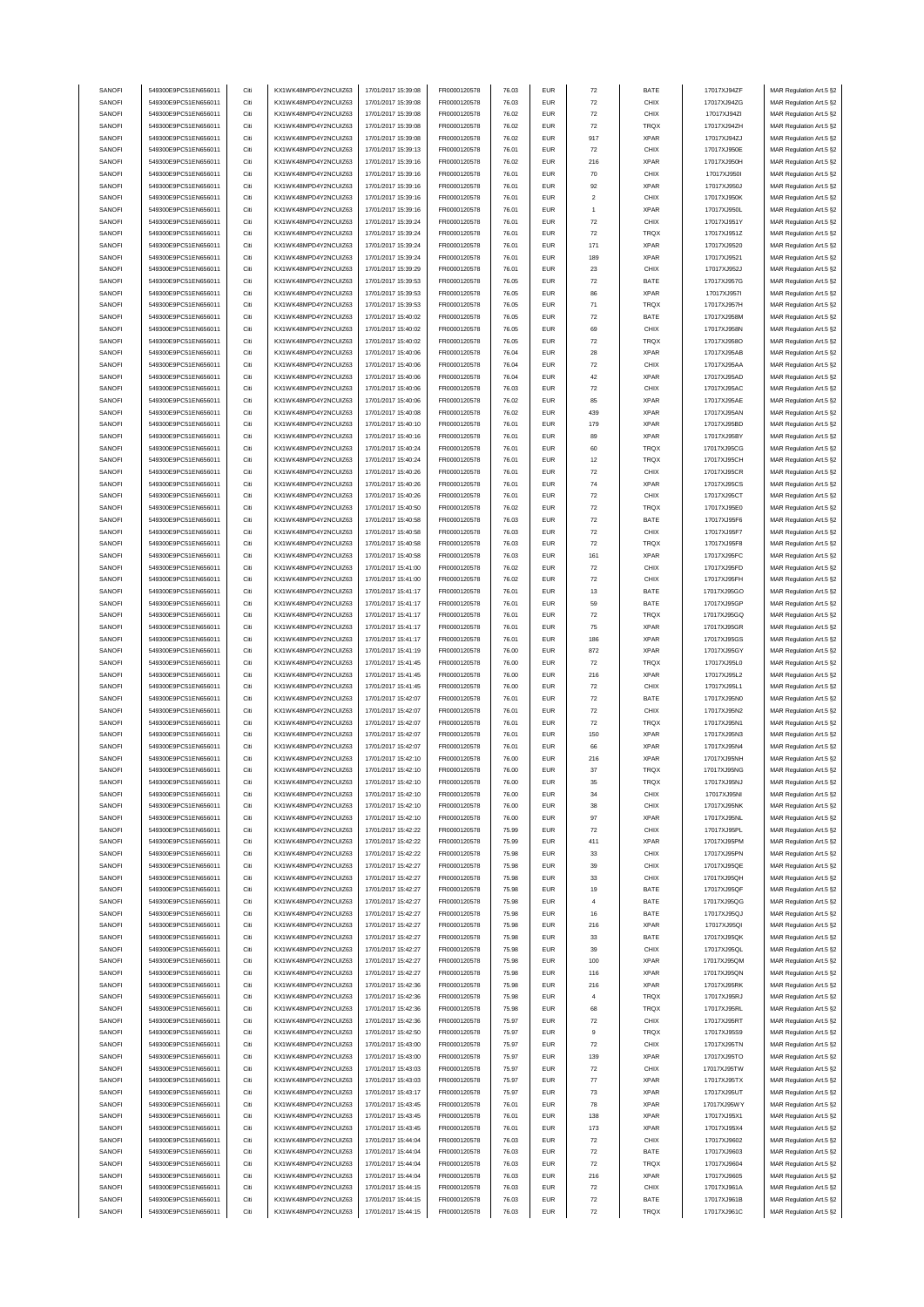| SANOFI<br>SANOFI |                      | Citi |                      | 17/01/2017 15:39:08 | FR0000120578 | 76.03 | <b>EUR</b> |                    |             |             |                         |
|------------------|----------------------|------|----------------------|---------------------|--------------|-------|------------|--------------------|-------------|-------------|-------------------------|
|                  | 549300E9PC51EN656011 |      | KX1WK48MPD4Y2NCUIZ63 |                     |              |       |            | $\scriptstyle{72}$ | BATE        | 17017XJ94ZF | MAR Regulation Art.5 §2 |
|                  | 549300E9PC51EN656011 | Citi | KX1WK48MPD4Y2NCUIZ63 | 17/01/2017 15:39:08 | FR0000120578 | 76.03 | <b>EUR</b> | 72                 | CHIX        | 17017XJ94ZG | MAR Regulation Art.5 §2 |
| SANOFI           | 549300E9PC51EN656011 | Citi | KX1WK48MPD4Y2NCUIZ63 | 17/01/2017 15:39:08 | FR0000120578 | 76.02 | <b>EUR</b> | 72                 | CHIX        | 17017XJ94ZI | MAR Regulation Art.5 §2 |
| SANOFI           | 549300E9PC51EN656011 | Citi | KX1WK48MPD4Y2NCUIZ63 | 17/01/2017 15:39:08 | FR0000120578 | 76.02 | <b>EUR</b> | $\scriptstyle{72}$ | TRQX        | 17017XJ94ZH | MAR Regulation Art.5 §2 |
| SANOFI           | 549300E9PC51EN656011 | Citi | KX1WK48MPD4Y2NCUIZ63 | 17/01/2017 15:39:08 | FR0000120578 | 76.02 | <b>EUR</b> | 917                | <b>XPAR</b> | 17017XJ94ZJ | MAR Regulation Art.5 §2 |
|                  |                      |      |                      |                     |              |       |            |                    |             |             |                         |
| SANOFI           | 549300E9PC51EN656011 | Citi | KX1WK48MPD4Y2NCUIZ63 | 17/01/2017 15:39:13 | FR0000120578 | 76.01 | <b>EUR</b> | $\scriptstyle{72}$ | CHIX        | 17017XJ950E | MAR Regulation Art.5 §2 |
| SANOFI           | 549300E9PC51EN656011 | Citi | KX1WK48MPD4Y2NCUIZ63 | 17/01/2017 15:39:16 | FR0000120578 | 76.02 | <b>EUR</b> | 216                | <b>XPAR</b> | 17017XJ950H | MAR Regulation Art.5 §2 |
| SANOFI           | 549300E9PC51EN656011 | Citi | KX1WK48MPD4Y2NCUIZ63 | 17/01/2017 15:39:16 | FR0000120578 | 76.01 | <b>EUR</b> | 70                 | CHIX        | 17017XJ950I | MAR Regulation Art.5 §2 |
| SANOFI           | 549300E9PC51EN656011 | Citi | KX1WK48MPD4Y2NCUIZ63 | 17/01/2017 15:39:16 | FR0000120578 | 76.01 | <b>EUR</b> | 92                 | <b>XPAR</b> | 17017XJ950J | MAR Regulation Art.5 §2 |
|                  |                      |      |                      |                     |              |       |            |                    |             |             |                         |
| SANOFI           | 549300E9PC51EN656011 | Citi | KX1WK48MPD4Y2NCUIZ63 | 17/01/2017 15:39:16 | FR0000120578 | 76.01 | <b>EUR</b> | $\sqrt{2}$         | CHIX        | 17017XJ950K | MAR Regulation Art.5 §2 |
| SANOFI           | 549300E9PC51EN656011 | Citi | KX1WK48MPD4Y2NCUIZ63 | 17/01/2017 15:39:16 | FR0000120578 | 76.01 | <b>EUR</b> | $\overline{1}$     | <b>XPAR</b> | 17017XJ950L | MAR Regulation Art.5 §2 |
| SANOFI           | 549300E9PC51EN656011 | Citi | KX1WK48MPD4Y2NCUIZ63 | 17/01/2017 15:39:24 | FR0000120578 | 76.01 | <b>EUR</b> | $\scriptstyle{72}$ | CHIX        | 17017XJ951Y |                         |
|                  |                      |      |                      |                     |              |       |            |                    |             |             | MAR Regulation Art.5 §2 |
| SANOFI           | 549300E9PC51EN656011 | Citi | KX1WK48MPD4Y2NCUIZ63 | 17/01/2017 15:39:24 | FR0000120578 | 76.01 | <b>EUR</b> | $\scriptstyle{72}$ | TRQX        | 17017XJ951Z | MAR Regulation Art.5 §2 |
| SANOFI           | 549300E9PC51EN656011 | Citi | KX1WK48MPD4Y2NCUIZ63 | 17/01/2017 15:39:24 | FR0000120578 | 76.01 | <b>EUR</b> | 171                | <b>XPAR</b> | 17017XJ9520 | MAR Regulation Art.5 §2 |
| SANOFI           | 549300E9PC51EN656011 | Citi | KX1WK48MPD4Y2NCUIZ63 | 17/01/2017 15:39:24 | FR0000120578 | 76.01 | <b>EUR</b> | 189                | <b>XPAR</b> | 17017XJ9521 | MAR Regulation Art.5 §2 |
|                  |                      |      |                      |                     |              |       |            |                    |             |             |                         |
| SANOFI           | 549300E9PC51EN656011 | Citi | KX1WK48MPD4Y2NCUIZ63 | 17/01/2017 15:39:29 | FR0000120578 | 76.01 | <b>EUR</b> | 23                 | CHIX        | 17017XJ952J | MAR Regulation Art.5 §2 |
| SANOFI           | 549300E9PC51EN656011 | Citi | KX1WK48MPD4Y2NCUIZ63 | 17/01/2017 15:39:53 | FR0000120578 | 76.05 | <b>EUR</b> | $\scriptstyle{72}$ | BATE        | 17017XJ957G | MAR Regulation Art.5 §2 |
| SANOFI           | 549300E9PC51EN656011 | Citi | KX1WK48MPD4Y2NCUIZ63 | 17/01/2017 15:39:53 | FR0000120578 | 76.05 | <b>EUR</b> | 86                 | <b>XPAR</b> | 17017XJ957I | MAR Regulation Art.5 §2 |
| SANOFI           | 549300E9PC51EN656011 | Citi | KX1WK48MPD4Y2NCUIZ63 | 17/01/2017 15:39:53 | FR0000120578 | 76.05 | <b>EUR</b> | 71                 | TRQX        | 17017XJ957H | MAR Regulation Art.5 §2 |
|                  |                      |      |                      |                     |              |       |            |                    |             |             |                         |
| SANOFI           | 549300E9PC51EN656011 | Citi | KX1WK48MPD4Y2NCUIZ63 | 17/01/2017 15:40:02 | FR0000120578 | 76.05 | EUR        | $\scriptstyle{72}$ | BATE        | 17017XJ958M | MAR Regulation Art.5 §2 |
| SANOFI           | 549300E9PC51EN656011 | Citi | KX1WK48MPD4Y2NCUIZ63 | 17/01/2017 15:40:02 | FR0000120578 | 76.05 | <b>EUR</b> | 69                 | CHIX        | 17017XJ958N | MAR Regulation Art.5 §2 |
| SANOFI           | 549300E9PC51EN656011 | Citi | KX1WK48MPD4Y2NCUIZ63 | 17/01/2017 15:40:02 | FR0000120578 | 76.05 | <b>EUR</b> | $\scriptstyle{72}$ | TRQX        | 17017XJ958O | MAR Regulation Art.5 §2 |
|                  |                      |      |                      |                     |              |       | <b>EUR</b> |                    |             |             |                         |
| SANOFI           | 549300E9PC51EN656011 | Citi | KX1WK48MPD4Y2NCUIZ63 | 17/01/2017 15:40:06 | FR0000120578 | 76.04 |            | 28                 | <b>XPAR</b> | 17017XJ95AB | MAR Regulation Art.5 §2 |
| SANOFI           | 549300E9PC51EN656011 | Citi | KX1WK48MPD4Y2NCUIZ63 | 17/01/2017 15:40:06 | FR0000120578 | 76.04 | <b>EUR</b> | $\scriptstyle{72}$ | CHIX        | 17017XJ95AA | MAR Regulation Art.5 §2 |
| SANOFI           | 549300E9PC51EN656011 | Citi | KX1WK48MPD4Y2NCUIZ63 | 17/01/2017 15:40:06 | FR0000120578 | 76.04 | <b>EUR</b> | 42                 | <b>XPAR</b> | 17017XJ95AD | MAR Regulation Art.5 §2 |
| SANOFI           | 549300E9PC51EN656011 | Citi | KX1WK48MPD4Y2NCUIZ63 | 17/01/2017 15:40:06 | FR0000120578 | 76.03 | <b>EUR</b> | $\scriptstyle{72}$ | CHIX        | 17017XJ95AC | MAR Regulation Art.5 §2 |
|                  |                      |      |                      |                     |              |       |            |                    |             |             |                         |
| SANOFI           | 549300E9PC51EN656011 | Citi | KX1WK48MPD4Y2NCUIZ63 | 17/01/2017 15:40:06 | FR0000120578 | 76.02 | <b>EUR</b> | 85                 | <b>XPAR</b> | 17017XJ95AE | MAR Regulation Art.5 §2 |
| SANOFI           | 549300E9PC51EN656011 | Citi | KX1WK48MPD4Y2NCUIZ63 | 17/01/2017 15:40:08 | FR0000120578 | 76.02 | <b>EUR</b> | 439                | <b>XPAR</b> | 17017XJ95AN | MAR Regulation Art.5 §2 |
| SANOFI           | 549300E9PC51EN656011 | Citi | KX1WK48MPD4Y2NCUIZ63 | 17/01/2017 15:40:10 | FR0000120578 | 76.01 | <b>EUR</b> | 179                | <b>XPAR</b> | 17017XJ95BD | MAR Regulation Art.5 §2 |
|                  |                      |      | KX1WK48MPD4Y2NCUIZ63 |                     |              |       |            |                    |             | 17017XJ95BY |                         |
| SANOFI           | 549300E9PC51EN656011 | Citi |                      | 17/01/2017 15:40:16 | FR0000120578 | 76.01 | <b>EUR</b> | 89                 | <b>XPAR</b> |             | MAR Regulation Art.5 §2 |
| SANOFI           | 549300E9PC51EN656011 | Citi | KX1WK48MPD4Y2NCUIZ63 | 17/01/2017 15:40:24 | FR0000120578 | 76.01 | <b>EUR</b> | 60                 | TRQX        | 17017XJ95CG | MAR Regulation Art.5 §2 |
| SANOFI           | 549300E9PC51EN656011 | Citi | KX1WK48MPD4Y2NCUIZ63 | 17/01/2017 15:40:24 | FR0000120578 | 76.01 | <b>EUR</b> | 12                 | TRQX        | 17017XJ95CH | MAR Regulation Art.5 §2 |
| SANOFI           | 549300E9PC51EN656011 | Citi | KX1WK48MPD4Y2NCUIZ63 | 17/01/2017 15:40:26 | FR0000120578 | 76.01 | <b>EUR</b> | $\scriptstyle{72}$ | CHIX        | 17017XJ95CR | MAR Regulation Art.5 §2 |
|                  |                      |      |                      |                     |              |       |            |                    |             |             |                         |
| SANOFI           | 549300E9PC51EN656011 | Citi | KX1WK48MPD4Y2NCUIZ63 | 17/01/2017 15:40:26 | FR0000120578 | 76.01 | <b>EUR</b> | 74                 | <b>XPAR</b> | 17017XJ95CS | MAR Regulation Art.5 §2 |
| SANOFI           | 549300E9PC51EN656011 | Citi | KX1WK48MPD4Y2NCUIZ63 | 17/01/2017 15:40:26 | FR0000120578 | 76.01 | <b>EUR</b> | 72                 | CHIX        | 17017XJ95CT | MAR Regulation Art.5 §2 |
| SANOFI           | 549300E9PC51EN656011 | Citi | KX1WK48MPD4Y2NCUIZ63 | 17/01/2017 15:40:50 | FR0000120578 | 76.02 | <b>EUR</b> | $\scriptstyle{72}$ | TRQX        | 17017XJ95E0 | MAR Regulation Art.5 §2 |
|                  | 549300E9PC51EN656011 |      |                      |                     |              |       |            |                    |             |             |                         |
| SANOFI           |                      | Citi | KX1WK48MPD4Y2NCUIZ63 | 17/01/2017 15:40:58 | FR0000120578 | 76.03 | <b>EUR</b> | $\scriptstyle{72}$ | BATE        | 17017XJ95F6 | MAR Regulation Art.5 §2 |
| SANOFI           | 549300E9PC51EN656011 | Citi | KX1WK48MPD4Y2NCUIZ63 | 17/01/2017 15:40:58 | FR0000120578 | 76.03 | <b>EUR</b> | $\scriptstyle{72}$ | CHIX        | 17017XJ95F7 | MAR Regulation Art.5 §2 |
| SANOFI           | 549300E9PC51EN656011 | Citi | KX1WK48MPD4Y2NCUIZ63 | 17/01/2017 15:40:58 | FR0000120578 | 76.03 | <b>EUR</b> | $\scriptstyle{72}$ | TRQX        | 17017XJ95F8 | MAR Regulation Art.5 §2 |
| SANOFI           | 549300E9PC51EN656011 | Citi | KX1WK48MPD4Y2NCUIZ63 | 17/01/2017 15:40:58 | FR0000120578 | 76.03 | <b>EUR</b> | 161                | <b>XPAR</b> | 17017XJ95FC | MAR Regulation Art.5 §2 |
|                  |                      |      |                      |                     |              |       |            |                    |             |             |                         |
| SANOFI           | 549300E9PC51EN656011 | Citi | KX1WK48MPD4Y2NCUIZ63 | 17/01/2017 15:41:00 | FR0000120578 | 76.02 | <b>EUR</b> | $\scriptstyle{72}$ | CHIX        | 17017XJ95FD | MAR Regulation Art.5 §2 |
| SANOFI           | 549300E9PC51EN656011 | Citi | KX1WK48MPD4Y2NCUIZ63 | 17/01/2017 15:41:00 | FR0000120578 | 76.02 | <b>EUR</b> | $\scriptstyle{72}$ | CHIX        | 17017XJ95FH | MAR Regulation Art.5 §2 |
| SANOFI           | 549300E9PC51EN656011 | Citi | KX1WK48MPD4Y2NCUIZ63 | 17/01/2017 15:41:17 | FR0000120578 | 76.01 | <b>EUR</b> | 13                 | BATE        | 17017XJ95GO | MAR Regulation Art.5 §2 |
| SANOFI           | 549300E9PC51EN656011 | Citi | KX1WK48MPD4Y2NCUIZ63 | 17/01/2017 15:41:17 | FR0000120578 | 76.01 | <b>EUR</b> | 59                 | BATE        | 17017XJ95GP |                         |
|                  |                      |      |                      |                     |              |       |            |                    |             |             | MAR Regulation Art.5 §2 |
| SANOFI           | 549300E9PC51EN656011 | Citi | KX1WK48MPD4Y2NCUIZ63 | 17/01/2017 15:41:17 | FR0000120578 | 76.01 | <b>EUR</b> | $\scriptstyle{72}$ | TRQX        | 17017XJ95GQ | MAR Regulation Art.5 §2 |
| SANOFI           | 549300E9PC51EN656011 | Citi | KX1WK48MPD4Y2NCUIZ63 | 17/01/2017 15:41:17 | FR0000120578 | 76.01 | <b>EUR</b> | 75                 | <b>XPAR</b> | 17017XJ95GR | MAR Regulation Art.5 §2 |
| SANOFI           | 549300E9PC51EN656011 | Citi | KX1WK48MPD4Y2NCUIZ63 | 17/01/2017 15:41:17 | FR0000120578 | 76.01 | <b>EUR</b> | 186                | <b>XPAR</b> | 17017XJ95GS | MAR Regulation Art.5 §2 |
|                  |                      |      |                      |                     |              |       |            |                    |             |             |                         |
| SANOFI           | 549300E9PC51EN656011 | Citi | KX1WK48MPD4Y2NCUIZ63 | 17/01/2017 15:41:19 | FR0000120578 | 76.00 | <b>EUR</b> | 872                | <b>XPAR</b> | 17017XJ95GY | MAR Regulation Art.5 §2 |
| SANOFI           | 549300E9PC51EN656011 | Citi | KX1WK48MPD4Y2NCUIZ63 | 17/01/2017 15:41:45 | FR0000120578 | 76.00 | <b>EUR</b> | $\scriptstyle{72}$ | TRQX        | 17017XJ95L0 | MAR Regulation Art.5 §2 |
| SANOFI           | 549300E9PC51EN656011 | Citi | KX1WK48MPD4Y2NCUIZ63 | 17/01/2017 15:41:45 | FR0000120578 | 76.00 | <b>EUR</b> | 216                | <b>XPAR</b> | 17017XJ95L2 | MAR Regulation Art.5 §2 |
| SANOFI           | 549300E9PC51EN656011 | Citi | KX1WK48MPD4Y2NCUIZ63 | 17/01/2017 15:41:45 | FR0000120578 | 76.00 | <b>EUR</b> | $\scriptstyle{72}$ | CHIX        | 17017XJ95L1 | MAR Regulation Art.5 §2 |
|                  |                      |      |                      |                     |              |       |            |                    |             |             |                         |
| SANOFI           | 549300E9PC51EN656011 | Citi | KX1WK48MPD4Y2NCUIZ63 | 17/01/2017 15:42:07 | FR0000120578 | 76.01 | <b>EUR</b> | 72                 | BATE        | 17017XJ95N0 | MAR Regulation Art.5 §2 |
| SANOFI           | 549300E9PC51EN656011 | Citi | KX1WK48MPD4Y2NCUIZ63 | 17/01/2017 15:42:07 | FR0000120578 | 76.01 | <b>EUR</b> | $\scriptstyle{72}$ | CHIX        | 17017XJ95N2 | MAR Regulation Art.5 §2 |
| SANOFI           | 549300E9PC51EN656011 | Citi | KX1WK48MPD4Y2NCUIZ63 | 17/01/2017 15:42:07 | FR0000120578 | 76.01 | <b>EUR</b> | $\scriptstyle{72}$ | TRQX        | 17017XJ95N1 | MAR Regulation Art.5 §2 |
| SANOFI           | 549300E9PC51EN656011 | Citi | KX1WK48MPD4Y2NCUIZ63 | 17/01/2017 15:42:07 | FR0000120578 | 76.01 | <b>EUR</b> | 150                | <b>XPAR</b> | 17017XJ95N3 | MAR Regulation Art.5 §2 |
|                  |                      |      |                      |                     |              |       |            |                    |             |             |                         |
| SANOFI           | 549300E9PC51EN656011 | Citi | KX1WK48MPD4Y2NCUIZ63 | 17/01/2017 15:42:07 | FR0000120578 | 76.01 | <b>EUR</b> | 66                 | <b>XPAR</b> | 17017XJ95N4 | MAR Regulation Art.5 §2 |
| SANOFI           | 549300E9PC51EN656011 | Citi | KX1WK48MPD4Y2NCUIZ63 | 17/01/2017 15:42:10 | FR0000120578 | 76.00 | <b>EUR</b> |                    |             | 17017XJ95NH | MAR Regulation Art.5 §2 |
| SANOFI           | 549300E9PC51EN656011 |      | KX1WK48MPD4Y2NCUIZ63 |                     |              |       |            | 216                | <b>XPAR</b> |             |                         |
|                  |                      |      |                      |                     |              |       | <b>EUR</b> |                    |             |             |                         |
|                  |                      | Citi |                      | 17/01/2017 15:42:10 | FR0000120578 | 76.00 |            | 37                 | TRQX        | 17017XJ95NG | MAR Regulation Art.5 §2 |
| SANOFI           | 549300E9PC51EN656011 |      | KX1WK48MPD4Y2NCUIZ63 | 17/01/2017 15:42:10 | FR0000120578 | 76.00 | FUR        |                    | TROX        | 17017XJ95NJ | MAR Regulation Art 5.82 |
| SANOFI           | 549300E9PC51EN656011 | Citi | KX1WK48MPD4Y2NCUIZ63 | 17/01/2017 15:42:10 | FR0000120578 | 76.00 | <b>EUR</b> | 34                 | CHIX        | 17017XJ95NI | MAR Regulation Art.5 §2 |
| SANOFI           | 549300E9PC51EN656011 | Citi | KX1WK48MPD4Y2NCUIZ63 | 17/01/2017 15:42:10 | FR0000120578 | 76.00 | <b>EUR</b> | 38                 | CHIX        | 17017XJ95NK | MAR Regulation Art.5 §2 |
|                  |                      |      |                      |                     |              |       |            |                    |             |             |                         |
| SANOFI           | 549300E9PC51EN656011 | Citi | KX1WK48MPD4Y2NCUIZ63 | 17/01/2017 15:42:10 | FR0000120578 | 76.00 | <b>EUR</b> | 97                 | XPAR        | 17017XJ95NL | MAR Regulation Art.5 §2 |
| SANOFI           | 549300E9PC51EN656011 | Citi | KX1WK48MPD4Y2NCUIZ63 | 17/01/2017 15:42:22 | FR0000120578 | 75.99 | <b>EUR</b> | $\scriptstyle{72}$ | CHIX        | 17017XJ95PL | MAR Regulation Art.5 §2 |
| SANOFI           | 549300E9PC51EN656011 | Citi | KX1WK48MPD4Y2NCUIZ63 | 17/01/2017 15:42:22 | FR0000120578 | 75.99 | <b>EUR</b> | 411                | <b>XPAR</b> | 17017XJ95PM | MAR Regulation Art.5 §2 |
| SANOFI           | 549300E9PC51EN656011 | Citi | KX1WK48MPD4Y2NCUIZ63 | 17/01/2017 15:42:22 | FR0000120578 | 75.98 | <b>EUR</b> | 33                 | CHIX        | 17017XJ95PN |                         |
|                  |                      |      |                      |                     |              |       | <b>EUR</b> |                    |             |             | MAR Regulation Art.5 §2 |
| SANOFI           | 549300E9PC51EN656011 | Citi | KX1WK48MPD4Y2NCUIZ63 | 17/01/2017 15:42:27 | FR0000120578 | 75.98 |            | 39                 | CHIX        | 17017XJ95QE | MAR Regulation Art.5 §2 |
| SANOFI           | 549300E9PC51EN656011 | Citi | KX1WK48MPD4Y2NCUIZ63 | 17/01/2017 15:42:27 | FR0000120578 | 75.98 | <b>EUR</b> | 33                 | CHIX        | 17017XJ95QH | MAR Regulation Art.5 §2 |
| SANOFI           | 549300E9PC51EN656011 | Citi | KX1WK48MPD4Y2NCUIZ63 | 17/01/2017 15:42:27 | FR0000120578 | 75.98 | <b>EUR</b> | 19                 | BATE        | 17017XJ95QF | MAR Regulation Art.5 §2 |
| SANOFI           | 549300E9PC51EN656011 | Citi | KX1WK48MPD4Y2NCUIZ63 | 17/01/2017 15:42:27 | FR0000120578 | 75.98 | <b>EUR</b> | 4                  | BATE        | 17017XJ95QG | MAR Regulation Art.5 §2 |
|                  |                      |      |                      |                     |              | 75.98 |            | 16                 |             | 17017XJ95QJ |                         |
| SANOFI           | 549300E9PC51EN656011 | Citi | KX1WK48MPD4Y2NCUIZ63 | 17/01/2017 15:42:27 | FR0000120578 |       | <b>EUR</b> |                    | BATE        |             | MAR Regulation Art.5 §2 |
| SANOFI           | 549300E9PC51EN656011 | Citi | KX1WK48MPD4Y2NCUIZ63 | 17/01/2017 15:42:27 | FR0000120578 | 75.98 | <b>EUR</b> | 216                | <b>XPAR</b> | 17017XJ95QI | MAR Regulation Art.5 §2 |
| SANOFI           | 549300E9PC51EN656011 | Citi | KX1WK48MPD4Y2NCUIZ63 | 17/01/2017 15:42:27 | FR0000120578 | 75.98 | <b>EUR</b> | 33                 | BATE        | 17017XJ95QK | MAR Regulation Art.5 §2 |
| SANOFI           | 549300E9PC51EN656011 | Citi | KX1WK48MPD4Y2NCUIZ63 | 17/01/2017 15:42:27 | FR0000120578 | 75.98 | <b>EUR</b> | 39                 | CHIX        | 17017XJ95QL | MAR Regulation Art.5 §2 |
|                  |                      |      |                      |                     |              |       |            |                    |             |             |                         |
| SANOFI           | 549300E9PC51EN656011 | Citi | KX1WK48MPD4Y2NCUIZ63 | 17/01/2017 15:42:27 | FR0000120578 | 75.98 | <b>EUR</b> | 100                | XPAR        | 17017XJ95QM | MAR Regulation Art.5 §2 |
| SANOFI           | 549300E9PC51EN656011 | Citi | KX1WK48MPD4Y2NCUIZ63 | 17/01/2017 15:42:27 | FR0000120578 | 75.98 | <b>EUR</b> | 116                | <b>XPAR</b> | 17017XJ95QN | MAR Regulation Art.5 §2 |
| SANOFI           | 549300E9PC51EN656011 | Citi | KX1WK48MPD4Y2NCUIZ63 | 17/01/2017 15:42:36 | FR0000120578 | 75.98 | <b>EUR</b> | 216                | <b>XPAR</b> | 17017XJ95RK | MAR Regulation Art.5 §2 |
| SANOFI           | 549300E9PC51EN656011 | Citi | KX1WK48MPD4Y2NCUIZ63 | 17/01/2017 15:42:36 | FR0000120578 | 75.98 | <b>EUR</b> | $\overline{4}$     | TRQX        | 17017XJ95RJ |                         |
|                  |                      |      |                      |                     |              |       |            |                    |             |             | MAR Regulation Art.5 §2 |
| SANOFI           | 549300E9PC51EN656011 | Citi | KX1WK48MPD4Y2NCUIZ63 | 17/01/2017 15:42:36 | FR0000120578 | 75.98 | <b>EUR</b> | 68                 | TRQX        | 17017XJ95RL | MAR Regulation Art.5 §2 |
| SANOFI           | 549300E9PC51EN656011 | Citi | KX1WK48MPD4Y2NCUIZ63 | 17/01/2017 15:42:36 | FR0000120578 | 75.97 | <b>EUR</b> | 72                 | CHIX        | 17017XJ95RT | MAR Regulation Art.5 §2 |
| SANOFI           | 549300E9PC51EN656011 | Citi | KX1WK48MPD4Y2NCUIZ63 | 17/01/2017 15:42:50 | FR0000120578 | 75.97 | <b>EUR</b> | $\mathsf g$        | TRQX        | 17017XJ95S9 | MAR Regulation Art.5 §2 |
|                  |                      |      |                      |                     |              |       |            |                    |             |             |                         |
| SANOFI           | 549300E9PC51EN656011 | Citi | KX1WK48MPD4Y2NCUIZ63 | 17/01/2017 15:43:00 | FR0000120578 | 75.97 | <b>EUR</b> | 72                 | CHIX        | 17017XJ95TN | MAR Regulation Art.5 §2 |
| SANOFI           | 549300E9PC51EN656011 | Citi | KX1WK48MPD4Y2NCUIZ63 | 17/01/2017 15:43:00 | FR0000120578 | 75.97 | <b>EUR</b> | 139                | <b>XPAR</b> | 17017XJ95TO | MAR Regulation Art.5 §2 |
| SANOFI           | 549300E9PC51EN656011 | Citi | KX1WK48MPD4Y2NCUIZ63 | 17/01/2017 15:43:03 | FR0000120578 | 75.97 | <b>EUR</b> | $\scriptstyle{72}$ | CHIX        | 17017XJ95TW | MAR Regulation Art.5 §2 |
| SANOFI           | 549300E9PC51EN656011 | Citi | KX1WK48MPD4Y2NCUIZ63 | 17/01/2017 15:43:03 | FR0000120578 | 75.97 | <b>EUR</b> | $77\,$             | <b>XPAR</b> | 17017XJ95TX |                         |
|                  |                      |      |                      |                     |              |       |            |                    |             |             | MAR Regulation Art.5 §2 |
| SANOFI           | 549300E9PC51EN656011 | Citi | KX1WK48MPD4Y2NCUIZ63 | 17/01/2017 15:43:17 | FR0000120578 | 75.97 | <b>EUR</b> | $\mathbf{73}$      | <b>XPAR</b> | 17017XJ95UT | MAR Regulation Art.5 §2 |
| SANOFI           | 549300E9PC51EN656011 | Citi | KX1WK48MPD4Y2NCUIZ63 | 17/01/2017 15:43:45 | FR0000120578 | 76.01 | <b>EUR</b> | 78                 | <b>XPAR</b> | 17017XJ95WY | MAR Regulation Art.5 §2 |
| SANOFI           | 549300E9PC51EN656011 | Citi | KX1WK48MPD4Y2NCUIZ63 | 17/01/2017 15:43:45 | FR0000120578 | 76.01 | <b>EUR</b> | 138                | <b>XPAR</b> | 17017XJ95X1 | MAR Regulation Art.5 §2 |
|                  |                      |      |                      |                     |              |       |            |                    |             |             |                         |
| SANOFI           | 549300E9PC51EN656011 | Citi | KX1WK48MPD4Y2NCUIZ63 | 17/01/2017 15:43:45 | FR0000120578 | 76.01 | <b>EUR</b> | 173                | <b>XPAR</b> | 17017XJ95X4 | MAR Regulation Art.5 §2 |
| SANOFI           | 549300E9PC51EN656011 | Citi | KX1WK48MPD4Y2NCUIZ63 | 17/01/2017 15:44:04 | FR0000120578 | 76.03 | <b>EUR</b> | $\scriptstyle{72}$ | CHIX        | 17017XJ9602 | MAR Regulation Art.5 §2 |
| SANOFI           | 549300E9PC51EN656011 | Citi | KX1WK48MPD4Y2NCUIZ63 | 17/01/2017 15:44:04 | FR0000120578 | 76.03 | <b>EUR</b> | $\scriptstyle{72}$ | BATE        | 17017XJ9603 | MAR Regulation Art.5 §2 |
| SANOFI           | 549300E9PC51EN656011 | Citi | KX1WK48MPD4Y2NCUIZ63 | 17/01/2017 15:44:04 | FR0000120578 | 76.03 | <b>EUR</b> | $\scriptstyle{72}$ | TRQX        | 17017XJ9604 | MAR Regulation Art.5 §2 |
|                  |                      |      |                      |                     |              |       |            |                    |             |             |                         |
| SANOFI           | 549300E9PC51EN656011 | Citi | KX1WK48MPD4Y2NCUIZ63 | 17/01/2017 15:44:04 | FR0000120578 | 76.03 | <b>EUR</b> | 216                | <b>XPAR</b> | 17017XJ9605 | MAR Regulation Art.5 §2 |
| SANOFI           | 549300E9PC51EN656011 | Citi | KX1WK48MPD4Y2NCUIZ63 | 17/01/2017 15:44:15 | FR0000120578 | 76.03 | <b>EUR</b> | 72                 | CHIX        | 17017XJ961A | MAR Regulation Art.5 §2 |
| SANOFI           | 549300E9PC51EN656011 | Citi | KX1WK48MPD4Y2NCUIZ63 | 17/01/2017 15:44:15 | FR0000120578 | 76.03 | <b>EUR</b> | 72                 | BATE        | 17017XJ961B | MAR Regulation Art.5 §2 |
| SANOFI           | 549300E9PC51EN656011 | Citi | KX1WK48MPD4Y2NCUIZ63 | 17/01/2017 15:44:15 | FR0000120578 | 76.03 | <b>EUR</b> | $\scriptstyle{72}$ | TRQX        | 17017XJ961C | MAR Regulation Art.5 §2 |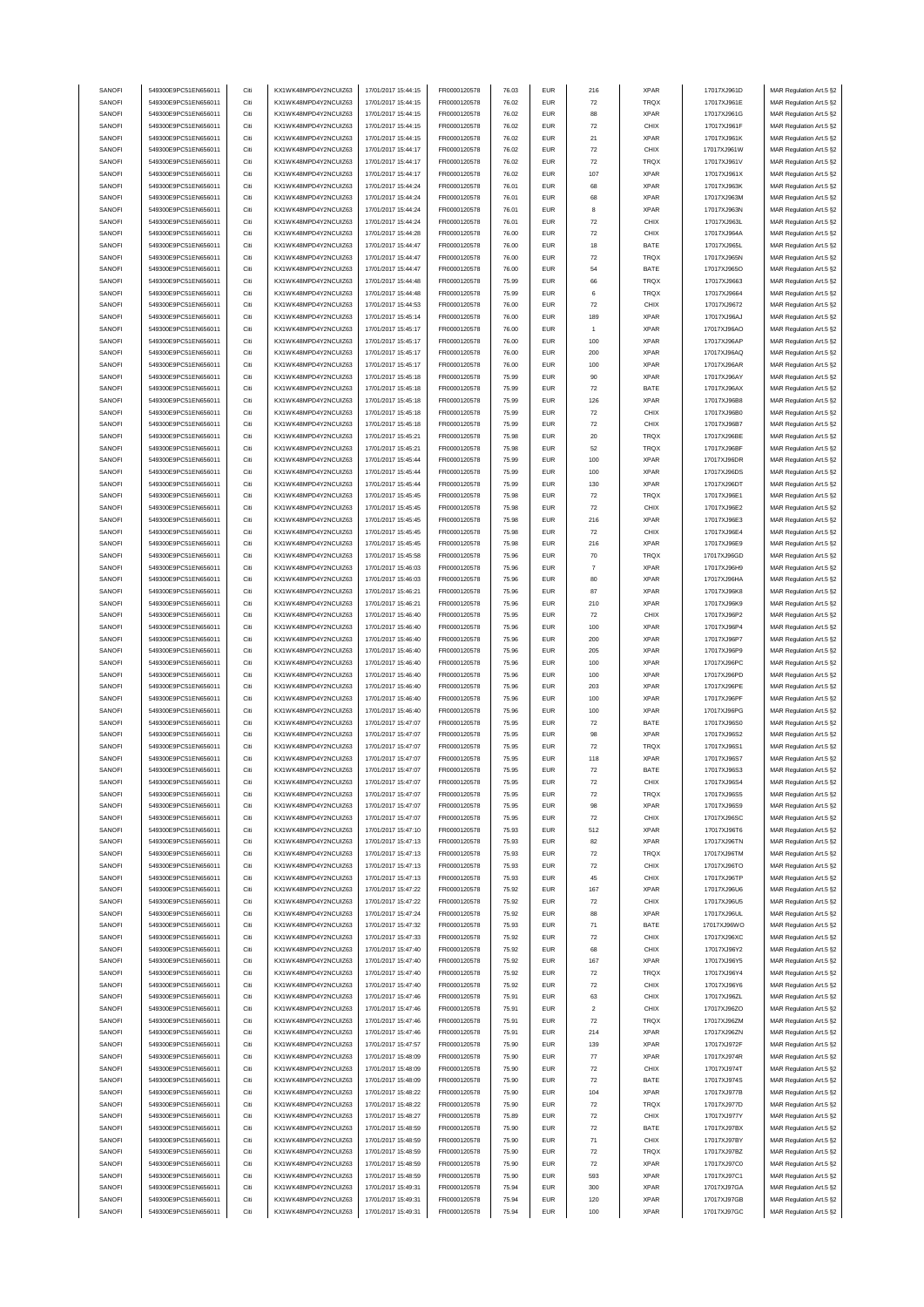| SANOFI | 549300E9PC51EN656011 | Citi | KX1WK48MPD4Y2NCUIZ63  | 17/01/2017 15:44:15 | FR0000120578                 | 76.03 | <b>EUR</b> | 216                | <b>XPAR</b> | 17017XJ961D | MAR Regulation Art.5 §2 |
|--------|----------------------|------|-----------------------|---------------------|------------------------------|-------|------------|--------------------|-------------|-------------|-------------------------|
| SANOFI | 549300E9PC51EN656011 | Citi | KX1WK48MPD4Y2NCUIZ63  | 17/01/2017 15:44:15 |                              | 76.02 | <b>EUR</b> | 72                 | <b>TRQX</b> |             |                         |
|        |                      |      |                       |                     | FR0000120578<br>FR0000120578 |       |            |                    |             | 17017XJ961E | MAR Regulation Art.5 §2 |
| SANOFI | 549300E9PC51EN656011 | Citi | KX1WK48MPD4Y2NCUIZ63  | 17/01/2017 15:44:15 |                              | 76.02 | <b>EUR</b> | 88                 | <b>XPAR</b> | 17017XJ961G | MAR Regulation Art.5 §2 |
| SANOFI | 549300E9PC51EN656011 | Citi | KX1WK48MPD4Y2NCUIZ63  | 17/01/2017 15:44:15 | FR0000120578                 | 76.02 | <b>EUR</b> | $\scriptstyle{72}$ | CHIX        | 17017XJ961F | MAR Regulation Art.5 §2 |
| SANOFI | 549300E9PC51EN656011 | Citi | KX1WK48MPD4Y2NCUIZ63  | 17/01/2017 15:44:15 | FR0000120578                 | 76.02 | <b>EUR</b> | 21                 | XPAR        | 17017XJ961K | MAR Regulation Art.5 §2 |
| SANOFI | 549300E9PC51EN656011 | Citi | KX1WK48MPD4Y2NCUIZ63  | 17/01/2017 15:44:17 | FR0000120578                 | 76.02 | <b>EUR</b> | $\scriptstyle{72}$ | CHIX        | 17017XJ961W | MAR Regulation Art.5 §2 |
| SANOFI | 549300E9PC51EN656011 | Citi | KX1WK48MPD4Y2NCUIZ63  | 17/01/2017 15:44:17 | FR0000120578                 | 76.02 | <b>EUR</b> | $\scriptstyle{72}$ | TRQX        | 17017XJ961V | MAR Regulation Art.5 §2 |
|        | 549300E9PC51EN656011 | Citi | KX1WK48MPD4Y2NCUIZ63  |                     |                              | 76.02 | <b>EUR</b> |                    |             |             |                         |
| SANOFI |                      |      |                       | 17/01/2017 15:44:17 | FR0000120578                 |       |            | 107                | XPAR        | 17017XJ961X | MAR Regulation Art.5 §2 |
| SANOFI | 549300E9PC51EN656011 | Citi | KX1WK48MPD4Y2NCUIZ63  | 17/01/2017 15:44:24 | FR0000120578                 | 76.01 | <b>EUR</b> | 68                 | <b>XPAR</b> | 17017XJ963K | MAR Regulation Art.5 §2 |
| SANOFI | 549300E9PC51EN656011 | Citi | KX1WK48MPD4Y2NCUIZ63  | 17/01/2017 15:44:24 | FR0000120578                 | 76.01 | <b>EUR</b> | 68                 | <b>XPAR</b> | 17017XJ963M | MAR Regulation Art.5 §2 |
| SANOFI | 549300E9PC51EN656011 | Citi | KX1WK48MPD4Y2NCUIZ63  | 17/01/2017 15:44:24 | FR0000120578                 | 76.01 | <b>EUR</b> | 8                  | <b>XPAR</b> | 17017XJ963N | MAR Regulation Art.5 §2 |
| SANOFI | 549300E9PC51EN656011 | Citi | KX1WK48MPD4Y2NCUIZ63  | 17/01/2017 15:44:24 | FR0000120578                 | 76.01 | <b>EUR</b> | $\scriptstyle{72}$ | CHIX        | 17017XJ963L | MAR Regulation Art.5 §2 |
|        |                      |      |                       |                     |                              |       |            |                    |             |             |                         |
| SANOFI | 549300E9PC51EN656011 | Citi | KX1WK48MPD4Y2NCUIZ63  | 17/01/2017 15:44:28 | FR0000120578                 | 76.00 | <b>EUR</b> | $\scriptstyle{72}$ | CHIX        | 17017XJ964A | MAR Regulation Art.5 §2 |
| SANOFI | 549300E9PC51EN656011 | Citi | KX1WK48MPD4Y2NCUIZ63  | 17/01/2017 15:44:47 | FR0000120578                 | 76.00 | <b>EUR</b> | 18                 | BATE        | 17017XJ965L | MAR Regulation Art.5 §2 |
| SANOFI | 549300E9PC51EN656011 | Citi | KX1WK48MPD4Y2NCUIZ63  | 17/01/2017 15:44:47 | FR0000120578                 | 76.00 | <b>EUR</b> | $\scriptstyle{72}$ | TRQX        | 17017XJ965N | MAR Regulation Art.5 §2 |
| SANOFI | 549300E9PC51EN656011 | Citi | KX1WK48MPD4Y2NCUIZ63  | 17/01/2017 15:44:47 | FR0000120578                 | 76.00 | <b>EUR</b> | 54                 | BATE        | 17017XJ965O | MAR Regulation Art.5 §2 |
|        |                      |      |                       |                     |                              |       |            |                    |             |             |                         |
| SANOFI | 549300E9PC51EN656011 | Citi | KX1WK48MPD4Y2NCUIZ63  | 17/01/2017 15:44:48 | FR0000120578                 | 75.99 | <b>EUR</b> | 66                 | TRQX        | 17017XJ9663 | MAR Regulation Art.5 §2 |
| SANOFI | 549300E9PC51EN656011 | Citi | KX1WK48MPD4Y2NCUIZ63  | 17/01/2017 15:44:48 | FR0000120578                 | 75.99 | <b>EUR</b> | 6                  | TRQX        | 17017XJ9664 | MAR Regulation Art.5 §2 |
| SANOFI | 549300E9PC51EN656011 | Citi | KX1WK48MPD4Y2NCUIZ63  | 17/01/2017 15:44:53 | FR0000120578                 | 76.00 | <b>EUR</b> | 72                 | CHIX        | 17017XJ9672 | MAR Regulation Art.5 §2 |
| SANOFI | 549300E9PC51EN656011 | Citi | KX1WK48MPD4Y2NCUIZ63  | 17/01/2017 15:45:14 | FR0000120578                 | 76.00 | <b>EUR</b> | 189                | <b>XPAR</b> | 17017XJ96AJ | MAR Regulation Art.5 §2 |
| SANOFI | 549300E9PC51EN656011 | Citi | KX1WK48MPD4Y2NCUIZ63  | 17/01/2017 15:45:17 | FR0000120578                 | 76.00 | <b>EUR</b> | $\mathbf{1}$       | <b>XPAR</b> | 17017XJ96AO | MAR Regulation Art.5 §2 |
|        |                      |      |                       |                     |                              |       |            |                    |             |             |                         |
| SANOFI | 549300E9PC51EN656011 | Citi | KX1WK48MPD4Y2NCUIZ63  | 17/01/2017 15:45:17 | FR0000120578                 | 76.00 | <b>EUR</b> | 100                | <b>XPAR</b> | 17017XJ96AP | MAR Regulation Art.5 §2 |
| SANOFI | 549300E9PC51EN656011 | Citi | KX1WK48MPD4Y2NCUIZ63  | 17/01/2017 15:45:17 | FR0000120578                 | 76.00 | <b>EUR</b> | 200                | <b>XPAR</b> | 17017XJ96AQ | MAR Regulation Art.5 §2 |
| SANOFI | 549300E9PC51EN656011 | Citi | KX1WK48MPD4Y2NCUIZ63  | 17/01/2017 15:45:17 | FR0000120578                 | 76.00 | <b>EUR</b> | 100                | XPAR        | 17017XJ96AR | MAR Regulation Art.5 §2 |
| SANOFI | 549300E9PC51EN656011 | Citi | KX1WK48MPD4Y2NCUIZ63  | 17/01/2017 15:45:18 | FR0000120578                 | 75.99 | <b>EUR</b> | 90                 | <b>XPAR</b> | 17017XJ96AY | MAR Regulation Art.5 §2 |
| SANOFI | 549300E9PC51EN656011 | Citi | KX1WK48MPD4Y2NCUIZ63  | 17/01/2017 15:45:18 | FR0000120578                 | 75.99 | <b>EUR</b> | $\scriptstyle{72}$ | BATE        | 17017XJ96AX |                         |
|        |                      |      |                       |                     |                              |       |            |                    |             |             | MAR Regulation Art.5 §2 |
| SANOFI | 549300E9PC51EN656011 | Citi | KX1WK48MPD4Y2NCUIZ63  | 17/01/2017 15:45:18 | FR0000120578                 | 75.99 | <b>EUR</b> | 126                | <b>XPAR</b> | 17017XJ96B8 | MAR Regulation Art.5 §2 |
| SANOFI | 549300E9PC51EN656011 | Citi | KX1WK48MPD4Y2NCUIZ63  | 17/01/2017 15:45:18 | FR0000120578                 | 75.99 | <b>EUR</b> | $\scriptstyle{72}$ | CHIX        | 17017XJ96B0 | MAR Regulation Art.5 §2 |
| SANOFI | 549300E9PC51EN656011 | Citi | KX1WK48MPD4Y2NCUIZ63  | 17/01/2017 15:45:18 | FR0000120578                 | 75.99 | <b>EUR</b> | $\scriptstyle{72}$ | CHIX        | 17017XJ96B7 | MAR Regulation Art.5 §2 |
| SANOFI | 549300E9PC51EN656011 | Citi | KX1WK48MPD4Y2NCUIZ63  | 17/01/2017 15:45:21 | FR0000120578                 | 75.98 | <b>EUR</b> | $20\,$             | TRQX        | 17017XJ96BE | MAR Regulation Art.5 §2 |
|        |                      |      | KX1WK48MPD4Y2NCUIZ63  | 17/01/2017 15:45:21 |                              |       |            |                    |             |             |                         |
| SANOFI | 549300E9PC51EN656011 | Citi |                       |                     | FR0000120578                 | 75.98 | <b>EUR</b> | 52                 | TRQX        | 17017XJ96BF | MAR Regulation Art.5 §2 |
| SANOFI | 549300E9PC51EN656011 | Citi | KX1WK48MPD4Y2NCUIZ63  | 17/01/2017 15:45:44 | FR0000120578                 | 75.99 | <b>EUR</b> | 100                | <b>XPAR</b> | 17017XJ96DR | MAR Regulation Art.5 §2 |
| SANOFI | 549300E9PC51EN656011 | Citi | KX1WK48MPD4Y2NCUIZ63  | 17/01/2017 15:45:44 | FR0000120578                 | 75.99 | <b>EUR</b> | 100                | XPAR        | 17017XJ96DS | MAR Regulation Art.5 §2 |
| SANOFI | 549300E9PC51EN656011 | Citi | KX1WK48MPD4Y2NCUIZ63  | 17/01/2017 15:45:44 | FR0000120578                 | 75.99 | <b>EUR</b> | 130                | <b>XPAR</b> | 17017XJ96DT | MAR Regulation Art.5 §2 |
| SANOFI | 549300E9PC51EN656011 | Citi | KX1WK48MPD4Y2NCUIZ63  | 17/01/2017 15:45:45 | FR0000120578                 | 75.98 | <b>EUR</b> | $\scriptstyle{72}$ | <b>TRQX</b> | 17017XJ96E1 | MAR Regulation Art.5 §2 |
|        |                      |      |                       |                     |                              |       |            |                    |             |             |                         |
| SANOFI | 549300E9PC51EN656011 | Citi | KX1WK48MPD4Y2NCUIZ63  | 17/01/2017 15:45:45 | FR0000120578                 | 75.98 | <b>EUR</b> | $\scriptstyle{72}$ | CHIX        | 17017XJ96E2 | MAR Regulation Art.5 §2 |
| SANOFI | 549300E9PC51EN656011 | Citi | KX1WK48MPD4Y2NCUIZ63  | 17/01/2017 15:45:45 | FR0000120578                 | 75.98 | <b>EUR</b> | 216                | <b>XPAR</b> | 17017XJ96E3 | MAR Regulation Art.5 §2 |
| SANOFI | 549300E9PC51EN656011 | Citi | KX1WK48MPD4Y2NCUIZ63  | 17/01/2017 15:45:45 | FR0000120578                 | 75.98 | <b>EUR</b> | $\bf 72$           | CHIX        | 17017XJ96E4 | MAR Regulation Art.5 §2 |
| SANOFI | 549300E9PC51EN656011 | Citi | KX1WK48MPD4Y2NCUIZ63  | 17/01/2017 15:45:45 | FR0000120578                 | 75.98 | <b>EUR</b> | 216                | <b>XPAR</b> | 17017XJ96E9 | MAR Regulation Art.5 §2 |
|        |                      |      |                       |                     |                              |       |            |                    |             |             |                         |
| SANOFI | 549300E9PC51EN656011 | Citi | KX1WK48MPD4Y2NCUIZ63  | 17/01/2017 15:45:58 | FR0000120578                 | 75.96 | <b>EUR</b> | $70\,$             | TRQX        | 17017XJ96GD | MAR Regulation Art.5 §2 |
| SANOFI | 549300E9PC51EN656011 | Citi | KX1WK48MPD4Y2NCUIZ63  | 17/01/2017 15:46:03 | FR0000120578                 | 75.96 | <b>EUR</b> | $\overline{7}$     | <b>XPAR</b> | 17017XJ96H9 | MAR Regulation Art.5 §2 |
| SANOFI | 549300E9PC51EN656011 | Citi | KX1WK48MPD4Y2NCUIZ63  | 17/01/2017 15:46:03 | FR0000120578                 | 75.96 | <b>EUR</b> | 80                 | XPAR        | 17017XJ96HA | MAR Regulation Art.5 §2 |
| SANOFI | 549300E9PC51EN656011 | Citi | KX1WK48MPD4Y2NCUIZ63  | 17/01/2017 15:46:21 | FR0000120578                 | 75.96 | <b>EUR</b> | 87                 | <b>XPAR</b> | 17017XJ96K8 | MAR Regulation Art.5 §2 |
| SANOFI | 549300E9PC51EN656011 | Citi | KX1WK48MPD4Y2NCUIZ63  | 17/01/2017 15:46:21 | FR0000120578                 | 75.96 | <b>EUR</b> | 210                | XPAR        | 17017XJ96K9 | MAR Regulation Art.5 §2 |
| SANOFI | 549300E9PC51EN656011 | Citi | KX1WK48MPD4Y2NCUIZ63  | 17/01/2017 15:46:40 | FR0000120578                 | 75.95 | <b>EUR</b> | $\scriptstyle{72}$ | CHIX        | 17017XJ96P2 | MAR Regulation Art.5 §2 |
|        |                      |      |                       |                     |                              |       |            |                    |             |             |                         |
| SANOFI | 549300E9PC51EN656011 | Citi | KX1WK48MPD4Y2NCUIZ63  | 17/01/2017 15:46:40 | FR0000120578                 | 75.96 | <b>EUR</b> | 100                | <b>XPAR</b> | 17017XJ96P4 | MAR Regulation Art.5 §2 |
| SANOFI | 549300E9PC51EN656011 | Citi | KX1WK48MPD4Y2NCUIZ63  | 17/01/2017 15:46:40 | FR0000120578                 | 75.96 | <b>EUR</b> | 200                | <b>XPAR</b> | 17017XJ96P7 | MAR Regulation Art.5 §2 |
| SANOFI | 549300E9PC51EN656011 | Citi | KX1WK48MPD4Y2NCUIZ63  | 17/01/2017 15:46:40 | FR0000120578                 | 75.96 | <b>EUR</b> | 205                | <b>XPAR</b> | 17017XJ96P9 | MAR Regulation Art.5 §2 |
| SANOFI | 549300E9PC51EN656011 | Citi | KX1WK48MPD4Y2NCUIZ63  | 17/01/2017 15:46:40 | FR0000120578                 | 75.96 | <b>EUR</b> | 100                | XPAR        | 17017XJ96PC | MAR Regulation Art.5 §2 |
| SANOFI |                      | Citi |                       |                     | FR0000120578                 |       | <b>EUR</b> | 100                | <b>XPAR</b> |             |                         |
|        | 549300E9PC51EN656011 |      | KX1WK48MPD4Y2NCUIZ63  | 17/01/2017 15:46:40 |                              | 75.96 |            |                    |             | 17017XJ96PD | MAR Regulation Art.5 §2 |
| SANOFI | 549300E9PC51EN656011 | Citi | KX1WK48MPD4Y2NCUIZ63  | 17/01/2017 15:46:40 | FR0000120578                 | 75.96 | <b>EUR</b> | 203                | XPAR        | 17017XJ96PE | MAR Regulation Art.5 §2 |
| SANOFI | 549300E9PC51EN656011 | Citi | KX1WK48MPD4Y2NCUIZ63  | 17/01/2017 15:46:40 | FR0000120578                 | 75.96 | <b>EUR</b> | 100                | <b>XPAR</b> | 17017XJ96PF | MAR Regulation Art.5 §2 |
| SANOFI | 549300E9PC51EN656011 | Citi | KX1WK48MPD4Y2NCUIZ63  | 17/01/2017 15:46:40 | FR0000120578                 | 75.96 | <b>EUR</b> | 100                | XPAR        | 17017XJ96PG | MAR Regulation Art.5 §2 |
| SANOFI | 549300E9PC51EN656011 | Citi | KX1WK48MPD4Y2NCUIZ63  | 17/01/2017 15:47:07 | FR0000120578                 | 75.95 | <b>EUR</b> | $\scriptstyle{72}$ | BATE        | 17017XJ96S0 | MAR Regulation Art.5 §2 |
|        |                      |      |                       |                     | FR0000120578                 |       |            |                    |             |             |                         |
| SANOFI | 549300E9PC51EN656011 | Citi | KX1WK48MPD4Y2NCUIZ63  | 17/01/2017 15:47:07 |                              | 75.95 | <b>EUR</b> | 98                 | <b>XPAR</b> | 17017XJ96S2 | MAR Regulation Art.5 §2 |
| SANOFI | 549300E9PC51EN656011 | Citi | KX1WK48MPD4Y2NCUIZ63  | 17/01/2017 15:47:07 | FR0000120578                 | 75.95 | <b>EUR</b> | $\scriptstyle{72}$ | TRQX        | 17017XJ96S1 | MAR Regulation Art.5 §2 |
| SANOFI | 549300E9PC51EN656011 | Citi | KX1WK48MPD4Y2NCUIZ63  | 17/01/2017 15:47:07 | FR0000120578                 | 75.95 | <b>EUR</b> | 118                | <b>XPAR</b> | 17017XJ96S7 | MAR Regulation Art.5 §2 |
| SANOFI | 549300E9PC51EN656011 | Citi | KX1WK48MPD4Y2NCUIZ63  | 17/01/2017 15:47:07 | FR0000120578                 | 75.95 | <b>EUR</b> | $\scriptstyle{72}$ | BATE        | 17017XJ96S3 | MAR Regulation Art.5 §2 |
| SANOFI | 549300E9PC51EN656011 |      | KX1WK48MPD4Y2NCLIIZ63 | 17/01/2017 15:47:07 | FR0000120578                 | 75.95 | FUR        | 72                 | CHIX        | 17017X196S4 | MAR Regulation Art 5 82 |
| SANOFI | 549300E9PC51EN656011 | Citi | KX1WK48MPD4Y2NCUIZ63  | 17/01/2017 15:47:07 | FR0000120578                 | 75.95 | <b>EUR</b> | $\scriptstyle{72}$ | <b>TRQX</b> | 17017XJ96S5 | MAR Regulation Art.5 §2 |
|        |                      |      |                       |                     |                              |       |            |                    |             |             |                         |
| SANOFI | 549300E9PC51EN656011 | Citi | KX1WK48MPD4Y2NCUIZ63  | 17/01/2017 15:47:07 | FR0000120578                 | 75.95 | <b>EUR</b> | 98                 | <b>XPAR</b> | 17017XJ96S9 | MAR Regulation Art.5 §2 |
| SANOFI | 549300E9PC51EN656011 | Citi | KX1WK48MPD4Y2NCUIZ63  | 17/01/2017 15:47:07 | FR0000120578                 | 75.95 | <b>EUR</b> | 72                 | CHIX        | 17017XJ96SC | MAR Regulation Art.5 §2 |
| SANOFI | 549300E9PC51EN656011 | Citi | KX1WK48MPD4Y2NCUIZ63  | 17/01/2017 15:47:10 | FR0000120578                 | 75.93 | <b>EUR</b> | 512                | <b>XPAR</b> | 17017XJ96T6 | MAR Regulation Art.5 §2 |
| SANOFI | 549300E9PC51EN656011 | Citi | KX1WK48MPD4Y2NCUIZ63  | 17/01/2017 15:47:13 | FR0000120578                 | 75.93 | <b>EUR</b> | 82                 | <b>XPAR</b> | 17017XJ96TN | MAR Regulation Art.5 §2 |
|        |                      | Citi |                       |                     | FR0000120578                 |       |            |                    |             |             |                         |
| SANOFI | 549300E9PC51EN656011 |      | KX1WK48MPD4Y2NCUIZ63  | 17/01/2017 15:47:13 |                              | 75.93 | <b>EUR</b> | $\bf 72$           | TRQX        | 17017XJ96TM | MAR Regulation Art.5 §2 |
| SANOFI | 549300E9PC51EN656011 | Citi | KX1WK48MPD4Y2NCUIZ63  | 17/01/2017 15:47:13 | FR0000120578                 | 75.93 | <b>EUR</b> | $\scriptstyle{72}$ | CHIX        | 17017XJ96TO | MAR Regulation Art.5 §2 |
| SANOFI | 549300E9PC51EN656011 | Citi | KX1WK48MPD4Y2NCUIZ63  | 17/01/2017 15:47:13 | FR0000120578                 | 75.93 | <b>EUR</b> | 45                 | CHIX        | 17017XJ96TP | MAR Regulation Art.5 §2 |
| SANOFI | 549300E9PC51EN656011 | Citi | KX1WK48MPD4Y2NCUIZ63  | 17/01/2017 15:47:22 | FR0000120578                 | 75.92 | <b>EUR</b> | 167                | <b>XPAR</b> | 17017XJ96U6 | MAR Regulation Art.5 §2 |
| SANOFI | 549300E9PC51EN656011 | Citi | KX1WK48MPD4Y2NCUIZ63  | 17/01/2017 15:47:22 |                              |       |            |                    |             |             |                         |
| SANOFI | 549300E9PC51EN656011 |      |                       |                     | FR0000120578                 | 75.92 | <b>EUR</b> |                    | CHIX        | 17017XJ96U5 |                         |
|        |                      |      |                       |                     |                              |       |            | $\scriptstyle{72}$ |             |             | MAR Regulation Art.5 §2 |
| SANOFI |                      | Citi | KX1WK48MPD4Y2NCUIZ63  | 17/01/2017 15:47:24 | FR0000120578                 | 75.92 | <b>EUR</b> | 88                 | <b>XPAR</b> | 17017XJ96UL | MAR Regulation Art.5 §2 |
|        | 549300E9PC51EN656011 | Citi | KX1WK48MPD4Y2NCUIZ63  | 17/01/2017 15:47:32 | FR0000120578                 | 75.93 | <b>EUR</b> | 71                 | BATE        | 17017XJ96WO | MAR Regulation Art.5 §2 |
| SANOFI | 549300E9PC51EN656011 | Citi | KX1WK48MPD4Y2NCUIZ63  | 17/01/2017 15:47:33 | FR0000120578                 | 75.92 | <b>EUR</b> | $\scriptstyle{72}$ | CHIX        | 17017XJ96XC | MAR Regulation Art.5 §2 |
| SANOFI | 549300E9PC51EN656011 | Citi | KX1WK48MPD4Y2NCUIZ63  | 17/01/2017 15:47:40 | FR0000120578                 | 75.92 | <b>EUR</b> | 68                 | CHIX        | 17017XJ96Y2 | MAR Regulation Art.5 §2 |
| SANOFI | 549300E9PC51EN656011 | Citi | KX1WK48MPD4Y2NCUIZ63  | 17/01/2017 15:47:40 | FR0000120578                 | 75.92 | <b>EUR</b> | 167                | <b>XPAR</b> | 17017XJ96Y5 |                         |
|        |                      |      |                       |                     |                              |       |            |                    |             |             | MAR Regulation Art.5 §2 |
| SANOFI | 549300E9PC51EN656011 | Citi | KX1WK48MPD4Y2NCUIZ63  | 17/01/2017 15:47:40 | FR0000120578                 | 75.92 | <b>EUR</b> | $\bf 72$           | TRQX        | 17017XJ96Y4 | MAR Regulation Art.5 §2 |
| SANOFI | 549300E9PC51EN656011 | Citi | KX1WK48MPD4Y2NCUIZ63  | 17/01/2017 15:47:40 | FR0000120578                 | 75.92 | <b>EUR</b> | $\scriptstyle{72}$ | CHIX        | 17017XJ96Y6 | MAR Regulation Art.5 §2 |
| SANOFI | 549300E9PC51EN656011 | Citi | KX1WK48MPD4Y2NCUIZ63  | 17/01/2017 15:47:46 | FR0000120578                 | 75.91 | <b>EUR</b> | 63                 | CHIX        | 17017XJ96ZL | MAR Regulation Art.5 §2 |
| SANOFI | 549300E9PC51EN656011 | Citi | KX1WK48MPD4Y2NCUIZ63  | 17/01/2017 15:47:46 | FR0000120578                 | 75.91 | <b>EUR</b> | $\boldsymbol{2}$   | CHIX        | 17017XJ96ZO | MAR Regulation Art.5 §2 |
| SANOFI | 549300E9PC51EN656011 | Citi | KX1WK48MPD4Y2NCUIZ63  | 17/01/2017 15:47:46 | FR0000120578                 | 75.91 | <b>EUR</b> | $\scriptstyle{72}$ | TRQX        | 17017XJ96ZM | MAR Regulation Art.5 §2 |
|        |                      |      |                       |                     |                              |       |            |                    |             |             |                         |
| SANOFI | 549300E9PC51EN656011 | Citi | KX1WK48MPD4Y2NCUIZ63  | 17/01/2017 15:47:46 | FR0000120578                 | 75.91 | <b>EUR</b> | 214                | <b>XPAR</b> | 17017XJ96ZN | MAR Regulation Art.5 §2 |
| SANOFI | 549300E9PC51EN656011 | Citi | KX1WK48MPD4Y2NCUIZ63  | 17/01/2017 15:47:57 | FR0000120578                 | 75.90 | <b>EUR</b> | 139                | <b>XPAR</b> | 17017XJ972F | MAR Regulation Art.5 §2 |
| SANOFI | 549300E9PC51EN656011 | Citi | KX1WK48MPD4Y2NCUIZ63  | 17/01/2017 15:48:09 | FR0000120578                 | 75.90 | <b>EUR</b> | ${\bf 77}$         | XPAR        | 17017XJ974R | MAR Regulation Art.5 §2 |
| SANOFI | 549300E9PC51EN656011 | Citi | KX1WK48MPD4Y2NCUIZ63  | 17/01/2017 15:48:09 | FR0000120578                 | 75.90 | <b>EUR</b> | $\bf 72$           | CHIX        | 17017XJ974T | MAR Regulation Art.5 §2 |
| SANOFI | 549300E9PC51EN656011 | Citi | KX1WK48MPD4Y2NCUIZ63  | 17/01/2017 15:48:09 | FR0000120578                 | 75.90 | <b>EUR</b> | $\scriptstyle{72}$ | BATE        | 17017XJ974S | MAR Regulation Art.5 §2 |
|        |                      | Citi |                       |                     |                              | 75.90 |            | 104                |             |             |                         |
| SANOFI | 549300E9PC51EN656011 |      | KX1WK48MPD4Y2NCUIZ63  | 17/01/2017 15:48:22 | FR0000120578                 |       | <b>EUR</b> |                    | <b>XPAR</b> | 17017XJ977B | MAR Regulation Art.5 §2 |
| SANOFI | 549300E9PC51EN656011 | Citi | KX1WK48MPD4Y2NCUIZ63  | 17/01/2017 15:48:22 | FR0000120578                 | 75.90 | <b>EUR</b> | $\scriptstyle{72}$ | TRQX        | 17017XJ977D | MAR Regulation Art.5 §2 |
| SANOFI | 549300E9PC51EN656011 | Citi | KX1WK48MPD4Y2NCUIZ63  | 17/01/2017 15:48:27 | FR0000120578                 | 75.89 | <b>EUR</b> | 72                 | CHIX        | 17017XJ977Y | MAR Regulation Art.5 §2 |
| SANOFI | 549300E9PC51EN656011 | Citi | KX1WK48MPD4Y2NCUIZ63  | 17/01/2017 15:48:59 | FR0000120578                 | 75.90 | <b>EUR</b> | $\scriptstyle{72}$ | BATE        | 17017XJ97BX | MAR Regulation Art.5 §2 |
| SANOFI | 549300E9PC51EN656011 | Citi | KX1WK48MPD4Y2NCUIZ63  | 17/01/2017 15:48:59 | FR0000120578                 | 75.90 | <b>EUR</b> | 71                 | CHIX        | 17017XJ97BY | MAR Regulation Art.5 §2 |
| SANOFI | 549300E9PC51EN656011 | Citi | KX1WK48MPD4Y2NCUIZ63  | 17/01/2017 15:48:59 | FR0000120578                 | 75.90 | <b>EUR</b> | $\scriptstyle{72}$ | TRQX        | 17017XJ97BZ |                         |
|        |                      |      |                       |                     |                              |       |            |                    |             |             | MAR Regulation Art.5 §2 |
| SANOFI | 549300E9PC51EN656011 | Citi | KX1WK48MPD4Y2NCUIZ63  | 17/01/2017 15:48:59 | FR0000120578                 | 75.90 | <b>EUR</b> | $\bf 72$           | <b>XPAR</b> | 17017XJ97C0 | MAR Regulation Art.5 §2 |
| SANOFI | 549300E9PC51EN656011 | Citi | KX1WK48MPD4Y2NCUIZ63  | 17/01/2017 15:48:59 | FR0000120578                 | 75.90 | <b>EUR</b> | 593                | <b>XPAR</b> | 17017XJ97C1 | MAR Regulation Art.5 §2 |
| SANOFI | 549300E9PC51EN656011 | Citi | KX1WK48MPD4Y2NCUIZ63  | 17/01/2017 15:49:31 | FR0000120578                 | 75.94 | <b>EUR</b> | 300                | <b>XPAR</b> | 17017XJ97GA | MAR Regulation Art.5 §2 |
| SANOFI | 549300E9PC51EN656011 | Citi | KX1WK48MPD4Y2NCUIZ63  | 17/01/2017 15:49:31 | FR0000120578                 | 75.94 | <b>EUR</b> | 120                | <b>XPAR</b> | 17017XJ97GB | MAR Regulation Art.5 §2 |
| SANOFI | 549300E9PC51EN656011 | Citi | KX1WK48MPD4Y2NCUIZ63  | 17/01/2017 15:49:31 | FR0000120578                 | 75.94 | <b>EUR</b> | 100                | XPAR        | 17017XJ97GC | MAR Regulation Art.5 §2 |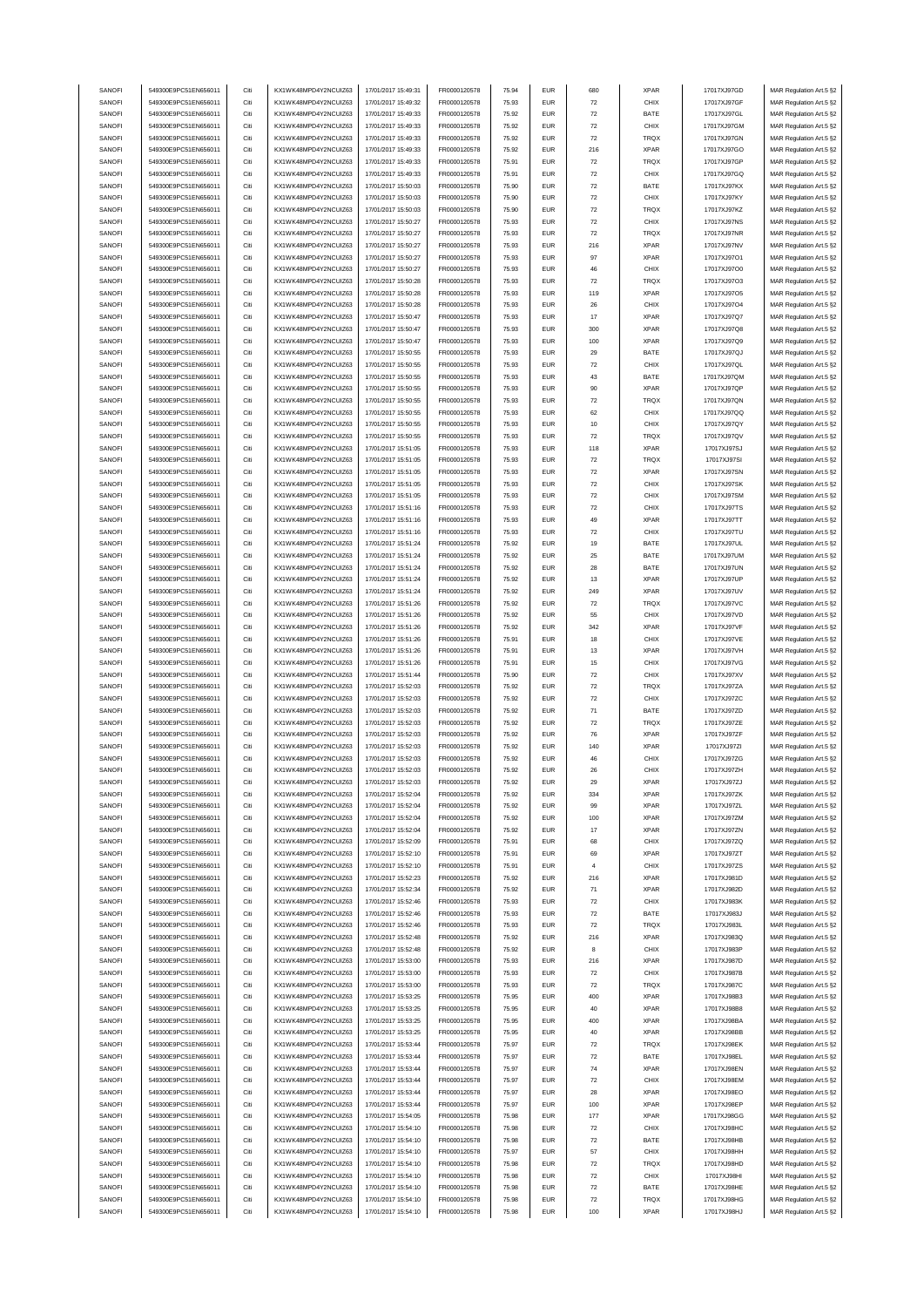| SANOFI | 549300E9PC51EN656011 | Citi | KX1WK48MPD4Y2NCUIZ63  | 17/01/2017 15:49:31 | FR0000120578 | 75.94 | <b>EUR</b> | 680                | <b>XPAR</b> | 17017XJ97GD   | MAR Regulation Art.5 §2 |
|--------|----------------------|------|-----------------------|---------------------|--------------|-------|------------|--------------------|-------------|---------------|-------------------------|
| SANOFI | 549300E9PC51EN656011 | Citi | KX1WK48MPD4Y2NCUIZ63  | 17/01/2017 15:49:32 |              | 75.93 | <b>EUR</b> | 72                 | CHIX        | 17017XJ97GF   |                         |
|        |                      |      |                       |                     | FR0000120578 |       |            |                    |             |               | MAR Regulation Art.5 §2 |
| SANOFI | 549300E9PC51EN656011 | Citi | KX1WK48MPD4Y2NCUIZ63  | 17/01/2017 15:49:33 | FR0000120578 | 75.92 | <b>EUR</b> | 72                 | BATE        | 17017XJ97GL   | MAR Regulation Art.5 §2 |
| SANOFI | 549300E9PC51EN656011 | Citi | KX1WK48MPD4Y2NCUIZ63  | 17/01/2017 15:49:33 | FR0000120578 | 75.92 | <b>EUR</b> | $\scriptstyle{72}$ | CHIX        | 17017XJ97GM   | MAR Regulation Art.5 §2 |
| SANOFI | 549300E9PC51EN656011 | Citi | KX1WK48MPD4Y2NCLIIZ63 | 17/01/2017 15:49:33 | FR0000120578 | 75.92 | <b>EUR</b> | $\scriptstyle{72}$ | TRQX        | 17017XJ97GN   | MAR Regulation Art.5 §2 |
| SANOFI | 549300E9PC51EN656011 | Citi | KX1WK48MPD4Y2NCUIZ63  | 17/01/2017 15:49:33 | FR0000120578 | 75.92 | <b>EUR</b> | 216                | <b>XPAR</b> | 17017XJ97GO   | MAR Regulation Art.5 §2 |
| SANOFI | 549300E9PC51EN656011 | Citi | KX1WK48MPD4Y2NCUIZ63  | 17/01/2017 15:49:33 | FR0000120578 | 75.91 | <b>EUR</b> | $\bf 72$           | TRQX        | 17017XJ97GP   | MAR Regulation Art.5 §2 |
|        | 549300E9PC51EN656011 | Citi | KX1WK48MPD4Y2NCUIZ63  |                     |              |       | <b>EUR</b> |                    |             |               |                         |
| SANOFI |                      |      |                       | 17/01/2017 15:49:33 | FR0000120578 | 75.91 |            | $\scriptstyle{72}$ | CHIX        | 17017XJ97GQ   | MAR Regulation Art.5 §2 |
| SANOFI | 549300E9PC51EN656011 | Citi | KX1WK48MPD4Y2NCUIZ63  | 17/01/2017 15:50:03 | FR0000120578 | 75.90 | <b>EUR</b> | $\scriptstyle{72}$ | BATE        | 17017XJ97KX   | MAR Regulation Art.5 §2 |
| SANOFI | 549300E9PC51EN656011 | Citi | KX1WK48MPD4Y2NCUIZ63  | 17/01/2017 15:50:03 | FR0000120578 | 75.90 | <b>EUR</b> | 72                 | CHIX        | 17017XJ97KY   | MAR Regulation Art.5 §2 |
| SANOFI | 549300E9PC51EN656011 | Citi | KX1WK48MPD4Y2NCUIZ63  | 17/01/2017 15:50:03 | FR0000120578 | 75.90 | <b>EUR</b> | $\scriptstyle{72}$ | TRQX        | 17017XJ97KZ   | MAR Regulation Art.5 §2 |
| SANOFI | 549300E9PC51EN656011 | Citi | KX1WK48MPD4Y2NCUIZ63  | 17/01/2017 15:50:27 | FR0000120578 | 75.93 | <b>EUR</b> | $\scriptstyle{72}$ | CHIX        | 17017XJ97NS   | MAR Regulation Art.5 §2 |
|        |                      |      |                       |                     |              |       |            |                    |             |               |                         |
| SANOFI | 549300E9PC51EN656011 | Citi | KX1WK48MPD4Y2NCUIZ63  | 17/01/2017 15:50:27 | FR0000120578 | 75.93 | <b>EUR</b> | $\scriptstyle{72}$ | TRQX        | 17017XJ97NR   | MAR Regulation Art.5 §2 |
| SANOFI | 549300E9PC51EN656011 | Citi | KX1WK48MPD4Y2NCUIZ63  | 17/01/2017 15:50:27 | FR0000120578 | 75.93 | <b>EUR</b> | 216                | <b>XPAR</b> | 17017XJ97NV   | MAR Regulation Art.5 §2 |
| SANOFI | 549300E9PC51EN656011 | Citi | KX1WK48MPD4Y2NCUIZ63  | 17/01/2017 15:50:27 | FR0000120578 | 75.93 | <b>EUR</b> | 97                 | <b>XPAR</b> | 17017XJ97O1   | MAR Regulation Art.5 §2 |
| SANOFI | 549300E9PC51EN656011 | Citi | KX1WK48MPD4Y2NCUIZ63  | 17/01/2017 15:50:27 | FR0000120578 | 75.93 | <b>EUR</b> | 46                 | CHIX        | 17017XJ97O0   | MAR Regulation Art.5 §2 |
|        |                      |      |                       |                     |              |       |            |                    |             |               |                         |
| SANOFI | 549300E9PC51EN656011 | Citi | KX1WK48MPD4Y2NCUIZ63  | 17/01/2017 15:50:28 | FR0000120578 | 75.93 | <b>EUR</b> | $\scriptstyle{72}$ | TRQX        | 17017XJ97O3   | MAR Regulation Art.5 §2 |
| SANOFI | 549300E9PC51EN656011 | Citi | KX1WK48MPD4Y2NCUIZ63  | 17/01/2017 15:50:28 | FR0000120578 | 75.93 | <b>EUR</b> | 119                | <b>XPAR</b> | 17017XJ97O5   | MAR Regulation Art.5 §2 |
| SANOFI | 549300E9PC51EN656011 | Citi | KX1WK48MPD4Y2NCUIZ63  | 17/01/2017 15:50:28 | FR0000120578 | 75.93 | <b>EUR</b> | 26                 | CHIX        | 17017XJ97O4   | MAR Regulation Art.5 §2 |
| SANOFI | 549300E9PC51EN656011 | Citi | KX1WK48MPD4Y2NCUIZ63  | 17/01/2017 15:50:47 | FR0000120578 | 75.93 | <b>EUR</b> | $17\,$             | <b>XPAR</b> | 17017XJ97Q7   | MAR Regulation Art.5 §2 |
| SANOFI | 549300E9PC51EN656011 | Citi | KX1WK48MPD4Y2NCUIZ63  | 17/01/2017 15:50:47 | FR0000120578 | 75.93 | <b>EUR</b> | 300                | XPAR        | 17017XJ97Q8   |                         |
|        |                      |      |                       |                     |              |       |            |                    |             |               | MAR Regulation Art.5 §2 |
| SANOFI | 549300E9PC51EN656011 | Citi | KX1WK48MPD4Y2NCUIZ63  | 17/01/2017 15:50:47 | FR0000120578 | 75.93 | <b>EUR</b> | 100                | <b>XPAR</b> | 17017XJ97Q9   | MAR Regulation Art.5 §2 |
| SANOFI | 549300E9PC51EN656011 | Citi | KX1WK48MPD4Y2NCUIZ63  | 17/01/2017 15:50:55 | FR0000120578 | 75.93 | <b>EUR</b> | 29                 | BATE        | 17017XJ97QJ   | MAR Regulation Art.5 §2 |
| SANOFI | 549300E9PC51EN656011 | Citi | KX1WK48MPD4Y2NCUIZ63  | 17/01/2017 15:50:55 | FR0000120578 | 75.93 | <b>EUR</b> | $\scriptstyle{72}$ | CHIX        | 17017XJ97QL   | MAR Regulation Art.5 §2 |
| SANOFI | 549300E9PC51EN656011 | Citi | KX1WK48MPD4Y2NCUIZ63  | 17/01/2017 15:50:55 | FR0000120578 | 75.93 | <b>EUR</b> | 43                 | BATE        | 17017XJ97QM   | MAR Regulation Art.5 §2 |
| SANOFI | 549300E9PC51EN656011 | Citi | KX1WK48MPD4Y2NCUIZ63  | 17/01/2017 15:50:55 | FR0000120578 | 75.93 | <b>EUR</b> | 90                 | <b>XPAR</b> | 17017XJ97QP   |                         |
|        |                      |      |                       |                     |              |       |            |                    |             |               | MAR Regulation Art.5 §2 |
| SANOFI | 549300E9PC51EN656011 | Citi | KX1WK48MPD4Y2NCUIZ63  | 17/01/2017 15:50:55 | FR0000120578 | 75.93 | <b>EUR</b> | $\scriptstyle{72}$ | TRQX        | 17017XJ97QN   | MAR Regulation Art.5 §2 |
| SANOFI | 549300E9PC51EN656011 | Citi | KX1WK48MPD4Y2NCUIZ63  | 17/01/2017 15:50:55 | FR0000120578 | 75.93 | <b>EUR</b> | 62                 | CHIX        | 17017XJ97QQ   | MAR Regulation Art.5 §2 |
| SANOFI | 549300E9PC51EN656011 | Citi | KX1WK48MPD4Y2NCUIZ63  | 17/01/2017 15:50:55 | FR0000120578 | 75.93 | <b>EUR</b> | $10$               | CHIX        | 17017XJ97QY   | MAR Regulation Art.5 §2 |
| SANOFI | 549300E9PC51EN656011 | Citi | KX1WK48MPD4Y2NCUIZ63  | 17/01/2017 15:50:55 | FR0000120578 | 75.93 | <b>EUR</b> | $\scriptstyle{72}$ | TRQX        | 17017XJ97QV   | MAR Regulation Art.5 §2 |
|        |                      |      | KX1WK48MPD4Y2NCUIZ63  | 17/01/2017 15:51:05 |              |       |            |                    |             | 17017XJ97SJ   |                         |
| SANOFI | 549300E9PC51EN656011 | Citi |                       |                     | FR0000120578 | 75.93 | <b>EUR</b> | 118                | <b>XPAR</b> |               | MAR Regulation Art.5 §2 |
| SANOFI | 549300E9PC51EN656011 | Citi | KX1WK48MPD4Y2NCUIZ63  | 17/01/2017 15:51:05 | FR0000120578 | 75.93 | <b>EUR</b> | $\scriptstyle{72}$ | TRQX        | 17017XJ97SI   | MAR Regulation Art.5 §2 |
| SANOFI | 549300E9PC51EN656011 | Citi | KX1WK48MPD4Y2NCUIZ63  | 17/01/2017 15:51:05 | FR0000120578 | 75.93 | <b>EUR</b> | $\scriptstyle{72}$ | XPAR        | 17017XJ97SN   | MAR Regulation Art.5 §2 |
| SANOFI | 549300E9PC51EN656011 | Citi | KX1WK48MPD4Y2NCUIZ63  | 17/01/2017 15:51:05 | FR0000120578 | 75.93 | <b>EUR</b> | 72                 | CHIX        | 17017XJ97SK   | MAR Regulation Art.5 §2 |
| SANOFI | 549300E9PC51EN656011 | Citi | KX1WK48MPD4Y2NCUIZ63  | 17/01/2017 15:51:05 | FR0000120578 | 75.93 | <b>EUR</b> | $\scriptstyle{72}$ | CHIX        | 17017XJ97SM   | MAR Regulation Art.5 §2 |
|        |                      |      |                       |                     |              |       |            |                    |             |               |                         |
| SANOFI | 549300E9PC51EN656011 | Citi | KX1WK48MPD4Y2NCUIZ63  | 17/01/2017 15:51:16 | FR0000120578 | 75.93 | <b>EUR</b> | $\scriptstyle{72}$ | CHIX        | 17017XJ97TS   | MAR Regulation Art.5 §2 |
| SANOFI | 549300E9PC51EN656011 | Citi | KX1WK48MPD4Y2NCUIZ63  | 17/01/2017 15:51:16 | FR0000120578 | 75.93 | <b>EUR</b> | 49                 | XPAR        | 17017XJ97TT   | MAR Regulation Art.5 §2 |
| SANOFI | 549300E9PC51EN656011 | Citi | KX1WK48MPD4Y2NCUIZ63  | 17/01/2017 15:51:16 | FR0000120578 | 75.93 | <b>EUR</b> | $\scriptstyle{72}$ | CHIX        | 17017XJ97TU   | MAR Regulation Art.5 §2 |
| SANOFI | 549300E9PC51EN656011 | Citi | KX1WK48MPD4Y2NCUIZ63  | 17/01/2017 15:51:24 | FR0000120578 | 75.92 | <b>EUR</b> | 19                 | BATE        | 17017XJ97UL   | MAR Regulation Art.5 §2 |
|        |                      |      |                       |                     |              |       |            |                    |             |               |                         |
| SANOFI | 549300E9PC51EN656011 | Citi | KX1WK48MPD4Y2NCUIZ63  | 17/01/2017 15:51:24 | FR0000120578 | 75.92 | <b>EUR</b> | 25                 | BATE        | 17017XJ97UM   | MAR Regulation Art.5 §2 |
| SANOFI | 549300E9PC51EN656011 | Citi | KX1WK48MPD4Y2NCUIZ63  | 17/01/2017 15:51:24 | FR0000120578 | 75.92 | <b>EUR</b> | ${\bf 28}$         | BATE        | 17017XJ97UN   | MAR Regulation Art.5 §2 |
| SANOFI | 549300E9PC51EN656011 | Citi | KX1WK48MPD4Y2NCUIZ63  | 17/01/2017 15:51:24 | FR0000120578 | 75.92 | <b>EUR</b> | 13                 | <b>XPAR</b> | 17017XJ97UP   | MAR Regulation Art.5 §2 |
| SANOFI | 549300E9PC51EN656011 | Citi | KX1WK48MPD4Y2NCUIZ63  | 17/01/2017 15:51:24 | FR0000120578 | 75.92 | <b>EUR</b> | 249                | <b>XPAR</b> | 17017XJ97UV   | MAR Regulation Art.5 §2 |
| SANOFI | 549300E9PC51EN656011 | Citi | KX1WK48MPD4Y2NCUIZ63  | 17/01/2017 15:51:26 | FR0000120578 | 75.92 | <b>EUR</b> | $\scriptstyle{72}$ | TRQX        | 17017XJ97VC   | MAR Regulation Art.5 §2 |
| SANOFI | 549300E9PC51EN656011 | Citi | KX1WK48MPD4Y2NCUIZ63  | 17/01/2017 15:51:26 | FR0000120578 | 75.92 | <b>EUR</b> | 55                 | CHIX        | 17017XJ97VD   | MAR Regulation Art.5 §2 |
|        | 549300E9PC51EN656011 | Citi | KX1WK48MPD4Y2NCUIZ63  |                     | FR0000120578 |       | <b>EUR</b> |                    |             |               |                         |
| SANOFI |                      |      |                       | 17/01/2017 15:51:26 |              | 75.92 |            | 342                | <b>XPAR</b> | 17017XJ97VF   | MAR Regulation Art.5 §2 |
| SANOFI | 549300E9PC51EN656011 | Citi | KX1WK48MPD4Y2NCUIZ63  | 17/01/2017 15:51:26 | FR0000120578 | 75.91 | <b>EUR</b> | 18                 | CHIX        | 17017XJ97VE   | MAR Regulation Art.5 §2 |
| SANOFI | 549300E9PC51EN656011 | Citi | KX1WK48MPD4Y2NCUIZ63  | 17/01/2017 15:51:26 | FR0000120578 | 75.91 | <b>EUR</b> | 13                 | <b>XPAR</b> | 17017XJ97VH   | MAR Regulation Art.5 §2 |
| SANOFI | 549300E9PC51EN656011 | Citi | KX1WK48MPD4Y2NCUIZ63  | 17/01/2017 15:51:26 | FR0000120578 | 75.91 | <b>EUR</b> | 15                 | CHIX        | 17017XJ97VG   | MAR Regulation Art.5 §2 |
| SANOFI | 549300E9PC51EN656011 |      |                       |                     |              |       |            |                    |             |               |                         |
|        |                      |      |                       |                     |              |       |            |                    |             |               |                         |
|        |                      | Citi | KX1WK48MPD4Y2NCUIZ63  | 17/01/2017 15:51:44 | FR0000120578 | 75.90 | <b>EUR</b> | $\scriptstyle{72}$ | CHIX        | 17017XJ97XV   | MAR Regulation Art.5 §2 |
| SANOFI | 549300E9PC51EN656011 | Citi | KX1WK48MPD4Y2NCUIZ63  | 17/01/2017 15:52:03 | FR0000120578 | 75.92 | <b>EUR</b> | $\scriptstyle{72}$ | TRQX        | 17017XJ97ZA   | MAR Regulation Art.5 §2 |
| SANOFI | 549300E9PC51EN656011 | Citi | KX1WK48MPD4Y2NCUIZ63  | 17/01/2017 15:52:03 | FR0000120578 | 75.92 | <b>EUR</b> | 72                 | CHIX        | 17017XJ97ZC   | MAR Regulation Art.5 §2 |
| SANOFI | 549300E9PC51EN656011 | Citi | KX1WK48MPD4Y2NCUIZ63  | 17/01/2017 15:52:03 | FR0000120578 | 75.92 | <b>EUR</b> | 71                 | BATE        | 17017XJ97ZD   |                         |
|        |                      |      |                       |                     |              |       |            |                    |             |               | MAR Regulation Art.5 §2 |
| SANOFI | 549300E9PC51EN656011 | Citi | KX1WK48MPD4Y2NCUIZ63  | 17/01/2017 15:52:03 | FR0000120578 | 75.92 | <b>EUR</b> | $\scriptstyle{72}$ | TRQX        | 17017XJ97ZE   | MAR Regulation Art.5 §2 |
| SANOFI | 549300E9PC51EN656011 | Citi | KX1WK48MPD4Y2NCUIZ63  | 17/01/2017 15:52:03 | FR0000120578 | 75.92 | <b>EUR</b> | 76                 | <b>XPAR</b> | 17017XJ97ZF   | MAR Regulation Art.5 §2 |
| SANOFI | 549300E9PC51EN656011 | Citi | KX1WK48MPD4Y2NCUIZ63  | 17/01/2017 15:52:03 | FR0000120578 | 75.92 | <b>EUR</b> | 140                | <b>XPAR</b> | 17017XJ97ZI   | MAR Regulation Art.5 §2 |
| SANOFI | 549300E9PC51EN656011 | Citi | KX1WK48MPD4Y2NCUIZ63  | 17/01/2017 15:52:03 | FR0000120578 | 75.92 | <b>EUR</b> | 46                 | CHIX        | 17017XJ97ZG   | MAR Regulation Art.5 §2 |
| SANOFI | 549300E9PC51EN656011 | Citi | KX1WK48MPD4Y2NCUIZ63  | 17/01/2017 15:52:03 | FR0000120578 | 75.92 | <b>EUR</b> | 26                 | CHIX        | 17017XJ97ZH   | MAR Regulation Art.5 §2 |
| SANOFI | 549300E9PC51EN656011 |      | KX1WK48MPD4Y2NCLIIZ63 | 17/01/2017 15:52:03 | FR0000120578 | 75.92 | FUR        |                    | <b>XPAR</b> | 17017X.1977.1 | MAR Regulation Art 5 82 |
|        |                      |      |                       |                     |              |       |            |                    |             |               |                         |
| SANOFI | 549300E9PC51EN656011 | Citi | KX1WK48MPD4Y2NCUIZ63  | 17/01/2017 15:52:04 | FR0000120578 | 75.92 | <b>EUR</b> | 334                | <b>XPAR</b> | 17017XJ97ZK   | MAR Regulation Art.5 §2 |
| SANOFI | 549300E9PC51EN656011 | Citi | KX1WK48MPD4Y2NCUIZ63  | 17/01/2017 15:52:04 | FR0000120578 | 75.92 | <b>EUR</b> | 99                 | <b>XPAR</b> | 17017XJ97ZL   | MAR Regulation Art.5 §2 |
| SANOFI | 549300E9PC51EN656011 | Citi | KX1WK48MPD4Y2NCUIZ63  | 17/01/2017 15:52:04 | FR0000120578 | 75.92 | <b>EUR</b> | 100                | <b>XPAR</b> | 17017XJ97ZM   | MAR Regulation Art.5 §2 |
| SANOFI | 549300E9PC51EN656011 | Citi | KX1WK48MPD4Y2NCUIZ63  | 17/01/2017 15:52:04 | FR0000120578 | 75.92 | <b>EUR</b> | 17                 | <b>XPAR</b> | 17017XJ97ZN   |                         |
|        |                      |      |                       |                     |              |       |            |                    |             |               | MAR Regulation Art.5 §2 |
| SANOFI | 549300E9PC51EN656011 | Citi | KX1WK48MPD4Y2NCUIZ63  | 17/01/2017 15:52:09 | FR0000120578 | 75.91 | <b>EUR</b> | 68                 | CHIX        | 17017XJ97ZQ   | MAR Regulation Art.5 §2 |
| SANOFI | 549300E9PC51EN656011 | Citi | KX1WK48MPD4Y2NCUIZ63  | 17/01/2017 15:52:10 | FR0000120578 | 75.91 | <b>EUR</b> | 69                 | XPAR        | 17017XJ97ZT   | MAR Regulation Art.5 §2 |
| SANOFI | 549300E9PC51EN656011 | Citi | KX1WK48MPD4Y2NCUIZ63  | 17/01/2017 15:52:10 | FR0000120578 | 75.91 | <b>EUR</b> | $\overline{4}$     | CHIX        | 17017XJ97ZS   | MAR Regulation Art.5 §2 |
| SANOFI | 549300E9PC51EN656011 | Citi | KX1WK48MPD4Y2NCUIZ63  | 17/01/2017 15:52:23 | FR0000120578 | 75.92 | <b>EUR</b> | 216                | <b>XPAR</b> | 17017XJ981D   | MAR Regulation Art.5 §2 |
| SANOFI | 549300E9PC51EN656011 | Citi | KX1WK48MPD4Y2NCUIZ63  | 17/01/2017 15:52:34 | FR0000120578 | 75.92 | <b>EUR</b> | 71                 | XPAR        | 17017XJ982D   | MAR Regulation Art.5 §2 |
| SANOFI | 549300E9PC51EN656011 | Citi | KX1WK48MPD4Y2NCUIZ63  | 17/01/2017 15:52:46 | FR0000120578 | 75.93 | <b>EUR</b> |                    | CHIX        | 17017XJ983K   |                         |
|        |                      |      |                       |                     |              |       |            | 72                 |             |               | MAR Regulation Art.5 §2 |
| SANOFI | 549300E9PC51EN656011 | Citi | KX1WK48MPD4Y2NCUIZ63  | 17/01/2017 15:52:46 | FR0000120578 | 75.93 | <b>EUR</b> | $\scriptstyle{72}$ | BATE        | 17017XJ983J   | MAR Regulation Art.5 §2 |
| SANOFI | 549300E9PC51EN656011 | Citi | KX1WK48MPD4Y2NCUIZ63  | 17/01/2017 15:52:46 | FR0000120578 | 75.93 | <b>EUR</b> | $\scriptstyle{72}$ | TRQX        | 17017XJ983L   | MAR Regulation Art.5 §2 |
| SANOFI | 549300E9PC51EN656011 | Citi | KX1WK48MPD4Y2NCUIZ63  | 17/01/2017 15:52:48 | FR0000120578 | 75.92 | <b>EUR</b> | 216                | <b>XPAR</b> | 17017XJ983Q   | MAR Regulation Art.5 §2 |
| SANOFI | 549300E9PC51EN656011 | Citi | KX1WK48MPD4Y2NCUIZ63  | 17/01/2017 15:52:48 | FR0000120578 | 75.92 | <b>EUR</b> | 8                  | CHIX        | 17017XJ983P   |                         |
|        |                      |      |                       |                     |              |       |            |                    |             |               | MAR Regulation Art.5 §2 |
| SANOFI | 549300E9PC51EN656011 | Citi | KX1WK48MPD4Y2NCUIZ63  | 17/01/2017 15:53:00 | FR0000120578 | 75.93 | <b>EUR</b> | 216                | <b>XPAR</b> | 17017XJ987D   | MAR Regulation Art.5 §2 |
| SANOFI | 549300E9PC51EN656011 | Citi | KX1WK48MPD4Y2NCUIZ63  | 17/01/2017 15:53:00 | FR0000120578 | 75.93 | <b>EUR</b> | $\bf 72$           | CHIX        | 17017XJ987B   | MAR Regulation Art.5 §2 |
| SANOFI | 549300E9PC51EN656011 | Citi | KX1WK48MPD4Y2NCUIZ63  | 17/01/2017 15:53:00 | FR0000120578 | 75.93 | <b>EUR</b> | $\bf 72$           | <b>TRQX</b> | 17017XJ987C   | MAR Regulation Art.5 §2 |
| SANOFI | 549300E9PC51EN656011 | Citi | KX1WK48MPD4Y2NCUIZ63  | 17/01/2017 15:53:25 | FR0000120578 | 75.95 | <b>EUR</b> | 400                | <b>XPAR</b> | 17017XJ98B3   | MAR Regulation Art.5 §2 |
| SANOFI | 549300E9PC51EN656011 | Citi | KX1WK48MPD4Y2NCUIZ63  | 17/01/2017 15:53:25 | FR0000120578 | 75.95 | <b>EUR</b> | 40                 | <b>XPAR</b> | 17017XJ98B8   | MAR Regulation Art.5 §2 |
|        |                      |      |                       |                     |              | 75.95 |            | 400                |             |               |                         |
| SANOFI | 549300E9PC51EN656011 | Citi | KX1WK48MPD4Y2NCUIZ63  | 17/01/2017 15:53:25 | FR0000120578 |       | <b>EUR</b> |                    | <b>XPAR</b> | 17017XJ98BA   | MAR Regulation Art.5 §2 |
| SANOFI | 549300E9PC51EN656011 | Citi | KX1WK48MPD4Y2NCUIZ63  | 17/01/2017 15:53:25 | FR0000120578 | 75.95 | <b>EUR</b> | 40                 | <b>XPAR</b> | 17017XJ98BB   | MAR Regulation Art.5 §2 |
| SANOFI | 549300E9PC51EN656011 | Citi | KX1WK48MPD4Y2NCUIZ63  | 17/01/2017 15:53:44 | FR0000120578 | 75.97 | <b>EUR</b> | $\scriptstyle{72}$ | TRQX        | 17017XJ98EK   | MAR Regulation Art.5 §2 |
| SANOFI | 549300E9PC51EN656011 | Citi | KX1WK48MPD4Y2NCUIZ63  | 17/01/2017 15:53:44 | FR0000120578 | 75.97 | <b>EUR</b> | $\scriptstyle{72}$ | BATE        | 17017XJ98EL   | MAR Regulation Art.5 §2 |
| SANOFI | 549300E9PC51EN656011 | Citi | KX1WK48MPD4Y2NCUIZ63  | 17/01/2017 15:53:44 | FR0000120578 | 75.97 | <b>EUR</b> | 74                 | <b>XPAR</b> | 17017XJ98EN   | MAR Regulation Art.5 §2 |
|        |                      |      |                       |                     |              |       |            |                    |             |               |                         |
| SANOFI | 549300E9PC51EN656011 | Citi | KX1WK48MPD4Y2NCUIZ63  | 17/01/2017 15:53:44 | FR0000120578 | 75.97 | <b>EUR</b> | $\scriptstyle{72}$ | CHIX        | 17017XJ98EM   | MAR Regulation Art.5 §2 |
| SANOFI | 549300E9PC51EN656011 | Citi | KX1WK48MPD4Y2NCUIZ63  | 17/01/2017 15:53:44 | FR0000120578 | 75.97 | <b>EUR</b> | 28                 | <b>XPAR</b> | 17017XJ98EO   | MAR Regulation Art.5 §2 |
| SANOFI | 549300E9PC51EN656011 | Citi | KX1WK48MPD4Y2NCUIZ63  | 17/01/2017 15:53:44 | FR0000120578 | 75.97 | <b>EUR</b> | 100                | <b>XPAR</b> | 17017XJ98EP   | MAR Regulation Art.5 §2 |
| SANOFI | 549300E9PC51EN656011 | Citi | KX1WK48MPD4Y2NCUIZ63  | 17/01/2017 15:54:05 | FR0000120578 | 75.98 | <b>EUR</b> | 177                | <b>XPAR</b> | 17017XJ98GG   | MAR Regulation Art.5 §2 |
| SANOFI | 549300E9PC51EN656011 | Citi | KX1WK48MPD4Y2NCUIZ63  | 17/01/2017 15:54:10 | FR0000120578 | 75.98 | <b>EUR</b> | $\bf 72$           | CHIX        | 17017XJ98HC   | MAR Regulation Art.5 §2 |
| SANOFI | 549300E9PC51EN656011 | Citi | KX1WK48MPD4Y2NCUIZ63  | 17/01/2017 15:54:10 | FR0000120578 | 75.98 | <b>EUR</b> | $\scriptstyle{72}$ | BATE        | 17017XJ98HB   |                         |
|        |                      |      |                       |                     |              |       |            |                    |             |               | MAR Regulation Art.5 §2 |
| SANOFI | 549300E9PC51EN656011 | Citi | KX1WK48MPD4Y2NCUIZ63  | 17/01/2017 15:54:10 | FR0000120578 | 75.97 | <b>EUR</b> | 57                 | CHIX        | 17017XJ98HH   | MAR Regulation Art.5 §2 |
| SANOFI | 549300E9PC51EN656011 | Citi | KX1WK48MPD4Y2NCUIZ63  | 17/01/2017 15:54:10 | FR0000120578 | 75.98 | <b>EUR</b> | $\scriptstyle{72}$ | TRQX        | 17017XJ98HD   | MAR Regulation Art.5 §2 |
| SANOFI | 549300E9PC51EN656011 | Citi | KX1WK48MPD4Y2NCUIZ63  | 17/01/2017 15:54:10 | FR0000120578 | 75.98 | <b>EUR</b> | 72                 | CHIX        | 17017XJ98HI   | MAR Regulation Art.5 §2 |
| SANOFI | 549300E9PC51EN656011 | Citi | KX1WK48MPD4Y2NCUIZ63  | 17/01/2017 15:54:10 | FR0000120578 | 75.98 | <b>EUR</b> | $\scriptstyle{72}$ | BATE        | 17017XJ98HE   | MAR Regulation Art.5 §2 |
| SANOFI | 549300E9PC51EN656011 | Citi | KX1WK48MPD4Y2NCUIZ63  | 17/01/2017 15:54:10 | FR0000120578 | 75.98 | <b>EUR</b> | $\scriptstyle{72}$ | TRQX        | 17017XJ98HG   | MAR Regulation Art.5 §2 |
| SANOFI | 549300E9PC51EN656011 | Citi | KX1WK48MPD4Y2NCUIZ63  | 17/01/2017 15:54:10 | FR0000120578 | 75.98 | <b>EUR</b> | 100                | XPAR        | 17017XJ98HJ   | MAR Regulation Art.5 §2 |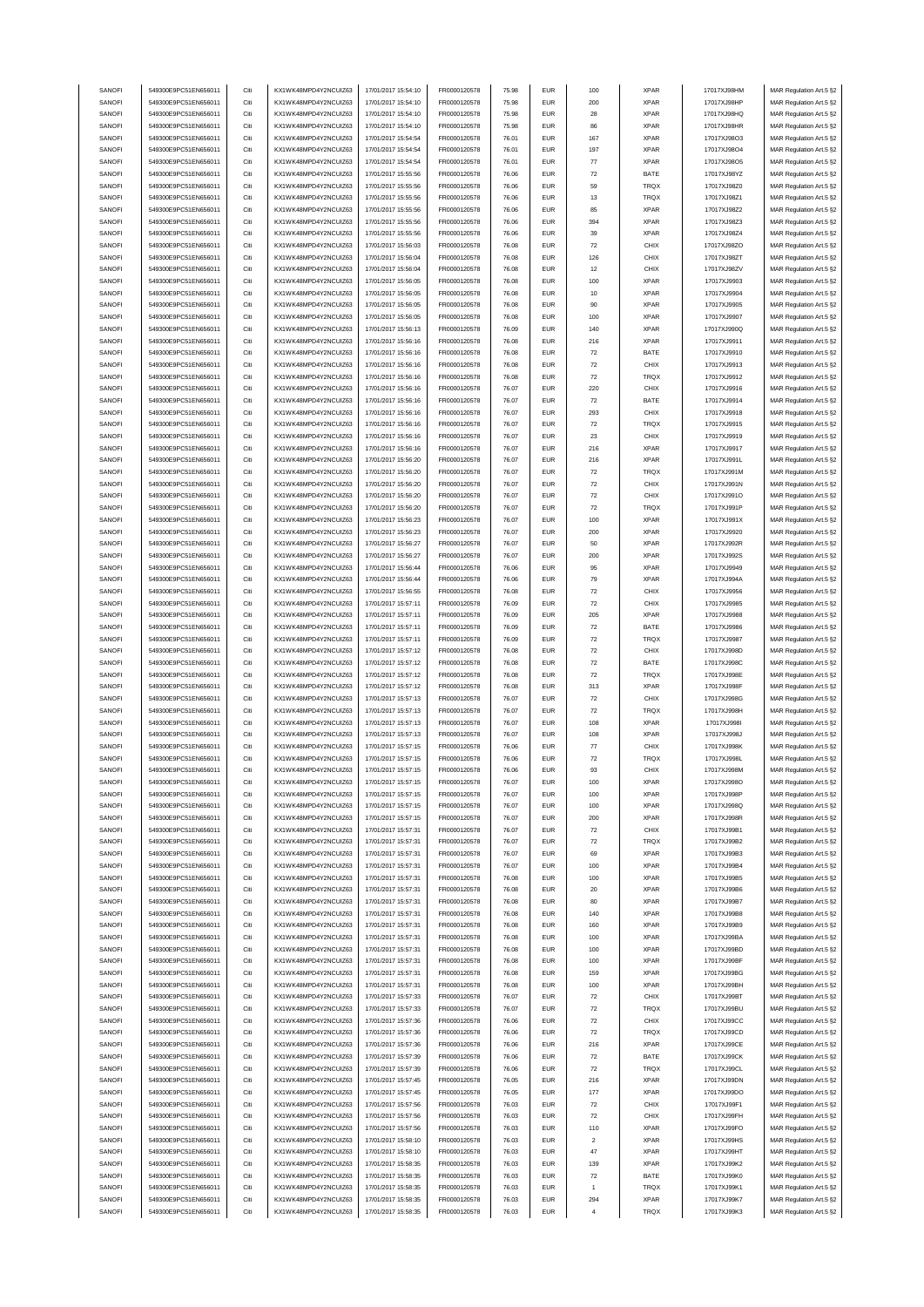| SANOFI        | 549300E9PC51EN656011 | Citi | KX1WK48MPD4Y2NCUIZ63  | 17/01/2017 15:54:10 | FR0000120578 | 75.98 | <b>EUR</b> | 100                | <b>XPAR</b> | 17017XJ98HM | MAR Regulation Art.5 §2 |
|---------------|----------------------|------|-----------------------|---------------------|--------------|-------|------------|--------------------|-------------|-------------|-------------------------|
| SANOFI        | 549300E9PC51EN656011 | Citi | KX1WK48MPD4Y2NCUIZ63  | 17/01/2017 15:54:10 | FR0000120578 | 75.98 | <b>EUR</b> | 200                | <b>XPAR</b> | 17017XJ98HP | MAR Regulation Art.5 §2 |
|               |                      |      |                       |                     |              |       |            |                    |             |             |                         |
| SANOFI        | 549300E9PC51EN656011 | Citi | KX1WK48MPD4Y2NCUIZ63  | 17/01/2017 15:54:10 | FR0000120578 | 75.98 | <b>EUR</b> | 28                 | <b>XPAR</b> | 17017XJ98HQ | MAR Regulation Art.5 §2 |
| SANOFI        | 549300E9PC51EN656011 | Citi | KX1WK48MPD4Y2NCUIZ63  | 17/01/2017 15:54:10 | FR0000120578 | 75.98 | <b>EUR</b> | 86                 | <b>XPAR</b> | 17017XJ98HR | MAR Regulation Art.5 §2 |
| SANOFI        | 549300E9PC51EN656011 | Citi | KX1WK48MPD4Y2NCUIZ63  | 17/01/2017 15:54:54 | FR0000120578 | 76.01 | <b>EUR</b> | 167                | <b>XPAR</b> | 17017XJ98O3 | MAR Regulation Art.5 §2 |
| SANOFI        | 549300E9PC51EN656011 | Citi | KX1WK48MPD4Y2NCUIZ63  | 17/01/2017 15:54:54 | FR0000120578 | 76.01 | <b>EUR</b> | 197                | XPAR        | 17017XJ98O4 | MAR Regulation Art.5 §2 |
| SANOFI        | 549300E9PC51EN656011 | Citi | KX1WK48MPD4Y2NCUIZ63  | 17/01/2017 15:54:54 | FR0000120578 | 76.01 | <b>EUR</b> | $77\,$             | XPAR        | 17017XJ98O5 | MAR Regulation Art.5 §2 |
| SANOFI        | 549300E9PC51EN656011 | Citi | KX1WK48MPD4Y2NCUIZ63  | 17/01/2017 15:55:56 | FR0000120578 | 76.06 | <b>EUR</b> | 72                 | BATE        | 17017XJ98YZ | MAR Regulation Art.5 §2 |
|               |                      |      |                       |                     |              |       |            |                    |             |             |                         |
| SANOFI        | 549300E9PC51EN656011 | Citi | KX1WK48MPD4Y2NCUIZ63  | 17/01/2017 15:55:56 | FR0000120578 | 76.06 | <b>EUR</b> | 59                 | <b>TRQX</b> | 17017XJ98Z0 | MAR Regulation Art.5 §2 |
| SANOFI        | 549300E9PC51EN656011 | Citi | KX1WK48MPD4Y2NCUIZ63  | 17/01/2017 15:55:56 | FR0000120578 | 76.06 | <b>EUR</b> | $13\,$             | TRQX        | 17017XJ98Z1 | MAR Regulation Art.5 §2 |
| SANOFI        | 549300E9PC51EN656011 | Citi | KX1WK48MPD4Y2NCUIZ63  | 17/01/2017 15:55:56 | FR0000120578 | 76.06 | <b>EUR</b> | 85                 | XPAR        | 17017XJ98Z2 | MAR Regulation Art.5 §2 |
| SANOFI        | 549300E9PC51EN656011 | Citi | KX1WK48MPD4Y2NCUIZ63  | 17/01/2017 15:55:56 | FR0000120578 | 76.06 | <b>EUR</b> | 394                | <b>XPAR</b> | 17017XJ98Z3 | MAR Regulation Art.5 §2 |
| SANOFI        | 549300E9PC51EN656011 | Citi | KX1WK48MPD4Y2NCUIZ63  | 17/01/2017 15:55:56 | FR0000120578 | 76.06 | <b>EUR</b> | 39                 | <b>XPAR</b> | 17017XJ98Z4 | MAR Regulation Art.5 §2 |
|               |                      |      |                       |                     |              |       |            |                    |             |             |                         |
| SANOFI        | 549300E9PC51EN656011 | Citi | KX1WK48MPD4Y2NCUIZ63  | 17/01/2017 15:56:03 | FR0000120578 | 76.08 | <b>EUR</b> | $\scriptstyle{72}$ | CHIX        | 17017XJ98ZO | MAR Regulation Art.5 §2 |
| SANOFI        | 549300E9PC51EN656011 | Citi | KX1WK48MPD4Y2NCUIZ63  | 17/01/2017 15:56:04 | FR0000120578 | 76.08 | <b>EUR</b> | 126                | CHIX        | 17017XJ98ZT | MAR Regulation Art.5 §2 |
| SANOFI        | 549300E9PC51EN656011 | Citi | KX1WK48MPD4Y2NCUIZ63  | 17/01/2017 15:56:04 | FR0000120578 | 76.08 | <b>EUR</b> | 12                 | CHIX        | 17017XJ98ZV | MAR Regulation Art.5 §2 |
| SANOFI        | 549300E9PC51EN656011 | Citi | KX1WK48MPD4Y2NCUIZ63  | 17/01/2017 15:56:05 | FR0000120578 | 76.08 | <b>EUR</b> | 100                | <b>XPAR</b> | 17017XJ9903 | MAR Regulation Art.5 §2 |
| SANOFI        | 549300E9PC51EN656011 | Citi | KX1WK48MPD4Y2NCUIZ63  | 17/01/2017 15:56:05 | FR0000120578 | 76.08 | <b>EUR</b> | 10                 | XPAR        | 17017XJ9904 | MAR Regulation Art.5 §2 |
| SANOFI        | 549300E9PC51EN656011 | Citi | KX1WK48MPD4Y2NCUIZ63  | 17/01/2017 15:56:05 | FR0000120578 | 76.08 | <b>EUR</b> | 90                 | <b>XPAR</b> | 17017XJ9905 |                         |
|               |                      |      |                       |                     |              |       |            |                    |             |             | MAR Regulation Art.5 §2 |
| SANOFI        | 549300E9PC51EN656011 | Citi | KX1WK48MPD4Y2NCUIZ63  | 17/01/2017 15:56:05 | FR0000120578 | 76.08 | <b>EUR</b> | 100                | <b>XPAR</b> | 17017XJ9907 | MAR Regulation Art.5 §2 |
| SANOFI        | 549300E9PC51EN656011 | Citi | KX1WK48MPD4Y2NCUIZ63  | 17/01/2017 15:56:13 | FR0000120578 | 76.09 | <b>EUR</b> | 140                | <b>XPAR</b> | 17017XJ990Q | MAR Regulation Art.5 §2 |
| SANOFI        | 549300E9PC51EN656011 | Citi | KX1WK48MPD4Y2NCUIZ63  | 17/01/2017 15:56:16 | FR0000120578 | 76.08 | <b>EUR</b> | 216                | <b>XPAR</b> | 17017XJ9911 | MAR Regulation Art.5 §2 |
| SANOFI        | 549300E9PC51EN656011 | Citi | KX1WK48MPD4Y2NCUIZ63  | 17/01/2017 15:56:16 | FR0000120578 | 76.08 | <b>EUR</b> | $\bf 72$           | BATE        | 17017XJ9910 | MAR Regulation Art.5 §2 |
| SANOFI        | 549300E9PC51EN656011 | Citi | KX1WK48MPD4Y2NCUIZ63  | 17/01/2017 15:56:16 | FR0000120578 | 76.08 | <b>EUR</b> | 72                 | CHIX        | 17017XJ9913 | MAR Regulation Art.5 §2 |
| SANOFI        | 549300E9PC51EN656011 | Citi | KX1WK48MPD4Y2NCLIIZ63 | 17/01/2017 15:56:16 | FR0000120578 | 76.08 | <b>EUR</b> | 72                 | <b>TRQX</b> | 17017XJ9912 | MAR Regulation Art.5 §2 |
|               |                      |      |                       |                     |              |       |            |                    |             |             |                         |
| SANOFI        | 549300E9PC51EN656011 | Citi | KX1WK48MPD4Y2NCUIZ63  | 17/01/2017 15:56:16 | FR0000120578 | 76.07 | <b>EUR</b> | 220                | CHIX        | 17017XJ9916 | MAR Regulation Art.5 §2 |
| SANOFI        | 549300E9PC51EN656011 | Citi | KX1WK48MPD4Y2NCUIZ63  | 17/01/2017 15:56:16 | FR0000120578 | 76.07 | <b>EUR</b> | $\scriptstyle{72}$ | BATE        | 17017XJ9914 | MAR Regulation Art.5 §2 |
| SANOFI        | 549300E9PC51EN656011 | Citi | KX1WK48MPD4Y2NCUIZ63  | 17/01/2017 15:56:16 | FR0000120578 | 76.07 | <b>EUR</b> | 293                | CHIX        | 17017XJ9918 | MAR Regulation Art.5 §2 |
| SANOFI        | 549300E9PC51EN656011 | Citi | KX1WK48MPD4Y2NCUIZ63  | 17/01/2017 15:56:16 | FR0000120578 | 76.07 | <b>EUR</b> | $\bf 72$           | TRQX        | 17017XJ9915 | MAR Regulation Art.5 §2 |
| SANOFI        | 549300E9PC51EN656011 | Citi | KX1WK48MPD4Y2NCUIZ63  | 17/01/2017 15:56:16 | FR0000120578 | 76.07 | <b>EUR</b> | 23                 | CHIX        | 17017XJ9919 | MAR Regulation Art.5 §2 |
|               |                      |      |                       |                     |              |       |            |                    |             |             |                         |
| SANOFI        | 549300E9PC51EN656011 | Citi | KX1WK48MPD4Y2NCUIZ63  | 17/01/2017 15:56:16 | FR0000120578 | 76.07 | <b>EUR</b> | 216                | <b>XPAR</b> | 17017XJ9917 | MAR Regulation Art.5 §2 |
| SANOFI        | 549300E9PC51EN656011 | Citi | KX1WK48MPD4Y2NCUIZ63  | 17/01/2017 15:56:20 | FR0000120578 | 76.07 | <b>EUR</b> | 216                | <b>XPAR</b> | 17017XJ991L | MAR Regulation Art.5 §2 |
| SANOFI        | 549300E9PC51EN656011 | Citi | KX1WK48MPD4Y2NCUIZ63  | 17/01/2017 15:56:20 | FR0000120578 | 76.07 | <b>EUR</b> | 72                 | <b>TRQX</b> | 17017XJ991M | MAR Regulation Art.5 §2 |
| SANOFI        | 549300E9PC51EN656011 | Citi | KX1WK48MPD4Y2NCLIIZ63 | 17/01/2017 15:56:20 | FR0000120578 | 76.07 | <b>EUR</b> | $\scriptstyle{72}$ | CHIX        | 17017XJ991N | MAR Regulation Art.5 §2 |
| SANOFI        | 549300E9PC51EN656011 | Citi | KX1WK48MPD4Y2NCUIZ63  | 17/01/2017 15:56:20 | FR0000120578 | 76.07 | <b>EUR</b> | $\scriptstyle{72}$ | CHIX        | 17017XJ991O | MAR Regulation Art.5 §2 |
| SANOFI        | 549300E9PC51EN656011 | Citi | KX1WK48MPD4Y2NCUIZ63  | 17/01/2017 15:56:20 | FR0000120578 | 76.07 | <b>EUR</b> | $\scriptstyle{72}$ | TRQX        | 17017XJ991P |                         |
|               |                      |      |                       |                     |              |       |            |                    |             |             | MAR Regulation Art.5 §2 |
| SANOFI        | 549300E9PC51EN656011 | Citi | KX1WK48MPD4Y2NCUIZ63  | 17/01/2017 15:56:23 | FR0000120578 | 76.07 | <b>EUR</b> | 100                | <b>XPAR</b> | 17017XJ991X | MAR Regulation Art.5 §2 |
| SANOFI        | 549300E9PC51EN656011 | Citi | KX1WK48MPD4Y2NCUIZ63  | 17/01/2017 15:56:23 | FR0000120578 | 76.07 | <b>EUR</b> | 200                | XPAR        | 17017XJ9920 | MAR Regulation Art.5 §2 |
| SANOFI        | 549300E9PC51EN656011 | Citi | KX1WK48MPD4Y2NCUIZ63  | 17/01/2017 15:56:27 | FR0000120578 | 76.07 | <b>EUR</b> | 50                 | <b>XPAR</b> | 17017XJ992R | MAR Regulation Art.5 §2 |
| SANOFI        | 549300E9PC51EN656011 | Citi | KX1WK48MPD4Y2NCUIZ63  | 17/01/2017 15:56:27 | FR0000120578 | 76.07 | <b>EUR</b> | 200                | <b>XPAR</b> | 17017XJ992S | MAR Regulation Art.5 §2 |
| SANOFI        | 549300E9PC51EN656011 | Citi | KX1WK48MPD4Y2NCUIZ63  | 17/01/2017 15:56:44 | FR0000120578 | 76.06 | <b>EUR</b> | 95                 | <b>XPAR</b> | 17017XJ9949 | MAR Regulation Art.5 §2 |
|               | 549300E9PC51EN656011 | Citi | KX1WK48MPD4Y2NCUIZ63  | 17/01/2017 15:56:44 | FR0000120578 | 76.06 | <b>EUR</b> | 79                 | <b>XPAR</b> |             |                         |
| SANOFI        |                      |      |                       |                     |              |       |            |                    |             | 17017XJ994A | MAR Regulation Art.5 §2 |
| SANOFI        | 549300E9PC51EN656011 | Citi | KX1WK48MPD4Y2NCUIZ63  | 17/01/2017 15:56:55 | FR0000120578 | 76.08 | <b>EUR</b> | $\scriptstyle{72}$ | CHIX        | 17017XJ9956 | MAR Regulation Art.5 §2 |
| SANOFI        | 549300E9PC51EN656011 | Citi | KX1WK48MPD4Y2NCUIZ63  | 17/01/2017 15:57:11 | FR0000120578 | 76.09 | <b>EUR</b> | $\scriptstyle{72}$ | CHIX        | 17017XJ9985 | MAR Regulation Art.5 §2 |
| SANOFI        | 549300E9PC51EN656011 | Citi | KX1WK48MPD4Y2NCUIZ63  | 17/01/2017 15:57:11 | FR0000120578 | 76.09 | <b>EUR</b> | 205                | <b>XPAR</b> | 17017XJ9988 | MAR Regulation Art.5 §2 |
| SANOFI        | 549300E9PC51EN656011 | Citi | KX1WK48MPD4Y2NCUIZ63  | 17/01/2017 15:57:11 | FR0000120578 | 76.09 | <b>EUR</b> | $\bf 72$           | BATE        | 17017XJ9986 | MAR Regulation Art.5 §2 |
| SANOFI        | 549300E9PC51EN656011 | Citi | KX1WK48MPD4Y2NCUIZ63  | 17/01/2017 15:57:11 | FR0000120578 | 76.09 | <b>EUR</b> | $\scriptstyle{72}$ | TRQX        | 17017XJ9987 | MAR Regulation Art.5 §2 |
|               |                      |      |                       |                     |              |       |            |                    |             |             |                         |
| SANOFI        | 549300E9PC51EN656011 | Citi | KX1WK48MPD4Y2NCUIZ63  | 17/01/2017 15:57:12 | FR0000120578 | 76.08 | <b>EUR</b> | $\scriptstyle{72}$ | CHIX        | 17017XJ998D | MAR Regulation Art.5 §2 |
| SANOFI        | 549300E9PC51EN656011 | Citi | KX1WK48MPD4Y2NCUIZ63  | 17/01/2017 15:57:12 | FR0000120578 | 76.08 | <b>EUR</b> | 72                 | BATE        | 17017XJ998C | MAR Regulation Art.5 §2 |
| SANOFI        | 549300E9PC51EN656011 | Citi | KX1WK48MPD4Y2NCUIZ63  | 17/01/2017 15:57:12 | FR0000120578 | 76.08 | <b>EUR</b> | $\scriptstyle{72}$ | TRQX        | 17017XJ998E | MAR Regulation Art.5 §2 |
| SANOFI        | 549300E9PC51EN656011 | Citi | KX1WK48MPD4Y2NCUIZ63  | 17/01/2017 15:57:12 | FR0000120578 | 76.08 | EUR        | 313                | XPAR        | 17017XJ998F | MAR Regulation Art.5 §2 |
| SANOFI        | 549300E9PC51EN656011 | Citi | KX1WK48MPD4Y2NCUIZ63  | 17/01/2017 15:57:13 | FR0000120578 | 76.07 | <b>EUR</b> | $\scriptstyle{72}$ | CHIX        | 17017XJ998G | MAR Regulation Art.5 §2 |
|               |                      |      |                       |                     |              |       |            |                    |             | 17017XJ998H |                         |
| SANOFI        | 549300E9PC51EN656011 | Citi | KX1WK48MPD4Y2NCUIZ63  | 17/01/2017 15:57:13 | FR0000120578 | 76.07 | <b>EUR</b> | $\bf 72$           | TRQX        |             | MAR Regulation Art.5 §2 |
| SANOFI        | 549300E9PC51EN656011 | Citi | KX1WK48MPD4Y2NCUIZ63  | 17/01/2017 15:57:13 | FR0000120578 | 76.07 | <b>EUR</b> | 108                | <b>XPAR</b> | 17017XJ998I | MAR Regulation Art.5 §2 |
| SANOFI        | 549300E9PC51EN656011 | Citi | KX1WK48MPD4Y2NCUIZ63  | 17/01/2017 15:57:13 | FR0000120578 | 76.07 | <b>EUR</b> | 108                | <b>XPAR</b> | 17017XJ998J | MAR Regulation Art.5 §2 |
| SANOFI        | 549300E9PC51EN656011 | Citi | KX1WK48MPD4Y2NCUIZ63  | 17/01/2017 15:57:15 | FR0000120578 | 76.06 | <b>EUR</b> | ${\bf 77}$         | CHIX        | 17017XJ998K | MAR Regulation Art.5 §2 |
| SANOFI        | 549300E9PC51EN656011 | Citi | KX1WK48MPD4Y2NCUIZ63  | 17/01/2017 15:57:15 | FR0000120578 | 76.06 | <b>EUR</b> | 72                 | <b>TRQX</b> | 17017XJ998L | MAR Regulation Art.5 §2 |
| SANOFI        | 549300E9PC51EN656011 |      | KX1WK48MPD4Y2NCLIIZ63 | 17/01/2017 15:57:15 | FR0000120578 | 76.06 |            |                    | CHIX        | 17017XJ998M | MAR Regulation Art 5 82 |
|               |                      |      |                       |                     |              |       |            |                    |             |             |                         |
| SANOFI        | 549300E9PC51EN656011 | Citi | KX1WK48MPD4Y2NCUIZ63  | 17/01/2017 15:57:15 | FR0000120578 | 76.07 | <b>EUR</b> | 100                | <b>XPAR</b> | 17017XJ998O | MAR Regulation Art.5 §2 |
| SANOFI        | 549300E9PC51EN656011 | Citi | KX1WK48MPD4Y2NCUIZ63  | 17/01/2017 15:57:15 | FR0000120578 | 76.07 | <b>EUR</b> | 100                | <b>XPAR</b> | 17017XJ998P | MAR Regulation Art.5 §2 |
| SANOFI        | 549300E9PC51EN656011 | Citi | KX1WK48MPD4Y2NCUIZ63  | 17/01/2017 15:57:15 | FR0000120578 | 76.07 | <b>EUR</b> | 100                | <b>XPAR</b> | 17017XJ998Q | MAR Regulation Art.5 §2 |
| SANOFI        | 549300E9PC51EN656011 | Citi | KX1WK48MPD4Y2NCUIZ63  | 17/01/2017 15:57:15 | FR0000120578 | 76.07 | <b>EUR</b> | 200                | <b>XPAR</b> | 17017XJ998R | MAR Regulation Art.5 §2 |
| SANOFI        | 549300E9PC51EN656011 | Citi | KX1WK48MPD4Y2NCUIZ63  | 17/01/2017 15:57:31 | FR0000120578 | 76.07 | <b>EUR</b> | 72                 | CHIX        | 17017XJ99B1 | MAR Regulation Art.5 §2 |
| SANOFI        | 549300E9PC51EN656011 | Citi | KX1WK48MPD4Y2NCUIZ63  | 17/01/2017 15:57:31 | FR0000120578 | 76.07 | <b>EUR</b> | $\bf 72$           | TRQX        | 17017XJ99B2 | MAR Regulation Art.5 §2 |
|               |                      |      |                       |                     |              |       |            |                    |             |             |                         |
| SANOFI        | 549300E9PC51EN656011 | Citi | KX1WK48MPD4Y2NCUIZ63  | 17/01/2017 15:57:31 | FR0000120578 | 76.07 | <b>EUR</b> | 69                 | <b>XPAR</b> | 17017XJ99B3 | MAR Regulation Art.5 §2 |
| SANOFI        | 549300E9PC51EN656011 | Citi | KX1WK48MPD4Y2NCUIZ63  | 17/01/2017 15:57:31 | FR0000120578 | 76.07 | <b>EUR</b> | 100                | <b>XPAR</b> | 17017XJ99B4 | MAR Regulation Art.5 §2 |
| SANOFI        | 549300E9PC51EN656011 | Citi | KX1WK48MPD4Y2NCUIZ63  | 17/01/2017 15:57:31 | FR0000120578 | 76.08 | <b>EUR</b> | 100                | <b>XPAR</b> | 17017XJ99B5 | MAR Regulation Art.5 §2 |
| SANOFI        | 549300E9PC51EN656011 | Citi | KX1WK48MPD4Y2NCLIIZ63 | 17/01/2017 15:57:31 | FR0000120578 | 76.08 | <b>EUR</b> | 20                 | <b>XPAR</b> | 17017XJ99B6 | MAR Regulation Art.5 §2 |
| SANOFI        | 549300E9PC51EN656011 | Citi | KX1WK48MPD4Y2NCUIZ63  | 17/01/2017 15:57:31 | FR0000120578 | 76.08 | <b>EUR</b> | 80                 | <b>XPAR</b> | 17017XJ99B7 | MAR Regulation Art.5 §2 |
| SANOFI        | 549300E9PC51EN656011 | Citi | KX1WK48MPD4Y2NCUIZ63  | 17/01/2017 15:57:31 | FR0000120578 | 76.08 | <b>EUR</b> | 140                | <b>XPAR</b> | 17017XJ99B8 | MAR Regulation Art.5 §2 |
|               |                      |      |                       |                     |              |       |            |                    |             |             |                         |
| SANOFI        | 549300E9PC51EN656011 | Citi | KX1WK48MPD4Y2NCUIZ63  | 17/01/2017 15:57:31 | FR0000120578 | 76.08 | <b>EUR</b> | 160                | <b>XPAR</b> | 17017XJ99B9 | MAR Regulation Art.5 §2 |
| SANOFI        | 549300E9PC51EN656011 | Citi | KX1WK48MPD4Y2NCUIZ63  | 17/01/2017 15:57:31 | FR0000120578 | 76.08 | <b>EUR</b> | 100                | <b>XPAR</b> | 17017XJ99BA | MAR Regulation Art.5 §2 |
| SANOFI        | 549300E9PC51EN656011 | Citi | KX1WK48MPD4Y2NCUIZ63  | 17/01/2017 15:57:31 | FR0000120578 | 76.08 | <b>EUR</b> | 100                | <b>XPAR</b> | 17017XJ99BD | MAR Regulation Art.5 §2 |
| SANOFI        | 549300E9PC51EN656011 | Citi | KX1WK48MPD4Y2NCUIZ63  | 17/01/2017 15:57:31 | FR0000120578 | 76.08 | <b>EUR</b> | 100                | <b>XPAR</b> | 17017XJ99BF | MAR Regulation Art.5 §2 |
| SANOFI        | 549300E9PC51EN656011 | Citi | KX1WK48MPD4Y2NCUIZ63  | 17/01/2017 15:57:31 | FR0000120578 | 76.08 | <b>EUR</b> | 159                | <b>XPAR</b> | 17017XJ99BG | MAR Regulation Art.5 §2 |
|               | 549300E9PC51EN656011 |      | KX1WK48MPD4Y2NCUIZ63  |                     |              |       |            |                    |             |             |                         |
| SANOFI        |                      | Citi |                       | 17/01/2017 15:57:31 | FR0000120578 | 76.08 | <b>EUR</b> | 100                | <b>XPAR</b> | 17017XJ99BH | MAR Regulation Art.5 §2 |
| SANOFI        | 549300E9PC51EN656011 | Citi | KX1WK48MPD4Y2NCUIZ63  | 17/01/2017 15:57:33 | FR0000120578 | 76.07 | <b>EUR</b> | $\bf 72$           | CHIX        | 17017XJ99BT | MAR Regulation Art.5 §2 |
| SANOFI        | 549300E9PC51EN656011 | Citi | KX1WK48MPD4Y2NCUIZ63  | 17/01/2017 15:57:33 | FR0000120578 | 76.07 | <b>EUR</b> | $\bf 72$           | TRQX        | 17017XJ99BU | MAR Regulation Art.5 §2 |
| SANOFI        | 549300E9PC51EN656011 | Citi | KX1WK48MPD4Y2NCUIZ63  | 17/01/2017 15:57:36 | FR0000120578 | 76.06 | <b>EUR</b> | $\scriptstyle{72}$ | CHIX        | 17017XJ99CC | MAR Regulation Art.5 §2 |
| SANOFI        | 549300E9PC51EN656011 | Citi | KX1WK48MPD4Y2NCUIZ63  | 17/01/2017 15:57:36 | FR0000120578 | 76.06 | <b>EUR</b> | $\scriptstyle{72}$ | TRQX        | 17017XJ99CD | MAR Regulation Art.5 §2 |
| SANOFI        | 549300E9PC51EN656011 | Citi | KX1WK48MPD4Y2NCUIZ63  | 17/01/2017 15:57:36 | FR0000120578 | 76.06 | <b>EUR</b> | 216                | <b>XPAR</b> | 17017XJ99CE | MAR Regulation Art.5 §2 |
|               |                      |      |                       |                     |              |       |            |                    |             |             |                         |
| SANOFI        | 549300E9PC51EN656011 | Citi | KX1WK48MPD4Y2NCUIZ63  | 17/01/2017 15:57:39 | FR0000120578 | 76.06 | <b>EUR</b> | 72                 | BATE        | 17017XJ99CK | MAR Regulation Art.5 §2 |
| SANOFI        | 549300E9PC51EN656011 | Citi | KX1WK48MPD4Y2NCUIZ63  | 17/01/2017 15:57:39 | FR0000120578 | 76.06 | <b>EUR</b> | $\scriptstyle{72}$ | TRQX        | 17017XJ99CL | MAR Regulation Art.5 §2 |
| <b>SANOFI</b> | 549300E9PC51EN656011 | Citi | KX1WK48MPD4Y2NCUIZ63  | 17/01/2017 15:57:45 | FR0000120578 | 76.05 | <b>EUR</b> | 216                | <b>XPAR</b> | 17017XJ99DN | MAR Regulation Art.5 §2 |
| SANOFI        | 549300E9PC51EN656011 | Citi | KX1WK48MPD4Y2NCUIZ63  | 17/01/2017 15:57:45 | FR0000120578 | 76.05 | <b>EUR</b> | 177                | <b>XPAR</b> | 17017XJ99DO | MAR Regulation Art.5 §2 |
| SANOFI        | 549300E9PC51EN656011 | Citi | KX1WK48MPD4Y2NCUIZ63  | 17/01/2017 15:57:56 | FR0000120578 | 76.03 | <b>EUR</b> | $\bf 72$           | CHIX        | 17017XJ99F1 | MAR Regulation Art.5 §2 |
| SANOFI        | 549300E9PC51EN656011 | Citi | KX1WK48MPD4Y2NCUIZ63  | 17/01/2017 15:57:56 | FR0000120578 | 76.03 | <b>EUR</b> | $\scriptstyle{72}$ | CHIX        | 17017XJ99FH | MAR Regulation Art.5 §2 |
|               |                      |      |                       |                     |              |       |            |                    |             |             |                         |
| SANOFI        | 549300E9PC51EN656011 | Citi | KX1WK48MPD4Y2NCUIZ63  | 17/01/2017 15:57:56 | FR0000120578 | 76.03 | <b>EUR</b> | 110                | XPAR        | 17017XJ99FO | MAR Regulation Art.5 §2 |
| SANOFI        | 549300E9PC51EN656011 | Citi | KX1WK48MPD4Y2NCUIZ63  | 17/01/2017 15:58:10 | FR0000120578 | 76.03 | <b>EUR</b> | $\sqrt{2}$         | <b>XPAR</b> | 17017XJ99HS | MAR Regulation Art.5 §2 |
| SANOFI        | 549300E9PC51EN656011 | Citi | KX1WK48MPD4Y2NCUIZ63  | 17/01/2017 15:58:10 | FR0000120578 | 76.03 | <b>EUR</b> | 47                 | <b>XPAR</b> | 17017XJ99HT | MAR Regulation Art.5 §2 |
| SANOFI        | 549300E9PC51EN656011 | Citi | KX1WK48MPD4Y2NCUIZ63  | 17/01/2017 15:58:35 | FR0000120578 | 76.03 | <b>EUR</b> | 139                | <b>XPAR</b> | 17017XJ99K2 | MAR Regulation Art.5 §2 |
| SANOFI        | 549300E9PC51EN656011 | Citi | KX1WK48MPD4Y2NCUIZ63  | 17/01/2017 15:58:35 | FR0000120578 | 76.03 | <b>EUR</b> | $\scriptstyle{72}$ | BATE        | 17017XJ99K0 | MAR Regulation Art.5 §2 |
| SANOFI        | 549300E9PC51EN656011 | Citi | KX1WK48MPD4Y2NCUIZ63  | 17/01/2017 15:58:35 | FR0000120578 | 76.03 | <b>EUR</b> | $\mathbf{1}$       | TRQX        | 17017XJ99K1 | MAR Regulation Art.5 §2 |
|               |                      |      |                       |                     |              |       |            |                    |             |             |                         |
| SANOFI        | 549300E9PC51EN656011 | Citi | KX1WK48MPD4Y2NCUIZ63  | 17/01/2017 15:58:35 | FR0000120578 | 76.03 | <b>EUR</b> | 294                | <b>XPAR</b> | 17017XJ99K7 | MAR Regulation Art.5 §2 |
| SANOFI        | 549300E9PC51EN656011 | Citi | KX1WK48MPD4Y2NCUIZ63  | 17/01/2017 15:58:35 | FR0000120578 | 76.03 | <b>EUR</b> | $\sqrt{4}$         | TRQX        | 17017XJ99K3 | MAR Regulation Art.5 §2 |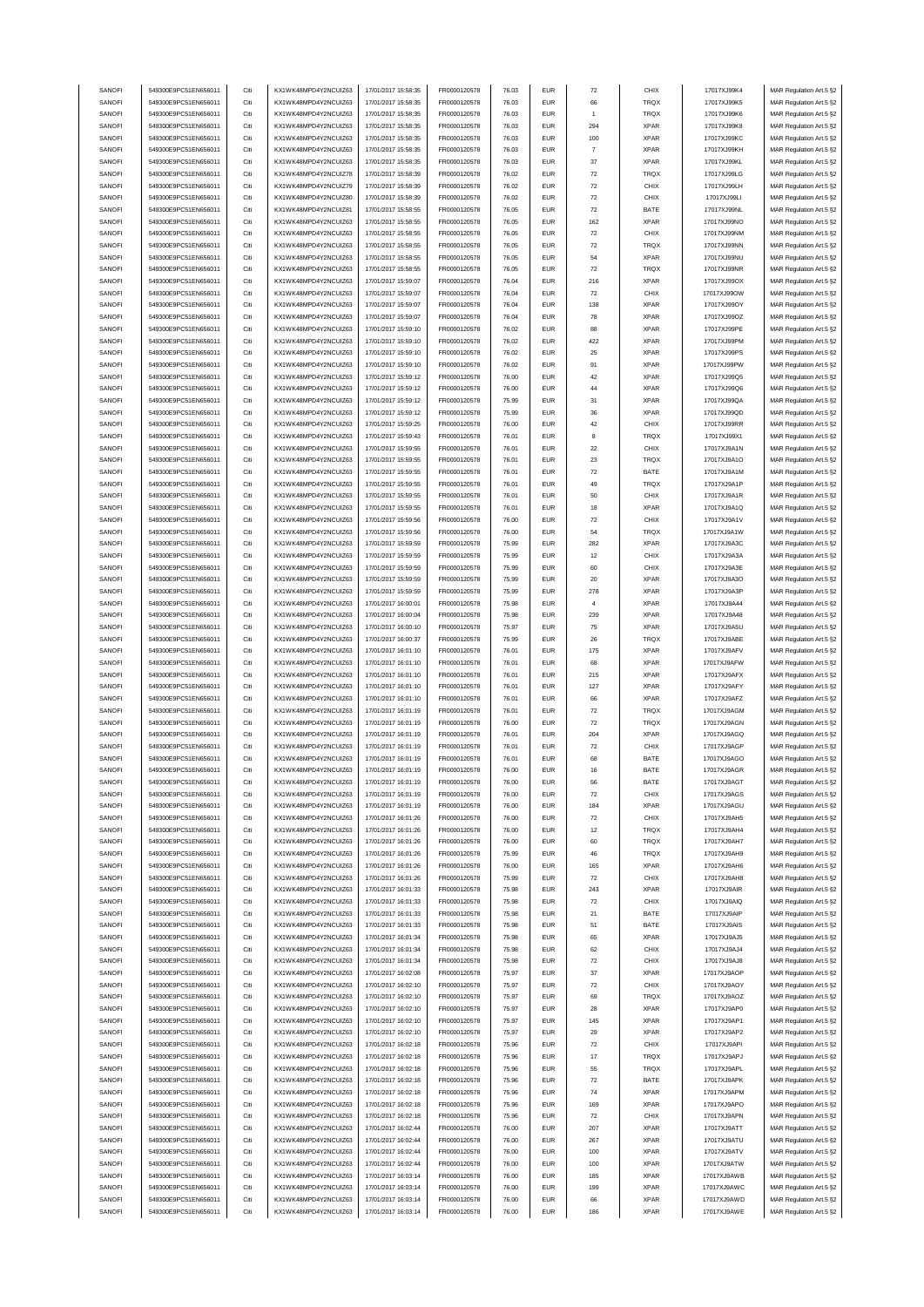| SANOFI           | 549300E9PC51EN656011                         | Citi         | KX1WK48MPD4Y2NCUIZ63                         | 17/01/2017 15:58:35                        | FR0000120578                 | 76.03          | <b>EUR</b>               | 72                 | CHIX                       | 17017XJ99K4                | MAR Regulation Art.5 §2                            |
|------------------|----------------------------------------------|--------------|----------------------------------------------|--------------------------------------------|------------------------------|----------------|--------------------------|--------------------|----------------------------|----------------------------|----------------------------------------------------|
| SANOFI           | 549300E9PC51EN656011                         | Citi         | KX1WK48MPD4Y2NCLIIZ63                        | 17/01/2017 15:58:35                        | FR0000120578                 | 76.03          | <b>EUR</b>               | 66                 | TRQX                       | 17017XJ99K5                | MAR Regulation Art.5 §2                            |
| SANOFI           | 549300E9PC51EN656011                         | Citi         | KX1WK48MPD4Y2NCUIZ63                         | 17/01/2017 15:58:35                        | FR0000120578                 | 76.03          | <b>EUR</b>               | $\overline{1}$     | TRQX                       | 17017XJ99K6                | MAR Regulation Art.5 §2                            |
| SANOFI           | 549300E9PC51EN656011                         | Citi         | KX1WK48MPD4Y2NCUIZ63                         | 17/01/2017 15:58:35                        | FR0000120578                 | 76.03          | <b>EUR</b>               | 294                | <b>XPAR</b>                | 17017XJ99K8                | MAR Regulation Art.5 §2                            |
|                  |                                              |              |                                              |                                            |                              |                |                          |                    |                            |                            |                                                    |
| SANOFI           | 549300E9PC51EN656011                         | Citi         | KX1WK48MPD4Y2NCUIZ63                         | 17/01/2017 15:58:35                        | FR0000120578                 | 76.03          | <b>EUR</b>               | 100                | <b>XPAR</b>                | 17017XJ99KC                | MAR Regulation Art.5 §2                            |
| SANOFI           | 549300E9PC51EN656011                         | Citi         | KX1WK48MPD4Y2NCUIZ63                         | 17/01/2017 15:58:35                        | FR0000120578                 | 76.03          | <b>EUR</b>               | $\overline{7}$     | <b>XPAR</b>                | 17017XJ99KH                | MAR Regulation Art.5 §2                            |
| SANOFI           | 549300E9PC51EN656011                         | Citi         | KX1WK48MPD4Y2NCUIZ63                         | 17/01/2017 15:58:35                        | FR0000120578                 | 76.03          | <b>EUR</b>               | 37                 | <b>XPAR</b>                | 17017XJ99KL                | MAR Regulation Art.5 §2                            |
| SANOFI           | 549300E9PC51EN656011                         | Citi         | KX1WK48MPD4Y2NCUIZ78                         | 17/01/2017 15:58:39                        | FR0000120578                 | 76.02          | <b>EUR</b>               | 72                 | TRQX                       | 17017XJ99LG                | MAR Regulation Art.5 §2                            |
| SANOFI           | 549300E9PC51EN656011                         | Citi         | KX1WK48MPD4Y2NCUIZ79                         | 17/01/2017 15:58:39                        | FR0000120578                 | 76.02          | <b>EUR</b>               | 72                 | CHIX                       | 17017XJ99LH                | MAR Regulation Art.5 §2                            |
| SANOFI           | 549300E9PC51EN656011                         | Citi         | KX1WK48MPD4Y2NCUIZ80                         | 17/01/2017 15:58:39                        | FR0000120578                 | 76.02          | <b>EUR</b>               | 72                 | CHIX                       | 17017XJ99LI                | MAR Regulation Art.5 §2                            |
| SANOFI           | 549300E9PC51EN656011                         | Citi         | KX1WK48MPD4Y2NCUIZ81                         | 17/01/2017 15:58:55                        | FR0000120578                 | 76.05          | <b>EUR</b>               | 72                 | BATE                       | 17017XJ99NL                | MAR Regulation Art.5 §2                            |
| SANOFI           | 549300E9PC51EN656011                         | Citi         | KX1WK48MPD4Y2NCUIZ63                         | 17/01/2017 15:58:55                        | FR0000120578                 | 76.05          | <b>EUR</b>               | 162                | <b>XPAR</b>                | 17017XJ99NO                | MAR Regulation Art.5 §2                            |
| SANOFI           | 549300E9PC51EN656011                         | Citi         | KX1WK48MPD4Y2NCUIZ63                         | 17/01/2017 15:58:55                        | FR0000120578                 | 76.05          | <b>EUR</b>               | $\scriptstyle{72}$ | CHIX                       | 17017XJ99NM                | MAR Regulation Art.5 §2                            |
| SANOFI           | 549300E9PC51EN656011                         | Citi         | KX1WK48MPD4Y2NCUIZ63                         | 17/01/2017 15:58:55                        | FR0000120578                 | 76.05          | <b>EUR</b>               | 72                 | TRQX                       | 17017XJ99NN                | MAR Regulation Art.5 §2                            |
| SANOFI           | 549300E9PC51EN656011                         | Citi         | KX1WK48MPD4Y2NCUIZ63                         | 17/01/2017 15:58:55                        | FR0000120578                 | 76.05          | <b>EUR</b>               | 54                 | <b>XPAR</b>                | 17017XJ99NU                | MAR Regulation Art.5 §2                            |
| SANOFI           | 549300E9PC51EN656011                         | Citi         | KX1WK48MPD4Y2NCUIZ63                         | 17/01/2017 15:58:55                        | FR0000120578                 | 76.05          | <b>EUR</b>               | 72                 | TRQX                       | 17017XJ99NR                | MAR Regulation Art.5 §2                            |
| SANOFI           | 549300E9PC51EN656011                         | Citi         | KX1WK48MPD4Y2NCLIIZ63                        | 17/01/2017 15:59:07                        | FR0000120578                 | 76.04          | <b>EUR</b>               | 216                | <b>XPAR</b>                | 17017XJ99OX                | MAR Regulation Art.5 §2                            |
| SANOFI           | 549300E9PC51EN656011                         | Citi         | KX1WK48MPD4Y2NCUIZ63                         | 17/01/2017 15:59:07                        | FR0000120578                 | 76.04          | <b>EUR</b>               | $\scriptstyle{72}$ | CHIX                       | 17017XJ99OW                | MAR Regulation Art.5 §2                            |
| SANOFI           | 549300E9PC51EN656011                         | Citi         | KX1WK48MPD4Y2NCUIZ63                         | 17/01/2017 15:59:07                        | FR0000120578                 | 76.04          | EUR                      | 138                | <b>XPAR</b>                | 17017XJ99OY                | MAR Regulation Art.5 §2                            |
| SANOFI           | 549300E9PC51EN656011                         | Citi         | KX1WK48MPD4Y2NCUIZ63                         | 17/01/2017 15:59:07                        | FR0000120578                 | 76.04          | <b>EUR</b>               | 78                 | <b>XPAR</b>                | 17017XJ99OZ                | MAR Regulation Art.5 §2                            |
| SANOFI           | 549300E9PC51EN656011                         | Citi         | KX1WK48MPD4Y2NCUIZ63                         | 17/01/2017 15:59:10                        | FR0000120578                 | 76.02          | <b>EUR</b>               | 88                 | <b>XPAR</b>                | 17017XJ99PE                | MAR Regulation Art.5 §2                            |
|                  | 549300E9PC51EN656011                         | Citi         | KX1WK48MPD4Y2NCUIZ63                         |                                            |                              | 76.02          | <b>EUR</b>               |                    | <b>XPAR</b>                |                            |                                                    |
| SANOFI           |                                              |              |                                              | 17/01/2017 15:59:10                        | FR0000120578                 |                |                          | 422                |                            | 17017XJ99PM                | MAR Regulation Art.5 §2                            |
| SANOFI           | 549300E9PC51EN656011                         | Citi         | KX1WK48MPD4Y2NCUIZ63                         | 17/01/2017 15:59:10                        | FR0000120578                 | 76.02          | <b>EUR</b>               | 25                 | <b>XPAR</b>                | 17017XJ99PS                | MAR Regulation Art.5 §2                            |
| SANOFI           | 549300E9PC51EN656011                         | Citi         | KX1WK48MPD4Y2NCUIZ63                         | 17/01/2017 15:59:10                        | FR0000120578                 | 76.02          | <b>EUR</b>               | 91                 | <b>XPAR</b>                | 17017XJ99PW                | MAR Regulation Art.5 §2                            |
| SANOFI           | 549300E9PC51EN656011                         | Citi         | KX1WK48MPD4Y2NCUIZ63                         | 17/01/2017 15:59:12                        | FR0000120578                 | 76.00          | <b>EUR</b>               | 42                 | <b>XPAR</b>                | 17017XJ99Q5                | MAR Regulation Art.5 §2                            |
| SANOFI           | 549300E9PC51EN656011                         | Citi         | KX1WK48MPD4Y2NCUIZ63                         | 17/01/2017 15:59:12                        | FR0000120578                 | 76.00          | <b>EUR</b>               | 44                 | <b>XPAR</b>                | 17017XJ99Q6                | MAR Regulation Art.5 §2                            |
| SANOFI           | 549300E9PC51EN656011                         | Citi         | KX1WK48MPD4Y2NCUIZ63                         | 17/01/2017 15:59:12                        | FR0000120578                 | 75.99          | <b>EUR</b>               | 31                 | <b>XPAR</b>                | 17017XJ99QA                | MAR Regulation Art.5 §2                            |
| SANOFI           | 549300E9PC51EN656011                         | Citi         | KX1WK48MPD4Y2NCUIZ63                         | 17/01/2017 15:59:12                        | FR0000120578                 | 75.99          | <b>EUR</b>               | 36                 | <b>XPAR</b>                | 17017XJ99QD                | MAR Regulation Art.5 §2                            |
| SANOFI           | 549300E9PC51EN656011                         | Citi         | KX1WK48MPD4Y2NCUIZ63                         | 17/01/2017 15:59:25                        | FR0000120578                 | 76.00          | <b>EUR</b>               | 42                 | CHIX                       | 17017XJ99RR                | MAR Regulation Art.5 §2                            |
| SANOFI           | 549300E9PC51EN656011                         | Citi         | KX1WK48MPD4Y2NCUIZ63                         | 17/01/2017 15:59:43                        | FR0000120578                 | 76.01          | <b>EUR</b>               | 8                  | TRQX                       | 17017XJ99X1                | MAR Regulation Art.5 §2                            |
| SANOFI           | 549300E9PC51EN656011                         | Citi         | KX1WK48MPD4Y2NCUIZ63                         | 17/01/2017 15:59:55                        | FR0000120578                 | 76.01          | <b>EUR</b>               | 22                 | CHIX                       | 17017XJ9A1N                | MAR Regulation Art.5 §2                            |
| SANOFI           | 549300E9PC51EN656011                         | Citi         | KX1WK48MPD4Y2NCUIZ63                         | 17/01/2017 15:59:55                        | FR0000120578                 | 76.01          | <b>EUR</b>               | 23                 | TRQX                       | 17017XJ9A1O                | MAR Regulation Art.5 §2                            |
| SANOFI           | 549300E9PC51EN656011                         | Citi         | KX1WK48MPD4Y2NCUIZ63                         | 17/01/2017 15:59:55                        | FR0000120578                 | 76.01          | <b>EUR</b>               | 72                 | BATE                       | 17017XJ9A1M                | MAR Regulation Art.5 §2                            |
| SANOFI           | 549300E9PC51EN656011                         | Citi         | KX1WK48MPD4Y2NCUIZ63                         | 17/01/2017 15:59:55                        | FR0000120578                 | 76.01          | <b>EUR</b>               | 49                 | TRQX                       | 17017XJ9A1P                | MAR Regulation Art.5 §2                            |
| SANOFI           | 549300E9PC51EN656011                         | Citi         | KX1WK48MPD4Y2NCUIZ63                         | 17/01/2017 15:59:55                        | FR0000120578                 | 76.01          | <b>EUR</b>               | 50                 | CHIX                       | 17017XJ9A1R                | MAR Regulation Art.5 §2                            |
| SANOFI           | 549300E9PC51EN656011                         | Citi         | KX1WK48MPD4Y2NCLIIZ63                        | 17/01/2017 15:59:55                        | FR0000120578                 | 76.01          | <b>EUR</b>               | 18                 | <b>XPAR</b>                | 17017XJ9A1Q                | MAR Regulation Art.5 §2                            |
| SANOFI           | 549300E9PC51EN656011                         | Citi         | KX1WK48MPD4Y2NCUIZ63                         | 17/01/2017 15:59:56                        | FR0000120578                 | 76.00          | <b>EUR</b>               | $\scriptstyle{72}$ | CHIX                       | 17017XJ9A1V                | MAR Regulation Art.5 §2                            |
|                  |                                              |              |                                              |                                            |                              |                |                          |                    |                            |                            |                                                    |
| SANOFI           | 549300E9PC51EN656011                         | Citi         | KX1WK48MPD4Y2NCUIZ63                         | 17/01/2017 15:59:56                        | FR0000120578                 | 76.00          | <b>EUR</b>               | 54                 | TRQX                       | 17017XJ9A1W                | MAR Regulation Art.5 §2                            |
| SANOFI           | 549300E9PC51EN656011                         | Citi         | KX1WK48MPD4Y2NCUIZ63                         | 17/01/2017 15:59:59                        | FR0000120578                 | 75.99          | <b>EUR</b>               | 282                | <b>XPAR</b>                | 17017XJ9A3C                | MAR Regulation Art.5 §2                            |
| SANOFI           | 549300E9PC51EN656011                         | Citi         | KX1WK48MPD4Y2NCUIZ63                         | 17/01/2017 15:59:59                        | FR0000120578                 | 75.99          | <b>EUR</b>               | 12                 | CHIX                       | 17017XJ9A3A                | MAR Regulation Art.5 §2                            |
| SANOFI           | 549300E9PC51EN656011                         | Citi         | KX1WK48MPD4Y2NCUIZ63                         | 17/01/2017 15:59:59                        | FR0000120578                 | 75.99          | <b>EUR</b>               | 60                 | CHIX                       | 17017XJ9A3E                | MAR Regulation Art.5 §2                            |
| SANOFI           | 549300E9PC51EN656011                         | Citi         | KX1WK48MPD4Y2NCUIZ63                         | 17/01/2017 15:59:59                        | FR0000120578                 | 75.99          | <b>EUR</b>               | 20                 | <b>XPAR</b>                | 17017XJ9A3O                | MAR Regulation Art.5 §2                            |
| SANOFI           | 549300E9PC51EN656011                         | Citi         | KX1WK48MPD4Y2NCUIZ63                         | 17/01/2017 15:59:59                        | FR0000120578                 | 75.99          | <b>EUR</b>               | 278                | <b>XPAR</b>                | 17017XJ9A3P                | MAR Regulation Art.5 §2                            |
| SANOFI           | 549300E9PC51EN656011                         | Citi         | KX1WK48MPD4Y2NCUIZ63                         | 17/01/2017 16:00:01                        | FR0000120578                 | 75.98          | EUR                      | $\overline{4}$     | <b>XPAR</b>                | 17017XJ9A44                | MAR Regulation Art.5 §2                            |
| SANOFI           | 549300E9PC51EN656011                         | Citi         | KX1WK48MPD4Y2NCUIZ63                         | 17/01/2017 16:00:04                        | FR0000120578                 | 75.98          | <b>EUR</b>               | 239                | <b>XPAR</b>                | 17017XJ9A48                | MAR Regulation Art.5 §2                            |
| SANOFI           | 549300E9PC51EN656011                         | Citi         | KX1WK48MPD4Y2NCUIZ63                         | 17/01/2017 16:00:10                        | FR0000120578                 | 75.97          | <b>EUR</b>               | 75                 | <b>XPAR</b>                | 17017XJ9A5U                | MAR Regulation Art.5 §2                            |
| SANOFI           | 549300E9PC51EN656011                         | Citi         | KX1WK48MPD4Y2NCUIZ63                         | 17/01/2017 16:00:37                        | FR0000120578                 | 75.99          | <b>EUR</b>               | 26                 | TRQX                       | 17017XJ9ABE                | MAR Regulation Art.5 §2                            |
| SANOFI           | 549300E9PC51EN656011                         | Citi         | KX1WK48MPD4Y2NCUIZ63                         | 17/01/2017 16:01:10                        | FR0000120578                 | 76.01          | <b>EUR</b>               | 175                | <b>XPAR</b>                | 17017XJ9AFV                | MAR Regulation Art.5 §2                            |
| SANOFI           | 549300E9PC51EN656011                         | Citi         | KX1WK48MPD4Y2NCUIZ63                         | 17/01/2017 16:01:10                        | FR0000120578                 | 76.01          | <b>EUR</b>               | 68                 | <b>XPAR</b>                | 17017XJ9AFW                | MAR Regulation Art.5 §2                            |
| SANOFI           | 549300E9PC51EN656011                         | Citi         | KX1WK48MPD4Y2NCUIZ63                         | 17/01/2017 16:01:10                        | FR0000120578                 | 76.01          | <b>EUR</b>               | 215                | <b>XPAR</b>                | 17017XJ9AFX                | MAR Regulation Art.5 §2                            |
| SANOFI           | 549300E9PC51EN656011                         | Citi         | KX1WK48MPD4Y2NCUIZ63                         | 17/01/2017 16:01:10                        | FR0000120578                 | 76.01          | <b>EUR</b>               | 127                | <b>XPAR</b>                | 17017XJ9AFY                | MAR Regulation Art.5 §2                            |
| SANOFI           | 549300E9PC51EN656011                         | Citi         | KX1WK48MPD4Y2NCUIZ63                         | 17/01/2017 16:01:10                        | FR0000120578                 | 76.01          | <b>EUR</b>               | 66                 | <b>XPAR</b>                | 17017XJ9AFZ                | MAR Regulation Art.5 §2                            |
| SANOFI           | 549300E9PC51EN656011                         | Citi         | KX1WK48MPD4Y2NCUIZ63                         | 17/01/2017 16:01:19                        | FR0000120578                 | 76.01          | <b>EUR</b>               | $\scriptstyle{72}$ | TRQX                       | 17017XJ9AGM                | MAR Regulation Art.5 §2                            |
| SANOFI           | 549300E9PC51EN656011                         | Citi         | KX1WK48MPD4Y2NCUIZ63                         | 17/01/2017 16:01:19                        | FR0000120578                 | 76.00          | <b>EUR</b>               | $\scriptstyle{72}$ | TRQX                       | 17017XJ9AGN                | MAR Regulation Art.5 §2                            |
| SANOFI           | 549300E9PC51EN656011                         | Citi         | KX1WK48MPD4Y2NCLIIZ63                        | 17/01/2017 16:01:19                        | FR0000120578                 | 76.01          | <b>EUR</b>               | 204                | <b>XPAR</b>                | 17017XJ9AGQ                | MAR Regulation Art.5 §2                            |
| SANOFI           | 549300E9PC51EN656011                         | Citi         |                                              |                                            | FR0000120578                 | 76.01          | <b>EUR</b>               |                    | CHIX                       |                            |                                                    |
|                  |                                              |              | KX1WK48MPD4Y2NCUIZ63                         | 17/01/2017 16:01:19                        |                              |                |                          | $\scriptstyle{72}$ |                            | 17017XJ9AGP                | MAR Regulation Art.5 §2                            |
| SANOFI           | 549300E9PC51EN656011                         | Citi         | KX1WK48MPD4Y2NCUIZ63                         | 17/01/2017 16:01:19                        | FR0000120578                 | 76.01          | <b>EUR</b>               | 68                 | BATE                       | 17017XJ9AGO                | MAR Regulation Art.5 §2                            |
| SANOFI           | 549300E9PC51EN656011                         |              | KX1WK48MPD4Y2NCLIIZ63                        | 17/01/2017 16:01:19                        | FR0000120578                 | 76.00          | FUR                      |                    | <b>BATF</b>                | 17017X.I9AGR               | MAR Regulation Art 5.82                            |
| SANOFI           | 549300E9PC51EN656011                         | Citi         | KX1WK48MPD4Y2NCUIZ63                         | 17/01/2017 16:01:19                        | FR0000120578                 | 76.00          | <b>EUR</b>               | 56                 | BATE                       | 17017XJ9AGT                | MAR Regulation Art.5 §2                            |
| SANOFI           | 549300E9PC51EN656011                         | Citi         | KX1WK48MPD4Y2NCUIZ63                         | 17/01/2017 16:01:19                        | FR0000120578                 | 76.00          | <b>EUR</b>               | $\scriptstyle{72}$ | CHIX                       | 17017XJ9AGS                | MAR Regulation Art.5 §2                            |
| SANOFI           | 549300E9PC51EN656011                         | Citi         | KX1WK48MPD4Y2NCUIZ63                         | 17/01/2017 16:01:19                        | FR0000120578                 | 76.00          | <b>EUR</b>               | 184                | <b>XPAR</b>                | 17017XJ9AGU                | MAR Regulation Art.5 §2                            |
| SANOFI           | 549300E9PC51EN656011                         | Citi         | KX1WK48MPD4Y2NCUIZ63                         | 17/01/2017 16:01:26                        | FR0000120578                 | 76.00          | <b>EUR</b>               | $\scriptstyle{72}$ | CHIX                       | 17017XJ9AH5                | MAR Regulation Art.5 §2                            |
| SANOFI           | 549300E9PC51EN656011                         | Citi         | KX1WK48MPD4Y2NCUIZ63                         | 17/01/2017 16:01:26                        | FR0000120578                 | 76.00          | <b>EUR</b>               | 12                 | TRQX                       | 17017XJ9AH4                | MAR Regulation Art.5 §2                            |
| SANOFI           | 549300E9PC51EN656011                         | Citi         | KX1WK48MPD4Y2NCUIZ63                         | 17/01/2017 16:01:26                        | FR0000120578                 | 76.00          | <b>EUR</b>               | 60                 | TRQX                       | 17017XJ9AH7                | MAR Regulation Art.5 §2                            |
| SANOFI           | 549300E9PC51EN656011                         | Citi         | KX1WK48MPD4Y2NCUIZ63                         | 17/01/2017 16:01:26                        | FR0000120578                 | 75.99          | <b>EUR</b>               | 46                 | TRQX                       | 17017XJ9AH9                | MAR Regulation Art.5 §2                            |
| SANOFI           | 549300E9PC51EN656011                         | Citi         | KX1WK48MPD4Y2NCUIZ63                         | 17/01/2017 16:01:26                        | FR0000120578                 | 76.00          | <b>EUR</b>               | 165                | <b>XPAR</b>                | 17017XJ9AH6                | MAR Regulation Art.5 §2                            |
| SANOFI           | 549300E9PC51EN656011                         | Citi         | KX1WK48MPD4Y2NCUIZ63                         | 17/01/2017 16:01:26                        | FR0000120578                 | 75.99          | <b>EUR</b>               | 72                 | CHIX                       | 17017XJ9AH8                | MAR Regulation Art.5 §2                            |
| SANOFI           | 549300E9PC51EN656011                         | Citi         | KX1WK48MPD4Y2NCUIZ63                         | 17/01/2017 16:01:33                        | FR0000120578                 | 75.98          | <b>EUR</b>               | 243                | <b>XPAR</b>                | 17017XJ9AIR                | MAR Regulation Art.5 §2                            |
| SANOFI           | 549300E9PC51EN656011                         | Citi         | KX1WK48MPD4Y2NCUIZ63                         | 17/01/2017 16:01:33                        | FR0000120578                 | 75.98          | <b>EUR</b>               | $\scriptstyle{72}$ | CHIX                       | 17017XJ9AIQ                | MAR Regulation Art.5 §2                            |
| SANOFI           | 549300E9PC51EN656011                         | Citi         | KX1WK48MPD4Y2NCUIZ63                         | 17/01/2017 16:01:33                        | FR0000120578                 | 75.98          | <b>EUR</b>               | 21                 | BATE                       | 17017XJ9AIP                | MAR Regulation Art.5 §2                            |
| SANOFI           | 549300E9PC51EN656011                         | Citi         | KX1WK48MPD4Y2NCUIZ63                         | 17/01/2017 16:01:33                        | FR0000120578                 | 75.98          | <b>EUR</b>               | 51                 | BATE                       | 17017XJ9AIS                | MAR Regulation Art.5 §2                            |
| SANOFI           | 549300E9PC51EN656011                         | Citi         | KX1WK48MPD4Y2NCUIZ63                         | 17/01/2017 16:01:34                        | FR0000120578                 | 75.98          | <b>EUR</b>               | 65                 | <b>XPAR</b>                | 17017XJ9AJ5                | MAR Regulation Art.5 §2                            |
| SANOFI           | 549300E9PC51EN656011                         | Citi         | KX1WK48MPD4Y2NCUIZ63                         | 17/01/2017 16:01:34                        | FR0000120578                 | 75.98          | <b>EUR</b>               | 62                 | CHIX                       | 17017XJ9AJ4                |                                                    |
|                  |                                              |              |                                              |                                            |                              |                |                          |                    |                            |                            | MAR Regulation Art.5 §2                            |
| SANOFI           | 549300E9PC51EN656011                         | Citi         | KX1WK48MPD4Y2NCUIZ63                         | 17/01/2017 16:01:34                        | FR0000120578                 | 75.98          | <b>EUR</b>               | 72                 | CHIX                       | 17017XJ9AJ8                | MAR Regulation Art.5 §2                            |
| SANOFI           | 549300E9PC51EN656011                         | Citi         | KX1WK48MPD4Y2NCUIZ63                         | 17/01/2017 16:02:08                        | FR0000120578                 | 75.97          | <b>EUR</b>               | 37                 | <b>XPAR</b>                | 17017XJ9AOP                | MAR Regulation Art.5 §2                            |
| SANOFI           | 549300E9PC51EN656011                         | Citi         | KX1WK48MPD4Y2NCUIZ63                         | 17/01/2017 16:02:10                        | FR0000120578                 | 75.97          | <b>EUR</b>               | 72                 | CHIX                       | 17017XJ9AOY                | MAR Regulation Art.5 §2                            |
| SANOFI           | 549300E9PC51EN656011                         | Citi         | KX1WK48MPD4Y2NCUIZ63                         | 17/01/2017 16:02:10                        | FR0000120578                 | 75.97          | <b>EUR</b>               | 69                 | TRQX                       | 17017XJ9AOZ                | MAR Regulation Art.5 §2                            |
| SANOFI           | 549300E9PC51EN656011                         | Citi         | KX1WK48MPD4Y2NCUIZ63                         | 17/01/2017 16:02:10                        | FR0000120578                 | 75.97          | <b>EUR</b>               | 28                 | <b>XPAR</b>                | 17017XJ9AP0                | MAR Regulation Art.5 §2                            |
| SANOFI           | 549300E9PC51EN656011                         | Citi         | KX1WK48MPD4Y2NCUIZ63                         | 17/01/2017 16:02:10                        | FR0000120578                 | 75.97          | <b>EUR</b>               | 145                | <b>XPAR</b>                | 17017XJ9AP1                | MAR Regulation Art.5 §2                            |
| SANOFI           | 549300E9PC51EN656011                         | Citi         | KX1WK48MPD4Y2NCUIZ63                         | 17/01/2017 16:02:10                        | FR0000120578                 | 75.97          | <b>EUR</b>               | 29                 | <b>XPAR</b>                | 17017XJ9AP2                | MAR Regulation Art.5 §2                            |
| SANOFI           | 549300E9PC51EN656011                         | Citi         | KX1WK48MPD4Y2NCUIZ63                         | 17/01/2017 16:02:18                        | FR0000120578                 | 75.96          | <b>EUR</b>               | $\scriptstyle{72}$ | CHIX                       | 17017XJ9API                | MAR Regulation Art.5 §2                            |
| SANOFI           | 549300E9PC51EN656011                         | Citi         | KX1WK48MPD4Y2NCUIZ63                         | 17/01/2017 16:02:18                        | FR0000120578                 | 75.96          | <b>EUR</b>               | 17                 | TRQX                       | 17017XJ9APJ                | MAR Regulation Art.5 §2                            |
| SANOFI           | 549300E9PC51EN656011                         | Citi         | KX1WK48MPD4Y2NCUIZ63                         | 17/01/2017 16:02:18                        | FR0000120578                 | 75.96          | <b>EUR</b>               | 55                 | TRQX                       | 17017XJ9APL                | MAR Regulation Art.5 §2                            |
| SANOFI           | 549300E9PC51EN656011                         | Citi         | KX1WK48MPD4Y2NCUIZ63                         | 17/01/2017 16:02:18                        | FR0000120578                 | 75.96          | <b>EUR</b>               | $\scriptstyle{72}$ | BATE                       | 17017XJ9APK                | MAR Regulation Art.5 §2                            |
| SANOFI           | 549300E9PC51EN656011                         | Citi         | KX1WK48MPD4Y2NCUIZ63                         | 17/01/2017 16:02:18                        | FR0000120578                 | 75.96          | <b>EUR</b>               | 74                 | <b>XPAR</b>                | 17017XJ9APM                | MAR Regulation Art.5 §2                            |
| SANOFI           | 549300E9PC51EN656011                         | Citi         | KX1WK48MPD4Y2NCUIZ63                         | 17/01/2017 16:02:18                        | FR0000120578                 | 75.96          | <b>EUR</b>               | 169                | <b>XPAR</b>                | 17017XJ9APO                | MAR Regulation Art.5 §2                            |
| SANOFI           | 549300E9PC51EN656011                         | Citi         | KX1WK48MPD4Y2NCUIZ63                         | 17/01/2017 16:02:18                        | FR0000120578                 | 75.96          | <b>EUR</b>               | $\scriptstyle{72}$ | CHIX                       | 17017XJ9APN                | MAR Regulation Art.5 §2                            |
| SANOFI           | 549300E9PC51EN656011                         | Citi         | KX1WK48MPD4Y2NCUIZ63                         | 17/01/2017 16:02:44                        | FR0000120578                 | 76.00          | <b>EUR</b>               | 207                | <b>XPAR</b>                | 17017XJ9ATT                | MAR Regulation Art.5 §2                            |
|                  |                                              | Citi         |                                              |                                            |                              |                |                          |                    |                            |                            |                                                    |
| SANOFI           | 549300E9PC51EN656011                         |              | KX1WK48MPD4Y2NCUIZ63                         | 17/01/2017 16:02:44                        | FR0000120578                 | 76.00          | <b>EUR</b>               | 267                | <b>XPAR</b>                | 17017XJ9ATU                | MAR Regulation Art.5 §2                            |
| SANOFI           | 549300E9PC51EN656011                         | Citi         | KX1WK48MPD4Y2NCUIZ63                         | 17/01/2017 16:02:44                        | FR0000120578                 | 76.00          | <b>EUR</b>               | 100                | <b>XPAR</b>                | 17017XJ9ATV                | MAR Regulation Art.5 §2                            |
| SANOFI           | 549300E9PC51EN656011                         | Citi         | KX1WK48MPD4Y2NCUIZ63                         | 17/01/2017 16:02:44                        | FR0000120578                 | 76.00          | <b>EUR</b>               | 100                | <b>XPAR</b>                | 17017XJ9ATW                | MAR Regulation Art.5 §2                            |
| SANOFI           | 549300E9PC51EN656011                         | Citi         | KX1WK48MPD4Y2NCUIZ63                         | 17/01/2017 16:03:14                        | FR0000120578                 | 76.00          | <b>EUR</b>               | 185                | <b>XPAR</b>                | 17017XJ9AWB                | MAR Regulation Art.5 §2                            |
|                  |                                              |              |                                              |                                            |                              |                |                          |                    |                            |                            |                                                    |
| SANOFI           | 549300E9PC51EN656011                         | Citi         | KX1WK48MPD4Y2NCUIZ63                         | 17/01/2017 16:03:14                        | FR0000120578                 | 76.00          | <b>EUR</b>               | 199                | <b>XPAR</b>                | 17017XJ9AWC                | MAR Regulation Art.5 §2                            |
| SANOFI<br>SANOFI | 549300E9PC51EN656011<br>549300E9PC51EN656011 | Citi<br>Citi | KX1WK48MPD4Y2NCUIZ63<br>KX1WK48MPD4Y2NCUIZ63 | 17/01/2017 16:03:14<br>17/01/2017 16:03:14 | FR0000120578<br>FR0000120578 | 76.00<br>76.00 | <b>EUR</b><br><b>EUR</b> | 66<br>186          | <b>XPAR</b><br><b>XPAR</b> | 17017XJ9AWD<br>17017XJ9AWE | MAR Regulation Art.5 §2<br>MAR Regulation Art.5 §2 |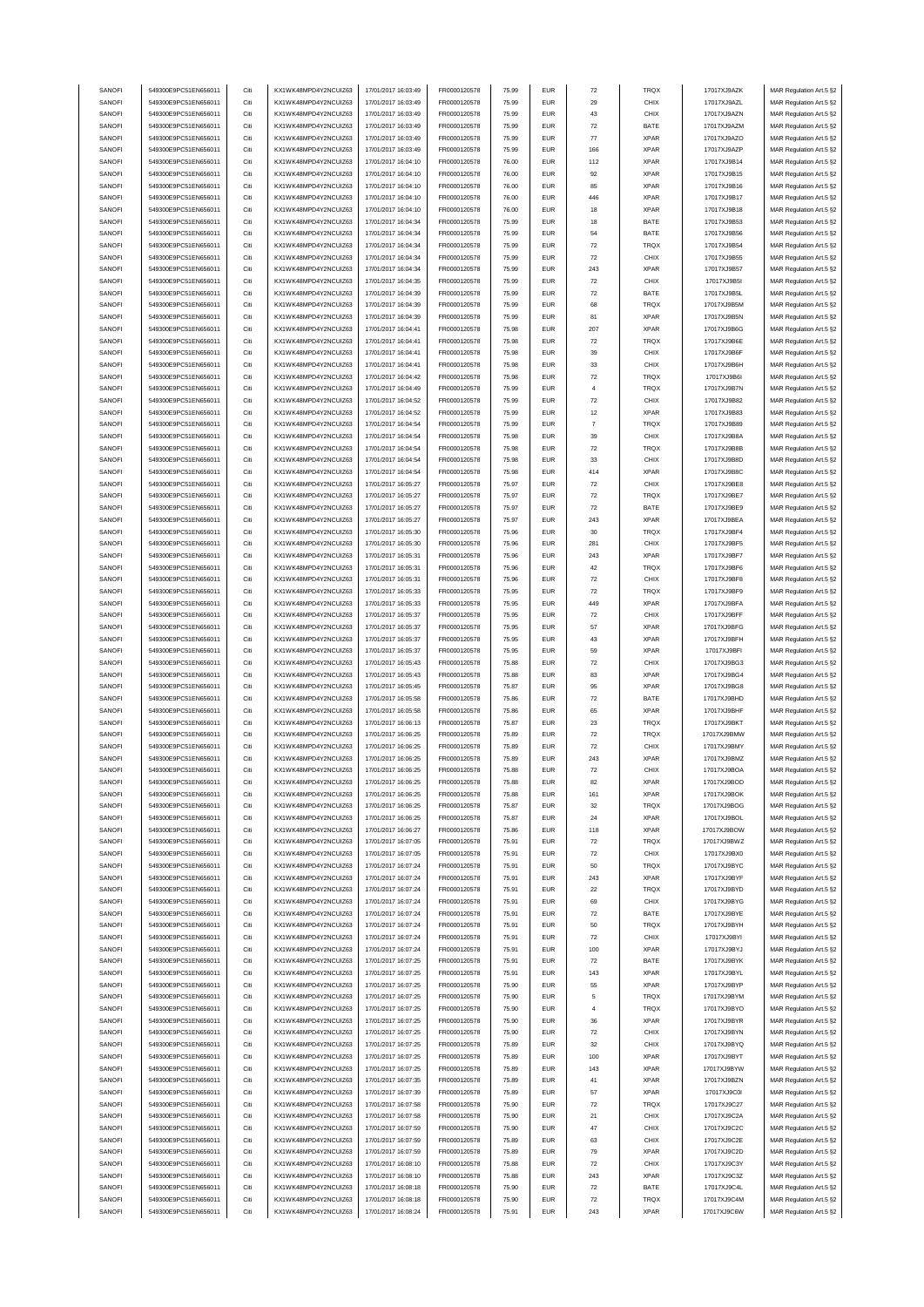| SANOFI | 549300E9PC51EN656011 | Citi | KX1WK48MPD4Y2NCUIZ63  | 17/01/2017 16:03:49 | FR0000120578 | 75.99 | <b>EUR</b> | $\scriptstyle{72}$ | <b>TRQX</b> | 17017XJ9AZK  | MAR Regulation Art.5 §2 |
|--------|----------------------|------|-----------------------|---------------------|--------------|-------|------------|--------------------|-------------|--------------|-------------------------|
| SANOFI | 549300E9PC51EN656011 | Citi | KX1WK48MPD4Y2NCUIZ63  | 17/01/2017 16:03:49 | FR0000120578 | 75.99 | <b>EUR</b> | 29                 | CHIX        | 17017XJ9AZL  | MAR Regulation Art.5 §2 |
|        |                      |      |                       |                     |              |       |            |                    |             |              |                         |
| SANOFI | 549300E9PC51EN656011 | Citi | KX1WK48MPD4Y2NCUIZ63  | 17/01/2017 16:03:49 | FR0000120578 | 75.99 | <b>EUR</b> | 43                 | CHIX        | 17017XJ9AZN  | MAR Regulation Art.5 §2 |
| SANOFI | 549300E9PC51EN656011 | Citi | KX1WK48MPD4Y2NCUIZ63  | 17/01/2017 16:03:49 | FR0000120578 | 75.99 | <b>EUR</b> | $\scriptstyle{72}$ | BATE        | 17017XJ9AZM  | MAR Regulation Art.5 §2 |
| SANOFI | 549300E9PC51EN656011 | Citi | KX1WK48MPD4Y2NCUIZ63  | 17/01/2017 16:03:49 | FR0000120578 | 75.99 | <b>EUR</b> | $77\,$             | <b>XPAR</b> | 17017XJ9AZO  | MAR Regulation Art.5 §2 |
| SANOFI | 549300E9PC51EN656011 | Citi | KX1WK48MPD4Y2NCUIZ63  | 17/01/2017 16:03:49 | FR0000120578 | 75.99 | <b>EUR</b> | 166                | <b>XPAR</b> | 17017XJ9AZP  | MAR Regulation Art.5 §2 |
| SANOFI | 549300E9PC51EN656011 | Citi | KX1WK48MPD4Y2NCUIZ63  | 17/01/2017 16:04:10 | FR0000120578 | 76.00 | <b>EUR</b> | 112                | <b>XPAR</b> | 17017XJ9B14  | MAR Regulation Art.5 §2 |
| SANOFI | 549300E9PC51EN656011 | Citi | KX1WK48MPD4Y2NCUIZ63  | 17/01/2017 16:04:10 | FR0000120578 | 76.00 | <b>EUR</b> | 92                 | <b>XPAR</b> | 17017XJ9B15  | MAR Regulation Art.5 §2 |
|        |                      |      |                       |                     |              |       |            |                    |             |              |                         |
| SANOFI | 549300E9PC51EN656011 | Citi | KX1WK48MPD4Y2NCUIZ63  | 17/01/2017 16:04:10 | FR0000120578 | 76.00 | <b>EUR</b> | 85                 | <b>XPAR</b> | 17017XJ9B16  | MAR Regulation Art.5 §2 |
| SANOFI | 549300E9PC51EN656011 | Citi | KX1WK48MPD4Y2NCUIZ63  | 17/01/2017 16:04:10 | FR0000120578 | 76.00 | <b>EUR</b> | 446                | <b>XPAR</b> | 17017XJ9B17  | MAR Regulation Art.5 §2 |
| SANOFI | 549300E9PC51EN656011 | Citi | KX1WK48MPD4Y2NCUIZ63  | 17/01/2017 16:04:10 | FR0000120578 | 76.00 | <b>EUR</b> | 18                 | <b>XPAR</b> | 17017XJ9B18  | MAR Regulation Art.5 §2 |
| SANOFI | 549300E9PC51EN656011 | Citi | KX1WK48MPD4Y2NCUIZ63  | 17/01/2017 16:04:34 | FR0000120578 | 75.99 | <b>EUR</b> | 18                 | BATE        | 17017XJ9B53  | MAR Regulation Art.5 §2 |
| SANOFI | 549300E9PC51EN656011 | Citi | KX1WK48MPD4Y2NCUIZ63  | 17/01/2017 16:04:34 | FR0000120578 | 75.99 | <b>EUR</b> | 54                 | BATE        | 17017XJ9B56  | MAR Regulation Art.5 §2 |
|        |                      |      |                       |                     |              |       |            |                    |             |              |                         |
| SANOFI | 549300E9PC51EN656011 | Citi | KX1WK48MPD4Y2NCUIZ63  | 17/01/2017 16:04:34 | FR0000120578 | 75.99 | <b>EUR</b> | $\scriptstyle{72}$ | TRQX        | 17017XJ9B54  | MAR Regulation Art.5 §2 |
| SANOFI | 549300E9PC51EN656011 | Citi | KX1WK48MPD4Y2NCUIZ63  | 17/01/2017 16:04:34 | FR0000120578 | 75.99 | <b>EUR</b> | $\bf 72$           | CHIX        | 17017XJ9B55  | MAR Regulation Art.5 §2 |
| SANOFI | 549300E9PC51EN656011 | Citi | KX1WK48MPD4Y2NCUIZ63  | 17/01/2017 16:04:34 | FR0000120578 | 75.99 | <b>EUR</b> | 243                | <b>XPAR</b> | 17017XJ9B57  | MAR Regulation Art.5 §2 |
| SANOFI | 549300E9PC51EN656011 | Citi | KX1WK48MPD4Y2NCUIZ63  | 17/01/2017 16:04:35 | FR0000120578 | 75.99 | <b>EUR</b> | ${\bf 72}$         | CHIX        | 17017XJ9B5I  | MAR Regulation Art.5 §2 |
| SANOFI | 549300E9PC51EN656011 | Citi | KX1WK48MPD4Y2NCUIZ63  | 17/01/2017 16:04:39 | FR0000120578 | 75.99 | <b>EUR</b> | $\scriptstyle{72}$ | BATE        | 17017XJ9B5L  | MAR Regulation Art.5 §2 |
| SANOFI | 549300E9PC51EN656011 | Citi | KX1WK48MPD4Y2NCUIZ63  | 17/01/2017 16:04:39 | FR0000120578 | 75.99 | <b>EUR</b> | 68                 | TRQX        | 17017XJ9B5M  |                         |
|        |                      |      |                       |                     |              |       |            |                    |             |              | MAR Regulation Art.5 §2 |
| SANOFI | 549300E9PC51EN656011 | Citi | KX1WK48MPD4Y2NCUIZ63  | 17/01/2017 16:04:39 | FR0000120578 | 75.99 | <b>EUR</b> | 81                 | <b>XPAR</b> | 17017XJ9B5N  | MAR Regulation Art.5 §2 |
| SANOFI | 549300E9PC51EN656011 | Citi | KX1WK48MPD4Y2NCUIZ63  | 17/01/2017 16:04:41 | FR0000120578 | 75.98 | <b>EUR</b> | 207                | <b>XPAR</b> | 17017XJ9B6G  | MAR Regulation Art.5 §2 |
| SANOFI | 549300E9PC51EN656011 | Citi | KX1WK48MPD4Y2NCUIZ63  | 17/01/2017 16:04:41 | FR0000120578 | 75.98 | <b>EUR</b> | $\scriptstyle{72}$ | TRQX        | 17017XJ9B6E  | MAR Regulation Art.5 §2 |
| SANOFI | 549300E9PC51EN656011 | Citi | KX1WK48MPD4Y2NCUIZ63  | 17/01/2017 16:04:41 | FR0000120578 | 75.98 | <b>EUR</b> | 39                 | CHIX        | 17017XJ9B6F  | MAR Regulation Art.5 §2 |
| SANOFI | 549300E9PC51EN656011 | Citi | KX1WK48MPD4Y2NCUIZ63  | 17/01/2017 16:04:41 | FR0000120578 | 75.98 | <b>EUR</b> | 33                 | CHIX        | 17017XJ9B6H  | MAR Regulation Art.5 §2 |
| SANOFI | 549300E9PC51EN656011 | Citi | KX1WK48MPD4Y2NCLIIZ63 | 17/01/2017 16:04:42 | FR0000120578 | 75.98 | <b>EUR</b> | 72                 | <b>TRQX</b> | 17017XJ9B6I  | MAR Regulation Art.5 §2 |
|        |                      |      |                       |                     |              |       |            |                    |             |              |                         |
| SANOFI | 549300E9PC51EN656011 | Citi | KX1WK48MPD4Y2NCUIZ63  | 17/01/2017 16:04:49 | FR0000120578 | 75.99 | <b>EUR</b> | $\overline{4}$     | TRQX        | 17017XJ9B7N  | MAR Regulation Art.5 §2 |
| SANOFI | 549300E9PC51EN656011 | Citi | KX1WK48MPD4Y2NCUIZ63  | 17/01/2017 16:04:52 | FR0000120578 | 75.99 | <b>EUR</b> | $\scriptstyle{72}$ | CHIX        | 17017XJ9B82  | MAR Regulation Art.5 §2 |
| SANOFI | 549300E9PC51EN656011 | Citi | KX1WK48MPD4Y2NCUIZ63  | 17/01/2017 16:04:52 | FR0000120578 | 75.99 | <b>EUR</b> | 12                 | <b>XPAR</b> | 17017XJ9B83  | MAR Regulation Art.5 §2 |
| SANOFI | 549300E9PC51EN656011 | Citi | KX1WK48MPD4Y2NCUIZ63  | 17/01/2017 16:04:54 | FR0000120578 | 75.99 | <b>EUR</b> | $\scriptstyle{7}$  | TRQX        | 17017XJ9B89  | MAR Regulation Art.5 §2 |
| SANOFI | 549300E9PC51EN656011 | Citi | KX1WK48MPD4Y2NCUIZ63  | 17/01/2017 16:04:54 | FR0000120578 | 75.98 | <b>EUR</b> | 39                 | CHIX        | 17017XJ9B8A  | MAR Regulation Art.5 §2 |
|        |                      |      |                       |                     |              |       |            |                    |             |              |                         |
| SANOFI | 549300E9PC51EN656011 | Citi | KX1WK48MPD4Y2NCUIZ63  | 17/01/2017 16:04:54 | FR0000120578 | 75.98 | <b>EUR</b> | $\scriptstyle{72}$ | TRQX        | 17017XJ9B8B  | MAR Regulation Art.5 §2 |
| SANOFI | 549300E9PC51EN656011 | Citi | KX1WK48MPD4Y2NCUIZ63  | 17/01/2017 16:04:54 | FR0000120578 | 75.98 | <b>EUR</b> | 33                 | CHIX        | 17017XJ9B8D  | MAR Regulation Art.5 §2 |
| SANOFI | 549300E9PC51EN656011 | Citi | KX1WK48MPD4Y2NCUIZ63  | 17/01/2017 16:04:54 | FR0000120578 | 75.98 | <b>EUR</b> | 414                | <b>XPAR</b> | 17017XJ9B8C  | MAR Regulation Art.5 §2 |
| SANOFI | 549300E9PC51EN656011 | Citi | KX1WK48MPD4Y2NCLIIZ63 | 17/01/2017 16:05:27 | FR0000120578 | 75.97 | <b>EUR</b> | $\bf 72$           | CHIX        | 17017XJ9BE8  | MAR Regulation Art.5 §2 |
| SANOFI | 549300E9PC51EN656011 | Citi | KX1WK48MPD4Y2NCUIZ63  | 17/01/2017 16:05:27 | FR0000120578 | 75.97 | <b>EUR</b> | $\scriptstyle{72}$ | TRQX        | 17017XJ9BE7  | MAR Regulation Art.5 §2 |
| SANOFI | 549300E9PC51EN656011 | Citi | KX1WK48MPD4Y2NCUIZ63  | 17/01/2017 16:05:27 | FR0000120578 | 75.97 | <b>EUR</b> | $\scriptstyle{72}$ | BATE        | 17017XJ9BE9  | MAR Regulation Art.5 §2 |
|        |                      |      |                       |                     |              |       |            |                    |             |              |                         |
| SANOFI | 549300E9PC51EN656011 | Citi | KX1WK48MPD4Y2NCUIZ63  | 17/01/2017 16:05:27 | FR0000120578 | 75.97 | <b>EUR</b> | 243                | <b>XPAR</b> | 17017XJ9BEA  | MAR Regulation Art.5 §2 |
| SANOFI | 549300E9PC51EN656011 | Citi | KX1WK48MPD4Y2NCUIZ63  | 17/01/2017 16:05:30 | FR0000120578 | 75.96 | <b>EUR</b> | $30\,$             | TRQX        | 17017XJ9BF4  | MAR Regulation Art.5 §2 |
| SANOFI | 549300E9PC51EN656011 | Citi | KX1WK48MPD4Y2NCUIZ63  | 17/01/2017 16:05:30 | FR0000120578 | 75.96 | <b>EUR</b> | 281                | CHIX        | 17017XJ9BF5  | MAR Regulation Art.5 §2 |
| SANOFI | 549300E9PC51EN656011 | Citi | KX1WK48MPD4Y2NCUIZ63  | 17/01/2017 16:05:31 | FR0000120578 | 75.96 | <b>EUR</b> | 243                | <b>XPAR</b> | 17017XJ9BF7  | MAR Regulation Art.5 §2 |
| SANOFI | 549300E9PC51EN656011 | Citi | KX1WK48MPD4Y2NCUIZ63  | 17/01/2017 16:05:31 | FR0000120578 | 75.96 | <b>EUR</b> | 42                 | <b>TRQX</b> | 17017XJ9BF6  | MAR Regulation Art.5 §2 |
|        | 549300E9PC51EN656011 | Citi | KX1WK48MPD4Y2NCUIZ63  | 17/01/2017 16:05:31 | FR0000120578 | 75.96 | <b>EUR</b> | 72                 | CHIX        |              |                         |
| SANOFI |                      |      |                       |                     |              |       |            |                    |             | 17017XJ9BF8  | MAR Regulation Art.5 §2 |
| SANOFI | 549300E9PC51EN656011 | Citi | KX1WK48MPD4Y2NCUIZ63  | 17/01/2017 16:05:33 | FR0000120578 | 75.95 | <b>EUR</b> | $\scriptstyle{72}$ | TRQX        | 17017XJ9BF9  | MAR Regulation Art.5 §2 |
| SANOFI | 549300E9PC51EN656011 | Citi | KX1WK48MPD4Y2NCUIZ63  | 17/01/2017 16:05:33 | FR0000120578 | 75.95 | <b>EUR</b> | 449                | <b>XPAR</b> | 17017XJ9BFA  | MAR Regulation Art.5 §2 |
| SANOFI | 549300E9PC51EN656011 | Citi | KX1WK48MPD4Y2NCUIZ63  | 17/01/2017 16:05:37 | FR0000120578 | 75.95 | <b>EUR</b> | $\bf 72$           | CHIX        | 17017XJ9BFF  | MAR Regulation Art.5 §2 |
| SANOFI | 549300E9PC51EN656011 | Citi | KX1WK48MPD4Y2NCUIZ63  | 17/01/2017 16:05:37 | FR0000120578 | 75.95 | <b>EUR</b> | 57                 | <b>XPAR</b> | 17017XJ9BFG  | MAR Regulation Art.5 §2 |
| SANOFI | 549300E9PC51EN656011 | Citi | KX1WK48MPD4Y2NCUIZ63  | 17/01/2017 16:05:37 | FR0000120578 | 75.95 | <b>EUR</b> | 43                 | <b>XPAR</b> | 17017XJ9BFH  | MAR Regulation Art.5 §2 |
|        |                      |      |                       |                     |              |       |            |                    |             |              |                         |
| SANOFI | 549300E9PC51EN656011 | Citi | KX1WK48MPD4Y2NCUIZ63  | 17/01/2017 16:05:37 | FR0000120578 | 75.95 | <b>EUR</b> | 59                 | <b>XPAR</b> | 17017XJ9BFI  | MAR Regulation Art.5 §2 |
| SANOFI | 549300E9PC51EN656011 | Citi | KX1WK48MPD4Y2NCUIZ63  | 17/01/2017 16:05:43 | FR0000120578 | 75.88 | <b>EUR</b> | 72                 | CHIX        | 17017XJ9BG3  | MAR Regulation Art.5 §2 |
| SANOFI | 549300E9PC51EN656011 | Citi | KX1WK48MPD4Y2NCUIZ63  | 17/01/2017 16:05:43 | FR0000120578 | 75.88 | <b>EUR</b> | 83                 | <b>XPAR</b> | 17017XJ9BG4  | MAR Regulation Art.5 §2 |
| SANOFI | 549300E9PC51EN656011 | Citi | KX1WK48MPD4Y2NCUIZ63  | 17/01/2017 16:05:45 | FR0000120578 | 75.87 | <b>EUR</b> | 95                 | <b>XPAR</b> | 17017XJ9BG8  | MAR Regulation Art.5 §2 |
| SANOFI | 549300E9PC51EN656011 | Citi | KX1WK48MPD4Y2NCUIZ63  | 17/01/2017 16:05:58 | FR0000120578 | 75.86 | <b>EUR</b> | $\scriptstyle{72}$ | BATE        | 17017XJ9BHD  | MAR Regulation Art.5 §2 |
|        |                      |      |                       |                     |              |       |            |                    |             |              | MAR Regulation Art.5 §2 |
| SANOFI | 549300E9PC51EN656011 | Citi | KX1WK48MPD4Y2NCUIZ63  | 17/01/2017 16:05:58 | FR0000120578 | 75.86 | <b>EUR</b> | 65                 | <b>XPAR</b> | 17017XJ9BHF  |                         |
| SANOFI | 549300E9PC51EN656011 | Citi | KX1WK48MPD4Y2NCUIZ63  | 17/01/2017 16:06:13 | FR0000120578 | 75.87 | <b>EUR</b> | 23                 | TRQX        | 17017XJ9BKT  | MAR Regulation Art.5 §2 |
| SANOFI | 549300E9PC51EN656011 | Citi | KX1WK48MPD4Y2NCUIZ63  | 17/01/2017 16:06:25 | FR0000120578 | 75.89 | <b>EUR</b> | $\scriptstyle{72}$ | TRQX        | 17017XJ9BMW  | MAR Regulation Art.5 §2 |
| SANOFI | 549300E9PC51EN656011 | Citi | KX1WK48MPD4Y2NCUIZ63  | 17/01/2017 16:06:25 | FR0000120578 | 75.89 | <b>EUR</b> | $\scriptstyle{72}$ | CHIX        | 17017XJ9BMY  | MAR Regulation Art.5 §2 |
| SANOFI | 549300E9PC51EN656011 | Citi | KX1WK48MPD4Y2NCUIZ63  | 17/01/2017 16:06:25 | FR0000120578 | 75.89 | <b>EUR</b> | 243                | <b>XPAR</b> | 17017XJ9BMZ  | MAR Regulation Art.5 §2 |
| SANOFI | 549300E9PC51EN656011 |      | KX1WK48MPD4Y2NCLIIZ63 | 17/01/2017 16:06:25 | FR0000120578 | 75.88 |            |                    | CHIX        | 17017X.I9BOA | MAR Regulation Art 5 82 |
|        |                      |      |                       |                     |              |       |            |                    |             |              |                         |
| SANOFI | 549300E9PC51EN656011 | Citi | KX1WK48MPD4Y2NCUIZ63  | 17/01/2017 16:06:25 | FR0000120578 | 75.88 | <b>EUR</b> | 82                 | <b>XPAR</b> | 17017XJ9BOD  | MAR Regulation Art.5 §2 |
| SANOFI | 549300E9PC51EN656011 | Citi | KX1WK48MPD4Y2NCUIZ63  | 17/01/2017 16:06:25 | FR0000120578 | 75.88 | <b>EUR</b> | 161                | <b>XPAR</b> | 17017XJ9BOK  | MAR Regulation Art.5 §2 |
| SANOFI | 549300E9PC51EN656011 | Citi | KX1WK48MPD4Y2NCUIZ63  | 17/01/2017 16:06:25 | FR0000120578 | 75.87 | <b>EUR</b> | 32                 | TRQX        | 17017XJ9BOG  | MAR Regulation Art.5 §2 |
| SANOFI | 549300E9PC51EN656011 | Citi | KX1WK48MPD4Y2NCUIZ63  | 17/01/2017 16:06:25 | FR0000120578 | 75.87 | <b>EUR</b> | 24                 | <b>XPAR</b> | 17017XJ9BOL  | MAR Regulation Art.5 §2 |
| SANOFI | 549300E9PC51EN656011 | Citi | KX1WK48MPD4Y2NCUIZ63  | 17/01/2017 16:06:27 | FR0000120578 | 75.86 | <b>EUR</b> | 118                | <b>XPAR</b> | 17017XJ9BOW  | MAR Regulation Art.5 §2 |
| SANOFI | 549300E9PC51EN656011 | Citi | KX1WK48MPD4Y2NCUIZ63  | 17/01/2017 16:07:05 | FR0000120578 | 75.91 | <b>EUR</b> | $\bf 72$           | TRQX        | 17017XJ9BWZ  | MAR Regulation Art.5 §2 |
|        |                      |      |                       |                     |              |       |            |                    |             |              |                         |
| SANOFI | 549300E9PC51EN656011 | Citi | KX1WK48MPD4Y2NCUIZ63  | 17/01/2017 16:07:05 | FR0000120578 | 75.91 | <b>EUR</b> | $\scriptstyle{72}$ | CHIX        | 17017XJ9BX0  | MAR Regulation Art.5 §2 |
| SANOFI | 549300E9PC51EN656011 | Citi | KX1WK48MPD4Y2NCUIZ63  | 17/01/2017 16:07:24 | FR0000120578 | 75.91 | <b>EUR</b> | 50                 | <b>TRQX</b> | 17017XJ9BYC  | MAR Regulation Art.5 §2 |
| SANOFI | 549300E9PC51EN656011 | Citi | KX1WK48MPD4Y2NCUIZ63  | 17/01/2017 16:07:24 | FR0000120578 | 75.91 | <b>EUR</b> | 243                | <b>XPAR</b> | 17017XJ9BYF  | MAR Regulation Art.5 §2 |
| SANOFI | 549300E9PC51EN656011 | Citi | KX1WK48MPD4Y2NCLIIZ63 | 17/01/2017 16:07:24 | FR0000120578 | 75.91 | <b>EUR</b> | $22\,$             | TRQX        | 17017XJ9BYD  | MAR Regulation Art.5 §2 |
| SANOFI | 549300E9PC51EN656011 | Citi | KX1WK48MPD4Y2NCUIZ63  | 17/01/2017 16:07:24 | FR0000120578 | 75.91 | <b>EUR</b> | 69                 | CHIX        | 17017XJ9BYG  | MAR Regulation Art.5 §2 |
| SANOFI | 549300E9PC51EN656011 | Citi | KX1WK48MPD4Y2NCUIZ63  | 17/01/2017 16:07:24 | FR0000120578 | 75.91 | <b>EUR</b> | $\scriptstyle{72}$ | BATE        | 17017XJ9BYE  | MAR Regulation Art.5 §2 |
|        | 549300E9PC51EN656011 | Citi |                       |                     |              |       |            |                    |             |              |                         |
| SANOFI |                      |      | KX1WK48MPD4Y2NCUIZ63  | 17/01/2017 16:07:24 | FR0000120578 | 75.91 | <b>EUR</b> | 50                 | TRQX        | 17017XJ9BYH  | MAR Regulation Art.5 §2 |
| SANOFI | 549300E9PC51EN656011 | Citi | KX1WK48MPD4Y2NCUIZ63  | 17/01/2017 16:07:24 | FR0000120578 | 75.91 | <b>EUR</b> | $\bf 72$           | CHIX        | 17017XJ9BYI  | MAR Regulation Art.5 §2 |
| SANOFI | 549300E9PC51EN656011 | Citi | KX1WK48MPD4Y2NCUIZ63  | 17/01/2017 16:07:24 | FR0000120578 | 75.91 | <b>EUR</b> | 100                | <b>XPAR</b> | 17017XJ9BYJ  | MAR Regulation Art.5 §2 |
| SANOFI | 549300E9PC51EN656011 | Citi | KX1WK48MPD4Y2NCUIZ63  | 17/01/2017 16:07:25 | FR0000120578 | 75.91 | <b>EUR</b> | ${\bf 72}$         | BATE        | 17017XJ9BYK  | MAR Regulation Art.5 §2 |
| SANOFI | 549300E9PC51EN656011 | Citi | KX1WK48MPD4Y2NCUIZ63  | 17/01/2017 16:07:25 | FR0000120578 | 75.91 | <b>EUR</b> | 143                | <b>XPAR</b> | 17017XJ9BYL  | MAR Regulation Art.5 §2 |
| SANOFI | 549300E9PC51EN656011 | Citi | KX1WK48MPD4Y2NCUIZ63  | 17/01/2017 16:07:25 | FR0000120578 | 75.90 | <b>EUR</b> |                    | <b>XPAR</b> | 17017XJ9BYP  |                         |
|        |                      |      |                       |                     |              |       |            | 55                 |             |              | MAR Regulation Art.5 §2 |
| SANOFI | 549300E9PC51EN656011 | Citi | KX1WK48MPD4Y2NCUIZ63  | 17/01/2017 16:07:25 | FR0000120578 | 75.90 | <b>EUR</b> | $\,$ 5 $\,$        | TRQX        | 17017XJ9BYM  | MAR Regulation Art.5 §2 |
| SANOFI | 549300E9PC51EN656011 | Citi | KX1WK48MPD4Y2NCUIZ63  | 17/01/2017 16:07:25 | FR0000120578 | 75.90 | <b>EUR</b> | $\sqrt{4}$         | TRQX        | 17017XJ9BYO  | MAR Regulation Art.5 §2 |
| SANOFI | 549300E9PC51EN656011 | Citi | KX1WK48MPD4Y2NCUIZ63  | 17/01/2017 16:07:25 | FR0000120578 | 75.90 | <b>EUR</b> | 36                 | <b>XPAR</b> | 17017XJ9BYR  | MAR Regulation Art.5 §2 |
| SANOFI | 549300E9PC51EN656011 | Citi | KX1WK48MPD4Y2NCUIZ63  | 17/01/2017 16:07:25 | FR0000120578 | 75.90 | <b>EUR</b> | $\scriptstyle{72}$ | CHIX        | 17017XJ9BYN  | MAR Regulation Art.5 §2 |
| SANOFI | 549300E9PC51EN656011 | Citi | KX1WK48MPD4Y2NCUIZ63  | 17/01/2017 16:07:25 | FR0000120578 | 75.89 | <b>EUR</b> | 32                 | CHIX        | 17017XJ9BYQ  | MAR Regulation Art.5 §2 |
|        |                      |      |                       |                     |              |       |            |                    |             |              |                         |
| SANOFI | 549300E9PC51EN656011 | Citi | KX1WK48MPD4Y2NCUIZ63  | 17/01/2017 16:07:25 | FR0000120578 | 75.89 | <b>EUR</b> | 100                | <b>XPAR</b> | 17017XJ9BYT  | MAR Regulation Art.5 §2 |
| SANOFI | 549300E9PC51EN656011 | Citi | KX1WK48MPD4Y2NCUIZ63  | 17/01/2017 16:07:25 | FR0000120578 | 75.89 | <b>EUR</b> | 143                | XPAR        | 17017XJ9BYW  | MAR Regulation Art.5 §2 |
| SANOFI | 549300E9PC51EN656011 | Citi | KX1WK48MPD4Y2NCUIZ63  | 17/01/2017 16:07:35 | FR0000120578 | 75.89 | <b>EUR</b> | 41                 | <b>XPAR</b> | 17017XJ9BZN  | MAR Regulation Art.5 §2 |
| SANOFI | 549300E9PC51EN656011 | Citi | KX1WK48MPD4Y2NCUIZ63  | 17/01/2017 16:07:39 | FR0000120578 | 75.89 | <b>EUR</b> | 57                 | <b>XPAR</b> | 17017XJ9C0I  | MAR Regulation Art.5 §2 |
| SANOFI | 549300E9PC51EN656011 | Citi | KX1WK48MPD4Y2NCUIZ63  | 17/01/2017 16:07:58 | FR0000120578 | 75.90 | <b>EUR</b> | $\scriptstyle{72}$ | TRQX        | 17017XJ9C27  | MAR Regulation Art.5 §2 |
| SANOFI | 549300E9PC51EN656011 | Citi | KX1WK48MPD4Y2NCUIZ63  | 17/01/2017 16:07:58 | FR0000120578 | 75.90 | <b>EUR</b> | 21                 | CHIX        | 17017XJ9C2A  |                         |
|        |                      |      |                       |                     |              |       |            |                    |             |              | MAR Regulation Art.5 §2 |
| SANOFI | 549300E9PC51EN656011 | Citi | KX1WK48MPD4Y2NCUIZ63  | 17/01/2017 16:07:59 | FR0000120578 | 75.90 | <b>EUR</b> | 47                 | CHIX        | 17017XJ9C2C  | MAR Regulation Art.5 §2 |
| SANOFI | 549300E9PC51EN656011 | Citi | KX1WK48MPD4Y2NCUIZ63  | 17/01/2017 16:07:59 | FR0000120578 | 75.89 | <b>EUR</b> | 63                 | CHIX        | 17017XJ9C2E  | MAR Regulation Art.5 §2 |
| SANOFI | 549300E9PC51EN656011 | Citi | KX1WK48MPD4Y2NCUIZ63  | 17/01/2017 16:07:59 | FR0000120578 | 75.89 | <b>EUR</b> | 79                 | <b>XPAR</b> | 17017XJ9C2D  | MAR Regulation Art.5 §2 |
| SANOFI | 549300E9PC51EN656011 | Citi | KX1WK48MPD4Y2NCUIZ63  | 17/01/2017 16:08:10 | FR0000120578 | 75.88 | <b>EUR</b> | 72                 | CHIX        | 17017XJ9C3Y  | MAR Regulation Art.5 §2 |
| SANOFI | 549300E9PC51EN656011 | Citi | KX1WK48MPD4Y2NCUIZ63  | 17/01/2017 16:08:10 | FR0000120578 | 75.88 | <b>EUR</b> | 243                | <b>XPAR</b> | 17017XJ9C3Z  | MAR Regulation Art.5 §2 |
| SANOFI | 549300E9PC51EN656011 | Citi | KX1WK48MPD4Y2NCUIZ63  | 17/01/2017 16:08:18 | FR0000120578 | 75.90 | <b>EUR</b> | $\bf 72$           | BATE        | 17017XJ9C4L  | MAR Regulation Art.5 §2 |
|        |                      |      |                       |                     |              |       |            |                    |             |              |                         |
| SANOFI | 549300E9PC51EN656011 | Citi | KX1WK48MPD4Y2NCUIZ63  | 17/01/2017 16:08:18 | FR0000120578 | 75.90 | <b>EUR</b> | $\scriptstyle{72}$ | TRQX        | 17017XJ9C4M  | MAR Regulation Art.5 §2 |
| SANOFI | 549300E9PC51EN656011 | Citi | KX1WK48MPD4Y2NCUIZ63  | 17/01/2017 16:08:24 | FR0000120578 | 75.91 | <b>EUR</b> | 243                | <b>XPAR</b> | 17017XJ9C6W  | MAR Regulation Art.5 §2 |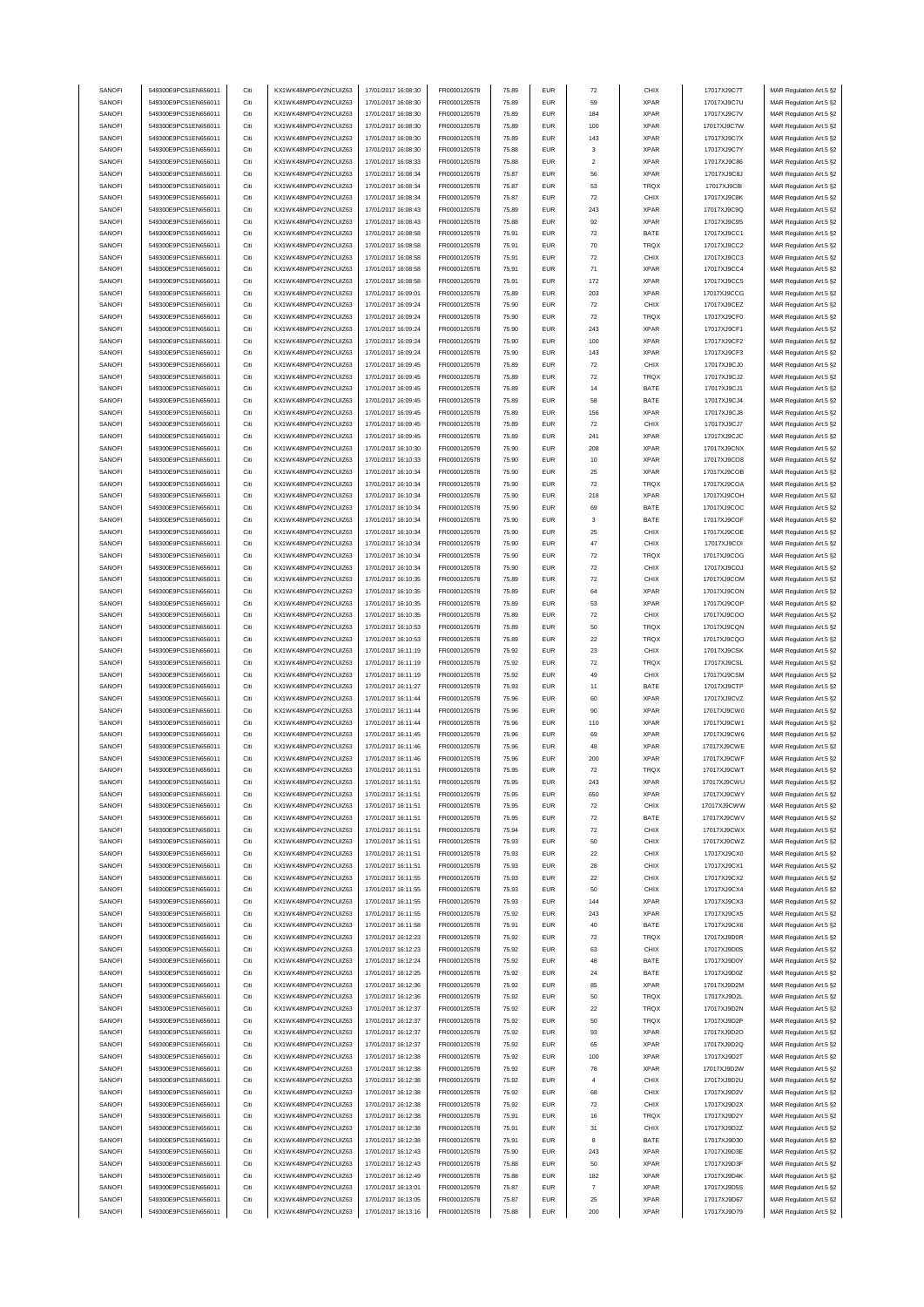| SANOFI<br>549300E9PC51EN656011<br>Citi<br>KX1WK48MPD4Y2NCUIZ63<br>17/01/2017 16:08:30<br>FR0000120578<br>75.89<br><b>EUR</b><br>$\scriptstyle{72}$<br>CHIX<br>SANOFI<br>549300E9PC51EN656011<br>Citi<br>KX1WK48MPD4Y2NCUIZ63<br><b>EUR</b><br>59<br><b>XPAR</b><br>17/01/2017 16:08:30<br>FR0000120578<br>75.89<br>SANOFI<br>549300E9PC51EN656011<br>Citi<br>KX1WK48MPD4Y2NCUIZ63<br>17/01/2017 16:08:30<br><b>EUR</b><br>184<br><b>XPAR</b><br>FR0000120578<br>75.89<br><b>EUR</b><br>XPAR<br>SANOFI<br>549300E9PC51EN656011<br>Citi<br>KX1WK48MPD4Y2NCUIZ63<br>17/01/2017 16:08:30<br>FR0000120578<br>75.89<br>100<br><b>EUR</b><br>XPAR<br>SANOFI<br>549300E9PC51EN656011<br>Citi<br>KX1WK48MPD4Y2NCUIZ63<br>17/01/2017 16:08:30<br>FR0000120578<br>75.89<br>143<br>SANOFI<br>549300E9PC51EN656011<br>Citi<br>KX1WK48MPD4Y2NCUIZ63<br>17/01/2017 16:08:30<br>FR0000120578<br>75.88<br><b>EUR</b><br>3<br><b>XPAR</b><br>SANOFI<br>549300E9PC51EN656011<br>Citi<br>KX1WK48MPD4Y2NCUIZ63<br>17/01/2017 16:08:33<br>FR0000120578<br>75.88<br><b>EUR</b><br>$\sqrt{2}$<br><b>XPAR</b><br>SANOFI<br>Citi<br>FR0000120578<br><b>EUR</b><br>56<br>XPAR<br>549300E9PC51EN656011<br>KX1WK48MPD4Y2NCUIZ63<br>17/01/2017 16:08:34<br>75.87<br>SANOFI<br>Citi<br>KX1WK48MPD4Y2NCUIZ63<br>FR0000120578<br>TRQX<br>549300E9PC51EN656011<br>17/01/2017 16:08:34<br>75.87<br><b>EUR</b><br>53<br>SANOFI<br>549300E9PC51EN656011<br>Citi<br>KX1WK48MPD4Y2NCUIZ63<br>17/01/2017 16:08:34<br>FR0000120578<br><b>EUR</b><br>72<br>CHIX<br>75.87<br>SANOFI<br>549300E9PC51EN656011<br>Citi<br>KX1WK48MPD4Y2NCUIZ63<br><b>EUR</b><br>243<br><b>XPAR</b><br>17/01/2017 16:08:43<br>FR0000120578<br>75.89<br>Citi<br><b>EUR</b><br>92<br>XPAR<br>SANOFI<br>549300E9PC51EN656011<br>KX1WK48MPD4Y2NCUIZ63<br>17/01/2017 16:08:43<br>FR0000120578<br>75.88<br>$\ensuremath{\mathsf{EUR}}$<br>$\scriptstyle{72}$<br>BATE<br>SANOFI<br>549300E9PC51EN656011<br>Citi<br>KX1WK48MPD4Y2NCUIZ63<br>17/01/2017 16:08:58<br>FR0000120578<br>75.91<br>SANOFI<br>549300E9PC51EN656011<br>Citi<br>KX1WK48MPD4Y2NCUIZ63<br>17/01/2017 16:08:58<br>FR0000120578<br>75.91<br><b>EUR</b><br>70<br>TRQX<br>SANOFI<br>549300E9PC51EN656011<br>Citi<br>KX1WK48MPD4Y2NCUIZ63<br>17/01/2017 16:08:58<br>FR0000120578<br>75.91<br><b>EUR</b><br>$\scriptstyle{72}$<br>CHIX<br>SANOFI<br>549300E9PC51EN656011<br>Citi<br>KX1WK48MPD4Y2NCUIZ63<br>17/01/2017 16:08:58<br>FR0000120578<br>${\bf 71}$<br><b>XPAR</b><br>75.91<br><b>EUR</b><br>SANOFI<br>549300E9PC51EN656011<br>Citi<br>KX1WK48MPD4Y2NCUIZ63<br>FR0000120578<br>172<br>XPAR<br>17/01/2017 16:08:58<br>75.91<br><b>EUR</b><br>SANOFI<br>549300E9PC51EN656011<br>Citi<br>KX1WK48MPD4Y2NCUIZ63<br><b>EUR</b><br>203<br><b>XPAR</b><br>17/01/2017 16:09:01<br>FR0000120578<br>75.89<br>SANOFI<br>549300E9PC51EN656011<br>Citi<br>KX1WK48MPD4Y2NCUIZ63<br>17/01/2017 16:09:24<br>FR0000120578<br>75.90<br><b>EUR</b><br>72<br>CHIX<br>$\scriptstyle{72}$<br>TRQX<br>SANOFI<br>549300E9PC51EN656011<br>Citi<br>KX1WK48MPD4Y2NCUIZ63<br>17/01/2017 16:09:24<br>75.90<br><b>EUR</b><br>FR0000120578<br>SANOFI<br>243<br>XPAR<br>549300E9PC51EN656011<br>Citi<br>KX1WK48MPD4Y2NCUIZ63<br>17/01/2017 16:09:24<br>FR0000120578<br>75.90<br><b>EUR</b><br>SANOFI<br>549300E9PC51EN656011<br>Citi<br>KX1WK48MPD4Y2NCUIZ63<br>17/01/2017 16:09:24<br>FR0000120578<br>75.90<br><b>EUR</b><br>100<br><b>XPAR</b><br>SANOFI<br>549300E9PC51EN656011<br>Citi<br>KX1WK48MPD4Y2NCUIZ63<br>17/01/2017 16:09:24<br>FR0000120578<br>75.90<br><b>EUR</b><br>143<br><b>XPAR</b><br>SANOFI<br>549300E9PC51EN656011<br>$\scriptstyle{72}$<br>CHIX<br>Citi<br>KX1WK48MPD4Y2NCUIZ63<br>17/01/2017 16:09:45<br>FR0000120578<br>75.89<br><b>EUR</b><br>SANOFI<br>KX1WK48MPD4Y2NCUIZ63<br>FR0000120578<br><b>EUR</b><br>TRQX<br>549300E9PC51EN656011<br>Citi<br>17/01/2017 16:09:45<br>75.89<br>$\scriptstyle{72}$<br>SANOFI<br>549300E9PC51EN656011<br>Citi<br>KX1WK48MPD4Y2NCUIZ63<br>17/01/2017 16:09:45<br>FR0000120578<br>75.89<br><b>EUR</b><br>BATE<br>14<br>SANOFI<br>549300E9PC51EN656011<br>Citi<br>KX1WK48MPD4Y2NCUIZ63<br>17/01/2017 16:09:45<br><b>EUR</b><br>BATE<br>FR0000120578<br>75.89<br>58<br><b>XPAR</b><br>SANOFI<br>549300E9PC51EN656011<br>Citi<br>KX1WK48MPD4Y2NCUIZ63<br>17/01/2017 16:09:45<br>FR0000120578<br>75.89<br><b>EUR</b><br>156<br>CHIX<br>SANOFI<br>549300E9PC51EN656011<br>Citi<br>KX1WK48MPD4Y2NCUIZ63<br>17/01/2017 16:09:45<br>FR0000120578<br><b>EUR</b><br>$\scriptstyle{72}$<br>75.89<br>SANOFI<br>549300E9PC51EN656011<br>Citi<br>KX1WK48MPD4Y2NCUIZ63<br>17/01/2017 16:09:45<br>FR0000120578<br>75.89<br><b>EUR</b><br>241<br><b>XPAR</b><br>SANOFI<br>549300E9PC51EN656011<br>Citi<br>KX1WK48MPD4Y2NCUIZ63<br>17/01/2017 16:10:30<br>FR0000120578<br>75.90<br><b>EUR</b><br>208<br><b>XPAR</b><br>SANOFI<br>Citi<br>KX1WK48MPD4Y2NCUIZ63<br>FR0000120578<br><b>EUR</b><br>$10$<br><b>XPAR</b><br>549300E9PC51EN656011<br>17/01/2017 16:10:33<br>75.90<br>SANOFI<br>Citi<br>25<br>XPAR<br>549300E9PC51EN656011<br>KX1WK48MPD4Y2NCUIZ63<br>17/01/2017 16:10:34<br>FR0000120578<br>75.90<br><b>EUR</b><br>SANOFI<br>549300E9PC51EN656011<br>Citi<br>KX1WK48MPD4Y2NCUIZ63<br>17/01/2017 16:10:34<br><b>EUR</b><br>72<br><b>TRQX</b><br>FR0000120578<br>75.90<br>SANOFI<br>549300E9PC51EN656011<br>Citi<br>KX1WK48MPD4Y2NCUIZ63<br>FR0000120578<br><b>EUR</b><br>218<br><b>XPAR</b><br>17/01/2017 16:10:34<br>75.90<br>SANOFI<br>Citi<br>KX1WK48MPD4Y2NCUIZ63<br><b>EUR</b><br>69<br>BATE<br>549300E9PC51EN656011<br>17/01/2017 16:10:34<br>FR0000120578<br>75.90<br>Citi<br><b>EUR</b><br>BATE<br>SANOFI<br>549300E9PC51EN656011<br>KX1WK48MPD4Y2NCUIZ63<br>17/01/2017 16:10:34<br>FR0000120578<br>75.90<br>3<br>SANOFI<br>549300E9PC51EN656011<br>Citi<br>KX1WK48MPD4Y2NCUIZ63<br>17/01/2017 16:10:34<br>FR0000120578<br>75.90<br><b>EUR</b><br>25<br>CHIX<br>SANOFI<br>549300E9PC51EN656011<br>Citi<br>KX1WK48MPD4Y2NCUIZ63<br>17/01/2017 16:10:34<br>FR0000120578<br>75.90<br><b>EUR</b><br>47<br>CHIX<br>SANOFI<br>549300E9PC51EN656011<br>Citi<br>KX1WK48MPD4Y2NCUIZ63<br>17/01/2017 16:10:34<br>FR0000120578<br>75.90<br><b>EUR</b><br>$\scriptstyle{72}$<br>TRQX<br>SANOFI<br>549300E9PC51EN656011<br>Citi<br>KX1WK48MPD4Y2NCUIZ63<br>17/01/2017 16:10:34<br>FR0000120578<br><b>EUR</b><br>$\scriptstyle{72}$<br>CHIX<br>75.90<br>SANOFI<br>FR0000120578<br>CHIX<br>549300E9PC51EN656011<br>Citi<br>KX1WK48MPD4Y2NCUIZ63<br>17/01/2017 16:10:35<br>75.89<br><b>EUR</b><br>$\scriptstyle{72}$<br>SANOFI<br>549300E9PC51EN656011<br>Citi<br>KX1WK48MPD4Y2NCUIZ63<br>17/01/2017 16:10:35<br><b>EUR</b><br><b>XPAR</b><br>FR0000120578<br>75.89<br>64<br>SANOFI<br>549300E9PC51EN656011<br>Citi<br>KX1WK48MPD4Y2NCUIZ63<br>17/01/2017 16:10:35<br>FR0000120578<br><b>EUR</b><br>53<br><b>XPAR</b><br>75.89<br>$\scriptstyle{72}$<br>CHIX<br>SANOFI<br>549300E9PC51EN656011<br>Citi<br>KX1WK48MPD4Y2NCUIZ63<br>17/01/2017 16:10:35<br>FR0000120578<br>75.89<br><b>EUR</b><br>SANOFI<br>TRQX<br>549300E9PC51EN656011<br>Citi<br>KX1WK48MPD4Y2NCUIZ63<br>17/01/2017 16:10:53<br>FR0000120578<br>75.89<br><b>EUR</b><br>50<br>SANOFI<br>549300E9PC51EN656011<br>Citi<br>KX1WK48MPD4Y2NCUIZ63<br>17/01/2017 16:10:53<br>FR0000120578<br>75.89<br><b>EUR</b><br>$22\,$<br>TRQX<br>23<br>SANOFI<br>549300E9PC51EN656011<br>Citi<br>KX1WK48MPD4Y2NCUIZ63<br>17/01/2017 16:11:19<br>FR0000120578<br>75.92<br><b>EUR</b><br>CHIX<br>SANOFI<br>549300E9PC51EN656011<br>KX1WK48MPD4Y2NCUIZ63<br>FR0000120578<br>TRQX<br>Citi<br>17/01/2017 16:11:19<br>75.92<br><b>EUR</b><br>$\scriptstyle{72}$<br>SANOFI<br>Citi<br>FR0000120578<br><b>EUR</b><br>49<br>CHIX<br>549300E9PC51EN656011<br>KX1WK48MPD4Y2NCUIZ63<br>17/01/2017 16:11:19<br>75.92<br>SANOFI<br>549300E9PC51EN656011<br>Citi<br>KX1WK48MPD4Y2NCUIZ63<br>17/01/2017 16:11:27<br>FR0000120578<br>75.93<br><b>EUR</b><br>BATE<br>11<br>SANOFI<br>549300E9PC51EN656011<br>Citi<br>KX1WK48MPD4Y2NCUIZ63<br>17/01/2017 16:11:44<br>FR0000120578<br><b>EUR</b><br>60<br><b>XPAR</b><br>75.96<br><b>XPAR</b><br>SANOFI<br>549300E9PC51EN656011<br>Citi<br>KX1WK48MPD4Y2NCUIZ63<br>17/01/2017 16:11:44<br>FR0000120578<br>75.96<br><b>EUR</b><br>90<br><b>EUR</b><br>SANOFI<br>549300E9PC51EN656011<br>Citi<br>KX1WK48MPD4Y2NCUIZ63<br>17/01/2017 16:11:44<br>FR0000120578<br>110<br><b>XPAR</b><br>75.96<br>SANOFI<br>549300E9PC51EN656011<br>Citi<br>KX1WK48MPD4Y2NCUIZ63<br>17/01/2017 16:11:45<br>FR0000120578<br>75.96<br><b>EUR</b><br>69<br><b>XPAR</b><br>SANOFI<br>549300E9PC51EN656011<br>Citi<br>KX1WK48MPD4Y2NCUIZ63<br>17/01/2017 16:11:46<br>FR0000120578<br>75.96<br><b>EUR</b><br>48<br><b>XPAR</b><br>SANOFI<br>549300E9PC51EN656011<br>KX1WK48MPD4Y2NCUIZ63<br>FR0000120578<br><b>EUR</b><br><b>XPAR</b><br>Citi<br>17/01/2017 16:11:46<br>75.96<br>200<br>SANOFI<br>FR0000120578<br><b>EUR</b><br>TRQX<br>549300E9PC51EN656011<br>Citi<br>KX1WK48MPD4Y2NCUIZ63<br>17/01/2017 16:11:51<br>75.95<br>$\bf 72$<br>SANOFI<br>549300E9PC51EN656011<br>KX1WK48MPD4Y2NCLIIZ63<br>FR0000120578<br>75.95<br>FUR<br><b>XPAR</b><br>17/01/2017 16:11:51<br>243<br>SANOFI<br>549300E9PC51EN656011<br>KX1WK48MPD4Y2NCUIZ63<br>17/01/2017 16:11:51<br>Citi<br>FR0000120578<br>75.95<br><b>EUR</b><br><b>XPAR</b><br>650<br>SANOFI<br>549300E9PC51EN656011<br>Citi<br>KX1WK48MPD4Y2NCUIZ63<br>17/01/2017 16:11:51<br>FR0000120578<br><b>EUR</b><br>$\scriptstyle{72}$<br>CHIX<br>75.95<br>BATE<br>SANOFI<br>549300E9PC51EN656011<br>Citi<br>KX1WK48MPD4Y2NCUIZ63<br>17/01/2017 16:11:51<br>FR0000120578<br><b>EUR</b><br>72<br>75.95 |
|---------------------------------------------------------------------------------------------------------------------------------------------------------------------------------------------------------------------------------------------------------------------------------------------------------------------------------------------------------------------------------------------------------------------------------------------------------------------------------------------------------------------------------------------------------------------------------------------------------------------------------------------------------------------------------------------------------------------------------------------------------------------------------------------------------------------------------------------------------------------------------------------------------------------------------------------------------------------------------------------------------------------------------------------------------------------------------------------------------------------------------------------------------------------------------------------------------------------------------------------------------------------------------------------------------------------------------------------------------------------------------------------------------------------------------------------------------------------------------------------------------------------------------------------------------------------------------------------------------------------------------------------------------------------------------------------------------------------------------------------------------------------------------------------------------------------------------------------------------------------------------------------------------------------------------------------------------------------------------------------------------------------------------------------------------------------------------------------------------------------------------------------------------------------------------------------------------------------------------------------------------------------------------------------------------------------------------------------------------------------------------------------------------------------------------------------------------------------------------------------------------------------------------------------------------------------------------------------------------------------------------------------------------------------------------------------------------------------------------------------------------------------------------------------------------------------------------------------------------------------------------------------------------------------------------------------------------------------------------------------------------------------------------------------------------------------------------------------------------------------------------------------------------------------------------------------------------------------------------------------------------------------------------------------------------------------------------------------------------------------------------------------------------------------------------------------------------------------------------------------------------------------------------------------------------------------------------------------------------------------------------------------------------------------------------------------------------------------------------------------------------------------------------------------------------------------------------------------------------------------------------------------------------------------------------------------------------------------------------------------------------------------------------------------------------------------------------------------------------------------------------------------------------------------------------------------------------------------------------------------------------------------------------------------------------------------------------------------------------------------------------------------------------------------------------------------------------------------------------------------------------------------------------------------------------------------------------------------------------------------------------------------------------------------------------------------------------------------------------------------------------------------------------------------------------------------------------------------------------------------------------------------------------------------------------------------------------------------------------------------------------------------------------------------------------------------------------------------------------------------------------------------------------------------------------------------------------------------------------------------------------------------------------------------------------------------------------------------------------------------------------------------------------------------------------------------------------------------------------------------------------------------------------------------------------------------------------------------------------------------------------------------------------------------------------------------------------------------------------------------------------------------------------------------------------------------------------------------------------------------------------------------------------------------------------------------------------------------------------------------------------------------------------------------------------------------------------------------------------------------------------------------------------------------------------------------------------------------------------------------------------------------------------------------------------------------------------------------------------------------------------------------------------------------------------------------------------------------------------------------------------------------------------------------------------------------------------------------------------------------------------------------------------------------------------------------------------------------------------------------------------------------------------------------------------------------------------------------------------------------------------------------------------------------------------------------------------------------------------------------------------------------------------------------------------------------------------------------------------------------------------------------------------------------------------------------------------------------------------------------------------------------------------------------------------------------------------------------------------------------------------------------------------------------------------------------------------------------------------------------------------------------------------------------------------------------------------------------------------------------------------------------------------------------------------------------------------------------------------------------------------------------------------------------------------------------------------------------------------------------------------------------------------------------------------------------------------------------------------------------------------------------------------------------------------------------------------------------------------------------------------------------------------------------------------------------------------------------------------------------------------------------------------------------------------------------------------------------------------------------------------------------------------------------------------------------------------------------------------------------------------------------------------------------------------------------------------------------------------------------------------------------------------------------------------------------------------------------------------------------------------------------------------------------------------------------------------------------------------------------------------------------------------------------------------------------------------------------------------------------------------------------------------------------------------------------------------------------------------------------------------------------------------------------------------------------------------------------------------------------------------------------------------------------------------------------------------------------------------------------------------------------------------------------------------------------------------------------------------------------------------------------------------------------------------------------------------------------------------------|
|                                                                                                                                                                                                                                                                                                                                                                                                                                                                                                                                                                                                                                                                                                                                                                                                                                                                                                                                                                                                                                                                                                                                                                                                                                                                                                                                                                                                                                                                                                                                                                                                                                                                                                                                                                                                                                                                                                                                                                                                                                                                                                                                                                                                                                                                                                                                                                                                                                                                                                                                                                                                                                                                                                                                                                                                                                                                                                                                                                                                                                                                                                                                                                                                                                                                                                                                                                                                                                                                                                                                                                                                                                                                                                                                                                                                                                                                                                                                                                                                                                                                                                                                                                                                                                                                                                                                                                                                                                                                                                                                                                                                                                                                                                                                                                                                                                                                                                                                                                                                                                                                                                                                                                                                                                                                                                                                                                                                                                                                                                                                                                                                                                                                                                                                                                                                                                                                                                                                                                                                                                                                                                                                                                                                                                                                                                                                                                                                                                                                                                                                                                                                                                                                                                                                                                                                                                                                                                                                                                                                                                                                                                                                                                                                                                                                                                                                                                                                                                                                                                                                                                                                                                                                                                                                                                                                                                                                                                                                                                                                                                                                                                                                                                                                                                                                                                                                                                                                                                                                                                                                                                                                                                                                                                                                                                                                                                                                                                                                                                                                                                                                                                                                                                                                                                                                                                                                                                                                                                                                                                                                                                                                               |
|                                                                                                                                                                                                                                                                                                                                                                                                                                                                                                                                                                                                                                                                                                                                                                                                                                                                                                                                                                                                                                                                                                                                                                                                                                                                                                                                                                                                                                                                                                                                                                                                                                                                                                                                                                                                                                                                                                                                                                                                                                                                                                                                                                                                                                                                                                                                                                                                                                                                                                                                                                                                                                                                                                                                                                                                                                                                                                                                                                                                                                                                                                                                                                                                                                                                                                                                                                                                                                                                                                                                                                                                                                                                                                                                                                                                                                                                                                                                                                                                                                                                                                                                                                                                                                                                                                                                                                                                                                                                                                                                                                                                                                                                                                                                                                                                                                                                                                                                                                                                                                                                                                                                                                                                                                                                                                                                                                                                                                                                                                                                                                                                                                                                                                                                                                                                                                                                                                                                                                                                                                                                                                                                                                                                                                                                                                                                                                                                                                                                                                                                                                                                                                                                                                                                                                                                                                                                                                                                                                                                                                                                                                                                                                                                                                                                                                                                                                                                                                                                                                                                                                                                                                                                                                                                                                                                                                                                                                                                                                                                                                                                                                                                                                                                                                                                                                                                                                                                                                                                                                                                                                                                                                                                                                                                                                                                                                                                                                                                                                                                                                                                                                                                                                                                                                                                                                                                                                                                                                                                                                                                                                                                               |
|                                                                                                                                                                                                                                                                                                                                                                                                                                                                                                                                                                                                                                                                                                                                                                                                                                                                                                                                                                                                                                                                                                                                                                                                                                                                                                                                                                                                                                                                                                                                                                                                                                                                                                                                                                                                                                                                                                                                                                                                                                                                                                                                                                                                                                                                                                                                                                                                                                                                                                                                                                                                                                                                                                                                                                                                                                                                                                                                                                                                                                                                                                                                                                                                                                                                                                                                                                                                                                                                                                                                                                                                                                                                                                                                                                                                                                                                                                                                                                                                                                                                                                                                                                                                                                                                                                                                                                                                                                                                                                                                                                                                                                                                                                                                                                                                                                                                                                                                                                                                                                                                                                                                                                                                                                                                                                                                                                                                                                                                                                                                                                                                                                                                                                                                                                                                                                                                                                                                                                                                                                                                                                                                                                                                                                                                                                                                                                                                                                                                                                                                                                                                                                                                                                                                                                                                                                                                                                                                                                                                                                                                                                                                                                                                                                                                                                                                                                                                                                                                                                                                                                                                                                                                                                                                                                                                                                                                                                                                                                                                                                                                                                                                                                                                                                                                                                                                                                                                                                                                                                                                                                                                                                                                                                                                                                                                                                                                                                                                                                                                                                                                                                                                                                                                                                                                                                                                                                                                                                                                                                                                                                                                               |
|                                                                                                                                                                                                                                                                                                                                                                                                                                                                                                                                                                                                                                                                                                                                                                                                                                                                                                                                                                                                                                                                                                                                                                                                                                                                                                                                                                                                                                                                                                                                                                                                                                                                                                                                                                                                                                                                                                                                                                                                                                                                                                                                                                                                                                                                                                                                                                                                                                                                                                                                                                                                                                                                                                                                                                                                                                                                                                                                                                                                                                                                                                                                                                                                                                                                                                                                                                                                                                                                                                                                                                                                                                                                                                                                                                                                                                                                                                                                                                                                                                                                                                                                                                                                                                                                                                                                                                                                                                                                                                                                                                                                                                                                                                                                                                                                                                                                                                                                                                                                                                                                                                                                                                                                                                                                                                                                                                                                                                                                                                                                                                                                                                                                                                                                                                                                                                                                                                                                                                                                                                                                                                                                                                                                                                                                                                                                                                                                                                                                                                                                                                                                                                                                                                                                                                                                                                                                                                                                                                                                                                                                                                                                                                                                                                                                                                                                                                                                                                                                                                                                                                                                                                                                                                                                                                                                                                                                                                                                                                                                                                                                                                                                                                                                                                                                                                                                                                                                                                                                                                                                                                                                                                                                                                                                                                                                                                                                                                                                                                                                                                                                                                                                                                                                                                                                                                                                                                                                                                                                                                                                                                                                               |
|                                                                                                                                                                                                                                                                                                                                                                                                                                                                                                                                                                                                                                                                                                                                                                                                                                                                                                                                                                                                                                                                                                                                                                                                                                                                                                                                                                                                                                                                                                                                                                                                                                                                                                                                                                                                                                                                                                                                                                                                                                                                                                                                                                                                                                                                                                                                                                                                                                                                                                                                                                                                                                                                                                                                                                                                                                                                                                                                                                                                                                                                                                                                                                                                                                                                                                                                                                                                                                                                                                                                                                                                                                                                                                                                                                                                                                                                                                                                                                                                                                                                                                                                                                                                                                                                                                                                                                                                                                                                                                                                                                                                                                                                                                                                                                                                                                                                                                                                                                                                                                                                                                                                                                                                                                                                                                                                                                                                                                                                                                                                                                                                                                                                                                                                                                                                                                                                                                                                                                                                                                                                                                                                                                                                                                                                                                                                                                                                                                                                                                                                                                                                                                                                                                                                                                                                                                                                                                                                                                                                                                                                                                                                                                                                                                                                                                                                                                                                                                                                                                                                                                                                                                                                                                                                                                                                                                                                                                                                                                                                                                                                                                                                                                                                                                                                                                                                                                                                                                                                                                                                                                                                                                                                                                                                                                                                                                                                                                                                                                                                                                                                                                                                                                                                                                                                                                                                                                                                                                                                                                                                                                                                               |
|                                                                                                                                                                                                                                                                                                                                                                                                                                                                                                                                                                                                                                                                                                                                                                                                                                                                                                                                                                                                                                                                                                                                                                                                                                                                                                                                                                                                                                                                                                                                                                                                                                                                                                                                                                                                                                                                                                                                                                                                                                                                                                                                                                                                                                                                                                                                                                                                                                                                                                                                                                                                                                                                                                                                                                                                                                                                                                                                                                                                                                                                                                                                                                                                                                                                                                                                                                                                                                                                                                                                                                                                                                                                                                                                                                                                                                                                                                                                                                                                                                                                                                                                                                                                                                                                                                                                                                                                                                                                                                                                                                                                                                                                                                                                                                                                                                                                                                                                                                                                                                                                                                                                                                                                                                                                                                                                                                                                                                                                                                                                                                                                                                                                                                                                                                                                                                                                                                                                                                                                                                                                                                                                                                                                                                                                                                                                                                                                                                                                                                                                                                                                                                                                                                                                                                                                                                                                                                                                                                                                                                                                                                                                                                                                                                                                                                                                                                                                                                                                                                                                                                                                                                                                                                                                                                                                                                                                                                                                                                                                                                                                                                                                                                                                                                                                                                                                                                                                                                                                                                                                                                                                                                                                                                                                                                                                                                                                                                                                                                                                                                                                                                                                                                                                                                                                                                                                                                                                                                                                                                                                                                                                               |
|                                                                                                                                                                                                                                                                                                                                                                                                                                                                                                                                                                                                                                                                                                                                                                                                                                                                                                                                                                                                                                                                                                                                                                                                                                                                                                                                                                                                                                                                                                                                                                                                                                                                                                                                                                                                                                                                                                                                                                                                                                                                                                                                                                                                                                                                                                                                                                                                                                                                                                                                                                                                                                                                                                                                                                                                                                                                                                                                                                                                                                                                                                                                                                                                                                                                                                                                                                                                                                                                                                                                                                                                                                                                                                                                                                                                                                                                                                                                                                                                                                                                                                                                                                                                                                                                                                                                                                                                                                                                                                                                                                                                                                                                                                                                                                                                                                                                                                                                                                                                                                                                                                                                                                                                                                                                                                                                                                                                                                                                                                                                                                                                                                                                                                                                                                                                                                                                                                                                                                                                                                                                                                                                                                                                                                                                                                                                                                                                                                                                                                                                                                                                                                                                                                                                                                                                                                                                                                                                                                                                                                                                                                                                                                                                                                                                                                                                                                                                                                                                                                                                                                                                                                                                                                                                                                                                                                                                                                                                                                                                                                                                                                                                                                                                                                                                                                                                                                                                                                                                                                                                                                                                                                                                                                                                                                                                                                                                                                                                                                                                                                                                                                                                                                                                                                                                                                                                                                                                                                                                                                                                                                                                               |
|                                                                                                                                                                                                                                                                                                                                                                                                                                                                                                                                                                                                                                                                                                                                                                                                                                                                                                                                                                                                                                                                                                                                                                                                                                                                                                                                                                                                                                                                                                                                                                                                                                                                                                                                                                                                                                                                                                                                                                                                                                                                                                                                                                                                                                                                                                                                                                                                                                                                                                                                                                                                                                                                                                                                                                                                                                                                                                                                                                                                                                                                                                                                                                                                                                                                                                                                                                                                                                                                                                                                                                                                                                                                                                                                                                                                                                                                                                                                                                                                                                                                                                                                                                                                                                                                                                                                                                                                                                                                                                                                                                                                                                                                                                                                                                                                                                                                                                                                                                                                                                                                                                                                                                                                                                                                                                                                                                                                                                                                                                                                                                                                                                                                                                                                                                                                                                                                                                                                                                                                                                                                                                                                                                                                                                                                                                                                                                                                                                                                                                                                                                                                                                                                                                                                                                                                                                                                                                                                                                                                                                                                                                                                                                                                                                                                                                                                                                                                                                                                                                                                                                                                                                                                                                                                                                                                                                                                                                                                                                                                                                                                                                                                                                                                                                                                                                                                                                                                                                                                                                                                                                                                                                                                                                                                                                                                                                                                                                                                                                                                                                                                                                                                                                                                                                                                                                                                                                                                                                                                                                                                                                                                               |
|                                                                                                                                                                                                                                                                                                                                                                                                                                                                                                                                                                                                                                                                                                                                                                                                                                                                                                                                                                                                                                                                                                                                                                                                                                                                                                                                                                                                                                                                                                                                                                                                                                                                                                                                                                                                                                                                                                                                                                                                                                                                                                                                                                                                                                                                                                                                                                                                                                                                                                                                                                                                                                                                                                                                                                                                                                                                                                                                                                                                                                                                                                                                                                                                                                                                                                                                                                                                                                                                                                                                                                                                                                                                                                                                                                                                                                                                                                                                                                                                                                                                                                                                                                                                                                                                                                                                                                                                                                                                                                                                                                                                                                                                                                                                                                                                                                                                                                                                                                                                                                                                                                                                                                                                                                                                                                                                                                                                                                                                                                                                                                                                                                                                                                                                                                                                                                                                                                                                                                                                                                                                                                                                                                                                                                                                                                                                                                                                                                                                                                                                                                                                                                                                                                                                                                                                                                                                                                                                                                                                                                                                                                                                                                                                                                                                                                                                                                                                                                                                                                                                                                                                                                                                                                                                                                                                                                                                                                                                                                                                                                                                                                                                                                                                                                                                                                                                                                                                                                                                                                                                                                                                                                                                                                                                                                                                                                                                                                                                                                                                                                                                                                                                                                                                                                                                                                                                                                                                                                                                                                                                                                                                               |
|                                                                                                                                                                                                                                                                                                                                                                                                                                                                                                                                                                                                                                                                                                                                                                                                                                                                                                                                                                                                                                                                                                                                                                                                                                                                                                                                                                                                                                                                                                                                                                                                                                                                                                                                                                                                                                                                                                                                                                                                                                                                                                                                                                                                                                                                                                                                                                                                                                                                                                                                                                                                                                                                                                                                                                                                                                                                                                                                                                                                                                                                                                                                                                                                                                                                                                                                                                                                                                                                                                                                                                                                                                                                                                                                                                                                                                                                                                                                                                                                                                                                                                                                                                                                                                                                                                                                                                                                                                                                                                                                                                                                                                                                                                                                                                                                                                                                                                                                                                                                                                                                                                                                                                                                                                                                                                                                                                                                                                                                                                                                                                                                                                                                                                                                                                                                                                                                                                                                                                                                                                                                                                                                                                                                                                                                                                                                                                                                                                                                                                                                                                                                                                                                                                                                                                                                                                                                                                                                                                                                                                                                                                                                                                                                                                                                                                                                                                                                                                                                                                                                                                                                                                                                                                                                                                                                                                                                                                                                                                                                                                                                                                                                                                                                                                                                                                                                                                                                                                                                                                                                                                                                                                                                                                                                                                                                                                                                                                                                                                                                                                                                                                                                                                                                                                                                                                                                                                                                                                                                                                                                                                                                               |
|                                                                                                                                                                                                                                                                                                                                                                                                                                                                                                                                                                                                                                                                                                                                                                                                                                                                                                                                                                                                                                                                                                                                                                                                                                                                                                                                                                                                                                                                                                                                                                                                                                                                                                                                                                                                                                                                                                                                                                                                                                                                                                                                                                                                                                                                                                                                                                                                                                                                                                                                                                                                                                                                                                                                                                                                                                                                                                                                                                                                                                                                                                                                                                                                                                                                                                                                                                                                                                                                                                                                                                                                                                                                                                                                                                                                                                                                                                                                                                                                                                                                                                                                                                                                                                                                                                                                                                                                                                                                                                                                                                                                                                                                                                                                                                                                                                                                                                                                                                                                                                                                                                                                                                                                                                                                                                                                                                                                                                                                                                                                                                                                                                                                                                                                                                                                                                                                                                                                                                                                                                                                                                                                                                                                                                                                                                                                                                                                                                                                                                                                                                                                                                                                                                                                                                                                                                                                                                                                                                                                                                                                                                                                                                                                                                                                                                                                                                                                                                                                                                                                                                                                                                                                                                                                                                                                                                                                                                                                                                                                                                                                                                                                                                                                                                                                                                                                                                                                                                                                                                                                                                                                                                                                                                                                                                                                                                                                                                                                                                                                                                                                                                                                                                                                                                                                                                                                                                                                                                                                                                                                                                                                               |
|                                                                                                                                                                                                                                                                                                                                                                                                                                                                                                                                                                                                                                                                                                                                                                                                                                                                                                                                                                                                                                                                                                                                                                                                                                                                                                                                                                                                                                                                                                                                                                                                                                                                                                                                                                                                                                                                                                                                                                                                                                                                                                                                                                                                                                                                                                                                                                                                                                                                                                                                                                                                                                                                                                                                                                                                                                                                                                                                                                                                                                                                                                                                                                                                                                                                                                                                                                                                                                                                                                                                                                                                                                                                                                                                                                                                                                                                                                                                                                                                                                                                                                                                                                                                                                                                                                                                                                                                                                                                                                                                                                                                                                                                                                                                                                                                                                                                                                                                                                                                                                                                                                                                                                                                                                                                                                                                                                                                                                                                                                                                                                                                                                                                                                                                                                                                                                                                                                                                                                                                                                                                                                                                                                                                                                                                                                                                                                                                                                                                                                                                                                                                                                                                                                                                                                                                                                                                                                                                                                                                                                                                                                                                                                                                                                                                                                                                                                                                                                                                                                                                                                                                                                                                                                                                                                                                                                                                                                                                                                                                                                                                                                                                                                                                                                                                                                                                                                                                                                                                                                                                                                                                                                                                                                                                                                                                                                                                                                                                                                                                                                                                                                                                                                                                                                                                                                                                                                                                                                                                                                                                                                                                               |
|                                                                                                                                                                                                                                                                                                                                                                                                                                                                                                                                                                                                                                                                                                                                                                                                                                                                                                                                                                                                                                                                                                                                                                                                                                                                                                                                                                                                                                                                                                                                                                                                                                                                                                                                                                                                                                                                                                                                                                                                                                                                                                                                                                                                                                                                                                                                                                                                                                                                                                                                                                                                                                                                                                                                                                                                                                                                                                                                                                                                                                                                                                                                                                                                                                                                                                                                                                                                                                                                                                                                                                                                                                                                                                                                                                                                                                                                                                                                                                                                                                                                                                                                                                                                                                                                                                                                                                                                                                                                                                                                                                                                                                                                                                                                                                                                                                                                                                                                                                                                                                                                                                                                                                                                                                                                                                                                                                                                                                                                                                                                                                                                                                                                                                                                                                                                                                                                                                                                                                                                                                                                                                                                                                                                                                                                                                                                                                                                                                                                                                                                                                                                                                                                                                                                                                                                                                                                                                                                                                                                                                                                                                                                                                                                                                                                                                                                                                                                                                                                                                                                                                                                                                                                                                                                                                                                                                                                                                                                                                                                                                                                                                                                                                                                                                                                                                                                                                                                                                                                                                                                                                                                                                                                                                                                                                                                                                                                                                                                                                                                                                                                                                                                                                                                                                                                                                                                                                                                                                                                                                                                                                                                               |
|                                                                                                                                                                                                                                                                                                                                                                                                                                                                                                                                                                                                                                                                                                                                                                                                                                                                                                                                                                                                                                                                                                                                                                                                                                                                                                                                                                                                                                                                                                                                                                                                                                                                                                                                                                                                                                                                                                                                                                                                                                                                                                                                                                                                                                                                                                                                                                                                                                                                                                                                                                                                                                                                                                                                                                                                                                                                                                                                                                                                                                                                                                                                                                                                                                                                                                                                                                                                                                                                                                                                                                                                                                                                                                                                                                                                                                                                                                                                                                                                                                                                                                                                                                                                                                                                                                                                                                                                                                                                                                                                                                                                                                                                                                                                                                                                                                                                                                                                                                                                                                                                                                                                                                                                                                                                                                                                                                                                                                                                                                                                                                                                                                                                                                                                                                                                                                                                                                                                                                                                                                                                                                                                                                                                                                                                                                                                                                                                                                                                                                                                                                                                                                                                                                                                                                                                                                                                                                                                                                                                                                                                                                                                                                                                                                                                                                                                                                                                                                                                                                                                                                                                                                                                                                                                                                                                                                                                                                                                                                                                                                                                                                                                                                                                                                                                                                                                                                                                                                                                                                                                                                                                                                                                                                                                                                                                                                                                                                                                                                                                                                                                                                                                                                                                                                                                                                                                                                                                                                                                                                                                                                                                               |
|                                                                                                                                                                                                                                                                                                                                                                                                                                                                                                                                                                                                                                                                                                                                                                                                                                                                                                                                                                                                                                                                                                                                                                                                                                                                                                                                                                                                                                                                                                                                                                                                                                                                                                                                                                                                                                                                                                                                                                                                                                                                                                                                                                                                                                                                                                                                                                                                                                                                                                                                                                                                                                                                                                                                                                                                                                                                                                                                                                                                                                                                                                                                                                                                                                                                                                                                                                                                                                                                                                                                                                                                                                                                                                                                                                                                                                                                                                                                                                                                                                                                                                                                                                                                                                                                                                                                                                                                                                                                                                                                                                                                                                                                                                                                                                                                                                                                                                                                                                                                                                                                                                                                                                                                                                                                                                                                                                                                                                                                                                                                                                                                                                                                                                                                                                                                                                                                                                                                                                                                                                                                                                                                                                                                                                                                                                                                                                                                                                                                                                                                                                                                                                                                                                                                                                                                                                                                                                                                                                                                                                                                                                                                                                                                                                                                                                                                                                                                                                                                                                                                                                                                                                                                                                                                                                                                                                                                                                                                                                                                                                                                                                                                                                                                                                                                                                                                                                                                                                                                                                                                                                                                                                                                                                                                                                                                                                                                                                                                                                                                                                                                                                                                                                                                                                                                                                                                                                                                                                                                                                                                                                                                               |
|                                                                                                                                                                                                                                                                                                                                                                                                                                                                                                                                                                                                                                                                                                                                                                                                                                                                                                                                                                                                                                                                                                                                                                                                                                                                                                                                                                                                                                                                                                                                                                                                                                                                                                                                                                                                                                                                                                                                                                                                                                                                                                                                                                                                                                                                                                                                                                                                                                                                                                                                                                                                                                                                                                                                                                                                                                                                                                                                                                                                                                                                                                                                                                                                                                                                                                                                                                                                                                                                                                                                                                                                                                                                                                                                                                                                                                                                                                                                                                                                                                                                                                                                                                                                                                                                                                                                                                                                                                                                                                                                                                                                                                                                                                                                                                                                                                                                                                                                                                                                                                                                                                                                                                                                                                                                                                                                                                                                                                                                                                                                                                                                                                                                                                                                                                                                                                                                                                                                                                                                                                                                                                                                                                                                                                                                                                                                                                                                                                                                                                                                                                                                                                                                                                                                                                                                                                                                                                                                                                                                                                                                                                                                                                                                                                                                                                                                                                                                                                                                                                                                                                                                                                                                                                                                                                                                                                                                                                                                                                                                                                                                                                                                                                                                                                                                                                                                                                                                                                                                                                                                                                                                                                                                                                                                                                                                                                                                                                                                                                                                                                                                                                                                                                                                                                                                                                                                                                                                                                                                                                                                                                                                               |
|                                                                                                                                                                                                                                                                                                                                                                                                                                                                                                                                                                                                                                                                                                                                                                                                                                                                                                                                                                                                                                                                                                                                                                                                                                                                                                                                                                                                                                                                                                                                                                                                                                                                                                                                                                                                                                                                                                                                                                                                                                                                                                                                                                                                                                                                                                                                                                                                                                                                                                                                                                                                                                                                                                                                                                                                                                                                                                                                                                                                                                                                                                                                                                                                                                                                                                                                                                                                                                                                                                                                                                                                                                                                                                                                                                                                                                                                                                                                                                                                                                                                                                                                                                                                                                                                                                                                                                                                                                                                                                                                                                                                                                                                                                                                                                                                                                                                                                                                                                                                                                                                                                                                                                                                                                                                                                                                                                                                                                                                                                                                                                                                                                                                                                                                                                                                                                                                                                                                                                                                                                                                                                                                                                                                                                                                                                                                                                                                                                                                                                                                                                                                                                                                                                                                                                                                                                                                                                                                                                                                                                                                                                                                                                                                                                                                                                                                                                                                                                                                                                                                                                                                                                                                                                                                                                                                                                                                                                                                                                                                                                                                                                                                                                                                                                                                                                                                                                                                                                                                                                                                                                                                                                                                                                                                                                                                                                                                                                                                                                                                                                                                                                                                                                                                                                                                                                                                                                                                                                                                                                                                                                                                               |
|                                                                                                                                                                                                                                                                                                                                                                                                                                                                                                                                                                                                                                                                                                                                                                                                                                                                                                                                                                                                                                                                                                                                                                                                                                                                                                                                                                                                                                                                                                                                                                                                                                                                                                                                                                                                                                                                                                                                                                                                                                                                                                                                                                                                                                                                                                                                                                                                                                                                                                                                                                                                                                                                                                                                                                                                                                                                                                                                                                                                                                                                                                                                                                                                                                                                                                                                                                                                                                                                                                                                                                                                                                                                                                                                                                                                                                                                                                                                                                                                                                                                                                                                                                                                                                                                                                                                                                                                                                                                                                                                                                                                                                                                                                                                                                                                                                                                                                                                                                                                                                                                                                                                                                                                                                                                                                                                                                                                                                                                                                                                                                                                                                                                                                                                                                                                                                                                                                                                                                                                                                                                                                                                                                                                                                                                                                                                                                                                                                                                                                                                                                                                                                                                                                                                                                                                                                                                                                                                                                                                                                                                                                                                                                                                                                                                                                                                                                                                                                                                                                                                                                                                                                                                                                                                                                                                                                                                                                                                                                                                                                                                                                                                                                                                                                                                                                                                                                                                                                                                                                                                                                                                                                                                                                                                                                                                                                                                                                                                                                                                                                                                                                                                                                                                                                                                                                                                                                                                                                                                                                                                                                                                               |
|                                                                                                                                                                                                                                                                                                                                                                                                                                                                                                                                                                                                                                                                                                                                                                                                                                                                                                                                                                                                                                                                                                                                                                                                                                                                                                                                                                                                                                                                                                                                                                                                                                                                                                                                                                                                                                                                                                                                                                                                                                                                                                                                                                                                                                                                                                                                                                                                                                                                                                                                                                                                                                                                                                                                                                                                                                                                                                                                                                                                                                                                                                                                                                                                                                                                                                                                                                                                                                                                                                                                                                                                                                                                                                                                                                                                                                                                                                                                                                                                                                                                                                                                                                                                                                                                                                                                                                                                                                                                                                                                                                                                                                                                                                                                                                                                                                                                                                                                                                                                                                                                                                                                                                                                                                                                                                                                                                                                                                                                                                                                                                                                                                                                                                                                                                                                                                                                                                                                                                                                                                                                                                                                                                                                                                                                                                                                                                                                                                                                                                                                                                                                                                                                                                                                                                                                                                                                                                                                                                                                                                                                                                                                                                                                                                                                                                                                                                                                                                                                                                                                                                                                                                                                                                                                                                                                                                                                                                                                                                                                                                                                                                                                                                                                                                                                                                                                                                                                                                                                                                                                                                                                                                                                                                                                                                                                                                                                                                                                                                                                                                                                                                                                                                                                                                                                                                                                                                                                                                                                                                                                                                                                               |
|                                                                                                                                                                                                                                                                                                                                                                                                                                                                                                                                                                                                                                                                                                                                                                                                                                                                                                                                                                                                                                                                                                                                                                                                                                                                                                                                                                                                                                                                                                                                                                                                                                                                                                                                                                                                                                                                                                                                                                                                                                                                                                                                                                                                                                                                                                                                                                                                                                                                                                                                                                                                                                                                                                                                                                                                                                                                                                                                                                                                                                                                                                                                                                                                                                                                                                                                                                                                                                                                                                                                                                                                                                                                                                                                                                                                                                                                                                                                                                                                                                                                                                                                                                                                                                                                                                                                                                                                                                                                                                                                                                                                                                                                                                                                                                                                                                                                                                                                                                                                                                                                                                                                                                                                                                                                                                                                                                                                                                                                                                                                                                                                                                                                                                                                                                                                                                                                                                                                                                                                                                                                                                                                                                                                                                                                                                                                                                                                                                                                                                                                                                                                                                                                                                                                                                                                                                                                                                                                                                                                                                                                                                                                                                                                                                                                                                                                                                                                                                                                                                                                                                                                                                                                                                                                                                                                                                                                                                                                                                                                                                                                                                                                                                                                                                                                                                                                                                                                                                                                                                                                                                                                                                                                                                                                                                                                                                                                                                                                                                                                                                                                                                                                                                                                                                                                                                                                                                                                                                                                                                                                                                                                               |
|                                                                                                                                                                                                                                                                                                                                                                                                                                                                                                                                                                                                                                                                                                                                                                                                                                                                                                                                                                                                                                                                                                                                                                                                                                                                                                                                                                                                                                                                                                                                                                                                                                                                                                                                                                                                                                                                                                                                                                                                                                                                                                                                                                                                                                                                                                                                                                                                                                                                                                                                                                                                                                                                                                                                                                                                                                                                                                                                                                                                                                                                                                                                                                                                                                                                                                                                                                                                                                                                                                                                                                                                                                                                                                                                                                                                                                                                                                                                                                                                                                                                                                                                                                                                                                                                                                                                                                                                                                                                                                                                                                                                                                                                                                                                                                                                                                                                                                                                                                                                                                                                                                                                                                                                                                                                                                                                                                                                                                                                                                                                                                                                                                                                                                                                                                                                                                                                                                                                                                                                                                                                                                                                                                                                                                                                                                                                                                                                                                                                                                                                                                                                                                                                                                                                                                                                                                                                                                                                                                                                                                                                                                                                                                                                                                                                                                                                                                                                                                                                                                                                                                                                                                                                                                                                                                                                                                                                                                                                                                                                                                                                                                                                                                                                                                                                                                                                                                                                                                                                                                                                                                                                                                                                                                                                                                                                                                                                                                                                                                                                                                                                                                                                                                                                                                                                                                                                                                                                                                                                                                                                                                                                               |
|                                                                                                                                                                                                                                                                                                                                                                                                                                                                                                                                                                                                                                                                                                                                                                                                                                                                                                                                                                                                                                                                                                                                                                                                                                                                                                                                                                                                                                                                                                                                                                                                                                                                                                                                                                                                                                                                                                                                                                                                                                                                                                                                                                                                                                                                                                                                                                                                                                                                                                                                                                                                                                                                                                                                                                                                                                                                                                                                                                                                                                                                                                                                                                                                                                                                                                                                                                                                                                                                                                                                                                                                                                                                                                                                                                                                                                                                                                                                                                                                                                                                                                                                                                                                                                                                                                                                                                                                                                                                                                                                                                                                                                                                                                                                                                                                                                                                                                                                                                                                                                                                                                                                                                                                                                                                                                                                                                                                                                                                                                                                                                                                                                                                                                                                                                                                                                                                                                                                                                                                                                                                                                                                                                                                                                                                                                                                                                                                                                                                                                                                                                                                                                                                                                                                                                                                                                                                                                                                                                                                                                                                                                                                                                                                                                                                                                                                                                                                                                                                                                                                                                                                                                                                                                                                                                                                                                                                                                                                                                                                                                                                                                                                                                                                                                                                                                                                                                                                                                                                                                                                                                                                                                                                                                                                                                                                                                                                                                                                                                                                                                                                                                                                                                                                                                                                                                                                                                                                                                                                                                                                                                                                               |
|                                                                                                                                                                                                                                                                                                                                                                                                                                                                                                                                                                                                                                                                                                                                                                                                                                                                                                                                                                                                                                                                                                                                                                                                                                                                                                                                                                                                                                                                                                                                                                                                                                                                                                                                                                                                                                                                                                                                                                                                                                                                                                                                                                                                                                                                                                                                                                                                                                                                                                                                                                                                                                                                                                                                                                                                                                                                                                                                                                                                                                                                                                                                                                                                                                                                                                                                                                                                                                                                                                                                                                                                                                                                                                                                                                                                                                                                                                                                                                                                                                                                                                                                                                                                                                                                                                                                                                                                                                                                                                                                                                                                                                                                                                                                                                                                                                                                                                                                                                                                                                                                                                                                                                                                                                                                                                                                                                                                                                                                                                                                                                                                                                                                                                                                                                                                                                                                                                                                                                                                                                                                                                                                                                                                                                                                                                                                                                                                                                                                                                                                                                                                                                                                                                                                                                                                                                                                                                                                                                                                                                                                                                                                                                                                                                                                                                                                                                                                                                                                                                                                                                                                                                                                                                                                                                                                                                                                                                                                                                                                                                                                                                                                                                                                                                                                                                                                                                                                                                                                                                                                                                                                                                                                                                                                                                                                                                                                                                                                                                                                                                                                                                                                                                                                                                                                                                                                                                                                                                                                                                                                                                                                               |
|                                                                                                                                                                                                                                                                                                                                                                                                                                                                                                                                                                                                                                                                                                                                                                                                                                                                                                                                                                                                                                                                                                                                                                                                                                                                                                                                                                                                                                                                                                                                                                                                                                                                                                                                                                                                                                                                                                                                                                                                                                                                                                                                                                                                                                                                                                                                                                                                                                                                                                                                                                                                                                                                                                                                                                                                                                                                                                                                                                                                                                                                                                                                                                                                                                                                                                                                                                                                                                                                                                                                                                                                                                                                                                                                                                                                                                                                                                                                                                                                                                                                                                                                                                                                                                                                                                                                                                                                                                                                                                                                                                                                                                                                                                                                                                                                                                                                                                                                                                                                                                                                                                                                                                                                                                                                                                                                                                                                                                                                                                                                                                                                                                                                                                                                                                                                                                                                                                                                                                                                                                                                                                                                                                                                                                                                                                                                                                                                                                                                                                                                                                                                                                                                                                                                                                                                                                                                                                                                                                                                                                                                                                                                                                                                                                                                                                                                                                                                                                                                                                                                                                                                                                                                                                                                                                                                                                                                                                                                                                                                                                                                                                                                                                                                                                                                                                                                                                                                                                                                                                                                                                                                                                                                                                                                                                                                                                                                                                                                                                                                                                                                                                                                                                                                                                                                                                                                                                                                                                                                                                                                                                                                               |
|                                                                                                                                                                                                                                                                                                                                                                                                                                                                                                                                                                                                                                                                                                                                                                                                                                                                                                                                                                                                                                                                                                                                                                                                                                                                                                                                                                                                                                                                                                                                                                                                                                                                                                                                                                                                                                                                                                                                                                                                                                                                                                                                                                                                                                                                                                                                                                                                                                                                                                                                                                                                                                                                                                                                                                                                                                                                                                                                                                                                                                                                                                                                                                                                                                                                                                                                                                                                                                                                                                                                                                                                                                                                                                                                                                                                                                                                                                                                                                                                                                                                                                                                                                                                                                                                                                                                                                                                                                                                                                                                                                                                                                                                                                                                                                                                                                                                                                                                                                                                                                                                                                                                                                                                                                                                                                                                                                                                                                                                                                                                                                                                                                                                                                                                                                                                                                                                                                                                                                                                                                                                                                                                                                                                                                                                                                                                                                                                                                                                                                                                                                                                                                                                                                                                                                                                                                                                                                                                                                                                                                                                                                                                                                                                                                                                                                                                                                                                                                                                                                                                                                                                                                                                                                                                                                                                                                                                                                                                                                                                                                                                                                                                                                                                                                                                                                                                                                                                                                                                                                                                                                                                                                                                                                                                                                                                                                                                                                                                                                                                                                                                                                                                                                                                                                                                                                                                                                                                                                                                                                                                                                                                               |
|                                                                                                                                                                                                                                                                                                                                                                                                                                                                                                                                                                                                                                                                                                                                                                                                                                                                                                                                                                                                                                                                                                                                                                                                                                                                                                                                                                                                                                                                                                                                                                                                                                                                                                                                                                                                                                                                                                                                                                                                                                                                                                                                                                                                                                                                                                                                                                                                                                                                                                                                                                                                                                                                                                                                                                                                                                                                                                                                                                                                                                                                                                                                                                                                                                                                                                                                                                                                                                                                                                                                                                                                                                                                                                                                                                                                                                                                                                                                                                                                                                                                                                                                                                                                                                                                                                                                                                                                                                                                                                                                                                                                                                                                                                                                                                                                                                                                                                                                                                                                                                                                                                                                                                                                                                                                                                                                                                                                                                                                                                                                                                                                                                                                                                                                                                                                                                                                                                                                                                                                                                                                                                                                                                                                                                                                                                                                                                                                                                                                                                                                                                                                                                                                                                                                                                                                                                                                                                                                                                                                                                                                                                                                                                                                                                                                                                                                                                                                                                                                                                                                                                                                                                                                                                                                                                                                                                                                                                                                                                                                                                                                                                                                                                                                                                                                                                                                                                                                                                                                                                                                                                                                                                                                                                                                                                                                                                                                                                                                                                                                                                                                                                                                                                                                                                                                                                                                                                                                                                                                                                                                                                                                               |
|                                                                                                                                                                                                                                                                                                                                                                                                                                                                                                                                                                                                                                                                                                                                                                                                                                                                                                                                                                                                                                                                                                                                                                                                                                                                                                                                                                                                                                                                                                                                                                                                                                                                                                                                                                                                                                                                                                                                                                                                                                                                                                                                                                                                                                                                                                                                                                                                                                                                                                                                                                                                                                                                                                                                                                                                                                                                                                                                                                                                                                                                                                                                                                                                                                                                                                                                                                                                                                                                                                                                                                                                                                                                                                                                                                                                                                                                                                                                                                                                                                                                                                                                                                                                                                                                                                                                                                                                                                                                                                                                                                                                                                                                                                                                                                                                                                                                                                                                                                                                                                                                                                                                                                                                                                                                                                                                                                                                                                                                                                                                                                                                                                                                                                                                                                                                                                                                                                                                                                                                                                                                                                                                                                                                                                                                                                                                                                                                                                                                                                                                                                                                                                                                                                                                                                                                                                                                                                                                                                                                                                                                                                                                                                                                                                                                                                                                                                                                                                                                                                                                                                                                                                                                                                                                                                                                                                                                                                                                                                                                                                                                                                                                                                                                                                                                                                                                                                                                                                                                                                                                                                                                                                                                                                                                                                                                                                                                                                                                                                                                                                                                                                                                                                                                                                                                                                                                                                                                                                                                                                                                                                                                               |
|                                                                                                                                                                                                                                                                                                                                                                                                                                                                                                                                                                                                                                                                                                                                                                                                                                                                                                                                                                                                                                                                                                                                                                                                                                                                                                                                                                                                                                                                                                                                                                                                                                                                                                                                                                                                                                                                                                                                                                                                                                                                                                                                                                                                                                                                                                                                                                                                                                                                                                                                                                                                                                                                                                                                                                                                                                                                                                                                                                                                                                                                                                                                                                                                                                                                                                                                                                                                                                                                                                                                                                                                                                                                                                                                                                                                                                                                                                                                                                                                                                                                                                                                                                                                                                                                                                                                                                                                                                                                                                                                                                                                                                                                                                                                                                                                                                                                                                                                                                                                                                                                                                                                                                                                                                                                                                                                                                                                                                                                                                                                                                                                                                                                                                                                                                                                                                                                                                                                                                                                                                                                                                                                                                                                                                                                                                                                                                                                                                                                                                                                                                                                                                                                                                                                                                                                                                                                                                                                                                                                                                                                                                                                                                                                                                                                                                                                                                                                                                                                                                                                                                                                                                                                                                                                                                                                                                                                                                                                                                                                                                                                                                                                                                                                                                                                                                                                                                                                                                                                                                                                                                                                                                                                                                                                                                                                                                                                                                                                                                                                                                                                                                                                                                                                                                                                                                                                                                                                                                                                                                                                                                                                               |
|                                                                                                                                                                                                                                                                                                                                                                                                                                                                                                                                                                                                                                                                                                                                                                                                                                                                                                                                                                                                                                                                                                                                                                                                                                                                                                                                                                                                                                                                                                                                                                                                                                                                                                                                                                                                                                                                                                                                                                                                                                                                                                                                                                                                                                                                                                                                                                                                                                                                                                                                                                                                                                                                                                                                                                                                                                                                                                                                                                                                                                                                                                                                                                                                                                                                                                                                                                                                                                                                                                                                                                                                                                                                                                                                                                                                                                                                                                                                                                                                                                                                                                                                                                                                                                                                                                                                                                                                                                                                                                                                                                                                                                                                                                                                                                                                                                                                                                                                                                                                                                                                                                                                                                                                                                                                                                                                                                                                                                                                                                                                                                                                                                                                                                                                                                                                                                                                                                                                                                                                                                                                                                                                                                                                                                                                                                                                                                                                                                                                                                                                                                                                                                                                                                                                                                                                                                                                                                                                                                                                                                                                                                                                                                                                                                                                                                                                                                                                                                                                                                                                                                                                                                                                                                                                                                                                                                                                                                                                                                                                                                                                                                                                                                                                                                                                                                                                                                                                                                                                                                                                                                                                                                                                                                                                                                                                                                                                                                                                                                                                                                                                                                                                                                                                                                                                                                                                                                                                                                                                                                                                                                                                               |
|                                                                                                                                                                                                                                                                                                                                                                                                                                                                                                                                                                                                                                                                                                                                                                                                                                                                                                                                                                                                                                                                                                                                                                                                                                                                                                                                                                                                                                                                                                                                                                                                                                                                                                                                                                                                                                                                                                                                                                                                                                                                                                                                                                                                                                                                                                                                                                                                                                                                                                                                                                                                                                                                                                                                                                                                                                                                                                                                                                                                                                                                                                                                                                                                                                                                                                                                                                                                                                                                                                                                                                                                                                                                                                                                                                                                                                                                                                                                                                                                                                                                                                                                                                                                                                                                                                                                                                                                                                                                                                                                                                                                                                                                                                                                                                                                                                                                                                                                                                                                                                                                                                                                                                                                                                                                                                                                                                                                                                                                                                                                                                                                                                                                                                                                                                                                                                                                                                                                                                                                                                                                                                                                                                                                                                                                                                                                                                                                                                                                                                                                                                                                                                                                                                                                                                                                                                                                                                                                                                                                                                                                                                                                                                                                                                                                                                                                                                                                                                                                                                                                                                                                                                                                                                                                                                                                                                                                                                                                                                                                                                                                                                                                                                                                                                                                                                                                                                                                                                                                                                                                                                                                                                                                                                                                                                                                                                                                                                                                                                                                                                                                                                                                                                                                                                                                                                                                                                                                                                                                                                                                                                                                               |
|                                                                                                                                                                                                                                                                                                                                                                                                                                                                                                                                                                                                                                                                                                                                                                                                                                                                                                                                                                                                                                                                                                                                                                                                                                                                                                                                                                                                                                                                                                                                                                                                                                                                                                                                                                                                                                                                                                                                                                                                                                                                                                                                                                                                                                                                                                                                                                                                                                                                                                                                                                                                                                                                                                                                                                                                                                                                                                                                                                                                                                                                                                                                                                                                                                                                                                                                                                                                                                                                                                                                                                                                                                                                                                                                                                                                                                                                                                                                                                                                                                                                                                                                                                                                                                                                                                                                                                                                                                                                                                                                                                                                                                                                                                                                                                                                                                                                                                                                                                                                                                                                                                                                                                                                                                                                                                                                                                                                                                                                                                                                                                                                                                                                                                                                                                                                                                                                                                                                                                                                                                                                                                                                                                                                                                                                                                                                                                                                                                                                                                                                                                                                                                                                                                                                                                                                                                                                                                                                                                                                                                                                                                                                                                                                                                                                                                                                                                                                                                                                                                                                                                                                                                                                                                                                                                                                                                                                                                                                                                                                                                                                                                                                                                                                                                                                                                                                                                                                                                                                                                                                                                                                                                                                                                                                                                                                                                                                                                                                                                                                                                                                                                                                                                                                                                                                                                                                                                                                                                                                                                                                                                                                               |
|                                                                                                                                                                                                                                                                                                                                                                                                                                                                                                                                                                                                                                                                                                                                                                                                                                                                                                                                                                                                                                                                                                                                                                                                                                                                                                                                                                                                                                                                                                                                                                                                                                                                                                                                                                                                                                                                                                                                                                                                                                                                                                                                                                                                                                                                                                                                                                                                                                                                                                                                                                                                                                                                                                                                                                                                                                                                                                                                                                                                                                                                                                                                                                                                                                                                                                                                                                                                                                                                                                                                                                                                                                                                                                                                                                                                                                                                                                                                                                                                                                                                                                                                                                                                                                                                                                                                                                                                                                                                                                                                                                                                                                                                                                                                                                                                                                                                                                                                                                                                                                                                                                                                                                                                                                                                                                                                                                                                                                                                                                                                                                                                                                                                                                                                                                                                                                                                                                                                                                                                                                                                                                                                                                                                                                                                                                                                                                                                                                                                                                                                                                                                                                                                                                                                                                                                                                                                                                                                                                                                                                                                                                                                                                                                                                                                                                                                                                                                                                                                                                                                                                                                                                                                                                                                                                                                                                                                                                                                                                                                                                                                                                                                                                                                                                                                                                                                                                                                                                                                                                                                                                                                                                                                                                                                                                                                                                                                                                                                                                                                                                                                                                                                                                                                                                                                                                                                                                                                                                                                                                                                                                                                               |
|                                                                                                                                                                                                                                                                                                                                                                                                                                                                                                                                                                                                                                                                                                                                                                                                                                                                                                                                                                                                                                                                                                                                                                                                                                                                                                                                                                                                                                                                                                                                                                                                                                                                                                                                                                                                                                                                                                                                                                                                                                                                                                                                                                                                                                                                                                                                                                                                                                                                                                                                                                                                                                                                                                                                                                                                                                                                                                                                                                                                                                                                                                                                                                                                                                                                                                                                                                                                                                                                                                                                                                                                                                                                                                                                                                                                                                                                                                                                                                                                                                                                                                                                                                                                                                                                                                                                                                                                                                                                                                                                                                                                                                                                                                                                                                                                                                                                                                                                                                                                                                                                                                                                                                                                                                                                                                                                                                                                                                                                                                                                                                                                                                                                                                                                                                                                                                                                                                                                                                                                                                                                                                                                                                                                                                                                                                                                                                                                                                                                                                                                                                                                                                                                                                                                                                                                                                                                                                                                                                                                                                                                                                                                                                                                                                                                                                                                                                                                                                                                                                                                                                                                                                                                                                                                                                                                                                                                                                                                                                                                                                                                                                                                                                                                                                                                                                                                                                                                                                                                                                                                                                                                                                                                                                                                                                                                                                                                                                                                                                                                                                                                                                                                                                                                                                                                                                                                                                                                                                                                                                                                                                                                               |
|                                                                                                                                                                                                                                                                                                                                                                                                                                                                                                                                                                                                                                                                                                                                                                                                                                                                                                                                                                                                                                                                                                                                                                                                                                                                                                                                                                                                                                                                                                                                                                                                                                                                                                                                                                                                                                                                                                                                                                                                                                                                                                                                                                                                                                                                                                                                                                                                                                                                                                                                                                                                                                                                                                                                                                                                                                                                                                                                                                                                                                                                                                                                                                                                                                                                                                                                                                                                                                                                                                                                                                                                                                                                                                                                                                                                                                                                                                                                                                                                                                                                                                                                                                                                                                                                                                                                                                                                                                                                                                                                                                                                                                                                                                                                                                                                                                                                                                                                                                                                                                                                                                                                                                                                                                                                                                                                                                                                                                                                                                                                                                                                                                                                                                                                                                                                                                                                                                                                                                                                                                                                                                                                                                                                                                                                                                                                                                                                                                                                                                                                                                                                                                                                                                                                                                                                                                                                                                                                                                                                                                                                                                                                                                                                                                                                                                                                                                                                                                                                                                                                                                                                                                                                                                                                                                                                                                                                                                                                                                                                                                                                                                                                                                                                                                                                                                                                                                                                                                                                                                                                                                                                                                                                                                                                                                                                                                                                                                                                                                                                                                                                                                                                                                                                                                                                                                                                                                                                                                                                                                                                                                                                               |
|                                                                                                                                                                                                                                                                                                                                                                                                                                                                                                                                                                                                                                                                                                                                                                                                                                                                                                                                                                                                                                                                                                                                                                                                                                                                                                                                                                                                                                                                                                                                                                                                                                                                                                                                                                                                                                                                                                                                                                                                                                                                                                                                                                                                                                                                                                                                                                                                                                                                                                                                                                                                                                                                                                                                                                                                                                                                                                                                                                                                                                                                                                                                                                                                                                                                                                                                                                                                                                                                                                                                                                                                                                                                                                                                                                                                                                                                                                                                                                                                                                                                                                                                                                                                                                                                                                                                                                                                                                                                                                                                                                                                                                                                                                                                                                                                                                                                                                                                                                                                                                                                                                                                                                                                                                                                                                                                                                                                                                                                                                                                                                                                                                                                                                                                                                                                                                                                                                                                                                                                                                                                                                                                                                                                                                                                                                                                                                                                                                                                                                                                                                                                                                                                                                                                                                                                                                                                                                                                                                                                                                                                                                                                                                                                                                                                                                                                                                                                                                                                                                                                                                                                                                                                                                                                                                                                                                                                                                                                                                                                                                                                                                                                                                                                                                                                                                                                                                                                                                                                                                                                                                                                                                                                                                                                                                                                                                                                                                                                                                                                                                                                                                                                                                                                                                                                                                                                                                                                                                                                                                                                                                                                               |
|                                                                                                                                                                                                                                                                                                                                                                                                                                                                                                                                                                                                                                                                                                                                                                                                                                                                                                                                                                                                                                                                                                                                                                                                                                                                                                                                                                                                                                                                                                                                                                                                                                                                                                                                                                                                                                                                                                                                                                                                                                                                                                                                                                                                                                                                                                                                                                                                                                                                                                                                                                                                                                                                                                                                                                                                                                                                                                                                                                                                                                                                                                                                                                                                                                                                                                                                                                                                                                                                                                                                                                                                                                                                                                                                                                                                                                                                                                                                                                                                                                                                                                                                                                                                                                                                                                                                                                                                                                                                                                                                                                                                                                                                                                                                                                                                                                                                                                                                                                                                                                                                                                                                                                                                                                                                                                                                                                                                                                                                                                                                                                                                                                                                                                                                                                                                                                                                                                                                                                                                                                                                                                                                                                                                                                                                                                                                                                                                                                                                                                                                                                                                                                                                                                                                                                                                                                                                                                                                                                                                                                                                                                                                                                                                                                                                                                                                                                                                                                                                                                                                                                                                                                                                                                                                                                                                                                                                                                                                                                                                                                                                                                                                                                                                                                                                                                                                                                                                                                                                                                                                                                                                                                                                                                                                                                                                                                                                                                                                                                                                                                                                                                                                                                                                                                                                                                                                                                                                                                                                                                                                                                                                               |
|                                                                                                                                                                                                                                                                                                                                                                                                                                                                                                                                                                                                                                                                                                                                                                                                                                                                                                                                                                                                                                                                                                                                                                                                                                                                                                                                                                                                                                                                                                                                                                                                                                                                                                                                                                                                                                                                                                                                                                                                                                                                                                                                                                                                                                                                                                                                                                                                                                                                                                                                                                                                                                                                                                                                                                                                                                                                                                                                                                                                                                                                                                                                                                                                                                                                                                                                                                                                                                                                                                                                                                                                                                                                                                                                                                                                                                                                                                                                                                                                                                                                                                                                                                                                                                                                                                                                                                                                                                                                                                                                                                                                                                                                                                                                                                                                                                                                                                                                                                                                                                                                                                                                                                                                                                                                                                                                                                                                                                                                                                                                                                                                                                                                                                                                                                                                                                                                                                                                                                                                                                                                                                                                                                                                                                                                                                                                                                                                                                                                                                                                                                                                                                                                                                                                                                                                                                                                                                                                                                                                                                                                                                                                                                                                                                                                                                                                                                                                                                                                                                                                                                                                                                                                                                                                                                                                                                                                                                                                                                                                                                                                                                                                                                                                                                                                                                                                                                                                                                                                                                                                                                                                                                                                                                                                                                                                                                                                                                                                                                                                                                                                                                                                                                                                                                                                                                                                                                                                                                                                                                                                                                                                               |
|                                                                                                                                                                                                                                                                                                                                                                                                                                                                                                                                                                                                                                                                                                                                                                                                                                                                                                                                                                                                                                                                                                                                                                                                                                                                                                                                                                                                                                                                                                                                                                                                                                                                                                                                                                                                                                                                                                                                                                                                                                                                                                                                                                                                                                                                                                                                                                                                                                                                                                                                                                                                                                                                                                                                                                                                                                                                                                                                                                                                                                                                                                                                                                                                                                                                                                                                                                                                                                                                                                                                                                                                                                                                                                                                                                                                                                                                                                                                                                                                                                                                                                                                                                                                                                                                                                                                                                                                                                                                                                                                                                                                                                                                                                                                                                                                                                                                                                                                                                                                                                                                                                                                                                                                                                                                                                                                                                                                                                                                                                                                                                                                                                                                                                                                                                                                                                                                                                                                                                                                                                                                                                                                                                                                                                                                                                                                                                                                                                                                                                                                                                                                                                                                                                                                                                                                                                                                                                                                                                                                                                                                                                                                                                                                                                                                                                                                                                                                                                                                                                                                                                                                                                                                                                                                                                                                                                                                                                                                                                                                                                                                                                                                                                                                                                                                                                                                                                                                                                                                                                                                                                                                                                                                                                                                                                                                                                                                                                                                                                                                                                                                                                                                                                                                                                                                                                                                                                                                                                                                                                                                                                                                               |
|                                                                                                                                                                                                                                                                                                                                                                                                                                                                                                                                                                                                                                                                                                                                                                                                                                                                                                                                                                                                                                                                                                                                                                                                                                                                                                                                                                                                                                                                                                                                                                                                                                                                                                                                                                                                                                                                                                                                                                                                                                                                                                                                                                                                                                                                                                                                                                                                                                                                                                                                                                                                                                                                                                                                                                                                                                                                                                                                                                                                                                                                                                                                                                                                                                                                                                                                                                                                                                                                                                                                                                                                                                                                                                                                                                                                                                                                                                                                                                                                                                                                                                                                                                                                                                                                                                                                                                                                                                                                                                                                                                                                                                                                                                                                                                                                                                                                                                                                                                                                                                                                                                                                                                                                                                                                                                                                                                                                                                                                                                                                                                                                                                                                                                                                                                                                                                                                                                                                                                                                                                                                                                                                                                                                                                                                                                                                                                                                                                                                                                                                                                                                                                                                                                                                                                                                                                                                                                                                                                                                                                                                                                                                                                                                                                                                                                                                                                                                                                                                                                                                                                                                                                                                                                                                                                                                                                                                                                                                                                                                                                                                                                                                                                                                                                                                                                                                                                                                                                                                                                                                                                                                                                                                                                                                                                                                                                                                                                                                                                                                                                                                                                                                                                                                                                                                                                                                                                                                                                                                                                                                                                                                               |
|                                                                                                                                                                                                                                                                                                                                                                                                                                                                                                                                                                                                                                                                                                                                                                                                                                                                                                                                                                                                                                                                                                                                                                                                                                                                                                                                                                                                                                                                                                                                                                                                                                                                                                                                                                                                                                                                                                                                                                                                                                                                                                                                                                                                                                                                                                                                                                                                                                                                                                                                                                                                                                                                                                                                                                                                                                                                                                                                                                                                                                                                                                                                                                                                                                                                                                                                                                                                                                                                                                                                                                                                                                                                                                                                                                                                                                                                                                                                                                                                                                                                                                                                                                                                                                                                                                                                                                                                                                                                                                                                                                                                                                                                                                                                                                                                                                                                                                                                                                                                                                                                                                                                                                                                                                                                                                                                                                                                                                                                                                                                                                                                                                                                                                                                                                                                                                                                                                                                                                                                                                                                                                                                                                                                                                                                                                                                                                                                                                                                                                                                                                                                                                                                                                                                                                                                                                                                                                                                                                                                                                                                                                                                                                                                                                                                                                                                                                                                                                                                                                                                                                                                                                                                                                                                                                                                                                                                                                                                                                                                                                                                                                                                                                                                                                                                                                                                                                                                                                                                                                                                                                                                                                                                                                                                                                                                                                                                                                                                                                                                                                                                                                                                                                                                                                                                                                                                                                                                                                                                                                                                                                                                               |
|                                                                                                                                                                                                                                                                                                                                                                                                                                                                                                                                                                                                                                                                                                                                                                                                                                                                                                                                                                                                                                                                                                                                                                                                                                                                                                                                                                                                                                                                                                                                                                                                                                                                                                                                                                                                                                                                                                                                                                                                                                                                                                                                                                                                                                                                                                                                                                                                                                                                                                                                                                                                                                                                                                                                                                                                                                                                                                                                                                                                                                                                                                                                                                                                                                                                                                                                                                                                                                                                                                                                                                                                                                                                                                                                                                                                                                                                                                                                                                                                                                                                                                                                                                                                                                                                                                                                                                                                                                                                                                                                                                                                                                                                                                                                                                                                                                                                                                                                                                                                                                                                                                                                                                                                                                                                                                                                                                                                                                                                                                                                                                                                                                                                                                                                                                                                                                                                                                                                                                                                                                                                                                                                                                                                                                                                                                                                                                                                                                                                                                                                                                                                                                                                                                                                                                                                                                                                                                                                                                                                                                                                                                                                                                                                                                                                                                                                                                                                                                                                                                                                                                                                                                                                                                                                                                                                                                                                                                                                                                                                                                                                                                                                                                                                                                                                                                                                                                                                                                                                                                                                                                                                                                                                                                                                                                                                                                                                                                                                                                                                                                                                                                                                                                                                                                                                                                                                                                                                                                                                                                                                                                                                               |
|                                                                                                                                                                                                                                                                                                                                                                                                                                                                                                                                                                                                                                                                                                                                                                                                                                                                                                                                                                                                                                                                                                                                                                                                                                                                                                                                                                                                                                                                                                                                                                                                                                                                                                                                                                                                                                                                                                                                                                                                                                                                                                                                                                                                                                                                                                                                                                                                                                                                                                                                                                                                                                                                                                                                                                                                                                                                                                                                                                                                                                                                                                                                                                                                                                                                                                                                                                                                                                                                                                                                                                                                                                                                                                                                                                                                                                                                                                                                                                                                                                                                                                                                                                                                                                                                                                                                                                                                                                                                                                                                                                                                                                                                                                                                                                                                                                                                                                                                                                                                                                                                                                                                                                                                                                                                                                                                                                                                                                                                                                                                                                                                                                                                                                                                                                                                                                                                                                                                                                                                                                                                                                                                                                                                                                                                                                                                                                                                                                                                                                                                                                                                                                                                                                                                                                                                                                                                                                                                                                                                                                                                                                                                                                                                                                                                                                                                                                                                                                                                                                                                                                                                                                                                                                                                                                                                                                                                                                                                                                                                                                                                                                                                                                                                                                                                                                                                                                                                                                                                                                                                                                                                                                                                                                                                                                                                                                                                                                                                                                                                                                                                                                                                                                                                                                                                                                                                                                                                                                                                                                                                                                                                               |
|                                                                                                                                                                                                                                                                                                                                                                                                                                                                                                                                                                                                                                                                                                                                                                                                                                                                                                                                                                                                                                                                                                                                                                                                                                                                                                                                                                                                                                                                                                                                                                                                                                                                                                                                                                                                                                                                                                                                                                                                                                                                                                                                                                                                                                                                                                                                                                                                                                                                                                                                                                                                                                                                                                                                                                                                                                                                                                                                                                                                                                                                                                                                                                                                                                                                                                                                                                                                                                                                                                                                                                                                                                                                                                                                                                                                                                                                                                                                                                                                                                                                                                                                                                                                                                                                                                                                                                                                                                                                                                                                                                                                                                                                                                                                                                                                                                                                                                                                                                                                                                                                                                                                                                                                                                                                                                                                                                                                                                                                                                                                                                                                                                                                                                                                                                                                                                                                                                                                                                                                                                                                                                                                                                                                                                                                                                                                                                                                                                                                                                                                                                                                                                                                                                                                                                                                                                                                                                                                                                                                                                                                                                                                                                                                                                                                                                                                                                                                                                                                                                                                                                                                                                                                                                                                                                                                                                                                                                                                                                                                                                                                                                                                                                                                                                                                                                                                                                                                                                                                                                                                                                                                                                                                                                                                                                                                                                                                                                                                                                                                                                                                                                                                                                                                                                                                                                                                                                                                                                                                                                                                                                                                               |
|                                                                                                                                                                                                                                                                                                                                                                                                                                                                                                                                                                                                                                                                                                                                                                                                                                                                                                                                                                                                                                                                                                                                                                                                                                                                                                                                                                                                                                                                                                                                                                                                                                                                                                                                                                                                                                                                                                                                                                                                                                                                                                                                                                                                                                                                                                                                                                                                                                                                                                                                                                                                                                                                                                                                                                                                                                                                                                                                                                                                                                                                                                                                                                                                                                                                                                                                                                                                                                                                                                                                                                                                                                                                                                                                                                                                                                                                                                                                                                                                                                                                                                                                                                                                                                                                                                                                                                                                                                                                                                                                                                                                                                                                                                                                                                                                                                                                                                                                                                                                                                                                                                                                                                                                                                                                                                                                                                                                                                                                                                                                                                                                                                                                                                                                                                                                                                                                                                                                                                                                                                                                                                                                                                                                                                                                                                                                                                                                                                                                                                                                                                                                                                                                                                                                                                                                                                                                                                                                                                                                                                                                                                                                                                                                                                                                                                                                                                                                                                                                                                                                                                                                                                                                                                                                                                                                                                                                                                                                                                                                                                                                                                                                                                                                                                                                                                                                                                                                                                                                                                                                                                                                                                                                                                                                                                                                                                                                                                                                                                                                                                                                                                                                                                                                                                                                                                                                                                                                                                                                                                                                                                                                               |
|                                                                                                                                                                                                                                                                                                                                                                                                                                                                                                                                                                                                                                                                                                                                                                                                                                                                                                                                                                                                                                                                                                                                                                                                                                                                                                                                                                                                                                                                                                                                                                                                                                                                                                                                                                                                                                                                                                                                                                                                                                                                                                                                                                                                                                                                                                                                                                                                                                                                                                                                                                                                                                                                                                                                                                                                                                                                                                                                                                                                                                                                                                                                                                                                                                                                                                                                                                                                                                                                                                                                                                                                                                                                                                                                                                                                                                                                                                                                                                                                                                                                                                                                                                                                                                                                                                                                                                                                                                                                                                                                                                                                                                                                                                                                                                                                                                                                                                                                                                                                                                                                                                                                                                                                                                                                                                                                                                                                                                                                                                                                                                                                                                                                                                                                                                                                                                                                                                                                                                                                                                                                                                                                                                                                                                                                                                                                                                                                                                                                                                                                                                                                                                                                                                                                                                                                                                                                                                                                                                                                                                                                                                                                                                                                                                                                                                                                                                                                                                                                                                                                                                                                                                                                                                                                                                                                                                                                                                                                                                                                                                                                                                                                                                                                                                                                                                                                                                                                                                                                                                                                                                                                                                                                                                                                                                                                                                                                                                                                                                                                                                                                                                                                                                                                                                                                                                                                                                                                                                                                                                                                                                                                               |
|                                                                                                                                                                                                                                                                                                                                                                                                                                                                                                                                                                                                                                                                                                                                                                                                                                                                                                                                                                                                                                                                                                                                                                                                                                                                                                                                                                                                                                                                                                                                                                                                                                                                                                                                                                                                                                                                                                                                                                                                                                                                                                                                                                                                                                                                                                                                                                                                                                                                                                                                                                                                                                                                                                                                                                                                                                                                                                                                                                                                                                                                                                                                                                                                                                                                                                                                                                                                                                                                                                                                                                                                                                                                                                                                                                                                                                                                                                                                                                                                                                                                                                                                                                                                                                                                                                                                                                                                                                                                                                                                                                                                                                                                                                                                                                                                                                                                                                                                                                                                                                                                                                                                                                                                                                                                                                                                                                                                                                                                                                                                                                                                                                                                                                                                                                                                                                                                                                                                                                                                                                                                                                                                                                                                                                                                                                                                                                                                                                                                                                                                                                                                                                                                                                                                                                                                                                                                                                                                                                                                                                                                                                                                                                                                                                                                                                                                                                                                                                                                                                                                                                                                                                                                                                                                                                                                                                                                                                                                                                                                                                                                                                                                                                                                                                                                                                                                                                                                                                                                                                                                                                                                                                                                                                                                                                                                                                                                                                                                                                                                                                                                                                                                                                                                                                                                                                                                                                                                                                                                                                                                                                                                               |
|                                                                                                                                                                                                                                                                                                                                                                                                                                                                                                                                                                                                                                                                                                                                                                                                                                                                                                                                                                                                                                                                                                                                                                                                                                                                                                                                                                                                                                                                                                                                                                                                                                                                                                                                                                                                                                                                                                                                                                                                                                                                                                                                                                                                                                                                                                                                                                                                                                                                                                                                                                                                                                                                                                                                                                                                                                                                                                                                                                                                                                                                                                                                                                                                                                                                                                                                                                                                                                                                                                                                                                                                                                                                                                                                                                                                                                                                                                                                                                                                                                                                                                                                                                                                                                                                                                                                                                                                                                                                                                                                                                                                                                                                                                                                                                                                                                                                                                                                                                                                                                                                                                                                                                                                                                                                                                                                                                                                                                                                                                                                                                                                                                                                                                                                                                                                                                                                                                                                                                                                                                                                                                                                                                                                                                                                                                                                                                                                                                                                                                                                                                                                                                                                                                                                                                                                                                                                                                                                                                                                                                                                                                                                                                                                                                                                                                                                                                                                                                                                                                                                                                                                                                                                                                                                                                                                                                                                                                                                                                                                                                                                                                                                                                                                                                                                                                                                                                                                                                                                                                                                                                                                                                                                                                                                                                                                                                                                                                                                                                                                                                                                                                                                                                                                                                                                                                                                                                                                                                                                                                                                                                                                               |
|                                                                                                                                                                                                                                                                                                                                                                                                                                                                                                                                                                                                                                                                                                                                                                                                                                                                                                                                                                                                                                                                                                                                                                                                                                                                                                                                                                                                                                                                                                                                                                                                                                                                                                                                                                                                                                                                                                                                                                                                                                                                                                                                                                                                                                                                                                                                                                                                                                                                                                                                                                                                                                                                                                                                                                                                                                                                                                                                                                                                                                                                                                                                                                                                                                                                                                                                                                                                                                                                                                                                                                                                                                                                                                                                                                                                                                                                                                                                                                                                                                                                                                                                                                                                                                                                                                                                                                                                                                                                                                                                                                                                                                                                                                                                                                                                                                                                                                                                                                                                                                                                                                                                                                                                                                                                                                                                                                                                                                                                                                                                                                                                                                                                                                                                                                                                                                                                                                                                                                                                                                                                                                                                                                                                                                                                                                                                                                                                                                                                                                                                                                                                                                                                                                                                                                                                                                                                                                                                                                                                                                                                                                                                                                                                                                                                                                                                                                                                                                                                                                                                                                                                                                                                                                                                                                                                                                                                                                                                                                                                                                                                                                                                                                                                                                                                                                                                                                                                                                                                                                                                                                                                                                                                                                                                                                                                                                                                                                                                                                                                                                                                                                                                                                                                                                                                                                                                                                                                                                                                                                                                                                                                               |
|                                                                                                                                                                                                                                                                                                                                                                                                                                                                                                                                                                                                                                                                                                                                                                                                                                                                                                                                                                                                                                                                                                                                                                                                                                                                                                                                                                                                                                                                                                                                                                                                                                                                                                                                                                                                                                                                                                                                                                                                                                                                                                                                                                                                                                                                                                                                                                                                                                                                                                                                                                                                                                                                                                                                                                                                                                                                                                                                                                                                                                                                                                                                                                                                                                                                                                                                                                                                                                                                                                                                                                                                                                                                                                                                                                                                                                                                                                                                                                                                                                                                                                                                                                                                                                                                                                                                                                                                                                                                                                                                                                                                                                                                                                                                                                                                                                                                                                                                                                                                                                                                                                                                                                                                                                                                                                                                                                                                                                                                                                                                                                                                                                                                                                                                                                                                                                                                                                                                                                                                                                                                                                                                                                                                                                                                                                                                                                                                                                                                                                                                                                                                                                                                                                                                                                                                                                                                                                                                                                                                                                                                                                                                                                                                                                                                                                                                                                                                                                                                                                                                                                                                                                                                                                                                                                                                                                                                                                                                                                                                                                                                                                                                                                                                                                                                                                                                                                                                                                                                                                                                                                                                                                                                                                                                                                                                                                                                                                                                                                                                                                                                                                                                                                                                                                                                                                                                                                                                                                                                                                                                                                                                               |
|                                                                                                                                                                                                                                                                                                                                                                                                                                                                                                                                                                                                                                                                                                                                                                                                                                                                                                                                                                                                                                                                                                                                                                                                                                                                                                                                                                                                                                                                                                                                                                                                                                                                                                                                                                                                                                                                                                                                                                                                                                                                                                                                                                                                                                                                                                                                                                                                                                                                                                                                                                                                                                                                                                                                                                                                                                                                                                                                                                                                                                                                                                                                                                                                                                                                                                                                                                                                                                                                                                                                                                                                                                                                                                                                                                                                                                                                                                                                                                                                                                                                                                                                                                                                                                                                                                                                                                                                                                                                                                                                                                                                                                                                                                                                                                                                                                                                                                                                                                                                                                                                                                                                                                                                                                                                                                                                                                                                                                                                                                                                                                                                                                                                                                                                                                                                                                                                                                                                                                                                                                                                                                                                                                                                                                                                                                                                                                                                                                                                                                                                                                                                                                                                                                                                                                                                                                                                                                                                                                                                                                                                                                                                                                                                                                                                                                                                                                                                                                                                                                                                                                                                                                                                                                                                                                                                                                                                                                                                                                                                                                                                                                                                                                                                                                                                                                                                                                                                                                                                                                                                                                                                                                                                                                                                                                                                                                                                                                                                                                                                                                                                                                                                                                                                                                                                                                                                                                                                                                                                                                                                                                                                               |
|                                                                                                                                                                                                                                                                                                                                                                                                                                                                                                                                                                                                                                                                                                                                                                                                                                                                                                                                                                                                                                                                                                                                                                                                                                                                                                                                                                                                                                                                                                                                                                                                                                                                                                                                                                                                                                                                                                                                                                                                                                                                                                                                                                                                                                                                                                                                                                                                                                                                                                                                                                                                                                                                                                                                                                                                                                                                                                                                                                                                                                                                                                                                                                                                                                                                                                                                                                                                                                                                                                                                                                                                                                                                                                                                                                                                                                                                                                                                                                                                                                                                                                                                                                                                                                                                                                                                                                                                                                                                                                                                                                                                                                                                                                                                                                                                                                                                                                                                                                                                                                                                                                                                                                                                                                                                                                                                                                                                                                                                                                                                                                                                                                                                                                                                                                                                                                                                                                                                                                                                                                                                                                                                                                                                                                                                                                                                                                                                                                                                                                                                                                                                                                                                                                                                                                                                                                                                                                                                                                                                                                                                                                                                                                                                                                                                                                                                                                                                                                                                                                                                                                                                                                                                                                                                                                                                                                                                                                                                                                                                                                                                                                                                                                                                                                                                                                                                                                                                                                                                                                                                                                                                                                                                                                                                                                                                                                                                                                                                                                                                                                                                                                                                                                                                                                                                                                                                                                                                                                                                                                                                                                                                               |
|                                                                                                                                                                                                                                                                                                                                                                                                                                                                                                                                                                                                                                                                                                                                                                                                                                                                                                                                                                                                                                                                                                                                                                                                                                                                                                                                                                                                                                                                                                                                                                                                                                                                                                                                                                                                                                                                                                                                                                                                                                                                                                                                                                                                                                                                                                                                                                                                                                                                                                                                                                                                                                                                                                                                                                                                                                                                                                                                                                                                                                                                                                                                                                                                                                                                                                                                                                                                                                                                                                                                                                                                                                                                                                                                                                                                                                                                                                                                                                                                                                                                                                                                                                                                                                                                                                                                                                                                                                                                                                                                                                                                                                                                                                                                                                                                                                                                                                                                                                                                                                                                                                                                                                                                                                                                                                                                                                                                                                                                                                                                                                                                                                                                                                                                                                                                                                                                                                                                                                                                                                                                                                                                                                                                                                                                                                                                                                                                                                                                                                                                                                                                                                                                                                                                                                                                                                                                                                                                                                                                                                                                                                                                                                                                                                                                                                                                                                                                                                                                                                                                                                                                                                                                                                                                                                                                                                                                                                                                                                                                                                                                                                                                                                                                                                                                                                                                                                                                                                                                                                                                                                                                                                                                                                                                                                                                                                                                                                                                                                                                                                                                                                                                                                                                                                                                                                                                                                                                                                                                                                                                                                                                               |
|                                                                                                                                                                                                                                                                                                                                                                                                                                                                                                                                                                                                                                                                                                                                                                                                                                                                                                                                                                                                                                                                                                                                                                                                                                                                                                                                                                                                                                                                                                                                                                                                                                                                                                                                                                                                                                                                                                                                                                                                                                                                                                                                                                                                                                                                                                                                                                                                                                                                                                                                                                                                                                                                                                                                                                                                                                                                                                                                                                                                                                                                                                                                                                                                                                                                                                                                                                                                                                                                                                                                                                                                                                                                                                                                                                                                                                                                                                                                                                                                                                                                                                                                                                                                                                                                                                                                                                                                                                                                                                                                                                                                                                                                                                                                                                                                                                                                                                                                                                                                                                                                                                                                                                                                                                                                                                                                                                                                                                                                                                                                                                                                                                                                                                                                                                                                                                                                                                                                                                                                                                                                                                                                                                                                                                                                                                                                                                                                                                                                                                                                                                                                                                                                                                                                                                                                                                                                                                                                                                                                                                                                                                                                                                                                                                                                                                                                                                                                                                                                                                                                                                                                                                                                                                                                                                                                                                                                                                                                                                                                                                                                                                                                                                                                                                                                                                                                                                                                                                                                                                                                                                                                                                                                                                                                                                                                                                                                                                                                                                                                                                                                                                                                                                                                                                                                                                                                                                                                                                                                                                                                                                                                               |
|                                                                                                                                                                                                                                                                                                                                                                                                                                                                                                                                                                                                                                                                                                                                                                                                                                                                                                                                                                                                                                                                                                                                                                                                                                                                                                                                                                                                                                                                                                                                                                                                                                                                                                                                                                                                                                                                                                                                                                                                                                                                                                                                                                                                                                                                                                                                                                                                                                                                                                                                                                                                                                                                                                                                                                                                                                                                                                                                                                                                                                                                                                                                                                                                                                                                                                                                                                                                                                                                                                                                                                                                                                                                                                                                                                                                                                                                                                                                                                                                                                                                                                                                                                                                                                                                                                                                                                                                                                                                                                                                                                                                                                                                                                                                                                                                                                                                                                                                                                                                                                                                                                                                                                                                                                                                                                                                                                                                                                                                                                                                                                                                                                                                                                                                                                                                                                                                                                                                                                                                                                                                                                                                                                                                                                                                                                                                                                                                                                                                                                                                                                                                                                                                                                                                                                                                                                                                                                                                                                                                                                                                                                                                                                                                                                                                                                                                                                                                                                                                                                                                                                                                                                                                                                                                                                                                                                                                                                                                                                                                                                                                                                                                                                                                                                                                                                                                                                                                                                                                                                                                                                                                                                                                                                                                                                                                                                                                                                                                                                                                                                                                                                                                                                                                                                                                                                                                                                                                                                                                                                                                                                                                               |
|                                                                                                                                                                                                                                                                                                                                                                                                                                                                                                                                                                                                                                                                                                                                                                                                                                                                                                                                                                                                                                                                                                                                                                                                                                                                                                                                                                                                                                                                                                                                                                                                                                                                                                                                                                                                                                                                                                                                                                                                                                                                                                                                                                                                                                                                                                                                                                                                                                                                                                                                                                                                                                                                                                                                                                                                                                                                                                                                                                                                                                                                                                                                                                                                                                                                                                                                                                                                                                                                                                                                                                                                                                                                                                                                                                                                                                                                                                                                                                                                                                                                                                                                                                                                                                                                                                                                                                                                                                                                                                                                                                                                                                                                                                                                                                                                                                                                                                                                                                                                                                                                                                                                                                                                                                                                                                                                                                                                                                                                                                                                                                                                                                                                                                                                                                                                                                                                                                                                                                                                                                                                                                                                                                                                                                                                                                                                                                                                                                                                                                                                                                                                                                                                                                                                                                                                                                                                                                                                                                                                                                                                                                                                                                                                                                                                                                                                                                                                                                                                                                                                                                                                                                                                                                                                                                                                                                                                                                                                                                                                                                                                                                                                                                                                                                                                                                                                                                                                                                                                                                                                                                                                                                                                                                                                                                                                                                                                                                                                                                                                                                                                                                                                                                                                                                                                                                                                                                                                                                                                                                                                                                                                               |
|                                                                                                                                                                                                                                                                                                                                                                                                                                                                                                                                                                                                                                                                                                                                                                                                                                                                                                                                                                                                                                                                                                                                                                                                                                                                                                                                                                                                                                                                                                                                                                                                                                                                                                                                                                                                                                                                                                                                                                                                                                                                                                                                                                                                                                                                                                                                                                                                                                                                                                                                                                                                                                                                                                                                                                                                                                                                                                                                                                                                                                                                                                                                                                                                                                                                                                                                                                                                                                                                                                                                                                                                                                                                                                                                                                                                                                                                                                                                                                                                                                                                                                                                                                                                                                                                                                                                                                                                                                                                                                                                                                                                                                                                                                                                                                                                                                                                                                                                                                                                                                                                                                                                                                                                                                                                                                                                                                                                                                                                                                                                                                                                                                                                                                                                                                                                                                                                                                                                                                                                                                                                                                                                                                                                                                                                                                                                                                                                                                                                                                                                                                                                                                                                                                                                                                                                                                                                                                                                                                                                                                                                                                                                                                                                                                                                                                                                                                                                                                                                                                                                                                                                                                                                                                                                                                                                                                                                                                                                                                                                                                                                                                                                                                                                                                                                                                                                                                                                                                                                                                                                                                                                                                                                                                                                                                                                                                                                                                                                                                                                                                                                                                                                                                                                                                                                                                                                                                                                                                                                                                                                                                                                               |
|                                                                                                                                                                                                                                                                                                                                                                                                                                                                                                                                                                                                                                                                                                                                                                                                                                                                                                                                                                                                                                                                                                                                                                                                                                                                                                                                                                                                                                                                                                                                                                                                                                                                                                                                                                                                                                                                                                                                                                                                                                                                                                                                                                                                                                                                                                                                                                                                                                                                                                                                                                                                                                                                                                                                                                                                                                                                                                                                                                                                                                                                                                                                                                                                                                                                                                                                                                                                                                                                                                                                                                                                                                                                                                                                                                                                                                                                                                                                                                                                                                                                                                                                                                                                                                                                                                                                                                                                                                                                                                                                                                                                                                                                                                                                                                                                                                                                                                                                                                                                                                                                                                                                                                                                                                                                                                                                                                                                                                                                                                                                                                                                                                                                                                                                                                                                                                                                                                                                                                                                                                                                                                                                                                                                                                                                                                                                                                                                                                                                                                                                                                                                                                                                                                                                                                                                                                                                                                                                                                                                                                                                                                                                                                                                                                                                                                                                                                                                                                                                                                                                                                                                                                                                                                                                                                                                                                                                                                                                                                                                                                                                                                                                                                                                                                                                                                                                                                                                                                                                                                                                                                                                                                                                                                                                                                                                                                                                                                                                                                                                                                                                                                                                                                                                                                                                                                                                                                                                                                                                                                                                                                                                               |
|                                                                                                                                                                                                                                                                                                                                                                                                                                                                                                                                                                                                                                                                                                                                                                                                                                                                                                                                                                                                                                                                                                                                                                                                                                                                                                                                                                                                                                                                                                                                                                                                                                                                                                                                                                                                                                                                                                                                                                                                                                                                                                                                                                                                                                                                                                                                                                                                                                                                                                                                                                                                                                                                                                                                                                                                                                                                                                                                                                                                                                                                                                                                                                                                                                                                                                                                                                                                                                                                                                                                                                                                                                                                                                                                                                                                                                                                                                                                                                                                                                                                                                                                                                                                                                                                                                                                                                                                                                                                                                                                                                                                                                                                                                                                                                                                                                                                                                                                                                                                                                                                                                                                                                                                                                                                                                                                                                                                                                                                                                                                                                                                                                                                                                                                                                                                                                                                                                                                                                                                                                                                                                                                                                                                                                                                                                                                                                                                                                                                                                                                                                                                                                                                                                                                                                                                                                                                                                                                                                                                                                                                                                                                                                                                                                                                                                                                                                                                                                                                                                                                                                                                                                                                                                                                                                                                                                                                                                                                                                                                                                                                                                                                                                                                                                                                                                                                                                                                                                                                                                                                                                                                                                                                                                                                                                                                                                                                                                                                                                                                                                                                                                                                                                                                                                                                                                                                                                                                                                                                                                                                                                                                               |
|                                                                                                                                                                                                                                                                                                                                                                                                                                                                                                                                                                                                                                                                                                                                                                                                                                                                                                                                                                                                                                                                                                                                                                                                                                                                                                                                                                                                                                                                                                                                                                                                                                                                                                                                                                                                                                                                                                                                                                                                                                                                                                                                                                                                                                                                                                                                                                                                                                                                                                                                                                                                                                                                                                                                                                                                                                                                                                                                                                                                                                                                                                                                                                                                                                                                                                                                                                                                                                                                                                                                                                                                                                                                                                                                                                                                                                                                                                                                                                                                                                                                                                                                                                                                                                                                                                                                                                                                                                                                                                                                                                                                                                                                                                                                                                                                                                                                                                                                                                                                                                                                                                                                                                                                                                                                                                                                                                                                                                                                                                                                                                                                                                                                                                                                                                                                                                                                                                                                                                                                                                                                                                                                                                                                                                                                                                                                                                                                                                                                                                                                                                                                                                                                                                                                                                                                                                                                                                                                                                                                                                                                                                                                                                                                                                                                                                                                                                                                                                                                                                                                                                                                                                                                                                                                                                                                                                                                                                                                                                                                                                                                                                                                                                                                                                                                                                                                                                                                                                                                                                                                                                                                                                                                                                                                                                                                                                                                                                                                                                                                                                                                                                                                                                                                                                                                                                                                                                                                                                                                                                                                                                                                               |
|                                                                                                                                                                                                                                                                                                                                                                                                                                                                                                                                                                                                                                                                                                                                                                                                                                                                                                                                                                                                                                                                                                                                                                                                                                                                                                                                                                                                                                                                                                                                                                                                                                                                                                                                                                                                                                                                                                                                                                                                                                                                                                                                                                                                                                                                                                                                                                                                                                                                                                                                                                                                                                                                                                                                                                                                                                                                                                                                                                                                                                                                                                                                                                                                                                                                                                                                                                                                                                                                                                                                                                                                                                                                                                                                                                                                                                                                                                                                                                                                                                                                                                                                                                                                                                                                                                                                                                                                                                                                                                                                                                                                                                                                                                                                                                                                                                                                                                                                                                                                                                                                                                                                                                                                                                                                                                                                                                                                                                                                                                                                                                                                                                                                                                                                                                                                                                                                                                                                                                                                                                                                                                                                                                                                                                                                                                                                                                                                                                                                                                                                                                                                                                                                                                                                                                                                                                                                                                                                                                                                                                                                                                                                                                                                                                                                                                                                                                                                                                                                                                                                                                                                                                                                                                                                                                                                                                                                                                                                                                                                                                                                                                                                                                                                                                                                                                                                                                                                                                                                                                                                                                                                                                                                                                                                                                                                                                                                                                                                                                                                                                                                                                                                                                                                                                                                                                                                                                                                                                                                                                                                                                                                               |
|                                                                                                                                                                                                                                                                                                                                                                                                                                                                                                                                                                                                                                                                                                                                                                                                                                                                                                                                                                                                                                                                                                                                                                                                                                                                                                                                                                                                                                                                                                                                                                                                                                                                                                                                                                                                                                                                                                                                                                                                                                                                                                                                                                                                                                                                                                                                                                                                                                                                                                                                                                                                                                                                                                                                                                                                                                                                                                                                                                                                                                                                                                                                                                                                                                                                                                                                                                                                                                                                                                                                                                                                                                                                                                                                                                                                                                                                                                                                                                                                                                                                                                                                                                                                                                                                                                                                                                                                                                                                                                                                                                                                                                                                                                                                                                                                                                                                                                                                                                                                                                                                                                                                                                                                                                                                                                                                                                                                                                                                                                                                                                                                                                                                                                                                                                                                                                                                                                                                                                                                                                                                                                                                                                                                                                                                                                                                                                                                                                                                                                                                                                                                                                                                                                                                                                                                                                                                                                                                                                                                                                                                                                                                                                                                                                                                                                                                                                                                                                                                                                                                                                                                                                                                                                                                                                                                                                                                                                                                                                                                                                                                                                                                                                                                                                                                                                                                                                                                                                                                                                                                                                                                                                                                                                                                                                                                                                                                                                                                                                                                                                                                                                                                                                                                                                                                                                                                                                                                                                                                                                                                                                                                               |
|                                                                                                                                                                                                                                                                                                                                                                                                                                                                                                                                                                                                                                                                                                                                                                                                                                                                                                                                                                                                                                                                                                                                                                                                                                                                                                                                                                                                                                                                                                                                                                                                                                                                                                                                                                                                                                                                                                                                                                                                                                                                                                                                                                                                                                                                                                                                                                                                                                                                                                                                                                                                                                                                                                                                                                                                                                                                                                                                                                                                                                                                                                                                                                                                                                                                                                                                                                                                                                                                                                                                                                                                                                                                                                                                                                                                                                                                                                                                                                                                                                                                                                                                                                                                                                                                                                                                                                                                                                                                                                                                                                                                                                                                                                                                                                                                                                                                                                                                                                                                                                                                                                                                                                                                                                                                                                                                                                                                                                                                                                                                                                                                                                                                                                                                                                                                                                                                                                                                                                                                                                                                                                                                                                                                                                                                                                                                                                                                                                                                                                                                                                                                                                                                                                                                                                                                                                                                                                                                                                                                                                                                                                                                                                                                                                                                                                                                                                                                                                                                                                                                                                                                                                                                                                                                                                                                                                                                                                                                                                                                                                                                                                                                                                                                                                                                                                                                                                                                                                                                                                                                                                                                                                                                                                                                                                                                                                                                                                                                                                                                                                                                                                                                                                                                                                                                                                                                                                                                                                                                                                                                                                                                               |
|                                                                                                                                                                                                                                                                                                                                                                                                                                                                                                                                                                                                                                                                                                                                                                                                                                                                                                                                                                                                                                                                                                                                                                                                                                                                                                                                                                                                                                                                                                                                                                                                                                                                                                                                                                                                                                                                                                                                                                                                                                                                                                                                                                                                                                                                                                                                                                                                                                                                                                                                                                                                                                                                                                                                                                                                                                                                                                                                                                                                                                                                                                                                                                                                                                                                                                                                                                                                                                                                                                                                                                                                                                                                                                                                                                                                                                                                                                                                                                                                                                                                                                                                                                                                                                                                                                                                                                                                                                                                                                                                                                                                                                                                                                                                                                                                                                                                                                                                                                                                                                                                                                                                                                                                                                                                                                                                                                                                                                                                                                                                                                                                                                                                                                                                                                                                                                                                                                                                                                                                                                                                                                                                                                                                                                                                                                                                                                                                                                                                                                                                                                                                                                                                                                                                                                                                                                                                                                                                                                                                                                                                                                                                                                                                                                                                                                                                                                                                                                                                                                                                                                                                                                                                                                                                                                                                                                                                                                                                                                                                                                                                                                                                                                                                                                                                                                                                                                                                                                                                                                                                                                                                                                                                                                                                                                                                                                                                                                                                                                                                                                                                                                                                                                                                                                                                                                                                                                                                                                                                                                                                                                                                               |
|                                                                                                                                                                                                                                                                                                                                                                                                                                                                                                                                                                                                                                                                                                                                                                                                                                                                                                                                                                                                                                                                                                                                                                                                                                                                                                                                                                                                                                                                                                                                                                                                                                                                                                                                                                                                                                                                                                                                                                                                                                                                                                                                                                                                                                                                                                                                                                                                                                                                                                                                                                                                                                                                                                                                                                                                                                                                                                                                                                                                                                                                                                                                                                                                                                                                                                                                                                                                                                                                                                                                                                                                                                                                                                                                                                                                                                                                                                                                                                                                                                                                                                                                                                                                                                                                                                                                                                                                                                                                                                                                                                                                                                                                                                                                                                                                                                                                                                                                                                                                                                                                                                                                                                                                                                                                                                                                                                                                                                                                                                                                                                                                                                                                                                                                                                                                                                                                                                                                                                                                                                                                                                                                                                                                                                                                                                                                                                                                                                                                                                                                                                                                                                                                                                                                                                                                                                                                                                                                                                                                                                                                                                                                                                                                                                                                                                                                                                                                                                                                                                                                                                                                                                                                                                                                                                                                                                                                                                                                                                                                                                                                                                                                                                                                                                                                                                                                                                                                                                                                                                                                                                                                                                                                                                                                                                                                                                                                                                                                                                                                                                                                                                                                                                                                                                                                                                                                                                                                                                                                                                                                                                                                               |
|                                                                                                                                                                                                                                                                                                                                                                                                                                                                                                                                                                                                                                                                                                                                                                                                                                                                                                                                                                                                                                                                                                                                                                                                                                                                                                                                                                                                                                                                                                                                                                                                                                                                                                                                                                                                                                                                                                                                                                                                                                                                                                                                                                                                                                                                                                                                                                                                                                                                                                                                                                                                                                                                                                                                                                                                                                                                                                                                                                                                                                                                                                                                                                                                                                                                                                                                                                                                                                                                                                                                                                                                                                                                                                                                                                                                                                                                                                                                                                                                                                                                                                                                                                                                                                                                                                                                                                                                                                                                                                                                                                                                                                                                                                                                                                                                                                                                                                                                                                                                                                                                                                                                                                                                                                                                                                                                                                                                                                                                                                                                                                                                                                                                                                                                                                                                                                                                                                                                                                                                                                                                                                                                                                                                                                                                                                                                                                                                                                                                                                                                                                                                                                                                                                                                                                                                                                                                                                                                                                                                                                                                                                                                                                                                                                                                                                                                                                                                                                                                                                                                                                                                                                                                                                                                                                                                                                                                                                                                                                                                                                                                                                                                                                                                                                                                                                                                                                                                                                                                                                                                                                                                                                                                                                                                                                                                                                                                                                                                                                                                                                                                                                                                                                                                                                                                                                                                                                                                                                                                                                                                                                                                               |
|                                                                                                                                                                                                                                                                                                                                                                                                                                                                                                                                                                                                                                                                                                                                                                                                                                                                                                                                                                                                                                                                                                                                                                                                                                                                                                                                                                                                                                                                                                                                                                                                                                                                                                                                                                                                                                                                                                                                                                                                                                                                                                                                                                                                                                                                                                                                                                                                                                                                                                                                                                                                                                                                                                                                                                                                                                                                                                                                                                                                                                                                                                                                                                                                                                                                                                                                                                                                                                                                                                                                                                                                                                                                                                                                                                                                                                                                                                                                                                                                                                                                                                                                                                                                                                                                                                                                                                                                                                                                                                                                                                                                                                                                                                                                                                                                                                                                                                                                                                                                                                                                                                                                                                                                                                                                                                                                                                                                                                                                                                                                                                                                                                                                                                                                                                                                                                                                                                                                                                                                                                                                                                                                                                                                                                                                                                                                                                                                                                                                                                                                                                                                                                                                                                                                                                                                                                                                                                                                                                                                                                                                                                                                                                                                                                                                                                                                                                                                                                                                                                                                                                                                                                                                                                                                                                                                                                                                                                                                                                                                                                                                                                                                                                                                                                                                                                                                                                                                                                                                                                                                                                                                                                                                                                                                                                                                                                                                                                                                                                                                                                                                                                                                                                                                                                                                                                                                                                                                                                                                                                                                                                                                               |
|                                                                                                                                                                                                                                                                                                                                                                                                                                                                                                                                                                                                                                                                                                                                                                                                                                                                                                                                                                                                                                                                                                                                                                                                                                                                                                                                                                                                                                                                                                                                                                                                                                                                                                                                                                                                                                                                                                                                                                                                                                                                                                                                                                                                                                                                                                                                                                                                                                                                                                                                                                                                                                                                                                                                                                                                                                                                                                                                                                                                                                                                                                                                                                                                                                                                                                                                                                                                                                                                                                                                                                                                                                                                                                                                                                                                                                                                                                                                                                                                                                                                                                                                                                                                                                                                                                                                                                                                                                                                                                                                                                                                                                                                                                                                                                                                                                                                                                                                                                                                                                                                                                                                                                                                                                                                                                                                                                                                                                                                                                                                                                                                                                                                                                                                                                                                                                                                                                                                                                                                                                                                                                                                                                                                                                                                                                                                                                                                                                                                                                                                                                                                                                                                                                                                                                                                                                                                                                                                                                                                                                                                                                                                                                                                                                                                                                                                                                                                                                                                                                                                                                                                                                                                                                                                                                                                                                                                                                                                                                                                                                                                                                                                                                                                                                                                                                                                                                                                                                                                                                                                                                                                                                                                                                                                                                                                                                                                                                                                                                                                                                                                                                                                                                                                                                                                                                                                                                                                                                                                                                                                                                                                               |
|                                                                                                                                                                                                                                                                                                                                                                                                                                                                                                                                                                                                                                                                                                                                                                                                                                                                                                                                                                                                                                                                                                                                                                                                                                                                                                                                                                                                                                                                                                                                                                                                                                                                                                                                                                                                                                                                                                                                                                                                                                                                                                                                                                                                                                                                                                                                                                                                                                                                                                                                                                                                                                                                                                                                                                                                                                                                                                                                                                                                                                                                                                                                                                                                                                                                                                                                                                                                                                                                                                                                                                                                                                                                                                                                                                                                                                                                                                                                                                                                                                                                                                                                                                                                                                                                                                                                                                                                                                                                                                                                                                                                                                                                                                                                                                                                                                                                                                                                                                                                                                                                                                                                                                                                                                                                                                                                                                                                                                                                                                                                                                                                                                                                                                                                                                                                                                                                                                                                                                                                                                                                                                                                                                                                                                                                                                                                                                                                                                                                                                                                                                                                                                                                                                                                                                                                                                                                                                                                                                                                                                                                                                                                                                                                                                                                                                                                                                                                                                                                                                                                                                                                                                                                                                                                                                                                                                                                                                                                                                                                                                                                                                                                                                                                                                                                                                                                                                                                                                                                                                                                                                                                                                                                                                                                                                                                                                                                                                                                                                                                                                                                                                                                                                                                                                                                                                                                                                                                                                                                                                                                                                                                               |
|                                                                                                                                                                                                                                                                                                                                                                                                                                                                                                                                                                                                                                                                                                                                                                                                                                                                                                                                                                                                                                                                                                                                                                                                                                                                                                                                                                                                                                                                                                                                                                                                                                                                                                                                                                                                                                                                                                                                                                                                                                                                                                                                                                                                                                                                                                                                                                                                                                                                                                                                                                                                                                                                                                                                                                                                                                                                                                                                                                                                                                                                                                                                                                                                                                                                                                                                                                                                                                                                                                                                                                                                                                                                                                                                                                                                                                                                                                                                                                                                                                                                                                                                                                                                                                                                                                                                                                                                                                                                                                                                                                                                                                                                                                                                                                                                                                                                                                                                                                                                                                                                                                                                                                                                                                                                                                                                                                                                                                                                                                                                                                                                                                                                                                                                                                                                                                                                                                                                                                                                                                                                                                                                                                                                                                                                                                                                                                                                                                                                                                                                                                                                                                                                                                                                                                                                                                                                                                                                                                                                                                                                                                                                                                                                                                                                                                                                                                                                                                                                                                                                                                                                                                                                                                                                                                                                                                                                                                                                                                                                                                                                                                                                                                                                                                                                                                                                                                                                                                                                                                                                                                                                                                                                                                                                                                                                                                                                                                                                                                                                                                                                                                                                                                                                                                                                                                                                                                                                                                                                                                                                                                                                               |
|                                                                                                                                                                                                                                                                                                                                                                                                                                                                                                                                                                                                                                                                                                                                                                                                                                                                                                                                                                                                                                                                                                                                                                                                                                                                                                                                                                                                                                                                                                                                                                                                                                                                                                                                                                                                                                                                                                                                                                                                                                                                                                                                                                                                                                                                                                                                                                                                                                                                                                                                                                                                                                                                                                                                                                                                                                                                                                                                                                                                                                                                                                                                                                                                                                                                                                                                                                                                                                                                                                                                                                                                                                                                                                                                                                                                                                                                                                                                                                                                                                                                                                                                                                                                                                                                                                                                                                                                                                                                                                                                                                                                                                                                                                                                                                                                                                                                                                                                                                                                                                                                                                                                                                                                                                                                                                                                                                                                                                                                                                                                                                                                                                                                                                                                                                                                                                                                                                                                                                                                                                                                                                                                                                                                                                                                                                                                                                                                                                                                                                                                                                                                                                                                                                                                                                                                                                                                                                                                                                                                                                                                                                                                                                                                                                                                                                                                                                                                                                                                                                                                                                                                                                                                                                                                                                                                                                                                                                                                                                                                                                                                                                                                                                                                                                                                                                                                                                                                                                                                                                                                                                                                                                                                                                                                                                                                                                                                                                                                                                                                                                                                                                                                                                                                                                                                                                                                                                                                                                                                                                                                                                                                               |
|                                                                                                                                                                                                                                                                                                                                                                                                                                                                                                                                                                                                                                                                                                                                                                                                                                                                                                                                                                                                                                                                                                                                                                                                                                                                                                                                                                                                                                                                                                                                                                                                                                                                                                                                                                                                                                                                                                                                                                                                                                                                                                                                                                                                                                                                                                                                                                                                                                                                                                                                                                                                                                                                                                                                                                                                                                                                                                                                                                                                                                                                                                                                                                                                                                                                                                                                                                                                                                                                                                                                                                                                                                                                                                                                                                                                                                                                                                                                                                                                                                                                                                                                                                                                                                                                                                                                                                                                                                                                                                                                                                                                                                                                                                                                                                                                                                                                                                                                                                                                                                                                                                                                                                                                                                                                                                                                                                                                                                                                                                                                                                                                                                                                                                                                                                                                                                                                                                                                                                                                                                                                                                                                                                                                                                                                                                                                                                                                                                                                                                                                                                                                                                                                                                                                                                                                                                                                                                                                                                                                                                                                                                                                                                                                                                                                                                                                                                                                                                                                                                                                                                                                                                                                                                                                                                                                                                                                                                                                                                                                                                                                                                                                                                                                                                                                                                                                                                                                                                                                                                                                                                                                                                                                                                                                                                                                                                                                                                                                                                                                                                                                                                                                                                                                                                                                                                                                                                                                                                                                                                                                                                                                               |
|                                                                                                                                                                                                                                                                                                                                                                                                                                                                                                                                                                                                                                                                                                                                                                                                                                                                                                                                                                                                                                                                                                                                                                                                                                                                                                                                                                                                                                                                                                                                                                                                                                                                                                                                                                                                                                                                                                                                                                                                                                                                                                                                                                                                                                                                                                                                                                                                                                                                                                                                                                                                                                                                                                                                                                                                                                                                                                                                                                                                                                                                                                                                                                                                                                                                                                                                                                                                                                                                                                                                                                                                                                                                                                                                                                                                                                                                                                                                                                                                                                                                                                                                                                                                                                                                                                                                                                                                                                                                                                                                                                                                                                                                                                                                                                                                                                                                                                                                                                                                                                                                                                                                                                                                                                                                                                                                                                                                                                                                                                                                                                                                                                                                                                                                                                                                                                                                                                                                                                                                                                                                                                                                                                                                                                                                                                                                                                                                                                                                                                                                                                                                                                                                                                                                                                                                                                                                                                                                                                                                                                                                                                                                                                                                                                                                                                                                                                                                                                                                                                                                                                                                                                                                                                                                                                                                                                                                                                                                                                                                                                                                                                                                                                                                                                                                                                                                                                                                                                                                                                                                                                                                                                                                                                                                                                                                                                                                                                                                                                                                                                                                                                                                                                                                                                                                                                                                                                                                                                                                                                                                                                                                               |
|                                                                                                                                                                                                                                                                                                                                                                                                                                                                                                                                                                                                                                                                                                                                                                                                                                                                                                                                                                                                                                                                                                                                                                                                                                                                                                                                                                                                                                                                                                                                                                                                                                                                                                                                                                                                                                                                                                                                                                                                                                                                                                                                                                                                                                                                                                                                                                                                                                                                                                                                                                                                                                                                                                                                                                                                                                                                                                                                                                                                                                                                                                                                                                                                                                                                                                                                                                                                                                                                                                                                                                                                                                                                                                                                                                                                                                                                                                                                                                                                                                                                                                                                                                                                                                                                                                                                                                                                                                                                                                                                                                                                                                                                                                                                                                                                                                                                                                                                                                                                                                                                                                                                                                                                                                                                                                                                                                                                                                                                                                                                                                                                                                                                                                                                                                                                                                                                                                                                                                                                                                                                                                                                                                                                                                                                                                                                                                                                                                                                                                                                                                                                                                                                                                                                                                                                                                                                                                                                                                                                                                                                                                                                                                                                                                                                                                                                                                                                                                                                                                                                                                                                                                                                                                                                                                                                                                                                                                                                                                                                                                                                                                                                                                                                                                                                                                                                                                                                                                                                                                                                                                                                                                                                                                                                                                                                                                                                                                                                                                                                                                                                                                                                                                                                                                                                                                                                                                                                                                                                                                                                                                                                               |
| SANOFI<br>549300E9PC51EN656011<br>Citi<br>KX1WK48MPD4Y2NCUIZ63<br>17/01/2017 16:11:51<br>FR0000120578<br>75.94<br><b>EUR</b><br>$\scriptstyle{72}$<br>CHIX                                                                                                                                                                                                                                                                                                                                                                                                                                                                                                                                                                                                                                                                                                                                                                                                                                                                                                                                                                                                                                                                                                                                                                                                                                                                                                                                                                                                                                                                                                                                                                                                                                                                                                                                                                                                                                                                                                                                                                                                                                                                                                                                                                                                                                                                                                                                                                                                                                                                                                                                                                                                                                                                                                                                                                                                                                                                                                                                                                                                                                                                                                                                                                                                                                                                                                                                                                                                                                                                                                                                                                                                                                                                                                                                                                                                                                                                                                                                                                                                                                                                                                                                                                                                                                                                                                                                                                                                                                                                                                                                                                                                                                                                                                                                                                                                                                                                                                                                                                                                                                                                                                                                                                                                                                                                                                                                                                                                                                                                                                                                                                                                                                                                                                                                                                                                                                                                                                                                                                                                                                                                                                                                                                                                                                                                                                                                                                                                                                                                                                                                                                                                                                                                                                                                                                                                                                                                                                                                                                                                                                                                                                                                                                                                                                                                                                                                                                                                                                                                                                                                                                                                                                                                                                                                                                                                                                                                                                                                                                                                                                                                                                                                                                                                                                                                                                                                                                                                                                                                                                                                                                                                                                                                                                                                                                                                                                                                                                                                                                                                                                                                                                                                                                                                                                                                                                                                                                                                                                                    |
| SANOFI<br>549300E9PC51EN656011<br>Citi<br>KX1WK48MPD4Y2NCUIZ63<br>17/01/2017 16:11:51<br>FR0000120578<br>75.93<br><b>EUR</b><br>50<br>CHIX                                                                                                                                                                                                                                                                                                                                                                                                                                                                                                                                                                                                                                                                                                                                                                                                                                                                                                                                                                                                                                                                                                                                                                                                                                                                                                                                                                                                                                                                                                                                                                                                                                                                                                                                                                                                                                                                                                                                                                                                                                                                                                                                                                                                                                                                                                                                                                                                                                                                                                                                                                                                                                                                                                                                                                                                                                                                                                                                                                                                                                                                                                                                                                                                                                                                                                                                                                                                                                                                                                                                                                                                                                                                                                                                                                                                                                                                                                                                                                                                                                                                                                                                                                                                                                                                                                                                                                                                                                                                                                                                                                                                                                                                                                                                                                                                                                                                                                                                                                                                                                                                                                                                                                                                                                                                                                                                                                                                                                                                                                                                                                                                                                                                                                                                                                                                                                                                                                                                                                                                                                                                                                                                                                                                                                                                                                                                                                                                                                                                                                                                                                                                                                                                                                                                                                                                                                                                                                                                                                                                                                                                                                                                                                                                                                                                                                                                                                                                                                                                                                                                                                                                                                                                                                                                                                                                                                                                                                                                                                                                                                                                                                                                                                                                                                                                                                                                                                                                                                                                                                                                                                                                                                                                                                                                                                                                                                                                                                                                                                                                                                                                                                                                                                                                                                                                                                                                                                                                                                                                    |
| SANOFI<br>549300E9PC51EN656011<br>KX1WK48MPD4Y2NCUIZ63<br>17/01/2017 16:11:51<br>FR0000120578<br><b>EUR</b><br>CHIX<br>Citi<br>75.93<br>$22\,$                                                                                                                                                                                                                                                                                                                                                                                                                                                                                                                                                                                                                                                                                                                                                                                                                                                                                                                                                                                                                                                                                                                                                                                                                                                                                                                                                                                                                                                                                                                                                                                                                                                                                                                                                                                                                                                                                                                                                                                                                                                                                                                                                                                                                                                                                                                                                                                                                                                                                                                                                                                                                                                                                                                                                                                                                                                                                                                                                                                                                                                                                                                                                                                                                                                                                                                                                                                                                                                                                                                                                                                                                                                                                                                                                                                                                                                                                                                                                                                                                                                                                                                                                                                                                                                                                                                                                                                                                                                                                                                                                                                                                                                                                                                                                                                                                                                                                                                                                                                                                                                                                                                                                                                                                                                                                                                                                                                                                                                                                                                                                                                                                                                                                                                                                                                                                                                                                                                                                                                                                                                                                                                                                                                                                                                                                                                                                                                                                                                                                                                                                                                                                                                                                                                                                                                                                                                                                                                                                                                                                                                                                                                                                                                                                                                                                                                                                                                                                                                                                                                                                                                                                                                                                                                                                                                                                                                                                                                                                                                                                                                                                                                                                                                                                                                                                                                                                                                                                                                                                                                                                                                                                                                                                                                                                                                                                                                                                                                                                                                                                                                                                                                                                                                                                                                                                                                                                                                                                                                                |
| ${\bf 28}$<br>SANOFI<br>549300E9PC51EN656011<br>Citi<br>KX1WK48MPD4Y2NCUIZ63<br>17/01/2017 16:11:51<br>FR0000120578<br>75.93<br><b>EUR</b><br>CHIX                                                                                                                                                                                                                                                                                                                                                                                                                                                                                                                                                                                                                                                                                                                                                                                                                                                                                                                                                                                                                                                                                                                                                                                                                                                                                                                                                                                                                                                                                                                                                                                                                                                                                                                                                                                                                                                                                                                                                                                                                                                                                                                                                                                                                                                                                                                                                                                                                                                                                                                                                                                                                                                                                                                                                                                                                                                                                                                                                                                                                                                                                                                                                                                                                                                                                                                                                                                                                                                                                                                                                                                                                                                                                                                                                                                                                                                                                                                                                                                                                                                                                                                                                                                                                                                                                                                                                                                                                                                                                                                                                                                                                                                                                                                                                                                                                                                                                                                                                                                                                                                                                                                                                                                                                                                                                                                                                                                                                                                                                                                                                                                                                                                                                                                                                                                                                                                                                                                                                                                                                                                                                                                                                                                                                                                                                                                                                                                                                                                                                                                                                                                                                                                                                                                                                                                                                                                                                                                                                                                                                                                                                                                                                                                                                                                                                                                                                                                                                                                                                                                                                                                                                                                                                                                                                                                                                                                                                                                                                                                                                                                                                                                                                                                                                                                                                                                                                                                                                                                                                                                                                                                                                                                                                                                                                                                                                                                                                                                                                                                                                                                                                                                                                                                                                                                                                                                                                                                                                                                            |
|                                                                                                                                                                                                                                                                                                                                                                                                                                                                                                                                                                                                                                                                                                                                                                                                                                                                                                                                                                                                                                                                                                                                                                                                                                                                                                                                                                                                                                                                                                                                                                                                                                                                                                                                                                                                                                                                                                                                                                                                                                                                                                                                                                                                                                                                                                                                                                                                                                                                                                                                                                                                                                                                                                                                                                                                                                                                                                                                                                                                                                                                                                                                                                                                                                                                                                                                                                                                                                                                                                                                                                                                                                                                                                                                                                                                                                                                                                                                                                                                                                                                                                                                                                                                                                                                                                                                                                                                                                                                                                                                                                                                                                                                                                                                                                                                                                                                                                                                                                                                                                                                                                                                                                                                                                                                                                                                                                                                                                                                                                                                                                                                                                                                                                                                                                                                                                                                                                                                                                                                                                                                                                                                                                                                                                                                                                                                                                                                                                                                                                                                                                                                                                                                                                                                                                                                                                                                                                                                                                                                                                                                                                                                                                                                                                                                                                                                                                                                                                                                                                                                                                                                                                                                                                                                                                                                                                                                                                                                                                                                                                                                                                                                                                                                                                                                                                                                                                                                                                                                                                                                                                                                                                                                                                                                                                                                                                                                                                                                                                                                                                                                                                                                                                                                                                                                                                                                                                                                                                                                                                                                                                                                               |
| SANOFI<br>549300E9PC51EN656011<br>KX1WK48MPD4Y2NCUIZ63<br>17/01/2017 16:11:55<br>FR0000120578<br>CHIX<br>Citi<br>75.93<br><b>EUR</b><br>22                                                                                                                                                                                                                                                                                                                                                                                                                                                                                                                                                                                                                                                                                                                                                                                                                                                                                                                                                                                                                                                                                                                                                                                                                                                                                                                                                                                                                                                                                                                                                                                                                                                                                                                                                                                                                                                                                                                                                                                                                                                                                                                                                                                                                                                                                                                                                                                                                                                                                                                                                                                                                                                                                                                                                                                                                                                                                                                                                                                                                                                                                                                                                                                                                                                                                                                                                                                                                                                                                                                                                                                                                                                                                                                                                                                                                                                                                                                                                                                                                                                                                                                                                                                                                                                                                                                                                                                                                                                                                                                                                                                                                                                                                                                                                                                                                                                                                                                                                                                                                                                                                                                                                                                                                                                                                                                                                                                                                                                                                                                                                                                                                                                                                                                                                                                                                                                                                                                                                                                                                                                                                                                                                                                                                                                                                                                                                                                                                                                                                                                                                                                                                                                                                                                                                                                                                                                                                                                                                                                                                                                                                                                                                                                                                                                                                                                                                                                                                                                                                                                                                                                                                                                                                                                                                                                                                                                                                                                                                                                                                                                                                                                                                                                                                                                                                                                                                                                                                                                                                                                                                                                                                                                                                                                                                                                                                                                                                                                                                                                                                                                                                                                                                                                                                                                                                                                                                                                                                                                                    |
| SANOFI<br>549300E9PC51EN656011<br>Citi<br>KX1WK48MPD4Y2NCUIZ63<br>17/01/2017 16:11:55<br><b>EUR</b><br>50<br>CHIX<br>FR0000120578<br>75.93                                                                                                                                                                                                                                                                                                                                                                                                                                                                                                                                                                                                                                                                                                                                                                                                                                                                                                                                                                                                                                                                                                                                                                                                                                                                                                                                                                                                                                                                                                                                                                                                                                                                                                                                                                                                                                                                                                                                                                                                                                                                                                                                                                                                                                                                                                                                                                                                                                                                                                                                                                                                                                                                                                                                                                                                                                                                                                                                                                                                                                                                                                                                                                                                                                                                                                                                                                                                                                                                                                                                                                                                                                                                                                                                                                                                                                                                                                                                                                                                                                                                                                                                                                                                                                                                                                                                                                                                                                                                                                                                                                                                                                                                                                                                                                                                                                                                                                                                                                                                                                                                                                                                                                                                                                                                                                                                                                                                                                                                                                                                                                                                                                                                                                                                                                                                                                                                                                                                                                                                                                                                                                                                                                                                                                                                                                                                                                                                                                                                                                                                                                                                                                                                                                                                                                                                                                                                                                                                                                                                                                                                                                                                                                                                                                                                                                                                                                                                                                                                                                                                                                                                                                                                                                                                                                                                                                                                                                                                                                                                                                                                                                                                                                                                                                                                                                                                                                                                                                                                                                                                                                                                                                                                                                                                                                                                                                                                                                                                                                                                                                                                                                                                                                                                                                                                                                                                                                                                                                                                    |
| SANOFI<br>549300E9PC51EN656011<br>Citi<br>KX1WK48MPD4Y2NCUIZ63<br>17/01/2017 16:11:55<br>FR0000120578<br>75.93<br><b>EUR</b><br>144<br><b>XPAR</b>                                                                                                                                                                                                                                                                                                                                                                                                                                                                                                                                                                                                                                                                                                                                                                                                                                                                                                                                                                                                                                                                                                                                                                                                                                                                                                                                                                                                                                                                                                                                                                                                                                                                                                                                                                                                                                                                                                                                                                                                                                                                                                                                                                                                                                                                                                                                                                                                                                                                                                                                                                                                                                                                                                                                                                                                                                                                                                                                                                                                                                                                                                                                                                                                                                                                                                                                                                                                                                                                                                                                                                                                                                                                                                                                                                                                                                                                                                                                                                                                                                                                                                                                                                                                                                                                                                                                                                                                                                                                                                                                                                                                                                                                                                                                                                                                                                                                                                                                                                                                                                                                                                                                                                                                                                                                                                                                                                                                                                                                                                                                                                                                                                                                                                                                                                                                                                                                                                                                                                                                                                                                                                                                                                                                                                                                                                                                                                                                                                                                                                                                                                                                                                                                                                                                                                                                                                                                                                                                                                                                                                                                                                                                                                                                                                                                                                                                                                                                                                                                                                                                                                                                                                                                                                                                                                                                                                                                                                                                                                                                                                                                                                                                                                                                                                                                                                                                                                                                                                                                                                                                                                                                                                                                                                                                                                                                                                                                                                                                                                                                                                                                                                                                                                                                                                                                                                                                                                                                                                                            |
| SANOFI<br>549300E9PC51EN656011<br>Citi<br>KX1WK48MPD4Y2NCUIZ63<br>17/01/2017 16:11:55<br>FR0000120578<br><b>EUR</b><br>243<br><b>XPAR</b><br>75.92                                                                                                                                                                                                                                                                                                                                                                                                                                                                                                                                                                                                                                                                                                                                                                                                                                                                                                                                                                                                                                                                                                                                                                                                                                                                                                                                                                                                                                                                                                                                                                                                                                                                                                                                                                                                                                                                                                                                                                                                                                                                                                                                                                                                                                                                                                                                                                                                                                                                                                                                                                                                                                                                                                                                                                                                                                                                                                                                                                                                                                                                                                                                                                                                                                                                                                                                                                                                                                                                                                                                                                                                                                                                                                                                                                                                                                                                                                                                                                                                                                                                                                                                                                                                                                                                                                                                                                                                                                                                                                                                                                                                                                                                                                                                                                                                                                                                                                                                                                                                                                                                                                                                                                                                                                                                                                                                                                                                                                                                                                                                                                                                                                                                                                                                                                                                                                                                                                                                                                                                                                                                                                                                                                                                                                                                                                                                                                                                                                                                                                                                                                                                                                                                                                                                                                                                                                                                                                                                                                                                                                                                                                                                                                                                                                                                                                                                                                                                                                                                                                                                                                                                                                                                                                                                                                                                                                                                                                                                                                                                                                                                                                                                                                                                                                                                                                                                                                                                                                                                                                                                                                                                                                                                                                                                                                                                                                                                                                                                                                                                                                                                                                                                                                                                                                                                                                                                                                                                                                                            |
|                                                                                                                                                                                                                                                                                                                                                                                                                                                                                                                                                                                                                                                                                                                                                                                                                                                                                                                                                                                                                                                                                                                                                                                                                                                                                                                                                                                                                                                                                                                                                                                                                                                                                                                                                                                                                                                                                                                                                                                                                                                                                                                                                                                                                                                                                                                                                                                                                                                                                                                                                                                                                                                                                                                                                                                                                                                                                                                                                                                                                                                                                                                                                                                                                                                                                                                                                                                                                                                                                                                                                                                                                                                                                                                                                                                                                                                                                                                                                                                                                                                                                                                                                                                                                                                                                                                                                                                                                                                                                                                                                                                                                                                                                                                                                                                                                                                                                                                                                                                                                                                                                                                                                                                                                                                                                                                                                                                                                                                                                                                                                                                                                                                                                                                                                                                                                                                                                                                                                                                                                                                                                                                                                                                                                                                                                                                                                                                                                                                                                                                                                                                                                                                                                                                                                                                                                                                                                                                                                                                                                                                                                                                                                                                                                                                                                                                                                                                                                                                                                                                                                                                                                                                                                                                                                                                                                                                                                                                                                                                                                                                                                                                                                                                                                                                                                                                                                                                                                                                                                                                                                                                                                                                                                                                                                                                                                                                                                                                                                                                                                                                                                                                                                                                                                                                                                                                                                                                                                                                                                                                                                                                                               |
| SANOFI<br>549300E9PC51EN656011<br>Citi<br>KX1WK48MPD4Y2NCUIZ63<br>17/01/2017 16:11:58<br>FR0000120578<br>75.91<br><b>EUR</b><br>40<br>BATE                                                                                                                                                                                                                                                                                                                                                                                                                                                                                                                                                                                                                                                                                                                                                                                                                                                                                                                                                                                                                                                                                                                                                                                                                                                                                                                                                                                                                                                                                                                                                                                                                                                                                                                                                                                                                                                                                                                                                                                                                                                                                                                                                                                                                                                                                                                                                                                                                                                                                                                                                                                                                                                                                                                                                                                                                                                                                                                                                                                                                                                                                                                                                                                                                                                                                                                                                                                                                                                                                                                                                                                                                                                                                                                                                                                                                                                                                                                                                                                                                                                                                                                                                                                                                                                                                                                                                                                                                                                                                                                                                                                                                                                                                                                                                                                                                                                                                                                                                                                                                                                                                                                                                                                                                                                                                                                                                                                                                                                                                                                                                                                                                                                                                                                                                                                                                                                                                                                                                                                                                                                                                                                                                                                                                                                                                                                                                                                                                                                                                                                                                                                                                                                                                                                                                                                                                                                                                                                                                                                                                                                                                                                                                                                                                                                                                                                                                                                                                                                                                                                                                                                                                                                                                                                                                                                                                                                                                                                                                                                                                                                                                                                                                                                                                                                                                                                                                                                                                                                                                                                                                                                                                                                                                                                                                                                                                                                                                                                                                                                                                                                                                                                                                                                                                                                                                                                                                                                                                                                                    |
| SANOFI<br>549300E9PC51EN656011<br>Citi<br>KX1WK48MPD4Y2NCUIZ63<br>17/01/2017 16:12:23<br>FR0000120578<br>75.92<br><b>EUR</b><br>$\scriptstyle{72}$<br>TRQX                                                                                                                                                                                                                                                                                                                                                                                                                                                                                                                                                                                                                                                                                                                                                                                                                                                                                                                                                                                                                                                                                                                                                                                                                                                                                                                                                                                                                                                                                                                                                                                                                                                                                                                                                                                                                                                                                                                                                                                                                                                                                                                                                                                                                                                                                                                                                                                                                                                                                                                                                                                                                                                                                                                                                                                                                                                                                                                                                                                                                                                                                                                                                                                                                                                                                                                                                                                                                                                                                                                                                                                                                                                                                                                                                                                                                                                                                                                                                                                                                                                                                                                                                                                                                                                                                                                                                                                                                                                                                                                                                                                                                                                                                                                                                                                                                                                                                                                                                                                                                                                                                                                                                                                                                                                                                                                                                                                                                                                                                                                                                                                                                                                                                                                                                                                                                                                                                                                                                                                                                                                                                                                                                                                                                                                                                                                                                                                                                                                                                                                                                                                                                                                                                                                                                                                                                                                                                                                                                                                                                                                                                                                                                                                                                                                                                                                                                                                                                                                                                                                                                                                                                                                                                                                                                                                                                                                                                                                                                                                                                                                                                                                                                                                                                                                                                                                                                                                                                                                                                                                                                                                                                                                                                                                                                                                                                                                                                                                                                                                                                                                                                                                                                                                                                                                                                                                                                                                                                                                    |
| KX1WK48MPD4Y2NCUIZ63<br>17/01/2017 16:12:23<br>SANOFI<br>549300E9PC51EN656011<br>Citi<br>FR0000120578<br>75.92<br><b>EUR</b><br>63<br>CHIX                                                                                                                                                                                                                                                                                                                                                                                                                                                                                                                                                                                                                                                                                                                                                                                                                                                                                                                                                                                                                                                                                                                                                                                                                                                                                                                                                                                                                                                                                                                                                                                                                                                                                                                                                                                                                                                                                                                                                                                                                                                                                                                                                                                                                                                                                                                                                                                                                                                                                                                                                                                                                                                                                                                                                                                                                                                                                                                                                                                                                                                                                                                                                                                                                                                                                                                                                                                                                                                                                                                                                                                                                                                                                                                                                                                                                                                                                                                                                                                                                                                                                                                                                                                                                                                                                                                                                                                                                                                                                                                                                                                                                                                                                                                                                                                                                                                                                                                                                                                                                                                                                                                                                                                                                                                                                                                                                                                                                                                                                                                                                                                                                                                                                                                                                                                                                                                                                                                                                                                                                                                                                                                                                                                                                                                                                                                                                                                                                                                                                                                                                                                                                                                                                                                                                                                                                                                                                                                                                                                                                                                                                                                                                                                                                                                                                                                                                                                                                                                                                                                                                                                                                                                                                                                                                                                                                                                                                                                                                                                                                                                                                                                                                                                                                                                                                                                                                                                                                                                                                                                                                                                                                                                                                                                                                                                                                                                                                                                                                                                                                                                                                                                                                                                                                                                                                                                                                                                                                                                                    |
| SANOFI<br>549300E9PC51EN656011<br>KX1WK48MPD4Y2NCUIZ63<br>Citi<br>17/01/2017 16:12:24<br>FR0000120578<br>75.92<br><b>EUR</b><br>48<br>BATE                                                                                                                                                                                                                                                                                                                                                                                                                                                                                                                                                                                                                                                                                                                                                                                                                                                                                                                                                                                                                                                                                                                                                                                                                                                                                                                                                                                                                                                                                                                                                                                                                                                                                                                                                                                                                                                                                                                                                                                                                                                                                                                                                                                                                                                                                                                                                                                                                                                                                                                                                                                                                                                                                                                                                                                                                                                                                                                                                                                                                                                                                                                                                                                                                                                                                                                                                                                                                                                                                                                                                                                                                                                                                                                                                                                                                                                                                                                                                                                                                                                                                                                                                                                                                                                                                                                                                                                                                                                                                                                                                                                                                                                                                                                                                                                                                                                                                                                                                                                                                                                                                                                                                                                                                                                                                                                                                                                                                                                                                                                                                                                                                                                                                                                                                                                                                                                                                                                                                                                                                                                                                                                                                                                                                                                                                                                                                                                                                                                                                                                                                                                                                                                                                                                                                                                                                                                                                                                                                                                                                                                                                                                                                                                                                                                                                                                                                                                                                                                                                                                                                                                                                                                                                                                                                                                                                                                                                                                                                                                                                                                                                                                                                                                                                                                                                                                                                                                                                                                                                                                                                                                                                                                                                                                                                                                                                                                                                                                                                                                                                                                                                                                                                                                                                                                                                                                                                                                                                                                                    |
| SANOFI<br>549300E9PC51EN656011<br>KX1WK48MPD4Y2NCUIZ63<br>17/01/2017 16:12:25<br><b>EUR</b><br>BATE<br>Citi<br>FR0000120578<br>75.92<br>24                                                                                                                                                                                                                                                                                                                                                                                                                                                                                                                                                                                                                                                                                                                                                                                                                                                                                                                                                                                                                                                                                                                                                                                                                                                                                                                                                                                                                                                                                                                                                                                                                                                                                                                                                                                                                                                                                                                                                                                                                                                                                                                                                                                                                                                                                                                                                                                                                                                                                                                                                                                                                                                                                                                                                                                                                                                                                                                                                                                                                                                                                                                                                                                                                                                                                                                                                                                                                                                                                                                                                                                                                                                                                                                                                                                                                                                                                                                                                                                                                                                                                                                                                                                                                                                                                                                                                                                                                                                                                                                                                                                                                                                                                                                                                                                                                                                                                                                                                                                                                                                                                                                                                                                                                                                                                                                                                                                                                                                                                                                                                                                                                                                                                                                                                                                                                                                                                                                                                                                                                                                                                                                                                                                                                                                                                                                                                                                                                                                                                                                                                                                                                                                                                                                                                                                                                                                                                                                                                                                                                                                                                                                                                                                                                                                                                                                                                                                                                                                                                                                                                                                                                                                                                                                                                                                                                                                                                                                                                                                                                                                                                                                                                                                                                                                                                                                                                                                                                                                                                                                                                                                                                                                                                                                                                                                                                                                                                                                                                                                                                                                                                                                                                                                                                                                                                                                                                                                                                                                                    |
| SANOFI<br>549300E9PC51EN656011<br>Citi<br>KX1WK48MPD4Y2NCUIZ63<br>17/01/2017 16:12:36<br>FR0000120578<br><b>EUR</b><br><b>XPAR</b><br>75.92<br>85                                                                                                                                                                                                                                                                                                                                                                                                                                                                                                                                                                                                                                                                                                                                                                                                                                                                                                                                                                                                                                                                                                                                                                                                                                                                                                                                                                                                                                                                                                                                                                                                                                                                                                                                                                                                                                                                                                                                                                                                                                                                                                                                                                                                                                                                                                                                                                                                                                                                                                                                                                                                                                                                                                                                                                                                                                                                                                                                                                                                                                                                                                                                                                                                                                                                                                                                                                                                                                                                                                                                                                                                                                                                                                                                                                                                                                                                                                                                                                                                                                                                                                                                                                                                                                                                                                                                                                                                                                                                                                                                                                                                                                                                                                                                                                                                                                                                                                                                                                                                                                                                                                                                                                                                                                                                                                                                                                                                                                                                                                                                                                                                                                                                                                                                                                                                                                                                                                                                                                                                                                                                                                                                                                                                                                                                                                                                                                                                                                                                                                                                                                                                                                                                                                                                                                                                                                                                                                                                                                                                                                                                                                                                                                                                                                                                                                                                                                                                                                                                                                                                                                                                                                                                                                                                                                                                                                                                                                                                                                                                                                                                                                                                                                                                                                                                                                                                                                                                                                                                                                                                                                                                                                                                                                                                                                                                                                                                                                                                                                                                                                                                                                                                                                                                                                                                                                                                                                                                                                                             |
|                                                                                                                                                                                                                                                                                                                                                                                                                                                                                                                                                                                                                                                                                                                                                                                                                                                                                                                                                                                                                                                                                                                                                                                                                                                                                                                                                                                                                                                                                                                                                                                                                                                                                                                                                                                                                                                                                                                                                                                                                                                                                                                                                                                                                                                                                                                                                                                                                                                                                                                                                                                                                                                                                                                                                                                                                                                                                                                                                                                                                                                                                                                                                                                                                                                                                                                                                                                                                                                                                                                                                                                                                                                                                                                                                                                                                                                                                                                                                                                                                                                                                                                                                                                                                                                                                                                                                                                                                                                                                                                                                                                                                                                                                                                                                                                                                                                                                                                                                                                                                                                                                                                                                                                                                                                                                                                                                                                                                                                                                                                                                                                                                                                                                                                                                                                                                                                                                                                                                                                                                                                                                                                                                                                                                                                                                                                                                                                                                                                                                                                                                                                                                                                                                                                                                                                                                                                                                                                                                                                                                                                                                                                                                                                                                                                                                                                                                                                                                                                                                                                                                                                                                                                                                                                                                                                                                                                                                                                                                                                                                                                                                                                                                                                                                                                                                                                                                                                                                                                                                                                                                                                                                                                                                                                                                                                                                                                                                                                                                                                                                                                                                                                                                                                                                                                                                                                                                                                                                                                                                                                                                                                                               |
| SANOFI<br>549300E9PC51EN656011<br>Citi<br>KX1WK48MPD4Y2NCUIZ63<br>17/01/2017 16:12:36<br>FR0000120578<br><b>EUR</b><br>50<br>TRQX<br>75.92                                                                                                                                                                                                                                                                                                                                                                                                                                                                                                                                                                                                                                                                                                                                                                                                                                                                                                                                                                                                                                                                                                                                                                                                                                                                                                                                                                                                                                                                                                                                                                                                                                                                                                                                                                                                                                                                                                                                                                                                                                                                                                                                                                                                                                                                                                                                                                                                                                                                                                                                                                                                                                                                                                                                                                                                                                                                                                                                                                                                                                                                                                                                                                                                                                                                                                                                                                                                                                                                                                                                                                                                                                                                                                                                                                                                                                                                                                                                                                                                                                                                                                                                                                                                                                                                                                                                                                                                                                                                                                                                                                                                                                                                                                                                                                                                                                                                                                                                                                                                                                                                                                                                                                                                                                                                                                                                                                                                                                                                                                                                                                                                                                                                                                                                                                                                                                                                                                                                                                                                                                                                                                                                                                                                                                                                                                                                                                                                                                                                                                                                                                                                                                                                                                                                                                                                                                                                                                                                                                                                                                                                                                                                                                                                                                                                                                                                                                                                                                                                                                                                                                                                                                                                                                                                                                                                                                                                                                                                                                                                                                                                                                                                                                                                                                                                                                                                                                                                                                                                                                                                                                                                                                                                                                                                                                                                                                                                                                                                                                                                                                                                                                                                                                                                                                                                                                                                                                                                                                                                    |
| SANOFI<br>549300E9PC51EN656011<br>KX1WK48MPD4Y2NCUIZ63<br>17/01/2017 16:12:37<br>FR0000120578<br><b>EUR</b><br>$22\,$<br>TRQX<br>Citi<br>75.92                                                                                                                                                                                                                                                                                                                                                                                                                                                                                                                                                                                                                                                                                                                                                                                                                                                                                                                                                                                                                                                                                                                                                                                                                                                                                                                                                                                                                                                                                                                                                                                                                                                                                                                                                                                                                                                                                                                                                                                                                                                                                                                                                                                                                                                                                                                                                                                                                                                                                                                                                                                                                                                                                                                                                                                                                                                                                                                                                                                                                                                                                                                                                                                                                                                                                                                                                                                                                                                                                                                                                                                                                                                                                                                                                                                                                                                                                                                                                                                                                                                                                                                                                                                                                                                                                                                                                                                                                                                                                                                                                                                                                                                                                                                                                                                                                                                                                                                                                                                                                                                                                                                                                                                                                                                                                                                                                                                                                                                                                                                                                                                                                                                                                                                                                                                                                                                                                                                                                                                                                                                                                                                                                                                                                                                                                                                                                                                                                                                                                                                                                                                                                                                                                                                                                                                                                                                                                                                                                                                                                                                                                                                                                                                                                                                                                                                                                                                                                                                                                                                                                                                                                                                                                                                                                                                                                                                                                                                                                                                                                                                                                                                                                                                                                                                                                                                                                                                                                                                                                                                                                                                                                                                                                                                                                                                                                                                                                                                                                                                                                                                                                                                                                                                                                                                                                                                                                                                                                                                                |
|                                                                                                                                                                                                                                                                                                                                                                                                                                                                                                                                                                                                                                                                                                                                                                                                                                                                                                                                                                                                                                                                                                                                                                                                                                                                                                                                                                                                                                                                                                                                                                                                                                                                                                                                                                                                                                                                                                                                                                                                                                                                                                                                                                                                                                                                                                                                                                                                                                                                                                                                                                                                                                                                                                                                                                                                                                                                                                                                                                                                                                                                                                                                                                                                                                                                                                                                                                                                                                                                                                                                                                                                                                                                                                                                                                                                                                                                                                                                                                                                                                                                                                                                                                                                                                                                                                                                                                                                                                                                                                                                                                                                                                                                                                                                                                                                                                                                                                                                                                                                                                                                                                                                                                                                                                                                                                                                                                                                                                                                                                                                                                                                                                                                                                                                                                                                                                                                                                                                                                                                                                                                                                                                                                                                                                                                                                                                                                                                                                                                                                                                                                                                                                                                                                                                                                                                                                                                                                                                                                                                                                                                                                                                                                                                                                                                                                                                                                                                                                                                                                                                                                                                                                                                                                                                                                                                                                                                                                                                                                                                                                                                                                                                                                                                                                                                                                                                                                                                                                                                                                                                                                                                                                                                                                                                                                                                                                                                                                                                                                                                                                                                                                                                                                                                                                                                                                                                                                                                                                                                                                                                                                                                               |
| <b>EUR</b><br>SANOFI<br>549300E9PC51EN656011<br>Citi<br>KX1WK48MPD4Y2NCUIZ63<br>17/01/2017 16:12:37<br>FR0000120578<br>50<br>TRQX<br>75.92                                                                                                                                                                                                                                                                                                                                                                                                                                                                                                                                                                                                                                                                                                                                                                                                                                                                                                                                                                                                                                                                                                                                                                                                                                                                                                                                                                                                                                                                                                                                                                                                                                                                                                                                                                                                                                                                                                                                                                                                                                                                                                                                                                                                                                                                                                                                                                                                                                                                                                                                                                                                                                                                                                                                                                                                                                                                                                                                                                                                                                                                                                                                                                                                                                                                                                                                                                                                                                                                                                                                                                                                                                                                                                                                                                                                                                                                                                                                                                                                                                                                                                                                                                                                                                                                                                                                                                                                                                                                                                                                                                                                                                                                                                                                                                                                                                                                                                                                                                                                                                                                                                                                                                                                                                                                                                                                                                                                                                                                                                                                                                                                                                                                                                                                                                                                                                                                                                                                                                                                                                                                                                                                                                                                                                                                                                                                                                                                                                                                                                                                                                                                                                                                                                                                                                                                                                                                                                                                                                                                                                                                                                                                                                                                                                                                                                                                                                                                                                                                                                                                                                                                                                                                                                                                                                                                                                                                                                                                                                                                                                                                                                                                                                                                                                                                                                                                                                                                                                                                                                                                                                                                                                                                                                                                                                                                                                                                                                                                                                                                                                                                                                                                                                                                                                                                                                                                                                                                                                                                    |
|                                                                                                                                                                                                                                                                                                                                                                                                                                                                                                                                                                                                                                                                                                                                                                                                                                                                                                                                                                                                                                                                                                                                                                                                                                                                                                                                                                                                                                                                                                                                                                                                                                                                                                                                                                                                                                                                                                                                                                                                                                                                                                                                                                                                                                                                                                                                                                                                                                                                                                                                                                                                                                                                                                                                                                                                                                                                                                                                                                                                                                                                                                                                                                                                                                                                                                                                                                                                                                                                                                                                                                                                                                                                                                                                                                                                                                                                                                                                                                                                                                                                                                                                                                                                                                                                                                                                                                                                                                                                                                                                                                                                                                                                                                                                                                                                                                                                                                                                                                                                                                                                                                                                                                                                                                                                                                                                                                                                                                                                                                                                                                                                                                                                                                                                                                                                                                                                                                                                                                                                                                                                                                                                                                                                                                                                                                                                                                                                                                                                                                                                                                                                                                                                                                                                                                                                                                                                                                                                                                                                                                                                                                                                                                                                                                                                                                                                                                                                                                                                                                                                                                                                                                                                                                                                                                                                                                                                                                                                                                                                                                                                                                                                                                                                                                                                                                                                                                                                                                                                                                                                                                                                                                                                                                                                                                                                                                                                                                                                                                                                                                                                                                                                                                                                                                                                                                                                                                                                                                                                                                                                                                                                               |
| SANOFI<br>549300E9PC51EN656011<br>Citi<br>KX1WK48MPD4Y2NCUIZ63<br>17/01/2017 16:12:37<br>FR0000120578<br>75.92<br><b>EUR</b><br>93<br><b>XPAR</b>                                                                                                                                                                                                                                                                                                                                                                                                                                                                                                                                                                                                                                                                                                                                                                                                                                                                                                                                                                                                                                                                                                                                                                                                                                                                                                                                                                                                                                                                                                                                                                                                                                                                                                                                                                                                                                                                                                                                                                                                                                                                                                                                                                                                                                                                                                                                                                                                                                                                                                                                                                                                                                                                                                                                                                                                                                                                                                                                                                                                                                                                                                                                                                                                                                                                                                                                                                                                                                                                                                                                                                                                                                                                                                                                                                                                                                                                                                                                                                                                                                                                                                                                                                                                                                                                                                                                                                                                                                                                                                                                                                                                                                                                                                                                                                                                                                                                                                                                                                                                                                                                                                                                                                                                                                                                                                                                                                                                                                                                                                                                                                                                                                                                                                                                                                                                                                                                                                                                                                                                                                                                                                                                                                                                                                                                                                                                                                                                                                                                                                                                                                                                                                                                                                                                                                                                                                                                                                                                                                                                                                                                                                                                                                                                                                                                                                                                                                                                                                                                                                                                                                                                                                                                                                                                                                                                                                                                                                                                                                                                                                                                                                                                                                                                                                                                                                                                                                                                                                                                                                                                                                                                                                                                                                                                                                                                                                                                                                                                                                                                                                                                                                                                                                                                                                                                                                                                                                                                                                                             |
| SANOFI<br>549300E9PC51EN656011<br>Citi<br>KX1WK48MPD4Y2NCUIZ63<br>17/01/2017 16:12:37<br>FR0000120578<br>75.92<br><b>EUR</b><br>65<br><b>XPAR</b>                                                                                                                                                                                                                                                                                                                                                                                                                                                                                                                                                                                                                                                                                                                                                                                                                                                                                                                                                                                                                                                                                                                                                                                                                                                                                                                                                                                                                                                                                                                                                                                                                                                                                                                                                                                                                                                                                                                                                                                                                                                                                                                                                                                                                                                                                                                                                                                                                                                                                                                                                                                                                                                                                                                                                                                                                                                                                                                                                                                                                                                                                                                                                                                                                                                                                                                                                                                                                                                                                                                                                                                                                                                                                                                                                                                                                                                                                                                                                                                                                                                                                                                                                                                                                                                                                                                                                                                                                                                                                                                                                                                                                                                                                                                                                                                                                                                                                                                                                                                                                                                                                                                                                                                                                                                                                                                                                                                                                                                                                                                                                                                                                                                                                                                                                                                                                                                                                                                                                                                                                                                                                                                                                                                                                                                                                                                                                                                                                                                                                                                                                                                                                                                                                                                                                                                                                                                                                                                                                                                                                                                                                                                                                                                                                                                                                                                                                                                                                                                                                                                                                                                                                                                                                                                                                                                                                                                                                                                                                                                                                                                                                                                                                                                                                                                                                                                                                                                                                                                                                                                                                                                                                                                                                                                                                                                                                                                                                                                                                                                                                                                                                                                                                                                                                                                                                                                                                                                                                                                             |
| SANOFI<br>KX1WK48MPD4Y2NCUIZ63<br>549300E9PC51EN656011<br>Citi<br>17/01/2017 16:12:38<br>FR0000120578<br>75.92<br><b>EUR</b><br>100<br><b>XPAR</b>                                                                                                                                                                                                                                                                                                                                                                                                                                                                                                                                                                                                                                                                                                                                                                                                                                                                                                                                                                                                                                                                                                                                                                                                                                                                                                                                                                                                                                                                                                                                                                                                                                                                                                                                                                                                                                                                                                                                                                                                                                                                                                                                                                                                                                                                                                                                                                                                                                                                                                                                                                                                                                                                                                                                                                                                                                                                                                                                                                                                                                                                                                                                                                                                                                                                                                                                                                                                                                                                                                                                                                                                                                                                                                                                                                                                                                                                                                                                                                                                                                                                                                                                                                                                                                                                                                                                                                                                                                                                                                                                                                                                                                                                                                                                                                                                                                                                                                                                                                                                                                                                                                                                                                                                                                                                                                                                                                                                                                                                                                                                                                                                                                                                                                                                                                                                                                                                                                                                                                                                                                                                                                                                                                                                                                                                                                                                                                                                                                                                                                                                                                                                                                                                                                                                                                                                                                                                                                                                                                                                                                                                                                                                                                                                                                                                                                                                                                                                                                                                                                                                                                                                                                                                                                                                                                                                                                                                                                                                                                                                                                                                                                                                                                                                                                                                                                                                                                                                                                                                                                                                                                                                                                                                                                                                                                                                                                                                                                                                                                                                                                                                                                                                                                                                                                                                                                                                                                                                                                                            |
| SANOFI<br>549300E9PC51EN656011<br>Citi<br>KX1WK48MPD4Y2NCUIZ63<br>17/01/2017 16:12:38<br>FR0000120578<br>75.92<br><b>EUR</b><br>78<br><b>XPAR</b>                                                                                                                                                                                                                                                                                                                                                                                                                                                                                                                                                                                                                                                                                                                                                                                                                                                                                                                                                                                                                                                                                                                                                                                                                                                                                                                                                                                                                                                                                                                                                                                                                                                                                                                                                                                                                                                                                                                                                                                                                                                                                                                                                                                                                                                                                                                                                                                                                                                                                                                                                                                                                                                                                                                                                                                                                                                                                                                                                                                                                                                                                                                                                                                                                                                                                                                                                                                                                                                                                                                                                                                                                                                                                                                                                                                                                                                                                                                                                                                                                                                                                                                                                                                                                                                                                                                                                                                                                                                                                                                                                                                                                                                                                                                                                                                                                                                                                                                                                                                                                                                                                                                                                                                                                                                                                                                                                                                                                                                                                                                                                                                                                                                                                                                                                                                                                                                                                                                                                                                                                                                                                                                                                                                                                                                                                                                                                                                                                                                                                                                                                                                                                                                                                                                                                                                                                                                                                                                                                                                                                                                                                                                                                                                                                                                                                                                                                                                                                                                                                                                                                                                                                                                                                                                                                                                                                                                                                                                                                                                                                                                                                                                                                                                                                                                                                                                                                                                                                                                                                                                                                                                                                                                                                                                                                                                                                                                                                                                                                                                                                                                                                                                                                                                                                                                                                                                                                                                                                                                             |
| SANOFI<br>549300E9PC51EN656011<br>Citi<br>KX1WK48MPD4Y2NCUIZ63<br>17/01/2017 16:12:38<br><b>EUR</b><br>CHIX<br>FR0000120578<br>75.92<br>$\overline{4}$                                                                                                                                                                                                                                                                                                                                                                                                                                                                                                                                                                                                                                                                                                                                                                                                                                                                                                                                                                                                                                                                                                                                                                                                                                                                                                                                                                                                                                                                                                                                                                                                                                                                                                                                                                                                                                                                                                                                                                                                                                                                                                                                                                                                                                                                                                                                                                                                                                                                                                                                                                                                                                                                                                                                                                                                                                                                                                                                                                                                                                                                                                                                                                                                                                                                                                                                                                                                                                                                                                                                                                                                                                                                                                                                                                                                                                                                                                                                                                                                                                                                                                                                                                                                                                                                                                                                                                                                                                                                                                                                                                                                                                                                                                                                                                                                                                                                                                                                                                                                                                                                                                                                                                                                                                                                                                                                                                                                                                                                                                                                                                                                                                                                                                                                                                                                                                                                                                                                                                                                                                                                                                                                                                                                                                                                                                                                                                                                                                                                                                                                                                                                                                                                                                                                                                                                                                                                                                                                                                                                                                                                                                                                                                                                                                                                                                                                                                                                                                                                                                                                                                                                                                                                                                                                                                                                                                                                                                                                                                                                                                                                                                                                                                                                                                                                                                                                                                                                                                                                                                                                                                                                                                                                                                                                                                                                                                                                                                                                                                                                                                                                                                                                                                                                                                                                                                                                                                                                                                                        |
| SANOFI<br>549300E9PC51EN656011<br><b>EUR</b><br>CHIX<br>Citi<br>75.92<br>68                                                                                                                                                                                                                                                                                                                                                                                                                                                                                                                                                                                                                                                                                                                                                                                                                                                                                                                                                                                                                                                                                                                                                                                                                                                                                                                                                                                                                                                                                                                                                                                                                                                                                                                                                                                                                                                                                                                                                                                                                                                                                                                                                                                                                                                                                                                                                                                                                                                                                                                                                                                                                                                                                                                                                                                                                                                                                                                                                                                                                                                                                                                                                                                                                                                                                                                                                                                                                                                                                                                                                                                                                                                                                                                                                                                                                                                                                                                                                                                                                                                                                                                                                                                                                                                                                                                                                                                                                                                                                                                                                                                                                                                                                                                                                                                                                                                                                                                                                                                                                                                                                                                                                                                                                                                                                                                                                                                                                                                                                                                                                                                                                                                                                                                                                                                                                                                                                                                                                                                                                                                                                                                                                                                                                                                                                                                                                                                                                                                                                                                                                                                                                                                                                                                                                                                                                                                                                                                                                                                                                                                                                                                                                                                                                                                                                                                                                                                                                                                                                                                                                                                                                                                                                                                                                                                                                                                                                                                                                                                                                                                                                                                                                                                                                                                                                                                                                                                                                                                                                                                                                                                                                                                                                                                                                                                                                                                                                                                                                                                                                                                                                                                                                                                                                                                                                                                                                                                                                                                                                                                                   |
| KX1WK48MPD4Y2NCUIZ63<br>17/01/2017 16:12:38<br>FR0000120578                                                                                                                                                                                                                                                                                                                                                                                                                                                                                                                                                                                                                                                                                                                                                                                                                                                                                                                                                                                                                                                                                                                                                                                                                                                                                                                                                                                                                                                                                                                                                                                                                                                                                                                                                                                                                                                                                                                                                                                                                                                                                                                                                                                                                                                                                                                                                                                                                                                                                                                                                                                                                                                                                                                                                                                                                                                                                                                                                                                                                                                                                                                                                                                                                                                                                                                                                                                                                                                                                                                                                                                                                                                                                                                                                                                                                                                                                                                                                                                                                                                                                                                                                                                                                                                                                                                                                                                                                                                                                                                                                                                                                                                                                                                                                                                                                                                                                                                                                                                                                                                                                                                                                                                                                                                                                                                                                                                                                                                                                                                                                                                                                                                                                                                                                                                                                                                                                                                                                                                                                                                                                                                                                                                                                                                                                                                                                                                                                                                                                                                                                                                                                                                                                                                                                                                                                                                                                                                                                                                                                                                                                                                                                                                                                                                                                                                                                                                                                                                                                                                                                                                                                                                                                                                                                                                                                                                                                                                                                                                                                                                                                                                                                                                                                                                                                                                                                                                                                                                                                                                                                                                                                                                                                                                                                                                                                                                                                                                                                                                                                                                                                                                                                                                                                                                                                                                                                                                                                                                                                                                                                   |
| SANOFI<br>549300E9PC51EN656011<br>Citi<br>KX1WK48MPD4Y2NCUIZ63<br>17/01/2017 16:12:38<br>FR0000120578<br><b>EUR</b><br>72<br>CHIX<br>75.92                                                                                                                                                                                                                                                                                                                                                                                                                                                                                                                                                                                                                                                                                                                                                                                                                                                                                                                                                                                                                                                                                                                                                                                                                                                                                                                                                                                                                                                                                                                                                                                                                                                                                                                                                                                                                                                                                                                                                                                                                                                                                                                                                                                                                                                                                                                                                                                                                                                                                                                                                                                                                                                                                                                                                                                                                                                                                                                                                                                                                                                                                                                                                                                                                                                                                                                                                                                                                                                                                                                                                                                                                                                                                                                                                                                                                                                                                                                                                                                                                                                                                                                                                                                                                                                                                                                                                                                                                                                                                                                                                                                                                                                                                                                                                                                                                                                                                                                                                                                                                                                                                                                                                                                                                                                                                                                                                                                                                                                                                                                                                                                                                                                                                                                                                                                                                                                                                                                                                                                                                                                                                                                                                                                                                                                                                                                                                                                                                                                                                                                                                                                                                                                                                                                                                                                                                                                                                                                                                                                                                                                                                                                                                                                                                                                                                                                                                                                                                                                                                                                                                                                                                                                                                                                                                                                                                                                                                                                                                                                                                                                                                                                                                                                                                                                                                                                                                                                                                                                                                                                                                                                                                                                                                                                                                                                                                                                                                                                                                                                                                                                                                                                                                                                                                                                                                                                                                                                                                                                                    |
| SANOFI<br>549300E9PC51EN656011<br>Citi<br>KX1WK48MPD4Y2NCUIZ63<br>17/01/2017 16:12:38<br>FR0000120578<br><b>EUR</b><br>$16\,$<br>TRQX<br>75.91                                                                                                                                                                                                                                                                                                                                                                                                                                                                                                                                                                                                                                                                                                                                                                                                                                                                                                                                                                                                                                                                                                                                                                                                                                                                                                                                                                                                                                                                                                                                                                                                                                                                                                                                                                                                                                                                                                                                                                                                                                                                                                                                                                                                                                                                                                                                                                                                                                                                                                                                                                                                                                                                                                                                                                                                                                                                                                                                                                                                                                                                                                                                                                                                                                                                                                                                                                                                                                                                                                                                                                                                                                                                                                                                                                                                                                                                                                                                                                                                                                                                                                                                                                                                                                                                                                                                                                                                                                                                                                                                                                                                                                                                                                                                                                                                                                                                                                                                                                                                                                                                                                                                                                                                                                                                                                                                                                                                                                                                                                                                                                                                                                                                                                                                                                                                                                                                                                                                                                                                                                                                                                                                                                                                                                                                                                                                                                                                                                                                                                                                                                                                                                                                                                                                                                                                                                                                                                                                                                                                                                                                                                                                                                                                                                                                                                                                                                                                                                                                                                                                                                                                                                                                                                                                                                                                                                                                                                                                                                                                                                                                                                                                                                                                                                                                                                                                                                                                                                                                                                                                                                                                                                                                                                                                                                                                                                                                                                                                                                                                                                                                                                                                                                                                                                                                                                                                                                                                                                                                |
| SANOFI<br>549300E9PC51EN656011<br>Citi<br>KX1WK48MPD4Y2NCUIZ63<br>17/01/2017 16:12:38<br>FR0000120578<br>75.91<br><b>EUR</b><br>31<br>CHIX                                                                                                                                                                                                                                                                                                                                                                                                                                                                                                                                                                                                                                                                                                                                                                                                                                                                                                                                                                                                                                                                                                                                                                                                                                                                                                                                                                                                                                                                                                                                                                                                                                                                                                                                                                                                                                                                                                                                                                                                                                                                                                                                                                                                                                                                                                                                                                                                                                                                                                                                                                                                                                                                                                                                                                                                                                                                                                                                                                                                                                                                                                                                                                                                                                                                                                                                                                                                                                                                                                                                                                                                                                                                                                                                                                                                                                                                                                                                                                                                                                                                                                                                                                                                                                                                                                                                                                                                                                                                                                                                                                                                                                                                                                                                                                                                                                                                                                                                                                                                                                                                                                                                                                                                                                                                                                                                                                                                                                                                                                                                                                                                                                                                                                                                                                                                                                                                                                                                                                                                                                                                                                                                                                                                                                                                                                                                                                                                                                                                                                                                                                                                                                                                                                                                                                                                                                                                                                                                                                                                                                                                                                                                                                                                                                                                                                                                                                                                                                                                                                                                                                                                                                                                                                                                                                                                                                                                                                                                                                                                                                                                                                                                                                                                                                                                                                                                                                                                                                                                                                                                                                                                                                                                                                                                                                                                                                                                                                                                                                                                                                                                                                                                                                                                                                                                                                                                                                                                                                                                    |
| SANOFI<br>549300E9PC51EN656011<br>Citi<br>KX1WK48MPD4Y2NCUIZ63<br>17/01/2017 16:12:38<br>FR0000120578<br>75.91<br><b>EUR</b><br>8<br>BATE                                                                                                                                                                                                                                                                                                                                                                                                                                                                                                                                                                                                                                                                                                                                                                                                                                                                                                                                                                                                                                                                                                                                                                                                                                                                                                                                                                                                                                                                                                                                                                                                                                                                                                                                                                                                                                                                                                                                                                                                                                                                                                                                                                                                                                                                                                                                                                                                                                                                                                                                                                                                                                                                                                                                                                                                                                                                                                                                                                                                                                                                                                                                                                                                                                                                                                                                                                                                                                                                                                                                                                                                                                                                                                                                                                                                                                                                                                                                                                                                                                                                                                                                                                                                                                                                                                                                                                                                                                                                                                                                                                                                                                                                                                                                                                                                                                                                                                                                                                                                                                                                                                                                                                                                                                                                                                                                                                                                                                                                                                                                                                                                                                                                                                                                                                                                                                                                                                                                                                                                                                                                                                                                                                                                                                                                                                                                                                                                                                                                                                                                                                                                                                                                                                                                                                                                                                                                                                                                                                                                                                                                                                                                                                                                                                                                                                                                                                                                                                                                                                                                                                                                                                                                                                                                                                                                                                                                                                                                                                                                                                                                                                                                                                                                                                                                                                                                                                                                                                                                                                                                                                                                                                                                                                                                                                                                                                                                                                                                                                                                                                                                                                                                                                                                                                                                                                                                                                                                                                                                     |
| SANOFI<br>549300E9PC51EN656011<br>KX1WK48MPD4Y2NCUIZ63<br>17/01/2017 16:12:43<br>FR0000120578<br>Citi<br>75.90<br><b>EUR</b><br>243<br><b>XPAR</b>                                                                                                                                                                                                                                                                                                                                                                                                                                                                                                                                                                                                                                                                                                                                                                                                                                                                                                                                                                                                                                                                                                                                                                                                                                                                                                                                                                                                                                                                                                                                                                                                                                                                                                                                                                                                                                                                                                                                                                                                                                                                                                                                                                                                                                                                                                                                                                                                                                                                                                                                                                                                                                                                                                                                                                                                                                                                                                                                                                                                                                                                                                                                                                                                                                                                                                                                                                                                                                                                                                                                                                                                                                                                                                                                                                                                                                                                                                                                                                                                                                                                                                                                                                                                                                                                                                                                                                                                                                                                                                                                                                                                                                                                                                                                                                                                                                                                                                                                                                                                                                                                                                                                                                                                                                                                                                                                                                                                                                                                                                                                                                                                                                                                                                                                                                                                                                                                                                                                                                                                                                                                                                                                                                                                                                                                                                                                                                                                                                                                                                                                                                                                                                                                                                                                                                                                                                                                                                                                                                                                                                                                                                                                                                                                                                                                                                                                                                                                                                                                                                                                                                                                                                                                                                                                                                                                                                                                                                                                                                                                                                                                                                                                                                                                                                                                                                                                                                                                                                                                                                                                                                                                                                                                                                                                                                                                                                                                                                                                                                                                                                                                                                                                                                                                                                                                                                                                                                                                                                                            |
|                                                                                                                                                                                                                                                                                                                                                                                                                                                                                                                                                                                                                                                                                                                                                                                                                                                                                                                                                                                                                                                                                                                                                                                                                                                                                                                                                                                                                                                                                                                                                                                                                                                                                                                                                                                                                                                                                                                                                                                                                                                                                                                                                                                                                                                                                                                                                                                                                                                                                                                                                                                                                                                                                                                                                                                                                                                                                                                                                                                                                                                                                                                                                                                                                                                                                                                                                                                                                                                                                                                                                                                                                                                                                                                                                                                                                                                                                                                                                                                                                                                                                                                                                                                                                                                                                                                                                                                                                                                                                                                                                                                                                                                                                                                                                                                                                                                                                                                                                                                                                                                                                                                                                                                                                                                                                                                                                                                                                                                                                                                                                                                                                                                                                                                                                                                                                                                                                                                                                                                                                                                                                                                                                                                                                                                                                                                                                                                                                                                                                                                                                                                                                                                                                                                                                                                                                                                                                                                                                                                                                                                                                                                                                                                                                                                                                                                                                                                                                                                                                                                                                                                                                                                                                                                                                                                                                                                                                                                                                                                                                                                                                                                                                                                                                                                                                                                                                                                                                                                                                                                                                                                                                                                                                                                                                                                                                                                                                                                                                                                                                                                                                                                                                                                                                                                                                                                                                                                                                                                                                                                                                                                                               |
| 17/01/2017 16:12:43<br>SANOFI<br>549300E9PC51EN656011<br>Citi<br>KX1WK48MPD4Y2NCUIZ63<br>FR0000120578<br>75.88<br><b>EUR</b><br>50<br><b>XPAR</b>                                                                                                                                                                                                                                                                                                                                                                                                                                                                                                                                                                                                                                                                                                                                                                                                                                                                                                                                                                                                                                                                                                                                                                                                                                                                                                                                                                                                                                                                                                                                                                                                                                                                                                                                                                                                                                                                                                                                                                                                                                                                                                                                                                                                                                                                                                                                                                                                                                                                                                                                                                                                                                                                                                                                                                                                                                                                                                                                                                                                                                                                                                                                                                                                                                                                                                                                                                                                                                                                                                                                                                                                                                                                                                                                                                                                                                                                                                                                                                                                                                                                                                                                                                                                                                                                                                                                                                                                                                                                                                                                                                                                                                                                                                                                                                                                                                                                                                                                                                                                                                                                                                                                                                                                                                                                                                                                                                                                                                                                                                                                                                                                                                                                                                                                                                                                                                                                                                                                                                                                                                                                                                                                                                                                                                                                                                                                                                                                                                                                                                                                                                                                                                                                                                                                                                                                                                                                                                                                                                                                                                                                                                                                                                                                                                                                                                                                                                                                                                                                                                                                                                                                                                                                                                                                                                                                                                                                                                                                                                                                                                                                                                                                                                                                                                                                                                                                                                                                                                                                                                                                                                                                                                                                                                                                                                                                                                                                                                                                                                                                                                                                                                                                                                                                                                                                                                                                                                                                                                                             |
| SANOFI<br>549300E9PC51EN656011<br>KX1WK48MPD4Y2NCUIZ63<br>17/01/2017 16:12:49<br>FR0000120578<br><b>EUR</b><br>182<br><b>XPAR</b><br>Citi<br>75.88                                                                                                                                                                                                                                                                                                                                                                                                                                                                                                                                                                                                                                                                                                                                                                                                                                                                                                                                                                                                                                                                                                                                                                                                                                                                                                                                                                                                                                                                                                                                                                                                                                                                                                                                                                                                                                                                                                                                                                                                                                                                                                                                                                                                                                                                                                                                                                                                                                                                                                                                                                                                                                                                                                                                                                                                                                                                                                                                                                                                                                                                                                                                                                                                                                                                                                                                                                                                                                                                                                                                                                                                                                                                                                                                                                                                                                                                                                                                                                                                                                                                                                                                                                                                                                                                                                                                                                                                                                                                                                                                                                                                                                                                                                                                                                                                                                                                                                                                                                                                                                                                                                                                                                                                                                                                                                                                                                                                                                                                                                                                                                                                                                                                                                                                                                                                                                                                                                                                                                                                                                                                                                                                                                                                                                                                                                                                                                                                                                                                                                                                                                                                                                                                                                                                                                                                                                                                                                                                                                                                                                                                                                                                                                                                                                                                                                                                                                                                                                                                                                                                                                                                                                                                                                                                                                                                                                                                                                                                                                                                                                                                                                                                                                                                                                                                                                                                                                                                                                                                                                                                                                                                                                                                                                                                                                                                                                                                                                                                                                                                                                                                                                                                                                                                                                                                                                                                                                                                                                                            |
| SANOFI<br>549300E9PC51EN656011<br>KX1WK48MPD4Y2NCUIZ63<br><b>EUR</b><br>Citi<br>17/01/2017 16:13:01<br>FR0000120578<br>75.87<br>$\overline{7}$<br><b>XPAR</b>                                                                                                                                                                                                                                                                                                                                                                                                                                                                                                                                                                                                                                                                                                                                                                                                                                                                                                                                                                                                                                                                                                                                                                                                                                                                                                                                                                                                                                                                                                                                                                                                                                                                                                                                                                                                                                                                                                                                                                                                                                                                                                                                                                                                                                                                                                                                                                                                                                                                                                                                                                                                                                                                                                                                                                                                                                                                                                                                                                                                                                                                                                                                                                                                                                                                                                                                                                                                                                                                                                                                                                                                                                                                                                                                                                                                                                                                                                                                                                                                                                                                                                                                                                                                                                                                                                                                                                                                                                                                                                                                                                                                                                                                                                                                                                                                                                                                                                                                                                                                                                                                                                                                                                                                                                                                                                                                                                                                                                                                                                                                                                                                                                                                                                                                                                                                                                                                                                                                                                                                                                                                                                                                                                                                                                                                                                                                                                                                                                                                                                                                                                                                                                                                                                                                                                                                                                                                                                                                                                                                                                                                                                                                                                                                                                                                                                                                                                                                                                                                                                                                                                                                                                                                                                                                                                                                                                                                                                                                                                                                                                                                                                                                                                                                                                                                                                                                                                                                                                                                                                                                                                                                                                                                                                                                                                                                                                                                                                                                                                                                                                                                                                                                                                                                                                                                                                                                                                                                                                                 |
| SANOFI<br>549300E9PC51EN656011<br>Citi<br>KX1WK48MPD4Y2NCUIZ63<br>17/01/2017 16:13:05<br>FR0000120578<br><b>EUR</b><br>25<br><b>XPAR</b><br>75.87<br>17/01/2017 16:13:16<br><b>EUR</b><br>SANOFI<br>549300E9PC51EN656011<br>Citi<br>KX1WK48MPD4Y2NCUIZ63<br>FR0000120578<br>75.88<br>200<br>XPAR                                                                                                                                                                                                                                                                                                                                                                                                                                                                                                                                                                                                                                                                                                                                                                                                                                                                                                                                                                                                                                                                                                                                                                                                                                                                                                                                                                                                                                                                                                                                                                                                                                                                                                                                                                                                                                                                                                                                                                                                                                                                                                                                                                                                                                                                                                                                                                                                                                                                                                                                                                                                                                                                                                                                                                                                                                                                                                                                                                                                                                                                                                                                                                                                                                                                                                                                                                                                                                                                                                                                                                                                                                                                                                                                                                                                                                                                                                                                                                                                                                                                                                                                                                                                                                                                                                                                                                                                                                                                                                                                                                                                                                                                                                                                                                                                                                                                                                                                                                                                                                                                                                                                                                                                                                                                                                                                                                                                                                                                                                                                                                                                                                                                                                                                                                                                                                                                                                                                                                                                                                                                                                                                                                                                                                                                                                                                                                                                                                                                                                                                                                                                                                                                                                                                                                                                                                                                                                                                                                                                                                                                                                                                                                                                                                                                                                                                                                                                                                                                                                                                                                                                                                                                                                                                                                                                                                                                                                                                                                                                                                                                                                                                                                                                                                                                                                                                                                                                                                                                                                                                                                                                                                                                                                                                                                                                                                                                                                                                                                                                                                                                                                                                                                                                                                                                                                              |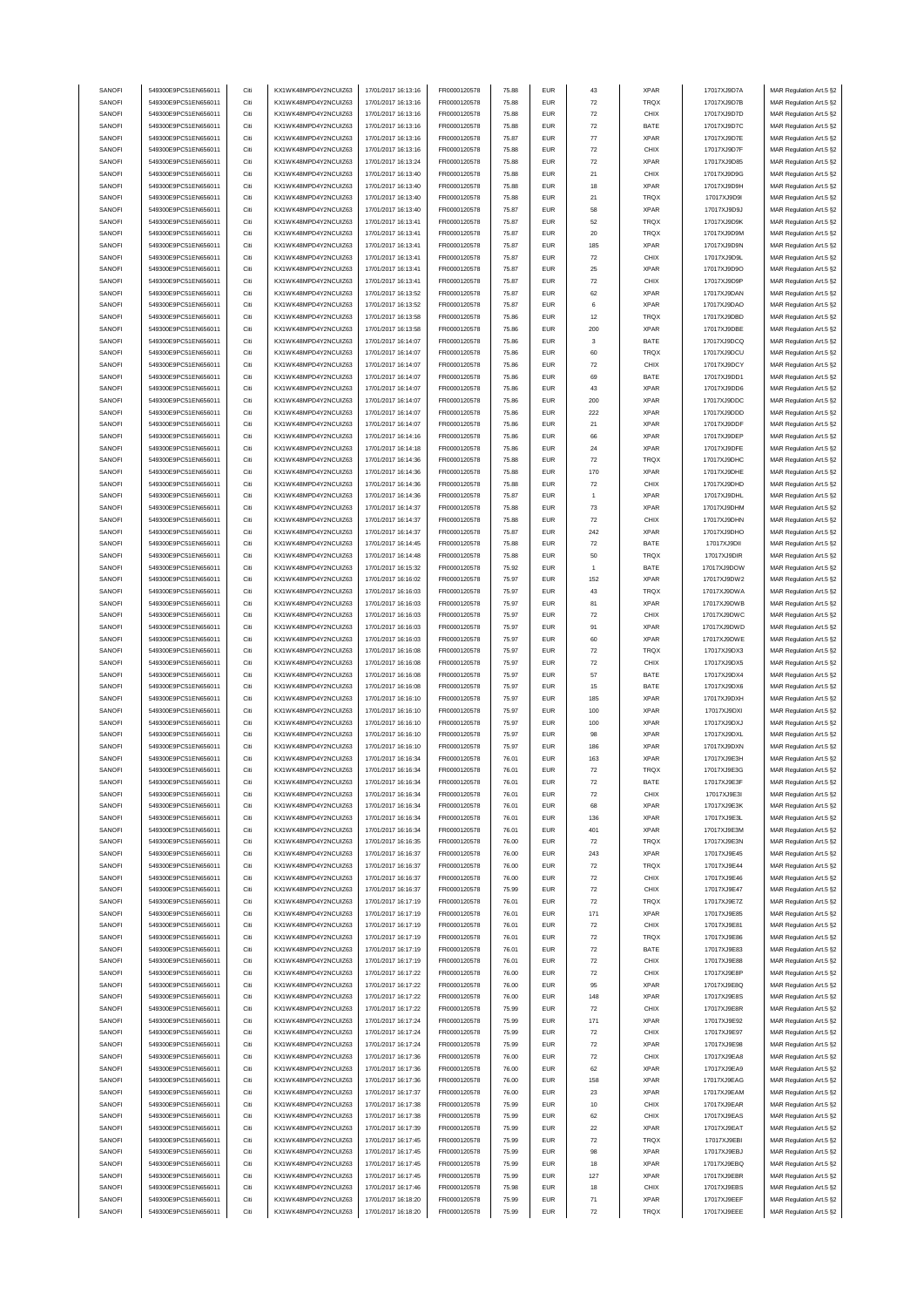| SANOFI        | 549300E9PC51EN656011 | Citi | KX1WK48MPD4Y2NCUIZ63  | 17/01/2017 16:13:16 | FR0000120578 | 75.88 | <b>EUR</b> | 43                 | <b>XPAR</b> | 17017XJ9D7A | MAR Regulation Art.5 §2 |
|---------------|----------------------|------|-----------------------|---------------------|--------------|-------|------------|--------------------|-------------|-------------|-------------------------|
| SANOFI        | 549300E9PC51EN656011 | Citi | KX1WK48MPD4Y2NCUIZ63  | 17/01/2017 16:13:16 | FR0000120578 | 75.88 | <b>EUR</b> | $\scriptstyle{72}$ | TRQX        | 17017XJ9D7B | MAR Regulation Art.5 §2 |
|               |                      |      |                       |                     |              |       |            |                    |             |             |                         |
| SANOFI        | 549300E9PC51EN656011 | Citi | KX1WK48MPD4Y2NCUIZ63  | 17/01/2017 16:13:16 | FR0000120578 | 75.88 | <b>EUR</b> | $\scriptstyle{72}$ | CHIX        | 17017XJ9D7D | MAR Regulation Art.5 §2 |
| SANOFI        | 549300E9PC51EN656011 | Citi | KX1WK48MPD4Y2NCUIZ63  | 17/01/2017 16:13:16 | FR0000120578 | 75.88 | <b>EUR</b> | $\scriptstyle{72}$ | BATE        | 17017XJ9D7C | MAR Regulation Art.5 §2 |
| SANOFI        | 549300E9PC51EN656011 | Citi | KX1WK48MPD4Y2NCUIZ63  | 17/01/2017 16:13:16 | FR0000120578 | 75.87 | <b>EUR</b> | $77\,$             | <b>XPAR</b> | 17017XJ9D7E | MAR Regulation Art.5 §2 |
| SANOFI        | 549300E9PC51EN656011 | Citi | KX1WK48MPD4Y2NCUIZ63  | 17/01/2017 16:13:16 | FR0000120578 | 75.88 | <b>EUR</b> | $\scriptstyle{72}$ | CHIX        | 17017XJ9D7F | MAR Regulation Art.5 §2 |
| SANOFI        | 549300E9PC51EN656011 | Citi | KX1WK48MPD4Y2NCUIZ63  | 17/01/2017 16:13:24 | FR0000120578 | 75.88 | <b>EUR</b> | $\scriptstyle{72}$ | <b>XPAR</b> | 17017XJ9D85 | MAR Regulation Art.5 §2 |
| SANOFI        | 549300E9PC51EN656011 | Citi | KX1WK48MPD4Y2NCUIZ63  | 17/01/2017 16:13:40 | FR0000120578 | 75.88 | <b>EUR</b> | 21                 | CHIX        | 17017XJ9D9G | MAR Regulation Art.5 §2 |
|               |                      |      |                       |                     |              |       |            |                    |             |             |                         |
| SANOFI        | 549300E9PC51EN656011 | Citi | KX1WK48MPD4Y2NCUIZ63  | 17/01/2017 16:13:40 | FR0000120578 | 75.88 | <b>EUR</b> | 18                 | <b>XPAR</b> | 17017XJ9D9H | MAR Regulation Art.5 §2 |
| SANOFI        | 549300E9PC51EN656011 | Citi | KX1WK48MPD4Y2NCUIZ63  | 17/01/2017 16:13:40 | FR0000120578 | 75.88 | <b>EUR</b> | 21                 | TRQX        | 17017XJ9D9I | MAR Regulation Art.5 §2 |
| SANOFI        | 549300E9PC51EN656011 | Citi | KX1WK48MPD4Y2NCUIZ63  | 17/01/2017 16:13:40 | FR0000120578 | 75.87 | <b>EUR</b> | 58                 | <b>XPAR</b> | 17017XJ9D9J | MAR Regulation Art.5 §2 |
| SANOFI        | 549300E9PC51EN656011 | Citi | KX1WK48MPD4Y2NCUIZ63  | 17/01/2017 16:13:41 | FR0000120578 | 75.87 | <b>EUR</b> | 52                 | TRQX        | 17017XJ9D9K | MAR Regulation Art.5 §2 |
| SANOFI        | 549300E9PC51EN656011 | Citi | KX1WK48MPD4Y2NCUIZ63  | 17/01/2017 16:13:41 | FR0000120578 | 75.87 | <b>EUR</b> | $20\,$             | TRQX        | 17017XJ9D9M | MAR Regulation Art.5 §2 |
|               |                      |      |                       |                     |              |       |            |                    |             |             |                         |
| SANOFI        | 549300E9PC51EN656011 | Citi | KX1WK48MPD4Y2NCUIZ63  | 17/01/2017 16:13:41 | FR0000120578 | 75.87 | <b>EUR</b> | 185                | <b>XPAR</b> | 17017XJ9D9N | MAR Regulation Art.5 §2 |
| SANOFI        | 549300E9PC51EN656011 | Citi | KX1WK48MPD4Y2NCUIZ63  | 17/01/2017 16:13:41 | FR0000120578 | 75.87 | <b>EUR</b> | $\bf 72$           | CHIX        | 17017XJ9D9L | MAR Regulation Art.5 §2 |
| SANOFI        | 549300E9PC51EN656011 | Citi | KX1WK48MPD4Y2NCUIZ63  | 17/01/2017 16:13:41 | FR0000120578 | 75.87 | <b>EUR</b> | 25                 | <b>XPAR</b> | 17017XJ9D9O | MAR Regulation Art.5 §2 |
| SANOFI        | 549300E9PC51EN656011 | Citi | KX1WK48MPD4Y2NCUIZ63  | 17/01/2017 16:13:41 | FR0000120578 | 75.87 | <b>EUR</b> | 72                 | CHIX        | 17017XJ9D9P | MAR Regulation Art.5 §2 |
| SANOFI        | 549300E9PC51EN656011 | Citi | KX1WK48MPD4Y2NCUIZ63  | 17/01/2017 16:13:52 | FR0000120578 | 75.87 | <b>EUR</b> | 62                 | <b>XPAR</b> | 17017XJ9DAN | MAR Regulation Art.5 §2 |
| SANOFI        | 549300E9PC51EN656011 | Citi | KX1WK48MPD4Y2NCUIZ63  | 17/01/2017 16:13:52 | FR0000120578 | 75.87 | <b>EUR</b> | 6                  | <b>XPAR</b> | 17017XJ9DAO |                         |
|               |                      |      |                       |                     |              |       |            |                    |             |             | MAR Regulation Art.5 §2 |
| SANOFI        | 549300E9PC51EN656011 | Citi | KX1WK48MPD4Y2NCUIZ63  | 17/01/2017 16:13:58 | FR0000120578 | 75.86 | <b>EUR</b> | 12                 | TRQX        | 17017XJ9DBD | MAR Regulation Art.5 §2 |
| SANOFI        | 549300E9PC51EN656011 | Citi | KX1WK48MPD4Y2NCUIZ63  | 17/01/2017 16:13:58 | FR0000120578 | 75.86 | <b>EUR</b> | 200                | <b>XPAR</b> | 17017XJ9DBE | MAR Regulation Art.5 §2 |
| SANOFI        | 549300E9PC51EN656011 | Citi | KX1WK48MPD4Y2NCUIZ63  | 17/01/2017 16:14:07 | FR0000120578 | 75.86 | <b>EUR</b> | 3                  | BATE        | 17017XJ9DCQ | MAR Regulation Art.5 §2 |
| SANOFI        | 549300E9PC51EN656011 | Citi | KX1WK48MPD4Y2NCUIZ63  | 17/01/2017 16:14:07 | FR0000120578 | 75.86 | <b>EUR</b> | 60                 | TRQX        | 17017XJ9DCU | MAR Regulation Art.5 §2 |
| SANOFI        | 549300E9PC51EN656011 | Citi | KX1WK48MPD4Y2NCUIZ63  | 17/01/2017 16:14:07 | FR0000120578 | 75.86 | <b>EUR</b> | 72                 | CHIX        | 17017XJ9DCY | MAR Regulation Art.5 §2 |
| SANOFI        | 549300E9PC51EN656011 | Citi | KX1WK48MPD4Y2NCLIIZ63 | 17/01/2017 16:14:07 | FR0000120578 | 75.86 | <b>EUR</b> | 69                 | BATE        | 17017XJ9DD1 | MAR Regulation Art.5 §2 |
|               |                      |      |                       |                     |              |       |            |                    |             |             |                         |
| SANOFI        | 549300E9PC51EN656011 | Citi | KX1WK48MPD4Y2NCUIZ63  | 17/01/2017 16:14:07 | FR0000120578 | 75.86 | <b>EUR</b> | 43                 | <b>XPAR</b> | 17017XJ9DD6 | MAR Regulation Art.5 §2 |
| SANOFI        | 549300E9PC51EN656011 | Citi | KX1WK48MPD4Y2NCUIZ63  | 17/01/2017 16:14:07 | FR0000120578 | 75.86 | <b>EUR</b> | 200                | <b>XPAR</b> | 17017XJ9DDC | MAR Regulation Art.5 §2 |
| SANOFI        | 549300E9PC51EN656011 | Citi | KX1WK48MPD4Y2NCUIZ63  | 17/01/2017 16:14:07 | FR0000120578 | 75.86 | <b>EUR</b> | 222                | <b>XPAR</b> | 17017XJ9DDD | MAR Regulation Art.5 §2 |
| SANOFI        | 549300E9PC51EN656011 | Citi | KX1WK48MPD4Y2NCUIZ63  | 17/01/2017 16:14:07 | FR0000120578 | 75.86 | <b>EUR</b> | 21                 | <b>XPAR</b> | 17017XJ9DDF | MAR Regulation Art.5 §2 |
| SANOFI        | 549300E9PC51EN656011 | Citi | KX1WK48MPD4Y2NCUIZ63  | 17/01/2017 16:14:16 | FR0000120578 | 75.86 | <b>EUR</b> | 66                 | <b>XPAR</b> | 17017XJ9DEP | MAR Regulation Art.5 §2 |
|               |                      |      |                       |                     |              |       |            |                    |             |             |                         |
| SANOFI        | 549300E9PC51EN656011 | Citi | KX1WK48MPD4Y2NCUIZ63  | 17/01/2017 16:14:18 | FR0000120578 | 75.86 | <b>EUR</b> | 24                 | <b>XPAR</b> | 17017XJ9DFE | MAR Regulation Art.5 §2 |
| SANOFI        | 549300E9PC51EN656011 | Citi | KX1WK48MPD4Y2NCUIZ63  | 17/01/2017 16:14:36 | FR0000120578 | 75.88 | <b>EUR</b> | 72                 | <b>TRQX</b> | 17017XJ9DHC | MAR Regulation Art.5 §2 |
| SANOFI        | 549300E9PC51EN656011 | Citi | KX1WK48MPD4Y2NCUIZ63  | 17/01/2017 16:14:36 | FR0000120578 | 75.88 | <b>EUR</b> | 170                | <b>XPAR</b> | 17017XJ9DHE | MAR Regulation Art.5 §2 |
| SANOFI        | 549300E9PC51EN656011 | Citi | KX1WK48MPD4Y2NCLIIZ63 | 17/01/2017 16:14:36 | FR0000120578 | 75.88 | <b>EUR</b> | $\scriptstyle{72}$ | CHIX        | 17017XJ9DHD | MAR Regulation Art.5 §2 |
| SANOFI        | 549300E9PC51EN656011 | Citi | KX1WK48MPD4Y2NCUIZ63  | 17/01/2017 16:14:36 | FR0000120578 | 75.87 | <b>EUR</b> | $\overline{1}$     | <b>XPAR</b> | 17017XJ9DHL | MAR Regulation Art.5 §2 |
|               | 549300E9PC51EN656011 | Citi |                       | 17/01/2017 16:14:37 |              |       | <b>EUR</b> |                    |             |             |                         |
| SANOFI        |                      |      | KX1WK48MPD4Y2NCUIZ63  |                     | FR0000120578 | 75.88 |            | $\mathbf{73}$      | <b>XPAR</b> | 17017XJ9DHM | MAR Regulation Art.5 §2 |
| SANOFI        | 549300E9PC51EN656011 | Citi | KX1WK48MPD4Y2NCUIZ63  | 17/01/2017 16:14:37 | FR0000120578 | 75.88 | <b>EUR</b> | $\scriptstyle{72}$ | CHIX        | 17017XJ9DHN | MAR Regulation Art.5 §2 |
| SANOFI        | 549300E9PC51EN656011 | Citi | KX1WK48MPD4Y2NCUIZ63  | 17/01/2017 16:14:37 | FR0000120578 | 75.87 | <b>EUR</b> | 242                | <b>XPAR</b> | 17017XJ9DHO | MAR Regulation Art.5 §2 |
| SANOFI        | 549300E9PC51EN656011 | Citi | KX1WK48MPD4Y2NCUIZ63  | 17/01/2017 16:14:45 | FR0000120578 | 75.88 | <b>EUR</b> | 72                 | BATE        | 17017XJ9DII | MAR Regulation Art.5 §2 |
| SANOFI        | 549300E9PC51EN656011 | Citi | KX1WK48MPD4Y2NCUIZ63  | 17/01/2017 16:14:48 | FR0000120578 | 75.88 | <b>EUR</b> | 50                 | TRQX        | 17017XJ9DIR | MAR Regulation Art.5 §2 |
| SANOFI        | 549300E9PC51EN656011 | Citi | KX1WK48MPD4Y2NCUIZ63  | 17/01/2017 16:15:32 | FR0000120578 | 75.92 | <b>EUR</b> | $\mathbf{1}$       | BATE        | 17017XJ9DOW | MAR Regulation Art.5 §2 |
|               | 549300E9PC51EN656011 | Citi | KX1WK48MPD4Y2NCUIZ63  |                     | FR0000120578 | 75.97 | <b>EUR</b> | 152                | <b>XPAR</b> |             |                         |
| SANOFI        |                      |      |                       | 17/01/2017 16:16:02 |              |       |            |                    |             | 17017XJ9DW2 | MAR Regulation Art.5 §2 |
| SANOFI        | 549300E9PC51EN656011 | Citi | KX1WK48MPD4Y2NCUIZ63  | 17/01/2017 16:16:03 | FR0000120578 | 75.97 | <b>EUR</b> | 43                 | TRQX        | 17017XJ9DWA | MAR Regulation Art.5 §2 |
| SANOFI        | 549300E9PC51EN656011 | Citi | KX1WK48MPD4Y2NCUIZ63  | 17/01/2017 16:16:03 | FR0000120578 | 75.97 | <b>EUR</b> | 81                 | <b>XPAR</b> | 17017XJ9DWB | MAR Regulation Art.5 §2 |
| SANOFI        | 549300E9PC51EN656011 | Citi | KX1WK48MPD4Y2NCUIZ63  | 17/01/2017 16:16:03 | FR0000120578 | 75.97 | <b>EUR</b> | $\scriptstyle{72}$ | CHIX        | 17017XJ9DWC | MAR Regulation Art.5 §2 |
| SANOFI        | 549300E9PC51EN656011 | Citi | KX1WK48MPD4Y2NCUIZ63  | 17/01/2017 16:16:03 | FR0000120578 | 75.97 | <b>EUR</b> | 91                 | <b>XPAR</b> | 17017XJ9DWD | MAR Regulation Art.5 §2 |
| SANOFI        | 549300E9PC51EN656011 | Citi | KX1WK48MPD4Y2NCUIZ63  | 17/01/2017 16:16:03 | FR0000120578 | 75.97 | <b>EUR</b> | 60                 | <b>XPAR</b> | 17017XJ9DWE | MAR Regulation Art.5 §2 |
|               |                      |      |                       |                     |              |       |            |                    |             |             |                         |
| SANOFI        | 549300E9PC51EN656011 | Citi | KX1WK48MPD4Y2NCUIZ63  | 17/01/2017 16:16:08 | FR0000120578 | 75.97 | <b>EUR</b> | $\scriptstyle{72}$ | TRQX        | 17017XJ9DX3 | MAR Regulation Art.5 §2 |
| SANOFI        | 549300E9PC51EN656011 | Citi | KX1WK48MPD4Y2NCUIZ63  | 17/01/2017 16:16:08 | FR0000120578 | 75.97 | <b>EUR</b> | 72                 | CHIX        | 17017XJ9DX5 | MAR Regulation Art.5 §2 |
| SANOFI        | 549300E9PC51EN656011 | Citi | KX1WK48MPD4Y2NCUIZ63  | 17/01/2017 16:16:08 | FR0000120578 | 75.97 | <b>EUR</b> | 57                 | BATE        | 17017XJ9DX4 | MAR Regulation Art.5 §2 |
| SANOFI        | 549300E9PC51EN656011 | Citi | KX1WK48MPD4Y2NCUIZ63  | 17/01/2017 16:16:08 | FR0000120578 | 75.97 | EUR        | 15                 | BATE        | 17017XJ9DX6 | MAR Regulation Art.5 §2 |
| SANOFI        | 549300E9PC51EN656011 | Citi | KX1WK48MPD4Y2NCUIZ63  | 17/01/2017 16:16:10 | FR0000120578 | 75.97 | <b>EUR</b> | 185                | <b>XPAR</b> | 17017XJ9DXH | MAR Regulation Art.5 §2 |
|               | 549300E9PC51EN656011 |      |                       |                     |              |       |            |                    |             |             |                         |
| SANOFI        |                      | Citi | KX1WK48MPD4Y2NCUIZ63  | 17/01/2017 16:16:10 | FR0000120578 | 75.97 | <b>EUR</b> | 100                | <b>XPAR</b> | 17017XJ9DXI | MAR Regulation Art.5 §2 |
| SANOFI        | 549300E9PC51EN656011 | Citi | KX1WK48MPD4Y2NCUIZ63  | 17/01/2017 16:16:10 | FR0000120578 | 75.97 | <b>EUR</b> | 100                | <b>XPAR</b> | 17017XJ9DXJ | MAR Regulation Art.5 §2 |
| SANOFI        | 549300E9PC51EN656011 | Citi | KX1WK48MPD4Y2NCUIZ63  | 17/01/2017 16:16:10 | FR0000120578 | 75.97 | <b>EUR</b> | 98                 | <b>XPAR</b> | 17017XJ9DXL | MAR Regulation Art.5 §2 |
| SANOFI        | 549300E9PC51EN656011 | Citi | KX1WK48MPD4Y2NCUIZ63  | 17/01/2017 16:16:10 | FR0000120578 | 75.97 | <b>EUR</b> | 186                | <b>XPAR</b> | 17017XJ9DXN | MAR Regulation Art.5 §2 |
| SANOFI        | 549300E9PC51EN656011 | Citi | KX1WK48MPD4Y2NCUIZ63  | 17/01/2017 16:16:34 | FR0000120578 | 76.01 | <b>EUR</b> | 163                | <b>XPAR</b> | 17017XJ9E3H | MAR Regulation Art.5 §2 |
| SANOFI        | 549300E9PC51EN656011 |      | KX1WK48MPD4Y2NCLIIZ63 | 17/01/2017 16:16:34 | FR0000120578 | 76.01 | FUR        |                    | TROX        | 17017XJ9F3G | MAR Regulation Art 5 82 |
|               |                      |      |                       |                     |              |       |            |                    |             |             |                         |
| SANOFI        | 549300E9PC51EN656011 | Citi | KX1WK48MPD4Y2NCUIZ63  | 17/01/2017 16:16:34 | FR0000120578 | 76.01 | <b>EUR</b> | 72                 | BATE        | 17017XJ9E3F | MAR Regulation Art.5 §2 |
| SANOFI        | 549300E9PC51EN656011 | Citi | KX1WK48MPD4Y2NCUIZ63  | 17/01/2017 16:16:34 | FR0000120578 | 76.01 | <b>EUR</b> | $\scriptstyle{72}$ | CHIX        | 17017XJ9E3I | MAR Regulation Art.5 §2 |
| SANOFI        | 549300E9PC51EN656011 | Citi | KX1WK48MPD4Y2NCUIZ63  | 17/01/2017 16:16:34 | FR0000120578 | 76.01 | <b>EUR</b> | 68                 | <b>XPAR</b> | 17017XJ9E3K | MAR Regulation Art.5 §2 |
| SANOFI        | 549300E9PC51EN656011 | Citi | KX1WK48MPD4Y2NCUIZ63  | 17/01/2017 16:16:34 | FR0000120578 | 76.01 | <b>EUR</b> | 136                | <b>XPAR</b> | 17017XJ9E3L | MAR Regulation Art.5 §2 |
| SANOFI        | 549300E9PC51EN656011 | Citi | KX1WK48MPD4Y2NCUIZ63  | 17/01/2017 16:16:34 | FR0000120578 | 76.01 | <b>EUR</b> | 401                | <b>XPAR</b> | 17017XJ9E3M | MAR Regulation Art.5 §2 |
| SANOFI        | 549300E9PC51EN656011 | Citi | KX1WK48MPD4Y2NCUIZ63  | 17/01/2017 16:16:35 | FR0000120578 | 76.00 | <b>EUR</b> | 72                 | TRQX        | 17017XJ9E3N | MAR Regulation Art.5 §2 |
|               |                      |      |                       |                     |              |       |            |                    |             |             |                         |
| SANOFI        | 549300E9PC51EN656011 | Citi | KX1WK48MPD4Y2NCUIZ63  | 17/01/2017 16:16:37 | FR0000120578 | 76.00 | <b>EUR</b> | 243                | <b>XPAR</b> | 17017XJ9E45 | MAR Regulation Art.5 §2 |
| SANOFI        | 549300E9PC51EN656011 | Citi | KX1WK48MPD4Y2NCUIZ63  | 17/01/2017 16:16:37 | FR0000120578 | 76.00 | <b>EUR</b> | $\bf 72$           | <b>TRQX</b> | 17017XJ9E44 | MAR Regulation Art.5 §2 |
| SANOFI        | 549300E9PC51EN656011 | Citi | KX1WK48MPD4Y2NCUIZ63  | 17/01/2017 16:16:37 | FR0000120578 | 76.00 | <b>EUR</b> | $\scriptstyle{72}$ | CHIX        | 17017XJ9E46 | MAR Regulation Art.5 §2 |
| SANOFI        | 549300E9PC51EN656011 | Citi | KX1WK48MPD4Y2NCUIZ63  | 17/01/2017 16:16:37 | FR0000120578 | 75.99 | <b>EUR</b> | 72                 | CHIX        | 17017XJ9E47 | MAR Regulation Art.5 §2 |
| SANOFI        | 549300E9PC51EN656011 | Citi | KX1WK48MPD4Y2NCUIZ63  | 17/01/2017 16:17:19 | FR0000120578 | 76.01 | <b>EUR</b> | $\scriptstyle{72}$ | TRQX        | 17017XJ9E7Z | MAR Regulation Art.5 §2 |
| SANOFI        | 549300E9PC51EN656011 | Citi | KX1WK48MPD4Y2NCUIZ63  | 17/01/2017 16:17:19 | FR0000120578 | 76.01 | <b>EUR</b> | 171                | <b>XPAR</b> | 17017XJ9E85 | MAR Regulation Art.5 §2 |
|               |                      |      |                       |                     |              |       |            |                    |             |             |                         |
| SANOFI        | 549300E9PC51EN656011 | Citi | KX1WK48MPD4Y2NCUIZ63  | 17/01/2017 16:17:19 | FR0000120578 | 76.01 | <b>EUR</b> | $\scriptstyle{72}$ | CHIX        | 17017XJ9E81 | MAR Regulation Art.5 §2 |
| SANOFI        | 549300E9PC51EN656011 | Citi | KX1WK48MPD4Y2NCUIZ63  | 17/01/2017 16:17:19 | FR0000120578 | 76.01 | <b>EUR</b> | $\bf 72$           | TRQX        | 17017XJ9E86 | MAR Regulation Art.5 §2 |
| SANOFI        | 549300E9PC51EN656011 | Citi | KX1WK48MPD4Y2NCUIZ63  | 17/01/2017 16:17:19 | FR0000120578 | 76.01 | <b>EUR</b> | 72                 | BATE        | 17017XJ9E83 | MAR Regulation Art.5 §2 |
| SANOFI        | 549300E9PC51EN656011 | Citi | KX1WK48MPD4Y2NCUIZ63  | 17/01/2017 16:17:19 | FR0000120578 | 76.01 | <b>EUR</b> | $\scriptstyle{72}$ | CHIX        | 17017XJ9E88 | MAR Regulation Art.5 §2 |
| SANOFI        | 549300E9PC51EN656011 | Citi | KX1WK48MPD4Y2NCUIZ63  | 17/01/2017 16:17:22 | FR0000120578 | 76.00 | <b>EUR</b> | $\scriptstyle{72}$ | CHIX        | 17017XJ9E8P | MAR Regulation Art.5 §2 |
| SANOFI        | 549300E9PC51EN656011 | Citi | KX1WK48MPD4Y2NCUIZ63  | 17/01/2017 16:17:22 | FR0000120578 | 76.00 | <b>EUR</b> | 95                 | <b>XPAR</b> | 17017XJ9E8Q |                         |
|               |                      |      |                       |                     |              |       |            |                    |             |             | MAR Regulation Art.5 §2 |
| SANOFI        | 549300E9PC51EN656011 | Citi | KX1WK48MPD4Y2NCUIZ63  | 17/01/2017 16:17:22 | FR0000120578 | 76.00 | <b>EUR</b> | 148                | <b>XPAR</b> | 17017XJ9E8S | MAR Regulation Art.5 §2 |
| SANOFI        | 549300E9PC51EN656011 | Citi | KX1WK48MPD4Y2NCUIZ63  | 17/01/2017 16:17:22 | FR0000120578 | 75.99 | <b>EUR</b> | $\bf 72$           | CHIX        | 17017XJ9E8R | MAR Regulation Art.5 §2 |
| SANOFI        | 549300E9PC51EN656011 | Citi | KX1WK48MPD4Y2NCUIZ63  | 17/01/2017 16:17:24 | FR0000120578 | 75.99 | <b>EUR</b> | 171                | <b>XPAR</b> | 17017XJ9E92 | MAR Regulation Art.5 §2 |
| SANOFI        | 549300E9PC51EN656011 | Citi | KX1WK48MPD4Y2NCUIZ63  | 17/01/2017 16:17:24 | FR0000120578 | 75.99 | <b>EUR</b> | $\scriptstyle{72}$ | CHIX        | 17017XJ9E97 | MAR Regulation Art.5 §2 |
| SANOFI        | 549300E9PC51EN656011 | Citi | KX1WK48MPD4Y2NCUIZ63  | 17/01/2017 16:17:24 | FR0000120578 | 75.99 | <b>EUR</b> | $\bf 72$           | <b>XPAR</b> | 17017XJ9E98 | MAR Regulation Art.5 §2 |
|               |                      |      |                       |                     |              |       |            |                    |             |             |                         |
| SANOFI        | 549300E9PC51EN656011 | Citi | KX1WK48MPD4Y2NCUIZ63  | 17/01/2017 16:17:36 | FR0000120578 | 76.00 | <b>EUR</b> | 72                 | CHIX        | 17017XJ9EA8 | MAR Regulation Art.5 §2 |
| SANOFI        | 549300E9PC51EN656011 | Citi | KX1WK48MPD4Y2NCUIZ63  | 17/01/2017 16:17:36 | FR0000120578 | 76.00 | <b>EUR</b> | 62                 | <b>XPAR</b> | 17017XJ9EA9 | MAR Regulation Art.5 §2 |
| <b>SANOFI</b> | 549300E9PC51EN656011 | Citi | KX1WK48MPD4Y2NCUIZ63  | 17/01/2017 16:17:36 | FR0000120578 | 76.00 | <b>EUR</b> | 158                | <b>XPAR</b> | 17017XJ9EAG | MAR Regulation Art.5 §2 |
| SANOFI        | 549300E9PC51EN656011 | Citi | KX1WK48MPD4Y2NCUIZ63  | 17/01/2017 16:17:37 | FR0000120578 | 76.00 | <b>EUR</b> | 23                 | <b>XPAR</b> | 17017XJ9EAM | MAR Regulation Art.5 §2 |
| SANOFI        | 549300E9PC51EN656011 | Citi | KX1WK48MPD4Y2NCUIZ63  | 17/01/2017 16:17:38 | FR0000120578 | 75.99 | <b>EUR</b> | 10                 | CHIX        | 17017XJ9EAR | MAR Regulation Art.5 §2 |
| SANOFI        | 549300E9PC51EN656011 | Citi | KX1WK48MPD4Y2NCUIZ63  | 17/01/2017 16:17:38 | FR0000120578 | 75.99 | <b>EUR</b> | 62                 | CHIX        | 17017XJ9EAS |                         |
|               |                      |      |                       |                     |              |       |            |                    |             |             | MAR Regulation Art.5 §2 |
| SANOFI        | 549300E9PC51EN656011 | Citi | KX1WK48MPD4Y2NCUIZ63  | 17/01/2017 16:17:39 | FR0000120578 | 75.99 | <b>EUR</b> | $22\,$             | XPAR        | 17017XJ9EAT | MAR Regulation Art.5 §2 |
| SANOFI        | 549300E9PC51EN656011 | Citi | KX1WK48MPD4Y2NCUIZ63  | 17/01/2017 16:17:45 | FR0000120578 | 75.99 | <b>EUR</b> | $\scriptstyle{72}$ | TRQX        | 17017XJ9EBI | MAR Regulation Art.5 §2 |
| SANOFI        | 549300E9PC51EN656011 | Citi | KX1WK48MPD4Y2NCUIZ63  | 17/01/2017 16:17:45 | FR0000120578 | 75.99 | <b>EUR</b> | 98                 | <b>XPAR</b> | 17017XJ9EBJ | MAR Regulation Art.5 §2 |
| SANOFI        | 549300E9PC51EN656011 | Citi | KX1WK48MPD4Y2NCUIZ63  | 17/01/2017 16:17:45 | FR0000120578 | 75.99 | <b>EUR</b> | 18                 | <b>XPAR</b> | 17017XJ9EBQ | MAR Regulation Art.5 §2 |
| SANOFI        | 549300E9PC51EN656011 | Citi | KX1WK48MPD4Y2NCUIZ63  | 17/01/2017 16:17:45 | FR0000120578 | 75.99 | <b>EUR</b> | 127                | <b>XPAR</b> | 17017XJ9EBR | MAR Regulation Art.5 §2 |
| SANOFI        | 549300E9PC51EN656011 | Citi | KX1WK48MPD4Y2NCUIZ63  | 17/01/2017 16:17:46 | FR0000120578 | 75.98 | <b>EUR</b> | 18                 | CHIX        | 17017XJ9EBS |                         |
|               |                      |      |                       |                     |              |       |            |                    |             |             | MAR Regulation Art.5 §2 |
| SANOFI        | 549300E9PC51EN656011 | Citi | KX1WK48MPD4Y2NCUIZ63  | 17/01/2017 16:18:20 | FR0000120578 | 75.99 | <b>EUR</b> | 71                 | <b>XPAR</b> | 17017XJ9EEF | MAR Regulation Art.5 §2 |
| SANOFI        | 549300E9PC51EN656011 | Citi | KX1WK48MPD4Y2NCUIZ63  | 17/01/2017 16:18:20 | FR0000120578 | 75.99 | <b>EUR</b> | $\scriptstyle{72}$ | TRQX        | 17017XJ9EEE | MAR Regulation Art.5 §2 |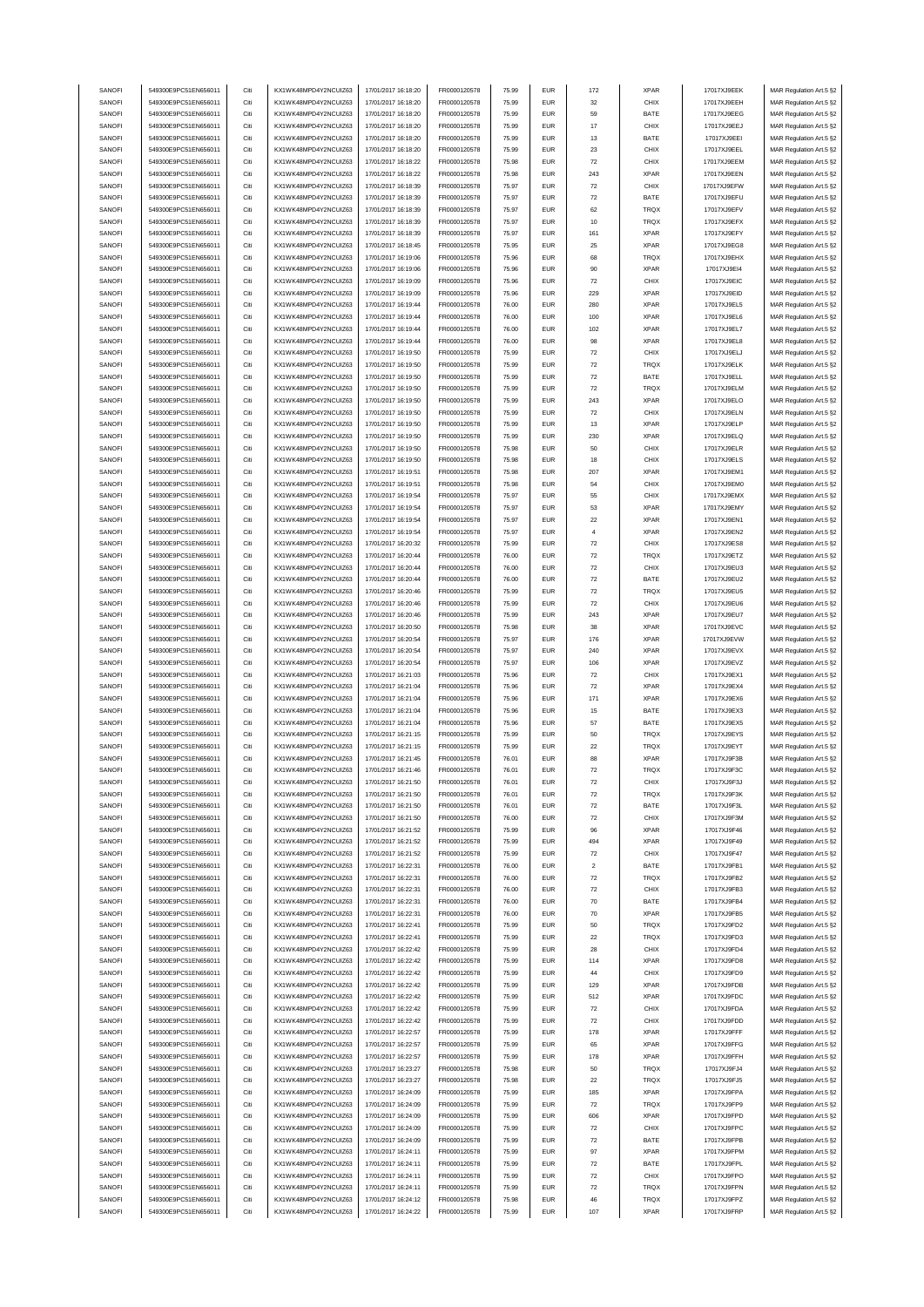| SANOFI | 549300E9PC51EN656011 | Citi | KX1WK48MPD4Y2NCUIZ63  | 17/01/2017 16:18:20 | FR0000120578 | 75.99 | <b>EUR</b> | 172                | <b>XPAR</b> | 17017XJ9EEK   | MAR Regulation Art.5 §2 |
|--------|----------------------|------|-----------------------|---------------------|--------------|-------|------------|--------------------|-------------|---------------|-------------------------|
| SANOFI | 549300E9PC51EN656011 | Citi | KX1WK48MPD4Y2NCUIZ63  | 17/01/2017 16:18:20 | FR0000120578 | 75.99 | <b>EUR</b> | 32                 | CHIX        | 17017XJ9EEH   | MAR Regulation Art.5 §2 |
|        |                      |      |                       |                     |              |       |            |                    |             |               |                         |
| SANOFI | 549300E9PC51EN656011 | Citi | KX1WK48MPD4Y2NCUIZ63  | 17/01/2017 16:18:20 | FR0000120578 | 75.99 | <b>EUR</b> | 59                 | BATE        | 17017XJ9EEG   | MAR Regulation Art.5 §2 |
| SANOFI | 549300E9PC51EN656011 | Citi | KX1WK48MPD4Y2NCUIZ63  | 17/01/2017 16:18:20 | FR0000120578 | 75.99 | <b>EUR</b> | $17\,$             | CHIX        | 17017XJ9EEJ   | MAR Regulation Art.5 §2 |
| SANOFI | 549300E9PC51EN656011 | Citi | KX1WK48MPD4Y2NCLIIZ63 | 17/01/2017 16:18:20 | FR0000120578 | 75.99 | <b>EUR</b> | 13                 | BATE        | 17017XJ9EEI   | MAR Regulation Art.5 §2 |
| SANOFI | 549300E9PC51EN656011 | Citi | KX1WK48MPD4Y2NCUIZ63  | 17/01/2017 16:18:20 | FR0000120578 | 75.99 | <b>EUR</b> | 23                 | CHIX        | 17017XJ9EEL   | MAR Regulation Art.5 §2 |
| SANOFI | 549300E9PC51EN656011 | Citi | KX1WK48MPD4Y2NCUIZ63  | 17/01/2017 16:18:22 | FR0000120578 | 75.98 | <b>EUR</b> | $\scriptstyle{72}$ | CHIX        | 17017XJ9EEM   | MAR Regulation Art.5 §2 |
|        |                      |      |                       |                     |              |       |            |                    |             |               |                         |
| SANOFI | 549300E9PC51EN656011 | Citi | KX1WK48MPD4Y2NCUIZ63  | 17/01/2017 16:18:22 | FR0000120578 | 75.98 | <b>EUR</b> | 243                | <b>XPAR</b> | 17017XJ9EEN   | MAR Regulation Art.5 §2 |
| SANOFI | 549300E9PC51EN656011 | Citi | KX1WK48MPD4Y2NCUIZ63  | 17/01/2017 16:18:39 | FR0000120578 | 75.97 | <b>EUR</b> | $\scriptstyle{72}$ | CHIX        | 17017XJ9EFW   | MAR Regulation Art.5 §2 |
| SANOFI | 549300E9PC51EN656011 | Citi | KX1WK48MPD4Y2NCUIZ63  | 17/01/2017 16:18:39 | FR0000120578 | 75.97 | <b>EUR</b> | 72                 | BATE        | 17017XJ9EFU   | MAR Regulation Art.5 §2 |
| SANOFI | 549300E9PC51EN656011 | Citi | KX1WK48MPD4Y2NCUIZ63  | 17/01/2017 16:18:39 | FR0000120578 | 75.97 | <b>EUR</b> | 62                 | TRQX        | 17017XJ9EFV   | MAR Regulation Art.5 §2 |
| SANOFI | 549300E9PC51EN656011 | Citi | KX1WK48MPD4Y2NCUIZ63  | 17/01/2017 16:18:39 | FR0000120578 | 75.97 | <b>EUR</b> | $10$               | TRQX        | 17017XJ9EFX   | MAR Regulation Art.5 §2 |
|        |                      |      |                       |                     |              |       |            |                    |             |               |                         |
| SANOFI | 549300E9PC51EN656011 | Citi | KX1WK48MPD4Y2NCUIZ63  | 17/01/2017 16:18:39 | FR0000120578 | 75.97 | <b>EUR</b> | 161                | <b>XPAR</b> | 17017XJ9EFY   | MAR Regulation Art.5 §2 |
| SANOFI | 549300E9PC51EN656011 | Citi | KX1WK48MPD4Y2NCUIZ63  | 17/01/2017 16:18:45 | FR0000120578 | 75.95 | <b>EUR</b> | 25                 | <b>XPAR</b> | 17017XJ9EG8   | MAR Regulation Art.5 §2 |
| SANOFI | 549300E9PC51EN656011 | Citi | KX1WK48MPD4Y2NCUIZ63  | 17/01/2017 16:19:06 | FR0000120578 | 75.96 | <b>EUR</b> | 68                 | TRQX        | 17017XJ9EHX   | MAR Regulation Art.5 §2 |
|        |                      |      | KX1WK48MPD4Y2NCUIZ63  |                     |              |       |            |                    |             |               |                         |
| SANOFI | 549300E9PC51EN656011 | Citi |                       | 17/01/2017 16:19:06 | FR0000120578 | 75.96 | <b>EUR</b> | 90                 | <b>XPAR</b> | 17017XJ9EI4   | MAR Regulation Art.5 §2 |
| SANOFI | 549300E9PC51EN656011 | Citi | KX1WK48MPD4Y2NCUIZ63  | 17/01/2017 16:19:09 | FR0000120578 | 75.96 | <b>EUR</b> | $\scriptstyle{72}$ | CHIX        | 17017XJ9EIC   | MAR Regulation Art.5 §2 |
| SANOFI | 549300E9PC51EN656011 | Citi | KX1WK48MPD4Y2NCUIZ63  | 17/01/2017 16:19:09 | FR0000120578 | 75.96 | <b>EUR</b> | 229                | <b>XPAR</b> | 17017XJ9EID   | MAR Regulation Art.5 §2 |
| SANOFI | 549300E9PC51EN656011 | Citi | KX1WK48MPD4Y2NCUIZ63  | 17/01/2017 16:19:44 | FR0000120578 | 76.00 | <b>EUR</b> | 280                | <b>XPAR</b> | 17017XJ9EL5   | MAR Regulation Art.5 §2 |
|        |                      |      |                       |                     |              |       |            |                    |             |               |                         |
| SANOFI | 549300E9PC51EN656011 | Citi | KX1WK48MPD4Y2NCUIZ63  | 17/01/2017 16:19:44 | FR0000120578 | 76.00 | <b>EUR</b> | 100                | <b>XPAR</b> | 17017XJ9EL6   | MAR Regulation Art.5 §2 |
| SANOFI | 549300E9PC51EN656011 | Citi | KX1WK48MPD4Y2NCUIZ63  | 17/01/2017 16:19:44 | FR0000120578 | 76.00 | <b>EUR</b> | 102                | <b>XPAR</b> | 17017XJ9EL7   | MAR Regulation Art.5 §2 |
| SANOFI | 549300E9PC51EN656011 | Citi | KX1WK48MPD4Y2NCUIZ63  | 17/01/2017 16:19:44 | FR0000120578 | 76.00 | <b>EUR</b> | 98                 | <b>XPAR</b> | 17017XJ9EL8   | MAR Regulation Art.5 §2 |
| SANOFI | 549300E9PC51EN656011 | Citi | KX1WK48MPD4Y2NCUIZ63  | 17/01/2017 16:19:50 | FR0000120578 | 75.99 | <b>EUR</b> | $\scriptstyle{72}$ | CHIX        | 17017XJ9ELJ   | MAR Regulation Art.5 §2 |
| SANOFI | 549300E9PC51EN656011 | Citi | KX1WK48MPD4Y2NCUIZ63  | 17/01/2017 16:19:50 | FR0000120578 | 75.99 | <b>EUR</b> | $\scriptstyle{72}$ | TRQX        | 17017XJ9ELK   | MAR Regulation Art.5 §2 |
|        |                      |      |                       |                     |              |       |            |                    |             |               |                         |
| SANOFI | 549300E9PC51EN656011 | Citi | KX1WK48MPD4Y2NCUIZ63  | 17/01/2017 16:19:50 | FR0000120578 | 75.99 | <b>EUR</b> | $\scriptstyle{72}$ | BATE        | 17017XJ9ELL   | MAR Regulation Art.5 §2 |
| SANOFI | 549300E9PC51EN656011 | Citi | KX1WK48MPD4Y2NCUIZ63  | 17/01/2017 16:19:50 | FR0000120578 | 75.99 | <b>EUR</b> | 72                 | TRQX        | 17017XJ9ELM   | MAR Regulation Art.5 §2 |
| SANOFI | 549300E9PC51EN656011 | Citi | KX1WK48MPD4Y2NCUIZ63  | 17/01/2017 16:19:50 | FR0000120578 | 75.99 | <b>EUR</b> | 243                | <b>XPAR</b> | 17017XJ9ELO   | MAR Regulation Art.5 §2 |
| SANOFI | 549300E9PC51EN656011 | Citi | KX1WK48MPD4Y2NCUIZ63  | 17/01/2017 16:19:50 | FR0000120578 | 75.99 | <b>EUR</b> | $\scriptstyle{72}$ | CHIX        | 17017XJ9ELN   | MAR Regulation Art.5 §2 |
|        |                      |      |                       |                     |              |       |            |                    |             |               |                         |
| SANOFI | 549300E9PC51EN656011 | Citi | KX1WK48MPD4Y2NCUIZ63  | 17/01/2017 16:19:50 | FR0000120578 | 75.99 | <b>EUR</b> | $13\,$             | <b>XPAR</b> | 17017XJ9ELP   | MAR Regulation Art.5 §2 |
| SANOFI | 549300E9PC51EN656011 | Citi | KX1WK48MPD4Y2NCUIZ63  | 17/01/2017 16:19:50 | FR0000120578 | 75.99 | <b>EUR</b> | 230                | <b>XPAR</b> | 17017XJ9ELQ   | MAR Regulation Art.5 §2 |
| SANOFI | 549300E9PC51EN656011 | Citi | KX1WK48MPD4Y2NCUIZ63  | 17/01/2017 16:19:50 | FR0000120578 | 75.98 | <b>EUR</b> | 50                 | CHIX        | 17017XJ9ELR   | MAR Regulation Art.5 §2 |
| SANOFI | 549300E9PC51EN656011 | Citi | KX1WK48MPD4Y2NCUIZ63  | 17/01/2017 16:19:50 | FR0000120578 | 75.98 | <b>EUR</b> | 18                 | CHIX        | 17017XJ9ELS   | MAR Regulation Art.5 §2 |
| SANOFI |                      | Citi |                       |                     | FR0000120578 |       | <b>EUR</b> | 207                | <b>XPAR</b> |               | MAR Regulation Art.5 §2 |
|        | 549300E9PC51EN656011 |      | KX1WK48MPD4Y2NCUIZ63  | 17/01/2017 16:19:51 |              | 75.98 |            |                    |             | 17017XJ9EM1   |                         |
| SANOFI | 549300E9PC51EN656011 | Citi | KX1WK48MPD4Y2NCUIZ63  | 17/01/2017 16:19:51 | FR0000120578 | 75.98 | <b>EUR</b> | 54                 | CHIX        | 17017XJ9EM0   | MAR Regulation Art.5 §2 |
| SANOFI | 549300E9PC51EN656011 | Citi | KX1WK48MPD4Y2NCUIZ63  | 17/01/2017 16:19:54 | FR0000120578 | 75.97 | <b>EUR</b> | 55                 | CHIX        | 17017XJ9EMX   | MAR Regulation Art.5 §2 |
| SANOFI | 549300E9PC51EN656011 | Citi | KX1WK48MPD4Y2NCUIZ63  | 17/01/2017 16:19:54 | FR0000120578 | 75.97 | <b>EUR</b> | 53                 | <b>XPAR</b> | 17017XJ9EMY   | MAR Regulation Art.5 §2 |
| SANOFI | 549300E9PC51EN656011 | Citi | KX1WK48MPD4Y2NCUIZ63  | 17/01/2017 16:19:54 | FR0000120578 | 75.97 | <b>EUR</b> | $22\,$             | <b>XPAR</b> | 17017XJ9EN1   | MAR Regulation Art.5 §2 |
|        |                      |      |                       |                     |              |       |            |                    |             |               |                         |
| SANOFI | 549300E9PC51EN656011 | Citi | KX1WK48MPD4Y2NCUIZ63  | 17/01/2017 16:19:54 | FR0000120578 | 75.97 | <b>EUR</b> | $\sqrt{4}$         | <b>XPAR</b> | 17017XJ9EN2   | MAR Regulation Art.5 §2 |
| SANOFI | 549300E9PC51EN656011 | Citi | KX1WK48MPD4Y2NCUIZ63  | 17/01/2017 16:20:32 | FR0000120578 | 75.99 | <b>EUR</b> | $\scriptstyle{72}$ | CHIX        | 17017XJ9ES8   | MAR Regulation Art.5 §2 |
| SANOFI | 549300E9PC51EN656011 | Citi | KX1WK48MPD4Y2NCUIZ63  | 17/01/2017 16:20:44 | FR0000120578 | 76.00 | <b>EUR</b> | 72                 | TRQX        | 17017XJ9ETZ   | MAR Regulation Art.5 §2 |
| SANOFI | 549300E9PC51EN656011 | Citi | KX1WK48MPD4Y2NCUIZ63  | 17/01/2017 16:20:44 | FR0000120578 | 76.00 | <b>EUR</b> | $\scriptstyle{72}$ | CHIX        | 17017XJ9EU3   | MAR Regulation Art.5 §2 |
|        |                      |      |                       |                     |              |       |            |                    |             |               |                         |
| SANOFI | 549300E9PC51EN656011 | Citi | KX1WK48MPD4Y2NCUIZ63  | 17/01/2017 16:20:44 | FR0000120578 | 76.00 | <b>EUR</b> | $\scriptstyle{72}$ | BATE        | 17017XJ9EU2   | MAR Regulation Art.5 §2 |
| SANOFI | 549300E9PC51EN656011 | Citi | KX1WK48MPD4Y2NCUIZ63  | 17/01/2017 16:20:46 | FR0000120578 | 75.99 | <b>EUR</b> | 72                 | TRQX        | 17017XJ9EU5   | MAR Regulation Art.5 §2 |
| SANOFI | 549300E9PC51EN656011 | Citi | KX1WK48MPD4Y2NCUIZ63  | 17/01/2017 16:20:46 | FR0000120578 | 75.99 | <b>EUR</b> | $\scriptstyle{72}$ | CHIX        | 17017XJ9EU6   | MAR Regulation Art.5 §2 |
| SANOFI | 549300E9PC51EN656011 | Citi | KX1WK48MPD4Y2NCUIZ63  | 17/01/2017 16:20:46 | FR0000120578 | 75.99 | <b>EUR</b> | 243                | <b>XPAR</b> | 17017XJ9EU7   | MAR Regulation Art.5 §2 |
| SANOFI | 549300E9PC51EN656011 | Citi | KX1WK48MPD4Y2NCUIZ63  | 17/01/2017 16:20:50 | FR0000120578 | 75.98 | <b>EUR</b> | 38                 | <b>XPAR</b> | 17017XJ9EVC   |                         |
|        |                      |      |                       |                     |              |       |            |                    |             |               | MAR Regulation Art.5 §2 |
| SANOFI | 549300E9PC51EN656011 | Citi | KX1WK48MPD4Y2NCUIZ63  | 17/01/2017 16:20:54 | FR0000120578 | 75.97 | <b>EUR</b> | 176                | <b>XPAR</b> | 17017XJ9EVW   | MAR Regulation Art.5 §2 |
| SANOFI | 549300E9PC51EN656011 | Citi | KX1WK48MPD4Y2NCUIZ63  | 17/01/2017 16:20:54 | FR0000120578 | 75.97 | <b>EUR</b> | 240                | <b>XPAR</b> | 17017XJ9EVX   | MAR Regulation Art.5 §2 |
| SANOFI | 549300E9PC51EN656011 | Citi | KX1WK48MPD4Y2NCUIZ63  |                     |              |       |            |                    |             | 17017XJ9EVZ   | MAR Regulation Art.5 §2 |
|        |                      |      |                       |                     |              |       |            |                    |             |               |                         |
|        |                      |      |                       | 17/01/2017 16:20:54 | FR0000120578 | 75.97 | <b>EUR</b> | 106                | <b>XPAR</b> |               |                         |
| SANOFI | 549300E9PC51EN656011 | Citi | KX1WK48MPD4Y2NCUIZ63  | 17/01/2017 16:21:03 | FR0000120578 | 75.96 | <b>EUR</b> | $\scriptstyle{72}$ | CHIX        | 17017XJ9EX1   | MAR Regulation Art.5 §2 |
| SANOFI | 549300E9PC51EN656011 | Citi | KX1WK48MPD4Y2NCUIZ63  | 17/01/2017 16:21:04 | FR0000120578 | 75.96 | <b>EUR</b> | $\scriptstyle{72}$ | <b>XPAR</b> | 17017XJ9EX4   | MAR Regulation Art.5 §2 |
| SANOFI | 549300E9PC51EN656011 | Citi | KX1WK48MPD4Y2NCUIZ63  | 17/01/2017 16:21:04 | FR0000120578 | 75.96 | <b>EUR</b> | 171                | <b>XPAR</b> | 17017XJ9EX6   | MAR Regulation Art.5 §2 |
| SANOFI | 549300E9PC51EN656011 | Citi | KX1WK48MPD4Y2NCUIZ63  | 17/01/2017 16:21:04 | FR0000120578 | 75.96 | <b>EUR</b> |                    | BATE        | 17017XJ9EX3   |                         |
|        |                      |      |                       |                     |              |       |            | $15\,$             |             |               | MAR Regulation Art.5 §2 |
| SANOFI | 549300E9PC51EN656011 | Citi | KX1WK48MPD4Y2NCUIZ63  | 17/01/2017 16:21:04 | FR0000120578 | 75.96 | <b>EUR</b> | 57                 | BATE        | 17017XJ9EX5   | MAR Regulation Art.5 §2 |
| SANOFI | 549300E9PC51EN656011 | Citi | KX1WK48MPD4Y2NCUIZ63  | 17/01/2017 16:21:15 | FR0000120578 | 75.99 | <b>EUR</b> | 50                 | TRQX        | 17017XJ9EYS   | MAR Regulation Art.5 §2 |
| SANOFI | 549300E9PC51EN656011 | Citi | KX1WK48MPD4Y2NCUIZ63  | 17/01/2017 16:21:15 | FR0000120578 | 75.99 | <b>EUR</b> | $22\,$             | TRQX        | 17017XJ9EYT   | MAR Regulation Art.5 §2 |
| SANOFI | 549300E9PC51EN656011 | Citi | KX1WK48MPD4Y2NCUIZ63  | 17/01/2017 16:21:45 | FR0000120578 | 76.01 | <b>EUR</b> | 88                 | <b>XPAR</b> | 17017XJ9F3B   | MAR Regulation Art.5 §2 |
|        |                      | Citi |                       |                     |              |       |            |                    |             |               |                         |
| SANOFI | 549300E9PC51EN656011 |      | KX1WK48MPD4Y2NCUIZ63  | 17/01/2017 16:21:46 | FR0000120578 | 76.01 | <b>EUR</b> | $\scriptstyle{72}$ | TRQX        | 17017XJ9F3C   | MAR Regulation Art.5 §2 |
| SANOFI | 549300E9PC51EN656011 |      | KX1WK48MPD4Y2NCLIIZ63 | 17/01/2017 16:21:50 | FR0000120578 | 76.01 | FUR        |                    | CHIX        | 17017X IQF3 I | MAR Regulation Art 5 82 |
| SANOFI | 549300E9PC51EN656011 | Citi | KX1WK48MPD4Y2NCUIZ63  | 17/01/2017 16:21:50 | FR0000120578 | 76.01 | <b>EUR</b> | $\scriptstyle{72}$ | <b>TRQX</b> | 17017XJ9F3K   | MAR Regulation Art.5 §2 |
| SANOFI | 549300E9PC51EN656011 | Citi | KX1WK48MPD4Y2NCUIZ63  | 17/01/2017 16:21:50 | FR0000120578 | 76.01 | <b>EUR</b> | $\scriptstyle{72}$ | BATE        | 17017XJ9F3L   | MAR Regulation Art.5 §2 |
| SANOFI | 549300E9PC51EN656011 | Citi | KX1WK48MPD4Y2NCUIZ63  | 17/01/2017 16:21:50 | FR0000120578 | 76.00 | <b>EUR</b> | 72                 | CHIX        | 17017XJ9F3M   | MAR Regulation Art.5 §2 |
|        |                      |      | KX1WK48MPD4Y2NCUIZ63  | 17/01/2017 16:21:52 | FR0000120578 |       |            |                    |             |               |                         |
| SANOFI | 549300E9PC51EN656011 | Citi |                       |                     |              | 75.99 | <b>EUR</b> | 96                 | <b>XPAR</b> | 17017XJ9F46   | MAR Regulation Art.5 §2 |
| SANOFI | 549300E9PC51EN656011 | Citi | KX1WK48MPD4Y2NCUIZ63  | 17/01/2017 16:21:52 | FR0000120578 | 75.99 | <b>EUR</b> | 494                | <b>XPAR</b> | 17017XJ9F49   | MAR Regulation Art.5 §2 |
| SANOFI | 549300E9PC51EN656011 | Citi | KX1WK48MPD4Y2NCUIZ63  | 17/01/2017 16:21:52 | FR0000120578 | 75.99 | <b>EUR</b> | $\bf 72$           | CHIX        | 17017XJ9F47   | MAR Regulation Art.5 §2 |
| SANOFI | 549300E9PC51EN656011 | Citi | KX1WK48MPD4Y2NCUIZ63  | 17/01/2017 16:22:31 | FR0000120578 | 76.00 | <b>EUR</b> | $\sqrt{2}$         | BATE        | 17017XJ9FB1   | MAR Regulation Art.5 §2 |
| SANOFI | 549300E9PC51EN656011 | Citi | KX1WK48MPD4Y2NCUIZ63  | 17/01/2017 16:22:31 | FR0000120578 | 76.00 | <b>EUR</b> | $\scriptstyle{72}$ | <b>TRQX</b> | 17017XJ9FB2   | MAR Regulation Art.5 §2 |
| SANOFI | 549300E9PC51EN656011 | Citi | KX1WK48MPD4Y2NCUIZ63  | 17/01/2017 16:22:31 | FR0000120578 | 76.00 | <b>EUR</b> | 72                 | CHIX        | 17017XJ9FB3   | MAR Regulation Art.5 §2 |
|        |                      |      |                       |                     |              |       |            |                    |             |               |                         |
| SANOFI | 549300E9PC51EN656011 | Citi | KX1WK48MPD4Y2NCUIZ63  | 17/01/2017 16:22:31 | FR0000120578 | 76.00 | <b>EUR</b> | 70                 | BATE        | 17017XJ9FB4   | MAR Regulation Art.5 §2 |
| SANOFI | 549300E9PC51EN656011 | Citi | KX1WK48MPD4Y2NCUIZ63  | 17/01/2017 16:22:31 | FR0000120578 | 76.00 | <b>EUR</b> | 70                 | <b>XPAR</b> | 17017XJ9FB5   | MAR Regulation Art.5 §2 |
| SANOFI | 549300E9PC51EN656011 | Citi | KX1WK48MPD4Y2NCUIZ63  | 17/01/2017 16:22:41 | FR0000120578 | 75.99 | <b>EUR</b> | 50                 | TRQX        | 17017XJ9FD2   | MAR Regulation Art.5 §2 |
| SANOFI | 549300E9PC51EN656011 | Citi | KX1WK48MPD4Y2NCUIZ63  | 17/01/2017 16:22:41 | FR0000120578 | 75.99 | <b>EUR</b> | $22\,$             | TRQX        | 17017XJ9FD3   | MAR Regulation Art.5 §2 |
| SANOFI | 549300E9PC51EN656011 | Citi | KX1WK48MPD4Y2NCUIZ63  | 17/01/2017 16:22:42 | FR0000120578 | 75.99 | <b>EUR</b> | 28                 | CHIX        | 17017XJ9FD4   |                         |
|        |                      |      |                       |                     |              |       |            |                    |             |               | MAR Regulation Art.5 §2 |
| SANOFI | 549300E9PC51EN656011 | Citi | KX1WK48MPD4Y2NCUIZ63  | 17/01/2017 16:22:42 | FR0000120578 | 75.99 | <b>EUR</b> | 114                | <b>XPAR</b> | 17017XJ9FD8   | MAR Regulation Art.5 §2 |
| SANOFI | 549300E9PC51EN656011 | Citi | KX1WK48MPD4Y2NCUIZ63  | 17/01/2017 16:22:42 | FR0000120578 | 75.99 | <b>EUR</b> | 44                 | CHIX        | 17017XJ9FD9   | MAR Regulation Art.5 §2 |
| SANOFI | 549300E9PC51EN656011 | Citi | KX1WK48MPD4Y2NCUIZ63  | 17/01/2017 16:22:42 | FR0000120578 | 75.99 | <b>EUR</b> | 129                | <b>XPAR</b> | 17017XJ9FDB   | MAR Regulation Art.5 §2 |
| SANOFI | 549300E9PC51EN656011 | Citi | KX1WK48MPD4Y2NCUIZ63  | 17/01/2017 16:22:42 | FR0000120578 | 75.99 | <b>EUR</b> |                    | <b>XPAR</b> | 17017XJ9FDC   |                         |
|        |                      |      |                       |                     |              |       |            | 512                |             |               | MAR Regulation Art.5 §2 |
| SANOFI | 549300E9PC51EN656011 | Citi | KX1WK48MPD4Y2NCUIZ63  | 17/01/2017 16:22:42 | FR0000120578 | 75.99 | <b>EUR</b> | $\scriptstyle{72}$ | CHIX        | 17017XJ9FDA   | MAR Regulation Art.5 §2 |
| SANOFI | 549300E9PC51EN656011 | Citi | KX1WK48MPD4Y2NCUIZ63  | 17/01/2017 16:22:42 | FR0000120578 | 75.99 | <b>EUR</b> | $\scriptstyle{72}$ | CHIX        | 17017XJ9FDD   | MAR Regulation Art.5 §2 |
| SANOFI | 549300E9PC51EN656011 | Citi | KX1WK48MPD4Y2NCUIZ63  | 17/01/2017 16:22:57 | FR0000120578 | 75.99 | <b>EUR</b> | 178                | <b>XPAR</b> | 17017XJ9FFF   | MAR Regulation Art.5 §2 |
| SANOFI | 549300E9PC51EN656011 | Citi | KX1WK48MPD4Y2NCUIZ63  | 17/01/2017 16:22:57 | FR0000120578 | 75.99 | <b>EUR</b> | 65                 | <b>XPAR</b> | 17017XJ9FFG   | MAR Regulation Art.5 §2 |
| SANOFI | 549300E9PC51EN656011 | Citi | KX1WK48MPD4Y2NCUIZ63  | 17/01/2017 16:22:57 | FR0000120578 | 75.99 | <b>EUR</b> | 178                | <b>XPAR</b> | 17017XJ9FFH   | MAR Regulation Art.5 §2 |
|        |                      |      |                       |                     |              |       |            |                    |             |               |                         |
| SANOFI | 549300E9PC51EN656011 | Citi | KX1WK48MPD4Y2NCUIZ63  | 17/01/2017 16:23:27 | FR0000120578 | 75.98 | <b>EUR</b> | 50                 | TRQX        | 17017XJ9FJ4   | MAR Regulation Art.5 §2 |
| SANOFI | 549300E9PC51EN656011 | Citi | KX1WK48MPD4Y2NCUIZ63  | 17/01/2017 16:23:27 | FR0000120578 | 75.98 | <b>EUR</b> | 22                 | TRQX        | 17017XJ9FJ5   | MAR Regulation Art.5 §2 |
| SANOFI | 549300E9PC51EN656011 | Citi | KX1WK48MPD4Y2NCUIZ63  | 17/01/2017 16:24:09 | FR0000120578 | 75.99 | <b>EUR</b> | 185                | <b>XPAR</b> | 17017XJ9FPA   | MAR Regulation Art.5 §2 |
| SANOFI | 549300E9PC51EN656011 | Citi | KX1WK48MPD4Y2NCUIZ63  | 17/01/2017 16:24:09 | FR0000120578 | 75.99 | <b>EUR</b> | $\scriptstyle{72}$ | TRQX        | 17017XJ9FP9   | MAR Regulation Art.5 §2 |
|        |                      |      |                       |                     |              |       |            |                    |             |               |                         |
| SANOFI | 549300E9PC51EN656011 | Citi | KX1WK48MPD4Y2NCUIZ63  | 17/01/2017 16:24:09 | FR0000120578 | 75.99 | <b>EUR</b> | 606                | <b>XPAR</b> | 17017XJ9FPD   | MAR Regulation Art.5 §2 |
| SANOFI | 549300E9PC51EN656011 | Citi | KX1WK48MPD4Y2NCUIZ63  | 17/01/2017 16:24:09 | FR0000120578 | 75.99 | <b>EUR</b> | $\scriptstyle{72}$ | CHIX        | 17017XJ9FPC   | MAR Regulation Art.5 §2 |
| SANOFI | 549300E9PC51EN656011 | Citi | KX1WK48MPD4Y2NCUIZ63  | 17/01/2017 16:24:09 | FR0000120578 | 75.99 | <b>EUR</b> | $\scriptstyle{72}$ | BATE        | 17017XJ9FPB   | MAR Regulation Art.5 §2 |
| SANOFI | 549300E9PC51EN656011 | Citi | KX1WK48MPD4Y2NCUIZ63  | 17/01/2017 16:24:11 | FR0000120578 | 75.99 | <b>EUR</b> | 97                 | XPAR        | 17017XJ9FPM   | MAR Regulation Art.5 §2 |
| SANOFI | 549300E9PC51EN656011 | Citi | KX1WK48MPD4Y2NCUIZ63  | 17/01/2017 16:24:11 | FR0000120578 | 75.99 | <b>EUR</b> | $\scriptstyle{72}$ | BATE        | 17017XJ9FPL   | MAR Regulation Art.5 §2 |
| SANOFI | 549300E9PC51EN656011 | Citi | KX1WK48MPD4Y2NCUIZ63  | 17/01/2017 16:24:11 | FR0000120578 | 75.99 | <b>EUR</b> | 72                 | CHIX        | 17017XJ9FPO   |                         |
|        |                      |      |                       |                     |              |       |            |                    |             |               | MAR Regulation Art.5 §2 |
| SANOFI | 549300E9PC51EN656011 | Citi | KX1WK48MPD4Y2NCUIZ63  | 17/01/2017 16:24:11 | FR0000120578 | 75.99 | <b>EUR</b> | $\scriptstyle{72}$ | TRQX        | 17017XJ9FPN   | MAR Regulation Art.5 §2 |
| SANOFI | 549300E9PC51EN656011 | Citi | KX1WK48MPD4Y2NCUIZ63  | 17/01/2017 16:24:12 | FR0000120578 | 75.98 | <b>EUR</b> | 46                 | TRQX        | 17017XJ9FPZ   | MAR Regulation Art.5 §2 |
| SANOFI | 549300E9PC51EN656011 | Citi | KX1WK48MPD4Y2NCUIZ63  | 17/01/2017 16:24:22 | FR0000120578 | 75.99 | <b>EUR</b> | 107                | XPAR        | 17017XJ9FRP   | MAR Regulation Art.5 §2 |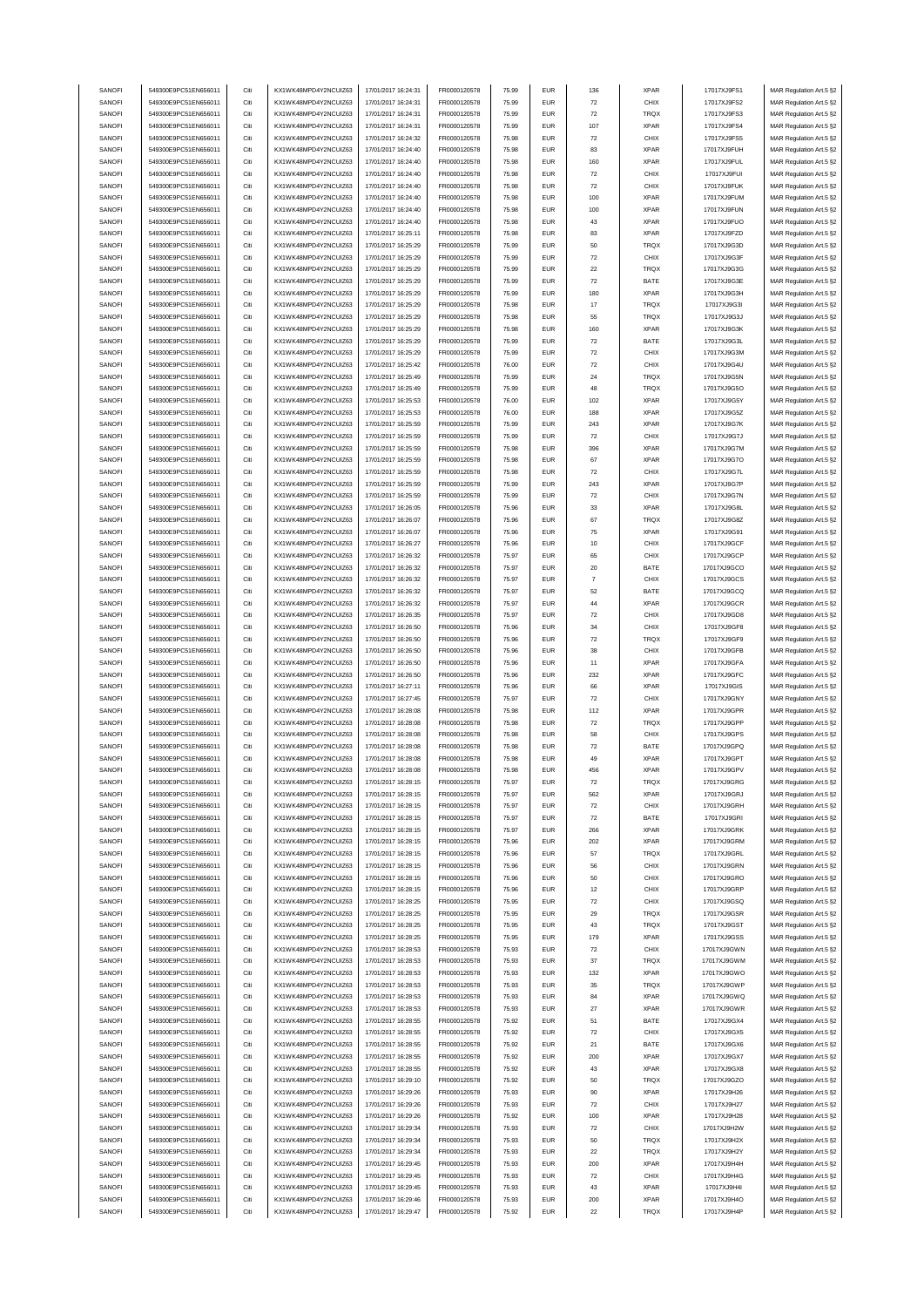| SANOFI | 549300E9PC51EN656011 | Citi | KX1WK48MPD4Y2NCUIZ63  | 17/01/2017 16:24:31 | FR0000120578        | 75.99 | <b>EUR</b> | 136                | <b>XPAR</b> | 17017XJ9FS1 | MAR Regulation Art.5 §2 |
|--------|----------------------|------|-----------------------|---------------------|---------------------|-------|------------|--------------------|-------------|-------------|-------------------------|
| SANOFI | 549300E9PC51EN656011 | Citi | KX1WK48MPD4Y2NCUIZ63  | 17/01/2017 16:24:31 | FR0000120578        | 75.99 | <b>EUR</b> | $\scriptstyle{72}$ | CHIX        | 17017XJ9FS2 | MAR Regulation Art.5 §2 |
|        |                      |      |                       |                     |                     |       |            |                    |             |             |                         |
| SANOFI | 549300E9PC51EN656011 | Citi | KX1WK48MPD4Y2NCUIZ63  | 17/01/2017 16:24:31 | FR0000120578        | 75.99 | <b>EUR</b> | $\scriptstyle{72}$ | TRQX        | 17017XJ9FS3 | MAR Regulation Art.5 §2 |
| SANOFI | 549300E9PC51EN656011 | Citi | KX1WK48MPD4Y2NCUIZ63  | 17/01/2017 16:24:31 | FR0000120578        | 75.99 | <b>EUR</b> | 107                | <b>XPAR</b> | 17017XJ9FS4 | MAR Regulation Art.5 §2 |
| SANOFI | 549300E9PC51EN656011 | Citi | KX1WK48MPD4Y2NCUIZ63  | 17/01/2017 16:24:32 | FR0000120578        | 75.98 | <b>EUR</b> | $\scriptstyle{72}$ | CHIX        | 17017XJ9FS5 | MAR Regulation Art.5 §2 |
| SANOFI | 549300E9PC51EN656011 | Citi | KX1WK48MPD4Y2NCUIZ63  | 17/01/2017 16:24:40 | FR0000120578        | 75.98 | <b>EUR</b> | 83                 | XPAR        | 17017XJ9FUH | MAR Regulation Art.5 §2 |
| SANOFI | 549300E9PC51EN656011 | Citi | KX1WK48MPD4Y2NCUIZ63  | 17/01/2017 16:24:40 | FR0000120578        | 75.98 | <b>EUR</b> | 160                | XPAR        | 17017XJ9FUL | MAR Regulation Art.5 §2 |
| SANOFI | 549300E9PC51EN656011 | Citi | KX1WK48MPD4Y2NCUIZ63  | 17/01/2017 16:24:40 | FR0000120578        | 75.98 | <b>EUR</b> | 72                 | CHIX        | 17017XJ9FUI | MAR Regulation Art.5 §2 |
|        |                      |      |                       |                     |                     |       |            |                    |             |             |                         |
| SANOFI | 549300E9PC51EN656011 | Citi | KX1WK48MPD4Y2NCUIZ63  | 17/01/2017 16:24:40 | FR0000120578        | 75.98 | <b>EUR</b> | 72                 | CHIX        | 17017XJ9FUK | MAR Regulation Art.5 §2 |
| SANOFI | 549300E9PC51EN656011 | Citi | KX1WK48MPD4Y2NCUIZ63  | 17/01/2017 16:24:40 | FR0000120578        | 75.98 | <b>EUR</b> | 100                | <b>XPAR</b> | 17017XJ9FUM | MAR Regulation Art.5 §2 |
| SANOFI | 549300E9PC51EN656011 | Citi | KX1WK48MPD4Y2NCUIZ63  | 17/01/2017 16:24:40 | FR0000120578        | 75.98 | <b>EUR</b> | 100                | <b>XPAR</b> | 17017XJ9FUN | MAR Regulation Art.5 §2 |
| SANOFI | 549300E9PC51EN656011 | Citi | KX1WK48MPD4Y2NCUIZ63  | 17/01/2017 16:24:40 | FR0000120578        | 75.98 | <b>EUR</b> | 43                 | <b>XPAR</b> | 17017XJ9FUO | MAR Regulation Art.5 §2 |
| SANOFI | 549300E9PC51EN656011 | Citi | KX1WK48MPD4Y2NCUIZ63  | 17/01/2017 16:25:11 | FR0000120578        | 75.98 | <b>EUR</b> | 83                 | <b>XPAR</b> | 17017XJ9FZD | MAR Regulation Art.5 §2 |
|        |                      |      |                       |                     |                     |       |            |                    |             |             |                         |
| SANOFI | 549300E9PC51EN656011 | Citi | KX1WK48MPD4Y2NCUIZ63  | 17/01/2017 16:25:29 | FR0000120578        | 75.99 | <b>EUR</b> | 50                 | TRQX        | 17017XJ9G3D | MAR Regulation Art.5 §2 |
| SANOFI | 549300E9PC51EN656011 | Citi | KX1WK48MPD4Y2NCUIZ63  | 17/01/2017 16:25:29 | FR0000120578        | 75.99 | <b>EUR</b> | $\scriptstyle{72}$ | CHIX        | 17017XJ9G3F | MAR Regulation Art.5 §2 |
| SANOFI | 549300E9PC51EN656011 | Citi | KX1WK48MPD4Y2NCUIZ63  | 17/01/2017 16:25:29 | FR0000120578        | 75.99 | <b>EUR</b> | 22                 | <b>TRQX</b> | 17017XJ9G3G | MAR Regulation Art.5 §2 |
| SANOFI | 549300E9PC51EN656011 | Citi | KX1WK48MPD4Y2NCUIZ63  | 17/01/2017 16:25:29 | FR0000120578        | 75.99 | <b>EUR</b> | 72                 | BATE        | 17017XJ9G3E | MAR Regulation Art.5 §2 |
| SANOFI | 549300E9PC51EN656011 | Citi | KX1WK48MPD4Y2NCUIZ63  | 17/01/2017 16:25:29 | FR0000120578        | 75.99 | <b>EUR</b> | 180                | <b>XPAR</b> | 17017XJ9G3H | MAR Regulation Art.5 §2 |
| SANOFI | 549300E9PC51EN656011 | Citi | KX1WK48MPD4Y2NCUIZ63  | 17/01/2017 16:25:29 | FR0000120578        | 75.98 | <b>EUR</b> | $17\,$             | TRQX        | 17017XJ9G3I |                         |
|        |                      |      |                       |                     |                     |       |            |                    |             |             | MAR Regulation Art.5 §2 |
| SANOFI | 549300E9PC51EN656011 | Citi | KX1WK48MPD4Y2NCUIZ63  | 17/01/2017 16:25:29 | FR0000120578        | 75.98 | <b>EUR</b> | 55                 | TRQX        | 17017XJ9G3J | MAR Regulation Art.5 §2 |
| SANOFI | 549300E9PC51EN656011 | Citi | KX1WK48MPD4Y2NCUIZ63  | 17/01/2017 16:25:29 | FR0000120578        | 75.98 | <b>EUR</b> | 160                | <b>XPAR</b> | 17017XJ9G3K | MAR Regulation Art.5 §2 |
| SANOFI | 549300E9PC51EN656011 | Citi | KX1WK48MPD4Y2NCUIZ63  | 17/01/2017 16:25:29 | FR0000120578        | 75.99 | <b>EUR</b> | $\scriptstyle{72}$ | BATE        | 17017XJ9G3L | MAR Regulation Art.5 §2 |
| SANOFI | 549300E9PC51EN656011 | Citi | KX1WK48MPD4Y2NCUIZ63  | 17/01/2017 16:25:29 | FR0000120578        | 75.99 | <b>EUR</b> | $\bf 72$           | CHIX        | 17017XJ9G3M | MAR Regulation Art.5 §2 |
| SANOFI | 549300E9PC51EN656011 | Citi | KX1WK48MPD4Y2NCUIZ63  | 17/01/2017 16:25:42 | FR0000120578        | 76.00 | <b>EUR</b> | 72                 | CHIX        | 17017XJ9G4U | MAR Regulation Art.5 §2 |
| SANOFI | 549300E9PC51EN656011 | Citi | KX1WK48MPD4Y2NCLIIZ63 | 17/01/2017 16:25:49 | FR0000120578        | 75.99 | <b>EUR</b> | 24                 | <b>TRQX</b> | 17017XJ9G5N | MAR Regulation Art.5 §2 |
|        |                      |      |                       |                     |                     |       |            |                    |             |             |                         |
| SANOFI | 549300E9PC51EN656011 | Citi | KX1WK48MPD4Y2NCUIZ63  | 17/01/2017 16:25:49 | FR0000120578        | 75.99 | <b>EUR</b> | 48                 | TRQX        | 17017XJ9G5O | MAR Regulation Art.5 §2 |
| SANOFI | 549300E9PC51EN656011 | Citi | KX1WK48MPD4Y2NCUIZ63  | 17/01/2017 16:25:53 | FR0000120578        | 76.00 | <b>EUR</b> | 102                | XPAR        | 17017XJ9G5Y | MAR Regulation Art.5 §2 |
| SANOFI | 549300E9PC51EN656011 | Citi | KX1WK48MPD4Y2NCUIZ63  | 17/01/2017 16:25:53 | FR0000120578        | 76.00 | <b>EUR</b> | 188                | <b>XPAR</b> | 17017XJ9G5Z | MAR Regulation Art.5 §2 |
| SANOFI | 549300E9PC51EN656011 | Citi | KX1WK48MPD4Y2NCUIZ63  | 17/01/2017 16:25:59 | FR0000120578        | 75.99 | <b>EUR</b> | 243                | <b>XPAR</b> | 17017XJ9G7K | MAR Regulation Art.5 §2 |
| SANOFI | 549300E9PC51EN656011 | Citi | KX1WK48MPD4Y2NCUIZ63  | 17/01/2017 16:25:59 | FR0000120578        | 75.99 | <b>EUR</b> | $\bf 72$           | CHIX        | 17017XJ9G7J | MAR Regulation Art.5 §2 |
|        |                      |      |                       |                     |                     |       |            |                    |             |             |                         |
| SANOFI | 549300E9PC51EN656011 | Citi | KX1WK48MPD4Y2NCUIZ63  | 17/01/2017 16:25:59 | FR0000120578        | 75.98 | <b>EUR</b> | 396                | <b>XPAR</b> | 17017XJ9G7M | MAR Regulation Art.5 §2 |
| SANOFI | 549300E9PC51EN656011 | Citi | KX1WK48MPD4Y2NCUIZ63  | 17/01/2017 16:25:59 | FR0000120578        | 75.98 | <b>EUR</b> | 67                 | <b>XPAR</b> | 17017XJ9G7O | MAR Regulation Art.5 §2 |
| SANOFI | 549300E9PC51EN656011 | Citi | KX1WK48MPD4Y2NCUIZ63  | 17/01/2017 16:25:59 | FR0000120578        | 75.98 | <b>EUR</b> | 72                 | CHIX        | 17017XJ9G7L | MAR Regulation Art.5 §2 |
| SANOFI | 549300E9PC51EN656011 | Citi | KX1WK48MPD4Y2NCLIIZ63 | 17/01/2017 16:25:59 | FR0000120578        | 75.99 | <b>EUR</b> | 243                | <b>XPAR</b> | 17017XJ9G7P | MAR Regulation Art.5 §2 |
| SANOFI | 549300E9PC51EN656011 | Citi | KX1WK48MPD4Y2NCUIZ63  | 17/01/2017 16:25:59 | FR0000120578        | 75.99 | <b>EUR</b> | $\scriptstyle{72}$ | CHIX        | 17017XJ9G7N | MAR Regulation Art.5 §2 |
|        | 549300E9PC51EN656011 | Citi | KX1WK48MPD4Y2NCUIZ63  |                     |                     |       | <b>EUR</b> |                    | XPAR        |             |                         |
| SANOFI |                      |      |                       | 17/01/2017 16:26:05 | FR0000120578        | 75.96 |            | 33                 |             | 17017XJ9G8L | MAR Regulation Art.5 §2 |
| SANOFI | 549300E9PC51EN656011 | Citi | KX1WK48MPD4Y2NCUIZ63  | 17/01/2017 16:26:07 | FR0000120578        | 75.96 | <b>EUR</b> | 67                 | TRQX        | 17017XJ9G8Z | MAR Regulation Art.5 §2 |
| SANOFI | 549300E9PC51EN656011 | Citi | KX1WK48MPD4Y2NCUIZ63  | 17/01/2017 16:26:07 | FR0000120578        | 75.96 | <b>EUR</b> | 75                 | <b>XPAR</b> | 17017XJ9G91 | MAR Regulation Art.5 §2 |
| SANOFI | 549300E9PC51EN656011 | Citi | KX1WK48MPD4Y2NCUIZ63  | 17/01/2017 16:26:27 | FR0000120578        | 75.96 | <b>EUR</b> | 10                 | CHIX        | 17017XJ9GCF | MAR Regulation Art.5 §2 |
| SANOFI | 549300E9PC51EN656011 | Citi | KX1WK48MPD4Y2NCUIZ63  | 17/01/2017 16:26:32 | FR0000120578        | 75.97 | <b>EUR</b> | 65                 | CHIX        | 17017XJ9GCP | MAR Regulation Art.5 §2 |
| SANOFI | 549300E9PC51EN656011 | Citi | KX1WK48MPD4Y2NCUIZ63  | 17/01/2017 16:26:32 | FR0000120578        | 75.97 | <b>EUR</b> | 20                 | BATE        | 17017XJ9GCO | MAR Regulation Art.5 §2 |
|        | 549300E9PC51EN656011 | Citi | KX1WK48MPD4Y2NCUIZ63  | 17/01/2017 16:26:32 | FR0000120578        | 75.97 | <b>EUR</b> | $\overline{7}$     | CHIX        |             |                         |
| SANOFI |                      |      |                       |                     |                     |       |            |                    |             | 17017XJ9GCS | MAR Regulation Art.5 §2 |
| SANOFI | 549300E9PC51EN656011 | Citi | KX1WK48MPD4Y2NCUIZ63  | 17/01/2017 16:26:32 | FR0000120578        | 75.97 | <b>EUR</b> | 52                 | BATE        | 17017XJ9GCQ | MAR Regulation Art.5 §2 |
| SANOFI | 549300E9PC51EN656011 | Citi | KX1WK48MPD4Y2NCUIZ63  | 17/01/2017 16:26:32 | FR0000120578        | 75.97 | <b>EUR</b> | 44                 | <b>XPAR</b> | 17017XJ9GCR | MAR Regulation Art.5 §2 |
| SANOFI | 549300E9PC51EN656011 | Citi | KX1WK48MPD4Y2NCUIZ63  | 17/01/2017 16:26:35 | FR0000120578        | 75.97 | <b>EUR</b> | $\scriptstyle{72}$ | CHIX        | 17017XJ9GD8 | MAR Regulation Art.5 §2 |
| SANOFI | 549300E9PC51EN656011 | Citi | KX1WK48MPD4Y2NCUIZ63  | 17/01/2017 16:26:50 | FR0000120578        | 75.96 | <b>EUR</b> | 34                 | CHIX        | 17017XJ9GF8 | MAR Regulation Art.5 §2 |
| SANOFI | 549300E9PC51EN656011 | Citi | KX1WK48MPD4Y2NCUIZ63  | 17/01/2017 16:26:50 | FR0000120578        | 75.96 | <b>EUR</b> | $\scriptstyle{72}$ | TRQX        | 17017XJ9GF9 | MAR Regulation Art.5 §2 |
|        |                      |      |                       |                     |                     |       |            |                    |             |             |                         |
| SANOFI | 549300E9PC51EN656011 | Citi | KX1WK48MPD4Y2NCUIZ63  | 17/01/2017 16:26:50 | FR0000120578        | 75.96 | <b>EUR</b> | 38                 | CHIX        | 17017XJ9GFB | MAR Regulation Art.5 §2 |
| SANOFI | 549300E9PC51EN656011 | Citi | KX1WK48MPD4Y2NCUIZ63  | 17/01/2017 16:26:50 | FR0000120578        | 75.96 | <b>EUR</b> | 11                 | <b>XPAR</b> | 17017XJ9GFA | MAR Regulation Art.5 §2 |
| SANOFI | 549300E9PC51EN656011 | Citi | KX1WK48MPD4Y2NCUIZ63  | 17/01/2017 16:26:50 | FR0000120578        | 75.96 | <b>EUR</b> | 232                | XPAR        | 17017XJ9GFC | MAR Regulation Art.5 §2 |
| SANOFI | 549300E9PC51EN656011 | Citi | KX1WK48MPD4Y2NCUIZ63  | 17/01/2017 16:27:11 | FR0000120578        | 75.96 | EUR        | 66                 | <b>XPAR</b> | 17017XJ9GIS | MAR Regulation Art.5 §2 |
| SANOFI | 549300E9PC51EN656011 | Citi | KX1WK48MPD4Y2NCUIZ63  | 17/01/2017 16:27:45 | FR0000120578        | 75.97 | <b>EUR</b> | $\scriptstyle{72}$ | CHIX        | 17017XJ9GNY | MAR Regulation Art.5 §2 |
|        |                      |      |                       |                     |                     |       |            |                    |             | 17017XJ9GPR | MAR Regulation Art.5 §2 |
| SANOFI | 549300E9PC51EN656011 | Citi | KX1WK48MPD4Y2NCUIZ63  | 17/01/2017 16:28:08 | FR0000120578        | 75.98 | <b>EUR</b> | 112                | <b>XPAR</b> |             |                         |
| SANOFI | 549300E9PC51EN656011 | Citi | KX1WK48MPD4Y2NCUIZ63  | 17/01/2017 16:28:08 | FR0000120578        | 75.98 | <b>EUR</b> | $\scriptstyle{72}$ | TRQX        | 17017XJ9GPP | MAR Regulation Art.5 §2 |
| SANOFI | 549300E9PC51EN656011 | Citi | KX1WK48MPD4Y2NCUIZ63  | 17/01/2017 16:28:08 | FR0000120578        | 75.98 | <b>EUR</b> | 58                 | CHIX        | 17017XJ9GPS | MAR Regulation Art.5 §2 |
| SANOFI | 549300E9PC51EN656011 | Citi | KX1WK48MPD4Y2NCUIZ63  | 17/01/2017 16:28:08 | FR0000120578        | 75.98 | <b>EUR</b> | $\scriptstyle{72}$ | BATE        | 17017XJ9GPQ | MAR Regulation Art.5 §2 |
| SANOFI | 549300E9PC51EN656011 | Citi | KX1WK48MPD4Y2NCUIZ63  | 17/01/2017 16:28:08 | FR0000120578        | 75.98 | <b>EUR</b> | 49                 | <b>XPAR</b> | 17017XJ9GPT | MAR Regulation Art.5 §2 |
| SANOFI | 549300E9PC51EN656011 |      | KX1WK48MPD4Y2NCLIIZ63 | 17/01/2017 16:28:08 | <b>ER0000120578</b> | 75.98 |            |                    | <b>XPAR</b> | 17017XJ9GPV | MAR Regulation Art 5 82 |
|        |                      |      |                       |                     |                     |       |            |                    |             |             |                         |
| SANOFI | 549300E9PC51EN656011 | Citi | KX1WK48MPD4Y2NCUIZ63  | 17/01/2017 16:28:15 | FR0000120578        | 75.97 | <b>EUR</b> | 72                 | TRQX        | 17017XJ9GRG | MAR Regulation Art.5 §2 |
| SANOFI | 549300E9PC51EN656011 | Citi | KX1WK48MPD4Y2NCUIZ63  | 17/01/2017 16:28:15 | FR0000120578        | 75.97 | <b>EUR</b> | 562                | <b>XPAR</b> | 17017XJ9GRJ | MAR Regulation Art.5 §2 |
| SANOFI | 549300E9PC51EN656011 | Citi | KX1WK48MPD4Y2NCUIZ63  | 17/01/2017 16:28:15 | FR0000120578        | 75.97 | <b>EUR</b> | $\scriptstyle{72}$ | CHIX        | 17017XJ9GRH | MAR Regulation Art.5 §2 |
| SANOFI | 549300E9PC51EN656011 | Citi | KX1WK48MPD4Y2NCUIZ63  | 17/01/2017 16:28:15 | FR0000120578        | 75.97 | <b>EUR</b> | $\scriptstyle{72}$ | BATE        | 17017XJ9GRI | MAR Regulation Art.5 §2 |
| SANOFI | 549300E9PC51EN656011 | Citi | KX1WK48MPD4Y2NCUIZ63  | 17/01/2017 16:28:15 | FR0000120578        | 75.97 | <b>EUR</b> | 266                | XPAR        | 17017XJ9GRK | MAR Regulation Art.5 §2 |
| SANOFI | 549300E9PC51EN656011 | Citi | KX1WK48MPD4Y2NCUIZ63  | 17/01/2017 16:28:15 | FR0000120578        | 75.96 | <b>EUR</b> | 202                | <b>XPAR</b> | 17017XJ9GRM | MAR Regulation Art.5 §2 |
|        |                      |      |                       |                     |                     |       |            |                    |             |             |                         |
| SANOFI | 549300E9PC51EN656011 | Citi | KX1WK48MPD4Y2NCUIZ63  | 17/01/2017 16:28:15 | FR0000120578        | 75.96 | <b>EUR</b> | 57                 | TRQX        | 17017XJ9GRL | MAR Regulation Art.5 §2 |
| SANOFI | 549300E9PC51EN656011 | Citi | KX1WK48MPD4Y2NCUIZ63  | 17/01/2017 16:28:15 | FR0000120578        | 75.96 | <b>EUR</b> | 56                 | CHIX        | 17017XJ9GRN | MAR Regulation Art.5 §2 |
| SANOFI | 549300E9PC51EN656011 | Citi | KX1WK48MPD4Y2NCUIZ63  | 17/01/2017 16:28:15 | FR0000120578        | 75.96 | <b>EUR</b> | 50                 | CHIX        | 17017XJ9GRO | MAR Regulation Art.5 §2 |
| SANOFI | 549300E9PC51EN656011 | Citi | KX1WK48MPD4Y2NCLIIZ63 | 17/01/2017 16:28:15 | FR0000120578        | 75.96 | <b>EUR</b> | 12                 | CHIX        | 17017XJ9GRP | MAR Regulation Art.5 §2 |
| SANOFI | 549300E9PC51EN656011 | Citi | KX1WK48MPD4Y2NCUIZ63  | 17/01/2017 16:28:25 | FR0000120578        | 75.95 | <b>EUR</b> | $\scriptstyle{72}$ | CHIX        | 17017XJ9GSQ | MAR Regulation Art.5 §2 |
| SANOFI | 549300E9PC51EN656011 | Citi | KX1WK48MPD4Y2NCUIZ63  | 17/01/2017 16:28:25 | FR0000120578        | 75.95 | <b>EUR</b> | 29                 | TRQX        | 17017XJ9GSR | MAR Regulation Art.5 §2 |
|        | 549300E9PC51EN656011 | Citi |                       |                     |                     |       |            |                    |             |             |                         |
| SANOFI |                      |      | KX1WK48MPD4Y2NCUIZ63  | 17/01/2017 16:28:25 | FR0000120578        | 75.95 | <b>EUR</b> | 43                 | TRQX        | 17017XJ9GST | MAR Regulation Art.5 §2 |
| SANOFI | 549300E9PC51EN656011 | Citi | KX1WK48MPD4Y2NCUIZ63  | 17/01/2017 16:28:25 | FR0000120578        | 75.95 | <b>EUR</b> | 179                | <b>XPAR</b> | 17017XJ9GSS | MAR Regulation Art.5 §2 |
| SANOFI | 549300E9PC51EN656011 | Citi | KX1WK48MPD4Y2NCUIZ63  | 17/01/2017 16:28:53 | FR0000120578        | 75.93 | <b>EUR</b> | 72                 | CHIX        | 17017XJ9GWN | MAR Regulation Art.5 §2 |
| SANOFI | 549300E9PC51EN656011 | Citi | KX1WK48MPD4Y2NCUIZ63  | 17/01/2017 16:28:53 | FR0000120578        | 75.93 | <b>EUR</b> | $37\,$             | TRQX        | 17017XJ9GWM | MAR Regulation Art.5 §2 |
| SANOFI | 549300E9PC51EN656011 | Citi | KX1WK48MPD4Y2NCUIZ63  | 17/01/2017 16:28:53 | FR0000120578        | 75.93 | <b>EUR</b> | 132                | <b>XPAR</b> | 17017XJ9GWO | MAR Regulation Art.5 §2 |
|        | 549300E9PC51EN656011 |      |                       |                     |                     |       |            |                    |             |             |                         |
| SANOFI |                      | Citi | KX1WK48MPD4Y2NCUIZ63  | 17/01/2017 16:28:53 | FR0000120578        | 75.93 | <b>EUR</b> | 35                 | TRQX        | 17017XJ9GWP | MAR Regulation Art.5 §2 |
| SANOFI | 549300E9PC51EN656011 | Citi | KX1WK48MPD4Y2NCUIZ63  | 17/01/2017 16:28:53 | FR0000120578        | 75.93 | <b>EUR</b> | 84                 | <b>XPAR</b> | 17017XJ9GWQ | MAR Regulation Art.5 §2 |
| SANOFI | 549300E9PC51EN656011 | Citi | KX1WK48MPD4Y2NCUIZ63  | 17/01/2017 16:28:53 | FR0000120578        | 75.93 | <b>EUR</b> | 27                 | <b>XPAR</b> | 17017XJ9GWR | MAR Regulation Art.5 §2 |
| SANOFI | 549300E9PC51EN656011 | Citi | KX1WK48MPD4Y2NCUIZ63  | 17/01/2017 16:28:55 | FR0000120578        | 75.92 | <b>EUR</b> | 51                 | BATE        | 17017XJ9GX4 | MAR Regulation Art.5 §2 |
| SANOFI | 549300E9PC51EN656011 | Citi | KX1WK48MPD4Y2NCUIZ63  | 17/01/2017 16:28:55 | FR0000120578        | 75.92 | <b>EUR</b> | $\scriptstyle{72}$ | CHIX        | 17017XJ9GX5 | MAR Regulation Art.5 §2 |
| SANOFI | 549300E9PC51EN656011 | Citi | KX1WK48MPD4Y2NCUIZ63  | 17/01/2017 16:28:55 | FR0000120578        | 75.92 | <b>EUR</b> | 21                 | BATE        | 17017XJ9GX6 | MAR Regulation Art.5 §2 |
|        |                      |      |                       |                     |                     |       |            |                    |             |             |                         |
| SANOFI | 549300E9PC51EN656011 | Citi | KX1WK48MPD4Y2NCUIZ63  | 17/01/2017 16:28:55 | FR0000120578        | 75.92 | <b>EUR</b> | 200                | <b>XPAR</b> | 17017XJ9GX7 | MAR Regulation Art.5 §2 |
| SANOFI | 549300E9PC51EN656011 | Citi | KX1WK48MPD4Y2NCUIZ63  | 17/01/2017 16:28:55 | FR0000120578        | 75.92 | <b>EUR</b> | 43                 | <b>XPAR</b> | 17017XJ9GX8 | MAR Regulation Art.5 §2 |
| SANOFI | 549300E9PC51EN656011 | Citi | KX1WK48MPD4Y2NCUIZ63  | 17/01/2017 16:29:10 | FR0000120578        | 75.92 | <b>EUR</b> | 50                 | TRQX        | 17017XJ9GZO | MAR Regulation Art.5 §2 |
| SANOFI | 549300E9PC51EN656011 | Citi | KX1WK48MPD4Y2NCUIZ63  | 17/01/2017 16:29:26 | FR0000120578        | 75.93 | <b>EUR</b> | 90                 | <b>XPAR</b> | 17017XJ9H26 | MAR Regulation Art.5 §2 |
| SANOFI | 549300E9PC51EN656011 | Citi | KX1WK48MPD4Y2NCUIZ63  | 17/01/2017 16:29:26 | FR0000120578        | 75.93 | <b>EUR</b> | $\scriptstyle{72}$ | CHIX        | 17017XJ9H27 | MAR Regulation Art.5 §2 |
| SANOFI | 549300E9PC51EN656011 | Citi | KX1WK48MPD4Y2NCUIZ63  | 17/01/2017 16:29:26 | FR0000120578        | 75.92 | <b>EUR</b> | 100                | <b>XPAR</b> | 17017XJ9H28 |                         |
|        |                      |      |                       |                     |                     |       |            |                    |             |             | MAR Regulation Art.5 §2 |
| SANOFI | 549300E9PC51EN656011 | Citi | KX1WK48MPD4Y2NCUIZ63  | 17/01/2017 16:29:34 | FR0000120578        | 75.93 | <b>EUR</b> | $\bf 72$           | CHIX        | 17017XJ9H2W | MAR Regulation Art.5 §2 |
| SANOFI | 549300E9PC51EN656011 | Citi | KX1WK48MPD4Y2NCUIZ63  | 17/01/2017 16:29:34 | FR0000120578        | 75.93 | <b>EUR</b> | 50                 | TRQX        | 17017XJ9H2X | MAR Regulation Art.5 §2 |
| SANOFI | 549300E9PC51EN656011 | Citi | KX1WK48MPD4Y2NCUIZ63  | 17/01/2017 16:29:34 | FR0000120578        | 75.93 | <b>EUR</b> | 22                 | TRQX        | 17017XJ9H2Y | MAR Regulation Art.5 §2 |
| SANOFI | 549300E9PC51EN656011 | Citi | KX1WK48MPD4Y2NCUIZ63  | 17/01/2017 16:29:45 | FR0000120578        | 75.93 | <b>EUR</b> | 200                | <b>XPAR</b> | 17017XJ9H4H | MAR Regulation Art.5 §2 |
| SANOFI | 549300E9PC51EN656011 | Citi | KX1WK48MPD4Y2NCUIZ63  | 17/01/2017 16:29:45 | FR0000120578        | 75.93 | <b>EUR</b> | $\scriptstyle{72}$ | CHIX        | 17017XJ9H4G | MAR Regulation Art.5 §2 |
| SANOFI | 549300E9PC51EN656011 | Citi | KX1WK48MPD4Y2NCUIZ63  | 17/01/2017 16:29:45 | FR0000120578        | 75.93 | <b>EUR</b> | 43                 | <b>XPAR</b> | 17017XJ9H4I |                         |
|        |                      |      |                       |                     |                     |       |            |                    |             |             | MAR Regulation Art.5 §2 |
| SANOFI | 549300E9PC51EN656011 | Citi | KX1WK48MPD4Y2NCUIZ63  | 17/01/2017 16:29:46 | FR0000120578        | 75.93 | <b>EUR</b> | 200                | <b>XPAR</b> | 17017XJ9H4O | MAR Regulation Art.5 §2 |
| SANOFI | 549300E9PC51EN656011 | Citi | KX1WK48MPD4Y2NCUIZ63  | 17/01/2017 16:29:47 | FR0000120578        | 75.92 | <b>EUR</b> | $22\,$             | TRQX        | 17017XJ9H4P | MAR Regulation Art.5 §2 |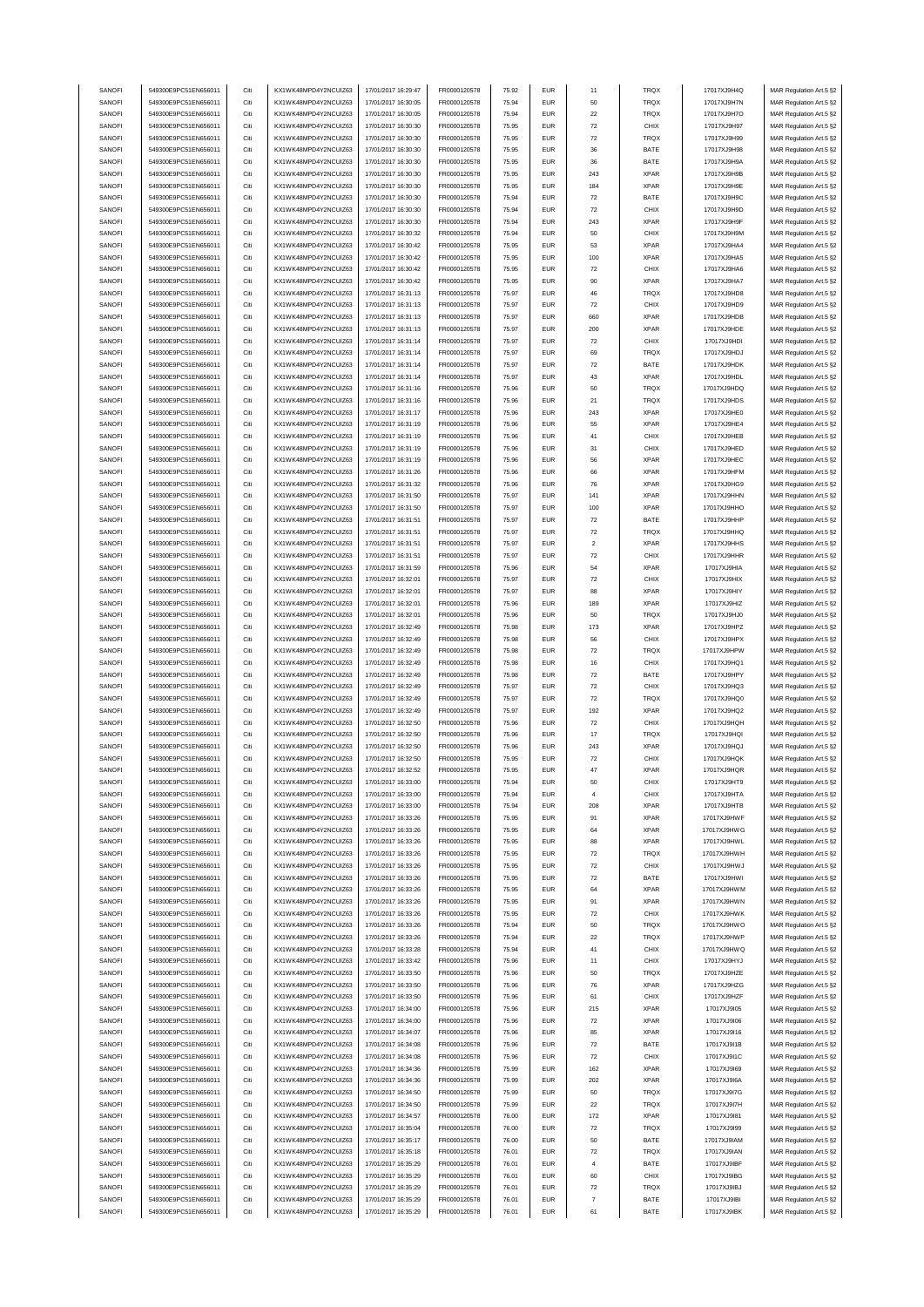| SANOFI | 549300E9PC51EN656011 | Citi | KX1WK48MPD4Y2NCUIZ63  | 17/01/2017 16:29:47 | FR0000120578 | 75.92 | <b>EUR</b>                  | 11                 | <b>TRQX</b> | 17017XJ9H4Q  | MAR Regulation Art.5 §2 |
|--------|----------------------|------|-----------------------|---------------------|--------------|-------|-----------------------------|--------------------|-------------|--------------|-------------------------|
|        |                      |      | KX1WK48MPD4Y2NCLIIZ63 |                     |              |       |                             |                    |             |              |                         |
| SANOFI | 549300E9PC51EN656011 | Citi |                       | 17/01/2017 16:30:05 | FR0000120578 | 75.94 | <b>EUR</b>                  | 50                 | <b>TRQX</b> | 17017XJ9H7N  | MAR Regulation Art.5 §2 |
| SANOFI | 549300E9PC51EN656011 | Citi | KX1WK48MPD4Y2NCUIZ63  | 17/01/2017 16:30:05 | FR0000120578 | 75.94 | <b>EUR</b>                  | $22\,$             | TRQX        | 17017XJ9H7O  | MAR Regulation Art.5 §2 |
| SANOFI | 549300E9PC51EN656011 | Citi | KX1WK48MPD4Y2NCUIZ63  | 17/01/2017 16:30:30 | FR0000120578 | 75.95 | <b>EUR</b>                  | 72                 | CHIX        | 17017XJ9H97  | MAR Regulation Art.5 §2 |
| SANOFI | 549300E9PC51EN656011 | Citi | KX1WK48MPD4Y2NCUIZ63  | 17/01/2017 16:30:30 | FR0000120578 | 75.95 | <b>EUR</b>                  | 72                 | <b>TRQX</b> | 17017XJ9H99  | MAR Regulation Art.5 §2 |
| SANOFI | 549300E9PC51EN656011 | Citi | KX1WK48MPD4Y2NCUIZ63  | 17/01/2017 16:30:30 | FR0000120578 | 75.95 | <b>EUR</b>                  | 36                 | BATE        | 17017XJ9H98  | MAR Regulation Art.5 §2 |
| SANOFI |                      | Citi | KX1WK48MPD4Y2NCUIZ63  |                     |              |       | <b>EUR</b>                  |                    | BATE        |              |                         |
|        | 549300E9PC51EN656011 |      |                       | 17/01/2017 16:30:30 | FR0000120578 | 75.95 |                             | 36                 |             | 17017XJ9H9A  | MAR Regulation Art.5 §2 |
| SANOFI | 549300E9PC51EN656011 | Citi | KX1WK48MPD4Y2NCUIZ63  | 17/01/2017 16:30:30 | FR0000120578 | 75.95 | <b>EUR</b>                  | 243                | <b>XPAR</b> | 17017XJ9H9B  | MAR Regulation Art.5 §2 |
| SANOFI | 549300E9PC51EN656011 | Citi | KX1WK48MPD4Y2NCUIZ63  | 17/01/2017 16:30:30 | FR0000120578 | 75.95 | <b>EUR</b>                  | 184                | <b>XPAR</b> | 17017XJ9H9E  | MAR Regulation Art.5 §2 |
| SANOFI | 549300E9PC51EN656011 | Citi | KX1WK48MPD4Y2NCUIZ63  | 17/01/2017 16:30:30 | FR0000120578 | 75.94 | <b>EUR</b>                  | ${\bf 72}$         | BATE        | 17017XJ9H9C  | MAR Regulation Art.5 §2 |
| SANOFI | 549300E9PC51EN656011 | Citi | KX1WK48MPD4Y2NCUIZ63  | 17/01/2017 16:30:30 | FR0000120578 | 75.94 | <b>EUR</b>                  | 72                 | CHIX        | 17017XJ9H9D  | MAR Regulation Art.5 §2 |
|        |                      |      |                       |                     |              |       |                             |                    |             |              |                         |
| SANOFI | 549300E9PC51EN656011 | Citi | KX1WK48MPD4Y2NCUIZ63  | 17/01/2017 16:30:30 | FR0000120578 | 75.94 | <b>EUR</b>                  | 243                | <b>XPAR</b> | 17017XJ9H9F  | MAR Regulation Art.5 §2 |
| SANOFI | 549300E9PC51EN656011 | Citi | KX1WK48MPD4Y2NCUIZ63  | 17/01/2017 16:30:32 | FR0000120578 | 75.94 | <b>EUR</b>                  | 50                 | CHIX        | 17017XJ9H9M  | MAR Regulation Art.5 §2 |
| SANOFI | 549300E9PC51EN656011 | Citi | KX1WK48MPD4Y2NCUIZ63  | 17/01/2017 16:30:42 | FR0000120578 | 75.95 | <b>EUR</b>                  | 53                 | <b>XPAR</b> | 17017XJ9HA4  | MAR Regulation Art.5 §2 |
| SANOFI | 549300E9PC51EN656011 | Citi | KX1WK48MPD4Y2NCUIZ63  | 17/01/2017 16:30:42 | FR0000120578 | 75.95 | <b>EUR</b>                  | 100                | <b>XPAR</b> | 17017XJ9HA5  | MAR Regulation Art.5 §2 |
|        |                      |      |                       |                     |              |       |                             |                    |             |              |                         |
| SANOFI | 549300E9PC51EN656011 | Citi | KX1WK48MPD4Y2NCUIZ63  | 17/01/2017 16:30:42 | FR0000120578 | 75.95 | <b>EUR</b>                  | 72                 | CHIX        | 17017XJ9HA6  | MAR Regulation Art.5 §2 |
| SANOFI | 549300E9PC51EN656011 | Citi | KX1WK48MPD4Y2NCUIZ63  | 17/01/2017 16:30:42 | FR0000120578 | 75.95 | <b>EUR</b>                  | 90                 | <b>XPAR</b> | 17017XJ9HA7  | MAR Regulation Art.5 §2 |
| SANOFI | 549300E9PC51EN656011 | Citi | KX1WK48MPD4Y2NCUIZ63  | 17/01/2017 16:31:13 | FR0000120578 | 75.97 | <b>EUR</b>                  | 46                 | <b>TRQX</b> | 17017XJ9HD8  | MAR Regulation Art.5 §2 |
| SANOFI | 549300E9PC51EN656011 | Citi | KX1WK48MPD4Y2NCUIZ63  | 17/01/2017 16:31:13 | FR0000120578 | 75.97 | EUR                         | 72                 | CHIX        | 17017XJ9HD9  | MAR Regulation Art.5 §2 |
|        |                      |      |                       |                     |              |       |                             |                    |             |              |                         |
| SANOFI | 549300E9PC51EN656011 | Citi | KX1WK48MPD4Y2NCUIZ63  | 17/01/2017 16:31:13 | FR0000120578 | 75.97 | <b>EUR</b>                  | 660                | <b>XPAR</b> | 17017XJ9HDB  | MAR Regulation Art.5 §2 |
| SANOFI | 549300E9PC51EN656011 | Citi | KX1WK48MPD4Y2NCUIZ63  | 17/01/2017 16:31:13 | FR0000120578 | 75.97 | <b>EUR</b>                  | 200                | <b>XPAR</b> | 17017XJ9HDE  | MAR Regulation Art.5 §2 |
| SANOFI | 549300E9PC51EN656011 | Citi | KX1WK48MPD4Y2NCUIZ63  | 17/01/2017 16:31:14 | FR0000120578 | 75.97 | <b>EUR</b>                  | 72                 | CHIX        | 17017XJ9HDI  | MAR Regulation Art.5 §2 |
| SANOFI | 549300E9PC51EN656011 | Citi | KX1WK48MPD4Y2NCUIZ63  | 17/01/2017 16:31:14 | FR0000120578 | 75.97 | <b>EUR</b>                  | 69                 | <b>TRQX</b> | 17017XJ9HDJ  | MAR Regulation Art.5 §2 |
| SANOFI | 549300E9PC51EN656011 | Citi | KX1WK48MPD4Y2NCUIZ63  | 17/01/2017 16:31:14 | FR0000120578 | 75.97 | <b>EUR</b>                  | 72                 | BATE        | 17017XJ9HDK  | MAR Regulation Art.5 §2 |
| SANOFI | 549300E9PC51EN656011 | Citi | KX1WK48MPD4Y2NCLIIZ63 |                     | FR0000120578 | 75.97 | <b>EUR</b>                  | 43                 | <b>XPAR</b> |              |                         |
|        |                      |      |                       | 17/01/2017 16:31:14 |              |       |                             |                    |             | 17017XJ9HDL  | MAR Regulation Art.5 §2 |
| SANOFI | 549300E9PC51EN656011 | Citi | KX1WK48MPD4Y2NCUIZ63  | 17/01/2017 16:31:16 | FR0000120578 | 75.96 | <b>EUR</b>                  | 50                 | TRQX        | 17017XJ9HDQ  | MAR Regulation Art.5 §2 |
| SANOFI | 549300E9PC51EN656011 | Citi | KX1WK48MPD4Y2NCUIZ63  | 17/01/2017 16:31:16 | FR0000120578 | 75.96 | <b>EUR</b>                  | 21                 | <b>TRQX</b> | 17017XJ9HDS  | MAR Regulation Art.5 §2 |
| SANOFI | 549300E9PC51EN656011 | Citi | KX1WK48MPD4Y2NCUIZ63  | 17/01/2017 16:31:17 | FR0000120578 | 75.96 | <b>EUR</b>                  | 243                | <b>XPAR</b> | 17017XJ9HE0  | MAR Regulation Art.5 §2 |
| SANOFI | 549300E9PC51EN656011 | Citi | KX1WK48MPD4Y2NCUIZ63  | 17/01/2017 16:31:19 | FR0000120578 | 75.96 | <b>EUR</b>                  | 55                 | <b>XPAR</b> | 17017XJ9HE4  |                         |
|        |                      |      |                       |                     |              |       |                             |                    |             |              | MAR Regulation Art.5 §2 |
| SANOFI | 549300E9PC51EN656011 | Citi | KX1WK48MPD4Y2NCUIZ63  | 17/01/2017 16:31:19 | FR0000120578 | 75.96 | <b>EUR</b>                  | 41                 | CHIX        | 17017XJ9HEB  | MAR Regulation Art.5 §2 |
| SANOFI | 549300E9PC51EN656011 | Citi | KX1WK48MPD4Y2NCUIZ63  | 17/01/2017 16:31:19 | FR0000120578 | 75.96 | EUR                         | 31                 | CHIX        | 17017XJ9HED  | MAR Regulation Art.5 §2 |
| SANOFI | 549300E9PC51EN656011 | Citi | KX1WK48MPD4Y2NCUIZ63  | 17/01/2017 16:31:19 | FR0000120578 | 75.96 | <b>EUR</b>                  | 56                 | <b>XPAR</b> | 17017XJ9HEC  | MAR Regulation Art.5 §2 |
| SANOFI | 549300E9PC51EN656011 | Citi | KX1WK48MPD4Y2NCUIZ63  | 17/01/2017 16:31:26 | FR0000120578 | 75.96 | <b>EUR</b>                  | 66                 | <b>XPAR</b> | 17017XJ9HFM  | MAR Regulation Art.5 §2 |
|        |                      |      |                       |                     |              |       |                             |                    |             |              |                         |
| SANOFI | 549300E9PC51EN656011 | Citi | KX1WK48MPD4Y2NCUIZ63  | 17/01/2017 16:31:32 | FR0000120578 | 75.96 | <b>EUR</b>                  | 76                 | <b>XPAR</b> | 17017XJ9HG9  | MAR Regulation Art.5 §2 |
| SANOFI | 549300E9PC51EN656011 | Citi | KX1WK48MPD4Y2NCUIZ63  | 17/01/2017 16:31:50 | FR0000120578 | 75.97 | <b>EUR</b>                  | 141                | <b>XPAR</b> | 17017XJ9HHN  | MAR Regulation Art.5 §2 |
| SANOFI | 549300E9PC51EN656011 | Citi | KX1WK48MPD4Y2NCUIZ63  | 17/01/2017 16:31:50 | FR0000120578 | 75.97 | <b>EUR</b>                  | 100                | <b>XPAR</b> | 17017XJ9HHO  | MAR Regulation Art.5 §2 |
| SANOFI | 549300E9PC51EN656011 | Citi | KX1WK48MPD4Y2NCUIZ63  | 17/01/2017 16:31:51 | FR0000120578 | 75.97 | <b>EUR</b>                  | 72                 | BATE        | 17017XJ9HHP  | MAR Regulation Art.5 §2 |
| SANOFI |                      | Citi | KX1WK48MPD4Y2NCUIZ63  |                     | FR0000120578 |       | <b>EUR</b>                  |                    | TRQX        |              |                         |
|        | 549300E9PC51EN656011 |      |                       | 17/01/2017 16:31:51 |              | 75.97 |                             | 72                 |             | 17017XJ9HHQ  | MAR Regulation Art.5 §2 |
| SANOFI | 549300E9PC51EN656011 | Citi | KX1WK48MPD4Y2NCUIZ63  | 17/01/2017 16:31:51 | FR0000120578 | 75.97 | <b>EUR</b>                  | $\overline{a}$     | <b>XPAR</b> | 17017XJ9HHS  | MAR Regulation Art.5 §2 |
| SANOFI | 549300E9PC51EN656011 | Citi | KX1WK48MPD4Y2NCUIZ63  | 17/01/2017 16:31:51 | FR0000120578 | 75.97 | <b>EUR</b>                  | 72                 | CHIX        | 17017XJ9HHR  | MAR Regulation Art.5 §2 |
| SANOFI | 549300E9PC51EN656011 | Citi | KX1WK48MPD4Y2NCUIZ63  | 17/01/2017 16:31:59 | FR0000120578 | 75.96 | <b>EUR</b>                  | 54                 | <b>XPAR</b> | 17017XJ9HIA  | MAR Regulation Art.5 §2 |
| SANOFI | 549300E9PC51EN656011 | Citi | KX1WK48MPD4Y2NCUIZ63  | 17/01/2017 16:32:01 | FR0000120578 | 75.97 | <b>EUR</b>                  | 72                 | CHIX        | 17017XJ9HIX  | MAR Regulation Art.5 §2 |
|        |                      |      |                       |                     |              |       |                             |                    |             |              |                         |
| SANOFI | 549300E9PC51EN656011 | Citi | KX1WK48MPD4Y2NCUIZ63  | 17/01/2017 16:32:01 | FR0000120578 | 75.97 | <b>EUR</b>                  | 88                 | <b>XPAR</b> | 17017XJ9HIY  | MAR Regulation Art.5 §2 |
| SANOFI | 549300E9PC51EN656011 | Citi | KX1WK48MPD4Y2NCUIZ63  | 17/01/2017 16:32:01 | FR0000120578 | 75.96 | EUR                         | 189                | <b>XPAR</b> | 17017XJ9HIZ  | MAR Regulation Art.5 §2 |
| SANOFI | 549300E9PC51EN656011 | Citi | KX1WK48MPD4Y2NCUIZ63  | 17/01/2017 16:32:01 | FR0000120578 | 75.96 | <b>EUR</b>                  | 50                 | <b>TRQX</b> | 17017XJ9HJ0  | MAR Regulation Art.5 §2 |
| SANOFI | 549300E9PC51EN656011 | Citi | KX1WK48MPD4Y2NCUIZ63  | 17/01/2017 16:32:49 | FR0000120578 | 75.98 | <b>EUR</b>                  | 173                | <b>XPAR</b> | 17017XJ9HPZ  | MAR Regulation Art.5 §2 |
| SANOFI | 549300E9PC51EN656011 | Citi | KX1WK48MPD4Y2NCUIZ63  | 17/01/2017 16:32:49 | FR0000120578 | 75.98 | <b>EUR</b>                  | 56                 | CHIX        | 17017XJ9HPX  | MAR Regulation Art.5 §2 |
|        |                      |      |                       |                     |              |       |                             |                    |             |              |                         |
| SANOFI | 549300E9PC51EN656011 | Citi | KX1WK48MPD4Y2NCUIZ63  | 17/01/2017 16:32:49 | FR0000120578 | 75.98 | <b>EUR</b>                  | 72                 | <b>TRQX</b> | 17017XJ9HPW  | MAR Regulation Art.5 §2 |
| SANOFI | 549300E9PC51EN656011 | Citi | KX1WK48MPD4Y2NCUIZ63  | 17/01/2017 16:32:49 | FR0000120578 | 75.98 | <b>EUR</b>                  | 16                 | CHIX        | 17017XJ9HQ1  | MAR Regulation Art.5 §2 |
| SANOFI | 549300E9PC51EN656011 | Citi | KX1WK48MPD4Y2NCUIZ63  | 17/01/2017 16:32:49 | FR0000120578 | 75.98 | <b>EUR</b>                  | ${\bf 72}$         | BATE        | 17017XJ9HPY  | MAR Regulation Art.5 §2 |
| SANOFI | 549300E9PC51EN656011 | Citi | KX1WK48MPD4Y2NCUIZ63  | 17/01/2017 16:32:49 | FR0000120578 | 75.97 | <b>EUR</b>                  | ${\bf 72}$         | CHIX        | 17017XJ9HQ3  | MAR Regulation Art.5 §2 |
|        | 549300E9PC51EN656011 | Citi | KX1WK48MPD4Y2NCUIZ63  |                     |              |       | <b>EUR</b>                  |                    |             |              |                         |
| SANOFI |                      |      |                       | 17/01/2017 16:32:49 | FR0000120578 | 75.97 |                             | 72                 | TRQX        | 17017XJ9HQ0  | MAR Regulation Art.5 §2 |
| SANOFI | 549300E9PC51EN656011 | Citi | KX1WK48MPD4Y2NCUIZ63  | 17/01/2017 16:32:49 | FR0000120578 | 75.97 | <b>EUR</b>                  | 192                | <b>XPAR</b> | 17017XJ9HQ2  | MAR Regulation Art.5 §2 |
| SANOFI | 549300E9PC51EN656011 | Citi | KX1WK48MPD4Y2NCUIZ63  | 17/01/2017 16:32:50 | FR0000120578 | 75.96 | <b>EUR</b>                  | 72                 | CHIX        | 17017XJ9HQH  | MAR Regulation Art.5 §2 |
| SANOFI | 549300E9PC51EN656011 | Citi | KX1WK48MPD4Y2NCUIZ63  | 17/01/2017 16:32:50 | FR0000120578 | 75.96 | <b>EUR</b>                  | 17                 | <b>TRQX</b> | 17017XJ9HQI  | MAR Regulation Art.5 §2 |
| SANOFI | 549300E9PC51EN656011 | Citi | KX1WK48MPD4Y2NCUIZ63  | 17/01/2017 16:32:50 | FR0000120578 | 75.96 | <b>EUR</b>                  | 243                | <b>XPAR</b> | 17017XJ9HQJ  | MAR Regulation Art.5 §2 |
|        |                      |      |                       |                     |              |       |                             |                    |             |              |                         |
| SANOFI | 549300E9PC51EN656011 | Citi | KX1WK48MPD4Y2NCUIZ63  | 17/01/2017 16:32:50 | FR0000120578 | 75.95 | <b>EUR</b>                  | 72                 | CHIX        | 17017XJ9HQK  | MAR Regulation Art.5 §2 |
| SANOFI | 549300E9PC51EN656011 | Citi | KX1WK48MPD4Y2NCLIIZ63 | 17/01/2017 16:32:52 | FR0000120578 | 75.95 | FUR                         |                    | <b>XPAR</b> | 17017X.I9HOR | MAR Regulation Art 5.82 |
| SANOFI | 549300E9PC51EN656011 | Citi | KX1WK48MPD4Y2NCUIZ63  | 17/01/2017 16:33:00 | FR0000120578 | 75.94 | <b>EUR</b>                  | 50                 | CHIX        | 17017XJ9HT9  | MAR Regulation Art.5 §2 |
| SANOFI | 549300E9PC51EN656011 | Citi | KX1WK48MPD4Y2NCUIZ63  | 17/01/2017 16:33:00 | FR0000120578 | 75.94 | EUR                         | $\overline{4}$     | CHIX        | 17017XJ9HTA  | MAR Regulation Art.5 §2 |
| SANOFI | 549300E9PC51EN656011 | Citi | KX1WK48MPD4Y2NCUIZ63  | 17/01/2017 16:33:00 | FR0000120578 | 75.94 | EUR                         | 208                | <b>XPAR</b> | 17017XJ9HTB  | MAR Regulation Art.5 §2 |
|        |                      |      |                       |                     |              |       |                             |                    |             |              |                         |
| SANOFI | 549300E9PC51EN656011 | Citi | KX1WK48MPD4Y2NCUIZ63  | 17/01/2017 16:33:26 | FR0000120578 | 75.95 | <b>EUR</b>                  | 91                 | <b>XPAR</b> | 17017XJ9HWF  | MAR Regulation Art.5 §2 |
| SANOFI | 549300E9PC51EN656011 | Citi | KX1WK48MPD4Y2NCUIZ63  | 17/01/2017 16:33:26 | FR0000120578 | 75.95 | EUR                         | 64                 | <b>XPAR</b> | 17017XJ9HWG  | MAR Regulation Art.5 §2 |
| SANOFI | 549300E9PC51EN656011 | Citi | KX1WK48MPD4Y2NCUIZ63  | 17/01/2017 16:33:26 | FR0000120578 | 75.95 | <b>EUR</b>                  | 88                 | <b>XPAR</b> | 17017XJ9HWL  | MAR Regulation Art.5 §2 |
| SANOFI | 549300E9PC51EN656011 | Citi | KX1WK48MPD4Y2NCUIZ63  | 17/01/2017 16:33:26 | FR0000120578 | 75.95 | <b>EUR</b>                  | ${\bf 72}$         | TRQX        | 17017XJ9HWH  | MAR Regulation Art.5 §2 |
| SANOFI | 549300E9PC51EN656011 | Citi | KX1WK48MPD4Y2NCUIZ63  | 17/01/2017 16:33:26 | FR0000120578 | 75.95 | <b>EUR</b>                  | 72                 | CHIX        | 17017XJ9HWJ  | MAR Regulation Art.5 §2 |
|        |                      |      |                       |                     |              |       |                             |                    |             |              |                         |
| SANOFI | 549300E9PC51EN656011 | Citi | KX1WK48MPD4Y2NCUIZ63  | 17/01/2017 16:33:26 | FR0000120578 | 75.95 | $\ensuremath{\mathsf{EUR}}$ | ${\bf 72}$         | BATE        | 17017XJ9HWI  | MAR Regulation Art.5 §2 |
| SANOFI | 549300E9PC51EN656011 | Citi | KX1WK48MPD4Y2NCLIIZ63 | 17/01/2017 16:33:26 | FR0000120578 | 75.95 | EUR                         | 64                 | <b>XPAR</b> | 17017XJ9HWM  | MAR Regulation Art.5 §2 |
| SANOFI | 549300E9PC51EN656011 | Citi | KX1WK48MPD4Y2NCUIZ63  | 17/01/2017 16:33:26 | FR0000120578 | 75.95 | <b>EUR</b>                  | 91                 | <b>XPAR</b> | 17017XJ9HWN  | MAR Regulation Art.5 §2 |
| SANOFI | 549300E9PC51EN656011 | Citi | KX1WK48MPD4Y2NCUIZ63  | 17/01/2017 16:33:26 | FR0000120578 | 75.95 | <b>EUR</b>                  | $\scriptstyle{72}$ | CHIX        | 17017XJ9HWK  | MAR Regulation Art.5 §2 |
| SANOFI | 549300E9PC51EN656011 | Citi | KX1WK48MPD4Y2NCUIZ63  | 17/01/2017 16:33:26 | FR0000120578 | 75.94 | <b>EUR</b>                  | 50                 | TRQX        | 17017XJ9HWO  | MAR Regulation Art.5 §2 |
|        |                      |      |                       |                     |              |       |                             |                    |             |              |                         |
| SANOFI | 549300E9PC51EN656011 | Citi | KX1WK48MPD4Y2NCUIZ63  | 17/01/2017 16:33:26 | FR0000120578 | 75.94 | EUR                         | $22\,$             | TRQX        | 17017XJ9HWP  | MAR Regulation Art.5 §2 |
| SANOFI | 549300E9PC51EN656011 | Citi | KX1WK48MPD4Y2NCUIZ63  | 17/01/2017 16:33:28 | FR0000120578 | 75.94 | <b>EUR</b>                  | 41                 | CHIX        | 17017XJ9HWQ  | MAR Regulation Art.5 §2 |
| SANOFI | 549300E9PC51EN656011 | Citi | KX1WK48MPD4Y2NCUIZ63  | 17/01/2017 16:33:42 | FR0000120578 | 75.96 | <b>EUR</b>                  | 11                 | CHIX        | 17017XJ9HYJ  | MAR Regulation Art.5 §2 |
| SANOFI | 549300E9PC51EN656011 | Citi | KX1WK48MPD4Y2NCUIZ63  | 17/01/2017 16:33:50 | FR0000120578 | 75.96 | <b>EUR</b>                  | 50                 | <b>TRQX</b> | 17017XJ9HZE  | MAR Regulation Art.5 §2 |
| SANOFI | 549300E9PC51EN656011 | Citi | KX1WK48MPD4Y2NCUIZ63  | 17/01/2017 16:33:50 | FR0000120578 | 75.96 | EUR                         | 76                 | <b>XPAR</b> | 17017XJ9HZG  | MAR Regulation Art.5 §2 |
|        |                      |      |                       |                     |              |       |                             |                    |             |              |                         |
| SANOFI | 549300E9PC51EN656011 | Citi | KX1WK48MPD4Y2NCUIZ63  | 17/01/2017 16:33:50 | FR0000120578 | 75.96 | <b>EUR</b>                  | 61                 | CHIX        | 17017XJ9HZF  | MAR Regulation Art.5 §2 |
| SANOFI | 549300E9PC51EN656011 | Citi | KX1WK48MPD4Y2NCUIZ63  | 17/01/2017 16:34:00 | FR0000120578 | 75.96 | <b>EUR</b>                  | 215                | <b>XPAR</b> | 17017XJ9I05  | MAR Regulation Art.5 §2 |
| SANOFI | 549300E9PC51EN656011 | Citi | KX1WK48MPD4Y2NCUIZ63  | 17/01/2017 16:34:00 | FR0000120578 | 75.96 | EUR                         | 72                 | <b>XPAR</b> | 17017XJ9I06  | MAR Regulation Art.5 §2 |
| SANOFI | 549300E9PC51EN656011 | Citi | KX1WK48MPD4Y2NCUIZ63  | 17/01/2017 16:34:07 | FR0000120578 | 75.96 | <b>EUR</b>                  | 85                 | <b>XPAR</b> | 17017XJ9I16  | MAR Regulation Art.5 §2 |
|        |                      | Citi |                       |                     |              |       |                             |                    |             |              |                         |
| SANOFI | 549300E9PC51EN656011 |      | KX1WK48MPD4Y2NCUIZ63  | 17/01/2017 16:34:08 | FR0000120578 | 75.96 | EUR                         | 72                 | BATE        | 17017XJ9I1B  | MAR Regulation Art.5 §2 |
| SANOFI | 549300E9PC51EN656011 | Citi | KX1WK48MPD4Y2NCUIZ63  | 17/01/2017 16:34:08 | FR0000120578 | 75.96 | EUR                         | 72                 | CHIX        | 17017XJ9I1C  | MAR Regulation Art.5 §2 |
| SANOFI | 549300E9PC51EN656011 | Citi | KX1WK48MPD4Y2NCUIZ63  | 17/01/2017 16:34:36 | FR0000120578 | 75.99 | <b>EUR</b>                  | 162                | <b>XPAR</b> | 17017XJ9I69  | MAR Regulation Art.5 §2 |
| SANOFI | 549300E9PC51EN656011 | Citi | KX1WK48MPD4Y2NCUIZ63  | 17/01/2017 16:34:36 | FR0000120578 | 75.99 | <b>EUR</b>                  | 202                | <b>XPAR</b> | 17017XJ9I6A  | MAR Regulation Art.5 §2 |
| SANOFI | 549300E9PC51EN656011 | Citi | KX1WK48MPD4Y2NCUIZ63  | 17/01/2017 16:34:50 | FR0000120578 | 75.99 | EUR                         |                    | <b>TRQX</b> | 17017XJ9I7G  |                         |
|        |                      |      |                       |                     |              |       |                             | 50                 |             |              | MAR Regulation Art.5 §2 |
| SANOFI | 549300E9PC51EN656011 | Citi | KX1WK48MPD4Y2NCUIZ63  | 17/01/2017 16:34:50 | FR0000120578 | 75.99 | EUR                         | $22\,$             | <b>TRQX</b> | 17017XJ9I7H  | MAR Regulation Art.5 §2 |
| SANOFI | 549300E9PC51EN656011 | Citi | KX1WK48MPD4Y2NCUIZ63  | 17/01/2017 16:34:57 | FR0000120578 | 76.00 | <b>EUR</b>                  | 172                | <b>XPAR</b> | 17017XJ9I81  | MAR Regulation Art.5 §2 |
| SANOFI | 549300E9PC51EN656011 | Citi | KX1WK48MPD4Y2NCUIZ63  | 17/01/2017 16:35:04 | FR0000120578 | 76.00 | <b>EUR</b>                  | 72                 | TRQX        | 17017XJ9I99  | MAR Regulation Art.5 §2 |
| SANOFI | 549300E9PC51EN656011 | Citi | KX1WK48MPD4Y2NCUIZ63  | 17/01/2017 16:35:17 | FR0000120578 | 76.00 | EUR                         | 50                 | BATE        | 17017XJ9IAM  | MAR Regulation Art.5 §2 |
| SANOFI | 549300E9PC51EN656011 | Citi | KX1WK48MPD4Y2NCUIZ63  | 17/01/2017 16:35:18 | FR0000120578 | 76.01 | <b>EUR</b>                  | 72                 | TRQX        | 17017XJ9IAN  |                         |
|        |                      |      |                       |                     |              |       |                             |                    |             |              | MAR Regulation Art.5 §2 |
| SANOFI | 549300E9PC51EN656011 | Citi | KX1WK48MPD4Y2NCUIZ63  | 17/01/2017 16:35:29 | FR0000120578 | 76.01 | <b>EUR</b>                  | $\overline{4}$     | BATE        | 17017XJ9IBF  | MAR Regulation Art.5 §2 |
| SANOFI | 549300E9PC51EN656011 | Citi | KX1WK48MPD4Y2NCUIZ63  | 17/01/2017 16:35:29 | FR0000120578 | 76.01 | EUR                         | 60                 | CHIX        | 17017XJ9IBG  | MAR Regulation Art.5 §2 |
| SANOFI | 549300E9PC51EN656011 | Citi | KX1WK48MPD4Y2NCUIZ63  | 17/01/2017 16:35:29 | FR0000120578 | 76.01 | EUR                         | 72                 | TRQX        | 17017XJ9IBJ  | MAR Regulation Art.5 §2 |
| SANOFI | 549300E9PC51EN656011 | Citi | KX1WK48MPD4Y2NCUIZ63  | 17/01/2017 16:35:29 | FR0000120578 | 76.01 | <b>EUR</b>                  | $\overline{7}$     | BATE        | 17017XJ9IBI  | MAR Regulation Art.5 §2 |
|        | 549300E9PC51EN656011 | Citi | KX1WK48MPD4Y2NCUIZ63  | 17/01/2017 16:35:29 | FR0000120578 | 76.01 | EUR                         | 61                 | BATE        | 17017XJ9IBK  | MAR Regulation Art.5 §2 |
| SANOFI |                      |      |                       |                     |              |       |                             |                    |             |              |                         |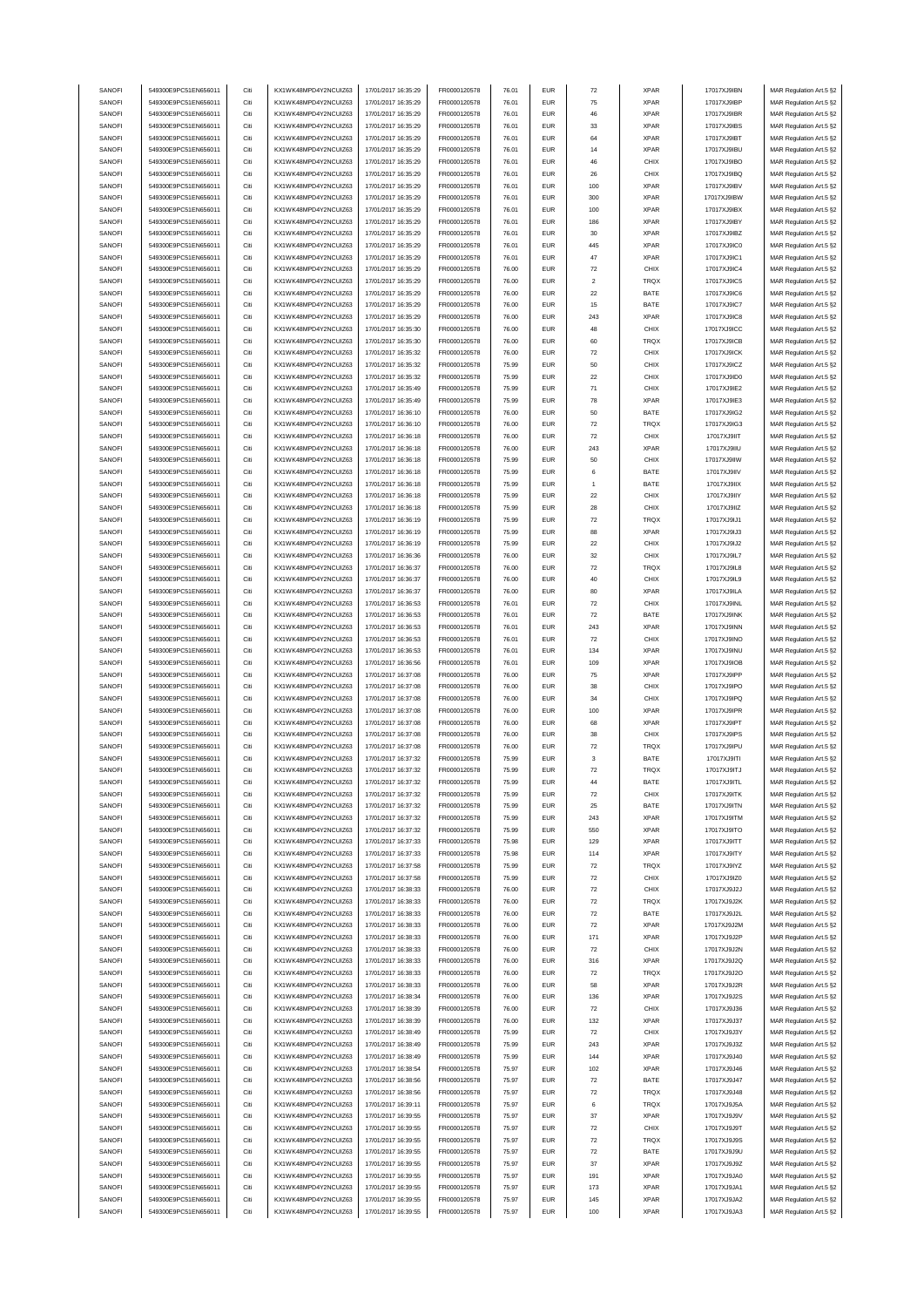| SANOFI | 549300E9PC51EN656011 | Citi | KX1WK48MPD4Y2NCUIZ63  | 17/01/2017 16:35:29 | FR0000120578 | 76.01 | <b>EUR</b> | $\scriptstyle{72}$ | <b>XPAR</b> | 17017XJ9IBN | MAR Regulation Art.5 §2 |
|--------|----------------------|------|-----------------------|---------------------|--------------|-------|------------|--------------------|-------------|-------------|-------------------------|
| SANOFI | 549300E9PC51EN656011 | Citi | KX1WK48MPD4Y2NCUIZ63  | 17/01/2017 16:35:29 | FR0000120578 | 76.01 | <b>EUR</b> | 75                 | <b>XPAR</b> | 17017XJ9IBP | MAR Regulation Art.5 §2 |
|        |                      |      |                       |                     |              |       |            |                    |             |             |                         |
| SANOFI | 549300E9PC51EN656011 | Citi | KX1WK48MPD4Y2NCUIZ63  | 17/01/2017 16:35:29 | FR0000120578 | 76.01 | <b>EUR</b> | 46                 | <b>XPAR</b> | 17017XJ9IBR | MAR Regulation Art.5 §2 |
| SANOFI | 549300E9PC51EN656011 | Citi | KX1WK48MPD4Y2NCUIZ63  | 17/01/2017 16:35:29 | FR0000120578 | 76.01 | <b>EUR</b> | 33                 | <b>XPAR</b> | 17017XJ9IBS | MAR Regulation Art.5 §2 |
| SANOFI | 549300E9PC51EN656011 | Citi | KX1WK48MPD4Y2NCUIZ63  | 17/01/2017 16:35:29 | FR0000120578 | 76.01 | <b>EUR</b> | 64                 | <b>XPAR</b> | 17017XJ9IBT | MAR Regulation Art.5 §2 |
| SANOFI | 549300E9PC51EN656011 | Citi | KX1WK48MPD4Y2NCUIZ63  | 17/01/2017 16:35:29 | FR0000120578 | 76.01 | <b>EUR</b> | 14                 | <b>XPAR</b> | 17017XJ9IBU | MAR Regulation Art.5 §2 |
| SANOFI | 549300E9PC51EN656011 | Citi | KX1WK48MPD4Y2NCUIZ63  | 17/01/2017 16:35:29 | FR0000120578 | 76.01 | <b>EUR</b> | 46                 | CHIX        | 17017XJ9IBO | MAR Regulation Art.5 §2 |
| SANOFI | 549300E9PC51EN656011 | Citi | KX1WK48MPD4Y2NCUIZ63  | 17/01/2017 16:35:29 | FR0000120578 | 76.01 | <b>EUR</b> | 26                 | CHIX        | 17017XJ9IBQ | MAR Regulation Art.5 §2 |
|        |                      |      |                       |                     |              |       |            |                    |             |             |                         |
| SANOFI | 549300E9PC51EN656011 | Citi | KX1WK48MPD4Y2NCUIZ63  | 17/01/2017 16:35:29 | FR0000120578 | 76.01 | <b>EUR</b> | 100                | <b>XPAR</b> | 17017XJ9IBV | MAR Regulation Art.5 §2 |
| SANOFI | 549300E9PC51EN656011 | Citi | KX1WK48MPD4Y2NCUIZ63  | 17/01/2017 16:35:29 | FR0000120578 | 76.01 | <b>EUR</b> | 300                | <b>XPAR</b> | 17017XJ9IBW | MAR Regulation Art.5 §2 |
| SANOFI | 549300E9PC51EN656011 | Citi | KX1WK48MPD4Y2NCUIZ63  | 17/01/2017 16:35:29 | FR0000120578 | 76.01 | <b>EUR</b> | 100                | <b>XPAR</b> | 17017XJ9IBX | MAR Regulation Art.5 §2 |
| SANOFI | 549300E9PC51EN656011 | Citi | KX1WK48MPD4Y2NCUIZ63  | 17/01/2017 16:35:29 | FR0000120578 | 76.01 | <b>EUR</b> | 186                | <b>XPAR</b> | 17017XJ9IBY | MAR Regulation Art.5 §2 |
| SANOFI | 549300E9PC51EN656011 | Citi | KX1WK48MPD4Y2NCUIZ63  | 17/01/2017 16:35:29 | FR0000120578 | 76.01 | <b>EUR</b> | 30                 | <b>XPAR</b> | 17017XJ9IBZ | MAR Regulation Art.5 §2 |
|        |                      |      |                       |                     |              |       |            |                    |             |             |                         |
| SANOFI | 549300E9PC51EN656011 | Citi | KX1WK48MPD4Y2NCUIZ63  | 17/01/2017 16:35:29 | FR0000120578 | 76.01 | <b>EUR</b> | 445                | <b>XPAR</b> | 17017XJ9IC0 | MAR Regulation Art.5 §2 |
| SANOFI | 549300E9PC51EN656011 | Citi | KX1WK48MPD4Y2NCUIZ63  | 17/01/2017 16:35:29 | FR0000120578 | 76.01 | <b>EUR</b> | 47                 | <b>XPAR</b> | 17017XJ9IC1 | MAR Regulation Art.5 §2 |
| SANOFI | 549300E9PC51EN656011 | Citi | KX1WK48MPD4Y2NCUIZ63  | 17/01/2017 16:35:29 | FR0000120578 | 76.00 | <b>EUR</b> | 72                 | CHIX        | 17017XJ9IC4 | MAR Regulation Art.5 §2 |
| SANOFI | 549300E9PC51EN656011 | Citi | KX1WK48MPD4Y2NCUIZ63  | 17/01/2017 16:35:29 | FR0000120578 | 76.00 | <b>EUR</b> | $\overline{2}$     | TRQX        | 17017XJ9IC5 | MAR Regulation Art.5 §2 |
| SANOFI | 549300E9PC51EN656011 | Citi | KX1WK48MPD4Y2NCUIZ63  | 17/01/2017 16:35:29 | FR0000120578 | 76.00 | <b>EUR</b> | $22\,$             | BATE        | 17017XJ9IC6 | MAR Regulation Art.5 §2 |
| SANOFI | 549300E9PC51EN656011 | Citi | KX1WK48MPD4Y2NCUIZ63  | 17/01/2017 16:35:29 | FR0000120578 | 76.00 | <b>EUR</b> | 15                 | BATE        | 17017XJ9IC7 |                         |
|        |                      |      |                       |                     |              |       |            |                    |             |             | MAR Regulation Art.5 §2 |
| SANOFI | 549300E9PC51EN656011 | Citi | KX1WK48MPD4Y2NCUIZ63  | 17/01/2017 16:35:29 | FR0000120578 | 76.00 | <b>EUR</b> | 243                | <b>XPAR</b> | 17017XJ9IC8 | MAR Regulation Art.5 §2 |
| SANOFI | 549300E9PC51EN656011 | Citi | KX1WK48MPD4Y2NCUIZ63  | 17/01/2017 16:35:30 | FR0000120578 | 76.00 | <b>EUR</b> | 48                 | CHIX        | 17017XJ9ICC | MAR Regulation Art.5 §2 |
| SANOFI | 549300E9PC51EN656011 | Citi | KX1WK48MPD4Y2NCUIZ63  | 17/01/2017 16:35:30 | FR0000120578 | 76.00 | <b>EUR</b> | 60                 | TRQX        | 17017XJ9ICB | MAR Regulation Art.5 §2 |
| SANOFI | 549300E9PC51EN656011 | Citi | KX1WK48MPD4Y2NCUIZ63  | 17/01/2017 16:35:32 | FR0000120578 | 76.00 | <b>EUR</b> | $\scriptstyle{72}$ | CHIX        | 17017XJ9ICK | MAR Regulation Art.5 §2 |
| SANOFI | 549300E9PC51EN656011 | Citi | KX1WK48MPD4Y2NCUIZ63  | 17/01/2017 16:35:32 | FR0000120578 | 75.99 | <b>EUR</b> | 50                 | CHIX        | 17017XJ9ICZ | MAR Regulation Art.5 §2 |
| SANOFI | 549300E9PC51EN656011 | Citi | KX1WK48MPD4Y2NCLIIZ63 | 17/01/2017 16:35:32 | FR0000120578 | 75.99 | <b>EUR</b> | 22                 | CHIX        | 17017XJ9ID0 | MAR Regulation Art.5 §2 |
|        |                      |      |                       |                     |              |       |            |                    |             |             |                         |
| SANOFI | 549300E9PC51EN656011 | Citi | KX1WK48MPD4Y2NCUIZ63  | 17/01/2017 16:35:49 | FR0000120578 | 75.99 | <b>EUR</b> | $71\,$             | CHIX        | 17017XJ9IE2 | MAR Regulation Art.5 §2 |
| SANOFI | 549300E9PC51EN656011 | Citi | KX1WK48MPD4Y2NCUIZ63  | 17/01/2017 16:35:49 | FR0000120578 | 75.99 | <b>EUR</b> | 78                 | <b>XPAR</b> | 17017XJ9IE3 | MAR Regulation Art.5 §2 |
| SANOFI | 549300E9PC51EN656011 | Citi | KX1WK48MPD4Y2NCUIZ63  | 17/01/2017 16:36:10 | FR0000120578 | 76.00 | <b>EUR</b> | 50                 | BATE        | 17017XJ9IG2 | MAR Regulation Art.5 §2 |
| SANOFI | 549300E9PC51EN656011 | Citi | KX1WK48MPD4Y2NCUIZ63  | 17/01/2017 16:36:10 | FR0000120578 | 76.00 | <b>EUR</b> | $\scriptstyle{72}$ | TRQX        | 17017XJ9IG3 | MAR Regulation Art.5 §2 |
| SANOFI | 549300E9PC51EN656011 | Citi | KX1WK48MPD4Y2NCUIZ63  | 17/01/2017 16:36:18 | FR0000120578 | 76.00 | <b>EUR</b> | $\scriptstyle{72}$ | CHIX        | 17017XJ9IIT | MAR Regulation Art.5 §2 |
|        |                      |      |                       |                     |              |       |            |                    |             |             |                         |
| SANOFI | 549300E9PC51EN656011 | Citi | KX1WK48MPD4Y2NCUIZ63  | 17/01/2017 16:36:18 | FR0000120578 | 76.00 | <b>EUR</b> | 243                | <b>XPAR</b> | 17017XJ9IIU | MAR Regulation Art.5 §2 |
| SANOFI | 549300E9PC51EN656011 | Citi | KX1WK48MPD4Y2NCUIZ63  | 17/01/2017 16:36:18 | FR0000120578 | 75.99 | <b>EUR</b> | 50                 | CHIX        | 17017XJ9IIW | MAR Regulation Art.5 §2 |
| SANOFI | 549300E9PC51EN656011 | Citi | KX1WK48MPD4Y2NCUIZ63  | 17/01/2017 16:36:18 | FR0000120578 | 75.99 | <b>EUR</b> | 6                  | BATE        | 17017XJ9IIV | MAR Regulation Art.5 §2 |
| SANOFI | 549300E9PC51EN656011 | Citi | KX1WK48MPD4Y2NCLIIZ63 | 17/01/2017 16:36:18 | FR0000120578 | 75.99 | <b>EUR</b> | $\overline{1}$     | BATE        | 17017XJ9IIX | MAR Regulation Art.5 §2 |
| SANOFI | 549300E9PC51EN656011 | Citi | KX1WK48MPD4Y2NCUIZ63  | 17/01/2017 16:36:18 | FR0000120578 | 75.99 | <b>EUR</b> | $22\,$             | CHIX        | 17017XJ9IIY | MAR Regulation Art.5 §2 |
| SANOFI | 549300E9PC51EN656011 | Citi | KX1WK48MPD4Y2NCUIZ63  | 17/01/2017 16:36:18 | FR0000120578 | 75.99 | <b>EUR</b> | ${\bf 28}$         | CHIX        | 17017XJ9IIZ |                         |
|        |                      |      |                       |                     |              |       |            |                    |             |             | MAR Regulation Art.5 §2 |
| SANOFI | 549300E9PC51EN656011 | Citi | KX1WK48MPD4Y2NCUIZ63  | 17/01/2017 16:36:19 | FR0000120578 | 75.99 | <b>EUR</b> | $\scriptstyle{72}$ | TRQX        | 17017XJ9IJ1 | MAR Regulation Art.5 §2 |
| SANOFI | 549300E9PC51EN656011 | Citi | KX1WK48MPD4Y2NCUIZ63  | 17/01/2017 16:36:19 | FR0000120578 | 75.99 | <b>EUR</b> | 88                 | <b>XPAR</b> | 17017XJ9IJ3 | MAR Regulation Art.5 §2 |
| SANOFI | 549300E9PC51EN656011 | Citi | KX1WK48MPD4Y2NCUIZ63  | 17/01/2017 16:36:19 | FR0000120578 | 75.99 | <b>EUR</b> | $22\,$             | CHIX        | 17017XJ9IJ2 | MAR Regulation Art.5 §2 |
| SANOFI | 549300E9PC51EN656011 | Citi | KX1WK48MPD4Y2NCUIZ63  | 17/01/2017 16:36:36 | FR0000120578 | 76.00 | <b>EUR</b> | 32                 | CHIX        | 17017XJ9IL7 | MAR Regulation Art.5 §2 |
| SANOFI | 549300E9PC51EN656011 | Citi | KX1WK48MPD4Y2NCUIZ63  | 17/01/2017 16:36:37 | FR0000120578 | 76.00 | <b>EUR</b> | 72                 | <b>TRQX</b> | 17017XJ9IL8 | MAR Regulation Art.5 §2 |
|        | 549300E9PC51EN656011 | Citi | KX1WK48MPD4Y2NCUIZ63  |                     | FR0000120578 | 76.00 | <b>EUR</b> | 40                 | CHIX        |             |                         |
| SANOFI |                      |      |                       | 17/01/2017 16:36:37 |              |       |            |                    |             | 17017XJ9IL9 | MAR Regulation Art.5 §2 |
| SANOFI | 549300E9PC51EN656011 | Citi | KX1WK48MPD4Y2NCUIZ63  | 17/01/2017 16:36:37 | FR0000120578 | 76.00 | <b>EUR</b> | 80                 | <b>XPAR</b> | 17017XJ9ILA | MAR Regulation Art.5 §2 |
| SANOFI | 549300E9PC51EN656011 | Citi | KX1WK48MPD4Y2NCUIZ63  | 17/01/2017 16:36:53 | FR0000120578 | 76.01 | <b>EUR</b> | $\scriptstyle{72}$ | CHIX        | 17017XJ9INL | MAR Regulation Art.5 §2 |
| SANOFI | 549300E9PC51EN656011 | Citi | KX1WK48MPD4Y2NCUIZ63  | 17/01/2017 16:36:53 | FR0000120578 | 76.01 | <b>EUR</b> | $\scriptstyle{72}$ | BATE        | 17017XJ9INK | MAR Regulation Art.5 §2 |
| SANOFI | 549300E9PC51EN656011 | Citi | KX1WK48MPD4Y2NCUIZ63  | 17/01/2017 16:36:53 | FR0000120578 | 76.01 | <b>EUR</b> | 243                | <b>XPAR</b> | 17017XJ9INN | MAR Regulation Art.5 §2 |
| SANOFI | 549300E9PC51EN656011 | Citi | KX1WK48MPD4Y2NCUIZ63  | 17/01/2017 16:36:53 | FR0000120578 | 76.01 | <b>EUR</b> | $\scriptstyle{72}$ | CHIX        | 17017XJ9INO | MAR Regulation Art.5 §2 |
|        |                      |      |                       |                     |              |       |            |                    |             |             |                         |
| SANOFI | 549300E9PC51EN656011 | Citi | KX1WK48MPD4Y2NCUIZ63  | 17/01/2017 16:36:53 | FR0000120578 | 76.01 | <b>EUR</b> | 134                | <b>XPAR</b> | 17017XJ9INU | MAR Regulation Art.5 §2 |
| SANOFI | 549300E9PC51EN656011 | Citi | KX1WK48MPD4Y2NCUIZ63  | 17/01/2017 16:36:56 | FR0000120578 | 76.01 | <b>EUR</b> | 109                | <b>XPAR</b> | 17017XJ9IOB | MAR Regulation Art.5 §2 |
| SANOFI | 549300E9PC51EN656011 | Citi | KX1WK48MPD4Y2NCLIIZ63 | 17/01/2017 16:37:08 | FR0000120578 | 76.00 | <b>EUR</b> | 75                 | <b>XPAR</b> | 17017XJ9IPP | MAR Regulation Art.5 §2 |
| SANOFI | 549300E9PC51EN656011 | Citi | KX1WK48MPD4Y2NCUIZ63  | 17/01/2017 16:37:08 | FR0000120578 | 76.00 | EUR        | 38                 | CHIX        | 17017XJ9IPO | MAR Regulation Art.5 §2 |
| SANOFI | 549300E9PC51EN656011 | Citi | KX1WK48MPD4Y2NCUIZ63  | 17/01/2017 16:37:08 | FR0000120578 | 76.00 | <b>EUR</b> | 34                 | CHIX        | 17017XJ9IPQ | MAR Regulation Art.5 §2 |
|        |                      |      |                       |                     | FR0000120578 |       |            |                    |             |             |                         |
| SANOFI | 549300E9PC51EN656011 | Citi | KX1WK48MPD4Y2NCUIZ63  | 17/01/2017 16:37:08 |              | 76.00 | <b>EUR</b> | 100                | <b>XPAR</b> | 17017XJ9IPR | MAR Regulation Art.5 §2 |
| SANOFI | 549300E9PC51EN656011 | Citi | KX1WK48MPD4Y2NCUIZ63  | 17/01/2017 16:37:08 | FR0000120578 | 76.00 | <b>EUR</b> | 68                 | <b>XPAR</b> | 17017XJ9IPT | MAR Regulation Art.5 §2 |
| SANOFI | 549300E9PC51EN656011 | Citi | KX1WK48MPD4Y2NCUIZ63  | 17/01/2017 16:37:08 | FR0000120578 | 76.00 | <b>EUR</b> | 38                 | CHIX        | 17017XJ9IPS | MAR Regulation Art.5 §2 |
| SANOFI | 549300E9PC51EN656011 | Citi | KX1WK48MPD4Y2NCUIZ63  | 17/01/2017 16:37:08 | FR0000120578 | 76.00 | <b>EUR</b> | $\scriptstyle{72}$ | TRQX        | 17017XJ9IPU | MAR Regulation Art.5 §2 |
| SANOFI | 549300E9PC51EN656011 | Citi | KX1WK48MPD4Y2NCUIZ63  | 17/01/2017 16:37:32 | FR0000120578 | 75.99 | <b>EUR</b> | 3                  | BATE        | 17017XJ9ITI | MAR Regulation Art.5 §2 |
| SANOFI | 549300E9PC51EN656011 |      | KX1WK48MPD4Y2NCLIIZ63 | 17/01/2017 16:37:32 | FR0000120578 | 75.99 |            |                    | TROX        | 17017XJ9ITJ | MAR Regulation Art 5 82 |
|        |                      |      |                       |                     |              |       |            |                    |             |             |                         |
| SANOFI | 549300E9PC51EN656011 | Citi | KX1WK48MPD4Y2NCUIZ63  | 17/01/2017 16:37:32 | FR0000120578 | 75.99 | <b>EUR</b> | 44                 | BATE        | 17017XJ9ITL | MAR Regulation Art.5 §2 |
| SANOFI | 549300E9PC51EN656011 | Citi | KX1WK48MPD4Y2NCUIZ63  | 17/01/2017 16:37:32 | FR0000120578 | 75.99 | <b>EUR</b> | $\scriptstyle{72}$ | CHIX        | 17017XJ9ITK | MAR Regulation Art.5 §2 |
| SANOFI | 549300E9PC51EN656011 | Citi | KX1WK48MPD4Y2NCUIZ63  | 17/01/2017 16:37:32 | FR0000120578 | 75.99 | <b>EUR</b> | 25                 | BATE        | 17017XJ9ITN | MAR Regulation Art.5 §2 |
| SANOFI | 549300E9PC51EN656011 | Citi | KX1WK48MPD4Y2NCUIZ63  | 17/01/2017 16:37:32 | FR0000120578 | 75.99 | <b>EUR</b> | 243                | <b>XPAR</b> | 17017XJ9ITM | MAR Regulation Art.5 §2 |
| SANOFI | 549300E9PC51EN656011 | Citi | KX1WK48MPD4Y2NCUIZ63  | 17/01/2017 16:37:32 | FR0000120578 | 75.99 | <b>EUR</b> | 550                | <b>XPAR</b> | 17017XJ9ITO | MAR Regulation Art.5 §2 |
| SANOFI | 549300E9PC51EN656011 | Citi | KX1WK48MPD4Y2NCUIZ63  | 17/01/2017 16:37:33 | FR0000120578 | 75.98 | <b>EUR</b> | 129                | <b>XPAR</b> | 17017XJ9ITT | MAR Regulation Art.5 §2 |
|        |                      |      | KX1WK48MPD4Y2NCUIZ63  |                     |              |       |            |                    |             |             |                         |
| SANOFI | 549300E9PC51EN656011 | Citi |                       | 17/01/2017 16:37:33 | FR0000120578 | 75.98 | <b>EUR</b> | 114                | <b>XPAR</b> | 17017XJ9ITY | MAR Regulation Art.5 §2 |
| SANOFI | 549300E9PC51EN656011 | Citi | KX1WK48MPD4Y2NCUIZ63  | 17/01/2017 16:37:58 | FR0000120578 | 75.99 | <b>EUR</b> | $\bf 72$           | <b>TRQX</b> | 17017XJ9IYZ | MAR Regulation Art.5 §2 |
| SANOFI | 549300E9PC51EN656011 | Citi | KX1WK48MPD4Y2NCUIZ63  | 17/01/2017 16:37:58 | FR0000120578 | 75.99 | <b>EUR</b> | $\scriptstyle{72}$ | CHIX        | 17017XJ9IZ0 | MAR Regulation Art.5 §2 |
| SANOFI | 549300E9PC51EN656011 | Citi | KX1WK48MPD4Y2NCUIZ63  | 17/01/2017 16:38:33 | FR0000120578 | 76.00 | <b>EUR</b> | 72                 | CHIX        | 17017XJ9J2J | MAR Regulation Art.5 §2 |
| SANOFI | 549300E9PC51EN656011 | Citi | KX1WK48MPD4Y2NCUIZ63  | 17/01/2017 16:38:33 | FR0000120578 | 76.00 | <b>EUR</b> | $\scriptstyle{72}$ | TRQX        | 17017XJ9J2K | MAR Regulation Art.5 §2 |
| SANOFI | 549300E9PC51EN656011 | Citi | KX1WK48MPD4Y2NCUIZ63  | 17/01/2017 16:38:33 | FR0000120578 | 76.00 | <b>EUR</b> | $\scriptstyle{72}$ | BATE        | 17017XJ9J2L | MAR Regulation Art.5 §2 |
| SANOFI | 549300E9PC51EN656011 | Citi | KX1WK48MPD4Y2NCUIZ63  | 17/01/2017 16:38:33 | FR0000120578 | 76.00 | <b>EUR</b> | $\scriptstyle{72}$ | <b>XPAR</b> | 17017XJ9J2M | MAR Regulation Art.5 §2 |
|        |                      |      |                       |                     |              |       |            |                    |             |             |                         |
| SANOFI | 549300E9PC51EN656011 | Citi | KX1WK48MPD4Y2NCUIZ63  | 17/01/2017 16:38:33 | FR0000120578 | 76.00 | <b>EUR</b> | 171                | <b>XPAR</b> | 17017XJ9J2P | MAR Regulation Art.5 §2 |
| SANOFI | 549300E9PC51EN656011 | Citi | KX1WK48MPD4Y2NCUIZ63  | 17/01/2017 16:38:33 | FR0000120578 | 76.00 | <b>EUR</b> | 72                 | CHIX        | 17017XJ9J2N | MAR Regulation Art.5 §2 |
| SANOFI | 549300E9PC51EN656011 | Citi | KX1WK48MPD4Y2NCUIZ63  | 17/01/2017 16:38:33 | FR0000120578 | 76.00 | <b>EUR</b> | 316                | <b>XPAR</b> | 17017XJ9J2Q | MAR Regulation Art.5 §2 |
| SANOFI | 549300E9PC51EN656011 | Citi | KX1WK48MPD4Y2NCUIZ63  | 17/01/2017 16:38:33 | FR0000120578 | 76.00 | <b>EUR</b> | $\bf 72$           | TRQX        | 17017XJ9J2O | MAR Regulation Art.5 §2 |
| SANOFI | 549300E9PC51EN656011 | Citi | KX1WK48MPD4Y2NCUIZ63  | 17/01/2017 16:38:33 | FR0000120578 | 76.00 | <b>EUR</b> | 58                 | <b>XPAR</b> | 17017XJ9J2R | MAR Regulation Art.5 §2 |
|        |                      |      |                       |                     |              |       |            |                    |             |             |                         |
| SANOFI | 549300E9PC51EN656011 | Citi | KX1WK48MPD4Y2NCUIZ63  | 17/01/2017 16:38:34 | FR0000120578 | 76.00 | <b>EUR</b> | 136                | <b>XPAR</b> | 17017XJ9J2S | MAR Regulation Art.5 §2 |
| SANOFI | 549300E9PC51EN656011 | Citi | KX1WK48MPD4Y2NCUIZ63  | 17/01/2017 16:38:39 | FR0000120578 | 76.00 | <b>EUR</b> | $\bf 72$           | CHIX        | 17017XJ9J36 | MAR Regulation Art.5 §2 |
| SANOFI | 549300E9PC51EN656011 | Citi | KX1WK48MPD4Y2NCUIZ63  | 17/01/2017 16:38:39 | FR0000120578 | 76.00 | <b>EUR</b> | 132                | <b>XPAR</b> | 17017XJ9J37 | MAR Regulation Art.5 §2 |
| SANOFI | 549300E9PC51EN656011 | Citi | KX1WK48MPD4Y2NCUIZ63  | 17/01/2017 16:38:49 | FR0000120578 | 75.99 | <b>EUR</b> | $\scriptstyle{72}$ | CHIX        | 17017XJ9J3Y | MAR Regulation Art.5 §2 |
| SANOFI | 549300E9PC51EN656011 | Citi | KX1WK48MPD4Y2NCUIZ63  | 17/01/2017 16:38:49 | FR0000120578 | 75.99 | <b>EUR</b> | 243                | <b>XPAR</b> | 17017XJ9J3Z | MAR Regulation Art.5 §2 |
| SANOFI | 549300E9PC51EN656011 | Citi | KX1WK48MPD4Y2NCUIZ63  | 17/01/2017 16:38:49 | FR0000120578 | 75.99 | <b>EUR</b> | 144                | <b>XPAR</b> | 17017XJ9J40 | MAR Regulation Art.5 §2 |
|        |                      |      |                       |                     |              |       |            |                    |             |             |                         |
| SANOFI | 549300E9PC51EN656011 | Citi | KX1WK48MPD4Y2NCUIZ63  | 17/01/2017 16:38:54 | FR0000120578 | 75.97 | <b>EUR</b> | 102                | <b>XPAR</b> | 17017XJ9J46 | MAR Regulation Art.5 §2 |
| SANOFI | 549300E9PC51EN656011 | Citi | KX1WK48MPD4Y2NCUIZ63  | 17/01/2017 16:38:56 | FR0000120578 | 75.97 | <b>EUR</b> | $\bf 72$           | BATE        | 17017XJ9J47 | MAR Regulation Art.5 §2 |
| SANOFI | 549300E9PC51EN656011 | Citi | KX1WK48MPD4Y2NCUIZ63  | 17/01/2017 16:38:56 | FR0000120578 | 75.97 | <b>EUR</b> | 72                 | TRQX        | 17017XJ9J48 | MAR Regulation Art.5 §2 |
| SANOFI | 549300E9PC51EN656011 | Citi | KX1WK48MPD4Y2NCUIZ63  | 17/01/2017 16:39:11 | FR0000120578 | 75.97 | <b>EUR</b> | 6                  | TRQX        | 17017XJ9J5A | MAR Regulation Art.5 §2 |
| SANOFI | 549300E9PC51EN656011 | Citi | KX1WK48MPD4Y2NCUIZ63  | 17/01/2017 16:39:55 | FR0000120578 | 75.97 | <b>EUR</b> | 37                 | <b>XPAR</b> | 17017XJ9J9V | MAR Regulation Art.5 §2 |
| SANOFI |                      |      | KX1WK48MPD4Y2NCUIZ63  |                     |              |       |            |                    |             | 17017XJ9J9T |                         |
|        | 549300E9PC51EN656011 | Citi |                       | 17/01/2017 16:39:55 | FR0000120578 | 75.97 | <b>EUR</b> | $\bf 72$           | CHIX        |             | MAR Regulation Art.5 §2 |
| SANOFI | 549300E9PC51EN656011 | Citi | KX1WK48MPD4Y2NCUIZ63  | 17/01/2017 16:39:55 | FR0000120578 | 75.97 | <b>EUR</b> | $\scriptstyle{72}$ | TRQX        | 17017XJ9J9S | MAR Regulation Art.5 §2 |
| SANOFI | 549300E9PC51EN656011 | Citi | KX1WK48MPD4Y2NCUIZ63  | 17/01/2017 16:39:55 | FR0000120578 | 75.97 | <b>EUR</b> | $\scriptstyle{72}$ | BATE        | 17017XJ9J9U | MAR Regulation Art.5 §2 |
| SANOFI | 549300E9PC51EN656011 | Citi | KX1WK48MPD4Y2NCUIZ63  | 17/01/2017 16:39:55 | FR0000120578 | 75.97 | <b>EUR</b> | 37                 | <b>XPAR</b> | 17017XJ9J9Z | MAR Regulation Art.5 §2 |
| SANOFI | 549300E9PC51EN656011 | Citi | KX1WK48MPD4Y2NCUIZ63  | 17/01/2017 16:39:55 | FR0000120578 | 75.97 | <b>EUR</b> | 191                | <b>XPAR</b> | 17017XJ9JA0 | MAR Regulation Art.5 §2 |
| SANOFI | 549300E9PC51EN656011 | Citi | KX1WK48MPD4Y2NCUIZ63  | 17/01/2017 16:39:55 | FR0000120578 | 75.97 | <b>EUR</b> | 173                | <b>XPAR</b> | 17017XJ9JA1 | MAR Regulation Art.5 §2 |
|        |                      |      |                       |                     |              |       |            |                    |             |             |                         |
| SANOFI | 549300E9PC51EN656011 | Citi | KX1WK48MPD4Y2NCUIZ63  | 17/01/2017 16:39:55 | FR0000120578 | 75.97 | <b>EUR</b> | 145                | <b>XPAR</b> | 17017XJ9JA2 | MAR Regulation Art.5 §2 |
| SANOFI | 549300E9PC51EN656011 | Citi | KX1WK48MPD4Y2NCUIZ63  | 17/01/2017 16:39:55 | FR0000120578 | 75.97 | <b>EUR</b> | 100                | <b>XPAR</b> | 17017XJ9JA3 | MAR Regulation Art.5 §2 |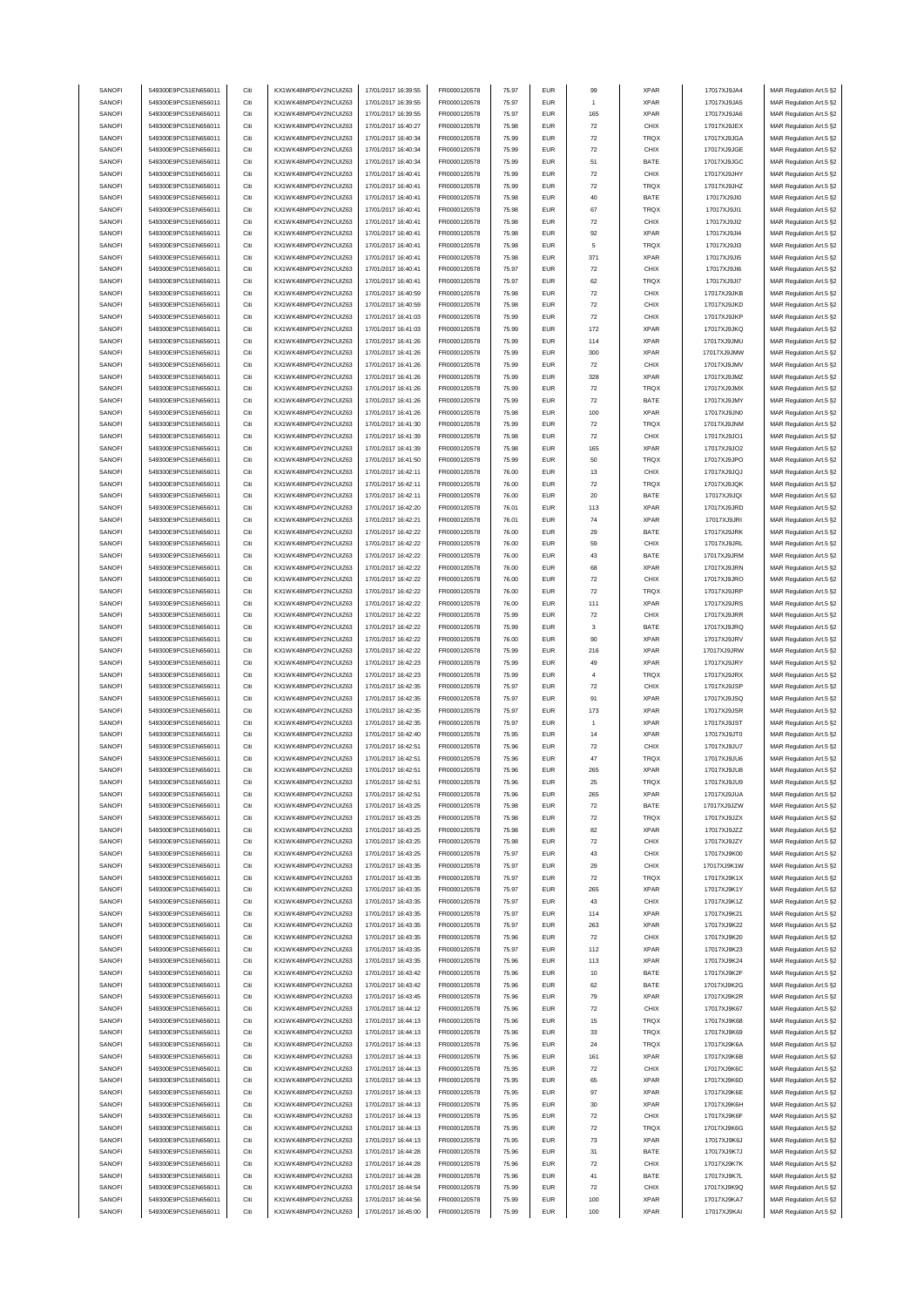| SANOFI<br>SANOFI | 549300E9PC51EN656011 | Citi | KX1WK48MPD4Y2NCUIZ63 | 17/01/2017 16:39:55 | FR0000120578 |                | <b>EUR</b> |                      | <b>XPAR</b> | 17017XJ9JA4 |                                                    |
|------------------|----------------------|------|----------------------|---------------------|--------------|----------------|------------|----------------------|-------------|-------------|----------------------------------------------------|
|                  | 549300E9PC51EN656011 | Citi | KX1WK48MPD4Y2NCUIZ63 | 17/01/2017 16:39:55 | FR0000120578 | 75.97<br>75.97 | <b>EUR</b> | 99<br>$\overline{1}$ | <b>XPAR</b> | 17017XJ9JA5 | MAR Regulation Art.5 §2<br>MAR Regulation Art.5 §2 |
|                  |                      |      |                      |                     |              |                |            |                      |             |             |                                                    |
| SANOFI           | 549300E9PC51EN656011 | Citi | KX1WK48MPD4Y2NCUIZ63 | 17/01/2017 16:39:55 | FR0000120578 | 75.97          | <b>EUR</b> | 165                  | <b>XPAR</b> | 17017XJ9JA6 | MAR Regulation Art.5 §2                            |
| SANOFI           | 549300E9PC51EN656011 | Citi | KX1WK48MPD4Y2NCUIZ63 | 17/01/2017 16:40:27 | FR0000120578 | 75.98          | <b>EUR</b> | 72                   | CHIX        | 17017XJ9JEX | MAR Regulation Art.5 §2                            |
| SANOFI           | 549300E9PC51EN656011 | Citi | KX1WK48MPD4Y2NCUIZ63 | 17/01/2017 16:40:34 | FR0000120578 | 75.99          | <b>EUR</b> | $\scriptstyle{72}$   | TRQX        | 17017XJ9JGA | MAR Regulation Art.5 §2                            |
|                  |                      |      |                      |                     |              |                |            |                      |             |             |                                                    |
| SANOFI           | 549300E9PC51EN656011 | Citi | KX1WK48MPD4Y2NCUIZ63 | 17/01/2017 16:40:34 | FR0000120578 | 75.99          | <b>EUR</b> | $\scriptstyle{72}$   | CHIX        | 17017XJ9JGE | MAR Regulation Art.5 §2                            |
| SANOFI           | 549300E9PC51EN656011 | Citi | KX1WK48MPD4Y2NCUIZ63 | 17/01/2017 16:40:34 | FR0000120578 | 75.99          | <b>EUR</b> | 51                   | BATE        | 17017XJ9JGC | MAR Regulation Art.5 §2                            |
| SANOFI           |                      | Citi | KX1WK48MPD4Y2NCUIZ63 |                     | FR0000120578 |                | <b>EUR</b> | $\scriptstyle{72}$   | CHIX        |             | MAR Regulation Art.5 §2                            |
|                  | 549300E9PC51EN656011 |      |                      | 17/01/2017 16:40:41 |              | 75.99          |            |                      |             | 17017XJ9JHY |                                                    |
| SANOFI           | 549300E9PC51EN656011 | Citi | KX1WK48MPD4Y2NCUIZ63 | 17/01/2017 16:40:41 | FR0000120578 | 75.99          | <b>EUR</b> | $\scriptstyle{72}$   | TRQX        | 17017XJ9JHZ | MAR Regulation Art.5 §2                            |
| SANOFI           | 549300E9PC51EN656011 | Citi | KX1WK48MPD4Y2NCUIZ63 | 17/01/2017 16:40:41 | FR0000120578 | 75.98          | <b>EUR</b> | 40                   | BATE        | 17017XJ9JI0 | MAR Regulation Art.5 §2                            |
|                  |                      |      |                      |                     |              |                |            |                      |             |             |                                                    |
| SANOFI           | 549300E9PC51EN656011 | Citi | KX1WK48MPD4Y2NCUIZ63 | 17/01/2017 16:40:41 | FR0000120578 | 75.98          | <b>EUR</b> | 67                   | TRQX        | 17017XJ9JI1 | MAR Regulation Art.5 §2                            |
| SANOFI           | 549300E9PC51EN656011 | Citi | KX1WK48MPD4Y2NCUIZ63 | 17/01/2017 16:40:41 | FR0000120578 | 75.98          | <b>EUR</b> | $\scriptstyle{72}$   | CHIX        | 17017XJ9JI2 | MAR Regulation Art.5 §2                            |
| SANOFI           | 549300E9PC51EN656011 | Citi | KX1WK48MPD4Y2NCUIZ63 | 17/01/2017 16:40:41 | FR0000120578 | 75.98          | <b>EUR</b> | 92                   | <b>XPAR</b> | 17017XJ9JI4 | MAR Regulation Art.5 §2                            |
|                  |                      |      |                      |                     |              |                |            |                      |             |             |                                                    |
| SANOFI           | 549300E9PC51EN656011 | Citi | KX1WK48MPD4Y2NCUIZ63 | 17/01/2017 16:40:41 | FR0000120578 | 75.98          | <b>EUR</b> | $\,$ 5 $\,$          | TRQX        | 17017XJ9JI3 | MAR Regulation Art.5 §2                            |
| SANOFI           | 549300E9PC51EN656011 | Citi | KX1WK48MPD4Y2NCUIZ63 | 17/01/2017 16:40:41 | FR0000120578 | 75.98          | <b>EUR</b> | 371                  | <b>XPAR</b> | 17017XJ9JI5 | MAR Regulation Art.5 §2                            |
| SANOFI           | 549300E9PC51EN656011 | Citi | KX1WK48MPD4Y2NCUIZ63 | 17/01/2017 16:40:41 | FR0000120578 | 75.97          | <b>EUR</b> | $\scriptstyle{72}$   | CHIX        | 17017XJ9Jl6 | MAR Regulation Art.5 §2                            |
|                  |                      |      |                      |                     |              |                |            |                      |             |             |                                                    |
| SANOFI           | 549300E9PC51EN656011 | Citi | KX1WK48MPD4Y2NCUIZ63 | 17/01/2017 16:40:41 | FR0000120578 | 75.97          | <b>EUR</b> | 62                   | TRQX        | 17017XJ9JI7 | MAR Regulation Art.5 §2                            |
| SANOFI           | 549300E9PC51EN656011 | Citi | KX1WK48MPD4Y2NCUIZ63 | 17/01/2017 16:40:59 | FR0000120578 | 75.98          | <b>EUR</b> | 72                   | CHIX        | 17017XJ9JKB | MAR Regulation Art.5 §2                            |
| SANOFI           | 549300E9PC51EN656011 | Citi | KX1WK48MPD4Y2NCUIZ63 | 17/01/2017 16:40:59 | FR0000120578 | 75.98          | <b>EUR</b> | $\scriptstyle{72}$   | CHIX        | 17017XJ9JKD | MAR Regulation Art.5 §2                            |
|                  | 549300E9PC51EN656011 |      |                      |                     |              |                | EUR        | $\scriptstyle{72}$   | CHIX        |             |                                                    |
| SANOFI           |                      | Citi | KX1WK48MPD4Y2NCUIZ63 | 17/01/2017 16:41:03 | FR0000120578 | 75.99          |            |                      |             | 17017XJ9JKP | MAR Regulation Art.5 §2                            |
| SANOFI           | 549300E9PC51EN656011 | Citi | KX1WK48MPD4Y2NCUIZ63 | 17/01/2017 16:41:03 | FR0000120578 | 75.99          | <b>EUR</b> | 172                  | <b>XPAR</b> | 17017XJ9JKQ | MAR Regulation Art.5 §2                            |
| SANOFI           | 549300E9PC51EN656011 | Citi | KX1WK48MPD4Y2NCUIZ63 | 17/01/2017 16:41:26 | FR0000120578 | 75.99          | <b>EUR</b> | 114                  | <b>XPAR</b> | 17017XJ9JMU | MAR Regulation Art.5 §2                            |
| SANOFI           | 549300E9PC51EN656011 | Citi | KX1WK48MPD4Y2NCUIZ63 | 17/01/2017 16:41:26 | FR0000120578 | 75.99          | <b>EUR</b> | 300                  | <b>XPAR</b> | 17017XJ9JMW | MAR Regulation Art.5 §2                            |
|                  |                      |      |                      |                     |              |                |            |                      |             |             |                                                    |
| SANOFI           | 549300E9PC51EN656011 | Citi | KX1WK48MPD4Y2NCUIZ63 | 17/01/2017 16:41:26 | FR0000120578 | 75.99          | <b>EUR</b> | $\scriptstyle{72}$   | CHIX        | 17017XJ9JMV | MAR Regulation Art.5 §2                            |
| SANOFI           | 549300E9PC51EN656011 | Citi | KX1WK48MPD4Y2NCUIZ63 | 17/01/2017 16:41:26 | FR0000120578 | 75.99          | <b>EUR</b> | 328                  | <b>XPAR</b> | 17017XJ9JMZ | MAR Regulation Art.5 §2                            |
| SANOFI           | 549300E9PC51EN656011 | Citi | KX1WK48MPD4Y2NCUIZ63 | 17/01/2017 16:41:26 | FR0000120578 | 75.99          | <b>EUR</b> | $\scriptstyle{72}$   | TRQX        | 17017XJ9JMX |                                                    |
|                  |                      |      |                      |                     |              |                |            |                      |             |             | MAR Regulation Art.5 §2                            |
| SANOFI           | 549300E9PC51EN656011 | Citi | KX1WK48MPD4Y2NCUIZ63 | 17/01/2017 16:41:26 | FR0000120578 | 75.99          | <b>EUR</b> | 72                   | BATE        | 17017XJ9JMY | MAR Regulation Art.5 §2                            |
| SANOFI           | 549300E9PC51EN656011 | Citi | KX1WK48MPD4Y2NCUIZ63 | 17/01/2017 16:41:26 | FR0000120578 | 75.98          | <b>EUR</b> | 100                  | <b>XPAR</b> | 17017XJ9JN0 | MAR Regulation Art.5 §2                            |
|                  |                      | Citi |                      |                     |              |                | EUR        | $\scriptstyle{72}$   | TRQX        |             |                                                    |
| SANOFI           | 549300E9PC51EN656011 |      | KX1WK48MPD4Y2NCUIZ63 | 17/01/2017 16:41:30 | FR0000120578 | 75.99          |            |                      |             | 17017XJ9JNM | MAR Regulation Art.5 §2                            |
| SANOFI           | 549300E9PC51EN656011 | Citi | KX1WK48MPD4Y2NCUIZ63 | 17/01/2017 16:41:39 | FR0000120578 | 75.98          | <b>EUR</b> | $\scriptstyle{72}$   | CHIX        | 17017XJ9JO1 | MAR Regulation Art.5 §2                            |
| SANOFI           | 549300E9PC51EN656011 | Citi | KX1WK48MPD4Y2NCUIZ63 | 17/01/2017 16:41:39 | FR0000120578 | 75.98          | <b>EUR</b> | 165                  | <b>XPAR</b> | 17017XJ9JO2 | MAR Regulation Art.5 §2                            |
|                  |                      |      |                      |                     |              |                |            |                      |             |             |                                                    |
| SANOFI           | 549300E9PC51EN656011 | Citi | KX1WK48MPD4Y2NCUIZ63 | 17/01/2017 16:41:50 | FR0000120578 | 75.99          | <b>EUR</b> | 50                   | TRQX        | 17017XJ9JPO | MAR Regulation Art.5 §2                            |
| SANOFI           | 549300E9PC51EN656011 | Citi | KX1WK48MPD4Y2NCUIZ63 | 17/01/2017 16:42:11 | FR0000120578 | 76.00          | <b>EUR</b> | 13                   | CHIX        | 17017XJ9JQJ | MAR Regulation Art.5 §2                            |
| SANOFI           | 549300E9PC51EN656011 | Citi | KX1WK48MPD4Y2NCUIZ63 | 17/01/2017 16:42:11 | FR0000120578 | 76.00          | <b>EUR</b> | $\scriptstyle{72}$   | <b>TRQX</b> | 17017XJ9JQK | MAR Regulation Art.5 §2                            |
|                  |                      |      |                      |                     |              |                |            |                      |             |             |                                                    |
| SANOFI           | 549300E9PC51EN656011 | Citi | KX1WK48MPD4Y2NCUIZ63 | 17/01/2017 16:42:11 | FR0000120578 | 76.00          | <b>EUR</b> | 20                   | BATE        | 17017XJ9JQI | MAR Regulation Art.5 §2                            |
| SANOFI           | 549300E9PC51EN656011 | Citi | KX1WK48MPD4Y2NCUIZ63 | 17/01/2017 16:42:20 | FR0000120578 | 76.01          | <b>EUR</b> | 113                  | <b>XPAR</b> | 17017XJ9JRD | MAR Regulation Art.5 §2                            |
| SANOFI           | 549300E9PC51EN656011 | Citi | KX1WK48MPD4Y2NCUIZ63 | 17/01/2017 16:42:21 | FR0000120578 | 76.01          | <b>EUR</b> | $\bf 74$             | <b>XPAR</b> | 17017XJ9JRI | MAR Regulation Art.5 §2                            |
|                  |                      |      |                      |                     |              |                |            |                      |             |             |                                                    |
| SANOFI           | 549300E9PC51EN656011 | Citi | KX1WK48MPD4Y2NCUIZ63 | 17/01/2017 16:42:22 | FR0000120578 | 76.00          | <b>EUR</b> | 29                   | BATE        | 17017XJ9JRK | MAR Regulation Art.5 §2                            |
| SANOFI           | 549300E9PC51EN656011 | Citi | KX1WK48MPD4Y2NCUIZ63 | 17/01/2017 16:42:22 | FR0000120578 | 76.00          | <b>EUR</b> | 59                   | CHIX        | 17017XJ9JRL | MAR Regulation Art.5 §2                            |
| SANOFI           | 549300E9PC51EN656011 | Citi | KX1WK48MPD4Y2NCUIZ63 | 17/01/2017 16:42:22 | FR0000120578 | 76.00          | <b>EUR</b> | 43                   | BATE        | 17017XJ9JRM | MAR Regulation Art.5 §2                            |
|                  |                      |      |                      |                     |              |                |            |                      |             |             |                                                    |
| SANOFI           | 549300E9PC51EN656011 | Citi | KX1WK48MPD4Y2NCUIZ63 | 17/01/2017 16:42:22 | FR0000120578 | 76.00          | <b>EUR</b> | 68                   | <b>XPAR</b> | 17017XJ9JRN | MAR Regulation Art.5 §2                            |
| SANOFI           | 549300E9PC51EN656011 | Citi | KX1WK48MPD4Y2NCUIZ63 | 17/01/2017 16:42:22 | FR0000120578 | 76.00          | <b>EUR</b> | $\scriptstyle{72}$   | CHIX        | 17017XJ9JRO | MAR Regulation Art.5 §2                            |
| SANOFI           | 549300E9PC51EN656011 | Citi | KX1WK48MPD4Y2NCUIZ63 | 17/01/2017 16:42:22 | FR0000120578 | 76.00          | <b>EUR</b> | $\scriptstyle{72}$   | TRQX        | 17017XJ9JRP | MAR Regulation Art.5 §2                            |
|                  |                      |      |                      |                     |              |                |            |                      |             |             |                                                    |
| SANOFI           | 549300E9PC51EN656011 | Citi | KX1WK48MPD4Y2NCUIZ63 | 17/01/2017 16:42:22 | FR0000120578 | 76.00          | <b>EUR</b> | 111                  | <b>XPAR</b> | 17017XJ9JRS | MAR Regulation Art.5 §2                            |
| SANOFI           | 549300E9PC51EN656011 | Citi | KX1WK48MPD4Y2NCUIZ63 | 17/01/2017 16:42:22 | FR0000120578 | 75.99          | <b>EUR</b> | $\scriptstyle{72}$   | CHIX        | 17017XJ9JRR | MAR Regulation Art.5 §2                            |
| SANOFI           | 549300E9PC51EN656011 | Citi | KX1WK48MPD4Y2NCUIZ63 | 17/01/2017 16:42:22 | FR0000120578 | 75.99          | <b>EUR</b> | 3                    | BATE        | 17017XJ9JRQ | MAR Regulation Art.5 §2                            |
|                  |                      | Citi |                      |                     |              |                |            |                      |             |             |                                                    |
| SANOFI           | 549300E9PC51EN656011 |      | KX1WK48MPD4Y2NCUIZ63 | 17/01/2017 16:42:22 | FR0000120578 | 76.00          | <b>EUR</b> | 90                   | <b>XPAR</b> | 17017XJ9JRV | MAR Regulation Art.5 §2                            |
| SANOFI           | 549300E9PC51EN656011 | Citi | KX1WK48MPD4Y2NCUIZ63 | 17/01/2017 16:42:22 | FR0000120578 | 75.99          | <b>EUR</b> | 216                  | <b>XPAR</b> | 17017XJ9JRW | MAR Regulation Art.5 §2                            |
| SANOFI           | 549300E9PC51EN656011 | Citi | KX1WK48MPD4Y2NCUIZ63 | 17/01/2017 16:42:23 | FR0000120578 | 75.99          | <b>EUR</b> | 49                   | <b>XPAR</b> | 17017XJ9JRY | MAR Regulation Art.5 §2                            |
| SANOFI           |                      | Citi |                      |                     | FR0000120578 |                | <b>EUR</b> | $\overline{4}$       | TRQX        |             |                                                    |
|                  | 549300E9PC51EN656011 |      | KX1WK48MPD4Y2NCUIZ63 | 17/01/2017 16:42:23 |              | 75.99          |            |                      |             | 17017XJ9JRX | MAR Regulation Art.5 §2                            |
| SANOFI           | 549300E9PC51EN656011 | Citi | KX1WK48MPD4Y2NCUIZ63 | 17/01/2017 16:42:35 | FR0000120578 | 75.97          | <b>EUR</b> | $\scriptstyle{72}$   | CHIX        | 17017XJ9JSP | MAR Regulation Art.5 §2                            |
| SANOFI           | 549300E9PC51EN656011 | Citi | KX1WK48MPD4Y2NCUIZ63 | 17/01/2017 16:42:35 | FR0000120578 | 75.97          | <b>EUR</b> | 91                   | <b>XPAR</b> | 17017XJ9JSQ | MAR Regulation Art.5 §2                            |
|                  |                      |      |                      |                     |              |                |            |                      |             |             |                                                    |
| SANOFI           | 549300E9PC51EN656011 | Citi | KX1WK48MPD4Y2NCUIZ63 | 17/01/2017 16:42:35 | FR0000120578 | 75.97          | <b>EUR</b> | 173                  | <b>XPAR</b> | 17017XJ9JSR | MAR Regulation Art.5 §2                            |
| SANOFI           | 549300E9PC51EN656011 | Citi | KX1WK48MPD4Y2NCUIZ63 | 17/01/2017 16:42:35 | FR0000120578 | 75.97          | <b>EUR</b> | $\overline{1}$       | <b>XPAR</b> | 17017XJ9JST | MAR Regulation Art.5 §2                            |
| SANOFI           | 549300E9PC51EN656011 | Citi | KX1WK48MPD4Y2NCUIZ63 | 17/01/2017 16:42:40 | FR0000120578 | 75.95          | <b>EUR</b> | 14                   | <b>XPAR</b> | 17017XJ9JT0 | MAR Regulation Art.5 §2                            |
|                  |                      |      |                      |                     |              |                |            |                      |             |             |                                                    |
| SANOFI           | 549300E9PC51EN656011 | Citi | KX1WK48MPD4Y2NCUIZ63 | 17/01/2017 16:42:51 | FR0000120578 |                |            |                      |             |             | MAR Regulation Art.5 §2                            |
|                  |                      |      |                      |                     |              | 75.96          | <b>EUR</b> | 72                   | CHIX        | 17017XJ9JU7 |                                                    |
| SANOFI           | 549300E9PC51EN656011 | Citi | KX1WK48MPD4Y2NCUIZ63 | 17/01/2017 16:42:51 | FR0000120578 | 75.96          | <b>EUR</b> | 47                   | TRQX        | 17017XJ9JU6 | MAR Regulation Art.5 §2                            |
|                  |                      |      |                      |                     |              |                |            |                      |             |             |                                                    |
| SANOFI           | 549300E9PC51EN656011 | Citi | KX1WK48MPD4Y2NCUIZ63 | 17/01/2017 16:42:51 | FR0000120578 | 75.96          | <b>EUR</b> | 265                  | XPAR        | 17017XJ9JU8 | MAR Regulation Art.5 §2                            |
| SANOFI           | 549300E9PC51EN656011 |      | KX1WK48MPD4Y2NCUIZ63 | 17/01/2017 16:42:51 | FR0000120578 | 75.96          | FUR        |                      | TROX        | 17017XJ9JU9 | MAR Regulation Art 5.82                            |
| SANOFI           | 549300E9PC51EN656011 | Citi | KX1WK48MPD4Y2NCUIZ63 | 17/01/2017 16:42:51 | FR0000120578 | 75.96          | <b>EUR</b> | 265                  | <b>XPAR</b> | 17017XJ9JUA |                                                    |
|                  |                      |      |                      |                     |              |                |            |                      |             |             | MAR Regulation Art.5 §2                            |
| SANOFI           | 549300E9PC51EN656011 | Citi | KX1WK48MPD4Y2NCUIZ63 | 17/01/2017 16:43:25 | FR0000120578 | 75.98          | <b>EUR</b> | $\scriptstyle{72}$   | BATE        | 17017XJ9JZW | MAR Regulation Art.5 §2                            |
| SANOFI           | 549300E9PC51EN656011 | Citi | KX1WK48MPD4Y2NCUIZ63 | 17/01/2017 16:43:25 | FR0000120578 | 75.98          | <b>EUR</b> | 72                   | TRQX        | 17017XJ9JZX | MAR Regulation Art.5 §2                            |
| SANOFI           | 549300E9PC51EN656011 | Citi | KX1WK48MPD4Y2NCUIZ63 | 17/01/2017 16:43:25 | FR0000120578 | 75.98          | <b>EUR</b> | 82                   | <b>XPAR</b> | 17017XJ9JZZ | MAR Regulation Art.5 §2                            |
|                  |                      |      |                      |                     |              |                |            |                      |             |             |                                                    |
| SANOFI           | 549300E9PC51EN656011 | Citi | KX1WK48MPD4Y2NCUIZ63 | 17/01/2017 16:43:25 | FR0000120578 | 75.98          | <b>EUR</b> | 72                   | CHIX        | 17017XJ9JZY | MAR Regulation Art.5 §2                            |
| SANOFI           | 549300E9PC51EN656011 | Citi | KX1WK48MPD4Y2NCUIZ63 | 17/01/2017 16:43:25 | FR0000120578 | 75.97          | <b>EUR</b> | 43                   | CHIX        | 17017XJ9K00 | MAR Regulation Art.5 §2                            |
| SANOFI           | 549300E9PC51EN656011 | Citi | KX1WK48MPD4Y2NCUIZ63 | 17/01/2017 16:43:35 | FR0000120578 | 75.97          | <b>EUR</b> | 29                   | CHIX        | 17017XJ9K1W | MAR Regulation Art.5 §2                            |
|                  | 549300E9PC51EN656011 | Citi |                      |                     |              | 75.97          | <b>EUR</b> | 72                   |             |             |                                                    |
| SANOFI           |                      |      | KX1WK48MPD4Y2NCUIZ63 | 17/01/2017 16:43:35 | FR0000120578 |                |            |                      | <b>TRQX</b> | 17017XJ9K1X | MAR Regulation Art.5 §2                            |
| SANOFI           | 549300E9PC51EN656011 | Citi | KX1WK48MPD4Y2NCUIZ63 | 17/01/2017 16:43:35 | FR0000120578 | 75.97          | <b>EUR</b> | 265                  | <b>XPAR</b> | 17017XJ9K1Y | MAR Regulation Art.5 §2                            |
| SANOFI           | 549300E9PC51EN656011 | Citi | KX1WK48MPD4Y2NCUIZ63 | 17/01/2017 16:43:35 | FR0000120578 | 75.97          | <b>EUR</b> | 43                   | CHIX        | 17017XJ9K1Z | MAR Regulation Art.5 §2                            |
|                  |                      |      | KX1WK48MPD4Y2NCUIZ63 |                     |              | 75.97          |            |                      |             |             |                                                    |
| SANOFI           | 549300E9PC51EN656011 | Citi |                      | 17/01/2017 16:43:35 | FR0000120578 |                | <b>EUR</b> | 114                  | <b>XPAR</b> | 17017XJ9K21 | MAR Regulation Art.5 §2                            |
| SANOFI           | 549300E9PC51EN656011 | Citi | KX1WK48MPD4Y2NCUIZ63 | 17/01/2017 16:43:35 | FR0000120578 | 75.97          | <b>EUR</b> | 263                  | <b>XPAR</b> | 17017XJ9K22 | MAR Regulation Art.5 §2                            |
| SANOFI           | 549300E9PC51EN656011 | Citi | KX1WK48MPD4Y2NCUIZ63 | 17/01/2017 16:43:35 | FR0000120578 | 75.96          | <b>EUR</b> | $\scriptstyle{72}$   | CHIX        | 17017XJ9K20 | MAR Regulation Art.5 §2                            |
|                  |                      |      |                      |                     |              |                | <b>EUR</b> |                      |             | 17017XJ9K23 |                                                    |
| SANOFI           | 549300E9PC51EN656011 | Citi | KX1WK48MPD4Y2NCUIZ63 | 17/01/2017 16:43:35 | FR0000120578 | 75.97          |            | 112                  | <b>XPAR</b> |             | MAR Regulation Art.5 §2                            |
| SANOFI           | 549300E9PC51EN656011 | Citi | KX1WK48MPD4Y2NCUIZ63 | 17/01/2017 16:43:35 | FR0000120578 | 75.96          | <b>EUR</b> | 113                  | XPAR        | 17017XJ9K24 | MAR Regulation Art.5 §2                            |
| SANOFI           | 549300E9PC51EN656011 | Citi | KX1WK48MPD4Y2NCUIZ63 | 17/01/2017 16:43:42 | FR0000120578 | 75.96          | <b>EUR</b> | 10                   | BATE        | 17017XJ9K2F | MAR Regulation Art.5 §2                            |
| SANOFI           | 549300E9PC51EN656011 | Citi | KX1WK48MPD4Y2NCUIZ63 | 17/01/2017 16:43:42 | FR0000120578 | 75.96          | <b>EUR</b> | 62                   | BATE        | 17017XJ9K2G | MAR Regulation Art.5 §2                            |
|                  |                      |      |                      |                     |              |                |            |                      |             |             |                                                    |
| SANOFI           | 549300E9PC51EN656011 | Citi | KX1WK48MPD4Y2NCUIZ63 | 17/01/2017 16:43:45 | FR0000120578 | 75.96          | <b>EUR</b> | 79                   | <b>XPAR</b> | 17017XJ9K2R | MAR Regulation Art.5 §2                            |
| SANOFI           | 549300E9PC51EN656011 | Citi | KX1WK48MPD4Y2NCUIZ63 | 17/01/2017 16:44:12 | FR0000120578 | 75.96          | <b>EUR</b> | $\scriptstyle{72}$   | CHIX        | 17017XJ9K67 | MAR Regulation Art.5 §2                            |
| SANOFI           | 549300E9PC51EN656011 | Citi | KX1WK48MPD4Y2NCUIZ63 | 17/01/2017 16:44:13 | FR0000120578 | 75.96          | <b>EUR</b> | 15                   | TRQX        | 17017XJ9K68 | MAR Regulation Art.5 §2                            |
|                  |                      |      |                      |                     |              |                |            |                      |             |             |                                                    |
| SANOFI           | 549300E9PC51EN656011 | Citi | KX1WK48MPD4Y2NCUIZ63 | 17/01/2017 16:44:13 | FR0000120578 | 75.96          | <b>EUR</b> | 33                   | TRQX        | 17017XJ9K69 | MAR Regulation Art.5 §2                            |
| SANOFI           | 549300E9PC51EN656011 | Citi | KX1WK48MPD4Y2NCUIZ63 | 17/01/2017 16:44:13 | FR0000120578 | 75.96          | <b>EUR</b> | 24                   | TRQX        | 17017XJ9K6A | MAR Regulation Art.5 §2                            |
| SANOFI           | 549300E9PC51EN656011 | Citi | KX1WK48MPD4Y2NCUIZ63 | 17/01/2017 16:44:13 | FR0000120578 | 75.96          | <b>EUR</b> | 161                  | <b>XPAR</b> | 17017XJ9K6B | MAR Regulation Art.5 §2                            |
|                  |                      |      |                      |                     |              |                |            |                      |             |             |                                                    |
| SANOFI           | 549300E9PC51EN656011 | Citi | KX1WK48MPD4Y2NCUIZ63 | 17/01/2017 16:44:13 | FR0000120578 | 75.95          | <b>EUR</b> | $\scriptstyle{72}$   | CHIX        | 17017XJ9K6C | MAR Regulation Art.5 §2                            |
| SANOFI           | 549300E9PC51EN656011 | Citi | KX1WK48MPD4Y2NCUIZ63 | 17/01/2017 16:44:13 | FR0000120578 | 75.95          | <b>EUR</b> | 65                   | <b>XPAR</b> | 17017XJ9K6D | MAR Regulation Art.5 §2                            |
| SANOFI           | 549300E9PC51EN656011 | Citi | KX1WK48MPD4Y2NCUIZ63 | 17/01/2017 16:44:13 | FR0000120578 | 75.95          | <b>EUR</b> | 97                   | <b>XPAR</b> | 17017XJ9K6E | MAR Regulation Art.5 §2                            |
|                  |                      |      |                      |                     |              |                |            |                      |             |             |                                                    |
| SANOFI           | 549300E9PC51EN656011 | Citi | KX1WK48MPD4Y2NCUIZ63 | 17/01/2017 16:44:13 | FR0000120578 | 75.95          | <b>EUR</b> | 30                   | <b>XPAR</b> | 17017XJ9K6H | MAR Regulation Art.5 §2                            |
| SANOFI           | 549300E9PC51EN656011 | Citi | KX1WK48MPD4Y2NCUIZ63 | 17/01/2017 16:44:13 | FR0000120578 | 75.95          | <b>EUR</b> | $\scriptstyle{72}$   | CHIX        | 17017XJ9K6F | MAR Regulation Art.5 §2                            |
| SANOFI           | 549300E9PC51EN656011 | Citi | KX1WK48MPD4Y2NCUIZ63 | 17/01/2017 16:44:13 | FR0000120578 | 75.95          | <b>EUR</b> | $\scriptstyle{72}$   | TRQX        | 17017XJ9K6G | MAR Regulation Art.5 §2                            |
|                  |                      |      |                      |                     |              |                |            |                      |             |             |                                                    |
| SANOFI           | 549300E9PC51EN656011 | Citi | KX1WK48MPD4Y2NCUIZ63 | 17/01/2017 16:44:13 | FR0000120578 | 75.95          | <b>EUR</b> | $\mathbf{73}$        | <b>XPAR</b> | 17017XJ9K6J | MAR Regulation Art.5 §2                            |
| SANOFI           | 549300E9PC51EN656011 | Citi | KX1WK48MPD4Y2NCUIZ63 | 17/01/2017 16:44:28 | FR0000120578 | 75.96          | <b>EUR</b> | 31                   | BATE        | 17017XJ9K7J | MAR Regulation Art.5 §2                            |
| SANOFI           | 549300E9PC51EN656011 | Citi | KX1WK48MPD4Y2NCUIZ63 | 17/01/2017 16:44:28 | FR0000120578 | 75.96          | <b>EUR</b> | $\scriptstyle{72}$   | CHIX        | 17017XJ9K7K | MAR Regulation Art.5 §2                            |
|                  |                      | Citi |                      |                     |              | 75.96          | <b>EUR</b> | 41                   |             |             |                                                    |
| SANOFI           | 549300E9PC51EN656011 |      | KX1WK48MPD4Y2NCUIZ63 | 17/01/2017 16:44:28 | FR0000120578 |                |            |                      | BATE        | 17017XJ9K7L | MAR Regulation Art.5 §2                            |
| SANOFI           | 549300E9PC51EN656011 | Citi | KX1WK48MPD4Y2NCUIZ63 | 17/01/2017 16:44:54 | FR0000120578 | 75.99          | <b>EUR</b> | 72                   | CHIX        | 17017XJ9K9Q | MAR Regulation Art.5 §2                            |
| SANOFI           | 549300E9PC51EN656011 | Citi | KX1WK48MPD4Y2NCUIZ63 | 17/01/2017 16:44:56 | FR0000120578 | 75.99          | <b>EUR</b> | 100                  | XPAR        | 17017XJ9KA7 | MAR Regulation Art.5 §2                            |
| SANOFI           | 549300E9PC51EN656011 | Citi | KX1WK48MPD4Y2NCUIZ63 | 17/01/2017 16:45:00 | FR0000120578 | 75.99          | <b>EUR</b> | 100                  | <b>XPAR</b> | 17017XJ9KAI | MAR Regulation Art.5 §2                            |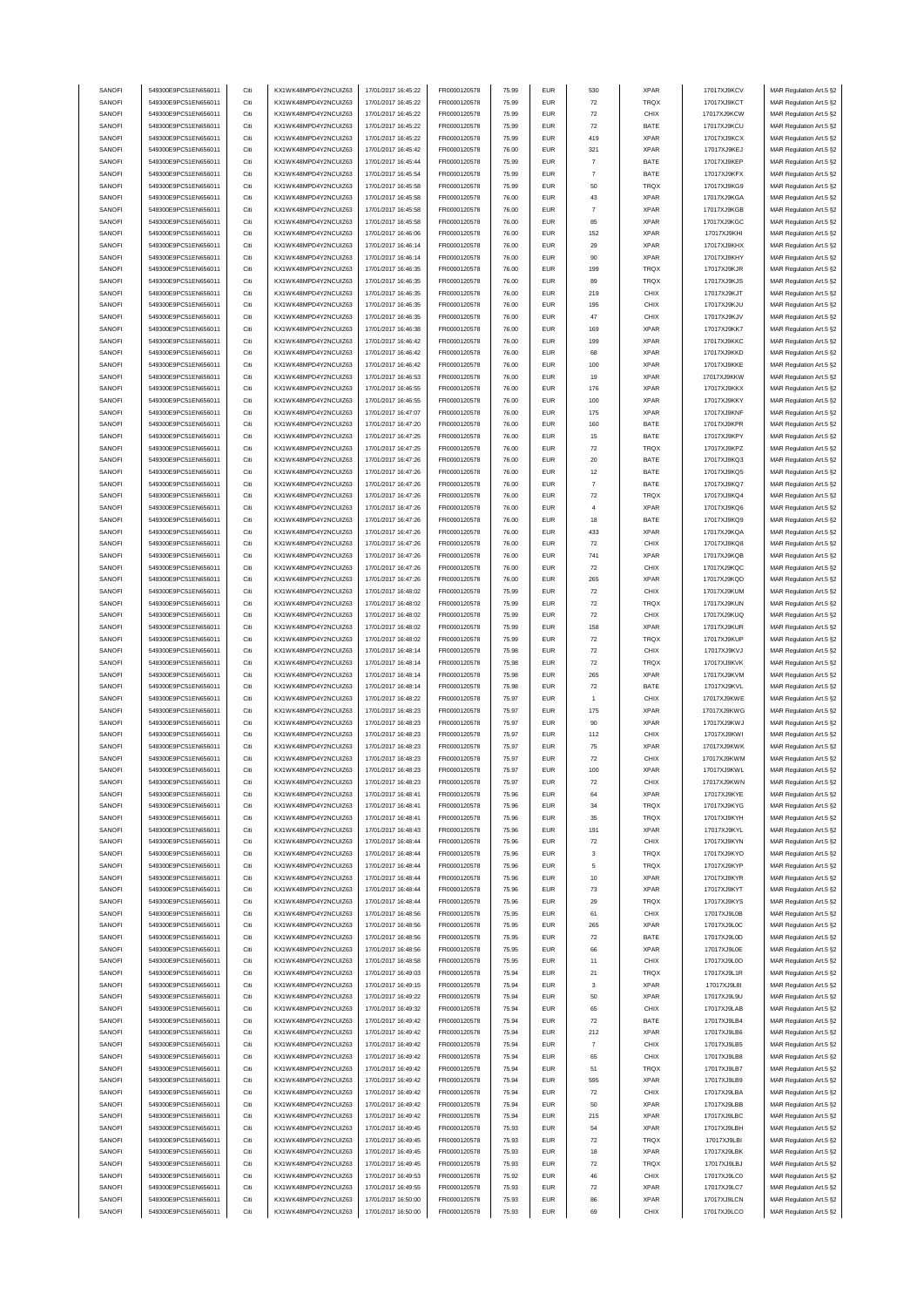| SANOFI<br>SANOFI<br>549300E9PC51EN656011<br>Citi<br>KX1WK48MPD4Y2NCUIZ63<br>17/01/2017 16:45:22<br>75.99<br><b>EUR</b><br>72<br><b>TRQX</b><br>17017XJ9KCT<br>FR0000120578<br>MAR Regulation Art.5 §2<br>SANOFI<br>549300E9PC51EN656011<br>Citi<br>KX1WK48MPD4Y2NCUIZ63<br>17/01/2017 16:45:22<br>FR0000120578<br>75.99<br><b>EUR</b><br>72<br>CHIX<br>17017XJ9KCW<br>MAR Regulation Art.5 §2<br>$\scriptstyle{72}$<br>BATE<br>SANOFI<br>549300E9PC51EN656011<br>Citi<br>KX1WK48MPD4Y2NCUIZ63<br>17/01/2017 16:45:22<br>FR0000120578<br><b>EUR</b><br>17017XJ9KCU<br>75.99<br><b>EUR</b><br>419<br><b>XPAR</b><br>SANOFI<br>549300E9PC51EN656011<br>Citi<br>KX1WK48MPD4Y2NCUIZ63<br>17/01/2017 16:45:22<br>FR0000120578<br>75.99<br>17017XJ9KCX<br>SANOFI<br>549300E9PC51EN656011<br>Citi<br>KX1WK48MPD4Y2NCUIZ63<br>17/01/2017 16:45:42<br>FR0000120578<br>76.00<br><b>EUR</b><br>321<br><b>XPAR</b><br>17017XJ9KEJ<br>SANOFI<br>549300E9PC51EN656011<br>Citi<br>KX1WK48MPD4Y2NCUIZ63<br>17/01/2017 16:45:44<br>FR0000120578<br>75.99<br><b>EUR</b><br>$\scriptstyle{7}$<br>BATE<br>17017XJ9KEP<br>MAR Regulation Art.5 §2<br>SANOFI<br>Citi<br>FR0000120578<br><b>EUR</b><br>BATE<br>549300E9PC51EN656011<br>KX1WK48MPD4Y2NCUIZ63<br>17/01/2017 16:45:54<br>75.99<br>$\overline{7}$<br>17017XJ9KFX<br>MAR Regulation Art.5 §2<br>SANOFI<br>549300E9PC51EN656011<br>Citi<br>KX1WK48MPD4Y2NCUIZ63<br>FR0000120578<br>TRQX<br>17/01/2017 16:45:58<br>75.99<br><b>EUR</b><br>50<br>17017XJ9KG9<br>MAR Regulation Art.5 §2<br>SANOFI<br>549300E9PC51EN656011<br>Citi<br>KX1WK48MPD4Y2NCUIZ63<br>17/01/2017 16:45:58<br>FR0000120578<br>76.00<br><b>EUR</b><br>43<br><b>XPAR</b><br>17017XJ9KGA<br>SANOFI<br>549300E9PC51EN656011<br>Citi<br>KX1WK48MPD4Y2NCUIZ63<br>FR0000120578<br>76.00<br><b>EUR</b><br><b>XPAR</b><br>17/01/2017 16:45:58<br>$\overline{7}$<br>17017XJ9KGB<br>Citi<br><b>EUR</b><br><b>XPAR</b><br>SANOFI<br>549300E9PC51EN656011<br>KX1WK48MPD4Y2NCUIZ63<br>17/01/2017 16:45:58<br>FR0000120578<br>76.00<br>85<br>17017XJ9KGC<br>MAR Regulation Art.5 §2<br>SANOFI<br>549300E9PC51EN656011<br>Citi<br>KX1WK48MPD4Y2NCUIZ63<br>17/01/2017 16:46:06<br>FR0000120578<br>76.00<br><b>EUR</b><br>152<br><b>XPAR</b><br>17017XJ9KHI<br>MAR Regulation Art.5 §2<br>SANOFI<br>549300E9PC51EN656011<br>Citi<br>KX1WK48MPD4Y2NCUIZ63<br>17/01/2017 16:46:14<br>FR0000120578<br>76.00<br><b>EUR</b><br>29<br><b>XPAR</b><br>17017XJ9KHX<br>Citi<br>SANOFI<br>549300E9PC51EN656011<br>KX1WK48MPD4Y2NCUIZ63<br>17/01/2017 16:46:14<br>FR0000120578<br>76.00<br><b>EUR</b><br>90<br><b>XPAR</b><br>17017XJ9KHY<br>SANOFI<br>549300E9PC51EN656011<br>Citi<br>KX1WK48MPD4Y2NCUIZ63<br>FR0000120578<br>76.00<br><b>EUR</b><br>199<br>TRQX<br>17/01/2017 16:46:35<br>17017XJ9KJR<br>SANOFI<br>549300E9PC51EN656011<br>KX1WK48MPD4Y2NCUIZ63<br>FR0000120578<br>TRQX<br>Citi<br>17/01/2017 16:46:35<br>76.00<br><b>EUR</b><br>89<br>17017XJ9KJS<br>MAR Regulation Art.5 §2<br>SANOFI<br>549300E9PC51EN656011<br>Citi<br>KX1WK48MPD4Y2NCUIZ63<br>17/01/2017 16:46:35<br>FR0000120578<br>76.00<br><b>EUR</b><br>219<br>CHIX<br>17017XJ9KJT<br>MAR Regulation Art.5 §2<br>SANOFI<br>549300E9PC51EN656011<br>Citi<br>KX1WK48MPD4Y2NCUIZ63<br>17/01/2017 16:46:35<br>FR0000120578<br>76.00<br><b>EUR</b><br>195<br>CHIX<br>17017XJ9KJU<br>MAR Regulation Art.5 §2<br>EUR<br>47<br>CHIX<br>SANOFI<br>549300E9PC51EN656011<br>Citi<br>KX1WK48MPD4Y2NCUIZ63<br>17/01/2017 16:46:35<br>FR0000120578<br>76.00<br>17017XJ9KJV<br><b>XPAR</b><br>SANOFI<br>549300E9PC51EN656011<br>Citi<br>KX1WK48MPD4Y2NCUIZ63<br>17/01/2017 16:46:38<br>FR0000120578<br>76.00<br><b>EUR</b><br>169<br>17017XJ9KK7<br>Citi<br>SANOFI<br>549300E9PC51EN656011<br>KX1WK48MPD4Y2NCUIZ63<br>17/01/2017 16:46:42<br>FR0000120578<br>76.00<br><b>EUR</b><br>199<br><b>XPAR</b><br>17017XJ9KKC<br>MAR Regulation Art.5 §2<br>Citi<br>SANOFI<br>549300E9PC51EN656011<br>KX1WK48MPD4Y2NCUIZ63<br>17/01/2017 16:46:42<br>FR0000120578<br>76.00<br><b>EUR</b><br>68<br><b>XPAR</b><br>17017XJ9KKD<br>MAR Regulation Art.5 §2<br>SANOFI<br>549300E9PC51EN656011<br>KX1WK48MPD4Y2NCUIZ63<br>FR0000120578<br><b>XPAR</b><br>Citi<br>17/01/2017 16:46:42<br>76.00<br><b>EUR</b><br>100<br>17017XJ9KKE<br>SANOFI<br>Citi<br>FR0000120578<br><b>EUR</b><br>19<br><b>XPAR</b><br>17017XJ9KKW<br>549300E9PC51EN656011<br>KX1WK48MPD4Y2NCUIZ63<br>17/01/2017 16:46:53<br>76.00<br>SANOFI<br>549300E9PC51EN656011<br>Citi<br>KX1WK48MPD4Y2NCUIZ63<br>17/01/2017 16:46:55<br>76.00<br><b>EUR</b><br>176<br><b>XPAR</b><br>17017XJ9KKX<br>FR0000120578<br>SANOFI<br>549300E9PC51EN656011<br>Citi<br>KX1WK48MPD4Y2NCUIZ63<br>17/01/2017 16:46:55<br>FR0000120578<br>76.00<br><b>EUR</b><br>100<br><b>XPAR</b><br>17017XJ9KKY<br>MAR Regulation Art.5 §2<br>175<br><b>XPAR</b><br>SANOFI<br>549300E9PC51EN656011<br>Citi<br>KX1WK48MPD4Y2NCUIZ63<br>17/01/2017 16:47:07<br>FR0000120578<br>76.00<br><b>EUR</b><br>17017XJ9KNF<br>MAR Regulation Art.5 §2<br>Citi<br><b>EUR</b><br>BATE<br>SANOFI<br>549300E9PC51EN656011<br>KX1WK48MPD4Y2NCUIZ63<br>17/01/2017 16:47:20<br>FR0000120578<br>76.00<br>160<br>17017XJ9KPR<br>MAR Regulation Art.5 §2<br>SANOFI<br>549300E9PC51EN656011<br>Citi<br>KX1WK48MPD4Y2NCUIZ63<br>17/01/2017 16:47:25<br>FR0000120578<br>76.00<br><b>EUR</b><br>15<br>BATE<br>17017XJ9KPY<br>$\scriptstyle{72}$<br>SANOFI<br>549300E9PC51EN656011<br>Citi<br>KX1WK48MPD4Y2NCUIZ63<br>17/01/2017 16:47:25<br>FR0000120578<br>76.00<br><b>EUR</b><br>TRQX<br>17017XJ9KPZ<br>SANOFI<br>Citi<br>KX1WK48MPD4Y2NCUIZ63<br>FR0000120578<br>$20\,$<br>BATE<br>549300E9PC51EN656011<br>17/01/2017 16:47:26<br>76.00<br><b>EUR</b><br>17017XJ9KQ3<br>MAR Regulation Art.5 §2<br>SANOFI<br>549300E9PC51EN656011<br>Citi<br>FR0000120578<br><b>EUR</b><br>12<br>BATE<br>17017XJ9KQ5<br>KX1WK48MPD4Y2NCUIZ63<br>17/01/2017 16:47:26<br>76.00<br>MAR Regulation Art.5 §2<br>SANOFI<br>549300E9PC51EN656011<br>Citi<br>KX1WK48MPD4Y2NCUIZ63<br>17/01/2017 16:47:26<br>FR0000120578<br>76.00<br><b>EUR</b><br>$\overline{7}$<br>BATE<br>17017XJ9KQ7<br>MAR Regulation Art.5 §2<br>SANOFI<br>549300E9PC51EN656011<br>Citi<br>KX1WK48MPD4Y2NCUIZ63<br>FR0000120578<br>76.00<br><b>EUR</b><br>72<br><b>TRQX</b><br>17017XJ9KQ4<br>17/01/2017 16:47:26<br>SANOFI<br>549300E9PC51EN656011<br>Citi<br>KX1WK48MPD4Y2NCUIZ63<br>FR0000120578<br>76.00<br><b>EUR</b><br>$\sqrt{4}$<br><b>XPAR</b><br>17/01/2017 16:47:26<br>17017XJ9KQ6<br>BATE<br>SANOFI<br>549300E9PC51EN656011<br>Citi<br>KX1WK48MPD4Y2NCUIZ63<br>17/01/2017 16:47:26<br>FR0000120578<br>76.00<br><b>EUR</b><br>18<br>17017XJ9KQ9<br>MAR Regulation Art.5 §2<br>Citi<br>SANOFI<br>549300E9PC51EN656011<br>KX1WK48MPD4Y2NCUIZ63<br>17/01/2017 16:47:26<br>FR0000120578<br>76.00<br><b>EUR</b><br>433<br><b>XPAR</b><br>17017XJ9KQA<br>MAR Regulation Art.5 §2<br>SANOFI<br>549300E9PC51EN656011<br>Citi<br>KX1WK48MPD4Y2NCUIZ63<br>17/01/2017 16:47:26<br>FR0000120578<br>76.00<br><b>EUR</b><br>$\scriptstyle{72}$<br>CHIX<br>17017XJ9KQ8<br>MAR Regulation Art.5 §2<br>Citi<br>SANOFI<br>549300E9PC51EN656011<br>KX1WK48MPD4Y2NCUIZ63<br>17/01/2017 16:47:26<br>FR0000120578<br>76.00<br><b>EUR</b><br>741<br><b>XPAR</b><br>17017XJ9KQB<br>SANOFI<br>549300E9PC51EN656011<br>Citi<br>KX1WK48MPD4Y2NCUIZ63<br>17/01/2017 16:47:26<br>FR0000120578<br>76.00<br>$\scriptstyle{72}$<br>CHIX<br><b>EUR</b><br>17017XJ9KQC<br>SANOFI<br>549300E9PC51EN656011<br>Citi<br>KX1WK48MPD4Y2NCUIZ63<br>FR0000120578<br>265<br><b>XPAR</b><br>17/01/2017 16:47:26<br>76.00<br><b>EUR</b><br>17017XJ9KQD<br>SANOFI<br>549300E9PC51EN656011<br>Citi<br>KX1WK48MPD4Y2NCUIZ63<br>FR0000120578<br><b>EUR</b><br>72<br>CHIX<br>17/01/2017 16:48:02<br>75.99<br>17017XJ9KUM<br>MAR Regulation Art.5 §2<br>SANOFI<br>549300E9PC51EN656011<br>Citi<br>KX1WK48MPD4Y2NCUIZ63<br>17/01/2017 16:48:02<br>FR0000120578<br>75.99<br><b>EUR</b><br>72<br><b>TRQX</b><br>17017XJ9KUN<br>MAR Regulation Art.5 §2<br>$\scriptstyle{72}$<br>CHIX<br>SANOFI<br>549300E9PC51EN656011<br>Citi<br>KX1WK48MPD4Y2NCUIZ63<br>17/01/2017 16:48:02<br>FR0000120578<br><b>EUR</b><br>17017XJ9KUQ<br>75.99<br>158<br><b>XPAR</b><br>SANOFI<br>549300E9PC51EN656011<br>Citi<br>KX1WK48MPD4Y2NCUIZ63<br>17/01/2017 16:48:02<br>FR0000120578<br>75.99<br><b>EUR</b><br>17017XJ9KUR<br>Citi<br>$\scriptstyle{72}$<br>SANOFI<br>549300E9PC51EN656011<br>KX1WK48MPD4Y2NCUIZ63<br>17/01/2017 16:48:02<br>FR0000120578<br>75.99<br><b>EUR</b><br>TRQX<br>17017XJ9KUP<br>SANOFI<br>549300E9PC51EN656011<br>Citi<br>KX1WK48MPD4Y2NCUIZ63<br>17/01/2017 16:48:14<br>FR0000120578<br>75.98<br><b>EUR</b><br>$\scriptstyle{72}$<br>CHIX<br>17017XJ9KVJ<br>MAR Regulation Art.5 §2<br>SANOFI<br>549300E9PC51EN656011<br>KX1WK48MPD4Y2NCUIZ63<br>FR0000120578<br>$\scriptstyle{72}$<br>TRQX<br>Citi<br>17/01/2017 16:48:14<br>75.98<br><b>EUR</b><br>17017XJ9KVK<br>MAR Regulation Art.5 §2<br>SANOFI<br>Citi<br>FR0000120578<br><b>EUR</b><br>265<br><b>XPAR</b><br>549300E9PC51EN656011<br>KX1WK48MPD4Y2NCUIZ63<br>17/01/2017 16:48:14<br>75.98<br>17017XJ9KVM<br>MAR Regulation Art.5 §2<br>SANOFI<br>549300E9PC51EN656011<br>Citi<br>KX1WK48MPD4Y2NCUIZ63<br>17/01/2017 16:48:14<br>75.98<br><b>EUR</b><br>$\scriptstyle{72}$<br>BATE<br>17017XJ9KVL<br>FR0000120578<br>SANOFI<br>549300E9PC51EN656011<br>Citi<br>KX1WK48MPD4Y2NCUIZ63<br>17/01/2017 16:48:22<br>FR0000120578<br>75.97<br><b>EUR</b><br>CHIX<br>17017XJ9KWE<br>$\overline{1}$<br>SANOFI<br>549300E9PC51EN656011<br>Citi<br>KX1WK48MPD4Y2NCUIZ63<br>17/01/2017 16:48:23<br>FR0000120578<br>75.97<br><b>EUR</b><br>175<br><b>XPAR</b><br>17017XJ9KWG<br>SANOFI<br>549300E9PC51EN656011<br>Citi<br>KX1WK48MPD4Y2NCUIZ63<br>17/01/2017 16:48:23<br>FR0000120578<br>75.97<br><b>EUR</b><br>90<br><b>XPAR</b><br>17017XJ9KWJ<br>SANOFI<br>549300E9PC51EN656011<br>Citi<br>KX1WK48MPD4Y2NCUIZ63<br>17/01/2017 16:48:23<br>FR0000120578<br>75.97<br><b>EUR</b><br>112<br>CHIX<br>17017XJ9KWI<br>SANOFI<br>549300E9PC51EN656011<br>Citi<br>KX1WK48MPD4Y2NCUIZ63<br>17/01/2017 16:48:23<br>FR0000120578<br>75.97<br><b>EUR</b><br>75<br><b>XPAR</b><br>17017XJ9KWK<br>SANOFI<br>549300E9PC51EN656011<br>Citi<br>KX1WK48MPD4Y2NCUIZ63<br>FR0000120578<br><b>EUR</b><br>$\scriptstyle{72}$<br>CHIX<br>17/01/2017 16:48:23<br>75.97<br>17017XJ9KWM<br>SANOFI<br>549300E9PC51EN656011<br>Citi<br>KX1WK48MPD4Y2NCUIZ63<br>17/01/2017 16:48:23<br>FR0000120578<br><b>EUR</b><br><b>XPAR</b><br>75.97<br>100<br>17017XJ9KWL<br>SANOFI<br>549300E9PC51EN656011<br>KX1WK48MPD4Y2NCUIZ63<br>17/01/2017 16:48:23<br>FUR<br>FR0000120578<br>75.97<br>CHIX<br>17017XJ9KWN<br>SANOFI<br>549300E9PC51EN656011<br>KX1WK48MPD4Y2NCUIZ63<br>17/01/2017 16:48:41<br>17017XJ9KYE<br>FR0000120578<br>75.96<br><b>EUR</b><br>64<br><b>XPAR</b><br>Citi<br>SANOFI<br>549300E9PC51EN656011<br>Citi<br>KX1WK48MPD4Y2NCUIZ63<br>17/01/2017 16:48:41<br>FR0000120578<br><b>EUR</b><br>TRQX<br>17017XJ9KYG<br>75.96<br>34<br>SANOFI<br>549300E9PC51EN656011<br>Citi<br>KX1WK48MPD4Y2NCUIZ63<br>17/01/2017 16:48:41<br>FR0000120578<br><b>EUR</b><br>TRQX<br>17017XJ9KYH<br>75.96<br>35<br>SANOFI<br>549300E9PC51EN656011<br>Citi<br>KX1WK48MPD4Y2NCUIZ63<br>17/01/2017 16:48:43<br>FR0000120578<br>75.96<br><b>EUR</b><br>191<br><b>XPAR</b><br>17017XJ9KYL<br>SANOFI<br>549300E9PC51EN656011<br>Citi<br>KX1WK48MPD4Y2NCUIZ63<br>17/01/2017 16:48:44<br>FR0000120578<br>75.96<br><b>EUR</b><br>$\scriptstyle{72}$<br>CHIX<br>17017XJ9KYN<br>SANOFI<br>549300E9PC51EN656011<br>KX1WK48MPD4Y2NCUIZ63<br>17/01/2017 16:48:44<br>FR0000120578<br>TRQX<br>17017XJ9KYO<br>Citi<br>75.96<br><b>EUR</b><br>3<br>549300E9PC51EN656011<br>KX1WK48MPD4Y2NCUIZ63<br>SANOFI<br>Citi<br>17/01/2017 16:48:44<br>FR0000120578<br>75.96<br><b>EUR</b><br>$\,$ 5 $\,$<br>TRQX<br>17017XJ9KYP<br>SANOFI<br>549300E9PC51EN656011<br>KX1WK48MPD4Y2NCUIZ63<br>17/01/2017 16:48:44<br>FR0000120578<br><b>XPAR</b><br>17017XJ9KYR<br>Citi<br>75.96<br><b>EUR</b><br>10<br>SANOFI<br>549300E9PC51EN656011<br>Citi<br>KX1WK48MPD4Y2NCUIZ63<br>17/01/2017 16:48:44<br><b>EUR</b><br>$\bf 73$<br><b>XPAR</b><br>17017XJ9KYT<br>FR0000120578<br>75.96<br>SANOFI<br>549300E9PC51EN656011<br>Citi<br>KX1WK48MPD4Y2NCUIZ63<br>17/01/2017 16:48:44<br>FR0000120578<br>75.96<br><b>EUR</b><br>29<br>TRQX<br>17017XJ9KYS<br>SANOFI<br>549300E9PC51EN656011<br>Citi<br>KX1WK48MPD4Y2NCUIZ63<br>17/01/2017 16:48:56<br>FR0000120578<br><b>EUR</b><br>61<br>CHIX<br>17017XJ9L0B<br>75.95<br>SANOFI<br>549300E9PC51EN656011<br>Citi<br>KX1WK48MPD4Y2NCUIZ63<br>17/01/2017 16:48:56<br>FR0000120578<br>75.95<br><b>EUR</b><br>265<br><b>XPAR</b><br>17017XJ9L0C<br>SANOFI<br>549300E9PC51EN656011<br>Citi<br>KX1WK48MPD4Y2NCUIZ63<br>17/01/2017 16:48:56<br>FR0000120578<br>75.95<br><b>EUR</b><br>$\scriptstyle{72}$<br>BATE<br>17017XJ9L0D<br>549300E9PC51EN656011<br>KX1WK48MPD4Y2NCUIZ63<br>17/01/2017 16:48:56<br>17017XJ9L0E<br>SANOFI<br>Citi<br>FR0000120578<br>75.95<br><b>EUR</b><br>66<br><b>XPAR</b><br>SANOFI<br>549300E9PC51EN656011<br>KX1WK48MPD4Y2NCUIZ63<br>FR0000120578<br>17017XJ9L0O<br>Citi<br>17/01/2017 16:48:58<br>75.95<br><b>EUR</b><br>11<br>CHIX<br>SANOFI<br>549300E9PC51EN656011<br>KX1WK48MPD4Y2NCUIZ63<br>17/01/2017 16:49:03<br><b>EUR</b><br>TRQX<br>17017XJ9L1R<br>Citi<br>FR0000120578<br>75.94<br>21<br>SANOFI<br>549300E9PC51EN656011<br>Citi<br>KX1WK48MPD4Y2NCUIZ63<br>17/01/2017 16:49:15<br>FR0000120578<br><b>EUR</b><br><b>XPAR</b><br>17017XJ9L8I<br>75.94<br>3<br>SANOFI<br>549300E9PC51EN656011<br>Citi<br>KX1WK48MPD4Y2NCUIZ63<br>17/01/2017 16:49:22<br>FR0000120578<br><b>EUR</b><br>50<br><b>XPAR</b><br>17017XJ9L9U<br>75.94<br>17017XJ9LAB<br>SANOFI<br>549300E9PC51EN656011<br>Citi<br>KX1WK48MPD4Y2NCUIZ63<br>17/01/2017 16:49:32<br>FR0000120578<br><b>EUR</b><br>65<br>CHIX<br>75.94<br>BATE<br>SANOFI<br>549300E9PC51EN656011<br>Citi<br>KX1WK48MPD4Y2NCUIZ63<br>17/01/2017 16:49:42<br>FR0000120578<br><b>EUR</b><br>72<br>17017XJ9LB4<br>75.94<br>SANOFI<br>549300E9PC51EN656011<br>Citi<br>KX1WK48MPD4Y2NCUIZ63<br>17/01/2017 16:49:42<br>FR0000120578<br>75.94<br><b>EUR</b><br>212<br><b>XPAR</b><br>17017XJ9LB6<br>SANOFI<br>549300E9PC51EN656011<br>Citi<br>KX1WK48MPD4Y2NCUIZ63<br>17/01/2017 16:49:42<br>FR0000120578<br>75.94<br><b>EUR</b><br>$\overline{7}$<br>CHIX<br>17017XJ9LB5<br>SANOFI<br>549300E9PC51EN656011<br>KX1WK48MPD4Y2NCUIZ63<br>17/01/2017 16:49:42<br>FR0000120578<br>Citi<br>75.94<br><b>EUR</b><br>65<br>CHIX<br>17017XJ9LB8<br>SANOFI<br>549300E9PC51EN656011<br>Citi<br>KX1WK48MPD4Y2NCUIZ63<br>17/01/2017 16:49:42<br>FR0000120578<br>75.94<br><b>EUR</b><br>51<br>TRQX<br>17017XJ9LB7<br>SANOFI<br>549300E9PC51EN656011<br>KX1WK48MPD4Y2NCUIZ63<br>17/01/2017 16:49:42<br>FR0000120578<br><b>EUR</b><br><b>XPAR</b><br>17017XJ9LB9<br>Citi<br>75.94<br>595<br>SANOFI<br>549300E9PC51EN656011<br>KX1WK48MPD4Y2NCUIZ63<br>17/01/2017 16:49:42<br>FR0000120578<br><b>EUR</b><br>CHIX<br>17017XJ9LBA<br>Citi<br>75.94<br>$\scriptstyle{72}$<br>SANOFI<br>549300E9PC51EN656011<br>Citi<br>KX1WK48MPD4Y2NCUIZ63<br>17/01/2017 16:49:42<br>FR0000120578<br><b>EUR</b><br>50<br><b>XPAR</b><br>17017XJ9LBB<br>75.94<br>17017XJ9LBC<br>SANOFI<br>549300E9PC51EN656011<br>Citi<br>KX1WK48MPD4Y2NCUIZ63<br>17/01/2017 16:49:42<br>FR0000120578<br><b>EUR</b><br>215<br>XPAR<br>75.94<br>SANOFI<br>549300E9PC51EN656011<br>Citi<br>KX1WK48MPD4Y2NCUIZ63<br>17/01/2017 16:49:45<br>FR0000120578<br>75.93<br><b>EUR</b><br>54<br><b>XPAR</b><br>17017XJ9LBH<br>SANOFI<br>549300E9PC51EN656011<br>Citi<br>KX1WK48MPD4Y2NCUIZ63<br>17/01/2017 16:49:45<br>FR0000120578<br>75.93<br><b>EUR</b><br>$\scriptstyle{72}$<br>TRQX<br>17017XJ9LBI<br>SANOFI<br>549300E9PC51EN656011<br>KX1WK48MPD4Y2NCUIZ63<br>17/01/2017 16:49:45<br>17017XJ9LBK<br>Citi<br>FR0000120578<br>75.93<br><b>EUR</b><br>18<br>XPAR<br>17017XJ9LBJ<br>SANOFI<br>549300E9PC51EN656011<br>Citi<br>KX1WK48MPD4Y2NCUIZ63<br>17/01/2017 16:49:45<br>FR0000120578<br>75.93<br><b>EUR</b><br>72<br>TRQX<br>SANOFI<br>549300E9PC51EN656011<br>KX1WK48MPD4Y2NCUIZ63<br>17/01/2017 16:49:53<br>FR0000120578<br>CHIX<br>17017XJ9LC0<br>Citi<br>75.92<br><b>EUR</b><br>46<br>SANOFI<br>549300E9PC51EN656011<br>KX1WK48MPD4Y2NCUIZ63<br><b>EUR</b><br>72<br><b>XPAR</b><br>Citi<br>17/01/2017 16:49:55<br>FR0000120578<br>75.93<br>17017XJ9LC7<br>SANOFI<br>549300E9PC51EN656011<br>KX1WK48MPD4Y2NCUIZ63<br>FR0000120578<br>XPAR<br>17017XJ9LCN<br>Citi<br>17/01/2017 16:50:00<br>75.93<br><b>EUR</b><br>86<br>17/01/2017 16:50:00<br><b>EUR</b><br>69<br>SANOFI<br>549300E9PC51EN656011<br>Citi<br>KX1WK48MPD4Y2NCUIZ63<br>FR0000120578<br>75.93<br>CHIX<br>17017XJ9LCO<br>MAR Regulation Art.5 §2 | 549300E9PC51EN656011 | Citi | KX1WK48MPD4Y2NCUIZ63 | 17/01/2017 16:45:22 | FR0000120578 | 75.99 | <b>EUR</b> | 530 | <b>XPAR</b> | 17017XJ9KCV | MAR Regulation Art.5 §2                            |
|-------------------------------------------------------------------------------------------------------------------------------------------------------------------------------------------------------------------------------------------------------------------------------------------------------------------------------------------------------------------------------------------------------------------------------------------------------------------------------------------------------------------------------------------------------------------------------------------------------------------------------------------------------------------------------------------------------------------------------------------------------------------------------------------------------------------------------------------------------------------------------------------------------------------------------------------------------------------------------------------------------------------------------------------------------------------------------------------------------------------------------------------------------------------------------------------------------------------------------------------------------------------------------------------------------------------------------------------------------------------------------------------------------------------------------------------------------------------------------------------------------------------------------------------------------------------------------------------------------------------------------------------------------------------------------------------------------------------------------------------------------------------------------------------------------------------------------------------------------------------------------------------------------------------------------------------------------------------------------------------------------------------------------------------------------------------------------------------------------------------------------------------------------------------------------------------------------------------------------------------------------------------------------------------------------------------------------------------------------------------------------------------------------------------------------------------------------------------------------------------------------------------------------------------------------------------------------------------------------------------------------------------------------------------------------------------------------------------------------------------------------------------------------------------------------------------------------------------------------------------------------------------------------------------------------------------------------------------------------------------------------------------------------------------------------------------------------------------------------------------------------------------------------------------------------------------------------------------------------------------------------------------------------------------------------------------------------------------------------------------------------------------------------------------------------------------------------------------------------------------------------------------------------------------------------------------------------------------------------------------------------------------------------------------------------------------------------------------------------------------------------------------------------------------------------------------------------------------------------------------------------------------------------------------------------------------------------------------------------------------------------------------------------------------------------------------------------------------------------------------------------------------------------------------------------------------------------------------------------------------------------------------------------------------------------------------------------------------------------------------------------------------------------------------------------------------------------------------------------------------------------------------------------------------------------------------------------------------------------------------------------------------------------------------------------------------------------------------------------------------------------------------------------------------------------------------------------------------------------------------------------------------------------------------------------------------------------------------------------------------------------------------------------------------------------------------------------------------------------------------------------------------------------------------------------------------------------------------------------------------------------------------------------------------------------------------------------------------------------------------------------------------------------------------------------------------------------------------------------------------------------------------------------------------------------------------------------------------------------------------------------------------------------------------------------------------------------------------------------------------------------------------------------------------------------------------------------------------------------------------------------------------------------------------------------------------------------------------------------------------------------------------------------------------------------------------------------------------------------------------------------------------------------------------------------------------------------------------------------------------------------------------------------------------------------------------------------------------------------------------------------------------------------------------------------------------------------------------------------------------------------------------------------------------------------------------------------------------------------------------------------------------------------------------------------------------------------------------------------------------------------------------------------------------------------------------------------------------------------------------------------------------------------------------------------------------------------------------------------------------------------------------------------------------------------------------------------------------------------------------------------------------------------------------------------------------------------------------------------------------------------------------------------------------------------------------------------------------------------------------------------------------------------------------------------------------------------------------------------------------------------------------------------------------------------------------------------------------------------------------------------------------------------------------------------------------------------------------------------------------------------------------------------------------------------------------------------------------------------------------------------------------------------------------------------------------------------------------------------------------------------------------------------------------------------------------------------------------------------------------------------------------------------------------------------------------------------------------------------------------------------------------------------------------------------------------------------------------------------------------------------------------------------------------------------------------------------------------------------------------------------------------------------------------------------------------------------------------------------------------------------------------------------------------------------------------------------------------------------------------------------------------------------------------------------------------------------------------------------------------------------------------------------------------------------------------------------------------------------------------------------------------------------------------------------------------------------------------------------------------------------------------------------------------------------------------------------------------------------------------------------------------------------------------------------------------------------------------------------------------------------------------------------------------------------------------------------------------------------------------------------------------------------------------------------------------------------------------------------------------------------------------------------------------------------------------------------------------------------------------------------------------------------------------------------------------------------------------------------------------------------------------------------------------------------------------------------------------------------------------------------------------------------------------------------------------------------------------------------------------------------------------------------------------------------------------------------------------------------------------------------------------------------------------------------------------------------------------------------------------------------------------------------------------------------------------------------------------------------------------------------------------------------------------------------------------------------------------------------------------------------------------------------------------------------------------------------------------------------------------------------------------------------------------------------------------------------------------------------------------------------------------------------------------------------------------------------------------------------------------------------------------------------------------------------------------------------------------------------------------------------------------------------------------------------------------------------------------------------------------------------------------------------------------------------------------------------------------------------------------------------------------------------------------------------------------------------------------------------------------------------------------------------------------------------------------------------------------------------------------------------------------------------------------------------------------------------------------------------------------------------------------------------------------------------------------------------------------------------------------------------------------------------------------------------------------------------------------------------------------------------------------------------------------------------------------------------------------------------------------------------------------------------------------------------------------------------------------------------------------------------------------------------------------------------------------------------------------------------------------------------------------------------------------------------------------------------------------------------------------------------------------------------------------------------------------------------------------------------------------------------------------------------------------------------------------------------------------------------------------------------------------------------------------------------------------------------------------------------------------------------------------------------------------------------------------------------------------------------------------------------------------------------------------------------------------------------------------------------------------------------------------------------------------------------------------------------------------------------------------------------------------------------------------------------------------------------------------------------------------------------------------------------------------------------------------------------------------------------------------------------------------------------------------------------------------------------------------------------------------------------------------------------------------------------------------------------------------------------------------------------------------------------------------------------------------------------------------------------------------------------------------------------------------------------------------------------------------------------------------------------------------------------------------------------------------------------------------------------------------------------------------------------------------------------------------------------------------------------------------------------------------------------------------------------------------------------------------------------------------------------------------------------------------------------------------------------------------------------------------------------------------------------------------------------------------------------------------------------------------------------------------------------------------------------------------------------------------------------------------------------------------------------------------------------------------------------------------------------------------------------------------------------------------------------------------------------------------------------------------------------------------------------------------------------------------------------------------------------------------------------------------------------------------------------------------------------------------------------------------------------------------------------------------------------------------------------------------------------------------------------------------------------------------------------------------------------------------------------------------------------------------------------------------------------------------------------------------------------------------------------------------------------------------------------------------------------------------------------------------------------------------------------------------------------------------------------------------------------------------------------------------------------------------------------------------------------------------------------------------------------------------------------------------------------------------------------------------------------------------------------------------------------------------------------------------------------------------------------------------------------------------------------------------------------------------------------------------------------------------------------------------------------------------------------------------------------------------------------------------------------------------------------------------------------------------------------------------------------------------------------------------------------------------------------------------------------------------------------------------------------------------------------|----------------------|------|----------------------|---------------------|--------------|-------|------------|-----|-------------|-------------|----------------------------------------------------|
|                                                                                                                                                                                                                                                                                                                                                                                                                                                                                                                                                                                                                                                                                                                                                                                                                                                                                                                                                                                                                                                                                                                                                                                                                                                                                                                                                                                                                                                                                                                                                                                                                                                                                                                                                                                                                                                                                                                                                                                                                                                                                                                                                                                                                                                                                                                                                                                                                                                                                                                                                                                                                                                                                                                                                                                                                                                                                                                                                                                                                                                                                                                                                                                                                                                                                                                                                                                                                                                                                                                                                                                                                                                                                                                                                                                                                                                                                                                                                                                                                                                                                                                                                                                                                                                                                                                                                                                                                                                                                                                                                                                                                                                                                                                                                                                                                                                                                                                                                                                                                                                                                                                                                                                                                                                                                                                                                                                                                                                                                                                                                                                                                                                                                                                                                                                                                                                                                                                                                                                                                                                                                                                                                                                                                                                                                                                                                                                                                                                                                                                                                                                                                                                                                                                                                                                                                                                                                                                                                                                                                                                                                                                                                                                                                                                                                                                                                                                                                                                                                                                                                                                                                                                                                                                                                                                                                                                                                                                                                                                                                                                                                                                                                                                                                                                                                                                                                                                                                                                                                                                                                                                                                                                                                                                                                                                                                                                                                                                                                                                                                                                                                                                                                                                                                                                                                                                                                                                                                                                                                                                                                                                                                                                                                                                                                                                                                                                                                                                                                                                                                                                                                                                                                                                                                                                                                                                                                                                                                                                                                                                                                                                                                                                                                                                                                                                                                                                                                                                                                                                                                                                                                                                                                                                                                                                                                                                                                                                                                                                                                                                                                                                                                                                                                                                                                                                                                                                                                                                                                                                                                                                                                                                                                                                                                                                                                                                                                                                                                                                                                                                                                                                                                                                                                                                                                                                                                                                                                                                                                                                                                                                                                                                                                                                                                                                                                                                                                                                                                                                                                                                                                                                                                                                                                                                                                                                                                                                                                                                                                                                                                                                                                                                                                                                                                                                                                                                                                                                                                                                                                                                                                                                                                                                                                                                                                                                                                                                                                                                                                                                                                                                                                                                                                                                                                                                                                                                                                                                                                                                                                                                                                                                                                                                                                                                                                                                                                                                                                                                                                                                                                                                                                                                                                                                                                                                                                                                                                                                                                                                                                                                                                                                                                                                                                                                                                                               |                      |      |                      |                     |              |       |            |     |             |             |                                                    |
|                                                                                                                                                                                                                                                                                                                                                                                                                                                                                                                                                                                                                                                                                                                                                                                                                                                                                                                                                                                                                                                                                                                                                                                                                                                                                                                                                                                                                                                                                                                                                                                                                                                                                                                                                                                                                                                                                                                                                                                                                                                                                                                                                                                                                                                                                                                                                                                                                                                                                                                                                                                                                                                                                                                                                                                                                                                                                                                                                                                                                                                                                                                                                                                                                                                                                                                                                                                                                                                                                                                                                                                                                                                                                                                                                                                                                                                                                                                                                                                                                                                                                                                                                                                                                                                                                                                                                                                                                                                                                                                                                                                                                                                                                                                                                                                                                                                                                                                                                                                                                                                                                                                                                                                                                                                                                                                                                                                                                                                                                                                                                                                                                                                                                                                                                                                                                                                                                                                                                                                                                                                                                                                                                                                                                                                                                                                                                                                                                                                                                                                                                                                                                                                                                                                                                                                                                                                                                                                                                                                                                                                                                                                                                                                                                                                                                                                                                                                                                                                                                                                                                                                                                                                                                                                                                                                                                                                                                                                                                                                                                                                                                                                                                                                                                                                                                                                                                                                                                                                                                                                                                                                                                                                                                                                                                                                                                                                                                                                                                                                                                                                                                                                                                                                                                                                                                                                                                                                                                                                                                                                                                                                                                                                                                                                                                                                                                                                                                                                                                                                                                                                                                                                                                                                                                                                                                                                                                                                                                                                                                                                                                                                                                                                                                                                                                                                                                                                                                                                                                                                                                                                                                                                                                                                                                                                                                                                                                                                                                                                                                                                                                                                                                                                                                                                                                                                                                                                                                                                                                                                                                                                                                                                                                                                                                                                                                                                                                                                                                                                                                                                                                                                                                                                                                                                                                                                                                                                                                                                                                                                                                                                                                                                                                                                                                                                                                                                                                                                                                                                                                                                                                                                                                                                                                                                                                                                                                                                                                                                                                                                                                                                                                                                                                                                                                                                                                                                                                                                                                                                                                                                                                                                                                                                                                                                                                                                                                                                                                                                                                                                                                                                                                                                                                                                                                                                                                                                                                                                                                                                                                                                                                                                                                                                                                                                                                                                                                                                                                                                                                                                                                                                                                                                                                                                                                                                                                                                                                                                                                                                                                                                                                                                                                                                                                                                                                                               |                      |      |                      |                     |              |       |            |     |             |             |                                                    |
|                                                                                                                                                                                                                                                                                                                                                                                                                                                                                                                                                                                                                                                                                                                                                                                                                                                                                                                                                                                                                                                                                                                                                                                                                                                                                                                                                                                                                                                                                                                                                                                                                                                                                                                                                                                                                                                                                                                                                                                                                                                                                                                                                                                                                                                                                                                                                                                                                                                                                                                                                                                                                                                                                                                                                                                                                                                                                                                                                                                                                                                                                                                                                                                                                                                                                                                                                                                                                                                                                                                                                                                                                                                                                                                                                                                                                                                                                                                                                                                                                                                                                                                                                                                                                                                                                                                                                                                                                                                                                                                                                                                                                                                                                                                                                                                                                                                                                                                                                                                                                                                                                                                                                                                                                                                                                                                                                                                                                                                                                                                                                                                                                                                                                                                                                                                                                                                                                                                                                                                                                                                                                                                                                                                                                                                                                                                                                                                                                                                                                                                                                                                                                                                                                                                                                                                                                                                                                                                                                                                                                                                                                                                                                                                                                                                                                                                                                                                                                                                                                                                                                                                                                                                                                                                                                                                                                                                                                                                                                                                                                                                                                                                                                                                                                                                                                                                                                                                                                                                                                                                                                                                                                                                                                                                                                                                                                                                                                                                                                                                                                                                                                                                                                                                                                                                                                                                                                                                                                                                                                                                                                                                                                                                                                                                                                                                                                                                                                                                                                                                                                                                                                                                                                                                                                                                                                                                                                                                                                                                                                                                                                                                                                                                                                                                                                                                                                                                                                                                                                                                                                                                                                                                                                                                                                                                                                                                                                                                                                                                                                                                                                                                                                                                                                                                                                                                                                                                                                                                                                                                                                                                                                                                                                                                                                                                                                                                                                                                                                                                                                                                                                                                                                                                                                                                                                                                                                                                                                                                                                                                                                                                                                                                                                                                                                                                                                                                                                                                                                                                                                                                                                                                                                                                                                                                                                                                                                                                                                                                                                                                                                                                                                                                                                                                                                                                                                                                                                                                                                                                                                                                                                                                                                                                                                                                                                                                                                                                                                                                                                                                                                                                                                                                                                                                                                                                                                                                                                                                                                                                                                                                                                                                                                                                                                                                                                                                                                                                                                                                                                                                                                                                                                                                                                                                                                                                                                                                                                                                                                                                                                                                                                                                                                                                                                                                                                                               |                      |      |                      |                     |              |       |            |     |             |             |                                                    |
|                                                                                                                                                                                                                                                                                                                                                                                                                                                                                                                                                                                                                                                                                                                                                                                                                                                                                                                                                                                                                                                                                                                                                                                                                                                                                                                                                                                                                                                                                                                                                                                                                                                                                                                                                                                                                                                                                                                                                                                                                                                                                                                                                                                                                                                                                                                                                                                                                                                                                                                                                                                                                                                                                                                                                                                                                                                                                                                                                                                                                                                                                                                                                                                                                                                                                                                                                                                                                                                                                                                                                                                                                                                                                                                                                                                                                                                                                                                                                                                                                                                                                                                                                                                                                                                                                                                                                                                                                                                                                                                                                                                                                                                                                                                                                                                                                                                                                                                                                                                                                                                                                                                                                                                                                                                                                                                                                                                                                                                                                                                                                                                                                                                                                                                                                                                                                                                                                                                                                                                                                                                                                                                                                                                                                                                                                                                                                                                                                                                                                                                                                                                                                                                                                                                                                                                                                                                                                                                                                                                                                                                                                                                                                                                                                                                                                                                                                                                                                                                                                                                                                                                                                                                                                                                                                                                                                                                                                                                                                                                                                                                                                                                                                                                                                                                                                                                                                                                                                                                                                                                                                                                                                                                                                                                                                                                                                                                                                                                                                                                                                                                                                                                                                                                                                                                                                                                                                                                                                                                                                                                                                                                                                                                                                                                                                                                                                                                                                                                                                                                                                                                                                                                                                                                                                                                                                                                                                                                                                                                                                                                                                                                                                                                                                                                                                                                                                                                                                                                                                                                                                                                                                                                                                                                                                                                                                                                                                                                                                                                                                                                                                                                                                                                                                                                                                                                                                                                                                                                                                                                                                                                                                                                                                                                                                                                                                                                                                                                                                                                                                                                                                                                                                                                                                                                                                                                                                                                                                                                                                                                                                                                                                                                                                                                                                                                                                                                                                                                                                                                                                                                                                                                                                                                                                                                                                                                                                                                                                                                                                                                                                                                                                                                                                                                                                                                                                                                                                                                                                                                                                                                                                                                                                                                                                                                                                                                                                                                                                                                                                                                                                                                                                                                                                                                                                                                                                                                                                                                                                                                                                                                                                                                                                                                                                                                                                                                                                                                                                                                                                                                                                                                                                                                                                                                                                                                                                                                                                                                                                                                                                                                                                                                                                                                                                                                                                                               |                      |      |                      |                     |              |       |            |     |             |             | MAR Regulation Art.5 §2                            |
|                                                                                                                                                                                                                                                                                                                                                                                                                                                                                                                                                                                                                                                                                                                                                                                                                                                                                                                                                                                                                                                                                                                                                                                                                                                                                                                                                                                                                                                                                                                                                                                                                                                                                                                                                                                                                                                                                                                                                                                                                                                                                                                                                                                                                                                                                                                                                                                                                                                                                                                                                                                                                                                                                                                                                                                                                                                                                                                                                                                                                                                                                                                                                                                                                                                                                                                                                                                                                                                                                                                                                                                                                                                                                                                                                                                                                                                                                                                                                                                                                                                                                                                                                                                                                                                                                                                                                                                                                                                                                                                                                                                                                                                                                                                                                                                                                                                                                                                                                                                                                                                                                                                                                                                                                                                                                                                                                                                                                                                                                                                                                                                                                                                                                                                                                                                                                                                                                                                                                                                                                                                                                                                                                                                                                                                                                                                                                                                                                                                                                                                                                                                                                                                                                                                                                                                                                                                                                                                                                                                                                                                                                                                                                                                                                                                                                                                                                                                                                                                                                                                                                                                                                                                                                                                                                                                                                                                                                                                                                                                                                                                                                                                                                                                                                                                                                                                                                                                                                                                                                                                                                                                                                                                                                                                                                                                                                                                                                                                                                                                                                                                                                                                                                                                                                                                                                                                                                                                                                                                                                                                                                                                                                                                                                                                                                                                                                                                                                                                                                                                                                                                                                                                                                                                                                                                                                                                                                                                                                                                                                                                                                                                                                                                                                                                                                                                                                                                                                                                                                                                                                                                                                                                                                                                                                                                                                                                                                                                                                                                                                                                                                                                                                                                                                                                                                                                                                                                                                                                                                                                                                                                                                                                                                                                                                                                                                                                                                                                                                                                                                                                                                                                                                                                                                                                                                                                                                                                                                                                                                                                                                                                                                                                                                                                                                                                                                                                                                                                                                                                                                                                                                                                                                                                                                                                                                                                                                                                                                                                                                                                                                                                                                                                                                                                                                                                                                                                                                                                                                                                                                                                                                                                                                                                                                                                                                                                                                                                                                                                                                                                                                                                                                                                                                                                                                                                                                                                                                                                                                                                                                                                                                                                                                                                                                                                                                                                                                                                                                                                                                                                                                                                                                                                                                                                                                                                                                                                                                                                                                                                                                                                                                                                                                                                                                                                                                                               |                      |      |                      |                     |              |       |            |     |             |             | MAR Regulation Art.5 §2                            |
|                                                                                                                                                                                                                                                                                                                                                                                                                                                                                                                                                                                                                                                                                                                                                                                                                                                                                                                                                                                                                                                                                                                                                                                                                                                                                                                                                                                                                                                                                                                                                                                                                                                                                                                                                                                                                                                                                                                                                                                                                                                                                                                                                                                                                                                                                                                                                                                                                                                                                                                                                                                                                                                                                                                                                                                                                                                                                                                                                                                                                                                                                                                                                                                                                                                                                                                                                                                                                                                                                                                                                                                                                                                                                                                                                                                                                                                                                                                                                                                                                                                                                                                                                                                                                                                                                                                                                                                                                                                                                                                                                                                                                                                                                                                                                                                                                                                                                                                                                                                                                                                                                                                                                                                                                                                                                                                                                                                                                                                                                                                                                                                                                                                                                                                                                                                                                                                                                                                                                                                                                                                                                                                                                                                                                                                                                                                                                                                                                                                                                                                                                                                                                                                                                                                                                                                                                                                                                                                                                                                                                                                                                                                                                                                                                                                                                                                                                                                                                                                                                                                                                                                                                                                                                                                                                                                                                                                                                                                                                                                                                                                                                                                                                                                                                                                                                                                                                                                                                                                                                                                                                                                                                                                                                                                                                                                                                                                                                                                                                                                                                                                                                                                                                                                                                                                                                                                                                                                                                                                                                                                                                                                                                                                                                                                                                                                                                                                                                                                                                                                                                                                                                                                                                                                                                                                                                                                                                                                                                                                                                                                                                                                                                                                                                                                                                                                                                                                                                                                                                                                                                                                                                                                                                                                                                                                                                                                                                                                                                                                                                                                                                                                                                                                                                                                                                                                                                                                                                                                                                                                                                                                                                                                                                                                                                                                                                                                                                                                                                                                                                                                                                                                                                                                                                                                                                                                                                                                                                                                                                                                                                                                                                                                                                                                                                                                                                                                                                                                                                                                                                                                                                                                                                                                                                                                                                                                                                                                                                                                                                                                                                                                                                                                                                                                                                                                                                                                                                                                                                                                                                                                                                                                                                                                                                                                                                                                                                                                                                                                                                                                                                                                                                                                                                                                                                                                                                                                                                                                                                                                                                                                                                                                                                                                                                                                                                                                                                                                                                                                                                                                                                                                                                                                                                                                                                                                                                                                                                                                                                                                                                                                                                                                                                                                                                                                                                                               |                      |      |                      |                     |              |       |            |     |             |             | MAR Regulation Art.5 §2                            |
|                                                                                                                                                                                                                                                                                                                                                                                                                                                                                                                                                                                                                                                                                                                                                                                                                                                                                                                                                                                                                                                                                                                                                                                                                                                                                                                                                                                                                                                                                                                                                                                                                                                                                                                                                                                                                                                                                                                                                                                                                                                                                                                                                                                                                                                                                                                                                                                                                                                                                                                                                                                                                                                                                                                                                                                                                                                                                                                                                                                                                                                                                                                                                                                                                                                                                                                                                                                                                                                                                                                                                                                                                                                                                                                                                                                                                                                                                                                                                                                                                                                                                                                                                                                                                                                                                                                                                                                                                                                                                                                                                                                                                                                                                                                                                                                                                                                                                                                                                                                                                                                                                                                                                                                                                                                                                                                                                                                                                                                                                                                                                                                                                                                                                                                                                                                                                                                                                                                                                                                                                                                                                                                                                                                                                                                                                                                                                                                                                                                                                                                                                                                                                                                                                                                                                                                                                                                                                                                                                                                                                                                                                                                                                                                                                                                                                                                                                                                                                                                                                                                                                                                                                                                                                                                                                                                                                                                                                                                                                                                                                                                                                                                                                                                                                                                                                                                                                                                                                                                                                                                                                                                                                                                                                                                                                                                                                                                                                                                                                                                                                                                                                                                                                                                                                                                                                                                                                                                                                                                                                                                                                                                                                                                                                                                                                                                                                                                                                                                                                                                                                                                                                                                                                                                                                                                                                                                                                                                                                                                                                                                                                                                                                                                                                                                                                                                                                                                                                                                                                                                                                                                                                                                                                                                                                                                                                                                                                                                                                                                                                                                                                                                                                                                                                                                                                                                                                                                                                                                                                                                                                                                                                                                                                                                                                                                                                                                                                                                                                                                                                                                                                                                                                                                                                                                                                                                                                                                                                                                                                                                                                                                                                                                                                                                                                                                                                                                                                                                                                                                                                                                                                                                                                                                                                                                                                                                                                                                                                                                                                                                                                                                                                                                                                                                                                                                                                                                                                                                                                                                                                                                                                                                                                                                                                                                                                                                                                                                                                                                                                                                                                                                                                                                                                                                                                                                                                                                                                                                                                                                                                                                                                                                                                                                                                                                                                                                                                                                                                                                                                                                                                                                                                                                                                                                                                                                                                                                                                                                                                                                                                                                                                                                                                                                                                                                                                                               |                      |      |                      |                     |              |       |            |     |             |             |                                                    |
|                                                                                                                                                                                                                                                                                                                                                                                                                                                                                                                                                                                                                                                                                                                                                                                                                                                                                                                                                                                                                                                                                                                                                                                                                                                                                                                                                                                                                                                                                                                                                                                                                                                                                                                                                                                                                                                                                                                                                                                                                                                                                                                                                                                                                                                                                                                                                                                                                                                                                                                                                                                                                                                                                                                                                                                                                                                                                                                                                                                                                                                                                                                                                                                                                                                                                                                                                                                                                                                                                                                                                                                                                                                                                                                                                                                                                                                                                                                                                                                                                                                                                                                                                                                                                                                                                                                                                                                                                                                                                                                                                                                                                                                                                                                                                                                                                                                                                                                                                                                                                                                                                                                                                                                                                                                                                                                                                                                                                                                                                                                                                                                                                                                                                                                                                                                                                                                                                                                                                                                                                                                                                                                                                                                                                                                                                                                                                                                                                                                                                                                                                                                                                                                                                                                                                                                                                                                                                                                                                                                                                                                                                                                                                                                                                                                                                                                                                                                                                                                                                                                                                                                                                                                                                                                                                                                                                                                                                                                                                                                                                                                                                                                                                                                                                                                                                                                                                                                                                                                                                                                                                                                                                                                                                                                                                                                                                                                                                                                                                                                                                                                                                                                                                                                                                                                                                                                                                                                                                                                                                                                                                                                                                                                                                                                                                                                                                                                                                                                                                                                                                                                                                                                                                                                                                                                                                                                                                                                                                                                                                                                                                                                                                                                                                                                                                                                                                                                                                                                                                                                                                                                                                                                                                                                                                                                                                                                                                                                                                                                                                                                                                                                                                                                                                                                                                                                                                                                                                                                                                                                                                                                                                                                                                                                                                                                                                                                                                                                                                                                                                                                                                                                                                                                                                                                                                                                                                                                                                                                                                                                                                                                                                                                                                                                                                                                                                                                                                                                                                                                                                                                                                                                                                                                                                                                                                                                                                                                                                                                                                                                                                                                                                                                                                                                                                                                                                                                                                                                                                                                                                                                                                                                                                                                                                                                                                                                                                                                                                                                                                                                                                                                                                                                                                                                                                                                                                                                                                                                                                                                                                                                                                                                                                                                                                                                                                                                                                                                                                                                                                                                                                                                                                                                                                                                                                                                                                                                                                                                                                                                                                                                                                                                                                                                                                                                                                                               |                      |      |                      |                     |              |       |            |     |             |             |                                                    |
|                                                                                                                                                                                                                                                                                                                                                                                                                                                                                                                                                                                                                                                                                                                                                                                                                                                                                                                                                                                                                                                                                                                                                                                                                                                                                                                                                                                                                                                                                                                                                                                                                                                                                                                                                                                                                                                                                                                                                                                                                                                                                                                                                                                                                                                                                                                                                                                                                                                                                                                                                                                                                                                                                                                                                                                                                                                                                                                                                                                                                                                                                                                                                                                                                                                                                                                                                                                                                                                                                                                                                                                                                                                                                                                                                                                                                                                                                                                                                                                                                                                                                                                                                                                                                                                                                                                                                                                                                                                                                                                                                                                                                                                                                                                                                                                                                                                                                                                                                                                                                                                                                                                                                                                                                                                                                                                                                                                                                                                                                                                                                                                                                                                                                                                                                                                                                                                                                                                                                                                                                                                                                                                                                                                                                                                                                                                                                                                                                                                                                                                                                                                                                                                                                                                                                                                                                                                                                                                                                                                                                                                                                                                                                                                                                                                                                                                                                                                                                                                                                                                                                                                                                                                                                                                                                                                                                                                                                                                                                                                                                                                                                                                                                                                                                                                                                                                                                                                                                                                                                                                                                                                                                                                                                                                                                                                                                                                                                                                                                                                                                                                                                                                                                                                                                                                                                                                                                                                                                                                                                                                                                                                                                                                                                                                                                                                                                                                                                                                                                                                                                                                                                                                                                                                                                                                                                                                                                                                                                                                                                                                                                                                                                                                                                                                                                                                                                                                                                                                                                                                                                                                                                                                                                                                                                                                                                                                                                                                                                                                                                                                                                                                                                                                                                                                                                                                                                                                                                                                                                                                                                                                                                                                                                                                                                                                                                                                                                                                                                                                                                                                                                                                                                                                                                                                                                                                                                                                                                                                                                                                                                                                                                                                                                                                                                                                                                                                                                                                                                                                                                                                                                                                                                                                                                                                                                                                                                                                                                                                                                                                                                                                                                                                                                                                                                                                                                                                                                                                                                                                                                                                                                                                                                                                                                                                                                                                                                                                                                                                                                                                                                                                                                                                                                                                                                                                                                                                                                                                                                                                                                                                                                                                                                                                                                                                                                                                                                                                                                                                                                                                                                                                                                                                                                                                                                                                                                                                                                                                                                                                                                                                                                                                                                                                                                                                                                                               |                      |      |                      |                     |              |       |            |     |             |             |                                                    |
|                                                                                                                                                                                                                                                                                                                                                                                                                                                                                                                                                                                                                                                                                                                                                                                                                                                                                                                                                                                                                                                                                                                                                                                                                                                                                                                                                                                                                                                                                                                                                                                                                                                                                                                                                                                                                                                                                                                                                                                                                                                                                                                                                                                                                                                                                                                                                                                                                                                                                                                                                                                                                                                                                                                                                                                                                                                                                                                                                                                                                                                                                                                                                                                                                                                                                                                                                                                                                                                                                                                                                                                                                                                                                                                                                                                                                                                                                                                                                                                                                                                                                                                                                                                                                                                                                                                                                                                                                                                                                                                                                                                                                                                                                                                                                                                                                                                                                                                                                                                                                                                                                                                                                                                                                                                                                                                                                                                                                                                                                                                                                                                                                                                                                                                                                                                                                                                                                                                                                                                                                                                                                                                                                                                                                                                                                                                                                                                                                                                                                                                                                                                                                                                                                                                                                                                                                                                                                                                                                                                                                                                                                                                                                                                                                                                                                                                                                                                                                                                                                                                                                                                                                                                                                                                                                                                                                                                                                                                                                                                                                                                                                                                                                                                                                                                                                                                                                                                                                                                                                                                                                                                                                                                                                                                                                                                                                                                                                                                                                                                                                                                                                                                                                                                                                                                                                                                                                                                                                                                                                                                                                                                                                                                                                                                                                                                                                                                                                                                                                                                                                                                                                                                                                                                                                                                                                                                                                                                                                                                                                                                                                                                                                                                                                                                                                                                                                                                                                                                                                                                                                                                                                                                                                                                                                                                                                                                                                                                                                                                                                                                                                                                                                                                                                                                                                                                                                                                                                                                                                                                                                                                                                                                                                                                                                                                                                                                                                                                                                                                                                                                                                                                                                                                                                                                                                                                                                                                                                                                                                                                                                                                                                                                                                                                                                                                                                                                                                                                                                                                                                                                                                                                                                                                                                                                                                                                                                                                                                                                                                                                                                                                                                                                                                                                                                                                                                                                                                                                                                                                                                                                                                                                                                                                                                                                                                                                                                                                                                                                                                                                                                                                                                                                                                                                                                                                                                                                                                                                                                                                                                                                                                                                                                                                                                                                                                                                                                                                                                                                                                                                                                                                                                                                                                                                                                                                                                                                                                                                                                                                                                                                                                                                                                                                                                                                                                                               |                      |      |                      |                     |              |       |            |     |             |             |                                                    |
|                                                                                                                                                                                                                                                                                                                                                                                                                                                                                                                                                                                                                                                                                                                                                                                                                                                                                                                                                                                                                                                                                                                                                                                                                                                                                                                                                                                                                                                                                                                                                                                                                                                                                                                                                                                                                                                                                                                                                                                                                                                                                                                                                                                                                                                                                                                                                                                                                                                                                                                                                                                                                                                                                                                                                                                                                                                                                                                                                                                                                                                                                                                                                                                                                                                                                                                                                                                                                                                                                                                                                                                                                                                                                                                                                                                                                                                                                                                                                                                                                                                                                                                                                                                                                                                                                                                                                                                                                                                                                                                                                                                                                                                                                                                                                                                                                                                                                                                                                                                                                                                                                                                                                                                                                                                                                                                                                                                                                                                                                                                                                                                                                                                                                                                                                                                                                                                                                                                                                                                                                                                                                                                                                                                                                                                                                                                                                                                                                                                                                                                                                                                                                                                                                                                                                                                                                                                                                                                                                                                                                                                                                                                                                                                                                                                                                                                                                                                                                                                                                                                                                                                                                                                                                                                                                                                                                                                                                                                                                                                                                                                                                                                                                                                                                                                                                                                                                                                                                                                                                                                                                                                                                                                                                                                                                                                                                                                                                                                                                                                                                                                                                                                                                                                                                                                                                                                                                                                                                                                                                                                                                                                                                                                                                                                                                                                                                                                                                                                                                                                                                                                                                                                                                                                                                                                                                                                                                                                                                                                                                                                                                                                                                                                                                                                                                                                                                                                                                                                                                                                                                                                                                                                                                                                                                                                                                                                                                                                                                                                                                                                                                                                                                                                                                                                                                                                                                                                                                                                                                                                                                                                                                                                                                                                                                                                                                                                                                                                                                                                                                                                                                                                                                                                                                                                                                                                                                                                                                                                                                                                                                                                                                                                                                                                                                                                                                                                                                                                                                                                                                                                                                                                                                                                                                                                                                                                                                                                                                                                                                                                                                                                                                                                                                                                                                                                                                                                                                                                                                                                                                                                                                                                                                                                                                                                                                                                                                                                                                                                                                                                                                                                                                                                                                                                                                                                                                                                                                                                                                                                                                                                                                                                                                                                                                                                                                                                                                                                                                                                                                                                                                                                                                                                                                                                                                                                                                                                                                                                                                                                                                                                                                                                                                                                                                                                                                                               |                      |      |                      |                     |              |       |            |     |             |             | MAR Regulation Art.5 §2                            |
|                                                                                                                                                                                                                                                                                                                                                                                                                                                                                                                                                                                                                                                                                                                                                                                                                                                                                                                                                                                                                                                                                                                                                                                                                                                                                                                                                                                                                                                                                                                                                                                                                                                                                                                                                                                                                                                                                                                                                                                                                                                                                                                                                                                                                                                                                                                                                                                                                                                                                                                                                                                                                                                                                                                                                                                                                                                                                                                                                                                                                                                                                                                                                                                                                                                                                                                                                                                                                                                                                                                                                                                                                                                                                                                                                                                                                                                                                                                                                                                                                                                                                                                                                                                                                                                                                                                                                                                                                                                                                                                                                                                                                                                                                                                                                                                                                                                                                                                                                                                                                                                                                                                                                                                                                                                                                                                                                                                                                                                                                                                                                                                                                                                                                                                                                                                                                                                                                                                                                                                                                                                                                                                                                                                                                                                                                                                                                                                                                                                                                                                                                                                                                                                                                                                                                                                                                                                                                                                                                                                                                                                                                                                                                                                                                                                                                                                                                                                                                                                                                                                                                                                                                                                                                                                                                                                                                                                                                                                                                                                                                                                                                                                                                                                                                                                                                                                                                                                                                                                                                                                                                                                                                                                                                                                                                                                                                                                                                                                                                                                                                                                                                                                                                                                                                                                                                                                                                                                                                                                                                                                                                                                                                                                                                                                                                                                                                                                                                                                                                                                                                                                                                                                                                                                                                                                                                                                                                                                                                                                                                                                                                                                                                                                                                                                                                                                                                                                                                                                                                                                                                                                                                                                                                                                                                                                                                                                                                                                                                                                                                                                                                                                                                                                                                                                                                                                                                                                                                                                                                                                                                                                                                                                                                                                                                                                                                                                                                                                                                                                                                                                                                                                                                                                                                                                                                                                                                                                                                                                                                                                                                                                                                                                                                                                                                                                                                                                                                                                                                                                                                                                                                                                                                                                                                                                                                                                                                                                                                                                                                                                                                                                                                                                                                                                                                                                                                                                                                                                                                                                                                                                                                                                                                                                                                                                                                                                                                                                                                                                                                                                                                                                                                                                                                                                                                                                                                                                                                                                                                                                                                                                                                                                                                                                                                                                                                                                                                                                                                                                                                                                                                                                                                                                                                                                                                                                                                                                                                                                                                                                                                                                                                                                                                                                                                                                                                                               |                      |      |                      |                     |              |       |            |     |             |             | MAR Regulation Art.5 §2                            |
|                                                                                                                                                                                                                                                                                                                                                                                                                                                                                                                                                                                                                                                                                                                                                                                                                                                                                                                                                                                                                                                                                                                                                                                                                                                                                                                                                                                                                                                                                                                                                                                                                                                                                                                                                                                                                                                                                                                                                                                                                                                                                                                                                                                                                                                                                                                                                                                                                                                                                                                                                                                                                                                                                                                                                                                                                                                                                                                                                                                                                                                                                                                                                                                                                                                                                                                                                                                                                                                                                                                                                                                                                                                                                                                                                                                                                                                                                                                                                                                                                                                                                                                                                                                                                                                                                                                                                                                                                                                                                                                                                                                                                                                                                                                                                                                                                                                                                                                                                                                                                                                                                                                                                                                                                                                                                                                                                                                                                                                                                                                                                                                                                                                                                                                                                                                                                                                                                                                                                                                                                                                                                                                                                                                                                                                                                                                                                                                                                                                                                                                                                                                                                                                                                                                                                                                                                                                                                                                                                                                                                                                                                                                                                                                                                                                                                                                                                                                                                                                                                                                                                                                                                                                                                                                                                                                                                                                                                                                                                                                                                                                                                                                                                                                                                                                                                                                                                                                                                                                                                                                                                                                                                                                                                                                                                                                                                                                                                                                                                                                                                                                                                                                                                                                                                                                                                                                                                                                                                                                                                                                                                                                                                                                                                                                                                                                                                                                                                                                                                                                                                                                                                                                                                                                                                                                                                                                                                                                                                                                                                                                                                                                                                                                                                                                                                                                                                                                                                                                                                                                                                                                                                                                                                                                                                                                                                                                                                                                                                                                                                                                                                                                                                                                                                                                                                                                                                                                                                                                                                                                                                                                                                                                                                                                                                                                                                                                                                                                                                                                                                                                                                                                                                                                                                                                                                                                                                                                                                                                                                                                                                                                                                                                                                                                                                                                                                                                                                                                                                                                                                                                                                                                                                                                                                                                                                                                                                                                                                                                                                                                                                                                                                                                                                                                                                                                                                                                                                                                                                                                                                                                                                                                                                                                                                                                                                                                                                                                                                                                                                                                                                                                                                                                                                                                                                                                                                                                                                                                                                                                                                                                                                                                                                                                                                                                                                                                                                                                                                                                                                                                                                                                                                                                                                                                                                                                                                                                                                                                                                                                                                                                                                                                                                                                                                                                                                                               |                      |      |                      |                     |              |       |            |     |             |             |                                                    |
|                                                                                                                                                                                                                                                                                                                                                                                                                                                                                                                                                                                                                                                                                                                                                                                                                                                                                                                                                                                                                                                                                                                                                                                                                                                                                                                                                                                                                                                                                                                                                                                                                                                                                                                                                                                                                                                                                                                                                                                                                                                                                                                                                                                                                                                                                                                                                                                                                                                                                                                                                                                                                                                                                                                                                                                                                                                                                                                                                                                                                                                                                                                                                                                                                                                                                                                                                                                                                                                                                                                                                                                                                                                                                                                                                                                                                                                                                                                                                                                                                                                                                                                                                                                                                                                                                                                                                                                                                                                                                                                                                                                                                                                                                                                                                                                                                                                                                                                                                                                                                                                                                                                                                                                                                                                                                                                                                                                                                                                                                                                                                                                                                                                                                                                                                                                                                                                                                                                                                                                                                                                                                                                                                                                                                                                                                                                                                                                                                                                                                                                                                                                                                                                                                                                                                                                                                                                                                                                                                                                                                                                                                                                                                                                                                                                                                                                                                                                                                                                                                                                                                                                                                                                                                                                                                                                                                                                                                                                                                                                                                                                                                                                                                                                                                                                                                                                                                                                                                                                                                                                                                                                                                                                                                                                                                                                                                                                                                                                                                                                                                                                                                                                                                                                                                                                                                                                                                                                                                                                                                                                                                                                                                                                                                                                                                                                                                                                                                                                                                                                                                                                                                                                                                                                                                                                                                                                                                                                                                                                                                                                                                                                                                                                                                                                                                                                                                                                                                                                                                                                                                                                                                                                                                                                                                                                                                                                                                                                                                                                                                                                                                                                                                                                                                                                                                                                                                                                                                                                                                                                                                                                                                                                                                                                                                                                                                                                                                                                                                                                                                                                                                                                                                                                                                                                                                                                                                                                                                                                                                                                                                                                                                                                                                                                                                                                                                                                                                                                                                                                                                                                                                                                                                                                                                                                                                                                                                                                                                                                                                                                                                                                                                                                                                                                                                                                                                                                                                                                                                                                                                                                                                                                                                                                                                                                                                                                                                                                                                                                                                                                                                                                                                                                                                                                                                                                                                                                                                                                                                                                                                                                                                                                                                                                                                                                                                                                                                                                                                                                                                                                                                                                                                                                                                                                                                                                                                                                                                                                                                                                                                                                                                                                                                                                                                                                                                                               |                      |      |                      |                     |              |       |            |     |             |             |                                                    |
|                                                                                                                                                                                                                                                                                                                                                                                                                                                                                                                                                                                                                                                                                                                                                                                                                                                                                                                                                                                                                                                                                                                                                                                                                                                                                                                                                                                                                                                                                                                                                                                                                                                                                                                                                                                                                                                                                                                                                                                                                                                                                                                                                                                                                                                                                                                                                                                                                                                                                                                                                                                                                                                                                                                                                                                                                                                                                                                                                                                                                                                                                                                                                                                                                                                                                                                                                                                                                                                                                                                                                                                                                                                                                                                                                                                                                                                                                                                                                                                                                                                                                                                                                                                                                                                                                                                                                                                                                                                                                                                                                                                                                                                                                                                                                                                                                                                                                                                                                                                                                                                                                                                                                                                                                                                                                                                                                                                                                                                                                                                                                                                                                                                                                                                                                                                                                                                                                                                                                                                                                                                                                                                                                                                                                                                                                                                                                                                                                                                                                                                                                                                                                                                                                                                                                                                                                                                                                                                                                                                                                                                                                                                                                                                                                                                                                                                                                                                                                                                                                                                                                                                                                                                                                                                                                                                                                                                                                                                                                                                                                                                                                                                                                                                                                                                                                                                                                                                                                                                                                                                                                                                                                                                                                                                                                                                                                                                                                                                                                                                                                                                                                                                                                                                                                                                                                                                                                                                                                                                                                                                                                                                                                                                                                                                                                                                                                                                                                                                                                                                                                                                                                                                                                                                                                                                                                                                                                                                                                                                                                                                                                                                                                                                                                                                                                                                                                                                                                                                                                                                                                                                                                                                                                                                                                                                                                                                                                                                                                                                                                                                                                                                                                                                                                                                                                                                                                                                                                                                                                                                                                                                                                                                                                                                                                                                                                                                                                                                                                                                                                                                                                                                                                                                                                                                                                                                                                                                                                                                                                                                                                                                                                                                                                                                                                                                                                                                                                                                                                                                                                                                                                                                                                                                                                                                                                                                                                                                                                                                                                                                                                                                                                                                                                                                                                                                                                                                                                                                                                                                                                                                                                                                                                                                                                                                                                                                                                                                                                                                                                                                                                                                                                                                                                                                                                                                                                                                                                                                                                                                                                                                                                                                                                                                                                                                                                                                                                                                                                                                                                                                                                                                                                                                                                                                                                                                                                                                                                                                                                                                                                                                                                                                                                                                                                                                                                                               |                      |      |                      |                     |              |       |            |     |             |             |                                                    |
|                                                                                                                                                                                                                                                                                                                                                                                                                                                                                                                                                                                                                                                                                                                                                                                                                                                                                                                                                                                                                                                                                                                                                                                                                                                                                                                                                                                                                                                                                                                                                                                                                                                                                                                                                                                                                                                                                                                                                                                                                                                                                                                                                                                                                                                                                                                                                                                                                                                                                                                                                                                                                                                                                                                                                                                                                                                                                                                                                                                                                                                                                                                                                                                                                                                                                                                                                                                                                                                                                                                                                                                                                                                                                                                                                                                                                                                                                                                                                                                                                                                                                                                                                                                                                                                                                                                                                                                                                                                                                                                                                                                                                                                                                                                                                                                                                                                                                                                                                                                                                                                                                                                                                                                                                                                                                                                                                                                                                                                                                                                                                                                                                                                                                                                                                                                                                                                                                                                                                                                                                                                                                                                                                                                                                                                                                                                                                                                                                                                                                                                                                                                                                                                                                                                                                                                                                                                                                                                                                                                                                                                                                                                                                                                                                                                                                                                                                                                                                                                                                                                                                                                                                                                                                                                                                                                                                                                                                                                                                                                                                                                                                                                                                                                                                                                                                                                                                                                                                                                                                                                                                                                                                                                                                                                                                                                                                                                                                                                                                                                                                                                                                                                                                                                                                                                                                                                                                                                                                                                                                                                                                                                                                                                                                                                                                                                                                                                                                                                                                                                                                                                                                                                                                                                                                                                                                                                                                                                                                                                                                                                                                                                                                                                                                                                                                                                                                                                                                                                                                                                                                                                                                                                                                                                                                                                                                                                                                                                                                                                                                                                                                                                                                                                                                                                                                                                                                                                                                                                                                                                                                                                                                                                                                                                                                                                                                                                                                                                                                                                                                                                                                                                                                                                                                                                                                                                                                                                                                                                                                                                                                                                                                                                                                                                                                                                                                                                                                                                                                                                                                                                                                                                                                                                                                                                                                                                                                                                                                                                                                                                                                                                                                                                                                                                                                                                                                                                                                                                                                                                                                                                                                                                                                                                                                                                                                                                                                                                                                                                                                                                                                                                                                                                                                                                                                                                                                                                                                                                                                                                                                                                                                                                                                                                                                                                                                                                                                                                                                                                                                                                                                                                                                                                                                                                                                                                                                                                                                                                                                                                                                                                                                                                                                                                                                                                                                                               |                      |      |                      |                     |              |       |            |     |             |             | MAR Regulation Art.5 §2                            |
|                                                                                                                                                                                                                                                                                                                                                                                                                                                                                                                                                                                                                                                                                                                                                                                                                                                                                                                                                                                                                                                                                                                                                                                                                                                                                                                                                                                                                                                                                                                                                                                                                                                                                                                                                                                                                                                                                                                                                                                                                                                                                                                                                                                                                                                                                                                                                                                                                                                                                                                                                                                                                                                                                                                                                                                                                                                                                                                                                                                                                                                                                                                                                                                                                                                                                                                                                                                                                                                                                                                                                                                                                                                                                                                                                                                                                                                                                                                                                                                                                                                                                                                                                                                                                                                                                                                                                                                                                                                                                                                                                                                                                                                                                                                                                                                                                                                                                                                                                                                                                                                                                                                                                                                                                                                                                                                                                                                                                                                                                                                                                                                                                                                                                                                                                                                                                                                                                                                                                                                                                                                                                                                                                                                                                                                                                                                                                                                                                                                                                                                                                                                                                                                                                                                                                                                                                                                                                                                                                                                                                                                                                                                                                                                                                                                                                                                                                                                                                                                                                                                                                                                                                                                                                                                                                                                                                                                                                                                                                                                                                                                                                                                                                                                                                                                                                                                                                                                                                                                                                                                                                                                                                                                                                                                                                                                                                                                                                                                                                                                                                                                                                                                                                                                                                                                                                                                                                                                                                                                                                                                                                                                                                                                                                                                                                                                                                                                                                                                                                                                                                                                                                                                                                                                                                                                                                                                                                                                                                                                                                                                                                                                                                                                                                                                                                                                                                                                                                                                                                                                                                                                                                                                                                                                                                                                                                                                                                                                                                                                                                                                                                                                                                                                                                                                                                                                                                                                                                                                                                                                                                                                                                                                                                                                                                                                                                                                                                                                                                                                                                                                                                                                                                                                                                                                                                                                                                                                                                                                                                                                                                                                                                                                                                                                                                                                                                                                                                                                                                                                                                                                                                                                                                                                                                                                                                                                                                                                                                                                                                                                                                                                                                                                                                                                                                                                                                                                                                                                                                                                                                                                                                                                                                                                                                                                                                                                                                                                                                                                                                                                                                                                                                                                                                                                                                                                                                                                                                                                                                                                                                                                                                                                                                                                                                                                                                                                                                                                                                                                                                                                                                                                                                                                                                                                                                                                                                                                                                                                                                                                                                                                                                                                                                                                                                                                                                                               |                      |      |                      |                     |              |       |            |     |             |             | MAR Regulation Art.5 §2                            |
|                                                                                                                                                                                                                                                                                                                                                                                                                                                                                                                                                                                                                                                                                                                                                                                                                                                                                                                                                                                                                                                                                                                                                                                                                                                                                                                                                                                                                                                                                                                                                                                                                                                                                                                                                                                                                                                                                                                                                                                                                                                                                                                                                                                                                                                                                                                                                                                                                                                                                                                                                                                                                                                                                                                                                                                                                                                                                                                                                                                                                                                                                                                                                                                                                                                                                                                                                                                                                                                                                                                                                                                                                                                                                                                                                                                                                                                                                                                                                                                                                                                                                                                                                                                                                                                                                                                                                                                                                                                                                                                                                                                                                                                                                                                                                                                                                                                                                                                                                                                                                                                                                                                                                                                                                                                                                                                                                                                                                                                                                                                                                                                                                                                                                                                                                                                                                                                                                                                                                                                                                                                                                                                                                                                                                                                                                                                                                                                                                                                                                                                                                                                                                                                                                                                                                                                                                                                                                                                                                                                                                                                                                                                                                                                                                                                                                                                                                                                                                                                                                                                                                                                                                                                                                                                                                                                                                                                                                                                                                                                                                                                                                                                                                                                                                                                                                                                                                                                                                                                                                                                                                                                                                                                                                                                                                                                                                                                                                                                                                                                                                                                                                                                                                                                                                                                                                                                                                                                                                                                                                                                                                                                                                                                                                                                                                                                                                                                                                                                                                                                                                                                                                                                                                                                                                                                                                                                                                                                                                                                                                                                                                                                                                                                                                                                                                                                                                                                                                                                                                                                                                                                                                                                                                                                                                                                                                                                                                                                                                                                                                                                                                                                                                                                                                                                                                                                                                                                                                                                                                                                                                                                                                                                                                                                                                                                                                                                                                                                                                                                                                                                                                                                                                                                                                                                                                                                                                                                                                                                                                                                                                                                                                                                                                                                                                                                                                                                                                                                                                                                                                                                                                                                                                                                                                                                                                                                                                                                                                                                                                                                                                                                                                                                                                                                                                                                                                                                                                                                                                                                                                                                                                                                                                                                                                                                                                                                                                                                                                                                                                                                                                                                                                                                                                                                                                                                                                                                                                                                                                                                                                                                                                                                                                                                                                                                                                                                                                                                                                                                                                                                                                                                                                                                                                                                                                                                                                                                                                                                                                                                                                                                                                                                                                                                                                                                                                                               |                      |      |                      |                     |              |       |            |     |             |             | MAR Regulation Art.5 §2                            |
|                                                                                                                                                                                                                                                                                                                                                                                                                                                                                                                                                                                                                                                                                                                                                                                                                                                                                                                                                                                                                                                                                                                                                                                                                                                                                                                                                                                                                                                                                                                                                                                                                                                                                                                                                                                                                                                                                                                                                                                                                                                                                                                                                                                                                                                                                                                                                                                                                                                                                                                                                                                                                                                                                                                                                                                                                                                                                                                                                                                                                                                                                                                                                                                                                                                                                                                                                                                                                                                                                                                                                                                                                                                                                                                                                                                                                                                                                                                                                                                                                                                                                                                                                                                                                                                                                                                                                                                                                                                                                                                                                                                                                                                                                                                                                                                                                                                                                                                                                                                                                                                                                                                                                                                                                                                                                                                                                                                                                                                                                                                                                                                                                                                                                                                                                                                                                                                                                                                                                                                                                                                                                                                                                                                                                                                                                                                                                                                                                                                                                                                                                                                                                                                                                                                                                                                                                                                                                                                                                                                                                                                                                                                                                                                                                                                                                                                                                                                                                                                                                                                                                                                                                                                                                                                                                                                                                                                                                                                                                                                                                                                                                                                                                                                                                                                                                                                                                                                                                                                                                                                                                                                                                                                                                                                                                                                                                                                                                                                                                                                                                                                                                                                                                                                                                                                                                                                                                                                                                                                                                                                                                                                                                                                                                                                                                                                                                                                                                                                                                                                                                                                                                                                                                                                                                                                                                                                                                                                                                                                                                                                                                                                                                                                                                                                                                                                                                                                                                                                                                                                                                                                                                                                                                                                                                                                                                                                                                                                                                                                                                                                                                                                                                                                                                                                                                                                                                                                                                                                                                                                                                                                                                                                                                                                                                                                                                                                                                                                                                                                                                                                                                                                                                                                                                                                                                                                                                                                                                                                                                                                                                                                                                                                                                                                                                                                                                                                                                                                                                                                                                                                                                                                                                                                                                                                                                                                                                                                                                                                                                                                                                                                                                                                                                                                                                                                                                                                                                                                                                                                                                                                                                                                                                                                                                                                                                                                                                                                                                                                                                                                                                                                                                                                                                                                                                                                                                                                                                                                                                                                                                                                                                                                                                                                                                                                                                                                                                                                                                                                                                                                                                                                                                                                                                                                                                                                                                                                                                                                                                                                                                                                                                                                                                                                                                                                                                                               |                      |      |                      |                     |              |       |            |     |             |             |                                                    |
|                                                                                                                                                                                                                                                                                                                                                                                                                                                                                                                                                                                                                                                                                                                                                                                                                                                                                                                                                                                                                                                                                                                                                                                                                                                                                                                                                                                                                                                                                                                                                                                                                                                                                                                                                                                                                                                                                                                                                                                                                                                                                                                                                                                                                                                                                                                                                                                                                                                                                                                                                                                                                                                                                                                                                                                                                                                                                                                                                                                                                                                                                                                                                                                                                                                                                                                                                                                                                                                                                                                                                                                                                                                                                                                                                                                                                                                                                                                                                                                                                                                                                                                                                                                                                                                                                                                                                                                                                                                                                                                                                                                                                                                                                                                                                                                                                                                                                                                                                                                                                                                                                                                                                                                                                                                                                                                                                                                                                                                                                                                                                                                                                                                                                                                                                                                                                                                                                                                                                                                                                                                                                                                                                                                                                                                                                                                                                                                                                                                                                                                                                                                                                                                                                                                                                                                                                                                                                                                                                                                                                                                                                                                                                                                                                                                                                                                                                                                                                                                                                                                                                                                                                                                                                                                                                                                                                                                                                                                                                                                                                                                                                                                                                                                                                                                                                                                                                                                                                                                                                                                                                                                                                                                                                                                                                                                                                                                                                                                                                                                                                                                                                                                                                                                                                                                                                                                                                                                                                                                                                                                                                                                                                                                                                                                                                                                                                                                                                                                                                                                                                                                                                                                                                                                                                                                                                                                                                                                                                                                                                                                                                                                                                                                                                                                                                                                                                                                                                                                                                                                                                                                                                                                                                                                                                                                                                                                                                                                                                                                                                                                                                                                                                                                                                                                                                                                                                                                                                                                                                                                                                                                                                                                                                                                                                                                                                                                                                                                                                                                                                                                                                                                                                                                                                                                                                                                                                                                                                                                                                                                                                                                                                                                                                                                                                                                                                                                                                                                                                                                                                                                                                                                                                                                                                                                                                                                                                                                                                                                                                                                                                                                                                                                                                                                                                                                                                                                                                                                                                                                                                                                                                                                                                                                                                                                                                                                                                                                                                                                                                                                                                                                                                                                                                                                                                                                                                                                                                                                                                                                                                                                                                                                                                                                                                                                                                                                                                                                                                                                                                                                                                                                                                                                                                                                                                                                                                                                                                                                                                                                                                                                                                                                                                                                                                                                                                                               |                      |      |                      |                     |              |       |            |     |             |             |                                                    |
|                                                                                                                                                                                                                                                                                                                                                                                                                                                                                                                                                                                                                                                                                                                                                                                                                                                                                                                                                                                                                                                                                                                                                                                                                                                                                                                                                                                                                                                                                                                                                                                                                                                                                                                                                                                                                                                                                                                                                                                                                                                                                                                                                                                                                                                                                                                                                                                                                                                                                                                                                                                                                                                                                                                                                                                                                                                                                                                                                                                                                                                                                                                                                                                                                                                                                                                                                                                                                                                                                                                                                                                                                                                                                                                                                                                                                                                                                                                                                                                                                                                                                                                                                                                                                                                                                                                                                                                                                                                                                                                                                                                                                                                                                                                                                                                                                                                                                                                                                                                                                                                                                                                                                                                                                                                                                                                                                                                                                                                                                                                                                                                                                                                                                                                                                                                                                                                                                                                                                                                                                                                                                                                                                                                                                                                                                                                                                                                                                                                                                                                                                                                                                                                                                                                                                                                                                                                                                                                                                                                                                                                                                                                                                                                                                                                                                                                                                                                                                                                                                                                                                                                                                                                                                                                                                                                                                                                                                                                                                                                                                                                                                                                                                                                                                                                                                                                                                                                                                                                                                                                                                                                                                                                                                                                                                                                                                                                                                                                                                                                                                                                                                                                                                                                                                                                                                                                                                                                                                                                                                                                                                                                                                                                                                                                                                                                                                                                                                                                                                                                                                                                                                                                                                                                                                                                                                                                                                                                                                                                                                                                                                                                                                                                                                                                                                                                                                                                                                                                                                                                                                                                                                                                                                                                                                                                                                                                                                                                                                                                                                                                                                                                                                                                                                                                                                                                                                                                                                                                                                                                                                                                                                                                                                                                                                                                                                                                                                                                                                                                                                                                                                                                                                                                                                                                                                                                                                                                                                                                                                                                                                                                                                                                                                                                                                                                                                                                                                                                                                                                                                                                                                                                                                                                                                                                                                                                                                                                                                                                                                                                                                                                                                                                                                                                                                                                                                                                                                                                                                                                                                                                                                                                                                                                                                                                                                                                                                                                                                                                                                                                                                                                                                                                                                                                                                                                                                                                                                                                                                                                                                                                                                                                                                                                                                                                                                                                                                                                                                                                                                                                                                                                                                                                                                                                                                                                                                                                                                                                                                                                                                                                                                                                                                                                                                                                                                                               |                      |      |                      |                     |              |       |            |     |             |             |                                                    |
|                                                                                                                                                                                                                                                                                                                                                                                                                                                                                                                                                                                                                                                                                                                                                                                                                                                                                                                                                                                                                                                                                                                                                                                                                                                                                                                                                                                                                                                                                                                                                                                                                                                                                                                                                                                                                                                                                                                                                                                                                                                                                                                                                                                                                                                                                                                                                                                                                                                                                                                                                                                                                                                                                                                                                                                                                                                                                                                                                                                                                                                                                                                                                                                                                                                                                                                                                                                                                                                                                                                                                                                                                                                                                                                                                                                                                                                                                                                                                                                                                                                                                                                                                                                                                                                                                                                                                                                                                                                                                                                                                                                                                                                                                                                                                                                                                                                                                                                                                                                                                                                                                                                                                                                                                                                                                                                                                                                                                                                                                                                                                                                                                                                                                                                                                                                                                                                                                                                                                                                                                                                                                                                                                                                                                                                                                                                                                                                                                                                                                                                                                                                                                                                                                                                                                                                                                                                                                                                                                                                                                                                                                                                                                                                                                                                                                                                                                                                                                                                                                                                                                                                                                                                                                                                                                                                                                                                                                                                                                                                                                                                                                                                                                                                                                                                                                                                                                                                                                                                                                                                                                                                                                                                                                                                                                                                                                                                                                                                                                                                                                                                                                                                                                                                                                                                                                                                                                                                                                                                                                                                                                                                                                                                                                                                                                                                                                                                                                                                                                                                                                                                                                                                                                                                                                                                                                                                                                                                                                                                                                                                                                                                                                                                                                                                                                                                                                                                                                                                                                                                                                                                                                                                                                                                                                                                                                                                                                                                                                                                                                                                                                                                                                                                                                                                                                                                                                                                                                                                                                                                                                                                                                                                                                                                                                                                                                                                                                                                                                                                                                                                                                                                                                                                                                                                                                                                                                                                                                                                                                                                                                                                                                                                                                                                                                                                                                                                                                                                                                                                                                                                                                                                                                                                                                                                                                                                                                                                                                                                                                                                                                                                                                                                                                                                                                                                                                                                                                                                                                                                                                                                                                                                                                                                                                                                                                                                                                                                                                                                                                                                                                                                                                                                                                                                                                                                                                                                                                                                                                                                                                                                                                                                                                                                                                                                                                                                                                                                                                                                                                                                                                                                                                                                                                                                                                                                                                                                                                                                                                                                                                                                                                                                                                                                                                                                                                                               |                      |      |                      |                     |              |       |            |     |             |             |                                                    |
|                                                                                                                                                                                                                                                                                                                                                                                                                                                                                                                                                                                                                                                                                                                                                                                                                                                                                                                                                                                                                                                                                                                                                                                                                                                                                                                                                                                                                                                                                                                                                                                                                                                                                                                                                                                                                                                                                                                                                                                                                                                                                                                                                                                                                                                                                                                                                                                                                                                                                                                                                                                                                                                                                                                                                                                                                                                                                                                                                                                                                                                                                                                                                                                                                                                                                                                                                                                                                                                                                                                                                                                                                                                                                                                                                                                                                                                                                                                                                                                                                                                                                                                                                                                                                                                                                                                                                                                                                                                                                                                                                                                                                                                                                                                                                                                                                                                                                                                                                                                                                                                                                                                                                                                                                                                                                                                                                                                                                                                                                                                                                                                                                                                                                                                                                                                                                                                                                                                                                                                                                                                                                                                                                                                                                                                                                                                                                                                                                                                                                                                                                                                                                                                                                                                                                                                                                                                                                                                                                                                                                                                                                                                                                                                                                                                                                                                                                                                                                                                                                                                                                                                                                                                                                                                                                                                                                                                                                                                                                                                                                                                                                                                                                                                                                                                                                                                                                                                                                                                                                                                                                                                                                                                                                                                                                                                                                                                                                                                                                                                                                                                                                                                                                                                                                                                                                                                                                                                                                                                                                                                                                                                                                                                                                                                                                                                                                                                                                                                                                                                                                                                                                                                                                                                                                                                                                                                                                                                                                                                                                                                                                                                                                                                                                                                                                                                                                                                                                                                                                                                                                                                                                                                                                                                                                                                                                                                                                                                                                                                                                                                                                                                                                                                                                                                                                                                                                                                                                                                                                                                                                                                                                                                                                                                                                                                                                                                                                                                                                                                                                                                                                                                                                                                                                                                                                                                                                                                                                                                                                                                                                                                                                                                                                                                                                                                                                                                                                                                                                                                                                                                                                                                                                                                                                                                                                                                                                                                                                                                                                                                                                                                                                                                                                                                                                                                                                                                                                                                                                                                                                                                                                                                                                                                                                                                                                                                                                                                                                                                                                                                                                                                                                                                                                                                                                                                                                                                                                                                                                                                                                                                                                                                                                                                                                                                                                                                                                                                                                                                                                                                                                                                                                                                                                                                                                                                                                                                                                                                                                                                                                                                                                                                                                                                                                                                                                                               |                      |      |                      |                     |              |       |            |     |             |             | MAR Regulation Art.5 §2                            |
|                                                                                                                                                                                                                                                                                                                                                                                                                                                                                                                                                                                                                                                                                                                                                                                                                                                                                                                                                                                                                                                                                                                                                                                                                                                                                                                                                                                                                                                                                                                                                                                                                                                                                                                                                                                                                                                                                                                                                                                                                                                                                                                                                                                                                                                                                                                                                                                                                                                                                                                                                                                                                                                                                                                                                                                                                                                                                                                                                                                                                                                                                                                                                                                                                                                                                                                                                                                                                                                                                                                                                                                                                                                                                                                                                                                                                                                                                                                                                                                                                                                                                                                                                                                                                                                                                                                                                                                                                                                                                                                                                                                                                                                                                                                                                                                                                                                                                                                                                                                                                                                                                                                                                                                                                                                                                                                                                                                                                                                                                                                                                                                                                                                                                                                                                                                                                                                                                                                                                                                                                                                                                                                                                                                                                                                                                                                                                                                                                                                                                                                                                                                                                                                                                                                                                                                                                                                                                                                                                                                                                                                                                                                                                                                                                                                                                                                                                                                                                                                                                                                                                                                                                                                                                                                                                                                                                                                                                                                                                                                                                                                                                                                                                                                                                                                                                                                                                                                                                                                                                                                                                                                                                                                                                                                                                                                                                                                                                                                                                                                                                                                                                                                                                                                                                                                                                                                                                                                                                                                                                                                                                                                                                                                                                                                                                                                                                                                                                                                                                                                                                                                                                                                                                                                                                                                                                                                                                                                                                                                                                                                                                                                                                                                                                                                                                                                                                                                                                                                                                                                                                                                                                                                                                                                                                                                                                                                                                                                                                                                                                                                                                                                                                                                                                                                                                                                                                                                                                                                                                                                                                                                                                                                                                                                                                                                                                                                                                                                                                                                                                                                                                                                                                                                                                                                                                                                                                                                                                                                                                                                                                                                                                                                                                                                                                                                                                                                                                                                                                                                                                                                                                                                                                                                                                                                                                                                                                                                                                                                                                                                                                                                                                                                                                                                                                                                                                                                                                                                                                                                                                                                                                                                                                                                                                                                                                                                                                                                                                                                                                                                                                                                                                                                                                                                                                                                                                                                                                                                                                                                                                                                                                                                                                                                                                                                                                                                                                                                                                                                                                                                                                                                                                                                                                                                                                                                                                                                                                                                                                                                                                                                                                                                                                                                                                                                                                                               |                      |      |                      |                     |              |       |            |     |             |             | MAR Regulation Art.5 §2                            |
|                                                                                                                                                                                                                                                                                                                                                                                                                                                                                                                                                                                                                                                                                                                                                                                                                                                                                                                                                                                                                                                                                                                                                                                                                                                                                                                                                                                                                                                                                                                                                                                                                                                                                                                                                                                                                                                                                                                                                                                                                                                                                                                                                                                                                                                                                                                                                                                                                                                                                                                                                                                                                                                                                                                                                                                                                                                                                                                                                                                                                                                                                                                                                                                                                                                                                                                                                                                                                                                                                                                                                                                                                                                                                                                                                                                                                                                                                                                                                                                                                                                                                                                                                                                                                                                                                                                                                                                                                                                                                                                                                                                                                                                                                                                                                                                                                                                                                                                                                                                                                                                                                                                                                                                                                                                                                                                                                                                                                                                                                                                                                                                                                                                                                                                                                                                                                                                                                                                                                                                                                                                                                                                                                                                                                                                                                                                                                                                                                                                                                                                                                                                                                                                                                                                                                                                                                                                                                                                                                                                                                                                                                                                                                                                                                                                                                                                                                                                                                                                                                                                                                                                                                                                                                                                                                                                                                                                                                                                                                                                                                                                                                                                                                                                                                                                                                                                                                                                                                                                                                                                                                                                                                                                                                                                                                                                                                                                                                                                                                                                                                                                                                                                                                                                                                                                                                                                                                                                                                                                                                                                                                                                                                                                                                                                                                                                                                                                                                                                                                                                                                                                                                                                                                                                                                                                                                                                                                                                                                                                                                                                                                                                                                                                                                                                                                                                                                                                                                                                                                                                                                                                                                                                                                                                                                                                                                                                                                                                                                                                                                                                                                                                                                                                                                                                                                                                                                                                                                                                                                                                                                                                                                                                                                                                                                                                                                                                                                                                                                                                                                                                                                                                                                                                                                                                                                                                                                                                                                                                                                                                                                                                                                                                                                                                                                                                                                                                                                                                                                                                                                                                                                                                                                                                                                                                                                                                                                                                                                                                                                                                                                                                                                                                                                                                                                                                                                                                                                                                                                                                                                                                                                                                                                                                                                                                                                                                                                                                                                                                                                                                                                                                                                                                                                                                                                                                                                                                                                                                                                                                                                                                                                                                                                                                                                                                                                                                                                                                                                                                                                                                                                                                                                                                                                                                                                                                                                                                                                                                                                                                                                                                                                                                                                                                                                                                                                                               |                      |      |                      |                     |              |       |            |     |             |             |                                                    |
|                                                                                                                                                                                                                                                                                                                                                                                                                                                                                                                                                                                                                                                                                                                                                                                                                                                                                                                                                                                                                                                                                                                                                                                                                                                                                                                                                                                                                                                                                                                                                                                                                                                                                                                                                                                                                                                                                                                                                                                                                                                                                                                                                                                                                                                                                                                                                                                                                                                                                                                                                                                                                                                                                                                                                                                                                                                                                                                                                                                                                                                                                                                                                                                                                                                                                                                                                                                                                                                                                                                                                                                                                                                                                                                                                                                                                                                                                                                                                                                                                                                                                                                                                                                                                                                                                                                                                                                                                                                                                                                                                                                                                                                                                                                                                                                                                                                                                                                                                                                                                                                                                                                                                                                                                                                                                                                                                                                                                                                                                                                                                                                                                                                                                                                                                                                                                                                                                                                                                                                                                                                                                                                                                                                                                                                                                                                                                                                                                                                                                                                                                                                                                                                                                                                                                                                                                                                                                                                                                                                                                                                                                                                                                                                                                                                                                                                                                                                                                                                                                                                                                                                                                                                                                                                                                                                                                                                                                                                                                                                                                                                                                                                                                                                                                                                                                                                                                                                                                                                                                                                                                                                                                                                                                                                                                                                                                                                                                                                                                                                                                                                                                                                                                                                                                                                                                                                                                                                                                                                                                                                                                                                                                                                                                                                                                                                                                                                                                                                                                                                                                                                                                                                                                                                                                                                                                                                                                                                                                                                                                                                                                                                                                                                                                                                                                                                                                                                                                                                                                                                                                                                                                                                                                                                                                                                                                                                                                                                                                                                                                                                                                                                                                                                                                                                                                                                                                                                                                                                                                                                                                                                                                                                                                                                                                                                                                                                                                                                                                                                                                                                                                                                                                                                                                                                                                                                                                                                                                                                                                                                                                                                                                                                                                                                                                                                                                                                                                                                                                                                                                                                                                                                                                                                                                                                                                                                                                                                                                                                                                                                                                                                                                                                                                                                                                                                                                                                                                                                                                                                                                                                                                                                                                                                                                                                                                                                                                                                                                                                                                                                                                                                                                                                                                                                                                                                                                                                                                                                                                                                                                                                                                                                                                                                                                                                                                                                                                                                                                                                                                                                                                                                                                                                                                                                                                                                                                                                                                                                                                                                                                                                                                                                                                                                                                                                                                                               |                      |      |                      |                     |              |       |            |     |             |             |                                                    |
|                                                                                                                                                                                                                                                                                                                                                                                                                                                                                                                                                                                                                                                                                                                                                                                                                                                                                                                                                                                                                                                                                                                                                                                                                                                                                                                                                                                                                                                                                                                                                                                                                                                                                                                                                                                                                                                                                                                                                                                                                                                                                                                                                                                                                                                                                                                                                                                                                                                                                                                                                                                                                                                                                                                                                                                                                                                                                                                                                                                                                                                                                                                                                                                                                                                                                                                                                                                                                                                                                                                                                                                                                                                                                                                                                                                                                                                                                                                                                                                                                                                                                                                                                                                                                                                                                                                                                                                                                                                                                                                                                                                                                                                                                                                                                                                                                                                                                                                                                                                                                                                                                                                                                                                                                                                                                                                                                                                                                                                                                                                                                                                                                                                                                                                                                                                                                                                                                                                                                                                                                                                                                                                                                                                                                                                                                                                                                                                                                                                                                                                                                                                                                                                                                                                                                                                                                                                                                                                                                                                                                                                                                                                                                                                                                                                                                                                                                                                                                                                                                                                                                                                                                                                                                                                                                                                                                                                                                                                                                                                                                                                                                                                                                                                                                                                                                                                                                                                                                                                                                                                                                                                                                                                                                                                                                                                                                                                                                                                                                                                                                                                                                                                                                                                                                                                                                                                                                                                                                                                                                                                                                                                                                                                                                                                                                                                                                                                                                                                                                                                                                                                                                                                                                                                                                                                                                                                                                                                                                                                                                                                                                                                                                                                                                                                                                                                                                                                                                                                                                                                                                                                                                                                                                                                                                                                                                                                                                                                                                                                                                                                                                                                                                                                                                                                                                                                                                                                                                                                                                                                                                                                                                                                                                                                                                                                                                                                                                                                                                                                                                                                                                                                                                                                                                                                                                                                                                                                                                                                                                                                                                                                                                                                                                                                                                                                                                                                                                                                                                                                                                                                                                                                                                                                                                                                                                                                                                                                                                                                                                                                                                                                                                                                                                                                                                                                                                                                                                                                                                                                                                                                                                                                                                                                                                                                                                                                                                                                                                                                                                                                                                                                                                                                                                                                                                                                                                                                                                                                                                                                                                                                                                                                                                                                                                                                                                                                                                                                                                                                                                                                                                                                                                                                                                                                                                                                                                                                                                                                                                                                                                                                                                                                                                                                                                                                                                                               |                      |      |                      |                     |              |       |            |     |             |             |                                                    |
|                                                                                                                                                                                                                                                                                                                                                                                                                                                                                                                                                                                                                                                                                                                                                                                                                                                                                                                                                                                                                                                                                                                                                                                                                                                                                                                                                                                                                                                                                                                                                                                                                                                                                                                                                                                                                                                                                                                                                                                                                                                                                                                                                                                                                                                                                                                                                                                                                                                                                                                                                                                                                                                                                                                                                                                                                                                                                                                                                                                                                                                                                                                                                                                                                                                                                                                                                                                                                                                                                                                                                                                                                                                                                                                                                                                                                                                                                                                                                                                                                                                                                                                                                                                                                                                                                                                                                                                                                                                                                                                                                                                                                                                                                                                                                                                                                                                                                                                                                                                                                                                                                                                                                                                                                                                                                                                                                                                                                                                                                                                                                                                                                                                                                                                                                                                                                                                                                                                                                                                                                                                                                                                                                                                                                                                                                                                                                                                                                                                                                                                                                                                                                                                                                                                                                                                                                                                                                                                                                                                                                                                                                                                                                                                                                                                                                                                                                                                                                                                                                                                                                                                                                                                                                                                                                                                                                                                                                                                                                                                                                                                                                                                                                                                                                                                                                                                                                                                                                                                                                                                                                                                                                                                                                                                                                                                                                                                                                                                                                                                                                                                                                                                                                                                                                                                                                                                                                                                                                                                                                                                                                                                                                                                                                                                                                                                                                                                                                                                                                                                                                                                                                                                                                                                                                                                                                                                                                                                                                                                                                                                                                                                                                                                                                                                                                                                                                                                                                                                                                                                                                                                                                                                                                                                                                                                                                                                                                                                                                                                                                                                                                                                                                                                                                                                                                                                                                                                                                                                                                                                                                                                                                                                                                                                                                                                                                                                                                                                                                                                                                                                                                                                                                                                                                                                                                                                                                                                                                                                                                                                                                                                                                                                                                                                                                                                                                                                                                                                                                                                                                                                                                                                                                                                                                                                                                                                                                                                                                                                                                                                                                                                                                                                                                                                                                                                                                                                                                                                                                                                                                                                                                                                                                                                                                                                                                                                                                                                                                                                                                                                                                                                                                                                                                                                                                                                                                                                                                                                                                                                                                                                                                                                                                                                                                                                                                                                                                                                                                                                                                                                                                                                                                                                                                                                                                                                                                                                                                                                                                                                                                                                                                                                                                                                                                                                                                                               |                      |      |                      |                     |              |       |            |     |             |             | MAR Regulation Art.5 §2                            |
|                                                                                                                                                                                                                                                                                                                                                                                                                                                                                                                                                                                                                                                                                                                                                                                                                                                                                                                                                                                                                                                                                                                                                                                                                                                                                                                                                                                                                                                                                                                                                                                                                                                                                                                                                                                                                                                                                                                                                                                                                                                                                                                                                                                                                                                                                                                                                                                                                                                                                                                                                                                                                                                                                                                                                                                                                                                                                                                                                                                                                                                                                                                                                                                                                                                                                                                                                                                                                                                                                                                                                                                                                                                                                                                                                                                                                                                                                                                                                                                                                                                                                                                                                                                                                                                                                                                                                                                                                                                                                                                                                                                                                                                                                                                                                                                                                                                                                                                                                                                                                                                                                                                                                                                                                                                                                                                                                                                                                                                                                                                                                                                                                                                                                                                                                                                                                                                                                                                                                                                                                                                                                                                                                                                                                                                                                                                                                                                                                                                                                                                                                                                                                                                                                                                                                                                                                                                                                                                                                                                                                                                                                                                                                                                                                                                                                                                                                                                                                                                                                                                                                                                                                                                                                                                                                                                                                                                                                                                                                                                                                                                                                                                                                                                                                                                                                                                                                                                                                                                                                                                                                                                                                                                                                                                                                                                                                                                                                                                                                                                                                                                                                                                                                                                                                                                                                                                                                                                                                                                                                                                                                                                                                                                                                                                                                                                                                                                                                                                                                                                                                                                                                                                                                                                                                                                                                                                                                                                                                                                                                                                                                                                                                                                                                                                                                                                                                                                                                                                                                                                                                                                                                                                                                                                                                                                                                                                                                                                                                                                                                                                                                                                                                                                                                                                                                                                                                                                                                                                                                                                                                                                                                                                                                                                                                                                                                                                                                                                                                                                                                                                                                                                                                                                                                                                                                                                                                                                                                                                                                                                                                                                                                                                                                                                                                                                                                                                                                                                                                                                                                                                                                                                                                                                                                                                                                                                                                                                                                                                                                                                                                                                                                                                                                                                                                                                                                                                                                                                                                                                                                                                                                                                                                                                                                                                                                                                                                                                                                                                                                                                                                                                                                                                                                                                                                                                                                                                                                                                                                                                                                                                                                                                                                                                                                                                                                                                                                                                                                                                                                                                                                                                                                                                                                                                                                                                                                                                                                                                                                                                                                                                                                                                                                                                                                                                                                                               |                      |      |                      |                     |              |       |            |     |             |             | MAR Regulation Art.5 §2                            |
|                                                                                                                                                                                                                                                                                                                                                                                                                                                                                                                                                                                                                                                                                                                                                                                                                                                                                                                                                                                                                                                                                                                                                                                                                                                                                                                                                                                                                                                                                                                                                                                                                                                                                                                                                                                                                                                                                                                                                                                                                                                                                                                                                                                                                                                                                                                                                                                                                                                                                                                                                                                                                                                                                                                                                                                                                                                                                                                                                                                                                                                                                                                                                                                                                                                                                                                                                                                                                                                                                                                                                                                                                                                                                                                                                                                                                                                                                                                                                                                                                                                                                                                                                                                                                                                                                                                                                                                                                                                                                                                                                                                                                                                                                                                                                                                                                                                                                                                                                                                                                                                                                                                                                                                                                                                                                                                                                                                                                                                                                                                                                                                                                                                                                                                                                                                                                                                                                                                                                                                                                                                                                                                                                                                                                                                                                                                                                                                                                                                                                                                                                                                                                                                                                                                                                                                                                                                                                                                                                                                                                                                                                                                                                                                                                                                                                                                                                                                                                                                                                                                                                                                                                                                                                                                                                                                                                                                                                                                                                                                                                                                                                                                                                                                                                                                                                                                                                                                                                                                                                                                                                                                                                                                                                                                                                                                                                                                                                                                                                                                                                                                                                                                                                                                                                                                                                                                                                                                                                                                                                                                                                                                                                                                                                                                                                                                                                                                                                                                                                                                                                                                                                                                                                                                                                                                                                                                                                                                                                                                                                                                                                                                                                                                                                                                                                                                                                                                                                                                                                                                                                                                                                                                                                                                                                                                                                                                                                                                                                                                                                                                                                                                                                                                                                                                                                                                                                                                                                                                                                                                                                                                                                                                                                                                                                                                                                                                                                                                                                                                                                                                                                                                                                                                                                                                                                                                                                                                                                                                                                                                                                                                                                                                                                                                                                                                                                                                                                                                                                                                                                                                                                                                                                                                                                                                                                                                                                                                                                                                                                                                                                                                                                                                                                                                                                                                                                                                                                                                                                                                                                                                                                                                                                                                                                                                                                                                                                                                                                                                                                                                                                                                                                                                                                                                                                                                                                                                                                                                                                                                                                                                                                                                                                                                                                                                                                                                                                                                                                                                                                                                                                                                                                                                                                                                                                                                                                                                                                                                                                                                                                                                                                                                                                                                                                                                                                                               |                      |      |                      |                     |              |       |            |     |             |             | MAR Regulation Art.5 §2                            |
|                                                                                                                                                                                                                                                                                                                                                                                                                                                                                                                                                                                                                                                                                                                                                                                                                                                                                                                                                                                                                                                                                                                                                                                                                                                                                                                                                                                                                                                                                                                                                                                                                                                                                                                                                                                                                                                                                                                                                                                                                                                                                                                                                                                                                                                                                                                                                                                                                                                                                                                                                                                                                                                                                                                                                                                                                                                                                                                                                                                                                                                                                                                                                                                                                                                                                                                                                                                                                                                                                                                                                                                                                                                                                                                                                                                                                                                                                                                                                                                                                                                                                                                                                                                                                                                                                                                                                                                                                                                                                                                                                                                                                                                                                                                                                                                                                                                                                                                                                                                                                                                                                                                                                                                                                                                                                                                                                                                                                                                                                                                                                                                                                                                                                                                                                                                                                                                                                                                                                                                                                                                                                                                                                                                                                                                                                                                                                                                                                                                                                                                                                                                                                                                                                                                                                                                                                                                                                                                                                                                                                                                                                                                                                                                                                                                                                                                                                                                                                                                                                                                                                                                                                                                                                                                                                                                                                                                                                                                                                                                                                                                                                                                                                                                                                                                                                                                                                                                                                                                                                                                                                                                                                                                                                                                                                                                                                                                                                                                                                                                                                                                                                                                                                                                                                                                                                                                                                                                                                                                                                                                                                                                                                                                                                                                                                                                                                                                                                                                                                                                                                                                                                                                                                                                                                                                                                                                                                                                                                                                                                                                                                                                                                                                                                                                                                                                                                                                                                                                                                                                                                                                                                                                                                                                                                                                                                                                                                                                                                                                                                                                                                                                                                                                                                                                                                                                                                                                                                                                                                                                                                                                                                                                                                                                                                                                                                                                                                                                                                                                                                                                                                                                                                                                                                                                                                                                                                                                                                                                                                                                                                                                                                                                                                                                                                                                                                                                                                                                                                                                                                                                                                                                                                                                                                                                                                                                                                                                                                                                                                                                                                                                                                                                                                                                                                                                                                                                                                                                                                                                                                                                                                                                                                                                                                                                                                                                                                                                                                                                                                                                                                                                                                                                                                                                                                                                                                                                                                                                                                                                                                                                                                                                                                                                                                                                                                                                                                                                                                                                                                                                                                                                                                                                                                                                                                                                                                                                                                                                                                                                                                                                                                                                                                                                                                                                                                                               |                      |      |                      |                     |              |       |            |     |             |             |                                                    |
|                                                                                                                                                                                                                                                                                                                                                                                                                                                                                                                                                                                                                                                                                                                                                                                                                                                                                                                                                                                                                                                                                                                                                                                                                                                                                                                                                                                                                                                                                                                                                                                                                                                                                                                                                                                                                                                                                                                                                                                                                                                                                                                                                                                                                                                                                                                                                                                                                                                                                                                                                                                                                                                                                                                                                                                                                                                                                                                                                                                                                                                                                                                                                                                                                                                                                                                                                                                                                                                                                                                                                                                                                                                                                                                                                                                                                                                                                                                                                                                                                                                                                                                                                                                                                                                                                                                                                                                                                                                                                                                                                                                                                                                                                                                                                                                                                                                                                                                                                                                                                                                                                                                                                                                                                                                                                                                                                                                                                                                                                                                                                                                                                                                                                                                                                                                                                                                                                                                                                                                                                                                                                                                                                                                                                                                                                                                                                                                                                                                                                                                                                                                                                                                                                                                                                                                                                                                                                                                                                                                                                                                                                                                                                                                                                                                                                                                                                                                                                                                                                                                                                                                                                                                                                                                                                                                                                                                                                                                                                                                                                                                                                                                                                                                                                                                                                                                                                                                                                                                                                                                                                                                                                                                                                                                                                                                                                                                                                                                                                                                                                                                                                                                                                                                                                                                                                                                                                                                                                                                                                                                                                                                                                                                                                                                                                                                                                                                                                                                                                                                                                                                                                                                                                                                                                                                                                                                                                                                                                                                                                                                                                                                                                                                                                                                                                                                                                                                                                                                                                                                                                                                                                                                                                                                                                                                                                                                                                                                                                                                                                                                                                                                                                                                                                                                                                                                                                                                                                                                                                                                                                                                                                                                                                                                                                                                                                                                                                                                                                                                                                                                                                                                                                                                                                                                                                                                                                                                                                                                                                                                                                                                                                                                                                                                                                                                                                                                                                                                                                                                                                                                                                                                                                                                                                                                                                                                                                                                                                                                                                                                                                                                                                                                                                                                                                                                                                                                                                                                                                                                                                                                                                                                                                                                                                                                                                                                                                                                                                                                                                                                                                                                                                                                                                                                                                                                                                                                                                                                                                                                                                                                                                                                                                                                                                                                                                                                                                                                                                                                                                                                                                                                                                                                                                                                                                                                                                                                                                                                                                                                                                                                                                                                                                                                                                                                                                                               |                      |      |                      |                     |              |       |            |     |             |             |                                                    |
|                                                                                                                                                                                                                                                                                                                                                                                                                                                                                                                                                                                                                                                                                                                                                                                                                                                                                                                                                                                                                                                                                                                                                                                                                                                                                                                                                                                                                                                                                                                                                                                                                                                                                                                                                                                                                                                                                                                                                                                                                                                                                                                                                                                                                                                                                                                                                                                                                                                                                                                                                                                                                                                                                                                                                                                                                                                                                                                                                                                                                                                                                                                                                                                                                                                                                                                                                                                                                                                                                                                                                                                                                                                                                                                                                                                                                                                                                                                                                                                                                                                                                                                                                                                                                                                                                                                                                                                                                                                                                                                                                                                                                                                                                                                                                                                                                                                                                                                                                                                                                                                                                                                                                                                                                                                                                                                                                                                                                                                                                                                                                                                                                                                                                                                                                                                                                                                                                                                                                                                                                                                                                                                                                                                                                                                                                                                                                                                                                                                                                                                                                                                                                                                                                                                                                                                                                                                                                                                                                                                                                                                                                                                                                                                                                                                                                                                                                                                                                                                                                                                                                                                                                                                                                                                                                                                                                                                                                                                                                                                                                                                                                                                                                                                                                                                                                                                                                                                                                                                                                                                                                                                                                                                                                                                                                                                                                                                                                                                                                                                                                                                                                                                                                                                                                                                                                                                                                                                                                                                                                                                                                                                                                                                                                                                                                                                                                                                                                                                                                                                                                                                                                                                                                                                                                                                                                                                                                                                                                                                                                                                                                                                                                                                                                                                                                                                                                                                                                                                                                                                                                                                                                                                                                                                                                                                                                                                                                                                                                                                                                                                                                                                                                                                                                                                                                                                                                                                                                                                                                                                                                                                                                                                                                                                                                                                                                                                                                                                                                                                                                                                                                                                                                                                                                                                                                                                                                                                                                                                                                                                                                                                                                                                                                                                                                                                                                                                                                                                                                                                                                                                                                                                                                                                                                                                                                                                                                                                                                                                                                                                                                                                                                                                                                                                                                                                                                                                                                                                                                                                                                                                                                                                                                                                                                                                                                                                                                                                                                                                                                                                                                                                                                                                                                                                                                                                                                                                                                                                                                                                                                                                                                                                                                                                                                                                                                                                                                                                                                                                                                                                                                                                                                                                                                                                                                                                                                                                                                                                                                                                                                                                                                                                                                                                                                                                                                                               |                      |      |                      |                     |              |       |            |     |             |             |                                                    |
|                                                                                                                                                                                                                                                                                                                                                                                                                                                                                                                                                                                                                                                                                                                                                                                                                                                                                                                                                                                                                                                                                                                                                                                                                                                                                                                                                                                                                                                                                                                                                                                                                                                                                                                                                                                                                                                                                                                                                                                                                                                                                                                                                                                                                                                                                                                                                                                                                                                                                                                                                                                                                                                                                                                                                                                                                                                                                                                                                                                                                                                                                                                                                                                                                                                                                                                                                                                                                                                                                                                                                                                                                                                                                                                                                                                                                                                                                                                                                                                                                                                                                                                                                                                                                                                                                                                                                                                                                                                                                                                                                                                                                                                                                                                                                                                                                                                                                                                                                                                                                                                                                                                                                                                                                                                                                                                                                                                                                                                                                                                                                                                                                                                                                                                                                                                                                                                                                                                                                                                                                                                                                                                                                                                                                                                                                                                                                                                                                                                                                                                                                                                                                                                                                                                                                                                                                                                                                                                                                                                                                                                                                                                                                                                                                                                                                                                                                                                                                                                                                                                                                                                                                                                                                                                                                                                                                                                                                                                                                                                                                                                                                                                                                                                                                                                                                                                                                                                                                                                                                                                                                                                                                                                                                                                                                                                                                                                                                                                                                                                                                                                                                                                                                                                                                                                                                                                                                                                                                                                                                                                                                                                                                                                                                                                                                                                                                                                                                                                                                                                                                                                                                                                                                                                                                                                                                                                                                                                                                                                                                                                                                                                                                                                                                                                                                                                                                                                                                                                                                                                                                                                                                                                                                                                                                                                                                                                                                                                                                                                                                                                                                                                                                                                                                                                                                                                                                                                                                                                                                                                                                                                                                                                                                                                                                                                                                                                                                                                                                                                                                                                                                                                                                                                                                                                                                                                                                                                                                                                                                                                                                                                                                                                                                                                                                                                                                                                                                                                                                                                                                                                                                                                                                                                                                                                                                                                                                                                                                                                                                                                                                                                                                                                                                                                                                                                                                                                                                                                                                                                                                                                                                                                                                                                                                                                                                                                                                                                                                                                                                                                                                                                                                                                                                                                                                                                                                                                                                                                                                                                                                                                                                                                                                                                                                                                                                                                                                                                                                                                                                                                                                                                                                                                                                                                                                                                                                                                                                                                                                                                                                                                                                                                                                                                                                                                                                                               |                      |      |                      |                     |              |       |            |     |             |             |                                                    |
|                                                                                                                                                                                                                                                                                                                                                                                                                                                                                                                                                                                                                                                                                                                                                                                                                                                                                                                                                                                                                                                                                                                                                                                                                                                                                                                                                                                                                                                                                                                                                                                                                                                                                                                                                                                                                                                                                                                                                                                                                                                                                                                                                                                                                                                                                                                                                                                                                                                                                                                                                                                                                                                                                                                                                                                                                                                                                                                                                                                                                                                                                                                                                                                                                                                                                                                                                                                                                                                                                                                                                                                                                                                                                                                                                                                                                                                                                                                                                                                                                                                                                                                                                                                                                                                                                                                                                                                                                                                                                                                                                                                                                                                                                                                                                                                                                                                                                                                                                                                                                                                                                                                                                                                                                                                                                                                                                                                                                                                                                                                                                                                                                                                                                                                                                                                                                                                                                                                                                                                                                                                                                                                                                                                                                                                                                                                                                                                                                                                                                                                                                                                                                                                                                                                                                                                                                                                                                                                                                                                                                                                                                                                                                                                                                                                                                                                                                                                                                                                                                                                                                                                                                                                                                                                                                                                                                                                                                                                                                                                                                                                                                                                                                                                                                                                                                                                                                                                                                                                                                                                                                                                                                                                                                                                                                                                                                                                                                                                                                                                                                                                                                                                                                                                                                                                                                                                                                                                                                                                                                                                                                                                                                                                                                                                                                                                                                                                                                                                                                                                                                                                                                                                                                                                                                                                                                                                                                                                                                                                                                                                                                                                                                                                                                                                                                                                                                                                                                                                                                                                                                                                                                                                                                                                                                                                                                                                                                                                                                                                                                                                                                                                                                                                                                                                                                                                                                                                                                                                                                                                                                                                                                                                                                                                                                                                                                                                                                                                                                                                                                                                                                                                                                                                                                                                                                                                                                                                                                                                                                                                                                                                                                                                                                                                                                                                                                                                                                                                                                                                                                                                                                                                                                                                                                                                                                                                                                                                                                                                                                                                                                                                                                                                                                                                                                                                                                                                                                                                                                                                                                                                                                                                                                                                                                                                                                                                                                                                                                                                                                                                                                                                                                                                                                                                                                                                                                                                                                                                                                                                                                                                                                                                                                                                                                                                                                                                                                                                                                                                                                                                                                                                                                                                                                                                                                                                                                                                                                                                                                                                                                                                                                                                                                                                                                                                                                                               |                      |      |                      |                     |              |       |            |     |             |             | MAR Regulation Art.5 §2                            |
|                                                                                                                                                                                                                                                                                                                                                                                                                                                                                                                                                                                                                                                                                                                                                                                                                                                                                                                                                                                                                                                                                                                                                                                                                                                                                                                                                                                                                                                                                                                                                                                                                                                                                                                                                                                                                                                                                                                                                                                                                                                                                                                                                                                                                                                                                                                                                                                                                                                                                                                                                                                                                                                                                                                                                                                                                                                                                                                                                                                                                                                                                                                                                                                                                                                                                                                                                                                                                                                                                                                                                                                                                                                                                                                                                                                                                                                                                                                                                                                                                                                                                                                                                                                                                                                                                                                                                                                                                                                                                                                                                                                                                                                                                                                                                                                                                                                                                                                                                                                                                                                                                                                                                                                                                                                                                                                                                                                                                                                                                                                                                                                                                                                                                                                                                                                                                                                                                                                                                                                                                                                                                                                                                                                                                                                                                                                                                                                                                                                                                                                                                                                                                                                                                                                                                                                                                                                                                                                                                                                                                                                                                                                                                                                                                                                                                                                                                                                                                                                                                                                                                                                                                                                                                                                                                                                                                                                                                                                                                                                                                                                                                                                                                                                                                                                                                                                                                                                                                                                                                                                                                                                                                                                                                                                                                                                                                                                                                                                                                                                                                                                                                                                                                                                                                                                                                                                                                                                                                                                                                                                                                                                                                                                                                                                                                                                                                                                                                                                                                                                                                                                                                                                                                                                                                                                                                                                                                                                                                                                                                                                                                                                                                                                                                                                                                                                                                                                                                                                                                                                                                                                                                                                                                                                                                                                                                                                                                                                                                                                                                                                                                                                                                                                                                                                                                                                                                                                                                                                                                                                                                                                                                                                                                                                                                                                                                                                                                                                                                                                                                                                                                                                                                                                                                                                                                                                                                                                                                                                                                                                                                                                                                                                                                                                                                                                                                                                                                                                                                                                                                                                                                                                                                                                                                                                                                                                                                                                                                                                                                                                                                                                                                                                                                                                                                                                                                                                                                                                                                                                                                                                                                                                                                                                                                                                                                                                                                                                                                                                                                                                                                                                                                                                                                                                                                                                                                                                                                                                                                                                                                                                                                                                                                                                                                                                                                                                                                                                                                                                                                                                                                                                                                                                                                                                                                                                                                                                                                                                                                                                                                                                                                                                                                                                                                                                                                                               |                      |      |                      |                     |              |       |            |     |             |             | MAR Regulation Art.5 §2                            |
|                                                                                                                                                                                                                                                                                                                                                                                                                                                                                                                                                                                                                                                                                                                                                                                                                                                                                                                                                                                                                                                                                                                                                                                                                                                                                                                                                                                                                                                                                                                                                                                                                                                                                                                                                                                                                                                                                                                                                                                                                                                                                                                                                                                                                                                                                                                                                                                                                                                                                                                                                                                                                                                                                                                                                                                                                                                                                                                                                                                                                                                                                                                                                                                                                                                                                                                                                                                                                                                                                                                                                                                                                                                                                                                                                                                                                                                                                                                                                                                                                                                                                                                                                                                                                                                                                                                                                                                                                                                                                                                                                                                                                                                                                                                                                                                                                                                                                                                                                                                                                                                                                                                                                                                                                                                                                                                                                                                                                                                                                                                                                                                                                                                                                                                                                                                                                                                                                                                                                                                                                                                                                                                                                                                                                                                                                                                                                                                                                                                                                                                                                                                                                                                                                                                                                                                                                                                                                                                                                                                                                                                                                                                                                                                                                                                                                                                                                                                                                                                                                                                                                                                                                                                                                                                                                                                                                                                                                                                                                                                                                                                                                                                                                                                                                                                                                                                                                                                                                                                                                                                                                                                                                                                                                                                                                                                                                                                                                                                                                                                                                                                                                                                                                                                                                                                                                                                                                                                                                                                                                                                                                                                                                                                                                                                                                                                                                                                                                                                                                                                                                                                                                                                                                                                                                                                                                                                                                                                                                                                                                                                                                                                                                                                                                                                                                                                                                                                                                                                                                                                                                                                                                                                                                                                                                                                                                                                                                                                                                                                                                                                                                                                                                                                                                                                                                                                                                                                                                                                                                                                                                                                                                                                                                                                                                                                                                                                                                                                                                                                                                                                                                                                                                                                                                                                                                                                                                                                                                                                                                                                                                                                                                                                                                                                                                                                                                                                                                                                                                                                                                                                                                                                                                                                                                                                                                                                                                                                                                                                                                                                                                                                                                                                                                                                                                                                                                                                                                                                                                                                                                                                                                                                                                                                                                                                                                                                                                                                                                                                                                                                                                                                                                                                                                                                                                                                                                                                                                                                                                                                                                                                                                                                                                                                                                                                                                                                                                                                                                                                                                                                                                                                                                                                                                                                                                                                                                                                                                                                                                                                                                                                                                                                                                                                                                                                                                                               |                      |      |                      |                     |              |       |            |     |             |             |                                                    |
|                                                                                                                                                                                                                                                                                                                                                                                                                                                                                                                                                                                                                                                                                                                                                                                                                                                                                                                                                                                                                                                                                                                                                                                                                                                                                                                                                                                                                                                                                                                                                                                                                                                                                                                                                                                                                                                                                                                                                                                                                                                                                                                                                                                                                                                                                                                                                                                                                                                                                                                                                                                                                                                                                                                                                                                                                                                                                                                                                                                                                                                                                                                                                                                                                                                                                                                                                                                                                                                                                                                                                                                                                                                                                                                                                                                                                                                                                                                                                                                                                                                                                                                                                                                                                                                                                                                                                                                                                                                                                                                                                                                                                                                                                                                                                                                                                                                                                                                                                                                                                                                                                                                                                                                                                                                                                                                                                                                                                                                                                                                                                                                                                                                                                                                                                                                                                                                                                                                                                                                                                                                                                                                                                                                                                                                                                                                                                                                                                                                                                                                                                                                                                                                                                                                                                                                                                                                                                                                                                                                                                                                                                                                                                                                                                                                                                                                                                                                                                                                                                                                                                                                                                                                                                                                                                                                                                                                                                                                                                                                                                                                                                                                                                                                                                                                                                                                                                                                                                                                                                                                                                                                                                                                                                                                                                                                                                                                                                                                                                                                                                                                                                                                                                                                                                                                                                                                                                                                                                                                                                                                                                                                                                                                                                                                                                                                                                                                                                                                                                                                                                                                                                                                                                                                                                                                                                                                                                                                                                                                                                                                                                                                                                                                                                                                                                                                                                                                                                                                                                                                                                                                                                                                                                                                                                                                                                                                                                                                                                                                                                                                                                                                                                                                                                                                                                                                                                                                                                                                                                                                                                                                                                                                                                                                                                                                                                                                                                                                                                                                                                                                                                                                                                                                                                                                                                                                                                                                                                                                                                                                                                                                                                                                                                                                                                                                                                                                                                                                                                                                                                                                                                                                                                                                                                                                                                                                                                                                                                                                                                                                                                                                                                                                                                                                                                                                                                                                                                                                                                                                                                                                                                                                                                                                                                                                                                                                                                                                                                                                                                                                                                                                                                                                                                                                                                                                                                                                                                                                                                                                                                                                                                                                                                                                                                                                                                                                                                                                                                                                                                                                                                                                                                                                                                                                                                                                                                                                                                                                                                                                                                                                                                                                                                                                                                                                                                                               |                      |      |                      |                     |              |       |            |     |             |             |                                                    |
|                                                                                                                                                                                                                                                                                                                                                                                                                                                                                                                                                                                                                                                                                                                                                                                                                                                                                                                                                                                                                                                                                                                                                                                                                                                                                                                                                                                                                                                                                                                                                                                                                                                                                                                                                                                                                                                                                                                                                                                                                                                                                                                                                                                                                                                                                                                                                                                                                                                                                                                                                                                                                                                                                                                                                                                                                                                                                                                                                                                                                                                                                                                                                                                                                                                                                                                                                                                                                                                                                                                                                                                                                                                                                                                                                                                                                                                                                                                                                                                                                                                                                                                                                                                                                                                                                                                                                                                                                                                                                                                                                                                                                                                                                                                                                                                                                                                                                                                                                                                                                                                                                                                                                                                                                                                                                                                                                                                                                                                                                                                                                                                                                                                                                                                                                                                                                                                                                                                                                                                                                                                                                                                                                                                                                                                                                                                                                                                                                                                                                                                                                                                                                                                                                                                                                                                                                                                                                                                                                                                                                                                                                                                                                                                                                                                                                                                                                                                                                                                                                                                                                                                                                                                                                                                                                                                                                                                                                                                                                                                                                                                                                                                                                                                                                                                                                                                                                                                                                                                                                                                                                                                                                                                                                                                                                                                                                                                                                                                                                                                                                                                                                                                                                                                                                                                                                                                                                                                                                                                                                                                                                                                                                                                                                                                                                                                                                                                                                                                                                                                                                                                                                                                                                                                                                                                                                                                                                                                                                                                                                                                                                                                                                                                                                                                                                                                                                                                                                                                                                                                                                                                                                                                                                                                                                                                                                                                                                                                                                                                                                                                                                                                                                                                                                                                                                                                                                                                                                                                                                                                                                                                                                                                                                                                                                                                                                                                                                                                                                                                                                                                                                                                                                                                                                                                                                                                                                                                                                                                                                                                                                                                                                                                                                                                                                                                                                                                                                                                                                                                                                                                                                                                                                                                                                                                                                                                                                                                                                                                                                                                                                                                                                                                                                                                                                                                                                                                                                                                                                                                                                                                                                                                                                                                                                                                                                                                                                                                                                                                                                                                                                                                                                                                                                                                                                                                                                                                                                                                                                                                                                                                                                                                                                                                                                                                                                                                                                                                                                                                                                                                                                                                                                                                                                                                                                                                                                                                                                                                                                                                                                                                                                                                                                                                                                                                                                                               |                      |      |                      |                     |              |       |            |     |             |             |                                                    |
|                                                                                                                                                                                                                                                                                                                                                                                                                                                                                                                                                                                                                                                                                                                                                                                                                                                                                                                                                                                                                                                                                                                                                                                                                                                                                                                                                                                                                                                                                                                                                                                                                                                                                                                                                                                                                                                                                                                                                                                                                                                                                                                                                                                                                                                                                                                                                                                                                                                                                                                                                                                                                                                                                                                                                                                                                                                                                                                                                                                                                                                                                                                                                                                                                                                                                                                                                                                                                                                                                                                                                                                                                                                                                                                                                                                                                                                                                                                                                                                                                                                                                                                                                                                                                                                                                                                                                                                                                                                                                                                                                                                                                                                                                                                                                                                                                                                                                                                                                                                                                                                                                                                                                                                                                                                                                                                                                                                                                                                                                                                                                                                                                                                                                                                                                                                                                                                                                                                                                                                                                                                                                                                                                                                                                                                                                                                                                                                                                                                                                                                                                                                                                                                                                                                                                                                                                                                                                                                                                                                                                                                                                                                                                                                                                                                                                                                                                                                                                                                                                                                                                                                                                                                                                                                                                                                                                                                                                                                                                                                                                                                                                                                                                                                                                                                                                                                                                                                                                                                                                                                                                                                                                                                                                                                                                                                                                                                                                                                                                                                                                                                                                                                                                                                                                                                                                                                                                                                                                                                                                                                                                                                                                                                                                                                                                                                                                                                                                                                                                                                                                                                                                                                                                                                                                                                                                                                                                                                                                                                                                                                                                                                                                                                                                                                                                                                                                                                                                                                                                                                                                                                                                                                                                                                                                                                                                                                                                                                                                                                                                                                                                                                                                                                                                                                                                                                                                                                                                                                                                                                                                                                                                                                                                                                                                                                                                                                                                                                                                                                                                                                                                                                                                                                                                                                                                                                                                                                                                                                                                                                                                                                                                                                                                                                                                                                                                                                                                                                                                                                                                                                                                                                                                                                                                                                                                                                                                                                                                                                                                                                                                                                                                                                                                                                                                                                                                                                                                                                                                                                                                                                                                                                                                                                                                                                                                                                                                                                                                                                                                                                                                                                                                                                                                                                                                                                                                                                                                                                                                                                                                                                                                                                                                                                                                                                                                                                                                                                                                                                                                                                                                                                                                                                                                                                                                                                                                                                                                                                                                                                                                                                                                                                                                                                                                                                                                                               |                      |      |                      |                     |              |       |            |     |             |             |                                                    |
|                                                                                                                                                                                                                                                                                                                                                                                                                                                                                                                                                                                                                                                                                                                                                                                                                                                                                                                                                                                                                                                                                                                                                                                                                                                                                                                                                                                                                                                                                                                                                                                                                                                                                                                                                                                                                                                                                                                                                                                                                                                                                                                                                                                                                                                                                                                                                                                                                                                                                                                                                                                                                                                                                                                                                                                                                                                                                                                                                                                                                                                                                                                                                                                                                                                                                                                                                                                                                                                                                                                                                                                                                                                                                                                                                                                                                                                                                                                                                                                                                                                                                                                                                                                                                                                                                                                                                                                                                                                                                                                                                                                                                                                                                                                                                                                                                                                                                                                                                                                                                                                                                                                                                                                                                                                                                                                                                                                                                                                                                                                                                                                                                                                                                                                                                                                                                                                                                                                                                                                                                                                                                                                                                                                                                                                                                                                                                                                                                                                                                                                                                                                                                                                                                                                                                                                                                                                                                                                                                                                                                                                                                                                                                                                                                                                                                                                                                                                                                                                                                                                                                                                                                                                                                                                                                                                                                                                                                                                                                                                                                                                                                                                                                                                                                                                                                                                                                                                                                                                                                                                                                                                                                                                                                                                                                                                                                                                                                                                                                                                                                                                                                                                                                                                                                                                                                                                                                                                                                                                                                                                                                                                                                                                                                                                                                                                                                                                                                                                                                                                                                                                                                                                                                                                                                                                                                                                                                                                                                                                                                                                                                                                                                                                                                                                                                                                                                                                                                                                                                                                                                                                                                                                                                                                                                                                                                                                                                                                                                                                                                                                                                                                                                                                                                                                                                                                                                                                                                                                                                                                                                                                                                                                                                                                                                                                                                                                                                                                                                                                                                                                                                                                                                                                                                                                                                                                                                                                                                                                                                                                                                                                                                                                                                                                                                                                                                                                                                                                                                                                                                                                                                                                                                                                                                                                                                                                                                                                                                                                                                                                                                                                                                                                                                                                                                                                                                                                                                                                                                                                                                                                                                                                                                                                                                                                                                                                                                                                                                                                                                                                                                                                                                                                                                                                                                                                                                                                                                                                                                                                                                                                                                                                                                                                                                                                                                                                                                                                                                                                                                                                                                                                                                                                                                                                                                                                                                                                                                                                                                                                                                                                                                                                                                                                                                                                                                                               |                      |      |                      |                     |              |       |            |     |             |             | MAR Regulation Art.5 §2                            |
|                                                                                                                                                                                                                                                                                                                                                                                                                                                                                                                                                                                                                                                                                                                                                                                                                                                                                                                                                                                                                                                                                                                                                                                                                                                                                                                                                                                                                                                                                                                                                                                                                                                                                                                                                                                                                                                                                                                                                                                                                                                                                                                                                                                                                                                                                                                                                                                                                                                                                                                                                                                                                                                                                                                                                                                                                                                                                                                                                                                                                                                                                                                                                                                                                                                                                                                                                                                                                                                                                                                                                                                                                                                                                                                                                                                                                                                                                                                                                                                                                                                                                                                                                                                                                                                                                                                                                                                                                                                                                                                                                                                                                                                                                                                                                                                                                                                                                                                                                                                                                                                                                                                                                                                                                                                                                                                                                                                                                                                                                                                                                                                                                                                                                                                                                                                                                                                                                                                                                                                                                                                                                                                                                                                                                                                                                                                                                                                                                                                                                                                                                                                                                                                                                                                                                                                                                                                                                                                                                                                                                                                                                                                                                                                                                                                                                                                                                                                                                                                                                                                                                                                                                                                                                                                                                                                                                                                                                                                                                                                                                                                                                                                                                                                                                                                                                                                                                                                                                                                                                                                                                                                                                                                                                                                                                                                                                                                                                                                                                                                                                                                                                                                                                                                                                                                                                                                                                                                                                                                                                                                                                                                                                                                                                                                                                                                                                                                                                                                                                                                                                                                                                                                                                                                                                                                                                                                                                                                                                                                                                                                                                                                                                                                                                                                                                                                                                                                                                                                                                                                                                                                                                                                                                                                                                                                                                                                                                                                                                                                                                                                                                                                                                                                                                                                                                                                                                                                                                                                                                                                                                                                                                                                                                                                                                                                                                                                                                                                                                                                                                                                                                                                                                                                                                                                                                                                                                                                                                                                                                                                                                                                                                                                                                                                                                                                                                                                                                                                                                                                                                                                                                                                                                                                                                                                                                                                                                                                                                                                                                                                                                                                                                                                                                                                                                                                                                                                                                                                                                                                                                                                                                                                                                                                                                                                                                                                                                                                                                                                                                                                                                                                                                                                                                                                                                                                                                                                                                                                                                                                                                                                                                                                                                                                                                                                                                                                                                                                                                                                                                                                                                                                                                                                                                                                                                                                                                                                                                                                                                                                                                                                                                                                                                                                                                                                                                                               |                      |      |                      |                     |              |       |            |     |             |             | MAR Regulation Art.5 §2                            |
|                                                                                                                                                                                                                                                                                                                                                                                                                                                                                                                                                                                                                                                                                                                                                                                                                                                                                                                                                                                                                                                                                                                                                                                                                                                                                                                                                                                                                                                                                                                                                                                                                                                                                                                                                                                                                                                                                                                                                                                                                                                                                                                                                                                                                                                                                                                                                                                                                                                                                                                                                                                                                                                                                                                                                                                                                                                                                                                                                                                                                                                                                                                                                                                                                                                                                                                                                                                                                                                                                                                                                                                                                                                                                                                                                                                                                                                                                                                                                                                                                                                                                                                                                                                                                                                                                                                                                                                                                                                                                                                                                                                                                                                                                                                                                                                                                                                                                                                                                                                                                                                                                                                                                                                                                                                                                                                                                                                                                                                                                                                                                                                                                                                                                                                                                                                                                                                                                                                                                                                                                                                                                                                                                                                                                                                                                                                                                                                                                                                                                                                                                                                                                                                                                                                                                                                                                                                                                                                                                                                                                                                                                                                                                                                                                                                                                                                                                                                                                                                                                                                                                                                                                                                                                                                                                                                                                                                                                                                                                                                                                                                                                                                                                                                                                                                                                                                                                                                                                                                                                                                                                                                                                                                                                                                                                                                                                                                                                                                                                                                                                                                                                                                                                                                                                                                                                                                                                                                                                                                                                                                                                                                                                                                                                                                                                                                                                                                                                                                                                                                                                                                                                                                                                                                                                                                                                                                                                                                                                                                                                                                                                                                                                                                                                                                                                                                                                                                                                                                                                                                                                                                                                                                                                                                                                                                                                                                                                                                                                                                                                                                                                                                                                                                                                                                                                                                                                                                                                                                                                                                                                                                                                                                                                                                                                                                                                                                                                                                                                                                                                                                                                                                                                                                                                                                                                                                                                                                                                                                                                                                                                                                                                                                                                                                                                                                                                                                                                                                                                                                                                                                                                                                                                                                                                                                                                                                                                                                                                                                                                                                                                                                                                                                                                                                                                                                                                                                                                                                                                                                                                                                                                                                                                                                                                                                                                                                                                                                                                                                                                                                                                                                                                                                                                                                                                                                                                                                                                                                                                                                                                                                                                                                                                                                                                                                                                                                                                                                                                                                                                                                                                                                                                                                                                                                                                                                                                                                                                                                                                                                                                                                                                                                                                                                                                                                                                                               |                      |      |                      |                     |              |       |            |     |             |             |                                                    |
|                                                                                                                                                                                                                                                                                                                                                                                                                                                                                                                                                                                                                                                                                                                                                                                                                                                                                                                                                                                                                                                                                                                                                                                                                                                                                                                                                                                                                                                                                                                                                                                                                                                                                                                                                                                                                                                                                                                                                                                                                                                                                                                                                                                                                                                                                                                                                                                                                                                                                                                                                                                                                                                                                                                                                                                                                                                                                                                                                                                                                                                                                                                                                                                                                                                                                                                                                                                                                                                                                                                                                                                                                                                                                                                                                                                                                                                                                                                                                                                                                                                                                                                                                                                                                                                                                                                                                                                                                                                                                                                                                                                                                                                                                                                                                                                                                                                                                                                                                                                                                                                                                                                                                                                                                                                                                                                                                                                                                                                                                                                                                                                                                                                                                                                                                                                                                                                                                                                                                                                                                                                                                                                                                                                                                                                                                                                                                                                                                                                                                                                                                                                                                                                                                                                                                                                                                                                                                                                                                                                                                                                                                                                                                                                                                                                                                                                                                                                                                                                                                                                                                                                                                                                                                                                                                                                                                                                                                                                                                                                                                                                                                                                                                                                                                                                                                                                                                                                                                                                                                                                                                                                                                                                                                                                                                                                                                                                                                                                                                                                                                                                                                                                                                                                                                                                                                                                                                                                                                                                                                                                                                                                                                                                                                                                                                                                                                                                                                                                                                                                                                                                                                                                                                                                                                                                                                                                                                                                                                                                                                                                                                                                                                                                                                                                                                                                                                                                                                                                                                                                                                                                                                                                                                                                                                                                                                                                                                                                                                                                                                                                                                                                                                                                                                                                                                                                                                                                                                                                                                                                                                                                                                                                                                                                                                                                                                                                                                                                                                                                                                                                                                                                                                                                                                                                                                                                                                                                                                                                                                                                                                                                                                                                                                                                                                                                                                                                                                                                                                                                                                                                                                                                                                                                                                                                                                                                                                                                                                                                                                                                                                                                                                                                                                                                                                                                                                                                                                                                                                                                                                                                                                                                                                                                                                                                                                                                                                                                                                                                                                                                                                                                                                                                                                                                                                                                                                                                                                                                                                                                                                                                                                                                                                                                                                                                                                                                                                                                                                                                                                                                                                                                                                                                                                                                                                                                                                                                                                                                                                                                                                                                                                                                                                                                                                                                                                                               |                      |      |                      |                     |              |       |            |     |             |             |                                                    |
|                                                                                                                                                                                                                                                                                                                                                                                                                                                                                                                                                                                                                                                                                                                                                                                                                                                                                                                                                                                                                                                                                                                                                                                                                                                                                                                                                                                                                                                                                                                                                                                                                                                                                                                                                                                                                                                                                                                                                                                                                                                                                                                                                                                                                                                                                                                                                                                                                                                                                                                                                                                                                                                                                                                                                                                                                                                                                                                                                                                                                                                                                                                                                                                                                                                                                                                                                                                                                                                                                                                                                                                                                                                                                                                                                                                                                                                                                                                                                                                                                                                                                                                                                                                                                                                                                                                                                                                                                                                                                                                                                                                                                                                                                                                                                                                                                                                                                                                                                                                                                                                                                                                                                                                                                                                                                                                                                                                                                                                                                                                                                                                                                                                                                                                                                                                                                                                                                                                                                                                                                                                                                                                                                                                                                                                                                                                                                                                                                                                                                                                                                                                                                                                                                                                                                                                                                                                                                                                                                                                                                                                                                                                                                                                                                                                                                                                                                                                                                                                                                                                                                                                                                                                                                                                                                                                                                                                                                                                                                                                                                                                                                                                                                                                                                                                                                                                                                                                                                                                                                                                                                                                                                                                                                                                                                                                                                                                                                                                                                                                                                                                                                                                                                                                                                                                                                                                                                                                                                                                                                                                                                                                                                                                                                                                                                                                                                                                                                                                                                                                                                                                                                                                                                                                                                                                                                                                                                                                                                                                                                                                                                                                                                                                                                                                                                                                                                                                                                                                                                                                                                                                                                                                                                                                                                                                                                                                                                                                                                                                                                                                                                                                                                                                                                                                                                                                                                                                                                                                                                                                                                                                                                                                                                                                                                                                                                                                                                                                                                                                                                                                                                                                                                                                                                                                                                                                                                                                                                                                                                                                                                                                                                                                                                                                                                                                                                                                                                                                                                                                                                                                                                                                                                                                                                                                                                                                                                                                                                                                                                                                                                                                                                                                                                                                                                                                                                                                                                                                                                                                                                                                                                                                                                                                                                                                                                                                                                                                                                                                                                                                                                                                                                                                                                                                                                                                                                                                                                                                                                                                                                                                                                                                                                                                                                                                                                                                                                                                                                                                                                                                                                                                                                                                                                                                                                                                                                                                                                                                                                                                                                                                                                                                                                                                                                                                                                                               |                      |      |                      |                     |              |       |            |     |             |             |                                                    |
|                                                                                                                                                                                                                                                                                                                                                                                                                                                                                                                                                                                                                                                                                                                                                                                                                                                                                                                                                                                                                                                                                                                                                                                                                                                                                                                                                                                                                                                                                                                                                                                                                                                                                                                                                                                                                                                                                                                                                                                                                                                                                                                                                                                                                                                                                                                                                                                                                                                                                                                                                                                                                                                                                                                                                                                                                                                                                                                                                                                                                                                                                                                                                                                                                                                                                                                                                                                                                                                                                                                                                                                                                                                                                                                                                                                                                                                                                                                                                                                                                                                                                                                                                                                                                                                                                                                                                                                                                                                                                                                                                                                                                                                                                                                                                                                                                                                                                                                                                                                                                                                                                                                                                                                                                                                                                                                                                                                                                                                                                                                                                                                                                                                                                                                                                                                                                                                                                                                                                                                                                                                                                                                                                                                                                                                                                                                                                                                                                                                                                                                                                                                                                                                                                                                                                                                                                                                                                                                                                                                                                                                                                                                                                                                                                                                                                                                                                                                                                                                                                                                                                                                                                                                                                                                                                                                                                                                                                                                                                                                                                                                                                                                                                                                                                                                                                                                                                                                                                                                                                                                                                                                                                                                                                                                                                                                                                                                                                                                                                                                                                                                                                                                                                                                                                                                                                                                                                                                                                                                                                                                                                                                                                                                                                                                                                                                                                                                                                                                                                                                                                                                                                                                                                                                                                                                                                                                                                                                                                                                                                                                                                                                                                                                                                                                                                                                                                                                                                                                                                                                                                                                                                                                                                                                                                                                                                                                                                                                                                                                                                                                                                                                                                                                                                                                                                                                                                                                                                                                                                                                                                                                                                                                                                                                                                                                                                                                                                                                                                                                                                                                                                                                                                                                                                                                                                                                                                                                                                                                                                                                                                                                                                                                                                                                                                                                                                                                                                                                                                                                                                                                                                                                                                                                                                                                                                                                                                                                                                                                                                                                                                                                                                                                                                                                                                                                                                                                                                                                                                                                                                                                                                                                                                                                                                                                                                                                                                                                                                                                                                                                                                                                                                                                                                                                                                                                                                                                                                                                                                                                                                                                                                                                                                                                                                                                                                                                                                                                                                                                                                                                                                                                                                                                                                                                                                                                                                                                                                                                                                                                                                                                                                                                                                                                                                                                                                                               |                      |      |                      |                     |              |       |            |     |             |             |                                                    |
|                                                                                                                                                                                                                                                                                                                                                                                                                                                                                                                                                                                                                                                                                                                                                                                                                                                                                                                                                                                                                                                                                                                                                                                                                                                                                                                                                                                                                                                                                                                                                                                                                                                                                                                                                                                                                                                                                                                                                                                                                                                                                                                                                                                                                                                                                                                                                                                                                                                                                                                                                                                                                                                                                                                                                                                                                                                                                                                                                                                                                                                                                                                                                                                                                                                                                                                                                                                                                                                                                                                                                                                                                                                                                                                                                                                                                                                                                                                                                                                                                                                                                                                                                                                                                                                                                                                                                                                                                                                                                                                                                                                                                                                                                                                                                                                                                                                                                                                                                                                                                                                                                                                                                                                                                                                                                                                                                                                                                                                                                                                                                                                                                                                                                                                                                                                                                                                                                                                                                                                                                                                                                                                                                                                                                                                                                                                                                                                                                                                                                                                                                                                                                                                                                                                                                                                                                                                                                                                                                                                                                                                                                                                                                                                                                                                                                                                                                                                                                                                                                                                                                                                                                                                                                                                                                                                                                                                                                                                                                                                                                                                                                                                                                                                                                                                                                                                                                                                                                                                                                                                                                                                                                                                                                                                                                                                                                                                                                                                                                                                                                                                                                                                                                                                                                                                                                                                                                                                                                                                                                                                                                                                                                                                                                                                                                                                                                                                                                                                                                                                                                                                                                                                                                                                                                                                                                                                                                                                                                                                                                                                                                                                                                                                                                                                                                                                                                                                                                                                                                                                                                                                                                                                                                                                                                                                                                                                                                                                                                                                                                                                                                                                                                                                                                                                                                                                                                                                                                                                                                                                                                                                                                                                                                                                                                                                                                                                                                                                                                                                                                                                                                                                                                                                                                                                                                                                                                                                                                                                                                                                                                                                                                                                                                                                                                                                                                                                                                                                                                                                                                                                                                                                                                                                                                                                                                                                                                                                                                                                                                                                                                                                                                                                                                                                                                                                                                                                                                                                                                                                                                                                                                                                                                                                                                                                                                                                                                                                                                                                                                                                                                                                                                                                                                                                                                                                                                                                                                                                                                                                                                                                                                                                                                                                                                                                                                                                                                                                                                                                                                                                                                                                                                                                                                                                                                                                                                                                                                                                                                                                                                                                                                                                                                                                                                                                                                                               |                      |      |                      |                     |              |       |            |     |             |             | MAR Regulation Art.5 §2                            |
|                                                                                                                                                                                                                                                                                                                                                                                                                                                                                                                                                                                                                                                                                                                                                                                                                                                                                                                                                                                                                                                                                                                                                                                                                                                                                                                                                                                                                                                                                                                                                                                                                                                                                                                                                                                                                                                                                                                                                                                                                                                                                                                                                                                                                                                                                                                                                                                                                                                                                                                                                                                                                                                                                                                                                                                                                                                                                                                                                                                                                                                                                                                                                                                                                                                                                                                                                                                                                                                                                                                                                                                                                                                                                                                                                                                                                                                                                                                                                                                                                                                                                                                                                                                                                                                                                                                                                                                                                                                                                                                                                                                                                                                                                                                                                                                                                                                                                                                                                                                                                                                                                                                                                                                                                                                                                                                                                                                                                                                                                                                                                                                                                                                                                                                                                                                                                                                                                                                                                                                                                                                                                                                                                                                                                                                                                                                                                                                                                                                                                                                                                                                                                                                                                                                                                                                                                                                                                                                                                                                                                                                                                                                                                                                                                                                                                                                                                                                                                                                                                                                                                                                                                                                                                                                                                                                                                                                                                                                                                                                                                                                                                                                                                                                                                                                                                                                                                                                                                                                                                                                                                                                                                                                                                                                                                                                                                                                                                                                                                                                                                                                                                                                                                                                                                                                                                                                                                                                                                                                                                                                                                                                                                                                                                                                                                                                                                                                                                                                                                                                                                                                                                                                                                                                                                                                                                                                                                                                                                                                                                                                                                                                                                                                                                                                                                                                                                                                                                                                                                                                                                                                                                                                                                                                                                                                                                                                                                                                                                                                                                                                                                                                                                                                                                                                                                                                                                                                                                                                                                                                                                                                                                                                                                                                                                                                                                                                                                                                                                                                                                                                                                                                                                                                                                                                                                                                                                                                                                                                                                                                                                                                                                                                                                                                                                                                                                                                                                                                                                                                                                                                                                                                                                                                                                                                                                                                                                                                                                                                                                                                                                                                                                                                                                                                                                                                                                                                                                                                                                                                                                                                                                                                                                                                                                                                                                                                                                                                                                                                                                                                                                                                                                                                                                                                                                                                                                                                                                                                                                                                                                                                                                                                                                                                                                                                                                                                                                                                                                                                                                                                                                                                                                                                                                                                                                                                                                                                                                                                                                                                                                                                                                                                                                                                                                                                                                                               |                      |      |                      |                     |              |       |            |     |             |             | MAR Regulation Art.5 §2                            |
|                                                                                                                                                                                                                                                                                                                                                                                                                                                                                                                                                                                                                                                                                                                                                                                                                                                                                                                                                                                                                                                                                                                                                                                                                                                                                                                                                                                                                                                                                                                                                                                                                                                                                                                                                                                                                                                                                                                                                                                                                                                                                                                                                                                                                                                                                                                                                                                                                                                                                                                                                                                                                                                                                                                                                                                                                                                                                                                                                                                                                                                                                                                                                                                                                                                                                                                                                                                                                                                                                                                                                                                                                                                                                                                                                                                                                                                                                                                                                                                                                                                                                                                                                                                                                                                                                                                                                                                                                                                                                                                                                                                                                                                                                                                                                                                                                                                                                                                                                                                                                                                                                                                                                                                                                                                                                                                                                                                                                                                                                                                                                                                                                                                                                                                                                                                                                                                                                                                                                                                                                                                                                                                                                                                                                                                                                                                                                                                                                                                                                                                                                                                                                                                                                                                                                                                                                                                                                                                                                                                                                                                                                                                                                                                                                                                                                                                                                                                                                                                                                                                                                                                                                                                                                                                                                                                                                                                                                                                                                                                                                                                                                                                                                                                                                                                                                                                                                                                                                                                                                                                                                                                                                                                                                                                                                                                                                                                                                                                                                                                                                                                                                                                                                                                                                                                                                                                                                                                                                                                                                                                                                                                                                                                                                                                                                                                                                                                                                                                                                                                                                                                                                                                                                                                                                                                                                                                                                                                                                                                                                                                                                                                                                                                                                                                                                                                                                                                                                                                                                                                                                                                                                                                                                                                                                                                                                                                                                                                                                                                                                                                                                                                                                                                                                                                                                                                                                                                                                                                                                                                                                                                                                                                                                                                                                                                                                                                                                                                                                                                                                                                                                                                                                                                                                                                                                                                                                                                                                                                                                                                                                                                                                                                                                                                                                                                                                                                                                                                                                                                                                                                                                                                                                                                                                                                                                                                                                                                                                                                                                                                                                                                                                                                                                                                                                                                                                                                                                                                                                                                                                                                                                                                                                                                                                                                                                                                                                                                                                                                                                                                                                                                                                                                                                                                                                                                                                                                                                                                                                                                                                                                                                                                                                                                                                                                                                                                                                                                                                                                                                                                                                                                                                                                                                                                                                                                                                                                                                                                                                                                                                                                                                                                                                                                                                                                                                                               |                      |      |                      |                     |              |       |            |     |             |             | MAR Regulation Art.5 §2                            |
|                                                                                                                                                                                                                                                                                                                                                                                                                                                                                                                                                                                                                                                                                                                                                                                                                                                                                                                                                                                                                                                                                                                                                                                                                                                                                                                                                                                                                                                                                                                                                                                                                                                                                                                                                                                                                                                                                                                                                                                                                                                                                                                                                                                                                                                                                                                                                                                                                                                                                                                                                                                                                                                                                                                                                                                                                                                                                                                                                                                                                                                                                                                                                                                                                                                                                                                                                                                                                                                                                                                                                                                                                                                                                                                                                                                                                                                                                                                                                                                                                                                                                                                                                                                                                                                                                                                                                                                                                                                                                                                                                                                                                                                                                                                                                                                                                                                                                                                                                                                                                                                                                                                                                                                                                                                                                                                                                                                                                                                                                                                                                                                                                                                                                                                                                                                                                                                                                                                                                                                                                                                                                                                                                                                                                                                                                                                                                                                                                                                                                                                                                                                                                                                                                                                                                                                                                                                                                                                                                                                                                                                                                                                                                                                                                                                                                                                                                                                                                                                                                                                                                                                                                                                                                                                                                                                                                                                                                                                                                                                                                                                                                                                                                                                                                                                                                                                                                                                                                                                                                                                                                                                                                                                                                                                                                                                                                                                                                                                                                                                                                                                                                                                                                                                                                                                                                                                                                                                                                                                                                                                                                                                                                                                                                                                                                                                                                                                                                                                                                                                                                                                                                                                                                                                                                                                                                                                                                                                                                                                                                                                                                                                                                                                                                                                                                                                                                                                                                                                                                                                                                                                                                                                                                                                                                                                                                                                                                                                                                                                                                                                                                                                                                                                                                                                                                                                                                                                                                                                                                                                                                                                                                                                                                                                                                                                                                                                                                                                                                                                                                                                                                                                                                                                                                                                                                                                                                                                                                                                                                                                                                                                                                                                                                                                                                                                                                                                                                                                                                                                                                                                                                                                                                                                                                                                                                                                                                                                                                                                                                                                                                                                                                                                                                                                                                                                                                                                                                                                                                                                                                                                                                                                                                                                                                                                                                                                                                                                                                                                                                                                                                                                                                                                                                                                                                                                                                                                                                                                                                                                                                                                                                                                                                                                                                                                                                                                                                                                                                                                                                                                                                                                                                                                                                                                                                                                                                                                                                                                                                                                                                                                                                                                                                                                                                                                                                                               |                      |      |                      |                     |              |       |            |     |             |             |                                                    |
|                                                                                                                                                                                                                                                                                                                                                                                                                                                                                                                                                                                                                                                                                                                                                                                                                                                                                                                                                                                                                                                                                                                                                                                                                                                                                                                                                                                                                                                                                                                                                                                                                                                                                                                                                                                                                                                                                                                                                                                                                                                                                                                                                                                                                                                                                                                                                                                                                                                                                                                                                                                                                                                                                                                                                                                                                                                                                                                                                                                                                                                                                                                                                                                                                                                                                                                                                                                                                                                                                                                                                                                                                                                                                                                                                                                                                                                                                                                                                                                                                                                                                                                                                                                                                                                                                                                                                                                                                                                                                                                                                                                                                                                                                                                                                                                                                                                                                                                                                                                                                                                                                                                                                                                                                                                                                                                                                                                                                                                                                                                                                                                                                                                                                                                                                                                                                                                                                                                                                                                                                                                                                                                                                                                                                                                                                                                                                                                                                                                                                                                                                                                                                                                                                                                                                                                                                                                                                                                                                                                                                                                                                                                                                                                                                                                                                                                                                                                                                                                                                                                                                                                                                                                                                                                                                                                                                                                                                                                                                                                                                                                                                                                                                                                                                                                                                                                                                                                                                                                                                                                                                                                                                                                                                                                                                                                                                                                                                                                                                                                                                                                                                                                                                                                                                                                                                                                                                                                                                                                                                                                                                                                                                                                                                                                                                                                                                                                                                                                                                                                                                                                                                                                                                                                                                                                                                                                                                                                                                                                                                                                                                                                                                                                                                                                                                                                                                                                                                                                                                                                                                                                                                                                                                                                                                                                                                                                                                                                                                                                                                                                                                                                                                                                                                                                                                                                                                                                                                                                                                                                                                                                                                                                                                                                                                                                                                                                                                                                                                                                                                                                                                                                                                                                                                                                                                                                                                                                                                                                                                                                                                                                                                                                                                                                                                                                                                                                                                                                                                                                                                                                                                                                                                                                                                                                                                                                                                                                                                                                                                                                                                                                                                                                                                                                                                                                                                                                                                                                                                                                                                                                                                                                                                                                                                                                                                                                                                                                                                                                                                                                                                                                                                                                                                                                                                                                                                                                                                                                                                                                                                                                                                                                                                                                                                                                                                                                                                                                                                                                                                                                                                                                                                                                                                                                                                                                                                                                                                                                                                                                                                                                                                                                                                                                                                                                                                                               |                      |      |                      |                     |              |       |            |     |             |             |                                                    |
|                                                                                                                                                                                                                                                                                                                                                                                                                                                                                                                                                                                                                                                                                                                                                                                                                                                                                                                                                                                                                                                                                                                                                                                                                                                                                                                                                                                                                                                                                                                                                                                                                                                                                                                                                                                                                                                                                                                                                                                                                                                                                                                                                                                                                                                                                                                                                                                                                                                                                                                                                                                                                                                                                                                                                                                                                                                                                                                                                                                                                                                                                                                                                                                                                                                                                                                                                                                                                                                                                                                                                                                                                                                                                                                                                                                                                                                                                                                                                                                                                                                                                                                                                                                                                                                                                                                                                                                                                                                                                                                                                                                                                                                                                                                                                                                                                                                                                                                                                                                                                                                                                                                                                                                                                                                                                                                                                                                                                                                                                                                                                                                                                                                                                                                                                                                                                                                                                                                                                                                                                                                                                                                                                                                                                                                                                                                                                                                                                                                                                                                                                                                                                                                                                                                                                                                                                                                                                                                                                                                                                                                                                                                                                                                                                                                                                                                                                                                                                                                                                                                                                                                                                                                                                                                                                                                                                                                                                                                                                                                                                                                                                                                                                                                                                                                                                                                                                                                                                                                                                                                                                                                                                                                                                                                                                                                                                                                                                                                                                                                                                                                                                                                                                                                                                                                                                                                                                                                                                                                                                                                                                                                                                                                                                                                                                                                                                                                                                                                                                                                                                                                                                                                                                                                                                                                                                                                                                                                                                                                                                                                                                                                                                                                                                                                                                                                                                                                                                                                                                                                                                                                                                                                                                                                                                                                                                                                                                                                                                                                                                                                                                                                                                                                                                                                                                                                                                                                                                                                                                                                                                                                                                                                                                                                                                                                                                                                                                                                                                                                                                                                                                                                                                                                                                                                                                                                                                                                                                                                                                                                                                                                                                                                                                                                                                                                                                                                                                                                                                                                                                                                                                                                                                                                                                                                                                                                                                                                                                                                                                                                                                                                                                                                                                                                                                                                                                                                                                                                                                                                                                                                                                                                                                                                                                                                                                                                                                                                                                                                                                                                                                                                                                                                                                                                                                                                                                                                                                                                                                                                                                                                                                                                                                                                                                                                                                                                                                                                                                                                                                                                                                                                                                                                                                                                                                                                                                                                                                                                                                                                                                                                                                                                                                                                                                                                                                                               |                      |      |                      |                     |              |       |            |     |             |             |                                                    |
|                                                                                                                                                                                                                                                                                                                                                                                                                                                                                                                                                                                                                                                                                                                                                                                                                                                                                                                                                                                                                                                                                                                                                                                                                                                                                                                                                                                                                                                                                                                                                                                                                                                                                                                                                                                                                                                                                                                                                                                                                                                                                                                                                                                                                                                                                                                                                                                                                                                                                                                                                                                                                                                                                                                                                                                                                                                                                                                                                                                                                                                                                                                                                                                                                                                                                                                                                                                                                                                                                                                                                                                                                                                                                                                                                                                                                                                                                                                                                                                                                                                                                                                                                                                                                                                                                                                                                                                                                                                                                                                                                                                                                                                                                                                                                                                                                                                                                                                                                                                                                                                                                                                                                                                                                                                                                                                                                                                                                                                                                                                                                                                                                                                                                                                                                                                                                                                                                                                                                                                                                                                                                                                                                                                                                                                                                                                                                                                                                                                                                                                                                                                                                                                                                                                                                                                                                                                                                                                                                                                                                                                                                                                                                                                                                                                                                                                                                                                                                                                                                                                                                                                                                                                                                                                                                                                                                                                                                                                                                                                                                                                                                                                                                                                                                                                                                                                                                                                                                                                                                                                                                                                                                                                                                                                                                                                                                                                                                                                                                                                                                                                                                                                                                                                                                                                                                                                                                                                                                                                                                                                                                                                                                                                                                                                                                                                                                                                                                                                                                                                                                                                                                                                                                                                                                                                                                                                                                                                                                                                                                                                                                                                                                                                                                                                                                                                                                                                                                                                                                                                                                                                                                                                                                                                                                                                                                                                                                                                                                                                                                                                                                                                                                                                                                                                                                                                                                                                                                                                                                                                                                                                                                                                                                                                                                                                                                                                                                                                                                                                                                                                                                                                                                                                                                                                                                                                                                                                                                                                                                                                                                                                                                                                                                                                                                                                                                                                                                                                                                                                                                                                                                                                                                                                                                                                                                                                                                                                                                                                                                                                                                                                                                                                                                                                                                                                                                                                                                                                                                                                                                                                                                                                                                                                                                                                                                                                                                                                                                                                                                                                                                                                                                                                                                                                                                                                                                                                                                                                                                                                                                                                                                                                                                                                                                                                                                                                                                                                                                                                                                                                                                                                                                                                                                                                                                                                                                                                                                                                                                                                                                                                                                                                                                                                                                                                                                                               |                      |      |                      |                     |              |       |            |     |             |             | MAR Regulation Art.5 §2                            |
|                                                                                                                                                                                                                                                                                                                                                                                                                                                                                                                                                                                                                                                                                                                                                                                                                                                                                                                                                                                                                                                                                                                                                                                                                                                                                                                                                                                                                                                                                                                                                                                                                                                                                                                                                                                                                                                                                                                                                                                                                                                                                                                                                                                                                                                                                                                                                                                                                                                                                                                                                                                                                                                                                                                                                                                                                                                                                                                                                                                                                                                                                                                                                                                                                                                                                                                                                                                                                                                                                                                                                                                                                                                                                                                                                                                                                                                                                                                                                                                                                                                                                                                                                                                                                                                                                                                                                                                                                                                                                                                                                                                                                                                                                                                                                                                                                                                                                                                                                                                                                                                                                                                                                                                                                                                                                                                                                                                                                                                                                                                                                                                                                                                                                                                                                                                                                                                                                                                                                                                                                                                                                                                                                                                                                                                                                                                                                                                                                                                                                                                                                                                                                                                                                                                                                                                                                                                                                                                                                                                                                                                                                                                                                                                                                                                                                                                                                                                                                                                                                                                                                                                                                                                                                                                                                                                                                                                                                                                                                                                                                                                                                                                                                                                                                                                                                                                                                                                                                                                                                                                                                                                                                                                                                                                                                                                                                                                                                                                                                                                                                                                                                                                                                                                                                                                                                                                                                                                                                                                                                                                                                                                                                                                                                                                                                                                                                                                                                                                                                                                                                                                                                                                                                                                                                                                                                                                                                                                                                                                                                                                                                                                                                                                                                                                                                                                                                                                                                                                                                                                                                                                                                                                                                                                                                                                                                                                                                                                                                                                                                                                                                                                                                                                                                                                                                                                                                                                                                                                                                                                                                                                                                                                                                                                                                                                                                                                                                                                                                                                                                                                                                                                                                                                                                                                                                                                                                                                                                                                                                                                                                                                                                                                                                                                                                                                                                                                                                                                                                                                                                                                                                                                                                                                                                                                                                                                                                                                                                                                                                                                                                                                                                                                                                                                                                                                                                                                                                                                                                                                                                                                                                                                                                                                                                                                                                                                                                                                                                                                                                                                                                                                                                                                                                                                                                                                                                                                                                                                                                                                                                                                                                                                                                                                                                                                                                                                                                                                                                                                                                                                                                                                                                                                                                                                                                                                                                                                                                                                                                                                                                                                                                                                                                                                                                                                                                                               |                      |      |                      |                     |              |       |            |     |             |             | MAR Regulation Art.5 §2                            |
|                                                                                                                                                                                                                                                                                                                                                                                                                                                                                                                                                                                                                                                                                                                                                                                                                                                                                                                                                                                                                                                                                                                                                                                                                                                                                                                                                                                                                                                                                                                                                                                                                                                                                                                                                                                                                                                                                                                                                                                                                                                                                                                                                                                                                                                                                                                                                                                                                                                                                                                                                                                                                                                                                                                                                                                                                                                                                                                                                                                                                                                                                                                                                                                                                                                                                                                                                                                                                                                                                                                                                                                                                                                                                                                                                                                                                                                                                                                                                                                                                                                                                                                                                                                                                                                                                                                                                                                                                                                                                                                                                                                                                                                                                                                                                                                                                                                                                                                                                                                                                                                                                                                                                                                                                                                                                                                                                                                                                                                                                                                                                                                                                                                                                                                                                                                                                                                                                                                                                                                                                                                                                                                                                                                                                                                                                                                                                                                                                                                                                                                                                                                                                                                                                                                                                                                                                                                                                                                                                                                                                                                                                                                                                                                                                                                                                                                                                                                                                                                                                                                                                                                                                                                                                                                                                                                                                                                                                                                                                                                                                                                                                                                                                                                                                                                                                                                                                                                                                                                                                                                                                                                                                                                                                                                                                                                                                                                                                                                                                                                                                                                                                                                                                                                                                                                                                                                                                                                                                                                                                                                                                                                                                                                                                                                                                                                                                                                                                                                                                                                                                                                                                                                                                                                                                                                                                                                                                                                                                                                                                                                                                                                                                                                                                                                                                                                                                                                                                                                                                                                                                                                                                                                                                                                                                                                                                                                                                                                                                                                                                                                                                                                                                                                                                                                                                                                                                                                                                                                                                                                                                                                                                                                                                                                                                                                                                                                                                                                                                                                                                                                                                                                                                                                                                                                                                                                                                                                                                                                                                                                                                                                                                                                                                                                                                                                                                                                                                                                                                                                                                                                                                                                                                                                                                                                                                                                                                                                                                                                                                                                                                                                                                                                                                                                                                                                                                                                                                                                                                                                                                                                                                                                                                                                                                                                                                                                                                                                                                                                                                                                                                                                                                                                                                                                                                                                                                                                                                                                                                                                                                                                                                                                                                                                                                                                                                                                                                                                                                                                                                                                                                                                                                                                                                                                                                                                                                                                                                                                                                                                                                                                                                                                                                                                                                                                                                                               |                      |      |                      |                     |              |       |            |     |             |             | MAR Regulation Art.5 §2                            |
|                                                                                                                                                                                                                                                                                                                                                                                                                                                                                                                                                                                                                                                                                                                                                                                                                                                                                                                                                                                                                                                                                                                                                                                                                                                                                                                                                                                                                                                                                                                                                                                                                                                                                                                                                                                                                                                                                                                                                                                                                                                                                                                                                                                                                                                                                                                                                                                                                                                                                                                                                                                                                                                                                                                                                                                                                                                                                                                                                                                                                                                                                                                                                                                                                                                                                                                                                                                                                                                                                                                                                                                                                                                                                                                                                                                                                                                                                                                                                                                                                                                                                                                                                                                                                                                                                                                                                                                                                                                                                                                                                                                                                                                                                                                                                                                                                                                                                                                                                                                                                                                                                                                                                                                                                                                                                                                                                                                                                                                                                                                                                                                                                                                                                                                                                                                                                                                                                                                                                                                                                                                                                                                                                                                                                                                                                                                                                                                                                                                                                                                                                                                                                                                                                                                                                                                                                                                                                                                                                                                                                                                                                                                                                                                                                                                                                                                                                                                                                                                                                                                                                                                                                                                                                                                                                                                                                                                                                                                                                                                                                                                                                                                                                                                                                                                                                                                                                                                                                                                                                                                                                                                                                                                                                                                                                                                                                                                                                                                                                                                                                                                                                                                                                                                                                                                                                                                                                                                                                                                                                                                                                                                                                                                                                                                                                                                                                                                                                                                                                                                                                                                                                                                                                                                                                                                                                                                                                                                                                                                                                                                                                                                                                                                                                                                                                                                                                                                                                                                                                                                                                                                                                                                                                                                                                                                                                                                                                                                                                                                                                                                                                                                                                                                                                                                                                                                                                                                                                                                                                                                                                                                                                                                                                                                                                                                                                                                                                                                                                                                                                                                                                                                                                                                                                                                                                                                                                                                                                                                                                                                                                                                                                                                                                                                                                                                                                                                                                                                                                                                                                                                                                                                                                                                                                                                                                                                                                                                                                                                                                                                                                                                                                                                                                                                                                                                                                                                                                                                                                                                                                                                                                                                                                                                                                                                                                                                                                                                                                                                                                                                                                                                                                                                                                                                                                                                                                                                                                                                                                                                                                                                                                                                                                                                                                                                                                                                                                                                                                                                                                                                                                                                                                                                                                                                                                                                                                                                                                                                                                                                                                                                                                                                                                                                                                                                                                                               |                      |      |                      |                     |              |       |            |     |             |             |                                                    |
|                                                                                                                                                                                                                                                                                                                                                                                                                                                                                                                                                                                                                                                                                                                                                                                                                                                                                                                                                                                                                                                                                                                                                                                                                                                                                                                                                                                                                                                                                                                                                                                                                                                                                                                                                                                                                                                                                                                                                                                                                                                                                                                                                                                                                                                                                                                                                                                                                                                                                                                                                                                                                                                                                                                                                                                                                                                                                                                                                                                                                                                                                                                                                                                                                                                                                                                                                                                                                                                                                                                                                                                                                                                                                                                                                                                                                                                                                                                                                                                                                                                                                                                                                                                                                                                                                                                                                                                                                                                                                                                                                                                                                                                                                                                                                                                                                                                                                                                                                                                                                                                                                                                                                                                                                                                                                                                                                                                                                                                                                                                                                                                                                                                                                                                                                                                                                                                                                                                                                                                                                                                                                                                                                                                                                                                                                                                                                                                                                                                                                                                                                                                                                                                                                                                                                                                                                                                                                                                                                                                                                                                                                                                                                                                                                                                                                                                                                                                                                                                                                                                                                                                                                                                                                                                                                                                                                                                                                                                                                                                                                                                                                                                                                                                                                                                                                                                                                                                                                                                                                                                                                                                                                                                                                                                                                                                                                                                                                                                                                                                                                                                                                                                                                                                                                                                                                                                                                                                                                                                                                                                                                                                                                                                                                                                                                                                                                                                                                                                                                                                                                                                                                                                                                                                                                                                                                                                                                                                                                                                                                                                                                                                                                                                                                                                                                                                                                                                                                                                                                                                                                                                                                                                                                                                                                                                                                                                                                                                                                                                                                                                                                                                                                                                                                                                                                                                                                                                                                                                                                                                                                                                                                                                                                                                                                                                                                                                                                                                                                                                                                                                                                                                                                                                                                                                                                                                                                                                                                                                                                                                                                                                                                                                                                                                                                                                                                                                                                                                                                                                                                                                                                                                                                                                                                                                                                                                                                                                                                                                                                                                                                                                                                                                                                                                                                                                                                                                                                                                                                                                                                                                                                                                                                                                                                                                                                                                                                                                                                                                                                                                                                                                                                                                                                                                                                                                                                                                                                                                                                                                                                                                                                                                                                                                                                                                                                                                                                                                                                                                                                                                                                                                                                                                                                                                                                                                                                                                                                                                                                                                                                                                                                                                                                                                                                                                                                                               |                      |      |                      |                     |              |       |            |     |             |             |                                                    |
|                                                                                                                                                                                                                                                                                                                                                                                                                                                                                                                                                                                                                                                                                                                                                                                                                                                                                                                                                                                                                                                                                                                                                                                                                                                                                                                                                                                                                                                                                                                                                                                                                                                                                                                                                                                                                                                                                                                                                                                                                                                                                                                                                                                                                                                                                                                                                                                                                                                                                                                                                                                                                                                                                                                                                                                                                                                                                                                                                                                                                                                                                                                                                                                                                                                                                                                                                                                                                                                                                                                                                                                                                                                                                                                                                                                                                                                                                                                                                                                                                                                                                                                                                                                                                                                                                                                                                                                                                                                                                                                                                                                                                                                                                                                                                                                                                                                                                                                                                                                                                                                                                                                                                                                                                                                                                                                                                                                                                                                                                                                                                                                                                                                                                                                                                                                                                                                                                                                                                                                                                                                                                                                                                                                                                                                                                                                                                                                                                                                                                                                                                                                                                                                                                                                                                                                                                                                                                                                                                                                                                                                                                                                                                                                                                                                                                                                                                                                                                                                                                                                                                                                                                                                                                                                                                                                                                                                                                                                                                                                                                                                                                                                                                                                                                                                                                                                                                                                                                                                                                                                                                                                                                                                                                                                                                                                                                                                                                                                                                                                                                                                                                                                                                                                                                                                                                                                                                                                                                                                                                                                                                                                                                                                                                                                                                                                                                                                                                                                                                                                                                                                                                                                                                                                                                                                                                                                                                                                                                                                                                                                                                                                                                                                                                                                                                                                                                                                                                                                                                                                                                                                                                                                                                                                                                                                                                                                                                                                                                                                                                                                                                                                                                                                                                                                                                                                                                                                                                                                                                                                                                                                                                                                                                                                                                                                                                                                                                                                                                                                                                                                                                                                                                                                                                                                                                                                                                                                                                                                                                                                                                                                                                                                                                                                                                                                                                                                                                                                                                                                                                                                                                                                                                                                                                                                                                                                                                                                                                                                                                                                                                                                                                                                                                                                                                                                                                                                                                                                                                                                                                                                                                                                                                                                                                                                                                                                                                                                                                                                                                                                                                                                                                                                                                                                                                                                                                                                                                                                                                                                                                                                                                                                                                                                                                                                                                                                                                                                                                                                                                                                                                                                                                                                                                                                                                                                                                                                                                                                                                                                                                                                                                                                                                                                                                                                                                                               |                      |      |                      |                     |              |       |            |     |             |             |                                                    |
|                                                                                                                                                                                                                                                                                                                                                                                                                                                                                                                                                                                                                                                                                                                                                                                                                                                                                                                                                                                                                                                                                                                                                                                                                                                                                                                                                                                                                                                                                                                                                                                                                                                                                                                                                                                                                                                                                                                                                                                                                                                                                                                                                                                                                                                                                                                                                                                                                                                                                                                                                                                                                                                                                                                                                                                                                                                                                                                                                                                                                                                                                                                                                                                                                                                                                                                                                                                                                                                                                                                                                                                                                                                                                                                                                                                                                                                                                                                                                                                                                                                                                                                                                                                                                                                                                                                                                                                                                                                                                                                                                                                                                                                                                                                                                                                                                                                                                                                                                                                                                                                                                                                                                                                                                                                                                                                                                                                                                                                                                                                                                                                                                                                                                                                                                                                                                                                                                                                                                                                                                                                                                                                                                                                                                                                                                                                                                                                                                                                                                                                                                                                                                                                                                                                                                                                                                                                                                                                                                                                                                                                                                                                                                                                                                                                                                                                                                                                                                                                                                                                                                                                                                                                                                                                                                                                                                                                                                                                                                                                                                                                                                                                                                                                                                                                                                                                                                                                                                                                                                                                                                                                                                                                                                                                                                                                                                                                                                                                                                                                                                                                                                                                                                                                                                                                                                                                                                                                                                                                                                                                                                                                                                                                                                                                                                                                                                                                                                                                                                                                                                                                                                                                                                                                                                                                                                                                                                                                                                                                                                                                                                                                                                                                                                                                                                                                                                                                                                                                                                                                                                                                                                                                                                                                                                                                                                                                                                                                                                                                                                                                                                                                                                                                                                                                                                                                                                                                                                                                                                                                                                                                                                                                                                                                                                                                                                                                                                                                                                                                                                                                                                                                                                                                                                                                                                                                                                                                                                                                                                                                                                                                                                                                                                                                                                                                                                                                                                                                                                                                                                                                                                                                                                                                                                                                                                                                                                                                                                                                                                                                                                                                                                                                                                                                                                                                                                                                                                                                                                                                                                                                                                                                                                                                                                                                                                                                                                                                                                                                                                                                                                                                                                                                                                                                                                                                                                                                                                                                                                                                                                                                                                                                                                                                                                                                                                                                                                                                                                                                                                                                                                                                                                                                                                                                                                                                                                                                                                                                                                                                                                                                                                                                                                                                                                                                                                                               |                      |      |                      |                     |              |       |            |     |             |             |                                                    |
|                                                                                                                                                                                                                                                                                                                                                                                                                                                                                                                                                                                                                                                                                                                                                                                                                                                                                                                                                                                                                                                                                                                                                                                                                                                                                                                                                                                                                                                                                                                                                                                                                                                                                                                                                                                                                                                                                                                                                                                                                                                                                                                                                                                                                                                                                                                                                                                                                                                                                                                                                                                                                                                                                                                                                                                                                                                                                                                                                                                                                                                                                                                                                                                                                                                                                                                                                                                                                                                                                                                                                                                                                                                                                                                                                                                                                                                                                                                                                                                                                                                                                                                                                                                                                                                                                                                                                                                                                                                                                                                                                                                                                                                                                                                                                                                                                                                                                                                                                                                                                                                                                                                                                                                                                                                                                                                                                                                                                                                                                                                                                                                                                                                                                                                                                                                                                                                                                                                                                                                                                                                                                                                                                                                                                                                                                                                                                                                                                                                                                                                                                                                                                                                                                                                                                                                                                                                                                                                                                                                                                                                                                                                                                                                                                                                                                                                                                                                                                                                                                                                                                                                                                                                                                                                                                                                                                                                                                                                                                                                                                                                                                                                                                                                                                                                                                                                                                                                                                                                                                                                                                                                                                                                                                                                                                                                                                                                                                                                                                                                                                                                                                                                                                                                                                                                                                                                                                                                                                                                                                                                                                                                                                                                                                                                                                                                                                                                                                                                                                                                                                                                                                                                                                                                                                                                                                                                                                                                                                                                                                                                                                                                                                                                                                                                                                                                                                                                                                                                                                                                                                                                                                                                                                                                                                                                                                                                                                                                                                                                                                                                                                                                                                                                                                                                                                                                                                                                                                                                                                                                                                                                                                                                                                                                                                                                                                                                                                                                                                                                                                                                                                                                                                                                                                                                                                                                                                                                                                                                                                                                                                                                                                                                                                                                                                                                                                                                                                                                                                                                                                                                                                                                                                                                                                                                                                                                                                                                                                                                                                                                                                                                                                                                                                                                                                                                                                                                                                                                                                                                                                                                                                                                                                                                                                                                                                                                                                                                                                                                                                                                                                                                                                                                                                                                                                                                                                                                                                                                                                                                                                                                                                                                                                                                                                                                                                                                                                                                                                                                                                                                                                                                                                                                                                                                                                                                                                                                                                                                                                                                                                                                                                                                                                                                                                                                                                                               |                      |      |                      |                     |              |       |            |     |             |             | MAR Regulation Art.5 §2                            |
|                                                                                                                                                                                                                                                                                                                                                                                                                                                                                                                                                                                                                                                                                                                                                                                                                                                                                                                                                                                                                                                                                                                                                                                                                                                                                                                                                                                                                                                                                                                                                                                                                                                                                                                                                                                                                                                                                                                                                                                                                                                                                                                                                                                                                                                                                                                                                                                                                                                                                                                                                                                                                                                                                                                                                                                                                                                                                                                                                                                                                                                                                                                                                                                                                                                                                                                                                                                                                                                                                                                                                                                                                                                                                                                                                                                                                                                                                                                                                                                                                                                                                                                                                                                                                                                                                                                                                                                                                                                                                                                                                                                                                                                                                                                                                                                                                                                                                                                                                                                                                                                                                                                                                                                                                                                                                                                                                                                                                                                                                                                                                                                                                                                                                                                                                                                                                                                                                                                                                                                                                                                                                                                                                                                                                                                                                                                                                                                                                                                                                                                                                                                                                                                                                                                                                                                                                                                                                                                                                                                                                                                                                                                                                                                                                                                                                                                                                                                                                                                                                                                                                                                                                                                                                                                                                                                                                                                                                                                                                                                                                                                                                                                                                                                                                                                                                                                                                                                                                                                                                                                                                                                                                                                                                                                                                                                                                                                                                                                                                                                                                                                                                                                                                                                                                                                                                                                                                                                                                                                                                                                                                                                                                                                                                                                                                                                                                                                                                                                                                                                                                                                                                                                                                                                                                                                                                                                                                                                                                                                                                                                                                                                                                                                                                                                                                                                                                                                                                                                                                                                                                                                                                                                                                                                                                                                                                                                                                                                                                                                                                                                                                                                                                                                                                                                                                                                                                                                                                                                                                                                                                                                                                                                                                                                                                                                                                                                                                                                                                                                                                                                                                                                                                                                                                                                                                                                                                                                                                                                                                                                                                                                                                                                                                                                                                                                                                                                                                                                                                                                                                                                                                                                                                                                                                                                                                                                                                                                                                                                                                                                                                                                                                                                                                                                                                                                                                                                                                                                                                                                                                                                                                                                                                                                                                                                                                                                                                                                                                                                                                                                                                                                                                                                                                                                                                                                                                                                                                                                                                                                                                                                                                                                                                                                                                                                                                                                                                                                                                                                                                                                                                                                                                                                                                                                                                                                                                                                                                                                                                                                                                                                                                                                                                                                                                                                                                                               |                      |      |                      |                     |              |       |            |     |             |             | MAR Regulation Art.5 §2                            |
|                                                                                                                                                                                                                                                                                                                                                                                                                                                                                                                                                                                                                                                                                                                                                                                                                                                                                                                                                                                                                                                                                                                                                                                                                                                                                                                                                                                                                                                                                                                                                                                                                                                                                                                                                                                                                                                                                                                                                                                                                                                                                                                                                                                                                                                                                                                                                                                                                                                                                                                                                                                                                                                                                                                                                                                                                                                                                                                                                                                                                                                                                                                                                                                                                                                                                                                                                                                                                                                                                                                                                                                                                                                                                                                                                                                                                                                                                                                                                                                                                                                                                                                                                                                                                                                                                                                                                                                                                                                                                                                                                                                                                                                                                                                                                                                                                                                                                                                                                                                                                                                                                                                                                                                                                                                                                                                                                                                                                                                                                                                                                                                                                                                                                                                                                                                                                                                                                                                                                                                                                                                                                                                                                                                                                                                                                                                                                                                                                                                                                                                                                                                                                                                                                                                                                                                                                                                                                                                                                                                                                                                                                                                                                                                                                                                                                                                                                                                                                                                                                                                                                                                                                                                                                                                                                                                                                                                                                                                                                                                                                                                                                                                                                                                                                                                                                                                                                                                                                                                                                                                                                                                                                                                                                                                                                                                                                                                                                                                                                                                                                                                                                                                                                                                                                                                                                                                                                                                                                                                                                                                                                                                                                                                                                                                                                                                                                                                                                                                                                                                                                                                                                                                                                                                                                                                                                                                                                                                                                                                                                                                                                                                                                                                                                                                                                                                                                                                                                                                                                                                                                                                                                                                                                                                                                                                                                                                                                                                                                                                                                                                                                                                                                                                                                                                                                                                                                                                                                                                                                                                                                                                                                                                                                                                                                                                                                                                                                                                                                                                                                                                                                                                                                                                                                                                                                                                                                                                                                                                                                                                                                                                                                                                                                                                                                                                                                                                                                                                                                                                                                                                                                                                                                                                                                                                                                                                                                                                                                                                                                                                                                                                                                                                                                                                                                                                                                                                                                                                                                                                                                                                                                                                                                                                                                                                                                                                                                                                                                                                                                                                                                                                                                                                                                                                                                                                                                                                                                                                                                                                                                                                                                                                                                                                                                                                                                                                                                                                                                                                                                                                                                                                                                                                                                                                                                                                                                                                                                                                                                                                                                                                                                                                                                                                                                                                                                                               |                      |      |                      |                     |              |       |            |     |             |             |                                                    |
|                                                                                                                                                                                                                                                                                                                                                                                                                                                                                                                                                                                                                                                                                                                                                                                                                                                                                                                                                                                                                                                                                                                                                                                                                                                                                                                                                                                                                                                                                                                                                                                                                                                                                                                                                                                                                                                                                                                                                                                                                                                                                                                                                                                                                                                                                                                                                                                                                                                                                                                                                                                                                                                                                                                                                                                                                                                                                                                                                                                                                                                                                                                                                                                                                                                                                                                                                                                                                                                                                                                                                                                                                                                                                                                                                                                                                                                                                                                                                                                                                                                                                                                                                                                                                                                                                                                                                                                                                                                                                                                                                                                                                                                                                                                                                                                                                                                                                                                                                                                                                                                                                                                                                                                                                                                                                                                                                                                                                                                                                                                                                                                                                                                                                                                                                                                                                                                                                                                                                                                                                                                                                                                                                                                                                                                                                                                                                                                                                                                                                                                                                                                                                                                                                                                                                                                                                                                                                                                                                                                                                                                                                                                                                                                                                                                                                                                                                                                                                                                                                                                                                                                                                                                                                                                                                                                                                                                                                                                                                                                                                                                                                                                                                                                                                                                                                                                                                                                                                                                                                                                                                                                                                                                                                                                                                                                                                                                                                                                                                                                                                                                                                                                                                                                                                                                                                                                                                                                                                                                                                                                                                                                                                                                                                                                                                                                                                                                                                                                                                                                                                                                                                                                                                                                                                                                                                                                                                                                                                                                                                                                                                                                                                                                                                                                                                                                                                                                                                                                                                                                                                                                                                                                                                                                                                                                                                                                                                                                                                                                                                                                                                                                                                                                                                                                                                                                                                                                                                                                                                                                                                                                                                                                                                                                                                                                                                                                                                                                                                                                                                                                                                                                                                                                                                                                                                                                                                                                                                                                                                                                                                                                                                                                                                                                                                                                                                                                                                                                                                                                                                                                                                                                                                                                                                                                                                                                                                                                                                                                                                                                                                                                                                                                                                                                                                                                                                                                                                                                                                                                                                                                                                                                                                                                                                                                                                                                                                                                                                                                                                                                                                                                                                                                                                                                                                                                                                                                                                                                                                                                                                                                                                                                                                                                                                                                                                                                                                                                                                                                                                                                                                                                                                                                                                                                                                                                                                                                                                                                                                                                                                                                                                                                                                                                                                                                                                                               |                      |      |                      |                     |              |       |            |     |             |             |                                                    |
|                                                                                                                                                                                                                                                                                                                                                                                                                                                                                                                                                                                                                                                                                                                                                                                                                                                                                                                                                                                                                                                                                                                                                                                                                                                                                                                                                                                                                                                                                                                                                                                                                                                                                                                                                                                                                                                                                                                                                                                                                                                                                                                                                                                                                                                                                                                                                                                                                                                                                                                                                                                                                                                                                                                                                                                                                                                                                                                                                                                                                                                                                                                                                                                                                                                                                                                                                                                                                                                                                                                                                                                                                                                                                                                                                                                                                                                                                                                                                                                                                                                                                                                                                                                                                                                                                                                                                                                                                                                                                                                                                                                                                                                                                                                                                                                                                                                                                                                                                                                                                                                                                                                                                                                                                                                                                                                                                                                                                                                                                                                                                                                                                                                                                                                                                                                                                                                                                                                                                                                                                                                                                                                                                                                                                                                                                                                                                                                                                                                                                                                                                                                                                                                                                                                                                                                                                                                                                                                                                                                                                                                                                                                                                                                                                                                                                                                                                                                                                                                                                                                                                                                                                                                                                                                                                                                                                                                                                                                                                                                                                                                                                                                                                                                                                                                                                                                                                                                                                                                                                                                                                                                                                                                                                                                                                                                                                                                                                                                                                                                                                                                                                                                                                                                                                                                                                                                                                                                                                                                                                                                                                                                                                                                                                                                                                                                                                                                                                                                                                                                                                                                                                                                                                                                                                                                                                                                                                                                                                                                                                                                                                                                                                                                                                                                                                                                                                                                                                                                                                                                                                                                                                                                                                                                                                                                                                                                                                                                                                                                                                                                                                                                                                                                                                                                                                                                                                                                                                                                                                                                                                                                                                                                                                                                                                                                                                                                                                                                                                                                                                                                                                                                                                                                                                                                                                                                                                                                                                                                                                                                                                                                                                                                                                                                                                                                                                                                                                                                                                                                                                                                                                                                                                                                                                                                                                                                                                                                                                                                                                                                                                                                                                                                                                                                                                                                                                                                                                                                                                                                                                                                                                                                                                                                                                                                                                                                                                                                                                                                                                                                                                                                                                                                                                                                                                                                                                                                                                                                                                                                                                                                                                                                                                                                                                                                                                                                                                                                                                                                                                                                                                                                                                                                                                                                                                                                                                                                                                                                                                                                                                                                                                                                                                                                                                                                                                                               |                      |      |                      |                     |              |       |            |     |             |             | MAR Regulation Art.5 §2                            |
|                                                                                                                                                                                                                                                                                                                                                                                                                                                                                                                                                                                                                                                                                                                                                                                                                                                                                                                                                                                                                                                                                                                                                                                                                                                                                                                                                                                                                                                                                                                                                                                                                                                                                                                                                                                                                                                                                                                                                                                                                                                                                                                                                                                                                                                                                                                                                                                                                                                                                                                                                                                                                                                                                                                                                                                                                                                                                                                                                                                                                                                                                                                                                                                                                                                                                                                                                                                                                                                                                                                                                                                                                                                                                                                                                                                                                                                                                                                                                                                                                                                                                                                                                                                                                                                                                                                                                                                                                                                                                                                                                                                                                                                                                                                                                                                                                                                                                                                                                                                                                                                                                                                                                                                                                                                                                                                                                                                                                                                                                                                                                                                                                                                                                                                                                                                                                                                                                                                                                                                                                                                                                                                                                                                                                                                                                                                                                                                                                                                                                                                                                                                                                                                                                                                                                                                                                                                                                                                                                                                                                                                                                                                                                                                                                                                                                                                                                                                                                                                                                                                                                                                                                                                                                                                                                                                                                                                                                                                                                                                                                                                                                                                                                                                                                                                                                                                                                                                                                                                                                                                                                                                                                                                                                                                                                                                                                                                                                                                                                                                                                                                                                                                                                                                                                                                                                                                                                                                                                                                                                                                                                                                                                                                                                                                                                                                                                                                                                                                                                                                                                                                                                                                                                                                                                                                                                                                                                                                                                                                                                                                                                                                                                                                                                                                                                                                                                                                                                                                                                                                                                                                                                                                                                                                                                                                                                                                                                                                                                                                                                                                                                                                                                                                                                                                                                                                                                                                                                                                                                                                                                                                                                                                                                                                                                                                                                                                                                                                                                                                                                                                                                                                                                                                                                                                                                                                                                                                                                                                                                                                                                                                                                                                                                                                                                                                                                                                                                                                                                                                                                                                                                                                                                                                                                                                                                                                                                                                                                                                                                                                                                                                                                                                                                                                                                                                                                                                                                                                                                                                                                                                                                                                                                                                                                                                                                                                                                                                                                                                                                                                                                                                                                                                                                                                                                                                                                                                                                                                                                                                                                                                                                                                                                                                                                                                                                                                                                                                                                                                                                                                                                                                                                                                                                                                                                                                                                                                                                                                                                                                                                                                                                                                                                                                                                                                                                                               |                      |      |                      |                     |              |       |            |     |             |             | MAR Regulation Art.5 §2                            |
|                                                                                                                                                                                                                                                                                                                                                                                                                                                                                                                                                                                                                                                                                                                                                                                                                                                                                                                                                                                                                                                                                                                                                                                                                                                                                                                                                                                                                                                                                                                                                                                                                                                                                                                                                                                                                                                                                                                                                                                                                                                                                                                                                                                                                                                                                                                                                                                                                                                                                                                                                                                                                                                                                                                                                                                                                                                                                                                                                                                                                                                                                                                                                                                                                                                                                                                                                                                                                                                                                                                                                                                                                                                                                                                                                                                                                                                                                                                                                                                                                                                                                                                                                                                                                                                                                                                                                                                                                                                                                                                                                                                                                                                                                                                                                                                                                                                                                                                                                                                                                                                                                                                                                                                                                                                                                                                                                                                                                                                                                                                                                                                                                                                                                                                                                                                                                                                                                                                                                                                                                                                                                                                                                                                                                                                                                                                                                                                                                                                                                                                                                                                                                                                                                                                                                                                                                                                                                                                                                                                                                                                                                                                                                                                                                                                                                                                                                                                                                                                                                                                                                                                                                                                                                                                                                                                                                                                                                                                                                                                                                                                                                                                                                                                                                                                                                                                                                                                                                                                                                                                                                                                                                                                                                                                                                                                                                                                                                                                                                                                                                                                                                                                                                                                                                                                                                                                                                                                                                                                                                                                                                                                                                                                                                                                                                                                                                                                                                                                                                                                                                                                                                                                                                                                                                                                                                                                                                                                                                                                                                                                                                                                                                                                                                                                                                                                                                                                                                                                                                                                                                                                                                                                                                                                                                                                                                                                                                                                                                                                                                                                                                                                                                                                                                                                                                                                                                                                                                                                                                                                                                                                                                                                                                                                                                                                                                                                                                                                                                                                                                                                                                                                                                                                                                                                                                                                                                                                                                                                                                                                                                                                                                                                                                                                                                                                                                                                                                                                                                                                                                                                                                                                                                                                                                                                                                                                                                                                                                                                                                                                                                                                                                                                                                                                                                                                                                                                                                                                                                                                                                                                                                                                                                                                                                                                                                                                                                                                                                                                                                                                                                                                                                                                                                                                                                                                                                                                                                                                                                                                                                                                                                                                                                                                                                                                                                                                                                                                                                                                                                                                                                                                                                                                                                                                                                                                                                                                                                                                                                                                                                                                                                                                                                                                                                                                                                                               |                      |      |                      |                     |              |       |            |     |             |             | MAR Regulation Art.5 §2                            |
|                                                                                                                                                                                                                                                                                                                                                                                                                                                                                                                                                                                                                                                                                                                                                                                                                                                                                                                                                                                                                                                                                                                                                                                                                                                                                                                                                                                                                                                                                                                                                                                                                                                                                                                                                                                                                                                                                                                                                                                                                                                                                                                                                                                                                                                                                                                                                                                                                                                                                                                                                                                                                                                                                                                                                                                                                                                                                                                                                                                                                                                                                                                                                                                                                                                                                                                                                                                                                                                                                                                                                                                                                                                                                                                                                                                                                                                                                                                                                                                                                                                                                                                                                                                                                                                                                                                                                                                                                                                                                                                                                                                                                                                                                                                                                                                                                                                                                                                                                                                                                                                                                                                                                                                                                                                                                                                                                                                                                                                                                                                                                                                                                                                                                                                                                                                                                                                                                                                                                                                                                                                                                                                                                                                                                                                                                                                                                                                                                                                                                                                                                                                                                                                                                                                                                                                                                                                                                                                                                                                                                                                                                                                                                                                                                                                                                                                                                                                                                                                                                                                                                                                                                                                                                                                                                                                                                                                                                                                                                                                                                                                                                                                                                                                                                                                                                                                                                                                                                                                                                                                                                                                                                                                                                                                                                                                                                                                                                                                                                                                                                                                                                                                                                                                                                                                                                                                                                                                                                                                                                                                                                                                                                                                                                                                                                                                                                                                                                                                                                                                                                                                                                                                                                                                                                                                                                                                                                                                                                                                                                                                                                                                                                                                                                                                                                                                                                                                                                                                                                                                                                                                                                                                                                                                                                                                                                                                                                                                                                                                                                                                                                                                                                                                                                                                                                                                                                                                                                                                                                                                                                                                                                                                                                                                                                                                                                                                                                                                                                                                                                                                                                                                                                                                                                                                                                                                                                                                                                                                                                                                                                                                                                                                                                                                                                                                                                                                                                                                                                                                                                                                                                                                                                                                                                                                                                                                                                                                                                                                                                                                                                                                                                                                                                                                                                                                                                                                                                                                                                                                                                                                                                                                                                                                                                                                                                                                                                                                                                                                                                                                                                                                                                                                                                                                                                                                                                                                                                                                                                                                                                                                                                                                                                                                                                                                                                                                                                                                                                                                                                                                                                                                                                                                                                                                                                                                                                                                                                                                                                                                                                                                                                                                                                                                                                                                                                                               |                      |      |                      |                     |              |       |            |     |             |             | MAR Regulation Art.5 §2                            |
|                                                                                                                                                                                                                                                                                                                                                                                                                                                                                                                                                                                                                                                                                                                                                                                                                                                                                                                                                                                                                                                                                                                                                                                                                                                                                                                                                                                                                                                                                                                                                                                                                                                                                                                                                                                                                                                                                                                                                                                                                                                                                                                                                                                                                                                                                                                                                                                                                                                                                                                                                                                                                                                                                                                                                                                                                                                                                                                                                                                                                                                                                                                                                                                                                                                                                                                                                                                                                                                                                                                                                                                                                                                                                                                                                                                                                                                                                                                                                                                                                                                                                                                                                                                                                                                                                                                                                                                                                                                                                                                                                                                                                                                                                                                                                                                                                                                                                                                                                                                                                                                                                                                                                                                                                                                                                                                                                                                                                                                                                                                                                                                                                                                                                                                                                                                                                                                                                                                                                                                                                                                                                                                                                                                                                                                                                                                                                                                                                                                                                                                                                                                                                                                                                                                                                                                                                                                                                                                                                                                                                                                                                                                                                                                                                                                                                                                                                                                                                                                                                                                                                                                                                                                                                                                                                                                                                                                                                                                                                                                                                                                                                                                                                                                                                                                                                                                                                                                                                                                                                                                                                                                                                                                                                                                                                                                                                                                                                                                                                                                                                                                                                                                                                                                                                                                                                                                                                                                                                                                                                                                                                                                                                                                                                                                                                                                                                                                                                                                                                                                                                                                                                                                                                                                                                                                                                                                                                                                                                                                                                                                                                                                                                                                                                                                                                                                                                                                                                                                                                                                                                                                                                                                                                                                                                                                                                                                                                                                                                                                                                                                                                                                                                                                                                                                                                                                                                                                                                                                                                                                                                                                                                                                                                                                                                                                                                                                                                                                                                                                                                                                                                                                                                                                                                                                                                                                                                                                                                                                                                                                                                                                                                                                                                                                                                                                                                                                                                                                                                                                                                                                                                                                                                                                                                                                                                                                                                                                                                                                                                                                                                                                                                                                                                                                                                                                                                                                                                                                                                                                                                                                                                                                                                                                                                                                                                                                                                                                                                                                                                                                                                                                                                                                                                                                                                                                                                                                                                                                                                                                                                                                                                                                                                                                                                                                                                                                                                                                                                                                                                                                                                                                                                                                                                                                                                                                                                                                                                                                                                                                                                                                                                                                                                                                                                                                                                                               |                      |      |                      |                     |              |       |            |     |             |             | MAR Regulation Art.5 §2                            |
|                                                                                                                                                                                                                                                                                                                                                                                                                                                                                                                                                                                                                                                                                                                                                                                                                                                                                                                                                                                                                                                                                                                                                                                                                                                                                                                                                                                                                                                                                                                                                                                                                                                                                                                                                                                                                                                                                                                                                                                                                                                                                                                                                                                                                                                                                                                                                                                                                                                                                                                                                                                                                                                                                                                                                                                                                                                                                                                                                                                                                                                                                                                                                                                                                                                                                                                                                                                                                                                                                                                                                                                                                                                                                                                                                                                                                                                                                                                                                                                                                                                                                                                                                                                                                                                                                                                                                                                                                                                                                                                                                                                                                                                                                                                                                                                                                                                                                                                                                                                                                                                                                                                                                                                                                                                                                                                                                                                                                                                                                                                                                                                                                                                                                                                                                                                                                                                                                                                                                                                                                                                                                                                                                                                                                                                                                                                                                                                                                                                                                                                                                                                                                                                                                                                                                                                                                                                                                                                                                                                                                                                                                                                                                                                                                                                                                                                                                                                                                                                                                                                                                                                                                                                                                                                                                                                                                                                                                                                                                                                                                                                                                                                                                                                                                                                                                                                                                                                                                                                                                                                                                                                                                                                                                                                                                                                                                                                                                                                                                                                                                                                                                                                                                                                                                                                                                                                                                                                                                                                                                                                                                                                                                                                                                                                                                                                                                                                                                                                                                                                                                                                                                                                                                                                                                                                                                                                                                                                                                                                                                                                                                                                                                                                                                                                                                                                                                                                                                                                                                                                                                                                                                                                                                                                                                                                                                                                                                                                                                                                                                                                                                                                                                                                                                                                                                                                                                                                                                                                                                                                                                                                                                                                                                                                                                                                                                                                                                                                                                                                                                                                                                                                                                                                                                                                                                                                                                                                                                                                                                                                                                                                                                                                                                                                                                                                                                                                                                                                                                                                                                                                                                                                                                                                                                                                                                                                                                                                                                                                                                                                                                                                                                                                                                                                                                                                                                                                                                                                                                                                                                                                                                                                                                                                                                                                                                                                                                                                                                                                                                                                                                                                                                                                                                                                                                                                                                                                                                                                                                                                                                                                                                                                                                                                                                                                                                                                                                                                                                                                                                                                                                                                                                                                                                                                                                                                                                                                                                                                                                                                                                                                                                                                                                                                                                                                                                                               |                      |      |                      |                     |              |       |            |     |             |             |                                                    |
|                                                                                                                                                                                                                                                                                                                                                                                                                                                                                                                                                                                                                                                                                                                                                                                                                                                                                                                                                                                                                                                                                                                                                                                                                                                                                                                                                                                                                                                                                                                                                                                                                                                                                                                                                                                                                                                                                                                                                                                                                                                                                                                                                                                                                                                                                                                                                                                                                                                                                                                                                                                                                                                                                                                                                                                                                                                                                                                                                                                                                                                                                                                                                                                                                                                                                                                                                                                                                                                                                                                                                                                                                                                                                                                                                                                                                                                                                                                                                                                                                                                                                                                                                                                                                                                                                                                                                                                                                                                                                                                                                                                                                                                                                                                                                                                                                                                                                                                                                                                                                                                                                                                                                                                                                                                                                                                                                                                                                                                                                                                                                                                                                                                                                                                                                                                                                                                                                                                                                                                                                                                                                                                                                                                                                                                                                                                                                                                                                                                                                                                                                                                                                                                                                                                                                                                                                                                                                                                                                                                                                                                                                                                                                                                                                                                                                                                                                                                                                                                                                                                                                                                                                                                                                                                                                                                                                                                                                                                                                                                                                                                                                                                                                                                                                                                                                                                                                                                                                                                                                                                                                                                                                                                                                                                                                                                                                                                                                                                                                                                                                                                                                                                                                                                                                                                                                                                                                                                                                                                                                                                                                                                                                                                                                                                                                                                                                                                                                                                                                                                                                                                                                                                                                                                                                                                                                                                                                                                                                                                                                                                                                                                                                                                                                                                                                                                                                                                                                                                                                                                                                                                                                                                                                                                                                                                                                                                                                                                                                                                                                                                                                                                                                                                                                                                                                                                                                                                                                                                                                                                                                                                                                                                                                                                                                                                                                                                                                                                                                                                                                                                                                                                                                                                                                                                                                                                                                                                                                                                                                                                                                                                                                                                                                                                                                                                                                                                                                                                                                                                                                                                                                                                                                                                                                                                                                                                                                                                                                                                                                                                                                                                                                                                                                                                                                                                                                                                                                                                                                                                                                                                                                                                                                                                                                                                                                                                                                                                                                                                                                                                                                                                                                                                                                                                                                                                                                                                                                                                                                                                                                                                                                                                                                                                                                                                                                                                                                                                                                                                                                                                                                                                                                                                                                                                                                                                                                                                                                                                                                                                                                                                                                                                                                                                                                                                                                                               |                      |      |                      |                     |              |       |            |     |             |             | MAR Regulation Art.5 §2<br>MAR Regulation Art 5.82 |
|                                                                                                                                                                                                                                                                                                                                                                                                                                                                                                                                                                                                                                                                                                                                                                                                                                                                                                                                                                                                                                                                                                                                                                                                                                                                                                                                                                                                                                                                                                                                                                                                                                                                                                                                                                                                                                                                                                                                                                                                                                                                                                                                                                                                                                                                                                                                                                                                                                                                                                                                                                                                                                                                                                                                                                                                                                                                                                                                                                                                                                                                                                                                                                                                                                                                                                                                                                                                                                                                                                                                                                                                                                                                                                                                                                                                                                                                                                                                                                                                                                                                                                                                                                                                                                                                                                                                                                                                                                                                                                                                                                                                                                                                                                                                                                                                                                                                                                                                                                                                                                                                                                                                                                                                                                                                                                                                                                                                                                                                                                                                                                                                                                                                                                                                                                                                                                                                                                                                                                                                                                                                                                                                                                                                                                                                                                                                                                                                                                                                                                                                                                                                                                                                                                                                                                                                                                                                                                                                                                                                                                                                                                                                                                                                                                                                                                                                                                                                                                                                                                                                                                                                                                                                                                                                                                                                                                                                                                                                                                                                                                                                                                                                                                                                                                                                                                                                                                                                                                                                                                                                                                                                                                                                                                                                                                                                                                                                                                                                                                                                                                                                                                                                                                                                                                                                                                                                                                                                                                                                                                                                                                                                                                                                                                                                                                                                                                                                                                                                                                                                                                                                                                                                                                                                                                                                                                                                                                                                                                                                                                                                                                                                                                                                                                                                                                                                                                                                                                                                                                                                                                                                                                                                                                                                                                                                                                                                                                                                                                                                                                                                                                                                                                                                                                                                                                                                                                                                                                                                                                                                                                                                                                                                                                                                                                                                                                                                                                                                                                                                                                                                                                                                                                                                                                                                                                                                                                                                                                                                                                                                                                                                                                                                                                                                                                                                                                                                                                                                                                                                                                                                                                                                                                                                                                                                                                                                                                                                                                                                                                                                                                                                                                                                                                                                                                                                                                                                                                                                                                                                                                                                                                                                                                                                                                                                                                                                                                                                                                                                                                                                                                                                                                                                                                                                                                                                                                                                                                                                                                                                                                                                                                                                                                                                                                                                                                                                                                                                                                                                                                                                                                                                                                                                                                                                                                                                                                                                                                                                                                                                                                                                                                                                                                                                                                                                                                               |                      |      |                      |                     |              |       |            |     |             |             |                                                    |
|                                                                                                                                                                                                                                                                                                                                                                                                                                                                                                                                                                                                                                                                                                                                                                                                                                                                                                                                                                                                                                                                                                                                                                                                                                                                                                                                                                                                                                                                                                                                                                                                                                                                                                                                                                                                                                                                                                                                                                                                                                                                                                                                                                                                                                                                                                                                                                                                                                                                                                                                                                                                                                                                                                                                                                                                                                                                                                                                                                                                                                                                                                                                                                                                                                                                                                                                                                                                                                                                                                                                                                                                                                                                                                                                                                                                                                                                                                                                                                                                                                                                                                                                                                                                                                                                                                                                                                                                                                                                                                                                                                                                                                                                                                                                                                                                                                                                                                                                                                                                                                                                                                                                                                                                                                                                                                                                                                                                                                                                                                                                                                                                                                                                                                                                                                                                                                                                                                                                                                                                                                                                                                                                                                                                                                                                                                                                                                                                                                                                                                                                                                                                                                                                                                                                                                                                                                                                                                                                                                                                                                                                                                                                                                                                                                                                                                                                                                                                                                                                                                                                                                                                                                                                                                                                                                                                                                                                                                                                                                                                                                                                                                                                                                                                                                                                                                                                                                                                                                                                                                                                                                                                                                                                                                                                                                                                                                                                                                                                                                                                                                                                                                                                                                                                                                                                                                                                                                                                                                                                                                                                                                                                                                                                                                                                                                                                                                                                                                                                                                                                                                                                                                                                                                                                                                                                                                                                                                                                                                                                                                                                                                                                                                                                                                                                                                                                                                                                                                                                                                                                                                                                                                                                                                                                                                                                                                                                                                                                                                                                                                                                                                                                                                                                                                                                                                                                                                                                                                                                                                                                                                                                                                                                                                                                                                                                                                                                                                                                                                                                                                                                                                                                                                                                                                                                                                                                                                                                                                                                                                                                                                                                                                                                                                                                                                                                                                                                                                                                                                                                                                                                                                                                                                                                                                                                                                                                                                                                                                                                                                                                                                                                                                                                                                                                                                                                                                                                                                                                                                                                                                                                                                                                                                                                                                                                                                                                                                                                                                                                                                                                                                                                                                                                                                                                                                                                                                                                                                                                                                                                                                                                                                                                                                                                                                                                                                                                                                                                                                                                                                                                                                                                                                                                                                                                                                                                                                                                                                                                                                                                                                                                                                                                                                                                                                                                                                               |                      |      |                      |                     |              |       |            |     |             |             | MAR Regulation Art.5 §2                            |
|                                                                                                                                                                                                                                                                                                                                                                                                                                                                                                                                                                                                                                                                                                                                                                                                                                                                                                                                                                                                                                                                                                                                                                                                                                                                                                                                                                                                                                                                                                                                                                                                                                                                                                                                                                                                                                                                                                                                                                                                                                                                                                                                                                                                                                                                                                                                                                                                                                                                                                                                                                                                                                                                                                                                                                                                                                                                                                                                                                                                                                                                                                                                                                                                                                                                                                                                                                                                                                                                                                                                                                                                                                                                                                                                                                                                                                                                                                                                                                                                                                                                                                                                                                                                                                                                                                                                                                                                                                                                                                                                                                                                                                                                                                                                                                                                                                                                                                                                                                                                                                                                                                                                                                                                                                                                                                                                                                                                                                                                                                                                                                                                                                                                                                                                                                                                                                                                                                                                                                                                                                                                                                                                                                                                                                                                                                                                                                                                                                                                                                                                                                                                                                                                                                                                                                                                                                                                                                                                                                                                                                                                                                                                                                                                                                                                                                                                                                                                                                                                                                                                                                                                                                                                                                                                                                                                                                                                                                                                                                                                                                                                                                                                                                                                                                                                                                                                                                                                                                                                                                                                                                                                                                                                                                                                                                                                                                                                                                                                                                                                                                                                                                                                                                                                                                                                                                                                                                                                                                                                                                                                                                                                                                                                                                                                                                                                                                                                                                                                                                                                                                                                                                                                                                                                                                                                                                                                                                                                                                                                                                                                                                                                                                                                                                                                                                                                                                                                                                                                                                                                                                                                                                                                                                                                                                                                                                                                                                                                                                                                                                                                                                                                                                                                                                                                                                                                                                                                                                                                                                                                                                                                                                                                                                                                                                                                                                                                                                                                                                                                                                                                                                                                                                                                                                                                                                                                                                                                                                                                                                                                                                                                                                                                                                                                                                                                                                                                                                                                                                                                                                                                                                                                                                                                                                                                                                                                                                                                                                                                                                                                                                                                                                                                                                                                                                                                                                                                                                                                                                                                                                                                                                                                                                                                                                                                                                                                                                                                                                                                                                                                                                                                                                                                                                                                                                                                                                                                                                                                                                                                                                                                                                                                                                                                                                                                                                                                                                                                                                                                                                                                                                                                                                                                                                                                                                                                                                                                                                                                                                                                                                                                                                                                                                                                                                                                                                               |                      |      |                      |                     |              |       |            |     |             |             | MAR Regulation Art.5 §2                            |
|                                                                                                                                                                                                                                                                                                                                                                                                                                                                                                                                                                                                                                                                                                                                                                                                                                                                                                                                                                                                                                                                                                                                                                                                                                                                                                                                                                                                                                                                                                                                                                                                                                                                                                                                                                                                                                                                                                                                                                                                                                                                                                                                                                                                                                                                                                                                                                                                                                                                                                                                                                                                                                                                                                                                                                                                                                                                                                                                                                                                                                                                                                                                                                                                                                                                                                                                                                                                                                                                                                                                                                                                                                                                                                                                                                                                                                                                                                                                                                                                                                                                                                                                                                                                                                                                                                                                                                                                                                                                                                                                                                                                                                                                                                                                                                                                                                                                                                                                                                                                                                                                                                                                                                                                                                                                                                                                                                                                                                                                                                                                                                                                                                                                                                                                                                                                                                                                                                                                                                                                                                                                                                                                                                                                                                                                                                                                                                                                                                                                                                                                                                                                                                                                                                                                                                                                                                                                                                                                                                                                                                                                                                                                                                                                                                                                                                                                                                                                                                                                                                                                                                                                                                                                                                                                                                                                                                                                                                                                                                                                                                                                                                                                                                                                                                                                                                                                                                                                                                                                                                                                                                                                                                                                                                                                                                                                                                                                                                                                                                                                                                                                                                                                                                                                                                                                                                                                                                                                                                                                                                                                                                                                                                                                                                                                                                                                                                                                                                                                                                                                                                                                                                                                                                                                                                                                                                                                                                                                                                                                                                                                                                                                                                                                                                                                                                                                                                                                                                                                                                                                                                                                                                                                                                                                                                                                                                                                                                                                                                                                                                                                                                                                                                                                                                                                                                                                                                                                                                                                                                                                                                                                                                                                                                                                                                                                                                                                                                                                                                                                                                                                                                                                                                                                                                                                                                                                                                                                                                                                                                                                                                                                                                                                                                                                                                                                                                                                                                                                                                                                                                                                                                                                                                                                                                                                                                                                                                                                                                                                                                                                                                                                                                                                                                                                                                                                                                                                                                                                                                                                                                                                                                                                                                                                                                                                                                                                                                                                                                                                                                                                                                                                                                                                                                                                                                                                                                                                                                                                                                                                                                                                                                                                                                                                                                                                                                                                                                                                                                                                                                                                                                                                                                                                                                                                                                                                                                                                                                                                                                                                                                                                                                                                                                                                                                                                                                               |                      |      |                      |                     |              |       |            |     |             |             | MAR Regulation Art.5 §2                            |
|                                                                                                                                                                                                                                                                                                                                                                                                                                                                                                                                                                                                                                                                                                                                                                                                                                                                                                                                                                                                                                                                                                                                                                                                                                                                                                                                                                                                                                                                                                                                                                                                                                                                                                                                                                                                                                                                                                                                                                                                                                                                                                                                                                                                                                                                                                                                                                                                                                                                                                                                                                                                                                                                                                                                                                                                                                                                                                                                                                                                                                                                                                                                                                                                                                                                                                                                                                                                                                                                                                                                                                                                                                                                                                                                                                                                                                                                                                                                                                                                                                                                                                                                                                                                                                                                                                                                                                                                                                                                                                                                                                                                                                                                                                                                                                                                                                                                                                                                                                                                                                                                                                                                                                                                                                                                                                                                                                                                                                                                                                                                                                                                                                                                                                                                                                                                                                                                                                                                                                                                                                                                                                                                                                                                                                                                                                                                                                                                                                                                                                                                                                                                                                                                                                                                                                                                                                                                                                                                                                                                                                                                                                                                                                                                                                                                                                                                                                                                                                                                                                                                                                                                                                                                                                                                                                                                                                                                                                                                                                                                                                                                                                                                                                                                                                                                                                                                                                                                                                                                                                                                                                                                                                                                                                                                                                                                                                                                                                                                                                                                                                                                                                                                                                                                                                                                                                                                                                                                                                                                                                                                                                                                                                                                                                                                                                                                                                                                                                                                                                                                                                                                                                                                                                                                                                                                                                                                                                                                                                                                                                                                                                                                                                                                                                                                                                                                                                                                                                                                                                                                                                                                                                                                                                                                                                                                                                                                                                                                                                                                                                                                                                                                                                                                                                                                                                                                                                                                                                                                                                                                                                                                                                                                                                                                                                                                                                                                                                                                                                                                                                                                                                                                                                                                                                                                                                                                                                                                                                                                                                                                                                                                                                                                                                                                                                                                                                                                                                                                                                                                                                                                                                                                                                                                                                                                                                                                                                                                                                                                                                                                                                                                                                                                                                                                                                                                                                                                                                                                                                                                                                                                                                                                                                                                                                                                                                                                                                                                                                                                                                                                                                                                                                                                                                                                                                                                                                                                                                                                                                                                                                                                                                                                                                                                                                                                                                                                                                                                                                                                                                                                                                                                                                                                                                                                                                                                                                                                                                                                                                                                                                                                                                                                                                                                                                                                                                               |                      |      |                      |                     |              |       |            |     |             |             |                                                    |
|                                                                                                                                                                                                                                                                                                                                                                                                                                                                                                                                                                                                                                                                                                                                                                                                                                                                                                                                                                                                                                                                                                                                                                                                                                                                                                                                                                                                                                                                                                                                                                                                                                                                                                                                                                                                                                                                                                                                                                                                                                                                                                                                                                                                                                                                                                                                                                                                                                                                                                                                                                                                                                                                                                                                                                                                                                                                                                                                                                                                                                                                                                                                                                                                                                                                                                                                                                                                                                                                                                                                                                                                                                                                                                                                                                                                                                                                                                                                                                                                                                                                                                                                                                                                                                                                                                                                                                                                                                                                                                                                                                                                                                                                                                                                                                                                                                                                                                                                                                                                                                                                                                                                                                                                                                                                                                                                                                                                                                                                                                                                                                                                                                                                                                                                                                                                                                                                                                                                                                                                                                                                                                                                                                                                                                                                                                                                                                                                                                                                                                                                                                                                                                                                                                                                                                                                                                                                                                                                                                                                                                                                                                                                                                                                                                                                                                                                                                                                                                                                                                                                                                                                                                                                                                                                                                                                                                                                                                                                                                                                                                                                                                                                                                                                                                                                                                                                                                                                                                                                                                                                                                                                                                                                                                                                                                                                                                                                                                                                                                                                                                                                                                                                                                                                                                                                                                                                                                                                                                                                                                                                                                                                                                                                                                                                                                                                                                                                                                                                                                                                                                                                                                                                                                                                                                                                                                                                                                                                                                                                                                                                                                                                                                                                                                                                                                                                                                                                                                                                                                                                                                                                                                                                                                                                                                                                                                                                                                                                                                                                                                                                                                                                                                                                                                                                                                                                                                                                                                                                                                                                                                                                                                                                                                                                                                                                                                                                                                                                                                                                                                                                                                                                                                                                                                                                                                                                                                                                                                                                                                                                                                                                                                                                                                                                                                                                                                                                                                                                                                                                                                                                                                                                                                                                                                                                                                                                                                                                                                                                                                                                                                                                                                                                                                                                                                                                                                                                                                                                                                                                                                                                                                                                                                                                                                                                                                                                                                                                                                                                                                                                                                                                                                                                                                                                                                                                                                                                                                                                                                                                                                                                                                                                                                                                                                                                                                                                                                                                                                                                                                                                                                                                                                                                                                                                                                                                                                                                                                                                                                                                                                                                                                                                                                                                                                                                                                               |                      |      |                      |                     |              |       |            |     |             |             | MAR Regulation Art.5 §2                            |
|                                                                                                                                                                                                                                                                                                                                                                                                                                                                                                                                                                                                                                                                                                                                                                                                                                                                                                                                                                                                                                                                                                                                                                                                                                                                                                                                                                                                                                                                                                                                                                                                                                                                                                                                                                                                                                                                                                                                                                                                                                                                                                                                                                                                                                                                                                                                                                                                                                                                                                                                                                                                                                                                                                                                                                                                                                                                                                                                                                                                                                                                                                                                                                                                                                                                                                                                                                                                                                                                                                                                                                                                                                                                                                                                                                                                                                                                                                                                                                                                                                                                                                                                                                                                                                                                                                                                                                                                                                                                                                                                                                                                                                                                                                                                                                                                                                                                                                                                                                                                                                                                                                                                                                                                                                                                                                                                                                                                                                                                                                                                                                                                                                                                                                                                                                                                                                                                                                                                                                                                                                                                                                                                                                                                                                                                                                                                                                                                                                                                                                                                                                                                                                                                                                                                                                                                                                                                                                                                                                                                                                                                                                                                                                                                                                                                                                                                                                                                                                                                                                                                                                                                                                                                                                                                                                                                                                                                                                                                                                                                                                                                                                                                                                                                                                                                                                                                                                                                                                                                                                                                                                                                                                                                                                                                                                                                                                                                                                                                                                                                                                                                                                                                                                                                                                                                                                                                                                                                                                                                                                                                                                                                                                                                                                                                                                                                                                                                                                                                                                                                                                                                                                                                                                                                                                                                                                                                                                                                                                                                                                                                                                                                                                                                                                                                                                                                                                                                                                                                                                                                                                                                                                                                                                                                                                                                                                                                                                                                                                                                                                                                                                                                                                                                                                                                                                                                                                                                                                                                                                                                                                                                                                                                                                                                                                                                                                                                                                                                                                                                                                                                                                                                                                                                                                                                                                                                                                                                                                                                                                                                                                                                                                                                                                                                                                                                                                                                                                                                                                                                                                                                                                                                                                                                                                                                                                                                                                                                                                                                                                                                                                                                                                                                                                                                                                                                                                                                                                                                                                                                                                                                                                                                                                                                                                                                                                                                                                                                                                                                                                                                                                                                                                                                                                                                                                                                                                                                                                                                                                                                                                                                                                                                                                                                                                                                                                                                                                                                                                                                                                                                                                                                                                                                                                                                                                                                                                                                                                                                                                                                                                                                                                                                                                                                                                                                                                               |                      |      |                      |                     |              |       |            |     |             |             | MAR Regulation Art.5 §2                            |
|                                                                                                                                                                                                                                                                                                                                                                                                                                                                                                                                                                                                                                                                                                                                                                                                                                                                                                                                                                                                                                                                                                                                                                                                                                                                                                                                                                                                                                                                                                                                                                                                                                                                                                                                                                                                                                                                                                                                                                                                                                                                                                                                                                                                                                                                                                                                                                                                                                                                                                                                                                                                                                                                                                                                                                                                                                                                                                                                                                                                                                                                                                                                                                                                                                                                                                                                                                                                                                                                                                                                                                                                                                                                                                                                                                                                                                                                                                                                                                                                                                                                                                                                                                                                                                                                                                                                                                                                                                                                                                                                                                                                                                                                                                                                                                                                                                                                                                                                                                                                                                                                                                                                                                                                                                                                                                                                                                                                                                                                                                                                                                                                                                                                                                                                                                                                                                                                                                                                                                                                                                                                                                                                                                                                                                                                                                                                                                                                                                                                                                                                                                                                                                                                                                                                                                                                                                                                                                                                                                                                                                                                                                                                                                                                                                                                                                                                                                                                                                                                                                                                                                                                                                                                                                                                                                                                                                                                                                                                                                                                                                                                                                                                                                                                                                                                                                                                                                                                                                                                                                                                                                                                                                                                                                                                                                                                                                                                                                                                                                                                                                                                                                                                                                                                                                                                                                                                                                                                                                                                                                                                                                                                                                                                                                                                                                                                                                                                                                                                                                                                                                                                                                                                                                                                                                                                                                                                                                                                                                                                                                                                                                                                                                                                                                                                                                                                                                                                                                                                                                                                                                                                                                                                                                                                                                                                                                                                                                                                                                                                                                                                                                                                                                                                                                                                                                                                                                                                                                                                                                                                                                                                                                                                                                                                                                                                                                                                                                                                                                                                                                                                                                                                                                                                                                                                                                                                                                                                                                                                                                                                                                                                                                                                                                                                                                                                                                                                                                                                                                                                                                                                                                                                                                                                                                                                                                                                                                                                                                                                                                                                                                                                                                                                                                                                                                                                                                                                                                                                                                                                                                                                                                                                                                                                                                                                                                                                                                                                                                                                                                                                                                                                                                                                                                                                                                                                                                                                                                                                                                                                                                                                                                                                                                                                                                                                                                                                                                                                                                                                                                                                                                                                                                                                                                                                                                                                                                                                                                                                                                                                                                                                                                                                                                                                                                                                                                               |                      |      |                      |                     |              |       |            |     |             |             | MAR Regulation Art.5 §2                            |
|                                                                                                                                                                                                                                                                                                                                                                                                                                                                                                                                                                                                                                                                                                                                                                                                                                                                                                                                                                                                                                                                                                                                                                                                                                                                                                                                                                                                                                                                                                                                                                                                                                                                                                                                                                                                                                                                                                                                                                                                                                                                                                                                                                                                                                                                                                                                                                                                                                                                                                                                                                                                                                                                                                                                                                                                                                                                                                                                                                                                                                                                                                                                                                                                                                                                                                                                                                                                                                                                                                                                                                                                                                                                                                                                                                                                                                                                                                                                                                                                                                                                                                                                                                                                                                                                                                                                                                                                                                                                                                                                                                                                                                                                                                                                                                                                                                                                                                                                                                                                                                                                                                                                                                                                                                                                                                                                                                                                                                                                                                                                                                                                                                                                                                                                                                                                                                                                                                                                                                                                                                                                                                                                                                                                                                                                                                                                                                                                                                                                                                                                                                                                                                                                                                                                                                                                                                                                                                                                                                                                                                                                                                                                                                                                                                                                                                                                                                                                                                                                                                                                                                                                                                                                                                                                                                                                                                                                                                                                                                                                                                                                                                                                                                                                                                                                                                                                                                                                                                                                                                                                                                                                                                                                                                                                                                                                                                                                                                                                                                                                                                                                                                                                                                                                                                                                                                                                                                                                                                                                                                                                                                                                                                                                                                                                                                                                                                                                                                                                                                                                                                                                                                                                                                                                                                                                                                                                                                                                                                                                                                                                                                                                                                                                                                                                                                                                                                                                                                                                                                                                                                                                                                                                                                                                                                                                                                                                                                                                                                                                                                                                                                                                                                                                                                                                                                                                                                                                                                                                                                                                                                                                                                                                                                                                                                                                                                                                                                                                                                                                                                                                                                                                                                                                                                                                                                                                                                                                                                                                                                                                                                                                                                                                                                                                                                                                                                                                                                                                                                                                                                                                                                                                                                                                                                                                                                                                                                                                                                                                                                                                                                                                                                                                                                                                                                                                                                                                                                                                                                                                                                                                                                                                                                                                                                                                                                                                                                                                                                                                                                                                                                                                                                                                                                                                                                                                                                                                                                                                                                                                                                                                                                                                                                                                                                                                                                                                                                                                                                                                                                                                                                                                                                                                                                                                                                                                                                                                                                                                                                                                                                                                                                                                                                                                                                                                                                               |                      |      |                      |                     |              |       |            |     |             |             | MAR Regulation Art.5 §2                            |
|                                                                                                                                                                                                                                                                                                                                                                                                                                                                                                                                                                                                                                                                                                                                                                                                                                                                                                                                                                                                                                                                                                                                                                                                                                                                                                                                                                                                                                                                                                                                                                                                                                                                                                                                                                                                                                                                                                                                                                                                                                                                                                                                                                                                                                                                                                                                                                                                                                                                                                                                                                                                                                                                                                                                                                                                                                                                                                                                                                                                                                                                                                                                                                                                                                                                                                                                                                                                                                                                                                                                                                                                                                                                                                                                                                                                                                                                                                                                                                                                                                                                                                                                                                                                                                                                                                                                                                                                                                                                                                                                                                                                                                                                                                                                                                                                                                                                                                                                                                                                                                                                                                                                                                                                                                                                                                                                                                                                                                                                                                                                                                                                                                                                                                                                                                                                                                                                                                                                                                                                                                                                                                                                                                                                                                                                                                                                                                                                                                                                                                                                                                                                                                                                                                                                                                                                                                                                                                                                                                                                                                                                                                                                                                                                                                                                                                                                                                                                                                                                                                                                                                                                                                                                                                                                                                                                                                                                                                                                                                                                                                                                                                                                                                                                                                                                                                                                                                                                                                                                                                                                                                                                                                                                                                                                                                                                                                                                                                                                                                                                                                                                                                                                                                                                                                                                                                                                                                                                                                                                                                                                                                                                                                                                                                                                                                                                                                                                                                                                                                                                                                                                                                                                                                                                                                                                                                                                                                                                                                                                                                                                                                                                                                                                                                                                                                                                                                                                                                                                                                                                                                                                                                                                                                                                                                                                                                                                                                                                                                                                                                                                                                                                                                                                                                                                                                                                                                                                                                                                                                                                                                                                                                                                                                                                                                                                                                                                                                                                                                                                                                                                                                                                                                                                                                                                                                                                                                                                                                                                                                                                                                                                                                                                                                                                                                                                                                                                                                                                                                                                                                                                                                                                                                                                                                                                                                                                                                                                                                                                                                                                                                                                                                                                                                                                                                                                                                                                                                                                                                                                                                                                                                                                                                                                                                                                                                                                                                                                                                                                                                                                                                                                                                                                                                                                                                                                                                                                                                                                                                                                                                                                                                                                                                                                                                                                                                                                                                                                                                                                                                                                                                                                                                                                                                                                                                                                                                                                                                                                                                                                                                                                                                                                                                                                                                                                                                               |                      |      |                      |                     |              |       |            |     |             |             | MAR Regulation Art.5 §2                            |
|                                                                                                                                                                                                                                                                                                                                                                                                                                                                                                                                                                                                                                                                                                                                                                                                                                                                                                                                                                                                                                                                                                                                                                                                                                                                                                                                                                                                                                                                                                                                                                                                                                                                                                                                                                                                                                                                                                                                                                                                                                                                                                                                                                                                                                                                                                                                                                                                                                                                                                                                                                                                                                                                                                                                                                                                                                                                                                                                                                                                                                                                                                                                                                                                                                                                                                                                                                                                                                                                                                                                                                                                                                                                                                                                                                                                                                                                                                                                                                                                                                                                                                                                                                                                                                                                                                                                                                                                                                                                                                                                                                                                                                                                                                                                                                                                                                                                                                                                                                                                                                                                                                                                                                                                                                                                                                                                                                                                                                                                                                                                                                                                                                                                                                                                                                                                                                                                                                                                                                                                                                                                                                                                                                                                                                                                                                                                                                                                                                                                                                                                                                                                                                                                                                                                                                                                                                                                                                                                                                                                                                                                                                                                                                                                                                                                                                                                                                                                                                                                                                                                                                                                                                                                                                                                                                                                                                                                                                                                                                                                                                                                                                                                                                                                                                                                                                                                                                                                                                                                                                                                                                                                                                                                                                                                                                                                                                                                                                                                                                                                                                                                                                                                                                                                                                                                                                                                                                                                                                                                                                                                                                                                                                                                                                                                                                                                                                                                                                                                                                                                                                                                                                                                                                                                                                                                                                                                                                                                                                                                                                                                                                                                                                                                                                                                                                                                                                                                                                                                                                                                                                                                                                                                                                                                                                                                                                                                                                                                                                                                                                                                                                                                                                                                                                                                                                                                                                                                                                                                                                                                                                                                                                                                                                                                                                                                                                                                                                                                                                                                                                                                                                                                                                                                                                                                                                                                                                                                                                                                                                                                                                                                                                                                                                                                                                                                                                                                                                                                                                                                                                                                                                                                                                                                                                                                                                                                                                                                                                                                                                                                                                                                                                                                                                                                                                                                                                                                                                                                                                                                                                                                                                                                                                                                                                                                                                                                                                                                                                                                                                                                                                                                                                                                                                                                                                                                                                                                                                                                                                                                                                                                                                                                                                                                                                                                                                                                                                                                                                                                                                                                                                                                                                                                                                                                                                                                                                                                                                                                                                                                                                                                                                                                                                                                                                                                                                               |                      |      |                      |                     |              |       |            |     |             |             | MAR Regulation Art.5 §2                            |
|                                                                                                                                                                                                                                                                                                                                                                                                                                                                                                                                                                                                                                                                                                                                                                                                                                                                                                                                                                                                                                                                                                                                                                                                                                                                                                                                                                                                                                                                                                                                                                                                                                                                                                                                                                                                                                                                                                                                                                                                                                                                                                                                                                                                                                                                                                                                                                                                                                                                                                                                                                                                                                                                                                                                                                                                                                                                                                                                                                                                                                                                                                                                                                                                                                                                                                                                                                                                                                                                                                                                                                                                                                                                                                                                                                                                                                                                                                                                                                                                                                                                                                                                                                                                                                                                                                                                                                                                                                                                                                                                                                                                                                                                                                                                                                                                                                                                                                                                                                                                                                                                                                                                                                                                                                                                                                                                                                                                                                                                                                                                                                                                                                                                                                                                                                                                                                                                                                                                                                                                                                                                                                                                                                                                                                                                                                                                                                                                                                                                                                                                                                                                                                                                                                                                                                                                                                                                                                                                                                                                                                                                                                                                                                                                                                                                                                                                                                                                                                                                                                                                                                                                                                                                                                                                                                                                                                                                                                                                                                                                                                                                                                                                                                                                                                                                                                                                                                                                                                                                                                                                                                                                                                                                                                                                                                                                                                                                                                                                                                                                                                                                                                                                                                                                                                                                                                                                                                                                                                                                                                                                                                                                                                                                                                                                                                                                                                                                                                                                                                                                                                                                                                                                                                                                                                                                                                                                                                                                                                                                                                                                                                                                                                                                                                                                                                                                                                                                                                                                                                                                                                                                                                                                                                                                                                                                                                                                                                                                                                                                                                                                                                                                                                                                                                                                                                                                                                                                                                                                                                                                                                                                                                                                                                                                                                                                                                                                                                                                                                                                                                                                                                                                                                                                                                                                                                                                                                                                                                                                                                                                                                                                                                                                                                                                                                                                                                                                                                                                                                                                                                                                                                                                                                                                                                                                                                                                                                                                                                                                                                                                                                                                                                                                                                                                                                                                                                                                                                                                                                                                                                                                                                                                                                                                                                                                                                                                                                                                                                                                                                                                                                                                                                                                                                                                                                                                                                                                                                                                                                                                                                                                                                                                                                                                                                                                                                                                                                                                                                                                                                                                                                                                                                                                                                                                                                                                                                                                                                                                                                                                                                                                                                                                                                                                                                                                                                               |                      |      |                      |                     |              |       |            |     |             |             | MAR Regulation Art.5 §2                            |
|                                                                                                                                                                                                                                                                                                                                                                                                                                                                                                                                                                                                                                                                                                                                                                                                                                                                                                                                                                                                                                                                                                                                                                                                                                                                                                                                                                                                                                                                                                                                                                                                                                                                                                                                                                                                                                                                                                                                                                                                                                                                                                                                                                                                                                                                                                                                                                                                                                                                                                                                                                                                                                                                                                                                                                                                                                                                                                                                                                                                                                                                                                                                                                                                                                                                                                                                                                                                                                                                                                                                                                                                                                                                                                                                                                                                                                                                                                                                                                                                                                                                                                                                                                                                                                                                                                                                                                                                                                                                                                                                                                                                                                                                                                                                                                                                                                                                                                                                                                                                                                                                                                                                                                                                                                                                                                                                                                                                                                                                                                                                                                                                                                                                                                                                                                                                                                                                                                                                                                                                                                                                                                                                                                                                                                                                                                                                                                                                                                                                                                                                                                                                                                                                                                                                                                                                                                                                                                                                                                                                                                                                                                                                                                                                                                                                                                                                                                                                                                                                                                                                                                                                                                                                                                                                                                                                                                                                                                                                                                                                                                                                                                                                                                                                                                                                                                                                                                                                                                                                                                                                                                                                                                                                                                                                                                                                                                                                                                                                                                                                                                                                                                                                                                                                                                                                                                                                                                                                                                                                                                                                                                                                                                                                                                                                                                                                                                                                                                                                                                                                                                                                                                                                                                                                                                                                                                                                                                                                                                                                                                                                                                                                                                                                                                                                                                                                                                                                                                                                                                                                                                                                                                                                                                                                                                                                                                                                                                                                                                                                                                                                                                                                                                                                                                                                                                                                                                                                                                                                                                                                                                                                                                                                                                                                                                                                                                                                                                                                                                                                                                                                                                                                                                                                                                                                                                                                                                                                                                                                                                                                                                                                                                                                                                                                                                                                                                                                                                                                                                                                                                                                                                                                                                                                                                                                                                                                                                                                                                                                                                                                                                                                                                                                                                                                                                                                                                                                                                                                                                                                                                                                                                                                                                                                                                                                                                                                                                                                                                                                                                                                                                                                                                                                                                                                                                                                                                                                                                                                                                                                                                                                                                                                                                                                                                                                                                                                                                                                                                                                                                                                                                                                                                                                                                                                                                                                                                                                                                                                                                                                                                                                                                                                                                                                                                                                                                               |                      |      |                      |                     |              |       |            |     |             |             |                                                    |
|                                                                                                                                                                                                                                                                                                                                                                                                                                                                                                                                                                                                                                                                                                                                                                                                                                                                                                                                                                                                                                                                                                                                                                                                                                                                                                                                                                                                                                                                                                                                                                                                                                                                                                                                                                                                                                                                                                                                                                                                                                                                                                                                                                                                                                                                                                                                                                                                                                                                                                                                                                                                                                                                                                                                                                                                                                                                                                                                                                                                                                                                                                                                                                                                                                                                                                                                                                                                                                                                                                                                                                                                                                                                                                                                                                                                                                                                                                                                                                                                                                                                                                                                                                                                                                                                                                                                                                                                                                                                                                                                                                                                                                                                                                                                                                                                                                                                                                                                                                                                                                                                                                                                                                                                                                                                                                                                                                                                                                                                                                                                                                                                                                                                                                                                                                                                                                                                                                                                                                                                                                                                                                                                                                                                                                                                                                                                                                                                                                                                                                                                                                                                                                                                                                                                                                                                                                                                                                                                                                                                                                                                                                                                                                                                                                                                                                                                                                                                                                                                                                                                                                                                                                                                                                                                                                                                                                                                                                                                                                                                                                                                                                                                                                                                                                                                                                                                                                                                                                                                                                                                                                                                                                                                                                                                                                                                                                                                                                                                                                                                                                                                                                                                                                                                                                                                                                                                                                                                                                                                                                                                                                                                                                                                                                                                                                                                                                                                                                                                                                                                                                                                                                                                                                                                                                                                                                                                                                                                                                                                                                                                                                                                                                                                                                                                                                                                                                                                                                                                                                                                                                                                                                                                                                                                                                                                                                                                                                                                                                                                                                                                                                                                                                                                                                                                                                                                                                                                                                                                                                                                                                                                                                                                                                                                                                                                                                                                                                                                                                                                                                                                                                                                                                                                                                                                                                                                                                                                                                                                                                                                                                                                                                                                                                                                                                                                                                                                                                                                                                                                                                                                                                                                                                                                                                                                                                                                                                                                                                                                                                                                                                                                                                                                                                                                                                                                                                                                                                                                                                                                                                                                                                                                                                                                                                                                                                                                                                                                                                                                                                                                                                                                                                                                                                                                                                                                                                                                                                                                                                                                                                                                                                                                                                                                                                                                                                                                                                                                                                                                                                                                                                                                                                                                                                                                                                                                                                                                                                                                                                                                                                                                                                                                                                                                                                                                                                               |                      |      |                      |                     |              |       |            |     |             |             | MAR Regulation Art.5 §2                            |
|                                                                                                                                                                                                                                                                                                                                                                                                                                                                                                                                                                                                                                                                                                                                                                                                                                                                                                                                                                                                                                                                                                                                                                                                                                                                                                                                                                                                                                                                                                                                                                                                                                                                                                                                                                                                                                                                                                                                                                                                                                                                                                                                                                                                                                                                                                                                                                                                                                                                                                                                                                                                                                                                                                                                                                                                                                                                                                                                                                                                                                                                                                                                                                                                                                                                                                                                                                                                                                                                                                                                                                                                                                                                                                                                                                                                                                                                                                                                                                                                                                                                                                                                                                                                                                                                                                                                                                                                                                                                                                                                                                                                                                                                                                                                                                                                                                                                                                                                                                                                                                                                                                                                                                                                                                                                                                                                                                                                                                                                                                                                                                                                                                                                                                                                                                                                                                                                                                                                                                                                                                                                                                                                                                                                                                                                                                                                                                                                                                                                                                                                                                                                                                                                                                                                                                                                                                                                                                                                                                                                                                                                                                                                                                                                                                                                                                                                                                                                                                                                                                                                                                                                                                                                                                                                                                                                                                                                                                                                                                                                                                                                                                                                                                                                                                                                                                                                                                                                                                                                                                                                                                                                                                                                                                                                                                                                                                                                                                                                                                                                                                                                                                                                                                                                                                                                                                                                                                                                                                                                                                                                                                                                                                                                                                                                                                                                                                                                                                                                                                                                                                                                                                                                                                                                                                                                                                                                                                                                                                                                                                                                                                                                                                                                                                                                                                                                                                                                                                                                                                                                                                                                                                                                                                                                                                                                                                                                                                                                                                                                                                                                                                                                                                                                                                                                                                                                                                                                                                                                                                                                                                                                                                                                                                                                                                                                                                                                                                                                                                                                                                                                                                                                                                                                                                                                                                                                                                                                                                                                                                                                                                                                                                                                                                                                                                                                                                                                                                                                                                                                                                                                                                                                                                                                                                                                                                                                                                                                                                                                                                                                                                                                                                                                                                                                                                                                                                                                                                                                                                                                                                                                                                                                                                                                                                                                                                                                                                                                                                                                                                                                                                                                                                                                                                                                                                                                                                                                                                                                                                                                                                                                                                                                                                                                                                                                                                                                                                                                                                                                                                                                                                                                                                                                                                                                                                                                                                                                                                                                                                                                                                                                                                                                                                                                                                                                                                               |                      |      |                      |                     |              |       |            |     |             |             | MAR Regulation Art.5 §2                            |
|                                                                                                                                                                                                                                                                                                                                                                                                                                                                                                                                                                                                                                                                                                                                                                                                                                                                                                                                                                                                                                                                                                                                                                                                                                                                                                                                                                                                                                                                                                                                                                                                                                                                                                                                                                                                                                                                                                                                                                                                                                                                                                                                                                                                                                                                                                                                                                                                                                                                                                                                                                                                                                                                                                                                                                                                                                                                                                                                                                                                                                                                                                                                                                                                                                                                                                                                                                                                                                                                                                                                                                                                                                                                                                                                                                                                                                                                                                                                                                                                                                                                                                                                                                                                                                                                                                                                                                                                                                                                                                                                                                                                                                                                                                                                                                                                                                                                                                                                                                                                                                                                                                                                                                                                                                                                                                                                                                                                                                                                                                                                                                                                                                                                                                                                                                                                                                                                                                                                                                                                                                                                                                                                                                                                                                                                                                                                                                                                                                                                                                                                                                                                                                                                                                                                                                                                                                                                                                                                                                                                                                                                                                                                                                                                                                                                                                                                                                                                                                                                                                                                                                                                                                                                                                                                                                                                                                                                                                                                                                                                                                                                                                                                                                                                                                                                                                                                                                                                                                                                                                                                                                                                                                                                                                                                                                                                                                                                                                                                                                                                                                                                                                                                                                                                                                                                                                                                                                                                                                                                                                                                                                                                                                                                                                                                                                                                                                                                                                                                                                                                                                                                                                                                                                                                                                                                                                                                                                                                                                                                                                                                                                                                                                                                                                                                                                                                                                                                                                                                                                                                                                                                                                                                                                                                                                                                                                                                                                                                                                                                                                                                                                                                                                                                                                                                                                                                                                                                                                                                                                                                                                                                                                                                                                                                                                                                                                                                                                                                                                                                                                                                                                                                                                                                                                                                                                                                                                                                                                                                                                                                                                                                                                                                                                                                                                                                                                                                                                                                                                                                                                                                                                                                                                                                                                                                                                                                                                                                                                                                                                                                                                                                                                                                                                                                                                                                                                                                                                                                                                                                                                                                                                                                                                                                                                                                                                                                                                                                                                                                                                                                                                                                                                                                                                                                                                                                                                                                                                                                                                                                                                                                                                                                                                                                                                                                                                                                                                                                                                                                                                                                                                                                                                                                                                                                                                                                                                                                                                                                                                                                                                                                                                                                                                                                                                                                                                               |                      |      |                      |                     |              |       |            |     |             |             | MAR Regulation Art.5 §2                            |
|                                                                                                                                                                                                                                                                                                                                                                                                                                                                                                                                                                                                                                                                                                                                                                                                                                                                                                                                                                                                                                                                                                                                                                                                                                                                                                                                                                                                                                                                                                                                                                                                                                                                                                                                                                                                                                                                                                                                                                                                                                                                                                                                                                                                                                                                                                                                                                                                                                                                                                                                                                                                                                                                                                                                                                                                                                                                                                                                                                                                                                                                                                                                                                                                                                                                                                                                                                                                                                                                                                                                                                                                                                                                                                                                                                                                                                                                                                                                                                                                                                                                                                                                                                                                                                                                                                                                                                                                                                                                                                                                                                                                                                                                                                                                                                                                                                                                                                                                                                                                                                                                                                                                                                                                                                                                                                                                                                                                                                                                                                                                                                                                                                                                                                                                                                                                                                                                                                                                                                                                                                                                                                                                                                                                                                                                                                                                                                                                                                                                                                                                                                                                                                                                                                                                                                                                                                                                                                                                                                                                                                                                                                                                                                                                                                                                                                                                                                                                                                                                                                                                                                                                                                                                                                                                                                                                                                                                                                                                                                                                                                                                                                                                                                                                                                                                                                                                                                                                                                                                                                                                                                                                                                                                                                                                                                                                                                                                                                                                                                                                                                                                                                                                                                                                                                                                                                                                                                                                                                                                                                                                                                                                                                                                                                                                                                                                                                                                                                                                                                                                                                                                                                                                                                                                                                                                                                                                                                                                                                                                                                                                                                                                                                                                                                                                                                                                                                                                                                                                                                                                                                                                                                                                                                                                                                                                                                                                                                                                                                                                                                                                                                                                                                                                                                                                                                                                                                                                                                                                                                                                                                                                                                                                                                                                                                                                                                                                                                                                                                                                                                                                                                                                                                                                                                                                                                                                                                                                                                                                                                                                                                                                                                                                                                                                                                                                                                                                                                                                                                                                                                                                                                                                                                                                                                                                                                                                                                                                                                                                                                                                                                                                                                                                                                                                                                                                                                                                                                                                                                                                                                                                                                                                                                                                                                                                                                                                                                                                                                                                                                                                                                                                                                                                                                                                                                                                                                                                                                                                                                                                                                                                                                                                                                                                                                                                                                                                                                                                                                                                                                                                                                                                                                                                                                                                                                                                                                                                                                                                                                                                                                                                                                                                                                                                                                                                                                               |                      |      |                      |                     |              |       |            |     |             |             | MAR Regulation Art.5 §2                            |
|                                                                                                                                                                                                                                                                                                                                                                                                                                                                                                                                                                                                                                                                                                                                                                                                                                                                                                                                                                                                                                                                                                                                                                                                                                                                                                                                                                                                                                                                                                                                                                                                                                                                                                                                                                                                                                                                                                                                                                                                                                                                                                                                                                                                                                                                                                                                                                                                                                                                                                                                                                                                                                                                                                                                                                                                                                                                                                                                                                                                                                                                                                                                                                                                                                                                                                                                                                                                                                                                                                                                                                                                                                                                                                                                                                                                                                                                                                                                                                                                                                                                                                                                                                                                                                                                                                                                                                                                                                                                                                                                                                                                                                                                                                                                                                                                                                                                                                                                                                                                                                                                                                                                                                                                                                                                                                                                                                                                                                                                                                                                                                                                                                                                                                                                                                                                                                                                                                                                                                                                                                                                                                                                                                                                                                                                                                                                                                                                                                                                                                                                                                                                                                                                                                                                                                                                                                                                                                                                                                                                                                                                                                                                                                                                                                                                                                                                                                                                                                                                                                                                                                                                                                                                                                                                                                                                                                                                                                                                                                                                                                                                                                                                                                                                                                                                                                                                                                                                                                                                                                                                                                                                                                                                                                                                                                                                                                                                                                                                                                                                                                                                                                                                                                                                                                                                                                                                                                                                                                                                                                                                                                                                                                                                                                                                                                                                                                                                                                                                                                                                                                                                                                                                                                                                                                                                                                                                                                                                                                                                                                                                                                                                                                                                                                                                                                                                                                                                                                                                                                                                                                                                                                                                                                                                                                                                                                                                                                                                                                                                                                                                                                                                                                                                                                                                                                                                                                                                                                                                                                                                                                                                                                                                                                                                                                                                                                                                                                                                                                                                                                                                                                                                                                                                                                                                                                                                                                                                                                                                                                                                                                                                                                                                                                                                                                                                                                                                                                                                                                                                                                                                                                                                                                                                                                                                                                                                                                                                                                                                                                                                                                                                                                                                                                                                                                                                                                                                                                                                                                                                                                                                                                                                                                                                                                                                                                                                                                                                                                                                                                                                                                                                                                                                                                                                                                                                                                                                                                                                                                                                                                                                                                                                                                                                                                                                                                                                                                                                                                                                                                                                                                                                                                                                                                                                                                                                                                                                                                                                                                                                                                                                                                                                                                                                                                                                                                               |                      |      |                      |                     |              |       |            |     |             |             | MAR Regulation Art.5 §2                            |
|                                                                                                                                                                                                                                                                                                                                                                                                                                                                                                                                                                                                                                                                                                                                                                                                                                                                                                                                                                                                                                                                                                                                                                                                                                                                                                                                                                                                                                                                                                                                                                                                                                                                                                                                                                                                                                                                                                                                                                                                                                                                                                                                                                                                                                                                                                                                                                                                                                                                                                                                                                                                                                                                                                                                                                                                                                                                                                                                                                                                                                                                                                                                                                                                                                                                                                                                                                                                                                                                                                                                                                                                                                                                                                                                                                                                                                                                                                                                                                                                                                                                                                                                                                                                                                                                                                                                                                                                                                                                                                                                                                                                                                                                                                                                                                                                                                                                                                                                                                                                                                                                                                                                                                                                                                                                                                                                                                                                                                                                                                                                                                                                                                                                                                                                                                                                                                                                                                                                                                                                                                                                                                                                                                                                                                                                                                                                                                                                                                                                                                                                                                                                                                                                                                                                                                                                                                                                                                                                                                                                                                                                                                                                                                                                                                                                                                                                                                                                                                                                                                                                                                                                                                                                                                                                                                                                                                                                                                                                                                                                                                                                                                                                                                                                                                                                                                                                                                                                                                                                                                                                                                                                                                                                                                                                                                                                                                                                                                                                                                                                                                                                                                                                                                                                                                                                                                                                                                                                                                                                                                                                                                                                                                                                                                                                                                                                                                                                                                                                                                                                                                                                                                                                                                                                                                                                                                                                                                                                                                                                                                                                                                                                                                                                                                                                                                                                                                                                                                                                                                                                                                                                                                                                                                                                                                                                                                                                                                                                                                                                                                                                                                                                                                                                                                                                                                                                                                                                                                                                                                                                                                                                                                                                                                                                                                                                                                                                                                                                                                                                                                                                                                                                                                                                                                                                                                                                                                                                                                                                                                                                                                                                                                                                                                                                                                                                                                                                                                                                                                                                                                                                                                                                                                                                                                                                                                                                                                                                                                                                                                                                                                                                                                                                                                                                                                                                                                                                                                                                                                                                                                                                                                                                                                                                                                                                                                                                                                                                                                                                                                                                                                                                                                                                                                                                                                                                                                                                                                                                                                                                                                                                                                                                                                                                                                                                                                                                                                                                                                                                                                                                                                                                                                                                                                                                                                                                                                                                                                                                                                                                                                                                                                                                                                                                                                                                                                               |                      |      |                      |                     |              |       |            |     |             |             |                                                    |
|                                                                                                                                                                                                                                                                                                                                                                                                                                                                                                                                                                                                                                                                                                                                                                                                                                                                                                                                                                                                                                                                                                                                                                                                                                                                                                                                                                                                                                                                                                                                                                                                                                                                                                                                                                                                                                                                                                                                                                                                                                                                                                                                                                                                                                                                                                                                                                                                                                                                                                                                                                                                                                                                                                                                                                                                                                                                                                                                                                                                                                                                                                                                                                                                                                                                                                                                                                                                                                                                                                                                                                                                                                                                                                                                                                                                                                                                                                                                                                                                                                                                                                                                                                                                                                                                                                                                                                                                                                                                                                                                                                                                                                                                                                                                                                                                                                                                                                                                                                                                                                                                                                                                                                                                                                                                                                                                                                                                                                                                                                                                                                                                                                                                                                                                                                                                                                                                                                                                                                                                                                                                                                                                                                                                                                                                                                                                                                                                                                                                                                                                                                                                                                                                                                                                                                                                                                                                                                                                                                                                                                                                                                                                                                                                                                                                                                                                                                                                                                                                                                                                                                                                                                                                                                                                                                                                                                                                                                                                                                                                                                                                                                                                                                                                                                                                                                                                                                                                                                                                                                                                                                                                                                                                                                                                                                                                                                                                                                                                                                                                                                                                                                                                                                                                                                                                                                                                                                                                                                                                                                                                                                                                                                                                                                                                                                                                                                                                                                                                                                                                                                                                                                                                                                                                                                                                                                                                                                                                                                                                                                                                                                                                                                                                                                                                                                                                                                                                                                                                                                                                                                                                                                                                                                                                                                                                                                                                                                                                                                                                                                                                                                                                                                                                                                                                                                                                                                                                                                                                                                                                                                                                                                                                                                                                                                                                                                                                                                                                                                                                                                                                                                                                                                                                                                                                                                                                                                                                                                                                                                                                                                                                                                                                                                                                                                                                                                                                                                                                                                                                                                                                                                                                                                                                                                                                                                                                                                                                                                                                                                                                                                                                                                                                                                                                                                                                                                                                                                                                                                                                                                                                                                                                                                                                                                                                                                                                                                                                                                                                                                                                                                                                                                                                                                                                                                                                                                                                                                                                                                                                                                                                                                                                                                                                                                                                                                                                                                                                                                                                                                                                                                                                                                                                                                                                                                                                                                                                                                                                                                                                                                                                                                                                                                                                                                                                                                               |                      |      |                      |                     |              |       |            |     |             |             | MAR Regulation Art.5 §2                            |
|                                                                                                                                                                                                                                                                                                                                                                                                                                                                                                                                                                                                                                                                                                                                                                                                                                                                                                                                                                                                                                                                                                                                                                                                                                                                                                                                                                                                                                                                                                                                                                                                                                                                                                                                                                                                                                                                                                                                                                                                                                                                                                                                                                                                                                                                                                                                                                                                                                                                                                                                                                                                                                                                                                                                                                                                                                                                                                                                                                                                                                                                                                                                                                                                                                                                                                                                                                                                                                                                                                                                                                                                                                                                                                                                                                                                                                                                                                                                                                                                                                                                                                                                                                                                                                                                                                                                                                                                                                                                                                                                                                                                                                                                                                                                                                                                                                                                                                                                                                                                                                                                                                                                                                                                                                                                                                                                                                                                                                                                                                                                                                                                                                                                                                                                                                                                                                                                                                                                                                                                                                                                                                                                                                                                                                                                                                                                                                                                                                                                                                                                                                                                                                                                                                                                                                                                                                                                                                                                                                                                                                                                                                                                                                                                                                                                                                                                                                                                                                                                                                                                                                                                                                                                                                                                                                                                                                                                                                                                                                                                                                                                                                                                                                                                                                                                                                                                                                                                                                                                                                                                                                                                                                                                                                                                                                                                                                                                                                                                                                                                                                                                                                                                                                                                                                                                                                                                                                                                                                                                                                                                                                                                                                                                                                                                                                                                                                                                                                                                                                                                                                                                                                                                                                                                                                                                                                                                                                                                                                                                                                                                                                                                                                                                                                                                                                                                                                                                                                                                                                                                                                                                                                                                                                                                                                                                                                                                                                                                                                                                                                                                                                                                                                                                                                                                                                                                                                                                                                                                                                                                                                                                                                                                                                                                                                                                                                                                                                                                                                                                                                                                                                                                                                                                                                                                                                                                                                                                                                                                                                                                                                                                                                                                                                                                                                                                                                                                                                                                                                                                                                                                                                                                                                                                                                                                                                                                                                                                                                                                                                                                                                                                                                                                                                                                                                                                                                                                                                                                                                                                                                                                                                                                                                                                                                                                                                                                                                                                                                                                                                                                                                                                                                                                                                                                                                                                                                                                                                                                                                                                                                                                                                                                                                                                                                                                                                                                                                                                                                                                                                                                                                                                                                                                                                                                                                                                                                                                                                                                                                                                                                                                                                                                                                                                                                                                                                               |                      |      |                      |                     |              |       |            |     |             |             | MAR Regulation Art.5 §2                            |
|                                                                                                                                                                                                                                                                                                                                                                                                                                                                                                                                                                                                                                                                                                                                                                                                                                                                                                                                                                                                                                                                                                                                                                                                                                                                                                                                                                                                                                                                                                                                                                                                                                                                                                                                                                                                                                                                                                                                                                                                                                                                                                                                                                                                                                                                                                                                                                                                                                                                                                                                                                                                                                                                                                                                                                                                                                                                                                                                                                                                                                                                                                                                                                                                                                                                                                                                                                                                                                                                                                                                                                                                                                                                                                                                                                                                                                                                                                                                                                                                                                                                                                                                                                                                                                                                                                                                                                                                                                                                                                                                                                                                                                                                                                                                                                                                                                                                                                                                                                                                                                                                                                                                                                                                                                                                                                                                                                                                                                                                                                                                                                                                                                                                                                                                                                                                                                                                                                                                                                                                                                                                                                                                                                                                                                                                                                                                                                                                                                                                                                                                                                                                                                                                                                                                                                                                                                                                                                                                                                                                                                                                                                                                                                                                                                                                                                                                                                                                                                                                                                                                                                                                                                                                                                                                                                                                                                                                                                                                                                                                                                                                                                                                                                                                                                                                                                                                                                                                                                                                                                                                                                                                                                                                                                                                                                                                                                                                                                                                                                                                                                                                                                                                                                                                                                                                                                                                                                                                                                                                                                                                                                                                                                                                                                                                                                                                                                                                                                                                                                                                                                                                                                                                                                                                                                                                                                                                                                                                                                                                                                                                                                                                                                                                                                                                                                                                                                                                                                                                                                                                                                                                                                                                                                                                                                                                                                                                                                                                                                                                                                                                                                                                                                                                                                                                                                                                                                                                                                                                                                                                                                                                                                                                                                                                                                                                                                                                                                                                                                                                                                                                                                                                                                                                                                                                                                                                                                                                                                                                                                                                                                                                                                                                                                                                                                                                                                                                                                                                                                                                                                                                                                                                                                                                                                                                                                                                                                                                                                                                                                                                                                                                                                                                                                                                                                                                                                                                                                                                                                                                                                                                                                                                                                                                                                                                                                                                                                                                                                                                                                                                                                                                                                                                                                                                                                                                                                                                                                                                                                                                                                                                                                                                                                                                                                                                                                                                                                                                                                                                                                                                                                                                                                                                                                                                                                                                                                                                                                                                                                                                                                                                                                                                                                                                                                                                                                               |                      |      |                      |                     |              |       |            |     |             |             | MAR Regulation Art.5 §2                            |
|                                                                                                                                                                                                                                                                                                                                                                                                                                                                                                                                                                                                                                                                                                                                                                                                                                                                                                                                                                                                                                                                                                                                                                                                                                                                                                                                                                                                                                                                                                                                                                                                                                                                                                                                                                                                                                                                                                                                                                                                                                                                                                                                                                                                                                                                                                                                                                                                                                                                                                                                                                                                                                                                                                                                                                                                                                                                                                                                                                                                                                                                                                                                                                                                                                                                                                                                                                                                                                                                                                                                                                                                                                                                                                                                                                                                                                                                                                                                                                                                                                                                                                                                                                                                                                                                                                                                                                                                                                                                                                                                                                                                                                                                                                                                                                                                                                                                                                                                                                                                                                                                                                                                                                                                                                                                                                                                                                                                                                                                                                                                                                                                                                                                                                                                                                                                                                                                                                                                                                                                                                                                                                                                                                                                                                                                                                                                                                                                                                                                                                                                                                                                                                                                                                                                                                                                                                                                                                                                                                                                                                                                                                                                                                                                                                                                                                                                                                                                                                                                                                                                                                                                                                                                                                                                                                                                                                                                                                                                                                                                                                                                                                                                                                                                                                                                                                                                                                                                                                                                                                                                                                                                                                                                                                                                                                                                                                                                                                                                                                                                                                                                                                                                                                                                                                                                                                                                                                                                                                                                                                                                                                                                                                                                                                                                                                                                                                                                                                                                                                                                                                                                                                                                                                                                                                                                                                                                                                                                                                                                                                                                                                                                                                                                                                                                                                                                                                                                                                                                                                                                                                                                                                                                                                                                                                                                                                                                                                                                                                                                                                                                                                                                                                                                                                                                                                                                                                                                                                                                                                                                                                                                                                                                                                                                                                                                                                                                                                                                                                                                                                                                                                                                                                                                                                                                                                                                                                                                                                                                                                                                                                                                                                                                                                                                                                                                                                                                                                                                                                                                                                                                                                                                                                                                                                                                                                                                                                                                                                                                                                                                                                                                                                                                                                                                                                                                                                                                                                                                                                                                                                                                                                                                                                                                                                                                                                                                                                                                                                                                                                                                                                                                                                                                                                                                                                                                                                                                                                                                                                                                                                                                                                                                                                                                                                                                                                                                                                                                                                                                                                                                                                                                                                                                                                                                                                                                                                                                                                                                                                                                                                                                                                                                                                                                                                                                                                               |                      |      |                      |                     |              |       |            |     |             |             | MAR Regulation Art.5 §2                            |
|                                                                                                                                                                                                                                                                                                                                                                                                                                                                                                                                                                                                                                                                                                                                                                                                                                                                                                                                                                                                                                                                                                                                                                                                                                                                                                                                                                                                                                                                                                                                                                                                                                                                                                                                                                                                                                                                                                                                                                                                                                                                                                                                                                                                                                                                                                                                                                                                                                                                                                                                                                                                                                                                                                                                                                                                                                                                                                                                                                                                                                                                                                                                                                                                                                                                                                                                                                                                                                                                                                                                                                                                                                                                                                                                                                                                                                                                                                                                                                                                                                                                                                                                                                                                                                                                                                                                                                                                                                                                                                                                                                                                                                                                                                                                                                                                                                                                                                                                                                                                                                                                                                                                                                                                                                                                                                                                                                                                                                                                                                                                                                                                                                                                                                                                                                                                                                                                                                                                                                                                                                                                                                                                                                                                                                                                                                                                                                                                                                                                                                                                                                                                                                                                                                                                                                                                                                                                                                                                                                                                                                                                                                                                                                                                                                                                                                                                                                                                                                                                                                                                                                                                                                                                                                                                                                                                                                                                                                                                                                                                                                                                                                                                                                                                                                                                                                                                                                                                                                                                                                                                                                                                                                                                                                                                                                                                                                                                                                                                                                                                                                                                                                                                                                                                                                                                                                                                                                                                                                                                                                                                                                                                                                                                                                                                                                                                                                                                                                                                                                                                                                                                                                                                                                                                                                                                                                                                                                                                                                                                                                                                                                                                                                                                                                                                                                                                                                                                                                                                                                                                                                                                                                                                                                                                                                                                                                                                                                                                                                                                                                                                                                                                                                                                                                                                                                                                                                                                                                                                                                                                                                                                                                                                                                                                                                                                                                                                                                                                                                                                                                                                                                                                                                                                                                                                                                                                                                                                                                                                                                                                                                                                                                                                                                                                                                                                                                                                                                                                                                                                                                                                                                                                                                                                                                                                                                                                                                                                                                                                                                                                                                                                                                                                                                                                                                                                                                                                                                                                                                                                                                                                                                                                                                                                                                                                                                                                                                                                                                                                                                                                                                                                                                                                                                                                                                                                                                                                                                                                                                                                                                                                                                                                                                                                                                                                                                                                                                                                                                                                                                                                                                                                                                                                                                                                                                                                                                                                                                                                                                                                                                                                                                                                                                                                                                                                                                               |                      |      |                      |                     |              |       |            |     |             |             | MAR Regulation Art.5 §2                            |
|                                                                                                                                                                                                                                                                                                                                                                                                                                                                                                                                                                                                                                                                                                                                                                                                                                                                                                                                                                                                                                                                                                                                                                                                                                                                                                                                                                                                                                                                                                                                                                                                                                                                                                                                                                                                                                                                                                                                                                                                                                                                                                                                                                                                                                                                                                                                                                                                                                                                                                                                                                                                                                                                                                                                                                                                                                                                                                                                                                                                                                                                                                                                                                                                                                                                                                                                                                                                                                                                                                                                                                                                                                                                                                                                                                                                                                                                                                                                                                                                                                                                                                                                                                                                                                                                                                                                                                                                                                                                                                                                                                                                                                                                                                                                                                                                                                                                                                                                                                                                                                                                                                                                                                                                                                                                                                                                                                                                                                                                                                                                                                                                                                                                                                                                                                                                                                                                                                                                                                                                                                                                                                                                                                                                                                                                                                                                                                                                                                                                                                                                                                                                                                                                                                                                                                                                                                                                                                                                                                                                                                                                                                                                                                                                                                                                                                                                                                                                                                                                                                                                                                                                                                                                                                                                                                                                                                                                                                                                                                                                                                                                                                                                                                                                                                                                                                                                                                                                                                                                                                                                                                                                                                                                                                                                                                                                                                                                                                                                                                                                                                                                                                                                                                                                                                                                                                                                                                                                                                                                                                                                                                                                                                                                                                                                                                                                                                                                                                                                                                                                                                                                                                                                                                                                                                                                                                                                                                                                                                                                                                                                                                                                                                                                                                                                                                                                                                                                                                                                                                                                                                                                                                                                                                                                                                                                                                                                                                                                                                                                                                                                                                                                                                                                                                                                                                                                                                                                                                                                                                                                                                                                                                                                                                                                                                                                                                                                                                                                                                                                                                                                                                                                                                                                                                                                                                                                                                                                                                                                                                                                                                                                                                                                                                                                                                                                                                                                                                                                                                                                                                                                                                                                                                                                                                                                                                                                                                                                                                                                                                                                                                                                                                                                                                                                                                                                                                                                                                                                                                                                                                                                                                                                                                                                                                                                                                                                                                                                                                                                                                                                                                                                                                                                                                                                                                                                                                                                                                                                                                                                                                                                                                                                                                                                                                                                                                                                                                                                                                                                                                                                                                                                                                                                                                                                                                                                                                                                                                                                                                                                                                                                                                                                                                                                                                                                                                               |                      |      |                      |                     |              |       |            |     |             |             |                                                    |
|                                                                                                                                                                                                                                                                                                                                                                                                                                                                                                                                                                                                                                                                                                                                                                                                                                                                                                                                                                                                                                                                                                                                                                                                                                                                                                                                                                                                                                                                                                                                                                                                                                                                                                                                                                                                                                                                                                                                                                                                                                                                                                                                                                                                                                                                                                                                                                                                                                                                                                                                                                                                                                                                                                                                                                                                                                                                                                                                                                                                                                                                                                                                                                                                                                                                                                                                                                                                                                                                                                                                                                                                                                                                                                                                                                                                                                                                                                                                                                                                                                                                                                                                                                                                                                                                                                                                                                                                                                                                                                                                                                                                                                                                                                                                                                                                                                                                                                                                                                                                                                                                                                                                                                                                                                                                                                                                                                                                                                                                                                                                                                                                                                                                                                                                                                                                                                                                                                                                                                                                                                                                                                                                                                                                                                                                                                                                                                                                                                                                                                                                                                                                                                                                                                                                                                                                                                                                                                                                                                                                                                                                                                                                                                                                                                                                                                                                                                                                                                                                                                                                                                                                                                                                                                                                                                                                                                                                                                                                                                                                                                                                                                                                                                                                                                                                                                                                                                                                                                                                                                                                                                                                                                                                                                                                                                                                                                                                                                                                                                                                                                                                                                                                                                                                                                                                                                                                                                                                                                                                                                                                                                                                                                                                                                                                                                                                                                                                                                                                                                                                                                                                                                                                                                                                                                                                                                                                                                                                                                                                                                                                                                                                                                                                                                                                                                                                                                                                                                                                                                                                                                                                                                                                                                                                                                                                                                                                                                                                                                                                                                                                                                                                                                                                                                                                                                                                                                                                                                                                                                                                                                                                                                                                                                                                                                                                                                                                                                                                                                                                                                                                                                                                                                                                                                                                                                                                                                                                                                                                                                                                                                                                                                                                                                                                                                                                                                                                                                                                                                                                                                                                                                                                                                                                                                                                                                                                                                                                                                                                                                                                                                                                                                                                                                                                                                                                                                                                                                                                                                                                                                                                                                                                                                                                                                                                                                                                                                                                                                                                                                                                                                                                                                                                                                                                                                                                                                                                                                                                                                                                                                                                                                                                                                                                                                                                                                                                                                                                                                                                                                                                                                                                                                                                                                                                                                                                                                                                                                                                                                                                                                                                                                                                                                                                                                                                                                               |                      |      |                      |                     |              |       |            |     |             |             | MAR Regulation Art.5 §2                            |
|                                                                                                                                                                                                                                                                                                                                                                                                                                                                                                                                                                                                                                                                                                                                                                                                                                                                                                                                                                                                                                                                                                                                                                                                                                                                                                                                                                                                                                                                                                                                                                                                                                                                                                                                                                                                                                                                                                                                                                                                                                                                                                                                                                                                                                                                                                                                                                                                                                                                                                                                                                                                                                                                                                                                                                                                                                                                                                                                                                                                                                                                                                                                                                                                                                                                                                                                                                                                                                                                                                                                                                                                                                                                                                                                                                                                                                                                                                                                                                                                                                                                                                                                                                                                                                                                                                                                                                                                                                                                                                                                                                                                                                                                                                                                                                                                                                                                                                                                                                                                                                                                                                                                                                                                                                                                                                                                                                                                                                                                                                                                                                                                                                                                                                                                                                                                                                                                                                                                                                                                                                                                                                                                                                                                                                                                                                                                                                                                                                                                                                                                                                                                                                                                                                                                                                                                                                                                                                                                                                                                                                                                                                                                                                                                                                                                                                                                                                                                                                                                                                                                                                                                                                                                                                                                                                                                                                                                                                                                                                                                                                                                                                                                                                                                                                                                                                                                                                                                                                                                                                                                                                                                                                                                                                                                                                                                                                                                                                                                                                                                                                                                                                                                                                                                                                                                                                                                                                                                                                                                                                                                                                                                                                                                                                                                                                                                                                                                                                                                                                                                                                                                                                                                                                                                                                                                                                                                                                                                                                                                                                                                                                                                                                                                                                                                                                                                                                                                                                                                                                                                                                                                                                                                                                                                                                                                                                                                                                                                                                                                                                                                                                                                                                                                                                                                                                                                                                                                                                                                                                                                                                                                                                                                                                                                                                                                                                                                                                                                                                                                                                                                                                                                                                                                                                                                                                                                                                                                                                                                                                                                                                                                                                                                                                                                                                                                                                                                                                                                                                                                                                                                                                                                                                                                                                                                                                                                                                                                                                                                                                                                                                                                                                                                                                                                                                                                                                                                                                                                                                                                                                                                                                                                                                                                                                                                                                                                                                                                                                                                                                                                                                                                                                                                                                                                                                                                                                                                                                                                                                                                                                                                                                                                                                                                                                                                                                                                                                                                                                                                                                                                                                                                                                                                                                                                                                                                                                                                                                                                                                                                                                                                                                                                                                                                                                                                                                               |                      |      |                      |                     |              |       |            |     |             |             | MAR Regulation Art.5 §2                            |
|                                                                                                                                                                                                                                                                                                                                                                                                                                                                                                                                                                                                                                                                                                                                                                                                                                                                                                                                                                                                                                                                                                                                                                                                                                                                                                                                                                                                                                                                                                                                                                                                                                                                                                                                                                                                                                                                                                                                                                                                                                                                                                                                                                                                                                                                                                                                                                                                                                                                                                                                                                                                                                                                                                                                                                                                                                                                                                                                                                                                                                                                                                                                                                                                                                                                                                                                                                                                                                                                                                                                                                                                                                                                                                                                                                                                                                                                                                                                                                                                                                                                                                                                                                                                                                                                                                                                                                                                                                                                                                                                                                                                                                                                                                                                                                                                                                                                                                                                                                                                                                                                                                                                                                                                                                                                                                                                                                                                                                                                                                                                                                                                                                                                                                                                                                                                                                                                                                                                                                                                                                                                                                                                                                                                                                                                                                                                                                                                                                                                                                                                                                                                                                                                                                                                                                                                                                                                                                                                                                                                                                                                                                                                                                                                                                                                                                                                                                                                                                                                                                                                                                                                                                                                                                                                                                                                                                                                                                                                                                                                                                                                                                                                                                                                                                                                                                                                                                                                                                                                                                                                                                                                                                                                                                                                                                                                                                                                                                                                                                                                                                                                                                                                                                                                                                                                                                                                                                                                                                                                                                                                                                                                                                                                                                                                                                                                                                                                                                                                                                                                                                                                                                                                                                                                                                                                                                                                                                                                                                                                                                                                                                                                                                                                                                                                                                                                                                                                                                                                                                                                                                                                                                                                                                                                                                                                                                                                                                                                                                                                                                                                                                                                                                                                                                                                                                                                                                                                                                                                                                                                                                                                                                                                                                                                                                                                                                                                                                                                                                                                                                                                                                                                                                                                                                                                                                                                                                                                                                                                                                                                                                                                                                                                                                                                                                                                                                                                                                                                                                                                                                                                                                                                                                                                                                                                                                                                                                                                                                                                                                                                                                                                                                                                                                                                                                                                                                                                                                                                                                                                                                                                                                                                                                                                                                                                                                                                                                                                                                                                                                                                                                                                                                                                                                                                                                                                                                                                                                                                                                                                                                                                                                                                                                                                                                                                                                                                                                                                                                                                                                                                                                                                                                                                                                                                                                                                                                                                                                                                                                                                                                                                                                                                                                                                                                                                                                               |                      |      |                      |                     |              |       |            |     |             |             | MAR Regulation Art.5 §2                            |
|                                                                                                                                                                                                                                                                                                                                                                                                                                                                                                                                                                                                                                                                                                                                                                                                                                                                                                                                                                                                                                                                                                                                                                                                                                                                                                                                                                                                                                                                                                                                                                                                                                                                                                                                                                                                                                                                                                                                                                                                                                                                                                                                                                                                                                                                                                                                                                                                                                                                                                                                                                                                                                                                                                                                                                                                                                                                                                                                                                                                                                                                                                                                                                                                                                                                                                                                                                                                                                                                                                                                                                                                                                                                                                                                                                                                                                                                                                                                                                                                                                                                                                                                                                                                                                                                                                                                                                                                                                                                                                                                                                                                                                                                                                                                                                                                                                                                                                                                                                                                                                                                                                                                                                                                                                                                                                                                                                                                                                                                                                                                                                                                                                                                                                                                                                                                                                                                                                                                                                                                                                                                                                                                                                                                                                                                                                                                                                                                                                                                                                                                                                                                                                                                                                                                                                                                                                                                                                                                                                                                                                                                                                                                                                                                                                                                                                                                                                                                                                                                                                                                                                                                                                                                                                                                                                                                                                                                                                                                                                                                                                                                                                                                                                                                                                                                                                                                                                                                                                                                                                                                                                                                                                                                                                                                                                                                                                                                                                                                                                                                                                                                                                                                                                                                                                                                                                                                                                                                                                                                                                                                                                                                                                                                                                                                                                                                                                                                                                                                                                                                                                                                                                                                                                                                                                                                                                                                                                                                                                                                                                                                                                                                                                                                                                                                                                                                                                                                                                                                                                                                                                                                                                                                                                                                                                                                                                                                                                                                                                                                                                                                                                                                                                                                                                                                                                                                                                                                                                                                                                                                                                                                                                                                                                                                                                                                                                                                                                                                                                                                                                                                                                                                                                                                                                                                                                                                                                                                                                                                                                                                                                                                                                                                                                                                                                                                                                                                                                                                                                                                                                                                                                                                                                                                                                                                                                                                                                                                                                                                                                                                                                                                                                                                                                                                                                                                                                                                                                                                                                                                                                                                                                                                                                                                                                                                                                                                                                                                                                                                                                                                                                                                                                                                                                                                                                                                                                                                                                                                                                                                                                                                                                                                                                                                                                                                                                                                                                                                                                                                                                                                                                                                                                                                                                                                                                                                                                                                                                                                                                                                                                                                                                                                                                                                                                                                                                               |                      |      |                      |                     |              |       |            |     |             |             | MAR Regulation Art.5 §2                            |
|                                                                                                                                                                                                                                                                                                                                                                                                                                                                                                                                                                                                                                                                                                                                                                                                                                                                                                                                                                                                                                                                                                                                                                                                                                                                                                                                                                                                                                                                                                                                                                                                                                                                                                                                                                                                                                                                                                                                                                                                                                                                                                                                                                                                                                                                                                                                                                                                                                                                                                                                                                                                                                                                                                                                                                                                                                                                                                                                                                                                                                                                                                                                                                                                                                                                                                                                                                                                                                                                                                                                                                                                                                                                                                                                                                                                                                                                                                                                                                                                                                                                                                                                                                                                                                                                                                                                                                                                                                                                                                                                                                                                                                                                                                                                                                                                                                                                                                                                                                                                                                                                                                                                                                                                                                                                                                                                                                                                                                                                                                                                                                                                                                                                                                                                                                                                                                                                                                                                                                                                                                                                                                                                                                                                                                                                                                                                                                                                                                                                                                                                                                                                                                                                                                                                                                                                                                                                                                                                                                                                                                                                                                                                                                                                                                                                                                                                                                                                                                                                                                                                                                                                                                                                                                                                                                                                                                                                                                                                                                                                                                                                                                                                                                                                                                                                                                                                                                                                                                                                                                                                                                                                                                                                                                                                                                                                                                                                                                                                                                                                                                                                                                                                                                                                                                                                                                                                                                                                                                                                                                                                                                                                                                                                                                                                                                                                                                                                                                                                                                                                                                                                                                                                                                                                                                                                                                                                                                                                                                                                                                                                                                                                                                                                                                                                                                                                                                                                                                                                                                                                                                                                                                                                                                                                                                                                                                                                                                                                                                                                                                                                                                                                                                                                                                                                                                                                                                                                                                                                                                                                                                                                                                                                                                                                                                                                                                                                                                                                                                                                                                                                                                                                                                                                                                                                                                                                                                                                                                                                                                                                                                                                                                                                                                                                                                                                                                                                                                                                                                                                                                                                                                                                                                                                                                                                                                                                                                                                                                                                                                                                                                                                                                                                                                                                                                                                                                                                                                                                                                                                                                                                                                                                                                                                                                                                                                                                                                                                                                                                                                                                                                                                                                                                                                                                                                                                                                                                                                                                                                                                                                                                                                                                                                                                                                                                                                                                                                                                                                                                                                                                                                                                                                                                                                                                                                                                                                                                                                                                                                                                                                                                                                                                                                                                                                                                                                               |                      |      |                      |                     |              |       |            |     |             |             | MAR Regulation Art.5 §2                            |
|                                                                                                                                                                                                                                                                                                                                                                                                                                                                                                                                                                                                                                                                                                                                                                                                                                                                                                                                                                                                                                                                                                                                                                                                                                                                                                                                                                                                                                                                                                                                                                                                                                                                                                                                                                                                                                                                                                                                                                                                                                                                                                                                                                                                                                                                                                                                                                                                                                                                                                                                                                                                                                                                                                                                                                                                                                                                                                                                                                                                                                                                                                                                                                                                                                                                                                                                                                                                                                                                                                                                                                                                                                                                                                                                                                                                                                                                                                                                                                                                                                                                                                                                                                                                                                                                                                                                                                                                                                                                                                                                                                                                                                                                                                                                                                                                                                                                                                                                                                                                                                                                                                                                                                                                                                                                                                                                                                                                                                                                                                                                                                                                                                                                                                                                                                                                                                                                                                                                                                                                                                                                                                                                                                                                                                                                                                                                                                                                                                                                                                                                                                                                                                                                                                                                                                                                                                                                                                                                                                                                                                                                                                                                                                                                                                                                                                                                                                                                                                                                                                                                                                                                                                                                                                                                                                                                                                                                                                                                                                                                                                                                                                                                                                                                                                                                                                                                                                                                                                                                                                                                                                                                                                                                                                                                                                                                                                                                                                                                                                                                                                                                                                                                                                                                                                                                                                                                                                                                                                                                                                                                                                                                                                                                                                                                                                                                                                                                                                                                                                                                                                                                                                                                                                                                                                                                                                                                                                                                                                                                                                                                                                                                                                                                                                                                                                                                                                                                                                                                                                                                                                                                                                                                                                                                                                                                                                                                                                                                                                                                                                                                                                                                                                                                                                                                                                                                                                                                                                                                                                                                                                                                                                                                                                                                                                                                                                                                                                                                                                                                                                                                                                                                                                                                                                                                                                                                                                                                                                                                                                                                                                                                                                                                                                                                                                                                                                                                                                                                                                                                                                                                                                                                                                                                                                                                                                                                                                                                                                                                                                                                                                                                                                                                                                                                                                                                                                                                                                                                                                                                                                                                                                                                                                                                                                                                                                                                                                                                                                                                                                                                                                                                                                                                                                                                                                                                                                                                                                                                                                                                                                                                                                                                                                                                                                                                                                                                                                                                                                                                                                                                                                                                                                                                                                                                                                                                                                                                                                                                                                                                                                                                                                                                                                                                                                                                                                               |                      |      |                      |                     |              |       |            |     |             |             |                                                    |
|                                                                                                                                                                                                                                                                                                                                                                                                                                                                                                                                                                                                                                                                                                                                                                                                                                                                                                                                                                                                                                                                                                                                                                                                                                                                                                                                                                                                                                                                                                                                                                                                                                                                                                                                                                                                                                                                                                                                                                                                                                                                                                                                                                                                                                                                                                                                                                                                                                                                                                                                                                                                                                                                                                                                                                                                                                                                                                                                                                                                                                                                                                                                                                                                                                                                                                                                                                                                                                                                                                                                                                                                                                                                                                                                                                                                                                                                                                                                                                                                                                                                                                                                                                                                                                                                                                                                                                                                                                                                                                                                                                                                                                                                                                                                                                                                                                                                                                                                                                                                                                                                                                                                                                                                                                                                                                                                                                                                                                                                                                                                                                                                                                                                                                                                                                                                                                                                                                                                                                                                                                                                                                                                                                                                                                                                                                                                                                                                                                                                                                                                                                                                                                                                                                                                                                                                                                                                                                                                                                                                                                                                                                                                                                                                                                                                                                                                                                                                                                                                                                                                                                                                                                                                                                                                                                                                                                                                                                                                                                                                                                                                                                                                                                                                                                                                                                                                                                                                                                                                                                                                                                                                                                                                                                                                                                                                                                                                                                                                                                                                                                                                                                                                                                                                                                                                                                                                                                                                                                                                                                                                                                                                                                                                                                                                                                                                                                                                                                                                                                                                                                                                                                                                                                                                                                                                                                                                                                                                                                                                                                                                                                                                                                                                                                                                                                                                                                                                                                                                                                                                                                                                                                                                                                                                                                                                                                                                                                                                                                                                                                                                                                                                                                                                                                                                                                                                                                                                                                                                                                                                                                                                                                                                                                                                                                                                                                                                                                                                                                                                                                                                                                                                                                                                                                                                                                                                                                                                                                                                                                                                                                                                                                                                                                                                                                                                                                                                                                                                                                                                                                                                                                                                                                                                                                                                                                                                                                                                                                                                                                                                                                                                                                                                                                                                                                                                                                                                                                                                                                                                                                                                                                                                                                                                                                                                                                                                                                                                                                                                                                                                                                                                                                                                                                                                                                                                                                                                                                                                                                                                                                                                                                                                                                                                                                                                                                                                                                                                                                                                                                                                                                                                                                                                                                                                                                                                                                                                                                                                                                                                                                                                                                                                                                                                                                                                                                               |                      |      |                      |                     |              |       |            |     |             |             | MAR Regulation Art.5 §2                            |
|                                                                                                                                                                                                                                                                                                                                                                                                                                                                                                                                                                                                                                                                                                                                                                                                                                                                                                                                                                                                                                                                                                                                                                                                                                                                                                                                                                                                                                                                                                                                                                                                                                                                                                                                                                                                                                                                                                                                                                                                                                                                                                                                                                                                                                                                                                                                                                                                                                                                                                                                                                                                                                                                                                                                                                                                                                                                                                                                                                                                                                                                                                                                                                                                                                                                                                                                                                                                                                                                                                                                                                                                                                                                                                                                                                                                                                                                                                                                                                                                                                                                                                                                                                                                                                                                                                                                                                                                                                                                                                                                                                                                                                                                                                                                                                                                                                                                                                                                                                                                                                                                                                                                                                                                                                                                                                                                                                                                                                                                                                                                                                                                                                                                                                                                                                                                                                                                                                                                                                                                                                                                                                                                                                                                                                                                                                                                                                                                                                                                                                                                                                                                                                                                                                                                                                                                                                                                                                                                                                                                                                                                                                                                                                                                                                                                                                                                                                                                                                                                                                                                                                                                                                                                                                                                                                                                                                                                                                                                                                                                                                                                                                                                                                                                                                                                                                                                                                                                                                                                                                                                                                                                                                                                                                                                                                                                                                                                                                                                                                                                                                                                                                                                                                                                                                                                                                                                                                                                                                                                                                                                                                                                                                                                                                                                                                                                                                                                                                                                                                                                                                                                                                                                                                                                                                                                                                                                                                                                                                                                                                                                                                                                                                                                                                                                                                                                                                                                                                                                                                                                                                                                                                                                                                                                                                                                                                                                                                                                                                                                                                                                                                                                                                                                                                                                                                                                                                                                                                                                                                                                                                                                                                                                                                                                                                                                                                                                                                                                                                                                                                                                                                                                                                                                                                                                                                                                                                                                                                                                                                                                                                                                                                                                                                                                                                                                                                                                                                                                                                                                                                                                                                                                                                                                                                                                                                                                                                                                                                                                                                                                                                                                                                                                                                                                                                                                                                                                                                                                                                                                                                                                                                                                                                                                                                                                                                                                                                                                                                                                                                                                                                                                                                                                                                                                                                                                                                                                                                                                                                                                                                                                                                                                                                                                                                                                                                                                                                                                                                                                                                                                                                                                                                                                                                                                                                                                                                                                                                                                                                                                                                                                                                                                                                                                                                                                                                               |                      |      |                      |                     |              |       |            |     |             |             | MAR Regulation Art.5 §2                            |
|                                                                                                                                                                                                                                                                                                                                                                                                                                                                                                                                                                                                                                                                                                                                                                                                                                                                                                                                                                                                                                                                                                                                                                                                                                                                                                                                                                                                                                                                                                                                                                                                                                                                                                                                                                                                                                                                                                                                                                                                                                                                                                                                                                                                                                                                                                                                                                                                                                                                                                                                                                                                                                                                                                                                                                                                                                                                                                                                                                                                                                                                                                                                                                                                                                                                                                                                                                                                                                                                                                                                                                                                                                                                                                                                                                                                                                                                                                                                                                                                                                                                                                                                                                                                                                                                                                                                                                                                                                                                                                                                                                                                                                                                                                                                                                                                                                                                                                                                                                                                                                                                                                                                                                                                                                                                                                                                                                                                                                                                                                                                                                                                                                                                                                                                                                                                                                                                                                                                                                                                                                                                                                                                                                                                                                                                                                                                                                                                                                                                                                                                                                                                                                                                                                                                                                                                                                                                                                                                                                                                                                                                                                                                                                                                                                                                                                                                                                                                                                                                                                                                                                                                                                                                                                                                                                                                                                                                                                                                                                                                                                                                                                                                                                                                                                                                                                                                                                                                                                                                                                                                                                                                                                                                                                                                                                                                                                                                                                                                                                                                                                                                                                                                                                                                                                                                                                                                                                                                                                                                                                                                                                                                                                                                                                                                                                                                                                                                                                                                                                                                                                                                                                                                                                                                                                                                                                                                                                                                                                                                                                                                                                                                                                                                                                                                                                                                                                                                                                                                                                                                                                                                                                                                                                                                                                                                                                                                                                                                                                                                                                                                                                                                                                                                                                                                                                                                                                                                                                                                                                                                                                                                                                                                                                                                                                                                                                                                                                                                                                                                                                                                                                                                                                                                                                                                                                                                                                                                                                                                                                                                                                                                                                                                                                                                                                                                                                                                                                                                                                                                                                                                                                                                                                                                                                                                                                                                                                                                                                                                                                                                                                                                                                                                                                                                                                                                                                                                                                                                                                                                                                                                                                                                                                                                                                                                                                                                                                                                                                                                                                                                                                                                                                                                                                                                                                                                                                                                                                                                                                                                                                                                                                                                                                                                                                                                                                                                                                                                                                                                                                                                                                                                                                                                                                                                                                                                                                                                                                                                                                                                                                                                                                                                                                                                                                                                                                               |                      |      |                      |                     |              |       |            |     |             |             | MAR Regulation Art.5 §2                            |
|                                                                                                                                                                                                                                                                                                                                                                                                                                                                                                                                                                                                                                                                                                                                                                                                                                                                                                                                                                                                                                                                                                                                                                                                                                                                                                                                                                                                                                                                                                                                                                                                                                                                                                                                                                                                                                                                                                                                                                                                                                                                                                                                                                                                                                                                                                                                                                                                                                                                                                                                                                                                                                                                                                                                                                                                                                                                                                                                                                                                                                                                                                                                                                                                                                                                                                                                                                                                                                                                                                                                                                                                                                                                                                                                                                                                                                                                                                                                                                                                                                                                                                                                                                                                                                                                                                                                                                                                                                                                                                                                                                                                                                                                                                                                                                                                                                                                                                                                                                                                                                                                                                                                                                                                                                                                                                                                                                                                                                                                                                                                                                                                                                                                                                                                                                                                                                                                                                                                                                                                                                                                                                                                                                                                                                                                                                                                                                                                                                                                                                                                                                                                                                                                                                                                                                                                                                                                                                                                                                                                                                                                                                                                                                                                                                                                                                                                                                                                                                                                                                                                                                                                                                                                                                                                                                                                                                                                                                                                                                                                                                                                                                                                                                                                                                                                                                                                                                                                                                                                                                                                                                                                                                                                                                                                                                                                                                                                                                                                                                                                                                                                                                                                                                                                                                                                                                                                                                                                                                                                                                                                                                                                                                                                                                                                                                                                                                                                                                                                                                                                                                                                                                                                                                                                                                                                                                                                                                                                                                                                                                                                                                                                                                                                                                                                                                                                                                                                                                                                                                                                                                                                                                                                                                                                                                                                                                                                                                                                                                                                                                                                                                                                                                                                                                                                                                                                                                                                                                                                                                                                                                                                                                                                                                                                                                                                                                                                                                                                                                                                                                                                                                                                                                                                                                                                                                                                                                                                                                                                                                                                                                                                                                                                                                                                                                                                                                                                                                                                                                                                                                                                                                                                                                                                                                                                                                                                                                                                                                                                                                                                                                                                                                                                                                                                                                                                                                                                                                                                                                                                                                                                                                                                                                                                                                                                                                                                                                                                                                                                                                                                                                                                                                                                                                                                                                                                                                                                                                                                                                                                                                                                                                                                                                                                                                                                                                                                                                                                                                                                                                                                                                                                                                                                                                                                                                                                                                                                                                                                                                                                                                                                                                                                                                                                                                                                                                               |                      |      |                      |                     |              |       |            |     |             |             | MAR Regulation Art.5 §2                            |
|                                                                                                                                                                                                                                                                                                                                                                                                                                                                                                                                                                                                                                                                                                                                                                                                                                                                                                                                                                                                                                                                                                                                                                                                                                                                                                                                                                                                                                                                                                                                                                                                                                                                                                                                                                                                                                                                                                                                                                                                                                                                                                                                                                                                                                                                                                                                                                                                                                                                                                                                                                                                                                                                                                                                                                                                                                                                                                                                                                                                                                                                                                                                                                                                                                                                                                                                                                                                                                                                                                                                                                                                                                                                                                                                                                                                                                                                                                                                                                                                                                                                                                                                                                                                                                                                                                                                                                                                                                                                                                                                                                                                                                                                                                                                                                                                                                                                                                                                                                                                                                                                                                                                                                                                                                                                                                                                                                                                                                                                                                                                                                                                                                                                                                                                                                                                                                                                                                                                                                                                                                                                                                                                                                                                                                                                                                                                                                                                                                                                                                                                                                                                                                                                                                                                                                                                                                                                                                                                                                                                                                                                                                                                                                                                                                                                                                                                                                                                                                                                                                                                                                                                                                                                                                                                                                                                                                                                                                                                                                                                                                                                                                                                                                                                                                                                                                                                                                                                                                                                                                                                                                                                                                                                                                                                                                                                                                                                                                                                                                                                                                                                                                                                                                                                                                                                                                                                                                                                                                                                                                                                                                                                                                                                                                                                                                                                                                                                                                                                                                                                                                                                                                                                                                                                                                                                                                                                                                                                                                                                                                                                                                                                                                                                                                                                                                                                                                                                                                                                                                                                                                                                                                                                                                                                                                                                                                                                                                                                                                                                                                                                                                                                                                                                                                                                                                                                                                                                                                                                                                                                                                                                                                                                                                                                                                                                                                                                                                                                                                                                                                                                                                                                                                                                                                                                                                                                                                                                                                                                                                                                                                                                                                                                                                                                                                                                                                                                                                                                                                                                                                                                                                                                                                                                                                                                                                                                                                                                                                                                                                                                                                                                                                                                                                                                                                                                                                                                                                                                                                                                                                                                                                                                                                                                                                                                                                                                                                                                                                                                                                                                                                                                                                                                                                                                                                                                                                                                                                                                                                                                                                                                                                                                                                                                                                                                                                                                                                                                                                                                                                                                                                                                                                                                                                                                                                                                                                                                                                                                                                                                                                                                                                                                                                                                                                                                                                               |                      |      |                      |                     |              |       |            |     |             |             | MAR Regulation Art.5 §2                            |
|                                                                                                                                                                                                                                                                                                                                                                                                                                                                                                                                                                                                                                                                                                                                                                                                                                                                                                                                                                                                                                                                                                                                                                                                                                                                                                                                                                                                                                                                                                                                                                                                                                                                                                                                                                                                                                                                                                                                                                                                                                                                                                                                                                                                                                                                                                                                                                                                                                                                                                                                                                                                                                                                                                                                                                                                                                                                                                                                                                                                                                                                                                                                                                                                                                                                                                                                                                                                                                                                                                                                                                                                                                                                                                                                                                                                                                                                                                                                                                                                                                                                                                                                                                                                                                                                                                                                                                                                                                                                                                                                                                                                                                                                                                                                                                                                                                                                                                                                                                                                                                                                                                                                                                                                                                                                                                                                                                                                                                                                                                                                                                                                                                                                                                                                                                                                                                                                                                                                                                                                                                                                                                                                                                                                                                                                                                                                                                                                                                                                                                                                                                                                                                                                                                                                                                                                                                                                                                                                                                                                                                                                                                                                                                                                                                                                                                                                                                                                                                                                                                                                                                                                                                                                                                                                                                                                                                                                                                                                                                                                                                                                                                                                                                                                                                                                                                                                                                                                                                                                                                                                                                                                                                                                                                                                                                                                                                                                                                                                                                                                                                                                                                                                                                                                                                                                                                                                                                                                                                                                                                                                                                                                                                                                                                                                                                                                                                                                                                                                                                                                                                                                                                                                                                                                                                                                                                                                                                                                                                                                                                                                                                                                                                                                                                                                                                                                                                                                                                                                                                                                                                                                                                                                                                                                                                                                                                                                                                                                                                                                                                                                                                                                                                                                                                                                                                                                                                                                                                                                                                                                                                                                                                                                                                                                                                                                                                                                                                                                                                                                                                                                                                                                                                                                                                                                                                                                                                                                                                                                                                                                                                                                                                                                                                                                                                                                                                                                                                                                                                                                                                                                                                                                                                                                                                                                                                                                                                                                                                                                                                                                                                                                                                                                                                                                                                                                                                                                                                                                                                                                                                                                                                                                                                                                                                                                                                                                                                                                                                                                                                                                                                                                                                                                                                                                                                                                                                                                                                                                                                                                                                                                                                                                                                                                                                                                                                                                                                                                                                                                                                                                                                                                                                                                                                                                                                                                                                                                                                                                                                                                                                                                                                                                                                                                                                                                                                               |                      |      |                      |                     |              |       |            |     |             |             | MAR Regulation Art.5 §2                            |
|                                                                                                                                                                                                                                                                                                                                                                                                                                                                                                                                                                                                                                                                                                                                                                                                                                                                                                                                                                                                                                                                                                                                                                                                                                                                                                                                                                                                                                                                                                                                                                                                                                                                                                                                                                                                                                                                                                                                                                                                                                                                                                                                                                                                                                                                                                                                                                                                                                                                                                                                                                                                                                                                                                                                                                                                                                                                                                                                                                                                                                                                                                                                                                                                                                                                                                                                                                                                                                                                                                                                                                                                                                                                                                                                                                                                                                                                                                                                                                                                                                                                                                                                                                                                                                                                                                                                                                                                                                                                                                                                                                                                                                                                                                                                                                                                                                                                                                                                                                                                                                                                                                                                                                                                                                                                                                                                                                                                                                                                                                                                                                                                                                                                                                                                                                                                                                                                                                                                                                                                                                                                                                                                                                                                                                                                                                                                                                                                                                                                                                                                                                                                                                                                                                                                                                                                                                                                                                                                                                                                                                                                                                                                                                                                                                                                                                                                                                                                                                                                                                                                                                                                                                                                                                                                                                                                                                                                                                                                                                                                                                                                                                                                                                                                                                                                                                                                                                                                                                                                                                                                                                                                                                                                                                                                                                                                                                                                                                                                                                                                                                                                                                                                                                                                                                                                                                                                                                                                                                                                                                                                                                                                                                                                                                                                                                                                                                                                                                                                                                                                                                                                                                                                                                                                                                                                                                                                                                                                                                                                                                                                                                                                                                                                                                                                                                                                                                                                                                                                                                                                                                                                                                                                                                                                                                                                                                                                                                                                                                                                                                                                                                                                                                                                                                                                                                                                                                                                                                                                                                                                                                                                                                                                                                                                                                                                                                                                                                                                                                                                                                                                                                                                                                                                                                                                                                                                                                                                                                                                                                                                                                                                                                                                                                                                                                                                                                                                                                                                                                                                                                                                                                                                                                                                                                                                                                                                                                                                                                                                                                                                                                                                                                                                                                                                                                                                                                                                                                                                                                                                                                                                                                                                                                                                                                                                                                                                                                                                                                                                                                                                                                                                                                                                                                                                                                                                                                                                                                                                                                                                                                                                                                                                                                                                                                                                                                                                                                                                                                                                                                                                                                                                                                                                                                                                                                                                                                                                                                                                                                                                                                                                                                                                                                                                                                                                                                               |                      |      |                      |                     |              |       |            |     |             |             |                                                    |
|                                                                                                                                                                                                                                                                                                                                                                                                                                                                                                                                                                                                                                                                                                                                                                                                                                                                                                                                                                                                                                                                                                                                                                                                                                                                                                                                                                                                                                                                                                                                                                                                                                                                                                                                                                                                                                                                                                                                                                                                                                                                                                                                                                                                                                                                                                                                                                                                                                                                                                                                                                                                                                                                                                                                                                                                                                                                                                                                                                                                                                                                                                                                                                                                                                                                                                                                                                                                                                                                                                                                                                                                                                                                                                                                                                                                                                                                                                                                                                                                                                                                                                                                                                                                                                                                                                                                                                                                                                                                                                                                                                                                                                                                                                                                                                                                                                                                                                                                                                                                                                                                                                                                                                                                                                                                                                                                                                                                                                                                                                                                                                                                                                                                                                                                                                                                                                                                                                                                                                                                                                                                                                                                                                                                                                                                                                                                                                                                                                                                                                                                                                                                                                                                                                                                                                                                                                                                                                                                                                                                                                                                                                                                                                                                                                                                                                                                                                                                                                                                                                                                                                                                                                                                                                                                                                                                                                                                                                                                                                                                                                                                                                                                                                                                                                                                                                                                                                                                                                                                                                                                                                                                                                                                                                                                                                                                                                                                                                                                                                                                                                                                                                                                                                                                                                                                                                                                                                                                                                                                                                                                                                                                                                                                                                                                                                                                                                                                                                                                                                                                                                                                                                                                                                                                                                                                                                                                                                                                                                                                                                                                                                                                                                                                                                                                                                                                                                                                                                                                                                                                                                                                                                                                                                                                                                                                                                                                                                                                                                                                                                                                                                                                                                                                                                                                                                                                                                                                                                                                                                                                                                                                                                                                                                                                                                                                                                                                                                                                                                                                                                                                                                                                                                                                                                                                                                                                                                                                                                                                                                                                                                                                                                                                                                                                                                                                                                                                                                                                                                                                                                                                                                                                                                                                                                                                                                                                                                                                                                                                                                                                                                                                                                                                                                                                                                                                                                                                                                                                                                                                                                                                                                                                                                                                                                                                                                                                                                                                                                                                                                                                                                                                                                                                                                                                                                                                                                                                                                                                                                                                                                                                                                                                                                                                                                                                                                                                                                                                                                                                                                                                                                                                                                                                                                                                                                                                                                                                                                                                                                                                                                                                                                                                                                                                                                                                                                               |                      |      |                      |                     |              |       |            |     |             |             | MAR Regulation Art.5 §2                            |
|                                                                                                                                                                                                                                                                                                                                                                                                                                                                                                                                                                                                                                                                                                                                                                                                                                                                                                                                                                                                                                                                                                                                                                                                                                                                                                                                                                                                                                                                                                                                                                                                                                                                                                                                                                                                                                                                                                                                                                                                                                                                                                                                                                                                                                                                                                                                                                                                                                                                                                                                                                                                                                                                                                                                                                                                                                                                                                                                                                                                                                                                                                                                                                                                                                                                                                                                                                                                                                                                                                                                                                                                                                                                                                                                                                                                                                                                                                                                                                                                                                                                                                                                                                                                                                                                                                                                                                                                                                                                                                                                                                                                                                                                                                                                                                                                                                                                                                                                                                                                                                                                                                                                                                                                                                                                                                                                                                                                                                                                                                                                                                                                                                                                                                                                                                                                                                                                                                                                                                                                                                                                                                                                                                                                                                                                                                                                                                                                                                                                                                                                                                                                                                                                                                                                                                                                                                                                                                                                                                                                                                                                                                                                                                                                                                                                                                                                                                                                                                                                                                                                                                                                                                                                                                                                                                                                                                                                                                                                                                                                                                                                                                                                                                                                                                                                                                                                                                                                                                                                                                                                                                                                                                                                                                                                                                                                                                                                                                                                                                                                                                                                                                                                                                                                                                                                                                                                                                                                                                                                                                                                                                                                                                                                                                                                                                                                                                                                                                                                                                                                                                                                                                                                                                                                                                                                                                                                                                                                                                                                                                                                                                                                                                                                                                                                                                                                                                                                                                                                                                                                                                                                                                                                                                                                                                                                                                                                                                                                                                                                                                                                                                                                                                                                                                                                                                                                                                                                                                                                                                                                                                                                                                                                                                                                                                                                                                                                                                                                                                                                                                                                                                                                                                                                                                                                                                                                                                                                                                                                                                                                                                                                                                                                                                                                                                                                                                                                                                                                                                                                                                                                                                                                                                                                                                                                                                                                                                                                                                                                                                                                                                                                                                                                                                                                                                                                                                                                                                                                                                                                                                                                                                                                                                                                                                                                                                                                                                                                                                                                                                                                                                                                                                                                                                                                                                                                                                                                                                                                                                                                                                                                                                                                                                                                                                                                                                                                                                                                                                                                                                                                                                                                                                                                                                                                                                                                                                                                                                                                                                                                                                                                                                                                                                                                                                                                                                               |                      |      |                      |                     |              |       |            |     |             |             | MAR Regulation Art.5 §2                            |
|                                                                                                                                                                                                                                                                                                                                                                                                                                                                                                                                                                                                                                                                                                                                                                                                                                                                                                                                                                                                                                                                                                                                                                                                                                                                                                                                                                                                                                                                                                                                                                                                                                                                                                                                                                                                                                                                                                                                                                                                                                                                                                                                                                                                                                                                                                                                                                                                                                                                                                                                                                                                                                                                                                                                                                                                                                                                                                                                                                                                                                                                                                                                                                                                                                                                                                                                                                                                                                                                                                                                                                                                                                                                                                                                                                                                                                                                                                                                                                                                                                                                                                                                                                                                                                                                                                                                                                                                                                                                                                                                                                                                                                                                                                                                                                                                                                                                                                                                                                                                                                                                                                                                                                                                                                                                                                                                                                                                                                                                                                                                                                                                                                                                                                                                                                                                                                                                                                                                                                                                                                                                                                                                                                                                                                                                                                                                                                                                                                                                                                                                                                                                                                                                                                                                                                                                                                                                                                                                                                                                                                                                                                                                                                                                                                                                                                                                                                                                                                                                                                                                                                                                                                                                                                                                                                                                                                                                                                                                                                                                                                                                                                                                                                                                                                                                                                                                                                                                                                                                                                                                                                                                                                                                                                                                                                                                                                                                                                                                                                                                                                                                                                                                                                                                                                                                                                                                                                                                                                                                                                                                                                                                                                                                                                                                                                                                                                                                                                                                                                                                                                                                                                                                                                                                                                                                                                                                                                                                                                                                                                                                                                                                                                                                                                                                                                                                                                                                                                                                                                                                                                                                                                                                                                                                                                                                                                                                                                                                                                                                                                                                                                                                                                                                                                                                                                                                                                                                                                                                                                                                                                                                                                                                                                                                                                                                                                                                                                                                                                                                                                                                                                                                                                                                                                                                                                                                                                                                                                                                                                                                                                                                                                                                                                                                                                                                                                                                                                                                                                                                                                                                                                                                                                                                                                                                                                                                                                                                                                                                                                                                                                                                                                                                                                                                                                                                                                                                                                                                                                                                                                                                                                                                                                                                                                                                                                                                                                                                                                                                                                                                                                                                                                                                                                                                                                                                                                                                                                                                                                                                                                                                                                                                                                                                                                                                                                                                                                                                                                                                                                                                                                                                                                                                                                                                                                                                                                                                                                                                                                                                                                                                                                                                                                                                                                                                                                               |                      |      |                      |                     |              |       |            |     |             |             | MAR Regulation Art.5 §2                            |
|                                                                                                                                                                                                                                                                                                                                                                                                                                                                                                                                                                                                                                                                                                                                                                                                                                                                                                                                                                                                                                                                                                                                                                                                                                                                                                                                                                                                                                                                                                                                                                                                                                                                                                                                                                                                                                                                                                                                                                                                                                                                                                                                                                                                                                                                                                                                                                                                                                                                                                                                                                                                                                                                                                                                                                                                                                                                                                                                                                                                                                                                                                                                                                                                                                                                                                                                                                                                                                                                                                                                                                                                                                                                                                                                                                                                                                                                                                                                                                                                                                                                                                                                                                                                                                                                                                                                                                                                                                                                                                                                                                                                                                                                                                                                                                                                                                                                                                                                                                                                                                                                                                                                                                                                                                                                                                                                                                                                                                                                                                                                                                                                                                                                                                                                                                                                                                                                                                                                                                                                                                                                                                                                                                                                                                                                                                                                                                                                                                                                                                                                                                                                                                                                                                                                                                                                                                                                                                                                                                                                                                                                                                                                                                                                                                                                                                                                                                                                                                                                                                                                                                                                                                                                                                                                                                                                                                                                                                                                                                                                                                                                                                                                                                                                                                                                                                                                                                                                                                                                                                                                                                                                                                                                                                                                                                                                                                                                                                                                                                                                                                                                                                                                                                                                                                                                                                                                                                                                                                                                                                                                                                                                                                                                                                                                                                                                                                                                                                                                                                                                                                                                                                                                                                                                                                                                                                                                                                                                                                                                                                                                                                                                                                                                                                                                                                                                                                                                                                                                                                                                                                                                                                                                                                                                                                                                                                                                                                                                                                                                                                                                                                                                                                                                                                                                                                                                                                                                                                                                                                                                                                                                                                                                                                                                                                                                                                                                                                                                                                                                                                                                                                                                                                                                                                                                                                                                                                                                                                                                                                                                                                                                                                                                                                                                                                                                                                                                                                                                                                                                                                                                                                                                                                                                                                                                                                                                                                                                                                                                                                                                                                                                                                                                                                                                                                                                                                                                                                                                                                                                                                                                                                                                                                                                                                                                                                                                                                                                                                                                                                                                                                                                                                                                                                                                                                                                                                                                                                                                                                                                                                                                                                                                                                                                                                                                                                                                                                                                                                                                                                                                                                                                                                                                                                                                                                                                                                                                                                                                                                                                                                                                                                                                                                                                                                                                                                               |                      |      |                      |                     |              |       |            |     |             |             | MAR Regulation Art.5 §2                            |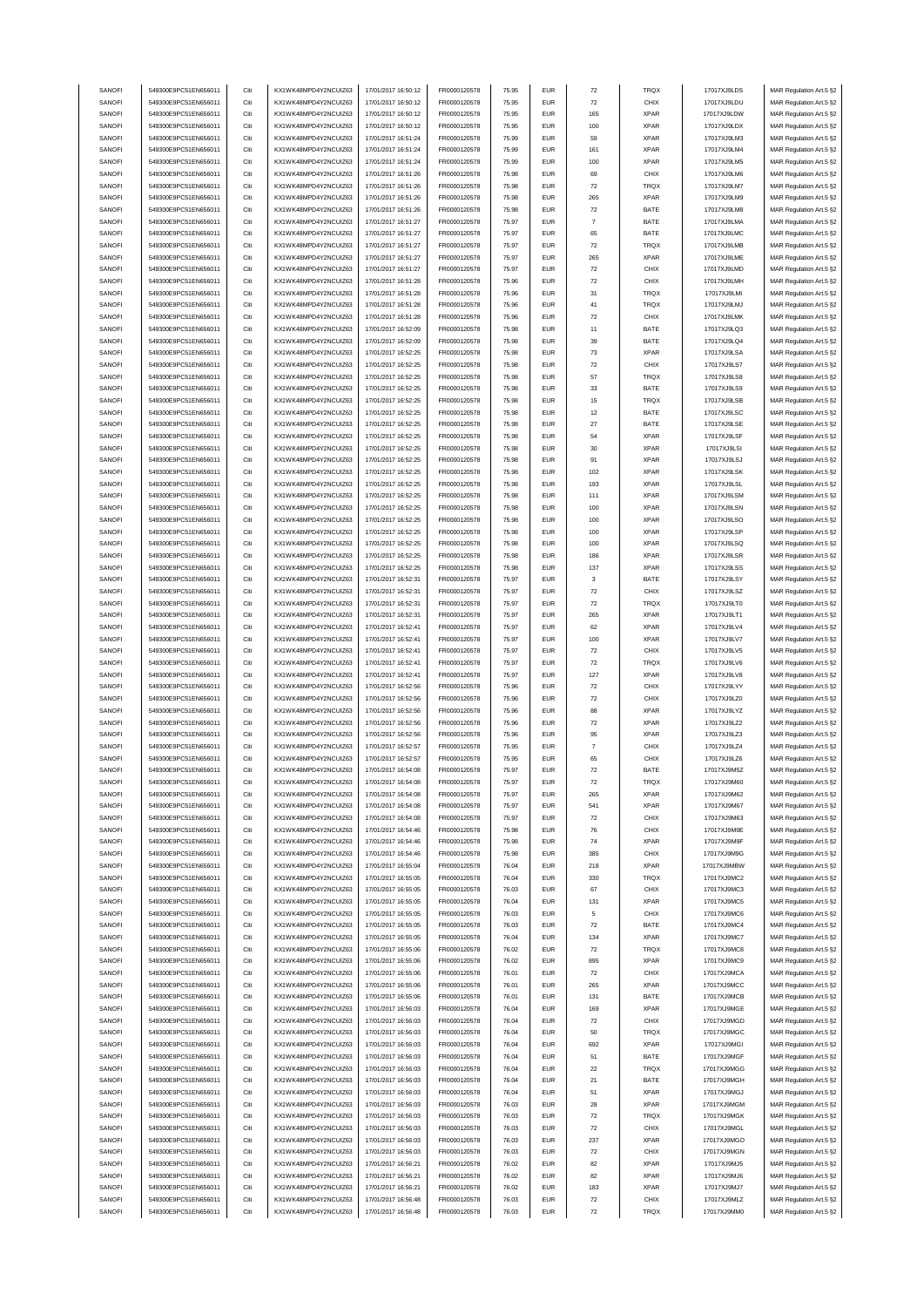| SANOFI | 549300E9PC51EN656011 | Citi | KX1WK48MPD4Y2NCUIZ63  | 17/01/2017 16:50:12 | FR0000120578 | 75.95 | <b>EUR</b>                  | ${\bf 72}$     | TRQX        | 17017XJ9LDS  | MAR Regulation Art.5 §2 |
|--------|----------------------|------|-----------------------|---------------------|--------------|-------|-----------------------------|----------------|-------------|--------------|-------------------------|
| SANOFI | 549300E9PC51EN656011 | Citi | KX1WK48MPD4Y2NCLIIZ63 | 17/01/2017 16:50:12 | FR0000120578 | 75.95 | <b>EUR</b>                  | ${\bf 72}$     | CHIX        | 17017XJ9I DU | MAR Regulation Art.5 §2 |
|        |                      |      |                       |                     |              |       |                             |                |             |              |                         |
| SANOFI | 549300E9PC51EN656011 | Citi | KX1WK48MPD4Y2NCUIZ63  | 17/01/2017 16:50:12 | FR0000120578 | 75.95 | <b>EUR</b>                  | 165            | <b>XPAR</b> | 17017XJ9LDW  | MAR Regulation Art.5 §2 |
| SANOFI | 549300E9PC51EN656011 | Citi | KX1WK48MPD4Y2NCUIZ63  | 17/01/2017 16:50:12 | FR0000120578 | 75.95 | EUR                         | 100            | <b>XPAR</b> | 17017XJ9LDX  | MAR Regulation Art.5 §2 |
| SANOFI | 549300E9PC51EN656011 | Citi | KX1WK48MPD4Y2NCUIZ63  | 17/01/2017 16:51:24 | FR0000120578 | 75.99 | <b>EUR</b>                  | 59             | <b>XPAR</b> | 17017XJ9LM3  | MAR Regulation Art.5 §2 |
| SANOFI | 549300E9PC51EN656011 | Citi | KX1WK48MPD4Y2NCUIZ63  | 17/01/2017 16:51:24 | FR0000120578 | 75.99 | <b>EUR</b>                  | 161            | <b>XPAR</b> | 17017XJ9LM4  | MAR Regulation Art.5 §2 |
| SANOFI | 549300E9PC51EN656011 | Citi | KX1WK48MPD4Y2NCUIZ63  | 17/01/2017 16:51:24 | FR0000120578 | 75.99 | <b>EUR</b>                  | 100            | <b>XPAR</b> | 17017XJ9LM5  | MAR Regulation Art.5 §2 |
| SANOFI | 549300E9PC51EN656011 | Citi | KX1WK48MPD4Y2NCUIZ63  | 17/01/2017 16:51:26 | FR0000120578 | 75.98 | <b>EUR</b>                  | 69             | CHIX        | 17017XJ9LM6  | MAR Regulation Art.5 §2 |
|        |                      |      |                       |                     |              |       |                             |                |             |              |                         |
| SANOFI | 549300E9PC51EN656011 | Citi | KX1WK48MPD4Y2NCUIZ63  | 17/01/2017 16:51:26 | FR0000120578 | 75.98 | <b>EUR</b>                  | 72             | TRQX        | 17017XJ9LM7  | MAR Regulation Art.5 §2 |
| SANOFI | 549300E9PC51EN656011 | Citi | KX1WK48MPD4Y2NCUIZ63  | 17/01/2017 16:51:26 | FR0000120578 | 75.98 | <b>EUR</b>                  | 265            | <b>XPAR</b> | 17017XJ9LM9  | MAR Regulation Art.5 §2 |
| SANOFI | 549300E9PC51EN656011 | Citi | KX1WK48MPD4Y2NCUIZ63  | 17/01/2017 16:51:26 | FR0000120578 | 75.98 | <b>EUR</b>                  | 72             | BATE        | 17017XJ9LM8  | MAR Regulation Art.5 §2 |
| SANOFI | 549300E9PC51EN656011 | Citi | KX1WK48MPD4Y2NCUIZ63  | 17/01/2017 16:51:27 | FR0000120578 | 75.97 | <b>EUR</b>                  | $\overline{7}$ | BATE        | 17017XJ9LMA  | MAR Regulation Art.5 §2 |
| SANOFI | 549300E9PC51EN656011 | Citi | KX1WK48MPD4Y2NCUIZ63  | 17/01/2017 16:51:27 | FR0000120578 | 75.97 | <b>EUR</b>                  | 65             | BATE        | 17017XJ9LMC  | MAR Regulation Art.5 §2 |
|        |                      |      |                       |                     |              |       |                             |                |             |              |                         |
| SANOFI | 549300E9PC51EN656011 | Citi | KX1WK48MPD4Y2NCUIZ63  | 17/01/2017 16:51:27 | FR0000120578 | 75.97 | <b>EUR</b>                  | 72             | TRQX        | 17017XJ9LMB  | MAR Regulation Art.5 §2 |
| SANOFI | 549300E9PC51EN656011 | Citi | KX1WK48MPD4Y2NCUIZ63  | 17/01/2017 16:51:27 | FR0000120578 | 75.97 | <b>EUR</b>                  | 265            | <b>XPAR</b> | 17017XJ9LME  | MAR Regulation Art.5 §2 |
| SANOFI | 549300E9PC51EN656011 | Citi | KX1WK48MPD4Y2NCUIZ63  | 17/01/2017 16:51:27 | FR0000120578 | 75.97 | <b>EUR</b>                  | 72             | CHIX        | 17017XJ9LMD  | MAR Regulation Art.5 §2 |
| SANOFI | 549300E9PC51EN656011 | Citi | KX1WK48MPD4Y2NCUIZ63  | 17/01/2017 16:51:28 | FR0000120578 | 75.96 | <b>EUR</b>                  | 72             | CHIX        | 17017XJ9LMH  | MAR Regulation Art.5 §2 |
| SANOFI | 549300E9PC51EN656011 | Citi | KX1WK48MPD4Y2NCUIZ63  | 17/01/2017 16:51:28 | FR0000120578 | 75.96 | <b>EUR</b>                  | 31             | TRQX        | 17017XJ9LMI  | MAR Regulation Art.5 §2 |
| SANOFI | 549300E9PC51EN656011 | Citi | KX1WK48MPD4Y2NCUIZ63  | 17/01/2017 16:51:28 | FR0000120578 | 75.96 | EUR                         | 41             | TRQX        | 17017XJ9LMJ  |                         |
|        |                      |      |                       |                     |              |       |                             |                |             |              | MAR Regulation Art.5 §2 |
| SANOFI | 549300E9PC51EN656011 | Citi | KX1WK48MPD4Y2NCUIZ63  | 17/01/2017 16:51:28 | FR0000120578 | 75.96 | <b>EUR</b>                  | 72             | CHIX        | 17017XJ9LMK  | MAR Regulation Art.5 §2 |
| SANOFI | 549300E9PC51EN656011 | Citi | KX1WK48MPD4Y2NCUIZ63  | 17/01/2017 16:52:09 | FR0000120578 | 75.98 | <b>EUR</b>                  | 11             | BATE        | 17017XJ9LQ3  | MAR Regulation Art.5 §2 |
| SANOFI | 549300E9PC51EN656011 | Citi | KX1WK48MPD4Y2NCUIZ63  | 17/01/2017 16:52:09 | FR0000120578 | 75.98 | <b>EUR</b>                  | 39             | BATE        | 17017XJ9LQ4  | MAR Regulation Art.5 §2 |
| SANOFI | 549300E9PC51EN656011 | Citi | KX1WK48MPD4Y2NCUIZ63  | 17/01/2017 16:52:25 | FR0000120578 | 75.98 | <b>EUR</b>                  | 73             | <b>XPAR</b> | 17017XJ9LSA  | MAR Regulation Art.5 §2 |
| SANOFI | 549300E9PC51EN656011 | Citi | KX1WK48MPD4Y2NCUIZ63  | 17/01/2017 16:52:25 | FR0000120578 | 75.98 | <b>EUR</b>                  | 72             | CHIX        | 17017XJ9LS7  | MAR Regulation Art.5 §2 |
| SANOFI | 549300E9PC51EN656011 | Citi | KX1WK48MPD4Y2NCLIIZ63 | 17/01/2017 16:52:25 | FR0000120578 | 75.98 | <b>EUR</b>                  | 57             | TRQX        | 17017XJ9LS8  | MAR Regulation Art.5 §2 |
|        |                      |      |                       |                     |              |       |                             |                |             |              |                         |
| SANOFI | 549300E9PC51EN656011 | Citi | KX1WK48MPD4Y2NCUIZ63  | 17/01/2017 16:52:25 | FR0000120578 | 75.98 | <b>EUR</b>                  | 33             | BATE        | 17017XJ9LS9  | MAR Regulation Art.5 §2 |
| SANOFI | 549300E9PC51EN656011 | Citi | KX1WK48MPD4Y2NCUIZ63  | 17/01/2017 16:52:25 | FR0000120578 | 75.98 | EUR                         | 15             | <b>TRQX</b> | 17017XJ9LSB  | MAR Regulation Art.5 §2 |
| SANOFI | 549300E9PC51EN656011 | Citi | KX1WK48MPD4Y2NCUIZ63  | 17/01/2017 16:52:25 | FR0000120578 | 75.98 | <b>EUR</b>                  | 12             | BATE        | 17017XJ9LSC  | MAR Regulation Art.5 §2 |
| SANOFI | 549300E9PC51EN656011 | Citi | KX1WK48MPD4Y2NCUIZ63  | 17/01/2017 16:52:25 | FR0000120578 | 75.98 | <b>EUR</b>                  | 27             | BATE        | 17017XJ9LSE  | MAR Regulation Art.5 §2 |
| SANOFI | 549300E9PC51EN656011 | Citi | KX1WK48MPD4Y2NCUIZ63  | 17/01/2017 16:52:25 | FR0000120578 | 75.98 | <b>EUR</b>                  | 54             | <b>XPAR</b> | 17017XJ9LSF  | MAR Regulation Art.5 §2 |
|        |                      |      |                       |                     |              |       |                             |                |             |              |                         |
| SANOFI | 549300E9PC51EN656011 | Citi | KX1WK48MPD4Y2NCUIZ63  | 17/01/2017 16:52:25 | FR0000120578 | 75.98 | EUR                         | 30             | <b>XPAR</b> | 17017XJ9LSI  | MAR Regulation Art.5 §2 |
| SANOFI | 549300E9PC51EN656011 | Citi | KX1WK48MPD4Y2NCUIZ63  | 17/01/2017 16:52:25 | FR0000120578 | 75.98 | <b>EUR</b>                  | 91             | <b>XPAR</b> | 17017XJ9LSJ  | MAR Regulation Art.5 §2 |
| SANOFI | 549300E9PC51EN656011 | Citi | KX1WK48MPD4Y2NCUIZ63  | 17/01/2017 16:52:25 | FR0000120578 | 75.98 | <b>EUR</b>                  | 102            | <b>XPAR</b> | 17017XJ9LSK  | MAR Regulation Art.5 §2 |
| SANOFI | 549300E9PC51EN656011 | Citi | KX1WK48MPD4Y2NCLIIZ63 | 17/01/2017 16:52:25 | FR0000120578 | 75.98 | <b>EUR</b>                  | 193            | <b>XPAR</b> | 17017XJ9LSL  | MAR Regulation Art.5 §2 |
| SANOFI | 549300E9PC51EN656011 | Citi | KX1WK48MPD4Y2NCUIZ63  | 17/01/2017 16:52:25 | FR0000120578 | 75.98 | <b>EUR</b>                  | 111            | <b>XPAR</b> | 17017XJ9LSM  | MAR Regulation Art.5 §2 |
| SANOFI | 549300E9PC51EN656011 | Citi | KX1WK48MPD4Y2NCUIZ63  | 17/01/2017 16:52:25 | FR0000120578 | 75.98 | <b>EUR</b>                  | 100            | <b>XPAR</b> | 17017XJ9LSN  |                         |
|        |                      |      |                       |                     |              |       |                             |                |             |              | MAR Regulation Art.5 §2 |
| SANOFI | 549300E9PC51EN656011 | Citi | KX1WK48MPD4Y2NCUIZ63  | 17/01/2017 16:52:25 | FR0000120578 | 75.98 | <b>EUR</b>                  | 100            | <b>XPAR</b> | 17017XJ9LSO  | MAR Regulation Art.5 §2 |
| SANOFI | 549300E9PC51EN656011 | Citi | KX1WK48MPD4Y2NCUIZ63  | 17/01/2017 16:52:25 | FR0000120578 | 75.98 | <b>EUR</b>                  | 100            | <b>XPAR</b> | 17017XJ9LSP  | MAR Regulation Art.5 §2 |
| SANOFI | 549300E9PC51EN656011 | Citi | KX1WK48MPD4Y2NCUIZ63  | 17/01/2017 16:52:25 | FR0000120578 | 75.98 | <b>EUR</b>                  | 100            | <b>XPAR</b> | 17017XJ9LSQ  | MAR Regulation Art.5 §2 |
| SANOFI | 549300E9PC51EN656011 | Citi | KX1WK48MPD4Y2NCUIZ63  | 17/01/2017 16:52:25 | FR0000120578 | 75.98 | <b>EUR</b>                  | 186            | <b>XPAR</b> | 17017XJ9LSR  | MAR Regulation Art.5 §2 |
| SANOFI | 549300E9PC51EN656011 | Citi | KX1WK48MPD4Y2NCUIZ63  | 17/01/2017 16:52:25 | FR0000120578 | 75.98 | <b>EUR</b>                  | 137            | <b>XPAR</b> | 17017XJ9LSS  | MAR Regulation Art.5 §2 |
| SANOFI | 549300E9PC51EN656011 | Citi | KX1WK48MPD4Y2NCUIZ63  | 17/01/2017 16:52:31 | FR0000120578 | 75.97 | <b>EUR</b>                  | 3              | BATE        | 17017XJ9LSY  | MAR Regulation Art.5 §2 |
|        |                      |      |                       |                     |              |       |                             |                |             |              |                         |
| SANOFI | 549300E9PC51EN656011 | Citi | KX1WK48MPD4Y2NCUIZ63  | 17/01/2017 16:52:31 | FR0000120578 | 75.97 | <b>EUR</b>                  | 72             | CHIX        | 17017XJ9LSZ  | MAR Regulation Art.5 §2 |
| SANOFI | 549300E9PC51EN656011 | Citi | KX1WK48MPD4Y2NCUIZ63  | 17/01/2017 16:52:31 | FR0000120578 | 75.97 | EUR                         | ${\bf 72}$     | <b>TRQX</b> | 17017XJ9LT0  | MAR Regulation Art.5 §2 |
| SANOFI | 549300E9PC51EN656011 | Citi | KX1WK48MPD4Y2NCUIZ63  | 17/01/2017 16:52:31 | FR0000120578 | 75.97 | <b>EUR</b>                  | 265            | <b>XPAR</b> | 17017XJ9LT1  | MAR Regulation Art.5 §2 |
| SANOFI | 549300E9PC51EN656011 | Citi | KX1WK48MPD4Y2NCUIZ63  | 17/01/2017 16:52:41 | FR0000120578 | 75.97 | <b>EUR</b>                  | 62             | <b>XPAR</b> | 17017XJ9LV4  | MAR Regulation Art.5 §2 |
| SANOFI | 549300E9PC51EN656011 | Citi | KX1WK48MPD4Y2NCUIZ63  | 17/01/2017 16:52:41 | FR0000120578 | 75.97 | <b>EUR</b>                  | 100            | <b>XPAR</b> | 17017XJ9LV7  | MAR Regulation Art.5 §2 |
|        |                      | Citi |                       |                     |              |       |                             |                |             |              |                         |
| SANOFI | 549300E9PC51EN656011 |      | KX1WK48MPD4Y2NCUIZ63  | 17/01/2017 16:52:41 | FR0000120578 | 75.97 | <b>EUR</b>                  | 72             | CHIX        | 17017XJ9LV5  | MAR Regulation Art.5 §2 |
| SANOFI | 549300E9PC51EN656011 | Citi | KX1WK48MPD4Y2NCUIZ63  | 17/01/2017 16:52:41 | FR0000120578 | 75.97 | <b>EUR</b>                  | 72             | TRQX        | 17017XJ9LV6  | MAR Regulation Art.5 §2 |
| SANOFI | 549300E9PC51EN656011 | Citi | KX1WK48MPD4Y2NCUIZ63  | 17/01/2017 16:52:41 | FR0000120578 | 75.97 | <b>EUR</b>                  | 127            | <b>XPAR</b> | 17017XJ9LV8  | MAR Regulation Art.5 §2 |
| SANOFI | 549300E9PC51EN656011 | Citi | KX1WK48MPD4Y2NCUIZ63  | 17/01/2017 16:52:56 | FR0000120578 | 75.96 | <b>EUR</b>                  | 72             | CHIX        | 17017XJ9LYY  | MAR Regulation Art.5 §2 |
| SANOFI | 549300E9PC51EN656011 | Citi | KX1WK48MPD4Y2NCUIZ63  | 17/01/2017 16:52:56 | FR0000120578 | 75.96 | EUR                         | 72             | CHIX        | 17017XJ9LZ0  | MAR Regulation Art.5 §2 |
| SANOFI | 549300E9PC51EN656011 | Citi | KX1WK48MPD4Y2NCUIZ63  | 17/01/2017 16:52:56 | FR0000120578 | 75.96 | <b>EUR</b>                  | 88             | <b>XPAR</b> | 17017XJ9LYZ  | MAR Regulation Art.5 §2 |
|        |                      |      |                       |                     |              |       |                             |                |             |              |                         |
| SANOFI | 549300E9PC51EN656011 | Citi | KX1WK48MPD4Y2NCUIZ63  | 17/01/2017 16:52:56 | FR0000120578 | 75.96 | <b>EUR</b>                  | 72             | <b>XPAR</b> | 17017XJ9LZ2  | MAR Regulation Art.5 §2 |
| SANOFI | 549300E9PC51EN656011 | Citi | KX1WK48MPD4Y2NCUIZ63  | 17/01/2017 16:52:56 | FR0000120578 | 75.96 | <b>EUR</b>                  | 95             | <b>XPAR</b> | 17017XJ9LZ3  | MAR Regulation Art.5 §2 |
| SANOFI | 549300E9PC51EN656011 | Citi | KX1WK48MPD4Y2NCUIZ63  | 17/01/2017 16:52:57 | FR0000120578 | 75.95 | <b>EUR</b>                  | $\overline{7}$ | CHIX        | 17017XJ9LZ4  | MAR Regulation Art.5 §2 |
| SANOFI | 549300E9PC51EN656011 | Citi | KX1WK48MPD4Y2NCUIZ63  | 17/01/2017 16:52:57 | FR0000120578 | 75.95 | <b>EUR</b>                  | 65             | CHIX        | 17017XJ9LZ6  | MAR Regulation Art.5 §2 |
| SANOFI | 549300E9PC51EN656011 | Citi | KX1WK48MPD4Y2NCLIIZ63 | 17/01/2017 16:54:08 | FR0000120578 | 75.97 | FUR                         |                | <b>BATF</b> | 17017XJ9M57  | MAR Regulation Art 5.82 |
|        |                      |      |                       |                     |              |       |                             |                |             |              |                         |
| SANOFI | 549300E9PC51EN656011 | Citi | KX1WK48MPD4Y2NCUIZ63  | 17/01/2017 16:54:08 | FR0000120578 | 75.97 | <b>EUR</b>                  | 72             | <b>TRQX</b> | 17017XJ9M60  | MAR Regulation Art.5 §2 |
| SANOFI | 549300E9PC51EN656011 | Citi | KX1WK48MPD4Y2NCUIZ63  | 17/01/2017 16:54:08 | FR0000120578 | 75.97 | EUR                         | 265            | <b>XPAR</b> | 17017XJ9M62  | MAR Regulation Art.5 §2 |
| SANOFI | 549300E9PC51EN656011 | Citi | KX1WK48MPD4Y2NCUIZ63  | 17/01/2017 16:54:08 | FR0000120578 | 75.97 | EUR                         | 541            | <b>XPAR</b> | 17017XJ9M67  | MAR Regulation Art.5 §2 |
| SANOFI | 549300E9PC51EN656011 | Citi | KX1WK48MPD4Y2NCUIZ63  | 17/01/2017 16:54:08 | FR0000120578 | 75.97 | <b>EUR</b>                  | 72             | CHIX        | 17017XJ9M63  | MAR Regulation Art.5 §2 |
| SANOFI | 549300E9PC51EN656011 | Citi | KX1WK48MPD4Y2NCUIZ63  | 17/01/2017 16:54:46 | FR0000120578 | 75.98 | EUR                         | 76             | CHIX        | 17017XJ9M9E  | MAR Regulation Art.5 §2 |
| SANOFI | 549300E9PC51EN656011 | Citi | KX1WK48MPD4Y2NCUIZ63  | 17/01/2017 16:54:46 | FR0000120578 | 75.98 | <b>EUR</b>                  | 74             | <b>XPAR</b> | 17017XJ9M9F  | MAR Regulation Art.5 §2 |
|        |                      |      |                       |                     |              |       |                             |                |             |              |                         |
| SANOFI | 549300E9PC51EN656011 | Citi | KX1WK48MPD4Y2NCUIZ63  | 17/01/2017 16:54:46 | FR0000120578 | 75.98 | <b>EUR</b>                  | 385            | CHIX        | 17017XJ9M9G  | MAR Regulation Art.5 §2 |
| SANOFI | 549300E9PC51EN656011 | Citi | KX1WK48MPD4Y2NCUIZ63  | 17/01/2017 16:55:04 | FR0000120578 | 76.04 | <b>EUR</b>                  | 218            | <b>XPAR</b> | 17017XJ9MBW  | MAR Regulation Art.5 §2 |
| SANOFI | 549300E9PC51EN656011 | Citi | KX1WK48MPD4Y2NCUIZ63  | 17/01/2017 16:55:05 | FR0000120578 | 76.04 | $\ensuremath{\mathsf{EUR}}$ | 330            | <b>TRQX</b> | 17017XJ9MC2  | MAR Regulation Art.5 §2 |
| SANOFI | 549300E9PC51EN656011 | Citi | KX1WK48MPD4Y2NCLIIZ63 | 17/01/2017 16:55:05 | FR0000120578 | 76.03 | EUR                         | 67             | CHIX        | 17017XJ9MC3  | MAR Regulation Art.5 §2 |
| SANOFI | 549300E9PC51EN656011 | Citi | KX1WK48MPD4Y2NCUIZ63  | 17/01/2017 16:55:05 | FR0000120578 | 76.04 | <b>EUR</b>                  | 131            | <b>XPAR</b> | 17017XJ9MC5  | MAR Regulation Art.5 §2 |
| SANOFI | 549300E9PC51EN656011 | Citi | KX1WK48MPD4Y2NCUIZ63  | 17/01/2017 16:55:05 | FR0000120578 | 76.03 | <b>EUR</b>                  | 5              | CHIX        | 17017XJ9MC6  | MAR Regulation Art.5 §2 |
| SANOFI | 549300E9PC51EN656011 | Citi | KX1WK48MPD4Y2NCUIZ63  | 17/01/2017 16:55:05 | FR0000120578 | 76.03 | <b>EUR</b>                  | 72             | BATE        | 17017XJ9MC4  | MAR Regulation Art.5 §2 |
|        |                      |      |                       |                     |              |       |                             |                |             |              |                         |
| SANOFI | 549300E9PC51EN656011 | Citi | KX1WK48MPD4Y2NCUIZ63  | 17/01/2017 16:55:05 | FR0000120578 | 76.04 | EUR                         | 134            | <b>XPAR</b> | 17017XJ9MC7  | MAR Regulation Art.5 §2 |
| SANOFI | 549300E9PC51EN656011 | Citi | KX1WK48MPD4Y2NCUIZ63  | 17/01/2017 16:55:06 | FR0000120578 | 76.02 | <b>EUR</b>                  | 72             | TRQX        | 17017XJ9MC8  | MAR Regulation Art.5 §2 |
| SANOFI | 549300E9PC51EN656011 | Citi | KX1WK48MPD4Y2NCUIZ63  | 17/01/2017 16:55:06 | FR0000120578 | 76.02 | <b>EUR</b>                  | 895            | <b>XPAR</b> | 17017XJ9MC9  | MAR Regulation Art.5 §2 |
| SANOFI | 549300E9PC51EN656011 | Citi | KX1WK48MPD4Y2NCUIZ63  | 17/01/2017 16:55:06 | FR0000120578 | 76.01 | <b>EUR</b>                  | 72             | CHIX        | 17017XJ9MCA  | MAR Regulation Art.5 §2 |
| SANOFI | 549300E9PC51EN656011 | Citi | KX1WK48MPD4Y2NCUIZ63  | 17/01/2017 16:55:06 | FR0000120578 | 76.01 | EUR                         | 265            | <b>XPAR</b> | 17017XJ9MCC  | MAR Regulation Art.5 §2 |
|        |                      |      |                       |                     |              |       |                             |                |             |              |                         |
| SANOFI | 549300E9PC51EN656011 | Citi | KX1WK48MPD4Y2NCUIZ63  | 17/01/2017 16:55:06 | FR0000120578 | 76.01 | <b>EUR</b>                  | 131            | BATE        | 17017XJ9MCB  | MAR Regulation Art.5 §2 |
| SANOFI | 549300E9PC51EN656011 | Citi | KX1WK48MPD4Y2NCUIZ63  | 17/01/2017 16:56:03 | FR0000120578 | 76.04 | <b>EUR</b>                  | 169            | <b>XPAR</b> | 17017XJ9MGE  | MAR Regulation Art.5 §2 |
| SANOFI | 549300E9PC51EN656011 | Citi | KX1WK48MPD4Y2NCUIZ63  | 17/01/2017 16:56:03 | FR0000120578 | 76.04 | EUR                         | 72             | CHIX        | 17017XJ9MGD  | MAR Regulation Art.5 §2 |
| SANOFI | 549300E9PC51EN656011 | Citi | KX1WK48MPD4Y2NCUIZ63  | 17/01/2017 16:56:03 | FR0000120578 | 76.04 | <b>EUR</b>                  | 50             | <b>TRQX</b> | 17017XJ9MGC  | MAR Regulation Art.5 §2 |
| SANOFI | 549300E9PC51EN656011 | Citi | KX1WK48MPD4Y2NCUIZ63  | 17/01/2017 16:56:03 | FR0000120578 | 76.04 | EUR                         | 692            | <b>XPAR</b> | 17017XJ9MGI  | MAR Regulation Art.5 §2 |
| SANOFI | 549300E9PC51EN656011 | Citi | KX1WK48MPD4Y2NCUIZ63  | 17/01/2017 16:56:03 | FR0000120578 | 76.04 | <b>EUR</b>                  | 51             | BATE        | 17017XJ9MGF  | MAR Regulation Art.5 §2 |
|        |                      |      |                       |                     |              |       |                             |                |             |              |                         |
| SANOFI | 549300E9PC51EN656011 | Citi | KX1WK48MPD4Y2NCUIZ63  | 17/01/2017 16:56:03 | FR0000120578 | 76.04 | <b>EUR</b>                  | 22             | TRQX        | 17017XJ9MGG  | MAR Regulation Art.5 §2 |
| SANOFI | 549300E9PC51EN656011 | Citi | KX1WK48MPD4Y2NCUIZ63  | 17/01/2017 16:56:03 | FR0000120578 | 76.04 | <b>EUR</b>                  | 21             | BATE        | 17017XJ9MGH  | MAR Regulation Art.5 §2 |
| SANOFI | 549300E9PC51EN656011 | Citi | KX1WK48MPD4Y2NCUIZ63  | 17/01/2017 16:56:03 | FR0000120578 | 76.04 | EUR                         | 51             | <b>XPAR</b> | 17017XJ9MGJ  | MAR Regulation Art.5 §2 |
| SANOFI | 549300E9PC51EN656011 | Citi | KX1WK48MPD4Y2NCUIZ63  | 17/01/2017 16:56:03 | FR0000120578 | 76.03 | <b>EUR</b>                  | 28             | <b>XPAR</b> | 17017XJ9MGM  | MAR Regulation Art.5 §2 |
| SANOFI | 549300E9PC51EN656011 | Citi | KX1WK48MPD4Y2NCUIZ63  | 17/01/2017 16:56:03 | FR0000120578 | 76.03 | <b>EUR</b>                  | 72             | <b>TRQX</b> | 17017XJ9MGK  | MAR Regulation Art.5 §2 |
| SANOFI | 549300E9PC51EN656011 | Citi | KX1WK48MPD4Y2NCUIZ63  | 17/01/2017 16:56:03 | FR0000120578 | 76.03 | <b>EUR</b>                  | 72             | CHIX        | 17017XJ9MGL  | MAR Regulation Art.5 §2 |
|        |                      |      |                       |                     |              |       |                             |                |             |              |                         |
| SANOFI | 549300E9PC51EN656011 | Citi | KX1WK48MPD4Y2NCUIZ63  | 17/01/2017 16:56:03 | FR0000120578 | 76.03 | EUR                         | 237            | <b>XPAR</b> | 17017XJ9MGO  | MAR Regulation Art.5 §2 |
| SANOFI | 549300E9PC51EN656011 | Citi | KX1WK48MPD4Y2NCUIZ63  | 17/01/2017 16:56:03 | FR0000120578 | 76.03 | <b>EUR</b>                  | 72             | CHIX        | 17017XJ9MGN  | MAR Regulation Art.5 §2 |
| SANOFI | 549300E9PC51EN656011 | Citi | KX1WK48MPD4Y2NCUIZ63  | 17/01/2017 16:56:21 | FR0000120578 | 76.02 | <b>EUR</b>                  | 82             | <b>XPAR</b> | 17017XJ9MJ5  | MAR Regulation Art.5 §2 |
| SANOFI | 549300E9PC51EN656011 | Citi | KX1WK48MPD4Y2NCUIZ63  | 17/01/2017 16:56:21 | FR0000120578 | 76.02 | $\ensuremath{\mathsf{EUR}}$ | 82             | <b>XPAR</b> | 17017XJ9MJ6  | MAR Regulation Art.5 §2 |
| SANOFI | 549300E9PC51EN656011 | Citi | KX1WK48MPD4Y2NCUIZ63  | 17/01/2017 16:56:21 | FR0000120578 | 76.02 | EUR                         | 183            | <b>XPAR</b> | 17017XJ9MJ7  | MAR Regulation Art.5 §2 |
|        |                      |      |                       |                     |              |       |                             |                |             |              |                         |
| SANOFI | 549300E9PC51EN656011 | Citi | KX1WK48MPD4Y2NCUIZ63  | 17/01/2017 16:56:48 | FR0000120578 | 76.03 | <b>EUR</b>                  | 72             | CHIX        | 17017XJ9MLZ  | MAR Regulation Art.5 §2 |
| SANOFI | 549300E9PC51EN656011 | Citi | KX1WK48MPD4Y2NCUIZ63  | 17/01/2017 16:56:48 | FR0000120578 | 76.03 | <b>EUR</b>                  | 72             | TRQX        | 17017XJ9MM0  | MAR Regulation Art.5 §2 |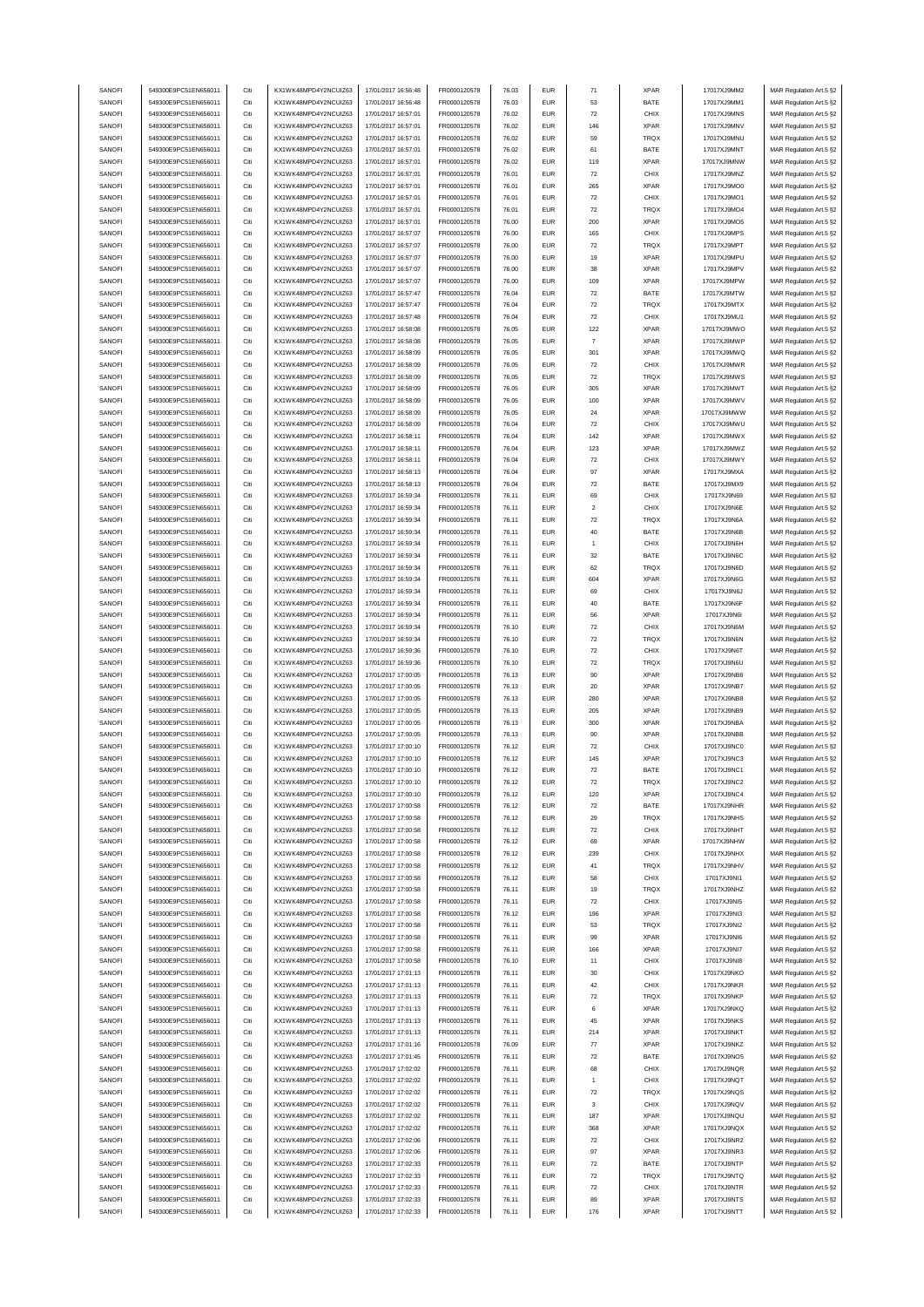| SANOFI | 549300E9PC51EN656011 | Citi | KX1WK48MPD4Y2NCUIZ63  | 17/01/2017 16:56:48 | FR0000120578 | 76.03 | <b>EUR</b> |                           | <b>XPAR</b> | 17017XJ9MM2 |                         |
|--------|----------------------|------|-----------------------|---------------------|--------------|-------|------------|---------------------------|-------------|-------------|-------------------------|
| SANOFI | 549300E9PC51EN656011 | Citi | KX1WK48MPD4Y2NCUIZ63  | 17/01/2017 16:56:48 |              | 76.03 | <b>EUR</b> | 71<br>53                  | BATE        |             | MAR Regulation Art.5 §2 |
|        |                      |      |                       |                     | FR0000120578 |       |            |                           |             | 17017XJ9MM1 | MAR Regulation Art.5 §2 |
| SANOFI | 549300E9PC51EN656011 | Citi | KX1WK48MPD4Y2NCUIZ63  | 17/01/2017 16:57:01 | FR0000120578 | 76.02 | <b>EUR</b> | 72                        | CHIX        | 17017XJ9MNS | MAR Regulation Art.5 §2 |
| SANOFI | 549300E9PC51EN656011 | Citi | KX1WK48MPD4Y2NCUIZ63  | 17/01/2017 16:57:01 | FR0000120578 | 76.02 | <b>EUR</b> | 146                       | <b>XPAR</b> | 17017XJ9MNV | MAR Regulation Art.5 §2 |
| SANOFI | 549300E9PC51EN656011 | Citi | KX1WK48MPD4Y2NCLIIZ63 | 17/01/2017 16:57:01 | FR0000120578 | 76.02 | <b>EUR</b> | 59                        | TRQX        | 17017XJ9MNU | MAR Regulation Art.5 §2 |
| SANOFI | 549300E9PC51EN656011 | Citi | KX1WK48MPD4Y2NCUIZ63  | 17/01/2017 16:57:01 | FR0000120578 | 76.02 | <b>EUR</b> | 61                        | BATE        | 17017XJ9MNT | MAR Regulation Art.5 §2 |
| SANOFI | 549300E9PC51EN656011 | Citi | KX1WK48MPD4Y2NCUIZ63  | 17/01/2017 16:57:01 | FR0000120578 | 76.02 | <b>EUR</b> | 119                       | <b>XPAR</b> | 17017XJ9MNW | MAR Regulation Art.5 §2 |
|        | 549300E9PC51EN656011 | Citi | KX1WK48MPD4Y2NCUIZ63  |                     |              | 76.01 | <b>EUR</b> |                           |             |             |                         |
| SANOFI |                      |      |                       | 17/01/2017 16:57:01 | FR0000120578 |       |            | ${\bf 72}$                | CHIX        | 17017XJ9MNZ | MAR Regulation Art.5 §2 |
| SANOFI | 549300E9PC51EN656011 | Citi | KX1WK48MPD4Y2NCUIZ63  | 17/01/2017 16:57:01 | FR0000120578 | 76.01 | <b>EUR</b> | 265                       | <b>XPAR</b> | 17017XJ9MO0 | MAR Regulation Art.5 §2 |
| SANOFI | 549300E9PC51EN656011 | Citi | KX1WK48MPD4Y2NCUIZ63  | 17/01/2017 16:57:01 | FR0000120578 | 76.01 | <b>EUR</b> | 72                        | CHIX        | 17017XJ9MO1 | MAR Regulation Art.5 §2 |
| SANOFI | 549300E9PC51EN656011 | Citi | KX1WK48MPD4Y2NCUIZ63  | 17/01/2017 16:57:01 | FR0000120578 | 76.01 | <b>EUR</b> | $\scriptstyle{72}$        | TRQX        | 17017XJ9MO4 | MAR Regulation Art.5 §2 |
| SANOFI | 549300E9PC51EN656011 | Citi | KX1WK48MPD4Y2NCUIZ63  | 17/01/2017 16:57:01 | FR0000120578 | 76.00 | <b>EUR</b> | 200                       | <b>XPAR</b> | 17017XJ9MO5 | MAR Regulation Art.5 §2 |
|        |                      |      |                       |                     |              |       |            |                           |             |             |                         |
| SANOFI | 549300E9PC51EN656011 | Citi | KX1WK48MPD4Y2NCUIZ63  | 17/01/2017 16:57:07 | FR0000120578 | 76.00 | <b>EUR</b> | 165                       | CHIX        | 17017XJ9MPS | MAR Regulation Art.5 §2 |
| SANOFI | 549300E9PC51EN656011 | Citi | KX1WK48MPD4Y2NCUIZ63  | 17/01/2017 16:57:07 | FR0000120578 | 76.00 | <b>EUR</b> | $\bf 72$                  | TRQX        | 17017XJ9MPT | MAR Regulation Art.5 §2 |
| SANOFI | 549300E9PC51EN656011 | Citi | KX1WK48MPD4Y2NCUIZ63  | 17/01/2017 16:57:07 | FR0000120578 | 76.00 | <b>EUR</b> | 19                        | <b>XPAR</b> | 17017XJ9MPU | MAR Regulation Art.5 §2 |
| SANOFI | 549300E9PC51EN656011 | Citi | KX1WK48MPD4Y2NCUIZ63  | 17/01/2017 16:57:07 | FR0000120578 | 76.00 | <b>EUR</b> | 38                        | <b>XPAR</b> | 17017XJ9MPV | MAR Regulation Art.5 §2 |
|        |                      |      |                       |                     |              |       |            |                           |             |             |                         |
| SANOFI | 549300E9PC51EN656011 | Citi | KX1WK48MPD4Y2NCUIZ63  | 17/01/2017 16:57:07 | FR0000120578 | 76.00 | <b>EUR</b> | 109                       | <b>XPAR</b> | 17017XJ9MPW | MAR Regulation Art.5 §2 |
| SANOFI | 549300E9PC51EN656011 | Citi | KX1WK48MPD4Y2NCUIZ63  | 17/01/2017 16:57:47 | FR0000120578 | 76.04 | <b>EUR</b> | $\scriptstyle{72}$        | BATE        | 17017XJ9MTW | MAR Regulation Art.5 §2 |
| SANOFI | 549300E9PC51EN656011 | Citi | KX1WK48MPD4Y2NCUIZ63  | 17/01/2017 16:57:47 | FR0000120578 | 76.04 | <b>EUR</b> | 72                        | <b>TRQX</b> | 17017XJ9MTX | MAR Regulation Art.5 §2 |
| SANOFI | 549300E9PC51EN656011 | Citi | KX1WK48MPD4Y2NCUIZ63  | 17/01/2017 16:57:48 | FR0000120578 | 76.04 | <b>EUR</b> | $\scriptstyle{72}$        | CHIX        | 17017XJ9MU1 | MAR Regulation Art.5 §2 |
| SANOFI | 549300E9PC51EN656011 | Citi | KX1WK48MPD4Y2NCUIZ63  | 17/01/2017 16:58:08 | FR0000120578 | 76.05 | <b>EUR</b> | 122                       | <b>XPAR</b> | 17017XJ9MWO | MAR Regulation Art.5 §2 |
|        |                      |      |                       |                     |              |       |            |                           |             |             |                         |
| SANOFI | 549300E9PC51EN656011 | Citi | KX1WK48MPD4Y2NCUIZ63  | 17/01/2017 16:58:08 | FR0000120578 | 76.05 | <b>EUR</b> | $\overline{\mathfrak{r}}$ | <b>XPAR</b> | 17017XJ9MWP | MAR Regulation Art.5 §2 |
| SANOFI | 549300E9PC51EN656011 | Citi | KX1WK48MPD4Y2NCUIZ63  | 17/01/2017 16:58:09 | FR0000120578 | 76.05 | <b>EUR</b> | 301                       | <b>XPAR</b> | 17017XJ9MWQ | MAR Regulation Art.5 §2 |
| SANOFI | 549300E9PC51EN656011 | Citi | KX1WK48MPD4Y2NCUIZ63  | 17/01/2017 16:58:09 | FR0000120578 | 76.05 | <b>EUR</b> | $\bf 72$                  | CHIX        | 17017XJ9MWR | MAR Regulation Art.5 §2 |
| SANOFI | 549300E9PC51EN656011 | Citi | KX1WK48MPD4Y2NCUIZ63  | 17/01/2017 16:58:09 | FR0000120578 | 76.05 | <b>EUR</b> | $\bf 72$                  | TRQX        | 17017XJ9MWS | MAR Regulation Art.5 §2 |
| SANOFI | 549300E9PC51EN656011 | Citi | KX1WK48MPD4Y2NCUIZ63  | 17/01/2017 16:58:09 | FR0000120578 | 76.05 | <b>EUR</b> | 305                       | <b>XPAR</b> | 17017XJ9MWT |                         |
|        |                      |      |                       |                     |              |       |            |                           |             |             | MAR Regulation Art.5 §2 |
| SANOFI | 549300E9PC51EN656011 | Citi | KX1WK48MPD4Y2NCUIZ63  | 17/01/2017 16:58:09 | FR0000120578 | 76.05 | <b>EUR</b> | 100                       | <b>XPAR</b> | 17017XJ9MWV | MAR Regulation Art.5 §2 |
| SANOFI | 549300E9PC51EN656011 | Citi | KX1WK48MPD4Y2NCUIZ63  | 17/01/2017 16:58:09 | FR0000120578 | 76.05 | <b>EUR</b> | 24                        | <b>XPAR</b> | 17017XJ9MWW | MAR Regulation Art.5 §2 |
| SANOFI | 549300E9PC51EN656011 | Citi | KX1WK48MPD4Y2NCUIZ63  | 17/01/2017 16:58:09 | FR0000120578 | 76.04 | <b>EUR</b> | $\scriptstyle{72}$        | <b>CHIX</b> | 17017XJ9MWU | MAR Regulation Art.5 §2 |
| SANOFI | 549300E9PC51EN656011 | Citi | KX1WK48MPD4Y2NCUIZ63  | 17/01/2017 16:58:11 | FR0000120578 | 76.04 | <b>EUR</b> | 142                       | <b>XPAR</b> | 17017XJ9MWX | MAR Regulation Art.5 §2 |
|        |                      |      | KX1WK48MPD4Y2NCUIZ63  |                     |              |       |            |                           |             |             |                         |
| SANOFI | 549300E9PC51EN656011 | Citi |                       | 17/01/2017 16:58:11 | FR0000120578 | 76.04 | <b>EUR</b> | 123                       | <b>XPAR</b> | 17017XJ9MWZ | MAR Regulation Art.5 §2 |
| SANOFI | 549300E9PC51EN656011 | Citi | KX1WK48MPD4Y2NCUIZ63  | 17/01/2017 16:58:11 | FR0000120578 | 76.04 | <b>EUR</b> | $\scriptstyle{72}$        | CHIX        | 17017XJ9MWY | MAR Regulation Art.5 §2 |
| SANOFI | 549300E9PC51EN656011 | Citi | KX1WK48MPD4Y2NCUIZ63  | 17/01/2017 16:58:13 | FR0000120578 | 76.04 | <b>EUR</b> | 97                        | <b>XPAR</b> | 17017XJ9MXA | MAR Regulation Art.5 §2 |
| SANOFI | 549300E9PC51EN656011 | Citi | KX1WK48MPD4Y2NCUIZ63  | 17/01/2017 16:58:13 | FR0000120578 | 76.04 | <b>EUR</b> | 72                        | BATE        | 17017XJ9MX9 | MAR Regulation Art.5 §2 |
| SANOFI | 549300E9PC51EN656011 | Citi | KX1WK48MPD4Y2NCUIZ63  | 17/01/2017 16:59:34 | FR0000120578 | 76.11 | <b>EUR</b> | 69                        | CHIX        | 17017XJ9N69 | MAR Regulation Art.5 §2 |
|        |                      |      |                       |                     |              |       |            |                           |             |             |                         |
| SANOFI | 549300E9PC51EN656011 | Citi | KX1WK48MPD4Y2NCUIZ63  | 17/01/2017 16:59:34 | FR0000120578 | 76.11 | <b>EUR</b> | $\sqrt{2}$                | CHIX        | 17017XJ9N6E | MAR Regulation Art.5 §2 |
| SANOFI | 549300E9PC51EN656011 | Citi | KX1WK48MPD4Y2NCUIZ63  | 17/01/2017 16:59:34 | FR0000120578 | 76.11 | <b>EUR</b> | $\scriptstyle{72}$        | TRQX        | 17017XJ9N6A | MAR Regulation Art.5 §2 |
| SANOFI | 549300E9PC51EN656011 | Citi | KX1WK48MPD4Y2NCUIZ63  | 17/01/2017 16:59:34 | FR0000120578 | 76.11 | <b>EUR</b> | 40                        | BATE        | 17017XJ9N6B | MAR Regulation Art.5 §2 |
| SANOFI | 549300E9PC51EN656011 | Citi | KX1WK48MPD4Y2NCUIZ63  | 17/01/2017 16:59:34 | FR0000120578 | 76.11 | <b>EUR</b> | $\mathbf{1}$              | CHIX        | 17017XJ9N6H | MAR Regulation Art.5 §2 |
|        |                      |      |                       |                     |              |       |            |                           |             |             |                         |
| SANOFI | 549300E9PC51EN656011 | Citi | KX1WK48MPD4Y2NCUIZ63  | 17/01/2017 16:59:34 | FR0000120578 | 76.11 | <b>EUR</b> | 32                        | BATE        | 17017XJ9N6C | MAR Regulation Art.5 §2 |
| SANOFI | 549300E9PC51EN656011 | Citi | KX1WK48MPD4Y2NCUIZ63  | 17/01/2017 16:59:34 | FR0000120578 | 76.11 | <b>EUR</b> | 62                        | TRQX        | 17017XJ9N6D | MAR Regulation Art.5 §2 |
| SANOFI | 549300E9PC51EN656011 | Citi | KX1WK48MPD4Y2NCUIZ63  | 17/01/2017 16:59:34 | FR0000120578 | 76.11 | <b>EUR</b> | 604                       | <b>XPAR</b> | 17017XJ9N6G | MAR Regulation Art.5 §2 |
| SANOFI | 549300E9PC51EN656011 | Citi | KX1WK48MPD4Y2NCUIZ63  | 17/01/2017 16:59:34 | FR0000120578 | 76.11 | <b>EUR</b> | 69                        | CHIX        | 17017XJ9N6J | MAR Regulation Art.5 §2 |
| SANOFI | 549300E9PC51EN656011 | Citi | KX1WK48MPD4Y2NCUIZ63  | 17/01/2017 16:59:34 | FR0000120578 | 76.11 | <b>EUR</b> | 40                        | BATE        | 17017XJ9N6F | MAR Regulation Art.5 §2 |
| SANOFI | 549300E9PC51EN656011 | Citi | KX1WK48MPD4Y2NCUIZ63  | 17/01/2017 16:59:34 | FR0000120578 | 76.11 | <b>EUR</b> | 56                        | <b>XPAR</b> | 17017XJ9N6I | MAR Regulation Art.5 §2 |
|        | 549300E9PC51EN656011 | Citi | KX1WK48MPD4Y2NCUIZ63  |                     |              |       | <b>EUR</b> |                           |             |             |                         |
| SANOFI |                      |      |                       | 17/01/2017 16:59:34 | FR0000120578 | 76.10 |            | $\scriptstyle{72}$        | CHIX        | 17017XJ9N6M | MAR Regulation Art.5 §2 |
| SANOFI | 549300E9PC51EN656011 | Citi | KX1WK48MPD4Y2NCUIZ63  | 17/01/2017 16:59:34 | FR0000120578 | 76.10 | <b>EUR</b> | $\scriptstyle{72}$        | TRQX        | 17017XJ9N6N | MAR Regulation Art.5 §2 |
| SANOFI | 549300E9PC51EN656011 | Citi | KX1WK48MPD4Y2NCUIZ63  | 17/01/2017 16:59:36 | FR0000120578 | 76.10 | <b>EUR</b> | $\scriptstyle{72}$        | CHIX        | 17017XJ9N6T | MAR Regulation Art.5 §2 |
| SANOFI | 549300E9PC51EN656011 | Citi | KX1WK48MPD4Y2NCUIZ63  | 17/01/2017 16:59:36 | FR0000120578 | 76.10 | <b>EUR</b> | $\scriptstyle{72}$        | TRQX        | 17017XJ9N6U | MAR Regulation Art.5 §2 |
| SANOFI | 549300E9PC51EN656011 | Citi | KX1WK48MPD4Y2NCUIZ63  | 17/01/2017 17:00:05 | FR0000120578 | 76.13 | <b>EUR</b> | 90                        | <b>XPAR</b> | 17017XJ9NB6 | MAR Regulation Art.5 §2 |
|        |                      |      |                       |                     |              |       |            |                           |             |             |                         |
| SANOFI | 549300E9PC51EN656011 | Citi | KX1WK48MPD4Y2NCUIZ63  | 17/01/2017 17:00:05 | FR0000120578 | 76.13 | <b>EUR</b> | 20                        | <b>XPAR</b> | 17017XJ9NB7 | MAR Regulation Art.5 §2 |
| SANOFI | 549300E9PC51EN656011 | Citi | KX1WK48MPD4Y2NCUIZ63  | 17/01/2017 17:00:05 | FR0000120578 | 76.13 | <b>EUR</b> | 280                       | <b>XPAR</b> | 17017XJ9NB8 | MAR Regulation Art.5 §2 |
| SANOFI | 549300E9PC51EN656011 | Citi | KX1WK48MPD4Y2NCUIZ63  | 17/01/2017 17:00:05 | FR0000120578 | 76.13 | <b>EUR</b> | 205                       | <b>XPAR</b> | 17017XJ9NB9 | MAR Regulation Art.5 §2 |
| SANOFI | 549300E9PC51EN656011 | Citi | KX1WK48MPD4Y2NCUIZ63  | 17/01/2017 17:00:05 | FR0000120578 | 76.13 | <b>EUR</b> | 300                       | <b>XPAR</b> | 17017XJ9NBA | MAR Regulation Art.5 §2 |
|        |                      |      |                       |                     | FR0000120578 |       |            |                           |             | 17017XJ9NBB |                         |
| SANOFI | 549300E9PC51EN656011 | Citi | KX1WK48MPD4Y2NCUIZ63  | 17/01/2017 17:00:05 |              | 76.13 | <b>EUR</b> | 90                        | <b>XPAR</b> |             | MAR Regulation Art.5 §2 |
| SANOFI | 549300E9PC51EN656011 | Citi | KX1WK48MPD4Y2NCUIZ63  | 17/01/2017 17:00:10 | FR0000120578 | 76.12 | <b>EUR</b> | $\scriptstyle{72}$        | CHIX        | 17017XJ9NC0 | MAR Regulation Art.5 §2 |
| SANOFI | 549300E9PC51EN656011 | Citi | KX1WK48MPD4Y2NCUIZ63  | 17/01/2017 17:00:10 | FR0000120578 | 76.12 | <b>EUR</b> |                           |             |             | MAR Regulation Art.5 §2 |
| SANOFI | 549300E9PC51EN656011 | Citi | KX1WK48MPD4Y2NCUIZ63  | 17/01/2017 17:00:10 | FR0000120578 |       |            | 145                       | <b>XPAR</b> | 17017XJ9NC3 |                         |
| SANOFI | 549300E9PC51EN656011 |      |                       |                     |              | 76.12 | <b>EUR</b> | $\scriptstyle{72}$        | BATE        | 17017XJ9NC1 | MAR Regulation Art.5 §2 |
| SANOFI |                      |      | KX1WK48MPD4Y2NCLIIZ63 | 17/01/2017 17:00:10 | FR0000120578 | 76.12 | FUR        | 72                        | TROX        | 17017XJ9NC2 | MAR Regulation Art 5 82 |
|        |                      |      |                       |                     |              |       |            |                           |             |             |                         |
|        | 549300E9PC51EN656011 | Citi | KX1WK48MPD4Y2NCUIZ63  | 17/01/2017 17:00:10 | FR0000120578 | 76.12 | <b>EUR</b> | 120                       | <b>XPAR</b> | 17017XJ9NC4 | MAR Regulation Art.5 §2 |
| SANOFI | 549300E9PC51EN656011 | Citi | KX1WK48MPD4Y2NCUIZ63  | 17/01/2017 17:00:58 | FR0000120578 | 76.12 | <b>EUR</b> | $\bf 72$                  | BATE        | 17017XJ9NHR | MAR Regulation Art.5 §2 |
| SANOFI | 549300E9PC51EN656011 | Citi | KX1WK48MPD4Y2NCUIZ63  | 17/01/2017 17:00:58 | FR0000120578 | 76.12 | <b>EUR</b> | 29                        | TRQX        | 17017XJ9NHS | MAR Regulation Art.5 §2 |
| SANOFI | 549300E9PC51EN656011 | Citi | KX1WK48MPD4Y2NCUIZ63  | 17/01/2017 17:00:58 | FR0000120578 | 76.12 | <b>EUR</b> | $\scriptstyle{72}$        | CHIX        | 17017XJ9NHT |                         |
|        |                      |      |                       |                     |              |       |            |                           |             |             | MAR Regulation Art.5 §2 |
| SANOFI | 549300E9PC51EN656011 | Citi | KX1WK48MPD4Y2NCUIZ63  | 17/01/2017 17:00:58 | FR0000120578 | 76.12 | <b>EUR</b> | 69                        | <b>XPAR</b> | 17017XJ9NHW | MAR Regulation Art.5 §2 |
| SANOFI | 549300E9PC51EN656011 | Citi | KX1WK48MPD4Y2NCUIZ63  | 17/01/2017 17:00:58 | FR0000120578 | 76.12 | <b>EUR</b> | 239                       | CHIX        | 17017XJ9NHX | MAR Regulation Art.5 §2 |
| SANOFI | 549300E9PC51EN656011 | Citi | KX1WK48MPD4Y2NCUIZ63  | 17/01/2017 17:00:58 | FR0000120578 | 76.12 | <b>EUR</b> | 41                        | TRQX        | 17017XJ9NHV | MAR Regulation Art.5 §2 |
| SANOFI | 549300E9PC51EN656011 | Citi | KX1WK48MPD4Y2NCUIZ63  | 17/01/2017 17:00:58 | FR0000120578 | 76.12 | <b>EUR</b> | 58                        | CHIX        | 17017XJ9N11 | MAR Regulation Art.5 §2 |
| SANOFI | 549300E9PC51EN656011 | Citi | KX1WK48MPD4Y2NCUIZ63  | 17/01/2017 17:00:58 | FR0000120578 | 76.11 | <b>EUR</b> | 19                        | TRQX        | 17017XJ9NHZ | MAR Regulation Art.5 §2 |
| SANOFI | 549300E9PC51EN656011 | Citi | KX1WK48MPD4Y2NCUIZ63  | 17/01/2017 17:00:58 | FR0000120578 | 76.11 | <b>EUR</b> |                           | CHIX        | 17017XJ9NI5 |                         |
|        |                      |      |                       |                     |              |       |            | 72                        |             |             | MAR Regulation Art.5 §2 |
| SANOFI | 549300E9PC51EN656011 | Citi | KX1WK48MPD4Y2NCUIZ63  | 17/01/2017 17:00:58 | FR0000120578 | 76.12 | <b>EUR</b> | 196                       | <b>XPAR</b> | 17017XJ9NI3 | MAR Regulation Art.5 §2 |
| SANOFI | 549300E9PC51EN656011 | Citi | KX1WK48MPD4Y2NCUIZ63  | 17/01/2017 17:00:58 | FR0000120578 | 76.11 | <b>EUR</b> | 53                        | TRQX        | 17017XJ9NI2 | MAR Regulation Art.5 §2 |
| SANOFI | 549300E9PC51EN656011 | Citi | KX1WK48MPD4Y2NCUIZ63  | 17/01/2017 17:00:58 | FR0000120578 | 76.11 | <b>EUR</b> | 99                        | <b>XPAR</b> | 17017XJ9NI6 | MAR Regulation Art.5 §2 |
| SANOFI | 549300E9PC51EN656011 | Citi | KX1WK48MPD4Y2NCUIZ63  | 17/01/2017 17:00:58 | FR0000120578 | 76.11 | <b>EUR</b> | 166                       | <b>XPAR</b> | 17017XJ9NI7 |                         |
|        |                      | Citi |                       |                     |              |       |            |                           |             |             | MAR Regulation Art.5 §2 |
| SANOFI | 549300E9PC51EN656011 |      | KX1WK48MPD4Y2NCUIZ63  | 17/01/2017 17:00:58 | FR0000120578 | 76.10 | <b>EUR</b> | 11                        | CHIX        | 17017XJ9NI8 | MAR Regulation Art.5 §2 |
| SANOFI | 549300E9PC51EN656011 | Citi | KX1WK48MPD4Y2NCUIZ63  | 17/01/2017 17:01:13 | FR0000120578 | 76.11 | <b>EUR</b> | 30                        | CHIX        | 17017XJ9NKO | MAR Regulation Art.5 §2 |
| SANOFI | 549300E9PC51EN656011 | Citi | KX1WK48MPD4Y2NCUIZ63  | 17/01/2017 17:01:13 | FR0000120578 | 76.11 | <b>EUR</b> | 42                        | CHIX        | 17017XJ9NKR | MAR Regulation Art.5 §2 |
| SANOFI | 549300E9PC51EN656011 | Citi | KX1WK48MPD4Y2NCUIZ63  | 17/01/2017 17:01:13 | FR0000120578 | 76.11 | <b>EUR</b> | $\scriptstyle{72}$        | TRQX        | 17017XJ9NKP | MAR Regulation Art.5 §2 |
| SANOFI | 549300E9PC51EN656011 | Citi | KX1WK48MPD4Y2NCUIZ63  | 17/01/2017 17:01:13 | FR0000120578 | 76.11 | <b>EUR</b> | 6                         | <b>XPAR</b> | 17017XJ9NKQ | MAR Regulation Art.5 §2 |
|        |                      |      |                       |                     |              |       |            |                           |             |             |                         |
| SANOFI | 549300E9PC51EN656011 | Citi | KX1WK48MPD4Y2NCUIZ63  | 17/01/2017 17:01:13 | FR0000120578 | 76.11 | <b>EUR</b> | 45                        | <b>XPAR</b> | 17017XJ9NKS | MAR Regulation Art.5 §2 |
| SANOFI | 549300E9PC51EN656011 | Citi | KX1WK48MPD4Y2NCUIZ63  | 17/01/2017 17:01:13 | FR0000120578 | 76.11 | <b>EUR</b> | 214                       | <b>XPAR</b> | 17017XJ9NKT | MAR Regulation Art.5 §2 |
| SANOFI | 549300E9PC51EN656011 | Citi | KX1WK48MPD4Y2NCUIZ63  | 17/01/2017 17:01:16 | FR0000120578 | 76.09 | <b>EUR</b> | ${\bf 77}$                | <b>XPAR</b> | 17017XJ9NKZ | MAR Regulation Art.5 §2 |
| SANOFI | 549300E9PC51EN656011 | Citi | KX1WK48MPD4Y2NCUIZ63  | 17/01/2017 17:01:45 | FR0000120578 | 76.11 | <b>EUR</b> | $\scriptstyle{72}$        | BATE        | 17017XJ9NO5 | MAR Regulation Art.5 §2 |
| SANOFI | 549300E9PC51EN656011 | Citi | KX1WK48MPD4Y2NCUIZ63  | 17/01/2017 17:02:02 | FR0000120578 | 76.11 | <b>EUR</b> | 68                        | CHIX        | 17017XJ9NQR | MAR Regulation Art.5 §2 |
|        |                      |      |                       |                     |              |       |            | $\overline{1}$            |             |             |                         |
| SANOFI | 549300E9PC51EN656011 | Citi | KX1WK48MPD4Y2NCUIZ63  | 17/01/2017 17:02:02 | FR0000120578 | 76.11 | <b>EUR</b> |                           | CHIX        | 17017XJ9NQT | MAR Regulation Art.5 §2 |
| SANOFI | 549300E9PC51EN656011 | Citi | KX1WK48MPD4Y2NCUIZ63  | 17/01/2017 17:02:02 | FR0000120578 | 76.11 | <b>EUR</b> | 72                        | <b>TRQX</b> | 17017XJ9NQS | MAR Regulation Art.5 §2 |
| SANOFI | 549300E9PC51EN656011 | Citi | KX1WK48MPD4Y2NCUIZ63  | 17/01/2017 17:02:02 | FR0000120578 | 76.11 | <b>EUR</b> | 3                         | CHIX        | 17017XJ9NQV | MAR Regulation Art.5 §2 |
| SANOFI | 549300E9PC51EN656011 | Citi | KX1WK48MPD4Y2NCUIZ63  | 17/01/2017 17:02:02 | FR0000120578 | 76.11 | <b>EUR</b> | 187                       | <b>XPAR</b> | 17017XJ9NQU | MAR Regulation Art.5 §2 |
| SANOFI | 549300E9PC51EN656011 | Citi | KX1WK48MPD4Y2NCUIZ63  | 17/01/2017 17:02:02 | FR0000120578 | 76.11 | <b>EUR</b> | 368                       | <b>XPAR</b> | 17017XJ9NQX | MAR Regulation Art.5 §2 |
| SANOFI | 549300E9PC51EN656011 | Citi | KX1WK48MPD4Y2NCUIZ63  | 17/01/2017 17:02:06 | FR0000120578 | 76.11 | <b>EUR</b> | $\scriptstyle{72}$        | CHIX        | 17017XJ9NR2 |                         |
|        |                      |      |                       |                     |              |       |            |                           |             |             | MAR Regulation Art.5 §2 |
| SANOFI | 549300E9PC51EN656011 | Citi | KX1WK48MPD4Y2NCUIZ63  | 17/01/2017 17:02:06 | FR0000120578 | 76.11 | <b>EUR</b> | 97                        | <b>XPAR</b> | 17017XJ9NR3 | MAR Regulation Art.5 §2 |
| SANOFI | 549300E9PC51EN656011 | Citi | KX1WK48MPD4Y2NCUIZ63  | 17/01/2017 17:02:33 | FR0000120578 | 76.11 | <b>EUR</b> | $\scriptstyle{72}$        | BATE        | 17017XJ9NTP | MAR Regulation Art.5 §2 |
| SANOFI | 549300E9PC51EN656011 | Citi | KX1WK48MPD4Y2NCUIZ63  | 17/01/2017 17:02:33 | FR0000120578 | 76.11 | <b>EUR</b> | 72                        | <b>TRQX</b> | 17017XJ9NTQ | MAR Regulation Art.5 §2 |
| SANOFI | 549300E9PC51EN656011 | Citi | KX1WK48MPD4Y2NCUIZ63  | 17/01/2017 17:02:33 | FR0000120578 | 76.11 | <b>EUR</b> | $\scriptstyle{72}$        | CHIX        | 17017XJ9NTR | MAR Regulation Art.5 §2 |
| SANOFI | 549300E9PC51EN656011 | Citi | KX1WK48MPD4Y2NCUIZ63  | 17/01/2017 17:02:33 | FR0000120578 | 76.11 | <b>EUR</b> | 89                        | <b>XPAR</b> | 17017XJ9NTS | MAR Regulation Art.5 §2 |
| SANOFI | 549300E9PC51EN656011 | Citi | KX1WK48MPD4Y2NCUIZ63  | 17/01/2017 17:02:33 | FR0000120578 | 76.11 | <b>EUR</b> | 176                       | XPAR        | 17017XJ9NTT | MAR Regulation Art.5 §2 |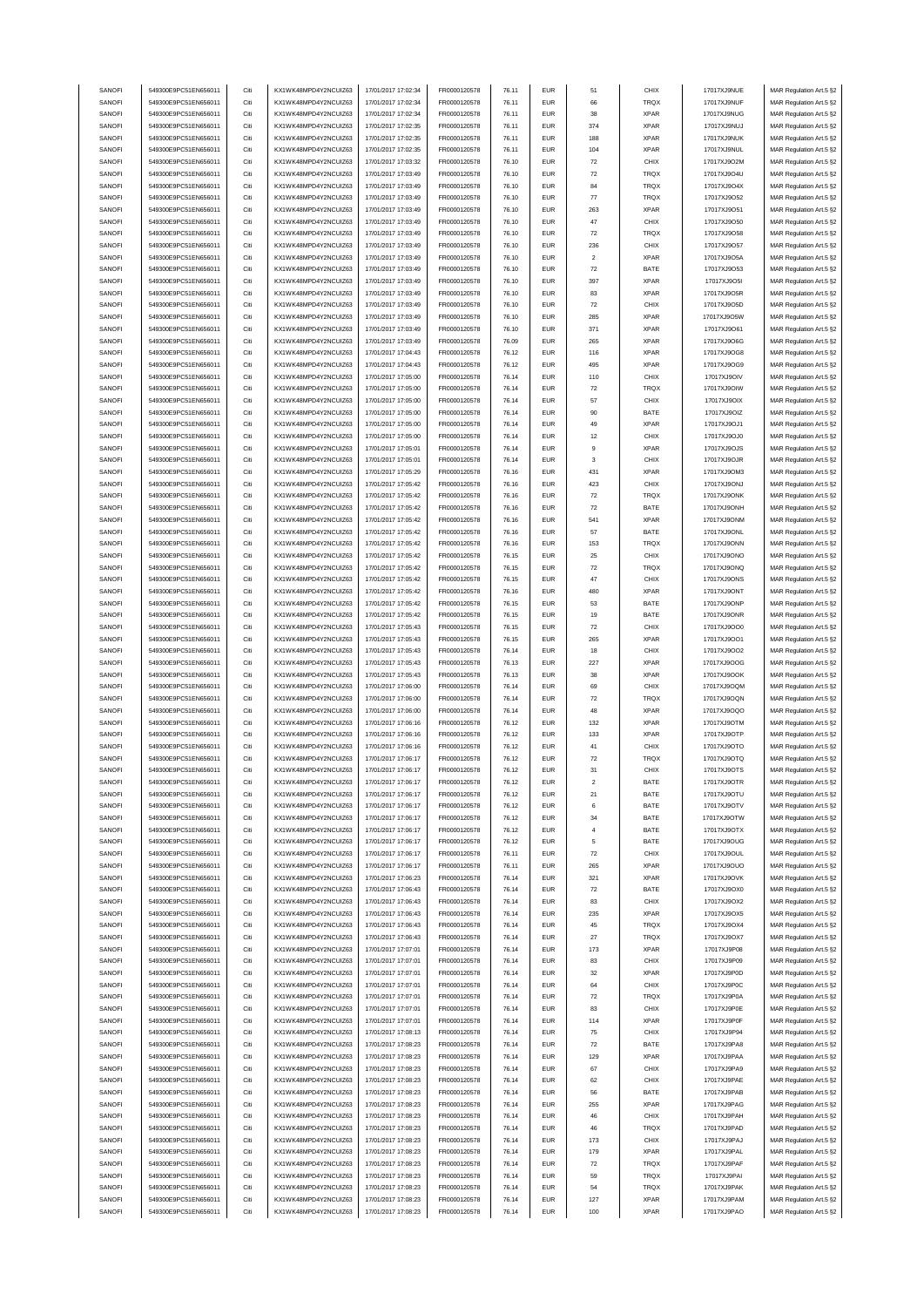| SANOFI<br>549300E9PC51EN656011<br>Citi<br>KX1WK48MPD4Y2NCUIZ63<br>17/01/2017 17:02:34<br>76.11<br><b>EUR</b><br>66<br><b>TRQX</b><br>17017XJ9NUF<br>FR0000120578<br>SANOFI<br>549300E9PC51EN656011<br>Citi<br>KX1WK48MPD4Y2NCUIZ63<br>17/01/2017 17:02:34<br>FR0000120578<br>76.11<br><b>EUR</b><br>38<br><b>XPAR</b><br>17017XJ9NUG<br><b>XPAR</b><br>SANOFI<br>549300E9PC51EN656011<br>Citi<br>KX1WK48MPD4Y2NCUIZ63<br>17/01/2017 17:02:35<br>FR0000120578<br>76.11<br><b>EUR</b><br>374<br>17017XJ9NUJ<br><b>EUR</b><br><b>XPAR</b><br>SANOFI<br>549300E9PC51EN656011<br>Citi<br>KX1WK48MPD4Y2NCUIZ63<br>17/01/2017 17:02:35<br>FR0000120578<br>76.11<br>188<br>17017XJ9NUK<br>SANOFI<br>549300E9PC51EN656011<br>Citi<br>KX1WK48MPD4Y2NCUIZ63<br>17/01/2017 17:02:35<br>FR0000120578<br>76.11<br><b>EUR</b><br>104<br><b>XPAR</b><br>17017XJ9NUL<br>SANOFI<br>549300E9PC51EN656011<br>Citi<br>KX1WK48MPD4Y2NCUIZ63<br>17/01/2017 17:03:32<br>FR0000120578<br>76.10<br><b>EUR</b><br>$\scriptstyle{72}$<br>CHIX<br>17017XJ9O2M<br>SANOFI<br>Citi<br>FR0000120578<br><b>EUR</b><br>$\scriptstyle{72}$<br>TRQX<br>549300E9PC51EN656011<br>KX1WK48MPD4Y2NCUIZ63<br>17/01/2017 17:03:49<br>76.10<br>17017XJ9O4U<br>SANOFI<br>549300E9PC51EN656011<br>Citi<br>KX1WK48MPD4Y2NCUIZ63<br>FR0000120578<br>TRQX<br>17/01/2017 17:03:49<br>76.10<br><b>EUR</b><br>84<br>17017XJ9O4X<br>SANOFI<br>549300E9PC51EN656011<br>Citi<br>KX1WK48MPD4Y2NCUIZ63<br>17/01/2017 17:03:49<br>FR0000120578<br><b>EUR</b><br>$77\,$<br><b>TRQX</b><br>17017XJ9O52<br>76.10<br>SANOFI<br>549300E9PC51EN656011<br>Citi<br>KX1WK48MPD4Y2NCUIZ63<br>17/01/2017 17:03:49<br>FR0000120578<br><b>EUR</b><br>263<br><b>XPAR</b><br>76.10<br>17017XJ9O51<br>Citi<br><b>EUR</b><br>47<br>CHIX<br>SANOFI<br>549300E9PC51EN656011<br>KX1WK48MPD4Y2NCUIZ63<br>17/01/2017 17:03:49<br>FR0000120578<br>76.10<br>17017XJ9O50<br>SANOFI<br>549300E9PC51EN656011<br>Citi<br>KX1WK48MPD4Y2NCUIZ63<br>17/01/2017 17:03:49<br>FR0000120578<br>76.10<br><b>EUR</b><br>72<br>TRQX<br>17017XJ9O58<br>SANOFI<br>549300E9PC51EN656011<br>Citi<br>KX1WK48MPD4Y2NCUIZ63<br>17/01/2017 17:03:49<br>FR0000120578<br>76.10<br><b>EUR</b><br>236<br>CHIX<br>17017XJ9O57<br>Citi<br>SANOFI<br>549300E9PC51EN656011<br>KX1WK48MPD4Y2NCUIZ63<br>17/01/2017 17:03:49<br>FR0000120578<br>76.10<br><b>EUR</b><br>$\sqrt{2}$<br><b>XPAR</b><br>17017XJ9O5A<br>SANOFI<br>549300E9PC51EN656011<br>Citi<br>KX1WK48MPD4Y2NCUIZ63<br>FR0000120578<br>76.10<br><b>EUR</b><br>72<br>BATE<br>17017XJ9O53<br>17/01/2017 17:03:49<br>SANOFI<br>549300E9PC51EN656011<br>KX1WK48MPD4Y2NCUIZ63<br>FR0000120578<br><b>XPAR</b><br>Citi<br>17/01/2017 17:03:49<br>76.10<br><b>EUR</b><br>397<br>17017XJ9O5I<br>SANOFI<br>549300E9PC51EN656011<br>Citi<br>KX1WK48MPD4Y2NCUIZ63<br>17/01/2017 17:03:49<br>FR0000120578<br>76.10<br><b>EUR</b><br>83<br><b>XPAR</b><br>17017XJ9O5R<br>SANOFI<br>549300E9PC51EN656011<br>Citi<br>KX1WK48MPD4Y2NCUIZ63<br>17/01/2017 17:03:49<br>FR0000120578<br>76.10<br><b>EUR</b><br>$\scriptstyle{72}$<br>CHIX<br>17017XJ9O5D<br>EUR<br>285<br><b>XPAR</b><br>SANOFI<br>549300E9PC51EN656011<br>Citi<br>KX1WK48MPD4Y2NCUIZ63<br>17/01/2017 17:03:49<br>FR0000120578<br>76.10<br>17017XJ9O5W<br>371<br><b>XPAR</b><br>SANOFI<br>549300E9PC51EN656011<br>Citi<br>KX1WK48MPD4Y2NCUIZ63<br>17/01/2017 17:03:49<br>FR0000120578<br>76.10<br><b>EUR</b><br>17017XJ9O61<br>Citi<br>SANOFI<br>549300E9PC51EN656011<br>KX1WK48MPD4Y2NCUIZ63<br>17/01/2017 17:03:49<br>FR0000120578<br>76.09<br><b>EUR</b><br>265<br><b>XPAR</b><br>17017XJ9O6G<br>Citi<br>SANOFI<br>549300E9PC51EN656011<br>KX1WK48MPD4Y2NCUIZ63<br>17/01/2017 17:04:43<br>FR0000120578<br>76.12<br><b>EUR</b><br>116<br><b>XPAR</b><br>17017XJ9OG8<br>SANOFI<br>549300E9PC51EN656011<br>KX1WK48MPD4Y2NCUIZ63<br>FR0000120578<br><b>XPAR</b><br>Citi<br>17/01/2017 17:04:43<br>76.12<br><b>EUR</b><br>495<br>17017XJ9OG9<br>SANOFI<br>Citi<br>FR0000120578<br><b>EUR</b><br>110<br>CHIX<br>17017XJ9OIV<br>549300E9PC51EN656011<br>KX1WK48MPD4Y2NCUIZ63<br>17/01/2017 17:05:00<br>76.14<br>SANOFI<br>549300E9PC51EN656011<br>Citi<br>KX1WK48MPD4Y2NCUIZ63<br>17/01/2017 17:05:00<br>FR0000120578<br>76.14<br><b>EUR</b><br>$\scriptstyle{72}$<br><b>TRQX</b><br>17017XJ9OIW<br>SANOFI<br>549300E9PC51EN656011<br>Citi<br>KX1WK48MPD4Y2NCUIZ63<br>17/01/2017 17:05:00<br>FR0000120578<br><b>EUR</b><br>57<br>CHIX<br>76.14<br>17017XJ9OIX<br>SANOFI<br>549300E9PC51EN656011<br>Citi<br>KX1WK48MPD4Y2NCUIZ63<br>17/01/2017 17:05:00<br>FR0000120578<br>76.14<br><b>EUR</b><br>90<br>BATE<br>17017XJ9OIZ<br>Citi<br><b>EUR</b><br><b>XPAR</b><br>SANOFI<br>549300E9PC51EN656011<br>KX1WK48MPD4Y2NCUIZ63<br>17/01/2017 17:05:00<br>FR0000120578<br>76.14<br>49<br>17017XJ9OJ1<br>SANOFI<br>549300E9PC51EN656011<br>Citi<br>KX1WK48MPD4Y2NCUIZ63<br>17/01/2017 17:05:00<br>FR0000120578<br>76.14<br><b>EUR</b><br>12<br>CHIX<br>17017XJ9OJ0<br>SANOFI<br>549300E9PC51EN656011<br>Citi<br>KX1WK48MPD4Y2NCUIZ63<br>17/01/2017 17:05:01<br>FR0000120578<br>76.14<br><b>EUR</b><br>$\mathsf g$<br><b>XPAR</b><br>17017XJ9OJS<br>SANOFI<br>Citi<br>KX1WK48MPD4Y2NCUIZ63<br>FR0000120578<br>CHIX<br>549300E9PC51EN656011<br>17/01/2017 17:05:01<br>76.14<br><b>EUR</b><br>3<br>17017XJ9OJR<br>SANOFI<br>549300E9PC51EN656011<br>Citi<br>FR0000120578<br>431<br><b>XPAR</b><br>KX1WK48MPD4Y2NCUIZ63<br>17/01/2017 17:05:29<br>76.16<br><b>EUR</b><br>17017XJ9OM3<br>SANOFI<br>549300E9PC51EN656011<br>Citi<br>KX1WK48MPD4Y2NCUIZ63<br>17/01/2017 17:05:42<br>FR0000120578<br><b>EUR</b><br>423<br>CHIX<br>76.16<br>17017XJ9ONJ<br>SANOFI<br>549300E9PC51EN656011<br>Citi<br>KX1WK48MPD4Y2NCUIZ63<br>17/01/2017 17:05:42<br>FR0000120578<br><b>EUR</b><br>72<br><b>TRQX</b><br>17017XJ9ONK<br>76.16<br>SANOFI<br>549300E9PC51EN656011<br>Citi<br>KX1WK48MPD4Y2NCUIZ63<br>FR0000120578<br><b>EUR</b><br>$\scriptstyle{72}$<br>BATE<br>17/01/2017 17:05:42<br>76.16<br>17017XJ9ONH<br><b>XPAR</b><br>SANOFI<br>549300E9PC51EN656011<br>Citi<br>KX1WK48MPD4Y2NCUIZ63<br>17/01/2017 17:05:42<br>FR0000120578<br>76.16<br><b>EUR</b><br>541<br>17017XJ9ONM<br>Citi<br>SANOFI<br>549300E9PC51EN656011<br>KX1WK48MPD4Y2NCUIZ63<br>17/01/2017 17:05:42<br>FR0000120578<br>76.16<br><b>EUR</b><br>57<br>BATE<br>17017XJ9ONL<br>SANOFI<br>549300E9PC51EN656011<br>Citi<br>KX1WK48MPD4Y2NCUIZ63<br>17/01/2017 17:05:42<br>FR0000120578<br>76.16<br><b>EUR</b><br>153<br>TRQX<br>17017XJ9ONN<br>Citi<br>SANOFI<br>549300E9PC51EN656011<br>KX1WK48MPD4Y2NCUIZ63<br>17/01/2017 17:05:42<br>FR0000120578<br>76.15<br><b>EUR</b><br>25<br>CHIX<br>17017XJ9ONO<br>SANOFI<br>549300E9PC51EN656011<br>Citi<br>KX1WK48MPD4Y2NCUIZ63<br>17/01/2017 17:05:42<br>FR0000120578<br>$\scriptstyle{72}$<br>TRQX<br>17017XJ9ONQ<br>76.15<br><b>EUR</b><br>SANOFI<br>549300E9PC51EN656011<br>Citi<br>KX1WK48MPD4Y2NCUIZ63<br>17/01/2017 17:05:42<br>FR0000120578<br>CHIX<br>76.15<br><b>EUR</b><br>47<br>17017XJ9ONS<br>SANOFI<br>549300E9PC51EN656011<br>Citi<br>KX1WK48MPD4Y2NCUIZ63<br>17/01/2017 17:05:42<br>FR0000120578<br><b>EUR</b><br>480<br><b>XPAR</b><br>76.16<br>17017XJ9ONT<br>SANOFI<br>549300E9PC51EN656011<br>Citi<br>KX1WK48MPD4Y2NCUIZ63<br>17/01/2017 17:05:42<br>FR0000120578<br>76.15<br><b>EUR</b><br>53<br>BATE<br>17017XJ9ONP<br>19<br>BATE<br>SANOFI<br>549300E9PC51EN656011<br>Citi<br>KX1WK48MPD4Y2NCUIZ63<br>17/01/2017 17:05:42<br>FR0000120578<br>76.15<br><b>EUR</b><br>17017XJ9ONR<br>72<br>CHIX<br>SANOFI<br>549300E9PC51EN656011<br>Citi<br>KX1WK48MPD4Y2NCUIZ63<br>17/01/2017 17:05:43<br>FR0000120578<br>76.15<br><b>EUR</b><br>17017XJ9OO0<br>Citi<br>SANOFI<br>549300E9PC51EN656011<br>KX1WK48MPD4Y2NCUIZ63<br>17/01/2017 17:05:43<br>FR0000120578<br>76.15<br><b>EUR</b><br>265<br><b>XPAR</b><br>17017XJ9OO1<br>SANOFI<br>549300E9PC51EN656011<br>Citi<br>KX1WK48MPD4Y2NCUIZ63<br>17/01/2017 17:05:43<br>FR0000120578<br>76.14<br><b>EUR</b><br>18<br>CHIX<br>17017XJ9OO2<br>SANOFI<br>549300E9PC51EN656011<br>KX1WK48MPD4Y2NCUIZ63<br>FR0000120578<br><b>XPAR</b><br>Citi<br>17/01/2017 17:05:43<br>76.13<br><b>EUR</b><br>227<br>17017XJ9OOG<br>SANOFI<br>Citi<br>FR0000120578<br>38<br><b>XPAR</b><br>549300E9PC51EN656011<br>KX1WK48MPD4Y2NCUIZ63<br>17/01/2017 17:05:43<br>76.13<br><b>EUR</b><br>17017XJ9OOK<br>SANOFI<br>549300E9PC51EN656011<br>Citi<br>KX1WK48MPD4Y2NCUIZ63<br>17/01/2017 17:06:00<br><b>EUR</b><br>69<br>CHIX<br>17017XJ9OQM<br>FR0000120578<br>76.14<br>SANOFI<br>549300E9PC51EN656011<br>Citi<br>KX1WK48MPD4Y2NCUIZ63<br>17/01/2017 17:06:00<br>FR0000120578<br><b>EUR</b><br>72<br><b>TRQX</b><br>17017XJ9OQN<br>76.14<br><b>XPAR</b><br>SANOFI<br>549300E9PC51EN656011<br>Citi<br>KX1WK48MPD4Y2NCUIZ63<br>17/01/2017 17:06:00<br>FR0000120578<br>76.14<br><b>EUR</b><br>48<br>17017XJ9OQO<br>SANOFI<br>549300E9PC51EN656011<br>Citi<br>KX1WK48MPD4Y2NCUIZ63<br>17/01/2017 17:06:16<br>FR0000120578<br>76.12<br><b>EUR</b><br>132<br><b>XPAR</b><br>17017XJ9OTM<br>SANOFI<br>549300E9PC51EN656011<br>Citi<br>KX1WK48MPD4Y2NCUIZ63<br>17/01/2017 17:06:16<br>FR0000120578<br>76.12<br><b>EUR</b><br>133<br><b>XPAR</b><br>17017XJ9OTP<br>SANOFI<br>549300E9PC51EN656011<br>Citi<br>KX1WK48MPD4Y2NCUIZ63<br>17/01/2017 17:06:16<br>FR0000120578<br>76.12<br><b>EUR</b><br>41<br>CHIX<br>17017XJ9OTO<br>SANOFI<br>549300E9PC51EN656011<br>Citi<br>KX1WK48MPD4Y2NCUIZ63<br>FR0000120578<br>76.12<br><b>EUR</b><br>$\scriptstyle{72}$<br>TRQX<br>17/01/2017 17:06:17<br>17017XJ9OTQ<br>SANOFI<br>549300E9PC51EN656011<br>Citi<br>KX1WK48MPD4Y2NCUIZ63<br>FR0000120578<br><b>EUR</b><br>CHIX<br>17/01/2017 17:06:17<br>76.12<br>31<br>17017XJ9OTS<br>SANOFI<br>549300E9PC51EN656011<br>KX1WK48MPD4Y2NCUIZ63<br>17/01/2017 17:06:17<br>76.12<br>FUR<br><b>BATE</b><br>FR0000120578<br>17017XJ9OTR<br>SANOFI<br>549300E9PC51EN656011<br>KX1WK48MPD4Y2NCUIZ63<br>17/01/2017 17:06:17<br>17017XJ9OTU<br>FR0000120578<br>76.12<br><b>EUR</b><br>21<br>BATE<br>Citi<br>BATE<br>SANOFI<br>549300E9PC51EN656011<br>Citi<br>KX1WK48MPD4Y2NCUIZ63<br>17/01/2017 17:06:17<br>FR0000120578<br>76.12<br><b>EUR</b><br>17017XJ9OTV<br>6<br>BATE<br>SANOFI<br>549300E9PC51EN656011<br>Citi<br>KX1WK48MPD4Y2NCUIZ63<br>17/01/2017 17:06:17<br>FR0000120578<br>76.12<br><b>EUR</b><br>17017XJ9OTW<br>34<br>SANOFI<br>549300E9PC51EN656011<br>Citi<br>KX1WK48MPD4Y2NCUIZ63<br>17/01/2017 17:06:17<br>FR0000120578<br>76.12<br><b>EUR</b><br>$\sqrt{4}$<br>BATE<br>17017XJ9OTX<br>SANOFI<br>549300E9PC51EN656011<br>Citi<br>KX1WK48MPD4Y2NCUIZ63<br>17/01/2017 17:06:17<br>FR0000120578<br>76.12<br><b>EUR</b><br>$\,$ 5 $\,$<br>BATE<br>17017XJ9OUG<br>SANOFI<br>549300E9PC51EN656011<br>KX1WK48MPD4Y2NCUIZ63<br>17/01/2017 17:06:17<br>FR0000120578<br><b>EUR</b><br>CHIX<br>17017XJ9OUL<br>Citi<br>76.11<br>$\scriptstyle{72}$<br>549300E9PC51EN656011<br>KX1WK48MPD4Y2NCUIZ63<br>17017XJ9OUO<br>SANOFI<br>Citi<br>17/01/2017 17:06:17<br>FR0000120578<br>76.11<br><b>EUR</b><br>265<br><b>XPAR</b><br>SANOFI<br>549300E9PC51EN656011<br>KX1WK48MPD4Y2NCUIZ63<br>17/01/2017 17:06:23<br>FR0000120578<br><b>XPAR</b><br>17017XJ9OVK<br>Citi<br>76.14<br><b>EUR</b><br>321<br>SANOFI<br>549300E9PC51EN656011<br>Citi<br>KX1WK48MPD4Y2NCUIZ63<br>17/01/2017 17:06:43<br>FR0000120578<br><b>EUR</b><br>BATE<br>17017XJ9OX0<br>76.14<br>$\scriptstyle{72}$<br>17017XJ9OX2<br>SANOFI<br>549300E9PC51EN656011<br>Citi<br>KX1WK48MPD4Y2NCUIZ63<br>17/01/2017 17:06:43<br>FR0000120578<br>76.14<br><b>EUR</b><br>CHIX<br>83<br>SANOFI<br>549300E9PC51EN656011<br>Citi<br>KX1WK48MPD4Y2NCUIZ63<br>17/01/2017 17:06:43<br>FR0000120578<br><b>EUR</b><br>235<br><b>XPAR</b><br>17017XJ9OX5<br>76.14<br>SANOFI<br>549300E9PC51EN656011<br>Citi<br>KX1WK48MPD4Y2NCUIZ63<br>17/01/2017 17:06:43<br>FR0000120578<br>76.14<br><b>EUR</b><br>45<br>TRQX<br>17017XJ9OX4<br>SANOFI<br>549300E9PC51EN656011<br>Citi<br>KX1WK48MPD4Y2NCUIZ63<br>17/01/2017 17:06:43<br>FR0000120578<br>76.14<br><b>EUR</b><br>27<br>TRQX<br>17017XJ9OX7<br>549300E9PC51EN656011<br>KX1WK48MPD4Y2NCUIZ63<br>17/01/2017 17:07:01<br>SANOFI<br>Citi<br>FR0000120578<br>76.14<br><b>EUR</b><br>173<br><b>XPAR</b><br>17017XJ9P08<br>SANOFI<br>549300E9PC51EN656011<br>KX1WK48MPD4Y2NCUIZ63<br>17/01/2017 17:07:01<br>FR0000120578<br>Citi<br>76.14<br><b>EUR</b><br>83<br>CHIX<br>17017XJ9P09<br>SANOFI<br>549300E9PC51EN656011<br>KX1WK48MPD4Y2NCUIZ63<br><b>EUR</b><br>Citi<br>17/01/2017 17:07:01<br>FR0000120578<br>76.14<br>32<br><b>XPAR</b><br>17017XJ9P0D<br>SANOFI<br>549300E9PC51EN656011<br>Citi<br>KX1WK48MPD4Y2NCUIZ63<br>17/01/2017 17:07:01<br>FR0000120578<br><b>EUR</b><br>CHIX<br>17017XJ9P0C<br>76.14<br>64<br>SANOFI<br>549300E9PC51EN656011<br>Citi<br>KX1WK48MPD4Y2NCUIZ63<br>17/01/2017 17:07:01<br>FR0000120578<br><b>EUR</b><br>72<br>TRQX<br>17017XJ9P0A<br>76.14<br>SANOFI<br>549300E9PC51EN656011<br>Citi<br>KX1WK48MPD4Y2NCUIZ63<br>17/01/2017 17:07:01<br>FR0000120578<br>76.14<br><b>EUR</b><br>83<br>CHIX<br>17017XJ9P0E<br>SANOFI<br>549300E9PC51EN656011<br>Citi<br>KX1WK48MPD4Y2NCUIZ63<br>17/01/2017 17:07:01<br>FR0000120578<br><b>EUR</b><br><b>XPAR</b><br>17017XJ9P0F<br>76.14<br>114<br>SANOFI<br>549300E9PC51EN656011<br>Citi<br>KX1WK48MPD4Y2NCUIZ63<br>17/01/2017 17:08:13<br>FR0000120578<br>76.14<br><b>EUR</b><br>75<br>CHIX<br>17017XJ9P94<br>SANOFI<br>549300E9PC51EN656011<br>Citi<br>KX1WK48MPD4Y2NCUIZ63<br>17/01/2017 17:08:23<br>FR0000120578<br>76.14<br><b>EUR</b><br>$\scriptstyle{72}$<br>BATE<br>17017XJ9PA8<br>SANOFI<br>549300E9PC51EN656011<br>KX1WK48MPD4Y2NCUIZ63<br>17/01/2017 17:08:23<br>FR0000120578<br>Citi<br>76.14<br><b>EUR</b><br>129<br><b>XPAR</b><br>17017XJ9PAA<br>SANOFI<br>549300E9PC51EN656011<br>Citi<br>KX1WK48MPD4Y2NCUIZ63<br>17/01/2017 17:08:23<br>FR0000120578<br>76.14<br><b>EUR</b><br>67<br>CHIX<br>17017XJ9PA9<br>SANOFI<br>549300E9PC51EN656011<br>KX1WK48MPD4Y2NCUIZ63<br>17/01/2017 17:08:23<br>FR0000120578<br><b>EUR</b><br>62<br>CHIX<br>17017XJ9PAE<br>Citi<br>76.14<br>SANOFI<br>549300E9PC51EN656011<br>KX1WK48MPD4Y2NCUIZ63<br>17/01/2017 17:08:23<br>FR0000120578<br><b>EUR</b><br>BATE<br>17017XJ9PAB<br>Citi<br>76.14<br>56<br>SANOFI<br>549300E9PC51EN656011<br>Citi<br>KX1WK48MPD4Y2NCUIZ63<br>17/01/2017 17:08:23<br>FR0000120578<br><b>EUR</b><br><b>XPAR</b><br>17017XJ9PAG<br>76.14<br>255<br>SANOFI<br>549300E9PC51EN656011<br>Citi<br>KX1WK48MPD4Y2NCUIZ63<br>17/01/2017 17:08:23<br>FR0000120578<br>76.14<br><b>EUR</b><br>CHIX<br>17017XJ9PAH<br>46<br>SANOFI<br>549300E9PC51EN656011<br>Citi<br>KX1WK48MPD4Y2NCUIZ63<br>17/01/2017 17:08:23<br>FR0000120578<br>76.14<br><b>EUR</b><br>46<br>TRQX<br>17017XJ9PAD<br>SANOFI<br>549300E9PC51EN656011<br>Citi<br>KX1WK48MPD4Y2NCUIZ63<br>17/01/2017 17:08:23<br>FR0000120578<br>76.14<br><b>EUR</b><br>173<br>CHIX<br>17017XJ9PAJ<br>SANOFI<br>549300E9PC51EN656011<br>KX1WK48MPD4Y2NCUIZ63<br>17/01/2017 17:08:23<br>Citi<br>FR0000120578<br>76.14<br><b>EUR</b><br>179<br>XPAR<br>17017XJ9PAL<br>SANOFI<br>549300E9PC51EN656011<br>Citi<br>KX1WK48MPD4Y2NCUIZ63<br>17/01/2017 17:08:23<br>FR0000120578<br>76.14<br><b>EUR</b><br>$\scriptstyle{72}$<br>TRQX<br>17017XJ9PAF<br>SANOFI<br>549300E9PC51EN656011<br>KX1WK48MPD4Y2NCUIZ63<br>17/01/2017 17:08:23<br>FR0000120578<br><b>TRQX</b><br>17017XJ9PAI<br>Citi<br>76.14<br><b>EUR</b><br>59<br>SANOFI<br>549300E9PC51EN656011<br>KX1WK48MPD4Y2NCUIZ63<br>17/01/2017 17:08:23<br><b>EUR</b><br>TRQX<br>Citi<br>FR0000120578<br>76.14<br>54<br>17017XJ9PAK<br>SANOFI<br>549300E9PC51EN656011<br>KX1WK48MPD4Y2NCUIZ63<br>17/01/2017 17:08:23<br>FR0000120578<br>XPAR<br>17017XJ9PAM<br>Citi<br>76.14<br><b>EUR</b><br>127<br>17/01/2017 17:08:23<br>SANOFI<br>549300E9PC51EN656011<br>Citi<br>KX1WK48MPD4Y2NCUIZ63<br>FR0000120578<br>76.14<br><b>EUR</b><br>100<br><b>XPAR</b><br>17017XJ9PAO<br>MAR Regulation Art.5 §2 | SANOFI | 549300E9PC51EN656011 | Citi | KX1WK48MPD4Y2NCUIZ63 | 17/01/2017 17:02:34 | FR0000120578 | 76.11 | <b>EUR</b> | 51 | CHIX | 17017XJ9NUE | MAR Regulation Art.5 §2 |
|---------------------------------------------------------------------------------------------------------------------------------------------------------------------------------------------------------------------------------------------------------------------------------------------------------------------------------------------------------------------------------------------------------------------------------------------------------------------------------------------------------------------------------------------------------------------------------------------------------------------------------------------------------------------------------------------------------------------------------------------------------------------------------------------------------------------------------------------------------------------------------------------------------------------------------------------------------------------------------------------------------------------------------------------------------------------------------------------------------------------------------------------------------------------------------------------------------------------------------------------------------------------------------------------------------------------------------------------------------------------------------------------------------------------------------------------------------------------------------------------------------------------------------------------------------------------------------------------------------------------------------------------------------------------------------------------------------------------------------------------------------------------------------------------------------------------------------------------------------------------------------------------------------------------------------------------------------------------------------------------------------------------------------------------------------------------------------------------------------------------------------------------------------------------------------------------------------------------------------------------------------------------------------------------------------------------------------------------------------------------------------------------------------------------------------------------------------------------------------------------------------------------------------------------------------------------------------------------------------------------------------------------------------------------------------------------------------------------------------------------------------------------------------------------------------------------------------------------------------------------------------------------------------------------------------------------------------------------------------------------------------------------------------------------------------------------------------------------------------------------------------------------------------------------------------------------------------------------------------------------------------------------------------------------------------------------------------------------------------------------------------------------------------------------------------------------------------------------------------------------------------------------------------------------------------------------------------------------------------------------------------------------------------------------------------------------------------------------------------------------------------------------------------------------------------------------------------------------------------------------------------------------------------------------------------------------------------------------------------------------------------------------------------------------------------------------------------------------------------------------------------------------------------------------------------------------------------------------------------------------------------------------------------------------------------------------------------------------------------------------------------------------------------------------------------------------------------------------------------------------------------------------------------------------------------------------------------------------------------------------------------------------------------------------------------------------------------------------------------------------------------------------------------------------------------------------------------------------------------------------------------------------------------------------------------------------------------------------------------------------------------------------------------------------------------------------------------------------------------------------------------------------------------------------------------------------------------------------------------------------------------------------------------------------------------------------------------------------------------------------------------------------------------------------------------------------------------------------------------------------------------------------------------------------------------------------------------------------------------------------------------------------------------------------------------------------------------------------------------------------------------------------------------------------------------------------------------------------------------------------------------------------------------------------------------------------------------------------------------------------------------------------------------------------------------------------------------------------------------------------------------------------------------------------------------------------------------------------------------------------------------------------------------------------------------------------------------------------------------------------------------------------------------------------------------------------------------------------------------------------------------------------------------------------------------------------------------------------------------------------------------------------------------------------------------------------------------------------------------------------------------------------------------------------------------------------------------------------------------------------------------------------------------------------------------------------------------------------------------------------------------------------------------------------------------------------------------------------------------------------------------------------------------------------------------------------------------------------------------------------------------------------------------------------------------------------------------------------------------------------------------------------------------------------------------------------------------------------------------------------------------------------------------------------------------------------------------------------------------------------------------------------------------------------------------------------------------------------------------------------------------------------------------------------------------------------------------------------------------------------------------------------------------------------------------------------------------------------------------------------------------------------------------------------------------------------------------------------------------------------------------------------------------------------------------------------------------------------------------------------------------------------------------------------------------------------------------------------------------------------------------------------------------------------------------------------------------------------------------------------------------------------------------------------------------------------------------------------------------------------------------------------------------------------------------------------------------------------------------------------------------------------------------------------------------------------------------------------------------------------------------------------------------------------------------------------------------------------------------------------------------------------------------------------------------------------------------------------------------------------------------------------------------------------------------------------------------------------------------------------------------------------------------------------------------------------------------------------------------------------------------------------------------------------------------------------------------------------------------------------------------------------------------------------------------------------------------------------------------------------------------------------------------------------------------------------------------------------------------------------------------------------------------------------------------------------------------------------------------------------------------------------------------------------------------------------------------------------------------------------------------------------------------------------------------------------------------------------------------------------------------------------------------------------------------------------------------------------------------------------------------------------------------------------------------------------------------------------------------------------------------------------------------------------------------------------------------------------------------------------------------------------------------------------------------------------------------------------------------------------------------------------------------------------------------------------------------------------------------------------------------------------------------------------------------------------------------------------------------------------------------------------------------------------------------------------------------------------------------------------------------------------------------------------------------------------------------------------------------------------------------------------------------------------------------------------------------------------------------------------------------------------------------------------------------------------------------------------------------------------------------------------------------------------------------------------------------------------------------------------------------------------------------------------------------------------------------------------------------------------------------------------------------------------------------------------------------------------------------------------------------------------------------------------------------------------------------------------------------------------------------------------------------------------------------------------------------------------------------------------------------------------------------------------------------------------------------------------------------------------------------------------------------------------------------------------------------------------------------------------------------------------------------------------------------------------------------------------------------------------------------------------------------------------------------------------------------------------------------------------------------------------------------------------------------------------------------------------------------------------------------------------------------------------------------------------------------------------------------------------------------------------------------------------------------------------------------------------------------------------------------------------------------------------------------------------------------------------------------------------------------------------------------------------------------------------------------------------------------------------------------------------------------------------------------------------------------------------------------------------------------------------------------------------------------------------------------------------------------------------------------------------------------------------------------------------------------------------------------------------------------------------------------------------------------------------------------------------------------------------------------------------------------------------------------------------------------------------------------------------------------------------------------------------------------------------------------------------------------------------------------------------------------------------------------------------------------------------------------------------------------------------------------------------------------------------------------------------------------------------------------------------------------------------------------------------------------------------------------------------------------------------------------------------------------------------------------------------------------------------------------------------------------------------------------------------------------------------------------------------------------------------------------------------------------------------------------------------------------------------------------------------------------------------------------------------------------------------------------------------------------------------------------------------------------------------------------------------------------------------------------------------------------------------------------------------------------------------------------------------------------------------------------------------------------------------------------------------------------------------------------------------------------------------------------------------------------------------------------------------------------------------------------------------------------------------------------------------------------------------------------------------------------------------------------------------------------------------------------------------------------------------------------------------------------------------------------------------------------------------------------------------------------------------------------------------------------------------------------------------------------------------------------------------------------------------------------------------------------------------------------------------------------------|--------|----------------------|------|----------------------|---------------------|--------------|-------|------------|----|------|-------------|-------------------------|
|                                                                                                                                                                                                                                                                                                                                                                                                                                                                                                                                                                                                                                                                                                                                                                                                                                                                                                                                                                                                                                                                                                                                                                                                                                                                                                                                                                                                                                                                                                                                                                                                                                                                                                                                                                                                                                                                                                                                                                                                                                                                                                                                                                                                                                                                                                                                                                                                                                                                                                                                                                                                                                                                                                                                                                                                                                                                                                                                                                                                                                                                                                                                                                                                                                                                                                                                                                                                                                                                                                                                                                                                                                                                                                                                                                                                                                                                                                                                                                                                                                                                                                                                                                                                                                                                                                                                                                                                                                                                                                                                                                                                                                                                                                                                                                                                                                                                                                                                                                                                                                                                                                                                                                                                                                                                                                                                                                                                                                                                                                                                                                                                                                                                                                                                                                                                                                                                                                                                                                                                                                                                                                                                                                                                                                                                                                                                                                                                                                                                                                                                                                                                                                                                                                                                                                                                                                                                                                                                                                                                                                                                                                                                                                                                                                                                                                                                                                                                                                                                                                                                                                                                                                                                                                                                                                                                                                                                                                                                                                                                                                                                                                                                                                                                                                                                                                                                                                                                                                                                                                                                                                                                                                                                                                                                                                                                                                                                                                                                                                                                                                                                                                                                                                                                                                                                                                                                                                                                                                                                                                                                                                                                                                                                                                                                                                                                                                                                                                                                                                                                                                                                                                                                                                                                                                                                                                                                                                                                                                                                                                                                                                                                                                                                                                                                                                                                                                                                                                                                                                                                                                                                                                                                                                                                                                                                                                                                                                                                                                                                                                                                                                                                                                                                                                                                                                                                                                                                                                                                                                                                                                                                                                                                                                                                                                                                                                                                                                                                                                                                                                                                                                                                                                                                                                                                                                                                                                                                                                                                                                                                                                                                                                                                                                                                                                                                                                                                                                                                                                                                                                                                                                                                                                                                                                                                                                                                                                                                                                                                                                                                                                                                                                                                                                                                                                                                                                                                                                                                                                                                                                                                                                                                                                                                                                                                                                                                                                                                                                                                                                                                                                                                                                                                                                                                                                                                                                                                                                                                                                                                                                                                                                                                                                                                                                                                                                                                                                                                                                               |        |                      |      |                      |                     |              |       |            |    |      |             |                         |
|                                                                                                                                                                                                                                                                                                                                                                                                                                                                                                                                                                                                                                                                                                                                                                                                                                                                                                                                                                                                                                                                                                                                                                                                                                                                                                                                                                                                                                                                                                                                                                                                                                                                                                                                                                                                                                                                                                                                                                                                                                                                                                                                                                                                                                                                                                                                                                                                                                                                                                                                                                                                                                                                                                                                                                                                                                                                                                                                                                                                                                                                                                                                                                                                                                                                                                                                                                                                                                                                                                                                                                                                                                                                                                                                                                                                                                                                                                                                                                                                                                                                                                                                                                                                                                                                                                                                                                                                                                                                                                                                                                                                                                                                                                                                                                                                                                                                                                                                                                                                                                                                                                                                                                                                                                                                                                                                                                                                                                                                                                                                                                                                                                                                                                                                                                                                                                                                                                                                                                                                                                                                                                                                                                                                                                                                                                                                                                                                                                                                                                                                                                                                                                                                                                                                                                                                                                                                                                                                                                                                                                                                                                                                                                                                                                                                                                                                                                                                                                                                                                                                                                                                                                                                                                                                                                                                                                                                                                                                                                                                                                                                                                                                                                                                                                                                                                                                                                                                                                                                                                                                                                                                                                                                                                                                                                                                                                                                                                                                                                                                                                                                                                                                                                                                                                                                                                                                                                                                                                                                                                                                                                                                                                                                                                                                                                                                                                                                                                                                                                                                                                                                                                                                                                                                                                                                                                                                                                                                                                                                                                                                                                                                                                                                                                                                                                                                                                                                                                                                                                                                                                                                                                                                                                                                                                                                                                                                                                                                                                                                                                                                                                                                                                                                                                                                                                                                                                                                                                                                                                                                                                                                                                                                                                                                                                                                                                                                                                                                                                                                                                                                                                                                                                                                                                                                                                                                                                                                                                                                                                                                                                                                                                                                                                                                                                                                                                                                                                                                                                                                                                                                                                                                                                                                                                                                                                                                                                                                                                                                                                                                                                                                                                                                                                                                                                                                                                                                                                                                                                                                                                                                                                                                                                                                                                                                                                                                                                                                                                                                                                                                                                                                                                                                                                                                                                                                                                                                                                                                                                                                                                                                                                                                                                                                                                                                                                                                                                                                                                               |        |                      |      |                      |                     |              |       |            |    |      |             | MAR Regulation Art.5 §2 |
|                                                                                                                                                                                                                                                                                                                                                                                                                                                                                                                                                                                                                                                                                                                                                                                                                                                                                                                                                                                                                                                                                                                                                                                                                                                                                                                                                                                                                                                                                                                                                                                                                                                                                                                                                                                                                                                                                                                                                                                                                                                                                                                                                                                                                                                                                                                                                                                                                                                                                                                                                                                                                                                                                                                                                                                                                                                                                                                                                                                                                                                                                                                                                                                                                                                                                                                                                                                                                                                                                                                                                                                                                                                                                                                                                                                                                                                                                                                                                                                                                                                                                                                                                                                                                                                                                                                                                                                                                                                                                                                                                                                                                                                                                                                                                                                                                                                                                                                                                                                                                                                                                                                                                                                                                                                                                                                                                                                                                                                                                                                                                                                                                                                                                                                                                                                                                                                                                                                                                                                                                                                                                                                                                                                                                                                                                                                                                                                                                                                                                                                                                                                                                                                                                                                                                                                                                                                                                                                                                                                                                                                                                                                                                                                                                                                                                                                                                                                                                                                                                                                                                                                                                                                                                                                                                                                                                                                                                                                                                                                                                                                                                                                                                                                                                                                                                                                                                                                                                                                                                                                                                                                                                                                                                                                                                                                                                                                                                                                                                                                                                                                                                                                                                                                                                                                                                                                                                                                                                                                                                                                                                                                                                                                                                                                                                                                                                                                                                                                                                                                                                                                                                                                                                                                                                                                                                                                                                                                                                                                                                                                                                                                                                                                                                                                                                                                                                                                                                                                                                                                                                                                                                                                                                                                                                                                                                                                                                                                                                                                                                                                                                                                                                                                                                                                                                                                                                                                                                                                                                                                                                                                                                                                                                                                                                                                                                                                                                                                                                                                                                                                                                                                                                                                                                                                                                                                                                                                                                                                                                                                                                                                                                                                                                                                                                                                                                                                                                                                                                                                                                                                                                                                                                                                                                                                                                                                                                                                                                                                                                                                                                                                                                                                                                                                                                                                                                                                                                                                                                                                                                                                                                                                                                                                                                                                                                                                                                                                                                                                                                                                                                                                                                                                                                                                                                                                                                                                                                                                                                                                                                                                                                                                                                                                                                                                                                                                                                                                                                                               |        |                      |      |                      |                     |              |       |            |    |      |             | MAR Regulation Art.5 §2 |
|                                                                                                                                                                                                                                                                                                                                                                                                                                                                                                                                                                                                                                                                                                                                                                                                                                                                                                                                                                                                                                                                                                                                                                                                                                                                                                                                                                                                                                                                                                                                                                                                                                                                                                                                                                                                                                                                                                                                                                                                                                                                                                                                                                                                                                                                                                                                                                                                                                                                                                                                                                                                                                                                                                                                                                                                                                                                                                                                                                                                                                                                                                                                                                                                                                                                                                                                                                                                                                                                                                                                                                                                                                                                                                                                                                                                                                                                                                                                                                                                                                                                                                                                                                                                                                                                                                                                                                                                                                                                                                                                                                                                                                                                                                                                                                                                                                                                                                                                                                                                                                                                                                                                                                                                                                                                                                                                                                                                                                                                                                                                                                                                                                                                                                                                                                                                                                                                                                                                                                                                                                                                                                                                                                                                                                                                                                                                                                                                                                                                                                                                                                                                                                                                                                                                                                                                                                                                                                                                                                                                                                                                                                                                                                                                                                                                                                                                                                                                                                                                                                                                                                                                                                                                                                                                                                                                                                                                                                                                                                                                                                                                                                                                                                                                                                                                                                                                                                                                                                                                                                                                                                                                                                                                                                                                                                                                                                                                                                                                                                                                                                                                                                                                                                                                                                                                                                                                                                                                                                                                                                                                                                                                                                                                                                                                                                                                                                                                                                                                                                                                                                                                                                                                                                                                                                                                                                                                                                                                                                                                                                                                                                                                                                                                                                                                                                                                                                                                                                                                                                                                                                                                                                                                                                                                                                                                                                                                                                                                                                                                                                                                                                                                                                                                                                                                                                                                                                                                                                                                                                                                                                                                                                                                                                                                                                                                                                                                                                                                                                                                                                                                                                                                                                                                                                                                                                                                                                                                                                                                                                                                                                                                                                                                                                                                                                                                                                                                                                                                                                                                                                                                                                                                                                                                                                                                                                                                                                                                                                                                                                                                                                                                                                                                                                                                                                                                                                                                                                                                                                                                                                                                                                                                                                                                                                                                                                                                                                                                                                                                                                                                                                                                                                                                                                                                                                                                                                                                                                                                                                                                                                                                                                                                                                                                                                                                                                                                                                                                                                               |        |                      |      |                      |                     |              |       |            |    |      |             | MAR Regulation Art.5 §2 |
|                                                                                                                                                                                                                                                                                                                                                                                                                                                                                                                                                                                                                                                                                                                                                                                                                                                                                                                                                                                                                                                                                                                                                                                                                                                                                                                                                                                                                                                                                                                                                                                                                                                                                                                                                                                                                                                                                                                                                                                                                                                                                                                                                                                                                                                                                                                                                                                                                                                                                                                                                                                                                                                                                                                                                                                                                                                                                                                                                                                                                                                                                                                                                                                                                                                                                                                                                                                                                                                                                                                                                                                                                                                                                                                                                                                                                                                                                                                                                                                                                                                                                                                                                                                                                                                                                                                                                                                                                                                                                                                                                                                                                                                                                                                                                                                                                                                                                                                                                                                                                                                                                                                                                                                                                                                                                                                                                                                                                                                                                                                                                                                                                                                                                                                                                                                                                                                                                                                                                                                                                                                                                                                                                                                                                                                                                                                                                                                                                                                                                                                                                                                                                                                                                                                                                                                                                                                                                                                                                                                                                                                                                                                                                                                                                                                                                                                                                                                                                                                                                                                                                                                                                                                                                                                                                                                                                                                                                                                                                                                                                                                                                                                                                                                                                                                                                                                                                                                                                                                                                                                                                                                                                                                                                                                                                                                                                                                                                                                                                                                                                                                                                                                                                                                                                                                                                                                                                                                                                                                                                                                                                                                                                                                                                                                                                                                                                                                                                                                                                                                                                                                                                                                                                                                                                                                                                                                                                                                                                                                                                                                                                                                                                                                                                                                                                                                                                                                                                                                                                                                                                                                                                                                                                                                                                                                                                                                                                                                                                                                                                                                                                                                                                                                                                                                                                                                                                                                                                                                                                                                                                                                                                                                                                                                                                                                                                                                                                                                                                                                                                                                                                                                                                                                                                                                                                                                                                                                                                                                                                                                                                                                                                                                                                                                                                                                                                                                                                                                                                                                                                                                                                                                                                                                                                                                                                                                                                                                                                                                                                                                                                                                                                                                                                                                                                                                                                                                                                                                                                                                                                                                                                                                                                                                                                                                                                                                                                                                                                                                                                                                                                                                                                                                                                                                                                                                                                                                                                                                                                                                                                                                                                                                                                                                                                                                                                                                                                                                                                                               |        |                      |      |                      |                     |              |       |            |    |      |             | MAR Regulation Art.5 §2 |
|                                                                                                                                                                                                                                                                                                                                                                                                                                                                                                                                                                                                                                                                                                                                                                                                                                                                                                                                                                                                                                                                                                                                                                                                                                                                                                                                                                                                                                                                                                                                                                                                                                                                                                                                                                                                                                                                                                                                                                                                                                                                                                                                                                                                                                                                                                                                                                                                                                                                                                                                                                                                                                                                                                                                                                                                                                                                                                                                                                                                                                                                                                                                                                                                                                                                                                                                                                                                                                                                                                                                                                                                                                                                                                                                                                                                                                                                                                                                                                                                                                                                                                                                                                                                                                                                                                                                                                                                                                                                                                                                                                                                                                                                                                                                                                                                                                                                                                                                                                                                                                                                                                                                                                                                                                                                                                                                                                                                                                                                                                                                                                                                                                                                                                                                                                                                                                                                                                                                                                                                                                                                                                                                                                                                                                                                                                                                                                                                                                                                                                                                                                                                                                                                                                                                                                                                                                                                                                                                                                                                                                                                                                                                                                                                                                                                                                                                                                                                                                                                                                                                                                                                                                                                                                                                                                                                                                                                                                                                                                                                                                                                                                                                                                                                                                                                                                                                                                                                                                                                                                                                                                                                                                                                                                                                                                                                                                                                                                                                                                                                                                                                                                                                                                                                                                                                                                                                                                                                                                                                                                                                                                                                                                                                                                                                                                                                                                                                                                                                                                                                                                                                                                                                                                                                                                                                                                                                                                                                                                                                                                                                                                                                                                                                                                                                                                                                                                                                                                                                                                                                                                                                                                                                                                                                                                                                                                                                                                                                                                                                                                                                                                                                                                                                                                                                                                                                                                                                                                                                                                                                                                                                                                                                                                                                                                                                                                                                                                                                                                                                                                                                                                                                                                                                                                                                                                                                                                                                                                                                                                                                                                                                                                                                                                                                                                                                                                                                                                                                                                                                                                                                                                                                                                                                                                                                                                                                                                                                                                                                                                                                                                                                                                                                                                                                                                                                                                                                                                                                                                                                                                                                                                                                                                                                                                                                                                                                                                                                                                                                                                                                                                                                                                                                                                                                                                                                                                                                                                                                                                                                                                                                                                                                                                                                                                                                                                                                                                                                                                               |        |                      |      |                      |                     |              |       |            |    |      |             | MAR Regulation Art.5 §2 |
|                                                                                                                                                                                                                                                                                                                                                                                                                                                                                                                                                                                                                                                                                                                                                                                                                                                                                                                                                                                                                                                                                                                                                                                                                                                                                                                                                                                                                                                                                                                                                                                                                                                                                                                                                                                                                                                                                                                                                                                                                                                                                                                                                                                                                                                                                                                                                                                                                                                                                                                                                                                                                                                                                                                                                                                                                                                                                                                                                                                                                                                                                                                                                                                                                                                                                                                                                                                                                                                                                                                                                                                                                                                                                                                                                                                                                                                                                                                                                                                                                                                                                                                                                                                                                                                                                                                                                                                                                                                                                                                                                                                                                                                                                                                                                                                                                                                                                                                                                                                                                                                                                                                                                                                                                                                                                                                                                                                                                                                                                                                                                                                                                                                                                                                                                                                                                                                                                                                                                                                                                                                                                                                                                                                                                                                                                                                                                                                                                                                                                                                                                                                                                                                                                                                                                                                                                                                                                                                                                                                                                                                                                                                                                                                                                                                                                                                                                                                                                                                                                                                                                                                                                                                                                                                                                                                                                                                                                                                                                                                                                                                                                                                                                                                                                                                                                                                                                                                                                                                                                                                                                                                                                                                                                                                                                                                                                                                                                                                                                                                                                                                                                                                                                                                                                                                                                                                                                                                                                                                                                                                                                                                                                                                                                                                                                                                                                                                                                                                                                                                                                                                                                                                                                                                                                                                                                                                                                                                                                                                                                                                                                                                                                                                                                                                                                                                                                                                                                                                                                                                                                                                                                                                                                                                                                                                                                                                                                                                                                                                                                                                                                                                                                                                                                                                                                                                                                                                                                                                                                                                                                                                                                                                                                                                                                                                                                                                                                                                                                                                                                                                                                                                                                                                                                                                                                                                                                                                                                                                                                                                                                                                                                                                                                                                                                                                                                                                                                                                                                                                                                                                                                                                                                                                                                                                                                                                                                                                                                                                                                                                                                                                                                                                                                                                                                                                                                                                                                                                                                                                                                                                                                                                                                                                                                                                                                                                                                                                                                                                                                                                                                                                                                                                                                                                                                                                                                                                                                                                                                                                                                                                                                                                                                                                                                                                                                                                                                                                                                                               |        |                      |      |                      |                     |              |       |            |    |      |             | MAR Regulation Art.5 §2 |
|                                                                                                                                                                                                                                                                                                                                                                                                                                                                                                                                                                                                                                                                                                                                                                                                                                                                                                                                                                                                                                                                                                                                                                                                                                                                                                                                                                                                                                                                                                                                                                                                                                                                                                                                                                                                                                                                                                                                                                                                                                                                                                                                                                                                                                                                                                                                                                                                                                                                                                                                                                                                                                                                                                                                                                                                                                                                                                                                                                                                                                                                                                                                                                                                                                                                                                                                                                                                                                                                                                                                                                                                                                                                                                                                                                                                                                                                                                                                                                                                                                                                                                                                                                                                                                                                                                                                                                                                                                                                                                                                                                                                                                                                                                                                                                                                                                                                                                                                                                                                                                                                                                                                                                                                                                                                                                                                                                                                                                                                                                                                                                                                                                                                                                                                                                                                                                                                                                                                                                                                                                                                                                                                                                                                                                                                                                                                                                                                                                                                                                                                                                                                                                                                                                                                                                                                                                                                                                                                                                                                                                                                                                                                                                                                                                                                                                                                                                                                                                                                                                                                                                                                                                                                                                                                                                                                                                                                                                                                                                                                                                                                                                                                                                                                                                                                                                                                                                                                                                                                                                                                                                                                                                                                                                                                                                                                                                                                                                                                                                                                                                                                                                                                                                                                                                                                                                                                                                                                                                                                                                                                                                                                                                                                                                                                                                                                                                                                                                                                                                                                                                                                                                                                                                                                                                                                                                                                                                                                                                                                                                                                                                                                                                                                                                                                                                                                                                                                                                                                                                                                                                                                                                                                                                                                                                                                                                                                                                                                                                                                                                                                                                                                                                                                                                                                                                                                                                                                                                                                                                                                                                                                                                                                                                                                                                                                                                                                                                                                                                                                                                                                                                                                                                                                                                                                                                                                                                                                                                                                                                                                                                                                                                                                                                                                                                                                                                                                                                                                                                                                                                                                                                                                                                                                                                                                                                                                                                                                                                                                                                                                                                                                                                                                                                                                                                                                                                                                                                                                                                                                                                                                                                                                                                                                                                                                                                                                                                                                                                                                                                                                                                                                                                                                                                                                                                                                                                                                                                                                                                                                                                                                                                                                                                                                                                                                                                                                                                                                                                               |        |                      |      |                      |                     |              |       |            |    |      |             |                         |
|                                                                                                                                                                                                                                                                                                                                                                                                                                                                                                                                                                                                                                                                                                                                                                                                                                                                                                                                                                                                                                                                                                                                                                                                                                                                                                                                                                                                                                                                                                                                                                                                                                                                                                                                                                                                                                                                                                                                                                                                                                                                                                                                                                                                                                                                                                                                                                                                                                                                                                                                                                                                                                                                                                                                                                                                                                                                                                                                                                                                                                                                                                                                                                                                                                                                                                                                                                                                                                                                                                                                                                                                                                                                                                                                                                                                                                                                                                                                                                                                                                                                                                                                                                                                                                                                                                                                                                                                                                                                                                                                                                                                                                                                                                                                                                                                                                                                                                                                                                                                                                                                                                                                                                                                                                                                                                                                                                                                                                                                                                                                                                                                                                                                                                                                                                                                                                                                                                                                                                                                                                                                                                                                                                                                                                                                                                                                                                                                                                                                                                                                                                                                                                                                                                                                                                                                                                                                                                                                                                                                                                                                                                                                                                                                                                                                                                                                                                                                                                                                                                                                                                                                                                                                                                                                                                                                                                                                                                                                                                                                                                                                                                                                                                                                                                                                                                                                                                                                                                                                                                                                                                                                                                                                                                                                                                                                                                                                                                                                                                                                                                                                                                                                                                                                                                                                                                                                                                                                                                                                                                                                                                                                                                                                                                                                                                                                                                                                                                                                                                                                                                                                                                                                                                                                                                                                                                                                                                                                                                                                                                                                                                                                                                                                                                                                                                                                                                                                                                                                                                                                                                                                                                                                                                                                                                                                                                                                                                                                                                                                                                                                                                                                                                                                                                                                                                                                                                                                                                                                                                                                                                                                                                                                                                                                                                                                                                                                                                                                                                                                                                                                                                                                                                                                                                                                                                                                                                                                                                                                                                                                                                                                                                                                                                                                                                                                                                                                                                                                                                                                                                                                                                                                                                                                                                                                                                                                                                                                                                                                                                                                                                                                                                                                                                                                                                                                                                                                                                                                                                                                                                                                                                                                                                                                                                                                                                                                                                                                                                                                                                                                                                                                                                                                                                                                                                                                                                                                                                                                                                                                                                                                                                                                                                                                                                                                                                                                                                                                                                               |        |                      |      |                      |                     |              |       |            |    |      |             | MAR Regulation Art.5 §2 |
|                                                                                                                                                                                                                                                                                                                                                                                                                                                                                                                                                                                                                                                                                                                                                                                                                                                                                                                                                                                                                                                                                                                                                                                                                                                                                                                                                                                                                                                                                                                                                                                                                                                                                                                                                                                                                                                                                                                                                                                                                                                                                                                                                                                                                                                                                                                                                                                                                                                                                                                                                                                                                                                                                                                                                                                                                                                                                                                                                                                                                                                                                                                                                                                                                                                                                                                                                                                                                                                                                                                                                                                                                                                                                                                                                                                                                                                                                                                                                                                                                                                                                                                                                                                                                                                                                                                                                                                                                                                                                                                                                                                                                                                                                                                                                                                                                                                                                                                                                                                                                                                                                                                                                                                                                                                                                                                                                                                                                                                                                                                                                                                                                                                                                                                                                                                                                                                                                                                                                                                                                                                                                                                                                                                                                                                                                                                                                                                                                                                                                                                                                                                                                                                                                                                                                                                                                                                                                                                                                                                                                                                                                                                                                                                                                                                                                                                                                                                                                                                                                                                                                                                                                                                                                                                                                                                                                                                                                                                                                                                                                                                                                                                                                                                                                                                                                                                                                                                                                                                                                                                                                                                                                                                                                                                                                                                                                                                                                                                                                                                                                                                                                                                                                                                                                                                                                                                                                                                                                                                                                                                                                                                                                                                                                                                                                                                                                                                                                                                                                                                                                                                                                                                                                                                                                                                                                                                                                                                                                                                                                                                                                                                                                                                                                                                                                                                                                                                                                                                                                                                                                                                                                                                                                                                                                                                                                                                                                                                                                                                                                                                                                                                                                                                                                                                                                                                                                                                                                                                                                                                                                                                                                                                                                                                                                                                                                                                                                                                                                                                                                                                                                                                                                                                                                                                                                                                                                                                                                                                                                                                                                                                                                                                                                                                                                                                                                                                                                                                                                                                                                                                                                                                                                                                                                                                                                                                                                                                                                                                                                                                                                                                                                                                                                                                                                                                                                                                                                                                                                                                                                                                                                                                                                                                                                                                                                                                                                                                                                                                                                                                                                                                                                                                                                                                                                                                                                                                                                                                                                                                                                                                                                                                                                                                                                                                                                                                                                                                                                                               |        |                      |      |                      |                     |              |       |            |    |      |             | MAR Regulation Art.5 §2 |
|                                                                                                                                                                                                                                                                                                                                                                                                                                                                                                                                                                                                                                                                                                                                                                                                                                                                                                                                                                                                                                                                                                                                                                                                                                                                                                                                                                                                                                                                                                                                                                                                                                                                                                                                                                                                                                                                                                                                                                                                                                                                                                                                                                                                                                                                                                                                                                                                                                                                                                                                                                                                                                                                                                                                                                                                                                                                                                                                                                                                                                                                                                                                                                                                                                                                                                                                                                                                                                                                                                                                                                                                                                                                                                                                                                                                                                                                                                                                                                                                                                                                                                                                                                                                                                                                                                                                                                                                                                                                                                                                                                                                                                                                                                                                                                                                                                                                                                                                                                                                                                                                                                                                                                                                                                                                                                                                                                                                                                                                                                                                                                                                                                                                                                                                                                                                                                                                                                                                                                                                                                                                                                                                                                                                                                                                                                                                                                                                                                                                                                                                                                                                                                                                                                                                                                                                                                                                                                                                                                                                                                                                                                                                                                                                                                                                                                                                                                                                                                                                                                                                                                                                                                                                                                                                                                                                                                                                                                                                                                                                                                                                                                                                                                                                                                                                                                                                                                                                                                                                                                                                                                                                                                                                                                                                                                                                                                                                                                                                                                                                                                                                                                                                                                                                                                                                                                                                                                                                                                                                                                                                                                                                                                                                                                                                                                                                                                                                                                                                                                                                                                                                                                                                                                                                                                                                                                                                                                                                                                                                                                                                                                                                                                                                                                                                                                                                                                                                                                                                                                                                                                                                                                                                                                                                                                                                                                                                                                                                                                                                                                                                                                                                                                                                                                                                                                                                                                                                                                                                                                                                                                                                                                                                                                                                                                                                                                                                                                                                                                                                                                                                                                                                                                                                                                                                                                                                                                                                                                                                                                                                                                                                                                                                                                                                                                                                                                                                                                                                                                                                                                                                                                                                                                                                                                                                                                                                                                                                                                                                                                                                                                                                                                                                                                                                                                                                                                                                                                                                                                                                                                                                                                                                                                                                                                                                                                                                                                                                                                                                                                                                                                                                                                                                                                                                                                                                                                                                                                                                                                                                                                                                                                                                                                                                                                                                                                                                                                                                                                               |        |                      |      |                      |                     |              |       |            |    |      |             | MAR Regulation Art.5 §2 |
|                                                                                                                                                                                                                                                                                                                                                                                                                                                                                                                                                                                                                                                                                                                                                                                                                                                                                                                                                                                                                                                                                                                                                                                                                                                                                                                                                                                                                                                                                                                                                                                                                                                                                                                                                                                                                                                                                                                                                                                                                                                                                                                                                                                                                                                                                                                                                                                                                                                                                                                                                                                                                                                                                                                                                                                                                                                                                                                                                                                                                                                                                                                                                                                                                                                                                                                                                                                                                                                                                                                                                                                                                                                                                                                                                                                                                                                                                                                                                                                                                                                                                                                                                                                                                                                                                                                                                                                                                                                                                                                                                                                                                                                                                                                                                                                                                                                                                                                                                                                                                                                                                                                                                                                                                                                                                                                                                                                                                                                                                                                                                                                                                                                                                                                                                                                                                                                                                                                                                                                                                                                                                                                                                                                                                                                                                                                                                                                                                                                                                                                                                                                                                                                                                                                                                                                                                                                                                                                                                                                                                                                                                                                                                                                                                                                                                                                                                                                                                                                                                                                                                                                                                                                                                                                                                                                                                                                                                                                                                                                                                                                                                                                                                                                                                                                                                                                                                                                                                                                                                                                                                                                                                                                                                                                                                                                                                                                                                                                                                                                                                                                                                                                                                                                                                                                                                                                                                                                                                                                                                                                                                                                                                                                                                                                                                                                                                                                                                                                                                                                                                                                                                                                                                                                                                                                                                                                                                                                                                                                                                                                                                                                                                                                                                                                                                                                                                                                                                                                                                                                                                                                                                                                                                                                                                                                                                                                                                                                                                                                                                                                                                                                                                                                                                                                                                                                                                                                                                                                                                                                                                                                                                                                                                                                                                                                                                                                                                                                                                                                                                                                                                                                                                                                                                                                                                                                                                                                                                                                                                                                                                                                                                                                                                                                                                                                                                                                                                                                                                                                                                                                                                                                                                                                                                                                                                                                                                                                                                                                                                                                                                                                                                                                                                                                                                                                                                                                                                                                                                                                                                                                                                                                                                                                                                                                                                                                                                                                                                                                                                                                                                                                                                                                                                                                                                                                                                                                                                                                                                                                                                                                                                                                                                                                                                                                                                                                                                                                                                                               |        |                      |      |                      |                     |              |       |            |    |      |             | MAR Regulation Art.5 §2 |
|                                                                                                                                                                                                                                                                                                                                                                                                                                                                                                                                                                                                                                                                                                                                                                                                                                                                                                                                                                                                                                                                                                                                                                                                                                                                                                                                                                                                                                                                                                                                                                                                                                                                                                                                                                                                                                                                                                                                                                                                                                                                                                                                                                                                                                                                                                                                                                                                                                                                                                                                                                                                                                                                                                                                                                                                                                                                                                                                                                                                                                                                                                                                                                                                                                                                                                                                                                                                                                                                                                                                                                                                                                                                                                                                                                                                                                                                                                                                                                                                                                                                                                                                                                                                                                                                                                                                                                                                                                                                                                                                                                                                                                                                                                                                                                                                                                                                                                                                                                                                                                                                                                                                                                                                                                                                                                                                                                                                                                                                                                                                                                                                                                                                                                                                                                                                                                                                                                                                                                                                                                                                                                                                                                                                                                                                                                                                                                                                                                                                                                                                                                                                                                                                                                                                                                                                                                                                                                                                                                                                                                                                                                                                                                                                                                                                                                                                                                                                                                                                                                                                                                                                                                                                                                                                                                                                                                                                                                                                                                                                                                                                                                                                                                                                                                                                                                                                                                                                                                                                                                                                                                                                                                                                                                                                                                                                                                                                                                                                                                                                                                                                                                                                                                                                                                                                                                                                                                                                                                                                                                                                                                                                                                                                                                                                                                                                                                                                                                                                                                                                                                                                                                                                                                                                                                                                                                                                                                                                                                                                                                                                                                                                                                                                                                                                                                                                                                                                                                                                                                                                                                                                                                                                                                                                                                                                                                                                                                                                                                                                                                                                                                                                                                                                                                                                                                                                                                                                                                                                                                                                                                                                                                                                                                                                                                                                                                                                                                                                                                                                                                                                                                                                                                                                                                                                                                                                                                                                                                                                                                                                                                                                                                                                                                                                                                                                                                                                                                                                                                                                                                                                                                                                                                                                                                                                                                                                                                                                                                                                                                                                                                                                                                                                                                                                                                                                                                                                                                                                                                                                                                                                                                                                                                                                                                                                                                                                                                                                                                                                                                                                                                                                                                                                                                                                                                                                                                                                                                                                                                                                                                                                                                                                                                                                                                                                                                                                                                                                                                               |        |                      |      |                      |                     |              |       |            |    |      |             | MAR Regulation Art.5 §2 |
|                                                                                                                                                                                                                                                                                                                                                                                                                                                                                                                                                                                                                                                                                                                                                                                                                                                                                                                                                                                                                                                                                                                                                                                                                                                                                                                                                                                                                                                                                                                                                                                                                                                                                                                                                                                                                                                                                                                                                                                                                                                                                                                                                                                                                                                                                                                                                                                                                                                                                                                                                                                                                                                                                                                                                                                                                                                                                                                                                                                                                                                                                                                                                                                                                                                                                                                                                                                                                                                                                                                                                                                                                                                                                                                                                                                                                                                                                                                                                                                                                                                                                                                                                                                                                                                                                                                                                                                                                                                                                                                                                                                                                                                                                                                                                                                                                                                                                                                                                                                                                                                                                                                                                                                                                                                                                                                                                                                                                                                                                                                                                                                                                                                                                                                                                                                                                                                                                                                                                                                                                                                                                                                                                                                                                                                                                                                                                                                                                                                                                                                                                                                                                                                                                                                                                                                                                                                                                                                                                                                                                                                                                                                                                                                                                                                                                                                                                                                                                                                                                                                                                                                                                                                                                                                                                                                                                                                                                                                                                                                                                                                                                                                                                                                                                                                                                                                                                                                                                                                                                                                                                                                                                                                                                                                                                                                                                                                                                                                                                                                                                                                                                                                                                                                                                                                                                                                                                                                                                                                                                                                                                                                                                                                                                                                                                                                                                                                                                                                                                                                                                                                                                                                                                                                                                                                                                                                                                                                                                                                                                                                                                                                                                                                                                                                                                                                                                                                                                                                                                                                                                                                                                                                                                                                                                                                                                                                                                                                                                                                                                                                                                                                                                                                                                                                                                                                                                                                                                                                                                                                                                                                                                                                                                                                                                                                                                                                                                                                                                                                                                                                                                                                                                                                                                                                                                                                                                                                                                                                                                                                                                                                                                                                                                                                                                                                                                                                                                                                                                                                                                                                                                                                                                                                                                                                                                                                                                                                                                                                                                                                                                                                                                                                                                                                                                                                                                                                                                                                                                                                                                                                                                                                                                                                                                                                                                                                                                                                                                                                                                                                                                                                                                                                                                                                                                                                                                                                                                                                                                                                                                                                                                                                                                                                                                                                                                                                                                                                                                                               |        |                      |      |                      |                     |              |       |            |    |      |             |                         |
|                                                                                                                                                                                                                                                                                                                                                                                                                                                                                                                                                                                                                                                                                                                                                                                                                                                                                                                                                                                                                                                                                                                                                                                                                                                                                                                                                                                                                                                                                                                                                                                                                                                                                                                                                                                                                                                                                                                                                                                                                                                                                                                                                                                                                                                                                                                                                                                                                                                                                                                                                                                                                                                                                                                                                                                                                                                                                                                                                                                                                                                                                                                                                                                                                                                                                                                                                                                                                                                                                                                                                                                                                                                                                                                                                                                                                                                                                                                                                                                                                                                                                                                                                                                                                                                                                                                                                                                                                                                                                                                                                                                                                                                                                                                                                                                                                                                                                                                                                                                                                                                                                                                                                                                                                                                                                                                                                                                                                                                                                                                                                                                                                                                                                                                                                                                                                                                                                                                                                                                                                                                                                                                                                                                                                                                                                                                                                                                                                                                                                                                                                                                                                                                                                                                                                                                                                                                                                                                                                                                                                                                                                                                                                                                                                                                                                                                                                                                                                                                                                                                                                                                                                                                                                                                                                                                                                                                                                                                                                                                                                                                                                                                                                                                                                                                                                                                                                                                                                                                                                                                                                                                                                                                                                                                                                                                                                                                                                                                                                                                                                                                                                                                                                                                                                                                                                                                                                                                                                                                                                                                                                                                                                                                                                                                                                                                                                                                                                                                                                                                                                                                                                                                                                                                                                                                                                                                                                                                                                                                                                                                                                                                                                                                                                                                                                                                                                                                                                                                                                                                                                                                                                                                                                                                                                                                                                                                                                                                                                                                                                                                                                                                                                                                                                                                                                                                                                                                                                                                                                                                                                                                                                                                                                                                                                                                                                                                                                                                                                                                                                                                                                                                                                                                                                                                                                                                                                                                                                                                                                                                                                                                                                                                                                                                                                                                                                                                                                                                                                                                                                                                                                                                                                                                                                                                                                                                                                                                                                                                                                                                                                                                                                                                                                                                                                                                                                                                                                                                                                                                                                                                                                                                                                                                                                                                                                                                                                                                                                                                                                                                                                                                                                                                                                                                                                                                                                                                                                                                                                                                                                                                                                                                                                                                                                                                                                                                                                                                                                                               |        |                      |      |                      |                     |              |       |            |    |      |             | MAR Regulation Art.5 §2 |
|                                                                                                                                                                                                                                                                                                                                                                                                                                                                                                                                                                                                                                                                                                                                                                                                                                                                                                                                                                                                                                                                                                                                                                                                                                                                                                                                                                                                                                                                                                                                                                                                                                                                                                                                                                                                                                                                                                                                                                                                                                                                                                                                                                                                                                                                                                                                                                                                                                                                                                                                                                                                                                                                                                                                                                                                                                                                                                                                                                                                                                                                                                                                                                                                                                                                                                                                                                                                                                                                                                                                                                                                                                                                                                                                                                                                                                                                                                                                                                                                                                                                                                                                                                                                                                                                                                                                                                                                                                                                                                                                                                                                                                                                                                                                                                                                                                                                                                                                                                                                                                                                                                                                                                                                                                                                                                                                                                                                                                                                                                                                                                                                                                                                                                                                                                                                                                                                                                                                                                                                                                                                                                                                                                                                                                                                                                                                                                                                                                                                                                                                                                                                                                                                                                                                                                                                                                                                                                                                                                                                                                                                                                                                                                                                                                                                                                                                                                                                                                                                                                                                                                                                                                                                                                                                                                                                                                                                                                                                                                                                                                                                                                                                                                                                                                                                                                                                                                                                                                                                                                                                                                                                                                                                                                                                                                                                                                                                                                                                                                                                                                                                                                                                                                                                                                                                                                                                                                                                                                                                                                                                                                                                                                                                                                                                                                                                                                                                                                                                                                                                                                                                                                                                                                                                                                                                                                                                                                                                                                                                                                                                                                                                                                                                                                                                                                                                                                                                                                                                                                                                                                                                                                                                                                                                                                                                                                                                                                                                                                                                                                                                                                                                                                                                                                                                                                                                                                                                                                                                                                                                                                                                                                                                                                                                                                                                                                                                                                                                                                                                                                                                                                                                                                                                                                                                                                                                                                                                                                                                                                                                                                                                                                                                                                                                                                                                                                                                                                                                                                                                                                                                                                                                                                                                                                                                                                                                                                                                                                                                                                                                                                                                                                                                                                                                                                                                                                                                                                                                                                                                                                                                                                                                                                                                                                                                                                                                                                                                                                                                                                                                                                                                                                                                                                                                                                                                                                                                                                                                                                                                                                                                                                                                                                                                                                                                                                                                                                                                                                               |        |                      |      |                      |                     |              |       |            |    |      |             | MAR Regulation Art.5 §2 |
|                                                                                                                                                                                                                                                                                                                                                                                                                                                                                                                                                                                                                                                                                                                                                                                                                                                                                                                                                                                                                                                                                                                                                                                                                                                                                                                                                                                                                                                                                                                                                                                                                                                                                                                                                                                                                                                                                                                                                                                                                                                                                                                                                                                                                                                                                                                                                                                                                                                                                                                                                                                                                                                                                                                                                                                                                                                                                                                                                                                                                                                                                                                                                                                                                                                                                                                                                                                                                                                                                                                                                                                                                                                                                                                                                                                                                                                                                                                                                                                                                                                                                                                                                                                                                                                                                                                                                                                                                                                                                                                                                                                                                                                                                                                                                                                                                                                                                                                                                                                                                                                                                                                                                                                                                                                                                                                                                                                                                                                                                                                                                                                                                                                                                                                                                                                                                                                                                                                                                                                                                                                                                                                                                                                                                                                                                                                                                                                                                                                                                                                                                                                                                                                                                                                                                                                                                                                                                                                                                                                                                                                                                                                                                                                                                                                                                                                                                                                                                                                                                                                                                                                                                                                                                                                                                                                                                                                                                                                                                                                                                                                                                                                                                                                                                                                                                                                                                                                                                                                                                                                                                                                                                                                                                                                                                                                                                                                                                                                                                                                                                                                                                                                                                                                                                                                                                                                                                                                                                                                                                                                                                                                                                                                                                                                                                                                                                                                                                                                                                                                                                                                                                                                                                                                                                                                                                                                                                                                                                                                                                                                                                                                                                                                                                                                                                                                                                                                                                                                                                                                                                                                                                                                                                                                                                                                                                                                                                                                                                                                                                                                                                                                                                                                                                                                                                                                                                                                                                                                                                                                                                                                                                                                                                                                                                                                                                                                                                                                                                                                                                                                                                                                                                                                                                                                                                                                                                                                                                                                                                                                                                                                                                                                                                                                                                                                                                                                                                                                                                                                                                                                                                                                                                                                                                                                                                                                                                                                                                                                                                                                                                                                                                                                                                                                                                                                                                                                                                                                                                                                                                                                                                                                                                                                                                                                                                                                                                                                                                                                                                                                                                                                                                                                                                                                                                                                                                                                                                                                                                                                                                                                                                                                                                                                                                                                                                                                                                                                                                                               |        |                      |      |                      |                     |              |       |            |    |      |             | MAR Regulation Art.5 §2 |
|                                                                                                                                                                                                                                                                                                                                                                                                                                                                                                                                                                                                                                                                                                                                                                                                                                                                                                                                                                                                                                                                                                                                                                                                                                                                                                                                                                                                                                                                                                                                                                                                                                                                                                                                                                                                                                                                                                                                                                                                                                                                                                                                                                                                                                                                                                                                                                                                                                                                                                                                                                                                                                                                                                                                                                                                                                                                                                                                                                                                                                                                                                                                                                                                                                                                                                                                                                                                                                                                                                                                                                                                                                                                                                                                                                                                                                                                                                                                                                                                                                                                                                                                                                                                                                                                                                                                                                                                                                                                                                                                                                                                                                                                                                                                                                                                                                                                                                                                                                                                                                                                                                                                                                                                                                                                                                                                                                                                                                                                                                                                                                                                                                                                                                                                                                                                                                                                                                                                                                                                                                                                                                                                                                                                                                                                                                                                                                                                                                                                                                                                                                                                                                                                                                                                                                                                                                                                                                                                                                                                                                                                                                                                                                                                                                                                                                                                                                                                                                                                                                                                                                                                                                                                                                                                                                                                                                                                                                                                                                                                                                                                                                                                                                                                                                                                                                                                                                                                                                                                                                                                                                                                                                                                                                                                                                                                                                                                                                                                                                                                                                                                                                                                                                                                                                                                                                                                                                                                                                                                                                                                                                                                                                                                                                                                                                                                                                                                                                                                                                                                                                                                                                                                                                                                                                                                                                                                                                                                                                                                                                                                                                                                                                                                                                                                                                                                                                                                                                                                                                                                                                                                                                                                                                                                                                                                                                                                                                                                                                                                                                                                                                                                                                                                                                                                                                                                                                                                                                                                                                                                                                                                                                                                                                                                                                                                                                                                                                                                                                                                                                                                                                                                                                                                                                                                                                                                                                                                                                                                                                                                                                                                                                                                                                                                                                                                                                                                                                                                                                                                                                                                                                                                                                                                                                                                                                                                                                                                                                                                                                                                                                                                                                                                                                                                                                                                                                                                                                                                                                                                                                                                                                                                                                                                                                                                                                                                                                                                                                                                                                                                                                                                                                                                                                                                                                                                                                                                                                                                                                                                                                                                                                                                                                                                                                                                                                                                                                                                                                               |        |                      |      |                      |                     |              |       |            |    |      |             | MAR Regulation Art.5 §2 |
|                                                                                                                                                                                                                                                                                                                                                                                                                                                                                                                                                                                                                                                                                                                                                                                                                                                                                                                                                                                                                                                                                                                                                                                                                                                                                                                                                                                                                                                                                                                                                                                                                                                                                                                                                                                                                                                                                                                                                                                                                                                                                                                                                                                                                                                                                                                                                                                                                                                                                                                                                                                                                                                                                                                                                                                                                                                                                                                                                                                                                                                                                                                                                                                                                                                                                                                                                                                                                                                                                                                                                                                                                                                                                                                                                                                                                                                                                                                                                                                                                                                                                                                                                                                                                                                                                                                                                                                                                                                                                                                                                                                                                                                                                                                                                                                                                                                                                                                                                                                                                                                                                                                                                                                                                                                                                                                                                                                                                                                                                                                                                                                                                                                                                                                                                                                                                                                                                                                                                                                                                                                                                                                                                                                                                                                                                                                                                                                                                                                                                                                                                                                                                                                                                                                                                                                                                                                                                                                                                                                                                                                                                                                                                                                                                                                                                                                                                                                                                                                                                                                                                                                                                                                                                                                                                                                                                                                                                                                                                                                                                                                                                                                                                                                                                                                                                                                                                                                                                                                                                                                                                                                                                                                                                                                                                                                                                                                                                                                                                                                                                                                                                                                                                                                                                                                                                                                                                                                                                                                                                                                                                                                                                                                                                                                                                                                                                                                                                                                                                                                                                                                                                                                                                                                                                                                                                                                                                                                                                                                                                                                                                                                                                                                                                                                                                                                                                                                                                                                                                                                                                                                                                                                                                                                                                                                                                                                                                                                                                                                                                                                                                                                                                                                                                                                                                                                                                                                                                                                                                                                                                                                                                                                                                                                                                                                                                                                                                                                                                                                                                                                                                                                                                                                                                                                                                                                                                                                                                                                                                                                                                                                                                                                                                                                                                                                                                                                                                                                                                                                                                                                                                                                                                                                                                                                                                                                                                                                                                                                                                                                                                                                                                                                                                                                                                                                                                                                                                                                                                                                                                                                                                                                                                                                                                                                                                                                                                                                                                                                                                                                                                                                                                                                                                                                                                                                                                                                                                                                                                                                                                                                                                                                                                                                                                                                                                                                                                                                                                                               |        |                      |      |                      |                     |              |       |            |    |      |             | MAR Regulation Art.5 §2 |
|                                                                                                                                                                                                                                                                                                                                                                                                                                                                                                                                                                                                                                                                                                                                                                                                                                                                                                                                                                                                                                                                                                                                                                                                                                                                                                                                                                                                                                                                                                                                                                                                                                                                                                                                                                                                                                                                                                                                                                                                                                                                                                                                                                                                                                                                                                                                                                                                                                                                                                                                                                                                                                                                                                                                                                                                                                                                                                                                                                                                                                                                                                                                                                                                                                                                                                                                                                                                                                                                                                                                                                                                                                                                                                                                                                                                                                                                                                                                                                                                                                                                                                                                                                                                                                                                                                                                                                                                                                                                                                                                                                                                                                                                                                                                                                                                                                                                                                                                                                                                                                                                                                                                                                                                                                                                                                                                                                                                                                                                                                                                                                                                                                                                                                                                                                                                                                                                                                                                                                                                                                                                                                                                                                                                                                                                                                                                                                                                                                                                                                                                                                                                                                                                                                                                                                                                                                                                                                                                                                                                                                                                                                                                                                                                                                                                                                                                                                                                                                                                                                                                                                                                                                                                                                                                                                                                                                                                                                                                                                                                                                                                                                                                                                                                                                                                                                                                                                                                                                                                                                                                                                                                                                                                                                                                                                                                                                                                                                                                                                                                                                                                                                                                                                                                                                                                                                                                                                                                                                                                                                                                                                                                                                                                                                                                                                                                                                                                                                                                                                                                                                                                                                                                                                                                                                                                                                                                                                                                                                                                                                                                                                                                                                                                                                                                                                                                                                                                                                                                                                                                                                                                                                                                                                                                                                                                                                                                                                                                                                                                                                                                                                                                                                                                                                                                                                                                                                                                                                                                                                                                                                                                                                                                                                                                                                                                                                                                                                                                                                                                                                                                                                                                                                                                                                                                                                                                                                                                                                                                                                                                                                                                                                                                                                                                                                                                                                                                                                                                                                                                                                                                                                                                                                                                                                                                                                                                                                                                                                                                                                                                                                                                                                                                                                                                                                                                                                                                                                                                                                                                                                                                                                                                                                                                                                                                                                                                                                                                                                                                                                                                                                                                                                                                                                                                                                                                                                                                                                                                                                                                                                                                                                                                                                                                                                                                                                                                                                                                                                               |        |                      |      |                      |                     |              |       |            |    |      |             |                         |
|                                                                                                                                                                                                                                                                                                                                                                                                                                                                                                                                                                                                                                                                                                                                                                                                                                                                                                                                                                                                                                                                                                                                                                                                                                                                                                                                                                                                                                                                                                                                                                                                                                                                                                                                                                                                                                                                                                                                                                                                                                                                                                                                                                                                                                                                                                                                                                                                                                                                                                                                                                                                                                                                                                                                                                                                                                                                                                                                                                                                                                                                                                                                                                                                                                                                                                                                                                                                                                                                                                                                                                                                                                                                                                                                                                                                                                                                                                                                                                                                                                                                                                                                                                                                                                                                                                                                                                                                                                                                                                                                                                                                                                                                                                                                                                                                                                                                                                                                                                                                                                                                                                                                                                                                                                                                                                                                                                                                                                                                                                                                                                                                                                                                                                                                                                                                                                                                                                                                                                                                                                                                                                                                                                                                                                                                                                                                                                                                                                                                                                                                                                                                                                                                                                                                                                                                                                                                                                                                                                                                                                                                                                                                                                                                                                                                                                                                                                                                                                                                                                                                                                                                                                                                                                                                                                                                                                                                                                                                                                                                                                                                                                                                                                                                                                                                                                                                                                                                                                                                                                                                                                                                                                                                                                                                                                                                                                                                                                                                                                                                                                                                                                                                                                                                                                                                                                                                                                                                                                                                                                                                                                                                                                                                                                                                                                                                                                                                                                                                                                                                                                                                                                                                                                                                                                                                                                                                                                                                                                                                                                                                                                                                                                                                                                                                                                                                                                                                                                                                                                                                                                                                                                                                                                                                                                                                                                                                                                                                                                                                                                                                                                                                                                                                                                                                                                                                                                                                                                                                                                                                                                                                                                                                                                                                                                                                                                                                                                                                                                                                                                                                                                                                                                                                                                                                                                                                                                                                                                                                                                                                                                                                                                                                                                                                                                                                                                                                                                                                                                                                                                                                                                                                                                                                                                                                                                                                                                                                                                                                                                                                                                                                                                                                                                                                                                                                                                                                                                                                                                                                                                                                                                                                                                                                                                                                                                                                                                                                                                                                                                                                                                                                                                                                                                                                                                                                                                                                                                                                                                                                                                                                                                                                                                                                                                                                                                                                                                                                                                               |        |                      |      |                      |                     |              |       |            |    |      |             | MAR Regulation Art.5 §2 |
|                                                                                                                                                                                                                                                                                                                                                                                                                                                                                                                                                                                                                                                                                                                                                                                                                                                                                                                                                                                                                                                                                                                                                                                                                                                                                                                                                                                                                                                                                                                                                                                                                                                                                                                                                                                                                                                                                                                                                                                                                                                                                                                                                                                                                                                                                                                                                                                                                                                                                                                                                                                                                                                                                                                                                                                                                                                                                                                                                                                                                                                                                                                                                                                                                                                                                                                                                                                                                                                                                                                                                                                                                                                                                                                                                                                                                                                                                                                                                                                                                                                                                                                                                                                                                                                                                                                                                                                                                                                                                                                                                                                                                                                                                                                                                                                                                                                                                                                                                                                                                                                                                                                                                                                                                                                                                                                                                                                                                                                                                                                                                                                                                                                                                                                                                                                                                                                                                                                                                                                                                                                                                                                                                                                                                                                                                                                                                                                                                                                                                                                                                                                                                                                                                                                                                                                                                                                                                                                                                                                                                                                                                                                                                                                                                                                                                                                                                                                                                                                                                                                                                                                                                                                                                                                                                                                                                                                                                                                                                                                                                                                                                                                                                                                                                                                                                                                                                                                                                                                                                                                                                                                                                                                                                                                                                                                                                                                                                                                                                                                                                                                                                                                                                                                                                                                                                                                                                                                                                                                                                                                                                                                                                                                                                                                                                                                                                                                                                                                                                                                                                                                                                                                                                                                                                                                                                                                                                                                                                                                                                                                                                                                                                                                                                                                                                                                                                                                                                                                                                                                                                                                                                                                                                                                                                                                                                                                                                                                                                                                                                                                                                                                                                                                                                                                                                                                                                                                                                                                                                                                                                                                                                                                                                                                                                                                                                                                                                                                                                                                                                                                                                                                                                                                                                                                                                                                                                                                                                                                                                                                                                                                                                                                                                                                                                                                                                                                                                                                                                                                                                                                                                                                                                                                                                                                                                                                                                                                                                                                                                                                                                                                                                                                                                                                                                                                                                                                                                                                                                                                                                                                                                                                                                                                                                                                                                                                                                                                                                                                                                                                                                                                                                                                                                                                                                                                                                                                                                                                                                                                                                                                                                                                                                                                                                                                                                                                                                                                                                                               |        |                      |      |                      |                     |              |       |            |    |      |             | MAR Regulation Art.5 §2 |
|                                                                                                                                                                                                                                                                                                                                                                                                                                                                                                                                                                                                                                                                                                                                                                                                                                                                                                                                                                                                                                                                                                                                                                                                                                                                                                                                                                                                                                                                                                                                                                                                                                                                                                                                                                                                                                                                                                                                                                                                                                                                                                                                                                                                                                                                                                                                                                                                                                                                                                                                                                                                                                                                                                                                                                                                                                                                                                                                                                                                                                                                                                                                                                                                                                                                                                                                                                                                                                                                                                                                                                                                                                                                                                                                                                                                                                                                                                                                                                                                                                                                                                                                                                                                                                                                                                                                                                                                                                                                                                                                                                                                                                                                                                                                                                                                                                                                                                                                                                                                                                                                                                                                                                                                                                                                                                                                                                                                                                                                                                                                                                                                                                                                                                                                                                                                                                                                                                                                                                                                                                                                                                                                                                                                                                                                                                                                                                                                                                                                                                                                                                                                                                                                                                                                                                                                                                                                                                                                                                                                                                                                                                                                                                                                                                                                                                                                                                                                                                                                                                                                                                                                                                                                                                                                                                                                                                                                                                                                                                                                                                                                                                                                                                                                                                                                                                                                                                                                                                                                                                                                                                                                                                                                                                                                                                                                                                                                                                                                                                                                                                                                                                                                                                                                                                                                                                                                                                                                                                                                                                                                                                                                                                                                                                                                                                                                                                                                                                                                                                                                                                                                                                                                                                                                                                                                                                                                                                                                                                                                                                                                                                                                                                                                                                                                                                                                                                                                                                                                                                                                                                                                                                                                                                                                                                                                                                                                                                                                                                                                                                                                                                                                                                                                                                                                                                                                                                                                                                                                                                                                                                                                                                                                                                                                                                                                                                                                                                                                                                                                                                                                                                                                                                                                                                                                                                                                                                                                                                                                                                                                                                                                                                                                                                                                                                                                                                                                                                                                                                                                                                                                                                                                                                                                                                                                                                                                                                                                                                                                                                                                                                                                                                                                                                                                                                                                                                                                                                                                                                                                                                                                                                                                                                                                                                                                                                                                                                                                                                                                                                                                                                                                                                                                                                                                                                                                                                                                                                                                                                                                                                                                                                                                                                                                                                                                                                                                                                                                                                               |        |                      |      |                      |                     |              |       |            |    |      |             | MAR Regulation Art.5 §2 |
|                                                                                                                                                                                                                                                                                                                                                                                                                                                                                                                                                                                                                                                                                                                                                                                                                                                                                                                                                                                                                                                                                                                                                                                                                                                                                                                                                                                                                                                                                                                                                                                                                                                                                                                                                                                                                                                                                                                                                                                                                                                                                                                                                                                                                                                                                                                                                                                                                                                                                                                                                                                                                                                                                                                                                                                                                                                                                                                                                                                                                                                                                                                                                                                                                                                                                                                                                                                                                                                                                                                                                                                                                                                                                                                                                                                                                                                                                                                                                                                                                                                                                                                                                                                                                                                                                                                                                                                                                                                                                                                                                                                                                                                                                                                                                                                                                                                                                                                                                                                                                                                                                                                                                                                                                                                                                                                                                                                                                                                                                                                                                                                                                                                                                                                                                                                                                                                                                                                                                                                                                                                                                                                                                                                                                                                                                                                                                                                                                                                                                                                                                                                                                                                                                                                                                                                                                                                                                                                                                                                                                                                                                                                                                                                                                                                                                                                                                                                                                                                                                                                                                                                                                                                                                                                                                                                                                                                                                                                                                                                                                                                                                                                                                                                                                                                                                                                                                                                                                                                                                                                                                                                                                                                                                                                                                                                                                                                                                                                                                                                                                                                                                                                                                                                                                                                                                                                                                                                                                                                                                                                                                                                                                                                                                                                                                                                                                                                                                                                                                                                                                                                                                                                                                                                                                                                                                                                                                                                                                                                                                                                                                                                                                                                                                                                                                                                                                                                                                                                                                                                                                                                                                                                                                                                                                                                                                                                                                                                                                                                                                                                                                                                                                                                                                                                                                                                                                                                                                                                                                                                                                                                                                                                                                                                                                                                                                                                                                                                                                                                                                                                                                                                                                                                                                                                                                                                                                                                                                                                                                                                                                                                                                                                                                                                                                                                                                                                                                                                                                                                                                                                                                                                                                                                                                                                                                                                                                                                                                                                                                                                                                                                                                                                                                                                                                                                                                                                                                                                                                                                                                                                                                                                                                                                                                                                                                                                                                                                                                                                                                                                                                                                                                                                                                                                                                                                                                                                                                                                                                                                                                                                                                                                                                                                                                                                                                                                                                                                                                                               |        |                      |      |                      |                     |              |       |            |    |      |             | MAR Regulation Art.5 §2 |
|                                                                                                                                                                                                                                                                                                                                                                                                                                                                                                                                                                                                                                                                                                                                                                                                                                                                                                                                                                                                                                                                                                                                                                                                                                                                                                                                                                                                                                                                                                                                                                                                                                                                                                                                                                                                                                                                                                                                                                                                                                                                                                                                                                                                                                                                                                                                                                                                                                                                                                                                                                                                                                                                                                                                                                                                                                                                                                                                                                                                                                                                                                                                                                                                                                                                                                                                                                                                                                                                                                                                                                                                                                                                                                                                                                                                                                                                                                                                                                                                                                                                                                                                                                                                                                                                                                                                                                                                                                                                                                                                                                                                                                                                                                                                                                                                                                                                                                                                                                                                                                                                                                                                                                                                                                                                                                                                                                                                                                                                                                                                                                                                                                                                                                                                                                                                                                                                                                                                                                                                                                                                                                                                                                                                                                                                                                                                                                                                                                                                                                                                                                                                                                                                                                                                                                                                                                                                                                                                                                                                                                                                                                                                                                                                                                                                                                                                                                                                                                                                                                                                                                                                                                                                                                                                                                                                                                                                                                                                                                                                                                                                                                                                                                                                                                                                                                                                                                                                                                                                                                                                                                                                                                                                                                                                                                                                                                                                                                                                                                                                                                                                                                                                                                                                                                                                                                                                                                                                                                                                                                                                                                                                                                                                                                                                                                                                                                                                                                                                                                                                                                                                                                                                                                                                                                                                                                                                                                                                                                                                                                                                                                                                                                                                                                                                                                                                                                                                                                                                                                                                                                                                                                                                                                                                                                                                                                                                                                                                                                                                                                                                                                                                                                                                                                                                                                                                                                                                                                                                                                                                                                                                                                                                                                                                                                                                                                                                                                                                                                                                                                                                                                                                                                                                                                                                                                                                                                                                                                                                                                                                                                                                                                                                                                                                                                                                                                                                                                                                                                                                                                                                                                                                                                                                                                                                                                                                                                                                                                                                                                                                                                                                                                                                                                                                                                                                                                                                                                                                                                                                                                                                                                                                                                                                                                                                                                                                                                                                                                                                                                                                                                                                                                                                                                                                                                                                                                                                                                                                                                                                                                                                                                                                                                                                                                                                                                                                                                                                                                               |        |                      |      |                      |                     |              |       |            |    |      |             | MAR Regulation Art.5 §2 |
|                                                                                                                                                                                                                                                                                                                                                                                                                                                                                                                                                                                                                                                                                                                                                                                                                                                                                                                                                                                                                                                                                                                                                                                                                                                                                                                                                                                                                                                                                                                                                                                                                                                                                                                                                                                                                                                                                                                                                                                                                                                                                                                                                                                                                                                                                                                                                                                                                                                                                                                                                                                                                                                                                                                                                                                                                                                                                                                                                                                                                                                                                                                                                                                                                                                                                                                                                                                                                                                                                                                                                                                                                                                                                                                                                                                                                                                                                                                                                                                                                                                                                                                                                                                                                                                                                                                                                                                                                                                                                                                                                                                                                                                                                                                                                                                                                                                                                                                                                                                                                                                                                                                                                                                                                                                                                                                                                                                                                                                                                                                                                                                                                                                                                                                                                                                                                                                                                                                                                                                                                                                                                                                                                                                                                                                                                                                                                                                                                                                                                                                                                                                                                                                                                                                                                                                                                                                                                                                                                                                                                                                                                                                                                                                                                                                                                                                                                                                                                                                                                                                                                                                                                                                                                                                                                                                                                                                                                                                                                                                                                                                                                                                                                                                                                                                                                                                                                                                                                                                                                                                                                                                                                                                                                                                                                                                                                                                                                                                                                                                                                                                                                                                                                                                                                                                                                                                                                                                                                                                                                                                                                                                                                                                                                                                                                                                                                                                                                                                                                                                                                                                                                                                                                                                                                                                                                                                                                                                                                                                                                                                                                                                                                                                                                                                                                                                                                                                                                                                                                                                                                                                                                                                                                                                                                                                                                                                                                                                                                                                                                                                                                                                                                                                                                                                                                                                                                                                                                                                                                                                                                                                                                                                                                                                                                                                                                                                                                                                                                                                                                                                                                                                                                                                                                                                                                                                                                                                                                                                                                                                                                                                                                                                                                                                                                                                                                                                                                                                                                                                                                                                                                                                                                                                                                                                                                                                                                                                                                                                                                                                                                                                                                                                                                                                                                                                                                                                                                                                                                                                                                                                                                                                                                                                                                                                                                                                                                                                                                                                                                                                                                                                                                                                                                                                                                                                                                                                                                                                                                                                                                                                                                                                                                                                                                                                                                                                                                                                                                                               |        |                      |      |                      |                     |              |       |            |    |      |             |                         |
|                                                                                                                                                                                                                                                                                                                                                                                                                                                                                                                                                                                                                                                                                                                                                                                                                                                                                                                                                                                                                                                                                                                                                                                                                                                                                                                                                                                                                                                                                                                                                                                                                                                                                                                                                                                                                                                                                                                                                                                                                                                                                                                                                                                                                                                                                                                                                                                                                                                                                                                                                                                                                                                                                                                                                                                                                                                                                                                                                                                                                                                                                                                                                                                                                                                                                                                                                                                                                                                                                                                                                                                                                                                                                                                                                                                                                                                                                                                                                                                                                                                                                                                                                                                                                                                                                                                                                                                                                                                                                                                                                                                                                                                                                                                                                                                                                                                                                                                                                                                                                                                                                                                                                                                                                                                                                                                                                                                                                                                                                                                                                                                                                                                                                                                                                                                                                                                                                                                                                                                                                                                                                                                                                                                                                                                                                                                                                                                                                                                                                                                                                                                                                                                                                                                                                                                                                                                                                                                                                                                                                                                                                                                                                                                                                                                                                                                                                                                                                                                                                                                                                                                                                                                                                                                                                                                                                                                                                                                                                                                                                                                                                                                                                                                                                                                                                                                                                                                                                                                                                                                                                                                                                                                                                                                                                                                                                                                                                                                                                                                                                                                                                                                                                                                                                                                                                                                                                                                                                                                                                                                                                                                                                                                                                                                                                                                                                                                                                                                                                                                                                                                                                                                                                                                                                                                                                                                                                                                                                                                                                                                                                                                                                                                                                                                                                                                                                                                                                                                                                                                                                                                                                                                                                                                                                                                                                                                                                                                                                                                                                                                                                                                                                                                                                                                                                                                                                                                                                                                                                                                                                                                                                                                                                                                                                                                                                                                                                                                                                                                                                                                                                                                                                                                                                                                                                                                                                                                                                                                                                                                                                                                                                                                                                                                                                                                                                                                                                                                                                                                                                                                                                                                                                                                                                                                                                                                                                                                                                                                                                                                                                                                                                                                                                                                                                                                                                                                                                                                                                                                                                                                                                                                                                                                                                                                                                                                                                                                                                                                                                                                                                                                                                                                                                                                                                                                                                                                                                                                                                                                                                                                                                                                                                                                                                                                                                                                                                                                                                                               |        |                      |      |                      |                     |              |       |            |    |      |             | MAR Regulation Art.5 §2 |
|                                                                                                                                                                                                                                                                                                                                                                                                                                                                                                                                                                                                                                                                                                                                                                                                                                                                                                                                                                                                                                                                                                                                                                                                                                                                                                                                                                                                                                                                                                                                                                                                                                                                                                                                                                                                                                                                                                                                                                                                                                                                                                                                                                                                                                                                                                                                                                                                                                                                                                                                                                                                                                                                                                                                                                                                                                                                                                                                                                                                                                                                                                                                                                                                                                                                                                                                                                                                                                                                                                                                                                                                                                                                                                                                                                                                                                                                                                                                                                                                                                                                                                                                                                                                                                                                                                                                                                                                                                                                                                                                                                                                                                                                                                                                                                                                                                                                                                                                                                                                                                                                                                                                                                                                                                                                                                                                                                                                                                                                                                                                                                                                                                                                                                                                                                                                                                                                                                                                                                                                                                                                                                                                                                                                                                                                                                                                                                                                                                                                                                                                                                                                                                                                                                                                                                                                                                                                                                                                                                                                                                                                                                                                                                                                                                                                                                                                                                                                                                                                                                                                                                                                                                                                                                                                                                                                                                                                                                                                                                                                                                                                                                                                                                                                                                                                                                                                                                                                                                                                                                                                                                                                                                                                                                                                                                                                                                                                                                                                                                                                                                                                                                                                                                                                                                                                                                                                                                                                                                                                                                                                                                                                                                                                                                                                                                                                                                                                                                                                                                                                                                                                                                                                                                                                                                                                                                                                                                                                                                                                                                                                                                                                                                                                                                                                                                                                                                                                                                                                                                                                                                                                                                                                                                                                                                                                                                                                                                                                                                                                                                                                                                                                                                                                                                                                                                                                                                                                                                                                                                                                                                                                                                                                                                                                                                                                                                                                                                                                                                                                                                                                                                                                                                                                                                                                                                                                                                                                                                                                                                                                                                                                                                                                                                                                                                                                                                                                                                                                                                                                                                                                                                                                                                                                                                                                                                                                                                                                                                                                                                                                                                                                                                                                                                                                                                                                                                                                                                                                                                                                                                                                                                                                                                                                                                                                                                                                                                                                                                                                                                                                                                                                                                                                                                                                                                                                                                                                                                                                                                                                                                                                                                                                                                                                                                                                                                                                                                                                                                               |        |                      |      |                      |                     |              |       |            |    |      |             | MAR Regulation Art.5 §2 |
|                                                                                                                                                                                                                                                                                                                                                                                                                                                                                                                                                                                                                                                                                                                                                                                                                                                                                                                                                                                                                                                                                                                                                                                                                                                                                                                                                                                                                                                                                                                                                                                                                                                                                                                                                                                                                                                                                                                                                                                                                                                                                                                                                                                                                                                                                                                                                                                                                                                                                                                                                                                                                                                                                                                                                                                                                                                                                                                                                                                                                                                                                                                                                                                                                                                                                                                                                                                                                                                                                                                                                                                                                                                                                                                                                                                                                                                                                                                                                                                                                                                                                                                                                                                                                                                                                                                                                                                                                                                                                                                                                                                                                                                                                                                                                                                                                                                                                                                                                                                                                                                                                                                                                                                                                                                                                                                                                                                                                                                                                                                                                                                                                                                                                                                                                                                                                                                                                                                                                                                                                                                                                                                                                                                                                                                                                                                                                                                                                                                                                                                                                                                                                                                                                                                                                                                                                                                                                                                                                                                                                                                                                                                                                                                                                                                                                                                                                                                                                                                                                                                                                                                                                                                                                                                                                                                                                                                                                                                                                                                                                                                                                                                                                                                                                                                                                                                                                                                                                                                                                                                                                                                                                                                                                                                                                                                                                                                                                                                                                                                                                                                                                                                                                                                                                                                                                                                                                                                                                                                                                                                                                                                                                                                                                                                                                                                                                                                                                                                                                                                                                                                                                                                                                                                                                                                                                                                                                                                                                                                                                                                                                                                                                                                                                                                                                                                                                                                                                                                                                                                                                                                                                                                                                                                                                                                                                                                                                                                                                                                                                                                                                                                                                                                                                                                                                                                                                                                                                                                                                                                                                                                                                                                                                                                                                                                                                                                                                                                                                                                                                                                                                                                                                                                                                                                                                                                                                                                                                                                                                                                                                                                                                                                                                                                                                                                                                                                                                                                                                                                                                                                                                                                                                                                                                                                                                                                                                                                                                                                                                                                                                                                                                                                                                                                                                                                                                                                                                                                                                                                                                                                                                                                                                                                                                                                                                                                                                                                                                                                                                                                                                                                                                                                                                                                                                                                                                                                                                                                                                                                                                                                                                                                                                                                                                                                                                                                                                                                                                                               |        |                      |      |                      |                     |              |       |            |    |      |             | MAR Regulation Art.5 §2 |
|                                                                                                                                                                                                                                                                                                                                                                                                                                                                                                                                                                                                                                                                                                                                                                                                                                                                                                                                                                                                                                                                                                                                                                                                                                                                                                                                                                                                                                                                                                                                                                                                                                                                                                                                                                                                                                                                                                                                                                                                                                                                                                                                                                                                                                                                                                                                                                                                                                                                                                                                                                                                                                                                                                                                                                                                                                                                                                                                                                                                                                                                                                                                                                                                                                                                                                                                                                                                                                                                                                                                                                                                                                                                                                                                                                                                                                                                                                                                                                                                                                                                                                                                                                                                                                                                                                                                                                                                                                                                                                                                                                                                                                                                                                                                                                                                                                                                                                                                                                                                                                                                                                                                                                                                                                                                                                                                                                                                                                                                                                                                                                                                                                                                                                                                                                                                                                                                                                                                                                                                                                                                                                                                                                                                                                                                                                                                                                                                                                                                                                                                                                                                                                                                                                                                                                                                                                                                                                                                                                                                                                                                                                                                                                                                                                                                                                                                                                                                                                                                                                                                                                                                                                                                                                                                                                                                                                                                                                                                                                                                                                                                                                                                                                                                                                                                                                                                                                                                                                                                                                                                                                                                                                                                                                                                                                                                                                                                                                                                                                                                                                                                                                                                                                                                                                                                                                                                                                                                                                                                                                                                                                                                                                                                                                                                                                                                                                                                                                                                                                                                                                                                                                                                                                                                                                                                                                                                                                                                                                                                                                                                                                                                                                                                                                                                                                                                                                                                                                                                                                                                                                                                                                                                                                                                                                                                                                                                                                                                                                                                                                                                                                                                                                                                                                                                                                                                                                                                                                                                                                                                                                                                                                                                                                                                                                                                                                                                                                                                                                                                                                                                                                                                                                                                                                                                                                                                                                                                                                                                                                                                                                                                                                                                                                                                                                                                                                                                                                                                                                                                                                                                                                                                                                                                                                                                                                                                                                                                                                                                                                                                                                                                                                                                                                                                                                                                                                                                                                                                                                                                                                                                                                                                                                                                                                                                                                                                                                                                                                                                                                                                                                                                                                                                                                                                                                                                                                                                                                                                                                                                                                                                                                                                                                                                                                                                                                                                                                                                                                               |        |                      |      |                      |                     |              |       |            |    |      |             | MAR Regulation Art.5 §2 |
|                                                                                                                                                                                                                                                                                                                                                                                                                                                                                                                                                                                                                                                                                                                                                                                                                                                                                                                                                                                                                                                                                                                                                                                                                                                                                                                                                                                                                                                                                                                                                                                                                                                                                                                                                                                                                                                                                                                                                                                                                                                                                                                                                                                                                                                                                                                                                                                                                                                                                                                                                                                                                                                                                                                                                                                                                                                                                                                                                                                                                                                                                                                                                                                                                                                                                                                                                                                                                                                                                                                                                                                                                                                                                                                                                                                                                                                                                                                                                                                                                                                                                                                                                                                                                                                                                                                                                                                                                                                                                                                                                                                                                                                                                                                                                                                                                                                                                                                                                                                                                                                                                                                                                                                                                                                                                                                                                                                                                                                                                                                                                                                                                                                                                                                                                                                                                                                                                                                                                                                                                                                                                                                                                                                                                                                                                                                                                                                                                                                                                                                                                                                                                                                                                                                                                                                                                                                                                                                                                                                                                                                                                                                                                                                                                                                                                                                                                                                                                                                                                                                                                                                                                                                                                                                                                                                                                                                                                                                                                                                                                                                                                                                                                                                                                                                                                                                                                                                                                                                                                                                                                                                                                                                                                                                                                                                                                                                                                                                                                                                                                                                                                                                                                                                                                                                                                                                                                                                                                                                                                                                                                                                                                                                                                                                                                                                                                                                                                                                                                                                                                                                                                                                                                                                                                                                                                                                                                                                                                                                                                                                                                                                                                                                                                                                                                                                                                                                                                                                                                                                                                                                                                                                                                                                                                                                                                                                                                                                                                                                                                                                                                                                                                                                                                                                                                                                                                                                                                                                                                                                                                                                                                                                                                                                                                                                                                                                                                                                                                                                                                                                                                                                                                                                                                                                                                                                                                                                                                                                                                                                                                                                                                                                                                                                                                                                                                                                                                                                                                                                                                                                                                                                                                                                                                                                                                                                                                                                                                                                                                                                                                                                                                                                                                                                                                                                                                                                                                                                                                                                                                                                                                                                                                                                                                                                                                                                                                                                                                                                                                                                                                                                                                                                                                                                                                                                                                                                                                                                                                                                                                                                                                                                                                                                                                                                                                                                                                                                                                                               |        |                      |      |                      |                     |              |       |            |    |      |             | MAR Regulation Art.5 §2 |
|                                                                                                                                                                                                                                                                                                                                                                                                                                                                                                                                                                                                                                                                                                                                                                                                                                                                                                                                                                                                                                                                                                                                                                                                                                                                                                                                                                                                                                                                                                                                                                                                                                                                                                                                                                                                                                                                                                                                                                                                                                                                                                                                                                                                                                                                                                                                                                                                                                                                                                                                                                                                                                                                                                                                                                                                                                                                                                                                                                                                                                                                                                                                                                                                                                                                                                                                                                                                                                                                                                                                                                                                                                                                                                                                                                                                                                                                                                                                                                                                                                                                                                                                                                                                                                                                                                                                                                                                                                                                                                                                                                                                                                                                                                                                                                                                                                                                                                                                                                                                                                                                                                                                                                                                                                                                                                                                                                                                                                                                                                                                                                                                                                                                                                                                                                                                                                                                                                                                                                                                                                                                                                                                                                                                                                                                                                                                                                                                                                                                                                                                                                                                                                                                                                                                                                                                                                                                                                                                                                                                                                                                                                                                                                                                                                                                                                                                                                                                                                                                                                                                                                                                                                                                                                                                                                                                                                                                                                                                                                                                                                                                                                                                                                                                                                                                                                                                                                                                                                                                                                                                                                                                                                                                                                                                                                                                                                                                                                                                                                                                                                                                                                                                                                                                                                                                                                                                                                                                                                                                                                                                                                                                                                                                                                                                                                                                                                                                                                                                                                                                                                                                                                                                                                                                                                                                                                                                                                                                                                                                                                                                                                                                                                                                                                                                                                                                                                                                                                                                                                                                                                                                                                                                                                                                                                                                                                                                                                                                                                                                                                                                                                                                                                                                                                                                                                                                                                                                                                                                                                                                                                                                                                                                                                                                                                                                                                                                                                                                                                                                                                                                                                                                                                                                                                                                                                                                                                                                                                                                                                                                                                                                                                                                                                                                                                                                                                                                                                                                                                                                                                                                                                                                                                                                                                                                                                                                                                                                                                                                                                                                                                                                                                                                                                                                                                                                                                                                                                                                                                                                                                                                                                                                                                                                                                                                                                                                                                                                                                                                                                                                                                                                                                                                                                                                                                                                                                                                                                                                                                                                                                                                                                                                                                                                                                                                                                                                                                                                                                               |        |                      |      |                      |                     |              |       |            |    |      |             |                         |
|                                                                                                                                                                                                                                                                                                                                                                                                                                                                                                                                                                                                                                                                                                                                                                                                                                                                                                                                                                                                                                                                                                                                                                                                                                                                                                                                                                                                                                                                                                                                                                                                                                                                                                                                                                                                                                                                                                                                                                                                                                                                                                                                                                                                                                                                                                                                                                                                                                                                                                                                                                                                                                                                                                                                                                                                                                                                                                                                                                                                                                                                                                                                                                                                                                                                                                                                                                                                                                                                                                                                                                                                                                                                                                                                                                                                                                                                                                                                                                                                                                                                                                                                                                                                                                                                                                                                                                                                                                                                                                                                                                                                                                                                                                                                                                                                                                                                                                                                                                                                                                                                                                                                                                                                                                                                                                                                                                                                                                                                                                                                                                                                                                                                                                                                                                                                                                                                                                                                                                                                                                                                                                                                                                                                                                                                                                                                                                                                                                                                                                                                                                                                                                                                                                                                                                                                                                                                                                                                                                                                                                                                                                                                                                                                                                                                                                                                                                                                                                                                                                                                                                                                                                                                                                                                                                                                                                                                                                                                                                                                                                                                                                                                                                                                                                                                                                                                                                                                                                                                                                                                                                                                                                                                                                                                                                                                                                                                                                                                                                                                                                                                                                                                                                                                                                                                                                                                                                                                                                                                                                                                                                                                                                                                                                                                                                                                                                                                                                                                                                                                                                                                                                                                                                                                                                                                                                                                                                                                                                                                                                                                                                                                                                                                                                                                                                                                                                                                                                                                                                                                                                                                                                                                                                                                                                                                                                                                                                                                                                                                                                                                                                                                                                                                                                                                                                                                                                                                                                                                                                                                                                                                                                                                                                                                                                                                                                                                                                                                                                                                                                                                                                                                                                                                                                                                                                                                                                                                                                                                                                                                                                                                                                                                                                                                                                                                                                                                                                                                                                                                                                                                                                                                                                                                                                                                                                                                                                                                                                                                                                                                                                                                                                                                                                                                                                                                                                                                                                                                                                                                                                                                                                                                                                                                                                                                                                                                                                                                                                                                                                                                                                                                                                                                                                                                                                                                                                                                                                                                                                                                                                                                                                                                                                                                                                                                                                                                                                                                                                               |        |                      |      |                      |                     |              |       |            |    |      |             | MAR Regulation Art.5 §2 |
|                                                                                                                                                                                                                                                                                                                                                                                                                                                                                                                                                                                                                                                                                                                                                                                                                                                                                                                                                                                                                                                                                                                                                                                                                                                                                                                                                                                                                                                                                                                                                                                                                                                                                                                                                                                                                                                                                                                                                                                                                                                                                                                                                                                                                                                                                                                                                                                                                                                                                                                                                                                                                                                                                                                                                                                                                                                                                                                                                                                                                                                                                                                                                                                                                                                                                                                                                                                                                                                                                                                                                                                                                                                                                                                                                                                                                                                                                                                                                                                                                                                                                                                                                                                                                                                                                                                                                                                                                                                                                                                                                                                                                                                                                                                                                                                                                                                                                                                                                                                                                                                                                                                                                                                                                                                                                                                                                                                                                                                                                                                                                                                                                                                                                                                                                                                                                                                                                                                                                                                                                                                                                                                                                                                                                                                                                                                                                                                                                                                                                                                                                                                                                                                                                                                                                                                                                                                                                                                                                                                                                                                                                                                                                                                                                                                                                                                                                                                                                                                                                                                                                                                                                                                                                                                                                                                                                                                                                                                                                                                                                                                                                                                                                                                                                                                                                                                                                                                                                                                                                                                                                                                                                                                                                                                                                                                                                                                                                                                                                                                                                                                                                                                                                                                                                                                                                                                                                                                                                                                                                                                                                                                                                                                                                                                                                                                                                                                                                                                                                                                                                                                                                                                                                                                                                                                                                                                                                                                                                                                                                                                                                                                                                                                                                                                                                                                                                                                                                                                                                                                                                                                                                                                                                                                                                                                                                                                                                                                                                                                                                                                                                                                                                                                                                                                                                                                                                                                                                                                                                                                                                                                                                                                                                                                                                                                                                                                                                                                                                                                                                                                                                                                                                                                                                                                                                                                                                                                                                                                                                                                                                                                                                                                                                                                                                                                                                                                                                                                                                                                                                                                                                                                                                                                                                                                                                                                                                                                                                                                                                                                                                                                                                                                                                                                                                                                                                                                                                                                                                                                                                                                                                                                                                                                                                                                                                                                                                                                                                                                                                                                                                                                                                                                                                                                                                                                                                                                                                                                                                                                                                                                                                                                                                                                                                                                                                                                                                                                                                                               |        |                      |      |                      |                     |              |       |            |    |      |             | MAR Regulation Art.5 §2 |
|                                                                                                                                                                                                                                                                                                                                                                                                                                                                                                                                                                                                                                                                                                                                                                                                                                                                                                                                                                                                                                                                                                                                                                                                                                                                                                                                                                                                                                                                                                                                                                                                                                                                                                                                                                                                                                                                                                                                                                                                                                                                                                                                                                                                                                                                                                                                                                                                                                                                                                                                                                                                                                                                                                                                                                                                                                                                                                                                                                                                                                                                                                                                                                                                                                                                                                                                                                                                                                                                                                                                                                                                                                                                                                                                                                                                                                                                                                                                                                                                                                                                                                                                                                                                                                                                                                                                                                                                                                                                                                                                                                                                                                                                                                                                                                                                                                                                                                                                                                                                                                                                                                                                                                                                                                                                                                                                                                                                                                                                                                                                                                                                                                                                                                                                                                                                                                                                                                                                                                                                                                                                                                                                                                                                                                                                                                                                                                                                                                                                                                                                                                                                                                                                                                                                                                                                                                                                                                                                                                                                                                                                                                                                                                                                                                                                                                                                                                                                                                                                                                                                                                                                                                                                                                                                                                                                                                                                                                                                                                                                                                                                                                                                                                                                                                                                                                                                                                                                                                                                                                                                                                                                                                                                                                                                                                                                                                                                                                                                                                                                                                                                                                                                                                                                                                                                                                                                                                                                                                                                                                                                                                                                                                                                                                                                                                                                                                                                                                                                                                                                                                                                                                                                                                                                                                                                                                                                                                                                                                                                                                                                                                                                                                                                                                                                                                                                                                                                                                                                                                                                                                                                                                                                                                                                                                                                                                                                                                                                                                                                                                                                                                                                                                                                                                                                                                                                                                                                                                                                                                                                                                                                                                                                                                                                                                                                                                                                                                                                                                                                                                                                                                                                                                                                                                                                                                                                                                                                                                                                                                                                                                                                                                                                                                                                                                                                                                                                                                                                                                                                                                                                                                                                                                                                                                                                                                                                                                                                                                                                                                                                                                                                                                                                                                                                                                                                                                                                                                                                                                                                                                                                                                                                                                                                                                                                                                                                                                                                                                                                                                                                                                                                                                                                                                                                                                                                                                                                                                                                                                                                                                                                                                                                                                                                                                                                                                                                                                                                                                               |        |                      |      |                      |                     |              |       |            |    |      |             | MAR Regulation Art.5 §2 |
|                                                                                                                                                                                                                                                                                                                                                                                                                                                                                                                                                                                                                                                                                                                                                                                                                                                                                                                                                                                                                                                                                                                                                                                                                                                                                                                                                                                                                                                                                                                                                                                                                                                                                                                                                                                                                                                                                                                                                                                                                                                                                                                                                                                                                                                                                                                                                                                                                                                                                                                                                                                                                                                                                                                                                                                                                                                                                                                                                                                                                                                                                                                                                                                                                                                                                                                                                                                                                                                                                                                                                                                                                                                                                                                                                                                                                                                                                                                                                                                                                                                                                                                                                                                                                                                                                                                                                                                                                                                                                                                                                                                                                                                                                                                                                                                                                                                                                                                                                                                                                                                                                                                                                                                                                                                                                                                                                                                                                                                                                                                                                                                                                                                                                                                                                                                                                                                                                                                                                                                                                                                                                                                                                                                                                                                                                                                                                                                                                                                                                                                                                                                                                                                                                                                                                                                                                                                                                                                                                                                                                                                                                                                                                                                                                                                                                                                                                                                                                                                                                                                                                                                                                                                                                                                                                                                                                                                                                                                                                                                                                                                                                                                                                                                                                                                                                                                                                                                                                                                                                                                                                                                                                                                                                                                                                                                                                                                                                                                                                                                                                                                                                                                                                                                                                                                                                                                                                                                                                                                                                                                                                                                                                                                                                                                                                                                                                                                                                                                                                                                                                                                                                                                                                                                                                                                                                                                                                                                                                                                                                                                                                                                                                                                                                                                                                                                                                                                                                                                                                                                                                                                                                                                                                                                                                                                                                                                                                                                                                                                                                                                                                                                                                                                                                                                                                                                                                                                                                                                                                                                                                                                                                                                                                                                                                                                                                                                                                                                                                                                                                                                                                                                                                                                                                                                                                                                                                                                                                                                                                                                                                                                                                                                                                                                                                                                                                                                                                                                                                                                                                                                                                                                                                                                                                                                                                                                                                                                                                                                                                                                                                                                                                                                                                                                                                                                                                                                                                                                                                                                                                                                                                                                                                                                                                                                                                                                                                                                                                                                                                                                                                                                                                                                                                                                                                                                                                                                                                                                                                                                                                                                                                                                                                                                                                                                                                                                                                                                                                                               |        |                      |      |                      |                     |              |       |            |    |      |             | MAR Regulation Art.5 §2 |
|                                                                                                                                                                                                                                                                                                                                                                                                                                                                                                                                                                                                                                                                                                                                                                                                                                                                                                                                                                                                                                                                                                                                                                                                                                                                                                                                                                                                                                                                                                                                                                                                                                                                                                                                                                                                                                                                                                                                                                                                                                                                                                                                                                                                                                                                                                                                                                                                                                                                                                                                                                                                                                                                                                                                                                                                                                                                                                                                                                                                                                                                                                                                                                                                                                                                                                                                                                                                                                                                                                                                                                                                                                                                                                                                                                                                                                                                                                                                                                                                                                                                                                                                                                                                                                                                                                                                                                                                                                                                                                                                                                                                                                                                                                                                                                                                                                                                                                                                                                                                                                                                                                                                                                                                                                                                                                                                                                                                                                                                                                                                                                                                                                                                                                                                                                                                                                                                                                                                                                                                                                                                                                                                                                                                                                                                                                                                                                                                                                                                                                                                                                                                                                                                                                                                                                                                                                                                                                                                                                                                                                                                                                                                                                                                                                                                                                                                                                                                                                                                                                                                                                                                                                                                                                                                                                                                                                                                                                                                                                                                                                                                                                                                                                                                                                                                                                                                                                                                                                                                                                                                                                                                                                                                                                                                                                                                                                                                                                                                                                                                                                                                                                                                                                                                                                                                                                                                                                                                                                                                                                                                                                                                                                                                                                                                                                                                                                                                                                                                                                                                                                                                                                                                                                                                                                                                                                                                                                                                                                                                                                                                                                                                                                                                                                                                                                                                                                                                                                                                                                                                                                                                                                                                                                                                                                                                                                                                                                                                                                                                                                                                                                                                                                                                                                                                                                                                                                                                                                                                                                                                                                                                                                                                                                                                                                                                                                                                                                                                                                                                                                                                                                                                                                                                                                                                                                                                                                                                                                                                                                                                                                                                                                                                                                                                                                                                                                                                                                                                                                                                                                                                                                                                                                                                                                                                                                                                                                                                                                                                                                                                                                                                                                                                                                                                                                                                                                                                                                                                                                                                                                                                                                                                                                                                                                                                                                                                                                                                                                                                                                                                                                                                                                                                                                                                                                                                                                                                                                                                                                                                                                                                                                                                                                                                                                                                                                                                                                                                                                               |        |                      |      |                      |                     |              |       |            |    |      |             | MAR Regulation Art.5 §2 |
|                                                                                                                                                                                                                                                                                                                                                                                                                                                                                                                                                                                                                                                                                                                                                                                                                                                                                                                                                                                                                                                                                                                                                                                                                                                                                                                                                                                                                                                                                                                                                                                                                                                                                                                                                                                                                                                                                                                                                                                                                                                                                                                                                                                                                                                                                                                                                                                                                                                                                                                                                                                                                                                                                                                                                                                                                                                                                                                                                                                                                                                                                                                                                                                                                                                                                                                                                                                                                                                                                                                                                                                                                                                                                                                                                                                                                                                                                                                                                                                                                                                                                                                                                                                                                                                                                                                                                                                                                                                                                                                                                                                                                                                                                                                                                                                                                                                                                                                                                                                                                                                                                                                                                                                                                                                                                                                                                                                                                                                                                                                                                                                                                                                                                                                                                                                                                                                                                                                                                                                                                                                                                                                                                                                                                                                                                                                                                                                                                                                                                                                                                                                                                                                                                                                                                                                                                                                                                                                                                                                                                                                                                                                                                                                                                                                                                                                                                                                                                                                                                                                                                                                                                                                                                                                                                                                                                                                                                                                                                                                                                                                                                                                                                                                                                                                                                                                                                                                                                                                                                                                                                                                                                                                                                                                                                                                                                                                                                                                                                                                                                                                                                                                                                                                                                                                                                                                                                                                                                                                                                                                                                                                                                                                                                                                                                                                                                                                                                                                                                                                                                                                                                                                                                                                                                                                                                                                                                                                                                                                                                                                                                                                                                                                                                                                                                                                                                                                                                                                                                                                                                                                                                                                                                                                                                                                                                                                                                                                                                                                                                                                                                                                                                                                                                                                                                                                                                                                                                                                                                                                                                                                                                                                                                                                                                                                                                                                                                                                                                                                                                                                                                                                                                                                                                                                                                                                                                                                                                                                                                                                                                                                                                                                                                                                                                                                                                                                                                                                                                                                                                                                                                                                                                                                                                                                                                                                                                                                                                                                                                                                                                                                                                                                                                                                                                                                                                                                                                                                                                                                                                                                                                                                                                                                                                                                                                                                                                                                                                                                                                                                                                                                                                                                                                                                                                                                                                                                                                                                                                                                                                                                                                                                                                                                                                                                                                                                                                                                                                                               |        |                      |      |                      |                     |              |       |            |    |      |             | MAR Regulation Art.5 §2 |
|                                                                                                                                                                                                                                                                                                                                                                                                                                                                                                                                                                                                                                                                                                                                                                                                                                                                                                                                                                                                                                                                                                                                                                                                                                                                                                                                                                                                                                                                                                                                                                                                                                                                                                                                                                                                                                                                                                                                                                                                                                                                                                                                                                                                                                                                                                                                                                                                                                                                                                                                                                                                                                                                                                                                                                                                                                                                                                                                                                                                                                                                                                                                                                                                                                                                                                                                                                                                                                                                                                                                                                                                                                                                                                                                                                                                                                                                                                                                                                                                                                                                                                                                                                                                                                                                                                                                                                                                                                                                                                                                                                                                                                                                                                                                                                                                                                                                                                                                                                                                                                                                                                                                                                                                                                                                                                                                                                                                                                                                                                                                                                                                                                                                                                                                                                                                                                                                                                                                                                                                                                                                                                                                                                                                                                                                                                                                                                                                                                                                                                                                                                                                                                                                                                                                                                                                                                                                                                                                                                                                                                                                                                                                                                                                                                                                                                                                                                                                                                                                                                                                                                                                                                                                                                                                                                                                                                                                                                                                                                                                                                                                                                                                                                                                                                                                                                                                                                                                                                                                                                                                                                                                                                                                                                                                                                                                                                                                                                                                                                                                                                                                                                                                                                                                                                                                                                                                                                                                                                                                                                                                                                                                                                                                                                                                                                                                                                                                                                                                                                                                                                                                                                                                                                                                                                                                                                                                                                                                                                                                                                                                                                                                                                                                                                                                                                                                                                                                                                                                                                                                                                                                                                                                                                                                                                                                                                                                                                                                                                                                                                                                                                                                                                                                                                                                                                                                                                                                                                                                                                                                                                                                                                                                                                                                                                                                                                                                                                                                                                                                                                                                                                                                                                                                                                                                                                                                                                                                                                                                                                                                                                                                                                                                                                                                                                                                                                                                                                                                                                                                                                                                                                                                                                                                                                                                                                                                                                                                                                                                                                                                                                                                                                                                                                                                                                                                                                                                                                                                                                                                                                                                                                                                                                                                                                                                                                                                                                                                                                                                                                                                                                                                                                                                                                                                                                                                                                                                                                                                                                                                                                                                                                                                                                                                                                                                                                                                                                                                                                               |        |                      |      |                      |                     |              |       |            |    |      |             |                         |
|                                                                                                                                                                                                                                                                                                                                                                                                                                                                                                                                                                                                                                                                                                                                                                                                                                                                                                                                                                                                                                                                                                                                                                                                                                                                                                                                                                                                                                                                                                                                                                                                                                                                                                                                                                                                                                                                                                                                                                                                                                                                                                                                                                                                                                                                                                                                                                                                                                                                                                                                                                                                                                                                                                                                                                                                                                                                                                                                                                                                                                                                                                                                                                                                                                                                                                                                                                                                                                                                                                                                                                                                                                                                                                                                                                                                                                                                                                                                                                                                                                                                                                                                                                                                                                                                                                                                                                                                                                                                                                                                                                                                                                                                                                                                                                                                                                                                                                                                                                                                                                                                                                                                                                                                                                                                                                                                                                                                                                                                                                                                                                                                                                                                                                                                                                                                                                                                                                                                                                                                                                                                                                                                                                                                                                                                                                                                                                                                                                                                                                                                                                                                                                                                                                                                                                                                                                                                                                                                                                                                                                                                                                                                                                                                                                                                                                                                                                                                                                                                                                                                                                                                                                                                                                                                                                                                                                                                                                                                                                                                                                                                                                                                                                                                                                                                                                                                                                                                                                                                                                                                                                                                                                                                                                                                                                                                                                                                                                                                                                                                                                                                                                                                                                                                                                                                                                                                                                                                                                                                                                                                                                                                                                                                                                                                                                                                                                                                                                                                                                                                                                                                                                                                                                                                                                                                                                                                                                                                                                                                                                                                                                                                                                                                                                                                                                                                                                                                                                                                                                                                                                                                                                                                                                                                                                                                                                                                                                                                                                                                                                                                                                                                                                                                                                                                                                                                                                                                                                                                                                                                                                                                                                                                                                                                                                                                                                                                                                                                                                                                                                                                                                                                                                                                                                                                                                                                                                                                                                                                                                                                                                                                                                                                                                                                                                                                                                                                                                                                                                                                                                                                                                                                                                                                                                                                                                                                                                                                                                                                                                                                                                                                                                                                                                                                                                                                                                                                                                                                                                                                                                                                                                                                                                                                                                                                                                                                                                                                                                                                                                                                                                                                                                                                                                                                                                                                                                                                                                                                                                                                                                                                                                                                                                                                                                                                                                                                                                                                                                               |        |                      |      |                      |                     |              |       |            |    |      |             | MAR Regulation Art.5 §2 |
|                                                                                                                                                                                                                                                                                                                                                                                                                                                                                                                                                                                                                                                                                                                                                                                                                                                                                                                                                                                                                                                                                                                                                                                                                                                                                                                                                                                                                                                                                                                                                                                                                                                                                                                                                                                                                                                                                                                                                                                                                                                                                                                                                                                                                                                                                                                                                                                                                                                                                                                                                                                                                                                                                                                                                                                                                                                                                                                                                                                                                                                                                                                                                                                                                                                                                                                                                                                                                                                                                                                                                                                                                                                                                                                                                                                                                                                                                                                                                                                                                                                                                                                                                                                                                                                                                                                                                                                                                                                                                                                                                                                                                                                                                                                                                                                                                                                                                                                                                                                                                                                                                                                                                                                                                                                                                                                                                                                                                                                                                                                                                                                                                                                                                                                                                                                                                                                                                                                                                                                                                                                                                                                                                                                                                                                                                                                                                                                                                                                                                                                                                                                                                                                                                                                                                                                                                                                                                                                                                                                                                                                                                                                                                                                                                                                                                                                                                                                                                                                                                                                                                                                                                                                                                                                                                                                                                                                                                                                                                                                                                                                                                                                                                                                                                                                                                                                                                                                                                                                                                                                                                                                                                                                                                                                                                                                                                                                                                                                                                                                                                                                                                                                                                                                                                                                                                                                                                                                                                                                                                                                                                                                                                                                                                                                                                                                                                                                                                                                                                                                                                                                                                                                                                                                                                                                                                                                                                                                                                                                                                                                                                                                                                                                                                                                                                                                                                                                                                                                                                                                                                                                                                                                                                                                                                                                                                                                                                                                                                                                                                                                                                                                                                                                                                                                                                                                                                                                                                                                                                                                                                                                                                                                                                                                                                                                                                                                                                                                                                                                                                                                                                                                                                                                                                                                                                                                                                                                                                                                                                                                                                                                                                                                                                                                                                                                                                                                                                                                                                                                                                                                                                                                                                                                                                                                                                                                                                                                                                                                                                                                                                                                                                                                                                                                                                                                                                                                                                                                                                                                                                                                                                                                                                                                                                                                                                                                                                                                                                                                                                                                                                                                                                                                                                                                                                                                                                                                                                                                                                                                                                                                                                                                                                                                                                                                                                                                                                                                                                                               |        |                      |      |                      |                     |              |       |            |    |      |             | MAR Regulation Art.5 §2 |
|                                                                                                                                                                                                                                                                                                                                                                                                                                                                                                                                                                                                                                                                                                                                                                                                                                                                                                                                                                                                                                                                                                                                                                                                                                                                                                                                                                                                                                                                                                                                                                                                                                                                                                                                                                                                                                                                                                                                                                                                                                                                                                                                                                                                                                                                                                                                                                                                                                                                                                                                                                                                                                                                                                                                                                                                                                                                                                                                                                                                                                                                                                                                                                                                                                                                                                                                                                                                                                                                                                                                                                                                                                                                                                                                                                                                                                                                                                                                                                                                                                                                                                                                                                                                                                                                                                                                                                                                                                                                                                                                                                                                                                                                                                                                                                                                                                                                                                                                                                                                                                                                                                                                                                                                                                                                                                                                                                                                                                                                                                                                                                                                                                                                                                                                                                                                                                                                                                                                                                                                                                                                                                                                                                                                                                                                                                                                                                                                                                                                                                                                                                                                                                                                                                                                                                                                                                                                                                                                                                                                                                                                                                                                                                                                                                                                                                                                                                                                                                                                                                                                                                                                                                                                                                                                                                                                                                                                                                                                                                                                                                                                                                                                                                                                                                                                                                                                                                                                                                                                                                                                                                                                                                                                                                                                                                                                                                                                                                                                                                                                                                                                                                                                                                                                                                                                                                                                                                                                                                                                                                                                                                                                                                                                                                                                                                                                                                                                                                                                                                                                                                                                                                                                                                                                                                                                                                                                                                                                                                                                                                                                                                                                                                                                                                                                                                                                                                                                                                                                                                                                                                                                                                                                                                                                                                                                                                                                                                                                                                                                                                                                                                                                                                                                                                                                                                                                                                                                                                                                                                                                                                                                                                                                                                                                                                                                                                                                                                                                                                                                                                                                                                                                                                                                                                                                                                                                                                                                                                                                                                                                                                                                                                                                                                                                                                                                                                                                                                                                                                                                                                                                                                                                                                                                                                                                                                                                                                                                                                                                                                                                                                                                                                                                                                                                                                                                                                                                                                                                                                                                                                                                                                                                                                                                                                                                                                                                                                                                                                                                                                                                                                                                                                                                                                                                                                                                                                                                                                                                                                                                                                                                                                                                                                                                                                                                                                                                                                                                                                               |        |                      |      |                      |                     |              |       |            |    |      |             | MAR Regulation Art.5 §2 |
|                                                                                                                                                                                                                                                                                                                                                                                                                                                                                                                                                                                                                                                                                                                                                                                                                                                                                                                                                                                                                                                                                                                                                                                                                                                                                                                                                                                                                                                                                                                                                                                                                                                                                                                                                                                                                                                                                                                                                                                                                                                                                                                                                                                                                                                                                                                                                                                                                                                                                                                                                                                                                                                                                                                                                                                                                                                                                                                                                                                                                                                                                                                                                                                                                                                                                                                                                                                                                                                                                                                                                                                                                                                                                                                                                                                                                                                                                                                                                                                                                                                                                                                                                                                                                                                                                                                                                                                                                                                                                                                                                                                                                                                                                                                                                                                                                                                                                                                                                                                                                                                                                                                                                                                                                                                                                                                                                                                                                                                                                                                                                                                                                                                                                                                                                                                                                                                                                                                                                                                                                                                                                                                                                                                                                                                                                                                                                                                                                                                                                                                                                                                                                                                                                                                                                                                                                                                                                                                                                                                                                                                                                                                                                                                                                                                                                                                                                                                                                                                                                                                                                                                                                                                                                                                                                                                                                                                                                                                                                                                                                                                                                                                                                                                                                                                                                                                                                                                                                                                                                                                                                                                                                                                                                                                                                                                                                                                                                                                                                                                                                                                                                                                                                                                                                                                                                                                                                                                                                                                                                                                                                                                                                                                                                                                                                                                                                                                                                                                                                                                                                                                                                                                                                                                                                                                                                                                                                                                                                                                                                                                                                                                                                                                                                                                                                                                                                                                                                                                                                                                                                                                                                                                                                                                                                                                                                                                                                                                                                                                                                                                                                                                                                                                                                                                                                                                                                                                                                                                                                                                                                                                                                                                                                                                                                                                                                                                                                                                                                                                                                                                                                                                                                                                                                                                                                                                                                                                                                                                                                                                                                                                                                                                                                                                                                                                                                                                                                                                                                                                                                                                                                                                                                                                                                                                                                                                                                                                                                                                                                                                                                                                                                                                                                                                                                                                                                                                                                                                                                                                                                                                                                                                                                                                                                                                                                                                                                                                                                                                                                                                                                                                                                                                                                                                                                                                                                                                                                                                                                                                                                                                                                                                                                                                                                                                                                                                                                                                                                                               |        |                      |      |                      |                     |              |       |            |    |      |             | MAR Regulation Art.5 §2 |
|                                                                                                                                                                                                                                                                                                                                                                                                                                                                                                                                                                                                                                                                                                                                                                                                                                                                                                                                                                                                                                                                                                                                                                                                                                                                                                                                                                                                                                                                                                                                                                                                                                                                                                                                                                                                                                                                                                                                                                                                                                                                                                                                                                                                                                                                                                                                                                                                                                                                                                                                                                                                                                                                                                                                                                                                                                                                                                                                                                                                                                                                                                                                                                                                                                                                                                                                                                                                                                                                                                                                                                                                                                                                                                                                                                                                                                                                                                                                                                                                                                                                                                                                                                                                                                                                                                                                                                                                                                                                                                                                                                                                                                                                                                                                                                                                                                                                                                                                                                                                                                                                                                                                                                                                                                                                                                                                                                                                                                                                                                                                                                                                                                                                                                                                                                                                                                                                                                                                                                                                                                                                                                                                                                                                                                                                                                                                                                                                                                                                                                                                                                                                                                                                                                                                                                                                                                                                                                                                                                                                                                                                                                                                                                                                                                                                                                                                                                                                                                                                                                                                                                                                                                                                                                                                                                                                                                                                                                                                                                                                                                                                                                                                                                                                                                                                                                                                                                                                                                                                                                                                                                                                                                                                                                                                                                                                                                                                                                                                                                                                                                                                                                                                                                                                                                                                                                                                                                                                                                                                                                                                                                                                                                                                                                                                                                                                                                                                                                                                                                                                                                                                                                                                                                                                                                                                                                                                                                                                                                                                                                                                                                                                                                                                                                                                                                                                                                                                                                                                                                                                                                                                                                                                                                                                                                                                                                                                                                                                                                                                                                                                                                                                                                                                                                                                                                                                                                                                                                                                                                                                                                                                                                                                                                                                                                                                                                                                                                                                                                                                                                                                                                                                                                                                                                                                                                                                                                                                                                                                                                                                                                                                                                                                                                                                                                                                                                                                                                                                                                                                                                                                                                                                                                                                                                                                                                                                                                                                                                                                                                                                                                                                                                                                                                                                                                                                                                                                                                                                                                                                                                                                                                                                                                                                                                                                                                                                                                                                                                                                                                                                                                                                                                                                                                                                                                                                                                                                                                                                                                                                                                                                                                                                                                                                                                                                                                                                                                                                                                               |        |                      |      |                      |                     |              |       |            |    |      |             | MAR Regulation Art.5 §2 |
|                                                                                                                                                                                                                                                                                                                                                                                                                                                                                                                                                                                                                                                                                                                                                                                                                                                                                                                                                                                                                                                                                                                                                                                                                                                                                                                                                                                                                                                                                                                                                                                                                                                                                                                                                                                                                                                                                                                                                                                                                                                                                                                                                                                                                                                                                                                                                                                                                                                                                                                                                                                                                                                                                                                                                                                                                                                                                                                                                                                                                                                                                                                                                                                                                                                                                                                                                                                                                                                                                                                                                                                                                                                                                                                                                                                                                                                                                                                                                                                                                                                                                                                                                                                                                                                                                                                                                                                                                                                                                                                                                                                                                                                                                                                                                                                                                                                                                                                                                                                                                                                                                                                                                                                                                                                                                                                                                                                                                                                                                                                                                                                                                                                                                                                                                                                                                                                                                                                                                                                                                                                                                                                                                                                                                                                                                                                                                                                                                                                                                                                                                                                                                                                                                                                                                                                                                                                                                                                                                                                                                                                                                                                                                                                                                                                                                                                                                                                                                                                                                                                                                                                                                                                                                                                                                                                                                                                                                                                                                                                                                                                                                                                                                                                                                                                                                                                                                                                                                                                                                                                                                                                                                                                                                                                                                                                                                                                                                                                                                                                                                                                                                                                                                                                                                                                                                                                                                                                                                                                                                                                                                                                                                                                                                                                                                                                                                                                                                                                                                                                                                                                                                                                                                                                                                                                                                                                                                                                                                                                                                                                                                                                                                                                                                                                                                                                                                                                                                                                                                                                                                                                                                                                                                                                                                                                                                                                                                                                                                                                                                                                                                                                                                                                                                                                                                                                                                                                                                                                                                                                                                                                                                                                                                                                                                                                                                                                                                                                                                                                                                                                                                                                                                                                                                                                                                                                                                                                                                                                                                                                                                                                                                                                                                                                                                                                                                                                                                                                                                                                                                                                                                                                                                                                                                                                                                                                                                                                                                                                                                                                                                                                                                                                                                                                                                                                                                                                                                                                                                                                                                                                                                                                                                                                                                                                                                                                                                                                                                                                                                                                                                                                                                                                                                                                                                                                                                                                                                                                                                                                                                                                                                                                                                                                                                                                                                                                                                                                                                                               |        |                      |      |                      |                     |              |       |            |    |      |             |                         |
|                                                                                                                                                                                                                                                                                                                                                                                                                                                                                                                                                                                                                                                                                                                                                                                                                                                                                                                                                                                                                                                                                                                                                                                                                                                                                                                                                                                                                                                                                                                                                                                                                                                                                                                                                                                                                                                                                                                                                                                                                                                                                                                                                                                                                                                                                                                                                                                                                                                                                                                                                                                                                                                                                                                                                                                                                                                                                                                                                                                                                                                                                                                                                                                                                                                                                                                                                                                                                                                                                                                                                                                                                                                                                                                                                                                                                                                                                                                                                                                                                                                                                                                                                                                                                                                                                                                                                                                                                                                                                                                                                                                                                                                                                                                                                                                                                                                                                                                                                                                                                                                                                                                                                                                                                                                                                                                                                                                                                                                                                                                                                                                                                                                                                                                                                                                                                                                                                                                                                                                                                                                                                                                                                                                                                                                                                                                                                                                                                                                                                                                                                                                                                                                                                                                                                                                                                                                                                                                                                                                                                                                                                                                                                                                                                                                                                                                                                                                                                                                                                                                                                                                                                                                                                                                                                                                                                                                                                                                                                                                                                                                                                                                                                                                                                                                                                                                                                                                                                                                                                                                                                                                                                                                                                                                                                                                                                                                                                                                                                                                                                                                                                                                                                                                                                                                                                                                                                                                                                                                                                                                                                                                                                                                                                                                                                                                                                                                                                                                                                                                                                                                                                                                                                                                                                                                                                                                                                                                                                                                                                                                                                                                                                                                                                                                                                                                                                                                                                                                                                                                                                                                                                                                                                                                                                                                                                                                                                                                                                                                                                                                                                                                                                                                                                                                                                                                                                                                                                                                                                                                                                                                                                                                                                                                                                                                                                                                                                                                                                                                                                                                                                                                                                                                                                                                                                                                                                                                                                                                                                                                                                                                                                                                                                                                                                                                                                                                                                                                                                                                                                                                                                                                                                                                                                                                                                                                                                                                                                                                                                                                                                                                                                                                                                                                                                                                                                                                                                                                                                                                                                                                                                                                                                                                                                                                                                                                                                                                                                                                                                                                                                                                                                                                                                                                                                                                                                                                                                                                                                                                                                                                                                                                                                                                                                                                                                                                                                                                                                                               |        |                      |      |                      |                     |              |       |            |    |      |             | MAR Regulation Art.5 §2 |
|                                                                                                                                                                                                                                                                                                                                                                                                                                                                                                                                                                                                                                                                                                                                                                                                                                                                                                                                                                                                                                                                                                                                                                                                                                                                                                                                                                                                                                                                                                                                                                                                                                                                                                                                                                                                                                                                                                                                                                                                                                                                                                                                                                                                                                                                                                                                                                                                                                                                                                                                                                                                                                                                                                                                                                                                                                                                                                                                                                                                                                                                                                                                                                                                                                                                                                                                                                                                                                                                                                                                                                                                                                                                                                                                                                                                                                                                                                                                                                                                                                                                                                                                                                                                                                                                                                                                                                                                                                                                                                                                                                                                                                                                                                                                                                                                                                                                                                                                                                                                                                                                                                                                                                                                                                                                                                                                                                                                                                                                                                                                                                                                                                                                                                                                                                                                                                                                                                                                                                                                                                                                                                                                                                                                                                                                                                                                                                                                                                                                                                                                                                                                                                                                                                                                                                                                                                                                                                                                                                                                                                                                                                                                                                                                                                                                                                                                                                                                                                                                                                                                                                                                                                                                                                                                                                                                                                                                                                                                                                                                                                                                                                                                                                                                                                                                                                                                                                                                                                                                                                                                                                                                                                                                                                                                                                                                                                                                                                                                                                                                                                                                                                                                                                                                                                                                                                                                                                                                                                                                                                                                                                                                                                                                                                                                                                                                                                                                                                                                                                                                                                                                                                                                                                                                                                                                                                                                                                                                                                                                                                                                                                                                                                                                                                                                                                                                                                                                                                                                                                                                                                                                                                                                                                                                                                                                                                                                                                                                                                                                                                                                                                                                                                                                                                                                                                                                                                                                                                                                                                                                                                                                                                                                                                                                                                                                                                                                                                                                                                                                                                                                                                                                                                                                                                                                                                                                                                                                                                                                                                                                                                                                                                                                                                                                                                                                                                                                                                                                                                                                                                                                                                                                                                                                                                                                                                                                                                                                                                                                                                                                                                                                                                                                                                                                                                                                                                                                                                                                                                                                                                                                                                                                                                                                                                                                                                                                                                                                                                                                                                                                                                                                                                                                                                                                                                                                                                                                                                                                                                                                                                                                                                                                                                                                                                                                                                                                                                                                                                               |        |                      |      |                      |                     |              |       |            |    |      |             | MAR Regulation Art.5 §2 |
|                                                                                                                                                                                                                                                                                                                                                                                                                                                                                                                                                                                                                                                                                                                                                                                                                                                                                                                                                                                                                                                                                                                                                                                                                                                                                                                                                                                                                                                                                                                                                                                                                                                                                                                                                                                                                                                                                                                                                                                                                                                                                                                                                                                                                                                                                                                                                                                                                                                                                                                                                                                                                                                                                                                                                                                                                                                                                                                                                                                                                                                                                                                                                                                                                                                                                                                                                                                                                                                                                                                                                                                                                                                                                                                                                                                                                                                                                                                                                                                                                                                                                                                                                                                                                                                                                                                                                                                                                                                                                                                                                                                                                                                                                                                                                                                                                                                                                                                                                                                                                                                                                                                                                                                                                                                                                                                                                                                                                                                                                                                                                                                                                                                                                                                                                                                                                                                                                                                                                                                                                                                                                                                                                                                                                                                                                                                                                                                                                                                                                                                                                                                                                                                                                                                                                                                                                                                                                                                                                                                                                                                                                                                                                                                                                                                                                                                                                                                                                                                                                                                                                                                                                                                                                                                                                                                                                                                                                                                                                                                                                                                                                                                                                                                                                                                                                                                                                                                                                                                                                                                                                                                                                                                                                                                                                                                                                                                                                                                                                                                                                                                                                                                                                                                                                                                                                                                                                                                                                                                                                                                                                                                                                                                                                                                                                                                                                                                                                                                                                                                                                                                                                                                                                                                                                                                                                                                                                                                                                                                                                                                                                                                                                                                                                                                                                                                                                                                                                                                                                                                                                                                                                                                                                                                                                                                                                                                                                                                                                                                                                                                                                                                                                                                                                                                                                                                                                                                                                                                                                                                                                                                                                                                                                                                                                                                                                                                                                                                                                                                                                                                                                                                                                                                                                                                                                                                                                                                                                                                                                                                                                                                                                                                                                                                                                                                                                                                                                                                                                                                                                                                                                                                                                                                                                                                                                                                                                                                                                                                                                                                                                                                                                                                                                                                                                                                                                                                                                                                                                                                                                                                                                                                                                                                                                                                                                                                                                                                                                                                                                                                                                                                                                                                                                                                                                                                                                                                                                                                                                                                                                                                                                                                                                                                                                                                                                                                                                                                                                                               |        |                      |      |                      |                     |              |       |            |    |      |             | MAR Regulation Art.5 §2 |
|                                                                                                                                                                                                                                                                                                                                                                                                                                                                                                                                                                                                                                                                                                                                                                                                                                                                                                                                                                                                                                                                                                                                                                                                                                                                                                                                                                                                                                                                                                                                                                                                                                                                                                                                                                                                                                                                                                                                                                                                                                                                                                                                                                                                                                                                                                                                                                                                                                                                                                                                                                                                                                                                                                                                                                                                                                                                                                                                                                                                                                                                                                                                                                                                                                                                                                                                                                                                                                                                                                                                                                                                                                                                                                                                                                                                                                                                                                                                                                                                                                                                                                                                                                                                                                                                                                                                                                                                                                                                                                                                                                                                                                                                                                                                                                                                                                                                                                                                                                                                                                                                                                                                                                                                                                                                                                                                                                                                                                                                                                                                                                                                                                                                                                                                                                                                                                                                                                                                                                                                                                                                                                                                                                                                                                                                                                                                                                                                                                                                                                                                                                                                                                                                                                                                                                                                                                                                                                                                                                                                                                                                                                                                                                                                                                                                                                                                                                                                                                                                                                                                                                                                                                                                                                                                                                                                                                                                                                                                                                                                                                                                                                                                                                                                                                                                                                                                                                                                                                                                                                                                                                                                                                                                                                                                                                                                                                                                                                                                                                                                                                                                                                                                                                                                                                                                                                                                                                                                                                                                                                                                                                                                                                                                                                                                                                                                                                                                                                                                                                                                                                                                                                                                                                                                                                                                                                                                                                                                                                                                                                                                                                                                                                                                                                                                                                                                                                                                                                                                                                                                                                                                                                                                                                                                                                                                                                                                                                                                                                                                                                                                                                                                                                                                                                                                                                                                                                                                                                                                                                                                                                                                                                                                                                                                                                                                                                                                                                                                                                                                                                                                                                                                                                                                                                                                                                                                                                                                                                                                                                                                                                                                                                                                                                                                                                                                                                                                                                                                                                                                                                                                                                                                                                                                                                                                                                                                                                                                                                                                                                                                                                                                                                                                                                                                                                                                                                                                                                                                                                                                                                                                                                                                                                                                                                                                                                                                                                                                                                                                                                                                                                                                                                                                                                                                                                                                                                                                                                                                                                                                                                                                                                                                                                                                                                                                                                                                                                                                                                               |        |                      |      |                      |                     |              |       |            |    |      |             | MAR Regulation Art.5 §2 |
|                                                                                                                                                                                                                                                                                                                                                                                                                                                                                                                                                                                                                                                                                                                                                                                                                                                                                                                                                                                                                                                                                                                                                                                                                                                                                                                                                                                                                                                                                                                                                                                                                                                                                                                                                                                                                                                                                                                                                                                                                                                                                                                                                                                                                                                                                                                                                                                                                                                                                                                                                                                                                                                                                                                                                                                                                                                                                                                                                                                                                                                                                                                                                                                                                                                                                                                                                                                                                                                                                                                                                                                                                                                                                                                                                                                                                                                                                                                                                                                                                                                                                                                                                                                                                                                                                                                                                                                                                                                                                                                                                                                                                                                                                                                                                                                                                                                                                                                                                                                                                                                                                                                                                                                                                                                                                                                                                                                                                                                                                                                                                                                                                                                                                                                                                                                                                                                                                                                                                                                                                                                                                                                                                                                                                                                                                                                                                                                                                                                                                                                                                                                                                                                                                                                                                                                                                                                                                                                                                                                                                                                                                                                                                                                                                                                                                                                                                                                                                                                                                                                                                                                                                                                                                                                                                                                                                                                                                                                                                                                                                                                                                                                                                                                                                                                                                                                                                                                                                                                                                                                                                                                                                                                                                                                                                                                                                                                                                                                                                                                                                                                                                                                                                                                                                                                                                                                                                                                                                                                                                                                                                                                                                                                                                                                                                                                                                                                                                                                                                                                                                                                                                                                                                                                                                                                                                                                                                                                                                                                                                                                                                                                                                                                                                                                                                                                                                                                                                                                                                                                                                                                                                                                                                                                                                                                                                                                                                                                                                                                                                                                                                                                                                                                                                                                                                                                                                                                                                                                                                                                                                                                                                                                                                                                                                                                                                                                                                                                                                                                                                                                                                                                                                                                                                                                                                                                                                                                                                                                                                                                                                                                                                                                                                                                                                                                                                                                                                                                                                                                                                                                                                                                                                                                                                                                                                                                                                                                                                                                                                                                                                                                                                                                                                                                                                                                                                                                                                                                                                                                                                                                                                                                                                                                                                                                                                                                                                                                                                                                                                                                                                                                                                                                                                                                                                                                                                                                                                                                                                                                                                                                                                                                                                                                                                                                                                                                                                                                                                                               |        |                      |      |                      |                     |              |       |            |    |      |             | MAR Regulation Art.5 §2 |
|                                                                                                                                                                                                                                                                                                                                                                                                                                                                                                                                                                                                                                                                                                                                                                                                                                                                                                                                                                                                                                                                                                                                                                                                                                                                                                                                                                                                                                                                                                                                                                                                                                                                                                                                                                                                                                                                                                                                                                                                                                                                                                                                                                                                                                                                                                                                                                                                                                                                                                                                                                                                                                                                                                                                                                                                                                                                                                                                                                                                                                                                                                                                                                                                                                                                                                                                                                                                                                                                                                                                                                                                                                                                                                                                                                                                                                                                                                                                                                                                                                                                                                                                                                                                                                                                                                                                                                                                                                                                                                                                                                                                                                                                                                                                                                                                                                                                                                                                                                                                                                                                                                                                                                                                                                                                                                                                                                                                                                                                                                                                                                                                                                                                                                                                                                                                                                                                                                                                                                                                                                                                                                                                                                                                                                                                                                                                                                                                                                                                                                                                                                                                                                                                                                                                                                                                                                                                                                                                                                                                                                                                                                                                                                                                                                                                                                                                                                                                                                                                                                                                                                                                                                                                                                                                                                                                                                                                                                                                                                                                                                                                                                                                                                                                                                                                                                                                                                                                                                                                                                                                                                                                                                                                                                                                                                                                                                                                                                                                                                                                                                                                                                                                                                                                                                                                                                                                                                                                                                                                                                                                                                                                                                                                                                                                                                                                                                                                                                                                                                                                                                                                                                                                                                                                                                                                                                                                                                                                                                                                                                                                                                                                                                                                                                                                                                                                                                                                                                                                                                                                                                                                                                                                                                                                                                                                                                                                                                                                                                                                                                                                                                                                                                                                                                                                                                                                                                                                                                                                                                                                                                                                                                                                                                                                                                                                                                                                                                                                                                                                                                                                                                                                                                                                                                                                                                                                                                                                                                                                                                                                                                                                                                                                                                                                                                                                                                                                                                                                                                                                                                                                                                                                                                                                                                                                                                                                                                                                                                                                                                                                                                                                                                                                                                                                                                                                                                                                                                                                                                                                                                                                                                                                                                                                                                                                                                                                                                                                                                                                                                                                                                                                                                                                                                                                                                                                                                                                                                                                                                                                                                                                                                                                                                                                                                                                                                                                                                                                                                               |        |                      |      |                      |                     |              |       |            |    |      |             |                         |
|                                                                                                                                                                                                                                                                                                                                                                                                                                                                                                                                                                                                                                                                                                                                                                                                                                                                                                                                                                                                                                                                                                                                                                                                                                                                                                                                                                                                                                                                                                                                                                                                                                                                                                                                                                                                                                                                                                                                                                                                                                                                                                                                                                                                                                                                                                                                                                                                                                                                                                                                                                                                                                                                                                                                                                                                                                                                                                                                                                                                                                                                                                                                                                                                                                                                                                                                                                                                                                                                                                                                                                                                                                                                                                                                                                                                                                                                                                                                                                                                                                                                                                                                                                                                                                                                                                                                                                                                                                                                                                                                                                                                                                                                                                                                                                                                                                                                                                                                                                                                                                                                                                                                                                                                                                                                                                                                                                                                                                                                                                                                                                                                                                                                                                                                                                                                                                                                                                                                                                                                                                                                                                                                                                                                                                                                                                                                                                                                                                                                                                                                                                                                                                                                                                                                                                                                                                                                                                                                                                                                                                                                                                                                                                                                                                                                                                                                                                                                                                                                                                                                                                                                                                                                                                                                                                                                                                                                                                                                                                                                                                                                                                                                                                                                                                                                                                                                                                                                                                                                                                                                                                                                                                                                                                                                                                                                                                                                                                                                                                                                                                                                                                                                                                                                                                                                                                                                                                                                                                                                                                                                                                                                                                                                                                                                                                                                                                                                                                                                                                                                                                                                                                                                                                                                                                                                                                                                                                                                                                                                                                                                                                                                                                                                                                                                                                                                                                                                                                                                                                                                                                                                                                                                                                                                                                                                                                                                                                                                                                                                                                                                                                                                                                                                                                                                                                                                                                                                                                                                                                                                                                                                                                                                                                                                                                                                                                                                                                                                                                                                                                                                                                                                                                                                                                                                                                                                                                                                                                                                                                                                                                                                                                                                                                                                                                                                                                                                                                                                                                                                                                                                                                                                                                                                                                                                                                                                                                                                                                                                                                                                                                                                                                                                                                                                                                                                                                                                                                                                                                                                                                                                                                                                                                                                                                                                                                                                                                                                                                                                                                                                                                                                                                                                                                                                                                                                                                                                                                                                                                                                                                                                                                                                                                                                                                                                                                                                                                                                                                               |        |                      |      |                      |                     |              |       |            |    |      |             | MAR Regulation Art.5 §2 |
|                                                                                                                                                                                                                                                                                                                                                                                                                                                                                                                                                                                                                                                                                                                                                                                                                                                                                                                                                                                                                                                                                                                                                                                                                                                                                                                                                                                                                                                                                                                                                                                                                                                                                                                                                                                                                                                                                                                                                                                                                                                                                                                                                                                                                                                                                                                                                                                                                                                                                                                                                                                                                                                                                                                                                                                                                                                                                                                                                                                                                                                                                                                                                                                                                                                                                                                                                                                                                                                                                                                                                                                                                                                                                                                                                                                                                                                                                                                                                                                                                                                                                                                                                                                                                                                                                                                                                                                                                                                                                                                                                                                                                                                                                                                                                                                                                                                                                                                                                                                                                                                                                                                                                                                                                                                                                                                                                                                                                                                                                                                                                                                                                                                                                                                                                                                                                                                                                                                                                                                                                                                                                                                                                                                                                                                                                                                                                                                                                                                                                                                                                                                                                                                                                                                                                                                                                                                                                                                                                                                                                                                                                                                                                                                                                                                                                                                                                                                                                                                                                                                                                                                                                                                                                                                                                                                                                                                                                                                                                                                                                                                                                                                                                                                                                                                                                                                                                                                                                                                                                                                                                                                                                                                                                                                                                                                                                                                                                                                                                                                                                                                                                                                                                                                                                                                                                                                                                                                                                                                                                                                                                                                                                                                                                                                                                                                                                                                                                                                                                                                                                                                                                                                                                                                                                                                                                                                                                                                                                                                                                                                                                                                                                                                                                                                                                                                                                                                                                                                                                                                                                                                                                                                                                                                                                                                                                                                                                                                                                                                                                                                                                                                                                                                                                                                                                                                                                                                                                                                                                                                                                                                                                                                                                                                                                                                                                                                                                                                                                                                                                                                                                                                                                                                                                                                                                                                                                                                                                                                                                                                                                                                                                                                                                                                                                                                                                                                                                                                                                                                                                                                                                                                                                                                                                                                                                                                                                                                                                                                                                                                                                                                                                                                                                                                                                                                                                                                                                                                                                                                                                                                                                                                                                                                                                                                                                                                                                                                                                                                                                                                                                                                                                                                                                                                                                                                                                                                                                                                                                                                                                                                                                                                                                                                                                                                                                                                                                                                                                                               |        |                      |      |                      |                     |              |       |            |    |      |             | MAR Regulation Art.5 §2 |
|                                                                                                                                                                                                                                                                                                                                                                                                                                                                                                                                                                                                                                                                                                                                                                                                                                                                                                                                                                                                                                                                                                                                                                                                                                                                                                                                                                                                                                                                                                                                                                                                                                                                                                                                                                                                                                                                                                                                                                                                                                                                                                                                                                                                                                                                                                                                                                                                                                                                                                                                                                                                                                                                                                                                                                                                                                                                                                                                                                                                                                                                                                                                                                                                                                                                                                                                                                                                                                                                                                                                                                                                                                                                                                                                                                                                                                                                                                                                                                                                                                                                                                                                                                                                                                                                                                                                                                                                                                                                                                                                                                                                                                                                                                                                                                                                                                                                                                                                                                                                                                                                                                                                                                                                                                                                                                                                                                                                                                                                                                                                                                                                                                                                                                                                                                                                                                                                                                                                                                                                                                                                                                                                                                                                                                                                                                                                                                                                                                                                                                                                                                                                                                                                                                                                                                                                                                                                                                                                                                                                                                                                                                                                                                                                                                                                                                                                                                                                                                                                                                                                                                                                                                                                                                                                                                                                                                                                                                                                                                                                                                                                                                                                                                                                                                                                                                                                                                                                                                                                                                                                                                                                                                                                                                                                                                                                                                                                                                                                                                                                                                                                                                                                                                                                                                                                                                                                                                                                                                                                                                                                                                                                                                                                                                                                                                                                                                                                                                                                                                                                                                                                                                                                                                                                                                                                                                                                                                                                                                                                                                                                                                                                                                                                                                                                                                                                                                                                                                                                                                                                                                                                                                                                                                                                                                                                                                                                                                                                                                                                                                                                                                                                                                                                                                                                                                                                                                                                                                                                                                                                                                                                                                                                                                                                                                                                                                                                                                                                                                                                                                                                                                                                                                                                                                                                                                                                                                                                                                                                                                                                                                                                                                                                                                                                                                                                                                                                                                                                                                                                                                                                                                                                                                                                                                                                                                                                                                                                                                                                                                                                                                                                                                                                                                                                                                                                                                                                                                                                                                                                                                                                                                                                                                                                                                                                                                                                                                                                                                                                                                                                                                                                                                                                                                                                                                                                                                                                                                                                                                                                                                                                                                                                                                                                                                                                                                                                                                                                                                               |        |                      |      |                      |                     |              |       |            |    |      |             | MAR Regulation Art.5 §2 |
|                                                                                                                                                                                                                                                                                                                                                                                                                                                                                                                                                                                                                                                                                                                                                                                                                                                                                                                                                                                                                                                                                                                                                                                                                                                                                                                                                                                                                                                                                                                                                                                                                                                                                                                                                                                                                                                                                                                                                                                                                                                                                                                                                                                                                                                                                                                                                                                                                                                                                                                                                                                                                                                                                                                                                                                                                                                                                                                                                                                                                                                                                                                                                                                                                                                                                                                                                                                                                                                                                                                                                                                                                                                                                                                                                                                                                                                                                                                                                                                                                                                                                                                                                                                                                                                                                                                                                                                                                                                                                                                                                                                                                                                                                                                                                                                                                                                                                                                                                                                                                                                                                                                                                                                                                                                                                                                                                                                                                                                                                                                                                                                                                                                                                                                                                                                                                                                                                                                                                                                                                                                                                                                                                                                                                                                                                                                                                                                                                                                                                                                                                                                                                                                                                                                                                                                                                                                                                                                                                                                                                                                                                                                                                                                                                                                                                                                                                                                                                                                                                                                                                                                                                                                                                                                                                                                                                                                                                                                                                                                                                                                                                                                                                                                                                                                                                                                                                                                                                                                                                                                                                                                                                                                                                                                                                                                                                                                                                                                                                                                                                                                                                                                                                                                                                                                                                                                                                                                                                                                                                                                                                                                                                                                                                                                                                                                                                                                                                                                                                                                                                                                                                                                                                                                                                                                                                                                                                                                                                                                                                                                                                                                                                                                                                                                                                                                                                                                                                                                                                                                                                                                                                                                                                                                                                                                                                                                                                                                                                                                                                                                                                                                                                                                                                                                                                                                                                                                                                                                                                                                                                                                                                                                                                                                                                                                                                                                                                                                                                                                                                                                                                                                                                                                                                                                                                                                                                                                                                                                                                                                                                                                                                                                                                                                                                                                                                                                                                                                                                                                                                                                                                                                                                                                                                                                                                                                                                                                                                                                                                                                                                                                                                                                                                                                                                                                                                                                                                                                                                                                                                                                                                                                                                                                                                                                                                                                                                                                                                                                                                                                                                                                                                                                                                                                                                                                                                                                                                                                                                                                                                                                                                                                                                                                                                                                                                                                                                                                                                                               |        |                      |      |                      |                     |              |       |            |    |      |             | MAR Regulation Art.5 §2 |
|                                                                                                                                                                                                                                                                                                                                                                                                                                                                                                                                                                                                                                                                                                                                                                                                                                                                                                                                                                                                                                                                                                                                                                                                                                                                                                                                                                                                                                                                                                                                                                                                                                                                                                                                                                                                                                                                                                                                                                                                                                                                                                                                                                                                                                                                                                                                                                                                                                                                                                                                                                                                                                                                                                                                                                                                                                                                                                                                                                                                                                                                                                                                                                                                                                                                                                                                                                                                                                                                                                                                                                                                                                                                                                                                                                                                                                                                                                                                                                                                                                                                                                                                                                                                                                                                                                                                                                                                                                                                                                                                                                                                                                                                                                                                                                                                                                                                                                                                                                                                                                                                                                                                                                                                                                                                                                                                                                                                                                                                                                                                                                                                                                                                                                                                                                                                                                                                                                                                                                                                                                                                                                                                                                                                                                                                                                                                                                                                                                                                                                                                                                                                                                                                                                                                                                                                                                                                                                                                                                                                                                                                                                                                                                                                                                                                                                                                                                                                                                                                                                                                                                                                                                                                                                                                                                                                                                                                                                                                                                                                                                                                                                                                                                                                                                                                                                                                                                                                                                                                                                                                                                                                                                                                                                                                                                                                                                                                                                                                                                                                                                                                                                                                                                                                                                                                                                                                                                                                                                                                                                                                                                                                                                                                                                                                                                                                                                                                                                                                                                                                                                                                                                                                                                                                                                                                                                                                                                                                                                                                                                                                                                                                                                                                                                                                                                                                                                                                                                                                                                                                                                                                                                                                                                                                                                                                                                                                                                                                                                                                                                                                                                                                                                                                                                                                                                                                                                                                                                                                                                                                                                                                                                                                                                                                                                                                                                                                                                                                                                                                                                                                                                                                                                                                                                                                                                                                                                                                                                                                                                                                                                                                                                                                                                                                                                                                                                                                                                                                                                                                                                                                                                                                                                                                                                                                                                                                                                                                                                                                                                                                                                                                                                                                                                                                                                                                                                                                                                                                                                                                                                                                                                                                                                                                                                                                                                                                                                                                                                                                                                                                                                                                                                                                                                                                                                                                                                                                                                                                                                                                                                                                                                                                                                                                                                                                                                                                                                                                                                               |        |                      |      |                      |                     |              |       |            |    |      |             | MAR Regulation Art.5 §2 |
|                                                                                                                                                                                                                                                                                                                                                                                                                                                                                                                                                                                                                                                                                                                                                                                                                                                                                                                                                                                                                                                                                                                                                                                                                                                                                                                                                                                                                                                                                                                                                                                                                                                                                                                                                                                                                                                                                                                                                                                                                                                                                                                                                                                                                                                                                                                                                                                                                                                                                                                                                                                                                                                                                                                                                                                                                                                                                                                                                                                                                                                                                                                                                                                                                                                                                                                                                                                                                                                                                                                                                                                                                                                                                                                                                                                                                                                                                                                                                                                                                                                                                                                                                                                                                                                                                                                                                                                                                                                                                                                                                                                                                                                                                                                                                                                                                                                                                                                                                                                                                                                                                                                                                                                                                                                                                                                                                                                                                                                                                                                                                                                                                                                                                                                                                                                                                                                                                                                                                                                                                                                                                                                                                                                                                                                                                                                                                                                                                                                                                                                                                                                                                                                                                                                                                                                                                                                                                                                                                                                                                                                                                                                                                                                                                                                                                                                                                                                                                                                                                                                                                                                                                                                                                                                                                                                                                                                                                                                                                                                                                                                                                                                                                                                                                                                                                                                                                                                                                                                                                                                                                                                                                                                                                                                                                                                                                                                                                                                                                                                                                                                                                                                                                                                                                                                                                                                                                                                                                                                                                                                                                                                                                                                                                                                                                                                                                                                                                                                                                                                                                                                                                                                                                                                                                                                                                                                                                                                                                                                                                                                                                                                                                                                                                                                                                                                                                                                                                                                                                                                                                                                                                                                                                                                                                                                                                                                                                                                                                                                                                                                                                                                                                                                                                                                                                                                                                                                                                                                                                                                                                                                                                                                                                                                                                                                                                                                                                                                                                                                                                                                                                                                                                                                                                                                                                                                                                                                                                                                                                                                                                                                                                                                                                                                                                                                                                                                                                                                                                                                                                                                                                                                                                                                                                                                                                                                                                                                                                                                                                                                                                                                                                                                                                                                                                                                                                                                                                                                                                                                                                                                                                                                                                                                                                                                                                                                                                                                                                                                                                                                                                                                                                                                                                                                                                                                                                                                                                                                                                                                                                                                                                                                                                                                                                                                                                                                                                                                                                                               |        |                      |      |                      |                     |              |       |            |    |      |             | MAR Regulation Art.5 §2 |
|                                                                                                                                                                                                                                                                                                                                                                                                                                                                                                                                                                                                                                                                                                                                                                                                                                                                                                                                                                                                                                                                                                                                                                                                                                                                                                                                                                                                                                                                                                                                                                                                                                                                                                                                                                                                                                                                                                                                                                                                                                                                                                                                                                                                                                                                                                                                                                                                                                                                                                                                                                                                                                                                                                                                                                                                                                                                                                                                                                                                                                                                                                                                                                                                                                                                                                                                                                                                                                                                                                                                                                                                                                                                                                                                                                                                                                                                                                                                                                                                                                                                                                                                                                                                                                                                                                                                                                                                                                                                                                                                                                                                                                                                                                                                                                                                                                                                                                                                                                                                                                                                                                                                                                                                                                                                                                                                                                                                                                                                                                                                                                                                                                                                                                                                                                                                                                                                                                                                                                                                                                                                                                                                                                                                                                                                                                                                                                                                                                                                                                                                                                                                                                                                                                                                                                                                                                                                                                                                                                                                                                                                                                                                                                                                                                                                                                                                                                                                                                                                                                                                                                                                                                                                                                                                                                                                                                                                                                                                                                                                                                                                                                                                                                                                                                                                                                                                                                                                                                                                                                                                                                                                                                                                                                                                                                                                                                                                                                                                                                                                                                                                                                                                                                                                                                                                                                                                                                                                                                                                                                                                                                                                                                                                                                                                                                                                                                                                                                                                                                                                                                                                                                                                                                                                                                                                                                                                                                                                                                                                                                                                                                                                                                                                                                                                                                                                                                                                                                                                                                                                                                                                                                                                                                                                                                                                                                                                                                                                                                                                                                                                                                                                                                                                                                                                                                                                                                                                                                                                                                                                                                                                                                                                                                                                                                                                                                                                                                                                                                                                                                                                                                                                                                                                                                                                                                                                                                                                                                                                                                                                                                                                                                                                                                                                                                                                                                                                                                                                                                                                                                                                                                                                                                                                                                                                                                                                                                                                                                                                                                                                                                                                                                                                                                                                                                                                                                                                                                                                                                                                                                                                                                                                                                                                                                                                                                                                                                                                                                                                                                                                                                                                                                                                                                                                                                                                                                                                                                                                                                                                                                                                                                                                                                                                                                                                                                                                                                                                                                               |        |                      |      |                      |                     |              |       |            |    |      |             |                         |
|                                                                                                                                                                                                                                                                                                                                                                                                                                                                                                                                                                                                                                                                                                                                                                                                                                                                                                                                                                                                                                                                                                                                                                                                                                                                                                                                                                                                                                                                                                                                                                                                                                                                                                                                                                                                                                                                                                                                                                                                                                                                                                                                                                                                                                                                                                                                                                                                                                                                                                                                                                                                                                                                                                                                                                                                                                                                                                                                                                                                                                                                                                                                                                                                                                                                                                                                                                                                                                                                                                                                                                                                                                                                                                                                                                                                                                                                                                                                                                                                                                                                                                                                                                                                                                                                                                                                                                                                                                                                                                                                                                                                                                                                                                                                                                                                                                                                                                                                                                                                                                                                                                                                                                                                                                                                                                                                                                                                                                                                                                                                                                                                                                                                                                                                                                                                                                                                                                                                                                                                                                                                                                                                                                                                                                                                                                                                                                                                                                                                                                                                                                                                                                                                                                                                                                                                                                                                                                                                                                                                                                                                                                                                                                                                                                                                                                                                                                                                                                                                                                                                                                                                                                                                                                                                                                                                                                                                                                                                                                                                                                                                                                                                                                                                                                                                                                                                                                                                                                                                                                                                                                                                                                                                                                                                                                                                                                                                                                                                                                                                                                                                                                                                                                                                                                                                                                                                                                                                                                                                                                                                                                                                                                                                                                                                                                                                                                                                                                                                                                                                                                                                                                                                                                                                                                                                                                                                                                                                                                                                                                                                                                                                                                                                                                                                                                                                                                                                                                                                                                                                                                                                                                                                                                                                                                                                                                                                                                                                                                                                                                                                                                                                                                                                                                                                                                                                                                                                                                                                                                                                                                                                                                                                                                                                                                                                                                                                                                                                                                                                                                                                                                                                                                                                                                                                                                                                                                                                                                                                                                                                                                                                                                                                                                                                                                                                                                                                                                                                                                                                                                                                                                                                                                                                                                                                                                                                                                                                                                                                                                                                                                                                                                                                                                                                                                                                                                                                                                                                                                                                                                                                                                                                                                                                                                                                                                                                                                                                                                                                                                                                                                                                                                                                                                                                                                                                                                                                                                                                                                                                                                                                                                                                                                                                                                                                                                                                                                                                                                               |        |                      |      |                      |                     |              |       |            |    |      |             | MAR Regulation Art.5 §2 |
|                                                                                                                                                                                                                                                                                                                                                                                                                                                                                                                                                                                                                                                                                                                                                                                                                                                                                                                                                                                                                                                                                                                                                                                                                                                                                                                                                                                                                                                                                                                                                                                                                                                                                                                                                                                                                                                                                                                                                                                                                                                                                                                                                                                                                                                                                                                                                                                                                                                                                                                                                                                                                                                                                                                                                                                                                                                                                                                                                                                                                                                                                                                                                                                                                                                                                                                                                                                                                                                                                                                                                                                                                                                                                                                                                                                                                                                                                                                                                                                                                                                                                                                                                                                                                                                                                                                                                                                                                                                                                                                                                                                                                                                                                                                                                                                                                                                                                                                                                                                                                                                                                                                                                                                                                                                                                                                                                                                                                                                                                                                                                                                                                                                                                                                                                                                                                                                                                                                                                                                                                                                                                                                                                                                                                                                                                                                                                                                                                                                                                                                                                                                                                                                                                                                                                                                                                                                                                                                                                                                                                                                                                                                                                                                                                                                                                                                                                                                                                                                                                                                                                                                                                                                                                                                                                                                                                                                                                                                                                                                                                                                                                                                                                                                                                                                                                                                                                                                                                                                                                                                                                                                                                                                                                                                                                                                                                                                                                                                                                                                                                                                                                                                                                                                                                                                                                                                                                                                                                                                                                                                                                                                                                                                                                                                                                                                                                                                                                                                                                                                                                                                                                                                                                                                                                                                                                                                                                                                                                                                                                                                                                                                                                                                                                                                                                                                                                                                                                                                                                                                                                                                                                                                                                                                                                                                                                                                                                                                                                                                                                                                                                                                                                                                                                                                                                                                                                                                                                                                                                                                                                                                                                                                                                                                                                                                                                                                                                                                                                                                                                                                                                                                                                                                                                                                                                                                                                                                                                                                                                                                                                                                                                                                                                                                                                                                                                                                                                                                                                                                                                                                                                                                                                                                                                                                                                                                                                                                                                                                                                                                                                                                                                                                                                                                                                                                                                                                                                                                                                                                                                                                                                                                                                                                                                                                                                                                                                                                                                                                                                                                                                                                                                                                                                                                                                                                                                                                                                                                                                                                                                                                                                                                                                                                                                                                                                                                                                                                                                                               |        |                      |      |                      |                     |              |       |            |    |      |             | MAR Regulation Art.5 §2 |
|                                                                                                                                                                                                                                                                                                                                                                                                                                                                                                                                                                                                                                                                                                                                                                                                                                                                                                                                                                                                                                                                                                                                                                                                                                                                                                                                                                                                                                                                                                                                                                                                                                                                                                                                                                                                                                                                                                                                                                                                                                                                                                                                                                                                                                                                                                                                                                                                                                                                                                                                                                                                                                                                                                                                                                                                                                                                                                                                                                                                                                                                                                                                                                                                                                                                                                                                                                                                                                                                                                                                                                                                                                                                                                                                                                                                                                                                                                                                                                                                                                                                                                                                                                                                                                                                                                                                                                                                                                                                                                                                                                                                                                                                                                                                                                                                                                                                                                                                                                                                                                                                                                                                                                                                                                                                                                                                                                                                                                                                                                                                                                                                                                                                                                                                                                                                                                                                                                                                                                                                                                                                                                                                                                                                                                                                                                                                                                                                                                                                                                                                                                                                                                                                                                                                                                                                                                                                                                                                                                                                                                                                                                                                                                                                                                                                                                                                                                                                                                                                                                                                                                                                                                                                                                                                                                                                                                                                                                                                                                                                                                                                                                                                                                                                                                                                                                                                                                                                                                                                                                                                                                                                                                                                                                                                                                                                                                                                                                                                                                                                                                                                                                                                                                                                                                                                                                                                                                                                                                                                                                                                                                                                                                                                                                                                                                                                                                                                                                                                                                                                                                                                                                                                                                                                                                                                                                                                                                                                                                                                                                                                                                                                                                                                                                                                                                                                                                                                                                                                                                                                                                                                                                                                                                                                                                                                                                                                                                                                                                                                                                                                                                                                                                                                                                                                                                                                                                                                                                                                                                                                                                                                                                                                                                                                                                                                                                                                                                                                                                                                                                                                                                                                                                                                                                                                                                                                                                                                                                                                                                                                                                                                                                                                                                                                                                                                                                                                                                                                                                                                                                                                                                                                                                                                                                                                                                                                                                                                                                                                                                                                                                                                                                                                                                                                                                                                                                                                                                                                                                                                                                                                                                                                                                                                                                                                                                                                                                                                                                                                                                                                                                                                                                                                                                                                                                                                                                                                                                                                                                                                                                                                                                                                                                                                                                                                                                                                                                                                                                               |        |                      |      |                      |                     |              |       |            |    |      |             | MAR Regulation Art.5 §2 |
|                                                                                                                                                                                                                                                                                                                                                                                                                                                                                                                                                                                                                                                                                                                                                                                                                                                                                                                                                                                                                                                                                                                                                                                                                                                                                                                                                                                                                                                                                                                                                                                                                                                                                                                                                                                                                                                                                                                                                                                                                                                                                                                                                                                                                                                                                                                                                                                                                                                                                                                                                                                                                                                                                                                                                                                                                                                                                                                                                                                                                                                                                                                                                                                                                                                                                                                                                                                                                                                                                                                                                                                                                                                                                                                                                                                                                                                                                                                                                                                                                                                                                                                                                                                                                                                                                                                                                                                                                                                                                                                                                                                                                                                                                                                                                                                                                                                                                                                                                                                                                                                                                                                                                                                                                                                                                                                                                                                                                                                                                                                                                                                                                                                                                                                                                                                                                                                                                                                                                                                                                                                                                                                                                                                                                                                                                                                                                                                                                                                                                                                                                                                                                                                                                                                                                                                                                                                                                                                                                                                                                                                                                                                                                                                                                                                                                                                                                                                                                                                                                                                                                                                                                                                                                                                                                                                                                                                                                                                                                                                                                                                                                                                                                                                                                                                                                                                                                                                                                                                                                                                                                                                                                                                                                                                                                                                                                                                                                                                                                                                                                                                                                                                                                                                                                                                                                                                                                                                                                                                                                                                                                                                                                                                                                                                                                                                                                                                                                                                                                                                                                                                                                                                                                                                                                                                                                                                                                                                                                                                                                                                                                                                                                                                                                                                                                                                                                                                                                                                                                                                                                                                                                                                                                                                                                                                                                                                                                                                                                                                                                                                                                                                                                                                                                                                                                                                                                                                                                                                                                                                                                                                                                                                                                                                                                                                                                                                                                                                                                                                                                                                                                                                                                                                                                                                                                                                                                                                                                                                                                                                                                                                                                                                                                                                                                                                                                                                                                                                                                                                                                                                                                                                                                                                                                                                                                                                                                                                                                                                                                                                                                                                                                                                                                                                                                                                                                                                                                                                                                                                                                                                                                                                                                                                                                                                                                                                                                                                                                                                                                                                                                                                                                                                                                                                                                                                                                                                                                                                                                                                                                                                                                                                                                                                                                                                                                                                                                                                                                                               |        |                      |      |                      |                     |              |       |            |    |      |             | MAR Regulation Art.5 §2 |
|                                                                                                                                                                                                                                                                                                                                                                                                                                                                                                                                                                                                                                                                                                                                                                                                                                                                                                                                                                                                                                                                                                                                                                                                                                                                                                                                                                                                                                                                                                                                                                                                                                                                                                                                                                                                                                                                                                                                                                                                                                                                                                                                                                                                                                                                                                                                                                                                                                                                                                                                                                                                                                                                                                                                                                                                                                                                                                                                                                                                                                                                                                                                                                                                                                                                                                                                                                                                                                                                                                                                                                                                                                                                                                                                                                                                                                                                                                                                                                                                                                                                                                                                                                                                                                                                                                                                                                                                                                                                                                                                                                                                                                                                                                                                                                                                                                                                                                                                                                                                                                                                                                                                                                                                                                                                                                                                                                                                                                                                                                                                                                                                                                                                                                                                                                                                                                                                                                                                                                                                                                                                                                                                                                                                                                                                                                                                                                                                                                                                                                                                                                                                                                                                                                                                                                                                                                                                                                                                                                                                                                                                                                                                                                                                                                                                                                                                                                                                                                                                                                                                                                                                                                                                                                                                                                                                                                                                                                                                                                                                                                                                                                                                                                                                                                                                                                                                                                                                                                                                                                                                                                                                                                                                                                                                                                                                                                                                                                                                                                                                                                                                                                                                                                                                                                                                                                                                                                                                                                                                                                                                                                                                                                                                                                                                                                                                                                                                                                                                                                                                                                                                                                                                                                                                                                                                                                                                                                                                                                                                                                                                                                                                                                                                                                                                                                                                                                                                                                                                                                                                                                                                                                                                                                                                                                                                                                                                                                                                                                                                                                                                                                                                                                                                                                                                                                                                                                                                                                                                                                                                                                                                                                                                                                                                                                                                                                                                                                                                                                                                                                                                                                                                                                                                                                                                                                                                                                                                                                                                                                                                                                                                                                                                                                                                                                                                                                                                                                                                                                                                                                                                                                                                                                                                                                                                                                                                                                                                                                                                                                                                                                                                                                                                                                                                                                                                                                                                                                                                                                                                                                                                                                                                                                                                                                                                                                                                                                                                                                                                                                                                                                                                                                                                                                                                                                                                                                                                                                                                                                                                                                                                                                                                                                                                                                                                                                                                                                                                                                               |        |                      |      |                      |                     |              |       |            |    |      |             | MAR Regulation Art.5 §2 |
|                                                                                                                                                                                                                                                                                                                                                                                                                                                                                                                                                                                                                                                                                                                                                                                                                                                                                                                                                                                                                                                                                                                                                                                                                                                                                                                                                                                                                                                                                                                                                                                                                                                                                                                                                                                                                                                                                                                                                                                                                                                                                                                                                                                                                                                                                                                                                                                                                                                                                                                                                                                                                                                                                                                                                                                                                                                                                                                                                                                                                                                                                                                                                                                                                                                                                                                                                                                                                                                                                                                                                                                                                                                                                                                                                                                                                                                                                                                                                                                                                                                                                                                                                                                                                                                                                                                                                                                                                                                                                                                                                                                                                                                                                                                                                                                                                                                                                                                                                                                                                                                                                                                                                                                                                                                                                                                                                                                                                                                                                                                                                                                                                                                                                                                                                                                                                                                                                                                                                                                                                                                                                                                                                                                                                                                                                                                                                                                                                                                                                                                                                                                                                                                                                                                                                                                                                                                                                                                                                                                                                                                                                                                                                                                                                                                                                                                                                                                                                                                                                                                                                                                                                                                                                                                                                                                                                                                                                                                                                                                                                                                                                                                                                                                                                                                                                                                                                                                                                                                                                                                                                                                                                                                                                                                                                                                                                                                                                                                                                                                                                                                                                                                                                                                                                                                                                                                                                                                                                                                                                                                                                                                                                                                                                                                                                                                                                                                                                                                                                                                                                                                                                                                                                                                                                                                                                                                                                                                                                                                                                                                                                                                                                                                                                                                                                                                                                                                                                                                                                                                                                                                                                                                                                                                                                                                                                                                                                                                                                                                                                                                                                                                                                                                                                                                                                                                                                                                                                                                                                                                                                                                                                                                                                                                                                                                                                                                                                                                                                                                                                                                                                                                                                                                                                                                                                                                                                                                                                                                                                                                                                                                                                                                                                                                                                                                                                                                                                                                                                                                                                                                                                                                                                                                                                                                                                                                                                                                                                                                                                                                                                                                                                                                                                                                                                                                                                                                                                                                                                                                                                                                                                                                                                                                                                                                                                                                                                                                                                                                                                                                                                                                                                                                                                                                                                                                                                                                                                                                                                                                                                                                                                                                                                                                                                                                                                                                                                                                                                                               |        |                      |      |                      |                     |              |       |            |    |      |             |                         |
|                                                                                                                                                                                                                                                                                                                                                                                                                                                                                                                                                                                                                                                                                                                                                                                                                                                                                                                                                                                                                                                                                                                                                                                                                                                                                                                                                                                                                                                                                                                                                                                                                                                                                                                                                                                                                                                                                                                                                                                                                                                                                                                                                                                                                                                                                                                                                                                                                                                                                                                                                                                                                                                                                                                                                                                                                                                                                                                                                                                                                                                                                                                                                                                                                                                                                                                                                                                                                                                                                                                                                                                                                                                                                                                                                                                                                                                                                                                                                                                                                                                                                                                                                                                                                                                                                                                                                                                                                                                                                                                                                                                                                                                                                                                                                                                                                                                                                                                                                                                                                                                                                                                                                                                                                                                                                                                                                                                                                                                                                                                                                                                                                                                                                                                                                                                                                                                                                                                                                                                                                                                                                                                                                                                                                                                                                                                                                                                                                                                                                                                                                                                                                                                                                                                                                                                                                                                                                                                                                                                                                                                                                                                                                                                                                                                                                                                                                                                                                                                                                                                                                                                                                                                                                                                                                                                                                                                                                                                                                                                                                                                                                                                                                                                                                                                                                                                                                                                                                                                                                                                                                                                                                                                                                                                                                                                                                                                                                                                                                                                                                                                                                                                                                                                                                                                                                                                                                                                                                                                                                                                                                                                                                                                                                                                                                                                                                                                                                                                                                                                                                                                                                                                                                                                                                                                                                                                                                                                                                                                                                                                                                                                                                                                                                                                                                                                                                                                                                                                                                                                                                                                                                                                                                                                                                                                                                                                                                                                                                                                                                                                                                                                                                                                                                                                                                                                                                                                                                                                                                                                                                                                                                                                                                                                                                                                                                                                                                                                                                                                                                                                                                                                                                                                                                                                                                                                                                                                                                                                                                                                                                                                                                                                                                                                                                                                                                                                                                                                                                                                                                                                                                                                                                                                                                                                                                                                                                                                                                                                                                                                                                                                                                                                                                                                                                                                                                                                                                                                                                                                                                                                                                                                                                                                                                                                                                                                                                                                                                                                                                                                                                                                                                                                                                                                                                                                                                                                                                                                                                                                                                                                                                                                                                                                                                                                                                                                                                                                                                                               |        |                      |      |                      |                     |              |       |            |    |      |             | MAR Regulation Art.5 §2 |
|                                                                                                                                                                                                                                                                                                                                                                                                                                                                                                                                                                                                                                                                                                                                                                                                                                                                                                                                                                                                                                                                                                                                                                                                                                                                                                                                                                                                                                                                                                                                                                                                                                                                                                                                                                                                                                                                                                                                                                                                                                                                                                                                                                                                                                                                                                                                                                                                                                                                                                                                                                                                                                                                                                                                                                                                                                                                                                                                                                                                                                                                                                                                                                                                                                                                                                                                                                                                                                                                                                                                                                                                                                                                                                                                                                                                                                                                                                                                                                                                                                                                                                                                                                                                                                                                                                                                                                                                                                                                                                                                                                                                                                                                                                                                                                                                                                                                                                                                                                                                                                                                                                                                                                                                                                                                                                                                                                                                                                                                                                                                                                                                                                                                                                                                                                                                                                                                                                                                                                                                                                                                                                                                                                                                                                                                                                                                                                                                                                                                                                                                                                                                                                                                                                                                                                                                                                                                                                                                                                                                                                                                                                                                                                                                                                                                                                                                                                                                                                                                                                                                                                                                                                                                                                                                                                                                                                                                                                                                                                                                                                                                                                                                                                                                                                                                                                                                                                                                                                                                                                                                                                                                                                                                                                                                                                                                                                                                                                                                                                                                                                                                                                                                                                                                                                                                                                                                                                                                                                                                                                                                                                                                                                                                                                                                                                                                                                                                                                                                                                                                                                                                                                                                                                                                                                                                                                                                                                                                                                                                                                                                                                                                                                                                                                                                                                                                                                                                                                                                                                                                                                                                                                                                                                                                                                                                                                                                                                                                                                                                                                                                                                                                                                                                                                                                                                                                                                                                                                                                                                                                                                                                                                                                                                                                                                                                                                                                                                                                                                                                                                                                                                                                                                                                                                                                                                                                                                                                                                                                                                                                                                                                                                                                                                                                                                                                                                                                                                                                                                                                                                                                                                                                                                                                                                                                                                                                                                                                                                                                                                                                                                                                                                                                                                                                                                                                                                                                                                                                                                                                                                                                                                                                                                                                                                                                                                                                                                                                                                                                                                                                                                                                                                                                                                                                                                                                                                                                                                                                                                                                                                                                                                                                                                                                                                                                                                                                                                                                                                               |        |                      |      |                      |                     |              |       |            |    |      |             | MAR Regulation Art.5 §2 |
|                                                                                                                                                                                                                                                                                                                                                                                                                                                                                                                                                                                                                                                                                                                                                                                                                                                                                                                                                                                                                                                                                                                                                                                                                                                                                                                                                                                                                                                                                                                                                                                                                                                                                                                                                                                                                                                                                                                                                                                                                                                                                                                                                                                                                                                                                                                                                                                                                                                                                                                                                                                                                                                                                                                                                                                                                                                                                                                                                                                                                                                                                                                                                                                                                                                                                                                                                                                                                                                                                                                                                                                                                                                                                                                                                                                                                                                                                                                                                                                                                                                                                                                                                                                                                                                                                                                                                                                                                                                                                                                                                                                                                                                                                                                                                                                                                                                                                                                                                                                                                                                                                                                                                                                                                                                                                                                                                                                                                                                                                                                                                                                                                                                                                                                                                                                                                                                                                                                                                                                                                                                                                                                                                                                                                                                                                                                                                                                                                                                                                                                                                                                                                                                                                                                                                                                                                                                                                                                                                                                                                                                                                                                                                                                                                                                                                                                                                                                                                                                                                                                                                                                                                                                                                                                                                                                                                                                                                                                                                                                                                                                                                                                                                                                                                                                                                                                                                                                                                                                                                                                                                                                                                                                                                                                                                                                                                                                                                                                                                                                                                                                                                                                                                                                                                                                                                                                                                                                                                                                                                                                                                                                                                                                                                                                                                                                                                                                                                                                                                                                                                                                                                                                                                                                                                                                                                                                                                                                                                                                                                                                                                                                                                                                                                                                                                                                                                                                                                                                                                                                                                                                                                                                                                                                                                                                                                                                                                                                                                                                                                                                                                                                                                                                                                                                                                                                                                                                                                                                                                                                                                                                                                                                                                                                                                                                                                                                                                                                                                                                                                                                                                                                                                                                                                                                                                                                                                                                                                                                                                                                                                                                                                                                                                                                                                                                                                                                                                                                                                                                                                                                                                                                                                                                                                                                                                                                                                                                                                                                                                                                                                                                                                                                                                                                                                                                                                                                                                                                                                                                                                                                                                                                                                                                                                                                                                                                                                                                                                                                                                                                                                                                                                                                                                                                                                                                                                                                                                                                                                                                                                                                                                                                                                                                                                                                                                                                                                                                                                                               |        |                      |      |                      |                     |              |       |            |    |      |             | MAR Regulation Art.5 §2 |
|                                                                                                                                                                                                                                                                                                                                                                                                                                                                                                                                                                                                                                                                                                                                                                                                                                                                                                                                                                                                                                                                                                                                                                                                                                                                                                                                                                                                                                                                                                                                                                                                                                                                                                                                                                                                                                                                                                                                                                                                                                                                                                                                                                                                                                                                                                                                                                                                                                                                                                                                                                                                                                                                                                                                                                                                                                                                                                                                                                                                                                                                                                                                                                                                                                                                                                                                                                                                                                                                                                                                                                                                                                                                                                                                                                                                                                                                                                                                                                                                                                                                                                                                                                                                                                                                                                                                                                                                                                                                                                                                                                                                                                                                                                                                                                                                                                                                                                                                                                                                                                                                                                                                                                                                                                                                                                                                                                                                                                                                                                                                                                                                                                                                                                                                                                                                                                                                                                                                                                                                                                                                                                                                                                                                                                                                                                                                                                                                                                                                                                                                                                                                                                                                                                                                                                                                                                                                                                                                                                                                                                                                                                                                                                                                                                                                                                                                                                                                                                                                                                                                                                                                                                                                                                                                                                                                                                                                                                                                                                                                                                                                                                                                                                                                                                                                                                                                                                                                                                                                                                                                                                                                                                                                                                                                                                                                                                                                                                                                                                                                                                                                                                                                                                                                                                                                                                                                                                                                                                                                                                                                                                                                                                                                                                                                                                                                                                                                                                                                                                                                                                                                                                                                                                                                                                                                                                                                                                                                                                                                                                                                                                                                                                                                                                                                                                                                                                                                                                                                                                                                                                                                                                                                                                                                                                                                                                                                                                                                                                                                                                                                                                                                                                                                                                                                                                                                                                                                                                                                                                                                                                                                                                                                                                                                                                                                                                                                                                                                                                                                                                                                                                                                                                                                                                                                                                                                                                                                                                                                                                                                                                                                                                                                                                                                                                                                                                                                                                                                                                                                                                                                                                                                                                                                                                                                                                                                                                                                                                                                                                                                                                                                                                                                                                                                                                                                                                                                                                                                                                                                                                                                                                                                                                                                                                                                                                                                                                                                                                                                                                                                                                                                                                                                                                                                                                                                                                                                                                                                                                                                                                                                                                                                                                                                                                                                                                                                                                                                                                               |        |                      |      |                      |                     |              |       |            |    |      |             | MAR Regulation Art.5 §2 |
|                                                                                                                                                                                                                                                                                                                                                                                                                                                                                                                                                                                                                                                                                                                                                                                                                                                                                                                                                                                                                                                                                                                                                                                                                                                                                                                                                                                                                                                                                                                                                                                                                                                                                                                                                                                                                                                                                                                                                                                                                                                                                                                                                                                                                                                                                                                                                                                                                                                                                                                                                                                                                                                                                                                                                                                                                                                                                                                                                                                                                                                                                                                                                                                                                                                                                                                                                                                                                                                                                                                                                                                                                                                                                                                                                                                                                                                                                                                                                                                                                                                                                                                                                                                                                                                                                                                                                                                                                                                                                                                                                                                                                                                                                                                                                                                                                                                                                                                                                                                                                                                                                                                                                                                                                                                                                                                                                                                                                                                                                                                                                                                                                                                                                                                                                                                                                                                                                                                                                                                                                                                                                                                                                                                                                                                                                                                                                                                                                                                                                                                                                                                                                                                                                                                                                                                                                                                                                                                                                                                                                                                                                                                                                                                                                                                                                                                                                                                                                                                                                                                                                                                                                                                                                                                                                                                                                                                                                                                                                                                                                                                                                                                                                                                                                                                                                                                                                                                                                                                                                                                                                                                                                                                                                                                                                                                                                                                                                                                                                                                                                                                                                                                                                                                                                                                                                                                                                                                                                                                                                                                                                                                                                                                                                                                                                                                                                                                                                                                                                                                                                                                                                                                                                                                                                                                                                                                                                                                                                                                                                                                                                                                                                                                                                                                                                                                                                                                                                                                                                                                                                                                                                                                                                                                                                                                                                                                                                                                                                                                                                                                                                                                                                                                                                                                                                                                                                                                                                                                                                                                                                                                                                                                                                                                                                                                                                                                                                                                                                                                                                                                                                                                                                                                                                                                                                                                                                                                                                                                                                                                                                                                                                                                                                                                                                                                                                                                                                                                                                                                                                                                                                                                                                                                                                                                                                                                                                                                                                                                                                                                                                                                                                                                                                                                                                                                                                                                                                                                                                                                                                                                                                                                                                                                                                                                                                                                                                                                                                                                                                                                                                                                                                                                                                                                                                                                                                                                                                                                                                                                                                                                                                                                                                                                                                                                                                                                                                                                                                                               |        |                      |      |                      |                     |              |       |            |    |      |             | MAR Regulation Art 5.82 |
|                                                                                                                                                                                                                                                                                                                                                                                                                                                                                                                                                                                                                                                                                                                                                                                                                                                                                                                                                                                                                                                                                                                                                                                                                                                                                                                                                                                                                                                                                                                                                                                                                                                                                                                                                                                                                                                                                                                                                                                                                                                                                                                                                                                                                                                                                                                                                                                                                                                                                                                                                                                                                                                                                                                                                                                                                                                                                                                                                                                                                                                                                                                                                                                                                                                                                                                                                                                                                                                                                                                                                                                                                                                                                                                                                                                                                                                                                                                                                                                                                                                                                                                                                                                                                                                                                                                                                                                                                                                                                                                                                                                                                                                                                                                                                                                                                                                                                                                                                                                                                                                                                                                                                                                                                                                                                                                                                                                                                                                                                                                                                                                                                                                                                                                                                                                                                                                                                                                                                                                                                                                                                                                                                                                                                                                                                                                                                                                                                                                                                                                                                                                                                                                                                                                                                                                                                                                                                                                                                                                                                                                                                                                                                                                                                                                                                                                                                                                                                                                                                                                                                                                                                                                                                                                                                                                                                                                                                                                                                                                                                                                                                                                                                                                                                                                                                                                                                                                                                                                                                                                                                                                                                                                                                                                                                                                                                                                                                                                                                                                                                                                                                                                                                                                                                                                                                                                                                                                                                                                                                                                                                                                                                                                                                                                                                                                                                                                                                                                                                                                                                                                                                                                                                                                                                                                                                                                                                                                                                                                                                                                                                                                                                                                                                                                                                                                                                                                                                                                                                                                                                                                                                                                                                                                                                                                                                                                                                                                                                                                                                                                                                                                                                                                                                                                                                                                                                                                                                                                                                                                                                                                                                                                                                                                                                                                                                                                                                                                                                                                                                                                                                                                                                                                                                                                                                                                                                                                                                                                                                                                                                                                                                                                                                                                                                                                                                                                                                                                                                                                                                                                                                                                                                                                                                                                                                                                                                                                                                                                                                                                                                                                                                                                                                                                                                                                                                                                                                                                                                                                                                                                                                                                                                                                                                                                                                                                                                                                                                                                                                                                                                                                                                                                                                                                                                                                                                                                                                                                                                                                                                                                                                                                                                                                                                                                                                                                                                                                                                                               |        |                      |      |                      |                     |              |       |            |    |      |             |                         |
|                                                                                                                                                                                                                                                                                                                                                                                                                                                                                                                                                                                                                                                                                                                                                                                                                                                                                                                                                                                                                                                                                                                                                                                                                                                                                                                                                                                                                                                                                                                                                                                                                                                                                                                                                                                                                                                                                                                                                                                                                                                                                                                                                                                                                                                                                                                                                                                                                                                                                                                                                                                                                                                                                                                                                                                                                                                                                                                                                                                                                                                                                                                                                                                                                                                                                                                                                                                                                                                                                                                                                                                                                                                                                                                                                                                                                                                                                                                                                                                                                                                                                                                                                                                                                                                                                                                                                                                                                                                                                                                                                                                                                                                                                                                                                                                                                                                                                                                                                                                                                                                                                                                                                                                                                                                                                                                                                                                                                                                                                                                                                                                                                                                                                                                                                                                                                                                                                                                                                                                                                                                                                                                                                                                                                                                                                                                                                                                                                                                                                                                                                                                                                                                                                                                                                                                                                                                                                                                                                                                                                                                                                                                                                                                                                                                                                                                                                                                                                                                                                                                                                                                                                                                                                                                                                                                                                                                                                                                                                                                                                                                                                                                                                                                                                                                                                                                                                                                                                                                                                                                                                                                                                                                                                                                                                                                                                                                                                                                                                                                                                                                                                                                                                                                                                                                                                                                                                                                                                                                                                                                                                                                                                                                                                                                                                                                                                                                                                                                                                                                                                                                                                                                                                                                                                                                                                                                                                                                                                                                                                                                                                                                                                                                                                                                                                                                                                                                                                                                                                                                                                                                                                                                                                                                                                                                                                                                                                                                                                                                                                                                                                                                                                                                                                                                                                                                                                                                                                                                                                                                                                                                                                                                                                                                                                                                                                                                                                                                                                                                                                                                                                                                                                                                                                                                                                                                                                                                                                                                                                                                                                                                                                                                                                                                                                                                                                                                                                                                                                                                                                                                                                                                                                                                                                                                                                                                                                                                                                                                                                                                                                                                                                                                                                                                                                                                                                                                                                                                                                                                                                                                                                                                                                                                                                                                                                                                                                                                                                                                                                                                                                                                                                                                                                                                                                                                                                                                                                                                                                                                                                                                                                                                                                                                                                                                                                                                                                                                                                                               |        |                      |      |                      |                     |              |       |            |    |      |             | MAR Regulation Art.5 §2 |
|                                                                                                                                                                                                                                                                                                                                                                                                                                                                                                                                                                                                                                                                                                                                                                                                                                                                                                                                                                                                                                                                                                                                                                                                                                                                                                                                                                                                                                                                                                                                                                                                                                                                                                                                                                                                                                                                                                                                                                                                                                                                                                                                                                                                                                                                                                                                                                                                                                                                                                                                                                                                                                                                                                                                                                                                                                                                                                                                                                                                                                                                                                                                                                                                                                                                                                                                                                                                                                                                                                                                                                                                                                                                                                                                                                                                                                                                                                                                                                                                                                                                                                                                                                                                                                                                                                                                                                                                                                                                                                                                                                                                                                                                                                                                                                                                                                                                                                                                                                                                                                                                                                                                                                                                                                                                                                                                                                                                                                                                                                                                                                                                                                                                                                                                                                                                                                                                                                                                                                                                                                                                                                                                                                                                                                                                                                                                                                                                                                                                                                                                                                                                                                                                                                                                                                                                                                                                                                                                                                                                                                                                                                                                                                                                                                                                                                                                                                                                                                                                                                                                                                                                                                                                                                                                                                                                                                                                                                                                                                                                                                                                                                                                                                                                                                                                                                                                                                                                                                                                                                                                                                                                                                                                                                                                                                                                                                                                                                                                                                                                                                                                                                                                                                                                                                                                                                                                                                                                                                                                                                                                                                                                                                                                                                                                                                                                                                                                                                                                                                                                                                                                                                                                                                                                                                                                                                                                                                                                                                                                                                                                                                                                                                                                                                                                                                                                                                                                                                                                                                                                                                                                                                                                                                                                                                                                                                                                                                                                                                                                                                                                                                                                                                                                                                                                                                                                                                                                                                                                                                                                                                                                                                                                                                                                                                                                                                                                                                                                                                                                                                                                                                                                                                                                                                                                                                                                                                                                                                                                                                                                                                                                                                                                                                                                                                                                                                                                                                                                                                                                                                                                                                                                                                                                                                                                                                                                                                                                                                                                                                                                                                                                                                                                                                                                                                                                                                                                                                                                                                                                                                                                                                                                                                                                                                                                                                                                                                                                                                                                                                                                                                                                                                                                                                                                                                                                                                                                                                                                                                                                                                                                                                                                                                                                                                                                                                                                                                                                                                               |        |                      |      |                      |                     |              |       |            |    |      |             | MAR Regulation Art.5 §2 |
|                                                                                                                                                                                                                                                                                                                                                                                                                                                                                                                                                                                                                                                                                                                                                                                                                                                                                                                                                                                                                                                                                                                                                                                                                                                                                                                                                                                                                                                                                                                                                                                                                                                                                                                                                                                                                                                                                                                                                                                                                                                                                                                                                                                                                                                                                                                                                                                                                                                                                                                                                                                                                                                                                                                                                                                                                                                                                                                                                                                                                                                                                                                                                                                                                                                                                                                                                                                                                                                                                                                                                                                                                                                                                                                                                                                                                                                                                                                                                                                                                                                                                                                                                                                                                                                                                                                                                                                                                                                                                                                                                                                                                                                                                                                                                                                                                                                                                                                                                                                                                                                                                                                                                                                                                                                                                                                                                                                                                                                                                                                                                                                                                                                                                                                                                                                                                                                                                                                                                                                                                                                                                                                                                                                                                                                                                                                                                                                                                                                                                                                                                                                                                                                                                                                                                                                                                                                                                                                                                                                                                                                                                                                                                                                                                                                                                                                                                                                                                                                                                                                                                                                                                                                                                                                                                                                                                                                                                                                                                                                                                                                                                                                                                                                                                                                                                                                                                                                                                                                                                                                                                                                                                                                                                                                                                                                                                                                                                                                                                                                                                                                                                                                                                                                                                                                                                                                                                                                                                                                                                                                                                                                                                                                                                                                                                                                                                                                                                                                                                                                                                                                                                                                                                                                                                                                                                                                                                                                                                                                                                                                                                                                                                                                                                                                                                                                                                                                                                                                                                                                                                                                                                                                                                                                                                                                                                                                                                                                                                                                                                                                                                                                                                                                                                                                                                                                                                                                                                                                                                                                                                                                                                                                                                                                                                                                                                                                                                                                                                                                                                                                                                                                                                                                                                                                                                                                                                                                                                                                                                                                                                                                                                                                                                                                                                                                                                                                                                                                                                                                                                                                                                                                                                                                                                                                                                                                                                                                                                                                                                                                                                                                                                                                                                                                                                                                                                                                                                                                                                                                                                                                                                                                                                                                                                                                                                                                                                                                                                                                                                                                                                                                                                                                                                                                                                                                                                                                                                                                                                                                                                                                                                                                                                                                                                                                                                                                                                                                                                                               |        |                      |      |                      |                     |              |       |            |    |      |             | MAR Regulation Art.5 §2 |
|                                                                                                                                                                                                                                                                                                                                                                                                                                                                                                                                                                                                                                                                                                                                                                                                                                                                                                                                                                                                                                                                                                                                                                                                                                                                                                                                                                                                                                                                                                                                                                                                                                                                                                                                                                                                                                                                                                                                                                                                                                                                                                                                                                                                                                                                                                                                                                                                                                                                                                                                                                                                                                                                                                                                                                                                                                                                                                                                                                                                                                                                                                                                                                                                                                                                                                                                                                                                                                                                                                                                                                                                                                                                                                                                                                                                                                                                                                                                                                                                                                                                                                                                                                                                                                                                                                                                                                                                                                                                                                                                                                                                                                                                                                                                                                                                                                                                                                                                                                                                                                                                                                                                                                                                                                                                                                                                                                                                                                                                                                                                                                                                                                                                                                                                                                                                                                                                                                                                                                                                                                                                                                                                                                                                                                                                                                                                                                                                                                                                                                                                                                                                                                                                                                                                                                                                                                                                                                                                                                                                                                                                                                                                                                                                                                                                                                                                                                                                                                                                                                                                                                                                                                                                                                                                                                                                                                                                                                                                                                                                                                                                                                                                                                                                                                                                                                                                                                                                                                                                                                                                                                                                                                                                                                                                                                                                                                                                                                                                                                                                                                                                                                                                                                                                                                                                                                                                                                                                                                                                                                                                                                                                                                                                                                                                                                                                                                                                                                                                                                                                                                                                                                                                                                                                                                                                                                                                                                                                                                                                                                                                                                                                                                                                                                                                                                                                                                                                                                                                                                                                                                                                                                                                                                                                                                                                                                                                                                                                                                                                                                                                                                                                                                                                                                                                                                                                                                                                                                                                                                                                                                                                                                                                                                                                                                                                                                                                                                                                                                                                                                                                                                                                                                                                                                                                                                                                                                                                                                                                                                                                                                                                                                                                                                                                                                                                                                                                                                                                                                                                                                                                                                                                                                                                                                                                                                                                                                                                                                                                                                                                                                                                                                                                                                                                                                                                                                                                                                                                                                                                                                                                                                                                                                                                                                                                                                                                                                                                                                                                                                                                                                                                                                                                                                                                                                                                                                                                                                                                                                                                                                                                                                                                                                                                                                                                                                                                                                                                                                               |        |                      |      |                      |                     |              |       |            |    |      |             | MAR Regulation Art.5 §2 |
|                                                                                                                                                                                                                                                                                                                                                                                                                                                                                                                                                                                                                                                                                                                                                                                                                                                                                                                                                                                                                                                                                                                                                                                                                                                                                                                                                                                                                                                                                                                                                                                                                                                                                                                                                                                                                                                                                                                                                                                                                                                                                                                                                                                                                                                                                                                                                                                                                                                                                                                                                                                                                                                                                                                                                                                                                                                                                                                                                                                                                                                                                                                                                                                                                                                                                                                                                                                                                                                                                                                                                                                                                                                                                                                                                                                                                                                                                                                                                                                                                                                                                                                                                                                                                                                                                                                                                                                                                                                                                                                                                                                                                                                                                                                                                                                                                                                                                                                                                                                                                                                                                                                                                                                                                                                                                                                                                                                                                                                                                                                                                                                                                                                                                                                                                                                                                                                                                                                                                                                                                                                                                                                                                                                                                                                                                                                                                                                                                                                                                                                                                                                                                                                                                                                                                                                                                                                                                                                                                                                                                                                                                                                                                                                                                                                                                                                                                                                                                                                                                                                                                                                                                                                                                                                                                                                                                                                                                                                                                                                                                                                                                                                                                                                                                                                                                                                                                                                                                                                                                                                                                                                                                                                                                                                                                                                                                                                                                                                                                                                                                                                                                                                                                                                                                                                                                                                                                                                                                                                                                                                                                                                                                                                                                                                                                                                                                                                                                                                                                                                                                                                                                                                                                                                                                                                                                                                                                                                                                                                                                                                                                                                                                                                                                                                                                                                                                                                                                                                                                                                                                                                                                                                                                                                                                                                                                                                                                                                                                                                                                                                                                                                                                                                                                                                                                                                                                                                                                                                                                                                                                                                                                                                                                                                                                                                                                                                                                                                                                                                                                                                                                                                                                                                                                                                                                                                                                                                                                                                                                                                                                                                                                                                                                                                                                                                                                                                                                                                                                                                                                                                                                                                                                                                                                                                                                                                                                                                                                                                                                                                                                                                                                                                                                                                                                                                                                                                                                                                                                                                                                                                                                                                                                                                                                                                                                                                                                                                                                                                                                                                                                                                                                                                                                                                                                                                                                                                                                                                                                                                                                                                                                                                                                                                                                                                                                                                                                                                                                                               |        |                      |      |                      |                     |              |       |            |    |      |             | MAR Regulation Art.5 §2 |
|                                                                                                                                                                                                                                                                                                                                                                                                                                                                                                                                                                                                                                                                                                                                                                                                                                                                                                                                                                                                                                                                                                                                                                                                                                                                                                                                                                                                                                                                                                                                                                                                                                                                                                                                                                                                                                                                                                                                                                                                                                                                                                                                                                                                                                                                                                                                                                                                                                                                                                                                                                                                                                                                                                                                                                                                                                                                                                                                                                                                                                                                                                                                                                                                                                                                                                                                                                                                                                                                                                                                                                                                                                                                                                                                                                                                                                                                                                                                                                                                                                                                                                                                                                                                                                                                                                                                                                                                                                                                                                                                                                                                                                                                                                                                                                                                                                                                                                                                                                                                                                                                                                                                                                                                                                                                                                                                                                                                                                                                                                                                                                                                                                                                                                                                                                                                                                                                                                                                                                                                                                                                                                                                                                                                                                                                                                                                                                                                                                                                                                                                                                                                                                                                                                                                                                                                                                                                                                                                                                                                                                                                                                                                                                                                                                                                                                                                                                                                                                                                                                                                                                                                                                                                                                                                                                                                                                                                                                                                                                                                                                                                                                                                                                                                                                                                                                                                                                                                                                                                                                                                                                                                                                                                                                                                                                                                                                                                                                                                                                                                                                                                                                                                                                                                                                                                                                                                                                                                                                                                                                                                                                                                                                                                                                                                                                                                                                                                                                                                                                                                                                                                                                                                                                                                                                                                                                                                                                                                                                                                                                                                                                                                                                                                                                                                                                                                                                                                                                                                                                                                                                                                                                                                                                                                                                                                                                                                                                                                                                                                                                                                                                                                                                                                                                                                                                                                                                                                                                                                                                                                                                                                                                                                                                                                                                                                                                                                                                                                                                                                                                                                                                                                                                                                                                                                                                                                                                                                                                                                                                                                                                                                                                                                                                                                                                                                                                                                                                                                                                                                                                                                                                                                                                                                                                                                                                                                                                                                                                                                                                                                                                                                                                                                                                                                                                                                                                                                                                                                                                                                                                                                                                                                                                                                                                                                                                                                                                                                                                                                                                                                                                                                                                                                                                                                                                                                                                                                                                                                                                                                                                                                                                                                                                                                                                                                                                                                                                                                                                               |        |                      |      |                      |                     |              |       |            |    |      |             | MAR Regulation Art.5 §2 |
|                                                                                                                                                                                                                                                                                                                                                                                                                                                                                                                                                                                                                                                                                                                                                                                                                                                                                                                                                                                                                                                                                                                                                                                                                                                                                                                                                                                                                                                                                                                                                                                                                                                                                                                                                                                                                                                                                                                                                                                                                                                                                                                                                                                                                                                                                                                                                                                                                                                                                                                                                                                                                                                                                                                                                                                                                                                                                                                                                                                                                                                                                                                                                                                                                                                                                                                                                                                                                                                                                                                                                                                                                                                                                                                                                                                                                                                                                                                                                                                                                                                                                                                                                                                                                                                                                                                                                                                                                                                                                                                                                                                                                                                                                                                                                                                                                                                                                                                                                                                                                                                                                                                                                                                                                                                                                                                                                                                                                                                                                                                                                                                                                                                                                                                                                                                                                                                                                                                                                                                                                                                                                                                                                                                                                                                                                                                                                                                                                                                                                                                                                                                                                                                                                                                                                                                                                                                                                                                                                                                                                                                                                                                                                                                                                                                                                                                                                                                                                                                                                                                                                                                                                                                                                                                                                                                                                                                                                                                                                                                                                                                                                                                                                                                                                                                                                                                                                                                                                                                                                                                                                                                                                                                                                                                                                                                                                                                                                                                                                                                                                                                                                                                                                                                                                                                                                                                                                                                                                                                                                                                                                                                                                                                                                                                                                                                                                                                                                                                                                                                                                                                                                                                                                                                                                                                                                                                                                                                                                                                                                                                                                                                                                                                                                                                                                                                                                                                                                                                                                                                                                                                                                                                                                                                                                                                                                                                                                                                                                                                                                                                                                                                                                                                                                                                                                                                                                                                                                                                                                                                                                                                                                                                                                                                                                                                                                                                                                                                                                                                                                                                                                                                                                                                                                                                                                                                                                                                                                                                                                                                                                                                                                                                                                                                                                                                                                                                                                                                                                                                                                                                                                                                                                                                                                                                                                                                                                                                                                                                                                                                                                                                                                                                                                                                                                                                                                                                                                                                                                                                                                                                                                                                                                                                                                                                                                                                                                                                                                                                                                                                                                                                                                                                                                                                                                                                                                                                                                                                                                                                                                                                                                                                                                                                                                                                                                                                                                                                                                                               |        |                      |      |                      |                     |              |       |            |    |      |             |                         |
|                                                                                                                                                                                                                                                                                                                                                                                                                                                                                                                                                                                                                                                                                                                                                                                                                                                                                                                                                                                                                                                                                                                                                                                                                                                                                                                                                                                                                                                                                                                                                                                                                                                                                                                                                                                                                                                                                                                                                                                                                                                                                                                                                                                                                                                                                                                                                                                                                                                                                                                                                                                                                                                                                                                                                                                                                                                                                                                                                                                                                                                                                                                                                                                                                                                                                                                                                                                                                                                                                                                                                                                                                                                                                                                                                                                                                                                                                                                                                                                                                                                                                                                                                                                                                                                                                                                                                                                                                                                                                                                                                                                                                                                                                                                                                                                                                                                                                                                                                                                                                                                                                                                                                                                                                                                                                                                                                                                                                                                                                                                                                                                                                                                                                                                                                                                                                                                                                                                                                                                                                                                                                                                                                                                                                                                                                                                                                                                                                                                                                                                                                                                                                                                                                                                                                                                                                                                                                                                                                                                                                                                                                                                                                                                                                                                                                                                                                                                                                                                                                                                                                                                                                                                                                                                                                                                                                                                                                                                                                                                                                                                                                                                                                                                                                                                                                                                                                                                                                                                                                                                                                                                                                                                                                                                                                                                                                                                                                                                                                                                                                                                                                                                                                                                                                                                                                                                                                                                                                                                                                                                                                                                                                                                                                                                                                                                                                                                                                                                                                                                                                                                                                                                                                                                                                                                                                                                                                                                                                                                                                                                                                                                                                                                                                                                                                                                                                                                                                                                                                                                                                                                                                                                                                                                                                                                                                                                                                                                                                                                                                                                                                                                                                                                                                                                                                                                                                                                                                                                                                                                                                                                                                                                                                                                                                                                                                                                                                                                                                                                                                                                                                                                                                                                                                                                                                                                                                                                                                                                                                                                                                                                                                                                                                                                                                                                                                                                                                                                                                                                                                                                                                                                                                                                                                                                                                                                                                                                                                                                                                                                                                                                                                                                                                                                                                                                                                                                                                                                                                                                                                                                                                                                                                                                                                                                                                                                                                                                                                                                                                                                                                                                                                                                                                                                                                                                                                                                                                                                                                                                                                                                                                                                                                                                                                                                                                                                                                                                                                                               |        |                      |      |                      |                     |              |       |            |    |      |             | MAR Regulation Art.5 §2 |
|                                                                                                                                                                                                                                                                                                                                                                                                                                                                                                                                                                                                                                                                                                                                                                                                                                                                                                                                                                                                                                                                                                                                                                                                                                                                                                                                                                                                                                                                                                                                                                                                                                                                                                                                                                                                                                                                                                                                                                                                                                                                                                                                                                                                                                                                                                                                                                                                                                                                                                                                                                                                                                                                                                                                                                                                                                                                                                                                                                                                                                                                                                                                                                                                                                                                                                                                                                                                                                                                                                                                                                                                                                                                                                                                                                                                                                                                                                                                                                                                                                                                                                                                                                                                                                                                                                                                                                                                                                                                                                                                                                                                                                                                                                                                                                                                                                                                                                                                                                                                                                                                                                                                                                                                                                                                                                                                                                                                                                                                                                                                                                                                                                                                                                                                                                                                                                                                                                                                                                                                                                                                                                                                                                                                                                                                                                                                                                                                                                                                                                                                                                                                                                                                                                                                                                                                                                                                                                                                                                                                                                                                                                                                                                                                                                                                                                                                                                                                                                                                                                                                                                                                                                                                                                                                                                                                                                                                                                                                                                                                                                                                                                                                                                                                                                                                                                                                                                                                                                                                                                                                                                                                                                                                                                                                                                                                                                                                                                                                                                                                                                                                                                                                                                                                                                                                                                                                                                                                                                                                                                                                                                                                                                                                                                                                                                                                                                                                                                                                                                                                                                                                                                                                                                                                                                                                                                                                                                                                                                                                                                                                                                                                                                                                                                                                                                                                                                                                                                                                                                                                                                                                                                                                                                                                                                                                                                                                                                                                                                                                                                                                                                                                                                                                                                                                                                                                                                                                                                                                                                                                                                                                                                                                                                                                                                                                                                                                                                                                                                                                                                                                                                                                                                                                                                                                                                                                                                                                                                                                                                                                                                                                                                                                                                                                                                                                                                                                                                                                                                                                                                                                                                                                                                                                                                                                                                                                                                                                                                                                                                                                                                                                                                                                                                                                                                                                                                                                                                                                                                                                                                                                                                                                                                                                                                                                                                                                                                                                                                                                                                                                                                                                                                                                                                                                                                                                                                                                                                                                                                                                                                                                                                                                                                                                                                                                                                                                                                                                                                               |        |                      |      |                      |                     |              |       |            |    |      |             | MAR Regulation Art.5 §2 |
|                                                                                                                                                                                                                                                                                                                                                                                                                                                                                                                                                                                                                                                                                                                                                                                                                                                                                                                                                                                                                                                                                                                                                                                                                                                                                                                                                                                                                                                                                                                                                                                                                                                                                                                                                                                                                                                                                                                                                                                                                                                                                                                                                                                                                                                                                                                                                                                                                                                                                                                                                                                                                                                                                                                                                                                                                                                                                                                                                                                                                                                                                                                                                                                                                                                                                                                                                                                                                                                                                                                                                                                                                                                                                                                                                                                                                                                                                                                                                                                                                                                                                                                                                                                                                                                                                                                                                                                                                                                                                                                                                                                                                                                                                                                                                                                                                                                                                                                                                                                                                                                                                                                                                                                                                                                                                                                                                                                                                                                                                                                                                                                                                                                                                                                                                                                                                                                                                                                                                                                                                                                                                                                                                                                                                                                                                                                                                                                                                                                                                                                                                                                                                                                                                                                                                                                                                                                                                                                                                                                                                                                                                                                                                                                                                                                                                                                                                                                                                                                                                                                                                                                                                                                                                                                                                                                                                                                                                                                                                                                                                                                                                                                                                                                                                                                                                                                                                                                                                                                                                                                                                                                                                                                                                                                                                                                                                                                                                                                                                                                                                                                                                                                                                                                                                                                                                                                                                                                                                                                                                                                                                                                                                                                                                                                                                                                                                                                                                                                                                                                                                                                                                                                                                                                                                                                                                                                                                                                                                                                                                                                                                                                                                                                                                                                                                                                                                                                                                                                                                                                                                                                                                                                                                                                                                                                                                                                                                                                                                                                                                                                                                                                                                                                                                                                                                                                                                                                                                                                                                                                                                                                                                                                                                                                                                                                                                                                                                                                                                                                                                                                                                                                                                                                                                                                                                                                                                                                                                                                                                                                                                                                                                                                                                                                                                                                                                                                                                                                                                                                                                                                                                                                                                                                                                                                                                                                                                                                                                                                                                                                                                                                                                                                                                                                                                                                                                                                                                                                                                                                                                                                                                                                                                                                                                                                                                                                                                                                                                                                                                                                                                                                                                                                                                                                                                                                                                                                                                                                                                                                                                                                                                                                                                                                                                                                                                                                                                                                                                                               |        |                      |      |                      |                     |              |       |            |    |      |             | MAR Regulation Art.5 §2 |
|                                                                                                                                                                                                                                                                                                                                                                                                                                                                                                                                                                                                                                                                                                                                                                                                                                                                                                                                                                                                                                                                                                                                                                                                                                                                                                                                                                                                                                                                                                                                                                                                                                                                                                                                                                                                                                                                                                                                                                                                                                                                                                                                                                                                                                                                                                                                                                                                                                                                                                                                                                                                                                                                                                                                                                                                                                                                                                                                                                                                                                                                                                                                                                                                                                                                                                                                                                                                                                                                                                                                                                                                                                                                                                                                                                                                                                                                                                                                                                                                                                                                                                                                                                                                                                                                                                                                                                                                                                                                                                                                                                                                                                                                                                                                                                                                                                                                                                                                                                                                                                                                                                                                                                                                                                                                                                                                                                                                                                                                                                                                                                                                                                                                                                                                                                                                                                                                                                                                                                                                                                                                                                                                                                                                                                                                                                                                                                                                                                                                                                                                                                                                                                                                                                                                                                                                                                                                                                                                                                                                                                                                                                                                                                                                                                                                                                                                                                                                                                                                                                                                                                                                                                                                                                                                                                                                                                                                                                                                                                                                                                                                                                                                                                                                                                                                                                                                                                                                                                                                                                                                                                                                                                                                                                                                                                                                                                                                                                                                                                                                                                                                                                                                                                                                                                                                                                                                                                                                                                                                                                                                                                                                                                                                                                                                                                                                                                                                                                                                                                                                                                                                                                                                                                                                                                                                                                                                                                                                                                                                                                                                                                                                                                                                                                                                                                                                                                                                                                                                                                                                                                                                                                                                                                                                                                                                                                                                                                                                                                                                                                                                                                                                                                                                                                                                                                                                                                                                                                                                                                                                                                                                                                                                                                                                                                                                                                                                                                                                                                                                                                                                                                                                                                                                                                                                                                                                                                                                                                                                                                                                                                                                                                                                                                                                                                                                                                                                                                                                                                                                                                                                                                                                                                                                                                                                                                                                                                                                                                                                                                                                                                                                                                                                                                                                                                                                                                                                                                                                                                                                                                                                                                                                                                                                                                                                                                                                                                                                                                                                                                                                                                                                                                                                                                                                                                                                                                                                                                                                                                                                                                                                                                                                                                                                                                                                                                                                                                                                                                               |        |                      |      |                      |                     |              |       |            |    |      |             | MAR Regulation Art.5 §2 |
|                                                                                                                                                                                                                                                                                                                                                                                                                                                                                                                                                                                                                                                                                                                                                                                                                                                                                                                                                                                                                                                                                                                                                                                                                                                                                                                                                                                                                                                                                                                                                                                                                                                                                                                                                                                                                                                                                                                                                                                                                                                                                                                                                                                                                                                                                                                                                                                                                                                                                                                                                                                                                                                                                                                                                                                                                                                                                                                                                                                                                                                                                                                                                                                                                                                                                                                                                                                                                                                                                                                                                                                                                                                                                                                                                                                                                                                                                                                                                                                                                                                                                                                                                                                                                                                                                                                                                                                                                                                                                                                                                                                                                                                                                                                                                                                                                                                                                                                                                                                                                                                                                                                                                                                                                                                                                                                                                                                                                                                                                                                                                                                                                                                                                                                                                                                                                                                                                                                                                                                                                                                                                                                                                                                                                                                                                                                                                                                                                                                                                                                                                                                                                                                                                                                                                                                                                                                                                                                                                                                                                                                                                                                                                                                                                                                                                                                                                                                                                                                                                                                                                                                                                                                                                                                                                                                                                                                                                                                                                                                                                                                                                                                                                                                                                                                                                                                                                                                                                                                                                                                                                                                                                                                                                                                                                                                                                                                                                                                                                                                                                                                                                                                                                                                                                                                                                                                                                                                                                                                                                                                                                                                                                                                                                                                                                                                                                                                                                                                                                                                                                                                                                                                                                                                                                                                                                                                                                                                                                                                                                                                                                                                                                                                                                                                                                                                                                                                                                                                                                                                                                                                                                                                                                                                                                                                                                                                                                                                                                                                                                                                                                                                                                                                                                                                                                                                                                                                                                                                                                                                                                                                                                                                                                                                                                                                                                                                                                                                                                                                                                                                                                                                                                                                                                                                                                                                                                                                                                                                                                                                                                                                                                                                                                                                                                                                                                                                                                                                                                                                                                                                                                                                                                                                                                                                                                                                                                                                                                                                                                                                                                                                                                                                                                                                                                                                                                                                                                                                                                                                                                                                                                                                                                                                                                                                                                                                                                                                                                                                                                                                                                                                                                                                                                                                                                                                                                                                                                                                                                                                                                                                                                                                                                                                                                                                                                                                                                                                                                                               |        |                      |      |                      |                     |              |       |            |    |      |             | MAR Regulation Art.5 §2 |
|                                                                                                                                                                                                                                                                                                                                                                                                                                                                                                                                                                                                                                                                                                                                                                                                                                                                                                                                                                                                                                                                                                                                                                                                                                                                                                                                                                                                                                                                                                                                                                                                                                                                                                                                                                                                                                                                                                                                                                                                                                                                                                                                                                                                                                                                                                                                                                                                                                                                                                                                                                                                                                                                                                                                                                                                                                                                                                                                                                                                                                                                                                                                                                                                                                                                                                                                                                                                                                                                                                                                                                                                                                                                                                                                                                                                                                                                                                                                                                                                                                                                                                                                                                                                                                                                                                                                                                                                                                                                                                                                                                                                                                                                                                                                                                                                                                                                                                                                                                                                                                                                                                                                                                                                                                                                                                                                                                                                                                                                                                                                                                                                                                                                                                                                                                                                                                                                                                                                                                                                                                                                                                                                                                                                                                                                                                                                                                                                                                                                                                                                                                                                                                                                                                                                                                                                                                                                                                                                                                                                                                                                                                                                                                                                                                                                                                                                                                                                                                                                                                                                                                                                                                                                                                                                                                                                                                                                                                                                                                                                                                                                                                                                                                                                                                                                                                                                                                                                                                                                                                                                                                                                                                                                                                                                                                                                                                                                                                                                                                                                                                                                                                                                                                                                                                                                                                                                                                                                                                                                                                                                                                                                                                                                                                                                                                                                                                                                                                                                                                                                                                                                                                                                                                                                                                                                                                                                                                                                                                                                                                                                                                                                                                                                                                                                                                                                                                                                                                                                                                                                                                                                                                                                                                                                                                                                                                                                                                                                                                                                                                                                                                                                                                                                                                                                                                                                                                                                                                                                                                                                                                                                                                                                                                                                                                                                                                                                                                                                                                                                                                                                                                                                                                                                                                                                                                                                                                                                                                                                                                                                                                                                                                                                                                                                                                                                                                                                                                                                                                                                                                                                                                                                                                                                                                                                                                                                                                                                                                                                                                                                                                                                                                                                                                                                                                                                                                                                                                                                                                                                                                                                                                                                                                                                                                                                                                                                                                                                                                                                                                                                                                                                                                                                                                                                                                                                                                                                                                                                                                                                                                                                                                                                                                                                                                                                                                                                                                                                                                               |        |                      |      |                      |                     |              |       |            |    |      |             | MAR Regulation Art.5 §2 |
|                                                                                                                                                                                                                                                                                                                                                                                                                                                                                                                                                                                                                                                                                                                                                                                                                                                                                                                                                                                                                                                                                                                                                                                                                                                                                                                                                                                                                                                                                                                                                                                                                                                                                                                                                                                                                                                                                                                                                                                                                                                                                                                                                                                                                                                                                                                                                                                                                                                                                                                                                                                                                                                                                                                                                                                                                                                                                                                                                                                                                                                                                                                                                                                                                                                                                                                                                                                                                                                                                                                                                                                                                                                                                                                                                                                                                                                                                                                                                                                                                                                                                                                                                                                                                                                                                                                                                                                                                                                                                                                                                                                                                                                                                                                                                                                                                                                                                                                                                                                                                                                                                                                                                                                                                                                                                                                                                                                                                                                                                                                                                                                                                                                                                                                                                                                                                                                                                                                                                                                                                                                                                                                                                                                                                                                                                                                                                                                                                                                                                                                                                                                                                                                                                                                                                                                                                                                                                                                                                                                                                                                                                                                                                                                                                                                                                                                                                                                                                                                                                                                                                                                                                                                                                                                                                                                                                                                                                                                                                                                                                                                                                                                                                                                                                                                                                                                                                                                                                                                                                                                                                                                                                                                                                                                                                                                                                                                                                                                                                                                                                                                                                                                                                                                                                                                                                                                                                                                                                                                                                                                                                                                                                                                                                                                                                                                                                                                                                                                                                                                                                                                                                                                                                                                                                                                                                                                                                                                                                                                                                                                                                                                                                                                                                                                                                                                                                                                                                                                                                                                                                                                                                                                                                                                                                                                                                                                                                                                                                                                                                                                                                                                                                                                                                                                                                                                                                                                                                                                                                                                                                                                                                                                                                                                                                                                                                                                                                                                                                                                                                                                                                                                                                                                                                                                                                                                                                                                                                                                                                                                                                                                                                                                                                                                                                                                                                                                                                                                                                                                                                                                                                                                                                                                                                                                                                                                                                                                                                                                                                                                                                                                                                                                                                                                                                                                                                                                                                                                                                                                                                                                                                                                                                                                                                                                                                                                                                                                                                                                                                                                                                                                                                                                                                                                                                                                                                                                                                                                                                                                                                                                                                                                                                                                                                                                                                                                                                                                                                                               |        |                      |      |                      |                     |              |       |            |    |      |             |                         |
|                                                                                                                                                                                                                                                                                                                                                                                                                                                                                                                                                                                                                                                                                                                                                                                                                                                                                                                                                                                                                                                                                                                                                                                                                                                                                                                                                                                                                                                                                                                                                                                                                                                                                                                                                                                                                                                                                                                                                                                                                                                                                                                                                                                                                                                                                                                                                                                                                                                                                                                                                                                                                                                                                                                                                                                                                                                                                                                                                                                                                                                                                                                                                                                                                                                                                                                                                                                                                                                                                                                                                                                                                                                                                                                                                                                                                                                                                                                                                                                                                                                                                                                                                                                                                                                                                                                                                                                                                                                                                                                                                                                                                                                                                                                                                                                                                                                                                                                                                                                                                                                                                                                                                                                                                                                                                                                                                                                                                                                                                                                                                                                                                                                                                                                                                                                                                                                                                                                                                                                                                                                                                                                                                                                                                                                                                                                                                                                                                                                                                                                                                                                                                                                                                                                                                                                                                                                                                                                                                                                                                                                                                                                                                                                                                                                                                                                                                                                                                                                                                                                                                                                                                                                                                                                                                                                                                                                                                                                                                                                                                                                                                                                                                                                                                                                                                                                                                                                                                                                                                                                                                                                                                                                                                                                                                                                                                                                                                                                                                                                                                                                                                                                                                                                                                                                                                                                                                                                                                                                                                                                                                                                                                                                                                                                                                                                                                                                                                                                                                                                                                                                                                                                                                                                                                                                                                                                                                                                                                                                                                                                                                                                                                                                                                                                                                                                                                                                                                                                                                                                                                                                                                                                                                                                                                                                                                                                                                                                                                                                                                                                                                                                                                                                                                                                                                                                                                                                                                                                                                                                                                                                                                                                                                                                                                                                                                                                                                                                                                                                                                                                                                                                                                                                                                                                                                                                                                                                                                                                                                                                                                                                                                                                                                                                                                                                                                                                                                                                                                                                                                                                                                                                                                                                                                                                                                                                                                                                                                                                                                                                                                                                                                                                                                                                                                                                                                                                                                                                                                                                                                                                                                                                                                                                                                                                                                                                                                                                                                                                                                                                                                                                                                                                                                                                                                                                                                                                                                                                                                                                                                                                                                                                                                                                                                                                                                                                                                                                                                                               |        |                      |      |                      |                     |              |       |            |    |      |             | MAR Regulation Art.5 §2 |
|                                                                                                                                                                                                                                                                                                                                                                                                                                                                                                                                                                                                                                                                                                                                                                                                                                                                                                                                                                                                                                                                                                                                                                                                                                                                                                                                                                                                                                                                                                                                                                                                                                                                                                                                                                                                                                                                                                                                                                                                                                                                                                                                                                                                                                                                                                                                                                                                                                                                                                                                                                                                                                                                                                                                                                                                                                                                                                                                                                                                                                                                                                                                                                                                                                                                                                                                                                                                                                                                                                                                                                                                                                                                                                                                                                                                                                                                                                                                                                                                                                                                                                                                                                                                                                                                                                                                                                                                                                                                                                                                                                                                                                                                                                                                                                                                                                                                                                                                                                                                                                                                                                                                                                                                                                                                                                                                                                                                                                                                                                                                                                                                                                                                                                                                                                                                                                                                                                                                                                                                                                                                                                                                                                                                                                                                                                                                                                                                                                                                                                                                                                                                                                                                                                                                                                                                                                                                                                                                                                                                                                                                                                                                                                                                                                                                                                                                                                                                                                                                                                                                                                                                                                                                                                                                                                                                                                                                                                                                                                                                                                                                                                                                                                                                                                                                                                                                                                                                                                                                                                                                                                                                                                                                                                                                                                                                                                                                                                                                                                                                                                                                                                                                                                                                                                                                                                                                                                                                                                                                                                                                                                                                                                                                                                                                                                                                                                                                                                                                                                                                                                                                                                                                                                                                                                                                                                                                                                                                                                                                                                                                                                                                                                                                                                                                                                                                                                                                                                                                                                                                                                                                                                                                                                                                                                                                                                                                                                                                                                                                                                                                                                                                                                                                                                                                                                                                                                                                                                                                                                                                                                                                                                                                                                                                                                                                                                                                                                                                                                                                                                                                                                                                                                                                                                                                                                                                                                                                                                                                                                                                                                                                                                                                                                                                                                                                                                                                                                                                                                                                                                                                                                                                                                                                                                                                                                                                                                                                                                                                                                                                                                                                                                                                                                                                                                                                                                                                                                                                                                                                                                                                                                                                                                                                                                                                                                                                                                                                                                                                                                                                                                                                                                                                                                                                                                                                                                                                                                                                                                                                                                                                                                                                                                                                                                                                                                                                                                                                                                               |        |                      |      |                      |                     |              |       |            |    |      |             | MAR Regulation Art.5 §2 |
|                                                                                                                                                                                                                                                                                                                                                                                                                                                                                                                                                                                                                                                                                                                                                                                                                                                                                                                                                                                                                                                                                                                                                                                                                                                                                                                                                                                                                                                                                                                                                                                                                                                                                                                                                                                                                                                                                                                                                                                                                                                                                                                                                                                                                                                                                                                                                                                                                                                                                                                                                                                                                                                                                                                                                                                                                                                                                                                                                                                                                                                                                                                                                                                                                                                                                                                                                                                                                                                                                                                                                                                                                                                                                                                                                                                                                                                                                                                                                                                                                                                                                                                                                                                                                                                                                                                                                                                                                                                                                                                                                                                                                                                                                                                                                                                                                                                                                                                                                                                                                                                                                                                                                                                                                                                                                                                                                                                                                                                                                                                                                                                                                                                                                                                                                                                                                                                                                                                                                                                                                                                                                                                                                                                                                                                                                                                                                                                                                                                                                                                                                                                                                                                                                                                                                                                                                                                                                                                                                                                                                                                                                                                                                                                                                                                                                                                                                                                                                                                                                                                                                                                                                                                                                                                                                                                                                                                                                                                                                                                                                                                                                                                                                                                                                                                                                                                                                                                                                                                                                                                                                                                                                                                                                                                                                                                                                                                                                                                                                                                                                                                                                                                                                                                                                                                                                                                                                                                                                                                                                                                                                                                                                                                                                                                                                                                                                                                                                                                                                                                                                                                                                                                                                                                                                                                                                                                                                                                                                                                                                                                                                                                                                                                                                                                                                                                                                                                                                                                                                                                                                                                                                                                                                                                                                                                                                                                                                                                                                                                                                                                                                                                                                                                                                                                                                                                                                                                                                                                                                                                                                                                                                                                                                                                                                                                                                                                                                                                                                                                                                                                                                                                                                                                                                                                                                                                                                                                                                                                                                                                                                                                                                                                                                                                                                                                                                                                                                                                                                                                                                                                                                                                                                                                                                                                                                                                                                                                                                                                                                                                                                                                                                                                                                                                                                                                                                                                                                                                                                                                                                                                                                                                                                                                                                                                                                                                                                                                                                                                                                                                                                                                                                                                                                                                                                                                                                                                                                                                                                                                                                                                                                                                                                                                                                                                                                                                                                                                                                                               |        |                      |      |                      |                     |              |       |            |    |      |             | MAR Regulation Art.5 §2 |
|                                                                                                                                                                                                                                                                                                                                                                                                                                                                                                                                                                                                                                                                                                                                                                                                                                                                                                                                                                                                                                                                                                                                                                                                                                                                                                                                                                                                                                                                                                                                                                                                                                                                                                                                                                                                                                                                                                                                                                                                                                                                                                                                                                                                                                                                                                                                                                                                                                                                                                                                                                                                                                                                                                                                                                                                                                                                                                                                                                                                                                                                                                                                                                                                                                                                                                                                                                                                                                                                                                                                                                                                                                                                                                                                                                                                                                                                                                                                                                                                                                                                                                                                                                                                                                                                                                                                                                                                                                                                                                                                                                                                                                                                                                                                                                                                                                                                                                                                                                                                                                                                                                                                                                                                                                                                                                                                                                                                                                                                                                                                                                                                                                                                                                                                                                                                                                                                                                                                                                                                                                                                                                                                                                                                                                                                                                                                                                                                                                                                                                                                                                                                                                                                                                                                                                                                                                                                                                                                                                                                                                                                                                                                                                                                                                                                                                                                                                                                                                                                                                                                                                                                                                                                                                                                                                                                                                                                                                                                                                                                                                                                                                                                                                                                                                                                                                                                                                                                                                                                                                                                                                                                                                                                                                                                                                                                                                                                                                                                                                                                                                                                                                                                                                                                                                                                                                                                                                                                                                                                                                                                                                                                                                                                                                                                                                                                                                                                                                                                                                                                                                                                                                                                                                                                                                                                                                                                                                                                                                                                                                                                                                                                                                                                                                                                                                                                                                                                                                                                                                                                                                                                                                                                                                                                                                                                                                                                                                                                                                                                                                                                                                                                                                                                                                                                                                                                                                                                                                                                                                                                                                                                                                                                                                                                                                                                                                                                                                                                                                                                                                                                                                                                                                                                                                                                                                                                                                                                                                                                                                                                                                                                                                                                                                                                                                                                                                                                                                                                                                                                                                                                                                                                                                                                                                                                                                                                                                                                                                                                                                                                                                                                                                                                                                                                                                                                                                                                                                                                                                                                                                                                                                                                                                                                                                                                                                                                                                                                                                                                                                                                                                                                                                                                                                                                                                                                                                                                                                                                                                                                                                                                                                                                                                                                                                                                                                                                                                                                                                               |        |                      |      |                      |                     |              |       |            |    |      |             | MAR Regulation Art.5 §2 |
|                                                                                                                                                                                                                                                                                                                                                                                                                                                                                                                                                                                                                                                                                                                                                                                                                                                                                                                                                                                                                                                                                                                                                                                                                                                                                                                                                                                                                                                                                                                                                                                                                                                                                                                                                                                                                                                                                                                                                                                                                                                                                                                                                                                                                                                                                                                                                                                                                                                                                                                                                                                                                                                                                                                                                                                                                                                                                                                                                                                                                                                                                                                                                                                                                                                                                                                                                                                                                                                                                                                                                                                                                                                                                                                                                                                                                                                                                                                                                                                                                                                                                                                                                                                                                                                                                                                                                                                                                                                                                                                                                                                                                                                                                                                                                                                                                                                                                                                                                                                                                                                                                                                                                                                                                                                                                                                                                                                                                                                                                                                                                                                                                                                                                                                                                                                                                                                                                                                                                                                                                                                                                                                                                                                                                                                                                                                                                                                                                                                                                                                                                                                                                                                                                                                                                                                                                                                                                                                                                                                                                                                                                                                                                                                                                                                                                                                                                                                                                                                                                                                                                                                                                                                                                                                                                                                                                                                                                                                                                                                                                                                                                                                                                                                                                                                                                                                                                                                                                                                                                                                                                                                                                                                                                                                                                                                                                                                                                                                                                                                                                                                                                                                                                                                                                                                                                                                                                                                                                                                                                                                                                                                                                                                                                                                                                                                                                                                                                                                                                                                                                                                                                                                                                                                                                                                                                                                                                                                                                                                                                                                                                                                                                                                                                                                                                                                                                                                                                                                                                                                                                                                                                                                                                                                                                                                                                                                                                                                                                                                                                                                                                                                                                                                                                                                                                                                                                                                                                                                                                                                                                                                                                                                                                                                                                                                                                                                                                                                                                                                                                                                                                                                                                                                                                                                                                                                                                                                                                                                                                                                                                                                                                                                                                                                                                                                                                                                                                                                                                                                                                                                                                                                                                                                                                                                                                                                                                                                                                                                                                                                                                                                                                                                                                                                                                                                                                                                                                                                                                                                                                                                                                                                                                                                                                                                                                                                                                                                                                                                                                                                                                                                                                                                                                                                                                                                                                                                                                                                                                                                                                                                                                                                                                                                                                                                                                                                                                                                                                                               |        |                      |      |                      |                     |              |       |            |    |      |             | MAR Regulation Art.5 §2 |
|                                                                                                                                                                                                                                                                                                                                                                                                                                                                                                                                                                                                                                                                                                                                                                                                                                                                                                                                                                                                                                                                                                                                                                                                                                                                                                                                                                                                                                                                                                                                                                                                                                                                                                                                                                                                                                                                                                                                                                                                                                                                                                                                                                                                                                                                                                                                                                                                                                                                                                                                                                                                                                                                                                                                                                                                                                                                                                                                                                                                                                                                                                                                                                                                                                                                                                                                                                                                                                                                                                                                                                                                                                                                                                                                                                                                                                                                                                                                                                                                                                                                                                                                                                                                                                                                                                                                                                                                                                                                                                                                                                                                                                                                                                                                                                                                                                                                                                                                                                                                                                                                                                                                                                                                                                                                                                                                                                                                                                                                                                                                                                                                                                                                                                                                                                                                                                                                                                                                                                                                                                                                                                                                                                                                                                                                                                                                                                                                                                                                                                                                                                                                                                                                                                                                                                                                                                                                                                                                                                                                                                                                                                                                                                                                                                                                                                                                                                                                                                                                                                                                                                                                                                                                                                                                                                                                                                                                                                                                                                                                                                                                                                                                                                                                                                                                                                                                                                                                                                                                                                                                                                                                                                                                                                                                                                                                                                                                                                                                                                                                                                                                                                                                                                                                                                                                                                                                                                                                                                                                                                                                                                                                                                                                                                                                                                                                                                                                                                                                                                                                                                                                                                                                                                                                                                                                                                                                                                                                                                                                                                                                                                                                                                                                                                                                                                                                                                                                                                                                                                                                                                                                                                                                                                                                                                                                                                                                                                                                                                                                                                                                                                                                                                                                                                                                                                                                                                                                                                                                                                                                                                                                                                                                                                                                                                                                                                                                                                                                                                                                                                                                                                                                                                                                                                                                                                                                                                                                                                                                                                                                                                                                                                                                                                                                                                                                                                                                                                                                                                                                                                                                                                                                                                                                                                                                                                                                                                                                                                                                                                                                                                                                                                                                                                                                                                                                                                                                                                                                                                                                                                                                                                                                                                                                                                                                                                                                                                                                                                                                                                                                                                                                                                                                                                                                                                                                                                                                                                                                                                                                                                                                                                                                                                                                                                                                                                                                                                                                                                               |        |                      |      |                      |                     |              |       |            |    |      |             |                         |
|                                                                                                                                                                                                                                                                                                                                                                                                                                                                                                                                                                                                                                                                                                                                                                                                                                                                                                                                                                                                                                                                                                                                                                                                                                                                                                                                                                                                                                                                                                                                                                                                                                                                                                                                                                                                                                                                                                                                                                                                                                                                                                                                                                                                                                                                                                                                                                                                                                                                                                                                                                                                                                                                                                                                                                                                                                                                                                                                                                                                                                                                                                                                                                                                                                                                                                                                                                                                                                                                                                                                                                                                                                                                                                                                                                                                                                                                                                                                                                                                                                                                                                                                                                                                                                                                                                                                                                                                                                                                                                                                                                                                                                                                                                                                                                                                                                                                                                                                                                                                                                                                                                                                                                                                                                                                                                                                                                                                                                                                                                                                                                                                                                                                                                                                                                                                                                                                                                                                                                                                                                                                                                                                                                                                                                                                                                                                                                                                                                                                                                                                                                                                                                                                                                                                                                                                                                                                                                                                                                                                                                                                                                                                                                                                                                                                                                                                                                                                                                                                                                                                                                                                                                                                                                                                                                                                                                                                                                                                                                                                                                                                                                                                                                                                                                                                                                                                                                                                                                                                                                                                                                                                                                                                                                                                                                                                                                                                                                                                                                                                                                                                                                                                                                                                                                                                                                                                                                                                                                                                                                                                                                                                                                                                                                                                                                                                                                                                                                                                                                                                                                                                                                                                                                                                                                                                                                                                                                                                                                                                                                                                                                                                                                                                                                                                                                                                                                                                                                                                                                                                                                                                                                                                                                                                                                                                                                                                                                                                                                                                                                                                                                                                                                                                                                                                                                                                                                                                                                                                                                                                                                                                                                                                                                                                                                                                                                                                                                                                                                                                                                                                                                                                                                                                                                                                                                                                                                                                                                                                                                                                                                                                                                                                                                                                                                                                                                                                                                                                                                                                                                                                                                                                                                                                                                                                                                                                                                                                                                                                                                                                                                                                                                                                                                                                                                                                                                                                                                                                                                                                                                                                                                                                                                                                                                                                                                                                                                                                                                                                                                                                                                                                                                                                                                                                                                                                                                                                                                                                                                                                                                                                                                                                                                                                                                                                                                                                                                                                                                               |        |                      |      |                      |                     |              |       |            |    |      |             | MAR Regulation Art.5 §2 |
|                                                                                                                                                                                                                                                                                                                                                                                                                                                                                                                                                                                                                                                                                                                                                                                                                                                                                                                                                                                                                                                                                                                                                                                                                                                                                                                                                                                                                                                                                                                                                                                                                                                                                                                                                                                                                                                                                                                                                                                                                                                                                                                                                                                                                                                                                                                                                                                                                                                                                                                                                                                                                                                                                                                                                                                                                                                                                                                                                                                                                                                                                                                                                                                                                                                                                                                                                                                                                                                                                                                                                                                                                                                                                                                                                                                                                                                                                                                                                                                                                                                                                                                                                                                                                                                                                                                                                                                                                                                                                                                                                                                                                                                                                                                                                                                                                                                                                                                                                                                                                                                                                                                                                                                                                                                                                                                                                                                                                                                                                                                                                                                                                                                                                                                                                                                                                                                                                                                                                                                                                                                                                                                                                                                                                                                                                                                                                                                                                                                                                                                                                                                                                                                                                                                                                                                                                                                                                                                                                                                                                                                                                                                                                                                                                                                                                                                                                                                                                                                                                                                                                                                                                                                                                                                                                                                                                                                                                                                                                                                                                                                                                                                                                                                                                                                                                                                                                                                                                                                                                                                                                                                                                                                                                                                                                                                                                                                                                                                                                                                                                                                                                                                                                                                                                                                                                                                                                                                                                                                                                                                                                                                                                                                                                                                                                                                                                                                                                                                                                                                                                                                                                                                                                                                                                                                                                                                                                                                                                                                                                                                                                                                                                                                                                                                                                                                                                                                                                                                                                                                                                                                                                                                                                                                                                                                                                                                                                                                                                                                                                                                                                                                                                                                                                                                                                                                                                                                                                                                                                                                                                                                                                                                                                                                                                                                                                                                                                                                                                                                                                                                                                                                                                                                                                                                                                                                                                                                                                                                                                                                                                                                                                                                                                                                                                                                                                                                                                                                                                                                                                                                                                                                                                                                                                                                                                                                                                                                                                                                                                                                                                                                                                                                                                                                                                                                                                                                                                                                                                                                                                                                                                                                                                                                                                                                                                                                                                                                                                                                                                                                                                                                                                                                                                                                                                                                                                                                                                                                                                                                                                                                                                                                                                                                                                                                                                                                                                                                                                                               |        |                      |      |                      |                     |              |       |            |    |      |             | MAR Regulation Art.5 §2 |
|                                                                                                                                                                                                                                                                                                                                                                                                                                                                                                                                                                                                                                                                                                                                                                                                                                                                                                                                                                                                                                                                                                                                                                                                                                                                                                                                                                                                                                                                                                                                                                                                                                                                                                                                                                                                                                                                                                                                                                                                                                                                                                                                                                                                                                                                                                                                                                                                                                                                                                                                                                                                                                                                                                                                                                                                                                                                                                                                                                                                                                                                                                                                                                                                                                                                                                                                                                                                                                                                                                                                                                                                                                                                                                                                                                                                                                                                                                                                                                                                                                                                                                                                                                                                                                                                                                                                                                                                                                                                                                                                                                                                                                                                                                                                                                                                                                                                                                                                                                                                                                                                                                                                                                                                                                                                                                                                                                                                                                                                                                                                                                                                                                                                                                                                                                                                                                                                                                                                                                                                                                                                                                                                                                                                                                                                                                                                                                                                                                                                                                                                                                                                                                                                                                                                                                                                                                                                                                                                                                                                                                                                                                                                                                                                                                                                                                                                                                                                                                                                                                                                                                                                                                                                                                                                                                                                                                                                                                                                                                                                                                                                                                                                                                                                                                                                                                                                                                                                                                                                                                                                                                                                                                                                                                                                                                                                                                                                                                                                                                                                                                                                                                                                                                                                                                                                                                                                                                                                                                                                                                                                                                                                                                                                                                                                                                                                                                                                                                                                                                                                                                                                                                                                                                                                                                                                                                                                                                                                                                                                                                                                                                                                                                                                                                                                                                                                                                                                                                                                                                                                                                                                                                                                                                                                                                                                                                                                                                                                                                                                                                                                                                                                                                                                                                                                                                                                                                                                                                                                                                                                                                                                                                                                                                                                                                                                                                                                                                                                                                                                                                                                                                                                                                                                                                                                                                                                                                                                                                                                                                                                                                                                                                                                                                                                                                                                                                                                                                                                                                                                                                                                                                                                                                                                                                                                                                                                                                                                                                                                                                                                                                                                                                                                                                                                                                                                                                                                                                                                                                                                                                                                                                                                                                                                                                                                                                                                                                                                                                                                                                                                                                                                                                                                                                                                                                                                                                                                                                                                                                                                                                                                                                                                                                                                                                                                                                                                                                                                                                               |        |                      |      |                      |                     |              |       |            |    |      |             | MAR Regulation Art.5 §2 |
|                                                                                                                                                                                                                                                                                                                                                                                                                                                                                                                                                                                                                                                                                                                                                                                                                                                                                                                                                                                                                                                                                                                                                                                                                                                                                                                                                                                                                                                                                                                                                                                                                                                                                                                                                                                                                                                                                                                                                                                                                                                                                                                                                                                                                                                                                                                                                                                                                                                                                                                                                                                                                                                                                                                                                                                                                                                                                                                                                                                                                                                                                                                                                                                                                                                                                                                                                                                                                                                                                                                                                                                                                                                                                                                                                                                                                                                                                                                                                                                                                                                                                                                                                                                                                                                                                                                                                                                                                                                                                                                                                                                                                                                                                                                                                                                                                                                                                                                                                                                                                                                                                                                                                                                                                                                                                                                                                                                                                                                                                                                                                                                                                                                                                                                                                                                                                                                                                                                                                                                                                                                                                                                                                                                                                                                                                                                                                                                                                                                                                                                                                                                                                                                                                                                                                                                                                                                                                                                                                                                                                                                                                                                                                                                                                                                                                                                                                                                                                                                                                                                                                                                                                                                                                                                                                                                                                                                                                                                                                                                                                                                                                                                                                                                                                                                                                                                                                                                                                                                                                                                                                                                                                                                                                                                                                                                                                                                                                                                                                                                                                                                                                                                                                                                                                                                                                                                                                                                                                                                                                                                                                                                                                                                                                                                                                                                                                                                                                                                                                                                                                                                                                                                                                                                                                                                                                                                                                                                                                                                                                                                                                                                                                                                                                                                                                                                                                                                                                                                                                                                                                                                                                                                                                                                                                                                                                                                                                                                                                                                                                                                                                                                                                                                                                                                                                                                                                                                                                                                                                                                                                                                                                                                                                                                                                                                                                                                                                                                                                                                                                                                                                                                                                                                                                                                                                                                                                                                                                                                                                                                                                                                                                                                                                                                                                                                                                                                                                                                                                                                                                                                                                                                                                                                                                                                                                                                                                                                                                                                                                                                                                                                                                                                                                                                                                                                                                                                                                                                                                                                                                                                                                                                                                                                                                                                                                                                                                                                                                                                                                                                                                                                                                                                                                                                                                                                                                                                                                                                                                                                                                                                                                                                                                                                                                                                                                                                                                                                                                                               |        |                      |      |                      |                     |              |       |            |    |      |             | MAR Regulation Art.5 §2 |
|                                                                                                                                                                                                                                                                                                                                                                                                                                                                                                                                                                                                                                                                                                                                                                                                                                                                                                                                                                                                                                                                                                                                                                                                                                                                                                                                                                                                                                                                                                                                                                                                                                                                                                                                                                                                                                                                                                                                                                                                                                                                                                                                                                                                                                                                                                                                                                                                                                                                                                                                                                                                                                                                                                                                                                                                                                                                                                                                                                                                                                                                                                                                                                                                                                                                                                                                                                                                                                                                                                                                                                                                                                                                                                                                                                                                                                                                                                                                                                                                                                                                                                                                                                                                                                                                                                                                                                                                                                                                                                                                                                                                                                                                                                                                                                                                                                                                                                                                                                                                                                                                                                                                                                                                                                                                                                                                                                                                                                                                                                                                                                                                                                                                                                                                                                                                                                                                                                                                                                                                                                                                                                                                                                                                                                                                                                                                                                                                                                                                                                                                                                                                                                                                                                                                                                                                                                                                                                                                                                                                                                                                                                                                                                                                                                                                                                                                                                                                                                                                                                                                                                                                                                                                                                                                                                                                                                                                                                                                                                                                                                                                                                                                                                                                                                                                                                                                                                                                                                                                                                                                                                                                                                                                                                                                                                                                                                                                                                                                                                                                                                                                                                                                                                                                                                                                                                                                                                                                                                                                                                                                                                                                                                                                                                                                                                                                                                                                                                                                                                                                                                                                                                                                                                                                                                                                                                                                                                                                                                                                                                                                                                                                                                                                                                                                                                                                                                                                                                                                                                                                                                                                                                                                                                                                                                                                                                                                                                                                                                                                                                                                                                                                                                                                                                                                                                                                                                                                                                                                                                                                                                                                                                                                                                                                                                                                                                                                                                                                                                                                                                                                                                                                                                                                                                                                                                                                                                                                                                                                                                                                                                                                                                                                                                                                                                                                                                                                                                                                                                                                                                                                                                                                                                                                                                                                                                                                                                                                                                                                                                                                                                                                                                                                                                                                                                                                                                                                                                                                                                                                                                                                                                                                                                                                                                                                                                                                                                                                                                                                                                                                                                                                                                                                                                                                                                                                                                                                                                                                                                                                                                                                                                                                                                                                                                                                                                                                                                                                                                               |        |                      |      |                      |                     |              |       |            |    |      |             | MAR Regulation Art.5 §2 |
|                                                                                                                                                                                                                                                                                                                                                                                                                                                                                                                                                                                                                                                                                                                                                                                                                                                                                                                                                                                                                                                                                                                                                                                                                                                                                                                                                                                                                                                                                                                                                                                                                                                                                                                                                                                                                                                                                                                                                                                                                                                                                                                                                                                                                                                                                                                                                                                                                                                                                                                                                                                                                                                                                                                                                                                                                                                                                                                                                                                                                                                                                                                                                                                                                                                                                                                                                                                                                                                                                                                                                                                                                                                                                                                                                                                                                                                                                                                                                                                                                                                                                                                                                                                                                                                                                                                                                                                                                                                                                                                                                                                                                                                                                                                                                                                                                                                                                                                                                                                                                                                                                                                                                                                                                                                                                                                                                                                                                                                                                                                                                                                                                                                                                                                                                                                                                                                                                                                                                                                                                                                                                                                                                                                                                                                                                                                                                                                                                                                                                                                                                                                                                                                                                                                                                                                                                                                                                                                                                                                                                                                                                                                                                                                                                                                                                                                                                                                                                                                                                                                                                                                                                                                                                                                                                                                                                                                                                                                                                                                                                                                                                                                                                                                                                                                                                                                                                                                                                                                                                                                                                                                                                                                                                                                                                                                                                                                                                                                                                                                                                                                                                                                                                                                                                                                                                                                                                                                                                                                                                                                                                                                                                                                                                                                                                                                                                                                                                                                                                                                                                                                                                                                                                                                                                                                                                                                                                                                                                                                                                                                                                                                                                                                                                                                                                                                                                                                                                                                                                                                                                                                                                                                                                                                                                                                                                                                                                                                                                                                                                                                                                                                                                                                                                                                                                                                                                                                                                                                                                                                                                                                                                                                                                                                                                                                                                                                                                                                                                                                                                                                                                                                                                                                                                                                                                                                                                                                                                                                                                                                                                                                                                                                                                                                                                                                                                                                                                                                                                                                                                                                                                                                                                                                                                                                                                                                                                                                                                                                                                                                                                                                                                                                                                                                                                                                                                                                                                                                                                                                                                                                                                                                                                                                                                                                                                                                                                                                                                                                                                                                                                                                                                                                                                                                                                                                                                                                                                                                                                                                                                                                                                                                                                                                                                                                                                                                                                                                                                                               |        |                      |      |                      |                     |              |       |            |    |      |             |                         |
|                                                                                                                                                                                                                                                                                                                                                                                                                                                                                                                                                                                                                                                                                                                                                                                                                                                                                                                                                                                                                                                                                                                                                                                                                                                                                                                                                                                                                                                                                                                                                                                                                                                                                                                                                                                                                                                                                                                                                                                                                                                                                                                                                                                                                                                                                                                                                                                                                                                                                                                                                                                                                                                                                                                                                                                                                                                                                                                                                                                                                                                                                                                                                                                                                                                                                                                                                                                                                                                                                                                                                                                                                                                                                                                                                                                                                                                                                                                                                                                                                                                                                                                                                                                                                                                                                                                                                                                                                                                                                                                                                                                                                                                                                                                                                                                                                                                                                                                                                                                                                                                                                                                                                                                                                                                                                                                                                                                                                                                                                                                                                                                                                                                                                                                                                                                                                                                                                                                                                                                                                                                                                                                                                                                                                                                                                                                                                                                                                                                                                                                                                                                                                                                                                                                                                                                                                                                                                                                                                                                                                                                                                                                                                                                                                                                                                                                                                                                                                                                                                                                                                                                                                                                                                                                                                                                                                                                                                                                                                                                                                                                                                                                                                                                                                                                                                                                                                                                                                                                                                                                                                                                                                                                                                                                                                                                                                                                                                                                                                                                                                                                                                                                                                                                                                                                                                                                                                                                                                                                                                                                                                                                                                                                                                                                                                                                                                                                                                                                                                                                                                                                                                                                                                                                                                                                                                                                                                                                                                                                                                                                                                                                                                                                                                                                                                                                                                                                                                                                                                                                                                                                                                                                                                                                                                                                                                                                                                                                                                                                                                                                                                                                                                                                                                                                                                                                                                                                                                                                                                                                                                                                                                                                                                                                                                                                                                                                                                                                                                                                                                                                                                                                                                                                                                                                                                                                                                                                                                                                                                                                                                                                                                                                                                                                                                                                                                                                                                                                                                                                                                                                                                                                                                                                                                                                                                                                                                                                                                                                                                                                                                                                                                                                                                                                                                                                                                                                                                                                                                                                                                                                                                                                                                                                                                                                                                                                                                                                                                                                                                                                                                                                                                                                                                                                                                                                                                                                                                                                                                                                                                                                                                                                                                                                                                                                                                                                                                                                                                                               |        |                      |      |                      |                     |              |       |            |    |      |             | MAR Regulation Art.5 §2 |
|                                                                                                                                                                                                                                                                                                                                                                                                                                                                                                                                                                                                                                                                                                                                                                                                                                                                                                                                                                                                                                                                                                                                                                                                                                                                                                                                                                                                                                                                                                                                                                                                                                                                                                                                                                                                                                                                                                                                                                                                                                                                                                                                                                                                                                                                                                                                                                                                                                                                                                                                                                                                                                                                                                                                                                                                                                                                                                                                                                                                                                                                                                                                                                                                                                                                                                                                                                                                                                                                                                                                                                                                                                                                                                                                                                                                                                                                                                                                                                                                                                                                                                                                                                                                                                                                                                                                                                                                                                                                                                                                                                                                                                                                                                                                                                                                                                                                                                                                                                                                                                                                                                                                                                                                                                                                                                                                                                                                                                                                                                                                                                                                                                                                                                                                                                                                                                                                                                                                                                                                                                                                                                                                                                                                                                                                                                                                                                                                                                                                                                                                                                                                                                                                                                                                                                                                                                                                                                                                                                                                                                                                                                                                                                                                                                                                                                                                                                                                                                                                                                                                                                                                                                                                                                                                                                                                                                                                                                                                                                                                                                                                                                                                                                                                                                                                                                                                                                                                                                                                                                                                                                                                                                                                                                                                                                                                                                                                                                                                                                                                                                                                                                                                                                                                                                                                                                                                                                                                                                                                                                                                                                                                                                                                                                                                                                                                                                                                                                                                                                                                                                                                                                                                                                                                                                                                                                                                                                                                                                                                                                                                                                                                                                                                                                                                                                                                                                                                                                                                                                                                                                                                                                                                                                                                                                                                                                                                                                                                                                                                                                                                                                                                                                                                                                                                                                                                                                                                                                                                                                                                                                                                                                                                                                                                                                                                                                                                                                                                                                                                                                                                                                                                                                                                                                                                                                                                                                                                                                                                                                                                                                                                                                                                                                                                                                                                                                                                                                                                                                                                                                                                                                                                                                                                                                                                                                                                                                                                                                                                                                                                                                                                                                                                                                                                                                                                                                                                                                                                                                                                                                                                                                                                                                                                                                                                                                                                                                                                                                                                                                                                                                                                                                                                                                                                                                                                                                                                                                                                                                                                                                                                                                                                                                                                                                                                                                                                                                                                                                               |        |                      |      |                      |                     |              |       |            |    |      |             | MAR Regulation Art.5 §2 |
|                                                                                                                                                                                                                                                                                                                                                                                                                                                                                                                                                                                                                                                                                                                                                                                                                                                                                                                                                                                                                                                                                                                                                                                                                                                                                                                                                                                                                                                                                                                                                                                                                                                                                                                                                                                                                                                                                                                                                                                                                                                                                                                                                                                                                                                                                                                                                                                                                                                                                                                                                                                                                                                                                                                                                                                                                                                                                                                                                                                                                                                                                                                                                                                                                                                                                                                                                                                                                                                                                                                                                                                                                                                                                                                                                                                                                                                                                                                                                                                                                                                                                                                                                                                                                                                                                                                                                                                                                                                                                                                                                                                                                                                                                                                                                                                                                                                                                                                                                                                                                                                                                                                                                                                                                                                                                                                                                                                                                                                                                                                                                                                                                                                                                                                                                                                                                                                                                                                                                                                                                                                                                                                                                                                                                                                                                                                                                                                                                                                                                                                                                                                                                                                                                                                                                                                                                                                                                                                                                                                                                                                                                                                                                                                                                                                                                                                                                                                                                                                                                                                                                                                                                                                                                                                                                                                                                                                                                                                                                                                                                                                                                                                                                                                                                                                                                                                                                                                                                                                                                                                                                                                                                                                                                                                                                                                                                                                                                                                                                                                                                                                                                                                                                                                                                                                                                                                                                                                                                                                                                                                                                                                                                                                                                                                                                                                                                                                                                                                                                                                                                                                                                                                                                                                                                                                                                                                                                                                                                                                                                                                                                                                                                                                                                                                                                                                                                                                                                                                                                                                                                                                                                                                                                                                                                                                                                                                                                                                                                                                                                                                                                                                                                                                                                                                                                                                                                                                                                                                                                                                                                                                                                                                                                                                                                                                                                                                                                                                                                                                                                                                                                                                                                                                                                                                                                                                                                                                                                                                                                                                                                                                                                                                                                                                                                                                                                                                                                                                                                                                                                                                                                                                                                                                                                                                                                                                                                                                                                                                                                                                                                                                                                                                                                                                                                                                                                                                                                                                                                                                                                                                                                                                                                                                                                                                                                                                                                                                                                                                                                                                                                                                                                                                                                                                                                                                                                                                                                                                                                                                                                                                                                                                                                                                                                                                                                                                                                                                                                                               |        |                      |      |                      |                     |              |       |            |    |      |             | MAR Regulation Art.5 §2 |
|                                                                                                                                                                                                                                                                                                                                                                                                                                                                                                                                                                                                                                                                                                                                                                                                                                                                                                                                                                                                                                                                                                                                                                                                                                                                                                                                                                                                                                                                                                                                                                                                                                                                                                                                                                                                                                                                                                                                                                                                                                                                                                                                                                                                                                                                                                                                                                                                                                                                                                                                                                                                                                                                                                                                                                                                                                                                                                                                                                                                                                                                                                                                                                                                                                                                                                                                                                                                                                                                                                                                                                                                                                                                                                                                                                                                                                                                                                                                                                                                                                                                                                                                                                                                                                                                                                                                                                                                                                                                                                                                                                                                                                                                                                                                                                                                                                                                                                                                                                                                                                                                                                                                                                                                                                                                                                                                                                                                                                                                                                                                                                                                                                                                                                                                                                                                                                                                                                                                                                                                                                                                                                                                                                                                                                                                                                                                                                                                                                                                                                                                                                                                                                                                                                                                                                                                                                                                                                                                                                                                                                                                                                                                                                                                                                                                                                                                                                                                                                                                                                                                                                                                                                                                                                                                                                                                                                                                                                                                                                                                                                                                                                                                                                                                                                                                                                                                                                                                                                                                                                                                                                                                                                                                                                                                                                                                                                                                                                                                                                                                                                                                                                                                                                                                                                                                                                                                                                                                                                                                                                                                                                                                                                                                                                                                                                                                                                                                                                                                                                                                                                                                                                                                                                                                                                                                                                                                                                                                                                                                                                                                                                                                                                                                                                                                                                                                                                                                                                                                                                                                                                                                                                                                                                                                                                                                                                                                                                                                                                                                                                                                                                                                                                                                                                                                                                                                                                                                                                                                                                                                                                                                                                                                                                                                                                                                                                                                                                                                                                                                                                                                                                                                                                                                                                                                                                                                                                                                                                                                                                                                                                                                                                                                                                                                                                                                                                                                                                                                                                                                                                                                                                                                                                                                                                                                                                                                                                                                                                                                                                                                                                                                                                                                                                                                                                                                                                                                                                                                                                                                                                                                                                                                                                                                                                                                                                                                                                                                                                                                                                                                                                                                                                                                                                                                                                                                                                                                                                                                                                                                                                                                                                                                                                                                                                                                                                                                                                                                                                               |        |                      |      |                      |                     |              |       |            |    |      |             | MAR Regulation Art.5 §2 |
|                                                                                                                                                                                                                                                                                                                                                                                                                                                                                                                                                                                                                                                                                                                                                                                                                                                                                                                                                                                                                                                                                                                                                                                                                                                                                                                                                                                                                                                                                                                                                                                                                                                                                                                                                                                                                                                                                                                                                                                                                                                                                                                                                                                                                                                                                                                                                                                                                                                                                                                                                                                                                                                                                                                                                                                                                                                                                                                                                                                                                                                                                                                                                                                                                                                                                                                                                                                                                                                                                                                                                                                                                                                                                                                                                                                                                                                                                                                                                                                                                                                                                                                                                                                                                                                                                                                                                                                                                                                                                                                                                                                                                                                                                                                                                                                                                                                                                                                                                                                                                                                                                                                                                                                                                                                                                                                                                                                                                                                                                                                                                                                                                                                                                                                                                                                                                                                                                                                                                                                                                                                                                                                                                                                                                                                                                                                                                                                                                                                                                                                                                                                                                                                                                                                                                                                                                                                                                                                                                                                                                                                                                                                                                                                                                                                                                                                                                                                                                                                                                                                                                                                                                                                                                                                                                                                                                                                                                                                                                                                                                                                                                                                                                                                                                                                                                                                                                                                                                                                                                                                                                                                                                                                                                                                                                                                                                                                                                                                                                                                                                                                                                                                                                                                                                                                                                                                                                                                                                                                                                                                                                                                                                                                                                                                                                                                                                                                                                                                                                                                                                                                                                                                                                                                                                                                                                                                                                                                                                                                                                                                                                                                                                                                                                                                                                                                                                                                                                                                                                                                                                                                                                                                                                                                                                                                                                                                                                                                                                                                                                                                                                                                                                                                                                                                                                                                                                                                                                                                                                                                                                                                                                                                                                                                                                                                                                                                                                                                                                                                                                                                                                                                                                                                                                                                                                                                                                                                                                                                                                                                                                                                                                                                                                                                                                                                                                                                                                                                                                                                                                                                                                                                                                                                                                                                                                                                                                                                                                                                                                                                                                                                                                                                                                                                                                                                                                                                                                                                                                                                                                                                                                                                                                                                                                                                                                                                                                                                                                                                                                                                                                                                                                                                                                                                                                                                                                                                                                                                                                                                                                                                                                                                                                                                                                                                                                                                                                                                                                                               |        |                      |      |                      |                     |              |       |            |    |      |             |                         |
|                                                                                                                                                                                                                                                                                                                                                                                                                                                                                                                                                                                                                                                                                                                                                                                                                                                                                                                                                                                                                                                                                                                                                                                                                                                                                                                                                                                                                                                                                                                                                                                                                                                                                                                                                                                                                                                                                                                                                                                                                                                                                                                                                                                                                                                                                                                                                                                                                                                                                                                                                                                                                                                                                                                                                                                                                                                                                                                                                                                                                                                                                                                                                                                                                                                                                                                                                                                                                                                                                                                                                                                                                                                                                                                                                                                                                                                                                                                                                                                                                                                                                                                                                                                                                                                                                                                                                                                                                                                                                                                                                                                                                                                                                                                                                                                                                                                                                                                                                                                                                                                                                                                                                                                                                                                                                                                                                                                                                                                                                                                                                                                                                                                                                                                                                                                                                                                                                                                                                                                                                                                                                                                                                                                                                                                                                                                                                                                                                                                                                                                                                                                                                                                                                                                                                                                                                                                                                                                                                                                                                                                                                                                                                                                                                                                                                                                                                                                                                                                                                                                                                                                                                                                                                                                                                                                                                                                                                                                                                                                                                                                                                                                                                                                                                                                                                                                                                                                                                                                                                                                                                                                                                                                                                                                                                                                                                                                                                                                                                                                                                                                                                                                                                                                                                                                                                                                                                                                                                                                                                                                                                                                                                                                                                                                                                                                                                                                                                                                                                                                                                                                                                                                                                                                                                                                                                                                                                                                                                                                                                                                                                                                                                                                                                                                                                                                                                                                                                                                                                                                                                                                                                                                                                                                                                                                                                                                                                                                                                                                                                                                                                                                                                                                                                                                                                                                                                                                                                                                                                                                                                                                                                                                                                                                                                                                                                                                                                                                                                                                                                                                                                                                                                                                                                                                                                                                                                                                                                                                                                                                                                                                                                                                                                                                                                                                                                                                                                                                                                                                                                                                                                                                                                                                                                                                                                                                                                                                                                                                                                                                                                                                                                                                                                                                                                                                                                                                                                                                                                                                                                                                                                                                                                                                                                                                                                                                                                                                                                                                                                                                                                                                                                                                                                                                                                                                                                                                                                                                                                                                                                                                                                                                                                                                                                                                                                                                                                                                                                                               |        |                      |      |                      |                     |              |       |            |    |      |             | MAR Regulation Art.5 §2 |
|                                                                                                                                                                                                                                                                                                                                                                                                                                                                                                                                                                                                                                                                                                                                                                                                                                                                                                                                                                                                                                                                                                                                                                                                                                                                                                                                                                                                                                                                                                                                                                                                                                                                                                                                                                                                                                                                                                                                                                                                                                                                                                                                                                                                                                                                                                                                                                                                                                                                                                                                                                                                                                                                                                                                                                                                                                                                                                                                                                                                                                                                                                                                                                                                                                                                                                                                                                                                                                                                                                                                                                                                                                                                                                                                                                                                                                                                                                                                                                                                                                                                                                                                                                                                                                                                                                                                                                                                                                                                                                                                                                                                                                                                                                                                                                                                                                                                                                                                                                                                                                                                                                                                                                                                                                                                                                                                                                                                                                                                                                                                                                                                                                                                                                                                                                                                                                                                                                                                                                                                                                                                                                                                                                                                                                                                                                                                                                                                                                                                                                                                                                                                                                                                                                                                                                                                                                                                                                                                                                                                                                                                                                                                                                                                                                                                                                                                                                                                                                                                                                                                                                                                                                                                                                                                                                                                                                                                                                                                                                                                                                                                                                                                                                                                                                                                                                                                                                                                                                                                                                                                                                                                                                                                                                                                                                                                                                                                                                                                                                                                                                                                                                                                                                                                                                                                                                                                                                                                                                                                                                                                                                                                                                                                                                                                                                                                                                                                                                                                                                                                                                                                                                                                                                                                                                                                                                                                                                                                                                                                                                                                                                                                                                                                                                                                                                                                                                                                                                                                                                                                                                                                                                                                                                                                                                                                                                                                                                                                                                                                                                                                                                                                                                                                                                                                                                                                                                                                                                                                                                                                                                                                                                                                                                                                                                                                                                                                                                                                                                                                                                                                                                                                                                                                                                                                                                                                                                                                                                                                                                                                                                                                                                                                                                                                                                                                                                                                                                                                                                                                                                                                                                                                                                                                                                                                                                                                                                                                                                                                                                                                                                                                                                                                                                                                                                                                                                                                                                                                                                                                                                                                                                                                                                                                                                                                                                                                                                                                                                                                                                                                                                                                                                                                                                                                                                                                                                                                                                                                                                                                                                                                                                                                                                                                                                                                                                                                                                                                                                               |        |                      |      |                      |                     |              |       |            |    |      |             | MAR Regulation Art.5 §2 |
|                                                                                                                                                                                                                                                                                                                                                                                                                                                                                                                                                                                                                                                                                                                                                                                                                                                                                                                                                                                                                                                                                                                                                                                                                                                                                                                                                                                                                                                                                                                                                                                                                                                                                                                                                                                                                                                                                                                                                                                                                                                                                                                                                                                                                                                                                                                                                                                                                                                                                                                                                                                                                                                                                                                                                                                                                                                                                                                                                                                                                                                                                                                                                                                                                                                                                                                                                                                                                                                                                                                                                                                                                                                                                                                                                                                                                                                                                                                                                                                                                                                                                                                                                                                                                                                                                                                                                                                                                                                                                                                                                                                                                                                                                                                                                                                                                                                                                                                                                                                                                                                                                                                                                                                                                                                                                                                                                                                                                                                                                                                                                                                                                                                                                                                                                                                                                                                                                                                                                                                                                                                                                                                                                                                                                                                                                                                                                                                                                                                                                                                                                                                                                                                                                                                                                                                                                                                                                                                                                                                                                                                                                                                                                                                                                                                                                                                                                                                                                                                                                                                                                                                                                                                                                                                                                                                                                                                                                                                                                                                                                                                                                                                                                                                                                                                                                                                                                                                                                                                                                                                                                                                                                                                                                                                                                                                                                                                                                                                                                                                                                                                                                                                                                                                                                                                                                                                                                                                                                                                                                                                                                                                                                                                                                                                                                                                                                                                                                                                                                                                                                                                                                                                                                                                                                                                                                                                                                                                                                                                                                                                                                                                                                                                                                                                                                                                                                                                                                                                                                                                                                                                                                                                                                                                                                                                                                                                                                                                                                                                                                                                                                                                                                                                                                                                                                                                                                                                                                                                                                                                                                                                                                                                                                                                                                                                                                                                                                                                                                                                                                                                                                                                                                                                                                                                                                                                                                                                                                                                                                                                                                                                                                                                                                                                                                                                                                                                                                                                                                                                                                                                                                                                                                                                                                                                                                                                                                                                                                                                                                                                                                                                                                                                                                                                                                                                                                                                                                                                                                                                                                                                                                                                                                                                                                                                                                                                                                                                                                                                                                                                                                                                                                                                                                                                                                                                                                                                                                                                                                                                                                                                                                                                                                                                                                                                                                                                                                                                                                                               |        |                      |      |                      |                     |              |       |            |    |      |             | MAR Regulation Art.5 §2 |
|                                                                                                                                                                                                                                                                                                                                                                                                                                                                                                                                                                                                                                                                                                                                                                                                                                                                                                                                                                                                                                                                                                                                                                                                                                                                                                                                                                                                                                                                                                                                                                                                                                                                                                                                                                                                                                                                                                                                                                                                                                                                                                                                                                                                                                                                                                                                                                                                                                                                                                                                                                                                                                                                                                                                                                                                                                                                                                                                                                                                                                                                                                                                                                                                                                                                                                                                                                                                                                                                                                                                                                                                                                                                                                                                                                                                                                                                                                                                                                                                                                                                                                                                                                                                                                                                                                                                                                                                                                                                                                                                                                                                                                                                                                                                                                                                                                                                                                                                                                                                                                                                                                                                                                                                                                                                                                                                                                                                                                                                                                                                                                                                                                                                                                                                                                                                                                                                                                                                                                                                                                                                                                                                                                                                                                                                                                                                                                                                                                                                                                                                                                                                                                                                                                                                                                                                                                                                                                                                                                                                                                                                                                                                                                                                                                                                                                                                                                                                                                                                                                                                                                                                                                                                                                                                                                                                                                                                                                                                                                                                                                                                                                                                                                                                                                                                                                                                                                                                                                                                                                                                                                                                                                                                                                                                                                                                                                                                                                                                                                                                                                                                                                                                                                                                                                                                                                                                                                                                                                                                                                                                                                                                                                                                                                                                                                                                                                                                                                                                                                                                                                                                                                                                                                                                                                                                                                                                                                                                                                                                                                                                                                                                                                                                                                                                                                                                                                                                                                                                                                                                                                                                                                                                                                                                                                                                                                                                                                                                                                                                                                                                                                                                                                                                                                                                                                                                                                                                                                                                                                                                                                                                                                                                                                                                                                                                                                                                                                                                                                                                                                                                                                                                                                                                                                                                                                                                                                                                                                                                                                                                                                                                                                                                                                                                                                                                                                                                                                                                                                                                                                                                                                                                                                                                                                                                                                                                                                                                                                                                                                                                                                                                                                                                                                                                                                                                                                                                                                                                                                                                                                                                                                                                                                                                                                                                                                                                                                                                                                                                                                                                                                                                                                                                                                                                                                                                                                                                                                                                                                                                                                                                                                                                                                                                                                                                                                                                                                                                                                               |        |                      |      |                      |                     |              |       |            |    |      |             |                         |
|                                                                                                                                                                                                                                                                                                                                                                                                                                                                                                                                                                                                                                                                                                                                                                                                                                                                                                                                                                                                                                                                                                                                                                                                                                                                                                                                                                                                                                                                                                                                                                                                                                                                                                                                                                                                                                                                                                                                                                                                                                                                                                                                                                                                                                                                                                                                                                                                                                                                                                                                                                                                                                                                                                                                                                                                                                                                                                                                                                                                                                                                                                                                                                                                                                                                                                                                                                                                                                                                                                                                                                                                                                                                                                                                                                                                                                                                                                                                                                                                                                                                                                                                                                                                                                                                                                                                                                                                                                                                                                                                                                                                                                                                                                                                                                                                                                                                                                                                                                                                                                                                                                                                                                                                                                                                                                                                                                                                                                                                                                                                                                                                                                                                                                                                                                                                                                                                                                                                                                                                                                                                                                                                                                                                                                                                                                                                                                                                                                                                                                                                                                                                                                                                                                                                                                                                                                                                                                                                                                                                                                                                                                                                                                                                                                                                                                                                                                                                                                                                                                                                                                                                                                                                                                                                                                                                                                                                                                                                                                                                                                                                                                                                                                                                                                                                                                                                                                                                                                                                                                                                                                                                                                                                                                                                                                                                                                                                                                                                                                                                                                                                                                                                                                                                                                                                                                                                                                                                                                                                                                                                                                                                                                                                                                                                                                                                                                                                                                                                                                                                                                                                                                                                                                                                                                                                                                                                                                                                                                                                                                                                                                                                                                                                                                                                                                                                                                                                                                                                                                                                                                                                                                                                                                                                                                                                                                                                                                                                                                                                                                                                                                                                                                                                                                                                                                                                                                                                                                                                                                                                                                                                                                                                                                                                                                                                                                                                                                                                                                                                                                                                                                                                                                                                                                                                                                                                                                                                                                                                                                                                                                                                                                                                                                                                                                                                                                                                                                                                                                                                                                                                                                                                                                                                                                                                                                                                                                                                                                                                                                                                                                                                                                                                                                                                                                                                                                                                                                                                                                                                                                                                                                                                                                                                                                                                                                                                                                                                                                                                                                                                                                                                                                                                                                                                                                                                                                                                                                                                                                                                                                                                                                                                                                                                                                                                                                                                                                                                                                               |        |                      |      |                      |                     |              |       |            |    |      |             | MAR Regulation Art.5 §2 |
|                                                                                                                                                                                                                                                                                                                                                                                                                                                                                                                                                                                                                                                                                                                                                                                                                                                                                                                                                                                                                                                                                                                                                                                                                                                                                                                                                                                                                                                                                                                                                                                                                                                                                                                                                                                                                                                                                                                                                                                                                                                                                                                                                                                                                                                                                                                                                                                                                                                                                                                                                                                                                                                                                                                                                                                                                                                                                                                                                                                                                                                                                                                                                                                                                                                                                                                                                                                                                                                                                                                                                                                                                                                                                                                                                                                                                                                                                                                                                                                                                                                                                                                                                                                                                                                                                                                                                                                                                                                                                                                                                                                                                                                                                                                                                                                                                                                                                                                                                                                                                                                                                                                                                                                                                                                                                                                                                                                                                                                                                                                                                                                                                                                                                                                                                                                                                                                                                                                                                                                                                                                                                                                                                                                                                                                                                                                                                                                                                                                                                                                                                                                                                                                                                                                                                                                                                                                                                                                                                                                                                                                                                                                                                                                                                                                                                                                                                                                                                                                                                                                                                                                                                                                                                                                                                                                                                                                                                                                                                                                                                                                                                                                                                                                                                                                                                                                                                                                                                                                                                                                                                                                                                                                                                                                                                                                                                                                                                                                                                                                                                                                                                                                                                                                                                                                                                                                                                                                                                                                                                                                                                                                                                                                                                                                                                                                                                                                                                                                                                                                                                                                                                                                                                                                                                                                                                                                                                                                                                                                                                                                                                                                                                                                                                                                                                                                                                                                                                                                                                                                                                                                                                                                                                                                                                                                                                                                                                                                                                                                                                                                                                                                                                                                                                                                                                                                                                                                                                                                                                                                                                                                                                                                                                                                                                                                                                                                                                                                                                                                                                                                                                                                                                                                                                                                                                                                                                                                                                                                                                                                                                                                                                                                                                                                                                                                                                                                                                                                                                                                                                                                                                                                                                                                                                                                                                                                                                                                                                                                                                                                                                                                                                                                                                                                                                                                                                                                                                                                                                                                                                                                                                                                                                                                                                                                                                                                                                                                                                                                                                                                                                                                                                                                                                                                                                                                                                                                                                                                                                                                                                                                                                                                                                                                                                                                                                                                                                                                                                                               |        |                      |      |                      |                     |              |       |            |    |      |             | MAR Regulation Art.5 §2 |
|                                                                                                                                                                                                                                                                                                                                                                                                                                                                                                                                                                                                                                                                                                                                                                                                                                                                                                                                                                                                                                                                                                                                                                                                                                                                                                                                                                                                                                                                                                                                                                                                                                                                                                                                                                                                                                                                                                                                                                                                                                                                                                                                                                                                                                                                                                                                                                                                                                                                                                                                                                                                                                                                                                                                                                                                                                                                                                                                                                                                                                                                                                                                                                                                                                                                                                                                                                                                                                                                                                                                                                                                                                                                                                                                                                                                                                                                                                                                                                                                                                                                                                                                                                                                                                                                                                                                                                                                                                                                                                                                                                                                                                                                                                                                                                                                                                                                                                                                                                                                                                                                                                                                                                                                                                                                                                                                                                                                                                                                                                                                                                                                                                                                                                                                                                                                                                                                                                                                                                                                                                                                                                                                                                                                                                                                                                                                                                                                                                                                                                                                                                                                                                                                                                                                                                                                                                                                                                                                                                                                                                                                                                                                                                                                                                                                                                                                                                                                                                                                                                                                                                                                                                                                                                                                                                                                                                                                                                                                                                                                                                                                                                                                                                                                                                                                                                                                                                                                                                                                                                                                                                                                                                                                                                                                                                                                                                                                                                                                                                                                                                                                                                                                                                                                                                                                                                                                                                                                                                                                                                                                                                                                                                                                                                                                                                                                                                                                                                                                                                                                                                                                                                                                                                                                                                                                                                                                                                                                                                                                                                                                                                                                                                                                                                                                                                                                                                                                                                                                                                                                                                                                                                                                                                                                                                                                                                                                                                                                                                                                                                                                                                                                                                                                                                                                                                                                                                                                                                                                                                                                                                                                                                                                                                                                                                                                                                                                                                                                                                                                                                                                                                                                                                                                                                                                                                                                                                                                                                                                                                                                                                                                                                                                                                                                                                                                                                                                                                                                                                                                                                                                                                                                                                                                                                                                                                                                                                                                                                                                                                                                                                                                                                                                                                                                                                                                                                                                                                                                                                                                                                                                                                                                                                                                                                                                                                                                                                                                                                                                                                                                                                                                                                                                                                                                                                                                                                                                                                                                                                                                                                                                                                                                                                                                                                                                                                                                                                                                                                               |        |                      |      |                      |                     |              |       |            |    |      |             |                         |
|                                                                                                                                                                                                                                                                                                                                                                                                                                                                                                                                                                                                                                                                                                                                                                                                                                                                                                                                                                                                                                                                                                                                                                                                                                                                                                                                                                                                                                                                                                                                                                                                                                                                                                                                                                                                                                                                                                                                                                                                                                                                                                                                                                                                                                                                                                                                                                                                                                                                                                                                                                                                                                                                                                                                                                                                                                                                                                                                                                                                                                                                                                                                                                                                                                                                                                                                                                                                                                                                                                                                                                                                                                                                                                                                                                                                                                                                                                                                                                                                                                                                                                                                                                                                                                                                                                                                                                                                                                                                                                                                                                                                                                                                                                                                                                                                                                                                                                                                                                                                                                                                                                                                                                                                                                                                                                                                                                                                                                                                                                                                                                                                                                                                                                                                                                                                                                                                                                                                                                                                                                                                                                                                                                                                                                                                                                                                                                                                                                                                                                                                                                                                                                                                                                                                                                                                                                                                                                                                                                                                                                                                                                                                                                                                                                                                                                                                                                                                                                                                                                                                                                                                                                                                                                                                                                                                                                                                                                                                                                                                                                                                                                                                                                                                                                                                                                                                                                                                                                                                                                                                                                                                                                                                                                                                                                                                                                                                                                                                                                                                                                                                                                                                                                                                                                                                                                                                                                                                                                                                                                                                                                                                                                                                                                                                                                                                                                                                                                                                                                                                                                                                                                                                                                                                                                                                                                                                                                                                                                                                                                                                                                                                                                                                                                                                                                                                                                                                                                                                                                                                                                                                                                                                                                                                                                                                                                                                                                                                                                                                                                                                                                                                                                                                                                                                                                                                                                                                                                                                                                                                                                                                                                                                                                                                                                                                                                                                                                                                                                                                                                                                                                                                                                                                                                                                                                                                                                                                                                                                                                                                                                                                                                                                                                                                                                                                                                                                                                                                                                                                                                                                                                                                                                                                                                                                                                                                                                                                                                                                                                                                                                                                                                                                                                                                                                                                                                                                                                                                                                                                                                                                                                                                                                                                                                                                                                                                                                                                                                                                                                                                                                                                                                                                                                                                                                                                                                                                                                                                                                                                                                                                                                                                                                                                                                                                                                                                                                                                                                               |        |                      |      |                      |                     |              |       |            |    |      |             | MAR Regulation Art.5 §2 |
|                                                                                                                                                                                                                                                                                                                                                                                                                                                                                                                                                                                                                                                                                                                                                                                                                                                                                                                                                                                                                                                                                                                                                                                                                                                                                                                                                                                                                                                                                                                                                                                                                                                                                                                                                                                                                                                                                                                                                                                                                                                                                                                                                                                                                                                                                                                                                                                                                                                                                                                                                                                                                                                                                                                                                                                                                                                                                                                                                                                                                                                                                                                                                                                                                                                                                                                                                                                                                                                                                                                                                                                                                                                                                                                                                                                                                                                                                                                                                                                                                                                                                                                                                                                                                                                                                                                                                                                                                                                                                                                                                                                                                                                                                                                                                                                                                                                                                                                                                                                                                                                                                                                                                                                                                                                                                                                                                                                                                                                                                                                                                                                                                                                                                                                                                                                                                                                                                                                                                                                                                                                                                                                                                                                                                                                                                                                                                                                                                                                                                                                                                                                                                                                                                                                                                                                                                                                                                                                                                                                                                                                                                                                                                                                                                                                                                                                                                                                                                                                                                                                                                                                                                                                                                                                                                                                                                                                                                                                                                                                                                                                                                                                                                                                                                                                                                                                                                                                                                                                                                                                                                                                                                                                                                                                                                                                                                                                                                                                                                                                                                                                                                                                                                                                                                                                                                                                                                                                                                                                                                                                                                                                                                                                                                                                                                                                                                                                                                                                                                                                                                                                                                                                                                                                                                                                                                                                                                                                                                                                                                                                                                                                                                                                                                                                                                                                                                                                                                                                                                                                                                                                                                                                                                                                                                                                                                                                                                                                                                                                                                                                                                                                                                                                                                                                                                                                                                                                                                                                                                                                                                                                                                                                                                                                                                                                                                                                                                                                                                                                                                                                                                                                                                                                                                                                                                                                                                                                                                                                                                                                                                                                                                                                                                                                                                                                                                                                                                                                                                                                                                                                                                                                                                                                                                                                                                                                                                                                                                                                                                                                                                                                                                                                                                                                                                                                                                                                                                                                                                                                                                                                                                                                                                                                                                                                                                                                                                                                                                                                                                                                                                                                                                                                                                                                                                                                                                                                                                                                                                                                                                                                                                                                                                                                                                                                                                                                                                                                                                                               |        |                      |      |                      |                     |              |       |            |    |      |             | MAR Regulation Art.5 §2 |
|                                                                                                                                                                                                                                                                                                                                                                                                                                                                                                                                                                                                                                                                                                                                                                                                                                                                                                                                                                                                                                                                                                                                                                                                                                                                                                                                                                                                                                                                                                                                                                                                                                                                                                                                                                                                                                                                                                                                                                                                                                                                                                                                                                                                                                                                                                                                                                                                                                                                                                                                                                                                                                                                                                                                                                                                                                                                                                                                                                                                                                                                                                                                                                                                                                                                                                                                                                                                                                                                                                                                                                                                                                                                                                                                                                                                                                                                                                                                                                                                                                                                                                                                                                                                                                                                                                                                                                                                                                                                                                                                                                                                                                                                                                                                                                                                                                                                                                                                                                                                                                                                                                                                                                                                                                                                                                                                                                                                                                                                                                                                                                                                                                                                                                                                                                                                                                                                                                                                                                                                                                                                                                                                                                                                                                                                                                                                                                                                                                                                                                                                                                                                                                                                                                                                                                                                                                                                                                                                                                                                                                                                                                                                                                                                                                                                                                                                                                                                                                                                                                                                                                                                                                                                                                                                                                                                                                                                                                                                                                                                                                                                                                                                                                                                                                                                                                                                                                                                                                                                                                                                                                                                                                                                                                                                                                                                                                                                                                                                                                                                                                                                                                                                                                                                                                                                                                                                                                                                                                                                                                                                                                                                                                                                                                                                                                                                                                                                                                                                                                                                                                                                                                                                                                                                                                                                                                                                                                                                                                                                                                                                                                                                                                                                                                                                                                                                                                                                                                                                                                                                                                                                                                                                                                                                                                                                                                                                                                                                                                                                                                                                                                                                                                                                                                                                                                                                                                                                                                                                                                                                                                                                                                                                                                                                                                                                                                                                                                                                                                                                                                                                                                                                                                                                                                                                                                                                                                                                                                                                                                                                                                                                                                                                                                                                                                                                                                                                                                                                                                                                                                                                                                                                                                                                                                                                                                                                                                                                                                                                                                                                                                                                                                                                                                                                                                                                                                                                                                                                                                                                                                                                                                                                                                                                                                                                                                                                                                                                                                                                                                                                                                                                                                                                                                                                                                                                                                                                                                                                                                                                                                                                                                                                                                                                                                                                                                                                                                                                                                               |        |                      |      |                      |                     |              |       |            |    |      |             | MAR Regulation Art.5 §2 |
|                                                                                                                                                                                                                                                                                                                                                                                                                                                                                                                                                                                                                                                                                                                                                                                                                                                                                                                                                                                                                                                                                                                                                                                                                                                                                                                                                                                                                                                                                                                                                                                                                                                                                                                                                                                                                                                                                                                                                                                                                                                                                                                                                                                                                                                                                                                                                                                                                                                                                                                                                                                                                                                                                                                                                                                                                                                                                                                                                                                                                                                                                                                                                                                                                                                                                                                                                                                                                                                                                                                                                                                                                                                                                                                                                                                                                                                                                                                                                                                                                                                                                                                                                                                                                                                                                                                                                                                                                                                                                                                                                                                                                                                                                                                                                                                                                                                                                                                                                                                                                                                                                                                                                                                                                                                                                                                                                                                                                                                                                                                                                                                                                                                                                                                                                                                                                                                                                                                                                                                                                                                                                                                                                                                                                                                                                                                                                                                                                                                                                                                                                                                                                                                                                                                                                                                                                                                                                                                                                                                                                                                                                                                                                                                                                                                                                                                                                                                                                                                                                                                                                                                                                                                                                                                                                                                                                                                                                                                                                                                                                                                                                                                                                                                                                                                                                                                                                                                                                                                                                                                                                                                                                                                                                                                                                                                                                                                                                                                                                                                                                                                                                                                                                                                                                                                                                                                                                                                                                                                                                                                                                                                                                                                                                                                                                                                                                                                                                                                                                                                                                                                                                                                                                                                                                                                                                                                                                                                                                                                                                                                                                                                                                                                                                                                                                                                                                                                                                                                                                                                                                                                                                                                                                                                                                                                                                                                                                                                                                                                                                                                                                                                                                                                                                                                                                                                                                                                                                                                                                                                                                                                                                                                                                                                                                                                                                                                                                                                                                                                                                                                                                                                                                                                                                                                                                                                                                                                                                                                                                                                                                                                                                                                                                                                                                                                                                                                                                                                                                                                                                                                                                                                                                                                                                                                                                                                                                                                                                                                                                                                                                                                                                                                                                                                                                                                                                                                                                                                                                                                                                                                                                                                                                                                                                                                                                                                                                                                                                                                                                                                                                                                                                                                                                                                                                                                                                                                                                                                                                                                                                                                                                                                                                                                                                                                                                                                                                                                                                                               |        |                      |      |                      |                     |              |       |            |    |      |             | MAR Regulation Art.5 §2 |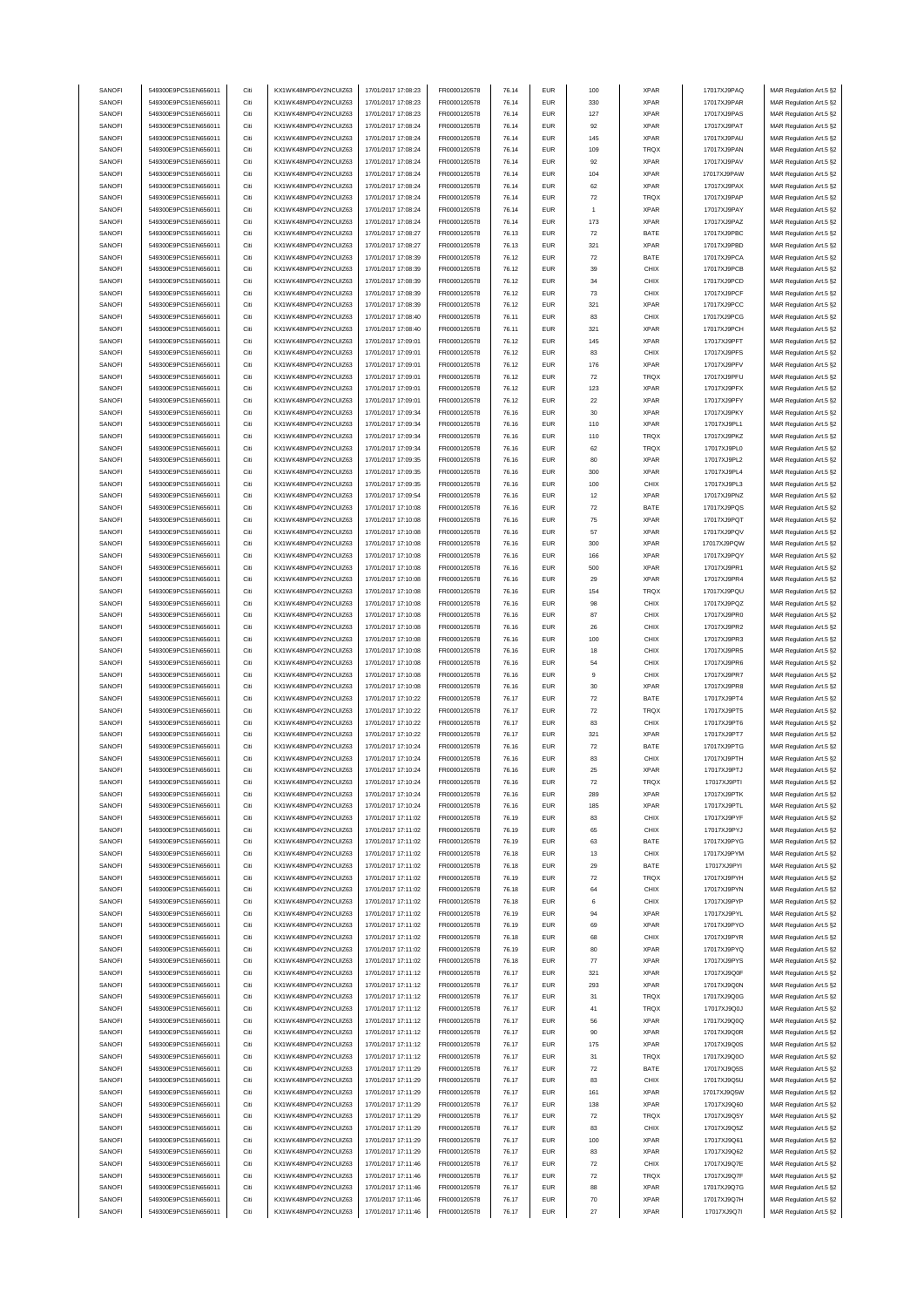| SANOFI<br>549300E9PC51EN656011<br>Citi<br>KX1WK48MPD4Y2NCUIZ63<br>17/01/2017 17:08:23<br>FR0000120578<br>76.14<br><b>EUR</b><br>100<br>XPAR<br>SANOFI<br>549300E9PC51EN656011<br>Citi<br>KX1WK48MPD4Y2NCUIZ63<br>17/01/2017 17:08:23<br><b>EUR</b><br>330<br><b>XPAR</b><br>FR0000120578<br>76.14<br>SANOFI<br>549300E9PC51EN656011<br>Citi<br>KX1WK48MPD4Y2NCUIZ63<br>17/01/2017 17:08:23<br>FR0000120578<br><b>EUR</b><br>127<br><b>XPAR</b><br>76.14<br><b>EUR</b><br><b>XPAR</b><br>SANOFI<br>549300E9PC51EN656011<br>Citi<br>KX1WK48MPD4Y2NCUIZ63<br>17/01/2017 17:08:24<br>FR0000120578<br>76.14<br>92<br><b>EUR</b><br><b>XPAR</b><br>SANOFI<br>549300E9PC51EN656011<br>Citi<br>KX1WK48MPD4Y2NCUIZ63<br>17/01/2017 17:08:24<br>FR0000120578<br>76.14<br>145<br>SANOFI<br>549300E9PC51EN656011<br>Citi<br>KX1WK48MPD4Y2NCUIZ63<br>17/01/2017 17:08:24<br>FR0000120578<br>76.14<br><b>EUR</b><br>109<br>TRQX<br>SANOFI<br>549300E9PC51EN656011<br>Citi<br>KX1WK48MPD4Y2NCUIZ63<br>17/01/2017 17:08:24<br>FR0000120578<br>76.14<br><b>EUR</b><br>92<br><b>XPAR</b><br>SANOFI<br>Citi<br>17/01/2017 17:08:24<br>FR0000120578<br><b>EUR</b><br>104<br><b>XPAR</b><br>549300E9PC51EN656011<br>KX1WK48MPD4Y2NCUIZ63<br>76.14<br>SANOFI<br>Citi<br>KX1WK48MPD4Y2NCUIZ63<br>17/01/2017 17:08:24<br>FR0000120578<br><b>XPAR</b><br>549300E9PC51EN656011<br>76.14<br><b>EUR</b><br>62<br>SANOFI<br>549300E9PC51EN656011<br>Citi<br>KX1WK48MPD4Y2NCUIZ63<br>17/01/2017 17:08:24<br>FR0000120578<br><b>EUR</b><br>72<br><b>TRQX</b><br>76.14<br>SANOFI<br>549300E9PC51EN656011<br>Citi<br>KX1WK48MPD4Y2NCUIZ63<br>17/01/2017 17:08:24<br><b>EUR</b><br><b>XPAR</b><br>FR0000120578<br>76.14<br>$\overline{1}$<br>Citi<br><b>EUR</b><br>173<br><b>XPAR</b><br>SANOFI<br>549300E9PC51EN656011<br>KX1WK48MPD4Y2NCUIZ63<br>17/01/2017 17:08:24<br>FR0000120578<br>76.14<br><b>EUR</b><br>$\scriptstyle{72}$<br>BATE<br>SANOFI<br>549300E9PC51EN656011<br>Citi<br>KX1WK48MPD4Y2NCUIZ63<br>17/01/2017 17:08:27<br>FR0000120578<br>76.13<br>SANOFI<br>549300E9PC51EN656011<br>Citi<br>KX1WK48MPD4Y2NCUIZ63<br>17/01/2017 17:08:27<br>FR0000120578<br>76.13<br><b>EUR</b><br>321<br><b>XPAR</b><br><b>EUR</b><br>SANOFI<br>549300E9PC51EN656011<br>Citi<br>KX1WK48MPD4Y2NCUIZ63<br>17/01/2017 17:08:39<br>FR0000120578<br>76.12<br>$\bf 72$<br>BATE<br>SANOFI<br>549300E9PC51EN656011<br>Citi<br>KX1WK48MPD4Y2NCUIZ63<br>17/01/2017 17:08:39<br>FR0000120578<br><b>EUR</b><br>39<br>CHIX<br>76.12<br>SANOFI<br>549300E9PC51EN656011<br>Citi<br>KX1WK48MPD4Y2NCUIZ63<br>FR0000120578<br>CHIX<br>17/01/2017 17:08:39<br>76.12<br><b>EUR</b><br>34<br>SANOFI<br>549300E9PC51EN656011<br>Citi<br>KX1WK48MPD4Y2NCUIZ63<br><b>EUR</b><br>CHIX<br>17/01/2017 17:08:39<br>FR0000120578<br>76.12<br>73<br>SANOFI<br>549300E9PC51EN656011<br>Citi<br>KX1WK48MPD4Y2NCUIZ63<br>17/01/2017 17:08:39<br>FR0000120578<br>76.12<br><b>EUR</b><br>321<br><b>XPAR</b><br>CHIX<br>SANOFI<br>549300E9PC51EN656011<br>Citi<br>KX1WK48MPD4Y2NCUIZ63<br>17/01/2017 17:08:40<br>76.11<br><b>EUR</b><br>83<br>FR0000120578<br>SANOFI<br><b>XPAR</b><br>549300E9PC51EN656011<br>Citi<br>KX1WK48MPD4Y2NCUIZ63<br>17/01/2017 17:08:40<br>FR0000120578<br>76.11<br><b>EUR</b><br>321<br>SANOFI<br>549300E9PC51EN656011<br>Citi<br>KX1WK48MPD4Y2NCUIZ63<br>17/01/2017 17:09:01<br>FR0000120578<br>76.12<br><b>EUR</b><br>145<br><b>XPAR</b><br>SANOFI<br>549300E9PC51EN656011<br>Citi<br>KX1WK48MPD4Y2NCUIZ63<br>17/01/2017 17:09:01<br>FR0000120578<br>76.12<br><b>EUR</b><br>83<br>CHIX<br>SANOFI<br>549300E9PC51EN656011<br>FR0000120578<br>176<br><b>XPAR</b><br>Citi<br>KX1WK48MPD4Y2NCUIZ63<br>17/01/2017 17:09:01<br>76.12<br><b>EUR</b><br>SANOFI<br>KX1WK48MPD4Y2NCUIZ63<br>FR0000120578<br><b>EUR</b><br>$\scriptstyle{72}$<br>TRQX<br>549300E9PC51EN656011<br>Citi<br>17/01/2017 17:09:01<br>76.12<br>SANOFI<br>549300E9PC51EN656011<br>Citi<br>KX1WK48MPD4Y2NCUIZ63<br>17/01/2017 17:09:01<br>FR0000120578<br>76.12<br><b>EUR</b><br>123<br><b>XPAR</b><br>SANOFI<br>549300E9PC51EN656011<br>Citi<br>KX1WK48MPD4Y2NCUIZ63<br>17/01/2017 17:09:01<br><b>EUR</b><br>$22\,$<br><b>XPAR</b><br>FR0000120578<br>76.12<br><b>XPAR</b><br>SANOFI<br>549300E9PC51EN656011<br>Citi<br>KX1WK48MPD4Y2NCUIZ63<br>17/01/2017 17:09:34<br>FR0000120578<br>76.16<br><b>EUR</b><br>30<br><b>EUR</b><br>SANOFI<br>549300E9PC51EN656011<br>Citi<br>KX1WK48MPD4Y2NCUIZ63<br>17/01/2017 17:09:34<br>FR0000120578<br>76.16<br>110<br><b>XPAR</b><br>SANOFI<br>549300E9PC51EN656011<br>Citi<br>KX1WK48MPD4Y2NCUIZ63<br>17/01/2017 17:09:34<br>FR0000120578<br>76.16<br><b>EUR</b><br>110<br>TRQX<br>SANOFI<br>549300E9PC51EN656011<br>Citi<br>KX1WK48MPD4Y2NCUIZ63<br>17/01/2017 17:09:34<br>FR0000120578<br>76.16<br><b>EUR</b><br>62<br>TRQX<br>SANOFI<br>Citi<br>KX1WK48MPD4Y2NCUIZ63<br>FR0000120578<br><b>EUR</b><br>80<br><b>XPAR</b><br>549300E9PC51EN656011<br>17/01/2017 17:09:35<br>76.16<br>SANOFI<br>Citi<br><b>EUR</b><br><b>XPAR</b><br>549300E9PC51EN656011<br>KX1WK48MPD4Y2NCUIZ63<br>17/01/2017 17:09:35<br>FR0000120578<br>76.16<br>300<br>SANOFI<br>549300E9PC51EN656011<br>Citi<br>KX1WK48MPD4Y2NCUIZ63<br>17/01/2017 17:09:35<br><b>EUR</b><br>100<br>CHIX<br>FR0000120578<br>76.16<br>SANOFI<br>549300E9PC51EN656011<br>Citi<br>KX1WK48MPD4Y2NCUIZ63<br>17/01/2017 17:09:54<br>FR0000120578<br><b>EUR</b><br>12<br><b>XPAR</b><br>76.16<br>SANOFI<br>Citi<br>KX1WK48MPD4Y2NCUIZ63<br><b>EUR</b><br>$\scriptstyle{72}$<br>BATE<br>549300E9PC51EN656011<br>17/01/2017 17:10:08<br>FR0000120578<br>76.16<br>Citi<br><b>EUR</b><br>75<br><b>XPAR</b><br>SANOFI<br>549300E9PC51EN656011<br>KX1WK48MPD4Y2NCUIZ63<br>17/01/2017 17:10:08<br>FR0000120578<br>76.16<br>SANOFI<br>549300E9PC51EN656011<br>Citi<br>KX1WK48MPD4Y2NCUIZ63<br>17/01/2017 17:10:08<br>FR0000120578<br>76.16<br><b>EUR</b><br>57<br><b>XPAR</b><br>SANOFI<br>549300E9PC51EN656011<br>Citi<br>KX1WK48MPD4Y2NCUIZ63<br>17/01/2017 17:10:08<br>FR0000120578<br>76.16<br><b>EUR</b><br>300<br><b>XPAR</b><br>SANOFI<br>549300E9PC51EN656011<br>Citi<br>KX1WK48MPD4Y2NCUIZ63<br>17/01/2017 17:10:08<br>FR0000120578<br>76.16<br><b>EUR</b><br>166<br><b>XPAR</b><br>SANOFI<br>549300E9PC51EN656011<br>Citi<br>KX1WK48MPD4Y2NCUIZ63<br>17/01/2017 17:10:08<br>FR0000120578<br><b>EUR</b><br>500<br><b>XPAR</b><br>76.16<br>SANOFI<br>FR0000120578<br><b>XPAR</b><br>549300E9PC51EN656011<br>Citi<br>KX1WK48MPD4Y2NCUIZ63<br>17/01/2017 17:10:08<br>76.16<br><b>EUR</b><br>29<br>SANOFI<br>549300E9PC51EN656011<br>Citi<br>KX1WK48MPD4Y2NCUIZ63<br>17/01/2017 17:10:08<br><b>EUR</b><br>154<br>TRQX<br>FR0000120578<br>76.16<br>SANOFI<br>549300E9PC51EN656011<br>Citi<br>KX1WK48MPD4Y2NCUIZ63<br>17/01/2017 17:10:08<br>FR0000120578<br><b>EUR</b><br>98<br>CHIX<br>76.16<br>87<br>CHIX<br>SANOFI<br>549300E9PC51EN656011<br>Citi<br>KX1WK48MPD4Y2NCUIZ63<br>17/01/2017 17:10:08<br>FR0000120578<br>76.16<br><b>EUR</b><br>SANOFI<br>CHIX<br>549300E9PC51EN656011<br>Citi<br>KX1WK48MPD4Y2NCUIZ63<br>17/01/2017 17:10:08<br>FR0000120578<br>76.16<br><b>EUR</b><br>26<br>SANOFI<br>549300E9PC51EN656011<br>Citi<br>KX1WK48MPD4Y2NCUIZ63<br>17/01/2017 17:10:08<br>FR0000120578<br>76.16<br><b>EUR</b><br>100<br>CHIX<br>SANOFI<br>549300E9PC51EN656011<br>Citi<br>KX1WK48MPD4Y2NCUIZ63<br>17/01/2017 17:10:08<br>FR0000120578<br>76.16<br><b>EUR</b><br>18<br>CHIX<br>SANOFI<br>549300E9PC51EN656011<br>KX1WK48MPD4Y2NCUIZ63<br>FR0000120578<br>CHIX<br>Citi<br>17/01/2017 17:10:08<br>76.16<br><b>EUR</b><br>54<br>SANOFI<br>Citi<br>FR0000120578<br><b>EUR</b><br>CHIX<br>549300E9PC51EN656011<br>KX1WK48MPD4Y2NCUIZ63<br>17/01/2017 17:10:08<br>76.16<br>9<br>SANOFI<br>549300E9PC51EN656011<br>Citi<br>KX1WK48MPD4Y2NCUIZ63<br>17/01/2017 17:10:08<br>FR0000120578<br><b>EUR</b><br>30<br><b>XPAR</b><br>76.16<br>SANOFI<br>549300E9PC51EN656011<br>Citi<br>KX1WK48MPD4Y2NCUIZ63<br>17/01/2017 17:10:22<br>FR0000120578<br><b>EUR</b><br>72<br>BATE<br>76.17<br>$\scriptstyle{72}$<br>TRQX<br>SANOFI<br>549300E9PC51EN656011<br>Citi<br>KX1WK48MPD4Y2NCUIZ63<br>17/01/2017 17:10:22<br>FR0000120578<br>76.17<br><b>EUR</b><br><b>EUR</b><br>CHIX<br>SANOFI<br>549300E9PC51EN656011<br>Citi<br>KX1WK48MPD4Y2NCUIZ63<br>17/01/2017 17:10:22<br>FR0000120578<br>76.17<br>83<br>SANOFI<br>549300E9PC51EN656011<br>Citi<br>KX1WK48MPD4Y2NCUIZ63<br>17/01/2017 17:10:22<br>FR0000120578<br>76.17<br><b>EUR</b><br>321<br><b>XPAR</b><br>SANOFI<br>549300E9PC51EN656011<br>Citi<br>KX1WK48MPD4Y2NCUIZ63<br>17/01/2017 17:10:24<br>FR0000120578<br>76.16<br><b>EUR</b><br>$\scriptstyle{72}$<br>BATE<br>SANOFI<br>549300E9PC51EN656011<br>KX1WK48MPD4Y2NCUIZ63<br>FR0000120578<br><b>EUR</b><br>CHIX<br>Citi<br>17/01/2017 17:10:24<br>76.16<br>83<br>SANOFI<br>17/01/2017 17:10:24<br>FR0000120578<br><b>EUR</b><br>549300E9PC51EN656011<br>Citi<br>KX1WK48MPD4Y2NCUIZ63<br>76.16<br>25<br>XPAR<br>SANOFI<br>549300E9PC51EN656011<br>KX1WK48MPD4Y2NCLIIZ63<br>17/01/2017 17:10:24<br>FR0000120578<br>FUR<br>TROX<br>76.16<br>SANOFI<br>549300E9PC51EN656011<br>KX1WK48MPD4Y2NCUIZ63<br>17/01/2017 17:10:24<br><b>XPAR</b><br>Citi<br>FR0000120578<br>76.16<br><b>EUR</b><br>289<br>SANOFI<br>549300E9PC51EN656011<br>Citi<br>KX1WK48MPD4Y2NCUIZ63<br>17/01/2017 17:10:24<br>FR0000120578<br><b>EUR</b><br><b>XPAR</b><br>76.16<br>185<br>SANOFI<br>549300E9PC51EN656011<br>Citi<br>KX1WK48MPD4Y2NCUIZ63<br>17/01/2017 17:11:02<br>FR0000120578<br><b>EUR</b><br>CHIX<br>76.19<br>83<br>SANOFI<br>549300E9PC51EN656011<br>Citi<br>KX1WK48MPD4Y2NCUIZ63<br>17/01/2017 17:11:02<br>FR0000120578<br>76.19<br><b>EUR</b><br>65<br>CHIX<br>SANOFI<br>549300E9PC51EN656011<br>Citi<br>KX1WK48MPD4Y2NCUIZ63<br>17/01/2017 17:11:02<br>FR0000120578<br>76.19<br><b>EUR</b><br>63<br>BATE<br>SANOFI<br>549300E9PC51EN656011<br>KX1WK48MPD4Y2NCUIZ63<br>17/01/2017 17:11:02<br>FR0000120578<br>CHIX<br>Citi<br>76.18<br><b>EUR</b><br>13<br>29<br>SANOFI<br>549300E9PC51EN656011<br>Citi<br>KX1WK48MPD4Y2NCUIZ63<br>17/01/2017 17:11:02<br>FR0000120578<br>76.18<br><b>EUR</b><br>BATE<br>SANOFI<br>549300E9PC51EN656011<br>KX1WK48MPD4Y2NCUIZ63<br>17/01/2017 17:11:02<br>FR0000120578<br><b>TRQX</b><br>Citi<br>76.19<br><b>EUR</b><br>$\scriptstyle{72}$<br>SANOFI<br>549300E9PC51EN656011<br>Citi<br>KX1WK48MPD4Y2NCUIZ63<br>17/01/2017 17:11:02<br><b>EUR</b><br>CHIX<br>FR0000120578<br>76.18<br>64<br>KX1WK48MPD4Y2NCUIZ63<br>SANOFI<br>549300E9PC51EN656011<br>Citi<br>17/01/2017 17:11:02<br>FR0000120578<br><b>EUR</b><br>CHIX<br>76.18<br>6<br>SANOFI<br>549300E9PC51EN656011<br>Citi<br>KX1WK48MPD4Y2NCUIZ63<br>17/01/2017 17:11:02<br>FR0000120578<br><b>EUR</b><br>94<br><b>XPAR</b><br>76.19<br>SANOFI<br>549300E9PC51EN656011<br>Citi<br>KX1WK48MPD4Y2NCUIZ63<br>17/01/2017 17:11:02<br>FR0000120578<br>76.19<br><b>EUR</b><br>69<br><b>XPAR</b><br>SANOFI<br>549300E9PC51EN656011<br>Citi<br>KX1WK48MPD4Y2NCUIZ63<br>17/01/2017 17:11:02<br>FR0000120578<br>76.18<br><b>EUR</b><br>68<br>CHIX<br>KX1WK48MPD4Y2NCUIZ63<br>17/01/2017 17:11:02<br>SANOFI<br>549300E9PC51EN656011<br>Citi<br>FR0000120578<br>76.19<br><b>EUR</b><br>80<br><b>XPAR</b><br>SANOFI<br>549300E9PC51EN656011<br>KX1WK48MPD4Y2NCUIZ63<br>17/01/2017 17:11:02<br>Citi<br>FR0000120578<br>76.18<br><b>EUR</b><br>$77\,$<br><b>XPAR</b> |
|------------------------------------------------------------------------------------------------------------------------------------------------------------------------------------------------------------------------------------------------------------------------------------------------------------------------------------------------------------------------------------------------------------------------------------------------------------------------------------------------------------------------------------------------------------------------------------------------------------------------------------------------------------------------------------------------------------------------------------------------------------------------------------------------------------------------------------------------------------------------------------------------------------------------------------------------------------------------------------------------------------------------------------------------------------------------------------------------------------------------------------------------------------------------------------------------------------------------------------------------------------------------------------------------------------------------------------------------------------------------------------------------------------------------------------------------------------------------------------------------------------------------------------------------------------------------------------------------------------------------------------------------------------------------------------------------------------------------------------------------------------------------------------------------------------------------------------------------------------------------------------------------------------------------------------------------------------------------------------------------------------------------------------------------------------------------------------------------------------------------------------------------------------------------------------------------------------------------------------------------------------------------------------------------------------------------------------------------------------------------------------------------------------------------------------------------------------------------------------------------------------------------------------------------------------------------------------------------------------------------------------------------------------------------------------------------------------------------------------------------------------------------------------------------------------------------------------------------------------------------------------------------------------------------------------------------------------------------------------------------------------------------------------------------------------------------------------------------------------------------------------------------------------------------------------------------------------------------------------------------------------------------------------------------------------------------------------------------------------------------------------------------------------------------------------------------------------------------------------------------------------------------------------------------------------------------------------------------------------------------------------------------------------------------------------------------------------------------------------------------------------------------------------------------------------------------------------------------------------------------------------------------------------------------------------------------------------------------------------------------------------------------------------------------------------------------------------------------------------------------------------------------------------------------------------------------------------------------------------------------------------------------------------------------------------------------------------------------------------------------------------------------------------------------------------------------------------------------------------------------------------------------------------------------------------------------------------------------------------------------------------------------------------------------------------------------------------------------------------------------------------------------------------------------------------------------------------------------------------------------------------------------------------------------------------------------------------------------------------------------------------------------------------------------------------------------------------------------------------------------------------------------------------------------------------------------------------------------------------------------------------------------------------------------------------------------------------------------------------------------------------------------------------------------------------------------------------------------------------------------------------------------------------------------------------------------------------------------------------------------------------------------------------------------------------------------------------------------------------------------------------------------------------------------------------------------------------------------------------------------------------------------------------------------------------------------------------------------------------------------------------------------------------------------------------------------------------------------------------------------------------------------------------------------------------------------------------------------------------------------------------------------------------------------------------------------------------------------------------------------------------------------------------------------------------------------------------------------------------------------------------------------------------------------------------------------------------------------------------------------------------------------------------------------------------------------------------------------------------------------------------------------------------------------------------------------------------------------------------------------------------------------------------------------------------------------------------------------------------------------------------------------------------------------------------------------------------------------------------------------------------------------------------------------------------------------------------------------------------------------------------------------------------------------------------------------------------------------------------------------------------------------------------------------------------------------------------------------------------------------------------------------------------------------------------------------------------------------------------------------------------------------------------------------------------------------------------------------------------------------------------------------------------------------------------------------------------------------------------------------------------------------------------------------------------------------------------------------------------------------------------------------------------------------------------------------------------------------------------------------------------------------------------------------------------------------------------------------------------------------------------------------------------------------------------------------------------------------------------------------------------------------------------------------------------------------------------------------------------------------------------------------------------------------------------------------------------------------------------------------------------------------------------------------------------------------------------------------------------------------------------------------------------------------------------------------------------------------------------------------------------------------------------------------------------------------------------------------------------------------------------------------------------------------------------------------------------------------------------------------------------------------------------------------------------------------------------------------------------------------------------------------------------------------------------------------------------------------------------------------------------------------------------------------------------------------------------------------------------------------------------------------------------------------------------------------------------------------------------------------------------------------------------------------------------------------------------------------------------------------------------------------------------------------------------------------------------------------------------------------------------------------------------------------------------------------------------------------------------------------------------------------------------------------------------------------------------------------------------------------------------------------------------------------------------------------------------------------------------------------------------------------------------------------------------------------------------------------------------------------------------------------------------------------------------------------------------------------------------------------------------------------------------------------------------------------------------------------------------------------------------------------------------------------------------------------------------------------------------------------------------------------------------------------------------------------------------------------------------------------------------------------------------------------------------------------------------------------------------------------------------------------------------------------------------------------------------------------------------------------------------------------------------------------------------------------------------------------------------------------------------------------------------------------------------------------------------------|
|                                                                                                                                                                                                                                                                                                                                                                                                                                                                                                                                                                                                                                                                                                                                                                                                                                                                                                                                                                                                                                                                                                                                                                                                                                                                                                                                                                                                                                                                                                                                                                                                                                                                                                                                                                                                                                                                                                                                                                                                                                                                                                                                                                                                                                                                                                                                                                                                                                                                                                                                                                                                                                                                                                                                                                                                                                                                                                                                                                                                                                                                                                                                                                                                                                                                                                                                                                                                                                                                                                                                                                                                                                                                                                                                                                                                                                                                                                                                                                                                                                                                                                                                                                                                                                                                                                                                                                                                                                                                                                                                                                                                                                                                                                                                                                                                                                                                                                                                                                                                                                                                                                                                                                                                                                                                                                                                                                                                                                                                                                                                                                                                                                                                                                                                                                                                                                                                                                                                                                                                                                                                                                                                                                                                                                                                                                                                                                                                                                                                                                                                                                                                                                                                                                                                                                                                                                                                                                                                                                                                                                                                                                                                                                                                                                                                                                                                                                                                                                                                                                                                                                                                                                                                                                                                                                                                                                                                                                                                                                                                                                                                                                                                                                                                                                                                                                                                                                                                                                                                                                                                                                                                                                                                                                                                                                                                                                                                                                                                                                                                                                                                                                                                                                                                                                                                                                                                                                                                                                                                                                                                                                                                                                                                                                                                                                                                                                                                                                                                                                                                                                                                                                                                                                                                                                                                                                                                                                                                                                                                                                                                                                                                                                                                                                                                                                                                                                                                                                                                                                                                                                                                                                                                                                                                                                                                                                                                          |
|                                                                                                                                                                                                                                                                                                                                                                                                                                                                                                                                                                                                                                                                                                                                                                                                                                                                                                                                                                                                                                                                                                                                                                                                                                                                                                                                                                                                                                                                                                                                                                                                                                                                                                                                                                                                                                                                                                                                                                                                                                                                                                                                                                                                                                                                                                                                                                                                                                                                                                                                                                                                                                                                                                                                                                                                                                                                                                                                                                                                                                                                                                                                                                                                                                                                                                                                                                                                                                                                                                                                                                                                                                                                                                                                                                                                                                                                                                                                                                                                                                                                                                                                                                                                                                                                                                                                                                                                                                                                                                                                                                                                                                                                                                                                                                                                                                                                                                                                                                                                                                                                                                                                                                                                                                                                                                                                                                                                                                                                                                                                                                                                                                                                                                                                                                                                                                                                                                                                                                                                                                                                                                                                                                                                                                                                                                                                                                                                                                                                                                                                                                                                                                                                                                                                                                                                                                                                                                                                                                                                                                                                                                                                                                                                                                                                                                                                                                                                                                                                                                                                                                                                                                                                                                                                                                                                                                                                                                                                                                                                                                                                                                                                                                                                                                                                                                                                                                                                                                                                                                                                                                                                                                                                                                                                                                                                                                                                                                                                                                                                                                                                                                                                                                                                                                                                                                                                                                                                                                                                                                                                                                                                                                                                                                                                                                                                                                                                                                                                                                                                                                                                                                                                                                                                                                                                                                                                                                                                                                                                                                                                                                                                                                                                                                                                                                                                                                                                                                                                                                                                                                                                                                                                                                                                                                                                                                                                          |
|                                                                                                                                                                                                                                                                                                                                                                                                                                                                                                                                                                                                                                                                                                                                                                                                                                                                                                                                                                                                                                                                                                                                                                                                                                                                                                                                                                                                                                                                                                                                                                                                                                                                                                                                                                                                                                                                                                                                                                                                                                                                                                                                                                                                                                                                                                                                                                                                                                                                                                                                                                                                                                                                                                                                                                                                                                                                                                                                                                                                                                                                                                                                                                                                                                                                                                                                                                                                                                                                                                                                                                                                                                                                                                                                                                                                                                                                                                                                                                                                                                                                                                                                                                                                                                                                                                                                                                                                                                                                                                                                                                                                                                                                                                                                                                                                                                                                                                                                                                                                                                                                                                                                                                                                                                                                                                                                                                                                                                                                                                                                                                                                                                                                                                                                                                                                                                                                                                                                                                                                                                                                                                                                                                                                                                                                                                                                                                                                                                                                                                                                                                                                                                                                                                                                                                                                                                                                                                                                                                                                                                                                                                                                                                                                                                                                                                                                                                                                                                                                                                                                                                                                                                                                                                                                                                                                                                                                                                                                                                                                                                                                                                                                                                                                                                                                                                                                                                                                                                                                                                                                                                                                                                                                                                                                                                                                                                                                                                                                                                                                                                                                                                                                                                                                                                                                                                                                                                                                                                                                                                                                                                                                                                                                                                                                                                                                                                                                                                                                                                                                                                                                                                                                                                                                                                                                                                                                                                                                                                                                                                                                                                                                                                                                                                                                                                                                                                                                                                                                                                                                                                                                                                                                                                                                                                                                                                                                          |
|                                                                                                                                                                                                                                                                                                                                                                                                                                                                                                                                                                                                                                                                                                                                                                                                                                                                                                                                                                                                                                                                                                                                                                                                                                                                                                                                                                                                                                                                                                                                                                                                                                                                                                                                                                                                                                                                                                                                                                                                                                                                                                                                                                                                                                                                                                                                                                                                                                                                                                                                                                                                                                                                                                                                                                                                                                                                                                                                                                                                                                                                                                                                                                                                                                                                                                                                                                                                                                                                                                                                                                                                                                                                                                                                                                                                                                                                                                                                                                                                                                                                                                                                                                                                                                                                                                                                                                                                                                                                                                                                                                                                                                                                                                                                                                                                                                                                                                                                                                                                                                                                                                                                                                                                                                                                                                                                                                                                                                                                                                                                                                                                                                                                                                                                                                                                                                                                                                                                                                                                                                                                                                                                                                                                                                                                                                                                                                                                                                                                                                                                                                                                                                                                                                                                                                                                                                                                                                                                                                                                                                                                                                                                                                                                                                                                                                                                                                                                                                                                                                                                                                                                                                                                                                                                                                                                                                                                                                                                                                                                                                                                                                                                                                                                                                                                                                                                                                                                                                                                                                                                                                                                                                                                                                                                                                                                                                                                                                                                                                                                                                                                                                                                                                                                                                                                                                                                                                                                                                                                                                                                                                                                                                                                                                                                                                                                                                                                                                                                                                                                                                                                                                                                                                                                                                                                                                                                                                                                                                                                                                                                                                                                                                                                                                                                                                                                                                                                                                                                                                                                                                                                                                                                                                                                                                                                                                                                          |
|                                                                                                                                                                                                                                                                                                                                                                                                                                                                                                                                                                                                                                                                                                                                                                                                                                                                                                                                                                                                                                                                                                                                                                                                                                                                                                                                                                                                                                                                                                                                                                                                                                                                                                                                                                                                                                                                                                                                                                                                                                                                                                                                                                                                                                                                                                                                                                                                                                                                                                                                                                                                                                                                                                                                                                                                                                                                                                                                                                                                                                                                                                                                                                                                                                                                                                                                                                                                                                                                                                                                                                                                                                                                                                                                                                                                                                                                                                                                                                                                                                                                                                                                                                                                                                                                                                                                                                                                                                                                                                                                                                                                                                                                                                                                                                                                                                                                                                                                                                                                                                                                                                                                                                                                                                                                                                                                                                                                                                                                                                                                                                                                                                                                                                                                                                                                                                                                                                                                                                                                                                                                                                                                                                                                                                                                                                                                                                                                                                                                                                                                                                                                                                                                                                                                                                                                                                                                                                                                                                                                                                                                                                                                                                                                                                                                                                                                                                                                                                                                                                                                                                                                                                                                                                                                                                                                                                                                                                                                                                                                                                                                                                                                                                                                                                                                                                                                                                                                                                                                                                                                                                                                                                                                                                                                                                                                                                                                                                                                                                                                                                                                                                                                                                                                                                                                                                                                                                                                                                                                                                                                                                                                                                                                                                                                                                                                                                                                                                                                                                                                                                                                                                                                                                                                                                                                                                                                                                                                                                                                                                                                                                                                                                                                                                                                                                                                                                                                                                                                                                                                                                                                                                                                                                                                                                                                                                                                          |
|                                                                                                                                                                                                                                                                                                                                                                                                                                                                                                                                                                                                                                                                                                                                                                                                                                                                                                                                                                                                                                                                                                                                                                                                                                                                                                                                                                                                                                                                                                                                                                                                                                                                                                                                                                                                                                                                                                                                                                                                                                                                                                                                                                                                                                                                                                                                                                                                                                                                                                                                                                                                                                                                                                                                                                                                                                                                                                                                                                                                                                                                                                                                                                                                                                                                                                                                                                                                                                                                                                                                                                                                                                                                                                                                                                                                                                                                                                                                                                                                                                                                                                                                                                                                                                                                                                                                                                                                                                                                                                                                                                                                                                                                                                                                                                                                                                                                                                                                                                                                                                                                                                                                                                                                                                                                                                                                                                                                                                                                                                                                                                                                                                                                                                                                                                                                                                                                                                                                                                                                                                                                                                                                                                                                                                                                                                                                                                                                                                                                                                                                                                                                                                                                                                                                                                                                                                                                                                                                                                                                                                                                                                                                                                                                                                                                                                                                                                                                                                                                                                                                                                                                                                                                                                                                                                                                                                                                                                                                                                                                                                                                                                                                                                                                                                                                                                                                                                                                                                                                                                                                                                                                                                                                                                                                                                                                                                                                                                                                                                                                                                                                                                                                                                                                                                                                                                                                                                                                                                                                                                                                                                                                                                                                                                                                                                                                                                                                                                                                                                                                                                                                                                                                                                                                                                                                                                                                                                                                                                                                                                                                                                                                                                                                                                                                                                                                                                                                                                                                                                                                                                                                                                                                                                                                                                                                                                                                          |
|                                                                                                                                                                                                                                                                                                                                                                                                                                                                                                                                                                                                                                                                                                                                                                                                                                                                                                                                                                                                                                                                                                                                                                                                                                                                                                                                                                                                                                                                                                                                                                                                                                                                                                                                                                                                                                                                                                                                                                                                                                                                                                                                                                                                                                                                                                                                                                                                                                                                                                                                                                                                                                                                                                                                                                                                                                                                                                                                                                                                                                                                                                                                                                                                                                                                                                                                                                                                                                                                                                                                                                                                                                                                                                                                                                                                                                                                                                                                                                                                                                                                                                                                                                                                                                                                                                                                                                                                                                                                                                                                                                                                                                                                                                                                                                                                                                                                                                                                                                                                                                                                                                                                                                                                                                                                                                                                                                                                                                                                                                                                                                                                                                                                                                                                                                                                                                                                                                                                                                                                                                                                                                                                                                                                                                                                                                                                                                                                                                                                                                                                                                                                                                                                                                                                                                                                                                                                                                                                                                                                                                                                                                                                                                                                                                                                                                                                                                                                                                                                                                                                                                                                                                                                                                                                                                                                                                                                                                                                                                                                                                                                                                                                                                                                                                                                                                                                                                                                                                                                                                                                                                                                                                                                                                                                                                                                                                                                                                                                                                                                                                                                                                                                                                                                                                                                                                                                                                                                                                                                                                                                                                                                                                                                                                                                                                                                                                                                                                                                                                                                                                                                                                                                                                                                                                                                                                                                                                                                                                                                                                                                                                                                                                                                                                                                                                                                                                                                                                                                                                                                                                                                                                                                                                                                                                                                                                                                          |
|                                                                                                                                                                                                                                                                                                                                                                                                                                                                                                                                                                                                                                                                                                                                                                                                                                                                                                                                                                                                                                                                                                                                                                                                                                                                                                                                                                                                                                                                                                                                                                                                                                                                                                                                                                                                                                                                                                                                                                                                                                                                                                                                                                                                                                                                                                                                                                                                                                                                                                                                                                                                                                                                                                                                                                                                                                                                                                                                                                                                                                                                                                                                                                                                                                                                                                                                                                                                                                                                                                                                                                                                                                                                                                                                                                                                                                                                                                                                                                                                                                                                                                                                                                                                                                                                                                                                                                                                                                                                                                                                                                                                                                                                                                                                                                                                                                                                                                                                                                                                                                                                                                                                                                                                                                                                                                                                                                                                                                                                                                                                                                                                                                                                                                                                                                                                                                                                                                                                                                                                                                                                                                                                                                                                                                                                                                                                                                                                                                                                                                                                                                                                                                                                                                                                                                                                                                                                                                                                                                                                                                                                                                                                                                                                                                                                                                                                                                                                                                                                                                                                                                                                                                                                                                                                                                                                                                                                                                                                                                                                                                                                                                                                                                                                                                                                                                                                                                                                                                                                                                                                                                                                                                                                                                                                                                                                                                                                                                                                                                                                                                                                                                                                                                                                                                                                                                                                                                                                                                                                                                                                                                                                                                                                                                                                                                                                                                                                                                                                                                                                                                                                                                                                                                                                                                                                                                                                                                                                                                                                                                                                                                                                                                                                                                                                                                                                                                                                                                                                                                                                                                                                                                                                                                                                                                                                                                                                          |
|                                                                                                                                                                                                                                                                                                                                                                                                                                                                                                                                                                                                                                                                                                                                                                                                                                                                                                                                                                                                                                                                                                                                                                                                                                                                                                                                                                                                                                                                                                                                                                                                                                                                                                                                                                                                                                                                                                                                                                                                                                                                                                                                                                                                                                                                                                                                                                                                                                                                                                                                                                                                                                                                                                                                                                                                                                                                                                                                                                                                                                                                                                                                                                                                                                                                                                                                                                                                                                                                                                                                                                                                                                                                                                                                                                                                                                                                                                                                                                                                                                                                                                                                                                                                                                                                                                                                                                                                                                                                                                                                                                                                                                                                                                                                                                                                                                                                                                                                                                                                                                                                                                                                                                                                                                                                                                                                                                                                                                                                                                                                                                                                                                                                                                                                                                                                                                                                                                                                                                                                                                                                                                                                                                                                                                                                                                                                                                                                                                                                                                                                                                                                                                                                                                                                                                                                                                                                                                                                                                                                                                                                                                                                                                                                                                                                                                                                                                                                                                                                                                                                                                                                                                                                                                                                                                                                                                                                                                                                                                                                                                                                                                                                                                                                                                                                                                                                                                                                                                                                                                                                                                                                                                                                                                                                                                                                                                                                                                                                                                                                                                                                                                                                                                                                                                                                                                                                                                                                                                                                                                                                                                                                                                                                                                                                                                                                                                                                                                                                                                                                                                                                                                                                                                                                                                                                                                                                                                                                                                                                                                                                                                                                                                                                                                                                                                                                                                                                                                                                                                                                                                                                                                                                                                                                                                                                                                                                          |
|                                                                                                                                                                                                                                                                                                                                                                                                                                                                                                                                                                                                                                                                                                                                                                                                                                                                                                                                                                                                                                                                                                                                                                                                                                                                                                                                                                                                                                                                                                                                                                                                                                                                                                                                                                                                                                                                                                                                                                                                                                                                                                                                                                                                                                                                                                                                                                                                                                                                                                                                                                                                                                                                                                                                                                                                                                                                                                                                                                                                                                                                                                                                                                                                                                                                                                                                                                                                                                                                                                                                                                                                                                                                                                                                                                                                                                                                                                                                                                                                                                                                                                                                                                                                                                                                                                                                                                                                                                                                                                                                                                                                                                                                                                                                                                                                                                                                                                                                                                                                                                                                                                                                                                                                                                                                                                                                                                                                                                                                                                                                                                                                                                                                                                                                                                                                                                                                                                                                                                                                                                                                                                                                                                                                                                                                                                                                                                                                                                                                                                                                                                                                                                                                                                                                                                                                                                                                                                                                                                                                                                                                                                                                                                                                                                                                                                                                                                                                                                                                                                                                                                                                                                                                                                                                                                                                                                                                                                                                                                                                                                                                                                                                                                                                                                                                                                                                                                                                                                                                                                                                                                                                                                                                                                                                                                                                                                                                                                                                                                                                                                                                                                                                                                                                                                                                                                                                                                                                                                                                                                                                                                                                                                                                                                                                                                                                                                                                                                                                                                                                                                                                                                                                                                                                                                                                                                                                                                                                                                                                                                                                                                                                                                                                                                                                                                                                                                                                                                                                                                                                                                                                                                                                                                                                                                                                                                                                          |
|                                                                                                                                                                                                                                                                                                                                                                                                                                                                                                                                                                                                                                                                                                                                                                                                                                                                                                                                                                                                                                                                                                                                                                                                                                                                                                                                                                                                                                                                                                                                                                                                                                                                                                                                                                                                                                                                                                                                                                                                                                                                                                                                                                                                                                                                                                                                                                                                                                                                                                                                                                                                                                                                                                                                                                                                                                                                                                                                                                                                                                                                                                                                                                                                                                                                                                                                                                                                                                                                                                                                                                                                                                                                                                                                                                                                                                                                                                                                                                                                                                                                                                                                                                                                                                                                                                                                                                                                                                                                                                                                                                                                                                                                                                                                                                                                                                                                                                                                                                                                                                                                                                                                                                                                                                                                                                                                                                                                                                                                                                                                                                                                                                                                                                                                                                                                                                                                                                                                                                                                                                                                                                                                                                                                                                                                                                                                                                                                                                                                                                                                                                                                                                                                                                                                                                                                                                                                                                                                                                                                                                                                                                                                                                                                                                                                                                                                                                                                                                                                                                                                                                                                                                                                                                                                                                                                                                                                                                                                                                                                                                                                                                                                                                                                                                                                                                                                                                                                                                                                                                                                                                                                                                                                                                                                                                                                                                                                                                                                                                                                                                                                                                                                                                                                                                                                                                                                                                                                                                                                                                                                                                                                                                                                                                                                                                                                                                                                                                                                                                                                                                                                                                                                                                                                                                                                                                                                                                                                                                                                                                                                                                                                                                                                                                                                                                                                                                                                                                                                                                                                                                                                                                                                                                                                                                                                                                                                          |
|                                                                                                                                                                                                                                                                                                                                                                                                                                                                                                                                                                                                                                                                                                                                                                                                                                                                                                                                                                                                                                                                                                                                                                                                                                                                                                                                                                                                                                                                                                                                                                                                                                                                                                                                                                                                                                                                                                                                                                                                                                                                                                                                                                                                                                                                                                                                                                                                                                                                                                                                                                                                                                                                                                                                                                                                                                                                                                                                                                                                                                                                                                                                                                                                                                                                                                                                                                                                                                                                                                                                                                                                                                                                                                                                                                                                                                                                                                                                                                                                                                                                                                                                                                                                                                                                                                                                                                                                                                                                                                                                                                                                                                                                                                                                                                                                                                                                                                                                                                                                                                                                                                                                                                                                                                                                                                                                                                                                                                                                                                                                                                                                                                                                                                                                                                                                                                                                                                                                                                                                                                                                                                                                                                                                                                                                                                                                                                                                                                                                                                                                                                                                                                                                                                                                                                                                                                                                                                                                                                                                                                                                                                                                                                                                                                                                                                                                                                                                                                                                                                                                                                                                                                                                                                                                                                                                                                                                                                                                                                                                                                                                                                                                                                                                                                                                                                                                                                                                                                                                                                                                                                                                                                                                                                                                                                                                                                                                                                                                                                                                                                                                                                                                                                                                                                                                                                                                                                                                                                                                                                                                                                                                                                                                                                                                                                                                                                                                                                                                                                                                                                                                                                                                                                                                                                                                                                                                                                                                                                                                                                                                                                                                                                                                                                                                                                                                                                                                                                                                                                                                                                                                                                                                                                                                                                                                                                                                          |
|                                                                                                                                                                                                                                                                                                                                                                                                                                                                                                                                                                                                                                                                                                                                                                                                                                                                                                                                                                                                                                                                                                                                                                                                                                                                                                                                                                                                                                                                                                                                                                                                                                                                                                                                                                                                                                                                                                                                                                                                                                                                                                                                                                                                                                                                                                                                                                                                                                                                                                                                                                                                                                                                                                                                                                                                                                                                                                                                                                                                                                                                                                                                                                                                                                                                                                                                                                                                                                                                                                                                                                                                                                                                                                                                                                                                                                                                                                                                                                                                                                                                                                                                                                                                                                                                                                                                                                                                                                                                                                                                                                                                                                                                                                                                                                                                                                                                                                                                                                                                                                                                                                                                                                                                                                                                                                                                                                                                                                                                                                                                                                                                                                                                                                                                                                                                                                                                                                                                                                                                                                                                                                                                                                                                                                                                                                                                                                                                                                                                                                                                                                                                                                                                                                                                                                                                                                                                                                                                                                                                                                                                                                                                                                                                                                                                                                                                                                                                                                                                                                                                                                                                                                                                                                                                                                                                                                                                                                                                                                                                                                                                                                                                                                                                                                                                                                                                                                                                                                                                                                                                                                                                                                                                                                                                                                                                                                                                                                                                                                                                                                                                                                                                                                                                                                                                                                                                                                                                                                                                                                                                                                                                                                                                                                                                                                                                                                                                                                                                                                                                                                                                                                                                                                                                                                                                                                                                                                                                                                                                                                                                                                                                                                                                                                                                                                                                                                                                                                                                                                                                                                                                                                                                                                                                                                                                                                                                          |
|                                                                                                                                                                                                                                                                                                                                                                                                                                                                                                                                                                                                                                                                                                                                                                                                                                                                                                                                                                                                                                                                                                                                                                                                                                                                                                                                                                                                                                                                                                                                                                                                                                                                                                                                                                                                                                                                                                                                                                                                                                                                                                                                                                                                                                                                                                                                                                                                                                                                                                                                                                                                                                                                                                                                                                                                                                                                                                                                                                                                                                                                                                                                                                                                                                                                                                                                                                                                                                                                                                                                                                                                                                                                                                                                                                                                                                                                                                                                                                                                                                                                                                                                                                                                                                                                                                                                                                                                                                                                                                                                                                                                                                                                                                                                                                                                                                                                                                                                                                                                                                                                                                                                                                                                                                                                                                                                                                                                                                                                                                                                                                                                                                                                                                                                                                                                                                                                                                                                                                                                                                                                                                                                                                                                                                                                                                                                                                                                                                                                                                                                                                                                                                                                                                                                                                                                                                                                                                                                                                                                                                                                                                                                                                                                                                                                                                                                                                                                                                                                                                                                                                                                                                                                                                                                                                                                                                                                                                                                                                                                                                                                                                                                                                                                                                                                                                                                                                                                                                                                                                                                                                                                                                                                                                                                                                                                                                                                                                                                                                                                                                                                                                                                                                                                                                                                                                                                                                                                                                                                                                                                                                                                                                                                                                                                                                                                                                                                                                                                                                                                                                                                                                                                                                                                                                                                                                                                                                                                                                                                                                                                                                                                                                                                                                                                                                                                                                                                                                                                                                                                                                                                                                                                                                                                                                                                                                                                          |
|                                                                                                                                                                                                                                                                                                                                                                                                                                                                                                                                                                                                                                                                                                                                                                                                                                                                                                                                                                                                                                                                                                                                                                                                                                                                                                                                                                                                                                                                                                                                                                                                                                                                                                                                                                                                                                                                                                                                                                                                                                                                                                                                                                                                                                                                                                                                                                                                                                                                                                                                                                                                                                                                                                                                                                                                                                                                                                                                                                                                                                                                                                                                                                                                                                                                                                                                                                                                                                                                                                                                                                                                                                                                                                                                                                                                                                                                                                                                                                                                                                                                                                                                                                                                                                                                                                                                                                                                                                                                                                                                                                                                                                                                                                                                                                                                                                                                                                                                                                                                                                                                                                                                                                                                                                                                                                                                                                                                                                                                                                                                                                                                                                                                                                                                                                                                                                                                                                                                                                                                                                                                                                                                                                                                                                                                                                                                                                                                                                                                                                                                                                                                                                                                                                                                                                                                                                                                                                                                                                                                                                                                                                                                                                                                                                                                                                                                                                                                                                                                                                                                                                                                                                                                                                                                                                                                                                                                                                                                                                                                                                                                                                                                                                                                                                                                                                                                                                                                                                                                                                                                                                                                                                                                                                                                                                                                                                                                                                                                                                                                                                                                                                                                                                                                                                                                                                                                                                                                                                                                                                                                                                                                                                                                                                                                                                                                                                                                                                                                                                                                                                                                                                                                                                                                                                                                                                                                                                                                                                                                                                                                                                                                                                                                                                                                                                                                                                                                                                                                                                                                                                                                                                                                                                                                                                                                                                                                          |
|                                                                                                                                                                                                                                                                                                                                                                                                                                                                                                                                                                                                                                                                                                                                                                                                                                                                                                                                                                                                                                                                                                                                                                                                                                                                                                                                                                                                                                                                                                                                                                                                                                                                                                                                                                                                                                                                                                                                                                                                                                                                                                                                                                                                                                                                                                                                                                                                                                                                                                                                                                                                                                                                                                                                                                                                                                                                                                                                                                                                                                                                                                                                                                                                                                                                                                                                                                                                                                                                                                                                                                                                                                                                                                                                                                                                                                                                                                                                                                                                                                                                                                                                                                                                                                                                                                                                                                                                                                                                                                                                                                                                                                                                                                                                                                                                                                                                                                                                                                                                                                                                                                                                                                                                                                                                                                                                                                                                                                                                                                                                                                                                                                                                                                                                                                                                                                                                                                                                                                                                                                                                                                                                                                                                                                                                                                                                                                                                                                                                                                                                                                                                                                                                                                                                                                                                                                                                                                                                                                                                                                                                                                                                                                                                                                                                                                                                                                                                                                                                                                                                                                                                                                                                                                                                                                                                                                                                                                                                                                                                                                                                                                                                                                                                                                                                                                                                                                                                                                                                                                                                                                                                                                                                                                                                                                                                                                                                                                                                                                                                                                                                                                                                                                                                                                                                                                                                                                                                                                                                                                                                                                                                                                                                                                                                                                                                                                                                                                                                                                                                                                                                                                                                                                                                                                                                                                                                                                                                                                                                                                                                                                                                                                                                                                                                                                                                                                                                                                                                                                                                                                                                                                                                                                                                                                                                                                                                          |
|                                                                                                                                                                                                                                                                                                                                                                                                                                                                                                                                                                                                                                                                                                                                                                                                                                                                                                                                                                                                                                                                                                                                                                                                                                                                                                                                                                                                                                                                                                                                                                                                                                                                                                                                                                                                                                                                                                                                                                                                                                                                                                                                                                                                                                                                                                                                                                                                                                                                                                                                                                                                                                                                                                                                                                                                                                                                                                                                                                                                                                                                                                                                                                                                                                                                                                                                                                                                                                                                                                                                                                                                                                                                                                                                                                                                                                                                                                                                                                                                                                                                                                                                                                                                                                                                                                                                                                                                                                                                                                                                                                                                                                                                                                                                                                                                                                                                                                                                                                                                                                                                                                                                                                                                                                                                                                                                                                                                                                                                                                                                                                                                                                                                                                                                                                                                                                                                                                                                                                                                                                                                                                                                                                                                                                                                                                                                                                                                                                                                                                                                                                                                                                                                                                                                                                                                                                                                                                                                                                                                                                                                                                                                                                                                                                                                                                                                                                                                                                                                                                                                                                                                                                                                                                                                                                                                                                                                                                                                                                                                                                                                                                                                                                                                                                                                                                                                                                                                                                                                                                                                                                                                                                                                                                                                                                                                                                                                                                                                                                                                                                                                                                                                                                                                                                                                                                                                                                                                                                                                                                                                                                                                                                                                                                                                                                                                                                                                                                                                                                                                                                                                                                                                                                                                                                                                                                                                                                                                                                                                                                                                                                                                                                                                                                                                                                                                                                                                                                                                                                                                                                                                                                                                                                                                                                                                                                                                          |
|                                                                                                                                                                                                                                                                                                                                                                                                                                                                                                                                                                                                                                                                                                                                                                                                                                                                                                                                                                                                                                                                                                                                                                                                                                                                                                                                                                                                                                                                                                                                                                                                                                                                                                                                                                                                                                                                                                                                                                                                                                                                                                                                                                                                                                                                                                                                                                                                                                                                                                                                                                                                                                                                                                                                                                                                                                                                                                                                                                                                                                                                                                                                                                                                                                                                                                                                                                                                                                                                                                                                                                                                                                                                                                                                                                                                                                                                                                                                                                                                                                                                                                                                                                                                                                                                                                                                                                                                                                                                                                                                                                                                                                                                                                                                                                                                                                                                                                                                                                                                                                                                                                                                                                                                                                                                                                                                                                                                                                                                                                                                                                                                                                                                                                                                                                                                                                                                                                                                                                                                                                                                                                                                                                                                                                                                                                                                                                                                                                                                                                                                                                                                                                                                                                                                                                                                                                                                                                                                                                                                                                                                                                                                                                                                                                                                                                                                                                                                                                                                                                                                                                                                                                                                                                                                                                                                                                                                                                                                                                                                                                                                                                                                                                                                                                                                                                                                                                                                                                                                                                                                                                                                                                                                                                                                                                                                                                                                                                                                                                                                                                                                                                                                                                                                                                                                                                                                                                                                                                                                                                                                                                                                                                                                                                                                                                                                                                                                                                                                                                                                                                                                                                                                                                                                                                                                                                                                                                                                                                                                                                                                                                                                                                                                                                                                                                                                                                                                                                                                                                                                                                                                                                                                                                                                                                                                                                                                          |
|                                                                                                                                                                                                                                                                                                                                                                                                                                                                                                                                                                                                                                                                                                                                                                                                                                                                                                                                                                                                                                                                                                                                                                                                                                                                                                                                                                                                                                                                                                                                                                                                                                                                                                                                                                                                                                                                                                                                                                                                                                                                                                                                                                                                                                                                                                                                                                                                                                                                                                                                                                                                                                                                                                                                                                                                                                                                                                                                                                                                                                                                                                                                                                                                                                                                                                                                                                                                                                                                                                                                                                                                                                                                                                                                                                                                                                                                                                                                                                                                                                                                                                                                                                                                                                                                                                                                                                                                                                                                                                                                                                                                                                                                                                                                                                                                                                                                                                                                                                                                                                                                                                                                                                                                                                                                                                                                                                                                                                                                                                                                                                                                                                                                                                                                                                                                                                                                                                                                                                                                                                                                                                                                                                                                                                                                                                                                                                                                                                                                                                                                                                                                                                                                                                                                                                                                                                                                                                                                                                                                                                                                                                                                                                                                                                                                                                                                                                                                                                                                                                                                                                                                                                                                                                                                                                                                                                                                                                                                                                                                                                                                                                                                                                                                                                                                                                                                                                                                                                                                                                                                                                                                                                                                                                                                                                                                                                                                                                                                                                                                                                                                                                                                                                                                                                                                                                                                                                                                                                                                                                                                                                                                                                                                                                                                                                                                                                                                                                                                                                                                                                                                                                                                                                                                                                                                                                                                                                                                                                                                                                                                                                                                                                                                                                                                                                                                                                                                                                                                                                                                                                                                                                                                                                                                                                                                                                                                          |
|                                                                                                                                                                                                                                                                                                                                                                                                                                                                                                                                                                                                                                                                                                                                                                                                                                                                                                                                                                                                                                                                                                                                                                                                                                                                                                                                                                                                                                                                                                                                                                                                                                                                                                                                                                                                                                                                                                                                                                                                                                                                                                                                                                                                                                                                                                                                                                                                                                                                                                                                                                                                                                                                                                                                                                                                                                                                                                                                                                                                                                                                                                                                                                                                                                                                                                                                                                                                                                                                                                                                                                                                                                                                                                                                                                                                                                                                                                                                                                                                                                                                                                                                                                                                                                                                                                                                                                                                                                                                                                                                                                                                                                                                                                                                                                                                                                                                                                                                                                                                                                                                                                                                                                                                                                                                                                                                                                                                                                                                                                                                                                                                                                                                                                                                                                                                                                                                                                                                                                                                                                                                                                                                                                                                                                                                                                                                                                                                                                                                                                                                                                                                                                                                                                                                                                                                                                                                                                                                                                                                                                                                                                                                                                                                                                                                                                                                                                                                                                                                                                                                                                                                                                                                                                                                                                                                                                                                                                                                                                                                                                                                                                                                                                                                                                                                                                                                                                                                                                                                                                                                                                                                                                                                                                                                                                                                                                                                                                                                                                                                                                                                                                                                                                                                                                                                                                                                                                                                                                                                                                                                                                                                                                                                                                                                                                                                                                                                                                                                                                                                                                                                                                                                                                                                                                                                                                                                                                                                                                                                                                                                                                                                                                                                                                                                                                                                                                                                                                                                                                                                                                                                                                                                                                                                                                                                                                                                          |
|                                                                                                                                                                                                                                                                                                                                                                                                                                                                                                                                                                                                                                                                                                                                                                                                                                                                                                                                                                                                                                                                                                                                                                                                                                                                                                                                                                                                                                                                                                                                                                                                                                                                                                                                                                                                                                                                                                                                                                                                                                                                                                                                                                                                                                                                                                                                                                                                                                                                                                                                                                                                                                                                                                                                                                                                                                                                                                                                                                                                                                                                                                                                                                                                                                                                                                                                                                                                                                                                                                                                                                                                                                                                                                                                                                                                                                                                                                                                                                                                                                                                                                                                                                                                                                                                                                                                                                                                                                                                                                                                                                                                                                                                                                                                                                                                                                                                                                                                                                                                                                                                                                                                                                                                                                                                                                                                                                                                                                                                                                                                                                                                                                                                                                                                                                                                                                                                                                                                                                                                                                                                                                                                                                                                                                                                                                                                                                                                                                                                                                                                                                                                                                                                                                                                                                                                                                                                                                                                                                                                                                                                                                                                                                                                                                                                                                                                                                                                                                                                                                                                                                                                                                                                                                                                                                                                                                                                                                                                                                                                                                                                                                                                                                                                                                                                                                                                                                                                                                                                                                                                                                                                                                                                                                                                                                                                                                                                                                                                                                                                                                                                                                                                                                                                                                                                                                                                                                                                                                                                                                                                                                                                                                                                                                                                                                                                                                                                                                                                                                                                                                                                                                                                                                                                                                                                                                                                                                                                                                                                                                                                                                                                                                                                                                                                                                                                                                                                                                                                                                                                                                                                                                                                                                                                                                                                                                                                          |
|                                                                                                                                                                                                                                                                                                                                                                                                                                                                                                                                                                                                                                                                                                                                                                                                                                                                                                                                                                                                                                                                                                                                                                                                                                                                                                                                                                                                                                                                                                                                                                                                                                                                                                                                                                                                                                                                                                                                                                                                                                                                                                                                                                                                                                                                                                                                                                                                                                                                                                                                                                                                                                                                                                                                                                                                                                                                                                                                                                                                                                                                                                                                                                                                                                                                                                                                                                                                                                                                                                                                                                                                                                                                                                                                                                                                                                                                                                                                                                                                                                                                                                                                                                                                                                                                                                                                                                                                                                                                                                                                                                                                                                                                                                                                                                                                                                                                                                                                                                                                                                                                                                                                                                                                                                                                                                                                                                                                                                                                                                                                                                                                                                                                                                                                                                                                                                                                                                                                                                                                                                                                                                                                                                                                                                                                                                                                                                                                                                                                                                                                                                                                                                                                                                                                                                                                                                                                                                                                                                                                                                                                                                                                                                                                                                                                                                                                                                                                                                                                                                                                                                                                                                                                                                                                                                                                                                                                                                                                                                                                                                                                                                                                                                                                                                                                                                                                                                                                                                                                                                                                                                                                                                                                                                                                                                                                                                                                                                                                                                                                                                                                                                                                                                                                                                                                                                                                                                                                                                                                                                                                                                                                                                                                                                                                                                                                                                                                                                                                                                                                                                                                                                                                                                                                                                                                                                                                                                                                                                                                                                                                                                                                                                                                                                                                                                                                                                                                                                                                                                                                                                                                                                                                                                                                                                                                                                                                          |
|                                                                                                                                                                                                                                                                                                                                                                                                                                                                                                                                                                                                                                                                                                                                                                                                                                                                                                                                                                                                                                                                                                                                                                                                                                                                                                                                                                                                                                                                                                                                                                                                                                                                                                                                                                                                                                                                                                                                                                                                                                                                                                                                                                                                                                                                                                                                                                                                                                                                                                                                                                                                                                                                                                                                                                                                                                                                                                                                                                                                                                                                                                                                                                                                                                                                                                                                                                                                                                                                                                                                                                                                                                                                                                                                                                                                                                                                                                                                                                                                                                                                                                                                                                                                                                                                                                                                                                                                                                                                                                                                                                                                                                                                                                                                                                                                                                                                                                                                                                                                                                                                                                                                                                                                                                                                                                                                                                                                                                                                                                                                                                                                                                                                                                                                                                                                                                                                                                                                                                                                                                                                                                                                                                                                                                                                                                                                                                                                                                                                                                                                                                                                                                                                                                                                                                                                                                                                                                                                                                                                                                                                                                                                                                                                                                                                                                                                                                                                                                                                                                                                                                                                                                                                                                                                                                                                                                                                                                                                                                                                                                                                                                                                                                                                                                                                                                                                                                                                                                                                                                                                                                                                                                                                                                                                                                                                                                                                                                                                                                                                                                                                                                                                                                                                                                                                                                                                                                                                                                                                                                                                                                                                                                                                                                                                                                                                                                                                                                                                                                                                                                                                                                                                                                                                                                                                                                                                                                                                                                                                                                                                                                                                                                                                                                                                                                                                                                                                                                                                                                                                                                                                                                                                                                                                                                                                                                                                          |
|                                                                                                                                                                                                                                                                                                                                                                                                                                                                                                                                                                                                                                                                                                                                                                                                                                                                                                                                                                                                                                                                                                                                                                                                                                                                                                                                                                                                                                                                                                                                                                                                                                                                                                                                                                                                                                                                                                                                                                                                                                                                                                                                                                                                                                                                                                                                                                                                                                                                                                                                                                                                                                                                                                                                                                                                                                                                                                                                                                                                                                                                                                                                                                                                                                                                                                                                                                                                                                                                                                                                                                                                                                                                                                                                                                                                                                                                                                                                                                                                                                                                                                                                                                                                                                                                                                                                                                                                                                                                                                                                                                                                                                                                                                                                                                                                                                                                                                                                                                                                                                                                                                                                                                                                                                                                                                                                                                                                                                                                                                                                                                                                                                                                                                                                                                                                                                                                                                                                                                                                                                                                                                                                                                                                                                                                                                                                                                                                                                                                                                                                                                                                                                                                                                                                                                                                                                                                                                                                                                                                                                                                                                                                                                                                                                                                                                                                                                                                                                                                                                                                                                                                                                                                                                                                                                                                                                                                                                                                                                                                                                                                                                                                                                                                                                                                                                                                                                                                                                                                                                                                                                                                                                                                                                                                                                                                                                                                                                                                                                                                                                                                                                                                                                                                                                                                                                                                                                                                                                                                                                                                                                                                                                                                                                                                                                                                                                                                                                                                                                                                                                                                                                                                                                                                                                                                                                                                                                                                                                                                                                                                                                                                                                                                                                                                                                                                                                                                                                                                                                                                                                                                                                                                                                                                                                                                                                                                          |
|                                                                                                                                                                                                                                                                                                                                                                                                                                                                                                                                                                                                                                                                                                                                                                                                                                                                                                                                                                                                                                                                                                                                                                                                                                                                                                                                                                                                                                                                                                                                                                                                                                                                                                                                                                                                                                                                                                                                                                                                                                                                                                                                                                                                                                                                                                                                                                                                                                                                                                                                                                                                                                                                                                                                                                                                                                                                                                                                                                                                                                                                                                                                                                                                                                                                                                                                                                                                                                                                                                                                                                                                                                                                                                                                                                                                                                                                                                                                                                                                                                                                                                                                                                                                                                                                                                                                                                                                                                                                                                                                                                                                                                                                                                                                                                                                                                                                                                                                                                                                                                                                                                                                                                                                                                                                                                                                                                                                                                                                                                                                                                                                                                                                                                                                                                                                                                                                                                                                                                                                                                                                                                                                                                                                                                                                                                                                                                                                                                                                                                                                                                                                                                                                                                                                                                                                                                                                                                                                                                                                                                                                                                                                                                                                                                                                                                                                                                                                                                                                                                                                                                                                                                                                                                                                                                                                                                                                                                                                                                                                                                                                                                                                                                                                                                                                                                                                                                                                                                                                                                                                                                                                                                                                                                                                                                                                                                                                                                                                                                                                                                                                                                                                                                                                                                                                                                                                                                                                                                                                                                                                                                                                                                                                                                                                                                                                                                                                                                                                                                                                                                                                                                                                                                                                                                                                                                                                                                                                                                                                                                                                                                                                                                                                                                                                                                                                                                                                                                                                                                                                                                                                                                                                                                                                                                                                                                                                          |
|                                                                                                                                                                                                                                                                                                                                                                                                                                                                                                                                                                                                                                                                                                                                                                                                                                                                                                                                                                                                                                                                                                                                                                                                                                                                                                                                                                                                                                                                                                                                                                                                                                                                                                                                                                                                                                                                                                                                                                                                                                                                                                                                                                                                                                                                                                                                                                                                                                                                                                                                                                                                                                                                                                                                                                                                                                                                                                                                                                                                                                                                                                                                                                                                                                                                                                                                                                                                                                                                                                                                                                                                                                                                                                                                                                                                                                                                                                                                                                                                                                                                                                                                                                                                                                                                                                                                                                                                                                                                                                                                                                                                                                                                                                                                                                                                                                                                                                                                                                                                                                                                                                                                                                                                                                                                                                                                                                                                                                                                                                                                                                                                                                                                                                                                                                                                                                                                                                                                                                                                                                                                                                                                                                                                                                                                                                                                                                                                                                                                                                                                                                                                                                                                                                                                                                                                                                                                                                                                                                                                                                                                                                                                                                                                                                                                                                                                                                                                                                                                                                                                                                                                                                                                                                                                                                                                                                                                                                                                                                                                                                                                                                                                                                                                                                                                                                                                                                                                                                                                                                                                                                                                                                                                                                                                                                                                                                                                                                                                                                                                                                                                                                                                                                                                                                                                                                                                                                                                                                                                                                                                                                                                                                                                                                                                                                                                                                                                                                                                                                                                                                                                                                                                                                                                                                                                                                                                                                                                                                                                                                                                                                                                                                                                                                                                                                                                                                                                                                                                                                                                                                                                                                                                                                                                                                                                                                                                          |
|                                                                                                                                                                                                                                                                                                                                                                                                                                                                                                                                                                                                                                                                                                                                                                                                                                                                                                                                                                                                                                                                                                                                                                                                                                                                                                                                                                                                                                                                                                                                                                                                                                                                                                                                                                                                                                                                                                                                                                                                                                                                                                                                                                                                                                                                                                                                                                                                                                                                                                                                                                                                                                                                                                                                                                                                                                                                                                                                                                                                                                                                                                                                                                                                                                                                                                                                                                                                                                                                                                                                                                                                                                                                                                                                                                                                                                                                                                                                                                                                                                                                                                                                                                                                                                                                                                                                                                                                                                                                                                                                                                                                                                                                                                                                                                                                                                                                                                                                                                                                                                                                                                                                                                                                                                                                                                                                                                                                                                                                                                                                                                                                                                                                                                                                                                                                                                                                                                                                                                                                                                                                                                                                                                                                                                                                                                                                                                                                                                                                                                                                                                                                                                                                                                                                                                                                                                                                                                                                                                                                                                                                                                                                                                                                                                                                                                                                                                                                                                                                                                                                                                                                                                                                                                                                                                                                                                                                                                                                                                                                                                                                                                                                                                                                                                                                                                                                                                                                                                                                                                                                                                                                                                                                                                                                                                                                                                                                                                                                                                                                                                                                                                                                                                                                                                                                                                                                                                                                                                                                                                                                                                                                                                                                                                                                                                                                                                                                                                                                                                                                                                                                                                                                                                                                                                                                                                                                                                                                                                                                                                                                                                                                                                                                                                                                                                                                                                                                                                                                                                                                                                                                                                                                                                                                                                                                                                                                          |
|                                                                                                                                                                                                                                                                                                                                                                                                                                                                                                                                                                                                                                                                                                                                                                                                                                                                                                                                                                                                                                                                                                                                                                                                                                                                                                                                                                                                                                                                                                                                                                                                                                                                                                                                                                                                                                                                                                                                                                                                                                                                                                                                                                                                                                                                                                                                                                                                                                                                                                                                                                                                                                                                                                                                                                                                                                                                                                                                                                                                                                                                                                                                                                                                                                                                                                                                                                                                                                                                                                                                                                                                                                                                                                                                                                                                                                                                                                                                                                                                                                                                                                                                                                                                                                                                                                                                                                                                                                                                                                                                                                                                                                                                                                                                                                                                                                                                                                                                                                                                                                                                                                                                                                                                                                                                                                                                                                                                                                                                                                                                                                                                                                                                                                                                                                                                                                                                                                                                                                                                                                                                                                                                                                                                                                                                                                                                                                                                                                                                                                                                                                                                                                                                                                                                                                                                                                                                                                                                                                                                                                                                                                                                                                                                                                                                                                                                                                                                                                                                                                                                                                                                                                                                                                                                                                                                                                                                                                                                                                                                                                                                                                                                                                                                                                                                                                                                                                                                                                                                                                                                                                                                                                                                                                                                                                                                                                                                                                                                                                                                                                                                                                                                                                                                                                                                                                                                                                                                                                                                                                                                                                                                                                                                                                                                                                                                                                                                                                                                                                                                                                                                                                                                                                                                                                                                                                                                                                                                                                                                                                                                                                                                                                                                                                                                                                                                                                                                                                                                                                                                                                                                                                                                                                                                                                                                                                                                          |
|                                                                                                                                                                                                                                                                                                                                                                                                                                                                                                                                                                                                                                                                                                                                                                                                                                                                                                                                                                                                                                                                                                                                                                                                                                                                                                                                                                                                                                                                                                                                                                                                                                                                                                                                                                                                                                                                                                                                                                                                                                                                                                                                                                                                                                                                                                                                                                                                                                                                                                                                                                                                                                                                                                                                                                                                                                                                                                                                                                                                                                                                                                                                                                                                                                                                                                                                                                                                                                                                                                                                                                                                                                                                                                                                                                                                                                                                                                                                                                                                                                                                                                                                                                                                                                                                                                                                                                                                                                                                                                                                                                                                                                                                                                                                                                                                                                                                                                                                                                                                                                                                                                                                                                                                                                                                                                                                                                                                                                                                                                                                                                                                                                                                                                                                                                                                                                                                                                                                                                                                                                                                                                                                                                                                                                                                                                                                                                                                                                                                                                                                                                                                                                                                                                                                                                                                                                                                                                                                                                                                                                                                                                                                                                                                                                                                                                                                                                                                                                                                                                                                                                                                                                                                                                                                                                                                                                                                                                                                                                                                                                                                                                                                                                                                                                                                                                                                                                                                                                                                                                                                                                                                                                                                                                                                                                                                                                                                                                                                                                                                                                                                                                                                                                                                                                                                                                                                                                                                                                                                                                                                                                                                                                                                                                                                                                                                                                                                                                                                                                                                                                                                                                                                                                                                                                                                                                                                                                                                                                                                                                                                                                                                                                                                                                                                                                                                                                                                                                                                                                                                                                                                                                                                                                                                                                                                                                                                          |
|                                                                                                                                                                                                                                                                                                                                                                                                                                                                                                                                                                                                                                                                                                                                                                                                                                                                                                                                                                                                                                                                                                                                                                                                                                                                                                                                                                                                                                                                                                                                                                                                                                                                                                                                                                                                                                                                                                                                                                                                                                                                                                                                                                                                                                                                                                                                                                                                                                                                                                                                                                                                                                                                                                                                                                                                                                                                                                                                                                                                                                                                                                                                                                                                                                                                                                                                                                                                                                                                                                                                                                                                                                                                                                                                                                                                                                                                                                                                                                                                                                                                                                                                                                                                                                                                                                                                                                                                                                                                                                                                                                                                                                                                                                                                                                                                                                                                                                                                                                                                                                                                                                                                                                                                                                                                                                                                                                                                                                                                                                                                                                                                                                                                                                                                                                                                                                                                                                                                                                                                                                                                                                                                                                                                                                                                                                                                                                                                                                                                                                                                                                                                                                                                                                                                                                                                                                                                                                                                                                                                                                                                                                                                                                                                                                                                                                                                                                                                                                                                                                                                                                                                                                                                                                                                                                                                                                                                                                                                                                                                                                                                                                                                                                                                                                                                                                                                                                                                                                                                                                                                                                                                                                                                                                                                                                                                                                                                                                                                                                                                                                                                                                                                                                                                                                                                                                                                                                                                                                                                                                                                                                                                                                                                                                                                                                                                                                                                                                                                                                                                                                                                                                                                                                                                                                                                                                                                                                                                                                                                                                                                                                                                                                                                                                                                                                                                                                                                                                                                                                                                                                                                                                                                                                                                                                                                                                                                          |
|                                                                                                                                                                                                                                                                                                                                                                                                                                                                                                                                                                                                                                                                                                                                                                                                                                                                                                                                                                                                                                                                                                                                                                                                                                                                                                                                                                                                                                                                                                                                                                                                                                                                                                                                                                                                                                                                                                                                                                                                                                                                                                                                                                                                                                                                                                                                                                                                                                                                                                                                                                                                                                                                                                                                                                                                                                                                                                                                                                                                                                                                                                                                                                                                                                                                                                                                                                                                                                                                                                                                                                                                                                                                                                                                                                                                                                                                                                                                                                                                                                                                                                                                                                                                                                                                                                                                                                                                                                                                                                                                                                                                                                                                                                                                                                                                                                                                                                                                                                                                                                                                                                                                                                                                                                                                                                                                                                                                                                                                                                                                                                                                                                                                                                                                                                                                                                                                                                                                                                                                                                                                                                                                                                                                                                                                                                                                                                                                                                                                                                                                                                                                                                                                                                                                                                                                                                                                                                                                                                                                                                                                                                                                                                                                                                                                                                                                                                                                                                                                                                                                                                                                                                                                                                                                                                                                                                                                                                                                                                                                                                                                                                                                                                                                                                                                                                                                                                                                                                                                                                                                                                                                                                                                                                                                                                                                                                                                                                                                                                                                                                                                                                                                                                                                                                                                                                                                                                                                                                                                                                                                                                                                                                                                                                                                                                                                                                                                                                                                                                                                                                                                                                                                                                                                                                                                                                                                                                                                                                                                                                                                                                                                                                                                                                                                                                                                                                                                                                                                                                                                                                                                                                                                                                                                                                                                                                                                          |
|                                                                                                                                                                                                                                                                                                                                                                                                                                                                                                                                                                                                                                                                                                                                                                                                                                                                                                                                                                                                                                                                                                                                                                                                                                                                                                                                                                                                                                                                                                                                                                                                                                                                                                                                                                                                                                                                                                                                                                                                                                                                                                                                                                                                                                                                                                                                                                                                                                                                                                                                                                                                                                                                                                                                                                                                                                                                                                                                                                                                                                                                                                                                                                                                                                                                                                                                                                                                                                                                                                                                                                                                                                                                                                                                                                                                                                                                                                                                                                                                                                                                                                                                                                                                                                                                                                                                                                                                                                                                                                                                                                                                                                                                                                                                                                                                                                                                                                                                                                                                                                                                                                                                                                                                                                                                                                                                                                                                                                                                                                                                                                                                                                                                                                                                                                                                                                                                                                                                                                                                                                                                                                                                                                                                                                                                                                                                                                                                                                                                                                                                                                                                                                                                                                                                                                                                                                                                                                                                                                                                                                                                                                                                                                                                                                                                                                                                                                                                                                                                                                                                                                                                                                                                                                                                                                                                                                                                                                                                                                                                                                                                                                                                                                                                                                                                                                                                                                                                                                                                                                                                                                                                                                                                                                                                                                                                                                                                                                                                                                                                                                                                                                                                                                                                                                                                                                                                                                                                                                                                                                                                                                                                                                                                                                                                                                                                                                                                                                                                                                                                                                                                                                                                                                                                                                                                                                                                                                                                                                                                                                                                                                                                                                                                                                                                                                                                                                                                                                                                                                                                                                                                                                                                                                                                                                                                                                                                          |
|                                                                                                                                                                                                                                                                                                                                                                                                                                                                                                                                                                                                                                                                                                                                                                                                                                                                                                                                                                                                                                                                                                                                                                                                                                                                                                                                                                                                                                                                                                                                                                                                                                                                                                                                                                                                                                                                                                                                                                                                                                                                                                                                                                                                                                                                                                                                                                                                                                                                                                                                                                                                                                                                                                                                                                                                                                                                                                                                                                                                                                                                                                                                                                                                                                                                                                                                                                                                                                                                                                                                                                                                                                                                                                                                                                                                                                                                                                                                                                                                                                                                                                                                                                                                                                                                                                                                                                                                                                                                                                                                                                                                                                                                                                                                                                                                                                                                                                                                                                                                                                                                                                                                                                                                                                                                                                                                                                                                                                                                                                                                                                                                                                                                                                                                                                                                                                                                                                                                                                                                                                                                                                                                                                                                                                                                                                                                                                                                                                                                                                                                                                                                                                                                                                                                                                                                                                                                                                                                                                                                                                                                                                                                                                                                                                                                                                                                                                                                                                                                                                                                                                                                                                                                                                                                                                                                                                                                                                                                                                                                                                                                                                                                                                                                                                                                                                                                                                                                                                                                                                                                                                                                                                                                                                                                                                                                                                                                                                                                                                                                                                                                                                                                                                                                                                                                                                                                                                                                                                                                                                                                                                                                                                                                                                                                                                                                                                                                                                                                                                                                                                                                                                                                                                                                                                                                                                                                                                                                                                                                                                                                                                                                                                                                                                                                                                                                                                                                                                                                                                                                                                                                                                                                                                                                                                                                                                                                          |
|                                                                                                                                                                                                                                                                                                                                                                                                                                                                                                                                                                                                                                                                                                                                                                                                                                                                                                                                                                                                                                                                                                                                                                                                                                                                                                                                                                                                                                                                                                                                                                                                                                                                                                                                                                                                                                                                                                                                                                                                                                                                                                                                                                                                                                                                                                                                                                                                                                                                                                                                                                                                                                                                                                                                                                                                                                                                                                                                                                                                                                                                                                                                                                                                                                                                                                                                                                                                                                                                                                                                                                                                                                                                                                                                                                                                                                                                                                                                                                                                                                                                                                                                                                                                                                                                                                                                                                                                                                                                                                                                                                                                                                                                                                                                                                                                                                                                                                                                                                                                                                                                                                                                                                                                                                                                                                                                                                                                                                                                                                                                                                                                                                                                                                                                                                                                                                                                                                                                                                                                                                                                                                                                                                                                                                                                                                                                                                                                                                                                                                                                                                                                                                                                                                                                                                                                                                                                                                                                                                                                                                                                                                                                                                                                                                                                                                                                                                                                                                                                                                                                                                                                                                                                                                                                                                                                                                                                                                                                                                                                                                                                                                                                                                                                                                                                                                                                                                                                                                                                                                                                                                                                                                                                                                                                                                                                                                                                                                                                                                                                                                                                                                                                                                                                                                                                                                                                                                                                                                                                                                                                                                                                                                                                                                                                                                                                                                                                                                                                                                                                                                                                                                                                                                                                                                                                                                                                                                                                                                                                                                                                                                                                                                                                                                                                                                                                                                                                                                                                                                                                                                                                                                                                                                                                                                                                                                                                          |
|                                                                                                                                                                                                                                                                                                                                                                                                                                                                                                                                                                                                                                                                                                                                                                                                                                                                                                                                                                                                                                                                                                                                                                                                                                                                                                                                                                                                                                                                                                                                                                                                                                                                                                                                                                                                                                                                                                                                                                                                                                                                                                                                                                                                                                                                                                                                                                                                                                                                                                                                                                                                                                                                                                                                                                                                                                                                                                                                                                                                                                                                                                                                                                                                                                                                                                                                                                                                                                                                                                                                                                                                                                                                                                                                                                                                                                                                                                                                                                                                                                                                                                                                                                                                                                                                                                                                                                                                                                                                                                                                                                                                                                                                                                                                                                                                                                                                                                                                                                                                                                                                                                                                                                                                                                                                                                                                                                                                                                                                                                                                                                                                                                                                                                                                                                                                                                                                                                                                                                                                                                                                                                                                                                                                                                                                                                                                                                                                                                                                                                                                                                                                                                                                                                                                                                                                                                                                                                                                                                                                                                                                                                                                                                                                                                                                                                                                                                                                                                                                                                                                                                                                                                                                                                                                                                                                                                                                                                                                                                                                                                                                                                                                                                                                                                                                                                                                                                                                                                                                                                                                                                                                                                                                                                                                                                                                                                                                                                                                                                                                                                                                                                                                                                                                                                                                                                                                                                                                                                                                                                                                                                                                                                                                                                                                                                                                                                                                                                                                                                                                                                                                                                                                                                                                                                                                                                                                                                                                                                                                                                                                                                                                                                                                                                                                                                                                                                                                                                                                                                                                                                                                                                                                                                                                                                                                                                                                          |
|                                                                                                                                                                                                                                                                                                                                                                                                                                                                                                                                                                                                                                                                                                                                                                                                                                                                                                                                                                                                                                                                                                                                                                                                                                                                                                                                                                                                                                                                                                                                                                                                                                                                                                                                                                                                                                                                                                                                                                                                                                                                                                                                                                                                                                                                                                                                                                                                                                                                                                                                                                                                                                                                                                                                                                                                                                                                                                                                                                                                                                                                                                                                                                                                                                                                                                                                                                                                                                                                                                                                                                                                                                                                                                                                                                                                                                                                                                                                                                                                                                                                                                                                                                                                                                                                                                                                                                                                                                                                                                                                                                                                                                                                                                                                                                                                                                                                                                                                                                                                                                                                                                                                                                                                                                                                                                                                                                                                                                                                                                                                                                                                                                                                                                                                                                                                                                                                                                                                                                                                                                                                                                                                                                                                                                                                                                                                                                                                                                                                                                                                                                                                                                                                                                                                                                                                                                                                                                                                                                                                                                                                                                                                                                                                                                                                                                                                                                                                                                                                                                                                                                                                                                                                                                                                                                                                                                                                                                                                                                                                                                                                                                                                                                                                                                                                                                                                                                                                                                                                                                                                                                                                                                                                                                                                                                                                                                                                                                                                                                                                                                                                                                                                                                                                                                                                                                                                                                                                                                                                                                                                                                                                                                                                                                                                                                                                                                                                                                                                                                                                                                                                                                                                                                                                                                                                                                                                                                                                                                                                                                                                                                                                                                                                                                                                                                                                                                                                                                                                                                                                                                                                                                                                                                                                                                                                                                                                          |
|                                                                                                                                                                                                                                                                                                                                                                                                                                                                                                                                                                                                                                                                                                                                                                                                                                                                                                                                                                                                                                                                                                                                                                                                                                                                                                                                                                                                                                                                                                                                                                                                                                                                                                                                                                                                                                                                                                                                                                                                                                                                                                                                                                                                                                                                                                                                                                                                                                                                                                                                                                                                                                                                                                                                                                                                                                                                                                                                                                                                                                                                                                                                                                                                                                                                                                                                                                                                                                                                                                                                                                                                                                                                                                                                                                                                                                                                                                                                                                                                                                                                                                                                                                                                                                                                                                                                                                                                                                                                                                                                                                                                                                                                                                                                                                                                                                                                                                                                                                                                                                                                                                                                                                                                                                                                                                                                                                                                                                                                                                                                                                                                                                                                                                                                                                                                                                                                                                                                                                                                                                                                                                                                                                                                                                                                                                                                                                                                                                                                                                                                                                                                                                                                                                                                                                                                                                                                                                                                                                                                                                                                                                                                                                                                                                                                                                                                                                                                                                                                                                                                                                                                                                                                                                                                                                                                                                                                                                                                                                                                                                                                                                                                                                                                                                                                                                                                                                                                                                                                                                                                                                                                                                                                                                                                                                                                                                                                                                                                                                                                                                                                                                                                                                                                                                                                                                                                                                                                                                                                                                                                                                                                                                                                                                                                                                                                                                                                                                                                                                                                                                                                                                                                                                                                                                                                                                                                                                                                                                                                                                                                                                                                                                                                                                                                                                                                                                                                                                                                                                                                                                                                                                                                                                                                                                                                                                                                          |
|                                                                                                                                                                                                                                                                                                                                                                                                                                                                                                                                                                                                                                                                                                                                                                                                                                                                                                                                                                                                                                                                                                                                                                                                                                                                                                                                                                                                                                                                                                                                                                                                                                                                                                                                                                                                                                                                                                                                                                                                                                                                                                                                                                                                                                                                                                                                                                                                                                                                                                                                                                                                                                                                                                                                                                                                                                                                                                                                                                                                                                                                                                                                                                                                                                                                                                                                                                                                                                                                                                                                                                                                                                                                                                                                                                                                                                                                                                                                                                                                                                                                                                                                                                                                                                                                                                                                                                                                                                                                                                                                                                                                                                                                                                                                                                                                                                                                                                                                                                                                                                                                                                                                                                                                                                                                                                                                                                                                                                                                                                                                                                                                                                                                                                                                                                                                                                                                                                                                                                                                                                                                                                                                                                                                                                                                                                                                                                                                                                                                                                                                                                                                                                                                                                                                                                                                                                                                                                                                                                                                                                                                                                                                                                                                                                                                                                                                                                                                                                                                                                                                                                                                                                                                                                                                                                                                                                                                                                                                                                                                                                                                                                                                                                                                                                                                                                                                                                                                                                                                                                                                                                                                                                                                                                                                                                                                                                                                                                                                                                                                                                                                                                                                                                                                                                                                                                                                                                                                                                                                                                                                                                                                                                                                                                                                                                                                                                                                                                                                                                                                                                                                                                                                                                                                                                                                                                                                                                                                                                                                                                                                                                                                                                                                                                                                                                                                                                                                                                                                                                                                                                                                                                                                                                                                                                                                                                                                          |
|                                                                                                                                                                                                                                                                                                                                                                                                                                                                                                                                                                                                                                                                                                                                                                                                                                                                                                                                                                                                                                                                                                                                                                                                                                                                                                                                                                                                                                                                                                                                                                                                                                                                                                                                                                                                                                                                                                                                                                                                                                                                                                                                                                                                                                                                                                                                                                                                                                                                                                                                                                                                                                                                                                                                                                                                                                                                                                                                                                                                                                                                                                                                                                                                                                                                                                                                                                                                                                                                                                                                                                                                                                                                                                                                                                                                                                                                                                                                                                                                                                                                                                                                                                                                                                                                                                                                                                                                                                                                                                                                                                                                                                                                                                                                                                                                                                                                                                                                                                                                                                                                                                                                                                                                                                                                                                                                                                                                                                                                                                                                                                                                                                                                                                                                                                                                                                                                                                                                                                                                                                                                                                                                                                                                                                                                                                                                                                                                                                                                                                                                                                                                                                                                                                                                                                                                                                                                                                                                                                                                                                                                                                                                                                                                                                                                                                                                                                                                                                                                                                                                                                                                                                                                                                                                                                                                                                                                                                                                                                                                                                                                                                                                                                                                                                                                                                                                                                                                                                                                                                                                                                                                                                                                                                                                                                                                                                                                                                                                                                                                                                                                                                                                                                                                                                                                                                                                                                                                                                                                                                                                                                                                                                                                                                                                                                                                                                                                                                                                                                                                                                                                                                                                                                                                                                                                                                                                                                                                                                                                                                                                                                                                                                                                                                                                                                                                                                                                                                                                                                                                                                                                                                                                                                                                                                                                                                                                          |
|                                                                                                                                                                                                                                                                                                                                                                                                                                                                                                                                                                                                                                                                                                                                                                                                                                                                                                                                                                                                                                                                                                                                                                                                                                                                                                                                                                                                                                                                                                                                                                                                                                                                                                                                                                                                                                                                                                                                                                                                                                                                                                                                                                                                                                                                                                                                                                                                                                                                                                                                                                                                                                                                                                                                                                                                                                                                                                                                                                                                                                                                                                                                                                                                                                                                                                                                                                                                                                                                                                                                                                                                                                                                                                                                                                                                                                                                                                                                                                                                                                                                                                                                                                                                                                                                                                                                                                                                                                                                                                                                                                                                                                                                                                                                                                                                                                                                                                                                                                                                                                                                                                                                                                                                                                                                                                                                                                                                                                                                                                                                                                                                                                                                                                                                                                                                                                                                                                                                                                                                                                                                                                                                                                                                                                                                                                                                                                                                                                                                                                                                                                                                                                                                                                                                                                                                                                                                                                                                                                                                                                                                                                                                                                                                                                                                                                                                                                                                                                                                                                                                                                                                                                                                                                                                                                                                                                                                                                                                                                                                                                                                                                                                                                                                                                                                                                                                                                                                                                                                                                                                                                                                                                                                                                                                                                                                                                                                                                                                                                                                                                                                                                                                                                                                                                                                                                                                                                                                                                                                                                                                                                                                                                                                                                                                                                                                                                                                                                                                                                                                                                                                                                                                                                                                                                                                                                                                                                                                                                                                                                                                                                                                                                                                                                                                                                                                                                                                                                                                                                                                                                                                                                                                                                                                                                                                                                                                          |
|                                                                                                                                                                                                                                                                                                                                                                                                                                                                                                                                                                                                                                                                                                                                                                                                                                                                                                                                                                                                                                                                                                                                                                                                                                                                                                                                                                                                                                                                                                                                                                                                                                                                                                                                                                                                                                                                                                                                                                                                                                                                                                                                                                                                                                                                                                                                                                                                                                                                                                                                                                                                                                                                                                                                                                                                                                                                                                                                                                                                                                                                                                                                                                                                                                                                                                                                                                                                                                                                                                                                                                                                                                                                                                                                                                                                                                                                                                                                                                                                                                                                                                                                                                                                                                                                                                                                                                                                                                                                                                                                                                                                                                                                                                                                                                                                                                                                                                                                                                                                                                                                                                                                                                                                                                                                                                                                                                                                                                                                                                                                                                                                                                                                                                                                                                                                                                                                                                                                                                                                                                                                                                                                                                                                                                                                                                                                                                                                                                                                                                                                                                                                                                                                                                                                                                                                                                                                                                                                                                                                                                                                                                                                                                                                                                                                                                                                                                                                                                                                                                                                                                                                                                                                                                                                                                                                                                                                                                                                                                                                                                                                                                                                                                                                                                                                                                                                                                                                                                                                                                                                                                                                                                                                                                                                                                                                                                                                                                                                                                                                                                                                                                                                                                                                                                                                                                                                                                                                                                                                                                                                                                                                                                                                                                                                                                                                                                                                                                                                                                                                                                                                                                                                                                                                                                                                                                                                                                                                                                                                                                                                                                                                                                                                                                                                                                                                                                                                                                                                                                                                                                                                                                                                                                                                                                                                                                                                          |
|                                                                                                                                                                                                                                                                                                                                                                                                                                                                                                                                                                                                                                                                                                                                                                                                                                                                                                                                                                                                                                                                                                                                                                                                                                                                                                                                                                                                                                                                                                                                                                                                                                                                                                                                                                                                                                                                                                                                                                                                                                                                                                                                                                                                                                                                                                                                                                                                                                                                                                                                                                                                                                                                                                                                                                                                                                                                                                                                                                                                                                                                                                                                                                                                                                                                                                                                                                                                                                                                                                                                                                                                                                                                                                                                                                                                                                                                                                                                                                                                                                                                                                                                                                                                                                                                                                                                                                                                                                                                                                                                                                                                                                                                                                                                                                                                                                                                                                                                                                                                                                                                                                                                                                                                                                                                                                                                                                                                                                                                                                                                                                                                                                                                                                                                                                                                                                                                                                                                                                                                                                                                                                                                                                                                                                                                                                                                                                                                                                                                                                                                                                                                                                                                                                                                                                                                                                                                                                                                                                                                                                                                                                                                                                                                                                                                                                                                                                                                                                                                                                                                                                                                                                                                                                                                                                                                                                                                                                                                                                                                                                                                                                                                                                                                                                                                                                                                                                                                                                                                                                                                                                                                                                                                                                                                                                                                                                                                                                                                                                                                                                                                                                                                                                                                                                                                                                                                                                                                                                                                                                                                                                                                                                                                                                                                                                                                                                                                                                                                                                                                                                                                                                                                                                                                                                                                                                                                                                                                                                                                                                                                                                                                                                                                                                                                                                                                                                                                                                                                                                                                                                                                                                                                                                                                                                                                                                                                          |
|                                                                                                                                                                                                                                                                                                                                                                                                                                                                                                                                                                                                                                                                                                                                                                                                                                                                                                                                                                                                                                                                                                                                                                                                                                                                                                                                                                                                                                                                                                                                                                                                                                                                                                                                                                                                                                                                                                                                                                                                                                                                                                                                                                                                                                                                                                                                                                                                                                                                                                                                                                                                                                                                                                                                                                                                                                                                                                                                                                                                                                                                                                                                                                                                                                                                                                                                                                                                                                                                                                                                                                                                                                                                                                                                                                                                                                                                                                                                                                                                                                                                                                                                                                                                                                                                                                                                                                                                                                                                                                                                                                                                                                                                                                                                                                                                                                                                                                                                                                                                                                                                                                                                                                                                                                                                                                                                                                                                                                                                                                                                                                                                                                                                                                                                                                                                                                                                                                                                                                                                                                                                                                                                                                                                                                                                                                                                                                                                                                                                                                                                                                                                                                                                                                                                                                                                                                                                                                                                                                                                                                                                                                                                                                                                                                                                                                                                                                                                                                                                                                                                                                                                                                                                                                                                                                                                                                                                                                                                                                                                                                                                                                                                                                                                                                                                                                                                                                                                                                                                                                                                                                                                                                                                                                                                                                                                                                                                                                                                                                                                                                                                                                                                                                                                                                                                                                                                                                                                                                                                                                                                                                                                                                                                                                                                                                                                                                                                                                                                                                                                                                                                                                                                                                                                                                                                                                                                                                                                                                                                                                                                                                                                                                                                                                                                                                                                                                                                                                                                                                                                                                                                                                                                                                                                                                                                                                                                          |
|                                                                                                                                                                                                                                                                                                                                                                                                                                                                                                                                                                                                                                                                                                                                                                                                                                                                                                                                                                                                                                                                                                                                                                                                                                                                                                                                                                                                                                                                                                                                                                                                                                                                                                                                                                                                                                                                                                                                                                                                                                                                                                                                                                                                                                                                                                                                                                                                                                                                                                                                                                                                                                                                                                                                                                                                                                                                                                                                                                                                                                                                                                                                                                                                                                                                                                                                                                                                                                                                                                                                                                                                                                                                                                                                                                                                                                                                                                                                                                                                                                                                                                                                                                                                                                                                                                                                                                                                                                                                                                                                                                                                                                                                                                                                                                                                                                                                                                                                                                                                                                                                                                                                                                                                                                                                                                                                                                                                                                                                                                                                                                                                                                                                                                                                                                                                                                                                                                                                                                                                                                                                                                                                                                                                                                                                                                                                                                                                                                                                                                                                                                                                                                                                                                                                                                                                                                                                                                                                                                                                                                                                                                                                                                                                                                                                                                                                                                                                                                                                                                                                                                                                                                                                                                                                                                                                                                                                                                                                                                                                                                                                                                                                                                                                                                                                                                                                                                                                                                                                                                                                                                                                                                                                                                                                                                                                                                                                                                                                                                                                                                                                                                                                                                                                                                                                                                                                                                                                                                                                                                                                                                                                                                                                                                                                                                                                                                                                                                                                                                                                                                                                                                                                                                                                                                                                                                                                                                                                                                                                                                                                                                                                                                                                                                                                                                                                                                                                                                                                                                                                                                                                                                                                                                                                                                                                                                                                          |
|                                                                                                                                                                                                                                                                                                                                                                                                                                                                                                                                                                                                                                                                                                                                                                                                                                                                                                                                                                                                                                                                                                                                                                                                                                                                                                                                                                                                                                                                                                                                                                                                                                                                                                                                                                                                                                                                                                                                                                                                                                                                                                                                                                                                                                                                                                                                                                                                                                                                                                                                                                                                                                                                                                                                                                                                                                                                                                                                                                                                                                                                                                                                                                                                                                                                                                                                                                                                                                                                                                                                                                                                                                                                                                                                                                                                                                                                                                                                                                                                                                                                                                                                                                                                                                                                                                                                                                                                                                                                                                                                                                                                                                                                                                                                                                                                                                                                                                                                                                                                                                                                                                                                                                                                                                                                                                                                                                                                                                                                                                                                                                                                                                                                                                                                                                                                                                                                                                                                                                                                                                                                                                                                                                                                                                                                                                                                                                                                                                                                                                                                                                                                                                                                                                                                                                                                                                                                                                                                                                                                                                                                                                                                                                                                                                                                                                                                                                                                                                                                                                                                                                                                                                                                                                                                                                                                                                                                                                                                                                                                                                                                                                                                                                                                                                                                                                                                                                                                                                                                                                                                                                                                                                                                                                                                                                                                                                                                                                                                                                                                                                                                                                                                                                                                                                                                                                                                                                                                                                                                                                                                                                                                                                                                                                                                                                                                                                                                                                                                                                                                                                                                                                                                                                                                                                                                                                                                                                                                                                                                                                                                                                                                                                                                                                                                                                                                                                                                                                                                                                                                                                                                                                                                                                                                                                                                                                                                          |
|                                                                                                                                                                                                                                                                                                                                                                                                                                                                                                                                                                                                                                                                                                                                                                                                                                                                                                                                                                                                                                                                                                                                                                                                                                                                                                                                                                                                                                                                                                                                                                                                                                                                                                                                                                                                                                                                                                                                                                                                                                                                                                                                                                                                                                                                                                                                                                                                                                                                                                                                                                                                                                                                                                                                                                                                                                                                                                                                                                                                                                                                                                                                                                                                                                                                                                                                                                                                                                                                                                                                                                                                                                                                                                                                                                                                                                                                                                                                                                                                                                                                                                                                                                                                                                                                                                                                                                                                                                                                                                                                                                                                                                                                                                                                                                                                                                                                                                                                                                                                                                                                                                                                                                                                                                                                                                                                                                                                                                                                                                                                                                                                                                                                                                                                                                                                                                                                                                                                                                                                                                                                                                                                                                                                                                                                                                                                                                                                                                                                                                                                                                                                                                                                                                                                                                                                                                                                                                                                                                                                                                                                                                                                                                                                                                                                                                                                                                                                                                                                                                                                                                                                                                                                                                                                                                                                                                                                                                                                                                                                                                                                                                                                                                                                                                                                                                                                                                                                                                                                                                                                                                                                                                                                                                                                                                                                                                                                                                                                                                                                                                                                                                                                                                                                                                                                                                                                                                                                                                                                                                                                                                                                                                                                                                                                                                                                                                                                                                                                                                                                                                                                                                                                                                                                                                                                                                                                                                                                                                                                                                                                                                                                                                                                                                                                                                                                                                                                                                                                                                                                                                                                                                                                                                                                                                                                                                                                          |
|                                                                                                                                                                                                                                                                                                                                                                                                                                                                                                                                                                                                                                                                                                                                                                                                                                                                                                                                                                                                                                                                                                                                                                                                                                                                                                                                                                                                                                                                                                                                                                                                                                                                                                                                                                                                                                                                                                                                                                                                                                                                                                                                                                                                                                                                                                                                                                                                                                                                                                                                                                                                                                                                                                                                                                                                                                                                                                                                                                                                                                                                                                                                                                                                                                                                                                                                                                                                                                                                                                                                                                                                                                                                                                                                                                                                                                                                                                                                                                                                                                                                                                                                                                                                                                                                                                                                                                                                                                                                                                                                                                                                                                                                                                                                                                                                                                                                                                                                                                                                                                                                                                                                                                                                                                                                                                                                                                                                                                                                                                                                                                                                                                                                                                                                                                                                                                                                                                                                                                                                                                                                                                                                                                                                                                                                                                                                                                                                                                                                                                                                                                                                                                                                                                                                                                                                                                                                                                                                                                                                                                                                                                                                                                                                                                                                                                                                                                                                                                                                                                                                                                                                                                                                                                                                                                                                                                                                                                                                                                                                                                                                                                                                                                                                                                                                                                                                                                                                                                                                                                                                                                                                                                                                                                                                                                                                                                                                                                                                                                                                                                                                                                                                                                                                                                                                                                                                                                                                                                                                                                                                                                                                                                                                                                                                                                                                                                                                                                                                                                                                                                                                                                                                                                                                                                                                                                                                                                                                                                                                                                                                                                                                                                                                                                                                                                                                                                                                                                                                                                                                                                                                                                                                                                                                                                                                                                                                          |
|                                                                                                                                                                                                                                                                                                                                                                                                                                                                                                                                                                                                                                                                                                                                                                                                                                                                                                                                                                                                                                                                                                                                                                                                                                                                                                                                                                                                                                                                                                                                                                                                                                                                                                                                                                                                                                                                                                                                                                                                                                                                                                                                                                                                                                                                                                                                                                                                                                                                                                                                                                                                                                                                                                                                                                                                                                                                                                                                                                                                                                                                                                                                                                                                                                                                                                                                                                                                                                                                                                                                                                                                                                                                                                                                                                                                                                                                                                                                                                                                                                                                                                                                                                                                                                                                                                                                                                                                                                                                                                                                                                                                                                                                                                                                                                                                                                                                                                                                                                                                                                                                                                                                                                                                                                                                                                                                                                                                                                                                                                                                                                                                                                                                                                                                                                                                                                                                                                                                                                                                                                                                                                                                                                                                                                                                                                                                                                                                                                                                                                                                                                                                                                                                                                                                                                                                                                                                                                                                                                                                                                                                                                                                                                                                                                                                                                                                                                                                                                                                                                                                                                                                                                                                                                                                                                                                                                                                                                                                                                                                                                                                                                                                                                                                                                                                                                                                                                                                                                                                                                                                                                                                                                                                                                                                                                                                                                                                                                                                                                                                                                                                                                                                                                                                                                                                                                                                                                                                                                                                                                                                                                                                                                                                                                                                                                                                                                                                                                                                                                                                                                                                                                                                                                                                                                                                                                                                                                                                                                                                                                                                                                                                                                                                                                                                                                                                                                                                                                                                                                                                                                                                                                                                                                                                                                                                                                                                          |
|                                                                                                                                                                                                                                                                                                                                                                                                                                                                                                                                                                                                                                                                                                                                                                                                                                                                                                                                                                                                                                                                                                                                                                                                                                                                                                                                                                                                                                                                                                                                                                                                                                                                                                                                                                                                                                                                                                                                                                                                                                                                                                                                                                                                                                                                                                                                                                                                                                                                                                                                                                                                                                                                                                                                                                                                                                                                                                                                                                                                                                                                                                                                                                                                                                                                                                                                                                                                                                                                                                                                                                                                                                                                                                                                                                                                                                                                                                                                                                                                                                                                                                                                                                                                                                                                                                                                                                                                                                                                                                                                                                                                                                                                                                                                                                                                                                                                                                                                                                                                                                                                                                                                                                                                                                                                                                                                                                                                                                                                                                                                                                                                                                                                                                                                                                                                                                                                                                                                                                                                                                                                                                                                                                                                                                                                                                                                                                                                                                                                                                                                                                                                                                                                                                                                                                                                                                                                                                                                                                                                                                                                                                                                                                                                                                                                                                                                                                                                                                                                                                                                                                                                                                                                                                                                                                                                                                                                                                                                                                                                                                                                                                                                                                                                                                                                                                                                                                                                                                                                                                                                                                                                                                                                                                                                                                                                                                                                                                                                                                                                                                                                                                                                                                                                                                                                                                                                                                                                                                                                                                                                                                                                                                                                                                                                                                                                                                                                                                                                                                                                                                                                                                                                                                                                                                                                                                                                                                                                                                                                                                                                                                                                                                                                                                                                                                                                                                                                                                                                                                                                                                                                                                                                                                                                                                                                                                                                          |
|                                                                                                                                                                                                                                                                                                                                                                                                                                                                                                                                                                                                                                                                                                                                                                                                                                                                                                                                                                                                                                                                                                                                                                                                                                                                                                                                                                                                                                                                                                                                                                                                                                                                                                                                                                                                                                                                                                                                                                                                                                                                                                                                                                                                                                                                                                                                                                                                                                                                                                                                                                                                                                                                                                                                                                                                                                                                                                                                                                                                                                                                                                                                                                                                                                                                                                                                                                                                                                                                                                                                                                                                                                                                                                                                                                                                                                                                                                                                                                                                                                                                                                                                                                                                                                                                                                                                                                                                                                                                                                                                                                                                                                                                                                                                                                                                                                                                                                                                                                                                                                                                                                                                                                                                                                                                                                                                                                                                                                                                                                                                                                                                                                                                                                                                                                                                                                                                                                                                                                                                                                                                                                                                                                                                                                                                                                                                                                                                                                                                                                                                                                                                                                                                                                                                                                                                                                                                                                                                                                                                                                                                                                                                                                                                                                                                                                                                                                                                                                                                                                                                                                                                                                                                                                                                                                                                                                                                                                                                                                                                                                                                                                                                                                                                                                                                                                                                                                                                                                                                                                                                                                                                                                                                                                                                                                                                                                                                                                                                                                                                                                                                                                                                                                                                                                                                                                                                                                                                                                                                                                                                                                                                                                                                                                                                                                                                                                                                                                                                                                                                                                                                                                                                                                                                                                                                                                                                                                                                                                                                                                                                                                                                                                                                                                                                                                                                                                                                                                                                                                                                                                                                                                                                                                                                                                                                                                                                          |
|                                                                                                                                                                                                                                                                                                                                                                                                                                                                                                                                                                                                                                                                                                                                                                                                                                                                                                                                                                                                                                                                                                                                                                                                                                                                                                                                                                                                                                                                                                                                                                                                                                                                                                                                                                                                                                                                                                                                                                                                                                                                                                                                                                                                                                                                                                                                                                                                                                                                                                                                                                                                                                                                                                                                                                                                                                                                                                                                                                                                                                                                                                                                                                                                                                                                                                                                                                                                                                                                                                                                                                                                                                                                                                                                                                                                                                                                                                                                                                                                                                                                                                                                                                                                                                                                                                                                                                                                                                                                                                                                                                                                                                                                                                                                                                                                                                                                                                                                                                                                                                                                                                                                                                                                                                                                                                                                                                                                                                                                                                                                                                                                                                                                                                                                                                                                                                                                                                                                                                                                                                                                                                                                                                                                                                                                                                                                                                                                                                                                                                                                                                                                                                                                                                                                                                                                                                                                                                                                                                                                                                                                                                                                                                                                                                                                                                                                                                                                                                                                                                                                                                                                                                                                                                                                                                                                                                                                                                                                                                                                                                                                                                                                                                                                                                                                                                                                                                                                                                                                                                                                                                                                                                                                                                                                                                                                                                                                                                                                                                                                                                                                                                                                                                                                                                                                                                                                                                                                                                                                                                                                                                                                                                                                                                                                                                                                                                                                                                                                                                                                                                                                                                                                                                                                                                                                                                                                                                                                                                                                                                                                                                                                                                                                                                                                                                                                                                                                                                                                                                                                                                                                                                                                                                                                                                                                                                                                          |
|                                                                                                                                                                                                                                                                                                                                                                                                                                                                                                                                                                                                                                                                                                                                                                                                                                                                                                                                                                                                                                                                                                                                                                                                                                                                                                                                                                                                                                                                                                                                                                                                                                                                                                                                                                                                                                                                                                                                                                                                                                                                                                                                                                                                                                                                                                                                                                                                                                                                                                                                                                                                                                                                                                                                                                                                                                                                                                                                                                                                                                                                                                                                                                                                                                                                                                                                                                                                                                                                                                                                                                                                                                                                                                                                                                                                                                                                                                                                                                                                                                                                                                                                                                                                                                                                                                                                                                                                                                                                                                                                                                                                                                                                                                                                                                                                                                                                                                                                                                                                                                                                                                                                                                                                                                                                                                                                                                                                                                                                                                                                                                                                                                                                                                                                                                                                                                                                                                                                                                                                                                                                                                                                                                                                                                                                                                                                                                                                                                                                                                                                                                                                                                                                                                                                                                                                                                                                                                                                                                                                                                                                                                                                                                                                                                                                                                                                                                                                                                                                                                                                                                                                                                                                                                                                                                                                                                                                                                                                                                                                                                                                                                                                                                                                                                                                                                                                                                                                                                                                                                                                                                                                                                                                                                                                                                                                                                                                                                                                                                                                                                                                                                                                                                                                                                                                                                                                                                                                                                                                                                                                                                                                                                                                                                                                                                                                                                                                                                                                                                                                                                                                                                                                                                                                                                                                                                                                                                                                                                                                                                                                                                                                                                                                                                                                                                                                                                                                                                                                                                                                                                                                                                                                                                                                                                                                                                                                          |
|                                                                                                                                                                                                                                                                                                                                                                                                                                                                                                                                                                                                                                                                                                                                                                                                                                                                                                                                                                                                                                                                                                                                                                                                                                                                                                                                                                                                                                                                                                                                                                                                                                                                                                                                                                                                                                                                                                                                                                                                                                                                                                                                                                                                                                                                                                                                                                                                                                                                                                                                                                                                                                                                                                                                                                                                                                                                                                                                                                                                                                                                                                                                                                                                                                                                                                                                                                                                                                                                                                                                                                                                                                                                                                                                                                                                                                                                                                                                                                                                                                                                                                                                                                                                                                                                                                                                                                                                                                                                                                                                                                                                                                                                                                                                                                                                                                                                                                                                                                                                                                                                                                                                                                                                                                                                                                                                                                                                                                                                                                                                                                                                                                                                                                                                                                                                                                                                                                                                                                                                                                                                                                                                                                                                                                                                                                                                                                                                                                                                                                                                                                                                                                                                                                                                                                                                                                                                                                                                                                                                                                                                                                                                                                                                                                                                                                                                                                                                                                                                                                                                                                                                                                                                                                                                                                                                                                                                                                                                                                                                                                                                                                                                                                                                                                                                                                                                                                                                                                                                                                                                                                                                                                                                                                                                                                                                                                                                                                                                                                                                                                                                                                                                                                                                                                                                                                                                                                                                                                                                                                                                                                                                                                                                                                                                                                                                                                                                                                                                                                                                                                                                                                                                                                                                                                                                                                                                                                                                                                                                                                                                                                                                                                                                                                                                                                                                                                                                                                                                                                                                                                                                                                                                                                                                                                                                                                                                          |
|                                                                                                                                                                                                                                                                                                                                                                                                                                                                                                                                                                                                                                                                                                                                                                                                                                                                                                                                                                                                                                                                                                                                                                                                                                                                                                                                                                                                                                                                                                                                                                                                                                                                                                                                                                                                                                                                                                                                                                                                                                                                                                                                                                                                                                                                                                                                                                                                                                                                                                                                                                                                                                                                                                                                                                                                                                                                                                                                                                                                                                                                                                                                                                                                                                                                                                                                                                                                                                                                                                                                                                                                                                                                                                                                                                                                                                                                                                                                                                                                                                                                                                                                                                                                                                                                                                                                                                                                                                                                                                                                                                                                                                                                                                                                                                                                                                                                                                                                                                                                                                                                                                                                                                                                                                                                                                                                                                                                                                                                                                                                                                                                                                                                                                                                                                                                                                                                                                                                                                                                                                                                                                                                                                                                                                                                                                                                                                                                                                                                                                                                                                                                                                                                                                                                                                                                                                                                                                                                                                                                                                                                                                                                                                                                                                                                                                                                                                                                                                                                                                                                                                                                                                                                                                                                                                                                                                                                                                                                                                                                                                                                                                                                                                                                                                                                                                                                                                                                                                                                                                                                                                                                                                                                                                                                                                                                                                                                                                                                                                                                                                                                                                                                                                                                                                                                                                                                                                                                                                                                                                                                                                                                                                                                                                                                                                                                                                                                                                                                                                                                                                                                                                                                                                                                                                                                                                                                                                                                                                                                                                                                                                                                                                                                                                                                                                                                                                                                                                                                                                                                                                                                                                                                                                                                                                                                                                                                          |
|                                                                                                                                                                                                                                                                                                                                                                                                                                                                                                                                                                                                                                                                                                                                                                                                                                                                                                                                                                                                                                                                                                                                                                                                                                                                                                                                                                                                                                                                                                                                                                                                                                                                                                                                                                                                                                                                                                                                                                                                                                                                                                                                                                                                                                                                                                                                                                                                                                                                                                                                                                                                                                                                                                                                                                                                                                                                                                                                                                                                                                                                                                                                                                                                                                                                                                                                                                                                                                                                                                                                                                                                                                                                                                                                                                                                                                                                                                                                                                                                                                                                                                                                                                                                                                                                                                                                                                                                                                                                                                                                                                                                                                                                                                                                                                                                                                                                                                                                                                                                                                                                                                                                                                                                                                                                                                                                                                                                                                                                                                                                                                                                                                                                                                                                                                                                                                                                                                                                                                                                                                                                                                                                                                                                                                                                                                                                                                                                                                                                                                                                                                                                                                                                                                                                                                                                                                                                                                                                                                                                                                                                                                                                                                                                                                                                                                                                                                                                                                                                                                                                                                                                                                                                                                                                                                                                                                                                                                                                                                                                                                                                                                                                                                                                                                                                                                                                                                                                                                                                                                                                                                                                                                                                                                                                                                                                                                                                                                                                                                                                                                                                                                                                                                                                                                                                                                                                                                                                                                                                                                                                                                                                                                                                                                                                                                                                                                                                                                                                                                                                                                                                                                                                                                                                                                                                                                                                                                                                                                                                                                                                                                                                                                                                                                                                                                                                                                                                                                                                                                                                                                                                                                                                                                                                                                                                                                                                          |
|                                                                                                                                                                                                                                                                                                                                                                                                                                                                                                                                                                                                                                                                                                                                                                                                                                                                                                                                                                                                                                                                                                                                                                                                                                                                                                                                                                                                                                                                                                                                                                                                                                                                                                                                                                                                                                                                                                                                                                                                                                                                                                                                                                                                                                                                                                                                                                                                                                                                                                                                                                                                                                                                                                                                                                                                                                                                                                                                                                                                                                                                                                                                                                                                                                                                                                                                                                                                                                                                                                                                                                                                                                                                                                                                                                                                                                                                                                                                                                                                                                                                                                                                                                                                                                                                                                                                                                                                                                                                                                                                                                                                                                                                                                                                                                                                                                                                                                                                                                                                                                                                                                                                                                                                                                                                                                                                                                                                                                                                                                                                                                                                                                                                                                                                                                                                                                                                                                                                                                                                                                                                                                                                                                                                                                                                                                                                                                                                                                                                                                                                                                                                                                                                                                                                                                                                                                                                                                                                                                                                                                                                                                                                                                                                                                                                                                                                                                                                                                                                                                                                                                                                                                                                                                                                                                                                                                                                                                                                                                                                                                                                                                                                                                                                                                                                                                                                                                                                                                                                                                                                                                                                                                                                                                                                                                                                                                                                                                                                                                                                                                                                                                                                                                                                                                                                                                                                                                                                                                                                                                                                                                                                                                                                                                                                                                                                                                                                                                                                                                                                                                                                                                                                                                                                                                                                                                                                                                                                                                                                                                                                                                                                                                                                                                                                                                                                                                                                                                                                                                                                                                                                                                                                                                                                                                                                                                                                          |
|                                                                                                                                                                                                                                                                                                                                                                                                                                                                                                                                                                                                                                                                                                                                                                                                                                                                                                                                                                                                                                                                                                                                                                                                                                                                                                                                                                                                                                                                                                                                                                                                                                                                                                                                                                                                                                                                                                                                                                                                                                                                                                                                                                                                                                                                                                                                                                                                                                                                                                                                                                                                                                                                                                                                                                                                                                                                                                                                                                                                                                                                                                                                                                                                                                                                                                                                                                                                                                                                                                                                                                                                                                                                                                                                                                                                                                                                                                                                                                                                                                                                                                                                                                                                                                                                                                                                                                                                                                                                                                                                                                                                                                                                                                                                                                                                                                                                                                                                                                                                                                                                                                                                                                                                                                                                                                                                                                                                                                                                                                                                                                                                                                                                                                                                                                                                                                                                                                                                                                                                                                                                                                                                                                                                                                                                                                                                                                                                                                                                                                                                                                                                                                                                                                                                                                                                                                                                                                                                                                                                                                                                                                                                                                                                                                                                                                                                                                                                                                                                                                                                                                                                                                                                                                                                                                                                                                                                                                                                                                                                                                                                                                                                                                                                                                                                                                                                                                                                                                                                                                                                                                                                                                                                                                                                                                                                                                                                                                                                                                                                                                                                                                                                                                                                                                                                                                                                                                                                                                                                                                                                                                                                                                                                                                                                                                                                                                                                                                                                                                                                                                                                                                                                                                                                                                                                                                                                                                                                                                                                                                                                                                                                                                                                                                                                                                                                                                                                                                                                                                                                                                                                                                                                                                                                                                                                                                                                          |
|                                                                                                                                                                                                                                                                                                                                                                                                                                                                                                                                                                                                                                                                                                                                                                                                                                                                                                                                                                                                                                                                                                                                                                                                                                                                                                                                                                                                                                                                                                                                                                                                                                                                                                                                                                                                                                                                                                                                                                                                                                                                                                                                                                                                                                                                                                                                                                                                                                                                                                                                                                                                                                                                                                                                                                                                                                                                                                                                                                                                                                                                                                                                                                                                                                                                                                                                                                                                                                                                                                                                                                                                                                                                                                                                                                                                                                                                                                                                                                                                                                                                                                                                                                                                                                                                                                                                                                                                                                                                                                                                                                                                                                                                                                                                                                                                                                                                                                                                                                                                                                                                                                                                                                                                                                                                                                                                                                                                                                                                                                                                                                                                                                                                                                                                                                                                                                                                                                                                                                                                                                                                                                                                                                                                                                                                                                                                                                                                                                                                                                                                                                                                                                                                                                                                                                                                                                                                                                                                                                                                                                                                                                                                                                                                                                                                                                                                                                                                                                                                                                                                                                                                                                                                                                                                                                                                                                                                                                                                                                                                                                                                                                                                                                                                                                                                                                                                                                                                                                                                                                                                                                                                                                                                                                                                                                                                                                                                                                                                                                                                                                                                                                                                                                                                                                                                                                                                                                                                                                                                                                                                                                                                                                                                                                                                                                                                                                                                                                                                                                                                                                                                                                                                                                                                                                                                                                                                                                                                                                                                                                                                                                                                                                                                                                                                                                                                                                                                                                                                                                                                                                                                                                                                                                                                                                                                                                                                          |
|                                                                                                                                                                                                                                                                                                                                                                                                                                                                                                                                                                                                                                                                                                                                                                                                                                                                                                                                                                                                                                                                                                                                                                                                                                                                                                                                                                                                                                                                                                                                                                                                                                                                                                                                                                                                                                                                                                                                                                                                                                                                                                                                                                                                                                                                                                                                                                                                                                                                                                                                                                                                                                                                                                                                                                                                                                                                                                                                                                                                                                                                                                                                                                                                                                                                                                                                                                                                                                                                                                                                                                                                                                                                                                                                                                                                                                                                                                                                                                                                                                                                                                                                                                                                                                                                                                                                                                                                                                                                                                                                                                                                                                                                                                                                                                                                                                                                                                                                                                                                                                                                                                                                                                                                                                                                                                                                                                                                                                                                                                                                                                                                                                                                                                                                                                                                                                                                                                                                                                                                                                                                                                                                                                                                                                                                                                                                                                                                                                                                                                                                                                                                                                                                                                                                                                                                                                                                                                                                                                                                                                                                                                                                                                                                                                                                                                                                                                                                                                                                                                                                                                                                                                                                                                                                                                                                                                                                                                                                                                                                                                                                                                                                                                                                                                                                                                                                                                                                                                                                                                                                                                                                                                                                                                                                                                                                                                                                                                                                                                                                                                                                                                                                                                                                                                                                                                                                                                                                                                                                                                                                                                                                                                                                                                                                                                                                                                                                                                                                                                                                                                                                                                                                                                                                                                                                                                                                                                                                                                                                                                                                                                                                                                                                                                                                                                                                                                                                                                                                                                                                                                                                                                                                                                                                                                                                                                                                          |
|                                                                                                                                                                                                                                                                                                                                                                                                                                                                                                                                                                                                                                                                                                                                                                                                                                                                                                                                                                                                                                                                                                                                                                                                                                                                                                                                                                                                                                                                                                                                                                                                                                                                                                                                                                                                                                                                                                                                                                                                                                                                                                                                                                                                                                                                                                                                                                                                                                                                                                                                                                                                                                                                                                                                                                                                                                                                                                                                                                                                                                                                                                                                                                                                                                                                                                                                                                                                                                                                                                                                                                                                                                                                                                                                                                                                                                                                                                                                                                                                                                                                                                                                                                                                                                                                                                                                                                                                                                                                                                                                                                                                                                                                                                                                                                                                                                                                                                                                                                                                                                                                                                                                                                                                                                                                                                                                                                                                                                                                                                                                                                                                                                                                                                                                                                                                                                                                                                                                                                                                                                                                                                                                                                                                                                                                                                                                                                                                                                                                                                                                                                                                                                                                                                                                                                                                                                                                                                                                                                                                                                                                                                                                                                                                                                                                                                                                                                                                                                                                                                                                                                                                                                                                                                                                                                                                                                                                                                                                                                                                                                                                                                                                                                                                                                                                                                                                                                                                                                                                                                                                                                                                                                                                                                                                                                                                                                                                                                                                                                                                                                                                                                                                                                                                                                                                                                                                                                                                                                                                                                                                                                                                                                                                                                                                                                                                                                                                                                                                                                                                                                                                                                                                                                                                                                                                                                                                                                                                                                                                                                                                                                                                                                                                                                                                                                                                                                                                                                                                                                                                                                                                                                                                                                                                                                                                                                                                          |
|                                                                                                                                                                                                                                                                                                                                                                                                                                                                                                                                                                                                                                                                                                                                                                                                                                                                                                                                                                                                                                                                                                                                                                                                                                                                                                                                                                                                                                                                                                                                                                                                                                                                                                                                                                                                                                                                                                                                                                                                                                                                                                                                                                                                                                                                                                                                                                                                                                                                                                                                                                                                                                                                                                                                                                                                                                                                                                                                                                                                                                                                                                                                                                                                                                                                                                                                                                                                                                                                                                                                                                                                                                                                                                                                                                                                                                                                                                                                                                                                                                                                                                                                                                                                                                                                                                                                                                                                                                                                                                                                                                                                                                                                                                                                                                                                                                                                                                                                                                                                                                                                                                                                                                                                                                                                                                                                                                                                                                                                                                                                                                                                                                                                                                                                                                                                                                                                                                                                                                                                                                                                                                                                                                                                                                                                                                                                                                                                                                                                                                                                                                                                                                                                                                                                                                                                                                                                                                                                                                                                                                                                                                                                                                                                                                                                                                                                                                                                                                                                                                                                                                                                                                                                                                                                                                                                                                                                                                                                                                                                                                                                                                                                                                                                                                                                                                                                                                                                                                                                                                                                                                                                                                                                                                                                                                                                                                                                                                                                                                                                                                                                                                                                                                                                                                                                                                                                                                                                                                                                                                                                                                                                                                                                                                                                                                                                                                                                                                                                                                                                                                                                                                                                                                                                                                                                                                                                                                                                                                                                                                                                                                                                                                                                                                                                                                                                                                                                                                                                                                                                                                                                                                                                                                                                                                                                                                                                          |
|                                                                                                                                                                                                                                                                                                                                                                                                                                                                                                                                                                                                                                                                                                                                                                                                                                                                                                                                                                                                                                                                                                                                                                                                                                                                                                                                                                                                                                                                                                                                                                                                                                                                                                                                                                                                                                                                                                                                                                                                                                                                                                                                                                                                                                                                                                                                                                                                                                                                                                                                                                                                                                                                                                                                                                                                                                                                                                                                                                                                                                                                                                                                                                                                                                                                                                                                                                                                                                                                                                                                                                                                                                                                                                                                                                                                                                                                                                                                                                                                                                                                                                                                                                                                                                                                                                                                                                                                                                                                                                                                                                                                                                                                                                                                                                                                                                                                                                                                                                                                                                                                                                                                                                                                                                                                                                                                                                                                                                                                                                                                                                                                                                                                                                                                                                                                                                                                                                                                                                                                                                                                                                                                                                                                                                                                                                                                                                                                                                                                                                                                                                                                                                                                                                                                                                                                                                                                                                                                                                                                                                                                                                                                                                                                                                                                                                                                                                                                                                                                                                                                                                                                                                                                                                                                                                                                                                                                                                                                                                                                                                                                                                                                                                                                                                                                                                                                                                                                                                                                                                                                                                                                                                                                                                                                                                                                                                                                                                                                                                                                                                                                                                                                                                                                                                                                                                                                                                                                                                                                                                                                                                                                                                                                                                                                                                                                                                                                                                                                                                                                                                                                                                                                                                                                                                                                                                                                                                                                                                                                                                                                                                                                                                                                                                                                                                                                                                                                                                                                                                                                                                                                                                                                                                                                                                                                                                                                          |
|                                                                                                                                                                                                                                                                                                                                                                                                                                                                                                                                                                                                                                                                                                                                                                                                                                                                                                                                                                                                                                                                                                                                                                                                                                                                                                                                                                                                                                                                                                                                                                                                                                                                                                                                                                                                                                                                                                                                                                                                                                                                                                                                                                                                                                                                                                                                                                                                                                                                                                                                                                                                                                                                                                                                                                                                                                                                                                                                                                                                                                                                                                                                                                                                                                                                                                                                                                                                                                                                                                                                                                                                                                                                                                                                                                                                                                                                                                                                                                                                                                                                                                                                                                                                                                                                                                                                                                                                                                                                                                                                                                                                                                                                                                                                                                                                                                                                                                                                                                                                                                                                                                                                                                                                                                                                                                                                                                                                                                                                                                                                                                                                                                                                                                                                                                                                                                                                                                                                                                                                                                                                                                                                                                                                                                                                                                                                                                                                                                                                                                                                                                                                                                                                                                                                                                                                                                                                                                                                                                                                                                                                                                                                                                                                                                                                                                                                                                                                                                                                                                                                                                                                                                                                                                                                                                                                                                                                                                                                                                                                                                                                                                                                                                                                                                                                                                                                                                                                                                                                                                                                                                                                                                                                                                                                                                                                                                                                                                                                                                                                                                                                                                                                                                                                                                                                                                                                                                                                                                                                                                                                                                                                                                                                                                                                                                                                                                                                                                                                                                                                                                                                                                                                                                                                                                                                                                                                                                                                                                                                                                                                                                                                                                                                                                                                                                                                                                                                                                                                                                                                                                                                                                                                                                                                                                                                                                                                          |
|                                                                                                                                                                                                                                                                                                                                                                                                                                                                                                                                                                                                                                                                                                                                                                                                                                                                                                                                                                                                                                                                                                                                                                                                                                                                                                                                                                                                                                                                                                                                                                                                                                                                                                                                                                                                                                                                                                                                                                                                                                                                                                                                                                                                                                                                                                                                                                                                                                                                                                                                                                                                                                                                                                                                                                                                                                                                                                                                                                                                                                                                                                                                                                                                                                                                                                                                                                                                                                                                                                                                                                                                                                                                                                                                                                                                                                                                                                                                                                                                                                                                                                                                                                                                                                                                                                                                                                                                                                                                                                                                                                                                                                                                                                                                                                                                                                                                                                                                                                                                                                                                                                                                                                                                                                                                                                                                                                                                                                                                                                                                                                                                                                                                                                                                                                                                                                                                                                                                                                                                                                                                                                                                                                                                                                                                                                                                                                                                                                                                                                                                                                                                                                                                                                                                                                                                                                                                                                                                                                                                                                                                                                                                                                                                                                                                                                                                                                                                                                                                                                                                                                                                                                                                                                                                                                                                                                                                                                                                                                                                                                                                                                                                                                                                                                                                                                                                                                                                                                                                                                                                                                                                                                                                                                                                                                                                                                                                                                                                                                                                                                                                                                                                                                                                                                                                                                                                                                                                                                                                                                                                                                                                                                                                                                                                                                                                                                                                                                                                                                                                                                                                                                                                                                                                                                                                                                                                                                                                                                                                                                                                                                                                                                                                                                                                                                                                                                                                                                                                                                                                                                                                                                                                                                                                                                                                                                                                          |
|                                                                                                                                                                                                                                                                                                                                                                                                                                                                                                                                                                                                                                                                                                                                                                                                                                                                                                                                                                                                                                                                                                                                                                                                                                                                                                                                                                                                                                                                                                                                                                                                                                                                                                                                                                                                                                                                                                                                                                                                                                                                                                                                                                                                                                                                                                                                                                                                                                                                                                                                                                                                                                                                                                                                                                                                                                                                                                                                                                                                                                                                                                                                                                                                                                                                                                                                                                                                                                                                                                                                                                                                                                                                                                                                                                                                                                                                                                                                                                                                                                                                                                                                                                                                                                                                                                                                                                                                                                                                                                                                                                                                                                                                                                                                                                                                                                                                                                                                                                                                                                                                                                                                                                                                                                                                                                                                                                                                                                                                                                                                                                                                                                                                                                                                                                                                                                                                                                                                                                                                                                                                                                                                                                                                                                                                                                                                                                                                                                                                                                                                                                                                                                                                                                                                                                                                                                                                                                                                                                                                                                                                                                                                                                                                                                                                                                                                                                                                                                                                                                                                                                                                                                                                                                                                                                                                                                                                                                                                                                                                                                                                                                                                                                                                                                                                                                                                                                                                                                                                                                                                                                                                                                                                                                                                                                                                                                                                                                                                                                                                                                                                                                                                                                                                                                                                                                                                                                                                                                                                                                                                                                                                                                                                                                                                                                                                                                                                                                                                                                                                                                                                                                                                                                                                                                                                                                                                                                                                                                                                                                                                                                                                                                                                                                                                                                                                                                                                                                                                                                                                                                                                                                                                                                                                                                                                                                                                          |
|                                                                                                                                                                                                                                                                                                                                                                                                                                                                                                                                                                                                                                                                                                                                                                                                                                                                                                                                                                                                                                                                                                                                                                                                                                                                                                                                                                                                                                                                                                                                                                                                                                                                                                                                                                                                                                                                                                                                                                                                                                                                                                                                                                                                                                                                                                                                                                                                                                                                                                                                                                                                                                                                                                                                                                                                                                                                                                                                                                                                                                                                                                                                                                                                                                                                                                                                                                                                                                                                                                                                                                                                                                                                                                                                                                                                                                                                                                                                                                                                                                                                                                                                                                                                                                                                                                                                                                                                                                                                                                                                                                                                                                                                                                                                                                                                                                                                                                                                                                                                                                                                                                                                                                                                                                                                                                                                                                                                                                                                                                                                                                                                                                                                                                                                                                                                                                                                                                                                                                                                                                                                                                                                                                                                                                                                                                                                                                                                                                                                                                                                                                                                                                                                                                                                                                                                                                                                                                                                                                                                                                                                                                                                                                                                                                                                                                                                                                                                                                                                                                                                                                                                                                                                                                                                                                                                                                                                                                                                                                                                                                                                                                                                                                                                                                                                                                                                                                                                                                                                                                                                                                                                                                                                                                                                                                                                                                                                                                                                                                                                                                                                                                                                                                                                                                                                                                                                                                                                                                                                                                                                                                                                                                                                                                                                                                                                                                                                                                                                                                                                                                                                                                                                                                                                                                                                                                                                                                                                                                                                                                                                                                                                                                                                                                                                                                                                                                                                                                                                                                                                                                                                                                                                                                                                                                                                                                                                          |
|                                                                                                                                                                                                                                                                                                                                                                                                                                                                                                                                                                                                                                                                                                                                                                                                                                                                                                                                                                                                                                                                                                                                                                                                                                                                                                                                                                                                                                                                                                                                                                                                                                                                                                                                                                                                                                                                                                                                                                                                                                                                                                                                                                                                                                                                                                                                                                                                                                                                                                                                                                                                                                                                                                                                                                                                                                                                                                                                                                                                                                                                                                                                                                                                                                                                                                                                                                                                                                                                                                                                                                                                                                                                                                                                                                                                                                                                                                                                                                                                                                                                                                                                                                                                                                                                                                                                                                                                                                                                                                                                                                                                                                                                                                                                                                                                                                                                                                                                                                                                                                                                                                                                                                                                                                                                                                                                                                                                                                                                                                                                                                                                                                                                                                                                                                                                                                                                                                                                                                                                                                                                                                                                                                                                                                                                                                                                                                                                                                                                                                                                                                                                                                                                                                                                                                                                                                                                                                                                                                                                                                                                                                                                                                                                                                                                                                                                                                                                                                                                                                                                                                                                                                                                                                                                                                                                                                                                                                                                                                                                                                                                                                                                                                                                                                                                                                                                                                                                                                                                                                                                                                                                                                                                                                                                                                                                                                                                                                                                                                                                                                                                                                                                                                                                                                                                                                                                                                                                                                                                                                                                                                                                                                                                                                                                                                                                                                                                                                                                                                                                                                                                                                                                                                                                                                                                                                                                                                                                                                                                                                                                                                                                                                                                                                                                                                                                                                                                                                                                                                                                                                                                                                                                                                                                                                                                                                                                          |
|                                                                                                                                                                                                                                                                                                                                                                                                                                                                                                                                                                                                                                                                                                                                                                                                                                                                                                                                                                                                                                                                                                                                                                                                                                                                                                                                                                                                                                                                                                                                                                                                                                                                                                                                                                                                                                                                                                                                                                                                                                                                                                                                                                                                                                                                                                                                                                                                                                                                                                                                                                                                                                                                                                                                                                                                                                                                                                                                                                                                                                                                                                                                                                                                                                                                                                                                                                                                                                                                                                                                                                                                                                                                                                                                                                                                                                                                                                                                                                                                                                                                                                                                                                                                                                                                                                                                                                                                                                                                                                                                                                                                                                                                                                                                                                                                                                                                                                                                                                                                                                                                                                                                                                                                                                                                                                                                                                                                                                                                                                                                                                                                                                                                                                                                                                                                                                                                                                                                                                                                                                                                                                                                                                                                                                                                                                                                                                                                                                                                                                                                                                                                                                                                                                                                                                                                                                                                                                                                                                                                                                                                                                                                                                                                                                                                                                                                                                                                                                                                                                                                                                                                                                                                                                                                                                                                                                                                                                                                                                                                                                                                                                                                                                                                                                                                                                                                                                                                                                                                                                                                                                                                                                                                                                                                                                                                                                                                                                                                                                                                                                                                                                                                                                                                                                                                                                                                                                                                                                                                                                                                                                                                                                                                                                                                                                                                                                                                                                                                                                                                                                                                                                                                                                                                                                                                                                                                                                                                                                                                                                                                                                                                                                                                                                                                                                                                                                                                                                                                                                                                                                                                                                                                                                                                                                                                                                                                          |
|                                                                                                                                                                                                                                                                                                                                                                                                                                                                                                                                                                                                                                                                                                                                                                                                                                                                                                                                                                                                                                                                                                                                                                                                                                                                                                                                                                                                                                                                                                                                                                                                                                                                                                                                                                                                                                                                                                                                                                                                                                                                                                                                                                                                                                                                                                                                                                                                                                                                                                                                                                                                                                                                                                                                                                                                                                                                                                                                                                                                                                                                                                                                                                                                                                                                                                                                                                                                                                                                                                                                                                                                                                                                                                                                                                                                                                                                                                                                                                                                                                                                                                                                                                                                                                                                                                                                                                                                                                                                                                                                                                                                                                                                                                                                                                                                                                                                                                                                                                                                                                                                                                                                                                                                                                                                                                                                                                                                                                                                                                                                                                                                                                                                                                                                                                                                                                                                                                                                                                                                                                                                                                                                                                                                                                                                                                                                                                                                                                                                                                                                                                                                                                                                                                                                                                                                                                                                                                                                                                                                                                                                                                                                                                                                                                                                                                                                                                                                                                                                                                                                                                                                                                                                                                                                                                                                                                                                                                                                                                                                                                                                                                                                                                                                                                                                                                                                                                                                                                                                                                                                                                                                                                                                                                                                                                                                                                                                                                                                                                                                                                                                                                                                                                                                                                                                                                                                                                                                                                                                                                                                                                                                                                                                                                                                                                                                                                                                                                                                                                                                                                                                                                                                                                                                                                                                                                                                                                                                                                                                                                                                                                                                                                                                                                                                                                                                                                                                                                                                                                                                                                                                                                                                                                                                                                                                                                                                          |
|                                                                                                                                                                                                                                                                                                                                                                                                                                                                                                                                                                                                                                                                                                                                                                                                                                                                                                                                                                                                                                                                                                                                                                                                                                                                                                                                                                                                                                                                                                                                                                                                                                                                                                                                                                                                                                                                                                                                                                                                                                                                                                                                                                                                                                                                                                                                                                                                                                                                                                                                                                                                                                                                                                                                                                                                                                                                                                                                                                                                                                                                                                                                                                                                                                                                                                                                                                                                                                                                                                                                                                                                                                                                                                                                                                                                                                                                                                                                                                                                                                                                                                                                                                                                                                                                                                                                                                                                                                                                                                                                                                                                                                                                                                                                                                                                                                                                                                                                                                                                                                                                                                                                                                                                                                                                                                                                                                                                                                                                                                                                                                                                                                                                                                                                                                                                                                                                                                                                                                                                                                                                                                                                                                                                                                                                                                                                                                                                                                                                                                                                                                                                                                                                                                                                                                                                                                                                                                                                                                                                                                                                                                                                                                                                                                                                                                                                                                                                                                                                                                                                                                                                                                                                                                                                                                                                                                                                                                                                                                                                                                                                                                                                                                                                                                                                                                                                                                                                                                                                                                                                                                                                                                                                                                                                                                                                                                                                                                                                                                                                                                                                                                                                                                                                                                                                                                                                                                                                                                                                                                                                                                                                                                                                                                                                                                                                                                                                                                                                                                                                                                                                                                                                                                                                                                                                                                                                                                                                                                                                                                                                                                                                                                                                                                                                                                                                                                                                                                                                                                                                                                                                                                                                                                                                                                                                                                                                          |
|                                                                                                                                                                                                                                                                                                                                                                                                                                                                                                                                                                                                                                                                                                                                                                                                                                                                                                                                                                                                                                                                                                                                                                                                                                                                                                                                                                                                                                                                                                                                                                                                                                                                                                                                                                                                                                                                                                                                                                                                                                                                                                                                                                                                                                                                                                                                                                                                                                                                                                                                                                                                                                                                                                                                                                                                                                                                                                                                                                                                                                                                                                                                                                                                                                                                                                                                                                                                                                                                                                                                                                                                                                                                                                                                                                                                                                                                                                                                                                                                                                                                                                                                                                                                                                                                                                                                                                                                                                                                                                                                                                                                                                                                                                                                                                                                                                                                                                                                                                                                                                                                                                                                                                                                                                                                                                                                                                                                                                                                                                                                                                                                                                                                                                                                                                                                                                                                                                                                                                                                                                                                                                                                                                                                                                                                                                                                                                                                                                                                                                                                                                                                                                                                                                                                                                                                                                                                                                                                                                                                                                                                                                                                                                                                                                                                                                                                                                                                                                                                                                                                                                                                                                                                                                                                                                                                                                                                                                                                                                                                                                                                                                                                                                                                                                                                                                                                                                                                                                                                                                                                                                                                                                                                                                                                                                                                                                                                                                                                                                                                                                                                                                                                                                                                                                                                                                                                                                                                                                                                                                                                                                                                                                                                                                                                                                                                                                                                                                                                                                                                                                                                                                                                                                                                                                                                                                                                                                                                                                                                                                                                                                                                                                                                                                                                                                                                                                                                                                                                                                                                                                                                                                                                                                                                                                                                                                                                          |
|                                                                                                                                                                                                                                                                                                                                                                                                                                                                                                                                                                                                                                                                                                                                                                                                                                                                                                                                                                                                                                                                                                                                                                                                                                                                                                                                                                                                                                                                                                                                                                                                                                                                                                                                                                                                                                                                                                                                                                                                                                                                                                                                                                                                                                                                                                                                                                                                                                                                                                                                                                                                                                                                                                                                                                                                                                                                                                                                                                                                                                                                                                                                                                                                                                                                                                                                                                                                                                                                                                                                                                                                                                                                                                                                                                                                                                                                                                                                                                                                                                                                                                                                                                                                                                                                                                                                                                                                                                                                                                                                                                                                                                                                                                                                                                                                                                                                                                                                                                                                                                                                                                                                                                                                                                                                                                                                                                                                                                                                                                                                                                                                                                                                                                                                                                                                                                                                                                                                                                                                                                                                                                                                                                                                                                                                                                                                                                                                                                                                                                                                                                                                                                                                                                                                                                                                                                                                                                                                                                                                                                                                                                                                                                                                                                                                                                                                                                                                                                                                                                                                                                                                                                                                                                                                                                                                                                                                                                                                                                                                                                                                                                                                                                                                                                                                                                                                                                                                                                                                                                                                                                                                                                                                                                                                                                                                                                                                                                                                                                                                                                                                                                                                                                                                                                                                                                                                                                                                                                                                                                                                                                                                                                                                                                                                                                                                                                                                                                                                                                                                                                                                                                                                                                                                                                                                                                                                                                                                                                                                                                                                                                                                                                                                                                                                                                                                                                                                                                                                                                                                                                                                                                                                                                                                                                                                                                                                          |
|                                                                                                                                                                                                                                                                                                                                                                                                                                                                                                                                                                                                                                                                                                                                                                                                                                                                                                                                                                                                                                                                                                                                                                                                                                                                                                                                                                                                                                                                                                                                                                                                                                                                                                                                                                                                                                                                                                                                                                                                                                                                                                                                                                                                                                                                                                                                                                                                                                                                                                                                                                                                                                                                                                                                                                                                                                                                                                                                                                                                                                                                                                                                                                                                                                                                                                                                                                                                                                                                                                                                                                                                                                                                                                                                                                                                                                                                                                                                                                                                                                                                                                                                                                                                                                                                                                                                                                                                                                                                                                                                                                                                                                                                                                                                                                                                                                                                                                                                                                                                                                                                                                                                                                                                                                                                                                                                                                                                                                                                                                                                                                                                                                                                                                                                                                                                                                                                                                                                                                                                                                                                                                                                                                                                                                                                                                                                                                                                                                                                                                                                                                                                                                                                                                                                                                                                                                                                                                                                                                                                                                                                                                                                                                                                                                                                                                                                                                                                                                                                                                                                                                                                                                                                                                                                                                                                                                                                                                                                                                                                                                                                                                                                                                                                                                                                                                                                                                                                                                                                                                                                                                                                                                                                                                                                                                                                                                                                                                                                                                                                                                                                                                                                                                                                                                                                                                                                                                                                                                                                                                                                                                                                                                                                                                                                                                                                                                                                                                                                                                                                                                                                                                                                                                                                                                                                                                                                                                                                                                                                                                                                                                                                                                                                                                                                                                                                                                                                                                                                                                                                                                                                                                                                                                                                                                                                                                                                          |
|                                                                                                                                                                                                                                                                                                                                                                                                                                                                                                                                                                                                                                                                                                                                                                                                                                                                                                                                                                                                                                                                                                                                                                                                                                                                                                                                                                                                                                                                                                                                                                                                                                                                                                                                                                                                                                                                                                                                                                                                                                                                                                                                                                                                                                                                                                                                                                                                                                                                                                                                                                                                                                                                                                                                                                                                                                                                                                                                                                                                                                                                                                                                                                                                                                                                                                                                                                                                                                                                                                                                                                                                                                                                                                                                                                                                                                                                                                                                                                                                                                                                                                                                                                                                                                                                                                                                                                                                                                                                                                                                                                                                                                                                                                                                                                                                                                                                                                                                                                                                                                                                                                                                                                                                                                                                                                                                                                                                                                                                                                                                                                                                                                                                                                                                                                                                                                                                                                                                                                                                                                                                                                                                                                                                                                                                                                                                                                                                                                                                                                                                                                                                                                                                                                                                                                                                                                                                                                                                                                                                                                                                                                                                                                                                                                                                                                                                                                                                                                                                                                                                                                                                                                                                                                                                                                                                                                                                                                                                                                                                                                                                                                                                                                                                                                                                                                                                                                                                                                                                                                                                                                                                                                                                                                                                                                                                                                                                                                                                                                                                                                                                                                                                                                                                                                                                                                                                                                                                                                                                                                                                                                                                                                                                                                                                                                                                                                                                                                                                                                                                                                                                                                                                                                                                                                                                                                                                                                                                                                                                                                                                                                                                                                                                                                                                                                                                                                                                                                                                                                                                                                                                                                                                                                                                                                                                                                                                          |
|                                                                                                                                                                                                                                                                                                                                                                                                                                                                                                                                                                                                                                                                                                                                                                                                                                                                                                                                                                                                                                                                                                                                                                                                                                                                                                                                                                                                                                                                                                                                                                                                                                                                                                                                                                                                                                                                                                                                                                                                                                                                                                                                                                                                                                                                                                                                                                                                                                                                                                                                                                                                                                                                                                                                                                                                                                                                                                                                                                                                                                                                                                                                                                                                                                                                                                                                                                                                                                                                                                                                                                                                                                                                                                                                                                                                                                                                                                                                                                                                                                                                                                                                                                                                                                                                                                                                                                                                                                                                                                                                                                                                                                                                                                                                                                                                                                                                                                                                                                                                                                                                                                                                                                                                                                                                                                                                                                                                                                                                                                                                                                                                                                                                                                                                                                                                                                                                                                                                                                                                                                                                                                                                                                                                                                                                                                                                                                                                                                                                                                                                                                                                                                                                                                                                                                                                                                                                                                                                                                                                                                                                                                                                                                                                                                                                                                                                                                                                                                                                                                                                                                                                                                                                                                                                                                                                                                                                                                                                                                                                                                                                                                                                                                                                                                                                                                                                                                                                                                                                                                                                                                                                                                                                                                                                                                                                                                                                                                                                                                                                                                                                                                                                                                                                                                                                                                                                                                                                                                                                                                                                                                                                                                                                                                                                                                                                                                                                                                                                                                                                                                                                                                                                                                                                                                                                                                                                                                                                                                                                                                                                                                                                                                                                                                                                                                                                                                                                                                                                                                                                                                                                                                                                                                                                                                                                                                                                          |
|                                                                                                                                                                                                                                                                                                                                                                                                                                                                                                                                                                                                                                                                                                                                                                                                                                                                                                                                                                                                                                                                                                                                                                                                                                                                                                                                                                                                                                                                                                                                                                                                                                                                                                                                                                                                                                                                                                                                                                                                                                                                                                                                                                                                                                                                                                                                                                                                                                                                                                                                                                                                                                                                                                                                                                                                                                                                                                                                                                                                                                                                                                                                                                                                                                                                                                                                                                                                                                                                                                                                                                                                                                                                                                                                                                                                                                                                                                                                                                                                                                                                                                                                                                                                                                                                                                                                                                                                                                                                                                                                                                                                                                                                                                                                                                                                                                                                                                                                                                                                                                                                                                                                                                                                                                                                                                                                                                                                                                                                                                                                                                                                                                                                                                                                                                                                                                                                                                                                                                                                                                                                                                                                                                                                                                                                                                                                                                                                                                                                                                                                                                                                                                                                                                                                                                                                                                                                                                                                                                                                                                                                                                                                                                                                                                                                                                                                                                                                                                                                                                                                                                                                                                                                                                                                                                                                                                                                                                                                                                                                                                                                                                                                                                                                                                                                                                                                                                                                                                                                                                                                                                                                                                                                                                                                                                                                                                                                                                                                                                                                                                                                                                                                                                                                                                                                                                                                                                                                                                                                                                                                                                                                                                                                                                                                                                                                                                                                                                                                                                                                                                                                                                                                                                                                                                                                                                                                                                                                                                                                                                                                                                                                                                                                                                                                                                                                                                                                                                                                                                                                                                                                                                                                                                                                                                                                                                                                          |
|                                                                                                                                                                                                                                                                                                                                                                                                                                                                                                                                                                                                                                                                                                                                                                                                                                                                                                                                                                                                                                                                                                                                                                                                                                                                                                                                                                                                                                                                                                                                                                                                                                                                                                                                                                                                                                                                                                                                                                                                                                                                                                                                                                                                                                                                                                                                                                                                                                                                                                                                                                                                                                                                                                                                                                                                                                                                                                                                                                                                                                                                                                                                                                                                                                                                                                                                                                                                                                                                                                                                                                                                                                                                                                                                                                                                                                                                                                                                                                                                                                                                                                                                                                                                                                                                                                                                                                                                                                                                                                                                                                                                                                                                                                                                                                                                                                                                                                                                                                                                                                                                                                                                                                                                                                                                                                                                                                                                                                                                                                                                                                                                                                                                                                                                                                                                                                                                                                                                                                                                                                                                                                                                                                                                                                                                                                                                                                                                                                                                                                                                                                                                                                                                                                                                                                                                                                                                                                                                                                                                                                                                                                                                                                                                                                                                                                                                                                                                                                                                                                                                                                                                                                                                                                                                                                                                                                                                                                                                                                                                                                                                                                                                                                                                                                                                                                                                                                                                                                                                                                                                                                                                                                                                                                                                                                                                                                                                                                                                                                                                                                                                                                                                                                                                                                                                                                                                                                                                                                                                                                                                                                                                                                                                                                                                                                                                                                                                                                                                                                                                                                                                                                                                                                                                                                                                                                                                                                                                                                                                                                                                                                                                                                                                                                                                                                                                                                                                                                                                                                                                                                                                                                                                                                                                                                                                                                                                          |
|                                                                                                                                                                                                                                                                                                                                                                                                                                                                                                                                                                                                                                                                                                                                                                                                                                                                                                                                                                                                                                                                                                                                                                                                                                                                                                                                                                                                                                                                                                                                                                                                                                                                                                                                                                                                                                                                                                                                                                                                                                                                                                                                                                                                                                                                                                                                                                                                                                                                                                                                                                                                                                                                                                                                                                                                                                                                                                                                                                                                                                                                                                                                                                                                                                                                                                                                                                                                                                                                                                                                                                                                                                                                                                                                                                                                                                                                                                                                                                                                                                                                                                                                                                                                                                                                                                                                                                                                                                                                                                                                                                                                                                                                                                                                                                                                                                                                                                                                                                                                                                                                                                                                                                                                                                                                                                                                                                                                                                                                                                                                                                                                                                                                                                                                                                                                                                                                                                                                                                                                                                                                                                                                                                                                                                                                                                                                                                                                                                                                                                                                                                                                                                                                                                                                                                                                                                                                                                                                                                                                                                                                                                                                                                                                                                                                                                                                                                                                                                                                                                                                                                                                                                                                                                                                                                                                                                                                                                                                                                                                                                                                                                                                                                                                                                                                                                                                                                                                                                                                                                                                                                                                                                                                                                                                                                                                                                                                                                                                                                                                                                                                                                                                                                                                                                                                                                                                                                                                                                                                                                                                                                                                                                                                                                                                                                                                                                                                                                                                                                                                                                                                                                                                                                                                                                                                                                                                                                                                                                                                                                                                                                                                                                                                                                                                                                                                                                                                                                                                                                                                                                                                                                                                                                                                                                                                                                                                          |
|                                                                                                                                                                                                                                                                                                                                                                                                                                                                                                                                                                                                                                                                                                                                                                                                                                                                                                                                                                                                                                                                                                                                                                                                                                                                                                                                                                                                                                                                                                                                                                                                                                                                                                                                                                                                                                                                                                                                                                                                                                                                                                                                                                                                                                                                                                                                                                                                                                                                                                                                                                                                                                                                                                                                                                                                                                                                                                                                                                                                                                                                                                                                                                                                                                                                                                                                                                                                                                                                                                                                                                                                                                                                                                                                                                                                                                                                                                                                                                                                                                                                                                                                                                                                                                                                                                                                                                                                                                                                                                                                                                                                                                                                                                                                                                                                                                                                                                                                                                                                                                                                                                                                                                                                                                                                                                                                                                                                                                                                                                                                                                                                                                                                                                                                                                                                                                                                                                                                                                                                                                                                                                                                                                                                                                                                                                                                                                                                                                                                                                                                                                                                                                                                                                                                                                                                                                                                                                                                                                                                                                                                                                                                                                                                                                                                                                                                                                                                                                                                                                                                                                                                                                                                                                                                                                                                                                                                                                                                                                                                                                                                                                                                                                                                                                                                                                                                                                                                                                                                                                                                                                                                                                                                                                                                                                                                                                                                                                                                                                                                                                                                                                                                                                                                                                                                                                                                                                                                                                                                                                                                                                                                                                                                                                                                                                                                                                                                                                                                                                                                                                                                                                                                                                                                                                                                                                                                                                                                                                                                                                                                                                                                                                                                                                                                                                                                                                                                                                                                                                                                                                                                                                                                                                                                                                                                                                                                          |
|                                                                                                                                                                                                                                                                                                                                                                                                                                                                                                                                                                                                                                                                                                                                                                                                                                                                                                                                                                                                                                                                                                                                                                                                                                                                                                                                                                                                                                                                                                                                                                                                                                                                                                                                                                                                                                                                                                                                                                                                                                                                                                                                                                                                                                                                                                                                                                                                                                                                                                                                                                                                                                                                                                                                                                                                                                                                                                                                                                                                                                                                                                                                                                                                                                                                                                                                                                                                                                                                                                                                                                                                                                                                                                                                                                                                                                                                                                                                                                                                                                                                                                                                                                                                                                                                                                                                                                                                                                                                                                                                                                                                                                                                                                                                                                                                                                                                                                                                                                                                                                                                                                                                                                                                                                                                                                                                                                                                                                                                                                                                                                                                                                                                                                                                                                                                                                                                                                                                                                                                                                                                                                                                                                                                                                                                                                                                                                                                                                                                                                                                                                                                                                                                                                                                                                                                                                                                                                                                                                                                                                                                                                                                                                                                                                                                                                                                                                                                                                                                                                                                                                                                                                                                                                                                                                                                                                                                                                                                                                                                                                                                                                                                                                                                                                                                                                                                                                                                                                                                                                                                                                                                                                                                                                                                                                                                                                                                                                                                                                                                                                                                                                                                                                                                                                                                                                                                                                                                                                                                                                                                                                                                                                                                                                                                                                                                                                                                                                                                                                                                                                                                                                                                                                                                                                                                                                                                                                                                                                                                                                                                                                                                                                                                                                                                                                                                                                                                                                                                                                                                                                                                                                                                                                                                                                                                                                                                          |
|                                                                                                                                                                                                                                                                                                                                                                                                                                                                                                                                                                                                                                                                                                                                                                                                                                                                                                                                                                                                                                                                                                                                                                                                                                                                                                                                                                                                                                                                                                                                                                                                                                                                                                                                                                                                                                                                                                                                                                                                                                                                                                                                                                                                                                                                                                                                                                                                                                                                                                                                                                                                                                                                                                                                                                                                                                                                                                                                                                                                                                                                                                                                                                                                                                                                                                                                                                                                                                                                                                                                                                                                                                                                                                                                                                                                                                                                                                                                                                                                                                                                                                                                                                                                                                                                                                                                                                                                                                                                                                                                                                                                                                                                                                                                                                                                                                                                                                                                                                                                                                                                                                                                                                                                                                                                                                                                                                                                                                                                                                                                                                                                                                                                                                                                                                                                                                                                                                                                                                                                                                                                                                                                                                                                                                                                                                                                                                                                                                                                                                                                                                                                                                                                                                                                                                                                                                                                                                                                                                                                                                                                                                                                                                                                                                                                                                                                                                                                                                                                                                                                                                                                                                                                                                                                                                                                                                                                                                                                                                                                                                                                                                                                                                                                                                                                                                                                                                                                                                                                                                                                                                                                                                                                                                                                                                                                                                                                                                                                                                                                                                                                                                                                                                                                                                                                                                                                                                                                                                                                                                                                                                                                                                                                                                                                                                                                                                                                                                                                                                                                                                                                                                                                                                                                                                                                                                                                                                                                                                                                                                                                                                                                                                                                                                                                                                                                                                                                                                                                                                                                                                                                                                                                                                                                                                                                                                                                          |
|                                                                                                                                                                                                                                                                                                                                                                                                                                                                                                                                                                                                                                                                                                                                                                                                                                                                                                                                                                                                                                                                                                                                                                                                                                                                                                                                                                                                                                                                                                                                                                                                                                                                                                                                                                                                                                                                                                                                                                                                                                                                                                                                                                                                                                                                                                                                                                                                                                                                                                                                                                                                                                                                                                                                                                                                                                                                                                                                                                                                                                                                                                                                                                                                                                                                                                                                                                                                                                                                                                                                                                                                                                                                                                                                                                                                                                                                                                                                                                                                                                                                                                                                                                                                                                                                                                                                                                                                                                                                                                                                                                                                                                                                                                                                                                                                                                                                                                                                                                                                                                                                                                                                                                                                                                                                                                                                                                                                                                                                                                                                                                                                                                                                                                                                                                                                                                                                                                                                                                                                                                                                                                                                                                                                                                                                                                                                                                                                                                                                                                                                                                                                                                                                                                                                                                                                                                                                                                                                                                                                                                                                                                                                                                                                                                                                                                                                                                                                                                                                                                                                                                                                                                                                                                                                                                                                                                                                                                                                                                                                                                                                                                                                                                                                                                                                                                                                                                                                                                                                                                                                                                                                                                                                                                                                                                                                                                                                                                                                                                                                                                                                                                                                                                                                                                                                                                                                                                                                                                                                                                                                                                                                                                                                                                                                                                                                                                                                                                                                                                                                                                                                                                                                                                                                                                                                                                                                                                                                                                                                                                                                                                                                                                                                                                                                                                                                                                                                                                                                                                                                                                                                                                                                                                                                                                                                                                                                          |
|                                                                                                                                                                                                                                                                                                                                                                                                                                                                                                                                                                                                                                                                                                                                                                                                                                                                                                                                                                                                                                                                                                                                                                                                                                                                                                                                                                                                                                                                                                                                                                                                                                                                                                                                                                                                                                                                                                                                                                                                                                                                                                                                                                                                                                                                                                                                                                                                                                                                                                                                                                                                                                                                                                                                                                                                                                                                                                                                                                                                                                                                                                                                                                                                                                                                                                                                                                                                                                                                                                                                                                                                                                                                                                                                                                                                                                                                                                                                                                                                                                                                                                                                                                                                                                                                                                                                                                                                                                                                                                                                                                                                                                                                                                                                                                                                                                                                                                                                                                                                                                                                                                                                                                                                                                                                                                                                                                                                                                                                                                                                                                                                                                                                                                                                                                                                                                                                                                                                                                                                                                                                                                                                                                                                                                                                                                                                                                                                                                                                                                                                                                                                                                                                                                                                                                                                                                                                                                                                                                                                                                                                                                                                                                                                                                                                                                                                                                                                                                                                                                                                                                                                                                                                                                                                                                                                                                                                                                                                                                                                                                                                                                                                                                                                                                                                                                                                                                                                                                                                                                                                                                                                                                                                                                                                                                                                                                                                                                                                                                                                                                                                                                                                                                                                                                                                                                                                                                                                                                                                                                                                                                                                                                                                                                                                                                                                                                                                                                                                                                                                                                                                                                                                                                                                                                                                                                                                                                                                                                                                                                                                                                                                                                                                                                                                                                                                                                                                                                                                                                                                                                                                                                                                                                                                                                                                                                                                          |
|                                                                                                                                                                                                                                                                                                                                                                                                                                                                                                                                                                                                                                                                                                                                                                                                                                                                                                                                                                                                                                                                                                                                                                                                                                                                                                                                                                                                                                                                                                                                                                                                                                                                                                                                                                                                                                                                                                                                                                                                                                                                                                                                                                                                                                                                                                                                                                                                                                                                                                                                                                                                                                                                                                                                                                                                                                                                                                                                                                                                                                                                                                                                                                                                                                                                                                                                                                                                                                                                                                                                                                                                                                                                                                                                                                                                                                                                                                                                                                                                                                                                                                                                                                                                                                                                                                                                                                                                                                                                                                                                                                                                                                                                                                                                                                                                                                                                                                                                                                                                                                                                                                                                                                                                                                                                                                                                                                                                                                                                                                                                                                                                                                                                                                                                                                                                                                                                                                                                                                                                                                                                                                                                                                                                                                                                                                                                                                                                                                                                                                                                                                                                                                                                                                                                                                                                                                                                                                                                                                                                                                                                                                                                                                                                                                                                                                                                                                                                                                                                                                                                                                                                                                                                                                                                                                                                                                                                                                                                                                                                                                                                                                                                                                                                                                                                                                                                                                                                                                                                                                                                                                                                                                                                                                                                                                                                                                                                                                                                                                                                                                                                                                                                                                                                                                                                                                                                                                                                                                                                                                                                                                                                                                                                                                                                                                                                                                                                                                                                                                                                                                                                                                                                                                                                                                                                                                                                                                                                                                                                                                                                                                                                                                                                                                                                                                                                                                                                                                                                                                                                                                                                                                                                                                                                                                                                                                                                          |
|                                                                                                                                                                                                                                                                                                                                                                                                                                                                                                                                                                                                                                                                                                                                                                                                                                                                                                                                                                                                                                                                                                                                                                                                                                                                                                                                                                                                                                                                                                                                                                                                                                                                                                                                                                                                                                                                                                                                                                                                                                                                                                                                                                                                                                                                                                                                                                                                                                                                                                                                                                                                                                                                                                                                                                                                                                                                                                                                                                                                                                                                                                                                                                                                                                                                                                                                                                                                                                                                                                                                                                                                                                                                                                                                                                                                                                                                                                                                                                                                                                                                                                                                                                                                                                                                                                                                                                                                                                                                                                                                                                                                                                                                                                                                                                                                                                                                                                                                                                                                                                                                                                                                                                                                                                                                                                                                                                                                                                                                                                                                                                                                                                                                                                                                                                                                                                                                                                                                                                                                                                                                                                                                                                                                                                                                                                                                                                                                                                                                                                                                                                                                                                                                                                                                                                                                                                                                                                                                                                                                                                                                                                                                                                                                                                                                                                                                                                                                                                                                                                                                                                                                                                                                                                                                                                                                                                                                                                                                                                                                                                                                                                                                                                                                                                                                                                                                                                                                                                                                                                                                                                                                                                                                                                                                                                                                                                                                                                                                                                                                                                                                                                                                                                                                                                                                                                                                                                                                                                                                                                                                                                                                                                                                                                                                                                                                                                                                                                                                                                                                                                                                                                                                                                                                                                                                                                                                                                                                                                                                                                                                                                                                                                                                                                                                                                                                                                                                                                                                                                                                                                                                                                                                                                                                                                                                                                                                          |
|                                                                                                                                                                                                                                                                                                                                                                                                                                                                                                                                                                                                                                                                                                                                                                                                                                                                                                                                                                                                                                                                                                                                                                                                                                                                                                                                                                                                                                                                                                                                                                                                                                                                                                                                                                                                                                                                                                                                                                                                                                                                                                                                                                                                                                                                                                                                                                                                                                                                                                                                                                                                                                                                                                                                                                                                                                                                                                                                                                                                                                                                                                                                                                                                                                                                                                                                                                                                                                                                                                                                                                                                                                                                                                                                                                                                                                                                                                                                                                                                                                                                                                                                                                                                                                                                                                                                                                                                                                                                                                                                                                                                                                                                                                                                                                                                                                                                                                                                                                                                                                                                                                                                                                                                                                                                                                                                                                                                                                                                                                                                                                                                                                                                                                                                                                                                                                                                                                                                                                                                                                                                                                                                                                                                                                                                                                                                                                                                                                                                                                                                                                                                                                                                                                                                                                                                                                                                                                                                                                                                                                                                                                                                                                                                                                                                                                                                                                                                                                                                                                                                                                                                                                                                                                                                                                                                                                                                                                                                                                                                                                                                                                                                                                                                                                                                                                                                                                                                                                                                                                                                                                                                                                                                                                                                                                                                                                                                                                                                                                                                                                                                                                                                                                                                                                                                                                                                                                                                                                                                                                                                                                                                                                                                                                                                                                                                                                                                                                                                                                                                                                                                                                                                                                                                                                                                                                                                                                                                                                                                                                                                                                                                                                                                                                                                                                                                                                                                                                                                                                                                                                                                                                                                                                                                                                                                                                                                          |
|                                                                                                                                                                                                                                                                                                                                                                                                                                                                                                                                                                                                                                                                                                                                                                                                                                                                                                                                                                                                                                                                                                                                                                                                                                                                                                                                                                                                                                                                                                                                                                                                                                                                                                                                                                                                                                                                                                                                                                                                                                                                                                                                                                                                                                                                                                                                                                                                                                                                                                                                                                                                                                                                                                                                                                                                                                                                                                                                                                                                                                                                                                                                                                                                                                                                                                                                                                                                                                                                                                                                                                                                                                                                                                                                                                                                                                                                                                                                                                                                                                                                                                                                                                                                                                                                                                                                                                                                                                                                                                                                                                                                                                                                                                                                                                                                                                                                                                                                                                                                                                                                                                                                                                                                                                                                                                                                                                                                                                                                                                                                                                                                                                                                                                                                                                                                                                                                                                                                                                                                                                                                                                                                                                                                                                                                                                                                                                                                                                                                                                                                                                                                                                                                                                                                                                                                                                                                                                                                                                                                                                                                                                                                                                                                                                                                                                                                                                                                                                                                                                                                                                                                                                                                                                                                                                                                                                                                                                                                                                                                                                                                                                                                                                                                                                                                                                                                                                                                                                                                                                                                                                                                                                                                                                                                                                                                                                                                                                                                                                                                                                                                                                                                                                                                                                                                                                                                                                                                                                                                                                                                                                                                                                                                                                                                                                                                                                                                                                                                                                                                                                                                                                                                                                                                                                                                                                                                                                                                                                                                                                                                                                                                                                                                                                                                                                                                                                                                                                                                                                                                                                                                                                                                                                                                                                                                                                                                          |
| SANOFI<br>549300E9PC51EN656011<br>KX1WK48MPD4Y2NCUIZ63<br>17/01/2017 17:11:12<br><b>EUR</b><br>Citi<br>FR0000120578<br>76.17<br>321<br><b>XPAR</b>                                                                                                                                                                                                                                                                                                                                                                                                                                                                                                                                                                                                                                                                                                                                                                                                                                                                                                                                                                                                                                                                                                                                                                                                                                                                                                                                                                                                                                                                                                                                                                                                                                                                                                                                                                                                                                                                                                                                                                                                                                                                                                                                                                                                                                                                                                                                                                                                                                                                                                                                                                                                                                                                                                                                                                                                                                                                                                                                                                                                                                                                                                                                                                                                                                                                                                                                                                                                                                                                                                                                                                                                                                                                                                                                                                                                                                                                                                                                                                                                                                                                                                                                                                                                                                                                                                                                                                                                                                                                                                                                                                                                                                                                                                                                                                                                                                                                                                                                                                                                                                                                                                                                                                                                                                                                                                                                                                                                                                                                                                                                                                                                                                                                                                                                                                                                                                                                                                                                                                                                                                                                                                                                                                                                                                                                                                                                                                                                                                                                                                                                                                                                                                                                                                                                                                                                                                                                                                                                                                                                                                                                                                                                                                                                                                                                                                                                                                                                                                                                                                                                                                                                                                                                                                                                                                                                                                                                                                                                                                                                                                                                                                                                                                                                                                                                                                                                                                                                                                                                                                                                                                                                                                                                                                                                                                                                                                                                                                                                                                                                                                                                                                                                                                                                                                                                                                                                                                                                                                                                                                                                                                                                                                                                                                                                                                                                                                                                                                                                                                                                                                                                                                                                                                                                                                                                                                                                                                                                                                                                                                                                                                                                                                                                                                                                                                                                                                                                                                                                                                                                                                                                                                                                                                                       |
| SANOFI<br>549300E9PC51EN656011<br>Citi<br>KX1WK48MPD4Y2NCUIZ63<br>17/01/2017 17:11:12<br>FR0000120578<br><b>EUR</b><br><b>XPAR</b><br>76.17<br>293                                                                                                                                                                                                                                                                                                                                                                                                                                                                                                                                                                                                                                                                                                                                                                                                                                                                                                                                                                                                                                                                                                                                                                                                                                                                                                                                                                                                                                                                                                                                                                                                                                                                                                                                                                                                                                                                                                                                                                                                                                                                                                                                                                                                                                                                                                                                                                                                                                                                                                                                                                                                                                                                                                                                                                                                                                                                                                                                                                                                                                                                                                                                                                                                                                                                                                                                                                                                                                                                                                                                                                                                                                                                                                                                                                                                                                                                                                                                                                                                                                                                                                                                                                                                                                                                                                                                                                                                                                                                                                                                                                                                                                                                                                                                                                                                                                                                                                                                                                                                                                                                                                                                                                                                                                                                                                                                                                                                                                                                                                                                                                                                                                                                                                                                                                                                                                                                                                                                                                                                                                                                                                                                                                                                                                                                                                                                                                                                                                                                                                                                                                                                                                                                                                                                                                                                                                                                                                                                                                                                                                                                                                                                                                                                                                                                                                                                                                                                                                                                                                                                                                                                                                                                                                                                                                                                                                                                                                                                                                                                                                                                                                                                                                                                                                                                                                                                                                                                                                                                                                                                                                                                                                                                                                                                                                                                                                                                                                                                                                                                                                                                                                                                                                                                                                                                                                                                                                                                                                                                                                                                                                                                                                                                                                                                                                                                                                                                                                                                                                                                                                                                                                                                                                                                                                                                                                                                                                                                                                                                                                                                                                                                                                                                                                                                                                                                                                                                                                                                                                                                                                                                                                                                                                                       |
|                                                                                                                                                                                                                                                                                                                                                                                                                                                                                                                                                                                                                                                                                                                                                                                                                                                                                                                                                                                                                                                                                                                                                                                                                                                                                                                                                                                                                                                                                                                                                                                                                                                                                                                                                                                                                                                                                                                                                                                                                                                                                                                                                                                                                                                                                                                                                                                                                                                                                                                                                                                                                                                                                                                                                                                                                                                                                                                                                                                                                                                                                                                                                                                                                                                                                                                                                                                                                                                                                                                                                                                                                                                                                                                                                                                                                                                                                                                                                                                                                                                                                                                                                                                                                                                                                                                                                                                                                                                                                                                                                                                                                                                                                                                                                                                                                                                                                                                                                                                                                                                                                                                                                                                                                                                                                                                                                                                                                                                                                                                                                                                                                                                                                                                                                                                                                                                                                                                                                                                                                                                                                                                                                                                                                                                                                                                                                                                                                                                                                                                                                                                                                                                                                                                                                                                                                                                                                                                                                                                                                                                                                                                                                                                                                                                                                                                                                                                                                                                                                                                                                                                                                                                                                                                                                                                                                                                                                                                                                                                                                                                                                                                                                                                                                                                                                                                                                                                                                                                                                                                                                                                                                                                                                                                                                                                                                                                                                                                                                                                                                                                                                                                                                                                                                                                                                                                                                                                                                                                                                                                                                                                                                                                                                                                                                                                                                                                                                                                                                                                                                                                                                                                                                                                                                                                                                                                                                                                                                                                                                                                                                                                                                                                                                                                                                                                                                                                                                                                                                                                                                                                                                                                                                                                                                                                                                                                                          |
| SANOFI<br>549300E9PC51EN656011<br>Citi<br>KX1WK48MPD4Y2NCUIZ63<br>17/01/2017 17:11:12<br>FR0000120578<br><b>EUR</b><br>31<br>TRQX<br>76.17                                                                                                                                                                                                                                                                                                                                                                                                                                                                                                                                                                                                                                                                                                                                                                                                                                                                                                                                                                                                                                                                                                                                                                                                                                                                                                                                                                                                                                                                                                                                                                                                                                                                                                                                                                                                                                                                                                                                                                                                                                                                                                                                                                                                                                                                                                                                                                                                                                                                                                                                                                                                                                                                                                                                                                                                                                                                                                                                                                                                                                                                                                                                                                                                                                                                                                                                                                                                                                                                                                                                                                                                                                                                                                                                                                                                                                                                                                                                                                                                                                                                                                                                                                                                                                                                                                                                                                                                                                                                                                                                                                                                                                                                                                                                                                                                                                                                                                                                                                                                                                                                                                                                                                                                                                                                                                                                                                                                                                                                                                                                                                                                                                                                                                                                                                                                                                                                                                                                                                                                                                                                                                                                                                                                                                                                                                                                                                                                                                                                                                                                                                                                                                                                                                                                                                                                                                                                                                                                                                                                                                                                                                                                                                                                                                                                                                                                                                                                                                                                                                                                                                                                                                                                                                                                                                                                                                                                                                                                                                                                                                                                                                                                                                                                                                                                                                                                                                                                                                                                                                                                                                                                                                                                                                                                                                                                                                                                                                                                                                                                                                                                                                                                                                                                                                                                                                                                                                                                                                                                                                                                                                                                                                                                                                                                                                                                                                                                                                                                                                                                                                                                                                                                                                                                                                                                                                                                                                                                                                                                                                                                                                                                                                                                                                                                                                                                                                                                                                                                                                                                                                                                                                                                                                                               |
| SANOFI<br>549300E9PC51EN656011<br>KX1WK48MPD4Y2NCUIZ63<br>17/01/2017 17:11:12<br>FR0000120578<br>76.17<br><b>EUR</b><br>TRQX<br>Citi<br>41                                                                                                                                                                                                                                                                                                                                                                                                                                                                                                                                                                                                                                                                                                                                                                                                                                                                                                                                                                                                                                                                                                                                                                                                                                                                                                                                                                                                                                                                                                                                                                                                                                                                                                                                                                                                                                                                                                                                                                                                                                                                                                                                                                                                                                                                                                                                                                                                                                                                                                                                                                                                                                                                                                                                                                                                                                                                                                                                                                                                                                                                                                                                                                                                                                                                                                                                                                                                                                                                                                                                                                                                                                                                                                                                                                                                                                                                                                                                                                                                                                                                                                                                                                                                                                                                                                                                                                                                                                                                                                                                                                                                                                                                                                                                                                                                                                                                                                                                                                                                                                                                                                                                                                                                                                                                                                                                                                                                                                                                                                                                                                                                                                                                                                                                                                                                                                                                                                                                                                                                                                                                                                                                                                                                                                                                                                                                                                                                                                                                                                                                                                                                                                                                                                                                                                                                                                                                                                                                                                                                                                                                                                                                                                                                                                                                                                                                                                                                                                                                                                                                                                                                                                                                                                                                                                                                                                                                                                                                                                                                                                                                                                                                                                                                                                                                                                                                                                                                                                                                                                                                                                                                                                                                                                                                                                                                                                                                                                                                                                                                                                                                                                                                                                                                                                                                                                                                                                                                                                                                                                                                                                                                                                                                                                                                                                                                                                                                                                                                                                                                                                                                                                                                                                                                                                                                                                                                                                                                                                                                                                                                                                                                                                                                                                                                                                                                                                                                                                                                                                                                                                                                                                                                                                                               |
| <b>EUR</b><br>SANOFI<br>549300E9PC51EN656011<br>Citi<br>KX1WK48MPD4Y2NCUIZ63<br>17/01/2017 17:11:12<br>FR0000120578<br>76.17<br>56<br><b>XPAR</b>                                                                                                                                                                                                                                                                                                                                                                                                                                                                                                                                                                                                                                                                                                                                                                                                                                                                                                                                                                                                                                                                                                                                                                                                                                                                                                                                                                                                                                                                                                                                                                                                                                                                                                                                                                                                                                                                                                                                                                                                                                                                                                                                                                                                                                                                                                                                                                                                                                                                                                                                                                                                                                                                                                                                                                                                                                                                                                                                                                                                                                                                                                                                                                                                                                                                                                                                                                                                                                                                                                                                                                                                                                                                                                                                                                                                                                                                                                                                                                                                                                                                                                                                                                                                                                                                                                                                                                                                                                                                                                                                                                                                                                                                                                                                                                                                                                                                                                                                                                                                                                                                                                                                                                                                                                                                                                                                                                                                                                                                                                                                                                                                                                                                                                                                                                                                                                                                                                                                                                                                                                                                                                                                                                                                                                                                                                                                                                                                                                                                                                                                                                                                                                                                                                                                                                                                                                                                                                                                                                                                                                                                                                                                                                                                                                                                                                                                                                                                                                                                                                                                                                                                                                                                                                                                                                                                                                                                                                                                                                                                                                                                                                                                                                                                                                                                                                                                                                                                                                                                                                                                                                                                                                                                                                                                                                                                                                                                                                                                                                                                                                                                                                                                                                                                                                                                                                                                                                                                                                                                                                                                                                                                                                                                                                                                                                                                                                                                                                                                                                                                                                                                                                                                                                                                                                                                                                                                                                                                                                                                                                                                                                                                                                                                                                                                                                                                                                                                                                                                                                                                                                                                                                                                                                                        |
| SANOFI<br>549300E9PC51EN656011<br>Citi<br>KX1WK48MPD4Y2NCUIZ63<br>17/01/2017 17:11:12<br>FR0000120578<br>76.17<br><b>EUR</b><br>90<br><b>XPAR</b>                                                                                                                                                                                                                                                                                                                                                                                                                                                                                                                                                                                                                                                                                                                                                                                                                                                                                                                                                                                                                                                                                                                                                                                                                                                                                                                                                                                                                                                                                                                                                                                                                                                                                                                                                                                                                                                                                                                                                                                                                                                                                                                                                                                                                                                                                                                                                                                                                                                                                                                                                                                                                                                                                                                                                                                                                                                                                                                                                                                                                                                                                                                                                                                                                                                                                                                                                                                                                                                                                                                                                                                                                                                                                                                                                                                                                                                                                                                                                                                                                                                                                                                                                                                                                                                                                                                                                                                                                                                                                                                                                                                                                                                                                                                                                                                                                                                                                                                                                                                                                                                                                                                                                                                                                                                                                                                                                                                                                                                                                                                                                                                                                                                                                                                                                                                                                                                                                                                                                                                                                                                                                                                                                                                                                                                                                                                                                                                                                                                                                                                                                                                                                                                                                                                                                                                                                                                                                                                                                                                                                                                                                                                                                                                                                                                                                                                                                                                                                                                                                                                                                                                                                                                                                                                                                                                                                                                                                                                                                                                                                                                                                                                                                                                                                                                                                                                                                                                                                                                                                                                                                                                                                                                                                                                                                                                                                                                                                                                                                                                                                                                                                                                                                                                                                                                                                                                                                                                                                                                                                                                                                                                                                                                                                                                                                                                                                                                                                                                                                                                                                                                                                                                                                                                                                                                                                                                                                                                                                                                                                                                                                                                                                                                                                                                                                                                                                                                                                                                                                                                                                                                                                                                                                                                        |
| SANOFI<br>549300E9PC51EN656011<br>Citi<br>KX1WK48MPD4Y2NCUIZ63<br>17/01/2017 17:11:12<br>FR0000120578<br>76.17<br><b>EUR</b><br>175<br><b>XPAR</b>                                                                                                                                                                                                                                                                                                                                                                                                                                                                                                                                                                                                                                                                                                                                                                                                                                                                                                                                                                                                                                                                                                                                                                                                                                                                                                                                                                                                                                                                                                                                                                                                                                                                                                                                                                                                                                                                                                                                                                                                                                                                                                                                                                                                                                                                                                                                                                                                                                                                                                                                                                                                                                                                                                                                                                                                                                                                                                                                                                                                                                                                                                                                                                                                                                                                                                                                                                                                                                                                                                                                                                                                                                                                                                                                                                                                                                                                                                                                                                                                                                                                                                                                                                                                                                                                                                                                                                                                                                                                                                                                                                                                                                                                                                                                                                                                                                                                                                                                                                                                                                                                                                                                                                                                                                                                                                                                                                                                                                                                                                                                                                                                                                                                                                                                                                                                                                                                                                                                                                                                                                                                                                                                                                                                                                                                                                                                                                                                                                                                                                                                                                                                                                                                                                                                                                                                                                                                                                                                                                                                                                                                                                                                                                                                                                                                                                                                                                                                                                                                                                                                                                                                                                                                                                                                                                                                                                                                                                                                                                                                                                                                                                                                                                                                                                                                                                                                                                                                                                                                                                                                                                                                                                                                                                                                                                                                                                                                                                                                                                                                                                                                                                                                                                                                                                                                                                                                                                                                                                                                                                                                                                                                                                                                                                                                                                                                                                                                                                                                                                                                                                                                                                                                                                                                                                                                                                                                                                                                                                                                                                                                                                                                                                                                                                                                                                                                                                                                                                                                                                                                                                                                                                                                                                                       |
|                                                                                                                                                                                                                                                                                                                                                                                                                                                                                                                                                                                                                                                                                                                                                                                                                                                                                                                                                                                                                                                                                                                                                                                                                                                                                                                                                                                                                                                                                                                                                                                                                                                                                                                                                                                                                                                                                                                                                                                                                                                                                                                                                                                                                                                                                                                                                                                                                                                                                                                                                                                                                                                                                                                                                                                                                                                                                                                                                                                                                                                                                                                                                                                                                                                                                                                                                                                                                                                                                                                                                                                                                                                                                                                                                                                                                                                                                                                                                                                                                                                                                                                                                                                                                                                                                                                                                                                                                                                                                                                                                                                                                                                                                                                                                                                                                                                                                                                                                                                                                                                                                                                                                                                                                                                                                                                                                                                                                                                                                                                                                                                                                                                                                                                                                                                                                                                                                                                                                                                                                                                                                                                                                                                                                                                                                                                                                                                                                                                                                                                                                                                                                                                                                                                                                                                                                                                                                                                                                                                                                                                                                                                                                                                                                                                                                                                                                                                                                                                                                                                                                                                                                                                                                                                                                                                                                                                                                                                                                                                                                                                                                                                                                                                                                                                                                                                                                                                                                                                                                                                                                                                                                                                                                                                                                                                                                                                                                                                                                                                                                                                                                                                                                                                                                                                                                                                                                                                                                                                                                                                                                                                                                                                                                                                                                                                                                                                                                                                                                                                                                                                                                                                                                                                                                                                                                                                                                                                                                                                                                                                                                                                                                                                                                                                                                                                                                                                                                                                                                                                                                                                                                                                                                                                                                                                                                                                                          |
| SANOFI<br>KX1WK48MPD4Y2NCUIZ63<br>549300E9PC51EN656011<br>Citi<br>17/01/2017 17:11:12<br>FR0000120578<br>76.17<br><b>EUR</b><br>31<br>TRQX                                                                                                                                                                                                                                                                                                                                                                                                                                                                                                                                                                                                                                                                                                                                                                                                                                                                                                                                                                                                                                                                                                                                                                                                                                                                                                                                                                                                                                                                                                                                                                                                                                                                                                                                                                                                                                                                                                                                                                                                                                                                                                                                                                                                                                                                                                                                                                                                                                                                                                                                                                                                                                                                                                                                                                                                                                                                                                                                                                                                                                                                                                                                                                                                                                                                                                                                                                                                                                                                                                                                                                                                                                                                                                                                                                                                                                                                                                                                                                                                                                                                                                                                                                                                                                                                                                                                                                                                                                                                                                                                                                                                                                                                                                                                                                                                                                                                                                                                                                                                                                                                                                                                                                                                                                                                                                                                                                                                                                                                                                                                                                                                                                                                                                                                                                                                                                                                                                                                                                                                                                                                                                                                                                                                                                                                                                                                                                                                                                                                                                                                                                                                                                                                                                                                                                                                                                                                                                                                                                                                                                                                                                                                                                                                                                                                                                                                                                                                                                                                                                                                                                                                                                                                                                                                                                                                                                                                                                                                                                                                                                                                                                                                                                                                                                                                                                                                                                                                                                                                                                                                                                                                                                                                                                                                                                                                                                                                                                                                                                                                                                                                                                                                                                                                                                                                                                                                                                                                                                                                                                                                                                                                                                                                                                                                                                                                                                                                                                                                                                                                                                                                                                                                                                                                                                                                                                                                                                                                                                                                                                                                                                                                                                                                                                                                                                                                                                                                                                                                                                                                                                                                                                                                                                                               |
| SANOFI<br>549300E9PC51EN656011<br>Citi<br>KX1WK48MPD4Y2NCUIZ63<br>17/01/2017 17:11:29<br>FR0000120578<br>76.17<br><b>EUR</b><br>$\bf 72$<br>BATE                                                                                                                                                                                                                                                                                                                                                                                                                                                                                                                                                                                                                                                                                                                                                                                                                                                                                                                                                                                                                                                                                                                                                                                                                                                                                                                                                                                                                                                                                                                                                                                                                                                                                                                                                                                                                                                                                                                                                                                                                                                                                                                                                                                                                                                                                                                                                                                                                                                                                                                                                                                                                                                                                                                                                                                                                                                                                                                                                                                                                                                                                                                                                                                                                                                                                                                                                                                                                                                                                                                                                                                                                                                                                                                                                                                                                                                                                                                                                                                                                                                                                                                                                                                                                                                                                                                                                                                                                                                                                                                                                                                                                                                                                                                                                                                                                                                                                                                                                                                                                                                                                                                                                                                                                                                                                                                                                                                                                                                                                                                                                                                                                                                                                                                                                                                                                                                                                                                                                                                                                                                                                                                                                                                                                                                                                                                                                                                                                                                                                                                                                                                                                                                                                                                                                                                                                                                                                                                                                                                                                                                                                                                                                                                                                                                                                                                                                                                                                                                                                                                                                                                                                                                                                                                                                                                                                                                                                                                                                                                                                                                                                                                                                                                                                                                                                                                                                                                                                                                                                                                                                                                                                                                                                                                                                                                                                                                                                                                                                                                                                                                                                                                                                                                                                                                                                                                                                                                                                                                                                                                                                                                                                                                                                                                                                                                                                                                                                                                                                                                                                                                                                                                                                                                                                                                                                                                                                                                                                                                                                                                                                                                                                                                                                                                                                                                                                                                                                                                                                                                                                                                                                                                                                                                         |
| SANOFI<br>549300E9PC51EN656011<br>Citi<br>KX1WK48MPD4Y2NCUIZ63<br>17/01/2017 17:11:29<br><b>EUR</b><br>83<br>CHIX<br>FR0000120578<br>76.17                                                                                                                                                                                                                                                                                                                                                                                                                                                                                                                                                                                                                                                                                                                                                                                                                                                                                                                                                                                                                                                                                                                                                                                                                                                                                                                                                                                                                                                                                                                                                                                                                                                                                                                                                                                                                                                                                                                                                                                                                                                                                                                                                                                                                                                                                                                                                                                                                                                                                                                                                                                                                                                                                                                                                                                                                                                                                                                                                                                                                                                                                                                                                                                                                                                                                                                                                                                                                                                                                                                                                                                                                                                                                                                                                                                                                                                                                                                                                                                                                                                                                                                                                                                                                                                                                                                                                                                                                                                                                                                                                                                                                                                                                                                                                                                                                                                                                                                                                                                                                                                                                                                                                                                                                                                                                                                                                                                                                                                                                                                                                                                                                                                                                                                                                                                                                                                                                                                                                                                                                                                                                                                                                                                                                                                                                                                                                                                                                                                                                                                                                                                                                                                                                                                                                                                                                                                                                                                                                                                                                                                                                                                                                                                                                                                                                                                                                                                                                                                                                                                                                                                                                                                                                                                                                                                                                                                                                                                                                                                                                                                                                                                                                                                                                                                                                                                                                                                                                                                                                                                                                                                                                                                                                                                                                                                                                                                                                                                                                                                                                                                                                                                                                                                                                                                                                                                                                                                                                                                                                                                                                                                                                                                                                                                                                                                                                                                                                                                                                                                                                                                                                                                                                                                                                                                                                                                                                                                                                                                                                                                                                                                                                                                                                                                                                                                                                                                                                                                                                                                                                                                                                                                                                                                               |
| SANOFI<br>549300E9PC51EN656011<br>KX1WK48MPD4Y2NCUIZ63<br>17/01/2017 17:11:29<br>FR0000120578<br><b>EUR</b><br><b>XPAR</b><br>Citi<br>76.17<br>161                                                                                                                                                                                                                                                                                                                                                                                                                                                                                                                                                                                                                                                                                                                                                                                                                                                                                                                                                                                                                                                                                                                                                                                                                                                                                                                                                                                                                                                                                                                                                                                                                                                                                                                                                                                                                                                                                                                                                                                                                                                                                                                                                                                                                                                                                                                                                                                                                                                                                                                                                                                                                                                                                                                                                                                                                                                                                                                                                                                                                                                                                                                                                                                                                                                                                                                                                                                                                                                                                                                                                                                                                                                                                                                                                                                                                                                                                                                                                                                                                                                                                                                                                                                                                                                                                                                                                                                                                                                                                                                                                                                                                                                                                                                                                                                                                                                                                                                                                                                                                                                                                                                                                                                                                                                                                                                                                                                                                                                                                                                                                                                                                                                                                                                                                                                                                                                                                                                                                                                                                                                                                                                                                                                                                                                                                                                                                                                                                                                                                                                                                                                                                                                                                                                                                                                                                                                                                                                                                                                                                                                                                                                                                                                                                                                                                                                                                                                                                                                                                                                                                                                                                                                                                                                                                                                                                                                                                                                                                                                                                                                                                                                                                                                                                                                                                                                                                                                                                                                                                                                                                                                                                                                                                                                                                                                                                                                                                                                                                                                                                                                                                                                                                                                                                                                                                                                                                                                                                                                                                                                                                                                                                                                                                                                                                                                                                                                                                                                                                                                                                                                                                                                                                                                                                                                                                                                                                                                                                                                                                                                                                                                                                                                                                                                                                                                                                                                                                                                                                                                                                                                                                                                                                                                       |
|                                                                                                                                                                                                                                                                                                                                                                                                                                                                                                                                                                                                                                                                                                                                                                                                                                                                                                                                                                                                                                                                                                                                                                                                                                                                                                                                                                                                                                                                                                                                                                                                                                                                                                                                                                                                                                                                                                                                                                                                                                                                                                                                                                                                                                                                                                                                                                                                                                                                                                                                                                                                                                                                                                                                                                                                                                                                                                                                                                                                                                                                                                                                                                                                                                                                                                                                                                                                                                                                                                                                                                                                                                                                                                                                                                                                                                                                                                                                                                                                                                                                                                                                                                                                                                                                                                                                                                                                                                                                                                                                                                                                                                                                                                                                                                                                                                                                                                                                                                                                                                                                                                                                                                                                                                                                                                                                                                                                                                                                                                                                                                                                                                                                                                                                                                                                                                                                                                                                                                                                                                                                                                                                                                                                                                                                                                                                                                                                                                                                                                                                                                                                                                                                                                                                                                                                                                                                                                                                                                                                                                                                                                                                                                                                                                                                                                                                                                                                                                                                                                                                                                                                                                                                                                                                                                                                                                                                                                                                                                                                                                                                                                                                                                                                                                                                                                                                                                                                                                                                                                                                                                                                                                                                                                                                                                                                                                                                                                                                                                                                                                                                                                                                                                                                                                                                                                                                                                                                                                                                                                                                                                                                                                                                                                                                                                                                                                                                                                                                                                                                                                                                                                                                                                                                                                                                                                                                                                                                                                                                                                                                                                                                                                                                                                                                                                                                                                                                                                                                                                                                                                                                                                                                                                                                                                                                                                                                          |
|                                                                                                                                                                                                                                                                                                                                                                                                                                                                                                                                                                                                                                                                                                                                                                                                                                                                                                                                                                                                                                                                                                                                                                                                                                                                                                                                                                                                                                                                                                                                                                                                                                                                                                                                                                                                                                                                                                                                                                                                                                                                                                                                                                                                                                                                                                                                                                                                                                                                                                                                                                                                                                                                                                                                                                                                                                                                                                                                                                                                                                                                                                                                                                                                                                                                                                                                                                                                                                                                                                                                                                                                                                                                                                                                                                                                                                                                                                                                                                                                                                                                                                                                                                                                                                                                                                                                                                                                                                                                                                                                                                                                                                                                                                                                                                                                                                                                                                                                                                                                                                                                                                                                                                                                                                                                                                                                                                                                                                                                                                                                                                                                                                                                                                                                                                                                                                                                                                                                                                                                                                                                                                                                                                                                                                                                                                                                                                                                                                                                                                                                                                                                                                                                                                                                                                                                                                                                                                                                                                                                                                                                                                                                                                                                                                                                                                                                                                                                                                                                                                                                                                                                                                                                                                                                                                                                                                                                                                                                                                                                                                                                                                                                                                                                                                                                                                                                                                                                                                                                                                                                                                                                                                                                                                                                                                                                                                                                                                                                                                                                                                                                                                                                                                                                                                                                                                                                                                                                                                                                                                                                                                                                                                                                                                                                                                                                                                                                                                                                                                                                                                                                                                                                                                                                                                                                                                                                                                                                                                                                                                                                                                                                                                                                                                                                                                                                                                                                                                                                                                                                                                                                                                                                                                                                                                                                                                                                          |
| SANOFI<br>549300E9PC51EN656011<br>Citi<br>KX1WK48MPD4Y2NCUIZ63<br>17/01/2017 17:11:29<br>FR0000120578<br>76.17<br><b>EUR</b><br>138<br><b>XPAR</b>                                                                                                                                                                                                                                                                                                                                                                                                                                                                                                                                                                                                                                                                                                                                                                                                                                                                                                                                                                                                                                                                                                                                                                                                                                                                                                                                                                                                                                                                                                                                                                                                                                                                                                                                                                                                                                                                                                                                                                                                                                                                                                                                                                                                                                                                                                                                                                                                                                                                                                                                                                                                                                                                                                                                                                                                                                                                                                                                                                                                                                                                                                                                                                                                                                                                                                                                                                                                                                                                                                                                                                                                                                                                                                                                                                                                                                                                                                                                                                                                                                                                                                                                                                                                                                                                                                                                                                                                                                                                                                                                                                                                                                                                                                                                                                                                                                                                                                                                                                                                                                                                                                                                                                                                                                                                                                                                                                                                                                                                                                                                                                                                                                                                                                                                                                                                                                                                                                                                                                                                                                                                                                                                                                                                                                                                                                                                                                                                                                                                                                                                                                                                                                                                                                                                                                                                                                                                                                                                                                                                                                                                                                                                                                                                                                                                                                                                                                                                                                                                                                                                                                                                                                                                                                                                                                                                                                                                                                                                                                                                                                                                                                                                                                                                                                                                                                                                                                                                                                                                                                                                                                                                                                                                                                                                                                                                                                                                                                                                                                                                                                                                                                                                                                                                                                                                                                                                                                                                                                                                                                                                                                                                                                                                                                                                                                                                                                                                                                                                                                                                                                                                                                                                                                                                                                                                                                                                                                                                                                                                                                                                                                                                                                                                                                                                                                                                                                                                                                                                                                                                                                                                                                                                                                                       |
| SANOFI<br>549300E9PC51EN656011<br>Citi<br>KX1WK48MPD4Y2NCUIZ63<br>17/01/2017 17:11:29<br>FR0000120578<br><b>EUR</b><br>$\scriptstyle{72}$<br>TRQX<br>76.17                                                                                                                                                                                                                                                                                                                                                                                                                                                                                                                                                                                                                                                                                                                                                                                                                                                                                                                                                                                                                                                                                                                                                                                                                                                                                                                                                                                                                                                                                                                                                                                                                                                                                                                                                                                                                                                                                                                                                                                                                                                                                                                                                                                                                                                                                                                                                                                                                                                                                                                                                                                                                                                                                                                                                                                                                                                                                                                                                                                                                                                                                                                                                                                                                                                                                                                                                                                                                                                                                                                                                                                                                                                                                                                                                                                                                                                                                                                                                                                                                                                                                                                                                                                                                                                                                                                                                                                                                                                                                                                                                                                                                                                                                                                                                                                                                                                                                                                                                                                                                                                                                                                                                                                                                                                                                                                                                                                                                                                                                                                                                                                                                                                                                                                                                                                                                                                                                                                                                                                                                                                                                                                                                                                                                                                                                                                                                                                                                                                                                                                                                                                                                                                                                                                                                                                                                                                                                                                                                                                                                                                                                                                                                                                                                                                                                                                                                                                                                                                                                                                                                                                                                                                                                                                                                                                                                                                                                                                                                                                                                                                                                                                                                                                                                                                                                                                                                                                                                                                                                                                                                                                                                                                                                                                                                                                                                                                                                                                                                                                                                                                                                                                                                                                                                                                                                                                                                                                                                                                                                                                                                                                                                                                                                                                                                                                                                                                                                                                                                                                                                                                                                                                                                                                                                                                                                                                                                                                                                                                                                                                                                                                                                                                                                                                                                                                                                                                                                                                                                                                                                                                                                                                                                                               |
| SANOFI<br>549300E9PC51EN656011<br>Citi<br>KX1WK48MPD4Y2NCUIZ63<br>17/01/2017 17:11:29<br>FR0000120578<br>76.17<br><b>EUR</b><br>83<br>CHIX                                                                                                                                                                                                                                                                                                                                                                                                                                                                                                                                                                                                                                                                                                                                                                                                                                                                                                                                                                                                                                                                                                                                                                                                                                                                                                                                                                                                                                                                                                                                                                                                                                                                                                                                                                                                                                                                                                                                                                                                                                                                                                                                                                                                                                                                                                                                                                                                                                                                                                                                                                                                                                                                                                                                                                                                                                                                                                                                                                                                                                                                                                                                                                                                                                                                                                                                                                                                                                                                                                                                                                                                                                                                                                                                                                                                                                                                                                                                                                                                                                                                                                                                                                                                                                                                                                                                                                                                                                                                                                                                                                                                                                                                                                                                                                                                                                                                                                                                                                                                                                                                                                                                                                                                                                                                                                                                                                                                                                                                                                                                                                                                                                                                                                                                                                                                                                                                                                                                                                                                                                                                                                                                                                                                                                                                                                                                                                                                                                                                                                                                                                                                                                                                                                                                                                                                                                                                                                                                                                                                                                                                                                                                                                                                                                                                                                                                                                                                                                                                                                                                                                                                                                                                                                                                                                                                                                                                                                                                                                                                                                                                                                                                                                                                                                                                                                                                                                                                                                                                                                                                                                                                                                                                                                                                                                                                                                                                                                                                                                                                                                                                                                                                                                                                                                                                                                                                                                                                                                                                                                                                                                                                                                                                                                                                                                                                                                                                                                                                                                                                                                                                                                                                                                                                                                                                                                                                                                                                                                                                                                                                                                                                                                                                                                                                                                                                                                                                                                                                                                                                                                                                                                                                                                                               |
| SANOFI<br>549300E9PC51EN656011<br>Citi<br>KX1WK48MPD4Y2NCUIZ63<br>17/01/2017 17:11:29<br>FR0000120578<br>76.17<br><b>EUR</b><br>100<br><b>XPAR</b>                                                                                                                                                                                                                                                                                                                                                                                                                                                                                                                                                                                                                                                                                                                                                                                                                                                                                                                                                                                                                                                                                                                                                                                                                                                                                                                                                                                                                                                                                                                                                                                                                                                                                                                                                                                                                                                                                                                                                                                                                                                                                                                                                                                                                                                                                                                                                                                                                                                                                                                                                                                                                                                                                                                                                                                                                                                                                                                                                                                                                                                                                                                                                                                                                                                                                                                                                                                                                                                                                                                                                                                                                                                                                                                                                                                                                                                                                                                                                                                                                                                                                                                                                                                                                                                                                                                                                                                                                                                                                                                                                                                                                                                                                                                                                                                                                                                                                                                                                                                                                                                                                                                                                                                                                                                                                                                                                                                                                                                                                                                                                                                                                                                                                                                                                                                                                                                                                                                                                                                                                                                                                                                                                                                                                                                                                                                                                                                                                                                                                                                                                                                                                                                                                                                                                                                                                                                                                                                                                                                                                                                                                                                                                                                                                                                                                                                                                                                                                                                                                                                                                                                                                                                                                                                                                                                                                                                                                                                                                                                                                                                                                                                                                                                                                                                                                                                                                                                                                                                                                                                                                                                                                                                                                                                                                                                                                                                                                                                                                                                                                                                                                                                                                                                                                                                                                                                                                                                                                                                                                                                                                                                                                                                                                                                                                                                                                                                                                                                                                                                                                                                                                                                                                                                                                                                                                                                                                                                                                                                                                                                                                                                                                                                                                                                                                                                                                                                                                                                                                                                                                                                                                                                                                                                       |
| SANOFI<br>549300E9PC51EN656011<br>Citi<br>KX1WK48MPD4Y2NCUIZ63<br>17/01/2017 17:11:29<br>FR0000120578<br><b>EUR</b><br>76.17<br>83<br><b>XPAR</b>                                                                                                                                                                                                                                                                                                                                                                                                                                                                                                                                                                                                                                                                                                                                                                                                                                                                                                                                                                                                                                                                                                                                                                                                                                                                                                                                                                                                                                                                                                                                                                                                                                                                                                                                                                                                                                                                                                                                                                                                                                                                                                                                                                                                                                                                                                                                                                                                                                                                                                                                                                                                                                                                                                                                                                                                                                                                                                                                                                                                                                                                                                                                                                                                                                                                                                                                                                                                                                                                                                                                                                                                                                                                                                                                                                                                                                                                                                                                                                                                                                                                                                                                                                                                                                                                                                                                                                                                                                                                                                                                                                                                                                                                                                                                                                                                                                                                                                                                                                                                                                                                                                                                                                                                                                                                                                                                                                                                                                                                                                                                                                                                                                                                                                                                                                                                                                                                                                                                                                                                                                                                                                                                                                                                                                                                                                                                                                                                                                                                                                                                                                                                                                                                                                                                                                                                                                                                                                                                                                                                                                                                                                                                                                                                                                                                                                                                                                                                                                                                                                                                                                                                                                                                                                                                                                                                                                                                                                                                                                                                                                                                                                                                                                                                                                                                                                                                                                                                                                                                                                                                                                                                                                                                                                                                                                                                                                                                                                                                                                                                                                                                                                                                                                                                                                                                                                                                                                                                                                                                                                                                                                                                                                                                                                                                                                                                                                                                                                                                                                                                                                                                                                                                                                                                                                                                                                                                                                                                                                                                                                                                                                                                                                                                                                                                                                                                                                                                                                                                                                                                                                                                                                                                                                                        |
|                                                                                                                                                                                                                                                                                                                                                                                                                                                                                                                                                                                                                                                                                                                                                                                                                                                                                                                                                                                                                                                                                                                                                                                                                                                                                                                                                                                                                                                                                                                                                                                                                                                                                                                                                                                                                                                                                                                                                                                                                                                                                                                                                                                                                                                                                                                                                                                                                                                                                                                                                                                                                                                                                                                                                                                                                                                                                                                                                                                                                                                                                                                                                                                                                                                                                                                                                                                                                                                                                                                                                                                                                                                                                                                                                                                                                                                                                                                                                                                                                                                                                                                                                                                                                                                                                                                                                                                                                                                                                                                                                                                                                                                                                                                                                                                                                                                                                                                                                                                                                                                                                                                                                                                                                                                                                                                                                                                                                                                                                                                                                                                                                                                                                                                                                                                                                                                                                                                                                                                                                                                                                                                                                                                                                                                                                                                                                                                                                                                                                                                                                                                                                                                                                                                                                                                                                                                                                                                                                                                                                                                                                                                                                                                                                                                                                                                                                                                                                                                                                                                                                                                                                                                                                                                                                                                                                                                                                                                                                                                                                                                                                                                                                                                                                                                                                                                                                                                                                                                                                                                                                                                                                                                                                                                                                                                                                                                                                                                                                                                                                                                                                                                                                                                                                                                                                                                                                                                                                                                                                                                                                                                                                                                                                                                                                                                                                                                                                                                                                                                                                                                                                                                                                                                                                                                                                                                                                                                                                                                                                                                                                                                                                                                                                                                                                                                                                                                                                                                                                                                                                                                                                                                                                                                                                                                                                                                                          |
| SANOFI<br>549300E9PC51EN656011<br>Citi<br>KX1WK48MPD4Y2NCUIZ63<br>17/01/2017 17:11:46<br>FR0000120578<br>76.17<br><b>EUR</b><br>$\scriptstyle{72}$<br>CHIX                                                                                                                                                                                                                                                                                                                                                                                                                                                                                                                                                                                                                                                                                                                                                                                                                                                                                                                                                                                                                                                                                                                                                                                                                                                                                                                                                                                                                                                                                                                                                                                                                                                                                                                                                                                                                                                                                                                                                                                                                                                                                                                                                                                                                                                                                                                                                                                                                                                                                                                                                                                                                                                                                                                                                                                                                                                                                                                                                                                                                                                                                                                                                                                                                                                                                                                                                                                                                                                                                                                                                                                                                                                                                                                                                                                                                                                                                                                                                                                                                                                                                                                                                                                                                                                                                                                                                                                                                                                                                                                                                                                                                                                                                                                                                                                                                                                                                                                                                                                                                                                                                                                                                                                                                                                                                                                                                                                                                                                                                                                                                                                                                                                                                                                                                                                                                                                                                                                                                                                                                                                                                                                                                                                                                                                                                                                                                                                                                                                                                                                                                                                                                                                                                                                                                                                                                                                                                                                                                                                                                                                                                                                                                                                                                                                                                                                                                                                                                                                                                                                                                                                                                                                                                                                                                                                                                                                                                                                                                                                                                                                                                                                                                                                                                                                                                                                                                                                                                                                                                                                                                                                                                                                                                                                                                                                                                                                                                                                                                                                                                                                                                                                                                                                                                                                                                                                                                                                                                                                                                                                                                                                                                                                                                                                                                                                                                                                                                                                                                                                                                                                                                                                                                                                                                                                                                                                                                                                                                                                                                                                                                                                                                                                                                                                                                                                                                                                                                                                                                                                                                                                                                                                                                                               |
| SANOFI<br>549300E9PC51EN656011<br>KX1WK48MPD4Y2NCUIZ63<br>17/01/2017 17:11:46<br>FR0000120578<br><b>EUR</b><br><b>TRQX</b><br>Citi<br>76.17<br>72                                                                                                                                                                                                                                                                                                                                                                                                                                                                                                                                                                                                                                                                                                                                                                                                                                                                                                                                                                                                                                                                                                                                                                                                                                                                                                                                                                                                                                                                                                                                                                                                                                                                                                                                                                                                                                                                                                                                                                                                                                                                                                                                                                                                                                                                                                                                                                                                                                                                                                                                                                                                                                                                                                                                                                                                                                                                                                                                                                                                                                                                                                                                                                                                                                                                                                                                                                                                                                                                                                                                                                                                                                                                                                                                                                                                                                                                                                                                                                                                                                                                                                                                                                                                                                                                                                                                                                                                                                                                                                                                                                                                                                                                                                                                                                                                                                                                                                                                                                                                                                                                                                                                                                                                                                                                                                                                                                                                                                                                                                                                                                                                                                                                                                                                                                                                                                                                                                                                                                                                                                                                                                                                                                                                                                                                                                                                                                                                                                                                                                                                                                                                                                                                                                                                                                                                                                                                                                                                                                                                                                                                                                                                                                                                                                                                                                                                                                                                                                                                                                                                                                                                                                                                                                                                                                                                                                                                                                                                                                                                                                                                                                                                                                                                                                                                                                                                                                                                                                                                                                                                                                                                                                                                                                                                                                                                                                                                                                                                                                                                                                                                                                                                                                                                                                                                                                                                                                                                                                                                                                                                                                                                                                                                                                                                                                                                                                                                                                                                                                                                                                                                                                                                                                                                                                                                                                                                                                                                                                                                                                                                                                                                                                                                                                                                                                                                                                                                                                                                                                                                                                                                                                                                                                                        |
| SANOFI<br>549300E9PC51EN656011<br>KX1WK48MPD4Y2NCUIZ63<br><b>EUR</b><br>Citi<br>17/01/2017 17:11:46<br>FR0000120578<br>76.17<br>88<br><b>XPAR</b>                                                                                                                                                                                                                                                                                                                                                                                                                                                                                                                                                                                                                                                                                                                                                                                                                                                                                                                                                                                                                                                                                                                                                                                                                                                                                                                                                                                                                                                                                                                                                                                                                                                                                                                                                                                                                                                                                                                                                                                                                                                                                                                                                                                                                                                                                                                                                                                                                                                                                                                                                                                                                                                                                                                                                                                                                                                                                                                                                                                                                                                                                                                                                                                                                                                                                                                                                                                                                                                                                                                                                                                                                                                                                                                                                                                                                                                                                                                                                                                                                                                                                                                                                                                                                                                                                                                                                                                                                                                                                                                                                                                                                                                                                                                                                                                                                                                                                                                                                                                                                                                                                                                                                                                                                                                                                                                                                                                                                                                                                                                                                                                                                                                                                                                                                                                                                                                                                                                                                                                                                                                                                                                                                                                                                                                                                                                                                                                                                                                                                                                                                                                                                                                                                                                                                                                                                                                                                                                                                                                                                                                                                                                                                                                                                                                                                                                                                                                                                                                                                                                                                                                                                                                                                                                                                                                                                                                                                                                                                                                                                                                                                                                                                                                                                                                                                                                                                                                                                                                                                                                                                                                                                                                                                                                                                                                                                                                                                                                                                                                                                                                                                                                                                                                                                                                                                                                                                                                                                                                                                                                                                                                                                                                                                                                                                                                                                                                                                                                                                                                                                                                                                                                                                                                                                                                                                                                                                                                                                                                                                                                                                                                                                                                                                                                                                                                                                                                                                                                                                                                                                                                                                                                                                                                        |
| SANOFI<br>549300E9PC51EN656011<br>Citi<br>KX1WK48MPD4Y2NCUIZ63<br>17/01/2017 17:11:46<br>FR0000120578<br>76.17<br><b>EUR</b><br>70<br><b>XPAR</b><br>17/01/2017 17:11:46<br><b>EUR</b><br>$27\,$<br>SANOFI<br>549300E9PC51EN656011<br>Citi<br>KX1WK48MPD4Y2NCUIZ63<br>FR0000120578<br>76.17<br>XPAR                                                                                                                                                                                                                                                                                                                                                                                                                                                                                                                                                                                                                                                                                                                                                                                                                                                                                                                                                                                                                                                                                                                                                                                                                                                                                                                                                                                                                                                                                                                                                                                                                                                                                                                                                                                                                                                                                                                                                                                                                                                                                                                                                                                                                                                                                                                                                                                                                                                                                                                                                                                                                                                                                                                                                                                                                                                                                                                                                                                                                                                                                                                                                                                                                                                                                                                                                                                                                                                                                                                                                                                                                                                                                                                                                                                                                                                                                                                                                                                                                                                                                                                                                                                                                                                                                                                                                                                                                                                                                                                                                                                                                                                                                                                                                                                                                                                                                                                                                                                                                                                                                                                                                                                                                                                                                                                                                                                                                                                                                                                                                                                                                                                                                                                                                                                                                                                                                                                                                                                                                                                                                                                                                                                                                                                                                                                                                                                                                                                                                                                                                                                                                                                                                                                                                                                                                                                                                                                                                                                                                                                                                                                                                                                                                                                                                                                                                                                                                                                                                                                                                                                                                                                                                                                                                                                                                                                                                                                                                                                                                                                                                                                                                                                                                                                                                                                                                                                                                                                                                                                                                                                                                                                                                                                                                                                                                                                                                                                                                                                                                                                                                                                                                                                                                                                                                                                                                                                                                                                                                                                                                                                                                                                                                                                                                                                                                                                                                                                                                                                                                                                                                                                                                                                                                                                                                                                                                                                                                                                                                                                                                                                                                                                                                                                                                                                                                                                                                                                                                                                                                                      |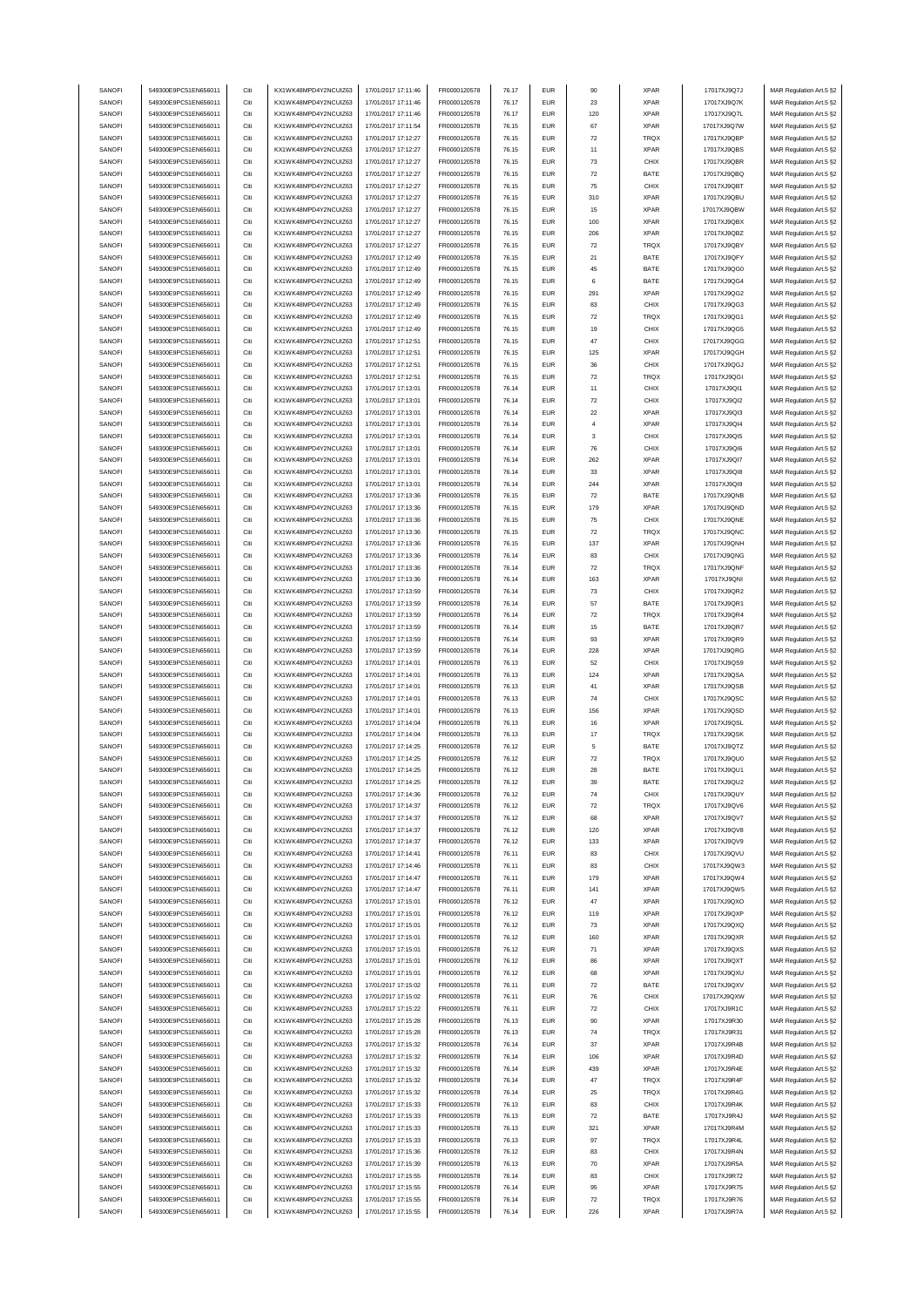| SANOFI | 549300E9PC51EN656011 | Citi | KX1WK48MPD4Y2NCUIZ63 | 17/01/2017 17:11:46 | FR0000120578 | 76.17 | <b>EUR</b> | 90                 | <b>XPAR</b> | 17017XJ9Q7J | MAR Regulation Art.5 §2 |
|--------|----------------------|------|----------------------|---------------------|--------------|-------|------------|--------------------|-------------|-------------|-------------------------|
|        | 549300E9PC51EN656011 | Citi |                      |                     |              | 76.17 | <b>EUR</b> | 23                 | <b>XPAR</b> |             |                         |
| SANOFI |                      |      | KX1WK48MPD4Y2NCUIZ63 | 17/01/2017 17:11:46 | FR0000120578 |       |            |                    |             | 17017XJ9Q7K | MAR Regulation Art.5 §2 |
| SANOFI | 549300E9PC51EN656011 | Citi | KX1WK48MPD4Y2NCUIZ63 | 17/01/2017 17:11:46 | FR0000120578 | 76.17 | <b>EUR</b> | 120                | <b>XPAR</b> | 17017XJ9Q7L | MAR Regulation Art.5 §2 |
| SANOFI | 549300E9PC51EN656011 | Citi | KX1WK48MPD4Y2NCUIZ63 | 17/01/2017 17:11:54 | FR0000120578 | 76.15 | <b>EUR</b> | 67                 | <b>XPAR</b> | 17017XJ9Q7W | MAR Regulation Art.5 §2 |
| SANOFI | 549300E9PC51EN656011 | Citi | KX1WK48MPD4Y2NCUIZ63 | 17/01/2017 17:12:27 | FR0000120578 | 76.15 | <b>EUR</b> | $\scriptstyle{72}$ | TRQX        | 17017XJ9QBP | MAR Regulation Art.5 §2 |
|        |                      |      |                      |                     |              |       |            |                    |             |             |                         |
| SANOFI | 549300E9PC51EN656011 | Citi | KX1WK48MPD4Y2NCUIZ63 | 17/01/2017 17:12:27 | FR0000120578 | 76.15 | <b>EUR</b> | 11                 | <b>XPAR</b> | 17017XJ9QBS | MAR Regulation Art.5 §2 |
| SANOFI | 549300E9PC51EN656011 | Citi | KX1WK48MPD4Y2NCUIZ63 | 17/01/2017 17:12:27 | FR0000120578 | 76.15 | <b>EUR</b> | $\mathbf{73}$      | CHIX        | 17017XJ9QBR | MAR Regulation Art.5 §2 |
| SANOFI | 549300E9PC51EN656011 | Citi | KX1WK48MPD4Y2NCUIZ63 | 17/01/2017 17:12:27 | FR0000120578 | 76.15 | <b>EUR</b> | $\scriptstyle{72}$ | BATE        | 17017XJ9QBQ | MAR Regulation Art.5 §2 |
| SANOFI | 549300E9PC51EN656011 | Citi | KX1WK48MPD4Y2NCUIZ63 |                     | FR0000120578 |       | <b>EUR</b> | 75                 | CHIX        | 17017XJ9QBT |                         |
|        |                      |      |                      | 17/01/2017 17:12:27 |              | 76.15 |            |                    |             |             | MAR Regulation Art.5 §2 |
| SANOFI | 549300E9PC51EN656011 | Citi | KX1WK48MPD4Y2NCUIZ63 | 17/01/2017 17:12:27 | FR0000120578 | 76.15 | <b>EUR</b> | 310                | <b>XPAR</b> | 17017XJ9QBU | MAR Regulation Art.5 §2 |
| SANOFI | 549300E9PC51EN656011 | Citi | KX1WK48MPD4Y2NCUIZ63 | 17/01/2017 17:12:27 | FR0000120578 | 76.15 | <b>EUR</b> | 15                 | <b>XPAR</b> | 17017XJ9QBW | MAR Regulation Art.5 §2 |
|        | 549300E9PC51EN656011 | Citi |                      |                     |              |       | <b>EUR</b> |                    | <b>XPAR</b> |             |                         |
| SANOFI |                      |      | KX1WK48MPD4Y2NCUIZ63 | 17/01/2017 17:12:27 | FR0000120578 | 76.15 |            | 100                |             | 17017XJ9QBX | MAR Regulation Art.5 §2 |
| SANOFI | 549300E9PC51EN656011 | Citi | KX1WK48MPD4Y2NCUIZ63 | 17/01/2017 17:12:27 | FR0000120578 | 76.15 | EUR        | 206                | <b>XPAR</b> | 17017XJ9QBZ | MAR Regulation Art.5 §2 |
| SANOFI | 549300E9PC51EN656011 | Citi | KX1WK48MPD4Y2NCUIZ63 | 17/01/2017 17:12:27 | FR0000120578 | 76.15 | <b>EUR</b> | $\scriptstyle{72}$ | TRQX        | 17017XJ9QBY | MAR Regulation Art.5 §2 |
| SANOFI | 549300E9PC51EN656011 | Citi | KX1WK48MPD4Y2NCUIZ63 | 17/01/2017 17:12:49 | FR0000120578 | 76.15 | <b>EUR</b> | 21                 | BATE        | 17017XJ9QFY | MAR Regulation Art.5 §2 |
|        |                      |      |                      |                     |              |       |            |                    |             |             |                         |
| SANOFI | 549300E9PC51EN656011 | Citi | KX1WK48MPD4Y2NCUIZ63 | 17/01/2017 17:12:49 | FR0000120578 | 76.15 | <b>EUR</b> | 45                 | BATE        | 17017XJ9QG0 | MAR Regulation Art.5 §2 |
| SANOFI | 549300E9PC51EN656011 | Citi | KX1WK48MPD4Y2NCUIZ63 | 17/01/2017 17:12:49 | FR0000120578 | 76.15 | <b>EUR</b> | 6                  | BATE        | 17017XJ9QG4 | MAR Regulation Art.5 §2 |
| SANOFI | 549300E9PC51EN656011 | Citi | KX1WK48MPD4Y2NCUIZ63 | 17/01/2017 17:12:49 | FR0000120578 | 76.15 | <b>EUR</b> | 291                | <b>XPAR</b> | 17017XJ9QG2 | MAR Regulation Art.5 §2 |
|        |                      |      |                      |                     |              |       |            |                    |             |             |                         |
| SANOFI | 549300E9PC51EN656011 | Citi | KX1WK48MPD4Y2NCUIZ63 | 17/01/2017 17:12:49 | FR0000120578 | 76.15 | <b>EUR</b> | 83                 | CHIX        | 17017XJ9QG3 | MAR Regulation Art.5 §2 |
| SANOFI | 549300E9PC51EN656011 | Citi | KX1WK48MPD4Y2NCUIZ63 | 17/01/2017 17:12:49 | FR0000120578 | 76.15 | EUR        | $\scriptstyle{72}$ | TRQX        | 17017XJ9QG1 | MAR Regulation Art.5 §2 |
| SANOFI | 549300E9PC51EN656011 | Citi | KX1WK48MPD4Y2NCUIZ63 | 17/01/2017 17:12:49 | FR0000120578 | 76.15 | <b>EUR</b> | 19                 | CHIX        | 17017XJ9QG5 | MAR Regulation Art.5 §2 |
| SANOFI | 549300E9PC51EN656011 | Citi | KX1WK48MPD4Y2NCUIZ63 | 17/01/2017 17:12:51 | FR0000120578 | 76.15 | <b>EUR</b> | 47                 | CHIX        | 17017XJ9QGG | MAR Regulation Art.5 §2 |
|        |                      |      |                      |                     |              |       |            |                    |             |             |                         |
| SANOFI | 549300E9PC51EN656011 | Citi | KX1WK48MPD4Y2NCUIZ63 | 17/01/2017 17:12:51 | FR0000120578 | 76.15 | <b>EUR</b> | 125                | <b>XPAR</b> | 17017XJ9QGH | MAR Regulation Art.5 §2 |
| SANOFI | 549300E9PC51EN656011 | Citi | KX1WK48MPD4Y2NCUIZ63 | 17/01/2017 17:12:51 | FR0000120578 | 76.15 | <b>EUR</b> | 36                 | CHIX        | 17017XJ9QGJ | MAR Regulation Art.5 §2 |
| SANOFI | 549300E9PC51EN656011 | Citi | KX1WK48MPD4Y2NCUIZ63 | 17/01/2017 17:12:51 | FR0000120578 | 76.15 | <b>EUR</b> | $\scriptstyle{72}$ | TRQX        | 17017XJ9QGI | MAR Regulation Art.5 §2 |
|        |                      |      |                      |                     |              |       |            |                    |             |             |                         |
| SANOFI | 549300E9PC51EN656011 | Citi | KX1WK48MPD4Y2NCUIZ63 | 17/01/2017 17:13:01 | FR0000120578 | 76.14 | <b>EUR</b> | 11                 | CHIX        | 17017XJ9Ql1 | MAR Regulation Art.5 §2 |
| SANOFI | 549300E9PC51EN656011 | Citi | KX1WK48MPD4Y2NCUIZ63 | 17/01/2017 17:13:01 | FR0000120578 | 76.14 | <b>EUR</b> | 72                 | CHIX        | 17017XJ9Ql2 | MAR Regulation Art.5 §2 |
| SANOFI | 549300E9PC51EN656011 | Citi | KX1WK48MPD4Y2NCUIZ63 | 17/01/2017 17:13:01 | FR0000120578 | 76.14 | <b>EUR</b> | $22\,$             | <b>XPAR</b> | 17017XJ9QI3 | MAR Regulation Art.5 §2 |
| SANOFI | 549300E9PC51EN656011 | Citi | KX1WK48MPD4Y2NCUIZ63 | 17/01/2017 17:13:01 | FR0000120578 | 76.14 | <b>EUR</b> | $\overline{4}$     | <b>XPAR</b> | 17017XJ9QI4 |                         |
|        |                      |      |                      |                     |              |       |            |                    |             |             | MAR Regulation Art.5 §2 |
| SANOFI | 549300E9PC51EN656011 | Citi | KX1WK48MPD4Y2NCUIZ63 | 17/01/2017 17:13:01 | FR0000120578 | 76.14 | <b>EUR</b> | 3                  | CHIX        | 17017XJ9QI5 | MAR Regulation Art.5 §2 |
| SANOFI | 549300E9PC51EN656011 | Citi | KX1WK48MPD4Y2NCUIZ63 | 17/01/2017 17:13:01 | FR0000120578 | 76.14 | <b>EUR</b> | 76                 | CHIX        | 17017XJ9QI6 | MAR Regulation Art.5 §2 |
| SANOFI | 549300E9PC51EN656011 | Citi | KX1WK48MPD4Y2NCUIZ63 | 17/01/2017 17:13:01 | FR0000120578 | 76.14 | <b>EUR</b> | 262                | <b>XPAR</b> | 17017XJ9QI7 | MAR Regulation Art.5 §2 |
|        |                      |      |                      |                     |              |       |            |                    |             |             |                         |
| SANOFI | 549300E9PC51EN656011 | Citi | KX1WK48MPD4Y2NCUIZ63 | 17/01/2017 17:13:01 | FR0000120578 | 76.14 | <b>EUR</b> | 33                 | <b>XPAR</b> | 17017XJ9QI8 | MAR Regulation Art.5 §2 |
| SANOFI | 549300E9PC51EN656011 | Citi | KX1WK48MPD4Y2NCUIZ63 | 17/01/2017 17:13:01 | FR0000120578 | 76.14 | <b>EUR</b> | 244                | <b>XPAR</b> | 17017XJ9QI9 | MAR Regulation Art.5 §2 |
| SANOFI | 549300E9PC51EN656011 | Citi | KX1WK48MPD4Y2NCUIZ63 | 17/01/2017 17:13:36 | FR0000120578 | 76.15 | <b>EUR</b> | 72                 | BATE        | 17017XJ9QNB | MAR Regulation Art.5 §2 |
|        |                      |      |                      |                     |              |       |            |                    |             |             |                         |
| SANOFI | 549300E9PC51EN656011 | Citi | KX1WK48MPD4Y2NCUIZ63 | 17/01/2017 17:13:36 | FR0000120578 | 76.15 | <b>EUR</b> | 179                | <b>XPAR</b> | 17017XJ9QND | MAR Regulation Art.5 §2 |
| SANOFI | 549300E9PC51EN656011 | Citi | KX1WK48MPD4Y2NCUIZ63 | 17/01/2017 17:13:36 | FR0000120578 | 76.15 | <b>EUR</b> | 75                 | CHIX        | 17017XJ9QNE | MAR Regulation Art.5 §2 |
| SANOFI | 549300E9PC51EN656011 | Citi | KX1WK48MPD4Y2NCUIZ63 | 17/01/2017 17:13:36 | FR0000120578 | 76.15 | <b>EUR</b> | $\scriptstyle{72}$ | TRQX        | 17017XJ9QNC | MAR Regulation Art.5 §2 |
|        |                      |      |                      |                     |              |       |            |                    |             |             |                         |
| SANOFI | 549300E9PC51EN656011 | Citi | KX1WK48MPD4Y2NCUIZ63 | 17/01/2017 17:13:36 | FR0000120578 | 76.15 | <b>EUR</b> | 137                | <b>XPAR</b> | 17017XJ9QNH | MAR Regulation Art.5 §2 |
| SANOFI | 549300E9PC51EN656011 | Citi | KX1WK48MPD4Y2NCUIZ63 | 17/01/2017 17:13:36 | FR0000120578 | 76.14 | <b>EUR</b> | 83                 | CHIX        | 17017XJ9QNG | MAR Regulation Art.5 §2 |
| SANOFI | 549300E9PC51EN656011 | Citi | KX1WK48MPD4Y2NCUIZ63 | 17/01/2017 17:13:36 | FR0000120578 | 76.14 | <b>EUR</b> | $\scriptstyle{72}$ | TRQX        | 17017XJ9QNF | MAR Regulation Art.5 §2 |
| SANOFI | 549300E9PC51EN656011 | Citi | KX1WK48MPD4Y2NCUIZ63 | 17/01/2017 17:13:36 | FR0000120578 | 76.14 | <b>EUR</b> | 163                | <b>XPAR</b> | 17017XJ9QNI | MAR Regulation Art.5 §2 |
|        |                      |      |                      |                     |              |       |            |                    |             |             |                         |
| SANOFI | 549300E9PC51EN656011 | Citi | KX1WK48MPD4Y2NCUIZ63 | 17/01/2017 17:13:59 | FR0000120578 | 76.14 | <b>EUR</b> | 73                 | CHIX        | 17017XJ9QR2 | MAR Regulation Art.5 §2 |
| SANOFI | 549300E9PC51EN656011 | Citi | KX1WK48MPD4Y2NCUIZ63 | 17/01/2017 17:13:59 | FR0000120578 | 76.14 | <b>EUR</b> | 57                 | BATE        | 17017XJ9QR1 | MAR Regulation Art.5 §2 |
| SANOFI | 549300E9PC51EN656011 | Citi | KX1WK48MPD4Y2NCUIZ63 | 17/01/2017 17:13:59 | FR0000120578 | 76.14 | <b>EUR</b> | 72                 | TRQX        | 17017XJ9QR4 | MAR Regulation Art.5 §2 |
| SANOFI | 549300E9PC51EN656011 | Citi | KX1WK48MPD4Y2NCUIZ63 | 17/01/2017 17:13:59 | FR0000120578 | 76.14 | <b>EUR</b> | 15                 | BATE        | 17017XJ9QR7 | MAR Regulation Art.5 §2 |
|        |                      |      |                      |                     |              |       |            |                    |             |             |                         |
| SANOFI | 549300E9PC51EN656011 | Citi | KX1WK48MPD4Y2NCUIZ63 | 17/01/2017 17:13:59 | FR0000120578 | 76.14 | <b>EUR</b> | 93                 | <b>XPAR</b> | 17017XJ9QR9 | MAR Regulation Art.5 §2 |
| SANOFI | 549300E9PC51EN656011 | Citi | KX1WK48MPD4Y2NCUIZ63 | 17/01/2017 17:13:59 | FR0000120578 | 76.14 | <b>EUR</b> | 228                | <b>XPAR</b> | 17017XJ9QRG | MAR Regulation Art.5 §2 |
| SANOFI | 549300E9PC51EN656011 | Citi | KX1WK48MPD4Y2NCUIZ63 | 17/01/2017 17:14:01 | FR0000120578 | 76.13 | <b>EUR</b> | 52                 | CHIX        | 17017XJ9QS9 | MAR Regulation Art.5 §2 |
|        |                      |      |                      |                     |              |       |            |                    |             |             |                         |
| SANOFI | 549300E9PC51EN656011 | Citi | KX1WK48MPD4Y2NCUIZ63 | 17/01/2017 17:14:01 | FR0000120578 | 76.13 | <b>EUR</b> | 124                | <b>XPAR</b> | 17017XJ9QSA | MAR Regulation Art.5 §2 |
| SANOFI | 549300E9PC51EN656011 | Citi | KX1WK48MPD4Y2NCUIZ63 | 17/01/2017 17:14:01 | FR0000120578 | 76.13 | <b>EUR</b> | 41                 | <b>XPAR</b> | 17017XJ9QSB | MAR Regulation Art.5 §2 |
| SANOFI | 549300E9PC51EN656011 | Citi | KX1WK48MPD4Y2NCUIZ63 | 17/01/2017 17:14:01 | FR0000120578 | 76.13 | <b>EUR</b> | 74                 | CHIX        | 17017XJ9QSC | MAR Regulation Art.5 §2 |
|        | 549300E9PC51EN656011 | Citi |                      |                     |              |       | <b>EUR</b> | 156                | <b>XPAR</b> |             |                         |
| SANOFI |                      |      | KX1WK48MPD4Y2NCUIZ63 | 17/01/2017 17:14:01 | FR0000120578 | 76.13 |            |                    |             | 17017XJ9QSD | MAR Regulation Art.5 §2 |
| SANOFI | 549300E9PC51EN656011 | Citi | KX1WK48MPD4Y2NCUIZ63 | 17/01/2017 17:14:04 | FR0000120578 | 76.13 | <b>EUR</b> | 16                 | <b>XPAR</b> | 17017XJ9QSL | MAR Regulation Art.5 §2 |
| SANOFI | 549300E9PC51EN656011 | Citi | KX1WK48MPD4Y2NCUIZ63 | 17/01/2017 17:14:04 | FR0000120578 | 76.13 | <b>EUR</b> | 17                 | TRQX        | 17017XJ9QSK | MAR Regulation Art.5 §2 |
| SANOFI | 549300E9PC51EN656011 | Citi | KX1WK48MPD4Y2NCUIZ63 | 17/01/2017 17:14:25 | FR0000120578 | 76.12 | <b>EUR</b> | 5                  | BATE        | 17017XJ9QTZ | MAR Regulation Art.5 §2 |
|        |                      |      |                      |                     |              |       |            |                    |             |             |                         |
| SANOFI | 549300E9PC51EN656011 | Citi | KX1WK48MPD4Y2NCUIZ63 | 17/01/2017 17:14:25 | FR0000120578 | 76.12 | <b>EUR</b> | 72                 | TRQX        | 17017XJ9QU0 | MAR Regulation Art.5 §2 |
| SANOFI | 549300E9PC51EN656011 | Citi | KX1WK48MPD4Y2NCUIZ63 | 17/01/2017 17:14:25 | FR0000120578 | 76.12 | <b>EUR</b> |                    |             |             | MAR Regulation Art.5 §2 |
| SANOFI | 549300E9PC51EN656011 |      | KX1WK48MPD4Y2NCUIZ63 | 17/01/2017 17:14:25 | FR0000120578 |       |            | 28                 | BATE        | 17017XJ9QU1 |                         |
| SANOFI | 549300E9PC51EN656011 | Citi | KX1WK48MPD4Y2NCUIZ63 |                     |              | 76.12 | FUR        |                    | <b>BATE</b> | 17017XJ9OU2 | MAR Regulation Art 5 82 |
|        |                      |      |                      |                     |              |       |            |                    |             |             |                         |
| SANOFI | 549300E9PC51EN656011 |      |                      | 17/01/2017 17:14:36 | FR0000120578 | 76.12 | <b>EUR</b> | 74                 | CHIX        | 17017XJ9QUY | MAR Regulation Art.5 §2 |
| SANOFI | 549300E9PC51EN656011 | Citi | KX1WK48MPD4Y2NCUIZ63 | 17/01/2017 17:14:37 | FR0000120578 | 76.12 | <b>EUR</b> | $\scriptstyle{72}$ | TRQX        | 17017XJ9QV6 | MAR Regulation Art.5 §2 |
| SANOFI |                      | Citi | KX1WK48MPD4Y2NCUIZ63 | 17/01/2017 17:14:37 | FR0000120578 | 76.12 | <b>EUR</b> | 68                 | <b>XPAR</b> | 17017XJ9QV7 | MAR Regulation Art.5 §2 |
|        |                      |      |                      |                     |              |       |            |                    |             |             |                         |
|        | 549300E9PC51EN656011 | Citi | KX1WK48MPD4Y2NCUIZ63 | 17/01/2017 17:14:37 | FR0000120578 | 76.12 | <b>EUR</b> | 120                | <b>XPAR</b> | 17017XJ9QV8 | MAR Regulation Art.5 §2 |
| SANOFI | 549300E9PC51EN656011 | Citi | KX1WK48MPD4Y2NCUIZ63 | 17/01/2017 17:14:37 | FR0000120578 | 76.12 | <b>EUR</b> | 133                | <b>XPAR</b> | 17017XJ9QV9 | MAR Regulation Art.5 §2 |
| SANOFI | 549300E9PC51EN656011 | Citi | KX1WK48MPD4Y2NCUIZ63 | 17/01/2017 17:14:41 | FR0000120578 | 76.11 | <b>EUR</b> | 83                 | CHIX        | 17017XJ9QVU | MAR Regulation Art.5 §2 |
| SANOFI | 549300E9PC51EN656011 | Citi | KX1WK48MPD4Y2NCUIZ63 | 17/01/2017 17:14:46 | FR0000120578 | 76.11 | <b>EUR</b> | 83                 | CHIX        | 17017XJ9QW3 | MAR Regulation Art.5 §2 |
|        |                      |      |                      |                     |              |       |            |                    |             |             |                         |
| SANOFI | 549300E9PC51EN656011 | Citi | KX1WK48MPD4Y2NCUIZ63 | 17/01/2017 17:14:47 | FR0000120578 | 76.11 | <b>EUR</b> | 179                | <b>XPAR</b> | 17017XJ9QW4 | MAR Regulation Art.5 §2 |
| SANOFI | 549300E9PC51EN656011 | Citi | KX1WK48MPD4Y2NCUIZ63 | 17/01/2017 17:14:47 | FR0000120578 | 76.11 | <b>EUR</b> | 141                | <b>XPAR</b> | 17017XJ9QW5 | MAR Regulation Art.5 §2 |
| SANOFI | 549300E9PC51EN656011 | Citi | KX1WK48MPD4Y2NCUIZ63 | 17/01/2017 17:15:01 | FR0000120578 | 76.12 | <b>EUR</b> | 47                 | <b>XPAR</b> | 17017XJ9QXO | MAR Regulation Art.5 §2 |
| SANOFI | 549300E9PC51EN656011 | Citi | KX1WK48MPD4Y2NCUIZ63 | 17/01/2017 17:15:01 | FR0000120578 | 76.12 | <b>EUR</b> | 119                | <b>XPAR</b> | 17017XJ9QXP | MAR Regulation Art.5 §2 |
|        |                      |      |                      |                     |              |       |            |                    |             |             |                         |
| SANOFI | 549300E9PC51EN656011 | Citi | KX1WK48MPD4Y2NCUIZ63 | 17/01/2017 17:15:01 | FR0000120578 | 76.12 | <b>EUR</b> | $\mathbf{73}$      | <b>XPAR</b> | 17017XJ9QXQ | MAR Regulation Art.5 §2 |
| SANOFI | 549300E9PC51EN656011 | Citi | KX1WK48MPD4Y2NCUIZ63 | 17/01/2017 17:15:01 | FR0000120578 | 76.12 | <b>EUR</b> | 160                | <b>XPAR</b> | 17017XJ9QXR | MAR Regulation Art.5 §2 |
| SANOFI | 549300E9PC51EN656011 | Citi | KX1WK48MPD4Y2NCUIZ63 | 17/01/2017 17:15:01 | FR0000120578 | 76.12 | <b>EUR</b> | 71                 | <b>XPAR</b> | 17017XJ9QXS | MAR Regulation Art.5 §2 |
|        |                      |      |                      |                     |              |       |            |                    |             |             |                         |
| SANOFI | 549300E9PC51EN656011 | Citi | KX1WK48MPD4Y2NCUIZ63 | 17/01/2017 17:15:01 | FR0000120578 | 76.12 | <b>EUR</b> | 86                 | XPAR        | 17017XJ9QXT | MAR Regulation Art.5 §2 |
| SANOFI | 549300E9PC51EN656011 | Citi | KX1WK48MPD4Y2NCUIZ63 | 17/01/2017 17:15:01 | FR0000120578 | 76.12 | <b>EUR</b> | 68                 | <b>XPAR</b> | 17017XJ9QXU | MAR Regulation Art.5 §2 |
| SANOFI | 549300E9PC51EN656011 | Citi | KX1WK48MPD4Y2NCUIZ63 | 17/01/2017 17:15:02 | FR0000120578 | 76.11 | <b>EUR</b> | 72                 | BATE        | 17017XJ9QXV | MAR Regulation Art.5 §2 |
| SANOFI | 549300E9PC51EN656011 | Citi | KX1WK48MPD4Y2NCUIZ63 | 17/01/2017 17:15:02 | FR0000120578 | 76.11 | <b>EUR</b> |                    | CHIX        | 17017XJ9QXW |                         |
|        |                      |      |                      |                     |              |       |            | 76                 |             |             | MAR Regulation Art.5 §2 |
| SANOFI | 549300E9PC51EN656011 | Citi | KX1WK48MPD4Y2NCUIZ63 | 17/01/2017 17:15:22 | FR0000120578 | 76.11 | <b>EUR</b> | $\scriptstyle{72}$ | CHIX        | 17017XJ9R1C | MAR Regulation Art.5 §2 |
| SANOFI | 549300E9PC51EN656011 | Citi | KX1WK48MPD4Y2NCUIZ63 | 17/01/2017 17:15:28 | FR0000120578 | 76.13 | <b>EUR</b> | 90                 | <b>XPAR</b> | 17017XJ9R30 | MAR Regulation Art.5 §2 |
| SANOFI | 549300E9PC51EN656011 | Citi | KX1WK48MPD4Y2NCUIZ63 | 17/01/2017 17:15:28 | FR0000120578 | 76.13 | <b>EUR</b> | 74                 | TRQX        | 17017XJ9R31 | MAR Regulation Art.5 §2 |
|        |                      |      |                      |                     |              |       |            |                    |             |             |                         |
| SANOFI | 549300E9PC51EN656011 | Citi | KX1WK48MPD4Y2NCUIZ63 | 17/01/2017 17:15:32 | FR0000120578 | 76.14 | <b>EUR</b> | 37                 | <b>XPAR</b> | 17017XJ9R4B | MAR Regulation Art.5 §2 |
| SANOFI | 549300E9PC51EN656011 | Citi | KX1WK48MPD4Y2NCUIZ63 | 17/01/2017 17:15:32 | FR0000120578 | 76.14 | <b>EUR</b> | 106                | <b>XPAR</b> | 17017XJ9R4D | MAR Regulation Art.5 §2 |
| SANOFI | 549300E9PC51EN656011 | Citi | KX1WK48MPD4Y2NCUIZ63 | 17/01/2017 17:15:32 | FR0000120578 | 76.14 | <b>EUR</b> | 439                | XPAR        | 17017XJ9R4E | MAR Regulation Art.5 §2 |
|        |                      |      |                      |                     |              |       |            |                    |             |             |                         |
| SANOFI | 549300E9PC51EN656011 | Citi | KX1WK48MPD4Y2NCUIZ63 | 17/01/2017 17:15:32 | FR0000120578 | 76.14 | <b>EUR</b> | 47                 | <b>TRQX</b> | 17017XJ9R4F | MAR Regulation Art.5 §2 |
| SANOFI | 549300E9PC51EN656011 | Citi | KX1WK48MPD4Y2NCUIZ63 | 17/01/2017 17:15:32 | FR0000120578 | 76.14 | <b>EUR</b> | 25                 | TRQX        | 17017XJ9R4G | MAR Regulation Art.5 §2 |
| SANOFI | 549300E9PC51EN656011 | Citi | KX1WK48MPD4Y2NCUIZ63 | 17/01/2017 17:15:33 | FR0000120578 | 76.13 | <b>EUR</b> | 83                 | CHIX        | 17017XJ9R4K | MAR Regulation Art.5 §2 |
| SANOFI | 549300E9PC51EN656011 | Citi | KX1WK48MPD4Y2NCUIZ63 | 17/01/2017 17:15:33 | FR0000120578 | 76.13 | <b>EUR</b> | $\scriptstyle{72}$ | BATE        | 17017XJ9R4J | MAR Regulation Art.5 §2 |
|        |                      |      |                      |                     |              |       |            |                    |             |             |                         |
| SANOFI | 549300E9PC51EN656011 | Citi | KX1WK48MPD4Y2NCUIZ63 | 17/01/2017 17:15:33 | FR0000120578 | 76.13 | <b>EUR</b> | 321                | <b>XPAR</b> | 17017XJ9R4M | MAR Regulation Art.5 §2 |
| SANOFI | 549300E9PC51EN656011 | Citi | KX1WK48MPD4Y2NCUIZ63 | 17/01/2017 17:15:33 | FR0000120578 | 76.13 | <b>EUR</b> | 97                 | TRQX        | 17017XJ9R4L | MAR Regulation Art.5 §2 |
| SANOFI | 549300E9PC51EN656011 | Citi | KX1WK48MPD4Y2NCUIZ63 | 17/01/2017 17:15:36 | FR0000120578 | 76.12 | <b>EUR</b> | 83                 | CHIX        | 17017XJ9R4N | MAR Regulation Art.5 §2 |
|        |                      |      |                      |                     |              |       | <b>EUR</b> |                    |             |             |                         |
| SANOFI | 549300E9PC51EN656011 | Citi | KX1WK48MPD4Y2NCUIZ63 | 17/01/2017 17:15:39 | FR0000120578 | 76.13 |            | 70                 | <b>XPAR</b> | 17017XJ9R5A | MAR Regulation Art.5 §2 |
| SANOFI | 549300E9PC51EN656011 | Citi | KX1WK48MPD4Y2NCUIZ63 | 17/01/2017 17:15:55 | FR0000120578 | 76.14 | <b>EUR</b> | 83                 | CHIX        | 17017XJ9R72 | MAR Regulation Art.5 §2 |
| SANOFI | 549300E9PC51EN656011 | Citi | KX1WK48MPD4Y2NCUIZ63 | 17/01/2017 17:15:55 | FR0000120578 | 76.14 | <b>EUR</b> | 95                 | <b>XPAR</b> | 17017XJ9R75 | MAR Regulation Art.5 §2 |
| SANOFI | 549300E9PC51EN656011 | Citi | KX1WK48MPD4Y2NCUIZ63 | 17/01/2017 17:15:55 | FR0000120578 | 76.14 | <b>EUR</b> | 72                 | TRQX        | 17017XJ9R76 | MAR Regulation Art.5 §2 |
| SANOFI | 549300E9PC51EN656011 | Citi | KX1WK48MPD4Y2NCUIZ63 | 17/01/2017 17:15:55 | FR0000120578 | 76.14 | <b>EUR</b> | 226                | <b>XPAR</b> | 17017XJ9R7A | MAR Regulation Art.5 §2 |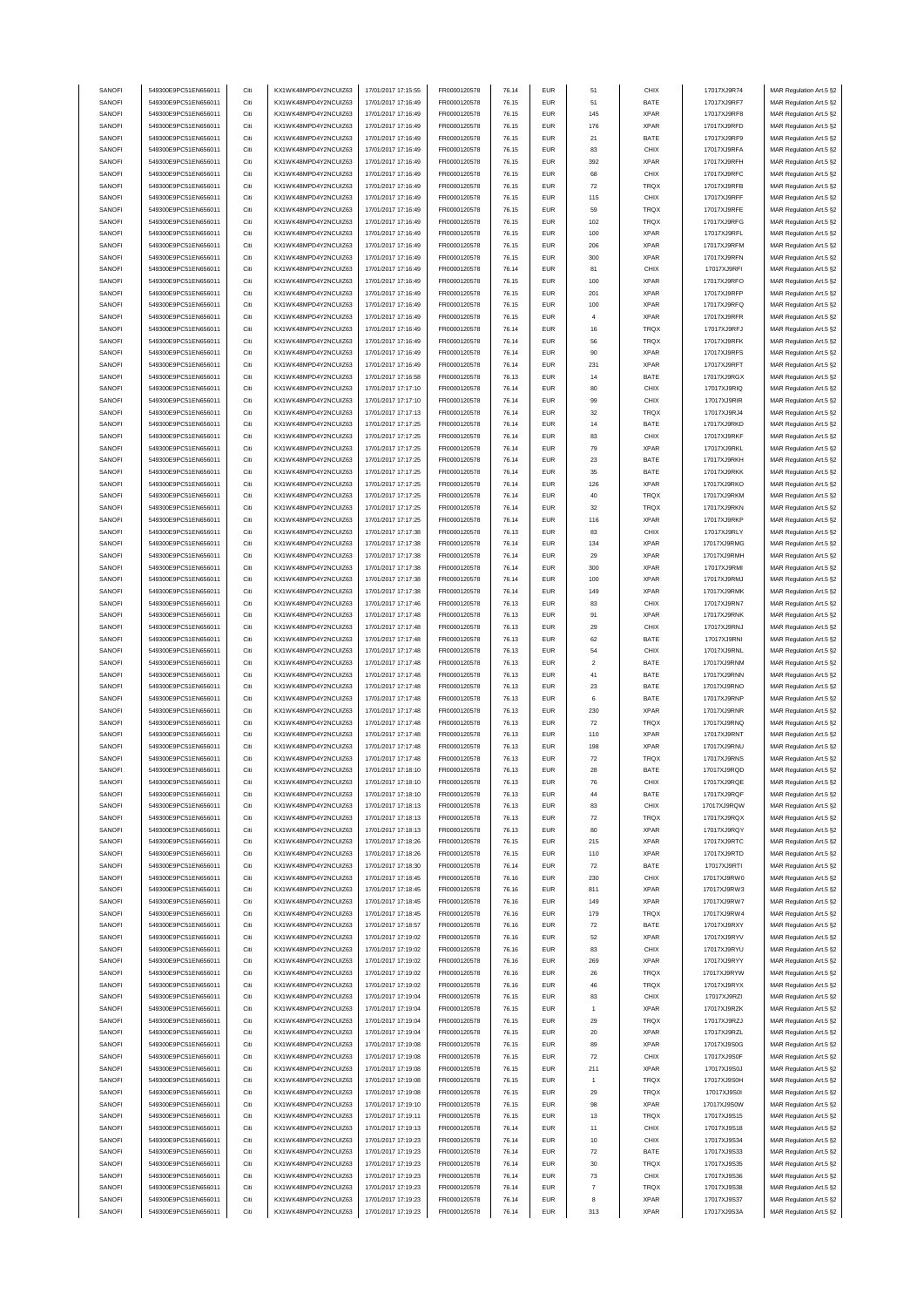| SANOFI        | 549300E9PC51EN656011 | Citi | KX1WK48MPD4Y2NCUIZ63  | 17/01/2017 17:15:55 | FR0000120578 | 76.14 | <b>EUR</b> | 51                 | CHIX        | 17017XJ9R74  | MAR Regulation Art.5 §2 |
|---------------|----------------------|------|-----------------------|---------------------|--------------|-------|------------|--------------------|-------------|--------------|-------------------------|
| SANOFI        | 549300E9PC51EN656011 | Citi | KX1WK48MPD4Y2NCLIIZ63 | 17/01/2017 17:16:49 | FR0000120578 | 76.15 | <b>EUR</b> | 51                 | BATE        | 17017XJ9RF7  | MAR Regulation Art.5 §2 |
|               |                      |      |                       |                     |              |       |            |                    |             |              |                         |
| SANOFI        | 549300E9PC51EN656011 | Citi | KX1WK48MPD4Y2NCUIZ63  | 17/01/2017 17:16:49 | FR0000120578 | 76.15 | <b>EUR</b> | 145                | XPAR        | 17017XJ9RF8  | MAR Regulation Art.5 §2 |
| SANOFI        | 549300E9PC51EN656011 | Citi | KX1WK48MPD4Y2NCUIZ63  | 17/01/2017 17:16:49 | FR0000120578 | 76.15 | <b>EUR</b> | 176                | <b>XPAR</b> | 17017XJ9RFD  | MAR Regulation Art.5 §2 |
| SANOFI        | 549300E9PC51EN656011 | Citi | KX1WK48MPD4Y2NCUIZ63  | 17/01/2017 17:16:49 | FR0000120578 | 76.15 | <b>EUR</b> | 21                 | BATE        | 17017XJ9RF9  | MAR Regulation Art.5 §2 |
| SANOFI        | 549300E9PC51EN656011 | Citi | KX1WK48MPD4Y2NCUIZ63  | 17/01/2017 17:16:49 | FR0000120578 | 76.15 | <b>EUR</b> | 83                 | CHIX        | 17017XJ9RFA  | MAR Regulation Art.5 §2 |
| SANOFI        | 549300E9PC51EN656011 | Citi | KX1WK48MPD4Y2NCUIZ63  | 17/01/2017 17:16:49 | FR0000120578 | 76.15 | <b>EUR</b> | 392                | <b>XPAR</b> | 17017XJ9RFH  | MAR Regulation Art.5 §2 |
| SANOFI        | 549300E9PC51EN656011 | Citi | KX1WK48MPD4Y2NCUIZ63  | 17/01/2017 17:16:49 | FR0000120578 | 76.15 | <b>EUR</b> | 68                 | CHIX        | 17017XJ9RFC  | MAR Regulation Art.5 §2 |
|               |                      |      |                       |                     |              |       |            |                    |             |              |                         |
| SANOFI        | 549300E9PC51EN656011 | Citi | KX1WK48MPD4Y2NCUIZ63  | 17/01/2017 17:16:49 | FR0000120578 | 76.15 | <b>EUR</b> | 72                 | <b>TRQX</b> | 17017XJ9RFB  | MAR Regulation Art.5 §2 |
| SANOFI        | 549300E9PC51EN656011 | Citi | KX1WK48MPD4Y2NCUIZ63  | 17/01/2017 17:16:49 | FR0000120578 | 76.15 | <b>EUR</b> | 115                | CHIX        | 17017XJ9RFF  | MAR Regulation Art.5 §2 |
| SANOFI        | 549300E9PC51EN656011 | Citi | KX1WK48MPD4Y2NCUIZ63  | 17/01/2017 17:16:49 | FR0000120578 | 76.15 | <b>EUR</b> | 59                 | TRQX        | 17017XJ9RFE  | MAR Regulation Art.5 §2 |
| SANOFI        | 549300E9PC51EN656011 | Citi | KX1WK48MPD4Y2NCUIZ63  | 17/01/2017 17:16:49 | FR0000120578 | 76.15 | <b>EUR</b> | 102                | TRQX        | 17017XJ9RFG  | MAR Regulation Art.5 §2 |
| SANOFI        | 549300E9PC51EN656011 | Citi | KX1WK48MPD4Y2NCUIZ63  | 17/01/2017 17:16:49 | FR0000120578 | 76.15 | <b>EUR</b> | 100                | <b>XPAR</b> | 17017XJ9RFL  | MAR Regulation Art.5 §2 |
|               |                      |      |                       |                     |              |       |            |                    |             |              |                         |
| SANOFI        | 549300E9PC51EN656011 | Citi | KX1WK48MPD4Y2NCUIZ63  | 17/01/2017 17:16:49 | FR0000120578 | 76.15 | <b>EUR</b> | 206                | XPAR        | 17017XJ9RFM  | MAR Regulation Art.5 §2 |
| SANOFI        | 549300E9PC51EN656011 | Citi | KX1WK48MPD4Y2NCUIZ63  | 17/01/2017 17:16:49 | FR0000120578 | 76.15 | <b>EUR</b> | 300                | <b>XPAR</b> | 17017XJ9RFN  | MAR Regulation Art.5 §2 |
| SANOFI        | 549300E9PC51EN656011 | Citi | KX1WK48MPD4Y2NCUIZ63  | 17/01/2017 17:16:49 | FR0000120578 | 76.14 | <b>EUR</b> | 81                 | CHIX        | 17017XJ9RFI  | MAR Regulation Art.5 §2 |
| SANOFI        | 549300E9PC51EN656011 | Citi | KX1WK48MPD4Y2NCUIZ63  | 17/01/2017 17:16:49 | FR0000120578 | 76.15 | <b>EUR</b> | 100                | <b>XPAR</b> | 17017XJ9RFO  | MAR Regulation Art.5 §2 |
| SANOFI        | 549300E9PC51EN656011 | Citi | KX1WK48MPD4Y2NCUIZ63  | 17/01/2017 17:16:49 | FR0000120578 | 76.15 | <b>EUR</b> | 201                | <b>XPAR</b> | 17017XJ9RFP  | MAR Regulation Art.5 §2 |
| SANOFI        | 549300E9PC51EN656011 | Citi | KX1WK48MPD4Y2NCUIZ63  | 17/01/2017 17:16:49 | FR0000120578 | 76.15 | <b>EUR</b> | 100                | <b>XPAR</b> | 17017XJ9RFQ  |                         |
|               |                      |      |                       |                     |              |       |            |                    |             |              | MAR Regulation Art.5 §2 |
| SANOFI        | 549300E9PC51EN656011 | Citi | KX1WK48MPD4Y2NCUIZ63  | 17/01/2017 17:16:49 | FR0000120578 | 76.15 | <b>EUR</b> | $\sqrt{4}$         | <b>XPAR</b> | 17017XJ9RFR  | MAR Regulation Art.5 §2 |
| SANOFI        | 549300E9PC51EN656011 | Citi | KX1WK48MPD4Y2NCUIZ63  | 17/01/2017 17:16:49 | FR0000120578 | 76.14 | <b>EUR</b> | 16                 | TRQX        | 17017XJ9RFJ  | MAR Regulation Art.5 §2 |
| SANOFI        | 549300E9PC51EN656011 | Citi | KX1WK48MPD4Y2NCUIZ63  | 17/01/2017 17:16:49 | FR0000120578 | 76.14 | <b>EUR</b> | 56                 | TRQX        | 17017XJ9RFK  | MAR Regulation Art.5 §2 |
| SANOFI        | 549300E9PC51EN656011 | Citi | KX1WK48MPD4Y2NCUIZ63  | 17/01/2017 17:16:49 | FR0000120578 | 76.14 | <b>EUR</b> | 90                 | XPAR        | 17017XJ9RFS  | MAR Regulation Art.5 §2 |
| SANOFI        | 549300E9PC51EN656011 | Citi | KX1WK48MPD4Y2NCUIZ63  | 17/01/2017 17:16:49 | FR0000120578 | 76.14 | <b>EUR</b> | 231                | <b>XPAR</b> | 17017XJ9RFT  | MAR Regulation Art.5 §2 |
| SANOFI        | 549300E9PC51EN656011 | Citi | KX1WK48MPD4Y2NCLIIZ63 | 17/01/2017 17:16:58 | FR0000120578 | 76.13 | <b>EUR</b> | 14                 | BATE        | 17017XJ9RGX  | MAR Regulation Art.5 §2 |
|               |                      |      |                       |                     |              |       |            |                    |             |              |                         |
| SANOFI        | 549300E9PC51EN656011 | Citi | KX1WK48MPD4Y2NCUIZ63  | 17/01/2017 17:17:10 | FR0000120578 | 76.14 | <b>EUR</b> | 80                 | CHIX        | 17017XJ9RIQ  | MAR Regulation Art.5 §2 |
| SANOFI        | 549300E9PC51EN656011 | Citi | KX1WK48MPD4Y2NCUIZ63  | 17/01/2017 17:17:10 | FR0000120578 | 76.14 | <b>EUR</b> | 99                 | CHIX        | 17017XJ9RIR  | MAR Regulation Art.5 §2 |
| SANOFI        | 549300E9PC51EN656011 | Citi | KX1WK48MPD4Y2NCUIZ63  | 17/01/2017 17:17:13 | FR0000120578 | 76.14 | <b>EUR</b> | 32                 | TRQX        | 17017XJ9RJ4  | MAR Regulation Art.5 §2 |
| SANOFI        | 549300E9PC51EN656011 | Citi | KX1WK48MPD4Y2NCUIZ63  | 17/01/2017 17:17:25 | FR0000120578 | 76.14 | <b>EUR</b> | 14                 | BATE        | 17017XJ9RKD  | MAR Regulation Art.5 §2 |
| SANOFI        | 549300E9PC51EN656011 | Citi | KX1WK48MPD4Y2NCUIZ63  | 17/01/2017 17:17:25 | FR0000120578 | 76.14 | <b>EUR</b> | 83                 | CHIX        | 17017XJ9RKF  | MAR Regulation Art.5 §2 |
|               |                      |      |                       |                     |              |       |            |                    |             |              |                         |
| SANOFI        | 549300E9PC51EN656011 | Citi | KX1WK48MPD4Y2NCUIZ63  | 17/01/2017 17:17:25 | FR0000120578 | 76.14 | <b>EUR</b> | 79                 | <b>XPAR</b> | 17017XJ9RKL  | MAR Regulation Art.5 §2 |
| SANOFI        | 549300E9PC51EN656011 | Citi | KX1WK48MPD4Y2NCUIZ63  | 17/01/2017 17:17:25 | FR0000120578 | 76.14 | <b>EUR</b> | 23                 | BATE        | 17017XJ9RKH  | MAR Regulation Art.5 §2 |
| SANOFI        | 549300E9PC51EN656011 | Citi | KX1WK48MPD4Y2NCUIZ63  | 17/01/2017 17:17:25 | FR0000120578 | 76.14 | <b>EUR</b> | 35                 | BATE        | 17017XJ9RKK  | MAR Regulation Art.5 §2 |
| SANOFI        | 549300E9PC51EN656011 | Citi | KX1WK48MPD4Y2NCUIZ63  | 17/01/2017 17:17:25 | FR0000120578 | 76.14 | <b>EUR</b> | 126                | XPAR        | 17017XJ9RKO  | MAR Regulation Art.5 §2 |
| SANOFI        | 549300E9PC51EN656011 | Citi | KX1WK48MPD4Y2NCUIZ63  | 17/01/2017 17:17:25 | FR0000120578 | 76.14 | <b>EUR</b> | 40                 | TRQX        | 17017XJ9RKM  | MAR Regulation Art.5 §2 |
| SANOFI        | 549300E9PC51EN656011 | Citi | KX1WK48MPD4Y2NCUIZ63  | 17/01/2017 17:17:25 | FR0000120578 | 76.14 | <b>EUR</b> | 32                 | TRQX        | 17017XJ9RKN  | MAR Regulation Art.5 §2 |
|               |                      |      |                       |                     |              |       |            |                    |             |              |                         |
| SANOFI        | 549300E9PC51EN656011 | Citi | KX1WK48MPD4Y2NCUIZ63  | 17/01/2017 17:17:25 | FR0000120578 | 76.14 | <b>EUR</b> | 116                | <b>XPAR</b> | 17017XJ9RKP  | MAR Regulation Art.5 §2 |
| SANOFI        | 549300E9PC51EN656011 | Citi | KX1WK48MPD4Y2NCUIZ63  | 17/01/2017 17:17:38 | FR0000120578 | 76.13 | <b>EUR</b> | 83                 | CHIX        | 17017XJ9RLY  | MAR Regulation Art.5 §2 |
| SANOFI        | 549300E9PC51EN656011 | Citi | KX1WK48MPD4Y2NCUIZ63  | 17/01/2017 17:17:38 | FR0000120578 | 76.14 | <b>EUR</b> | 134                | <b>XPAR</b> | 17017XJ9RMG  | MAR Regulation Art.5 §2 |
| SANOFI        | 549300E9PC51EN656011 | Citi | KX1WK48MPD4Y2NCUIZ63  | 17/01/2017 17:17:38 | FR0000120578 | 76.14 | <b>EUR</b> | 29                 | XPAR        | 17017XJ9RMH  | MAR Regulation Art.5 §2 |
| SANOFI        | 549300E9PC51EN656011 | Citi | KX1WK48MPD4Y2NCUIZ63  | 17/01/2017 17:17:38 | FR0000120578 | 76.14 | <b>EUR</b> | 300                | <b>XPAR</b> | 17017XJ9RMI  | MAR Regulation Art.5 §2 |
| SANOFI        | 549300E9PC51EN656011 | Citi | KX1WK48MPD4Y2NCUIZ63  |                     | FR0000120578 | 76.14 | <b>EUR</b> | 100                | <b>XPAR</b> |              |                         |
|               |                      |      |                       | 17/01/2017 17:17:38 |              |       |            |                    |             | 17017XJ9RMJ  | MAR Regulation Art.5 §2 |
| SANOFI        | 549300E9PC51EN656011 | Citi | KX1WK48MPD4Y2NCUIZ63  | 17/01/2017 17:17:38 | FR0000120578 | 76.14 | <b>EUR</b> | 149                | <b>XPAR</b> | 17017XJ9RMK  | MAR Regulation Art.5 §2 |
| SANOFI        | 549300E9PC51EN656011 | Citi | KX1WK48MPD4Y2NCUIZ63  | 17/01/2017 17:17:46 | FR0000120578 | 76.13 | <b>EUR</b> | 83                 | CHIX        | 17017XJ9RN7  | MAR Regulation Art.5 §2 |
| SANOFI        | 549300E9PC51EN656011 | Citi | KX1WK48MPD4Y2NCUIZ63  | 17/01/2017 17:17:48 | FR0000120578 | 76.13 | <b>EUR</b> | 91                 | <b>XPAR</b> | 17017XJ9RNK  | MAR Regulation Art.5 §2 |
| SANOFI        | 549300E9PC51EN656011 | Citi | KX1WK48MPD4Y2NCUIZ63  | 17/01/2017 17:17:48 | FR0000120578 | 76.13 | <b>EUR</b> | 29                 | CHIX        | 17017XJ9RNJ  | MAR Regulation Art.5 §2 |
| SANOFI        | 549300E9PC51EN656011 | Citi | KX1WK48MPD4Y2NCUIZ63  | 17/01/2017 17:17:48 | FR0000120578 | 76.13 | <b>EUR</b> | 62                 | BATE        | 17017XJ9RNI  | MAR Regulation Art.5 §2 |
|               |                      |      |                       |                     |              |       |            |                    |             |              |                         |
| SANOFI        | 549300E9PC51EN656011 | Citi | KX1WK48MPD4Y2NCUIZ63  | 17/01/2017 17:17:48 | FR0000120578 | 76.13 | <b>EUR</b> | 54                 | CHIX        | 17017XJ9RNL  | MAR Regulation Art.5 §2 |
| SANOFI        | 549300E9PC51EN656011 | Citi | KX1WK48MPD4Y2NCUIZ63  | 17/01/2017 17:17:48 | FR0000120578 | 76.13 | <b>EUR</b> | $\sqrt{2}$         | BATE        | 17017XJ9RNM  | MAR Regulation Art.5 §2 |
| SANOFI        | 549300E9PC51EN656011 | Citi | KX1WK48MPD4Y2NCUIZ63  | 17/01/2017 17:17:48 | FR0000120578 | 76.13 | <b>EUR</b> | 41                 | BATE        | 17017XJ9RNN  | MAR Regulation Art.5 §2 |
| SANOFI        | 549300E9PC51EN656011 | Citi | KX1WK48MPD4Y2NCUIZ63  | 17/01/2017 17:17:48 | FR0000120578 | 76.13 | <b>EUR</b> | 23                 | BATE        | 17017XJ9RNO  | MAR Regulation Art.5 §2 |
| SANOFI        | 549300E9PC51EN656011 | Citi | KX1WK48MPD4Y2NCUIZ63  | 17/01/2017 17:17:48 | FR0000120578 | 76.13 | <b>EUR</b> | 6                  | BATE        | 17017XJ9RNP  | MAR Regulation Art.5 §2 |
|               |                      |      |                       |                     |              |       |            |                    |             |              | MAR Regulation Art.5 §2 |
| SANOFI        | 549300E9PC51EN656011 | Citi | KX1WK48MPD4Y2NCUIZ63  | 17/01/2017 17:17:48 | FR0000120578 | 76.13 | <b>EUR</b> | 230                | <b>XPAR</b> | 17017XJ9RNR  |                         |
| SANOFI        | 549300E9PC51EN656011 | Citi | KX1WK48MPD4Y2NCUIZ63  | 17/01/2017 17:17:48 | FR0000120578 | 76.13 | <b>EUR</b> | $\bf 72$           | TRQX        | 17017XJ9RNQ  | MAR Regulation Art.5 §2 |
| SANOFI        | 549300E9PC51EN656011 | Citi | KX1WK48MPD4Y2NCUIZ63  | 17/01/2017 17:17:48 | FR0000120578 | 76.13 | <b>EUR</b> | 110                | <b>XPAR</b> | 17017XJ9RNT  | MAR Regulation Art.5 §2 |
| SANOFI        | 549300E9PC51EN656011 | Citi | KX1WK48MPD4Y2NCUIZ63  | 17/01/2017 17:17:48 | FR0000120578 | 76.13 | <b>EUR</b> | 198                | <b>XPAR</b> | 17017XJ9RNU  | MAR Regulation Art.5 §2 |
| SANOFI        | 549300E9PC51EN656011 | Citi | KX1WK48MPD4Y2NCUIZ63  | 17/01/2017 17:17:48 | FR0000120578 | 76.13 | <b>EUR</b> | 72                 | <b>TRQX</b> | 17017XJ9RNS  | MAR Regulation Art.5 §2 |
| SANOFI        | 549300E9PC51EN656011 | Citi | KX1WK48MPD4Y2NCLIIZ63 | 17/01/2017 17:18:10 | FR0000120578 | 76.13 |            |                    | <b>BATF</b> | 17017X.I9ROD | MAR Regulation Art 5 82 |
|               |                      |      |                       |                     |              |       |            |                    |             |              |                         |
| <b>SANOFI</b> | 549300E9PC51EN656011 | Citi | KX1WK48MPD4Y2NCUIZ63  | 17/01/2017 17:18:10 | FR0000120578 | 76.13 | <b>EUR</b> | 76                 | CHIX        | 17017XJ9RQE  | MAR Regulation Art.5 §2 |
| SANOFI        | 549300E9PC51EN656011 | Citi | KX1WK48MPD4Y2NCUIZ63  | 17/01/2017 17:18:10 | FR0000120578 | 76.13 | <b>EUR</b> | 44                 | BATE        | 17017XJ9RQF  | MAR Regulation Art.5 §2 |
| SANOFI        | 549300E9PC51EN656011 | Citi | KX1WK48MPD4Y2NCUIZ63  | 17/01/2017 17:18:13 | FR0000120578 | 76.13 | <b>EUR</b> | 83                 | CHIX        | 17017XJ9RQW  | MAR Regulation Art.5 §2 |
| SANOFI        | 549300E9PC51EN656011 | Citi | KX1WK48MPD4Y2NCUIZ63  | 17/01/2017 17:18:13 | FR0000120578 | 76.13 | <b>EUR</b> | $\scriptstyle{72}$ | TRQX        | 17017XJ9RQX  | MAR Regulation Art.5 §2 |
| SANOFI        | 549300E9PC51EN656011 | Citi | KX1WK48MPD4Y2NCUIZ63  | 17/01/2017 17:18:13 | FR0000120578 | 76.13 | <b>EUR</b> | 80                 | <b>XPAR</b> | 17017XJ9RQY  | MAR Regulation Art.5 §2 |
| SANOFI        | 549300E9PC51EN656011 | Citi | KX1WK48MPD4Y2NCUIZ63  | 17/01/2017 17:18:26 | FR0000120578 | 76.15 | <b>EUR</b> | 215                | <b>XPAR</b> | 17017XJ9RTC  | MAR Regulation Art.5 §2 |
|               |                      |      |                       |                     |              |       |            |                    |             |              |                         |
| SANOFI        | 549300E9PC51EN656011 | Citi | KX1WK48MPD4Y2NCUIZ63  | 17/01/2017 17:18:26 | FR0000120578 | 76.15 | <b>EUR</b> | 110                | XPAR        | 17017XJ9RTD  | MAR Regulation Art.5 §2 |
| SANOFI        | 549300E9PC51EN656011 | Citi | KX1WK48MPD4Y2NCUIZ63  | 17/01/2017 17:18:30 | FR0000120578 | 76.14 | <b>EUR</b> | $\scriptstyle{72}$ | BATE        | 17017XJ9RTI  | MAR Regulation Art.5 §2 |
| SANOFI        | 549300E9PC51EN656011 | Citi | KX1WK48MPD4Y2NCUIZ63  | 17/01/2017 17:18:45 | FR0000120578 | 76.16 | <b>EUR</b> | 230                | CHIX        | 17017XJ9RW0  | MAR Regulation Art.5 §2 |
| SANOFI        | 549300E9PC51EN656011 | Citi | KX1WK48MPD4Y2NCUIZ63  | 17/01/2017 17:18:45 | FR0000120578 | 76.16 | <b>EUR</b> | 811                | <b>XPAR</b> | 17017XJ9RW3  | MAR Regulation Art.5 §2 |
| SANOFI        | 549300E9PC51EN656011 | Citi | KX1WK48MPD4Y2NCUIZ63  | 17/01/2017 17:18:45 | FR0000120578 | 76.16 | <b>EUR</b> | 149                | <b>XPAR</b> | 17017XJ9RW7  | MAR Regulation Art.5 §2 |
| SANOFI        | 549300E9PC51EN656011 | Citi | KX1WK48MPD4Y2NCUIZ63  | 17/01/2017 17:18:45 | FR0000120578 | 76.16 | <b>EUR</b> | 179                | TRQX        | 17017XJ9RW4  | MAR Regulation Art.5 §2 |
| SANOFI        | 549300E9PC51EN656011 | Citi | KX1WK48MPD4Y2NCUIZ63  | 17/01/2017 17:18:57 | FR0000120578 | 76.16 | <b>EUR</b> | $\bf 72$           | BATE        | 17017XJ9RXY  | MAR Regulation Art.5 §2 |
|               |                      |      |                       |                     |              |       |            |                    |             |              |                         |
| SANOFI        | 549300E9PC51EN656011 | Citi | KX1WK48MPD4Y2NCUIZ63  | 17/01/2017 17:19:02 | FR0000120578 | 76.16 | <b>EUR</b> | 52                 | <b>XPAR</b> | 17017XJ9RYV  | MAR Regulation Art.5 §2 |
| SANOFI        | 549300E9PC51EN656011 | Citi | KX1WK48MPD4Y2NCUIZ63  | 17/01/2017 17:19:02 | FR0000120578 | 76.16 | <b>EUR</b> | 83                 | CHIX        | 17017XJ9RYU  | MAR Regulation Art.5 §2 |
| SANOFI        | 549300E9PC51EN656011 | Citi | KX1WK48MPD4Y2NCUIZ63  | 17/01/2017 17:19:02 | FR0000120578 | 76.16 | <b>EUR</b> | 269                | XPAR        | 17017XJ9RYY  | MAR Regulation Art.5 §2 |
| SANOFI        | 549300E9PC51EN656011 | Citi | KX1WK48MPD4Y2NCUIZ63  | 17/01/2017 17:19:02 | FR0000120578 | 76.16 | <b>EUR</b> | 26                 | TRQX        | 17017XJ9RYW  | MAR Regulation Art.5 §2 |
| SANOFI        | 549300E9PC51EN656011 | Citi | KX1WK48MPD4Y2NCUIZ63  | 17/01/2017 17:19:02 | FR0000120578 | 76.16 | <b>EUR</b> | 46                 | TRQX        | 17017XJ9RYX  | MAR Regulation Art.5 §2 |
|               |                      |      |                       |                     |              |       |            |                    |             |              |                         |
| SANOFI        | 549300E9PC51EN656011 | Citi | KX1WK48MPD4Y2NCUIZ63  | 17/01/2017 17:19:04 | FR0000120578 | 76.15 | <b>EUR</b> | 83                 | CHIX        | 17017XJ9RZI  | MAR Regulation Art.5 §2 |
| SANOFI        | 549300E9PC51EN656011 | Citi | KX1WK48MPD4Y2NCUIZ63  | 17/01/2017 17:19:04 | FR0000120578 | 76.15 | <b>EUR</b> | $\overline{1}$     | <b>XPAR</b> | 17017XJ9RZK  | MAR Regulation Art.5 §2 |
| SANOFI        | 549300E9PC51EN656011 | Citi | KX1WK48MPD4Y2NCUIZ63  | 17/01/2017 17:19:04 | FR0000120578 | 76.15 | <b>EUR</b> | 29                 | TRQX        | 17017XJ9RZJ  | MAR Regulation Art.5 §2 |
| SANOFI        | 549300E9PC51EN656011 | Citi | KX1WK48MPD4Y2NCUIZ63  | 17/01/2017 17:19:04 | FR0000120578 | 76.15 | <b>EUR</b> | $20\,$             | <b>XPAR</b> | 17017XJ9RZL  | MAR Regulation Art.5 §2 |
| SANOFI        | 549300E9PC51EN656011 | Citi | KX1WK48MPD4Y2NCUIZ63  | 17/01/2017 17:19:08 | FR0000120578 | 76.15 | <b>EUR</b> | 89                 | <b>XPAR</b> | 17017XJ9S0G  | MAR Regulation Art.5 §2 |
| SANOFI        | 549300E9PC51EN656011 | Citi | KX1WK48MPD4Y2NCUIZ63  | 17/01/2017 17:19:08 | FR0000120578 | 76.15 | <b>EUR</b> | 72                 | CHIX        | 17017XJ9S0F  | MAR Regulation Art.5 §2 |
|               |                      |      |                       |                     |              |       |            |                    |             |              |                         |
| SANOFI        | 549300E9PC51EN656011 | Citi | KX1WK48MPD4Y2NCUIZ63  | 17/01/2017 17:19:08 | FR0000120578 | 76.15 | <b>EUR</b> | 211                | XPAR        | 17017XJ9S0J  | MAR Regulation Art.5 §2 |
| <b>SANOFI</b> | 549300E9PC51EN656011 | Citi | KX1WK48MPD4Y2NCUIZ63  | 17/01/2017 17:19:08 | FR0000120578 | 76.15 | <b>EUR</b> | $\mathbf{1}$       | TRQX        | 17017XJ9S0H  | MAR Regulation Art.5 §2 |
| SANOFI        | 549300E9PC51EN656011 | Citi | KX1WK48MPD4Y2NCUIZ63  | 17/01/2017 17:19:08 | FR0000120578 | 76.15 | <b>EUR</b> | 29                 | TRQX        | 17017XJ9S0I  | MAR Regulation Art.5 §2 |
| SANOFI        | 549300E9PC51EN656011 | Citi | KX1WK48MPD4Y2NCUIZ63  | 17/01/2017 17:19:10 | FR0000120578 | 76.15 | <b>EUR</b> | 98                 | <b>XPAR</b> | 17017XJ9S0W  | MAR Regulation Art.5 §2 |
| SANOFI        | 549300E9PC51EN656011 | Citi | KX1WK48MPD4Y2NCUIZ63  | 17/01/2017 17:19:11 | FR0000120578 | 76.15 | <b>EUR</b> | 13                 | TRQX        | 17017XJ9S15  | MAR Regulation Art.5 §2 |
| SANOFI        |                      |      | KX1WK48MPD4Y2NCUIZ63  |                     | FR0000120578 |       |            |                    |             | 17017XJ9S18  |                         |
|               | 549300E9PC51EN656011 | Citi |                       | 17/01/2017 17:19:13 |              | 76.14 | <b>EUR</b> | 11                 | CHIX        |              | MAR Regulation Art.5 §2 |
| SANOFI        | 549300E9PC51EN656011 | Citi | KX1WK48MPD4Y2NCUIZ63  | 17/01/2017 17:19:23 | FR0000120578 | 76.14 | <b>EUR</b> | 10                 | CHIX        | 17017XJ9S34  | MAR Regulation Art.5 §2 |
| SANOFI        | 549300E9PC51EN656011 | Citi | KX1WK48MPD4Y2NCUIZ63  | 17/01/2017 17:19:23 | FR0000120578 | 76.14 | <b>EUR</b> | $\scriptstyle{72}$ | BATE        | 17017XJ9S33  | MAR Regulation Art.5 §2 |
| SANOFI        | 549300E9PC51EN656011 | Citi | KX1WK48MPD4Y2NCUIZ63  | 17/01/2017 17:19:23 | FR0000120578 | 76.14 | <b>EUR</b> | 30                 | <b>TRQX</b> | 17017XJ9S35  | MAR Regulation Art.5 §2 |
| SANOFI        | 549300E9PC51EN656011 | Citi | KX1WK48MPD4Y2NCUIZ63  | 17/01/2017 17:19:23 | FR0000120578 | 76.14 | <b>EUR</b> | $\bf 73$           | CHIX        | 17017XJ9S36  | MAR Regulation Art.5 §2 |
| SANOFI        | 549300E9PC51EN656011 | Citi | KX1WK48MPD4Y2NCUIZ63  | 17/01/2017 17:19:23 | FR0000120578 | 76.14 | <b>EUR</b> | $\overline{7}$     | TRQX        | 17017XJ9S38  | MAR Regulation Art.5 §2 |
|               |                      |      |                       |                     |              |       |            |                    |             |              |                         |
| SANOFI        | 549300E9PC51EN656011 | Citi | KX1WK48MPD4Y2NCUIZ63  | 17/01/2017 17:19:23 | FR0000120578 | 76.14 | <b>EUR</b> | 8                  | <b>XPAR</b> | 17017XJ9S37  | MAR Regulation Art.5 §2 |
| SANOFI        | 549300E9PC51EN656011 | Citi | KX1WK48MPD4Y2NCUIZ63  | 17/01/2017 17:19:23 | FR0000120578 | 76.14 | <b>EUR</b> | 313                | <b>XPAR</b> | 17017XJ9S3A  | MAR Regulation Art.5 §2 |